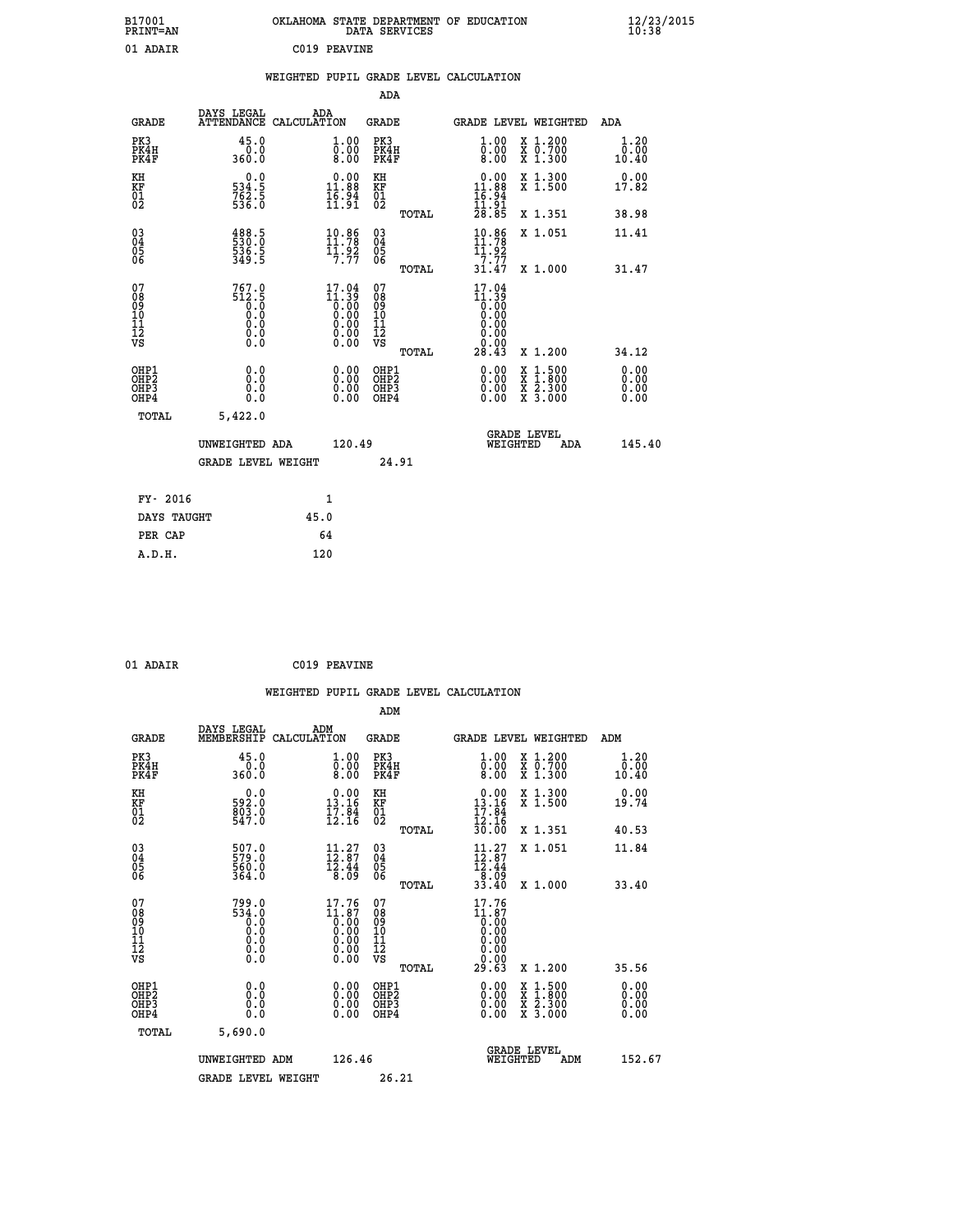| B17001<br>PRINT=AN |              | OKLAHOMA STATE DEPARTMENT OF EDUCATION<br>DATA SERVICES | $\frac{12}{23}$ /2015 |
|--------------------|--------------|---------------------------------------------------------|-----------------------|
| 01 ADAIR           | C019 PEAVINE |                                                         |                       |

|                                                    |                                                |      |                                                          |                                                    |       | WEIGHTED PUPIL GRADE LEVEL CALCULATION                                  |                                          |                                                                    |                              |
|----------------------------------------------------|------------------------------------------------|------|----------------------------------------------------------|----------------------------------------------------|-------|-------------------------------------------------------------------------|------------------------------------------|--------------------------------------------------------------------|------------------------------|
|                                                    |                                                |      |                                                          | ADA                                                |       |                                                                         |                                          |                                                                    |                              |
| <b>GRADE</b>                                       | DAYS LEGAL<br>ATTENDANCE CALCULATION           | ADA  |                                                          | <b>GRADE</b>                                       |       |                                                                         |                                          | <b>GRADE LEVEL WEIGHTED</b>                                        | ADA                          |
| PK3<br>PK4H<br>PK4F                                | 45.0<br>0.0<br>360.0                           |      | 1.00<br>0.00<br>8.00                                     | PK3<br>PK4H<br>PK4F                                |       | 1.00<br>$\overline{0}\,.\,\overline{0}\,0$                              |                                          | X 1.200<br>X 0.700<br>X 1.300                                      | 1.20<br>0.00<br>10.40        |
| KH<br>KF<br>01<br>02                               | 0.0<br>534:5<br>762:5<br>536:0                 |      | 0.00<br>11.88<br>$\frac{1}{1}\vec{5}\cdot\vec{9}\vec{4}$ | KH<br><b>KF</b><br>01<br>02                        |       | $\begin{array}{r} 0.00 \\ 11.88 \\ 16.94 \\ 11.91 \\ 28.85 \end{array}$ |                                          | X 1.300<br>X 1.500                                                 | 0.00<br>17.82                |
|                                                    |                                                |      |                                                          |                                                    | TOTAL |                                                                         |                                          | X 1.351                                                            | 38.98                        |
| $\begin{matrix} 03 \\ 04 \\ 05 \\ 06 \end{matrix}$ | 488.5<br>530.0<br>536.5<br>349.5               |      | 10.86<br>11.78<br>$\frac{11.92}{7.77}$                   | $\begin{matrix} 03 \\ 04 \\ 05 \\ 06 \end{matrix}$ |       | 10.86<br>$\frac{11.92}{7.77}$<br>31.47                                  |                                          | X 1.051                                                            | 11.41                        |
|                                                    |                                                |      |                                                          |                                                    | TOTAL |                                                                         |                                          | X 1.000                                                            | 31.47                        |
| 07<br>08<br>09<br>10<br>11<br>12<br>VS             | $767.0$<br>512.5<br>0.0<br>0.0<br>0.0<br>$\S.$ |      | $17.04$<br>$11.39$<br>$0.00$<br>$0.00$<br>$0.00$<br>0.00 | 07<br>08<br>09<br>11<br>11<br>12<br>VS             |       | $17.04$<br>$11.39$<br>$0.00$<br>0.00<br>0.00<br>Ŏ.ŎŎ<br>O.OO            |                                          |                                                                    |                              |
|                                                    |                                                |      |                                                          |                                                    | TOTAL | 28.43                                                                   |                                          | X 1.200                                                            | 34.12                        |
| OHP1<br>OH <sub>P</sub> 2<br>OHP3<br>OHP4          | 0.0<br>0.0<br>0.0                              |      | 0.00<br>0.00<br>0.00                                     | OHP1<br>OHP <sub>2</sub><br>OHP3<br>OHP4           |       | $0.00$<br>$0.00$<br>0.00                                                | X<br>$\frac{\overline{x}}{\overline{x}}$ | $\begin{smallmatrix} 1.500\ 1.800\ 2.300\ 3.000 \end{smallmatrix}$ | 0.00<br>0.00<br>0.00<br>0.00 |
| TOTAL                                              | 5,422.0                                        |      |                                                          |                                                    |       |                                                                         |                                          |                                                                    |                              |
|                                                    | UNWEIGHTED ADA                                 |      | 120.49                                                   |                                                    |       |                                                                         | WEIGHTED                                 | <b>GRADE LEVEL</b><br>ADA                                          | 145.40                       |
|                                                    | <b>GRADE LEVEL WEIGHT</b>                      |      |                                                          |                                                    | 24.91 |                                                                         |                                          |                                                                    |                              |
| FY- 2016                                           |                                                |      | 1                                                        |                                                    |       |                                                                         |                                          |                                                                    |                              |
| DAYS TAUGHT                                        |                                                | 45.0 |                                                          |                                                    |       |                                                                         |                                          |                                                                    |                              |
| PER CAP                                            |                                                |      | 64                                                       |                                                    |       |                                                                         |                                          |                                                                    |                              |
| ם תנ                                               |                                                | 120  |                                                          |                                                    |       |                                                                         |                                          |                                                                    |                              |

| A.D.H. | 120 |
|--------|-----|
|        |     |
|        |     |

| 01 ADAIR | C019 PEAVINE |
|----------|--------------|

|                                                                  |                                                                                                 |                                                                                 | WEIGHTED PUPIL GRADE LEVEL CALCULATION             |                                                                                                                                                                                 |                              |
|------------------------------------------------------------------|-------------------------------------------------------------------------------------------------|---------------------------------------------------------------------------------|----------------------------------------------------|---------------------------------------------------------------------------------------------------------------------------------------------------------------------------------|------------------------------|
|                                                                  |                                                                                                 |                                                                                 | ADM                                                |                                                                                                                                                                                 |                              |
| <b>GRADE</b>                                                     | DAYS LEGAL<br>ADM<br>MEMBERSHIP<br>CALCULATION                                                  |                                                                                 | GRADE                                              | GRADE LEVEL WEIGHTED                                                                                                                                                            | ADM                          |
| PK3<br>PK4H<br>PK4F                                              | 45.0<br>0.0<br>360.0                                                                            | 1.00<br>0.00<br>8.00                                                            | PK3<br>PK4H<br>PK4F                                | 1.00<br>X 1.200<br>X 0.700<br>X 1.300<br>$\overline{0.00}$<br>8.00                                                                                                              | 1.20<br>0.00<br>10.40        |
| KH<br>KF<br>01<br>02                                             | 0.0<br>593:0<br>803:0<br>547:0                                                                  | $\begin{smallmatrix} 0.00\\ 13.16\\ 17.84\\ 12.16 \end{smallmatrix}$            | KH<br>KF<br>01<br>02                               | $\begin{smallmatrix} 0.00\\ 13.16\\ 17.84 \end{smallmatrix}$<br>X 1.300<br>X 1.500                                                                                              | 0.00<br>19.74                |
|                                                                  |                                                                                                 |                                                                                 | TOTAL                                              | $\frac{12.16}{30.00}$<br>X 1.351                                                                                                                                                | 40.53                        |
| $\begin{matrix} 03 \\ 04 \\ 05 \\ 06 \end{matrix}$               | 507.0<br>579.0<br>560.0<br>364.0                                                                | $\begin{array}{c} 11\cdot 27\\ 12\cdot 87\\ 12\cdot 44\\ 8\cdot 09 \end{array}$ | $\begin{matrix} 03 \\ 04 \\ 05 \\ 06 \end{matrix}$ | 11.27<br>X 1.051<br>$\begin{array}{c} 12.87 \\ 12.44 \\ 8.09 \\ 33.40 \end{array}$                                                                                              | 11.84                        |
|                                                                  |                                                                                                 |                                                                                 | TOTAL                                              | $X_1.000$                                                                                                                                                                       | 33.40                        |
| 07<br>08<br>09<br>10<br>11<br>12<br>12<br>VS                     | 799.0<br>534.0<br>$\overline{0}$ .0<br>Ō.Ō<br>$\begin{smallmatrix} 0.5 \ 0.0 \end{smallmatrix}$ | $17.76$<br>$11.87$<br>$0.00$<br>$0.00$<br>0.00<br>0.00                          | 07<br>089011112<br>νs<br>TOTAL                     | 17.76<br>$\begin{smallmatrix} 11.67 \ 10.000 \ 0.000 \ 0.000 \ 0.000 \ 0.000 \end{smallmatrix}$<br>29.63<br>X 1.200                                                             | 35.56                        |
| OHP1<br>OH <sub>P2</sub><br>OH <sub>P3</sub><br>OH <sub>P4</sub> | 0.0<br>0.0<br>0.0<br>0.0                                                                        | 0.00<br>0.00<br>0.00<br>0.00                                                    | OHP1<br>OHP <sub>2</sub><br>OHP3<br>OHP4           | 0.00<br>$\begin{array}{l} \mathtt{x} \ \mathtt{1.500} \\ \mathtt{x} \ \mathtt{1.800} \\ \mathtt{x} \ \mathtt{2.300} \\ \mathtt{x} \ \mathtt{3.000} \end{array}$<br>0.00<br>0.00 | 0.00<br>0.00<br>0.00<br>0.00 |
| TOTAL                                                            | 5,690.0                                                                                         |                                                                                 |                                                    |                                                                                                                                                                                 |                              |
|                                                                  | UNWEIGHTED ADM                                                                                  | 126.46                                                                          |                                                    | GRADE LEVEL<br>WEIGHTED<br>ADM                                                                                                                                                  | 152.67                       |
|                                                                  | <b>GRADE LEVEL WEIGHT</b>                                                                       |                                                                                 | 26.21                                              |                                                                                                                                                                                 |                              |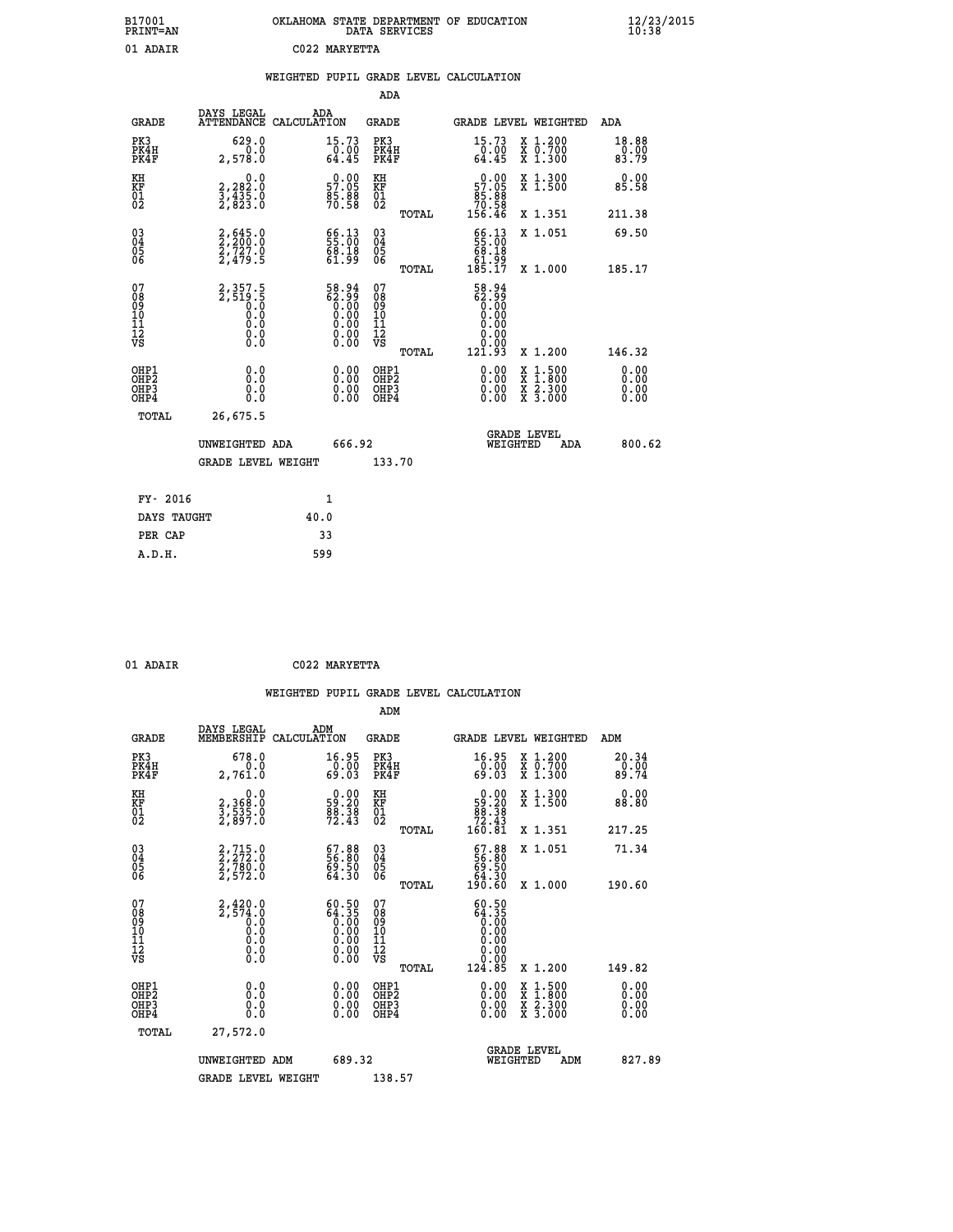| B17001<br>PRINT=AN | . STATE DEPARTMENT OF EDUCATION<br>OKLAHOMA<br>DATA SERVICES | $\frac{12}{23}$ /2015 |
|--------------------|--------------------------------------------------------------|-----------------------|
| 01 ADAIR           | C022 MARYETTA                                                |                       |

|  |  | WEIGHTED PUPIL GRADE LEVEL CALCULATION |
|--|--|----------------------------------------|
|  |  |                                        |

|                                                    |                                                          |                                                                      | ADA                                                |       |                                                                                                    |                                |                                          |                              |
|----------------------------------------------------|----------------------------------------------------------|----------------------------------------------------------------------|----------------------------------------------------|-------|----------------------------------------------------------------------------------------------------|--------------------------------|------------------------------------------|------------------------------|
| <b>GRADE</b>                                       | DAYS LEGAL<br><b>ATTENDANCE</b>                          | ADA<br>CALCULATION                                                   | GRADE                                              |       | GRADE LEVEL WEIGHTED                                                                               |                                |                                          | <b>ADA</b>                   |
| PK3<br>PK4H<br>PK4F                                | 629.0<br>0.0<br>2,578.0                                  | 15.73<br>$\frac{0.00}{64.45}$                                        | PK3<br>PK4H<br>PK4F                                |       | 15.73<br>$\frac{0.00}{64.45}$                                                                      |                                | X 1.200<br>X 0.700<br>X 1.300            | 18.88<br>0.00<br>83.79       |
| KH<br><b>KF</b><br>01<br>02                        | 0.0<br>2,282:0<br>3,435:0<br>2,823:0                     | $\begin{smallmatrix} 0.00\\ 57.05\\ 85.88\\ 70.58 \end{smallmatrix}$ | KH<br>KF<br>01<br>02                               |       | $\begin{smallmatrix} &0.00\ 57.05\ 85.88\ 70.58\ 156.46\ \end{smallmatrix}$                        |                                | X 1.300<br>X 1.500                       | 0.00<br>85.58                |
|                                                    |                                                          |                                                                      |                                                    | TOTAL |                                                                                                    |                                | X 1.351                                  | 211.38                       |
| $\begin{matrix} 03 \\ 04 \\ 05 \\ 06 \end{matrix}$ | $2,200.0$<br>$2,727.0$<br>$2,479.5$                      | $\begin{smallmatrix} 66.13\ 55.00\ 68.18\ 61.99 \end{smallmatrix}$   | $\begin{matrix} 03 \\ 04 \\ 05 \\ 06 \end{matrix}$ |       | $\frac{66}{69}:\frac{13}{10}$                                                                      |                                | X 1.051                                  | 69.50                        |
|                                                    |                                                          |                                                                      |                                                    | TOTAL | ĕĭ:قة<br>185.17                                                                                    |                                | X 1.000                                  | 185.17                       |
| 07<br>08<br>09<br>101<br>11<br>12<br>VS            | $2,357.5$<br>$2,519.5$<br>$0.0$<br>$0.0$<br>0.0<br>$\S.$ | $58.94$<br>$62.99$<br>$0.00$<br>$0.00$<br>$0.00$<br>$0.00$<br>$0.00$ | 07<br>08<br>09<br>11<br>11<br>12<br>VS             | TOTAL | 58.94<br>68:35<br>00:00<br>00:00<br>00:00<br>$\begin{array}{c} 0.00 \\ 0.00 \\ 121.93 \end{array}$ |                                | X 1.200                                  | 146.32                       |
| OHP1<br>OHP2<br>OH <sub>P</sub> 3<br>OHP4          | 0.0<br>0.0<br>ŏ.ŏ                                        | 0.00<br>$0.00$<br>0.00                                               | OHP1<br>OHP2<br>OHP3<br>OHP4                       |       | $0.00$<br>$0.00$<br>0.00                                                                           | X                              | $1.500$<br>$1.800$<br>X 2.300<br>X 3.000 | 0.00<br>0.00<br>0.00<br>0.00 |
| TOTAL                                              | 26,675.5                                                 |                                                                      |                                                    |       |                                                                                                    |                                |                                          |                              |
|                                                    | UNWEIGHTED ADA                                           | 666.92                                                               |                                                    |       |                                                                                                    | <b>GRADE LEVEL</b><br>WEIGHTED | ADA                                      | 800.62                       |
|                                                    | <b>GRADE LEVEL WEIGHT</b>                                |                                                                      | 133.70                                             |       |                                                                                                    |                                |                                          |                              |
| FY- 2016                                           |                                                          | $\mathbf{1}$                                                         |                                                    |       |                                                                                                    |                                |                                          |                              |
| DAYS TAUGHT                                        |                                                          | 40.0                                                                 |                                                    |       |                                                                                                    |                                |                                          |                              |
|                                                    |                                                          |                                                                      |                                                    |       |                                                                                                    |                                |                                          |                              |

| DА |  |
|----|--|

**PER CAP** 33<br> **A.D.H.** 599

 **ADM**

 **01 ADAIR C022 MARYETTA**

| <b>GRADE</b>                                       | DAYS LEGAL<br>MEMBERSHIP CALCULATION                                | ADM                                                                  | <b>GRADE</b>                                        |       |                                                                            |                                | GRADE LEVEL WEIGHTED                     | ADM                           |
|----------------------------------------------------|---------------------------------------------------------------------|----------------------------------------------------------------------|-----------------------------------------------------|-------|----------------------------------------------------------------------------|--------------------------------|------------------------------------------|-------------------------------|
| PK3<br>PK4H<br>PK4F                                | 678.0<br>0.0<br>2,761.0                                             | 16.95<br>$\frac{0.00}{69.03}$                                        | PK3<br>PK4H<br>PK4F                                 |       | 16.95<br>0.00<br>69.03                                                     |                                | X 1.200<br>X 0.700<br>X 1.300            | 20.34<br>$\frac{0.00}{89.74}$ |
| KH<br>KF<br>01<br>02                               | 0.0<br>2,368:0<br>3,535:0<br>2,897:0                                | $\begin{smallmatrix} 0.00\\ 59.20\\ 88.38\\ 72.43 \end{smallmatrix}$ | KH<br>KF<br>01<br>02                                |       | $\begin{smallmatrix}&&0.00\\59.20\\88.38\\72.43\\160.81\end{smallmatrix}$  |                                | X 1.300<br>X 1.500                       | 0.00<br>88.80                 |
|                                                    |                                                                     |                                                                      |                                                     | TOTAL |                                                                            |                                | X 1.351                                  | 217.25                        |
| $\begin{matrix} 03 \\ 04 \\ 05 \\ 06 \end{matrix}$ | 2,715.0<br>2,272.0<br>2,780.0<br>2,572.0                            | $\begin{smallmatrix} 67.88\ 56.80\ 69.50\ 64.30 \end{smallmatrix}$   | $\begin{array}{c} 03 \\ 04 \\ 05 \\ 06 \end{array}$ |       | $\begin{smallmatrix} 67.88\ 56.80\ 69.50\ 64.30\ 190.60 \end{smallmatrix}$ |                                | X 1.051                                  | 71.34                         |
|                                                    |                                                                     |                                                                      |                                                     | TOTAL |                                                                            |                                | X 1.000                                  | 190.60                        |
| 07<br>08<br>09<br>101<br>11<br>12<br>VS            | $2,420.0$<br>$2,574.0$<br>$0.0$<br>$0.0$<br>$0.0$<br>$0.0$<br>$0.0$ | $60.5064.350.000.000.000.000.00$                                     | 07<br>08<br>09<br>001<br>11<br>11<br>12<br>VS       |       | 60.50                                                                      |                                |                                          |                               |
|                                                    |                                                                     |                                                                      |                                                     | TOTAL | 124.85                                                                     |                                | X 1.200                                  | 149.82                        |
| OHP1<br>OHP2<br>OHP3<br>OHP4                       |                                                                     | $\begin{smallmatrix} 0.00 \ 0.00 \ 0.00 \ 0.00 \end{smallmatrix}$    | OHP1<br>OHP2<br>OHP3<br>OHP4                        |       |                                                                            |                                | X 1:500<br>X 1:800<br>X 2:300<br>X 3:000 | 0.00<br>0.00<br>0.00          |
| TOTAL                                              | 27,572.0                                                            |                                                                      |                                                     |       |                                                                            |                                |                                          |                               |
|                                                    | UNWEIGHTED                                                          | 689.32<br>ADM                                                        |                                                     |       |                                                                            | <b>GRADE LEVEL</b><br>WEIGHTED | ADM                                      | 827.89                        |
|                                                    | <b>GRADE LEVEL WEIGHT</b>                                           |                                                                      | 138.57                                              |       |                                                                            |                                |                                          |                               |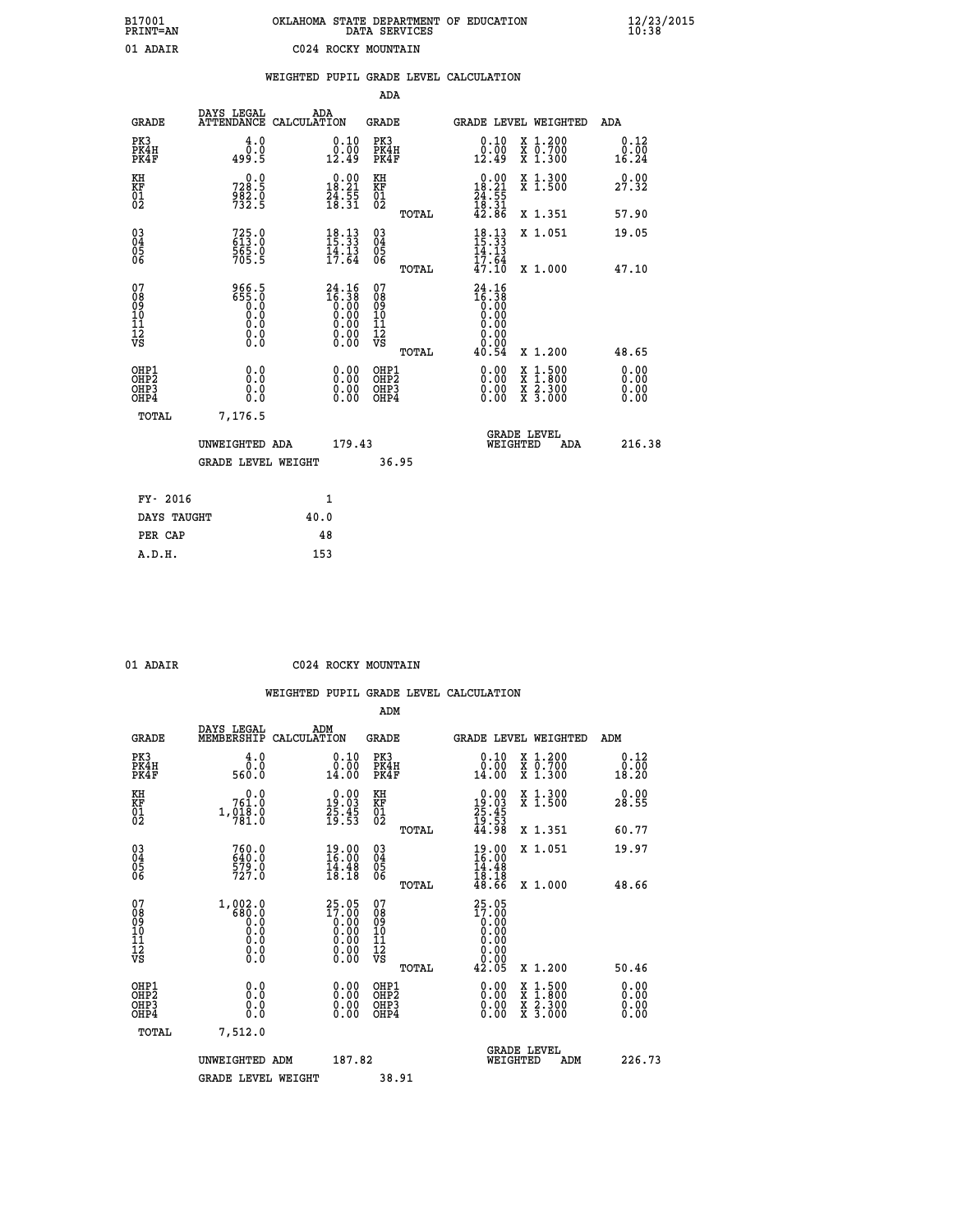| B17001<br><b>PRINT=AN</b> | OKLAHOMA STATE DEPARTMENT OF EDUCATION<br>DATA SERVICES | $\frac{12}{23}$ /2015 |
|---------------------------|---------------------------------------------------------|-----------------------|
| 01 ADAIR                  | C024 ROCKY MOUNTAIN                                     |                       |

|  |  | WEIGHTED PUPIL GRADE LEVEL CALCULATION |
|--|--|----------------------------------------|
|  |  |                                        |

|                                                    |                                                  |                                                                                         | ADA                                                |       |                                                                                       |                                |                                                                  |                              |
|----------------------------------------------------|--------------------------------------------------|-----------------------------------------------------------------------------------------|----------------------------------------------------|-------|---------------------------------------------------------------------------------------|--------------------------------|------------------------------------------------------------------|------------------------------|
| <b>GRADE</b>                                       | DAYS LEGAL<br><b>ATTENDANCE</b>                  | ADA<br>CALCULATION                                                                      | GRADE                                              |       | GRADE LEVEL WEIGHTED                                                                  |                                |                                                                  | <b>ADA</b>                   |
| PK3<br>PK4H<br>PK4F                                | 4.0<br>0.0<br>499.5                              | 0.10<br>0.00<br>12.49                                                                   | PK3<br>PK4H<br>PK4F                                |       | 0.10<br>0.00<br>12.49                                                                 |                                | X 1.200<br>X 0.700<br>X 1.300                                    | 0.12<br>0.00<br>16.24        |
| KH<br><b>KF</b><br>01<br>02                        | $728.5$<br>$982.5$<br>$732.5$                    | $\begin{array}{c} 0.00 \\ 18.21 \\ 24.55 \\ 18.31 \end{array}$                          | KH<br>KF<br>01<br>02                               |       | $\begin{array}{r} 0.00 \\ 18.21 \\ 24.55 \\ 18.31 \\ 42.86 \end{array}$               |                                | X 1.300<br>$\overline{x}$ 1.500                                  | 0.00<br>27.32                |
|                                                    |                                                  |                                                                                         |                                                    | TOTAL |                                                                                       |                                | X 1.351                                                          | 57.90                        |
| $\begin{matrix} 03 \\ 04 \\ 05 \\ 06 \end{matrix}$ | 725.0<br>613.0<br>565.0<br>705.5                 | $\frac{18.13}{15.33}$<br>$\frac{14}{17}$ $\frac{13}{64}$                                | $\begin{matrix} 03 \\ 04 \\ 05 \\ 06 \end{matrix}$ |       | $18.13$<br>$15.33$<br>$14.13$<br>$17.64$                                              |                                | X 1.051                                                          | 19.05                        |
|                                                    |                                                  |                                                                                         |                                                    | TOTAL | 47.10                                                                                 |                                | X 1.000                                                          | 47.10                        |
| 07<br>08<br>09<br>101<br>11<br>12<br>VS            | 966.5<br>0: 855<br>0: 0<br>0: 0<br>0: 0<br>$\S.$ | $\begin{smallmatrix} 24.16\\16.38\\0.00\\0.00\\0.00\\0.00\\0.00\\0.00\end{smallmatrix}$ | 07<br>08<br>09<br>11<br>11<br>12<br>VS             | TOTAL | 24.16<br>$\begin{matrix} 16.38 \\ 0.00 \\ 0.00 \\ 0.00 \end{matrix}$<br>0.00<br>40.54 |                                | X 1.200                                                          | 48.65                        |
| OHP1<br>OHP2<br>OHP3<br>OHP4                       | 0.0<br>0.0<br>0.0                                | 0.00<br>$\begin{smallmatrix} 0.00 \ 0.00 \end{smallmatrix}$                             | OHP1<br>OHP2<br>OHP3<br>OHP4                       |       | $0.00$<br>$0.00$<br>0.00                                                              | X<br>X                         | $1.500$<br>$1.800$<br>$\frac{\ddot{x}}{x}$ $\frac{5.300}{3.000}$ | 0.00<br>0.00<br>0.00<br>0.00 |
| TOTAL                                              | 7,176.5                                          |                                                                                         |                                                    |       |                                                                                       |                                |                                                                  |                              |
|                                                    | UNWEIGHTED ADA                                   | 179.43                                                                                  |                                                    |       |                                                                                       | <b>GRADE LEVEL</b><br>WEIGHTED | ADA                                                              | 216.38                       |
|                                                    | <b>GRADE LEVEL WEIGHT</b>                        |                                                                                         |                                                    | 36.95 |                                                                                       |                                |                                                                  |                              |
| FY- 2016                                           |                                                  | $\mathbf{1}$                                                                            |                                                    |       |                                                                                       |                                |                                                                  |                              |
| DAYS TAUGHT                                        |                                                  | 40.0                                                                                    |                                                    |       |                                                                                       |                                |                                                                  |                              |
|                                                    |                                                  |                                                                                         |                                                    |       |                                                                                       |                                |                                                                  |                              |

|  | ٠ |
|--|---|
|  |   |

**PER CAP** 48<br>**A.D.H.** 153

## **EXECUTE:** CO24 ROCKY MOUNTAIN

|                                                    |                                                                  |                                                                                           | ADM                                                 |       |                                                                              |                                          |                              |
|----------------------------------------------------|------------------------------------------------------------------|-------------------------------------------------------------------------------------------|-----------------------------------------------------|-------|------------------------------------------------------------------------------|------------------------------------------|------------------------------|
| <b>GRADE</b>                                       | DAYS LEGAL<br>MEMBERSHIP                                         | ADM<br>CALCULATION                                                                        | <b>GRADE</b>                                        |       |                                                                              | GRADE LEVEL WEIGHTED                     | ADM                          |
| PK3<br>PK4H<br>PK4F                                | 4.0<br>ŏ:ŏ<br>560:0                                              | $\begin{smallmatrix} 0.10\\ 0.00\\ 14.00 \end{smallmatrix}$                               | PK3<br>PK4H<br>PK4F                                 |       | $\begin{smallmatrix} 0.10\\ 0.00\\ 14.00 \end{smallmatrix}$                  | X 1.200<br>X 0.700<br>X 1.300            | 0.12<br>0.00<br>18.20        |
| KH<br>KF<br>01<br>02                               | 0.0<br>761.0<br>1,018.0<br>781.0                                 | $\begin{smallmatrix} 0.00\\19.03\\25.45\\19.53 \end{smallmatrix}$                         | KH<br>KF<br>01<br>02                                |       | $\begin{smallmatrix} 0.00\\ 19.03\\ 25.45\\ 19.53\\ 44.98 \end{smallmatrix}$ | X 1.300<br>X 1.500                       | 0.00<br>28.55                |
|                                                    |                                                                  |                                                                                           |                                                     | TOTAL |                                                                              | X 1.351                                  | 60.77                        |
| $\begin{matrix} 03 \\ 04 \\ 05 \\ 06 \end{matrix}$ | 760.0<br>640.0<br>579.0<br>727.0                                 | 19.00<br>$\frac{14.48}{18.18}$                                                            | $\begin{array}{c} 03 \\ 04 \\ 05 \\ 06 \end{array}$ |       | $19.0016.0014.4818.1848.66$                                                  | X 1.051                                  | 19.97                        |
|                                                    |                                                                  |                                                                                           |                                                     | TOTAL |                                                                              | X 1.000                                  | 48.66                        |
| 07<br>08<br>09<br>101<br>11<br>12<br>VS            | $1, 002.0$<br>$680.0$<br>$0.0$<br>0.0<br>0.0<br>$\S.$            | ${\begin{smallmatrix} 25.05\\17.00\\0.00\\0.00\\0.00\\0.00\\0.00\\0.00\end{smallmatrix}}$ | 07<br>08<br>09<br>11<br>11<br>12<br>VS              |       | 25.05<br>17.00<br>0.00                                                       |                                          |                              |
|                                                    |                                                                  |                                                                                           |                                                     | TOTAL | 42.05                                                                        | X 1.200                                  | 50.46                        |
| OHP1<br>OHP2<br>OH <sub>P3</sub><br>OHP4           | 0.0<br>$\begin{smallmatrix} 0.0 & 0 \ 0.0 & 0 \end{smallmatrix}$ | $\begin{smallmatrix} 0.00 \ 0.00 \ 0.00 \ 0.00 \end{smallmatrix}$                         | OHP1<br>OHP2<br>OHP <sub>3</sub>                    |       | $0.00$<br>$0.00$<br>0.00                                                     | X 1:500<br>X 1:800<br>X 2:300<br>X 3:000 | 0.00<br>Ŏ.ŎŎ<br>Q.QQ<br>0.00 |
| TOTAL                                              | 7,512.0                                                          |                                                                                           |                                                     |       |                                                                              |                                          |                              |
|                                                    | UNWEIGHTED                                                       | 187.82<br>ADM                                                                             |                                                     |       | WEIGHTED                                                                     | <b>GRADE LEVEL</b><br>ADM                | 226.73                       |
|                                                    | <b>GRADE LEVEL WEIGHT</b>                                        |                                                                                           | 38.91                                               |       |                                                                              |                                          |                              |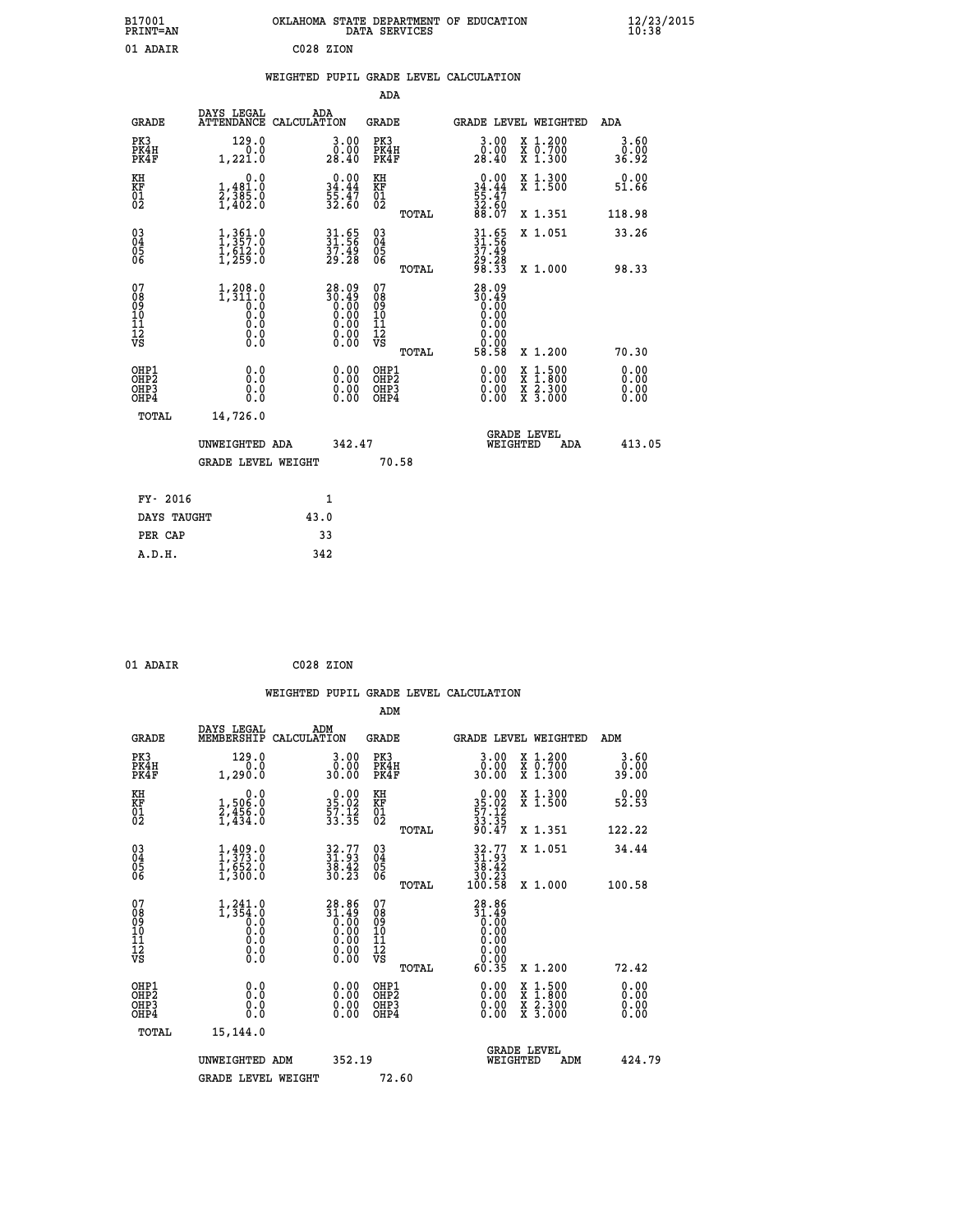| B17001<br><b>PRINT=AN</b> | OKLAHOMA STATE DEPARTMENT OF EDUCATION<br>DATA SERVICES |  |
|---------------------------|---------------------------------------------------------|--|
| 01 ADAIR                  | C028 ZION                                               |  |

|  |  | WEIGHTED PUPIL GRADE LEVEL CALCULATION |
|--|--|----------------------------------------|
|  |  |                                        |

|                                                    |                                                                               |                                                                    | ADA                                    |       |                                                                                                            |        |                                          |                              |
|----------------------------------------------------|-------------------------------------------------------------------------------|--------------------------------------------------------------------|----------------------------------------|-------|------------------------------------------------------------------------------------------------------------|--------|------------------------------------------|------------------------------|
| <b>GRADE</b>                                       | DAYS LEGAL<br><b>ATTENDANCE</b>                                               | ADA<br>CALCULATION                                                 | GRADE                                  |       | GRADE LEVEL WEIGHTED                                                                                       |        |                                          | <b>ADA</b>                   |
| PK3<br>PK4H<br>PK4F                                | 129.0<br>0.0<br>1,221.0                                                       | 3.00<br>0.00<br>28.40                                              | PK3<br>PK4H<br>PK4F                    |       | $3.00$<br>$0.00$<br>28.40                                                                                  |        | X 1.200<br>X 0.700<br>X 1.300            | $3.60$<br>$0.00$<br>36.92    |
| KH<br><b>KF</b><br>01<br>02                        | 0.0<br>1,481.0<br>2,385.0<br>1,402.0                                          | 34.44<br>55.47<br>32.60                                            | KH<br>KF<br>01<br>02                   |       | $0.00$<br>$34.44$<br>$55.47$<br>$32.60$<br>$88.07$                                                         |        | X 1.300<br>X 1.500                       | 0.00<br>51.66                |
|                                                    |                                                                               |                                                                    |                                        | TOTAL |                                                                                                            |        | X 1.351                                  | 118.98                       |
| $\begin{matrix} 03 \\ 04 \\ 05 \\ 06 \end{matrix}$ | $\begin{smallmatrix} 1,361.0\\ 1,357.0\\ 1,612.0\\ 1,259.0 \end{smallmatrix}$ | 31.65<br>31.56<br>37.49<br>29.28                                   | 03<br>04<br>05<br>06                   |       | $31.56$<br>$37.49$<br>$37.49$<br>$29.28$<br>$98.33$                                                        |        | X 1.051                                  | 33.26                        |
|                                                    |                                                                               |                                                                    |                                        | TOTAL |                                                                                                            |        | X 1.000                                  | 98.33                        |
| 07<br>08<br>09<br>101<br>11<br>12<br>VS            | $1, 208.0$<br>$1, 311.0$<br>$0.0$<br>$0.0$<br>0.0<br>$\S.$                    | $28.09$<br>$30.49$<br>$0.00$<br>$0.00$<br>$0.00$<br>$0.00$<br>Ŏ.ŎŎ | 07<br>08<br>09<br>11<br>11<br>12<br>VS | TOTAL | 28.09<br>$\begin{smallmatrix} 20.49 \\ 0.00 \\ 0.00 \\ 0.00 \\ 0.00 \\ \end{smallmatrix}$<br>0.00<br>58.58 |        | X 1.200                                  | 70.30                        |
| OHP1<br>OHP2<br>OHP3<br>OHP4                       | 0.0<br>0.0<br>0.0                                                             | 0.00<br>$0.00$<br>0.00                                             | OHP1<br>OHP2<br>OHP3<br>OHP4           |       | $0.00$<br>$0.00$<br>0.00                                                                                   | X<br>X | $1.500$<br>$1.800$<br>X 2.300<br>X 3.000 | 0.00<br>0.00<br>0.00<br>0.00 |
| TOTAL                                              | 14,726.0<br>UNWEIGHTED ADA                                                    | 342.47                                                             |                                        |       | <b>GRADE LEVEL</b><br>WEIGHTED                                                                             |        |                                          | 413.05                       |
|                                                    | <b>GRADE LEVEL WEIGHT</b>                                                     |                                                                    |                                        | 70.58 |                                                                                                            |        | ADA                                      |                              |
| FY- 2016                                           |                                                                               | $\mathbf{1}$                                                       |                                        |       |                                                                                                            |        |                                          |                              |
| DAYS TAUGHT                                        |                                                                               | 43.0                                                               |                                        |       |                                                                                                            |        |                                          |                              |

| 01 ADAIR | C028 ZION |  |
|----------|-----------|--|

 **PER CAP 33 A.D.H. 342**

|                                                    |                                                                 |                                                                                                                        |                                                       | WEIGHTED PUPIL GRADE LEVEL CALCULATION                                       |                                                                                                                     |                       |
|----------------------------------------------------|-----------------------------------------------------------------|------------------------------------------------------------------------------------------------------------------------|-------------------------------------------------------|------------------------------------------------------------------------------|---------------------------------------------------------------------------------------------------------------------|-----------------------|
|                                                    |                                                                 |                                                                                                                        | ADM                                                   |                                                                              |                                                                                                                     |                       |
| <b>GRADE</b>                                       | DAYS LEGAL<br>MEMBERSHIP                                        | ADM<br>CALCULATION                                                                                                     | <b>GRADE</b>                                          | <b>GRADE LEVEL WEIGHTED</b>                                                  |                                                                                                                     | ADM                   |
| PK3<br>PK4H<br>PK4F                                | 129.0<br>0.0<br>1,290.0                                         | 3.00<br>0.00<br>30.00                                                                                                  | PK3<br>PK4H<br>PK4F                                   | $\begin{smallmatrix} 3.00\\ 0.00\\ 30.00 \end{smallmatrix}$                  | X 1.200<br>X 0.700<br>X 1.300                                                                                       | 3.60<br>0.00<br>39.00 |
| KH<br>KF<br>01<br>02                               | 0.0<br>1,506:0<br>2,456:0<br>1,434:0                            | $\begin{smallmatrix} 0.00\\ 35.02\\ 57.12\\ 33.35 \end{smallmatrix}$                                                   | KH<br>KF<br>01<br>02                                  | $\begin{smallmatrix} 0.00\\ 35.02\\ 57.12\\ 33.35\\ 90.47 \end{smallmatrix}$ | X 1.300<br>X 1.500                                                                                                  | 0.00<br>52.53         |
|                                                    |                                                                 |                                                                                                                        | TOTAL                                                 |                                                                              | X 1.351                                                                                                             | 122.22                |
| $\begin{matrix} 03 \\ 04 \\ 05 \\ 06 \end{matrix}$ | $1, 409.0$<br>$1, 373.0$<br>$1, 652.0$<br>$1, 300.0$            | $32.77$<br>$31.93$<br>$38.42$<br>$30.23$                                                                               | 03<br>04<br>05<br>06                                  | $32.77$<br>$31.93$<br>$38.42$<br>$30.23$<br>$100.58$                         | X 1.051                                                                                                             | 34.44                 |
|                                                    |                                                                 |                                                                                                                        | TOTAL                                                 |                                                                              | X 1.000                                                                                                             | 100.58                |
| 07<br>0890112<br>1112<br>VS                        | $1, 241.0$<br>$1, 354.0$<br>$0.0$<br>$0.0$<br>0.0<br>$\S.$ $\S$ | $28.86$<br>$31.49$<br>$0.00$<br>$0.00$<br>$0.00$<br>$\begin{smallmatrix} 0.00 & 0.00 \\ 0.00 & 0.00 \end{smallmatrix}$ | 07<br>08<br>09<br>01<br>11<br>11<br>12<br>VS<br>TOTAL | $28.86$<br>$31.49$<br>$0.00$<br>$0.00$<br>0.00<br>0.00<br>60.35              | X 1.200                                                                                                             | 72.42                 |
|                                                    |                                                                 |                                                                                                                        |                                                       |                                                                              |                                                                                                                     |                       |
| OHP1<br>OHP <sub>2</sub><br>OHP3<br>OHP4           | 0.0<br>0.000                                                    | $0.00$<br>$0.00$<br>0.00                                                                                               | OHP1<br>OHP <sub>2</sub><br>OHP <sub>3</sub>          | 0.00<br>0.00<br>0.00                                                         | $\begin{array}{l} \mathtt{X} & 1.500 \\ \mathtt{X} & 1.800 \\ \mathtt{X} & 2.300 \\ \mathtt{X} & 3.000 \end{array}$ | 0.00<br>0.00<br>0.00  |
| TOTAL                                              | 15,144.0                                                        |                                                                                                                        |                                                       |                                                                              |                                                                                                                     |                       |
|                                                    | UNWEIGHTED ADM                                                  | 352.19                                                                                                                 |                                                       | <b>GRADE LEVEL</b><br>WEIGHTED                                               | ADM                                                                                                                 | 424.79                |
|                                                    | <b>GRADE LEVEL WEIGHT</b>                                       |                                                                                                                        | 72.60                                                 |                                                                              |                                                                                                                     |                       |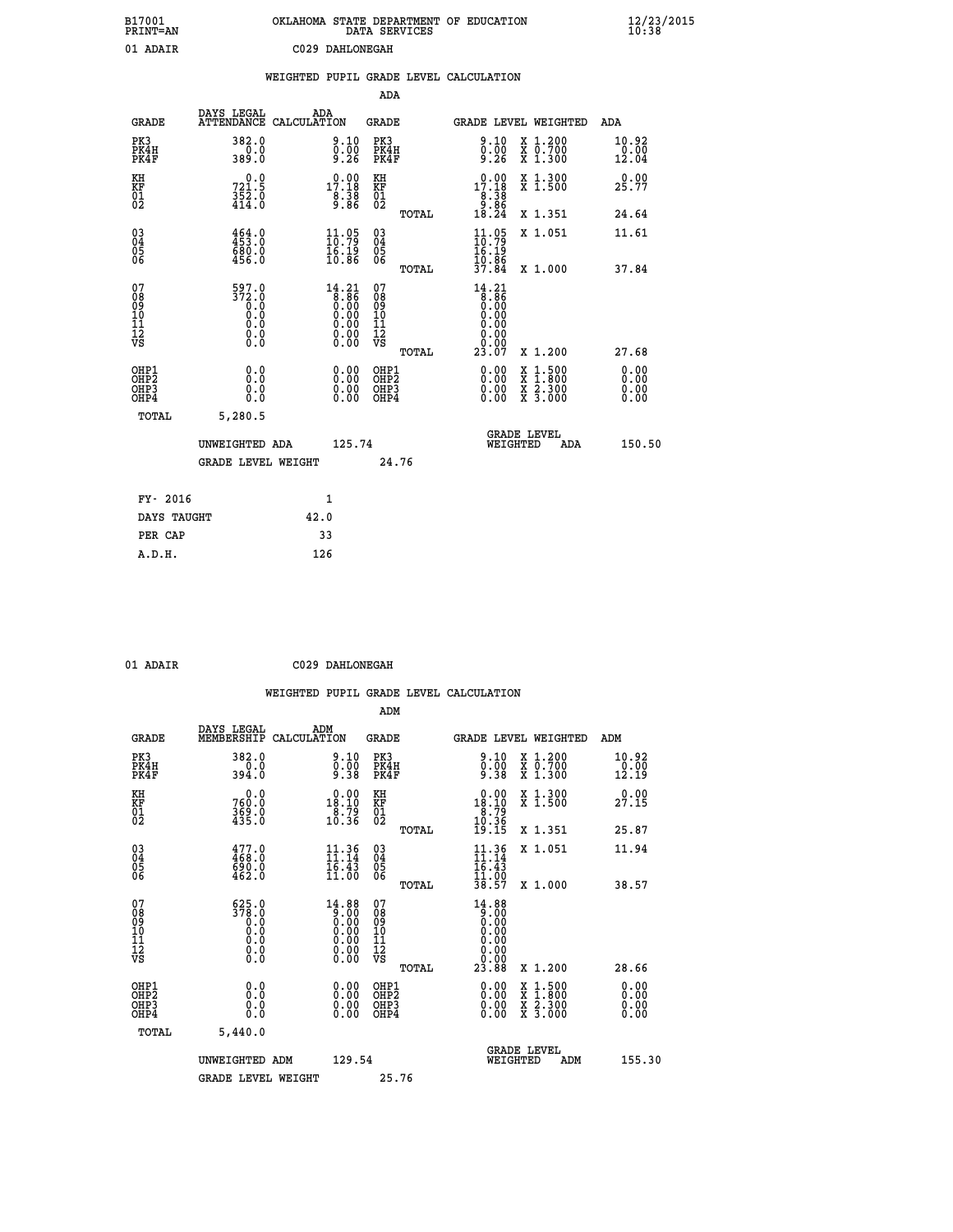| B17001<br>PRINT=AN                     |                                                                                                            | OKLAHOMA STATE DEPARTMENT OF EDUCATION                                               |        | DATA SERVICES                                                |       |                                                                                      |                                                                                          |     |                        | $\frac{12}{23}$ /2015 |
|----------------------------------------|------------------------------------------------------------------------------------------------------------|--------------------------------------------------------------------------------------|--------|--------------------------------------------------------------|-------|--------------------------------------------------------------------------------------|------------------------------------------------------------------------------------------|-----|------------------------|-----------------------|
| 01 ADAIR                               |                                                                                                            | C029 DAHLONEGAH                                                                      |        |                                                              |       |                                                                                      |                                                                                          |     |                        |                       |
|                                        |                                                                                                            | WEIGHTED PUPIL GRADE LEVEL CALCULATION                                               |        |                                                              |       |                                                                                      |                                                                                          |     |                        |                       |
|                                        |                                                                                                            |                                                                                      |        | ADA                                                          |       |                                                                                      |                                                                                          |     |                        |                       |
| <b>GRADE</b>                           | DAYS LEGAL                                                                                                 | ADA<br>ATTENDANCE CALCULATION                                                        |        | GRADE                                                        |       | GRADE LEVEL WEIGHTED                                                                 |                                                                                          |     | ADA                    |                       |
| PK3<br>PK4H<br>PK4F                    | 382.0<br>0.0<br>389.0                                                                                      | 9.10<br>0.00<br>9.26                                                                 |        | PK3<br>PK4H<br>PK4F                                          |       | 9.10<br>$0.00$<br>9.26                                                               | X 1.200<br>X 0.700<br>X 1.300                                                            |     | 10.92<br>0.00<br>12.04 |                       |
| KH<br>KF<br>01<br>02                   | 0.0<br>721.5<br>352.0<br>414.0                                                                             | 17.18<br>8.38                                                                        |        | KH<br><b>KF</b><br>01<br>02                                  |       | $0.00$<br>17.18<br>$\frac{8}{9}.\overline{38}$                                       | X 1.300<br>X 1.500                                                                       |     | 0.00<br>25.77          |                       |
|                                        |                                                                                                            |                                                                                      |        |                                                              | TOTAL | 18.24                                                                                | X 1.351                                                                                  |     | 24.64                  |                       |
| $\substack{03 \ 04}$<br>Ŏ5<br>06       | $464.0$<br>$453.0$<br>680.0<br>456.0                                                                       | $\frac{11}{10}.95$<br>16.19<br>10.86                                                 |        | $03\overline{4}$<br>$\begin{matrix} 0.5 \\ 0.6 \end{matrix}$ |       | $\frac{11}{10}$ : 79<br>16.19<br>10.86                                               | X 1.051                                                                                  |     | 11.61                  |                       |
|                                        |                                                                                                            |                                                                                      |        |                                                              | TOTAL | 37.84                                                                                | X 1.000                                                                                  |     | 37.84                  |                       |
| 07<br>08<br>09<br>11<br>11<br>12<br>VS | 597.0<br>$\frac{372.0}{0.0}$<br>ŏ.ŏ<br>$\begin{smallmatrix} 0.0 & 0 \ 0.0 & 0 \ 0.0 & 0 \end{smallmatrix}$ | 14.21<br>$\begin{array}{c} 1.86 \\ 0.00 \\ 0.00 \\ 0.00 \\ 0.00 \\ 0.00 \end{array}$ |        | 07<br>08<br>09<br>10<br>īĭ<br>12<br>VS                       | TOTAL | 14.21<br>$\begin{matrix} 8.86 \\ 0.00 \end{matrix}$<br>0.00<br>0.00<br>0.00<br>23.07 | X 1.200                                                                                  |     | 27.68                  |                       |
| OHP1<br>OH <sub>P</sub> 2<br>OHP3      | 0.0<br>0.0                                                                                                 | 0.00                                                                                 |        | OHP1<br>OH <sub>P</sub> 2<br>OHP3                            |       | 0.00                                                                                 | $\begin{smallmatrix} x & 1.500 \\ x & 1.800 \\ x & 2.300 \\ x & 3.000 \end{smallmatrix}$ |     | 0.00<br>0.00<br>0.00   |                       |
| OHP4                                   | 0.0                                                                                                        | $\begin{smallmatrix} 0.00 \ 0.00 \end{smallmatrix}$                                  |        | OHP4                                                         |       | 0.00                                                                                 |                                                                                          |     | 0.00                   |                       |
| TOTAL                                  | 5,280.5                                                                                                    |                                                                                      |        |                                                              |       |                                                                                      |                                                                                          |     |                        |                       |
|                                        | UNWEIGHTED ADA                                                                                             |                                                                                      | 125.74 |                                                              |       | WEIGHTED                                                                             | <b>GRADE LEVEL</b>                                                                       | ADA | 150.50                 |                       |
|                                        | <b>GRADE LEVEL WEIGHT</b>                                                                                  |                                                                                      |        | 24.76                                                        |       |                                                                                      |                                                                                          |     |                        |                       |
| FY- 2016                               |                                                                                                            | 1                                                                                    |        |                                                              |       |                                                                                      |                                                                                          |     |                        |                       |
| DAYS TAUGHT                            |                                                                                                            | 42.0                                                                                 |        |                                                              |       |                                                                                      |                                                                                          |     |                        |                       |
| PER CAP                                |                                                                                                            | 33                                                                                   |        |                                                              |       |                                                                                      |                                                                                          |     |                        |                       |

| 01 ADAIR | C029 DAHLONEGAH |
|----------|-----------------|

 **WEIGHTED PUPIL GRADE LEVEL CALCULATION ADM DAYS LEGAL ADM GRADE MEMBERSHIP CALCULATION GRADE GRADE LEVEL WEIGHTED ADM PK3 382.0 9.10 PK3 9.10 X 1.200 10.92 PK4H 0.0 0.00 PK4H 0.00 X 0.700 0.00 PK4F 394.0 9.38 PK4F 9.38 X 1.300 12.19 KH 0.0 0.00 KH 0.00 X 1.300 0.00 KF 760.0 18.10 KF 18.10 X 1.500 27.15 01 369.0 8.79 01 8.79 02 435.0 10.36 02 10.36 10.36 TOTAL 19.15 X 1.351 25.87 03 477.0 11.36 03 11.36 X 1.051 11.94 04 468.0 11.14 04 11.14 05 690.0 16.43 05 16.43 06 462.0 11.00 06 11.00 TOTAL 38.57 X 1.000 38.57 07 625.0 14.88 07 14.88 08 378.0 9.00 08 9.00 03 0.00 0.00 0.000 0.000 10 0.0 0.00 10 0.00 11 0.0 0.00 11 0.00 12 0.0 0.00 12 0.00 VS 0.0 0.00 VS 0.00 TOTAL 23.88 X 1.200 28.66 OHP1 0.0 0.00 OHP1 0.00 X 1.500 0.00 OHP2 0.0 0.00 OHP2 0.00 X 1.800 0.00 OHP3 0.0 0.00 OHP3 0.00 X 2.300 0.00 OHP4 0.0 0.00 OHP4 0.00 X 3.000 0.00 TOTAL 5,440.0 GRADE LEVEL UNWEIGHTED ADM 129.54 WEIGHTED ADM 155.30** GRADE LEVEL WEIGHT 25.76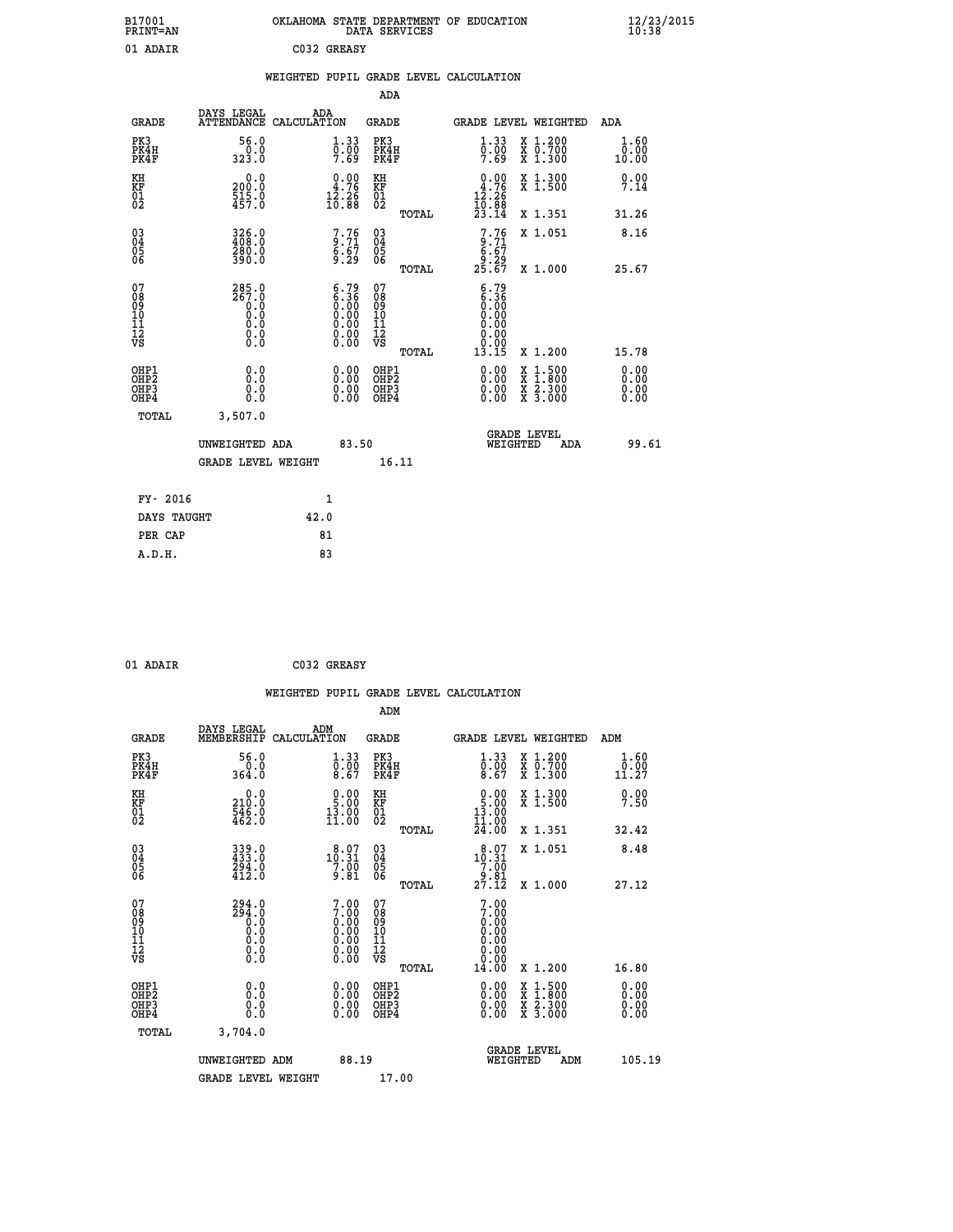| B17001<br><b>PRINT=AN</b> | OKLAHOMA STATE DEPARTMENT OF EDUCATION<br>DATA SERVICES | $\frac{12}{23}$ /2015 |
|---------------------------|---------------------------------------------------------|-----------------------|
| 01 ADAIR                  | C032 GREASY                                             |                       |

|  |  | WEIGHTED PUPIL GRADE LEVEL CALCULATION |
|--|--|----------------------------------------|
|  |  |                                        |

|                                                                              |                                                                                     |                                                                                               | ADA                                                |       |                                                                             |                                                                                                                                              |                              |
|------------------------------------------------------------------------------|-------------------------------------------------------------------------------------|-----------------------------------------------------------------------------------------------|----------------------------------------------------|-------|-----------------------------------------------------------------------------|----------------------------------------------------------------------------------------------------------------------------------------------|------------------------------|
| <b>GRADE</b>                                                                 | DAYS LEGAL                                                                          | ADA<br>ATTENDANCE CALCULATION                                                                 | GRADE                                              |       | <b>GRADE LEVEL WEIGHTED</b>                                                 |                                                                                                                                              | ADA                          |
| PK3<br>PK4H<br>PK4F                                                          | 56.0<br>0.0<br>323.0                                                                | 1.33<br>$\frac{0}{7}.\,\, 00$                                                                 | PK3<br>PK4H<br>PK4F                                |       | 1.33<br>$\frac{0}{7}.00$<br>7.69                                            | X 1.200<br>X 0.700<br>X 1.300                                                                                                                | 1.60<br>0.00<br>10.00        |
| KH<br>KF<br>01<br>02                                                         | 0.0<br>200:0<br>515:0<br>457:0                                                      | $\begin{smallmatrix} 0.00\\ 4.76\\ 12.26\\ 10.88 \end{smallmatrix}$                           | KH<br>KF<br>01<br>02                               |       | $\begin{smallmatrix} 0.00\\ 4.76\\ 12.26\\ 10.88\\ 23.14 \end{smallmatrix}$ | X 1.300<br>X 1.500                                                                                                                           | 0.00<br>7.14                 |
|                                                                              |                                                                                     |                                                                                               |                                                    | TOTAL |                                                                             | X 1.351                                                                                                                                      | 31.26                        |
| $\begin{matrix} 03 \\ 04 \\ 05 \\ 06 \end{matrix}$                           | 326.0<br>408.0<br>280.0<br>390.0                                                    | $7.76$<br>9.71<br>$\frac{6.67}{9.29}$                                                         | $\begin{matrix} 03 \\ 04 \\ 05 \\ 06 \end{matrix}$ |       | $7.76$<br>$6.71$<br>$6.67$<br>$9.29$<br>$25.67$                             | X 1.051                                                                                                                                      | 8.16                         |
|                                                                              |                                                                                     |                                                                                               |                                                    | TOTAL |                                                                             | X 1.000                                                                                                                                      | 25.67                        |
| 07<br>08<br>09<br>11<br>11<br>12<br>VS                                       | $285.0$<br>267.0<br>$\begin{smallmatrix}0.0 \ 0.0 \ 0.0 \end{smallmatrix}$<br>$\S.$ | $\begin{smallmatrix} 6.79\ 6.36\ 0.00\ 0.00\ 0.00\ 0.00\ 0.00\ 0.00\ 0.00\ \end{smallmatrix}$ | 07<br>08<br>09<br>11<br>11<br>12<br>VS             | TOTAL | 6.79<br>6.36<br>0.00<br>0.00<br>0.00<br>0.00<br>13.15                       | X 1.200                                                                                                                                      | 15.78                        |
| OHP1<br>OH <sub>P</sub> <sub>2</sub><br>OH <sub>P3</sub><br>OH <sub>P4</sub> | 0.0<br>0.0<br>0.0                                                                   | 0.00<br>0.00<br>0.00                                                                          | OHP1<br>OHP2<br>OHP3<br>OHP4                       |       | 0.00<br>0.00<br>0.00                                                        | $\begin{smallmatrix} \mathtt{X} & 1\cdot500 \\ \mathtt{X} & 1\cdot800 \\ \mathtt{X} & 2\cdot300 \\ \mathtt{X} & 3\cdot000 \end{smallmatrix}$ | 0.00<br>0.00<br>0.00<br>0.00 |
| TOTAL                                                                        | 3,507.0                                                                             |                                                                                               |                                                    |       |                                                                             |                                                                                                                                              |                              |
|                                                                              | UNWEIGHTED ADA                                                                      |                                                                                               | 83.50                                              |       | WEIGHTED                                                                    | <b>GRADE LEVEL</b><br>ADA                                                                                                                    | 99.61                        |
|                                                                              | <b>GRADE LEVEL WEIGHT</b>                                                           |                                                                                               |                                                    | 16.11 |                                                                             |                                                                                                                                              |                              |
| FY- 2016                                                                     |                                                                                     | 1                                                                                             |                                                    |       |                                                                             |                                                                                                                                              |                              |
| DAYS TAUGHT                                                                  |                                                                                     | 42.0                                                                                          |                                                    |       |                                                                             |                                                                                                                                              |                              |
| PER CAP                                                                      |                                                                                     | 81                                                                                            |                                                    |       |                                                                             |                                                                                                                                              |                              |
| A.D.H.                                                                       |                                                                                     | 83                                                                                            |                                                    |       |                                                                             |                                                                                                                                              |                              |

| 01 ADAIR | C032 GREASY |
|----------|-------------|
|          |             |

|                                                    |                                                           |                    |                                                                                                                      |                                                     |       | WEIGHTED PUPIL GRADE LEVEL CALCULATION                                                     |                                          |                       |  |
|----------------------------------------------------|-----------------------------------------------------------|--------------------|----------------------------------------------------------------------------------------------------------------------|-----------------------------------------------------|-------|--------------------------------------------------------------------------------------------|------------------------------------------|-----------------------|--|
|                                                    |                                                           |                    |                                                                                                                      | ADM                                                 |       |                                                                                            |                                          |                       |  |
| <b>GRADE</b>                                       | DAYS LEGAL<br>MEMBERSHIP                                  | ADM<br>CALCULATION |                                                                                                                      | <b>GRADE</b>                                        |       | <b>GRADE LEVEL WEIGHTED</b>                                                                |                                          | ADM                   |  |
| PK3<br>PK4H<br>PK4F                                | 56.0<br>364.0                                             |                    | $\begin{smallmatrix} 1.33\ 0.00\ 8.67 \end{smallmatrix}$                                                             | PK3<br>PK4H<br>PK4F                                 |       | $\begin{smallmatrix} 1.33\ 0.00\ 8.67 \end{smallmatrix}$                                   | X 1.200<br>X 0.700<br>X 1.300            | 1.60<br>0.00<br>11.27 |  |
| KH<br>KF<br>01<br>02                               | 0.0<br>$\frac{210.0}{546.0}$<br>$462.0$                   |                    | $\begin{smallmatrix} 0.00\\ 5.00\\ 13.00\\ 11.00 \end{smallmatrix}$                                                  | KH<br>KF<br>01<br>02                                |       | $\begin{smallmatrix} 0.00\\ 5.00\\ 13.00\\ 11.00\\ 24.00 \end{smallmatrix}$                | X 1.300<br>X 1.500                       | 0.00<br>7.50          |  |
|                                                    |                                                           |                    |                                                                                                                      |                                                     | TOTAL |                                                                                            | X 1.351                                  | 32.42                 |  |
| $\begin{matrix} 03 \\ 04 \\ 05 \\ 06 \end{matrix}$ | 339.0<br>433.0<br>294.0<br>412.0                          |                    | 10.97<br>$\frac{7.00}{9.81}$                                                                                         | $\begin{array}{c} 03 \\ 04 \\ 05 \\ 06 \end{array}$ |       | $\begin{smallmatrix} & 8 & 07 \\ 10 & 31 \\ 7 & 00 \\ 9 & 81 \\ 27 & 12 \end{smallmatrix}$ | X 1.051                                  | 8.48                  |  |
|                                                    |                                                           |                    |                                                                                                                      |                                                     | TOTAL |                                                                                            | X 1.000                                  | 27.12                 |  |
| 07<br>0890112<br>1112<br>VS                        | $294.0$<br>$0.0$<br>$0.0$<br>$0.0$<br>$0.0$<br>$\S.$ $\S$ |                    | $7.00$<br>$7.00$<br>$0.00$<br>$0.00$<br>$0.00$<br>$\begin{smallmatrix} 0.00 & 0.00 \\ 0.00 & 0.00 \end{smallmatrix}$ | 07<br>08<br>09<br>11<br>11<br>12<br>VS              | TOTAL | $7.00$<br>$7.00$<br>0.00<br>0.00<br>0.00<br>0.00<br>14.00                                  | X 1.200                                  | 16.80                 |  |
| OHP1                                               |                                                           |                    |                                                                                                                      | OHP1                                                |       |                                                                                            |                                          | 0.00                  |  |
| OHP <sub>2</sub><br>OH <sub>P3</sub><br>OHP4       | 0.0<br>0.000                                              |                    | $0.00$<br>$0.00$<br>0.00                                                                                             | OHP <sub>2</sub><br>OHP <sub>3</sub>                |       | 0.00<br>0.00<br>0.00                                                                       | X 1:500<br>X 1:800<br>X 2:300<br>X 3:000 | 0.00<br>0.00<br>0.00  |  |
| TOTAL                                              | 3,704.0                                                   |                    |                                                                                                                      |                                                     |       |                                                                                            |                                          |                       |  |
|                                                    | UNWEIGHTED ADM                                            |                    | 88.19                                                                                                                |                                                     |       | <b>GRADE LEVEL</b><br>WEIGHTED                                                             | ADM                                      | 105.19                |  |
|                                                    | <b>GRADE LEVEL WEIGHT</b>                                 |                    |                                                                                                                      | 17.00                                               |       |                                                                                            |                                          |                       |  |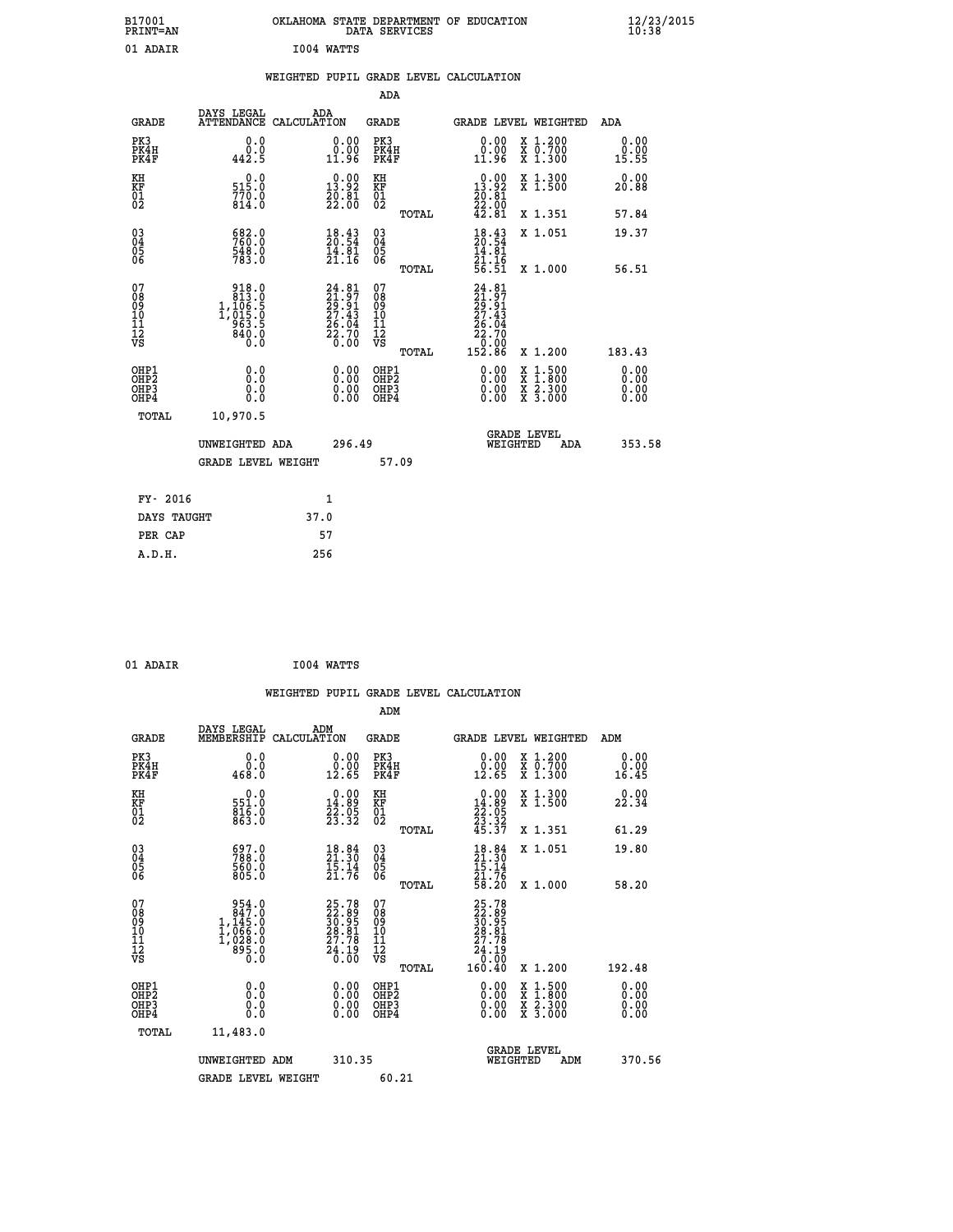| B17001<br>PRINT=AN                                |                                                                                              | OKLAHOMA STATE DEPARTMENT OF EDUCATION                                   | DATA SERVICES                                               |                                                                                                   |                                                                                                                                           | $\frac{12}{23}$ /2015 |
|---------------------------------------------------|----------------------------------------------------------------------------------------------|--------------------------------------------------------------------------|-------------------------------------------------------------|---------------------------------------------------------------------------------------------------|-------------------------------------------------------------------------------------------------------------------------------------------|-----------------------|
| 01 ADAIR                                          |                                                                                              | I004 WATTS                                                               |                                                             |                                                                                                   |                                                                                                                                           |                       |
|                                                   |                                                                                              | WEIGHTED PUPIL GRADE LEVEL CALCULATION                                   |                                                             |                                                                                                   |                                                                                                                                           |                       |
|                                                   |                                                                                              |                                                                          | ADA                                                         |                                                                                                   |                                                                                                                                           |                       |
| <b>GRADE</b>                                      | DAYS LEGAL                                                                                   | ADA<br>ATTENDANCE CALCULATION                                            | <b>GRADE</b>                                                |                                                                                                   | GRADE LEVEL WEIGHTED                                                                                                                      | ADA                   |
| PK3<br>PK4H<br>PK4F                               | 0.0<br>0.0<br>442.5                                                                          | 0.00<br>0.00<br>11.96                                                    | PK3<br>PK4H<br>PK4F                                         | 0.00<br>0.00<br>11.96                                                                             | X 1.200<br>X 0.700<br>X 1.300                                                                                                             | 0.00<br>0.00<br>15.55 |
| KH<br>KF<br>$\begin{matrix} 01 \ 02 \end{matrix}$ | 0.0<br>515.0<br>770.0<br>814.0                                                               | $\begin{smallmatrix} 0.00\\13.92\\20.81\\22.00 \end{smallmatrix}$        | KH<br><b>KF</b><br>01<br>02                                 | 13.92<br>$\frac{20.81}{22.00}$<br>42.81                                                           | X 1.300<br>X 1.500                                                                                                                        | 0.00<br>20.88         |
|                                                   |                                                                                              |                                                                          | TOTAL                                                       |                                                                                                   | X 1.351                                                                                                                                   | 57.84                 |
| 03<br>04<br>05<br>06                              | 682.0<br>760.0<br>548.0<br>783.0                                                             | $\frac{18.43}{20.54}$<br>$\frac{14.81}{21.16}$                           | 030404<br>ŎĞ                                                | 18.43<br>20.54<br>14.81<br>21.16                                                                  | X 1.051                                                                                                                                   | 19.37                 |
|                                                   |                                                                                              |                                                                          | <b>TOTAL</b>                                                | 56.51                                                                                             | X 1.000                                                                                                                                   | 56.51                 |
| 07<br>Ŏ8<br>09<br>10<br>īi<br>Ī2<br>VS            | $\begin{array}{r} 918.0 \\ 813.0 \\ 1,106.5 \\ 1,015.0 \\ 963.5 \\ 840.0 \end{array}$<br>Ō.Ŏ | $24.81$<br>$21.97$<br>$29.91$<br>$27.43$<br>$26.04$<br>$22.70$<br>$0.00$ | 07<br>Ŏ8<br>09<br>10<br>īī<br>$\frac{1}{\sqrt{2}}$<br>TOTAL | $24.81$<br>$21.97$<br>$29.91$<br>$27.43$<br>$\bar{26}.\bar{04}$<br>$\frac{55.70}{0.00}$<br>152.86 | X 1.200                                                                                                                                   | 183.43                |
| OHP1                                              | 0.0                                                                                          |                                                                          | OHP1                                                        |                                                                                                   |                                                                                                                                           | 0.00                  |
| OHP2<br>OHP3<br>OHP4                              | 0.0<br>0.0<br>0.0                                                                            | 0.00<br>$\begin{smallmatrix} 0.00 \ 0.00 \end{smallmatrix}$              | OHP <sub>2</sub><br>OHP3<br>OHP4                            | 0.00<br>0.00<br>0.00                                                                              | $\begin{smallmatrix} \mathtt{X} & 1\cdot500\\ \mathtt{X} & 1\cdot800\\ \mathtt{X} & 2\cdot300\\ \mathtt{X} & 3\cdot000 \end{smallmatrix}$ | 0.00<br>0.00<br>0.00  |
| TOTAL                                             | 10,970.5                                                                                     |                                                                          |                                                             |                                                                                                   |                                                                                                                                           |                       |
|                                                   | UNWEIGHTED ADA                                                                               | 296.49                                                                   |                                                             | WEIGHTED                                                                                          | <b>GRADE LEVEL</b><br>ADA                                                                                                                 | 353.58                |
|                                                   | <b>GRADE LEVEL WEIGHT</b>                                                                    |                                                                          | 57.09                                                       |                                                                                                   |                                                                                                                                           |                       |
| FY- 2016                                          |                                                                                              | 1                                                                        |                                                             |                                                                                                   |                                                                                                                                           |                       |
| DAYS TAUGHT                                       |                                                                                              | 37.0                                                                     |                                                             |                                                                                                   |                                                                                                                                           |                       |
| PER CAP                                           |                                                                                              | 57                                                                       |                                                             |                                                                                                   |                                                                                                                                           |                       |

| 01 ADAIR | I004 WATTS |
|----------|------------|
|          |            |

|                                                                      |                                                                                                       |                    |                                                                   |                                                     |       | WEIGHTED PUPIL GRADE LEVEL CALCULATION                                                                                                                                                                                                                                         |                                                                                                                                           |     |                       |
|----------------------------------------------------------------------|-------------------------------------------------------------------------------------------------------|--------------------|-------------------------------------------------------------------|-----------------------------------------------------|-------|--------------------------------------------------------------------------------------------------------------------------------------------------------------------------------------------------------------------------------------------------------------------------------|-------------------------------------------------------------------------------------------------------------------------------------------|-----|-----------------------|
|                                                                      |                                                                                                       |                    |                                                                   | ADM                                                 |       |                                                                                                                                                                                                                                                                                |                                                                                                                                           |     |                       |
| <b>GRADE</b>                                                         | DAYS LEGAL<br>MEMBERSHIP                                                                              | ADM<br>CALCULATION |                                                                   | <b>GRADE</b>                                        |       |                                                                                                                                                                                                                                                                                | <b>GRADE LEVEL WEIGHTED</b>                                                                                                               | ADM |                       |
| PK3<br>PK4H<br>PK4F                                                  | 0.0<br>0.0<br>468.0                                                                                   |                    | $\begin{smallmatrix} 0.00\\ 0.00\\ 12.65 \end{smallmatrix}$       | PK3<br>PK4H<br>PK4F                                 |       | $\begin{smallmatrix} 0.00\\ 0.00\\ 12.65 \end{smallmatrix}$                                                                                                                                                                                                                    | X 1.200<br>X 0.700<br>X 1.300                                                                                                             |     | 0.00<br>0.00<br>16.45 |
| KH<br>KF<br>01<br>02                                                 | $\begin{smallmatrix} &0.0\551.0\816.0\863.0\end{smallmatrix}$                                         |                    | $\begin{smallmatrix} 0.00\\14.89\\22.95\\23.32 \end{smallmatrix}$ | KH<br>KF<br>01<br>02                                |       | $\begin{smallmatrix} 0.00\\14.89\\22.05\\23.32\\45.37 \end{smallmatrix}$                                                                                                                                                                                                       | X 1.300<br>X 1.500                                                                                                                        |     | 22.34                 |
|                                                                      |                                                                                                       |                    |                                                                   |                                                     | TOTAL |                                                                                                                                                                                                                                                                                | X 1.351                                                                                                                                   |     | 61.29                 |
| $\begin{matrix} 03 \\ 04 \\ 05 \\ 06 \end{matrix}$                   | 697.0<br>788.0<br>560.0<br>805.0                                                                      |                    | $\frac{18.84}{21.30}$<br>$\frac{15.14}{21.76}$                    | $\begin{array}{c} 03 \\ 04 \\ 05 \\ 06 \end{array}$ |       | $18.84$<br>$21.30$<br>$15.14$<br>$21.76$<br>$58.20$                                                                                                                                                                                                                            | X 1.051                                                                                                                                   |     | 19.80                 |
|                                                                      |                                                                                                       |                    |                                                                   |                                                     | TOTAL |                                                                                                                                                                                                                                                                                | X 1.000                                                                                                                                   |     | 58.20                 |
| 07<br>08<br>09<br>11<br>11<br>12<br>VS                               | $\begin{smallmatrix} & 954.0\\ & 847.0\\ 1,145.0\\ 1,066.0\\ 1,028.0\\ 995.0\\ 0.0 \end{smallmatrix}$ |                    | $25.7822.8930.9528.8127.7824.190.00$                              | 07<br>08<br>09<br>11<br>11<br>12<br>VS              | TOTAL | 25.78<br>22.89<br>30.95<br>28.81<br>27.78<br>$\begin{array}{r} 24.19 \\ 0.00 \\ 160.40 \end{array}$                                                                                                                                                                            | X 1.200                                                                                                                                   |     | 192.48                |
| OHP1                                                                 |                                                                                                       |                    |                                                                   |                                                     |       |                                                                                                                                                                                                                                                                                |                                                                                                                                           |     | 0.00                  |
| OH <sub>P</sub> <sub>2</sub><br>OH <sub>P3</sub><br>OH <sub>P4</sub> | 0.0<br>0.000                                                                                          |                    | $\begin{smallmatrix} 0.00 \ 0.00 \ 0.00 \ 0.00 \end{smallmatrix}$ | OHP1<br>OHP2<br>OHP3<br>OHP4                        |       | $\begin{smallmatrix} 0.00 & 0.00 & 0.00 & 0.00 & 0.00 & 0.00 & 0.00 & 0.00 & 0.00 & 0.00 & 0.00 & 0.00 & 0.00 & 0.00 & 0.00 & 0.00 & 0.00 & 0.00 & 0.00 & 0.00 & 0.00 & 0.00 & 0.00 & 0.00 & 0.00 & 0.00 & 0.00 & 0.00 & 0.00 & 0.00 & 0.00 & 0.00 & 0.00 & 0.00 & 0.00 & 0.0$ | $\begin{smallmatrix} \mathtt{X} & 1\cdot500\\ \mathtt{X} & 1\cdot800\\ \mathtt{X} & 2\cdot300\\ \mathtt{X} & 3\cdot000 \end{smallmatrix}$ |     | 0.00<br>0.00<br>0.00  |
| TOTAL                                                                | 11,483.0                                                                                              |                    |                                                                   |                                                     |       |                                                                                                                                                                                                                                                                                |                                                                                                                                           |     |                       |
|                                                                      | UNWEIGHTED ADM                                                                                        |                    | 310.35                                                            |                                                     |       |                                                                                                                                                                                                                                                                                | GRADE LEVEL<br>WEIGHTED<br>ADM                                                                                                            |     | 370.56                |
|                                                                      | <b>GRADE LEVEL WEIGHT</b>                                                                             |                    |                                                                   | 60.21                                               |       |                                                                                                                                                                                                                                                                                |                                                                                                                                           |     |                       |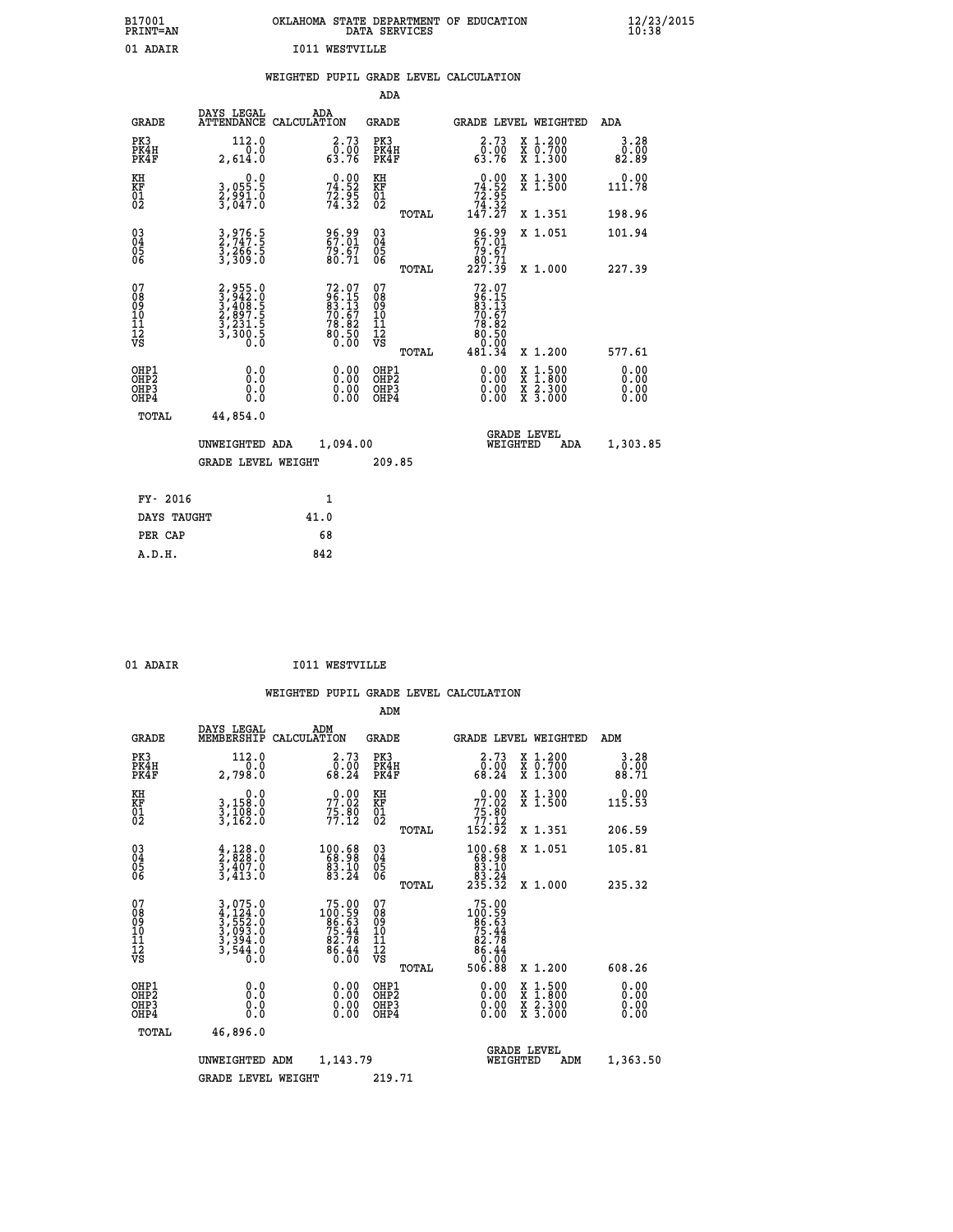| B17001<br><b>PRINT=AN</b> | OKLAHOMA STATE DEPARTMENT OF EDUCATION<br>DATA SERVICES | $\frac{12}{23}$ /2015 |
|---------------------------|---------------------------------------------------------|-----------------------|
| 01 ADAIR                  | I011<br>WESTVILLE                                       |                       |

|  |  | WEIGHTED PUPIL GRADE LEVEL CALCULATION |
|--|--|----------------------------------------|
|  |  |                                        |

|                                                       |                                                                           |                                                            | ADA                                    |       |                                                                                      |   |                                                           |                              |
|-------------------------------------------------------|---------------------------------------------------------------------------|------------------------------------------------------------|----------------------------------------|-------|--------------------------------------------------------------------------------------|---|-----------------------------------------------------------|------------------------------|
| <b>GRADE</b>                                          | DAYS LEGAL<br><b>ATTENDANCE</b>                                           | ADA<br>CALCULATION                                         | GRADE                                  |       | GRADE LEVEL WEIGHTED                                                                 |   |                                                           | <b>ADA</b>                   |
| PK3<br>PK4H<br>PK4F                                   | 112.0<br>0.0<br>2,614.0                                                   | 2.73<br>ō:óŏ<br>63:76                                      | PK3<br>PK4H<br>PK4F                    |       | 2.73<br>ō:óŏ<br>63:76                                                                |   | X 1.200<br>X 0.700<br>X 1.300                             | $3.28$<br>$0.00$<br>82.89    |
| KH<br><b>KF</b><br>01<br>02                           | $\begin{smallmatrix}&&&0.0\\3.055.5\\2.991.0\\3.047.0\end{smallmatrix}$   | $74.52$<br>$74.52$<br>$72.95$<br>$74.32$                   | KH<br>KF<br>01<br>02                   |       | $\begin{smallmatrix} &0.00\\74.52\\72.95\\74.32\\147.27\end{smallmatrix}$            |   | X 1.300<br>X 1.500                                        | 0.00<br>111.78               |
|                                                       |                                                                           |                                                            |                                        | TOTAL |                                                                                      |   | X 1.351                                                   | 198.96                       |
| $\begin{matrix} 03 \\ 04 \\ 05 \\ 06 \end{matrix}$    | 3,976.5<br>2,747.5<br>3,266.5<br>3,309.0                                  | 96.99<br>67.01<br>79.67<br>80.71                           | 03<br>04<br>05<br>06                   |       | 96.99<br>67.01<br>$\substack{79.67 \ 80.71 \ 227.39}$                                |   | X 1.051                                                   | 101.94                       |
|                                                       |                                                                           |                                                            |                                        | TOTAL |                                                                                      |   | X 1.000                                                   | 227.39                       |
| 07<br>08<br>09<br>101<br>11<br>12<br>VS               | 2,955.0<br>3,942.0<br>3,408.5<br>2,897.5<br>2,897.5<br>3,231.5<br>3,300.5 | 72.07<br>96.15<br>83.13<br>70.67<br>78.82<br>80.50<br>Ŏ.ŎŎ | 07<br>08<br>09<br>11<br>11<br>12<br>VS | TOTAL | $72.07$<br>$96.15$<br>$83.13$<br>$70.67$<br>$78.82$<br>$80.50$<br>$0.00$<br>$481.34$ |   | X 1.200                                                   | 577.61                       |
| OHP1<br>OHP2<br>OH <sub>P</sub> 3<br>OH <sub>P4</sub> | 0.0<br>0.000                                                              | 0.00<br>$0.00$<br>0.00                                     | OHP1<br>OHP2<br>OHP3<br>OHP4           |       | $0.00$<br>$0.00$<br>0.00                                                             | X | $1.500$<br>$1.800$<br>$\frac{x}{x}$ $\frac{5.300}{3.000}$ | 0.00<br>0.00<br>0.00<br>0.00 |
| TOTAL                                                 | 44,854.0                                                                  |                                                            |                                        |       |                                                                                      |   |                                                           |                              |
|                                                       | UNWEIGHTED ADA                                                            | 1,094.00                                                   |                                        |       | WEIGHTED                                                                             |   | <b>GRADE LEVEL</b><br>ADA                                 | 1,303.85                     |
|                                                       | <b>GRADE LEVEL WEIGHT</b>                                                 |                                                            | 209.85                                 |       |                                                                                      |   |                                                           |                              |
| FY- 2016                                              |                                                                           | $\mathbf{1}$                                               |                                        |       |                                                                                      |   |                                                           |                              |
| DAYS TAUGHT                                           |                                                                           | 41.0                                                       |                                        |       |                                                                                      |   |                                                           |                              |
|                                                       |                                                                           |                                                            |                                        |       |                                                                                      |   |                                                           |                              |

| $\sim$ |  |  |
|--------|--|--|

**PER CAP** 68<br> **A.D.H.** 842

01 ADAIR **I011 WESTVILLE** 

|                                          |                                                                       |                                                                                                     |                                                                                                                                                                                                                                                                                                              | ADM                                                 |       |                                                                                                       |          |                                          |                                                                                                                                                                                                                                                           |
|------------------------------------------|-----------------------------------------------------------------------|-----------------------------------------------------------------------------------------------------|--------------------------------------------------------------------------------------------------------------------------------------------------------------------------------------------------------------------------------------------------------------------------------------------------------------|-----------------------------------------------------|-------|-------------------------------------------------------------------------------------------------------|----------|------------------------------------------|-----------------------------------------------------------------------------------------------------------------------------------------------------------------------------------------------------------------------------------------------------------|
| <b>GRADE</b>                             | DAYS LEGAL<br>MEMBERSHIP                                              | ADM<br>CALCULATION                                                                                  |                                                                                                                                                                                                                                                                                                              | <b>GRADE</b>                                        |       |                                                                                                       |          | GRADE LEVEL WEIGHTED                     | ADM                                                                                                                                                                                                                                                       |
| PK3<br>PK4H<br>PK4F                      | 112.0<br>2,798.0                                                      |                                                                                                     | 2.73<br>$\begin{smallmatrix} \textcolor{red}{0} \textcolor{black}{\textcolor{red}{0}} \textcolor{black}{\textcolor{red}{0}} \textcolor{black}{\textcolor{red}{0}} \ \textcolor{red}{0} \textcolor{red}{8} \textcolor{black}{\textcolor{red}{0}} \textcolor{black}{8} \textcolor{black}{0} \end{smallmatrix}$ | PK3<br>PK4H<br>PK4F                                 |       | $\begin{smallmatrix} 2.73\ 0.00\ 68.24 \end{smallmatrix}$                                             |          | X 1.200<br>X 0.700<br>X 1.300            | 3.28<br>$\begin{smallmatrix} \textcolor{red}{\textbf{0}}\ \textcolor{red}{\textbf{0}}\ \textcolor{red}{\textbf{8}}\ \textcolor{red}{\textbf{8}}\ \textcolor{red}{\textbf{0}}\ \textcolor{red}{\textbf{7}}\ \textcolor{red}{\textbf{1}} \end{smallmatrix}$ |
| KH<br>KF<br>01<br>02                     | 0.0<br>3,158:0<br>3,108:0<br>3,162:0                                  |                                                                                                     | $77.02$<br>$75.80$<br>$75.80$<br>$77.12$                                                                                                                                                                                                                                                                     | KH<br>KF<br>01<br>02                                |       | $\begin{smallmatrix}&&0.00\\77.02\\75.80\\77.12\\152.92\end{smallmatrix}$                             |          | X 1.300<br>X 1.500                       | 0.00<br>115.53                                                                                                                                                                                                                                            |
|                                          |                                                                       |                                                                                                     |                                                                                                                                                                                                                                                                                                              |                                                     | TOTAL |                                                                                                       |          | X 1.351                                  | 206.59                                                                                                                                                                                                                                                    |
| 03<br>04<br>05<br>06                     | $\frac{4}{2}, \frac{128}{828}.0$<br>3,407.0<br>3,413.0                | $\begin{smallmatrix} 100.68\\ 68.98\\ 83.10\\ 83.24 \end{smallmatrix}$                              |                                                                                                                                                                                                                                                                                                              | $\begin{array}{c} 03 \\ 04 \\ 05 \\ 06 \end{array}$ |       | $\begin{smallmatrix} 100.68\\ 68.98\\ 83.10\\ 83.24\\ 235.32 \end{smallmatrix}$                       |          | X 1.051                                  | 105.81                                                                                                                                                                                                                                                    |
|                                          |                                                                       |                                                                                                     |                                                                                                                                                                                                                                                                                                              |                                                     | TOTAL |                                                                                                       |          | X 1.000                                  | 235.32                                                                                                                                                                                                                                                    |
| 07<br>08<br>09<br>101<br>112<br>VS       | 3,075.0<br>4,124.0<br>5,552.0<br>3,553.0<br>3,394.0<br>3,544.0<br>0.0 | $\begin{smallmatrix} 75.00 \\ 100.59 \\ 86.63 \\ 75.44 \\ 82.78 \\ 86.44 \\ 0.00 \end{smallmatrix}$ |                                                                                                                                                                                                                                                                                                              | 07<br>08<br>09<br>11<br>11<br>12<br>VS              | TOTAL | $\begin{array}{r} 75.00 \\ 100.59 \\ 86.63 \\ 75.44 \\ 82.78 \\ 86.44 \\ 96.00 \end{array}$<br>506.88 |          | X 1.200                                  | 608.26                                                                                                                                                                                                                                                    |
| OHP1<br>OHP2<br>OH <sub>P3</sub><br>OHP4 |                                                                       |                                                                                                     |                                                                                                                                                                                                                                                                                                              | OHP1<br>OHP2<br>OHP <sub>3</sub>                    |       | $0.00$<br>$0.00$<br>0.00                                                                              |          | X 1:500<br>X 1:800<br>X 2:300<br>X 3:000 | 0.00<br>0.00<br>0.00<br>0.00                                                                                                                                                                                                                              |
| TOTAL                                    | 46,896.0                                                              |                                                                                                     |                                                                                                                                                                                                                                                                                                              |                                                     |       |                                                                                                       |          |                                          |                                                                                                                                                                                                                                                           |
|                                          | UNWEIGHTED                                                            | ADM                                                                                                 | 1,143.79                                                                                                                                                                                                                                                                                                     |                                                     |       |                                                                                                       | WEIGHTED | <b>GRADE LEVEL</b><br>ADM                | 1,363.50                                                                                                                                                                                                                                                  |
|                                          | <b>GRADE LEVEL WEIGHT</b>                                             |                                                                                                     |                                                                                                                                                                                                                                                                                                              | 219.71                                              |       |                                                                                                       |          |                                          |                                                                                                                                                                                                                                                           |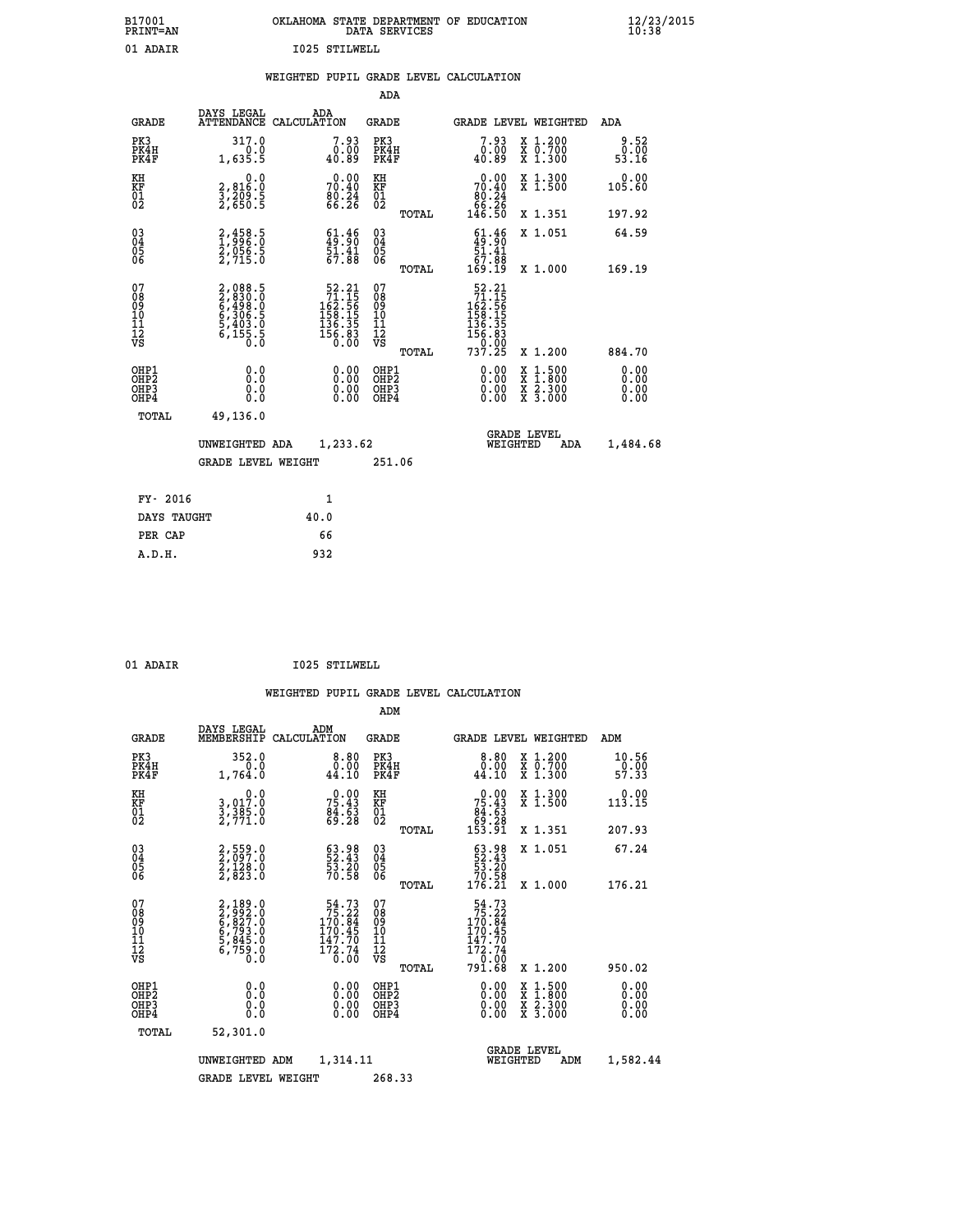| B17001<br><b>PRINT=AN</b> | OKLAHOMA STATE DEPARTMENT OF EDUCATION<br>DATA SERVICES | $\frac{12}{23}$ /2015 |
|---------------------------|---------------------------------------------------------|-----------------------|
| 01 ADAIR                  | 1025 STILWELL                                           |                       |

|  |  | WEIGHTED PUPIL GRADE LEVEL CALCULATION |
|--|--|----------------------------------------|
|  |  |                                        |

|                                                                              |                                                                           |                                                                                                                                   | ADA                                    |       |                                                                                                                                                                 |                                                                                                                                              |                              |
|------------------------------------------------------------------------------|---------------------------------------------------------------------------|-----------------------------------------------------------------------------------------------------------------------------------|----------------------------------------|-------|-----------------------------------------------------------------------------------------------------------------------------------------------------------------|----------------------------------------------------------------------------------------------------------------------------------------------|------------------------------|
| <b>GRADE</b>                                                                 | DAYS LEGAL                                                                | ADA<br>ATTENDANCE CALCULATION                                                                                                     | GRADE                                  |       | <b>GRADE LEVEL WEIGHTED</b>                                                                                                                                     |                                                                                                                                              | ADA                          |
| PK3<br>PK4H<br>PK4F                                                          | 317.0<br>1,635.5                                                          | 7.93<br>0.00<br>40.89                                                                                                             | PK3<br>PK4H<br>PK4F                    |       | 7.93<br>0.00<br>40.89                                                                                                                                           | X 1.200<br>X 0.700<br>X 1.300                                                                                                                | 9.52<br>0.00<br>53.16        |
| KH<br>KF<br>01<br>02                                                         | $\begin{smallmatrix}&&&0.0\\2,816.0\\3,209.5\\2,650.5\end{smallmatrix}$   | 70.40<br>70.40<br>80.24<br>66.26                                                                                                  | KH<br>KF<br>01<br>02                   |       | $\begin{smallmatrix} &0.00\\ 70.40\\ 80.24\\ 66.26\\ 146.50 \end{smallmatrix}$                                                                                  | X 1.300<br>X 1.500                                                                                                                           | 0.00<br>105.60               |
|                                                                              |                                                                           |                                                                                                                                   |                                        | TOTAL |                                                                                                                                                                 | X 1.351                                                                                                                                      | 197.92                       |
| $\begin{matrix} 03 \\ 04 \\ 05 \\ 06 \end{matrix}$                           | 2,458.5<br>1,996.0<br>2,056.5<br>2,715.0                                  | $\begin{smallmatrix} 61.46\\ 49.90\\ 51.41\\ 67.88 \end{smallmatrix}$                                                             | 03<br>04<br>05<br>06                   |       | $\frac{61.46}{51.41}$<br>67.88<br>169.19                                                                                                                        | X 1.051                                                                                                                                      | 64.59<br>169.19              |
|                                                                              |                                                                           |                                                                                                                                   |                                        | TOTAL |                                                                                                                                                                 | X 1.000                                                                                                                                      |                              |
| 07<br>08<br>09<br>11<br>11<br>12<br>VS                                       | 2,088.5<br>2,830.0<br>6,498.0<br>6,306.5<br>5,403.0<br>5,403.0<br>6,155.5 | $\begin{smallmatrix}52\cdot21\\71\cdot15\\162\cdot56\\158\cdot155\\136\cdot35\\136\cdot35\\156\cdot83\\0\cdot00\end{smallmatrix}$ | 07<br>08<br>09<br>11<br>11<br>12<br>VS | TOTAL | $\begin{array}{r} 52\cdot 21 \\ 71\cdot 15 \\ 162\cdot 56 \\ 158\cdot 155 \\ 136\cdot 35 \\ 136\cdot 83 \\ 156\cdot 83 \\ 0\cdot 00 \\ 737\cdot 25 \end{array}$ | X 1.200                                                                                                                                      | 884.70                       |
| OHP1<br>OH <sub>P</sub> <sub>2</sub><br>OH <sub>P3</sub><br>OH <sub>P4</sub> | 0.0<br>Ō.Ō<br>0.0<br>0.0                                                  | 0.00<br>0.00<br>0.00                                                                                                              | OHP1<br>OHP2<br>OHP3<br>OHP4           |       | 0.00<br>0.00<br>0.00                                                                                                                                            | $\begin{smallmatrix} \mathtt{X} & 1\cdot500 \\ \mathtt{X} & 1\cdot800 \\ \mathtt{X} & 2\cdot300 \\ \mathtt{X} & 3\cdot000 \end{smallmatrix}$ | 0.00<br>0.00<br>0.00<br>0.00 |
| TOTAL                                                                        | 49,136.0                                                                  |                                                                                                                                   |                                        |       |                                                                                                                                                                 |                                                                                                                                              |                              |
|                                                                              | UNWEIGHTED ADA                                                            | 1,233.62                                                                                                                          |                                        |       | WEIGHTED                                                                                                                                                        | <b>GRADE LEVEL</b><br>ADA                                                                                                                    | 1,484.68                     |
|                                                                              | <b>GRADE LEVEL WEIGHT</b>                                                 |                                                                                                                                   | 251.06                                 |       |                                                                                                                                                                 |                                                                                                                                              |                              |
| FY- 2016                                                                     |                                                                           | 1                                                                                                                                 |                                        |       |                                                                                                                                                                 |                                                                                                                                              |                              |
| DAYS TAUGHT                                                                  |                                                                           | 40.0                                                                                                                              |                                        |       |                                                                                                                                                                 |                                                                                                                                              |                              |
| PER CAP                                                                      |                                                                           | 66                                                                                                                                |                                        |       |                                                                                                                                                                 |                                                                                                                                              |                              |
| A.D.H.                                                                       |                                                                           | 932                                                                                                                               |                                        |       |                                                                                                                                                                 |                                                                                                                                              |                              |
|                                                                              |                                                                           |                                                                                                                                   |                                        |       |                                                                                                                                                                 |                                                                                                                                              |                              |

| u |
|---|
|   |

 **01 ADAIR I025 STILWELL**

|                                         |                                          |                                                                       |                    |                                                                                              | ADM                                                 |       |                                                                                   |          |                                          |                               |
|-----------------------------------------|------------------------------------------|-----------------------------------------------------------------------|--------------------|----------------------------------------------------------------------------------------------|-----------------------------------------------------|-------|-----------------------------------------------------------------------------------|----------|------------------------------------------|-------------------------------|
|                                         | <b>GRADE</b>                             | DAYS LEGAL<br>MEMBERSHIP                                              | ADM<br>CALCULATION |                                                                                              | <b>GRADE</b>                                        |       |                                                                                   |          | GRADE LEVEL WEIGHTED                     | ADM                           |
|                                         | PK3<br>PK4H<br>PK4F                      | 352.0<br>0.0<br>1,764.0                                               |                    | 8.80<br>0.00<br>44.10                                                                        | PK3<br>PK4H<br>PK4F                                 |       | $\begin{smallmatrix} 8.80\ 0.00\ 44.10 \end{smallmatrix}$                         |          | X 1.200<br>X 0.700<br>X 1.300            | 10.56<br>$\frac{6.00}{57.33}$ |
| KH<br>KF<br>01<br>02                    |                                          | 0.0<br>3,017:0<br>3,385:0<br>2,771:0                                  |                    | $7\frac{0.00}{5.43}$<br>$\frac{84.63}{69.28}$                                                | KH<br>KF<br>01<br>02                                |       | $\begin{smallmatrix} &0.00\ 75.43\ 84.63\ 69.28\ 153.91\end{smallmatrix}$         |          | X 1.300<br>X 1.500                       | 0.00<br>113.15                |
|                                         |                                          |                                                                       |                    |                                                                                              |                                                     | TOTAL |                                                                                   |          | X 1.351                                  | 207.93                        |
| 03<br>04<br>05<br>06                    |                                          | 2,559.0<br>2,097.0<br>2,128.0<br>2,823.0                              |                    | $\begin{smallmatrix} 63.98\\ 52.43\\ 53.20\\ 70.58 \end{smallmatrix}$                        | $\begin{array}{c} 03 \\ 04 \\ 05 \\ 06 \end{array}$ |       | $\begin{smallmatrix} 63.98\\ 52.43\\ 53.20\\ 70.58\\ 176.21\\ \end{smallmatrix}$  |          | X 1.051                                  | 67.24                         |
|                                         |                                          |                                                                       |                    |                                                                                              |                                                     | TOTAL |                                                                                   |          | X 1.000                                  | 176.21                        |
| 07<br>08<br>09<br>101<br>11<br>12<br>VS |                                          | 2,189.0<br>2,992.0<br>6,827.0<br>6,793.0<br>5,845.0<br>5,759.0<br>0.0 |                    | $\begin{array}{r} 54.73 \\ 75.22 \\ 170.84 \\ 179.45 \end{array}$<br>$\frac{147.70}{172.74}$ | 07<br>08<br>09<br>11<br>11<br>12<br>VS              | TOTAL | $54.73$<br>$75.22$<br>$170.84$<br>$170.45$<br>$\frac{147.70}{172.74}$<br>$791.68$ |          | X 1.200                                  | 950.02                        |
|                                         | OHP1<br>OHP2<br>OH <sub>P3</sub><br>OHP4 | 0.0<br>0.000                                                          |                    |                                                                                              | OHP1<br>OHP2<br>OHP <sub>3</sub>                    |       | $0.00$<br>$0.00$<br>0.00                                                          |          | X 1:500<br>X 1:800<br>X 2:300<br>X 3:000 | 0.00<br>0.00<br>0.00<br>0.00  |
|                                         | TOTAL                                    | 52,301.0                                                              |                    |                                                                                              |                                                     |       |                                                                                   |          |                                          |                               |
|                                         |                                          |                                                                       |                    |                                                                                              |                                                     |       |                                                                                   |          | <b>GRADE LEVEL</b>                       |                               |
|                                         |                                          | UNWEIGHTED                                                            | ADM                | 1,314.11                                                                                     |                                                     |       |                                                                                   | WEIGHTED | ADM                                      | 1,582.44                      |
|                                         |                                          | <b>GRADE LEVEL WEIGHT</b>                                             |                    |                                                                                              | 268.33                                              |       |                                                                                   |          |                                          |                               |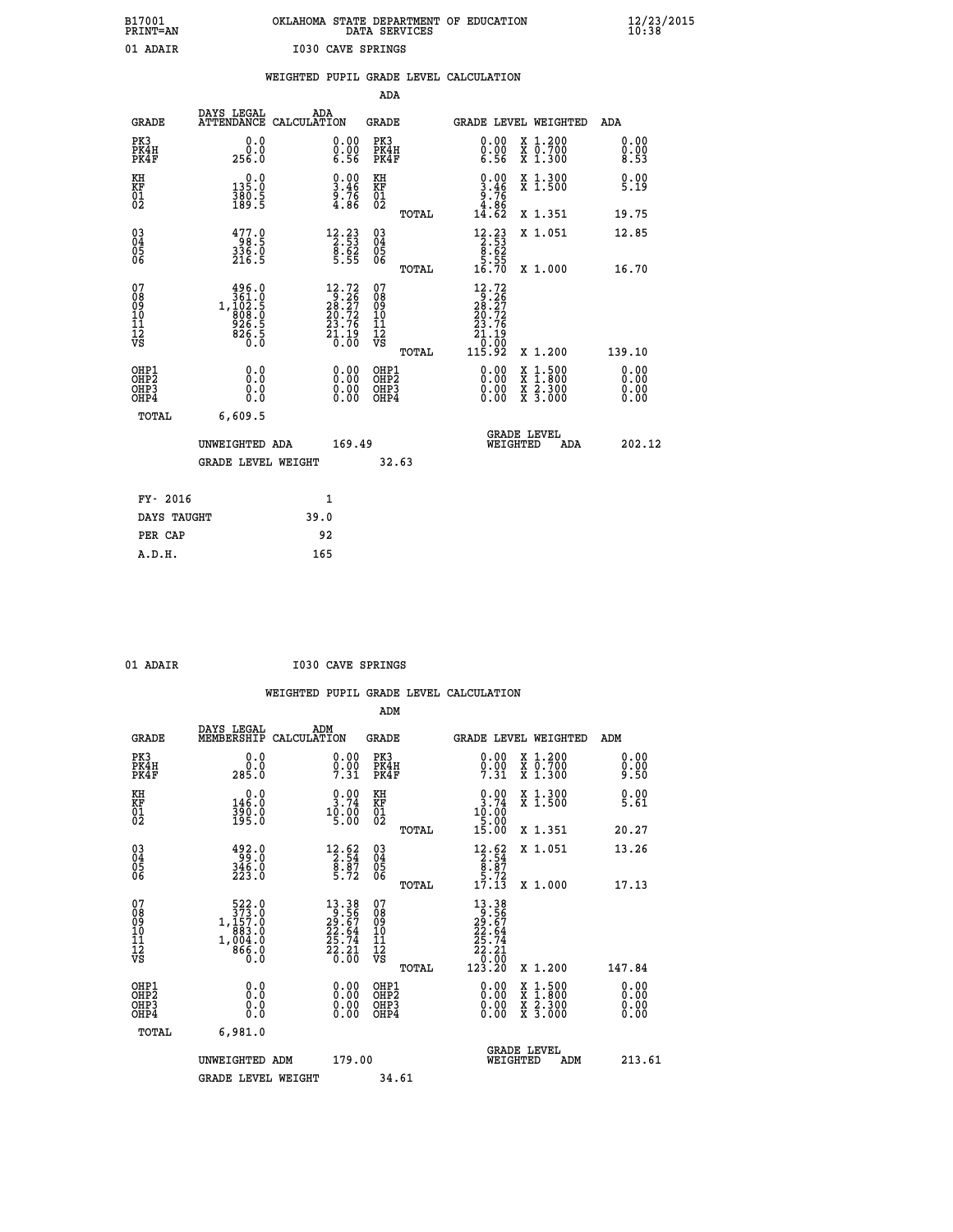|                          | OKLAHOMA STATE DEPARTMENT OF EDUCATION<br>DATA SERVICES |  |
|--------------------------|---------------------------------------------------------|--|
| <b>I030 CAVE SPRINGS</b> |                                                         |  |

|                                                       |                                                                                                   |                                                                                                                          |                                                    | WEIGHTED PUPIL GRADE LEVEL CALCULATION                                                                              |                              |
|-------------------------------------------------------|---------------------------------------------------------------------------------------------------|--------------------------------------------------------------------------------------------------------------------------|----------------------------------------------------|---------------------------------------------------------------------------------------------------------------------|------------------------------|
|                                                       |                                                                                                   |                                                                                                                          | ADA                                                |                                                                                                                     |                              |
| <b>GRADE</b>                                          | DAYS LEGAL                                                                                        | ADA<br>ATTENDANCE CALCULATION                                                                                            | <b>GRADE</b>                                       | GRADE LEVEL WEIGHTED                                                                                                | ADA                          |
| PK3<br>PK4H<br>PK4F                                   | 0.0<br>ة:ة<br>256.0                                                                               | $\begin{smallmatrix} 0.00 \ 0.00 \ 6.56 \end{smallmatrix}$                                                               | PK3<br>PK4H<br>PK4F                                | $\begin{smallmatrix} 0.00 \\ 0.00 \\ 6.56 \end{smallmatrix}$<br>X 1.200<br>X 0.700<br>X 1.300                       | 0.00<br>$0.00$<br>8.53       |
| KH<br>KF<br>01<br>02                                  | $\begin{smallmatrix} 0.0\\ 135.0\\ 380.5\\ 189.5 \end{smallmatrix}$                               | $\begin{smallmatrix} 0.00\\ 3.46\\ 9.76\\ 4.86 \end{smallmatrix}$                                                        | KH<br>KF<br>01<br>02                               | $\begin{smallmatrix} 0.00\\ 3.46\\ 9.76\\ 4.86\\ 14.62 \end{smallmatrix}$<br>X 1.300<br>X 1.500                     | 0.00<br>5.19                 |
|                                                       |                                                                                                   |                                                                                                                          | TOTAL                                              | X 1.351                                                                                                             | 19.75                        |
| $\begin{matrix} 03 \\ 04 \\ 05 \\ 06 \end{matrix}$    | $\begin{smallmatrix} 4 & 7 & 7 & 0 \\ 9 & 8 & 5 \\ 3 & 3 & 6 & 0 \\ 2 & 16 & 5 \end{smallmatrix}$ | $\begin{array}{r} 12\cdot 23 \\ 2\cdot 53 \\ 8\cdot 62 \\ 5\cdot 55 \end{array}$                                         | $\begin{matrix} 03 \\ 04 \\ 05 \\ 06 \end{matrix}$ | $\begin{array}{r} 12\cdot 23 \\ 2\cdot 53 \\ 8\cdot 62 \\ 5\cdot 55 \\ 16\cdot 70 \end{array}$<br>X 1.051           | 12.85                        |
|                                                       |                                                                                                   |                                                                                                                          | TOTAL                                              | X 1.000                                                                                                             | 16.70                        |
| 07<br>08<br>09<br>11<br>11<br>12<br>VS                | $\begin{smallmatrix} & 496.0\\ 361.0\\ 1,102.5\\ 908.0\\ 926.5\\ 826.5\\ 0.0 \end{smallmatrix}$   | $\begin{smallmatrix} 12\cdot72\\ 28\cdot26\\ 28\cdot27\\ 20\cdot72\\ 23\cdot76\\ 21\cdot19\\ 0\cdot00 \end{smallmatrix}$ | 07<br>08<br>09<br>11<br>11<br>12<br>VS             | $\begin{array}{l} 12.72 \\ 9.26 \\ 28.27 \\ 20.72 \\ 23.76 \\ 21.19 \end{array}$<br>$\overline{0}$ . $\overline{0}$ |                              |
|                                                       |                                                                                                   |                                                                                                                          | TOTAL                                              | 115.92<br>X 1.200                                                                                                   | 139.10                       |
| OH <sub>P1</sub><br>OH <sub>P</sub> 2<br>OHP3<br>OHP4 | 0.0<br>0.0<br>0.0                                                                                 | $\begin{smallmatrix} 0.00 \ 0.00 \ 0.00 \ 0.00 \end{smallmatrix}$                                                        | OHP1<br>OH <sub>P</sub> 2<br>OHP3<br>OHP4          | 0.00<br>$\begin{smallmatrix} x & 1 & 500 \\ x & 1 & 800 \\ x & 2 & 300 \\ x & 3 & 000 \end{smallmatrix}$<br>0.00    | 0.00<br>0.00<br>0.00<br>0.00 |
| TOTAL                                                 | 6,609.5                                                                                           |                                                                                                                          |                                                    | <b>GRADE LEVEL</b>                                                                                                  |                              |
|                                                       | UNWEIGHTED ADA                                                                                    | 169.49                                                                                                                   |                                                    | WEIGHTED<br>ADA                                                                                                     | 202.12                       |
|                                                       | <b>GRADE LEVEL WEIGHT</b>                                                                         |                                                                                                                          | 32.63                                              |                                                                                                                     |                              |
| FY- 2016                                              |                                                                                                   | 1                                                                                                                        |                                                    |                                                                                                                     |                              |
| DAYS TAUGHT                                           |                                                                                                   | 39.0                                                                                                                     |                                                    |                                                                                                                     |                              |
| PER CAP                                               |                                                                                                   | 92                                                                                                                       |                                                    |                                                                                                                     |                              |
| A.D.H.                                                |                                                                                                   | 165                                                                                                                      |                                                    |                                                                                                                     |                              |

 **ADM**

 **B17001<br>PRINT=AN<br>01 ADAIR** 

 **01 ADAIR I030 CAVE SPRINGS**

| <b>GRADE</b>                                         | DAYS LEGAL ADM<br>MEMBERSHIP CALCULATION             |                                                                                          | <b>GRADE</b>                                           |                                                                                                                                                                                                                                                                                |                                | GRADE LEVEL WEIGHTED                     | ADM                    |
|------------------------------------------------------|------------------------------------------------------|------------------------------------------------------------------------------------------|--------------------------------------------------------|--------------------------------------------------------------------------------------------------------------------------------------------------------------------------------------------------------------------------------------------------------------------------------|--------------------------------|------------------------------------------|------------------------|
| PK3<br>PK4H<br>PK4F                                  | 0.0<br>ة:ة<br>285.0                                  | $0.00$<br>$0.00$<br>$7.31$                                                               | PK3<br>PK4H<br>PK4F                                    | $\begin{smallmatrix} 0.00\\ 0.00\\ 7.31 \end{smallmatrix}$                                                                                                                                                                                                                     |                                | X 1.200<br>X 0.700<br>X 1.300            | 0.00<br>$0.00$<br>9.50 |
| KH<br>KF<br>01<br>02                                 | 0.0<br>146.0<br>$\frac{390}{195}$ .0                 | $\begin{smallmatrix} 0.00\\ 3.74\\ 10.00\\ 5.00 \end{smallmatrix}$                       | KH<br>KF<br>01<br>02                                   | $\begin{smallmatrix} 0.00\\ 3.74\\ 10.00\\ 5.00\\ 15.00 \end{smallmatrix}$                                                                                                                                                                                                     |                                | X 1.300<br>X 1.500                       | 0.00<br>5.61           |
|                                                      |                                                      |                                                                                          | TOTAL                                                  |                                                                                                                                                                                                                                                                                |                                | X 1.351                                  | 20.27                  |
| $\begin{matrix} 03 \\ 04 \\ 05 \\ 06 \end{matrix}$   | $492.0$<br>$346.0$<br>$223.0$                        | $\begin{array}{r} 12.62 \\[-4pt] 2.54 \\[-4pt] 8.87 \\[-4pt] 5.72 \end{array}$           | $\begin{array}{c} 03 \\ 04 \\ 05 \\ 06 \end{array}$    | $\begin{array}{r} 12.62 \\[-4pt] 2.54 \\[-4pt] 8.87 \\[-4pt] 5.72 \\[-4pt] 17.13 \end{array}$                                                                                                                                                                                  |                                | X 1.051                                  | 13.26                  |
|                                                      |                                                      |                                                                                          | TOTAL                                                  |                                                                                                                                                                                                                                                                                |                                | X 1.000                                  | 17.13                  |
| 07<br>08<br>09<br>101<br>11<br>12<br>VS              | 522.0<br>373.0<br>1,157.0<br>1,004:0<br>866.0<br>0:0 | $\begin{array}{r} 13.38 \\ 9.56 \\ 29.67 \\ 22.64 \\ 25.74 \\ 26.31 \\ 0.00 \end{array}$ | 07<br>08<br>09<br>001<br>11<br>11<br>12<br>VS<br>TOTAL | $\begin{array}{r} 13\cdot 38 \\ 9\cdot 56 \\ 29\cdot 67 \\ 22\cdot 64 \\ 25\cdot 74 \\ 22\cdot 21 \\ 0\cdot 00 \\ 123\cdot 20 \end{array}$                                                                                                                                     |                                | X 1.200                                  | 147.84                 |
| OHP1<br>OHP <sub>2</sub><br>OH <sub>P3</sub><br>OHP4 |                                                      | $\begin{smallmatrix} 0.00 \ 0.00 \ 0.00 \ 0.00 \end{smallmatrix}$                        | OHP1<br>OHP2<br>OHP3<br>OHP4                           | $\begin{smallmatrix} 0.00 & 0.00 & 0.00 & 0.00 & 0.00 & 0.00 & 0.00 & 0.00 & 0.00 & 0.00 & 0.00 & 0.00 & 0.00 & 0.00 & 0.00 & 0.00 & 0.00 & 0.00 & 0.00 & 0.00 & 0.00 & 0.00 & 0.00 & 0.00 & 0.00 & 0.00 & 0.00 & 0.00 & 0.00 & 0.00 & 0.00 & 0.00 & 0.00 & 0.00 & 0.00 & 0.0$ |                                | X 1:500<br>X 1:800<br>X 2:300<br>X 3:000 | 0.00<br>0.00<br>0.00   |
| TOTAL                                                | 6,981.0                                              |                                                                                          |                                                        |                                                                                                                                                                                                                                                                                |                                |                                          |                        |
|                                                      | UNWEIGHTED                                           | 179.00<br>ADM                                                                            |                                                        |                                                                                                                                                                                                                                                                                | <b>GRADE LEVEL</b><br>WEIGHTED | ADM                                      | 213.61                 |
|                                                      | <b>GRADE LEVEL WEIGHT</b>                            |                                                                                          | 34.61                                                  |                                                                                                                                                                                                                                                                                |                                |                                          |                        |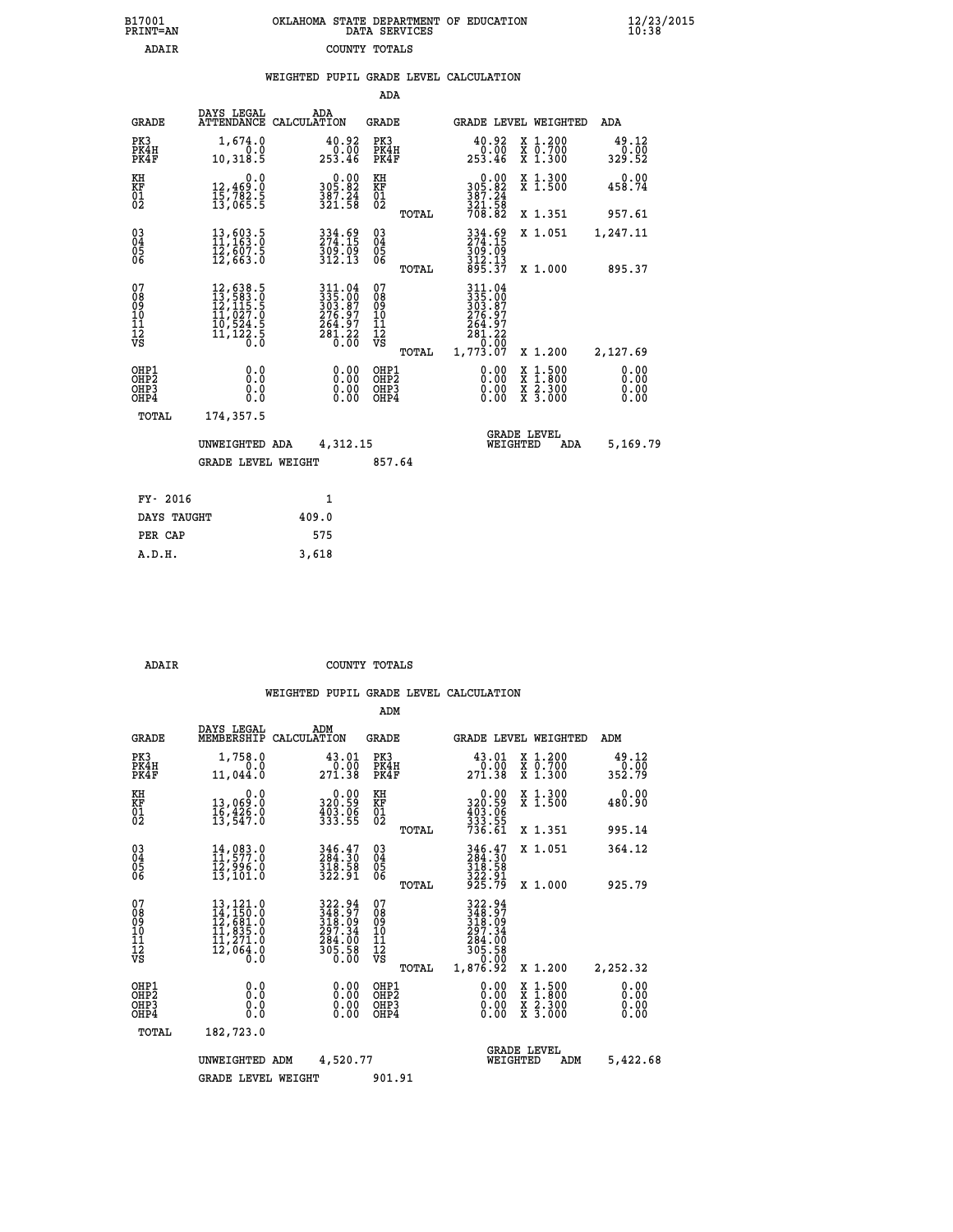|  | OKLAHOMA STATE DEPARTMENT OF EDUCATION<br>DATA SERVICES |  |
|--|---------------------------------------------------------|--|
|  | COUNTY TOTALS                                           |  |

|                                                                    |                                                                                                                                                       |                                                                   | ADA                                            |       |                                                                                                            |                                                                            |                                |
|--------------------------------------------------------------------|-------------------------------------------------------------------------------------------------------------------------------------------------------|-------------------------------------------------------------------|------------------------------------------------|-------|------------------------------------------------------------------------------------------------------------|----------------------------------------------------------------------------|--------------------------------|
| <b>GRADE</b>                                                       | DAYS LEGAL                                                                                                                                            | ADA<br>ATTENDANCE CALCULATION                                     | <b>GRADE</b>                                   |       |                                                                                                            | GRADE LEVEL WEIGHTED                                                       | <b>ADA</b>                     |
| PK3<br>PK4H<br>PK4F                                                | 1,674.0<br>0.0<br>10,318.5                                                                                                                            | $\begin{smallmatrix} 40.92\ 0.00\ 253.46 \end{smallmatrix}$       | PK3<br>PK4H<br>PK4F                            |       | $\begin{smallmatrix} 40.92\ 0.00\ 253.46 \end{smallmatrix}$                                                | X 1.200<br>X 0.700<br>X 1.300                                              | $\frac{49.12}{0.00}$<br>329.52 |
| KH<br>KF<br>01<br>02                                               | 0.0<br>12,469:0<br>15,782:5<br>13,065:5                                                                                                               | $\begin{array}{c} 0.00 \\ 305.82 \\ 387.24 \\ 321.58 \end{array}$ | KH<br>KF<br>01<br>02                           |       | 0.00<br>305:82<br>387:24<br>321:58<br>708:82                                                               | X 1.300<br>X 1.500                                                         | 0.00<br>458.74                 |
|                                                                    |                                                                                                                                                       |                                                                   |                                                | TOTAL |                                                                                                            | X 1.351                                                                    | 957.61                         |
| $\begin{smallmatrix} 03 \\[-4pt] 04 \end{smallmatrix}$<br>05<br>ŌĞ | 13,603.5<br>11,163.0<br>12,607.5<br>12,663.0                                                                                                          | 334.69<br>274.15<br>$\frac{309.09}{312.13}$                       | $\substack{03 \\ 04}$<br>$\substack{05 \\ 06}$ | TOTAL | 334.69<br>274.15<br>$\frac{3}{9}$ $\frac{3}{12}$ $\frac{1}{3}$ $\frac{3}{9}$ $\frac{2}{5}$ $\frac{13}{37}$ | X 1.051<br>X 1.000                                                         | 1,247.11<br>895.37             |
| 07<br>08<br>09<br>11<br>11<br>12<br>VS                             | $\begin{smallmatrix} 12, 638\cdot 5\\ 13, 583\cdot 0\\ 12, 115\cdot 5\\ 11, 027\cdot 0\\ 10, 524\cdot 5\\ 11, 122\cdot 5\\ 0\cdot 0\end{smallmatrix}$ | 311.04<br>335.00<br>303.87<br>276.97<br>264.97<br>281.22<br>0.00  | 07<br>08<br>09<br>11<br>11<br>12<br>VS         |       | 311.04<br>335:00<br>303:87<br>276.97<br>264.97<br>281.22<br>0.00                                           |                                                                            |                                |
|                                                                    |                                                                                                                                                       |                                                                   |                                                | TOTAL | 1,773.07                                                                                                   | X 1.200                                                                    | 2,127.69                       |
| OHP1<br>OH <sub>P</sub> 2<br>OHP3<br>OHP4                          | 0.0<br>Ō.Ō<br>0.0<br>Ō.Ō                                                                                                                              | 0.00<br>$\begin{smallmatrix} 0.00 \ 0.00 \end{smallmatrix}$       | OHP1<br>OH <sub>P</sub> 2<br>OHP3<br>OHP4      |       | 0.00<br>0.00<br>0.00                                                                                       | $1:500$<br>$1:800$<br>X<br>X<br>$\frac{\ddot{x}}{x}$ $\frac{2.300}{3.000}$ | 0.00<br>0.00<br>0.00<br>0.00   |
| TOTAL                                                              | 174,357.5                                                                                                                                             |                                                                   |                                                |       |                                                                                                            |                                                                            |                                |
|                                                                    | UNWEIGHTED ADA                                                                                                                                        | 4,312.15                                                          |                                                |       |                                                                                                            | <b>GRADE LEVEL</b><br>WEIGHTED<br>ADA                                      | 5,169.79                       |
|                                                                    | <b>GRADE LEVEL WEIGHT</b>                                                                                                                             |                                                                   | 857.64                                         |       |                                                                                                            |                                                                            |                                |
| FY- 2016                                                           |                                                                                                                                                       | 1                                                                 |                                                |       |                                                                                                            |                                                                            |                                |
| DAYS TAUGHT                                                        |                                                                                                                                                       | 409.0                                                             |                                                |       |                                                                                                            |                                                                            |                                |
| PER CAP                                                            |                                                                                                                                                       | 575                                                               |                                                |       |                                                                                                            |                                                                            |                                |
|                                                                    |                                                                                                                                                       |                                                                   |                                                |       |                                                                                                            |                                                                            |                                |

 **A.D.H. 3,618**

B17001<br>PRINT=AN<br>ADAIR

 **ADAIR COUNTY TOTALS**

|                                                       |                                                                                                                                                                     |                    |                                                                              | ADM                                     |       |                                                                              |          |                                                                                                  |                              |  |
|-------------------------------------------------------|---------------------------------------------------------------------------------------------------------------------------------------------------------------------|--------------------|------------------------------------------------------------------------------|-----------------------------------------|-------|------------------------------------------------------------------------------|----------|--------------------------------------------------------------------------------------------------|------------------------------|--|
| <b>GRADE</b>                                          | DAYS LEGAL<br>MEMBERSHIP                                                                                                                                            | ADM<br>CALCULATION |                                                                              | <b>GRADE</b>                            |       |                                                                              |          | GRADE LEVEL WEIGHTED                                                                             | ADM                          |  |
| PK3<br>PK4H<br>PK4F                                   | 1,758.0<br>0.0<br>11,044.0                                                                                                                                          |                    | 43.01<br>0.00<br>271.38                                                      | PK3<br>PK4H<br>PK4F                     |       | 43.01<br>0.00<br>271.38                                                      |          | X 1.200<br>X 0.700<br>X 1.300                                                                    | 49.12<br>0.00<br>352.79      |  |
| KH<br>KF<br>01<br>02                                  | 0.0<br>13,069.0<br>16,426.0<br>13,547.0                                                                                                                             |                    | $\begin{smallmatrix} &0.00\,320.59\,403.06\,403.06\,333.55\end{smallmatrix}$ | KH<br>KF<br>01<br>02                    |       | 0.00<br>320:59<br>403:06<br>333:55<br>736:61                                 |          | X 1.300<br>X 1.500                                                                               | 0.00<br>480.90               |  |
|                                                       |                                                                                                                                                                     |                    |                                                                              |                                         | TOTAL |                                                                              |          | X 1.351                                                                                          | 995.14                       |  |
| 03<br>04<br>05<br>06                                  | 14,083.0<br>11,577.0<br>$\bar{1}\bar{2}$ ,996.0<br>13,101.0                                                                                                         |                    | 346.47<br>284.30<br>318.58<br>322.91                                         | $^{03}_{04}$<br>05<br>06                |       | 346.47<br>284.30<br>318.58<br>322.91<br>925.79                               |          | X 1.051                                                                                          | 364.12                       |  |
|                                                       |                                                                                                                                                                     |                    |                                                                              |                                         | TOTAL |                                                                              |          | X 1.000                                                                                          | 925.79                       |  |
| 07<br>08<br>09<br>101<br>112<br>VS                    | $\begin{smallmatrix} 13\,,\,121\,.\,0\\ 14\,,\,150\,. \,0\\ 12\,,\,681\,. \,0\\ 11\,,\,835\,. \,0\\ 11\,,\,271\,. \,0\\ 12\,,\,064\,. \,0 \end{smallmatrix}$<br>Ō.Ŏ |                    | 322.94<br>348.97<br>318.09<br>297.34<br>384.00<br>305.58<br>0.00             | 07<br>08<br>09<br>101<br>11<br>12<br>VS | TOTAL | 322.94<br>348.97<br>318.09<br>297.34<br>384.00<br>305.58<br>0.00<br>1,876.92 |          | X 1.200                                                                                          | 2,252.32                     |  |
| OHP1<br>OH <sub>P</sub> 2<br>OH <sub>P3</sub><br>OHP4 | 0.0<br>0.000                                                                                                                                                        |                    | $0.00$<br>$0.00$<br>0.00                                                     | OHP1<br>OHP2<br>OHP3<br>OHP4            |       | $0.00$<br>$0.00$<br>0.00                                                     |          | $\begin{smallmatrix} x & 1 & 500 \\ x & 1 & 800 \\ x & 2 & 300 \\ x & 3 & 000 \end{smallmatrix}$ | 0.00<br>0.00<br>0.00<br>0.00 |  |
| TOTAL                                                 | 182,723.0                                                                                                                                                           |                    |                                                                              |                                         |       |                                                                              |          |                                                                                                  |                              |  |
|                                                       | UNWEIGHTED                                                                                                                                                          | ADM                | 4,520.77                                                                     |                                         |       |                                                                              | WEIGHTED | <b>GRADE LEVEL</b><br>ADM                                                                        | 5,422.68                     |  |
|                                                       | <b>GRADE LEVEL WEIGHT</b>                                                                                                                                           |                    |                                                                              | 901.91                                  |       |                                                                              |          |                                                                                                  |                              |  |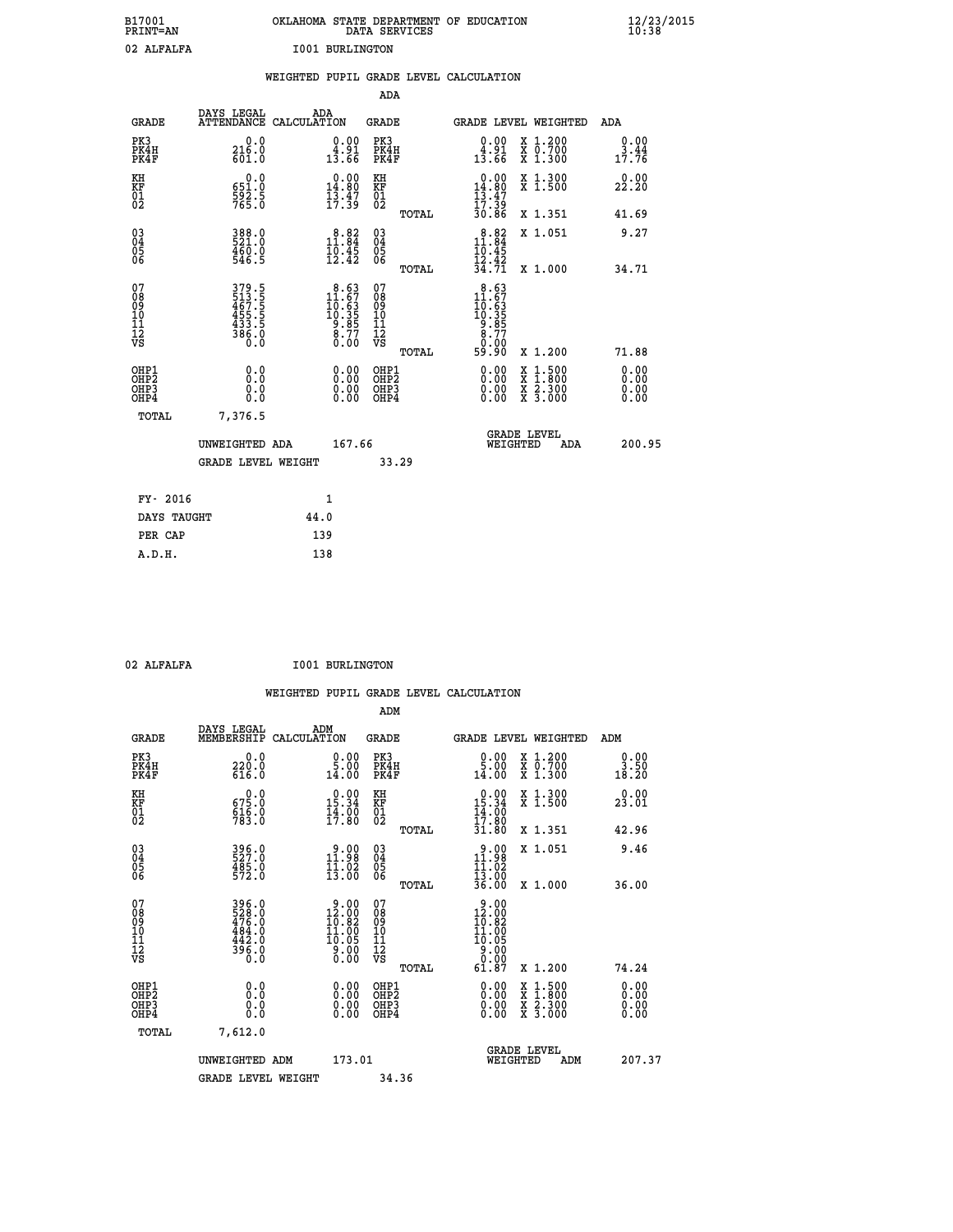| B17001<br>PRINT=AN               |                                                           | OKLAHOMA STATE DEPARTMENT OF EDUCATION                                                    | DATA SERVICES                                      |                                                                                                                                                                                                                                                                                                                                             |                                                                                          | $\frac{12}{23}$ /2015        |  |
|----------------------------------|-----------------------------------------------------------|-------------------------------------------------------------------------------------------|----------------------------------------------------|---------------------------------------------------------------------------------------------------------------------------------------------------------------------------------------------------------------------------------------------------------------------------------------------------------------------------------------------|------------------------------------------------------------------------------------------|------------------------------|--|
| 02 ALFALFA                       |                                                           | <b>I001 BURLINGTON</b>                                                                    |                                                    |                                                                                                                                                                                                                                                                                                                                             |                                                                                          |                              |  |
|                                  |                                                           | WEIGHTED PUPIL GRADE LEVEL CALCULATION                                                    |                                                    |                                                                                                                                                                                                                                                                                                                                             |                                                                                          |                              |  |
|                                  |                                                           |                                                                                           | <b>ADA</b>                                         |                                                                                                                                                                                                                                                                                                                                             |                                                                                          |                              |  |
| GRADE                            | DAYS LEGAL                                                | ADA<br>ATTENDANCE CALCULATION                                                             | GRADE                                              | GRADE LEVEL WEIGHTED                                                                                                                                                                                                                                                                                                                        |                                                                                          | ADA                          |  |
| PK3<br>PK4H<br>PK4F              | 0.0<br>216.0<br>601.0                                     | $\begin{smallmatrix} 0.00\\ 4.91\\ 13.66 \end{smallmatrix}$                               | PK3<br>PK4H<br>PK4F                                | 0.00<br>$\begin{smallmatrix} 1 & 0 & 0 & 0 \\ 1 & 0 & 0 & 0 \\ 1 & 0 & 0 & 0 \\ 0 & 0 & 0 & 0 \\ 0 & 0 & 0 & 0 \\ 0 & 0 & 0 & 0 \\ 0 & 0 & 0 & 0 \\ 0 & 0 & 0 & 0 \\ 0 & 0 & 0 & 0 \\ 0 & 0 & 0 & 0 \\ 0 & 0 & 0 & 0 \\ 0 & 0 & 0 & 0 \\ 0 & 0 & 0 & 0 \\ 0 & 0 & 0 & 0 \\ 0 & 0 & 0 & 0 & 0 \\ 0 & 0 & 0 & 0 & 0 \\ 0 & 0 & 0 & 0 & 0 \\ $ | X 1.200<br>X 0.700<br>X 1.300                                                            | 0.00<br>3.44<br>17.76        |  |
| KH<br>KF<br>01<br>02             | $0.0$<br>$651.0$<br>$\frac{592.5}{765.0}$                 | $0.00$<br>14.80<br>$\frac{1}{1}\frac{3}{7}\cdot\frac{4}{3}$                               | KH<br><b>KF</b><br>01<br>02                        | $0.00$<br>14.80<br>$\frac{13.47}{17.39}$                                                                                                                                                                                                                                                                                                    | X 1.300<br>X 1.500                                                                       | 0.00<br>22.20                |  |
|                                  |                                                           |                                                                                           | TOTAL                                              | 30.86                                                                                                                                                                                                                                                                                                                                       | X 1.351                                                                                  | 41.69                        |  |
| 03<br>04<br>05<br>06             | 388.0<br>521.0<br>$\frac{460.0}{546.5}$                   | 11.84<br>$\frac{10.45}{12.42}$                                                            | $\begin{matrix} 03 \\ 04 \\ 05 \\ 06 \end{matrix}$ | 11.84<br>10.45<br>$\frac{12.42}{34.71}$                                                                                                                                                                                                                                                                                                     | X 1.051                                                                                  | 9.27                         |  |
| 07                               |                                                           |                                                                                           | <b>TOTAL</b><br>07                                 | 8.63                                                                                                                                                                                                                                                                                                                                        | X 1.000                                                                                  | 34.71                        |  |
| 08<br>09<br>11<br>11<br>12<br>VS | 379.5<br>513.5<br>467.5<br>455.5<br>433.5<br>386.0<br>0.0 | $\begin{smallmatrix} 8.63\\ 11.67\\ 10.63\\ 10.35\\ 9.85\\ 8.77\\ 0.00 \end{smallmatrix}$ | 08901112<br>1112<br>VS                             | $\begin{smallmatrix} 11.67 \ 10.63 \ 19.35 \ 9.85 \end{smallmatrix}$<br>8.77<br>0.00                                                                                                                                                                                                                                                        |                                                                                          |                              |  |
|                                  | 0.0                                                       |                                                                                           | TOTAL<br>OHP1                                      | 59.90                                                                                                                                                                                                                                                                                                                                       | X 1.200                                                                                  | 71.88                        |  |
| OHP1<br>OHP2<br>OHP3<br>OHP4     | 0.0<br>0.0<br>0.0                                         | 0.00<br>$\begin{smallmatrix} 0.00 \ 0.00 \end{smallmatrix}$                               | OH <sub>P</sub> 2<br>OHP3<br>OHP4                  | 0.00<br>0.00<br>0.00                                                                                                                                                                                                                                                                                                                        | $\begin{smallmatrix} x & 1.500 \\ x & 1.800 \\ x & 2.300 \\ x & 3.000 \end{smallmatrix}$ | 0.00<br>0.00<br>0.00<br>0.00 |  |
| <b>TOTAL</b>                     | 7,376.5                                                   |                                                                                           |                                                    |                                                                                                                                                                                                                                                                                                                                             |                                                                                          |                              |  |
|                                  | UNWEIGHTED ADA                                            | 167.66                                                                                    |                                                    | <b>GRADE LEVEL</b><br>WEIGHTED                                                                                                                                                                                                                                                                                                              | ADA                                                                                      | 200.95                       |  |
|                                  | <b>GRADE LEVEL WEIGHT</b>                                 |                                                                                           | 33.29                                              |                                                                                                                                                                                                                                                                                                                                             |                                                                                          |                              |  |
| FY- 2016                         |                                                           | 1                                                                                         |                                                    |                                                                                                                                                                                                                                                                                                                                             |                                                                                          |                              |  |
| DAYS TAUGHT                      |                                                           | 44.0                                                                                      |                                                    |                                                                                                                                                                                                                                                                                                                                             |                                                                                          |                              |  |
| PER CAP                          |                                                           | 139                                                                                       |                                                    |                                                                                                                                                                                                                                                                                                                                             |                                                                                          |                              |  |

02 ALFALFA 1001 BURLINGTON

 **A.D.H. 138**

 **WEIGHTED PUPIL GRADE LEVEL CALCULATION ADM DAYS LEGAL ADM GRADE MEMBERSHIP CALCULATION GRADE GRADE LEVEL WEIGHTED ADM PK3 0.0 0.00 PK3 0.00 X 1.200 0.00 PK4H 220.0 5.00 PK4H 5.00 X 0.700 3.50 PK4F 616.0 14.00 PK4F 14.00 X 1.300 18.20 KH 0.0 0.00 KH 0.00 X 1.300 0.00 KF 675.0 15.34 KF 15.34 X 1.500 23.01 01 616.0 14.00 01 14.00** 02 783.0 17.80 02 17.80  **TOTAL 31.80 X 1.351 42.96 03 396.0 9.00 03 9.00 X 1.051 9.46 04 527.0 11.98 04 11.98 05 485.0 11.02 05 11.02** 06 572.0 13.00 06 <sub>momas</sub> 13.00  **TOTAL 36.00 X 1.000 36.00 07 396.0 9.00 07 9.00 08 528.0 12.00 08 12.00 09 476.0 10.82 09 10.82 10 484.0 11.00 10 11.00 11 442.0 10.05 11 10.05 12 396.0 9.00 12 9.00 VS 0.0 0.00 VS 0.00 396.0**<br> **12.82** 08<br> **12.82** 08<br> **12.92** 08<br> **144.0**<br> **11.00** 10<br> **10.05**<br> **14.20**<br> **10.05**<br> **10.05**<br> **10.05**<br> **10.05**<br> **10.05**<br> **10.05**<br> **10.05**<br> **10.00**<br> **10.005**<br> **10.00**<br> **10.005**<br> **10.00**<br> **10.00**<br> **10.00**<br> **10.00**<br>  **OHP1 0.0 0.00 OHP1 0.00 X 1.500 0.00 OHP2 0.0 0.00 OHP2 0.00 X 1.800 0.00 OHP3 0.0 0.00 OHP3 0.00 X 2.300 0.00 OHP4 0.0 0.00 OHP4 0.00 X 3.000 0.00 TOTAL 7,612.0 GRADE LEVEL UNWEIGHTED ADM 173.01 WEIGHTED ADM 207.37** GRADE LEVEL WEIGHT 34.36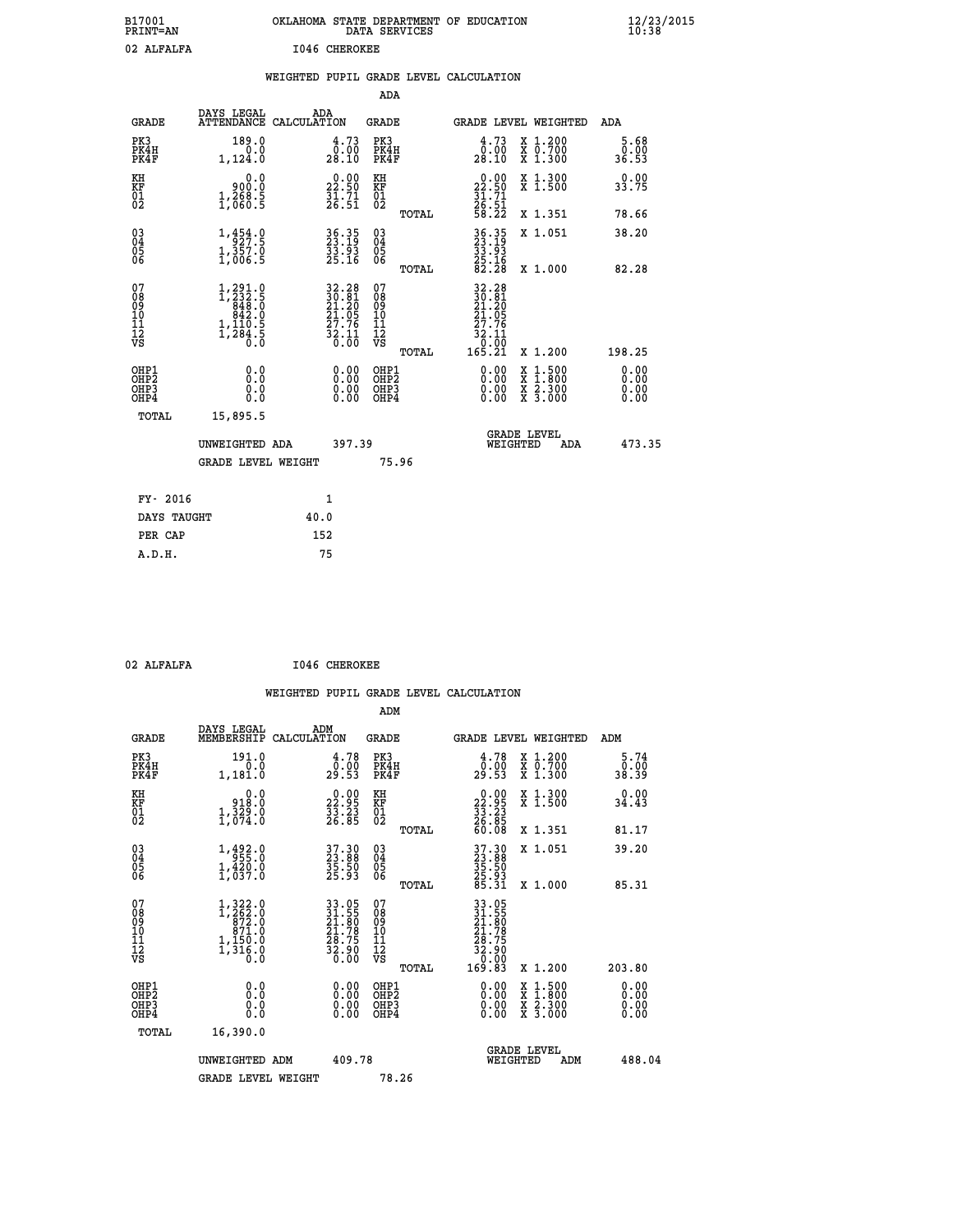| B17001<br>PRINT=AN                                |                                                                                                                |                      |                                                                                           | DATA SERVICES                                      |       | OKLAHOMA STATE DEPARTMENT OF EDUCATION                                       |                                                                                                                                           | $\frac{12}{23}$ /2015        |
|---------------------------------------------------|----------------------------------------------------------------------------------------------------------------|----------------------|-------------------------------------------------------------------------------------------|----------------------------------------------------|-------|------------------------------------------------------------------------------|-------------------------------------------------------------------------------------------------------------------------------------------|------------------------------|
| 02 ALFALFA                                        |                                                                                                                | <b>I046 CHEROKEE</b> |                                                                                           |                                                    |       |                                                                              |                                                                                                                                           |                              |
|                                                   |                                                                                                                |                      |                                                                                           |                                                    |       | WEIGHTED PUPIL GRADE LEVEL CALCULATION                                       |                                                                                                                                           |                              |
|                                                   |                                                                                                                |                      |                                                                                           | <b>ADA</b>                                         |       |                                                                              |                                                                                                                                           |                              |
| <b>GRADE</b>                                      | DAYS LEGAL<br>ATTENDANCE CALCULATION                                                                           | ADA                  |                                                                                           | <b>GRADE</b>                                       |       |                                                                              | GRADE LEVEL WEIGHTED                                                                                                                      | ADA                          |
| PK3<br>PK4H<br>PK4F                               | 189.0<br>0.0<br>1,124.0                                                                                        |                      | $\begin{smallmatrix} 4\cdot73\0\cdot00\28\cdot10 \end{smallmatrix}$                       | PK3<br>PK4H<br>PK4F                                |       | 4.73<br>00:00<br>10.18                                                       | X 1.200<br>X 0.700<br>X 1.300                                                                                                             | 5.68<br>0.00<br>36.53        |
| KH<br>KF<br>$\begin{matrix} 01 \ 02 \end{matrix}$ | 0.0<br>0:00<br>1,268:5<br>1,060:5                                                                              |                      | $\begin{smallmatrix} 0.00\\ 22.50\\ 31.71\\ 26.51 \end{smallmatrix}$                      | KH<br><b>KF</b><br>01<br>02                        |       | $\begin{smallmatrix} 0.00\\ 22.50\\ 31.71\\ 26.51\\ 58.22 \end{smallmatrix}$ | X 1.300<br>X 1.500                                                                                                                        | 0.00<br>33.75                |
|                                                   |                                                                                                                |                      |                                                                                           |                                                    | TOTAL |                                                                              | X 1.351                                                                                                                                   | 78.66                        |
| 030404<br>ŎĞ                                      | $\begin{smallmatrix} 1\,, & 454\,, & 0\\ 927\,. & 5\\ 1\,, & 357\,. & 0\\ 1\,, & 006\,. & 5 \end{smallmatrix}$ |                      | 36.35<br>23.19<br>33.93<br>25.16                                                          | $^{03}_{04}$<br>$\frac{05}{06}$                    |       | 36.35<br>23.19<br>33.93                                                      | X 1.051                                                                                                                                   | 38.20                        |
|                                                   |                                                                                                                |                      |                                                                                           |                                                    | TOTAL | $\frac{25.16}{82.28}$                                                        | X 1.000                                                                                                                                   | 82.28                        |
| 07<br>08<br>09<br>11<br>11<br>12<br>VS            | $\begin{smallmatrix} 1,291.0\\ 1,232.5\\ 848.0\\ 842.0\\ 842.0\\ 1,110.5\\ 1,284.5\\ 0.0 \end{smallmatrix}$    |                      | $\begin{array}{r} 32.28 \\ 30.81 \\ 21.20 \\ 21.05 \\ 27.76 \\ 32.11 \\ 0.00 \end{array}$ | 07<br>08<br>09<br>10<br>11<br>$\frac{1}{\sqrt{2}}$ |       | 32.28<br>30.81<br>21.20<br>21.05<br>$\frac{27.76}{32.11}$<br>0.00            |                                                                                                                                           |                              |
|                                                   |                                                                                                                |                      |                                                                                           |                                                    | TOTAL | 165.21                                                                       | X 1.200                                                                                                                                   | 198.25                       |
| OHP1<br>OHP2<br>OHP3<br>OHP4                      | 0.0<br>0.0<br>0.0                                                                                              |                      | 0.00<br>0.00<br>0.00                                                                      | OHP1<br>OHP2<br>OHP3<br>OHP4                       |       | $0.00$<br>$0.00$<br>0.00                                                     | $\begin{smallmatrix} \mathtt{X} & 1\cdot500\\ \mathtt{X} & 1\cdot800\\ \mathtt{X} & 2\cdot300\\ \mathtt{X} & 3\cdot000 \end{smallmatrix}$ | 0.00<br>0.00<br>0.00<br>0.00 |
| TOTAL                                             | 15,895.5                                                                                                       |                      |                                                                                           |                                                    |       |                                                                              |                                                                                                                                           |                              |
|                                                   | UNWEIGHTED ADA                                                                                                 |                      | 397.39                                                                                    |                                                    |       |                                                                              | <b>GRADE LEVEL</b><br>WEIGHTED<br>ADA                                                                                                     | 473.35                       |
|                                                   | <b>GRADE LEVEL WEIGHT</b>                                                                                      |                      |                                                                                           | 75.96                                              |       |                                                                              |                                                                                                                                           |                              |
| FY- 2016                                          |                                                                                                                | 1                    |                                                                                           |                                                    |       |                                                                              |                                                                                                                                           |                              |
| DAYS TAUGHT                                       |                                                                                                                | 40.0                 |                                                                                           |                                                    |       |                                                                              |                                                                                                                                           |                              |
| PER CAP                                           |                                                                                                                | 152                  |                                                                                           |                                                    |       |                                                                              |                                                                                                                                           |                              |

| 02      |  |
|---------|--|
|         |  |
| ALFALFA |  |

 **02 ALFALFA I046 CHEROKEE**

|                                                      |                                                                                                                |                    |                                                                      |                                               |       | WEIGHTED PUPIL GRADE LEVEL CALCULATION                                                                                       |                                          |                               |  |
|------------------------------------------------------|----------------------------------------------------------------------------------------------------------------|--------------------|----------------------------------------------------------------------|-----------------------------------------------|-------|------------------------------------------------------------------------------------------------------------------------------|------------------------------------------|-------------------------------|--|
|                                                      |                                                                                                                |                    |                                                                      | ADM                                           |       |                                                                                                                              |                                          |                               |  |
| <b>GRADE</b>                                         | DAYS LEGAL<br>MEMBERSHIP                                                                                       | ADM<br>CALCULATION |                                                                      | <b>GRADE</b>                                  |       | GRADE LEVEL WEIGHTED                                                                                                         |                                          | ADM                           |  |
| PK3<br>PK4H<br>PK4F                                  | 191.0<br>0.0<br>1,181.0                                                                                        |                    | 4.78<br>$\frac{0.00}{29.53}$                                         | PK3<br>PK4H<br>PK4F                           |       | 4.78<br>0:00<br>29:53                                                                                                        | X 1.200<br>X 0.700<br>X 1.300            | 5.74<br>0.00<br>38.39         |  |
| KH<br>KF<br>01<br>02                                 | $0.0$<br>0.810<br>1,329.0                                                                                      |                    | $\begin{smallmatrix} 0.00\\ 22.95\\ 33.23\\ 26.85 \end{smallmatrix}$ | KH<br>KF<br>01<br>02                          |       | $\begin{smallmatrix} 0.00\\ 22.95\\ 33.23\\ 26.85\\ 60.08 \end{smallmatrix}$                                                 | X 1.300<br>X 1.500                       | 0.00<br>34.43                 |  |
|                                                      |                                                                                                                |                    |                                                                      |                                               | TOTAL |                                                                                                                              | X 1.351                                  | 81.17                         |  |
| $\begin{matrix} 03 \\ 04 \\ 05 \\ 06 \end{matrix}$   | $\begin{smallmatrix} 1\,, & 492\,, & 0\\ 955\,, & 0\\ 1\,, & 420\,, & 0\\ 1\,, & 037\,. & 0 \end{smallmatrix}$ |                    | 37.30<br>23.88<br>35.50<br>25.93                                     | 03<br>04<br>05<br>06                          |       | 37.30<br>23.88<br>35.50<br>25.93<br>85.31                                                                                    | X 1.051                                  | 39.20                         |  |
|                                                      |                                                                                                                |                    |                                                                      |                                               | TOTAL |                                                                                                                              | X 1.000                                  | 85.31                         |  |
| 07<br>0890112<br>1112<br>VS                          | $1,322.0$<br>$1,262.0$<br>$872.0$<br>$871.0$<br>$1, \frac{1}{3}$ $\frac{6}{6}$ $\cdot \frac{8}{6}$             |                    | 33.05<br>31.55<br>21.80<br>21.78<br>28.75<br>32.90<br>32.90          | 07<br>08<br>09<br>001<br>11<br>11<br>12<br>VS | TOTAL | $\begin{array}{r} 33\cdot05\\ 31\cdot55\\ 21\cdot80\\ 21\cdot79\\ 28\cdot75\\ 32\cdot90\\ 0\cdot00\\ 169\cdot83 \end{array}$ | X 1.200                                  | 203.80                        |  |
|                                                      |                                                                                                                |                    |                                                                      |                                               |       |                                                                                                                              |                                          |                               |  |
| OHP1<br>OHP <sub>2</sub><br>OH <sub>P3</sub><br>OHP4 | 0.0<br>0.000                                                                                                   |                    | $0.00$<br>$0.00$<br>0.00                                             | OHP1<br>OHP <sub>2</sub><br>OHP <sub>3</sub>  |       | 0.00<br>0.00<br>0.00                                                                                                         | X 1:500<br>X 1:800<br>X 2:300<br>X 3:000 | 0.00<br>Ō. ŌŌ<br>0.00<br>0.00 |  |
| TOTAL                                                | 16,390.0                                                                                                       |                    |                                                                      |                                               |       |                                                                                                                              |                                          |                               |  |
|                                                      | UNWEIGHTED ADM                                                                                                 |                    | 409.78                                                               |                                               |       | WEIGHTED                                                                                                                     | <b>GRADE LEVEL</b><br>ADM                | 488.04                        |  |
|                                                      | <b>GRADE LEVEL WEIGHT</b>                                                                                      |                    |                                                                      | 78.26                                         |       |                                                                                                                              |                                          |                               |  |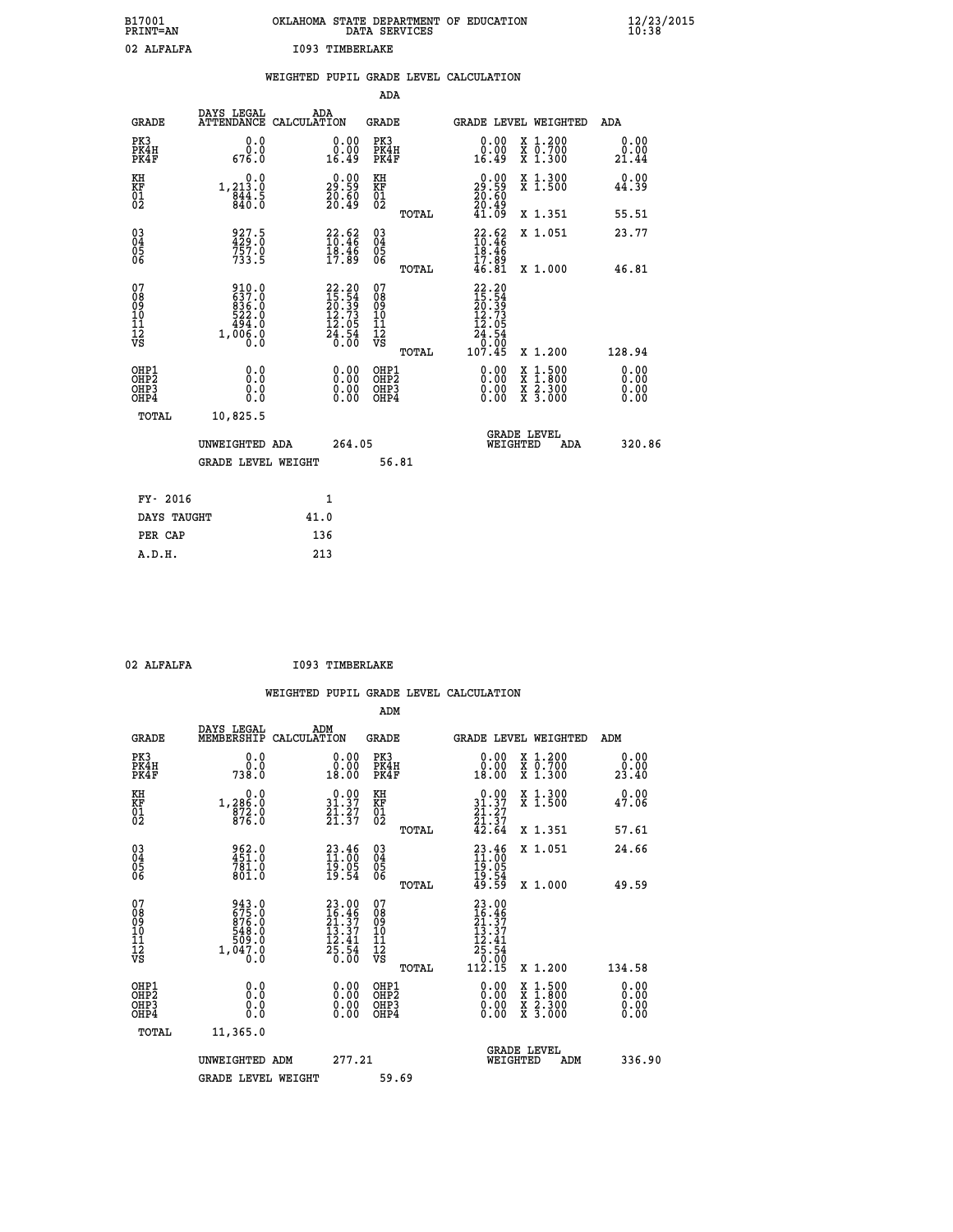| B17001<br>PRINT=AN | OKLAHOMA STATE DEPARTMENT OF EDUCATION<br>DATA SERVICES | $\frac{12}{23}$ /2015 |
|--------------------|---------------------------------------------------------|-----------------------|
| 02 ALFALFA         | 1093 TIMBERLAKE                                         |                       |

|                                        |                                                    |      |                                                                          |                                                     |       | WEIGHTED PUPIL GRADE LEVEL CALCULATION                                                                                               |                                                                                                                                           |                              |
|----------------------------------------|----------------------------------------------------|------|--------------------------------------------------------------------------|-----------------------------------------------------|-------|--------------------------------------------------------------------------------------------------------------------------------------|-------------------------------------------------------------------------------------------------------------------------------------------|------------------------------|
|                                        |                                                    |      |                                                                          | ADA                                                 |       |                                                                                                                                      |                                                                                                                                           |                              |
| <b>GRADE</b>                           | DAYS LEGAL<br>ATTENDANCE CALCULATION               |      | ADA                                                                      | <b>GRADE</b>                                        |       | GRADE LEVEL WEIGHTED                                                                                                                 |                                                                                                                                           | ADA                          |
| PK3<br>PK4H<br>PK4F                    | 0.0<br>0.0<br>676.0                                |      | 0.00<br>16.49                                                            | PK3<br>PK4H<br>PK4F                                 |       | 0.00<br>0.00<br>16.49                                                                                                                | X 1.200<br>X 0.700<br>X 1.300                                                                                                             | 0.00<br>0.00<br>21.44        |
| KH<br>KF<br>01<br>02                   | 0.0<br>1, 213.0<br>$\frac{844}{840}$ : 5           |      | 29:59<br>$\frac{20.60}{20.49}$                                           | KH<br>KF<br>01<br>02                                |       | $\begin{smallmatrix} 0.00\\ 29.59\\ 20.60\\ 20.49 \end{smallmatrix}$                                                                 | X 1.300<br>X 1.500                                                                                                                        | 0.00<br>44.39                |
|                                        |                                                    |      |                                                                          |                                                     | TOTAL | 41.09                                                                                                                                | X 1.351                                                                                                                                   | 55.51                        |
| 03<br>04<br>05<br>06                   | 927.5<br>429.0<br>757.0<br>733.5                   |      | $22.62$<br>$10.46$<br>18.46                                              | $\begin{array}{c} 03 \\ 04 \\ 05 \\ 06 \end{array}$ |       | $\begin{array}{c} 22.62 \\ 10.46 \\ 18.46 \end{array}$                                                                               | X 1.051                                                                                                                                   | 23.77                        |
|                                        |                                                    |      | 17.89                                                                    |                                                     | TOTAL | 17.89<br>46.81                                                                                                                       | X 1.000                                                                                                                                   | 46.81                        |
| 07<br>08<br>09<br>11<br>11<br>12<br>VS | 910.0<br>637.0<br>836.0<br>522.0<br>1,00000<br>0.0 |      | $22.20$<br>$15.54$<br>$20.39$<br>$12.73$<br>$12.05$<br>$24.54$<br>$0.00$ | 07<br>08<br>09<br>11<br>11<br>12<br>VS              | TOTAL | $\begin{smallmatrix} 22.20\15.54\20.39\20.73\3 \end{smallmatrix}\begin{smallmatrix} 20.73\12.05\24.54\0.00\107.45 \end{smallmatrix}$ | X 1.200                                                                                                                                   | 128.94                       |
| OHP1<br>OHP2<br>OHP3<br>OHP4           | 0.0<br>Ō.Ō<br>0.0<br>0.0                           |      | $\begin{smallmatrix} 0.00 \ 0.00 \ 0.00 \ 0.00 \end{smallmatrix}$        | OHP1<br>OHP <sub>2</sub><br>OHP3<br>OHP4            |       | 0.00<br>$0.00$<br>0.00                                                                                                               | $\begin{smallmatrix} \mathtt{X} & 1\cdot500\\ \mathtt{X} & 1\cdot800\\ \mathtt{X} & 2\cdot300\\ \mathtt{X} & 3\cdot000 \end{smallmatrix}$ | 0.00<br>0.00<br>0.00<br>0.00 |
| TOTAL                                  | 10,825.5                                           |      |                                                                          |                                                     |       |                                                                                                                                      |                                                                                                                                           |                              |
|                                        | UNWEIGHTED ADA                                     |      | 264.05                                                                   |                                                     |       | WEIGHTED                                                                                                                             | <b>GRADE LEVEL</b><br>ADA                                                                                                                 | 320.86                       |
|                                        | <b>GRADE LEVEL WEIGHT</b>                          |      |                                                                          |                                                     | 56.81 |                                                                                                                                      |                                                                                                                                           |                              |
| FY- 2016                               |                                                    |      | 1                                                                        |                                                     |       |                                                                                                                                      |                                                                                                                                           |                              |
| DAYS TAUGHT                            |                                                    | 41.0 |                                                                          |                                                     |       |                                                                                                                                      |                                                                                                                                           |                              |
| PER CAP                                |                                                    |      | 136                                                                      |                                                     |       |                                                                                                                                      |                                                                                                                                           |                              |

| 02 ALFALFA |  |  |
|------------|--|--|
|            |  |  |
|            |  |  |

**I093 TIMBERLAKE** 

|                                           |                                                                      |                    |                                                                          |                                                     |       | WEIGHTED PUPIL GRADE LEVEL CALCULATION                                                                      |                                          |                              |
|-------------------------------------------|----------------------------------------------------------------------|--------------------|--------------------------------------------------------------------------|-----------------------------------------------------|-------|-------------------------------------------------------------------------------------------------------------|------------------------------------------|------------------------------|
|                                           |                                                                      |                    |                                                                          | ADM                                                 |       |                                                                                                             |                                          |                              |
| <b>GRADE</b>                              | DAYS LEGAL<br>MEMBERSHIP                                             | ADM<br>CALCULATION |                                                                          | <b>GRADE</b>                                        |       |                                                                                                             | GRADE LEVEL WEIGHTED                     | ADM                          |
| PK3<br>PK4H<br>PK4F                       | 0.0<br>0.0<br>738.Ŏ                                                  |                    | 0.00<br>18.00                                                            | PK3<br>PK4H<br>PK4F                                 |       | 0.00<br>0.00<br>18.00                                                                                       | X 1.200<br>X 0.700<br>X 1.300            | 0.00<br>0.00<br>23.40        |
| KH<br>KF<br>01<br>02                      | 0.0<br>1,286:0<br>872:0<br>876:0                                     |                    | $\begin{array}{c} 0.00 \\ 31.37 \\ 21.37 \\ 21.37 \end{array}$           | KH<br>KF<br>01<br>02                                |       | 0.00<br>$31.37$<br>$21.27$<br>$21.37$<br>$42.64$                                                            | X 1.300<br>X 1.500                       | 0.00<br>47.06                |
|                                           |                                                                      |                    |                                                                          |                                                     | TOTAL |                                                                                                             | X 1.351                                  | 57.61                        |
| 03<br>04<br>05<br>06                      | 962.0<br>451.0<br>781.0<br>801.0                                     |                    | $\begin{smallmatrix} 23.46\ 11.00\ 19.05\ 19.54 \end{smallmatrix}$       | $\begin{array}{c} 03 \\ 04 \\ 05 \\ 06 \end{array}$ |       | $23.46$<br>$11.00$<br>$19.05$                                                                               | X 1.051                                  | 24.66                        |
|                                           |                                                                      |                    |                                                                          |                                                     | TOTAL | 19:54<br>49:59                                                                                              | X 1.000                                  | 49.59                        |
| 07<br>08<br>09<br>101<br>112<br>VS        | 943.0<br>675.0<br>676.0<br>876.0<br>509.0<br>509.0<br>1,047.0<br>0.0 |                    | $23.00$<br>$16.46$<br>$21.37$<br>$13.37$<br>$12.41$<br>$25.54$<br>$0.00$ | 07<br>08<br>09<br>11<br>11<br>12<br>VS              | TOTAL | $23.00$<br>$16.46$<br>$21.37$<br>$13.37$<br>$\begin{array}{r} 12.41 \\ 25.54 \\ 0.00 \\ 112.15 \end{array}$ | X 1.200                                  | 134.58                       |
| OHP1<br>OH <sub>P</sub> 2<br>OHP3<br>OHP4 | 0.0<br>0.000                                                         |                    | $0.00$<br>$0.00$<br>0.00                                                 | OHP1<br>OHP <sub>2</sub><br>OHP3<br>OHP4            |       | 0.00<br>0.00<br>0.00                                                                                        | X 1:500<br>X 1:800<br>X 2:300<br>X 3:000 | 0.00<br>0.00<br>0.00<br>0.00 |
| TOTAL                                     | 11,365.0                                                             |                    |                                                                          |                                                     |       |                                                                                                             |                                          |                              |
|                                           | UNWEIGHTED ADM<br><b>GRADE LEVEL WEIGHT</b>                          |                    | 277.21                                                                   | 59.69                                               |       | WEIGHTED                                                                                                    | <b>GRADE LEVEL</b><br>ADM                | 336.90                       |
|                                           |                                                                      |                    |                                                                          |                                                     |       |                                                                                                             |                                          |                              |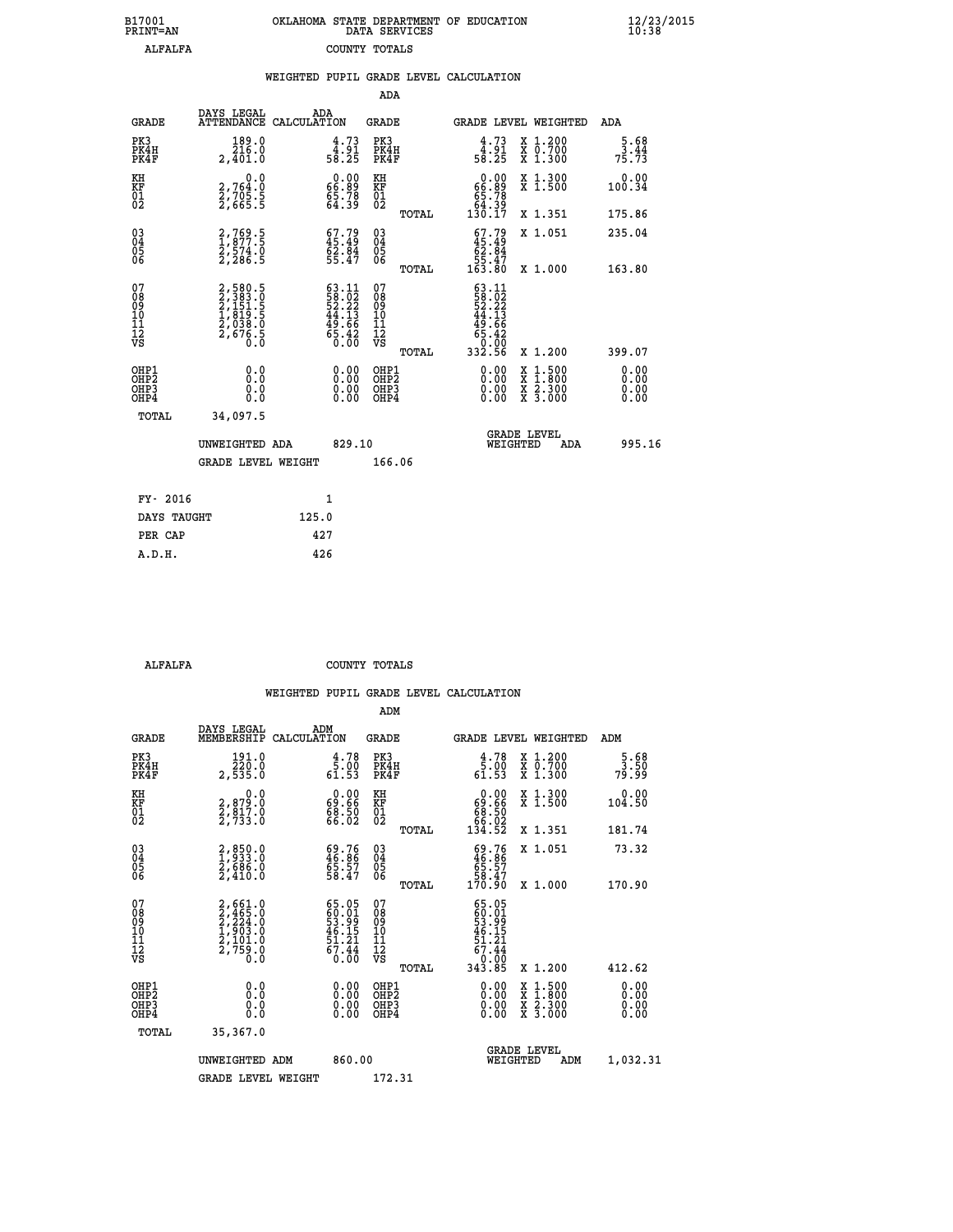| B17001<br>PRINT=AN | OKLAHOMA STATE DEPARTMENT OF EDUCATION<br>DATA SERVICES | $\frac{12}{23}$ /2015<br>10:38 |
|--------------------|---------------------------------------------------------|--------------------------------|
| ALFALFA            | COUNTY TOTALS                                           |                                |

|                                                                    |                                                                       | WEIGHTED PUPIL GRADE LEVEL CALCULATION                                                    |                                           |        |                                                                                                                                |                                                                                                                                           |                              |
|--------------------------------------------------------------------|-----------------------------------------------------------------------|-------------------------------------------------------------------------------------------|-------------------------------------------|--------|--------------------------------------------------------------------------------------------------------------------------------|-------------------------------------------------------------------------------------------------------------------------------------------|------------------------------|
|                                                                    |                                                                       |                                                                                           | ADA                                       |        |                                                                                                                                |                                                                                                                                           |                              |
| <b>GRADE</b>                                                       | DAYS LEGAL                                                            | ADA<br>ATTENDANCE CALCULATION                                                             | <b>GRADE</b>                              |        |                                                                                                                                | <b>GRADE LEVEL WEIGHTED</b>                                                                                                               | ADA                          |
| PK3<br>PK4H<br>PK4F                                                | $\frac{189.0}{216.0}$<br>2,401.0                                      | $4.73$<br>$58.25$                                                                         | PK3<br>PK4H<br>PK4F                       |        | $4.73$<br>$58.25$                                                                                                              | X 1.200<br>X 0.700<br>X 1.300                                                                                                             | $\frac{5.68}{3.44}$<br>75.73 |
| KH<br>KF<br>01<br>02                                               | $\begin{smallmatrix}&&&0.0\2.764.0\2.705.5\2.665.5\end{smallmatrix}$  | $\begin{smallmatrix} 0.00\\ 66.89\\ 5.78\\ 64.39\\ \end{smallmatrix}$                     | KH<br>KF<br>01<br>02                      |        | $0.0066.8965.7864.39130.17$                                                                                                    | X 1.300<br>X 1.500                                                                                                                        | 0.00<br>100.34               |
|                                                                    |                                                                       |                                                                                           |                                           | TOTAL  |                                                                                                                                | X 1.351                                                                                                                                   | 175.86                       |
| $\begin{smallmatrix} 03 \\[-4pt] 04 \end{smallmatrix}$<br>Ŏ5<br>06 | 2,769.5<br>1,877.5<br>2,574.0<br>2,286.5                              | $67.79$<br>$45.49$<br>$62.84$<br>$55.47$                                                  | $\substack{03 \\ 04}$<br>Ŏ5<br>06         |        | $67.79$<br>$45.49$<br>$62.84$<br>$55.47$<br>$163.80$                                                                           | X 1.051                                                                                                                                   | 235.04                       |
|                                                                    |                                                                       |                                                                                           |                                           | TOTAL  |                                                                                                                                | X 1.000                                                                                                                                   | 163.80                       |
| 07<br>08901112<br>1112<br>VS                                       | 2,580.5<br>2,383.0<br>2,151.5<br>2,151.5<br>1,819.5<br>2,676.5<br>0.0 | $\begin{array}{l} 63.11 \\ 58.02 \\ 52.22 \\ 44.13 \\ 49.66 \\ 65.42 \\ 0.00 \end{array}$ | 07<br>08<br>09<br>11<br>11<br>12<br>VS    | TOTAL  | 63.11<br>$\begin{smallmatrix} 58.11 \\ 58.22 \\ 52.22 \\ 44.13 \\ 49.16 \\ 65.42 \\ 65.42 \\ 0.00 \\ 332.56 \end{smallmatrix}$ | X 1.200                                                                                                                                   | 399.07                       |
| OHP1<br>OH <sub>P</sub> 2<br>OHP3<br>OHP4                          | 0.0<br>0.000                                                          | $0.00$<br>$0.00$<br>0.00                                                                  | OHP1<br>OH <sub>P</sub> 2<br>OHP3<br>OHP4 |        | 0.00<br>0.00                                                                                                                   | $\begin{smallmatrix} \mathtt{X} & 1\cdot500\\ \mathtt{X} & 1\cdot800\\ \mathtt{X} & 2\cdot300\\ \mathtt{X} & 3\cdot000 \end{smallmatrix}$ | 0.00<br>0.00<br>0.00<br>0.00 |
| TOTAL                                                              | 34,097.5                                                              |                                                                                           |                                           |        |                                                                                                                                |                                                                                                                                           |                              |
|                                                                    | UNWEIGHTED ADA                                                        | 829.10                                                                                    |                                           |        |                                                                                                                                | GRADE LEVEL<br>WEIGHTED<br>ADA                                                                                                            | 995.16                       |
|                                                                    | <b>GRADE LEVEL WEIGHT</b>                                             |                                                                                           |                                           | 166.06 |                                                                                                                                |                                                                                                                                           |                              |
| FY- 2016                                                           |                                                                       | $\mathbf{1}$                                                                              |                                           |        |                                                                                                                                |                                                                                                                                           |                              |
| DAYS TAUGHT                                                        |                                                                       | 125.0                                                                                     |                                           |        |                                                                                                                                |                                                                                                                                           |                              |
| PER CAP                                                            |                                                                       | 427                                                                                       |                                           |        |                                                                                                                                |                                                                                                                                           |                              |

 **ALFALFA COUNTY TOTALS**

|                                           |                                                                                     |                                                                       | ADM                                                 |       |                                                                             |                                          |                              |  |
|-------------------------------------------|-------------------------------------------------------------------------------------|-----------------------------------------------------------------------|-----------------------------------------------------|-------|-----------------------------------------------------------------------------|------------------------------------------|------------------------------|--|
| <b>GRADE</b>                              | DAYS LEGAL<br>MEMBERSHIP                                                            | ADM<br>CALCULATION                                                    | <b>GRADE</b>                                        |       |                                                                             | GRADE LEVEL WEIGHTED                     | ADM                          |  |
| PK3<br>PK4H<br>PK4F                       | 191.0<br>$\overline{2}\overline{2}\overline{0}$ .0<br>2,535.0                       | 4.78<br>$\frac{1}{61}$ . 53                                           | PK3<br>PK4H<br>PK4F                                 |       | $\begin{smallmatrix} 4.78\ 5.00\ 61.53 \end{smallmatrix}$                   | X 1.200<br>X 0.700<br>X 1.300            | $\frac{5.68}{3.50}$<br>79.99 |  |
| KH<br>KF<br>01<br>02                      | 0.0<br>2,879.0<br>2,817.0<br>2,733.0                                                | $\begin{smallmatrix} 0.00\\ 69.66\\ 88.50\\ 66.02 \end{smallmatrix}$  | KH<br>KF<br>01<br>02                                |       | $\begin{smallmatrix} &0.00\ 69.66\ 68.50\ 66.02\ 134.52\ \end{smallmatrix}$ | X 1.300<br>X 1.500                       | 0.00<br>104.50               |  |
|                                           |                                                                                     |                                                                       |                                                     | TOTAL |                                                                             | X 1.351                                  | 181.74                       |  |
| 03<br>04<br>05<br>06                      | 2,850.0<br>1,933.0<br>2,686.0<br>2,410.0                                            | $\begin{smallmatrix} 69.76\\ 46.86\\ 55.57\\ 58.47 \end{smallmatrix}$ | $\begin{array}{c} 03 \\ 04 \\ 05 \\ 06 \end{array}$ |       | $\begin{smallmatrix} 69.76\ 46.86\ 65.57\ 58.47\ 170.90 \end{smallmatrix}$  | X 1.051                                  | 73.32                        |  |
|                                           |                                                                                     |                                                                       |                                                     | TOTAL |                                                                             | X 1.000                                  | 170.90                       |  |
| 07<br>08<br>09<br>101<br>11<br>12<br>VS   | $2,465.0$<br>$2,465.0$<br>$2,224.0$<br>$1,903.0$<br>$2,101.0$<br>$2,759.0$<br>$0.0$ | 65.05<br>60.01<br>53.99<br>54.15<br>46.15<br>51.21<br>67.44<br>6.00   | 07<br>08<br>09<br>11<br>11<br>12<br>VS              |       | 65.05<br>60.019<br>53.99<br>51.21<br>67.44<br>67.44<br>0.00<br>343.85       |                                          |                              |  |
|                                           |                                                                                     |                                                                       |                                                     | TOTAL |                                                                             | X 1.200                                  | 412.62                       |  |
| OHP1<br>OHP2<br>OH <sub>P</sub> 3<br>OHP4 |                                                                                     |                                                                       | OHP1<br>OHP2<br>OHP <sub>3</sub>                    |       | $0.00$<br>$0.00$<br>0.00                                                    | X 1:500<br>X 1:800<br>X 2:300<br>X 3:000 | 0.00<br>0.00<br>0.00         |  |
| TOTAL                                     | 35,367.0                                                                            |                                                                       |                                                     |       |                                                                             |                                          |                              |  |
|                                           | UNWEIGHTED ADM                                                                      | 860.00                                                                |                                                     |       | WEIGHTED                                                                    | <b>GRADE LEVEL</b><br>ADM                | 1,032.31                     |  |
|                                           | <b>GRADE LEVEL WEIGHT</b>                                                           |                                                                       | 172.31                                              |       |                                                                             |                                          |                              |  |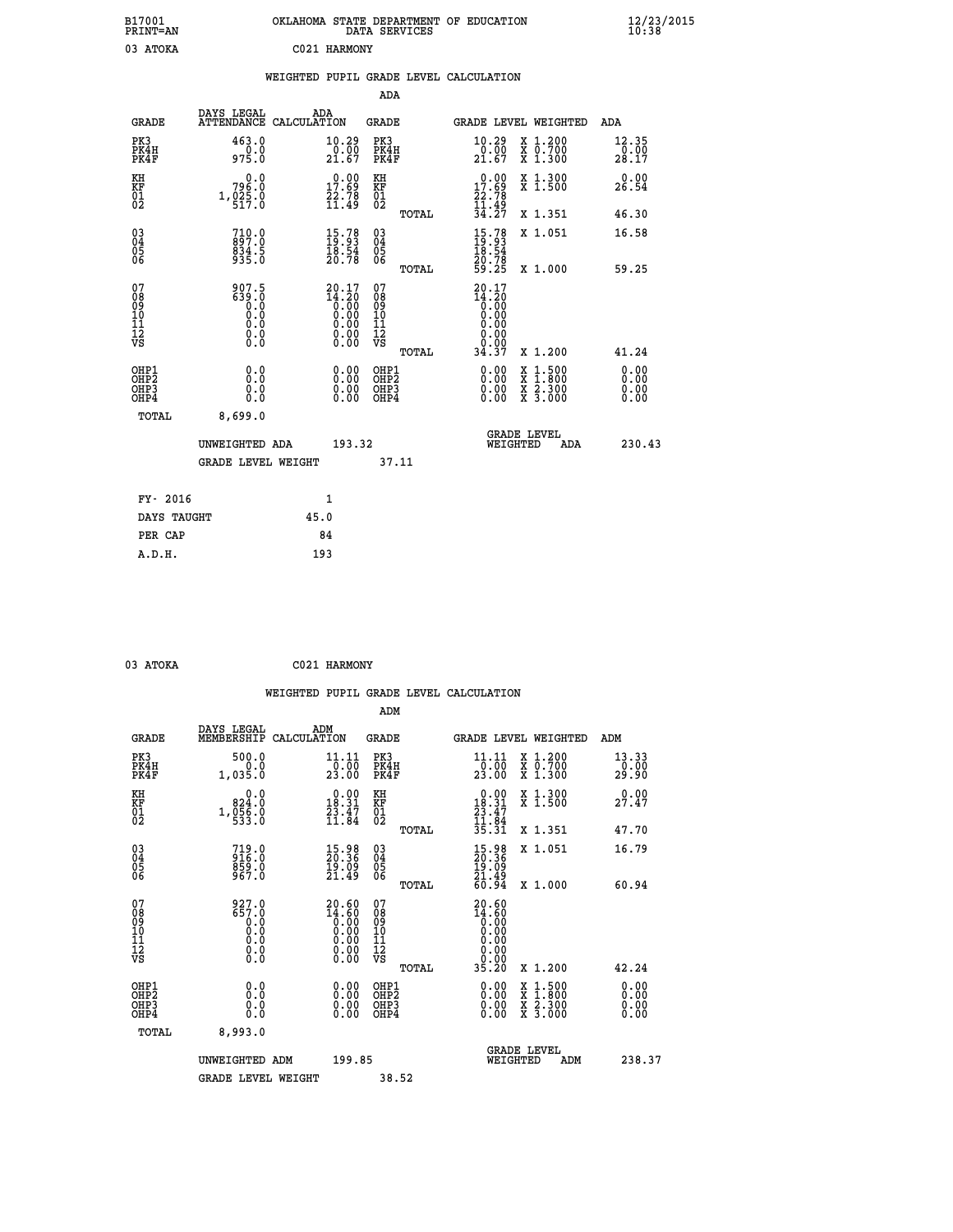| B17001<br>PRINT=AN           |                                            | OKLAHOMA STATE DEPARTMENT OF EDUCATION                                                               | DATA SERVICES                                      |                                                                         |                                                                                          | $\frac{12}{23}$ /2015  |
|------------------------------|--------------------------------------------|------------------------------------------------------------------------------------------------------|----------------------------------------------------|-------------------------------------------------------------------------|------------------------------------------------------------------------------------------|------------------------|
| 03 ATOKA                     |                                            | C021 HARMONY                                                                                         |                                                    |                                                                         |                                                                                          |                        |
|                              |                                            | WEIGHTED PUPIL GRADE LEVEL CALCULATION                                                               |                                                    |                                                                         |                                                                                          |                        |
|                              |                                            |                                                                                                      | ADA                                                |                                                                         |                                                                                          |                        |
| <b>GRADE</b>                 | DAYS LEGAL<br>ATTENDANCE CALCULATION       | ADA                                                                                                  | GRADE                                              |                                                                         | GRADE LEVEL WEIGHTED                                                                     | ADA                    |
| PK3<br>PK4H<br>PK4F          | 463.0<br>0.0<br>975.0                      | 10.29<br>$\frac{0.00}{21.67}$                                                                        | PK3<br>PK4H<br>PK4F                                | 10.29<br>$\frac{50}{21.67}$                                             | X 1.200<br>X 0.700<br>X 1.300                                                            | 12.35<br>0.00<br>28.17 |
| KH<br>KF<br>01<br>02         | 0.0<br>796.0<br>$1,025.0$<br>517.0         | $\begin{smallmatrix} 0.00\\ 17.69\\ 22.78\\ 11.49 \end{smallmatrix}$                                 | KH<br>KF<br>01<br>02                               | 0.00<br>$\begin{array}{r} 17.69 \\ 22.78 \\ 11.49 \\ 34.27 \end{array}$ | X 1.300<br>X 1.500                                                                       | 0.00<br>26.54          |
|                              |                                            |                                                                                                      | TOTAL                                              |                                                                         | X 1.351                                                                                  | 46.30                  |
| 03<br>04<br>05<br>06         | $710.0$<br>897.0<br>834.5<br>935.0         | $\begin{smallmatrix} 15\cdot78\\ 19\cdot93\\ 18\cdot54\\ 20\cdot78 \end{smallmatrix}$                | $\begin{matrix} 03 \\ 04 \\ 05 \\ 06 \end{matrix}$ | $15.7819.9318.5420.7859.25$                                             | X 1.051                                                                                  | 16.58                  |
|                              |                                            |                                                                                                      | TOTAL                                              |                                                                         | X 1.000                                                                                  | 59.25                  |
| 07<br>0890112<br>1112<br>VS  | 907.5<br>639.0<br>Õ.Ŏ<br>Ŏ.Ŏ<br>Ŏ.Ŏ<br>0.0 | $20.17$<br>$14.20$<br>$0.00$<br>0.00<br>0.00<br>$\begin{smallmatrix} 0.00 \\ 0.00 \end{smallmatrix}$ | 07<br>08<br>09<br>11<br>11<br>12<br>VS<br>TOTAL    | 20.17<br>$\frac{14.20}{0.00}$<br>0.00<br>0.00<br>0.00<br>0.00<br>34.37  | X 1.200                                                                                  | 41.24                  |
| OHP1<br>OHP2<br>OHP3<br>OHP4 | 0.0<br>0.0<br>0.0                          |                                                                                                      | OHP1<br>OHP2<br>OHP3<br>OHP4                       | $0.00$<br>$0.00$<br>0.00                                                | $\begin{smallmatrix} x & 1.500 \\ x & 1.800 \\ x & 2.300 \\ x & 3.000 \end{smallmatrix}$ | 0.00<br>0.00<br>0.00   |
| <b>TOTAL</b>                 | 8,699.0                                    |                                                                                                      |                                                    |                                                                         |                                                                                          |                        |
|                              | UNWEIGHTED ADA                             | 193.32                                                                                               |                                                    | WEIGHTED                                                                | <b>GRADE LEVEL</b><br>ADA                                                                | 230.43                 |
|                              | <b>GRADE LEVEL WEIGHT</b>                  |                                                                                                      | 37.11                                              |                                                                         |                                                                                          |                        |
|                              |                                            |                                                                                                      |                                                    |                                                                         |                                                                                          |                        |
| FY- 2016<br>DAYS TAUGHT      |                                            | 1<br>45.0                                                                                            |                                                    |                                                                         |                                                                                          |                        |
| PER CAP                      |                                            | 84                                                                                                   |                                                    |                                                                         |                                                                                          |                        |
| A.D.H.                       |                                            | 193                                                                                                  |                                                    |                                                                         |                                                                                          |                        |

| 03 ATOKA |  |  | C021 HARMONY |
|----------|--|--|--------------|

|                                                      |                                                                                                                                           |                    |                                                                                                                      |                              |       | WEIGHTED PUPIL GRADE LEVEL CALCULATION                                        |                                |                                                                                                  |                            |  |
|------------------------------------------------------|-------------------------------------------------------------------------------------------------------------------------------------------|--------------------|----------------------------------------------------------------------------------------------------------------------|------------------------------|-------|-------------------------------------------------------------------------------|--------------------------------|--------------------------------------------------------------------------------------------------|----------------------------|--|
|                                                      |                                                                                                                                           |                    |                                                                                                                      | ADM                          |       |                                                                               |                                |                                                                                                  |                            |  |
| <b>GRADE</b>                                         | DAYS LEGAL<br>MEMBERSHIP                                                                                                                  | ADM<br>CALCULATION |                                                                                                                      | <b>GRADE</b>                 |       | GRADE LEVEL WEIGHTED                                                          |                                |                                                                                                  | ADM                        |  |
| PK3<br>PK4H<br>PK4F                                  | 500.0<br>0.0<br>1,035.0                                                                                                                   |                    | 11.11<br>0.00<br>23.00                                                                                               | PK3<br>PK4H<br>PK4F          |       | 11.11<br>$\frac{1}{23}.00$                                                    |                                | X 1.200<br>X 0.700<br>X 1.300                                                                    | 13.33<br>$\frac{1}{29}.00$ |  |
| KH<br>KF<br>01<br>02                                 | 0.0<br>824.0<br>$1, \overline{0}$ $\overline{5}$ $\overline{6}$ $\overline{0}$ $\overline{0}$                                             |                    | $\begin{smallmatrix} 0.00\\ 18.31\\ 23.47\\ 11.84 \end{smallmatrix}$                                                 | KH<br>KF<br>01<br>02         |       | $\begin{smallmatrix} 0.00\\18.31\\23.47\\11.84\\35.31 \end{smallmatrix}$      |                                | X 1.300<br>X 1.500                                                                               | 27.47                      |  |
|                                                      |                                                                                                                                           |                    |                                                                                                                      |                              | TOTAL |                                                                               |                                | X 1.351                                                                                          | 47.70                      |  |
| $\begin{matrix} 03 \\ 04 \\ 05 \\ 06 \end{matrix}$   | $719.0$<br>$916.0$<br>859.0<br>967.0                                                                                                      |                    | 15.98<br>20.36<br>19.09<br>21.49                                                                                     | 03<br>04<br>05<br>06         |       | $\begin{smallmatrix} 15.98\\ 20.36\\ 19.09\\ 21.49\\ 60.94 \end{smallmatrix}$ |                                | X 1.051                                                                                          | 16.79                      |  |
|                                                      |                                                                                                                                           |                    |                                                                                                                      |                              | TOTAL |                                                                               |                                | X 1.000                                                                                          | 60.94                      |  |
| 07<br>0890112<br>1112<br>VS                          | 927.0<br>657.0<br>$\begin{smallmatrix}0.0 \ 0.0 \end{smallmatrix}$<br>$\begin{smallmatrix} 0.0 & 0 \ 0.0 & 0 \ 0.0 & 0 \end{smallmatrix}$ |                    | $20.60$<br>$14.60$<br>$0.00$<br>$0.00$<br>0.00<br>$\begin{smallmatrix} 0.00 & 0.00 \\ 0.00 & 0.00 \end{smallmatrix}$ | 07<br>08901123<br>1112<br>VS | TOTAL | $20.60$<br>$14.60$<br>$0.00$<br>$0.00$<br>0.00<br>0.00<br>35.20               |                                | X 1.200                                                                                          | 42.24                      |  |
|                                                      |                                                                                                                                           |                    |                                                                                                                      |                              |       |                                                                               |                                |                                                                                                  |                            |  |
| OHP1<br>OHP2<br>OH <sub>P3</sub><br>OH <sub>P4</sub> | 0.0<br>0.000                                                                                                                              |                    | $\begin{smallmatrix} 0.00 \ 0.00 \ 0.00 \ 0.00 \end{smallmatrix}$                                                    | OHP1<br>OHP2<br>OHP3<br>OHP4 |       |                                                                               |                                | $\begin{smallmatrix} x & 1 & 500 \\ x & 1 & 800 \\ x & 2 & 300 \\ x & 3 & 000 \end{smallmatrix}$ | 0.00<br>0.00<br>0.00       |  |
| TOTAL                                                | 8,993.0                                                                                                                                   |                    |                                                                                                                      |                              |       |                                                                               |                                |                                                                                                  |                            |  |
|                                                      | UNWEIGHTED ADM                                                                                                                            |                    | 199.85                                                                                                               |                              |       |                                                                               | <b>GRADE LEVEL</b><br>WEIGHTED | ADM                                                                                              | 238.37                     |  |
|                                                      | <b>GRADE LEVEL WEIGHT</b>                                                                                                                 |                    |                                                                                                                      | 38.52                        |       |                                                                               |                                |                                                                                                  |                            |  |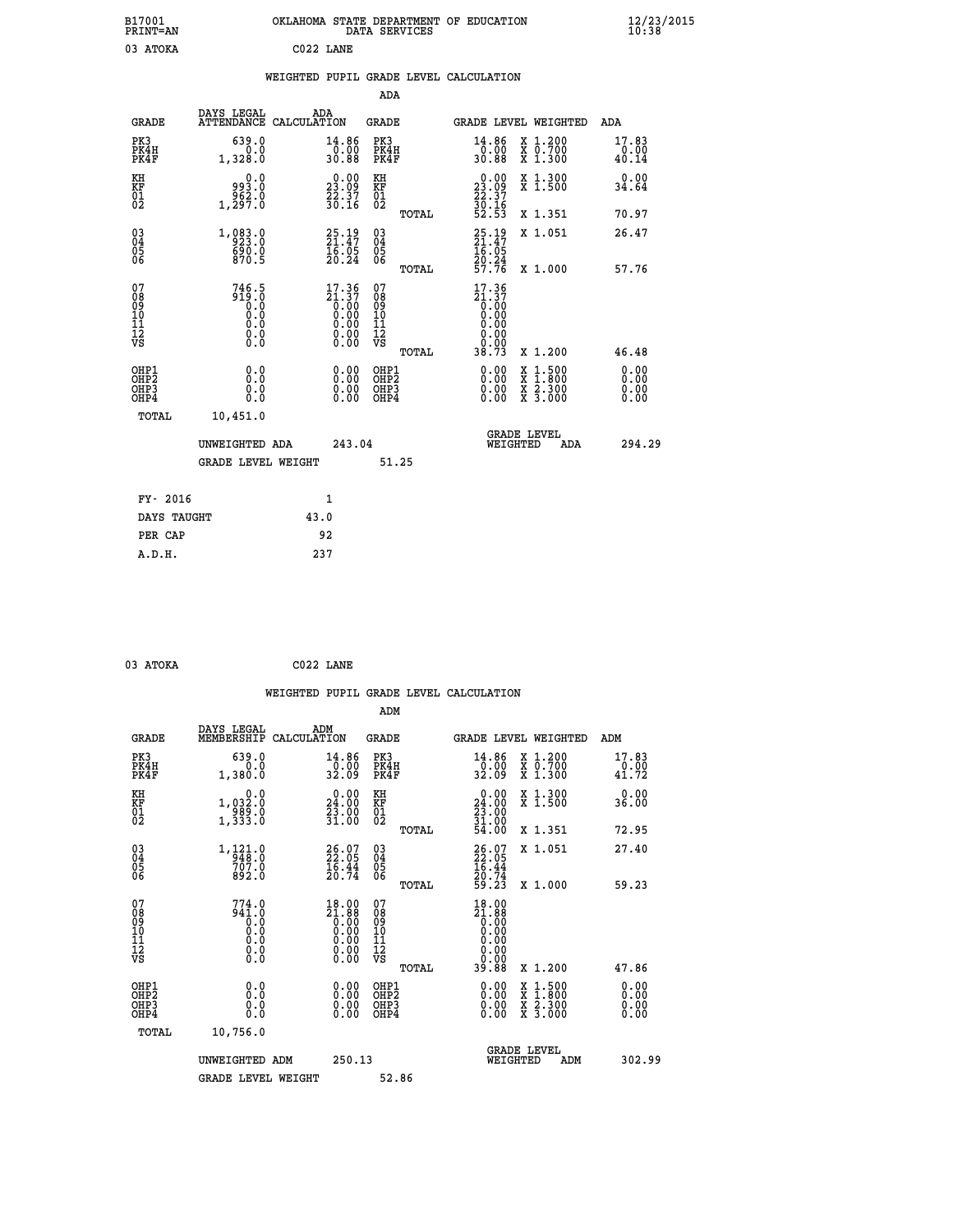|           | OKLAHOMA STATE DEPARTMENT OF EDUCATION<br>DATA SERVICES |  |
|-----------|---------------------------------------------------------|--|
| C022 LANE |                                                         |  |

|  |  | WEIGHTED PUPIL GRADE LEVEL CALCULATION |
|--|--|----------------------------------------|
|  |  |                                        |

| DAYS LEGAL                        | ADA                                                                             | GRADE                                                                                                                                                                                                                                                        |                                                         |                                                                                                                                          | ADA                                                                                                                                                                                                               |
|-----------------------------------|---------------------------------------------------------------------------------|--------------------------------------------------------------------------------------------------------------------------------------------------------------------------------------------------------------------------------------------------------------|---------------------------------------------------------|------------------------------------------------------------------------------------------------------------------------------------------|-------------------------------------------------------------------------------------------------------------------------------------------------------------------------------------------------------------------|
| 639.0<br>0.0<br>1,328.0           | 14.86<br>0.00<br>30.88                                                          | PK3<br>PK4H<br>PK4F                                                                                                                                                                                                                                          | 14.86<br>0.00<br>30.88                                  | X 1.200<br>X 0.700<br>X 1.300                                                                                                            | 17.83<br>0.00<br>40.14                                                                                                                                                                                            |
| 0.0<br>993.0                      |                                                                                 | KH                                                                                                                                                                                                                                                           |                                                         | X 1.300<br>X 1.500                                                                                                                       | 0.00<br>34.64                                                                                                                                                                                                     |
|                                   |                                                                                 | TOTAL                                                                                                                                                                                                                                                        |                                                         | X 1.351                                                                                                                                  | 70.97                                                                                                                                                                                                             |
| 1, 083.0<br>$\frac{690.0}{870.5}$ | 25.19<br>21.47<br>16.05<br>20.24                                                | 03<br>04<br>05<br>06                                                                                                                                                                                                                                         | $25.19$<br>$21.47$<br>$16.95$                           | X 1.051                                                                                                                                  | 26.47<br>57.76                                                                                                                                                                                                    |
|                                   |                                                                                 |                                                                                                                                                                                                                                                              |                                                         |                                                                                                                                          |                                                                                                                                                                                                                   |
| 919.0<br>0.0<br>0.000<br>$\S.$    |                                                                                 | 08<br>09<br>101<br>11<br>12<br>VS<br>TOTAL                                                                                                                                                                                                                   | 0.00<br>0.00<br>38.73                                   | X 1.200                                                                                                                                  | 46.48                                                                                                                                                                                                             |
| 0.0<br>0.0<br>0.0                 | 0.00<br>0.00<br>0.00                                                            | OHP1<br>OHP <sub>2</sub><br>OHP3<br>OHP4                                                                                                                                                                                                                     | 0.00<br>0.00<br>0.00                                    |                                                                                                                                          | 0.00<br>0.00<br>0.00<br>0.00                                                                                                                                                                                      |
| 10,451.0                          |                                                                                 |                                                                                                                                                                                                                                                              |                                                         |                                                                                                                                          |                                                                                                                                                                                                                   |
|                                   |                                                                                 |                                                                                                                                                                                                                                                              |                                                         | ADA                                                                                                                                      | 294.29                                                                                                                                                                                                            |
|                                   |                                                                                 |                                                                                                                                                                                                                                                              |                                                         |                                                                                                                                          |                                                                                                                                                                                                                   |
|                                   |                                                                                 |                                                                                                                                                                                                                                                              |                                                         |                                                                                                                                          |                                                                                                                                                                                                                   |
| DAYS TAUGHT                       |                                                                                 |                                                                                                                                                                                                                                                              |                                                         |                                                                                                                                          |                                                                                                                                                                                                                   |
| PER CAP                           |                                                                                 |                                                                                                                                                                                                                                                              |                                                         |                                                                                                                                          |                                                                                                                                                                                                                   |
|                                   | 237                                                                             |                                                                                                                                                                                                                                                              |                                                         |                                                                                                                                          |                                                                                                                                                                                                                   |
|                                   | $1, \frac{5}{2}$ $\frac{5}{2}$ $\frac{5}{7}$ $\frac{5}{0}$<br>746.5<br>FY- 2016 | ATTENDANCE CALCULATION<br>$\begin{smallmatrix} 0.00\\ 23.09\\ 22.37\\ 30.16 \end{smallmatrix}$<br>$\begin{smallmatrix} 17.36\\21.37\\0.00\\0.00\\0.00\\0.00\\0.00\\0.00 \end{smallmatrix}$<br>UNWEIGHTED ADA<br><b>GRADE LEVEL WEIGHT</b><br>1<br>43.0<br>92 | ADA<br>KF<br>01<br>02<br>TOTAL<br>07<br>243.04<br>51.25 | $\begin{smallmatrix} 0.00\\ 23.09\\ 22.37\\ 30.16\\ 52.53 \end{smallmatrix}$<br>20.24<br>57.76<br>$17.36$<br>$21.37$<br>$0.00$<br>$0.00$ | GRADE LEVEL WEIGHTED<br>X 1.000<br>$\begin{smallmatrix} \mathtt{X} & 1\cdot500 \\ \mathtt{X} & 1\cdot800 \\ \mathtt{X} & 2\cdot300 \\ \mathtt{X} & 3\cdot000 \end{smallmatrix}$<br><b>GRADE LEVEL</b><br>WEIGHTED |

| 03 ATOKA | C022 LANE |  |
|----------|-----------|--|

 **B17001<br>PRINT=AN<br>03 ATOKA** 

|                                                    |                                                                                               |                                                                                                                                                              | WEIGHTED PUPIL GRADE LEVEL CALCULATION              |                                                                          |                                          |                               |
|----------------------------------------------------|-----------------------------------------------------------------------------------------------|--------------------------------------------------------------------------------------------------------------------------------------------------------------|-----------------------------------------------------|--------------------------------------------------------------------------|------------------------------------------|-------------------------------|
|                                                    |                                                                                               |                                                                                                                                                              | ADM                                                 |                                                                          |                                          |                               |
| <b>GRADE</b>                                       | DAYS LEGAL<br>MEMBERSHIP                                                                      | ADM<br>CALCULATION                                                                                                                                           | <b>GRADE</b>                                        | GRADE LEVEL WEIGHTED                                                     |                                          | ADM                           |
| PK3<br>PK4H<br>PK4F                                | 639.0<br>0.0<br>1,380.0                                                                       | 14.86<br>0.00<br>32.09                                                                                                                                       | PK3<br>PK4H<br>PK4F                                 | 14.86<br>$\frac{1}{32}.00$                                               | X 1.200<br>X 0.700<br>X 1.300            | 17.83<br>$\frac{0.00}{41.72}$ |
| KH<br>KF<br>01<br>02                               | 0.0<br>1,032.0<br>$\frac{1}{1}$ , $\frac{389}{333}$ : 0                                       | 24.00<br>23.00<br>31.00                                                                                                                                      | KH<br>KF<br>01<br>02                                | $\begin{smallmatrix} 0.00\\24.00\\23.00\\31.00\\54.00 \end{smallmatrix}$ | X 1.300<br>X 1.500                       | 0.00<br>36.00                 |
|                                                    |                                                                                               |                                                                                                                                                              | TOTAL                                               |                                                                          | X 1.351                                  | 72.95                         |
| $\begin{matrix} 03 \\ 04 \\ 05 \\ 06 \end{matrix}$ | $\begin{smallmatrix} 1\,,\,121\cdot0\\-\,948\cdot0\\-\,707\cdot0\\892\cdot0\end{smallmatrix}$ | 26.07<br>22.05<br>16.44<br>20.74                                                                                                                             | $\begin{array}{c} 03 \\ 04 \\ 05 \\ 06 \end{array}$ | 26.07<br>22.05<br>16.44<br>20.74<br>29.23                                | X 1.051                                  | 27.40                         |
|                                                    |                                                                                               |                                                                                                                                                              | TOTAL                                               |                                                                          | X 1.000                                  | 59.23                         |
| 07<br>0890112<br>1112<br>VS                        | $774.0$<br>941.0<br>0.0<br>0.0<br>0.0<br>$\S.$                                                | $\begin{smallmatrix} 18.00 \\ 21.88 \\ 0.00 \\ 0.00 \\ 0.00 \\ 0.00 \end{smallmatrix}$<br>$\begin{smallmatrix} 0.00 & 0.00 \\ 0.00 & 0.00 \end{smallmatrix}$ | 07<br>08<br>09<br>11<br>11<br>12<br>VS<br>TOTAL     | 18.00<br>$\frac{21.88}{0.00}$<br>0.00<br>0.00<br>39.88                   | X 1.200                                  | 47.86                         |
| OHP1                                               |                                                                                               |                                                                                                                                                              | OHP1                                                |                                                                          |                                          | 0.00                          |
| OHP <sub>2</sub><br>OH <sub>P3</sub><br>OHP4       | 0.0<br>0.000                                                                                  | 0.00<br>0.00<br>0.00                                                                                                                                         | OHP <sub>2</sub><br>OHP <sub>3</sub>                | 0.00<br>0.00<br>0.00                                                     | X 1:500<br>X 1:800<br>X 2:300<br>X 3:000 | 0.00<br>0.00<br>0.00          |
| TOTAL                                              | 10,756.0                                                                                      |                                                                                                                                                              |                                                     |                                                                          |                                          |                               |
|                                                    | UNWEIGHTED ADM                                                                                | 250.13                                                                                                                                                       |                                                     | <b>GRADE LEVEL</b><br>WEIGHTED                                           | ADM                                      | 302.99                        |
|                                                    | <b>GRADE LEVEL WEIGHT</b>                                                                     |                                                                                                                                                              | 52.86                                               |                                                                          |                                          |                               |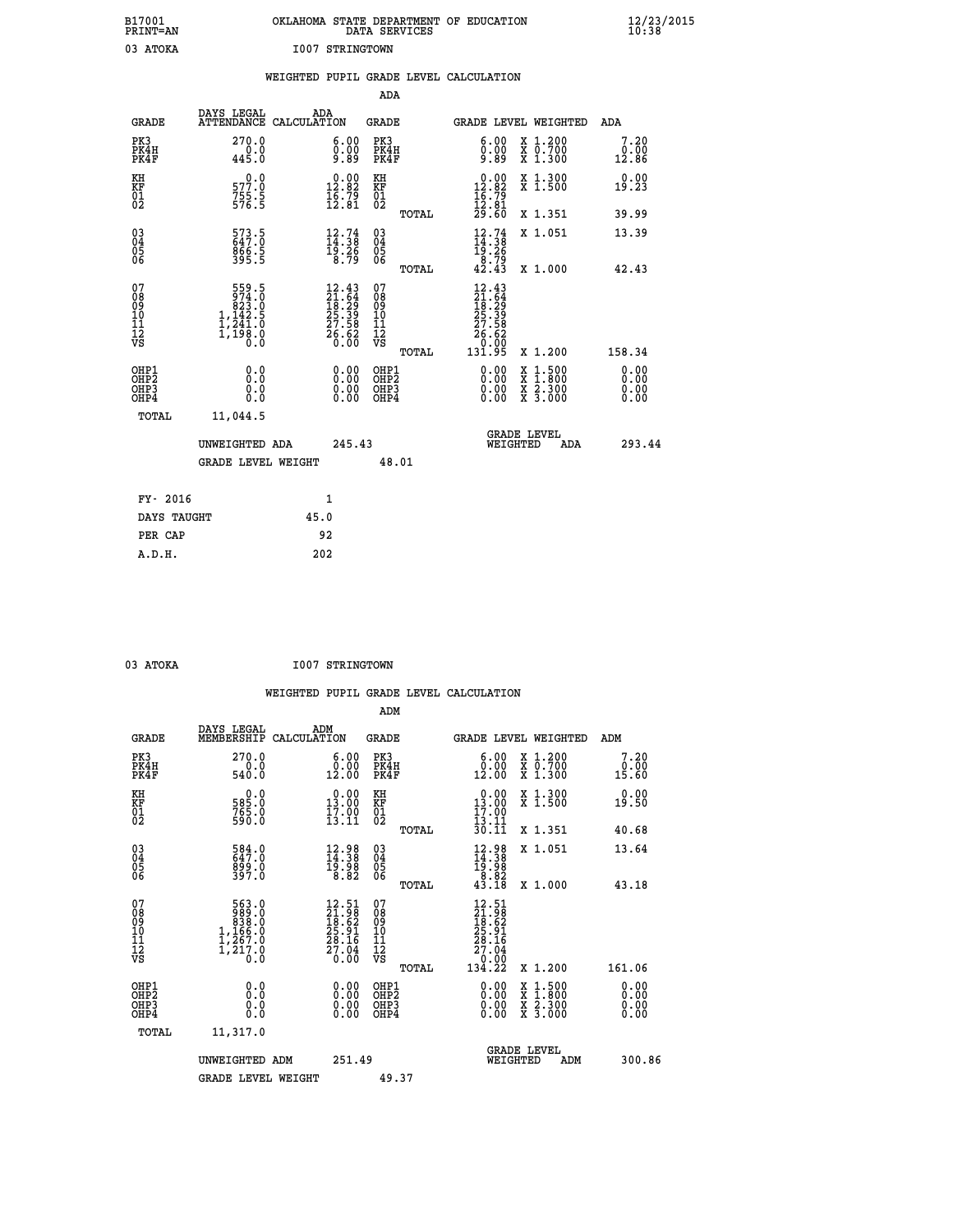| B17001<br>PRINT=AN                           |                                                                                                                                | OKLAHOMA STATE DEPARTMENT OF EDUCATION                                   | DATA SERVICES                                        |                                                                                                  |                                          | $\frac{12}{23}$ /2015 |
|----------------------------------------------|--------------------------------------------------------------------------------------------------------------------------------|--------------------------------------------------------------------------|------------------------------------------------------|--------------------------------------------------------------------------------------------------|------------------------------------------|-----------------------|
| 03 ATOKA                                     |                                                                                                                                | I007 STRINGTOWN                                                          |                                                      |                                                                                                  |                                          |                       |
|                                              |                                                                                                                                | WEIGHTED PUPIL GRADE LEVEL CALCULATION                                   |                                                      |                                                                                                  |                                          |                       |
|                                              |                                                                                                                                |                                                                          | ADA                                                  |                                                                                                  |                                          |                       |
| <b>GRADE</b>                                 | DAYS LEGAL                                                                                                                     | ADA<br>ATTENDANCE CALCULATION                                            | GRADE                                                |                                                                                                  | GRADE LEVEL WEIGHTED                     | ADA                   |
| PK3<br>PK4H<br>PK4F                          | 270.0<br>0.0<br>445.0                                                                                                          | 6.00<br>$\frac{0.00}{9.89}$                                              | PK3<br>PK4H<br>PK4F                                  | 6.00<br>0.00                                                                                     | X 1.200<br>X 0.700<br>X 1.300            | 7.20<br>0.00<br>12.86 |
| KH<br>ΚF<br>$\frac{01}{02}$                  | 577.0<br>$755.5$<br>576.5                                                                                                      | 12.82<br>$\frac{1}{6}$ $\frac{5}{6}$ $\frac{75}{81}$                     | KH<br>KF<br>01<br>02                                 | $\begin{array}{c} 0.00 \\ 12.82 \\ 16.79 \\ 12.81 \end{array}$                                   | X 1.300<br>X 1.500                       | 0.00<br>19.23         |
|                                              |                                                                                                                                |                                                                          | TOTAL                                                | 29.60                                                                                            | X 1.351                                  | 39.99                 |
| 03<br>04<br>05<br>06                         | 573.5<br>647.0<br>866.5<br>395.5                                                                                               | $\begin{smallmatrix} 12.74\ 14.38\ 19.26\ 8.79 \end{smallmatrix}$        | $\begin{matrix} 03 \\ 04 \\ 05 \\ 06 \end{matrix}$   | $12.74$<br>$14.38$<br>$19.26$<br>$8.79$<br>$42.43$                                               | X 1.051                                  | 13.39                 |
|                                              |                                                                                                                                |                                                                          | TOTAL<br>07                                          |                                                                                                  | X 1.000                                  | 42.43                 |
| 07<br>08<br>09<br>10<br>11<br>11<br>12<br>VS | $\begin{smallmatrix}5 & 5 & 9 & 5\\9 & 74 & 0\\8 & 23 & 0\\1 & 14 & 2\\1 & 24 & 1 & 0\\1 & 1 & 98 & 0\end{smallmatrix}$<br>Ŏ.Ŏ | $12.43$<br>$21.64$<br>$18.29$<br>$25.39$<br>$27.58$<br>$26.62$<br>$0.00$ | 08<br>09<br>10<br>$\frac{11}{12}$<br>$\frac{12}{18}$ | $\begin{smallmatrix} 12.43\ 21.64\ 18.29\ 19.29\ 27.58\ 27.58\ 26.620\ 131.95 \end{smallmatrix}$ |                                          |                       |
| OHP1                                         | 0.0                                                                                                                            |                                                                          | TOTAL<br>OHP1                                        |                                                                                                  | X 1.200                                  | 158.34<br>0.00        |
| OHP2<br>OHP3<br>OHP4                         | 0.0<br>0.0<br>0.0                                                                                                              | 0.00<br>$\begin{smallmatrix} 0.00 \ 0.00 \end{smallmatrix}$              | OH <sub>P</sub> 2<br>OHP3<br>OHP4                    | 0.00<br>0.00<br>0.00                                                                             | X 1:500<br>X 1:800<br>X 2:300<br>X 3:000 | 0.00<br>0.00<br>0.00  |
| TOTAL                                        | 11,044.5                                                                                                                       |                                                                          |                                                      |                                                                                                  |                                          |                       |
|                                              | UNWEIGHTED ADA                                                                                                                 | 245.43                                                                   |                                                      | WEIGHTED                                                                                         | <b>GRADE LEVEL</b><br>ADA                | 293.44                |
|                                              | <b>GRADE LEVEL WEIGHT</b>                                                                                                      |                                                                          | 48.01                                                |                                                                                                  |                                          |                       |
| FY- 2016                                     |                                                                                                                                | 1                                                                        |                                                      |                                                                                                  |                                          |                       |
| DAYS TAUGHT                                  |                                                                                                                                | 45.0                                                                     |                                                      |                                                                                                  |                                          |                       |
| PER CAP                                      |                                                                                                                                | 92                                                                       |                                                      |                                                                                                  |                                          |                       |

| 03 ATOKA |  | <b>I007 STRINGTOWN</b> |
|----------|--|------------------------|

 **WEIGHTED PUPIL GRADE LEVEL CALCULATION ADM DAYS LEGAL ADM GRADE MEMBERSHIP CALCULATION GRADE GRADE LEVEL WEIGHTED ADM PK3 270.0 6.00 PK3 6.00 X 1.200 7.20 PK4H 0.0 0.00 PK4H 0.00 X 0.700 0.00 PK4F 540.0 12.00 PK4F 12.00 X 1.300 15.60 KH 0.0 0.00 KH 0.00 X 1.300 0.00 KF 585.0 13.00 KF 13.00 X 1.500 19.50 01 765.0 17.00 01 17.00**  $02$  590.0 13.11 02  $\frac{13.11}{2}$  **TOTAL 30.11 X 1.351 40.68 03 584.0 12.98 03 12.98 X 1.051 13.64 04 647.0 14.38 04 14.38 05 899.0 19.98 05 19.98 06 397.0 8.82 06 8.82 TOTAL 43.18 X 1.000 43.18**  $\begin{array}{cccc} 07 & 563.0 & 12.51 & 07 & 12.51 \ 08 & 99 & 839.0 & 21.819 \ 10 & 1,166.0 & 25.91 & 10 & 25.91 \ 11 & 1,267.0 & 28.16 & 12 & 28.19 \ \hline \textrm{vs} & 1,217.0 & 28.16 & 11 & 28.16 \ 12 & 7.67.0 & 28.16 & 12 & 27.04 \ 13 & 0.0 & 0 & 0 & 0 & 0 \ \end{array}$  **TOTAL 134.22 X 1.200 161.06 OHP1 0.0 0.00 OHP1 0.00 X 1.500 0.00 OHP2 0.0 0.00 OHP2 0.00 X 1.800 0.00 OHP3 0.0 0.00 OHP3 0.00 X 2.300 0.00**  $\begin{array}{cccccccc} \text{OHP1} & & & 0.0 & & & 0.00 & & \text{OHP1} & & & 0.00 & & \text{X} & 1.500 & & & 0.00 \\ \text{OHP2} & & & & 0.0 & & & 0.00 & & \text{OHP2} & & & 0.00 & & \text{X} & 1.500 & & & 0.00 \\ \text{OHP3} & & & & 0.0 & & & 0.00 & & \text{OHP3} & & & 0.00 & & \text{X} & 2.300 & & 0.00 \\ \text{OHP4} & & & & 0.0 & & 0.0 & & \text{$  **TOTAL 11,317.0 GRADE LEVEL UNWEIGHTED ADM 251.49 WEIGHTED ADM 300.86** GRADE LEVEL WEIGHT 49.37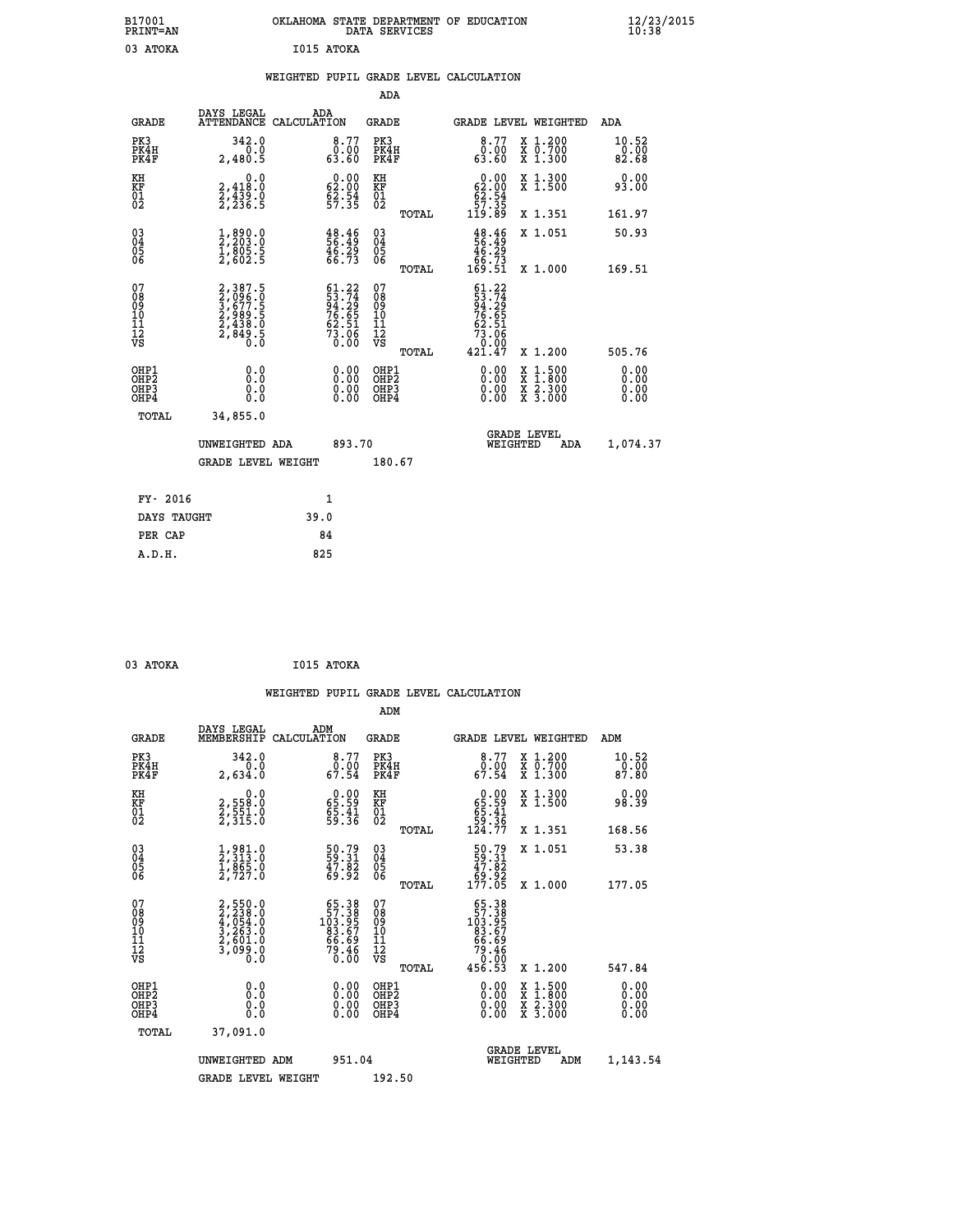| B17001               |                                      | OKLAHOMA                               |                             | STATE DEPARTMENT | <b>EDUCATION</b><br>ОF                                         |                               | 12/23/2015<br>10:38        |  |
|----------------------|--------------------------------------|----------------------------------------|-----------------------------|------------------|----------------------------------------------------------------|-------------------------------|----------------------------|--|
| PRINT=AN             |                                      |                                        | DATA SERVICES               |                  |                                                                |                               |                            |  |
| 03<br><b>ATOKA</b>   |                                      | I015 ATOKA                             |                             |                  |                                                                |                               |                            |  |
|                      |                                      | WEIGHTED                               |                             |                  | PUPIL GRADE LEVEL CALCULATION                                  |                               |                            |  |
|                      |                                      |                                        | ADA                         |                  |                                                                |                               |                            |  |
| GRADE                | DAYS LEGAL                           | ADA<br>ATTENDANCE CALCULATION          | GRADE                       |                  | <b>GRADE LEVEL</b>                                             | WEIGHTED                      | ADA                        |  |
| PK3<br>PK4H<br>PK4F  | 342.0<br>0.0<br>2,480.5              | 8.77<br>0.00<br>63.60                  | PK3<br>PK4H<br>PK4F         |                  | $8.77$<br>$0.00$<br>63.60                                      | X 1.200<br>X 0.700<br>X 1.300 | $10.52$<br>$0.00$<br>82.68 |  |
| KH<br>KF<br>01<br>02 | 0.0<br>2,418:0<br>2,439:0<br>2,236:5 | 0.00<br>$\frac{62.00}{62.54}$<br>57.35 | KH<br><b>KF</b><br>01<br>02 |                  | 0.00<br>$\begin{array}{c} 62.00 \\ 62.54 \\ 57.35 \end{array}$ | X 1.300<br>X <sub>1.500</sub> | 0.00<br>93.00              |  |
|                      |                                      |                                        |                             | TOTAL            | .89<br>119                                                     | X 1.351                       | 161.97                     |  |

 **03 1,890.0 48.46 03 48.46 X 1.051 50.93**

 **TOTAL 169.51 X 1.000 169.51**

 **04 2,203.0 56.49 04 56.49 05 1,805.5 46.29 05 46.29 06 2,602.5 66.73 06 66.73**

|                                          |                                                                |                                                                          |                                          | . <u>.</u> |                                                                                                              |                                                       |     | - - - - - -                                                                                                                                                                                                                                                                    |
|------------------------------------------|----------------------------------------------------------------|--------------------------------------------------------------------------|------------------------------------------|------------|--------------------------------------------------------------------------------------------------------------|-------------------------------------------------------|-----|--------------------------------------------------------------------------------------------------------------------------------------------------------------------------------------------------------------------------------------------------------------------------------|
| 07<br>08<br>09<br>101<br>11<br>12<br>VS  | 2,387.5<br>3,096.0<br>3,677.5<br>2,989.5<br>2,438.0<br>2,849.5 | $61.22$<br>$53.74$<br>$94.29$<br>$76.65$<br>$62.51$<br>$73.06$<br>$0.00$ | 078<br>089<br>0011<br>11<br>12<br>VS     | TOTAL      | $\begin{array}{r} 61.22 \\ 53.74 \\ 94.29 \\ 76.65 \\ 76.65 \\ 62.51 \\ 73.06 \\ 0.00 \\ 421.47 \end{array}$ | X 1.200                                               |     | 505.76                                                                                                                                                                                                                                                                         |
| OHP1<br>OHP <sub>2</sub><br>OHP3<br>OHP4 |                                                                |                                                                          | OHP1<br>OHP <sub>2</sub><br>OHP3<br>OHP4 |            |                                                                                                              | x 1:500<br>x 1:800<br>x 2:300<br>$\overline{x}$ 3.000 |     | $\begin{smallmatrix} 0.00 & 0.00 & 0.00 & 0.00 & 0.00 & 0.00 & 0.00 & 0.00 & 0.00 & 0.00 & 0.00 & 0.00 & 0.00 & 0.00 & 0.00 & 0.00 & 0.00 & 0.00 & 0.00 & 0.00 & 0.00 & 0.00 & 0.00 & 0.00 & 0.00 & 0.00 & 0.00 & 0.00 & 0.00 & 0.00 & 0.00 & 0.00 & 0.00 & 0.00 & 0.00 & 0.0$ |
| TOTAL                                    | 34,855.0                                                       |                                                                          |                                          |            |                                                                                                              |                                                       |     |                                                                                                                                                                                                                                                                                |
|                                          | UNWEIGHTED ADA                                                 | 893.70                                                                   |                                          |            | WEIGHTED                                                                                                     | <b>GRADE LEVEL</b>                                    | ADA | 1,074.37                                                                                                                                                                                                                                                                       |
|                                          | <b>GRADE LEVEL WEIGHT</b>                                      |                                                                          | 180.67                                   |            |                                                                                                              |                                                       |     |                                                                                                                                                                                                                                                                                |
| FY- 2016                                 |                                                                | $\mathbf{1}$                                                             |                                          |            |                                                                                                              |                                                       |     |                                                                                                                                                                                                                                                                                |
| DAYS TAUGHT                              |                                                                | 39.0                                                                     |                                          |            |                                                                                                              |                                                       |     |                                                                                                                                                                                                                                                                                |
| PER CAP                                  |                                                                | 84                                                                       |                                          |            |                                                                                                              |                                                       |     |                                                                                                                                                                                                                                                                                |
|                                          |                                                                |                                                                          |                                          |            |                                                                                                              |                                                       |     |                                                                                                                                                                                                                                                                                |

| 03 ATOKA      | I015 ATOKA |
|---------------|------------|
| $\sim$ $\sim$ |            |

|                                                      |                                                                           |                                                                      |                                        | WEIGHTED PUPIL GRADE LEVEL CALCULATION                                                                                                                                                                                                                                         |                                          |                               |
|------------------------------------------------------|---------------------------------------------------------------------------|----------------------------------------------------------------------|----------------------------------------|--------------------------------------------------------------------------------------------------------------------------------------------------------------------------------------------------------------------------------------------------------------------------------|------------------------------------------|-------------------------------|
|                                                      |                                                                           |                                                                      | ADM                                    |                                                                                                                                                                                                                                                                                |                                          |                               |
| <b>GRADE</b>                                         | DAYS LEGAL<br>MEMBERSHIP                                                  | ADM<br>CALCULATION                                                   | <b>GRADE</b>                           | GRADE LEVEL WEIGHTED                                                                                                                                                                                                                                                           |                                          | ADM                           |
| PK3<br>PK4H<br>PK4F                                  | 342.0<br>0.0<br>2,634.0                                                   | 8.77<br>0:00<br>67.54                                                | PK3<br>PK4H<br>PK4F                    | $\begin{array}{c} 8.77 \\ 0.00 \\ 67.54 \end{array}$                                                                                                                                                                                                                           | X 1.200<br>X 0.700<br>X 1.300            | 10.52<br>$\frac{0.00}{87.80}$ |
| KH<br>KF<br>01<br>02                                 | $\begin{smallmatrix}&&&0.0\2,558.0\2,551.0\2,315.0\end{smallmatrix}$      | $\begin{smallmatrix} 0.00\\ 65.59\\ 65.41\\ 59.36 \end{smallmatrix}$ | KH<br>KF<br>01<br>02                   | $\begin{smallmatrix} &0.00\ 65.59\ 65.41\ 59.36\ 124.77\ \end{smallmatrix}$                                                                                                                                                                                                    | X 1.300<br>X 1.500                       | 0.00<br>98.39                 |
|                                                      |                                                                           |                                                                      | TOTAL                                  |                                                                                                                                                                                                                                                                                | X 1.351                                  | 168.56                        |
| 03<br>04<br>05<br>06                                 | 1,981.0<br>2,313.0<br>1,865.0<br>2,727.0                                  | 50.79<br>59.31<br>47.82<br>69.92                                     | 03<br>04<br>05<br>06                   | 50.79<br>59.31<br>47.82<br>69.92<br>177.05                                                                                                                                                                                                                                     | X 1.051                                  | 53.38                         |
|                                                      |                                                                           |                                                                      | TOTAL                                  |                                                                                                                                                                                                                                                                                | X 1.000                                  | 177.05                        |
| 07<br>08<br>09<br>101<br>112<br>VS                   | 2,550.0<br>2,238.0<br>4,054.0<br>4,054.0<br>3,263.0<br>2,601.0<br>3,099.0 | $57.38$<br>$103.957$<br>$83.67$<br>$66.69$<br>$79.46$<br>0.00        | 07<br>08<br>09<br>11<br>11<br>12<br>VS | $\begin{smallmatrix} 65\cdot 38\\ 57\cdot 39\\ 103\cdot 957\\ 83\cdot 67\\ 66\cdot 69\\ 79\cdot 46\\ 0\cdot 00\\ 456\cdot 53 \end{smallmatrix}$                                                                                                                                |                                          |                               |
|                                                      |                                                                           |                                                                      | TOTAL                                  |                                                                                                                                                                                                                                                                                | X 1.200                                  | 547.84                        |
| OHP1<br>OHP2<br>OH <sub>P3</sub><br>OH <sub>P4</sub> | 0.0<br>0.000                                                              | $\begin{smallmatrix} 0.00 \ 0.00 \ 0.00 \ 0.00 \end{smallmatrix}$    | OHP1<br>OHP2<br>OHP3<br>OHP4           | $\begin{smallmatrix} 0.00 & 0.00 & 0.00 & 0.00 & 0.00 & 0.00 & 0.00 & 0.00 & 0.00 & 0.00 & 0.00 & 0.00 & 0.00 & 0.00 & 0.00 & 0.00 & 0.00 & 0.00 & 0.00 & 0.00 & 0.00 & 0.00 & 0.00 & 0.00 & 0.00 & 0.00 & 0.00 & 0.00 & 0.00 & 0.00 & 0.00 & 0.00 & 0.00 & 0.00 & 0.00 & 0.0$ | X 1:500<br>X 1:800<br>X 2:300<br>X 3:000 | 0.00<br>0.00<br>0.00          |
| TOTAL                                                | 37,091.0                                                                  |                                                                      |                                        |                                                                                                                                                                                                                                                                                |                                          |                               |
|                                                      | UNWEIGHTED ADM                                                            | 951.04                                                               |                                        | <b>GRADE LEVEL</b><br>WEIGHTED                                                                                                                                                                                                                                                 | ADM                                      | 1,143.54                      |
|                                                      | <b>GRADE LEVEL WEIGHT</b>                                                 |                                                                      | 192.50                                 |                                                                                                                                                                                                                                                                                |                                          |                               |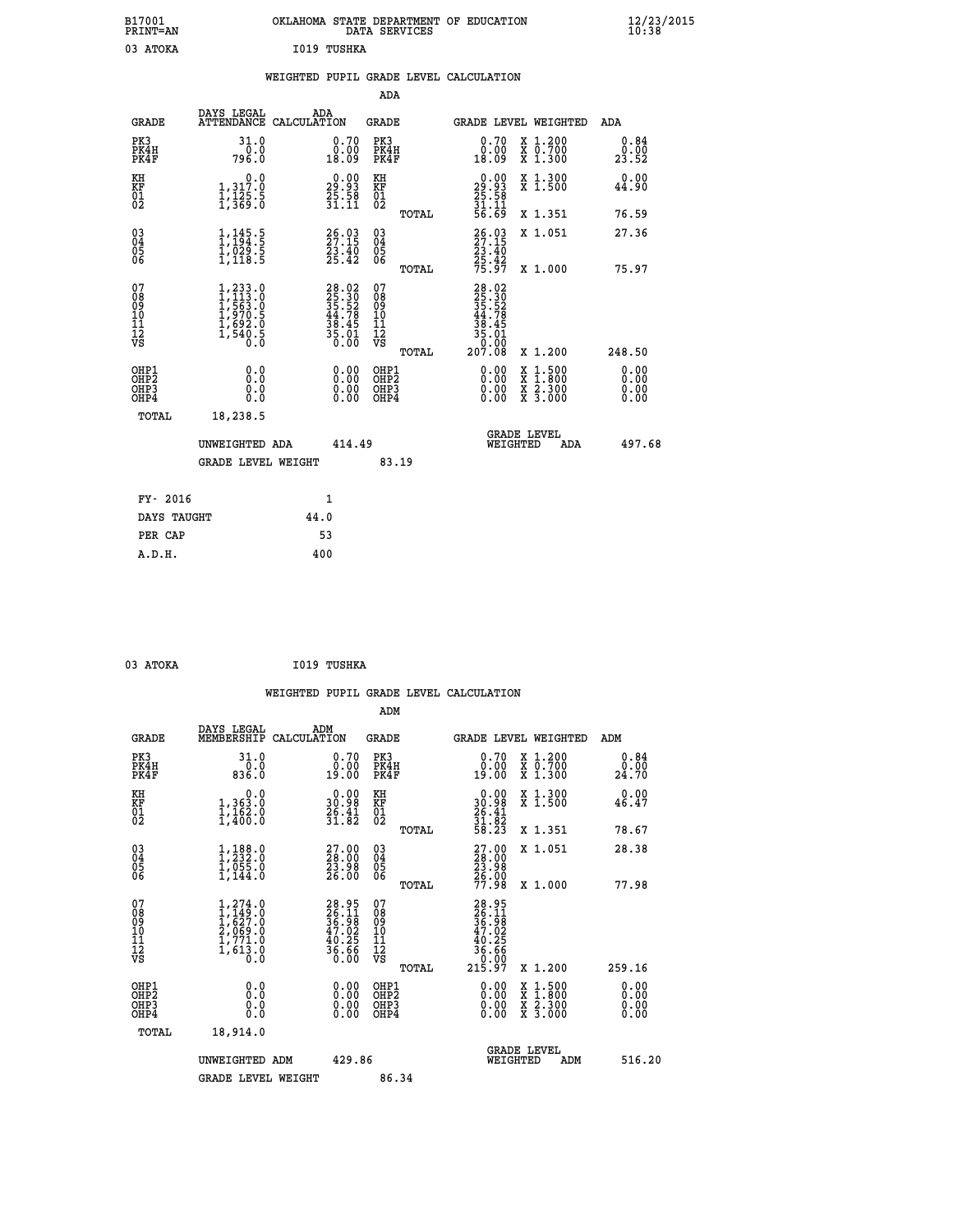| B17001<br>PRINT=AN | <b>OKLAHOMA</b><br>STATE DEPARTMENT OF EDUCATION<br>SERVICES<br>DATA | $\frac{12}{23}$ /2015 |
|--------------------|----------------------------------------------------------------------|-----------------------|
| ATOKA              | 1019 TUSHKA                                                          |                       |

|  |  | WEIGHTED PUPIL GRADE LEVEL CALCULATION |
|--|--|----------------------------------------|
|  |  |                                        |

|                                                       |                                                                                                      |                                                                          | ADA                                             |                                                                                                                                                   |                                                                                                                                      |                              |
|-------------------------------------------------------|------------------------------------------------------------------------------------------------------|--------------------------------------------------------------------------|-------------------------------------------------|---------------------------------------------------------------------------------------------------------------------------------------------------|--------------------------------------------------------------------------------------------------------------------------------------|------------------------------|
| <b>GRADE</b>                                          | DAYS LEGAL                                                                                           | ADA<br>ATTENDANCE CALCULATION                                            | GRADE                                           |                                                                                                                                                   | <b>GRADE LEVEL WEIGHTED</b>                                                                                                          | ADA                          |
| PK3<br>PK4H<br>PK4F                                   | 31.0<br>0:0<br>796:0                                                                                 | 0.70<br>ŏ:óŏ<br>18:09                                                    | PK3<br>PK4H<br>PK4F                             | 0.70<br>0.00<br>18.09                                                                                                                             | X 1.200<br>X 0.700<br>X 1.300                                                                                                        | 0.84<br>0.00<br>23.52        |
| KH<br>KF<br>01<br>02                                  | $\begin{smallmatrix}&&&0.0\\1,317.0\\1,125.5\\1,369.0\end{smallmatrix}$                              | $\begin{smallmatrix} 0.00\\29.93\\25.58\\31.11 \end{smallmatrix}$        | KH<br>KF<br>01<br>02                            | $\begin{smallmatrix} 0.00\\ 29.93\\ 25.58\\ 31.11\\ 56.69 \end{smallmatrix}$                                                                      | X 1.300<br>X 1.500                                                                                                                   | 0.00<br>44.90                |
|                                                       |                                                                                                      |                                                                          | TOTAL                                           |                                                                                                                                                   | X 1.351                                                                                                                              | 76.59                        |
| 03<br>04<br>05<br>06                                  | $\frac{1}{1}, \frac{145}{194}$ .<br>$\frac{5}{1}, \frac{029}{029}$ .<br>$\frac{5}{1}, \frac{118}{5}$ | $26.03$<br>$27.15$<br>$\frac{23.40}{25.42}$                              | 03<br>04<br>05<br>06                            | 26.03<br>27.15<br>23.40<br>25.42<br>75.97                                                                                                         | X 1.051                                                                                                                              | 27.36                        |
|                                                       |                                                                                                      |                                                                          | TOTAL                                           |                                                                                                                                                   | X 1.000                                                                                                                              | 75.97                        |
| 07<br>08<br>09<br>11<br>11<br>12<br>VS                | $1, 233.0$<br>$1, 113.0$<br>$1, 563.0$<br>$1, 970.5$<br>$1, 692.0$<br>$1, 540.5$<br>0.0              | $28.02$<br>$25.30$<br>$35.52$<br>$44.78$<br>$38.45$<br>$35.01$<br>$0.00$ | 07<br>08<br>09<br>11<br>11<br>12<br>VS<br>TOTAL | $\begin{array}{r} 28\cdot 02\\ 25\cdot 30\\ 35\cdot 52\\ 44\cdot 78\\ 43\cdot 45\\ 36\cdot 01\\ 35\cdot 01\\ 0\cdot 00\\ 207\cdot 08 \end{array}$ | X 1.200                                                                                                                              | 248.50                       |
| OHP1<br>OH <sub>P</sub> 2<br>OH <sub>P3</sub><br>OHP4 | 0.0<br>0.0<br>0.0                                                                                    | 0.00<br>$\begin{smallmatrix} 0.00 \ 0.00 \end{smallmatrix}$              | OHP1<br>OHP <sub>2</sub><br>OHP3<br>OHP4        | 0.00<br>0.00<br>0.00                                                                                                                              | $\begin{smallmatrix} \mathtt{X} & 1 & 500 \\ \mathtt{X} & 1 & 800 \\ \mathtt{X} & 2 & 300 \\ \mathtt{X} & 3 & 000 \end{smallmatrix}$ | 0.00<br>0.00<br>0.00<br>0.00 |
| TOTAL                                                 | 18,238.5                                                                                             |                                                                          |                                                 |                                                                                                                                                   |                                                                                                                                      |                              |
|                                                       | UNWEIGHTED ADA<br>GRADE LEVEL WEIGHT                                                                 | 414.49                                                                   | 83.19                                           | WEIGHTED                                                                                                                                          | <b>GRADE LEVEL</b><br>ADA                                                                                                            | 497.68                       |
|                                                       |                                                                                                      |                                                                          |                                                 |                                                                                                                                                   |                                                                                                                                      |                              |
| FY- 2016                                              |                                                                                                      | $\mathbf{1}$                                                             |                                                 |                                                                                                                                                   |                                                                                                                                      |                              |
|                                                       | DAYS TAUGHT                                                                                          | 44.0                                                                     |                                                 |                                                                                                                                                   |                                                                                                                                      |                              |
| PER CAP                                               |                                                                                                      | 53                                                                       |                                                 |                                                                                                                                                   |                                                                                                                                      |                              |
| A.D.H.                                                |                                                                                                      | 400                                                                      |                                                 |                                                                                                                                                   |                                                                                                                                      |                              |

| 03 ATOKA<br>$\sim$ $\sim$ | I019 TUSHKA |
|---------------------------|-------------|

|                                          |                                                                                                                                                  |     |                                                                      |                                                     |       | WEIGHTED PUPIL GRADE LEVEL CALCULATION                                        |                                                                                                  |     |                       |  |
|------------------------------------------|--------------------------------------------------------------------------------------------------------------------------------------------------|-----|----------------------------------------------------------------------|-----------------------------------------------------|-------|-------------------------------------------------------------------------------|--------------------------------------------------------------------------------------------------|-----|-----------------------|--|
|                                          |                                                                                                                                                  |     |                                                                      | ADM                                                 |       |                                                                               |                                                                                                  |     |                       |  |
| <b>GRADE</b>                             | DAYS LEGAL<br>MEMBERSHIP CALCULATION                                                                                                             | ADM |                                                                      | <b>GRADE</b>                                        |       | GRADE LEVEL WEIGHTED                                                          |                                                                                                  |     | ADM                   |  |
| PK3<br>PK4H<br>PK4F                      | 31.0<br>0.0836.0                                                                                                                                 |     | 0.70<br>$0.00$<br>19.00                                              | PK3<br>PK4H<br>PK4F                                 |       | 0.70<br>0:00<br>19:00                                                         | X 1.200<br>X 0.700<br>X 1.300                                                                    |     | 0.84<br>0.00<br>24.70 |  |
| KH<br>KF<br>01<br>02                     | $\begin{smallmatrix}&&&0.0\\1,363.0\\1,162.0\\1,400.0\end{smallmatrix}$                                                                          |     | $\begin{smallmatrix} 0.00\\ 30.98\\ 26.41\\ 31.82 \end{smallmatrix}$ | KH<br>KF<br>01<br>02                                |       | $0.00$<br>$30.98$<br>$26.41$<br>$31.82$<br>$58.23$                            | X 1.300<br>X 1.500                                                                               |     | 0.00<br>46.47         |  |
|                                          |                                                                                                                                                  |     |                                                                      |                                                     | TOTAL |                                                                               | X 1.351                                                                                          |     | 78.67                 |  |
| 03<br>04<br>05<br>06                     | $1, 232.0$<br>$1, 232.0$<br>$1, 055.0$<br>$1, 144.0$                                                                                             |     | $\frac{27.00}{28.00}$<br>26.00                                       | $\begin{array}{c} 03 \\ 04 \\ 05 \\ 06 \end{array}$ |       | $\begin{smallmatrix} 27.00\\ 28.00\\ 23.98\\ 26.00\\ 77.98 \end{smallmatrix}$ | X 1.051                                                                                          |     | 28.38                 |  |
|                                          |                                                                                                                                                  |     |                                                                      |                                                     | TOTAL |                                                                               | X 1.000                                                                                          |     | 77.98                 |  |
| 07<br>08<br>09<br>101<br>11<br>12<br>VS  | $\begin{smallmatrix} 1,274\, . & 0\\ 1,149\, . & 0\\ 1,627\, . & 0\\ 2,069\, . & 0\\ 1,771\, . & 0\\ 1,613\, . & 0\\ 0\, . & 0\end{smallmatrix}$ |     | 28.95<br>26.11<br>36.98<br>47.02<br>40.25<br>36.66<br>0.00           | 07<br>08<br>09<br>01<br>11<br>11<br>12<br>VS        | TOTAL | $28.95$<br>$26.11$<br>$36.92$<br>$40.25$<br>$36.66$<br>$0.97$<br>$215.97$     | X 1.200                                                                                          |     | 259.16                |  |
| OHP1<br>OHP <sub>2</sub><br>OHP3<br>OHP4 | 0.0<br>0.000                                                                                                                                     |     | 0.00<br>0.00<br>0.00                                                 | OHP1<br>OHP2<br>OHP3<br>OHP4                        |       | 0.00<br>0.00<br>0.00                                                          | $\begin{smallmatrix} x & 1 & 500 \\ x & 1 & 800 \\ x & 2 & 300 \\ x & 3 & 000 \end{smallmatrix}$ |     | 0.00<br>0.00<br>0.00  |  |
| TOTAL                                    | 18,914.0                                                                                                                                         |     |                                                                      |                                                     |       |                                                                               |                                                                                                  |     |                       |  |
|                                          | UNWEIGHTED ADM                                                                                                                                   |     | 429.86                                                               |                                                     |       | <b>GRADE LEVEL</b><br>WEIGHTED                                                |                                                                                                  | ADM | 516.20                |  |
|                                          | <b>GRADE LEVEL WEIGHT</b>                                                                                                                        |     |                                                                      | 86.34                                               |       |                                                                               |                                                                                                  |     |                       |  |
|                                          |                                                                                                                                                  |     |                                                                      |                                                     |       |                                                                               |                                                                                                  |     |                       |  |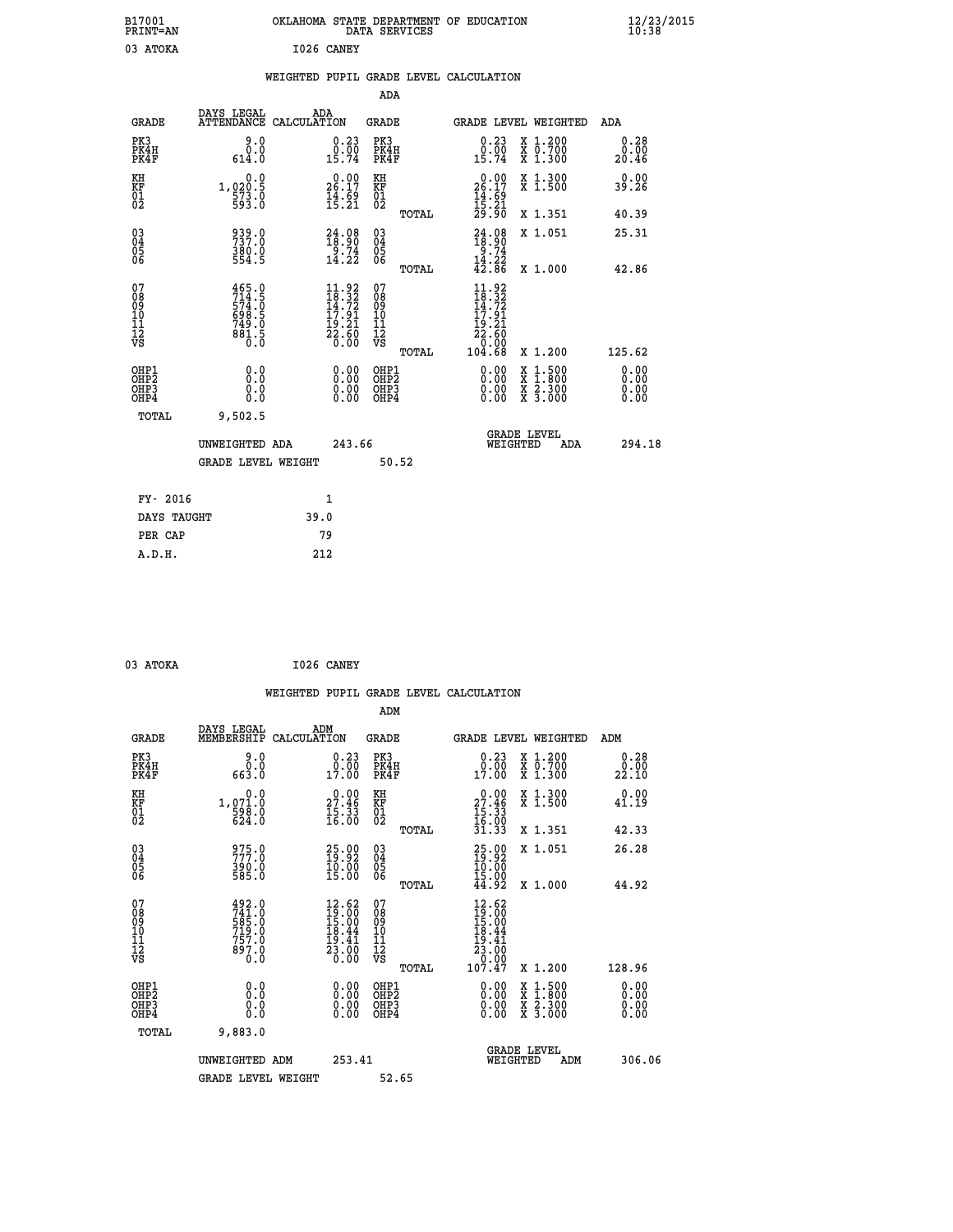| B17001<br><b>PRINT=AN</b>                          |                                                                                           | OKLAHOMA STATE DEPARTMENT OF EDUCATION                                                             | DATA SERVICES                                   |                                                                                            |                                                                                                  | 12/23/2015<br>10:38          |  |
|----------------------------------------------------|-------------------------------------------------------------------------------------------|----------------------------------------------------------------------------------------------------|-------------------------------------------------|--------------------------------------------------------------------------------------------|--------------------------------------------------------------------------------------------------|------------------------------|--|
| 03 ATOKA                                           |                                                                                           | I026 CANEY                                                                                         |                                                 |                                                                                            |                                                                                                  |                              |  |
|                                                    |                                                                                           | WEIGHTED PUPIL GRADE LEVEL CALCULATION                                                             |                                                 |                                                                                            |                                                                                                  |                              |  |
|                                                    |                                                                                           |                                                                                                    | ADA                                             |                                                                                            |                                                                                                  |                              |  |
| <b>GRADE</b>                                       | DAYS LEGAL                                                                                | ADA<br>ATTENDANCE CALCULATION                                                                      | GRADE                                           | GRADE LEVEL WEIGHTED                                                                       |                                                                                                  | ADA                          |  |
| PK3<br>PK4H<br>PK4F                                | 9.0<br>0.0<br>614.0                                                                       | $\begin{smallmatrix} 0.23\ 0.00\ 15.74 \end{smallmatrix}$                                          | PK3<br>PK4H<br>PK4F                             | $\substack{0.23 \\ 0.00 \\ 15.74}$                                                         | X 1.200<br>X 0.700<br>X 1.300                                                                    | 0.28<br>0.00<br>20.46        |  |
| KH<br>KF<br>$^{01}_{02}$                           | 0.0<br>1,020.5<br>$\frac{573}{593}$ .0                                                    | $26.17$<br>$14.69$<br>$15.21$                                                                      | KH<br>KF<br>$^{01}_{02}$                        | $26.00$<br>26.17<br>$\frac{14}{15}$ : $\frac{69}{21}$<br>$\frac{21}{29}$ : $\frac{90}{20}$ | X 1.300<br>X 1.500                                                                               | 0.00<br>39.26                |  |
|                                                    |                                                                                           |                                                                                                    | TOTAL                                           |                                                                                            | X 1.351                                                                                          | 40.39                        |  |
| $\begin{matrix} 03 \\ 04 \\ 05 \\ 06 \end{matrix}$ | 939.0<br>380.0<br>554.5                                                                   | $\begin{smallmatrix} 24.08\\18.90\\9.74\\14.22 \end{smallmatrix}$                                  | 030404<br>ŌĞ                                    | $24.08$<br>$18.90$<br>9.74<br>14.22                                                        | X 1.051                                                                                          | 25.31                        |  |
|                                                    |                                                                                           |                                                                                                    | TOTAL                                           | 42.86                                                                                      | X 1.000                                                                                          | 42.86                        |  |
| 07<br>08<br>09<br>10<br>11<br>12<br>VS             | 465.0<br>$714.5$<br>574.0<br>698.5<br>$749.0$<br>881.5<br>$\overline{0}$ . $\overline{0}$ | $\begin{smallmatrix} 11.92 \\ 18.32 \\ 14.72 \\ 17.91 \\ 19.21 \\ 22.60 \\ 0.00 \end{smallmatrix}$ | 07<br>08<br>09<br>10<br>11<br>12<br>VS<br>TOTAL | 11.92<br>$\frac{18.32}{14.72}$<br>17.91<br>$\frac{19.21}{22.60}$<br>0.00<br>104.68         | X 1.200                                                                                          | 125.62                       |  |
| OHP1<br>OHP <sub>2</sub><br>OHP3<br>OHP4           | 0.0<br>0.0<br>0.0<br>0.0                                                                  | 0.00<br>0.00<br>0.00                                                                               | OHP1<br>OHP <sub>2</sub><br>OHP3<br>OHP4        | 0.00<br>0.00<br>0.00                                                                       | $\begin{smallmatrix} x & 1 & 500 \\ x & 1 & 800 \\ x & 2 & 300 \\ x & 3 & 000 \end{smallmatrix}$ | 0.00<br>0.00<br>0.00<br>0.00 |  |
| TOTAL                                              | 9,502.5                                                                                   |                                                                                                    |                                                 |                                                                                            |                                                                                                  |                              |  |
|                                                    | UNWEIGHTED ADA<br><b>GRADE LEVEL WEIGHT</b>                                               | 243.66                                                                                             | 50.52                                           | <b>GRADE LEVEL</b><br>WEIGHTED                                                             | ADA                                                                                              | 294.18                       |  |
|                                                    |                                                                                           |                                                                                                    |                                                 |                                                                                            |                                                                                                  |                              |  |
| FY- 2016                                           |                                                                                           | 1                                                                                                  |                                                 |                                                                                            |                                                                                                  |                              |  |
| DAYS TAUGHT                                        |                                                                                           | 39.0                                                                                               |                                                 |                                                                                            |                                                                                                  |                              |  |
| PER CAP                                            |                                                                                           | 79                                                                                                 |                                                 |                                                                                            |                                                                                                  |                              |  |

| 03 ATOKA | I026 CANEY |
|----------|------------|
|          |            |

|                                                    |                                                      |                                                                             | WEIGHTED PUPIL GRADE LEVEL CALCULATION              |                                                                                                                                                                                                                                                                                |                                                                                                  |                              |
|----------------------------------------------------|------------------------------------------------------|-----------------------------------------------------------------------------|-----------------------------------------------------|--------------------------------------------------------------------------------------------------------------------------------------------------------------------------------------------------------------------------------------------------------------------------------|--------------------------------------------------------------------------------------------------|------------------------------|
|                                                    |                                                      |                                                                             | ADM                                                 |                                                                                                                                                                                                                                                                                |                                                                                                  |                              |
| <b>GRADE</b>                                       | DAYS LEGAL<br>MEMBERSHIP<br>CALCULATION              | ADM                                                                         | <b>GRADE</b>                                        | GRADE LEVEL WEIGHTED                                                                                                                                                                                                                                                           |                                                                                                  | ADM                          |
| PK3<br>PK4H<br>PK4F                                | 9.0<br>0.0<br>663.0                                  | $\begin{smallmatrix} 0.23\ 0.00\ 17.00 \end{smallmatrix}$                   | PK3<br>PK4H<br>PK4F                                 | $0.23$<br>$0.00$<br>17.00                                                                                                                                                                                                                                                      | X 1.200<br>X 0.700<br>X 1.300                                                                    | 0.28<br>22.10                |
| KH<br>KF<br>01<br>02                               | 0.0<br>1,071.0<br>598.0<br>624.0                     | $\begin{smallmatrix} 0.00\\ 27.46\\ 15.33\\ 16.00 \end{smallmatrix}$        | KH<br>KF<br>01<br>02                                | $\begin{smallmatrix} 0.00\\ 27.46\\ 15.33\\ 16.00\\ 31.33 \end{smallmatrix}$                                                                                                                                                                                                   | X 1.300<br>X 1.500                                                                               | 0.00<br>41.19                |
|                                                    |                                                      |                                                                             | TOTAL                                               |                                                                                                                                                                                                                                                                                | X 1.351                                                                                          | 42.33                        |
| $\begin{matrix} 03 \\ 04 \\ 05 \\ 06 \end{matrix}$ | 975.0<br>$390.0$<br>585.0                            | 25.92<br>$\frac{10.00}{15.00}$                                              | $\begin{array}{c} 03 \\ 04 \\ 05 \\ 06 \end{array}$ | $25.92$<br>$10.00$<br>$15.00$<br>$15.00$<br>$44.92$                                                                                                                                                                                                                            | X 1.051                                                                                          | 26.28                        |
|                                                    |                                                      |                                                                             | TOTAL                                               |                                                                                                                                                                                                                                                                                | X 1.000                                                                                          | 44.92                        |
| 07<br>08<br>09<br>101<br>11<br>12<br>VS            | 492.0<br>$741.0$<br>585.0<br>719.0<br>757.0<br>897.0 | $12.62$<br>$19.00$<br>$15.00$<br>$18.44$<br>$19.41$<br>$\frac{25.00}{0.00}$ | 07<br>08<br>09<br>01<br>11<br>11<br>12<br>VS        | 12.62<br>$\begin{array}{r} 13.06 \\ 15.00 \\ 15.00 \\ 18.44 \\ 23.00 \\ 0.00 \\ 107.47 \end{array}$                                                                                                                                                                            | X 1.200                                                                                          | 128.96                       |
|                                                    |                                                      |                                                                             | TOTAL                                               |                                                                                                                                                                                                                                                                                |                                                                                                  |                              |
| OHP1<br>OHP2<br>OHP3<br>OHP4                       | 0.0<br>0.000                                         | $\begin{smallmatrix} 0.00 \ 0.00 \ 0.00 \ 0.00 \end{smallmatrix}$           | OHP1<br>OHP2<br>OHP3<br>OHP4                        | $\begin{smallmatrix} 0.00 & 0.00 & 0.00 & 0.00 & 0.00 & 0.00 & 0.00 & 0.00 & 0.00 & 0.00 & 0.00 & 0.00 & 0.00 & 0.00 & 0.00 & 0.00 & 0.00 & 0.00 & 0.00 & 0.00 & 0.00 & 0.00 & 0.00 & 0.00 & 0.00 & 0.00 & 0.00 & 0.00 & 0.00 & 0.00 & 0.00 & 0.00 & 0.00 & 0.00 & 0.00 & 0.0$ | $\begin{smallmatrix} x & 1 & 500 \\ x & 1 & 800 \\ x & 2 & 300 \\ x & 3 & 000 \end{smallmatrix}$ | 0.00<br>Ŏ.ŎŎ<br>Q.QQ<br>0.00 |
| TOTAL                                              | 9,883.0                                              |                                                                             |                                                     |                                                                                                                                                                                                                                                                                |                                                                                                  |                              |
|                                                    | UNWEIGHTED ADM                                       | 253.41                                                                      |                                                     | <b>GRADE LEVEL</b><br>WEIGHTED                                                                                                                                                                                                                                                 | ADM                                                                                              | 306.06                       |
|                                                    | <b>GRADE LEVEL WEIGHT</b>                            |                                                                             | 52.65                                               |                                                                                                                                                                                                                                                                                |                                                                                                  |                              |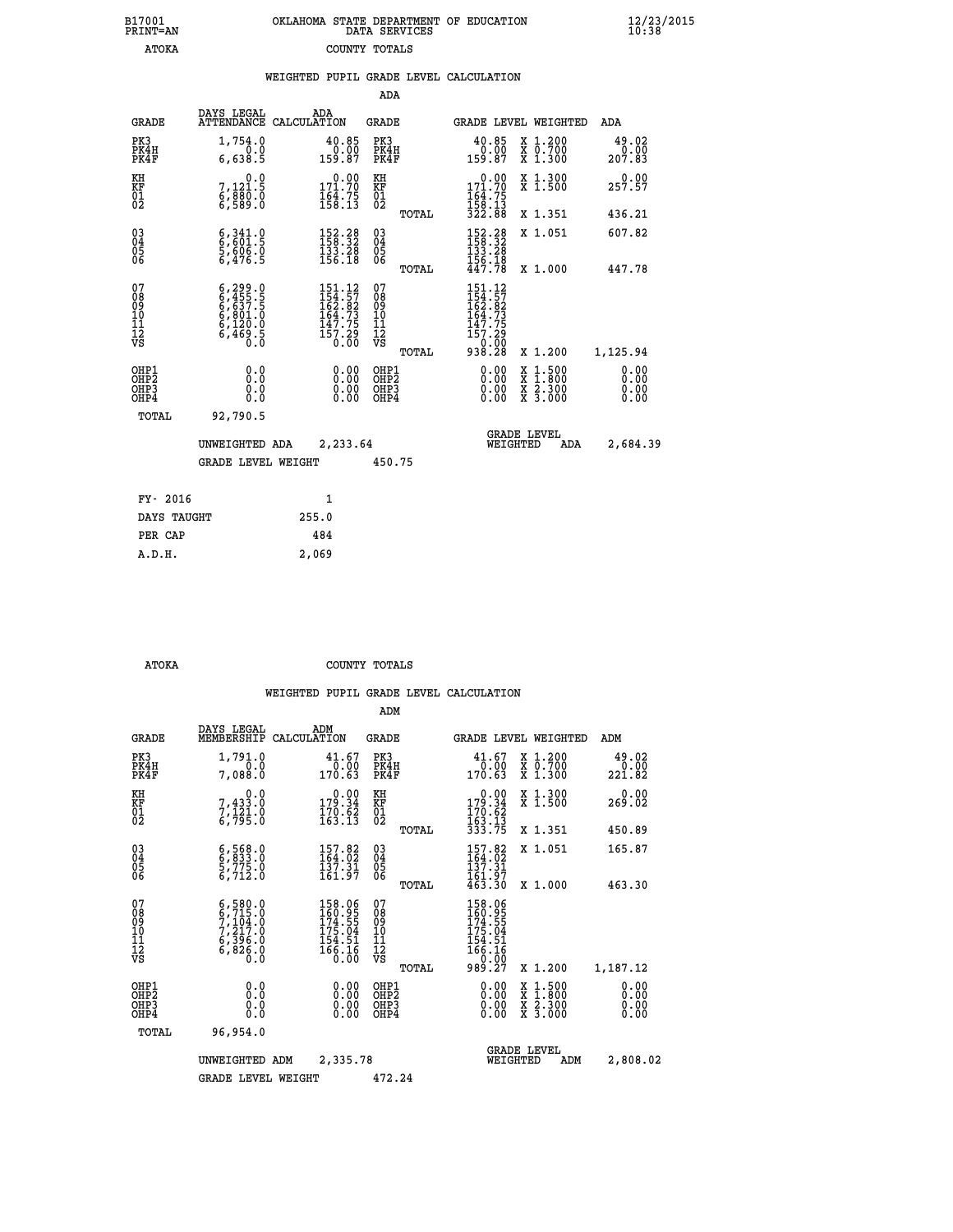| B17001          | OKLAHOMA STATE DEPARTMENT OF EDUCATION |
|-----------------|----------------------------------------|
| <b>PRINT=AN</b> | DATA SERVICES                          |
| <b>ATOKA</b>    | COUNTY TOTALS                          |

|                                                    |                                                                                                           |                    |                                                                                                                                | ADA                                      |       |                                                                                                    |                                |                                          |                              |
|----------------------------------------------------|-----------------------------------------------------------------------------------------------------------|--------------------|--------------------------------------------------------------------------------------------------------------------------------|------------------------------------------|-------|----------------------------------------------------------------------------------------------------|--------------------------------|------------------------------------------|------------------------------|
| <b>GRADE</b>                                       | DAYS LEGAL<br><b>ATTENDANCE</b>                                                                           | ADA<br>CALCULATION |                                                                                                                                | GRADE                                    |       |                                                                                                    |                                | GRADE LEVEL WEIGHTED                     | <b>ADA</b>                   |
| PK3<br>PK4H<br>PK4F                                | 1,754.0<br>0.0<br>6,638.5                                                                                 |                    | 40.85<br>0.00<br>159.87                                                                                                        | PK3<br>PK4H<br>PK4F                      |       | 40.85<br>159.87                                                                                    | 0.00                           | X 1.200<br>X 0.700<br>X 1.300            | 49.02<br>0.00<br>207.83      |
| KH<br>KF<br>01<br>02                               | 0.0<br>7,121.5<br>6,880.0<br>6,589.0                                                                      |                    | $\begin{smallmatrix} &0.00\\ 171.70\\ 164.75\\ 158.13\end{smallmatrix}$                                                        | KH<br>KF<br>01<br>02                     |       | $171.70$<br>$164.75$<br>$158.13$<br>$322.88$                                                       | 0.00                           | X 1.300<br>$\overline{x}$ 1.500          | 0.00<br>257.57               |
|                                                    |                                                                                                           |                    |                                                                                                                                |                                          | TOTAL |                                                                                                    |                                | X 1.351                                  | 436.21                       |
| $\begin{matrix} 03 \\ 04 \\ 05 \\ 06 \end{matrix}$ | $\begin{smallmatrix} 6,341.0\\ 6,601.5\\ 5,606.0\\ 6,476.5 \end{smallmatrix}$                             |                    | $\begin{array}{l} 152\cdot 28\\158\cdot 32\\133\cdot 28\\156\cdot 18\end{array}$                                               | 03<br>04<br>05<br>06                     |       | $\begin{array}{l} 152\cdot 28\\ 158\cdot 32\\ 133\cdot 28\\ 156\cdot 18\\ 447\cdot 78 \end{array}$ |                                | X 1.051                                  | 607.82                       |
|                                                    |                                                                                                           |                    |                                                                                                                                |                                          | TOTAL |                                                                                                    |                                | X 1.000                                  | 447.78                       |
| 07<br>08<br>09<br>10<br>11<br>11<br>12<br>VS       | $\begin{smallmatrix} 6,299.0\\ 6,455.5\\ 6,637.5\\ 6,801.0\\ 6,120.0\\ 6,469.5\\ 0.0\\ \end{smallmatrix}$ |                    | $\begin{smallmatrix} 151\cdot 12\\154\cdot 57\\162\cdot 82\\164\cdot 73\\147\cdot 75\\157\cdot 29\\0\cdot 00\end{smallmatrix}$ | 07<br>08<br>09<br>11<br>11<br>12<br>VS   | TOTAL | 151.12<br>$154.57$<br>$162.82$<br>$164.73$<br>$147.75$<br>$157.29$<br>$0.00$<br>$938.28$           |                                | X 1.200                                  | 1,125.94                     |
| OHP1<br>OHP2<br>OH <sub>P</sub> 3<br>OHP4          | 0.0<br>0.0<br>0.0                                                                                         |                    | $\begin{smallmatrix} 0.00 \ 0.00 \ 0.00 \ 0.00 \end{smallmatrix}$                                                              | OHP1<br>OHP <sub>2</sub><br>OHP3<br>OHP4 |       |                                                                                                    | $0.00$<br>$0.00$<br>0.00       | X 1:500<br>X 1:800<br>X 2:300<br>X 3:000 | 0.00<br>0.00<br>0.00<br>0.00 |
| TOTAL                                              | 92,790.5                                                                                                  |                    |                                                                                                                                |                                          |       |                                                                                                    |                                |                                          |                              |
|                                                    | UNWEIGHTED ADA                                                                                            |                    | 2,233.64                                                                                                                       |                                          |       |                                                                                                    | <b>GRADE LEVEL</b><br>WEIGHTED | ADA                                      | 2,684.39                     |
|                                                    | <b>GRADE LEVEL WEIGHT</b>                                                                                 |                    |                                                                                                                                | 450.75                                   |       |                                                                                                    |                                |                                          |                              |
| FY- 2016                                           |                                                                                                           | 1                  |                                                                                                                                |                                          |       |                                                                                                    |                                |                                          |                              |
| DAYS TAUGHT                                        |                                                                                                           | 255.0              |                                                                                                                                |                                          |       |                                                                                                    |                                |                                          |                              |
|                                                    |                                                                                                           |                    |                                                                                                                                |                                          |       |                                                                                                    |                                |                                          |                              |

| FY- 2016    |       |
|-------------|-------|
| DAYS TAUGHT | 255.0 |
| PER CAP     | 484   |
| A.D.H.      | 2,069 |
|             |       |

B17001<br>PRINT=AN<br>ATOKA

 **ATOKA COUNTY TOTALS**

|                                          |                                                                                           |                                                                                          | ADM                                                 |                                                                               |                                          |                              |
|------------------------------------------|-------------------------------------------------------------------------------------------|------------------------------------------------------------------------------------------|-----------------------------------------------------|-------------------------------------------------------------------------------|------------------------------------------|------------------------------|
| <b>GRADE</b>                             | DAYS LEGAL<br>MEMBERSHIP                                                                  | ADM<br>CALCULATION                                                                       | <b>GRADE</b>                                        | GRADE LEVEL WEIGHTED                                                          |                                          | ADM                          |
| PK3<br>PK4H<br>PK4F                      | 1,791.0<br>0.0<br>7,088.0                                                                 | 41.67<br>0.00<br>170.63                                                                  | PK3<br>PK4H<br>PK4F                                 | 41.67<br>0.00<br>170.63                                                       | X 1.200<br>X 0.700<br>X 1.300            | 49.02<br>0.00<br>221.82      |
| KH<br>KF<br>01<br>02                     | 0.0<br>7,433.0<br>7,121.0<br>6,795.0                                                      | $\begin{smallmatrix} &0.00\\ 179.34\\ 170.62\\ 163.13\end{smallmatrix}$                  | KH<br>KF<br>01<br>02                                | $0.00$<br>179.34<br>$\frac{170.62}{163.13}$<br>333.75                         | X 1.300<br>X 1.500                       | 0.00<br>269.02               |
|                                          |                                                                                           |                                                                                          | TOTAL                                               |                                                                               | X 1.351                                  | 450.89                       |
| 03<br>04<br>05<br>06                     | $\begin{smallmatrix} 6, 568.0\\ 6, 833.0\\ 5, 775.0\\ 6, 712.0 \end{smallmatrix}$         | $\begin{smallmatrix} 157.82\\ 164.02\\ 137.31\\ 161.97 \end{smallmatrix}$                | $\begin{array}{c} 03 \\ 04 \\ 05 \\ 06 \end{array}$ | $\frac{157.82}{164.02}$<br>137.31<br>161.97<br>463.30                         | X 1.051                                  | 165.87                       |
|                                          |                                                                                           |                                                                                          | TOTAL                                               |                                                                               | X 1.000                                  | 463.30                       |
| 07<br>08<br>09<br>101<br>112<br>VS       | $6, 580.0$<br>$6, 715.0$<br>$7, 217.0$<br>$7, 217.0$<br>$6, 396.0$<br>$6, 826.0$<br>$0.0$ | 158.06<br>160.95<br>174.55<br>$\frac{175.04}{154.51}$<br>$\frac{154.51}{166.16}$<br>0.00 | 07<br>08<br>09<br>11<br>11<br>12<br>VS<br>TOTAL     | 158.06<br>160.955<br>174.554<br>175.04<br>154.51<br>166.16<br>00.00<br>989.27 | X 1.200                                  | 1,187.12                     |
| OHP1<br>OHP2<br>OH <sub>P3</sub><br>OHP4 | 0.0<br>0.000                                                                              | $0.00$<br>$0.00$<br>0.00                                                                 | OHP1<br>OHP2<br>OHP3<br>OHP4                        | $0.00$<br>$0.00$<br>0.00                                                      | X 1:500<br>X 1:800<br>X 2:300<br>X 3:000 | 0.00<br>0.00<br>0.00<br>0.00 |
| TOTAL                                    | 96,954.0                                                                                  |                                                                                          |                                                     |                                                                               |                                          |                              |
|                                          | UNWEIGHTED                                                                                | 2,335.78<br>ADM                                                                          |                                                     | WEIGHTED                                                                      | <b>GRADE LEVEL</b><br>ADM                | 2,808.02                     |
|                                          | <b>GRADE LEVEL WEIGHT</b>                                                                 |                                                                                          | 472.24                                              |                                                                               |                                          |                              |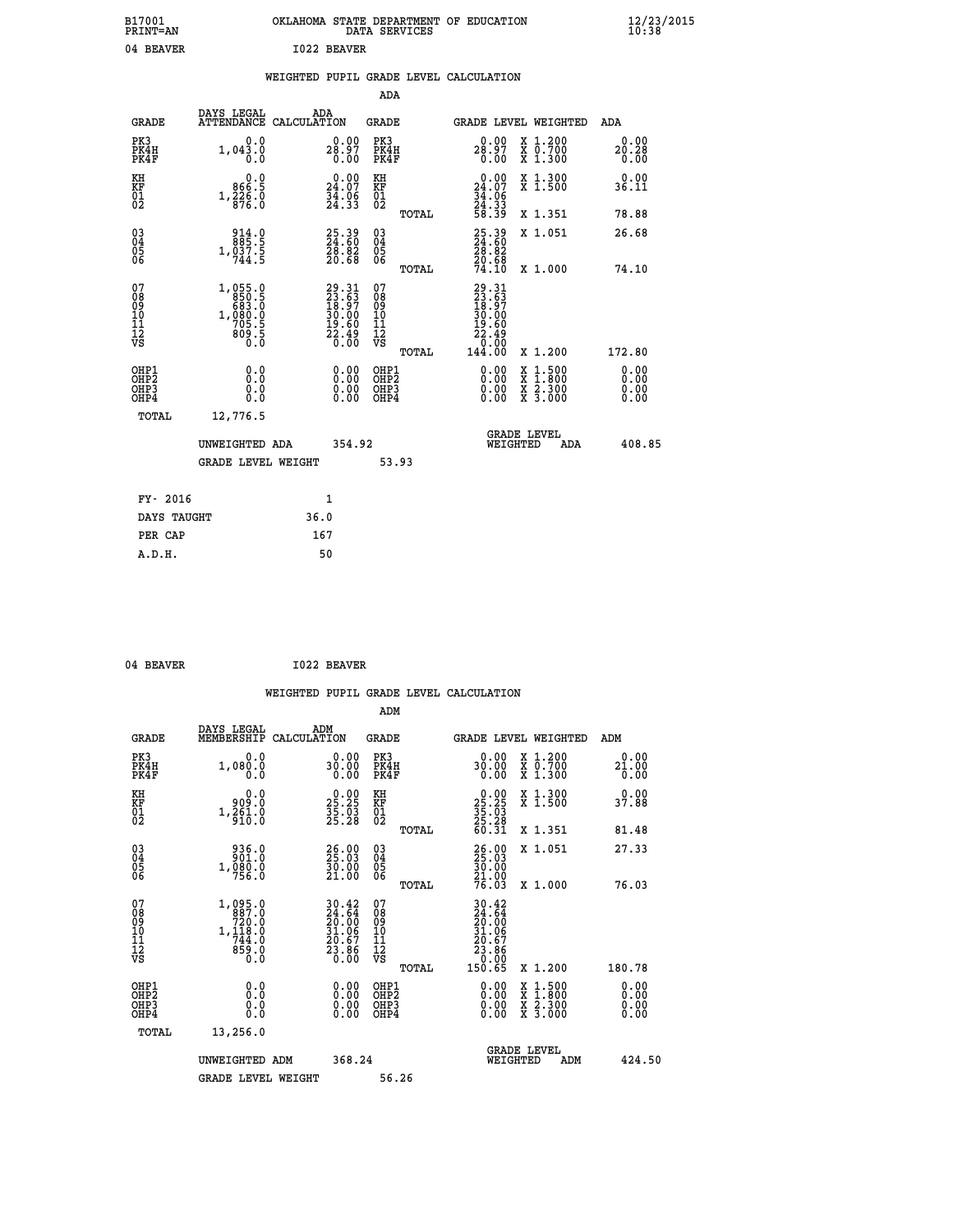| B17001<br><b>PRINT=AN</b> |             | OKLAHOMA STATE DEPARTMENT OF EDUCATION<br>DATA SERVICES |  |
|---------------------------|-------------|---------------------------------------------------------|--|
| 04 BEAVER                 | 1022 BEAVER |                                                         |  |

## **WEIGHTED PUPIL GRADE LEVEL CALCULATION**

|                                                                    |                                                                          |                                                                          | ADA                                       |       |                                                                          |                                          |                              |
|--------------------------------------------------------------------|--------------------------------------------------------------------------|--------------------------------------------------------------------------|-------------------------------------------|-------|--------------------------------------------------------------------------|------------------------------------------|------------------------------|
| <b>GRADE</b>                                                       | DAYS LEGAL<br>ATTENDANCE CALCULATION                                     | ADA                                                                      | <b>GRADE</b>                              |       |                                                                          | GRADE LEVEL WEIGHTED                     | ADA                          |
| PK3<br>PK4H<br>PK4F                                                | 0.0<br>1,043.0<br>0.0                                                    | 28.97<br>0.00                                                            | PK3<br>PK4H<br>PK4F                       |       | 0.00<br>28.97<br>0.00                                                    | X 1.200<br>X 0.700<br>X 1.300            | 0.00<br>20.28<br>0.00        |
| KH<br><b>KF</b><br>01<br>02                                        | 0.0<br>866.5<br>$1, \frac{3}{8}$ $\frac{3}{6}$ $\cdot \frac{5}{6}$       | 0.00<br>24.07<br>$\frac{34.06}{24.33}$                                   | KH<br>KF<br>01<br>02                      |       | 24.00<br>$\frac{3\bar{4} \cdot 06}{24 \cdot 33}$<br>58.39                | X 1.300<br>X 1.500                       | 0.00<br>36.11                |
|                                                                    |                                                                          |                                                                          |                                           | TOTAL |                                                                          | X 1.351                                  | 78.88                        |
| $\begin{smallmatrix} 03 \\[-4pt] 04 \end{smallmatrix}$<br>05<br>06 | $\begin{smallmatrix} 914.0\\ 885.5\\ 1,037.5\\ 744.5 \end{smallmatrix}$  | $\begin{smallmatrix} 25.39\\ 24.60\\ 28.82\\ 20.68 \end{smallmatrix}$    | $\substack{03 \\ 04}$<br>05<br>06         | TOTAL | 25.39<br>24.60<br>28.82<br>20.68<br>74.10                                | X 1.051<br>X 1.000                       | 26.68<br>74.10               |
| 07<br>08901112<br>1112<br>VS                                       | $1,055.0$<br>850.5<br>883.0<br>683.0<br>1,080.0<br>705.5<br>809.5<br>0.0 | $29.31$<br>$23.63$<br>$18.97$<br>$30.00$<br>$19.60$<br>$22.49$<br>$0.00$ | 07<br>08<br>09<br>11<br>11<br>12<br>VS    |       | $29.31$<br>$23.63$<br>$18.97$<br>$30.00$<br>$19.60$<br>$22.49$<br>$0.00$ |                                          |                              |
|                                                                    |                                                                          |                                                                          |                                           | TOTAL | 144.00                                                                   | X 1.200                                  | 172.80                       |
| OHP1<br>OH <sub>P</sub> 2<br>OH <sub>P3</sub><br>OH <sub>P4</sub>  | 0.0<br>0.0<br>0.0                                                        | 0.00<br>$\begin{smallmatrix} 0.00 \ 0.00 \end{smallmatrix}$              | OHP1<br>OH <sub>P</sub> 2<br>OHP3<br>OHP4 |       | 0.00<br>0.00<br>0.00                                                     | X 1:500<br>X 1:800<br>X 2:300<br>X 3:000 | 0.00<br>0.00<br>0.00<br>0.00 |
| TOTAL                                                              | 12,776.5                                                                 |                                                                          |                                           |       |                                                                          |                                          |                              |
|                                                                    | UNWEIGHTED ADA                                                           | 354.92                                                                   |                                           |       |                                                                          | GRADE LEVEL<br>WEIGHTED<br>ADA           | 408.85                       |
|                                                                    | <b>GRADE LEVEL WEIGHT</b>                                                |                                                                          |                                           | 53.93 |                                                                          |                                          |                              |
| FY- 2016                                                           |                                                                          | $\mathbf{1}$                                                             |                                           |       |                                                                          |                                          |                              |
| DAYS TAUGHT                                                        |                                                                          | 36.0                                                                     |                                           |       |                                                                          |                                          |                              |
| PER CAP                                                            |                                                                          | 167                                                                      |                                           |       |                                                                          |                                          |                              |

| 04 BEAVER | <b>I022 BEAVER</b> |
|-----------|--------------------|
|           |                    |

 **ADM**

 **A.D.H. 50**

| <b>GRADE</b>                                       | DAYS LEGAL<br>MEMBERSHIP CALCULATION                                                                | ADM                                                                      | <b>GRADE</b>                                        |       | GRADE LEVEL WEIGHTED                                                               |                                                                                                                     | ADM                   |  |
|----------------------------------------------------|-----------------------------------------------------------------------------------------------------|--------------------------------------------------------------------------|-----------------------------------------------------|-------|------------------------------------------------------------------------------------|---------------------------------------------------------------------------------------------------------------------|-----------------------|--|
| PK3<br>PK4H<br>PK4F                                | 0.0<br>1,080.0<br>0.0                                                                               | 0.00<br>30.00<br>0.00                                                    | PK3<br>PK4H<br>PK4F                                 |       | 0.00<br>30.00<br>0.00                                                              | X 1.200<br>X 0.700<br>X 1.300                                                                                       | 0.00<br>21.00<br>0.00 |  |
| KH<br>KF<br>01<br>02                               | 0.0<br>909.0<br>$1,\frac{5}{9}\,\stackrel{5}{1}\,\stackrel{1}{0}\,\stackrel{.}{.}\,\stackrel{.}{0}$ | $25.25$<br>$35.25$<br>$35.93$<br>$25.28$                                 | KH<br>KF<br>01<br>02                                |       | $\begin{array}{r} 0.00 \\ 25.25 \\ 35.03 \\ 25.28 \\ 60.31 \end{array}$            | X 1.300<br>X 1.500                                                                                                  | 0.00<br>37.88         |  |
|                                                    |                                                                                                     |                                                                          |                                                     | TOTAL |                                                                                    | X 1.351                                                                                                             | 81.48                 |  |
| $\begin{matrix} 03 \\ 04 \\ 05 \\ 06 \end{matrix}$ | 936.0<br>901.0<br>1,080.0                                                                           | 26.00<br>30.00<br>21.00                                                  | $\begin{array}{c} 03 \\ 04 \\ 05 \\ 06 \end{array}$ |       | 26.00<br>25.03<br>30.00<br>21.00<br>76.03                                          | X 1.051                                                                                                             | 27.33                 |  |
|                                                    |                                                                                                     |                                                                          |                                                     | TOTAL |                                                                                    | X 1.000                                                                                                             | 76.03                 |  |
| 07<br>08<br>09<br>101<br>11<br>12<br>VS            | 1,095.0<br>887.0<br>$720.0$<br>1,118.0<br>744.0<br>859.0                                            | $30.42$<br>$24.64$<br>$20.00$<br>$31.06$<br>$20.67$<br>$23.86$<br>$0.00$ | 07<br>08<br>09<br>01<br>11<br>11<br>12<br>VS        | TOTAL | 30.42<br>$24.64$<br>$20.06$<br>$31.06$<br>$20.67$<br>$23.860$<br>$-0.00$<br>150.65 | X 1.200                                                                                                             | 180.78                |  |
| OHP1<br>OHP2<br>OHP3<br>OHP4                       | 0.0<br>0.000                                                                                        | $0.00$<br>$0.00$<br>0.00                                                 | OHP1<br>OHP2<br>OHP3<br>OHP4                        |       | $0.00$<br>$0.00$<br>0.00                                                           | $\begin{array}{l} \mathtt{X} & 1.500 \\ \mathtt{X} & 1.800 \\ \mathtt{X} & 2.300 \\ \mathtt{X} & 3.000 \end{array}$ | 0.00<br>0.00<br>0.00  |  |
| TOTAL                                              | 13,256.0                                                                                            |                                                                          |                                                     |       |                                                                                    |                                                                                                                     |                       |  |
|                                                    | UNWEIGHTED<br>ADM                                                                                   | 368.24                                                                   |                                                     |       | WEIGHTED                                                                           | <b>GRADE LEVEL</b><br>ADM                                                                                           | 424.50                |  |
|                                                    | <b>GRADE LEVEL WEIGHT</b>                                                                           |                                                                          | 56.26                                               |       |                                                                                    |                                                                                                                     |                       |  |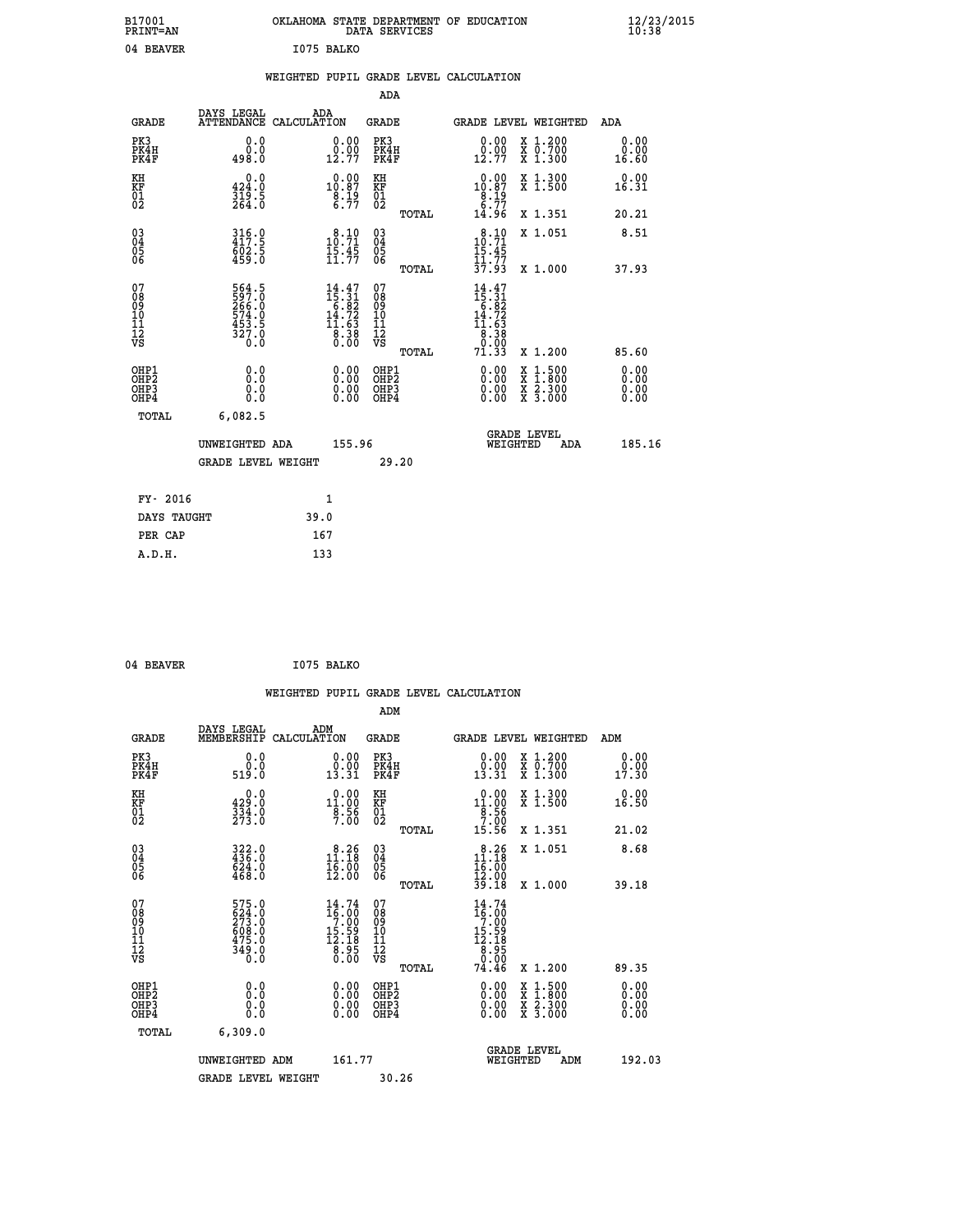| B17001<br>PRINT=AN                                |                                                             | OKLAHOMA STATE DEPARTMENT OF EDUCATION                                              | DATA SERVICES                                                       |                                                                                                                          |                                                                                                                                           | $\frac{12}{23}$ /2015 |
|---------------------------------------------------|-------------------------------------------------------------|-------------------------------------------------------------------------------------|---------------------------------------------------------------------|--------------------------------------------------------------------------------------------------------------------------|-------------------------------------------------------------------------------------------------------------------------------------------|-----------------------|
| 04 BEAVER                                         |                                                             | I075 BALKO                                                                          |                                                                     |                                                                                                                          |                                                                                                                                           |                       |
|                                                   |                                                             | WEIGHTED PUPIL GRADE LEVEL CALCULATION                                              |                                                                     |                                                                                                                          |                                                                                                                                           |                       |
|                                                   |                                                             |                                                                                     | ADA                                                                 |                                                                                                                          |                                                                                                                                           |                       |
| <b>GRADE</b>                                      | DAYS LEGAL                                                  | ADA<br>ATTENDANCE CALCULATION                                                       | GRADE                                                               |                                                                                                                          | <b>GRADE LEVEL WEIGHTED</b>                                                                                                               | ADA                   |
| PK3<br>PK4H<br>PK4F                               | 0.0<br>0.0<br>498.0                                         | 0.00<br>$0.00$<br>$12.77$                                                           | PK3<br>PK4H<br>PK4F                                                 | 0.00<br>0.00<br>12.77                                                                                                    | X 1.200<br>X 0.700<br>X 1.300                                                                                                             | 0.00<br>0.00<br>16.60 |
| KH<br>KF<br>$\begin{matrix} 01 \ 02 \end{matrix}$ | 0.0<br>424.0<br>319.5<br>264.0                              | $\begin{smallmatrix} 0.00\\ 10.87\\ 8.19\\ 6.77 \end{smallmatrix}$                  | KH<br>KF<br>$\overline{01}$                                         | $10.87$<br>$8.19$<br>$6.77$                                                                                              | X 1.300<br>X 1.500                                                                                                                        | 0.00<br>16.31         |
|                                                   |                                                             |                                                                                     | TOTAL                                                               | 14.96                                                                                                                    | X 1.351                                                                                                                                   | 20.21                 |
| 030404<br>ŌĞ                                      | 316.0<br>417.5<br>602.5<br>459.0                            | 10.71<br>$\frac{15.45}{11.77}$                                                      | $\begin{matrix} 03 \\ 04 \\ 05 \\ 06 \end{matrix}$                  | 10:71<br>15.45                                                                                                           | X 1.051                                                                                                                                   | 8.51                  |
|                                                   |                                                             |                                                                                     | TOTAL                                                               | $\frac{11}{37}. \frac{77}{93}$                                                                                           | X 1.000                                                                                                                                   | 37.93                 |
| 07<br>08<br>09<br>11<br>11<br>12<br>VS            | 564.5<br>597.0<br>266.0<br>574.0<br>533.5<br>453.5<br>327.0 | $\begin{smallmatrix} 14.47\\15.31\\6.82\\14.72\\11.63\\8.38\\0.00\end{smallmatrix}$ | 07<br>08<br>09<br>10<br>$\frac{11}{12}$<br>$\frac{12}{18}$<br>TOTAL | $\begin{smallmatrix} 14 & 47 \\ 15 & 31 \\ 6 & 82 \\ 14 & 72 \\ 11 & 63 \\ 8 & 38 \\ 0 & 0 \\ 71 & 33 \end{smallmatrix}$ | X 1.200                                                                                                                                   | 85.60                 |
| OHP1                                              | 0.0                                                         |                                                                                     | OHP1                                                                |                                                                                                                          |                                                                                                                                           | 0.00                  |
| OH <sub>P</sub> <sub>2</sub><br>OHP3<br>OHP4      | Ō.Ō<br>0.0<br>0.0                                           | 0.00<br>0.00                                                                        | OHP <sub>2</sub><br>OHP3<br>OHP4                                    | 0.00<br>0.00<br>0.00                                                                                                     | $\begin{smallmatrix} \mathtt{X} & 1\cdot500\\ \mathtt{X} & 1\cdot800\\ \mathtt{X} & 2\cdot300\\ \mathtt{X} & 3\cdot000 \end{smallmatrix}$ | 0.00<br>0.00<br>0.00  |
| TOTAL                                             | 6,082.5                                                     |                                                                                     |                                                                     |                                                                                                                          |                                                                                                                                           |                       |
|                                                   | UNWEIGHTED ADA                                              | 155.96                                                                              |                                                                     | WEIGHTED                                                                                                                 | <b>GRADE LEVEL</b><br>ADA                                                                                                                 | 185.16                |
|                                                   | <b>GRADE LEVEL WEIGHT</b>                                   |                                                                                     | 29.20                                                               |                                                                                                                          |                                                                                                                                           |                       |
| FY- 2016                                          |                                                             | 1                                                                                   |                                                                     |                                                                                                                          |                                                                                                                                           |                       |
| DAYS TAUGHT                                       |                                                             | 39.0                                                                                |                                                                     |                                                                                                                          |                                                                                                                                           |                       |
| PER CAP                                           |                                                             | 167                                                                                 |                                                                     |                                                                                                                          |                                                                                                                                           |                       |

```
04 BEAVER 1075 BALKO
```
 **WEIGHTED PUPIL GRADE LEVEL CALCULATION ADM DAYS LEGAL ADM GRADE MEMBERSHIP CALCULATION GRADE GRADE LEVEL WEIGHTED ADM PK3 0.0 0.00 PK3 0.00 X 1.200 0.00 PK4H 0.0 0.00 PK4H 0.00 X 0.700 0.00 PK4F 519.0 13.31 PK4F 13.31 X 1.300 17.30 KH 0.0 0.00 KH 0.00 X 1.300 0.00 KF 429.0 11.00 KF 11.00 X 1.500 16.50 01 334.0 8.56 01 8.56 8.56 02 273.0 7.00 02 7.00 TOTAL 15.56 X 1.351 21.02 03 322.0 8.26 03 8.26 X 1.051 8.68 04 436.0 11.18 04 11.18 05 624.0 16.00 05 16.00** 06 468.0 12.00 06 <sub>memax</sub> 12.00  **TOTAL 39.18 X 1.000 39.18** 07 575.0 14.74 07 14.74<br>
08 624.0 16.00 08 16.00<br>
10 608.0 15.59 10 15.59<br>
11 475.0 12.18 11 15.59<br>
12 349.0 8.95 12<br>
VS 3.00 VS 0.00 15  **TOTAL 74.46 X 1.200 89.35 OHP1 0.0 0.00 OHP1 0.00 X 1.500 0.00 OHP2 0.0 0.00 OHP2 0.00 X 1.800 0.00 OHP3 0.0 0.00 OHP3 0.00 X 2.300 0.00 OHP4 0.0 0.00 OHP4 0.00 X 3.000 0.00 TOTAL 6,309.0 GRADE LEVEL UNWEIGHTED ADM 161.77 WEIGHTED ADM 192.03** GRADE LEVEL WEIGHT 30.26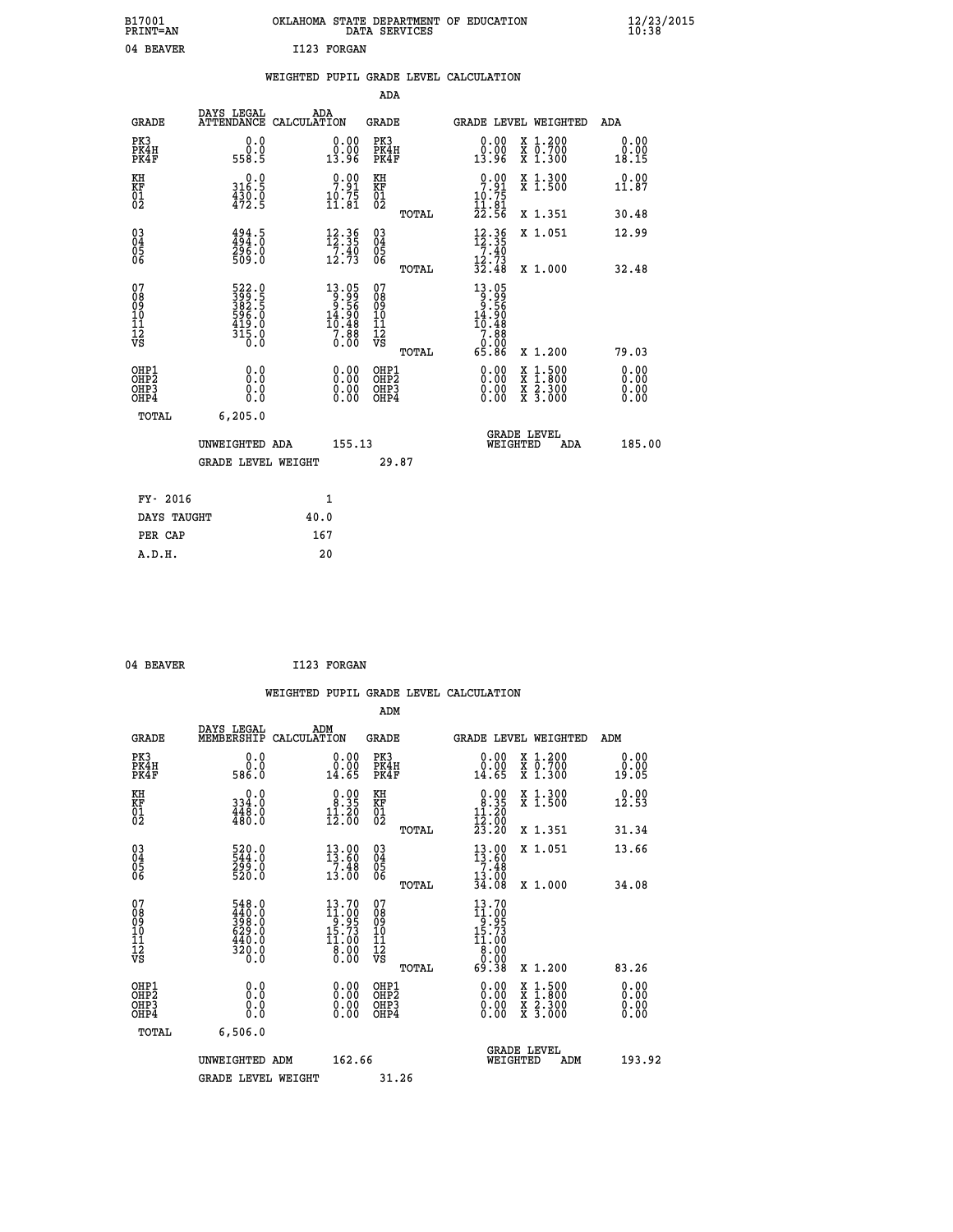| B17001<br><b>PRINT=AN</b> | OKLAHOMA STATE DEPARTMENT OF EDUCATION<br>DATA SERVICES | $\frac{12}{23}$ /2015 |
|---------------------------|---------------------------------------------------------|-----------------------|
| 04<br><b>BEAVER</b>       | I123 FORGAN                                             |                       |

|  |  | WEIGHTED PUPIL GRADE LEVEL CALCULATION |
|--|--|----------------------------------------|
|  |  |                                        |

|                                                                    |                                                                    |                                                                                                                                          | ADA                                               |       |                                                                                                                          |        |                                          |                              |
|--------------------------------------------------------------------|--------------------------------------------------------------------|------------------------------------------------------------------------------------------------------------------------------------------|---------------------------------------------------|-------|--------------------------------------------------------------------------------------------------------------------------|--------|------------------------------------------|------------------------------|
| <b>GRADE</b>                                                       | DAYS LEGAL                                                         | ADA<br>ATTENDANCE CALCULATION                                                                                                            | <b>GRADE</b>                                      |       | GRADE LEVEL WEIGHTED                                                                                                     |        |                                          | <b>ADA</b>                   |
| PK3<br>PK4H<br>PK4F                                                | 0.0<br>$0.0$<br>558.5                                              | $\begin{smallmatrix} 0.00\\ 0.00\\ 13.96 \end{smallmatrix}$                                                                              | PK3<br>PK4H<br>PK4F                               |       | 0.00<br>ă:ŏă<br>13.96                                                                                                    |        | X 1.200<br>X 0.700<br>X 1.300            | 0.00<br>0.00<br>18.15        |
| KH<br>KF<br>01<br>02                                               | 0.0<br>316.5<br>$\frac{4\bar{3}\tilde{0}\cdot\tilde{0}}{472.5}$    | 7.91<br>$\frac{10.75}{11.81}$                                                                                                            | KH<br>KF<br>$\begin{matrix} 01 \ 02 \end{matrix}$ |       | 7.91<br>$\frac{10.75}{11.81}$<br>$22.56$                                                                                 |        | X 1.300<br>X 1.500                       | 0.00<br>11.87                |
|                                                                    |                                                                    |                                                                                                                                          |                                                   | TOTAL |                                                                                                                          |        | X 1.351                                  | 30.48                        |
| $\begin{smallmatrix} 03 \\[-4pt] 04 \end{smallmatrix}$<br>Ŏ5<br>06 | $494.5$<br>$494.0$<br>296.0<br>509.0                               | $\frac{12.36}{12.35}$<br>$\frac{7}{12}$ , $\frac{40}{73}$                                                                                | $\substack{03 \\ 04}$<br>05<br>06                 |       | $\begin{array}{r} 12 \cdot 36 \\ 12 \cdot 35 \\ 7 \cdot 40 \\ 12 \cdot 73 \\ 32 \cdot 48 \end{array}$                    |        | X 1.051                                  | 12.99                        |
|                                                                    |                                                                    |                                                                                                                                          |                                                   | TOTAL |                                                                                                                          |        | X 1.000                                  | 32.48                        |
| 07<br>08<br>09<br>11<br>11<br>12<br>VS                             | 522.0<br>399.5<br>382.5<br>382.5<br>596.0<br>419.0<br>315.0<br>0.0 | $\begin{smallmatrix} 13.05\\[-1.2mm] 9.99\\[-1.2mm] 9.56\\[-1.2mm] 14.90\\[-1.2mm] 10.48\\[-1.2mm] 7.88\\[-1.2mm] 0.00\end{smallmatrix}$ | 07<br>08<br>09<br>11<br>11<br>12<br>VS            |       | $\begin{smallmatrix} 13 & 05 \\ 9 & 99 \\ 9 & 56 \\ 14 & 90 \\ 10 & 48 \\ 7 & 88 \\ 0 & 00 \\ 65 & 86 \end{smallmatrix}$ |        |                                          |                              |
|                                                                    |                                                                    |                                                                                                                                          |                                                   | TOTAL |                                                                                                                          |        | X 1.200                                  | 79.03                        |
| OHP1<br>OH <sub>P</sub> 2<br>OHP3<br>OHP4                          | 0.0<br>Ō.Ō<br>0.0<br>$0.\overline{0}$                              | 0.00<br>$\begin{smallmatrix} 0.00 \ 0.00 \end{smallmatrix}$                                                                              | OHP1<br>OH <sub>P</sub> 2<br>OHP3<br>OHP4         |       | 0.00<br>0.00<br>0.00                                                                                                     | X<br>X | $1:500$<br>$1:800$<br>X 2.300<br>X 3.000 | 0.00<br>0.00<br>0.00<br>0.00 |
| TOTAL                                                              | 6, 205.0                                                           |                                                                                                                                          |                                                   |       |                                                                                                                          |        |                                          |                              |
|                                                                    | UNWEIGHTED ADA                                                     | 155.13                                                                                                                                   |                                                   |       | WEIGHTED                                                                                                                 |        | <b>GRADE LEVEL</b><br>ADA                | 185.00                       |
|                                                                    | <b>GRADE LEVEL WEIGHT</b>                                          |                                                                                                                                          |                                                   | 29.87 |                                                                                                                          |        |                                          |                              |
| FY- 2016                                                           |                                                                    | 1                                                                                                                                        |                                                   |       |                                                                                                                          |        |                                          |                              |
| DAYS TAUGHT                                                        |                                                                    | 40.0                                                                                                                                     |                                                   |       |                                                                                                                          |        |                                          |                              |
| PER CAP                                                            |                                                                    | 167                                                                                                                                      |                                                   |       |                                                                                                                          |        |                                          |                              |
|                                                                    |                                                                    |                                                                                                                                          |                                                   |       |                                                                                                                          |        |                                          |                              |

| 04 BEAVER | I123 FORGAN |
|-----------|-------------|
|           |             |

|                                                      |                                                                   |                                                                                      |                                                        | WEIGHTED PUPIL GRADE LEVEL CALCULATION                                                                                     |                                          |                              |
|------------------------------------------------------|-------------------------------------------------------------------|--------------------------------------------------------------------------------------|--------------------------------------------------------|----------------------------------------------------------------------------------------------------------------------------|------------------------------------------|------------------------------|
|                                                      |                                                                   |                                                                                      | ADM                                                    |                                                                                                                            |                                          |                              |
| <b>GRADE</b>                                         | DAYS LEGAL<br>MEMBERSHIP                                          | ADM<br>CALCULATION                                                                   | <b>GRADE</b>                                           |                                                                                                                            | <b>GRADE LEVEL WEIGHTED</b>              | ADM                          |
| PK3<br>PK4H<br>PK4F                                  | 0.0<br>ŏ:ŏ<br>586:0                                               | $\begin{array}{c} 0.00 \\ 0.00 \\ 14.65 \end{array}$                                 | PK3<br>PK4H<br>PK4F                                    | $\begin{smallmatrix} 0.00\\ 0.00\\ 14.65 \end{smallmatrix}$                                                                | X 1.200<br>X 0.700<br>X 1.300            | 0.00<br>0.00<br>19.05        |
| KH<br>KF<br>01<br>02                                 | $\begin{smallmatrix} &0.0\ 334.0\ 448.0\ 480.0 \end{smallmatrix}$ | $\begin{smallmatrix} 0.00\\ 8.35\\ 11.20\\ 12.00 \end{smallmatrix}$                  | KH<br>KF<br>01<br>02                                   | $\begin{array}{c} 0.00 \\ 8.35 \\ 11.20 \\ 12.00 \\ 23.20 \end{array}$                                                     | X 1.300<br>X 1.500                       | 0.00<br>12.53                |
|                                                      |                                                                   |                                                                                      | TOTAL                                                  |                                                                                                                            | X 1.351                                  | 31.34                        |
| $\begin{matrix} 03 \\ 04 \\ 05 \\ 06 \end{matrix}$   | 520.0<br>544.0<br>299.0<br>520.0                                  | 13.00<br>13.60<br>$\frac{7}{13}.\frac{48}{00}$                                       | 03<br>04<br>05<br>06                                   | $13.00$<br>$7.48$<br>$13.00$<br>$34.08$                                                                                    | X 1.051                                  | 13.66                        |
|                                                      |                                                                   |                                                                                      | TOTAL                                                  |                                                                                                                            | X 1.000                                  | 34.08                        |
| 07<br>0890112<br>1112<br>VS                          | 548.0<br>440.0<br>398.0<br>629.0<br>$\frac{440.0}{320.0}$         | $13.70$<br>$11.00$<br>$9.95$<br>$15.73$<br>11.00<br>$\overline{8}\cdot\overline{00}$ | 07<br>08<br>09<br>001<br>11<br>11<br>12<br>VS<br>TOTAL | $\begin{smallmatrix} 13 & 70 \\ 11 & 00 \\ 9 & 95 \\ 15 & 73 \\ 11 & 00 \\ 8 & 00 \\ 9 & 90 \\ \end{smallmatrix}$<br>69.38 | X 1.200                                  | 83.26                        |
| OHP1<br>OHP <sub>2</sub><br>OH <sub>P3</sub><br>OHP4 | 0.0<br>0.000                                                      | $0.00$<br>$0.00$<br>0.00                                                             | OHP1<br>OHP <sub>2</sub><br>OHP <sub>3</sub>           | 0.00<br>0.00<br>0.00                                                                                                       | X 1:500<br>X 1:800<br>X 2:300<br>X 3:000 | 0.00<br>0.00<br>0.00<br>0.00 |
| TOTAL                                                | 6,506.0                                                           |                                                                                      |                                                        |                                                                                                                            |                                          |                              |
|                                                      | UNWEIGHTED ADM                                                    | 162.66                                                                               |                                                        |                                                                                                                            | <b>GRADE LEVEL</b><br>WEIGHTED<br>ADM    | 193.92                       |
|                                                      | <b>GRADE LEVEL WEIGHT</b>                                         |                                                                                      | 31.26                                                  |                                                                                                                            |                                          |                              |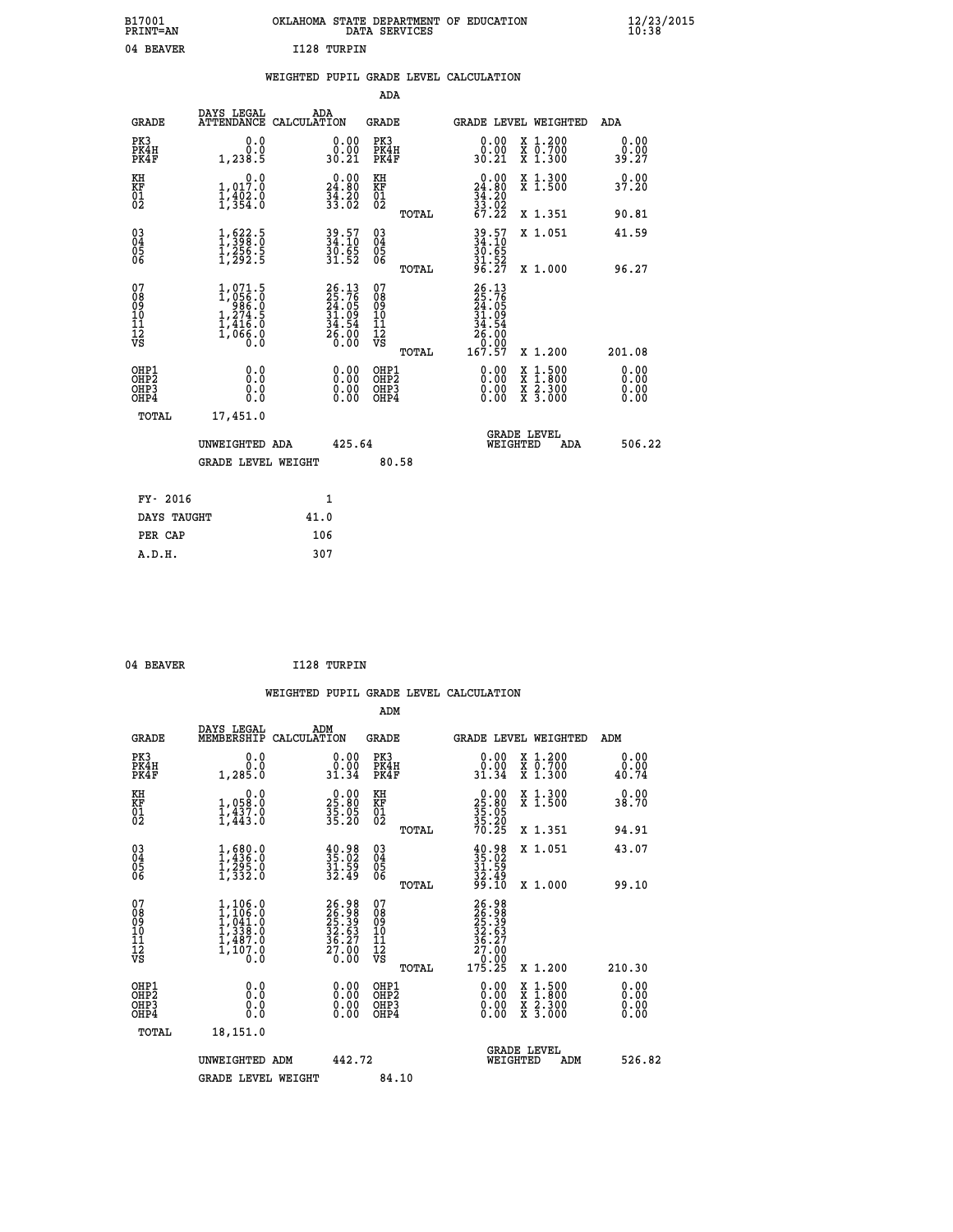| OKLAHOMA STATE DEPARTMENT OF EDUCATION<br>DATA SERVICES |  |
|---------------------------------------------------------|--|
| I128 TURPIN                                             |  |

|  |  | WEIGHTED PUPIL GRADE LEVEL CALCULATION |
|--|--|----------------------------------------|
|  |  |                                        |

|                                                                    |                                                                        |                                                                   | ADA                                       |       |                                                                             |                                                                            |                              |
|--------------------------------------------------------------------|------------------------------------------------------------------------|-------------------------------------------------------------------|-------------------------------------------|-------|-----------------------------------------------------------------------------|----------------------------------------------------------------------------|------------------------------|
| <b>GRADE</b>                                                       | DAYS LEGAL<br>ATTENDANCE CALCULATION                                   | ADA                                                               | <b>GRADE</b>                              |       |                                                                             | GRADE LEVEL WEIGHTED                                                       | <b>ADA</b>                   |
| PK3<br>PK4H<br>PK4F                                                | 0.0<br>0.0<br>1,238.5                                                  | $\begin{smallmatrix} 0.00\\ 0.00\\ 30.21 \end{smallmatrix}$       | PK3<br>PK4H<br>PK4F                       |       | $\begin{smallmatrix} 0.00\\ 0.00\\ 30.21 \end{smallmatrix}$                 | X 1.200<br>X 0.700<br>X 1.300                                              | 0.00<br>0.00<br>39.27        |
| KH<br>KF<br>01<br>02                                               | 0.0<br>1,017.0<br>$\frac{1}{3}, \frac{1}{3}, \frac{1}{3}, \frac{1}{3}$ | $\begin{smallmatrix} 0.00\\24.80\\34.20\\33.02 \end{smallmatrix}$ | KH<br>KF<br>01<br>02                      |       | $\begin{smallmatrix} 0.00\\24.80\\34.20\\33.02\\67.22 \end{smallmatrix}$    | X 1.300<br>X 1.500                                                         | 0.00<br>37.20                |
|                                                                    |                                                                        |                                                                   |                                           | TOTAL |                                                                             | X 1.351                                                                    | 90.81                        |
| $\begin{smallmatrix} 03 \\[-4pt] 04 \end{smallmatrix}$<br>Ŏ5<br>ŌĞ | $\frac{1}{1}, \frac{622}{398}.5$<br>$\frac{1}{2}, \frac{256}{292}.5$   | 39.57<br>34:10<br>$\frac{30.65}{31.52}$                           | $\substack{03 \\ 04}$<br>$\frac{05}{06}$  | TOTAL | 39.57<br>34.10<br>30.65<br>31.52<br>34.27                                   | X 1.051<br>X 1.000                                                         | 41.59<br>96.27               |
| 07<br>08<br>09<br>11<br>11<br>12<br>VS                             | $1,071.5$<br>$1,056.0$<br>$1,274.5$<br>$1,416.0$<br>$1,066.0$<br>$0.0$ | 26.13<br>25.76<br>24.05<br>31.09<br>34.54<br>36.00<br>26.00       | 07<br>08<br>09<br>11<br>11<br>12<br>VS    |       | $26.13$<br>$25.76$<br>$24.05$<br>$31.09$<br>$34.54$<br>$26.000$<br>$167.57$ |                                                                            |                              |
|                                                                    |                                                                        |                                                                   |                                           | TOTAL |                                                                             | X 1.200                                                                    | 201.08                       |
| OHP1<br>OH <sub>P</sub> 2<br>OHP3<br>OHP4                          | 0.0<br>Ō.Ō<br>0.0<br>$0.\overline{0}$                                  | 0.00<br>$\begin{smallmatrix} 0.00 \ 0.00 \end{smallmatrix}$       | OHP1<br>OH <sub>P</sub> 2<br>OHP3<br>OHP4 |       | 0.00<br>0.00<br>0.00                                                        | $1:500$<br>$1:800$<br>X<br>X<br>$\frac{\ddot{x}}{x}$ $\frac{2.300}{3.000}$ | 0.00<br>0.00<br>0.00<br>0.00 |
| TOTAL                                                              | 17,451.0                                                               |                                                                   |                                           |       |                                                                             |                                                                            |                              |
|                                                                    | UNWEIGHTED ADA                                                         | 425.64                                                            |                                           |       |                                                                             | <b>GRADE LEVEL</b><br>WEIGHTED<br>ADA                                      | 506.22                       |
|                                                                    | <b>GRADE LEVEL WEIGHT</b>                                              |                                                                   |                                           | 80.58 |                                                                             |                                                                            |                              |
| FY- 2016                                                           |                                                                        | 1                                                                 |                                           |       |                                                                             |                                                                            |                              |
| DAYS TAUGHT                                                        |                                                                        | 41.0                                                              |                                           |       |                                                                             |                                                                            |                              |
| PER CAP                                                            |                                                                        | 106                                                               |                                           |       |                                                                             |                                                                            |                              |
|                                                                    |                                                                        |                                                                   |                                           |       |                                                                             |                                                                            |                              |

| 04 BEAVER | I128 TURPIN |
|-----------|-------------|
|           |             |

 **A.D.H. 307**

 **B17001<br>PRINT=AN<br>04 BEAVER** 

| <b>GRADE</b>                                       | DAYS LEGAL<br>MEMBERSHIP                                                                                | ADM<br>CALCULATION                                                    | <b>GRADE</b>                                       |       | <b>GRADE LEVEL WEIGHTED</b>                                                                                                                                                                                                                                                    |                                          | ADM                   |  |
|----------------------------------------------------|---------------------------------------------------------------------------------------------------------|-----------------------------------------------------------------------|----------------------------------------------------|-------|--------------------------------------------------------------------------------------------------------------------------------------------------------------------------------------------------------------------------------------------------------------------------------|------------------------------------------|-----------------------|--|
| PK3<br>PK4H<br>PK4F                                | 0.0<br>0.001, 285.0                                                                                     | $\begin{smallmatrix} 0.00\\ 0.00\\ 31.34 \end{smallmatrix}$           | PK3<br>PK4H<br>PK4F                                |       | $\begin{smallmatrix} 0.00\\ 0.00\\ 31.34 \end{smallmatrix}$                                                                                                                                                                                                                    | X 1.200<br>X 0.700<br>X 1.300            | 0.00<br>0.00<br>40.74 |  |
| KH<br>KF<br>01<br>02                               | 0.0<br>1,058:0<br>1,437.0<br>1,443:0                                                                    | $\begin{smallmatrix} 0.00\\ 25.80\\ 35.05\\ 35.20 \end{smallmatrix}$  | KH<br>KF<br>01<br>02                               |       | $25.80$<br>$35.05$<br>$35.20$<br>$70.25$                                                                                                                                                                                                                                       | X 1.300<br>X 1.500                       | 0.00<br>38.70         |  |
|                                                    |                                                                                                         |                                                                       |                                                    | TOTAL |                                                                                                                                                                                                                                                                                | X 1.351                                  | 94.91                 |  |
| $\begin{matrix} 03 \\ 04 \\ 05 \\ 06 \end{matrix}$ | $1,436.0$<br>$1,295.0$<br>$1,332.0$                                                                     | $\begin{smallmatrix} 40.98\\ 35.02\\ 31.59\\ 32.49 \end{smallmatrix}$ | $\begin{matrix} 03 \\ 04 \\ 05 \\ 06 \end{matrix}$ |       | $35.02$<br>$31.59$<br>$32.49$<br>$99.10$                                                                                                                                                                                                                                       | X 1.051                                  | 43.07                 |  |
|                                                    |                                                                                                         |                                                                       |                                                    | TOTAL |                                                                                                                                                                                                                                                                                | X 1.000                                  | 99.10                 |  |
| 07<br>08<br>09<br>101<br>112<br>VS                 | $\begin{smallmatrix} 1,106.0\\ 1,106.0\\ 1,041.0\\ 1,338.0\\ 1,487.0\\ 1,107.0\\ 0.0 \end{smallmatrix}$ | 26.98<br>26.98<br>25.39<br>32.63<br>36.27<br>36.27<br>27.00           | 07<br>08901112<br>1112<br>VS                       | TOTAL | 26.98<br>26.989<br>25.399<br>27.00<br>36.27<br>27.00<br>0.00<br>175.25                                                                                                                                                                                                         | X 1.200                                  | 210.30                |  |
| OHP1<br>OHP2<br>OH <sub>P3</sub><br>OHP4           | 0.0<br>0.000                                                                                            |                                                                       | OHP1<br>OHP2<br>OHP3<br>OHP4                       |       | $\begin{smallmatrix} 0.00 & 0.00 & 0.00 & 0.00 & 0.00 & 0.00 & 0.00 & 0.00 & 0.00 & 0.00 & 0.00 & 0.00 & 0.00 & 0.00 & 0.00 & 0.00 & 0.00 & 0.00 & 0.00 & 0.00 & 0.00 & 0.00 & 0.00 & 0.00 & 0.00 & 0.00 & 0.00 & 0.00 & 0.00 & 0.00 & 0.00 & 0.00 & 0.00 & 0.00 & 0.00 & 0.0$ | X 1:500<br>X 1:800<br>X 2:300<br>X 3:000 | 0.00<br>0.00<br>0.00  |  |
| TOTAL                                              | 18,151.0                                                                                                |                                                                       |                                                    |       |                                                                                                                                                                                                                                                                                |                                          |                       |  |
|                                                    | UNWEIGHTED<br>ADM                                                                                       | 442.72                                                                |                                                    |       | WEIGHTED                                                                                                                                                                                                                                                                       | <b>GRADE LEVEL</b><br>ADM                | 526.82                |  |
|                                                    | <b>GRADE LEVEL WEIGHT</b>                                                                               |                                                                       | 84.10                                              |       |                                                                                                                                                                                                                                                                                |                                          |                       |  |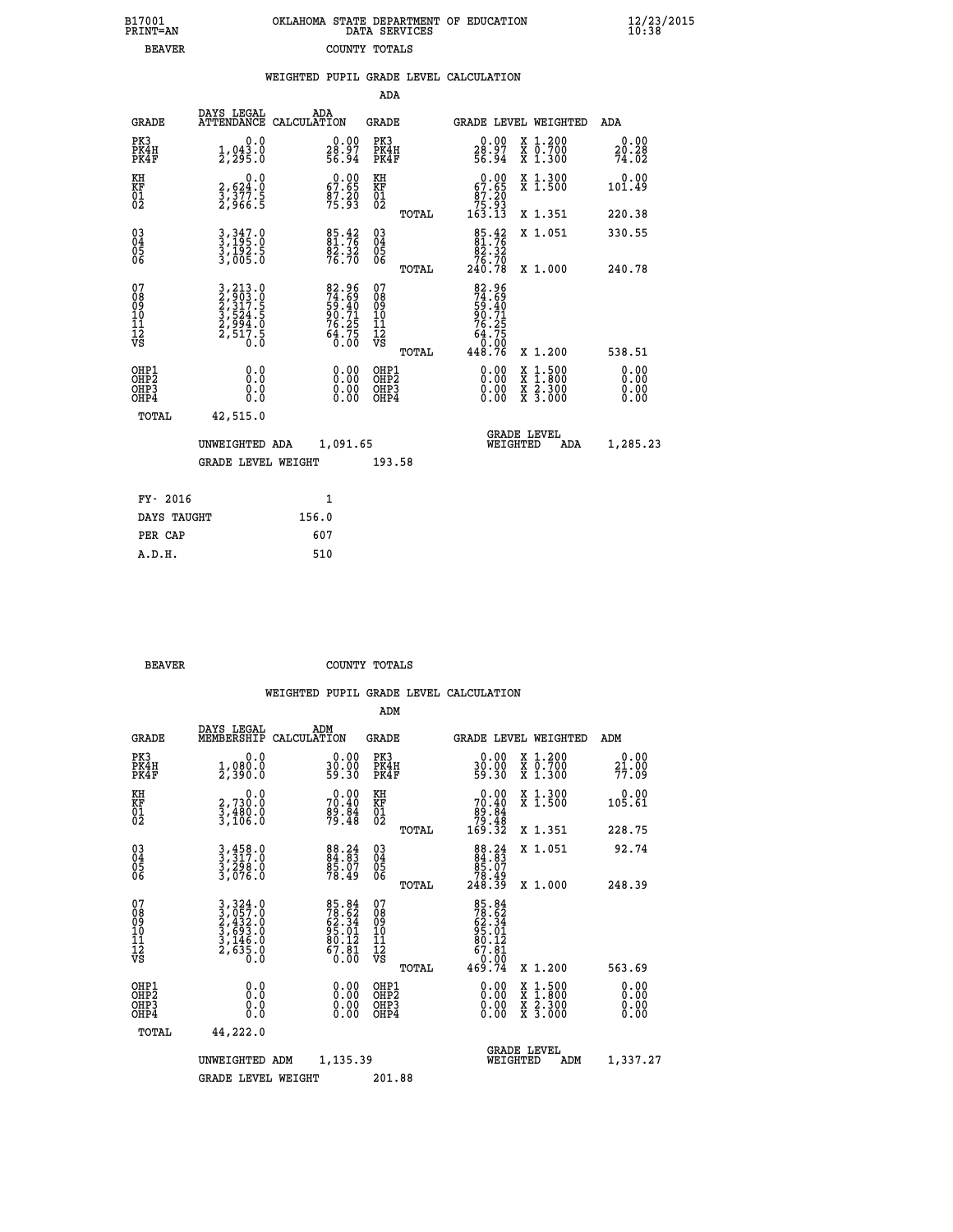| 7001<br>INT=AN | OKLAHOMA STATE DEPARTMENT OF EDUCATION<br>DATA SERVICES |  |
|----------------|---------------------------------------------------------|--|
| <b>BEAVER</b>  | COUNTY TOTALS                                           |  |

|                                              |                                                                       | WEIGHTED PUPIL GRADE LEVEL CALCULATION                               |                                                    |       |                                                                                                                                                                                                                                                                                |                                                                                                                                              |                        |
|----------------------------------------------|-----------------------------------------------------------------------|----------------------------------------------------------------------|----------------------------------------------------|-------|--------------------------------------------------------------------------------------------------------------------------------------------------------------------------------------------------------------------------------------------------------------------------------|----------------------------------------------------------------------------------------------------------------------------------------------|------------------------|
|                                              |                                                                       |                                                                      | ADA                                                |       |                                                                                                                                                                                                                                                                                |                                                                                                                                              |                        |
| <b>GRADE</b>                                 | DAYS LEGAL                                                            | ADA<br>ATTENDANCE CALCULATION                                        | <b>GRADE</b>                                       |       |                                                                                                                                                                                                                                                                                | <b>GRADE LEVEL WEIGHTED</b>                                                                                                                  | ADA                    |
| PK3<br>PK4H<br>PK4F                          | $1, 043.0$<br>$2, 295.0$                                              | $\begin{smallmatrix} 0.00\\ 28.97\\ 56.94 \end{smallmatrix}$         | PK3<br>PK4H<br>PK4F                                |       | $\begin{smallmatrix} 0.00\\ 28.97\\ 56.94 \end{smallmatrix}$                                                                                                                                                                                                                   | X 1.200<br>X 0.700<br>X 1.300                                                                                                                | 0.00<br>20.28<br>74.02 |
| KH<br>KF<br>01<br>02                         | $\begin{smallmatrix}&&&0.0\3,624.0\3,377.5\2,966.5\end{smallmatrix}$  | 67.00<br>$\frac{87.20}{75.93}$                                       | KH<br>KF<br>01<br>02                               |       | 67.00<br>$\begin{array}{r} 87.20 \\ 75.93 \\ 163.13 \end{array}$                                                                                                                                                                                                               | X 1.300<br>X 1.500                                                                                                                           | $0.00$<br>101.49       |
|                                              |                                                                       |                                                                      |                                                    | TOTAL |                                                                                                                                                                                                                                                                                | X 1.351                                                                                                                                      | 220.38                 |
| $^{03}_{04}$<br>05                           | 3, 347.0<br>3, 195.0<br>3, 192.5<br>3, 005.0                          | 85.42<br>$\frac{8\bar{2}\cdot3\bar{2}}{76\cdot70}$                   | $\begin{matrix} 03 \\ 04 \\ 05 \\ 06 \end{matrix}$ |       | $85.42$<br>$81.76$<br>$82.32$                                                                                                                                                                                                                                                  | X 1.051                                                                                                                                      | 330.55                 |
| 06                                           |                                                                       |                                                                      |                                                    | TOTAL | 76.70<br>240.78                                                                                                                                                                                                                                                                | X 1.000                                                                                                                                      | 240.78                 |
| 07<br>08<br>09<br>01<br>11<br>11<br>12<br>VS | 3,213.0<br>2,903.0<br>2,317.5<br>3,524.5<br>3,524.0<br>2,517.5<br>0.0 | 82.96<br>74.69<br>59.40<br>59.71<br>90.71<br>76.25<br>64.75<br>64.75 | 07<br>08<br>09<br>101<br>11<br>12<br>VS            | TOTAL | 82.96<br>74.69<br>59.401<br>50.71<br>76.25<br>64.75<br>448.76                                                                                                                                                                                                                  | X 1.200                                                                                                                                      | 538.51                 |
| OHP1<br>OHP2<br>OHP3<br>OHP4                 | 0.0<br>0.0<br>Ŏ.Ŏ                                                     | $\begin{smallmatrix} 0.00 \ 0.00 \ 0.00 \ 0.00 \end{smallmatrix}$    | OHP1<br>OHP2<br>OHP <sub>3</sub>                   |       | $\begin{smallmatrix} 0.00 & 0.00 & 0.00 & 0.00 & 0.00 & 0.00 & 0.00 & 0.00 & 0.00 & 0.00 & 0.00 & 0.00 & 0.00 & 0.00 & 0.00 & 0.00 & 0.00 & 0.00 & 0.00 & 0.00 & 0.00 & 0.00 & 0.00 & 0.00 & 0.00 & 0.00 & 0.00 & 0.00 & 0.00 & 0.00 & 0.00 & 0.00 & 0.00 & 0.00 & 0.00 & 0.0$ | $\begin{smallmatrix} \mathtt{X} & 1\cdot500 \\ \mathtt{X} & 1\cdot800 \\ \mathtt{X} & 2\cdot300 \\ \mathtt{X} & 3\cdot000 \end{smallmatrix}$ | 0.00<br>0.00<br>0.00   |
| TOTAL                                        | 42,515.0                                                              |                                                                      |                                                    |       |                                                                                                                                                                                                                                                                                |                                                                                                                                              |                        |
|                                              | UNWEIGHTED ADA                                                        | 1,091.65                                                             |                                                    |       | WEIGHTED                                                                                                                                                                                                                                                                       | <b>GRADE LEVEL</b><br>ADA                                                                                                                    | 1,285.23               |
|                                              | <b>GRADE LEVEL WEIGHT</b>                                             |                                                                      | 193.58                                             |       |                                                                                                                                                                                                                                                                                |                                                                                                                                              |                        |
| FY- 2016                                     |                                                                       | $\mathbf{1}$                                                         |                                                    |       |                                                                                                                                                                                                                                                                                |                                                                                                                                              |                        |
| DAYS TAUGHT                                  |                                                                       | 156.0                                                                |                                                    |       |                                                                                                                                                                                                                                                                                |                                                                                                                                              |                        |
| PER CAP                                      |                                                                       | 607                                                                  |                                                    |       |                                                                                                                                                                                                                                                                                |                                                                                                                                              |                        |

| ------<br>----- | --- |
|-----------------|-----|
| A.D.H.          | 510 |
|                 |     |
|                 |     |
|                 |     |

 **B17001<br>PRINT=AN** 

**BEAVER** COUNTY TOTALS

|                                          |                                                                                                                                                                  |                                                                      | ADM                                                 |                                                                                                                                |                                          |                          |
|------------------------------------------|------------------------------------------------------------------------------------------------------------------------------------------------------------------|----------------------------------------------------------------------|-----------------------------------------------------|--------------------------------------------------------------------------------------------------------------------------------|------------------------------------------|--------------------------|
| <b>GRADE</b>                             | DAYS LEGAL<br>MEMBERSHIP                                                                                                                                         | ADM<br>CALCULATION                                                   | <b>GRADE</b>                                        |                                                                                                                                | GRADE LEVEL WEIGHTED                     | ADM                      |
| PK3<br>PK4H<br>PK4F                      | 0.0<br>1,080.0<br>2,390.0                                                                                                                                        | $\begin{smallmatrix} 0.00\\ 30.00\\ 59.30 \end{smallmatrix}$         | PK3<br>PK4H<br>PK4F                                 | $\begin{smallmatrix} 0.00\\ 30.00\\ 59.30 \end{smallmatrix}$                                                                   | X 1.200<br>X 0.700<br>X 1.300            | 0.00<br>$21.00$<br>77.09 |
| KH<br>KF<br>01<br>02                     | 0.0<br>2,730:0<br>3,480:0<br>3,106:0                                                                                                                             | $70.40$<br>$70.40$<br>$89.84$<br>$79.48$                             | KH<br>KF<br>01<br>02                                | $\begin{smallmatrix} &0.00\ 70.40\ 89.84\ 79.48\ 169.32\end{smallmatrix}$                                                      | X 1.300<br>X 1.500                       | 0.00<br>105.61           |
|                                          |                                                                                                                                                                  |                                                                      | TOTAL                                               |                                                                                                                                | X 1.351                                  | 228.75                   |
| 03<br>04<br>05<br>06                     | 3,458.0<br>3,317.0<br>3,298.0<br>3,076.0                                                                                                                         | 88.24<br>84.83<br>85.07<br>78.49                                     | $\begin{array}{c} 03 \\ 04 \\ 05 \\ 06 \end{array}$ | $\begin{smallmatrix}88\cdot24\\84\cdot83\\85\cdot07\\78\cdot49\\248\cdot39\end{smallmatrix}$                                   | X 1.051                                  | 92.74                    |
|                                          |                                                                                                                                                                  |                                                                      | TOTAL                                               |                                                                                                                                | X 1.000                                  | 248.39                   |
| 07<br>08<br>09<br>101<br>11<br>12<br>VS  | $\begin{smallmatrix} 3\,,\,324\,.\,0\\ 2\,,\,057\,. \,0\\ 2\,,\,432\,. \,0\\ 3\,,\,693\,. \,0\\ 3\,,\,146\,. \,0\\ 2\,,\,635\,. \,0\\ 0\,. \,0\end{smallmatrix}$ | 85.84<br>78.62<br>62.34<br>62.34<br>95.01<br>80.12<br>67.81<br>67.81 | 07<br>08<br>09<br>11<br>11<br>12<br>VS              | $\begin{array}{r} 85\cdot84\\ 78\cdot52\\ 62\cdot34\\ 65\cdot01\\ 80\cdot12\\ 67\cdot81\\ 0\cdot00\\ 469\cdot74\\ \end{array}$ |                                          |                          |
|                                          |                                                                                                                                                                  |                                                                      | TOTAL                                               |                                                                                                                                | X 1.200                                  | 563.69                   |
| OHP1<br>OHP2<br>OH <sub>P3</sub><br>OHP4 |                                                                                                                                                                  |                                                                      | OHP1<br>OHP2<br>OHP <sub>3</sub>                    | $0.00$<br>$0.00$<br>0.00                                                                                                       | X 1:500<br>X 1:800<br>X 2:300<br>X 3:000 | 0.00<br>0.00<br>0.00     |
| TOTAL                                    | 44,222.0                                                                                                                                                         |                                                                      |                                                     |                                                                                                                                |                                          |                          |
|                                          | UNWEIGHTED                                                                                                                                                       | 1,135.39<br>ADM                                                      |                                                     |                                                                                                                                | <b>GRADE LEVEL</b><br>WEIGHTED<br>ADM    | 1,337.27                 |
|                                          | <b>GRADE LEVEL WEIGHT</b>                                                                                                                                        |                                                                      | 201.88                                              |                                                                                                                                |                                          |                          |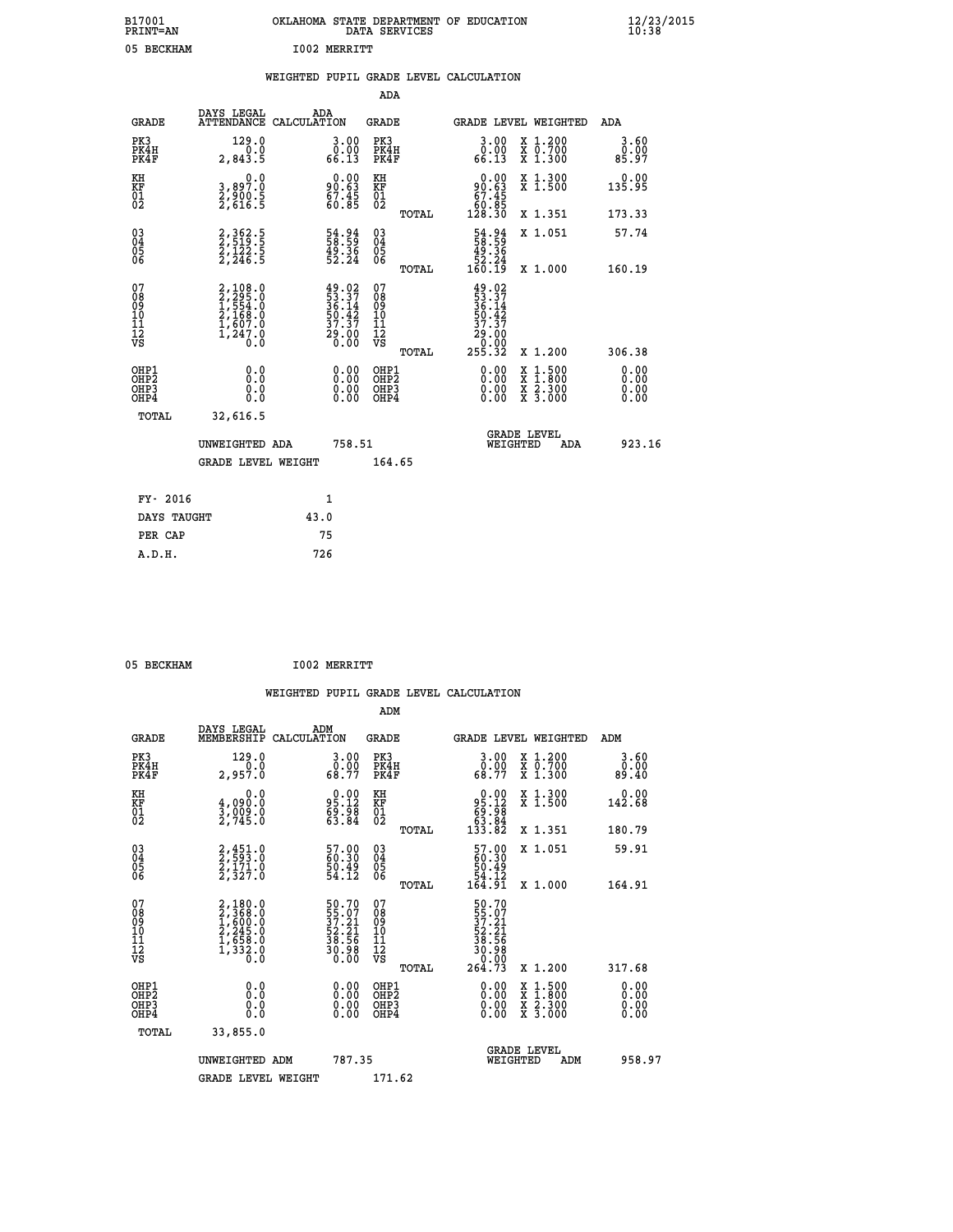| B17001<br><b>PRINT=AN</b> | OKLAHOMA STATE DEPARTMENT OF EDUCATION<br>DATA SERVICES | $\frac{12}{23}$ /2015 |
|---------------------------|---------------------------------------------------------|-----------------------|
| 05<br>BECKHAM             | <b>I002 MERRITT</b>                                     |                       |

|                                                                    |                                                                       |                                                                                              |        | ADA                                                 |       |                                                                                       |                                          |                              |
|--------------------------------------------------------------------|-----------------------------------------------------------------------|----------------------------------------------------------------------------------------------|--------|-----------------------------------------------------|-------|---------------------------------------------------------------------------------------|------------------------------------------|------------------------------|
| <b>GRADE</b>                                                       | DAYS LEGAL<br>ATTENDANCE CALCULATION                                  | ADA                                                                                          |        | <b>GRADE</b>                                        |       | <b>GRADE LEVEL WEIGHTED</b>                                                           |                                          | ADA                          |
| PK3<br>PK4H<br>PK4F                                                | 129.0<br>0.0<br>2,843.5                                               | $\begin{smallmatrix} 3.00\ 0.00\ 66.13 \end{smallmatrix}$                                    |        | PK3<br>PK4H<br>PK4F                                 |       | 3.00<br>ŏ:ŏŏ<br>66.13                                                                 | X 1.200<br>X 0.700<br>X 1.300            | 3.60<br>0.00<br>85.97        |
| KH<br><b>KF</b><br>01<br>02                                        | 0.0<br>3,897:0<br>2,900:5<br>2,616:5                                  | $90.63$<br>$67.45$<br>$60.85$                                                                |        | KH<br>KF<br>01<br>02                                |       | 0.00<br>90:63<br>67:45<br>60:85<br>128:30                                             | X 1.300<br>X 1.500                       | 0.00<br>135.95               |
|                                                                    |                                                                       |                                                                                              |        |                                                     | TOTAL |                                                                                       | X 1.351                                  | 173.33                       |
| $\begin{smallmatrix} 03 \\[-4pt] 04 \end{smallmatrix}$<br>Ŏ5<br>06 | 2, 362.5<br>2, 519.5<br>2, 122.5<br>2, 246.5                          | 54.94<br>58.59<br>49.36<br>52.24                                                             |        | $\begin{array}{c} 03 \\ 04 \\ 05 \\ 06 \end{array}$ |       | 54.94<br>58.59<br>49.36<br>52.24<br>52.24                                             | X 1.051                                  | 57.74                        |
| 07                                                                 |                                                                       |                                                                                              |        | 07                                                  | TOTAL |                                                                                       | X 1.000                                  | 160.19                       |
| 08901112<br>1112<br>VS                                             | 2,108.0<br>1,554.0<br>1,554.0<br>2,168.0<br>1,607.0<br>1,247.0<br>0.0 | $\begin{smallmatrix} 49.02\\ 53.37\\ 36.14\\ 50.42\\ 37.37\\ 29.00\\ 0.00 \end{smallmatrix}$ |        | 08<br>09<br>11<br>11<br>12<br>VS                    |       | $49.02$<br>$53.37$<br>$36.14$<br>$50.42$<br>$37.37$<br>$\frac{29.00}{0.00}$<br>255.32 |                                          |                              |
|                                                                    |                                                                       |                                                                                              |        |                                                     | TOTAL |                                                                                       | X 1.200                                  | 306.38                       |
| OHP1<br>OH <sub>P</sub> 2<br>OH <sub>P3</sub><br>OH <sub>P4</sub>  | 0.0<br>0.000                                                          | $\begin{smallmatrix} 0.00 \ 0.00 \ 0.00 \ 0.00 \end{smallmatrix}$                            |        | OHP1<br>OHP <sub>2</sub><br>OHP3<br>OHP4            |       | 0.00<br>0.00<br>0.00                                                                  | X 1:500<br>X 1:800<br>X 2:300<br>X 3:000 | 0.00<br>0.00<br>0.00<br>0.00 |
| TOTAL                                                              | 32,616.5                                                              |                                                                                              |        |                                                     |       |                                                                                       |                                          |                              |
|                                                                    | UNWEIGHTED ADA                                                        |                                                                                              | 758.51 |                                                     |       |                                                                                       | GRADE LEVEL<br>WEIGHTED<br>ADA           | 923.16                       |
|                                                                    | <b>GRADE LEVEL WEIGHT</b>                                             |                                                                                              |        | 164.65                                              |       |                                                                                       |                                          |                              |
| FY- 2016                                                           |                                                                       | $\mathbf{1}$                                                                                 |        |                                                     |       |                                                                                       |                                          |                              |
| DAYS TAUGHT                                                        |                                                                       | 43.0                                                                                         |        |                                                     |       |                                                                                       |                                          |                              |
| PER CAP                                                            |                                                                       | 75                                                                                           |        |                                                     |       |                                                                                       |                                          |                              |

05 BECKHAM **I002 MERRITT** 

| <b>GRADE</b>                                       | DAYS LEGAL<br>MEMBERSHIP                                                            | ADM<br>CALCULATION                                         | <b>GRADE</b>                                        |       |                                                                                | <b>GRADE LEVEL WEIGHTED</b>              | ADM                   |  |
|----------------------------------------------------|-------------------------------------------------------------------------------------|------------------------------------------------------------|-----------------------------------------------------|-------|--------------------------------------------------------------------------------|------------------------------------------|-----------------------|--|
| PK3<br>PK4H<br>PK4F                                | 129.0<br>2,957.0                                                                    | $\begin{smallmatrix} 3.00\ 0.00\ 68.77 \end{smallmatrix}$  | PK3<br>PK4H<br>PK4F                                 |       | $\begin{smallmatrix} 3.00\\ 0.00\\ 68.77 \end{smallmatrix}$                    | X 1.200<br>X 0.700<br>X 1.300            | 3.60<br>ةة.ة<br>89.40 |  |
| KH<br>KF<br>01<br>02                               | 0.0<br>$\frac{4}{3}, \frac{090}{090}$<br>2,745.0                                    | $95.12$<br>$69.98$<br>$63.84$                              | KH<br>KF<br>01<br>02                                |       | $\begin{smallmatrix} &0.00\\ 95.12\\ 69.98\\ 63.84\\ 133.82\end{smallmatrix}$  | X 1.300<br>X 1.500                       | 0.00<br>142.68        |  |
|                                                    |                                                                                     |                                                            |                                                     | TOTAL |                                                                                | X 1.351                                  | 180.79                |  |
| $\begin{matrix} 03 \\ 04 \\ 05 \\ 06 \end{matrix}$ | 2,451.0<br>2,593.0<br>2,171.0<br>2,327.0                                            | 57.00<br>60.30<br>50.49<br>54.12                           | $\begin{array}{c} 03 \\ 04 \\ 05 \\ 06 \end{array}$ |       | $\begin{smallmatrix} 57.00\\ 60.30\\ 50.49\\ 54.12\\ 164.91 \end{smallmatrix}$ | X 1.051                                  | 59.91                 |  |
|                                                    |                                                                                     |                                                            |                                                     | TOTAL |                                                                                | X 1.000                                  | 164.91                |  |
| 07<br>08<br>09<br>101<br>11<br>12<br>VS            | $2,180.0$<br>$2,368.0$<br>$1,600.0$<br>$2,245.0$<br>$1,658.0$<br>$1,332.0$<br>$0.0$ | 50.70<br>55.07<br>37.21<br>52.21<br>38.56<br>30.98<br>0.00 | 07<br>08<br>09<br>01<br>11<br>11<br>12<br>VS        | TOTAL | $50.70$<br>$37.21$<br>$32.21$<br>$38.56$<br>$30.98$<br>$0.00$<br>$264.73$      | X 1.200                                  | 317.68                |  |
| OHP1<br>OHP2<br>OHP3<br>OHP4                       | 0.0<br>$\begin{smallmatrix} 0.0 & 0 \ 0.0 & 0 \end{smallmatrix}$                    |                                                            | OHP1<br>OHP2<br>OHP3<br>OHP4                        |       |                                                                                | X 1:500<br>X 1:800<br>X 2:300<br>X 3:000 | 0.00<br>0.00<br>0.00  |  |
| TOTAL                                              | 33,855.0                                                                            |                                                            |                                                     |       |                                                                                |                                          |                       |  |
|                                                    | UNWEIGHTED<br>ADM                                                                   | 787.35                                                     |                                                     |       | WEIGHTED                                                                       | <b>GRADE LEVEL</b><br>ADM                | 958.97                |  |
|                                                    | <b>GRADE LEVEL WEIGHT</b>                                                           |                                                            | 171.62                                              |       |                                                                                |                                          |                       |  |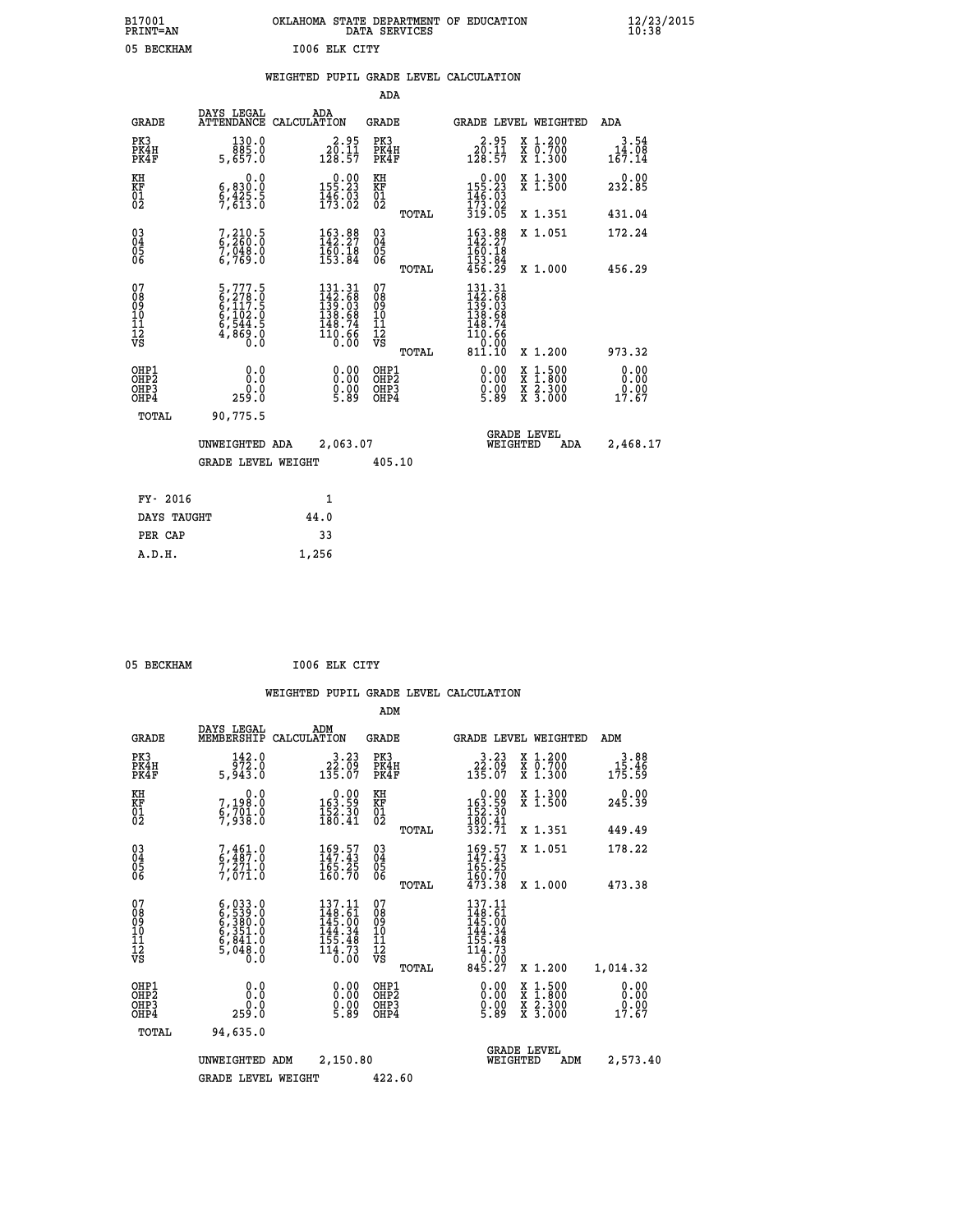| B17001<br><b>PRINT=AN</b> |            |               | OKLAHOMA STATE DEPARTMENT OF EDUCATION<br>DATA SERVICES |  |
|---------------------------|------------|---------------|---------------------------------------------------------|--|
|                           | 05 BECKHAM | 1006 ELK CITY |                                                         |  |

|  |  | WEIGHTED PUPIL GRADE LEVEL CALCULATION |
|--|--|----------------------------------------|
|  |  |                                        |

|                                                                    |                                                                |                                                                                             | ADA                                            |       |                                                                                   |                                                                                                                                           |                                  |
|--------------------------------------------------------------------|----------------------------------------------------------------|---------------------------------------------------------------------------------------------|------------------------------------------------|-------|-----------------------------------------------------------------------------------|-------------------------------------------------------------------------------------------------------------------------------------------|----------------------------------|
| <b>GRADE</b>                                                       | DAYS LEGAL                                                     | ADA<br>ATTENDANCE CALCULATION                                                               | GRADE                                          |       |                                                                                   | GRADE LEVEL WEIGHTED                                                                                                                      | ADA                              |
| PK3<br>PK4H<br>PK4F                                                | 130.0<br>885.0<br>5,657.0                                      | $20.95$<br>$120.11$<br>$128.57$                                                             | PK3<br>PK4H<br>PK4F                            |       | $20.95$<br>$120.11$<br>$128.57$                                                   | X 1.200<br>X 0.700<br>X 1.300                                                                                                             | 3.54<br>$14.08$<br>167.14        |
| KH<br>KF<br>01<br>02                                               | 0.0<br>$\frac{6}{9}, \frac{830}{613}.\frac{0}{0}$              | $0.00$<br>155.23<br>$\frac{145}{173}.02$                                                    | KH<br>KF<br>01<br>02                           |       | $\begin{smallmatrix} &0.00\\ 155.23\\ 146.03\\ 173.02\\ 319.05 \end{smallmatrix}$ | X 1.300<br>X 1.500                                                                                                                        | 0.00<br>232.85                   |
|                                                                    |                                                                |                                                                                             |                                                | TOTAL |                                                                                   | X 1.351                                                                                                                                   | 431.04                           |
| $\begin{smallmatrix} 03 \\[-4pt] 04 \end{smallmatrix}$<br>Ŏ5<br>06 | $7,210.5$<br>6,260.0<br>7,048.0<br>6,769.0                     | $\begin{smallmatrix} 163.88\\ 142.27\\ 160.18\\ 153.84 \end{smallmatrix}$                   | $\substack{03 \\ 04}$<br>$\substack{05 \\ 06}$ |       | $\begin{array}{c} 163.88 \\ 142.27 \\ 160.18 \\ 153.84 \\ 456.29 \end{array}$     | X 1.051                                                                                                                                   | 172.24                           |
|                                                                    |                                                                |                                                                                             |                                                | TOTAL |                                                                                   | X 1.000                                                                                                                                   | 456.29                           |
| 07<br>08<br>09<br>101<br>11<br>12<br>VS                            | 5,777.5<br>6,278.0<br>6,117.5<br>6,102.0<br>6,544.5<br>4,869.0 | $\begin{smallmatrix} 131.31\\142.68\\139.63\\138.68\\148.74\\110.66\\0.00\end{smallmatrix}$ | 07<br>08<br>09<br>11<br>11<br>12<br>VS         |       | $131.31$<br>$142.68$<br>$139.03$<br>$138.68$<br>$148.74$<br>110.66<br>0.00        |                                                                                                                                           |                                  |
|                                                                    |                                                                |                                                                                             |                                                | TOTAL | 811.10                                                                            | X 1.200                                                                                                                                   | 973.32                           |
| OHP1<br>OHP <sub>2</sub><br>OH <sub>P3</sub><br>OHP4               | 0.0<br>Ō.Ō<br>0.0<br>259.0                                     | 0.00<br>$0.00$<br>5.89                                                                      | OHP1<br>OHP2<br>OHP <sub>3</sub>               |       | 0.00<br>$0.00$<br>5.89                                                            | $\begin{smallmatrix} \mathtt{X} & 1\cdot500\\ \mathtt{X} & 1\cdot800\\ \mathtt{X} & 2\cdot300\\ \mathtt{X} & 3\cdot000 \end{smallmatrix}$ | 0.00<br>Ō. ŌŌ<br>$0.00$<br>17.67 |
| TOTAL                                                              | 90,775.5                                                       |                                                                                             |                                                |       |                                                                                   |                                                                                                                                           |                                  |
|                                                                    | UNWEIGHTED ADA                                                 | 2,063.07                                                                                    |                                                |       |                                                                                   | <b>GRADE LEVEL</b><br>WEIGHTED<br>ADA                                                                                                     | 2,468.17                         |
|                                                                    | <b>GRADE LEVEL WEIGHT</b>                                      |                                                                                             | 405.10                                         |       |                                                                                   |                                                                                                                                           |                                  |
| FY- 2016                                                           |                                                                | 1                                                                                           |                                                |       |                                                                                   |                                                                                                                                           |                                  |
| DAYS TAUGHT                                                        |                                                                | 44.0                                                                                        |                                                |       |                                                                                   |                                                                                                                                           |                                  |
| PER CAP                                                            |                                                                | 33                                                                                          |                                                |       |                                                                                   |                                                                                                                                           |                                  |

 **A.D.H. 1,256**

 **05 BECKHAM I006 ELK CITY**

|                                          |                                                                                           |                                                                         | ADM                                                |       |                                                                                                   |                                          |                                                                            |
|------------------------------------------|-------------------------------------------------------------------------------------------|-------------------------------------------------------------------------|----------------------------------------------------|-------|---------------------------------------------------------------------------------------------------|------------------------------------------|----------------------------------------------------------------------------|
| <b>GRADE</b>                             | DAYS LEGAL<br>MEMBERSHIP                                                                  | ADM<br>CALCULATION                                                      | <b>GRADE</b>                                       |       |                                                                                                   | GRADE LEVEL WEIGHTED                     | ADM                                                                        |
| PK3<br>PK4H<br>PK4F                      | 142.0<br>972.0<br>5,943.0                                                                 | 3.23<br>$22.09$<br>$135.07$                                             | PK3<br>PK4H<br>PK4F                                |       | $3.23$<br>$132.09$<br>$135.07$                                                                    | X 1.200<br>X 0.700<br>X 1.300            | 3.88<br>15.46<br>175.59                                                    |
| KH<br>KF<br>01<br>02                     | 0.0<br>7,198:0<br>6,701:0<br>7,938:0                                                      | $\begin{smallmatrix} &0.00\\ 163.59\\ 152.30\\ 180.41\end{smallmatrix}$ | KH<br>KF<br>01<br>02                               |       | $\begin{smallmatrix}&&0.00\\163.59\\152.30\\180.41\\332.71\end{smallmatrix}$                      | X 1.300<br>X 1.500                       | 0.00<br>245.39                                                             |
|                                          |                                                                                           |                                                                         |                                                    | TOTAL |                                                                                                   | X 1.351                                  | 449.49                                                                     |
| 03<br>04<br>05<br>06                     | $7,461.0$<br>$5,487.0$<br>$7,271.0$<br>$7,071.0$                                          | 169.57<br>147.43<br>$\frac{165.25}{160.70}$                             | $\begin{matrix} 03 \\ 04 \\ 05 \\ 06 \end{matrix}$ |       | $169.57$<br>$147.43$<br>165.25<br>160.70<br>473.38                                                | X 1.051                                  | 178.22                                                                     |
|                                          |                                                                                           |                                                                         |                                                    | TOTAL |                                                                                                   | X 1.000                                  | 473.38                                                                     |
| 07<br>08<br>09<br>101<br>112<br>VS       | $6, 033.0$<br>$6, 539.0$<br>$6, 380.0$<br>$6, 351.0$<br>$6, 841.0$<br>$5, 048.0$<br>$0.0$ | 137.11<br>148.61<br>145.00<br>144.34<br>$\frac{155.48}{114.73}$         | 07<br>08<br>09<br>11<br>11<br>12<br>VS             |       | $137.11$<br>$148.61$<br>$145.00$<br>$144.34$<br>$1\overline{5}$<br>$114.73$<br>$0.00$<br>$845.27$ |                                          |                                                                            |
|                                          |                                                                                           |                                                                         |                                                    | TOTAL |                                                                                                   | X 1.200                                  | 1,014.32                                                                   |
| OHP1<br>OHP2<br>OH <sub>P3</sub><br>OHP4 | 0.0<br>0.0<br>259.0                                                                       | $\begin{smallmatrix} 0.00 \ 0.00 \ 0.00 \ 5.89 \end{smallmatrix}$       | OHP1<br>OHP2<br>OHP <sub>3</sub>                   |       | $\begin{smallmatrix} 0.00 \ 0.00 \ 0.00 \ 5.89 \end{smallmatrix}$                                 | X 1:500<br>X 1:800<br>X 2:300<br>X 3:000 | 0.00<br>$\begin{smallmatrix} \text{0.00} \ 0.00 \ 17.67 \end{smallmatrix}$ |
| TOTAL                                    | 94,635.0                                                                                  |                                                                         |                                                    |       |                                                                                                   |                                          |                                                                            |
|                                          | UNWEIGHTED ADM                                                                            | 2,150.80                                                                |                                                    |       | WEIGHTED                                                                                          | <b>GRADE LEVEL</b><br>ADM                | 2,573.40                                                                   |
|                                          | <b>GRADE LEVEL WEIGHT</b>                                                                 |                                                                         | 422.60                                             |       |                                                                                                   |                                          |                                                                            |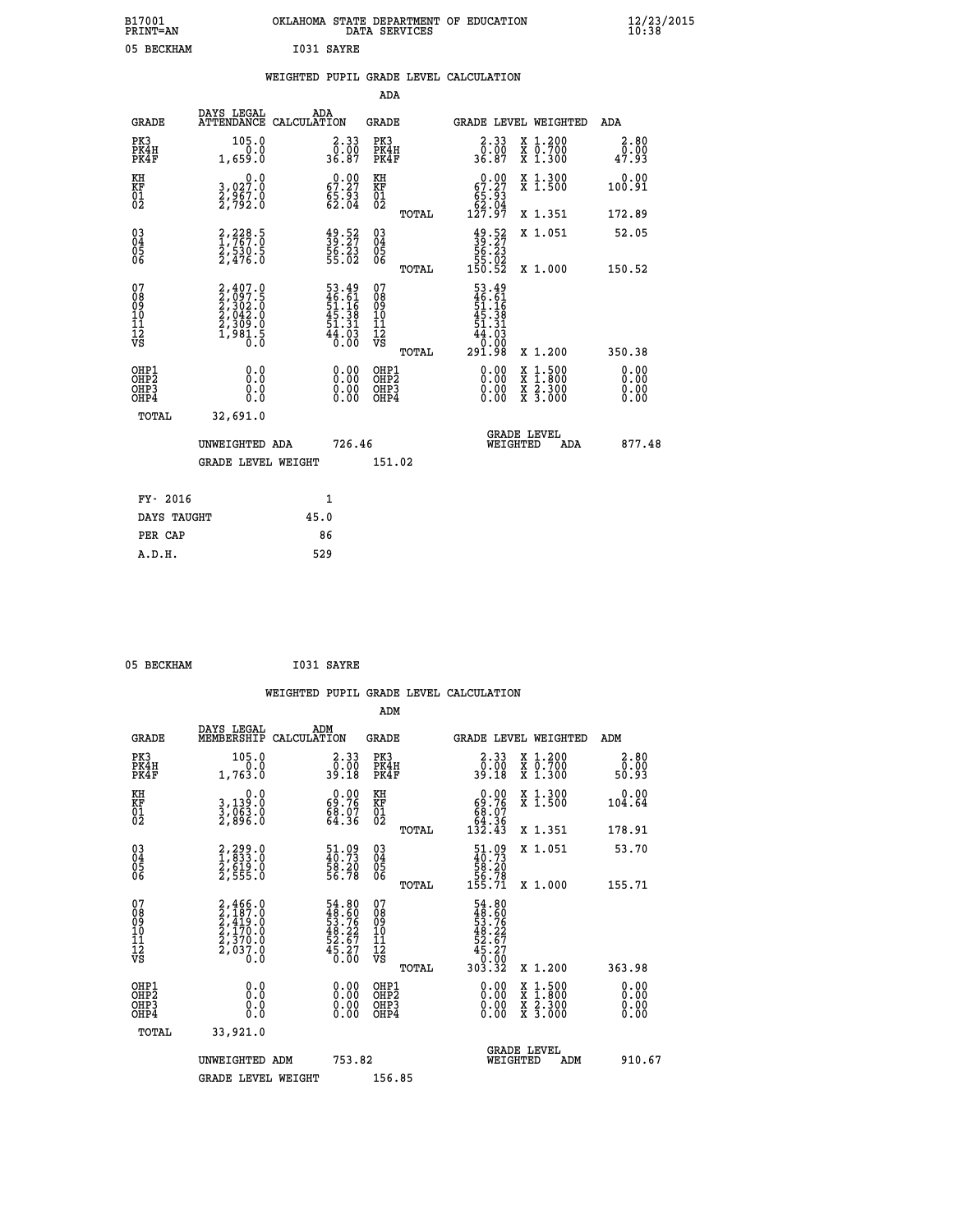| B17001          | OKLAHOMA STATE DEPARTMENT OF EDUCATION |
|-----------------|----------------------------------------|
| <b>PRINT=AN</b> | DATA SERVICES                          |
| 05 BECKHAM      | I031 SAYRE                             |

|  |  | WEIGHTED PUPIL GRADE LEVEL CALCULATION |
|--|--|----------------------------------------|
|  |  |                                        |

|                                                       |                                                                                     |                                                                      | ADA                                      |       |                                                                                                                                     |                                                                                                                                      |                              |
|-------------------------------------------------------|-------------------------------------------------------------------------------------|----------------------------------------------------------------------|------------------------------------------|-------|-------------------------------------------------------------------------------------------------------------------------------------|--------------------------------------------------------------------------------------------------------------------------------------|------------------------------|
| <b>GRADE</b>                                          | DAYS LEGAL                                                                          | ADA<br>ATTENDANCE CALCULATION                                        | GRADE                                    |       | <b>GRADE LEVEL WEIGHTED</b>                                                                                                         |                                                                                                                                      | ADA                          |
| PK3<br>PK4H<br>PK4F                                   | 105.0<br>1,659.0                                                                    | $\begin{smallmatrix} 2.33\ 0.00\ 36.87 \end{smallmatrix}$            | PK3<br>PK4H<br>PK4F                      |       | $2.33$<br>$0.00$<br>36.87                                                                                                           | X 1.200<br>X 0.700<br>X 1.300                                                                                                        | 2.80<br>0.00<br>47.93        |
| KH<br>KF<br>01<br>02                                  | 0.0<br>3,027:0<br>2,967:0<br>2,792:0                                                | $\begin{smallmatrix} 0.00\\ 67.27\\ 65.93\\ 62.04 \end{smallmatrix}$ | KH<br>KF<br>01<br>02                     |       | $0.00$<br>67.27<br>$\begin{array}{r} 65.53 \\ 62.04 \\ 127.97 \end{array}$                                                          | X 1.300<br>X 1.500                                                                                                                   | 0.00<br>100.91               |
|                                                       |                                                                                     |                                                                      |                                          | TOTAL |                                                                                                                                     | X 1.351                                                                                                                              | 172.89                       |
| 03<br>04<br>05<br>06                                  | 2,228.5<br>$\frac{2}{2}, \frac{530}{476}$ .0                                        | $\frac{49.52}{39.27}$<br>56.23<br>55.02                              | 03<br>04<br>05<br>06                     |       | $\begin{smallmatrix} 49.52\ 39.27\ 56.23\ 55.02\ 150.52\ \end{smallmatrix}$                                                         | X 1.051                                                                                                                              | 52.05                        |
|                                                       |                                                                                     |                                                                      |                                          | TOTAL |                                                                                                                                     | X 1.000                                                                                                                              | 150.52                       |
| 07<br>08<br>09<br>11<br>11<br>12<br>VS                | $2,407.0$<br>$2,097.5$<br>$2,302.0$<br>$2,042.0$<br>$2,309.0$<br>$1,981.5$<br>$0.0$ | 53.49<br>46.61<br>51.16<br>51.38<br>51.31<br>54.03<br>44.03          | 07<br>08<br>09<br>11<br>11<br>12<br>VS   | TOTAL | $\frac{53.49}{46.61}$<br>$\frac{46.61}{51.16}$<br>$\begin{array}{r} 31.18 \\ 45.38 \\ 51.31 \\ 44.03 \\ 0.00 \\ 291.98 \end{array}$ | X 1.200                                                                                                                              | 350.38                       |
| OHP1<br>OH <sub>P</sub> 2<br>OH <sub>P3</sub><br>OHP4 | 0.0<br>0.0<br>0.0                                                                   | 0.00<br>$\begin{smallmatrix} 0.00 \ 0.00 \end{smallmatrix}$          | OHP1<br>OHP <sub>2</sub><br>OHP3<br>OHP4 |       | 0.00<br>0.00<br>0.00                                                                                                                | $\begin{smallmatrix} \mathtt{X} & 1 & 500 \\ \mathtt{X} & 1 & 800 \\ \mathtt{X} & 2 & 300 \\ \mathtt{X} & 3 & 000 \end{smallmatrix}$ | 0.00<br>0.00<br>0.00<br>0.00 |
| TOTAL                                                 | 32,691.0                                                                            |                                                                      |                                          |       |                                                                                                                                     |                                                                                                                                      |                              |
|                                                       | UNWEIGHTED ADA                                                                      | 726.46                                                               |                                          |       | WEIGHTED                                                                                                                            | <b>GRADE LEVEL</b><br>ADA                                                                                                            | 877.48                       |
|                                                       | <b>GRADE LEVEL WEIGHT</b>                                                           |                                                                      | 151.02                                   |       |                                                                                                                                     |                                                                                                                                      |                              |
|                                                       |                                                                                     |                                                                      |                                          |       |                                                                                                                                     |                                                                                                                                      |                              |
| FY- 2016                                              |                                                                                     | $\mathbf{1}$                                                         |                                          |       |                                                                                                                                     |                                                                                                                                      |                              |
| DAYS TAUGHT                                           |                                                                                     | 45.0                                                                 |                                          |       |                                                                                                                                     |                                                                                                                                      |                              |
| PER CAP                                               |                                                                                     | 86                                                                   |                                          |       |                                                                                                                                     |                                                                                                                                      |                              |
| A.D.H.                                                |                                                                                     | 529                                                                  |                                          |       |                                                                                                                                     |                                                                                                                                      |                              |

| 05 BECKHAM | I031 SAYRE |
|------------|------------|
|            |            |

|                                                    |                                                                                     |                                                                          |                                                       | WEIGHTED PUPIL GRADE LEVEL CALCULATION                                             |                                          |                              |
|----------------------------------------------------|-------------------------------------------------------------------------------------|--------------------------------------------------------------------------|-------------------------------------------------------|------------------------------------------------------------------------------------|------------------------------------------|------------------------------|
|                                                    |                                                                                     |                                                                          | ADM                                                   |                                                                                    |                                          |                              |
| <b>GRADE</b>                                       | DAYS LEGAL<br>MEMBERSHIP                                                            | ADM<br>CALCULATION                                                       | <b>GRADE</b>                                          |                                                                                    | GRADE LEVEL WEIGHTED                     | ADM                          |
| PK3<br>PK4H<br>PK4F                                | 105.0<br>0.0<br>1,763.0                                                             | $\begin{smallmatrix} 2.33\ 0.00\ 39.18 \end{smallmatrix}$                | PK3<br>PK4H<br>PK4F                                   | $\begin{smallmatrix} 2.33\ 0.00\\ 39.18 \end{smallmatrix}$                         | X 1.200<br>X 0.700<br>X 1.300            | 2.80<br>0.00<br>50.93        |
| KH<br>KF<br>01<br>02                               | 0.0<br>3,139:0<br>3,063:0<br>2,896:0                                                | $\begin{smallmatrix} 0.00\\ 69.76\\ 68.07\\ 64.36 \end{smallmatrix}$     | KH<br>KF<br>01<br>02                                  | $0.00\n69.76\n68.07\n64.36\n132.43$                                                | X 1.300<br>X 1.500                       | 0.00<br>104.64               |
|                                                    |                                                                                     |                                                                          | TOTAL                                                 |                                                                                    | X 1.351                                  | 178.91                       |
| $\begin{matrix} 03 \\ 04 \\ 05 \\ 06 \end{matrix}$ | 2,299.0<br>1,833.0<br>2,619.0<br>2,555.0                                            | $\begin{smallmatrix} 51.09 \\ 40.73 \\ 58.20 \\ 56.78 \end{smallmatrix}$ | $\begin{matrix} 03 \\ 04 \\ 05 \\ 06 \end{matrix}$    | $\begin{smallmatrix} 51.09 \\ 40.73 \\ 58.20 \\ 56.78 \\ 155.71 \end{smallmatrix}$ | X 1.051                                  | 53.70                        |
|                                                    |                                                                                     |                                                                          | TOTAL                                                 |                                                                                    | X 1.000                                  | 155.71                       |
| 07<br>08<br>09<br>10<br>11<br>11<br>12<br>VS       | $2,466.0$<br>$2,487.0$<br>$2,419.0$<br>$2,170.0$<br>$2,370.0$<br>$2,037.0$<br>$0.0$ | 54.80<br>48.60<br>53.76<br>53.76<br>48.22<br>52.67<br>45.27<br>6.00      | 07<br>08<br>09<br>01<br>11<br>11<br>12<br>VS<br>TOTAL | 54.80<br>48.60<br>53.76<br>53.76<br>52.67<br>52.67<br>45.27<br>303.32              | X 1.200                                  | 363.98                       |
| OHP1<br>OHP2<br>OHP3<br>OH <sub>P4</sub>           |                                                                                     | $\begin{smallmatrix} 0.00 \ 0.00 \ 0.00 \ 0.00 \end{smallmatrix}$        | OHP1<br>OHP <sub>2</sub><br>OHP <sub>3</sub>          | 0.00<br>0.00<br>0.00                                                               | X 1:500<br>X 1:800<br>X 2:300<br>X 3:000 | 0.00<br>0.00<br>0.00<br>0.00 |
| TOTAL                                              | 33,921.0                                                                            |                                                                          |                                                       |                                                                                    |                                          |                              |
|                                                    | UNWEIGHTED ADM                                                                      | 753.82                                                                   |                                                       | WEIGHTED                                                                           | <b>GRADE LEVEL</b><br>ADM                | 910.67                       |
|                                                    | <b>GRADE LEVEL WEIGHT</b>                                                           |                                                                          | 156.85                                                |                                                                                    |                                          |                              |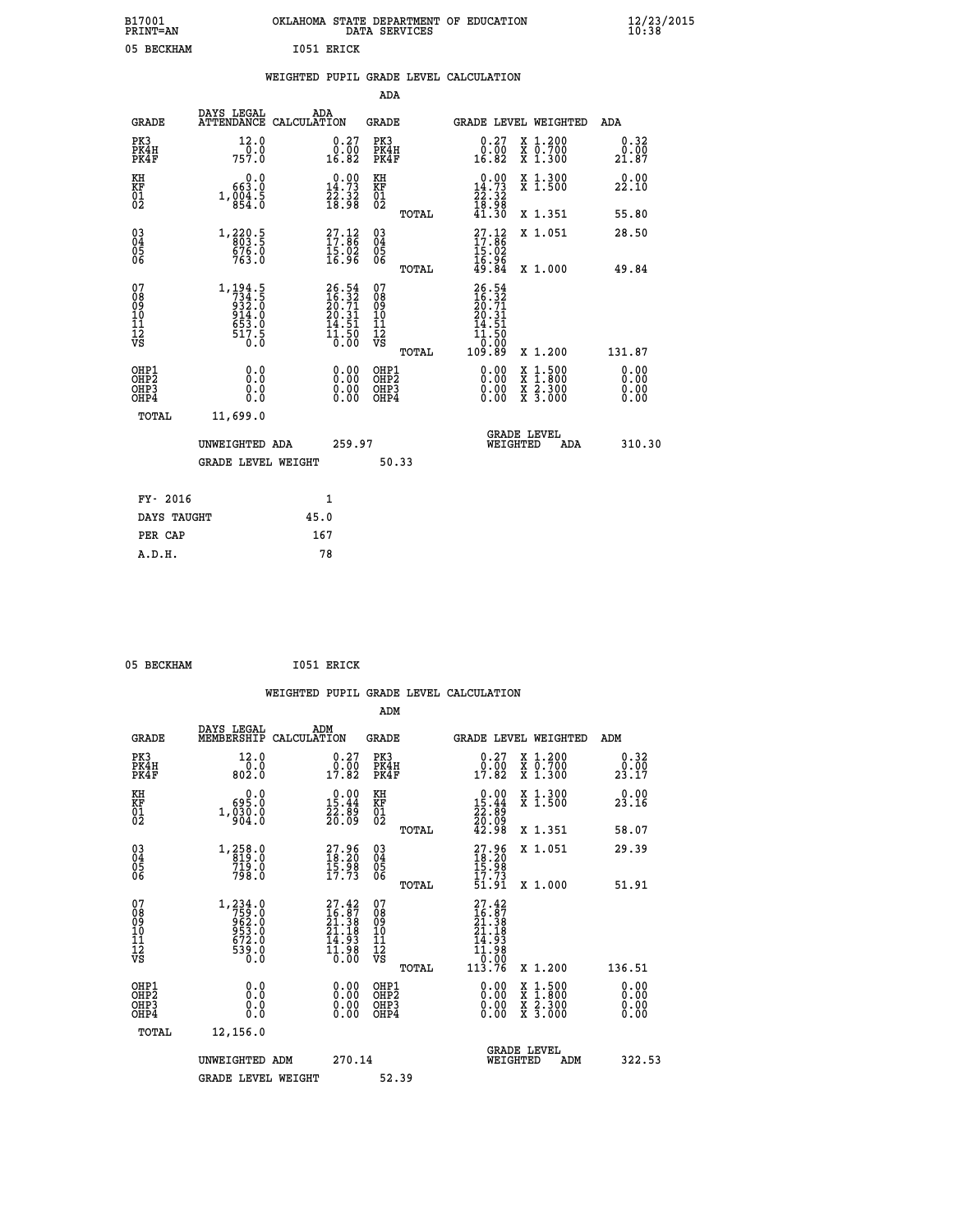|    |            | OKLAHOMA STATE DEPARTMENT OF EDUCATION<br>DATA SERVICES |  |
|----|------------|---------------------------------------------------------|--|
| ΆΜ | T051 ERTCK |                                                         |  |

| B17001<br><b>PRINT=AN</b>                          |                                                                            | OKLAHOMA STATE DEPARTMENT OF EDUCATION |                                                                          |                                                    | DATA SERVICES |                                                                          |                                |                                                                                          | 12/23/2015<br>10:38          |  |
|----------------------------------------------------|----------------------------------------------------------------------------|----------------------------------------|--------------------------------------------------------------------------|----------------------------------------------------|---------------|--------------------------------------------------------------------------|--------------------------------|------------------------------------------------------------------------------------------|------------------------------|--|
| 05 BECKHAM                                         |                                                                            |                                        | I051 ERICK                                                               |                                                    |               |                                                                          |                                |                                                                                          |                              |  |
|                                                    |                                                                            | WEIGHTED PUPIL GRADE LEVEL CALCULATION |                                                                          |                                                    |               |                                                                          |                                |                                                                                          |                              |  |
|                                                    |                                                                            |                                        |                                                                          | ADA                                                |               |                                                                          |                                |                                                                                          |                              |  |
| GRADE                                              | DAYS LEGAL<br>ATTENDANCE CALCULATION                                       | ADA                                    |                                                                          | <b>GRADE</b>                                       |               |                                                                          |                                | GRADE LEVEL WEIGHTED                                                                     | ADA                          |  |
| PK3<br>PK4H<br>PK4F                                | 12.0<br>0.0<br>757.0                                                       |                                        | 0.27<br>0.00<br>16.82                                                    | PK3<br>PK4H<br>PK4F                                |               | 0.27<br>0.00<br>16.82                                                    |                                | X 1.200<br>X 0.700<br>X 1.300                                                            | 0.32<br>0.00<br>21.87        |  |
| KH<br>KF<br>$\overline{01}$                        | 0.0<br>663.0<br>1, 0.04.5                                                  |                                        | $\begin{smallmatrix} 0.00\\14.73\\22.32\\18.98 \end{smallmatrix}$        | KH<br>KF<br>01<br>02                               |               | $\begin{smallmatrix} 0.00\\14.73\\22.32\\18.98\\41.30 \end{smallmatrix}$ |                                | X 1.300<br>X 1.500                                                                       | 0.00<br>22.10                |  |
|                                                    |                                                                            |                                        |                                                                          |                                                    | <b>TOTAL</b>  |                                                                          |                                | X 1.351                                                                                  | 55.80                        |  |
| $\begin{matrix} 03 \\ 04 \\ 05 \\ 06 \end{matrix}$ | 1,220.5<br>803.5<br>676.0<br>763.0                                         |                                        | $\begin{smallmatrix} 27.12 \\ 17.86 \\ 15.02 \\ 16.96 \end{smallmatrix}$ | $\begin{matrix} 03 \\ 04 \\ 05 \\ 06 \end{matrix}$ |               | $\frac{27.12}{17.86}$                                                    |                                | X 1.051                                                                                  | 28.50                        |  |
|                                                    |                                                                            |                                        |                                                                          |                                                    | TOTAL         | $\frac{16.96}{49.84}$                                                    |                                | X 1.000                                                                                  | 49.84                        |  |
| 07<br>08<br>09<br>10<br>11<br>12<br>VS             | 1, 194.5<br>734.5<br>932.0<br>$\frac{514.0}{653.0}$<br>$\frac{517.5}{0.0}$ |                                        | $26.54$<br>$16.32$<br>$20.71$<br>$20.31$<br>$14.51$<br>$11.50$<br>$0.00$ | 07<br>08<br>09<br>10<br>11<br>12<br>VS             |               | 26.54<br>16.32<br>20.31<br>20.31<br>44.51<br>11.50<br>0.00               |                                |                                                                                          |                              |  |
|                                                    |                                                                            |                                        |                                                                          |                                                    | TOTAL         | 109.89                                                                   |                                | X 1.200                                                                                  | 131.87                       |  |
| OHP1<br>OHP2<br>OHP3<br>OHP4                       | 0.0<br>Ō.Ō<br>0.0<br>0.0                                                   |                                        | $0.00$<br>$0.00$<br>0.00                                                 | OHP1<br>OH <sub>P</sub> 2<br>OHP3<br>OHP4          |               | 0.00                                                                     | $0.00$<br>$0.00$               | $\begin{smallmatrix} x & 1.500 \\ x & 1.800 \\ x & 2.300 \\ x & 3.000 \end{smallmatrix}$ | 0.00<br>0.00<br>0.00<br>0.00 |  |
| TOTAL                                              | 11,699.0                                                                   |                                        |                                                                          |                                                    |               |                                                                          |                                |                                                                                          |                              |  |
|                                                    | UNWEIGHTED ADA                                                             |                                        | 259.97                                                                   |                                                    |               |                                                                          | <b>GRADE LEVEL</b><br>WEIGHTED | ADA                                                                                      | 310.30                       |  |
|                                                    | <b>GRADE LEVEL WEIGHT</b>                                                  |                                        |                                                                          |                                                    | 50.33         |                                                                          |                                |                                                                                          |                              |  |
| FY- 2016                                           |                                                                            |                                        | 1                                                                        |                                                    |               |                                                                          |                                |                                                                                          |                              |  |
| DAYS TAUGHT                                        |                                                                            | 45.0                                   |                                                                          |                                                    |               |                                                                          |                                |                                                                                          |                              |  |
| PER CAP                                            |                                                                            | 167                                    |                                                                          |                                                    |               |                                                                          |                                |                                                                                          |                              |  |
| A.D.H.                                             |                                                                            | 78                                     |                                                                          |                                                    |               |                                                                          |                                |                                                                                          |                              |  |

05 BECKHAM **I051 ERICK** 

|                                                                              |                                                                                | WEIGHTED PUPIL GRADE LEVEL CALCULATION                                                                                                      |                                                     |                                                                                                                                                                                                                                                                                |                                          |                              |
|------------------------------------------------------------------------------|--------------------------------------------------------------------------------|---------------------------------------------------------------------------------------------------------------------------------------------|-----------------------------------------------------|--------------------------------------------------------------------------------------------------------------------------------------------------------------------------------------------------------------------------------------------------------------------------------|------------------------------------------|------------------------------|
|                                                                              |                                                                                |                                                                                                                                             | ADM                                                 |                                                                                                                                                                                                                                                                                |                                          |                              |
| <b>GRADE</b>                                                                 | DAYS LEGAL<br>MEMBERSHIP                                                       | ADM<br>CALCULATION                                                                                                                          | <b>GRADE</b>                                        | <b>GRADE LEVEL WEIGHTED</b>                                                                                                                                                                                                                                                    |                                          | ADM                          |
| PK3<br>PK4H<br>PK4F                                                          | 12.0<br>$\frac{0.0}{802.0}$                                                    | $\begin{smallmatrix} 0.27\ 0.00\\ 17.82 \end{smallmatrix}$                                                                                  | PK3<br>PK4H<br>PK4F                                 | $\begin{smallmatrix} 0.27\\ 0.00\\ 17.82 \end{smallmatrix}$                                                                                                                                                                                                                    | X 1.200<br>X 0.700<br>X 1.300            | 0.32<br>0.00<br>23.17        |
| KH<br>KF<br>01<br>02                                                         | $0.0$<br>0.99<br>$1, \frac{0}{9} \overline{0} \overline{0} \cdot \overline{0}$ | $\begin{smallmatrix} 0.00\\ 15.44\\ 22.89\\ 20.09 \end{smallmatrix}$                                                                        | KH<br>KF<br>01<br>02                                | $\begin{smallmatrix} 0.00\\ 15.44\\ 22.89\\ 20.09\\ 42.98 \end{smallmatrix}$                                                                                                                                                                                                   | X 1.300<br>X 1.500                       | 0.00<br>23.16                |
|                                                                              |                                                                                |                                                                                                                                             | TOTAL                                               |                                                                                                                                                                                                                                                                                | X 1.351                                  | 58.07                        |
| $\begin{matrix} 03 \\ 04 \\ 05 \\ 06 \end{matrix}$                           | 1,258.0<br>819.0<br>719.0<br>798.0                                             | 27.96<br>$\frac{15.98}{17.73}$                                                                                                              | $\begin{array}{c} 03 \\ 04 \\ 05 \\ 06 \end{array}$ | $27.96$<br>$18.20$<br>$15.98$<br>$17.73$                                                                                                                                                                                                                                       | X 1.051                                  | 29.39                        |
|                                                                              |                                                                                |                                                                                                                                             | TOTAL                                               | 51.91                                                                                                                                                                                                                                                                          | X 1.000                                  | 51.91                        |
| 07<br>08<br>09<br>101<br>112<br>VS                                           | $1, 234.0$<br>$755.0$<br>$962.0$<br>$953.0$<br>$672.0$<br>$539.0$<br>$0.0$     | $\begin{smallmatrix} 27.42\ 16.87\ 21.38 \end{smallmatrix}$<br>$\frac{51.18}{14.93}$<br>$\overline{1}\overline{1}\overline{.}9\overline{8}$ | 07<br>08<br>09<br>11<br>11<br>12<br>VS<br>TOTAL     | 27.42<br>16.87<br>21.38<br>21.18<br>21.18<br>$\begin{array}{c} 11.98 \\[-4pt] 0.08 \\[-4pt] 113.76 \end{array}$                                                                                                                                                                | X 1.200                                  | 136.51                       |
|                                                                              |                                                                                |                                                                                                                                             |                                                     |                                                                                                                                                                                                                                                                                |                                          |                              |
| OHP1<br>OH <sub>P</sub> <sub>2</sub><br>OH <sub>P3</sub><br>OH <sub>P4</sub> | 0.0<br>0.0<br>Ŏ.Ŏ                                                              | 0.00<br>0.00<br>0.00                                                                                                                        | OHP1<br>OHP2<br>OHP3<br>OHP4                        | $\begin{smallmatrix} 0.00 & 0.00 & 0.00 & 0.00 & 0.00 & 0.00 & 0.00 & 0.00 & 0.00 & 0.00 & 0.00 & 0.00 & 0.00 & 0.00 & 0.00 & 0.00 & 0.00 & 0.00 & 0.00 & 0.00 & 0.00 & 0.00 & 0.00 & 0.00 & 0.00 & 0.00 & 0.00 & 0.00 & 0.00 & 0.00 & 0.00 & 0.00 & 0.00 & 0.00 & 0.00 & 0.0$ | X 1:500<br>X 1:800<br>X 2:300<br>X 3:000 | 0.00<br>0.00<br>0.00<br>0.00 |
|                                                                              | TOTAL<br>12,156.0                                                              |                                                                                                                                             |                                                     |                                                                                                                                                                                                                                                                                |                                          |                              |
|                                                                              | UNWEIGHTED ADM                                                                 | 270.14                                                                                                                                      |                                                     | <b>GRADE LEVEL</b><br>WEIGHTED                                                                                                                                                                                                                                                 | ADM                                      | 322.53                       |
|                                                                              | <b>GRADE LEVEL WEIGHT</b>                                                      |                                                                                                                                             | 52.39                                               |                                                                                                                                                                                                                                                                                |                                          |                              |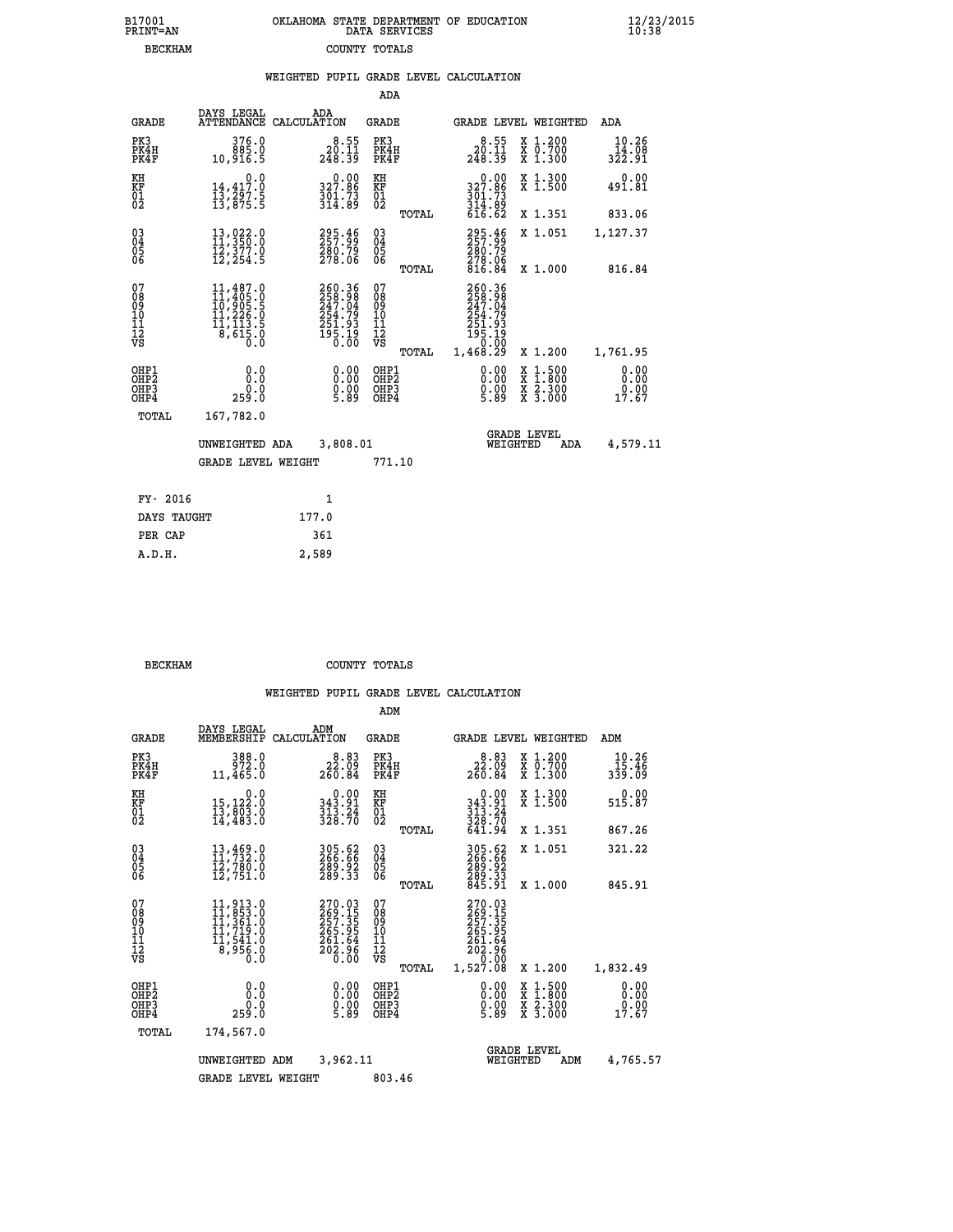| B17001          | OKLAHOMA STATE DEPARTMENT OF EDUCATION |
|-----------------|----------------------------------------|
| <b>PRINT=AN</b> | DATA SERVICES                          |
| <b>BECKHAM</b>  | COUNTY TOTALS                          |

|                                                                    |                                                                                                                                                                                                                                                                                                                                                          |                                                                                          | ADA                                               |       |                                                                                                                         |                                                                            |                               |
|--------------------------------------------------------------------|----------------------------------------------------------------------------------------------------------------------------------------------------------------------------------------------------------------------------------------------------------------------------------------------------------------------------------------------------------|------------------------------------------------------------------------------------------|---------------------------------------------------|-------|-------------------------------------------------------------------------------------------------------------------------|----------------------------------------------------------------------------|-------------------------------|
| <b>GRADE</b>                                                       | DAYS LEGAL                                                                                                                                                                                                                                                                                                                                               | ADA<br>ATTENDANCE CALCULATION                                                            | GRADE                                             |       |                                                                                                                         | GRADE LEVEL WEIGHTED                                                       | ADA                           |
| PK3<br>PK4H<br>PK4F                                                | 376.0<br>885.0<br>10,916.5                                                                                                                                                                                                                                                                                                                               | $\begin{smallmatrix}8.55\ 20.11\ 248.39\end{smallmatrix}$                                | PK3<br>PK4H<br>PK4F                               |       | $\begin{smallmatrix}8.55\ 20.11\ 248.39\end{smallmatrix}$                                                               | X 1.200<br>X 0.700<br>X 1.300                                              | 10.26<br>14.08<br>322.91      |
| KH<br>KF<br>01<br>02                                               | 0.0<br>14,417.0<br>13,297.5<br>13,875.5                                                                                                                                                                                                                                                                                                                  | 327.86<br>$\frac{3}{3}\overline{0}\overline{1}\cdot\overline{7}\overline{3}\overline{9}$ | KH<br>KF<br>$\begin{matrix} 01 \ 02 \end{matrix}$ |       | $\begin{smallmatrix} 0.00\\ 327.86 \end{smallmatrix}$<br>$\frac{3}{3}$ $\frac{7}{14}$ $\cdot \frac{73}{89}$<br>$616.62$ | X 1.300<br>X 1.500                                                         | 0.00<br>491.81                |
|                                                                    |                                                                                                                                                                                                                                                                                                                                                          |                                                                                          |                                                   | TOTAL |                                                                                                                         | X 1.351                                                                    | 833.06                        |
| $\begin{smallmatrix} 03 \\[-4pt] 04 \end{smallmatrix}$<br>05<br>06 | 13,022.0<br>11,350.0<br>$\bar{1}\bar{2}$ , $\bar{3}\bar{7}\bar{7}$ .0<br>12, 254.5                                                                                                                                                                                                                                                                       | 295.46<br>280.79<br>278.06                                                               | $\substack{03 \\ 04}$<br>05                       |       | 295.46<br>$\frac{280.79}{278.06}$<br>816.84                                                                             | X 1.051                                                                    | 1,127.37                      |
|                                                                    |                                                                                                                                                                                                                                                                                                                                                          |                                                                                          |                                                   | TOTAL |                                                                                                                         | X 1.000                                                                    | 816.84                        |
| 07<br>08<br>09<br>11<br>11<br>12<br>VS                             | $\begin{smallmatrix} 11,487\, .\, 0\\ 11,405\, .\, 0\\ 10,905\, .\, 5\\ 11,226\, .\, 0\\ 11,113\, .\, 5\\ 8\, ,\,615\, .\, 0\\ 0\, .\, 0\qquad \qquad 0\qquad .\, 0\qquad \qquad 0\qquad \qquad 0\qquad \qquad 0\qquad \qquad 0\qquad \qquad 0\qquad \qquad 0\qquad \qquad 0\qquad \qquad 0\qquad \qquad 0\qquad \qquad 0\qquad \qquad 0\qquad \qquad 0$ | 260.36<br>258.98<br>247.04<br>254.79<br>251.93<br>251.93<br>195.19<br>0.00               | 07<br>08<br>09<br>11<br>11<br>12<br>VS            |       | 260.36<br>$258.98$<br>$247.04$<br>$254.79$<br>$251.93$<br>$195.19$<br>$195.00$                                          |                                                                            |                               |
|                                                                    |                                                                                                                                                                                                                                                                                                                                                          |                                                                                          |                                                   | TOTAL | 1,468.29                                                                                                                | X 1.200                                                                    | 1,761.95                      |
| OHP1<br>OH <sub>P</sub> 2<br>OHP3<br>OHP4                          | 0.0<br>Ō.Ō<br>0.0<br>259.0                                                                                                                                                                                                                                                                                                                               | 0.00<br>$0.00$<br>5.89                                                                   | OHP1<br>OHP <sub>2</sub><br>OHP3<br>OHP4          |       | 0.00<br>$0.00$<br>5.89                                                                                                  | $1:500$<br>$1:800$<br>X<br>X<br>$\frac{\ddot{x}}{x}$ $\frac{2.300}{3.000}$ | 0.00<br>0.00<br>0.00<br>17.67 |
| TOTAL                                                              | 167,782.0                                                                                                                                                                                                                                                                                                                                                |                                                                                          |                                                   |       |                                                                                                                         |                                                                            |                               |
|                                                                    | UNWEIGHTED ADA                                                                                                                                                                                                                                                                                                                                           | 3,808.01                                                                                 |                                                   |       |                                                                                                                         | <b>GRADE LEVEL</b><br>WEIGHTED<br>ADA                                      | 4,579.11                      |
|                                                                    | <b>GRADE LEVEL WEIGHT</b>                                                                                                                                                                                                                                                                                                                                |                                                                                          | 771.10                                            |       |                                                                                                                         |                                                                            |                               |
| FY- 2016                                                           |                                                                                                                                                                                                                                                                                                                                                          | 1                                                                                        |                                                   |       |                                                                                                                         |                                                                            |                               |
| DAYS TAUGHT                                                        |                                                                                                                                                                                                                                                                                                                                                          | 177.0                                                                                    |                                                   |       |                                                                                                                         |                                                                            |                               |
| PER CAP                                                            |                                                                                                                                                                                                                                                                                                                                                          | 361                                                                                      |                                                   |       |                                                                                                                         |                                                                            |                               |
|                                                                    |                                                                                                                                                                                                                                                                                                                                                          |                                                                                          |                                                   |       |                                                                                                                         |                                                                            |                               |

| <b>BECKHAM</b> | COUNTY TOTALS |  |
|----------------|---------------|--|

 **A.D.H. 2,589**

|                                                       |                                                                                                                                                |                                                                   | ADM                                                 |                                                                                   |                                                                                                  |                                 |
|-------------------------------------------------------|------------------------------------------------------------------------------------------------------------------------------------------------|-------------------------------------------------------------------|-----------------------------------------------------|-----------------------------------------------------------------------------------|--------------------------------------------------------------------------------------------------|---------------------------------|
| <b>GRADE</b>                                          | DAYS LEGAL<br>MEMBERSHIP                                                                                                                       | ADM<br>CALCULATION                                                | <b>GRADE</b>                                        | GRADE LEVEL WEIGHTED                                                              |                                                                                                  | ADM                             |
| PK3<br>PK4H<br>PK4F                                   | 388.0<br>972.0<br>11,465.0                                                                                                                     | 8.83<br>22.09<br>260.84                                           | PK3<br>PK4H<br>PK4F                                 | 8.83<br>22.09<br>260.84                                                           | $\begin{array}{c} x & 1.200 \\ x & 0.700 \end{array}$<br>$X$ 1.300                               | 10.26<br>15.46<br>339.09        |
| KH<br>KF<br>01<br>02                                  | 0.0<br>15,122:0<br>13,803:0<br>14,483:0                                                                                                        | $\begin{array}{c} 0.00 \\ 343.91 \\ 313.24 \\ 328.70 \end{array}$ | KH<br>KF<br>01<br>02                                | $0.00$<br>$343.91$<br>$313.24$<br>$328.70$<br>$641.94$                            | X 1.300<br>X 1.500                                                                               | 0.00<br>515.87                  |
|                                                       |                                                                                                                                                |                                                                   | TOTAL                                               |                                                                                   | X 1.351                                                                                          | 867.26                          |
| 03<br>04<br>05<br>06                                  | 13,469.0<br>11,732.0<br>12,780.0<br>12,751.0                                                                                                   | 305.62<br>266.66<br>289.92<br>289.33                              | $\begin{array}{c} 03 \\ 04 \\ 05 \\ 06 \end{array}$ | 305.62<br>266.66<br>289.92<br>289.33<br>845.91                                    | X 1.051                                                                                          | 321.22                          |
|                                                       |                                                                                                                                                |                                                                   | TOTAL                                               |                                                                                   | X 1.000                                                                                          | 845.91                          |
| 07<br>08<br>09<br>101<br>112<br>VS                    | $\begin{smallmatrix} 11,913\cdot 0\\ 11,853\cdot 0\\ 11,361\cdot 0\\ 11,719\cdot 0\\ 11,541\cdot 0\\ 8,956\cdot 0\\ 0\cdot 0\end{smallmatrix}$ | 270.03<br>269.15<br>257.35<br>265.95<br>261.64<br>202.96<br>0.00  | 07<br>08<br>09<br>11<br>11<br>12<br>VS              | 270.03<br>269.155<br>257.355<br>265.954<br>261.64<br>202.96<br>202.96<br>1,527.08 |                                                                                                  |                                 |
|                                                       |                                                                                                                                                |                                                                   | TOTAL                                               |                                                                                   | X 1.200                                                                                          | 1,832.49                        |
| OHP1<br>OH <sub>P</sub> 2<br>OH <sub>P3</sub><br>OHP4 | 0.0<br>0.0<br>259.0                                                                                                                            | $0.00$<br>$0.00$<br>5.89                                          | OHP1<br>OHP2<br>OHP3<br>OHP4                        | $\begin{smallmatrix} 0.00 \ 0.00 \ 0.00 \ 5.89 \end{smallmatrix}$                 | $\begin{smallmatrix} x & 1 & 500 \\ x & 1 & 800 \\ x & 2 & 300 \\ x & 3 & 000 \end{smallmatrix}$ | 0.00<br>0.00<br>$0.00$<br>17.67 |
| TOTAL                                                 | 174,567.0                                                                                                                                      |                                                                   |                                                     |                                                                                   |                                                                                                  |                                 |
|                                                       | UNWEIGHTED ADM                                                                                                                                 | 3,962.11                                                          |                                                     | <b>GRADE LEVEL</b><br>WEIGHTED                                                    | ADM                                                                                              | 4,765.57                        |
|                                                       | <b>GRADE LEVEL WEIGHT</b>                                                                                                                      |                                                                   | 803.46                                              |                                                                                   |                                                                                                  |                                 |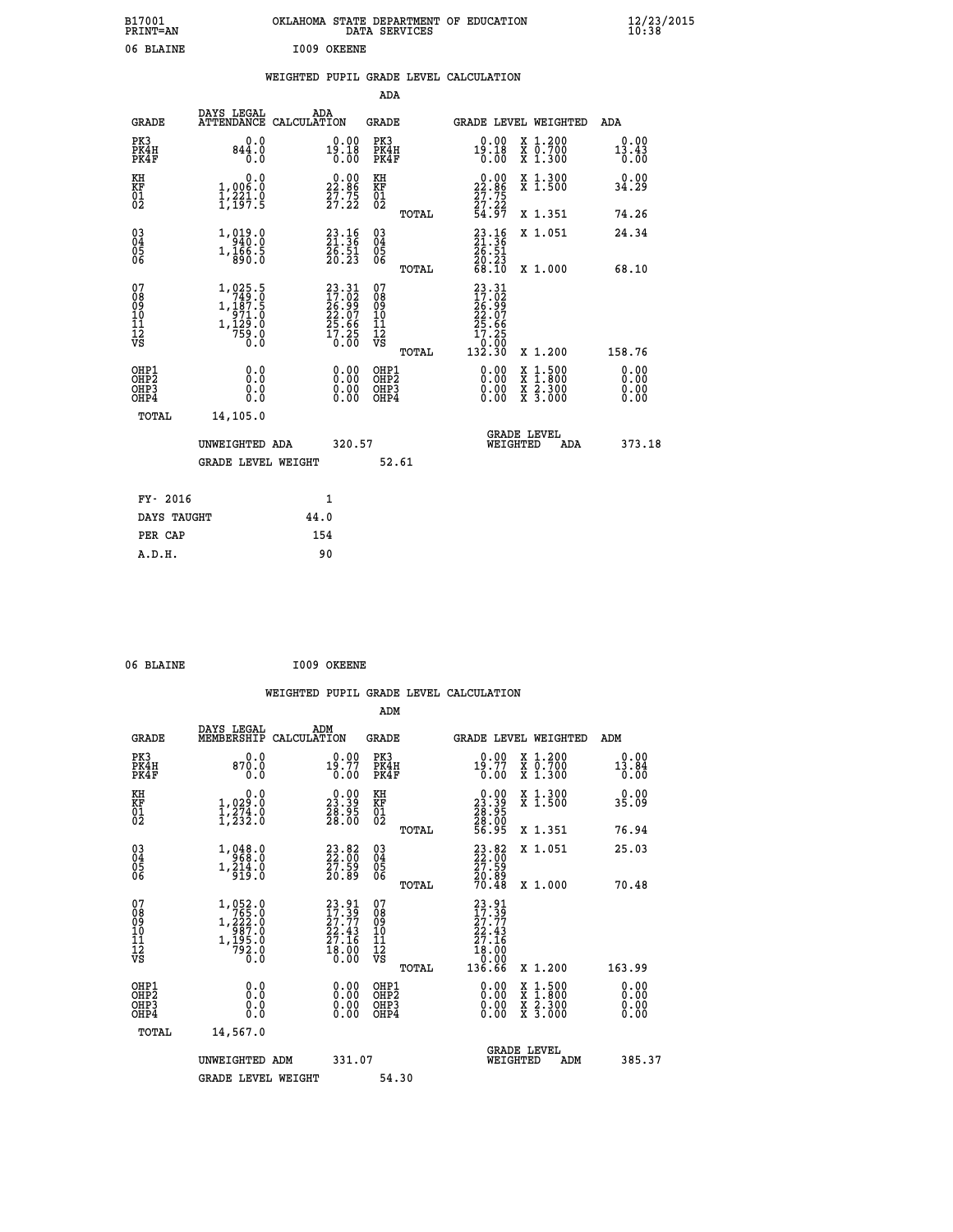| B17001<br><b>PRINT=AN</b> |             | OKLAHOMA STATE DEPARTMENT OF EDUCATION<br>DATA SERVICES | $\frac{12}{23}$ /2015 |
|---------------------------|-------------|---------------------------------------------------------|-----------------------|
| 06 BLAINE                 | 1009 OKEENE |                                                         |                       |

## **WEIGHTED PUPIL GRADE LEVEL CALCULATION**

|                                                                              |                                                                                                                                            |                                                                                        | ADA                                                          |                                                                                               |                                                                                                                                              |                              |
|------------------------------------------------------------------------------|--------------------------------------------------------------------------------------------------------------------------------------------|----------------------------------------------------------------------------------------|--------------------------------------------------------------|-----------------------------------------------------------------------------------------------|----------------------------------------------------------------------------------------------------------------------------------------------|------------------------------|
| <b>GRADE</b>                                                                 | DAYS LEGAL                                                                                                                                 | ADA<br>ATTENDANCE CALCULATION                                                          | GRADE                                                        |                                                                                               | <b>GRADE LEVEL WEIGHTED</b>                                                                                                                  | ADA                          |
| PK3<br>PK4H<br>PK4F                                                          | 0.0<br>844.0<br>0.0                                                                                                                        | $0.00$<br>19.18<br>0.00                                                                | PK3<br>PK4H<br>PK4F                                          | $0.00$<br>19.18<br>0.00                                                                       | X 1.200<br>X 0.700<br>X 1.300                                                                                                                | 0.00<br>13.43<br>0.00        |
| KH<br>KF<br>01<br>02                                                         | 0.0<br>1,006.0<br>$\frac{1}{2}, \frac{2}{2}, \frac{3}{2}, \frac{1}{5}$                                                                     | $\begin{smallmatrix} 0.00\\ 22.86\\ 27.75\\ 27.22 \end{smallmatrix}$                   | KH<br>KF<br>01<br>02                                         | $\begin{smallmatrix} 0.00\\ 22.86\\ 27.75\\ 27.22\\ 54.97 \end{smallmatrix}$                  | X 1.300<br>X 1.500                                                                                                                           | 0.00<br>34.29                |
|                                                                              |                                                                                                                                            |                                                                                        | TOTAL                                                        |                                                                                               | X 1.351                                                                                                                                      | 74.26                        |
| $\begin{matrix} 03 \\ 04 \\ 05 \\ 06 \end{matrix}$                           | 1, 019.0<br>$1,\overline{1}\,\overline{6}\,\overline{6}\,\overline{.}\,\overline{5}\,$                                                     | $23.16$<br>$21.36$<br>$26.51$<br>$20.23$                                               | $\begin{array}{c} 03 \\ 04 \\ 05 \\ 06 \end{array}$<br>TOTAL | $23.16$<br>$21.36$<br>$26.51$<br>$\frac{20.23}{68.10}$                                        | X 1.051<br>X 1.000                                                                                                                           | 24.34<br>68.10               |
| 07<br>08<br>09<br>11<br>11<br>12<br>VS                                       | 1,025.5<br>$\begin{smallmatrix} 1,1\overline{3} & 7 & 5 \\ 9 & 71 & 0 \\ 1,12 & 0 & 0 \\ 7 & 5 & 9 & 0 \\ 0 & 0 & 0 & 0 \end{smallmatrix}$ | $\begin{smallmatrix} 23.31\ 17.02\ 26.99\ 22.07\ 25.66\ 17.25\ 0.00 \end{smallmatrix}$ | 07<br>08<br>09<br>11<br>11<br>12<br>VS<br>TOTAL              | $23.31$<br>$17.02$<br>$\frac{26.99}{22.07}$<br>$\frac{25.66}{17.25}$<br>$\frac{0.00}{132.30}$ | X 1.200                                                                                                                                      | 158.76                       |
| OHP1<br>OH <sub>P</sub> <sub>2</sub><br>OH <sub>P3</sub><br>OH <sub>P4</sub> | 0.0<br>Ō.Ō<br>0.0<br>0.0                                                                                                                   | 0.00<br>0.00<br>0.00                                                                   | OHP1<br>OHP <sub>2</sub><br>OHP3<br>OHP4                     | 0.00<br>0.00<br>0.00                                                                          | $\begin{smallmatrix} \mathtt{X} & 1\cdot500 \\ \mathtt{X} & 1\cdot800 \\ \mathtt{X} & 2\cdot300 \\ \mathtt{X} & 3\cdot000 \end{smallmatrix}$ | 0.00<br>0.00<br>0.00<br>0.00 |
| TOTAL                                                                        | 14,105.0<br>UNWEIGHTED ADA<br><b>GRADE LEVEL WEIGHT</b>                                                                                    | 320.57                                                                                 | 52.61                                                        | WEIGHTED                                                                                      | <b>GRADE LEVEL</b><br>ADA                                                                                                                    | 373.18                       |
| FY- 2016                                                                     |                                                                                                                                            | 1                                                                                      |                                                              |                                                                                               |                                                                                                                                              |                              |
|                                                                              | DAYS TAUGHT                                                                                                                                | 44.0                                                                                   |                                                              |                                                                                               |                                                                                                                                              |                              |
| PER CAP                                                                      |                                                                                                                                            | 154                                                                                    |                                                              |                                                                                               |                                                                                                                                              |                              |
| A.D.H.                                                                       |                                                                                                                                            | 90                                                                                     |                                                              |                                                                                               |                                                                                                                                              |                              |

| 6 BLAINE | I009 |
|----------|------|
|          |      |

| 06 BLAINE                                |                                                                                                                               | 1009 OKEENE                                                                 |                                                       |                                                                                                                                           |                       |
|------------------------------------------|-------------------------------------------------------------------------------------------------------------------------------|-----------------------------------------------------------------------------|-------------------------------------------------------|-------------------------------------------------------------------------------------------------------------------------------------------|-----------------------|
|                                          |                                                                                                                               |                                                                             |                                                       | WEIGHTED PUPIL GRADE LEVEL CALCULATION                                                                                                    |                       |
|                                          |                                                                                                                               |                                                                             | ADM                                                   |                                                                                                                                           |                       |
| <b>GRADE</b>                             | DAYS LEGAL<br>MEMBERSHIP CALCULATION                                                                                          | ADM                                                                         | <b>GRADE</b>                                          | GRADE LEVEL WEIGHTED                                                                                                                      | ADM                   |
| PK3<br>PK4H<br>PK4F                      | 0.0<br>870.0<br>0.0                                                                                                           | 19:77<br>0.00                                                               | PK3<br>PK4H<br>PK4F                                   | $0.00$<br>19.77<br>X 1.200<br>X 0.700<br>X 1.300<br>0.00                                                                                  | 0.00<br>13.84<br>0.00 |
| KH<br>KF<br>01<br>02                     | 0.0<br>$\frac{1}{1}, \frac{0}{2}, \frac{2}{2}, \frac{1}{2}, \frac{2}{2}, \frac{3}{2}$                                         | $\begin{smallmatrix} 0.00\\ 23.39\\ 28.95\\ 28.00 \end{smallmatrix}$        | KH<br>KF<br>01<br>02                                  | $\begin{smallmatrix} 0.00\\ 23.39\\ 28.95\\ 28.05\\ 28.00\\ 56.95 \end{smallmatrix}$<br>X 1.300<br>X 1.500                                | 0.00<br>35.09         |
|                                          |                                                                                                                               |                                                                             | TOTAL                                                 | X 1.351                                                                                                                                   | 76.94                 |
| 03<br>04<br>05<br>06                     | $\begin{smallmatrix} 1,048.0\\-\ 968.0\\1,214.0\\919.0 \end{smallmatrix}$                                                     | 23.82<br>22.00<br>27.59<br>20.89                                            | $\begin{array}{c} 03 \\ 04 \\ 05 \\ 06 \end{array}$   | $\begin{smallmatrix} 23.82\ 22.00\ 27.59\ 20.89\ 20.48 \end{smallmatrix}$<br>X 1.051                                                      | 25.03                 |
|                                          |                                                                                                                               |                                                                             | TOTAL                                                 | X 1.000                                                                                                                                   | 70.48                 |
| 07<br>08<br>09<br>101<br>11<br>12<br>VS  | $\begin{smallmatrix} 1,052\cdot 0\\765\cdot 0\\1,222\cdot 0\\987\cdot 0\\1,195\cdot 0\\792\cdot 0\\0\cdot 0\end{smallmatrix}$ | $23.91$<br>$17.39$<br>$27.77$<br>$22.43$<br>$27.16$<br>$\frac{18.00}{0.00}$ | 07<br>08<br>09<br>01<br>11<br>11<br>12<br>VS<br>TOTAL | $\begin{smallmatrix} 23.91\ 17.39\ 27.77\ 22.43\ 27.16\ 18.00\ 0.00\ 136.66\ \end{smallmatrix}$<br>X 1.200                                | 163.99                |
| OHP1<br>OHP2<br>OH <sub>P3</sub><br>OHP4 | 0.0<br>$\begin{smallmatrix} 0.0 & 0 \ 0.0 & 0 \end{smallmatrix}$                                                              | $\begin{smallmatrix} 0.00 \ 0.00 \ 0.00 \ 0.00 \end{smallmatrix}$           | OHP1<br>OHP2<br>OHP3<br>OHP4                          | $\begin{smallmatrix} \mathtt{X} & 1\cdot500\\ \mathtt{X} & 1\cdot800\\ \mathtt{X} & 2\cdot300\\ \mathtt{X} & 3\cdot000 \end{smallmatrix}$ | 0.00<br>0.00<br>0.00  |
| TOTAL                                    | 14,567.0                                                                                                                      |                                                                             |                                                       |                                                                                                                                           |                       |
|                                          | UNWEIGHTED ADM                                                                                                                | 331.07                                                                      |                                                       | GRADE LEVEL<br>WEIGHTED<br>ADM                                                                                                            | 385.37                |
|                                          | <b>GRADE LEVEL WEIGHT</b>                                                                                                     |                                                                             | 54.30                                                 |                                                                                                                                           |                       |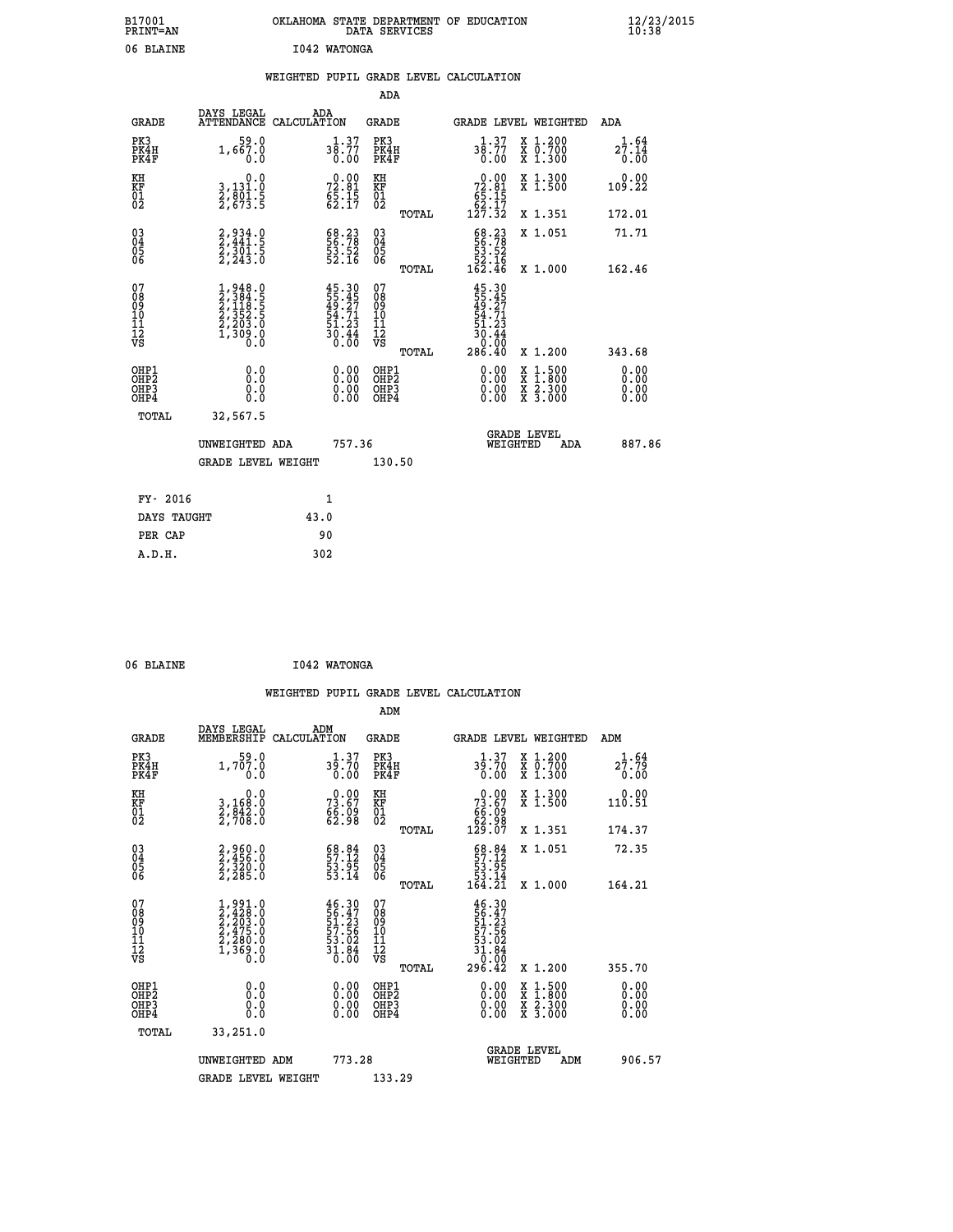| B17001<br>PRINT=AN | <b>OKT AHOMA</b><br>. STATE DEPARTMENT OF EDUCATION<br>DATA SERVICES | $\frac{12}{23}$ /2015 |
|--------------------|----------------------------------------------------------------------|-----------------------|
| 06<br>BLAINE       | 1042 WATONGA                                                         |                       |

|  |  | WEIGHTED PUPIL GRADE LEVEL CALCULATION |
|--|--|----------------------------------------|
|  |  |                                        |

|                                                                              |                                                                                     |                                                                          | ADA                                                |       |                                                                                       |                                                                                                                                              |                              |
|------------------------------------------------------------------------------|-------------------------------------------------------------------------------------|--------------------------------------------------------------------------|----------------------------------------------------|-------|---------------------------------------------------------------------------------------|----------------------------------------------------------------------------------------------------------------------------------------------|------------------------------|
| <b>GRADE</b>                                                                 | DAYS LEGAL                                                                          | ADA<br>ATTENDANCE CALCULATION                                            | GRADE                                              |       | <b>GRADE LEVEL WEIGHTED</b>                                                           |                                                                                                                                              | ADA                          |
| PK3<br>PK4H<br>PK4F                                                          | 59.0<br>1,667.0<br>0.0                                                              | 38.77<br>0.00                                                            | PK3<br>PK4H<br>PK4F                                |       | 38.77<br>0.00                                                                         | X 1.200<br>X 0.700<br>X 1.300                                                                                                                | 1.64<br>27.14<br>0.00        |
| KH<br>KF<br>01<br>02                                                         | 0.0<br>3,131.0<br>2,801.5<br>2,673.5                                                | $72.81$<br>$65.15$<br>$62.17$                                            | KH<br>KF<br>01<br>02                               |       | $\begin{smallmatrix}&&0.00\\72.81\\65.15\\62.17\\127.32\end{smallmatrix}$             | X 1.300<br>X 1.500                                                                                                                           | 0.00<br>109.22               |
|                                                                              |                                                                                     |                                                                          |                                                    | TOTAL |                                                                                       | X 1.351                                                                                                                                      | 172.01                       |
| $\begin{matrix} 03 \\ 04 \\ 05 \\ 06 \end{matrix}$                           | 2,934.0<br>2,441.5<br>2,301.5<br>2,243.0                                            | 68.23<br>56.78<br>53.52<br>52.16                                         | $\begin{matrix} 03 \\ 04 \\ 05 \\ 06 \end{matrix}$ | TOTAL | $\begin{smallmatrix} 68.23\\ 56.78\\ 53.52\\ 52.16\\ 162.46 \end{smallmatrix}$        | X 1.051<br>X 1.000                                                                                                                           | 71.71<br>162.46              |
|                                                                              |                                                                                     |                                                                          |                                                    |       |                                                                                       |                                                                                                                                              |                              |
| 07<br>08<br>09<br>11<br>11<br>12<br>VS                                       | $1,948.0$<br>$2,384.5$<br>$2,118.5$<br>$2,352.5$<br>$2,203.0$<br>$1,309.0$<br>$0.0$ | $45.30$<br>$55.45$<br>$49.27$<br>$54.71$<br>$51.23$<br>$30.44$<br>$0.00$ | 07<br>08<br>09<br>11<br>11<br>12<br>VS             | TOTAL | $45.30$<br>$55.45$<br>$49.271$<br>$54.71$<br>$51.23$<br>$30.44$<br>$0.00$<br>$286.40$ | X 1.200                                                                                                                                      | 343.68                       |
| OHP1<br>OH <sub>P</sub> <sub>2</sub><br>OH <sub>P3</sub><br>OH <sub>P4</sub> | 0.0<br>Ō.Ō<br>0.0<br>0.0                                                            | 0.00<br>$0.00$<br>0.00                                                   | OHP1<br>OHP2<br>OHP3<br>OHP4                       |       | 0.00<br>0.00<br>0.00                                                                  | $\begin{smallmatrix} \mathtt{X} & 1\cdot500 \\ \mathtt{X} & 1\cdot800 \\ \mathtt{X} & 2\cdot300 \\ \mathtt{X} & 3\cdot000 \end{smallmatrix}$ | 0.00<br>0.00<br>0.00<br>0.00 |
| TOTAL                                                                        | 32,567.5                                                                            |                                                                          |                                                    |       |                                                                                       |                                                                                                                                              |                              |
|                                                                              | UNWEIGHTED ADA                                                                      | 757.36                                                                   |                                                    |       | WEIGHTED                                                                              | <b>GRADE LEVEL</b><br>ADA                                                                                                                    | 887.86                       |
|                                                                              | <b>GRADE LEVEL WEIGHT</b>                                                           |                                                                          | 130.50                                             |       |                                                                                       |                                                                                                                                              |                              |
| FY- 2016                                                                     |                                                                                     | 1                                                                        |                                                    |       |                                                                                       |                                                                                                                                              |                              |
|                                                                              |                                                                                     |                                                                          |                                                    |       |                                                                                       |                                                                                                                                              |                              |
| DAYS TAUGHT                                                                  |                                                                                     | 43.0                                                                     |                                                    |       |                                                                                       |                                                                                                                                              |                              |
| PER CAP                                                                      |                                                                                     | 90                                                                       |                                                    |       |                                                                                       |                                                                                                                                              |                              |
| A.D.H.                                                                       |                                                                                     | 302                                                                      |                                                    |       |                                                                                       |                                                                                                                                              |                              |

| 06 BLAINE | I042 WATONGA |
|-----------|--------------|

|                                                    |                                                                         | WEIGHTED PUPIL GRADE LEVEL CALCULATION |                            |       |                                        |                               |                                          |
|----------------------------------------------------|-------------------------------------------------------------------------|----------------------------------------|----------------------------|-------|----------------------------------------|-------------------------------|------------------------------------------|
|                                                    |                                                                         |                                        | ADM                        |       |                                        |                               |                                          |
| GRADE                                              | DAYS LEGAL<br>MEMBERSHIP                                                | ADM<br>CALCULATION                     | GRADE                      |       |                                        | <b>GRADE LEVEL WEIGHTED</b>   | ADM                                      |
| PK3<br>PK4H<br>PK4F                                | 1,707.0<br>0.0                                                          | 1.37<br>39.70<br>0.00                  | PK3<br>PK4H<br>PK4F        |       | $3\frac{1}{9}$ : 70<br>0.00            | X 1.200<br>X 0.700<br>X 1.300 | $2\frac{1}{2}$ : $\frac{64}{79}$<br>0.00 |
| ΚH<br>KF<br>01<br>02                               | $\begin{smallmatrix}&&&0.0\\3.168.0\\2.842.0\\2.708.0\end{smallmatrix}$ | 0.00<br>73.67<br>$\frac{65.09}{62.98}$ | KH<br>$_{01}^{KF}$<br>Ō2   |       | 0.00<br>73.67<br>$\frac{65.09}{62.98}$ | X 1.300<br>X <sub>1.500</sub> | 0.00<br>110.51                           |
|                                                    |                                                                         |                                        |                            | TOTAL | 129.07                                 | X 1.351                       | 174.37                                   |
| $\begin{matrix} 03 \\ 04 \\ 05 \\ 06 \end{matrix}$ | 2,960.0<br>2,456.0<br>2,320.0<br>2,285.0                                | 57.32<br>53.95<br>53.14                | $03\atop 04\atop 05$<br>06 |       | 59.84<br>53.95<br>53.14                | X 1.051                       | 72.35                                    |

| KH<br>KF<br>01<br>02                               | $\begin{smallmatrix}&&&0.0\\3,168.0\\2,842.0\\2,708.0\end{smallmatrix}$             | $73.67$<br>$66.09$<br>$62.98$                                       | KH<br>KF<br>01<br>02                               |       | $\begin{smallmatrix} &0.00\ 73.67\ 66.09\ 62.98\ 129.07\ \end{smallmatrix}$                                                          | X 1.300<br>X 1.500                                                                                                  |     | $0.00$<br>110.51                                                                                                                                                                                                                                                               |
|----------------------------------------------------|-------------------------------------------------------------------------------------|---------------------------------------------------------------------|----------------------------------------------------|-------|--------------------------------------------------------------------------------------------------------------------------------------|---------------------------------------------------------------------------------------------------------------------|-----|--------------------------------------------------------------------------------------------------------------------------------------------------------------------------------------------------------------------------------------------------------------------------------|
|                                                    |                                                                                     |                                                                     |                                                    | TOTAL |                                                                                                                                      | X 1.351                                                                                                             |     | 174.37                                                                                                                                                                                                                                                                         |
| $\begin{matrix} 03 \\ 04 \\ 05 \\ 06 \end{matrix}$ | 2,960.0<br>2,456.0<br>2,320.0<br>2,285.0                                            | $\begin{smallmatrix} 68.84\ 57.12\ 53.95\ 53.14\ \end{smallmatrix}$ | $\begin{matrix} 03 \\ 04 \\ 05 \\ 06 \end{matrix}$ |       | $\begin{array}{c} 68.84 \\ 57.12 \\ 53.95 \\ 53.14 \\ 164.21 \end{array}$                                                            | X 1.051                                                                                                             |     | 72.35                                                                                                                                                                                                                                                                          |
|                                                    |                                                                                     |                                                                     |                                                    | TOTAL |                                                                                                                                      | X 1.000                                                                                                             |     | 164.21                                                                                                                                                                                                                                                                         |
| 07<br>08<br>09<br>101<br>11<br>12<br>VS            | $1,991.0$<br>$2,428.0$<br>$2,203.0$<br>$2,475.0$<br>$2,280.0$<br>$1,369.0$<br>$0.0$ | $46.30$<br>56.47<br>51.23<br>57.56<br>53.02<br>53.84<br>0.00        | 07<br>08901112<br>1112<br>VS                       | TOTAL | $\begin{array}{r} 46\cdot 30\\ 56\cdot 47\\ 51\cdot 23\\ 57\cdot 56\\ 53\cdot 02\\ 31\cdot 86\\ 0\cdot 00\\ 296\cdot 42 \end{array}$ | X 1.200                                                                                                             |     | 355.70                                                                                                                                                                                                                                                                         |
| OHP1<br>OHP2<br>OH <sub>P3</sub><br>OHP4           |                                                                                     |                                                                     | OHP1<br>OHP <sub>2</sub><br>OHP3<br>OHP4           |       |                                                                                                                                      | $\begin{array}{l} \mathtt{X} & 1.500 \\ \mathtt{X} & 1.800 \\ \mathtt{X} & 2.300 \\ \mathtt{X} & 3.000 \end{array}$ |     | $\begin{smallmatrix} 0.00 & 0.00 & 0.00 & 0.00 & 0.00 & 0.00 & 0.00 & 0.00 & 0.00 & 0.00 & 0.00 & 0.00 & 0.00 & 0.00 & 0.00 & 0.00 & 0.00 & 0.00 & 0.00 & 0.00 & 0.00 & 0.00 & 0.00 & 0.00 & 0.00 & 0.00 & 0.00 & 0.00 & 0.00 & 0.00 & 0.00 & 0.00 & 0.00 & 0.00 & 0.00 & 0.0$ |
| TOTAL                                              | 33,251.0                                                                            |                                                                     |                                                    |       |                                                                                                                                      |                                                                                                                     |     |                                                                                                                                                                                                                                                                                |
|                                                    | UNWEIGHTED<br>ADM                                                                   | 773.28                                                              |                                                    |       |                                                                                                                                      | <b>GRADE LEVEL</b><br>WEIGHTED                                                                                      | ADM | 906.57                                                                                                                                                                                                                                                                         |
|                                                    | <b>GRADE LEVEL WEIGHT</b>                                                           |                                                                     | 133.29                                             |       |                                                                                                                                      |                                                                                                                     |     |                                                                                                                                                                                                                                                                                |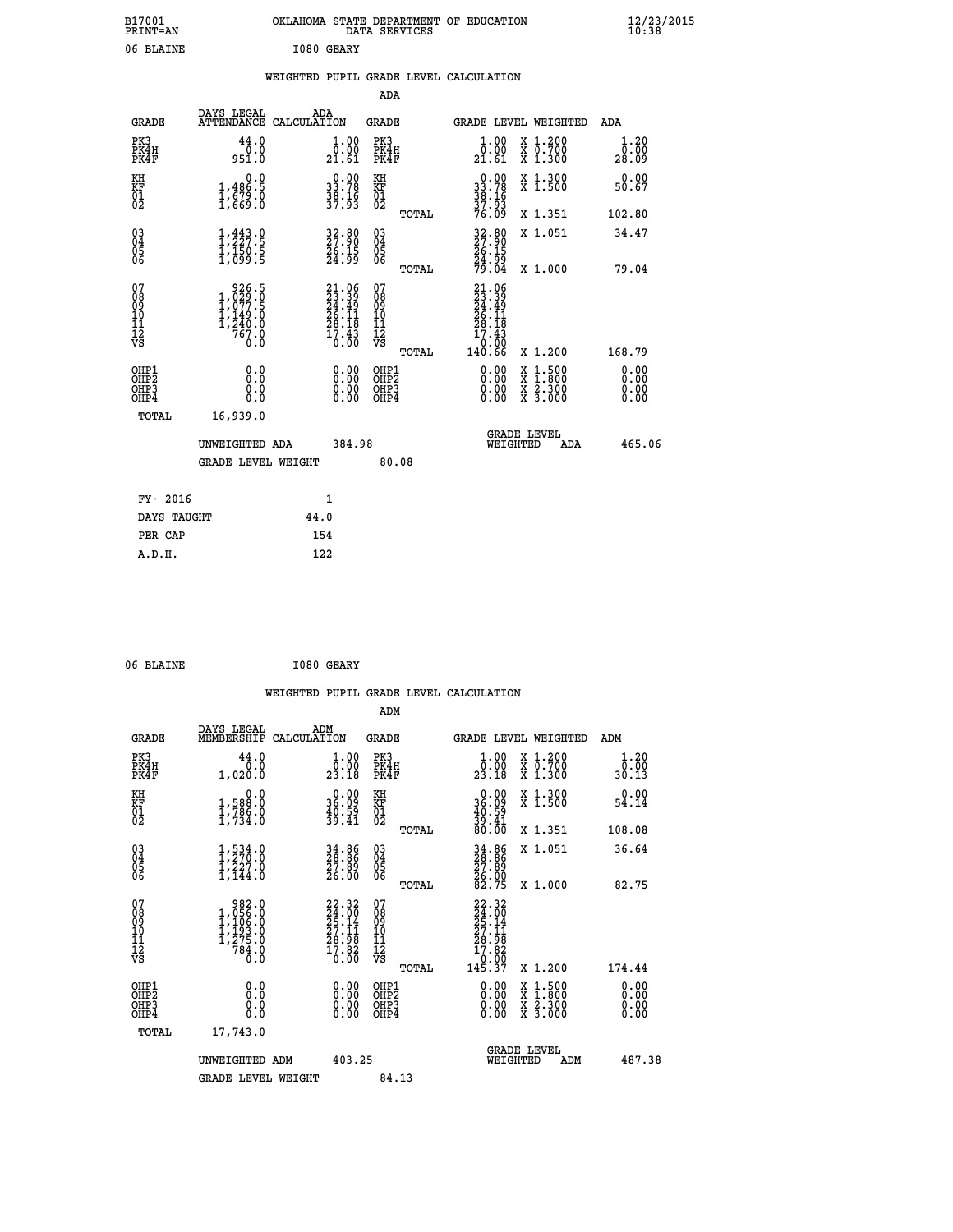| B17001<br>PRINT=AN                                 |                                                                               | OKLAHOMA STATE DEPARTMENT OF EDUCATION                                       | DATA SERVICES                                           |                                                                                                  |                                                                                          | $\frac{12}{23}$ /2015        |  |
|----------------------------------------------------|-------------------------------------------------------------------------------|------------------------------------------------------------------------------|---------------------------------------------------------|--------------------------------------------------------------------------------------------------|------------------------------------------------------------------------------------------|------------------------------|--|
| 06 BLAINE                                          |                                                                               | I080 GEARY                                                                   |                                                         |                                                                                                  |                                                                                          |                              |  |
|                                                    |                                                                               | WEIGHTED PUPIL GRADE LEVEL CALCULATION                                       |                                                         |                                                                                                  |                                                                                          |                              |  |
|                                                    |                                                                               |                                                                              | ADA                                                     |                                                                                                  |                                                                                          |                              |  |
| <b>GRADE</b>                                       | DAYS LEGAL                                                                    | ADA<br>ATTENDANCE CALCULATION                                                | GRADE                                                   |                                                                                                  | GRADE LEVEL WEIGHTED                                                                     | ADA                          |  |
| PK3<br>PK4H<br>PK4F                                | 44.0<br>0.0<br>951.0                                                          | $\begin{smallmatrix} 1.00\\ 0.00\\ 21.61 \end{smallmatrix}$                  | PK3<br>PK4H<br>PK4F                                     | $\begin{smallmatrix} 1.00\\[-1.2mm] 0.00\\[-1.2mm] 21.61\end{smallmatrix}$                       | X 1.200<br>X 0.700<br>X 1.300                                                            | 1.20<br>0.00<br>28.09        |  |
| KH<br>KF<br>$\begin{matrix} 01 \\ 02 \end{matrix}$ | 0.0<br>$\frac{1}{1}, \frac{486}{679}$ .0<br>1,669.0                           | $\begin{smallmatrix} 0.00\\ 33.78\\ 38.16\\ 39.16\\ 37.93 \end{smallmatrix}$ | KH<br>KF<br>01<br>02                                    | $0.00$<br>33.78<br>$\frac{38}{37}$ $\frac{16}{93}$                                               | X 1.300<br>X 1.500                                                                       | 0.00<br>50.67                |  |
|                                                    |                                                                               |                                                                              | TOTAL                                                   | 76.09                                                                                            | X 1.351                                                                                  | 102.80                       |  |
| $\substack{03 \\ 04}$<br>Ŏ5<br>06                  | $\frac{1}{2}, \frac{443}{27}$ : 9<br>$\frac{1}{1}, \frac{15}{09}$             | $\begin{smallmatrix} 32.80\ 27.90\ 26.15\ 24.99 \end{smallmatrix}$           | 03<br>04<br>05<br>06                                    | 32.80<br>27:90<br>26.15<br>24.99<br>79.04                                                        | X 1.051                                                                                  | 34.47                        |  |
| 07<br>08<br>09<br>11<br>11<br>12<br>VS             | 926.5<br>$1,029.0$<br>$1,077.5$<br>$1,149.0$<br>$1,240.0$<br>$767.0$<br>$0.0$ | $21.06$<br>$23.39$<br>$24.49$<br>$26.11$<br>$28.18$<br>$17.43$<br>$0.00$     | TOTAL<br>07<br>08<br>09<br>10<br>11<br>$\bar{1}\bar{2}$ | 21.06<br>$\frac{23}{24}$ : $\frac{39}{49}$<br>$\frac{26}{5}$ : $\frac{11}{12}$<br>28.18<br>17.43 | X 1.000                                                                                  | 79.04                        |  |
|                                                    |                                                                               |                                                                              | νš<br>TOTAL                                             | 0.00<br>140.66                                                                                   | X 1.200                                                                                  | 168.79                       |  |
| OHP1<br>OHP2<br>OH <sub>P3</sub><br>OHP4           | 0.0<br>0.0<br>0.0<br>0.0                                                      | 0.00<br>0.00<br>0.00                                                         | OHP1<br>OH <sub>P</sub> 2<br>OHP3<br>OHP4               | 0.00<br>0.00<br>0.00                                                                             | $\begin{smallmatrix} x & 1.500 \\ x & 1.800 \\ x & 2.300 \\ x & 3.000 \end{smallmatrix}$ | 0.00<br>0.00<br>0.00<br>0.00 |  |
| TOTAL                                              | 16,939.0                                                                      |                                                                              |                                                         |                                                                                                  |                                                                                          |                              |  |
|                                                    | UNWEIGHTED ADA<br><b>GRADE LEVEL WEIGHT</b>                                   | 384.98                                                                       | 80.08                                                   | WEIGHTED                                                                                         | <b>GRADE LEVEL</b><br>ADA                                                                | 465.06                       |  |
|                                                    |                                                                               |                                                                              |                                                         |                                                                                                  |                                                                                          |                              |  |
| FY- 2016                                           |                                                                               | 1                                                                            |                                                         |                                                                                                  |                                                                                          |                              |  |
| DAYS TAUGHT                                        |                                                                               | 44.0                                                                         |                                                         |                                                                                                  |                                                                                          |                              |  |
| PER CAP                                            |                                                                               | 154                                                                          |                                                         |                                                                                                  |                                                                                          |                              |  |

| 06 BLAINE |  |  | I080 GEARY |
|-----------|--|--|------------|

|                                                    |                                                                                                                                                                                                                                       |                    |                                                                                        |                                                    |       | WEIGHTED PUPIL GRADE LEVEL CALCULATION                                                                                              |                                                                                                  |     |                       |
|----------------------------------------------------|---------------------------------------------------------------------------------------------------------------------------------------------------------------------------------------------------------------------------------------|--------------------|----------------------------------------------------------------------------------------|----------------------------------------------------|-------|-------------------------------------------------------------------------------------------------------------------------------------|--------------------------------------------------------------------------------------------------|-----|-----------------------|
|                                                    |                                                                                                                                                                                                                                       |                    |                                                                                        | ADM                                                |       |                                                                                                                                     |                                                                                                  |     |                       |
| <b>GRADE</b>                                       | DAYS LEGAL<br>MEMBERSHIP                                                                                                                                                                                                              | ADM<br>CALCULATION |                                                                                        | <b>GRADE</b>                                       |       | <b>GRADE LEVEL WEIGHTED</b>                                                                                                         |                                                                                                  | ADM |                       |
| PK3<br>PK4H<br>PK4F                                | 44.0<br>0.0<br>1,020.0                                                                                                                                                                                                                |                    | $1.00$<br>$0.00$<br>23.18                                                              | PK3<br>PK4H<br>PK4F                                |       | $\frac{1}{0}$ : 00<br>23.18                                                                                                         | X 1.200<br>X 0.700<br>X 1.300                                                                    |     | 1.20<br>0.00<br>30.13 |
| KH<br>KF<br>01<br>02                               | 0.0<br>1,588:0<br>1,786:0<br>1,734:0                                                                                                                                                                                                  |                    | $\begin{smallmatrix} 0.00\\ 36.09\\ 40.59\\ 39.41 \end{smallmatrix}$                   | KH<br>KF<br>01<br>02                               |       | $\begin{smallmatrix} 0.00\\ 36.09\\ 40.59\\ 39.41\\ 80.00 \end{smallmatrix}$                                                        | X 1.300<br>X 1.500                                                                               |     | 0.00<br>54.14         |
|                                                    |                                                                                                                                                                                                                                       |                    |                                                                                        |                                                    | TOTAL |                                                                                                                                     | X 1.351                                                                                          |     | 108.08                |
| $\begin{matrix} 03 \\ 04 \\ 05 \\ 06 \end{matrix}$ | $1, 534.0$<br>$1, 270.0$<br>$1, 227.0$<br>$1, 144.0$                                                                                                                                                                                  |                    | 34.86<br>28.86<br>27.89<br>26.00                                                       | $\begin{matrix} 03 \\ 04 \\ 05 \\ 06 \end{matrix}$ |       | 34.86<br>28.86<br>27.89<br>26.00<br>82.75                                                                                           | X 1.051                                                                                          |     | 36.64                 |
|                                                    |                                                                                                                                                                                                                                       |                    |                                                                                        |                                                    | TOTAL |                                                                                                                                     | X 1.000                                                                                          |     | 82.75                 |
| 07<br>0890112<br>1112<br>VS                        | $\begin{smallmatrix} & 9 & 8 & 2 & . & 0 \\ 1 & , & 0 & 5 & 6 & . & 0 \\ 1 & , & 1 & 0 & 6 & . & 0 \\ 1 & , & 1 & 9 & 3 & . & 0 \\ 1 & , & 2 & 7 & 5 & . & 0 \\ 7 & 8 & 4 & . & 0 & . & 0 \\ 0 & , & 0 & & & 0 & . \end{smallmatrix}$ |                    | $\begin{smallmatrix} 22.32\ 24.00\ 25.14\ 27.11\ 28.98\ 17.82\ 0.00 \end{smallmatrix}$ | 07<br>08<br>09<br>09<br>10<br>11<br>12<br>VS       | TOTAL | $\begin{array}{r} 22\cdot32 \\ 24\cdot00 \\ 25\cdot14 \\ 27\cdot11 \\ 28\cdot98 \\ 17\cdot82 \\ 0\cdot00 \\ 145\cdot37 \end{array}$ | $X_1.200$                                                                                        |     | 174.44                |
|                                                    |                                                                                                                                                                                                                                       |                    |                                                                                        |                                                    |       |                                                                                                                                     |                                                                                                  |     |                       |
| OHP1<br>OHP2<br>OH <sub>P3</sub><br>OHP4           | 0.0<br>0.000                                                                                                                                                                                                                          |                    | $\begin{smallmatrix} 0.00 \ 0.00 \ 0.00 \ 0.00 \end{smallmatrix}$                      | OHP1<br>OHP2<br>OHP <sub>3</sub>                   |       |                                                                                                                                     | $\begin{smallmatrix} x & 1 & 500 \\ x & 1 & 800 \\ x & 2 & 300 \\ x & 3 & 000 \end{smallmatrix}$ |     | 0.00<br>0.00<br>0.00  |
| TOTAL                                              | 17,743.0                                                                                                                                                                                                                              |                    |                                                                                        |                                                    |       |                                                                                                                                     |                                                                                                  |     |                       |
|                                                    | UNWEIGHTED ADM                                                                                                                                                                                                                        |                    | 403.25                                                                                 |                                                    |       | WEIGHTED                                                                                                                            | <b>GRADE LEVEL</b><br>ADM                                                                        |     | 487.38                |
|                                                    | <b>GRADE LEVEL WEIGHT</b>                                                                                                                                                                                                             |                    |                                                                                        | 84.13                                              |       |                                                                                                                                     |                                                                                                  |     |                       |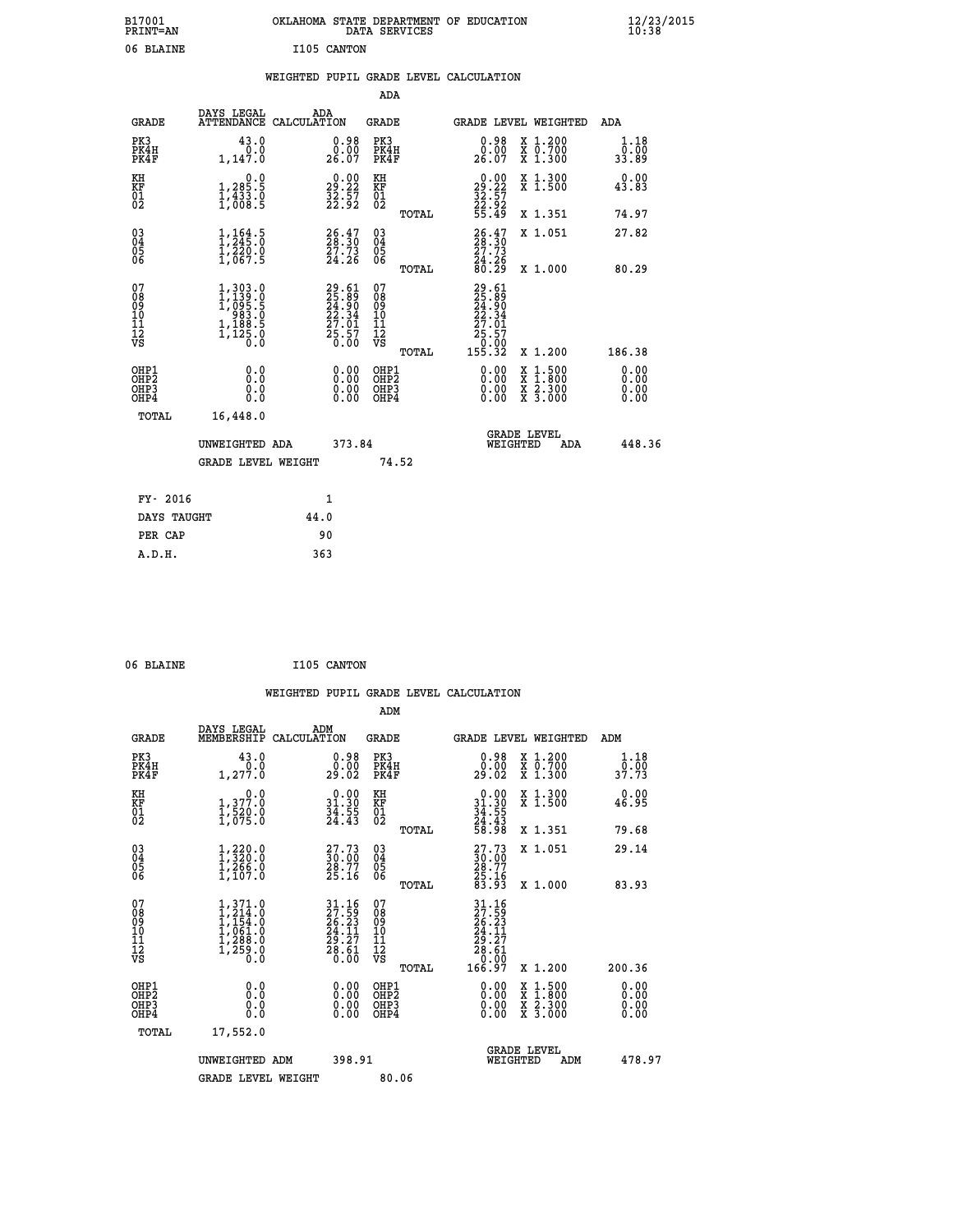| B17001<br><b>PRINT=AN</b> | OKLAHOMA<br>. STATE DEPARTMENT OF EDUCATION<br>DATA SERVICES | $\frac{12}{23}$ /2015 |
|---------------------------|--------------------------------------------------------------|-----------------------|
| 06 BLAINE                 | I105 CANTON                                                  |                       |

|  |  | WEIGHTED PUPIL GRADE LEVEL CALCULATION |
|--|--|----------------------------------------|
|  |  |                                        |

|                                                                  |                                                                                                       |                                                                          | ADA                                      |       |                                                                         |                                                                                                                                           |                              |
|------------------------------------------------------------------|-------------------------------------------------------------------------------------------------------|--------------------------------------------------------------------------|------------------------------------------|-------|-------------------------------------------------------------------------|-------------------------------------------------------------------------------------------------------------------------------------------|------------------------------|
| <b>GRADE</b>                                                     | DAYS LEGAL                                                                                            | ADA<br>ATTENDANCE CALCULATION                                            | <b>GRADE</b>                             |       |                                                                         | GRADE LEVEL WEIGHTED                                                                                                                      | <b>ADA</b>                   |
| PK3<br>PK4H<br>PK4F                                              | 43.0<br>0.0<br>1,147.0                                                                                | $\begin{smallmatrix} 0.98\ 0.00\\ 26.07 \end{smallmatrix}$               | PK3<br>PK4H<br>PK4F                      |       | $\begin{smallmatrix} 0.98\\ 0.00\\ 26.07 \end{smallmatrix}$             | X 1.200<br>X 0.700<br>X 1.300                                                                                                             | 1.18<br>0.00<br>33.89        |
| KH<br>KF<br>01<br>02                                             | 0.0<br>1,285.5<br>1,433.0<br>1,008.5                                                                  | $\begin{smallmatrix} 0.00\\29.22\\32.57\\22.92 \end{smallmatrix}$        | KH<br>KF<br>01<br>02                     |       | $\begin{smallmatrix} 0.00\\29.22\\32.57\\22.92\\55.49\end{smallmatrix}$ | X 1.300<br>X 1.500                                                                                                                        | 0.00<br>43.83                |
|                                                                  |                                                                                                       |                                                                          |                                          | TOTAL |                                                                         | X 1.351                                                                                                                                   | 74.97                        |
| $\begin{matrix} 03 \\ 04 \\ 05 \\ 06 \end{matrix}$               | $\frac{1}{2}, \frac{1}{245}$ : 0<br>$\frac{1}{2}$ , $\frac{2}{2}$ , $\frac{5}{2}$ , $\frac{5}{2}$     | 26.47<br>27.73<br>24.26                                                  | $\substack{03 \\ 04}$<br>Ŏ5<br>06        |       | $26.47$<br>$28.30$<br>$\frac{27.73}{24.26}$<br>80.29                    | X 1.051                                                                                                                                   | 27.82                        |
|                                                                  |                                                                                                       |                                                                          |                                          | TOTAL |                                                                         | X 1.000                                                                                                                                   | 80.29                        |
| 07<br>08<br>09<br>101<br>112<br>VS                               | $\begin{smallmatrix} 1,303.0\\ 1,139.0\\ 1,099.5\\ 983.5\\ 1,188.5\\ 1,125.0\\ 0.0 \end{smallmatrix}$ | $29.61$<br>$25.89$<br>$24.90$<br>$22.34$<br>$27.01$<br>$25.57$<br>$0.00$ | 07<br>08<br>09<br>101<br>112<br>VS       |       | 29.61<br>25.89<br>24.900<br>22.341<br>27.01<br>25.57<br>0.00<br>155.32  |                                                                                                                                           |                              |
|                                                                  |                                                                                                       |                                                                          |                                          | TOTAL |                                                                         | X 1.200                                                                                                                                   | 186.38                       |
| OHP1<br>OH <sub>P</sub> <sub>2</sub><br>OH <sub>P3</sub><br>OHP4 | 0.0<br>Ō.Ō<br>0.0<br>0.0                                                                              | $\begin{smallmatrix} 0.00 \ 0.00 \ 0.00 \ 0.00 \end{smallmatrix}$        | OHP1<br>OHP <sub>2</sub><br>OHP3<br>OHP4 |       | $0.00$<br>$0.00$<br>0.00                                                | $\begin{smallmatrix} \mathtt{X} & 1\cdot500\\ \mathtt{X} & 1\cdot800\\ \mathtt{X} & 2\cdot300\\ \mathtt{X} & 3\cdot000 \end{smallmatrix}$ | 0.00<br>0.00<br>0.00<br>0.00 |
| <b>TOTAL</b>                                                     | 16,448.0                                                                                              |                                                                          |                                          |       |                                                                         |                                                                                                                                           |                              |
|                                                                  | UNWEIGHTED ADA                                                                                        | 373.84                                                                   |                                          |       |                                                                         | <b>GRADE LEVEL</b><br>WEIGHTED<br>ADA                                                                                                     | 448.36                       |
|                                                                  | <b>GRADE LEVEL WEIGHT</b>                                                                             |                                                                          | 74.52                                    |       |                                                                         |                                                                                                                                           |                              |
|                                                                  |                                                                                                       |                                                                          |                                          |       |                                                                         |                                                                                                                                           |                              |
| FY- 2016                                                         |                                                                                                       | 1                                                                        |                                          |       |                                                                         |                                                                                                                                           |                              |
| DAYS TAUGHT                                                      |                                                                                                       | 44.0                                                                     |                                          |       |                                                                         |                                                                                                                                           |                              |
| PER CAP                                                          |                                                                                                       | 90                                                                       |                                          |       |                                                                         |                                                                                                                                           |                              |

| 06 BLAINE | I105 CANTON |
|-----------|-------------|
|           |             |

|                                                    |                                                                                                         |                    |                                                                          |                                                     |       | WEIGHTED PUPIL GRADE LEVEL CALCULATION                                                                                        |                                          |                               |        |
|----------------------------------------------------|---------------------------------------------------------------------------------------------------------|--------------------|--------------------------------------------------------------------------|-----------------------------------------------------|-------|-------------------------------------------------------------------------------------------------------------------------------|------------------------------------------|-------------------------------|--------|
|                                                    |                                                                                                         |                    |                                                                          | ADM                                                 |       |                                                                                                                               |                                          |                               |        |
| <b>GRADE</b>                                       | DAYS LEGAL<br>MEMBERSHIP                                                                                | ADM<br>CALCULATION |                                                                          | <b>GRADE</b>                                        |       | GRADE LEVEL WEIGHTED                                                                                                          |                                          | ADM                           |        |
| PK3<br>PK4H<br>PK4F                                | 43.0<br>0.0<br>1,277.0                                                                                  |                    | $\begin{smallmatrix} 0.98\ 0.00\\ 29.02 \end{smallmatrix}$               | PK3<br>PK4H<br>PK4F                                 |       | $\begin{smallmatrix} 0.98\ 0.00\\ 29.02 \end{smallmatrix}$                                                                    | X 1.200<br>X 0.700<br>X 1.300            | 1.18<br>0.00<br>37.73         |        |
| KH<br>KF<br>01<br>02                               | $\begin{smallmatrix}&&&0.0\\1,377.0\\1,520.0\\1,075.0\end{smallmatrix}$                                 |                    | $\begin{smallmatrix} 0.00\\ 31.30\\ 34.55\\ 24.43 \end{smallmatrix}$     | KH<br>KF<br>01<br>02                                |       | $\begin{array}{r} 0.00 \\ 31.30 \\ 34.55 \\ 24.43 \\ 58.98 \end{array}$                                                       | X 1.300<br>X 1.500                       | 0.00<br>46.95                 |        |
|                                                    |                                                                                                         |                    |                                                                          |                                                     | TOTAL |                                                                                                                               | X 1.351                                  | 79.68                         |        |
| $\begin{matrix} 03 \\ 04 \\ 05 \\ 06 \end{matrix}$ | $\frac{1}{1}$ , $\frac{220}{320}$ , 0<br>$\frac{1}{1}$ , $\frac{266}{266}$ , 0<br>$\frac{1}{1}$ , 107.0 |                    | $\begin{smallmatrix} 27.73\ 30.00\ 28.77\ 25.16 \end{smallmatrix}$       | $\begin{array}{c} 03 \\ 04 \\ 05 \\ 06 \end{array}$ |       | $\begin{smallmatrix} 27.73 \\ 30.00 \\ 28.77 \\ 25.16 \\ 83.93 \end{smallmatrix}$                                             | X 1.051                                  | 29.14                         |        |
|                                                    |                                                                                                         |                    |                                                                          |                                                     | TOTAL |                                                                                                                               | X 1.000                                  | 83.93                         |        |
| 07<br>0890112<br>1112<br>VS                        | $1,371.0$<br>$1,214.0$<br>$1,154.0$<br>$1,061.0$<br>$1,288.0$<br>$1,259.0$<br>Õ.Ò                       |                    | $31.16$<br>$27.59$<br>$26.23$<br>$24.11$<br>$29.27$<br>$28.61$<br>$0.00$ | 07<br>08901112<br>1112<br>VS                        | TOTAL | $\begin{array}{r} 31\cdot 16\\27\cdot 59\\26\cdot 23\\24\cdot 11\\29\cdot 27\\28\cdot 61\\0\cdot 00\\166\cdot 97 \end{array}$ | X 1.200                                  | 200.36                        |        |
| OHP1                                               |                                                                                                         |                    |                                                                          | OHP1                                                |       |                                                                                                                               |                                          |                               |        |
| OHP <sub>2</sub><br>OH <sub>P3</sub><br>OHP4       | 0.0<br>0.000                                                                                            |                    | $0.00$<br>$0.00$<br>0.00                                                 | OHP <sub>2</sub><br>OHP <sub>3</sub>                |       | 0.00<br>0.00<br>0.00                                                                                                          | X 1:500<br>X 1:800<br>X 2:300<br>X 3:000 | 0.00<br>Ō. ŌŌ<br>0.00<br>0.00 |        |
| TOTAL                                              | 17,552.0                                                                                                |                    |                                                                          |                                                     |       |                                                                                                                               |                                          |                               |        |
|                                                    | UNWEIGHTED ADM                                                                                          |                    | 398.91                                                                   |                                                     |       | WEIGHTED                                                                                                                      | <b>GRADE LEVEL</b><br>ADM                |                               | 478.97 |
|                                                    | <b>GRADE LEVEL WEIGHT</b>                                                                               |                    |                                                                          | 80.06                                               |       |                                                                                                                               |                                          |                               |        |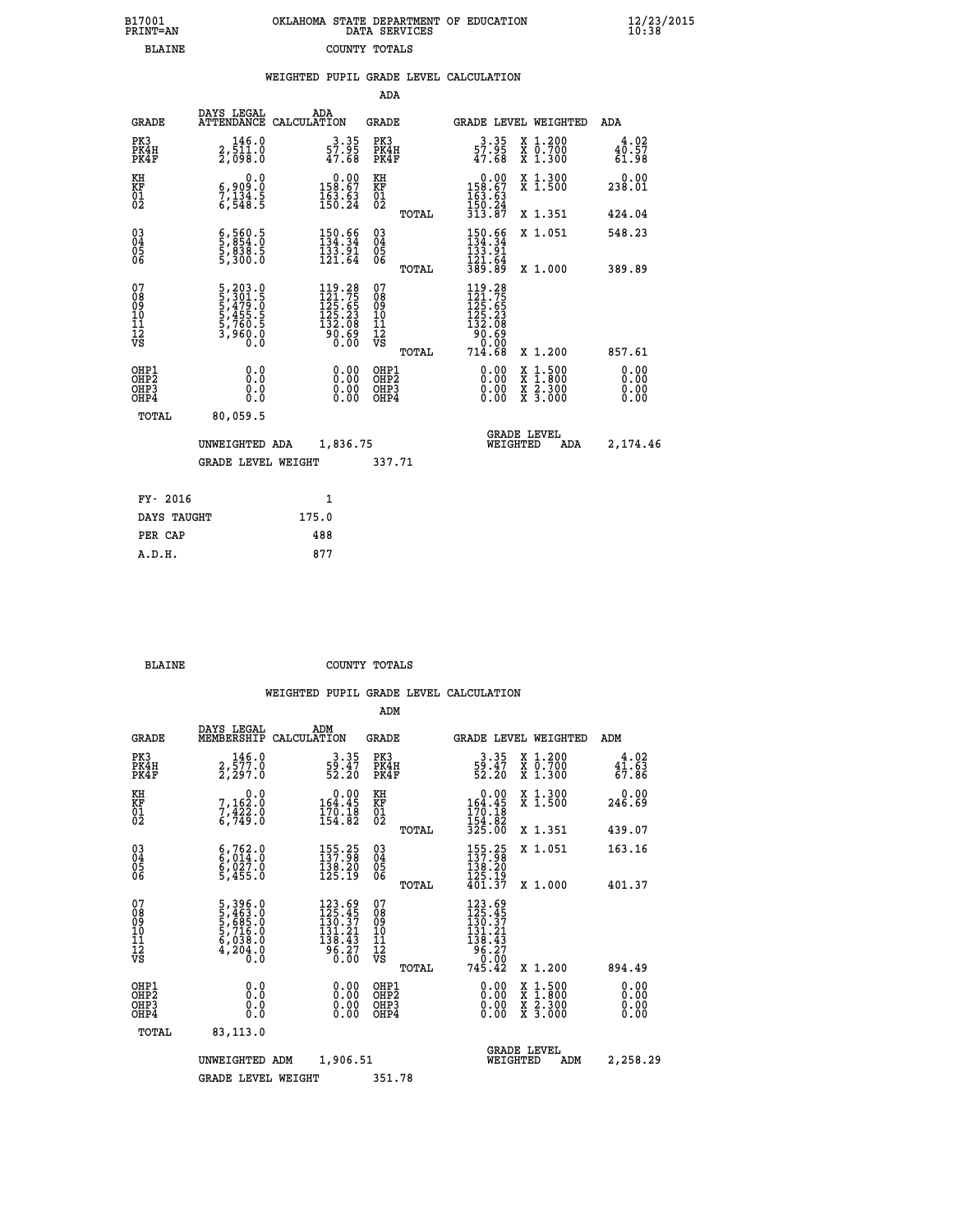|  | OKLAHOMA STATE DEPARTMENT OF EDUCATION<br>DATA SERVICES |  |
|--|---------------------------------------------------------|--|
|  | COUNTY TOTALS                                           |  |

|                                                      |                                                                                           | WEIGHTED PUPIL GRADE LEVEL CALCULATION                                                                                              |                                                     |       |                                                                                   |                                                                                                  |                               |
|------------------------------------------------------|-------------------------------------------------------------------------------------------|-------------------------------------------------------------------------------------------------------------------------------------|-----------------------------------------------------|-------|-----------------------------------------------------------------------------------|--------------------------------------------------------------------------------------------------|-------------------------------|
|                                                      |                                                                                           |                                                                                                                                     | ADA                                                 |       |                                                                                   |                                                                                                  |                               |
| <b>GRADE</b>                                         |                                                                                           | DAYS LEGAL ADA ATTENDANCE CALCULATION                                                                                               | <b>GRADE</b>                                        |       |                                                                                   | GRADE LEVEL WEIGHTED                                                                             | ADA                           |
| PK3<br>PK4H<br>PK4F                                  | 146.0<br>2,511.0<br>2,098.0                                                               | $3.35$<br>57.95<br>47.68                                                                                                            | PK3<br>PK4H<br>PK4F                                 |       | $3.35$<br>57.95<br>47.68                                                          | X 1.200<br>X 0.700<br>X 1.300                                                                    | 4.02<br>40.57<br>61.98        |
| KH<br>KF<br>01<br>02                                 | 0.0<br>6,909:0<br>7,134.5<br>6,548:5                                                      | $\begin{smallmatrix} &0.00\\ 158.67\\ 163.63\\ 150.24\end{smallmatrix}$                                                             | KH<br>KF<br>01<br>02                                |       | $\begin{smallmatrix} &0.00\\ 158.67\\ 163.63\\ 150.24\\ 313.87 \end{smallmatrix}$ | X 1.300<br>X 1.500                                                                               | 0.00<br>238.01                |
|                                                      |                                                                                           |                                                                                                                                     |                                                     | TOTAL |                                                                                   | X 1.351                                                                                          | 424.04                        |
| $\begin{matrix} 03 \\ 04 \\ 05 \\ 06 \end{matrix}$   | $\frac{6}{5}, \frac{560}{854}. \frac{5}{0} \ \frac{838}{5}, \frac{838}{300}. \frac{5}{0}$ | $150.66$<br>$134.34$<br>$133.91$<br>$121.64$                                                                                        | $\begin{array}{c} 03 \\ 04 \\ 05 \\ 06 \end{array}$ |       | $150.66$<br>$134.34$<br>$133.91$<br>$121.64$<br>$389.89$                          | X 1.051                                                                                          | 548.23                        |
|                                                      |                                                                                           |                                                                                                                                     |                                                     | TOTAL |                                                                                   | X 1.000                                                                                          | 389.89                        |
| 07<br>08<br>09<br>11<br>11<br>12<br>VS               | 5, 203.0<br>5, 301.5<br>5, 479.0<br>5, 455.5<br>5, 760.5<br>3, 960.0<br>0.0               | $\begin{smallmatrix} 119\cdot 28\\ 121\cdot 75\\ 125\cdot 65\\ 125\cdot 23\\ 132\cdot 08\\ 90\cdot 69\\ 0\cdot 00\end{smallmatrix}$ | 07<br>08<br>09<br>101<br>11<br>12<br>VS             |       | 119.28<br>121.755<br>125.653<br>125.23<br>132.089<br>90.690<br>714.000            |                                                                                                  |                               |
|                                                      |                                                                                           |                                                                                                                                     |                                                     | TOTAL | 714.68                                                                            | X 1.200                                                                                          | 857.61                        |
| OHP1<br>OHP <sub>2</sub><br>OH <sub>P3</sub><br>OHP4 | 0.0<br>Ō.Ō<br>0.0<br>Ō.Ō                                                                  | $0.00$<br>$0.00$<br>0.00                                                                                                            | OHP1<br>OHP <sub>2</sub><br>OHP3<br>OHP4            |       | 0.00<br>0.00<br>0.00                                                              | $\begin{smallmatrix} x & 1 & 500 \\ x & 1 & 800 \\ x & 2 & 300 \\ x & 3 & 000 \end{smallmatrix}$ | 0.00<br>Ō. ŌŌ<br>0.00<br>0.00 |
| <b>TOTAL</b>                                         | 80,059.5                                                                                  |                                                                                                                                     |                                                     |       |                                                                                   |                                                                                                  |                               |
|                                                      | UNWEIGHTED ADA                                                                            | 1,836.75                                                                                                                            |                                                     |       | WEIGHTED                                                                          | <b>GRADE LEVEL</b><br>ADA                                                                        | 2,174.46                      |
|                                                      | <b>GRADE LEVEL WEIGHT</b>                                                                 |                                                                                                                                     | 337.71                                              |       |                                                                                   |                                                                                                  |                               |
| FY- 2016                                             |                                                                                           | $\mathbf{1}$                                                                                                                        |                                                     |       |                                                                                   |                                                                                                  |                               |
| DAYS TAUGHT                                          |                                                                                           | 175.0                                                                                                                               |                                                     |       |                                                                                   |                                                                                                  |                               |
| PER CAP                                              |                                                                                           | 488                                                                                                                                 |                                                     |       |                                                                                   |                                                                                                  |                               |

| <b>BLAINE</b> | COUNTY TOTALS |  |
|---------------|---------------|--|

 **A.D.H. 877**

B17001<br>PRINT=AN<br>BLAINE

|                                                    |                                                                       |                                                                                                             | ADM                                                |       |                                                                                                                                                                                                                                                                                |                                          |                                                         |
|----------------------------------------------------|-----------------------------------------------------------------------|-------------------------------------------------------------------------------------------------------------|----------------------------------------------------|-------|--------------------------------------------------------------------------------------------------------------------------------------------------------------------------------------------------------------------------------------------------------------------------------|------------------------------------------|---------------------------------------------------------|
| <b>GRADE</b>                                       | DAYS LEGAL<br>MEMBERSHIP                                              | ADM<br>CALCULATION                                                                                          | <b>GRADE</b>                                       |       |                                                                                                                                                                                                                                                                                | GRADE LEVEL WEIGHTED                     | ADM                                                     |
| PK3<br>PK4H<br>PK4F                                | $2, \frac{146}{577}$ .0<br>2,297.0                                    | $\frac{3 \cdot 35}{59 \cdot 47}$<br>52.20                                                                   | PK3<br>PK4H<br>PK4F                                |       | $\frac{3 \cdot 35}{59 \cdot 47}$<br>52.20                                                                                                                                                                                                                                      | X 1.200<br>X 0.700<br>X 1.300            | $4^4 \cdot 6^2 \over 6^4 \cdot 6^3 \over 6^7 \cdot 8^6$ |
| KH<br>KF<br>01<br>02                               | 0.0<br>7,162:0<br>7,422:0<br>6,749:0                                  | 0.00<br>164.45<br>$\frac{170.18}{154.82}$                                                                   | KH<br>KF<br>01<br>02                               |       | $0.00$<br>164.45<br>$\frac{170}{154}$ . $\frac{18}{82}$<br>325.00                                                                                                                                                                                                              | X 1.300<br>X 1.500                       | 0.00<br>246.69                                          |
|                                                    |                                                                       |                                                                                                             |                                                    | TOTAL |                                                                                                                                                                                                                                                                                | X 1.351                                  | 439.07                                                  |
| $\begin{matrix} 03 \\ 04 \\ 05 \\ 06 \end{matrix}$ | $6,762.0$<br>$6,014.0$<br>$6,027.0$<br>$5,455.0$                      | $\begin{array}{l} 155\cdot 25\\ 137\cdot 98\\ 138\cdot 20\\ 125\cdot 19 \end{array}$                        | $\begin{matrix} 03 \\ 04 \\ 05 \\ 06 \end{matrix}$ |       | $\begin{array}{c} 155\cdot 25\\ 137\cdot 98\\ 138\cdot 20\\ 125\cdot 19\\ 401\cdot 37 \end{array}$                                                                                                                                                                             | X 1.051                                  | 163.16                                                  |
|                                                    |                                                                       |                                                                                                             |                                                    | TOTAL |                                                                                                                                                                                                                                                                                | X 1.000                                  | 401.37                                                  |
| 07<br>08<br>09<br>10<br>11<br>11<br>12<br>VS       | 5,396.0<br>5,463.0<br>5,685.0<br>5,716.0<br>6,038.0<br>4,204.0<br>Ō.Ō | $\begin{array}{r} 123.69 \\ 125.45 \\ 130.37 \\ 131.21 \\ 138.43 \\ 96.27 \end{array}$<br>$0.\overline{0}0$ | 07<br>08<br>09<br>01<br>11<br>11<br>12<br>VS       | TOTAL | 123.69<br>125.45<br>130.37<br>$\frac{131.21}{138.43}$<br>$745.27$<br>745.42                                                                                                                                                                                                    | X 1.200                                  | 894.49                                                  |
| OHP1<br>OHP2<br>OH <sub>P3</sub><br>OHP4           | 0.0<br>0.000                                                          | $0.00$<br>$0.00$<br>0.00                                                                                    | OHP1<br>OHP2<br>OHP3<br>OHP4                       |       | $\begin{smallmatrix} 0.00 & 0.00 & 0.00 & 0.00 & 0.00 & 0.00 & 0.00 & 0.00 & 0.00 & 0.00 & 0.00 & 0.00 & 0.00 & 0.00 & 0.00 & 0.00 & 0.00 & 0.00 & 0.00 & 0.00 & 0.00 & 0.00 & 0.00 & 0.00 & 0.00 & 0.00 & 0.00 & 0.00 & 0.00 & 0.00 & 0.00 & 0.00 & 0.00 & 0.00 & 0.00 & 0.0$ | X 1:500<br>X 1:800<br>X 2:300<br>X 3:000 | 0.00<br>0.00<br>0.00                                    |
| TOTAL                                              | 83,113.0                                                              |                                                                                                             |                                                    |       |                                                                                                                                                                                                                                                                                |                                          |                                                         |
|                                                    | UNWEIGHTED ADM                                                        | 1,906.51                                                                                                    |                                                    |       | WEIGHTED                                                                                                                                                                                                                                                                       | <b>GRADE LEVEL</b><br>ADM                | 2,258.29                                                |
|                                                    | <b>GRADE LEVEL WEIGHT</b>                                             |                                                                                                             | 351.78                                             |       |                                                                                                                                                                                                                                                                                |                                          |                                                         |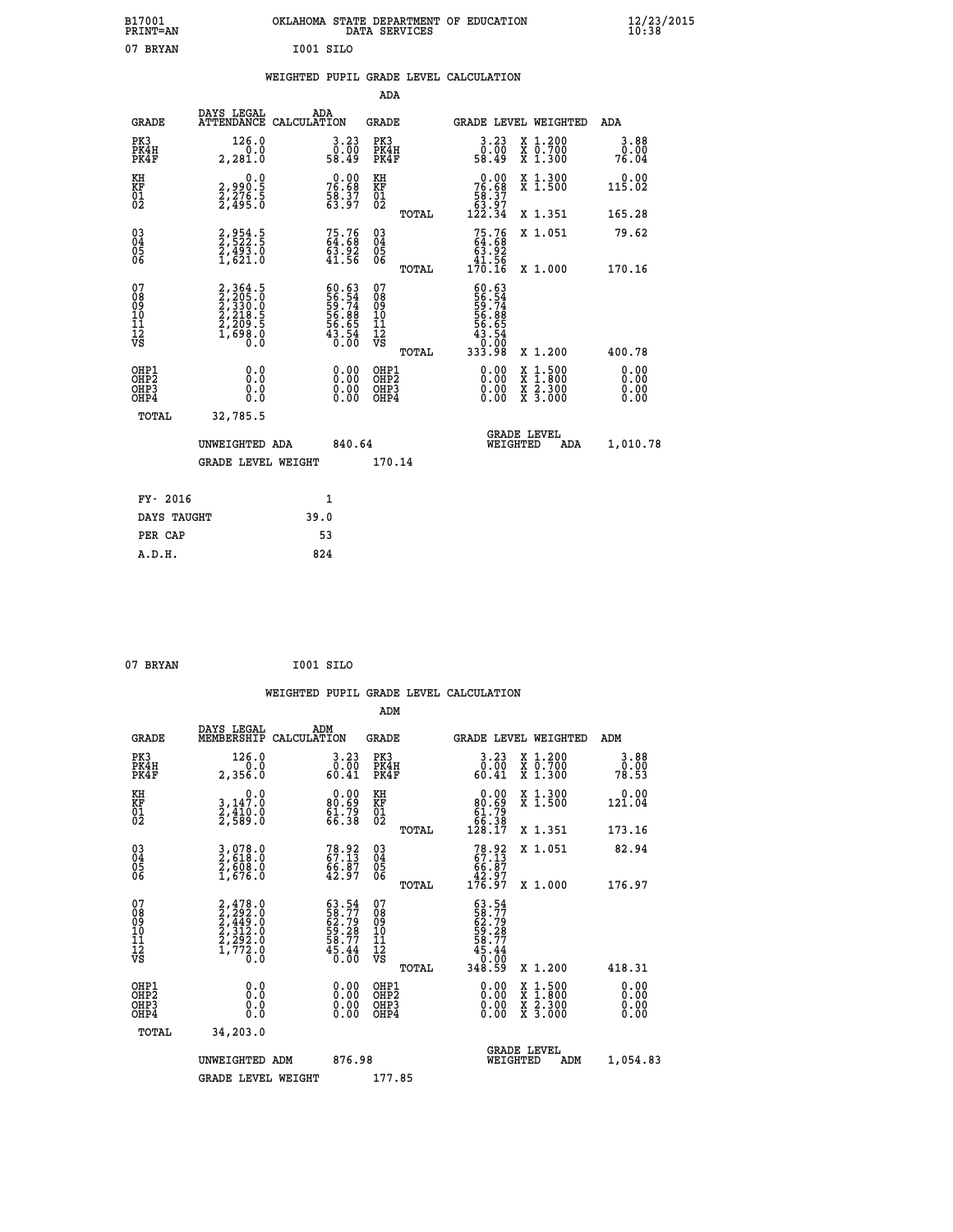| B17001<br>PRINT=AN |                   | OKLAHOMA STATE DEPARTMENT OF EDUCATION<br>DATA SERVICES | $\frac{12}{23}$ /2015 |
|--------------------|-------------------|---------------------------------------------------------|-----------------------|
| 07 BRYAN           |                   | I001 SILO                                               |                       |
|                    |                   | WEIGHTED PUPIL GRADE LEVEL CALCULATION                  |                       |
|                    |                   | ADA                                                     |                       |
|                    | ADA<br>DAYS LEGAL |                                                         |                       |

| <b>GRADE</b>                                                       |                                                                | ATTENDANCE CALCULATION                                                                                                                                                                                                                                                         | <b>GRADE</b>                                         |       | <b>GRADE LEVEL WEIGHTED</b>                                                                                                                                                                                                                                                    |                                                                                                                                      | ADA                   |
|--------------------------------------------------------------------|----------------------------------------------------------------|--------------------------------------------------------------------------------------------------------------------------------------------------------------------------------------------------------------------------------------------------------------------------------|------------------------------------------------------|-------|--------------------------------------------------------------------------------------------------------------------------------------------------------------------------------------------------------------------------------------------------------------------------------|--------------------------------------------------------------------------------------------------------------------------------------|-----------------------|
| PK3<br>PK4H<br>PK4F                                                | 126.0<br>0.0<br>2,281.0                                        | 3.23<br>0.00<br>58.49                                                                                                                                                                                                                                                          | PK3<br>PK4H<br>PK4F                                  |       | $\begin{smallmatrix} 3.23\ 0.00\ 58.49 \end{smallmatrix}$                                                                                                                                                                                                                      | X 1.200<br>X 0.700<br>X 1.300                                                                                                        | 3.88<br>0.00<br>76.04 |
| KH<br>KF<br>01<br>02                                               | 0.0<br>2,990.5<br>2,276.5<br>2,495.0                           | $76.68$<br>$76.68$<br>$58.37$<br>$63.97$                                                                                                                                                                                                                                       | KH<br>KF<br>01<br>02                                 |       | $76.68$<br>$58.37$<br>$63.97$<br>$122.34$                                                                                                                                                                                                                                      | X 1.300<br>X 1.500                                                                                                                   | 0.00<br>115.02        |
|                                                                    |                                                                |                                                                                                                                                                                                                                                                                |                                                      | TOTAL |                                                                                                                                                                                                                                                                                | X 1.351                                                                                                                              | 165.28                |
| $\begin{smallmatrix} 03 \\[-4pt] 04 \end{smallmatrix}$<br>05<br>06 | 2,954.5<br>2,522.5<br>2,493.0<br>1,621.0                       | 75.76<br>64.68<br>$\frac{63.92}{41.56}$                                                                                                                                                                                                                                        | $^{03}_{04}$<br>$\frac{05}{06}$                      |       | $75.7664.6863.9241.56170.16$                                                                                                                                                                                                                                                   | X 1.051                                                                                                                              | 79.62                 |
|                                                                    |                                                                |                                                                                                                                                                                                                                                                                |                                                      | TOTAL |                                                                                                                                                                                                                                                                                | X 1.000                                                                                                                              | 170.16                |
| 07<br>08<br>09<br>11<br>11<br>12<br>VS                             | 2,364.5<br>2,205.0<br>2,330.0<br>2,218.5<br>2,209.5<br>1,698.0 | 60.63<br>56.54<br>59.74<br>56.88<br>56.65<br>543.54<br>0.00                                                                                                                                                                                                                    | 07<br>08<br>09<br>001<br>11<br>11<br>12<br>VS        |       | 60.63<br>56.54<br>59.74<br>56.88<br>56.65<br>58.54                                                                                                                                                                                                                             |                                                                                                                                      |                       |
|                                                                    |                                                                |                                                                                                                                                                                                                                                                                |                                                      | TOTAL | 00.0T<br>88.333                                                                                                                                                                                                                                                                | X 1.200                                                                                                                              | 400.78                |
| OHP1<br>OHP2<br>OH <sub>P3</sub><br>OHP4                           | 0.0<br>0.0<br>0.0                                              | $\begin{smallmatrix} 0.00 & 0.00 & 0.00 & 0.00 & 0.00 & 0.00 & 0.00 & 0.00 & 0.00 & 0.00 & 0.00 & 0.00 & 0.00 & 0.00 & 0.00 & 0.00 & 0.00 & 0.00 & 0.00 & 0.00 & 0.00 & 0.00 & 0.00 & 0.00 & 0.00 & 0.00 & 0.00 & 0.00 & 0.00 & 0.00 & 0.00 & 0.00 & 0.00 & 0.00 & 0.00 & 0.0$ | OHP1<br>OHP2<br>OHP <sub>3</sub><br>OHP <sub>4</sub> |       | $\begin{smallmatrix} 0.00 & 0.00 & 0.00 & 0.00 & 0.00 & 0.00 & 0.00 & 0.00 & 0.00 & 0.00 & 0.00 & 0.00 & 0.00 & 0.00 & 0.00 & 0.00 & 0.00 & 0.00 & 0.00 & 0.00 & 0.00 & 0.00 & 0.00 & 0.00 & 0.00 & 0.00 & 0.00 & 0.00 & 0.00 & 0.00 & 0.00 & 0.00 & 0.00 & 0.00 & 0.00 & 0.0$ | $\begin{smallmatrix} \mathtt{X} & 1 & 500 \\ \mathtt{X} & 1 & 800 \\ \mathtt{X} & 2 & 300 \\ \mathtt{X} & 3 & 000 \end{smallmatrix}$ | 0.00<br>0.00<br>0.00  |
| TOTAL                                                              | 32,785.5                                                       |                                                                                                                                                                                                                                                                                |                                                      |       |                                                                                                                                                                                                                                                                                |                                                                                                                                      |                       |
|                                                                    | UNWEIGHTED ADA                                                 | 840.64                                                                                                                                                                                                                                                                         |                                                      |       | WEIGHTED                                                                                                                                                                                                                                                                       | <b>GRADE LEVEL</b><br><b>ADA</b>                                                                                                     | 1,010.78              |
|                                                                    | <b>GRADE LEVEL WEIGHT</b>                                      |                                                                                                                                                                                                                                                                                | 170.14                                               |       |                                                                                                                                                                                                                                                                                |                                                                                                                                      |                       |
|                                                                    |                                                                |                                                                                                                                                                                                                                                                                |                                                      |       |                                                                                                                                                                                                                                                                                |                                                                                                                                      |                       |
| FY- 2016                                                           |                                                                | 1                                                                                                                                                                                                                                                                              |                                                      |       |                                                                                                                                                                                                                                                                                |                                                                                                                                      |                       |
| DAYS TAUGHT                                                        |                                                                | 39.0                                                                                                                                                                                                                                                                           |                                                      |       |                                                                                                                                                                                                                                                                                |                                                                                                                                      |                       |
| PER CAP                                                            |                                                                | 53                                                                                                                                                                                                                                                                             |                                                      |       |                                                                                                                                                                                                                                                                                |                                                                                                                                      |                       |
| A.D.H.                                                             |                                                                | 824                                                                                                                                                                                                                                                                            |                                                      |       |                                                                                                                                                                                                                                                                                |                                                                                                                                      |                       |

| 07 BRYAN | I001 SILO |  |
|----------|-----------|--|
|          |           |  |

|                                                      |                                                                                     |                                                                   |                                                     | WEIGHTED PUPIL GRADE LEVEL CALCULATION                                                                                                                                                                                                                                         |                                          |                              |
|------------------------------------------------------|-------------------------------------------------------------------------------------|-------------------------------------------------------------------|-----------------------------------------------------|--------------------------------------------------------------------------------------------------------------------------------------------------------------------------------------------------------------------------------------------------------------------------------|------------------------------------------|------------------------------|
|                                                      |                                                                                     |                                                                   | ADM                                                 |                                                                                                                                                                                                                                                                                |                                          |                              |
| <b>GRADE</b>                                         | DAYS LEGAL<br>MEMBERSHIP<br>CALCULATION                                             | ADM                                                               | <b>GRADE</b>                                        | <b>GRADE LEVEL WEIGHTED</b>                                                                                                                                                                                                                                                    |                                          | ADM                          |
| PK3<br>PK4H<br>PK4F                                  | 126.0<br>0.0<br>2,356.0                                                             | $3.23$<br>$0.00$<br>60.41                                         | PK3<br>PK4H<br>PK4F                                 | $\begin{smallmatrix} 3 & 23 \\ 0 & 00 \\ 60 & 41 \end{smallmatrix}$                                                                                                                                                                                                            | X 1.200<br>X 0.700<br>X 1.300            | 3.88<br>0.00<br>78.53        |
| KH<br>KF<br>01<br>02                                 | $\begin{smallmatrix}&&&0.0\\3,147.0\\2,410.0\\2,589.0\end{smallmatrix}$             | $0.00$<br>80.69<br>61.79<br>66.38                                 | KH<br>KF<br>01<br>02                                | $\begin{smallmatrix} &0.00\ 80.69\ 61.79\ 65.38\ 128.17\ \end{smallmatrix}$                                                                                                                                                                                                    | X 1.300<br>X 1.500                       | 0.00<br>121.04               |
|                                                      |                                                                                     |                                                                   | TOTAL                                               |                                                                                                                                                                                                                                                                                | X 1.351                                  | 173.16                       |
| $\begin{matrix} 03 \\ 04 \\ 05 \\ 06 \end{matrix}$   | 3,078.0<br>2,618.0<br>2,608.0<br>1,676.0                                            | $78.92$<br>67.13<br>66.87<br>42.97                                | $\begin{array}{c} 03 \\ 04 \\ 05 \\ 06 \end{array}$ | $78.92$<br>67.13<br>66.87<br>42.97<br>176.97                                                                                                                                                                                                                                   | X 1.051                                  | 82.94                        |
|                                                      |                                                                                     |                                                                   | TOTAL                                               |                                                                                                                                                                                                                                                                                | X 1.000                                  | 176.97                       |
| 07<br>08<br>09<br>101<br>112<br>VS                   | $2,478.0$<br>$2,292.0$<br>$2,449.0$<br>$2,312.0$<br>$2,292.0$<br>$1,772.0$<br>$0.0$ | $63.54$<br>58.77<br>62.79<br>62.77<br>58.77<br>58.77<br>45.44     | 07<br>08<br>09<br>11<br>11<br>12<br>VS              | $63.54$<br>$58.79$<br>$62.79$<br>$59.28$<br>$58.77$<br>$45.44$<br>$0.00$<br>$348.59$                                                                                                                                                                                           |                                          |                              |
|                                                      |                                                                                     |                                                                   | TOTAL                                               |                                                                                                                                                                                                                                                                                | X 1.200                                  | 418.31                       |
| OHP1<br>OHP2<br>OH <sub>P3</sub><br>OH <sub>P4</sub> | 0.0<br>0.000                                                                        | $\begin{smallmatrix} 0.00 \ 0.00 \ 0.00 \ 0.00 \end{smallmatrix}$ | OHP1<br>OHP2<br>OHP3<br>OHP4                        | $\begin{smallmatrix} 0.00 & 0.00 & 0.00 & 0.00 & 0.00 & 0.00 & 0.00 & 0.00 & 0.00 & 0.00 & 0.00 & 0.00 & 0.00 & 0.00 & 0.00 & 0.00 & 0.00 & 0.00 & 0.00 & 0.00 & 0.00 & 0.00 & 0.00 & 0.00 & 0.00 & 0.00 & 0.00 & 0.00 & 0.00 & 0.00 & 0.00 & 0.00 & 0.00 & 0.00 & 0.00 & 0.0$ | X 1:500<br>X 1:800<br>X 2:300<br>X 3:000 | 0.00<br>0.00<br>0.00<br>0.00 |
| TOTAL                                                | 34,203.0                                                                            |                                                                   |                                                     |                                                                                                                                                                                                                                                                                |                                          |                              |
|                                                      | UNWEIGHTED ADM                                                                      | 876.98                                                            |                                                     | <b>GRADE LEVEL</b><br>WEIGHTED                                                                                                                                                                                                                                                 | ADM                                      | 1,054.83                     |
|                                                      | <b>GRADE LEVEL WEIGHT</b>                                                           |                                                                   | 177.85                                              |                                                                                                                                                                                                                                                                                |                                          |                              |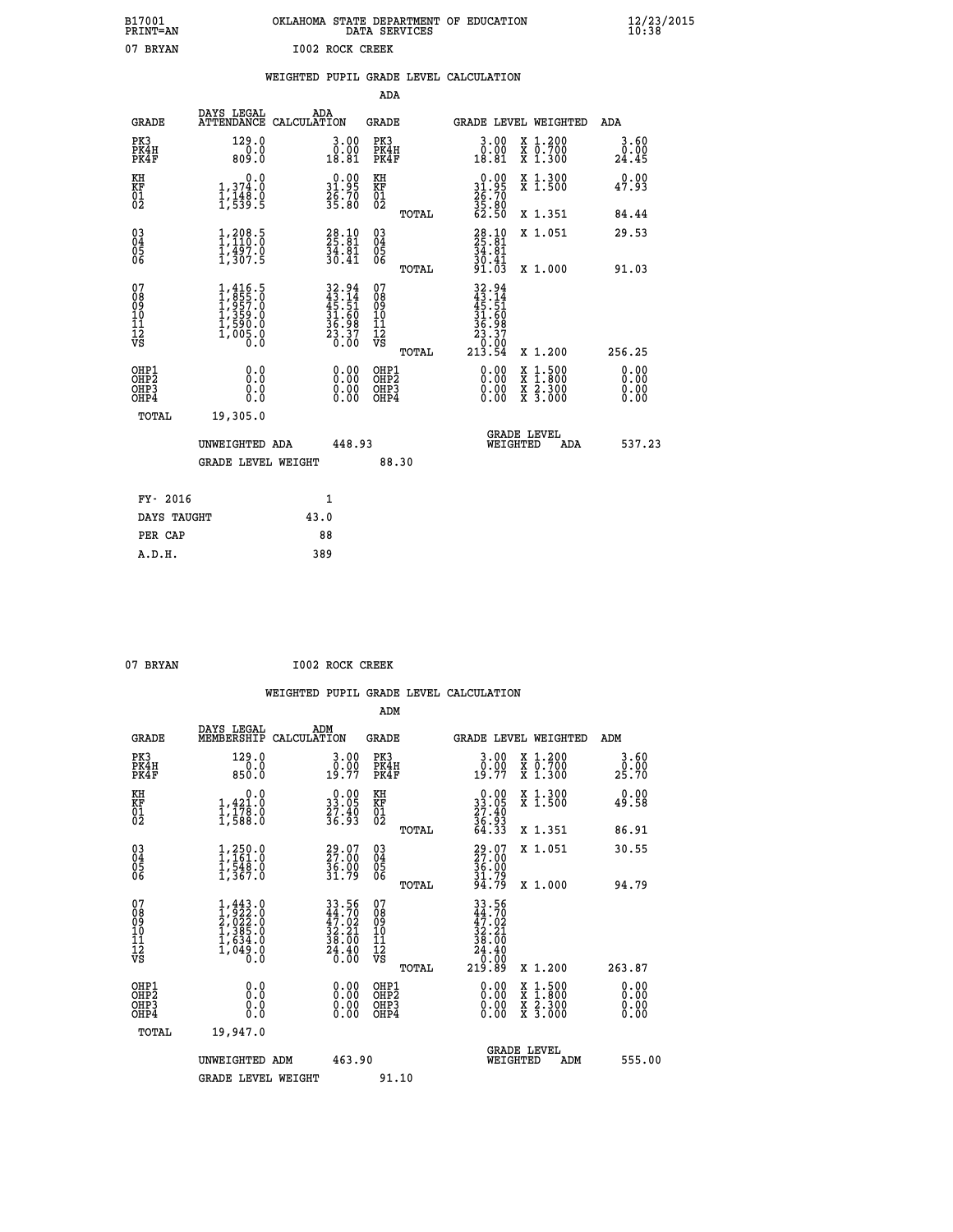| B17001<br><b>PRINT=AN</b> | OKLAHOMA STATE DEPARTMENT OF EDUCATION<br>SERVICES<br>DATA | $\frac{12}{23}$ /2015 |
|---------------------------|------------------------------------------------------------|-----------------------|
| 07<br><b>BRYAN</b>        | 1002<br>ROCK CREEK                                         |                       |

| 07 BRYAN                                 |                                                                                     | 1002 ROCK CREEK                        |                                                                          |                                                    |       |                                                                                               |                                                                                                                                      |                       |
|------------------------------------------|-------------------------------------------------------------------------------------|----------------------------------------|--------------------------------------------------------------------------|----------------------------------------------------|-------|-----------------------------------------------------------------------------------------------|--------------------------------------------------------------------------------------------------------------------------------------|-----------------------|
|                                          |                                                                                     | WEIGHTED PUPIL GRADE LEVEL CALCULATION |                                                                          |                                                    |       |                                                                                               |                                                                                                                                      |                       |
|                                          |                                                                                     |                                        |                                                                          | <b>ADA</b>                                         |       |                                                                                               |                                                                                                                                      |                       |
| <b>GRADE</b>                             | DAYS LEGAL                                                                          | ADA<br>ATTENDANCE CALCULATION          |                                                                          | <b>GRADE</b>                                       |       |                                                                                               | GRADE LEVEL WEIGHTED                                                                                                                 | <b>ADA</b>            |
| PK3<br>PK4H<br>PK4F                      | 129.0<br>0.0<br>809.0                                                               |                                        | $\begin{smallmatrix} 3.00\\ 0.00\\ 18.81 \end{smallmatrix}$              | PK3<br>PK4H<br>PK4F                                |       | $3.00$<br>$0.00$<br>18.81                                                                     | X 1.200<br>X 0.700<br>X 1.300                                                                                                        | 3.60<br>0.00<br>24.45 |
| KH<br>KF<br>01<br>02                     | 0.0<br>1,374:0<br>1,148.0<br>1,539:5                                                |                                        | $\begin{smallmatrix} 0.00\\ 31.95\\ 26.70\\ 35.80 \end{smallmatrix}$     | KH<br>KF<br>01<br>02                               |       | $\begin{smallmatrix} 0.00\\ 31.95\\ 26.70\\ 35.80\\ 62.50 \end{smallmatrix}$                  | X 1.300<br>X 1.500                                                                                                                   | 0.00<br>47.93         |
|                                          |                                                                                     |                                        |                                                                          |                                                    | TOTAL |                                                                                               | X 1.351                                                                                                                              | 84.44                 |
| $^{03}_{04}$<br>Ŏ5<br>ŌĞ                 | $1, 208.5$<br>$1, 110.0$<br>$1, 497.0$<br>$1, 307.5$                                |                                        | $\begin{smallmatrix} 28.10\\ 25.81\\ 34.81\\ 30.41 \end{smallmatrix}$    | $\begin{matrix} 03 \\ 04 \\ 05 \\ 06 \end{matrix}$ |       | $\frac{28.10}{25.81}$<br>34.81                                                                | X 1.051                                                                                                                              | 29.53                 |
|                                          |                                                                                     |                                        |                                                                          |                                                    | TOTAL | $\frac{30.41}{91.03}$                                                                         | X 1.000                                                                                                                              | 91.03                 |
| 07<br>0890112<br>1112<br>VS              | $1,416.5$<br>$1,855.0$<br>$1,957.0$<br>$1,359.0$<br>$1,590.0$<br>$1,005.0$<br>$0.0$ |                                        | $32.94$<br>$43.14$<br>$45.51$<br>$31.60$<br>$36.98$<br>$23.37$<br>$0.00$ | 07<br>08<br>09<br>001<br>11<br>11<br>12<br>VS      | TOTAL | $32.94$<br>$43.14$<br>$45.51$<br>$31.60$<br>$36.98$<br>$23.37$<br>06.0 <sup>4</sup><br>213.54 | X 1.200                                                                                                                              | 256.25                |
| OHP1<br>OHP2<br>OHP <sub>3</sub><br>OHP4 | 0.0<br>0.0<br>0.0                                                                   |                                        | $\begin{smallmatrix} 0.00 \ 0.00 \ 0.00 \ 0.00 \end{smallmatrix}$        | OHP1<br>OHP2<br>OHP <sub>3</sub><br>OHP4           |       | 0.00<br>0.00<br>0.00                                                                          | $\begin{smallmatrix} \mathtt{X} & 1 & 500 \\ \mathtt{X} & 1 & 800 \\ \mathtt{X} & 2 & 300 \\ \mathtt{X} & 3 & 000 \end{smallmatrix}$ | 0.00<br>0.00<br>0.00  |
| TOTAL                                    | 19,305.0                                                                            |                                        |                                                                          |                                                    |       |                                                                                               |                                                                                                                                      |                       |
|                                          | UNWEIGHTED ADA                                                                      |                                        | 448.93                                                                   |                                                    |       |                                                                                               | GRADE LEVEL<br>WEIGHTED<br>ADA                                                                                                       | 537.23                |
|                                          | <b>GRADE LEVEL WEIGHT</b>                                                           |                                        |                                                                          |                                                    | 88.30 |                                                                                               |                                                                                                                                      |                       |
| FY- 2016                                 |                                                                                     | $\mathbf{1}$                           |                                                                          |                                                    |       |                                                                                               |                                                                                                                                      |                       |
| DAYS TAUGHT                              |                                                                                     | 43.0                                   |                                                                          |                                                    |       |                                                                                               |                                                                                                                                      |                       |
| PER CAP                                  |                                                                                     | 88                                     |                                                                          |                                                    |       |                                                                                               |                                                                                                                                      |                       |
| A.D.H.                                   |                                                                                     | 389                                    |                                                                          |                                                    |       |                                                                                               |                                                                                                                                      |                       |

 **07 BRYAN I002 ROCK CREEK**

 **ADM DAYS LEGAL ADM GRADE MEMBERSHIP CALCULATION GRADE GRADE LEVEL WEIGHTED ADM PK3 129.0 3.00 PK3 3.00 X 1.200 3.60**

| PK4H<br>PK4F                                         | 0.0<br>850.0                                                                        | $\substack{0.00119.77}$                                              | PK4H<br>PK4F                                                | $\substack{0.0017120}$                                                                         | X 0.700<br>X 1.300                                                                                                  | 0.00<br>25.70            |
|------------------------------------------------------|-------------------------------------------------------------------------------------|----------------------------------------------------------------------|-------------------------------------------------------------|------------------------------------------------------------------------------------------------|---------------------------------------------------------------------------------------------------------------------|--------------------------|
| KH<br>KF<br>01<br>02                                 | 0.0<br>$\frac{1}{1}, \frac{421}{178}$<br>$\frac{1}{588}$<br>$\frac{0}{0}$           | $\begin{smallmatrix} 0.00\\ 33.05\\ 27.40\\ 36.93 \end{smallmatrix}$ | KH<br>KF<br>01<br>02                                        | $\begin{smallmatrix} 0.00\\ 33.05\\ 27.40\\ 36.93\\ 64.33 \end{smallmatrix}$                   | X 1.300<br>X 1.500                                                                                                  | 0.00<br>49.58            |
|                                                      |                                                                                     |                                                                      | TOTAL                                                       |                                                                                                | X 1.351                                                                                                             | 86.91                    |
| $\begin{matrix} 03 \\ 04 \\ 05 \\ 06 \end{matrix}$   | $1, 250.0$<br>$1, 161.0$<br>$1, 548.0$<br>$1, 367.0$                                | 29.07<br>27.00<br>36.00<br>31.79                                     | $\begin{matrix} 03 \\ 04 \\ 05 \\ 06 \end{matrix}$<br>TOTAL | 29.07<br>27.00<br>36.00<br>31.79<br>94.79                                                      | X 1.051<br>X 1.000                                                                                                  | 30.55<br>94.79           |
| 07<br>08<br>09<br>101<br>11<br>12<br>VS              | $1,443.0$<br>$2,022.0$<br>$2,022.0$<br>$1,385.0$<br>$1,634.0$<br>$1,049.0$<br>$0.0$ | 33.56<br>44.70<br>$47.02$<br>$32.21$<br>$38.00$<br>$24.40$<br>$0.00$ | 07<br>08<br>09<br>11<br>11<br>12<br>VS<br>TOTAL             | 33.56<br>$\begin{smallmatrix} 44.702\ 47.021\ 32.21\ 38.000\ 24.400\ 219.89 \end{smallmatrix}$ | X 1.200                                                                                                             | 263.87                   |
| OHP1<br>OHP <sub>2</sub><br>OH <sub>P3</sub><br>OHP4 | 0.000000<br>0.0                                                                     | $0.00$<br>$0.00$<br>0.00                                             | OHP1<br>OHP <sub>2</sub><br>OHP3<br>OHP4                    | $0.00$<br>$0.00$<br>0.00                                                                       | $\begin{array}{l} \mathtt{X} & 1.500 \\ \mathtt{X} & 1.800 \\ \mathtt{X} & 2.300 \\ \mathtt{X} & 3.000 \end{array}$ | $0.00$<br>$0.00$<br>0.00 |
| TOTAL                                                | 19,947.0                                                                            |                                                                      |                                                             |                                                                                                |                                                                                                                     |                          |
|                                                      | UNWEIGHTED ADM                                                                      | 463.90                                                               |                                                             |                                                                                                | <b>GRADE LEVEL</b><br>WEIGHTED<br>ADM                                                                               | 555.00                   |
|                                                      | <b>GRADE LEVEL WEIGHT</b>                                                           |                                                                      | 91.10                                                       |                                                                                                |                                                                                                                     |                          |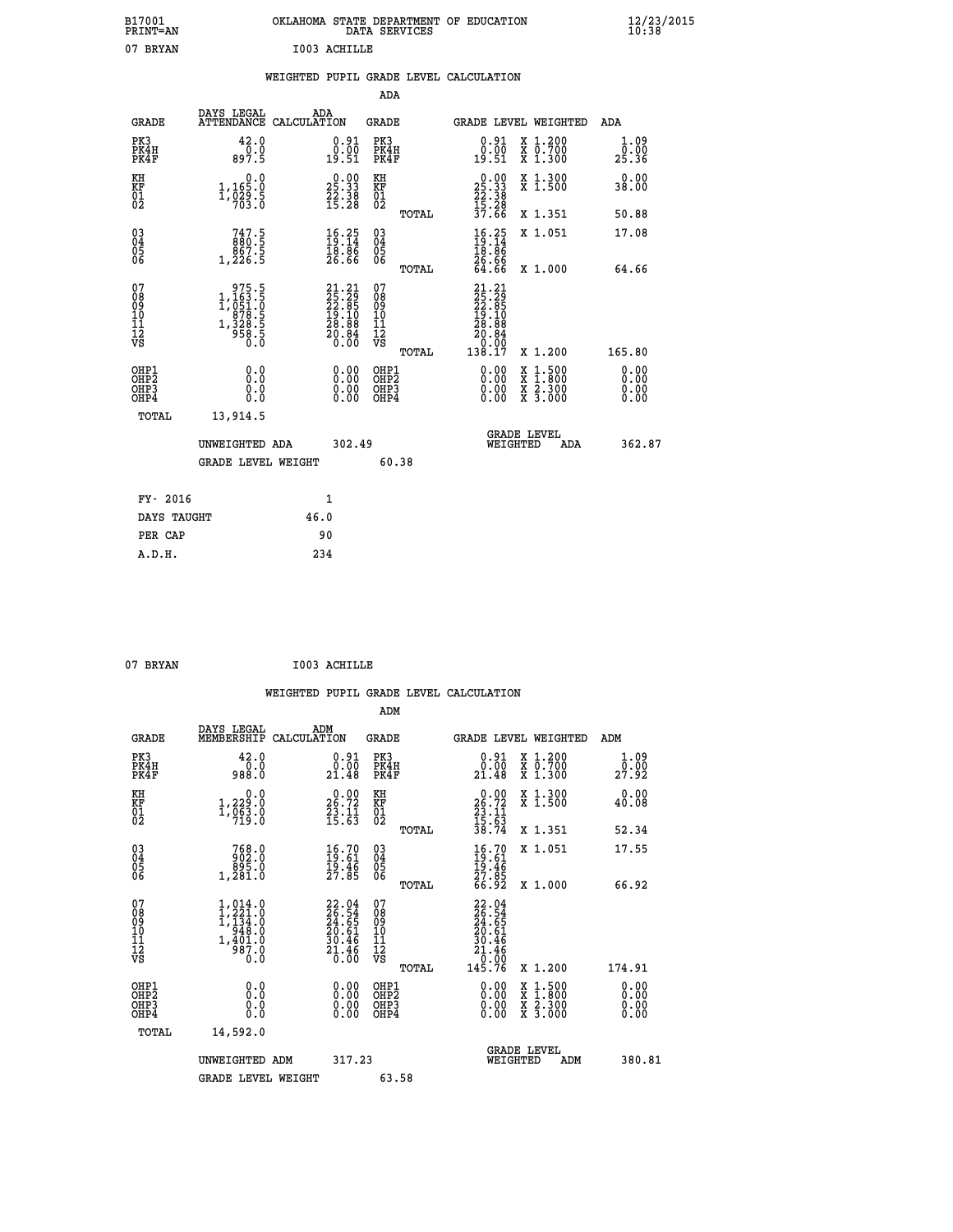| B17001<br>PRINT=AN | OKLAHOMA STATE DEPARTMENT OF EDUCATION<br>DATA SERVICES | $\frac{12}{23}$ /2015 |
|--------------------|---------------------------------------------------------|-----------------------|
| 07<br>BRYAN        | I003 ACHILLE                                            |                       |

|  |  | WEIGHTED PUPIL GRADE LEVEL CALCULATION |
|--|--|----------------------------------------|
|  |  |                                        |

|                                                                              |                                                                                                       |                                                                                                    | ADA                                    |       |                                                     |                                                                                                                                              |                              |
|------------------------------------------------------------------------------|-------------------------------------------------------------------------------------------------------|----------------------------------------------------------------------------------------------------|----------------------------------------|-------|-----------------------------------------------------|----------------------------------------------------------------------------------------------------------------------------------------------|------------------------------|
| <b>GRADE</b>                                                                 | DAYS LEGAL                                                                                            | ADA<br>ATTENDANCE CALCULATION                                                                      | GRADE                                  |       |                                                     | <b>GRADE LEVEL WEIGHTED</b>                                                                                                                  | ADA                          |
| PK3<br>PK4H<br>PK4F                                                          | 42.0<br>$0.\overline{0}$<br>897.5                                                                     | 0.91<br>$\frac{0.00}{19.51}$                                                                       | PK3<br>PK4H<br>PK4F                    |       | 0.91<br>0.00<br>19.51                               | X 1.200<br>X 0.700<br>X 1.300                                                                                                                | 1.09<br>0.00<br>25.36        |
| KH<br>KF<br>01<br>02                                                         | 0.0<br>$1,165.0$<br>$1,929.5$<br>$703.0$                                                              | $\begin{smallmatrix} 0.00\\ 25.33\\ 22.38\\ 15.28 \end{smallmatrix}$                               | KH<br>KF<br>01<br>02                   |       | $25.3325.3822.3815.2837.66$                         | X 1.300<br>X 1.500                                                                                                                           | 0.00<br>38.00                |
|                                                                              |                                                                                                       |                                                                                                    |                                        | TOTAL |                                                     | X 1.351                                                                                                                                      | 50.88                        |
| $\begin{matrix} 03 \\ 04 \\ 05 \\ 06 \end{matrix}$                           | $\begin{smallmatrix} 747.5\\ 880.5\\ 867.5\\ 1,226.5 \end{smallmatrix}$                               | $\begin{smallmatrix} 16.25\ 19.14\ 18.86\ 26.66 \end{smallmatrix}$                                 | 03<br>04<br>05<br>06                   |       | $16.25$<br>$19.14$<br>$18.86$<br>$26.66$<br>$64.66$ | X 1.051                                                                                                                                      | 17.08                        |
|                                                                              |                                                                                                       |                                                                                                    |                                        | TOTAL |                                                     | X 1.000                                                                                                                                      | 64.66                        |
| 07<br>08<br>09<br>11<br>11<br>12<br>VS                                       | $\begin{smallmatrix} & 975.5\\ 1,163.5\\ 1,051.0\\ 978.5\\ 1,328.5\\ 958.5\\ 0.0\\ \end{smallmatrix}$ | $\begin{smallmatrix} 21.21 \\ 25.29 \\ 22.85 \\ 19.10 \\ 28.88 \\ 20.84 \\ 0.00 \end{smallmatrix}$ | 07<br>08<br>09<br>11<br>11<br>12<br>VS | TOTAL |                                                     | X 1.200                                                                                                                                      | 165.80                       |
| OHP1<br>OH <sub>P</sub> <sub>2</sub><br>OH <sub>P3</sub><br>OH <sub>P4</sub> | 0.0<br>Ō.Ō<br>0.0<br>0.0                                                                              | 0.00<br>$0.00$<br>0.00                                                                             | OHP1<br>OHP2<br>OHP3<br>OHP4           |       | 0.00<br>0.00<br>0.00                                | $\begin{smallmatrix} \mathtt{X} & 1\cdot500 \\ \mathtt{X} & 1\cdot800 \\ \mathtt{X} & 2\cdot300 \\ \mathtt{X} & 3\cdot000 \end{smallmatrix}$ | 0.00<br>0.00<br>0.00<br>0.00 |
| TOTAL                                                                        | 13,914.5                                                                                              |                                                                                                    |                                        |       |                                                     |                                                                                                                                              |                              |
|                                                                              | UNWEIGHTED ADA                                                                                        | 302.49                                                                                             |                                        |       |                                                     | <b>GRADE LEVEL</b><br>WEIGHTED<br>ADA                                                                                                        | 362.87                       |
|                                                                              | <b>GRADE LEVEL WEIGHT</b>                                                                             |                                                                                                    | 60.38                                  |       |                                                     |                                                                                                                                              |                              |
| FY- 2016                                                                     |                                                                                                       | $\mathbf{1}$                                                                                       |                                        |       |                                                     |                                                                                                                                              |                              |
| DAYS TAUGHT                                                                  |                                                                                                       | 46.0                                                                                               |                                        |       |                                                     |                                                                                                                                              |                              |
| PER CAP                                                                      |                                                                                                       | 90                                                                                                 |                                        |       |                                                     |                                                                                                                                              |                              |
| A.D.H.                                                                       |                                                                                                       | 234                                                                                                |                                        |       |                                                     |                                                                                                                                              |                              |

07 BRYAN **I003 ACHILLE** 

 **A.D.H. 234**

| <b>GRADE</b>                                                     | DAYS LEGAL<br>MEMBERSHIP                                                          | ADM<br>CALCULATION                                                       | <b>GRADE</b>                                        |       |                                                                                      |          | GRADE LEVEL WEIGHTED                     | ADM                          |  |
|------------------------------------------------------------------|-----------------------------------------------------------------------------------|--------------------------------------------------------------------------|-----------------------------------------------------|-------|--------------------------------------------------------------------------------------|----------|------------------------------------------|------------------------------|--|
| PK3<br>PK4H<br>PK4F                                              | 42.0<br>0.0088                                                                    | 0.91<br>0.00<br>21.48                                                    | PK3<br>PK4H<br>PK4F                                 |       | $\begin{smallmatrix} 0.91\ 0.00\\ 21.48 \end{smallmatrix}$                           |          | X 1.200<br>X 0.700<br>X 1.300            | 1.09<br>27.92                |  |
| KH<br>KF<br>01<br>02                                             | 0.0<br>$1, 229.0$<br>$1, 963.0$<br>$719.0$                                        | $26.72$<br>$23.72$<br>$23.11$<br>$15.63$                                 | KH<br>KF<br>01<br>02                                |       | $26.72$<br>$23.11$<br>$15.63$<br>$38.74$                                             |          | X 1.300<br>X 1.500                       | 0.00<br>40.08                |  |
|                                                                  |                                                                                   |                                                                          |                                                     | TOTAL |                                                                                      |          | X 1.351                                  | 52.34                        |  |
| $\begin{matrix} 03 \\ 04 \\ 05 \\ 06 \end{matrix}$               | 768.0<br>902.0<br>895.0<br>1,281.0                                                | $\begin{smallmatrix} 16.70\ 19.61\ 19.46\ 27.85 \end{smallmatrix}$       | $\begin{array}{c} 03 \\ 04 \\ 05 \\ 06 \end{array}$ |       | $16.70$<br>$19.61$<br>$19.46$<br>$27.85$<br>$66.92$                                  |          | X 1.051                                  | 17.55                        |  |
|                                                                  |                                                                                   |                                                                          |                                                     | TOTAL |                                                                                      |          | X 1.000                                  | 66.92                        |  |
| 07<br>08<br>09<br>11<br>11<br>12<br>VS                           | $1, 221.0$<br>$1, 221.0$<br>$1, 134.0$<br>$948.0$<br>$1, 401.0$<br>$987.0$<br>0.0 | $22.04$<br>$26.54$<br>$24.65$<br>$20.61$<br>$30.46$<br>$21.46$<br>$0.00$ | 07<br>08<br>09<br>11<br>11<br>12<br>VS              | TOTAL | $22.04$<br>$26.54$<br>$24.65$<br>$20.61$<br>$30.46$<br>$21.46$<br>$0.00$<br>$145.76$ |          | X 1.200                                  | 174.91                       |  |
| OHP1<br>OH <sub>P</sub> <sub>2</sub><br>OH <sub>P3</sub><br>OHP4 | 0.0<br>0.000                                                                      |                                                                          | OHP1<br>OHP <sub>2</sub><br>OHP3<br>OHP4            |       |                                                                                      |          | X 1:500<br>X 1:800<br>X 2:300<br>X 3:000 | 0.00<br>0.00<br>0.00<br>0.00 |  |
| TOTAL                                                            | 14,592.0                                                                          |                                                                          |                                                     |       |                                                                                      |          |                                          |                              |  |
|                                                                  | UNWEIGHTED ADM                                                                    | 317.23                                                                   |                                                     |       |                                                                                      | WEIGHTED | <b>GRADE LEVEL</b><br>ADM                | 380.81                       |  |
|                                                                  | <b>GRADE LEVEL WEIGHT</b>                                                         |                                                                          | 63.58                                               |       |                                                                                      |          |                                          |                              |  |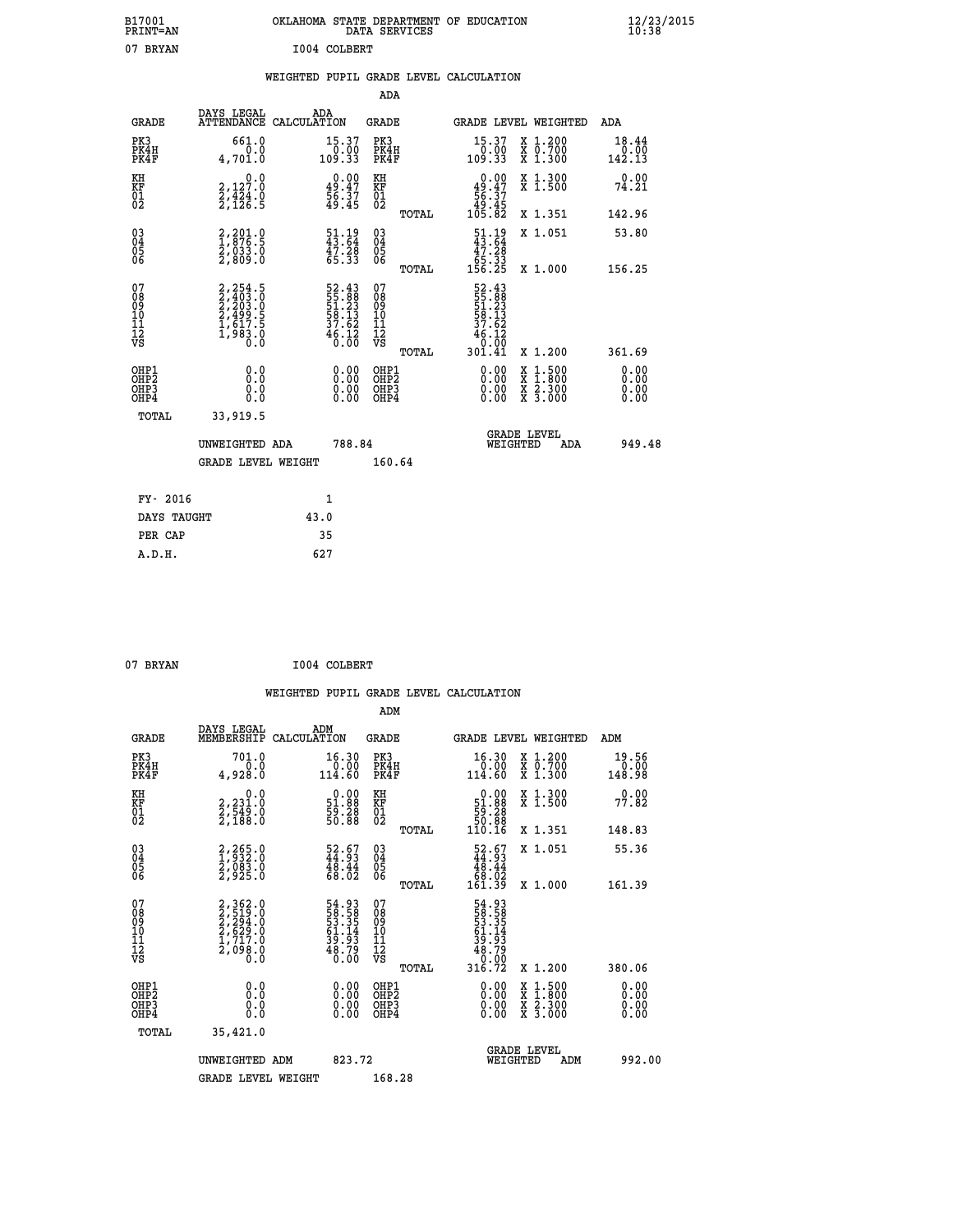| B17001<br><b>PRINT=AN</b> | OKLAHOMA STATE DEPARTMENT OF EDUCATION<br>DATA SERVICES | $\frac{12}{23}$ /2015 |
|---------------------------|---------------------------------------------------------|-----------------------|
| 07<br>BRYAN               | I004 COLBERT                                            |                       |

|  |  | WEIGHTED PUPIL GRADE LEVEL CALCULATION |
|--|--|----------------------------------------|
|  |  |                                        |

|                                                       |                                                                               |                                                                          | ADA                                       |       |                                                                           |                                          |                              |
|-------------------------------------------------------|-------------------------------------------------------------------------------|--------------------------------------------------------------------------|-------------------------------------------|-------|---------------------------------------------------------------------------|------------------------------------------|------------------------------|
| <b>GRADE</b>                                          | DAYS LEGAL                                                                    | ADA<br>ATTENDANCE CALCULATION                                            | GRADE                                     |       |                                                                           | GRADE LEVEL WEIGHTED                     | ADA                          |
| PK3<br>PK4H<br>PK4F                                   | 661.0<br>0.0<br>4,701.0                                                       | $\begin{smallmatrix} 15.37\ 0.00\ 109.33 \end{smallmatrix}$              | PK3<br>PK4H<br>PK4F                       |       | 15.37<br>00.00<br>33.001                                                  | X 1.200<br>X 0.700<br>X 1.300            | 18.44<br>$0.00$<br>142.13    |
| KH<br>KF<br>01<br>02                                  | 0.0<br>2,127:0<br>2,424:0<br>2,126:5                                          | $0.00$<br>$49.47$<br>$56.37$<br>$49.45$                                  | KH<br>KF<br>01<br>02                      |       | $0.00$<br>$49.47$<br>$56.37$<br>$49.45$<br>$105.82$                       | X 1.300<br>X 1.500                       | 0.00<br>74.21                |
|                                                       |                                                                               |                                                                          |                                           | TOTAL |                                                                           | X 1.351                                  | 142.96                       |
| 03<br>04<br>05<br>06                                  | $\begin{smallmatrix} 2,201.0\\ 1,876.5\\ 2,033.0\\ 2,809.0 \end{smallmatrix}$ | $\begin{smallmatrix} 51.19 \\ 43.64 \\ 47.28 \\ 65.33 \end{smallmatrix}$ | 03<br>04<br>05<br>06                      |       | $\begin{array}{r} 51.19 \\ 43.64 \\ 47.28 \\ 65.33 \\ 156.25 \end{array}$ | X 1.051                                  | 53.80                        |
|                                                       |                                                                               |                                                                          |                                           | TOTAL |                                                                           | X 1.000                                  | 156.25                       |
| 07<br>08<br>09<br>11<br>11<br>12<br>VS                | 2,254.5<br>2,403.0<br>2,203.0<br>2,203.5<br>2,499.5<br>1,617.5<br>1,983.0     | $52.4355.8851.2358.1337.6246.126.00$                                     | 07<br>08<br>09<br>11<br>11<br>12<br>VS    | TOTAL | 52.43<br>55.88<br>51.23<br>58.13<br>58.13<br>37.62<br>46.120<br>301.41    | X 1.200                                  | 361.69                       |
| OHP1<br>OH <sub>P</sub> 2<br>OH <sub>P3</sub><br>OHP4 | 0.0<br>0.0<br>0.0                                                             | 0.00<br>$\begin{smallmatrix} 0.00 \ 0.00 \end{smallmatrix}$              | OHP1<br>OH <sub>P</sub> 2<br>OHP3<br>OHP4 |       | 0.00<br>0.00<br>0.00                                                      | X 1:500<br>X 1:800<br>X 2:300<br>X 3:000 | 0.00<br>0.00<br>0.00<br>0.00 |
| TOTAL                                                 | 33,919.5                                                                      |                                                                          |                                           |       |                                                                           |                                          |                              |
|                                                       | UNWEIGHTED ADA                                                                | 788.84                                                                   |                                           |       | WEIGHTED                                                                  | <b>GRADE LEVEL</b><br>ADA                | 949.48                       |
|                                                       | GRADE LEVEL WEIGHT                                                            |                                                                          | 160.64                                    |       |                                                                           |                                          |                              |
| FY- 2016                                              |                                                                               | $\mathbf{1}$                                                             |                                           |       |                                                                           |                                          |                              |
| DAYS TAUGHT                                           |                                                                               | 43.0                                                                     |                                           |       |                                                                           |                                          |                              |
| PER CAP                                               |                                                                               | 35                                                                       |                                           |       |                                                                           |                                          |                              |
| A.D.H.                                                |                                                                               | 627                                                                      |                                           |       |                                                                           |                                          |                              |
|                                                       |                                                                               |                                                                          |                                           |       |                                                                           |                                          |                              |

| 07 BRYAN | I004 COLBERT |
|----------|--------------|

|                                          |                                                                                     |                                                                       | ADM                                                 |       |                                                                              |                                          |                                                                                                                                                                                                                                                                                                                                               |
|------------------------------------------|-------------------------------------------------------------------------------------|-----------------------------------------------------------------------|-----------------------------------------------------|-------|------------------------------------------------------------------------------|------------------------------------------|-----------------------------------------------------------------------------------------------------------------------------------------------------------------------------------------------------------------------------------------------------------------------------------------------------------------------------------------------|
| <b>GRADE</b>                             | DAYS LEGAL<br>MEMBERSHIP                                                            | ADM<br>CALCULATION                                                    | <b>GRADE</b>                                        |       |                                                                              | GRADE LEVEL WEIGHTED                     | ADM                                                                                                                                                                                                                                                                                                                                           |
| PK3<br>PK4H<br>PK4F                      | 701.0<br>0.0<br>0.028,4                                                             | 16.30<br>$\begin{array}{c} 0.00 \\ 114.60 \end{array}$                | PK3<br>PK4H<br>PK4F                                 |       | $\begin{smallmatrix} 16.30\ 0.00\ 114.60 \end{smallmatrix}$                  | X 1.200<br>X 0.700<br>X 1.300            | 19.56<br>$\begin{smallmatrix} & 0 & 0 & 0 \\ 0 & 0 & 0 & 0 \\ 1 & 0 & 0 & 9 \\ 0 & 0 & 0 & 0 \\ 0 & 0 & 0 & 0 \\ 0 & 0 & 0 & 0 \\ 0 & 0 & 0 & 0 \\ 0 & 0 & 0 & 0 \\ 0 & 0 & 0 & 0 \\ 0 & 0 & 0 & 0 \\ 0 & 0 & 0 & 0 \\ 0 & 0 & 0 & 0 \\ 0 & 0 & 0 & 0 \\ 0 & 0 & 0 & 0 \\ 0 & 0 & 0 & 0 & 0 \\ 0 & 0 & 0 & 0 & 0 \\ 0 & 0 & 0 & 0 & 0 \\ 0 &$ |
| KH<br>KF<br>01<br>02                     | 0.0<br>2,231.0<br>2,549.0<br>2,188.0                                                | $\begin{smallmatrix} 0.00\\ 51.88\\ 59.28\\ 50.88 \end{smallmatrix}$  | KH<br>KF<br>01<br>02                                |       | $\begin{smallmatrix} &0.00\\ 51.88\\ 59.28\\ 50.88\\ 10.16\end{smallmatrix}$ | X 1.300<br>X 1.500                       | 0.00<br>77.82                                                                                                                                                                                                                                                                                                                                 |
|                                          |                                                                                     |                                                                       |                                                     | TOTAL |                                                                              | X 1.351                                  | 148.83                                                                                                                                                                                                                                                                                                                                        |
| 03<br>04<br>05<br>06                     | 2,265.0<br>1,932.0<br>2,083.0<br>2,925.0                                            | $\begin{smallmatrix} 52.67\\ 44.93\\ 48.44\\ 68.02 \end{smallmatrix}$ | $\begin{array}{c} 03 \\ 04 \\ 05 \\ 06 \end{array}$ |       | $\begin{smallmatrix} 52.67\44.93\48.44\68.02\161.39\end{smallmatrix}$        | X 1.051                                  | 55.36                                                                                                                                                                                                                                                                                                                                         |
|                                          |                                                                                     |                                                                       |                                                     | TOTAL |                                                                              | X 1.000                                  | 161.39                                                                                                                                                                                                                                                                                                                                        |
| 07<br>08<br>09<br>101<br>11<br>12<br>VS  | $2,362.0$<br>$2,519.0$<br>$2,294.0$<br>$2,629.0$<br>$1,717.0$<br>$2,098.0$<br>$0.0$ | 54.93<br>58.58<br>53.35<br>51.14<br>61.14<br>39.79<br>48.79           | 07<br>08<br>09<br>11<br>11<br>12<br>VS              | TOTAL | 54.93<br>58.58<br>53.354<br>53.144<br>6.79<br>48.79<br>0.002<br>316.72       | X 1.200                                  | 380.06                                                                                                                                                                                                                                                                                                                                        |
| OHP1<br>OHP2<br>OHP <sub>3</sub><br>OHP4 |                                                                                     |                                                                       | OHP1<br>OHP2<br>OHP <sub>3</sub>                    |       | $0.00$<br>$0.00$<br>0.00                                                     | X 1:500<br>X 1:800<br>X 2:300<br>X 3:000 | 0.00<br>0.00<br>0.00                                                                                                                                                                                                                                                                                                                          |
| TOTAL                                    | 35,421.0                                                                            |                                                                       |                                                     |       |                                                                              |                                          |                                                                                                                                                                                                                                                                                                                                               |
|                                          | UNWEIGHTED ADM                                                                      | 823.72                                                                |                                                     |       |                                                                              | GRADE LEVEL<br>WEIGHTED<br>ADM           | 992.00                                                                                                                                                                                                                                                                                                                                        |
|                                          | <b>GRADE LEVEL WEIGHT</b>                                                           |                                                                       | 168.28                                              |       |                                                                              |                                          |                                                                                                                                                                                                                                                                                                                                               |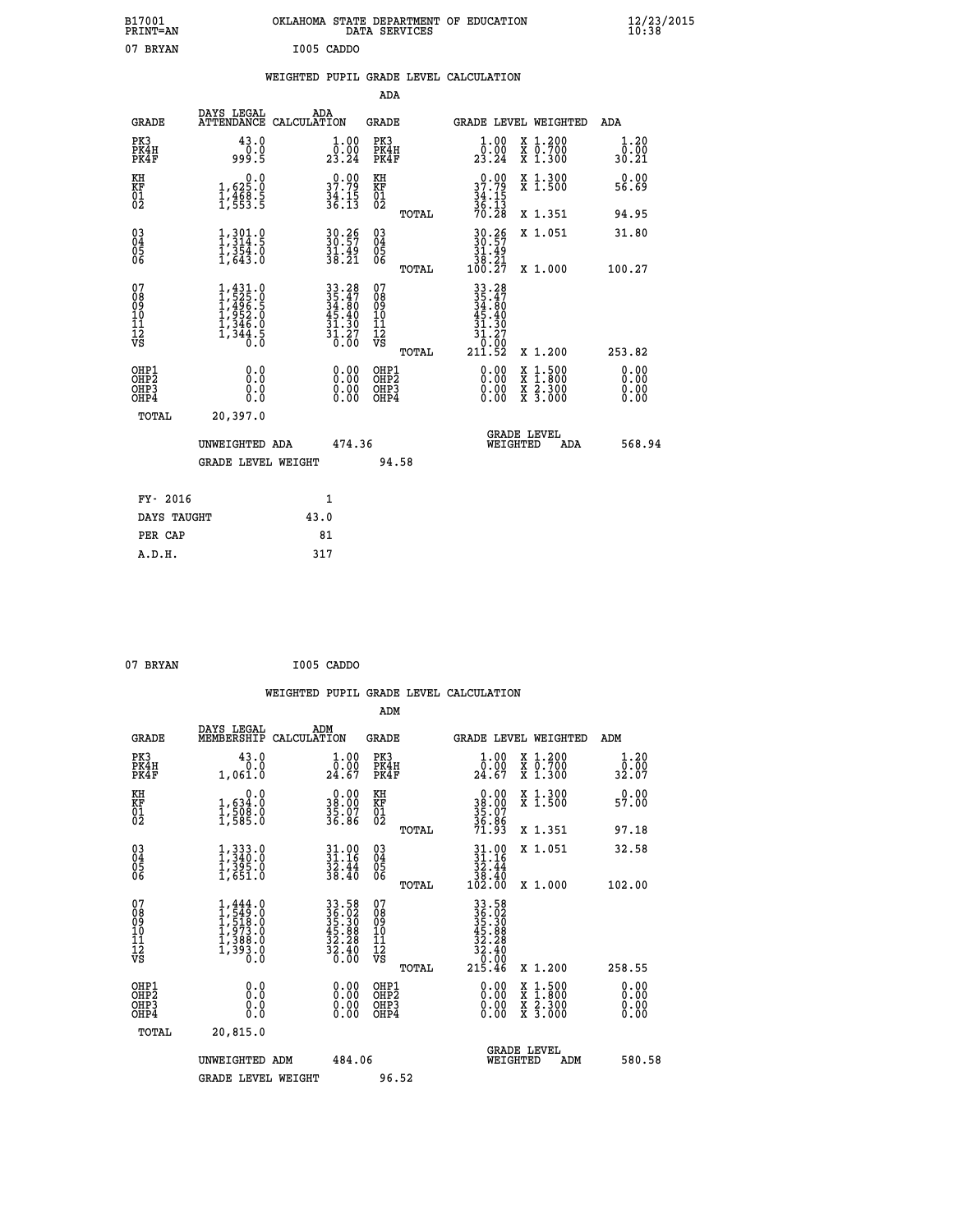| B17001<br><b>PRINT=AN</b>                            |                                                                                                   |                                                                                           | DATA SERVICES                                      | OKLAHOMA STATE DEPARTMENT OF EDUCATION                                                    |                                                                                                  | $\frac{12}{10}$ :38/2015     |  |
|------------------------------------------------------|---------------------------------------------------------------------------------------------------|-------------------------------------------------------------------------------------------|----------------------------------------------------|-------------------------------------------------------------------------------------------|--------------------------------------------------------------------------------------------------|------------------------------|--|
| 07 BRYAN                                             |                                                                                                   | I005 CADDO                                                                                |                                                    |                                                                                           |                                                                                                  |                              |  |
|                                                      |                                                                                                   | WEIGHTED PUPIL GRADE LEVEL CALCULATION                                                    |                                                    |                                                                                           |                                                                                                  |                              |  |
|                                                      |                                                                                                   |                                                                                           | ADA                                                |                                                                                           |                                                                                                  |                              |  |
| <b>GRADE</b>                                         | DAYS LEGAL                                                                                        | ADA<br>ATTENDANCE CALCULATION                                                             | GRADE                                              | <b>GRADE LEVEL WEIGHTED</b>                                                               |                                                                                                  | ADA                          |  |
| PK3<br>PK4H<br>PK4F                                  | 43.0<br>0.0<br>999.5                                                                              | 1.00<br>$\frac{1}{23.24}$                                                                 | PK3<br>PK4H<br>PK4F                                | $\begin{smallmatrix} 1.00\\[-1.2mm] 0.00\\[-1.2mm] 23.24\end{smallmatrix}$                | X 1.200<br>X 0.700<br>X 1.300                                                                    | 1.20<br>0.00<br>30.21        |  |
| KH<br>KF<br>$^{01}_{02}$                             | 0.0<br>1,625.0<br>$\frac{1}{1}, \frac{4}{5}$ $\frac{6}{5}$ $\frac{3}{5}$                          | $37.79$<br>$34.15$<br>$36.13$                                                             | KH<br>KF<br>01<br>02                               | $37.79$<br>$34.15$<br>$36.13$<br>$70.28$                                                  | X 1.300<br>X 1.500                                                                               | 0.00<br>56.69                |  |
|                                                      |                                                                                                   |                                                                                           | TOTAL                                              |                                                                                           | X 1.351                                                                                          | 94.95                        |  |
| $\substack{03 \\ 04}$<br>0500                        | $\frac{1}{3}, \frac{3}{3}, \frac{0}{4}$<br>$\frac{1}{2}, \frac{3}{6}$ $\frac{5}{4}$ $\frac{3}{8}$ | 30.26<br>$\frac{31.49}{38.21}$                                                            | $\begin{matrix} 03 \\ 04 \\ 05 \\ 06 \end{matrix}$ | $30.26$<br>30.57<br>31.49                                                                 | X 1.051                                                                                          | 31.80                        |  |
|                                                      |                                                                                                   |                                                                                           | TOTAL                                              | $\begin{array}{r} \tilde{3}\bar{8} \cdot \tilde{2} \tilde{1} \\ 100 \cdot 27 \end{array}$ | X 1,000                                                                                          | 100.27                       |  |
| 07<br>08<br>09<br>11<br>11<br>12<br>VS               | $1,431.0$<br>$1,525.0$<br>$1,495.5$<br>$1,952.0$<br>$1,346.0$<br>$1,344.5$<br>$0.0$               | $\begin{array}{r} 33.28 \\ 35.47 \\ 34.80 \\ 45.40 \\ 31.30 \\ 31.27 \\ 0.00 \end{array}$ | 07<br>08<br>09<br>11<br>11<br>VS<br><b>TOTAL</b>   | $33.28$<br>$35.47$<br>$34.80$<br>.40<br>31.30<br>31<br>. 27<br>0.00<br>211.52             | X 1.200                                                                                          | 253.82                       |  |
| OHP1<br>OHP <sub>2</sub><br>OH <sub>P3</sub><br>OHP4 | 0.0<br>0.0<br>0.0<br>0.0                                                                          | 0.00<br>0.00<br>0.00                                                                      | OHP1<br>OH <sub>P</sub> 2<br>OHP3<br>OHP4          | 0.00<br>0.00<br>0.00                                                                      | $\begin{smallmatrix} x & 1 & 500 \\ x & 1 & 800 \\ x & 2 & 300 \\ x & 3 & 000 \end{smallmatrix}$ | 0.00<br>0.00<br>0.00<br>0.00 |  |
| TOTAL                                                | 20,397.0                                                                                          |                                                                                           |                                                    |                                                                                           |                                                                                                  |                              |  |
|                                                      | UNWEIGHTED ADA                                                                                    | 474.36                                                                                    |                                                    | <b>GRADE LEVEL</b><br>WEIGHTED                                                            | ADA                                                                                              | 568.94                       |  |
|                                                      | <b>GRADE LEVEL WEIGHT</b>                                                                         |                                                                                           | 94.58                                              |                                                                                           |                                                                                                  |                              |  |
| FY- 2016                                             |                                                                                                   | 1                                                                                         |                                                    |                                                                                           |                                                                                                  |                              |  |
| DAYS TAUGHT                                          |                                                                                                   | 43.0                                                                                      |                                                    |                                                                                           |                                                                                                  |                              |  |
| PER CAP                                              |                                                                                                   | 81                                                                                        |                                                    |                                                                                           |                                                                                                  |                              |  |

| 07 BRYAN | I005 CADDO |
|----------|------------|
|          |            |

|                                                      |                                                                                     |                                                                                           |                                                 | WEIGHTED PUPIL GRADE LEVEL CALCULATION                                                                                                                                                                                                                                         |                                          |                       |
|------------------------------------------------------|-------------------------------------------------------------------------------------|-------------------------------------------------------------------------------------------|-------------------------------------------------|--------------------------------------------------------------------------------------------------------------------------------------------------------------------------------------------------------------------------------------------------------------------------------|------------------------------------------|-----------------------|
|                                                      |                                                                                     |                                                                                           | ADM                                             |                                                                                                                                                                                                                                                                                |                                          |                       |
| <b>GRADE</b>                                         | DAYS LEGAL<br>MEMBERSHIP                                                            | ADM<br>CALCULATION                                                                        | <b>GRADE</b>                                    | <b>GRADE LEVEL WEIGHTED</b>                                                                                                                                                                                                                                                    |                                          | ADM                   |
| PK3<br>PK4H<br>PK4F                                  | 43.0<br>0.0<br>1,061.0                                                              | $\begin{smallmatrix} 1.00\\ 0.00\\ 24.67 \end{smallmatrix}$                               | PK3<br>PK4H<br>PK4F                             | $\frac{1}{0}$ :00<br>24.67                                                                                                                                                                                                                                                     | X 1.200<br>X 0.700<br>X 1.300            | 1.20<br>0.00<br>32.07 |
| KH<br>KF<br>01<br>02                                 | 0.0<br>1,634:0<br>1,508:0<br>1,585:0                                                | $\begin{smallmatrix} 0.00\\ 38.00\\ 35.07\\ 35.86 \end{smallmatrix}$                      | KH<br>KF<br>01<br>02                            | $\begin{smallmatrix} 0.00\\ 38.00\\ 35.07\\ 35.86\\ 36.86\\ 71.93 \end{smallmatrix}$                                                                                                                                                                                           | X 1.300<br>X 1.500                       | 0.00<br>57.00         |
|                                                      |                                                                                     |                                                                                           | TOTAL                                           |                                                                                                                                                                                                                                                                                | X 1.351                                  | 97.18                 |
| $\begin{matrix} 03 \\ 04 \\ 05 \\ 06 \end{matrix}$   | $1,333.0$<br>$1,340.0$<br>$1,395.0$<br>$1,651.0$                                    | $31.90$<br>$31.16$<br>$\frac{3\bar{2}\cdot\bar{4}\bar{4}}{38.40}$                         | 03<br>04<br>05<br>06                            | $\begin{array}{c} 31.00 \\ 31.16 \\ 32.44 \\ 38.40 \\ 102.00 \end{array}$                                                                                                                                                                                                      | X 1.051                                  | 32.58                 |
|                                                      |                                                                                     |                                                                                           | TOTAL                                           |                                                                                                                                                                                                                                                                                | X 1.000                                  | 102.00                |
| 07<br>08<br>09<br>101<br>112<br>VS                   | $1,444.0$<br>$1,549.0$<br>$1,518.0$<br>$1,973.0$<br>$1,388.0$<br>$1,393.0$<br>$0.0$ | $\begin{array}{r} 33.58 \\ 36.92 \\ 35.30 \\ 45.88 \\ 32.28 \\ 32.40 \\ 0.00 \end{array}$ | 07<br>08<br>09<br>11<br>11<br>12<br>VS<br>TOTAL | $\begin{array}{r} 33.58\\ 36.52\\ 35.30\\ 45.30\\ 42.28\\ 32.40\\ 0.00\\ 215.46 \end{array}$                                                                                                                                                                                   | X 1.200                                  | 258.55                |
|                                                      |                                                                                     |                                                                                           |                                                 |                                                                                                                                                                                                                                                                                |                                          | 0.00                  |
| OHP1<br>OHP2<br>OH <sub>P3</sub><br>OH <sub>P4</sub> | 0.0<br>0.000                                                                        | $\begin{smallmatrix} 0.00 \ 0.00 \ 0.00 \ 0.00 \end{smallmatrix}$                         | OHP1<br>OHP2<br>OHP3<br>OHP4                    | $\begin{smallmatrix} 0.00 & 0.00 & 0.00 & 0.00 & 0.00 & 0.00 & 0.00 & 0.00 & 0.00 & 0.00 & 0.00 & 0.00 & 0.00 & 0.00 & 0.00 & 0.00 & 0.00 & 0.00 & 0.00 & 0.00 & 0.00 & 0.00 & 0.00 & 0.00 & 0.00 & 0.00 & 0.00 & 0.00 & 0.00 & 0.00 & 0.00 & 0.00 & 0.00 & 0.00 & 0.00 & 0.0$ | X 1:500<br>X 1:800<br>X 2:300<br>X 3:000 | 0.00<br>0.00<br>0.00  |
| TOTAL                                                | 20,815.0                                                                            |                                                                                           |                                                 |                                                                                                                                                                                                                                                                                |                                          |                       |
|                                                      | UNWEIGHTED ADM                                                                      | 484.06                                                                                    |                                                 | <b>GRADE LEVEL</b><br>WEIGHTED                                                                                                                                                                                                                                                 | ADM                                      | 580.58                |
|                                                      | <b>GRADE LEVEL WEIGHT</b>                                                           |                                                                                           | 96.52                                           |                                                                                                                                                                                                                                                                                |                                          |                       |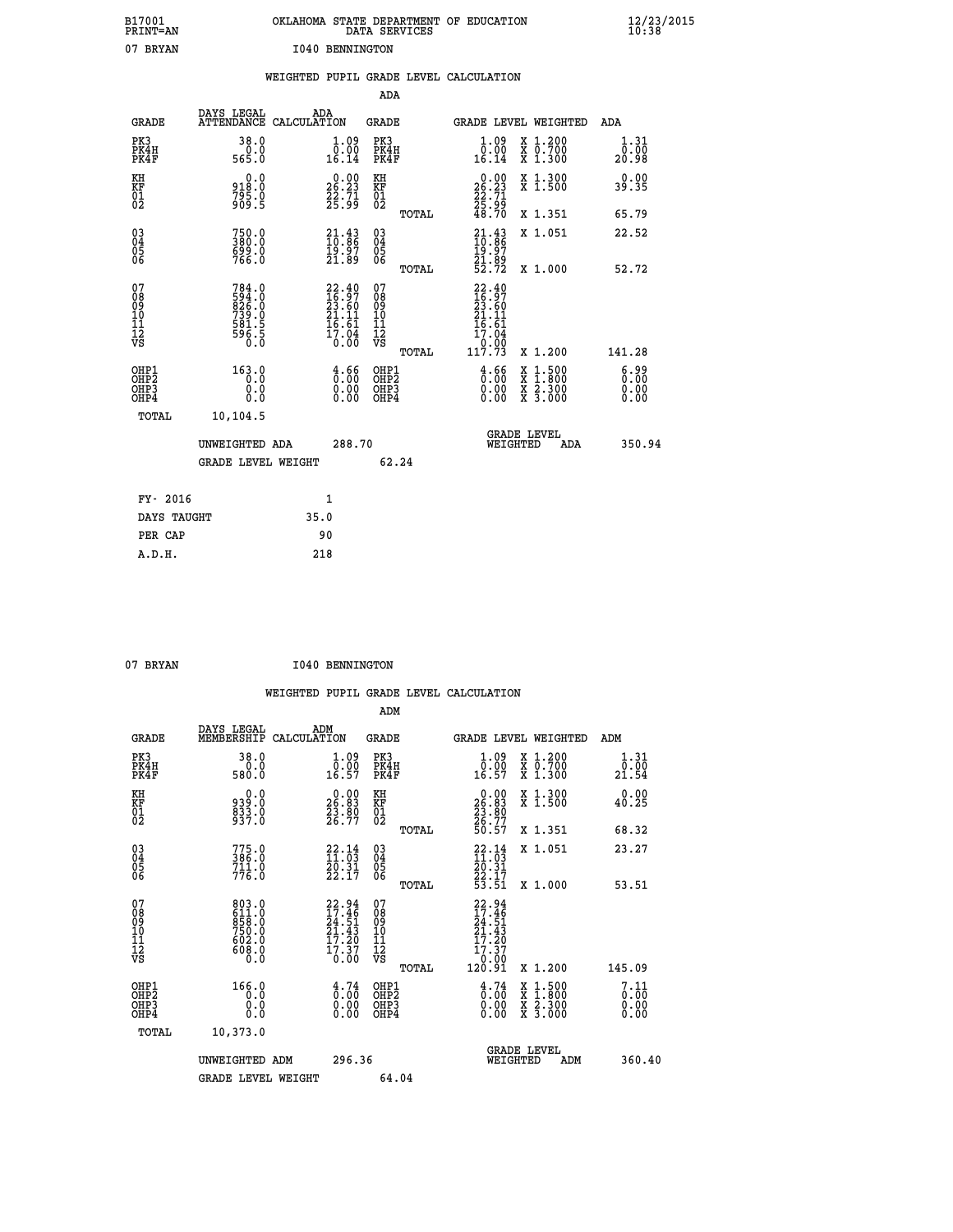| B17001<br>PRINT=AN                        |                                                                                                            |                 |                                                                          |                                                              | DATA SERVICES | OKLAHOMA STATE DEPARTMENT OF EDUCATION                                                    |                                                                                          | $\frac{12}{23}$ /2015 |  |
|-------------------------------------------|------------------------------------------------------------------------------------------------------------|-----------------|--------------------------------------------------------------------------|--------------------------------------------------------------|---------------|-------------------------------------------------------------------------------------------|------------------------------------------------------------------------------------------|-----------------------|--|
| 07 BRYAN                                  |                                                                                                            | 1040 BENNINGTON |                                                                          |                                                              |               |                                                                                           |                                                                                          |                       |  |
|                                           |                                                                                                            |                 |                                                                          |                                                              |               | WEIGHTED PUPIL GRADE LEVEL CALCULATION                                                    |                                                                                          |                       |  |
|                                           |                                                                                                            |                 |                                                                          | <b>ADA</b>                                                   |               |                                                                                           |                                                                                          |                       |  |
| <b>GRADE</b>                              | DAYS LEGAL<br>ATTENDANCE CALCULATION                                                                       | ADA             |                                                                          | GRADE                                                        |               |                                                                                           | GRADE LEVEL WEIGHTED                                                                     | ADA                   |  |
| PK3<br>PK4H<br>PK4F                       | 38.0<br>0.0<br>565.0                                                                                       |                 | 1.09<br>0.00<br>16.14                                                    | PK3<br>PK4H<br>PK4F                                          |               | 1.09<br>0.00<br>16.14                                                                     | X 1.200<br>X 0.700<br>X 1.300                                                            | 1.31<br>0.00<br>20.98 |  |
| KH<br>KF<br>01<br>02                      | 0.0<br>918.0<br>795.0<br>909.5                                                                             |                 | 26.23<br>$\frac{22}{25}:\frac{71}{99}$                                   | KH<br><b>KF</b><br>01<br>02                                  |               | $\begin{smallmatrix} 0.00\\ 26.23\\ 22.71\\ 25.99\\ 48.70 \end{smallmatrix}$              | X 1.300<br>X 1.500                                                                       | 0.00<br>39.35         |  |
|                                           |                                                                                                            |                 |                                                                          |                                                              | TOTAL         |                                                                                           | X 1.351                                                                                  | 65.79                 |  |
| $\substack{03 \ 04}$<br>Ŏ5<br>06          | 750.0<br>380.0<br>699.0<br>766.0                                                                           |                 | $\frac{21.43}{10.86}$<br>19.97<br>21.89                                  | $03\overline{4}$<br>$\begin{matrix} 0.5 \\ 0.6 \end{matrix}$ |               | $\frac{21.43}{10.86}$<br>19:97<br>21:89<br>52:72                                          | X 1.051                                                                                  | 22.52                 |  |
|                                           |                                                                                                            |                 |                                                                          |                                                              | TOTAL         |                                                                                           | X 1.000                                                                                  | 52.72                 |  |
| 07<br>08<br>09<br>11<br>11<br>12<br>VS    | 784.0<br>$\begin{smallmatrix} 794.00 \\ 594.0 \\ 26.0 \\ 739.0 \\ 581.5 \\ 596.5 \\ 0.0 \end{smallmatrix}$ |                 | $22.40$<br>$16.97$<br>$23.60$<br>$21.11$<br>$16.61$<br>$17.04$<br>$0.00$ | 07<br>08<br>09<br>10<br>īĭ<br>12<br>VS                       | TOTAL         | 22.40<br>$\frac{16}{23}$ : $\frac{57}{60}$<br>$21.11$<br>16.61<br>17.04<br>0.00<br>117.73 | X 1.200                                                                                  | 141.28                |  |
| OHP1<br>OH <sub>P</sub> 2<br>OHP3<br>OHP4 | 163.0<br>0.0<br>0.0<br>0.0                                                                                 |                 | $\frac{4}{0}$ : $\frac{6}{0}$<br>0.00<br>0.00                            | OHP1<br>OH <sub>P</sub> 2<br>OHP3<br>OHP4                    |               | $\frac{4.66}{0.00}$<br>0.00<br>0.00                                                       | $\begin{smallmatrix} x & 1.500 \\ x & 1.800 \\ x & 2.300 \\ x & 3.000 \end{smallmatrix}$ | 6.99<br>0.00<br>0.00  |  |
| TOTAL                                     | 10,104.5                                                                                                   |                 |                                                                          |                                                              |               |                                                                                           |                                                                                          |                       |  |
|                                           | UNWEIGHTED ADA                                                                                             |                 | 288.70                                                                   |                                                              |               |                                                                                           | <b>GRADE LEVEL</b><br>WEIGHTED<br>ADA                                                    | 350.94                |  |
|                                           | <b>GRADE LEVEL WEIGHT</b>                                                                                  |                 |                                                                          |                                                              | 62.24         |                                                                                           |                                                                                          |                       |  |
| FY- 2016                                  |                                                                                                            | 1               |                                                                          |                                                              |               |                                                                                           |                                                                                          |                       |  |
| DAYS TAUGHT                               |                                                                                                            | 35.0            |                                                                          |                                                              |               |                                                                                           |                                                                                          |                       |  |
| PER CAP                                   |                                                                                                            | 90              |                                                                          |                                                              |               |                                                                                           |                                                                                          |                       |  |

| 07 BRYAN | <b>I040 BENNINGTON</b> |
|----------|------------------------|

 **WEIGHTED PUPIL GRADE LEVEL CALCULATION ADM DAYS LEGAL ADM GRADE MEMBERSHIP CALCULATION GRADE GRADE LEVEL WEIGHTED ADM PK3 38.0 1.09 PK3 1.09 X 1.200 1.31 PK4H 0.0 0.00 PK4H 0.00 X 0.700 0.00 PK4F 580.0 16.57 PK4F 16.57 X 1.300 21.54 KH 0.0 0.00 KH 0.00 X 1.300 0.00 KF 939.0 26.83 KF 26.83 X 1.500 40.25 01 833.0 23.80 01 23.80 02 937.0 26.77 02 26.77 TOTAL 50.57 X 1.351 68.32 03 775.0 22.14 03 22.14 X 1.051 23.27 04 386.0 11.03 04 11.03 05 711.0 20.31 05 20.31** 06 776.0 22.17 06 <sub>momas</sub> 22.17  **TOTAL 53.51 X 1.000 53.51 07 803.0 22.94 07 22.94 08 611.0 17.46 08 17.46 09 858.0 24.51 09 24.51 10 750.0 21.43 10 21.43 11 602.0 17.20 11 17.20 12 608.0 17.37 12 17.37 VS 0.0 0.00 VS 0.00 TOTAL 120.91 X 1.200 145.09** OHP1 166.0 4.74 OHP2 4.74 X 1.500 7.11<br>OHP2 0.00 0.00 OHP2 0.00 X 1.500 0.00<br>OHP3 0.00 0.00 OHP3 0.000 X 2.300 0.00  **OHP4 0.0 0.00 OHP4 0.00 X 3.000 0.00 TOTAL 10,373.0 GRADE LEVEL UNWEIGHTED ADM 296.36 WEIGHTED ADM 360.40** GRADE LEVEL WEIGHT 64.04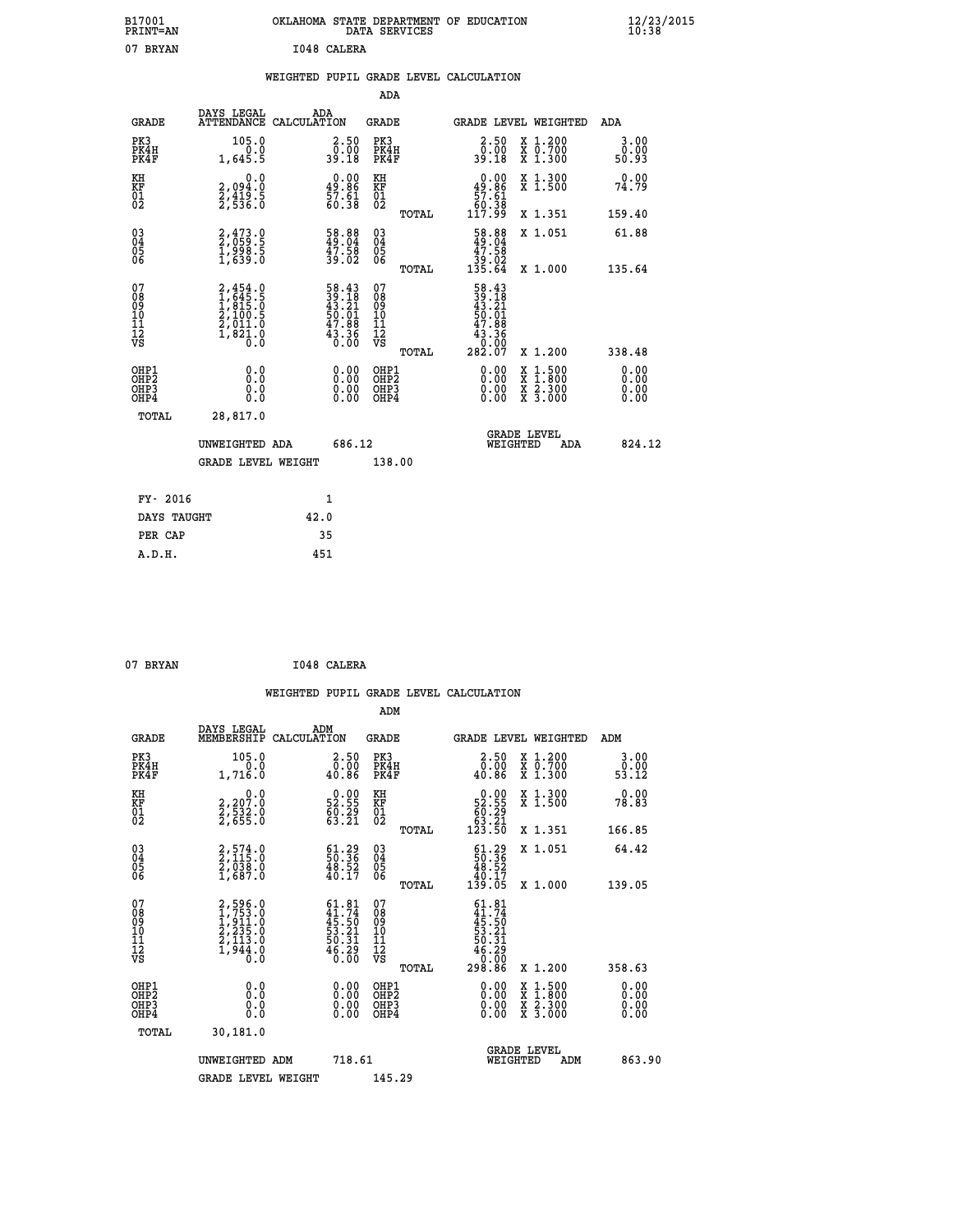| B17001                                             |                                                                                     |                                                      |                                                                      |                                        |       |                                                                                                                                                     |                                                                 |                       |                 |
|----------------------------------------------------|-------------------------------------------------------------------------------------|------------------------------------------------------|----------------------------------------------------------------------|----------------------------------------|-------|-----------------------------------------------------------------------------------------------------------------------------------------------------|-----------------------------------------------------------------|-----------------------|-----------------|
| PRINT=AN                                           |                                                                                     | OKLAHOMA STATE DEPARTMENT OF EDUCATION DATA SERVICES |                                                                      |                                        |       |                                                                                                                                                     |                                                                 |                       | $\frac{12}{20}$ |
| 07 BRYAN                                           |                                                                                     | I048 CALERA                                          |                                                                      |                                        |       |                                                                                                                                                     |                                                                 |                       |                 |
|                                                    |                                                                                     | WEIGHTED PUPIL GRADE LEVEL CALCULATION               |                                                                      |                                        |       |                                                                                                                                                     |                                                                 |                       |                 |
|                                                    |                                                                                     |                                                      |                                                                      | <b>ADA</b>                             |       |                                                                                                                                                     |                                                                 |                       |                 |
| <b>GRADE</b>                                       | DAYS LEGAL<br><b>ATTENDANCE</b>                                                     | ADA<br>CALCULATION                                   |                                                                      | <b>GRADE</b>                           |       |                                                                                                                                                     | <b>GRADE LEVEL WEIGHTED</b>                                     | ADA                   |                 |
| PK3<br>PK4H<br>PK4F                                | $105.0$<br>$0.0$<br>1,645.5                                                         |                                                      | $\begin{smallmatrix} 2.50\0.0011.00\\ 39.18\end{smallmatrix}$        | PK3<br>PK4H<br>PK4F                    |       | $\begin{smallmatrix} 2.50\0.0011.00\\ 39.18\end{smallmatrix}$                                                                                       | X 1.200<br>X 0.700<br>X 1.300                                   | 3.00<br>0.00<br>50.93 |                 |
| KH<br>KF<br>01<br>02                               | $\begin{smallmatrix} 0.0\\2.094.0\\2.419.5\\2.536.0 \end{smallmatrix}$              |                                                      | $\begin{smallmatrix} 0.00\\ 49.86\\ 57.61\\ 60.38 \end{smallmatrix}$ | KH<br>KF<br>01<br>02                   |       | $\begin{smallmatrix} &0.00\ 49.86\ 57.61\ 60.38\ 117.99\end{smallmatrix}$                                                                           | X 1.300<br>X 1.500                                              | 0.00<br>74.79         |                 |
|                                                    |                                                                                     |                                                      |                                                                      |                                        | TOTAL |                                                                                                                                                     | X 1.351                                                         | 159.40                |                 |
| $\begin{matrix} 03 \\ 04 \\ 05 \\ 06 \end{matrix}$ | 2,473.0<br>2,059.5<br>1,998.5<br>1,639.0                                            |                                                      | 58.88<br>49.04<br>47.58<br>39.02                                     | 03<br>04<br>05<br>06                   |       | $\begin{smallmatrix} 58.88\\ 49.04\\ 47.58\\ 39.02\\ 135.64 \end{smallmatrix}$                                                                      | X 1.051                                                         | 61.88                 |                 |
|                                                    |                                                                                     |                                                      |                                                                      |                                        | TOTAL |                                                                                                                                                     | X 1.000                                                         | 135.64                |                 |
| 07<br>08<br>09<br>101<br>11<br>12<br>VS            | $2,454.0$<br>$1,645.5$<br>$1,815.0$<br>$2,100.5$<br>$2,011.0$<br>$1,821.0$<br>$0.0$ |                                                      | $58.4339.1843.2150.0147.8843.360.00$                                 | 07<br>08<br>09<br>11<br>11<br>12<br>VS | TOTAL | $\begin{array}{r} 58 \cdot 43 \\ 39 \cdot 18 \\ 43 \cdot 21 \\ 50 \cdot 01 \\ 47 \cdot 88 \\ 43 \cdot 36 \\ 0 \cdot 00 \\ 282 \cdot 07 \end{array}$ | X 1.200                                                         | 338.48                |                 |
| OHP1<br>OHP2<br>OHP3                               |                                                                                     |                                                      | $0.00$<br>$0.00$                                                     | OHP1<br>OHP2<br>OHP3                   |       | $0.00$<br>$0.00$                                                                                                                                    | $\begin{array}{c}\n  1.500 \\   1.800 \\   2.300\n \end{array}$ | 0.00<br>0.00          |                 |

| OHP4        | 0.0                | 0.00   | OHP4   | $0.00 \times 3.000$                   | 0.00   |
|-------------|--------------------|--------|--------|---------------------------------------|--------|
| TOTAL       | 28,817.0           |        |        |                                       |        |
|             | UNWEIGHTED ADA     | 686.12 |        | <b>GRADE LEVEL</b><br>ADA<br>WEIGHTED | 824.12 |
|             | GRADE LEVEL WEIGHT |        | 138.00 |                                       |        |
|             |                    |        |        |                                       |        |
| FY- 2016    |                    |        |        |                                       |        |
| DAYS TAUGHT |                    | 42.0   |        |                                       |        |
| PER CAP     |                    | 35     |        |                                       |        |

| 07 BRYAN |  | I048 CALERA |
|----------|--|-------------|
|----------|--|-------------|

 **ADM**

 **A.D.H. 451**

| <b>GRADE</b>                                       | DAYS LEGAL<br>MEMBERSHIP                                              | ADM<br>CALCULATION                                                                 | <b>GRADE</b>                                       |       | GRADE LEVEL WEIGHTED                                                                                                                                                                                                                                                           |                                          | ADM                   |  |
|----------------------------------------------------|-----------------------------------------------------------------------|------------------------------------------------------------------------------------|----------------------------------------------------|-------|--------------------------------------------------------------------------------------------------------------------------------------------------------------------------------------------------------------------------------------------------------------------------------|------------------------------------------|-----------------------|--|
| PK3<br>PK4H<br>PK4F                                | 105.0<br>0.0<br>1,716.0                                               | $2.50$<br>$0.00$<br>40.86                                                          | PK3<br>PK4H<br>PK4F                                |       | $\begin{smallmatrix} 2.50\0.00\\40.86\end{smallmatrix}$                                                                                                                                                                                                                        | X 1.200<br>X 0.700<br>$X$ 1.300          | 3.00<br>0.00<br>53.12 |  |
| KH<br>KF<br>01<br>02                               | 0.0<br>2,207:0<br>2,532:0<br>2,655:0                                  | $\begin{smallmatrix} 0.00\\ 52.55\\ 60.29\\ 63.21 \end{smallmatrix}$               | KH<br>KF<br>01<br>02                               |       | $\begin{smallmatrix} &0.00\\ 52.55\\ 60.29\\ 63.21\\ 123.50\end{smallmatrix}$                                                                                                                                                                                                  | X 1.300<br>X 1.500                       | 0.00<br>78.83         |  |
|                                                    |                                                                       |                                                                                    |                                                    | TOTAL |                                                                                                                                                                                                                                                                                | X 1.351                                  | 166.85                |  |
| $\begin{matrix} 03 \\ 04 \\ 05 \\ 06 \end{matrix}$ | $2,574.0$<br>$2,115.0$<br>$2,038.0$<br>$1,687.0$                      | $\begin{smallmatrix} 61.29\\ 50.36\\ 48.52\\ 40.17 \end{smallmatrix}$              | $\begin{matrix} 03 \\ 04 \\ 05 \\ 06 \end{matrix}$ |       | $\begin{smallmatrix} 61.29\\ 50.36\\ 48.52\\ 40.17\\ 139.05 \end{smallmatrix}$                                                                                                                                                                                                 | X 1.051                                  | 64.42                 |  |
|                                                    |                                                                       |                                                                                    |                                                    | TOTAL |                                                                                                                                                                                                                                                                                | X 1.000                                  | 139.05                |  |
| 07<br>08<br>09<br>101<br>11<br>12<br>VS            | 2,596.0<br>1,753.0<br>1,911.0<br>2,235.0<br>2,113.0<br>1,944.0<br>0.0 | $61.81$<br>$41.74$<br>$45.50$<br>$53.21$<br>$50.31$<br>$50.31$<br>$6.29$<br>$0.00$ | 07<br>08<br>09<br>101<br>11<br>12<br>VS            | TOTAL | $\begin{array}{r} 61.81 \\ 41.74 \\ 45.50 \\ 53.21 \\ 50.31 \\ 46.29 \\ 0.00 \\ 298.86 \end{array}$                                                                                                                                                                            | X 1.200                                  | 358.63                |  |
| OHP1<br>OHP2<br>OH <sub>P3</sub><br>OHP4           | 0.0<br>0.000                                                          | $0.00$<br>$0.00$<br>0.00                                                           | OHP1<br>OHP2<br>OHP3<br>OHP4                       |       | $\begin{smallmatrix} 0.00 & 0.00 & 0.00 & 0.00 & 0.00 & 0.00 & 0.00 & 0.00 & 0.00 & 0.00 & 0.00 & 0.00 & 0.00 & 0.00 & 0.00 & 0.00 & 0.00 & 0.00 & 0.00 & 0.00 & 0.00 & 0.00 & 0.00 & 0.00 & 0.00 & 0.00 & 0.00 & 0.00 & 0.00 & 0.00 & 0.00 & 0.00 & 0.00 & 0.00 & 0.00 & 0.0$ | X 1:500<br>X 1:800<br>X 2:300<br>X 3:000 | 0.00<br>0.00<br>0.00  |  |
| TOTAL                                              | 30,181.0                                                              |                                                                                    |                                                    |       |                                                                                                                                                                                                                                                                                |                                          |                       |  |
|                                                    | UNWEIGHTED ADM                                                        | 718.61                                                                             |                                                    |       | WEIGHTED                                                                                                                                                                                                                                                                       | <b>GRADE LEVEL</b><br>ADM                | 863.90                |  |
|                                                    | <b>GRADE LEVEL WEIGHT</b>                                             |                                                                                    | 145.29                                             |       |                                                                                                                                                                                                                                                                                |                                          |                       |  |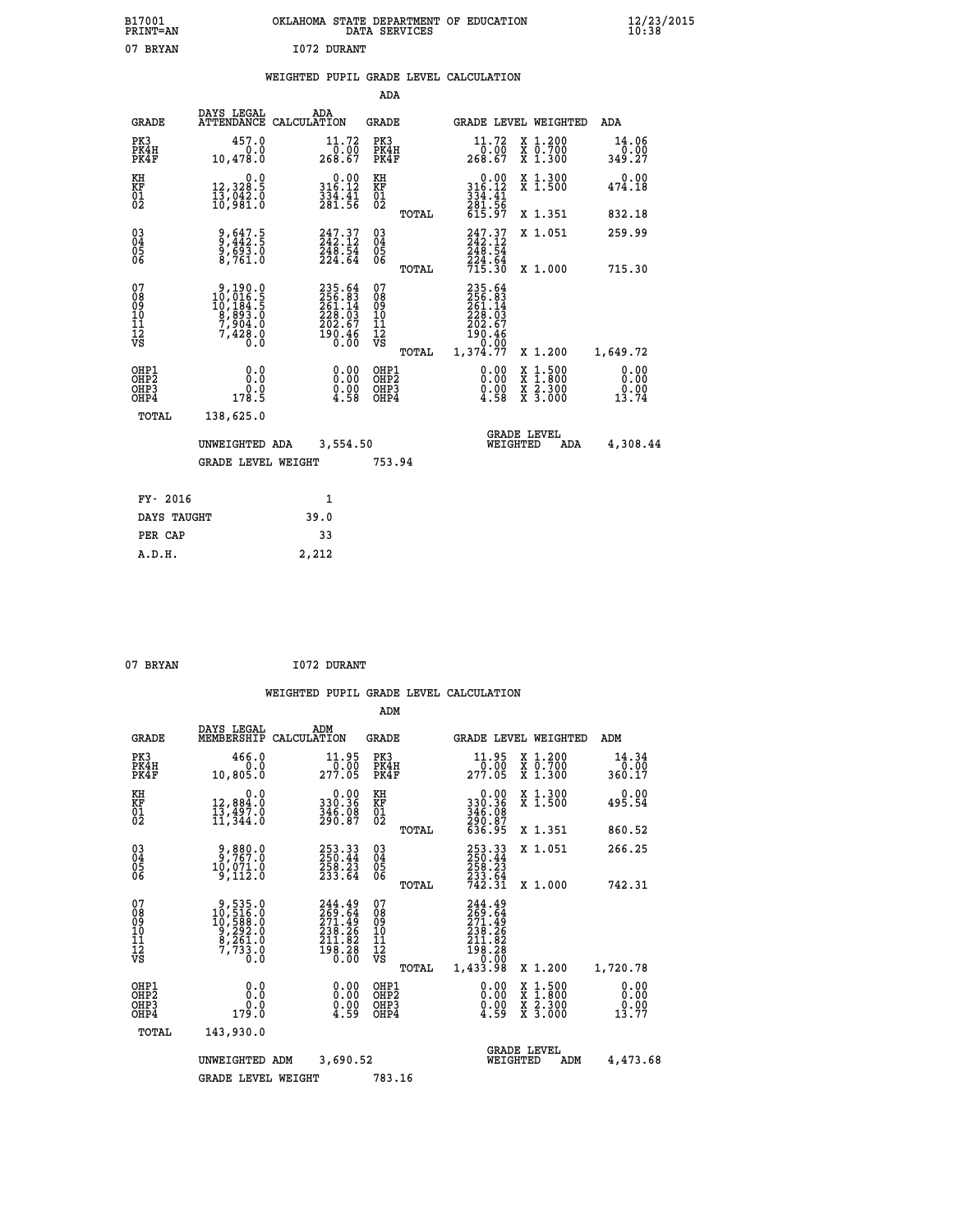| B17001<br><b>PRINT=AN</b> | OKLAHOMA<br>. STATE DEPARTMENT OF EDUCATION<br>DATA SERVICES | $\frac{12}{23}$ /2015 |
|---------------------------|--------------------------------------------------------------|-----------------------|
| 07<br><b>BRYAN</b>        | 1072 DURANT                                                  |                       |

### **WEIGHTED PUPIL GRADE LEVEL CALCULATION**

|                                                                    |                                                                                                   |                                                                                  | ADA                                       |       |                                                                  |                                                    |                               |
|--------------------------------------------------------------------|---------------------------------------------------------------------------------------------------|----------------------------------------------------------------------------------|-------------------------------------------|-------|------------------------------------------------------------------|----------------------------------------------------|-------------------------------|
| <b>GRADE</b>                                                       | DAYS LEGAL                                                                                        | ADA<br>ATTENDANCE CALCULATION                                                    | <b>GRADE</b>                              |       |                                                                  | GRADE LEVEL WEIGHTED                               | <b>ADA</b>                    |
| PK3<br>PK4H<br>PK4F                                                | 457.0<br>0.0<br>10,478.0                                                                          | 11.72<br>268.67                                                                  | PK3<br>PK4H<br>PK4F                       |       | $\frac{11.72}{0.00}$<br>268.67                                   | X 1.200<br>X 0.700<br>X 1.300                      | 14.06<br>0.00<br>349.27       |
| KH<br>KF<br>01<br>02                                               | 0.0<br>12,328.5<br>13,042.0<br>10,981.0                                                           | $0.00$<br>316.12<br>$\frac{3\bar{3}\tilde{4}\cdot\tilde{4}\bar{1}}{281\cdot 56}$ | KH<br>KF<br>01<br>02                      |       | $0.00$<br>$316.12$<br>$334.41$<br>$281.56$<br>$615.97$           | X 1.300<br>X 1.500                                 | 0.00<br>474.18                |
|                                                                    |                                                                                                   |                                                                                  |                                           | TOTAL |                                                                  | X 1.351                                            | 832.18                        |
| $\begin{smallmatrix} 03 \\[-4pt] 04 \end{smallmatrix}$<br>Ŏ5<br>06 | 9,647.5<br>9,442.5<br>9,693.0<br>8,761.0                                                          | $247.37$<br>$242.12$<br>$\frac{248}{224}.54$                                     | $\substack{03 \\ 04}$<br>$\frac{05}{06}$  |       | 247.37<br>248.54                                                 | X 1.051                                            | 259.99                        |
|                                                                    |                                                                                                   |                                                                                  |                                           | TOTAL | 224.64<br>715.30                                                 | X 1.000                                            | 715.30                        |
| 07<br>08<br>09<br>11<br>11<br>12<br>VS                             | $\begin{smallmatrix}9,190.0\\10,016.5\\10,184.5\\8,893.0\\7,904.0\\7,428.0\\0.0\end{smallmatrix}$ | $235.64$<br>$256.83$<br>$261.14$<br>$228.03$<br>$202.67$<br>$190.46$<br>$0.00$   | 07<br>08<br>09<br>11<br>11<br>12<br>VS    |       | $235.64\n256.83\n261.14\n228.03\n202.67\n190.46\n0.00\n1,374.77$ |                                                    |                               |
|                                                                    |                                                                                                   |                                                                                  |                                           | TOTAL |                                                                  | X 1.200                                            | 1,649.72                      |
| OHP1<br>OH <sub>P</sub> 2<br>OHP3<br>OHP4                          | 0.0<br>Ō.Ō<br>0.0<br>178.5                                                                        | 0.00<br>$\substack{0.00\\4.58}$                                                  | OHP1<br>OH <sub>P</sub> 2<br>OHP3<br>OHP4 |       | 0.00<br>0.00<br>4.58                                             | $1:500$<br>$1:800$<br>X<br>X<br>X 2.300<br>X 3.000 | 0.00<br>0.00<br>0.00<br>13.74 |
| TOTAL                                                              | 138,625.0                                                                                         |                                                                                  |                                           |       |                                                                  |                                                    |                               |
|                                                                    | UNWEIGHTED ADA                                                                                    | 3,554.50                                                                         |                                           |       |                                                                  | <b>GRADE LEVEL</b><br>WEIGHTED<br>ADA              | 4,308.44                      |
|                                                                    | <b>GRADE LEVEL WEIGHT</b>                                                                         |                                                                                  | 753.94                                    |       |                                                                  |                                                    |                               |
| FY- 2016                                                           |                                                                                                   | 1                                                                                |                                           |       |                                                                  |                                                    |                               |
| DAYS TAUGHT                                                        |                                                                                                   | 39.0                                                                             |                                           |       |                                                                  |                                                    |                               |
| PER CAP                                                            |                                                                                                   | 33                                                                               |                                           |       |                                                                  |                                                    |                               |
|                                                                    |                                                                                                   |                                                                                  |                                           |       |                                                                  |                                                    |                               |

07 BRYAN 1072 DURANT

 **A.D.H. 2,212**

|                                          |                                                                                                           |                    |                                                                                               | ADM                                                |       |                                                                             |          |                                          |                                   |
|------------------------------------------|-----------------------------------------------------------------------------------------------------------|--------------------|-----------------------------------------------------------------------------------------------|----------------------------------------------------|-------|-----------------------------------------------------------------------------|----------|------------------------------------------|-----------------------------------|
| <b>GRADE</b>                             | DAYS LEGAL<br>MEMBERSHIP                                                                                  | ADM<br>CALCULATION |                                                                                               | <b>GRADE</b>                                       |       |                                                                             |          | GRADE LEVEL WEIGHTED                     | ADM                               |
| PK3<br>PK4H<br>PK4F                      | 466.0<br>0.0<br>10,805.0                                                                                  |                    | 11.95<br>277.00                                                                               | PK3<br>PK4H<br>PK4F                                |       | $\begin{smallmatrix} 11.95\ 0.00\ 277.05 \end{smallmatrix}$                 |          | X 1.200<br>X 0.700<br>X 1.300            | 14.34<br>0.00<br>360.17           |
| KH<br>KF<br>01<br>02                     | 0.0<br>12,884.0<br>13,497.0<br>11,344.0                                                                   |                    | $\begin{smallmatrix} &0.00\\ 330.36\\ 346.08\\ 290.87\end{smallmatrix}$                       | KH<br>KF<br>01<br>02                               |       | 0.00<br>330:36<br>346:08<br>290:87<br>636:95                                |          | X 1.300<br>X 1.500                       | 0.00<br>495.54                    |
|                                          |                                                                                                           |                    |                                                                                               |                                                    | TOTAL |                                                                             |          | X 1.351                                  | 860.52                            |
| 03<br>04<br>05<br>06                     | 2,767.0<br>10,071.0<br>9,112.0                                                                            |                    | $\begin{smallmatrix} 253\cdot 33\\ 250\cdot 44\\ 258\cdot 23\\ 233\cdot 64 \end{smallmatrix}$ | $\begin{matrix} 03 \\ 04 \\ 05 \\ 06 \end{matrix}$ |       | 253.33<br>250.44<br>258.23<br>233.64<br>742.31                              |          | X 1.051                                  | 266.25                            |
|                                          |                                                                                                           |                    |                                                                                               |                                                    | TOTAL |                                                                             |          | X 1.000                                  | 742.31                            |
| 07<br>08<br>09<br>101<br>112<br>VS       | $\begin{smallmatrix} 9,535.0\\ 10,516.0\\ 10,588.0\\ 9,292.0\\ 8,261.0\\ 7,733.0\\ 0.0 \end{smallmatrix}$ |                    | 244.49<br>269.64<br>271.49<br>238.26<br>211.82<br>211.82<br>198.28<br>0.00                    | 07<br>08<br>09<br>11<br>11<br>12<br>VS             | TOTAL | 244.49<br>269.64<br>271.49<br>239.26<br>$\frac{211.82}{198.28}$<br>1,433.98 |          | X 1.200                                  | 1,720.78                          |
| OHP1<br>OHP2<br>OH <sub>P3</sub><br>OHP4 | 0.0<br>0.0<br>179.0                                                                                       |                    | $\begin{smallmatrix} 0.00 \ 0.00 \ 0.00 \ 4.59 \end{smallmatrix}$                             | OHP1<br>OHP2<br>OHP <sub>3</sub>                   |       | $\begin{smallmatrix} 0.00\\ 0.00\\ 0.00\\ 4.59 \end{smallmatrix}$           |          | X 1:500<br>X 1:800<br>X 2:300<br>X 3:000 | 0.00<br>0.00<br>$0.00$<br>$13.77$ |
| TOTAL                                    | 143,930.0                                                                                                 |                    |                                                                                               |                                                    |       |                                                                             |          |                                          |                                   |
|                                          | UNWEIGHTED ADM                                                                                            |                    | 3,690.52                                                                                      |                                                    |       |                                                                             | WEIGHTED | <b>GRADE LEVEL</b><br>ADM                | 4,473.68                          |
|                                          | <b>GRADE LEVEL WEIGHT</b>                                                                                 |                    |                                                                                               | 783.16                                             |       |                                                                             |          |                                          |                                   |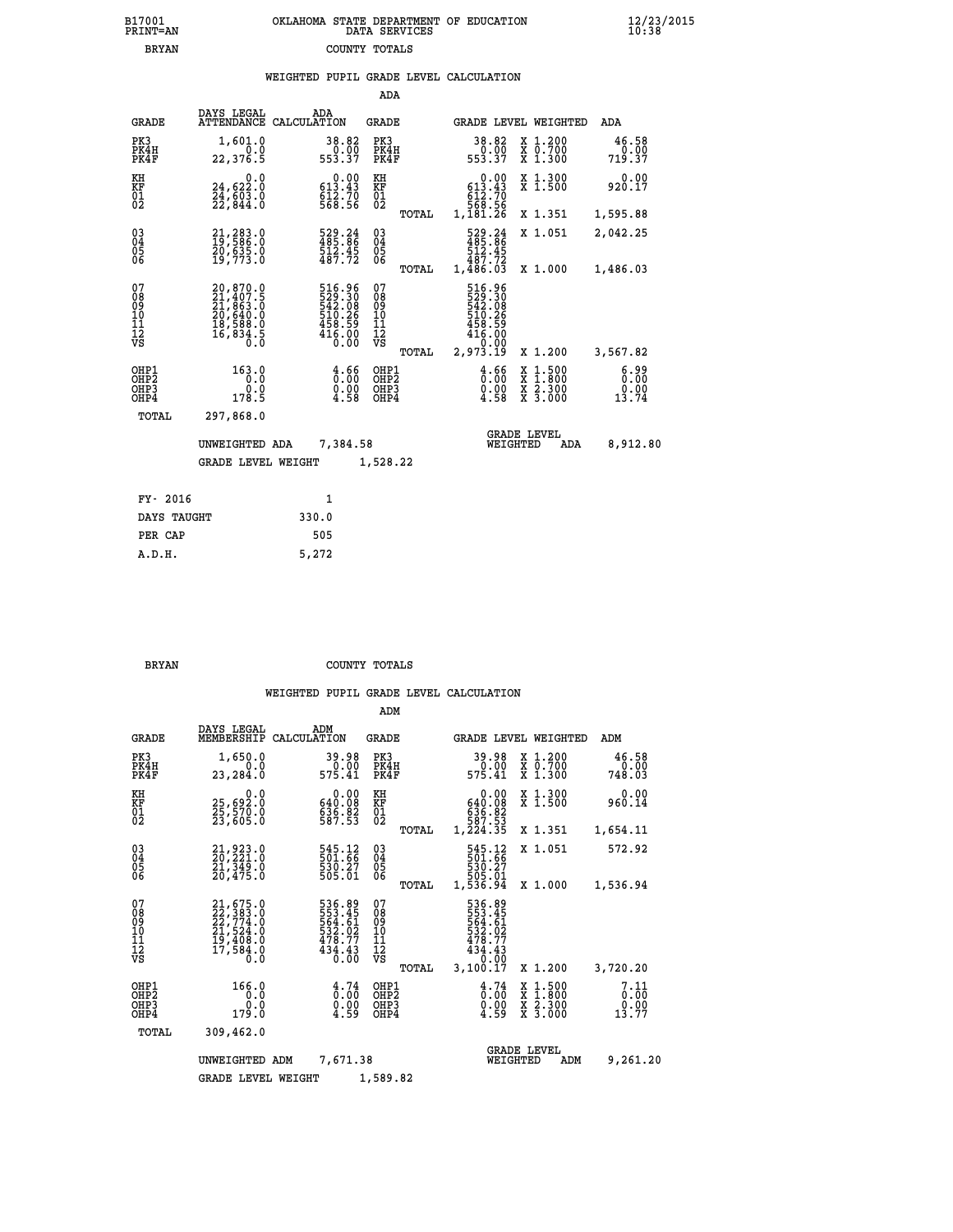| B17001          | OKLAHOMA STATE DEPARTMENT OF EDUCATION |
|-----------------|----------------------------------------|
| <b>PRINT=AN</b> | DATA SERVICES                          |
| <b>BRYAN</b>    | COUNTY TOTALS                          |

|                                                    |                                                                                           |                                                                            | ADA                                             |                                                                                                |                                          |                       |
|----------------------------------------------------|-------------------------------------------------------------------------------------------|----------------------------------------------------------------------------|-------------------------------------------------|------------------------------------------------------------------------------------------------|------------------------------------------|-----------------------|
| <b>GRADE</b>                                       | DAYS LEGAL                                                                                | ADA<br>ATTENDANCE CALCULATION                                              | GRADE                                           |                                                                                                | GRADE LEVEL WEIGHTED                     | ADA                   |
| PK3<br>PK4H<br>PK4F                                | 1,601.0<br>0.0<br>22,376.5                                                                | 38.82<br>0.00<br>553.37                                                    | PK3<br>PK4H<br>PK4F                             | 38.82<br>$0.00$<br>553.37                                                                      | X 1.200<br>X 0.700<br>X 1.300            | 46.58<br>719.37       |
| KH<br>KF<br>01<br>02                               | 0.0<br>24,622.0<br>$\frac{24}{22}$ , $\frac{603}{844}$ .0                                 | $\begin{smallmatrix}&&0.00\\ 613.43\\ 612.70\\ 568.56\end{smallmatrix}$    | KH<br>KF<br>01<br>02                            | $\begin{smallmatrix}&&0\ .\ 00\\ 613\ .43\\ 612\ .70\\ 568\ .56\\ 1,181\ .26\end{smallmatrix}$ | X 1.300<br>X 1.500                       | 0.00<br>920.17        |
|                                                    |                                                                                           |                                                                            | TOTAL                                           |                                                                                                | X 1.351                                  | 1,595.88              |
| $\begin{matrix} 03 \\ 04 \\ 05 \\ 06 \end{matrix}$ | 21,283.0<br>19,586.0<br>20,635.0<br>19,773.0                                              | 529.24<br>485.86<br>512.45<br>487.72                                       | $^{03}_{04}$<br>05<br>06                        | 529.24<br>485.86<br>512.45<br>487.72                                                           | X 1.051                                  | 2,042.25              |
|                                                    |                                                                                           |                                                                            | TOTAL                                           | 1,486.03                                                                                       | X 1.000                                  | 1,486.03              |
| 07<br>08<br>09<br>10<br>11<br>12<br>VS             | $20,870.0$<br>$21,407.5$<br>$21,863.0$<br>$20,640.0$<br>$18,588.0$<br>$16,834.5$<br>$0.0$ | 516.96<br>529.30<br>542.08<br>542.08<br>510.26<br>458.59<br>416.00<br>0.00 | 07<br>08<br>09<br>11<br>11<br>12<br>VS<br>TOTAL | 516.96<br>529.30<br>542.08<br>510.26<br>458.59<br>416.00<br>2,973.19                           | X 1.200                                  | 3,567.82              |
| OHP1                                               | 163.0                                                                                     |                                                                            | OHP1                                            |                                                                                                |                                          | 6.99                  |
| OH <sub>P</sub> 2<br>OHP3<br>OHP4                  | 0.0<br>0.0<br>178.5                                                                       | $\frac{4.66}{0.00}$<br>$\frac{0.00}{4.58}$                                 | OH <sub>P</sub> 2<br>OHP3<br>OHP4               | $\frac{4.66}{0.00}$<br>0.00<br>4.58                                                            | X 1:500<br>X 1:800<br>X 2:300<br>X 3:000 | 0.00<br>0.00<br>13.74 |
| TOTAL                                              | 297,868.0                                                                                 |                                                                            |                                                 |                                                                                                |                                          |                       |
|                                                    | UNWEIGHTED ADA                                                                            | 7,384.58                                                                   |                                                 | WEIGHTED                                                                                       | <b>GRADE LEVEL</b><br>ADA                | 8,912.80              |
|                                                    | <b>GRADE LEVEL WEIGHT</b>                                                                 |                                                                            | 1,528.22                                        |                                                                                                |                                          |                       |
| FY- 2016                                           |                                                                                           | $\mathbf{1}$                                                               |                                                 |                                                                                                |                                          |                       |
|                                                    | DAYS TAUGHT                                                                               | 330.0                                                                      |                                                 |                                                                                                |                                          |                       |
| PER CAP                                            |                                                                                           | 505                                                                        |                                                 |                                                                                                |                                          |                       |
| A.D.H.                                             |                                                                                           | 5,272                                                                      |                                                 |                                                                                                |                                          |                       |

B17001<br>PRINT=AN<br>BRYAN

 **BRYAN COUNTY TOTALS**

|                                           |                                                                      |                                                                         | ADM                                              |                                                                              |                                                                           |                               |
|-------------------------------------------|----------------------------------------------------------------------|-------------------------------------------------------------------------|--------------------------------------------------|------------------------------------------------------------------------------|---------------------------------------------------------------------------|-------------------------------|
| <b>GRADE</b>                              | DAYS LEGAL<br>MEMBERSHIP                                             | ADM<br>CALCULATION                                                      | <b>GRADE</b>                                     | GRADE LEVEL WEIGHTED                                                         |                                                                           | ADM                           |
| PK3<br>PK4H<br>PK4F                       | 1,650.0<br>0.0<br>23,284.0                                           | 39.98<br>0.00<br>575.41                                                 | PK3<br>PK4H<br>PK4F                              | 39.98<br>0.00<br>575.41                                                      | $\begin{smallmatrix} x & 1.200 \\ x & 0.700 \end{smallmatrix}$<br>X 1.300 | 46.58<br>0.00<br>748.03       |
| KH<br>KF<br>01<br>02                      | 0.0<br>25,692:0<br>25,570:0<br>23,605:0                              | $\begin{smallmatrix} &0.00\ 640.08\ 636.82\ 587.53\ \end{smallmatrix}$  | KH<br>KF<br>01<br>02                             | 0.00<br>640.08<br>636.82<br>587.53<br>1,224.35                               | X 1.300<br>X 1.500                                                        | 0.00<br>960.14                |
|                                           |                                                                      |                                                                         | TOTAL                                            |                                                                              | X 1.351                                                                   | 1,654.11                      |
| 03<br>04<br>05<br>06                      | 21, 923.0<br>20, 221.0<br>21, 349.0<br>20,475.0                      | 545.12<br>501:66<br>530:27<br>505:01                                    | $\substack{03 \\ 04}$<br>05                      | 545.12<br>501.66<br>530.27<br>505.01                                         | X 1.051                                                                   | 572.92                        |
|                                           |                                                                      |                                                                         | TOTAL                                            | 1,536.94                                                                     | X 1.000                                                                   | 1,536.94                      |
| 07<br>08<br>09<br>11<br>11<br>12<br>VS    | 21,675.0<br>22,383.0<br>22,774.0<br>21,524.0<br>19,408.0<br>17,584.0 | 536.89<br>553.45<br>564.61<br>$\frac{532.02}{478.77}$<br>434.43<br>0.00 | 07<br>08<br>09<br>101<br>11<br>12<br>VS<br>TOTAL | 536.89<br>553.45<br>564.61<br>532.02<br>478.77<br>434.43<br>0.00<br>3,100.17 | X 1.200                                                                   | 3,720.20                      |
| OHP1<br>OH <sub>P</sub> 2<br>OHP3<br>OHP4 | 166.0<br>0.0<br>0.0<br>179.0                                         | 4.74<br>0.00<br>0.00<br>4.59                                            | OHP1<br>OHP2<br>OHP3<br>OHP4                     | $\begin{smallmatrix} 4.74\ 0.00\ 0.00\ 4.59 \end{smallmatrix}$               | X 1:500<br>X 1:800<br>X 2:300<br>X 3:000                                  | 7.11<br>0.00<br>0.00<br>13.77 |
| TOTAL                                     | 309,462.0                                                            |                                                                         |                                                  |                                                                              |                                                                           |                               |
|                                           | UNWEIGHTED ADM                                                       | 7,671.38                                                                |                                                  | WEIGHTED                                                                     | <b>GRADE LEVEL</b><br>ADM                                                 | 9,261.20                      |
|                                           | <b>GRADE LEVEL WEIGHT</b>                                            |                                                                         | 1,589.82                                         |                                                                              |                                                                           |                               |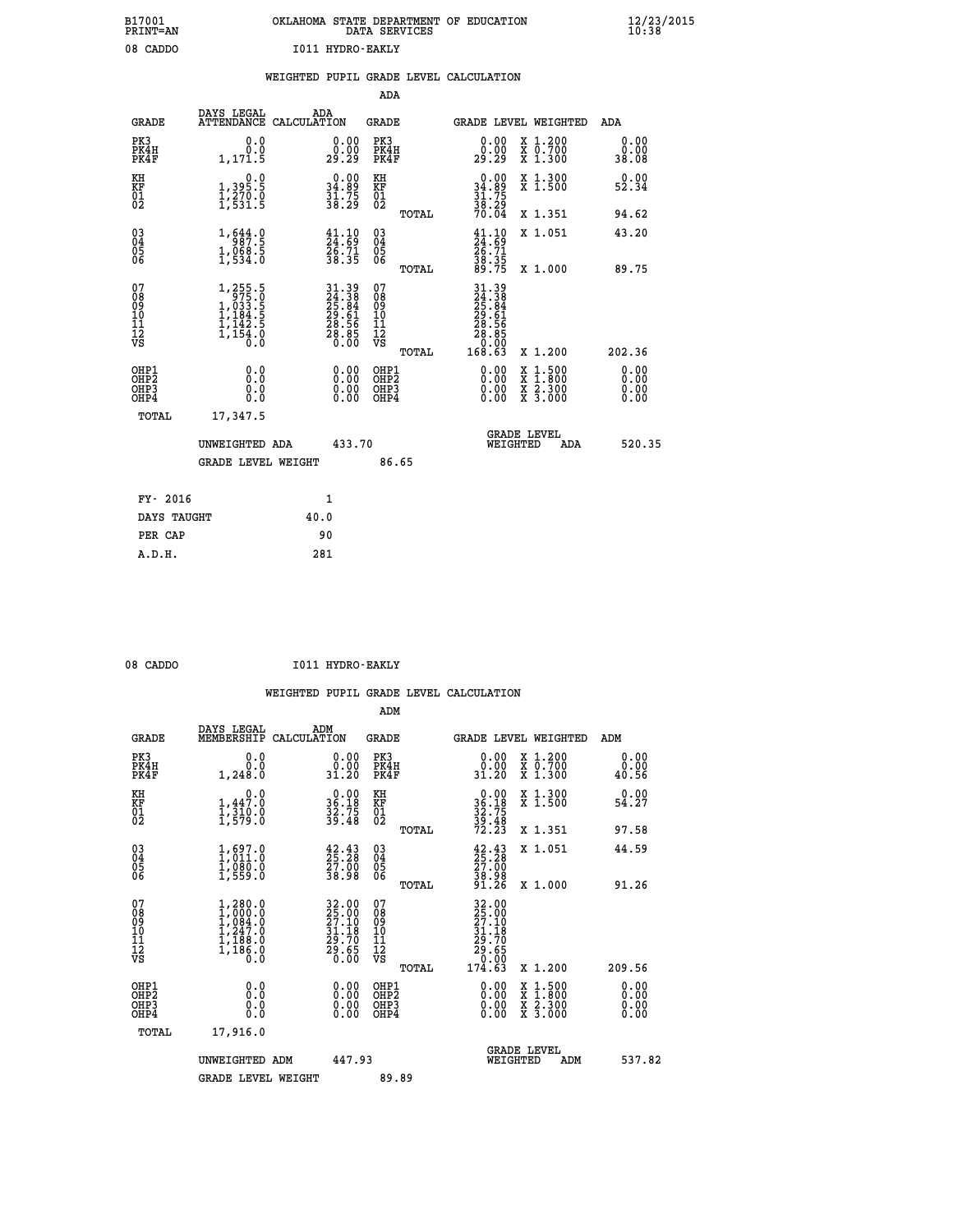|  |                  | OKLAHOMA STATE DEPARTMENT OF EDUCATION<br>DATA SERVICES |  |  |
|--|------------------|---------------------------------------------------------|--|--|
|  | T011 HVDRO-RAKLV |                                                         |  |  |

|                                                                    |                                                                                                       |      |                                                                      |                                          |       | WEIGHTED PUPIL GRADE LEVEL CALCULATION                                                                                                                                                                                                                                         |                                          |            |                              |  |
|--------------------------------------------------------------------|-------------------------------------------------------------------------------------------------------|------|----------------------------------------------------------------------|------------------------------------------|-------|--------------------------------------------------------------------------------------------------------------------------------------------------------------------------------------------------------------------------------------------------------------------------------|------------------------------------------|------------|------------------------------|--|
|                                                                    |                                                                                                       |      |                                                                      | <b>ADA</b>                               |       |                                                                                                                                                                                                                                                                                |                                          |            |                              |  |
| <b>GRADE</b>                                                       | DAYS LEGAL<br>ATTENDANCE CALCULATION                                                                  | ADA  |                                                                      | GRADE                                    |       | GRADE LEVEL WEIGHTED                                                                                                                                                                                                                                                           |                                          |            | ADA                          |  |
| PK3<br>PK4H<br>PK4F                                                | 0.0<br>0.0<br>1,171.5                                                                                 |      | $\begin{smallmatrix} 0.00\\ 0.00\\ 29.29 \end{smallmatrix}$          | PK3<br>PK4H<br>PK4F                      |       | 0.00<br>0.00<br>29.29                                                                                                                                                                                                                                                          | X 1.200<br>X 0.700<br>X 1.300            |            | 0.00<br>0.00<br>38.08        |  |
| KH<br>KF<br>01<br>02                                               | $\begin{smallmatrix}&&&0.0\\1,395.5\\1,270.0\\1,531.5\end{smallmatrix}$                               |      | $\begin{smallmatrix} 0.00\\ 34.89\\ 31.75\\ 38.29 \end{smallmatrix}$ | KH<br>KF<br>01<br>02                     |       | $\begin{smallmatrix} 0.00\\ 34.89\\ 31.75\\ 38.29 \end{smallmatrix}$                                                                                                                                                                                                           | X 1.300<br>X 1.500                       |            | 0.00<br>52.34                |  |
|                                                                    |                                                                                                       |      |                                                                      |                                          | TOTAL | 70.04                                                                                                                                                                                                                                                                          | X 1.351                                  |            | 94.62                        |  |
| $\begin{smallmatrix} 03 \\[-4pt] 04 \end{smallmatrix}$<br>Ŏ5<br>06 | 1,644.9<br>$1,068.5$<br>1,534.0                                                                       |      | $\begin{smallmatrix} 41.10\\24.69\\26.71\\38.35 \end{smallmatrix}$   | $\substack{03 \\ 04}$<br>Ŏ5<br>06        |       | $\frac{41.10}{24.69}$<br>$\frac{26.71}{29.71}$                                                                                                                                                                                                                                 | X 1.051                                  |            | 43.20                        |  |
|                                                                    |                                                                                                       |      |                                                                      |                                          | TOTAL | $\frac{38.35}{89.75}$                                                                                                                                                                                                                                                          | X 1.000                                  |            | 89.75                        |  |
| 07<br>08<br>09<br>11<br>11<br>12<br>VS                             | $\begin{smallmatrix} 1,255.5\\ 975.0\\ 1,033.5\\ 1,184.5\\ 1,142.5\\ 1,154.0\\ 0.0 \end{smallmatrix}$ |      | 31.39<br>24.38<br>25.84<br>29.61<br>28.56<br>28.85<br>28.85          | 07<br>08<br>09<br>11<br>11<br>12<br>VS   | TOTAL | $\begin{smallmatrix} 31.39 \\ 24.38 \\ 25.84 \\ 25.84 \\ 29.61 \\ 28.561 \\ 28.565 \\ 20.00 \\ 0.003 \\ 0.003 \end{smallmatrix}$                                                                                                                                               | X 1.200                                  |            | 202.36                       |  |
| OHP1<br>OH <sub>P</sub> 2<br>OHP3<br>OH <sub>P4</sub>              | 0.0<br>0.0<br>0.0                                                                                     |      | $\begin{smallmatrix} 0.00 \ 0.00 \ 0.00 \ 0.00 \end{smallmatrix}$    | OHP1<br>OHP <sub>2</sub><br>OHP3<br>OHP4 |       | $\begin{smallmatrix} 0.00 & 0.00 & 0.00 & 0.00 & 0.00 & 0.00 & 0.00 & 0.00 & 0.00 & 0.00 & 0.00 & 0.00 & 0.00 & 0.00 & 0.00 & 0.00 & 0.00 & 0.00 & 0.00 & 0.00 & 0.00 & 0.00 & 0.00 & 0.00 & 0.00 & 0.00 & 0.00 & 0.00 & 0.00 & 0.00 & 0.00 & 0.00 & 0.00 & 0.00 & 0.00 & 0.0$ | X 1:500<br>X 1:800<br>X 2:300<br>X 3:000 |            | 0.00<br>0.00<br>0.00<br>0.00 |  |
| TOTAL                                                              | 17,347.5                                                                                              |      |                                                                      |                                          |       |                                                                                                                                                                                                                                                                                |                                          |            |                              |  |
|                                                                    | UNWEIGHTED ADA                                                                                        |      | 433.70                                                               |                                          |       | WEIGHTED                                                                                                                                                                                                                                                                       | <b>GRADE LEVEL</b>                       | <b>ADA</b> | 520.35                       |  |
|                                                                    | <b>GRADE LEVEL WEIGHT</b>                                                                             |      |                                                                      | 86.65                                    |       |                                                                                                                                                                                                                                                                                |                                          |            |                              |  |
| FY- 2016                                                           |                                                                                                       |      | $\mathbf{1}$                                                         |                                          |       |                                                                                                                                                                                                                                                                                |                                          |            |                              |  |
| DAYS TAUGHT                                                        |                                                                                                       | 40.0 |                                                                      |                                          |       |                                                                                                                                                                                                                                                                                |                                          |            |                              |  |
| PER CAP                                                            |                                                                                                       | 90   |                                                                      |                                          |       |                                                                                                                                                                                                                                                                                |                                          |            |                              |  |

08 CADDO **I011 HYDRO-EAKLY** 

 **A.D.H. 281**

 **B17001<br>PRINT=AN** 08 CADDO

|                                                      |                                                                                     |                                                                      | ADM                                                 |                                                                                                                                     |                                          |                              |
|------------------------------------------------------|-------------------------------------------------------------------------------------|----------------------------------------------------------------------|-----------------------------------------------------|-------------------------------------------------------------------------------------------------------------------------------------|------------------------------------------|------------------------------|
| <b>GRADE</b>                                         | DAYS LEGAL<br>MEMBERSHIP                                                            | ADM<br>CALCULATION                                                   | <b>GRADE</b>                                        |                                                                                                                                     | GRADE LEVEL WEIGHTED                     | ADM                          |
| PK3<br>PK4H<br>PK4F                                  | 0.0<br>ة.ة<br>1,248.0                                                               | $\begin{smallmatrix} 0.00\\ 0.00\\ 31.20 \end{smallmatrix}$          | PK3<br>PK4H<br>PK4F                                 | $\begin{smallmatrix} 0.00\\ 0.00\\ 31.20 \end{smallmatrix}$                                                                         | X 1.200<br>X 0.700<br>X 1.300            | 0.00<br>0.00<br>40.56        |
| KH<br>KF<br>01<br>02                                 | 0.0<br>$1, 447.0$<br>$1, 310.0$<br>$1, 579.0$                                       | $\begin{smallmatrix} 0.00\\ 36.18\\ 32.75\\ 39.48 \end{smallmatrix}$ | KH<br>KF<br>01<br>02                                | $0.00$<br>$36.18$<br>$32.75$<br>$39.48$<br>$72.23$                                                                                  | X 1.300<br>X 1.500                       | 0.00<br>54.27                |
|                                                      |                                                                                     |                                                                      | TOTAL                                               |                                                                                                                                     | X 1.351                                  | 97.58                        |
| 03<br>04<br>05<br>06                                 | $\begin{smallmatrix} 1, 697.0\\ 1, 011.0\\ 1, 080.0\\ 1, 559.0 \end{smallmatrix}$   | $\begin{smallmatrix} 42.43\ 25.28\ 27.00\ 38.98 \end{smallmatrix}$   | $\begin{array}{c} 03 \\ 04 \\ 05 \\ 06 \end{array}$ | $\begin{smallmatrix} 42.43\ 25.28\ 27.00\ 38.98\ 91.26 \end{smallmatrix}$                                                           | X 1.051                                  | 44.59                        |
|                                                      |                                                                                     |                                                                      | TOTAL                                               |                                                                                                                                     | X 1.000                                  | 91.26                        |
| 07<br>08<br>09<br>101<br>112<br>VS                   | $1,280.0$<br>$1,000.0$<br>$1,084.0$<br>$1,247.0$<br>$1,188.0$<br>$1,186.0$<br>$0.0$ | 32.00<br>25.00<br>27.10<br>31.18<br>39.70<br>29.65<br>29.65          | 07<br>08<br>09<br>11<br>11<br>12<br>VS              | $\begin{array}{r} 32\cdot00 \\ 25\cdot00 \\ 27\cdot10 \\ 31\cdot18 \\ 29\cdot70 \\ 29\cdot65 \\ 0\cdot00 \\ 174\cdot63 \end{array}$ |                                          |                              |
|                                                      |                                                                                     |                                                                      | TOTAL                                               |                                                                                                                                     | X 1.200                                  | 209.56                       |
| OHP1<br>OHP2<br>OH <sub>P3</sub><br>OH <sub>P4</sub> | 0.0<br>0.000                                                                        | $0.00$<br>$0.00$<br>0.00                                             | OHP1<br>OHP2<br>OHP <sub>3</sub>                    | $0.00$<br>$0.00$<br>0.00                                                                                                            | X 1:500<br>X 1:800<br>X 2:300<br>X 3:000 | 0.00<br>0.00<br>0.00<br>0.00 |
| TOTAL                                                | 17,916.0                                                                            |                                                                      |                                                     |                                                                                                                                     |                                          |                              |
|                                                      | UNWEIGHTED ADM                                                                      | 447.93                                                               |                                                     | WEIGHTED                                                                                                                            | <b>GRADE LEVEL</b><br>ADM                | 537.82                       |
|                                                      | <b>GRADE LEVEL WEIGHT</b>                                                           |                                                                      | 89.89                                               |                                                                                                                                     |                                          |                              |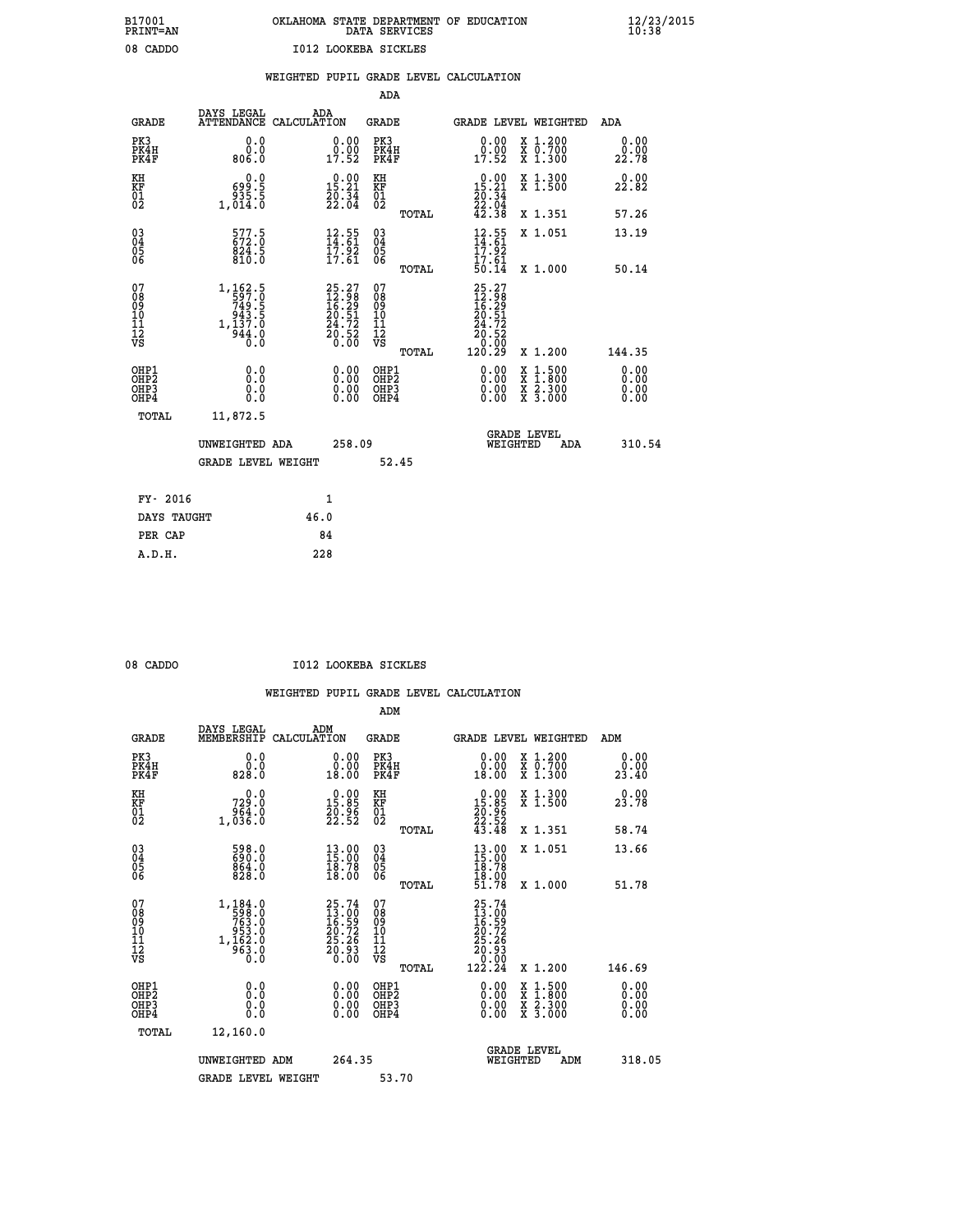# **B17001 OKLAHOMA STATE DEPARTMENT OF EDUCATION 12/23/2015 PRINT=AN DATA SERVICES 10:38 08 CADDO I012 LOOKEBA SICKLES**

|  |  | WEIGHTED PUPIL GRADE LEVEL CALCULATION |
|--|--|----------------------------------------|
|  |  |                                        |

|                                                                    |                                                                                  |      |                                                             | ADA                                       |       |                                                                        |                                                                                                  |                              |
|--------------------------------------------------------------------|----------------------------------------------------------------------------------|------|-------------------------------------------------------------|-------------------------------------------|-------|------------------------------------------------------------------------|--------------------------------------------------------------------------------------------------|------------------------------|
| <b>GRADE</b>                                                       | DAYS LEGAL<br>ATTENDANCE CALCULATION                                             | ADA  |                                                             | <b>GRADE</b>                              |       |                                                                        | GRADE LEVEL WEIGHTED                                                                             | <b>ADA</b>                   |
| PK3<br>PK4H<br>PK4F                                                | 0.0<br>0.0<br>0.088                                                              |      | $\begin{smallmatrix} 0.00\\ 0.00\\ 17.52 \end{smallmatrix}$ | PK3<br>PK4H<br>PK4F                       |       | 0.00<br>ă:ŏŏ<br>17:52                                                  | X 1.200<br>X 0.700<br>X 1.300                                                                    | 0.00<br>0.00<br>22.78        |
| KH<br>KF<br>01<br>02                                               | 0.0<br>ة: 699<br>5.559<br>5.5014,0                                               |      | 15.21<br>$\frac{20.34}{22.04}$                              | KH<br>KF<br>01<br>02                      |       | 15.21<br>$\frac{20.34}{22.04}$<br>42.38                                | X 1.300<br>X 1.500                                                                               | 0.00<br>22.82                |
|                                                                    |                                                                                  |      |                                                             |                                           | TOTAL |                                                                        | X 1.351                                                                                          | 57.26                        |
| $\begin{smallmatrix} 03 \\[-4pt] 04 \end{smallmatrix}$<br>05<br>06 | 577.5<br>$\frac{824}{810}$ .5                                                    |      | $\frac{12.55}{14.61}$<br>$\frac{17.92}{17.61}$              | $\substack{03 \\ 04}$<br>05<br>06         | TOTAL | $12.55$<br>$14.61$<br>$17.92$<br>$17.61$<br>50.14                      | X 1.051<br>X 1.000                                                                               | 13.19<br>50.14               |
| 07<br>08<br>09<br>11<br>11<br>12<br>VS                             | $1, 162.5$<br>$597.0$<br>$749.5$<br>$943.5$<br>$1, 137.0$<br>$\frac{544.0}{0.0}$ |      | $25.2712.9816.2920.5124.7220.520.00$                        | 07<br>08<br>09<br>11<br>11<br>12<br>VS    |       | $25.27$<br>$12.98$<br>$16.29$<br>$20.51$<br>$24.72$<br>$20.52$<br>0.00 |                                                                                                  |                              |
|                                                                    |                                                                                  |      |                                                             |                                           | TOTAL | 120.29                                                                 | X 1.200                                                                                          | 144.35                       |
| OHP1<br>OH <sub>P2</sub><br>OH <sub>P3</sub><br>OH <sub>P4</sub>   | 0.0<br>0.0<br>0.0                                                                |      | 0.00<br>0.00<br>0.00                                        | OHP1<br>OH <sub>P</sub> 2<br>OHP3<br>OHP4 |       | 0.00<br>0.00<br>0.00                                                   | $\begin{smallmatrix} x & 1 & 500 \\ x & 1 & 800 \\ x & 2 & 300 \\ x & 3 & 000 \end{smallmatrix}$ | 0.00<br>0.00<br>0.00<br>0.00 |
| TOTAL                                                              | 11,872.5                                                                         |      |                                                             |                                           |       |                                                                        |                                                                                                  |                              |
|                                                                    | UNWEIGHTED ADA                                                                   |      | 258.09                                                      |                                           |       |                                                                        | GRADE LEVEL<br>WEIGHTED<br>ADA                                                                   | 310.54                       |
|                                                                    | <b>GRADE LEVEL WEIGHT</b>                                                        |      |                                                             | 52.45                                     |       |                                                                        |                                                                                                  |                              |
| FY- 2016                                                           |                                                                                  |      | $\mathbf{1}$                                                |                                           |       |                                                                        |                                                                                                  |                              |
| DAYS TAUGHT                                                        |                                                                                  | 46.0 |                                                             |                                           |       |                                                                        |                                                                                                  |                              |
| PER CAP                                                            |                                                                                  | 84   |                                                             |                                           |       |                                                                        |                                                                                                  |                              |

 **A.D.H. 228**

08 CADDO **I012 LOOKEBA SICKLES** 

|                                                       |                                                                                                           |                                                                                              | ADM                                                 |                                                                               |                                          |                       |
|-------------------------------------------------------|-----------------------------------------------------------------------------------------------------------|----------------------------------------------------------------------------------------------|-----------------------------------------------------|-------------------------------------------------------------------------------|------------------------------------------|-----------------------|
| <b>GRADE</b>                                          | DAYS LEGAL<br>MEMBERSHIP                                                                                  | ADM<br>CALCULATION                                                                           | <b>GRADE</b>                                        |                                                                               | GRADE LEVEL WEIGHTED                     | ADM                   |
| PK3<br>PK4H<br>PK4F                                   | 0.0<br>ة:ة<br>828.0                                                                                       | 0.00<br>0.00<br>18.00                                                                        | PK3<br>PK4H<br>PK4F                                 | $\begin{smallmatrix} 0.00\\ 0.00\\ 18.00 \end{smallmatrix}$                   | X 1.200<br>X 0.700<br>X 1.300            | 0.00<br>ة.00<br>23.40 |
| KH<br>KF<br>01<br>02                                  | 0.0<br>729.0<br>0. 63é<br>0. 636, 1                                                                       | $\begin{smallmatrix} 0.00\\ 15.85\\ 20.96\\ 22.52 \end{smallmatrix}$                         | KH<br>KF<br>01<br>02                                | $\begin{smallmatrix} 0.00\\ 15.85\\ 20.96\\ 22.52\\ 43.48 \end{smallmatrix}$  | X 1.300<br>X 1.500                       | 0.00<br>23.78         |
|                                                       |                                                                                                           |                                                                                              | TOTAL                                               |                                                                               | X 1.351                                  | 58.74                 |
| 03<br>04<br>05<br>06                                  | 598.0<br>690.0<br>864.0<br>828.0                                                                          | $\begin{smallmatrix} 13.00\\ 15.00\\ 18.78\\ 18.00 \end{smallmatrix}$                        | $\begin{array}{c} 03 \\ 04 \\ 05 \\ 06 \end{array}$ | $\begin{smallmatrix} 13.00\\ 15.00\\ 18.78\\ 18.00\\ 51.78 \end{smallmatrix}$ | X 1.051                                  | 13.66                 |
|                                                       |                                                                                                           |                                                                                              | TOTAL                                               |                                                                               | X 1.000                                  | 51.78                 |
| 07<br>08<br>09<br>101<br>112<br>VS                    | $\begin{smallmatrix} 1,184.0\\ -598.0\\ 763.0\\ -953.0\\ 953.0\\ 1,162.0\\ 963.0\\ 0.0 \end{smallmatrix}$ | $\begin{smallmatrix} 25.74\\ 13.00\\ 16.59\\ 20.72\\ 25.26\\ 20.93\\ 0.00 \end{smallmatrix}$ | 07<br>08<br>09<br>11<br>11<br>12<br>VS              | $25.74$<br>$13.00$<br>$16.59$<br>$20.72$<br>$25.26$<br>$20.93$<br>$20.90$     |                                          |                       |
|                                                       |                                                                                                           |                                                                                              | TOTAL                                               | 122.24                                                                        | X 1.200                                  | 146.69                |
| OHP1<br>OHP2<br>OH <sub>P</sub> 3<br>OH <sub>P4</sub> | 0.0<br>0.000                                                                                              |                                                                                              | OHP1<br>OHP2<br>OHP <sub>3</sub>                    | $0.00$<br>$0.00$<br>0.00                                                      | X 1:500<br>X 1:800<br>X 2:300<br>X 3:000 | 0.00<br>0.00<br>0.00  |
| TOTAL                                                 | 12,160.0                                                                                                  |                                                                                              |                                                     |                                                                               |                                          |                       |
|                                                       | UNWEIGHTED ADM                                                                                            | 264.35                                                                                       |                                                     | WEIGHTED                                                                      | <b>GRADE LEVEL</b><br>ADM                | 318.05                |
|                                                       | <b>GRADE LEVEL WEIGHT</b>                                                                                 |                                                                                              | 53.70                                               |                                                                               |                                          |                       |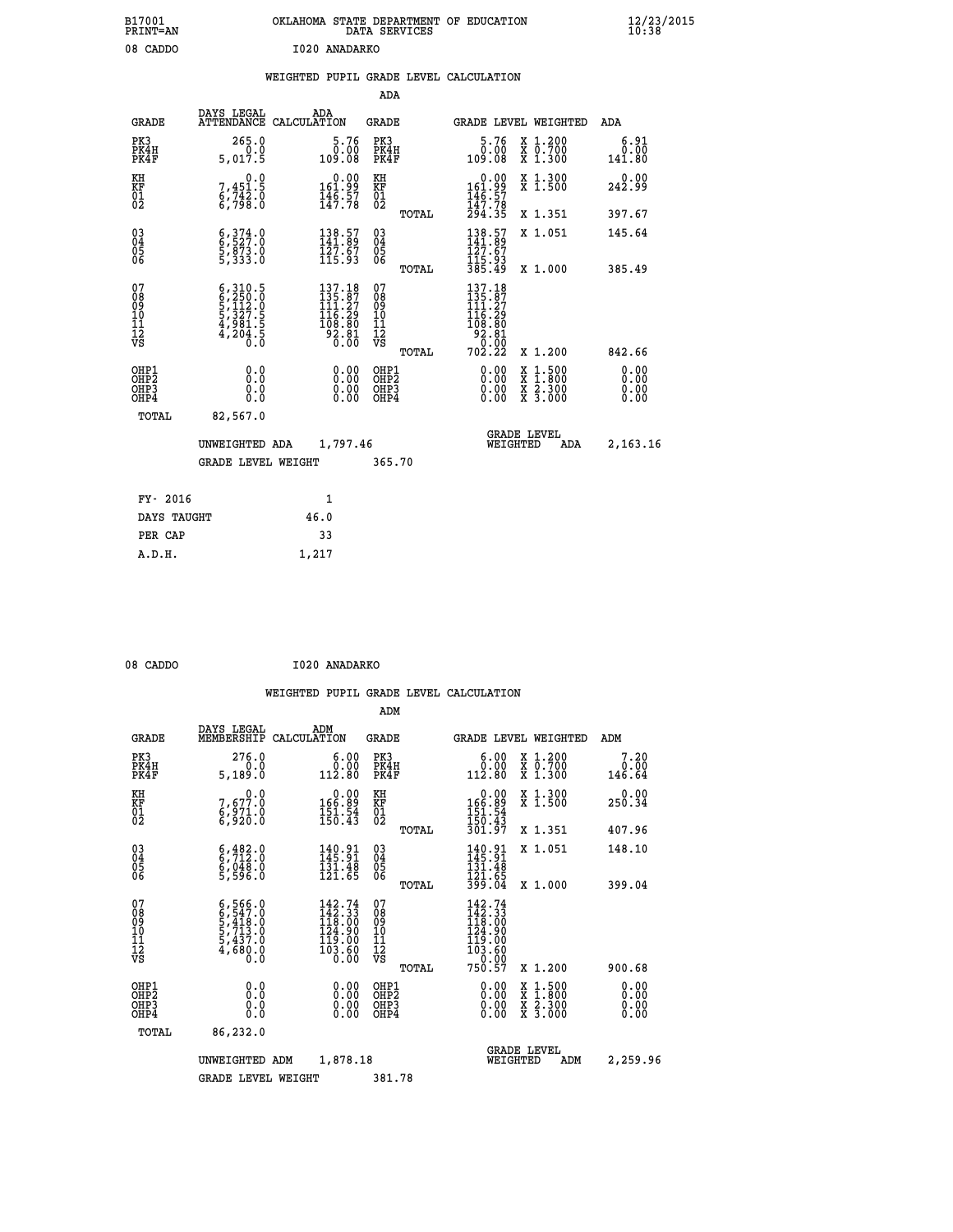| B17001<br>PRINT=AN                                |                                                                                     | OKLAHOMA STATE DEPARTMENT OF EDUCATION                                                     | DATA SERVICES                                      |                                                                                          |                                          | $\frac{12}{23}$ /2015  |
|---------------------------------------------------|-------------------------------------------------------------------------------------|--------------------------------------------------------------------------------------------|----------------------------------------------------|------------------------------------------------------------------------------------------|------------------------------------------|------------------------|
| 08 CADDO                                          |                                                                                     | I020 ANADARKO                                                                              |                                                    |                                                                                          |                                          |                        |
|                                                   |                                                                                     | WEIGHTED PUPIL GRADE LEVEL CALCULATION                                                     |                                                    |                                                                                          |                                          |                        |
|                                                   |                                                                                     |                                                                                            | ADA                                                |                                                                                          |                                          |                        |
| <b>GRADE</b>                                      | DAYS LEGAL<br>ATTENDANCE CALCULATION                                                | ADA                                                                                        | <b>GRADE</b>                                       |                                                                                          | GRADE LEVEL WEIGHTED                     | ADA                    |
| PK3<br>PK4H<br>PK4F                               | 265.0<br>0.0<br>5,017.5                                                             | 5.76<br>0.00<br>109.08                                                                     | PK3<br>PK4H<br>PK4F                                | 5.76<br>0.00<br>109.08                                                                   | X 1.200<br>X 0.700<br>X 1.300            | 6.91<br>0.00<br>141.80 |
| KH<br>KF<br>$\begin{matrix} 01 \ 02 \end{matrix}$ | 0.0<br>7,451.5<br>6,742.0<br>6,798.0                                                | $\begin{smallmatrix} &0.00\\ 161.99\\ 146.57\\ 147.78\end{smallmatrix}$                    | KH<br><b>KF</b><br>01<br>02                        | $0.00$<br>$161.99$<br>$146.57$<br>$147.78$<br>$294.35$                                   | X 1.300<br>X 1.500                       | 0.00<br>242.99         |
|                                                   |                                                                                     |                                                                                            | TOTAL                                              |                                                                                          | X 1.351                                  | 397.67                 |
| 030404<br>ŎĞ                                      | $\begin{smallmatrix} 6,374.0\\ 6,527.0\\ 5,873.0\\ 5,333.0 \end{smallmatrix}$       | 138.57<br>141.89<br>127.67<br>115.93                                                       | $\begin{matrix} 03 \\ 04 \\ 05 \\ 06 \end{matrix}$ | 138.57<br>141.89<br>127.67                                                               | X 1.051                                  | 145.64                 |
|                                                   |                                                                                     |                                                                                            | <b>TOTAL</b>                                       | 115.93<br>385.49                                                                         | X 1.000                                  | 385.49                 |
| 07<br>08<br>09<br>11<br>11<br>12<br>VS            | $6,310.5$<br>$6,250.0$<br>$5,112.0$<br>$5,327.5$<br>$4,981.5$<br>$4,204.5$<br>$0.0$ | $\begin{smallmatrix} 137.18\\135.87\\111.27\\116.29\\108.80\\92.81\\0.00\end{smallmatrix}$ | 07<br>08<br>09<br>11<br>11<br>12<br>VS             | $137.18$<br>$135.87$<br>$111.27$<br>$116.29$<br>108.80<br>$\frac{38.81}{0.00}$<br>702.22 |                                          |                        |
|                                                   |                                                                                     |                                                                                            | TOTAL                                              |                                                                                          | X 1.200                                  | 842.66                 |
| OHP1<br>OHP2<br>OHP3<br>OHP4                      | 0.000<br>0.0<br>0.0                                                                 | 0.00<br>0.00<br>0.00                                                                       | OHP1<br>OHP2<br>OHP3<br>OHP4                       | 0.00<br>0.00<br>0.00                                                                     | X 1:500<br>X 1:800<br>X 2:300<br>X 3:000 | 0.00<br>0.00<br>0.00   |
| TOTAL                                             | 82,567.0                                                                            |                                                                                            |                                                    |                                                                                          |                                          |                        |
|                                                   | UNWEIGHTED ADA                                                                      | 1,797.46                                                                                   |                                                    | WEIGHTED                                                                                 | <b>GRADE LEVEL</b><br>ADA                | 2,163.16               |
|                                                   | <b>GRADE LEVEL WEIGHT</b>                                                           |                                                                                            | 365.70                                             |                                                                                          |                                          |                        |
| FY- 2016                                          |                                                                                     | $\mathbf{1}$                                                                               |                                                    |                                                                                          |                                          |                        |
| DAYS TAUGHT                                       |                                                                                     | 46.0                                                                                       |                                                    |                                                                                          |                                          |                        |
| PER CAP                                           |                                                                                     | 33                                                                                         |                                                    |                                                                                          |                                          |                        |

| 08 CADDO |  | I020 ANADARKO |
|----------|--|---------------|
|          |  |               |

 **A.D.H. 1,217**

|                                                      |                                                                                     |             |                                                                                                                                      | ADM                                                 |       |                                                                                                                                       |                                          |                          |
|------------------------------------------------------|-------------------------------------------------------------------------------------|-------------|--------------------------------------------------------------------------------------------------------------------------------------|-----------------------------------------------------|-------|---------------------------------------------------------------------------------------------------------------------------------------|------------------------------------------|--------------------------|
| <b>GRADE</b>                                         | DAYS LEGAL<br>MEMBERSHIP                                                            | CALCULATION | ADM                                                                                                                                  | <b>GRADE</b>                                        |       |                                                                                                                                       | <b>GRADE LEVEL WEIGHTED</b>              | ADM                      |
| PK3<br>PK4H<br>PK4F                                  | 276.0<br>5,189.0                                                                    |             | 6.00<br>ة:ة<br>112.80                                                                                                                | PK3<br>PK4H<br>PK4F                                 |       | 6.00<br>ŏ:ŏŏ<br>112:80                                                                                                                | X 1.200<br>X 0.700<br>X 1.300            | 7.20<br>0.00<br>146.64   |
| KH<br>KF<br>01<br>02                                 | 0.0<br>7,677.0<br>6,971.0<br>6,920.0                                                |             | $\begin{smallmatrix} &0.00\\ 166.89\\ 151.54\\ 150.43\end{smallmatrix}$                                                              | KH<br>KF<br>01<br>02                                |       | $\begin{smallmatrix} &0.00\166.89\151.54\150.43\01.97\end{smallmatrix}$                                                               | X 1.300<br>X 1.500                       | 0.00<br>250.34           |
|                                                      |                                                                                     |             |                                                                                                                                      |                                                     | TOTAL |                                                                                                                                       | X 1.351                                  | 407.96                   |
| $\begin{matrix} 03 \\ 04 \\ 05 \\ 06 \end{matrix}$   | $6, 482.0$<br>$6, 712.0$<br>$6, 048.0$<br>$5, 596.0$                                |             | $\begin{array}{l} 140.91 \\[-4pt] 145.91 \\[-4pt] 131.48 \\[-4pt] 121.65 \end{array}$                                                | $\begin{array}{c} 03 \\ 04 \\ 05 \\ 06 \end{array}$ |       | $140.91$<br>$145.91$<br>$131.48$<br>$121.65$<br>$399.04$                                                                              | X 1.051                                  | 148.10                   |
|                                                      |                                                                                     |             |                                                                                                                                      |                                                     | TOTAL |                                                                                                                                       | X 1.000                                  | 399.04                   |
| 07<br>08<br>09<br>101<br>11<br>12<br>VS              | $6,547.0$<br>$6,547.0$<br>$5,418.0$<br>$5,713.0$<br>$5,437.0$<br>$4,680.0$<br>$0.0$ |             | $142.74$<br>$142.33$<br>$118.00$<br>$124.90$<br>$\begin{smallmatrix} 11\bar{3} & 0 & 0 \\ 10 & 3 & 6 \\ 0 & 0 & 0 \end{smallmatrix}$ | 07<br>08<br>09<br>11<br>11<br>12<br>VS              |       | $\begin{smallmatrix} 142\cdot74\ 142\cdot33\ 118\cdot30\ 124\cdot90\ 119\cdot00\ 103\cdot60\ 0\cdot00\ 750\cdot57\ \end{smallmatrix}$ |                                          |                          |
|                                                      |                                                                                     |             |                                                                                                                                      |                                                     | TOTAL |                                                                                                                                       | X 1.200                                  | 900.68                   |
| OHP1<br>OH <sub>P</sub> <sub>2</sub><br>OHP3<br>OHP4 |                                                                                     |             |                                                                                                                                      | OHP1<br>OHP2<br>OHP <sub>3</sub>                    |       |                                                                                                                                       | X 1:500<br>X 1:800<br>X 2:300<br>X 3:000 | $0.00$<br>$0.00$<br>0.00 |
| TOTAL                                                | 86,232.0                                                                            |             |                                                                                                                                      |                                                     |       |                                                                                                                                       |                                          |                          |
|                                                      | UNWEIGHTED                                                                          | ADM         | 1,878.18                                                                                                                             |                                                     |       | WEIGHTED                                                                                                                              | <b>GRADE LEVEL</b><br>ADM                | 2,259.96                 |
|                                                      | <b>GRADE LEVEL WEIGHT</b>                                                           |             |                                                                                                                                      | 381.78                                              |       |                                                                                                                                       |                                          |                          |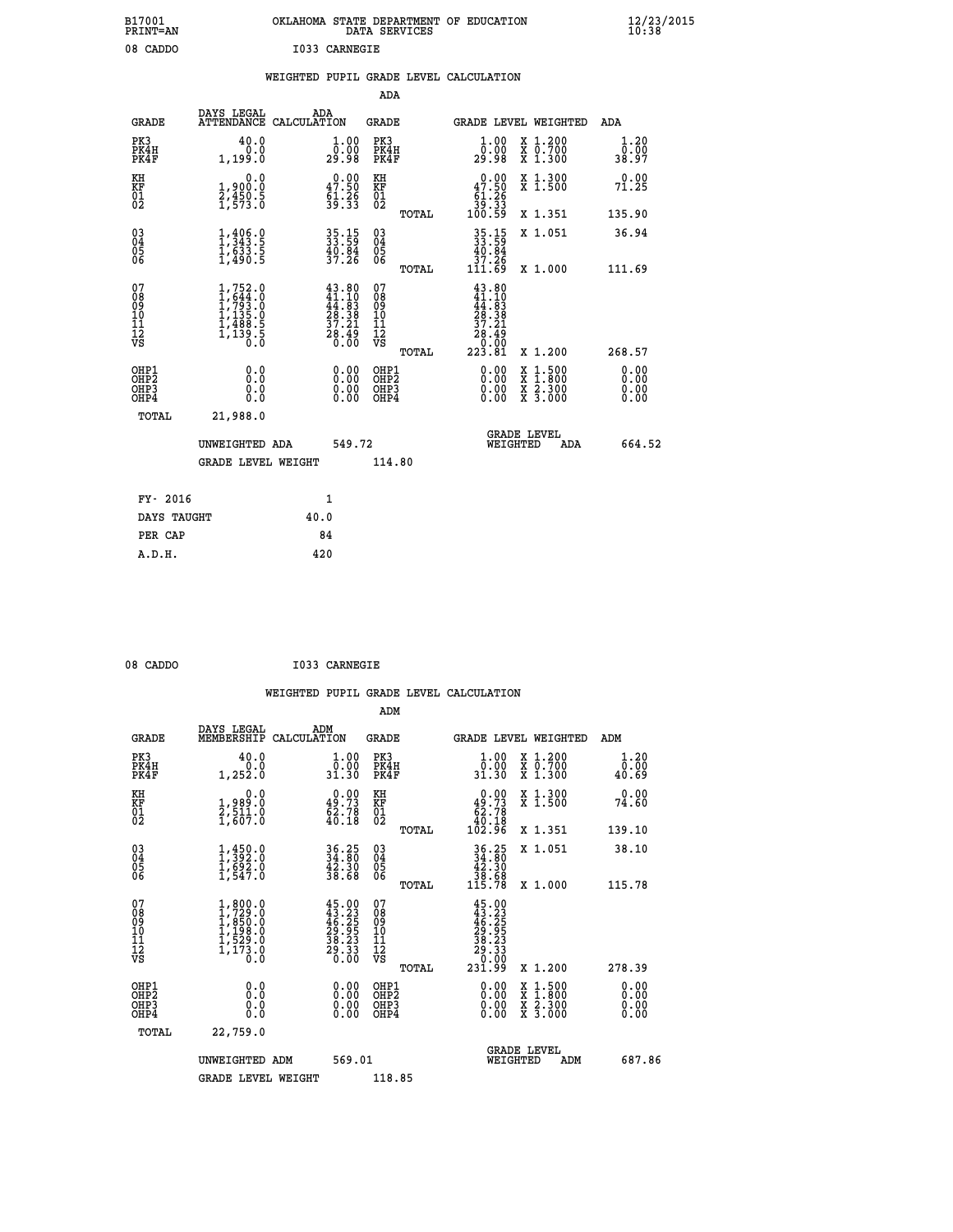| B17001<br>PRINT=AN               |                                                                                                                    | OKLAHOMA STATE DEPARTMENT OF EDUCATION                                   | DATA SERVICES                                                 |                                                                             |                                                                                                                                      | $\frac{12}{23}$ /2015 |  |
|----------------------------------|--------------------------------------------------------------------------------------------------------------------|--------------------------------------------------------------------------|---------------------------------------------------------------|-----------------------------------------------------------------------------|--------------------------------------------------------------------------------------------------------------------------------------|-----------------------|--|
| 08 CADDO                         |                                                                                                                    | I033 CARNEGIE                                                            |                                                               |                                                                             |                                                                                                                                      |                       |  |
|                                  |                                                                                                                    | WEIGHTED PUPIL GRADE LEVEL CALCULATION                                   |                                                               |                                                                             |                                                                                                                                      |                       |  |
|                                  |                                                                                                                    |                                                                          | ADA                                                           |                                                                             |                                                                                                                                      |                       |  |
| <b>GRADE</b>                     | DAYS LEGAL                                                                                                         | ADA<br>ATTENDANCE CALCULATION                                            | GRADE                                                         |                                                                             | GRADE LEVEL WEIGHTED                                                                                                                 | ADA                   |  |
| PK3<br>PK4H<br>PK4F              | 40.0<br>0.0<br>1,199.0                                                                                             | 1.00<br>0.00<br>29.98                                                    | PK3<br>PK4H<br>PK4F                                           | 1.00<br>0.00<br>29.98                                                       | X 1.200<br>X 0.700<br>X 1.300                                                                                                        | 1.20<br>0.00<br>38.97 |  |
| KH<br>KF<br>$\frac{01}{02}$      | 0.0<br>1,900:0<br>2,450:5<br>1,573:0                                                                               | $\begin{smallmatrix} 0.00\\ 47.50\\ 61.26\\ 39.33 \end{smallmatrix}$     | KH<br><b>KF</b><br>01<br>02                                   | $\begin{smallmatrix}&&0.00\\47.50\\61.26\\39.33\\100.59\end{smallmatrix}$   | X 1.300<br>X 1.500                                                                                                                   | 0.00<br>71.25         |  |
|                                  |                                                                                                                    |                                                                          | <b>TOTAL</b>                                                  |                                                                             | X 1.351                                                                                                                              | 135.90                |  |
| 030404<br>ŎĞ                     | $\frac{1}{1}$ , $\frac{406}{343}$ . $\frac{6}{5}$<br>$\frac{1}{6}$ , $\frac{5}{4}$ , $\frac{3}{5}$ , $\frac{5}{5}$ | 35.15<br>33.59<br>40.84<br>37.26                                         | $\begin{matrix} 03 \\ 04 \\ 05 \\ 06 \end{matrix}$            | 35.15<br>33.59<br>40.84<br>37.26<br>111.69                                  | X 1.051                                                                                                                              | 36.94                 |  |
| 07                               |                                                                                                                    |                                                                          | <b>TOTAL</b><br>07                                            |                                                                             | X 1.000                                                                                                                              | 111.69                |  |
| 08<br>09<br>11<br>11<br>12<br>VS | $1,752.0$<br>$1,644.0$<br>$1,793.0$<br>$1,135.0$<br>$1,488.5$<br>$1,139.5$<br>$0.0$                                | $43.80$<br>$41.10$<br>$44.83$<br>$28.38$<br>$37.21$<br>$28.49$<br>$0.00$ | 08<br>09<br>10<br>$\frac{11}{12}$<br>$\frac{12}{18}$<br>TOTAL | 43.80<br>41.10<br>44.83<br>28.38<br>37.21<br>$\frac{28.49}{0.00}$<br>223.81 | X 1.200                                                                                                                              | 268.57                |  |
| OHP1                             |                                                                                                                    |                                                                          | OHP1                                                          |                                                                             |                                                                                                                                      | 0.00                  |  |
| OHP <sub>2</sub><br>OHP3<br>OHP4 | 0.0<br>0.0<br>0.0                                                                                                  | 0.00<br>$\begin{smallmatrix} 0.00 \ 0.00 \end{smallmatrix}$              | OH <sub>P</sub> 2<br>OHP3<br>OHP4                             | 0.00<br>0.00<br>0.00                                                        | $\begin{smallmatrix} \mathtt{X} & 1 & 500 \\ \mathtt{X} & 1 & 800 \\ \mathtt{X} & 2 & 300 \\ \mathtt{X} & 3 & 000 \end{smallmatrix}$ | 0.00<br>0.00<br>0.00  |  |
| TOTAL                            | 21,988.0                                                                                                           |                                                                          |                                                               |                                                                             |                                                                                                                                      |                       |  |
|                                  | UNWEIGHTED ADA                                                                                                     | 549.72                                                                   |                                                               | WEIGHTED                                                                    | <b>GRADE LEVEL</b><br>ADA                                                                                                            | 664.52                |  |
|                                  | <b>GRADE LEVEL WEIGHT</b>                                                                                          |                                                                          | 114.80                                                        |                                                                             |                                                                                                                                      |                       |  |
| FY- 2016                         |                                                                                                                    | 1                                                                        |                                                               |                                                                             |                                                                                                                                      |                       |  |
| DAYS TAUGHT                      |                                                                                                                    | 40.0                                                                     |                                                               |                                                                             |                                                                                                                                      |                       |  |
| PER CAP                          |                                                                                                                    | 84                                                                       |                                                               |                                                                             |                                                                                                                                      |                       |  |

| 08 CADDO | I033 CARNEGIE |
|----------|---------------|
|          |               |

 **WEIGHTED PUPIL GRADE LEVEL CALCULATION ADM DAYS LEGAL ADM GRADE MEMBERSHIP CALCULATION GRADE GRADE LEVEL WEIGHTED ADM PK3 40.0 1.00 PK3 1.00 X 1.200 1.20 PK4H 0.0 0.00 PK4H 0.00 X 0.700 0.00 PK4F 1,252.0 31.30 PK4F 31.30 X 1.300 40.69 KH 0.0 0.00 KH 0.00 X 1.300 0.00 KF 1,989.0 49.73 KF 49.73 X 1.500 74.60 01 2,511.0 62.78 01 62.78 02 1,607.0 40.18 02 40.18 TOTAL 102.96 X 1.351 139.10 03 1,450.0 36.25 03 36.25 X 1.051 38.10 04 1,392.0 34.80 04 34.80 05 1,692.0 42.30 05 42.30 06 1,547.0 38.68 06 38.68 TOTAL 115.78 X 1.000 115.78**  $\begin{array}{cccc} 07 & 1,800.0 & 45.00 & 07 & 45.00 \ 08 & 1,729.0 & 46.25 & 08 & 43.23 \ 09 & 1,850.0 & 46.25 & 09 & 46.25 \ 10 & 1,198.0 & 29.95 & 10 & 29.95 \ 11 & 1,529.0 & 38.23 & 11 & 38.23 \ 12 & 73 & 1,173.0 & 29.33 & 12 & 39.33 \ 18 & 8 & 1,173.0 & 20.00 &$  $\begin{array}{cccc} 45.00 & 07 & 45.00 & 7 & 45.00 & 7 & 45.00 & 7 & 45.00 & 7 & 45.00 & 7 & 7 & 7 & 8 & 7 & 8 & 7 & 8 & 7 & 8 & 7 & 8 & 7 & 8 & 7 & 8 & 7 & 8 & 7 & 8 & 7 & 8 & 7 & 8 & 7 & 8 & 7 & 8 & 7 & 8 & 7 & 8 & 7 & 8 & 7 & 8 & 7 & 8 & 7 & 8 & 7 & 8 & 7 & 8 & 7 & 8 & 7 & 8 & 7 & 8 & 7 & 8$  **OHP1 0.0 0.00 OHP1 0.00 X 1.500 0.00 OHP2 0.0 0.00 OHP2 0.00 X 1.800 0.00 OHP3 0.0 0.00 OHP3 0.00 X 2.300 0.00 OHP4 0.0 0.00 OHP4 0.00 X 3.000 0.00 TOTAL 22,759.0 GRADE LEVEL UNWEIGHTED ADM 569.01 WEIGHTED ADM 687.86** GRADE LEVEL WEIGHT 118.85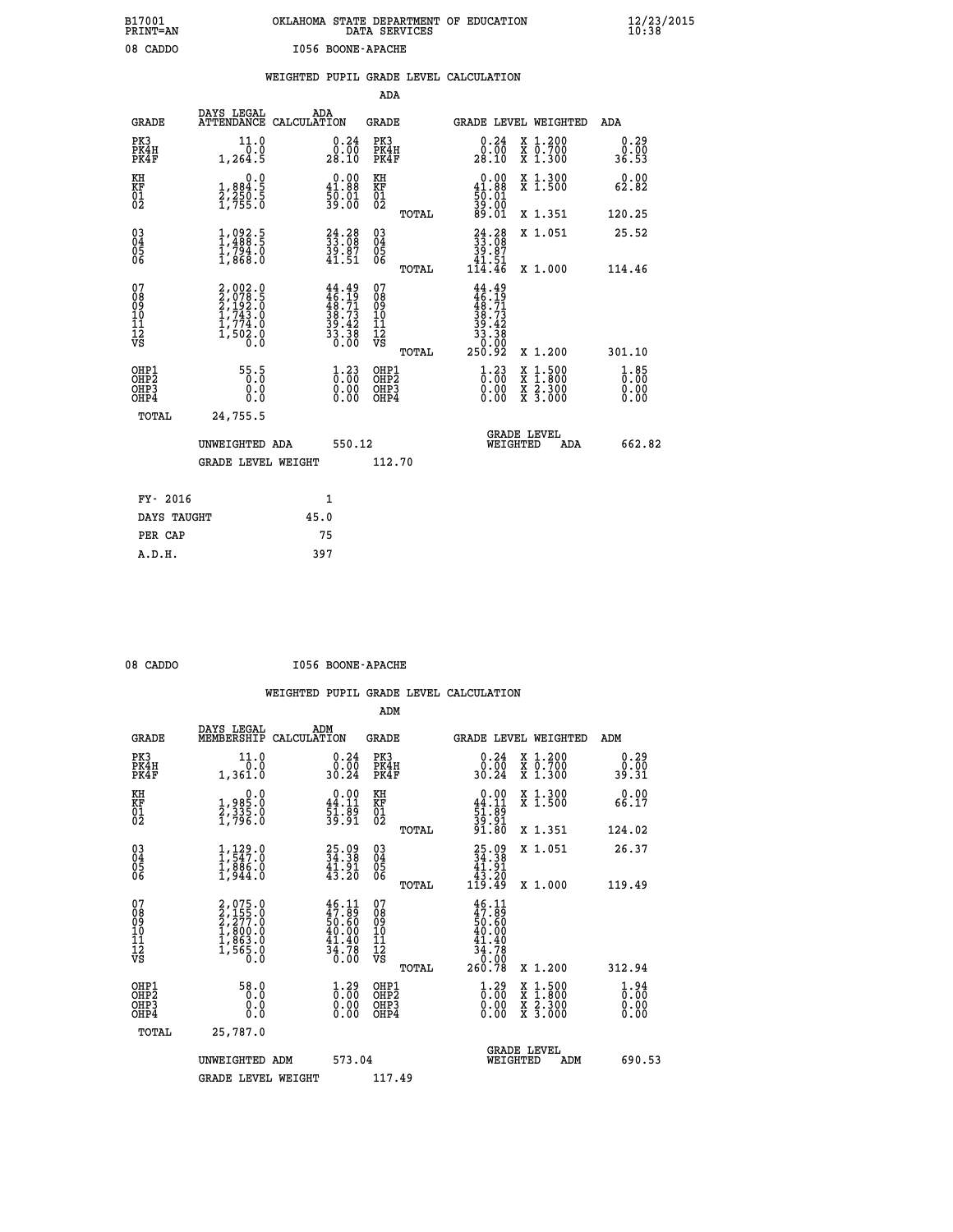| B17001          | OKLAHOMA STATE DEPARTMENT OF EDUCATION |
|-----------------|----------------------------------------|
| <b>PRINT=AN</b> | DATA SERVICES                          |
| 08 CADDO        | I056 BOONE-APACHE                      |

|  |  | WEIGHTED PUPIL GRADE LEVEL CALCULATION |
|--|--|----------------------------------------|
|  |  |                                        |

|                                                                    |                                                                       |                                                                          |        | ADA                                       |       |                                                                                       |                                          |                                    |
|--------------------------------------------------------------------|-----------------------------------------------------------------------|--------------------------------------------------------------------------|--------|-------------------------------------------|-------|---------------------------------------------------------------------------------------|------------------------------------------|------------------------------------|
| <b>GRADE</b>                                                       | DAYS LEGAL<br>ATTENDANCE CALCULATION                                  | ADA                                                                      |        | <b>GRADE</b>                              |       | GRADE LEVEL WEIGHTED                                                                  |                                          | ADA                                |
| PK3<br>PK4H<br>PK4F                                                | 11.0<br>0.0<br>1,264.5                                                | $\begin{smallmatrix} 0.24\ 0.00\\ 28.10 \end{smallmatrix}$               |        | PK3<br>PK4H<br>PK4F                       |       | $\begin{smallmatrix} 0.24\ 0.00\\ 28.10 \end{smallmatrix}$                            | X 1.200<br>X 0.700<br>X 1.300            | 0.29<br>0.00<br>36.53              |
| KH<br><b>KF</b><br>01<br>02                                        | 0.0<br>1,884:5<br>2,250:5<br>1,755:0                                  | $0.00$<br>41.88<br>$\frac{50.01}{39.00}$                                 |        | KH<br>KF<br>01<br>02                      |       | $0.00$<br>41.88<br>$\frac{1}{39}\cdot\frac{01}{00}$<br>89.01                          | X 1.300<br>X 1.500                       | 0.00<br>62.82                      |
|                                                                    |                                                                       |                                                                          |        |                                           | TOTAL |                                                                                       | X 1.351                                  | 120.25                             |
| $\begin{smallmatrix} 03 \\[-4pt] 04 \end{smallmatrix}$<br>05<br>06 | 1,992.5<br>$\frac{17794.0}{17868.0}$                                  | $24.28$<br>$33.08$<br>$39.87$<br>$41.51$                                 |        | $\substack{03 \\ 04}$<br>Ŏ5<br>06         |       | 24.28<br>33.08<br>39.87<br>41.51                                                      | X 1.051                                  | 25.52                              |
|                                                                    |                                                                       |                                                                          |        |                                           | TOTAL | 114.46                                                                                | X 1.000                                  | 114.46                             |
| 07<br>08<br>09<br>11<br>11<br>12<br>VS                             | 2,002.0<br>2,078.5<br>2,192.0<br>2,192.0<br>1,774.0<br>1,502.0<br>0.0 | $44.49$<br>$46.19$<br>$48.71$<br>$38.73$<br>$39.42$<br>$33.38$<br>$0.00$ |        | 07<br>08<br>09<br>11<br>11<br>12<br>VS    |       | $44.49$<br>$46.19$<br>$48.71$<br>$38.73$<br>$39.42$<br>$33.38$<br>$0.002$<br>$250.92$ |                                          |                                    |
|                                                                    |                                                                       |                                                                          |        |                                           | TOTAL |                                                                                       | X 1.200                                  | 301.10                             |
| OHP1<br>OH <sub>P</sub> 2<br>OH <sub>P3</sub><br>OH <sub>P4</sub>  | 55.5<br>0.000                                                         | $\begin{smallmatrix} 1\cdot 23\0.00\0.00 \end{smallmatrix}$              |        | OHP1<br>OH <sub>P</sub> 2<br>OHP3<br>OHP4 |       | $\frac{1}{0}$ : $\frac{23}{00}$<br>0.00                                               | X 1:500<br>X 1:800<br>X 2:300<br>X 3:000 | $\frac{1}{0}$ : 85<br>0.00<br>0.00 |
| TOTAL                                                              | 24,755.5                                                              |                                                                          |        |                                           |       |                                                                                       |                                          |                                    |
|                                                                    | UNWEIGHTED ADA                                                        |                                                                          | 550.12 |                                           |       |                                                                                       | GRADE LEVEL<br>WEIGHTED<br>ADA           | 662.82                             |
|                                                                    | <b>GRADE LEVEL WEIGHT</b>                                             |                                                                          |        | 112.70                                    |       |                                                                                       |                                          |                                    |
| FY- 2016                                                           |                                                                       | $\mathbf{1}$                                                             |        |                                           |       |                                                                                       |                                          |                                    |
| DAYS TAUGHT                                                        |                                                                       | 45.0                                                                     |        |                                           |       |                                                                                       |                                          |                                    |
| PER CAP                                                            |                                                                       | 75                                                                       |        |                                           |       |                                                                                       |                                          |                                    |

| וחת ב |
|-------|
|       |

 **A.D.H. 397**

**1056 BOONE-APACHE** 

|                                          |                                                                       |                                                                        | ADM                                                 |       |                                                                                |                                          |                                    |
|------------------------------------------|-----------------------------------------------------------------------|------------------------------------------------------------------------|-----------------------------------------------------|-------|--------------------------------------------------------------------------------|------------------------------------------|------------------------------------|
| <b>GRADE</b>                             | DAYS LEGAL<br>MEMBERSHIP                                              | ADM<br>CALCULATION                                                     | <b>GRADE</b>                                        |       |                                                                                | GRADE LEVEL WEIGHTED                     | ADM                                |
| PK3<br>PK4H<br>PK4F                      | 11.0<br>0.0<br>1,361.0                                                | $\begin{smallmatrix} 0.24\ 0.00 \ 30.24 \end{smallmatrix}$             | PK3<br>PK4H<br>PK4F                                 |       | $\begin{smallmatrix} 0.24\ 0.00 \ 30.24 \end{smallmatrix}$                     | X 1.200<br>X 0.700<br>X 1.300            | 0.29<br>0.00<br>39.31              |
| KH<br>KF<br>01<br>02                     | 0.0<br>1,985.0<br>2,335.0<br>1,796.0                                  | $\begin{smallmatrix} 0.00\\ 44.11\\ 51.89\\ 39.91 \end{smallmatrix}$   | KH<br>KF<br>01<br>02                                |       | $0.00$<br>$44.11$<br>$51.89$<br>$39.91$<br>$91.80$                             | X 1.300<br>X 1.500                       | 0.00<br>66.17                      |
|                                          |                                                                       |                                                                        |                                                     | TOTAL |                                                                                | X 1.351                                  | 124.02                             |
| 03<br>04<br>05<br>06                     | $1, 129.0$<br>$1, 547.0$<br>$1, 886.0$<br>1,944.0                     | 25.09<br>34.38<br>$\frac{41.91}{43.20}$                                | $\begin{array}{c} 03 \\ 04 \\ 05 \\ 06 \end{array}$ |       | $\begin{smallmatrix} 25.09\\ 34.38\\ 41.91\\ 43.20\\ 119.49 \end{smallmatrix}$ | X 1.051                                  | 26.37                              |
|                                          |                                                                       |                                                                        |                                                     | TOTAL |                                                                                | X 1.000                                  | 119.49                             |
| 07<br>08<br>09<br>101<br>112<br>VS       | 2,075.0<br>2,155.0<br>2,277.0<br>2,277.0<br>1,863.0<br>1,565.0<br>0.0 | $46.11$<br>$47.89$<br>$50.60$<br>$40.00$<br>$41.40$<br>$34.78$<br>0.00 | 07<br>08<br>09<br>11<br>11<br>12<br>VS              |       | $46.11\n47.89\n50.60\n40.00\n41.40\n34.78\n0.00\n260.78$                       |                                          |                                    |
|                                          |                                                                       |                                                                        |                                                     | TOTAL |                                                                                | X 1.200                                  | 312.94                             |
| OHP1<br>OHP2<br>OH <sub>P3</sub><br>OHP4 | 58.0<br>0.000                                                         | $\begin{smallmatrix} 1.29 \ 0.00 \ 0.00 \end{smallmatrix}$<br>0.00     | OHP1<br>OHP2<br>OHP <sub>3</sub>                    |       | $\begin{smallmatrix} 1.29 \ 0.00 \ 0.00 \end{smallmatrix}$<br>0.00             | X 1:500<br>X 1:800<br>X 2:300<br>X 3:000 | $\frac{1}{0}$ : 00<br>0.00<br>0.00 |
| TOTAL                                    | 25,787.0                                                              |                                                                        |                                                     |       |                                                                                |                                          |                                    |
|                                          | UNWEIGHTED ADM                                                        | 573.04                                                                 |                                                     |       | WEIGHTED                                                                       | <b>GRADE LEVEL</b><br>ADM                | 690.53                             |
|                                          | <b>GRADE LEVEL WEIGHT</b>                                             |                                                                        | 117.49                                              |       |                                                                                |                                          |                                    |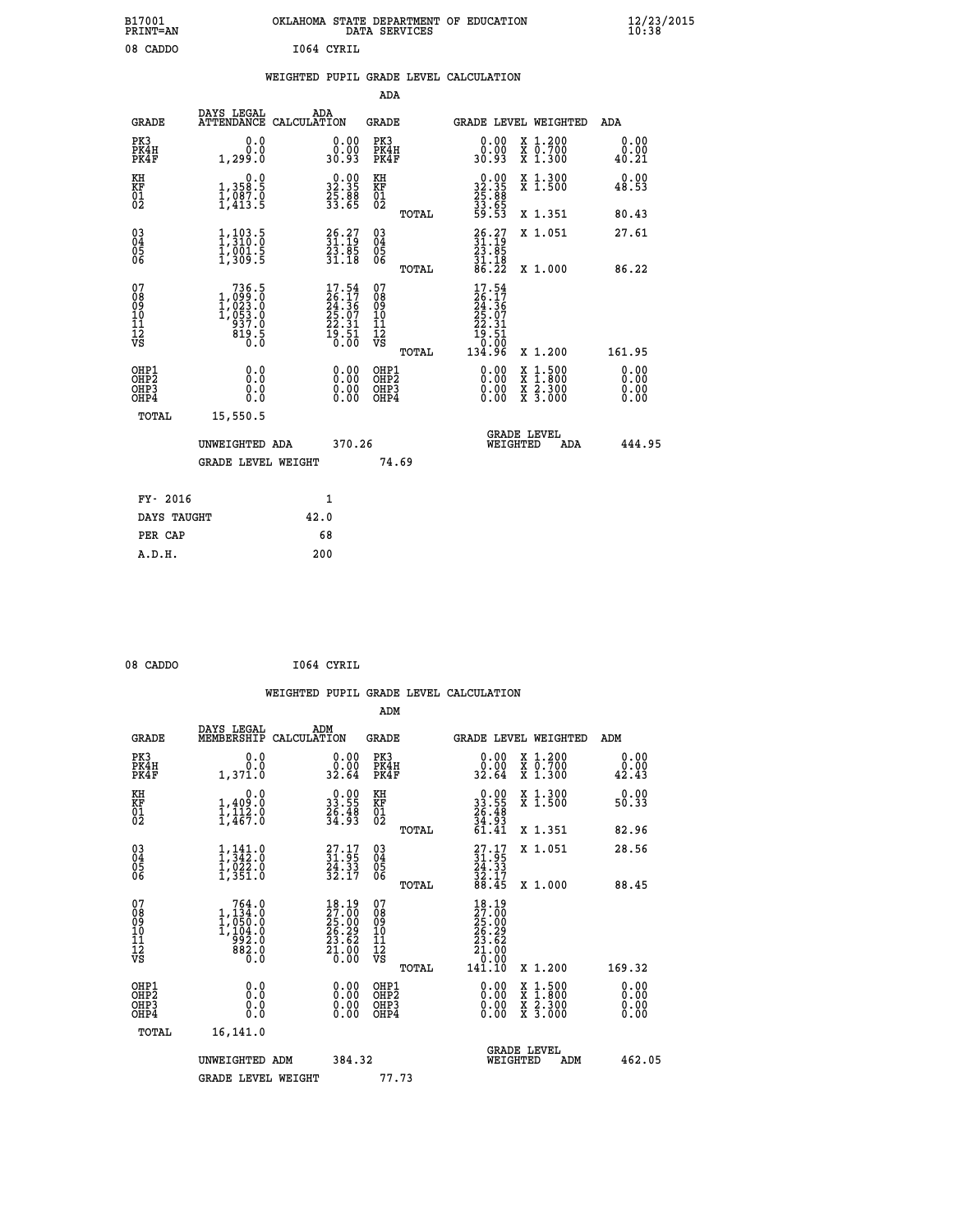| B17001<br><b>PRINT=AN</b><br>08 CADDO              |                                                                                                                                                   | OKLAHOMA<br>I064 CYRIL                                               | STATE DEPARTMENT OF<br>DATA SERVICES               |       | <b>EDUCATION</b>                                                             |                                                                             | $\frac{12}{23}$ /2015 |  |
|----------------------------------------------------|---------------------------------------------------------------------------------------------------------------------------------------------------|----------------------------------------------------------------------|----------------------------------------------------|-------|------------------------------------------------------------------------------|-----------------------------------------------------------------------------|-----------------------|--|
|                                                    |                                                                                                                                                   | WEIGHTED PUPIL GRADE LEVEL CALCULATION                               | ADA                                                |       |                                                                              |                                                                             |                       |  |
| <b>GRADE</b>                                       | DAYS LEGAL                                                                                                                                        | ADA<br>ATTENDANCE CALCULATION                                        | GRADE                                              |       |                                                                              | GRADE LEVEL WEIGHTED                                                        | ADA                   |  |
| PK3<br>PK4H<br>PK4F                                | 0.0<br>0.299.0                                                                                                                                    | 0.00<br>30.93                                                        | PK3<br>PK4H<br>PK4F                                |       | $\begin{smallmatrix} 0.00\\ 0.00\\ 0.93 \end{smallmatrix}$                   | $\begin{smallmatrix} x & 1.200 \\ x & 0.700 \end{smallmatrix}$<br>$X_1.300$ | 0.00<br>0.00<br>40.21 |  |
| KH<br>KF<br>01<br>02                               | $\begin{smallmatrix}&&&0.0\\1,358.5\\1,087.0\\1,413.5\end{smallmatrix}$                                                                           | $\begin{smallmatrix} 0.00\\ 32.35\\ 25.88\\ 33.65 \end{smallmatrix}$ | KH<br>KF<br>01<br>02                               |       | $\begin{smallmatrix} 0.00\\ 32.35\\ 25.88\\ 33.65\\ 59.53 \end{smallmatrix}$ | X 1.300<br>$X$ 1.500                                                        | 0.00<br>48.53         |  |
|                                                    |                                                                                                                                                   |                                                                      |                                                    | TOTAL |                                                                              | X 1.351                                                                     | 80.43                 |  |
| $\begin{matrix} 03 \\ 04 \\ 05 \\ 06 \end{matrix}$ | $\frac{1}{1}, \frac{1}{3}$<br>$\frac{1}{3}$<br>$\frac{1}{3}$<br>$\frac{1}{3}$<br>$\frac{0}{3}$<br>$\frac{1}{5}$<br>$\frac{1}{3}$<br>$\frac{1}{3}$ | $\begin{smallmatrix} 26.27\ 31.19\ 23.85\ 31.18 \end{smallmatrix}$   | $\begin{matrix} 03 \\ 04 \\ 05 \\ 06 \end{matrix}$ |       | $26.27$<br>$31.19$<br>$23.85$<br>$31.18$                                     | X 1.051                                                                     | 27.61                 |  |
|                                                    |                                                                                                                                                   |                                                                      |                                                    | TOTAL | 86.22<br>$\sim$ $  -$                                                        | X 1.000                                                                     | 86.22                 |  |

| 07<br>08<br>09<br>11<br>11<br>12<br>VS   | 736.5<br>1,099.0<br>1,023.0<br>1,053.0<br>937.0<br>819.5<br>0.0 | 17.54<br>26.17<br>$\overline{24.36}$<br>25.07<br>22.31<br>19.51<br>0.00 | 07<br>08<br>09<br>10<br>11<br>12<br>VS<br>TOTAL | 17.54<br>$\frac{26}{24}$ : $\frac{17}{36}$<br>$\frac{25}{35}$ : 07<br>22.31<br>19.51<br>0.00<br>134.96 | X 1.200                                                               | 161.95                   |
|------------------------------------------|-----------------------------------------------------------------|-------------------------------------------------------------------------|-------------------------------------------------|--------------------------------------------------------------------------------------------------------|-----------------------------------------------------------------------|--------------------------|
| OHP1<br>OHP <sub>2</sub><br>OHP3<br>OHP4 | 0.0<br>0.0<br>0.0                                               | 0.0000<br>0.00<br>0.00                                                  | OHP1<br>OHP <sub>2</sub><br>OHP3<br>OHP4        | 0.00<br>0.00<br>0.00                                                                                   | $\frac{x}{x}$ 1.500<br>$\overline{x}$ $\overline{2}$ . 300<br>X 3.000 | $0.00$<br>$0.00$<br>0.00 |
| TOTAL                                    | 15,550.5<br>UNWEIGHTED ADA                                      | 370.26                                                                  |                                                 |                                                                                                        | <b>GRADE LEVEL</b><br>WEIGHTED<br>ADA                                 | 444.95                   |
| ___ __                                   | GRADE LEVEL WEIGHT                                              |                                                                         | 74.69                                           |                                                                                                        |                                                                       |                          |

| FY- 2016    |      |
|-------------|------|
| DAYS TAUGHT | 42.0 |
| PER CAP     | 68   |
| A.D.H.      | 200  |
|             |      |

```
 08 CADDO I064 CYRIL
```

|                                                      |                                                                                           |                    |                                                                             |                                  |       | WEIGHTED PUPIL GRADE LEVEL CALCULATION                                                        |                                |                                                                                                                     |                               |  |
|------------------------------------------------------|-------------------------------------------------------------------------------------------|--------------------|-----------------------------------------------------------------------------|----------------------------------|-------|-----------------------------------------------------------------------------------------------|--------------------------------|---------------------------------------------------------------------------------------------------------------------|-------------------------------|--|
|                                                      |                                                                                           |                    |                                                                             | ADM                              |       |                                                                                               |                                |                                                                                                                     |                               |  |
| <b>GRADE</b>                                         | DAYS LEGAL<br>MEMBERSHIP                                                                  | ADM<br>CALCULATION |                                                                             | <b>GRADE</b>                     |       | <b>GRADE LEVEL WEIGHTED</b>                                                                   |                                |                                                                                                                     | ADM                           |  |
| PK3<br>PK4H<br>PK4F                                  | 0.0<br>0.0<br>1,371.0                                                                     |                    | $\begin{smallmatrix} 0.00\\ 0.00\\ 32.64 \end{smallmatrix}$                 | PK3<br>PK4H<br>PK4F              |       | $\begin{smallmatrix} 0.00\\ 0.00\\ 32.64 \end{smallmatrix}$                                   |                                | X 1.200<br>X 0.700<br>X 1.300                                                                                       | 0.00<br>$0.00$<br>42.43       |  |
| KH<br>KF<br>01<br>02                                 | 0.0<br>$1,409.0$<br>$1,112.0$<br>$1,467.0$                                                |                    | $\begin{smallmatrix} 0.00\\ 33.55\\ 26.48\\ 34.93 \end{smallmatrix}$        | KH<br>KF<br>01<br>02             |       | $\begin{smallmatrix} 0.00\\ 33.55\\ 26.48\\ 34.93\\ 61.41 \end{smallmatrix}$                  |                                | X 1.300<br>X 1.500                                                                                                  | 0.00<br>50.33                 |  |
|                                                      |                                                                                           |                    |                                                                             |                                  | TOTAL |                                                                                               |                                | X 1.351                                                                                                             | 82.96                         |  |
| $\begin{matrix} 03 \\ 04 \\ 05 \\ 06 \end{matrix}$   | $1,342.0$<br>$1,022.0$<br>$1,022.0$<br>$1,351.0$                                          |                    | $\begin{smallmatrix} 27.17\\ 31.95\\ 24.33\\ 32.17 \end{smallmatrix}$       | 03<br>04<br>05<br>06             |       | $27.17$<br>$31.95$<br>$24.33$<br>$32.17$<br>$88.45$                                           |                                | X 1.051                                                                                                             | 28.56                         |  |
|                                                      |                                                                                           |                    |                                                                             |                                  | TOTAL |                                                                                               |                                | X 1.000                                                                                                             | 88.45                         |  |
| 07<br>0890112<br>1112<br>VS                          | $\begin{smallmatrix}764.0\\1,134.0\\1,050.0\\1,104.0\\992.0\\882.0\\0.0\end{smallmatrix}$ |                    | $18.19$<br>$27.00$<br>$25.00$<br>$26.29$<br>$23.62$<br>$\frac{51.00}{0.00}$ | 07<br>08901112<br>1112<br>VS     |       | $\begin{smallmatrix} 18.19\\27.00\\25.00\\26.29\\23.62\\21.00\\0.00\\141.10\end{smallmatrix}$ |                                |                                                                                                                     |                               |  |
|                                                      |                                                                                           |                    |                                                                             |                                  | TOTAL |                                                                                               |                                | X 1.200                                                                                                             | 169.32                        |  |
| OHP1<br>OHP <sub>2</sub><br>OH <sub>P3</sub><br>OHP4 | 0.0<br>0.000                                                                              |                    | $0.00$<br>$0.00$<br>0.00                                                    | OHP1<br>OHP2<br>OHP <sub>3</sub> |       | 0.00<br>0.00<br>0.00                                                                          |                                | $\begin{array}{l} \mathtt{X} & 1.500 \\ \mathtt{X} & 1.800 \\ \mathtt{X} & 2.300 \\ \mathtt{X} & 3.000 \end{array}$ | 0.00<br>Ō. ŌŌ<br>0.00<br>0.00 |  |
| TOTAL                                                | 16,141.0                                                                                  |                    |                                                                             |                                  |       |                                                                                               |                                |                                                                                                                     |                               |  |
|                                                      | UNWEIGHTED ADM                                                                            |                    | 384.32                                                                      |                                  |       |                                                                                               | <b>GRADE LEVEL</b><br>WEIGHTED | ADM                                                                                                                 | 462.05                        |  |
|                                                      | <b>GRADE LEVEL WEIGHT</b>                                                                 |                    |                                                                             | 77.73                            |       |                                                                                               |                                |                                                                                                                     |                               |  |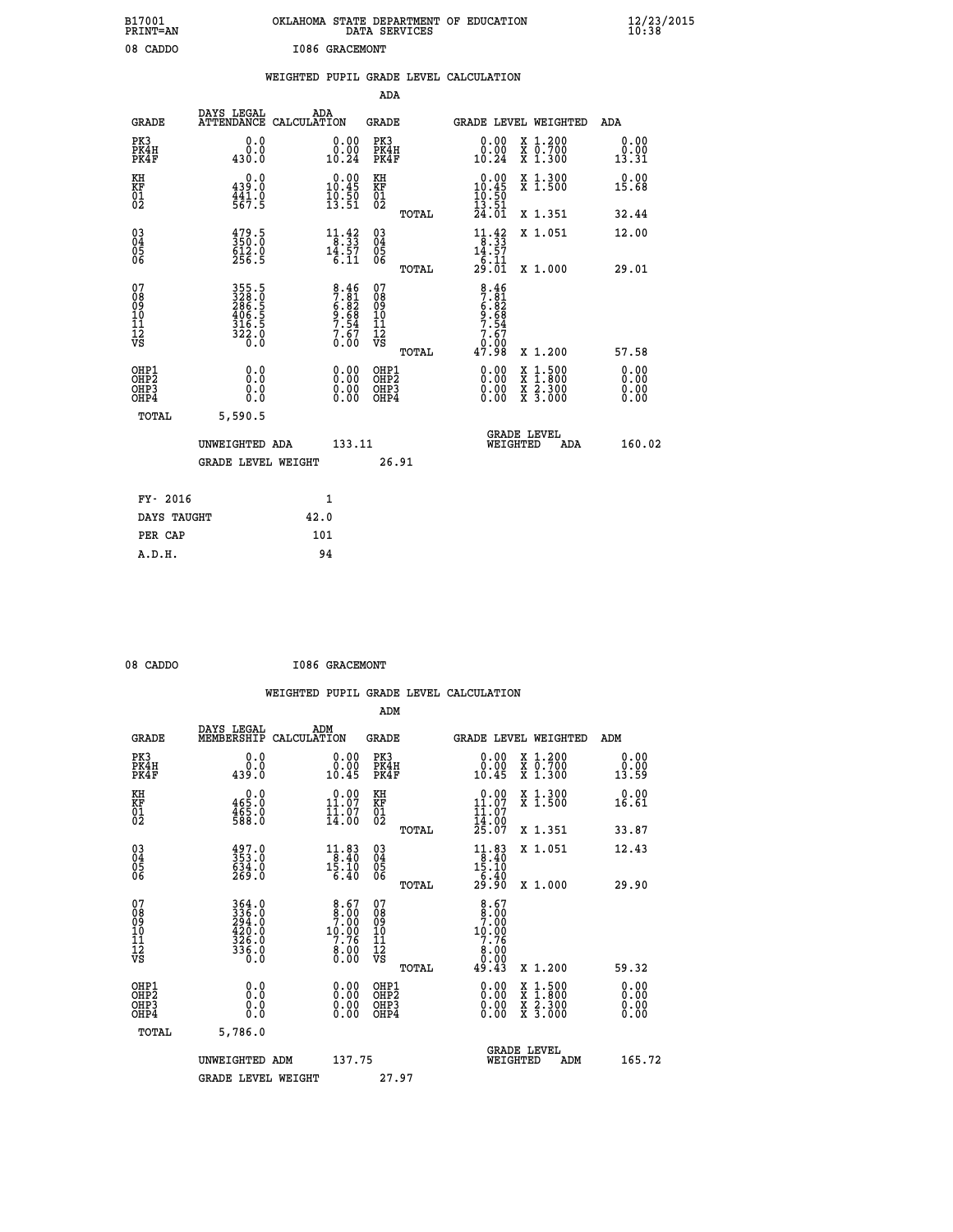| B17001<br>PRINT=AN                                |                                                                       |                       |                                                                                             |                                                      | DATA SERVICES | OKLAHOMA STATE DEPARTMENT OF EDUCATION                                       |                                                                                          | $\frac{12}{23}$ /2015        |  |
|---------------------------------------------------|-----------------------------------------------------------------------|-----------------------|---------------------------------------------------------------------------------------------|------------------------------------------------------|---------------|------------------------------------------------------------------------------|------------------------------------------------------------------------------------------|------------------------------|--|
| 08 CADDO                                          |                                                                       | <b>I086 GRACEMONT</b> |                                                                                             |                                                      |               | WEIGHTED PUPIL GRADE LEVEL CALCULATION                                       |                                                                                          |                              |  |
|                                                   |                                                                       |                       |                                                                                             | ADA                                                  |               |                                                                              |                                                                                          |                              |  |
| <b>GRADE</b>                                      | DAYS LEGAL<br>ATTENDANCE CALCULATION                                  | ADA                   |                                                                                             | GRADE                                                |               | GRADE LEVEL WEIGHTED                                                         |                                                                                          | ADA                          |  |
| PK3<br>PK4H<br>PK4F                               | 0.0<br>0.0<br>430.0                                                   |                       | 0.00<br>$\begin{smallmatrix} 0.00 \ 10.24 \end{smallmatrix}$                                | PK3<br>PK4H<br>PK4F                                  |               | 0.00<br>$\substack{0.001 \ 10.24}$                                           | X 1.200<br>X 0.700<br>X 1.300                                                            | 0.00<br>0.00<br>13.31        |  |
| KH<br>KF<br>$\begin{matrix} 01 \ 02 \end{matrix}$ | 0.0<br>439.0<br>441.0<br>567.5                                        |                       | $0.00$<br>10.45<br>$\frac{10.50}{13.51}$                                                    | KH<br><b>KF</b><br>01<br>02                          |               | $\begin{smallmatrix} 0.00\\ 10.45\\ 10.50\\ 13.51\\ 24.01 \end{smallmatrix}$ | X 1.300<br>X 1.500                                                                       | 0.00<br>15.68                |  |
|                                                   |                                                                       |                       |                                                                                             |                                                      | TOTAL         |                                                                              | X 1.351                                                                                  | 32.44                        |  |
| 03<br>04<br>05<br>06                              | $\begin{smallmatrix} 479.5\\ 350.0\\ 612.0\\ 256.5 \end{smallmatrix}$ |                       | $\begin{array}{l} 11\cdot 42 \\ 8\cdot 33 \\ 14\cdot 57 \\ 6\cdot 11 \end{array}$           | 030404<br>ŎĞ                                         | <b>TOTAL</b>  | $11.42$<br>$8.33$<br>$14.57$<br>$\frac{1}{29} \cdot \frac{11}{01}$           | X 1.051<br>X 1.000                                                                       | 12.00<br>29.01               |  |
| 07<br>08<br>09<br>10<br>īi<br>Ī2<br>VS            | 355.5<br>3286.5<br>286.5<br>406.5<br>316.5<br>312.0<br>322.0          |                       | $\begin{array}{r} 8.46 \\ 7.81 \\ 6.82 \\ 9.68 \\ 7.54 \\ 7.54 \\ 7.67 \\ 0.00 \end{array}$ | 07<br>08<br>09<br>10<br>īī<br>$\frac{1}{\sqrt{2}}$   | TOTAL         | $8.46$<br>$7.81$<br>$6.82$<br>$9.68$<br>$7.54$<br>7.67<br>0.00<br>47.98      | X 1.200                                                                                  | 57.58                        |  |
| OHP1<br>OHP2<br>OHP3<br>OHP4                      | 0.0<br>0.0<br>0.0<br>0.0                                              |                       | 0.00<br>$\begin{smallmatrix} 0.00 \ 0.00 \end{smallmatrix}$                                 | OHP1<br>OH <sub>P</sub> <sub>2</sub><br>OHP3<br>OHP4 |               | 0.00<br>0.00<br>0.00                                                         | $\begin{smallmatrix} x & 1.500 \\ x & 1.800 \\ x & 2.300 \\ x & 3.000 \end{smallmatrix}$ | 0.00<br>0.00<br>0.00<br>0.00 |  |
| TOTAL                                             | 5,590.5                                                               |                       |                                                                                             |                                                      |               |                                                                              |                                                                                          |                              |  |
|                                                   | UNWEIGHTED ADA<br><b>GRADE LEVEL WEIGHT</b>                           |                       | 133.11                                                                                      |                                                      | 26.91         | <b>GRADE LEVEL</b><br>WEIGHTED                                               | ADA                                                                                      | 160.02                       |  |
| FY- 2016                                          |                                                                       | 1                     |                                                                                             |                                                      |               |                                                                              |                                                                                          |                              |  |
| DAYS TAUGHT                                       |                                                                       | 42.0                  |                                                                                             |                                                      |               |                                                                              |                                                                                          |                              |  |
| PER CAP                                           |                                                                       | 101                   |                                                                                             |                                                      |               |                                                                              |                                                                                          |                              |  |

| 08 CADDO | <b>I086 GRACEMONT</b> |
|----------|-----------------------|
|          |                       |

 **WEIGHTED PUPIL GRADE LEVEL CALCULATION ADM DAYS LEGAL ADM GRADE MEMBERSHIP CALCULATION GRADE GRADE LEVEL WEIGHTED ADM PK3 0.0 0.00 PK3 0.00 X 1.200 0.00 PK4H 0.0 0.00 PK4H 0.00 X 0.700 0.00 PK4F 439.0 10.45 PK4F 10.45 X 1.300 13.59 KH 0.0 0.00 KH 0.00 X 1.300 0.00 KF 465.0 11.07 KF 11.07 X 1.500 16.61 01 11.07 01 11.07** 02 588.0 14.00 02 14.00  **TOTAL 25.07 X 1.351 33.87 03 497.0 11.83 03 11.83 X 1.051 12.43 04 353.0 8.40 04 8.40 05 634.0 15.10 05 15.10 06 269.0 6.40 06 6.40 TOTAL 29.90 X 1.000 29.90 07 364.0 8.67 07 8.67 08 336.0 8.00 08 8.00 09 294.0 7.00 09 7.00 10 420.0 10.00 10 10.00 11 326.0 7.76 11 7.76 12 12 12 12 12 12 8.00 VS 0.0 0.00 VS 0.00 TOTAL 49.43 X 1.200 59.32 OHP1 0.0 0.00 OHP1 0.00 X 1.500 0.00 OHP2 0.0 0.00 OHP2 0.00 X 1.800 0.00 OHP3 0.0 0.00 OHP3 0.00 X 2.300 0.00 OHP4 0.0 0.00 OHP4 0.00 X 3.000 0.00 TOTAL 5,786.0 GRADE LEVEL UNWEIGHTED ADM 137.75 WEIGHTED ADM 165.72** GRADE LEVEL WEIGHT 27.97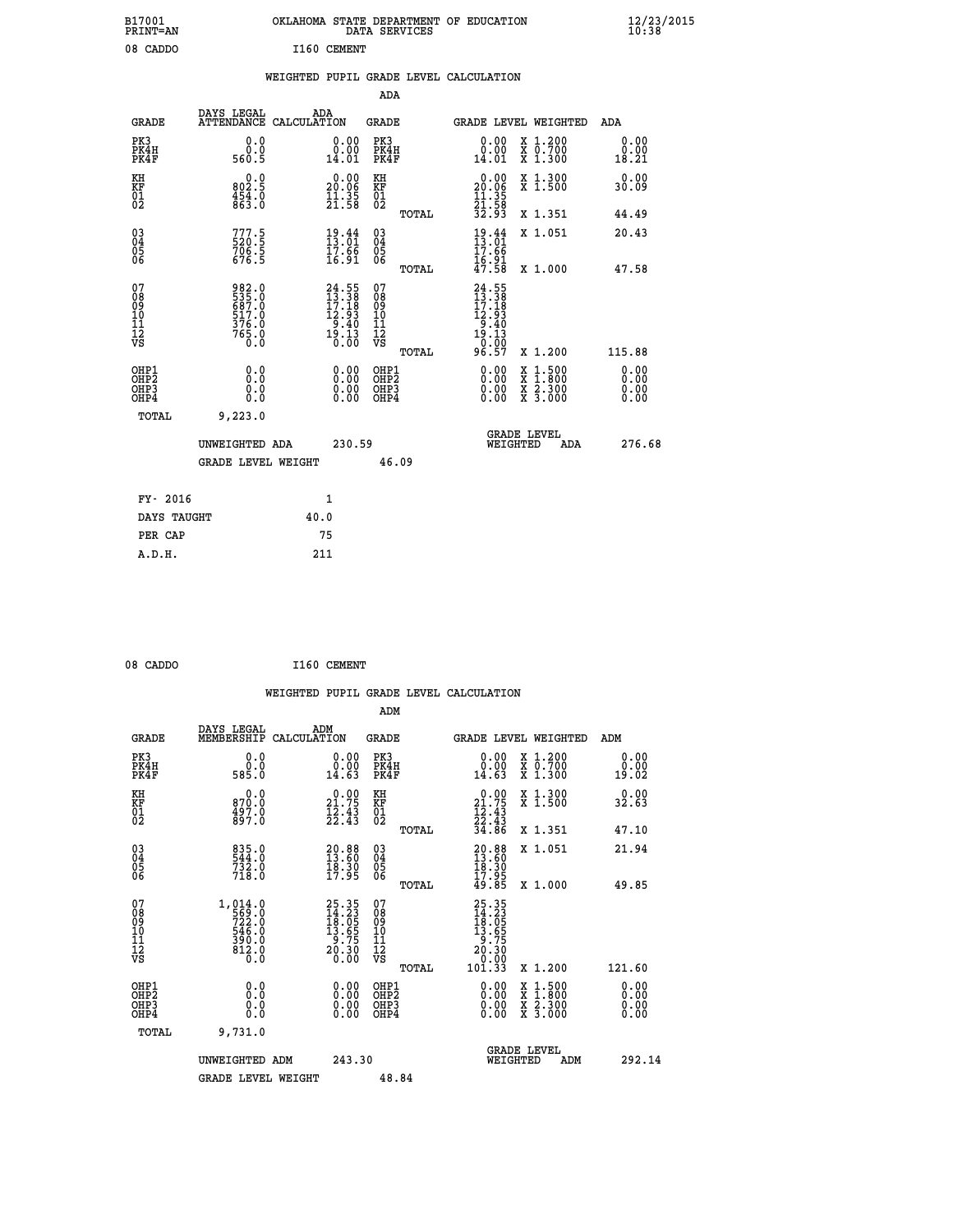| B17001<br>PRINT=AN                     |                                                             |             |                                                                         | OKLAHOMA STATE DEPARTMENT OF EDUCATION<br>DATA SERVICES      |                                                                                |                                                                                          | $\frac{12}{23}$ /2015 |
|----------------------------------------|-------------------------------------------------------------|-------------|-------------------------------------------------------------------------|--------------------------------------------------------------|--------------------------------------------------------------------------------|------------------------------------------------------------------------------------------|-----------------------|
| 08 CADDO                               |                                                             | I160 CEMENT |                                                                         |                                                              |                                                                                |                                                                                          |                       |
|                                        |                                                             |             |                                                                         | WEIGHTED PUPIL GRADE LEVEL CALCULATION                       |                                                                                |                                                                                          |                       |
|                                        |                                                             |             |                                                                         | ADA                                                          |                                                                                |                                                                                          |                       |
| GRADE                                  | DAYS LEGAL<br>ATTENDANCE CALCULATION                        | ADA         |                                                                         | GRADE                                                        |                                                                                | GRADE LEVEL WEIGHTED                                                                     | ADA                   |
| PK3<br>PK4H<br>PK4F                    | 0.0<br>0.0<br>560.5                                         |             | 0.00<br>0.00<br>14.01                                                   | PK3<br>PK4H<br>PK4F                                          | 0.00<br>$\begin{smallmatrix} 0.00 \ 14.01 \end{smallmatrix}$                   | X 1.200<br>X 0.700<br>X 1.300                                                            | 0.00<br>0.00<br>18.21 |
| KH<br>KF<br>01<br>02                   | 0.0<br>802.5<br>$\frac{454}{863}$ .0                        |             | $\begin{smallmatrix} 0.00\\ 20.06\\ 11.35\\ 21.58 \end{smallmatrix}$    | KH<br><b>KF</b><br>01<br>02                                  | $\begin{smallmatrix} 0.00\\ 20.06\\ 11.35\\ 21.58\\ 32.93 \end{smallmatrix}$   | X 1.300<br>X 1.500                                                                       | 0.00<br>30.09         |
|                                        |                                                             |             |                                                                         | TOTAL                                                        |                                                                                | X 1.351                                                                                  | 44.49                 |
| $\substack{03 \ 04}$<br>Ŏ5<br>06       | 777.5<br>706.5<br>676.5                                     |             | $\frac{19}{13}$ : $\frac{44}{01}$<br>$\frac{17.66}{16.91}$              | $03\overline{4}$<br>$\begin{matrix} 0.5 \\ 0.6 \end{matrix}$ | $\frac{19.44}{13.01}$<br>17.66                                                 | X 1.051                                                                                  | 20.43                 |
|                                        |                                                             |             |                                                                         | TOTAL                                                        | $\frac{16.91}{47.58}$                                                          | X 1.000                                                                                  | 47.58                 |
| 07<br>08<br>09<br>10<br>11<br>12<br>VS | 982.0<br>535.0<br>687.0<br>687.0<br>517.0<br>376.0<br>765.0 |             | $24.55$<br>$13.38$<br>$17.18$<br>$12.93$<br>$9.40$<br>$19.13$<br>$0.00$ | 07<br>ŏġ<br>09<br>ĭõ<br>īĭ<br>12<br>VS<br>TOTAL              | $24.55$<br>$13.38$<br>$17.18$<br>$12.93$<br>$9.40$<br>$19.13$<br>0.00<br>96.57 | X 1.200                                                                                  | 115.88                |
| OHP1                                   |                                                             |             |                                                                         | OHP1                                                         |                                                                                |                                                                                          | 0.00                  |
| OH <sub>P</sub> 2<br>OHP3<br>OHP4      | 0.0<br>0.0<br>0.0                                           |             | 0.00<br>0.00<br>0.00                                                    | OH <sub>P</sub> 2<br>OHP3<br>OHP4                            | 0.00<br>0.00<br>0.00                                                           | $\begin{smallmatrix} x & 1.500 \\ x & 1.800 \\ x & 2.300 \\ x & 3.000 \end{smallmatrix}$ | 0.00<br>0.00<br>0.00  |
| TOTAL                                  | 9,223.0                                                     |             |                                                                         |                                                              |                                                                                |                                                                                          |                       |
|                                        | UNWEIGHTED ADA                                              |             | 230.59                                                                  |                                                              | WEIGHTED                                                                       | <b>GRADE LEVEL</b><br>ADA                                                                | 276.68                |
|                                        | <b>GRADE LEVEL WEIGHT</b>                                   |             |                                                                         | 46.09                                                        |                                                                                |                                                                                          |                       |
| FY- 2016                               |                                                             | 1           |                                                                         |                                                              |                                                                                |                                                                                          |                       |
| DAYS TAUGHT                            |                                                             | 40.0        |                                                                         |                                                              |                                                                                |                                                                                          |                       |
| PER CAP                                |                                                             | 75          |                                                                         |                                                              |                                                                                |                                                                                          |                       |

| 08 CADDO | I160 CEMENT |
|----------|-------------|
|          |             |

 **WEIGHTED PUPIL GRADE LEVEL CALCULATION ADM DAYS LEGAL ADM GRADE MEMBERSHIP CALCULATION GRADE GRADE LEVEL WEIGHTED ADM PK3 0.0 0.00 PK3 0.00 X 1.200 0.00 PK4H 0.0 0.00 PK4H 0.00 X 0.700 0.00 PK4F 585.0 14.63 PK4F 14.63 X 1.300 19.02 KH 0.0 0.00 KH 0.00 X 1.300 0.00 KF 870.0 21.75 KF 21.75 X 1.500 32.63 01 497.0 12.43 01 12.43**  $02 \t\t 897.0 \t\t 22.43 \t 02 \t 22.43$  **TOTAL 34.86 X 1.351 47.10 03 835.0 20.88 03 20.88 X 1.051 21.94 04 544.0 13.60 04 13.60 05 732.0 18.30 05 18.30** 06 718.0 17.95 06 <sub>memax</sub> 17.95  **TOTAL 49.85 X 1.000 49.85** 07 1,014.0 25.35 07 25.35<br>
08 569.0 18.05 08 18.05<br>
10 546.0 13.65 10 13.65<br>
11 390.0 9.75 11 9.75<br>
12 812.0 20.30 12 20.30<br>
VS 812.0 20.30<br>
12<br>
12<br>
13.00  **TOTAL 101.33 X 1.200 121.60 OHP1 0.0 0.00 OHP1 0.00 X 1.500 0.00 OHP2 0.0 0.00 OHP2 0.00 X 1.800 0.00 OHP3 0.0 0.00 OHP3 0.00 X 2.300 0.00 OHP4 0.0 0.00 OHP4 0.00 X 3.000 0.00 TOTAL 9,731.0 GRADE LEVEL UNWEIGHTED ADM 243.30 WEIGHTED ADM 292.14** GRADE LEVEL WEIGHT 48.84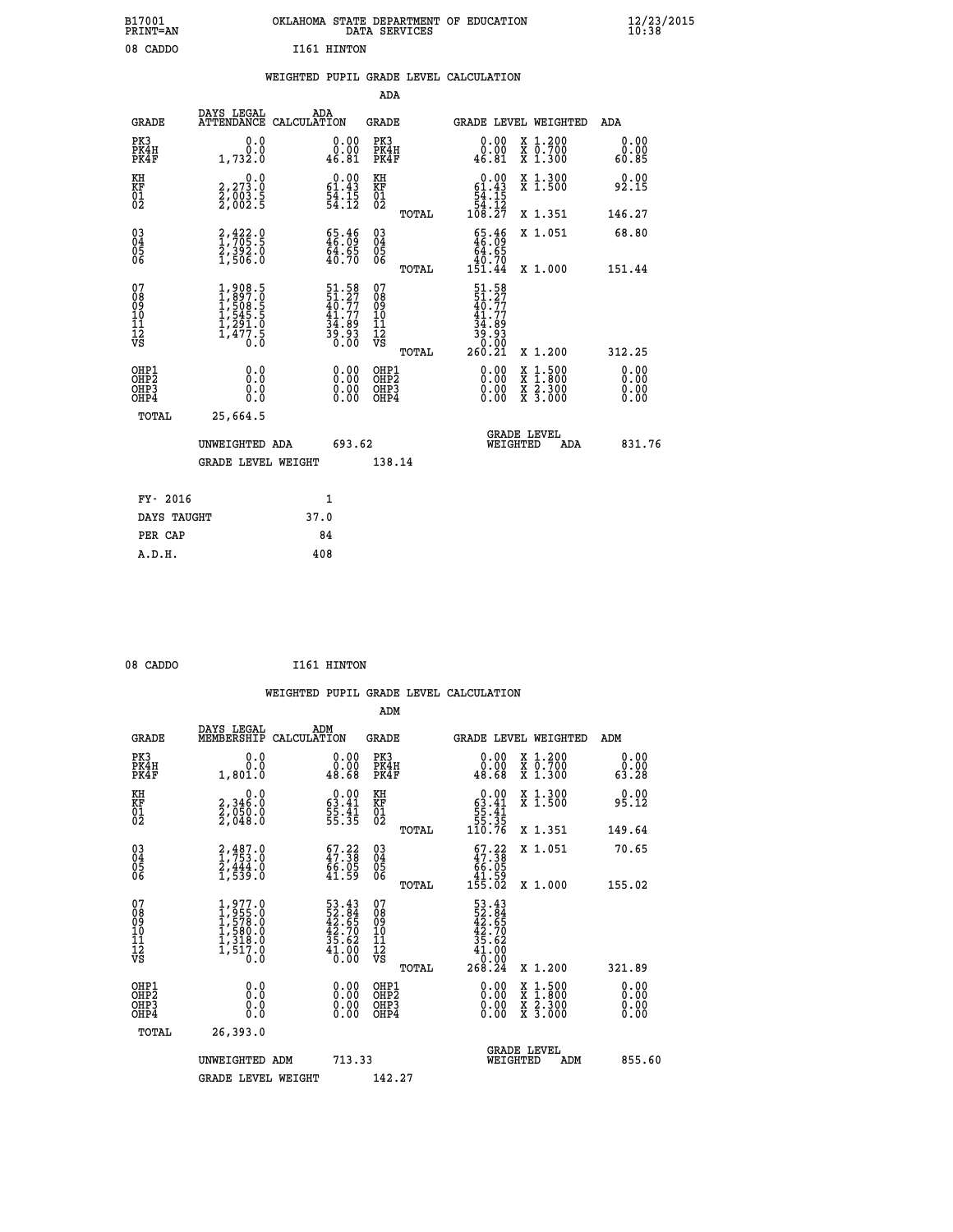|             | OKLAHOMA STATE DEPARTMENT OF EDUCATION<br>DATA SERVICES |  |
|-------------|---------------------------------------------------------|--|
| T161 HTNTON |                                                         |  |

 **B17001<br>PRINT=AN** 08 CADDO

|  |  | WEIGHTED PUPIL GRADE LEVEL CALCULATION |
|--|--|----------------------------------------|
|  |  |                                        |

|                                                                                       |                                                                                   |                                                                          | ADA                                                |       |                                                                                                     |                                                                                                                                              |                              |
|---------------------------------------------------------------------------------------|-----------------------------------------------------------------------------------|--------------------------------------------------------------------------|----------------------------------------------------|-------|-----------------------------------------------------------------------------------------------------|----------------------------------------------------------------------------------------------------------------------------------------------|------------------------------|
| <b>GRADE</b>                                                                          | DAYS LEGAL                                                                        | ADA<br>ATTENDANCE CALCULATION                                            | GRADE                                              |       | <b>GRADE LEVEL WEIGHTED</b>                                                                         |                                                                                                                                              | ADA                          |
| PK3<br>PK4H<br>PK4F                                                                   | 0.0<br>0.0<br>1,732.0                                                             | 0.00<br>0.00<br>46.81                                                    | PK3<br>PK4H<br>PK4F                                |       | 0.00<br>0.00<br>46.81                                                                               | X 1.200<br>X 0.700<br>X 1.300                                                                                                                | 0.00<br>0.00<br>60.85        |
| KH<br>KF<br>01<br>02                                                                  | 0.0<br>2,273.0<br>2,003.5<br>2,002.5                                              | $\begin{smallmatrix} 0.00\\ 61.43\\ 54.15\\ 54.12 \end{smallmatrix}$     | KH<br><b>KF</b><br>01<br>02                        |       | $\begin{array}{c} 0.00 \\ 61.43 \\ 54.15 \\ 54.12 \\ 108.27 \end{array}$                            | X 1.300<br>X 1.500                                                                                                                           | 0.00<br>92.15                |
|                                                                                       |                                                                                   |                                                                          |                                                    | TOTAL |                                                                                                     | X 1.351                                                                                                                                      | 146.27                       |
| $^{03}_{04}$<br>Ŏ5<br>06                                                              | $2,422.9$<br>$1,705.5$<br>$2,392.0$<br>$1,506.0$                                  | $\begin{smallmatrix} 65.46\\ 46.09\\ 64.65\\ 40.70 \end{smallmatrix}$    | $\begin{matrix} 03 \\ 04 \\ 05 \\ 06 \end{matrix}$ | TOTAL | $\frac{65.46}{64.65}$<br>40.70<br>151.44                                                            | X 1.051<br>X 1.000                                                                                                                           | 68.80<br>151.44              |
| 07<br>08<br>09<br>11<br>11<br>12<br>VS                                                | $1,908.5$<br>$1,897.0$<br>$1,508.5$<br>$1,545.5$<br>$1,291.0$<br>$1,477.5$<br>0.0 | $51.58$<br>$51.27$<br>$40.77$<br>$41.77$<br>$34.89$<br>$39.93$<br>$0.00$ | 07<br>08<br>09<br>11<br>11<br>12<br>VS             | TOTAL | 51.58<br>51.27<br>40.77<br>$\begin{array}{c} 41.77 \\ 34.89 \\ 39.93 \\ 0.00 \\ 260.21 \end{array}$ | X 1.200                                                                                                                                      | 312.25                       |
| OHP1<br>OH <sub>P</sub> <sub>2</sub><br>OH <sub>P3</sub><br>OH <sub>P4</sub><br>TOTAL | 0.0<br>Ō.Ō<br>0.0<br>0.0<br>25,664.5                                              | 0.00<br>0.00<br>0.00                                                     | OHP1<br>OHP <sub>2</sub><br>OHP3<br>OHP4           |       | 0.00<br>0.00<br>0.00                                                                                | $\begin{smallmatrix} \mathtt{X} & 1\cdot500 \\ \mathtt{X} & 1\cdot800 \\ \mathtt{X} & 2\cdot300 \\ \mathtt{X} & 3\cdot000 \end{smallmatrix}$ | 0.00<br>0.00<br>0.00<br>0.00 |
|                                                                                       | UNWEIGHTED ADA<br><b>GRADE LEVEL WEIGHT</b>                                       | 693.62                                                                   | 138.14                                             |       | WEIGHTED                                                                                            | <b>GRADE LEVEL</b><br>ADA                                                                                                                    | 831.76                       |
| FY- 2016                                                                              |                                                                                   | $\mathbf{1}$                                                             |                                                    |       |                                                                                                     |                                                                                                                                              |                              |
| DAYS TAUGHT                                                                           |                                                                                   | 37.0                                                                     |                                                    |       |                                                                                                     |                                                                                                                                              |                              |
| PER CAP                                                                               |                                                                                   | 84                                                                       |                                                    |       |                                                                                                     |                                                                                                                                              |                              |
| A.D.H.                                                                                |                                                                                   | 408                                                                      |                                                    |       |                                                                                                     |                                                                                                                                              |                              |

| 08 CADDO | I161 HINTON |
|----------|-------------|
|          |             |

 **A.D.H. 408**

|                                                      |                                                                                         |                                                                      |                                                     | WEIGHTED PUPIL GRADE LEVEL CALCULATION                                                                                                                                                                                                                                                                                                                                                                                      |                              |
|------------------------------------------------------|-----------------------------------------------------------------------------------------|----------------------------------------------------------------------|-----------------------------------------------------|-----------------------------------------------------------------------------------------------------------------------------------------------------------------------------------------------------------------------------------------------------------------------------------------------------------------------------------------------------------------------------------------------------------------------------|------------------------------|
|                                                      |                                                                                         |                                                                      | ADM                                                 |                                                                                                                                                                                                                                                                                                                                                                                                                             |                              |
| <b>GRADE</b>                                         | DAYS LEGAL<br>MEMBERSHIP<br>CALCULATION                                                 | ADM                                                                  | <b>GRADE</b>                                        | GRADE LEVEL WEIGHTED                                                                                                                                                                                                                                                                                                                                                                                                        | ADM                          |
| PK3<br>PK4H<br>PK4F                                  | 0.0<br>0.0<br>1,801.0                                                                   | $\begin{smallmatrix} 0.00\\ 0.00\\ 0.00\\ 48.68 \end{smallmatrix}$   | PK3<br>PK4H<br>PK4F                                 | $\begin{smallmatrix} 0.00\\ 0.00\\ 0.00\\ 48.68 \end{smallmatrix}$<br>X 1.200<br>X 0.700<br>X 1.300                                                                                                                                                                                                                                                                                                                         | 0.00<br>0.00<br>63.28        |
| KH<br>KF<br>01<br>02                                 | $\begin{smallmatrix} & & 0.0\ 2.346.0\ 2.050.0\ 2.048.0 \end{smallmatrix}$              | $\begin{smallmatrix} 0.00\\ 63.41\\ 55.41\\ 55.35 \end{smallmatrix}$ | KH<br>KF<br>01<br>02                                | X 1.300<br>X 1.500<br>$0.00$<br>$63.41$<br>$55.41$<br>$55.35$<br>$110.76$                                                                                                                                                                                                                                                                                                                                                   | 0.00<br>95.12                |
|                                                      |                                                                                         |                                                                      | TOTAL                                               | X 1.351                                                                                                                                                                                                                                                                                                                                                                                                                     | 149.64                       |
| $\begin{matrix} 03 \\ 04 \\ 05 \\ 06 \end{matrix}$   | $2,487.0$<br>$1,753.0$<br>$2,444.0$<br>$1,539.0$                                        | 67.22<br>47.38<br>66.05<br>41.59                                     | $\begin{array}{c} 03 \\ 04 \\ 05 \\ 06 \end{array}$ | X 1.051<br>$\begin{smallmatrix} 67.22 \\ 47.38 \\ 66.05 \\ 41.59 \\ 155.02 \end{smallmatrix}$                                                                                                                                                                                                                                                                                                                               | 70.65                        |
|                                                      |                                                                                         |                                                                      | TOTAL                                               | X 1.000                                                                                                                                                                                                                                                                                                                                                                                                                     | 155.02                       |
| 07<br>08<br>09<br>101<br>112<br>VS                   | $1,977.0$<br>$1,955.0$<br>$1,578.0$<br>$1,580.0$<br>$1,318.0$<br>$1,318.0$<br>$1,517.0$ | $53.4352.8442.6542.7035.6241.0000.00$                                | 07<br>08<br>09<br>11<br>11<br>12<br>VS<br>TOTAL     | $\begin{array}{r} 53\cdot 43 \\ 52\cdot 84 \\ 42\cdot 65 \\ 42\cdot 70 \\ 35\cdot 62 \\ 41\cdot 00 \\ 0\cdot 00 \\ 268\cdot 24 \end{array}$<br>X 1.200                                                                                                                                                                                                                                                                      | 321.89                       |
|                                                      |                                                                                         |                                                                      |                                                     |                                                                                                                                                                                                                                                                                                                                                                                                                             |                              |
| OHP1<br>OHP2<br>OH <sub>P3</sub><br>OH <sub>P4</sub> | 0.0<br>0.000                                                                            | $\begin{smallmatrix} 0.00 \ 0.00 \ 0.00 \ 0.00 \end{smallmatrix}$    | OHP1<br>OH <sub>P</sub> 2<br>OHP3<br>OHP4           | $\begin{smallmatrix} 0.00 & 0.00 & 0.00 & 0.00 & 0.00 & 0.00 & 0.00 & 0.00 & 0.00 & 0.00 & 0.00 & 0.00 & 0.00 & 0.00 & 0.00 & 0.00 & 0.00 & 0.00 & 0.00 & 0.00 & 0.00 & 0.00 & 0.00 & 0.00 & 0.00 & 0.00 & 0.00 & 0.00 & 0.00 & 0.00 & 0.00 & 0.00 & 0.00 & 0.00 & 0.00 & 0.0$<br>$\begin{smallmatrix} \mathtt{X} & 1\cdot500\\ \mathtt{X} & 1\cdot800\\ \mathtt{X} & 2\cdot300\\ \mathtt{X} & 3\cdot000 \end{smallmatrix}$ | 0.00<br>0.00<br>0.00<br>0.00 |
| TOTAL                                                | 26,393.0                                                                                |                                                                      |                                                     |                                                                                                                                                                                                                                                                                                                                                                                                                             |                              |
|                                                      | UNWEIGHTED ADM                                                                          | 713.33                                                               |                                                     | <b>GRADE LEVEL</b><br>WEIGHTED<br>ADM                                                                                                                                                                                                                                                                                                                                                                                       | 855.60                       |
|                                                      | <b>GRADE LEVEL WEIGHT</b>                                                               |                                                                      | 142.27                                              |                                                                                                                                                                                                                                                                                                                                                                                                                             |                              |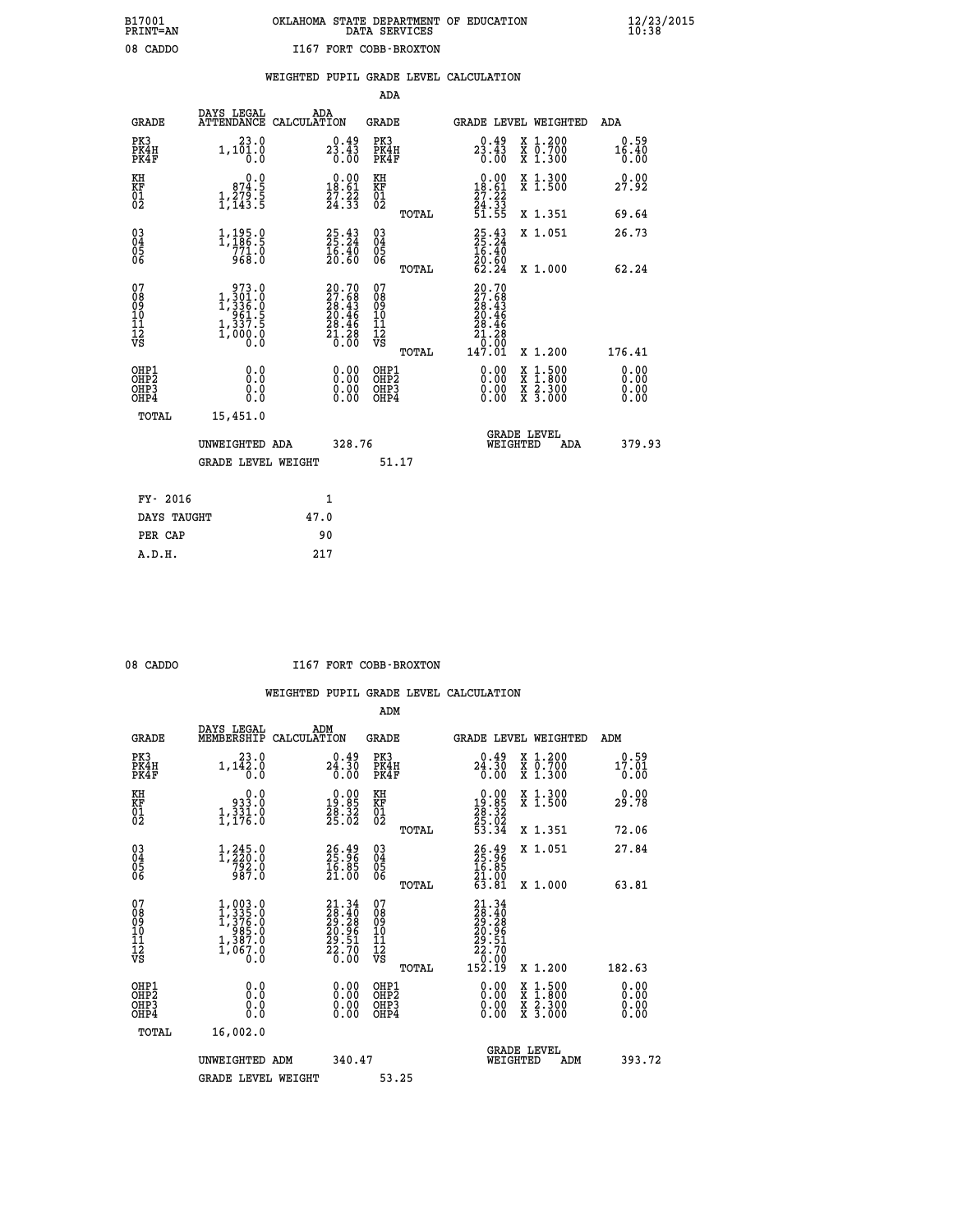# **B17001 OKLAHOMA STATE DEPARTMENT OF EDUCATION 12/23/2015 PRINT=AN DATA SERVICES 10:38 08 CADDO I167 FORT COBB-BROXTON**

|                                                                    |                                                                                                                                                                              |                                                                          | ADA                                       |       |                                                                      |                                                                                                  |                              |
|--------------------------------------------------------------------|------------------------------------------------------------------------------------------------------------------------------------------------------------------------------|--------------------------------------------------------------------------|-------------------------------------------|-------|----------------------------------------------------------------------|--------------------------------------------------------------------------------------------------|------------------------------|
| <b>GRADE</b>                                                       | DAYS LEGAL<br>ATTENDANCE CALCULATION                                                                                                                                         | ADA                                                                      | <b>GRADE</b>                              |       |                                                                      | GRADE LEVEL WEIGHTED                                                                             | ADA                          |
| PK3<br>PK4H<br>PK4F                                                | 23.0<br>1, 101.0                                                                                                                                                             | $23.43\n0.43\n0.00$                                                      | PK3<br>PK4H<br>PK4F                       |       | $23.43\n0.43\n0.00$                                                  | X 1.200<br>X 0.700<br>X 1.300                                                                    | 0.59<br>16.40<br>0.00        |
| KH<br>KF<br>01<br>02                                               | 0.0<br>874.5<br>$\frac{1}{2}, \frac{2}{2} \frac{7}{3} \cdot \frac{5}{5}$                                                                                                     | $0.00$<br>18.61<br>$\frac{27.22}{24.33}$                                 | KH<br>KF<br>01<br>02                      |       | 0.00<br>18.61<br>$\frac{27.22}{24.33}$<br>51.55                      | X 1.300<br>X 1.500                                                                               | 0.00<br>27.92                |
|                                                                    |                                                                                                                                                                              |                                                                          |                                           | TOTAL |                                                                      | X 1.351                                                                                          | 69.64                        |
| $\begin{smallmatrix} 03 \\[-4pt] 04 \end{smallmatrix}$<br>05<br>06 | $\frac{1}{1}$ , $\frac{195}{186}$ : 5<br>771.0<br>968.0                                                                                                                      | $25.43$<br>$25.24$<br>$\frac{16.40}{20.60}$                              | $\substack{03 \\ 04}$<br>05<br>06         | TOTAL | $25.24$<br>$16.40$<br>$20.60$<br>$62.24$                             | X 1.051<br>X 1.000                                                                               | 26.73<br>62.24               |
| 07<br>08<br>09<br>11<br>11<br>12<br>VS                             | $\begin{smallmatrix} & 973 & . & 0\\ 1\,,\,301 & . & 0\\ 1\,,\,336 & . & 0\\ 961 & . & 5\\ 961 & . & 5\\ 1\,,\,337 & . & 5\\ 1\,,\,000 & . & 0\\ 0 & . & 0\end{smallmatrix}$ | $20.70$<br>$27.68$<br>$28.43$<br>$20.46$<br>$28.46$<br>$21.28$<br>$0.00$ | 07<br>08<br>09<br>11<br>11<br>12<br>VS    |       | 20.70<br>$27.68$<br>$28.43$<br>$20.46$<br>$28.46$<br>$21.28$<br>0.00 |                                                                                                  |                              |
|                                                                    |                                                                                                                                                                              |                                                                          |                                           | TOTAL | 147.01                                                               | X 1.200                                                                                          | 176.41                       |
| OHP1<br>OH <sub>P</sub> 2<br>OH <sub>P3</sub><br>OH <sub>P4</sub>  | 0.0<br>0.0<br>0.0                                                                                                                                                            | 0.00<br>$\begin{smallmatrix} 0.00 \ 0.00 \end{smallmatrix}$              | OHP1<br>OH <sub>P</sub> 2<br>OHP3<br>OHP4 |       | 0.00<br>0.00<br>0.00                                                 | $\begin{smallmatrix} x & 1 & 500 \\ x & 1 & 800 \\ x & 2 & 300 \\ x & 3 & 000 \end{smallmatrix}$ | 0.00<br>0.00<br>0.00<br>0.00 |
| TOTAL                                                              | 15,451.0                                                                                                                                                                     |                                                                          |                                           |       |                                                                      |                                                                                                  |                              |
|                                                                    | UNWEIGHTED ADA                                                                                                                                                               | 328.76                                                                   |                                           |       |                                                                      | GRADE LEVEL<br>WEIGHTED<br>ADA                                                                   | 379.93                       |
|                                                                    | <b>GRADE LEVEL WEIGHT</b>                                                                                                                                                    |                                                                          |                                           | 51.17 |                                                                      |                                                                                                  |                              |
| FY- 2016                                                           |                                                                                                                                                                              | $\mathbf{1}$                                                             |                                           |       |                                                                      |                                                                                                  |                              |
| DAYS TAUGHT                                                        |                                                                                                                                                                              | 47.0                                                                     |                                           |       |                                                                      |                                                                                                  |                              |
| PER CAP                                                            |                                                                                                                                                                              | 90                                                                       |                                           |       |                                                                      |                                                                                                  |                              |

| ۱Г<br>г<br>10 |
|---------------|
|               |

 **A.D.H. 217**

#### **08 CADDO I167 FORT COBB-BROXTON**

|                                                      |                                                                                                               |                                                                                                     | ADM                                                 |                                                                                                 |                                          |                       |
|------------------------------------------------------|---------------------------------------------------------------------------------------------------------------|-----------------------------------------------------------------------------------------------------|-----------------------------------------------------|-------------------------------------------------------------------------------------------------|------------------------------------------|-----------------------|
| <b>GRADE</b>                                         | DAYS LEGAL<br>MEMBERSHIP                                                                                      | ADM<br>CALCULATION                                                                                  | <b>GRADE</b>                                        |                                                                                                 | GRADE LEVEL WEIGHTED                     | ADM                   |
| PK3<br>PK4H<br>PK4F                                  | 23.0<br>$1,1\overline{4}$ $\overline{2}$ : $\overline{0}$<br>$\overline{0}$ : 0                               | 0.49<br>24.30<br>0.00                                                                               | PK3<br>PK4H<br>PK4F                                 | 24.30<br>0.00                                                                                   | X 1.200<br>X 0.700<br>X 1.300            | 0.59<br>17.01<br>0.00 |
| KH<br>KF<br>01<br>02                                 | 0.0<br>933.Ŏ<br>$1, \frac{3}{3}, \frac{3}{6}$ : 0                                                             | $\begin{smallmatrix} 0.00\\19.85\\28.32\\25.02 \end{smallmatrix}$                                   | KH<br>KF<br>01<br>02                                | $\begin{smallmatrix} 0.00\\19.85\\28.32\\25.02\\53.34 \end{smallmatrix}$                        | X 1.300<br>X 1.500                       | 0.00<br>29.78         |
|                                                      |                                                                                                               |                                                                                                     | TOTAL                                               |                                                                                                 | X 1.351                                  | 72.06                 |
| 03<br>04<br>05<br>06                                 | $1, 245.0$<br>$7220.0$<br>$792.0$<br>$987.0$                                                                  | $26.96$<br>$25.96$<br>$16.85$<br>$21.00$                                                            | $\begin{array}{c} 03 \\ 04 \\ 05 \\ 06 \end{array}$ | 26.38<br>25.36<br>16.85<br>21.00<br>63.81                                                       | X 1.051                                  | 27.84                 |
|                                                      |                                                                                                               |                                                                                                     | TOTAL                                               |                                                                                                 | X 1.000                                  | 63.81                 |
| 07<br>08<br>09<br>101<br>11<br>12<br>VS              | $\begin{smallmatrix} 1,003.0\\ 1,335.0\\ 1,376.0\\ 985.0\\ 985.0\\ 1,387.0\\ 1,067.0\\ 0.0 \end{smallmatrix}$ | $\begin{smallmatrix} 21.34 \\ 28.40 \\ 29.28 \\ 20.96 \\ 20.51 \\ 22.70 \\ 26.00 \end{smallmatrix}$ | 07<br>08<br>09<br>11<br>11<br>12<br>VS              | $\begin{smallmatrix} 21.34\ 28.40\ 29.28\ 20.96\ 22.51\ 22.70\ 23.00\ 152.19 \end{smallmatrix}$ |                                          |                       |
|                                                      |                                                                                                               |                                                                                                     | TOTAL                                               |                                                                                                 | X 1.200                                  | 182.63                |
| OHP1<br>OHP2<br>OH <sub>P3</sub><br>OH <sub>P4</sub> | 0.0<br>$\begin{smallmatrix} 0.0 & 0 \ 0.0 & 0 \end{smallmatrix}$                                              |                                                                                                     | OHP1<br>OHP2<br>OHP <sub>3</sub>                    | $0.00$<br>$0.00$<br>0.00                                                                        | X 1:500<br>X 1:800<br>X 2:300<br>X 3:000 | 0.00<br>0.00<br>0.00  |
| TOTAL                                                | 16,002.0                                                                                                      |                                                                                                     |                                                     |                                                                                                 |                                          |                       |
|                                                      | UNWEIGHTED ADM                                                                                                | 340.47                                                                                              |                                                     |                                                                                                 | GRADE LEVEL<br>WEIGHTED<br>ADM           | 393.72                |
|                                                      | <b>GRADE LEVEL WEIGHT</b>                                                                                     |                                                                                                     | 53.25                                               |                                                                                                 |                                          |                       |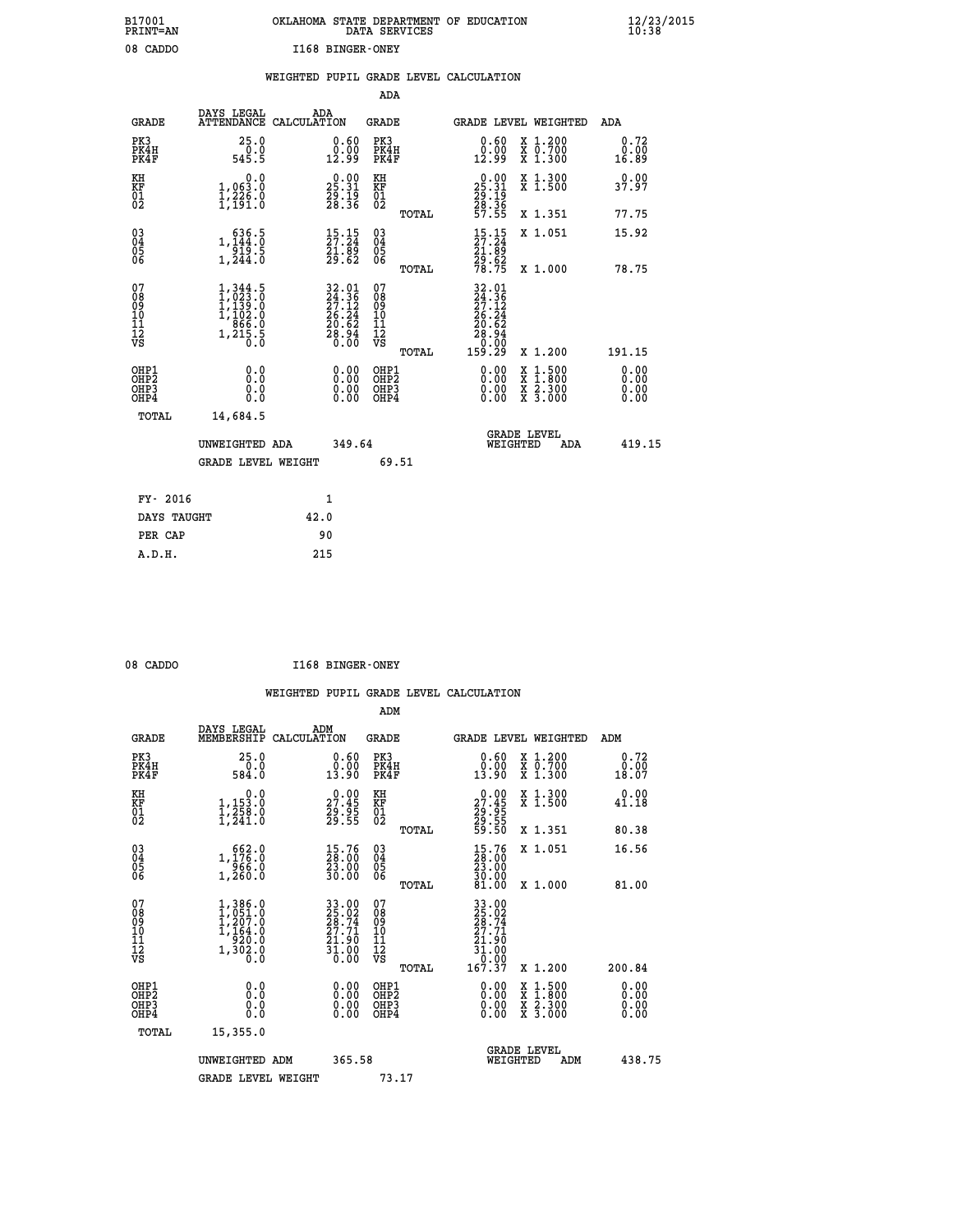| OKLAHOMA STATE DEPARTMENT OF EDUCATION | DATA SERVICES |  |
|----------------------------------------|---------------|--|
| I168 BINGER-ONEY                       |               |  |

|                                                                              |                                                                                                                                                     |                                                                                        | ADA                                                |                                                                                                                                                                      |                              |
|------------------------------------------------------------------------------|-----------------------------------------------------------------------------------------------------------------------------------------------------|----------------------------------------------------------------------------------------|----------------------------------------------------|----------------------------------------------------------------------------------------------------------------------------------------------------------------------|------------------------------|
| <b>GRADE</b>                                                                 | DAYS LEGAL                                                                                                                                          | ADA<br>ATTENDANCE CALCULATION                                                          | GRADE                                              | GRADE LEVEL WEIGHTED                                                                                                                                                 | ADA                          |
| PK3<br>PK4H<br>PK4F                                                          | 25.0<br>ة:ة-<br>545.5                                                                                                                               | 0.60<br>$\frac{0.00}{12.99}$                                                           | PK3<br>PK4H<br>PK4F                                | X 1.200<br>X 0.700<br>X 1.300<br>0.60<br>0.00<br>12.99                                                                                                               | 0.72<br>0.00<br>16.89        |
| KH<br>KF<br>01<br>02                                                         | 0.0<br>1,063.0<br>$\frac{1}{2}, \frac{2}{2}\frac{3}{2}\frac{6}{2}\cdot\frac{6}{0}$                                                                  | $\begin{smallmatrix} 0.00\\ 25.31\\ 29.19\\ 28.36 \end{smallmatrix}$                   | KH<br>KF<br>01<br>02                               | $\begin{smallmatrix} 0.00\\ 25.31\\ 29.19\\ 28.36\\ 57.55 \end{smallmatrix}$<br>X 1.300<br>X 1.500                                                                   | 0.00<br>37.97                |
|                                                                              |                                                                                                                                                     |                                                                                        | TOTAL                                              | X 1.351                                                                                                                                                              | 77.75                        |
| $\begin{matrix} 03 \\ 04 \\ 05 \\ 06 \end{matrix}$                           | $\begin{smallmatrix}&&636\cdot5\\1,144\cdot0\\919\cdot5\\1,244\cdot0\end{smallmatrix}$                                                              | $\begin{smallmatrix} 15\cdot 15\\27\cdot 24\\21\cdot 89\\29\cdot 62 \end{smallmatrix}$ | $\begin{matrix} 03 \\ 04 \\ 05 \\ 06 \end{matrix}$ | $\begin{smallmatrix} 15\cdot 15\\27\cdot 24\\21\cdot 89\\29\cdot 62\\78\cdot 75\end{smallmatrix}$<br>X 1.051                                                         | 15.92                        |
|                                                                              |                                                                                                                                                     |                                                                                        | TOTAL                                              | X 1.000                                                                                                                                                              | 78.75                        |
| 07<br>08<br>09<br>11<br>11<br>12<br>VS                                       | 1,344.5<br>$\begin{smallmatrix} 1,023\ 1,139\ 1,102\ 0\ 1,866\ 0\ \end{smallmatrix}$<br>$1, \tilde{2}$ $\tilde{1}\tilde{5}$ $\tilde{5}$ $\tilde{6}$ | $32.01$<br>$24.36$<br>$27.12$<br>$26.24$<br>$20.62$<br>$28.94$<br>$0.00$               | 07<br>08<br>09<br>11<br>11<br>12<br>VS<br>TOTAL    | $\begin{smallmatrix} 32.01\24.36\27.12\27.12\28.24\29.62\28.94\29.00\0&159.29\end{smallmatrix}$<br>X 1.200                                                           | 191.15                       |
| OHP1<br>OH <sub>P</sub> <sub>2</sub><br>OH <sub>P3</sub><br>OH <sub>P4</sub> | 0.0<br>Ō.Ō<br>0.0<br>0.0                                                                                                                            | 0.00<br>0.00<br>0.00                                                                   | OHP1<br>OHP2<br>OHP3<br>OHP4                       | 0.00<br>$\begin{smallmatrix} \mathtt{X} & 1\cdot500 \\ \mathtt{X} & 1\cdot800 \\ \mathtt{X} & 2\cdot300 \\ \mathtt{X} & 3\cdot000 \end{smallmatrix}$<br>0.00<br>0.00 | 0.00<br>0.00<br>0.00<br>0.00 |
|                                                                              | TOTAL<br>14,684.5                                                                                                                                   |                                                                                        |                                                    |                                                                                                                                                                      |                              |
|                                                                              | UNWEIGHTED ADA                                                                                                                                      | 349.64                                                                                 |                                                    | <b>GRADE LEVEL</b><br>WEIGHTED                                                                                                                                       | 419.15<br>ADA                |
|                                                                              | <b>GRADE LEVEL WEIGHT</b>                                                                                                                           |                                                                                        | 69.51                                              |                                                                                                                                                                      |                              |
|                                                                              | FY- 2016                                                                                                                                            | 1                                                                                      |                                                    |                                                                                                                                                                      |                              |
|                                                                              | DAYS TAUGHT                                                                                                                                         | 42.0                                                                                   |                                                    |                                                                                                                                                                      |                              |
|                                                                              | PER CAP                                                                                                                                             | 90                                                                                     |                                                    |                                                                                                                                                                      |                              |
|                                                                              | A.D.H.                                                                                                                                              | 215                                                                                    |                                                    |                                                                                                                                                                      |                              |

| 08 CADDO | I168 BINGER-ONEY |
|----------|------------------|
|          |                  |

 **A.D.H. 215**

 **B17001<br>PRINT=AN<br>08 CADDO** 

|                                                      |                                                                                                       |                                                                                                                            | ADM                                                 |                                                                                                                              |                                          |                              |
|------------------------------------------------------|-------------------------------------------------------------------------------------------------------|----------------------------------------------------------------------------------------------------------------------------|-----------------------------------------------------|------------------------------------------------------------------------------------------------------------------------------|------------------------------------------|------------------------------|
| <b>GRADE</b>                                         | DAYS LEGAL<br>MEMBERSHIP                                                                              | ADM<br>CALCULATION                                                                                                         | <b>GRADE</b>                                        |                                                                                                                              | GRADE LEVEL WEIGHTED                     | ADM                          |
| PK3<br>PK4H<br>PK4F                                  | 25.0<br>0.0<br>584.0                                                                                  | $\begin{smallmatrix} 0.60\\ 0.00\\ 13.90 \end{smallmatrix}$                                                                | PK3<br>PK4H<br>PK4F                                 | $\begin{smallmatrix} 0.60\\ 0.00\\ 13.90 \end{smallmatrix}$                                                                  | X 1.200<br>X 0.700<br>X 1.300            | 0.72<br>0.00<br>18.07        |
| KH<br>KF<br>01<br>02                                 | 0.0<br>$1,153.0$<br>$1,258.0$<br>$1,241.0$                                                            | $\begin{smallmatrix} 0.00\\ 27.45\\ 29.95\\ 29.55 \end{smallmatrix}$                                                       | KH<br>KF<br>01<br>02                                | $\begin{smallmatrix} 0.00\\27.45\\29.95\\29.55\\59.50 \end{smallmatrix}$                                                     | X 1.300<br>X 1.500                       | 0.00<br>41.18                |
|                                                      |                                                                                                       |                                                                                                                            | TOTAL                                               |                                                                                                                              | X 1.351                                  | 80.38                        |
| 03<br>04<br>05<br>06                                 | 1, 562.0<br>1, 176.0<br>966.0<br>1,260.0                                                              | $\begin{smallmatrix} 15.76\\ 28.00\\ 23.00\\ 30.00 \end{smallmatrix}$                                                      | $\begin{array}{c} 03 \\ 04 \\ 05 \\ 06 \end{array}$ | $\begin{smallmatrix} 15.76\\ 28.00\\ 23.00\\ 30.00\\ 81.00 \end{smallmatrix}$                                                | X 1.051                                  | 16.56                        |
|                                                      |                                                                                                       |                                                                                                                            | TOTAL                                               |                                                                                                                              | X 1.000                                  | 81.00                        |
| 07<br>08<br>09<br>101<br>112<br>VS                   | $\begin{smallmatrix} 1,386.0\\ 1,051.0\\ 1,207.0\\ 1,164.0\\ 920.0\\ 1,302.0\\ 0.0 \end{smallmatrix}$ | $\begin{smallmatrix} 3\,3\,.\,0\,0\\ 2\,5\,.02\\ 2\,8\,.74\\ 2\,7\,.71\\ 2\,1\,.90\\ 3\,1\,.00\\ 0\,.00 \end{smallmatrix}$ | 07<br>08<br>09<br>11<br>11<br>12<br>VS              | $\begin{smallmatrix} 33 & 00 \\ 25 & 02 \\ 28 & 74 \\ 27 & 71 \\ 21 & 90 \\ 31 & 00 \\ 0 & 00 \\ 167 & 37 \end{smallmatrix}$ |                                          |                              |
|                                                      |                                                                                                       |                                                                                                                            | TOTAL                                               |                                                                                                                              | X 1.200                                  | 200.84                       |
| OHP1<br>OHP2<br>OH <sub>P3</sub><br>OH <sub>P4</sub> | 0.0<br>0.000                                                                                          | $0.00$<br>$0.00$<br>0.00                                                                                                   | OHP1<br>OHP2<br>OHP <sub>3</sub>                    | $0.00$<br>$0.00$<br>0.00                                                                                                     | X 1:500<br>X 1:800<br>X 2:300<br>X 3:000 | 0.00<br>0.00<br>0.00<br>0.00 |
| TOTAL                                                | 15,355.0                                                                                              |                                                                                                                            |                                                     |                                                                                                                              |                                          |                              |
|                                                      | UNWEIGHTED ADM                                                                                        | 365.58                                                                                                                     |                                                     | WEIGHTED                                                                                                                     | <b>GRADE LEVEL</b><br>ADM                | 438.75                       |
|                                                      | <b>GRADE LEVEL WEIGHT</b>                                                                             |                                                                                                                            | 73.17                                               |                                                                                                                              |                                          |                              |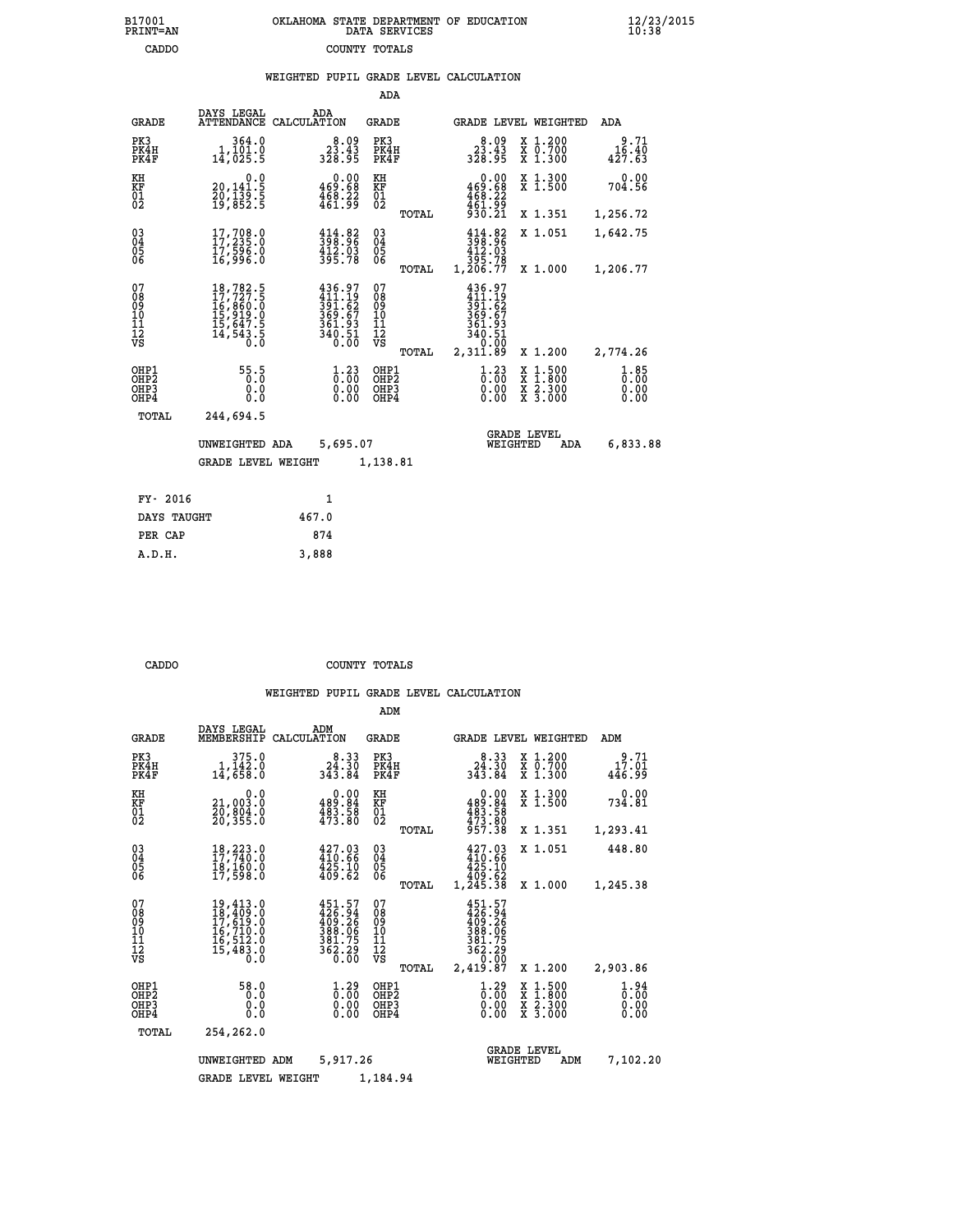| 7001<br>INT=AN | OKLAHOMA STATE DEPARTMENT OF EDUCATION<br>DATA SERVICES |  |
|----------------|---------------------------------------------------------|--|
| CADDO          | COUNTY TOTALS                                           |  |

|  |  | WEIGHTED PUPIL GRADE LEVEL CALCULATION |
|--|--|----------------------------------------|
|  |  |                                        |

|                                                                    |                                                                                                                                                                                                                     |       |                                                                              | ADA                                       |       |                                                                                           |                                |                                                                                                  |                              |
|--------------------------------------------------------------------|---------------------------------------------------------------------------------------------------------------------------------------------------------------------------------------------------------------------|-------|------------------------------------------------------------------------------|-------------------------------------------|-------|-------------------------------------------------------------------------------------------|--------------------------------|--------------------------------------------------------------------------------------------------|------------------------------|
| <b>GRADE</b>                                                       | DAYS LEGAL<br>ATTENDANCE CALCULATION                                                                                                                                                                                |       | ADA                                                                          | <b>GRADE</b>                              |       |                                                                                           |                                | GRADE LEVEL WEIGHTED                                                                             | ADA                          |
| PK3<br>PK4H<br>PK4F                                                | 364.0<br>1,101.0<br>14,025.5                                                                                                                                                                                        |       | $8.09$<br>$23.43$<br>$328.95$                                                | PK3<br>PK4H<br>PK4F                       |       | $8.09$<br>$33.43$<br>$328.95$                                                             |                                | X 1.200<br>X 0.700<br>X 1.300                                                                    | $3.71$<br>16.40<br>427.63    |
| KH<br>KF<br>$\overline{01}$                                        | 0.0<br>20,141:5<br>20,139:5<br>19,852:5                                                                                                                                                                             |       | $\begin{smallmatrix} &0.00\469.68\468.22\461.99\end{smallmatrix}$            | KH<br><b>KF</b><br>01<br>02               |       | 469:68<br>468:22<br>461:99<br>930:21                                                      | 0.00                           | X 1.300<br>X 1.500                                                                               | 0.00<br>704.56               |
|                                                                    |                                                                                                                                                                                                                     |       |                                                                              |                                           | TOTAL |                                                                                           |                                | X 1.351                                                                                          | 1,256.72                     |
| $\begin{smallmatrix} 03 \\[-4pt] 04 \end{smallmatrix}$<br>Ŏ5<br>06 | 17,708.0<br>17,235.0<br>17,596.0<br>16,996.0                                                                                                                                                                        |       | $398.96$<br>$412.03$<br>$395.78$                                             | $\substack{03 \\ 04}$<br>Ŏ5<br>06         |       | $\begin{array}{r} 414.82 \\ 398.96 \\ 412.03 \\ 495.78 \\ 395.78 \\ 1,206.77 \end{array}$ |                                | X 1.051                                                                                          | 1,642.75                     |
|                                                                    |                                                                                                                                                                                                                     |       |                                                                              |                                           | TOTAL |                                                                                           |                                | X 1.000                                                                                          | 1,206.77                     |
| 07<br>08<br>09<br>11<br>11<br>12<br>VS                             | $\begin{smallmatrix} 18\,,782\cdot\textbf{5}\\ 17\,,727\cdot\textbf{5}\\ 16\,,860\cdot\textbf{0}\\ 15\,,919\cdot\textbf{0}\\ 15\,,647\cdot\textbf{5}\\ 14\,,543\cdot\textbf{5}\\ 0\cdot\textbf{0}\end{smallmatrix}$ |       | $436.97$<br>$411.19$<br>$391.62$<br>$369.67$<br>$361.93$<br>$340.51$<br>0.00 | 07<br>089<br>101<br>111<br>VS             |       | 436.97<br>411.19<br>391.62<br>369.67<br>361.93<br>340.51                                  |                                |                                                                                                  |                              |
|                                                                    |                                                                                                                                                                                                                     |       |                                                                              |                                           | TOTAL | 2,311.89                                                                                  |                                | X 1.200                                                                                          | 2,774.26                     |
| OHP1<br>OHP <sub>2</sub><br>OH <sub>P3</sub><br>OHP4               | 55:5<br>0.000                                                                                                                                                                                                       |       | $1.23$<br>$0.00$<br>$\begin{smallmatrix} 0.00 \ 0.00 \end{smallmatrix}$      | OHP1<br>OH <sub>P</sub> 2<br>OHP3<br>OHP4 |       |                                                                                           | $1.23$<br>$0.00$<br>0.00       | $\begin{smallmatrix} x & 1 & 500 \\ x & 1 & 800 \\ x & 2 & 300 \\ x & 3 & 000 \end{smallmatrix}$ | 1.85<br>0.00<br>0.00<br>0.00 |
| TOTAL                                                              | 244,694.5                                                                                                                                                                                                           |       |                                                                              |                                           |       |                                                                                           |                                |                                                                                                  |                              |
|                                                                    | UNWEIGHTED ADA                                                                                                                                                                                                      |       | 5,695.07                                                                     |                                           |       |                                                                                           | <b>GRADE LEVEL</b><br>WEIGHTED | ADA                                                                                              | 6,833.88                     |
|                                                                    | <b>GRADE LEVEL WEIGHT</b>                                                                                                                                                                                           |       |                                                                              | 1,138.81                                  |       |                                                                                           |                                |                                                                                                  |                              |
|                                                                    |                                                                                                                                                                                                                     |       |                                                                              |                                           |       |                                                                                           |                                |                                                                                                  |                              |
| FY- 2016                                                           |                                                                                                                                                                                                                     |       | 1                                                                            |                                           |       |                                                                                           |                                |                                                                                                  |                              |
| DAYS TAUGHT                                                        |                                                                                                                                                                                                                     | 467.0 |                                                                              |                                           |       |                                                                                           |                                |                                                                                                  |                              |

| FY- 2016    |       |
|-------------|-------|
| DAYS TAUGHT | 467.0 |
| PER CAP     | 874   |
| A.D.H.      | 3,888 |
|             |       |

 **B17001<br>PRINT=AN** 

 **CADDO COUNTY TOTALS**

|                                                       |                                                                                                                                                 |                                                                                         | ADM                                              |                                                                                      |                                                                                                  |                              |
|-------------------------------------------------------|-------------------------------------------------------------------------------------------------------------------------------------------------|-----------------------------------------------------------------------------------------|--------------------------------------------------|--------------------------------------------------------------------------------------|--------------------------------------------------------------------------------------------------|------------------------------|
| <b>GRADE</b>                                          | DAYS LEGAL<br>MEMBERSHIP                                                                                                                        | ADM<br>CALCULATION                                                                      | <b>GRADE</b>                                     | GRADE LEVEL WEIGHTED                                                                 |                                                                                                  | ADM                          |
| PK3<br>PK4H<br>PK4F                                   | 375.0<br>1,142.0<br>14,658.0                                                                                                                    | 8.33<br>24.30<br>343.84                                                                 | PK3<br>PK4H<br>PK4F                              | 8.33<br>24.30<br>343.84                                                              | $\begin{smallmatrix} x & 1.200 \\ x & 0.700 \end{smallmatrix}$<br>X 1.300                        | 9.71<br>17.01<br>446.99      |
| KH<br>KF<br>01<br>02                                  | 0.0<br>21,003:0<br>20,804:0<br>20,355:0                                                                                                         | $\begin{smallmatrix} &0.00\\ 489.84\\ 483.58\\ 473.80\end{smallmatrix}$                 | KH<br>KF<br>01<br>02                             | 0.00<br>489:84<br>483:58<br>473:80<br>957:38                                         | X 1.300<br>X 1.500                                                                               | 0.00<br>734.81               |
|                                                       |                                                                                                                                                 |                                                                                         | TOTAL                                            |                                                                                      | X 1.351                                                                                          | 1,293.41                     |
| 03<br>04<br>05<br>06                                  | 18, 223.0<br>18,160.0<br>17,598.0                                                                                                               | 427.03<br>410.66<br>425.10<br>409.62                                                    | $\substack{03 \\ 04}$<br>05                      | 427.03<br>410.66<br>425.10                                                           | X 1.051                                                                                          | 448.80                       |
|                                                       |                                                                                                                                                 |                                                                                         | TOTAL                                            | 409.62<br>1,245.38                                                                   | X 1.000                                                                                          | 1,245.38                     |
| 07<br>08<br>09<br>11<br>11<br>12<br>VS                | $\begin{smallmatrix} 19,413\cdot 0\\ 18,409\cdot 0\\ 17,619\cdot 0\\ 16,710\cdot 0\\ 16,512\cdot 0\\ 15,483\cdot 0\\ 0\cdot 0\end{smallmatrix}$ | 451.57<br>426.94<br>409.26<br>388.06<br>$381.75$<br>$362.29$<br>$0.00$                  | 07<br>08<br>09<br>101<br>11<br>12<br>VS<br>TOTAL | $451.57$<br>$426.94$<br>$409.26$<br>$389.06$<br>381.75<br>362.29<br>0.00<br>2,419.87 | X 1.200                                                                                          | 2,903.86                     |
| OHP1<br>OH <sub>P</sub> 2<br>OH <sub>P3</sub><br>OHP4 | 58.0<br>0.0<br>0.000                                                                                                                            | $\overset{1}{\underset{0}{0}}\,\overset{29}{\,\overset{00}{\,\overset{00}{0}}}$<br>0.00 | OHP1<br>OHP2<br>OHP3<br>OHP4                     | $\begin{smallmatrix} 1.29 \ 0.00 \ 0.00 \end{smallmatrix}$<br>0.00                   | $\begin{smallmatrix} x & 1 & 500 \\ x & 1 & 800 \\ x & 2 & 300 \\ x & 3 & 000 \end{smallmatrix}$ | 1.94<br>0.00<br>0.00<br>0.00 |
| TOTAL                                                 | 254,262.0                                                                                                                                       |                                                                                         |                                                  |                                                                                      |                                                                                                  |                              |
|                                                       | UNWEIGHTED ADM                                                                                                                                  | 5,917.26                                                                                |                                                  | WEIGHTED                                                                             | <b>GRADE LEVEL</b><br>ADM                                                                        | 7,102.20                     |
|                                                       | <b>GRADE LEVEL WEIGHT</b>                                                                                                                       |                                                                                         | 1,184.94                                         |                                                                                      |                                                                                                  |                              |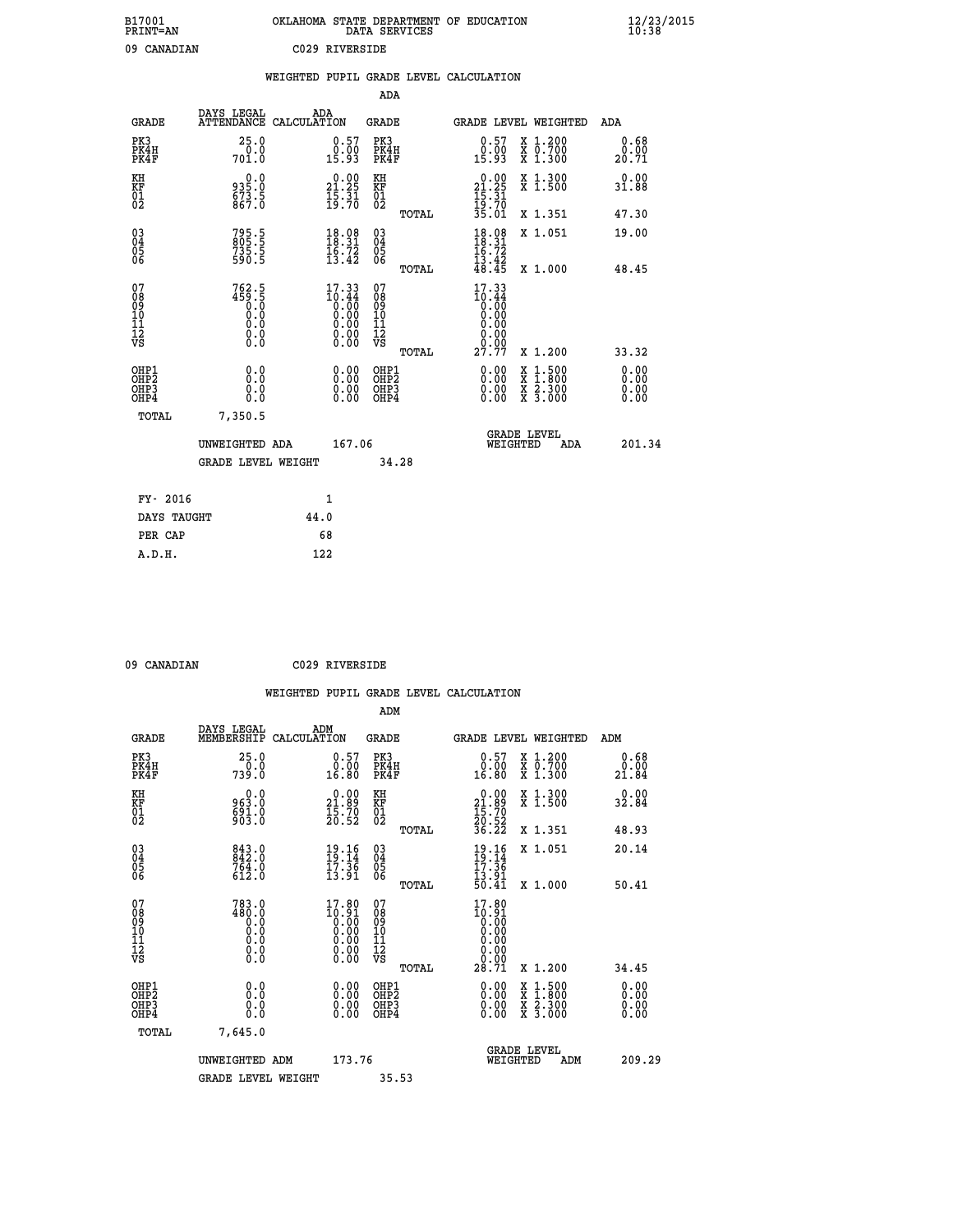| B17001<br><b>PRINT=AN</b> | OKLAHOMA STATE DEPARTMENT OF EDUCATION<br>DATA SERVICES | $\frac{12}{23}$ /2015 |
|---------------------------|---------------------------------------------------------|-----------------------|
| 09<br>CANADIAN            | C029 RIVERSIDE                                          |                       |

|                                          |                                                                 |                                                                                                 |                                                        |            | WEIGHTED PUPIL GRADE LEVEL CALCULATION                                                              |                                                                                          |                              |
|------------------------------------------|-----------------------------------------------------------------|-------------------------------------------------------------------------------------------------|--------------------------------------------------------|------------|-----------------------------------------------------------------------------------------------------|------------------------------------------------------------------------------------------|------------------------------|
|                                          |                                                                 |                                                                                                 |                                                        | <b>ADA</b> |                                                                                                     |                                                                                          |                              |
| <b>GRADE</b>                             | DAYS LEGAL<br><b>ATTENDANCE</b>                                 | ADA<br>CALCULATION                                                                              | <b>GRADE</b>                                           |            | GRADE LEVEL WEIGHTED                                                                                |                                                                                          | ADA                          |
| PK3<br>PK4H<br>PK4F                      | 25.0<br>$70.0$<br>701.0                                         | $\begin{smallmatrix} 0.57\ 0.00\ 15.93 \end{smallmatrix}$                                       | PK3<br>PK4H<br>PK4F                                    |            | $\begin{smallmatrix} 0.57\ 0.00\ 15.93 \end{smallmatrix}$                                           | X 1.200<br>X 0.700<br>X 1.300                                                            | 0.68<br>$\frac{0.00}{20.71}$ |
| KH<br>KF<br>01<br>02                     | 0.0<br>935.0<br>$\frac{673.5}{867.0}$                           | 21.25<br>$\frac{1}{19}$ $\frac{5}{70}$                                                          | KH<br>KF<br>01<br>02                                   |            | 0.00<br>$21.25$<br>$15.31$<br>$19.70$<br>$35.01$                                                    | X 1.300<br>X 1.500                                                                       | 0.00<br>31.88                |
|                                          |                                                                 |                                                                                                 |                                                        | TOTAL      |                                                                                                     | X 1.351                                                                                  | 47.30                        |
| 03<br>04<br>05<br>06                     | 795.5<br>805.5<br>735.5<br>590.5                                | $\begin{array}{c} 18.08 \\ 18.31 \\ 16.72 \\ 13.42 \end{array}$                                 | $\begin{array}{c} 03 \\ 04 \\ 05 \\ 06 \end{array}$    |            | $18.31$<br>$16.72$<br>$15.72$<br>$13.42$<br>$48.45$                                                 | X 1.051                                                                                  | 19.00                        |
|                                          |                                                                 |                                                                                                 |                                                        | TOTAL      |                                                                                                     | X 1.000                                                                                  | 48.45                        |
| 07<br>08<br>09<br>11<br>11<br>12<br>VS   | $762.5$<br>$459.5$<br>$0.0$<br>$0.0$<br>$0.0$<br>$0.0$<br>$0.0$ | 17.33<br>$\begin{smallmatrix} 1&1&3&4\\ 0&0&0\\ 0&0&0\\ 0&0&0\\ 0&0&0\\ 0&0&0\end{smallmatrix}$ | 07<br>08<br>09<br>11<br>11<br>12<br>VS                 | TOTAL      | 17.33<br>$\begin{smallmatrix} 1& 0.14\ 0.00\ 0.00\ 0.00 \end{smallmatrix}$<br>0.00<br>0.00<br>27.77 | X 1.200                                                                                  | 33.32                        |
| OHP1<br>OHP2<br>OH <sub>P3</sub><br>OHP4 | 0.0<br>Ŏ.Ŏ<br>0.0<br>0.0                                        |                                                                                                 | 0.00<br>OHP1<br>OHP2<br>$0.00$<br>0.00<br>OHP3<br>OHP4 |            |                                                                                                     | $\begin{smallmatrix} x & 1.500 \\ x & 1.800 \\ x & 2.300 \\ x & 3.000 \end{smallmatrix}$ | 0.00<br>ŏ:ŏŏ<br>0.00<br>0.00 |
| TOTAL                                    | 7,350.5                                                         |                                                                                                 |                                                        |            |                                                                                                     |                                                                                          |                              |
|                                          | UNWEIGHTED ADA                                                  |                                                                                                 | 167.06                                                 |            | WEIGHTED                                                                                            | <b>GRADE LEVEL</b><br>ADA                                                                | 201.34                       |
|                                          | <b>GRADE LEVEL WEIGHT</b>                                       |                                                                                                 |                                                        | 34.28      |                                                                                                     |                                                                                          |                              |
| FY- 2016                                 |                                                                 | 1                                                                                               |                                                        |            |                                                                                                     |                                                                                          |                              |
| DAYS TAUGHT                              |                                                                 | 44.0                                                                                            |                                                        |            |                                                                                                     |                                                                                          |                              |
| PER CAP                                  |                                                                 | 68                                                                                              |                                                        |            |                                                                                                     |                                                                                          |                              |

| 09 CANADIAN |
|-------------|

 **09 CANADIAN C029 RIVERSIDE**

| <b>GRADE</b>                                                     | DAYS LEGAL<br>MEMBERSHIP                                                                    | ADM<br>CALCULATION                                                   | <b>GRADE</b>                                        |       |                                                                                           |                                | GRADE LEVEL WEIGHTED                     | ADM                          |
|------------------------------------------------------------------|---------------------------------------------------------------------------------------------|----------------------------------------------------------------------|-----------------------------------------------------|-------|-------------------------------------------------------------------------------------------|--------------------------------|------------------------------------------|------------------------------|
| PK3<br>PK4H<br>PK4F                                              | 25.0<br>739.0                                                                               | $0.57$<br>$0.00$<br>16.80                                            | PK3<br>PK4H<br>PK4F                                 |       | $\begin{smallmatrix} 0.57\ 0.00\ 16.80 \end{smallmatrix}$                                 |                                | X 1.200<br>X 0.700<br>X 1.300            | 0.68<br>0.00<br>21.84        |
| KH<br>KF<br>01<br>02                                             | 0.0<br>963:0<br>691:0<br>903:0                                                              | $\begin{smallmatrix} 0.00\\ 21.89\\ 15.70\\ 20.52 \end{smallmatrix}$ | KH<br>KF<br>01<br>02                                |       | $\begin{smallmatrix} 0.00\\ 21.89\\ 15.70\\ 20.52\\ 36.22 \end{smallmatrix}$              |                                | X 1.300<br>X 1.500                       | 0.00<br>32.84                |
|                                                                  |                                                                                             |                                                                      |                                                     | TOTAL |                                                                                           |                                | X 1.351                                  | 48.93                        |
| $\begin{matrix} 03 \\ 04 \\ 05 \\ 06 \end{matrix}$               | 843.0<br>842.0<br>764.0<br>612.0                                                            | $\frac{19.16}{19.14}$<br>$\frac{17.36}{13.91}$                       | $\begin{array}{c} 03 \\ 04 \\ 05 \\ 06 \end{array}$ |       | $19.16$<br>$19.14$<br>$17.36$<br>$13.91$<br>$50.41$                                       |                                | X 1.051                                  | 20.14                        |
|                                                                  |                                                                                             |                                                                      |                                                     | TOTAL |                                                                                           |                                | X 1.000                                  | 50.41                        |
| 07<br>08<br>09<br>11<br>11<br>12<br>VS                           | 783.0<br>$\begin{smallmatrix} 480.0 \ 80.0 \ 0.0 \ 0.0 \ 0.0 \ 0.0 \ 0.0 \end{smallmatrix}$ | $\substack{17.80\\10.91\\0.00}$                                      | 07<br>08<br>09<br>11<br>11<br>12<br>VS              |       | $\begin{smallmatrix} 17.80\\10.91\\0.00\\0.00\\0.00\\0.00\\0.00\\28.71 \end{smallmatrix}$ |                                |                                          |                              |
|                                                                  |                                                                                             |                                                                      |                                                     | TOTAL |                                                                                           |                                | X 1.200                                  | 34.45                        |
| OHP1<br>OH <sub>P</sub> <sub>2</sub><br>OH <sub>P3</sub><br>OHP4 | 0.0<br>0.0<br>Ŏ.Ŏ                                                                           |                                                                      | OHP1<br>OHP <sub>2</sub><br>OHP3<br>OHP4            |       |                                                                                           |                                | X 1:500<br>X 1:800<br>X 2:300<br>X 3:000 | 0.00<br>0.00<br>0.00<br>0.00 |
| TOTAL                                                            | 7,645.0                                                                                     |                                                                      |                                                     |       |                                                                                           |                                |                                          |                              |
|                                                                  | UNWEIGHTED ADM                                                                              | 173.76                                                               |                                                     |       |                                                                                           | <b>GRADE LEVEL</b><br>WEIGHTED | ADM                                      | 209.29                       |
|                                                                  | <b>GRADE LEVEL WEIGHT</b>                                                                   |                                                                      | 35.53                                               |       |                                                                                           |                                |                                          |                              |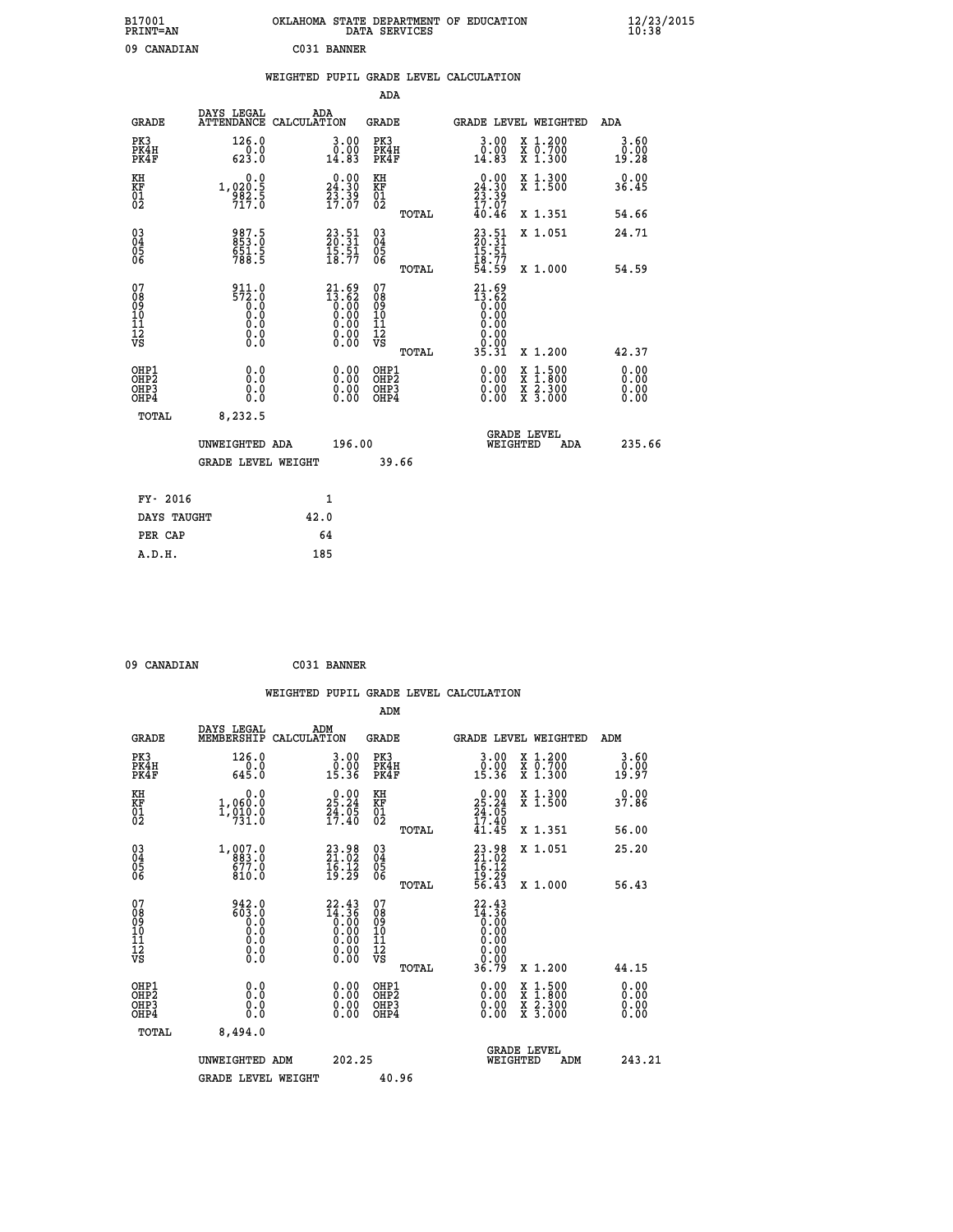| B17001<br>PRINT=AN                                 |                                          | OKLAHOMA STATE DEPARTMENT OF EDUCATION                            | DATA SERVICES                                      |                                                                                            |                                                                             | $\frac{12}{23}$ /2015 |  |
|----------------------------------------------------|------------------------------------------|-------------------------------------------------------------------|----------------------------------------------------|--------------------------------------------------------------------------------------------|-----------------------------------------------------------------------------|-----------------------|--|
| 09 CANADIAN                                        |                                          | C031 BANNER                                                       |                                                    |                                                                                            |                                                                             |                       |  |
|                                                    |                                          | WEIGHTED PUPIL GRADE LEVEL CALCULATION                            |                                                    |                                                                                            |                                                                             |                       |  |
|                                                    |                                          |                                                                   | ADA                                                |                                                                                            |                                                                             |                       |  |
| <b>GRADE</b>                                       | DAYS LEGAL                               | ADA<br>ATTENDANCE CALCULATION                                     | GRADE                                              | GRADE LEVEL WEIGHTED                                                                       |                                                                             | ADA                   |  |
| PK3<br>PK4H<br>PK4F                                | 126.0<br>0.0<br>623.0                    | 3.00<br>0.00<br>14.83                                             | PK3<br>PK4H<br>PK4F                                | 3.00<br>$\begin{smallmatrix} \v{0} \ 0.00 \ 14.83 \end{smallmatrix}$                       | X 1.200<br>X 0.700<br>X 1.300                                               | 3.60<br>0.00<br>19.28 |  |
| KH<br>KF<br>$\overline{01}$                        | 0.0<br>1,020:5<br>982:5<br>717:0         | $\begin{smallmatrix} 0.00\\24.30\\23.39\\17.07 \end{smallmatrix}$ | KH<br>KF<br>01<br>02                               | $\begin{array}{c} 0.00 \\ 24.30 \\ 23.39 \end{array}$<br>17.07                             | X 1.300<br>X 1.500                                                          | 0.00<br>36.45         |  |
|                                                    |                                          |                                                                   | TOTAL                                              | 40.46                                                                                      | X 1.351                                                                     | 54.66                 |  |
| $\begin{matrix} 03 \\ 04 \\ 05 \\ 06 \end{matrix}$ | 987.5<br>853.0<br>651.5<br>788.5         | $23.51$<br>$20.31$<br>$\frac{15.51}{18.77}$                       | $\begin{matrix} 03 \\ 04 \\ 05 \\ 06 \end{matrix}$ | 23.51<br>20.31<br>15.51<br>18.77                                                           | X 1.051                                                                     | 24.71                 |  |
| 07                                                 | 911.0                                    |                                                                   | TOTAL<br>07                                        | 54.59<br>21.69                                                                             | X 1.000                                                                     | 54.59                 |  |
| 08<br>09<br>10<br>11<br>12<br>VS                   | 572.0<br>$\overline{0}$ :0<br>0.0<br>0.0 | $21.69$<br>$13.62$<br>0.00<br>0.00<br>0.00<br>0.00                | 08<br>09<br>10<br>11<br>ĪŽ<br>VŠ<br>TOTAL          | 13.62<br>$\begin{smallmatrix} 0.00 \ 0.00 \end{smallmatrix}$<br>0.00<br>0.00<br>ة<br>35.31 | X 1.200                                                                     | 42.37                 |  |
|                                                    | 0.0                                      |                                                                   | OHP1                                               |                                                                                            |                                                                             | 0.00                  |  |
| OHP1<br>OHP2<br>OHP3<br>OHP4                       | 0.0<br>0.0<br>0.0                        | 0.00<br>0.00<br>0.00                                              | OH <sub>P</sub> 2<br>OHP3<br>OHP4                  | 0.00<br>0.00<br>0.00                                                                       | $\begin{array}{l} x\,+\,500\\ x\,+\,300\\ x\,+\,2\\ x\,+\,3000 \end{array}$ | 0.00<br>0.00<br>0.00  |  |
| TOTAL                                              | 8,232.5                                  |                                                                   |                                                    |                                                                                            |                                                                             |                       |  |
|                                                    | UNWEIGHTED ADA                           | 196.00                                                            |                                                    | <b>GRADE LEVEL</b><br>WEIGHTED                                                             | ADA                                                                         | 235.66                |  |
|                                                    | <b>GRADE LEVEL WEIGHT</b>                |                                                                   | 39.66                                              |                                                                                            |                                                                             |                       |  |
| FY- 2016                                           |                                          | 1                                                                 |                                                    |                                                                                            |                                                                             |                       |  |
| DAYS TAUGHT                                        |                                          | 42.0                                                              |                                                    |                                                                                            |                                                                             |                       |  |
| PER CAP                                            |                                          | 64                                                                |                                                    |                                                                                            |                                                                             |                       |  |

 **09 CANADIAN C031 BANNER**

|                                                    |                                                                                         |                    |                                                                                                         |                                   |       | WEIGHTED PUPIL GRADE LEVEL CALCULATION                                       |                                                                                                  |                       |  |
|----------------------------------------------------|-----------------------------------------------------------------------------------------|--------------------|---------------------------------------------------------------------------------------------------------|-----------------------------------|-------|------------------------------------------------------------------------------|--------------------------------------------------------------------------------------------------|-----------------------|--|
|                                                    |                                                                                         |                    |                                                                                                         | ADM                               |       |                                                                              |                                                                                                  |                       |  |
| <b>GRADE</b>                                       | DAYS LEGAL<br>MEMBERSHIP                                                                | ADM<br>CALCULATION |                                                                                                         | <b>GRADE</b>                      |       |                                                                              | <b>GRADE LEVEL WEIGHTED</b>                                                                      | ADM                   |  |
| PK3<br>PK4H<br>PK4F                                | 126.0<br>$\frac{0.0}{645.0}$                                                            |                    | 3.00<br>0.00<br>15.36                                                                                   | PK3<br>PK4H<br>PK4F               |       | $\begin{smallmatrix} 3.00\\ 0.00\\ 15.36 \end{smallmatrix}$                  | X 1.200<br>X 0.700<br>X 1.300                                                                    | 3.60<br>0.00<br>19.97 |  |
| KH<br>KF<br>01<br>02                               | 0.0<br>$1,060.0$<br>$1,910.0$<br>$731.0$                                                |                    | $25.24$<br>$24.05$<br>$17.40$                                                                           | KH<br>KF<br>01<br>02              |       | $\begin{smallmatrix} 0.00\\ 25.24\\ 24.05\\ 17.40\\ 41.45 \end{smallmatrix}$ | X 1.300<br>X 1.500                                                                               | 37.86                 |  |
|                                                    |                                                                                         |                    |                                                                                                         |                                   | TOTAL |                                                                              | X 1.351                                                                                          | 56.00                 |  |
| $\begin{matrix} 03 \\ 04 \\ 05 \\ 06 \end{matrix}$ | $1,007.0$<br>$883.0$<br>$677.0$<br>810.0                                                |                    | 23.98<br>21.02<br>$\frac{1}{19}$ $\frac{1}{29}$                                                         | $\substack{03 \\ 04}$<br>Ŏ5<br>06 |       | $23.98$<br>$21.02$<br>$16.12$<br>$19.29$<br>$56.43$                          | X 1.051                                                                                          | 25.20                 |  |
| 07<br>0890112<br>1112<br>VS                        | $\begin{smallmatrix} 942.0\\ 603.0\\ 0.0\\ 0.0\\ 0.0 \end{smallmatrix}$<br>0.0<br>$\S.$ |                    | $22.43$<br>$14.36$<br>$0.00$<br>$0.00$<br>$0.00$<br>$\begin{smallmatrix} 0.00 \ 0.00 \end{smallmatrix}$ | 07<br>08901123<br>1112<br>VS      | TOTAL | $22.43$<br>$14.36$<br>$0.00$<br>0.00<br>0.00<br>0.00                         | X 1.000                                                                                          | 56.43                 |  |
|                                                    |                                                                                         |                    |                                                                                                         |                                   | TOTAL | 36.79                                                                        | $X_1.200$                                                                                        | 44.15                 |  |
| OHP1<br>OHP2<br>OH <sub>P3</sub><br>OHP4           | 0.0<br>0.000                                                                            |                    | $\begin{smallmatrix} 0.00 \ 0.00 \ 0.00 \ 0.00 \end{smallmatrix}$                                       | OHP1<br>OHP2<br>OHP3<br>OHP4      |       |                                                                              | $\begin{smallmatrix} x & 1 & 500 \\ x & 1 & 800 \\ x & 2 & 300 \\ x & 3 & 000 \end{smallmatrix}$ | 0.00<br>0.00<br>0.00  |  |
| TOTAL                                              | 8,494.0                                                                                 |                    |                                                                                                         |                                   |       |                                                                              |                                                                                                  |                       |  |
|                                                    | UNWEIGHTED ADM                                                                          |                    | 202.25                                                                                                  |                                   |       | WEIGHTED                                                                     | <b>GRADE LEVEL</b><br>ADM                                                                        | 243.21                |  |
|                                                    | <b>GRADE LEVEL WEIGHT</b>                                                               |                    |                                                                                                         | 40.96                             |       |                                                                              |                                                                                                  |                       |  |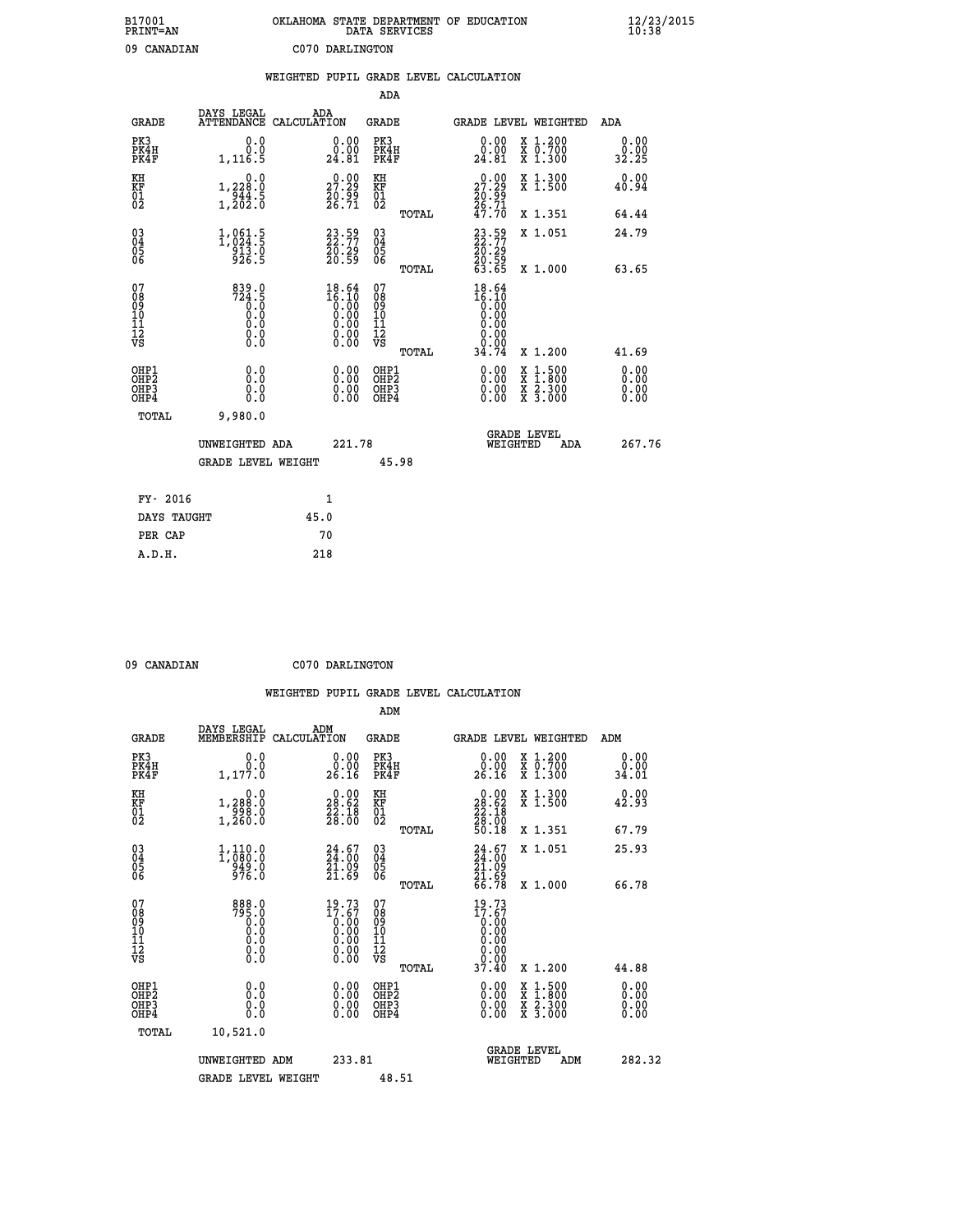| B17001<br>PRINT=AN | . STATE DEPARTMENT OF EDUCATION<br>OKLAHOMA<br>DATA SERVICES | $\frac{12}{23}$ /2015 |
|--------------------|--------------------------------------------------------------|-----------------------|
| 09<br>CANADIAN     | C070 DARLINGTON                                              |                       |

|                                                      |                                                                                          |      |                                                                      |                                        |       | WEIGHTED PUPIL GRADE LEVEL CALCULATION                                                        |          |                                                                                                  |                              |
|------------------------------------------------------|------------------------------------------------------------------------------------------|------|----------------------------------------------------------------------|----------------------------------------|-------|-----------------------------------------------------------------------------------------------|----------|--------------------------------------------------------------------------------------------------|------------------------------|
|                                                      |                                                                                          |      |                                                                      | <b>ADA</b>                             |       |                                                                                               |          |                                                                                                  |                              |
| <b>GRADE</b>                                         | DAYS LEGAL<br>ATTENDANCE CALCULATION                                                     | ADA  |                                                                      | <b>GRADE</b>                           |       |                                                                                               |          | GRADE LEVEL WEIGHTED                                                                             | ADA                          |
| PK3<br>PK4H<br>PK4F                                  | 0.0<br>0.0<br>1,116.5                                                                    |      | 0.00<br>24.81                                                        | PK3<br>PK4H<br>PK4F                    |       | 0.00<br>0.00<br>24.81                                                                         |          | X 1.200<br>X 0.700<br>X 1.300                                                                    | 0.00<br>0.00<br>32.25        |
| KH<br>KF<br>01<br>02                                 | 0.0<br>1,228:0<br>944:5<br>1,202:0                                                       |      | $\begin{smallmatrix} 0.00\\ 27.29\\ 20.99\\ 26.71 \end{smallmatrix}$ | KH<br>KF<br>01<br>02                   |       | $27.29$<br>$20.99$<br>$26.71$<br>$47.70$                                                      |          | X 1.300<br>X 1.500                                                                               | 0.00<br>40.94                |
|                                                      |                                                                                          |      |                                                                      |                                        | TOTAL |                                                                                               |          | X 1.351                                                                                          | 64.44                        |
| $\begin{matrix} 03 \\ 04 \\ 05 \\ 06 \end{matrix}$   | 1,861.5<br>913.0<br>926.5                                                                |      | $23.59$<br>$22.77$<br>20:29<br>20:59                                 | 03<br>04<br>05<br>06                   |       | 23.59<br>22.77<br>20.29<br>20.59<br>63.65                                                     |          | X 1.051                                                                                          | 24.79                        |
|                                                      |                                                                                          |      |                                                                      |                                        | TOTAL |                                                                                               |          | X 1.000                                                                                          | 63.65                        |
| 07<br>08<br>09<br>101<br>112<br>VS                   | $724.5$<br>$724.5$<br>$\begin{smallmatrix} 0.5 & 0 \ 0.0 & 0 \end{smallmatrix}$<br>$\S.$ |      | $18.64$<br>$16.10$<br>$0.00$<br>$0.00$<br>$0.00$<br>ŏ:ŏŏ<br>O.OO     | 07<br>08<br>09<br>11<br>11<br>12<br>VS | TOTAL | 18.64<br>$\begin{smallmatrix} 16.10 \ 16.00 \ 0.00 \ 0.00 \end{smallmatrix}$<br>0.00<br>34.74 |          | X 1.200                                                                                          | 41.69                        |
| OHP1<br>OHP <sub>2</sub><br>OH <sub>P3</sub><br>OHP4 | 0.0<br>0.0<br>0.0                                                                        |      | 0.0000<br>$\begin{smallmatrix} 0.00 \ 0.00 \end{smallmatrix}$        | OHP1<br>OHP2<br>OHP3<br>OHP4           |       | 0.00<br>0.00<br>0.00                                                                          |          | $\begin{smallmatrix} x & 1 & 500 \\ x & 1 & 800 \\ x & 2 & 300 \\ x & 3 & 000 \end{smallmatrix}$ | 0.00<br>0.00<br>0.00<br>0.00 |
| <b>TOTAL</b>                                         | 9,980.0                                                                                  |      |                                                                      |                                        |       |                                                                                               |          |                                                                                                  |                              |
|                                                      | UNWEIGHTED ADA                                                                           |      | 221.78                                                               |                                        |       |                                                                                               | WEIGHTED | <b>GRADE LEVEL</b><br>ADA                                                                        | 267.76                       |
|                                                      | <b>GRADE LEVEL WEIGHT</b>                                                                |      |                                                                      | 45.98                                  |       |                                                                                               |          |                                                                                                  |                              |
| FY- 2016                                             |                                                                                          |      | 1                                                                    |                                        |       |                                                                                               |          |                                                                                                  |                              |
| DAYS TAUGHT                                          |                                                                                          | 45.0 |                                                                      |                                        |       |                                                                                               |          |                                                                                                  |                              |
| PER CAP                                              |                                                                                          |      | 70                                                                   |                                        |       |                                                                                               |          |                                                                                                  |                              |

| $0.0$ $0.333357737$ |  |  |  |  |
|---------------------|--|--|--|--|

 **09 CANADIAN C070 DARLINGTON**

 **WEIGHTED PUPIL GRADE LEVEL CALCULATION ADM DAYS LEGAL ADM**

| <b>GRADE</b>                                                       | MEMBERSHIP                                                                                  | CALCULATION                                                                                                        | <b>GRADE</b>                            |       | <b>GRADE LEVEL WEIGHTED</b>                                                                     |                                                                                                  | ADM                          |        |
|--------------------------------------------------------------------|---------------------------------------------------------------------------------------------|--------------------------------------------------------------------------------------------------------------------|-----------------------------------------|-------|-------------------------------------------------------------------------------------------------|--------------------------------------------------------------------------------------------------|------------------------------|--------|
| PK3<br>PK4H<br>PK4F                                                | 0.0<br>0.0<br>1,177.0                                                                       | $\begin{smallmatrix} 0.00\\ 0.00\\ 26.16 \end{smallmatrix}$                                                        | PK3<br>PK4H<br>PK4F                     |       | 0.00<br>0.00<br>26.16                                                                           | X 1.200<br>X 0.700<br>X 1.300                                                                    | 0.00<br>0.00<br>34.01        |        |
| KH<br>KF<br>01<br>02                                               | 0.0<br>1,288:0<br>998:0<br>1,260:0                                                          | $\begin{smallmatrix} 0.00\\ 28.62\\ 22.18\\ 28.00 \end{smallmatrix}$                                               | KH<br><b>KF</b><br>01<br>02             |       | $\begin{smallmatrix} 0.00\\ 28.62\\ 22.18\\ 28.00\\ 50.18 \end{smallmatrix}$                    | X 1.300<br>X 1.500                                                                               | 0.00<br>42.93                |        |
|                                                                    |                                                                                             |                                                                                                                    |                                         | TOTAL |                                                                                                 | X 1.351                                                                                          | 67.79                        |        |
| $\begin{smallmatrix} 03 \\[-4pt] 04 \end{smallmatrix}$<br>Ŏ5<br>06 | 1,110.0<br>1,080.0<br>949.0<br>976.0                                                        | 24.67<br>21.09<br>21.69                                                                                            | $\substack{03 \\ 04}$<br>Ŏ5<br>ŎĞ       |       | $24.67$<br>$24.00$<br>$21.09$<br>$21.69$                                                        | X 1.051                                                                                          | 25.93                        |        |
|                                                                    |                                                                                             |                                                                                                                    |                                         | TOTAL | 66.78                                                                                           | X 1.000                                                                                          | 66.78                        |        |
| 07<br>089<br>090<br>1112<br>VS                                     | 888.0<br>795.0<br>0.0<br>$\begin{smallmatrix} 0.5 & 0 \ 0.0 & 0 \end{smallmatrix}$<br>$\S.$ | $19.73$<br>$17.67$<br>$0.00$<br>0.00<br>0.00<br>$\begin{smallmatrix} 0.00 & 0.00 \\ 0.00 & 0.00 \end{smallmatrix}$ | 07<br>08<br>09<br>101<br>11<br>12<br>VS |       | $19.73$<br>$17.67$<br>$0.00$<br>$0.00$<br>0.00                                                  |                                                                                                  |                              |        |
|                                                                    |                                                                                             |                                                                                                                    |                                         | TOTAL | $\begin{array}{c} \text{\text{\large0.00}} \ \text{\large0.00} \ \text{\large3.40} \end{array}$ | X 1.200                                                                                          | 44.88                        |        |
| OHP1<br>OHP2<br>OH <sub>P3</sub><br>OHP4                           | 0.0<br>0.000                                                                                | $0.00$<br>$0.00$<br>0.00                                                                                           | OHP1<br>OHP2<br>OHP3<br>OHP4            |       |                                                                                                 | $\begin{smallmatrix} x & 1 & 500 \\ x & 1 & 800 \\ x & 2 & 300 \\ x & 3 & 000 \end{smallmatrix}$ | 0.00<br>0.00<br>0.00<br>0.00 |        |
| TOTAL                                                              | 10,521.0                                                                                    |                                                                                                                    |                                         |       |                                                                                                 |                                                                                                  |                              |        |
|                                                                    | UNWEIGHTED ADM                                                                              | 233.81                                                                                                             |                                         |       | <b>GRADE LEVEL</b><br>WEIGHTED                                                                  | ADM                                                                                              |                              | 282.32 |
|                                                                    | <b>GRADE LEVEL WEIGHT</b>                                                                   |                                                                                                                    | 48.51                                   |       |                                                                                                 |                                                                                                  |                              |        |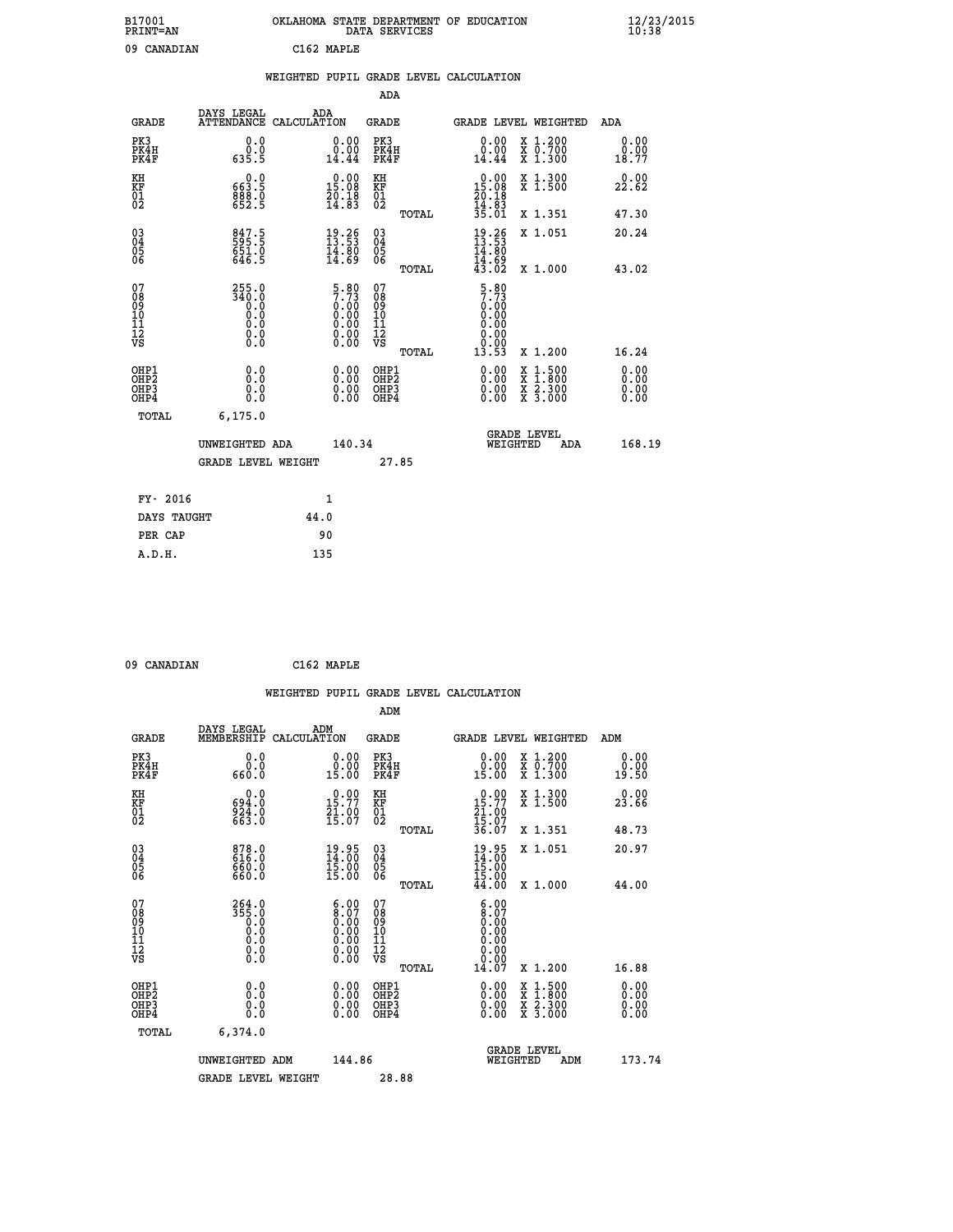| B17001<br><b>PRINT=AN</b> | OKLAHOMA STATE DEPARTMENT OF EDUCATION<br>SERVICES<br>DATA | $\frac{12}{23}$ /2015 |
|---------------------------|------------------------------------------------------------|-----------------------|
| 09<br>CANADIAN            | C1 62.<br><b>MAPLE</b>                                     |                       |

| 09 CANADIAN                                  |                                                                                      |      | C162 MAPLE                                                           |                                          |       |                                                     |                                                                                                                                      |                       |
|----------------------------------------------|--------------------------------------------------------------------------------------|------|----------------------------------------------------------------------|------------------------------------------|-------|-----------------------------------------------------|--------------------------------------------------------------------------------------------------------------------------------------|-----------------------|
|                                              |                                                                                      |      |                                                                      |                                          |       | WEIGHTED PUPIL GRADE LEVEL CALCULATION              |                                                                                                                                      |                       |
|                                              |                                                                                      |      |                                                                      | ADA                                      |       |                                                     |                                                                                                                                      |                       |
| <b>GRADE</b>                                 | DAYS LEGAL<br>ATTENDANCE CALCULATION                                                 |      | ADA                                                                  | GRADE                                    |       |                                                     | GRADE LEVEL WEIGHTED                                                                                                                 | ADA                   |
| PK3<br>PK4H<br>PK4F                          | 0.0<br>0.0<br>635.5                                                                  |      | 0.00<br>0.00<br>14.44                                                | PK3<br>PK4H<br>PK4F                      |       | 0.00<br>0.00<br>14.44                               | X 1.200<br>X 0.700<br>X 1.300                                                                                                        | 0.00<br>0.00<br>18.77 |
| KH<br>KF<br>01<br>02                         | 0.0<br>663:5<br>888:8<br>652:5                                                       |      | $\begin{smallmatrix} 0.00\\ 15.08\\ 20.18\\ 14.83 \end{smallmatrix}$ | KH<br>KF<br>01<br>02                     |       | 0.00<br>15.08<br>$\frac{20.18}{14.83}$<br>35.01     | X 1.300<br>X 1.500                                                                                                                   | 0.00<br>22.62         |
|                                              |                                                                                      |      |                                                                      |                                          | TOTAL |                                                     | X 1.351                                                                                                                              | 47.30                 |
| $^{03}_{04}$<br>Ŏ5<br>06                     | 847.5<br>595.5<br>651.0<br>646.5                                                     |      | $\begin{smallmatrix} 19.26\ 13.53\ 14.80\ 14.69 \end{smallmatrix}$   | $\substack{03 \\ 04}$<br>$\frac{05}{06}$ |       | $19.26$<br>$13.53$<br>$14.80$<br>$14.69$<br>$43.02$ | X 1.051                                                                                                                              | 20.24                 |
|                                              |                                                                                      |      |                                                                      |                                          | TOTAL |                                                     | X 1.000                                                                                                                              | 43.02                 |
| 07<br>08<br>09<br>10<br>10<br>11<br>Ī2<br>VS | 255.0<br>340.0<br>$\begin{smallmatrix} 0.59 \ 0.0 \end{smallmatrix}$<br>Ō.Ō<br>$\S.$ |      | $5.807.730.000.000.000.000.000.00$                                   | 07<br>08<br>09<br>11<br>11<br>12<br>VS   |       | $\frac{5.80}{7.73}$<br>0.00<br>0.00<br>0.00         |                                                                                                                                      |                       |
|                                              |                                                                                      |      |                                                                      |                                          | TOTAL | 13.53                                               | X 1.200                                                                                                                              | 16.24                 |
| OHP1<br>OHP <sub>2</sub><br>OHP3<br>OHP4     | 0.0<br>0.0<br>0.0                                                                    |      | 0.00<br>$0.00$<br>0.00                                               | OHP1<br>OHP <sub>2</sub><br>OHP3<br>OHP4 |       | 0.00<br>$0.00$<br>0.00                              | $\begin{smallmatrix} \mathtt{X} & 1 & 500 \\ \mathtt{X} & 1 & 800 \\ \mathtt{X} & 2 & 300 \\ \mathtt{X} & 3 & 000 \end{smallmatrix}$ | 0.00<br>0.00<br>0.00  |
| TOTAL                                        | 6, 175.0                                                                             |      |                                                                      |                                          |       |                                                     |                                                                                                                                      |                       |
|                                              | UNWEIGHTED ADA                                                                       |      | 140.34                                                               |                                          |       | WEIGHTED                                            | <b>GRADE LEVEL</b><br>ADA                                                                                                            | 168.19                |
|                                              | <b>GRADE LEVEL WEIGHT</b>                                                            |      |                                                                      | 27.85                                    |       |                                                     |                                                                                                                                      |                       |
| FY- 2016                                     |                                                                                      |      | 1                                                                    |                                          |       |                                                     |                                                                                                                                      |                       |
| DAYS TAUGHT                                  |                                                                                      | 44.0 |                                                                      |                                          |       |                                                     |                                                                                                                                      |                       |
| PER CAP                                      |                                                                                      |      | 90                                                                   |                                          |       |                                                     |                                                                                                                                      |                       |
| A.D.H.                                       |                                                                                      | 135  |                                                                      |                                          |       |                                                     |                                                                                                                                      |                       |

 **09 CANADIAN C162 MAPLE**

|                                                                              |                                                                                                 | WEIGHTED PUPIL GRADE LEVEL CALCULATION                                                        |                                                     |       |                                                                                                                                                                                                                                                                                |                                                                                          |                              |
|------------------------------------------------------------------------------|-------------------------------------------------------------------------------------------------|-----------------------------------------------------------------------------------------------|-----------------------------------------------------|-------|--------------------------------------------------------------------------------------------------------------------------------------------------------------------------------------------------------------------------------------------------------------------------------|------------------------------------------------------------------------------------------|------------------------------|
|                                                                              |                                                                                                 |                                                                                               | ADM                                                 |       |                                                                                                                                                                                                                                                                                |                                                                                          |                              |
| <b>GRADE</b>                                                                 | DAYS LEGAL<br>MEMBERSHIP                                                                        | ADM<br>CALCULATION                                                                            | <b>GRADE</b>                                        |       |                                                                                                                                                                                                                                                                                | GRADE LEVEL WEIGHTED                                                                     | ADM                          |
| PK3<br>PK4H<br>PK4F                                                          | 0.0<br>0.0<br>660.0                                                                             | 0.00<br>15.00                                                                                 | PK3<br>PK4H<br>PK4F                                 |       | 0.00<br>$0.00$<br>15.00                                                                                                                                                                                                                                                        | X 1.200<br>X 0.700<br>X 1.300                                                            | 0.00<br>0.00<br>19.50        |
| KH<br>KF<br>01<br>02                                                         | 0.0<br>694.0<br>924.0<br>663.0                                                                  | $0.00$<br>15.77<br>$\frac{21.00}{15.07}$                                                      | KH<br>KF<br>01<br>02                                |       | $\begin{smallmatrix} 0.00\\ 15.77\\ 21.00\\ 15.07\\ 36.07 \end{smallmatrix}$                                                                                                                                                                                                   | X 1.300<br>X 1.500                                                                       | 0.00<br>23.66                |
|                                                                              |                                                                                                 |                                                                                               |                                                     | TOTAL |                                                                                                                                                                                                                                                                                | X 1.351                                                                                  | 48.73                        |
| $\begin{matrix} 03 \\ 04 \\ 05 \\ 06 \end{matrix}$                           | 878.0<br>616.0<br>6.05ă<br>660.0                                                                | 19.95<br>14:00<br>15.00<br>15.00                                                              | $\begin{array}{c} 03 \\ 04 \\ 05 \\ 06 \end{array}$ |       | $19.95$<br>$14.00$<br>$15.00$<br>$15.00$                                                                                                                                                                                                                                       | X 1.051                                                                                  | 20.97                        |
|                                                                              |                                                                                                 |                                                                                               |                                                     | TOTAL | 44.00                                                                                                                                                                                                                                                                          | X 1.000                                                                                  | 44.00                        |
| 07<br>08<br>09<br>101<br>112<br>VS                                           | $\begin{smallmatrix} 264.0\\ 355.0\\ 0.0\\ 0.0\\ 0.0\\ 0.0\\ 0.0\\ 0.0\\ 0.0 \end{smallmatrix}$ | $\begin{smallmatrix} 6.00\ 8.07\ 0.00\ 0.00\ 0.00\ 0.00\ 0.00\ 0.00\ 0.00\ \end{smallmatrix}$ | 07<br>08<br>09<br>11<br>11<br>12<br>VS              | TOTAL | 6.00<br>$8.07$<br>$0.00$<br>0.00<br>0.00<br>0.00<br>14.07                                                                                                                                                                                                                      | X 1.200                                                                                  | 16.88                        |
|                                                                              |                                                                                                 |                                                                                               |                                                     |       |                                                                                                                                                                                                                                                                                |                                                                                          |                              |
| OHP1<br>OH <sub>P</sub> <sub>2</sub><br>OH <sub>P3</sub><br>OH <sub>P4</sub> | 0.0<br>0.000                                                                                    | $0.00$<br>$0.00$<br>0.00                                                                      | OHP1<br>OH <sub>P</sub> 2<br>OHP3<br>OHP4           |       | $\begin{smallmatrix} 0.00 & 0.00 & 0.00 & 0.00 & 0.00 & 0.00 & 0.00 & 0.00 & 0.00 & 0.00 & 0.00 & 0.00 & 0.00 & 0.00 & 0.00 & 0.00 & 0.00 & 0.00 & 0.00 & 0.00 & 0.00 & 0.00 & 0.00 & 0.00 & 0.00 & 0.00 & 0.00 & 0.00 & 0.00 & 0.00 & 0.00 & 0.00 & 0.00 & 0.00 & 0.00 & 0.0$ | $\begin{smallmatrix} x & 1.500 \\ x & 1.800 \\ x & 2.300 \\ x & 3.000 \end{smallmatrix}$ | 0.00<br>0.00<br>0.00<br>0.00 |
| TOTAL                                                                        | 6,374.0                                                                                         |                                                                                               |                                                     |       |                                                                                                                                                                                                                                                                                |                                                                                          |                              |
|                                                                              | UNWEIGHTED ADM                                                                                  | 144.86                                                                                        |                                                     |       | WEIGHTED                                                                                                                                                                                                                                                                       | <b>GRADE LEVEL</b><br>ADM                                                                | 173.74                       |
|                                                                              | <b>GRADE LEVEL WEIGHT</b>                                                                       |                                                                                               | 28.88                                               |       |                                                                                                                                                                                                                                                                                |                                                                                          |                              |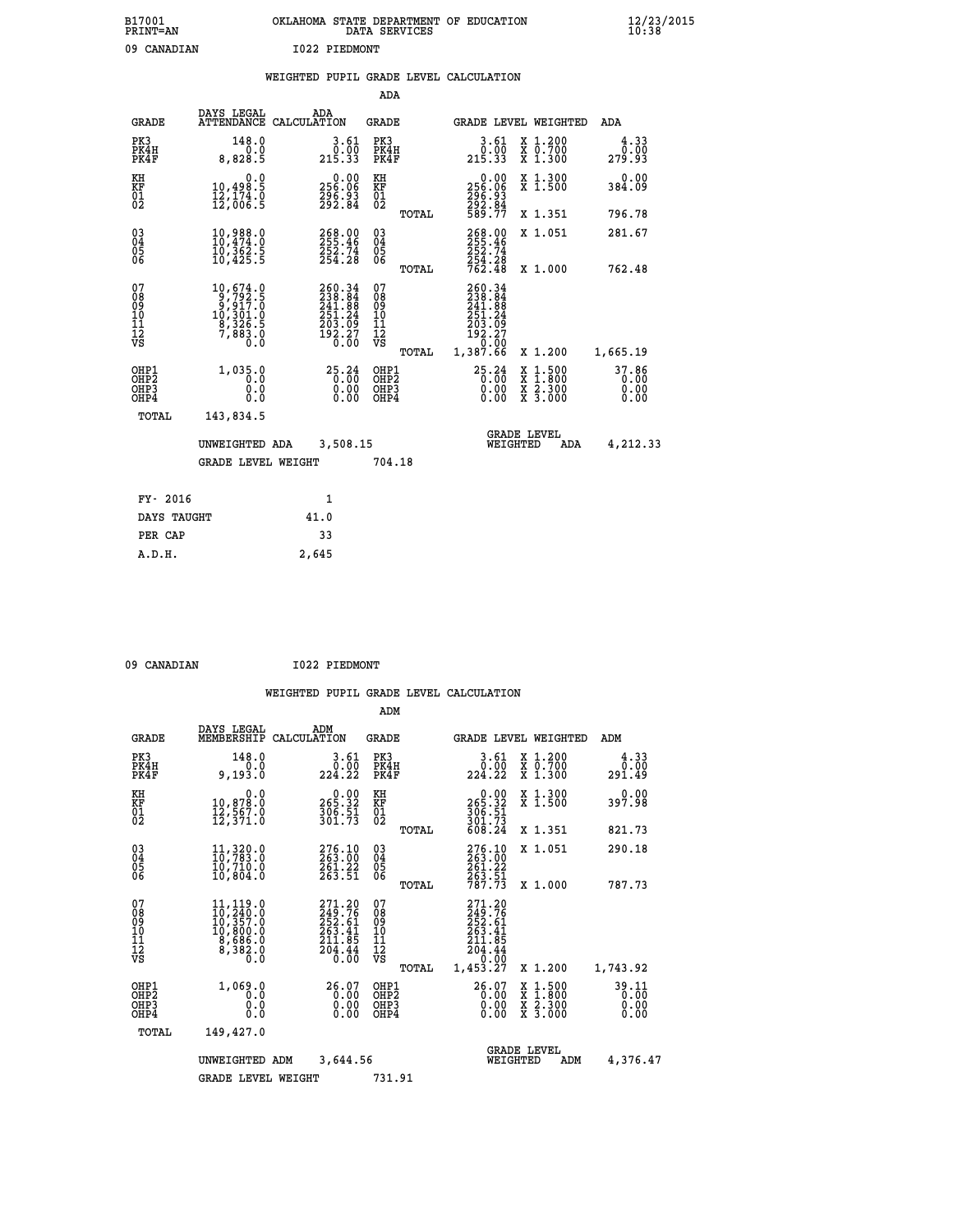| B17001<br><b>PRINT=AN</b> | OKLAHOMA<br>. STATE DEPARTMENT OF EDUCATION<br>DATA SERVICES | $\frac{12}{23}$ /2015 |
|---------------------------|--------------------------------------------------------------|-----------------------|
| 09<br>CANADIAN            | I022 PIEDMONT                                                |                       |

|  |  | WEIGHTED PUPIL GRADE LEVEL CALCULATION |
|--|--|----------------------------------------|
|  |  |                                        |

|                                                                    |                                                                                                                 |                                                                                | ADA                                               |       |                                                                                |                                                                          |                               |
|--------------------------------------------------------------------|-----------------------------------------------------------------------------------------------------------------|--------------------------------------------------------------------------------|---------------------------------------------------|-------|--------------------------------------------------------------------------------|--------------------------------------------------------------------------|-------------------------------|
| <b>GRADE</b>                                                       | DAYS LEGAL                                                                                                      | ADA<br>ATTENDANCE CALCULATION                                                  | <b>GRADE</b>                                      |       |                                                                                | GRADE LEVEL WEIGHTED                                                     | ADA                           |
| PK3<br>PK4H<br>PK4F                                                | 148.0<br>0.0<br>8,828.5                                                                                         | $\begin{smallmatrix} 3.61\ 0.00\ 215.33 \end{smallmatrix}$                     | PK3<br>PK4H<br>PK4F                               |       | $\begin{smallmatrix} 3.61\ 0.00\ 215.33 \end{smallmatrix}$                     | X 1.200<br>X 0.700<br>X 1.300                                            | 4.33<br>0.00<br>279.93        |
| KH<br>KF<br>01<br>02                                               | 0.0<br>10,498.5<br>12,174.0<br>12,006.5                                                                         | $0.00$<br>256.06<br>296.93<br>292.84                                           | KH<br>KF<br>$\begin{matrix} 01 \ 02 \end{matrix}$ |       | 0.00<br>256:06<br>296:93<br>292:84<br>589:77                                   | X 1.300<br>X 1.500                                                       | 0.00<br>384.09                |
|                                                                    |                                                                                                                 |                                                                                |                                                   | TOTAL |                                                                                | X 1.351                                                                  | 796.78                        |
| $\begin{smallmatrix} 03 \\[-4pt] 04 \end{smallmatrix}$<br>05<br>ŌĞ | 10,988.0<br>10,474.0<br>īŏ,362.š<br>10,425.5                                                                    | 268.00<br>255.46<br>$\frac{252.74}{254.28}$                                    | $\substack{03 \\ 04}$<br>05                       |       | 268.00<br>252.74<br>254.28<br>762.48                                           | X 1.051                                                                  | 281.67                        |
|                                                                    |                                                                                                                 |                                                                                |                                                   | TOTAL |                                                                                | X 1.000                                                                  | 762.48                        |
| 07<br>08<br>09<br>11<br>11<br>12<br>VS                             | $\begin{smallmatrix} 10, 674.0\\ 9, 792.5\\ 9, 917.0\\ 10, 301.0\\ 8, 326.5\\ 7, 883.0\\ 0.0 \end{smallmatrix}$ | $260.34$<br>$238.84$<br>$241.88$<br>$251.24$<br>$203.09$<br>$192.27$<br>$0.00$ | 07<br>08<br>09<br>11<br>11<br>12<br>VS            |       | 260.34<br>238.84<br>241.88<br>251.24<br>203.09<br>192.27<br>07.0°-<br>1,387.66 |                                                                          |                               |
|                                                                    |                                                                                                                 |                                                                                |                                                   | TOTAL |                                                                                | X 1.200                                                                  | 1,665.19                      |
| OHP1<br>OH <sub>P</sub> 2<br>OHP3<br>OHP4                          | 1,035.0<br>0.0<br>0.0<br>0.0                                                                                    | 25.24<br>0.00                                                                  | OHP1<br>OH <sub>P</sub> 2<br>OHP3<br>OHP4         |       | 25.24<br>0.00<br>0.00                                                          | $1:500$<br>1:800<br>X<br>X<br>$\frac{\ddot{x}}{x}$ $\frac{2.300}{3.000}$ | 37.86<br>0.00<br>0.00<br>0.00 |
| TOTAL                                                              | 143,834.5                                                                                                       |                                                                                |                                                   |       |                                                                                |                                                                          |                               |
|                                                                    | UNWEIGHTED ADA                                                                                                  | 3,508.15                                                                       |                                                   |       |                                                                                | <b>GRADE LEVEL</b><br>WEIGHTED<br>ADA                                    | 4,212.33                      |
|                                                                    | <b>GRADE LEVEL WEIGHT</b>                                                                                       |                                                                                | 704.18                                            |       |                                                                                |                                                                          |                               |
| FY- 2016                                                           |                                                                                                                 | 1                                                                              |                                                   |       |                                                                                |                                                                          |                               |
| DAYS TAUGHT                                                        |                                                                                                                 | 41.0                                                                           |                                                   |       |                                                                                |                                                                          |                               |
| PER CAP                                                            |                                                                                                                 | 33                                                                             |                                                   |       |                                                                                |                                                                          |                               |
|                                                                    |                                                                                                                 |                                                                                |                                                   |       |                                                                                |                                                                          |                               |

| 09 CANADIAN |  |  |
|-------------|--|--|

 **A.D.H. 2,645**

 **09 CANADIAN I022 PIEDMONT**

|                                                       |                                                                                                                                                                |                                                                                | ADM                                              |                                                                              |                                                                                                  |                               |
|-------------------------------------------------------|----------------------------------------------------------------------------------------------------------------------------------------------------------------|--------------------------------------------------------------------------------|--------------------------------------------------|------------------------------------------------------------------------------|--------------------------------------------------------------------------------------------------|-------------------------------|
| <b>GRADE</b>                                          | DAYS LEGAL<br>MEMBERSHIP                                                                                                                                       | ADM<br>CALCULATION                                                             | <b>GRADE</b>                                     |                                                                              | <b>GRADE LEVEL WEIGHTED</b>                                                                      | ADM                           |
| PK3<br>PK4H<br>PK4F                                   | 148.0<br>0.0<br>9,193.0                                                                                                                                        | 3.61<br>0.00<br>224.22                                                         | PK3<br>PK4H<br>PK4F                              | 3.61<br>0.00<br>224.22                                                       | X 1.200<br>X 0.700<br>X 1.300                                                                    | 4.33<br>0.00<br>291.49        |
| KH<br>KF<br>01<br>02                                  | 0.0<br>10,878.0<br>12,567.0<br>12,371.0                                                                                                                        | $265.32$<br>306.51<br>301.73                                                   | KH<br>KF<br>01<br>02                             | 0.00<br>265.32<br>306.51<br>301.73<br>608.24                                 | X 1.300<br>X 1.500                                                                               | 0.00<br>397.98                |
|                                                       |                                                                                                                                                                |                                                                                | TOTAL                                            |                                                                              | X 1.351                                                                                          | 821.73                        |
| 03<br>04<br>05<br>06                                  | 11, 320.0<br>10, 783.0<br>10,710.0<br>10,804.0                                                                                                                 | 276.10<br>263.00<br>261.22<br>263.51                                           | $\substack{03 \\ 04}$<br>0500                    | $276.10$<br>$263.00$<br>$261.22$<br>$\frac{263.51}{787.73}$                  | X 1.051                                                                                          | 290.18                        |
|                                                       |                                                                                                                                                                |                                                                                | TOTAL                                            |                                                                              | X 1.000                                                                                          | 787.73                        |
| 07<br>08<br>09<br>101<br>112<br>VS                    | $\begin{smallmatrix} 11\,,\,119\,.\,0\\ 10\,,\,240\,.\,0\\ 10\,,\,357\,.\,0\\ 10\,,\,800\,.\,0\\ 8\,,\,686\,.\,0\\ 8\,,\,382\,.\,0\\ 0\,.\,0\end{smallmatrix}$ | 271.20<br>249.76<br>252.61<br>263.41<br>211.85<br>$\frac{5}{0}$ $\frac{44}{0}$ | 07<br>08<br>09<br>101<br>11<br>12<br>VS<br>TOTAL | 271.20<br>249.76<br>252.61<br>263.41<br>211.85<br>204.44<br>0.00<br>1,453.27 | X 1.200                                                                                          | 1,743.92                      |
| OHP1<br>OH <sub>P</sub> 2<br>OH <sub>P3</sub><br>OHP4 | 1,069.0<br>0.0<br>0.0<br>Ŏ.Ŏ                                                                                                                                   | $26.07\n0.00$<br>0.00                                                          | OHP1<br>OHP2<br>OHP3<br>OHP4                     | 26.07<br>0.00<br>0.00                                                        | $\begin{smallmatrix} x & 1 & 500 \\ x & 1 & 800 \\ x & 2 & 300 \\ x & 3 & 000 \end{smallmatrix}$ | 39.11<br>0.00<br>0.00<br>0.00 |
| TOTAL                                                 | 149,427.0                                                                                                                                                      |                                                                                |                                                  |                                                                              |                                                                                                  |                               |
|                                                       | UNWEIGHTED ADM                                                                                                                                                 | 3,644.56                                                                       |                                                  | WEIGHTED                                                                     | <b>GRADE LEVEL</b><br>ADM                                                                        | 4,376.47                      |
|                                                       | <b>GRADE LEVEL WEIGHT</b>                                                                                                                                      |                                                                                | 731.91                                           |                                                                              |                                                                                                  |                               |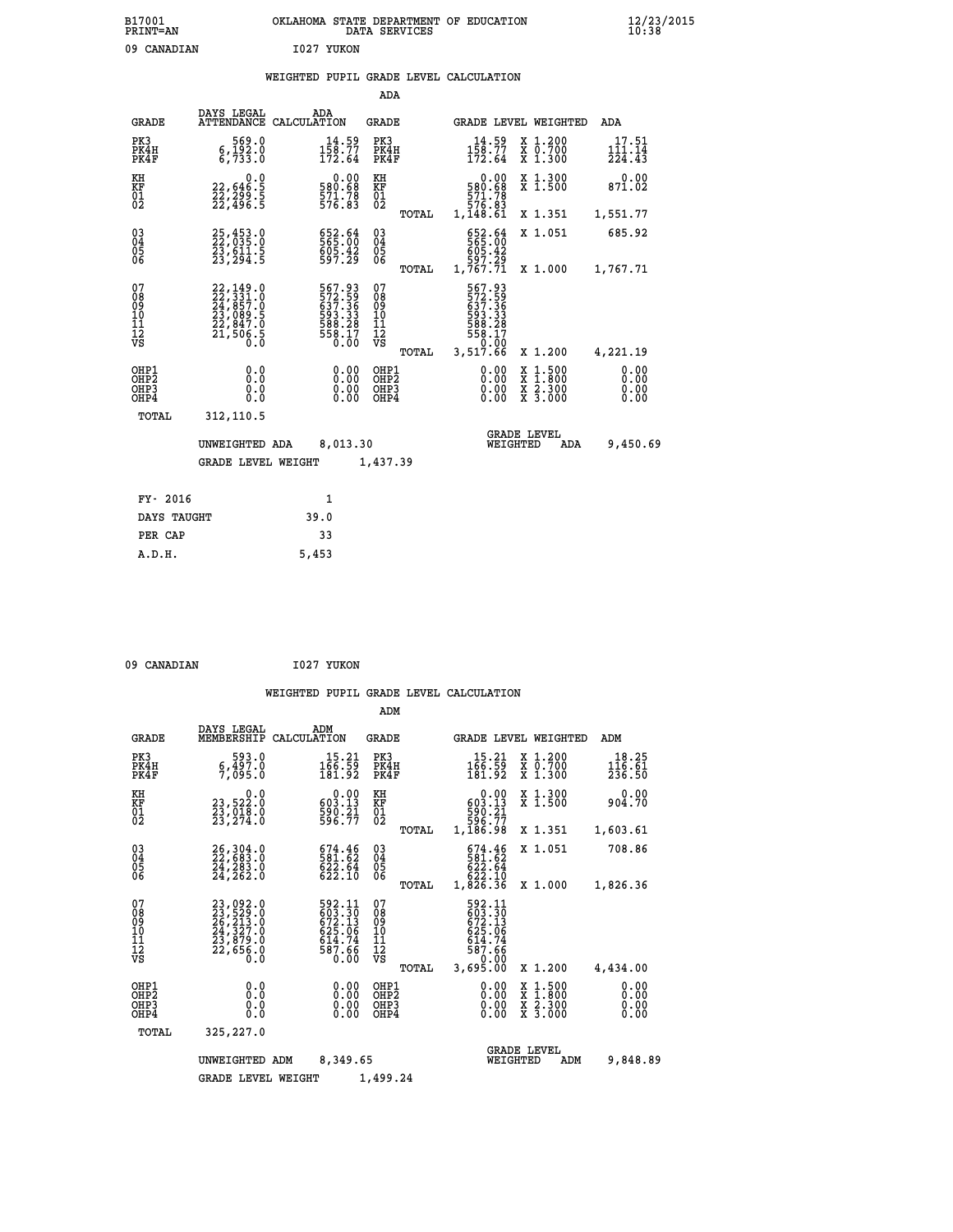| B17001<br>PRINT=AN | OKLAHOMA STATE DEPARTMENT OF EDUCATION<br>DATA SERVICES | $\frac{12}{23}$ /2015 |
|--------------------|---------------------------------------------------------|-----------------------|
| 09<br>CANADIAN     | 1027 YUKON                                              |                       |

### **WEIGHTED PUPIL GRADE LEVEL CALCULATION**

|                             |                                                                                                                                                                                                                                                                                                                                         | ADA                                                                                                                                                                                                                                                                              |                                                               |                                                                                                                                                                                    |                                                                                         |
|-----------------------------|-----------------------------------------------------------------------------------------------------------------------------------------------------------------------------------------------------------------------------------------------------------------------------------------------------------------------------------------|----------------------------------------------------------------------------------------------------------------------------------------------------------------------------------------------------------------------------------------------------------------------------------|---------------------------------------------------------------|------------------------------------------------------------------------------------------------------------------------------------------------------------------------------------|-----------------------------------------------------------------------------------------|
| DAYS LEGAL                  | ADA                                                                                                                                                                                                                                                                                                                                     | <b>GRADE</b>                                                                                                                                                                                                                                                                     |                                                               |                                                                                                                                                                                    | <b>ADA</b>                                                                              |
| 569.0<br>6,192.0<br>6,733.0 | $14.59$<br>$158.77$<br>$172.64$                                                                                                                                                                                                                                                                                                         | PK3<br>PK4H<br>PK4F                                                                                                                                                                                                                                                              | $14.59$<br>$158.77$<br>$172.64$                               | X 1.200<br>X 0.700<br>X 1.300                                                                                                                                                      | $117.51$<br>$111.14$<br>224.43                                                          |
| 0.0                         |                                                                                                                                                                                                                                                                                                                                         | KH                                                                                                                                                                                                                                                                               | 0.00                                                          | X 1.300<br>X 1.500                                                                                                                                                                 | 0.00<br>871.02                                                                          |
|                             |                                                                                                                                                                                                                                                                                                                                         | TOTAL                                                                                                                                                                                                                                                                            |                                                               | X 1.351                                                                                                                                                                            | 1,551.77                                                                                |
|                             |                                                                                                                                                                                                                                                                                                                                         | $03\overline{4}$<br>$\begin{matrix} 0.5 \\ 0.6 \end{matrix}$                                                                                                                                                                                                                     |                                                               | X 1.051                                                                                                                                                                            | 685.92                                                                                  |
|                             |                                                                                                                                                                                                                                                                                                                                         |                                                                                                                                                                                                                                                                                  |                                                               |                                                                                                                                                                                    | 1,767.71                                                                                |
|                             |                                                                                                                                                                                                                                                                                                                                         | 08<br>09<br>11<br>11<br>12<br>VS                                                                                                                                                                                                                                                 |                                                               |                                                                                                                                                                                    |                                                                                         |
|                             |                                                                                                                                                                                                                                                                                                                                         | TOTAL                                                                                                                                                                                                                                                                            |                                                               | X 1.200                                                                                                                                                                            | 4,221.19                                                                                |
| 0.0<br>Ō.Ō                  | $\begin{smallmatrix} 0.00 \ 0.00 \end{smallmatrix}$                                                                                                                                                                                                                                                                                     | OH <sub>P</sub> 2<br>OHP3<br>OHP4                                                                                                                                                                                                                                                | 0.00<br>0.00                                                  | X<br>X<br>$\frac{\ddot{x}}{x}$ $\frac{2.300}{3.000}$                                                                                                                               | 0.00<br>0.00<br>0.00<br>0.00                                                            |
| 312,110.5                   |                                                                                                                                                                                                                                                                                                                                         |                                                                                                                                                                                                                                                                                  |                                                               |                                                                                                                                                                                    |                                                                                         |
|                             |                                                                                                                                                                                                                                                                                                                                         |                                                                                                                                                                                                                                                                                  |                                                               | <b>ADA</b>                                                                                                                                                                         | 9,450.69                                                                                |
|                             |                                                                                                                                                                                                                                                                                                                                         |                                                                                                                                                                                                                                                                                  |                                                               |                                                                                                                                                                                    |                                                                                         |
|                             |                                                                                                                                                                                                                                                                                                                                         |                                                                                                                                                                                                                                                                                  |                                                               |                                                                                                                                                                                    |                                                                                         |
|                             | 39.0                                                                                                                                                                                                                                                                                                                                    |                                                                                                                                                                                                                                                                                  |                                                               |                                                                                                                                                                                    |                                                                                         |
|                             | 33                                                                                                                                                                                                                                                                                                                                      |                                                                                                                                                                                                                                                                                  |                                                               |                                                                                                                                                                                    |                                                                                         |
|                             | 22,646:5<br>22,299:5<br>22,496:5<br>25,453.0<br>22,035.0<br>23,611.5<br>23,294.5<br>$\begin{smallmatrix} 22\, ,\, 149\, .\, 0\\ 22\, ,\, 331\, .\, 0\\ 24\, ,\, 857\, .\, 0\\ 23\, ,\, 089\, .\, 5\\ 22\, ,\, 847\, .\, 0\\ 21\, ,\, 506\, .\, 5\\ 0\, .\, 0\, \end{smallmatrix}$<br>0.0<br>TOTAL<br>FY- 2016<br>DAYS TAUGHT<br>PER CAP | ATTENDANCE CALCULATION<br>$\begin{smallmatrix} &0.00\ 580.68\ 571.78\ 576.83\end{smallmatrix}$<br>652.64<br>565:00<br>605.42<br>597.29<br>567.93<br>572.59<br>537.36<br>637.36<br>598.28<br>588.28<br>558.17<br>0.00<br>0.00<br>UNWEIGHTED ADA<br><b>GRADE LEVEL WEIGHT</b><br>1 | KF<br>01<br>02<br>TOTAL<br>07<br>OHP1<br>8,013.30<br>1,437.39 | 580.68<br>571.78<br>576.83<br>1,148.61<br>652.64<br>565:00<br>605:42<br>597:29<br>1,767.71<br>567.93<br>572.59<br>637.36<br>593.33<br>588.28<br>558.17<br>0.00<br>3,517.66<br>0.00 | GRADE LEVEL WEIGHTED<br>X 1.000<br>$1:500$<br>$1:800$<br><b>GRADE LEVEL</b><br>WEIGHTED |

09 CANADIAN 1027 YUKON

 **A.D.H. 5,453**

|                                                    |                                                                                                                                                                                               |                                                                           | ADM                                                 |                                                                                        |                                          |                              |
|----------------------------------------------------|-----------------------------------------------------------------------------------------------------------------------------------------------------------------------------------------------|---------------------------------------------------------------------------|-----------------------------------------------------|----------------------------------------------------------------------------------------|------------------------------------------|------------------------------|
| <b>GRADE</b>                                       | DAYS LEGAL<br>MEMBERSHIP                                                                                                                                                                      | ADM<br>CALCULATION                                                        | GRADE                                               | <b>GRADE LEVEL WEIGHTED</b>                                                            |                                          | ADM                          |
| PK3<br>PK4H<br>PK4F                                | 593.0<br>6,497.0<br>7,095.0                                                                                                                                                                   | 15.21<br>166.59<br>181.92                                                 | PK3<br>PK4H<br>PK4F                                 | 15.21<br>$\frac{166}{181.92}$                                                          | X 1.200<br>X 0.700<br>X 1.300            | 18.25<br>116.61<br>236.50    |
| KH<br>KF<br>01<br>02                               | 0.0<br>23,522:0<br>23,018:0<br>23,274:0                                                                                                                                                       | $0.00$<br>13.13<br>$\frac{590.21}{596.77}$                                | KH<br>KF<br>$\overline{01}$                         | 0.00<br>603.13<br>$\frac{590}{596}$ $\frac{21}{77}$                                    | X 1.300<br>X 1.500                       | 0.00<br>904.70               |
|                                                    |                                                                                                                                                                                               |                                                                           | TOTAL                                               | 1,186.98                                                                               | X 1.351                                  | 1,603.61                     |
| $\begin{matrix} 03 \\ 04 \\ 05 \\ 06 \end{matrix}$ | 26,304.0<br>22,683.0<br>24,203.0<br>24,262.0                                                                                                                                                  | $\begin{smallmatrix} 674.46\\ 581.62\\ 622.64\\ 622.10 \end{smallmatrix}$ | $\begin{array}{c} 03 \\ 04 \\ 05 \\ 06 \end{array}$ | 674.46<br>581.62<br>622.64<br>622.10                                                   | X 1.051                                  | 708.86                       |
|                                                    |                                                                                                                                                                                               |                                                                           | TOTAL                                               | 1,826.36                                                                               | X 1.000                                  | 1,826.36                     |
| 07<br>08<br>09<br>101<br>11<br>12<br>VS            | $\begin{smallmatrix} 23\, ,\, 092\, .\, 0\\ 23\, ,\, 529\, .\, 0\\ 26\, ,\, 213\, .\, 0\\ 24\, ,\, 327\, .\, 0\\ 23\, ,\, 879\, .\, 0\\ 22\, ,\, 656\, .\, 0\\ 0\, .\, 0\, \end{smallmatrix}$ | 592.11<br>603.30<br>672.13<br>625.06<br>614.74<br>587.66<br>0.00          | 07<br>08<br>09<br>11<br>11<br>12<br>VS<br>TOTAL     | 592.11<br>$603.30$<br>$672.13$<br>$625.06$<br>$614.74$<br>$587.66$<br>0.00<br>3,695.00 | X 1.200                                  | 4,434.00                     |
| OHP1<br>OHP2<br>OH <sub>P3</sub><br>OHP4           | 0.0<br>0.000                                                                                                                                                                                  | $0.00$<br>$0.00$<br>0.00                                                  | OHP1<br>OHP2<br>OHP <sub>3</sub>                    | $0.00$<br>$0.00$<br>0.00                                                               | X 1:500<br>X 1:800<br>X 2:300<br>X 3:000 | 0.00<br>0.00<br>0.00<br>0.00 |
| TOTAL                                              | 325,227.0                                                                                                                                                                                     |                                                                           |                                                     |                                                                                        |                                          |                              |
|                                                    | UNWEIGHTED                                                                                                                                                                                    | 8,349.65<br>ADM                                                           |                                                     | WEIGHTED                                                                               | <b>GRADE LEVEL</b><br>ADM                | 9,848.89                     |
|                                                    | <b>GRADE LEVEL WEIGHT</b>                                                                                                                                                                     |                                                                           | 1,499.24                                            |                                                                                        |                                          |                              |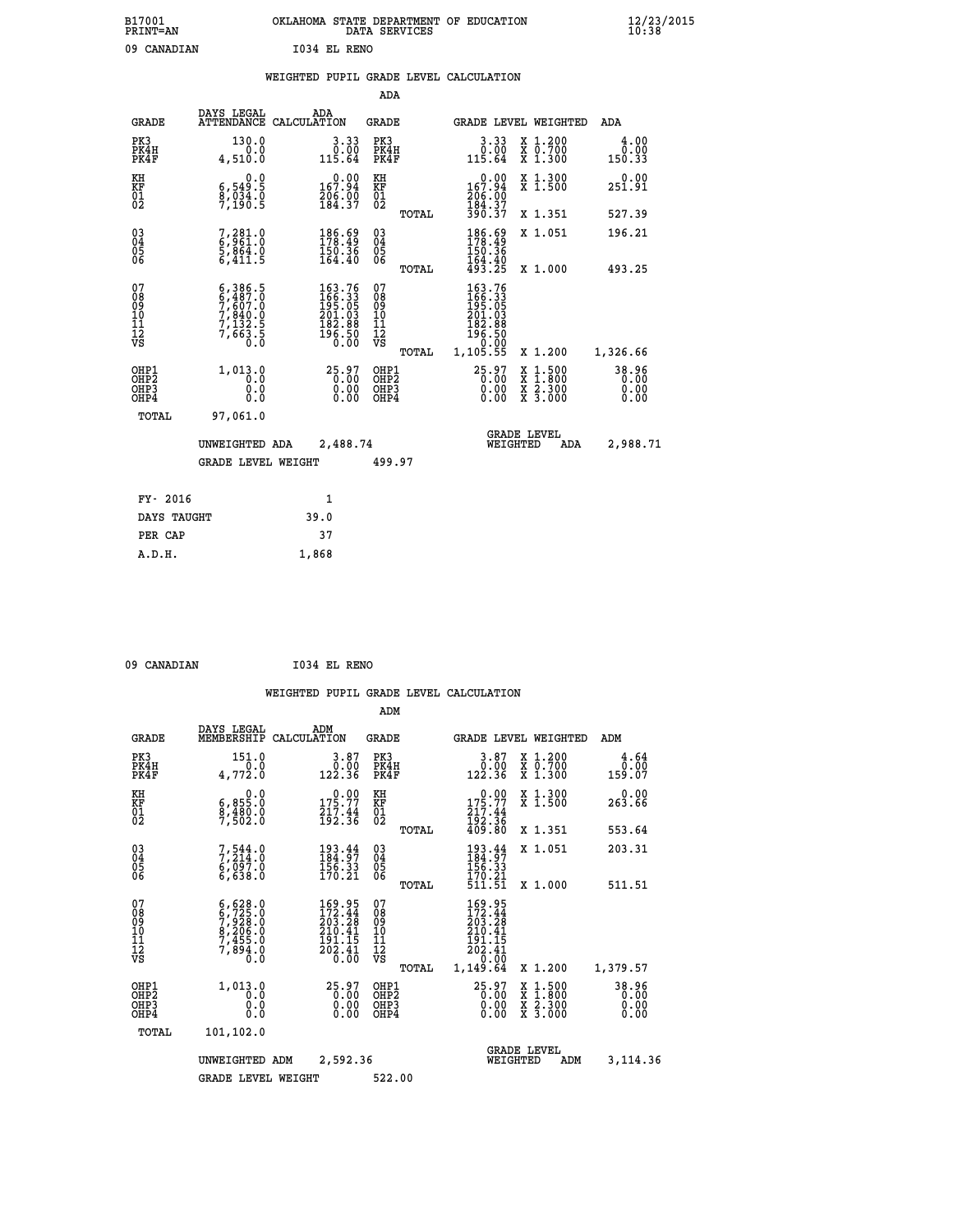| B17001<br>PRINT=AN | OKLAHOMA STATE DEPARTMENT OF EDUCATION<br>DATA SERVICES | $\frac{12}{23}$ /2015 |
|--------------------|---------------------------------------------------------|-----------------------|
| 09<br>CANADIAN     | 1034 EL RENO                                            |                       |

|  |  | WEIGHTED PUPIL GRADE LEVEL CALCULATION |
|--|--|----------------------------------------|
|  |  |                                        |

|                                                                    |                                                                            |                                                                                | ADA                                      |       |                                                                                                                          |                                                                                                  |                               |
|--------------------------------------------------------------------|----------------------------------------------------------------------------|--------------------------------------------------------------------------------|------------------------------------------|-------|--------------------------------------------------------------------------------------------------------------------------|--------------------------------------------------------------------------------------------------|-------------------------------|
| <b>GRADE</b>                                                       | DAYS LEGAL                                                                 | ADA<br>ATTENDANCE CALCULATION                                                  | <b>GRADE</b>                             |       |                                                                                                                          | <b>GRADE LEVEL WEIGHTED</b>                                                                      | ADA                           |
| PK3<br>PK4H<br>PK4F                                                | 130.0<br>0.0<br>4,510.0                                                    | 3.33<br>$0.00$<br>115.64                                                       | PK3<br>PK4H<br>PK4F                      |       | $\begin{smallmatrix} 3.33\ 0.00\ 115.64 \end{smallmatrix}$                                                               | X 1.200<br>X 0.700<br>X 1.300                                                                    | 4.00<br>0.00<br>150.33        |
| KH<br><b>KF</b><br>01<br>02                                        | 0.0<br>6,549.5<br>$\frac{8}{7}, \frac{0}{190}$ : 5                         | $0.00$<br>167.94<br>$\frac{206}{184}$ : $\frac{00}{37}$                        | KH<br>KF<br>01<br>02                     |       | $0.00$<br>167.94<br>$\frac{206}{184}$ $\frac{00}{37}$                                                                    | X 1.300<br>X 1.500                                                                               | 0.00<br>251.91                |
|                                                                    |                                                                            |                                                                                |                                          | TOTAL | 390.37                                                                                                                   | X 1.351                                                                                          | 527.39                        |
| $\begin{smallmatrix} 03 \\[-4pt] 04 \end{smallmatrix}$<br>05<br>06 | 7,281.0<br>6,961.0<br>5,864.0<br>6,411.5                                   | $\begin{smallmatrix} 186.69\\ 178.49\\ 150.36\\ 164.40 \end{smallmatrix}$      | $\substack{03 \\ 04}$<br>05<br>06        |       | 186.69<br>$\frac{150.36}{164.40}$<br>$\frac{493.25}{193.25}$                                                             | X 1.051                                                                                          | 196.21                        |
|                                                                    |                                                                            |                                                                                |                                          | TOTAL |                                                                                                                          | X 1.000                                                                                          | 493.25                        |
| 07<br>08901112<br>1112<br>VS                                       | $6,386.5$<br>$7,607.0$<br>$7,840.0$<br>$7,132.5$<br>$7,132.5$<br>$7,663.5$ | $163.76$<br>$166.33$<br>$195.05$<br>$201.03$<br>$182.88$<br>$196.50$<br>$0.00$ | 07<br>08<br>09<br>11<br>11<br>12<br>VS   |       | $\begin{smallmatrix} 163\cdot76\\166\cdot33\\195\cdot05\\201\cdot03\\182\cdot88\\196\cdot50\\9\cdot0&0\end{smallmatrix}$ |                                                                                                  |                               |
|                                                                    |                                                                            |                                                                                |                                          | TOTAL | 1,105.55                                                                                                                 | X 1.200                                                                                          | 1,326.66                      |
| OHP1<br>OH <sub>P2</sub><br>OH <sub>P3</sub><br>OH <sub>P4</sub>   | 1,013.0<br>0.0<br>0.0<br>0.0                                               | 25.97<br>0.00<br>0.00                                                          | OHP1<br>OHP <sub>2</sub><br>OHP3<br>OHP4 |       | 25.97<br>0.00<br>0.00                                                                                                    | $\begin{smallmatrix} x & 1 & 500 \\ x & 1 & 800 \\ x & 2 & 300 \\ x & 3 & 000 \end{smallmatrix}$ | 38.96<br>0.00<br>0.00<br>0.00 |
| TOTAL                                                              | 97,061.0                                                                   |                                                                                |                                          |       |                                                                                                                          |                                                                                                  |                               |
|                                                                    | UNWEIGHTED ADA                                                             | 2,488.74                                                                       |                                          |       |                                                                                                                          | GRADE LEVEL<br>WEIGHTED<br>ADA                                                                   | 2,988.71                      |
|                                                                    | <b>GRADE LEVEL WEIGHT</b>                                                  |                                                                                | 499.97                                   |       |                                                                                                                          |                                                                                                  |                               |
| FY- 2016                                                           |                                                                            | $\mathbf{1}$                                                                   |                                          |       |                                                                                                                          |                                                                                                  |                               |
| DAYS TAUGHT                                                        |                                                                            | 39.0                                                                           |                                          |       |                                                                                                                          |                                                                                                  |                               |
| PER CAP                                                            |                                                                            | 37                                                                             |                                          |       |                                                                                                                          |                                                                                                  |                               |

 **A.D.H. 1,868**

 **09 CANADIAN I034 EL RENO**

|                                                       |                                                                                           |                    |                                                                 | ADM                                                 |       |                                                                                                                                   |                                |                                          |                               |  |
|-------------------------------------------------------|-------------------------------------------------------------------------------------------|--------------------|-----------------------------------------------------------------|-----------------------------------------------------|-------|-----------------------------------------------------------------------------------------------------------------------------------|--------------------------------|------------------------------------------|-------------------------------|--|
| <b>GRADE</b>                                          | DAYS LEGAL<br>MEMBERSHIP                                                                  | ADM<br>CALCULATION |                                                                 | <b>GRADE</b>                                        |       |                                                                                                                                   |                                | <b>GRADE LEVEL WEIGHTED</b>              | ADM                           |  |
| PK3<br>PK4H<br>PK4F                                   | 151.0<br>0.0<br>4,772.0                                                                   |                    | 3.87<br>0.00<br>122.36                                          | PK3<br>PK4H<br>PK4F                                 |       | $\begin{smallmatrix} 3.87\ 0.00\ 122.36 \end{smallmatrix}$                                                                        |                                | X 1.200<br>X 0.700<br>X 1.300            | 4.64<br>$0.00$<br>159.07      |  |
| KH<br>KF<br>01<br>02                                  | 0.0<br>6,855.0<br>$\frac{8}{7}$ , $\frac{480}{502}$ .0                                    |                    | $175.77$<br>$217.44$<br>$192.36$                                | KH<br>KF<br>01<br>02                                |       | $0.00$<br>$175.77$<br>$217.44$<br>$192.36$<br>$409.80$                                                                            |                                | X 1.300<br>X 1.500                       | 0.00<br>263.66                |  |
|                                                       |                                                                                           |                    |                                                                 |                                                     | TOTAL |                                                                                                                                   |                                | X 1.351                                  | 553.64                        |  |
| 03<br>04<br>05<br>06                                  | $7, 544.0$<br>$7, 214.0$<br>$6, 097.0$<br>6,638.0                                         |                    | $184.97$<br>$184.97$<br>$156.33$<br>170.21                      | $\begin{array}{c} 03 \\ 04 \\ 05 \\ 06 \end{array}$ |       | $184.97$<br>$184.97$<br>$156.33$                                                                                                  |                                | X 1.051                                  | 203.31                        |  |
|                                                       |                                                                                           |                    |                                                                 |                                                     | TOTAL | 170.21<br>511.51                                                                                                                  |                                | X 1.000                                  | 511.51                        |  |
| 07<br>08<br>09<br>101<br>112<br>VS                    | $6, 628.0$<br>$6, 725.0$<br>$7, 928.0$<br>$8, 206.0$<br>$7, 455.0$<br>$7, 894.0$<br>$0.0$ |                    | 169.95<br>172.44<br>203.28<br>210.41<br>$\frac{191.15}{202.41}$ | 07<br>08<br>09<br>11<br>11<br>12<br>VS              | TOTAL | 169.95<br>172.44<br>203.28<br>210.41<br>$\frac{1}{2}$ $\frac{1}{2}$ $\frac{1}{2}$ $\frac{1}{4}$ $\frac{1}{4}$<br>0.00<br>1,149.64 |                                | X 1.200                                  | 1,379.57                      |  |
| OHP1<br>OH <sub>P</sub> 2<br>OH <sub>P3</sub><br>OHP4 | 1,013.0<br>0.0<br>0.000                                                                   |                    | $25.97$<br>0.00<br>0.00                                         | OHP1<br>OHP2<br>OHP3<br>OHP4                        |       | $25.97\n0.00$<br>0.00                                                                                                             |                                | X 1:500<br>X 1:800<br>X 2:300<br>X 3:000 | 38.96<br>0.00<br>0.00<br>0.00 |  |
| TOTAL                                                 | 101,102.0                                                                                 |                    |                                                                 |                                                     |       |                                                                                                                                   |                                |                                          |                               |  |
|                                                       | UNWEIGHTED                                                                                | ADM                | 2,592.36                                                        |                                                     |       |                                                                                                                                   | <b>GRADE LEVEL</b><br>WEIGHTED | ADM                                      | 3,114.36                      |  |
|                                                       | <b>GRADE LEVEL WEIGHT</b>                                                                 |                    |                                                                 | 522.00                                              |       |                                                                                                                                   |                                |                                          |                               |  |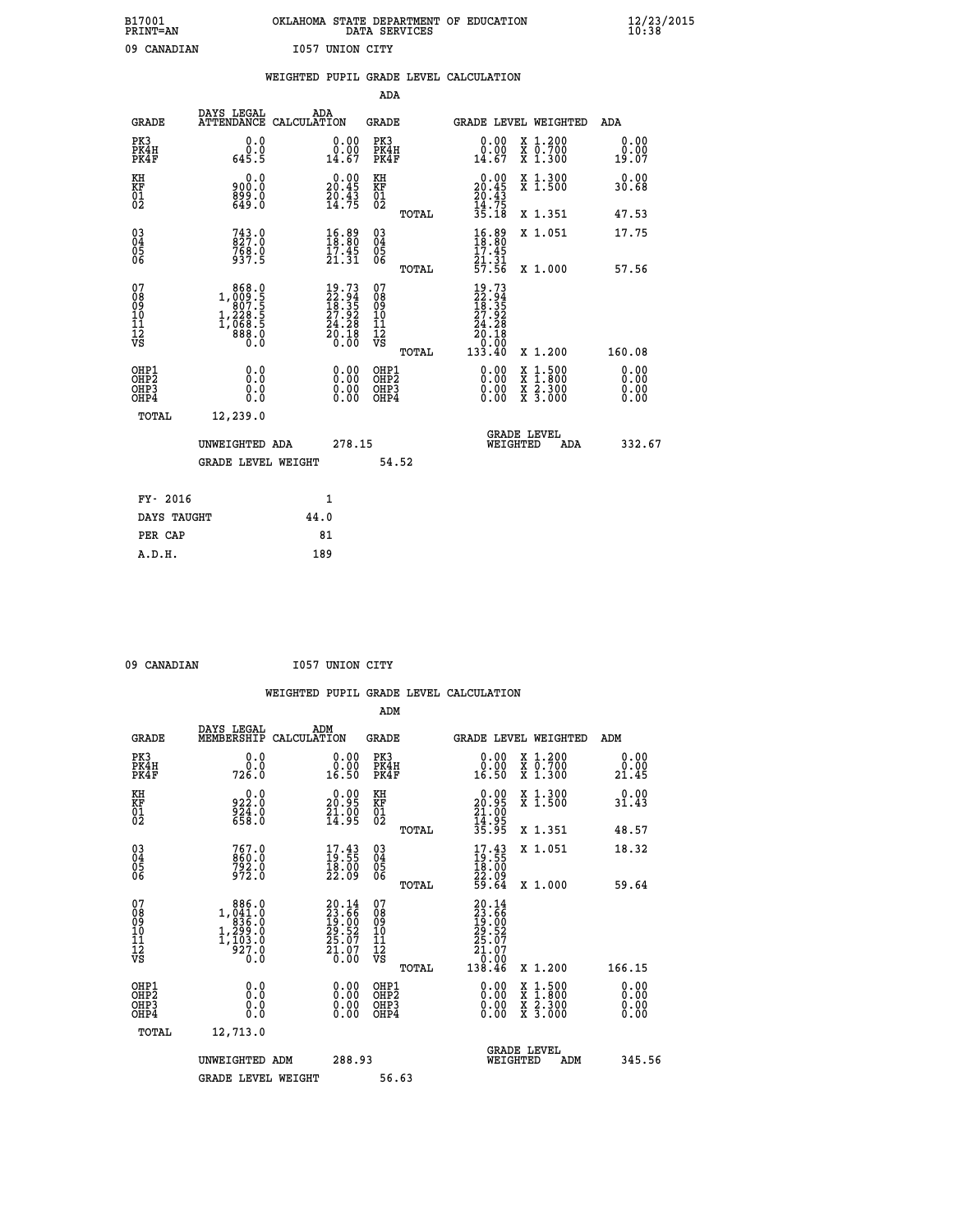| B17001          | OKLAHOMA STATE DEPARTMENT OF EDUCATION |
|-----------------|----------------------------------------|
| <b>PRINT=AN</b> | DATA SERVICES                          |
| 09 CANADIAN     | 1057 UNION CITY                        |

|                                                                    |                                                                                                           | WEIGHTED PUPIL GRADE LEVEL CALCULATION                                   |                                                     |       |                                                                                                     |                                                                                                                                              |                               |
|--------------------------------------------------------------------|-----------------------------------------------------------------------------------------------------------|--------------------------------------------------------------------------|-----------------------------------------------------|-------|-----------------------------------------------------------------------------------------------------|----------------------------------------------------------------------------------------------------------------------------------------------|-------------------------------|
|                                                                    |                                                                                                           |                                                                          | <b>ADA</b>                                          |       |                                                                                                     |                                                                                                                                              |                               |
| <b>GRADE</b>                                                       | DAYS LEGAL<br><b>ATTENDANCE</b>                                                                           | ADA<br>CALCULATION                                                       | <b>GRADE</b>                                        |       |                                                                                                     | GRADE LEVEL WEIGHTED                                                                                                                         | ADA                           |
| PK3<br>PK4H<br>PK4F                                                | 0.0<br>$\begin{smallmatrix} & \v{0} & \v{0} \\ 645 & 5 \end{smallmatrix}$                                 | $\begin{smallmatrix} 0.00\\ 0.00\\ 14.67 \end{smallmatrix}$              | PK3<br>PK4H<br>PK4F                                 |       | 0.00<br>$\substack{0.00 \ 14.67}$                                                                   | X 1.200<br>X 0.700<br>X 1.300                                                                                                                | 0.00<br>0.00<br>19.07         |
| KH<br>KF<br>01<br>02                                               | 0.0<br>900.0<br>0.008<br>0.049                                                                            | $\begin{smallmatrix} 0.00\\ 20.45\\ 20.43\\ 14.75 \end{smallmatrix}$     | KH<br>KF<br>01<br>02                                |       | $\begin{smallmatrix} 0.00\\ 20.45\\ 20.43\\ 14.75\\ 35.18 \end{smallmatrix}$                        | X 1.300<br>X 1.500                                                                                                                           | 0.00<br>30.68                 |
|                                                                    |                                                                                                           |                                                                          |                                                     | TOTAL |                                                                                                     | X 1.351                                                                                                                                      | 47.53                         |
| $\begin{smallmatrix} 03 \\[-4pt] 04 \end{smallmatrix}$<br>Ŏ5<br>06 | $743.0$<br>827.0<br>768.0<br>937.5                                                                        | $\begin{smallmatrix} 16.89\\18.80\\17.45\\21.31 \end{smallmatrix}$       | $\begin{array}{c} 03 \\ 04 \\ 05 \\ 06 \end{array}$ |       | 16.89                                                                                               | X 1.051                                                                                                                                      | 17.75                         |
|                                                                    |                                                                                                           |                                                                          |                                                     | TOTAL | $\frac{17.45}{21.31}$<br>57.56                                                                      | X 1.000                                                                                                                                      | 57.56                         |
| 07<br>08<br>09<br>111<br>12<br>VS                                  | $\begin{smallmatrix} & 868.0\\ 1,009.5\\ 907.5\\ 228.5\\ 1,288.5\\ 068.5\\ 888.0\\ 0.0 \end{smallmatrix}$ | $19.73$<br>$22.94$<br>$18.35$<br>$27.92$<br>$24.28$<br>$20.18$<br>$0.00$ | 07<br>08901112<br>1112<br>VS                        | TOTAL | 19.73<br>22.94<br>18.35<br>27.92<br>24.28<br>$\begin{array}{r} 20.18 \\ 0.08 \\ 133.40 \end{array}$ | X 1.200                                                                                                                                      | 160.08                        |
| OHP1<br>OHP2<br>OH <sub>P3</sub><br>OHP4                           | 0.0<br>0.0<br>0.0                                                                                         | $\begin{smallmatrix} 0.00 \ 0.00 \ 0.00 \ 0.00 \end{smallmatrix}$        | OHP1<br>OHP2<br>OHP3<br>OHP4                        |       | 0.00<br>0.00<br>0.00                                                                                | $\begin{smallmatrix} \mathtt{X} & 1\cdot500 \\ \mathtt{X} & 1\cdot800 \\ \mathtt{X} & 2\cdot300 \\ \mathtt{X} & 3\cdot000 \end{smallmatrix}$ | 0.00<br>Ō. ŌŌ<br>0.00<br>0.00 |
| TOTAL                                                              | 12,239.0                                                                                                  |                                                                          |                                                     |       |                                                                                                     |                                                                                                                                              |                               |
|                                                                    | UNWEIGHTED ADA                                                                                            |                                                                          | 278.15                                              |       | WEIGHTED                                                                                            | <b>GRADE LEVEL</b><br>ADA                                                                                                                    | 332.67                        |
|                                                                    | <b>GRADE LEVEL WEIGHT</b>                                                                                 |                                                                          |                                                     | 54.52 |                                                                                                     |                                                                                                                                              |                               |
| FY- 2016                                                           |                                                                                                           | $\mathbf{1}$                                                             |                                                     |       |                                                                                                     |                                                                                                                                              |                               |
| DAYS TAUGHT                                                        |                                                                                                           | 44.0                                                                     |                                                     |       |                                                                                                     |                                                                                                                                              |                               |
| PER CAP                                                            |                                                                                                           | 81                                                                       |                                                     |       |                                                                                                     |                                                                                                                                              |                               |

 **A.D.H. 189**

09 CANADIAN 1057 UNION CITY

|                                                    |                                                                              |                    |                                                                                              |                                           |       | WEIGHTED PUPIL GRADE LEVEL CALCULATION                                                                                                                                                                                                                                         |                                                                                                  |        |                              |
|----------------------------------------------------|------------------------------------------------------------------------------|--------------------|----------------------------------------------------------------------------------------------|-------------------------------------------|-------|--------------------------------------------------------------------------------------------------------------------------------------------------------------------------------------------------------------------------------------------------------------------------------|--------------------------------------------------------------------------------------------------|--------|------------------------------|
|                                                    |                                                                              |                    |                                                                                              | ADM                                       |       |                                                                                                                                                                                                                                                                                |                                                                                                  |        |                              |
| <b>GRADE</b>                                       | DAYS LEGAL<br>MEMBERSHIP                                                     | ADM<br>CALCULATION |                                                                                              | <b>GRADE</b>                              |       | GRADE LEVEL WEIGHTED                                                                                                                                                                                                                                                           |                                                                                                  | ADM    |                              |
| PK3<br>PK4H<br>PK4F                                | 0.0<br>0.0<br>726.0                                                          |                    | 0.00<br>$\substack{0.00 \ 16.50}$                                                            | PK3<br>PK4H<br>PK4F                       |       | 0.00<br>0.00<br>16.50                                                                                                                                                                                                                                                          | X 1.200<br>X 0.700<br>X 1.300                                                                    |        | 0.00<br>0.00<br>21.45        |
| KH<br>KF<br>01<br>02                               | 922.0<br>$\frac{5}{6}$ $\frac{2}{8}$ $\frac{3}{8}$ $\cdot$ $\frac{0}{0}$     |                    | 20.99<br>$\frac{51.00}{14.95}$                                                               | KH<br>KF<br>01<br>02                      |       | $\begin{smallmatrix} 0.00\\ 20.95\\ 21.00\\ 14.95\\ 35.95 \end{smallmatrix}$                                                                                                                                                                                                   | X 1.300<br>X 1.500                                                                               |        | 0.00<br>31.43                |
|                                                    |                                                                              |                    |                                                                                              |                                           | TOTAL |                                                                                                                                                                                                                                                                                | X 1.351                                                                                          |        | 48.57                        |
| $\begin{matrix} 03 \\ 04 \\ 05 \\ 06 \end{matrix}$ | 767.0<br>860.0<br>792.0<br>972.0                                             |                    | 17.43<br>$\frac{18.00}{22.09}$                                                               | 03<br>04<br>05<br>06                      |       | $\begin{smallmatrix} 17.43\ 19.55\ 18.00\ 22.09\ 59.64 \end{smallmatrix}$                                                                                                                                                                                                      | X 1.051                                                                                          |        | 18.32                        |
|                                                    |                                                                              |                    |                                                                                              |                                           | TOTAL |                                                                                                                                                                                                                                                                                | X 1.000                                                                                          |        | 59.64                        |
| 07<br>08<br>09<br>11<br>11<br>12<br>VS             | 886.0<br>$1, \substack{041.0 \\ 836.0 \\ 1,299.0 \\ 1,103.0 \\ 927.0 \\ 0.0$ |                    | $\begin{smallmatrix} 20.14\\ 23.66\\ 19.00\\ 29.52\\ 25.07\\ 21.07\\ 0.00 \end{smallmatrix}$ | 07<br>08<br>09<br>11<br>11<br>12<br>VS    | TOTAL | $\begin{smallmatrix} 20.14\ 23.66\ 19.00\ 19.00\ 25.07\ 21.07\ 21.00\ 138.46\ \end{smallmatrix}$                                                                                                                                                                               | X 1.200                                                                                          | 166.15 |                              |
| OHP1<br>OHP2<br>OH <sub>P3</sub><br>OHP4           | 0.0<br>0.000                                                                 |                    | $\begin{smallmatrix} 0.00 \ 0.00 \ 0.00 \ 0.00 \end{smallmatrix}$                            | OHP1<br>OH <sub>P</sub> 2<br>OHP3<br>OHP4 |       | $\begin{smallmatrix} 0.00 & 0.00 & 0.00 & 0.00 & 0.00 & 0.00 & 0.00 & 0.00 & 0.00 & 0.00 & 0.00 & 0.00 & 0.00 & 0.00 & 0.00 & 0.00 & 0.00 & 0.00 & 0.00 & 0.00 & 0.00 & 0.00 & 0.00 & 0.00 & 0.00 & 0.00 & 0.00 & 0.00 & 0.00 & 0.00 & 0.00 & 0.00 & 0.00 & 0.00 & 0.00 & 0.0$ | $\begin{smallmatrix} x & 1 & 500 \\ x & 1 & 800 \\ x & 2 & 300 \\ x & 3 & 000 \end{smallmatrix}$ |        | 0.00<br>0.00<br>0.00<br>0.00 |
| TOTAL                                              | 12,713.0                                                                     |                    |                                                                                              |                                           |       |                                                                                                                                                                                                                                                                                |                                                                                                  |        |                              |
|                                                    | UNWEIGHTED ADM                                                               |                    | 288.93                                                                                       |                                           |       | WEIGHTED                                                                                                                                                                                                                                                                       | <b>GRADE LEVEL</b><br>ADM                                                                        |        | 345.56                       |
|                                                    | <b>GRADE LEVEL WEIGHT</b>                                                    |                    |                                                                                              | 56.63                                     |       |                                                                                                                                                                                                                                                                                |                                                                                                  |        |                              |
|                                                    |                                                                              |                    |                                                                                              |                                           |       |                                                                                                                                                                                                                                                                                |                                                                                                  |        |                              |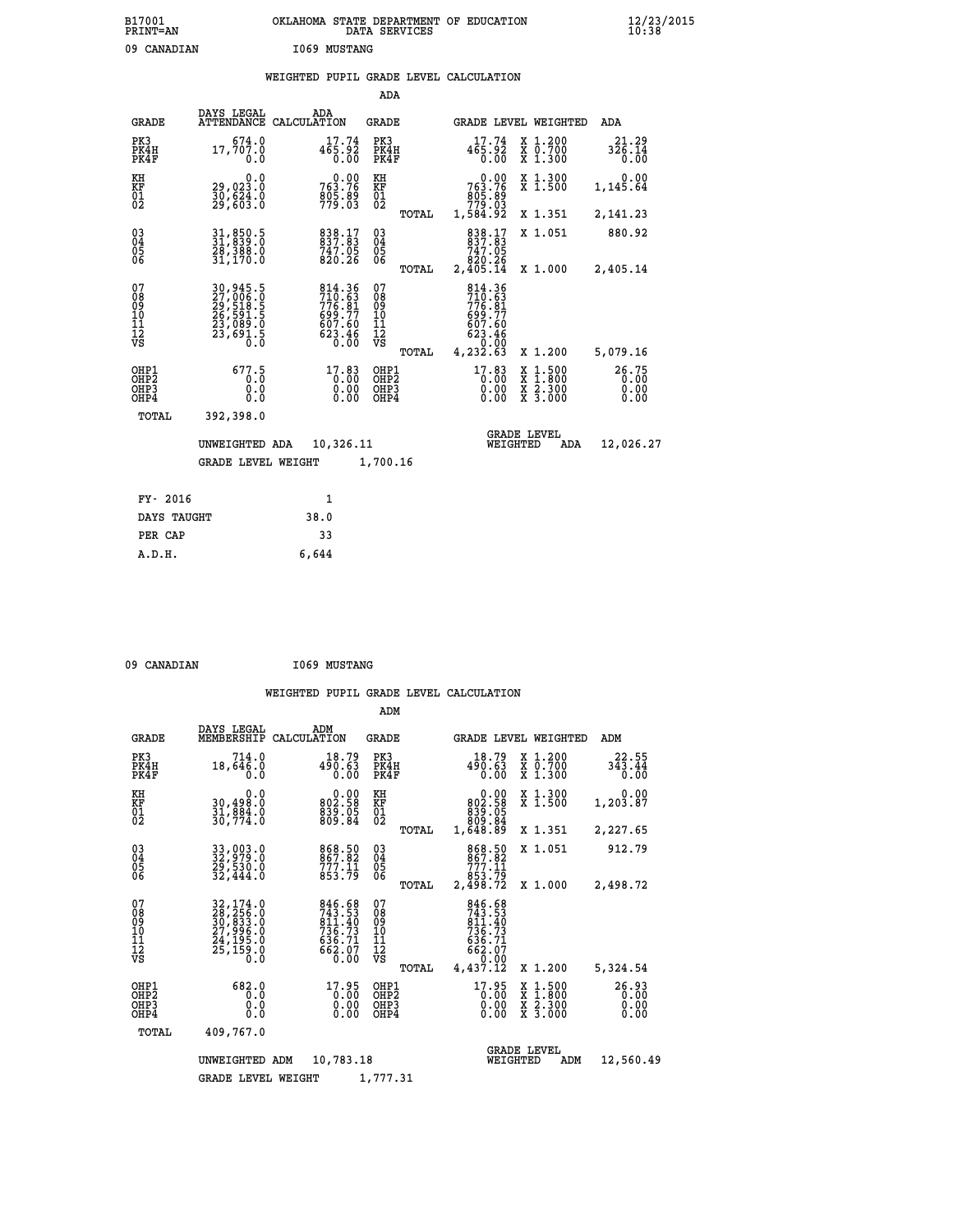# **B17001 OKLAHOMA STATE DEPARTMENT OF EDUCATION 12/23/2015 PRINT=AN DATA SERVICES 10:38** 09 CANADIAN **I069 MUSTANG**

# **WEIGHTED PUPIL GRADE LEVEL CALCULATION**

|                                                                    |                                                                                       |                                                                            | ADA                                    |       |                                                                                  |          |                                                                                                                                      |                               |
|--------------------------------------------------------------------|---------------------------------------------------------------------------------------|----------------------------------------------------------------------------|----------------------------------------|-------|----------------------------------------------------------------------------------|----------|--------------------------------------------------------------------------------------------------------------------------------------|-------------------------------|
| <b>GRADE</b>                                                       | DAYS LEGAL                                                                            | ADA<br>ATTENDANCE CALCULATION                                              | <b>GRADE</b>                           |       |                                                                                  |          | <b>GRADE LEVEL WEIGHTED</b>                                                                                                          | ADA                           |
| PK3<br>PK4H<br>PK4F                                                | 674.0<br>17,707.0<br>0.0                                                              | 17.74<br>465.92<br>0.00                                                    | PK3<br>PK4H<br>PK4F                    |       | 17.74<br>465.92<br>0.00                                                          |          | X 1.200<br>X 0.700<br>X 1.300                                                                                                        | 21.29<br>326.14<br>0.00       |
| KH<br>KF<br>01<br>02                                               | 0.0<br>29,023.0<br>30,624.0<br>29,603.0                                               | 763.76<br>$\frac{805.89}{779.03}$                                          | KH<br>KF<br>01<br>02                   |       | $\begin{smallmatrix} &0.00\ 763.76\ 805.89\ 879.03\ 1,584.92\ \end{smallmatrix}$ |          | X 1.300<br>X 1.500                                                                                                                   | 0.00<br>1,145.64              |
|                                                                    |                                                                                       |                                                                            |                                        | TOTAL |                                                                                  |          | X 1.351                                                                                                                              | 2,141.23                      |
| $\begin{smallmatrix} 03 \\[-4pt] 04 \end{smallmatrix}$<br>Ŏ5<br>06 | $\begin{smallmatrix} 31, 850.5\\ 31, 839.0\\ 28, 388.0\\ 31, 170.0 \end{smallmatrix}$ | 838.17<br>837.83<br>747.05<br>820.26                                       | $\substack{03 \\ 04}$<br>Ŏ5<br>06      |       | 838.17<br>837.83<br>747.05<br>820.26<br>2,405.14                                 |          | X 1.051                                                                                                                              | 880.92                        |
|                                                                    |                                                                                       |                                                                            |                                        | TOTAL |                                                                                  |          | X 1.000                                                                                                                              | 2,405.14                      |
| 07<br>08<br>09<br>101<br>11<br>12<br>VS                            | 30,945.5<br>27,006.0<br>29,518.5<br>26,591.5<br>23,089.0<br>23,691.5                  | 814.36<br>710.63<br>776.81<br>776.81<br>699.77<br>607.60<br>623.46<br>0.00 | 07<br>08<br>09<br>11<br>11<br>12<br>VS |       | 814.36<br>$710.63$<br>$776.81$<br>$699.77$<br>$607.60$<br>623.46<br>0.00         |          |                                                                                                                                      |                               |
|                                                                    |                                                                                       |                                                                            |                                        | TOTAL | 4,232.63                                                                         |          | X 1.200                                                                                                                              | 5,079.16                      |
| OHP1<br>OHP <sub>2</sub><br>OH <sub>P3</sub><br>OHP4               | 677.5<br>0.0<br>0.0                                                                   | $17.83$<br>0.00<br>0.00                                                    | OHP1<br>OHP2<br>OHP3<br>OHP4           |       | $17.83$<br>$0.00$<br>0.00                                                        |          | $\begin{smallmatrix} \mathtt{X} & 1 & 500 \\ \mathtt{X} & 1 & 800 \\ \mathtt{X} & 2 & 300 \\ \mathtt{X} & 3 & 000 \end{smallmatrix}$ | 26.75<br>0.00<br>0.00<br>0.00 |
| TOTAL                                                              | 392,398.0                                                                             |                                                                            |                                        |       |                                                                                  |          |                                                                                                                                      |                               |
|                                                                    | UNWEIGHTED ADA                                                                        | 10,326.11                                                                  |                                        |       |                                                                                  | WEIGHTED | <b>GRADE LEVEL</b><br>ADA                                                                                                            | 12,026.27                     |
|                                                                    | <b>GRADE LEVEL WEIGHT</b>                                                             |                                                                            | 1,700.16                               |       |                                                                                  |          |                                                                                                                                      |                               |
| FY- 2016                                                           |                                                                                       | $\mathbf{1}$                                                               |                                        |       |                                                                                  |          |                                                                                                                                      |                               |
| DAYS TAUGHT                                                        |                                                                                       | 38.0                                                                       |                                        |       |                                                                                  |          |                                                                                                                                      |                               |
| PER CAP                                                            |                                                                                       | 33                                                                         |                                        |       |                                                                                  |          |                                                                                                                                      |                               |

| 09 CANADIAN |  | <b>I069 MUSTANG</b> |
|-------------|--|---------------------|
|-------------|--|---------------------|

 **A.D.H. 6,644**

|                                                    |                                                                                                |                                                                         | ADM                                                   |                                                                                                                   |                                                                                                                     |                               |
|----------------------------------------------------|------------------------------------------------------------------------------------------------|-------------------------------------------------------------------------|-------------------------------------------------------|-------------------------------------------------------------------------------------------------------------------|---------------------------------------------------------------------------------------------------------------------|-------------------------------|
| <b>GRADE</b>                                       | DAYS LEGAL<br>MEMBERSHIP                                                                       | ADM<br>CALCULATION                                                      | <b>GRADE</b>                                          |                                                                                                                   | <b>GRADE LEVEL WEIGHTED</b>                                                                                         | ADM                           |
| PK3<br>PK4H<br>PK4F                                | 714.0<br>18,646.0<br>0.0                                                                       | 18.79<br>490.63<br>0.00                                                 | PK3<br>PK4H<br>PK4F                                   | 18.79<br>490.63<br>0.00                                                                                           | $\begin{smallmatrix} x & 1.200 \\ x & 0.700 \end{smallmatrix}$<br>X 1.300                                           | 22.55<br>343.44<br>0.00       |
| KH<br>KF<br>01<br>02                               | 0.0<br>30,498.0<br>31,884.0<br>30,774.0                                                        | $\begin{smallmatrix} 0.00\\ 802.58\\ 839.05\\ 809.84 \end{smallmatrix}$ | KH<br>KF<br>01<br>02                                  | 0.00<br>802.58<br>839.05<br>809.84<br>1,648.89                                                                    | X 1.300<br>X 1.500                                                                                                  | 0.00<br>1,203.87              |
|                                                    |                                                                                                |                                                                         | TOTAL                                                 |                                                                                                                   | X 1.351                                                                                                             | 2,227.65                      |
| $\begin{matrix} 03 \\ 04 \\ 05 \\ 06 \end{matrix}$ | 33,003.0<br>32,979.0<br>29,530.0<br>32,444.0                                                   | 868.50<br>867.82<br>777.11<br>853.79                                    | $^{03}_{04}$<br>$\frac{05}{06}$                       | 868.50<br>867.82<br>777.11                                                                                        | X 1.051                                                                                                             | 912.79                        |
|                                                    |                                                                                                |                                                                         | TOTAL                                                 | 853.79<br>2,498.72                                                                                                | X 1.000                                                                                                             | 2,498.72                      |
| 07<br>08<br>09<br>10<br>11<br>11<br>12<br>VS       | 32, 174.0<br>38, 256.0<br>30, 833.0<br>37, 996.0<br>24, 195.0<br>25, 159.0<br>$0.\overline{0}$ | 846.68<br>743.53<br>811.40<br>736.73<br>636.71<br>662.07<br>662.07      | 07<br>08<br>09<br>01<br>11<br>11<br>12<br>VS<br>TOTAL | 846.68<br>$\begin{smallmatrix} 743.53\ 743.53\ 811.40\ 736.73\ 636.71\ 662.07\ 9.00\ 4.437.12\ \end{smallmatrix}$ | X 1.200                                                                                                             | 5,324.54                      |
| OHP1<br>OHP2<br>OHP3<br>OHP4                       | 682.0<br>0.0<br>0.0<br>Ŏ.Ŏ                                                                     | 17.95<br>0.00<br>0.00                                                   | OHP1<br>OHP2<br>OHP3<br>OHP4                          | 17.95<br>$0.00$<br>0.00                                                                                           | $\begin{array}{l} \mathtt{X} & 1.500 \\ \mathtt{X} & 1.800 \\ \mathtt{X} & 2.300 \\ \mathtt{X} & 3.000 \end{array}$ | 26.93<br>0.00<br>0.00<br>0.00 |
| TOTAL                                              | 409,767.0                                                                                      |                                                                         |                                                       |                                                                                                                   |                                                                                                                     |                               |
|                                                    | UNWEIGHTED<br><b>GRADE LEVEL WEIGHT</b>                                                        | 10,783.18<br>ADM                                                        | 1,777.31                                              | WEIGHTED                                                                                                          | <b>GRADE LEVEL</b><br>ADM                                                                                           | 12,560.49                     |
|                                                    |                                                                                                |                                                                         |                                                       |                                                                                                                   |                                                                                                                     |                               |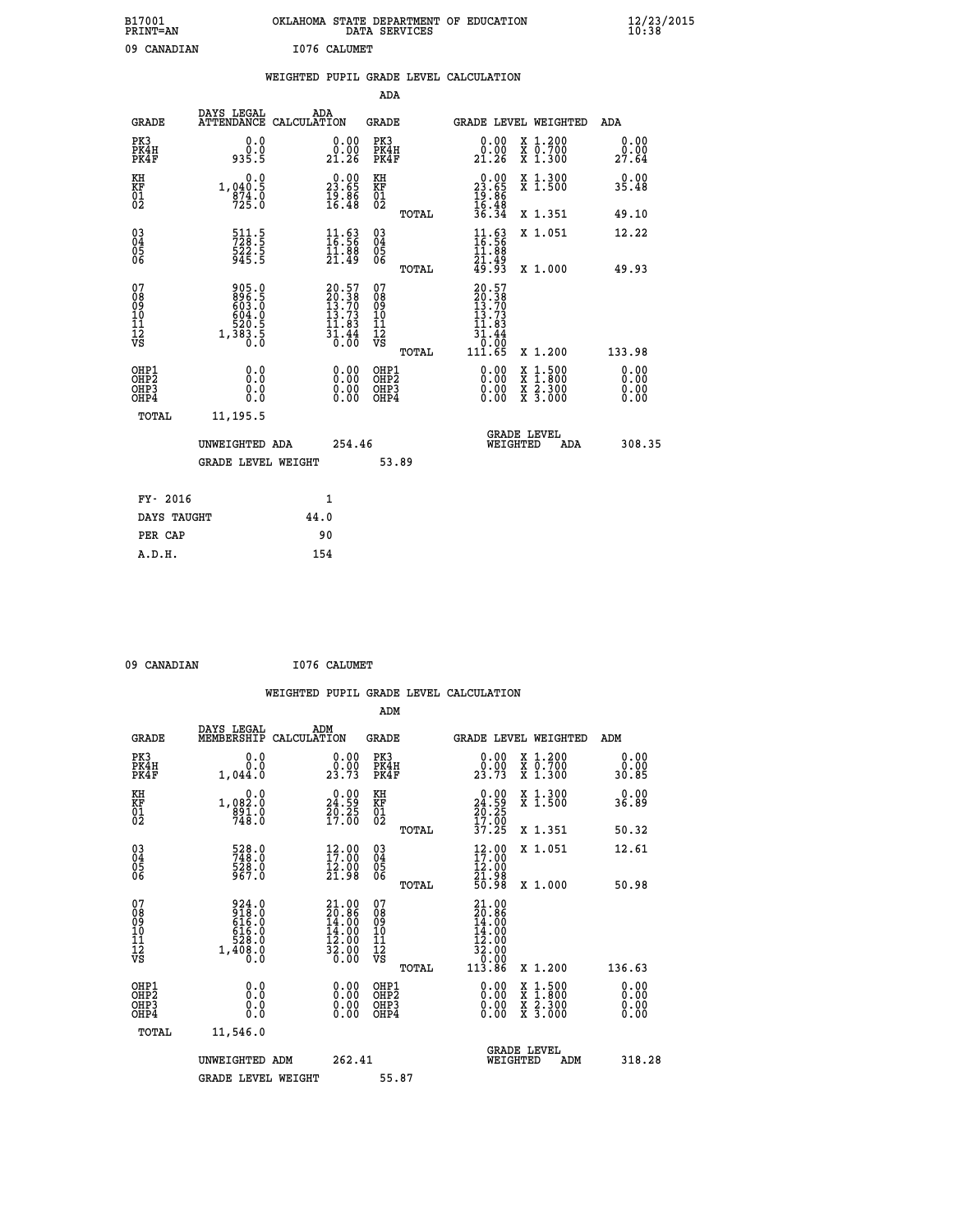| B17001<br><b>PRINT=AN</b> | OKLAHOMA STATE DEPARTMENT OF EDUCATION<br>DATA SERVICES | $\frac{12}{23}$ /2015 |
|---------------------------|---------------------------------------------------------|-----------------------|
| 09<br>CANADIAN            | I076 CALUMET                                            |                       |

|  |  | WEIGHTED PUPIL GRADE LEVEL CALCULATION |  |
|--|--|----------------------------------------|--|
|  |  |                                        |  |

|                                                    |                                                             |                                                                      | ADA                                    |       |                                                                                                                                    |   |                                                           |                              |
|----------------------------------------------------|-------------------------------------------------------------|----------------------------------------------------------------------|----------------------------------------|-------|------------------------------------------------------------------------------------------------------------------------------------|---|-----------------------------------------------------------|------------------------------|
| <b>GRADE</b>                                       | DAYS LEGAL<br><b>ATTENDANCE</b>                             | ADA<br>CALCULATION                                                   | GRADE                                  |       | GRADE LEVEL WEIGHTED                                                                                                               |   |                                                           | <b>ADA</b>                   |
| PK3<br>PK4H<br>PK4F                                | 0.0<br>0.0<br>935.5                                         | 0.00<br>0.00<br>21.26                                                | PK3<br>PK4H<br>PK4F                    |       | 0.00<br>0.00<br>21.26                                                                                                              |   | X 1.200<br>X 0.700<br>X 1.300                             | 0.00<br>0.00<br>27.64        |
| KH<br><b>KF</b><br>01<br>02                        | 0.0<br>1,040:5<br>874:0<br>725:0                            | $\begin{smallmatrix} 0.00\\ 23.65\\ 19.86\\ 16.48 \end{smallmatrix}$ | KH<br>KF<br>01<br>02                   |       | $\begin{smallmatrix} 0.00\\ 23.65\\ 19.86\\ 16.48\\ 36.34 \end{smallmatrix}$                                                       |   | X 1.300<br>X 1.500                                        | 0.00<br>35.48                |
|                                                    |                                                             |                                                                      |                                        | TOTAL |                                                                                                                                    |   | X 1.351                                                   | 49.10                        |
| $\begin{matrix} 03 \\ 04 \\ 05 \\ 06 \end{matrix}$ | 511.5<br>728.5<br>522.5<br>945.5                            | $\begin{smallmatrix} 11.63\ 16.56\ 11.88\ 21.49 \end{smallmatrix}$   | 03<br>04<br>05<br>06                   |       | $\frac{11}{16}$ : 56<br>11.88                                                                                                      |   | X 1.051                                                   | 12.22                        |
|                                                    |                                                             |                                                                      |                                        | TOTAL | 21.49<br>49.93                                                                                                                     |   | X 1.000                                                   | 49.93                        |
| 07<br>08<br>09<br>101<br>11<br>12<br>VS            | 905.0<br>896.5<br>603.0<br>604.0<br>520.5<br>1,383.5<br>0.0 | 20.57<br>20.38<br>13.70<br>13.73<br>11.83<br>$\frac{31.44}{0.00}$    | 07<br>08<br>09<br>11<br>11<br>12<br>VS | TOTAL | 20.57<br>$\begin{smallmatrix} 20.36\ 13.70\ 13.73\ 11.83 \end{smallmatrix}$<br>$\begin{array}{r} 31.44 \\[-4pt] 11.65 \end{array}$ |   | X 1.200                                                   | 133.98                       |
| OHP1<br>OHP2<br>OHP3<br>OH <sub>P4</sub>           | 0.0<br>0.0<br>0.0                                           | 0.00<br>$\begin{smallmatrix} 0.00 \ 0.00 \end{smallmatrix}$          | OHP1<br>OHP2<br>OHP3<br>OHP4           |       | $0.00$<br>$0.00$<br>0.00                                                                                                           | X | $1.500$<br>$1.800$<br>$\frac{x}{x}$ $\frac{5.300}{3.000}$ | 0.00<br>0.00<br>0.00<br>0.00 |
| TOTAL                                              | 11,195.5                                                    |                                                                      |                                        |       |                                                                                                                                    |   |                                                           |                              |
|                                                    | UNWEIGHTED ADA                                              | 254.46                                                               |                                        |       | WEIGHTED                                                                                                                           |   | <b>GRADE LEVEL</b><br>ADA                                 | 308.35                       |
|                                                    | <b>GRADE LEVEL WEIGHT</b>                                   |                                                                      |                                        | 53.89 |                                                                                                                                    |   |                                                           |                              |
| FY- 2016                                           |                                                             | $\mathbf{1}$                                                         |                                        |       |                                                                                                                                    |   |                                                           |                              |
| DAYS TAUGHT                                        |                                                             | 44.0                                                                 |                                        |       |                                                                                                                                    |   |                                                           |                              |

**PER CAP** 90  **A.D.H. 154**

09 CANADIAN 1076 CALUMET  **WEIGHTED PUPIL GRADE LEVEL CALCULATION ADM DAYS LEGAL ADM GRADE MEMBERSHIP CALCULATION GRADE GRADE LEVEL WEIGHTED ADM PK3 0.0 0.00 PK3 0.00 X 1.200 0.00 PK4H 0.0 0.00 PK4H 0.00 X 0.700 0.00 PK4F 1,044.0 23.73 PK4F 23.73 X 1.300 30.85 KH 0.0 0.00 KH 0.00 X 1.300 0.00 KF 1,082.0 24.59 KF 24.59 X 1.500 36.89 01 891.0 20.25 01 20.25 02 748.0 17.00 02 17.00 TOTAL 37.25 X 1.351 50.32 03 528.0 12.00 03 12.00 X 1.051 12.61 04 748.0 17.00 04 17.00 05 528.0 12.00 05 12.00 06 967.0 21.98 06 21.98 TOTAL 50.98 X 1.000 50.98** 07 924.0 21.00 07 21.00<br>
08 918.0 20.86 08 20.86<br>
10 616.0 14.00 10 14.00<br>
11 528.0 12.00 11 12.00<br>
12 1,408.0 32.00 12<br>
VS 1,408.0 30.00 VS 0.000  **TOTAL 113.86 X 1.200 136.63 OHP1 0.0 0.00 OHP1 0.00 X 1.500 0.00 OHP2 0.0 0.00 OHP2 0.00 X 1.800 0.00 OHP3 0.0 0.00 OHP3 0.00 X 2.300 0.00 OHP4 0.0 0.00 OHP4 0.00 X 3.000 0.00 TOTAL 11,546.0** UNWEIGHTED ADM 262.41  **UNWEIGHTED ADM 262.41 WEIGHTED ADM 318.28** GRADE LEVEL WEIGHT 55.87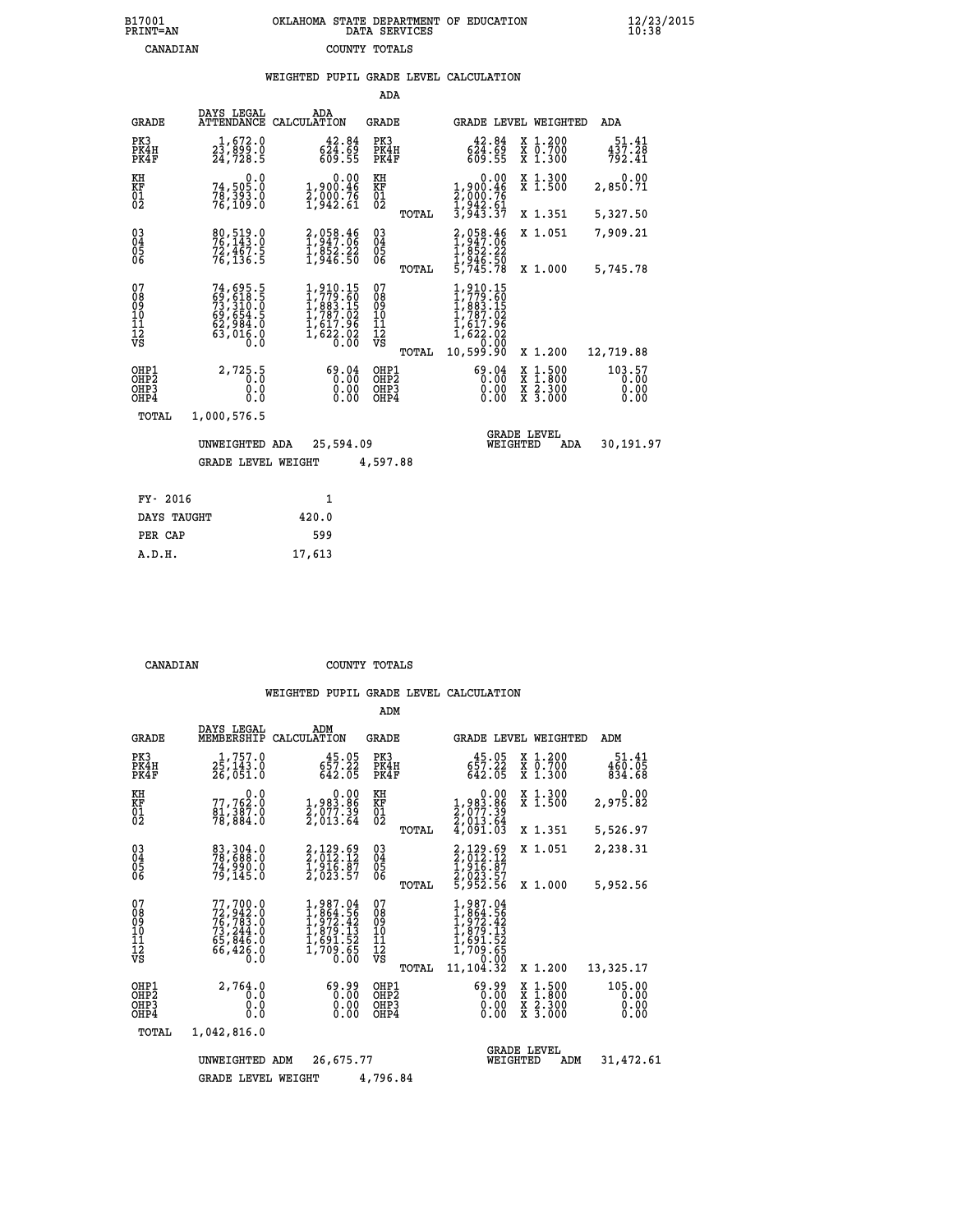# **B17001 OKLAHOMA STATE DEPARTMENT OF EDUCATION 12/23/2015 PRINT=AN DATA SERVICES 10:38 CANADIAN COUNTY TOTALS**

### **WEIGHTED PUPIL GRADE LEVEL CALCULATION**

|                                                              |                                                                                         |                                                                                            | ADA                                                                |       |                                                                                                     |          |                                                                                                                                      |                                |
|--------------------------------------------------------------|-----------------------------------------------------------------------------------------|--------------------------------------------------------------------------------------------|--------------------------------------------------------------------|-------|-----------------------------------------------------------------------------------------------------|----------|--------------------------------------------------------------------------------------------------------------------------------------|--------------------------------|
| <b>GRADE</b>                                                 | DAYS LEGAL                                                                              | ADA<br>ATTENDANCE CALCULATION                                                              | GRADE                                                              |       |                                                                                                     |          | GRADE LEVEL WEIGHTED                                                                                                                 | ADA                            |
| PK3<br>PK4H<br>PK4F                                          | 1,672.0<br>23,899.0<br>24,728.5                                                         | 42.84<br>624.69<br>609.55                                                                  | PK3<br>PK4H<br>PK4F                                                |       | 42.84<br>$6\overline{2}\overline{4}\cdot\overline{6}\overline{9}$<br>609.55                         |          | X 1.200<br>X 0.700<br>X 1.300                                                                                                        | 51.41<br>437.28<br>792.41      |
| KH<br>KF<br>01<br>02                                         | 0.0<br>74,505.0<br>78,393.0<br>76,109.0                                                 | 0.00<br>1,900.46<br>2,000.76<br>1,942.61                                                   | KH<br>KF<br>$\begin{smallmatrix} 0 & 1 \\ 0 & 2 \end{smallmatrix}$ |       | 0.00<br>1,900.46<br>2,000.76<br>1,942.61<br>3,943.37                                                |          | X 1.300<br>X 1.500                                                                                                                   | 0.00<br>2,850.71               |
|                                                              |                                                                                         |                                                                                            |                                                                    | TOTAL |                                                                                                     |          | X 1.351                                                                                                                              | 5,327.50                       |
| $\begin{smallmatrix} 03 \\[-4pt] 04 \end{smallmatrix}$<br>Ŏ5 | 80,519.0<br>76,143.0<br>72,467.5<br>76,136.5                                            | 2,058.46<br>1,947.06<br>1,852.22<br>1,946.50                                               | $\substack{03 \\ 04}$<br>05                                        |       | 2,058.46<br>1,947.06<br>1,852.22<br>1,946.50                                                        |          | X 1.051                                                                                                                              | 7,909.21                       |
| 06                                                           |                                                                                         |                                                                                            | 06                                                                 | TOTAL | 5,745.78                                                                                            |          | X 1.000                                                                                                                              | 5,745.78                       |
| 07<br>08<br>09<br>10<br>11<br>11<br>12<br>VS                 | 74,695.5<br>69,618.5<br>73,310.0<br>73,310.0<br>62,984.0<br>62,984.0<br>63,016.0<br>0.0 | $1,910.15$<br>$1,779.60$<br>$1,883.15$<br>$1,787.02$<br>$1,617.96$<br>$1,622.02$<br>$0.00$ | 07<br>08<br>09<br>101<br>11<br>12<br>VS                            | TOTAL | 1,910.15<br>$1,779.60$<br>$1,883.15$<br>$1,787.02$<br>$1,617.96$<br>$1,622.02$<br>00:00<br>00:99:00 |          | X 1.200                                                                                                                              | 12,719.88                      |
| OHP1<br>OHP2<br>OH <sub>P3</sub><br>OH <sub>P4</sub>         | 2,725.5<br>0.0<br>0.0<br>0.0                                                            | 69.04<br>0.00<br>0.00<br>0.00                                                              | OHP1<br>OHP2<br>OHP3<br>OHP4                                       |       | 69.04<br>0.00<br>0.00                                                                               |          | $\begin{smallmatrix} \mathtt{X} & 1 & 500 \\ \mathtt{X} & 1 & 800 \\ \mathtt{X} & 2 & 300 \\ \mathtt{X} & 3 & 000 \end{smallmatrix}$ | 103.57<br>0.00<br>0.00<br>0.00 |
| <b>TOTAL</b>                                                 | 1,000,576.5                                                                             |                                                                                            |                                                                    |       |                                                                                                     |          |                                                                                                                                      |                                |
|                                                              | UNWEIGHTED ADA                                                                          | 25,594.09                                                                                  |                                                                    |       |                                                                                                     | WEIGHTED | <b>GRADE LEVEL</b><br>ADA                                                                                                            | 30,191.97                      |
|                                                              | <b>GRADE LEVEL WEIGHT</b>                                                               |                                                                                            | 4,597.88                                                           |       |                                                                                                     |          |                                                                                                                                      |                                |
| FY- 2016                                                     |                                                                                         | $\mathbf{1}$                                                                               |                                                                    |       |                                                                                                     |          |                                                                                                                                      |                                |
| <b>BATTS MATTSTER</b>                                        |                                                                                         | $\sim$                                                                                     |                                                                    |       |                                                                                                     |          |                                                                                                                                      |                                |

| DAYS TAUGHT | 420.0  |
|-------------|--------|
| PER CAP     | 599    |
| A.D.H.      | 17,613 |

 **CANADIAN COUNTY TOTALS**

|                                                                  |                                                                             |                                                                                          | ADM                                                |                                                                                             |                                                                                                                                           |                                |
|------------------------------------------------------------------|-----------------------------------------------------------------------------|------------------------------------------------------------------------------------------|----------------------------------------------------|---------------------------------------------------------------------------------------------|-------------------------------------------------------------------------------------------------------------------------------------------|--------------------------------|
| <b>GRADE</b>                                                     | DAYS LEGAL<br>MEMBERSHIP                                                    | ADM<br>CALCULATION                                                                       | GRADE                                              | GRADE LEVEL WEIGHTED                                                                        |                                                                                                                                           | ADM                            |
| PK3<br>PK4H<br>PK4F                                              | 1,757.0<br>25, 143.0<br>26,051.0                                            | 45.05<br>657.22<br>642.05                                                                | PK3<br>PK4H<br>PK4F                                | 45.05<br>$657.22 \ 642.05$                                                                  | X 1.200<br>X 0.700<br>X 1.300                                                                                                             | 51.41<br>460.05<br>834.68      |
| KH<br>KF<br>01<br>02                                             | 0.0<br>77,762:0<br>81,387:0<br>78,884:0                                     | $\begin{smallmatrix} & & 0.00\ 1.983.86\ 2.077.39\ 2.013.64 \end{smallmatrix}$           | KH<br>KF<br>01<br>02                               | $\begin{smallmatrix}&&0.00\\1,983.86\\2,077.39\\2,013.64\\4,091.03\end{smallmatrix}$        | X 1.300<br>X 1.500                                                                                                                        | 0.00<br>2,975.82               |
|                                                                  |                                                                             |                                                                                          | TOTAL                                              |                                                                                             | X 1.351                                                                                                                                   | 5,526.97                       |
| $\begin{matrix} 03 \\ 04 \\ 05 \\ 06 \end{matrix}$               | 83,304.0<br>78,688.0<br>74,990.0<br>79, 145.0                               | 2,129.69<br>2,012.12<br>1,916.87<br>2,023.57                                             | $\begin{matrix} 03 \\ 04 \\ 05 \\ 06 \end{matrix}$ | 2,129.69<br>2,012.12<br>1,916.87<br>2,023.57<br>5,952.56                                    | X 1.051                                                                                                                                   | 2,238.31                       |
|                                                                  |                                                                             |                                                                                          | TOTAL                                              |                                                                                             | X 1.000                                                                                                                                   | 5,952.56                       |
| 07<br>08<br>09<br>11<br>11<br>12<br>VS                           | 77,700.0<br>72,942.0<br>76,783.0<br>73,244.0<br>65,846.0<br>66,426.0<br>Ō.Ō | $1,987.04$<br>$1,964.56$<br>$1,972.42$<br>$1,879.13$<br>$1,691.52$<br>$1,709.65$<br>0.00 | 07<br>089<br>101<br>111<br>VS<br>TOTAL             | 1,987.04<br>$1,864.56$<br>$1,972.42$<br>$1,879.13$<br>$1,691.52$<br>$1,709.65$<br>11,104.32 | X 1.200                                                                                                                                   | 13,325.17                      |
| OHP1<br>OH <sub>P</sub> <sub>2</sub><br>OH <sub>P3</sub><br>OHP4 | 2,764.0<br>0.0<br>0.0<br>0.0                                                | 0.99<br>0.00<br>0.00                                                                     | OHP1<br>OH <sub>P</sub> 2<br>OHP3<br>OHP4          | 69.99<br>0.00<br>0.00<br>0.00                                                               | $\begin{smallmatrix} \mathtt{X} & 1\cdot500\\ \mathtt{X} & 1\cdot800\\ \mathtt{X} & 2\cdot300\\ \mathtt{X} & 3\cdot000 \end{smallmatrix}$ | 105.00<br>0.00<br>0.00<br>0.00 |
| TOTAL                                                            | 1,042,816.0                                                                 |                                                                                          |                                                    |                                                                                             |                                                                                                                                           |                                |
|                                                                  | UNWEIGHTED                                                                  | 26,675.77<br>ADM                                                                         |                                                    | WEIGHTED                                                                                    | <b>GRADE LEVEL</b><br>ADM                                                                                                                 | 31,472.61                      |
|                                                                  | <b>GRADE LEVEL WEIGHT</b>                                                   |                                                                                          | 4,796.84                                           |                                                                                             |                                                                                                                                           |                                |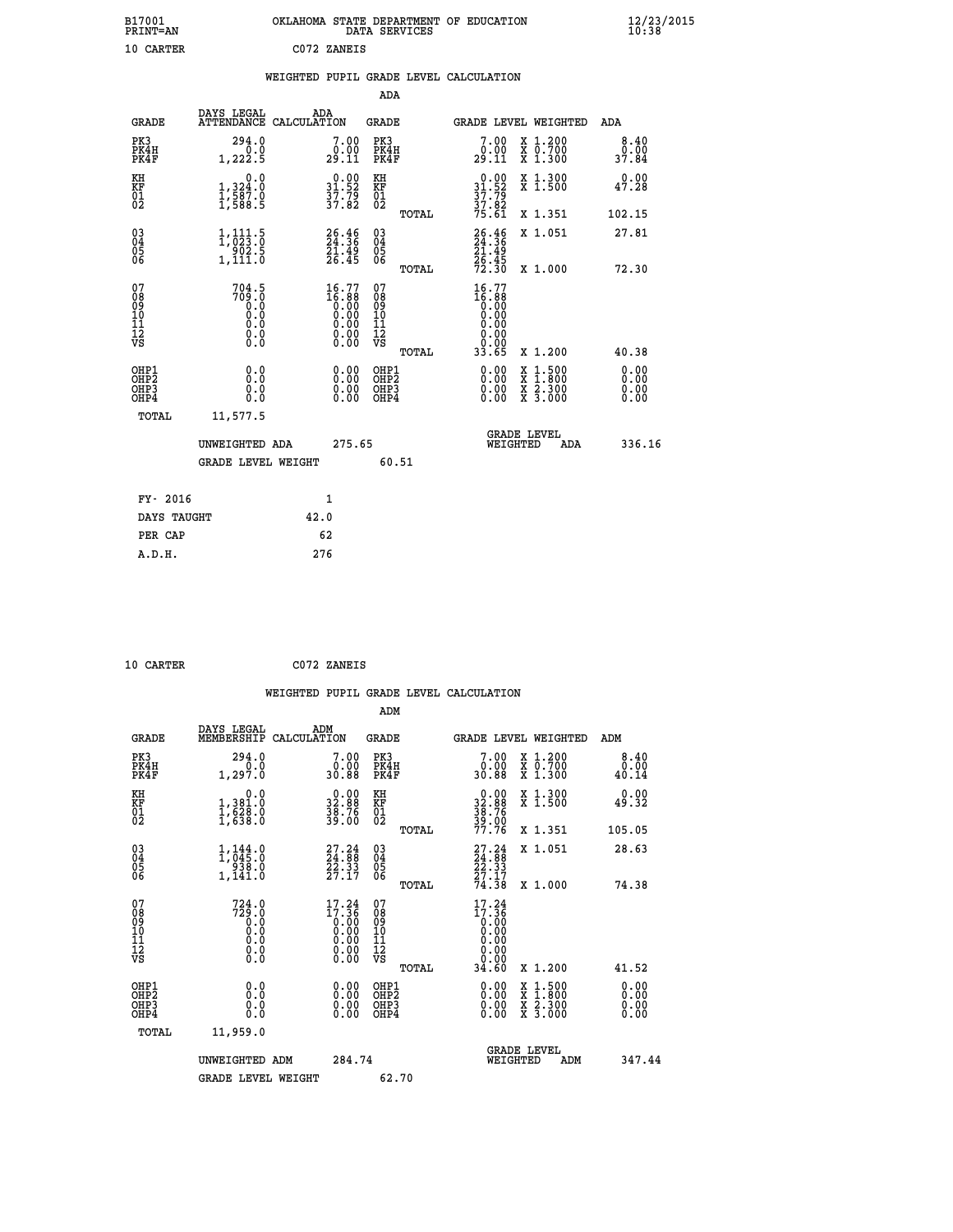| B17001<br><b>PRINT=AN</b> | OKLAHOMA STATE DEPARTMENT OF EDUCATION<br>DATA SERVICES | $\frac{12}{23}$ /2015 |  |
|---------------------------|---------------------------------------------------------|-----------------------|--|
| 10 CARTER                 | C072 ZANEIS                                             |                       |  |

|  |  | WEIGHTED PUPIL GRADE LEVEL CALCULATION |
|--|--|----------------------------------------|
|  |  |                                        |

|                                                    |                                                                              |                    |                                                                      | ADA                                    |       |                                                                                            |        |                                                                  |                              |
|----------------------------------------------------|------------------------------------------------------------------------------|--------------------|----------------------------------------------------------------------|----------------------------------------|-------|--------------------------------------------------------------------------------------------|--------|------------------------------------------------------------------|------------------------------|
| <b>GRADE</b>                                       | DAYS LEGAL<br><b>ATTENDANCE</b>                                              | ADA<br>CALCULATION |                                                                      | GRADE                                  |       | GRADE LEVEL WEIGHTED                                                                       |        |                                                                  | <b>ADA</b>                   |
| PK3<br>PK4H<br>PK4F                                | 294.0<br>0.0<br>1,222.5                                                      |                    | 7.00<br>$29.00$<br>$29.11$                                           | PK3<br>PK4H<br>PK4F                    |       | 7.00<br>$29.00$<br>29.11                                                                   |        | X 1.200<br>X 0.700<br>X 1.300                                    | 8.40<br>0.00<br>37.84        |
| KH<br><b>KF</b><br>01<br>02                        | 0.0<br>$1,324.0$<br>$1,587.0$<br>$1,588.5$                                   |                    | $\begin{smallmatrix} 0.00\\ 31.52\\ 37.79\\ 37.82 \end{smallmatrix}$ | KH<br>KF<br>01<br>02                   |       | $0.00$<br>$31.52$<br>$37.79$<br>$37.82$<br>$75.61$                                         |        | X 1.300<br>X 1.500                                               | 0.00<br>47.28                |
|                                                    |                                                                              |                    |                                                                      |                                        | TOTAL |                                                                                            |        | X 1.351                                                          | 102.15                       |
| $\begin{matrix} 03 \\ 04 \\ 05 \\ 06 \end{matrix}$ | $\begin{smallmatrix} 1,111.5\\ 1,023.0\\ 902.5\\ 1,111.0 \end{smallmatrix}$  |                    | $26.46$<br>$24.36$<br>$\frac{51.49}{26.45}$                          | 03<br>04<br>05<br>06                   |       | $26.46$<br>$24.36$<br>$21.49$<br>$26.45$<br>$72.30$                                        |        | X 1.051                                                          | 27.81                        |
|                                                    |                                                                              |                    |                                                                      |                                        | TOTAL |                                                                                            |        | X 1.000                                                          | 72.30                        |
| 07<br>08<br>09<br>101<br>11<br>12<br>VS            | 704.5<br>$\begin{smallmatrix} 709.10\ 0.00\ 0.0\ \end{smallmatrix}$<br>$\S.$ |                    | $16.77$<br>$16.88$<br>$0.00$<br>$0.00$<br>$0.00$<br>$0.00$<br>ŏ.ŏŏ   | 07<br>08<br>09<br>11<br>11<br>12<br>VS | TOTAL | 16.77<br>$\begin{smallmatrix} 16.86\ -0.00\ 0.00\ 0.00 \end{smallmatrix}$<br>0.00<br>33.65 |        | X 1.200                                                          | 40.38                        |
| OHP1<br>OHP2<br>OHP3<br>OHP4                       | 0.0<br>0.0<br>0.0                                                            |                    | 0.00<br>$0.00$<br>0.00                                               | OHP1<br>OHP2<br>OHP3<br>OHP4           |       | $0.00$<br>$0.00$<br>0.00                                                                   | X<br>X | $1.500$<br>$1.800$<br>$\frac{\ddot{x}}{x}$ $\frac{5.300}{3.000}$ | 0.00<br>0.00<br>0.00<br>0.00 |
| TOTAL                                              | 11,577.5                                                                     |                    |                                                                      |                                        |       |                                                                                            |        | <b>GRADE LEVEL</b>                                               |                              |
|                                                    | UNWEIGHTED ADA                                                               |                    | 275.65                                                               |                                        |       | WEIGHTED                                                                                   |        | ADA                                                              | 336.16                       |
|                                                    | <b>GRADE LEVEL WEIGHT</b>                                                    |                    |                                                                      |                                        | 60.51 |                                                                                            |        |                                                                  |                              |
| FY- 2016                                           |                                                                              | $\mathbf{1}$       |                                                                      |                                        |       |                                                                                            |        |                                                                  |                              |
| DAYS TAUGHT                                        |                                                                              | 42.0               |                                                                      |                                        |       |                                                                                            |        |                                                                  |                              |

| 10 CARTER |  |
|-----------|--|

**PER CAP** 62  **A.D.H. 276**

 **10 CARTER C072 ZANEIS WEIGHTED PUPIL GRADE LEVEL CALCULATION ADM DAYS LEGAL ADM GRADE MEMBERSHIP CALCULATION GRADE GRADE LEVEL WEIGHTED ADM PK3 294.0 7.00 PK3 7.00 X 1.200 8.40 PK4H 0.0 0.00 PK4H 0.00 X 0.700 0.00 PK4F 1,297.0 30.88 PK4F 30.88 X 1.300 40.14 KH 0.0 0.00 KH 0.00 X 1.300 0.00 KF 1,381.0 32.88 KF 32.88 X 1.500 49.32 01 1,628.0 38.76 01 38.76 02 1,638.0 39.00 02 39.00 TOTAL 77.76 X 1.351 105.05 03 1,144.0 27.24 03 27.24 X 1.051 28.63 04 1,045.0 24.88 04 24.88 05 938.0 22.33 05 22.33** 06 1,141.0 27.17 06 <sub>momas</sub> 27.17  **TOTAL 74.38 X 1.000 74.38** 07 724.0 17.24 07 17.24<br>
08 729.0 17.36 08 17.36<br>
10 0.0 0.00 10 0.00<br>
11 0.0 0.00 10 0.00<br>
12 0.0 0.00 12 0.00<br>
VS 0.0 0.00 VS 0.00  $\begin{array}{cccccc} 724.0 & 17.24 & 07 & 17.24 & 17.24 & 17.24 & 17.24 & 17.24 & 17.24 & 17.24 & 17.24 & 17.24 & 17.24 & 17.24 & 17.24 & 17.24 & 17.26 & 17.26 & 17.26 & 17.26 & 17.26 & 17.26 & 17.26 & 17.26 & 17.26 & 17.26 & 17.26 & 17.26 & 17.26 & 17.26 & 17.2$  **OHP1 0.0 0.00 OHP1 0.00 X 1.500 0.00 OHP2 0.0 0.00 OHP2 0.00 X 1.800 0.00 OHP3 0.0 0.00 OHP3 0.00 X 2.300 0.00 OHP4 0.0 0.00 OHP4 0.00 X 3.000 0.00 TOTAL 11,959.0 GRADE LEVEL UNWEIGHTED ADM 284.74 WEIGHTED ADM 347.44** GRADE LEVEL WEIGHT 62.70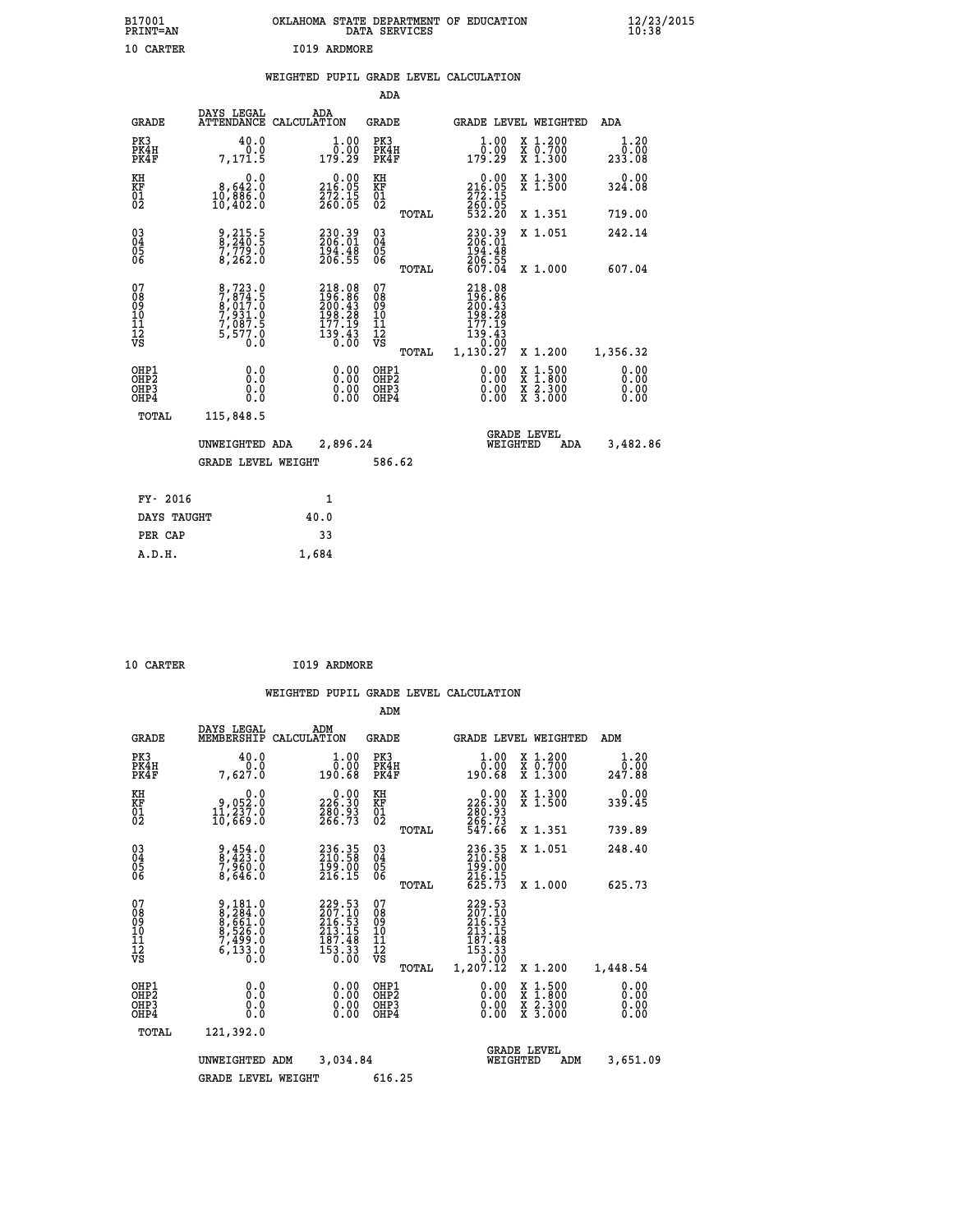| B17001<br>PRINT=AN                        | OKLAHOMA STATE DEPARTMENT OF EDUCATION DATA SERVICES                  | $\frac{12}{23}$ /2015                                                                                                    |                                                    |                                                                                                  |                                                                                                                                           |                              |  |
|-------------------------------------------|-----------------------------------------------------------------------|--------------------------------------------------------------------------------------------------------------------------|----------------------------------------------------|--------------------------------------------------------------------------------------------------|-------------------------------------------------------------------------------------------------------------------------------------------|------------------------------|--|
| 10 CARTER                                 |                                                                       | I019 ARDMORE                                                                                                             |                                                    |                                                                                                  |                                                                                                                                           |                              |  |
|                                           |                                                                       | WEIGHTED PUPIL GRADE LEVEL CALCULATION                                                                                   |                                                    |                                                                                                  |                                                                                                                                           |                              |  |
|                                           |                                                                       |                                                                                                                          | ADA                                                |                                                                                                  |                                                                                                                                           |                              |  |
| <b>GRADE</b>                              |                                                                       | DAYS LEGAL ADA ATTENDANCE CALCULATION                                                                                    | <b>GRADE</b>                                       | GRADE LEVEL WEIGHTED                                                                             |                                                                                                                                           | ADA                          |  |
| PK3<br>PK4H<br>PK4F                       | 40.0<br>0.0<br>7,171.5                                                | $\frac{1}{0}$ :00<br>179.29                                                                                              | PK3<br>PK4H<br>PK4F                                | 1.00<br>0.00<br>179.29                                                                           | X 1.200<br>X 0.700<br>X 1.300                                                                                                             | 1.20<br>0.00<br>233.08       |  |
| KH<br>KF<br>01<br>02                      | 8,642.0<br>10,886.0<br>10,402.0                                       | $\substack{ \phantom{0}0.00\\216.05\\272.15\\260.05 }$                                                                   | KH<br><b>KF</b><br>01<br>02                        | $\begin{array}{r} 0.00 \\ 216.05 \\ 272.15 \\ 260.05 \end{array}$                                | X 1.300<br>X 1.500                                                                                                                        | 0.00<br>324.08               |  |
|                                           |                                                                       |                                                                                                                          | TOTAL                                              | 532.20                                                                                           | X 1.351                                                                                                                                   | 719.00                       |  |
| 03<br>04<br>05<br>06                      | 9,215.5<br>8,240.5<br>7,779.0<br>8,262.0                              | $230.39$<br>$206.01$<br>$194.48$<br>$206.55$                                                                             | $\begin{matrix} 03 \\ 04 \\ 05 \\ 06 \end{matrix}$ | 230.39<br>206.01<br>194.48<br>206.55                                                             | X 1.051                                                                                                                                   | 242.14                       |  |
|                                           |                                                                       |                                                                                                                          | TOTAL                                              | 607.04                                                                                           | X 1.000                                                                                                                                   | 607.04                       |  |
| 07<br>08<br>09<br>10<br>11<br>12<br>VS    | 8,723.0<br>7,874.5<br>8,017.0<br>7,931.0<br>7,087.5<br>5,577.0<br>Ò.Ō | 218.08<br>196.86<br>200.43<br>198.28<br>177.19<br>$\begin{array}{c}\n\overline{1}39.43 \\ \overline{0}0.00\n\end{array}$ | 07<br>08<br>09<br>11<br>11<br>12<br>VS<br>TOTAL    | 218.08<br>$\frac{196.86}{200.43}$<br>$\frac{198.28}{29}$<br>177.19<br>139.43<br>0.00<br>1,130.27 | X 1.200                                                                                                                                   | 1,356.32                     |  |
| OHP1<br>OH <sub>P</sub> 2<br>OHP3<br>OHP4 | 0.0<br>Ō.Ō<br>0.0<br>0.0                                              |                                                                                                                          | OHP1<br>OH <sub>P</sub> 2<br>OHP3<br>OHP4          | 0.00<br>0.00<br>0.00                                                                             | $\begin{smallmatrix} \mathtt{X} & 1\cdot500\\ \mathtt{X} & 1\cdot800\\ \mathtt{X} & 2\cdot300\\ \mathtt{X} & 3\cdot000 \end{smallmatrix}$ | 0.00<br>0.00<br>0.00<br>0.00 |  |
| TOTAL                                     | 115,848.5<br>UNWEIGHTED ADA                                           | 2,896.24                                                                                                                 |                                                    | <b>GRADE LEVEL</b><br>WEIGHTED                                                                   | <b>ADA</b>                                                                                                                                | 3,482.86                     |  |

 **GRADE LEVEL WEIGHT 586.62 FY-** 2016 1<br>
DAYS TAUGHT 40.0 DAYS TAUGHT 40.0<br>PER CAP 33  **PER CAP 33**

| 10 CARTER | I019 ARDMORE |
|-----------|--------------|
|           |              |

 **A.D.H. 1,684**

|                                          |                                                                       |                    |                                                                                                             | ADM                                                 |       |                                                                                                                                                                                                                                                                                                                                                                                         |          |                                          |                              |
|------------------------------------------|-----------------------------------------------------------------------|--------------------|-------------------------------------------------------------------------------------------------------------|-----------------------------------------------------|-------|-----------------------------------------------------------------------------------------------------------------------------------------------------------------------------------------------------------------------------------------------------------------------------------------------------------------------------------------------------------------------------------------|----------|------------------------------------------|------------------------------|
| <b>GRADE</b>                             | DAYS LEGAL<br>MEMBERSHIP                                              | ADM<br>CALCULATION |                                                                                                             | <b>GRADE</b>                                        |       |                                                                                                                                                                                                                                                                                                                                                                                         |          | <b>GRADE LEVEL WEIGHTED</b>              | ADM                          |
| PK3<br>PK4H<br>PK4F                      | 40.0<br>7,627.0                                                       |                    | 1.00<br>$\overline{0}$ .00<br>190.68                                                                        | PK3<br>PK4H<br>PK4F                                 |       | $1.00$<br>$0.00$<br>190.68                                                                                                                                                                                                                                                                                                                                                              |          | X 1.200<br>X 0.700<br>X 1.300            | 1.20<br>ōō.ōŏ<br>247.88      |
| KH<br>KF<br>01<br>02                     | 0.0<br>0,052:0<br>11,237:0<br>10,669:0                                |                    | $\begin{smallmatrix} &0.00\\ 226.30\\ 280.93\\ 266.73 \end{smallmatrix}$                                    | KH<br>KF<br>01<br>02                                |       | $\begin{smallmatrix} &0.00\\ 226.30\\ 280.93\\ 266.73\\ 547.66\end{smallmatrix}$                                                                                                                                                                                                                                                                                                        |          | X 1.300<br>X 1.500                       | 0.00<br>339.45               |
|                                          |                                                                       |                    |                                                                                                             |                                                     | TOTAL |                                                                                                                                                                                                                                                                                                                                                                                         |          | X 1.351                                  | 739.89                       |
| 03<br>04<br>05<br>06                     | 9,454.0<br>8,423.0<br>7,960.0<br>8,646.0                              |                    | $236.35$<br>$210.58$<br>$199.00$<br>$216.15$                                                                | $\begin{array}{c} 03 \\ 04 \\ 05 \\ 06 \end{array}$ |       | 236.35<br>210.58<br>199.00<br>216.15<br>216.15                                                                                                                                                                                                                                                                                                                                          |          | X 1.051                                  | 248.40                       |
|                                          |                                                                       |                    |                                                                                                             |                                                     | TOTAL |                                                                                                                                                                                                                                                                                                                                                                                         |          | X 1.000                                  | 625.73                       |
| 07<br>08<br>09<br>101<br>112<br>VS       | 9,181.0<br>8,284.0<br>8,661.0<br>8,526.0<br>7,499.0<br>6,133.0<br>0.0 |                    | $\begin{smallmatrix} 229.53\\ 207.10\\ 216.53\\ 213.15\\ 213.15\\ 187.48\\ 153.33\\ 0.00 \end{smallmatrix}$ | 07<br>08<br>09<br>11<br>11<br>12<br>VS              | TOTAL | 229.53<br>207.10<br>216.53<br>213.15<br>$\begin{smallmatrix} 1 & 0 & 7 & 0 & 4 & 8 \\ 1 & 5 & 3 & 0 & 3 \\ 0 & 0 & 0 & 0 \\ 0 & 0 & 0 & 0 \\ 0 & 0 & 0 & 0 \\ 0 & 0 & 0 & 0 \\ 0 & 0 & 0 & 0 \\ 0 & 0 & 0 & 0 \\ 0 & 0 & 0 & 0 \\ 0 & 0 & 0 & 0 \\ 0 & 0 & 0 & 0 \\ 0 & 0 & 0 & 0 \\ 0 & 0 & 0 & 0 \\ 0 & 0 & 0 & 0 \\ 0 & 0 & 0 & 0 \\ 0 & 0 & 0 & 0 \\ 0 & 0 & 0 & 0 \\ $<br>1,207.12 |          | X 1.200                                  | 1,448.54                     |
| OHP1<br>OHP2<br>OH <sub>P3</sub><br>OHP4 | 0.0<br>0.000                                                          |                    | $0.00$<br>$0.00$<br>0.00                                                                                    | OHP1<br>OHP2<br>OHP <sub>3</sub>                    |       | $0.00$<br>$0.00$<br>0.00                                                                                                                                                                                                                                                                                                                                                                |          | X 1:500<br>X 1:800<br>X 2:300<br>X 3:000 | 0.00<br>0.00<br>0.00<br>0.00 |
| TOTAL                                    | 121,392.0                                                             |                    |                                                                                                             |                                                     |       |                                                                                                                                                                                                                                                                                                                                                                                         |          |                                          |                              |
|                                          | UNWEIGHTED<br>ADM                                                     |                    |                                                                                                             | 3,034.84                                            |       |                                                                                                                                                                                                                                                                                                                                                                                         | WEIGHTED | <b>GRADE LEVEL</b><br>ADM                | 3,651.09                     |
|                                          | <b>GRADE LEVEL WEIGHT</b>                                             |                    |                                                                                                             | 616.25                                              |       |                                                                                                                                                                                                                                                                                                                                                                                         |          |                                          |                              |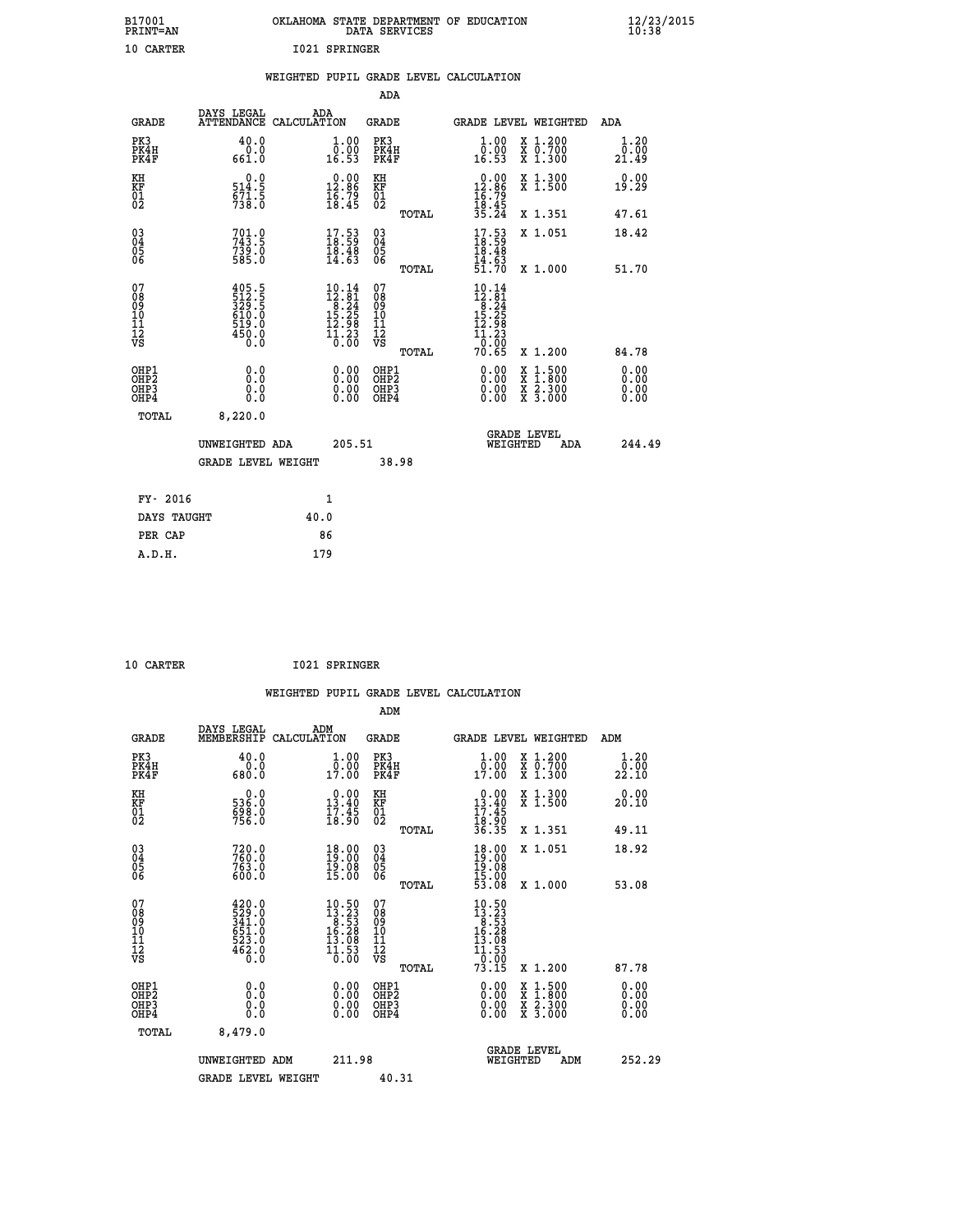| B17001<br>OKLAHOMA STATE DEPARTMENT OF EDUCATION<br>PRINT=AN<br>DATA SERVICES                                                                                                                                                                                                                                                                                              | 12/23/2015            |
|----------------------------------------------------------------------------------------------------------------------------------------------------------------------------------------------------------------------------------------------------------------------------------------------------------------------------------------------------------------------------|-----------------------|
| 10 CARTER<br>1021 SPRINGER                                                                                                                                                                                                                                                                                                                                                 |                       |
| WEIGHTED PUPIL GRADE LEVEL CALCULATION                                                                                                                                                                                                                                                                                                                                     |                       |
| <b>ADA</b>                                                                                                                                                                                                                                                                                                                                                                 |                       |
| DAYS LEGAL<br>ADA<br><b>GRADE</b><br>ATTENDANCE CALCULATION<br>GRADE<br>GRADE LEVEL WEIGHTED                                                                                                                                                                                                                                                                               | ADA                   |
| PK3<br>40.0<br>$\begin{smallmatrix} 1.00\\ 0.00\\ 16.53 \end{smallmatrix}$<br>X 1.200<br>X 0.700<br>X 1.300<br>1.00<br>PK3<br>$\bar{0}.\tilde{0} \ \tilde{1}$<br>16.53<br>PK4H<br>PK4H<br>661.0<br>PK4F<br>PK4F                                                                                                                                                            | 1.20<br>0.00<br>21.49 |
| $0.00\n12.86\n16.79\n18.45\n35.24$<br>KH<br>0.0<br>$\begin{smallmatrix} 0.00\\ 12.86\\ 16.79\\ 18.45 \end{smallmatrix}$<br>ΚH<br>X 1.300<br>X 1.500<br>ΚF<br>$\frac{514.5}{571.5}$<br>738.0<br>KF<br>01<br>02<br>$\begin{matrix} 01 \ 02 \end{matrix}$                                                                                                                     | 0.00<br>19.29         |
| TOTAL<br>X 1.351                                                                                                                                                                                                                                                                                                                                                           | 47.61                 |
| 03<br>04<br>05<br>06<br>$701.0$<br>$743.5$<br>$\begin{smallmatrix} 17.53\ 18.59\ 18.48\ 14.63 \end{smallmatrix}$<br>$\frac{17.53}{18.59}$<br>$\begin{matrix} 03 \\ 04 \\ 05 \\ 06 \end{matrix}$<br>X 1.051<br>$7\bar{3}\bar{9}\,\ldots$<br>585.0<br>18.48                                                                                                                  | 18.42                 |
| $\frac{14.63}{51.70}$<br>TOTAL<br>X 1.000                                                                                                                                                                                                                                                                                                                                  | 51.70                 |
| 07<br>405.5<br>512.5<br>329.5<br>610.0<br>619.0<br>$10.14$<br>$12.81$<br>$8.24$<br>$15.25$<br>$12.98$<br>07<br>$10.14$<br>$12.81$<br>$8.24$<br>$15.25$<br>$12.98$<br>08<br>09<br>10<br>11<br>12<br>VS<br>$\frac{0.8}{0.9}$<br>10<br>11<br>12<br>VS<br>$\frac{11.23}{0.00}$<br>450.0<br>$\overline{1}\overline{1}$ $\overline{3}\overline{3}$<br>$\overline{0}$ : 00<br>0.0 |                       |
| TOTAL<br>70.65<br>X 1.200                                                                                                                                                                                                                                                                                                                                                  | 84.78                 |
| 0.0<br>0.00<br>OHP1<br>0.00<br>$\begin{smallmatrix} x & 1.500 \\ x & 1.800 \\ x & 2.300 \\ x & 3.000 \end{smallmatrix}$<br>OHP1<br>ŎHP2<br>OHP <sub>2</sub><br>0.00<br>0.00<br>OHP3<br>0.0<br>OHP3<br>0.00<br>0.00<br>OHP4<br>0.0<br>OHP4                                                                                                                                  | 0.00<br>0.00<br>0.00  |
| TOTAL<br>8,220.0                                                                                                                                                                                                                                                                                                                                                           |                       |
| <b>GRADE LEVEL</b><br>205.51<br>WEIGHTED<br>UNWEIGHTED ADA                                                                                                                                                                                                                                                                                                                 | 244.49<br>ADA         |
| GRADE LEVEL WEIGHT<br>38.98                                                                                                                                                                                                                                                                                                                                                |                       |
|                                                                                                                                                                                                                                                                                                                                                                            |                       |
| FY- 2016<br>1                                                                                                                                                                                                                                                                                                                                                              |                       |
| DAYS TAUGHT<br>40.0<br>PER CAP<br>86                                                                                                                                                                                                                                                                                                                                       |                       |
| 179<br>A.D.H.                                                                                                                                                                                                                                                                                                                                                              |                       |

 **10 CARTER I021 SPRINGER**

|                                                    |                                                                                                                                                              |                    |                                                                                                            |                                      |       | WEIGHTED PUPIL GRADE LEVEL CALCULATION                                                                         |                                          |                        |  |
|----------------------------------------------------|--------------------------------------------------------------------------------------------------------------------------------------------------------------|--------------------|------------------------------------------------------------------------------------------------------------|--------------------------------------|-------|----------------------------------------------------------------------------------------------------------------|------------------------------------------|------------------------|--|
|                                                    |                                                                                                                                                              |                    |                                                                                                            | ADM                                  |       |                                                                                                                |                                          |                        |  |
| <b>GRADE</b>                                       | DAYS LEGAL<br>MEMBERSHIP                                                                                                                                     | ADM<br>CALCULATION |                                                                                                            | <b>GRADE</b>                         |       | <b>GRADE LEVEL WEIGHTED</b>                                                                                    |                                          | ADM                    |  |
| PK3<br>PK4H<br>PK4F                                | 40.0<br>Ŏ.Ŏ<br>0.080                                                                                                                                         |                    | 1.00<br>0.00<br>17.00                                                                                      | PK3<br>PK4H<br>PK4F                  |       | $\begin{smallmatrix} 1.00\\ 0.00\\ 17.00 \end{smallmatrix}$                                                    | X 1.200<br>X 0.700<br>X 1.300            | 1.20<br>_0.00<br>22.10 |  |
| KH<br>KF<br>01<br>02                               | $\begin{smallmatrix} 0.0 \\ 536.0 \\ 698.0 \\ 756.0 \end{smallmatrix}$                                                                                       |                    | $\begin{smallmatrix} 0.00\\13.40\\17.45\\18.90 \end{smallmatrix}$                                          | KH<br>KF<br>01<br>02                 |       | $\begin{array}{r} 0.00 \\ 13.40 \\ 17.45 \\ 18.90 \\ 36.35 \end{array}$                                        | X 1.300<br>X 1.500                       | 0.00<br>20.10          |  |
|                                                    |                                                                                                                                                              |                    |                                                                                                            |                                      | TOTAL |                                                                                                                | X 1.351                                  | 49.11                  |  |
| $\begin{matrix} 03 \\ 04 \\ 05 \\ 06 \end{matrix}$ | $720.0$<br>$760.0$<br>$763.0$<br>$600.0$                                                                                                                     |                    | $\begin{smallmatrix} 18.00\\19.00\\19.08\\15.00 \end{smallmatrix}$                                         | 03<br>04<br>05<br>06                 |       | $18.00$<br>$19.08$<br>$19.08$<br>$15.00$<br>$15.00$<br>$53.08$                                                 | X 1.051                                  | 18.92                  |  |
|                                                    |                                                                                                                                                              |                    |                                                                                                            |                                      | TOTAL |                                                                                                                | X 1.000                                  | 53.08                  |  |
| 07<br>0890112<br>1112<br>VS                        | $\begin{smallmatrix} 4\,2\,0\cdot\,0\\ 5\,2\,9\cdot\,0\\ 3\,4\,1\cdot\,0\\ 6\,5\,1\cdot\,0\\ 5\,2\,3\cdot\,0\\ 4\,6\,2\cdot\,0\\ 0\cdot\,0\end{smallmatrix}$ |                    | $\begin{smallmatrix} 10.50 \\ 13.23 \\ 8.53 \\ 16.28 \\ 15.08 \\ 13.08 \\ 11.53 \\ 0.00 \end{smallmatrix}$ | 07<br>08901112<br>1112<br>VS         | TOTAL | $\begin{smallmatrix} 10.50 \\ 13.23 \\ 8.53 \\ 16.28 \\ 13.08 \\ 11.53 \\ 10.90 \\ \end{smallmatrix}$<br>73.15 | X 1.200                                  | 87.78                  |  |
| OHP1                                               |                                                                                                                                                              |                    |                                                                                                            | OHP1                                 |       |                                                                                                                |                                          | 0.00                   |  |
| OHP <sub>2</sub><br>OH <sub>P3</sub><br>OHP4       | 0.0<br>0.000                                                                                                                                                 |                    | $0.00$<br>$0.00$<br>0.00                                                                                   | OHP <sub>2</sub><br>OHP <sub>3</sub> |       | 0.00<br>0.00<br>0.00                                                                                           | X 1:500<br>X 1:800<br>X 2:300<br>X 3:000 | 0.00<br>0.00<br>0.00   |  |
| TOTAL                                              | 8,479.0                                                                                                                                                      |                    |                                                                                                            |                                      |       |                                                                                                                |                                          |                        |  |
|                                                    | UNWEIGHTED ADM                                                                                                                                               |                    | 211.98                                                                                                     |                                      |       | <b>GRADE LEVEL</b><br>WEIGHTED                                                                                 | ADM                                      | 252.29                 |  |
|                                                    | <b>GRADE LEVEL WEIGHT</b>                                                                                                                                    |                    |                                                                                                            | 40.31                                |       |                                                                                                                |                                          |                        |  |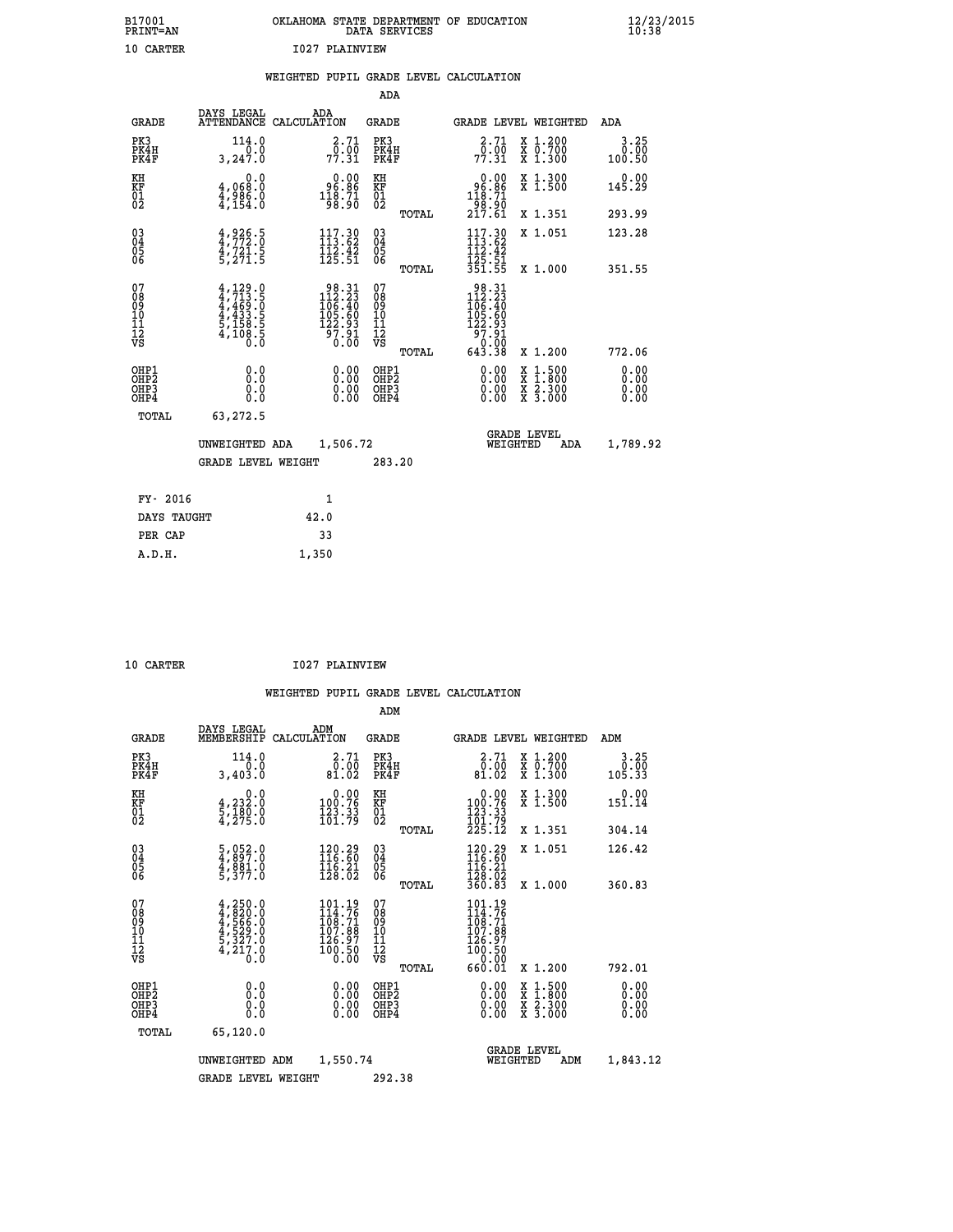| B17001<br>PRINT=AN | OKLAHOMA STATE DEPARTMENT OF EDUCATION<br>DATA SERVICES | $\frac{12}{23}$ /2015 |
|--------------------|---------------------------------------------------------|-----------------------|
| 10 CARTER          | 1027 PLAINVIEW                                          |                       |

|                                                              |                                                                                           | WEIGHTED PUPIL GRADE LEVEL CALCULATION                                                           |                                         |       |                                                                                       |                                                                                                  |                              |
|--------------------------------------------------------------|-------------------------------------------------------------------------------------------|--------------------------------------------------------------------------------------------------|-----------------------------------------|-------|---------------------------------------------------------------------------------------|--------------------------------------------------------------------------------------------------|------------------------------|
|                                                              |                                                                                           |                                                                                                  | <b>ADA</b>                              |       |                                                                                       |                                                                                                  |                              |
| <b>GRADE</b>                                                 | DAYS LEGAL                                                                                | ADA<br>ATTENDANCE CALCULATION                                                                    | <b>GRADE</b>                            |       |                                                                                       | GRADE LEVEL WEIGHTED                                                                             | ADA                          |
| PK3<br>PK4H<br>PK4F                                          | 114.0<br>0.0<br>3,247.0                                                                   | 2.71<br>$7\overline{7}\cdot\overline{31}$                                                        | PK3<br>PK4H<br>PK4F                     |       | 2.71<br>$7\overline{7}\cdot\overline{31}$                                             | X 1.200<br>X 0.700<br>X 1.300                                                                    | 3.25<br>0.00<br>100.50       |
| KH<br>KF<br>01<br>02                                         | 0.0<br>4,068.0<br>$\frac{4}{3}, \frac{9}{154}$ $\frac{6}{154}$                            | 96.86<br>$\frac{118.71}{98.90}$                                                                  | KH<br>KF<br>01<br>02                    |       | 0.00<br>96.86                                                                         | X 1.300<br>X 1.500                                                                               | 0.00<br>145.29               |
|                                                              |                                                                                           |                                                                                                  |                                         | TOTAL | $\frac{118.71}{98.90}$<br>217.61                                                      | X 1.351                                                                                          | 293.99                       |
| $\begin{smallmatrix} 03 \\[-4pt] 04 \end{smallmatrix}$<br>05 | $4,926.5$<br>$4,772.0$<br>$4,721.5$<br>$5,271.5$                                          | 117.30<br>$\frac{112}{125}$ $\frac{27}{51}$                                                      | $\substack{03 \\ 04}$<br>Ŏ5             |       | $117.30$<br>$113.62$<br>$112.42$<br>$125.51$                                          | X 1.051                                                                                          | 123.28                       |
| 06                                                           |                                                                                           |                                                                                                  | 06                                      | TOTAL | 351.55                                                                                | X 1.000                                                                                          | 351.55                       |
| 07<br>08<br>09<br>10<br>$\frac{11}{12}$<br>$\frac{12}{18}$   | $4, 713.5$<br>$4, 713.5$<br>$4, 469.0$<br>$4, 433.5$<br>$5, 158.5$<br>$4, 108.5$<br>$0.0$ | $\begin{smallmatrix} 98.31\\ 112.23\\ 106.40\\ 105.60\\ 122.93\\ 97.91\\ 0.00 \end{smallmatrix}$ | 07<br>08<br>09<br>101<br>11<br>12<br>VS |       | $\begin{array}{r} 98.31 \\ 112.23 \\ 106.40 \\ 105.60 \\ 122.93 \end{array}$<br>97.91 |                                                                                                  |                              |
|                                                              |                                                                                           |                                                                                                  |                                         | TOTAL | 0.00<br>643.38                                                                        | X 1.200                                                                                          | 772.06                       |
| OHP1<br>OH <sub>P</sub> 2<br>OHP3<br>OHP4                    | 0.0<br>Ō.Ō<br>0.0<br>0.0                                                                  | $0.00$<br>$0.00$<br>0.00                                                                         | OHP1<br>OHP2<br>OHP3<br>OHP4            |       | $0.00$<br>$0.00$<br>0.00                                                              | $\begin{smallmatrix} x & 1 & 500 \\ x & 1 & 800 \\ x & 2 & 300 \\ x & 3 & 000 \end{smallmatrix}$ | 0.00<br>0.00<br>0.00<br>0.00 |
| <b>TOTAL</b>                                                 | 63,272.5                                                                                  |                                                                                                  |                                         |       |                                                                                       |                                                                                                  |                              |
|                                                              | UNWEIGHTED ADA                                                                            | 1,506.72                                                                                         |                                         |       | WEIGHTED                                                                              | <b>GRADE LEVEL</b><br>ADA                                                                        | 1,789.92                     |
|                                                              | <b>GRADE LEVEL WEIGHT</b>                                                                 |                                                                                                  | 283.20                                  |       |                                                                                       |                                                                                                  |                              |
| FY- 2016                                                     |                                                                                           | 1                                                                                                |                                         |       |                                                                                       |                                                                                                  |                              |
| DAYS TAUGHT                                                  |                                                                                           | 42.0                                                                                             |                                         |       |                                                                                       |                                                                                                  |                              |
| PER CAP                                                      |                                                                                           | 33                                                                                               |                                         |       |                                                                                       |                                                                                                  |                              |
| A.D.H.                                                       |                                                                                           | 1,350                                                                                            |                                         |       |                                                                                       |                                                                                                  |                              |

 **10 CARTER I027 PLAINVIEW**

 **ADM**

| <b>GRADE</b>                                         | DAYS LEGAL                                                                               | ADM<br>MEMBERSHIP CALCULATION                                           | <b>GRADE</b>                             |       | <b>GRADE LEVEL WEIGHTED</b>                                                    |                                          | ADM                          |
|------------------------------------------------------|------------------------------------------------------------------------------------------|-------------------------------------------------------------------------|------------------------------------------|-------|--------------------------------------------------------------------------------|------------------------------------------|------------------------------|
| PK3<br>PK4H<br>PK4F                                  | 114.0<br>0.0<br>3,403.0                                                                  | 2.71<br>0.00<br>81.02                                                   | PK3<br>PK4H<br>PK4F                      |       | $\frac{2.71}{0.00}$<br>81.02                                                   | X 1.200<br>X 0.700<br>X 1.300            | 3.25<br>0.00<br>105.33       |
| KH<br><b>KF</b><br>01<br>02                          | 0.0<br>$\frac{4}{5}, \frac{232}{180}$ .0<br>4,275.0                                      | $\begin{smallmatrix} &0.00\\ 100.76\\ 123.33\\ 161.79\end{smallmatrix}$ | KH<br>KF<br>01<br>02                     |       | 0.00<br>$\begin{smallmatrix} 100.76\ 123.33\ 101.79\ 225.12 \end{smallmatrix}$ | X 1.300<br>X 1.500                       | 0.00<br>151.14               |
|                                                      |                                                                                          |                                                                         |                                          | TOTAL |                                                                                | X 1.351                                  | 304.14                       |
| $\begin{matrix} 03 \\ 04 \\ 05 \\ 06 \end{matrix}$   | $\frac{5}{4}, \frac{052}{897}.0$<br>$\frac{4}{4}, \frac{881}{87}.0$<br>$\frac{5}{377}.0$ | 120.29<br>116.60<br>$\frac{116}{128}$ $\frac{21}{02}$                   | $\substack{03 \\ 04}$<br>05<br>06        |       | $\begin{array}{l} 120.29 \\ 116.60 \\ 116.21 \\ 128.02 \\ 360.83 \end{array}$  | X 1.051                                  | 126.42                       |
|                                                      |                                                                                          |                                                                         |                                          | TOTAL |                                                                                | X 1.000                                  | 360.83                       |
| 07<br>08<br>09<br>101<br>11<br>12<br>VS              | $4,250.0$<br>$4,820.0$<br>$4,566.0$<br>$4,529.0$<br>$5,327.0$<br>$4,217.0$<br>$0.0$      | 101.19<br>114.76<br>108.71<br>107.88<br>126.97<br>$\bar{100}.\bar{50}$  | 07<br>08<br>09<br>11<br>11<br>12<br>VS   | TOTAL | 101.19<br>114.76<br>108.71<br>107.88<br>126.97<br>100.50<br>0.00<br>660.01     | X 1.200                                  | 792.01                       |
| OHP1<br>OHP <sub>2</sub><br>OH <sub>P3</sub><br>OHP4 | 0.0<br>0.000                                                                             | $0.00$<br>$0.00$<br>0.00                                                | OHP1<br>OHP <sub>2</sub><br>OHP3<br>OHP4 |       |                                                                                | X 1:500<br>X 1:800<br>X 2:300<br>X 3:000 | 0.00<br>0.00<br>0.00<br>0.00 |
| TOTAL                                                | 65,120.0                                                                                 |                                                                         |                                          |       |                                                                                |                                          |                              |
|                                                      | UNWEIGHTED                                                                               | 1,550.74<br>ADM                                                         |                                          |       | WEIGHTED                                                                       | <b>GRADE LEVEL</b><br>ADM                | 1,843.12                     |
|                                                      | <b>GRADE LEVEL WEIGHT</b>                                                                |                                                                         | 292.38                                   |       |                                                                                |                                          |                              |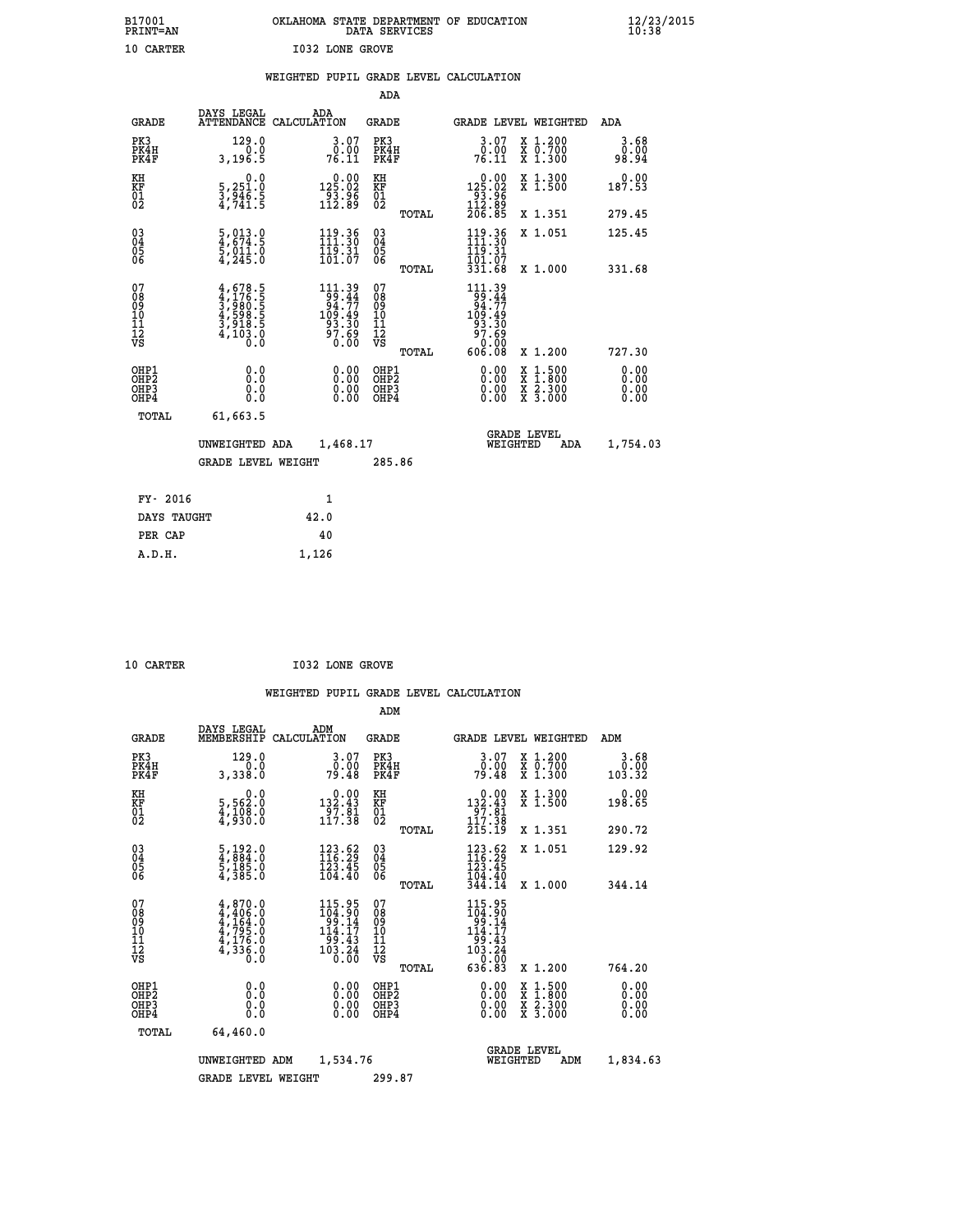|  |                 | OKLAHOMA STATE DEPARTMENT OF EDUCATION<br>DATA SERVICES |  |
|--|-----------------|---------------------------------------------------------|--|
|  | TA32 IANT CRATE |                                                         |  |

| B17001<br><b>PRINT=AN</b>                                          |                                                                                                                          | OKLAHOMA STATE DEPARTMENT OF EDUCATION                                                         | DATA SERVICES                                      |       |                                                                                  |                                                                                          | $\frac{12}{20}$              |
|--------------------------------------------------------------------|--------------------------------------------------------------------------------------------------------------------------|------------------------------------------------------------------------------------------------|----------------------------------------------------|-------|----------------------------------------------------------------------------------|------------------------------------------------------------------------------------------|------------------------------|
| 10 CARTER                                                          |                                                                                                                          | <b>I032 LONE GROVE</b>                                                                         |                                                    |       |                                                                                  |                                                                                          |                              |
|                                                                    |                                                                                                                          | WEIGHTED PUPIL GRADE LEVEL CALCULATION                                                         | <b>ADA</b>                                         |       |                                                                                  |                                                                                          |                              |
| <b>GRADE</b>                                                       | DAYS LEGAL                                                                                                               | ADA<br>ATTENDANCE CALCULATION                                                                  | <b>GRADE</b>                                       |       |                                                                                  | GRADE LEVEL WEIGHTED                                                                     | ADA                          |
| PK3<br>PK4H<br>PK4F                                                | 129.0<br>0.0<br>3,196.5                                                                                                  | 3.07<br>$76.00$<br>76.11                                                                       | PK3<br>PK4H<br>PK4F                                |       | $\begin{smallmatrix} 3.07\ 0.00$<br>76.11                                        | X 1.200<br>X 0.700<br>X 1.300                                                            | 3.68<br>0.00<br>98.94        |
| KH<br>KF<br>01<br>02                                               | $\begin{smallmatrix}&&&0.0\\5,251.0\\3,946.5\\4,741.5\end{smallmatrix}$                                                  | $\begin{array}{r} 0.00 \\ 125.02 \\ 93.96 \\ 112.89 \end{array}$                               | KH<br>KF<br>01<br>02                               |       | $\begin{smallmatrix}&&0&.00\\125&.02\\93&.96\\112&.89\\206&.85\end{smallmatrix}$ | X 1.300<br>X 1.500                                                                       | 0.00<br>187.53               |
|                                                                    |                                                                                                                          |                                                                                                |                                                    | TOTAL |                                                                                  | X 1.351                                                                                  | 279.45                       |
| $\begin{smallmatrix} 03 \\[-4pt] 04 \end{smallmatrix}$<br>Ŏ5<br>06 | $\frac{5}{4}, \frac{013}{674}.\frac{0}{5}$<br>$\frac{1}{5}, \frac{011}{011}.\frac{0}{0}$<br>$\frac{4}{7245}.\frac{0}{0}$ | $\begin{array}{l} 119.36 \\[-4pt] 111.30 \\[-4pt] 119.31 \\[-4pt] 101.07 \end{array}$          | $\begin{matrix} 03 \\ 04 \\ 05 \\ 06 \end{matrix}$ |       | $119.36$<br>$119.30$<br>$19.31$<br>$101.07$                                      | X 1.051                                                                                  | 125.45                       |
|                                                                    |                                                                                                                          |                                                                                                |                                                    | TOTAL | 331.68                                                                           | X 1.000                                                                                  | 331.68                       |
| 07<br>08<br>09<br>10<br>11<br>12<br>VS                             | $4,678.5$<br>$3,980.5$<br>$3,980.5$<br>$4,598.5$<br>$3,918.5$<br>$4,103.0$<br>$0.0$                                      | $\begin{smallmatrix} 111.39\\ 99.44\\ 94.77\\ 109.49\\ 93.30\\ 97.69\\ 0.00 \end{smallmatrix}$ | 07<br>08<br>09<br>11<br>11<br>12<br>VS             | TOTAL | 111.39<br>$153.44$<br>94.77<br>93.49<br>109.30<br>97.69<br>0.00<br>606.08        | X 1.200                                                                                  | 727.30                       |
| OHP1<br>OHP2<br>OHP3<br>OHP4                                       | 0.0<br>Ō.Ō<br>0.0<br>0.0                                                                                                 | 0.00<br>0.00<br>0.00                                                                           | OHP1<br>OHP2<br>OHP3<br>OHP4                       |       | 0.00<br>0.00<br>0.00                                                             | $\begin{smallmatrix} x & 1.500 \\ x & 1.800 \\ x & 2.300 \\ x & 3.000 \end{smallmatrix}$ | 0.00<br>ŏ:ŏŏ<br>0.00<br>0.00 |
| TOTAL                                                              | 61,663.5                                                                                                                 |                                                                                                |                                                    |       |                                                                                  |                                                                                          |                              |
|                                                                    | UNWEIGHTED ADA                                                                                                           | 1,468.17                                                                                       |                                                    |       |                                                                                  | <b>GRADE LEVEL</b><br>WEIGHTED<br>ADA                                                    | 1,754.03                     |
|                                                                    | <b>GRADE LEVEL WEIGHT</b>                                                                                                |                                                                                                | 285.86                                             |       |                                                                                  |                                                                                          |                              |
| FY- 2016                                                           |                                                                                                                          | 1                                                                                              |                                                    |       |                                                                                  |                                                                                          |                              |
| DAYS TAUGHT                                                        |                                                                                                                          | 42.0                                                                                           |                                                    |       |                                                                                  |                                                                                          |                              |
| PER CAP                                                            |                                                                                                                          | 40                                                                                             |                                                    |       |                                                                                  |                                                                                          |                              |

 **A.D.H. 1,126**

 **ADM**

**10 CARTER 1032 LONE GROVE** 

| <b>GRADE</b>                                       | DAYS LEGAL<br>MEMBERSHIP                                                                  | ADM<br>CALCULATION |                                                                                                                                                              | <b>GRADE</b>                            |       | <b>GRADE LEVEL WEIGHTED</b>                                                           |          |                                          |     | ADM                    |  |
|----------------------------------------------------|-------------------------------------------------------------------------------------------|--------------------|--------------------------------------------------------------------------------------------------------------------------------------------------------------|-----------------------------------------|-------|---------------------------------------------------------------------------------------|----------|------------------------------------------|-----|------------------------|--|
| PK3<br>PK4H<br>PK4F                                | 129.0<br>0.0<br>3,338.0                                                                   |                    | $3.07$<br>$0.00$<br>79.48                                                                                                                                    | PK3<br>PK4H<br>PK4F                     |       | $3.07$<br>$0.00$<br>79.48                                                             |          | X 1.200<br>X 0.700<br>$X$ 1.300          |     | 3.68<br>0.00<br>103.32 |  |
| KH<br>KF<br>01<br>02                               | $\begin{smallmatrix}&&&0.0\\5,562.0\\4,108.0\\4,930.0\end{smallmatrix}$                   |                    | $\begin{array}{c} 0.00 \\ 132.43 \\ 97.81 \\ 117.38 \end{array}$                                                                                             | KH<br>KF<br>01<br>02                    |       | $\begin{array}{c} 0.00 \\ 132.43 \\ 97.81 \\ 117.38 \end{array}$                      |          | X 1.300<br>X 1.500                       |     | 0.00<br>198.65         |  |
|                                                    |                                                                                           |                    |                                                                                                                                                              |                                         | TOTAL | 215.19                                                                                |          | X 1.351                                  |     | 290.72                 |  |
| $\begin{matrix} 03 \\ 04 \\ 05 \\ 06 \end{matrix}$ | $\frac{5}{4}, \frac{192}{884}.0$<br>$\frac{1}{5}, \frac{185}{185}.0$<br>$\frac{4}{385}.0$ |                    | $\frac{123}{116}.52$<br>123.45<br>104.40                                                                                                                     | 03<br>04<br>05<br>06                    |       | $123.62$<br>$116.29$<br>$123.45$<br>$104.40$<br>$344.14$                              |          | X 1.051                                  |     | 129.92                 |  |
|                                                    |                                                                                           |                    |                                                                                                                                                              |                                         | TOTAL |                                                                                       |          | X 1.000                                  |     | 344.14                 |  |
| 07<br>08<br>09<br>101<br>11<br>12<br>VS            | $4,870.0$<br>$4,406.0$<br>$4,164.0$<br>$4,795.0$<br>$4,176.0$<br>$4,336.0$<br>$0.0$       |                    | $115.95$<br>$104.90$<br>$99.14$<br>$114.17$<br>$\begin{array}{r} 1\overline{9}\overline{9}\cdot \overline{4}3 \\ 103\cdot \overline{2}4 \\ 0.00 \end{array}$ | 07<br>08<br>09<br>101<br>11<br>12<br>VS | TOTAL | 115.95<br>$104.90$<br>$99.14$<br>$114.17$<br>$199.43$<br>$103.24$<br>$0.00$<br>636.83 |          | X 1.200                                  |     | 764.20                 |  |
| OHP1<br>OHP2<br>OH <sub>P3</sub><br>OHP4           | 0.0<br>0.000                                                                              |                    | $0.00$<br>$0.00$<br>0.00                                                                                                                                     | OHP1<br>OHP2<br>OHP3<br>OHP4            |       |                                                                                       |          | X 1:500<br>X 1:800<br>X 2:300<br>X 3:000 |     | 0.00<br>0.00<br>0.00   |  |
| TOTAL                                              | 64,460.0                                                                                  |                    |                                                                                                                                                              |                                         |       |                                                                                       |          |                                          |     |                        |  |
|                                                    | UNWEIGHTED                                                                                | ADM                | 1,534.76                                                                                                                                                     |                                         |       |                                                                                       | WEIGHTED | <b>GRADE LEVEL</b>                       | ADM | 1,834.63               |  |
|                                                    | <b>GRADE LEVEL WEIGHT</b>                                                                 |                    |                                                                                                                                                              | 299.87                                  |       |                                                                                       |          |                                          |     |                        |  |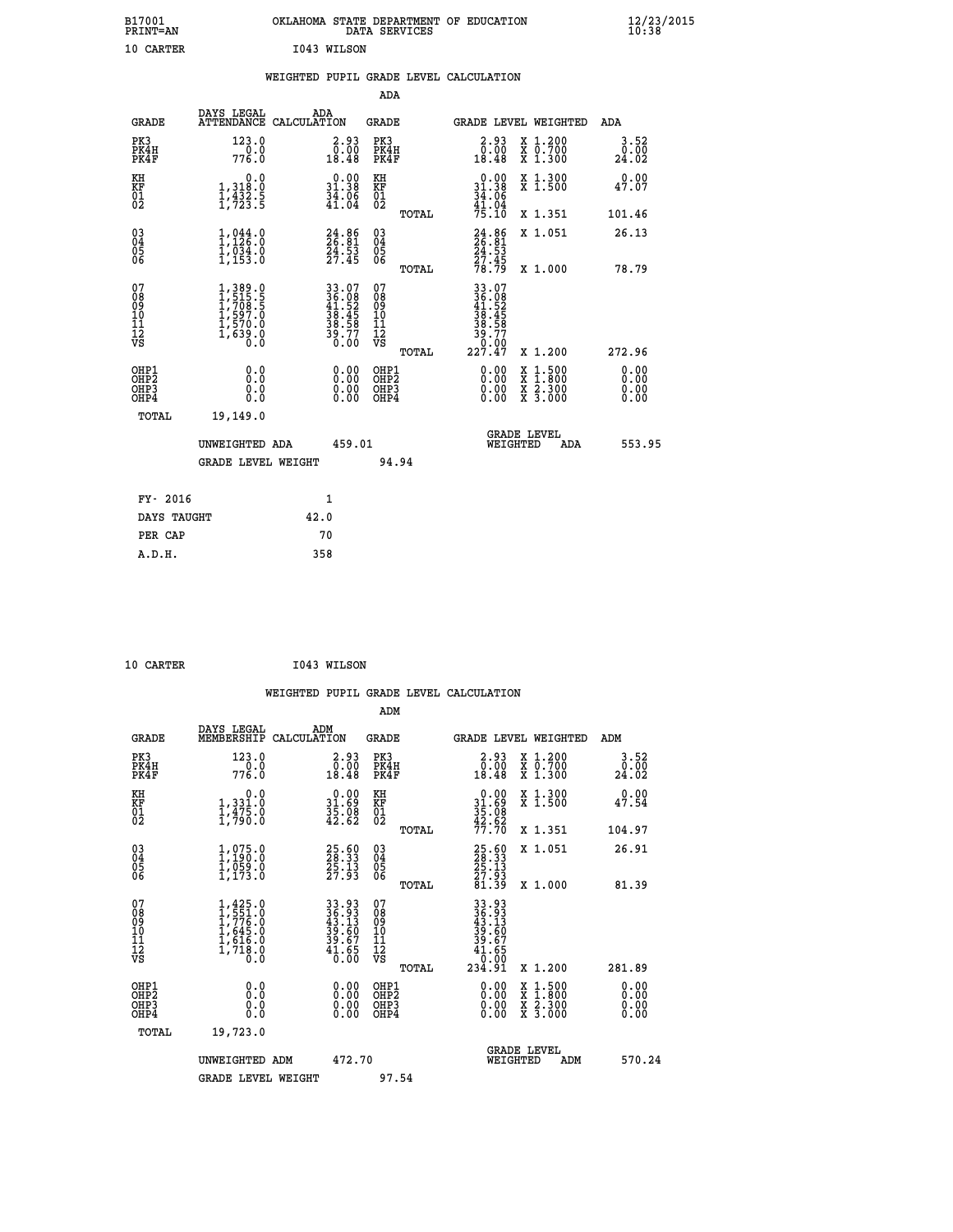| B17001<br>PRINT=AN                                   |                                                                                   | OKLAHOMA STATE DEPARTMENT OF EDUCATION DATA SERVICES                     |                                                    |                                                                |                                                                                                  | $\frac{12}{23}$ /2015 |
|------------------------------------------------------|-----------------------------------------------------------------------------------|--------------------------------------------------------------------------|----------------------------------------------------|----------------------------------------------------------------|--------------------------------------------------------------------------------------------------|-----------------------|
| 10 CARTER                                            |                                                                                   | I043 WILSON                                                              |                                                    |                                                                |                                                                                                  |                       |
|                                                      |                                                                                   | WEIGHTED PUPIL GRADE LEVEL CALCULATION                                   |                                                    |                                                                |                                                                                                  |                       |
|                                                      |                                                                                   |                                                                          | ADA                                                |                                                                |                                                                                                  |                       |
| <b>GRADE</b>                                         | DAYS LEGAL                                                                        | ADA<br>ATTENDANCE CALCULATION                                            | GRADE                                              | GRADE LEVEL WEIGHTED                                           |                                                                                                  | ADA                   |
| PK3<br>PK4H<br>PK4F                                  | 123.0<br>776.0                                                                    | $\begin{smallmatrix} 2.93\0.00\\18.48 \end{smallmatrix}$                 | PK3<br>PK4H<br>PK4F                                | $\begin{smallmatrix} 2.93\0.00\\0.00\\18.48 \end{smallmatrix}$ | X 1.200<br>X 0.700<br>X 1.300                                                                    | 3.52<br>0.00<br>24.02 |
| KH<br>KF<br>$\overline{01}$                          | 0.0<br>1,318:0<br>1,432:5<br>1,723:5                                              | $\begin{smallmatrix} 0.00\\ 31.38\\ 34.06\\ 41.04 \end{smallmatrix}$     | KH<br>KF<br>01<br>02                               | $0.00$<br>31.38<br>$\frac{3\bar{4}}{41}$ :04                   | X 1.300<br>X <sub>1.500</sub>                                                                    | 0.00<br>47.07         |
|                                                      |                                                                                   |                                                                          | TOTAL                                              | 75.10                                                          | X 1.351                                                                                          | 101.46                |
| 03 <sub>4</sub>                                      | 1,944.0<br>1,034.0<br>1,153.0                                                     | $24.86$<br>$26.81$<br>$24.53$<br>$27.45$                                 | $\begin{matrix} 03 \\ 04 \\ 05 \\ 06 \end{matrix}$ | $\frac{24}{26}.85$                                             | X 1.051                                                                                          | 26.13                 |
| 0500                                                 |                                                                                   |                                                                          | TOTAL                                              | $\frac{24.53}{27.45}$<br>$\frac{78.79}{78.79}$                 | X 1.000                                                                                          | 78.79                 |
| 07<br>08<br>09<br>10<br>11<br>Ī2<br>VS               | 1, 389.0<br>1, 515.5<br>1, 708.5<br>$\frac{1}{1}$ , 597.0<br>1, 570.0<br>1, 639.0 | $33.07$<br>$36.08$<br>$41.52$<br>$38.45$<br>$38.58$<br>$39.77$<br>$0.00$ | 07<br>ŏġ<br>09<br>10<br>11<br>12<br>VS             | 33.07<br>36.08<br>41.52<br>38.45<br>38.58<br>39.77<br>0.00     |                                                                                                  |                       |
|                                                      |                                                                                   |                                                                          | TOTAL                                              | 227.47                                                         | X 1.200                                                                                          | 272.96                |
| OHP1<br>OHP <sub>2</sub><br>OH <sub>P3</sub><br>OHP4 | 0.0<br>Ō.Ō<br>0.0<br>0.0                                                          | $0.00$<br>$0.00$<br>0.00                                                 | OHP1<br>OHP <sub>2</sub><br>OHP3<br>OHP4           | 0.00<br>0.00<br>0.00                                           | $\begin{smallmatrix} x & 1 & 500 \\ x & 1 & 800 \\ x & 2 & 300 \\ x & 3 & 000 \end{smallmatrix}$ | 0.00<br>0.00<br>0.00  |
| TOTAL                                                | 19,149.0                                                                          |                                                                          |                                                    |                                                                |                                                                                                  |                       |
|                                                      | UNWEIGHTED ADA                                                                    | 459.01                                                                   |                                                    | <b>GRADE LEVEL</b><br>WEIGHTED                                 | ADA                                                                                              | 553.95                |
|                                                      | <b>GRADE LEVEL WEIGHT</b>                                                         |                                                                          | 94.94                                              |                                                                |                                                                                                  |                       |
| FY- 2016                                             |                                                                                   | 1                                                                        |                                                    |                                                                |                                                                                                  |                       |
| DAYS TAUGHT                                          |                                                                                   | 42.0                                                                     |                                                    |                                                                |                                                                                                  |                       |
| PER CAP                                              |                                                                                   | 70                                                                       |                                                    |                                                                |                                                                                                  |                       |
|                                                      |                                                                                   |                                                                          |                                                    |                                                                |                                                                                                  |                       |

| 10 CARTER | I043 WILSON |
|-----------|-------------|
|           |             |

 **WEIGHTED PUPIL GRADE LEVEL CALCULATION ADM DAYS LEGAL ADM GRADE MEMBERSHIP CALCULATION GRADE GRADE LEVEL WEIGHTED ADM PK3 123.0 2.93 PK3 2.93 X 1.200 3.52 PK4H 0.0 0.00 PK4H 0.00 X 0.700 0.00 PK4F 776.0 18.48 PK4F 18.48 X 1.300 24.02 KH 0.0 0.00 KH 0.00 X 1.300 0.00 KF 1,331.0 31.69 KF 31.69 X 1.500 47.54 01 1,475.0 35.08 01 35.08 02 1,790.0 42.62 02 42.62 TOTAL 77.70 X 1.351 104.97 03 1,075.0 25.60 03 25.60 X 1.051 26.91 04 1,190.0 28.33 04 28.33 05 1,059.0 25.13 05 25.13 06 1,173.0 27.93 06 27.93 TOTAL 81.39 X 1.000 81.39**  $\begin{array}{cccc} 07 & 1,425.0 & 33.93 & 07 & 33.93 \\ 08 & 1,551.0 & 46.93 & 08 & 36.93 \\ 09 & 1,776.0 & 43.13 & 09 & 43.13 \\ 10 & 1,645.0 & 39.60 & 10 & 39.60 \\ 11 & 1,616.0 & 39.67 & 11 & 39.60 \\ 12 & 1,718.0 & 41.65 & 12 & 41.65 \\ \sqrt{5} & 1,718.0 & 40.60 & \sqrt{5}$  $\begin{array}{cccccc} 1,425 & 0 & 33 & 93 & 07 \ 1,557 & 0 & 36 & 39 & 09 \ 1,645 & 0 & 39 & 60 & 10 & 49 & 39 \ 1,645 & 0 & 39 & 60 & 10 & 39 & 60 \ 1,718 & 0 & 41 & 65 & 12 & 39 & 60 \ 1,718 & 0 & 41 & 65 & 12 & 41 & 655 \ 1,718 & 0 & 0 & 0 & 05 & 0 \ 0.0 & 0.00 & 0 & 0 & 0 & 0 &$  **OHP1 0.0 0.00 OHP1 0.00 X 1.500 0.00 OHP2 0.0 0.00 OHP2 0.00 X 1.800 0.00 OHP3 0.0 0.00 OHP3 0.00 X 2.300 0.00 OHP4 0.0 0.00 OHP4 0.00 X 3.000 0.00 TOTAL 19,723.0 GRADE LEVEL UNWEIGHTED ADM 472.70 WEIGHTED ADM 570.24** GRADE LEVEL WEIGHT 97.54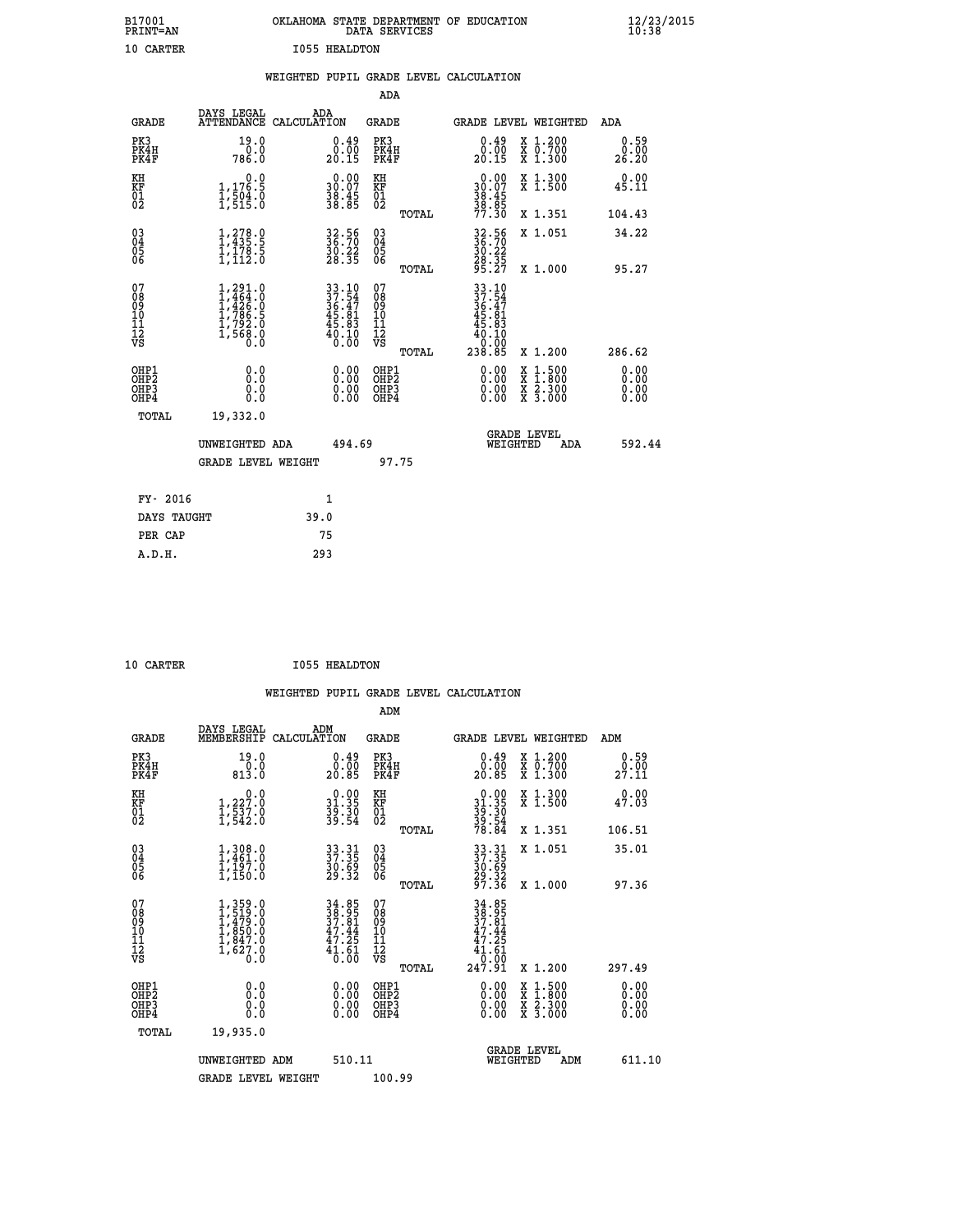| B17001<br>PRINT=AN                        |                                                                       |      |                                                                          |                                                              | DATA SERVICES | OKLAHOMA STATE DEPARTMENT OF EDUCATION                                                      |                                                                                          |     | $\frac{12}{23}$ /2015        |  |
|-------------------------------------------|-----------------------------------------------------------------------|------|--------------------------------------------------------------------------|--------------------------------------------------------------|---------------|---------------------------------------------------------------------------------------------|------------------------------------------------------------------------------------------|-----|------------------------------|--|
| 10 CARTER                                 |                                                                       |      | <b>I055 HEALDTON</b>                                                     |                                                              |               |                                                                                             |                                                                                          |     |                              |  |
|                                           |                                                                       |      |                                                                          |                                                              |               | WEIGHTED PUPIL GRADE LEVEL CALCULATION                                                      |                                                                                          |     |                              |  |
|                                           |                                                                       |      |                                                                          | <b>ADA</b>                                                   |               |                                                                                             |                                                                                          |     |                              |  |
| <b>GRADE</b>                              | DAYS LEGAL<br>ATTENDANCE CALCULATION                                  | ADA  |                                                                          | GRADE                                                        |               | GRADE LEVEL WEIGHTED                                                                        |                                                                                          |     | ADA                          |  |
| PK3<br>PK4H<br>PK4F                       | 19.0<br>0.0<br>786.0                                                  |      | 0.49<br>0.00<br>20.15                                                    | PK3<br>PK4H<br>PK4F                                          |               | $\begin{smallmatrix} 0.49\\ 0.00\\ 20.15 \end{smallmatrix}$                                 | X 1.200<br>X 0.700<br>X 1.300                                                            |     | 0.59<br>0.00<br>26.20        |  |
| KH<br>KF<br>01<br>02                      | 0.0<br>1,176.5<br>1,504.0<br>1,515.0                                  |      | $\begin{smallmatrix} 0.00\\ 30.07\\ 38.45\\ 38.85 \end{smallmatrix}$     | KH<br><b>KF</b><br>01<br>02                                  |               | $\begin{smallmatrix} 0.00\\ 30.07\\ 38.45\\ 38.85\\ 19.85 \end{smallmatrix}$                | X 1.300<br>X 1.500                                                                       |     | 0.00<br>45.11                |  |
|                                           |                                                                       |      |                                                                          |                                                              | TOTAL         | 77.30                                                                                       | X 1.351                                                                                  |     | 104.43                       |  |
| $^{03}_{04}$<br>Ŏ5<br>06                  | 1,278.9<br>$\frac{1}{1}$ , $\frac{178}{12}$ , $\frac{5}{1}$           |      | 32.56<br>36.70<br>$\frac{30.22}{28.35}$                                  | $03\overline{4}$<br>$\begin{matrix} 0.5 \\ 0.6 \end{matrix}$ |               | 32.56<br>36.70<br>$\frac{30.22}{28.35}$<br>95.27                                            | X 1.051                                                                                  |     | 34.22                        |  |
|                                           |                                                                       |      |                                                                          |                                                              | TOTAL         |                                                                                             | X 1.000                                                                                  |     | 95.27                        |  |
| 07<br>08<br>09<br>11<br>11<br>12<br>VS    | 1,291.0<br>1,464.0<br>1,426.0<br>ī,786.5<br>$\frac{17792.0}{17568.0}$ |      | $33.10$<br>$37.54$<br>$36.47$<br>$45.81$<br>$45.83$<br>$40.10$<br>$0.00$ | 07<br>08<br>09<br>10<br>īĭ<br>12<br>VS                       | TOTAL         | 33.10<br>$\frac{37.54}{36.47}$<br>$\frac{45.81}{35.81}$<br>45.83<br>40.10<br>0.00<br>238.85 | X 1.200                                                                                  |     | 286.62                       |  |
| OHP1<br>OH <sub>P</sub> 2<br>OHP3<br>OHP4 | 0.0<br>0.0<br>0.0                                                     |      | 0.00<br>$\begin{smallmatrix} 0.00 \ 0.00 \end{smallmatrix}$              | OHP1<br>OH <sub>P</sub> 2<br>OHP3<br>OHP4                    |               | 0.00<br>0.00<br>0.00                                                                        | $\begin{smallmatrix} x & 1.500 \\ x & 1.800 \\ x & 2.300 \\ x & 3.000 \end{smallmatrix}$ |     | 0.00<br>0.00<br>0.00<br>0.00 |  |
| TOTAL                                     | 19,332.0                                                              |      |                                                                          |                                                              |               |                                                                                             |                                                                                          |     |                              |  |
|                                           | UNWEIGHTED ADA                                                        |      | 494.69                                                                   |                                                              |               |                                                                                             | <b>GRADE LEVEL</b><br>WEIGHTED                                                           | ADA | 592.44                       |  |
|                                           | <b>GRADE LEVEL WEIGHT</b>                                             |      |                                                                          |                                                              | 97.75         |                                                                                             |                                                                                          |     |                              |  |
| FY- 2016                                  |                                                                       |      | 1                                                                        |                                                              |               |                                                                                             |                                                                                          |     |                              |  |
| DAYS TAUGHT                               |                                                                       | 39.0 |                                                                          |                                                              |               |                                                                                             |                                                                                          |     |                              |  |
| PER CAP                                   |                                                                       | 75   |                                                                          |                                                              |               |                                                                                             |                                                                                          |     |                              |  |

| ססחסגי 10 |  |  |  |
|-----------|--|--|--|

10 CARTER 1055 HEALDTON

 **WEIGHTED PUPIL GRADE LEVEL CALCULATION ADM DAYS LEGAL ADM GRADE MEMBERSHIP CALCULATION GRADE GRADE LEVEL WEIGHTED ADM PK3 19.0 0.49 PK3 0.49 X 1.200 0.59 PK4H 0.0 0.00 PK4H 0.00 X 0.700 0.00 PK4F 813.0 20.85 PK4F 20.85 X 1.300 27.11 KH 0.0 0.00 KH 0.00 X 1.300 0.00 KF 1,227.0 31.35 KF 31.35 X 1.500 47.03 01 1,537.0 39.30 01 39.30 02 1,542.0 39.54 02 39.54 TOTAL 78.84 X 1.351 106.51 03 1,308.0 33.31 03 33.31 X 1.051 35.01 04 1,461.0 37.35 04 37.35 05 1,197.0 30.69 05 30.69**  $06$  1,150.0 29.32 06  $29.32$  **TOTAL 97.36 X 1.000 97.36**  $\begin{array}{cccc} 07 & 1,359.0 & 34.85 & 07 & 34.85 \ 08 & 1,479.0 & 38.95 & 08 & 39.81 \ 09 & 1,479.0 & 37.81 & 09 & 37.81 \ 10 & 1,850.0 & 47.44 & 10 & 47.44 \ 11 & 1,847.0 & 47.25 & 11 & 47.25 \ 12 & 1,627.0 & 47.45 & 12 & 41.61 \ 13 & 0.0 & 0 & 0 & 0 & 0 \end{array}$  $\begin{tabular}{@{}lllllllllll@{}} 34.85 & 07 & 34.85 & 10.01 & 24.85 \\ \hline 38.95 & 08 & 38.95 & 39.95 \\ 47.44 & 10 & 47.44 & 10 & 47.25 \\ 47.25 & 11 & 47.25 & 41.61 & 61.61 \\ 0.00 & 08 & 018 & 41.61 & 61.61 \\ 0.00 & 08 & 018 & 41.500 & 297.49 \\ 0.00 & 08 & 018 & 41.500$  **OHP1 0.0 0.00 OHP1 0.00 X 1.500 0.00 OHP2 0.0 0.00 OHP2 0.00 X 1.800 0.00 OHP3 0.0 0.00 OHP3 0.00 X 2.300 0.00 OHP4 0.0 0.00 OHP4 0.00 X 3.000 0.00 TOTAL 19,935.0 GRADE LEVEL UNWEIGHTED ADM 510.11 WEIGHTED ADM 611.10** GRADE LEVEL WEIGHT 100.99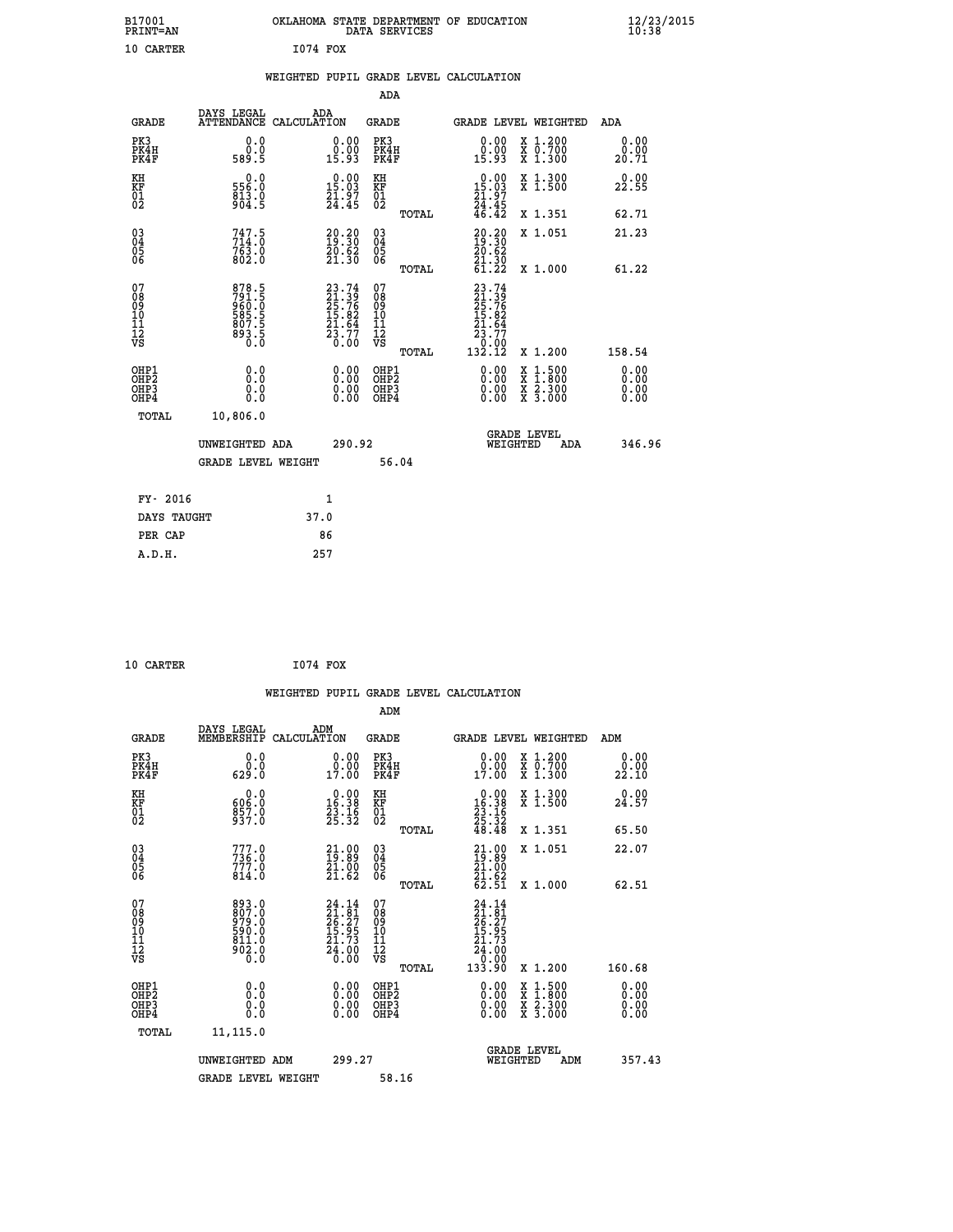| B17001<br>PRINT=AN                                   |                                                             | OKLAHOMA STATE DEPARTMENT OF EDUCATION                                   | DATA SERVICES                                      |                                                                                                                                   |                                                                                                  | $\frac{12}{10}$ :38/2015     |  |
|------------------------------------------------------|-------------------------------------------------------------|--------------------------------------------------------------------------|----------------------------------------------------|-----------------------------------------------------------------------------------------------------------------------------------|--------------------------------------------------------------------------------------------------|------------------------------|--|
| 10 CARTER                                            |                                                             | <b>I074 FOX</b>                                                          |                                                    |                                                                                                                                   |                                                                                                  |                              |  |
|                                                      |                                                             | WEIGHTED PUPIL GRADE LEVEL CALCULATION                                   |                                                    |                                                                                                                                   |                                                                                                  |                              |  |
|                                                      |                                                             |                                                                          | ADA                                                |                                                                                                                                   |                                                                                                  |                              |  |
| GRADE                                                | DAYS LEGAL<br>ATTENDANCE CALCULATION                        | ADA                                                                      | GRADE                                              | GRADE LEVEL WEIGHTED                                                                                                              |                                                                                                  | ADA                          |  |
| PK3<br>PK4H<br>PK4F                                  | 0.0<br>0.0<br>589.5                                         | 0.00<br>0.00<br>15.93                                                    | PK3<br>PK4H<br>PK4F                                | 0.00<br>0.00<br>15.93                                                                                                             | X 1.200<br>X 0.700<br>X 1.300                                                                    | 0.00<br>0.00<br>20.71        |  |
| KH<br>KF<br>01<br>02                                 | 0.0<br>556.0<br>$\frac{813}{904.5}$                         | $\begin{smallmatrix} 0.00\\ 15.03\\ 21.97\\ 24.45 \end{smallmatrix}$     | KH<br>KF<br>01<br>02                               | $0.00$<br>15.03<br>$\frac{21.97}{24.45}$<br>46.42                                                                                 | X 1.300<br>X 1.500                                                                               | 0.00<br>22.55                |  |
|                                                      |                                                             |                                                                          | TOTAL                                              |                                                                                                                                   | X 1.351                                                                                          | 62.71                        |  |
| $\begin{matrix} 03 \\ 04 \\ 05 \\ 06 \end{matrix}$   | $747.5$<br>$714.0$<br>$763.0$<br>$802.0$                    | $\begin{smallmatrix} 20.20\\ 19.30\\ 20.62\\ 21.30 \end{smallmatrix}$    | $\begin{matrix} 03 \\ 04 \\ 05 \\ 06 \end{matrix}$ | 20.20<br>20.62<br>$\frac{51.30}{61.22}$                                                                                           | X 1.051                                                                                          | 21.23                        |  |
|                                                      |                                                             |                                                                          | <b>TOTAL</b>                                       |                                                                                                                                   | X 1.000                                                                                          | 61.22                        |  |
| 07<br>08<br>09<br>10<br>11<br>Ī2<br>VS               | 878.5<br>791.5<br>960.0<br>985.5<br>807.5<br>893.5<br>893.5 | $23.74$<br>$21.39$<br>$25.76$<br>$15.82$<br>$21.64$<br>$23.77$<br>$0.00$ | 07<br>08<br>09<br>10<br>11<br>ĪŽ<br>VŠ<br>TOTAL    | 23.74<br>$\frac{21}{25}$ : $\frac{3}{5}$<br>$\frac{1}{5}$ : $\frac{2}{5}$<br>21.64<br>$\bar{2}\bar{3}.7\bar{7}$<br>0:00<br>132.12 | X 1.200                                                                                          | 158.54                       |  |
| OHP1<br>OHP <sub>2</sub><br>OH <sub>P3</sub><br>OHP4 | 0.000<br>0.0<br>0.0                                         | 0.00<br>0.00<br>0.00                                                     | OHP1<br>OH <sub>P</sub> 2<br>OHP3<br>OHP4          | 0.00<br>0.00<br>0.00                                                                                                              | $\begin{smallmatrix} x & 1 & 500 \\ x & 1 & 800 \\ x & 2 & 300 \\ x & 3 & 000 \end{smallmatrix}$ | 0.00<br>0.00<br>0.00<br>0.00 |  |
| TOTAL                                                | 10,806.0                                                    |                                                                          |                                                    |                                                                                                                                   |                                                                                                  |                              |  |
|                                                      | UNWEIGHTED ADA                                              | 290.92                                                                   |                                                    | <b>GRADE LEVEL</b><br>WEIGHTED                                                                                                    | ADA                                                                                              | 346.96                       |  |
|                                                      | <b>GRADE LEVEL WEIGHT</b>                                   |                                                                          | 56.04                                              |                                                                                                                                   |                                                                                                  |                              |  |
| FY- 2016                                             |                                                             | 1                                                                        |                                                    |                                                                                                                                   |                                                                                                  |                              |  |
| DAYS TAUGHT                                          |                                                             | 37.0                                                                     |                                                    |                                                                                                                                   |                                                                                                  |                              |  |
| PER CAP                                              |                                                             | 86                                                                       |                                                    |                                                                                                                                   |                                                                                                  |                              |  |
| A.D.H.                                               |                                                             | 257                                                                      |                                                    |                                                                                                                                   |                                                                                                  |                              |  |

| 10 CARTER | 1074 FOX |  |
|-----------|----------|--|

|                                                                      |                                                                   | WEIGHTED PUPIL GRADE LEVEL CALCULATION                                    |                                                 |                                                                                                                                                                                                                                                                                |                                                                                                                                           |                       |
|----------------------------------------------------------------------|-------------------------------------------------------------------|---------------------------------------------------------------------------|-------------------------------------------------|--------------------------------------------------------------------------------------------------------------------------------------------------------------------------------------------------------------------------------------------------------------------------------|-------------------------------------------------------------------------------------------------------------------------------------------|-----------------------|
|                                                                      |                                                                   |                                                                           | ADM                                             |                                                                                                                                                                                                                                                                                |                                                                                                                                           |                       |
| <b>GRADE</b>                                                         | DAYS LEGAL<br>MEMBERSHIP                                          | ADM<br>CALCULATION                                                        | <b>GRADE</b>                                    | <b>GRADE LEVEL WEIGHTED</b>                                                                                                                                                                                                                                                    |                                                                                                                                           | ADM                   |
| PK3<br>PK4H<br>PK4F                                                  | 0.0<br>0.0<br>629.0                                               | $0.00$<br>$0.00$<br>17.00                                                 | PK3<br>PK4H<br>PK4F                             | 0.00<br>0.00<br>17.00                                                                                                                                                                                                                                                          | X 1.200<br>X 0.700<br>X 1.300                                                                                                             | 0.00<br>0.00<br>22.10 |
| KH<br>KF<br>01<br>02                                                 | $\begin{smallmatrix} &0.0\ 606.0\ 857.0\ 937.0 \end{smallmatrix}$ | $\begin{smallmatrix} 0.00\\ 16.38\\ 23.16\\ 25.32 \end{smallmatrix}$      | KH<br>KF<br>01<br>02                            | $\begin{smallmatrix} 0.00\\16.38\\23.16\\25.32\\48.48 \end{smallmatrix}$                                                                                                                                                                                                       | X 1.300<br>X 1.500                                                                                                                        | 0.00<br>24.57         |
|                                                                      |                                                                   |                                                                           | TOTAL                                           |                                                                                                                                                                                                                                                                                | X 1.351                                                                                                                                   | 65.50                 |
| $\begin{matrix} 03 \\ 04 \\ 05 \\ 06 \end{matrix}$                   | 777.0<br>$736.0$<br>$777.0$<br>814.0                              | $\begin{smallmatrix} 21.00\\19.89\\21.00\\21.62 \end{smallmatrix}$        | 030404<br>ŌĞ                                    | $21.09$<br>$19.89$<br>$21.00$<br>$21.62$<br>$62.51$                                                                                                                                                                                                                            | X 1.051                                                                                                                                   | 22.07                 |
|                                                                      |                                                                   |                                                                           | TOTAL                                           |                                                                                                                                                                                                                                                                                | X 1.000                                                                                                                                   | 62.51                 |
| 07<br>08<br>09<br>101<br>112<br>VS                                   | 893.0<br>807.0<br>979.0<br>590.0<br>502.0<br>802.0                | 24.14<br>$21.81$<br>$26.27$<br>$15.95$<br>$21.73$<br>$\frac{54.00}{0.00}$ | 07<br>08<br>09<br>11<br>11<br>12<br>VS<br>TOTAL | $24.14$<br>$21.81$<br>$26.27$<br>$15.95$<br>$21.73$<br>$\begin{smallmatrix} 24.60\\ -0.00\\ 133.90 \end{smallmatrix}$                                                                                                                                                          | X 1.200                                                                                                                                   | 160.68                |
| OHP1                                                                 |                                                                   |                                                                           | OHP1                                            |                                                                                                                                                                                                                                                                                |                                                                                                                                           | 0.00                  |
| OH <sub>P</sub> <sub>2</sub><br>OH <sub>P3</sub><br>OH <sub>P4</sub> | 0.0<br>0.0<br>0.0                                                 | 0.00<br>0.00<br>0.00                                                      | OH <sub>P</sub> 2<br>OHP3<br>OHP4               | $\begin{smallmatrix} 0.00 & 0.00 & 0.00 & 0.00 & 0.00 & 0.00 & 0.00 & 0.00 & 0.00 & 0.00 & 0.00 & 0.00 & 0.00 & 0.00 & 0.00 & 0.00 & 0.00 & 0.00 & 0.00 & 0.00 & 0.00 & 0.00 & 0.00 & 0.00 & 0.00 & 0.00 & 0.00 & 0.00 & 0.00 & 0.00 & 0.00 & 0.00 & 0.00 & 0.00 & 0.00 & 0.0$ | $\begin{smallmatrix} \mathtt{X} & 1\cdot500\\ \mathtt{X} & 1\cdot800\\ \mathtt{X} & 2\cdot300\\ \mathtt{X} & 3\cdot000 \end{smallmatrix}$ | 0.00<br>0.00<br>0.00  |
| TOTAL                                                                | 11,115.0                                                          |                                                                           |                                                 |                                                                                                                                                                                                                                                                                |                                                                                                                                           |                       |
|                                                                      | UNWEIGHTED ADM                                                    | 299.27                                                                    |                                                 | <b>GRADE LEVEL</b><br>WEIGHTED                                                                                                                                                                                                                                                 | ADM                                                                                                                                       | 357.43                |
|                                                                      | <b>GRADE LEVEL WEIGHT</b>                                         |                                                                           | 58.16                                           |                                                                                                                                                                                                                                                                                |                                                                                                                                           |                       |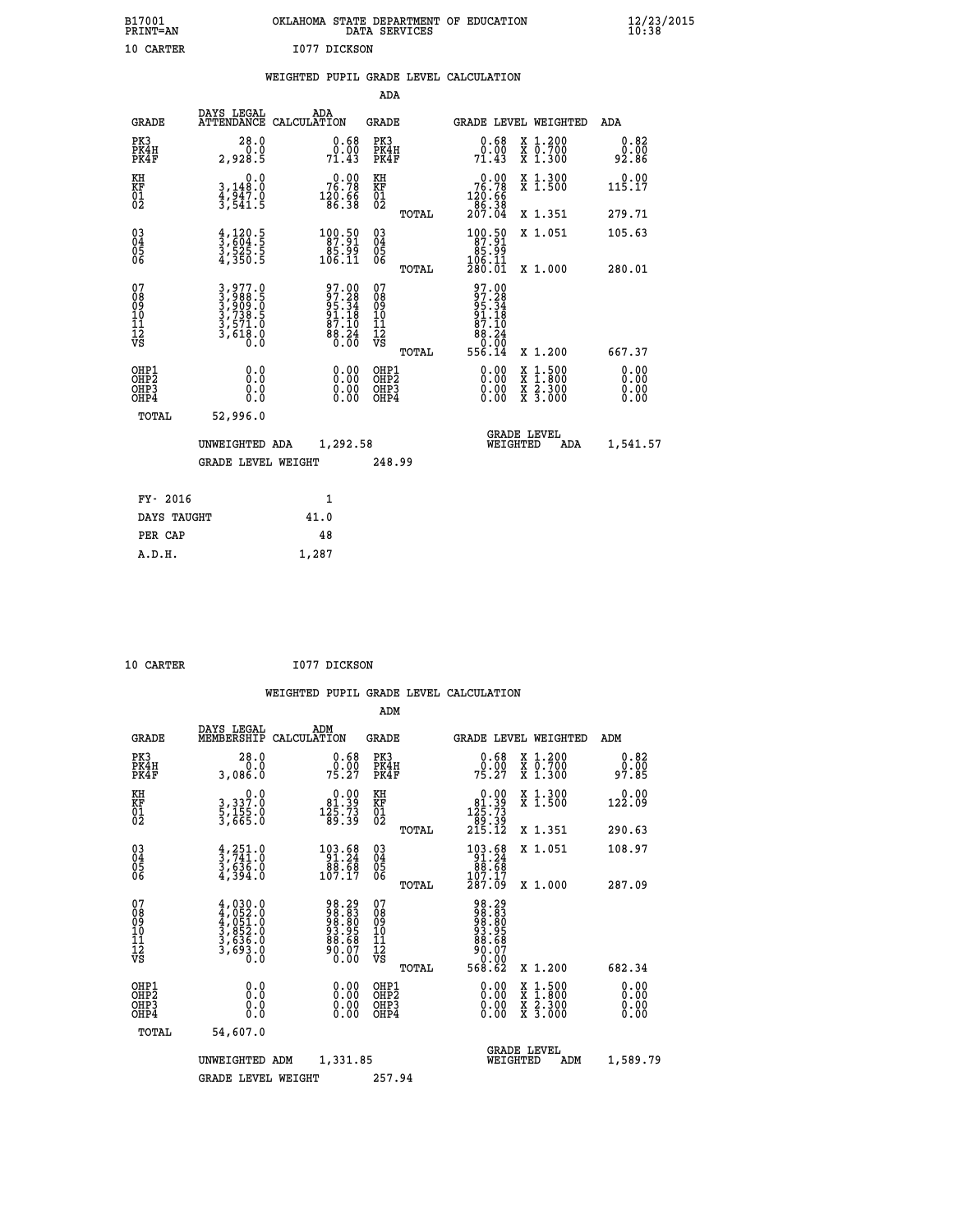| B17001<br>PRINT=AN | OKLAHOMA<br>. STATE DEPARTMENT OF EDUCATION<br>DATA SERVICES | $\frac{12}{23}$ /2015 |
|--------------------|--------------------------------------------------------------|-----------------------|
| 10 CARTER          | 1077 DICKSON                                                 |                       |

|  |  | WEIGHTED PUPIL GRADE LEVEL CALCULATION |
|--|--|----------------------------------------|
|  |  |                                        |

|                                                    |                                                                                          |                                                                          | ADA                                                 |       |                                                                                  |                                          |                              |
|----------------------------------------------------|------------------------------------------------------------------------------------------|--------------------------------------------------------------------------|-----------------------------------------------------|-------|----------------------------------------------------------------------------------|------------------------------------------|------------------------------|
| <b>GRADE</b>                                       | DAYS LEGAL<br><b>ATTENDANCE</b>                                                          | ADA<br>CALCULATION                                                       | <b>GRADE</b>                                        |       |                                                                                  | GRADE LEVEL WEIGHTED                     | ADA                          |
| PK3<br>PK4H<br>PK4F                                | 28.0<br>0.0<br>2,928.5                                                                   | $0.68$<br>$0.00$<br>71.43                                                | PK3<br>PK4H<br>PK4F                                 |       | 0.68<br>0.00<br>71.43                                                            | X 1.200<br>X 0.700<br>X 1.300            | 0.82<br>0.00<br>92.86        |
| KH<br>KF<br>01<br>02                               | 0.0<br>$\frac{3}{4}, \frac{148}{947}$ .0<br>$\frac{3}{541}$ .5                           | $\begin{smallmatrix} &0.00\\ &76.78\\ &120.66\\ &86.38\end{smallmatrix}$ | KH<br>KF<br>01<br>02                                |       | $\begin{smallmatrix} &0.00\\ 76.78\\ 120.66\\ 86.38\\ 207.04\end{smallmatrix}$   | X 1.300<br>X 1.500                       | 0.00<br>115.17               |
|                                                    |                                                                                          |                                                                          |                                                     | TOTAL |                                                                                  | X 1.351                                  | 279.71                       |
| $\begin{matrix} 03 \\ 04 \\ 05 \\ 06 \end{matrix}$ | $\frac{4}{3}, \frac{120}{604}.\frac{5}{5}$<br>$\frac{3}{4}, \frac{525}{350}.\frac{5}{5}$ | $\begin{smallmatrix} 100.50\\ 87.91\\ 85.99\\ 106.11 \end{smallmatrix}$  | $\begin{array}{c} 03 \\ 04 \\ 05 \\ 06 \end{array}$ |       | $\begin{smallmatrix} 100.50\\ 87.91\\ 85.99\\ 106.11\\ 280.01 \end{smallmatrix}$ | X 1.051                                  | 105.63                       |
|                                                    |                                                                                          |                                                                          |                                                     | TOTAL |                                                                                  | X 1.000                                  | 280.01                       |
| 07<br>0890112<br>1112<br>VS                        | $3,977.0$<br>$3,988.5$<br>$3,909.0$<br>$3,738.5$<br>$3,571.0$<br>$3,618.0$<br>$0.0$      | 97.00<br>97.28<br>95.34<br>91.18<br>87.10<br>88.24                       | 07<br>08<br>09<br>11<br>11<br>12<br>VS              | TOTAL | 97.00<br>97.28<br>95:34<br>91.18<br>87.10<br>88.24<br>0.00<br>556.14             | X 1.200                                  | 667.37                       |
| OHP1<br>OHP2<br>OH <sub>P3</sub><br>OHP4           | 0.0<br>0.0<br>0.0                                                                        | 0.00<br>$\begin{smallmatrix} 0.00 \ 0.00 \end{smallmatrix}$              | OHP1<br>OHP2<br>OHP3<br>OHP4                        |       | 0.00<br>0.00                                                                     | X 1:500<br>X 1:800<br>X 2:300<br>X 3:000 | 0.00<br>0.00<br>0.00<br>0.00 |
| TOTAL                                              | 52,996.0                                                                                 |                                                                          |                                                     |       |                                                                                  |                                          |                              |
|                                                    | UNWEIGHTED ADA                                                                           | 1,292.58                                                                 |                                                     |       |                                                                                  | <b>GRADE LEVEL</b><br>WEIGHTED<br>ADA    | 1,541.57                     |
|                                                    | <b>GRADE LEVEL WEIGHT</b>                                                                |                                                                          | 248.99                                              |       |                                                                                  |                                          |                              |
| FY- 2016                                           |                                                                                          | $\mathbf{1}$                                                             |                                                     |       |                                                                                  |                                          |                              |
| DAYS TAUGHT                                        |                                                                                          | 41.0                                                                     |                                                     |       |                                                                                  |                                          |                              |
|                                                    |                                                                                          |                                                                          |                                                     |       |                                                                                  |                                          |                              |

| 10 CARTER | I077 DICKSON |
|-----------|--------------|

 **A.D.H. 1,287**

 **PER CAP 48**

| <b>GRADE</b>                                       | DAYS LEGAL<br>MEMBERSHIP                                                                         | ADM<br>CALCULATION                                                 | <b>GRADE</b>                                        |       | <b>GRADE LEVEL WEIGHTED</b>                                                                                                                                                                                                                                                    |                                          | ADM                       |
|----------------------------------------------------|--------------------------------------------------------------------------------------------------|--------------------------------------------------------------------|-----------------------------------------------------|-------|--------------------------------------------------------------------------------------------------------------------------------------------------------------------------------------------------------------------------------------------------------------------------------|------------------------------------------|---------------------------|
| PK3<br>PK4H<br>PK4F                                | 28.0<br>0.0<br>3,086.0                                                                           | $\begin{smallmatrix} 0.68\ 0.00\\ 75.27 \end{smallmatrix}$         | PK3<br>PK4H<br>PK4F                                 |       | $0.68$<br>$0.00$<br>75.27                                                                                                                                                                                                                                                      | X 1.200<br>X 0.700<br>X 1.300            | $0.82$<br>$0.00$<br>97.85 |
| KH<br>KF<br>01<br>02                               | $\begin{smallmatrix}&&&0\cdot0\\3\,,&337\cdot0\\5\,,&155\cdot0\\3\,,&665\cdot0\end{smallmatrix}$ | $\begin{smallmatrix}&&0.00\\81.39\\125.73\\89.39\end{smallmatrix}$ | KH<br>KF<br>01<br>02                                |       | $\begin{smallmatrix}&&0.00\\81.39\\125.73\\89.39\\215.12\end{smallmatrix}$                                                                                                                                                                                                     | X 1.300<br>X 1.500                       | 0.00<br>122.09            |
|                                                    |                                                                                                  |                                                                    |                                                     | TOTAL |                                                                                                                                                                                                                                                                                | X 1.351                                  | 290.63                    |
| $\begin{matrix} 03 \\ 04 \\ 05 \\ 06 \end{matrix}$ | $\begin{smallmatrix} 4,251.0\\ 3,741.0\\ 3,636.0\\ 4,394.0 \end{smallmatrix}$                    | $\begin{array}{r} 103.68 \\ 91.24 \\ 88.68 \\ 107.17 \end{array}$  | $\begin{array}{c} 03 \\ 04 \\ 05 \\ 06 \end{array}$ |       | $\begin{array}{r} 103.68 \\ 91.24 \\ 88.68 \\ 107.17 \\ 287.09 \end{array}$                                                                                                                                                                                                    | X 1.051                                  | 108.97                    |
|                                                    |                                                                                                  |                                                                    |                                                     | TOTAL |                                                                                                                                                                                                                                                                                | $X_1.000$                                | 287.09                    |
| 07<br>08<br>09<br>01<br>11<br>11<br>12<br>VS       | $4,030.0$<br>$4,052.0$<br>$4,051.0$<br>$3,852.0$<br>$3,636.0$<br>$3,693.0$<br>$0.0$              | 98.29<br>988.88<br>98.95<br>98.68<br>90.07<br>90.00                | 07<br>08<br>09<br>11<br>11<br>12<br>VS              | TOTAL | 98.29<br>988.88<br>98.88<br>98.68<br>88.68<br>0.00<br>568.62                                                                                                                                                                                                                   | X 1.200                                  | 682.34                    |
| OHP1<br>OHP2<br>OHP3<br>OH <sub>P4</sub>           |                                                                                                  | $\begin{smallmatrix} 0.00 \ 0.00 \ 0.00 \ 0.00 \end{smallmatrix}$  | OHP1<br>OHP2<br>OHP3<br>OHP4                        |       | $\begin{smallmatrix} 0.00 & 0.00 & 0.00 & 0.00 & 0.00 & 0.00 & 0.00 & 0.00 & 0.00 & 0.00 & 0.00 & 0.00 & 0.00 & 0.00 & 0.00 & 0.00 & 0.00 & 0.00 & 0.00 & 0.00 & 0.00 & 0.00 & 0.00 & 0.00 & 0.00 & 0.00 & 0.00 & 0.00 & 0.00 & 0.00 & 0.00 & 0.00 & 0.00 & 0.00 & 0.00 & 0.0$ | X 1:500<br>X 1:800<br>X 2:300<br>X 3:000 | 0.00<br>0.00<br>0.00      |
| TOTAL                                              | 54,607.0                                                                                         |                                                                    |                                                     |       |                                                                                                                                                                                                                                                                                |                                          |                           |
|                                                    | UNWEIGHTED                                                                                       | 1,331.85<br>ADM                                                    |                                                     |       | <b>GRADE LEVEL</b><br>WEIGHTED                                                                                                                                                                                                                                                 | ADM                                      | 1,589.79                  |
|                                                    | <b>GRADE LEVEL WEIGHT</b>                                                                        |                                                                    | 257.94                                              |       |                                                                                                                                                                                                                                                                                |                                          |                           |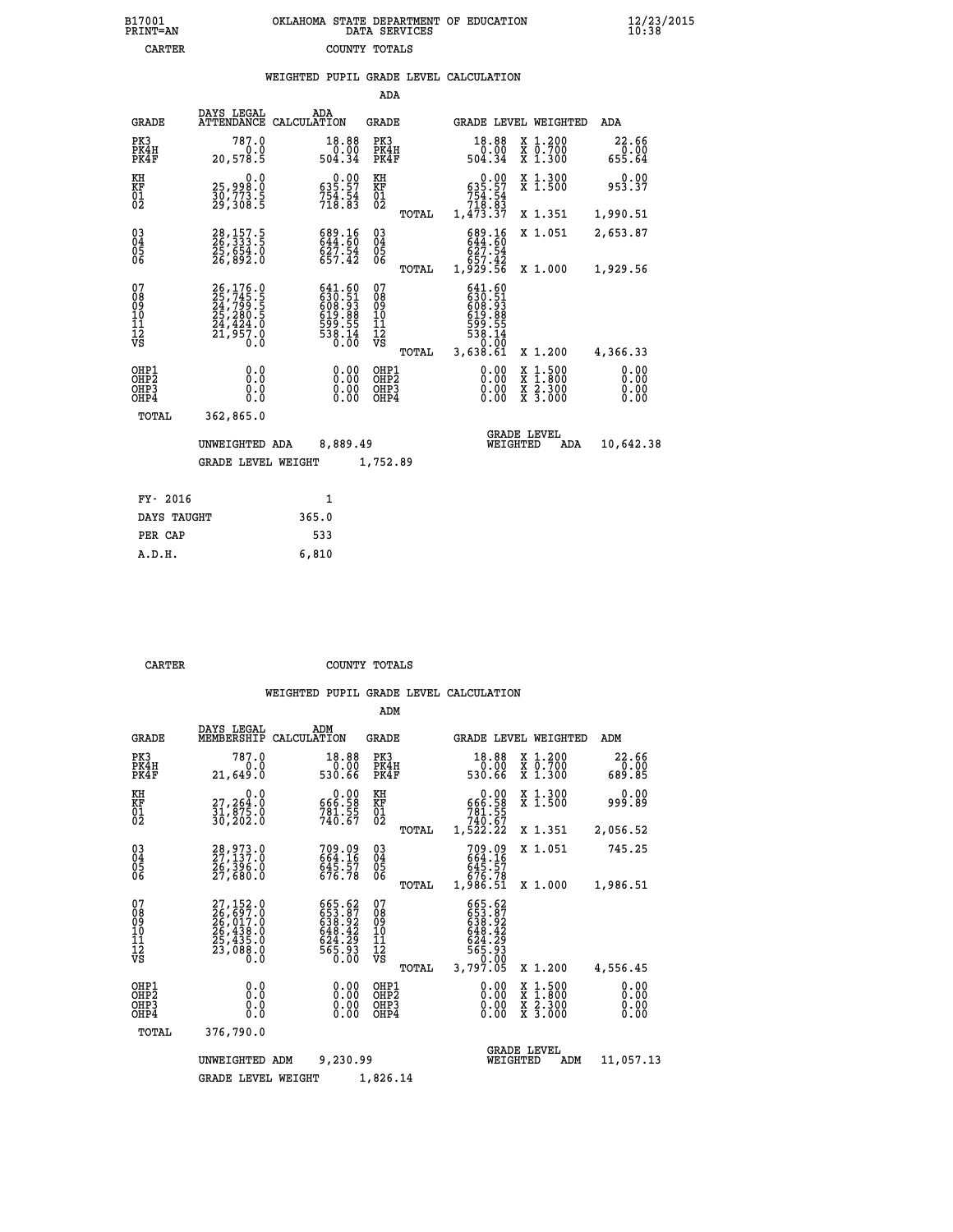| 7001<br>INT=AN | OKLAHOMA STATE DEPARTMENT OF EDUCATION<br>DATA SERVICES |  |
|----------------|---------------------------------------------------------|--|
| CARTER         | COUNTY TOTALS                                           |  |

|                                                              |                                                                                                                                                                                       | WEIGHTED PUPIL GRADE LEVEL CALCULATION                                                             |                                                 |                                                                                                                                                                                                                                                                                |                                                                                                                                              |                              |
|--------------------------------------------------------------|---------------------------------------------------------------------------------------------------------------------------------------------------------------------------------------|----------------------------------------------------------------------------------------------------|-------------------------------------------------|--------------------------------------------------------------------------------------------------------------------------------------------------------------------------------------------------------------------------------------------------------------------------------|----------------------------------------------------------------------------------------------------------------------------------------------|------------------------------|
|                                                              |                                                                                                                                                                                       |                                                                                                    | ADA                                             |                                                                                                                                                                                                                                                                                |                                                                                                                                              |                              |
| <b>GRADE</b>                                                 | DAYS LEGAL                                                                                                                                                                            | ADA<br>ATTENDANCE CALCULATION                                                                      | <b>GRADE</b>                                    | GRADE LEVEL WEIGHTED                                                                                                                                                                                                                                                           |                                                                                                                                              | ADA                          |
| PK3<br>PK4H<br>PK4F                                          | 787.0<br>0.0<br>20,578.5                                                                                                                                                              | 18.88<br>0.00<br>504.34                                                                            | PK3<br>PK4H<br>PK4F                             | 18.88<br>ةة.ة<br>504.34                                                                                                                                                                                                                                                        | X 1.200<br>X 0.700<br>X 1.300                                                                                                                | 22.66<br>0.00<br>655.64      |
| KH<br>KF<br>01<br>02                                         | 0.0<br>25,998.0<br>30,773.5<br>29,308.5                                                                                                                                               | $0.00$<br>535.57<br>754.54<br>718.83                                                               | KH<br>KF<br>01<br>02                            | $0.00$<br>535.57<br>754.54<br>718.83<br>1,473.37                                                                                                                                                                                                                               | X 1.300<br>X 1.500                                                                                                                           | 953.37                       |
|                                                              |                                                                                                                                                                                       |                                                                                                    | TOTAL                                           |                                                                                                                                                                                                                                                                                | X 1.351                                                                                                                                      | 1,990.51                     |
| $\begin{smallmatrix} 03 \\[-4pt] 04 \end{smallmatrix}$<br>05 | 28,157.5<br>26,333.5<br>25,654.0<br>26,892.0                                                                                                                                          | 689.16<br>644.60<br>627.54<br>657.42                                                               | $\substack{03 \\ 04}$<br>05                     | 689.16<br>644.60<br>627.54                                                                                                                                                                                                                                                     | X 1.051                                                                                                                                      | 2,653.87                     |
| 06                                                           |                                                                                                                                                                                       |                                                                                                    | 06<br>TOTAL                                     | 657.42<br>1,929.56                                                                                                                                                                                                                                                             | X 1.000                                                                                                                                      | 1,929.56                     |
| 07<br>08<br>09<br>01<br>11<br>11<br>12<br>VS                 | $\begin{smallmatrix} 26\,,\,176\,. \ 25\,,\,745\,. \ 24\,,\,799\,. \ 5 \\ 25\,,\,280\,. \ 5 \\ 25\,,\,280\,. \ 5 \\ 24\,,\,424\,. \ 0 \\ 21\,,\,957\,. \ 0 \\ 0\,. \end{smallmatrix}$ | $\begin{smallmatrix} 641.60\\ 630.51\\ 608.93\\ 619.88\\ 599.55\\ 538.14\\ 0.00 \end{smallmatrix}$ | 07<br>08<br>09<br>10<br>11<br>12<br>VS<br>TOTAL | 641.60<br>630:51<br>608:93<br>619:88<br>$\frac{599}{538}$ $\cdot \frac{14}{99}$<br>3,638.61                                                                                                                                                                                    | X 1.200                                                                                                                                      | 4,366.33                     |
| OHP1<br>OHP2<br>OHP3<br>OHP4                                 | 0.0<br>0.0<br>0.0                                                                                                                                                                     |                                                                                                    | OHP1<br>OHP2<br>OHP3<br>OHP4                    | $\begin{smallmatrix} 0.00 & 0.00 & 0.00 & 0.00 & 0.00 & 0.00 & 0.00 & 0.00 & 0.00 & 0.00 & 0.00 & 0.00 & 0.00 & 0.00 & 0.00 & 0.00 & 0.00 & 0.00 & 0.00 & 0.00 & 0.00 & 0.00 & 0.00 & 0.00 & 0.00 & 0.00 & 0.00 & 0.00 & 0.00 & 0.00 & 0.00 & 0.00 & 0.00 & 0.00 & 0.00 & 0.0$ | $\begin{smallmatrix} \mathtt{X} & 1\cdot500 \\ \mathtt{X} & 1\cdot800 \\ \mathtt{X} & 2\cdot300 \\ \mathtt{X} & 3\cdot000 \end{smallmatrix}$ | 0.00<br>0.00<br>0.00<br>0.00 |
| TOTAL                                                        | 362,865.0                                                                                                                                                                             |                                                                                                    |                                                 |                                                                                                                                                                                                                                                                                |                                                                                                                                              |                              |
|                                                              | UNWEIGHTED ADA                                                                                                                                                                        | 8,889.49                                                                                           |                                                 | <b>GRADE LEVEL</b><br>WEIGHTED                                                                                                                                                                                                                                                 | ADA                                                                                                                                          | 10,642.38                    |
|                                                              | <b>GRADE LEVEL WEIGHT</b>                                                                                                                                                             |                                                                                                    | 1,752.89                                        |                                                                                                                                                                                                                                                                                |                                                                                                                                              |                              |
| FY- 2016                                                     |                                                                                                                                                                                       | $\mathbf{1}$                                                                                       |                                                 |                                                                                                                                                                                                                                                                                |                                                                                                                                              |                              |
|                                                              | DAYS TAUGHT                                                                                                                                                                           | 365.0                                                                                              |                                                 |                                                                                                                                                                                                                                                                                |                                                                                                                                              |                              |
| PER CAP                                                      |                                                                                                                                                                                       | 533                                                                                                |                                                 |                                                                                                                                                                                                                                                                                |                                                                                                                                              |                              |

| CARTER | COUNTY TOTALS |  |
|--------|---------------|--|

 **A.D.H. 6,810**

**B17001<br>PRINT=AN** 

|                                                       |                                                                                           |                                                                        | ADM                                              |                                                                                  |                                                                                                  |                              |
|-------------------------------------------------------|-------------------------------------------------------------------------------------------|------------------------------------------------------------------------|--------------------------------------------------|----------------------------------------------------------------------------------|--------------------------------------------------------------------------------------------------|------------------------------|
| <b>GRADE</b>                                          | DAYS LEGAL<br>MEMBERSHIP                                                                  | ADM<br>CALCULATION                                                     | <b>GRADE</b>                                     | GRADE LEVEL WEIGHTED                                                             |                                                                                                  | ADM                          |
| PK3<br>PK4H<br>PK4F                                   | 787.0<br>0.0<br>21,649.0                                                                  | 18.88<br>0.00<br>530.66                                                | PK3<br>PK4H<br>PK4F                              | 18.88<br>0.00<br>530.66                                                          | $\begin{array}{c} x & 1.200 \\ x & 0.700 \end{array}$<br>$X$ 1.300                               | 22.66<br>0.00<br>689.85      |
| KH<br>KF<br>01<br>02                                  | 0.0<br>27,264:0<br>31,875:0<br>30,202:0                                                   | $\begin{smallmatrix} &0.00\ 666.58\ 781.55\ 740.67\ \end{smallmatrix}$ | KH<br>KF<br>01<br>02                             | 0.00<br>$566.58$<br>781.55<br>740.67<br>1,522.22                                 | X 1.300<br>X 1.500                                                                               | 0.00<br>999.89               |
|                                                       |                                                                                           |                                                                        | TOTAL                                            |                                                                                  | X 1.351                                                                                          | 2,056.52                     |
| 03<br>04<br>05<br>06                                  | 28,973.0<br>27,137.0<br>$\bar{26}, \bar{396}.0$<br>27,680.0                               | 709.09<br>664.16<br>645.57<br>676.78                                   | $^{03}_{04}$<br>0500                             | 709.09<br>664.16<br>645.57                                                       | X 1.051                                                                                          | 745.25                       |
|                                                       |                                                                                           |                                                                        | TOTAL                                            | 876.78<br>1,986.51                                                               | X 1.000                                                                                          | 1,986.51                     |
| 07<br>08<br>09<br>101<br>112<br>VS                    | $27,152.0$<br>$26,697.0$<br>$26,017.0$<br>$26,438.0$<br>$25,435.0$<br>$23,088.0$<br>$0.0$ | 665.62<br>653.87<br>638.92<br>648.42<br>624:25<br>565.93<br>0.00       | 07<br>08<br>09<br>101<br>11<br>12<br>VS<br>TOTAL | 665.62<br>653.87<br>638.92<br>648.42<br>$563.29$<br>565.93<br>--0.00<br>3,797.05 | X 1.200                                                                                          | 4,556.45                     |
| OHP1<br>OH <sub>P</sub> 2<br>OH <sub>P3</sub><br>OHP4 | 0.0<br>0.000                                                                              | $0.00$<br>$0.00$<br>0.00                                               | OHP1<br>OHP2<br>OHP3<br>OHP4                     | $0.00$<br>$0.00$<br>0.00                                                         | $\begin{smallmatrix} x & 1 & 500 \\ x & 1 & 800 \\ x & 2 & 300 \\ x & 3 & 000 \end{smallmatrix}$ | 0.00<br>0.00<br>0.00<br>0.00 |
| TOTAL                                                 | 376,790.0                                                                                 |                                                                        |                                                  |                                                                                  |                                                                                                  |                              |
|                                                       | UNWEIGHTED ADM                                                                            | 9,230.99                                                               |                                                  | WEIGHTED                                                                         | <b>GRADE LEVEL</b><br>ADM                                                                        | 11,057.13                    |
|                                                       | <b>GRADE LEVEL WEIGHT</b>                                                                 |                                                                        | 1,826.14                                         |                                                                                  |                                                                                                  |                              |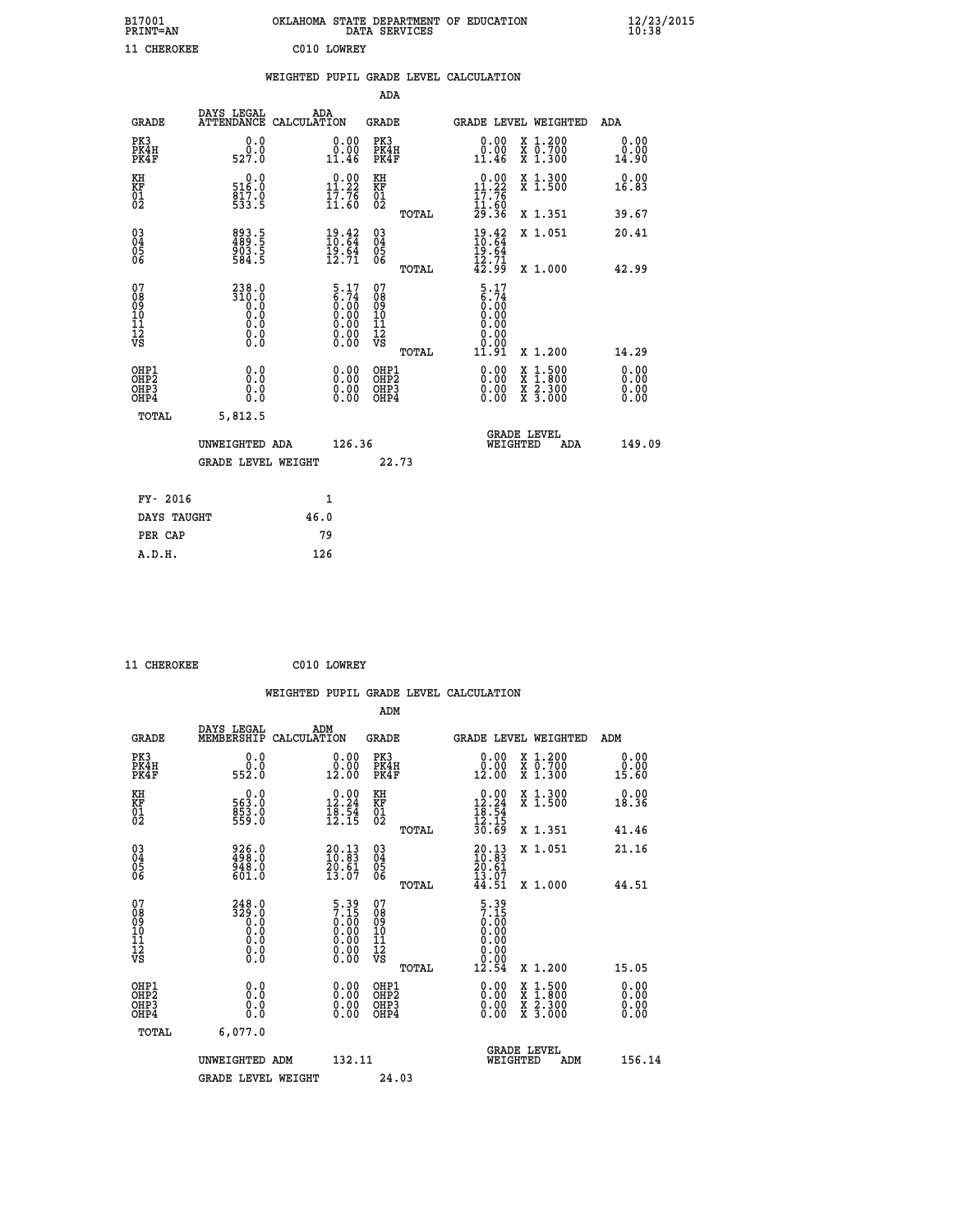| B17001<br><b>PRINT=AN</b> | OKLAHOMA STATE DEPARTMENT OF EDUCATION<br>DATA SERVICES | $\frac{12}{23}$ /2015 |
|---------------------------|---------------------------------------------------------|-----------------------|
| 11 CHEROKEE               | C010 LOWREY                                             |                       |

|  |  | WEIGHTED PUPIL GRADE LEVEL CALCULATION |
|--|--|----------------------------------------|
|  |  |                                        |

|                                                    |                                                                                  |                    |                                                                              | ADA                                    |       |                                                                         |          |                                                                  |                       |
|----------------------------------------------------|----------------------------------------------------------------------------------|--------------------|------------------------------------------------------------------------------|----------------------------------------|-------|-------------------------------------------------------------------------|----------|------------------------------------------------------------------|-----------------------|
| <b>GRADE</b>                                       | DAYS LEGAL<br><b>ATTENDANCE</b>                                                  | ADA<br>CALCULATION |                                                                              | GRADE                                  |       |                                                                         |          | GRADE LEVEL WEIGHTED                                             | <b>ADA</b>            |
| PK3<br>PK4H<br>PK4F                                | 0.0<br>0.0<br>527.0                                                              |                    | 0.00<br>0.00<br>11.46                                                        | PK3<br>PK4H<br>PK4F                    |       | 0.00<br>0.00<br>11.46                                                   |          | X 1.200<br>X 0.700<br>X 1.300                                    | 0.00<br>0.00<br>14.90 |
| KH<br><b>KF</b><br>01<br>02                        | 0.0<br>516:0<br>817:0<br>533:5                                                   |                    | 11.22<br>$\bar{1}\bar{7}\cdot\bar{7}\bar{6}$<br>11:60                        | KH<br>KF<br>01<br>02                   |       | $0.00$<br>11.22<br>$\frac{17.76}{11.60}$<br>$29.36$                     |          | X 1.300<br>$\bar{x}$ 1.500                                       | 0.00<br>16.83         |
|                                                    |                                                                                  |                    |                                                                              |                                        | TOTAL |                                                                         |          | X 1.351                                                          | 39.67                 |
| $\begin{matrix} 03 \\ 04 \\ 05 \\ 06 \end{matrix}$ | 893.5<br>489.5<br>903.5<br>584.5                                                 |                    | $\frac{19.42}{10.64}$<br>$\frac{19.64}{12.71}$                               | 03<br>04<br>05<br>06                   |       | $19.42$<br>$10.64$<br>$19.64$<br>$12.71$<br>$42.99$                     |          | X 1.051                                                          | 20.41                 |
|                                                    |                                                                                  |                    |                                                                              |                                        | TOTAL |                                                                         |          | X 1.000                                                          | 42.99                 |
| 07<br>08<br>09<br>101<br>11<br>12<br>VS            | $310.0$<br>$310.0$<br>$\begin{smallmatrix} 0.0 \ 0.0 \end{smallmatrix}$<br>$\S.$ |                    | $5.17$<br>$6.74$<br>$0.00$<br>$0.00$<br>$0.00$<br>$0.00$<br>$0.00$<br>$0.00$ | 07<br>08<br>09<br>11<br>11<br>12<br>VS | TOTAL | $5.17$<br>$6.74$<br>$0.00$<br>$0.00$<br>$0.00$<br>0.00<br>0.00<br>11.91 |          | X 1.200                                                          | 14.29                 |
|                                                    |                                                                                  |                    |                                                                              |                                        |       |                                                                         |          |                                                                  | 0.00                  |
| OHP1<br>OHP2<br>OHP3<br>OHP4                       | 0.0<br>0.0<br>0.0                                                                |                    | 0.00<br>$\begin{smallmatrix} 0.00 \ 0.00 \end{smallmatrix}$                  | OHP1<br>OHP2<br>OHP3<br>OHP4           |       | $0.00$<br>$0.00$<br>0.00                                                | X<br>X   | $1.500$<br>$1.800$<br>$\frac{\ddot{x}}{x}$ $\frac{5.300}{3.000}$ | 0.00<br>0.00<br>0.00  |
| TOTAL                                              | 5,812.5                                                                          |                    |                                                                              |                                        |       |                                                                         |          |                                                                  |                       |
|                                                    | UNWEIGHTED ADA                                                                   |                    | 126.36                                                                       |                                        |       |                                                                         | WEIGHTED | <b>GRADE LEVEL</b><br>ADA                                        | 149.09                |
|                                                    | <b>GRADE LEVEL WEIGHT</b>                                                        |                    |                                                                              | 22.73                                  |       |                                                                         |          |                                                                  |                       |
| FY- 2016                                           |                                                                                  | $\mathbf{1}$       |                                                                              |                                        |       |                                                                         |          |                                                                  |                       |
| DAYS TAUGHT                                        |                                                                                  | 46.0               |                                                                              |                                        |       |                                                                         |          |                                                                  |                       |
|                                                    |                                                                                  |                    |                                                                              |                                        |       |                                                                         |          |                                                                  |                       |

| 11 CHEROKEE | C010 LOWREY |
|-------------|-------------|
|             |             |

 **PER CAP 79 A.D.H. 126**

 **WEIGHTED PUPIL GRADE LEVEL CALCULATION ADM DAYS LEGAL ADM GRADE MEMBERSHIP CALCULATION GRADE GRADE LEVEL WEIGHTED ADM PK3 0.0 0.00 PK3 0.00 X 1.200 0.00 PK4H 0.0 0.00 PK4H 0.00 X 0.700 0.00 PK4F 552.0 12.00 PK4F 12.00 X 1.300 15.60 KH 0.0 0.00 KH 0.00 X 1.300 0.00 KF 563.0 12.24 KF 12.24 X 1.500 18.36 01 853.0 18.54 01 18.54**  $02$  559.0 12.15 02  $\frac{12.15}{12.15}$  **TOTAL 30.69 X 1.351 41.46**

| $\begin{matrix} 03 \\ 04 \\ 05 \\ 06 \end{matrix}$   | 926.0<br>498.0<br>948.0<br>601.0                                                                    | $\begin{smallmatrix} 20.13\ 10.83\ 20.61\ 13.07 \end{smallmatrix}$<br>$\begin{matrix} 03 \\ 04 \\ 05 \\ 06 \end{matrix}$<br>TOTAL                       | X 1.051<br>$20.1310.8320.6113.0744.51$<br>X 1.000                                                                        | 21.16<br>44.51                                                                                                                                                                                                                                                                 |
|------------------------------------------------------|-----------------------------------------------------------------------------------------------------|---------------------------------------------------------------------------------------------------------------------------------------------------------|--------------------------------------------------------------------------------------------------------------------------|--------------------------------------------------------------------------------------------------------------------------------------------------------------------------------------------------------------------------------------------------------------------------------|
| 07<br>08<br>09<br>101<br>11<br>12<br>VS              | 248.0<br>329.0<br>O.O<br>Ŏ.Ŏ<br>$\begin{smallmatrix} 0.0 & 0 \ 0.0 & 0 \ 0.0 & 0 \end{smallmatrix}$ | 07<br>08<br>09<br>001<br>11<br>11<br>12<br>VS<br>$\begin{smallmatrix} 5.39\ 7.15\ 0.00\ 0.00\ 0.00\ 0.00\ 0.00\ 0.00\ 0.00\ \end{smallmatrix}$<br>TOTAL | $\begin{smallmatrix} 5.39 \\ 7.15 \\ 0.00 \\ 0.00 \\ 0.00 \\ 0.00 \\ 0.00 \\ 0.00 \end{smallmatrix}$<br>12.54<br>X 1.200 | 15.05                                                                                                                                                                                                                                                                          |
| OHP1<br>OHP <sub>2</sub><br>OH <sub>P3</sub><br>OHP4 | 0.0<br>0.0<br>0.0                                                                                   | 0.00<br>OHP1<br>OHP <sub>2</sub><br>0.00<br>OHP3<br>0.00<br>OHP4                                                                                        | X 1:500<br>X 1:800<br>X 2:300<br>$X\overline{3.000}$                                                                     | $\begin{smallmatrix} 0.00 & 0.00 & 0.00 & 0.00 & 0.00 & 0.00 & 0.00 & 0.00 & 0.00 & 0.00 & 0.00 & 0.00 & 0.00 & 0.00 & 0.00 & 0.00 & 0.00 & 0.00 & 0.00 & 0.00 & 0.00 & 0.00 & 0.00 & 0.00 & 0.00 & 0.00 & 0.00 & 0.00 & 0.00 & 0.00 & 0.00 & 0.00 & 0.00 & 0.00 & 0.00 & 0.0$ |
| TOTAL                                                | 6,077.0<br>UNWEIGHTED ADM                                                                           | 132.11                                                                                                                                                  | <b>GRADE LEVEL</b><br>WEIGHTED<br>ADM                                                                                    | 156.14                                                                                                                                                                                                                                                                         |
|                                                      | <b>GRADE LEVEL WEIGHT</b>                                                                           | 24.03                                                                                                                                                   |                                                                                                                          |                                                                                                                                                                                                                                                                                |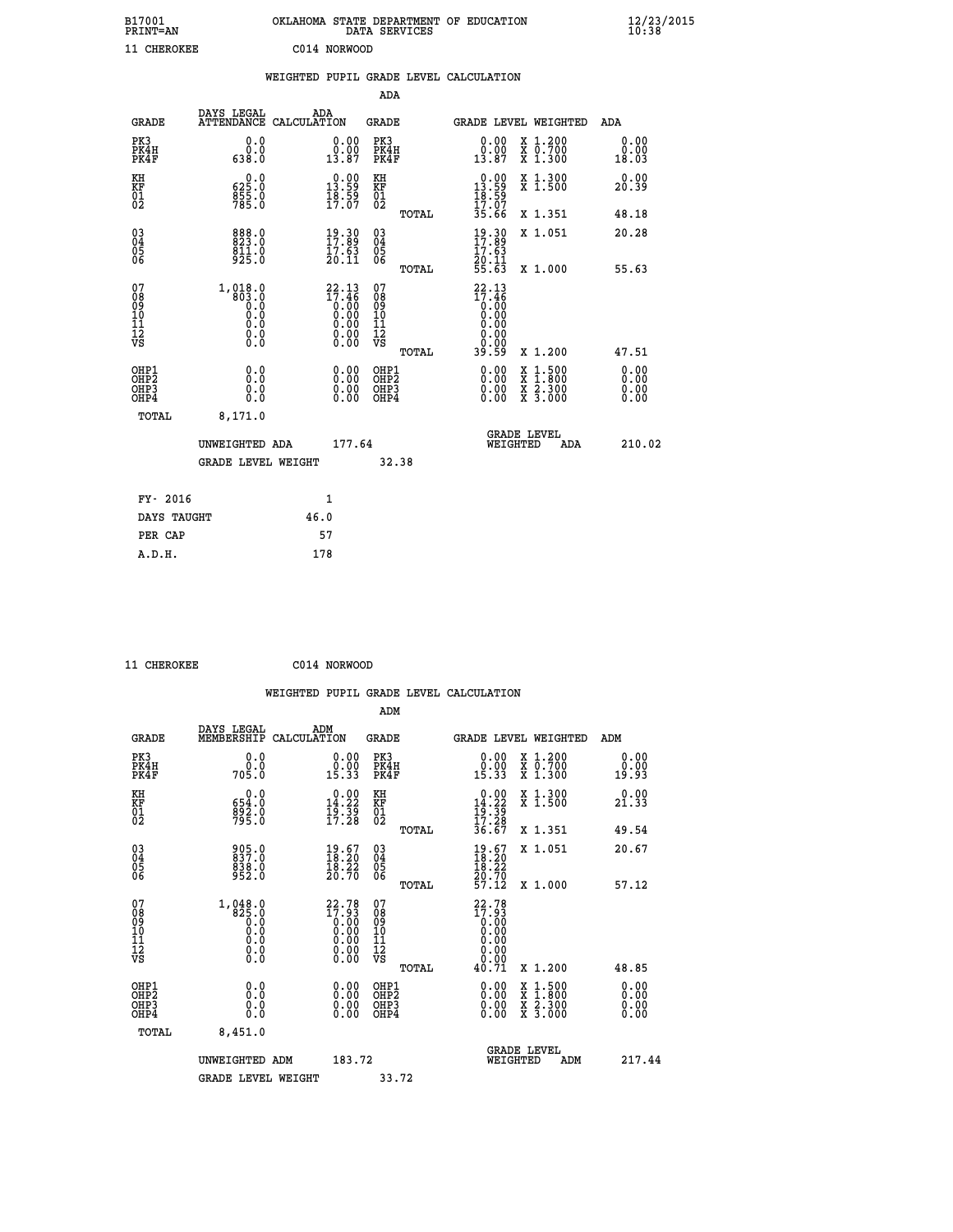| B17001<br><b>PRINT=AN</b> | OKLAHOMA STATE DEPARTMENT OF EDUCATION<br>DATA SERVICES | $\frac{12}{23}$ /2015 |
|---------------------------|---------------------------------------------------------|-----------------------|
| 11 CHEROKEE               | C014 NORWOOD                                            |                       |

|                                                    |                                                                           |                                                                     | ADA                                    |       |                                                                                                                                 |                                |                                                                  |                       |
|----------------------------------------------------|---------------------------------------------------------------------------|---------------------------------------------------------------------|----------------------------------------|-------|---------------------------------------------------------------------------------------------------------------------------------|--------------------------------|------------------------------------------------------------------|-----------------------|
| <b>GRADE</b>                                       | DAYS LEGAL<br><b>ATTENDANCE</b>                                           | ADA<br>CALCULATION                                                  | GRADE                                  |       | GRADE LEVEL WEIGHTED                                                                                                            |                                |                                                                  | <b>ADA</b>            |
| PK3<br>PK4H<br>PK4F                                | 0.0<br>0.0<br>638.0                                                       | 0.00<br>0.00<br>13.87                                               | PK3<br>PK4H<br>PK4F                    |       | 0.00<br>0.00<br>13.87                                                                                                           |                                | X 1.200<br>X 0.700<br>X 1.300                                    | 0.00<br>0.00<br>18.03 |
| KH<br><b>KF</b><br>01<br>02                        | 625.0<br>$\frac{855}{785}$ :0                                             | $\begin{array}{c} 0.00 \\ 13.59 \\ 18.59 \\ 17.07 \end{array}$      | KH<br>KF<br>01<br>02                   |       | $\begin{smallmatrix} 0.00\\ 13.59\\ 18.59\\ 17.07\\ 35.66 \end{smallmatrix}$                                                    |                                | X 1.300<br>X 1.500                                               | 0.00<br>20.39         |
|                                                    |                                                                           |                                                                     |                                        | TOTAL |                                                                                                                                 |                                | X 1.351                                                          | 48.18                 |
| $\begin{matrix} 03 \\ 04 \\ 05 \\ 06 \end{matrix}$ | 888.0<br>823.0<br>$\frac{8\bar{1}\bar{1}\cdot 0}{9\bar{2}\bar{5}\cdot 0}$ | $\begin{smallmatrix} 19.30\ 17.89\ 17.63\ 10.11\ \end{smallmatrix}$ | 03<br>04<br>05<br>06                   |       | $19.30$<br>$17.89$<br>$\frac{17.63}{20.11}$<br>55.63                                                                            |                                | X 1.051                                                          | 20.28                 |
|                                                    |                                                                           |                                                                     |                                        | TOTAL |                                                                                                                                 |                                | X 1.000                                                          | 55.63                 |
| 07<br>08<br>09<br>101<br>11<br>12<br>VS            | $1, 018.0$<br>$803.0$<br>$0.0$<br>$0.0$<br>$0.0$<br>$0.0$<br>$\S.$        | $22.13\n17.46\n0.00\n0.00\n0.00\n0.00\n0.00$<br>ŏ:ŏŏ                | 07<br>08<br>09<br>11<br>11<br>12<br>VS | TOTAL | 22.13<br>$\begin{smallmatrix} 17.46 \\[-4pt] 0.00 \\[-4pt] 0.00 \\[-4pt] 0.00 \\[-4pt] 0.00 \end{smallmatrix}$<br>0.00<br>39.59 |                                | X 1.200                                                          | 47.51                 |
|                                                    |                                                                           |                                                                     |                                        |       |                                                                                                                                 |                                |                                                                  | 0.00                  |
| OHP1<br>OHP2<br>OHP3<br>OHP4                       | 0.0<br>0.0<br>0.0                                                         | 0.00<br>$0.00$<br>0.00                                              | OHP1<br>OHP2<br>OHP3<br>OHP4           |       | 0.00<br>0.00<br>0.00                                                                                                            | X<br>X                         | $1.500$<br>$1.800$<br>$\frac{\ddot{x}}{x}$ $\frac{5.300}{3.000}$ | 0.00<br>0.00<br>0.00  |
| TOTAL                                              | 8,171.0                                                                   |                                                                     |                                        |       |                                                                                                                                 |                                |                                                                  |                       |
|                                                    | UNWEIGHTED ADA                                                            | 177.64                                                              |                                        |       |                                                                                                                                 | <b>GRADE LEVEL</b><br>WEIGHTED | ADA                                                              | 210.02                |
|                                                    | <b>GRADE LEVEL WEIGHT</b>                                                 |                                                                     |                                        | 32.38 |                                                                                                                                 |                                |                                                                  |                       |
| FY- 2016                                           |                                                                           | $\mathbf{1}$                                                        |                                        |       |                                                                                                                                 |                                |                                                                  |                       |
| DAYS TAUGHT                                        |                                                                           | 46.0                                                                |                                        |       |                                                                                                                                 |                                |                                                                  |                       |
|                                                    |                                                                           |                                                                     |                                        |       |                                                                                                                                 |                                |                                                                  |                       |

| 11 CHEROKEE | C014 NORWOOD |
|-------------|--------------|
|             |              |

**PER CAP** 57  **A.D.H. 178**

 **ADM DAYS LEGAL ADM GRADE MEMBERSHIP CALCULATION GRADE GRADE LEVEL WEIGHTED ADM PK3 0.0 0.00 PK3 0.00 X 1.200 0.00 PK4H 0.0 0.00 PK4H 0.00 X 0.700 0.00 PK4F 705.0 15.33 PK4F 15.33 X 1.300 19.93 KH 0.0 0.00 KH 0.00 X 1.300 0.00 KF 654.0 14.22 KF 14.22 X 1.500 21.33 01 892.0 19.39 01 19.39**

|                                                      | <b>GRADE LEVEL WEIGHT</b>                                         |                                                                                         | 33.72                                                       |                                                                                          |                                                                                                                                                                                                                                                                                |
|------------------------------------------------------|-------------------------------------------------------------------|-----------------------------------------------------------------------------------------|-------------------------------------------------------------|------------------------------------------------------------------------------------------|--------------------------------------------------------------------------------------------------------------------------------------------------------------------------------------------------------------------------------------------------------------------------------|
|                                                      | UNWEIGHTED ADM                                                    | 183.72                                                                                  |                                                             | <b>GRADE LEVEL</b><br>WEIGHTED<br>ADM                                                    | 217.44                                                                                                                                                                                                                                                                         |
| TOTAL                                                | 8,451.0                                                           |                                                                                         |                                                             |                                                                                          |                                                                                                                                                                                                                                                                                |
| OHP1<br>OHP <sub>2</sub><br>OH <sub>P3</sub><br>OHP4 | 0.0<br>0.000                                                      | $0.00$<br>$0.00$<br>0.00                                                                | OHP1<br>OHP <sub>2</sub><br>OHP3<br>OHP4                    | X 1:500<br>X 1:800<br>X 2:300<br>X 3:000                                                 | $\begin{smallmatrix} 0.00 & 0.00 & 0.00 & 0.00 & 0.00 & 0.00 & 0.00 & 0.00 & 0.00 & 0.00 & 0.00 & 0.00 & 0.00 & 0.00 & 0.00 & 0.00 & 0.00 & 0.00 & 0.00 & 0.00 & 0.00 & 0.00 & 0.00 & 0.00 & 0.00 & 0.00 & 0.00 & 0.00 & 0.00 & 0.00 & 0.00 & 0.00 & 0.00 & 0.00 & 0.00 & 0.0$ |
| 07<br>08<br>09<br>101<br>11<br>12<br>VS              | $1,048.0$<br>$825.0$<br>$0.0$<br>$0.0$<br>$0.0$<br>$0.0$<br>$0.0$ | $\begin{smallmatrix} 22.78\\17.93\\0.00\\0.00\\0.00\\0.00\\0.00\\0.00\end{smallmatrix}$ | 07<br>08<br>09<br>001<br>11<br>11<br>12<br>VS<br>TOTAL      | $22.78$<br>$17.93$<br>$0.00$<br>$0.00$<br>$0.00$<br>$0.00$<br>$0.00$<br>40.71<br>X 1.200 | 48.85                                                                                                                                                                                                                                                                          |
| 03<br>04<br>05<br>06                                 | 905.0<br>837.0<br>838.0<br>952.0                                  | $\begin{smallmatrix} 19.67\ 18.20\ 18.22\ 20.70 \end{smallmatrix}$                      | $\begin{matrix} 03 \\ 04 \\ 05 \\ 06 \end{matrix}$<br>TOTAL | $\begin{smallmatrix} 19.67\ 18.20\ 18.22\ 20.70\ 57.12 \end{smallmatrix}$<br>X 1.000     | 57.12                                                                                                                                                                                                                                                                          |
|                                                      |                                                                   |                                                                                         | TOTAL                                                       | X 1.351<br>X 1.051                                                                       | 49.54<br>20.67                                                                                                                                                                                                                                                                 |
| 82                                                   | 795:0                                                             | 17:28                                                                                   | 82                                                          | $\frac{19}{17}$ : 28<br>36.67                                                            |                                                                                                                                                                                                                                                                                |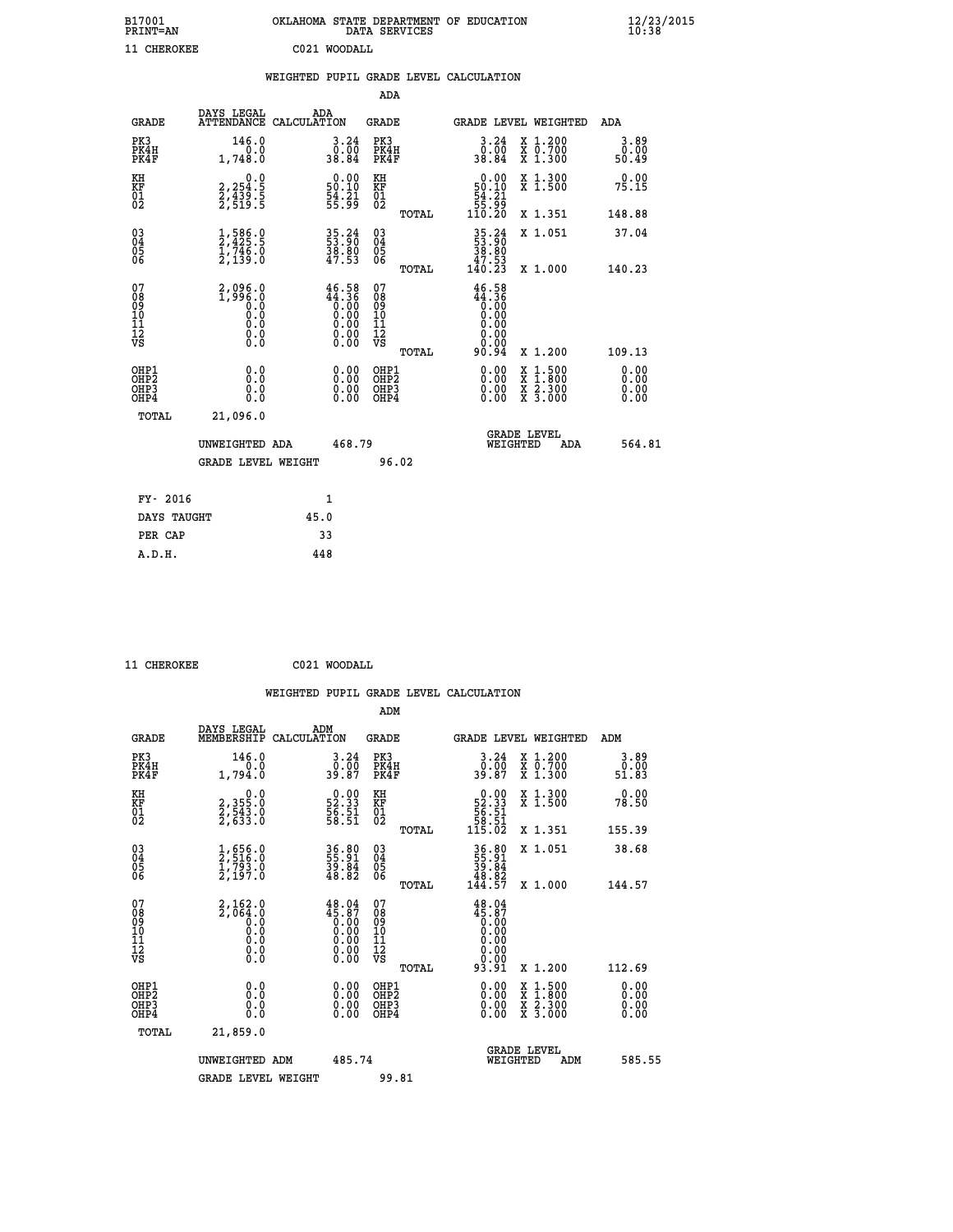| B17001<br><b>PRINT=AN</b> | OKLAHOMA STATE DEPARTMENT OF EDUCATION<br>DATA SERVICES |  |
|---------------------------|---------------------------------------------------------|--|
| 11 CHEROKEE               | C021 WOODALL                                            |  |

|                                                                    |                                                                                                         |                                                                                                                        | ADA                                       |       |                                                                                                    |                                          |                              |
|--------------------------------------------------------------------|---------------------------------------------------------------------------------------------------------|------------------------------------------------------------------------------------------------------------------------|-------------------------------------------|-------|----------------------------------------------------------------------------------------------------|------------------------------------------|------------------------------|
| <b>GRADE</b>                                                       | DAYS LEGAL<br>ATTENDANCE CALCULATION                                                                    | ADA                                                                                                                    | <b>GRADE</b>                              |       |                                                                                                    | <b>GRADE LEVEL WEIGHTED</b>              | ADA                          |
| PK3<br>PK4H<br>PK4F                                                | 146.0<br>0.0<br>1,748.0                                                                                 | 3.24<br>50.00<br>84.84                                                                                                 | PK3<br>PK4H<br>PK4F                       |       | 3.24<br>50:00<br>84∶88                                                                             | X 1.200<br>X 0.700<br>X 1.300            | 3.89<br>0.00<br>50.49        |
| KH<br><b>KF</b><br>01<br>02                                        | 0.0<br>2,254:5<br>2,439:5<br>2,519:5                                                                    | $\begin{smallmatrix} 0.00\\ 50.10\\ 54.21\\ 55.99 \end{smallmatrix}$                                                   | KH<br>KF<br>01<br>02                      |       | $\begin{array}{c} 0.00 \\ 50.10 \\ 54.21 \\ 55.99 \\ 110.20 \end{array}$                           | X 1.300<br>X 1.500                       | 0.00<br>75.15                |
|                                                                    |                                                                                                         |                                                                                                                        |                                           | TOTAL |                                                                                                    | X 1.351                                  | 148.88                       |
| $\begin{smallmatrix} 03 \\[-4pt] 04 \end{smallmatrix}$<br>05<br>06 | $\frac{1}{2}, \frac{586}{425}.5$<br>$\frac{1}{746}.0$<br>$\frac{746}{2}, \frac{139}{139}.0$             | 35.24<br>53.90<br>38.80<br>47.53                                                                                       | $\substack{03 \\ 04}$<br>05<br>06         | TOTAL | $\begin{array}{r} 35\cdot 24 \\ 53\cdot 90 \\ 38\cdot 80 \\ 47\cdot 53 \\ 140\cdot 23 \end{array}$ | X 1.051<br>X 1.000                       | 37.04<br>140.23              |
| 07<br>08<br>09<br>11<br>11<br>12<br>VS                             | 2,096.0<br>1,996.0<br>0.0<br>0.0<br>$\begin{smallmatrix} 0.0 & 0 \ 0.0 & 0 \ 0.0 & 0 \end{smallmatrix}$ | $46.58$<br>$44.36$<br>$0.00$<br>$0.00$<br>$0.00$<br>$\begin{smallmatrix} 0.00 & 0.00 \\ 0.00 & 0.00 \end{smallmatrix}$ | 07<br>08<br>09<br>11<br>11<br>12<br>VS    |       | $46.58$<br>$44.36$<br>$0.00$<br>$0.00$<br>0.00<br>00:00<br>00:00<br>90:94                          |                                          |                              |
|                                                                    |                                                                                                         |                                                                                                                        |                                           | TOTAL |                                                                                                    | X 1.200                                  | 109.13                       |
| OHP1<br>OH <sub>P</sub> 2<br>OH <sub>P3</sub><br>OH <sub>P4</sub>  | 0.0<br>0.0<br>0.0                                                                                       | 0.00<br>$\begin{smallmatrix} 0.00 \ 0.00 \end{smallmatrix}$                                                            | OHP1<br>OH <sub>P</sub> 2<br>OHP3<br>OHP4 |       | 0.00<br>0.00<br>0.00                                                                               | X 1:500<br>X 1:800<br>X 2:300<br>X 3:000 | 0.00<br>0.00<br>0.00<br>0.00 |
| TOTAL                                                              | 21,096.0                                                                                                |                                                                                                                        |                                           |       |                                                                                                    |                                          |                              |
|                                                                    | UNWEIGHTED ADA                                                                                          | 468.79                                                                                                                 |                                           |       |                                                                                                    | GRADE LEVEL<br>WEIGHTED<br>ADA           | 564.81                       |
|                                                                    | <b>GRADE LEVEL WEIGHT</b>                                                                               |                                                                                                                        | 96.02                                     |       |                                                                                                    |                                          |                              |
| FY- 2016                                                           |                                                                                                         | $\mathbf{1}$                                                                                                           |                                           |       |                                                                                                    |                                          |                              |
| DAYS TAUGHT                                                        |                                                                                                         | 45.0                                                                                                                   |                                           |       |                                                                                                    |                                          |                              |
| PER CAP                                                            |                                                                                                         | 33                                                                                                                     |                                           |       |                                                                                                    |                                          |                              |

 **11 CHEROKEE C021 WOODALL**

 **A.D.H. 448**

 **ADM**

| <b>GRADE</b>                                       | DAYS LEGAL<br>MEMBERSHIP                                         | ADM<br>CALCULATION                                                                                                                                          | <b>GRADE</b>                                        |       | GRADE LEVEL WEIGHTED                                                                                                                                 |                                          |     | ADM                   |        |
|----------------------------------------------------|------------------------------------------------------------------|-------------------------------------------------------------------------------------------------------------------------------------------------------------|-----------------------------------------------------|-------|------------------------------------------------------------------------------------------------------------------------------------------------------|------------------------------------------|-----|-----------------------|--------|
| PK3<br>PK4H<br>PK4F                                | 146.0<br>1,794.0                                                 | $3 \cdot 24 \over 0 \cdot 00 \over 39 \cdot 87$                                                                                                             | PK3<br>PK4H<br>PK4F                                 |       | $3 \cdot 24 \over 0 \cdot 00 \over 39 \cdot 87$                                                                                                      | X 1.200<br>X 0.700<br>X 1.300            |     | 3.89<br>0.00<br>51.83 |        |
| KH<br>KF<br>01<br>02                               | 0.0<br>2, 355:0<br>2, 543:0<br>2, 633:0                          | $\begin{smallmatrix} 0.00\\ 52.33\\ 56.51\\ 58.51 \end{smallmatrix}$                                                                                        | KH<br>KF<br>01<br>02                                |       | $\begin{smallmatrix}&&0.00\\52.33\\56.51\\58.51\\115.02\end{smallmatrix}$                                                                            | X 1.300<br>X 1.500                       |     | 0.00<br>78.50         |        |
|                                                    |                                                                  |                                                                                                                                                             |                                                     | TOTAL |                                                                                                                                                      | X 1.351                                  |     | 155.39                |        |
| $\begin{matrix} 03 \\ 04 \\ 05 \\ 06 \end{matrix}$ | 1,656.0<br>2,516.0<br>1,793.0<br>2,197.0                         | 36.80<br>55.91<br>39.84<br>48.82                                                                                                                            | $\begin{array}{c} 03 \\ 04 \\ 05 \\ 06 \end{array}$ |       | $36.80$<br>$55.91$<br>$39.84$<br>$48.82$<br>$144.57$                                                                                                 | X 1.051                                  |     | 38.68                 |        |
|                                                    |                                                                  |                                                                                                                                                             |                                                     | TOTAL |                                                                                                                                                      | X 1.000                                  |     | 144.57                |        |
| 07<br>089<br>090<br>1112<br>VS                     | $2,162.0\n2,064.0\n0.0\n0.0\n0.0\n0.0\n0.0$                      | $\begin{smallmatrix} 4\,8\cdot04\\ 4\,5\cdot87\\ 0\cdot00\\ 0\cdot00\\ 0\cdot00\\ 0\cdot00\\ 0\cdot00\\ 0\cdot00\\ 0\cdot00\\ 0\cdot00\\ \end{smallmatrix}$ | 07<br>08901112<br>1112<br>VS                        | TOTAL | $\begin{smallmatrix} 4\,8\cdot04\\ 4\,5\cdot87\\ 0\cdot00\\ 0\cdot00\\ 0\cdot00\\ 0\cdot00\\ 0\cdot00\\ 0\cdot00\\ 9\cdot3\cdot91 \end{smallmatrix}$ | X 1.200                                  |     | 112.69                |        |
| OHP1<br>OHP2<br>OHP3<br>OHP4                       | 0.0<br>$\begin{smallmatrix} 0.0 & 0 \ 0.0 & 0 \end{smallmatrix}$ |                                                                                                                                                             | OHP1<br>OHP2<br>OHP3<br>OHP4                        |       |                                                                                                                                                      | X 1:500<br>X 1:800<br>X 2:300<br>X 3:000 |     | 0.00<br>0.00<br>0.00  |        |
| TOTAL                                              | 21,859.0                                                         |                                                                                                                                                             |                                                     |       |                                                                                                                                                      |                                          |     |                       |        |
|                                                    | UNWEIGHTED                                                       | 485.74<br>ADM                                                                                                                                               |                                                     |       | WEIGHTED                                                                                                                                             | <b>GRADE LEVEL</b>                       | ADM |                       | 585.55 |
|                                                    | <b>GRADE LEVEL WEIGHT</b>                                        |                                                                                                                                                             | 99.81                                               |       |                                                                                                                                                      |                                          |     |                       |        |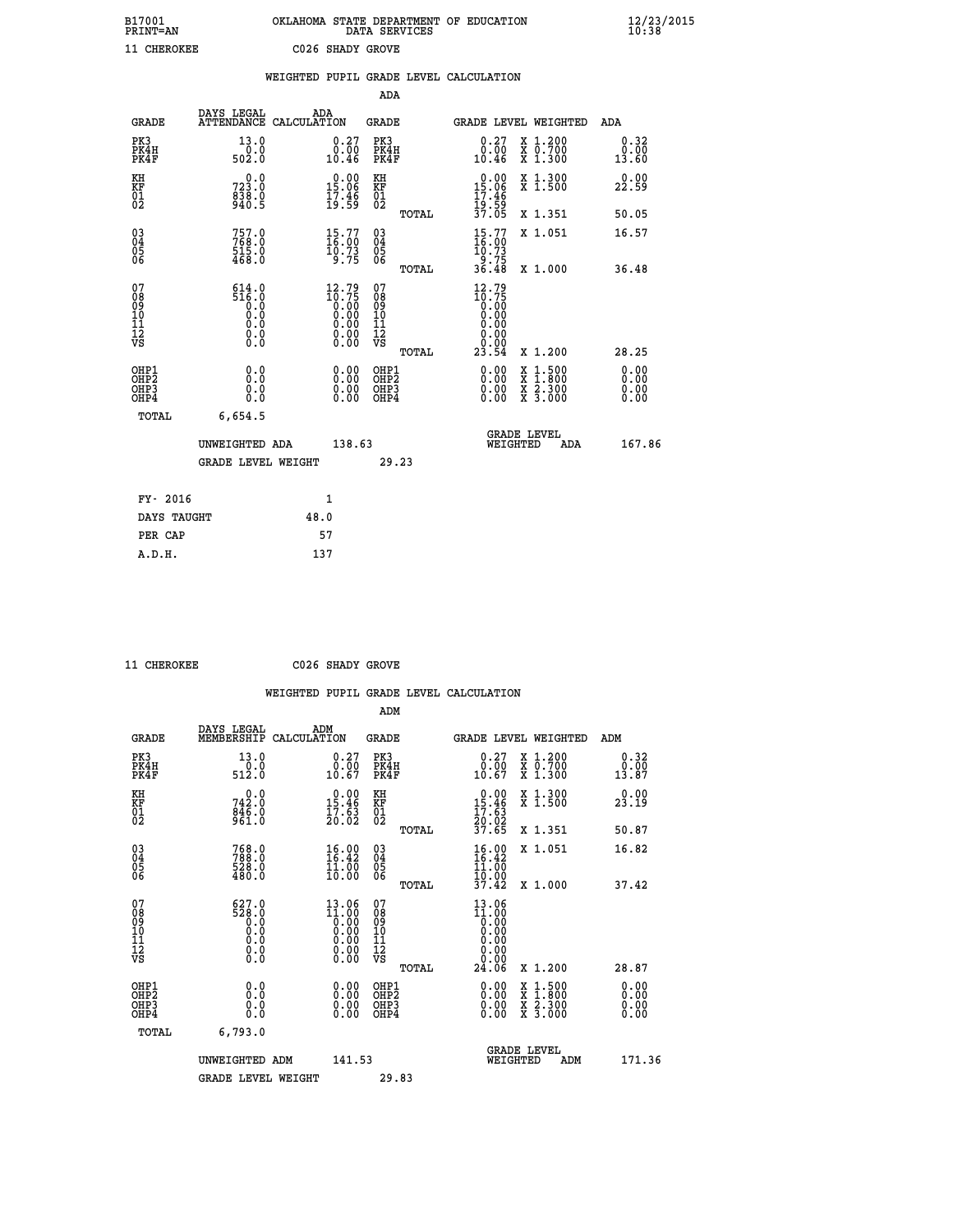| B17001<br><b>PRINT=AN</b> | OKLAHOMA STATE DEPARTMENT OF EDUCATION<br>DATA SERVICES | $\frac{12}{23}$ /2015 |
|---------------------------|---------------------------------------------------------|-----------------------|
| 11 CHEROKEE               | C026 SHADY GROVE                                        |                       |

|                                                                    |                                  | WEIGHTED PUPIL GRADE LEVEL CALCULATION                                                               |                                                     |                                                                                                                                                                                                                                                                                                                                                                                                                             |                       |
|--------------------------------------------------------------------|----------------------------------|------------------------------------------------------------------------------------------------------|-----------------------------------------------------|-----------------------------------------------------------------------------------------------------------------------------------------------------------------------------------------------------------------------------------------------------------------------------------------------------------------------------------------------------------------------------------------------------------------------------|-----------------------|
|                                                                    |                                  |                                                                                                      | <b>ADA</b>                                          |                                                                                                                                                                                                                                                                                                                                                                                                                             |                       |
| <b>GRADE</b>                                                       | DAYS LEGAL<br><b>ATTENDANCE</b>  | ADA<br>CALCULATION                                                                                   | <b>GRADE</b>                                        | GRADE LEVEL WEIGHTED                                                                                                                                                                                                                                                                                                                                                                                                        | ADA                   |
| PK3<br>PK4H<br>PK4F                                                | 13.0<br>502.0                    | $\substack{0.27 \\ 0.00 \\ 10.46}$                                                                   | PK3<br>PK4H<br>PK4F                                 | $\substack{0.27 \\ 0.00 \\ 10.46}$<br>X 1.200<br>X 0.700<br>X 1.300                                                                                                                                                                                                                                                                                                                                                         | 0.32<br>0.00<br>13.60 |
| KH<br>KF<br>01<br>02                                               | 0.0<br>723.0<br>838.0<br>940.5   | $\begin{smallmatrix} 0.00\\ 15.06\\ 17.46\\ 19.59 \end{smallmatrix}$                                 | KH<br>KF<br>01<br>02                                | X 1.300<br>X 1.500<br>0.00<br>15.06<br>17.46                                                                                                                                                                                                                                                                                                                                                                                | 0.00<br>22.59         |
|                                                                    |                                  |                                                                                                      | TOTAL                                               | 19:59<br>37.05<br>X 1.351                                                                                                                                                                                                                                                                                                                                                                                                   | 50.05                 |
| $\begin{smallmatrix} 03 \\[-4pt] 04 \end{smallmatrix}$<br>Ŏ5<br>06 | 757.0<br>768.0<br>515.0<br>468.0 | $\begin{smallmatrix} 15.77\ 16.00\ 10.73\ 9.75 \end{smallmatrix}$                                    | $\begin{array}{c} 03 \\ 04 \\ 05 \\ 06 \end{array}$ | $15.77$<br>$16.00$<br>$10.73$<br>$9.75$<br>$36.48$<br>X 1.051                                                                                                                                                                                                                                                                                                                                                               | 16.57                 |
|                                                                    |                                  |                                                                                                      | TOTAL                                               | X 1.000                                                                                                                                                                                                                                                                                                                                                                                                                     | 36.48                 |
| 07<br>08<br>09<br>11<br>11<br>12<br>VS                             |                                  | $\frac{12.79}{10.75}$<br>$\begin{smallmatrix} 0.160 0.000 0.000 0.000 0.000 0.000 \end{smallmatrix}$ | 07<br>08<br>09<br>11<br>11<br>12<br>VS<br>TOTAL     | 12.79<br>$\begin{smallmatrix} 10.75\ 10.00\ 0.00\ 0.00 \end{smallmatrix}$<br>0.00<br>0.00<br>23.54<br>X 1.200                                                                                                                                                                                                                                                                                                               | 28.25                 |
| OHP1<br>OHP2<br>OHP3<br>OH <sub>P4</sub>                           | 0.0<br>0.0<br>0.0                | $\begin{smallmatrix} 0.00 \ 0.00 \ 0.00 \ 0.00 \end{smallmatrix}$                                    | OHP1<br>OHP2<br>OHP3<br>OHP4                        | $\begin{smallmatrix} 0.00 & 0.00 & 0.00 & 0.00 & 0.00 & 0.00 & 0.00 & 0.00 & 0.00 & 0.00 & 0.00 & 0.00 & 0.00 & 0.00 & 0.00 & 0.00 & 0.00 & 0.00 & 0.00 & 0.00 & 0.00 & 0.00 & 0.00 & 0.00 & 0.00 & 0.00 & 0.00 & 0.00 & 0.00 & 0.00 & 0.00 & 0.00 & 0.00 & 0.00 & 0.00 & 0.0$<br>$\begin{smallmatrix} \mathtt{X} & 1\cdot500\\ \mathtt{X} & 1\cdot800\\ \mathtt{X} & 2\cdot300\\ \mathtt{X} & 3\cdot000 \end{smallmatrix}$ | 0.00<br>0.00<br>0.00  |
| TOTAL                                                              | 6,654.5                          |                                                                                                      |                                                     |                                                                                                                                                                                                                                                                                                                                                                                                                             |                       |
|                                                                    | UNWEIGHTED ADA                   | 138.63                                                                                               |                                                     | <b>GRADE LEVEL</b><br>WEIGHTED<br><b>ADA</b>                                                                                                                                                                                                                                                                                                                                                                                | 167.86                |
|                                                                    | <b>GRADE LEVEL WEIGHT</b>        |                                                                                                      | 29.23                                               |                                                                                                                                                                                                                                                                                                                                                                                                                             |                       |
| FY- 2016                                                           |                                  | 1                                                                                                    |                                                     |                                                                                                                                                                                                                                                                                                                                                                                                                             |                       |
| DAYS TAUGHT                                                        |                                  | 48.0                                                                                                 |                                                     |                                                                                                                                                                                                                                                                                                                                                                                                                             |                       |
| PER CAP                                                            |                                  | 57                                                                                                   |                                                     |                                                                                                                                                                                                                                                                                                                                                                                                                             |                       |

 **11 CHEROKEE C026 SHADY GROVE**

 **A.D.H. 137**

|                             |                                                                                 |                                         | ADM                         |                                                                                         |                                                           |
|-----------------------------|---------------------------------------------------------------------------------|-----------------------------------------|-----------------------------|-----------------------------------------------------------------------------------------|-----------------------------------------------------------|
| GRADE                       | DAYS LEGAL                                                                      | ADM<br>MEMBERSHIP CALCULATION           | GRADE                       | GRADE LEVEL WEIGHTED                                                                    | ADM                                                       |
| PK3<br>PK4H<br>PK4F         | 13.0<br>0.0<br>512.0                                                            | 0.27<br>0.00<br>10.67                   | PK3<br>PK4H<br>PK4F         | 0.27<br>X 1.200<br>0.00<br>X 0.700<br>10.67<br>$X$ 1.300                                | $\begin{smallmatrix} 0.32\ 0.00\ 13.87 \end{smallmatrix}$ |
| KH<br>KF<br>$\overline{01}$ | 0.0<br>742.0<br>$\frac{8\bar{4}\bar{6}\cdot\tilde{0}}{9\bar{6}1\cdot\tilde{0}}$ | 0.00<br>15.46<br>$\frac{17.63}{20.02}$  | KH<br>KF<br>$\overline{01}$ | X 1.300<br>0.00<br>15<br>.46<br>X <sub>1.500</sub><br>$\frac{17}{20}$ : $\frac{53}{22}$ | 23.19                                                     |
|                             |                                                                                 |                                         | TOTAL                       | 37.65<br>X 1.351                                                                        | 50.87                                                     |
| 03<br>04                    | 768.0<br>788.O<br>$-0.0$                                                        | 16.00<br>16.42<br>$\overline{2}$<br>. . | $^{03}_{04}$                | 16.00<br>X 1.051<br>ĪĞ<br>.42<br>. .<br>$\sim$ $\sim$                                   | 16.82                                                     |

 **WEIGHTED PUPIL GRADE LEVEL CALCULATION**

|                                                      | UNWEIGHTED ADM                                                                | 141.53                                                        |                                          |       | WEIGHTED                                                                                                                          | <b>GRADE LEVEL</b>                                                             | ADM | 171.36                                                                                                                                                                                                                                                                         |  |
|------------------------------------------------------|-------------------------------------------------------------------------------|---------------------------------------------------------------|------------------------------------------|-------|-----------------------------------------------------------------------------------------------------------------------------------|--------------------------------------------------------------------------------|-----|--------------------------------------------------------------------------------------------------------------------------------------------------------------------------------------------------------------------------------------------------------------------------------|--|
| TOTAL                                                | 6,793.0                                                                       |                                                               |                                          |       |                                                                                                                                   |                                                                                |     |                                                                                                                                                                                                                                                                                |  |
| OHP1<br>OHP <sub>2</sub><br>OH <sub>P3</sub><br>OHP4 | 0.0<br>0.000                                                                  | 0.00<br>0.00<br>0.00                                          | OHP1<br>OHP <sub>2</sub><br>OHP3<br>OHP4 |       | 0.00<br>$0.00$<br>0.00                                                                                                            | $\frac{x}{x}$ $\frac{1.500}{1.800}$<br>$\bar{x}$ 2.300<br>$\overline{x}$ 3.000 |     | $\begin{smallmatrix} 0.00 & 0.00 & 0.00 & 0.00 & 0.00 & 0.00 & 0.00 & 0.00 & 0.00 & 0.00 & 0.00 & 0.00 & 0.00 & 0.00 & 0.00 & 0.00 & 0.00 & 0.00 & 0.00 & 0.00 & 0.00 & 0.00 & 0.00 & 0.00 & 0.00 & 0.00 & 0.00 & 0.00 & 0.00 & 0.00 & 0.00 & 0.00 & 0.00 & 0.00 & 0.00 & 0.0$ |  |
| 07<br>08<br>09<br>101<br>112<br>VS                   | $\begin{smallmatrix} 627.0\\ 528.0\\ 0.0 \end{smallmatrix}$<br>0.000<br>$\S.$ | 13.06<br>$\frac{11.00}{0.00}$<br>0:00<br>0:00<br>0:00<br>0:00 | 07<br>08<br>09<br>11<br>11<br>12<br>VS   | TOTAL | 13.06<br>$\begin{smallmatrix} 11.000 \\[-4pt] 0.000 \\[-4pt] 0.000 \\[-4pt] 0.000 \\[-4pt] 0.00 \\[-4pt] 24.06 \end{smallmatrix}$ | X 1.200                                                                        |     | 28.87                                                                                                                                                                                                                                                                          |  |
| 03<br>04<br>05<br>06                                 | 768.0<br>788.0<br>528.0<br>480.0                                              | 16.00<br>16.42<br>$\frac{11}{10}$ $\frac{00}{00}$             | 03<br>04<br>05<br>06                     | TOTAL | $\begin{smallmatrix} 16.00 \ 16.42 \ 11.00 \ 10.00 \end{smallmatrix}$<br>37.42                                                    | X 1.051<br>X 1.000                                                             |     | 16.82<br>37.42                                                                                                                                                                                                                                                                 |  |

GRADE LEVEL WEIGHT 29.83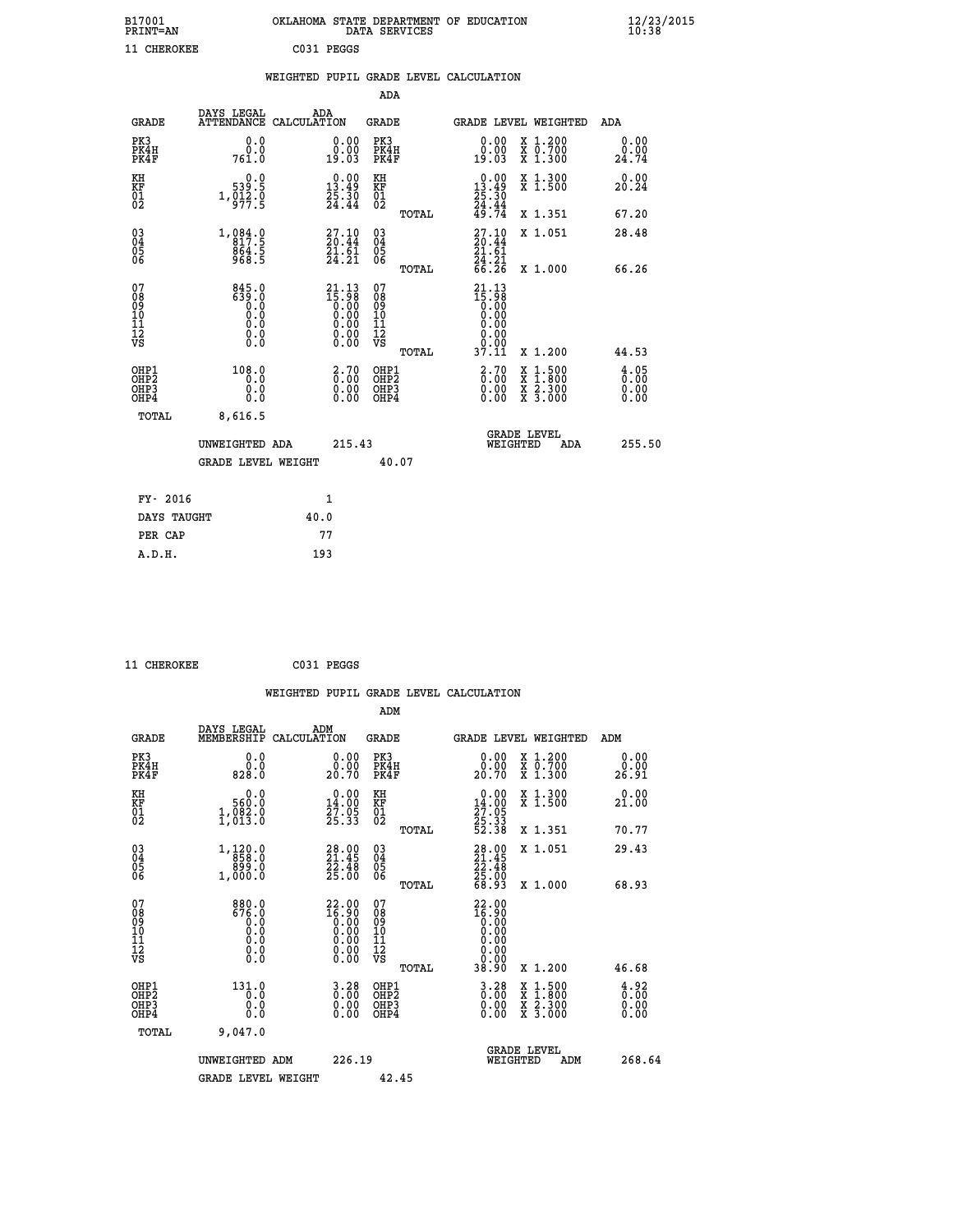| B17001<br>PRINT=AN                                 |                                                                                           | OKLAHOMA                               |                                                                                                                |                                        |       | STATE DEPARTMENT OF EDUCATION<br>DATA SERVICES                                                                                              |                               | $\frac{12}{23}$       |  |
|----------------------------------------------------|-------------------------------------------------------------------------------------------|----------------------------------------|----------------------------------------------------------------------------------------------------------------|----------------------------------------|-------|---------------------------------------------------------------------------------------------------------------------------------------------|-------------------------------|-----------------------|--|
| 11 CHEROKEE                                        |                                                                                           |                                        | C031 PEGGS                                                                                                     |                                        |       |                                                                                                                                             |                               |                       |  |
|                                                    |                                                                                           | WEIGHTED PUPIL GRADE LEVEL CALCULATION |                                                                                                                |                                        |       |                                                                                                                                             |                               |                       |  |
|                                                    |                                                                                           |                                        |                                                                                                                | <b>ADA</b>                             |       |                                                                                                                                             |                               |                       |  |
| <b>GRADE</b>                                       | DAYS LEGAL<br><b>ATTENDANCE</b>                                                           | ADA<br>CALCULATION                     |                                                                                                                | <b>GRADE</b>                           |       |                                                                                                                                             | <b>GRADE LEVEL WEIGHTED</b>   | <b>ADA</b>            |  |
| PK3<br>PK4H<br>PK4F                                | 0.0<br>ة:ة<br>761.0                                                                       |                                        | $\begin{smallmatrix} 0.00\\ 0.00\\ 19.03 \end{smallmatrix}$                                                    | PK3<br>PK4H<br>PK4F                    |       | $\begin{smallmatrix} 0.00\\ 0.00\\ 19.03 \end{smallmatrix}$                                                                                 | X 1.200<br>X 0.700<br>X 1.300 | 0.00<br>0.00<br>24.74 |  |
| KH<br>KF<br>01<br>02                               | $\begin{smallmatrix}&&0.0\\539.5\\1,012.0\\977.5\end{smallmatrix}$                        |                                        | $\begin{smallmatrix} 0.00\\13.49\\25.30\\24.44 \end{smallmatrix}$                                              | KH<br>KF<br>01<br>02                   |       | $\begin{smallmatrix} 0.00\\13.49\\25.30\\24.44\\49.74 \end{smallmatrix}$                                                                    | X 1.300<br>X 1.500            | 0.00<br>20.24         |  |
|                                                    |                                                                                           |                                        |                                                                                                                |                                        | TOTAL |                                                                                                                                             | X 1.351                       | 67.20                 |  |
| $\begin{matrix} 03 \\ 04 \\ 05 \\ 06 \end{matrix}$ | $1, 084.0$<br>817.5<br>864.5<br>968.5                                                     |                                        | $\begin{smallmatrix} 27.10\\ 20.44\\ 21.61\\ 24.21 \end{smallmatrix}$                                          | 03<br>04<br>05<br>06                   |       | $27.10$<br>$20.44$<br>$21.61$<br>$24.21$<br>$66.26$                                                                                         | X 1.051                       | 28.48                 |  |
|                                                    |                                                                                           |                                        |                                                                                                                |                                        | TOTAL |                                                                                                                                             | X 1.000                       | 66.26                 |  |
| 07<br>08<br>09<br>101<br>11<br>12<br>VS            | $\begin{smallmatrix} 845.0\\ 639.0\\ 0.0\\ 0.0\\ 0.0\\ 0.0\\ 0.0\\ 0.0 \end{smallmatrix}$ |                                        | $\begin{smallmatrix} 21.13 \\ 15.98 \\ 0.00 \\ 0.00 \\ 0.00 \\ 0.00 \\ 0.00 \\ 0.00 \\ 0.00 \end{smallmatrix}$ | 07<br>08<br>09<br>11<br>11<br>12<br>VS |       | $\begin{smallmatrix} 21\cdot 13\\15\cdot 98\\0\cdot 00\\0\cdot 00\\0\cdot 00\\0\cdot 00\\0\cdot 00\\0\cdot 00\\37\cdot 11\end{smallmatrix}$ |                               |                       |  |
|                                                    |                                                                                           |                                        |                                                                                                                |                                        | TOTAL |                                                                                                                                             | X 1.200                       | 44.53                 |  |

| OHP1<br>OHP <sub>2</sub><br>OHP3<br>OHP4<br>TOTAL | 108.0<br>0.0<br>0.0<br>0.0<br>8,616.5 | 2.70<br>OHP1<br>0.00<br>OHP <sub>2</sub><br>0.00<br>OHP3<br>0.00<br>OHP4 | $\frac{2.70}{0.00}$<br>1,500<br>x<br>$\overline{\mathbf{x}}$<br>1,800<br>0.00<br>X 2.300<br>0.00<br>X 3.000 | $\begin{smallmatrix} 4.05\ 0.00\ 0.00 \end{smallmatrix}$ |
|---------------------------------------------------|---------------------------------------|--------------------------------------------------------------------------|-------------------------------------------------------------------------------------------------------------|----------------------------------------------------------|
|                                                   | UNWEIGHTED ADA<br>GRADE LEVEL WEIGHT  | 215.43<br>40.07                                                          | <b>GRADE LEVEL</b><br>WEIGHTED<br>ADA                                                                       | 255.50                                                   |
| FY- 2016                                          |                                       | 1                                                                        |                                                                                                             |                                                          |
| DAYS TAUGHT                                       |                                       | 40.0                                                                     |                                                                                                             |                                                          |
| PER CAP                                           |                                       | 77                                                                       |                                                                                                             |                                                          |
|                                                   |                                       |                                                                          |                                                                                                             |                                                          |

 **11 CHEROKEE C031 PEGGS**

 **A.D.H. 193**

|                                                                              |                                                                                          | WEIGHTED PUPIL GRADE LEVEL CALCULATION                                                         |                                                     |                                                                                                   |                                                     |                                              |
|------------------------------------------------------------------------------|------------------------------------------------------------------------------------------|------------------------------------------------------------------------------------------------|-----------------------------------------------------|---------------------------------------------------------------------------------------------------|-----------------------------------------------------|----------------------------------------------|
|                                                                              |                                                                                          |                                                                                                | ADM                                                 |                                                                                                   |                                                     |                                              |
| <b>GRADE</b>                                                                 | DAYS LEGAL<br>MEMBERSHIP                                                                 | ADM<br>CALCULATION                                                                             | <b>GRADE</b>                                        |                                                                                                   | <b>GRADE LEVEL WEIGHTED</b>                         | ADM                                          |
| PK3<br>PK4H<br>PK4F                                                          | 0.0<br>0.0<br>828.0                                                                      | $\begin{smallmatrix} 0.00\\ 0.00\\ 20.70 \end{smallmatrix}$                                    | PK3<br>PK4H<br>PK4F                                 | 0.00<br>0.00<br>20.70                                                                             | X 1.200<br>X 0.700<br>X 1.300                       | 0.00<br>0.00<br>26.91                        |
| KH<br>KF<br>01<br>02                                                         | 0.0<br>560.0<br>1,082.0                                                                  | $\begin{smallmatrix} 0.00\\14.00\\27.95\\25.33 \end{smallmatrix}$                              | KH<br>KF<br>01<br>02                                | 0.00<br>$\begin{smallmatrix} 14.00 \\ 27.05 \\ 25.33 \\ 52.38 \end{smallmatrix}$                  | X 1.300<br>X 1.500                                  | 0.00<br>21.00                                |
|                                                                              |                                                                                          |                                                                                                | TOTAL                                               |                                                                                                   | X 1.351                                             | 70.77                                        |
| $\begin{matrix} 03 \\ 04 \\ 05 \\ 06 \end{matrix}$                           | 1,120.0<br>858.0<br>929.0<br>1,000.0                                                     | 28.00<br>21.45<br>$\frac{2\bar{2}\cdot 4\bar{8}}{25.00}$                                       | $\begin{array}{c} 03 \\ 04 \\ 05 \\ 06 \end{array}$ | 28.00<br>21.45<br>22.48<br>25.00<br>25.00<br>68.93                                                | X 1.051                                             | 29.43                                        |
| 07<br>08<br>09<br>11<br>11<br>12<br>VS                                       | 880.0<br>676.0<br>0.0<br>0.0<br>$\begin{smallmatrix} 0.16 \ 0.0 \ 0.0 \end{smallmatrix}$ | ${\footnotesize\begin{array}{l} 22.00\\16.90\\0.00\\0.00\\0.00\\0.00\\0.00\\0.00 \end{array}}$ | TOTAL<br>07<br>08<br>09<br>11<br>11<br>12<br>VS     | 22.00<br>$\begin{smallmatrix} 16.90 \\ 6.00 \\ 0.00 \end{smallmatrix}$<br>0.00<br>0.00            | X 1.000                                             | 68.93                                        |
| OHP1<br>OH <sub>P</sub> <sub>2</sub><br>OH <sub>P3</sub><br>OH <sub>P4</sub> | 131.0<br>0.0<br>0.0<br>0.0                                                               | $\begin{smallmatrix} 3.28\ 0.00\ 0.00 \end{smallmatrix}$                                       | TOTAL<br>OHP1<br>OH <sub>P</sub> 2<br>OHP3<br>OHP4  | 38.90<br>$\begin{smallmatrix} 3 & 2 & 8 \\ 0 & 0 & 0 \\ 0 & 0 & 0 \\ 0 & 0 & 0 \end{smallmatrix}$ | X 1.200<br>X 1:500<br>X 1:800<br>X 2:300<br>X 3:000 | 46.68<br>$\frac{4.92}{0.00}$<br>0.00<br>0.00 |
| TOTAL                                                                        | 9,047.0<br>UNWEIGHTED ADM                                                                | 226.19                                                                                         |                                                     | WEIGHTED                                                                                          | <b>GRADE LEVEL</b><br>ADM                           | 268.64                                       |
|                                                                              | <b>GRADE LEVEL WEIGHT</b>                                                                |                                                                                                | 42.45                                               |                                                                                                   |                                                     |                                              |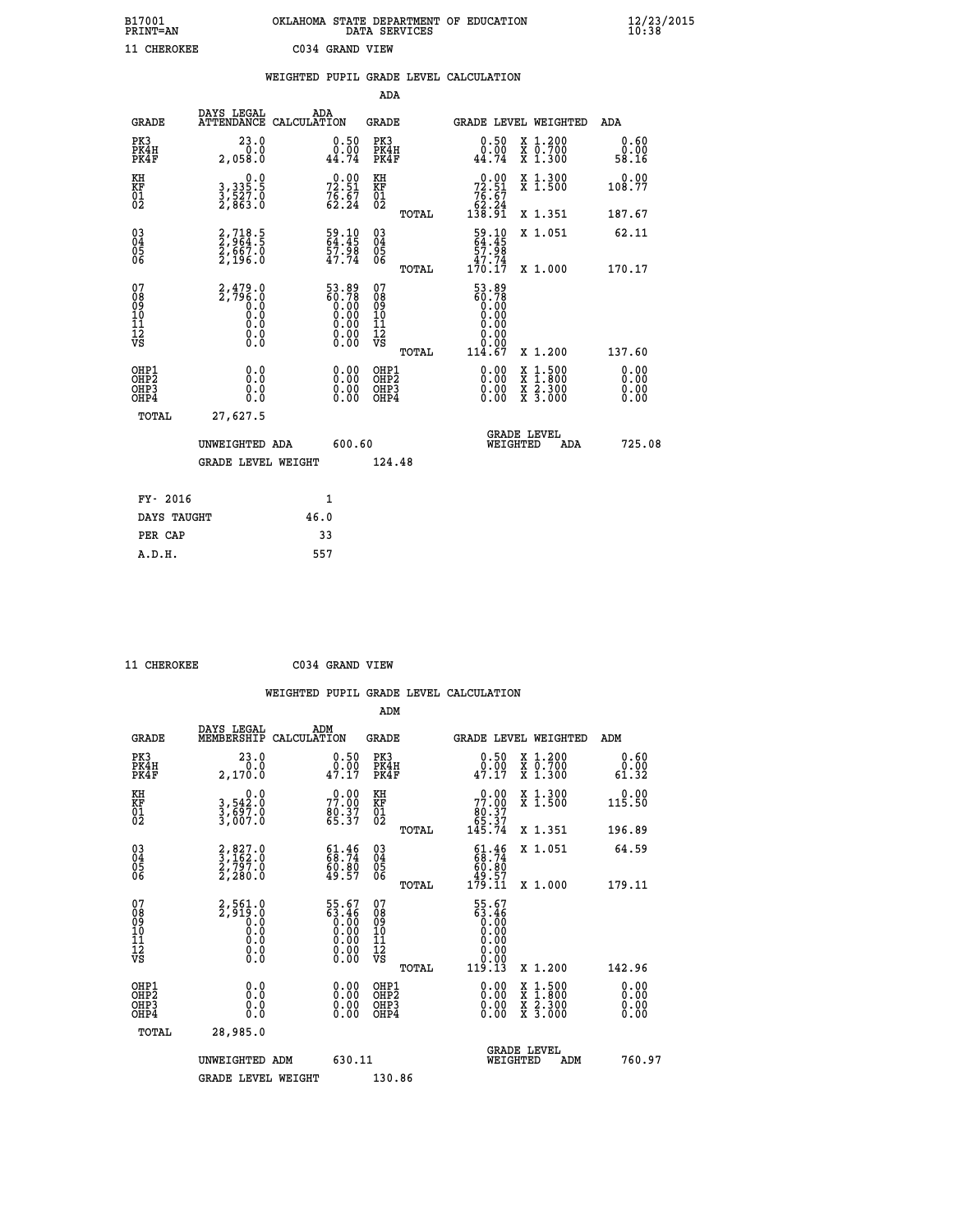| B17001          | OKLAHOMA STATE DEPARTMENT OF EDUCATION |
|-----------------|----------------------------------------|
| <b>PRINT=AN</b> | DATA SERVICES                          |
| 11 CHEROKEE     | C034 GRAND VIEW                        |

|                                                                    |                                                                     | WEIGHTED PUPIL GRADE LEVEL CALCULATION                        |                                        |       |                                                                          |                                                                                                  |                              |
|--------------------------------------------------------------------|---------------------------------------------------------------------|---------------------------------------------------------------|----------------------------------------|-------|--------------------------------------------------------------------------|--------------------------------------------------------------------------------------------------|------------------------------|
|                                                                    |                                                                     |                                                               | <b>ADA</b>                             |       |                                                                          |                                                                                                  |                              |
| <b>GRADE</b>                                                       | DAYS LEGAL<br><b>ATTENDANCE</b>                                     | ADA<br>CALCULATION                                            | <b>GRADE</b>                           |       |                                                                          | GRADE LEVEL WEIGHTED                                                                             | ADA                          |
| PK3<br>PK4H<br>PK4F                                                | 23.0<br>0.0<br>2,058.0                                              | $\begin{smallmatrix} 0.50\ 0.00\ 44.74 \end{smallmatrix}$     | PK3<br>PK4H<br>PK4F                    |       | $\begin{smallmatrix} 0.50\\ 0.00\\ 44.74 \end{smallmatrix}$              | X 1.200<br>X 0.700<br>X 1.300                                                                    | 0.60<br>0.00<br>58.16        |
| KH<br>KF<br>01<br>02                                               | 0.0<br>3, 335:5<br>3, 527:0<br>2, 863:0                             | $72.51$<br>$76.51$<br>$76.67$<br>$62.24$                      | KH<br>KF<br>01<br>02                   |       | 0.00<br>$72.51$<br>$76.67$<br>$62.24$<br>$138.91$                        | X 1.300<br>X 1.500                                                                               | 0.00<br>108.77               |
|                                                                    |                                                                     |                                                               |                                        | TOTAL |                                                                          | X 1.351                                                                                          | 187.67                       |
| $\begin{smallmatrix} 03 \\[-4pt] 04 \end{smallmatrix}$<br>Ŏ5<br>06 | 2,718.5<br>2,964.5<br>2,667.0<br>2,196.0                            | 59.10<br>64.45<br>57.98<br>47.74                              | $\substack{03 \\ 04}$<br>Ŏ5<br>06      |       | $59.10$<br>$64.45$<br>$57.98$<br>$47.74$<br>$170.17$                     | X 1.051                                                                                          | 62.11                        |
|                                                                    |                                                                     |                                                               |                                        | TOTAL |                                                                          | X 1.000                                                                                          | 170.17                       |
| 07<br>08<br>09<br>11<br>11<br>12<br>VS                             | $2,479.0$<br>$2,796.0$<br>$0.0$<br>$0.0$<br>$0.0$<br>$0.0$<br>$0.0$ | 53.89<br>60.78                                                | 07<br>08<br>09<br>11<br>11<br>12<br>VS | TOTAL | 53.89<br>ត្ថិ៍: ក្ដីទី<br>0.00<br>0.00<br>0.00<br>0.00<br>0.00<br>114.67 | X 1.200                                                                                          | 137.60                       |
| OHP1<br>OHP2<br>OHP3<br>OHP4                                       | 0.0<br>0.0<br>0.0                                                   | 0.0000<br>$\begin{smallmatrix} 0.00 \ 0.00 \end{smallmatrix}$ | OHP1<br>OHP2<br>OHP3<br>OHP4           |       | 0.00<br>0.00<br>0.00                                                     | $\begin{smallmatrix} x & 1 & 500 \\ x & 1 & 800 \\ x & 2 & 300 \\ x & 3 & 000 \end{smallmatrix}$ | 0.00<br>0.00<br>0.00<br>0.00 |
| <b>TOTAL</b>                                                       | 27,627.5                                                            |                                                               |                                        |       |                                                                          |                                                                                                  |                              |
|                                                                    | UNWEIGHTED ADA                                                      | 600.60                                                        |                                        |       | WEIGHTED                                                                 | <b>GRADE LEVEL</b><br>ADA                                                                        | 725.08                       |
|                                                                    | <b>GRADE LEVEL WEIGHT</b>                                           |                                                               | 124.48                                 |       |                                                                          |                                                                                                  |                              |
| FY- 2016                                                           |                                                                     | $\mathbf{1}$                                                  |                                        |       |                                                                          |                                                                                                  |                              |
| DAYS TAUGHT                                                        |                                                                     | 46.0                                                          |                                        |       |                                                                          |                                                                                                  |                              |
| PER CAP                                                            |                                                                     | 33                                                            |                                        |       |                                                                          |                                                                                                  |                              |

 **11 CHEROKEE C034 GRAND VIEW**

 **A.D.H. 557**

| <b>GRADE</b>                                         | DAYS LEGAL<br>MEMBERSHIP                                                          | ADM<br>CALCULATION                                                   | <b>GRADE</b>                             |       |                                                                                  |          | GRADE LEVEL WEIGHTED                                                                                                                      | ADM                          |  |
|------------------------------------------------------|-----------------------------------------------------------------------------------|----------------------------------------------------------------------|------------------------------------------|-------|----------------------------------------------------------------------------------|----------|-------------------------------------------------------------------------------------------------------------------------------------------|------------------------------|--|
| PK3<br>PK4H<br>PK4F                                  | 23.0<br>0.0<br>2,170.0                                                            | 0.50<br>0.00<br>47.17                                                | PK3<br>PK4H<br>PK4F                      |       | 0.50<br>0.00<br>47.17                                                            |          | X 1.200<br>X 0.700<br>X 1.300                                                                                                             | 0.60<br>0.00<br>61.32        |  |
| KH<br>KF<br>01<br>02                                 | 0.0<br>3,542:0<br>3,697:0<br>3,007:0                                              | $77.00$<br>$80.37$<br>$65.37$                                        | KH<br>KF<br>01<br>02                     |       | $\begin{smallmatrix} &0.00\\ 77.00\\ 80.37\\ 65.37\\ 145.74 \end{smallmatrix}$   |          | X 1.300<br>X 1.500                                                                                                                        | 0.00<br>115.50               |  |
|                                                      |                                                                                   |                                                                      |                                          | TOTAL |                                                                                  |          | X 1.351                                                                                                                                   | 196.89                       |  |
| $\begin{matrix} 03 \\ 04 \\ 05 \\ 06 \end{matrix}$   | $\begin{smallmatrix} 2, 827.0\\ 3, 162.0\\ 2, 797.0\\ 2, 280.0 \end{smallmatrix}$ | $61.46$<br>$68.74$<br>60:00<br>49.57                                 | 03<br>04<br>05<br>06                     |       | $\begin{smallmatrix} 61.46\\ 68.74\\ 60.80\\ 49.57\\ 179.11 \end{smallmatrix}$   |          | X 1.051                                                                                                                                   | 64.59                        |  |
|                                                      |                                                                                   |                                                                      |                                          | TOTAL |                                                                                  |          | X 1.000                                                                                                                                   | 179.11                       |  |
| 07<br>08<br>09<br>101<br>112<br>VS                   | $2,561.0$<br>$2,919.0$<br>$0.0$<br>$0.0$<br>$0.0$<br>$0.0$<br>$0.0$               | $55.67$<br>$63.46$<br>$0.00$<br>$0.00$<br>$0.00$<br>$0.00$<br>$0.00$ | 07<br>08901112<br>1112<br>VS             |       | $55.67$<br>$63.46$<br>$0.00$<br>$0.00$<br>$0.00$<br>$0.00$<br>$0.00$<br>$119.13$ |          |                                                                                                                                           |                              |  |
|                                                      |                                                                                   |                                                                      |                                          | TOTAL |                                                                                  |          | X 1.200                                                                                                                                   | 142.96                       |  |
| OHP1<br>OHP <sub>2</sub><br>OH <sub>P3</sub><br>OHP4 | 0.0<br>0.0<br>0.0                                                                 | $0.00$<br>$0.00$<br>0.00                                             | OHP1<br>OHP <sub>2</sub><br>OHP3<br>OHP4 |       |                                                                                  |          | $\begin{smallmatrix} \mathtt{X} & 1\cdot500\\ \mathtt{X} & 1\cdot800\\ \mathtt{X} & 2\cdot300\\ \mathtt{X} & 3\cdot000 \end{smallmatrix}$ | 0.00<br>0.00<br>0.00<br>0.00 |  |
| TOTAL                                                | 28,985.0                                                                          |                                                                      |                                          |       |                                                                                  |          |                                                                                                                                           |                              |  |
|                                                      | UNWEIGHTED ADM                                                                    | 630.11                                                               |                                          |       |                                                                                  | WEIGHTED | <b>GRADE LEVEL</b><br>ADM                                                                                                                 | 760.97                       |  |
|                                                      | <b>GRADE LEVEL WEIGHT</b>                                                         |                                                                      | 130.86                                   |       |                                                                                  |          |                                                                                                                                           |                              |  |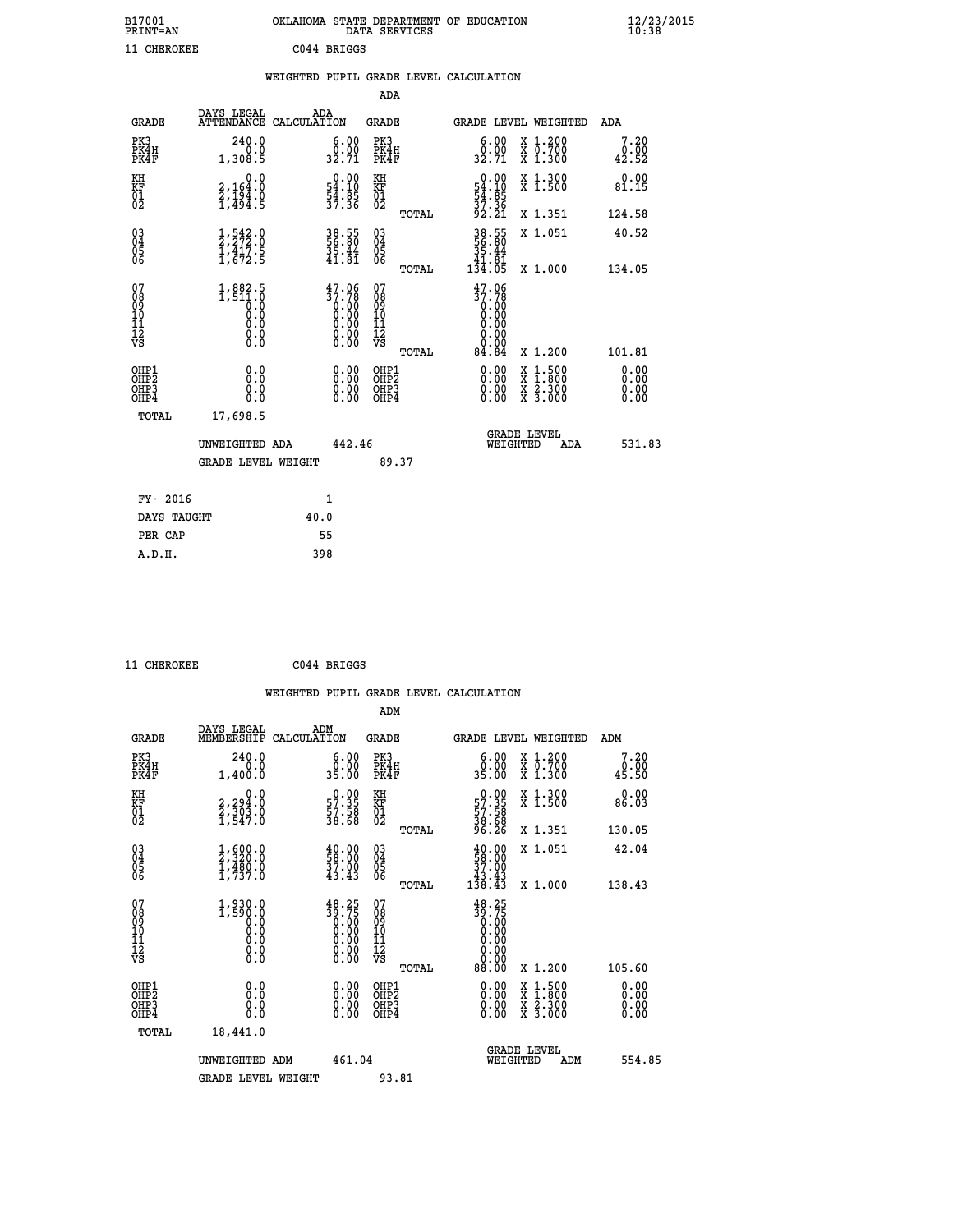| B17001<br><b>PRINT=AN</b> |             | OKLAHOMA STATE DEPARTMENT OF EDUCATION<br>DATA SERVICES |  |
|---------------------------|-------------|---------------------------------------------------------|--|
| 11 CHEROKEE               | C044 BRIGGS |                                                         |  |

|  |  | WEIGHTED PUPIL GRADE LEVEL CALCULATION |
|--|--|----------------------------------------|

|                                                                    |                                                                   |                                                                                               |              |                                                                                                                       | ADA                                       |       |                                                                                                                               |                                                                                                  |                              |
|--------------------------------------------------------------------|-------------------------------------------------------------------|-----------------------------------------------------------------------------------------------|--------------|-----------------------------------------------------------------------------------------------------------------------|-------------------------------------------|-------|-------------------------------------------------------------------------------------------------------------------------------|--------------------------------------------------------------------------------------------------|------------------------------|
|                                                                    | <b>GRADE</b>                                                      | DAYS LEGAL<br>ATTENDANCE CALCULATION                                                          | ADA          |                                                                                                                       | <b>GRADE</b>                              |       |                                                                                                                               | <b>GRADE LEVEL WEIGHTED</b>                                                                      | ADA                          |
|                                                                    | PK3<br>PK4H<br>PK4F                                               | 240.0<br>0.0<br>1,308.5                                                                       |              | $\begin{smallmatrix} 6.00\\ 0.00\\ 32.71 \end{smallmatrix}$                                                           | PK3<br>PK4H<br>PK4F                       |       | $\begin{smallmatrix} 6.00\\ 0.00\\ 32.71 \end{smallmatrix}$                                                                   | X 1.200<br>X 0.700<br>X 1.300                                                                    | 7.20<br>0.00<br>42.52        |
| KH<br><b>KF</b><br>01<br>02                                        |                                                                   | 0.0<br>2,164.0<br>$\frac{5}{1}, \frac{19}{494}$ : 9                                           |              | $\begin{smallmatrix} 0.00\\ 54.10\\ 54.8\\ 57.36 \end{smallmatrix}$                                                   | KH<br>KF<br>01<br>02                      |       | $\begin{smallmatrix} 0.00\\ 54.10\\ 54.85\\ 37.36\\ 92.21 \end{smallmatrix}$                                                  | X 1.300<br>X 1.500                                                                               | 0.00<br>81.15                |
|                                                                    |                                                                   |                                                                                               |              |                                                                                                                       |                                           | TOTAL |                                                                                                                               | X 1.351                                                                                          | 124.58                       |
| $\begin{smallmatrix} 03 \\[-4pt] 04 \end{smallmatrix}$<br>05<br>06 |                                                                   | $\frac{1}{2}, \frac{542}{272}$ : 0<br>$\frac{1}{4}, \frac{417}{672}$ : 5                      |              | 38.55<br>56.80<br>35.44<br>41.81                                                                                      | $\substack{03 \\ 04}$<br>05<br>06         | TOTAL | 38.55<br>56.80<br>35.44<br>41.81<br>134.05                                                                                    | X 1.051<br>X 1.000                                                                               | 40.52<br>134.05              |
| 07<br>08<br>09<br>11<br>11<br>12<br>VS                             |                                                                   | $1,882.5$<br>1,511.0<br>0.0<br>0.0<br>$\begin{smallmatrix} 0.0 \ 0.0 \ 0.0 \end{smallmatrix}$ |              | $37.78$<br>$0.00$<br>$0.00$<br>$0.00$<br>$0.00$<br>$\begin{smallmatrix} 0.00 & 0.00 \\ 0.00 & 0.00 \end{smallmatrix}$ | 07<br>08<br>09<br>11<br>11<br>12<br>VS    |       | 47.06<br>$\begin{array}{c} 37.78 \\ 0.00 \\ 0.00 \end{array}$<br>0.00<br>$\begin{array}{c} 0.00 \\ 0.00 \\ 84.84 \end{array}$ |                                                                                                  |                              |
|                                                                    |                                                                   |                                                                                               |              |                                                                                                                       |                                           | TOTAL |                                                                                                                               | X 1.200                                                                                          | 101.81                       |
|                                                                    | OHP1<br>OH <sub>P</sub> 2<br>OH <sub>P3</sub><br>OH <sub>P4</sub> | 0.0<br>0.0<br>0.0                                                                             |              | 0.00<br>$\begin{smallmatrix} 0.00 \ 0.00 \end{smallmatrix}$                                                           | OHP1<br>OH <sub>P</sub> 2<br>OHP3<br>OHP4 |       | 0.00<br>0.00<br>0.00                                                                                                          | $\begin{smallmatrix} x & 1 & 500 \\ x & 1 & 800 \\ x & 2 & 300 \\ x & 3 & 000 \end{smallmatrix}$ | 0.00<br>0.00<br>0.00<br>0.00 |
|                                                                    | TOTAL                                                             | 17,698.5                                                                                      |              |                                                                                                                       |                                           |       |                                                                                                                               |                                                                                                  |                              |
|                                                                    |                                                                   | UNWEIGHTED ADA                                                                                |              | 442.46                                                                                                                |                                           |       |                                                                                                                               | GRADE LEVEL<br>WEIGHTED<br>ADA                                                                   | 531.83                       |
|                                                                    |                                                                   | <b>GRADE LEVEL WEIGHT</b>                                                                     |              |                                                                                                                       |                                           | 89.37 |                                                                                                                               |                                                                                                  |                              |
|                                                                    | FY- 2016                                                          |                                                                                               | $\mathbf{1}$ |                                                                                                                       |                                           |       |                                                                                                                               |                                                                                                  |                              |
|                                                                    | DAYS TAUGHT                                                       |                                                                                               | 40.0         |                                                                                                                       |                                           |       |                                                                                                                               |                                                                                                  |                              |
|                                                                    | PER CAP                                                           |                                                                                               | 55           |                                                                                                                       |                                           |       |                                                                                                                               |                                                                                                  |                              |

 **A.D.H. 398**

 **11 CHEROKEE C044 BRIGGS**

| <b>GRADE</b>                                       | DAYS LEGAL<br>MEMBERSHIP                                                                                         | ADM<br>CALCULATION                                                                                                 | <b>GRADE</b>                                        |       | <b>GRADE LEVEL WEIGHTED</b>                                                               |                                          |     | ADM                   |  |
|----------------------------------------------------|------------------------------------------------------------------------------------------------------------------|--------------------------------------------------------------------------------------------------------------------|-----------------------------------------------------|-------|-------------------------------------------------------------------------------------------|------------------------------------------|-----|-----------------------|--|
| PK3<br>PK4H<br>PK4F                                | 240.0<br>0.0<br>1,400.0                                                                                          | $\begin{smallmatrix} 6.00\\ 0.00\\ 35.00 \end{smallmatrix}$                                                        | PK3<br>PK4H<br>PK4F                                 |       | 6.00<br>0.00<br>35.00                                                                     | X 1.200<br>X 0.700<br>X 1.300            |     | 7.20<br>0.00<br>45.50 |  |
| KH<br>KF<br>01<br>02                               | 0.0<br>2,294:0<br>2,303:0<br>1,547:0                                                                             | $\begin{smallmatrix} 0.00\\ 57.35\\ 57.58\\ 38.68 \end{smallmatrix}$                                               | KH<br>KF<br>01<br>02                                |       | $\begin{smallmatrix} 0.00\\57.35\\57.58\\38.58\\ 96.26 \end{smallmatrix}$                 | X 1.300<br>X 1.500                       |     | 0.00<br>86.03         |  |
|                                                    |                                                                                                                  |                                                                                                                    |                                                     | TOTAL |                                                                                           | X 1.351                                  |     | 130.05                |  |
| $\begin{matrix} 03 \\ 04 \\ 05 \\ 06 \end{matrix}$ | $\frac{1}{2}, \frac{600}{320}.0$<br>$\frac{1}{1}, \frac{480}{737}.0$                                             | $\begin{smallmatrix} 40.00\\ 58.00\\ 37.00\\ 43.43 \end{smallmatrix}$                                              | $\begin{array}{c} 03 \\ 04 \\ 05 \\ 06 \end{array}$ |       | $\begin{smallmatrix} 40.00\\ 58.00\\ 37.00\\ 43.43\\ 138.43 \end{smallmatrix}$            | X 1.051                                  |     | 42.04                 |  |
|                                                    |                                                                                                                  |                                                                                                                    |                                                     | TOTAL |                                                                                           | X 1.000                                  |     | 138.43                |  |
| 07<br>089<br>090<br>1112<br>VS                     | $\left.\begin{smallmatrix} 1,930.0\\ 1,590.0\\ 0.0\\ 0.0\\ 0.0\\ 0.0\\ 0.0\\ 0.0\\ 0.0 \end{smallmatrix}\right.$ | $\begin{smallmatrix} 48\cdot 25\\ 39\cdot 75\\ 0.00\\ 0.00\\ 0.00\\ 0.00\\ 0.00\\ 0.00\\ 0.00\\ \end{smallmatrix}$ | 07<br>08901112<br>1112<br>VS                        | TOTAL | $38.25$<br>$39.75$<br>$0.00$<br>$0.00$<br>$0.00$<br>$0.00$<br>$0.00$<br>$0.00$<br>$88.00$ | X 1.200                                  |     | 105.60                |  |
|                                                    |                                                                                                                  |                                                                                                                    |                                                     |       |                                                                                           |                                          |     |                       |  |
| OHP1<br>OHP2<br>OH <sub>P3</sub><br>OHP4           | 0.0<br>0.000                                                                                                     |                                                                                                                    | OHP1<br>OHP2<br>OHP3<br>OHP4                        |       | 0.00<br>$0.00$<br>0.00                                                                    | X 1:500<br>X 1:800<br>X 2:300<br>X 3:000 |     | 0.00<br>0.00<br>0.00  |  |
| TOTAL                                              | 18,441.0                                                                                                         |                                                                                                                    |                                                     |       |                                                                                           |                                          |     |                       |  |
|                                                    | UNWEIGHTED                                                                                                       | 461.04<br>ADM                                                                                                      |                                                     |       | WEIGHTED                                                                                  | <b>GRADE LEVEL</b>                       | ADM | 554.85                |  |
|                                                    | <b>GRADE LEVEL WEIGHT</b>                                                                                        |                                                                                                                    | 93.81                                               |       |                                                                                           |                                          |     |                       |  |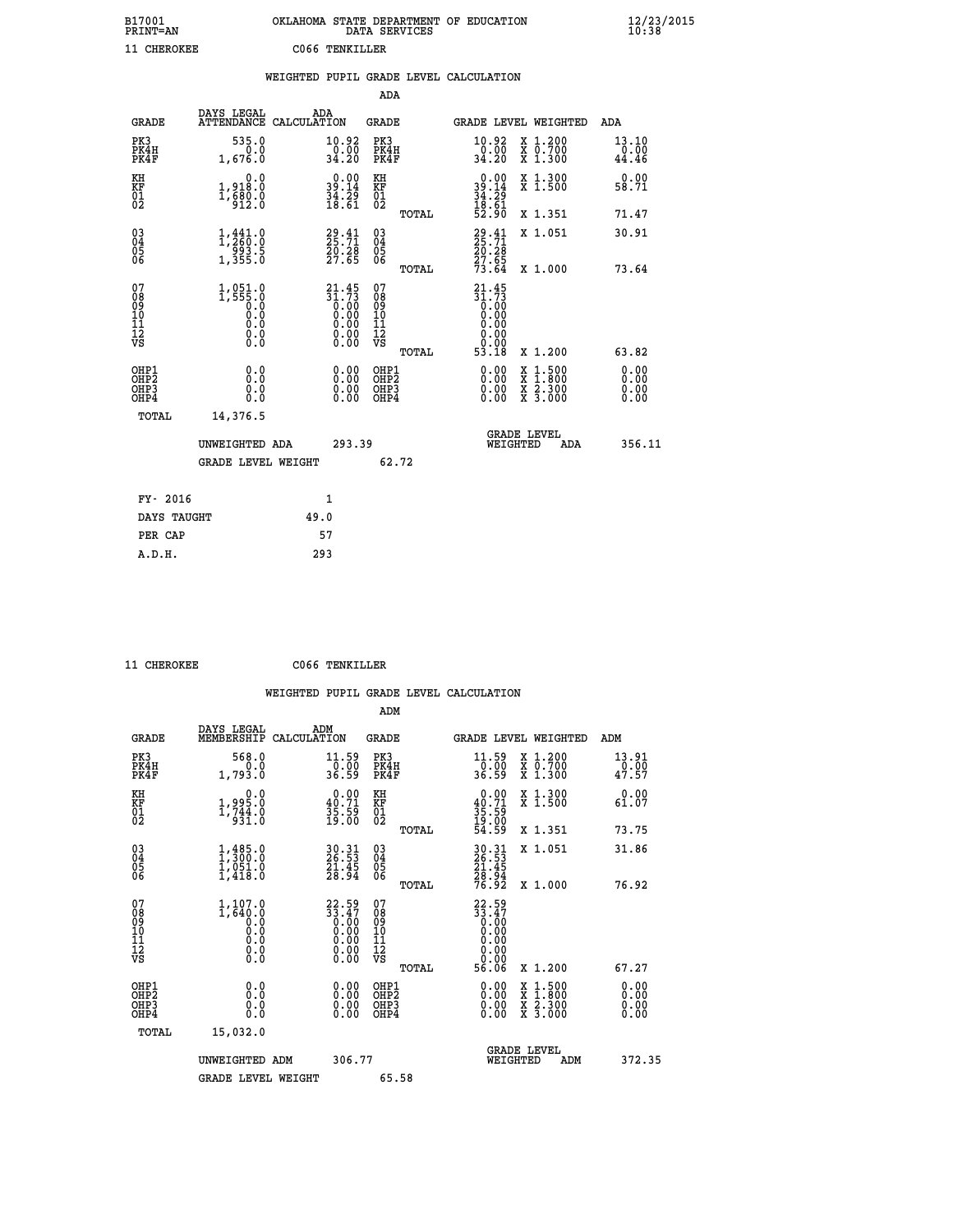| B17001<br>PRINT=AN | OKLAHOMA STATE DEPARTMENT OF EDUCATION<br>DATA SERVICES | $\frac{12}{23}$ /2015<br>10:38 |
|--------------------|---------------------------------------------------------|--------------------------------|
| 11 CHEROKEE        | C066 TENKILLER                                          |                                |

|                                |                                                                                             | WEIGHTED PUPIL GRADE LEVEL CALCULATION                               |                                                     |       |                                                                              |                               |                              |
|--------------------------------|---------------------------------------------------------------------------------------------|----------------------------------------------------------------------|-----------------------------------------------------|-------|------------------------------------------------------------------------------|-------------------------------|------------------------------|
|                                |                                                                                             |                                                                      | ADA                                                 |       |                                                                              |                               |                              |
| <b>GRADE</b>                   | DAYS LEGAL                                                                                  | ADA<br>ATTENDANCE CALCULATION                                        | GRADE                                               |       |                                                                              | GRADE LEVEL WEIGHTED          | ADA                          |
| PK3<br>PK4H<br>PK4F            | 535.0<br>1,676.0                                                                            | 10.92<br>$\begin{array}{c} -0.00 \\ 34.20 \end{array}$               | PK3<br>PK4H<br>PK4F                                 |       | 10.92<br>$\frac{50}{34.20}$                                                  | X 1.200<br>X 0.700<br>X 1.300 | 13.10<br>0.00<br>44.46       |
| KH<br>KF<br>01<br>02           | 0.0<br>1,918.0<br>$1, \frac{2}{9}$ $\frac{2}{12}$ $\frac{2}{9}$                             | $\begin{smallmatrix} 0.00\\ 39.14\\ 34.29\\ 18.61 \end{smallmatrix}$ | KH<br>KF<br>01<br>02                                |       | $\begin{smallmatrix} 0.00\\ 39.14\\ 34.29\\ 18.61\\ 52.90 \end{smallmatrix}$ | X 1.300<br>X 1.500            | 0.00<br>58.71                |
|                                |                                                                                             |                                                                      |                                                     | TOTAL |                                                                              | X 1.351                       | 71.47                        |
| 03<br>04<br>05<br>06           | 1, 441.0<br>$\frac{553.5}{1,355.0}$                                                         | $29.41$<br>$25.71$<br>$20.28$<br>$27.65$                             | $\begin{array}{c} 03 \\ 04 \\ 05 \\ 06 \end{array}$ |       | $29.41$<br>$25.71$<br>$\frac{20.28}{27.65}$<br>$\frac{27.65}{73.64}$         | X 1.051                       | 30.91                        |
|                                |                                                                                             |                                                                      |                                                     | TOTAL |                                                                              | X 1.000                       | 73.64                        |
| 07<br>089<br>090<br>1112<br>VS | $1, 051.0$<br>1,555.0<br>$\begin{smallmatrix} 0.5 & 0 \ 0.0 & 0 \end{smallmatrix}$<br>$\S.$ | $21.45$<br>$31.73$<br>$0.00$<br>$0.00$<br>$0.00$<br>ŏ:ŏŏ<br>O.OO     | 07<br>08<br>09<br>11<br>11<br>12<br>VS              | TOTAL | $21.45$<br>$31.73$<br>$0.00$<br>$0.00$<br>0.00<br>0.00<br>53.18              | X 1.200                       | 63.82                        |
| OHP1<br>OHP2<br>OHP3<br>OHP4   | 0.0<br>$0.\overline{0}$<br>0.0                                                              | 0.00<br>$\begin{smallmatrix} 0.00 \ 0.00 \end{smallmatrix}$          | OHP1<br>OHP2<br>OHP3<br>OHP4                        |       | 0.00<br>0.00<br>0.00                                                         | X 1:500<br>X 2.300<br>X 3.000 | 0.00<br>0.00<br>0.00<br>0.00 |
| TOTAL                          | 14,376.5                                                                                    |                                                                      |                                                     |       |                                                                              |                               |                              |
|                                | UNWEIGHTED ADA                                                                              | 293.39                                                               |                                                     |       | WEIGHTED                                                                     | <b>GRADE LEVEL</b><br>ADA     | 356.11                       |
|                                | <b>GRADE LEVEL WEIGHT</b>                                                                   |                                                                      |                                                     | 62.72 |                                                                              |                               |                              |
| FY- 2016                       |                                                                                             | $\mathbf{1}$                                                         |                                                     |       |                                                                              |                               |                              |
| DAYS TAUGHT                    |                                                                                             | 49.0                                                                 |                                                     |       |                                                                              |                               |                              |
| PER CAP                        |                                                                                             | 57                                                                   |                                                     |       |                                                                              |                               |                              |

 **11 CHEROKEE C066 TENKILLER**

 **A.D.H. 293**

 **ADM**

| <b>GRADE</b>                             | DAYS LEGAL<br>MEMBERSHIP                         | ADM<br>CALCULATION                                                                              | <b>GRADE</b>                                       |       | <b>GRADE LEVEL WEIGHTED</b>                                                                                                                                                                                                                                                    |                                          | ADM                                                        |  |
|------------------------------------------|--------------------------------------------------|-------------------------------------------------------------------------------------------------|----------------------------------------------------|-------|--------------------------------------------------------------------------------------------------------------------------------------------------------------------------------------------------------------------------------------------------------------------------------|------------------------------------------|------------------------------------------------------------|--|
| PK3<br>PK4H<br>PK4F                      | 568.0<br>1,793.0                                 | $\frac{11.59}{0.00}$<br>36.59                                                                   | PK3<br>PK4H<br>PK4F                                |       | $\begin{array}{c} 11.59 \\ 0.00 \\ 36.59 \end{array}$                                                                                                                                                                                                                          | X 1.200<br>X 0.700<br>X 1.300            | $\begin{smallmatrix} 13.91\ 0.00\ 47.57 \end{smallmatrix}$ |  |
| KH<br>KF<br>01<br>02                     | $1,995.0$<br>$1,744.0$<br>$931.0$                | $\begin{smallmatrix} 0.00\\ 40.71\\ 35.59\\ 19.00 \end{smallmatrix}$                            | KH<br>KF<br>01<br>02                               |       | $\begin{smallmatrix} 0.00\\ 40.71\\ 35.59\\ 19.00\\ 54.59 \end{smallmatrix}$                                                                                                                                                                                                   | X 1.300<br>X 1.500                       | 0.00<br>61.07                                              |  |
|                                          |                                                  |                                                                                                 |                                                    | TOTAL |                                                                                                                                                                                                                                                                                | X 1.351                                  | 73.75                                                      |  |
| 03<br>04<br>05<br>06                     | $1,300.0$<br>$1,051.0$<br>$1,051.0$<br>$1,418.0$ | 30.31<br>26.53<br>21.45<br>28.94                                                                | $\begin{matrix} 03 \\ 04 \\ 05 \\ 06 \end{matrix}$ |       | 30.31<br>26.53<br>21.45<br>28.94<br>76.92                                                                                                                                                                                                                                      | X 1.051                                  | 31.86                                                      |  |
|                                          |                                                  |                                                                                                 |                                                    | TOTAL |                                                                                                                                                                                                                                                                                | X 1.000                                  | 76.92                                                      |  |
| 07<br>089<br>090<br>1112<br>VS           |                                                  | $\begin{smallmatrix} 22.59\ 33.47\ 0.00\ 0.00\ 0.00\ 0.00\ 0.00\ 0.00\ 0.00\ \end{smallmatrix}$ | 07<br>08<br>09<br>01<br>11<br>11<br>12<br>VS       | TOTAL | $\begin{smallmatrix} 22.59\\ 33.47\\ 0.00\\ 0.00\\ 0.00\\ 0.00\\ 0.00\\ 0.00\\ 56.06 \end{smallmatrix}$                                                                                                                                                                        | X 1.200                                  | 67.27                                                      |  |
|                                          |                                                  |                                                                                                 |                                                    |       |                                                                                                                                                                                                                                                                                |                                          |                                                            |  |
| OHP1<br>OHP2<br>OH <sub>P3</sub><br>OHP4 | 0.0<br>0.000                                     |                                                                                                 | OHP1<br>OHP2<br>OHP3<br>OHP4                       |       | $\begin{smallmatrix} 0.00 & 0.00 & 0.00 & 0.00 & 0.00 & 0.00 & 0.00 & 0.00 & 0.00 & 0.00 & 0.00 & 0.00 & 0.00 & 0.00 & 0.00 & 0.00 & 0.00 & 0.00 & 0.00 & 0.00 & 0.00 & 0.00 & 0.00 & 0.00 & 0.00 & 0.00 & 0.00 & 0.00 & 0.00 & 0.00 & 0.00 & 0.00 & 0.00 & 0.00 & 0.00 & 0.0$ | X 1:500<br>X 1:800<br>X 2:300<br>X 3:000 | 0.00<br>0.00<br>0.00                                       |  |
| TOTAL                                    | 15,032.0                                         |                                                                                                 |                                                    |       |                                                                                                                                                                                                                                                                                |                                          |                                                            |  |
|                                          | UNWEIGHTED                                       | 306.77<br>ADM                                                                                   |                                                    |       | WEIGHTED                                                                                                                                                                                                                                                                       | <b>GRADE LEVEL</b><br>ADM                | 372.35                                                     |  |
|                                          | <b>GRADE LEVEL WEIGHT</b>                        |                                                                                                 | 65.58                                              |       |                                                                                                                                                                                                                                                                                |                                          |                                                            |  |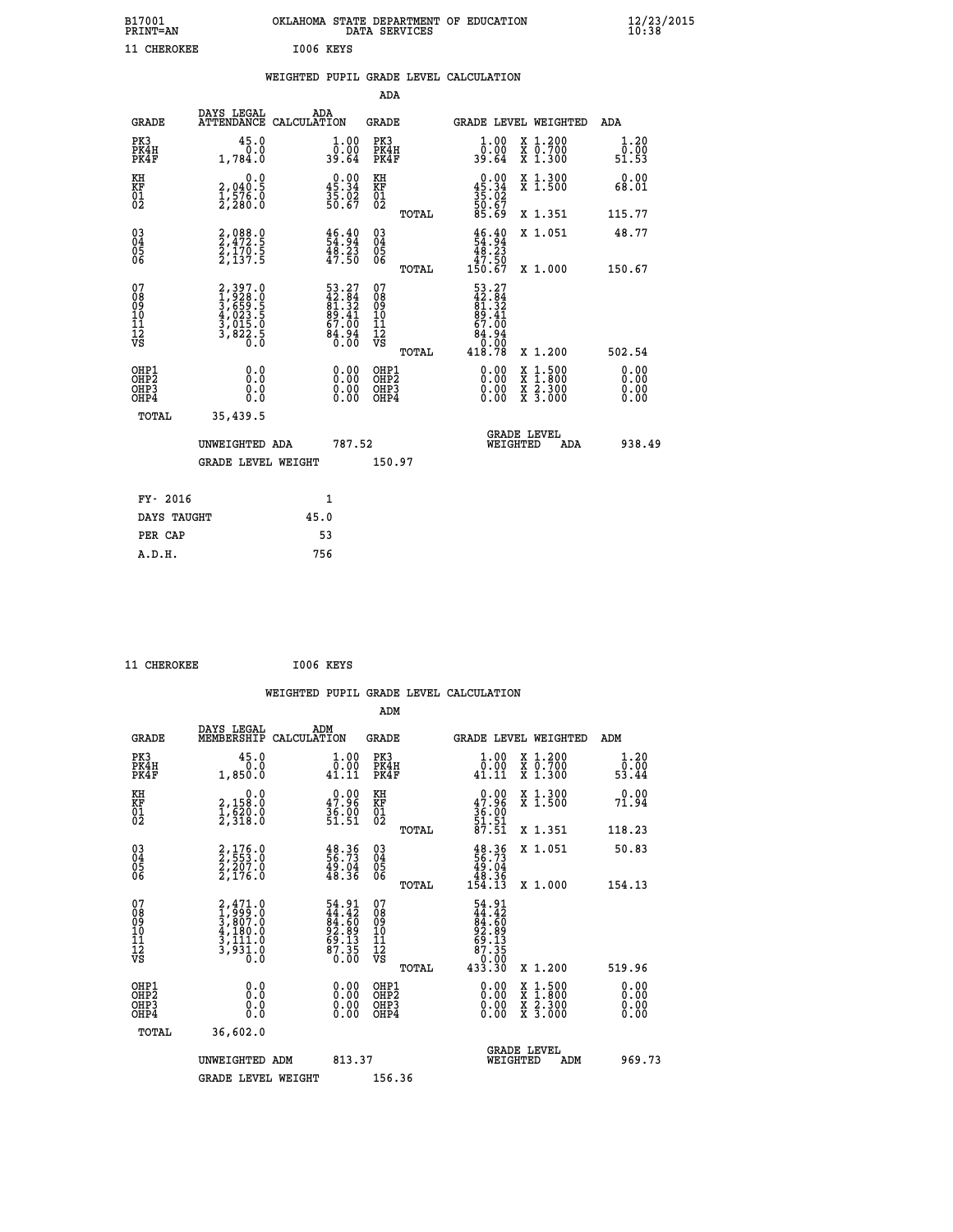| B17001<br>PRINT=AN | OKLAHOMA STATE DEPARTMENT OF EDUCATION<br>DATA SERVICES | $\frac{12}{23}$ /2015 |
|--------------------|---------------------------------------------------------|-----------------------|
| 11 CHEROKEE        | 1006 KEYS                                               |                       |

|  |  | WEIGHTED PUPIL GRADE LEVEL CALCULATION |
|--|--|----------------------------------------|
|  |  |                                        |

|                                                       |                                                                           |                                                                          | ADA                                       |       |                                                                                                       |                                          |                              |
|-------------------------------------------------------|---------------------------------------------------------------------------|--------------------------------------------------------------------------|-------------------------------------------|-------|-------------------------------------------------------------------------------------------------------|------------------------------------------|------------------------------|
| <b>GRADE</b>                                          | DAYS LEGAL                                                                | ADA<br>ATTENDANCE CALCULATION                                            | <b>GRADE</b>                              |       | <b>GRADE LEVEL WEIGHTED</b>                                                                           |                                          | ADA                          |
| PK3<br>PK4H<br>PK4F                                   | 45.0<br>0.0<br>1,784.0                                                    | $\begin{smallmatrix} 1.00\\ 0.00\\ 39.64 \end{smallmatrix}$              | PK3<br>PK4H<br>PK4F                       |       | 1.00<br>0.00<br>39.64                                                                                 | X 1.200<br>X 0.700<br>X 1.300            | 1.20<br>0.00<br>51.53        |
| KH<br>KF<br>01<br>02                                  | 0.0<br>2,040:5<br>1,576:0<br>2,280:0                                      | $\begin{smallmatrix} 0.00\\ 45.34\\ 35.02\\ 50.67 \end{smallmatrix}$     | KH<br>KF<br>01<br>02                      |       | $0.00$<br>$45.34$<br>$35.02$<br>$50.67$<br>$85.69$                                                    | X 1.300<br>X 1.500                       | 0.00<br>68.01                |
|                                                       |                                                                           |                                                                          |                                           | TOTAL |                                                                                                       | X 1.351                                  | 115.77                       |
| 03<br>04<br>05<br>06                                  | 2,088.0<br>2,472.5<br>2,170.5<br>2,137.5                                  | $\begin{smallmatrix} 46.40\\ 54.94\\ 48.23\\ 47.50 \end{smallmatrix}$    | 03<br>04<br>05<br>06                      |       | $\begin{array}{c} 46.40 \\ 54.94 \\ 48.23 \\ 47.50 \end{array}$                                       | X 1.051                                  | 48.77                        |
|                                                       |                                                                           |                                                                          |                                           | TOTAL | 150.67                                                                                                | X 1.000                                  | 150.67                       |
| 07<br>08<br>09<br>11<br>11<br>12<br>VS                | 2,397.0<br>1,928.0<br>3,659.5<br>3,623.5<br>4,023.5<br>3,015.0<br>3,822.5 | $53.27$<br>$42.84$<br>$81.32$<br>$89.41$<br>$67.00$<br>$84.94$<br>$0.00$ | 07<br>08<br>09<br>11<br>11<br>12<br>VS    | TOTAL | $\begin{smallmatrix} 53.27\\ 42.84\\ 81.32\\ 89.41\\ 67.00\\ 64.94\\ 0.00\\ 418.78 \end{smallmatrix}$ | X 1.200                                  | 502.54                       |
| OHP1<br>OH <sub>P</sub> 2<br>OH <sub>P3</sub><br>OHP4 | 0.0<br>0.0<br>0.0                                                         | 0.00<br>$\begin{smallmatrix} 0.00 \ 0.00 \end{smallmatrix}$              | OHP1<br>OH <sub>P</sub> 2<br>OHP3<br>OHP4 |       | 0.00<br>0.00<br>0.00                                                                                  | X 1:500<br>X 1:800<br>X 2:300<br>X 3:000 | 0.00<br>0.00<br>0.00<br>0.00 |
| TOTAL                                                 | 35,439.5                                                                  |                                                                          |                                           |       |                                                                                                       |                                          |                              |
|                                                       | UNWEIGHTED ADA                                                            | 787.52                                                                   |                                           |       | WEIGHTED                                                                                              | <b>GRADE LEVEL</b><br>ADA                | 938.49                       |
|                                                       | GRADE LEVEL WEIGHT                                                        |                                                                          | 150.97                                    |       |                                                                                                       |                                          |                              |
| FY- 2016                                              |                                                                           | $\mathbf{1}$                                                             |                                           |       |                                                                                                       |                                          |                              |
| DAYS TAUGHT                                           |                                                                           | 45.0                                                                     |                                           |       |                                                                                                       |                                          |                              |
|                                                       |                                                                           |                                                                          |                                           |       |                                                                                                       |                                          |                              |
| PER CAP                                               |                                                                           | 53                                                                       |                                           |       |                                                                                                       |                                          |                              |
| A.D.H.                                                |                                                                           | 756                                                                      |                                           |       |                                                                                                       |                                          |                              |

| 11 CHEROKEE | I006 KEYS |  |
|-------------|-----------|--|
|             |           |  |

|                                                    |                                                                                     | WEIGHTED PUPIL GRADE LEVEL CALCULATION                               |                                                    |       |                                                                                                                                                                                                                                                                                |                                                                                          |                              |
|----------------------------------------------------|-------------------------------------------------------------------------------------|----------------------------------------------------------------------|----------------------------------------------------|-------|--------------------------------------------------------------------------------------------------------------------------------------------------------------------------------------------------------------------------------------------------------------------------------|------------------------------------------------------------------------------------------|------------------------------|
|                                                    |                                                                                     |                                                                      | ADM                                                |       |                                                                                                                                                                                                                                                                                |                                                                                          |                              |
| <b>GRADE</b>                                       | DAYS LEGAL<br>MEMBERSHIP                                                            | ADM<br>CALCULATION                                                   | <b>GRADE</b>                                       |       |                                                                                                                                                                                                                                                                                | GRADE LEVEL WEIGHTED                                                                     | ADM                          |
| PK3<br>PK4H<br>PK4F                                | 45.0<br>0.0<br>1,850.0                                                              | $\begin{smallmatrix} 1.00\\ 0.00\\ 41.11 \end{smallmatrix}$          | PK3<br>PK4H<br>PK4F                                |       | 1.00<br>$\begin{smallmatrix} \bar{0} \cdot \check{0} \check{0} \ 41.11 \end{smallmatrix}$                                                                                                                                                                                      | X 1.200<br>X 0.700<br>X 1.300                                                            | 1.20<br>0.00<br>53.44        |
| KH<br>KF<br>01<br>02                               | $\begin{smallmatrix}&&&0.0\2,158.0\1,620.0\2,318.0\end{smallmatrix}$                | $\begin{smallmatrix} 0.00\\ 47.96\\ 36.00\\ 51.51 \end{smallmatrix}$ | KH<br>KF<br>01<br>02                               |       | $0.00$<br>$47.96$<br>$36.00$<br>$51.51$<br>$87.51$                                                                                                                                                                                                                             | X 1.300<br>X 1.500                                                                       | 0.00<br>71.94                |
|                                                    |                                                                                     |                                                                      |                                                    | TOTAL |                                                                                                                                                                                                                                                                                | X 1.351                                                                                  | 118.23                       |
| $\begin{matrix} 03 \\ 04 \\ 05 \\ 06 \end{matrix}$ | 2,176.0<br>2,553.0<br>2,207.0<br>2,176.0                                            | $\frac{48.36}{56.73}$<br>$\frac{49.04}{48.36}$                       | $\begin{matrix} 03 \\ 04 \\ 05 \\ 06 \end{matrix}$ |       | $\begin{smallmatrix} 48.36\\ 56.73\\ 49.04\\ 48.36\\ 154.13 \end{smallmatrix}$                                                                                                                                                                                                 | X 1.051                                                                                  | 50.83                        |
|                                                    |                                                                                     |                                                                      |                                                    | TOTAL |                                                                                                                                                                                                                                                                                | X 1.000                                                                                  | 154.13                       |
| 07<br>08<br>09<br>101<br>11<br>17<br>VS            | $2,471.0$<br>$1,999.0$<br>$3,807.0$<br>$4,180.0$<br>$3,111.0$<br>$3,931.0$<br>$0.0$ | 54.91<br>44.42<br>84.60<br>82.89<br>69.13<br>67.35<br>87.350         | 07<br>08<br>09<br>101<br>11<br>12<br>VS            |       | $54.91$<br>$44.42$<br>$84.60$<br>$82.89$<br>$69.135$<br>$87.350$<br>$433.30$                                                                                                                                                                                                   |                                                                                          |                              |
|                                                    |                                                                                     |                                                                      |                                                    | TOTAL |                                                                                                                                                                                                                                                                                | X 1.200                                                                                  | 519.96                       |
| OHP1<br>OHP2<br>OH <sub>P3</sub><br>OHP4           | 0.0<br>0.000                                                                        | $0.00$<br>$0.00$<br>0.00                                             | OHP1<br>OHP2<br>OHP3<br>OHP4                       |       | $\begin{smallmatrix} 0.00 & 0.00 & 0.00 & 0.00 & 0.00 & 0.00 & 0.00 & 0.00 & 0.00 & 0.00 & 0.00 & 0.00 & 0.00 & 0.00 & 0.00 & 0.00 & 0.00 & 0.00 & 0.00 & 0.00 & 0.00 & 0.00 & 0.00 & 0.00 & 0.00 & 0.00 & 0.00 & 0.00 & 0.00 & 0.00 & 0.00 & 0.00 & 0.00 & 0.00 & 0.00 & 0.0$ | $\begin{smallmatrix} x & 1.500 \\ x & 1.800 \\ x & 2.300 \\ x & 3.000 \end{smallmatrix}$ | 0.00<br>Ŏ.ŎŎ<br>Q.QQ<br>0.00 |
| TOTAL                                              | 36,602.0                                                                            |                                                                      |                                                    |       |                                                                                                                                                                                                                                                                                |                                                                                          |                              |
|                                                    | UNWEIGHTED ADM<br><b>GRADE LEVEL WEIGHT</b>                                         | 813.37                                                               | 156.36                                             |       | WEIGHTED                                                                                                                                                                                                                                                                       | <b>GRADE LEVEL</b><br>ADM                                                                | 969.73                       |
|                                                    |                                                                                     |                                                                      |                                                    |       |                                                                                                                                                                                                                                                                                |                                                                                          |                              |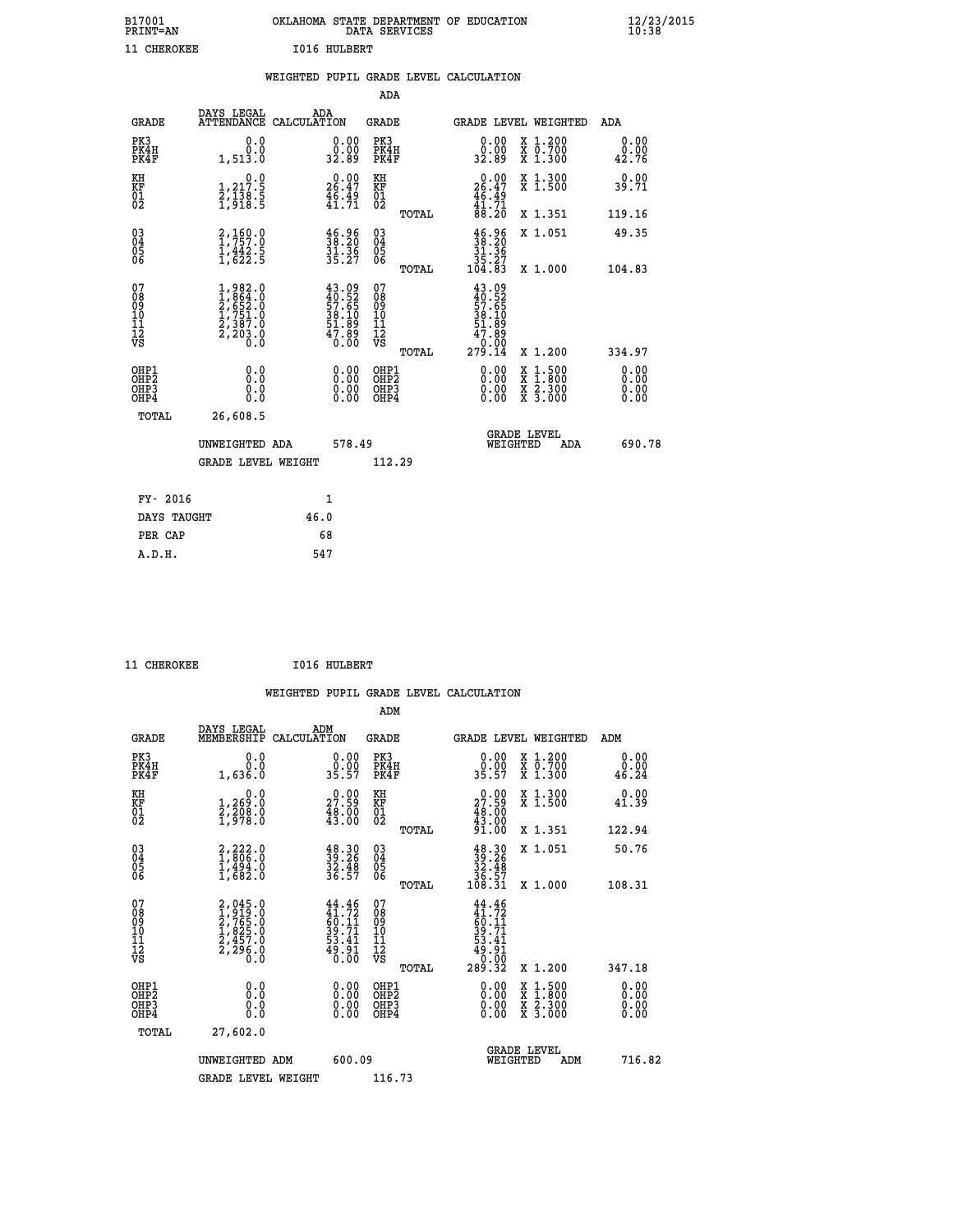| B17001<br><b>PRINT=AN</b> | OKLAHOMA STATE DEPARTMENT OF EDUCATION<br>DATA SERVICES |  |
|---------------------------|---------------------------------------------------------|--|
| 11 CHEROKEE               | <b>I016 HULBERT</b>                                     |  |

|  |  | WEIGHTED PUPIL GRADE LEVEL CALCULATION |
|--|--|----------------------------------------|
|  |  |                                        |

|                                                                    |                                                                                                         |                                                                          | ADA                                               |                                                                                        |                                          |                              |
|--------------------------------------------------------------------|---------------------------------------------------------------------------------------------------------|--------------------------------------------------------------------------|---------------------------------------------------|----------------------------------------------------------------------------------------|------------------------------------------|------------------------------|
| <b>GRADE</b>                                                       | DAYS LEGAL                                                                                              | ADA<br>ATTENDANCE CALCULATION                                            | <b>GRADE</b>                                      | GRADE LEVEL WEIGHTED                                                                   |                                          | <b>ADA</b>                   |
| PK3<br>PK4H<br>PK4F                                                | 0.0<br>0.0<br>1,513.0                                                                                   | $\begin{smallmatrix} 0.00\\ 0.00\\ 32.89 \end{smallmatrix}$              | PK3<br>PK4H<br>PK4F                               | 0.00<br>ۆة:ۆ<br>32:89                                                                  | X 1.200<br>X 0.700<br>X 1.300            | 0.00<br>0.00<br>42.76        |
| KH<br>KF<br>01<br>02                                               | 0.0<br>1,217:5<br>2,138:5<br>1,918:5                                                                    | $26.00$<br>26.47<br>$\frac{46}{41}$ $\frac{49}{71}$                      | KH<br>KF<br>01<br>02                              | $\begin{smallmatrix} 0.00\\ 26.47\\ 46.49\\ 41.71\\ 88.20 \end{smallmatrix}$           | X 1.300<br>X 1.500                       | 0.00<br>39.71                |
|                                                                    |                                                                                                         |                                                                          | TOTAL                                             |                                                                                        | X 1.351                                  | 119.16                       |
| $\begin{smallmatrix} 03 \\[-4pt] 04 \end{smallmatrix}$<br>Ŏ5<br>06 | 2,160.0<br>$\frac{1}{4}$ , $\frac{1}{6}$ , $\frac{1}{2}$ , $\frac{5}{5}$                                | $\frac{46.96}{38.20}$<br>$\frac{31.36}{35.27}$                           | $\substack{03 \\ 04}$<br>$\frac{05}{06}$<br>TOTAL | $\begin{array}{c} 46.96 \\ 38.20 \\ 31.36 \\ 35.27 \\ 104.83 \end{array}$              | X 1.051<br>X 1.000                       | 49.35<br>104.83              |
| 07<br>08<br>09<br>11<br>11<br>12<br>VS                             | $\begin{smallmatrix} 1,982.0\\ 1,864.0\\ 2,652.0\\ 1,751.0\\ 2,387.0\\ 2,203.0\\ 0.0 \end{smallmatrix}$ | $43.09$<br>$40.52$<br>$57.65$<br>$38.10$<br>$51.89$<br>$47.89$<br>$0.00$ | 07<br>08<br>09<br>11<br>11<br>12<br>VS            | $43.09$<br>$40.52$<br>$57.65$<br>$54.109$<br>$51.89$<br>$47.89$<br>$0.000$<br>$279.14$ |                                          |                              |
|                                                                    |                                                                                                         |                                                                          | TOTAL                                             |                                                                                        | X 1.200                                  | 334.97                       |
| OHP1<br>OH <sub>P</sub> 2<br>OHP3<br>OHP4                          | 0.0<br>Ō.Ō<br>0.0<br>0.0                                                                                | 0.00<br>$\begin{smallmatrix} 0.00 \ 0.00 \end{smallmatrix}$              | OHP1<br>OH <sub>P</sub> 2<br>OHP3<br>OHP4         | 0.00<br>X<br>X<br>0.00<br>0.00                                                         | $1:500$<br>$1:800$<br>X 2.300<br>X 3.000 | 0.00<br>0.00<br>0.00<br>0.00 |
|                                                                    | TOTAL<br>26,608.5                                                                                       |                                                                          |                                                   |                                                                                        |                                          |                              |
|                                                                    | UNWEIGHTED ADA                                                                                          | 578.49                                                                   |                                                   | <b>GRADE LEVEL</b><br>WEIGHTED                                                         | ADA                                      | 690.78                       |
|                                                                    | <b>GRADE LEVEL WEIGHT</b>                                                                               |                                                                          | 112.29                                            |                                                                                        |                                          |                              |
|                                                                    | FY- 2016                                                                                                | 1                                                                        |                                                   |                                                                                        |                                          |                              |
|                                                                    | DAYS TAUGHT                                                                                             | 46.0                                                                     |                                                   |                                                                                        |                                          |                              |
|                                                                    | PER CAP                                                                                                 | 68                                                                       |                                                   |                                                                                        |                                          |                              |

| 11 CHEROKEE | <b>I016 HULBERT</b> |
|-------------|---------------------|
|             |                     |

| <b>GRADE</b>                             | DAYS LEGAL<br>MEMBERSHIP                                                  | ADM<br>CALCULATION                                                       | <b>GRADE</b>                                       |       | GRADE LEVEL WEIGHTED                                                                 |                                          | ADM                   |  |
|------------------------------------------|---------------------------------------------------------------------------|--------------------------------------------------------------------------|----------------------------------------------------|-------|--------------------------------------------------------------------------------------|------------------------------------------|-----------------------|--|
| PK3<br>PK4H<br>PK4F                      | 0.0<br>0.0<br>1,636.0                                                     | $\begin{smallmatrix} 0.00\\ 0.00\\ 35.57 \end{smallmatrix}$              | PK3<br>PK4H<br>PK4F                                |       | 0.00<br>$0.00$<br>35.57                                                              | X 1.200<br>X 0.700<br>X 1.300            | 0.00<br>0.00<br>46.24 |  |
| KH<br>KF<br>01<br>02                     | 0.0<br>1,269:0<br>2,208:0<br>1,978:0                                      | $2^0.99$<br>$\frac{48.00}{43.00}$                                        | KH<br>KF<br>01<br>02                               |       | $\begin{smallmatrix} 0.00\\ 27.59\\ 48.00\\ 43.00\\ 91.00 \end{smallmatrix}$         | X 1.300<br>X 1.500                       | 0.00<br>41.39         |  |
|                                          |                                                                           |                                                                          |                                                    | TOTAL |                                                                                      | X 1.351                                  | 122.94                |  |
| 03<br>04<br>05<br>06                     | $2,222.0$<br>$1,806.0$<br>$1,494.0$<br>$1,682.0$                          | $38.30$<br>$32.26$<br>$32.48$<br>$36.57$                                 | $\begin{matrix} 03 \\ 04 \\ 05 \\ 06 \end{matrix}$ |       | $39.3039.2632.4836.57108.31$                                                         | X 1.051                                  | 50.76                 |  |
|                                          |                                                                           |                                                                          |                                                    | TOTAL |                                                                                      | X 1.000                                  | 108.31                |  |
| 07<br>089<br>090<br>1112<br>VS           | 2,045.0<br>1,919.0<br>2,765.0<br>2,765.0<br>1,825.0<br>2,457.0<br>2,296.0 | $44.46$<br>$41.72$<br>$50.11$<br>$39.71$<br>$53.41$<br>$54.91$<br>$0.00$ | 07<br>08901112<br>1112<br>VS                       | TOTAL | $44.46$<br>$41.72$<br>$60.11$<br>$59.71$<br>$39.34$<br>$49.91$<br>$0.00$<br>$289.32$ | X 1.200                                  | 347.18                |  |
| OHP1<br>OHP2<br>OH <sub>P3</sub><br>OHP4 | 0.0<br>0.000                                                              |                                                                          | OHP1<br>OHP2<br>OHP3<br>OHP4                       |       | 0.00<br>0.00                                                                         | X 1:500<br>X 1:800<br>X 2:300<br>X 3:000 | 0.00<br>0.00<br>0.00  |  |
| TOTAL                                    | 27,602.0                                                                  |                                                                          |                                                    |       |                                                                                      |                                          |                       |  |
|                                          | UNWEIGHTED<br>ADM                                                         | 600.09                                                                   |                                                    |       | WEIGHTED                                                                             | <b>GRADE LEVEL</b><br>ADM                | 716.82                |  |
|                                          | <b>GRADE LEVEL WEIGHT</b>                                                 |                                                                          | 116.73                                             |       |                                                                                      |                                          |                       |  |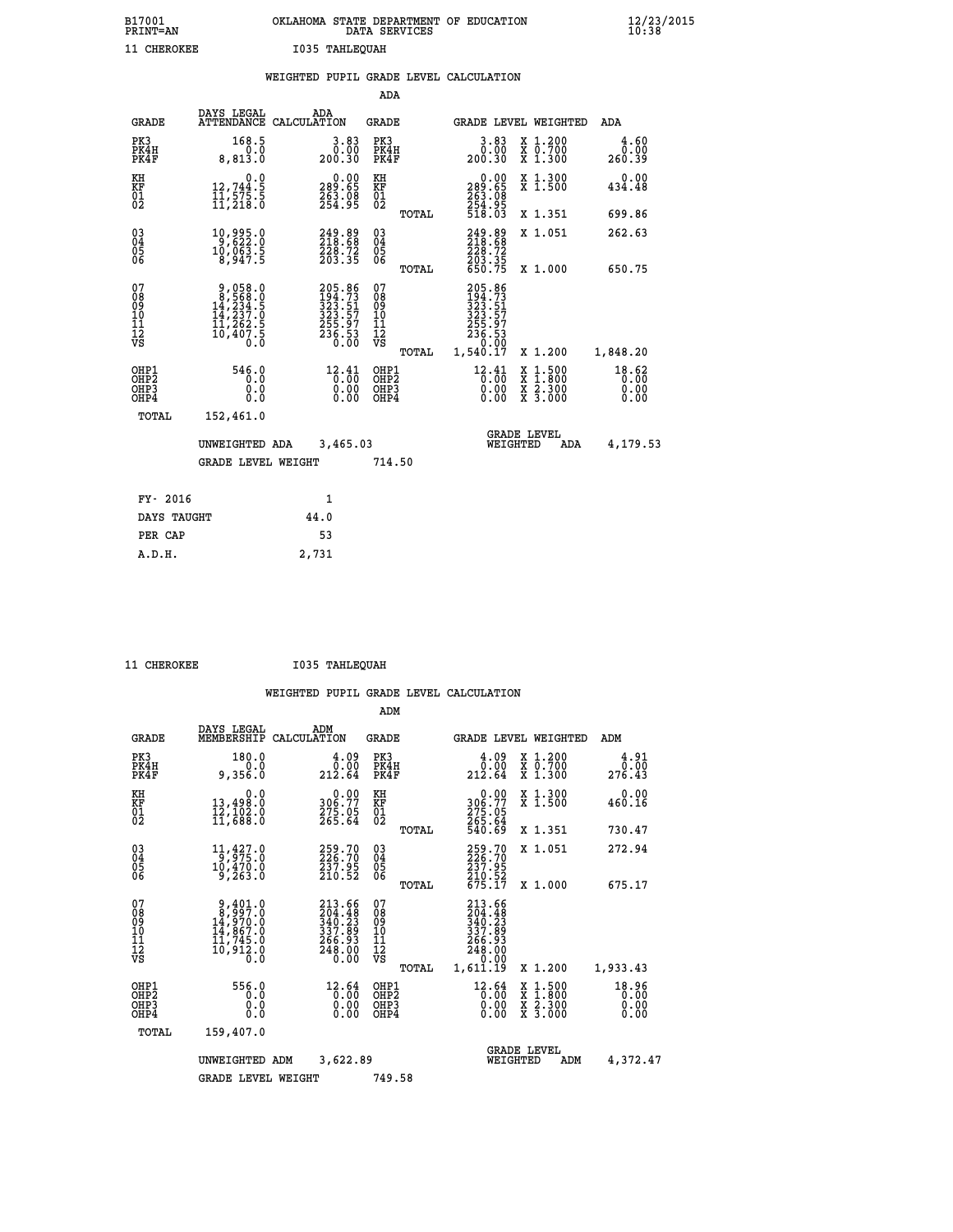| B17001<br><b>PRINT=AN</b> | OKLAHOMA STATE DEPARTMENT OF EDUCATION<br>DATA SERVICES | $\frac{12}{23}$ /2015 |
|---------------------------|---------------------------------------------------------|-----------------------|
| 11 CHEROKEE               | I035 TAHLEOUAH                                          |                       |

|  |  | WEIGHTED PUPIL GRADE LEVEL CALCULATION |
|--|--|----------------------------------------|
|  |  |                                        |

|                                                                  |                                                                                                                                                                      |                                                                                 | ADA                                       |       |                                                                               |                                                                                                  |                               |
|------------------------------------------------------------------|----------------------------------------------------------------------------------------------------------------------------------------------------------------------|---------------------------------------------------------------------------------|-------------------------------------------|-------|-------------------------------------------------------------------------------|--------------------------------------------------------------------------------------------------|-------------------------------|
| <b>GRADE</b>                                                     | DAYS LEGAL                                                                                                                                                           | ADA<br>ATTENDANCE CALCULATION                                                   | <b>GRADE</b>                              |       |                                                                               | GRADE LEVEL WEIGHTED                                                                             | ADA                           |
| PK3<br>PK4H<br>PK4F                                              | 168.5<br>0.0<br>8,813.0                                                                                                                                              | $\begin{smallmatrix} 3.83\ 0.00\ 0.30 \end{smallmatrix}$                        | PK3<br>PK4H<br>PK4F                       |       | 3.83<br>00.0<br>200.30                                                        | X 1.200<br>X 0.700<br>X 1.300                                                                    | 4.60<br>0.00<br>260.39        |
| KH<br>KF<br>01<br>02                                             | 0.0<br>12,744.5<br>11,575.5<br>11,218.0                                                                                                                              | $\begin{smallmatrix} &0.00\ 289.65\ 263.98\ 254.95\ \end{smallmatrix}$          | KH<br>KF<br>01<br>02                      |       | 0.00<br>289:65<br>263:08<br>254:95<br>518:03                                  | X 1.300<br>X 1.500                                                                               | 0.00<br>434.48                |
|                                                                  |                                                                                                                                                                      |                                                                                 |                                           | TOTAL |                                                                               | X 1.351                                                                                          | 699.86                        |
| $\begin{matrix} 03 \\ 04 \\ 05 \\ 06 \end{matrix}$               | 10,995.0<br>10,063.5<br>8,947.5                                                                                                                                      | 249.89<br>218.68<br>228.72<br>203.35                                            | $\substack{03 \\ 04}$<br>05<br>06         |       | 249.89<br>218.68<br>$\frac{228.72}{203.35}$<br>650.75                         | X 1.051                                                                                          | 262.63                        |
|                                                                  |                                                                                                                                                                      |                                                                                 |                                           | TOTAL |                                                                               | X 1.000                                                                                          | 650.75                        |
| 07<br>08<br>09<br>10<br>11<br>12<br>VS                           | $\begin{smallmatrix} 9\,,\,058\,.\,0\\ 8\,,\,568\,. \,0\\ 14\,,\,234\,. \,5\\ 14\,,\,237\,. \,0\\ 11\,,\,262\,. \,5\\ 10\,,\,407\,. \,5\\ 0\,. \,0\end{smallmatrix}$ | 205.86<br>194.73<br>123.51<br>323.57<br>325.97<br>255.97<br>236.53<br>0.00      | 07<br>08<br>09<br>101<br>112<br>VS        |       | 205.86<br>$194.73$<br>$323.51$<br>$323.57$<br>$255.97$<br>$236.53$<br>$-9.99$ |                                                                                                  |                               |
|                                                                  |                                                                                                                                                                      |                                                                                 |                                           | TOTAL | 1,540.17                                                                      | X 1.200                                                                                          | 1,848.20                      |
| OHP1<br>OH <sub>P</sub> <sub>2</sub><br>OH <sub>P3</sub><br>OHP4 | 546.0<br>0.0<br>0.0<br>0.0                                                                                                                                           | $12.41$ <sub>0</sub> :00<br>$\begin{smallmatrix} 0.00 \ 0.00 \end{smallmatrix}$ | OHP1<br>OH <sub>P</sub> 2<br>OHP3<br>OHP4 |       | $^{12}_{0}$ : $^{41}_{00}$<br>0.00                                            | $\begin{smallmatrix} x & 1 & 500 \\ x & 1 & 800 \\ x & 2 & 300 \\ x & 3 & 000 \end{smallmatrix}$ | 18.62<br>0.00<br>0.00<br>0.00 |
| <b>TOTAL</b>                                                     | 152,461.0                                                                                                                                                            |                                                                                 |                                           |       |                                                                               |                                                                                                  |                               |
|                                                                  | UNWEIGHTED ADA                                                                                                                                                       | 3,465.03                                                                        |                                           |       | WEIGHTED                                                                      | <b>GRADE LEVEL</b><br>ADA                                                                        | 4,179.53                      |
|                                                                  | <b>GRADE LEVEL WEIGHT</b>                                                                                                                                            |                                                                                 | 714.50                                    |       |                                                                               |                                                                                                  |                               |
|                                                                  |                                                                                                                                                                      |                                                                                 |                                           |       |                                                                               |                                                                                                  |                               |
| FY- 2016                                                         |                                                                                                                                                                      | 1                                                                               |                                           |       |                                                                               |                                                                                                  |                               |
| DAYS TAUGHT                                                      |                                                                                                                                                                      | 44.0                                                                            |                                           |       |                                                                               |                                                                                                  |                               |
| PER CAP                                                          |                                                                                                                                                                      | 53                                                                              |                                           |       |                                                                               |                                                                                                  |                               |

 **A.D.H. 2,731**

 **11 CHEROKEE I035 TAHLEQUAH**

|                                                    |                                                                                     |                                                                                      | ADM                                                 |                                                                                           |                                                                                          |                               |
|----------------------------------------------------|-------------------------------------------------------------------------------------|--------------------------------------------------------------------------------------|-----------------------------------------------------|-------------------------------------------------------------------------------------------|------------------------------------------------------------------------------------------|-------------------------------|
| <b>GRADE</b>                                       | DAYS LEGAL<br>MEMBERSHIP                                                            | ADM<br>CALCULATION                                                                   | GRADE                                               |                                                                                           | GRADE LEVEL WEIGHTED                                                                     | ADM                           |
| PK3<br>PK4H<br>PK4F                                | 180.0<br>0.0<br>9,356.0                                                             | 4.09<br>0.00<br>212.64                                                               | PK3<br>PK4H<br>PK4F                                 | 4.09<br>0.00 ق<br>212.64                                                                  | X 1.200<br>X 0.700<br>X 1.300                                                            | 4.91<br>0.00<br>276.43        |
| KH<br>KF<br>01<br>02                               | 0.0<br>13,498.0<br>12,102.0<br>11,688.0                                             | $\begin{smallmatrix} &0.00\\ 306.77\\ 275.05\\ 265.64\end{smallmatrix}$              | KH<br>KF<br>01<br>02                                | 0.00<br>306.77<br>275.05<br>265.64<br>540.69                                              | X 1.300<br>X 1.500                                                                       | 0.00<br>460.16                |
|                                                    |                                                                                     |                                                                                      | TOTAL                                               |                                                                                           | X 1.351                                                                                  | 730.47                        |
| $\begin{matrix} 03 \\ 04 \\ 05 \\ 06 \end{matrix}$ | $11,427.0$<br>$9,975.0$<br>10,470.0<br>9,263.0                                      | 259.70<br>226.70<br>237.95<br>210.52                                                 | $\begin{array}{c} 03 \\ 04 \\ 05 \\ 06 \end{array}$ | 259.70<br>226.70<br>237.95                                                                | X 1.051                                                                                  | 272.94                        |
|                                                    |                                                                                     |                                                                                      | TOTAL                                               | 210.52<br>675.17                                                                          | X 1.000                                                                                  | 675.17                        |
| 07<br>08<br>09<br>101<br>11<br>12<br>VS            | 9,401.0<br>8,997.0<br>$14,970.0$<br>$14,867.0$<br>$11,745.0$<br>$10,912.0$<br>$0.0$ | 213.66<br>$\frac{204}{340}$ : $\frac{48}{23}$<br>337.09<br>266.93<br>248.00<br>Ō. ÕÕ | 07<br>08<br>09<br>11<br>11<br>12<br>VS<br>TOTAL     | 213.66<br>$204.48$<br>$340.23$<br>$337.89$<br>$266.93$<br>$248.00$<br>$-0.00$<br>1,611.19 | X 1.200                                                                                  | 1,933.43                      |
| OHP1<br>OHP2<br>OH <sub>P3</sub><br>OHP4           | 556.0<br>0.0<br>0.0<br>0.0                                                          | 12.64<br>$\begin{smallmatrix} 0.00\ 0.00 \end{smallmatrix}$<br>0.00                  | OHP1<br>OH <sub>P</sub> 2<br>OHP3<br>OHP4           | $\frac{12.64}{0.00}$<br>0.00                                                              | $\begin{smallmatrix} x & 1.500 \\ x & 1.800 \\ x & 2.300 \\ x & 3.000 \end{smallmatrix}$ | 18.96<br>0.00<br>0.00<br>0.00 |
| TOTAL                                              | 159,407.0                                                                           |                                                                                      |                                                     |                                                                                           |                                                                                          |                               |
|                                                    | UNWEIGHTED<br>ADM                                                                   | 3,622.89                                                                             |                                                     | WEIGHTED                                                                                  | <b>GRADE LEVEL</b><br>ADM                                                                | 4,372.47                      |
|                                                    | <b>GRADE LEVEL WEIGHT</b>                                                           |                                                                                      | 749.58                                              |                                                                                           |                                                                                          |                               |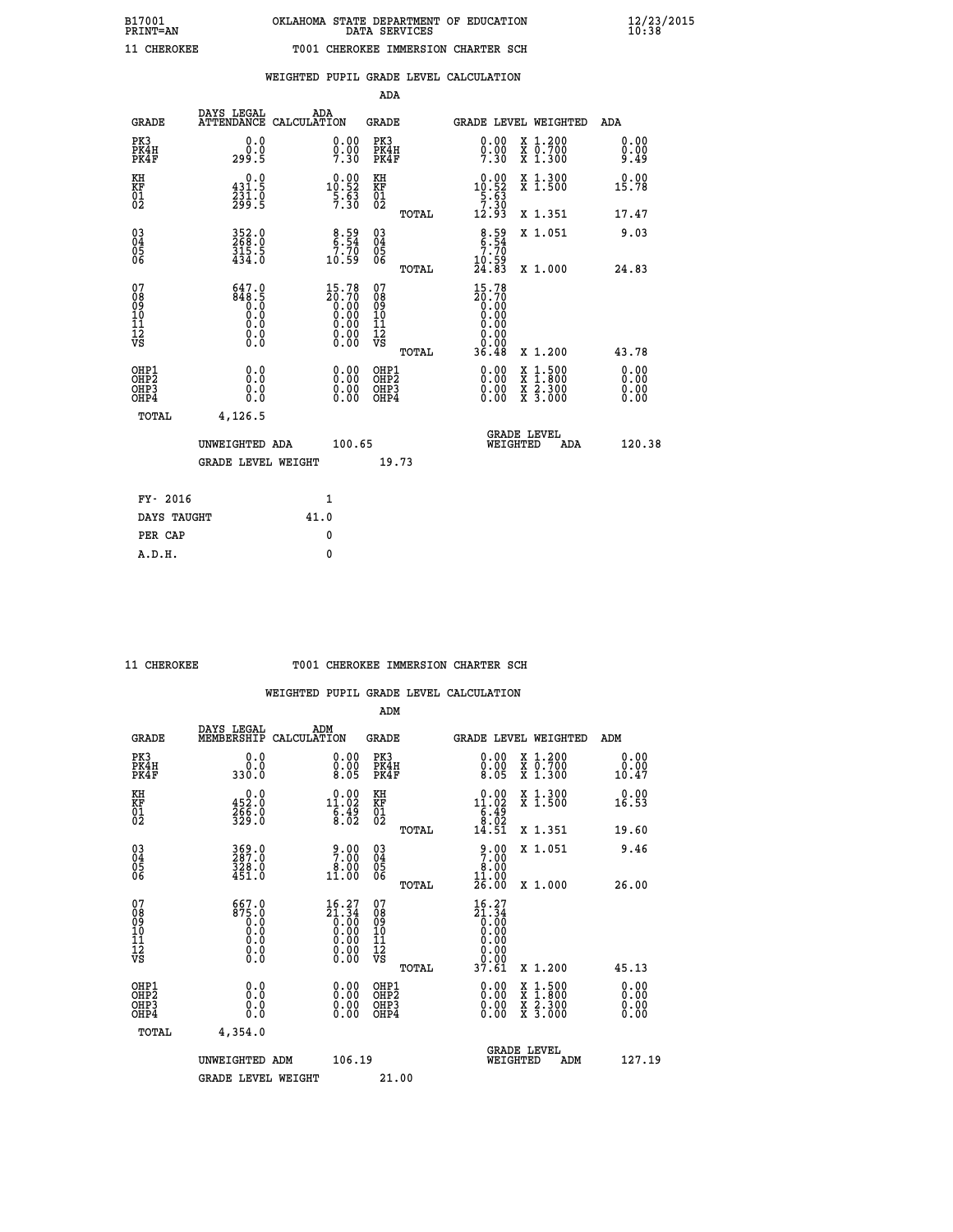| CHEROKEE |  |  |
|----------|--|--|

## **WEIGHTED PUPIL GRADE LEVEL CALCULATION**

|                                                    |                                            |                                                                                                          |        | ADA                                    |       |                                                                                                           |   |                                          |                              |
|----------------------------------------------------|--------------------------------------------|----------------------------------------------------------------------------------------------------------|--------|----------------------------------------|-------|-----------------------------------------------------------------------------------------------------------|---|------------------------------------------|------------------------------|
| <b>GRADE</b>                                       | DAYS LEGAL<br><b>ATTENDANCE</b>            | ADA<br>CALCULATION                                                                                       |        | GRADE                                  |       |                                                                                                           |   | GRADE LEVEL WEIGHTED                     | <b>ADA</b>                   |
| PK3<br>PK4H<br>PK4F                                | 0.0<br>0.0<br>299.5                        | 0.00<br>$0.00$<br>7.30                                                                                   |        | PK3<br>PK4H<br>PK4F                    |       | 0.00<br>$0.00$<br>7.30                                                                                    |   | X 1.200<br>X 0.700<br>X 1.300            | 0.00<br>0.00<br>9.49         |
| KH<br><b>KF</b><br>01<br>02                        | 0.0<br>431.5<br>$\frac{231.0}{299.5}$      | $0.00$<br>10.52<br>$\frac{5.63}{7.30}$                                                                   |        | KH<br>KF<br>01<br>02                   |       | $\begin{smallmatrix} 0.00\\10.52\\5.63\\7.30\\12.93 \end{smallmatrix}$                                    |   | X 1.300<br>X 1.500                       | 0.00<br>15.78                |
|                                                    |                                            |                                                                                                          |        |                                        | TOTAL |                                                                                                           |   | X 1.351                                  | 17.47                        |
| $\begin{matrix} 03 \\ 04 \\ 05 \\ 06 \end{matrix}$ | 352.0<br>268.0<br>315.5<br>434.0           | $\begin{array}{c} 8.59 \\ 6.54 \\ 7.70 \\ 10.59 \end{array}$                                             |        | 03<br>04<br>05<br>06                   |       | $8:54$<br>$7:70$<br>$10:59$<br>$24:83$                                                                    |   | X 1.051                                  | 9.03                         |
|                                                    |                                            |                                                                                                          |        |                                        | TOTAL |                                                                                                           |   | X 1.000                                  | 24.83                        |
| 07<br>08<br>09<br>101<br>11<br>12<br>VS            | 647.0<br>848<br>0.0<br>0.0<br>0.0<br>$\S.$ | 15.78<br>$\begin{smallmatrix} 20.70 \ 20.00 \ 0.00 \ 0.00 \ 0.00 \ 0.00 \ 0.00 \ 0.00 \end{smallmatrix}$ |        | 07<br>08<br>09<br>11<br>11<br>12<br>VS |       | 15.78<br>$\begin{smallmatrix} 20.700\\ 0.000\\ 0.000\\ 0.000\\ 0.000\\ 0.000\\ 0.000\\ \end{smallmatrix}$ |   |                                          |                              |
|                                                    |                                            |                                                                                                          |        |                                        | TOTAL | 36.48                                                                                                     |   | X 1.200                                  | 43.78                        |
| OHP1<br>OHP2<br>OH <sub>P</sub> 3<br>OHP4          | 0.0<br>0.0<br>0.0                          | 0.00<br>$\begin{smallmatrix} 0.00 \ 0.00 \end{smallmatrix}$                                              |        | OHP1<br>OHP2<br>OHP3<br>OHP4           |       | $0.00$<br>$0.00$<br>0.00                                                                                  | X | $1.500$<br>$1.800$<br>X 2.300<br>X 3.000 | 0.00<br>0.00<br>0.00<br>0.00 |
| TOTAL                                              | 4,126.5                                    |                                                                                                          |        |                                        |       |                                                                                                           |   |                                          |                              |
|                                                    | UNWEIGHTED ADA                             |                                                                                                          | 100.65 |                                        |       | WEIGHTED                                                                                                  |   | <b>GRADE LEVEL</b><br>ADA                | 120.38                       |
|                                                    | <b>GRADE LEVEL WEIGHT</b>                  |                                                                                                          |        | 19.73                                  |       |                                                                                                           |   |                                          |                              |
| FY- 2016                                           |                                            | $\mathbf{1}$                                                                                             |        |                                        |       |                                                                                                           |   |                                          |                              |
| DAYS TAUGHT                                        |                                            | 41.0                                                                                                     |        |                                        |       |                                                                                                           |   |                                          |                              |
|                                                    |                                            |                                                                                                          |        |                                        |       |                                                                                                           |   |                                          |                              |

**PER CAP** 0  **A.D.H. 0**

## **11 CHEROKEE T001 CHEROKEE IMMERSION CHARTER SCH**

|                                                      |                                              |                                                                                                                                  | ADM                                                 |       |                                                                                |                                          |                              |
|------------------------------------------------------|----------------------------------------------|----------------------------------------------------------------------------------------------------------------------------------|-----------------------------------------------------|-------|--------------------------------------------------------------------------------|------------------------------------------|------------------------------|
| <b>GRADE</b>                                         | DAYS LEGAL<br>MEMBERSHIP                     | ADM<br>CALCULATION                                                                                                               | <b>GRADE</b>                                        |       |                                                                                | GRADE LEVEL WEIGHTED                     | ADM                          |
| PK3<br>PK4H<br>PK4F                                  | 0.0<br>0.0<br>330.0                          | $\begin{smallmatrix} 0.00\\ 0.00\\ 8.05 \end{smallmatrix}$                                                                       | PK3<br>PK4H<br>PK4F                                 |       | $\begin{smallmatrix} 0.00 \\ 0.00 \\ 8.05 \end{smallmatrix}$                   | X 1.200<br>X 0.700<br>X 1.300            | 0.00<br>0.00<br>10.47        |
| KH<br>KF<br>01<br>02                                 | $0.0$<br>452.0<br>$\frac{266}{329}$ :0       | $\begin{smallmatrix} 0.00\\ 11.02\\ 6.49\\ 8.02 \end{smallmatrix}$                                                               | KH<br>KF<br>01<br>02                                |       | $\begin{smallmatrix} 0.00\\ 11.02\\ 6.49\\ 8.02\\ 14.51 \end{smallmatrix}$     | X 1.300<br>X 1.500                       | 0.00<br>16.53                |
|                                                      |                                              |                                                                                                                                  |                                                     | TOTAL |                                                                                | X 1.351                                  | 19.60                        |
| 03<br>04<br>05<br>06                                 | 369.0<br>287.0<br>328.0<br>451.0             | $\begin{smallmatrix} 9.00\\7.00\\8.00\\11.00 \end{smallmatrix}$                                                                  | $\begin{array}{c} 03 \\ 04 \\ 05 \\ 06 \end{array}$ |       | 9.00<br>8.00<br>11.00                                                          | X 1.051                                  | 9.46                         |
|                                                      |                                              |                                                                                                                                  |                                                     | TOTAL | 26.00                                                                          | X 1.000                                  | 26.00                        |
| 07<br>08<br>09<br>101<br>112<br>VS                   | 667.0<br>875.0<br>ŏ:ŏ<br>0:0<br>0:0<br>$\S.$ | $\begin{smallmatrix} 16 & 27\\ 21 & 34\\ 0 & 00\\ 0 & 00\\ 0 & 00\\ 0 & 00\\ 0 & 00\\ 0 & 00\\ 0 & 00\\ 0 & 00\end{smallmatrix}$ | 07<br>08<br>09<br>11<br>11<br>12<br>VS              |       | $16.27$<br>$21.34$<br>$0.00$<br>$0.00$<br>$0.00$<br>$0.00$<br>$0.00$<br>$0.00$ |                                          |                              |
|                                                      |                                              |                                                                                                                                  |                                                     | TOTAL | 37.61                                                                          | X 1.200                                  | 45.13                        |
| OHP1<br>OHP2<br>OH <sub>P3</sub><br>OH <sub>P4</sub> | 0.0<br>0.000                                 |                                                                                                                                  | OHP1<br>OHP2<br>OHP <sub>3</sub>                    |       | $0.00$<br>$0.00$<br>0.00                                                       | X 1:500<br>X 1:800<br>X 2:300<br>X 3:000 | 0.00<br>Ŏ.ŎŎ<br>Q.QQ<br>0.00 |
| TOTAL                                                | 4,354.0                                      |                                                                                                                                  |                                                     |       |                                                                                |                                          |                              |
|                                                      | UNWEIGHTED ADM                               | 106.19                                                                                                                           |                                                     |       |                                                                                | GRADE LEVEL<br>WEIGHTED<br>ADM           | 127.19                       |
|                                                      | <b>GRADE LEVEL WEIGHT</b>                    |                                                                                                                                  | 21.00                                               |       |                                                                                |                                          |                              |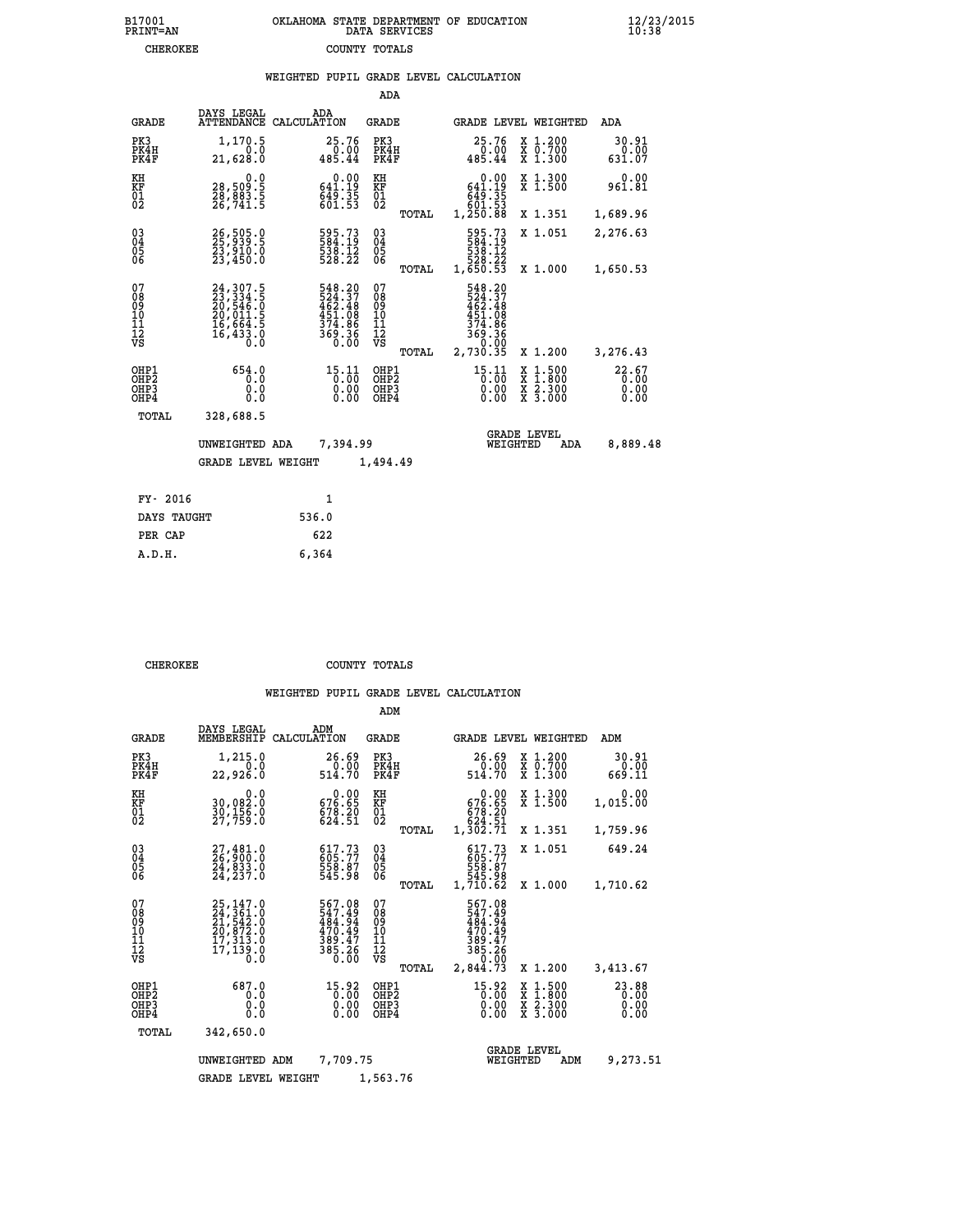|                                                                    |                                                                           |                                                                         | ADA                                       |       |                                                                  |                                          |                               |
|--------------------------------------------------------------------|---------------------------------------------------------------------------|-------------------------------------------------------------------------|-------------------------------------------|-------|------------------------------------------------------------------|------------------------------------------|-------------------------------|
| <b>GRADE</b>                                                       | DAYS LEGAL<br>ATTENDANCE                                                  | ADA<br>CALCULATION                                                      | <b>GRADE</b>                              |       |                                                                  | GRADE LEVEL WEIGHTED                     | ADA                           |
| PK3<br>PK4H<br>PK4F                                                | 1,170.5<br>0.0<br>21,628.0                                                | 25.76<br>0.00<br>485.44                                                 | PK3<br>PK4H<br>PK4F                       |       | 25.76<br>$\begin{smallmatrix} 0.00 \\ 485.44 \end{smallmatrix}$  | X 1.200<br>X 0.700<br>X 1.300            | 30.91<br>0.00<br>631.07       |
| KH<br><b>KF</b><br>01<br>02                                        | 0.0<br>28,509:5<br>28,883:5<br>26,741:5                                   | $\begin{smallmatrix} &0.00\\ 641.19\\ 649.35\\ 601.53\end{smallmatrix}$ | KH<br>KF<br>01<br>02                      |       | 0.00<br>641.19<br>649.35                                         | X 1.300<br>X 1.500                       | 0.00<br>961.81                |
|                                                                    |                                                                           |                                                                         |                                           | TOTAL | 1,250.88                                                         | X 1.351                                  | 1,689.96                      |
| $\begin{smallmatrix} 03 \\[-4pt] 04 \end{smallmatrix}$<br>05<br>06 | 26,505.0<br>23,910.0<br>23,450.0                                          | 595.73<br>584:19<br>538:12<br>528:22                                    | $\substack{03 \\ 04}$<br>05<br>06         | TOTAL | 595.73<br>538.12<br>528.22<br>1,650.53                           | X 1.051<br>X 1.000                       | 2,276.63<br>1,650.53          |
| 07<br>08<br>09<br>11<br>11<br>12<br>VS                             | 24, 307.5<br>23, 334.5<br>20, 546.0<br>20, 011.5<br>16, 664.5<br>16,433.0 | 548.20<br>524.37<br>462.48<br>451.08<br>374.86<br>369.36<br>0.00        | 07<br>08<br>09<br>11<br>11<br>12<br>VS    |       | 548.20<br>524.37<br>462.48<br>451.08<br>374.86<br>369.36<br>0.00 |                                          |                               |
|                                                                    |                                                                           |                                                                         |                                           | TOTAL | 2,730.35                                                         | X 1.200                                  | 3,276.43                      |
| OHP1<br>OH <sub>P</sub> 2<br>OH <sub>P3</sub><br>OH <sub>P4</sub>  | 654.0<br>0.0<br>0.0<br>0.0                                                | 15.11<br>0.00<br>0.00<br>0.00                                           | OHP1<br>OH <sub>P</sub> 2<br>OHP3<br>OHP4 |       | 15.11<br>0.00<br>0.00<br>0.00                                    | X 1:500<br>X 1:800<br>X 2:300<br>X 3:000 | 22.67<br>0.00<br>0.00<br>0.00 |
| TOTAL                                                              | 328,688.5                                                                 |                                                                         |                                           |       |                                                                  |                                          |                               |
|                                                                    | UNWEIGHTED ADA                                                            | 7,394.99                                                                |                                           |       |                                                                  | <b>GRADE LEVEL</b><br>WEIGHTED<br>ADA    | 8,889.48                      |
|                                                                    | <b>GRADE LEVEL WEIGHT</b>                                                 |                                                                         | 1,494.49                                  |       |                                                                  |                                          |                               |
| FY- 2016                                                           |                                                                           | $\mathbf{1}$                                                            |                                           |       |                                                                  |                                          |                               |
| DAYS TAUGHT                                                        |                                                                           | 536.0                                                                   |                                           |       |                                                                  |                                          |                               |
| PER CAP                                                            |                                                                           | 622                                                                     |                                           |       |                                                                  |                                          |                               |

| CHEROKEE | COUNTY TOTALS |  |
|----------|---------------|--|

 **A.D.H. 6,364**

|                                                       |                                                                                  |                                                                        | ADM                                              |                                                                                              |                                                                                                  |                         |
|-------------------------------------------------------|----------------------------------------------------------------------------------|------------------------------------------------------------------------|--------------------------------------------------|----------------------------------------------------------------------------------------------|--------------------------------------------------------------------------------------------------|-------------------------|
| <b>GRADE</b>                                          | DAYS LEGAL<br>MEMBERSHIP                                                         | ADM<br>CALCULATION                                                     | <b>GRADE</b>                                     | GRADE LEVEL WEIGHTED                                                                         |                                                                                                  | ADM                     |
| PK3<br>PK4H<br>PK4F                                   | 1,215.0<br>0.0<br>22,926.0                                                       | 26.69<br>0.00<br>514.70                                                | PK3<br>PK4H<br>PK4F                              | 26.69<br>0.00<br>514.70                                                                      | $\begin{smallmatrix} x & 1.200 \\ x & 0.700 \end{smallmatrix}$<br>X 1.300                        | 30.91<br>0.00<br>669.11 |
| KH<br>KF<br>01<br>02                                  | 0.0<br>30,082.0<br>30,156.0<br>27,759.0                                          | $\begin{smallmatrix} &0.00\\ 676.65\\ 78.20\\ 624.51\end{smallmatrix}$ | KH<br>KF<br>01<br>02                             | 0.00<br>676.65<br>678.20<br>624.51                                                           | X 1.300<br>X 1.500                                                                               | 0.00<br>1,015.00        |
|                                                       |                                                                                  |                                                                        | TOTAL                                            | 1,302.71                                                                                     | X 1.351                                                                                          | 1,759.96                |
| 03<br>04<br>05<br>06                                  | 27,481.0<br>26,900.0<br>24,833.0<br>24,237.0                                     | 617.73<br>605.77<br>558.87<br>545.98                                   | $\substack{03 \\ 04}$<br>05<br>06                | 617.73<br>605.77<br>558.87<br>545.98                                                         | X 1.051                                                                                          | 649.24                  |
|                                                       |                                                                                  |                                                                        | TOTAL                                            | 1,710.62                                                                                     | X 1.000                                                                                          | 1,710.62                |
| 07<br>08<br>09<br>11<br>11<br>12<br>VS                | 25, 147.0<br>24, 361.0<br>21, 542.0<br>20, 872.0<br>17, 313.0<br>17,139.0<br>Õ.Ŏ | 567.08<br>547.49<br>484.94<br>470.49<br>389.47<br>385.26<br>0.00       | 07<br>08<br>09<br>101<br>11<br>12<br>VS<br>TOTAL | 567.08<br>547.49<br>484.94<br>470.49<br>389.47<br>385.26<br>0.00<br>2,844.73                 | X 1.200                                                                                          | 3,413.67                |
| OHP1<br>OH <sub>P</sub> 2<br>OH <sub>P3</sub><br>OHP4 | 687.0<br>0.0<br>0.0<br>Ŏ.Ŏ                                                       | 15.92<br>0.00<br>0.00<br>0.00                                          | OHP1<br>OH <sub>P</sub> 2<br>OHP3<br>OHP4        | 15.92<br>$\begin{smallmatrix} 0 & 0 & 0 \\ 0 & 0 & 0 \\ 0 & 0 & 0 \end{smallmatrix}$<br>0.00 | $\begin{smallmatrix} x & 1 & 500 \\ x & 1 & 800 \\ x & 2 & 300 \\ x & 3 & 000 \end{smallmatrix}$ | 23.88<br>0.00<br>0.00   |
| TOTAL                                                 | 342,650.0                                                                        |                                                                        |                                                  |                                                                                              |                                                                                                  |                         |
|                                                       | UNWEIGHTED ADM                                                                   | 7,709.75                                                               |                                                  | WEIGHTED                                                                                     | <b>GRADE LEVEL</b><br>ADM                                                                        | 9,273.51                |
|                                                       | <b>GRADE LEVEL WEIGHT</b>                                                        |                                                                        | 1,563.76                                         |                                                                                              |                                                                                                  |                         |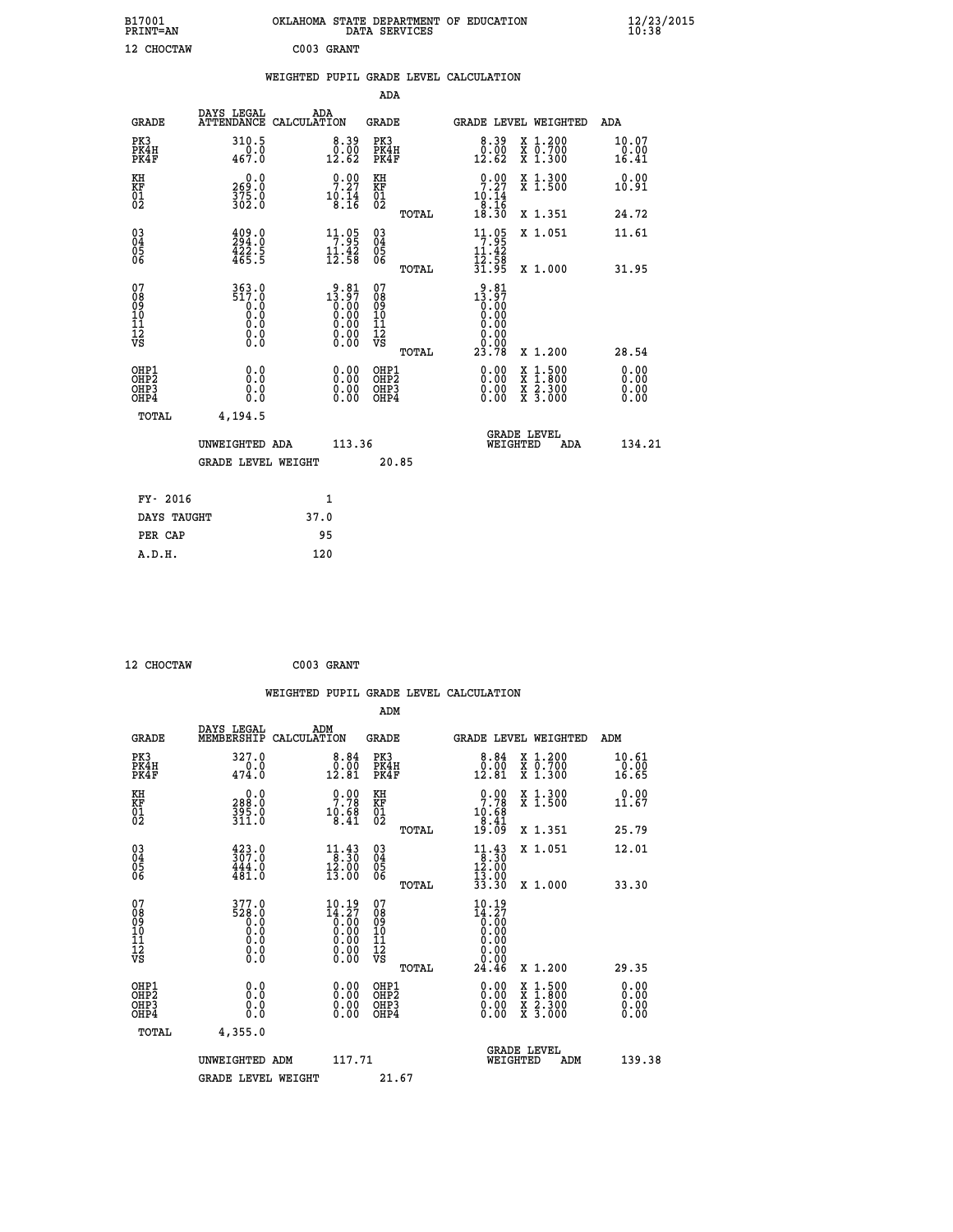| B17001<br><b>PRINT=AN</b>                          |                                               |                                                                | DATA SERVICES                                      | OKLAHOMA STATE DEPARTMENT OF EDUCATION                                            |                                                                                                  | $\frac{12}{10}$ :38/2015     |  |
|----------------------------------------------------|-----------------------------------------------|----------------------------------------------------------------|----------------------------------------------------|-----------------------------------------------------------------------------------|--------------------------------------------------------------------------------------------------|------------------------------|--|
| 12 CHOCTAW                                         |                                               | C003 GRANT                                                     |                                                    |                                                                                   |                                                                                                  |                              |  |
|                                                    |                                               | WEIGHTED PUPIL GRADE LEVEL CALCULATION                         |                                                    |                                                                                   |                                                                                                  |                              |  |
|                                                    |                                               |                                                                | ADA                                                |                                                                                   |                                                                                                  |                              |  |
| <b>GRADE</b>                                       | DAYS LEGAL<br>ATTENDANCE CALCULATION          | ADA                                                            | GRADE                                              | GRADE LEVEL WEIGHTED                                                              |                                                                                                  | ADA                          |  |
| PK3<br>PK4H<br>PK4F                                | 310.5<br>0.0<br>467.0                         | $0.39$<br>$0.00$<br>12.62                                      | PK3<br>PK4H<br>PK4F                                | $\begin{smallmatrix} 8.39\ 0.00\ 12.62 \end{smallmatrix}$                         | X 1.200<br>X 0.700<br>X 1.300                                                                    | 10.07<br>0.00<br>16.41       |  |
| KH<br>KF<br>$\overline{01}$                        | 0.0<br>269.0<br>375.0<br>302.0                | 9.00<br>$10.14$<br>$8.14$                                      | КH<br>KF<br>01<br>02                               | 9:29<br>10.14                                                                     | X 1.300<br>X 1.500                                                                               | 0.00<br>10.91                |  |
|                                                    |                                               |                                                                | TOTAL                                              | $\frac{8.16}{18.30}$                                                              | X 1.351                                                                                          | 24.72                        |  |
| $\begin{matrix} 03 \\ 04 \\ 05 \\ 06 \end{matrix}$ | $\frac{409}{294}$ :0<br>$\frac{422.5}{465.5}$ | $\begin{array}{c} 11.05 \\ 7.95 \\ 11.42 \\ 12.58 \end{array}$ | $\begin{matrix} 03 \\ 04 \\ 05 \\ 06 \end{matrix}$ | 11.95<br>11.42<br>$\frac{1}{3}\overline{2}\cdot\overline{5}\overline{8}$<br>31.95 | X 1.051                                                                                          | 11.61                        |  |
|                                                    |                                               |                                                                | TOTAL                                              |                                                                                   | X 1.000                                                                                          | 31.95                        |  |
| 07<br>08<br>09<br>10<br>11<br>12<br>VS             | 363.0<br>517.0<br>0.0<br>0.0<br>0.0<br>0.000  | $13.81$<br>$13.97$<br>$0.00$<br>0.00<br>0.00                   | 07<br>08<br>09<br>10<br>11<br>12<br>VS<br>TOTAL    | 9.81<br>13.97<br>0.00<br>0.00<br>0.00<br>0.00<br>0.00<br>23.78                    | X 1.200                                                                                          | 28.54                        |  |
| OHP1<br>OHP2<br>OH <sub>P3</sub><br>OHP4           | 0.0<br>0.0<br>0.0<br>0.0                      | $0.00$<br>$0.00$<br>0.00                                       | OHP1<br>OH <sub>P</sub> 2<br>OHP3<br>OHP4          | 0.00<br>0.00<br>0.00                                                              | $\begin{smallmatrix} x & 1 & 500 \\ x & 1 & 800 \\ x & 2 & 300 \\ x & 3 & 000 \end{smallmatrix}$ | 0.00<br>0.00<br>0.00<br>0.00 |  |
| TOTAL                                              | 4,194.5                                       |                                                                |                                                    |                                                                                   |                                                                                                  |                              |  |
|                                                    | UNWEIGHTED ADA                                | 113.36                                                         |                                                    | <b>GRADE LEVEL</b><br>WEIGHTED                                                    | ADA                                                                                              | 134.21                       |  |
|                                                    | <b>GRADE LEVEL WEIGHT</b>                     |                                                                | 20.85                                              |                                                                                   |                                                                                                  |                              |  |
| FY- 2016                                           |                                               | 1                                                              |                                                    |                                                                                   |                                                                                                  |                              |  |
| DAYS TAUGHT                                        |                                               | 37.0                                                           |                                                    |                                                                                   |                                                                                                  |                              |  |
| PER CAP                                            |                                               | 95                                                             |                                                    |                                                                                   |                                                                                                  |                              |  |

| 12 CHOCTAW | C003 GRANT |
|------------|------------|

|                                                    |                                                      |                                                    |                    |                                                                                                                        |                                              |       | WEIGHTED PUPIL GRADE LEVEL CALCULATION                                                           |          |                                          |                               |        |
|----------------------------------------------------|------------------------------------------------------|----------------------------------------------------|--------------------|------------------------------------------------------------------------------------------------------------------------|----------------------------------------------|-------|--------------------------------------------------------------------------------------------------|----------|------------------------------------------|-------------------------------|--------|
|                                                    |                                                      |                                                    |                    |                                                                                                                        | ADM                                          |       |                                                                                                  |          |                                          |                               |        |
|                                                    | <b>GRADE</b>                                         | DAYS LEGAL<br>MEMBERSHIP                           | ADM<br>CALCULATION |                                                                                                                        | <b>GRADE</b>                                 |       |                                                                                                  |          | GRADE LEVEL WEIGHTED                     | ADM                           |        |
| PK3                                                | PK4H<br>PK4F                                         | 327.0<br>474.0                                     |                    | 8.84<br>$\begin{smallmatrix} 0.00 \ 12.81 \end{smallmatrix}$                                                           | PK3<br>PK4H<br>PK4F                          |       | $\begin{smallmatrix}8.84\0.00\\12.81\end{smallmatrix}$                                           |          | X 1.200<br>X 0.700<br>X 1.300            | 10.61<br>$\frac{0.00}{16.65}$ |        |
| KH<br>KF<br>01<br>02                               |                                                      | $0.0$<br>0.882<br>395.0<br>311.0                   |                    | $\begin{smallmatrix} 0.00\\ 7.78\\ 10.68\\ 8.41 \end{smallmatrix}$                                                     | KH<br>KF<br>01<br>02                         |       | $0.00$<br>7.78<br>$10.68$<br>$8.41$<br>$19.09$                                                   |          | X 1.300<br>X 1.500                       | 0.00<br>11.67                 |        |
|                                                    |                                                      |                                                    |                    |                                                                                                                        |                                              | TOTAL |                                                                                                  |          | X 1.351                                  | 25.79                         |        |
| $\begin{matrix} 03 \\ 04 \\ 05 \\ 06 \end{matrix}$ |                                                      | $\frac{423}{307}$ :0<br>444.0<br>481.0             |                    | $\begin{array}{c} 11\cdot 43 \\ 8\cdot 30 \\ 12\cdot 00 \\ 13\cdot 00 \end{array}$                                     | 03<br>04<br>05<br>06                         |       | $\begin{array}{c} 11\cdot 43 \\ 8\cdot 30 \\ 12\cdot 00 \\ 13\cdot 90 \\ 33\cdot 30 \end{array}$ |          | X 1.051                                  | 12.01                         |        |
|                                                    |                                                      |                                                    |                    |                                                                                                                        |                                              | TOTAL |                                                                                                  |          | X 1.000                                  | 33.30                         |        |
| 07<br>0890112<br>1112<br>VS                        |                                                      | $377.0$<br>$528.0$<br>$0.0$<br>0.0<br>0.0<br>$\S.$ |                    | $10.19$<br>$14.27$<br>$0.00$<br>$0.00$<br>$0.00$<br>$\begin{smallmatrix} 0.00 & 0.00 \\ 0.00 & 0.00 \end{smallmatrix}$ | 07<br>08<br>09<br>11<br>11<br>12<br>VS       | TOTAL | 10.19<br>$\frac{14.27}{0.00}$<br>0.00<br>0.00<br>24.46                                           |          | X 1.200                                  | 29.35                         |        |
|                                                    |                                                      |                                                    |                    |                                                                                                                        |                                              |       |                                                                                                  |          |                                          |                               |        |
|                                                    | OHP1<br>OHP <sub>2</sub><br>OH <sub>P3</sub><br>OHP4 | 0.0<br>0.000                                       |                    | $0.00$<br>$0.00$<br>0.00                                                                                               | OHP1<br>OHP <sub>2</sub><br>OHP <sub>3</sub> |       | 0.00<br>0.00<br>0.00                                                                             |          | X 1:500<br>X 1:800<br>X 2:300<br>X 3:000 | 0.00<br>Ō. ŌŌ<br>0.00<br>0.00 |        |
|                                                    | TOTAL                                                | 4,355.0                                            |                    |                                                                                                                        |                                              |       |                                                                                                  |          |                                          |                               |        |
|                                                    |                                                      | UNWEIGHTED ADM                                     |                    | 117.71                                                                                                                 |                                              |       |                                                                                                  | WEIGHTED | <b>GRADE LEVEL</b><br>ADM                |                               | 139.38 |
|                                                    |                                                      | <b>GRADE LEVEL WEIGHT</b>                          |                    |                                                                                                                        | 21.67                                        |       |                                                                                                  |          |                                          |                               |        |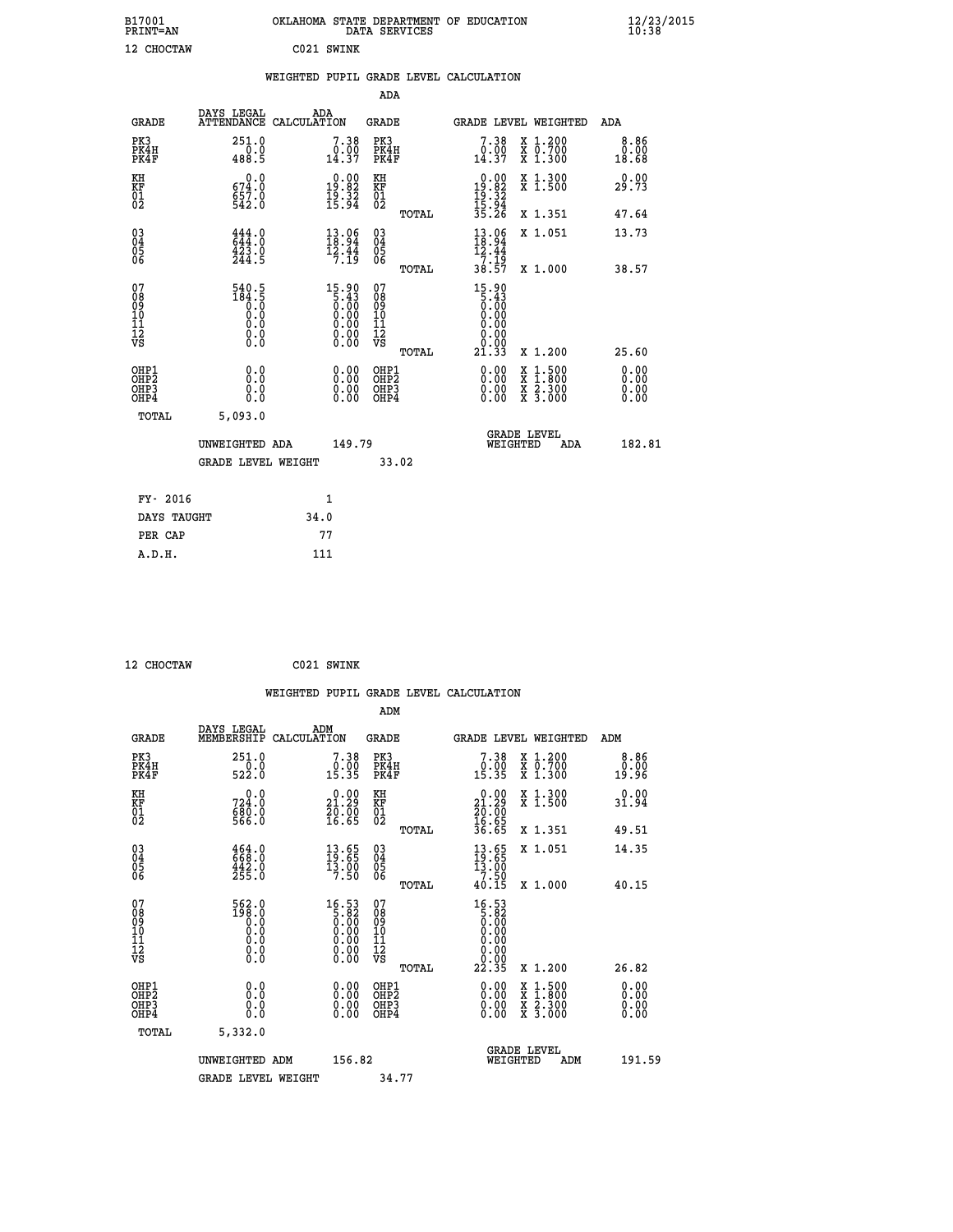| B17001<br><b>PRINT=AN</b>                             |                                                                                        | OKLAHOMA STATE DEPARTMENT OF EDUCATION                                                               | DATA SERVICES                                          |                                                                |                                                                        | $\frac{12}{10}$ :38/2015     |  |
|-------------------------------------------------------|----------------------------------------------------------------------------------------|------------------------------------------------------------------------------------------------------|--------------------------------------------------------|----------------------------------------------------------------|------------------------------------------------------------------------|------------------------------|--|
| 12 CHOCTAW                                            |                                                                                        | C021 SWINK                                                                                           |                                                        |                                                                |                                                                        |                              |  |
|                                                       |                                                                                        | WEIGHTED PUPIL GRADE LEVEL CALCULATION                                                               |                                                        |                                                                |                                                                        |                              |  |
|                                                       |                                                                                        |                                                                                                      | ADA                                                    |                                                                |                                                                        |                              |  |
| <b>GRADE</b>                                          | DAYS LEGAL                                                                             | ADA<br>ATTENDANCE CALCULATION                                                                        | GRADE                                                  | GRADE LEVEL WEIGHTED                                           |                                                                        | ADA                          |  |
| PK3<br>PK4H<br>PK4F                                   | 251.0<br>0.0<br>488.5                                                                  | $\begin{smallmatrix}7.38\0.00\\14.37\end{smallmatrix}$                                               | PK3<br>PK4H<br>PK4F                                    | 7.38<br>$0.00$<br>14.37                                        | X 1.200<br>X 0.700<br>X 1.300                                          | 8.86<br>0.00<br>18.68        |  |
| KH<br>KF<br>$^{01}_{02}$                              | 0.0<br>674.0<br>$657.0$<br>542.0                                                       | $\begin{smallmatrix} 0.00\\19.82\\19.32\\15.34 \end{smallmatrix}$                                    | KH<br>KF<br>01<br>02                                   | $0.00\n19.82\n19.32\n15.94\n35.26$                             | X 1.300<br>X 1.500                                                     | 0.00<br>29.73                |  |
|                                                       |                                                                                        |                                                                                                      | TOTAL                                                  |                                                                | X 1.351                                                                | 47.64                        |  |
| $\substack{03 \\ 04}$<br>$\frac{05}{06}$              | 444.0<br>423.0<br>244.5                                                                | $\begin{array}{c} 13.06 \\[-4pt] 18.94 \\[-4pt] 12.44 \\[-4pt] 7.19 \end{array}$                     | $03\overline{4}$<br>Ŏ5<br>06                           | 13.96<br>12.44<br>7.19                                         | X 1.051                                                                | 13.73                        |  |
|                                                       |                                                                                        |                                                                                                      | TOTAL                                                  | 38.57                                                          | X 1.000                                                                | 38.57                        |  |
| 07<br>08<br>09<br>11<br>11<br>12<br>VS                | 540.5<br>$1\overline{8}\overline{4}\cdot\overline{5}\overline{0}$<br>0.0<br>0.0<br>0.0 | $\begin{smallmatrix} 15.90\ 5.43\ 0.00\ 0.00\ 0.00\ 0.00\ 0.00\ 0.00\ 0.00\ 0.00\ \end{smallmatrix}$ | 07<br>08<br>09<br>10<br>11<br>12<br>VS<br><b>TOTAL</b> | 15.90<br>5.43<br>0.00<br>0.00<br>0.00<br>0.00<br>0.00<br>21.33 | X 1.200                                                                | 25.60                        |  |
| OHP1<br>OH <sub>P</sub> 2<br>OH <sub>P3</sub><br>OHP4 | 0.0<br>0.0<br>0.0<br>0.0                                                               | 0.00<br>0.00<br>0.00                                                                                 | OHP1<br>OH <sub>P</sub> 2<br>OHP3<br>OHP4              | 0.00<br>0.00<br>0.00                                           | $\frac{x}{x}$ 1.500<br>$\frac{x}{x}$ $\frac{2 \cdot 300}{3 \cdot 000}$ | 0.00<br>0.00<br>0.00<br>0.00 |  |
| TOTAL                                                 | 5,093.0                                                                                |                                                                                                      |                                                        |                                                                |                                                                        |                              |  |
|                                                       | UNWEIGHTED ADA                                                                         | 149.79                                                                                               |                                                        | <b>GRADE LEVEL</b><br>WEIGHTED                                 | ADA                                                                    | 182.81                       |  |
|                                                       | <b>GRADE LEVEL WEIGHT</b>                                                              |                                                                                                      | 33.02                                                  |                                                                |                                                                        |                              |  |
| FY- 2016                                              |                                                                                        | 1                                                                                                    |                                                        |                                                                |                                                                        |                              |  |
| DAYS TAUGHT                                           |                                                                                        | 34.0                                                                                                 |                                                        |                                                                |                                                                        |                              |  |
| PER CAP                                               |                                                                                        | 77                                                                                                   |                                                        |                                                                |                                                                        |                              |  |

```
 12 CHOCTAW C021 SWINK
```

|                                                      |                                                                                                                                                    |                    |                                                                                        |                              |       | WEIGHTED PUPIL GRADE LEVEL CALCULATION                                                                                                                                                                                                                                         |                                          |                       |  |
|------------------------------------------------------|----------------------------------------------------------------------------------------------------------------------------------------------------|--------------------|----------------------------------------------------------------------------------------|------------------------------|-------|--------------------------------------------------------------------------------------------------------------------------------------------------------------------------------------------------------------------------------------------------------------------------------|------------------------------------------|-----------------------|--|
|                                                      |                                                                                                                                                    |                    |                                                                                        | ADM                          |       |                                                                                                                                                                                                                                                                                |                                          |                       |  |
| <b>GRADE</b>                                         | DAYS LEGAL<br>MEMBERSHIP                                                                                                                           | ADM<br>CALCULATION |                                                                                        | <b>GRADE</b>                 |       | GRADE LEVEL WEIGHTED                                                                                                                                                                                                                                                           |                                          | ADM                   |  |
| PK3<br>PK4H<br>PK4F                                  | 251.0<br>522.0                                                                                                                                     |                    | $7.38\n0.00\n15.35$                                                                    | PK3<br>PK4H<br>PK4F          |       | 7.38<br>$\frac{0.00}{15.35}$                                                                                                                                                                                                                                                   | X 1.200<br>X 0.700<br>X 1.300            | 8.86<br>0.00<br>19.96 |  |
| KH<br>KF<br>01<br>02                                 | 0.0<br>724:0<br>680:0<br>566:0                                                                                                                     |                    | $\begin{smallmatrix} 0.00\\ 21.29\\ 20.00\\ 16.65 \end{smallmatrix}$                   | KH<br>KF<br>01<br>02         |       | $\begin{smallmatrix} 0.00\\ 21.29\\ 20.00\\ 16.65\\ 36.65 \end{smallmatrix}$                                                                                                                                                                                                   | X 1.300<br>X 1.500                       | 0.00<br>31.94         |  |
|                                                      |                                                                                                                                                    |                    |                                                                                        |                              | TOTAL |                                                                                                                                                                                                                                                                                | X 1.351                                  | 49.51                 |  |
| $\begin{matrix} 03 \\ 04 \\ 05 \\ 06 \end{matrix}$   | $\begin{smallmatrix} 4\,6\,4\,.\,0\\ 6\,6\,8\,. \ 0\\ 4\,4\,2\,. \ 0\\ 2\,5\,5\,. \ 0 \end{smallmatrix}$                                           |                    | $\begin{array}{c} 13 \cdot 65 \\ 19 \cdot 65 \\ 13 \cdot 90 \\ 7 \cdot 50 \end{array}$ | 03<br>04<br>05<br>06         |       | $13.65$<br>$13.65$<br>$13.90$<br>$7.50$                                                                                                                                                                                                                                        | X 1.051                                  | 14.35                 |  |
|                                                      |                                                                                                                                                    |                    |                                                                                        |                              | TOTAL | 40.15                                                                                                                                                                                                                                                                          | X 1.000                                  | 40.15                 |  |
| 07<br>0890112<br>1112<br>VS                          | $\overset{562.0}{^{198.0}}\ \overset{.0}{\underset{0.0}{\overset{.0}}}\ \,$<br>$\begin{smallmatrix} 0.0 & 0 \ 0.0 & 0 \ 0.0 & 0 \end{smallmatrix}$ |                    | $\begin{smallmatrix} 16.53\\5.82\\0.00\\0.00\\0.00\\0.00\\0.00\\0.00\end{smallmatrix}$ | 07<br>08901123<br>1122<br>VS | TOTAL | $16.53\n5.82\n0.00\n0.00$<br>0.00<br>$\begin{array}{c} 0.00 \\ 0.00 \\ 22.35 \end{array}$                                                                                                                                                                                      | $X_1.200$                                | 26.82                 |  |
|                                                      |                                                                                                                                                    |                    |                                                                                        |                              |       |                                                                                                                                                                                                                                                                                |                                          |                       |  |
| OHP1<br>OHP2<br>OH <sub>P3</sub><br>OH <sub>P4</sub> | 0.0<br>0.000                                                                                                                                       |                    | $\begin{smallmatrix} 0.00 \ 0.00 \ 0.00 \ 0.00 \end{smallmatrix}$                      | OHP1<br>OHP2<br>OHP3<br>OHP4 |       | $\begin{smallmatrix} 0.00 & 0.00 & 0.00 & 0.00 & 0.00 & 0.00 & 0.00 & 0.00 & 0.00 & 0.00 & 0.00 & 0.00 & 0.00 & 0.00 & 0.00 & 0.00 & 0.00 & 0.00 & 0.00 & 0.00 & 0.00 & 0.00 & 0.00 & 0.00 & 0.00 & 0.00 & 0.00 & 0.00 & 0.00 & 0.00 & 0.00 & 0.00 & 0.00 & 0.00 & 0.00 & 0.0$ | X 1:500<br>X 1:800<br>X 2:300<br>X 3:000 | 0.00<br>0.00<br>0.00  |  |
| TOTAL                                                | 5,332.0                                                                                                                                            |                    |                                                                                        |                              |       |                                                                                                                                                                                                                                                                                |                                          |                       |  |
|                                                      | UNWEIGHTED ADM                                                                                                                                     |                    | 156.82                                                                                 |                              |       | WEIGHTED                                                                                                                                                                                                                                                                       | <b>GRADE LEVEL</b><br>ADM                | 191.59                |  |
|                                                      | <b>GRADE LEVEL WEIGHT</b>                                                                                                                          |                    |                                                                                        | 34.77                        |       |                                                                                                                                                                                                                                                                                |                                          |                       |  |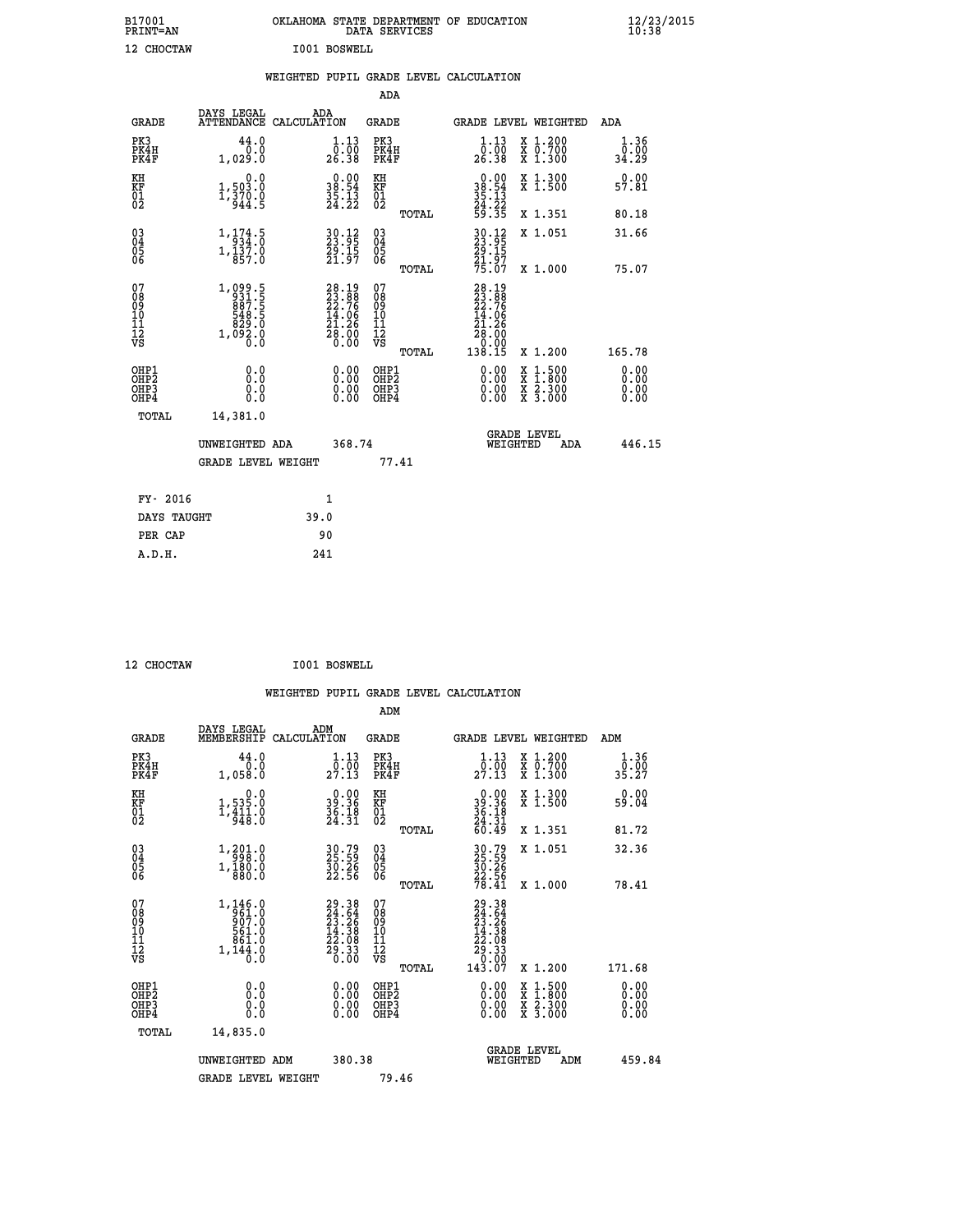| B17001<br><b>PRINT=AN</b> | OKLAHOMA STATE DEPARTMENT OF EDUCATION<br>DATA SERVICES |  | $\frac{12}{23}$ /2015 |
|---------------------------|---------------------------------------------------------|--|-----------------------|
| 12 CHOCTAW                | I001 BOSWELL                                            |  |                       |

|                                                                    |                                                                                | WEIGHTED PUPIL GRADE LEVEL CALCULATION                                                   |                                        |       |                                                                                    |                                |                              |
|--------------------------------------------------------------------|--------------------------------------------------------------------------------|------------------------------------------------------------------------------------------|----------------------------------------|-------|------------------------------------------------------------------------------------|--------------------------------|------------------------------|
|                                                                    |                                                                                |                                                                                          | ADA                                    |       |                                                                                    |                                |                              |
| <b>GRADE</b>                                                       | DAYS LEGAL                                                                     | ADA<br>ATTENDANCE CALCULATION                                                            | <b>GRADE</b>                           |       |                                                                                    | GRADE LEVEL WEIGHTED           | ADA                          |
| PK3<br>PK4H<br>PK4F                                                | 44.0<br>0.0<br>1,029.0                                                         | $\begin{smallmatrix}1\cdot 13\\[-1.2mm] 0\cdot 00\\[-1.2mm] 26\cdot 38\end{smallmatrix}$ | PK3<br>PK4H<br>PK4F                    |       | $1.13$<br>$0.00$<br>26.38                                                          | X 1.200<br>X 0.700<br>X 1.300  | 1.36<br>0.00<br>34.29        |
| KH<br>KF<br>01<br>02                                               | 0.0<br>$1,503.0$<br>$1,370.0$<br>$944.5$                                       | $\begin{smallmatrix} 0.00\\ 38.54\\ 35.13\\ 24.22 \end{smallmatrix}$                     | KH<br>KF<br>01<br>02                   |       | $\begin{array}{r} 0.00 \\ 38.54 \\ 35.13 \\ 24.22 \\ 59.35 \end{array}$            | X 1.300<br>X 1.500             | 0.00<br>57.81                |
|                                                                    |                                                                                |                                                                                          |                                        | TOTAL |                                                                                    | X 1.351                        | 80.18                        |
| $\begin{smallmatrix} 03 \\[-4pt] 04 \end{smallmatrix}$<br>Ŏ5<br>06 | 1, 174.5<br>$1,\overline{1}\overline{3}\overline{7}\cdot\overline{0}$<br>857.0 | 30.12<br>23.95<br>29.15<br>21.97                                                         | $\substack{03 \\ 04}$<br>Ŏ5<br>06      |       | 30.12<br>23.95<br>29.15<br>21.97<br>75.07                                          | X 1.051                        | 31.66                        |
|                                                                    |                                                                                |                                                                                          |                                        | TOTAL |                                                                                    | X 1.000                        | 75.07                        |
| 07<br>08<br>09<br>101<br>112<br>VS                                 | $1,099.5$<br>$931.5$<br>$887.5$<br>$548.5$<br>$829.0$<br>$1,092.0$<br>$0.0$    | $28.1923.8822.7614.0621.2628.000.00$                                                     | 07<br>08<br>09<br>11<br>11<br>12<br>VS | TOTAL | 28.19<br>23.76<br>22.76<br>14.06<br>21.26<br>28.00<br>$\frac{8}{138}.00$<br>138.15 | X 1.200                        | 165.78                       |
| OHP1<br>OHP2<br>OHP3<br>OHP4                                       | 0.0<br>0.0<br>0.0                                                              | 0.00<br>$\begin{smallmatrix} 0.00 \ 0.00 \end{smallmatrix}$                              | OHP1<br>OHP2<br>OHP3<br>OHP4           |       | 0.00<br>0.00<br>0.00                                                               | X 1:500<br>X 2.300<br>X 3.000  | 0.00<br>Ō.ŎŎ<br>0.00<br>0.00 |
| <b>TOTAL</b>                                                       | 14,381.0<br>UNWEIGHTED ADA                                                     | 368.74                                                                                   |                                        |       |                                                                                    | GRADE LEVEL<br>WEIGHTED<br>ADA | 446.15                       |
|                                                                    | <b>GRADE LEVEL WEIGHT</b>                                                      |                                                                                          | 77.41                                  |       |                                                                                    |                                |                              |
| FY- 2016                                                           |                                                                                | $\mathbf{1}$                                                                             |                                        |       |                                                                                    |                                |                              |
| DAYS TAUGHT                                                        |                                                                                | 39.0                                                                                     |                                        |       |                                                                                    |                                |                              |
| PER CAP                                                            |                                                                                | 90                                                                                       |                                        |       |                                                                                    |                                |                              |

 **12 CHOCTAW I001 BOSWELL**

 **A.D.H. 241**

| <b>GRADE</b>                                       | DAYS LEGAL<br>MEMBERSHIP                                                                            | ADM<br>CALCULATION                                                       | <b>GRADE</b>                                        |       | GRADE LEVEL WEIGHTED                                                                 |                                          | ADM                                      |  |
|----------------------------------------------------|-----------------------------------------------------------------------------------------------------|--------------------------------------------------------------------------|-----------------------------------------------------|-------|--------------------------------------------------------------------------------------|------------------------------------------|------------------------------------------|--|
| PK3<br>PK4H<br>PK4F                                | 44.0<br>1,058.0                                                                                     | $\frac{1}{0}$ : $\frac{13}{00}$<br>27.13                                 | PK3<br>PK4H<br>PK4F                                 |       | 1.13<br>$2\overline{7}\cdot\overline{0}\overline{0}$<br>27.13                        | X 1.200<br>X 0.700<br>X 1.300            | $\frac{1 \cdot 36}{0 \cdot 00}$<br>35.27 |  |
| KH<br>KF<br>01<br>02                               | $\begin{smallmatrix}&&&0.0\\1,535.0\\1,411.0\\948.0\end{smallmatrix}$                               | $\begin{smallmatrix} 0.00\\ 39.36\\ 36.18\\ 24.31 \end{smallmatrix}$     | KH<br>KF<br>01<br>02                                |       | $\begin{smallmatrix} 0.00\\ 39.36\\ 36.18\\ 4.31\\ 60.49 \end{smallmatrix}$          | X 1.300<br>X 1.500                       | 0.00<br>59.04                            |  |
|                                                    |                                                                                                     |                                                                          |                                                     | TOTAL |                                                                                      | X 1.351                                  | 81.72                                    |  |
| $\begin{matrix} 03 \\ 04 \\ 05 \\ 06 \end{matrix}$ | $\begin{smallmatrix} 1,201.0\\ -998.0\\ 1,180.0\\ 880.0 \end{smallmatrix}$                          | 30.79<br>25.59<br>30.26<br>22.56                                         | $\begin{array}{c} 03 \\ 04 \\ 05 \\ 06 \end{array}$ |       | 30.79<br>25.59<br>30.26<br>22.56<br>28.41                                            | X 1.051                                  | 32.36                                    |  |
|                                                    |                                                                                                     |                                                                          |                                                     | TOTAL |                                                                                      | X 1.000                                  | 78.41                                    |  |
| 07<br>089<br>090<br>1112<br>VS                     | $\begin{smallmatrix} 1,146.0\\ -961.0\\ 907.0\\ 561.0\\ 861.0\\ 0.1\\ 44.0\\ 0.0 \end{smallmatrix}$ | $29.38$<br>$24.54$<br>$23.26$<br>$14.38$<br>$22.08$<br>$29.33$<br>$0.00$ | 07<br>08<br>09<br>01<br>11<br>11<br>12<br>VS        | TOTAL | $29.38$<br>$24.64$<br>$23.26$<br>$14.38$<br>$22.08$<br>$29.33$<br>$0.00$<br>$143.07$ | X 1.200                                  | 171.68                                   |  |
| OHP1<br>OHP2<br>OH <sub>P3</sub><br>OHP4           | 0.0<br>0.000                                                                                        |                                                                          | OHP1<br>OHP2<br>OHP3<br>OHP4                        |       | 0.00<br>0.00                                                                         | X 1:500<br>X 1:800<br>X 2:300<br>X 3:000 | 0.00<br>0.00<br>0.00                     |  |
| TOTAL                                              | 14,835.0                                                                                            |                                                                          |                                                     |       |                                                                                      |                                          |                                          |  |
|                                                    | UNWEIGHTED ADM                                                                                      | 380.38                                                                   |                                                     |       | WEIGHTED                                                                             | <b>GRADE LEVEL</b><br>ADM                | 459.84                                   |  |
|                                                    | <b>GRADE LEVEL WEIGHT</b>                                                                           |                                                                          | 79.46                                               |       |                                                                                      |                                          |                                          |  |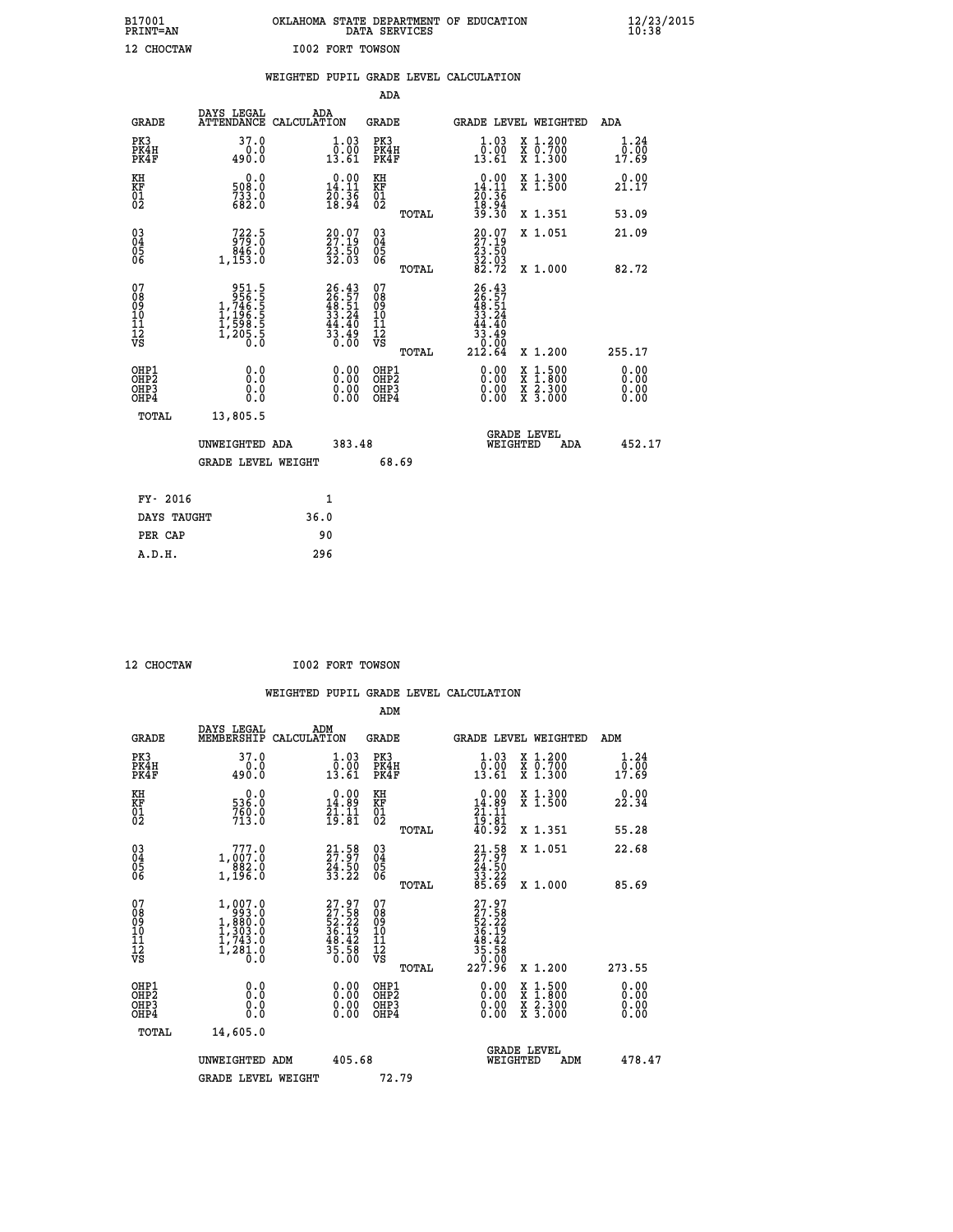| B17001          | OKLAHOMA STATE DEPARTMENT OF EDUCATION |
|-----------------|----------------------------------------|
| <b>PRINT=AN</b> | DATA SERVICES                          |
| 12 CHOCTAW      | <b>I002 FORT TOWSON</b>                |

|                                         |                                                                                                                 | WEIGHTED PUPIL GRADE LEVEL CALCULATION                            |                                        |       |                                                                                                                |                                                    |                              |
|-----------------------------------------|-----------------------------------------------------------------------------------------------------------------|-------------------------------------------------------------------|----------------------------------------|-------|----------------------------------------------------------------------------------------------------------------|----------------------------------------------------|------------------------------|
|                                         |                                                                                                                 |                                                                   | ADA                                    |       |                                                                                                                |                                                    |                              |
| <b>GRADE</b>                            | DAYS LEGAL<br><b>ATTENDANCE</b>                                                                                 | ADA<br>CALCULATION                                                | <b>GRADE</b>                           |       |                                                                                                                | GRADE LEVEL WEIGHTED                               | ADA                          |
| PK3<br>PK4H<br>PK4F                     | 37.0<br>0.0<br>490.0                                                                                            | 1.03<br>ō:ŏŏ<br>13.61                                             | PK3<br>PK4H<br>PK4F                    |       | 1.03<br>$\begin{smallmatrix} \bar{0} \ . \ 0 \ 0 \ . \ 61 \end{smallmatrix}$                                   | X 1.200<br>X 0.700<br>X 1.300                      | 1.24<br>0.00<br>17.69        |
| KH<br><b>KF</b><br>01<br>02             | 0.0<br>508:0<br>733:0<br>682:0                                                                                  | $\begin{smallmatrix} 0.00\\14.11\\20.36\\18.94 \end{smallmatrix}$ | KH<br>KF<br>01<br>02                   |       | $\begin{array}{c} 0.00 \\ 14.11 \\ 20.36 \\ 18.94 \\ 39.30 \end{array}$                                        | X 1.300<br>X 1.500                                 | 0.00<br>21.17                |
|                                         |                                                                                                                 |                                                                   |                                        | TOTAL |                                                                                                                | X 1.351                                            | 53.09                        |
| 03<br>04<br>05<br>06                    | 722.5<br>846.0<br>1,153.0                                                                                       | $29.07$<br>27.19<br>23.50<br>32.03                                | 03<br>04<br>05<br>06                   |       | $\begin{smallmatrix} 20.07\\ 27.19\\ 23.50\\ 32.03\\ 82.72 \end{smallmatrix}$                                  | X 1.051                                            | 21.09                        |
|                                         |                                                                                                                 |                                                                   |                                        | TOTAL |                                                                                                                | X 1.000                                            | 82.72                        |
| 07<br>08<br>09<br>101<br>11<br>12<br>VS | $\begin{smallmatrix} & 951.5\\ 956.5\\ 1,746.5\\ 1,196.5\\ 1,196.5\\ 1,598.5\\ 1,205.5\\ 0.0 \end{smallmatrix}$ | $26.43\n26.57\n48.51\n33.24\n44.40\n33.49\n0.00$                  | 07<br>08<br>09<br>11<br>11<br>12<br>VS | TOTAL | $26.43$<br>$26.57$<br>$48.51$<br>$33.24$<br>$44.40$<br>$\begin{array}{r} 33.79 \\ -0.00 \\ 212.64 \end{array}$ | X 1.200                                            | 255.17                       |
| OHP1<br>OHP2<br>OHP3<br>OHP4            | 0.0<br>0.0<br>0.0                                                                                               | 0.00<br>$\begin{smallmatrix} 0.00 \ 0.00 \end{smallmatrix}$       | OHP1<br>OHP2<br>OHP3<br>OHP4           |       | 0.00<br>0.00<br>0.00                                                                                           | $1:500$<br>$1:800$<br>X<br>X<br>X 2.300<br>X 3.000 | 0.00<br>0.00<br>0.00<br>0.00 |
| TOTAL                                   | 13,805.5                                                                                                        |                                                                   |                                        |       |                                                                                                                |                                                    |                              |
|                                         | UNWEIGHTED ADA                                                                                                  | 383.48                                                            |                                        |       | WEIGHTED                                                                                                       | <b>GRADE LEVEL</b><br>ADA                          | 452.17                       |
|                                         | <b>GRADE LEVEL WEIGHT</b>                                                                                       |                                                                   | 68.69                                  |       |                                                                                                                |                                                    |                              |
| FY- 2016                                |                                                                                                                 | $\mathbf{1}$                                                      |                                        |       |                                                                                                                |                                                    |                              |
| DAYS TAUGHT                             |                                                                                                                 | 36.0                                                              |                                        |       |                                                                                                                |                                                    |                              |
| PER CAP                                 |                                                                                                                 | 90                                                                |                                        |       |                                                                                                                |                                                    |                              |

 **A.D.H. 296**

 **12 CHOCTAW I002 FORT TOWSON**

| <b>GRADE</b>                                 | DAYS LEGAL<br>MEMBERSHIP                                                                              | ADM<br>CALCULATION                                                                           | <b>GRADE</b>                                        |       |                                                                                                         | GRADE LEVEL WEIGHTED                     | ADM                   |  |
|----------------------------------------------|-------------------------------------------------------------------------------------------------------|----------------------------------------------------------------------------------------------|-----------------------------------------------------|-------|---------------------------------------------------------------------------------------------------------|------------------------------------------|-----------------------|--|
| PK3<br>PK4H<br>PK4F                          | 37.0<br>490.0                                                                                         | $\begin{smallmatrix} 1.03\ 0.001 \ 13.61 \end{smallmatrix}$                                  | PK3<br>PK4H<br>PK4F                                 |       | $\begin{smallmatrix} 1.03\ 0.001 \ 13.61 \end{smallmatrix}$                                             | X 1.200<br>X 0.700<br>X 1.300            | 1.24<br>0.00<br>17.69 |  |
| KH<br>KF<br>01<br>02                         | $0.0$<br>0.055<br>760.0<br>713.0                                                                      | $\begin{array}{c} 0.00 \\ 14.89 \\ 21.11 \\ 19.81 \end{array}$                               | KH<br>KF<br>01<br>02                                |       | $\begin{smallmatrix} 0.00\\ 14.89\\ 21.11\\ 19.81\\ 40.92 \end{smallmatrix}$                            | X 1.300<br>X 1.500                       | 0.00<br>22.34         |  |
|                                              |                                                                                                       |                                                                                              |                                                     | TOTAL |                                                                                                         | X 1.351                                  | 55.28                 |  |
| 03<br>04<br>05<br>06                         | 777.0<br>1,007.0                                                                                      | $\begin{smallmatrix} 21\cdot58\\ 27\cdot97\\ 24\cdot50\\ 33\cdot22 \end{smallmatrix}$        | $\begin{array}{c} 03 \\ 04 \\ 05 \\ 06 \end{array}$ |       | $21.58$<br>$24.50$<br>$33.22$<br>$85.69$                                                                | X 1.051                                  | 22.68                 |  |
|                                              | 1,196.0                                                                                               |                                                                                              |                                                     | TOTAL |                                                                                                         | X 1.000                                  | 85.69                 |  |
| 07<br>08<br>09<br>101<br>112<br>VS           | $\begin{smallmatrix} 1,007.0\\ 993.0\\ 1,880.0\\ 1,303.0\\ 1,743.0\\ 1,281.0\\ 0.0 \end{smallmatrix}$ | $\begin{smallmatrix} 27.97\\ 27.58\\ 52.22\\ 36.19\\ 48.42\\ 35.58\\ 0.00 \end{smallmatrix}$ | 07<br>08<br>09<br>11<br>11<br>12<br>VS              | TOTAL | $\begin{smallmatrix} 27.97\ 27.58\ 22.22\ 52.22\ 36.19\ 48.42\ 35.58\ 0.006\ 227.96\ \end{smallmatrix}$ | X 1.200                                  | 273.55                |  |
| OHP1                                         |                                                                                                       |                                                                                              | OHP1                                                |       |                                                                                                         |                                          |                       |  |
| OHP <sub>2</sub><br>OH <sub>P3</sub><br>OHP4 | 0.0<br>0.000                                                                                          | $\begin{smallmatrix} 0.00 \ 0.00 \ 0.00 \ 0.00 \end{smallmatrix}$                            | OHP <sub>2</sub><br>OHP3<br>OHP4                    |       |                                                                                                         | X 1:500<br>X 1:800<br>X 2:300<br>X 3:000 | 0.00<br>0.00<br>0.00  |  |
| TOTAL                                        | 14,605.0                                                                                              |                                                                                              |                                                     |       |                                                                                                         |                                          |                       |  |
|                                              | UNWEIGHTED ADM                                                                                        | 405.68                                                                                       |                                                     |       | WEIGHTED                                                                                                | <b>GRADE LEVEL</b><br>ADM                | 478.47                |  |
|                                              | <b>GRADE LEVEL WEIGHT</b>                                                                             |                                                                                              | 72.79                                               |       |                                                                                                         |                                          |                       |  |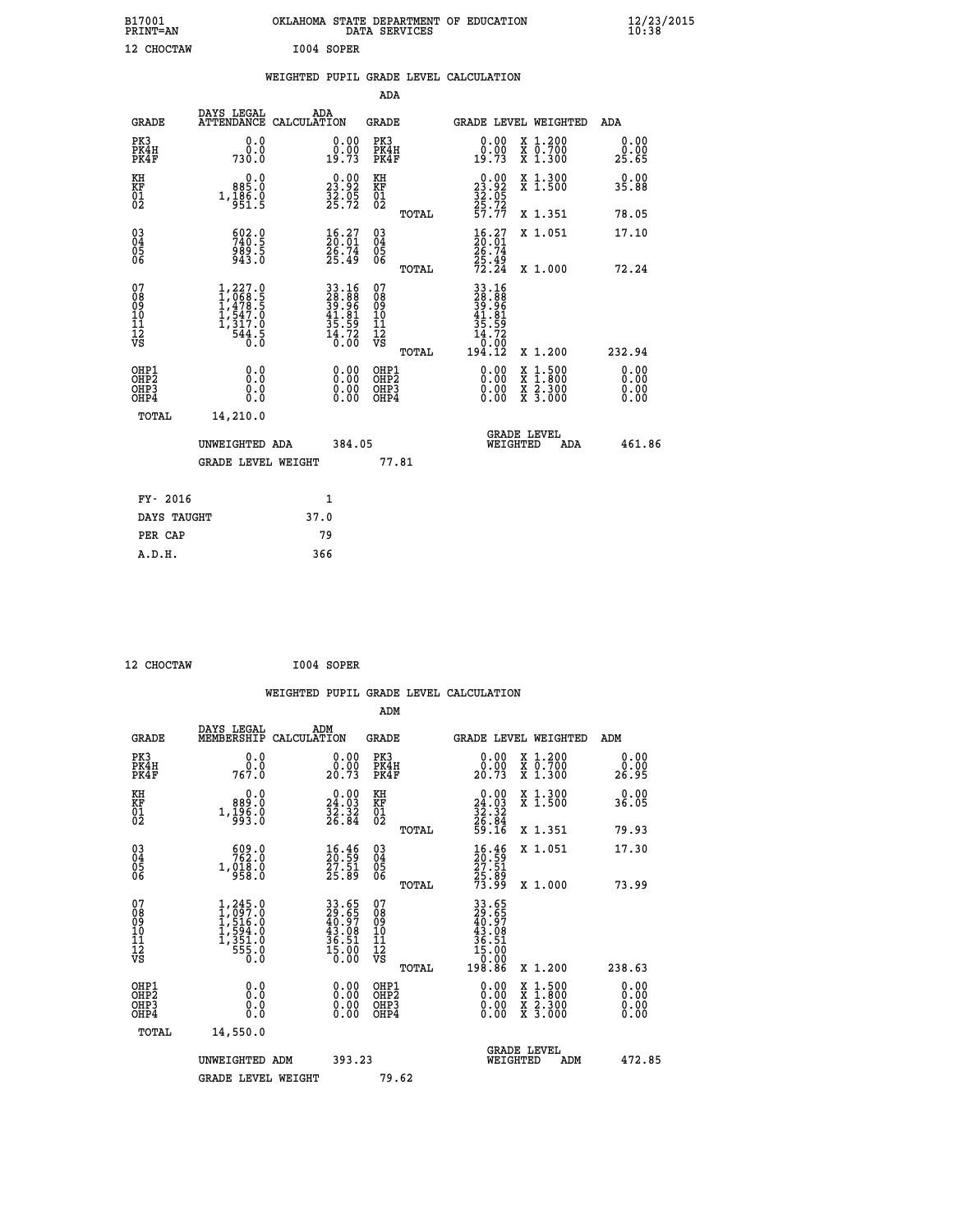| B17001<br>PRINT=AN                                 |                                                                                | OKLAHOMA STATE DEPARTMENT OF EDUCATION DATA SERVICES                 |                                                 |                                                                               |                                                                                                                                           | $\frac{12}{23}$ /2015        |
|----------------------------------------------------|--------------------------------------------------------------------------------|----------------------------------------------------------------------|-------------------------------------------------|-------------------------------------------------------------------------------|-------------------------------------------------------------------------------------------------------------------------------------------|------------------------------|
| 12 CHOCTAW                                         |                                                                                | I004 SOPER                                                           |                                                 |                                                                               |                                                                                                                                           |                              |
|                                                    |                                                                                | WEIGHTED PUPIL GRADE LEVEL CALCULATION                               |                                                 |                                                                               |                                                                                                                                           |                              |
|                                                    |                                                                                |                                                                      | ADA                                             |                                                                               |                                                                                                                                           |                              |
| GRADE                                              | DAYS LEGAL                                                                     | ADA<br>ATTENDANCE CALCULATION                                        | GRADE                                           |                                                                               | <b>GRADE LEVEL WEIGHTED</b>                                                                                                               | ADA                          |
| PK3<br>PK4H<br>PK4F                                | 0.0<br>0.0<br>730.0                                                            | 0.00<br>$0.00$<br>19.73                                              | PK3<br>PK4H<br>PK4F                             | 0.00<br>ŏ:ŏŏ<br>19:73                                                         | X 1.200<br>X 0.700<br>X 1.300                                                                                                             | 0.00<br>0.00<br>25.65        |
| KH<br>KF<br>01<br>02                               | 0.0<br>885.0<br>$1, \frac{1}{9}$ $\frac{8}{5}$ $\frac{6}{5}$ $\frac{6}{5}$     | $\begin{smallmatrix} 0.00\\ 23.92\\ 32.05\\ 25.72 \end{smallmatrix}$ | KH<br>KF<br>01<br>02                            | $\begin{array}{r} 0.00 \\ 23.92 \\ 32.05 \\ 25.72 \end{array}$                | X 1.300<br>X 1.500                                                                                                                        | 0.00<br>35.88                |
|                                                    |                                                                                |                                                                      | TOTAL                                           | 57.77                                                                         | X 1.351                                                                                                                                   | 78.05                        |
| $\begin{matrix} 03 \\ 04 \\ 05 \\ 06 \end{matrix}$ | $\begin{smallmatrix} 602.0\\ 740.5\\ 989.5\\ 943.0 \end{smallmatrix}$          | $\begin{smallmatrix} 16.27\ 20.01\ 26.74\ 25.49 \end{smallmatrix}$   | 03<br>04<br>05<br>06                            | $\begin{smallmatrix} 16.27\\ 20.01\\ 26.74\\ 25.49\\ 72.24 \end{smallmatrix}$ | X 1.051                                                                                                                                   | 17.10                        |
|                                                    |                                                                                |                                                                      | TOTAL                                           |                                                                               | X 1.000                                                                                                                                   | 72.24                        |
| 07<br>08<br>09<br>10<br>11<br>12<br>VS             | 1,227.0<br>1,068.5<br>1,478.5<br>1,547.0<br>1<br>,317.0<br>$\frac{544.5}{0.0}$ | 33.16<br>28.88<br>39.96<br>39.81<br>41.81<br>35.59<br>14.720         | 07<br>08<br>09<br>10<br>11<br>ĪŽ<br>VŠ<br>TOTAL | 33.16<br>28:88<br>39:96<br>41.81<br>35<br>59<br>. 72<br>14<br>0.00<br>194.12  | X 1.200                                                                                                                                   | 232.94                       |
| OHP1<br>OHP2<br>OHP3<br>OHP4                       | 0.0<br>0.0<br>0.0                                                              | 0.00<br>0.00<br>0.00                                                 | OHP1<br>OH <sub>P</sub> 2<br>OHP3<br>OHP4       | 0.00<br>0.00<br>0.00                                                          | $\begin{smallmatrix} \mathtt{X} & 1\cdot500\\ \mathtt{X} & 1\cdot800\\ \mathtt{X} & 2\cdot300\\ \mathtt{X} & 3\cdot000 \end{smallmatrix}$ | 0.00<br>0.00<br>0.00<br>0.00 |
| TOTAL                                              | 14,210.0                                                                       |                                                                      |                                                 |                                                                               |                                                                                                                                           |                              |
|                                                    | UNWEIGHTED ADA<br><b>GRADE LEVEL WEIGHT</b>                                    | 384.05                                                               | 77.81                                           | WEIGHTED                                                                      | <b>GRADE LEVEL</b><br>ADA                                                                                                                 | 461.86                       |
| FY- 2016                                           |                                                                                | 1                                                                    |                                                 |                                                                               |                                                                                                                                           |                              |
| DAYS TAUGHT                                        |                                                                                | 37.0                                                                 |                                                 |                                                                               |                                                                                                                                           |                              |

| 12 CHOCTAW | I004 SOPER |
|------------|------------|

 **PER CAP 79 A.D.H. 366**

|                                                      |                                                                                   |                                                                   | WEIGHTED PUPIL GRADE LEVEL CALCULATION       |                                                                                                                              |                       |
|------------------------------------------------------|-----------------------------------------------------------------------------------|-------------------------------------------------------------------|----------------------------------------------|------------------------------------------------------------------------------------------------------------------------------|-----------------------|
|                                                      |                                                                                   |                                                                   | ADM                                          |                                                                                                                              |                       |
| <b>GRADE</b>                                         | DAYS LEGAL<br>MEMBERSHIP<br>CALCULATION                                           | ADM                                                               | <b>GRADE</b>                                 | GRADE LEVEL WEIGHTED                                                                                                         | ADM                   |
| PK3<br>PK4H<br>PK4F                                  | 0.0<br>ة:ة<br>767.0                                                               | 0.00<br>20.73                                                     | PK3<br>PK4H<br>PK4F                          | 0.00<br>X 1.200<br>X 0.700<br>X 1.300<br>20.73                                                                               | 0.00<br>0.00<br>26.95 |
| KH<br>KF<br>01<br>02                                 | 0.0<br>889.0<br>$1, \frac{1}{9}$ $\frac{5}{3}$ $\cdot$ $\frac{6}{0}$              | $\begin{smallmatrix} 0.00\\24.03\\32.32\\26.84 \end{smallmatrix}$ | KH<br>KF<br>01<br>02                         | 0.00<br>X 1.300<br>X 1.500<br>$\begin{array}{r} 24.03 \\ 32.32 \\ 26.84 \\ 59.16 \end{array}$                                | 0.00<br>36.05         |
|                                                      |                                                                                   |                                                                   | TOTAL                                        | X 1.351                                                                                                                      | 79.93                 |
| $\begin{matrix} 03 \\ 04 \\ 05 \\ 06 \end{matrix}$   | $\frac{609.0}{762.0}$<br>1,018.0<br>958.0                                         | $\frac{16}{20}$ . 59<br>27.51<br>25.89                            | 03<br>04<br>05<br>06                         | X 1.051<br>16:46<br>20:59<br>27:51<br>25:89<br>73:99                                                                         | 17.30                 |
|                                                      |                                                                                   |                                                                   | TOTAL                                        | X 1.000                                                                                                                      | 73.99                 |
| 07<br>08<br>09<br>01<br>11<br>11<br>12<br>VS         | $1,245.0$<br>$1,097.0$<br>$1,516.0$<br>$1,594.0$<br>$1,351.0$<br>$555.0$<br>$0.0$ | 33.65<br>29.65<br>40.97<br>43.08<br>36.51<br>36.00<br>15.00       | 07<br>08<br>09<br>01<br>11<br>11<br>12<br>VS | $\begin{smallmatrix} 33 & 65 \\ 29 & 65 \\ 40 & 97 \\ 43 & 08 \\ 36 & 51 \\ 15 & 00 \\ 0 & 00 \\ 198 & 86 \end{smallmatrix}$ |                       |
|                                                      |                                                                                   |                                                                   | TOTAL                                        | X 1.200                                                                                                                      | 238.63                |
| OHP1<br>OHP2<br>OH <sub>P3</sub><br>OH <sub>P4</sub> | 0.0<br>$\begin{smallmatrix} 0.0 & 0 \ 0.0 & 0 \end{smallmatrix}$                  | 0.00<br>$\begin{smallmatrix} 0.00 \ 0.00 \end{smallmatrix}$       | OHP1<br>OHP2<br>OHP3<br>OHP4                 | $0.00$<br>$0.00$<br>$1.500$<br>$1.800$<br>X<br>X<br>$\frac{x}{x}$ $\frac{5:300}{3:000}$<br>0.00                              | 0.00<br>0.00<br>0.00  |
| TOTAL                                                | 14,550.0                                                                          |                                                                   |                                              |                                                                                                                              |                       |
|                                                      | UNWEIGHTED<br>ADM                                                                 | 393.23                                                            |                                              | <b>GRADE LEVEL</b><br>WEIGHTED<br>ADM                                                                                        | 472.85                |
|                                                      | <b>GRADE LEVEL WEIGHT</b>                                                         |                                                                   | 79.62                                        |                                                                                                                              |                       |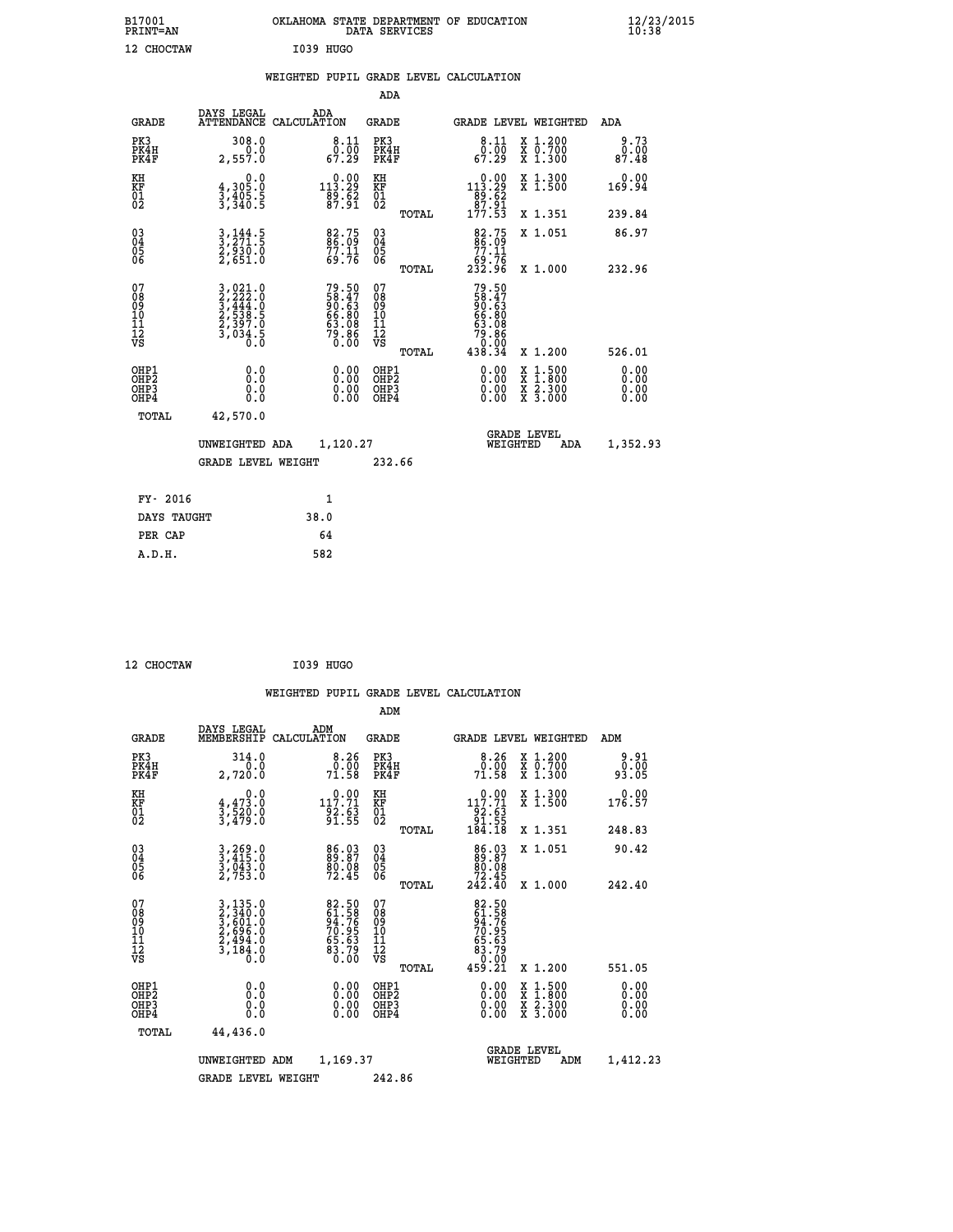| B17001<br><b>PRINT=AN</b>                      |                                                                           | OKLAHOMA STATE DEPARTMENT OF EDUCATION                      | DATA SERVICES                                      |                                                                                                   |                                                                                                  | $\frac{12}{10}$ :38/2015     |
|------------------------------------------------|---------------------------------------------------------------------------|-------------------------------------------------------------|----------------------------------------------------|---------------------------------------------------------------------------------------------------|--------------------------------------------------------------------------------------------------|------------------------------|
| 12 CHOCTAW                                     |                                                                           | I039 HUGO                                                   |                                                    |                                                                                                   |                                                                                                  |                              |
|                                                |                                                                           | WEIGHTED PUPIL GRADE LEVEL CALCULATION                      |                                                    |                                                                                                   |                                                                                                  |                              |
|                                                |                                                                           |                                                             | ADA                                                |                                                                                                   |                                                                                                  |                              |
| <b>GRADE</b>                                   | DAYS LEGAL                                                                | ADA<br>ATTENDANCE CALCULATION                               | GRADE                                              | GRADE LEVEL WEIGHTED                                                                              |                                                                                                  | ADA                          |
| PK3<br>PK4H<br>PK4F                            | 308.0<br>0.0<br>2,557.0                                                   | $\begin{smallmatrix}8.11\0.00\67.29\end{smallmatrix}$       | PK3<br>PK4H<br>PK4F                                | 8.11<br>$\frac{0.00}{67.29}$                                                                      | X 1.200<br>X 0.700<br>X 1.300                                                                    | 9.73<br>0.00<br>87.48        |
| KH<br>KF<br>$\overline{01}$                    | 0.0<br>$\frac{4}{3}, \frac{305}{405}$ . 5<br>3, 340. 5                    | $\substack{ \substack{ 0.00\\113.29\\89.62\\87.91} }$       | КH<br>KF<br>01<br>02                               | $\begin{array}{c} 0.00 \\[-4pt] 113.29 \\[-4pt] 89.62 \\[-4pt] 87.91 \\[-4pt] 177.53 \end{array}$ | X 1.300<br>X 1.500                                                                               | 0.00<br>169.94               |
|                                                |                                                                           |                                                             | TOTAL                                              |                                                                                                   | X 1.351                                                                                          | 239.84                       |
| $\substack{03 \\ 04}$<br>$\substack{05 \\ 06}$ | $3, 271.5$<br>$2, 930.0$<br>$2, 651.0$                                    | 82.75<br>86.09<br>77.11<br>69.76                            | $\begin{matrix} 03 \\ 04 \\ 05 \\ 06 \end{matrix}$ | 82.75<br>77.11<br>76. ۋۇ<br>232.96                                                                | X 1.051                                                                                          | 86.97                        |
|                                                |                                                                           |                                                             | TOTAL                                              |                                                                                                   | X 1.000                                                                                          | 232.96                       |
| 07<br>08<br>09<br>10<br>11<br>12<br>VS         | 3,021.0<br>3,222.0<br>3,444.0<br>3,444.0<br>2,538.5<br>2,397.0<br>3,034.5 | 79.50<br>58.47<br>90.63<br>66.80<br>63.08<br>53.86<br>79.86 | 07<br>08<br>09<br>10<br>11<br>12<br>VS<br>TOTAL    | 79.50<br>58.47<br>00.63<br>199.99<br>63.08<br>79.86<br>0.00<br>438.34                             | X 1.200                                                                                          | 526.01                       |
| OHP1<br>OHP2<br>OH <sub>P3</sub><br>OHP4       | 0.0<br>0.0<br>0.0<br>0.0                                                  | $0.00$<br>$0.00$<br>0.00                                    | OHP1<br>OH <sub>P</sub> 2<br>OHP3<br>OHP4          | $0.00$<br>$0.00$<br>0.00                                                                          | $\begin{smallmatrix} x & 1 & 500 \\ x & 1 & 800 \\ x & 2 & 300 \\ x & 3 & 000 \end{smallmatrix}$ | 0.00<br>0.00<br>0.00<br>0.00 |
| TOTAL                                          | 42,570.0                                                                  |                                                             |                                                    |                                                                                                   |                                                                                                  |                              |
|                                                | UNWEIGHTED ADA                                                            | 1,120.27                                                    |                                                    | <b>GRADE LEVEL</b><br>WEIGHTED                                                                    | ADA                                                                                              | 1,352.93                     |
|                                                | GRADE LEVEL WEIGHT                                                        |                                                             | 232.66                                             |                                                                                                   |                                                                                                  |                              |
| FY- 2016                                       |                                                                           | 1                                                           |                                                    |                                                                                                   |                                                                                                  |                              |
| DAYS TAUGHT                                    |                                                                           | 38.0                                                        |                                                    |                                                                                                   |                                                                                                  |                              |
| PER CAP                                        |                                                                           | 64                                                          |                                                    |                                                                                                   |                                                                                                  |                              |

 **12 CHOCTAW I039 HUGO**

 **A.D.H. 582**

|                                                    |                                                                              |                    |                                                                                                                                                                                                                                                                                                                                                                                          |                                                     |       | WEIGHTED PUPIL GRADE LEVEL CALCULATION                                                            |                                          |                       |  |
|----------------------------------------------------|------------------------------------------------------------------------------|--------------------|------------------------------------------------------------------------------------------------------------------------------------------------------------------------------------------------------------------------------------------------------------------------------------------------------------------------------------------------------------------------------------------|-----------------------------------------------------|-------|---------------------------------------------------------------------------------------------------|------------------------------------------|-----------------------|--|
|                                                    |                                                                              |                    |                                                                                                                                                                                                                                                                                                                                                                                          | ADM                                                 |       |                                                                                                   |                                          |                       |  |
| <b>GRADE</b>                                       | DAYS LEGAL<br>MEMBERSHIP                                                     | ADM<br>CALCULATION |                                                                                                                                                                                                                                                                                                                                                                                          | GRADE                                               |       | GRADE LEVEL WEIGHTED                                                                              |                                          | ADM                   |  |
| PK3<br>PK4H<br>PK4F                                | 314.0<br>0.0<br>2,720.0                                                      |                    | $\begin{array}{c} 8.26 \\ 0.00 \\ 71.58 \end{array}$                                                                                                                                                                                                                                                                                                                                     | PK3<br>PK4H<br>PK4F                                 |       | $8.26$<br>$0.00$<br>71.58                                                                         | X 1.200<br>X 0.700<br>X 1.300            | 9.91<br>0.00<br>93.05 |  |
| KH<br>KF<br>01<br>02                               | 0.0<br>$\frac{4}{3}, \frac{4}{5} \frac{73}{20} \cdot \frac{0}{0}$<br>3,479:0 |                    | $\substack{1~\substack{0~\cdot~0~0\\1~\substack{1~\cdot~0~\cdot~0\\9~\substack{2~\cdot~0~\cdot~0\\9~\substack{1~\cdot~0~\cdot~0\\1~\cdot~0~\substack{5~\cdot~0\\1~\cdot~0~\substack{9~\cdot~0\\1~\cdot~0~\substack{9~\cdot~0\\1~\cdot~0~\substack{9~\cdot~0~\cdot~0\\1~\cdot~0~\substack{9~\cdot~0~\cdot~0\\1~\cdot~0~\cdot~0~\cdots~0~\substack{9~\cdot~0~\cdot~0\\1~\cdot~0~\cdot~0~\$ | KH<br>KF<br>01<br>02                                |       | $\begin{array}{r} 0.00 \\[-4pt] 117.71 \\[-4pt] 92.63 \\[-4pt] 91.55 \\[-4pt] 184.18 \end{array}$ | X 1.300<br>X 1.500                       | 0.00<br>176.57        |  |
|                                                    |                                                                              |                    |                                                                                                                                                                                                                                                                                                                                                                                          |                                                     | TOTAL |                                                                                                   | X 1.351                                  | 248.83                |  |
| $\begin{matrix} 03 \\ 04 \\ 05 \\ 06 \end{matrix}$ | 3,269.0<br>3,415.0<br>3,043.0<br>2,753.0                                     |                    | 86.03<br>89.87<br>80.08<br>72.45                                                                                                                                                                                                                                                                                                                                                         | $\begin{array}{c} 03 \\ 04 \\ 05 \\ 06 \end{array}$ |       | $\begin{smallmatrix}86.03\\89.87\\80.08\\72.45\\242.40\end{smallmatrix}$                          | X 1.051                                  | 90.42                 |  |
|                                                    |                                                                              |                    |                                                                                                                                                                                                                                                                                                                                                                                          |                                                     | TOTAL |                                                                                                   | X 1.000                                  | 242.40                |  |
| 07<br>08<br>09<br>101<br>11<br>12<br>VS            | 3,135.0<br>2,340.0<br>3,601.0<br>2,696.0<br>2,494.0<br>3,184.0<br>0.0        |                    | 82.50<br>61.58<br>94.76<br>70.95<br>70.63<br>65.63<br>83.79<br>0.00                                                                                                                                                                                                                                                                                                                      | 07<br>08<br>09<br>01<br>11<br>11<br>12<br>VS        |       | 82.50<br>61.58<br>94.766<br>70.95<br>70.63<br>63.79<br>83.79<br>0.00<br>459.21                    |                                          |                       |  |
|                                                    |                                                                              |                    |                                                                                                                                                                                                                                                                                                                                                                                          |                                                     | TOTAL |                                                                                                   | X 1.200                                  | 551.05                |  |
| OHP1<br>OHP2<br>OH <sub>P3</sub><br>OHP4           | 0.0<br>0.000                                                                 |                    | $\begin{smallmatrix} 0.00 \ 0.00 \ 0.00 \ 0.00 \end{smallmatrix}$                                                                                                                                                                                                                                                                                                                        | OHP1<br>OHP2<br>OHP3<br>OHP4                        |       | $0.00$<br>$0.00$<br>0.00                                                                          | X 1:500<br>X 1:800<br>X 2:300<br>X 3:000 | 0.00<br>0.00<br>0.00  |  |
| TOTAL                                              | 44,436.0                                                                     |                    |                                                                                                                                                                                                                                                                                                                                                                                          |                                                     |       |                                                                                                   |                                          |                       |  |
|                                                    | UNWEIGHTED ADM                                                               |                    | 1,169.37                                                                                                                                                                                                                                                                                                                                                                                 |                                                     |       | <b>GRADE LEVEL</b><br>WEIGHTED                                                                    | ADM                                      | 1,412.23              |  |
|                                                    | <b>GRADE LEVEL WEIGHT</b>                                                    |                    |                                                                                                                                                                                                                                                                                                                                                                                          | 242.86                                              |       |                                                                                                   |                                          |                       |  |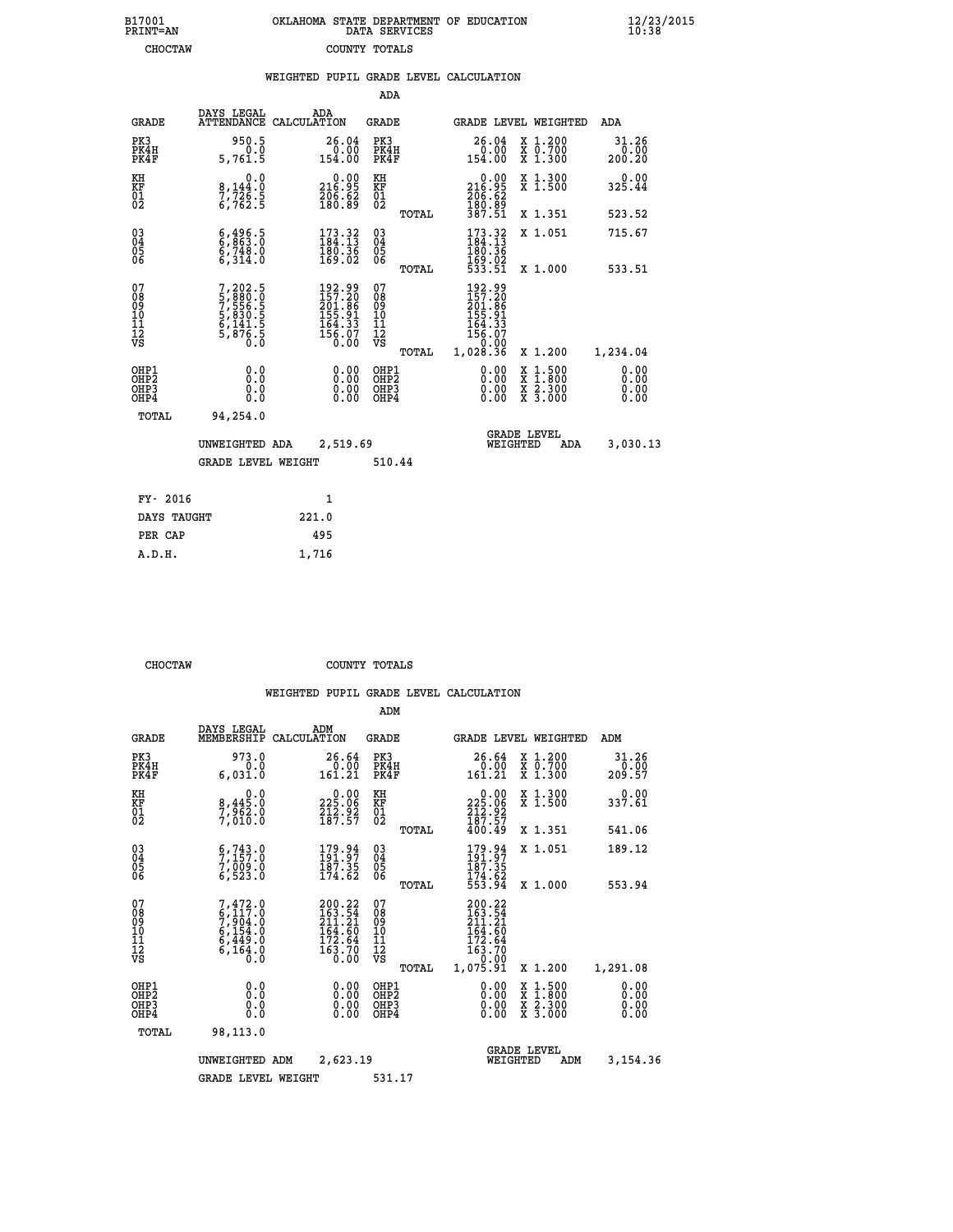| 7001<br>INT=AN |  | OKLAHOMA STATE DEPARTMENT OF EDUCATION<br>DATA SERVICES |  |
|----------------|--|---------------------------------------------------------|--|
| CHOCTAW        |  | COUNTY TOTALS                                           |  |

|                                              |                                                                               | WEIGHTED PUPIL GRADE LEVEL CALCULATION                                         |                                         |       |                                                                                                                                                                                                                                                                                |                                                                                                                                              |                         |
|----------------------------------------------|-------------------------------------------------------------------------------|--------------------------------------------------------------------------------|-----------------------------------------|-------|--------------------------------------------------------------------------------------------------------------------------------------------------------------------------------------------------------------------------------------------------------------------------------|----------------------------------------------------------------------------------------------------------------------------------------------|-------------------------|
|                                              |                                                                               |                                                                                | ADA                                     |       |                                                                                                                                                                                                                                                                                |                                                                                                                                              |                         |
| <b>GRADE</b>                                 | DAYS LEGAL                                                                    | ADA<br>ATTENDANCE CALCULATION                                                  | <b>GRADE</b>                            |       |                                                                                                                                                                                                                                                                                | GRADE LEVEL WEIGHTED                                                                                                                         | ADA                     |
| PK3<br>PK4H<br>PK4F                          | 950.5<br>0.0<br>5,761.5                                                       | 26.04<br>0.00<br>154.00                                                        | PK3<br>PK4H<br>PK4F                     |       | 26.04<br>$\begin{array}{c} 0.00 \\ -0.00 \end{array}$                                                                                                                                                                                                                          | X 1.200<br>X 0.700<br>X 1.300                                                                                                                | 31.26<br>0.00<br>200.20 |
| KH<br>KF<br>01<br>02                         | 0.0<br>8,144.0<br>$\frac{7}{6}$ , 726: 5                                      | 216.99<br>$\frac{206}{180}$ $\frac{62}{89}$                                    | KH<br>KF<br>01<br>02                    |       | 216.99<br>206:62<br>180:89<br>387:51                                                                                                                                                                                                                                           | X 1.300<br>X 1.500                                                                                                                           | 0.00<br>325.44          |
|                                              |                                                                               |                                                                                |                                         | TOTAL |                                                                                                                                                                                                                                                                                | X 1.351                                                                                                                                      | 523.52                  |
| $^{03}_{04}$<br>05                           | $\begin{smallmatrix} 6,496.5\\ 6,863.0\\ 6,748.0\\ 6,314.0 \end{smallmatrix}$ | $\begin{smallmatrix} 173.32\\ 184.13\\ 180.36\\ 169.02 \end{smallmatrix}$      | $^{03}_{04}$<br>0500                    |       | $\begin{array}{c} 173.32 \\ 184.13 \\ 180.36 \end{array}$                                                                                                                                                                                                                      | X 1.051                                                                                                                                      | 715.67                  |
| 06                                           |                                                                               |                                                                                |                                         | TOTAL | 169.02<br>533.51                                                                                                                                                                                                                                                               | X 1.000                                                                                                                                      | 533.51                  |
| 07<br>08<br>09<br>01<br>11<br>11<br>12<br>VS | 7,202.5<br>5,880.0<br>7,556.5<br>7,556.5<br>5,830.5<br>6,141.5<br>5,876.5     | $192.99$<br>$157.20$<br>$201.86$<br>$155.91$<br>$164.33$<br>$156.07$<br>$0.00$ | 07<br>08<br>09<br>101<br>11<br>12<br>VS | TOTAL | $192.99\n157.20\n201.86\n155.91\n164.33\n156.07\n0.00\n1,028.36$                                                                                                                                                                                                               | X 1.200                                                                                                                                      | 1,234.04                |
| OHP1<br>OHP2<br>OH <sub>P3</sub><br>OHP4     | 0.0<br>0.0<br>0.0                                                             | $\begin{smallmatrix} 0.00 \ 0.00 \ 0.00 \ 0.00 \end{smallmatrix}$              | OHP1<br>OHP2<br>OHP3<br>OHP4            |       | $\begin{smallmatrix} 0.00 & 0.00 & 0.00 & 0.00 & 0.00 & 0.00 & 0.00 & 0.00 & 0.00 & 0.00 & 0.00 & 0.00 & 0.00 & 0.00 & 0.00 & 0.00 & 0.00 & 0.00 & 0.00 & 0.00 & 0.00 & 0.00 & 0.00 & 0.00 & 0.00 & 0.00 & 0.00 & 0.00 & 0.00 & 0.00 & 0.00 & 0.00 & 0.00 & 0.00 & 0.00 & 0.0$ | $\begin{smallmatrix} \mathtt{X} & 1\cdot500 \\ \mathtt{X} & 1\cdot800 \\ \mathtt{X} & 2\cdot300 \\ \mathtt{X} & 3\cdot000 \end{smallmatrix}$ | 0.00<br>0.00<br>0.00    |
| TOTAL                                        | 94,254.0                                                                      |                                                                                |                                         |       |                                                                                                                                                                                                                                                                                |                                                                                                                                              |                         |
|                                              | UNWEIGHTED ADA                                                                | 2,519.69                                                                       |                                         |       | <b>GRADE LEVEL</b><br>WEIGHTED                                                                                                                                                                                                                                                 | ADA                                                                                                                                          | 3,030.13                |
|                                              | <b>GRADE LEVEL WEIGHT</b>                                                     |                                                                                | 510.44                                  |       |                                                                                                                                                                                                                                                                                |                                                                                                                                              |                         |
| FY- 2016                                     |                                                                               | $\mathbf{1}$                                                                   |                                         |       |                                                                                                                                                                                                                                                                                |                                                                                                                                              |                         |
| DAYS TAUGHT                                  |                                                                               | 221.0                                                                          |                                         |       |                                                                                                                                                                                                                                                                                |                                                                                                                                              |                         |
| PER CAP                                      |                                                                               | 495                                                                            |                                         |       |                                                                                                                                                                                                                                                                                |                                                                                                                                              |                         |

 **CHOCTAW COUNTY TOTALS**

 **A.D.H. 1,716**

 **B17001<br>PRINT=AN** 

|                                                      |                                                                                                  |                                                                                                | ADM                                                 |                                                                                                                    |                                          |                              |
|------------------------------------------------------|--------------------------------------------------------------------------------------------------|------------------------------------------------------------------------------------------------|-----------------------------------------------------|--------------------------------------------------------------------------------------------------------------------|------------------------------------------|------------------------------|
| <b>GRADE</b>                                         | DAYS LEGAL<br>MEMBERSHIP                                                                         | ADM<br>CALCULATION                                                                             | <b>GRADE</b>                                        | GRADE LEVEL WEIGHTED                                                                                               |                                          | ADM                          |
| PK3<br>PK4H<br>PK4F                                  | 973.0<br>0.0<br>6,031.0                                                                          | 26.64<br>0.00<br>161.21                                                                        | PK3<br>PK4H<br>PK4F                                 | 26.64<br>0.00<br>161.21                                                                                            | X 1.200<br>X 0.700<br>X 1.300            | 31.26<br>0.00<br>209.57      |
| KH<br>KF<br>01<br>02                                 | 0.0<br>8,445.0<br>7,962.0<br>7,010.0                                                             | $\begin{smallmatrix} 0.00\\ 225.06\\ 212.92\\ 187.57 \end{smallmatrix}$                        | KH<br>KF<br>01<br>02                                | $\begin{smallmatrix} &0.00\\ 225.06\\ 212.92\\ 187.57\\ 400.49\end{smallmatrix}$                                   | X 1.300<br>X 1.500                       | 0.00<br>337.61               |
|                                                      |                                                                                                  |                                                                                                | TOTAL                                               |                                                                                                                    | X 1.351                                  | 541.06                       |
| 03<br>04<br>05<br>06                                 | $\begin{smallmatrix} 6 & 743 & 0 \\ 7 & 157 & 0 \\ 7 & 009 & 0 \\ 6 & 523 & 0 \end{smallmatrix}$ | $\begin{smallmatrix} 179.94 \\ 191.97 \\ 187.35 \\ 174.62 \end{smallmatrix}$                   | $\begin{array}{c} 03 \\ 04 \\ 05 \\ 06 \end{array}$ | $\frac{179.94}{191.97}$                                                                                            | X 1.051                                  | 189.12                       |
|                                                      |                                                                                                  |                                                                                                | TOTAL                                               | 174.62<br>553.94                                                                                                   | X 1.000                                  | 553.94                       |
| 07<br>08<br>09<br>101<br>112<br>VS                   | $7,472.0$<br>$6,117.0$<br>$7,904.0$<br>$6,154.0$<br>$6,449.0$<br>$6,164.0$<br>$0.0$              | $200.22$<br>$163.54$<br>$211.21$<br>$\frac{164.60}{172.64}$<br>$\frac{172.64}{163.70}$<br>0.00 | 07<br>08<br>09<br>11<br>11<br>12<br>VS<br>TOTAL     | $200.22$<br>$163.54$<br>$211.21$<br>$\begin{array}{r} 164.60 \\ 172.64 \\ 163.70 \\ -0.00 \end{array}$<br>1,075.91 | X 1.200                                  | 1,291.08                     |
| OHP1<br>OHP2<br>OH <sub>P3</sub><br>OH <sub>P4</sub> | 0.0<br>0.000                                                                                     | $0.00$<br>$0.00$<br>0.00                                                                       | OHP1<br>OHP2<br>OHP3<br>OHP4                        | $0.00$<br>$0.00$<br>0.00                                                                                           | X 1:500<br>X 1:800<br>X 2:300<br>X 3:000 | 0.00<br>0.00<br>0.00<br>0.00 |
| TOTAL                                                | 98,113.0                                                                                         |                                                                                                |                                                     |                                                                                                                    |                                          |                              |
|                                                      | UNWEIGHTED                                                                                       | 2,623.19<br>ADM                                                                                |                                                     | <b>GRADE LEVEL</b><br>WEIGHTED                                                                                     | ADM                                      | 3,154.36                     |
|                                                      | <b>GRADE LEVEL WEIGHT</b>                                                                        |                                                                                                | 531.17                                              |                                                                                                                    |                                          |                              |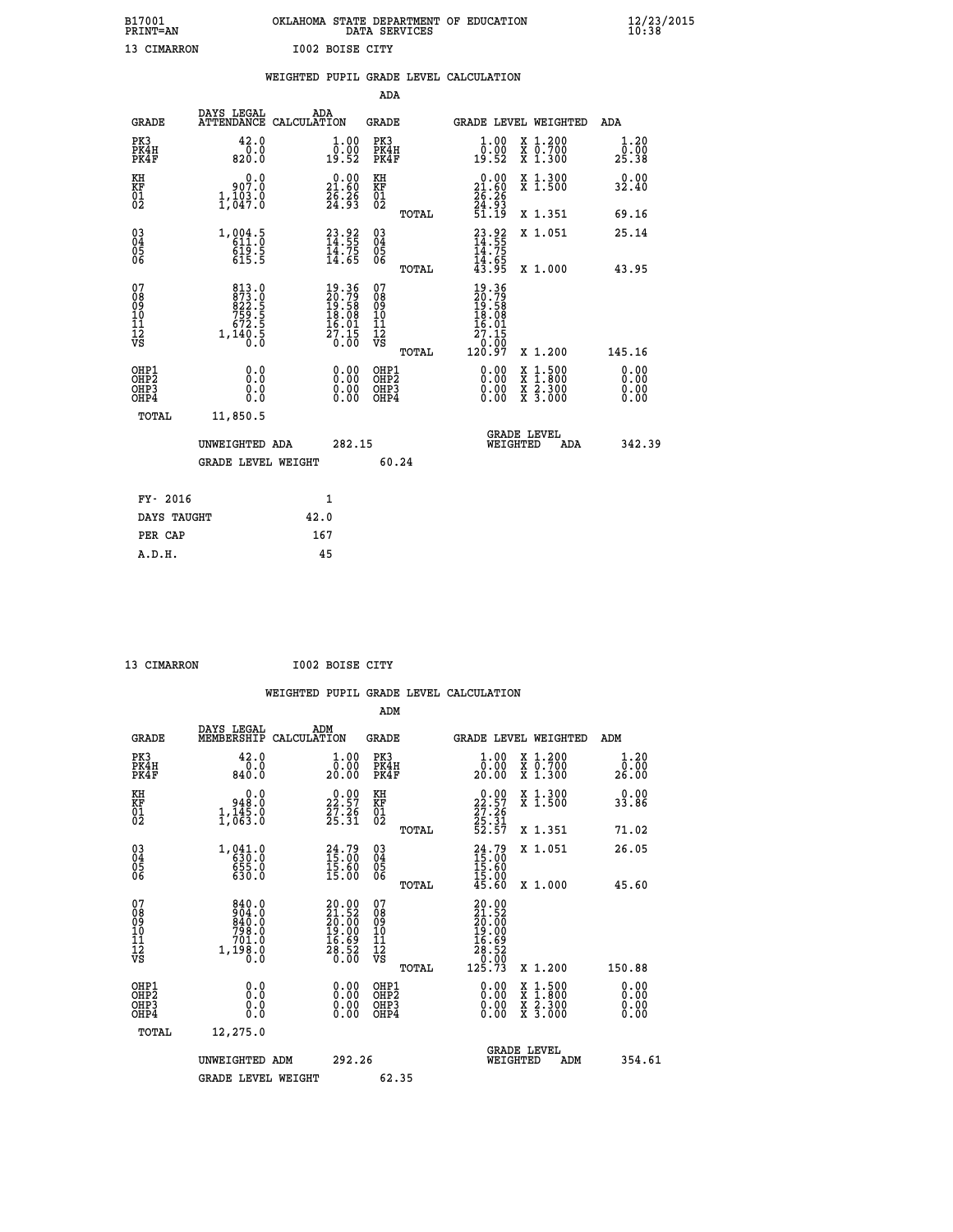| B17001          | OKLAHOMA STATE DEPARTMENT OF EDUCATION |
|-----------------|----------------------------------------|
| <b>PRINT=AN</b> | DATA SERVICES                          |
| 13 CIMARRON     | I002 BOISE CITY                        |

|                                                    |                                                                      | WEIGHTED PUPIL GRADE LEVEL CALCULATION                                   |                                        |       |                                                                                |                                                                     |                              |
|----------------------------------------------------|----------------------------------------------------------------------|--------------------------------------------------------------------------|----------------------------------------|-------|--------------------------------------------------------------------------------|---------------------------------------------------------------------|------------------------------|
|                                                    |                                                                      |                                                                          | ADA                                    |       |                                                                                |                                                                     |                              |
| <b>GRADE</b>                                       | DAYS LEGAL                                                           | ADA<br>ATTENDANCE CALCULATION                                            | <b>GRADE</b>                           |       |                                                                                | GRADE LEVEL WEIGHTED                                                | ADA                          |
| PK3<br>PK4H<br>PK4F                                | 42.0<br>0.0<br>820.0                                                 | 1.00<br>0:00<br>19:52                                                    | PK3<br>PK4H<br>PK4F                    |       | 1.00<br>0.00<br>19.52                                                          | X 1.200<br>X 0.700<br>X 1.300                                       | 1.20<br>0.00<br>25.38        |
| KH<br>KF<br>01<br>02                               | 907.0<br>1,103.0                                                     | $\begin{smallmatrix} 0.00\\ 21.60\\ 26.26\\ 24.93 \end{smallmatrix}$     | KH<br>KF<br>01<br>02                   |       | $\begin{smallmatrix} 0.00\\ 21.60\\ 26.26\\ 24.93\\ 51.19 \end{smallmatrix}$   | X 1.300<br>X 1.500                                                  | 0.00<br>32.40                |
|                                                    |                                                                      |                                                                          |                                        | TOTAL |                                                                                | X 1.351                                                             | 69.16                        |
| $\begin{matrix} 03 \\ 04 \\ 05 \\ 06 \end{matrix}$ | 1, 004.5<br>$6\overline{19}\cdot5$<br>615.5                          | $23.92$<br>$14.55$<br>$14.75$<br>$14.65$                                 | 03<br>04<br>05<br>06                   |       | $23.92$<br>14.55<br>$\frac{11.75}{14.65}$<br>$\frac{14.65}{43.95}$             | X 1.051                                                             | 25.14                        |
|                                                    |                                                                      |                                                                          |                                        | TOTAL |                                                                                | X 1.000                                                             | 43.95                        |
| 07<br>08<br>09<br>101<br>112<br>VS                 | 813.0<br>873.0<br>822.5<br>822.5<br>759.5<br>672.5<br>1,140.5<br>0.0 | $19.36$<br>$20.79$<br>$19.58$<br>$18.08$<br>$16.01$<br>$27.15$<br>$0.00$ | 07<br>08<br>09<br>10<br>11<br>12<br>VS | TOTAL | $19.36$<br>$20.79$<br>$19.58$<br>$18.08$<br>$16.01$<br>27.15<br>0.00<br>120.97 | X 1.200                                                             | 145.16                       |
| OHP1<br>OHP2<br>OHP3<br>OHP4                       | 0.0<br>Ŏ.Ŏ<br>0.0<br>0.0                                             | 0.00<br>$0.00$<br>0.00                                                   | OHP1<br>OHP2<br>OHP3<br>OHP4           |       | 0.00<br>0.00<br>0.00                                                           | $1.500$<br>$1.800$<br>X<br>X<br>$\frac{x}{x}$ $\frac{5:300}{3:000}$ | 0.00<br>0.00<br>0.00<br>0.00 |
| TOTAL                                              | 11,850.5                                                             |                                                                          |                                        |       |                                                                                |                                                                     |                              |
|                                                    | UNWEIGHTED ADA                                                       | 282.15                                                                   |                                        |       | WEIGHTED                                                                       | <b>GRADE LEVEL</b><br>ADA                                           | 342.39                       |
|                                                    | <b>GRADE LEVEL WEIGHT</b>                                            |                                                                          |                                        | 60.24 |                                                                                |                                                                     |                              |
| FY- 2016                                           |                                                                      | $\mathbf{1}$                                                             |                                        |       |                                                                                |                                                                     |                              |
| DAYS TAUGHT                                        |                                                                      | 42.0                                                                     |                                        |       |                                                                                |                                                                     |                              |
| PER CAP                                            |                                                                      | 167                                                                      |                                        |       |                                                                                |                                                                     |                              |

 **A.D.H. 45**

 **13 CIMARRON I002 BOISE CITY**

| <b>GRADE</b>                                       | DAYS LEGAL<br>MEMBERSHIP                                                  | ADM<br>CALCULATION                                                                           | <b>GRADE</b>                                        |       | <b>GRADE LEVEL WEIGHTED</b>                                                                                   |                                          | ADM                          |  |
|----------------------------------------------------|---------------------------------------------------------------------------|----------------------------------------------------------------------------------------------|-----------------------------------------------------|-------|---------------------------------------------------------------------------------------------------------------|------------------------------------------|------------------------------|--|
| PK3<br>PK4H<br>PK4F                                | 42.0<br>$0.0$<br>0.088                                                    | 1.00<br>0.00<br>20.00                                                                        | PK3<br>PK4H<br>PK4F                                 |       | $\begin{smallmatrix} 1.00\\ 0.00\\ 20.00 \end{smallmatrix}$                                                   | X 1.200<br>x 0.700<br>x 1.300            | 1.20<br>0.00<br>26.00        |  |
| KH<br>KF<br>01<br>02                               | 0.0<br>0:048<br>0:445,4<br>0:63:0,1                                       | $22.57$<br>$27.26$<br>$25.31$                                                                | KH<br>KF<br>01<br>02                                |       | $22.57$<br>$27.26$<br>$25.31$<br>$52.57$                                                                      | X 1.300<br>X 1.500                       | 0.00<br>33.86                |  |
|                                                    |                                                                           |                                                                                              |                                                     | TOTAL |                                                                                                               | X 1.351                                  | 71.02                        |  |
| $\begin{matrix} 03 \\ 04 \\ 05 \\ 06 \end{matrix}$ | 1,041.0<br>630.0<br>655.0                                                 | $24.79$<br>$15.00$<br>$15.60$<br>$15.00$                                                     | $\begin{array}{c} 03 \\ 04 \\ 05 \\ 06 \end{array}$ |       | 24.79<br>$\begin{smallmatrix} 4\,5 & 0 & 0 \\ 1\,5 & 6 & 0 \\ 1\,5 & 0 & 0 \\ 4\,5 & 6 & 0 \end{smallmatrix}$ | X 1.051                                  | 26.05                        |  |
|                                                    | 630.0                                                                     |                                                                                              |                                                     | TOTAL |                                                                                                               | X 1.000                                  | 45.60                        |  |
| 07<br>08<br>09<br>101<br>112<br>VS                 | $840.0$<br>$904.0$<br>$840.0$<br>$798.0$<br>$701.0$<br>$1,198.0$<br>$0.0$ | $\begin{smallmatrix} 20.00\\ 21.52\\ 20.00\\ 19.00\\ 16.69\\ 28.52\\ 0.00 \end{smallmatrix}$ | 07<br>08<br>09<br>11<br>11<br>12<br>VS              | TOTAL | $\begin{smallmatrix} 20.00\\ 21.52\\ 20.00\\ 19.00\\ 16.69\\ 28.52\\ 0.00\\ 125.73 \end{smallmatrix}$         | X 1.200                                  | 150.88                       |  |
| OHP1<br>OHP2<br>OHP3<br>OHP4                       | 0.0<br>0.0<br>Ŏ.Ŏ                                                         |                                                                                              | OHP1<br>OHP2<br>OHP3<br>OHP4                        |       |                                                                                                               | X 1:500<br>X 1:800<br>X 2:300<br>X 3:000 | 0.00<br>0.00<br>0.00<br>0.00 |  |
| TOTAL                                              | 12,275.0                                                                  |                                                                                              |                                                     |       |                                                                                                               |                                          |                              |  |
|                                                    | UNWEIGHTED ADM                                                            | 292.26                                                                                       |                                                     |       | WEIGHTED                                                                                                      | <b>GRADE LEVEL</b><br>ADM                | 354.61                       |  |
|                                                    | <b>GRADE LEVEL WEIGHT</b>                                                 |                                                                                              | 62.35                                               |       |                                                                                                               |                                          |                              |  |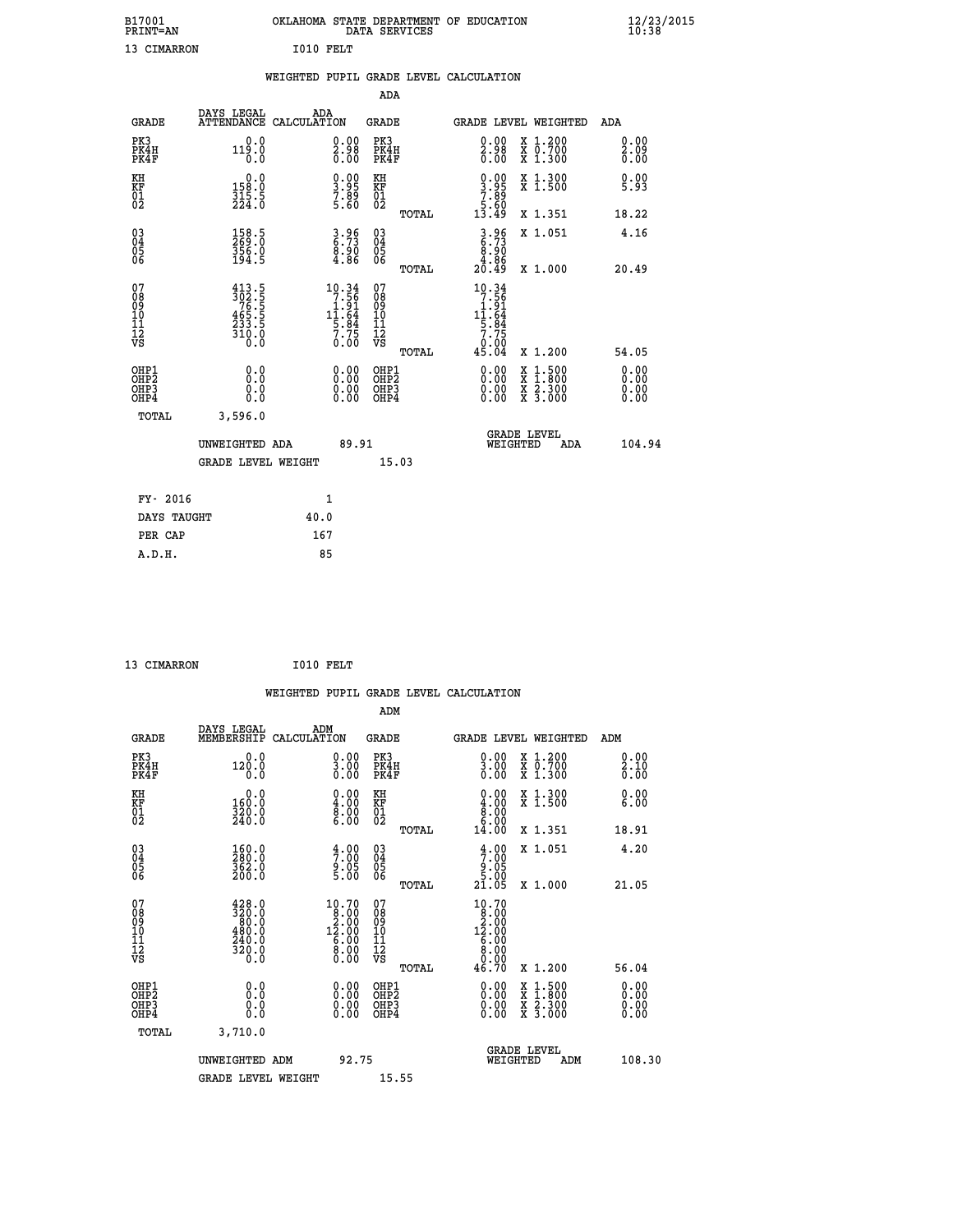| B17001<br><b>PRINT=AN</b> | OKLAHOMA STATE DEPARTMENT OF EDUCATION<br>DATA SERVICES | $\frac{12}{23}$ /2015 |
|---------------------------|---------------------------------------------------------|-----------------------|
| $10$ $2711222222$         | $\sim$ 0.4.0 mm $\sim$ m                                |                       |

| <b>PRINT=AN</b>                                    |                                                                                                                                                                                     |      |                                                                                       | DATA SERVICES                           |       |                                                                                                        |                                                                                                                          | 10:38                |
|----------------------------------------------------|-------------------------------------------------------------------------------------------------------------------------------------------------------------------------------------|------|---------------------------------------------------------------------------------------|-----------------------------------------|-------|--------------------------------------------------------------------------------------------------------|--------------------------------------------------------------------------------------------------------------------------|----------------------|
| 13 CIMARRON                                        |                                                                                                                                                                                     |      | I010 FELT                                                                             |                                         |       |                                                                                                        |                                                                                                                          |                      |
|                                                    |                                                                                                                                                                                     |      |                                                                                       |                                         |       | WEIGHTED PUPIL GRADE LEVEL CALCULATION                                                                 |                                                                                                                          |                      |
|                                                    |                                                                                                                                                                                     |      |                                                                                       | ADA                                     |       |                                                                                                        |                                                                                                                          |                      |
| <b>GRADE</b>                                       | DAYS LEGAL<br>ATTENDANCE CALCULATION                                                                                                                                                |      | ADA                                                                                   | <b>GRADE</b>                            |       |                                                                                                        | GRADE LEVEL WEIGHTED                                                                                                     | ADA                  |
| PK3<br>PK4H<br>PK4F                                | 0.0<br>119.0<br>0.0                                                                                                                                                                 |      | $\substack{0.00\\2.98\\0.00}$                                                         | PK3<br>PK4H<br>PK4F                     |       | 0.00<br>$\frac{2.98}{0.00}$                                                                            | X 1.200<br>X 0.700<br>X 1.300                                                                                            | 0.00<br>2.09<br>0.00 |
| KH<br>KF<br>01<br>02                               | $0.0$<br>158.0<br>$\frac{315}{224}$ : 5                                                                                                                                             |      | $\begin{smallmatrix} 0.00\\ 3.95\\ 7.89\\ 5.60 \end{smallmatrix}$                     | KH<br>KF<br>01<br>02                    |       | $\begin{smallmatrix} 0.00\\ 3.95\\ 7.89\\ 5.60\\ 13.49 \end{smallmatrix}$                              | X 1.300<br>X 1.500                                                                                                       | 0.00<br>5.93         |
|                                                    |                                                                                                                                                                                     |      |                                                                                       |                                         | TOTAL |                                                                                                        | X 1.351                                                                                                                  | 18.22                |
| $\begin{matrix} 03 \\ 04 \\ 05 \\ 06 \end{matrix}$ | 158.5<br>269.0<br>356.0<br>194.5                                                                                                                                                    |      | $\begin{smallmatrix} 3.96\ 6.73\ 8.90\ 4.86 \end{smallmatrix}$                        | $^{03}_{04}$<br>05<br>06                |       | $3.96$<br>$8.73$<br>$8.90$<br>$4.86$<br>$20.49$                                                        | X 1.051                                                                                                                  | 4.16                 |
|                                                    |                                                                                                                                                                                     |      |                                                                                       |                                         | TOTAL |                                                                                                        | X 1.000                                                                                                                  | 20.49                |
| 07<br>08<br>09<br>11<br>11<br>12<br>VS             | $\begin{smallmatrix} 4 & 1 & 3 & . & 5 \\ 3 & 0 & 2 & . & 5 \\ 7 & 6 & . & 5 \\ 4 & 6 & 5 & . & 5 \\ 2 & 3 & 3 & . & 5 \\ 3 & 1 & 0 & . & 0 \\ 0 & . & 0 & . & 0 \end{smallmatrix}$ |      | $\begin{array}{r} 10.34 \\ 7.56 \\ 1.91 \\ 11.64 \\ 5.84 \\ 7.75 \\ 0.00 \end{array}$ | 07<br>08<br>09<br>101<br>11<br>12<br>VS | TOTAL | $10.34$<br>$7.56$<br>$1.91$<br>$11.64$<br>$\frac{1}{5}$ : $\frac{8}{4}$<br>$\frac{7}{0}$ : 00<br>45.04 | X 1.200                                                                                                                  | 54.05                |
| OHP1<br>OHP2<br>OHP3<br>OHP4                       | 0.0<br>0.0<br>0.0                                                                                                                                                                   |      | 0.00<br>$\begin{smallmatrix} 0.00 \ 0.00 \end{smallmatrix}$                           | OHP1<br>OHP2<br>OHP3<br>OHP4            |       | 0.00<br>0.00                                                                                           | $\frac{x}{x}$ $\frac{1.500}{x}$<br>$\begin{array}{c} \hat{x} & \hat{2} \cdot \tilde{3}00 \\ x & 3 \cdot 000 \end{array}$ | 0.00<br>0.00<br>0.00 |
| TOTAL                                              | 3,596.0                                                                                                                                                                             |      |                                                                                       |                                         |       |                                                                                                        |                                                                                                                          |                      |
|                                                    | UNWEIGHTED ADA<br><b>GRADE LEVEL WEIGHT</b>                                                                                                                                         |      | 89.91                                                                                 | 15.03                                   |       |                                                                                                        | GRADE LEVEL<br>WEIGHTED<br>ADA                                                                                           | 104.94               |
|                                                    |                                                                                                                                                                                     |      |                                                                                       |                                         |       |                                                                                                        |                                                                                                                          |                      |
| FY- 2016                                           |                                                                                                                                                                                     |      | $\mathbf{1}$                                                                          |                                         |       |                                                                                                        |                                                                                                                          |                      |
| DAYS TAUGHT                                        |                                                                                                                                                                                     | 40.0 |                                                                                       |                                         |       |                                                                                                        |                                                                                                                          |                      |

| DAYS TAUGHT | 40.0 |  |
|-------------|------|--|
| PER CAP     | 167  |  |
| A.D.H.      | 85   |  |
|             |      |  |

```
 13 CIMARRON I010 FELT
```

|                                                    |                                                                                                                                             | WEIGHTED PUPIL GRADE LEVEL CALCULATION                                                         |                                                    |       |                                                                                                   |                                                                                                                                           |                      |
|----------------------------------------------------|---------------------------------------------------------------------------------------------------------------------------------------------|------------------------------------------------------------------------------------------------|----------------------------------------------------|-------|---------------------------------------------------------------------------------------------------|-------------------------------------------------------------------------------------------------------------------------------------------|----------------------|
|                                                    |                                                                                                                                             |                                                                                                | ADM                                                |       |                                                                                                   |                                                                                                                                           |                      |
| <b>GRADE</b>                                       | DAYS LEGAL<br>MEMBERSHIP CALCULATION                                                                                                        | ADM                                                                                            | GRADE                                              |       |                                                                                                   | GRADE LEVEL WEIGHTED                                                                                                                      | ADM                  |
| PK3<br>PK4H<br>PK4F                                | 0.0<br>120.0<br>0.0                                                                                                                         | $\begin{smallmatrix} 0.00\\ 3.00\\ 0.00 \end{smallmatrix}$                                     | PK3<br>PK4H<br>PK4F                                |       | 0.00<br>$\frac{3.00}{0.00}$                                                                       | X 1.200<br>X 0.700<br>X 1.300                                                                                                             | 0.00<br>2.10<br>0.00 |
| KH<br>KF<br>01<br>02                               | 0.0<br>160.0<br>320.0<br>240.0                                                                                                              | $\begin{smallmatrix} 0.00\ 4.00\ 8.00\ 6.00 \end{smallmatrix}$                                 | KH<br>KF<br>01<br>02                               |       | $\begin{smallmatrix} 0.00\\ 4.00\\ 8.00\\ 6.00\\ 6.00\\ 14.00 \end{smallmatrix}$                  | X 1.300<br>X 1.500                                                                                                                        | 0.00<br>6.00         |
|                                                    |                                                                                                                                             |                                                                                                |                                                    | TOTAL |                                                                                                   | X 1.351                                                                                                                                   | 18.91                |
| $\begin{matrix} 03 \\ 04 \\ 05 \\ 06 \end{matrix}$ | $\begin{smallmatrix} 160.0\\ 280.0\\ 362.0\\ 200.0 \end{smallmatrix}$                                                                       | $\frac{4}{7}$ :00<br>9:05<br>5:00                                                              | $\begin{matrix} 03 \\ 04 \\ 05 \\ 06 \end{matrix}$ |       | $\frac{4.00}{7.00}$<br>$\begin{array}{c} 205 \\ -5.00 \\ 21.05 \end{array}$                       | X 1.051                                                                                                                                   | 4.20                 |
|                                                    |                                                                                                                                             |                                                                                                |                                                    | TOTAL |                                                                                                   | X 1.000                                                                                                                                   | 21.05                |
| 07<br>089<br>090<br>1112<br>VS                     | $\begin{smallmatrix} 4\,2\,8\cdot0\\ 3\,2\,0\cdot0\\ 8\,0\cdot0\\ 4\,8\,0\cdot0\\ 2\,4\,0\cdot0\\ 3\,2\,0\cdot0\\ 0\cdot0\end{smallmatrix}$ | $\begin{smallmatrix} 10.70 \\ 8.00 \\ 2.00 \\ 12.00 \\ 6.00 \\ 6.00 \\ 0.00 \end{smallmatrix}$ | 07<br>08<br>09<br>11<br>11<br>12<br>VS             |       | $\begin{smallmatrix} 10.70 \\ 8.00 \\ 2.00 \\ 12.00 \\ 6.00 \\ 8.00 \\ 9.00 \\ \end{smallmatrix}$ |                                                                                                                                           |                      |
|                                                    |                                                                                                                                             |                                                                                                |                                                    | TOTAL | 46.70                                                                                             | X 1.200                                                                                                                                   | 56.04                |
| OHP1<br>OHP2<br>OH <sub>P3</sub><br>OHP4           | 0.0<br>0.000                                                                                                                                | $\begin{smallmatrix} 0.00 \ 0.00 \ 0.00 \ 0.00 \end{smallmatrix}$                              | OHP1<br>OHP2<br>OHP <sub>3</sub>                   |       | $0.00$<br>$0.00$<br>0.00                                                                          | $\begin{smallmatrix} \mathtt{X} & 1\cdot500\\ \mathtt{X} & 1\cdot800\\ \mathtt{X} & 2\cdot300\\ \mathtt{X} & 3\cdot000 \end{smallmatrix}$ | 0.00<br>0.00<br>0.00 |
| TOTAL                                              | 3,710.0                                                                                                                                     |                                                                                                |                                                    |       |                                                                                                   |                                                                                                                                           |                      |
|                                                    | UNWEIGHTED ADM<br><b>GRADE LEVEL WEIGHT</b>                                                                                                 | 92.75                                                                                          | 15.55                                              |       | WEIGHTED                                                                                          | <b>GRADE LEVEL</b><br>ADM                                                                                                                 | 108.30               |
|                                                    |                                                                                                                                             |                                                                                                |                                                    |       |                                                                                                   |                                                                                                                                           |                      |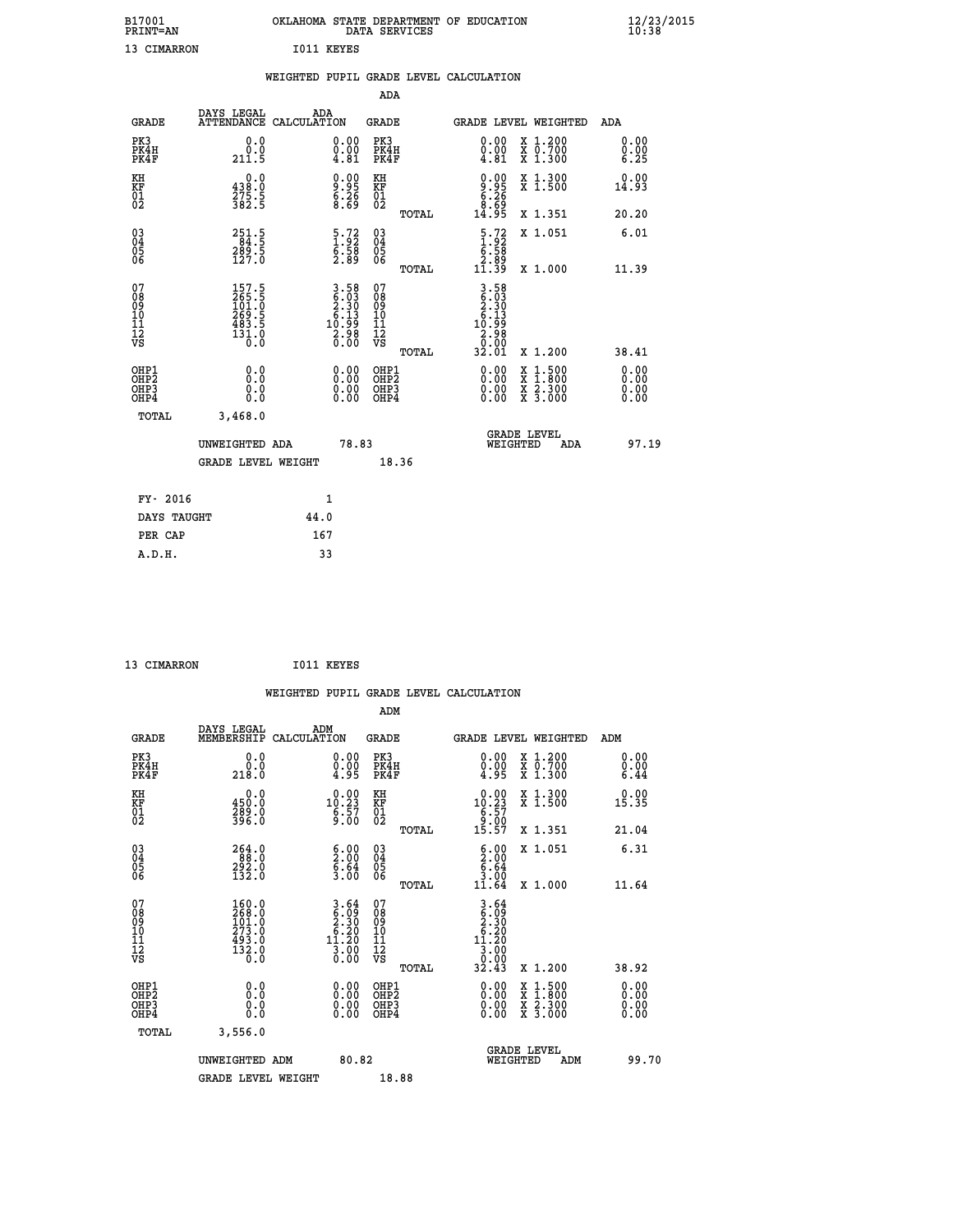| B17001<br><b>PRINT=AN</b> |             |            | OKLAHOMA STATE DEPARTMENT OF EDUCATION<br>DATA SERVICES |  |
|---------------------------|-------------|------------|---------------------------------------------------------|--|
|                           | 13 CIMARRON | I011 KEYES |                                                         |  |

|                                          |                                                                                               | WEIGHTED PUPIL GRADE LEVEL CALCULATION                                                                                  |                                                    |            |                                                                                                                                                                                                                                                                                |                                                                                                                                           |                      |
|------------------------------------------|-----------------------------------------------------------------------------------------------|-------------------------------------------------------------------------------------------------------------------------|----------------------------------------------------|------------|--------------------------------------------------------------------------------------------------------------------------------------------------------------------------------------------------------------------------------------------------------------------------------|-------------------------------------------------------------------------------------------------------------------------------------------|----------------------|
|                                          |                                                                                               |                                                                                                                         |                                                    | <b>ADA</b> |                                                                                                                                                                                                                                                                                |                                                                                                                                           |                      |
| <b>GRADE</b>                             | DAYS LEGAL                                                                                    | ADA<br>ATTENDANCE CALCULATION                                                                                           | GRADE                                              |            |                                                                                                                                                                                                                                                                                | GRADE LEVEL WEIGHTED                                                                                                                      | ADA                  |
| PK3<br>PK4H<br>PK4F                      | 0.0<br>0.0<br>211.5                                                                           | $\substack{0.00\\0.00\\4.81}$                                                                                           | PK3<br>PK4H<br>PK4F                                |            | 0.00<br>$\begin{smallmatrix} 0.00 & 0.01 \\ 4.81 & 0.01 \end{smallmatrix}$                                                                                                                                                                                                     | X 1.200<br>X 0.700<br>X 1.300                                                                                                             | 0.00<br>0.00<br>6.25 |
| KH<br>KF<br>01<br>02                     | $\begin{smallmatrix} 0.0\\ 438.0\\ 275.5\\ 382.5 \end{smallmatrix}$                           | 0.00<br>8.95<br>8.89                                                                                                    | KH<br>KF<br>01<br>02                               |            | $0.95$<br>$8.26$<br>$8.69$<br>$14.95$                                                                                                                                                                                                                                          | X 1.300<br>X 1.500                                                                                                                        | 0.00<br>14.93        |
|                                          |                                                                                               |                                                                                                                         |                                                    | TOTAL      |                                                                                                                                                                                                                                                                                | X 1.351                                                                                                                                   | 20.20                |
| 03<br>04<br>05<br>06                     | $\begin{array}{r} 2\,5\,1\cdot 5\\ 8\,4\cdot 5\\ 2\,8\,9\cdot 5\\ 1\,2\,7\cdot 0 \end{array}$ | $\begin{array}{c} 5.72 \\ 1.92 \\ 6.58 \\ 2.89 \end{array}$                                                             | $\begin{matrix} 03 \\ 04 \\ 05 \\ 06 \end{matrix}$ |            | $\begin{smallmatrix} 5.72\ 1.92\ 6.58\ 6.89\ 11.39 \end{smallmatrix}$                                                                                                                                                                                                          | X 1.051                                                                                                                                   | 6.01                 |
|                                          |                                                                                               |                                                                                                                         |                                                    | TOTAL      |                                                                                                                                                                                                                                                                                | X 1.000                                                                                                                                   | 11.39                |
| 07<br>0890112<br>1112<br>VS              | 157.5<br>265.5<br>101.0<br>269.5<br>483.5<br>483.5<br>131.0                                   | $\begin{array}{c} 3\cdot 58 \\ 6\cdot 93 \\ 2\cdot 30 \\ 6\cdot 13 \\ 10\cdot 99 \\ 2\cdot 98 \\ 0\cdot 00 \end{array}$ | 078<br>089<br>0011<br>11<br>12<br>VS               | TOTAL      | $\begin{array}{c} 3\cdot 58 \\ 6\cdot 93 \\ 2\cdot 30 \\ 6\cdot 13 \\ 10\cdot 99 \\ 2\cdot 98 \\ 0\cdot 99 \\ \end{array}$<br>32.01                                                                                                                                            | X 1.200                                                                                                                                   | 38.41                |
| OHP1<br>OHP2<br>OH <sub>P3</sub><br>OHP4 | 0.0<br>0.0<br>0.0                                                                             | 0.00<br>$\begin{smallmatrix} 0.00 \ 0.00 \end{smallmatrix}$                                                             | OHP1<br>OHP2<br>OHP3<br>OHP4                       |            | $\begin{smallmatrix} 0.00 & 0.00 & 0.00 & 0.00 & 0.00 & 0.00 & 0.00 & 0.00 & 0.00 & 0.00 & 0.00 & 0.00 & 0.00 & 0.00 & 0.00 & 0.00 & 0.00 & 0.00 & 0.00 & 0.00 & 0.00 & 0.00 & 0.00 & 0.00 & 0.00 & 0.00 & 0.00 & 0.00 & 0.00 & 0.00 & 0.00 & 0.00 & 0.00 & 0.00 & 0.00 & 0.0$ | $\begin{smallmatrix} \mathtt{X} & 1\cdot500\\ \mathtt{X} & 1\cdot800\\ \mathtt{X} & 2\cdot300\\ \mathtt{X} & 3\cdot000 \end{smallmatrix}$ | 0.00<br>0.00<br>0.00 |
| TOTAL                                    | 3,468.0                                                                                       |                                                                                                                         |                                                    |            |                                                                                                                                                                                                                                                                                |                                                                                                                                           |                      |
|                                          | UNWEIGHTED ADA                                                                                |                                                                                                                         | 78.83                                              |            | WEIGHTED                                                                                                                                                                                                                                                                       | <b>GRADE LEVEL</b><br>ADA                                                                                                                 | 97.19                |
|                                          | <b>GRADE LEVEL WEIGHT</b>                                                                     |                                                                                                                         |                                                    | 18.36      |                                                                                                                                                                                                                                                                                |                                                                                                                                           |                      |
| FY- 2016                                 |                                                                                               | $\mathbf{1}$                                                                                                            |                                                    |            |                                                                                                                                                                                                                                                                                |                                                                                                                                           |                      |
| DAYS TAUGHT                              |                                                                                               | 44.0                                                                                                                    |                                                    |            |                                                                                                                                                                                                                                                                                |                                                                                                                                           |                      |
| PER CAP                                  |                                                                                               | 167                                                                                                                     |                                                    |            |                                                                                                                                                                                                                                                                                |                                                                                                                                           |                      |

 **B17001<br>PRINT=AN** 

13 CIMARRON 1011 KEYES

|                                                    |              |                                                                                             |                    |                                                                        |                                   |       | WEIGHTED PUPIL GRADE LEVEL CALCULATION                                                                                                                                                                                                                                         |                                                                                                  |     |                      |
|----------------------------------------------------|--------------|---------------------------------------------------------------------------------------------|--------------------|------------------------------------------------------------------------|-----------------------------------|-------|--------------------------------------------------------------------------------------------------------------------------------------------------------------------------------------------------------------------------------------------------------------------------------|--------------------------------------------------------------------------------------------------|-----|----------------------|
|                                                    |              |                                                                                             |                    |                                                                        | ADM                               |       |                                                                                                                                                                                                                                                                                |                                                                                                  |     |                      |
|                                                    | <b>GRADE</b> | DAYS LEGAL<br>MEMBERSHIP                                                                    | ADM<br>CALCULATION |                                                                        | <b>GRADE</b>                      |       | GRADE LEVEL WEIGHTED                                                                                                                                                                                                                                                           |                                                                                                  | ADM |                      |
| PK3                                                | PK4H<br>PK4F | 0.0<br>$\begin{smallmatrix} &0.0\\[-1mm] &0.0\end{smallmatrix}$                             |                    | $\begin{smallmatrix} 0.00\\ 0.00\\ 4.95 \end{smallmatrix}$             | PK3<br>PK4H<br>PK4F               |       | $\begin{smallmatrix} 0.00\\ 0.00\\ 4.95 \end{smallmatrix}$                                                                                                                                                                                                                     | X 1.200<br>X 0.700<br>X 1.300                                                                    |     | 0.00<br>0.00<br>6.44 |
| KH<br>KF<br>01<br>02                               |              | 0.0<br>450:0<br>289:0<br>396:0                                                              |                    | $\begin{smallmatrix} 0.00\\10.23\\6.57\\9.00 \end{smallmatrix}$        | KH<br>KF<br>01<br>02              |       | $\begin{array}{c} 0.00 \\ 10.23 \\ 6.57 \\ 9.00 \\ 15.57 \end{array}$                                                                                                                                                                                                          | X 1.300<br>X 1.500                                                                               |     | 0.00<br>15.35        |
|                                                    |              |                                                                                             |                    |                                                                        |                                   | TOTAL |                                                                                                                                                                                                                                                                                | X 1.351                                                                                          |     | 21.04                |
| $\begin{matrix} 03 \\ 04 \\ 05 \\ 06 \end{matrix}$ |              | $\begin{array}{l} 2\,64\cdot0\\ 8\,8\cdot0\\ 2\,9\,2\cdot0\\ 13\,2\cdot0 \end{array}$       |                    | $\begin{smallmatrix} 6.00\\ 2.00\\ 6.64\\ 3.00 \end{smallmatrix}$      | $\substack{03 \\ 04}$<br>Ŏ5<br>06 |       | $\begin{array}{c} 6.00 \\ 2.00 \\ 6.64 \\ 3.00 \end{array}$                                                                                                                                                                                                                    | X 1.051                                                                                          |     | 6.31                 |
|                                                    |              |                                                                                             |                    |                                                                        |                                   | TOTAL | 11.64                                                                                                                                                                                                                                                                          | X 1.000                                                                                          |     | 11.64                |
| 07<br>0890112<br>1112<br>VS                        |              | $\begin{smallmatrix} 160.0\\ 268.0\\ 101.0\\ 273.0\\ 493.0\\ 132.0\\ 0.0 \end{smallmatrix}$ |                    | $3.64$<br>$6.99$<br>$2.30$<br>$6.20$<br>$11.20$<br>$\frac{3.00}{0.00}$ | 07<br>08901123<br>1112<br>VS      | TOTAL | $\begin{array}{r} 3.64 \\ 6.09 \\ 2.30 \\ 6.20 \\ 11.20 \\ 3.00 \\ 0.00 \\ 32.43 \end{array}$                                                                                                                                                                                  | $X_1.200$                                                                                        |     | 38.92                |
|                                                    | OHP1<br>OHP2 | 0.0                                                                                         |                    |                                                                        | OHP1<br>OHP2                      |       |                                                                                                                                                                                                                                                                                |                                                                                                  |     | 0.00                 |
| OH <sub>P3</sub>                                   | OHP4         | 0.000                                                                                       |                    | $\begin{smallmatrix} 0.00 \ 0.00 \ 0.00 \ 0.00 \end{smallmatrix}$      | OHP <sub>3</sub>                  |       | $\begin{smallmatrix} 0.00 & 0.00 & 0.00 & 0.00 & 0.00 & 0.00 & 0.00 & 0.00 & 0.00 & 0.00 & 0.00 & 0.00 & 0.00 & 0.00 & 0.00 & 0.00 & 0.00 & 0.00 & 0.00 & 0.00 & 0.00 & 0.00 & 0.00 & 0.00 & 0.00 & 0.00 & 0.00 & 0.00 & 0.00 & 0.00 & 0.00 & 0.00 & 0.00 & 0.00 & 0.00 & 0.0$ | $\begin{smallmatrix} x & 1 & 500 \\ x & 1 & 800 \\ x & 2 & 300 \\ x & 3 & 000 \end{smallmatrix}$ |     | 0.00<br>0.00         |
|                                                    | TOTAL        | 3,556.0                                                                                     |                    |                                                                        |                                   |       |                                                                                                                                                                                                                                                                                |                                                                                                  |     |                      |
|                                                    |              | UNWEIGHTED ADM                                                                              |                    | 80.82                                                                  |                                   |       | WEIGHTED                                                                                                                                                                                                                                                                       | <b>GRADE LEVEL</b><br>ADM                                                                        |     | 99.70                |
|                                                    |              | <b>GRADE LEVEL WEIGHT</b>                                                                   |                    |                                                                        | 18.88                             |       |                                                                                                                                                                                                                                                                                |                                                                                                  |     |                      |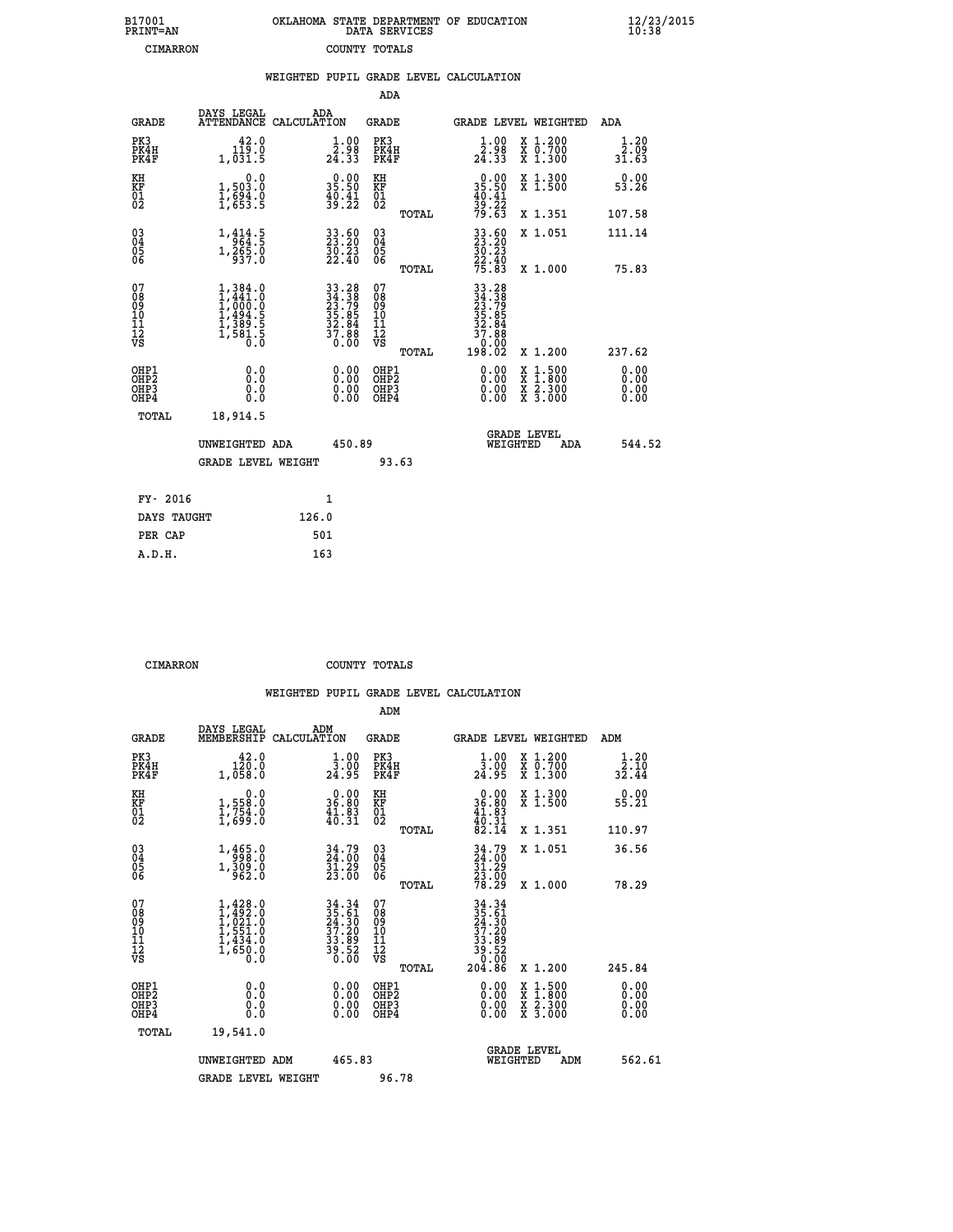| 7001<br>INT=AN |  | OKLAHOMA STATE DEPARTMENT OF EDUCATION<br>DATA SERVICES |  |
|----------------|--|---------------------------------------------------------|--|
| CIMARRON       |  | COUNTY TOTALS                                           |  |

 **B17001<br>PRINT=AN** 

 **B17001 OKLAHOMA STATE DEPARTMENT OF EDUCATION 12/23/2015**

| DAYS LEGAL                                                                          | ADA                                                         |                                                                       |                                                                                                                                                                                                                                                                                                                                                                                 |                                                                                                   |                                                                                                                                     | ADA                                                                                                                                                                                                                                              |
|-------------------------------------------------------------------------------------|-------------------------------------------------------------|-----------------------------------------------------------------------|---------------------------------------------------------------------------------------------------------------------------------------------------------------------------------------------------------------------------------------------------------------------------------------------------------------------------------------------------------------------------------|---------------------------------------------------------------------------------------------------|-------------------------------------------------------------------------------------------------------------------------------------|--------------------------------------------------------------------------------------------------------------------------------------------------------------------------------------------------------------------------------------------------|
| 42.0<br>119.0<br>1,031.5                                                            |                                                             | PK3                                                                   |                                                                                                                                                                                                                                                                                                                                                                                 | $\frac{1 \cdot 00}{2 \cdot 30}$<br>24.33                                                          | X 1.200<br>X 0.700<br>X 1.300                                                                                                       | 1.20<br>$\bar{2}.\bar{0}\bar{9}$<br>31.63                                                                                                                                                                                                        |
| 0.0<br>1,503.0                                                                      |                                                             | KH                                                                    |                                                                                                                                                                                                                                                                                                                                                                                 |                                                                                                   | X 1.300<br>X 1.500                                                                                                                  | 0.00<br>53.26                                                                                                                                                                                                                                    |
|                                                                                     |                                                             |                                                                       | TOTAL                                                                                                                                                                                                                                                                                                                                                                           |                                                                                                   | X 1.351                                                                                                                             | 107.58                                                                                                                                                                                                                                           |
| $1, \frac{414}{964}$ : 5                                                            |                                                             |                                                                       |                                                                                                                                                                                                                                                                                                                                                                                 |                                                                                                   | X 1.051                                                                                                                             | 111.14                                                                                                                                                                                                                                           |
|                                                                                     |                                                             |                                                                       | TOTAL                                                                                                                                                                                                                                                                                                                                                                           |                                                                                                   | X 1.000                                                                                                                             | 75.83                                                                                                                                                                                                                                            |
| $1,384.0$<br>$1,441.0$<br>$1,000.0$<br>$1,494.5$<br>$1,389.5$<br>$1,581.5$<br>$0.0$ |                                                             | 07<br>08901112<br>1112<br>VS                                          | TOTAL                                                                                                                                                                                                                                                                                                                                                                           | $\begin{array}{@{}ll}33.288\\23.799\\23.799\\35.85\\32.84\\37.88\\ \end{array}$<br>0.00<br>198.02 | X 1.200                                                                                                                             | 237.62                                                                                                                                                                                                                                           |
| 0.0<br>0.0<br>0.0                                                                   |                                                             |                                                                       |                                                                                                                                                                                                                                                                                                                                                                                 | 0.00<br>0.00                                                                                      |                                                                                                                                     | 0.00<br>0.00<br>0.00                                                                                                                                                                                                                             |
| 18,914.5                                                                            |                                                             |                                                                       |                                                                                                                                                                                                                                                                                                                                                                                 |                                                                                                   |                                                                                                                                     |                                                                                                                                                                                                                                                  |
|                                                                                     |                                                             |                                                                       |                                                                                                                                                                                                                                                                                                                                                                                 |                                                                                                   | ADA                                                                                                                                 | 544.52                                                                                                                                                                                                                                           |
|                                                                                     |                                                             |                                                                       |                                                                                                                                                                                                                                                                                                                                                                                 |                                                                                                   |                                                                                                                                     |                                                                                                                                                                                                                                                  |
|                                                                                     | $\mathbf{1}$                                                |                                                                       |                                                                                                                                                                                                                                                                                                                                                                                 |                                                                                                   |                                                                                                                                     |                                                                                                                                                                                                                                                  |
| DAYS TAUGHT                                                                         | 126.0                                                       |                                                                       |                                                                                                                                                                                                                                                                                                                                                                                 |                                                                                                   |                                                                                                                                     |                                                                                                                                                                                                                                                  |
|                                                                                     | 501                                                         |                                                                       |                                                                                                                                                                                                                                                                                                                                                                                 |                                                                                                   |                                                                                                                                     |                                                                                                                                                                                                                                                  |
|                                                                                     | $\frac{1}{2}, \frac{694}{653}$ : 5<br>$1,\frac{265}{937.0}$ | ATTENDANCE CALCULATION<br>UNWEIGHTED ADA<br><b>GRADE LEVEL WEIGHT</b> | $\begin{smallmatrix} 1.00\\ 2.98\\ 24.33 \end{smallmatrix}$<br>35.90<br>KF<br>01<br>02<br>$\frac{40.41}{39.22}$<br>33.50<br>23.20<br>30.23<br>22.40<br>$\begin{matrix} 03 \\ 04 \\ 05 \\ 06 \end{matrix}$<br>$\begin{array}{r} 33.28 \\ 34.38 \\ 23.79 \\ 35.85 \\ 32.84 \\ 37.88 \\ 0.00 \end{array}$<br>0.00<br>$\begin{smallmatrix} 0.00 \ 0.00 \end{smallmatrix}$<br>450.89 | ADA<br>GRADE<br>PK4H<br>PK4F<br>OHP1<br>OHP2<br>OHP3<br>OHP4<br>93.63                             | $\begin{smallmatrix} 0.00\\ 35.50\\ 40.41\\ 39.22\\ 79.63 \end{smallmatrix}$<br>$33.50$<br>$23.20$<br>$30.23$<br>$22.40$<br>$75.83$ | WEIGHTED PUPIL GRADE LEVEL CALCULATION<br>GRADE LEVEL WEIGHTED<br>$\begin{smallmatrix} \mathtt{X} & 1\cdot500 \\ \mathtt{X} & 1\cdot800 \\ \mathtt{X} & 2\cdot300 \\ \mathtt{X} & 3\cdot000 \end{smallmatrix}$<br><b>GRADE LEVEL</b><br>WEIGHTED |

 **A.D.H. 163**

 **CIMARRON COUNTY TOTALS**

|                                                    |                                                                                     |                                                                                           | ADM                                                 |                                                                              |                                                                                          |                            |
|----------------------------------------------------|-------------------------------------------------------------------------------------|-------------------------------------------------------------------------------------------|-----------------------------------------------------|------------------------------------------------------------------------------|------------------------------------------------------------------------------------------|----------------------------|
| <b>GRADE</b>                                       | DAYS LEGAL<br>MEMBERSHIP                                                            | ADM<br>CALCULATION                                                                        | <b>GRADE</b>                                        | GRADE LEVEL WEIGHTED                                                         |                                                                                          | ADM                        |
| PK3<br>PK4H<br>PK4F                                | 42.0<br>120.0<br>1,058.0                                                            | $\frac{1}{3}\cdot\frac{00}{00}$<br>24.95                                                  | PK3<br>PK4H<br>PK4F                                 | $\frac{1}{3}\cdot\frac{00}{00}$<br>24.95                                     | X 1.200<br>X 0.700<br>X 1.300                                                            | 1.20<br>$32.10$<br>$32.44$ |
| KH<br>KF<br>01<br>02                               | 0.0<br>1,558:0<br>1,754:0<br>1,699:0                                                | $\begin{smallmatrix} 0.00\\ 36.80\\ 41.83\\ 40.31 \end{smallmatrix}$                      | KH<br>KF<br>01<br>02                                | $\begin{smallmatrix} 0.00\\ 36.80\\ 41.83\\ 40.31\\ 82.14 \end{smallmatrix}$ | X 1.300<br>X 1.500                                                                       | 0.00<br>55.21              |
|                                                    |                                                                                     |                                                                                           | TOTAL                                               |                                                                              | X 1.351                                                                                  | 110.97                     |
| $\begin{matrix} 03 \\ 04 \\ 05 \\ 06 \end{matrix}$ | 1,465.0<br>$1, \frac{5}{9} \frac{69}{62} \cdot 0$                                   | 34.79<br>24.00<br>$\frac{51.29}{23.00}$                                                   | $\begin{array}{c} 03 \\ 04 \\ 05 \\ 06 \end{array}$ | 34.79<br>24.00<br>31.29<br>23.00<br>78.29                                    | X 1.051                                                                                  | 36.56                      |
|                                                    |                                                                                     |                                                                                           | TOTAL                                               |                                                                              | X 1.000                                                                                  | 78.29                      |
| 07<br>08<br>09<br>101<br>11<br>12<br>VS            | $1,428.0$<br>$1,492.0$<br>$1,021.0$<br>$1,551.0$<br>$1,434.0$<br>$1,650.0$<br>$0.0$ | $\begin{array}{r} 34.34 \\ 35.61 \\ 24.30 \\ 37.20 \\ 33.89 \\ 39.52 \\ 0.00 \end{array}$ | 07<br>08<br>09<br>11<br>11<br>12<br>VS<br>TOTAL     | $34.34$<br>$35.61$<br>$24.30$<br>$37.20$<br>$33.89$<br>$39.520$<br>$04.86$   | X 1.200                                                                                  | 245.84                     |
| OHP1<br>OHP2<br>OH <sub>P3</sub><br>OHP4           | 0.0<br>$\begin{smallmatrix} 0.0 & 0 \ 0.0 & 0 \end{smallmatrix}$                    | $0.00$<br>$0.00$<br>0.00                                                                  | OHP1<br>OHP2<br>OHP <sub>3</sub>                    | $0.00$<br>$0.00$<br>0.00                                                     | $\begin{smallmatrix} x & 1.500 \\ x & 1.800 \\ x & 2.300 \\ x & 3.000 \end{smallmatrix}$ | 0.00<br>0.00<br>0.00       |
| TOTAL                                              | 19,541.0                                                                            |                                                                                           |                                                     |                                                                              |                                                                                          |                            |
|                                                    | UNWEIGHTED ADM                                                                      | 465.83                                                                                    |                                                     | WEIGHTED                                                                     | <b>GRADE LEVEL</b><br>ADM                                                                | 562.61                     |
|                                                    | <b>GRADE LEVEL WEIGHT</b>                                                           |                                                                                           | 96.78                                               |                                                                              |                                                                                          |                            |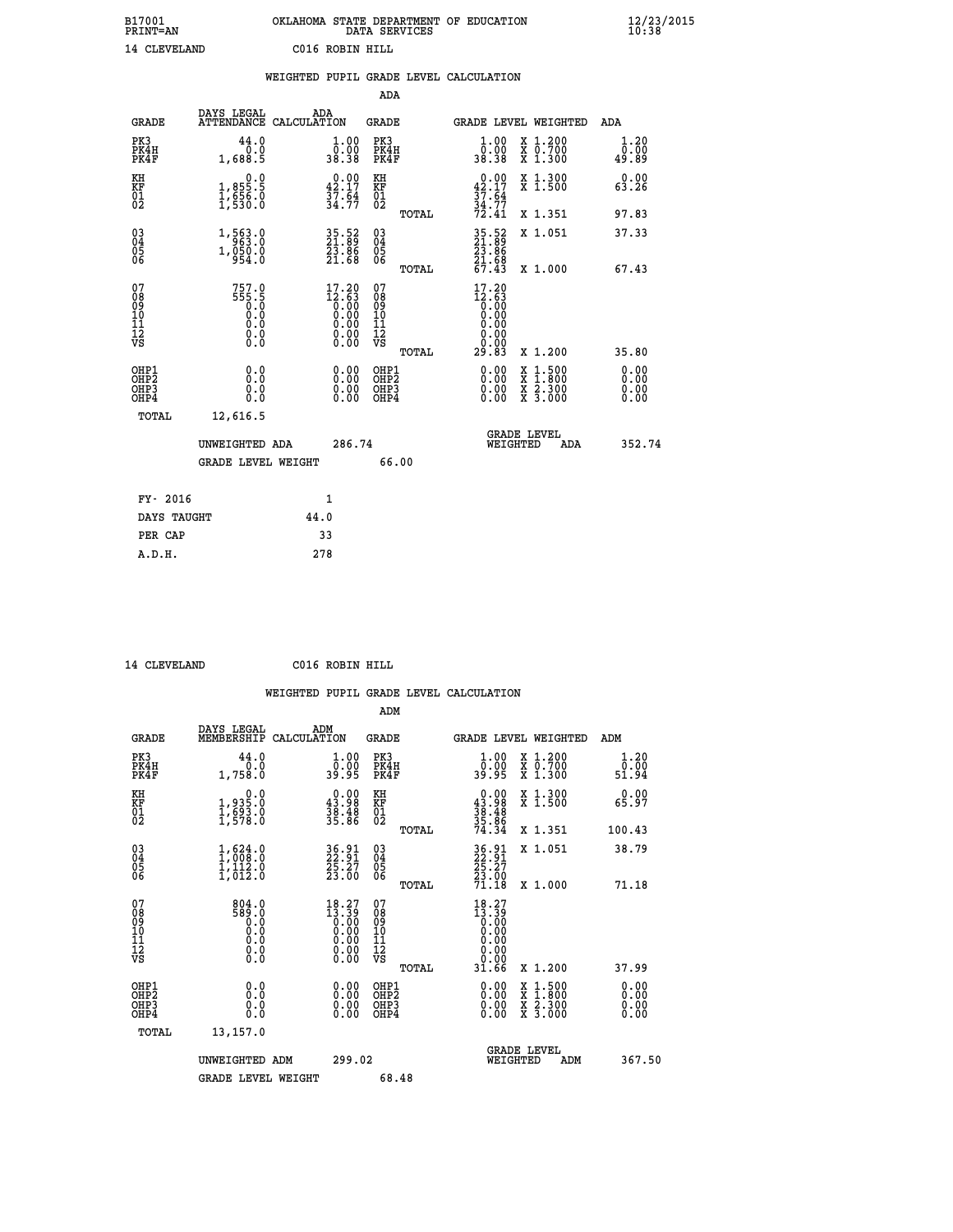| B17001<br><b>PRINT=AN</b> |              | OKLAHOMA STATE DEPARTMENT OF EDUCATION<br>DATA SERVICES |  |
|---------------------------|--------------|---------------------------------------------------------|--|
|                           | 14 CLEVELAND | C016 ROBIN HILL                                         |  |

|                                                                    |                                                                            | WEIGHTED PUPIL GRADE LEVEL CALCULATION                                                             |                                                     |       |                                                                                                 |                                                                                          |                              |
|--------------------------------------------------------------------|----------------------------------------------------------------------------|----------------------------------------------------------------------------------------------------|-----------------------------------------------------|-------|-------------------------------------------------------------------------------------------------|------------------------------------------------------------------------------------------|------------------------------|
|                                                                    |                                                                            |                                                                                                    | <b>ADA</b>                                          |       |                                                                                                 |                                                                                          |                              |
| <b>GRADE</b>                                                       | DAYS LEGAL<br>ATTENDANCE CALCULATION                                       | ADA                                                                                                | GRADE                                               |       |                                                                                                 | GRADE LEVEL WEIGHTED                                                                     | ADA                          |
| PK3<br>PK4H<br>PK4F                                                | 44.0<br>1,688.5                                                            | $\begin{smallmatrix} 1.00\\ 0.00\\ 38.38 \end{smallmatrix}$                                        | PK3<br>PK4H<br>PK4F                                 |       | 1.00<br>ŏÖ.ÖŎ<br>38.38                                                                          | X 1.200<br>X 0.700<br>X 1.300                                                            | 1.20<br>0.00<br>49.89        |
| KH<br>KF<br>01<br>02                                               | $\begin{smallmatrix} & & 0.0\ 1.855.5\ 1.656.0\ 1.530.0 \end{smallmatrix}$ | $\begin{smallmatrix} 0.00\\ 42.17\\ 37.64\\ 34.77 \end{smallmatrix}$                               | KH<br>KF<br>01<br>02                                |       | 42.17<br>$\frac{37.54}{34.77}$<br>$72.41$                                                       | X 1.300<br>X 1.500                                                                       | 0.00<br>63.26                |
|                                                                    |                                                                            |                                                                                                    |                                                     | TOTAL |                                                                                                 | X 1.351                                                                                  | 97.83                        |
| $\begin{smallmatrix} 03 \\[-4pt] 04 \end{smallmatrix}$<br>Ŏ5<br>06 | 1,563.0<br>1, 050.0<br>954.0                                               | 35.52<br>21.89<br>23.86<br>21.68                                                                   | $\begin{array}{c} 03 \\ 04 \\ 05 \\ 06 \end{array}$ |       | 35.52<br>21.89<br>23.86<br>21.68<br>67.43                                                       | X 1.051                                                                                  | 37.33                        |
|                                                                    |                                                                            |                                                                                                    |                                                     | TOTAL |                                                                                                 | X 1.000                                                                                  | 67.43                        |
| 07<br>08<br>09<br>11<br>11<br>12<br>VS                             | 757.0<br>$555.5$<br>0.0<br>0.0<br>0.0<br>0.0                               | 17.20<br>$\begin{smallmatrix} 12.63\ 12.63\ 0.00\ 0.00\ 0.00\ 0.00\ 0.00\ 0.00\ \end{smallmatrix}$ | 07<br>08<br>09<br>11<br>11<br>12<br>VS              | TOTAL | 17.20<br>$\begin{smallmatrix} 12.63\ 10.00\ 0.00\ 0.00\ \end{smallmatrix}$<br>$\S. \S$<br>29.83 | X 1.200                                                                                  | 35.80                        |
| OHP1<br>OHP2<br>OH <sub>P3</sub><br>OHP4                           | 0.0<br>0.0<br>0.0                                                          | $\begin{smallmatrix} 0.00 \ 0.00 \ 0.00 \ 0.00 \end{smallmatrix}$                                  | OHP1<br>OHP2<br>OHP3<br>OHP4                        |       | 0.00<br>0.00<br>0.00                                                                            | $\begin{smallmatrix} x & 1.500 \\ x & 1.800 \\ x & 2.300 \\ x & 3.000 \end{smallmatrix}$ | 0.00<br>0.00<br>0.00<br>0.00 |
| TOTAL                                                              | 12,616.5                                                                   |                                                                                                    |                                                     |       |                                                                                                 |                                                                                          |                              |
|                                                                    | UNWEIGHTED ADA                                                             | 286.74                                                                                             |                                                     |       | WEIGHTED                                                                                        | <b>GRADE LEVEL</b><br><b>ADA</b>                                                         | 352.74                       |
|                                                                    | GRADE LEVEL WEIGHT                                                         |                                                                                                    |                                                     | 66.00 |                                                                                                 |                                                                                          |                              |
| FY- 2016                                                           |                                                                            | $\mathbf{1}$                                                                                       |                                                     |       |                                                                                                 |                                                                                          |                              |
| DAYS TAUGHT                                                        |                                                                            | 44.0                                                                                               |                                                     |       |                                                                                                 |                                                                                          |                              |
| PER CAP                                                            |                                                                            | 33                                                                                                 |                                                     |       |                                                                                                 |                                                                                          |                              |

 **A.D.H. 278**

 **14 CLEVELAND C016 ROBIN HILL**

| <b>GRADE</b>                                       | DAYS LEGAL<br>MEMBERSHIP                                                                        | ADM<br>CALCULATION                                                                                    | <b>GRADE</b>                                       |       | GRADE LEVEL WEIGHTED                                                                                                              |                                          | ADM                  |  |
|----------------------------------------------------|-------------------------------------------------------------------------------------------------|-------------------------------------------------------------------------------------------------------|----------------------------------------------------|-------|-----------------------------------------------------------------------------------------------------------------------------------|------------------------------------------|----------------------|--|
| PK3<br>PK4H<br>PK4F                                | 44.0<br>1,758.0                                                                                 | $\begin{smallmatrix} 1.00\\ 0.00\\ 39.95 \end{smallmatrix}$                                           | PK3<br>PK4H<br>PK4F                                |       | $\begin{smallmatrix} 1.00\\ 0.00\\ 39.95 \end{smallmatrix}$                                                                       | X 1.200<br>X 0.700<br>X 1.300            | 1.20<br>ة.5<br>51.94 |  |
| KH<br>KF<br>01<br>02                               | $\begin{smallmatrix} 0.0\\ 1.935.0\\ 1.693.0\\ 1.578.0 \end{smallmatrix}$                       | $\begin{smallmatrix} 0.00\\ 43.98\\ 38.48\\ 35.86 \end{smallmatrix}$                                  | KH<br>KF<br>01<br>02                               |       | $0.00\n43.98\n38.48\n35.86\n35.86\n74.34$                                                                                         | X 1.300<br>X 1.500                       | 0.00<br>65.97        |  |
|                                                    |                                                                                                 |                                                                                                       |                                                    | TOTAL |                                                                                                                                   | X 1.351                                  | 100.43               |  |
| $\begin{matrix} 03 \\ 04 \\ 05 \\ 06 \end{matrix}$ | $\begin{smallmatrix} 1,624\ 1,008\ 1,112\ 0\ 1,012\ 0 \end{smallmatrix}$                        | 36.91<br>22.91<br>25.27<br>23.00                                                                      | $\begin{matrix} 03 \\ 04 \\ 05 \\ 06 \end{matrix}$ |       | 36.91<br>22.27<br>25.27<br>23.00<br>71.18                                                                                         | X 1.051                                  | 38.79                |  |
|                                                    |                                                                                                 |                                                                                                       |                                                    | TOTAL |                                                                                                                                   | X 1.000                                  | 71.18                |  |
| 07<br>089<br>090<br>1112<br>VS                     | $\begin{smallmatrix} 804.0\\ 589.0\\ 0.0\\ 0.0\\ 0.0\\ 0.0\\ 0.0\\ 0.0\\ 0.0 \end{smallmatrix}$ | $\begin{smallmatrix} 18.27\ 13.39\ 0.00\ 0.00\ 0.00\ 0.00\ 0.00\ 0.00\ 0.00\ 0.00\ \end{smallmatrix}$ | 07<br>08<br>09<br>11<br>11<br>12<br>VS             | TOTAL | $\begin{smallmatrix} 18 & 27 \\ 13 & 39 \\ 0 & 00 \\ 0 & 00 \\ 0 & 00 \\ 0 & 00 \\ 0 & 00 \\ 0 & 00 \\ 31 & 66 \end{smallmatrix}$ | X 1.200                                  | 37.99                |  |
| OHP1<br>OHP2<br>OHP3<br>OHP4                       | 0.0<br>$\begin{smallmatrix} 0.0 & 0 \ 0.0 & 0 \end{smallmatrix}$                                |                                                                                                       | OHP1<br>OHP2<br>OHP3<br>OHP4                       |       |                                                                                                                                   | X 1:500<br>X 1:800<br>X 2:300<br>X 3:000 | 0.00<br>0.00<br>0.00 |  |
| TOTAL                                              | 13,157.0                                                                                        |                                                                                                       |                                                    |       |                                                                                                                                   |                                          |                      |  |
|                                                    | UNWEIGHTED<br>ADM                                                                               | 299.02                                                                                                |                                                    |       | WEIGHTED                                                                                                                          | <b>GRADE LEVEL</b><br>ADM                | 367.50               |  |
|                                                    | <b>GRADE LEVEL WEIGHT</b>                                                                       |                                                                                                       | 68.48                                              |       |                                                                                                                                   |                                          |                      |  |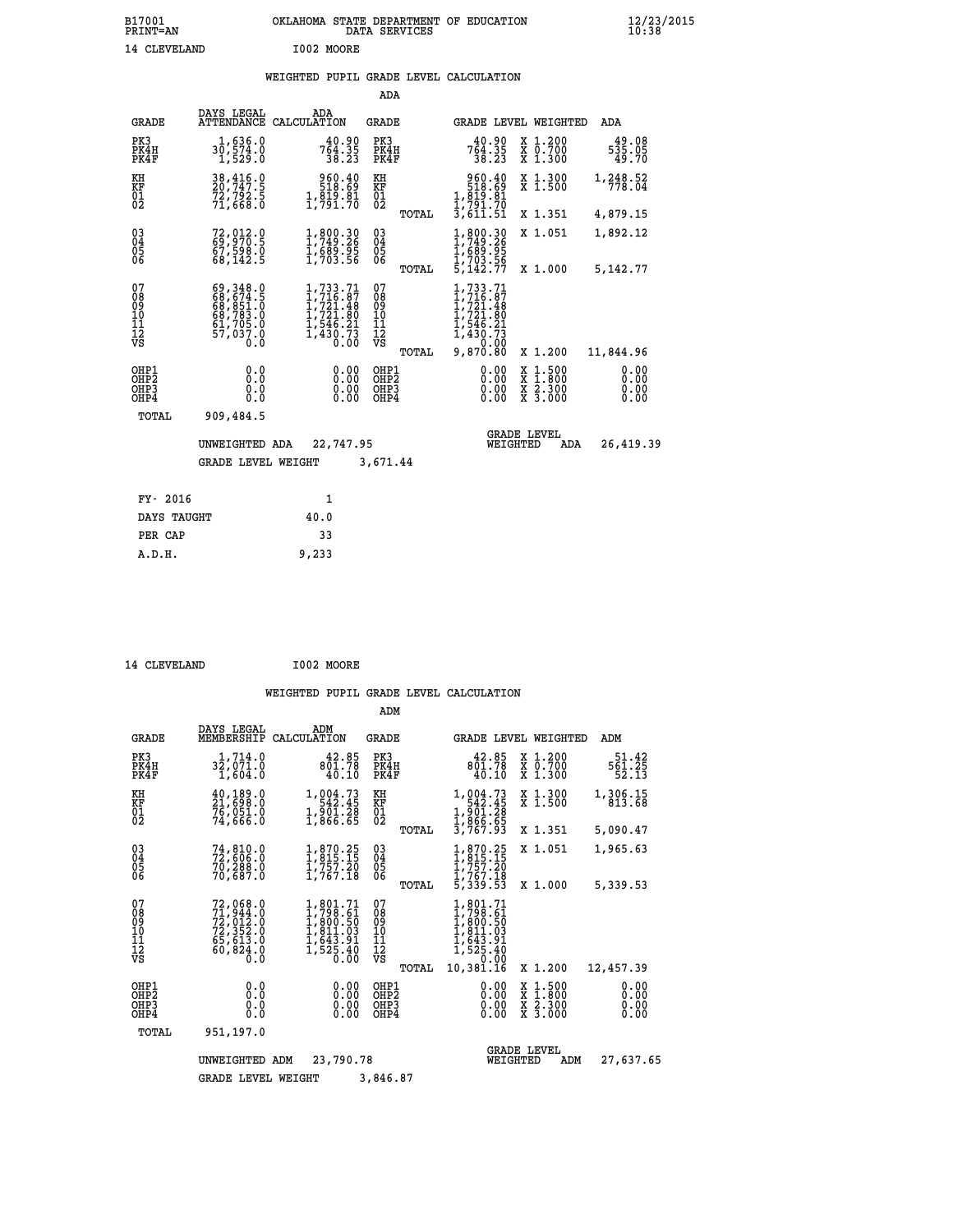## **WEIGHTED PUPIL GRADE LEVEL CALCULATION**

|                                                                    |                                                                                          |                                                                                     | ADA                                       |                                                                                          |                                                                          |                              |
|--------------------------------------------------------------------|------------------------------------------------------------------------------------------|-------------------------------------------------------------------------------------|-------------------------------------------|------------------------------------------------------------------------------------------|--------------------------------------------------------------------------|------------------------------|
| <b>GRADE</b>                                                       | DAYS LEGAL                                                                               | ADA<br>ATTENDANCE CALCULATION                                                       | GRADE                                     |                                                                                          | GRADE LEVEL WEIGHTED                                                     | <b>ADA</b>                   |
| PK3<br>PK4H<br>PK4F                                                | 1,636.0<br>30,574.0<br>1,529.0                                                           | $764.35$<br>$38.23$                                                                 | PK3<br>PK4H<br>PK4F                       | 40.90<br>764.35<br>38.23                                                                 | X 1.200<br>X 0.700<br>X 1.300                                            | 49.08<br>535.05<br>49.70     |
| KH<br>KF<br>$\overline{01}$                                        | 38,416.0<br>20,747.5<br>72,792.5<br>71,668.0                                             | 960.40<br>518.69<br>$1, \frac{8}{7}\frac{5}{9}\cdot\frac{8}{7}\cdot\frac{8}{1}$     | KH<br>KF<br>$\overline{01}$               | 960.40<br>518.69<br>1,819.81<br>1,791.70                                                 | X 1.300<br>X 1.500                                                       | 1,248.52<br>778.04           |
|                                                                    |                                                                                          |                                                                                     | TOTAL                                     | $\overline{3}$ ,611.51                                                                   | X 1.351                                                                  | 4,879.15                     |
| $\begin{smallmatrix} 03 \\[-4pt] 04 \end{smallmatrix}$<br>05<br>06 | 72,012.0<br>69,970.5<br>67,598.0<br>68,142.5                                             | 1,800.30<br>1,749.26<br>$\frac{1}{1}$ , 689.95<br>1, 703.56                         | $\substack{03 \\ 04}$<br>0500             | 1,800.30<br>1,749.26<br>1,689.95<br>1,703.56<br>5,142.77                                 | X 1.051                                                                  | 1,892.12                     |
|                                                                    |                                                                                          |                                                                                     | TOTAL                                     |                                                                                          | X 1.000                                                                  | 5,142.77                     |
| 07<br>08<br>09<br>11<br>11<br>12<br>VS                             | 69,348.0<br>68,674.5<br>68,851.0<br>68,783.0<br>61,705.0<br>57,037.0<br>$0.\overline{0}$ | 1,733.71<br>1,716.87<br>1,721.48<br>1,721.80<br>1,546.21<br>$\frac{1,430.73}{0.00}$ | 07<br>08<br>09<br>11<br>11<br>12<br>VS    | 1,733.71<br>$1, 716.87$<br>$1, 721.48$<br>$1, 721.80$<br>$1, 546.21$<br>1,430.73<br>0.00 |                                                                          |                              |
|                                                                    |                                                                                          |                                                                                     | TOTAL                                     | 9,870.80                                                                                 | X 1.200                                                                  | 11,844.96                    |
| OHP1<br>OH <sub>P</sub> 2<br>OHP3<br>OHP4                          | 0.0<br>Ō.Ō<br>0.0<br>0.0                                                                 | 0.00<br>0.00<br>0.00                                                                | OHP1<br>OH <sub>P</sub> 2<br>OHP3<br>OHP4 | 0.00<br>0.00<br>0.00                                                                     | $1:500$<br>1:800<br>X<br>X<br>$\frac{\ddot{x}}{x}$ $\frac{2.300}{3.000}$ | 0.00<br>0.00<br>0.00<br>0.00 |
| TOTAL                                                              | 909,484.5                                                                                |                                                                                     |                                           |                                                                                          |                                                                          |                              |
|                                                                    | UNWEIGHTED ADA                                                                           | 22,747.95                                                                           |                                           |                                                                                          | <b>GRADE LEVEL</b><br>WEIGHTED<br>ADA                                    | 26,419.39                    |
|                                                                    | <b>GRADE LEVEL WEIGHT</b>                                                                |                                                                                     | 3,671.44                                  |                                                                                          |                                                                          |                              |
| FY- 2016                                                           |                                                                                          | 1                                                                                   |                                           |                                                                                          |                                                                          |                              |
| DAYS TAUGHT                                                        |                                                                                          | 40.0                                                                                |                                           |                                                                                          |                                                                          |                              |
|                                                                    |                                                                                          |                                                                                     |                                           |                                                                                          |                                                                          |                              |
| PER CAP                                                            |                                                                                          | 33                                                                                  |                                           |                                                                                          |                                                                          |                              |

| 14 CLEVELAND | I002 MOORE |
|--------------|------------|
|              |            |

 **A.D.H. 9,233**

|                                           |                                                                             |                                                                              | ADM                                       |                                                                                           |                                                                                                  |                              |
|-------------------------------------------|-----------------------------------------------------------------------------|------------------------------------------------------------------------------|-------------------------------------------|-------------------------------------------------------------------------------------------|--------------------------------------------------------------------------------------------------|------------------------------|
| <b>GRADE</b>                              | DAYS LEGAL<br>MEMBERSHIP                                                    | ADM<br>CALCULATION                                                           | <b>GRADE</b>                              | GRADE LEVEL WEIGHTED                                                                      |                                                                                                  | ADM                          |
| PK3<br>PK4H<br>PK4F                       | 1,714.0<br>32,071.0<br>1,604.0                                              | 42.85<br>801.78<br>40.10                                                     | PK3<br>PK4H<br>PK4F                       | 42.85<br>801.78<br>40.10                                                                  | X 1.200<br>X 0.700<br>X 1.300                                                                    | 51.42<br>561.25<br>52.13     |
| KH<br>KF<br>01<br>02                      | 40,189.0<br>21,698.0<br>76,051.0<br>74,666.0                                | 1,004.73<br>542.45<br>$\frac{1}{2}$ , $\frac{5}{866}$ . $\frac{5}{85}$       | KH<br>KF<br>$\overline{01}$               | 1,004.73<br>542.45<br>1,901.28<br>1,866.65<br>3,767.93                                    | X 1.300<br>X 1.500                                                                               | 1,306.15<br>813.68           |
|                                           |                                                                             |                                                                              | TOTAL                                     |                                                                                           | X 1.351                                                                                          | 5,090.47                     |
| 03<br>04<br>05<br>06                      | 74,810.0<br>70, 288.0<br>70,687.0                                           | 1,870.25<br>1,815.15<br>1,757.20<br>1,767.18                                 | $\substack{03 \\ 04}$<br>05               | 1,870.25<br>1,815.15<br>1,757.20<br>1,767.18                                              | X 1.051                                                                                          | 1,965.63                     |
|                                           |                                                                             |                                                                              | TOTAL                                     | 5,339.53                                                                                  | X 1.000                                                                                          | 5,339.53                     |
| 07<br>08<br>09<br>11<br>11<br>12<br>VS    | 72,068.0<br>71,944.0<br>72,012.0<br>72,352.0<br>65,613.0<br>60,824.0<br>0.0 | 1,801.71<br>1,798.61<br>1,800.50<br>1,811.03<br>1,643.91<br>1,525.40<br>0.00 | 07<br>089<br>101<br>112<br>VS<br>TOTAL    | 1,801.71<br>1,798.61<br>1,800.50<br>1,811.03<br>1,643.91<br>1,525.40<br>0.00<br>10,381.16 | X 1.200                                                                                          | 12,457.39                    |
| OHP1<br>OH <sub>P</sub> 2<br>OHP3<br>OHP4 | 0.0<br>0.0<br>Ŏ.Ŏ                                                           | 0.00<br>0.00<br>0.00                                                         | OHP1<br>OH <sub>P</sub> 2<br>OHP3<br>OHP4 | 0.00<br>0.00<br>0.00                                                                      | $\begin{smallmatrix} x & 1 & 500 \\ x & 1 & 800 \\ x & 2 & 300 \\ x & 3 & 000 \end{smallmatrix}$ | 0.00<br>0.00<br>0.00<br>0.00 |
| TOTAL                                     | 951,197.0                                                                   |                                                                              |                                           |                                                                                           |                                                                                                  |                              |
|                                           | UNWEIGHTED                                                                  | 23,790.78<br>ADM                                                             |                                           | WEIGHTED                                                                                  | <b>GRADE LEVEL</b><br>ADM                                                                        | 27,637.65                    |
|                                           | <b>GRADE LEVEL WEIGHT</b>                                                   |                                                                              | 3,846.87                                  |                                                                                           |                                                                                                  |                              |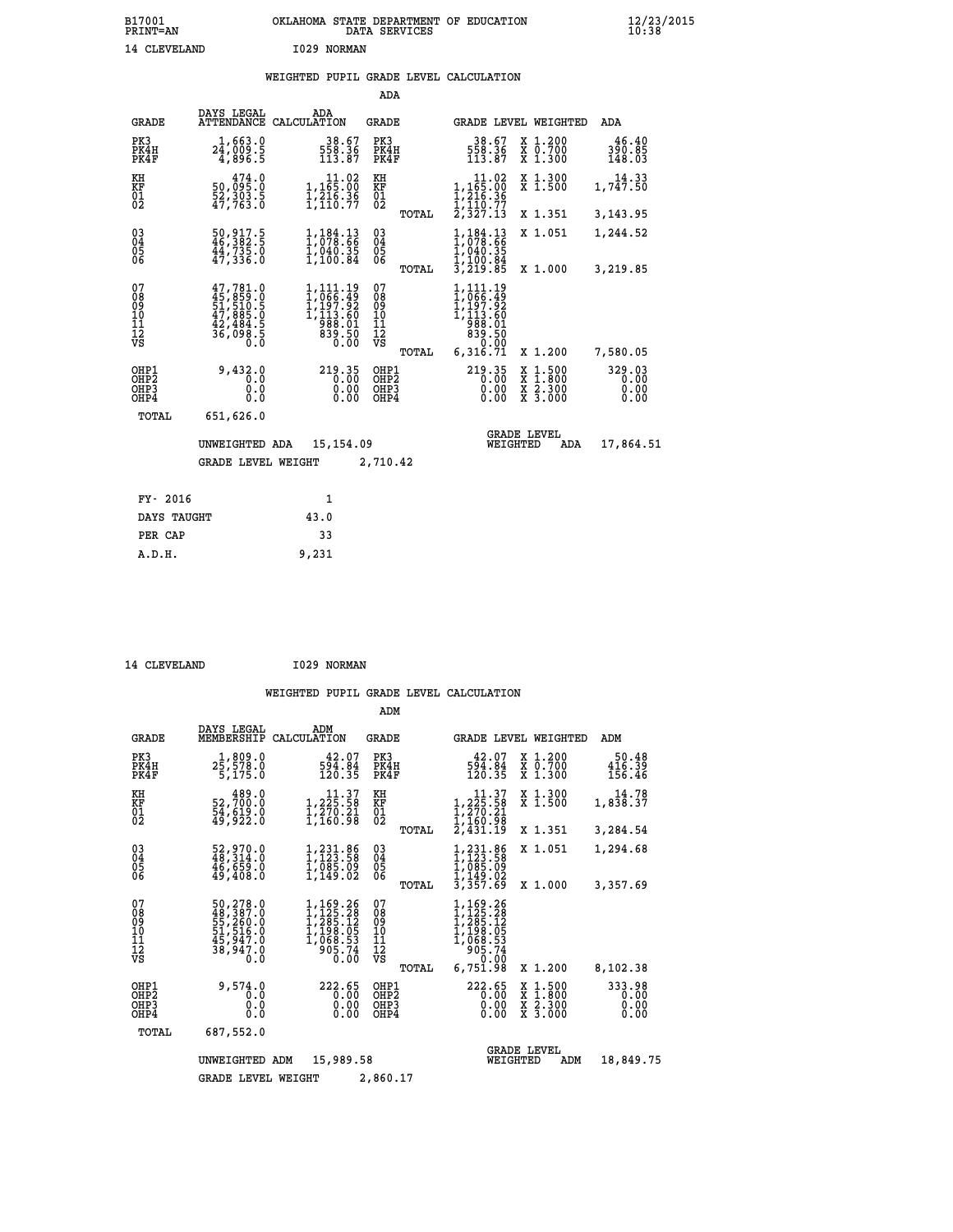## **WEIGHTED PUPIL GRADE LEVEL CALCULATION**

|                                                                  |                                                                                  |                                                                                                            | ADA                                       |                                                                                       |                                                                                                                                      |                                |
|------------------------------------------------------------------|----------------------------------------------------------------------------------|------------------------------------------------------------------------------------------------------------|-------------------------------------------|---------------------------------------------------------------------------------------|--------------------------------------------------------------------------------------------------------------------------------------|--------------------------------|
| <b>GRADE</b>                                                     | DAYS LEGAL                                                                       | ADA<br>ATTENDANCE CALCULATION                                                                              | <b>GRADE</b>                              |                                                                                       | GRADE LEVEL WEIGHTED                                                                                                                 | ADA                            |
| PK3<br>PK4H<br>PK4F                                              | 1,663.0<br>$2\bar{4}$ ,009.5<br>4,896.5                                          | $\frac{38.67}{558.36}$<br>113.87                                                                           | PK3<br>PK4H<br>PK4F                       | $\frac{38.67}{558.36}$<br>113.87                                                      | X 1.200<br>X 0.700<br>X 1.300                                                                                                        | 46.40<br>390.85<br>148.03      |
| KH<br>KF<br>01<br>02                                             | 474.0<br>50,095:0<br>52,303:5<br>47,763:0                                        | $\begin{array}{c} 11.02 \\ 1,165.00 \\ 1,216.36 \\ 1,110.77 \end{array}$                                   | KH<br>KF<br>$\overline{01}$               | $\begin{smallmatrix}&&11.02\\1,165.00\\1,216.36\\1,210.37\\2,327.13\end{smallmatrix}$ | X 1.300<br>X 1.500                                                                                                                   | 14.33<br>1,747.50              |
|                                                                  |                                                                                  |                                                                                                            | TOTAL                                     |                                                                                       | X 1.351                                                                                                                              | 3,143.95                       |
| $^{03}_{04}$<br>Ŏ5<br>06                                         | $\frac{50}{,} \frac{917}{382}$ :<br>$44,735.0$<br>$47,336.0$                     | $\frac{1}{1}$ , $\frac{184}{078}$ . $\frac{13}{66}$<br>1,040.35<br>1,100.84                                | $\substack{03 \\ 04}$<br>05               | $\frac{1}{1}$ , $\frac{184}{078}$ : $\frac{13}{66}$<br>I,040.35<br>1,100.84           | X 1.051                                                                                                                              | 1,244.52                       |
| 07                                                               |                                                                                  |                                                                                                            | TOTAL<br>07                               | 3,219.85                                                                              | X 1.000                                                                                                                              | 3,219.85                       |
| 08<br>09<br>10<br>11<br>12<br>VS                                 | $47,781.0$<br>$45,859.0$<br>$51,510.5$<br>$47,885.0$<br>$42,484.5$<br>$36,098.5$ | $\begin{smallmatrix} 1,111.19\\ 1,066.49\\ 1,197.92\\ 1,113.60\\ 988.01\\ 839.50\\ 0.00 \end{smallmatrix}$ | 08<br>09<br>11<br>11<br>12<br>VS          | 1,111.19<br>1,066.49<br>$1,199.92$<br>$1,113.60$<br>$988.01$<br>$839.50$<br>$0.99$    |                                                                                                                                      |                                |
|                                                                  |                                                                                  |                                                                                                            | TOTAL                                     | 6,316.71                                                                              | X 1.200                                                                                                                              | 7,580.05                       |
| OHP1<br>OH <sub>P</sub> <sub>2</sub><br>OH <sub>P3</sub><br>OHP4 | 9,432.0<br>0.0<br>0.0<br>0.0                                                     | 219.35<br>0.00<br>0.00                                                                                     | OHP1<br>OH <sub>P</sub> 2<br>OHP3<br>OHP4 | 219.35<br>0.00<br>0.00                                                                | $\begin{smallmatrix} \mathtt{X} & 1 & 500 \\ \mathtt{X} & 1 & 800 \\ \mathtt{X} & 2 & 300 \\ \mathtt{X} & 3 & 000 \end{smallmatrix}$ | 329.03<br>0.00<br>0.00<br>0.00 |
| TOTAL                                                            | 651,626.0                                                                        |                                                                                                            |                                           |                                                                                       |                                                                                                                                      |                                |
|                                                                  | UNWEIGHTED ADA                                                                   | 15,154.09                                                                                                  |                                           | WEIGHTED                                                                              | <b>GRADE LEVEL</b><br>ADA                                                                                                            | 17,864.51                      |
|                                                                  | GRADE LEVEL WEIGHT                                                               |                                                                                                            | 2,710.42                                  |                                                                                       |                                                                                                                                      |                                |
| FY- 2016                                                         |                                                                                  | 1                                                                                                          |                                           |                                                                                       |                                                                                                                                      |                                |
| DAYS TAUGHT                                                      |                                                                                  | 43.0                                                                                                       |                                           |                                                                                       |                                                                                                                                      |                                |
|                                                                  |                                                                                  |                                                                                                            |                                           |                                                                                       |                                                                                                                                      |                                |
| PER CAP                                                          |                                                                                  | 33                                                                                                         |                                           |                                                                                       |                                                                                                                                      |                                |

14 CLEVELAND 1029 NORMAN

 **A.D.H. 9,231**

|                                                      |                                                                             |                                                                                      | ADM                                                |                                                                                                           |                                                                                          |                                |
|------------------------------------------------------|-----------------------------------------------------------------------------|--------------------------------------------------------------------------------------|----------------------------------------------------|-----------------------------------------------------------------------------------------------------------|------------------------------------------------------------------------------------------|--------------------------------|
| <b>GRADE</b>                                         | DAYS LEGAL<br>MEMBERSHIP                                                    | ADM<br>CALCULATION                                                                   | GRADE                                              | GRADE LEVEL WEIGHTED                                                                                      |                                                                                          | ADM                            |
| PK3<br>PK4H<br>PK4F                                  | 1,809.0<br>25,578.0<br>5,175.0                                              | 42.07<br>594.84<br>120.35                                                            | PK3<br>PK4H<br>PK4F                                | 42.07<br>594.84<br>120.35                                                                                 | X 1.200<br>X 0.700<br>$X$ 1.300                                                          | 50.48<br>416.39<br>156.46      |
| KH<br>KF<br>01<br>02                                 | 489.0<br>52,700:0<br>54,619:0<br>49,922:0                                   | $\begin{array}{c} 11.37\\1,225.58\\1,270.21\\1,160.98\end{array}$                    | KH<br>KF<br>01<br>02                               | $\begin{smallmatrix}&&11\cdot37\\1,225\cdot58\\1,270\cdot21\\1,160\cdot98\\2,431\cdot19\end{smallmatrix}$ | X 1.300<br>X 1.500                                                                       | 14.78<br>1,838.37              |
|                                                      |                                                                             |                                                                                      | TOTAL                                              |                                                                                                           | X 1.351                                                                                  | 3,284.54                       |
| $\begin{matrix} 03 \\ 04 \\ 05 \\ 06 \end{matrix}$   | 52,970.0<br>48,314.0<br>46,659.0<br>49,408.0                                | $1, 231.86$<br>$1, 123.58$<br>$1, 085.09$<br>$1, 149.02$                             | $\begin{matrix} 03 \\ 04 \\ 05 \\ 06 \end{matrix}$ | $1, 231.86$<br>$1, 123.58$<br>$1, 085.09$<br>$1, 149.02$<br>$3, 357.69$                                   | X 1.051                                                                                  | 1,294.68                       |
|                                                      |                                                                             |                                                                                      | TOTAL                                              |                                                                                                           | X 1.000                                                                                  | 3,357.69                       |
| 07<br>08<br>09<br>11<br>11<br>12<br>VS               | 50,278.0<br>48,387.0<br>55,260.0<br>51,516.0<br>45,947.0<br>38,947.0<br>0.0 | $1,169.26$<br>$1,225.28$<br>$1,285.12$<br>$1,198.05$<br>$1,068.53$<br>905.74<br>0.00 | 07<br>089<br>101<br>111<br>VS<br>TOTAL             | 1,169.26<br>$1, 125.28$<br>$1, 285.12$<br>$1, 198.05$<br>$1, 068.53$<br>$905.74$<br>0.00<br>6,751.98      | X 1.200                                                                                  | 8,102.38                       |
| OHP1<br>OHP <sub>2</sub><br>OH <sub>P3</sub><br>OHP4 | 9,574.0<br>0.0<br>0.0<br>0.0                                                | 222.65<br>0.00<br>0.00<br>0.00                                                       | OHP1<br>OH <sub>P</sub> 2<br>OHP3<br>OHP4          | 222.65<br>0.00<br>0.00                                                                                    | $\begin{smallmatrix} x & 1.500 \\ x & 1.800 \\ x & 2.300 \\ x & 3.000 \end{smallmatrix}$ | 333.98<br>0.00<br>0.00<br>0.00 |
| TOTAL                                                | 687,552.0                                                                   |                                                                                      |                                                    |                                                                                                           |                                                                                          |                                |
|                                                      | UNWEIGHTED                                                                  | 15,989.58<br>ADM                                                                     |                                                    | WEIGHTED                                                                                                  | <b>GRADE LEVEL</b><br>ADM                                                                | 18,849.75                      |
|                                                      | <b>GRADE LEVEL WEIGHT</b>                                                   |                                                                                      | 2,860.17                                           |                                                                                                           |                                                                                          |                                |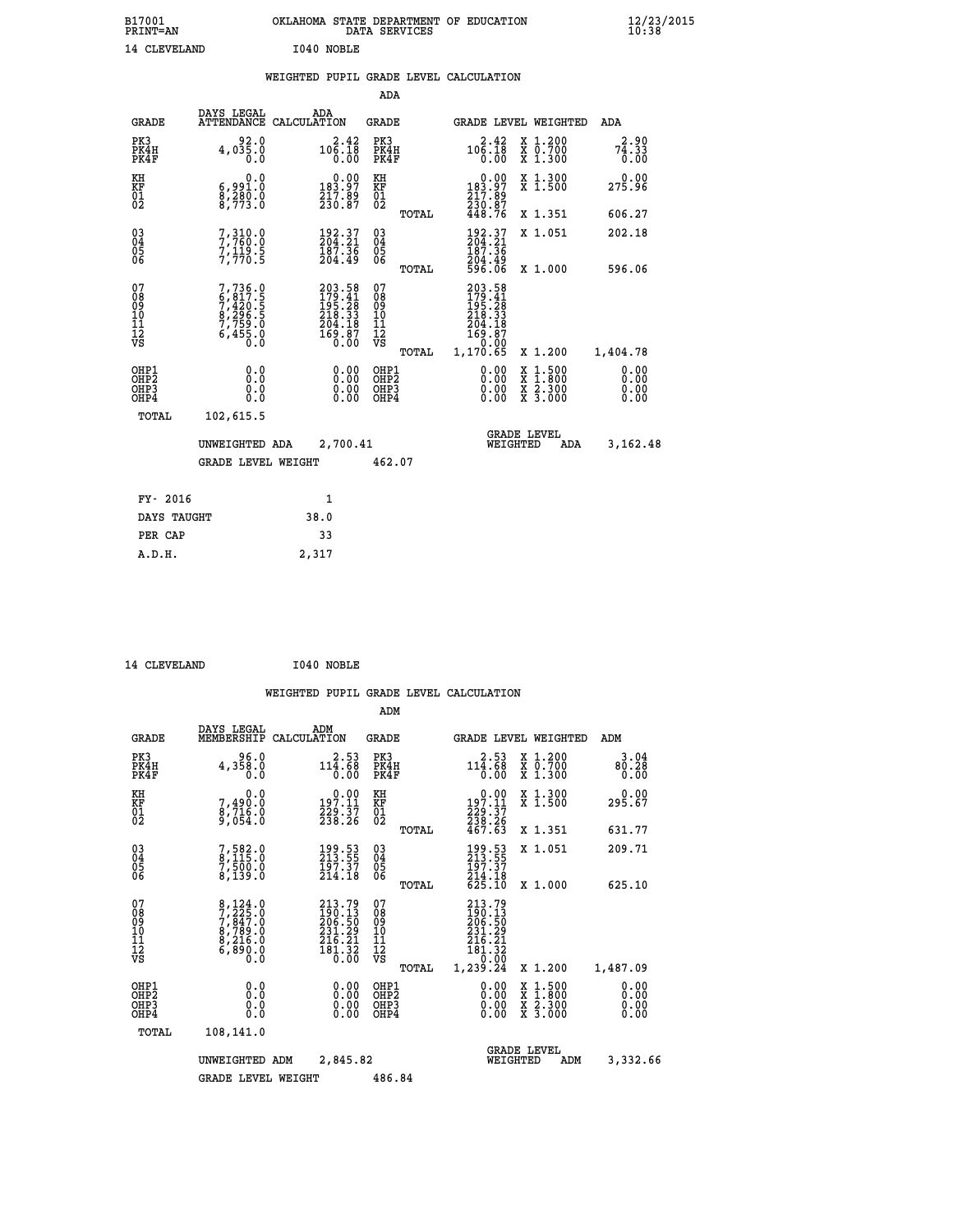| B17001<br><b>PRINT=AN</b> | OKLAHOMA STATE DEPARTMENT OF EDUCATION<br>DATA SERVICES | $\frac{12}{23}$ /2015 |
|---------------------------|---------------------------------------------------------|-----------------------|
| 14 CLEVELAND              | I040 NOBLE                                              |                       |

|  |  | WEIGHTED PUPIL GRADE LEVEL CALCULATION |
|--|--|----------------------------------------|
|  |  |                                        |

|                                           |                                                                                     |                                                                                | ADA                                             |                                                                                                                        |                                                                                                  |                              |
|-------------------------------------------|-------------------------------------------------------------------------------------|--------------------------------------------------------------------------------|-------------------------------------------------|------------------------------------------------------------------------------------------------------------------------|--------------------------------------------------------------------------------------------------|------------------------------|
| <b>GRADE</b>                              | DAYS LEGAL                                                                          | ADA<br>ATTENDANCE CALCULATION                                                  | GRADE                                           |                                                                                                                        | <b>GRADE LEVEL WEIGHTED</b>                                                                      | ADA                          |
| PK3<br>PK4H<br>PK4F                       | 4,035.0<br>0.0                                                                      | $10\begin{array}{c} 2.42 \\ 1.18 \\ 0.00 \end{array}$                          | PK3<br>PK4H<br>PK4F                             | $10\overset{2}{6}\overset{4}{.}\overset{2}{1}\overset{2}{8}$<br>0.00                                                   | X 1.200<br>X 0.700<br>X 1.300                                                                    | 2.90<br>74.33<br>0.00        |
| KH<br>KF<br>01<br>02                      | 0.0<br>6,991.0<br>8,280.0<br>8,773.0                                                | $\begin{smallmatrix}&&0.00\\183.97\\217.89\\230.87\end{smallmatrix}$           | KH<br>KF<br>01<br>02                            | $\begin{smallmatrix}&&0.00\\183.97\\217.89\\230.87\\448.76\end{smallmatrix}$                                           | X 1.300<br>X 1.500                                                                               | 0.00<br>275.96               |
|                                           |                                                                                     |                                                                                | TOTAL                                           |                                                                                                                        | X 1.351                                                                                          | 606.27                       |
| 03<br>04<br>05<br>06                      | 7, 310.0<br>7, 760.0<br>7, 119.5<br>7, 770.5                                        | 192.37<br>$\frac{187.36}{204.49}$                                              | 03<br>04<br>05<br>06                            | 192.37<br>204.21<br>$\frac{187.36}{204.49}$<br>596.06                                                                  | X 1.051                                                                                          | 202.18                       |
|                                           |                                                                                     |                                                                                | TOTAL                                           |                                                                                                                        | X 1.000                                                                                          | 596.06                       |
| 07<br>08<br>09<br>11<br>11<br>12<br>VS    | $7,736.0$<br>$6,817.5$<br>$7,420.5$<br>$8,296.5$<br>$7,759.0$<br>$6,455.0$<br>$0.0$ | $203.58$<br>$179.41$<br>$195.28$<br>$218.33$<br>$204.18$<br>$169.87$<br>$0.00$ | 07<br>08<br>09<br>11<br>11<br>12<br>VS<br>TOTAL | $\begin{smallmatrix} 203.58\\ 179.41\\ 195.28\\ 218.33\\ 204.18\\ 204.18\\ 169.87\\ 0.00\\ 1,170.65 \end{smallmatrix}$ | X 1.200                                                                                          | 1,404.78                     |
| OHP1<br>OH <sub>P</sub> 2<br>OHP3<br>OHP4 | 0.0<br>0.0<br>$0.\overline{0}$                                                      | 0.00<br>0.00                                                                   | OHP1<br>OHP <sub>2</sub><br>OHP3<br>OHP4        | 0.00<br>0.00<br>0.00                                                                                                   | $\begin{smallmatrix} x & 1 & 500 \\ x & 1 & 800 \\ x & 2 & 300 \\ x & 3 & 000 \end{smallmatrix}$ | 0.00<br>0.00<br>0.00<br>0.00 |
| TOTAL                                     | 102,615.5                                                                           |                                                                                |                                                 |                                                                                                                        |                                                                                                  |                              |
|                                           | UNWEIGHTED ADA                                                                      | 2,700.41                                                                       |                                                 |                                                                                                                        | <b>GRADE LEVEL</b><br>WEIGHTED<br>ADA                                                            | 3,162.48                     |
|                                           | <b>GRADE LEVEL WEIGHT</b>                                                           |                                                                                | 462.07                                          |                                                                                                                        |                                                                                                  |                              |
| FY- 2016                                  |                                                                                     | $\mathbf{1}$                                                                   |                                                 |                                                                                                                        |                                                                                                  |                              |
| DAYS TAUGHT                               |                                                                                     | 38.0                                                                           |                                                 |                                                                                                                        |                                                                                                  |                              |
| PER CAP                                   |                                                                                     | 33                                                                             |                                                 |                                                                                                                        |                                                                                                  |                              |
| A.D.H.                                    |                                                                                     | 2,317                                                                          |                                                 |                                                                                                                        |                                                                                                  |                              |

| 14 CLEVELAND | I040 NOBLE |
|--------------|------------|
|              |            |

|                                         |                                          |                                                                                                                                                           |                                                                                                                         | ADM                                                |                                                                             |                                          |                              |  |  |
|-----------------------------------------|------------------------------------------|-----------------------------------------------------------------------------------------------------------------------------------------------------------|-------------------------------------------------------------------------------------------------------------------------|----------------------------------------------------|-----------------------------------------------------------------------------|------------------------------------------|------------------------------|--|--|
|                                         | <b>GRADE</b>                             | DAYS LEGAL<br>MEMBERSHIP<br>CALCULATION                                                                                                                   | ADM                                                                                                                     | <b>GRADE</b>                                       | GRADE LEVEL WEIGHTED                                                        |                                          | ADM                          |  |  |
| PK3                                     | PK4H<br>PK4F                             | 96.0<br>4,358.0<br>0.0                                                                                                                                    | 2.53<br>$11\overline{4}\cdot\overline{68}$<br>0.00                                                                      | PK3<br>PK4H<br>PK4F                                | 2.53<br>$11\bar{4}.68$<br>0.00                                              | X 1.200<br>X 0.700<br>X 1.300            | 3.04<br>80.28<br>0.00        |  |  |
| KH<br>KF<br>01<br>02                    |                                          | 0.0<br>7,490:0<br>8,716:0<br>9,054:0                                                                                                                      | $\begin{array}{c} 0.00 \\ 197.11 \\ 229.37 \\ 238.26 \end{array}$                                                       | KH<br>KF<br>01<br>02                               | $\begin{array}{c} 0.00 \\ 197.11 \\ 229.37 \\ 238.26 \\ 467.63 \end{array}$ | X 1.300<br>X 1.500                       | 0.00<br>295.67               |  |  |
|                                         |                                          |                                                                                                                                                           |                                                                                                                         | TOTAL                                              |                                                                             | X 1.351                                  | 631.77                       |  |  |
| 03<br>04<br>05<br>06                    |                                          | 7,582.0<br>8,115.0<br>7,500.0<br>8,139.0                                                                                                                  | $\begin{smallmatrix} 199.53\ 213.55\ 197.37\ 214.18 \end{smallmatrix}$                                                  | $\begin{matrix} 03 \\ 04 \\ 05 \\ 06 \end{matrix}$ | 199.53<br>213.55<br>197.37                                                  | X 1.051                                  | 209.71                       |  |  |
|                                         |                                          |                                                                                                                                                           |                                                                                                                         | TOTAL                                              | 214.18<br>625.10                                                            | X 1.000                                  | 625.10                       |  |  |
| 07<br>08<br>09<br>101<br>11<br>12<br>VS |                                          | $\begin{smallmatrix}8\,,\,124\,.\,0\\7\,,\,225\,. \,0\\7\,,\,847\,. \,0\\8\,,\,789\,. \,0\\8\,,\,216\,. \,0\\6\,,\,890\,. \,0\\0\,. \,0\end{smallmatrix}$ | $\begin{smallmatrix} 213\cdot79\\190\cdot13\\206\cdot50\\231\cdot29\\216\cdot21\\181\cdot32\\0\cdot00\end{smallmatrix}$ | 07<br>08<br>09<br>11<br>11<br>12<br>VS<br>TOTAL    | 213.79<br>190.13<br>206.50<br>231.29<br>$\frac{216.21}{181.32}$<br>1,239.24 | X 1.200                                  | 1,487.09                     |  |  |
|                                         | OHP1<br>OHP2<br>OH <sub>P3</sub><br>OHP4 | 0.0<br>0.000                                                                                                                                              |                                                                                                                         | OHP1<br>OHP2<br>OHP <sub>3</sub>                   | $0.00$<br>$0.00$<br>0.00                                                    | X 1:500<br>X 1:800<br>X 2:300<br>X 3:000 | 0.00<br>0.00<br>0.00<br>0.00 |  |  |
|                                         | TOTAL                                    | 108,141.0                                                                                                                                                 |                                                                                                                         |                                                    |                                                                             |                                          |                              |  |  |
|                                         |                                          | UNWEIGHTED<br>ADM                                                                                                                                         | 2,845.82                                                                                                                |                                                    | <b>GRADE LEVEL</b><br>WEIGHTED                                              | ADM                                      | 3,332.66                     |  |  |
|                                         |                                          | <b>GRADE LEVEL WEIGHT</b>                                                                                                                                 |                                                                                                                         |                                                    | 486.84                                                                      |                                          |                              |  |  |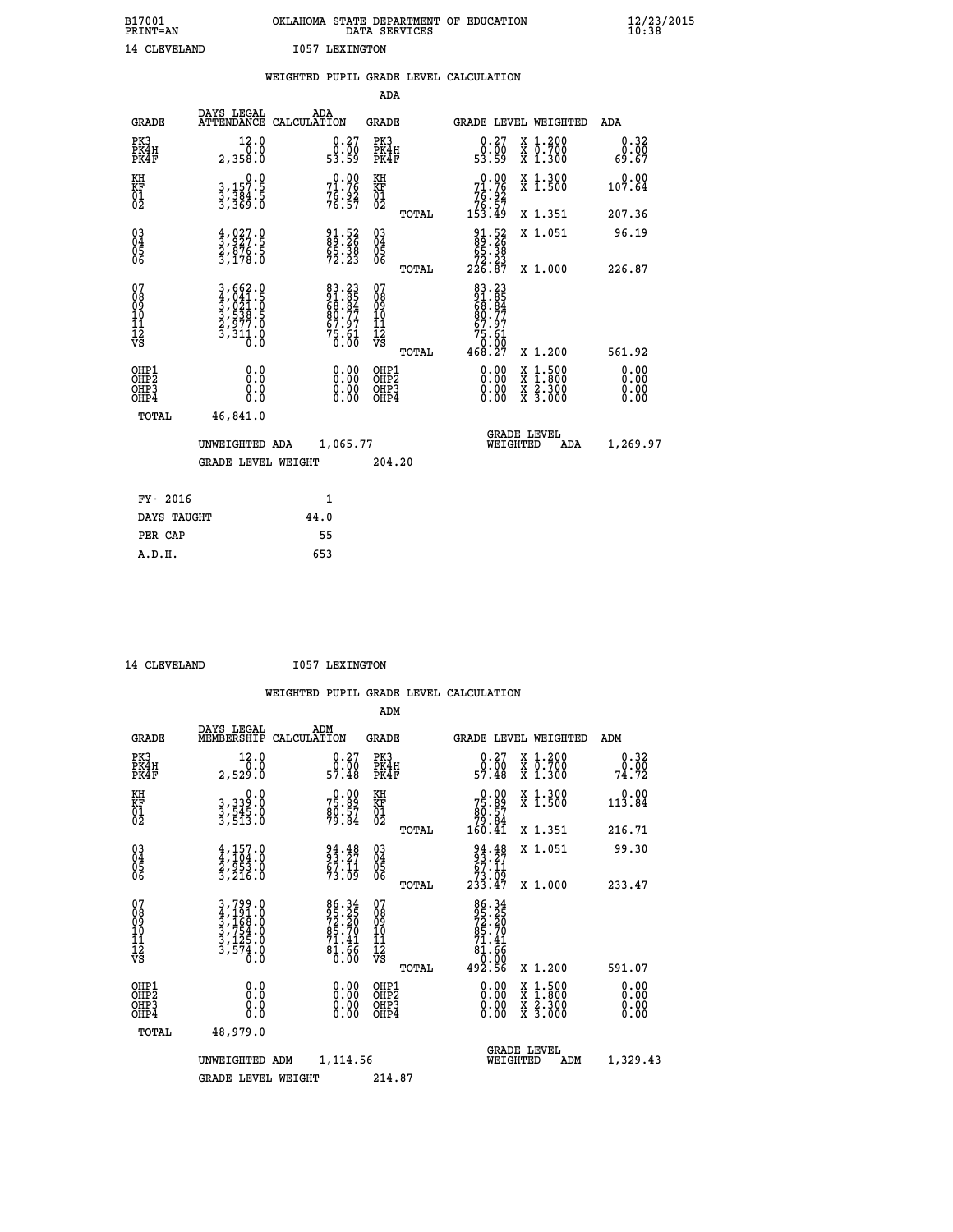| B17001<br><b>PRINT=AN</b> |                | OKLAHOMA STATE DEPARTMENT OF EDUCATION<br>DATA SERVICES |  |
|---------------------------|----------------|---------------------------------------------------------|--|
| 14 CLEVELAND              | 1057 LEXINGTON |                                                         |  |

|                                        |                                                                                                                                                                                               | WEIGHTED PUPIL GRADE LEVEL CALCULATION                        |                                                     |                                                                                             |                              |
|----------------------------------------|-----------------------------------------------------------------------------------------------------------------------------------------------------------------------------------------------|---------------------------------------------------------------|-----------------------------------------------------|---------------------------------------------------------------------------------------------|------------------------------|
|                                        |                                                                                                                                                                                               |                                                               | <b>ADA</b>                                          |                                                                                             |                              |
| <b>GRADE</b>                           | <b>DAYS LEGAL<br/>ATTENDANCE</b>                                                                                                                                                              | ADA<br>CALCULATION                                            | <b>GRADE</b>                                        | GRADE LEVEL WEIGHTED                                                                        | ADA                          |
| PK3<br>PK4H<br>PK4F                    | 12.0<br>2,358.0                                                                                                                                                                               | $\begin{smallmatrix} 0.27\ 0.00\ 53.59 \end{smallmatrix}$     | PK3<br>PK4H<br>PK4F                                 | 0.27<br>X 1.200<br>X 0.700<br>X 1.300<br>ô∶ōó<br>53∶59                                      | 0.32<br>0.00<br>69.67        |
| KH<br>KF<br>01<br>02                   | $\begin{smallmatrix}&&&0.0\\3,157.5\\3,384.5\\3,369.0\end{smallmatrix}$                                                                                                                       | $71.76$<br>$76.92$<br>$76.92$<br>$76.57$                      | KH<br>KF<br>01<br>02                                | X 1.300<br>X 1.500<br>$0.00$<br>$71.76$<br>$76.92$<br>$76.57$<br>$153.49$                   | 0.00<br>107.64               |
|                                        |                                                                                                                                                                                               |                                                               | TOTAL                                               | X 1.351                                                                                     | 207.36                       |
| $^{03}_{04}$<br>Ŏ5<br>06               | $\frac{4}{3}, \frac{027}{927}$ :<br>2,876:5<br>3,178:0                                                                                                                                        | 91.52<br>89.26<br>65.38<br>72.23                              | $\begin{array}{c} 03 \\ 04 \\ 05 \\ 06 \end{array}$ | $\begin{smallmatrix} 91.52\ 89.26\ 65.38\ 72.23\ 226.87 \end{smallmatrix}$<br>X 1.051       | 96.19                        |
|                                        |                                                                                                                                                                                               |                                                               | TOTAL                                               | X 1.000                                                                                     | 226.87                       |
| 07<br>08<br>09<br>11<br>11<br>12<br>VS | $\begin{smallmatrix} 3\,,\,662\, \cdot\,0\\ 4\,,\,041\, \cdot\,5\\ 3\,,\,021\, \cdot\,0\\ 3\,,\,538\, \cdot\,5\\ 2\,,\,977\, \cdot\,0\\ 3\,,\,311\, \cdot\,0\\ 0\, \cdot\,0\end{smallmatrix}$ | 83.23<br>91.85<br>68.84<br>68.77<br>87.97<br>57.61<br>75.61   | 07<br>08<br>09<br>11<br>11<br>12<br>VS<br>TOTAL     | 83.23<br>91.85<br>68.84<br>80.77<br>67.97<br>$75.61$<br>0.00<br>468.27<br>X 1.200           | 561.92                       |
| OHP1<br>OHP2<br>OHP3<br>OHP4           | 0.0<br>0.0<br>Ō.Ō                                                                                                                                                                             | 0.0000<br>$\begin{smallmatrix} 0.00 \ 0.00 \end{smallmatrix}$ | OHP1<br>OHP2<br>OHP3<br>OHP4                        | 0.00<br>$1:500$<br>$1:800$<br>X<br>X<br>$\frac{x}{x}$ $\frac{5:300}{3:000}$<br>0.00<br>0.00 | 0.00<br>0.00<br>0.00<br>0.00 |
| <b>TOTAL</b>                           | 46,841.0                                                                                                                                                                                      |                                                               |                                                     |                                                                                             |                              |
|                                        | UNWEIGHTED ADA                                                                                                                                                                                | 1,065.77                                                      |                                                     | GRADE LEVEL<br>WEIGHTED<br>ADA                                                              | 1,269.97                     |
|                                        | <b>GRADE LEVEL WEIGHT</b>                                                                                                                                                                     |                                                               | 204.20                                              |                                                                                             |                              |
| FY- 2016                               |                                                                                                                                                                                               | $\mathbf{1}$                                                  |                                                     |                                                                                             |                              |
| DAYS TAUGHT                            |                                                                                                                                                                                               | 44.0                                                          |                                                     |                                                                                             |                              |
| PER CAP                                |                                                                                                                                                                                               | 55                                                            |                                                     |                                                                                             |                              |

14 CLEVELAND **I057 LEXINGTON** 

 **A.D.H. 653**

| <b>GRADE</b>                                 | DAYS LEGAL<br>MEMBERSHIP                                                                              | ADM<br>CALCULATION                                         | <b>GRADE</b>                                       |       |                                                                                                                                                                                                                                                                                | GRADE LEVEL WEIGHTED                                                                                                | ADM                  |  |
|----------------------------------------------|-------------------------------------------------------------------------------------------------------|------------------------------------------------------------|----------------------------------------------------|-------|--------------------------------------------------------------------------------------------------------------------------------------------------------------------------------------------------------------------------------------------------------------------------------|---------------------------------------------------------------------------------------------------------------------|----------------------|--|
| PK3<br>PK4H<br>PK4F                          | 12.0<br>2,529.0                                                                                       | $0.27$<br>$0.00$<br>57.48                                  | PK3<br>PK4H<br>PK4F                                |       | $\begin{smallmatrix} 0.27\ 0.00\ 57.48 \end{smallmatrix}$                                                                                                                                                                                                                      | X 1.200<br>X 0.700<br>X 1.300                                                                                       | 0.32<br>74.72        |  |
| KH<br>KF<br>01<br>02                         | 0.0<br>3,339:0<br>3,545:0<br>3,513:0                                                                  | $75.89$<br>$80.57$<br>$79.84$                              | KH<br>KF<br>01<br>02                               |       | $\begin{smallmatrix} &0.00\ 75.89\ 80.57\ 79.84\ 160.41\end{smallmatrix}$                                                                                                                                                                                                      | X 1.300<br>X 1.500                                                                                                  | 0.00<br>113.84       |  |
|                                              |                                                                                                       |                                                            |                                                    | TOTAL |                                                                                                                                                                                                                                                                                | X 1.351                                                                                                             | 216.71               |  |
| 03<br>04<br>05<br>06                         | $\frac{4}{4}, \frac{157}{104}.0$<br>$\frac{2}{3}, \frac{953}{216}.0$<br>$\frac{3}{4}, \frac{216}{10}$ | 94.48<br>93.27<br>67.11<br>73.09                           | $\begin{matrix} 03 \\ 04 \\ 05 \\ 06 \end{matrix}$ |       | $94.48$<br>$93.27$<br>$67.11$<br>$73.09$<br>$233.47$                                                                                                                                                                                                                           | X 1.051                                                                                                             | 99.30                |  |
|                                              |                                                                                                       |                                                            |                                                    | TOTAL |                                                                                                                                                                                                                                                                                | X 1.000                                                                                                             | 233.47               |  |
| 07<br>08<br>09<br>11<br>11<br>12<br>VS       | $3,799.0$<br>$4,191.0$<br>$3,168.0$<br>$3,754.0$<br>$3,125.0$<br>$3,574.0$<br>$0.0$                   | 86.34<br>95.25<br>72.20<br>85.70<br>81.41<br>81.66<br>0.00 | 07<br>08<br>09<br>11<br>11<br>12<br>VS             | TOTAL | 86.34<br>95.25<br>72.20<br>85.70<br>81.66<br>71.41<br>81.66<br>0.00<br>492.56                                                                                                                                                                                                  | X 1.200                                                                                                             | 591.07               |  |
| OHP1                                         |                                                                                                       |                                                            | OHP1                                               |       |                                                                                                                                                                                                                                                                                |                                                                                                                     |                      |  |
| OHP <sub>2</sub><br>OH <sub>P3</sub><br>OHP4 | 0.0<br>0.000                                                                                          |                                                            | OHP <sub>2</sub><br>OHP <sub>3</sub>               |       | $\begin{smallmatrix} 0.00 & 0.00 & 0.00 & 0.00 & 0.00 & 0.00 & 0.00 & 0.00 & 0.00 & 0.00 & 0.00 & 0.00 & 0.00 & 0.00 & 0.00 & 0.00 & 0.00 & 0.00 & 0.00 & 0.00 & 0.00 & 0.00 & 0.00 & 0.00 & 0.00 & 0.00 & 0.00 & 0.00 & 0.00 & 0.00 & 0.00 & 0.00 & 0.00 & 0.00 & 0.00 & 0.0$ | $\begin{array}{l} \mathtt{X} & 1.500 \\ \mathtt{X} & 1.800 \\ \mathtt{X} & 2.300 \\ \mathtt{X} & 3.000 \end{array}$ | 0.00<br>0.00<br>0.00 |  |
| TOTAL                                        | 48,979.0                                                                                              |                                                            |                                                    |       |                                                                                                                                                                                                                                                                                |                                                                                                                     |                      |  |
|                                              | UNWEIGHTED                                                                                            | 1,114.56<br>ADM                                            |                                                    |       | WEIGHTED                                                                                                                                                                                                                                                                       | <b>GRADE LEVEL</b><br>ADM                                                                                           | 1,329.43             |  |
|                                              | <b>GRADE LEVEL WEIGHT</b>                                                                             |                                                            | 214.87                                             |       |                                                                                                                                                                                                                                                                                |                                                                                                                     |                      |  |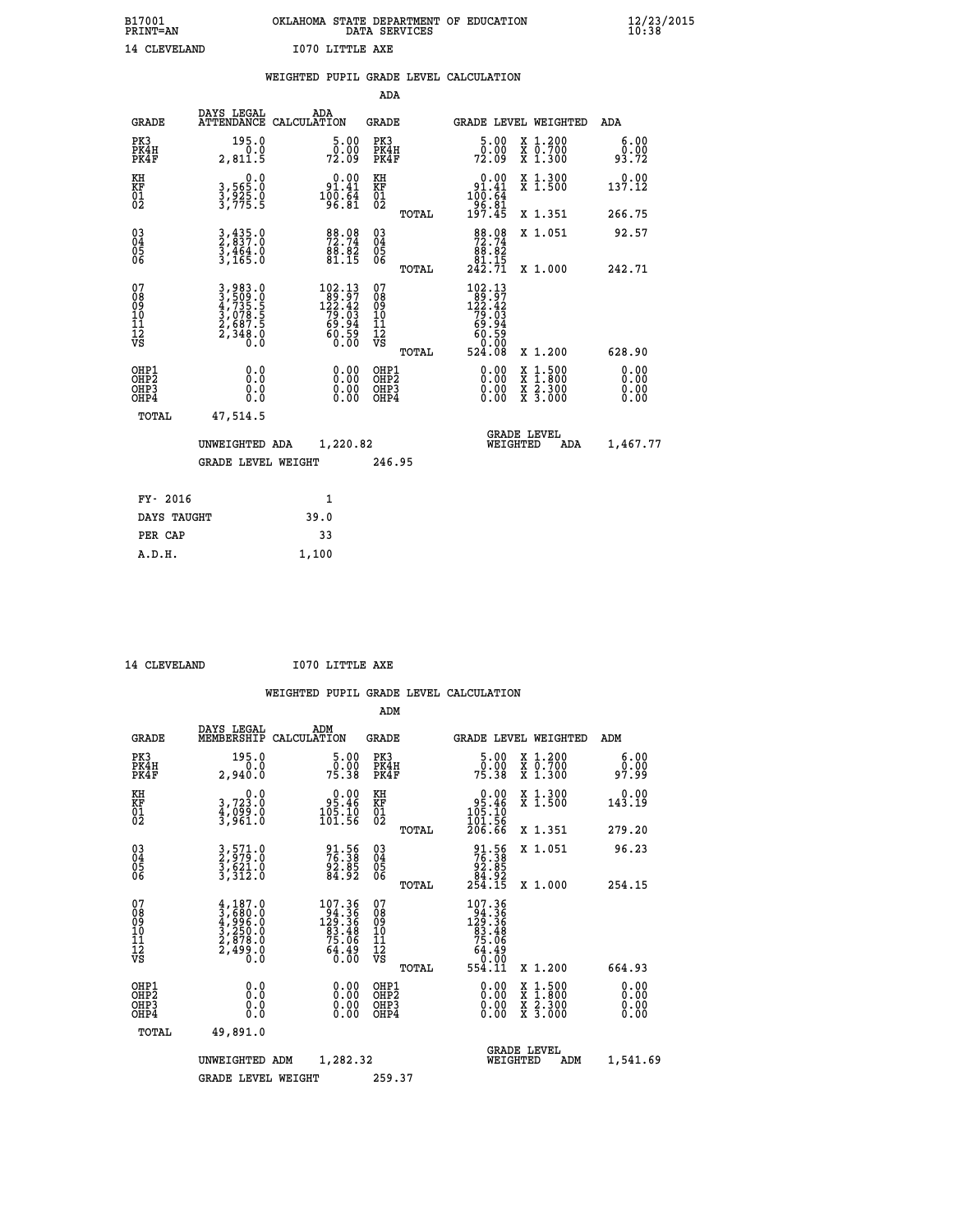| B17001<br><b>PRINT=AN</b> |              | OKLAHOMA STATE DEPARTMENT OF EDUCATION<br>DATA SERVICES |  |
|---------------------------|--------------|---------------------------------------------------------|--|
|                           | 14 CLEVELAND | I070 LITTLE AXE                                         |  |

|                                                    |                                                                           | WEIGHTED PUPIL GRADE LEVEL CALCULATION                                                                                      |                                                     |              |                                                                                              |                                                                                                  |                              |
|----------------------------------------------------|---------------------------------------------------------------------------|-----------------------------------------------------------------------------------------------------------------------------|-----------------------------------------------------|--------------|----------------------------------------------------------------------------------------------|--------------------------------------------------------------------------------------------------|------------------------------|
|                                                    |                                                                           |                                                                                                                             | <b>ADA</b>                                          |              |                                                                                              |                                                                                                  |                              |
| <b>GRADE</b>                                       | DAYS LEGAL                                                                | ADA<br>ATTENDANCE CALCULATION                                                                                               | <b>GRADE</b>                                        |              |                                                                                              | GRADE LEVEL WEIGHTED                                                                             | ADA                          |
| PK3<br>PK4H<br>PK4F                                | 195.0<br>2,811.5                                                          | $\frac{5\cdot00}{0.00}$<br>72.09                                                                                            | PK3<br>PK4H<br>PK4F                                 |              | $\begin{smallmatrix}5.00\0.00\\72.09\end{smallmatrix}$                                       | X 1.200<br>X 0.700<br>X 1.300                                                                    | 6.00<br>$0.00$<br>93.72      |
| KH<br>KF<br>01<br>02                               | 0.0<br>3,565:0<br>3,925:0<br>3,775:5                                      | $\begin{smallmatrix} &0.00\\ 91.41\\100.64\\96.81\end{smallmatrix}$                                                         | KH<br>KF<br>01<br>02                                |              | 0.00<br>$\begin{array}{r} 91.41 \\ 100.64 \\ 96.81 \\ 197.45 \end{array}$                    | X 1.300<br>X 1.500                                                                               | 0.00<br>137.12               |
|                                                    |                                                                           |                                                                                                                             |                                                     | <b>TOTAL</b> |                                                                                              | X 1.351                                                                                          | 266.75                       |
| $\begin{matrix} 03 \\ 04 \\ 05 \\ 06 \end{matrix}$ | 3,435.0<br>2,837.0<br>3,464.0<br>3,165.0                                  | $\begin{array}{l} 88.08 \\ 72.74 \\ 88.82 \\ 81.15 \end{array}$                                                             | $\begin{array}{c} 03 \\ 04 \\ 05 \\ 06 \end{array}$ |              | $\begin{smallmatrix}88\cdot08\\72\cdot74\\88\cdot82\\81\cdot15\\242\cdot71\end{smallmatrix}$ | X 1.051                                                                                          | 92.57                        |
|                                                    |                                                                           |                                                                                                                             |                                                     | TOTAL        |                                                                                              | X 1.000                                                                                          | 242.71                       |
| 07<br>0890112<br>1112<br>VS                        | 3,983.0<br>3,509.0<br>4,735.5<br>4,735.5<br>3,078.5<br>2,687.5<br>2,348.0 | $\begin{smallmatrix} 102\cdot 13\\122\cdot 42\\122\cdot 42\\79\cdot 03\\69\cdot 94\\60\cdot 59\\0\cdot 00\end{smallmatrix}$ | 07<br>08<br>09<br>11<br>11<br>12<br>VS              | TOTAL        | 102.13<br>$122.42$<br>$122.42$<br>$79.03$<br>$69.94$<br>$60.59$<br>$60.59$<br>$524.08$       | X 1.200                                                                                          | 628.90                       |
| OHP1<br>OHP2<br>OH <sub>P3</sub><br>OHP4           | 0.0<br>0.0<br>0.0                                                         | $\begin{smallmatrix} 0.00 \ 0.00 \ 0.00 \ 0.00 \end{smallmatrix}$                                                           | OHP1<br>OHP2<br>OHP3<br>OHP4                        |              | 0.00<br>0.00<br>0.00                                                                         | $\begin{smallmatrix} x & 1 & 500 \\ x & 1 & 800 \\ x & 2 & 300 \\ x & 3 & 000 \end{smallmatrix}$ | 0.00<br>0.00<br>0.00<br>0.00 |
| <b>TOTAL</b>                                       | 47,514.5                                                                  |                                                                                                                             |                                                     |              |                                                                                              |                                                                                                  |                              |
|                                                    | UNWEIGHTED ADA                                                            | 1,220.82                                                                                                                    |                                                     |              | WEIGHTED                                                                                     | <b>GRADE LEVEL</b><br>ADA                                                                        | 1,467.77                     |
|                                                    | <b>GRADE LEVEL WEIGHT</b>                                                 |                                                                                                                             | 246.95                                              |              |                                                                                              |                                                                                                  |                              |
| FY- 2016                                           |                                                                           | $\mathbf{1}$                                                                                                                |                                                     |              |                                                                                              |                                                                                                  |                              |
| DAYS TAUGHT                                        |                                                                           | 39.0                                                                                                                        |                                                     |              |                                                                                              |                                                                                                  |                              |
| PER CAP                                            |                                                                           | 33                                                                                                                          |                                                     |              |                                                                                              |                                                                                                  |                              |

 **A.D.H. 1,100**

14 CLEVELAND **I070 LITTLE AXE** 

|                                          |                                                                                     |                                                                                                          | ADM                                                 |                                                                      |                                          |                        |
|------------------------------------------|-------------------------------------------------------------------------------------|----------------------------------------------------------------------------------------------------------|-----------------------------------------------------|----------------------------------------------------------------------|------------------------------------------|------------------------|
| <b>GRADE</b>                             | DAYS LEGAL<br>MEMBERSHIP                                                            | ADM<br>CALCULATION                                                                                       | <b>GRADE</b>                                        |                                                                      | GRADE LEVEL WEIGHTED                     | ADM                    |
| PK3<br>PK4H<br>PK4F                      | 195.0<br>0.0<br>2,940.0                                                             | $\frac{5.00}{0.00}$<br>75.38                                                                             | PK3<br>PK4H<br>PK4F                                 | $\begin{smallmatrix}5.00\0.00\\75.38\end{smallmatrix}$               | X 1.200<br>X 0.700<br>X 1.300            | 6.00<br>ŏÖ.ÖÖ<br>97.99 |
| KH<br>KF<br>01<br>02                     | 0.0<br>3,723.0<br>4,099.0<br>3,961.0                                                | $\begin{smallmatrix} &0.00\ 95.46\ 105.10\ 101.56\ \end{smallmatrix}$                                    | KH<br>KF<br>01<br>02                                | $0.00$<br>$95.46$<br>$105.10$<br>$101.56$<br>$206.66$                | X 1.300<br>X 1.500                       | 0.00<br>143.19         |
|                                          |                                                                                     |                                                                                                          | TOTAL                                               |                                                                      | X 1.351                                  | 279.20                 |
| 03<br>04<br>05<br>06                     | 3,571.0<br>2,979.0<br>3,621.0<br>3,312.0                                            | 91.56<br>76.38<br>92.85<br>84.92                                                                         | $\begin{array}{c} 03 \\ 04 \\ 05 \\ 06 \end{array}$ | $91.56$<br>$76.38$<br>$92.85$<br>$84.92$<br>$254.15$                 | X 1.051                                  | 96.23                  |
|                                          |                                                                                     |                                                                                                          | TOTAL                                               |                                                                      | X 1.000                                  | 254.15                 |
| 07<br>08<br>09<br>101<br>11<br>12<br>VS  | $4,187.0$<br>$3,680.0$<br>$4,996.0$<br>$3,250.0$<br>$2,878.0$<br>$2,499.0$<br>$0.0$ | $\begin{smallmatrix} 107.36 \\ 94.36 \\ 129.36 \\ 83.48 \\ 75.98 \end{smallmatrix}$<br>$64.49$<br>$0.00$ | 07<br>08<br>09<br>11<br>11<br>12<br>VS              | 107.36<br>129.366<br>129.366<br>83.486<br>75.069<br>64.490<br>50.000 |                                          |                        |
|                                          |                                                                                     |                                                                                                          | TOTAL                                               | 554.11                                                               | X 1.200                                  | 664.93                 |
| OHP1<br>OHP2<br>OH <sub>P3</sub><br>OHP4 |                                                                                     |                                                                                                          | OHP1<br>OHP2<br>OHP <sub>3</sub>                    | $0.00$<br>$0.00$<br>0.00                                             | X 1:500<br>X 1:800<br>X 2:300<br>X 3:000 | 0.00<br>0.00<br>0.00   |
| TOTAL                                    | 49,891.0                                                                            |                                                                                                          |                                                     |                                                                      |                                          |                        |
|                                          | UNWEIGHTED                                                                          | 1,282.32<br>ADM                                                                                          |                                                     | WEIGHTED                                                             | <b>GRADE LEVEL</b><br>ADM                | 1,541.69               |
|                                          | <b>GRADE LEVEL WEIGHT</b>                                                           |                                                                                                          | 259.37                                              |                                                                      |                                          |                        |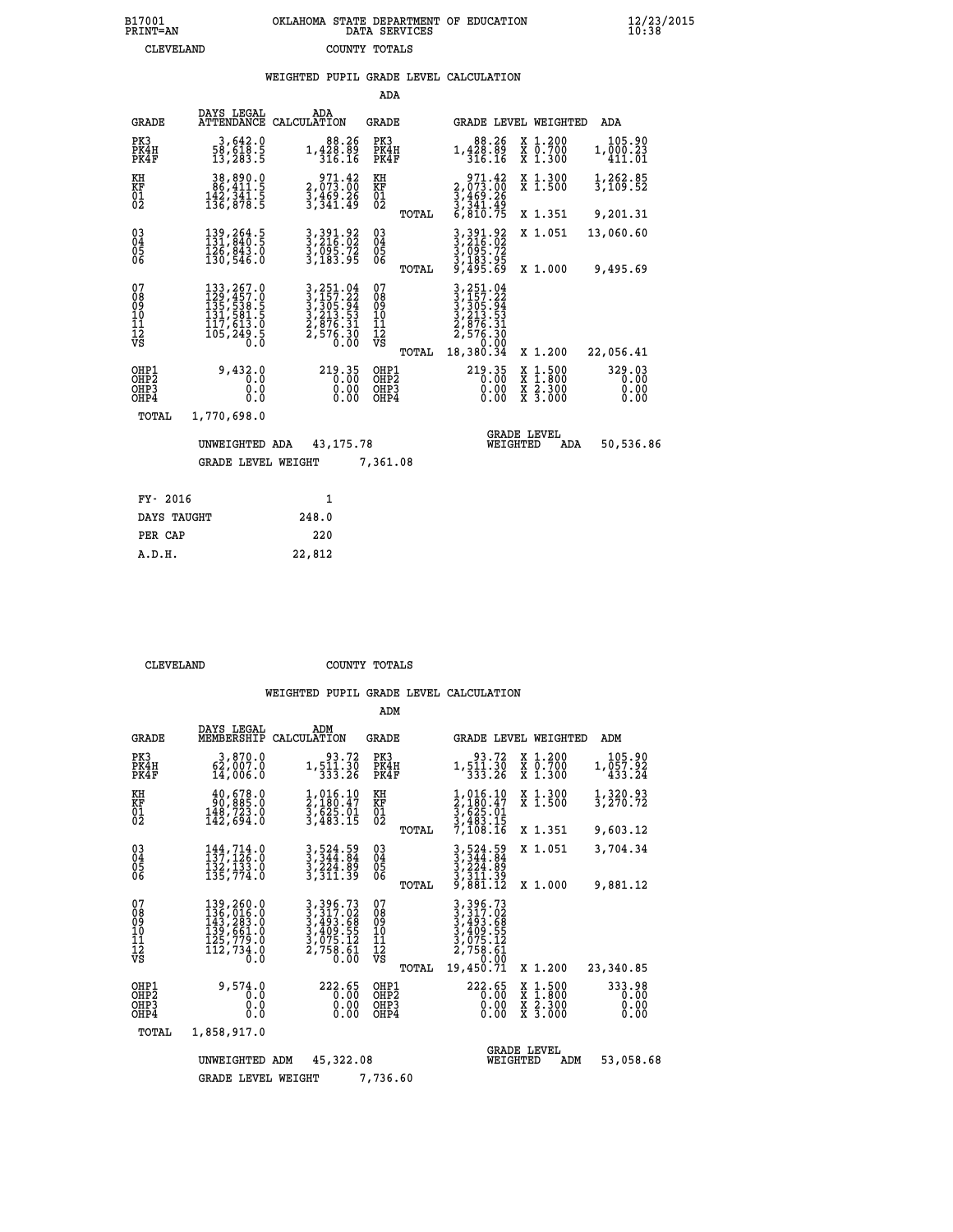### **B17001 OKLAHOMA STATE DEPARTMENT OF EDUCATION 12/23/2015 PRINT=AN DATA SERVICES 10:38 CLEVELAND COUNTY TOTALS**

#### **WEIGHTED PUPIL GRADE LEVEL CALCULATION**

|                                        |                                                                                                                                        |                                                                                            | ADA                                      |       |                                                                                   |          |                                                       |                                |
|----------------------------------------|----------------------------------------------------------------------------------------------------------------------------------------|--------------------------------------------------------------------------------------------|------------------------------------------|-------|-----------------------------------------------------------------------------------|----------|-------------------------------------------------------|--------------------------------|
| <b>GRADE</b>                           | DAYS LEGAL<br>ATTENDANCE                                                                                                               | ADA<br>CALCULATION                                                                         | GRADE                                    |       | <b>GRADE LEVEL WEIGHTED</b>                                                       |          |                                                       | ADA                            |
| PK3<br>PK4H<br>PK4F                    | 3,642.0<br>58,618.5<br>13,283.5                                                                                                        | 88.26<br>1,428.89<br>316.16                                                                | PK3<br>PK4H<br>PK4F                      |       | 88.26<br>1,428.89<br>316.16                                                       |          | X 1.200<br>X 0.700<br>X 1.300                         | 105.90<br>1,000.23<br>411.01   |
| KH<br><b>KF</b><br>01<br>02            | 38,890.0<br>86,411.5<br>$\frac{142}{136}, \frac{341}{878}$ $\cdot$ 5                                                                   | 971.42<br>2,073.00<br>$\frac{3}{3}, \frac{4}{3}$ $\frac{6}{3}$ $\frac{3}{4}$ $\frac{2}{3}$ | KH<br>KF<br>$\overline{01}$              |       | 971.42<br>2,073.00<br>3,469.26<br>3,341.49<br>6,810.75                            |          | X 1.300<br>$\overline{x}$ 1.500                       | 1,262.85<br>3,109.52           |
|                                        |                                                                                                                                        |                                                                                            |                                          | TOTAL |                                                                                   |          | X 1.351                                               | 9,201.31                       |
| $^{03}_{04}$<br>05<br>06               | 139, 264.5<br>131, 840.5<br>$\overline{1}\overline{2}\overline{6}$ , $\overline{8}\overline{4}\overline{3}\overline{.0}$<br>130, 546.0 | 3, 391.92<br>3, 216.02<br>3, 095.72<br>3, 183.95                                           | $\substack{03 \\ 04}$<br>0500            |       | 3, 391.92<br>3, 216.02<br>3, 095.72<br>3, 183.95<br>9, 495.69                     |          | X 1.051                                               | 13,060.60                      |
|                                        |                                                                                                                                        |                                                                                            |                                          | TOTAL |                                                                                   |          | X 1.000                                               | 9,495.69                       |
| 07<br>08<br>09<br>11<br>11<br>12<br>VS |                                                                                                                                        | 3, 251.04<br>3, 157.22<br>3, 305.94<br>3, 213.53<br>2, 876.31<br>2, 576.30<br>0.00         | 07<br>089<br>101<br>111<br>VS            |       | 251.04<br>$3, 157.22$<br>$3, 305.94$<br>$3, 213.53$<br>$2, 876.31$<br>$2, 576.30$ |          |                                                       |                                |
|                                        |                                                                                                                                        |                                                                                            |                                          | TOTAL | 18,380.34                                                                         |          | X 1.200                                               | 22,056.41                      |
| OHP1<br>OHP2<br>OHP3<br>OHP4           | 9,432.0<br>0.0<br>0.0<br>0.0                                                                                                           | 219.35<br>0.00<br>$0.00$<br>$0.00$                                                         | OHP1<br>OHP <sub>2</sub><br>OHP3<br>OHP4 |       | 219.35<br>0.00<br>0.00                                                            |          | $\frac{x}{x}$ $\frac{1.500}{x}$<br>X 2.300<br>X 3.000 | 329.03<br>0.00<br>0.00<br>0.00 |
| TOTAL                                  | 1,770,698.0                                                                                                                            |                                                                                            |                                          |       |                                                                                   |          |                                                       |                                |
|                                        | UNWEIGHTED ADA                                                                                                                         | 43, 175. 78                                                                                |                                          |       |                                                                                   | WEIGHTED | <b>GRADE LEVEL</b><br>ADA                             | 50,536.86                      |
|                                        | <b>GRADE LEVEL WEIGHT</b>                                                                                                              |                                                                                            | 7,361.08                                 |       |                                                                                   |          |                                                       |                                |
| FY- 2016                               |                                                                                                                                        | $\mathbf{1}$                                                                               |                                          |       |                                                                                   |          |                                                       |                                |
| DAYS TAUGHT                            |                                                                                                                                        | 248.0                                                                                      |                                          |       |                                                                                   |          |                                                       |                                |
|                                        |                                                                                                                                        |                                                                                            |                                          |       |                                                                                   |          |                                                       |                                |

 **PER CAP 220 A.D.H. 22,812**

 **CLEVELAND COUNTY TOTALS**

|                                                       |                                                                                                                                                      |                                                                                        | ADM                                             |                                                                                                     |                                                                                                  |                                |
|-------------------------------------------------------|------------------------------------------------------------------------------------------------------------------------------------------------------|----------------------------------------------------------------------------------------|-------------------------------------------------|-----------------------------------------------------------------------------------------------------|--------------------------------------------------------------------------------------------------|--------------------------------|
| <b>GRADE</b>                                          | DAYS LEGAL<br>MEMBERSHIP                                                                                                                             | ADM<br>CALCULATION                                                                     | GRADE                                           | GRADE LEVEL WEIGHTED                                                                                |                                                                                                  | ADM                            |
| PK3<br>PK4H<br>PK4F                                   | 3,870.0<br>62,007.0<br>14,006.0                                                                                                                      | 93.72<br>1,511.30<br>333.26                                                            | PK3<br>PK4H<br>PK4F                             | 93.72<br>1,511.30<br>333.26                                                                         | X 1.200<br>X 0.700<br>X 1.300                                                                    | 105.90<br>1,057.92<br>433.24   |
| KH<br><b>KF</b><br>01<br>02                           | 40,678.0<br>90,885.0<br>148,723.0<br>142,694.0                                                                                                       | 1,016.10<br>2,180:47<br>3,625.01<br>3,483.15                                           | KH<br>ΚF<br>$^{01}_{02}$                        | 1,016.10<br>2,180.47<br>3,625.01<br>3,483.15                                                        | X 1.300<br>X 1.500                                                                               | 1,320.93<br>3,270.72           |
|                                                       |                                                                                                                                                      |                                                                                        | TOTAL                                           | 7,108.16                                                                                            | X 1.351                                                                                          | 9,603.12                       |
| $^{03}_{04}$<br>Ŏ5<br>06                              | $144, 714.0$<br>137,126.0<br>132, 133.0<br>135,774.0                                                                                                 | 3,524.59<br>3,344.84<br>3,224.89<br>3,311.39                                           | $\substack{03 \\ 04}$<br>$\frac{05}{06}$        | 3,524.59<br>3,344.84<br>3,224.89<br>3,311.39                                                        | X 1.051                                                                                          | 3,704.34                       |
|                                                       |                                                                                                                                                      |                                                                                        | TOTAL                                           | 9,881.12                                                                                            | X 1.000                                                                                          | 9,881.12                       |
| 07<br>08<br>09<br>101<br>11<br>12<br>VS               | 139,260.0<br>$\begin{smallmatrix} 136 \ 133 \ 143 \ 139 \ 161 \ 139 \ 172 \ 173 \ 185 \ 197 \ 197 \ 199 \ 199 \end{smallmatrix}$<br>112,734.0<br>0.0 | 3,396.73<br>$3,317.02$<br>$3,493.68$<br>$3,409.55$<br>$3,075.12$<br>$2,758.61$<br>0.00 | 07<br>08<br>09<br>10<br>11<br>12<br>VS<br>TOTAL | 3,396.73<br>$3,317.62$<br>$3,493.68$<br>$3,409.55$<br>$3,075.12$<br>$2,758.61$<br>0.00<br>19,450.71 | X 1.200                                                                                          | 23,340.85                      |
| OHP1<br>OH <sub>P</sub> 2<br>OH <sub>P3</sub><br>OHP4 | 9,574.0<br>0.0<br>0.0<br>0.0                                                                                                                         | 222.65<br>0.00<br>0.00<br>0.00                                                         | OHP1<br>OHP2<br>OHP3<br>OHP4                    | 222.65<br>0.00<br>0.00<br>0.00                                                                      | $\begin{smallmatrix} x & 1 & 500 \\ x & 1 & 800 \\ x & 2 & 300 \\ x & 3 & 000 \end{smallmatrix}$ | 333.98<br>0.00<br>0.00<br>0.00 |
| TOTAL                                                 | 1,858,917.0                                                                                                                                          |                                                                                        |                                                 |                                                                                                     |                                                                                                  |                                |
|                                                       | UNWEIGHTED                                                                                                                                           | 45,322.08<br>ADM                                                                       |                                                 | WEIGHTED                                                                                            | <b>GRADE LEVEL</b><br>ADM                                                                        | 53,058.68                      |
|                                                       | <b>GRADE LEVEL WEIGHT</b>                                                                                                                            |                                                                                        | 7,736.60                                        |                                                                                                     |                                                                                                  |                                |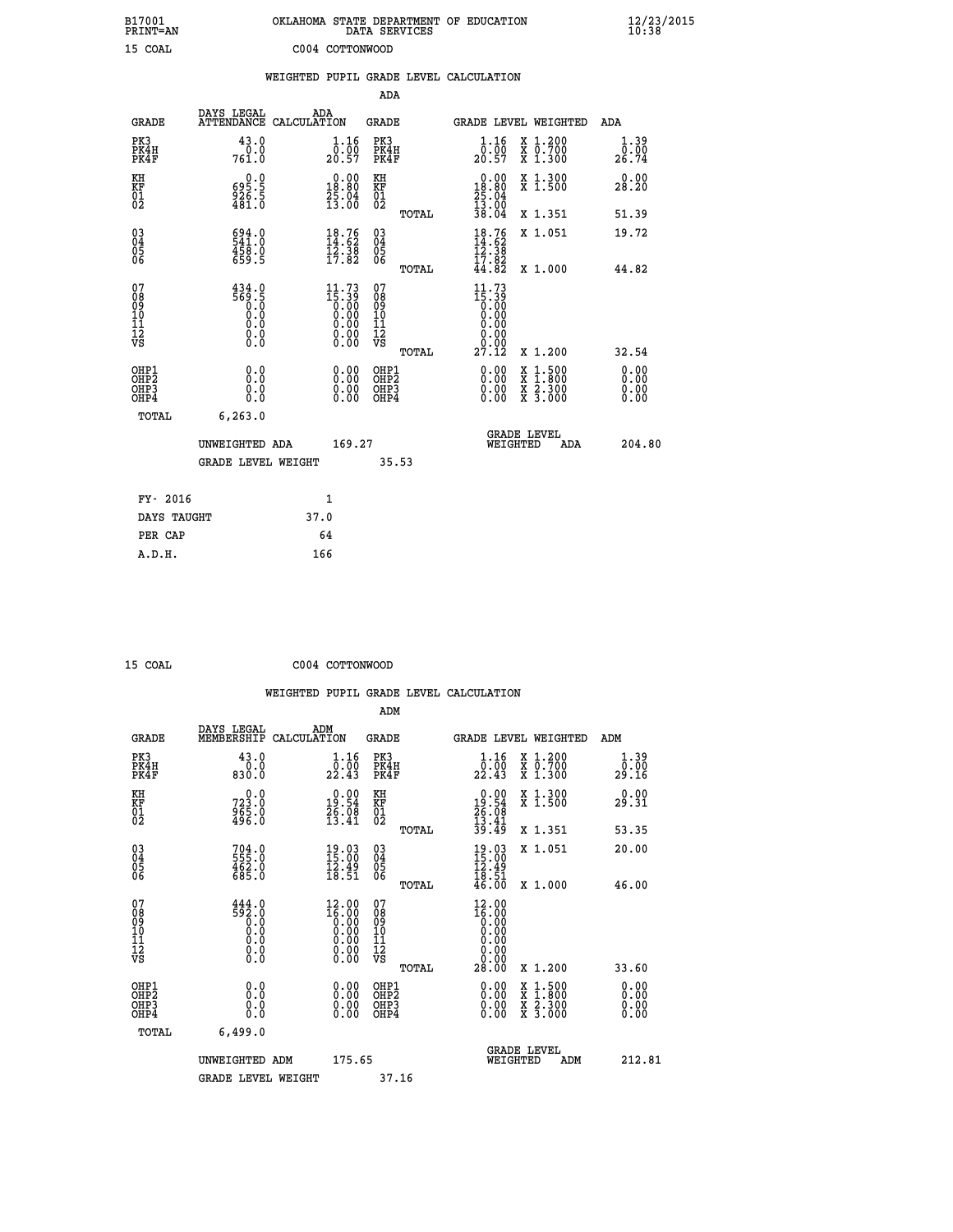| B17001<br>PRINT=AN                                |                                                         | OKLAHOMA STATE DEPARTMENT OF EDUCATION                                                                   | DATA SERVICES                                      |                                                                                                                  |                                                                                                                                           | $\frac{12}{23}$ /2015 |
|---------------------------------------------------|---------------------------------------------------------|----------------------------------------------------------------------------------------------------------|----------------------------------------------------|------------------------------------------------------------------------------------------------------------------|-------------------------------------------------------------------------------------------------------------------------------------------|-----------------------|
| 15 COAL                                           |                                                         | C004 COTTONWOOD                                                                                          |                                                    |                                                                                                                  |                                                                                                                                           |                       |
|                                                   |                                                         | WEIGHTED PUPIL GRADE LEVEL CALCULATION                                                                   |                                                    |                                                                                                                  |                                                                                                                                           |                       |
|                                                   |                                                         |                                                                                                          | <b>ADA</b>                                         |                                                                                                                  |                                                                                                                                           |                       |
| <b>GRADE</b>                                      | DAYS LEGAL                                              | ADA<br>ATTENDANCE CALCULATION                                                                            | <b>GRADE</b>                                       |                                                                                                                  | GRADE LEVEL WEIGHTED                                                                                                                      | ADA                   |
| PK3<br>PK4H<br>PK4F                               | 43.0<br>0.0<br>761.0                                    | 1.16<br>$\overline{0}$ .00<br>20.57                                                                      | PK3<br>PK4H<br>PK4F                                | $1.16$<br>$0.00$<br>20.57                                                                                        | X 1.200<br>X 0.700<br>X 1.300                                                                                                             | 1.39<br>0.00<br>26.74 |
| KH<br>KF<br>$\begin{matrix} 01 \ 02 \end{matrix}$ | 0.0<br>695.5<br>$\frac{25}{481}$ .<br>$\frac{5}{81}$ .0 | $\begin{smallmatrix} 0.00\\18.80\\25.04\\13.00 \end{smallmatrix}$                                        | KH<br>KF<br>$^{01}_{02}$                           | $0.00$<br>$18.80$                                                                                                | X 1.300<br>X 1.500                                                                                                                        | 0.00<br>28.20         |
|                                                   |                                                         |                                                                                                          | TOTAL                                              | $\frac{25.04}{13.00}$<br>38.04                                                                                   | X 1.351                                                                                                                                   | 51.39                 |
| 03<br>04<br>05<br>06                              | 694.0<br>458.0<br>659.5                                 | $\begin{smallmatrix} 18.76\\14.62\\12.38\\ 17.82 \end{smallmatrix}$                                      | $\begin{matrix} 03 \\ 04 \\ 05 \\ 06 \end{matrix}$ | $\frac{18.76}{14.62}$<br>$\frac{12.38}{12.38}$<br>17.82                                                          | X 1.051                                                                                                                                   | 19.72                 |
|                                                   |                                                         |                                                                                                          | TOTAL                                              | 44.82                                                                                                            | X 1.000                                                                                                                                   | 44.82                 |
| 07<br>08<br>09<br>11<br>11<br>12<br>VS            | $\frac{434.0}{569.5}$<br>0.0<br>Ō.Ō<br>$\S.$ $\S$       | $11.73$<br>$15.39$<br>$0.00$<br>$0.00$<br>$0.00$<br>$\begin{smallmatrix} 0.00 \\ 0.00 \end{smallmatrix}$ | 07<br>ŏġ<br>09<br>ίÒ<br>īi<br>ĪŽ<br>VŠ             | 11.73<br>$\overline{15}\cdot \overline{39}$<br>$\overline{0}\cdot \overline{00}$<br>0.00<br>0.00<br>0.00<br>Ŏ.ŎŎ |                                                                                                                                           |                       |
| OHP1                                              | 0.0                                                     |                                                                                                          | <b>TOTAL</b><br>OHP1                               | 27.12                                                                                                            | X 1.200                                                                                                                                   | 32.54                 |
| OHP <sub>2</sub><br>OH <sub>P3</sub><br>OHP4      | Ō.Ō<br>0.0<br>0.0                                       | 0.00<br>0.00<br>0.00                                                                                     | OHP <sub>2</sub><br>OHP3<br>OHP4                   | 0.00<br>0.00<br>0.00                                                                                             | $\begin{smallmatrix} \mathtt{X} & 1\cdot500\\ \mathtt{X} & 1\cdot800\\ \mathtt{X} & 2\cdot300\\ \mathtt{X} & 3\cdot000 \end{smallmatrix}$ | 0.00<br>0.00<br>0.00  |
| <b>TOTAL</b>                                      | 6, 263.0                                                |                                                                                                          |                                                    |                                                                                                                  |                                                                                                                                           |                       |
|                                                   | UNWEIGHTED ADA                                          | 169.27                                                                                                   |                                                    | WEIGHTED                                                                                                         | <b>GRADE LEVEL</b><br>ADA                                                                                                                 | 204.80                |
|                                                   | <b>GRADE LEVEL WEIGHT</b>                               |                                                                                                          | 35.53                                              |                                                                                                                  |                                                                                                                                           |                       |
| FY- 2016                                          |                                                         | 1                                                                                                        |                                                    |                                                                                                                  |                                                                                                                                           |                       |
| DAYS TAUGHT                                       |                                                         | 37.0                                                                                                     |                                                    |                                                                                                                  |                                                                                                                                           |                       |
| PER CAP                                           |                                                         | 64                                                                                                       |                                                    |                                                                                                                  |                                                                                                                                           |                       |
| A.D.H.                                            |                                                         | 166                                                                                                      |                                                    |                                                                                                                  |                                                                                                                                           |                       |

| 15 COAL | C004 COTTONWOOD |
|---------|-----------------|

|                                                    |                                                                  |                                                                                                        | ADM                                                 |       |                                                                                 |                                          |                              |  |
|----------------------------------------------------|------------------------------------------------------------------|--------------------------------------------------------------------------------------------------------|-----------------------------------------------------|-------|---------------------------------------------------------------------------------|------------------------------------------|------------------------------|--|
| <b>GRADE</b>                                       | DAYS LEGAL<br>MEMBERSHIP                                         | ADM<br>CALCULATION                                                                                     | <b>GRADE</b>                                        |       | GRADE LEVEL WEIGHTED                                                            |                                          | ADM                          |  |
| PK3<br>PK4H<br>PK4F                                | 43.0<br>$0.0$<br>$0.08$                                          | 1.16<br>$\frac{5.55}{22.43}$                                                                           | PK3<br>PK4H<br>PK4F                                 |       | 1.16<br>$\frac{1}{22}. \frac{1}{43}$                                            | X 1.200<br>X 0.700<br>X 1.300            | 1.39<br>0.00.<br>29.16       |  |
| KH<br>KF<br>01<br>02                               | $723.0$<br>$965.0$<br>$496.0$                                    | 19.90<br>$\frac{76.08}{13.41}$                                                                         | KH<br>KF<br>01<br>02                                |       | $\begin{smallmatrix} 0.00\\ 19.54\\ 26.08\\ 13.41\\ 39.49 \end{smallmatrix}$    | X 1.300<br>X 1.500                       | 0.00<br>29.31                |  |
|                                                    |                                                                  |                                                                                                        |                                                     | TOTAL |                                                                                 | X 1.351                                  | 53.35                        |  |
| $\begin{matrix} 03 \\ 04 \\ 05 \\ 06 \end{matrix}$ | 704.0<br>555.0<br>462.0<br>685.0                                 | $19.03$<br>$15.00$<br>$\frac{12.49}{18.51}$                                                            | $\begin{array}{c} 03 \\ 04 \\ 05 \\ 06 \end{array}$ |       | $19.03\n15.00\n12.49\n18.51\n46.00$                                             | X 1.051                                  | 20.00                        |  |
|                                                    |                                                                  |                                                                                                        |                                                     | TOTAL |                                                                                 | X 1.000                                  | 46.00                        |  |
| 07<br>08<br>09<br>101<br>11<br>12<br>VS            | 444.0<br>552:0<br>0:0<br>0:0<br>0:0<br>$\S.$                     | $\begin{smallmatrix} 12.00 \\ 16.00 \\ 0.00 \\ 0.00 \\ 0.00 \\ 0.00 \\ 0.00 \\ 0.00 \end{smallmatrix}$ | 07<br>08<br>09<br>11<br>11<br>12<br>VS              |       | $12.0016.000.000.000.00$<br>$\begin{smallmatrix} 0.00 \ 0.00 \end{smallmatrix}$ |                                          |                              |  |
|                                                    |                                                                  |                                                                                                        |                                                     | TOTAL | 28.00                                                                           | X 1.200                                  | 33.60                        |  |
| OHP1<br>OHP2<br>OH <sub>P3</sub><br>OHP4           | 0.0<br>$\begin{smallmatrix} 0.0 & 0 \ 0.0 & 0 \end{smallmatrix}$ | $\begin{smallmatrix} 0.00 \ 0.00 \ 0.00 \ 0.00 \end{smallmatrix}$                                      | OHP1<br>OHP2<br>OHP <sub>3</sub>                    |       | $0.00$<br>$0.00$<br>0.00                                                        | X 1:500<br>X 1:800<br>X 2:300<br>X 3:000 | 0.00<br>Ŏ.ŎŎ<br>Q.QQ<br>0.00 |  |
| TOTAL                                              | 6,499.0                                                          |                                                                                                        |                                                     |       |                                                                                 |                                          |                              |  |
|                                                    | UNWEIGHTED ADM                                                   | 175.65                                                                                                 |                                                     |       | <b>GRADE LEVEL</b><br>WEIGHTED                                                  | ADM                                      | 212.81                       |  |
|                                                    | <b>GRADE LEVEL WEIGHT</b>                                        |                                                                                                        | 37.16                                               |       |                                                                                 |                                          |                              |  |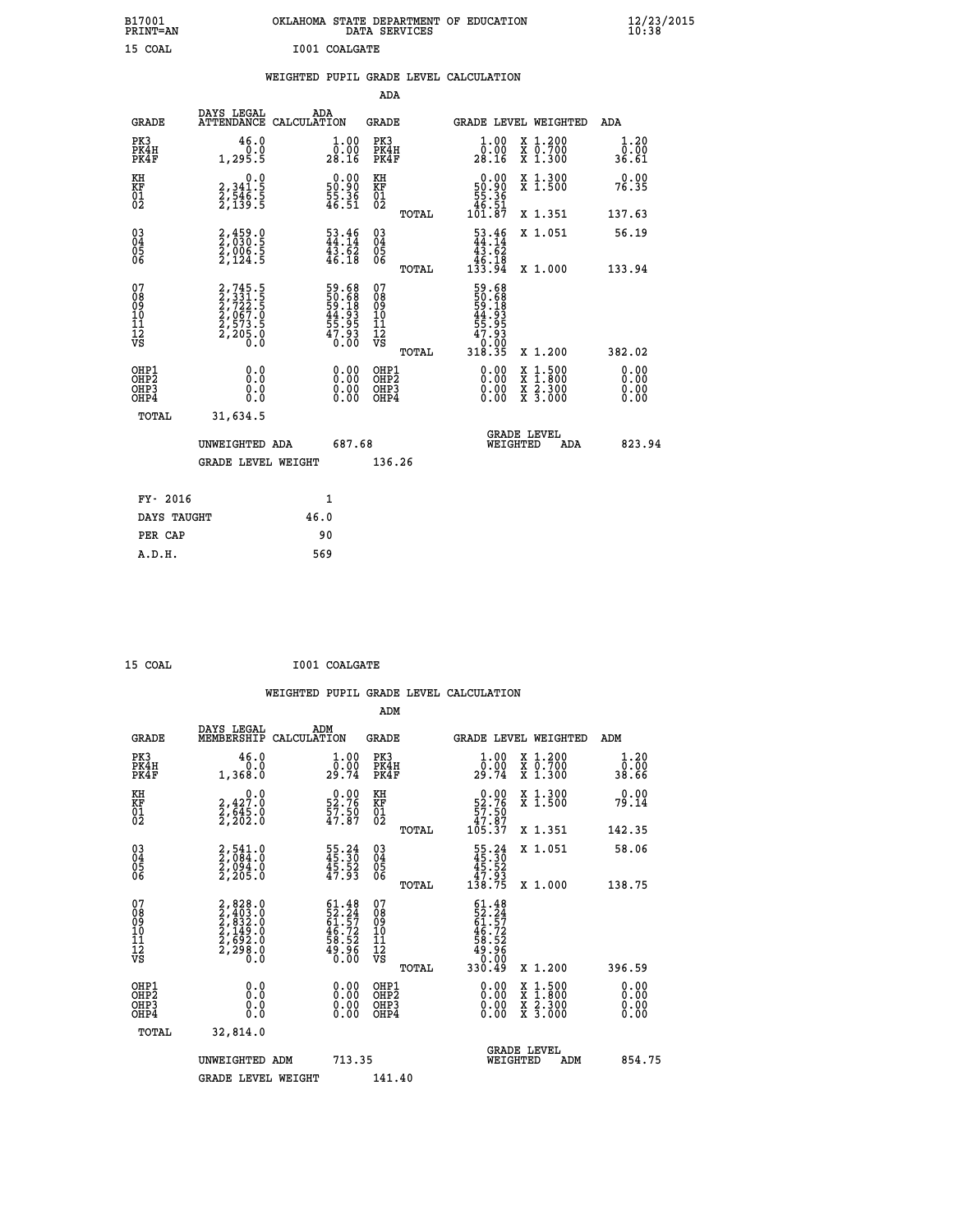| B17001<br><b>PRINT=AN</b>                |                                                                | OKLAHOMA STATE DEPARTMENT OF EDUCATION                               | DATA SERVICES                                      |                                                                  |                                                                                                                                      | $\frac{12}{10}$ :38/2015 |  |
|------------------------------------------|----------------------------------------------------------------|----------------------------------------------------------------------|----------------------------------------------------|------------------------------------------------------------------|--------------------------------------------------------------------------------------------------------------------------------------|--------------------------|--|
| 15 COAL                                  |                                                                | I001 COALGATE                                                        |                                                    |                                                                  |                                                                                                                                      |                          |  |
|                                          |                                                                | WEIGHTED PUPIL GRADE LEVEL CALCULATION                               |                                                    |                                                                  |                                                                                                                                      |                          |  |
|                                          |                                                                |                                                                      | ADA                                                |                                                                  |                                                                                                                                      |                          |  |
| <b>GRADE</b>                             | DAYS LEGAL<br>ATTENDANCE CALCULATION                           | ADA                                                                  | <b>GRADE</b>                                       | <b>GRADE LEVEL WEIGHTED</b>                                      |                                                                                                                                      | ADA                      |  |
| PK3<br>PK4H<br>PK4F                      | 46.0<br>0.0<br>1, 295.5                                        | $\begin{smallmatrix} 1.00\\ 0.00\\ 28.16 \end{smallmatrix}$          | PK3<br>PK4H<br>PK4F                                | $1.00$<br>$0.00$<br>28.16                                        | X 1.200<br>X 0.700<br>X 1.300                                                                                                        | 1.20<br>0.00<br>36.61    |  |
| KH<br>KF<br>$\overline{01}$              | 0.0<br>2,341.5<br>2,546.5<br>2,139.5                           | $\begin{smallmatrix} 0.00\\ 50.90\\ 55.36\\ 46.51 \end{smallmatrix}$ | KH<br>KF<br>01<br>02                               | $\begin{array}{c} 0.00 \\ 50.90 \\ 55.36 \\ 49.51 \end{array}$   | X 1.300<br>X 1.500                                                                                                                   | 0.00<br>76.35            |  |
|                                          |                                                                |                                                                      | TOTAL                                              | 101.87                                                           | X 1.351                                                                                                                              | 137.63                   |  |
| $^{03}_{04}$<br>0500                     | 2,459.0<br>2,030.5<br>2,006.5<br>2,124.5                       | $\begin{array}{c} 53.46 \\ 44.14 \\ 43.62 \\ 46.18 \end{array}$      | $\begin{matrix} 03 \\ 04 \\ 05 \\ 06 \end{matrix}$ | $\frac{53.46}{44.14}$<br>43.62<br>$\frac{1}{133}$ $\frac{1}{94}$ | X 1.051                                                                                                                              | 56.19                    |  |
|                                          |                                                                |                                                                      | TOTAL                                              |                                                                  | X 1.000                                                                                                                              | 133.94                   |  |
| 078901112<br>00010112<br>VS              | 2,745.5<br>2,331.5<br>2,722.5<br>2,067.0<br>2,573.5<br>2,205.0 | 59.68<br>50.688<br>59.18<br>59.93<br>44.93<br>55.93<br>47.930        | 078901112<br>00010112<br>VS<br>TOTAL               | 59.68<br>50.68<br>59.18<br>54.93<br>55.953<br>0:00<br>318.35     | X 1.200                                                                                                                              | 382.02                   |  |
| OHP1<br>OHP2<br>OH <sub>P3</sub><br>OHP4 | 0.0<br>0.0<br>0.0<br>0.0                                       | $0.00$<br>$0.00$<br>0.00                                             | OHP1<br>OHP2<br>OHP3<br>OHP4                       | 0.00<br>0.00<br>0.00                                             | $\begin{smallmatrix} \mathtt{X} & 1 & 500 \\ \mathtt{X} & 1 & 800 \\ \mathtt{X} & 2 & 300 \\ \mathtt{X} & 3 & 000 \end{smallmatrix}$ | 0.00<br>0.00<br>0.00     |  |
| TOTAL                                    | 31,634.5                                                       |                                                                      |                                                    |                                                                  |                                                                                                                                      |                          |  |
|                                          | UNWEIGHTED ADA                                                 | 687.68                                                               |                                                    | WEIGHTED                                                         | <b>GRADE LEVEL</b><br>ADA                                                                                                            | 823.94                   |  |
|                                          | <b>GRADE LEVEL WEIGHT</b>                                      |                                                                      | 136.26                                             |                                                                  |                                                                                                                                      |                          |  |
| FY- 2016                                 |                                                                | 1                                                                    |                                                    |                                                                  |                                                                                                                                      |                          |  |
| DAYS TAUGHT                              |                                                                | 46.0                                                                 |                                                    |                                                                  |                                                                                                                                      |                          |  |
|                                          |                                                                |                                                                      |                                                    |                                                                  |                                                                                                                                      |                          |  |

| FY- 2016    |      |
|-------------|------|
| DAYS TAUGHT | 46.0 |
| PER CAP     | 90   |
| A.D.H.      | 569  |
|             |      |

| 15 COAL | I001 COALGATE |
|---------|---------------|
|         |               |

 **ADM**

| <b>GRADE</b>                                       | DAYS LEGAL<br>MEMBERSHIP CALCULATION                                                | ADM                                                                      | <b>GRADE</b>                                        |       |                                                                                                                                                                                                                                                                                |          | GRADE LEVEL WEIGHTED                     | ADM                                                           |
|----------------------------------------------------|-------------------------------------------------------------------------------------|--------------------------------------------------------------------------|-----------------------------------------------------|-------|--------------------------------------------------------------------------------------------------------------------------------------------------------------------------------------------------------------------------------------------------------------------------------|----------|------------------------------------------|---------------------------------------------------------------|
| PK3<br>PK4H<br>PK4F                                | 46.0<br>1,368.0                                                                     | $\frac{1}{0}$ : 00<br>29.74                                              | PK3<br>PK4H<br>PK4F                                 |       | $\frac{1}{0}$ :00<br>29.74                                                                                                                                                                                                                                                     |          | X 1.200<br>X 0.700<br>X 1.300            | $\begin{smallmatrix} 1.20 \\ 0.00 \\ 38.66 \end{smallmatrix}$ |
| KH<br>KF<br>01<br>02                               | $\begin{smallmatrix} & & 0.0\ 2.427.0\ 2.545.0\ 2.202.0 \end{smallmatrix}$          | $\begin{smallmatrix} 0.00\\ 52.76\\ 57.50\\ 47.87 \end{smallmatrix}$     | KH<br>KF<br>01<br>02                                |       | $0.00\n52.76\n57.50\n47.87\n105.37$                                                                                                                                                                                                                                            |          | X 1.300<br>X 1.500                       | 0.00<br>79.14                                                 |
|                                                    |                                                                                     |                                                                          |                                                     | TOTAL |                                                                                                                                                                                                                                                                                |          | X 1.351                                  | 142.35                                                        |
| $\begin{matrix} 03 \\ 04 \\ 05 \\ 06 \end{matrix}$ | $2,541.0$<br>$2,084.0$<br>$2,094.0$<br>$2,205.0$                                    | 55.24<br>45.30<br>45.52<br>47.93                                         | $\begin{array}{c} 03 \\ 04 \\ 05 \\ 06 \end{array}$ |       | $\begin{smallmatrix} 55.24\ 45.30\ 45.52\ 47.93\ 138.75 \end{smallmatrix}$                                                                                                                                                                                                     |          | X 1.051                                  | 58.06                                                         |
|                                                    |                                                                                     |                                                                          |                                                     | TOTAL |                                                                                                                                                                                                                                                                                |          | X 1.000                                  | 138.75                                                        |
| 07<br>08<br>09<br>101<br>11<br>12<br>VS            | $2,828.0$<br>$2,403.0$<br>$2,832.0$<br>$2,149.0$<br>$2,692.0$<br>$2,298.0$<br>$0.0$ | $61.48$<br>$52.24$<br>$61.57$<br>$46.72$<br>$58.52$<br>$59.96$<br>$0.00$ | 07<br>08<br>09<br>001<br>11<br>11<br>12<br>VS       | TOTAL | $61.48$<br>$52.24$<br>$61.57$<br>$65.72$<br>$46.72$<br>$58.52$<br>$49.06$<br>$330.49$                                                                                                                                                                                          |          | X 1.200                                  | 396.59                                                        |
| OHP1<br>OHP2<br>OHP3<br>OHP4                       |                                                                                     | $\begin{smallmatrix} 0.00 \ 0.00 \ 0.00 \ 0.00 \end{smallmatrix}$        | OHP1<br>OHP2<br>OHP3<br>OHP4                        |       | $\begin{smallmatrix} 0.00 & 0.00 & 0.00 & 0.00 & 0.00 & 0.00 & 0.00 & 0.00 & 0.00 & 0.00 & 0.00 & 0.00 & 0.00 & 0.00 & 0.00 & 0.00 & 0.00 & 0.00 & 0.00 & 0.00 & 0.00 & 0.00 & 0.00 & 0.00 & 0.00 & 0.00 & 0.00 & 0.00 & 0.00 & 0.00 & 0.00 & 0.00 & 0.00 & 0.00 & 0.00 & 0.0$ |          | X 1:500<br>X 1:800<br>X 2:300<br>X 3:000 | 0.00<br>0.00<br>0.00                                          |
| TOTAL                                              | 32,814.0                                                                            |                                                                          |                                                     |       |                                                                                                                                                                                                                                                                                |          |                                          |                                                               |
|                                                    | UNWEIGHTED                                                                          | 713.35<br>ADM                                                            |                                                     |       |                                                                                                                                                                                                                                                                                | WEIGHTED | <b>GRADE LEVEL</b><br>ADM                | 854.75                                                        |
|                                                    | <b>GRADE LEVEL WEIGHT</b>                                                           |                                                                          | 141.40                                              |       |                                                                                                                                                                                                                                                                                |          |                                          |                                                               |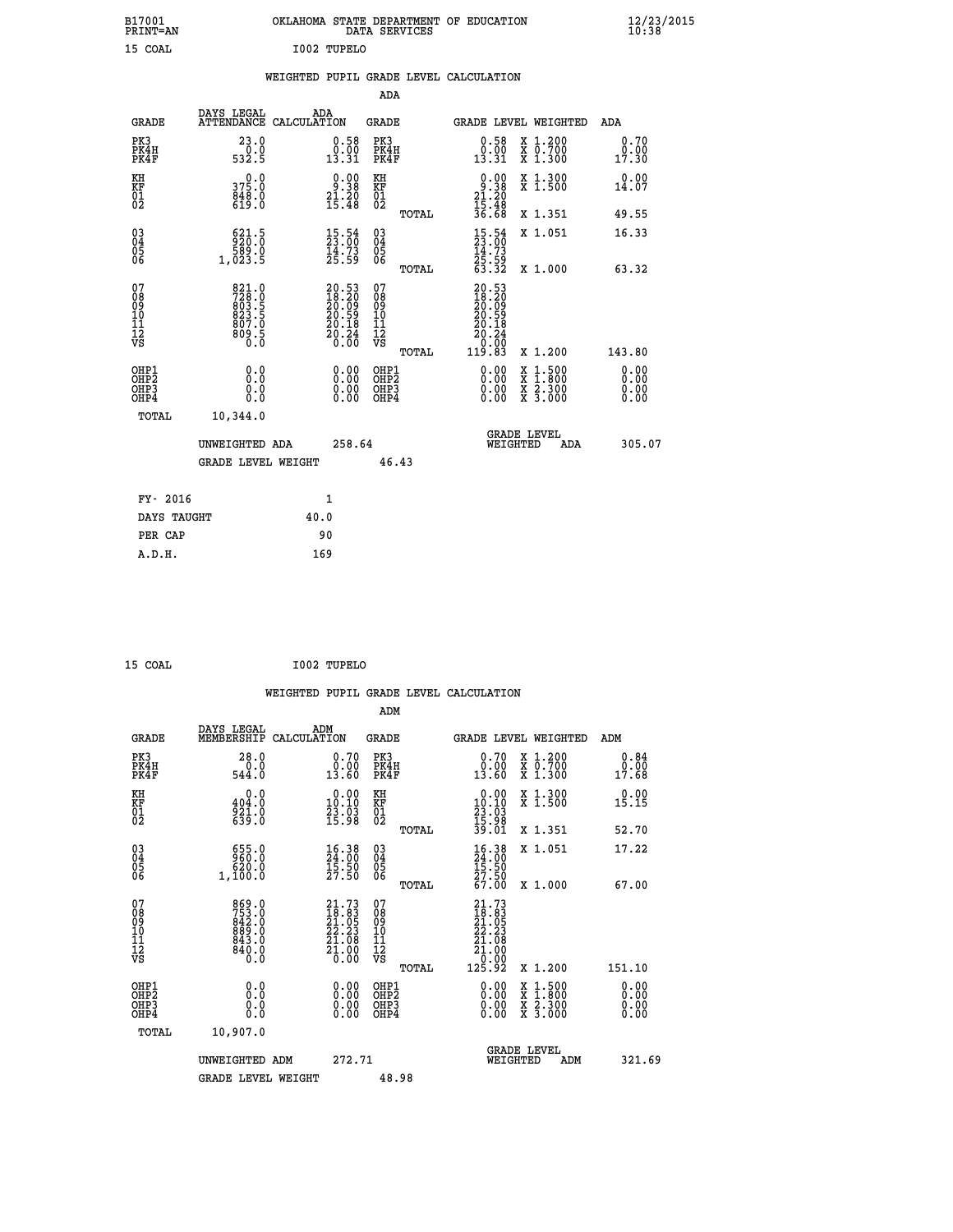| B17001<br>PRINT=AN                        |                                                           |                                                                                        |                                                             | OKLAHOMA STATE DEPARTMENT OF EDUCATION<br>DATA SERVICES      |                                                                      |                                                                                          | $\frac{12}{23}$ /2015        |
|-------------------------------------------|-----------------------------------------------------------|----------------------------------------------------------------------------------------|-------------------------------------------------------------|--------------------------------------------------------------|----------------------------------------------------------------------|------------------------------------------------------------------------------------------|------------------------------|
| 15 COAL                                   |                                                           | I002 TUPELO                                                                            |                                                             |                                                              |                                                                      |                                                                                          |                              |
|                                           |                                                           |                                                                                        |                                                             | WEIGHTED PUPIL GRADE LEVEL CALCULATION                       |                                                                      |                                                                                          |                              |
|                                           |                                                           |                                                                                        |                                                             | ADA                                                          |                                                                      |                                                                                          |                              |
| <b>GRADE</b>                              | DAYS LEGAL                                                | ADA<br>ATTENDANCE CALCULATION                                                          |                                                             | GRADE                                                        |                                                                      | GRADE LEVEL WEIGHTED                                                                     | ADA                          |
| PK3<br>PK4H<br>PK4F                       | 23.0<br>0.0<br>532.5                                      | 13.31                                                                                  | 0.58<br>0.00                                                | PK3<br>PK4H<br>PK4F                                          | 0.58<br>$\begin{smallmatrix} 0.00 \ 13.31 \end{smallmatrix}$         | X 1.200<br>X 0.700<br>X 1.300                                                            | 0.70<br>0.00<br>17.30        |
| KH<br>KF<br>01<br>02                      | 0.0<br>375.0<br>848.0                                     | $\begin{smallmatrix} 0.00\\ 9.38\\ 21.20\\ 15.48 \end{smallmatrix}$                    |                                                             | KH<br><b>KF</b><br>01<br>02                                  | $0.00$<br>$21.20$<br>$15.48$<br>$36.68$                              | X 1.300<br>X 1.500                                                                       | 0.00<br>14.07                |
|                                           |                                                           |                                                                                        |                                                             | TOTAL                                                        |                                                                      | X 1.351                                                                                  | 49.55                        |
| $\substack{03 \ 04}$<br>Ŏ5<br>06          | 521.5<br>ة: 589<br>1,023.5                                | $\frac{15.54}{23.00}$<br>$\frac{14}{25}.73$<br>25.59                                   |                                                             | $03\overline{4}$<br>$\begin{matrix} 0.5 \\ 0.6 \end{matrix}$ | $\frac{15.54}{23.00}$<br>$\frac{14}{25}$ . 59<br>63.32               | X 1.051                                                                                  | 16.33                        |
|                                           |                                                           |                                                                                        |                                                             | TOTAL                                                        |                                                                      | X 1.000                                                                                  | 63.32                        |
| 07<br>08<br>09<br>10<br>11<br>12<br>VS    | 821.0<br>728.0<br>803.5<br>823.5<br>807.0<br>ë.eos<br>0.0 | $\begin{smallmatrix} 20.53\ 18.20\ 20.09\ 20.59\ 20.18\ 20.24\ 0.00 \end{smallmatrix}$ |                                                             | 07<br>08<br>09<br>10<br>īĭ<br>12<br>VS<br>TOTAL              | 20.53<br>18.20<br>20.69<br>20.59<br>20.18<br>20.24<br>0.00<br>119.83 | X 1.200                                                                                  | 143.80                       |
| OHP1<br>OH <sub>P</sub> 2<br>OHP3<br>OHP4 | 0.0<br>0.0<br>0.0                                         |                                                                                        | 0.00<br>$\begin{smallmatrix} 0.00 \ 0.00 \end{smallmatrix}$ | OHP1<br>OH <sub>P</sub> 2<br>OHP3<br>OHP4                    | 0.00<br>0.00<br>0.00                                                 | $\begin{smallmatrix} x & 1.500 \\ x & 1.800 \\ x & 2.300 \\ x & 3.000 \end{smallmatrix}$ | 0.00<br>0.00<br>0.00<br>0.00 |
| TOTAL                                     | 10,344.0                                                  |                                                                                        |                                                             |                                                              |                                                                      |                                                                                          |                              |
|                                           | UNWEIGHTED ADA<br><b>GRADE LEVEL WEIGHT</b>               |                                                                                        | 258.64                                                      | 46.43                                                        | WEIGHTED                                                             | <b>GRADE LEVEL</b><br>ADA                                                                | 305.07                       |
|                                           |                                                           |                                                                                        |                                                             |                                                              |                                                                      |                                                                                          |                              |
| FY- 2016                                  |                                                           | 1                                                                                      |                                                             |                                                              |                                                                      |                                                                                          |                              |
| DAYS TAUGHT                               |                                                           | 40.0                                                                                   |                                                             |                                                              |                                                                      |                                                                                          |                              |
| PER CAP                                   |                                                           | 90                                                                                     |                                                             |                                                              |                                                                      |                                                                                          |                              |

 **WEIGHTED PUPIL GRADE LEVEL CALCULATION ADM DAYS LEGAL ADM GRADE MEMBERSHIP CALCULATION GRADE GRADE LEVEL WEIGHTED ADM PK3 28.0 0.70 PK3 0.70 X 1.200 0.84 PK4H 0.0 0.00 PK4H 0.00 X 0.700 0.00 PK4F 544.0 13.60 PK4F 13.60 X 1.300 17.68 KH 0.0 0.00 KH 0.00 X 1.300 0.00 KF 404.0 10.10 KF 10.10 X 1.500 15.15 01 921.0 23.03 01 23.03 02 639.0 15.98 02 15.98 TOTAL 39.01 X 1.351 52.70 03 655.0 16.38 03 16.38 X 1.051 17.22 04 960.0 24.00 04 24.00 05 620.0 15.50 05 15.50 06 1,100.0 27.50 06 27.50 TOTAL 67.00 X 1.000 67.00 07 869.0 21.73 07 21.73 08 753.0 18.83 08 18.83 09 842.0 21.05 09 21.05 10 889.0 22.23 10 22.23 11 843.0 21.08 11 21.08 12 840.0 21.00 12 21.00 VS** 0.0 0.00 VS  $\frac{1}{2}$  0.00  **TOTAL 125.92 X 1.200 151.10 OHP1 0.0 0.00 OHP1 0.00 X 1.500 0.00 OHP2 0.0 0.00 OHP2 0.00 X 1.800 0.00 OHP3 0.0 0.00 OHP3 0.00 X 2.300 0.00 OHP4 0.0 0.00 OHP4 0.00 X 3.000 0.00 TOTAL 10,907.0 GRADE LEVEL UNWEIGHTED ADM 272.71 WEIGHTED ADM 321.69** GRADE LEVEL WEIGHT 48.98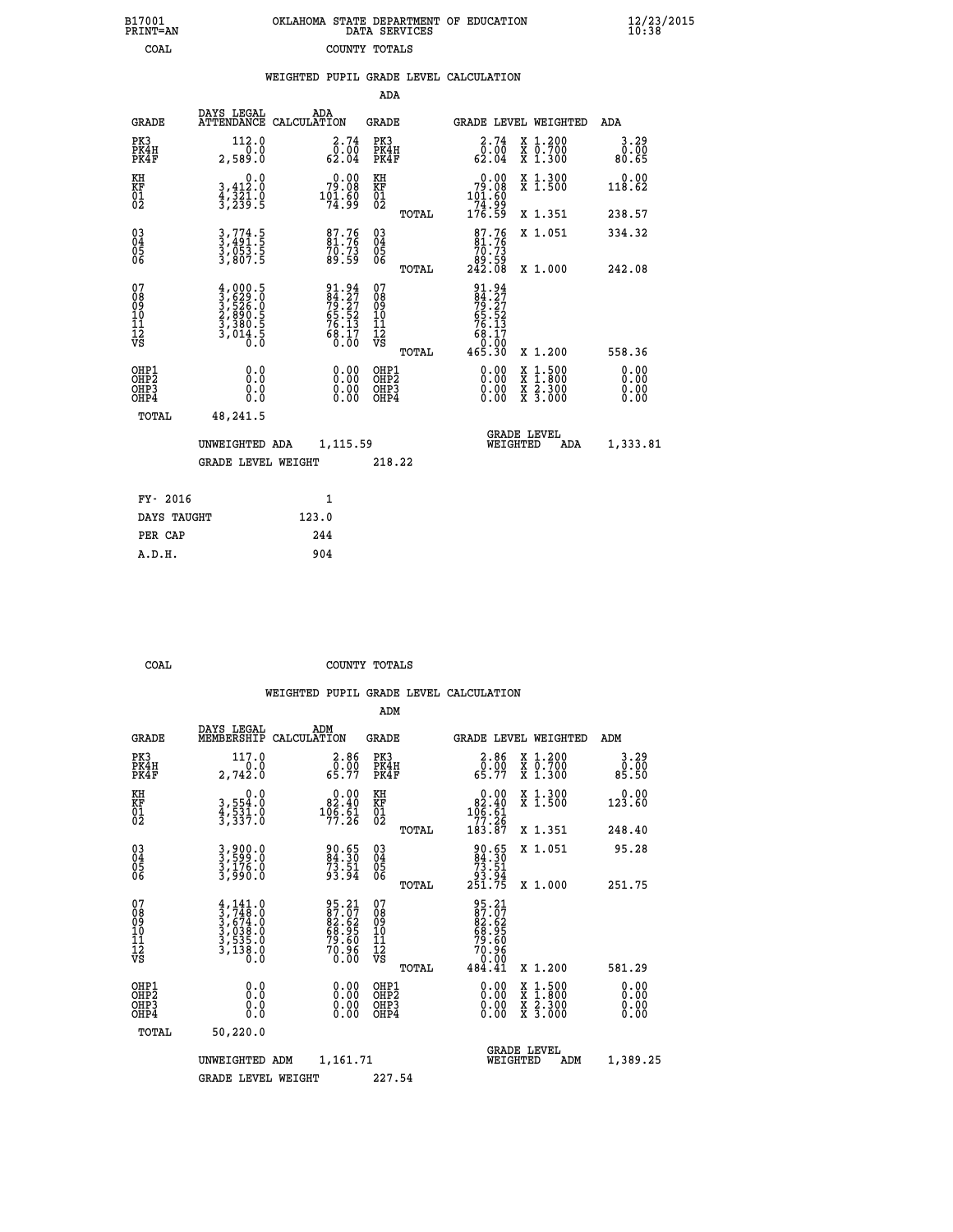|  | OKLAHOMA STATE DEPARTMENT OF EDUCATION<br>DATA SERVICES |  |
|--|---------------------------------------------------------|--|
|  | COUNTY TOTALS                                           |  |

|                                                       |              |                                                                                     |                                                                   |                                                    |       | WEIGHTED PUPIL GRADE LEVEL CALCULATION                                                                                                                                                                                                                                         |                                                                                                                                           |                              |
|-------------------------------------------------------|--------------|-------------------------------------------------------------------------------------|-------------------------------------------------------------------|----------------------------------------------------|-------|--------------------------------------------------------------------------------------------------------------------------------------------------------------------------------------------------------------------------------------------------------------------------------|-------------------------------------------------------------------------------------------------------------------------------------------|------------------------------|
|                                                       |              |                                                                                     |                                                                   | ADA                                                |       |                                                                                                                                                                                                                                                                                |                                                                                                                                           |                              |
|                                                       | <b>GRADE</b> | DAYS LEGAL<br>ATTENDANCE CALCULATION                                                | ADA                                                               | GRADE                                              |       |                                                                                                                                                                                                                                                                                | GRADE LEVEL WEIGHTED                                                                                                                      | ADA                          |
| PK3<br>PK4H<br>PK4F                                   |              | 112.0<br>0.0<br>2,589.0                                                             | $\begin{smallmatrix} 2.74\0.00\\62.04\end{smallmatrix}$           | PK3<br>PK4H<br>PK4F                                |       | $\begin{smallmatrix} 2.74\0.00\\62.04\end{smallmatrix}$                                                                                                                                                                                                                        | X 1.200<br>X 0.700<br>X 1.300                                                                                                             | 3.29<br>0.00<br>80.65        |
| KH<br>KF<br>01<br>02                                  |              | $\begin{smallmatrix}&&&0.0\\3,412.0\\4,321.0\\3,239.5\end{smallmatrix}$             | 79.00<br>$101.60$<br>$74.99$                                      | KH<br>KF<br>01<br>02                               |       | $0.00$<br>$79.08$<br>$101.60$<br>$74.99$<br>$176.59$                                                                                                                                                                                                                           | X 1.300<br>X 1.500                                                                                                                        | 0.00<br>118.62               |
|                                                       |              |                                                                                     |                                                                   |                                                    | TOTAL |                                                                                                                                                                                                                                                                                | X 1.351                                                                                                                                   | 238.57                       |
| 03<br>04<br>05<br>06                                  |              | 3,774.5<br>3,491.5<br>3,053.5<br>3,807.5                                            | 87.76<br>81.76<br>70.73<br>89.59                                  | $\begin{matrix} 03 \\ 04 \\ 05 \\ 06 \end{matrix}$ |       | $87.76$<br>$70.75$                                                                                                                                                                                                                                                             | X 1.051                                                                                                                                   | 334.32                       |
|                                                       |              |                                                                                     |                                                                   |                                                    | TOTAL | ĕĕ.ĕġ<br>242.08                                                                                                                                                                                                                                                                | X 1.000                                                                                                                                   | 242.08                       |
| 07<br>08<br>09<br>01<br>11<br>11<br>12<br>VS          |              | $4,000.5$<br>$3,629.0$<br>$3,526.0$<br>$2,890.5$<br>$3,380.5$<br>$3,014.5$<br>$0.0$ | 91.94<br>84.27<br>79.27<br>65.52<br>66.13<br>68.17<br>68.17       | 07<br>08<br>09<br>101<br>11<br>12<br>VS            | TOTAL | 91.94<br>84.27<br>79.27<br>76.52<br>65.52<br>68.17<br>68.17<br>0.00<br>465.30                                                                                                                                                                                                  | X 1.200                                                                                                                                   | 558.36                       |
| OHP1<br>OH <sub>P</sub> 2<br>OH <sub>P3</sub><br>OHP4 |              | 0.0<br>0.0<br>0.0                                                                   | $\begin{smallmatrix} 0.00 \ 0.00 \ 0.00 \ 0.00 \end{smallmatrix}$ | OHP1<br>OHP <sub>2</sub><br>OHP <sub>3</sub>       |       | $\begin{smallmatrix} 0.00 & 0.00 & 0.00 & 0.00 & 0.00 & 0.00 & 0.00 & 0.00 & 0.00 & 0.00 & 0.00 & 0.00 & 0.00 & 0.00 & 0.00 & 0.00 & 0.00 & 0.00 & 0.00 & 0.00 & 0.00 & 0.00 & 0.00 & 0.00 & 0.00 & 0.00 & 0.00 & 0.00 & 0.00 & 0.00 & 0.00 & 0.00 & 0.00 & 0.00 & 0.00 & 0.0$ | $\begin{smallmatrix} \mathtt{X} & 1\cdot500\\ \mathtt{X} & 1\cdot800\\ \mathtt{X} & 2\cdot300\\ \mathtt{X} & 3\cdot000 \end{smallmatrix}$ | 0.00<br>0.00<br>0.00<br>0.00 |
|                                                       | TOTAL        | 48,241.5                                                                            |                                                                   |                                                    |       |                                                                                                                                                                                                                                                                                |                                                                                                                                           |                              |
|                                                       |              | UNWEIGHTED ADA                                                                      | 1,115.59                                                          |                                                    |       | WEIGHTED                                                                                                                                                                                                                                                                       | <b>GRADE LEVEL</b><br>ADA                                                                                                                 | 1,333.81                     |
|                                                       |              | <b>GRADE LEVEL WEIGHT</b>                                                           |                                                                   | 218.22                                             |       |                                                                                                                                                                                                                                                                                |                                                                                                                                           |                              |
|                                                       | FY- 2016     |                                                                                     | $\mathbf{1}$                                                      |                                                    |       |                                                                                                                                                                                                                                                                                |                                                                                                                                           |                              |
|                                                       | DAYS TAUGHT  | 123.0                                                                               |                                                                   |                                                    |       |                                                                                                                                                                                                                                                                                |                                                                                                                                           |                              |
|                                                       | PER CAP      |                                                                                     | 244                                                               |                                                    |       |                                                                                                                                                                                                                                                                                |                                                                                                                                           |                              |

 **A.D.H. 904**

 **B17001<br>PRINT=AN<br>COAL** 

 **COAL COUNTY TOTALS**

|                                           |                                                                                     |                                                                       | ADM                                                |       |                                                                                |                                          |                       |
|-------------------------------------------|-------------------------------------------------------------------------------------|-----------------------------------------------------------------------|----------------------------------------------------|-------|--------------------------------------------------------------------------------|------------------------------------------|-----------------------|
| <b>GRADE</b>                              | DAYS LEGAL<br>MEMBERSHIP                                                            | ADM<br>CALCULATION                                                    | <b>GRADE</b>                                       |       |                                                                                | GRADE LEVEL WEIGHTED                     | ADM                   |
| PK3<br>PK4H<br>PK4F                       | 117.0<br>2,742.0                                                                    | $\begin{smallmatrix} 2.86\ 0.00\ 65.77 \end{smallmatrix}$             | PK3<br>PK4H<br>PK4F                                |       | $\begin{smallmatrix} 2.86 \\ 0.00 \\ 65.77 \end{smallmatrix}$                  | X 1.200<br>X 0.700<br>X 1.300            | 3.29<br>05.0<br>85.50 |
| KH<br>KF<br>01<br>02                      | 0.0<br>3,554:0<br>4,531:0<br>3,337:0                                                | $\begin{smallmatrix} &0.00\\ 82.40\\ 106.61\\ 77.26\end{smallmatrix}$ | KH<br>KF<br>01<br>02                               |       | $\begin{smallmatrix} &0.00\\ 82.40\\ 106.61\\ 77.26\\ 183.87\end{smallmatrix}$ | X 1.300<br>X 1.500                       | 0.00<br>123.60        |
|                                           |                                                                                     |                                                                       |                                                    | TOTAL |                                                                                | X 1.351                                  | 248.40                |
| 03<br>04<br>05<br>06                      | 3,900.0<br>3,599.0<br>3,176.0<br>3,990.0                                            | 90.65<br>84.30<br>73.51<br>93.94                                      | $\begin{matrix} 03 \\ 04 \\ 05 \\ 06 \end{matrix}$ |       | $\begin{smallmatrix} 90.65\ 84.30\ 73.51\ 93.94\ 251.75 \end{smallmatrix}$     | X 1.051                                  | 95.28                 |
|                                           |                                                                                     |                                                                       |                                                    | TOTAL |                                                                                | X 1.000                                  | 251.75                |
| 07<br>08<br>09<br>101<br>11<br>12<br>VS   | $4,141.0$<br>$3,748.0$<br>$3,674.0$<br>$3,038.0$<br>$3,535.0$<br>$3,138.0$<br>$0.0$ | 95.21<br>87.07<br>82.62<br>83.95<br>68.95<br>70.96<br>70.96           | 07<br>08<br>09<br>11<br>11<br>12<br>VS             | TOTAL | 95.21<br>87.07<br>82.62<br>83.95<br>68.95<br>70.96<br>70.90<br>484.41          | X 1.200                                  | 581.29                |
|                                           |                                                                                     |                                                                       |                                                    |       |                                                                                |                                          | 0.00                  |
| OHP1<br>OHP2<br>OH <sub>P</sub> 3<br>OHP4 |                                                                                     |                                                                       | OHP1<br>OHP2<br>OHP <sub>3</sub>                   |       | $0.00$<br>$0.00$<br>0.00                                                       | X 1:500<br>X 1:800<br>X 2:300<br>X 3:000 | 0.00<br>0.00          |
| TOTAL                                     | 50,220.0                                                                            |                                                                       |                                                    |       |                                                                                |                                          |                       |
|                                           | UNWEIGHTED                                                                          | 1,161.71<br>ADM                                                       | <b>GRADE LEVEL</b><br>WEIGHTED<br>ADM              |       |                                                                                | 1,389.25                                 |                       |
|                                           | <b>GRADE LEVEL WEIGHT</b>                                                           |                                                                       | 227.54                                             |       |                                                                                |                                          |                       |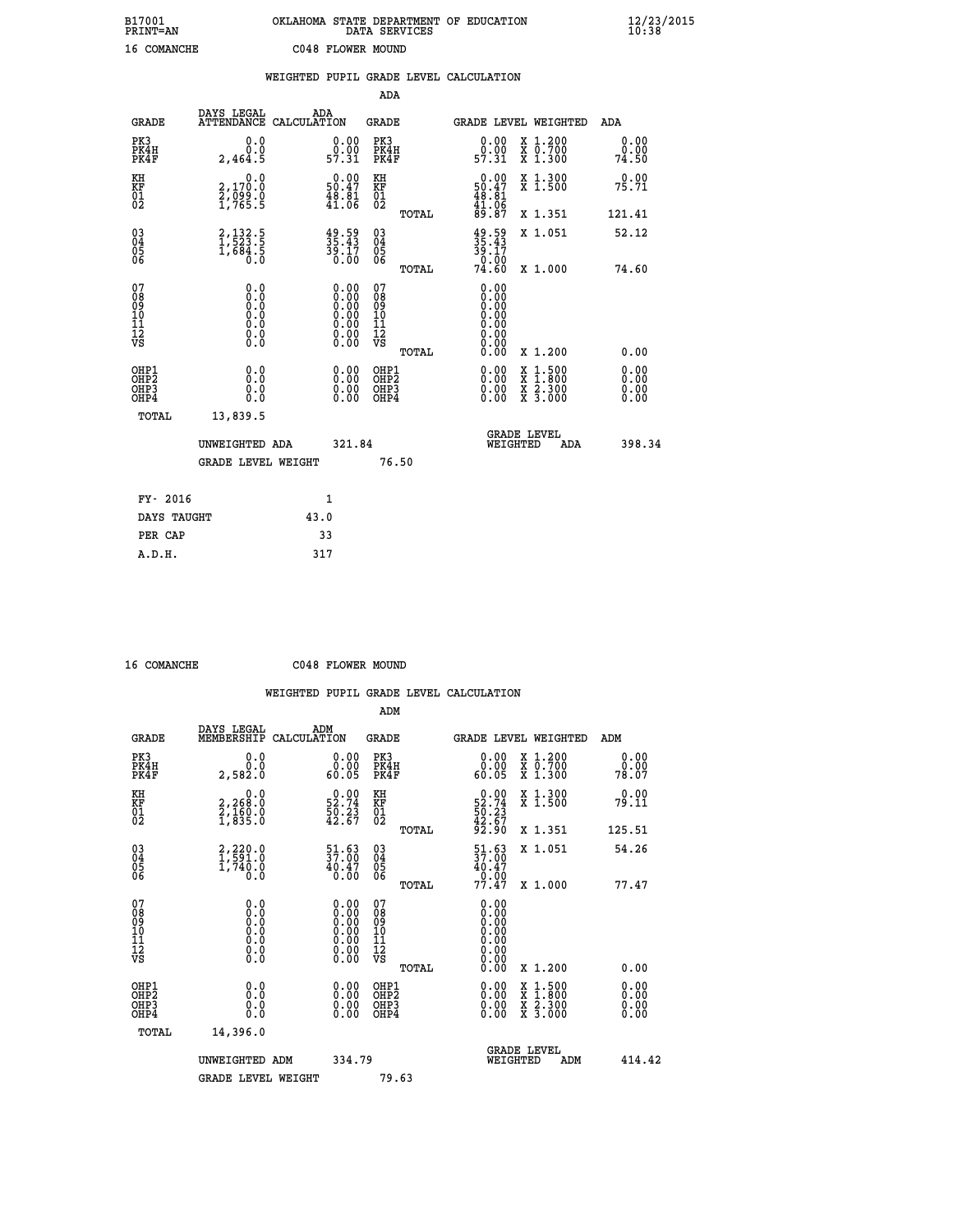# **B17001 OKLAHOMA STATE DEPARTMENT OF EDUCATION 12/23/2015 PRINT=AN DATA SERVICES 10:38 16 COMANCHE C048 FLOWER MOUND**

|                                                                    |                                                                                                                                            |      |                                                                                                |                                                    |       | WEIGHTED PUPIL GRADE LEVEL CALCULATION                                                                                                                                                                                                                                         |                                                                                                                                           |                           |
|--------------------------------------------------------------------|--------------------------------------------------------------------------------------------------------------------------------------------|------|------------------------------------------------------------------------------------------------|----------------------------------------------------|-------|--------------------------------------------------------------------------------------------------------------------------------------------------------------------------------------------------------------------------------------------------------------------------------|-------------------------------------------------------------------------------------------------------------------------------------------|---------------------------|
|                                                                    |                                                                                                                                            |      |                                                                                                | <b>ADA</b>                                         |       |                                                                                                                                                                                                                                                                                |                                                                                                                                           |                           |
| <b>GRADE</b>                                                       | DAYS LEGAL<br>ATTENDANCE CALCULATION                                                                                                       | ADA  |                                                                                                | GRADE                                              |       | GRADE LEVEL WEIGHTED                                                                                                                                                                                                                                                           |                                                                                                                                           | ADA                       |
| PK3<br>PK4H<br>PK4F                                                | 0.0<br>0.0<br>2,464.5                                                                                                                      |      | $\begin{smallmatrix} 0.00\\ 0.00\\ 57.31 \end{smallmatrix}$                                    | PK3<br>PK4H<br>PK4F                                |       | 0.00<br>ŏ:ŏŏ<br>57:31                                                                                                                                                                                                                                                          | X 1.200<br>X 0.700<br>X 1.300                                                                                                             | 0.00<br>0.00<br>74.50     |
| KH<br>KF<br>01<br>02                                               | $\begin{smallmatrix} & & 0.0\ 2,170.0\ 2,099.0\ 1,765.5 \end{smallmatrix}$                                                                 |      | $\begin{smallmatrix} 0.00\\ 50.47\\ 48.81\\ 41.06 \end{smallmatrix}$                           | KH<br>KF<br>01<br>02                               |       | $\begin{smallmatrix} 0.00\\ 50.47\\ 48.81\\ 41.06\\ 89.87 \end{smallmatrix}$                                                                                                                                                                                                   | X 1.300<br>X 1.500                                                                                                                        | 0.00<br>75.71             |
|                                                                    |                                                                                                                                            |      |                                                                                                |                                                    | TOTAL |                                                                                                                                                                                                                                                                                | X 1.351                                                                                                                                   | 121.41                    |
| $\begin{smallmatrix} 03 \\[-4pt] 04 \end{smallmatrix}$<br>Ŏ5<br>06 | $2,132.5$<br>1,523.5<br>1,684.5<br>0.0                                                                                                     |      | $\begin{smallmatrix} 49.59\ 35.43\ 39.17\ 39.00\ \end{smallmatrix}$                            | $\begin{matrix} 03 \\ 04 \\ 05 \\ 06 \end{matrix}$ |       | $35.43$<br>$39.17$<br>$0.00$<br>$74.60$                                                                                                                                                                                                                                        | X 1.051                                                                                                                                   | 52.12                     |
|                                                                    |                                                                                                                                            |      |                                                                                                |                                                    | TOTAL |                                                                                                                                                                                                                                                                                | X 1.000                                                                                                                                   | 74.60                     |
| 07<br>08<br>09<br>01<br>11<br>11<br>12<br>VS                       | 0.0<br>$\begin{smallmatrix} \textrm{0.0}\ 0.0 \ \textrm{0.0} \end{smallmatrix}$<br>$\begin{smallmatrix} 0.10\ 0.0 \ 0.0 \end{smallmatrix}$ |      | $\begin{smallmatrix} 0.00 \ 0.00 \ 0.00 \ 0.00 \ 0.00 \ 0.00 \ 0.00 \end{smallmatrix}$<br>0.00 | 07<br>08<br>09<br>11<br>11<br>12<br>VS             |       | 0.00<br>0.00<br>0.00<br>0.00<br>0.00<br>0.00<br>0.00                                                                                                                                                                                                                           |                                                                                                                                           |                           |
|                                                                    |                                                                                                                                            |      |                                                                                                |                                                    | TOTAL | 0.00                                                                                                                                                                                                                                                                           | X 1.200                                                                                                                                   | 0.00<br>0.00              |
| OHP1<br>OHP2<br>OHP3<br>OHP4                                       | 0.0<br>0.0<br>0.0                                                                                                                          |      | $\begin{smallmatrix} 0.00 \ 0.00 \ 0.00 \ 0.00 \end{smallmatrix}$                              | OHP1<br>OHP2<br>OHP3<br>OHP4                       |       | $\begin{smallmatrix} 0.00 & 0.00 & 0.00 & 0.00 & 0.00 & 0.00 & 0.00 & 0.00 & 0.00 & 0.00 & 0.00 & 0.00 & 0.00 & 0.00 & 0.00 & 0.00 & 0.00 & 0.00 & 0.00 & 0.00 & 0.00 & 0.00 & 0.00 & 0.00 & 0.00 & 0.00 & 0.00 & 0.00 & 0.00 & 0.00 & 0.00 & 0.00 & 0.00 & 0.00 & 0.00 & 0.0$ | $\begin{smallmatrix} \mathtt{X} & 1\cdot500\\ \mathtt{X} & 1\cdot800\\ \mathtt{X} & 2\cdot300\\ \mathtt{X} & 3\cdot000 \end{smallmatrix}$ | Ō. ŌŌ<br>$0.00$<br>$0.00$ |
| TOTAL                                                              | 13,839.5                                                                                                                                   |      |                                                                                                |                                                    |       |                                                                                                                                                                                                                                                                                |                                                                                                                                           |                           |
|                                                                    | UNWEIGHTED ADA                                                                                                                             |      | 321.84                                                                                         |                                                    |       | <b>GRADE LEVEL</b><br>WEIGHTED                                                                                                                                                                                                                                                 | ADA                                                                                                                                       | 398.34                    |
|                                                                    | <b>GRADE LEVEL WEIGHT</b>                                                                                                                  |      |                                                                                                |                                                    | 76.50 |                                                                                                                                                                                                                                                                                |                                                                                                                                           |                           |
| FY- 2016                                                           |                                                                                                                                            |      | $\mathbf{1}$                                                                                   |                                                    |       |                                                                                                                                                                                                                                                                                |                                                                                                                                           |                           |
| DAYS TAUGHT                                                        |                                                                                                                                            | 43.0 |                                                                                                |                                                    |       |                                                                                                                                                                                                                                                                                |                                                                                                                                           |                           |
| PER CAP                                                            |                                                                                                                                            |      | 33                                                                                             |                                                    |       |                                                                                                                                                                                                                                                                                |                                                                                                                                           |                           |

| $16$ COMANGUE |  |
|---------------|--|

 **A.D.H. 317**

 **ADM**

 **16 COMANCHE C048 FLOWER MOUND**

| <b>GRADE</b>                                       | DAYS LEGAL<br>MEMBERSHIP CALCULATION                                                              | ADM                                                                                           | <b>GRADE</b>                                       |       |                                                                              |          | GRADE LEVEL WEIGHTED                                                                                                | ADM    |                      |
|----------------------------------------------------|---------------------------------------------------------------------------------------------------|-----------------------------------------------------------------------------------------------|----------------------------------------------------|-------|------------------------------------------------------------------------------|----------|---------------------------------------------------------------------------------------------------------------------|--------|----------------------|
| PK3<br>PK4H<br>PK4F                                | 0.0<br>0.0<br>2,582.0                                                                             | 0.00<br>60.05                                                                                 | PK3<br>PK4H<br>PK4F                                |       | 0.00<br>60.05                                                                |          | X 1.200<br>X 0.700<br>X 1.300                                                                                       | 78.07  | 0.00<br>0.00         |
| KH<br>KF<br>01<br>02                               | 0.0<br>2,268:0<br>2,160:0<br>1,835:0                                                              | $52.74$<br>$50.23$<br>$42.67$                                                                 | KH<br>KF<br>01<br>02                               |       | $\begin{smallmatrix} 0.00\\ 52.74\\ 50.23\\ 42.67\\ 92.90 \end{smallmatrix}$ |          | X 1.300<br>X 1.500                                                                                                  |        | 0.00<br>79.11        |
|                                                    |                                                                                                   |                                                                                               |                                                    | TOTAL |                                                                              |          | X 1.351                                                                                                             | 125.51 |                      |
| $\begin{matrix} 03 \\ 04 \\ 05 \\ 06 \end{matrix}$ | $2,220.0$<br>$1,591.0$<br>$1,740.0$<br>0.0                                                        | 51.63<br>37.00<br>$^{40.47}_{0.00}$                                                           | $\begin{matrix} 03 \\ 04 \\ 05 \\ 06 \end{matrix}$ |       | $\frac{51}{37}$ : 00<br>$40.47$<br>0.00<br>77.47                             |          | X 1.051                                                                                                             |        | 54.26                |
|                                                    |                                                                                                   |                                                                                               |                                                    | TOTAL |                                                                              |          | X 1.000                                                                                                             |        | 77.47                |
| 07<br>08<br>09<br>101<br>11<br>12<br>VS            | $\begin{smallmatrix} 0.0 & 0 \ 0.0 & 0 \ 0.0 & 0 \ 0.0 & 0 \ 0.0 & 0 \ 0.0 & 0 \end{smallmatrix}$ | $\begin{smallmatrix} 0.00\ 0.00\ 0.00\ 0.00\ 0.00\ 0.00\ 0.00\ 0.00\ 0.00\ \end{smallmatrix}$ | 07<br>08<br>09<br>001<br>11<br>11<br>12<br>VS      |       | 0.00<br>Ŏ.ŎŎ<br>Q.QQ<br>0:00<br>0:00<br>0:00<br>0:00                         |          |                                                                                                                     |        |                      |
|                                                    |                                                                                                   |                                                                                               |                                                    | TOTAL | 0.00                                                                         |          | X 1.200                                                                                                             |        | 0.00                 |
| OHP1<br>OHP2<br>OHP3<br>OHP4                       | 0.0<br>0.000                                                                                      | $\begin{smallmatrix} 0.00 \ 0.00 \ 0.00 \ 0.00 \end{smallmatrix}$                             | OHP1<br>OHP2<br>OHP3<br>OHP4                       |       | $0.00$<br>$0.00$<br>0.00                                                     |          | $\begin{array}{l} \mathtt{X} & 1.500 \\ \mathtt{X} & 1.800 \\ \mathtt{X} & 2.300 \\ \mathtt{X} & 3.000 \end{array}$ |        | 0.00<br>0.00<br>0.00 |
| TOTAL                                              | 14,396.0                                                                                          |                                                                                               |                                                    |       |                                                                              |          |                                                                                                                     |        |                      |
|                                                    | UNWEIGHTED                                                                                        | 334.79<br>ADM                                                                                 |                                                    |       |                                                                              | WEIGHTED | <b>GRADE LEVEL</b><br>ADM                                                                                           |        | 414.42               |
|                                                    | <b>GRADE LEVEL WEIGHT</b>                                                                         |                                                                                               | 79.63                                              |       |                                                                              |          |                                                                                                                     |        |                      |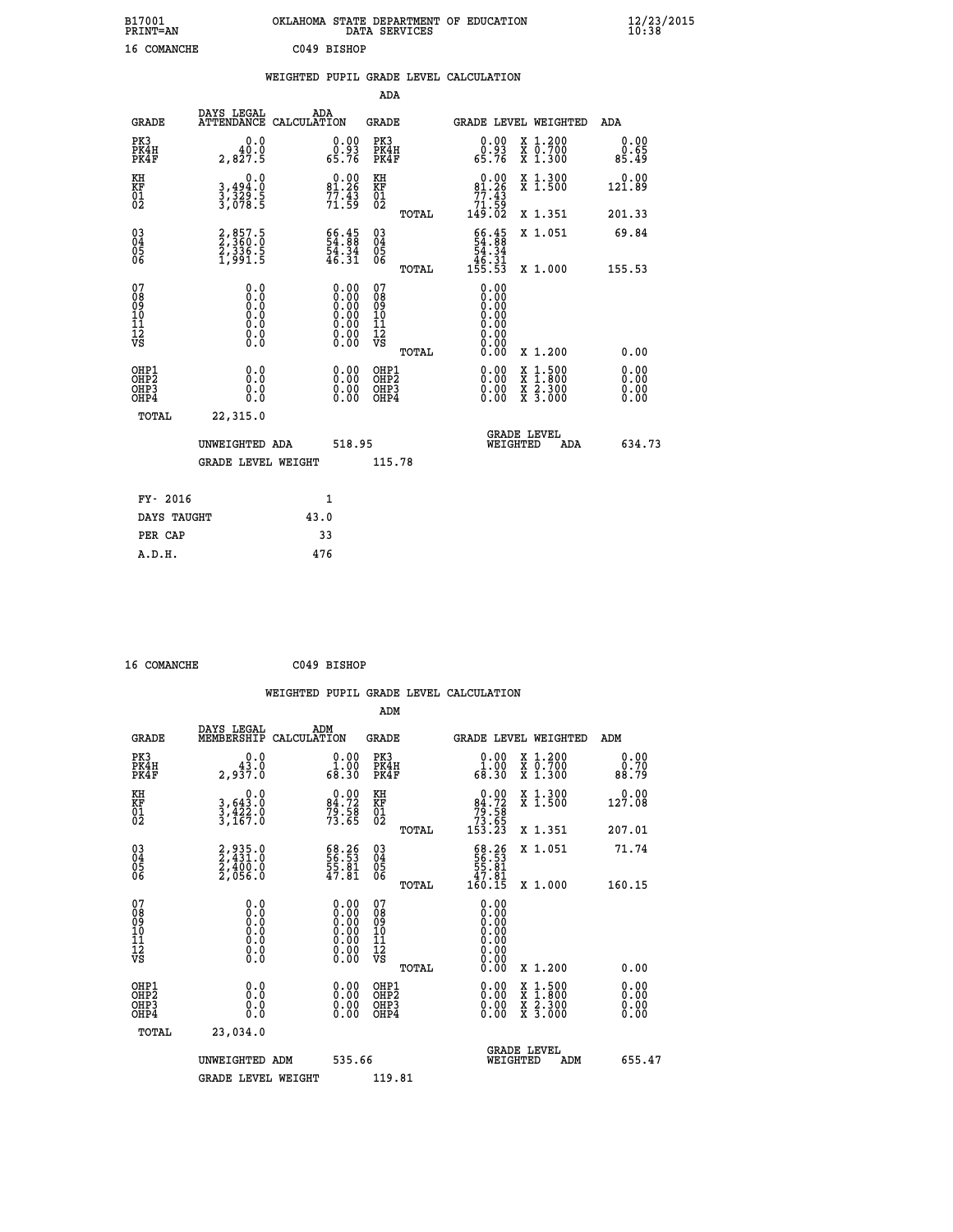| B17001<br><b>PRINT=AN</b> | OKLAHOMA STATE DEPARTMENT OF EDUCATION<br>DATA SERVICES | $\frac{12}{23}$ /2015 |
|---------------------------|---------------------------------------------------------|-----------------------|
| 16 COMANCHE               | C049 BISHOP                                             |                       |

|  |  | WEIGHTED PUPIL GRADE LEVEL CALCULATION |
|--|--|----------------------------------------|
|  |  |                                        |

|                                                                    |                                                                                      |                                                                                                                                 | ADA                                       |       |                                                                                    |                                          |                              |
|--------------------------------------------------------------------|--------------------------------------------------------------------------------------|---------------------------------------------------------------------------------------------------------------------------------|-------------------------------------------|-------|------------------------------------------------------------------------------------|------------------------------------------|------------------------------|
| <b>GRADE</b>                                                       | DAYS LEGAL                                                                           | ADA<br>ATTENDANCE CALCULATION                                                                                                   | <b>GRADE</b>                              |       |                                                                                    | <b>GRADE LEVEL WEIGHTED</b>              | ADA                          |
| PK3<br>PK4H<br>PK4F                                                | 0.0<br>40.0<br>2,827.5                                                               | $\begin{smallmatrix} 0.00\\ 0.93\\ 65.76 \end{smallmatrix}$                                                                     | PK3<br>PK4H<br>PK4F                       |       | $\begin{smallmatrix} 0.00\\ 0.93\\ 65.76 \end{smallmatrix}$                        | X 1.200<br>X 0.700<br>X 1.300            | 0.00<br>0.65<br>85.49        |
| KH<br><b>KF</b><br>01<br>02                                        | 0.0<br>3,494:0<br>3,329:5<br>3,078:5                                                 | $0.00$<br>81.26<br>$77.43$<br>$71.59$                                                                                           | KH<br>KF<br>01<br>02                      |       | $\begin{smallmatrix} &0.00\\ &81.26\\ &77.43\\ &71.59\\ &149.02\end{smallmatrix}$  | X 1.300<br>X 1.500                       | 0.00<br>121.89               |
|                                                                    |                                                                                      |                                                                                                                                 |                                           | TOTAL |                                                                                    | X 1.351                                  | 201.33                       |
| $\begin{smallmatrix} 03 \\[-4pt] 04 \end{smallmatrix}$<br>05<br>06 | 2,857.5<br>2,360.0<br>2,336.5<br>1,991.5                                             | $\begin{smallmatrix} 66.45\ 54.88\ 54.34\ 46.31\ \end{smallmatrix}$                                                             | $\substack{03 \\ 04}$<br>05<br>06         |       | $\begin{array}{r} 66.45 \\ 54.88 \\ 54.34 \\ 46.31 \\ 45.31 \\ 155.53 \end{array}$ | X 1.051                                  | 69.84                        |
| 07                                                                 |                                                                                      |                                                                                                                                 | 07                                        | TOTAL | 0.00                                                                               | X 1.000                                  | 155.53                       |
| 08<br>09<br>11<br>11<br>12<br>VS                                   | 0.0<br>$\begin{smallmatrix} 0.0 & 0 \ 0.0 & 0 \ 0.0 & 0 \ 0.0 & 0 \end{smallmatrix}$ | $\begin{smallmatrix} 0.00 \ 0.00 \ 0.00 \ 0.00 \ 0.00 \end{smallmatrix}$<br>$\begin{smallmatrix} 0.00 \ 0.00 \end{smallmatrix}$ | 08<br>09<br>11<br>11<br>12<br>VS          |       | 0.00<br>0.00<br>0.00<br>0.00<br>0.00                                               |                                          |                              |
|                                                                    |                                                                                      |                                                                                                                                 |                                           | TOTAL | 0.00                                                                               | X 1.200                                  | 0.00                         |
| OHP1<br>OH <sub>P</sub> 2<br>OH <sub>P3</sub><br>OH <sub>P4</sub>  | 0.0<br>0.0<br>0.0                                                                    | $\begin{smallmatrix} 0.00 \ 0.00 \ 0.00 \ 0.00 \end{smallmatrix}$                                                               | OHP1<br>OH <sub>P</sub> 2<br>OHP3<br>OHP4 |       | 0.00<br>0.00<br>0.00                                                               | X 1:500<br>X 1:800<br>X 2:300<br>X 3:000 | 0.00<br>0.00<br>0.00<br>0.00 |
| TOTAL                                                              | 22,315.0                                                                             |                                                                                                                                 |                                           |       |                                                                                    |                                          |                              |
|                                                                    | UNWEIGHTED ADA                                                                       | 518.95                                                                                                                          |                                           |       |                                                                                    | GRADE LEVEL<br>WEIGHTED<br>ADA           | 634.73                       |
|                                                                    | <b>GRADE LEVEL WEIGHT</b>                                                            |                                                                                                                                 | 115.78                                    |       |                                                                                    |                                          |                              |
| FY- 2016                                                           |                                                                                      | $\mathbf{1}$                                                                                                                    |                                           |       |                                                                                    |                                          |                              |
| DAYS TAUGHT                                                        |                                                                                      | 43.0                                                                                                                            |                                           |       |                                                                                    |                                          |                              |
| PER CAP                                                            |                                                                                      | 33                                                                                                                              |                                           |       |                                                                                    |                                          |                              |

| 16 COMANCHE | C049 BISHOP |
|-------------|-------------|
|             |             |

|                                                    |                                                                                                   |                    |                                                                                               |                                               |       | WEIGHTED PUPIL GRADE LEVEL CALCULATION                                                                                                                                                                                                                                         |                                                                                                  |                       |        |
|----------------------------------------------------|---------------------------------------------------------------------------------------------------|--------------------|-----------------------------------------------------------------------------------------------|-----------------------------------------------|-------|--------------------------------------------------------------------------------------------------------------------------------------------------------------------------------------------------------------------------------------------------------------------------------|--------------------------------------------------------------------------------------------------|-----------------------|--------|
|                                                    |                                                                                                   |                    |                                                                                               | ADM                                           |       |                                                                                                                                                                                                                                                                                |                                                                                                  |                       |        |
| <b>GRADE</b>                                       | DAYS LEGAL<br>MEMBERSHIP                                                                          | ADM<br>CALCULATION |                                                                                               | <b>GRADE</b>                                  |       |                                                                                                                                                                                                                                                                                | <b>GRADE LEVEL WEIGHTED</b>                                                                      | ADM                   |        |
| PK3<br>PK4H<br>PK4F                                | 0.0<br>2,937.0                                                                                    |                    | $\begin{smallmatrix} 0.00\\ 1.00\\ 68.30 \end{smallmatrix}$                                   | PK3<br>PK4H<br>PK4F                           |       | $\begin{smallmatrix} 0.00\\ 1.00\\ 68.30 \end{smallmatrix}$                                                                                                                                                                                                                    | X 1.200<br>X 0.700<br>X 1.300                                                                    | 0.00<br>0.70<br>88.79 |        |
| KH<br>KF<br>01<br>02                               | 0.0<br>$3,643.0$<br>$3,422.0$<br>$3,167.0$                                                        |                    | $84.72$<br>$79.58$<br>$73.58$                                                                 | KH<br>KF<br>01<br>02                          |       | $0.00\n84.72\n79.58\n73.65\n153.23$                                                                                                                                                                                                                                            | X 1.300<br>X 1.500                                                                               | $0.00$<br>127.08      |        |
|                                                    |                                                                                                   |                    |                                                                                               |                                               | TOTAL |                                                                                                                                                                                                                                                                                | X 1.351                                                                                          | 207.01                |        |
| $\begin{matrix} 03 \\ 04 \\ 05 \\ 06 \end{matrix}$ | 2,935.0<br>2,431.0<br>2,400.0<br>2,056.0                                                          |                    | 68.26<br>56.53<br>55.81<br>47.81                                                              | 03<br>04<br>05<br>06                          |       | $\begin{smallmatrix} 68.26 \\ 56.53 \\ 55.81 \\ 47.81 \\ 460.15 \end{smallmatrix}$                                                                                                                                                                                             | X 1.051                                                                                          | 71.74                 |        |
|                                                    |                                                                                                   |                    |                                                                                               |                                               | TOTAL |                                                                                                                                                                                                                                                                                | X 1.000                                                                                          | 160.15                |        |
| 07<br>0890112<br>1112<br>VS                        | $\begin{smallmatrix} 0.0 & 0 \ 0.0 & 0 \ 0.0 & 0 \ 0.0 & 0 \ 0.0 & 0 \ 0.0 & 0 \end{smallmatrix}$ |                    | $\begin{smallmatrix} 0.00\ 0.00\ 0.00\ 0.00\ 0.00\ 0.00\ 0.00\ 0.00\ 0.00\ \end{smallmatrix}$ | 07<br>08<br>09<br>001<br>11<br>11<br>12<br>VS | TOTAL | $0.00$<br>$0.00$<br>$0.00$<br>0.00<br>0.00<br>0.00<br>0.00                                                                                                                                                                                                                     | $X_1.200$                                                                                        | 0.00                  |        |
| OHP1<br>OHP2<br>OHP <sub>3</sub><br>OHP4           | 0.0<br>0.000                                                                                      |                    | $\begin{smallmatrix} 0.00 \ 0.00 \ 0.00 \ 0.00 \end{smallmatrix}$                             | OHP1<br>OHP2<br>OHP3<br>OHP4                  |       | $\begin{smallmatrix} 0.00 & 0.00 & 0.00 & 0.00 & 0.00 & 0.00 & 0.00 & 0.00 & 0.00 & 0.00 & 0.00 & 0.00 & 0.00 & 0.00 & 0.00 & 0.00 & 0.00 & 0.00 & 0.00 & 0.00 & 0.00 & 0.00 & 0.00 & 0.00 & 0.00 & 0.00 & 0.00 & 0.00 & 0.00 & 0.00 & 0.00 & 0.00 & 0.00 & 0.00 & 0.00 & 0.0$ | $\begin{smallmatrix} x & 1 & 500 \\ x & 1 & 800 \\ x & 2 & 300 \\ x & 3 & 000 \end{smallmatrix}$ | 0.00<br>0.00<br>0.00  |        |
| TOTAL                                              | 23,034.0                                                                                          |                    |                                                                                               |                                               |       |                                                                                                                                                                                                                                                                                |                                                                                                  |                       |        |
|                                                    | UNWEIGHTED ADM                                                                                    |                    | 535.66                                                                                        |                                               |       | WEIGHTED                                                                                                                                                                                                                                                                       | <b>GRADE LEVEL</b><br>ADM                                                                        |                       | 655.47 |
|                                                    | <b>GRADE LEVEL WEIGHT</b>                                                                         |                    |                                                                                               | 119.81                                        |       |                                                                                                                                                                                                                                                                                |                                                                                                  |                       |        |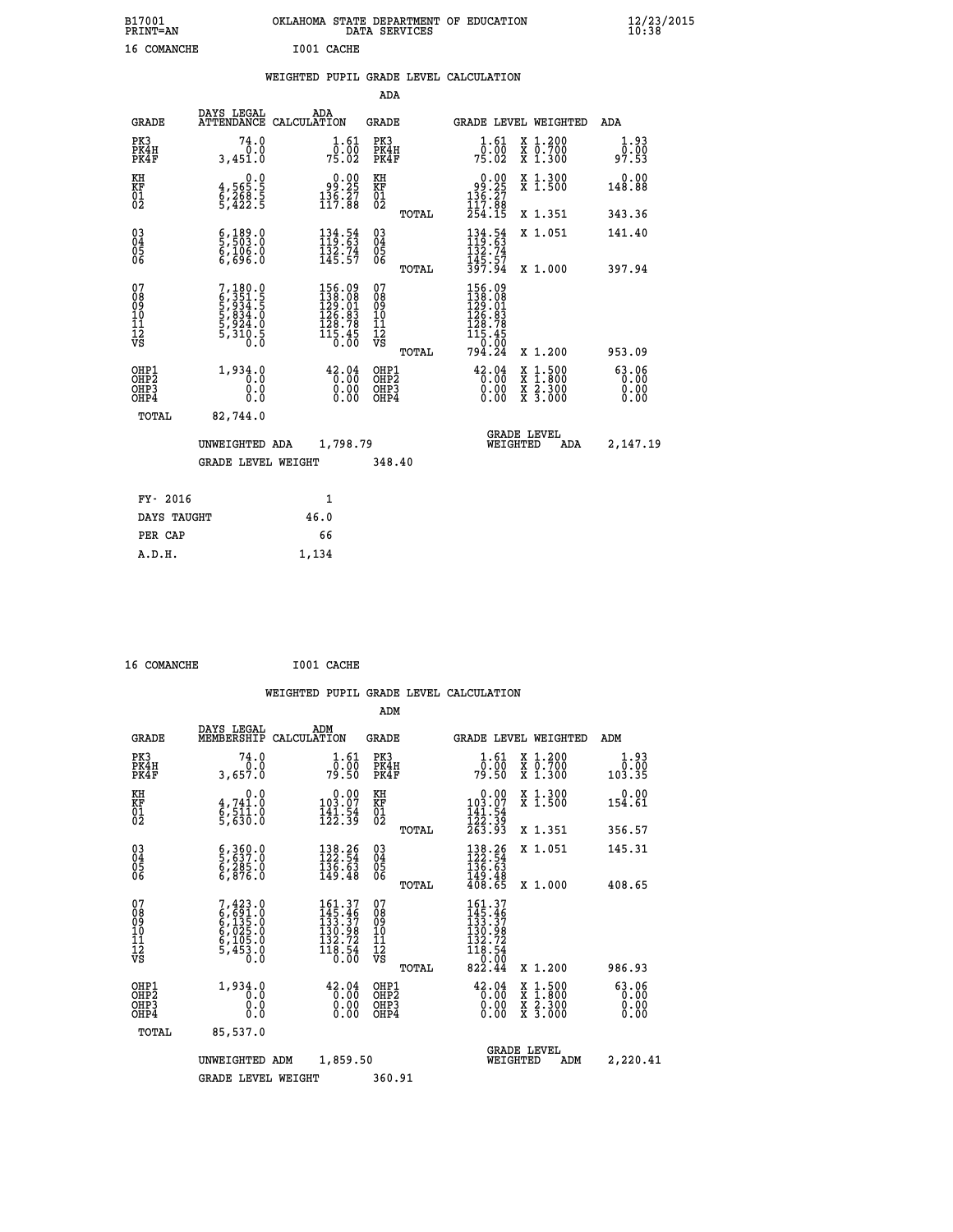| B17001<br>PRINT=AN | OKLAHOMA STATE DEPARTMENT OF EDUCATION<br>DATA SERVICES | $\frac{12}{23}$ /2015 |
|--------------------|---------------------------------------------------------|-----------------------|
| 16 COMANCHE        | I001 CACHE                                              |                       |
|                    | WEIGHTED PUPIL GRADE LEVEL CALCULATION                  |                       |

|                                          |                                                                |                                                                                                                                      | ADA                                          |       |                                                                                                                                                     |                                                                                                                                           |                       |
|------------------------------------------|----------------------------------------------------------------|--------------------------------------------------------------------------------------------------------------------------------------|----------------------------------------------|-------|-----------------------------------------------------------------------------------------------------------------------------------------------------|-------------------------------------------------------------------------------------------------------------------------------------------|-----------------------|
| <b>GRADE</b>                             | DAYS LEGAL                                                     | ADA<br>ATTENDANCE CALCULATION                                                                                                        | <b>GRADE</b>                                 |       | GRADE LEVEL WEIGHTED                                                                                                                                |                                                                                                                                           | ADA                   |
| PK3<br>PK4H<br>PK4F                      | 74.0<br>0.0<br>3,451.0                                         | $\frac{1}{0}$ : $\frac{61}{00}$<br>75.02                                                                                             | PK3<br>PK4H<br>PK4F                          |       | $\frac{1}{0}$ : $\frac{61}{00}$<br>75.02                                                                                                            | X 1.200<br>X 0.700<br>X 1.300                                                                                                             | 1.93<br>0.00<br>97.53 |
| KH<br>KF<br>01<br>02                     | $4,565.5$<br>$6,268.5$<br>$5,422.5$                            | $\begin{smallmatrix} 0.00\\ 9.25\\ 136.27\\ 117.88 \end{smallmatrix}$                                                                | KH<br>KF<br>01<br>02                         |       | $0.00$<br>$0.25$<br>$136.27$<br>$117.88$<br>$254.15$                                                                                                | X 1.300<br>X 1.500                                                                                                                        | 0.00<br>148.88        |
|                                          |                                                                |                                                                                                                                      |                                              | TOTAL |                                                                                                                                                     | X 1.351                                                                                                                                   | 343.36                |
| 03<br>04<br>05<br>06                     | $\frac{6}{5}, \frac{189}{503}$ .0<br>6,106.0<br>6,696.0        | $134.54$<br>$119.63$<br>$132.74$<br>$145.57$                                                                                         | 03<br>04<br>05<br>06                         |       | $134.54$<br>$119.63$<br>$132.74$<br>$145.57$<br>$397.94$                                                                                            | X 1.051                                                                                                                                   | 141.40                |
|                                          |                                                                |                                                                                                                                      |                                              | TOTAL |                                                                                                                                                     | X 1.000                                                                                                                                   | 397.94                |
| 07<br>08<br>09<br>101<br>11<br>12<br>VS  | 7,180.0<br>6,351.5<br>6,934.5<br>5,834.0<br>5,924.0<br>5,310.5 | $\begin{smallmatrix} 156\cdot 09\\ 138\cdot 08\\ 129\cdot 01\\ 126\cdot 83\\ 128\cdot 78\\ 115\cdot 45\\ 0\cdot 00\end{smallmatrix}$ | 07<br>08<br>09<br>01<br>11<br>11<br>12<br>VS |       | $\begin{smallmatrix} 156\cdot 09\\ 138\cdot 08\\ 129\cdot 01\\ 126\cdot 83\\ 128\cdot 78\\ 115\cdot 45\\ 0\cdot 00\\ 794\cdot 24 \end{smallmatrix}$ |                                                                                                                                           |                       |
|                                          |                                                                |                                                                                                                                      |                                              | TOTAL |                                                                                                                                                     | X 1.200                                                                                                                                   | 953.09                |
| OHP1<br>OHP2<br>OH <sub>P3</sub><br>OHP4 | 1,934.0<br>0.0<br>0.000                                        | 42.04<br>$\begin{smallmatrix} 0.00 \ 0.00 \end{smallmatrix}$                                                                         | OHP1<br>OH <sub>P</sub> 2<br>OHP3<br>OHP4    |       | 42.04<br>$0.00$<br>0.00                                                                                                                             | $\begin{smallmatrix} \mathtt{X} & 1\cdot500\\ \mathtt{X} & 1\cdot800\\ \mathtt{X} & 2\cdot300\\ \mathtt{X} & 3\cdot000 \end{smallmatrix}$ | 63.06<br>0.00<br>0.00 |
| TOTAL                                    | 82,744.0                                                       |                                                                                                                                      |                                              |       |                                                                                                                                                     |                                                                                                                                           |                       |
|                                          | UNWEIGHTED ADA                                                 | 1,798.79                                                                                                                             |                                              |       | WEIGHTED                                                                                                                                            | <b>GRADE LEVEL</b><br>ADA                                                                                                                 | 2,147.19              |
|                                          | <b>GRADE LEVEL WEIGHT</b>                                      |                                                                                                                                      | 348.40                                       |       |                                                                                                                                                     |                                                                                                                                           |                       |
| FY- 2016                                 |                                                                | 1                                                                                                                                    |                                              |       |                                                                                                                                                     |                                                                                                                                           |                       |
|                                          |                                                                |                                                                                                                                      |                                              |       |                                                                                                                                                     |                                                                                                                                           |                       |

| <b>FI-YOTP</b> |       |
|----------------|-------|
| DAYS TAUGHT    | 46.0  |
| PER CAP        | 66    |
| A.D.H.         | 1,134 |
|                |       |

| 16 COMANCHE | I001 CACHE |
|-------------|------------|
|             |            |

|                                                      |                                                                               |                    |                                                                                                          |                                                     |       | WEIGHTED PUPIL GRADE LEVEL CALCULATION                                                              |                                          |                        |
|------------------------------------------------------|-------------------------------------------------------------------------------|--------------------|----------------------------------------------------------------------------------------------------------|-----------------------------------------------------|-------|-----------------------------------------------------------------------------------------------------|------------------------------------------|------------------------|
|                                                      |                                                                               |                    |                                                                                                          | ADM                                                 |       |                                                                                                     |                                          |                        |
| <b>GRADE</b>                                         | DAYS LEGAL<br>MEMBERSHIP                                                      | ADM<br>CALCULATION |                                                                                                          | <b>GRADE</b>                                        |       |                                                                                                     | GRADE LEVEL WEIGHTED                     | ADM                    |
| PK3<br>PK4H<br>PK4F                                  | 74.0<br>0.0<br>3,657.0                                                        |                    | $\frac{1}{0}$ : $\frac{61}{00}$<br>79.50                                                                 | PK3<br>PK4H<br>PK4F                                 |       | $\frac{1}{0}$ : $\frac{61}{00}$<br>79.50                                                            | X 1.200<br>X 0.700<br>X 1.300            | 1.93<br>0.00<br>103.35 |
| KH<br>KF<br>01<br>02                                 | 0.0<br>4,741.0<br>6,511.0<br>5,630.0                                          |                    | $0.00$<br>103.07<br>$\frac{141}{122}$ : $\frac{54}{39}$                                                  | KH<br>KF<br>01<br>02                                |       | 0.00<br>$103.07$<br>$141.54$<br>$122.39$<br>$263.93$                                                | X 1.300<br>X 1.500                       | 0.00<br>154.61         |
|                                                      |                                                                               |                    |                                                                                                          |                                                     | TOTAL |                                                                                                     | X 1.351                                  | 356.57                 |
| $\begin{matrix} 03 \\ 04 \\ 05 \\ 06 \end{matrix}$   | $\begin{smallmatrix} 6,360.0\\ 5,637.0\\ 6,285.0\\ 6,876.0 \end{smallmatrix}$ |                    | 138.26<br>$\frac{1}{1}\overline{3}\overline{6}\cdot\overline{6}\overline{3}\overline{1}$<br>149.48       | $\begin{array}{c} 03 \\ 04 \\ 05 \\ 06 \end{array}$ |       | 138.26<br>122.54<br>$\frac{136}{149}$ $\frac{63}{149}$<br>$\frac{48}{108}$                          | X 1.051                                  | 145.31                 |
|                                                      |                                                                               |                    |                                                                                                          |                                                     | TOTAL |                                                                                                     | X 1.000                                  | 408.65                 |
| 07<br>0890112<br>1112<br>VS                          | 7,423.0<br>6,691.0<br>6,135.0<br>6,125.0<br>6,105.0<br>5,453.0<br>0.0         |                    | $\begin{array}{c} 161.37 \\ 145.46 \\ 133.37 \\ 130.98 \\ 132.72 \end{array}$<br>$\frac{132.72}{118.54}$ | 07<br>08<br>09<br>001<br>11<br>11<br>12<br>VS       |       | $\begin{smallmatrix} 161.37\\145.46\\133.37\\130.98\\132.72\\118.54\\0.00\\822.44\end{smallmatrix}$ |                                          |                        |
|                                                      |                                                                               |                    |                                                                                                          |                                                     | TOTAL |                                                                                                     | X 1.200                                  | 986.93                 |
| OHP1<br>OHP <sub>2</sub><br>OH <sub>P3</sub><br>OHP4 | 1,934.0<br>0.0<br>0.0<br>Ŏ.Ŏ                                                  |                    | 42.04<br>0.00<br>0.00                                                                                    | OHP1<br>OHP <sub>2</sub><br>OHP3<br>OHP4            |       | 42.04<br>0.00<br>0.00                                                                               | X 1:500<br>X 1:800<br>X 2:300<br>X 3:000 | 63.06<br>0.00<br>0.00  |
| TOTAL                                                | 85,537.0                                                                      |                    |                                                                                                          |                                                     |       |                                                                                                     |                                          |                        |
|                                                      | UNWEIGHTED ADM                                                                |                    | 1,859.50                                                                                                 |                                                     |       |                                                                                                     | <b>GRADE LEVEL</b><br>WEIGHTED<br>ADM    | 2,220.41               |
|                                                      | <b>GRADE LEVEL WEIGHT</b>                                                     |                    |                                                                                                          | 360.91                                              |       |                                                                                                     |                                          |                        |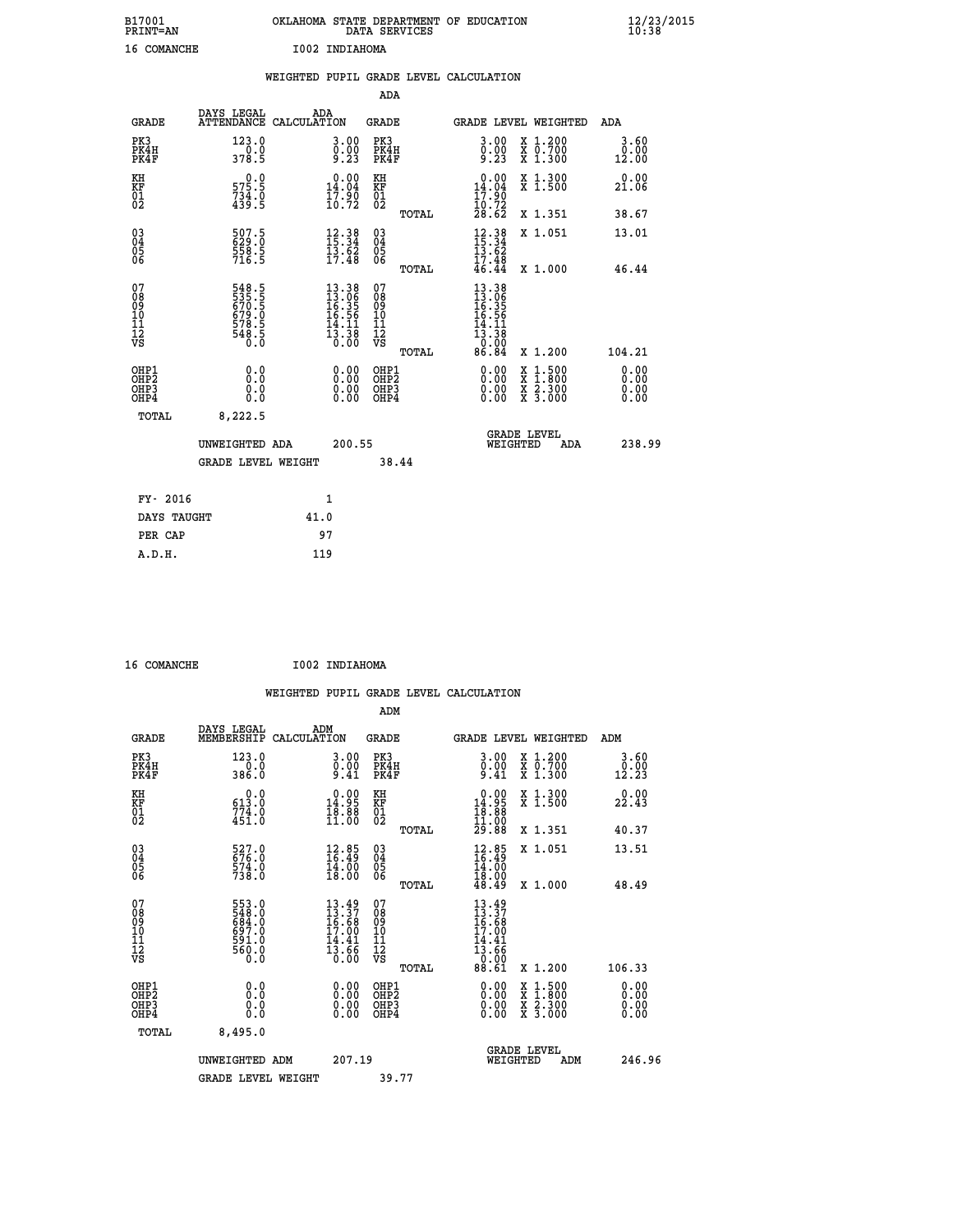| B17001<br>PRINT=AN | OKLAHOMA STATE DEPARTMENT OF EDUCATION<br>DATA SERVICES | $\frac{12}{23}$ /2015 |
|--------------------|---------------------------------------------------------|-----------------------|
| 16 COMANCHE        | I002 INDIAHOMA                                          |                       |

|                                              |                                                             |              |                                                                                                                              |                                        |       | WEIGHTED PUPIL GRADE LEVEL CALCULATION                                     |                                                                                                                                           |                                   |
|----------------------------------------------|-------------------------------------------------------------|--------------|------------------------------------------------------------------------------------------------------------------------------|----------------------------------------|-------|----------------------------------------------------------------------------|-------------------------------------------------------------------------------------------------------------------------------------------|-----------------------------------|
|                                              |                                                             |              |                                                                                                                              | <b>ADA</b>                             |       |                                                                            |                                                                                                                                           |                                   |
| <b>GRADE</b>                                 | DAYS LEGAL<br>ATTENDANCE CALCULATION                        | ADA          |                                                                                                                              | GRADE                                  |       |                                                                            | GRADE LEVEL WEIGHTED                                                                                                                      | ADA                               |
| PK3<br>PK4H<br>PK4F                          | 123.0<br>$\frac{1}{378.5}$                                  |              | $\begin{smallmatrix} 3.00\ 0.00\ 9.23 \end{smallmatrix}$                                                                     | PK3<br>PK4H<br>PK4F                    |       | 3.00<br>$\frac{0}{9}. \frac{0}{23}$                                        | X 1.200<br>X 0.700<br>X 1.300                                                                                                             | 3.60<br>0.00<br>12.00             |
| KH<br>KF<br>01<br>02                         | 575.9<br>$734.0$<br>439.5                                   |              | $\begin{smallmatrix} 0.00\\14.04\\17.90\\10.72 \end{smallmatrix}$                                                            | KH<br>KF<br>01<br>02                   |       | $\begin{smallmatrix} 0.00\\14.04\\17.90\\10.72\\28.62 \end{smallmatrix}$   | X 1.300<br>X 1.500                                                                                                                        | 0.00<br>21.06                     |
|                                              |                                                             |              |                                                                                                                              |                                        | TOTAL |                                                                            | X 1.351                                                                                                                                   | 38.67                             |
| 03<br>04<br>05<br>06                         | 507.5<br>629.0<br>558.5<br>716.5                            |              | $12.38$<br>$15.34$<br>$13.62$<br>$17.48$                                                                                     | $\substack{03 \\ 04}$<br>Ŏ5<br>06      |       | $\frac{12}{15}$ : 38<br>$\frac{15}{13}$ : 52                               | X 1.051                                                                                                                                   | 13.01                             |
|                                              |                                                             |              |                                                                                                                              |                                        | TOTAL | $\frac{17.48}{46.44}$                                                      | X 1.000                                                                                                                                   | 46.44                             |
| 07<br>08<br>09<br>01<br>11<br>11<br>12<br>VS | 548.5<br>535.5<br>670.5<br>679.0<br>678.5<br>548.5<br>548.5 |              | $\begin{array}{r} 13\cdot 38 \\ 13\cdot 06 \\ 16\cdot 35 \\ 16\cdot 56 \\ 14\cdot 11 \\ 13\cdot 38 \\ 0\cdot 00 \end{array}$ | 07<br>08<br>09<br>11<br>11<br>12<br>VS | TOTAL | $13.38$<br>$13.96$<br>$16.35$<br>$16.56$<br>$\frac{14.11}{13.38}$<br>86.84 | X 1.200                                                                                                                                   | 104.21                            |
| OHP1<br>OHP2<br>OHP3<br>OH <sub>P4</sub>     | 0.0<br>0.0<br>0.0                                           |              | $\begin{smallmatrix} 0.00 \ 0.00 \ 0.00 \ 0.00 \end{smallmatrix}$                                                            | OHP1<br>OHP2<br>OHP3<br>OHP4           |       |                                                                            | $\begin{smallmatrix} \mathtt{X} & 1\cdot500\\ \mathtt{X} & 1\cdot800\\ \mathtt{X} & 2\cdot300\\ \mathtt{X} & 3\cdot000 \end{smallmatrix}$ | 0.00<br>Ō. ŌŌ<br>$0.00$<br>$0.00$ |
| TOTAL                                        | 8,222.5                                                     |              |                                                                                                                              |                                        |       |                                                                            |                                                                                                                                           |                                   |
|                                              | UNWEIGHTED ADA                                              |              | 200.55                                                                                                                       |                                        |       | WEIGHTED                                                                   | <b>GRADE LEVEL</b><br>ADA                                                                                                                 | 238.99                            |
|                                              | <b>GRADE LEVEL WEIGHT</b>                                   |              |                                                                                                                              | 38.44                                  |       |                                                                            |                                                                                                                                           |                                   |
| FY- 2016                                     |                                                             | $\mathbf{1}$ |                                                                                                                              |                                        |       |                                                                            |                                                                                                                                           |                                   |
| DAYS TAUGHT                                  |                                                             | 41.0         |                                                                                                                              |                                        |       |                                                                            |                                                                                                                                           |                                   |
| PER CAP                                      |                                                             | 97           |                                                                                                                              |                                        |       |                                                                            |                                                                                                                                           |                                   |

| $16$ COMANGUE |
|---------------|

 **16 COMANCHE I002 INDIAHOMA**

|                                                    |                                                                   |                    |                                                                          |                                          |       | WEIGHTED PUPIL GRADE LEVEL CALCULATION                                              |                                          |                      |                      |
|----------------------------------------------------|-------------------------------------------------------------------|--------------------|--------------------------------------------------------------------------|------------------------------------------|-------|-------------------------------------------------------------------------------------|------------------------------------------|----------------------|----------------------|
|                                                    |                                                                   |                    |                                                                          | ADM                                      |       |                                                                                     |                                          |                      |                      |
| <b>GRADE</b>                                       | DAYS LEGAL<br>MEMBERSHIP                                          | ADM<br>CALCULATION |                                                                          | GRADE                                    |       | <b>GRADE LEVEL WEIGHTED</b>                                                         |                                          | ADM                  |                      |
| PK3<br>PK4H<br>PK4F                                | 123.0<br>386.0                                                    |                    | 3.00<br>$\begin{smallmatrix} 0.00 \ 9.41 \end{smallmatrix}$              | PK3<br>PK4H<br>PK4F                      |       | $\begin{smallmatrix} 3.00\ 0.00\ 9.41 \end{smallmatrix}$                            | X 1.200<br>X 0.700<br>X 1.300            | $\frac{0.00}{12.23}$ | 3.60                 |
| KH<br>KF<br>01<br>02                               | $\begin{smallmatrix} &0.0\ 613.0\ 774.0\ 451.0 \end{smallmatrix}$ |                    | $\begin{smallmatrix} 0.00\\ 14.95\\ 18.88\\ 11.00 \end{smallmatrix}$     | KH<br>KF<br>01<br>02                     |       | $\begin{smallmatrix} 0.00\\ 14.95\\ 18.88\\ 11.00\\ 29.88 \end{smallmatrix}$        | X 1.300<br>X 1.500                       | 22.43                |                      |
|                                                    |                                                                   |                    |                                                                          |                                          | TOTAL |                                                                                     | X 1.351                                  | 40.37                |                      |
| $\begin{matrix} 03 \\ 04 \\ 05 \\ 06 \end{matrix}$ | 527.0<br>676.0<br>574.0<br>738.0                                  |                    | $\begin{smallmatrix} 12.85\\ 16.49\\ 14.00\\ 18.00 \end{smallmatrix}$    | 03<br>04<br>05<br>06                     |       | $12.85$<br>$16.49$<br>$14.00$<br>$18.00$<br>$18.49$                                 | X 1.051                                  | 13.51                |                      |
|                                                    |                                                                   |                    |                                                                          |                                          | TOTAL |                                                                                     | X 1.000                                  | 48.49                |                      |
| 07<br>08<br>09<br>101<br>112<br>VS                 | 553.0<br>548.0<br>684.0<br>697.0<br>591.0<br>560.0<br>560.0       |                    | $13.49$<br>$13.37$<br>$16.68$<br>$17.00$<br>$14.41$<br>$13.66$<br>$0.00$ | 07<br>08<br>09<br>11<br>11<br>12<br>VS   | TOTAL | $13.49$<br>$13.37$<br>$16.68$<br>$17.00$<br>$14.41$<br>$13.66$<br>$0.00$<br>$88.61$ | X 1.200                                  | 106.33               |                      |
| OHP1<br>OHP <sub>2</sub><br>OHP3<br>OHP4           | 0.0<br>0.000                                                      |                    | $0.00$<br>$0.00$<br>0.00                                                 | OHP1<br>OHP <sub>2</sub><br>OHP3<br>OHP4 |       |                                                                                     | X 1:500<br>X 1:800<br>X 2:300<br>X 3:000 |                      | 0.00<br>0.00<br>0.00 |
| TOTAL                                              | 8,495.0                                                           |                    |                                                                          |                                          |       |                                                                                     |                                          |                      |                      |
|                                                    | UNWEIGHTED ADM                                                    |                    | 207.19                                                                   |                                          |       | <b>GRADE LEVEL</b><br>WEIGHTED                                                      | ADM                                      |                      | 246.96               |
|                                                    | <b>GRADE LEVEL WEIGHT</b>                                         |                    |                                                                          | 39.77                                    |       |                                                                                     |                                          |                      |                      |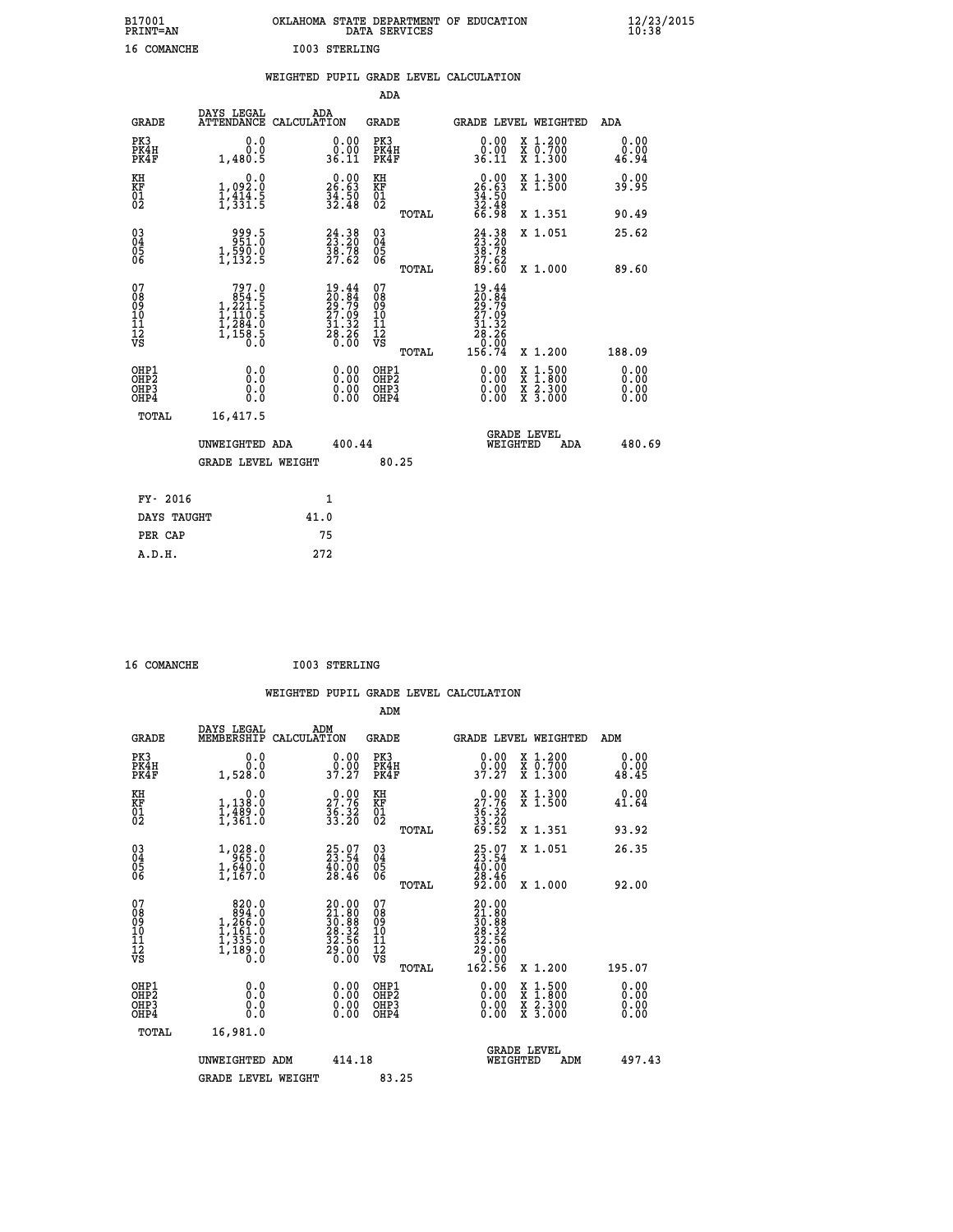| B17001             | OKLAHOMA STATE DEPARTMENT OF EDUCATION |
|--------------------|----------------------------------------|
| <b>PRINT=AN</b>    | DATA SERVICES                          |
| <b>16 COMANCHE</b> | I003 STERLING                          |

|                                                                    |                                                                                                         | WEIGHTED PUPIL GRADE LEVEL CALCULATION                                                             |                                                     |       |                                                                                                                      |                                                                                                           |                              |
|--------------------------------------------------------------------|---------------------------------------------------------------------------------------------------------|----------------------------------------------------------------------------------------------------|-----------------------------------------------------|-------|----------------------------------------------------------------------------------------------------------------------|-----------------------------------------------------------------------------------------------------------|------------------------------|
|                                                                    |                                                                                                         |                                                                                                    | <b>ADA</b>                                          |       |                                                                                                                      |                                                                                                           |                              |
| <b>GRADE</b>                                                       | <b>DAYS LEGAL<br/>ATTENDANCE</b>                                                                        | ADA<br>CALCULATION                                                                                 | <b>GRADE</b>                                        |       |                                                                                                                      | GRADE LEVEL WEIGHTED                                                                                      | ADA                          |
| PK3<br>PK4H<br>PK4F                                                | 0.0<br>0.0<br>1,480.5                                                                                   | $\begin{smallmatrix} 0.00\\ 0.00\\ 36.11 \end{smallmatrix}$                                        | PK3<br>PK4H<br>PK4F                                 |       | 0.00<br>ŏ.ŏŏ<br>36.11                                                                                                | X 1.200<br>X 0.700<br>X 1.300                                                                             | 0.00<br>0.00<br>46.94        |
| KH<br>KF<br>01<br>02                                               | 0.0<br>$1,092.0$<br>$1,414.5$<br>$1,331.5$                                                              | $\begin{smallmatrix} 0.00\\ 26.63\\ 34.50\\ 32.48 \end{smallmatrix}$                               | KH<br>KF<br>01<br>02                                |       | $0.00$<br>$26.63$<br>$34.50$<br>$32.48$<br>$66.98$                                                                   | X 1.300<br>X 1.500                                                                                        | 0.00<br>39.95                |
|                                                                    |                                                                                                         |                                                                                                    |                                                     | TOTAL |                                                                                                                      | X 1.351                                                                                                   | 90.49                        |
| $\begin{smallmatrix} 03 \\[-4pt] 04 \end{smallmatrix}$<br>05<br>06 | 999.5<br>951:0<br>$1,590.0$<br>$1,132.5$                                                                | $\begin{smallmatrix} 24.38\\ 23.20\\ 38.78\\ 27.62 \end{smallmatrix}$                              | $\begin{array}{c} 03 \\ 04 \\ 05 \\ 06 \end{array}$ |       | $24.38$<br>$23.20$<br>$38.78$<br>$27.62$<br>$89.60$                                                                  | X 1.051                                                                                                   | 25.62                        |
|                                                                    |                                                                                                         |                                                                                                    |                                                     | TOTAL |                                                                                                                      | X 1.000                                                                                                   | 89.60                        |
| 07<br>08<br>09<br>11<br>11<br>12<br>VS                             | $\begin{smallmatrix} & 797.0\\ & 854.5\\ 1,221.5\\ 1,110.5\\ 1,284.0\\ 1,158.5\\ 0.0 \end{smallmatrix}$ | $\begin{smallmatrix} 19.44 \\ 20.84 \\ 29.79 \\ 27.09 \\ 31.32 \\ 28.26 \\ 0.00 \end{smallmatrix}$ | 07<br>08<br>09<br>11<br>11<br>12<br>VS              | TOTAL | $19.44$<br>$20.84$<br>$29.79$<br>$27.09$<br>$31.32$<br>$\begin{array}{r} \n 28.26 \\  0.00 \\  156.74\n \end{array}$ | X 1.200                                                                                                   | 188.09                       |
| OHP1<br>OHP2<br>OHP3<br>OHP4                                       | 0.0<br>0.0<br>0.0                                                                                       | 0.0000<br>$\begin{smallmatrix} 0.00 \ 0.00 \end{smallmatrix}$                                      | OHP1<br>OHP2<br>OHP3<br>OHP4                        |       | 0.00<br>0.00<br>0.00                                                                                                 | 1:500<br>$\begin{smallmatrix} x & 1 & 500 \\ x & 1 & 800 \\ x & 2 & 300 \\ x & 3 & 000 \end{smallmatrix}$ | 0.00<br>0.00<br>0.00<br>0.00 |
| <b>TOTAL</b>                                                       | 16,417.5                                                                                                |                                                                                                    |                                                     |       |                                                                                                                      | <b>GRADE LEVEL</b>                                                                                        |                              |
|                                                                    | UNWEIGHTED ADA                                                                                          | 400.44                                                                                             |                                                     |       | WEIGHTED                                                                                                             | ADA                                                                                                       | 480.69                       |
|                                                                    | <b>GRADE LEVEL WEIGHT</b>                                                                               |                                                                                                    | 80.25                                               |       |                                                                                                                      |                                                                                                           |                              |
| FY- 2016                                                           |                                                                                                         | 1                                                                                                  |                                                     |       |                                                                                                                      |                                                                                                           |                              |
| DAYS TAUGHT                                                        |                                                                                                         | 41.0                                                                                               |                                                     |       |                                                                                                                      |                                                                                                           |                              |
| PER CAP                                                            |                                                                                                         | 75                                                                                                 |                                                     |       |                                                                                                                      |                                                                                                           |                              |

 **A.D.H. 272**

16 COMANCHE 1003 STERLING

|                                                      |                                                                                             |                                                                                       | ADM                                                      | WEIGHTED PUPIL GRADE LEVEL CALCULATION                                                           |                                                                                          |                       |
|------------------------------------------------------|---------------------------------------------------------------------------------------------|---------------------------------------------------------------------------------------|----------------------------------------------------------|--------------------------------------------------------------------------------------------------|------------------------------------------------------------------------------------------|-----------------------|
| <b>GRADE</b>                                         | DAYS LEGAL<br>MEMBERSHIP CALCULATION                                                        | ADM                                                                                   | <b>GRADE</b>                                             | GRADE LEVEL WEIGHTED                                                                             |                                                                                          | ADM                   |
| PK3<br>PK4H<br>PK4F                                  | 0.0<br>Ō.Ō<br>1,528.0                                                                       | $\begin{smallmatrix} 0.00\\ 0.00\\ 37.27 \end{smallmatrix}$                           | PK3<br>PK4H<br>PK4F                                      | 0.00<br>ŏ:ŏŏ<br>37:27                                                                            | X 1.200<br>X 0.700<br>X 1.300                                                            | 0.00<br>0.00<br>48.45 |
| KH<br>KF<br>01<br>02                                 | 0.0<br>$1,138.0$<br>$1,489.0$<br>$1,361.0$                                                  | 27.76<br>$\frac{56}{33}. \frac{32}{20}$                                               | KH<br>KF<br>01<br>02                                     | $\begin{smallmatrix} 0.00\\ 27.76\\ 36.32\\ 33.20\\ 33.20\\ 69.52 \end{smallmatrix}$             | X 1.300<br>X 1.500                                                                       | 0.00<br>41.64         |
|                                                      |                                                                                             |                                                                                       | TOTAL                                                    |                                                                                                  | X 1.351                                                                                  | 93.92                 |
| 030404<br>06                                         | $1, 028.0$<br>$1, 640.0$<br>$1, 1640.0$<br>$1, 167.0$                                       | $\begin{smallmatrix} 25.07\\ 23.54\\ 40.00\\ 28.46 \end{smallmatrix}$                 | 030404<br>ŌĞ                                             | $25.97$<br>$23.54$<br>$40.00$<br>$28.46$<br>$92.00$                                              | X 1.051                                                                                  | 26.35                 |
| 07<br>08901112<br>1112<br>VS                         | $\begin{smallmatrix}820.0\\894.0\\1,266.0\\1,161.0\\1,335.0\\1,189.0\\0.0\end{smallmatrix}$ | $\begin{smallmatrix} 20.00\\21.80\\30.88\\28.32\\22.56\\29.00\\0.00\end{smallmatrix}$ | TOTAL<br>07<br>08<br>09<br>11<br>11<br>12<br>VS<br>TOTAL | $\begin{smallmatrix} 20.00\ 21.80\ 30.808\ 30.822\ 22.56\ 29.00\ 0.00\ 162.56 \end{smallmatrix}$ | X 1.000<br>X 1.200                                                                       | 92.00<br>195.07       |
| OHP1<br>OHP2<br>OH <sub>P3</sub><br>OH <sub>P4</sub> | 0.0<br>0.000                                                                                | 0.00<br>$\begin{smallmatrix} 0.00 \ 0.00 \end{smallmatrix}$                           | OHP1<br>OHP2<br>OHP3<br>OHP4                             | $0.00$<br>$0.00$<br>0.00                                                                         | $\begin{smallmatrix} x & 1.500 \\ x & 1.800 \\ x & 2.300 \\ x & 3.000 \end{smallmatrix}$ | 0.00<br>0.00<br>0.00  |
| TOTAL                                                | 16,981.0                                                                                    |                                                                                       |                                                          |                                                                                                  |                                                                                          |                       |
|                                                      | UNWEIGHTED ADM                                                                              | 414.18                                                                                |                                                          | WEIGHTED                                                                                         | <b>GRADE LEVEL</b><br>ADM                                                                | 497.43                |
|                                                      | <b>GRADE LEVEL WEIGHT</b>                                                                   |                                                                                       | 83.25                                                    |                                                                                                  |                                                                                          |                       |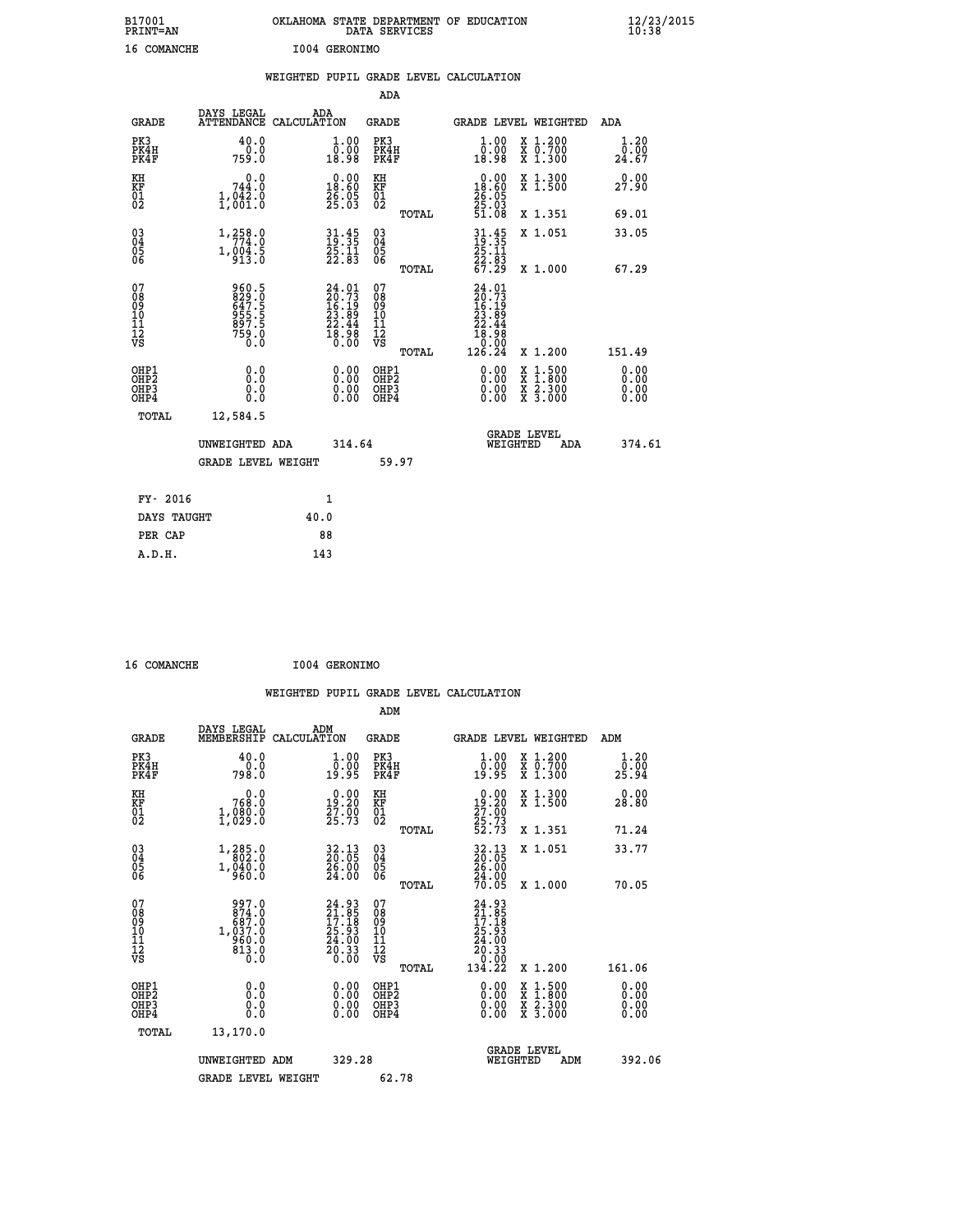| B17001<br>PRINT=AN | OKLAHOMA STATE DEPARTMENT OF EDUCATION<br>DATA SERVICES | $\frac{12}{23}$ /2015 |
|--------------------|---------------------------------------------------------|-----------------------|
| 16 COMANCHE        | 1004 GERONIMO                                           |                       |

|                                                    |                                                                                                                   | WEIGHTED PUPIL GRADE LEVEL CALCULATION                                   |                                        |       |                                                                                                    |                                                                                          |                              |
|----------------------------------------------------|-------------------------------------------------------------------------------------------------------------------|--------------------------------------------------------------------------|----------------------------------------|-------|----------------------------------------------------------------------------------------------------|------------------------------------------------------------------------------------------|------------------------------|
|                                                    |                                                                                                                   |                                                                          | ADA                                    |       |                                                                                                    |                                                                                          |                              |
| <b>GRADE</b>                                       | DAYS LEGAL                                                                                                        | ADA<br>ATTENDANCE CALCULATION                                            | <b>GRADE</b>                           |       |                                                                                                    | GRADE LEVEL WEIGHTED                                                                     | ADA                          |
| PK3<br>PK4H<br>PK4F                                | 40.0<br>759.0                                                                                                     | $\begin{smallmatrix} 1.00\\ 0.00\\ 18.98 \end{smallmatrix}$              | PK3<br>PK4H<br>PK4F                    |       | 1.00<br>0.00<br>18.98                                                                              | X 1.200<br>X 0.700<br>X 1.300                                                            | 1.20<br>0.00<br>24.67        |
| KH<br>KF<br>01<br>02                               | $\begin{smallmatrix}&&0\, .\, 0\, 744\, .\, 0\, 1\, ,\, 042\, .\, 0\, 1\, .\, 0\, 01\, .\, 0\, \end{smallmatrix}$ | $\begin{smallmatrix} 0.00\\ 18.60\\ 26.05\\ 25.03 \end{smallmatrix}$     | KH<br>KF<br>01<br>02                   |       | $\begin{smallmatrix} 0.00 \\ 18.60 \end{smallmatrix}$<br>$\frac{26}{25}$ : $\frac{05}{3}$<br>51.08 | X 1.300<br>X 1.500                                                                       | 0.00<br>27.90                |
|                                                    |                                                                                                                   |                                                                          |                                        | TOTAL |                                                                                                    | X 1.351                                                                                  | 69.01                        |
| $\begin{matrix} 03 \\ 04 \\ 05 \\ 06 \end{matrix}$ | 1,258.0<br>$1, 004.5$<br>913.0                                                                                    | $31.45$<br>$19.35$<br>$25.11$<br>$22.83$                                 | $^{03}_{04}$<br>Ŏ5<br>06               |       | $31.45$<br>$19.35$<br>$25.11$<br>$22.83$<br>$67.29$                                                | X 1.051                                                                                  | 33.05                        |
|                                                    |                                                                                                                   |                                                                          |                                        | TOTAL |                                                                                                    | X 1.000                                                                                  | 67.29                        |
| 07<br>08<br>09<br>101<br>112<br>VS                 | 960.5<br>829.0<br>647.5<br>955.5<br>957.5<br>897.5<br>759.0                                                       | $24.01$<br>$20.73$<br>$16.19$<br>$23.89$<br>$22.44$<br>$18.98$<br>$0.00$ | 07<br>08<br>09<br>11<br>11<br>12<br>VS | TOTAL | $24.01$<br>$20.73$<br>$16.19$<br>$23.89$<br>$22.44$<br>$18.98$<br>0.00<br>126.24                   | X 1.200                                                                                  | 151.49                       |
| OHP1<br>OHP2<br>OH <sub>P3</sub><br>OHP4           | 0.0<br>Ō.Ō<br>0.0<br>0.0                                                                                          | $\begin{smallmatrix} 0.00 \ 0.00 \ 0.00 \ 0.00 \end{smallmatrix}$        | OHP1<br>OHP2<br>OHP3<br>OHP4           |       | $0.00$<br>$0.00$<br>0.00                                                                           | $\begin{smallmatrix} x & 1.500 \\ x & 1.800 \\ x & 2.300 \\ x & 3.000 \end{smallmatrix}$ | 0.00<br>0.00<br>0.00<br>0.00 |
| TOTAL                                              | 12,584.5                                                                                                          |                                                                          |                                        |       |                                                                                                    |                                                                                          |                              |
|                                                    | UNWEIGHTED ADA                                                                                                    | 314.64                                                                   |                                        |       | WEIGHTED                                                                                           | <b>GRADE LEVEL</b><br>ADA                                                                | 374.61                       |
|                                                    | <b>GRADE LEVEL WEIGHT</b>                                                                                         |                                                                          | 59.97                                  |       |                                                                                                    |                                                                                          |                              |
| FY- 2016                                           |                                                                                                                   | $\mathbf{1}$                                                             |                                        |       |                                                                                                    |                                                                                          |                              |
| DAYS TAUGHT                                        |                                                                                                                   | 40.0                                                                     |                                        |       |                                                                                                    |                                                                                          |                              |
| PER CAP                                            |                                                                                                                   | 88                                                                       |                                        |       |                                                                                                    |                                                                                          |                              |

 **16 COMANCHE I004 GERONIMO**

|                                          |                                                                                                   |                                                                   |                                                        | WEIGHTED PUPIL GRADE LEVEL CALCULATION                                                   |                                                           |                              |
|------------------------------------------|---------------------------------------------------------------------------------------------------|-------------------------------------------------------------------|--------------------------------------------------------|------------------------------------------------------------------------------------------|-----------------------------------------------------------|------------------------------|
|                                          | DAYS LEGAL                                                                                        | ADM                                                               | ADM                                                    |                                                                                          |                                                           |                              |
| <b>GRADE</b>                             | MEMBERSHIP                                                                                        | CALCULATION                                                       | <b>GRADE</b>                                           |                                                                                          | GRADE LEVEL WEIGHTED                                      | ADM                          |
| PK3<br>PK4H<br>PK4F                      | 40.0<br>0.0<br>798.Ŏ                                                                              | 1.00<br>0:00<br>19:95                                             | PK3<br>PK4H<br>PK4F                                    | 1.00<br>0:00<br>19:95                                                                    | X 1.200<br>X 0.700<br>X 1.300                             | 1.20<br>0.00<br>25.94        |
| KH<br>KF<br>01<br>02                     | 768.0<br>1,080.0                                                                                  | $\begin{smallmatrix} 0.00\\19.20\\27.00\\25.73 \end{smallmatrix}$ | KH<br>KF<br>01<br>02                                   | $\begin{smallmatrix} 0.00\\19.20\\27.00\\25.73\\52.73 \end{smallmatrix}$                 | X 1.300<br>X 1.500                                        | 0.00<br>28.80                |
|                                          |                                                                                                   |                                                                   | TOTAL                                                  |                                                                                          | X 1.351                                                   | 71.24                        |
| 03<br>04<br>05<br>06                     | 1,285.0<br>$1,\overline{0}\overline{4}\overline{0}\overline{0}\overline{0}\overline{0}$           | $\frac{32.13}{20.05}$<br>$\frac{26.00}{24.00}$                    | $\begin{matrix} 03 \\ 04 \\ 05 \\ 06 \end{matrix}$     | $\frac{32.13}{20.05}$<br>$\frac{26.00}{24.00}$<br>$\frac{70.05}{70.05}$                  | X 1.051                                                   | 33.77                        |
|                                          |                                                                                                   |                                                                   | TOTAL                                                  |                                                                                          | X 1.000                                                   | 70.05                        |
| 07<br>08<br>09<br>101<br>11<br>12<br>VS  | 997.0<br>$\begin{smallmatrix} 874.10\ 687.0\ 687.0\ 1,037.0\ 960.0\ 813.0\ 0.0 \end{smallmatrix}$ | $24.93\n21.85\n17.18\n25.93\n24.00\n20.33\n0.00$                  | 07<br>08<br>09<br>001<br>11<br>11<br>12<br>VS<br>TOTAL | $24.93$<br>$21.85$<br>$17.18$<br>$25.93$<br>$24.00$<br>$20.33$<br>$\frac{50.00}{134.22}$ | X 1.200                                                   | 161.06                       |
| OHP1<br>OHP2<br>OHP3<br>OH <sub>P4</sub> | 0.0<br>0.000                                                                                      | 0.00<br>$\begin{smallmatrix} 0.00 \ 0.00 \end{smallmatrix}$       | OHP1<br>OHP2<br>OHP3<br>OHP4                           | $0.00$<br>$0.00$<br>0.00                                                                 | X 1:500<br>X 1:800<br>$\frac{x}{x}$ $\frac{5:300}{3:000}$ | 0.00<br>0.00<br>0.00<br>0.00 |
| TOTAL                                    | 13,170.0                                                                                          |                                                                   |                                                        |                                                                                          |                                                           |                              |
|                                          | UNWEIGHTED ADM                                                                                    | 329.28                                                            |                                                        | WEIGHTED                                                                                 | <b>GRADE LEVEL</b><br>ADM                                 | 392.06                       |
|                                          | <b>GRADE LEVEL WEIGHT</b>                                                                         |                                                                   | 62.78                                                  |                                                                                          |                                                           |                              |
|                                          |                                                                                                   |                                                                   |                                                        |                                                                                          |                                                           |                              |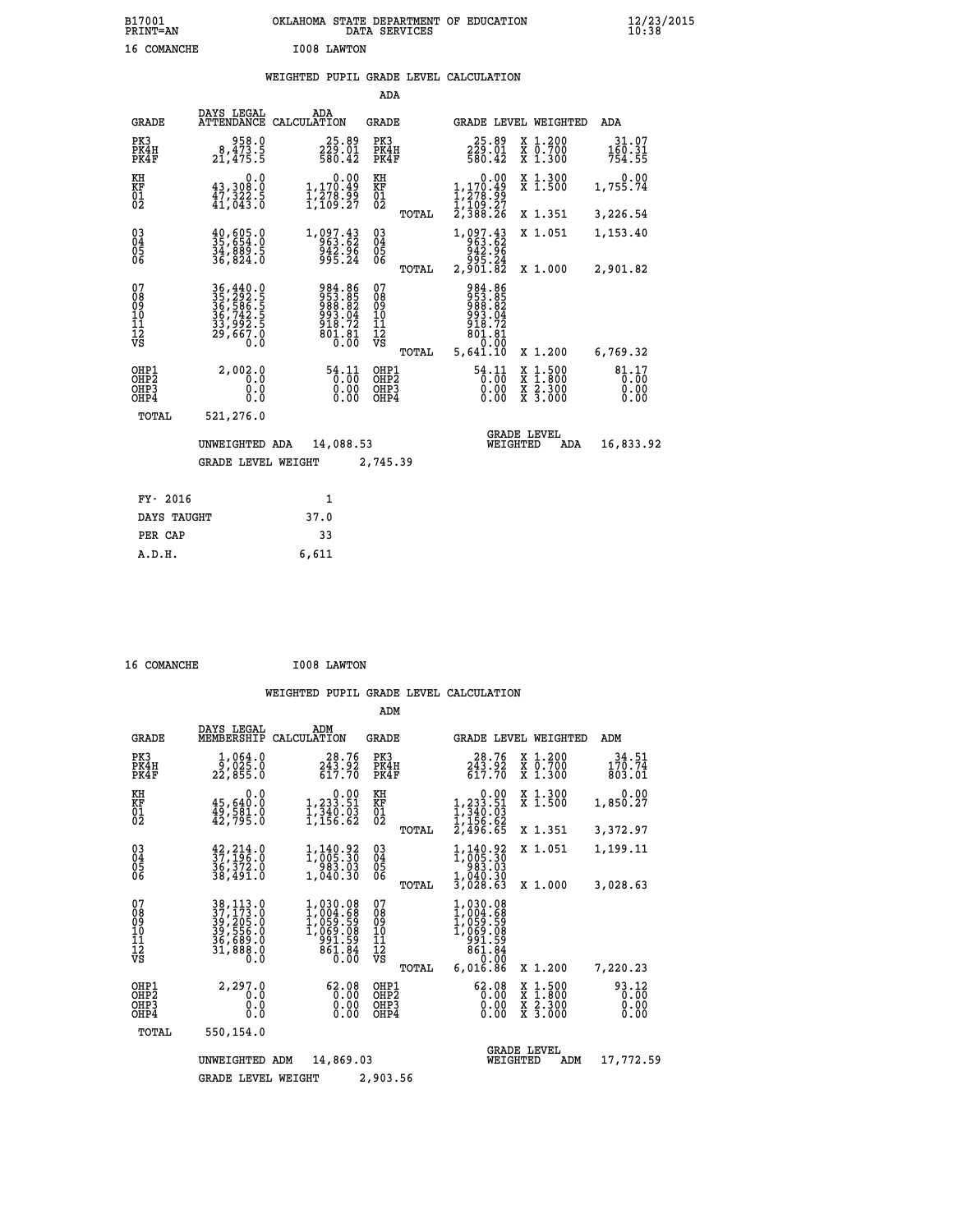### **WEIGHTED PUPIL GRADE LEVEL CALCULATION**

|                                                                    |                                                                                       |                                                                      | ADA                                                               |                                                                                          |                                                                                                  |                               |
|--------------------------------------------------------------------|---------------------------------------------------------------------------------------|----------------------------------------------------------------------|-------------------------------------------------------------------|------------------------------------------------------------------------------------------|--------------------------------------------------------------------------------------------------|-------------------------------|
| <b>GRADE</b>                                                       | DAYS LEGAL                                                                            | ADA<br>ATTENDANCE CALCULATION                                        | <b>GRADE</b>                                                      |                                                                                          | GRADE LEVEL WEIGHTED                                                                             | ADA                           |
| PK3<br>PK4H<br>PK4F                                                | 958.0<br>8,473.5<br>21,475.5                                                          | 25.89<br>229.01<br>580.42                                            | PK3<br>PK4H<br>PK4F                                               | $25.89$<br>$229.01$<br>$580.42$                                                          | X 1.200<br>X 0.700<br>X 1.300                                                                    | 31.07<br>160.31<br>754.55     |
| KH<br>KF<br>01<br>02                                               | 0.0<br>43,308.0<br>47,322.5<br>41,043.0                                               | 0.00<br>1,170.49<br>1,278.99<br>1,109.27                             | KH<br>KF<br>01<br>02                                              | 0.00<br>$1, 170.49$<br>$1, 278.99$<br>$1, 109.27$<br>$2, 388.26$                         | X 1.300<br>X 1.500                                                                               | 0.00<br>1,755.74              |
|                                                                    |                                                                                       |                                                                      | TOTAL                                                             |                                                                                          | X 1.351                                                                                          | 3,226.54                      |
| $\begin{smallmatrix} 03 \\[-4pt] 04 \end{smallmatrix}$<br>Ŏ5<br>06 | $\begin{smallmatrix} 40, 605.0\\ 35, 654.0\\ 34, 889.5\\ 36, 824.0 \end{smallmatrix}$ | 1,097.43<br>963.62<br>942.96<br>995.24                               | $\substack{03 \\ 04}$<br>$\begin{matrix} 0.5 \\ 0.6 \end{matrix}$ | $\begin{smallmatrix}1,097.43\\963.62\\942.96\\942.96\\995.24\\2,901.82\end{smallmatrix}$ | X 1.051                                                                                          | 1,153.40                      |
|                                                                    |                                                                                       |                                                                      | TOTAL                                                             |                                                                                          | X 1.000                                                                                          | 2,901.82                      |
| 07<br>08<br>09<br>101<br>11<br>12<br>VS                            | 36, 440.0<br>35, 292.5<br>36, 586.5<br>36, 742.5<br>33, 992.5<br>29, 667.0            | 984.86<br>953.85<br>988.82<br>993.04<br>913.72<br>$801.81$<br>$0.00$ | 07<br>08<br>09<br>101<br>11<br>12<br>VS                           | 984.86<br>953.85<br>988.82<br>993.04<br>918.72<br>801.81<br>0.00                         |                                                                                                  |                               |
|                                                                    |                                                                                       |                                                                      | TOTAL                                                             | 5,641.10                                                                                 | X 1.200                                                                                          | 6,769.32                      |
| OHP1<br>OHP <sub>2</sub><br>OHP3<br>OHP4                           | 2,002.0<br>0.0<br>0.0<br>$0.\overline{0}$                                             | $\frac{54.11}{0.00}$<br>0.00                                         | OHP1<br>OHP2<br>OHP3<br>OHP4                                      | 54.11<br>0.00                                                                            | $\begin{smallmatrix} x & 1 & 500 \\ x & 1 & 800 \\ x & 2 & 300 \\ x & 3 & 000 \end{smallmatrix}$ | 81.17<br>0.00<br>0.00<br>0.00 |
| TOTAL                                                              | 521,276.0                                                                             |                                                                      |                                                                   |                                                                                          |                                                                                                  |                               |
|                                                                    | UNWEIGHTED ADA                                                                        | 14,088.53                                                            |                                                                   | WEIGHTED                                                                                 | <b>GRADE LEVEL</b><br>ADA                                                                        | 16,833.92                     |
|                                                                    | <b>GRADE LEVEL WEIGHT</b>                                                             |                                                                      | 2,745.39                                                          |                                                                                          |                                                                                                  |                               |
| FY- 2016                                                           |                                                                                       | $\mathbf{1}$                                                         |                                                                   |                                                                                          |                                                                                                  |                               |
| DAYS TAUGHT                                                        |                                                                                       | 37.0                                                                 |                                                                   |                                                                                          |                                                                                                  |                               |
| PER CAP                                                            |                                                                                       | 33                                                                   |                                                                   |                                                                                          |                                                                                                  |                               |

| 16 COMANCHE<br>I008 LAWTON |
|----------------------------|
|----------------------------|

 **A.D.H. 6,611**

|                                           |                                                                           |                                                                                  | ADM                                             |                                                                                                             |                                                                                                  |                               |
|-------------------------------------------|---------------------------------------------------------------------------|----------------------------------------------------------------------------------|-------------------------------------------------|-------------------------------------------------------------------------------------------------------------|--------------------------------------------------------------------------------------------------|-------------------------------|
| <b>GRADE</b>                              | DAYS LEGAL<br>MEMBERSHIP                                                  | ADM<br>CALCULATION                                                               | <b>GRADE</b>                                    | <b>GRADE LEVEL WEIGHTED</b>                                                                                 |                                                                                                  | ADM                           |
| PK3<br>PK4H<br>PK4F                       | 1,064.0<br>9,025.0<br>22,855.0                                            | 28.76<br>243.92<br>617.70                                                        | PK3<br>PK4H<br>PK4F                             | 28.76<br>243.92<br>617.70                                                                                   | X 1.200<br>X 0.700<br>X 1.300                                                                    | 34.51<br>170.74<br>803.01     |
| KH<br>KF<br>01<br>02                      | 0.0<br>45,640.0<br>49, Š81.0<br>42, 795.0                                 | $\begin{smallmatrix}&&0.00\\1,233.51\\1,340.03\\1,156.62\end{smallmatrix}$       | KH<br>KF<br>01<br>02                            | 0.00<br>$1, 233.51$<br>$1, 340.03$<br>$1, 156.62$<br>$2, 496.65$                                            | X 1.300<br>X 1.500                                                                               | 0.00<br>1,850.27              |
| 03<br>04<br>05<br>06                      | $\frac{42}{37}, \frac{214}{196}.0$<br>$\frac{36}{372}.0$                  | 1, 140.92                                                                        | TOTAL<br>$\substack{03 \\ 04}$                  | 1,140.92<br>1,005.30                                                                                        | X 1.351<br>X 1.051                                                                               | 3,372.97<br>1,199.11          |
|                                           | 38,491.0                                                                  | 983.03<br>1,040.30                                                               | 05<br>TOTAL                                     | 983.03<br>$\frac{1}{3}, \overline{0} \overline{4} \overline{0} \cdot \overline{3} \overline{0}$<br>3,028.63 | X 1.000                                                                                          | 3,028.63                      |
| 07<br>08<br>09<br>11<br>11<br>12<br>VS    | 38, 113.0<br>37, 173.0<br>39, 205.0<br>39, 556.0<br>34, 689.0<br>31,888.0 | $1,030.08$<br>$1,004.68$<br>$1,059.59$<br>$1,069.08$<br>991.59<br>861.84<br>0.00 | 07<br>08<br>09<br>11<br>11<br>12<br>VS<br>TOTAL | 1,030.08<br>1,004.68<br>1,059.59<br>1,069.08<br>991.59<br>861.84<br>0.00<br>6,016.86                        | X 1.200                                                                                          | 7,220.23                      |
| OHP1<br>OH <sub>P</sub> 2<br>OHP3<br>OHP4 | 2,297.0<br>0.0<br>0.000                                                   | 62.08<br>0.00<br>0.00<br>0.00                                                    | OHP1<br>OHP2<br>OHP3<br>OHP4                    | 62.08<br>0.00<br>0.00<br>0.00                                                                               | $\begin{smallmatrix} x & 1 & 500 \\ x & 1 & 800 \\ x & 2 & 300 \\ x & 3 & 000 \end{smallmatrix}$ | 93.12<br>0.00<br>0.00<br>0.00 |
| TOTAL                                     | 550,154.0                                                                 |                                                                                  |                                                 |                                                                                                             |                                                                                                  |                               |
|                                           | UNWEIGHTED                                                                | 14,869.03<br>ADM                                                                 |                                                 | WEIGHTED                                                                                                    | <b>GRADE LEVEL</b><br>ADM                                                                        | 17,772.59                     |
|                                           | <b>GRADE LEVEL WEIGHT</b>                                                 |                                                                                  | 2,903.56                                        |                                                                                                             |                                                                                                  |                               |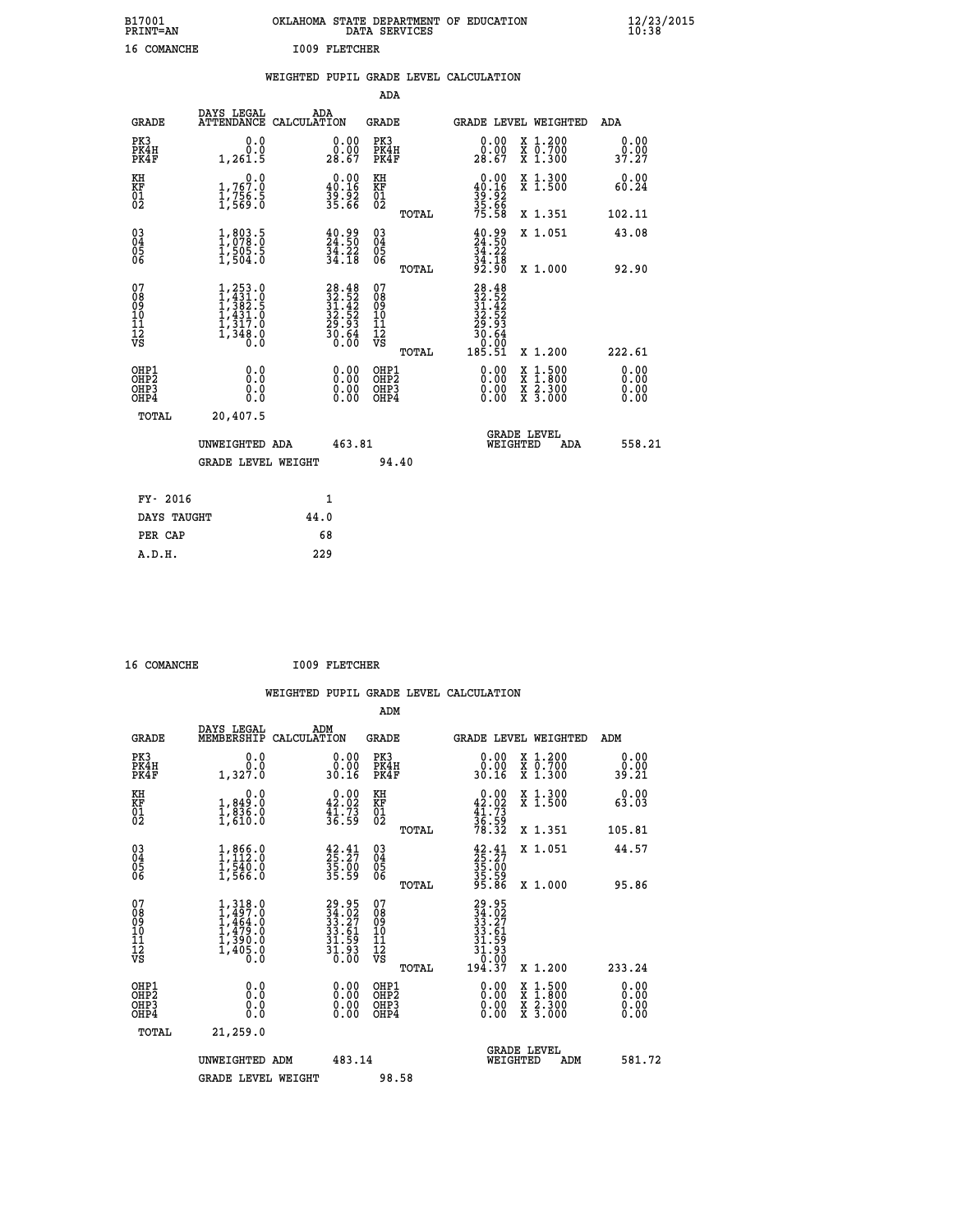| B17001<br><b>PRINT=AN</b> | OKLAHOMA<br>. STATE DEPARTMENT OF EDUCATION<br>DATA SERVICES | $\frac{12}{23}$ /2015 |
|---------------------------|--------------------------------------------------------------|-----------------------|
| 16<br>COMANCHE            | <b>I009 FLETCHER</b>                                         |                       |

|  |  | WEIGHTED PUPIL GRADE LEVEL CALCULATION |
|--|--|----------------------------------------|
|  |  |                                        |

|                                                    |                                                                                                                                           |                                                                          | ADA                                      |       |                                                                                                                |   |                                                           |                              |
|----------------------------------------------------|-------------------------------------------------------------------------------------------------------------------------------------------|--------------------------------------------------------------------------|------------------------------------------|-------|----------------------------------------------------------------------------------------------------------------|---|-----------------------------------------------------------|------------------------------|
| <b>GRADE</b>                                       | DAYS LEGAL                                                                                                                                | ADA<br>ATTENDANCE CALCULATION                                            | <b>GRADE</b>                             |       | GRADE LEVEL WEIGHTED                                                                                           |   |                                                           | <b>ADA</b>                   |
| PK3<br>PK4H<br>PK4F                                | 0.0<br>0.0<br>1,261.5                                                                                                                     | $\begin{smallmatrix} 0.00\\ 0.00\\ 28.67 \end{smallmatrix}$              | PK3<br>PK4H<br>PK4F                      |       | $\begin{smallmatrix} 0.00\\ 0.00\\ 28.67 \end{smallmatrix}$                                                    |   | X 1.200<br>X 0.700<br>X 1.300                             | 0.00<br>0.00<br>37.27        |
| KH<br>KF<br>01<br>02                               | 0.0<br>1,767.0<br>ī, 756.5<br>1,569.0                                                                                                     | $\begin{smallmatrix}&&0.00\\40.16\\39.92\\35.66\end{smallmatrix}$        | KH<br>KF<br>01<br>02                     |       | $0.00\n40.16\n39.92\n35.66\n75.58$                                                                             |   | X 1.300<br>X 1.500                                        | 0.00<br>60.24                |
|                                                    |                                                                                                                                           |                                                                          |                                          | TOTAL |                                                                                                                |   | X 1.351                                                   | 102.11                       |
| $\begin{matrix} 03 \\ 04 \\ 05 \\ 06 \end{matrix}$ | $1,803.5$<br>1,078.0<br>$\frac{1}{1}, \frac{5}{5}0\frac{5}{4}\cdot\frac{5}{0}$                                                            | $\frac{40.99}{24.50}$<br>$\frac{51.22}{34.18}$                           | 03<br>04<br>05<br>06                     |       | $\frac{40.99}{24.50}$<br>$\frac{3\bar{4}\cdot 22}{34\cdot 18}$<br>92.90                                        |   | X 1.051                                                   | 43.08                        |
|                                                    |                                                                                                                                           |                                                                          |                                          | TOTAL |                                                                                                                |   | X 1.000                                                   | 92.90                        |
| 07<br>08<br>09<br>11<br>11<br>12<br>VS             | $\begin{smallmatrix} 1,253\cdot 0\\ 1,431\cdot 0\\ 1,382\cdot 5\\ 1,431\cdot 0\\ 1,317\cdot 0\\ 1,348\cdot 0\\ 0\cdot 0\end{smallmatrix}$ | $28.48$<br>$32.52$<br>$31.42$<br>$32.52$<br>$29.93$<br>$30.64$<br>$0.00$ | 07<br>08<br>09<br>11<br>11<br>12<br>VS   |       | $\begin{smallmatrix} 28.48\\ 32.52\\ 31.42\\ 32.52\\ 29.52\\ 29.64\\ 30.64\\ 0.000\\ 185.51 \end{smallmatrix}$ |   |                                                           |                              |
|                                                    |                                                                                                                                           |                                                                          |                                          | TOTAL |                                                                                                                |   | X 1.200                                                   | 222.61                       |
| OHP1<br>OHP <sub>2</sub><br>OHP3<br>OHP4           | 0.0<br>0.0<br>Ō.Ō                                                                                                                         | 0.00<br>$\begin{smallmatrix} 0.00 \ 0.00 \end{smallmatrix}$              | OHP1<br>OHP <sub>2</sub><br>OHP3<br>OHP4 |       | $0.00$<br>$0.00$<br>0.00                                                                                       | X | $1.500$<br>$1.800$<br>$\frac{x}{x}$ $\frac{5.300}{3.000}$ | 0.00<br>0.00<br>0.00<br>0.00 |
| <b>TOTAL</b>                                       | 20,407.5                                                                                                                                  |                                                                          |                                          |       |                                                                                                                |   |                                                           |                              |
|                                                    | UNWEIGHTED ADA                                                                                                                            | 463.81                                                                   |                                          |       | WEIGHTED                                                                                                       |   | <b>GRADE LEVEL</b><br>ADA                                 | 558.21                       |
|                                                    | <b>GRADE LEVEL WEIGHT</b>                                                                                                                 |                                                                          | 94.40                                    |       |                                                                                                                |   |                                                           |                              |
| FY- 2016                                           |                                                                                                                                           | $\mathbf{1}$                                                             |                                          |       |                                                                                                                |   |                                                           |                              |
|                                                    |                                                                                                                                           |                                                                          |                                          |       |                                                                                                                |   |                                                           |                              |
| DAYS TAUGHT                                        |                                                                                                                                           | 44.0                                                                     |                                          |       |                                                                                                                |   |                                                           |                              |
| PER CAP                                            |                                                                                                                                           | 68                                                                       |                                          |       |                                                                                                                |   |                                                           |                              |

|  | 16 COMANCHE |
|--|-------------|
|  |             |

 **16 COMANCHE I009 FLETCHER**

 **WEIGHTED PUPIL GRADE LEVEL CALCULATION ADM DAYS LEGAL ADM**

| <b>GRADE</b>                                       | DAYS TEGAT<br>MEMBERSHIP                                                            | ADM<br>CALCULATION                                                       | <b>GRADE</b>                                        |       | <b>GRADE LEVEL WEIGHTED</b>                                                |                                                                                                                                           | ADM                      |  |
|----------------------------------------------------|-------------------------------------------------------------------------------------|--------------------------------------------------------------------------|-----------------------------------------------------|-------|----------------------------------------------------------------------------|-------------------------------------------------------------------------------------------------------------------------------------------|--------------------------|--|
| PK3<br>PK4H<br>PK4F                                | 0.0<br>Ō.Ō<br>1,327.0                                                               | $\begin{smallmatrix} 0.00\\ 0.00\\ 30.16 \end{smallmatrix}$              | PK3<br>PK4H<br>PK4F                                 |       | 0.00<br>30.16                                                              | X 1.200<br>X 0.700<br>X 1.300                                                                                                             | 0.00<br>0.00<br>39.21    |  |
| KH<br>KF<br>01<br>02                               | 0.0<br>$\frac{1}{1}, \frac{849}{836}$ .0<br>1,610.0                                 | $\begin{smallmatrix} 0.00\\ 42.02\\ 41.73\\ 36.59 \end{smallmatrix}$     | KH<br>KF<br>01<br>02                                |       | $0.00\n42.02\n41.73\n36.59\n78.32$                                         | X 1.300<br>X 1.500                                                                                                                        | 0.00<br>63.03            |  |
|                                                    |                                                                                     |                                                                          |                                                     | TOTAL |                                                                            | X 1.351                                                                                                                                   | 105.81                   |  |
| $\begin{matrix} 03 \\ 04 \\ 05 \\ 06 \end{matrix}$ | $1,866.0$<br>$1,112.0$<br>$1,540.0$<br>$1,566.0$                                    | $\begin{smallmatrix} 42.41\ 25.27\ 35.00\ 35.59 \end{smallmatrix}$       | $\begin{array}{c} 03 \\ 04 \\ 05 \\ 06 \end{array}$ |       | $\begin{smallmatrix} 42.41\ 25.27\ 35.00\ 35.59\ 35.86\ \end{smallmatrix}$ | X 1.051                                                                                                                                   | 44.57                    |  |
|                                                    |                                                                                     |                                                                          |                                                     | TOTAL |                                                                            | X 1.000                                                                                                                                   | 95.86                    |  |
| 07<br>08<br>09<br>101<br>112<br>VS                 | $1,318.0$<br>$1,497.0$<br>$1,464.0$<br>$1,479.0$<br>$1,390.0$<br>$1,405.0$<br>$0.0$ | $29.95$<br>$34.02$<br>$33.27$<br>$33.61$<br>$31.59$<br>$31.93$<br>$0.00$ | 07<br>08<br>09<br>11<br>11<br>12<br>VS              |       | $29.95$<br>$33.27$<br>$33.61$<br>$31.59$<br>$31.93$<br>$0.007$<br>$194.37$ |                                                                                                                                           |                          |  |
|                                                    |                                                                                     |                                                                          |                                                     | TOTAL |                                                                            | X 1.200                                                                                                                                   | 233.24                   |  |
| OHP1<br>OHP2<br>OHP3<br>OHP4                       | 0.0<br>0.0<br>0.0                                                                   | $0.00$<br>$0.00$<br>0.00                                                 | OHP1<br>OHP <sub>2</sub><br>OHP3<br>OHP4            |       |                                                                            | $\begin{smallmatrix} \mathtt{X} & 1\cdot500\\ \mathtt{X} & 1\cdot800\\ \mathtt{X} & 2\cdot300\\ \mathtt{X} & 3\cdot000 \end{smallmatrix}$ | $0.00$<br>$0.00$<br>0.00 |  |
| TOTAL                                              | 21,259.0                                                                            |                                                                          |                                                     |       |                                                                            |                                                                                                                                           |                          |  |
|                                                    | UNWEIGHTED ADM                                                                      | 483.14                                                                   |                                                     |       | WEIGHTED                                                                   | <b>GRADE LEVEL</b><br>ADM                                                                                                                 | 581.72                   |  |
|                                                    | <b>GRADE LEVEL WEIGHT</b>                                                           |                                                                          | 98.58                                               |       |                                                                            |                                                                                                                                           |                          |  |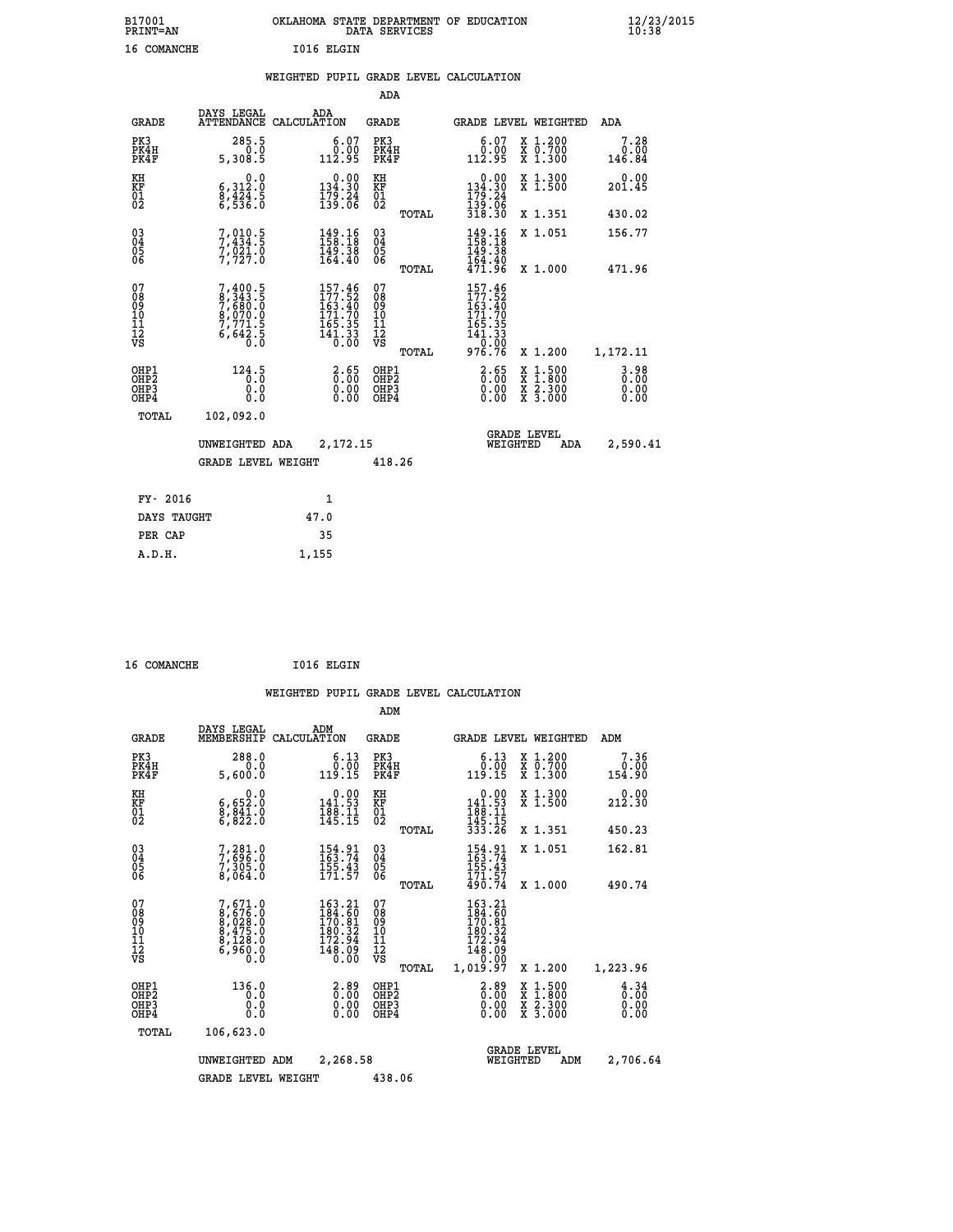| B17001<br><b>PRINT=AN</b> | OKLAHOMA STATE DEPARTMENT OF EDUCATION<br>DATA SERVICES | $\frac{12}{23}$ /2015 |
|---------------------------|---------------------------------------------------------|-----------------------|
| COMANCHE<br>16            | I016 ELGIN                                              |                       |

|  |  | WEIGHTED PUPIL GRADE LEVEL CALCULATION |
|--|--|----------------------------------------|
|  |  |                                        |

|                                                                    |                                                                           |                                                                                                    | ADA                                      |       |                                                                                                       |                                                                                                  |                                  |
|--------------------------------------------------------------------|---------------------------------------------------------------------------|----------------------------------------------------------------------------------------------------|------------------------------------------|-------|-------------------------------------------------------------------------------------------------------|--------------------------------------------------------------------------------------------------|----------------------------------|
| <b>GRADE</b>                                                       | DAYS LEGAL                                                                | ADA<br>ATTENDANCE CALCULATION                                                                      | <b>GRADE</b>                             |       |                                                                                                       | GRADE LEVEL WEIGHTED                                                                             | ADA                              |
| PK3<br>PK4H<br>PK4F                                                | 285.5<br>0.0<br>5,308.5                                                   | $\begin{smallmatrix} 6.07\ 0.00\ 112.95 \end{smallmatrix}$                                         | PK3<br>PK4H<br>PK4F                      |       | 6.07<br>ةُ فِّ.<br>112.95                                                                             | X 1.200<br>X 0.700<br>X 1.300                                                                    | 7.28<br>0.00<br>146.84           |
| KH<br><b>KF</b><br>01<br>02                                        | 0.0<br>$\begin{smallmatrix} 6,312.0\ 8,424.5\ 6,536.0 \end{smallmatrix}$  | $0.00$<br>$134.30$<br>$\frac{179.24}{139.06}$                                                      | KH<br>KF<br>01<br>02                     |       | $\begin{array}{c} 0.00 \\ 134.30 \\ 179.24 \\ 139.06 \\ 318.30 \end{array}$                           | X 1.300<br>X 1.500                                                                               | 0.00<br>201.45                   |
|                                                                    |                                                                           |                                                                                                    |                                          | TOTAL |                                                                                                       | X 1.351                                                                                          | 430.02                           |
| $\begin{smallmatrix} 03 \\[-4pt] 04 \end{smallmatrix}$<br>05<br>06 | $7,910.5$<br>$7,434.5$<br>$7,921.0$<br>$7,727.0$                          | $149.16$<br>$158.18$<br>$149.38$<br>$164.40$                                                       | $\substack{03 \\ 04}$<br>05<br>06        |       | $\begin{array}{c} 149.16 \\[-4pt] 158.18 \\[-4pt] 149.38 \\[-4pt] 164.40 \\[-4pt] 471.96 \end{array}$ | X 1.051                                                                                          | 156.77                           |
|                                                                    |                                                                           |                                                                                                    |                                          | TOTAL |                                                                                                       | X 1.000                                                                                          | 471.96                           |
| 07<br>08901112<br>1112<br>VS                                       | 7,400.5<br>8,343.5<br>7,680.0<br>8,070.0<br>8,070.0<br>7,771.5<br>6,642.5 | $\begin{smallmatrix} 157.46\\ 177.52\\ 163.40\\ 171.70\\ 165.35\\ 141.33\\ 0.00 \end{smallmatrix}$ | 07<br>08<br>09<br>11<br>11<br>12<br>VS   |       | 157.46<br>$177.52$<br>$163.40$<br>$171.70$<br>$165.35$<br>$141.33$<br>$0.92$                          |                                                                                                  |                                  |
|                                                                    |                                                                           |                                                                                                    |                                          | TOTAL | 976.76                                                                                                | X 1.200                                                                                          | 1,172.11                         |
| OHP1<br>OH <sub>P2</sub><br>OH <sub>P3</sub><br>OH <sub>P4</sub>   | 124.5<br>0.0<br>0.0                                                       | $\frac{2.65}{0.00}$<br>0.00<br>0.00                                                                | OHP1<br>OHP <sub>2</sub><br>OHP3<br>OHP4 |       | $\frac{2.65}{0.00}$<br>0.00<br>0.00                                                                   | $\begin{smallmatrix} x & 1 & 500 \\ x & 1 & 800 \\ x & 2 & 300 \\ x & 3 & 000 \end{smallmatrix}$ | $3.98$<br>$0.00$<br>0.00<br>0.00 |
| TOTAL                                                              | 102,092.0                                                                 |                                                                                                    |                                          |       |                                                                                                       |                                                                                                  |                                  |
|                                                                    | UNWEIGHTED ADA                                                            | 2,172.15                                                                                           |                                          |       |                                                                                                       | GRADE LEVEL<br>WEIGHTED<br>ADA                                                                   | 2,590.41                         |
|                                                                    | <b>GRADE LEVEL WEIGHT</b>                                                 |                                                                                                    | 418.26                                   |       |                                                                                                       |                                                                                                  |                                  |
| FY- 2016                                                           |                                                                           | $\mathbf{1}$                                                                                       |                                          |       |                                                                                                       |                                                                                                  |                                  |
| DAYS TAUGHT                                                        |                                                                           | 47.0                                                                                               |                                          |       |                                                                                                       |                                                                                                  |                                  |
| PER CAP                                                            |                                                                           | 35                                                                                                 |                                          |       |                                                                                                       |                                                                                                  |                                  |

| 16 COMANCHE | I016 ELGIN |
|-------------|------------|
|             |            |

 **A.D.H. 1,155**

| <b>GRADE</b>                                         | DAYS LEGAL<br>MEMBERSHIP                                              | ADM<br>CALCULATION                                                                                                                  | <b>GRADE</b>                             |       | GRADE LEVEL WEIGHTED                                                                          |                                |                                                                                                                     | ADM                                             |  |
|------------------------------------------------------|-----------------------------------------------------------------------|-------------------------------------------------------------------------------------------------------------------------------------|------------------------------------------|-------|-----------------------------------------------------------------------------------------------|--------------------------------|---------------------------------------------------------------------------------------------------------------------|-------------------------------------------------|--|
| PK3<br>PK4H<br>PK4F                                  | 288.0<br>0.0<br>5,600.0                                               | $6.13$<br>$0.00$<br>119.15                                                                                                          | PK3<br>PK4H<br>PK4F                      |       | 6.13<br>$\begin{array}{c} 0.00 \\ -1.19 \\ -1.5 \end{array}$                                  |                                | X 1.200<br>X 0.700<br>X 1.300                                                                                       | 7.36<br>0.00<br>154.90                          |  |
| KH<br>KF<br>01<br>02                                 | 0.0<br>6,652:0<br>8,841:0<br>6,822:0                                  | $\begin{smallmatrix} 0.00\\ 141.53\\ 188.11\\ 145.15 \end{smallmatrix}$                                                             | KH<br>KF<br>01<br>02                     |       | $\begin{array}{r} 0.00 \\ 141.53 \\ 188.11 \\ 145.15 \\ 333.26 \end{array}$                   |                                | X 1.300<br>X 1.500                                                                                                  | 0.00<br>212.30                                  |  |
|                                                      |                                                                       |                                                                                                                                     |                                          | TOTAL |                                                                                               |                                | X 1.351                                                                                                             | 450.23                                          |  |
| 03<br>04<br>05<br>06                                 | 7,281.0<br>7,696.0<br>7,305.0<br>8,064.0                              | $154.91$<br>$163.74$<br>$155.43$<br>$171.57$                                                                                        | $\substack{03 \\ 04}$<br>05<br>06        |       | $154.91$<br>$163.74$<br>$155.43$<br>$171.57$<br>$490.74$                                      |                                | X 1.051                                                                                                             | 162.81                                          |  |
|                                                      |                                                                       |                                                                                                                                     |                                          | TOTAL |                                                                                               |                                | X 1.000                                                                                                             | 490.74                                          |  |
| 07<br>08<br>09<br>11<br>11<br>12<br>VS               | 7,671.0<br>8,676.0<br>8,028.0<br>8,475.0<br>8,128.0<br>6,960.0<br>0.0 | $\begin{smallmatrix} 163\cdot21\\184\cdot60\\170\cdot81\\180\cdot32\\182\cdot94\\172\cdot94\\148\cdot09\\0\cdot00\end{smallmatrix}$ | 07<br>08<br>09<br>11<br>11<br>12<br>VS   |       | $\begin{array}{r} 163.21\ 184.60\ 170.81\ 180.32\ 172.94\ 148.09\ 0.00\ 1,019.97 \end{array}$ |                                |                                                                                                                     |                                                 |  |
|                                                      |                                                                       |                                                                                                                                     |                                          | TOTAL |                                                                                               |                                | X 1.200                                                                                                             | 1,223.96                                        |  |
| OHP1<br>OHP <sub>2</sub><br>OH <sub>P3</sub><br>OHP4 | 136.0<br>0.0<br>0.0<br>0.0                                            | 0:00<br>0:00<br>5:00<br>0.00                                                                                                        | OHP1<br>OHP <sub>2</sub><br>OHP3<br>OHP4 |       | $\begin{smallmatrix} 2.89\ 0.00\ 0.00 \end{smallmatrix}$                                      |                                | $\begin{array}{l} \mathtt{X} & 1.500 \\ \mathtt{X} & 1.800 \\ \mathtt{X} & 2.300 \\ \mathtt{X} & 3.000 \end{array}$ | $\frac{4}{0}$ : $\frac{34}{00}$<br>0.00<br>0.00 |  |
| TOTAL                                                | 106,623.0                                                             |                                                                                                                                     |                                          |       |                                                                                               |                                |                                                                                                                     |                                                 |  |
|                                                      | UNWEIGHTED                                                            | 2,268.58<br>ADM                                                                                                                     |                                          |       |                                                                                               | <b>GRADE LEVEL</b><br>WEIGHTED | ADM                                                                                                                 | 2,706.64                                        |  |
|                                                      | <b>GRADE LEVEL WEIGHT</b>                                             |                                                                                                                                     | 438.06                                   |       |                                                                                               |                                |                                                                                                                     |                                                 |  |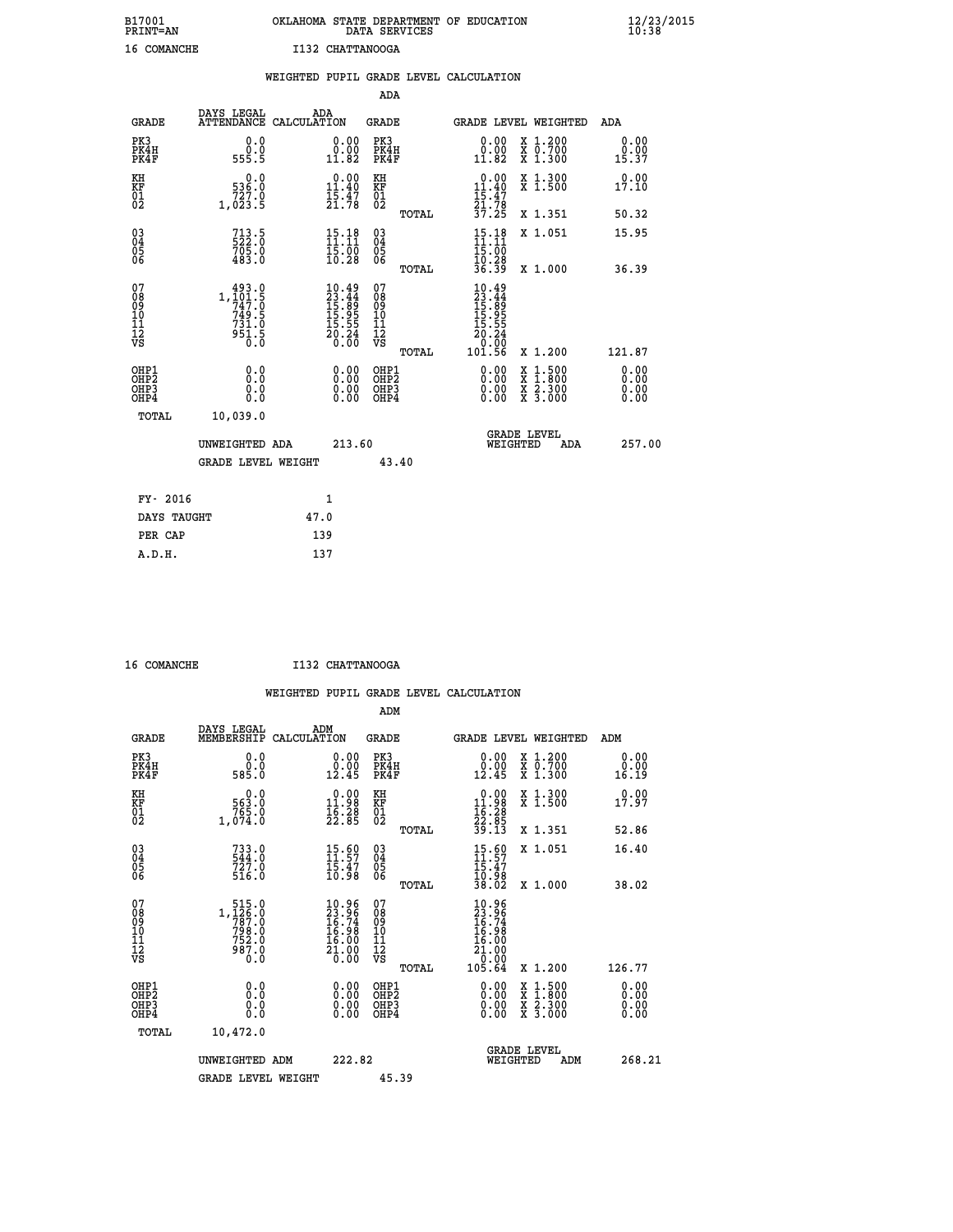## **B17001 OKLAHOMA STATE DEPARTMENT OF EDUCATION 12/23/2015 PRINT=AN DATA SERVICES 10:38 16 COMANCHE I132 CHATTANOOGA**

|                                    |                                                                                                        |                                                                                  | WEIGHTED PUPIL GRADE LEVEL CALCULATION          |                                                                                             |                              |
|------------------------------------|--------------------------------------------------------------------------------------------------------|----------------------------------------------------------------------------------|-------------------------------------------------|---------------------------------------------------------------------------------------------|------------------------------|
|                                    |                                                                                                        |                                                                                  | <b>ADA</b>                                      |                                                                                             |                              |
| <b>GRADE</b>                       | DAYS LEGAL                                                                                             | ADA<br>ATTENDANCE CALCULATION                                                    | <b>GRADE</b>                                    | GRADE LEVEL WEIGHTED                                                                        | ADA                          |
| PK3<br>PK4H<br>PK4F                | 555.5                                                                                                  | $\begin{smallmatrix} 0.00\\ 0.00\\ 11.82 \end{smallmatrix}$<br>0.0<br>0.0        | PK3<br>PK4H<br>PK4F                             | 0.00<br>X 1.200<br>X 0.700<br>X 1.300<br>0.00<br>11.82                                      | 0.00<br>0.00<br>15.37        |
| KH<br>KF<br>01<br>02               | $0.0$<br>536.0<br>1,023.5                                                                              | 0.00<br>$11.40$<br>$15.47$<br>$21.78$                                            | KH<br>KF<br>01<br>02                            | X 1.300<br>X 1.500<br>0.00<br>$11.40$<br>$15.47$<br>$21.78$<br>$37.25$                      | 0.00<br>17.10                |
|                                    |                                                                                                        |                                                                                  | TOTAL                                           | X 1.351                                                                                     | 50.32                        |
| $^{03}_{04}$<br>Ŏ5<br>06           | $713.5$<br>522.0<br>705.0<br>483.0                                                                     | 15.18<br>$\frac{15.00}{10.28}$                                                   | $\substack{03 \\ 04}$<br>Ŏ5<br>06               | $15.18$<br>$11.11$<br>X 1.051<br>$\frac{15.00}{10.28}$                                      | 15.95                        |
|                                    |                                                                                                        |                                                                                  | TOTAL                                           | 36.39<br>X 1.000                                                                            | 36.39                        |
| 07<br>08<br>09<br>101<br>112<br>VS | $\begin{smallmatrix} 493.0\\ 1,101.5\\ 747.0\\ 749.5\\ 731.0 \end{smallmatrix}$<br>$\frac{551.5}{0.0}$ | $10.49$<br>$23.44$<br>$15.89$<br>$15.95$<br>$15.55$<br>$20.24$<br>$0.00$         | 07<br>08<br>09<br>11<br>11<br>12<br>VS<br>TOTAL | $10.49$<br>$23.44$<br>$15.89$<br>$15.95$<br>$15.55$<br>$20.24$<br>0.00<br>101.56<br>X 1.200 | 121.87                       |
| OHP1<br>OHP2<br>OHP3<br>OHP4       |                                                                                                        | 0.00<br>0.0<br>0.0<br>$\begin{smallmatrix} 0.00 \ 0.00 \end{smallmatrix}$<br>Ō.Ō | OHP1<br>OHP2<br>OHP3<br>OHP4                    | 0.00<br>X 1:500<br>X 2.300<br>X 3.000<br>0.00<br>0.00                                       | 0.00<br>0.00<br>0.00<br>0.00 |
|                                    | <b>TOTAL</b><br>10,039.0                                                                               |                                                                                  |                                                 |                                                                                             |                              |
|                                    | UNWEIGHTED ADA                                                                                         |                                                                                  | 213.60                                          | <b>GRADE LEVEL</b><br>WEIGHTED<br>ADA                                                       | 257.00                       |
|                                    |                                                                                                        | <b>GRADE LEVEL WEIGHT</b>                                                        | 43.40                                           |                                                                                             |                              |
|                                    | FY- 2016                                                                                               | $\mathbf{1}$                                                                     |                                                 |                                                                                             |                              |
|                                    | DAYS TAUGHT                                                                                            | 47.0                                                                             |                                                 |                                                                                             |                              |
|                                    | PER CAP                                                                                                | 139                                                                              |                                                 |                                                                                             |                              |

| 16 COMANCHE |  |
|-------------|--|

 **A.D.H. 137**

 **16 COMANCHE I132 CHATTANOOGA**

|             |                      |     | WEIGHTED PUPIL GRADE LEVEL CALCULATION |
|-------------|----------------------|-----|----------------------------------------|
|             |                      | ADM |                                        |
| ----- ----- | $\sim$ $\sim$ $\sim$ |     |                                        |

| <b>GRADE</b>                                       | DAYS LEGAL<br>MEMBERSHIP                                      | ADM<br>CALCULATION                                                   | <b>GRADE</b>                                        |       |                                                                                               |          | <b>GRADE LEVEL WEIGHTED</b>                                      | ADM                   |
|----------------------------------------------------|---------------------------------------------------------------|----------------------------------------------------------------------|-----------------------------------------------------|-------|-----------------------------------------------------------------------------------------------|----------|------------------------------------------------------------------|-----------------------|
| PK3<br>PK4H<br>PK4F                                | 0.0<br>0.0<br>585.0                                           | 0.0000<br>12.45                                                      | PK3<br>PK4H<br>PK4F                                 |       | 0.00<br>0.00<br>12.45                                                                         |          | $\begin{array}{c} x & 1.200 \\ x & 0.700 \end{array}$<br>X 1.300 | 0.00<br>0.00<br>16.19 |
| KH<br>KF<br>01<br>02                               | 0.0<br>563:0<br>765:0<br>1,074:0                              | $\begin{smallmatrix} 0.00\\ 11.98\\ 16.28\\ 22.85 \end{smallmatrix}$ | KH<br>KF<br>01<br>02                                |       | $\begin{array}{r} 0.00 \\ 11.98 \\ 16.28 \\ 22.85 \\ 39.13 \end{array}$                       |          | X 1.300<br>X 1.500                                               | 0.00<br>17.97         |
|                                                    |                                                               |                                                                      |                                                     | TOTAL |                                                                                               |          | X 1.351                                                          | 52.86                 |
| $\begin{matrix} 03 \\ 04 \\ 05 \\ 06 \end{matrix}$ | 733.0<br>544.0<br>727.0                                       | $\begin{smallmatrix} 15.60\ 11.57\ 15.47\ 10.98 \end{smallmatrix}$   | $\begin{array}{c} 03 \\ 04 \\ 05 \\ 06 \end{array}$ |       | $15.60$<br>$11.57$<br>$15.47$<br>$10.98$<br>$38.02$                                           |          | X 1.051                                                          | 16.40                 |
|                                                    | 516.0                                                         |                                                                      |                                                     | TOTAL |                                                                                               |          | X 1.000                                                          | 38.02                 |
| 07<br>08<br>09<br>11<br>11<br>12<br>VS             | 1,126.0<br>1,126.0<br>787.0<br>798.0<br>752.0<br>987.0<br>0.0 | $\frac{10.96}{23.96}$<br>16.98<br>$\frac{16.00}{21.00}$              | 07<br>08<br>09<br>10<br>11<br>12<br>νs              | TOTAL | $\begin{smallmatrix} 10.96\\23.96\\16.74\\16.98\\16.00\\21.00\\0.00\\105.64\end{smallmatrix}$ |          | X 1.200                                                          | 126.77                |
| OHP1                                               |                                                               |                                                                      | OHP1                                                |       |                                                                                               |          |                                                                  | 0.00                  |
| OH <sub>P</sub> 2<br>OHP3<br>OHP4                  | 0.0<br>0.0<br>Ŏ.Ŏ                                             | $0.00$<br>$0.00$<br>0.00                                             | OHP <sub>2</sub><br>OHP3<br>OHP4                    |       |                                                                                               |          | X 1:500<br>X 1:800<br>X 2:300<br>X 3:000                         | 0.00<br>0.00<br>0.00  |
| TOTAL                                              | 10,472.0                                                      |                                                                      |                                                     |       |                                                                                               |          |                                                                  |                       |
|                                                    | UNWEIGHTED ADM                                                | 222.82                                                               |                                                     |       |                                                                                               | WEIGHTED | <b>GRADE LEVEL</b><br>ADM                                        | 268.21                |
|                                                    | <b>GRADE LEVEL WEIGHT</b>                                     |                                                                      | 45.39                                               |       |                                                                                               |          |                                                                  |                       |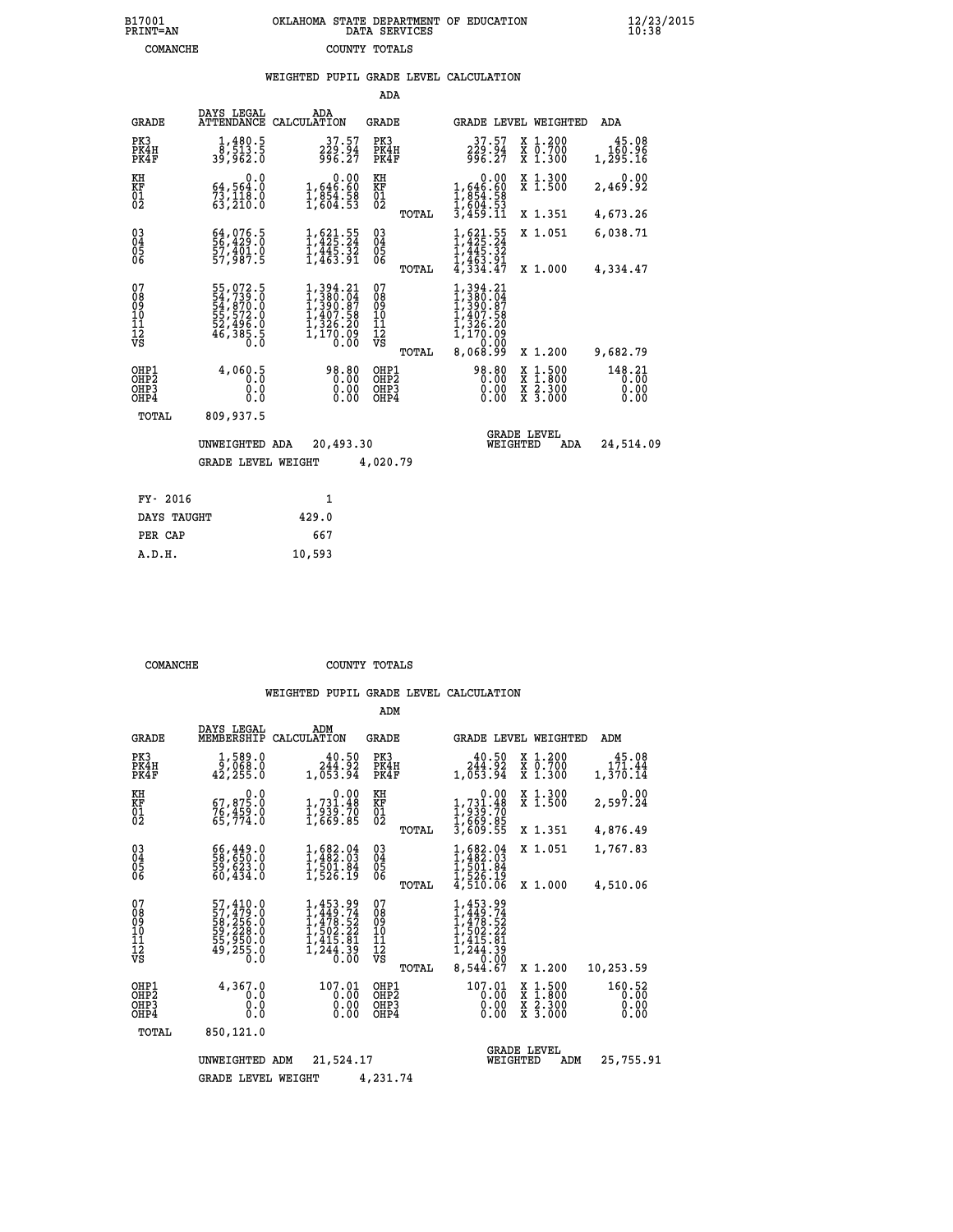## **B17001 OKLAHOMA STATE DEPARTMENT OF EDUCATION 12/23/2015 PRINT=AN DATA SERVICES 10:38 COMANCHE COUNTY TOTALS**

|  |  | WEIGHTED PUPIL GRADE LEVEL CALCULATION |
|--|--|----------------------------------------|
|  |  |                                        |

|                                                                    |                                                                                  |                                                                                   | ADA                                      |                                                                                                                                                                                      |                                                                                                  |                                |
|--------------------------------------------------------------------|----------------------------------------------------------------------------------|-----------------------------------------------------------------------------------|------------------------------------------|--------------------------------------------------------------------------------------------------------------------------------------------------------------------------------------|--------------------------------------------------------------------------------------------------|--------------------------------|
| <b>GRADE</b>                                                       | DAYS LEGAL<br>ATTENDANCE                                                         | ADA<br>CALCULATION                                                                | <b>GRADE</b>                             |                                                                                                                                                                                      | GRADE LEVEL WEIGHTED                                                                             | ADA                            |
| PK3<br>PK4H<br>PK4F                                                | $\frac{1}{8}$ , $\frac{480.5}{513.5}$<br>39,962.0                                | 37.57<br>229.94<br>996.27                                                         | PK3<br>PK4H<br>PK4F                      | 37.57<br>229.94<br>996.27                                                                                                                                                            | X 1.200<br>X 0.700<br>X 1.300                                                                    | 45.08<br>160.96<br>1,295.16    |
| KH<br><b>KF</b><br>01<br>02                                        | 0.0<br>64,564.0<br>73,118.0<br>63,210.0                                          | 0.00<br>1,646.60<br>1,854.58<br>1,604.53                                          | KH<br><b>KF</b><br>01<br>02              | 0.00<br>1,646.60<br>$\frac{1}{6}$ , $\frac{8}{6}$ , $\frac{5}{4}$ , $\frac{5}{5}$<br>$\frac{3}{4}$ , $\frac{6}{4}$ , $\frac{5}{5}$<br>$\frac{3}{4}$ , $\frac{4}{5}$ , $\frac{3}{11}$ | X 1.300<br>X 1.500                                                                               | 0.00<br>2,469.92               |
|                                                                    |                                                                                  |                                                                                   | TOTAL                                    |                                                                                                                                                                                      | X 1.351                                                                                          | 4,673.26                       |
| $\begin{smallmatrix} 03 \\[-4pt] 04 \end{smallmatrix}$<br>05<br>06 | 64,076.5<br>57,401.0<br>57,987.5                                                 | $1, 621.55$<br>$1, 425.24$<br>$1, 445.32$<br>$1, 463.91$                          | $\substack{03 \\ 04}$<br>$\frac{05}{06}$ | $1,425.24$<br>$1,445.32$<br>$1,445.32$<br>$1,463.91$<br>$4,334.47$                                                                                                                   | X 1.051                                                                                          | 6,038.71                       |
|                                                                    |                                                                                  |                                                                                   | TOTAL                                    |                                                                                                                                                                                      | X 1.000                                                                                          | 4,334.47                       |
| 07<br>08<br>09<br>11<br>11<br>12<br>VS                             | 55,072.5<br>54,739.0<br>54,870.0<br>55,572.0<br>52,496.0<br>52,496.0<br>46,385.5 | 1, 394.21<br>1, 380.04<br>1, 390.87<br>1, 407.58<br>1, 326.20<br>1,170.00<br>0.00 | 07<br>089<br>101<br>111<br>VS            | 1,394.21<br>1,380.04<br>1,390.87<br>407.58<br>326.20<br>170.09<br>0.00                                                                                                               |                                                                                                  |                                |
|                                                                    |                                                                                  |                                                                                   | <b>TOTAL</b>                             | 8,068.99                                                                                                                                                                             | X 1.200                                                                                          | 9,682.79                       |
| OHP1<br>OH <sub>P</sub> 2<br>OH <sub>P3</sub><br>OH <sub>P4</sub>  | 4,060.5<br>0.0<br>0.0                                                            | 98.80<br>0.00<br>0.00<br>0.00                                                     | OHP1<br>OHP <sub>2</sub><br>OHP3<br>OHP4 | 98.80<br>0.00<br>0.00<br>0.00                                                                                                                                                        | $\begin{smallmatrix} x & 1 & 500 \\ x & 1 & 800 \\ x & 2 & 300 \\ x & 3 & 000 \end{smallmatrix}$ | 148.21<br>0.00<br>0.00<br>0.00 |
| TOTAL                                                              | 809,937.5                                                                        |                                                                                   |                                          |                                                                                                                                                                                      |                                                                                                  |                                |
|                                                                    | UNWEIGHTED ADA                                                                   | 20,493.30                                                                         |                                          | WEIGHTED                                                                                                                                                                             | <b>GRADE LEVEL</b><br>ADA                                                                        | 24,514.09                      |
|                                                                    | <b>GRADE LEVEL WEIGHT</b>                                                        |                                                                                   | 4,020.79                                 |                                                                                                                                                                                      |                                                                                                  |                                |
| FY- 2016                                                           |                                                                                  | $\mathbf{1}$                                                                      |                                          |                                                                                                                                                                                      |                                                                                                  |                                |
| DAYS TAUGHT                                                        |                                                                                  | 429.0                                                                             |                                          |                                                                                                                                                                                      |                                                                                                  |                                |
| PER CAP                                                            |                                                                                  | 667                                                                               |                                          |                                                                                                                                                                                      |                                                                                                  |                                |
|                                                                    |                                                                                  |                                                                                   |                                          |                                                                                                                                                                                      |                                                                                                  |                                |

| COMANCHE | COUNTY TOTALS |  |
|----------|---------------|--|

 **A.D.H. 10,593**

|                                           |                                                                             |                                                                                | ADM                                       |                                                                                              |                                                                           |                                |
|-------------------------------------------|-----------------------------------------------------------------------------|--------------------------------------------------------------------------------|-------------------------------------------|----------------------------------------------------------------------------------------------|---------------------------------------------------------------------------|--------------------------------|
| <b>GRADE</b>                              | DAYS LEGAL<br>MEMBERSHIP                                                    | ADM<br>CALCULATION                                                             | <b>GRADE</b>                              | <b>GRADE LEVEL WEIGHTED</b>                                                                  |                                                                           | ADM                            |
| PK3<br>PK4H<br>PK4F                       | 1,589.0<br>42,255.0                                                         | 40.50<br>244.92<br>1,053.94                                                    | PK3<br>PK4H<br>PK4F                       | 40.50<br>244.92<br>1,053.94                                                                  | $\begin{smallmatrix} x & 1.200 \\ x & 0.700 \end{smallmatrix}$<br>X 1.300 | 45.08<br>171.44<br>1,370.14    |
| KH<br>KF<br>01<br>02                      | 0.0<br>67,875.0<br>76,459.0<br>65,774.0                                     | $\begin{smallmatrix} &0.00\\ 1,731.48\\ 1,939.70\\ 1,669.85 \end{smallmatrix}$ | KH<br>KF<br>01<br>02                      | $\begin{smallmatrix} &0.00\\1,731.48\\1,939.70\\1,669.85\\3,609.55\end{smallmatrix}$         | X 1.300<br>X 1.500                                                        | 0.00<br>2,597.24               |
| 03<br>04<br>05<br>06                      | 66,449.0<br>58,650.0<br>59,623.0<br>60,434.0                                | $1, 682.04$<br>$1, 482.03$<br>$1, 501.84$<br>$1, 526.19$                       | TOTAL<br>$\substack{03 \\ 04}$<br>05      | $1,482.03$<br>$1,482.03$<br>$1,501.84$<br>$1,526.19$<br>$4,510.06$                           | X 1.351<br>X 1.051                                                        | 4,876.49<br>1,767.83           |
| 07                                        |                                                                             | 1,453.99<br>1,449.74<br>1,478.52<br>1,502.22                                   | TOTAL<br>07                               |                                                                                              | X 1.000                                                                   | 4,510.06                       |
| 08<br>09<br>11<br>11<br>12<br>VS          | 57,410.0<br>57,479.0<br>58,256.0<br>59,228.0<br>55,950.0<br>49,255.0<br>0.0 | 1,415.81<br>ī, 244.39<br>0.00                                                  | 08<br>09<br>11<br>11<br>12<br>VS<br>TOTAL | 1,453.99<br>1,449.74<br>1,478.52<br>1,502.22<br>1,415.81<br>1,244.39<br>0,549.00<br>8,544.67 | X 1.200                                                                   | 10,253.59                      |
| OHP1<br>OH <sub>P</sub> 2<br>OHP3<br>OHP4 | 4,367.0<br>0.0<br>0.0<br>Ŏ.Ŏ                                                | 107.01<br>0.00<br>0.00<br>0.00                                                 | OHP1<br>OHP <sub>2</sub><br>OHP3<br>OHP4  | 107.01<br>0.00<br>0.00<br>0.00                                                               | X 1:500<br>X 1:800<br>X 2:300<br>X 3:000                                  | 160.52<br>0.00<br>0.00<br>0.00 |
| TOTAL                                     | 850,121.0                                                                   |                                                                                |                                           |                                                                                              | <b>GRADE LEVEL</b>                                                        |                                |
|                                           | UNWEIGHTED                                                                  | 21,524.17<br>ADM                                                               |                                           | WEIGHTED                                                                                     | ADM                                                                       | 25,755.91                      |
|                                           | <b>GRADE LEVEL WEIGHT</b>                                                   |                                                                                | 4,231.74                                  |                                                                                              |                                                                           |                                |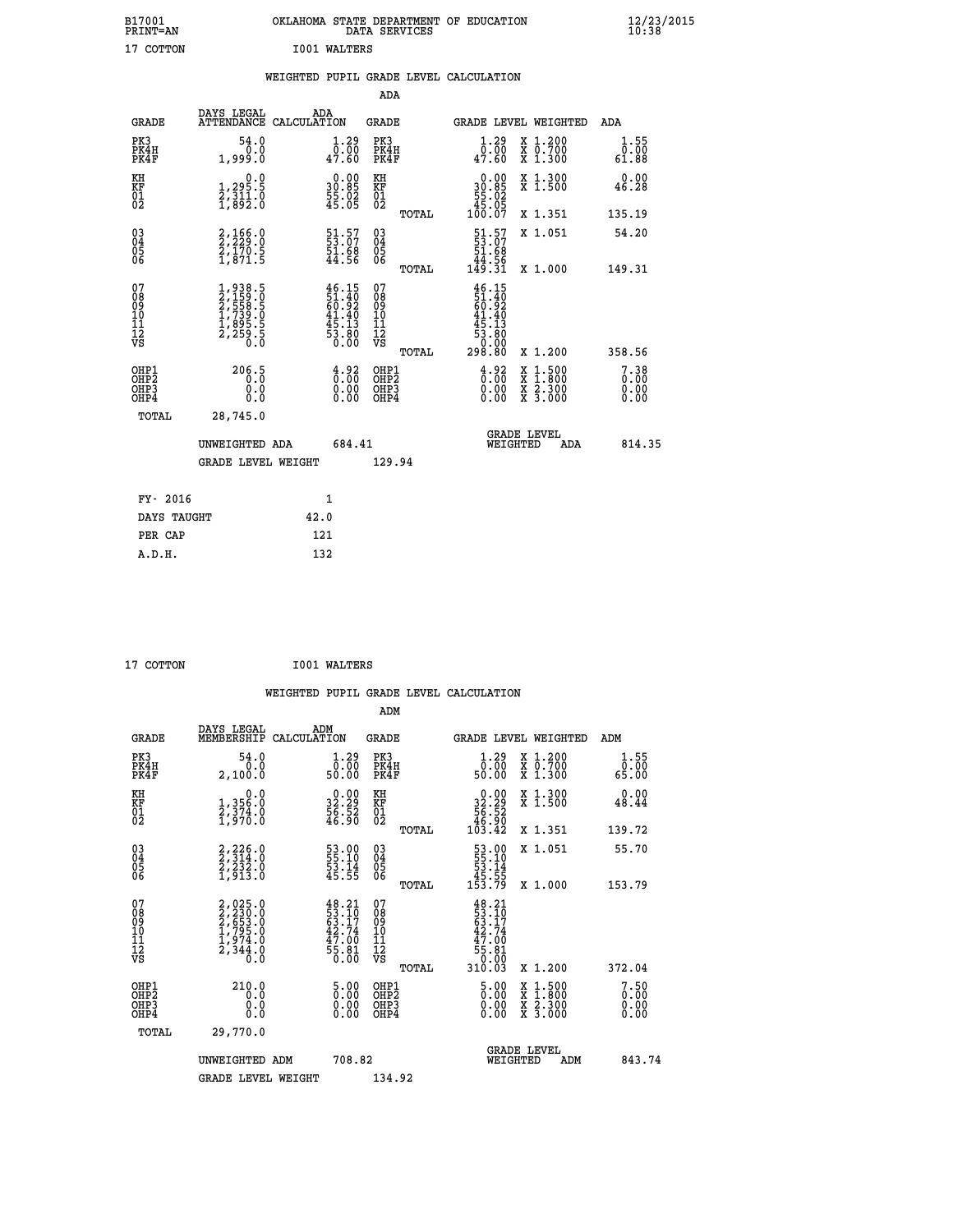| B17001<br>PRINT=AN | OKLAHOMA STATE DEPARTMENT OF EDUCATION<br>DATA SERVICES | $\frac{12}{23}$ /2015 |
|--------------------|---------------------------------------------------------|-----------------------|
| 17 COTTON          | <b>I001 WALTERS</b>                                     |                       |
|                    | WEIGHTED PUPIL GRADE LEVEL CALCULATION                  |                       |

|                                                      |                                                                           |                                                                           | ADA                                                 |       |                                                                                                                                      |                                          |                                  |
|------------------------------------------------------|---------------------------------------------------------------------------|---------------------------------------------------------------------------|-----------------------------------------------------|-------|--------------------------------------------------------------------------------------------------------------------------------------|------------------------------------------|----------------------------------|
| <b>GRADE</b>                                         | DAYS LEGAL<br><b>ATTENDANCE</b>                                           | ADA<br>CALCULATION                                                        | <b>GRADE</b>                                        |       | GRADE LEVEL WEIGHTED                                                                                                                 |                                          | ADA                              |
| PK3<br>PK4H<br>PK4F                                  | 54.0<br>0.0<br>1,999.0                                                    | 1.29<br>$\bar{0.00}$<br>47.60                                             | PK3<br>PK4H<br>PK4F                                 |       | 1.29<br>$\bar{0.00}$<br>47.60                                                                                                        | X 1.200<br>X 0.700<br>X 1.300            | 1.55<br>0.00<br>61.88            |
| KH<br>KF<br>01<br>02                                 | $\begin{smallmatrix}&&&0.0\\1,295.5\\2,311.0\\1,892.0\end{smallmatrix}$   | $\begin{smallmatrix} 0.00\\ 30.85\\ 55.02\\ 45.05 \end{smallmatrix}$      | KH<br>KF<br>01<br>02                                |       | $\begin{smallmatrix} &0.00\ 30.85\ 55.02\ 45.05\ 100.07\ \end{smallmatrix}$                                                          | X 1.300<br>X 1.500                       | 0.00<br>46.28                    |
|                                                      |                                                                           |                                                                           |                                                     | TOTAL |                                                                                                                                      | X 1.351                                  | 135.19                           |
| $\begin{matrix} 03 \\ 04 \\ 05 \\ 06 \end{matrix}$   | 2,166.0<br>2,229.0<br>2,170.5<br>1,871.5                                  | 51.57<br>53.07<br>51.68<br>44.56                                          | $\begin{array}{c} 03 \\ 04 \\ 05 \\ 06 \end{array}$ |       | $\begin{smallmatrix} 51.57\\ 53.07\\ 51.68\\ 44.56\\ 149.31 \end{smallmatrix}$                                                       | X 1.051                                  | 54.20                            |
|                                                      |                                                                           |                                                                           |                                                     | TOTAL |                                                                                                                                      | X 1.000                                  | 149.31                           |
| 07<br>08<br>09<br>101<br>112<br>VS                   | 1,938.5<br>2,159.0<br>2,558.5<br>2,558.5<br>1,739.0<br>1,895.5<br>2,259.5 | $46.15$<br>$51.40$<br>$60.92$<br>$41.40$<br>$45.13$<br>$53.80$<br>$0.00$  | 07<br>08<br>09<br>11<br>11<br>12<br>VS              |       | $\begin{array}{r} 46\cdot 15\\ 51\cdot 40\\ 60\cdot 92\\ 41\cdot 40\\ 45\cdot 13\\ 53\cdot 80\\ 0\cdot 00\\ 298\cdot 80 \end{array}$ |                                          |                                  |
|                                                      |                                                                           |                                                                           |                                                     | TOTAL |                                                                                                                                      | X 1.200                                  | 358.56                           |
| OHP1<br>OHP <sub>2</sub><br>OH <sub>P3</sub><br>OHP4 | 206.5<br>0.000                                                            | $\frac{4}{0}$ : 00<br>$\begin{smallmatrix} 0.00 \ 0.00 \end{smallmatrix}$ | OHP1<br>OHP2<br>OHP <sub>3</sub>                    |       | $\begin{smallmatrix} 4.92\ 0.00\ 0.00 \end{smallmatrix}$                                                                             | X 1:500<br>X 1:800<br>X 2:300<br>X 3:000 | 7.38<br>0.00<br>$0.00$<br>$0.00$ |
| TOTAL                                                | 28,745.0                                                                  |                                                                           |                                                     |       |                                                                                                                                      |                                          |                                  |
|                                                      | UNWEIGHTED ADA                                                            | 684.41                                                                    |                                                     |       | WEIGHTED                                                                                                                             | <b>GRADE LEVEL</b><br>ADA                | 814.35                           |
|                                                      | <b>GRADE LEVEL WEIGHT</b>                                                 |                                                                           | 129.94                                              |       |                                                                                                                                      |                                          |                                  |
|                                                      |                                                                           |                                                                           |                                                     |       |                                                                                                                                      |                                          |                                  |
| FY- 2016                                             |                                                                           | $\mathbf{1}$                                                              |                                                     |       |                                                                                                                                      |                                          |                                  |
| DAYS TAUGHT                                          |                                                                           | 42.0                                                                      |                                                     |       |                                                                                                                                      |                                          |                                  |

| 17 COTTON | <b>IO01 WALTERS</b> |
|-----------|---------------------|
|           |                     |

 **PER CAP 121 A.D.H. 132**

 **WEIGHTED PUPIL GRADE LEVEL CALCULATION ADM DAYS LEGAL ADM GRADE MEMBERSHIP CALCULATION GRADE GRADE LEVEL WEIGHTED ADM PK3 54.0 1.29 PK3 1.29 X 1.200 1.55 PK4H 0.0 0.00 PK4H 0.00 X 0.700 0.00 PK4F 2,100.0 50.00 PK4F 50.00 X 1.300 65.00 KH 0.0 0.00 KH 0.00 X 1.300 0.00 KF 1,356.0 32.29 KF 32.29 X 1.500 48.44 01 2,374.0 56.52 01 56.52 02 1,970.0 46.90 02 46.90 TOTAL 103.42 X 1.351 139.72 03 2,226.0 53.00 03 53.00 X 1.051 55.70 04 2,314.0 55.10 04 55.10 05 2,232.0 53.14 05 53.14 06 1,913.0 45.55 06 45.55 TOTAL 153.79 X 1.000 153.79**  $\begin{array}{cccc} 07 & 2,025.0 & 48.21 & 07 & 48.21 \ 08 & 2,235.0 & 53.17 & 08 & 53.17 \ 09 & 2,653.0 & 63.17 & 09 & 63.17 \ 10 & 1,795.0 & 42.74 & 10 & 42.74 \ 11 & 1,974.0 & 47.00 & 11 & 47.00 \ \hline \textrm{vs} & 2,344.0 & 55.81 & 2 & 5.81 \ 0.8 & 0.0 & 0 & 0 & 0 & 0 \$ 225.0<br>
235.0<br>
235.0<br>
53.10<br>
53.10<br>
795.0<br>
42.74<br>
210<br>
795.0<br>
42.74<br>
210<br>
42.74<br>
344.0<br>
55.81<br>
55.81<br>
70<br>
70<br>
70<br>
70<br>
57.81<br>
70<br>
57.81<br>
70<br>
57.81<br>
70<br>
57.81<br>
70<br>
57.81<br>
70<br>
57.81<br>
70<br>
57.81<br>
70<br>
57.81<br>
70<br>
57.81<br>
70<br>
70  **OHP1 210.0 5.00 OHP1 5.00 X 1.500 7.50 OHP2 0.0 0.00 OHP2 0.00 X 1.800 0.00 OHP3 0.0 0.00 OHP3 0.00 X 2.300 0.00 OHP4 0.0 0.00 OHP4 0.00 X 3.000 0.00 TOTAL 29,770.0 GRADE LEVEL UNWEIGHTED ADM 708.82 WEIGHTED ADM 843.74 GRADE LEVEL WEIGHT 134.92**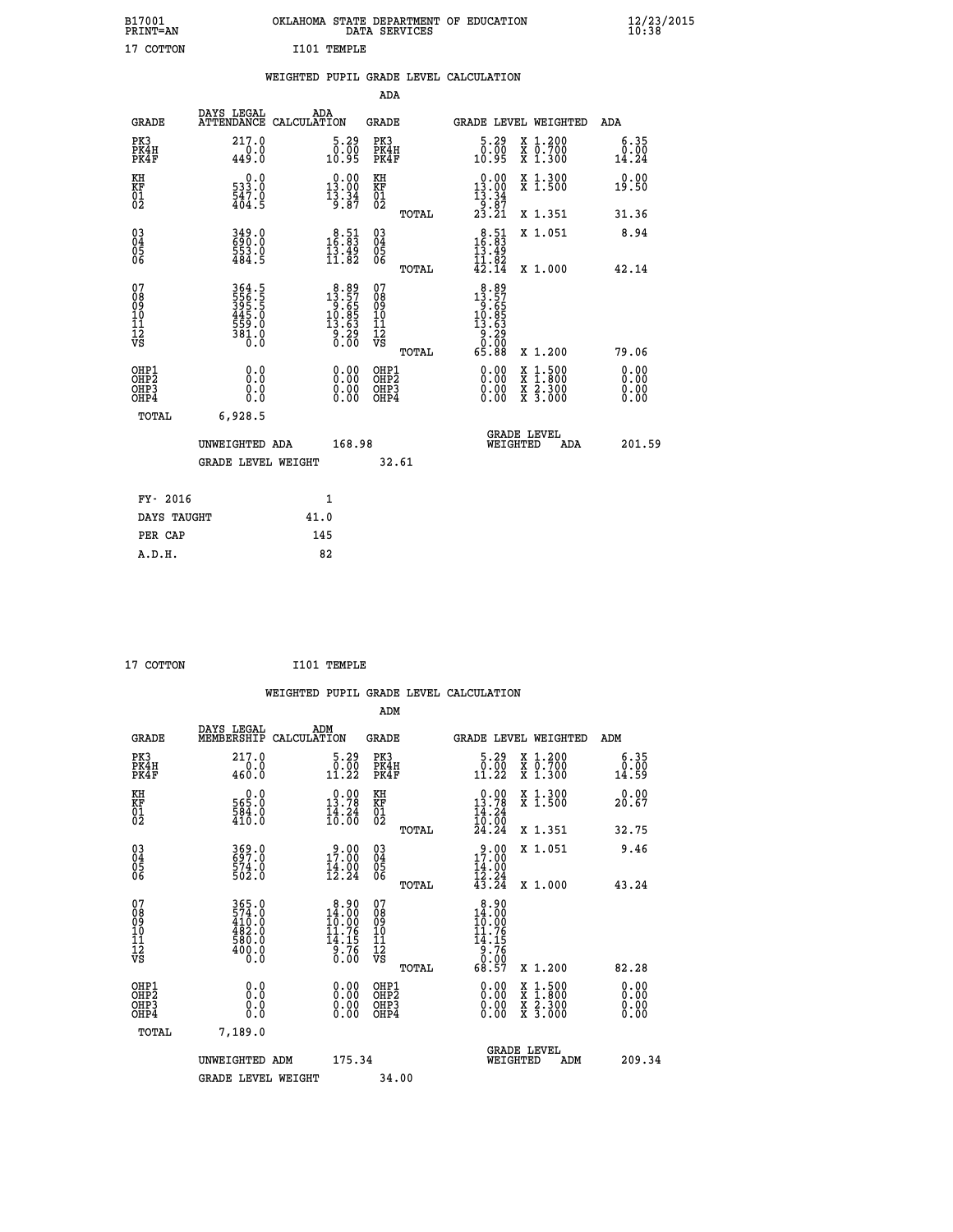| B17001<br>PRINT=AN               |                                                                  | OKLAHOMA STATE DEPARTMENT OF EDUCATION                                                                                                                                  | DATA SERVICES                                                               |                                                                                             |                                                                                                                                                      | $\frac{12}{23}$ /2015         |  |
|----------------------------------|------------------------------------------------------------------|-------------------------------------------------------------------------------------------------------------------------------------------------------------------------|-----------------------------------------------------------------------------|---------------------------------------------------------------------------------------------|------------------------------------------------------------------------------------------------------------------------------------------------------|-------------------------------|--|
| 17 COTTON                        |                                                                  | I101 TEMPLE                                                                                                                                                             |                                                                             |                                                                                             |                                                                                                                                                      |                               |  |
|                                  |                                                                  | WEIGHTED PUPIL GRADE LEVEL CALCULATION                                                                                                                                  |                                                                             |                                                                                             |                                                                                                                                                      |                               |  |
|                                  |                                                                  |                                                                                                                                                                         | <b>ADA</b>                                                                  |                                                                                             |                                                                                                                                                      |                               |  |
| GRADE                            | DAYS LEGAL ADA ATTENDANCE CALCULATION                            |                                                                                                                                                                         | GRADE                                                                       |                                                                                             | GRADE LEVEL WEIGHTED                                                                                                                                 | ADA                           |  |
| PK3<br>PK4H<br>PK4F              | 217.0<br>0.0<br>449.0                                            | 5.29<br>$\begin{smallmatrix} \textcolor{red}{\textbf{0}}\textcolor{black}{\textbf{.00}}\ \textcolor{red}{\textbf{0}}\textcolor{black}{\textbf{.95}}\ \end{smallmatrix}$ | PK3<br>PK4H<br>PK4F                                                         | 5.29<br>ةة:ة<br>10:95                                                                       | X 1.200<br>X 0.700<br>X 1.300                                                                                                                        | 6.35<br>0.00<br>14.24         |  |
| KH<br>KF<br>01<br>02             | 0.0<br>533.0<br>547.0<br>404.5                                   | 13.00<br>$\frac{13.34}{9.87}$                                                                                                                                           | KH<br><b>KF</b><br>01<br>02                                                 | $\begin{smallmatrix} 0.00\\ 13.00\\ 13.34\\ 9.87 \end{smallmatrix}$                         | X 1.300<br>X 1.500                                                                                                                                   | 0.00<br>19.50                 |  |
|                                  |                                                                  |                                                                                                                                                                         | TOTAL                                                                       | 23.21                                                                                       | X 1.351                                                                                                                                              | 31.36                         |  |
| $\substack{03 \ 04}$<br>Ŏ5<br>06 | 349.0<br>553.0<br>484.5                                          | 16:83<br>$\frac{13.49}{11.82}$                                                                                                                                          | $^{03}_{04}$<br>$\begin{matrix} 0.5 \\ 0.6 \end{matrix}$                    | $16.51$<br>16.83<br>$\frac{13.49}{11.82}$                                                   | X 1.051                                                                                                                                              | 8.94                          |  |
| 078901112<br>00901112<br>VS      | 364.5<br>556.5<br>395.5<br>$\frac{445.0}{559.0}$<br>381.0<br>ō.ŏ | $\begin{array}{r} 8.89 \\ 13.57 \\ 9.65 \\ 10.85 \\ 13.63 \end{array}$<br>$\frac{5}{0}$ . 29<br>0.00                                                                    | TOTAL<br>07<br>Ŏġ<br>09<br>$\frac{10}{11}$<br>$\frac{12}{12}$<br>$\sqrt{8}$ | 42.14<br>$8.89$<br>$13.57$<br>$9.65$<br>$10.85$<br>$13.63$<br>$\frac{5}{0}$ : $\frac{5}{0}$ | X 1.000                                                                                                                                              | 42.14                         |  |
| OHP1<br>OHP2<br>OHP3<br>OHP4     | 0.0<br>0.0<br>0.0                                                | 0.00<br>0.00<br>0.00                                                                                                                                                    | <b>TOTAL</b><br>OHP1<br>OHP2<br>OHP3<br>OHP4                                | 65.88<br>0.00<br>0.00<br>0.00                                                               | X 1.200<br>$\begin{smallmatrix} \mathtt{X} & 1\cdot500\\ \mathtt{X} & 1\cdot800\\ \mathtt{X} & 2\cdot300\\ \mathtt{X} & 3\cdot000 \end{smallmatrix}$ | 79.06<br>0.00<br>0.00<br>0.00 |  |
| <b>TOTAL</b>                     | 6,928.5<br>UNWEIGHTED ADA<br><b>GRADE LEVEL WEIGHT</b>           | 168.98                                                                                                                                                                  | 32.61                                                                       | WEIGHTED                                                                                    | <b>GRADE LEVEL</b><br>ADA                                                                                                                            | 201.59                        |  |
| FY- 2016<br>DAYS TAUGHT          |                                                                  | 1<br>41.0                                                                                                                                                               |                                                                             |                                                                                             |                                                                                                                                                      |                               |  |

| FY- 2016    |      |
|-------------|------|
| DAYS TAUGHT | 41.0 |
| PER CAP     | 145  |
| A.D.H.      | 82   |
|             |      |

```
 17 COTTON I101 TEMPLE
```
 **WEIGHTED PUPIL GRADE LEVEL CALCULATION ADM DAYS LEGAL ADM GRADE MEMBERSHIP CALCULATION GRADE GRADE LEVEL WEIGHTED ADM PK3 217.0 5.29 PK3 5.29 X 1.200 6.35 PK4H 0.0 0.00 PK4H 0.00 X 0.700 0.00 PK4F 460.0 11.22 PK4F 11.22 X 1.300 14.59 KH 0.0 0.00 KH 0.00 X 1.300 0.00 KF 565.0 13.78 KF 13.78 X 1.500 20.67 01 584.0 14.24 01 14.24** 02 410.0 10.00 02 <sub>noman</sub> 10.00  **TOTAL 24.24 X 1.351 32.75 03 369.0 9.00 03 9.00 X 1.051 9.46 04 697.0 17.00 04 17.00 05 574.0 14.00 05 14.00** 06 502.0 12.24 06 <sub>memax</sub> 12.24  **TOTAL 43.24 X 1.000 43.24 07 3762.0 8.900 8.900 8.900 08 574.0 14.00 08 14.00 09 410.0 10.00 09 10.00 10 482.0 11.76 10 11.76 11 580.0 14.15 11 14.15 12 400.0 9.76 12 9.76 VS 0.0 0.00 VS 0.00 TOTAL 68.57 X 1.200 82.28 OHP1 0.0 0.00 OHP1 0.00 X 1.500 0.00 OHP2 0.0 0.00 OHP2 0.00 X 1.800 0.00 OHP3 0.0 0.00 OHP3 0.00 X 2.300 0.00 OHP4 0.0 0.00 OHP4 0.00 X 3.000 0.00 TOTAL 7,189.0 GRADE LEVEL UNWEIGHTED ADM 175.34 WEIGHTED ADM 209.34** GRADE LEVEL WEIGHT 34.00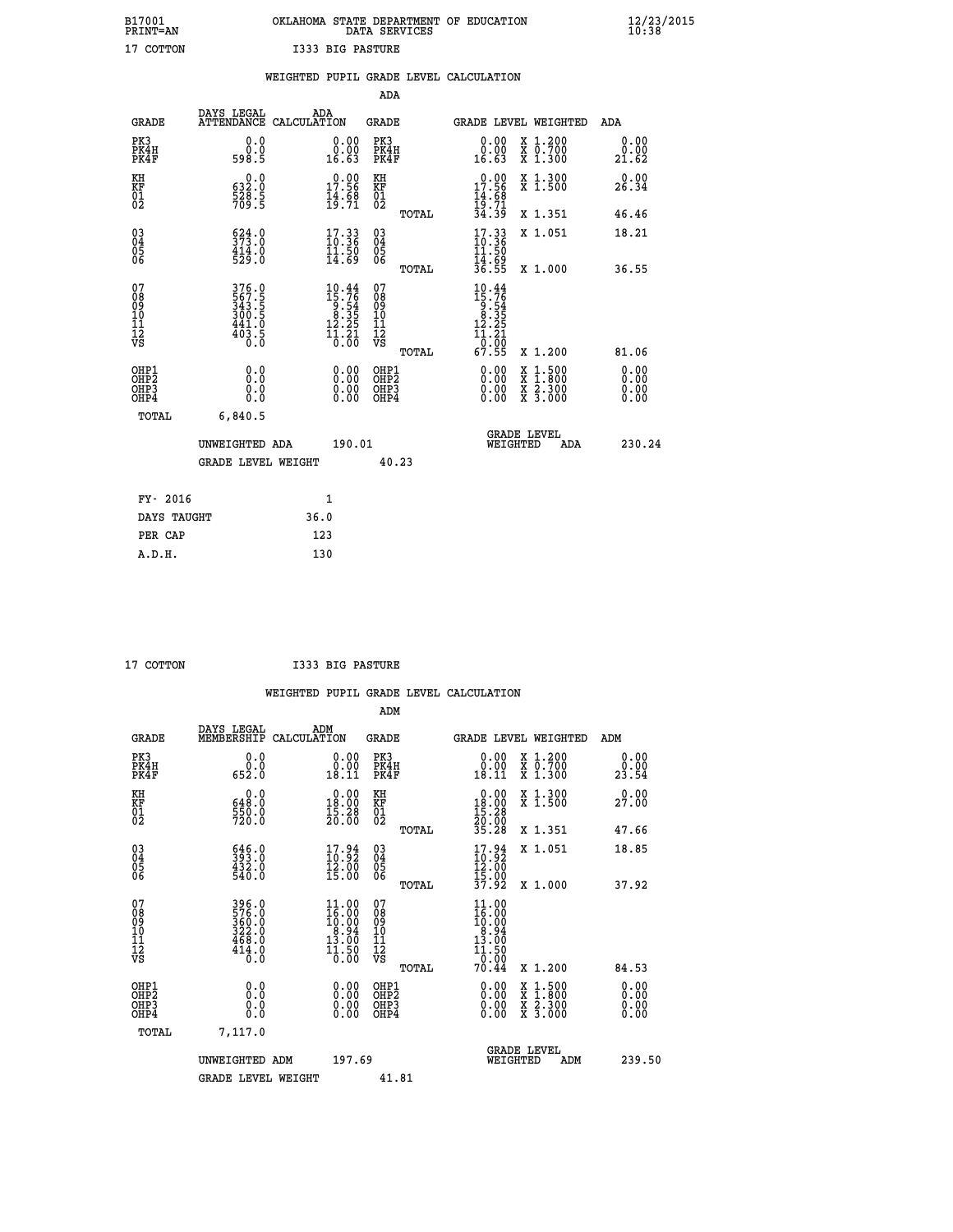| OKLAHOMA STATE DEPARTMENT OF EDUCATION<br>DATA SERVICES |  |  |
|---------------------------------------------------------|--|--|
| I333 BIG PASTURE                                        |  |  |

|                                                                    |                                                           |                                                                                                  |                                                     | WEIGHTED PUPIL GRADE LEVEL CALCULATION                                                                                                                               |                              |
|--------------------------------------------------------------------|-----------------------------------------------------------|--------------------------------------------------------------------------------------------------|-----------------------------------------------------|----------------------------------------------------------------------------------------------------------------------------------------------------------------------|------------------------------|
|                                                                    |                                                           |                                                                                                  | ADA                                                 |                                                                                                                                                                      |                              |
| <b>GRADE</b>                                                       | DAYS LEGAL<br><b>ATTENDANCE</b>                           | ADA<br>CALCULATION                                                                               | <b>GRADE</b>                                        | GRADE LEVEL WEIGHTED                                                                                                                                                 | ADA                          |
| PK3<br>PK4H<br>PK4F                                                | 0.0<br>0.0<br>598.5                                       | $\begin{smallmatrix} 0.00\\ 0.00\\ 16.63 \end{smallmatrix}$                                      | PK3<br>PK4H<br>PK4F                                 | 0.00<br>X 1.200<br>X 0.700<br>X 1.300<br>ŏ:ŏŏ<br>16:63                                                                                                               | 0.00<br>0.00<br>21.62        |
| KH<br>KF<br>01<br>02                                               | 0.0<br>$\frac{632.0}{528}$<br>709.5                       | $17.56$<br>$14.56$<br>$14.68$<br>$19.71$                                                         | KH<br>KF<br>01<br>02                                | $0.00$<br>$17.56$<br>$14.68$<br>$19.71$<br>$34.39$<br>X 1.300<br>X 1.500                                                                                             | 0.00<br>26.34                |
|                                                                    |                                                           |                                                                                                  | TOTAL                                               | X 1.351                                                                                                                                                              | 46.46                        |
| $\begin{smallmatrix} 03 \\[-4pt] 04 \end{smallmatrix}$<br>Ŏ5<br>06 | $524.0$<br>373.0<br>$\frac{414.0}{529.0}$                 | $\begin{smallmatrix} 17.33\ 10.36\ 11.50\ 14.69 \end{smallmatrix}$                               | $\begin{array}{c} 03 \\ 04 \\ 05 \\ 06 \end{array}$ | $\frac{17.33}{10.36}$<br>X 1.051                                                                                                                                     | 18.21                        |
|                                                                    |                                                           |                                                                                                  | TOTAL                                               | $\frac{11.50}{14.69}$<br>$\frac{14.69}{36.55}$<br>X 1.000                                                                                                            | 36.55                        |
| 07<br>0890112<br>1112<br>VS                                        | 376.0<br>567.5<br>343.5<br>300.5<br>441.0<br>403.5<br>0.0 | $\begin{smallmatrix} 10.44 \\ 15.76 \\ 9.54 \\ 8.35 \\ 12.25 \\ 11.21 \\ 0.00 \end{smallmatrix}$ | 07<br>08901112<br>1112<br>VS<br>TOTAL               | $10.44$<br>$15.76$<br>$9.54$<br>$8.35$<br>$12.25$<br>$\frac{11.21}{0.00}$<br>67.55<br>X 1.200                                                                        | 81.06                        |
| OHP1<br>OHP2<br>OH <sub>P3</sub><br>OHP4                           | 0.0<br>0.0<br>0.0                                         | $\begin{smallmatrix} 0.00 \ 0.00 \ 0.00 \ 0.00 \end{smallmatrix}$                                | OHP1<br>OHP2<br>OHP3<br>OHP4                        | 0.00<br>$\begin{smallmatrix} \mathtt{X} & 1\cdot500 \\ \mathtt{X} & 1\cdot800 \\ \mathtt{X} & 2\cdot300 \\ \mathtt{X} & 3\cdot000 \end{smallmatrix}$<br>0.00<br>0.00 | 0.00<br>0.00<br>0.00<br>0.00 |
| <b>TOTAL</b>                                                       | 6,840.5                                                   |                                                                                                  |                                                     |                                                                                                                                                                      |                              |
|                                                                    | UNWEIGHTED ADA                                            | 190.01                                                                                           |                                                     | <b>GRADE LEVEL</b><br>WEIGHTED<br>ADA                                                                                                                                | 230.24                       |
|                                                                    | <b>GRADE LEVEL WEIGHT</b>                                 |                                                                                                  | 40.23                                               |                                                                                                                                                                      |                              |
| FY- 2016                                                           |                                                           | $\mathbf{1}$                                                                                     |                                                     |                                                                                                                                                                      |                              |
| DAYS TAUGHT                                                        |                                                           | 36.0                                                                                             |                                                     |                                                                                                                                                                      |                              |
| PER CAP                                                            |                                                           | 123                                                                                              |                                                     |                                                                                                                                                                      |                              |

 **A.D.H. 130**

 **ADM**

 **B17001<br>PRINT=AN<br>17 COTTON** 

 **17 COTTON I333 BIG PASTURE**

| <b>GRADE</b>                                       | DAYS LEGAL<br>MEMBERSHIP CALCULATION                        | ADM                                                                                                | <b>GRADE</b>                                           |                                                                                                        |                                | GRADE LEVEL WEIGHTED                                                                                                | ADM                   |
|----------------------------------------------------|-------------------------------------------------------------|----------------------------------------------------------------------------------------------------|--------------------------------------------------------|--------------------------------------------------------------------------------------------------------|--------------------------------|---------------------------------------------------------------------------------------------------------------------|-----------------------|
| PK3<br>PK4H<br>PK4F                                | 0.0<br>0.0<br>652.0                                         | 0.00<br>0.00<br>18.11                                                                              | PK3<br>PK4H<br>PK4F                                    | 18.11                                                                                                  | 0.00<br>0.00                   | X 1.200<br>X 0.700<br>X 1.300                                                                                       | 0.00<br>0.00<br>23.54 |
| KH<br>KF<br>01<br>02                               | 0.0<br>648.0<br>550.0<br>720.0                              | $\begin{smallmatrix} 0.00\\18.00\\15.28\\20.00 \end{smallmatrix}$                                  | KH<br>KF<br>01<br>02                                   | $\begin{smallmatrix} 0.00\\18.00\\15.28\\20.00\\35.28 \end{smallmatrix}$                               |                                | X 1.300<br>X 1.500                                                                                                  | 0.00<br>27.00         |
|                                                    |                                                             |                                                                                                    | TOTAL                                                  |                                                                                                        |                                | X 1.351                                                                                                             | 47.66                 |
| $\begin{matrix} 03 \\ 04 \\ 05 \\ 06 \end{matrix}$ | 646.0<br>393.0<br>432.0<br>540.0                            | $\begin{smallmatrix} 17.94 \\ 10.92 \\ 12.00 \\ 15.00 \end{smallmatrix}$                           | $\begin{array}{c} 03 \\ 04 \\ 05 \\ 06 \end{array}$    | $\begin{smallmatrix} 17.94 \\ 10.92 \\ 12.00 \\ 15.00 \\ 37.92 \end{smallmatrix}$                      |                                | X 1.051                                                                                                             | 18.85                 |
|                                                    |                                                             |                                                                                                    | TOTAL                                                  |                                                                                                        |                                | X 1.000                                                                                                             | 37.92                 |
| 07<br>08<br>09<br>101<br>11<br>12<br>VS            | 396.0<br>576.0<br>360.0<br>322.0<br>468.0<br>414.0<br>414.0 | $\begin{smallmatrix} 11.00 \\ 16.00 \\ 10.00 \\ 8.94 \\ 13.00 \\ 14.50 \\ 10.50 \end{smallmatrix}$ | 07<br>08<br>09<br>001<br>11<br>11<br>12<br>VS<br>TOTAL | 11.00<br>$\begin{smallmatrix} 16.000\\ 16.00\\ 8.94\\ 13.00\\ 11.50\\ 0.00 \end{smallmatrix}$<br>70.44 |                                | X 1.200                                                                                                             | 84.53                 |
| OHP1<br>OHP2<br>OHP3<br>OHP4                       | 0.0<br>0.000                                                |                                                                                                    | OHP1<br>OHP2<br>OHP3<br>OHP4                           |                                                                                                        | $0.00$<br>$0.00$<br>0.00       | $\begin{array}{l} \mathtt{X} & 1.500 \\ \mathtt{X} & 1.800 \\ \mathtt{X} & 2.300 \\ \mathtt{X} & 3.000 \end{array}$ | 0.00<br>0.00<br>0.00  |
| TOTAL                                              | 7,117.0                                                     |                                                                                                    |                                                        |                                                                                                        |                                |                                                                                                                     |                       |
|                                                    | UNWEIGHTED ADM                                              | 197.69                                                                                             |                                                        |                                                                                                        | <b>GRADE LEVEL</b><br>WEIGHTED | ADM                                                                                                                 | 239.50                |
|                                                    | <b>GRADE LEVEL WEIGHT</b>                                   |                                                                                                    | 41.81                                                  |                                                                                                        |                                |                                                                                                                     |                       |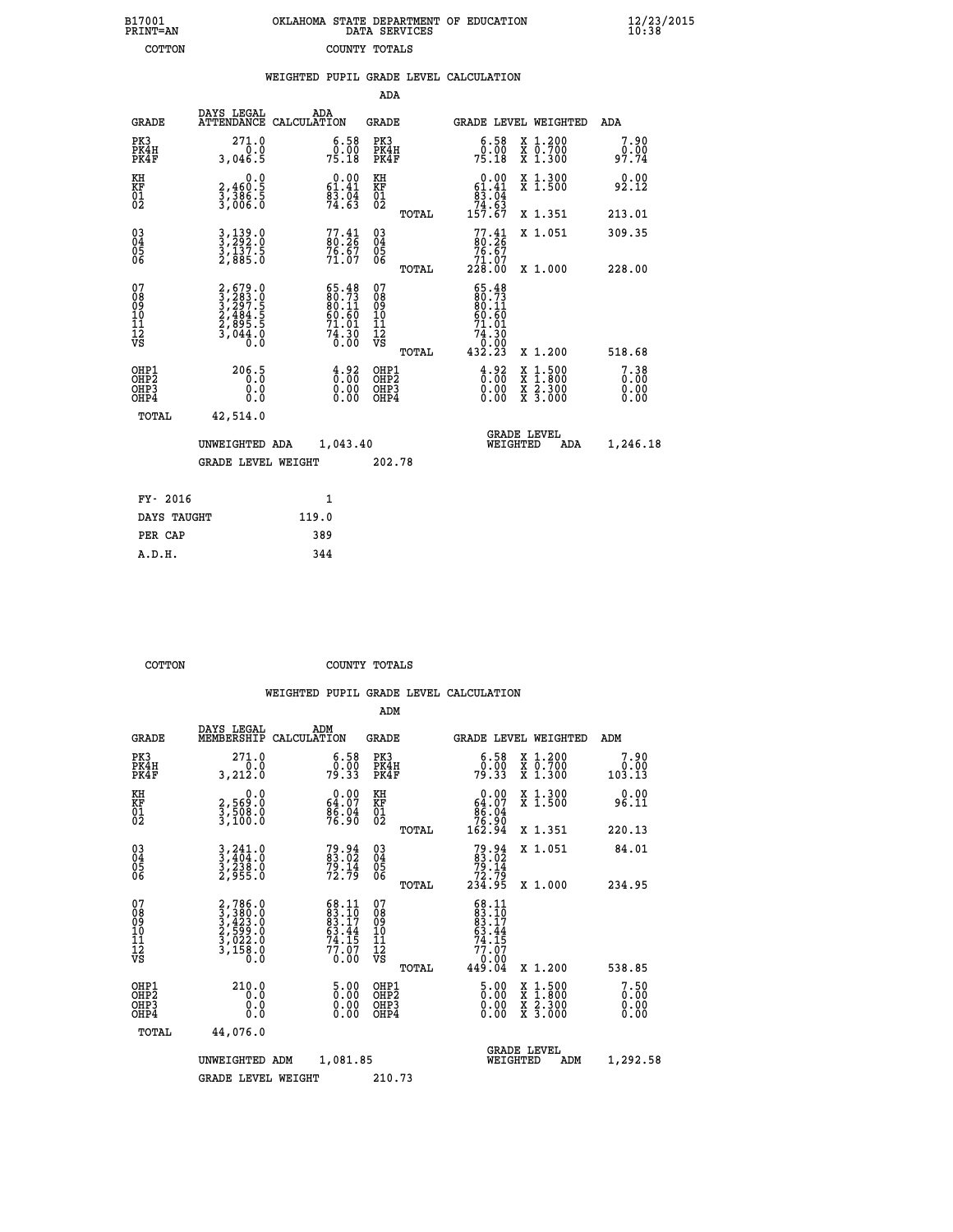| 7001<br>INT=AN | OKLAHOMA STATE DEPARTMENT OF EDUCATION<br>DATA SERVICES |  |
|----------------|---------------------------------------------------------|--|
| COTTON         | COUNTY TOTALS                                           |  |

 **B17001<br>PRINT=AN** 

 **B17001 OKLAHOMA STATE DEPARTMENT OF EDUCATION 12/23/2015**

|                                                       |                                                                | WEIGHTED PUPIL GRADE LEVEL CALCULATION                                   |                                            |       |                                                                                                                                           |                                                                                                                                              |                                  |
|-------------------------------------------------------|----------------------------------------------------------------|--------------------------------------------------------------------------|--------------------------------------------|-------|-------------------------------------------------------------------------------------------------------------------------------------------|----------------------------------------------------------------------------------------------------------------------------------------------|----------------------------------|
|                                                       |                                                                |                                                                          | ADA                                        |       |                                                                                                                                           |                                                                                                                                              |                                  |
| <b>GRADE</b>                                          | DAYS LEGAL                                                     | ADA<br>ATTENDANCE CALCULATION                                            | GRADE                                      |       |                                                                                                                                           | GRADE LEVEL WEIGHTED                                                                                                                         | ADA                              |
| PK3<br>PK4H<br>PK4F                                   | 271.0<br>0.0<br>3,046.5                                        | $\begin{smallmatrix} 6.58\ 0.00\\ 75.18 \end{smallmatrix}$               | PK3<br>PK4H<br>PK4F                        |       | $\begin{smallmatrix} 6.58\ 0.00\\ 75.18 \end{smallmatrix}$                                                                                | X 1.200<br>X 0.700<br>X 1.300                                                                                                                | 7.90<br>0.00<br>97.74            |
| KH<br>KF<br>01<br>02                                  | 0.0<br>2,460:5<br>3,386:5<br>3,006:0                           | $0.00$<br>61.41<br>$\frac{8\bar{3}\cdot\bar{0}\bar{4}}{74\cdot63}$       | KH<br>KF<br>01<br>02                       |       | $\begin{smallmatrix}&&0&.00\\ 61.41\\ 83.04\\ 74.63\\ 157.67\end{smallmatrix}$                                                            | X 1.300<br>X 1.500                                                                                                                           | 0.00<br>92.12                    |
|                                                       |                                                                |                                                                          |                                            | TOTAL |                                                                                                                                           | X 1.351                                                                                                                                      | 213.01                           |
| $^{03}_{04}$<br>05<br>06                              | 3,139.0<br>3,292.0<br>3,137.5<br>2,885.0                       | $77.41$<br>80.26<br>$76.67$<br>$71.07$                                   | $^{03}_{04}$<br>0500                       |       | $77.41$<br>80.26<br>76.67                                                                                                                 | X 1.051                                                                                                                                      | 309.35                           |
|                                                       |                                                                |                                                                          |                                            | TOTAL | 71.07<br>228.00                                                                                                                           | X 1.000                                                                                                                                      | 228.00                           |
| 07<br>08<br>09<br>10<br>11<br>11<br>12<br>VS          | 2,679.0<br>3,283.0<br>3,297.5<br>2,484.5<br>2,895.5<br>3,044.0 | $65.48$<br>$80.73$<br>$80.11$<br>$60.60$<br>$71.01$<br>$74.30$<br>$0.00$ | 078<br>089<br>0011<br>11<br>11<br>12<br>VS | TOTAL | 65.48<br>$\frac{80.73}{80.11}$<br>60.60<br>71.01<br>$\begin{array}{r}7\ddot{4}\cdot\overset{3}{3}\overset{7}{0}\\0.00\\432.23\end{array}$ | X 1.200                                                                                                                                      | 518.68                           |
| OHP1<br>OHP2<br>OH <sub>P</sub> 3<br>OH <sub>P4</sub> | 206.5<br>0.0<br>0.0                                            | $\begin{smallmatrix} 4.92\ 6.00\ 0.00\ 0.00 \end{smallmatrix}$           | OHP1<br>OHP2<br>OHP3<br>OHP4               |       | $\begin{smallmatrix} 4.92\ 0.00\ 0.00 \end{smallmatrix}$                                                                                  | $\begin{smallmatrix} \mathtt{X} & 1\cdot500 \\ \mathtt{X} & 1\cdot800 \\ \mathtt{X} & 2\cdot300 \\ \mathtt{X} & 3\cdot000 \end{smallmatrix}$ | $7.38$<br>$0.00$<br>0.00<br>0.00 |
| TOTAL                                                 | 42,514.0                                                       |                                                                          |                                            |       |                                                                                                                                           |                                                                                                                                              |                                  |
|                                                       | UNWEIGHTED ADA                                                 | 1,043.40                                                                 |                                            |       | WEIGHTED                                                                                                                                  | <b>GRADE LEVEL</b><br>ADA                                                                                                                    | 1,246.18                         |
|                                                       | <b>GRADE LEVEL WEIGHT</b>                                      |                                                                          | 202.78                                     |       |                                                                                                                                           |                                                                                                                                              |                                  |
| FY- 2016                                              |                                                                | $\mathbf{1}$                                                             |                                            |       |                                                                                                                                           |                                                                                                                                              |                                  |
| DAYS TAUGHT                                           |                                                                | 119.0                                                                    |                                            |       |                                                                                                                                           |                                                                                                                                              |                                  |
| PER CAP                                               |                                                                | 389                                                                      |                                            |       |                                                                                                                                           |                                                                                                                                              |                                  |

 **COTTON COUNTY TOTALS**

 **A.D.H. 344**

|                                           |                                                                                     |                                                                      | ADM                                                 |       |                                                                           |                                          |                                                       |
|-------------------------------------------|-------------------------------------------------------------------------------------|----------------------------------------------------------------------|-----------------------------------------------------|-------|---------------------------------------------------------------------------|------------------------------------------|-------------------------------------------------------|
| <b>GRADE</b>                              | DAYS LEGAL<br>MEMBERSHIP                                                            | ADM<br>CALCULATION                                                   | <b>GRADE</b>                                        |       |                                                                           | <b>GRADE LEVEL WEIGHTED</b>              | ADM                                                   |
| PK3<br>PK4H<br>PK4F                       | 271.0<br>3,212.0                                                                    | $\begin{smallmatrix} 6.58\ 0.00 \ 79.33 \end{smallmatrix}$           | PK3<br>PK4H<br>PK4F                                 |       | $\begin{smallmatrix} 6.58 \\ 0.00 \\ 79.33 \end{smallmatrix}$             | X 1.200<br>X 0.700<br>X 1.300            | 7.90<br>$\begin{array}{c} 0.00 \\ 103.13 \end{array}$ |
| KH<br>KF<br>01<br>02                      | 0.0<br>2,569:0<br>3,508:0<br>3,100:0                                                | $\begin{smallmatrix} 0.00\\ 64.07\\ 86.94\\ 76.90 \end{smallmatrix}$ | KH<br>KF<br>01<br>02                                |       | $0.00\n64.07\n86.04\n76.90\n162.94$                                       | X 1.300<br>X 1.500                       | 0.00<br>96.11                                         |
|                                           |                                                                                     |                                                                      |                                                     | TOTAL |                                                                           | X 1.351                                  | 220.13                                                |
| 03<br>04<br>05<br>06                      | $3, 241.0$<br>$3, 404.0$<br>$3, 238.0$<br>$2, 955.0$                                | 79.94<br>83.02<br>79.14<br>72.79                                     | $\begin{array}{c} 03 \\ 04 \\ 05 \\ 06 \end{array}$ |       | $79.94$<br>$79.14$<br>$72.79$<br>$234.95$                                 | X 1.051                                  | 84.01                                                 |
|                                           |                                                                                     |                                                                      |                                                     | TOTAL |                                                                           | X 1.000                                  | 234.95                                                |
| 07<br>08<br>09<br>101<br>11<br>12<br>VS   | $2,786.0$<br>$3,380.0$<br>$3,423.0$<br>$2,599.0$<br>$3,022.0$<br>$3,158.0$<br>$0.0$ | $68.1183.1083.1763.4474.1577.070.00$                                 | 07<br>08<br>09<br>11<br>11<br>12<br>VS              |       | $68.11$<br>$83.17$<br>$83.17$<br>$63.44$<br>$74.15$<br>$77.07$<br>$70.09$ |                                          |                                                       |
|                                           |                                                                                     |                                                                      |                                                     | TOTAL | 449.04                                                                    | X 1.200                                  | 538.85                                                |
| OHP1<br>OHP2<br>OH <sub>P</sub> 3<br>OHP4 | 210.0<br>0.000                                                                      | $\begin{smallmatrix} 5.00\ 0.00\ 0.00 \end{smallmatrix}$             | OHP1<br>OHP2<br>OHP <sub>3</sub>                    |       | $\frac{5.00}{0.00}$<br>0.00                                               | X 1:500<br>X 1:800<br>X 2:300<br>X 3:000 | 7.50<br>0.00<br>0.00                                  |
| TOTAL                                     | 44,076.0                                                                            |                                                                      |                                                     |       |                                                                           |                                          |                                                       |
|                                           | UNWEIGHTED                                                                          | 1,081.85<br>ADM                                                      |                                                     |       | WEIGHTED                                                                  | <b>GRADE LEVEL</b><br>ADM                | 1,292.58                                              |
|                                           | <b>GRADE LEVEL WEIGHT</b>                                                           |                                                                      | 210.73                                              |       |                                                                           |                                          |                                                       |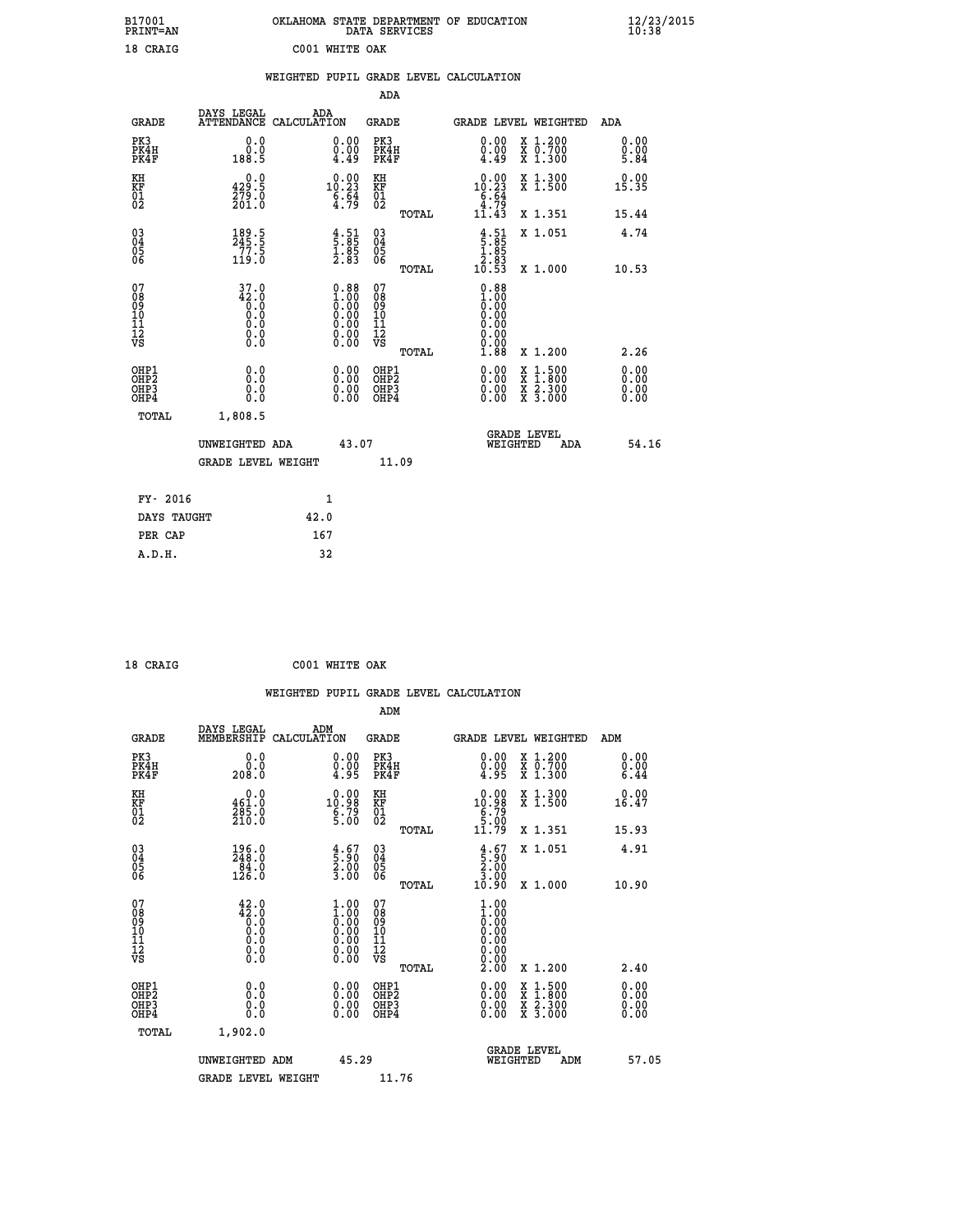| B17001<br>PRINT=AN           |                                         | OKLAHOMA STATE DEPARTMENT OF EDUCATION                                                       | DATA SERVICES                                      |                                                                                                       |                                          | $\frac{12}{23}$ /2015        |  |
|------------------------------|-----------------------------------------|----------------------------------------------------------------------------------------------|----------------------------------------------------|-------------------------------------------------------------------------------------------------------|------------------------------------------|------------------------------|--|
| 18 CRAIG                     |                                         | C001 WHITE OAK                                                                               |                                                    |                                                                                                       |                                          |                              |  |
|                              |                                         | WEIGHTED PUPIL GRADE LEVEL CALCULATION                                                       |                                                    |                                                                                                       |                                          |                              |  |
|                              |                                         |                                                                                              | ADA                                                |                                                                                                       |                                          |                              |  |
| <b>GRADE</b>                 | DAYS LEGAL                              | ADA<br>ATTENDANCE CALCULATION                                                                | GRADE                                              |                                                                                                       | GRADE LEVEL WEIGHTED                     | ADA                          |  |
| PK3<br>PK4H<br>PK4F          | 0.0<br>0.0<br>188.5                     | 0.00<br>$\begin{smallmatrix}0.00\\4.49\end{smallmatrix}$                                     | PK3<br>PK4H<br>PK4F                                | 0.00<br>$\frac{0.00}{4.49}$                                                                           | X 1.200<br>X 0.700<br>X 1.300            | 0.00<br>0.00<br>5.84         |  |
| KH<br>KF<br>01<br>02         | 0.0<br>429.5<br>279.0<br>201.0          | $10.00$<br>10.23<br>$\frac{6}{4}$ : $\frac{64}{79}$                                          | KH<br>KF<br>01<br>02                               | $0.00$<br>10.23<br>$\begin{array}{c} 6.64 \\ 4.79 \\ 11.43 \end{array}$                               | X 1.300<br>X 1.500                       | 0.00<br>15.35                |  |
|                              |                                         |                                                                                              | TOTAL                                              |                                                                                                       | X 1.351                                  | 15.44                        |  |
| 03<br>04<br>05<br>06         | $\frac{189}{245}$ : 5<br>77: 5<br>119.0 | $\begin{smallmatrix} 4.51\ 5.85\ 1.85\ 2.83 \end{smallmatrix}$                               | $\begin{matrix} 03 \\ 04 \\ 05 \\ 06 \end{matrix}$ | $\begin{array}{c} 4\cdot 51\\ 5\cdot 85\\ 1\cdot 85\\ 2\cdot 83\\ 2\cdot 53\\ 10\cdot 53 \end{array}$ | X 1.051                                  | 4.74                         |  |
|                              |                                         |                                                                                              | <b>TOTAL</b>                                       |                                                                                                       | X 1.000                                  | 10.53                        |  |
| 078901112<br>00901112<br>VS  | $37.0$<br>$42.0$<br>$0.0$<br>Ŏ.Ŏ<br>Ŏ.Ŏ | $\begin{smallmatrix} 0.88\ 1.00\ 0.00\ 0.00\ 0.00\ 0.00\ 0.00\ 0.00\ 0.00 \end{smallmatrix}$ | 07<br>08<br>09<br>10<br>10                         | $0.88\n1.00\n0.00\n0.00$<br>0.00                                                                      |                                          |                              |  |
|                              | $\S.$ $\S$                              |                                                                                              | $\frac{11}{12}$<br>$\frac{12}{18}$<br>TOTAL        | 0.00<br>1.88                                                                                          | X 1.200                                  | 2.26                         |  |
| OHP1<br>OHP2<br>OHP3<br>OHP4 | 0.0<br>0.0<br>0.0<br>0.0                | 0.00<br>$\begin{smallmatrix} 0.00 \ 0.00 \end{smallmatrix}$                                  | OHP1<br>OH <sub>P</sub> 2<br>OHP3<br>OHP4          | 0.00<br>0.00<br>0.00                                                                                  | X 1:500<br>X 1:800<br>X 2:300<br>X 3:000 | 0.00<br>0.00<br>0.00<br>0.00 |  |
| TOTAL                        | 1,808.5                                 |                                                                                              |                                                    |                                                                                                       |                                          |                              |  |
|                              | UNWEIGHTED ADA                          | 43.07                                                                                        |                                                    | WEIGHTED                                                                                              | <b>GRADE LEVEL</b><br>ADA                | 54.16                        |  |
|                              | <b>GRADE LEVEL WEIGHT</b>               |                                                                                              | 11.09                                              |                                                                                                       |                                          |                              |  |
| FY- 2016                     |                                         | 1                                                                                            |                                                    |                                                                                                       |                                          |                              |  |
| DAYS TAUGHT                  |                                         | 42.0                                                                                         |                                                    |                                                                                                       |                                          |                              |  |
| PER CAP                      |                                         | 167                                                                                          |                                                    |                                                                                                       |                                          |                              |  |

| 18 CRAIG |  | C001 WHITE OAK |  |
|----------|--|----------------|--|

 **WEIGHTED PUPIL GRADE LEVEL CALCULATION ADM DAYS LEGAL ADM GRADE MEMBERSHIP CALCULATION GRADE GRADE LEVEL WEIGHTED ADM PK3 0.0 0.00 PK3 0.00 X 1.200 0.00 PK4H 0.0 0.00 PK4H 0.00 X 0.700 0.00 PK4F 208.0 4.95 PK4F 4.95 X 1.300 6.44**  $\begin{array}{cccccccc} \text{KH} & & & & 0.0 & & & 0.00 & \text{KH} & & & & 0.00 & \text{X}\;1.300 & & & 0.00 & \text{K} \text{F} & & & & & & 0.00 & \text{K} \text{F} & & & & 461.0 & & & & 10.98 & \text{KF} & & & 10.98 & \text{X}\;1.500 & & & 16.47 & \text{F} \text{F} & & & & & & 0.00 & & \text{F} \text{F} & & & & & 0.00 & & & & 0.00 & \text{F} \text{F} \text{F$  **KF 461.0 10.98 KF 10.98 X 1.500 16.47 01 285.0 6.79 01 6.79** 02 210.0 5.00 02 5.00 5  **TOTAL 11.79 X 1.351 15.93 03 196.0 4.67 03 4.67 X 1.051 4.91 04 248.0 5.90 04 5.90 05 84.0 2.00 05 2.00** 06 126.0 3.00 06 <sub>memax</sub> 3.00  **TOTAL 10.90 X 1.000 10.90 07 42.0 1.00 07 1.00 08 42.0 1.00 08 1.00 03 0.00 0.00 0.000 0.000 10 0.0 0.00 10 0.00 11 0.0 0.00 11 0.00 12 0.0 0.00 12 0.00 VS** 0.0 0.00 VS 0.00 0.00  **TOTAL 2.00 X 1.200 2.40 OHP1 0.0 0.00 OHP1 0.00 X 1.500 0.00 OHP2 0.0 0.00 OHP2 0.00 X 1.800 0.00 OHP3 0.0 0.00 OHP3 0.00 X 2.300 0.00 OHP4 0.0 0.00 OHP4 0.00 X 3.000 0.00 TOTAL 1,902.0 GRADE LEVEL UNWEIGHTED ADM 45.29 WEIGHTED ADM 57.05** GRADE LEVEL WEIGHT 11.76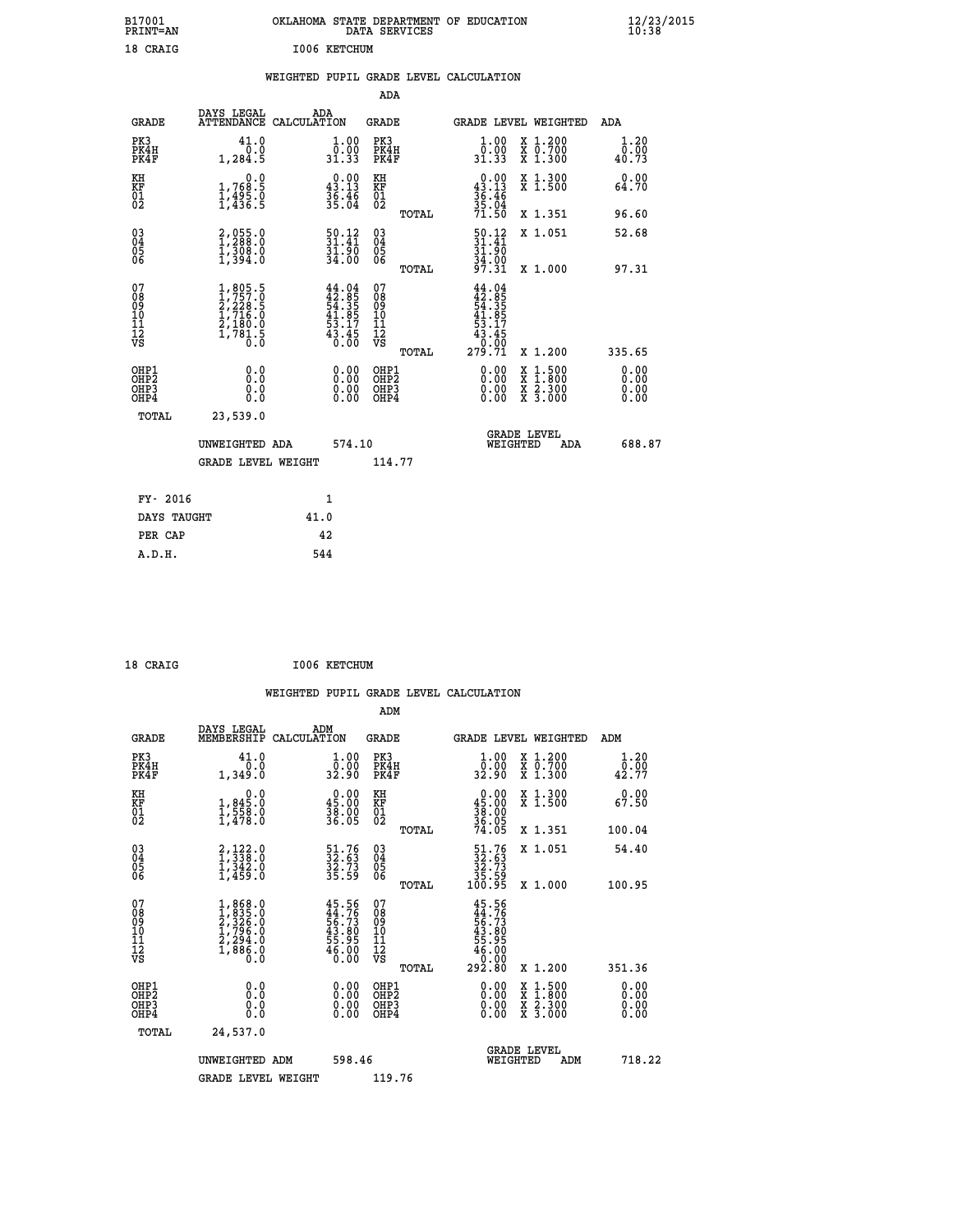| B17001                                             |                                                                                     | OKLAHOMA STATE DEPARTMENT OF EDUCATION                                   |                                                    |                                                                                     |                                                                                                                                           | 12/23/2015                   |  |
|----------------------------------------------------|-------------------------------------------------------------------------------------|--------------------------------------------------------------------------|----------------------------------------------------|-------------------------------------------------------------------------------------|-------------------------------------------------------------------------------------------------------------------------------------------|------------------------------|--|
| PRINT=AN                                           |                                                                                     |                                                                          | DATA SERVICES                                      |                                                                                     |                                                                                                                                           |                              |  |
| 18 CRAIG                                           |                                                                                     | I006 KETCHUM                                                             |                                                    |                                                                                     |                                                                                                                                           |                              |  |
|                                                    |                                                                                     | WEIGHTED PUPIL GRADE LEVEL CALCULATION                                   |                                                    |                                                                                     |                                                                                                                                           |                              |  |
|                                                    |                                                                                     |                                                                          | <b>ADA</b>                                         |                                                                                     |                                                                                                                                           |                              |  |
| <b>GRADE</b>                                       | DAYS LEGAL                                                                          | ADA<br>ATTENDANCE CALCULATION                                            | <b>GRADE</b>                                       |                                                                                     | <b>GRADE LEVEL WEIGHTED</b>                                                                                                               | ADA                          |  |
| PK3<br>PK4H<br>PK4F                                | 41.0<br>0.0<br>1, 284.5                                                             | $1.00$<br>$0.00$<br>31.33                                                | PK3<br>PK4H<br>PK4F                                | $\begin{smallmatrix} 1.00\\[-1.2mm] 0.00\\[-1.2mm] 31.33\end{smallmatrix}$          | X 1.200<br>X 0.700<br>X 1.300                                                                                                             | 1.20<br>0.00<br>40.73        |  |
| KH<br>KF<br>$\overline{01}$                        | 0.0<br>1,768:5<br>1,495:0<br>1,436:5                                                | $\begin{smallmatrix} 0.00\\ 43.13\\ 36.46\\ 35.04 \end{smallmatrix}$     | KH<br>KF<br>01<br>02                               | $0.00$<br>43.13<br>$\frac{36}{35}$ : $\frac{46}{04}$<br>71.50                       | X 1.300<br>X 1.500                                                                                                                        | 0.00<br>64.70                |  |
|                                                    |                                                                                     |                                                                          | TOTAL                                              |                                                                                     | X 1.351                                                                                                                                   | 96.60                        |  |
| $\begin{matrix} 03 \\ 04 \\ 05 \\ 06 \end{matrix}$ | $2,055.0$<br>$1,288.0$<br>$1,308.0$<br>$1,394.0$                                    | $\begin{smallmatrix} 50.12\ 31.41\ 31.90\ 34.00 \end{smallmatrix}$       | $\begin{matrix} 03 \\ 04 \\ 05 \\ 06 \end{matrix}$ | $\frac{50.12}{31.41}$<br>31.90<br>34.00<br>97.31                                    | X 1.051                                                                                                                                   | 52.68                        |  |
|                                                    |                                                                                     |                                                                          | TOTAL                                              |                                                                                     | X 1.000                                                                                                                                   | 97.31                        |  |
| 07<br>08<br>09<br>11<br>11<br>12<br>VS             | $1,805.5$<br>$1,757.0$<br>$2,228.5$<br>$1,716.0$<br>$2,180.0$<br>$1,781.5$<br>$0.0$ | $44.04$<br>$42.85$<br>$54.35$<br>$41.85$<br>$53.17$<br>$43.45$<br>$0.00$ | 07<br>08<br>09<br>10<br>11<br>12<br>VS<br>TOTAL    | 44.04<br>$42.855$<br>$43.355$<br>$41.857$<br>$43.45$<br>$43.45$<br>$0.00$<br>279.71 | X 1.200                                                                                                                                   | 335.65                       |  |
| OHP1<br>OHP2<br>OHP3<br>OHP4                       | 0.0<br>Ō.Ō<br>0.0<br>0.0                                                            | 0.00<br>0.00<br>0.00                                                     | OHP1<br>OHP <sub>2</sub><br>OHP3<br>OHP4           | 0.00<br>0.00<br>0.00                                                                | $\begin{smallmatrix} \mathtt{X} & 1\cdot500\\ \mathtt{X} & 1\cdot800\\ \mathtt{X} & 2\cdot300\\ \mathtt{X} & 3\cdot000 \end{smallmatrix}$ | 0.00<br>0.00<br>0.00<br>0.00 |  |
| TOTAL                                              | 23,539.0                                                                            |                                                                          |                                                    |                                                                                     |                                                                                                                                           |                              |  |
|                                                    | UNWEIGHTED ADA                                                                      | 574.10                                                                   |                                                    | WEIGHTED                                                                            | <b>GRADE LEVEL</b><br>ADA                                                                                                                 | 688.87                       |  |
|                                                    | <b>GRADE LEVEL WEIGHT</b>                                                           |                                                                          | 114.77                                             |                                                                                     |                                                                                                                                           |                              |  |
| FY- 2016                                           |                                                                                     | 1                                                                        |                                                    |                                                                                     |                                                                                                                                           |                              |  |
| DAYS TAUGHT                                        |                                                                                     | 41.0                                                                     |                                                    |                                                                                     |                                                                                                                                           |                              |  |

| 18 CRAIG |  |  | <b>I006 KETCHUM</b> |
|----------|--|--|---------------------|

 **PER CAP 42 A.D.H. 544**

 **WEIGHTED PUPIL GRADE LEVEL CALCULATION ADM DAYS LEGAL ADM GRADE MEMBERSHIP CALCULATION GRADE GRADE LEVEL WEIGHTED ADM PK3 41.0 1.00 PK3 1.00 X 1.200 1.20 PK4H 0.0 0.00 PK4H 0.00 X 0.700 0.00 PK4F 1,349.0 32.90 PK4F 32.90 X 1.300 42.77 KH 0.0 0.00 KH 0.00 X 1.300 0.00 KF 1,845.0 45.00 KF 45.00 X 1.500 67.50 01 1,558.0 38.00 01 38.00 02 1,478.0 36.05 02 36.05 TOTAL 74.05 X 1.351 100.04 03 2,122.0 51.76 03 51.76 X 1.051 54.40 04 1,338.0 32.63 04 32.63 05 1,342.0 32.73 05 32.73 06 1,459.0 35.59 06 35.59 TOTAL 100.95 X 1.000 100.95**  $\begin{array}{cccc} 07 & 1,868.0 & 45.56 & 07 & 45.56 \ 08 & 1,835.0 & 45.73 & 08 & 45.75 \ 09 & 2,326.0 & 56.73 & 09 & 56.73 \ 10 & 1,796.0 & 43.80 & 10 & 43.80 \ 11 & 2,294.0 & 55.95 & 11 & 55.95 \ 12 & 1,886.0 & 45.00 & 12 & 55.00 \ \hline\end{array}$  $\begin{array}{cccc} 45.56 & 07 & 45.56 & 11 & 11.11 & 11.11 & 11.11 & 11.11 & 11.11 & 11.11 & 11.11 & 11.11 & 11.11 & 11.11 & 11.11 & 11.11 & 11.11 & 11.11 & 11.11 & 11.11 & 11.11 & 11.11 & 11.11 & 11.11 & 11.11 & 11.11 & 11.11 & 11.11 & 11.11 & 11.11 & 11.11 & 1$  **OHP1 0.0 0.00 OHP1 0.00 X 1.500 0.00 OHP2 0.0 0.00 OHP2 0.00 X 1.800 0.00 OHP3 0.0 0.00 OHP3 0.00 X 2.300 0.00 OHP4 0.0 0.00 OHP4 0.00 X 3.000 0.00 TOTAL 24,537.0 GRADE LEVEL UNWEIGHTED ADM 598.46 WEIGHTED ADM 718.22** GRADE LEVEL WEIGHT 119.76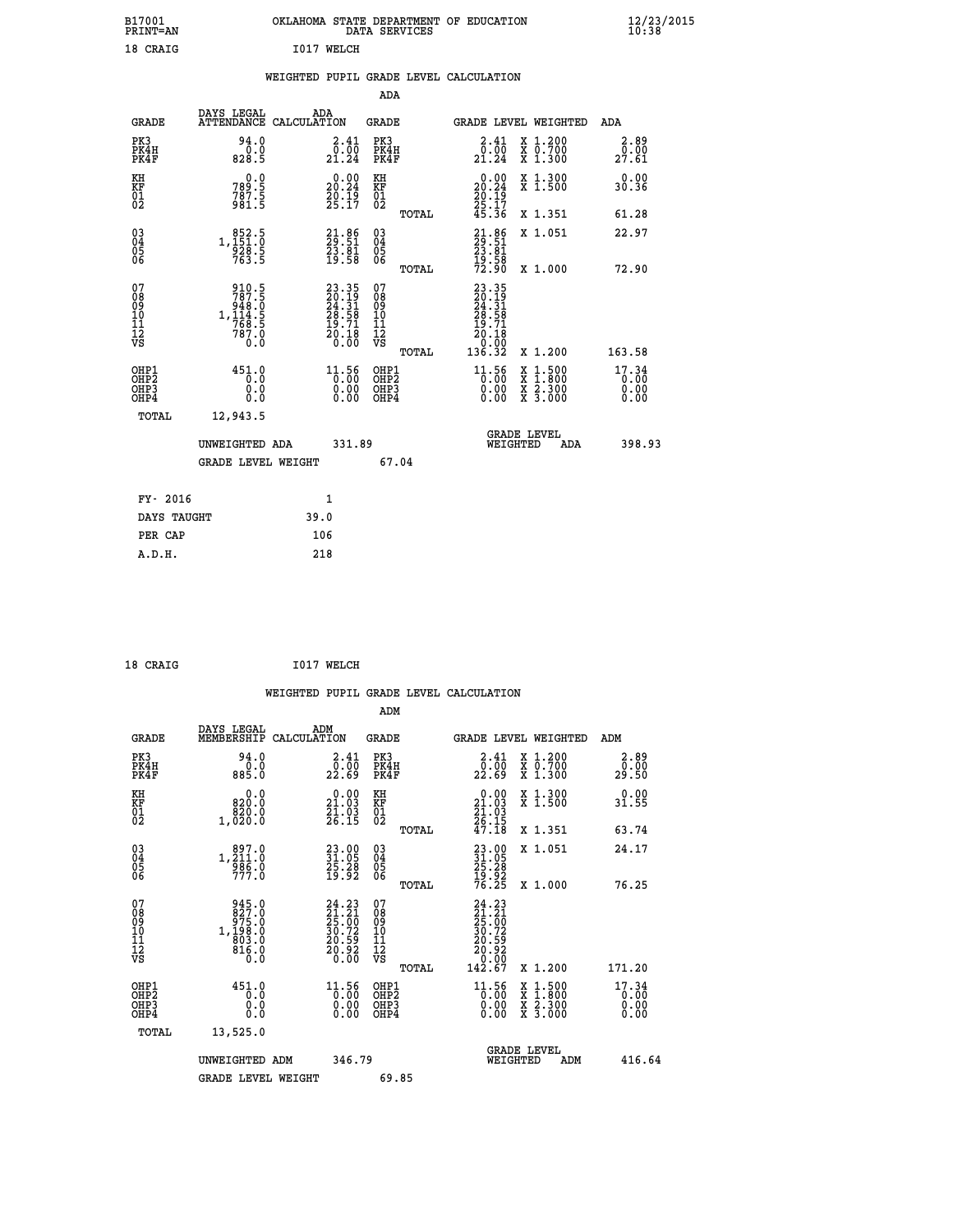| B17001<br>PRINT=AN                                 |                                                                             | OKLAHOMA STATE DEPARTMENT OF EDUCATION                            | DATA SERVICES                                   |                                                                                        |                                                                                          | 12/23/2015<br>10:38           |  |
|----------------------------------------------------|-----------------------------------------------------------------------------|-------------------------------------------------------------------|-------------------------------------------------|----------------------------------------------------------------------------------------|------------------------------------------------------------------------------------------|-------------------------------|--|
| 18 CRAIG                                           |                                                                             | I017 WELCH                                                        |                                                 |                                                                                        |                                                                                          |                               |  |
|                                                    |                                                                             | WEIGHTED PUPIL GRADE LEVEL CALCULATION                            |                                                 |                                                                                        |                                                                                          |                               |  |
|                                                    |                                                                             |                                                                   | ADA                                             |                                                                                        |                                                                                          |                               |  |
| <b>GRADE</b>                                       | DAYS LEGAL<br>ATTENDANCE CALCULATION                                        | ADA                                                               | GRADE                                           | GRADE LEVEL WEIGHTED                                                                   |                                                                                          | ADA                           |  |
| PK3<br>PK4H<br>PK4F                                | 94.0<br>0.0<br>828.5                                                        | 2.41<br>$\frac{5.00}{21.24}$                                      | PK3<br>PK4H<br>PK4F                             | 2.41<br>$\begin{smallmatrix} \bar{0} & \bar{0} & \bar{0} \\ 21 & 24 \end{smallmatrix}$ | X 1.200<br>X 0.700<br>X 1.300                                                            | 2.89<br>0.00<br>27.61         |  |
| KH<br>KF<br>01<br>02                               | 0.0<br>789:5<br>787:5<br>981:5                                              | 0.00<br>$\frac{20.24}{20.19}$<br>25.17                            | KH<br>KF<br>$^{01}_{02}$                        | $\begin{smallmatrix} 0.00\\ 20.24\\ 20.19\\ 25.17\\ 45.36 \end{smallmatrix}$           | X 1.300<br>X 1.500                                                                       | 0.00<br>30.36                 |  |
|                                                    |                                                                             |                                                                   | TOTAL                                           |                                                                                        | X 1.351                                                                                  | 61.28                         |  |
| $\begin{matrix} 03 \\ 04 \\ 05 \\ 06 \end{matrix}$ | 1, 151:0<br>928.5<br>763.5                                                  | $21.86$<br>$23.51$<br>$23.81$<br>$19.58$                          | 03<br>04<br>05<br>ŎĞ                            | $23.86$<br>$23.81$<br>$23.81$<br>$\frac{19.58}{72.90}$                                 | X 1.051                                                                                  | 22.97                         |  |
|                                                    |                                                                             |                                                                   | TOTAL                                           |                                                                                        | X 1.000                                                                                  | 72.90                         |  |
| 07<br>08<br>09<br>11<br>11<br>12<br>VS             | 910.5<br>787.5<br>$1, \frac{146}{160}$<br>1, 114.5<br>760.5<br>787.0<br>0.0 | 23.35<br>20.19<br>24.31<br>28.58<br>19.71<br>$\frac{20.18}{0.00}$ | 07<br>08<br>09<br>10<br>11<br>12<br>VS<br>TOTAL | 23.35<br>$\frac{20.19}{24.31}$<br>$\frac{28.58}{19.71}$<br>20.18<br>0.00<br>136.32     | X 1.200                                                                                  | 163.58                        |  |
| OHP1<br>OHP2<br>OHP3<br>OHP4                       | 451.0<br>0.0<br>0.0<br>0.0                                                  | $11.56$<br>0.00<br>0.00                                           | OHP1<br>OHP2<br>OHP3<br>OHP4                    | $11.56$<br>$0.00$<br>0.00<br>0.00                                                      | $\begin{smallmatrix} x & 1.500 \\ x & 1.800 \\ x & 2.300 \\ x & 3.000 \end{smallmatrix}$ | 17.34<br>0.00<br>0.00<br>0.00 |  |
| TOTAL                                              | 12,943.5                                                                    |                                                                   |                                                 |                                                                                        |                                                                                          |                               |  |
|                                                    | UNWEIGHTED ADA                                                              | 331.89                                                            |                                                 | <b>GRADE LEVEL</b><br>WEIGHTED                                                         | ADA                                                                                      | 398.93                        |  |
|                                                    | <b>GRADE LEVEL WEIGHT</b>                                                   |                                                                   | 67.04                                           |                                                                                        |                                                                                          |                               |  |
| FY- 2016                                           |                                                                             | 1                                                                 |                                                 |                                                                                        |                                                                                          |                               |  |
| DAYS TAUGHT                                        |                                                                             | 39.0                                                              |                                                 |                                                                                        |                                                                                          |                               |  |
| PER CAP                                            |                                                                             | 106                                                               |                                                 |                                                                                        |                                                                                          |                               |  |

 **18 CRAIG I017 WELCH**

|                                                      |                                                                                                                                |                                                                                          |                                                    | WEIGHTED PUPIL GRADE LEVEL CALCULATION                                                                                  |                                                                            |                               |
|------------------------------------------------------|--------------------------------------------------------------------------------------------------------------------------------|------------------------------------------------------------------------------------------|----------------------------------------------------|-------------------------------------------------------------------------------------------------------------------------|----------------------------------------------------------------------------|-------------------------------|
|                                                      |                                                                                                                                |                                                                                          | ADM                                                |                                                                                                                         |                                                                            |                               |
| <b>GRADE</b>                                         | DAYS LEGAL<br>MEMBERSHIP<br>CALCULATION                                                                                        | ADM                                                                                      | <b>GRADE</b>                                       | <b>GRADE LEVEL WEIGHTED</b>                                                                                             |                                                                            | ADM                           |
| PK3<br>PK4H<br>PK4F                                  | 94.0<br>0.0<br>885.0                                                                                                           | $\frac{2.41}{0.00}$<br>22.69                                                             | PK3<br>PK4H<br>PK4F                                | $\begin{smallmatrix} 2.41\ 0.00\ 22.69 \end{smallmatrix}$                                                               | X 1.200<br>X 0.700<br>X 1.300                                              | 2.89<br>0.00<br>29.50         |
| KH<br>KF<br>01<br>02                                 | 0.0<br>820.0<br>1,020:0                                                                                                        | $\begin{smallmatrix} 0.00\\21.03\\21.03\\26.15 \end{smallmatrix}$                        | KH<br>KF<br>01<br>02                               | 0.00<br>$\begin{smallmatrix} 21.03 \\ 21.03 \\ 26.15 \\ 47.18 \end{smallmatrix}$                                        | X 1.300<br>X 1.500                                                         | 0.00<br>31.55                 |
|                                                      |                                                                                                                                |                                                                                          | TOTAL                                              |                                                                                                                         | X 1.351                                                                    | 63.74                         |
| $\begin{matrix} 03 \\ 04 \\ 05 \\ 06 \end{matrix}$   | $\substack{897.0 \\ 1,211.0 \\ 986.0 \\ 777.0}$                                                                                | 23.00<br>31.05<br>25.28<br>19.92                                                         | $\begin{matrix} 03 \\ 04 \\ 05 \\ 06 \end{matrix}$ | 23.00<br>31.05<br>25.28<br>29.92<br>19.25                                                                               | X 1.051                                                                    | 24.17                         |
|                                                      |                                                                                                                                |                                                                                          | TOTAL                                              |                                                                                                                         | X 1.000                                                                    | 76.25                         |
| 07<br>08<br>09<br>101<br>11<br>12<br>VS              | 945.0<br>$\begin{smallmatrix} 24 & 0.0 \\ 27 & 0.0 \\ 975 & 0.0 \\ 1.198 & 0 \\ 803 & 0 \\ 816 & 0 \\ 0 & 0 \end{smallmatrix}$ | 24.23<br>$\begin{smallmatrix} 21.21\ 25.00\ 30.72\ 20.59\ 20.92\ 0.00 \end{smallmatrix}$ | 07<br>08<br>09<br>001<br>11<br>11<br>12<br>VS      | 24.23<br>$\begin{smallmatrix} 24 & 23 \ 21 & 20 \ 25 & 00 \ 30 & 72 \ 20 & 592 \ 20 & 920 \ 142 & 67 \end{smallmatrix}$ |                                                                            |                               |
|                                                      |                                                                                                                                |                                                                                          | TOTAL                                              |                                                                                                                         | X 1.200                                                                    | 171.20                        |
| OHP1<br>OHP2<br>OH <sub>P3</sub><br>OH <sub>P4</sub> | 451.0<br>0.0<br>0.0<br>$0.\overline{0}$                                                                                        | 11.56<br>0.00<br>0.00                                                                    | OHP1<br>OHP2<br>OHP3<br>OHP4                       | $11.56$<br>0.00<br>0.00                                                                                                 | $\frac{x}{x}$ $\frac{1.500}{1.800}$<br>$\frac{x}{x}$ $\frac{5:300}{3:000}$ | 17.34<br>0.00<br>0.00<br>0.00 |
| TOTAL                                                | 13,525.0                                                                                                                       |                                                                                          |                                                    |                                                                                                                         |                                                                            |                               |
|                                                      | UNWEIGHTED ADM                                                                                                                 | 346.79                                                                                   |                                                    | <b>GRADE LEVEL</b><br>WEIGHTED                                                                                          | ADM                                                                        | 416.64                        |
|                                                      | <b>GRADE LEVEL WEIGHT</b>                                                                                                      |                                                                                          | 69.85                                              |                                                                                                                         |                                                                            |                               |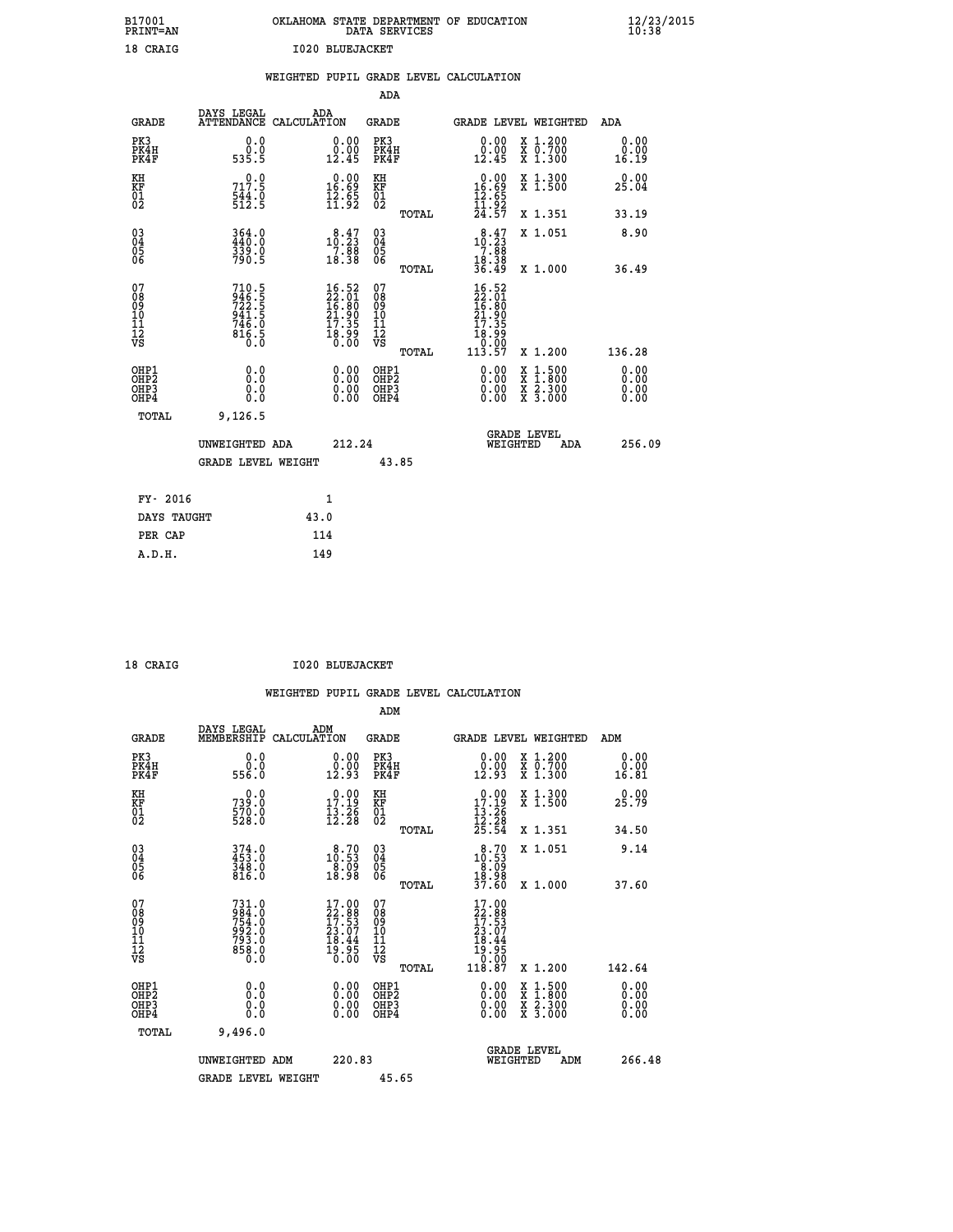| B17001<br>PRINT=AN  | OF<br>OKLAHOMA<br><b>EDUCATION</b><br>STATE DEPARTMENT<br>DATA SERVICES                                                      | $\frac{12}{23}$ /2015 |
|---------------------|------------------------------------------------------------------------------------------------------------------------------|-----------------------|
| 18 CRAIG            | 1020 BLUEJACKET                                                                                                              |                       |
|                     | WEIGHTED PUPIL GRADE LEVEL CALCULATION                                                                                       |                       |
|                     | ADA                                                                                                                          |                       |
| GRADE               | DAYS LEGAL<br>ADA<br>GRADE<br>ATTENDANCE CALCULATION<br>GRADE LEVEL WEIGHTED                                                 | ADA                   |
| PK3<br>PK4H<br>PK4F | 0.0000<br>0.00<br>PK3<br>0.00<br>X 1.200<br>0.00<br>PK4H<br>X 0.700<br>0.00<br>12.45<br>535.5<br>12.45<br>PK4F<br>1.300<br>X | 0.0000<br>16.19       |

| KH<br>KF<br>01<br>02<br>$\begin{smallmatrix} 0.00\\ 16.69\\ 12.65\\ 11.92 \end{smallmatrix}$<br>$\begin{array}{c} 0.00 \\ 16.69 \\ 12.65 \\ 11.92 \\ 24.57 \end{array}$<br>KH<br>KF<br>01<br>02<br>$\frac{544}{512}$ : 9<br>TOTAL                                                                                                                                                                                               | X 1.351                                                                                          | 33.19                    |
|---------------------------------------------------------------------------------------------------------------------------------------------------------------------------------------------------------------------------------------------------------------------------------------------------------------------------------------------------------------------------------------------------------------------------------|--------------------------------------------------------------------------------------------------|--------------------------|
| $\begin{matrix} 03 \\ 04 \\ 05 \\ 06 \end{matrix}$<br>$\begin{smallmatrix} 8\cdot 47\\10\cdot 23\\7\cdot 88\\18\cdot 38\\36\cdot 49\end{smallmatrix}$<br>364.0<br>440.0<br>339.0<br>790.5<br>$\begin{smallmatrix} & 8 & 47\\10 & 23\\7 & 88\\18 & 38\end{smallmatrix}$<br>$\begin{array}{c} 03 \\ 04 \\ 05 \\ 06 \end{array}$                                                                                                   | X 1.051                                                                                          | 8.90                     |
| TOTAL                                                                                                                                                                                                                                                                                                                                                                                                                           | X 1.000                                                                                          | 36.49                    |
| 07<br>08<br>09<br>101<br>11<br>12<br>VS<br>$\begin{smallmatrix} 16.52\ 22.01\ 16.80\ 11.900\ 21.359\ 17.359\ 18.990\ 113.57\ \end{smallmatrix}$<br>710.5<br>946.5<br>722.5<br>941.5<br>946.0<br>746.0<br>816.5<br>$16.52$<br>$22.01$<br>$16.80$<br>$21.90$<br>$17.35$<br>$18.99$<br>$0.00$<br>07<br>08<br>09<br>001<br>11<br>11<br>12<br>VS                                                                                     |                                                                                                  |                          |
| TOTAL                                                                                                                                                                                                                                                                                                                                                                                                                           | X 1.200                                                                                          | 136.28                   |
| $\begin{smallmatrix} 0.00 & 0.00 & 0.00 & 0.00 & 0.00 & 0.00 & 0.00 & 0.00 & 0.00 & 0.00 & 0.00 & 0.00 & 0.00 & 0.00 & 0.00 & 0.00 & 0.00 & 0.00 & 0.00 & 0.00 & 0.00 & 0.00 & 0.00 & 0.00 & 0.00 & 0.00 & 0.00 & 0.00 & 0.00 & 0.00 & 0.00 & 0.00 & 0.00 & 0.00 & 0.00 & 0.0$<br>OHP1<br>OHP2<br>$\begin{smallmatrix} 0.00 \ 0.00 \ 0.00 \ 0.00 \end{smallmatrix}$<br>OHP1<br>OHP2<br>OH <sub>P3</sub><br>OHP3<br>OHP4<br>OHP4 | $\begin{smallmatrix} x & 1 & 500 \\ x & 1 & 800 \\ x & 2 & 300 \\ x & 3 & 000 \end{smallmatrix}$ | $0.00$<br>$0.00$<br>0.00 |
| 9,126.5<br>TOTAL                                                                                                                                                                                                                                                                                                                                                                                                                |                                                                                                  |                          |
| <b>GRADE LEVEL</b><br>212.24<br>WEIGHTED<br>UNWEIGHTED ADA                                                                                                                                                                                                                                                                                                                                                                      | ADA                                                                                              | 256.09                   |
| 43.85<br><b>GRADE LEVEL WEIGHT</b>                                                                                                                                                                                                                                                                                                                                                                                              |                                                                                                  |                          |

| FY- 2016    |      |
|-------------|------|
| DAYS TAUGHT | 43.0 |
| PER CAP     | 114  |
| A.D.H.      | 149  |
|             |      |

| 18 CRAIG | <b>I020 BLUEJACKET</b> |
|----------|------------------------|
|          |                        |

|                                          |                                                                  |                                                                  | ADM                                          |       |                                                                                                      |                                          |                          |
|------------------------------------------|------------------------------------------------------------------|------------------------------------------------------------------|----------------------------------------------|-------|------------------------------------------------------------------------------------------------------|------------------------------------------|--------------------------|
| <b>GRADE</b>                             | DAYS LEGAL<br>MEMBERSHIP                                         | ADM<br>CALCULATION                                               | <b>GRADE</b>                                 |       |                                                                                                      | <b>GRADE LEVEL WEIGHTED</b>              | ADM                      |
| PK3<br>PK4H<br>PK4F                      | 0.0<br>0.0<br>556.0                                              | $\begin{smallmatrix} 0.00\\ 0.00\\ 12.93 \end{smallmatrix}$      | PK3<br>PK4H<br>PK4F                          |       | 0.00<br>0.00<br>12.93                                                                                | X 1.200<br>X 0.700<br>X 1.300            | 0.00<br>0.00<br>16.81    |
| KH<br>KF<br>01<br>02                     | 0.0<br>739:0<br>570:0<br>528:0                                   | $\begin{array}{c} 0.00 \\ 17.19 \\ 13.26 \\ 12.28 \end{array}$   | KH<br>KF<br>01<br>02                         |       | $0.00$<br>17.19<br>$\frac{13}{12}$ $\frac{26}{25}$<br>$\frac{28}{25}$                                | X 1.300<br>X 1.500                       | 0.00<br>25.79            |
|                                          |                                                                  |                                                                  |                                              | TOTAL |                                                                                                      | X 1.351                                  | 34.50                    |
| 03<br>04<br>05<br>06                     | 374.0<br>453.0<br>348.0<br>816.0                                 | $\begin{smallmatrix} 8.70\ 10.53\ 8.09\ 18.98 \end{smallmatrix}$ | 03<br>04<br>05<br>06                         |       | $\begin{smallmatrix} 8.70\\ 10.53\\ 8.09\\ 18.98\\ 37.60 \end{smallmatrix}$                          | X 1.051                                  | 9.14                     |
|                                          |                                                                  |                                                                  |                                              | TOTAL |                                                                                                      | X 1.000                                  | 37.60                    |
| 07<br>0890112<br>1112<br>VS              | 731.0<br>984.0<br>754.0<br>793.0<br>793.0<br>858.0<br>858.0      | $17.00\n22.88\n17.53\n23.07\n18.44\n19.95\n0.00$                 | 07<br>08<br>09<br>01<br>11<br>11<br>17<br>VS |       | $\begin{smallmatrix} 17.00\\22.88\\17.53\\23.07\\23.07\\18.44\\19.95\\0.00\\118.87\end{smallmatrix}$ |                                          |                          |
|                                          |                                                                  |                                                                  |                                              | TOTAL |                                                                                                      | X 1.200                                  | 142.64                   |
| OHP1<br>OHP2<br>OH <sub>P3</sub><br>OHP4 | 0.0<br>$\begin{smallmatrix} 0.0 & 0 \ 0.0 & 0 \end{smallmatrix}$ |                                                                  | OHP1<br>OHP2<br>OHP <sub>3</sub>             |       |                                                                                                      | X 1:500<br>X 1:800<br>X 2:300<br>X 3:000 | $0.00$<br>$0.00$<br>0.00 |
| TOTAL                                    | 9,496.0                                                          |                                                                  |                                              |       |                                                                                                      |                                          |                          |
|                                          | UNWEIGHTED ADM                                                   | 220.83                                                           |                                              |       |                                                                                                      | GRADE LEVEL<br>WEIGHTED<br>ADM           | 266.48                   |
|                                          | GRADE LEVEL WEIGHT                                               |                                                                  | 45.65                                        |       |                                                                                                      |                                          |                          |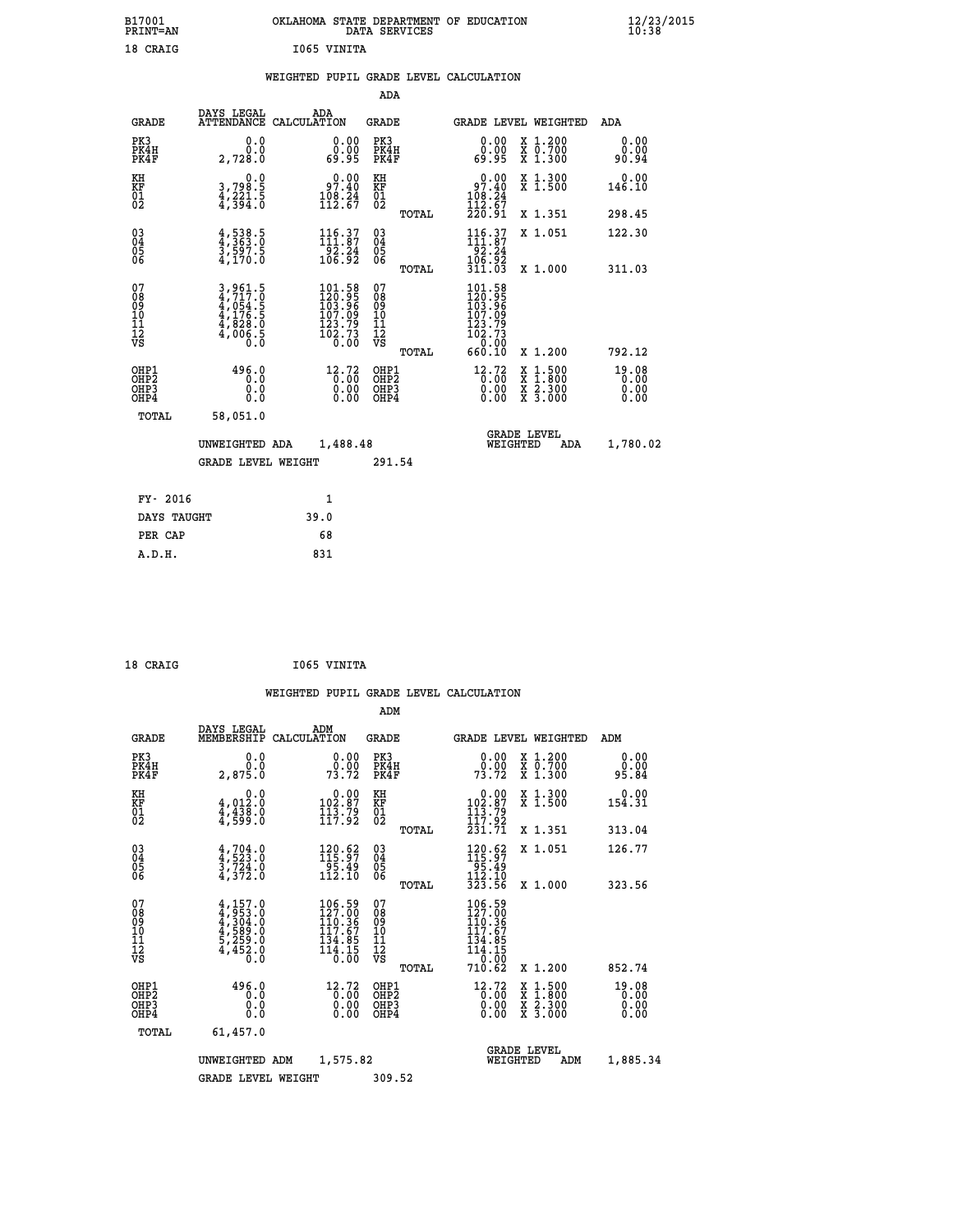| B17001<br><b>PRINT=AN</b> | OKLAHOMA STATE DEPARTMENT OF EDUCATION<br>DATA SERVICES | $\frac{12}{23}$ /2015 |
|---------------------------|---------------------------------------------------------|-----------------------|
| 18 CRAIG                  | 1065 VINITA                                             |                       |

### **WEIGHTED PUPIL GRADE LEVEL CALCULATION**

|                                                                    |                                                                |                                                                              | ADA                                       |       |                                                                              |                                          |                               |
|--------------------------------------------------------------------|----------------------------------------------------------------|------------------------------------------------------------------------------|-------------------------------------------|-------|------------------------------------------------------------------------------|------------------------------------------|-------------------------------|
| <b>GRADE</b>                                                       | DAYS LEGAL                                                     | ADA<br>ATTENDANCE CALCULATION                                                | <b>GRADE</b>                              |       | <b>GRADE LEVEL WEIGHTED</b>                                                  |                                          | ADA                           |
| PK3<br>PK4H<br>PK4F                                                | 0.0<br>0.0<br>2,728.0                                          | $\begin{smallmatrix} 0.00\\ 0.00\\ 0.95 \end{smallmatrix}$                   | PK3<br>PK4H<br>PK4F                       |       | 0.00<br>ŏ.ŏŏ<br>89.95                                                        | X 1.200<br>X 0.700<br>X 1.300            | 0.00<br>0.00<br>90.94         |
| KH<br><b>KF</b><br>01<br>02                                        | 0.0<br>3,798.5<br>4,221.5<br>4,394.0                           | 97.40<br>$\frac{108.24}{112.67}$                                             | KH<br>KF<br>01<br>02                      |       | $0.00$<br>$97.40$<br>$\frac{108}{112}$ $\frac{24}{67}$<br>$\frac{220}{91}$   | X 1.300<br>X 1.500                       | 0.00<br>146.10                |
|                                                                    |                                                                |                                                                              |                                           | TOTAL |                                                                              | X 1.351                                  | 298.45                        |
| $\begin{smallmatrix} 03 \\[-4pt] 04 \end{smallmatrix}$<br>Ŏ5<br>06 | $4,538.5$<br>$3,597.5$<br>$3,597.5$<br>$4,170.0$               | $116.37$<br>$111.87$<br>$\begin{array}{r} -52.24 \\ 106.92 \end{array}$      | $\substack{03 \\ 04}$<br>05<br>06         |       | 116.37<br>$\begin{array}{r} 162.24 \\ 106.92 \\ 311.03 \end{array}$          | X 1.051                                  | 122.30                        |
|                                                                    |                                                                |                                                                              |                                           | TOTAL |                                                                              | X 1.000                                  | 311.03                        |
| 07<br>08901112<br>1112<br>VS                                       | 3,961.5<br>4,717.0<br>4,054.5<br>4,176.5<br>4,828.0<br>4,006.5 | 101.58<br>$120.95$<br>$103.96$<br>$107.09$<br>$123.79$<br>$102.73$<br>$0.00$ | 07<br>08<br>09<br>11<br>11<br>12<br>VS    |       | 101.58<br>$120.95$<br>$103.96$<br>$107.09$<br>$123.79$<br>$102.73$<br>$0.90$ |                                          |                               |
|                                                                    |                                                                |                                                                              |                                           | TOTAL | 660.10                                                                       | X 1.200                                  | 792.12                        |
| OHP1<br>OH <sub>P2</sub><br>OH <sub>P3</sub><br>OH <sub>P4</sub>   | 496.0<br>0.0<br>0.0<br>0.0                                     | 12.72<br>0.00<br>0.00<br>0.00                                                | OHP1<br>OH <sub>P</sub> 2<br>OHP3<br>OHP4 |       | 12.72<br>0.00<br>0.00<br>0.00                                                | X 1:500<br>X 1:800<br>X 2:300<br>X 3:000 | 19.08<br>0.00<br>0.00<br>0.00 |
| TOTAL                                                              | 58,051.0                                                       |                                                                              |                                           |       |                                                                              |                                          |                               |
|                                                                    | UNWEIGHTED ADA                                                 | 1,488.48                                                                     |                                           |       |                                                                              | GRADE LEVEL<br>WEIGHTED<br>ADA           | 1,780.02                      |
|                                                                    | <b>GRADE LEVEL WEIGHT</b>                                      |                                                                              | 291.54                                    |       |                                                                              |                                          |                               |
| FY- 2016                                                           |                                                                | $\mathbf{1}$                                                                 |                                           |       |                                                                              |                                          |                               |
| DAYS TAUGHT                                                        |                                                                | 39.0                                                                         |                                           |       |                                                                              |                                          |                               |
| PER CAP                                                            |                                                                | 68                                                                           |                                           |       |                                                                              |                                          |                               |

| CRAI<br>G |  |
|-----------|--|
|           |  |

 **A.D.H. 831**

 **18 CRAIG I065 VINITA**

|                                          |                                                                                     |                                                                                                 | ADM                                                 |                                                                                                                                                           |                                                                           |
|------------------------------------------|-------------------------------------------------------------------------------------|-------------------------------------------------------------------------------------------------|-----------------------------------------------------|-----------------------------------------------------------------------------------------------------------------------------------------------------------|---------------------------------------------------------------------------|
|                                          | DAYS LEGAL<br>MEMBERSHIP<br><b>GRADE</b>                                            | ADM<br>CALCULATION                                                                              | <b>GRADE</b>                                        | <b>GRADE LEVEL WEIGHTED</b>                                                                                                                               | ADM                                                                       |
| PK3<br>PK4H<br>PK4F                      | 2,875.Ŏ                                                                             | 0.0<br>$\begin{smallmatrix} 0.00\\ 0.00\\ 73.72 \end{smallmatrix}$<br>0.0                       | PK3<br>PK4H<br>PK4F                                 | $\begin{smallmatrix} 0.00\\ 0.00\\ 73.72 \end{smallmatrix}$                                                                                               | X 1.200<br>X 0.700<br>X 1.300<br>0.00<br>0.00<br>95.84                    |
| KH<br>KF<br>01<br>02                     | $4,012.0$<br>$4,438.0$<br>$4,599.0$                                                 | 0.0<br>$\begin{smallmatrix} &0.00\\ 102.87\\ 113.79\\ 117.92\end{smallmatrix}$                  | KH<br>KF<br>01<br>02                                | $\begin{smallmatrix} 0.00\\ 102.87\\ 113.79\\ 117.22 \end{smallmatrix}$                                                                                   | X 1.300<br>X 1.500<br>0.00<br>154.31                                      |
|                                          |                                                                                     |                                                                                                 | TOTAL                                               | 231.71                                                                                                                                                    | X 1.351<br>313.04                                                         |
| 03<br>04<br>05<br>06                     | $4,704.0$<br>$4,523.0$<br>$3,724.0$<br>4,372.0                                      | 120.62<br>$\frac{1}{112}. \frac{3}{10}$                                                         | $\begin{array}{c} 03 \\ 04 \\ 05 \\ 06 \end{array}$ | $\begin{array}{r} 120.62 \\ 115.97 \\ 95.49 \\ 112.10 \\ 323.56 \end{array}$                                                                              | 126.77<br>X 1.051                                                         |
|                                          |                                                                                     |                                                                                                 | TOTAL                                               |                                                                                                                                                           | 323.56<br>X 1.000                                                         |
| 07<br>08<br>09<br>101<br>112<br>VS       | $4,157.0$<br>$4,304.0$<br>$4,304.0$<br>$4,589.0$<br>$5,259.0$<br>$4,452.0$<br>$0.0$ | 106.59<br>127.00<br>110.36<br>$\begin{array}{c} 117.67 \\ 134.85 \\ 114.15 \\ 0.00 \end{array}$ | 07<br>08<br>09<br>11<br>11<br>12<br>VS<br>TOTAL     | $106.59$<br>$127.00$<br>$110.36$<br>$117.67$<br>$\frac{1}{1}$ $\frac{3}{4}$ $\cdot \frac{3}{5}$ $\frac{1}{2}$ $\cdot \frac{1}{2}$ $\frac{5}{2}$<br>710.62 | X 1.200<br>852.74                                                         |
| OHP1<br>OHP2<br>OH <sub>P3</sub><br>OHP4 |                                                                                     | 496.0<br>12.72<br>$\overline{0}$ :00<br>0.00<br>0.0<br>0.000<br>0.00                            | OHP1<br>OHP2<br>OHP3<br>OHP4                        | $^{12}_{0.00}$<br>0.00                                                                                                                                    | X 1:500<br>X 1:800<br>X 2:300<br>X 3:000<br>19.08<br>0.00<br>0.00<br>0.00 |
|                                          | TOTAL<br>61,457.0                                                                   |                                                                                                 |                                                     |                                                                                                                                                           |                                                                           |
|                                          | UNWEIGHTED                                                                          | 1,575.82<br>ADM                                                                                 |                                                     | <b>GRADE LEVEL</b><br>WEIGHTED                                                                                                                            | 1,885.34<br>ADM                                                           |
|                                          |                                                                                     | <b>GRADE LEVEL WEIGHT</b>                                                                       | 309.52                                              |                                                                                                                                                           |                                                                           |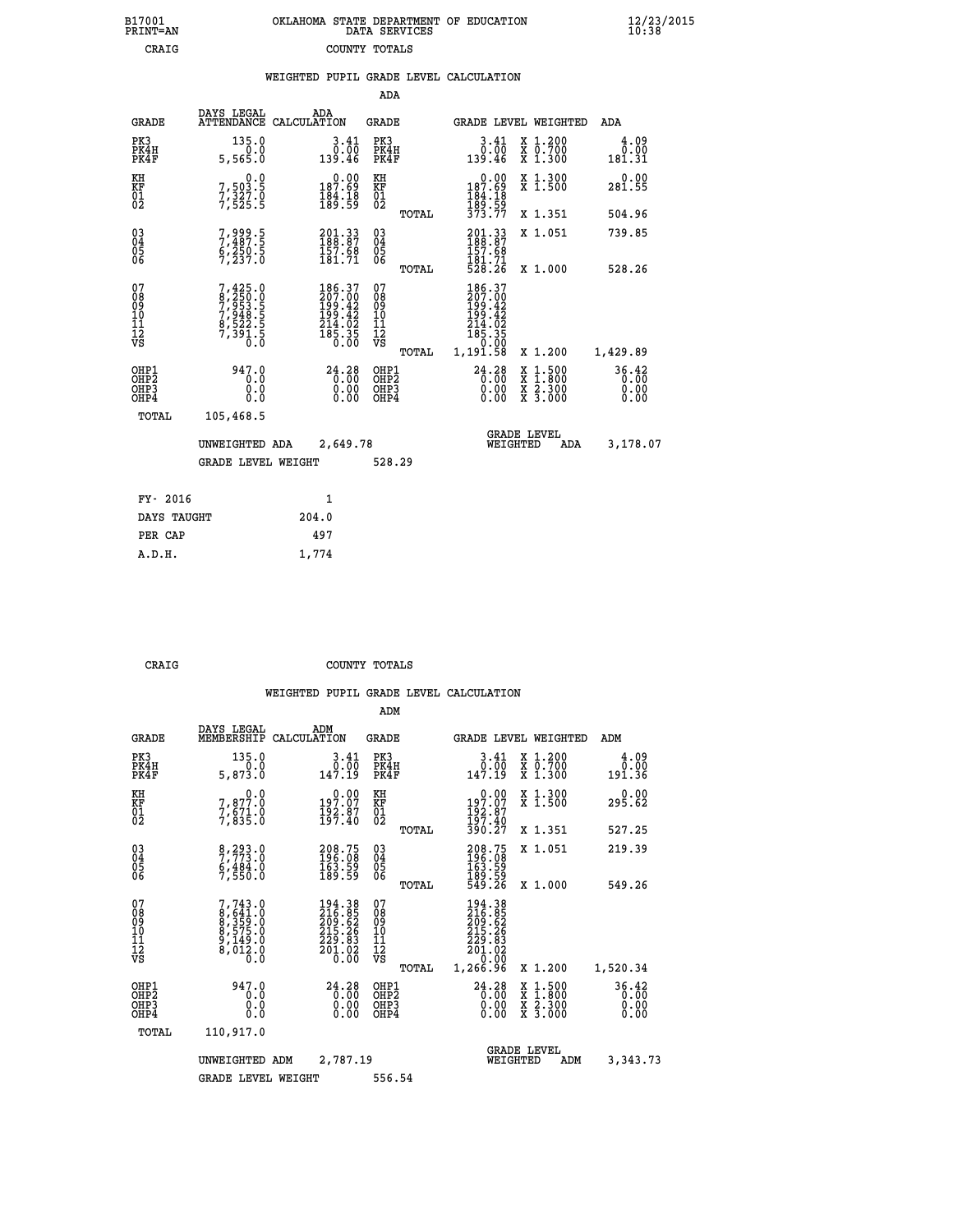|  | OKLAHOMA STATE DEPARTMENT OF EDUCATION<br>DATA SERVICES |  |
|--|---------------------------------------------------------|--|
|  | COUNTY TOTALS                                           |  |

|                                                                    |                                                                |                                                                                                    | ADA                                       |       |                                                                     |                                                                                                  |                               |
|--------------------------------------------------------------------|----------------------------------------------------------------|----------------------------------------------------------------------------------------------------|-------------------------------------------|-------|---------------------------------------------------------------------|--------------------------------------------------------------------------------------------------|-------------------------------|
| <b>GRADE</b>                                                       | DAYS LEGAL                                                     | ADA<br>ATTENDANCE CALCULATION                                                                      | <b>GRADE</b>                              |       |                                                                     | <b>GRADE LEVEL WEIGHTED</b>                                                                      | <b>ADA</b>                    |
| PK3<br>PK4H<br>PK4F                                                | 135.0<br>0.0<br>5,565.0                                        | 3.41<br>0.00<br>139.46                                                                             | PK3<br>PK4H<br>PK4F                       |       | 3.41<br>ةة:ة<br>139.46                                              | X 1.200<br>X 0.700<br>X 1.300                                                                    | 4.09<br>0.00<br>181.31        |
| KH<br><b>KF</b><br>01<br>02                                        | 0.0<br>7,503.5<br>7,327.0<br>7,525.5                           | 0.00<br>0.09<br>$\frac{184.18}{189.59}$                                                            | KH<br>KF<br>01<br>02                      |       | $0.00$<br>187.69<br>184:18<br>189:59<br>373.77                      | X 1.300<br>X 1.500                                                                               | 0.00<br>281.55                |
|                                                                    |                                                                |                                                                                                    |                                           | TOTAL |                                                                     | X 1.351                                                                                          | 504.96                        |
| $\begin{smallmatrix} 03 \\[-4pt] 04 \end{smallmatrix}$<br>Ŏ5<br>06 | 7,999.5<br>7,487.5<br>6,250.5<br>7,237.0                       | 201.33<br>188.87<br>157.68<br>181.71                                                               | $\substack{03 \\ 04}$<br>05<br>06         |       | 201.33<br>188.87<br>157.68                                          | X 1.051                                                                                          | 739.85                        |
|                                                                    |                                                                |                                                                                                    |                                           | TOTAL | 181.71<br>528.26                                                    | X 1.000                                                                                          | 528.26                        |
| 07<br>08901112<br>1112<br>VS                                       | 7,425.0<br>8,250.0<br>7,953.5<br>7,948.5<br>7,391.5<br>7,391.5 | $\begin{smallmatrix} 186.37\\ 207.00\\ 199.42\\ 199.42\\ 214.02\\ 215.35\\ 0.00 \end{smallmatrix}$ | 07<br>08<br>09<br>11<br>11<br>12<br>VS    |       | 186.37<br>207.00<br>199.42<br>199.42<br>214.02<br>2185.35<br>185.00 |                                                                                                  |                               |
|                                                                    |                                                                |                                                                                                    |                                           | TOTAL | 1,191.58                                                            | X 1.200                                                                                          | 1,429.89                      |
| OHP1<br>OH <sub>P</sub> 2<br>OH <sub>P3</sub><br>OH <sub>P4</sub>  | 947.0<br>0.0<br>0.0<br>0.0                                     | 24.28<br>0.00<br>0.00<br>0.00                                                                      | OHP1<br>OH <sub>P</sub> 2<br>OHP3<br>OHP4 |       | $24.28$<br>$0.00$<br>0.00<br>0.00                                   | $\begin{smallmatrix} x & 1 & 500 \\ x & 1 & 800 \\ x & 2 & 300 \\ x & 3 & 000 \end{smallmatrix}$ | 36.42<br>0.00<br>0.00<br>0.00 |
| TOTAL                                                              | 105,468.5                                                      |                                                                                                    |                                           |       |                                                                     |                                                                                                  |                               |
|                                                                    | UNWEIGHTED ADA                                                 | 2,649.78                                                                                           |                                           |       |                                                                     | GRADE LEVEL<br>WEIGHTED<br>ADA                                                                   | 3,178.07                      |
|                                                                    | <b>GRADE LEVEL WEIGHT</b>                                      |                                                                                                    | 528.29                                    |       |                                                                     |                                                                                                  |                               |
| FY- 2016                                                           |                                                                | $\mathbf{1}$                                                                                       |                                           |       |                                                                     |                                                                                                  |                               |
| DAYS TAUGHT                                                        |                                                                | 204.0                                                                                              |                                           |       |                                                                     |                                                                                                  |                               |
| PER CAP                                                            |                                                                | 497                                                                                                |                                           |       |                                                                     |                                                                                                  |                               |

| ı<br>D |  |  |  |
|--------|--|--|--|
|        |  |  |  |

 **A.D.H. 1,774**

B17001<br>PRINT=AN<br>CRAIG

**CRAIG COUNTY TOTALS** 

|                                          |                                                                             |                                                                                                     | ADM                                                |                                                                                |                                                                                                                                           |                               |
|------------------------------------------|-----------------------------------------------------------------------------|-----------------------------------------------------------------------------------------------------|----------------------------------------------------|--------------------------------------------------------------------------------|-------------------------------------------------------------------------------------------------------------------------------------------|-------------------------------|
| <b>GRADE</b>                             | DAYS LEGAL<br>MEMBERSHIP                                                    | ADM<br>CALCULATION                                                                                  | <b>GRADE</b>                                       |                                                                                | <b>GRADE LEVEL WEIGHTED</b>                                                                                                               | ADM                           |
| PK3<br>PK4H<br>PK4F                      | 135.0<br>0.0<br>5,873.0                                                     | 3.41<br>0.00<br>147.19                                                                              | PK3<br>PK4H<br>PK4F                                | $\begin{smallmatrix} 3.41\ 0.00\ 147.19 \end{smallmatrix}$                     | X 1.200<br>X 0.700<br>X 1.300                                                                                                             | 4.09<br>0.00<br>191.36        |
| KH<br>KF<br>01<br>02                     | 0.0<br>7,877.0<br>7,671.0<br>7,835.0                                        | $\begin{smallmatrix} 0.00\\197.07\\192.87\\197.40\end{smallmatrix}$                                 | KH<br>KF<br>01<br>02                               | $\begin{smallmatrix} &0.00\ 197.07\ 192.87\ 197.40\ 390.27\ \end{smallmatrix}$ | X 1.300<br>X 1.500                                                                                                                        | 0.00<br>295.62                |
|                                          |                                                                             |                                                                                                     | TOTAL                                              |                                                                                | X 1.351                                                                                                                                   | 527.25                        |
| 03<br>04<br>05<br>06                     | 8,293.0<br>7,773.0<br>6,484.0<br>7,550.0                                    | 208.75<br>196.08<br>163.59<br>189.59                                                                | $\begin{matrix} 03 \\ 04 \\ 05 \\ 06 \end{matrix}$ | 208.75<br>196.08<br>163.59<br>189.59<br>549.26                                 | X 1.051                                                                                                                                   | 219.39                        |
|                                          |                                                                             |                                                                                                     | TOTAL                                              |                                                                                | X 1.000                                                                                                                                   | 549.26                        |
| 07<br>08<br>09<br>101<br>112<br>VS       | $7,743.0$<br>8,641.0<br>8,359.0<br>8,375.0<br>8,575.0<br>9,149.0<br>8,012.0 | $\begin{smallmatrix} 194.38\\216.85\\209.62\\215.26\\215.26\\229.83\\201.02\\0.00\end{smallmatrix}$ | 07<br>08<br>09<br>11<br>11<br>12<br>VS<br>TOTAL    | 194.38<br>216.85<br>209.62<br>215.26<br>229.83<br>201.02<br>0.00<br>1, 266.96  | X 1.200                                                                                                                                   | 1,520.34                      |
| OHP1<br>OHP2<br>OH <sub>P3</sub><br>OHP4 | 947.0<br>0.0<br>0.000                                                       | $24.28$<br>0.00<br>0.00                                                                             | OHP1<br>OHP2<br>OHP <sub>3</sub>                   | $24.28$<br>0.00<br>0.00<br>0.00                                                | $\begin{smallmatrix} \mathtt{X} & 1\cdot500\\ \mathtt{X} & 1\cdot800\\ \mathtt{X} & 2\cdot300\\ \mathtt{X} & 3\cdot000 \end{smallmatrix}$ | 36.42<br>0.00<br>0.00<br>0.00 |
| TOTAL                                    | 110,917.0                                                                   |                                                                                                     |                                                    |                                                                                |                                                                                                                                           |                               |
|                                          | UNWEIGHTED<br>ADM                                                           | 2,787.19                                                                                            |                                                    | WEIGHTED                                                                       | <b>GRADE LEVEL</b><br>ADM                                                                                                                 | 3,343.73                      |
|                                          | <b>GRADE LEVEL WEIGHT</b>                                                   |                                                                                                     | 556.54                                             |                                                                                |                                                                                                                                           |                               |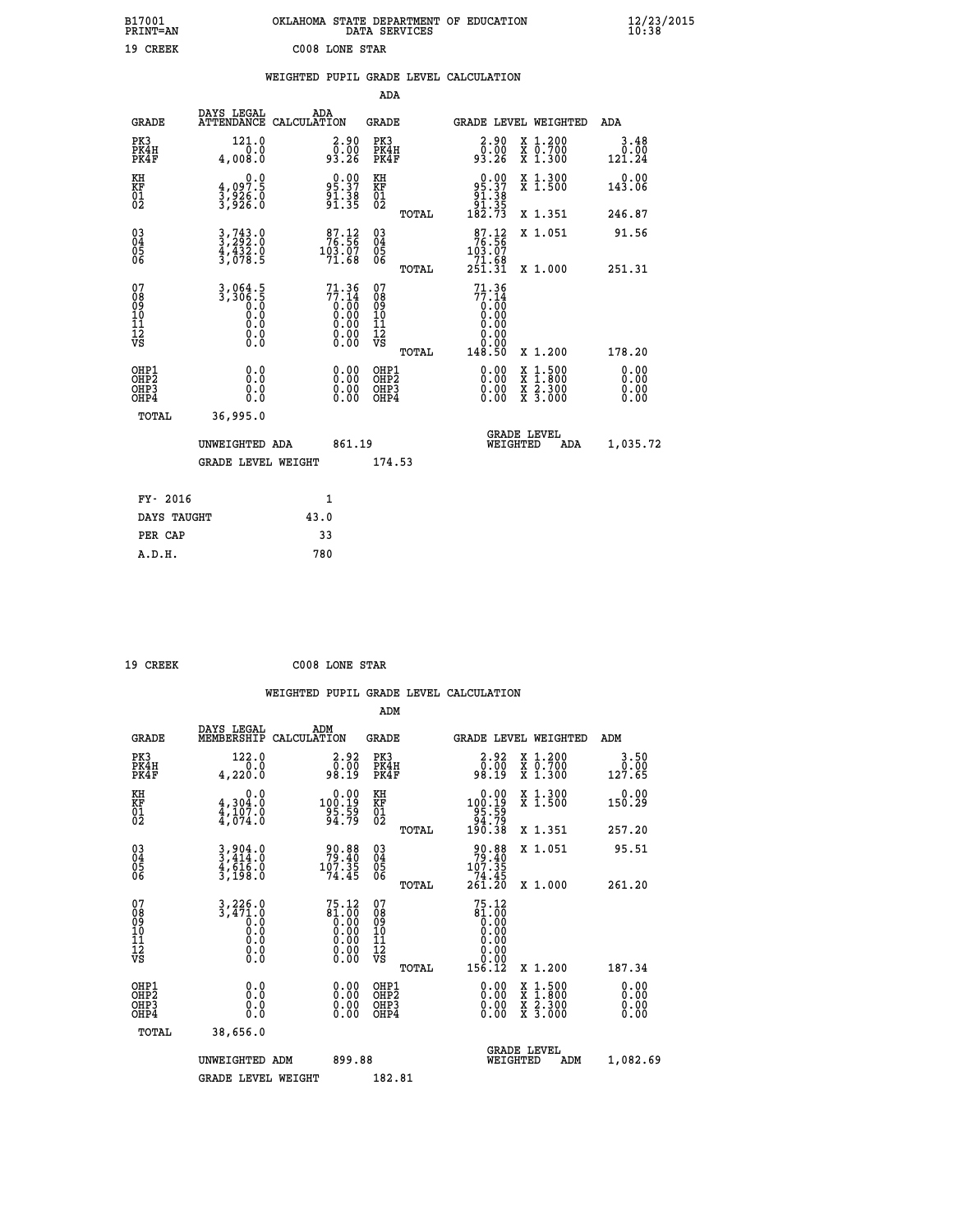| B17001<br>PRINT=AN                     |                                                                                  | OKLAHOMA STATE DEPARTMENT OF EDUCATION                      | DATA SERVICES                                                |                                                                          |                                                                                          | $\frac{12}{23}$ /2015  |
|----------------------------------------|----------------------------------------------------------------------------------|-------------------------------------------------------------|--------------------------------------------------------------|--------------------------------------------------------------------------|------------------------------------------------------------------------------------------|------------------------|
| 19 CREEK                               |                                                                                  | C008 LONE STAR                                              |                                                              |                                                                          |                                                                                          |                        |
|                                        |                                                                                  | WEIGHTED PUPIL GRADE LEVEL CALCULATION                      |                                                              |                                                                          |                                                                                          |                        |
|                                        |                                                                                  |                                                             | ADA                                                          |                                                                          |                                                                                          |                        |
| <b>GRADE</b>                           | DAYS LEGAL                                                                       | ADA<br>ATTENDANCE CALCULATION                               | GRADE                                                        |                                                                          | GRADE LEVEL WEIGHTED                                                                     | ADA                    |
| PK3<br>PK4H<br>PK4F                    | 121.0<br>0.0<br>4,008.0                                                          | $2.90$<br>$0.00$<br>93.26                                   | PK3<br>PK4H<br>PK4F                                          | $\begin{smallmatrix} 2.90\\ 0.00\\ 93.26 \end{smallmatrix}$              | X 1.200<br>X 0.700<br>X 1.300                                                            | 3.48<br>0.00<br>121.24 |
| KH<br>KF<br>01<br>02                   | 0.0<br>4,097.5<br>3,926.0<br>3,926.0                                             | $95.37$<br>$91.38$<br>$91.38$<br>$91.35$                    | KH<br><b>KF</b><br>01<br>02                                  | $\begin{array}{c} 0.00 \\ 95.37 \\ 91.38 \\ 91.38 \\ 182.73 \end{array}$ | X 1.300<br>X 1.500                                                                       | 0.00<br>143.06         |
|                                        |                                                                                  |                                                             | TOTAL                                                        |                                                                          | X 1.351                                                                                  | 246.87                 |
| $\substack{03 \ 04}$<br>Ŏ5<br>06       | $3, 743.0$<br>$3, 292.0$<br>$\frac{4}{3}, \frac{4}{0}, \frac{3}{2}, \frac{5}{5}$ | $\frac{87.12}{76.56}$<br>$\frac{103.07}{71.68}$             | $03\overline{4}$<br>$\begin{matrix} 0.5 \\ 0.6 \end{matrix}$ | $\frac{87.12}{76.56}$<br>103.07                                          | X 1.051                                                                                  | 91.56                  |
|                                        |                                                                                  |                                                             | TOTAL                                                        | $\frac{71.68}{251.31}$                                                   | X 1.000                                                                                  | 251.31                 |
| 07<br>08<br>09<br>10<br>11<br>12<br>VS | $3,3061.5$<br>$3,306.5$<br>0.0<br>0.0<br>$\S.$ $\S$                              | $71.36\n77.14\n0.00\n0.00\n0.00\n0.00\n0.00$                | 07<br>08<br>09<br>10<br>īĭ<br>12<br>VS<br>TOTAL              | $71.36$<br>$77.14$<br>$0.00$<br>$0.00$<br>0.00<br>0.00<br>0.00<br>148.50 | X 1.200                                                                                  | 178.20                 |
| OHP1                                   |                                                                                  |                                                             | OHP1                                                         |                                                                          |                                                                                          | 0.00                   |
| OH <sub>P</sub> 2<br>OHP3<br>OHP4      | 0.0<br>0.0<br>0.0                                                                | 0.00<br>$\begin{smallmatrix} 0.00 \ 0.00 \end{smallmatrix}$ | OH <sub>P</sub> 2<br>OHP3<br>OHP4                            | 0.00<br>$0.00$<br>0.00                                                   | $\begin{smallmatrix} x & 1.500 \\ x & 1.800 \\ x & 2.300 \\ x & 3.000 \end{smallmatrix}$ | 0.00<br>0.00<br>0.00   |
| TOTAL                                  | 36,995.0                                                                         |                                                             |                                                              |                                                                          |                                                                                          |                        |
|                                        | UNWEIGHTED ADA                                                                   | 861.19                                                      |                                                              | WEIGHTED                                                                 | <b>GRADE LEVEL</b><br>ADA                                                                | 1,035.72               |
|                                        | <b>GRADE LEVEL WEIGHT</b>                                                        |                                                             | 174.53                                                       |                                                                          |                                                                                          |                        |
| FY- 2016                               |                                                                                  | 1                                                           |                                                              |                                                                          |                                                                                          |                        |
| DAYS TAUGHT                            |                                                                                  | 43.0                                                        |                                                              |                                                                          |                                                                                          |                        |
| PER CAP                                |                                                                                  | 33                                                          |                                                              |                                                                          |                                                                                          |                        |

| 19 CREEK | C008 LONE STAR |  |
|----------|----------------|--|
|          |                |  |

 **WEIGHTED PUPIL GRADE LEVEL CALCULATION ADM DAYS LEGAL ADM GRADE MEMBERSHIP CALCULATION GRADE GRADE LEVEL WEIGHTED ADM PK3 122.0 2.92 PK3 2.92 X 1.200 3.50 PK4H 0.0 0.00 PK4H 0.00 X 0.700 0.00 PK4F 4,220.0 98.19 PK4F 98.19 X 1.300 127.65 KH 0.0 0.00 KH 0.00 X 1.300 0.00 KF 4,304.0 100.19 KF 100.19 X 1.500 150.29 01 4,107.0 95.59 01 95.59 02 4,074.0 94.79 02 94.79 TOTAL 190.38 X 1.351 257.20 03 3,904.0 90.88 03 90.88 X 1.051 95.51 04 3,414.0 79.40 04 79.40 05 4,616.0 107.35 05 107.35 06 3,198.0 74.45 06 74.45 TOTAL 261.20 X 1.000 261.20** 07 3,226.0 75.12 07<br>
08 3,471.0 81.00 08 81.00<br>
10 0.0 0.00 10 0.00<br>
11 0.0 0.00 11 0.00<br>
12 0.00 11 0.00<br>
VS 0.0 0.00 12<br>
VS 0.0  **TOTAL 156.12 X 1.200 187.34 OHP1 0.0 0.00 OHP1 0.00 X 1.500 0.00 OHP2 0.0 0.00 OHP2 0.00 X 1.800 0.00 OHP3 0.0 0.00 OHP3 0.00 X 2.300 0.00 OHP4 0.0 0.00 OHP4 0.00 X 3.000 0.00 TOTAL 38,656.0 GRADE LEVEL UNWEIGHTED ADM 899.88 WEIGHTED ADM 1,082.69** GRADE LEVEL WEIGHT 182.81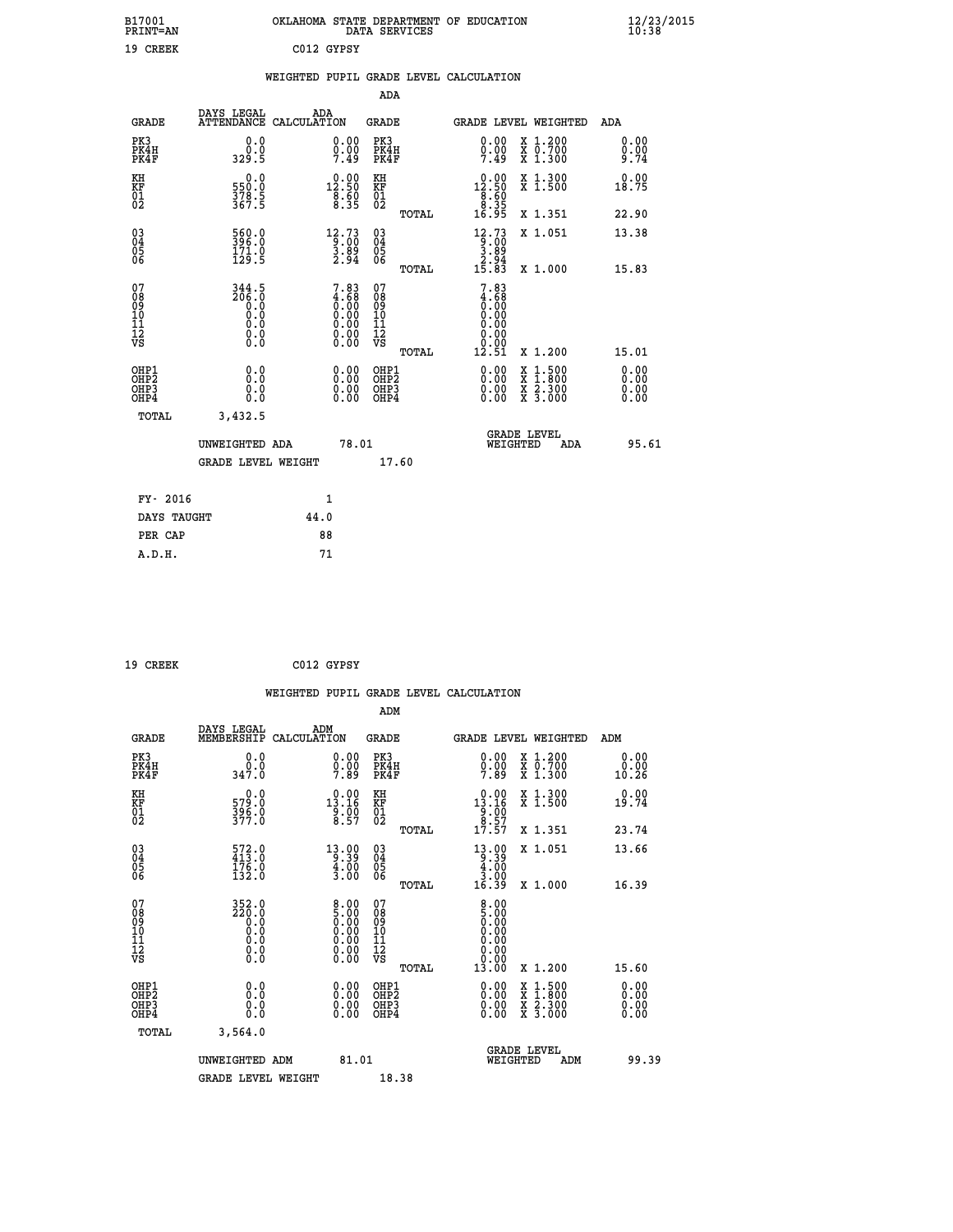| B17001<br><b>PRINT=AN</b>                                        |                                             |                                                                                                    | DATA SERVICES                             | OKLAHOMA STATE DEPARTMENT OF EDUCATION                                   |                                                                            | $\frac{12}{10}$ :38/2015     |
|------------------------------------------------------------------|---------------------------------------------|----------------------------------------------------------------------------------------------------|-------------------------------------------|--------------------------------------------------------------------------|----------------------------------------------------------------------------|------------------------------|
| 19 CREEK                                                         |                                             | C012 GYPSY                                                                                         |                                           |                                                                          |                                                                            |                              |
|                                                                  |                                             |                                                                                                    |                                           | WEIGHTED PUPIL GRADE LEVEL CALCULATION                                   |                                                                            |                              |
|                                                                  |                                             |                                                                                                    | ADA                                       |                                                                          |                                                                            |                              |
| GRADE                                                            | DAYS LEGAL                                  | ADA<br>ATTENDANCE CALCULATION                                                                      | GRADE                                     |                                                                          | GRADE LEVEL WEIGHTED                                                       | ADA                          |
| PK3<br>PK4H<br>PK4F                                              | 0.0<br>0.0<br>329.5                         | $\substack{0.00\\0.00\\7.49}$                                                                      | PK3<br>PK4H<br>PK4F                       | 0.00<br>$\frac{0}{7}.\frac{0}{49}$                                       | X 1.200<br>X 0.700<br>X 1.300                                              | 0.00<br>0.00<br>9.74         |
| KH<br>KF<br>$\overline{01}$                                      | 0.0<br>550:0<br>378:5<br>367:5              | $\begin{smallmatrix} 0.00\\[-1mm] 12.50\\[-1mm] 8.50\\[-1mm] 8.35\end{smallmatrix}$                | KH<br>KF<br>01<br>02                      | $0.00$<br>12.50<br>$\begin{array}{c} 78.60 \\ 8.35 \\ 16.95 \end{array}$ | X 1.300<br>X 1.500                                                         | 0.00<br>18.75                |
|                                                                  |                                             |                                                                                                    | TOTAL                                     |                                                                          | X 1.351                                                                    | 22.90                        |
| $03\overline{4}$<br>Ŏ5<br>ŎĞ                                     | 560.0<br>396.0<br>$\frac{171.0}{129.5}$     | $\begin{array}{r} 12\cdot 73 \\[-4pt] 9\cdot 00 \\[-4pt] 3\cdot 89 \\[-4pt] 2\cdot 94 \end{array}$ | 030404<br>ŎĞ                              | $\frac{12.73}{9.00}$<br>3.89<br>$\frac{2.94}{15.83}$                     | X 1.051                                                                    | 13.38                        |
| 07                                                               | 344.5                                       |                                                                                                    | TOTAL<br>07                               | 7.83                                                                     | X 1.000                                                                    | 15.83                        |
| 08<br>09<br>10<br>11<br>12<br>VS                                 | 206.0<br>0.0<br>0.0<br>0.0<br>0.000         | $7.83\n4.68\n0.00\n0.00\n0.00$<br>$\begin{smallmatrix} 0.00 \\ 0.00 \end{smallmatrix}$             | 08<br>09<br>10<br>11<br>12<br>VS<br>TOTAL | 4.68<br>0.00<br>0.00<br>0.00<br>0.00<br>0.00<br>12.51                    | X 1.200                                                                    | 15.01                        |
| OHP1<br>OH <sub>P</sub> <sub>2</sub><br>OH <sub>P3</sub><br>OHP4 | 0.0<br>ŏ:ŏ<br>0.0<br>0.0                    | 0.00<br>0.00<br>0.00                                                                               | OHP1<br>OH <sub>P</sub> 2<br>OHP3<br>OHP4 | 0.00<br>0.00<br>0.00                                                     | $\frac{x}{x}$ $\frac{1.500}{1.800}$<br>$\frac{x}{x}$ $\frac{5.300}{3.000}$ | 0.00<br>0.00<br>0.00<br>0.00 |
| TOTAL                                                            | 3,432.5                                     |                                                                                                    |                                           |                                                                          |                                                                            |                              |
|                                                                  | UNWEIGHTED ADA<br><b>GRADE LEVEL WEIGHT</b> | 78.01                                                                                              | 17.60                                     | WEIGHTED                                                                 | <b>GRADE LEVEL</b><br>ADA                                                  | 95.61                        |
| FY- 2016                                                         |                                             | 1                                                                                                  |                                           |                                                                          |                                                                            |                              |
| DAYS TAUGHT                                                      |                                             | 44.0                                                                                               |                                           |                                                                          |                                                                            |                              |
| PER CAP                                                          |                                             | 88                                                                                                 |                                           |                                                                          |                                                                            |                              |

| 19 CREEK | C012 GYPSY |
|----------|------------|
|          |            |

 **WEIGHTED PUPIL GRADE LEVEL CALCULATION ADM DAYS LEGAL ADM GRADE MEMBERSHIP CALCULATION GRADE GRADE LEVEL WEIGHTED ADM PK3 0.0 0.00 PK3 0.00 X 1.200 0.00 PK4H 0.0 0.00 PK4H 0.00 X 0.700 0.00 PK4F 347.0 7.89 PK4F 7.89 X 1.300 10.26 KH 0.0 0.00 KH 0.00 X 1.300 0.00 KF 579.0 13.16 KF 13.16 X 1.500 19.74 01 396.0 9.00 01 9.00** 02 377.0 8.57 02 <sub>nomas</sub> 8.57 8.57  **TOTAL 17.57 X 1.351 23.74 03 572.0 13.00 03 13.00 X 1.051 13.66 04 413.0 9.39 04 9.39 05 176.0 4.00 05 4.00 06 132.0** 3.00 06 <sub>memax</sub> 3.00  **TOTAL 16.39 X 1.000 16.39 07 352.0 8.00 07 8.00 08 220.0 5.00 08 5.00 03 0.00 0.00 0.000 0.000 10 0.0 0.00 10 0.00 11 0.0 0.00 11 0.00 12 0.0 0.00 12 0.00 VS** 0.0 0.00 VS 0.00 0.00 0.00  **TOTAL 13.00 X 1.200 15.60 OHP1 0.0 0.00 OHP1 0.00 X 1.500 0.00 OHP2 0.0 0.00 OHP2 0.00 X 1.800 0.00 OHP3 0.0 0.00 OHP3 0.00 X 2.300 0.00 OHP4 0.0 0.00 OHP4 0.00 X 3.000 0.00 TOTAL 3,564.0 GRADE LEVEL UNWEIGHTED ADM 81.01 WEIGHTED ADM 99.39** GRADE LEVEL WEIGHT 18.38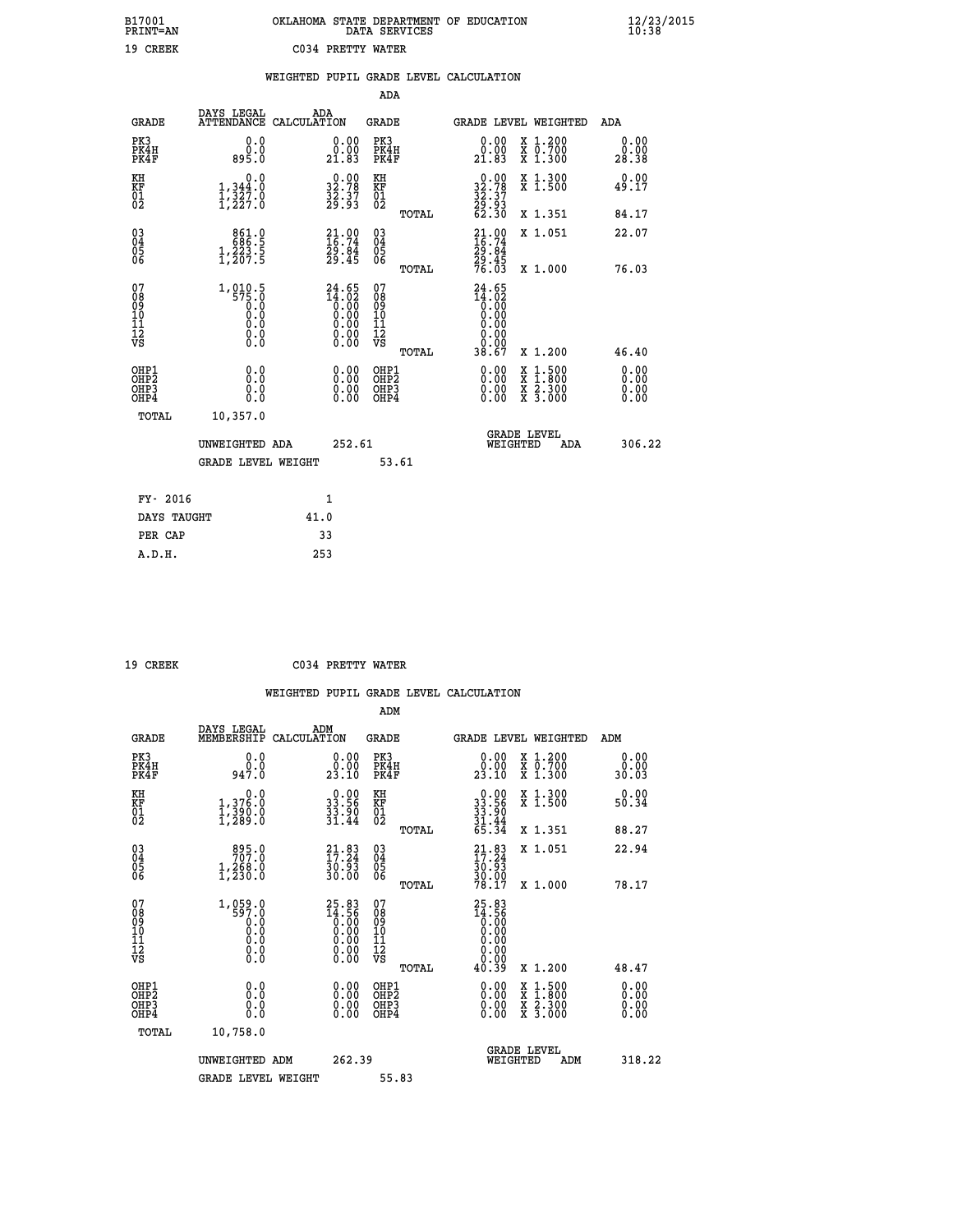| B17001<br><b>PRINT=AN</b> | OKLAHOMA STATE DEPARTMENT OF EDUCATION<br>DATA SERVICES |  |
|---------------------------|---------------------------------------------------------|--|
| 19 CREEK                  | C034 PRETTY WATER                                       |  |

|                                                                              |                                                                                       |                                                                                | ADA                                                         |                                                                                                                                                                      |                              |
|------------------------------------------------------------------------------|---------------------------------------------------------------------------------------|--------------------------------------------------------------------------------|-------------------------------------------------------------|----------------------------------------------------------------------------------------------------------------------------------------------------------------------|------------------------------|
| <b>GRADE</b>                                                                 | DAYS LEGAL                                                                            | ADA<br>ATTENDANCE CALCULATION                                                  | GRADE                                                       | <b>GRADE LEVEL WEIGHTED</b>                                                                                                                                          | ADA                          |
| PK3<br>PK4H<br>PK4F                                                          | 0.0<br>0.0<br>895.0                                                                   | 0.00<br>0.00<br>21.83                                                          | PK3<br>PK4H<br>PK4F                                         | X 1.200<br>X 0.700<br>X 1.300<br>0.00<br>0.00<br>21.83                                                                                                               | 0.00<br>0.00<br>28.38        |
| KH<br>KF<br>01<br>02                                                         | 0.0<br>$1,344.0$<br>$1,327.0$<br>$1,227.0$                                            | $\begin{smallmatrix} 0.00\\ 32.78\\ 32.37\\ 29.93 \end{smallmatrix}$           | KH<br>KF<br>01<br>02                                        | $\begin{smallmatrix} 0.00\\ 32.78\\ 32.37\\ 29.93\\ 62.30 \end{smallmatrix}$<br>X 1.300<br>X 1.500                                                                   | 0.00<br>49.17                |
|                                                                              |                                                                                       |                                                                                | TOTAL                                                       | X 1.351                                                                                                                                                              | 84.17                        |
| $^{03}_{04}$<br>Ŏ5<br>06                                                     | 861.0<br>$1,223.5$<br>$1,207.5$                                                       | 21.00<br>16.74<br>29.84<br>29.45                                               | $\begin{matrix} 03 \\ 04 \\ 05 \\ 06 \end{matrix}$<br>TOTAL | $21.00$<br>$16.74$<br>$29.84$<br>$29.45$<br>$76.03$<br>X 1.051<br>X 1.000                                                                                            | 22.07<br>76.03               |
| 07<br>08<br>09<br>11<br>11<br>12<br>VS                                       | 1,010.5<br>575.0<br>$\begin{smallmatrix} 0.16 \ 0.0 \ 0.0 \end{smallmatrix}$<br>$\S.$ | $24.65$<br>$14.02$<br>$0.00$<br>$0.00$<br>$0.00$<br>$0.00$<br>$0.00$<br>$0.00$ | 07<br>08<br>09<br>11<br>11<br>12<br>VS<br>TOTAL             | 24.65<br>$\begin{smallmatrix} 11.02 \ 1.02 \ 0.00 \end{smallmatrix}$<br>0.00<br>0.00<br>38.67<br>X 1.200                                                             | 46.40                        |
| OHP1<br>OH <sub>P</sub> <sub>2</sub><br>OH <sub>P3</sub><br>OH <sub>P4</sub> | 0.0<br>0.0<br>0.0                                                                     | 0.00<br>0.00<br>0.00                                                           | OHP1<br>OHP2<br>OHP3<br>OHP4                                | 0.00<br>$\begin{smallmatrix} \mathtt{X} & 1\cdot500 \\ \mathtt{X} & 1\cdot800 \\ \mathtt{X} & 2\cdot300 \\ \mathtt{X} & 3\cdot000 \end{smallmatrix}$<br>0.00<br>0.00 | 0.00<br>0.00<br>0.00<br>0.00 |
|                                                                              | TOTAL<br>10,357.0<br>UNWEIGHTED ADA<br><b>GRADE LEVEL WEIGHT</b>                      | 252.61                                                                         | 53.61                                                       | <b>GRADE LEVEL</b><br>WEIGHTED<br>ADA                                                                                                                                | 306.22                       |
|                                                                              | FY- 2016                                                                              | 1                                                                              |                                                             |                                                                                                                                                                      |                              |
|                                                                              | DAYS TAUGHT                                                                           | 41.0                                                                           |                                                             |                                                                                                                                                                      |                              |
|                                                                              | PER CAP                                                                               | 33                                                                             |                                                             |                                                                                                                                                                      |                              |
|                                                                              | A.D.H.                                                                                | 253                                                                            |                                                             |                                                                                                                                                                      |                              |

| ъ.<br>ш |
|---------|
|         |

 **A.D.H. 253**

 **B17001<br>PRINT=AN** 

 **19 CREEK C034 PRETTY WATER**

|                                                    |                                      |                                                                      | ADM                                                 |                                                                                                                                                                                                                                                                                |                                          |                       |
|----------------------------------------------------|--------------------------------------|----------------------------------------------------------------------|-----------------------------------------------------|--------------------------------------------------------------------------------------------------------------------------------------------------------------------------------------------------------------------------------------------------------------------------------|------------------------------------------|-----------------------|
| <b>GRADE</b>                                       | DAYS LEGAL<br>MEMBERSHIP             | ADM<br>CALCULATION                                                   | <b>GRADE</b>                                        | <b>GRADE LEVEL WEIGHTED</b>                                                                                                                                                                                                                                                    |                                          | ADM                   |
| PK3<br>PK4H<br>PK4F                                | 0.0<br>ة:ۆ<br>947:0                  | 0.00<br>23.10                                                        | PK3<br>PK4H<br>PK4F                                 | $\begin{smallmatrix} 0.00\\ 0.00\\ 23.10 \end{smallmatrix}$                                                                                                                                                                                                                    | X 1.200<br>X 0.700<br>X 1.300            | 0.00<br>Ŏ.ŎŎ<br>30.O3 |
| KH<br>KF<br>01<br>02                               | 0.0<br>1,376.0<br>1,390.0<br>1,289.0 | $\begin{smallmatrix} 0.00\\ 33.56\\ 33.90\\ 31.44 \end{smallmatrix}$ | KH<br>KF<br>01<br>02                                | $\begin{smallmatrix} 0.00\\ 33.56\\ 33.90\\ 31.44\\ 65.34 \end{smallmatrix}$                                                                                                                                                                                                   | X 1.300<br>X 1.500                       | 0.00<br>50.34         |
|                                                    |                                      |                                                                      | TOTAL                                               |                                                                                                                                                                                                                                                                                | X 1.351                                  | 88.27                 |
| $\begin{matrix} 03 \\ 04 \\ 05 \\ 06 \end{matrix}$ | 895.0<br>$1,268.0$<br>$1,230.0$      | $21.83$<br>$17.24$<br>$30.93$<br>$30.00$                             | $\begin{array}{c} 03 \\ 04 \\ 05 \\ 06 \end{array}$ | $21.83$<br>$17.24$<br>$30.93$<br>$30.00$<br>$78.17$                                                                                                                                                                                                                            | X 1.051                                  | 22.94                 |
|                                                    |                                      |                                                                      | TOTAL                                               |                                                                                                                                                                                                                                                                                | X 1.000                                  | 78.17                 |
| 07<br>08<br>09<br>101<br>11<br>12<br>VS            |                                      | $25.83\n14.56\n0.00\n0.00\n0.00\n0.00\n0.00$                         | 07<br>08901112<br>1112<br>VS<br>TOTAL               | $25.83$<br>$14.56$<br>0.00<br>0.00<br>0.00<br>0.00<br>0.00<br>40.39                                                                                                                                                                                                            | X 1.200                                  | 48.47                 |
| OHP1<br>OHP2<br>OH <sub>P3</sub><br>OHP4           |                                      |                                                                      | OHP1<br>OHP2<br>OHP3<br>OHP4                        | $\begin{smallmatrix} 0.00 & 0.00 & 0.00 & 0.00 & 0.00 & 0.00 & 0.00 & 0.00 & 0.00 & 0.00 & 0.00 & 0.00 & 0.00 & 0.00 & 0.00 & 0.00 & 0.00 & 0.00 & 0.00 & 0.00 & 0.00 & 0.00 & 0.00 & 0.00 & 0.00 & 0.00 & 0.00 & 0.00 & 0.00 & 0.00 & 0.00 & 0.00 & 0.00 & 0.00 & 0.00 & 0.0$ | X 1:500<br>X 1:800<br>X 2:300<br>X 3:000 | 0.00<br>0.00<br>0.00  |
| TOTAL                                              | 10,758.0                             |                                                                      |                                                     |                                                                                                                                                                                                                                                                                |                                          |                       |
|                                                    | UNWEIGHTED<br>ADM                    | 262.39                                                               |                                                     | WEIGHTED                                                                                                                                                                                                                                                                       | <b>GRADE LEVEL</b><br>ADM                | 318.22                |
|                                                    | <b>GRADE LEVEL WEIGHT</b>            |                                                                      | 55.83                                               |                                                                                                                                                                                                                                                                                |                                          |                       |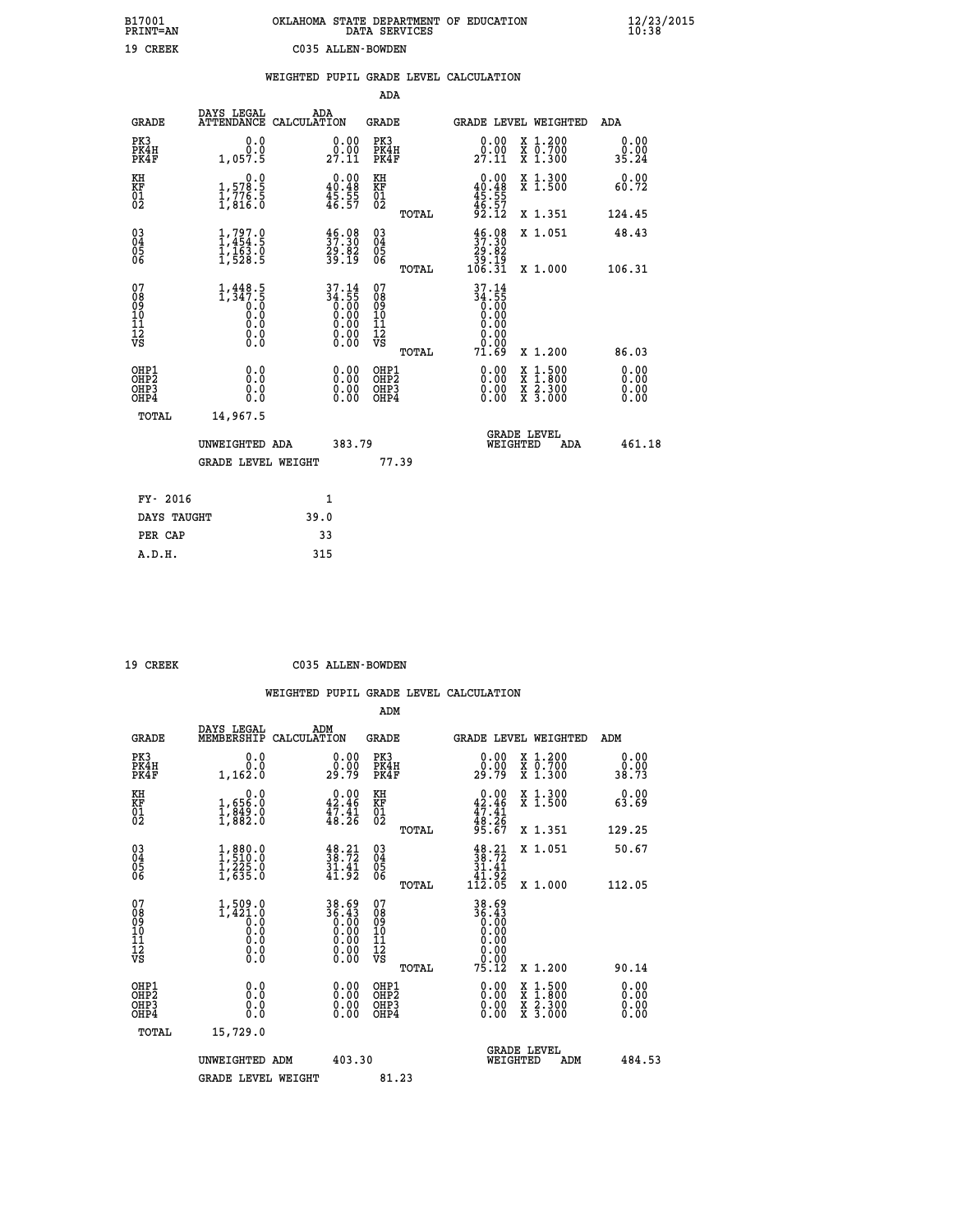| B17001          | OKLAHOMA STATE DEPARTMENT OF EDUCATION |
|-----------------|----------------------------------------|
| <b>PRINT=AN</b> | DATA SERVICES                          |
| 19 CREEK        | C035 ALLEN-BOWDEN                      |

|                                                                    |                                                                                                                                  |                                                                                                         | ADA                                       |       |                                                                                               |                                                                                                  |                              |
|--------------------------------------------------------------------|----------------------------------------------------------------------------------------------------------------------------------|---------------------------------------------------------------------------------------------------------|-------------------------------------------|-------|-----------------------------------------------------------------------------------------------|--------------------------------------------------------------------------------------------------|------------------------------|
| <b>GRADE</b>                                                       | DAYS LEGAL                                                                                                                       | ADA<br>ATTENDANCE CALCULATION                                                                           | <b>GRADE</b>                              |       |                                                                                               | <b>GRADE LEVEL WEIGHTED</b>                                                                      | ADA                          |
| PK3<br>PK4H<br>PK4F                                                | 0.0<br>0.0<br>1,057.5                                                                                                            | $\begin{smallmatrix} 0.00\\ 0.00\\ 27.11 \end{smallmatrix}$                                             | PK3<br>PK4H<br>PK4F                       |       | 0.00<br>$\frac{0.00}{27.11}$                                                                  | X 1.200<br>X 0.700<br>X 1.300                                                                    | 0.00<br>0.00<br>35.24        |
| KH<br><b>KF</b><br>01<br>02                                        | 0.0<br>$\frac{1}{1}, \frac{5}{7}\frac{78}{6}\cdot\frac{5}{5}$<br>1,816.0                                                         | $\begin{smallmatrix} 0.00\\ 40.48\\ 45.55\\ 46.57 \end{smallmatrix}$                                    | KH<br>KF<br>01<br>02                      |       | 0.00<br>$40.48$<br>$45.55$<br>$46.57$<br>$92.12$                                              | X 1.300<br>X 1.500                                                                               | 0.00<br>60.72                |
|                                                                    |                                                                                                                                  |                                                                                                         |                                           | TOTAL |                                                                                               | X 1.351                                                                                          | 124.45                       |
| $\begin{smallmatrix} 03 \\[-4pt] 04 \end{smallmatrix}$<br>05<br>06 | $1,797.9$<br>$1,454.5$<br>$\frac{1}{1}, \frac{1}{5}$ $\frac{5}{3}$ $\cdot \frac{5}{5}$                                           | $\frac{46.08}{37.30}$<br>29.02<br>39.19                                                                 | $\substack{03 \\ 04}$<br>05<br>06         | TOTAL | $\frac{46}{37}.98$<br>82.02<br>19.19<br>106.31                                                | X 1.051<br>X 1.000                                                                               | 48.43<br>106.31              |
| 07<br>08<br>09<br>11<br>11<br>12<br>VS                             | $\begin{smallmatrix} 1,448.5\\ 1,347.5\\ 0.0\\ 0.0 \end{smallmatrix}$<br>$\begin{smallmatrix} 0.0 \ 0.0 \ 0.0 \end{smallmatrix}$ | $37.14$<br>$34.55$<br>$0.00$<br>$0.00$<br>$0.00$<br>$\begin{smallmatrix} 0.00 \ 0.00 \end{smallmatrix}$ | 07<br>08<br>09<br>11<br>11<br>12<br>VS    |       | 37.14<br>$\frac{34.55}{0.00}$<br>0.00<br>$\begin{array}{c} 0.00 \\ 0.00 \\ 71.69 \end{array}$ |                                                                                                  |                              |
|                                                                    |                                                                                                                                  |                                                                                                         |                                           | TOTAL |                                                                                               | X 1.200                                                                                          | 86.03                        |
| OHP1<br>OH <sub>P2</sub><br>OH <sub>P3</sub><br>OH <sub>P4</sub>   | 0.0<br>0.0<br>0.0                                                                                                                | 0.00<br>$\begin{smallmatrix} 0.00 \ 0.00 \end{smallmatrix}$                                             | OHP1<br>OH <sub>P</sub> 2<br>OHP3<br>OHP4 |       | 0.00<br>0.00<br>0.00                                                                          | $\begin{smallmatrix} x & 1 & 500 \\ x & 1 & 800 \\ x & 2 & 300 \\ x & 3 & 000 \end{smallmatrix}$ | 0.00<br>0.00<br>0.00<br>0.00 |
| TOTAL                                                              | 14,967.5                                                                                                                         |                                                                                                         |                                           |       |                                                                                               |                                                                                                  |                              |
|                                                                    | UNWEIGHTED ADA                                                                                                                   | 383.79                                                                                                  |                                           |       |                                                                                               | GRADE LEVEL<br>WEIGHTED<br>ADA                                                                   | 461.18                       |
|                                                                    | <b>GRADE LEVEL WEIGHT</b>                                                                                                        |                                                                                                         |                                           | 77.39 |                                                                                               |                                                                                                  |                              |
| FY- 2016                                                           |                                                                                                                                  | $\mathbf{1}$                                                                                            |                                           |       |                                                                                               |                                                                                                  |                              |
| DAYS TAUGHT                                                        |                                                                                                                                  | 39.0                                                                                                    |                                           |       |                                                                                               |                                                                                                  |                              |
| PER CAP                                                            |                                                                                                                                  | 33                                                                                                      |                                           |       |                                                                                               |                                                                                                  |                              |

 **A.D.H. 315**

 **19 CREEK C035 ALLEN-BOWDEN**

|                                          |                                                                      |                                                                      | ADM                                                 |       |                                                                                                |                                          |                              |
|------------------------------------------|----------------------------------------------------------------------|----------------------------------------------------------------------|-----------------------------------------------------|-------|------------------------------------------------------------------------------------------------|------------------------------------------|------------------------------|
| <b>GRADE</b>                             | DAYS LEGAL<br>MEMBERSHIP                                             | ADM<br>CALCULATION                                                   | <b>GRADE</b>                                        |       |                                                                                                | GRADE LEVEL WEIGHTED                     | ADM                          |
| PK3<br>PK4H<br>PK4F                      | 0.0<br>0.0<br>1,162.0                                                | $\begin{smallmatrix} 0.00\\ 0.00\\ 29.79 \end{smallmatrix}$          | PK3<br>PK4H<br>PK4F                                 |       | $\begin{smallmatrix} 0.00\\ 0.00\\ 29.79 \end{smallmatrix}$                                    | X 1.200<br>X 0.700<br>X 1.300            | 0.00<br>0.00<br>38.73        |
| KH<br>KF<br>01<br>02                     | 0.0<br>$\frac{1}{1}, \frac{656}{849}$ $\cdot \frac{0}{0}$<br>1,882.0 | $\begin{smallmatrix} 0.00\\ 42.46\\ 47.41\\ 48.26 \end{smallmatrix}$ | KH<br>KF<br>01<br>02                                |       | $0.00$<br>$42.46$<br>$47.41$<br>$48.26$<br>$95.67$                                             | X 1.300<br>X 1.500                       | 0.00<br>63.69                |
|                                          |                                                                      |                                                                      |                                                     | TOTAL |                                                                                                | X 1.351                                  | 129.25                       |
| 03<br>04<br>05<br>06                     | $1,880.0$<br>$1,510.0$<br>$1,225.0$<br>$1,635.0$                     | $\frac{48}{38}.72$<br>$\frac{31.41}{41.92}$                          | $\begin{array}{c} 03 \\ 04 \\ 05 \\ 06 \end{array}$ |       | $\begin{array}{c} 48\cdot 21\\ 38\cdot 72\\ 31\cdot 41\\ 41\cdot 92\\ 112\cdot 05 \end{array}$ | X 1.051                                  | 50.67                        |
|                                          |                                                                      |                                                                      |                                                     | TOTAL |                                                                                                | X 1.000                                  | 112.05                       |
| 07<br>08<br>09<br>101<br>112<br>VS       | $1,509.0$<br>$1,421.0$<br>$0.0$<br>$0.0$<br>0.0<br>$\S.$             | $38.69$<br>$36.43$<br>$0.00$<br>$0.00$<br>$0.00$<br>$0.00$<br>$0.00$ | 07<br>08<br>09<br>101<br>11<br>12<br>VS             |       | 38.69<br>36.43                                                                                 |                                          |                              |
|                                          |                                                                      |                                                                      |                                                     | TOTAL | 75.12                                                                                          | X 1.200                                  | 90.14                        |
| OHP1<br>OHP2<br>OH <sub>P3</sub><br>OHP4 | 0.0<br>0.000                                                         | $0.00$<br>$0.00$<br>0.00                                             | OHP1<br>OHP2<br>OHP <sub>3</sub>                    |       | $0.00$<br>$0.00$<br>0.00                                                                       | X 1:500<br>X 1:800<br>X 2:300<br>X 3:000 | 0.00<br>0.00<br>0.00<br>0.00 |
| TOTAL                                    | 15,729.0                                                             |                                                                      |                                                     |       |                                                                                                |                                          |                              |
|                                          | UNWEIGHTED ADM                                                       | 403.30                                                               |                                                     |       | WEIGHTED                                                                                       | <b>GRADE LEVEL</b><br>ADM                | 484.53                       |
|                                          | <b>GRADE LEVEL WEIGHT</b>                                            |                                                                      | 81.23                                               |       |                                                                                                |                                          |                              |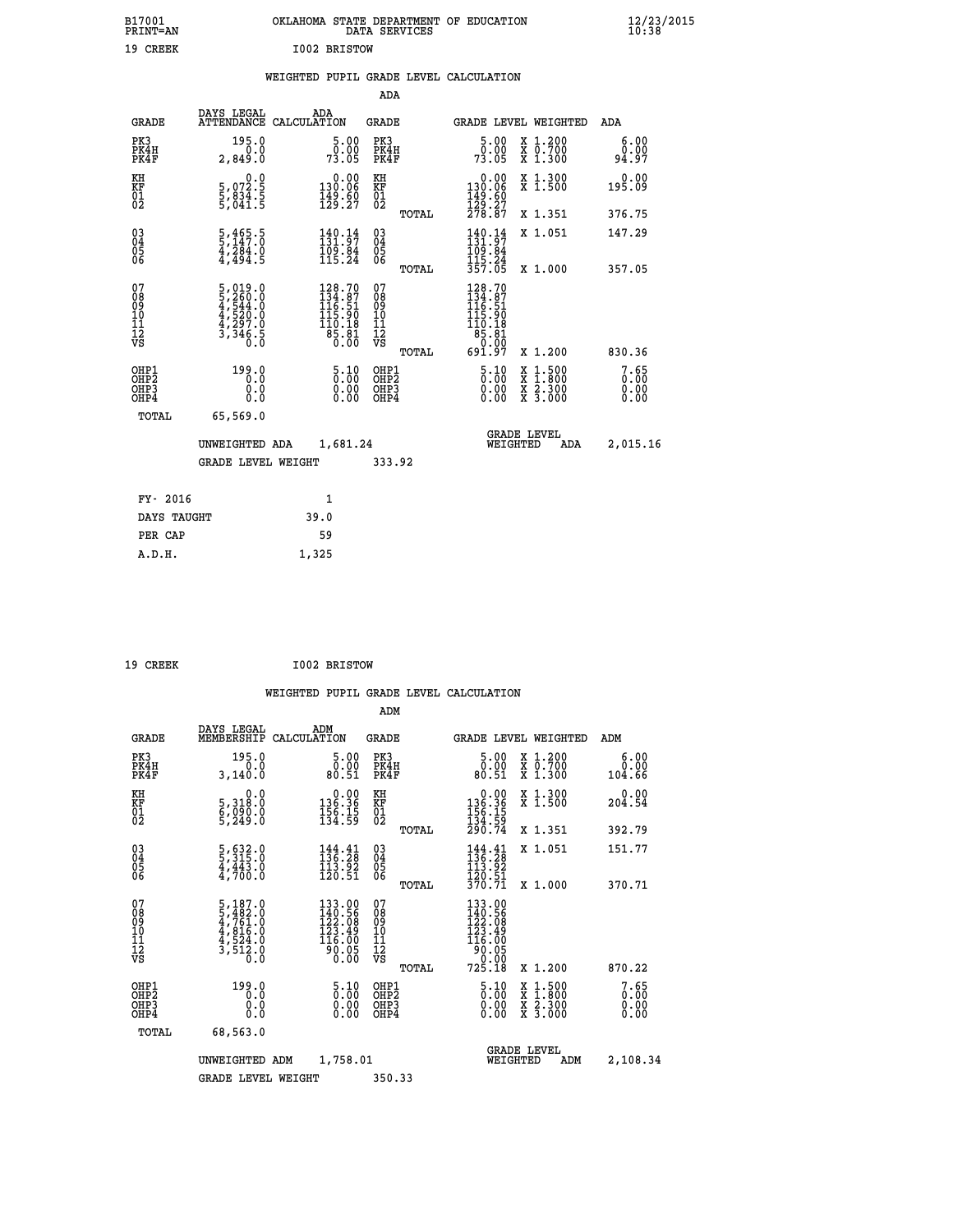| B17001<br><b>PRINT=AN</b> | OKLAHOMA STATE DEPARTMENT OF EDUCATION<br>DATA SERVICES | $\frac{12}{23}$ /2015 |
|---------------------------|---------------------------------------------------------|-----------------------|
| 19<br>CREEK               | I002 BRISTOW                                            |                       |

### **WEIGHTED PUPIL GRADE LEVEL CALCULATION**

|                                                    |                                                                                             |                                                                                            | ADA                                      |       |                                                                                                                                                                                                                                                                                                                                                                                                                                                                |                                                                                          |                       |
|----------------------------------------------------|---------------------------------------------------------------------------------------------|--------------------------------------------------------------------------------------------|------------------------------------------|-------|----------------------------------------------------------------------------------------------------------------------------------------------------------------------------------------------------------------------------------------------------------------------------------------------------------------------------------------------------------------------------------------------------------------------------------------------------------------|------------------------------------------------------------------------------------------|-----------------------|
| <b>GRADE</b>                                       | DAYS LEGAL<br><b>ATTENDANCE</b>                                                             | ADA<br>CALCULATION                                                                         | <b>GRADE</b>                             |       |                                                                                                                                                                                                                                                                                                                                                                                                                                                                | GRADE LEVEL WEIGHTED                                                                     | ADA                   |
| PK3<br>PK4H<br>PK4F                                | 195.0<br>0.0<br>2,849.0                                                                     | 5.00<br>0.00<br>73.05                                                                      | PK3<br>PK4H<br>PK4F                      |       | 5.00<br>0.00<br>73.05                                                                                                                                                                                                                                                                                                                                                                                                                                          | X 1.200<br>X 0.700<br>X 1.300                                                            | 6.00<br>0.00<br>94.97 |
| KH<br>KF<br>01<br>02                               | $\begin{smallmatrix}&&&0.0\\5\,,\,0\,72\,.5\\5\,,\,834\,.5\\5\,,\,041\,.5\end{smallmatrix}$ | $\begin{smallmatrix} &0.00\\ 130.06\\ 149.60\\ 129.27\end{smallmatrix}$                    | KH<br>KF<br>01<br>02                     |       | $\begin{array}{c} 0.00 \\ 130.06 \\ 149.60 \\ 129.27 \\ 278.87 \end{array}$                                                                                                                                                                                                                                                                                                                                                                                    | X 1.300<br>X 1.500                                                                       | 0.00<br>195.09        |
|                                                    |                                                                                             |                                                                                            |                                          | TOTAL |                                                                                                                                                                                                                                                                                                                                                                                                                                                                | X 1.351                                                                                  | 376.75                |
| $\begin{matrix} 03 \\ 04 \\ 05 \\ 06 \end{matrix}$ | $\frac{5}{5}, \frac{465}{147}.0$<br>$\frac{4}{4}, \frac{284}{494}.0$                        | 140.14<br>131.97<br>109.84<br>115.24                                                       | $\substack{03 \\ 04}$<br>$\frac{05}{06}$ |       | $140.14$<br>$131.97$<br>$109.84$<br>$115.24$<br>$357.05$                                                                                                                                                                                                                                                                                                                                                                                                       | X 1.051                                                                                  | 147.29                |
|                                                    |                                                                                             |                                                                                            |                                          | TOTAL |                                                                                                                                                                                                                                                                                                                                                                                                                                                                | X 1.000                                                                                  | 357.05                |
| 07<br>089<br>090<br>1112<br>VS                     | $\begin{smallmatrix}5,019.0\\5,260.0\\4,544.0\\4,520.0\\4,297.0\\3,346.5\end{smallmatrix}$  | $\begin{smallmatrix} 128.70\\134.87\\116.51\\115.90\\110.18\\85.81\\0.00\end{smallmatrix}$ | 07<br>08<br>09<br>11<br>11<br>12<br>VS   | TOTAL | $128.70$<br>$134.87$<br>$116.51$<br>$115.90$<br>$\begin{array}{@{}c@{\hspace{1em}}c@{\hspace{1em}}c@{\hspace{1em}}c@{\hspace{1em}}c@{\hspace{1em}}c@{\hspace{1em}}c@{\hspace{1em}}c@{\hspace{1em}}c@{\hspace{1em}}c@{\hspace{1em}}c@{\hspace{1em}}c@{\hspace{1em}}c@{\hspace{1em}}c@{\hspace{1em}}c@{\hspace{1em}}c@{\hspace{1em}}c@{\hspace{1em}}c@{\hspace{1em}}c@{\hspace{1em}}c@{\hspace{1em}}c@{\hspace{1em}}c@{\hspace{1em}}c@{\hspace{1em}}c@{\hspace{$ | X 1.200                                                                                  | 830.36                |
| OHP1<br>OHP2<br>OH <sub>P3</sub><br>OHP4           | 199.0<br>0.0<br>0.0                                                                         | $\frac{5.10}{0.00}$<br>$\begin{smallmatrix} 0.00 \ 0.00 \end{smallmatrix}$                 | OHP1<br>OHP2<br>OHP3<br>OHP4             |       | $\frac{5.10}{0.00}$<br>0.00                                                                                                                                                                                                                                                                                                                                                                                                                                    | $\begin{smallmatrix} x & 1.500 \\ x & 1.800 \\ x & 2.300 \\ x & 3.000 \end{smallmatrix}$ | 7.65<br>0.00<br>0.00  |
| TOTAL                                              | 65,569.0                                                                                    |                                                                                            |                                          |       |                                                                                                                                                                                                                                                                                                                                                                                                                                                                |                                                                                          |                       |
|                                                    | UNWEIGHTED ADA                                                                              | 1,681.24                                                                                   |                                          |       |                                                                                                                                                                                                                                                                                                                                                                                                                                                                | <b>GRADE LEVEL</b><br>WEIGHTED<br>ADA                                                    | 2,015.16              |
|                                                    | <b>GRADE LEVEL WEIGHT</b>                                                                   |                                                                                            | 333.92                                   |       |                                                                                                                                                                                                                                                                                                                                                                                                                                                                |                                                                                          |                       |
| FY- 2016                                           |                                                                                             | $\mathbf{1}$                                                                               |                                          |       |                                                                                                                                                                                                                                                                                                                                                                                                                                                                |                                                                                          |                       |
| DAYS TAUGHT                                        |                                                                                             | 39.0                                                                                       |                                          |       |                                                                                                                                                                                                                                                                                                                                                                                                                                                                |                                                                                          |                       |
|                                                    |                                                                                             |                                                                                            |                                          |       |                                                                                                                                                                                                                                                                                                                                                                                                                                                                |                                                                                          |                       |

 **PER CAP 59 A.D.H. 1,325**

 **19 CREEK I002 BRISTOW**

|                                          |                                                                                                 |                    |                                                                                                | ADM                                                 |       |                                                                                                                          |                                |                                          |                        |
|------------------------------------------|-------------------------------------------------------------------------------------------------|--------------------|------------------------------------------------------------------------------------------------|-----------------------------------------------------|-------|--------------------------------------------------------------------------------------------------------------------------|--------------------------------|------------------------------------------|------------------------|
| <b>GRADE</b>                             | DAYS LEGAL<br>MEMBERSHIP                                                                        | ADM<br>CALCULATION |                                                                                                | <b>GRADE</b>                                        |       |                                                                                                                          |                                | <b>GRADE LEVEL WEIGHTED</b>              | ADM                    |
| PK3<br>PK4H<br>PK4F                      | 195.0<br>0.0<br>3,140.0                                                                         |                    | 5.00<br>ŏ:ŏŏ<br>80:51                                                                          | PK3<br>PK4H<br>PK4F                                 |       | $\begin{smallmatrix}5.00\0.00\\80.51\end{smallmatrix}$                                                                   |                                | X 1.200<br>X 0.700<br>X 1.300            | 6.00<br>0.00<br>104.66 |
| KH<br>KF<br>01<br>02                     | 0.0<br>5,318:0<br>6,090:0<br>5,249:0                                                            |                    | $\begin{smallmatrix} &0.00\\ 136.36\\ 156.15\\ 134.59\end{smallmatrix}$                        | KH<br>KF<br>01<br>02                                |       | $\begin{smallmatrix} &0.00\\ 136.36\\ 156.15\\ 134.59\\ 290.74\end{smallmatrix}$                                         |                                | X 1.300<br>X 1.500                       | 0.00<br>204.54         |
|                                          |                                                                                                 |                    |                                                                                                |                                                     | TOTAL |                                                                                                                          |                                | X 1.351                                  | 392.79                 |
| 03<br>04<br>05<br>06                     | $\frac{5}{3}, \frac{632}{315}$ .0<br>4,443.0<br>4,700.0                                         |                    | $144.41$<br>$136.28$<br>$113.92$<br>120.51                                                     | $\begin{array}{c} 03 \\ 04 \\ 05 \\ 06 \end{array}$ |       | $\frac{144}{136}$ : $\frac{41}{28}$<br>$\frac{113}{22}$<br>$\frac{1}{3}\overline{20}.\overline{51}$<br>$\frac{3}{70}.71$ |                                | X 1.051                                  | 151.77                 |
|                                          |                                                                                                 |                    |                                                                                                |                                                     | TOTAL |                                                                                                                          |                                | X 1.000                                  | 370.71                 |
| 07<br>08<br>09<br>101<br>112<br>VS       | $\begin{smallmatrix}5,187.0\\5,482.0\\4,761.0\\4,816.0\\4,816.0\\3,512.0\\0.0\end{smallmatrix}$ |                    | 133.00<br>140.56<br>122.08<br>$\begin{array}{r} 123.49 \\ 116.00 \\ 90.05 \\ 0.00 \end{array}$ | 07<br>08<br>09<br>11<br>11<br>12<br>VS              | TOTAL | 133.00<br>140.56<br>122.08<br>123.49<br>125.00<br>10.05<br>90.00<br>725.18                                               |                                | X 1.200                                  | 870.22                 |
| OHP1<br>OHP2<br>OH <sub>P3</sub><br>OHP4 | 199.0<br>0.0<br>0.000                                                                           |                    | $\begin{smallmatrix} 5.10\ 0.00\ 0.00 \end{smallmatrix}$                                       | OHP1<br>OHP2<br>OHP <sub>3</sub>                    |       | $\begin{smallmatrix} 5.10\ 0.00 \ 0.00 \end{smallmatrix}$<br>0.00                                                        |                                | X 1:500<br>X 1:800<br>X 2:300<br>X 3:000 | 7.65<br>0.00<br>0.00   |
| TOTAL                                    | 68,563.0                                                                                        |                    |                                                                                                |                                                     |       |                                                                                                                          |                                |                                          |                        |
|                                          | UNWEIGHTED                                                                                      | ADM                | 1,758.01                                                                                       |                                                     |       |                                                                                                                          | <b>GRADE LEVEL</b><br>WEIGHTED | ADM                                      | 2,108.34               |
|                                          | <b>GRADE LEVEL WEIGHT</b>                                                                       |                    |                                                                                                | 350.33                                              |       |                                                                                                                          |                                |                                          |                        |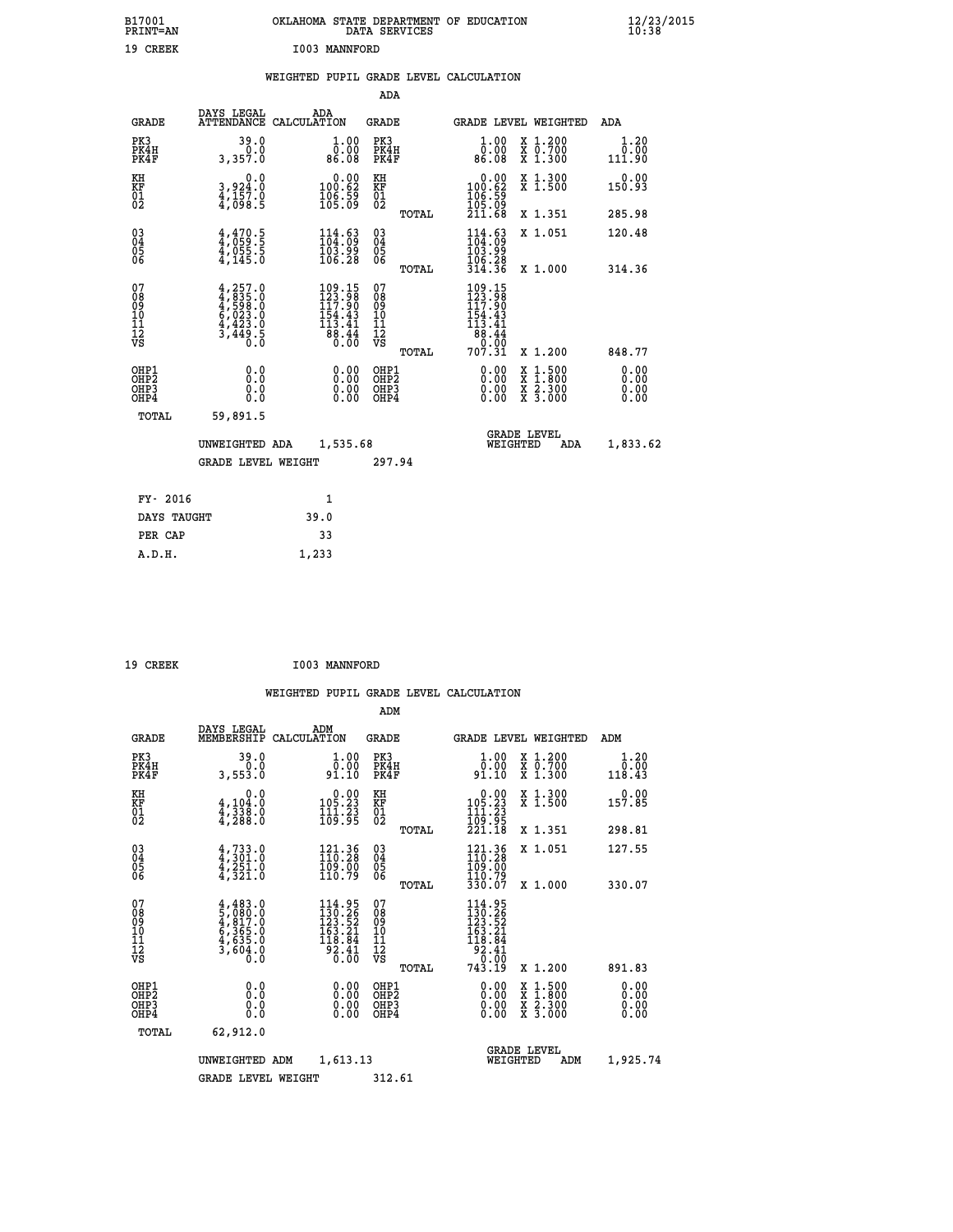| B17001<br>PRINT=AN                                   |                                                                                  | OKLAHOMA STATE DEPARTMENT OF EDUCATION                                                                                            | DATA SERVICES                                      |                                                     |                                                                                                  | $\frac{12}{23}$ /2015        |  |
|------------------------------------------------------|----------------------------------------------------------------------------------|-----------------------------------------------------------------------------------------------------------------------------------|----------------------------------------------------|-----------------------------------------------------|--------------------------------------------------------------------------------------------------|------------------------------|--|
| 19 CREEK                                             |                                                                                  | I003 MANNFORD                                                                                                                     |                                                    |                                                     |                                                                                                  |                              |  |
|                                                      |                                                                                  | WEIGHTED PUPIL GRADE LEVEL CALCULATION                                                                                            |                                                    |                                                     |                                                                                                  |                              |  |
|                                                      |                                                                                  |                                                                                                                                   | ADA                                                |                                                     |                                                                                                  |                              |  |
| <b>GRADE</b>                                         | DAYS LEGAL                                                                       | ADA<br>ATTENDANCE CALCULATION                                                                                                     | GRADE                                              |                                                     | GRADE LEVEL WEIGHTED                                                                             | ADA                          |  |
| PK3<br>PK4H<br>PK4F                                  | 39.0<br>0.0<br>3,357.0                                                           | 1.00<br>ŏŏ:ŏŏ<br>86:08                                                                                                            | PK3<br>PK4H<br>PK4F                                | 1.00<br>0.00<br>86.08                               | X 1.200<br>X 0.700<br>X 1.300                                                                    | 1.20<br>0.00<br>111.90       |  |
| KH<br>KF<br>01<br>02                                 | 0.0<br>3,924:0<br>4,157:0<br>4,098:5                                             | $\begin{smallmatrix} &0.00\ 100.62\ 106.59\ 105.09\ \end{smallmatrix}$                                                            | KH<br>KF<br>01<br>02                               | 0.00<br>100.62<br>$\frac{106}{105}$ $\frac{55}{09}$ | X 1.300<br>X 1.500                                                                               | 0.00<br>150.93               |  |
|                                                      |                                                                                  |                                                                                                                                   | TOTAL                                              | 211.68                                              | X 1.351                                                                                          | 285.98                       |  |
| 030404<br>06                                         | $4,470.5$<br>$4,059.5$<br>$4,055.5$<br>$4,145.0$                                 | $114.63$<br>$104.09$<br>$\frac{103.99}{106.28}$                                                                                   | $\begin{matrix} 03 \\ 04 \\ 05 \\ 06 \end{matrix}$ | 114.63<br>103.99<br>106.28                          | X 1.051                                                                                          | 120.48                       |  |
| 07                                                   |                                                                                  |                                                                                                                                   | TOTAL<br>07                                        | 314.36<br>109.15<br>123.98                          | X 1.000                                                                                          | 314.36                       |  |
| 08<br>09<br>10<br>īĭ<br>Ī2<br>VS                     | $4, 257.0$<br>$4, 835.0$<br>$4, 599.0$<br>$6, 023.0$<br>$4, 423.0$<br>$3, 449.5$ | $\begin{smallmatrix} 109\cdot 15\\ 123\cdot 98\\ 117\cdot 90\\ 154\cdot 43\\ 13\cdot 41\\ 88\cdot 44\\ 0\cdot 0\end{smallmatrix}$ | 08<br>09<br>10<br>11<br>ĪŻ<br>VŜ                   | 117.90<br>154.43<br>113.41<br>88.44<br>0.00         |                                                                                                  |                              |  |
|                                                      |                                                                                  |                                                                                                                                   | TOTAL                                              | 707.31                                              | X 1.200                                                                                          | 848.77                       |  |
| OHP1<br>OHP <sub>2</sub><br>OH <sub>P3</sub><br>OHP4 | 0.0<br>$0.\check{0}$<br>0.0<br>0.0                                               | 0.00<br>$\begin{smallmatrix} 0.00 & 0 \ 0.00 & 0 \end{smallmatrix}$                                                               | OHP1<br>OHP <sub>2</sub><br>OHP3<br>OHP4           | 0.00<br>0.00<br>0.00                                | $\begin{smallmatrix} x & 1 & 500 \\ x & 1 & 800 \\ x & 2 & 300 \\ x & 3 & 000 \end{smallmatrix}$ | 0.00<br>0.00<br>0.00<br>0.00 |  |
| TOTAL                                                | 59,891.5                                                                         |                                                                                                                                   |                                                    |                                                     |                                                                                                  |                              |  |
|                                                      | UNWEIGHTED ADA                                                                   | 1,535.68                                                                                                                          |                                                    | WEIGHTED                                            | <b>GRADE LEVEL</b><br>ADA                                                                        | 1,833.62                     |  |
|                                                      | <b>GRADE LEVEL WEIGHT</b>                                                        |                                                                                                                                   | 297.94                                             |                                                     |                                                                                                  |                              |  |
| FY- 2016                                             |                                                                                  | 1                                                                                                                                 |                                                    |                                                     |                                                                                                  |                              |  |
| DAYS TAUGHT                                          |                                                                                  | 39.0                                                                                                                              |                                                    |                                                     |                                                                                                  |                              |  |
| PER CAP                                              |                                                                                  | 33                                                                                                                                |                                                    |                                                     |                                                                                                  |                              |  |

| I003 MANNFORD<br>19 CREEK |  |  |  |  |
|---------------------------|--|--|--|--|
|---------------------------|--|--|--|--|

 **A.D.H. 1,233**

 **WEIGHTED PUPIL GRADE LEVEL CALCULATION ADM DAYS LEGAL ADM GRADE MEMBERSHIP CALCULATION GRADE GRADE LEVEL WEIGHTED ADM PK3 39.0 1.00 PK3 1.00 X 1.200 1.20 PK4H 0.0 0.00 PK4H 0.00 X 0.700 0.00 PK4F 3,553.0 91.10 PK4F 91.10 X 1.300 118.43 KH 0.0 0.00 KH 0.00 X 1.300 0.00 KF 4,104.0 105.23 KF 105.23 X 1.500 157.85 01 4,338.0 111.23 01 111.23 02 4,288.0 109.95 02 109.95 TOTAL 221.18 X 1.351 298.81 03 4,733.0 121.36 03 121.36 X 1.051 127.55 04 4,301.0 110.28 04 110.28 05 4,251.0 109.00 05 109.00 06 4,321.0 110.79 06 110.79 TOTAL 330.07 X 1.000 330.07**  $\begin{array}{cccc} 07 & 4,483.0 & 114.95 & 07 & 114.95 \ 08 & 5,080.0 & 130.26 & 08 & 130.26 \ 09 & 6,365.0 & 163.21 & 10 & 163.21 \ 11 & 4,655.0 & 163.21 & 10 & 163.21 \ 12 & 3,604.0 & 92.41 & 12 & 92.41 \ 13 & 60.0 & 0 & 0 & 0 & 0 & 0 \end{array}$  **TOTAL 743.19 X 1.200 891.83 OHP1 0.0 0.00 OHP1 0.00 X 1.500 0.00 OHP2 0.0 0.00 OHP2 0.00 X 1.800 0.00 OHP3 0.0 0.00 OHP3 0.00 X 2.300 0.00 OHP4 0.0 0.00 OHP4 0.00 X 3.000 0.00 TOTAL 62,912.0 GRADE LEVEL UNWEIGHTED ADM 1,613.13 WEIGHTED ADM 1,925.74** GRADE LEVEL WEIGHT 312.61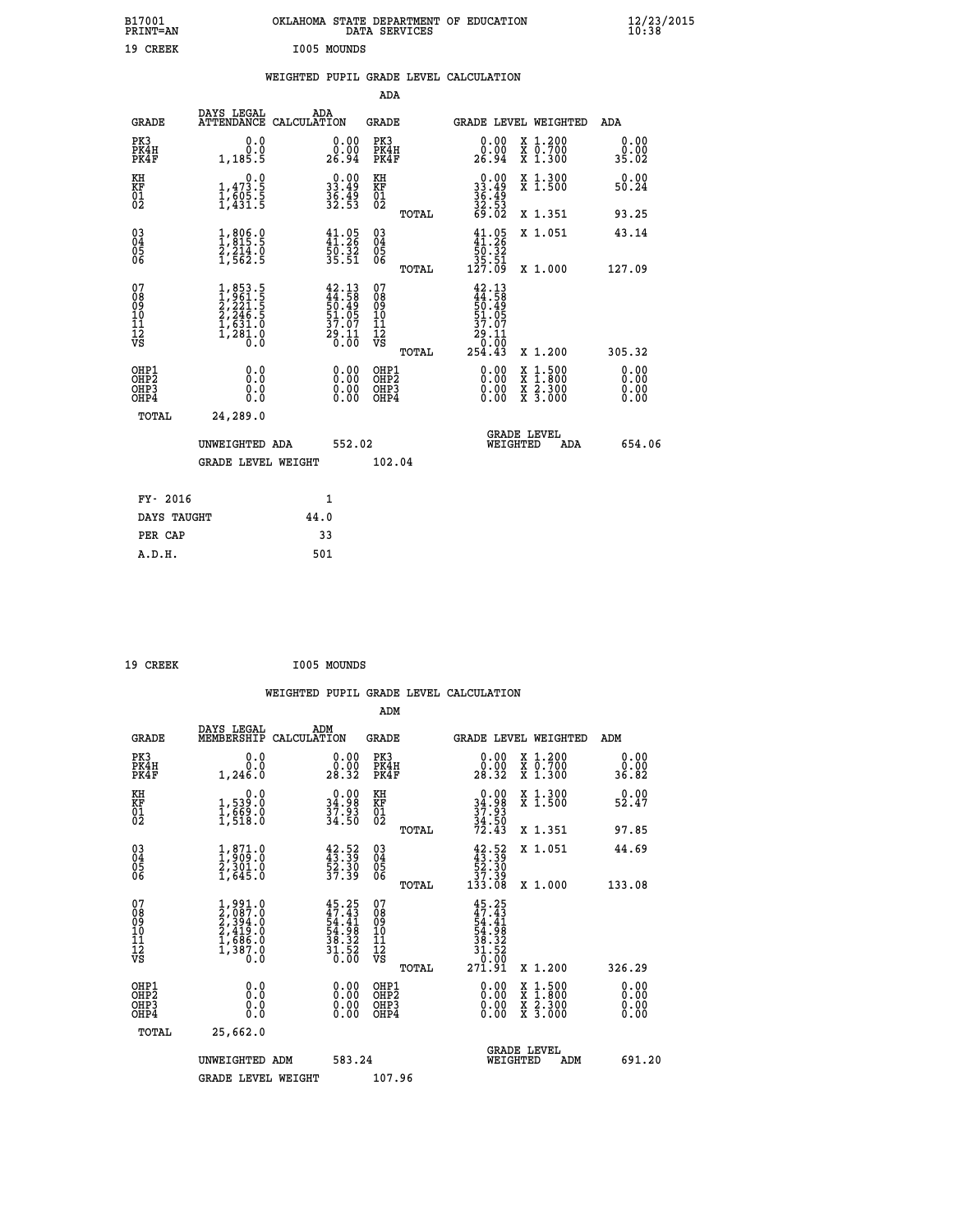| B17001<br><b>PRINT=AN</b>                         |                                                                                                                     | OKLAHOMA STATE DEPARTMENT OF EDUCATION                               | DATA SERVICES                                      |                                                                                        |                                                                                                                                           | $\frac{12}{23}$ /2015 |
|---------------------------------------------------|---------------------------------------------------------------------------------------------------------------------|----------------------------------------------------------------------|----------------------------------------------------|----------------------------------------------------------------------------------------|-------------------------------------------------------------------------------------------------------------------------------------------|-----------------------|
| 19 CREEK                                          |                                                                                                                     | I005 MOUNDS                                                          |                                                    |                                                                                        |                                                                                                                                           |                       |
|                                                   |                                                                                                                     | WEIGHTED PUPIL GRADE LEVEL CALCULATION                               |                                                    |                                                                                        |                                                                                                                                           |                       |
|                                                   |                                                                                                                     |                                                                      | <b>ADA</b>                                         |                                                                                        |                                                                                                                                           |                       |
| GRADE                                             | DAYS LEGAL                                                                                                          | ADA<br>ATTENDANCE CALCULATION                                        | GRADE                                              |                                                                                        | GRADE LEVEL WEIGHTED                                                                                                                      | ADA                   |
| PK3<br>PK4H<br>PK4F                               | 0.0<br>Ō.Ō<br>1,185.5                                                                                               | 0.00<br>0.00<br>26.94                                                | PK3<br>PK4H<br>PK4F                                | $\begin{smallmatrix} 0.00\\ 0.00\\ 26.94 \end{smallmatrix}$                            | X 1.200<br>X 0.700<br>X 1.300                                                                                                             | 0.00<br>0.00<br>35.02 |
| KH<br>KF<br>$\begin{matrix} 01 \ 02 \end{matrix}$ | 0.0<br>$1,47\overline{3}\cdot\overline{5}\overline{1},\overline{6}0\overline{5}\cdot\overline{5}\overline{1},431.5$ | $\begin{smallmatrix} 0.00\\ 33.49\\ 36.49\\ 36.53 \end{smallmatrix}$ | KH<br><b>KF</b><br>01<br>02                        | 0.00<br>$33.49$<br>$36.49$<br>$32.53$<br>$69.02$                                       | X 1.300<br>X 1.500                                                                                                                        | 0.00<br>50.24         |
|                                                   |                                                                                                                     |                                                                      | TOTAL                                              |                                                                                        | X 1.351                                                                                                                                   | 93.25                 |
| $^{03}_{04}$<br>Ŏ5<br>ŌĞ                          | 1,806.0<br>1,815.5<br>2,214.0<br>1,562.5                                                                            | $41.95$<br>$41.26$<br>$50.32$<br>$35.51$                             | $\begin{matrix} 03 \\ 04 \\ 05 \\ 06 \end{matrix}$ | $41.25$<br>$50.32$                                                                     | X 1.051                                                                                                                                   | 43.14                 |
|                                                   |                                                                                                                     |                                                                      | TOTAL                                              | $\frac{35.51}{127.09}$                                                                 | X 1.000                                                                                                                                   | 127.09                |
| 07<br>Ŏġ<br>09<br>10<br>11<br>12<br>VS            | $1,853.5$<br>$2,221.5$<br>$2,246.5$<br>$1,631.0$<br>$1,281.0$<br>$0.0$                                              | $42.13\n44.58\n50.49\n51.05\n37.07\n29.11\n0.00$                     | 07<br>08<br>09<br>101<br>11<br>12<br>VS            | 42.13<br>$\frac{44}{50}$ : $\frac{58}{49}$<br>51.05<br>37.07<br>29<br>. 11<br>.00<br>0 |                                                                                                                                           |                       |
|                                                   |                                                                                                                     |                                                                      | <b>TOTAL</b>                                       | 254.43                                                                                 | X 1.200                                                                                                                                   | 305.32                |
| OHP1<br>OHP2<br>OH <sub>P3</sub><br>OHP4          | 0.0<br>Ō.Ō<br>0.0<br>0.0                                                                                            | 0.00<br>$\begin{smallmatrix} 0.00 \ 0.00 \end{smallmatrix}$          | OHP1<br>OHP <sub>2</sub><br>OHP3<br>OHP4           | 0.00<br>0.00<br>0.00                                                                   | $\begin{smallmatrix} \mathtt{X} & 1\cdot500\\ \mathtt{X} & 1\cdot800\\ \mathtt{X} & 2\cdot300\\ \mathtt{X} & 3\cdot000 \end{smallmatrix}$ | 0.00<br>0.00<br>0.00  |
| TOTAL                                             | 24,289.0                                                                                                            |                                                                      |                                                    |                                                                                        |                                                                                                                                           |                       |
|                                                   | UNWEIGHTED ADA                                                                                                      | 552.02                                                               |                                                    | WEIGHTED                                                                               | <b>GRADE LEVEL</b><br>ADA                                                                                                                 | 654.06                |
|                                                   | <b>GRADE LEVEL WEIGHT</b>                                                                                           |                                                                      | 102.04                                             |                                                                                        |                                                                                                                                           |                       |
|                                                   |                                                                                                                     |                                                                      |                                                    |                                                                                        |                                                                                                                                           |                       |
| FY- 2016<br>DAYS TAUGHT                           |                                                                                                                     | 1<br>44.0                                                            |                                                    |                                                                                        |                                                                                                                                           |                       |
| PER CAP                                           |                                                                                                                     | 33                                                                   |                                                    |                                                                                        |                                                                                                                                           |                       |
| A.D.H.                                            |                                                                                                                     | 501                                                                  |                                                    |                                                                                        |                                                                                                                                           |                       |

| I005 MOUNDS<br>19 CREEK |
|-------------------------|
|-------------------------|

|                                                      |                                                                                   |                                                                            | WEIGHTED PUPIL GRADE LEVEL CALCULATION       |                                                                                                                                                     |                                          |                       |
|------------------------------------------------------|-----------------------------------------------------------------------------------|----------------------------------------------------------------------------|----------------------------------------------|-----------------------------------------------------------------------------------------------------------------------------------------------------|------------------------------------------|-----------------------|
|                                                      |                                                                                   |                                                                            | ADM                                          |                                                                                                                                                     |                                          |                       |
| <b>GRADE</b>                                         | DAYS LEGAL<br>MEMBERSHIP                                                          | ADM<br>CALCULATION                                                         | <b>GRADE</b>                                 | <b>GRADE LEVEL WEIGHTED</b>                                                                                                                         |                                          | ADM                   |
| PK3<br>PK4H<br>PK4F                                  | 0.0<br>0.0<br>1,246.0                                                             | $\begin{smallmatrix} 0.00\\ 0.00\\ 28.32 \end{smallmatrix}$                | PK3<br>PK4H<br>PK4F                          | $\begin{smallmatrix} 0.00\\ 0.00\\ 28.32 \end{smallmatrix}$                                                                                         | X 1.200<br>X 0.700<br>X 1.300            | 0.00<br>0.00<br>36.82 |
| KH<br>KF<br>01<br>02                                 | $\begin{smallmatrix}&&&0.0\1,539.0\1,669.0\1,518.0\end{smallmatrix}$              | $\begin{smallmatrix} 0.00\\ 34.98\\ 37.93\\ 34.50 \end{smallmatrix}$       | KH<br>KF<br>01<br>02                         | $0.00$<br>$34.98$<br>$37.93$<br>$34.50$<br>$72.43$                                                                                                  | X 1.300<br>X 1.500                       | $0.00$<br>52.47       |
|                                                      |                                                                                   |                                                                            | TOTAL                                        |                                                                                                                                                     | X 1.351                                  | 97.85                 |
| $\begin{matrix} 03 \\ 04 \\ 05 \\ 06 \end{matrix}$   | $\frac{1}{2}, \frac{871}{909}$ $\frac{0}{2}, \frac{301}{301}$ $\frac{0}{1,645}$   | $42.52\n43.39\n52.30\n37.39$                                               | 03<br>04<br>05<br>06                         | $\begin{array}{c} 42.52 \\ 43.39 \\ 52.30 \\ 37.39 \\ 133.08 \end{array}$                                                                           | X 1.051                                  | 44.69                 |
|                                                      |                                                                                   |                                                                            | TOTAL                                        |                                                                                                                                                     | X 1.000                                  | 133.08                |
| 07<br>0890112<br>1112<br>VS                          | $1,991.0$<br>$2,987.0$<br>$2,394.0$<br>$2,419.0$<br>$1,686.0$<br>$1,387.0$<br>0.0 | $45.25$<br>$47.43$<br>$54.41$<br>$54.98$<br>$38.322$<br>$31.520$<br>$0.00$ | 07<br>08<br>09<br>01<br>11<br>11<br>12<br>VS | $\begin{array}{r} 45 \cdot 25 \\ 47 \cdot 43 \\ 54 \cdot 41 \\ 54 \cdot 98 \\ 38 \cdot 32 \\ 31 \cdot 52 \\ 1 \cdot 52 \\ 271 \cdot 91 \end{array}$ |                                          |                       |
|                                                      |                                                                                   |                                                                            | TOTAL                                        |                                                                                                                                                     | X 1.200                                  | 326.29                |
| OHP1<br>OHP <sub>2</sub><br>OH <sub>P3</sub><br>OHP4 | 0.0<br>0.000                                                                      | $0.00$<br>$0.00$<br>0.00                                                   | OHP1<br>OHP2<br>OHP <sub>3</sub>             | 0.00<br>0.00<br>0.00                                                                                                                                | X 1:500<br>X 1:800<br>X 2:300<br>X 3:000 | 0.00<br>0.00<br>0.00  |
| TOTAL                                                | 25,662.0                                                                          |                                                                            |                                              |                                                                                                                                                     |                                          |                       |
|                                                      | UNWEIGHTED ADM                                                                    | 583.24                                                                     |                                              | <b>GRADE LEVEL</b><br>WEIGHTED                                                                                                                      | ADM                                      | 691.20                |
|                                                      | <b>GRADE LEVEL WEIGHT</b>                                                         |                                                                            | 107.96                                       |                                                                                                                                                     |                                          |                       |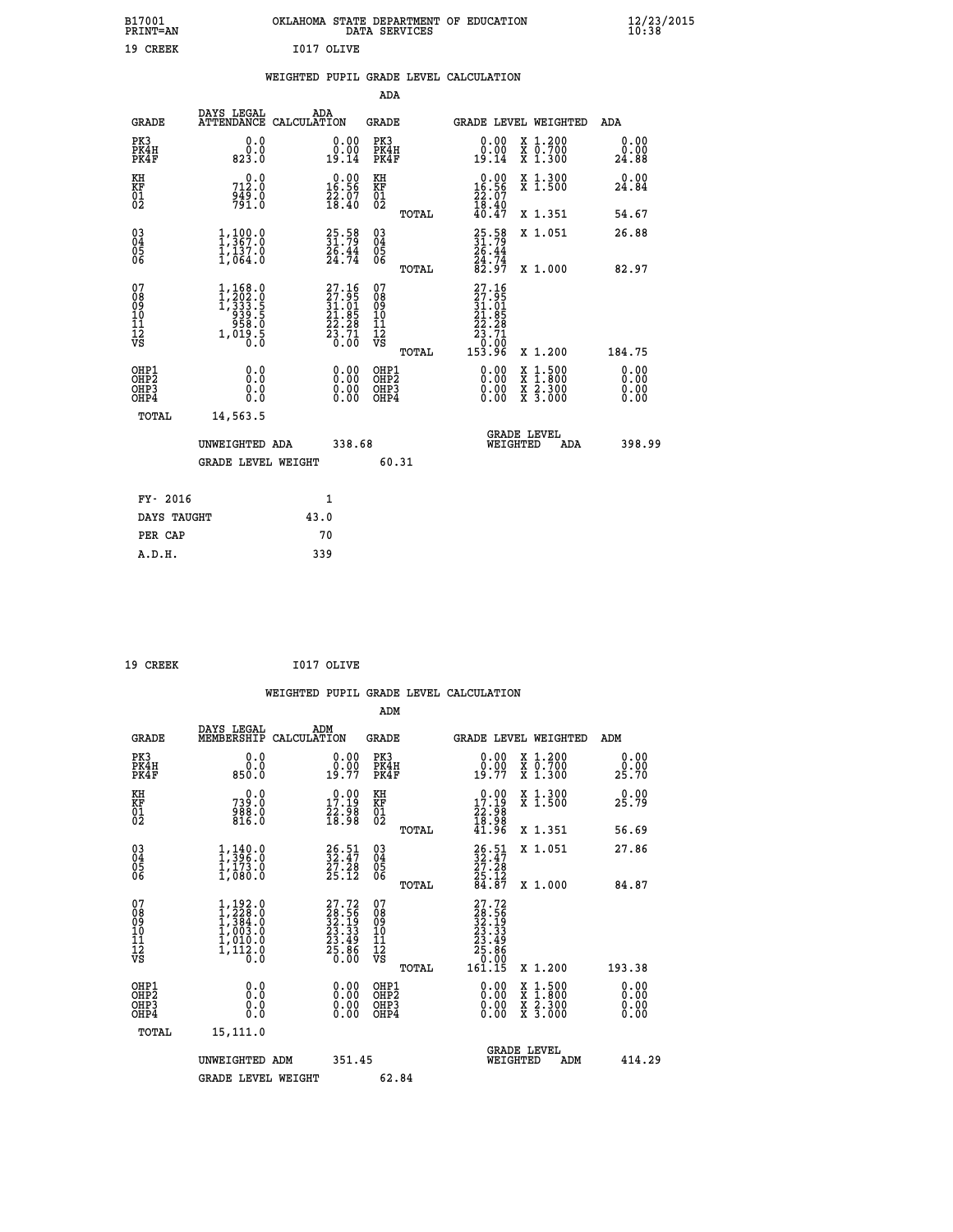|            | OKLAHOMA STATE DEPARTMENT OF EDUCATION<br>DATA SERVICES |  |
|------------|---------------------------------------------------------|--|
| T017 OLTVE |                                                         |  |

|  |  | WEIGHTED PUPIL GRADE LEVEL CALCULATION |
|--|--|----------------------------------------|
|  |  |                                        |

|                                                                    |                                                                                                             |                                                                                                    | ADA                                       |       |                                                                                                     |                                                                                                  |                              |
|--------------------------------------------------------------------|-------------------------------------------------------------------------------------------------------------|----------------------------------------------------------------------------------------------------|-------------------------------------------|-------|-----------------------------------------------------------------------------------------------------|--------------------------------------------------------------------------------------------------|------------------------------|
| <b>GRADE</b>                                                       | DAYS LEGAL                                                                                                  | ADA<br>ATTENDANCE CALCULATION                                                                      | <b>GRADE</b>                              |       |                                                                                                     | GRADE LEVEL WEIGHTED                                                                             | ADA                          |
| PK3<br>PK4H<br>PK4F                                                | 0.0<br>$0.08$<br>$0.823.0$                                                                                  | $\begin{smallmatrix} 0.00\\ 0.00\\ 19.14 \end{smallmatrix}$                                        | PK3<br>PK4H<br>PK4F                       |       | 0.00<br>ă:ŏă<br>19.14                                                                               | X 1.200<br>X 0.700<br>X 1.300                                                                    | 0.00<br>0.00<br>24.88        |
| KH<br>KF<br>01<br>02                                               | 0.0<br>712.0<br>$\frac{2\bar{4}\bar{9}\cdot\tilde{0}}{791\cdot 0}$                                          | $0.00$<br>16.56<br>$\frac{7}{28}$ : $\frac{7}{40}$                                                 | KH<br>KF<br>01<br>02                      |       | $0.00$<br>16.56<br>$\frac{22.07}{18.40}$<br>$40.47$                                                 | X 1.300<br>X 1.500                                                                               | 0.00<br>24.84                |
|                                                                    |                                                                                                             |                                                                                                    |                                           | TOTAL |                                                                                                     | X 1.351                                                                                          | 54.67                        |
| $\begin{smallmatrix} 03 \\[-4pt] 04 \end{smallmatrix}$<br>05<br>06 | $\frac{1}{1}$ , $\frac{100}{367}$ : 0<br>$\frac{1}{1}$ , $\frac{1}{0}$ , $\frac{3}{1}$ , $\frac{3}{0}$      | 25.58<br>31.79<br>26.44<br>24.74                                                                   | $\substack{03 \\ 04}$<br>05<br>06         | TOTAL | 25.58<br>31.79<br>26.44<br>24.74<br>82.97                                                           | X 1.051<br>X 1.000                                                                               | 26.88<br>82.97               |
| 07<br>08<br>09<br>11<br>11<br>12<br>VS                             | $\begin{smallmatrix} 1,168.0\\ 1,202.0\\ 1,333.5\\ 939.5\\ 958.0\\ 958.0\\ 1,019.5\\ 0.0 \end{smallmatrix}$ | $\begin{smallmatrix} 27.16 \\ 27.95 \\ 31.01 \\ 21.85 \\ 22.28 \\ 23.71 \\ 0.00 \end{smallmatrix}$ | 07<br>08<br>09<br>11<br>11<br>12<br>VS    |       | 27.16<br>$\begin{array}{r} 27.95 \\ 31.01 \\ 21.85 \\ 22.28 \\ 23.71 \\ 0.00 \\ \hline \end{array}$ |                                                                                                  |                              |
|                                                                    |                                                                                                             |                                                                                                    |                                           | TOTAL | 153.96                                                                                              | X 1.200                                                                                          | 184.75                       |
| OHP1<br>OH <sub>P2</sub><br>OH <sub>P3</sub><br>OH <sub>P4</sub>   | 0.0<br>0.0<br>0.0                                                                                           | 0.00<br>0.00<br>0.00                                                                               | OHP1<br>OH <sub>P</sub> 2<br>OHP3<br>OHP4 |       | 0.00<br>0.00<br>0.00                                                                                | $\begin{smallmatrix} x & 1 & 500 \\ x & 1 & 800 \\ x & 2 & 300 \\ x & 3 & 000 \end{smallmatrix}$ | 0.00<br>0.00<br>0.00<br>0.00 |
| TOTAL                                                              | 14,563.5                                                                                                    |                                                                                                    |                                           |       |                                                                                                     |                                                                                                  |                              |
|                                                                    | UNWEIGHTED ADA                                                                                              | 338.68                                                                                             |                                           |       |                                                                                                     | GRADE LEVEL<br>WEIGHTED<br>ADA                                                                   | 398.99                       |
|                                                                    | <b>GRADE LEVEL WEIGHT</b>                                                                                   |                                                                                                    |                                           | 60.31 |                                                                                                     |                                                                                                  |                              |
| FY- 2016                                                           |                                                                                                             | $\mathbf{1}$                                                                                       |                                           |       |                                                                                                     |                                                                                                  |                              |
| DAYS TAUGHT                                                        |                                                                                                             | 43.0                                                                                               |                                           |       |                                                                                                     |                                                                                                  |                              |
| PER CAP                                                            |                                                                                                             | 70                                                                                                 |                                           |       |                                                                                                     |                                                                                                  |                              |

| 19 CREEK | I017 OLIVE |
|----------|------------|

 **B17001<br>PRINT=AN<br>19 CREEK** 

|                                                      |                                                                                                         |                                                                                                    | ADM                                          |       |                                                                                                         |                                          |                              |
|------------------------------------------------------|---------------------------------------------------------------------------------------------------------|----------------------------------------------------------------------------------------------------|----------------------------------------------|-------|---------------------------------------------------------------------------------------------------------|------------------------------------------|------------------------------|
| <b>GRADE</b>                                         | DAYS LEGAL<br>MEMBERSHIP                                                                                | ADM<br>CALCULATION                                                                                 | GRADE                                        |       |                                                                                                         | GRADE LEVEL WEIGHTED                     | ADM                          |
| PK3<br>PK4H<br>PK4F                                  | 0.0<br>$0.0$<br>$0.08$                                                                                  | $\begin{smallmatrix} 0.00\\ 0.00\\ 19.77 \end{smallmatrix}$                                        | PK3<br>PK4H<br>PK4F                          |       | 0.00<br>$\frac{0.00}{19.77}$                                                                            | X 1.200<br>X 0.700<br>X 1.300            | 0.00<br>0.00<br>25.70        |
| KH<br>KF<br>01<br>02                                 | 0.0<br>739:0<br>988:0<br>816:0                                                                          | $\begin{smallmatrix} 0.00\\ 17.19\\ 22.98\\ 18.98 \end{smallmatrix}$                               | KH<br>KF<br>01<br>02                         |       | $\begin{smallmatrix} 0.00\\ 17.19\\ 22.98\\ 18.98\\ 41.96 \end{smallmatrix}$                            | X 1.300<br>X 1.500                       | 0.00<br>25.79                |
|                                                      |                                                                                                         |                                                                                                    |                                              | TOTAL |                                                                                                         | X 1.351                                  | 56.69                        |
| $\begin{matrix} 03 \\ 04 \\ 05 \\ 06 \end{matrix}$   | $\frac{1}{1}, \frac{140}{396}.0$<br>$\frac{1}{1}, \frac{173}{100}.0$                                    | 26.51<br>32.47<br>27.28<br>25.12                                                                   | 03<br>04<br>05<br>06                         |       | $\begin{smallmatrix} 26.51\ 32.47\ 27.28\ 25.12\ 84.87 \end{smallmatrix}$                               | X 1.051                                  | 27.86                        |
|                                                      |                                                                                                         |                                                                                                    |                                              | TOTAL |                                                                                                         | $X_1.000$                                | 84.87                        |
| 07<br>08<br>09<br>10<br>11<br>11<br>12<br>VS         | $\begin{smallmatrix} 1,192.0\\ 1,228.0\\ 1,384.0\\ 1,003.0\\ 1,010.0\\ 1,112.0\\ 0.0 \end{smallmatrix}$ | $\begin{smallmatrix} 27.72 \\ 28.56 \\ 32.19 \\ 23.33 \\ 23.49 \\ 25.86 \\ 0.00 \end{smallmatrix}$ | 07<br>08<br>09<br>01<br>11<br>11<br>12<br>VS |       | $\begin{smallmatrix} 27.72\ 28.56\ 32.19\ 32.13\ 23.33\ 23.49\ 25.86\ 0.000\ 161.15\ \end{smallmatrix}$ |                                          |                              |
|                                                      |                                                                                                         |                                                                                                    |                                              | TOTAL |                                                                                                         | X 1.200                                  | 193.38                       |
| OHP1<br>OH <sub>P</sub> <sub>2</sub><br>OHP3<br>OHP4 |                                                                                                         |                                                                                                    | OHP1<br>OHP2<br>OHP3<br>OHP4                 |       | 0.00<br>0.00                                                                                            | X 1:500<br>X 1:800<br>X 2:300<br>X 3:000 | 0.00<br>0.00<br>0.00<br>0.00 |
| TOTAL                                                | 15,111.0                                                                                                |                                                                                                    |                                              |       |                                                                                                         |                                          |                              |
|                                                      | UNWEIGHTED ADM                                                                                          | 351.45                                                                                             |                                              |       | WEIGHTED                                                                                                | <b>GRADE LEVEL</b><br>ADM                | 414.29                       |
|                                                      | <b>GRADE LEVEL WEIGHT</b>                                                                               |                                                                                                    | 62.84                                        |       |                                                                                                         |                                          |                              |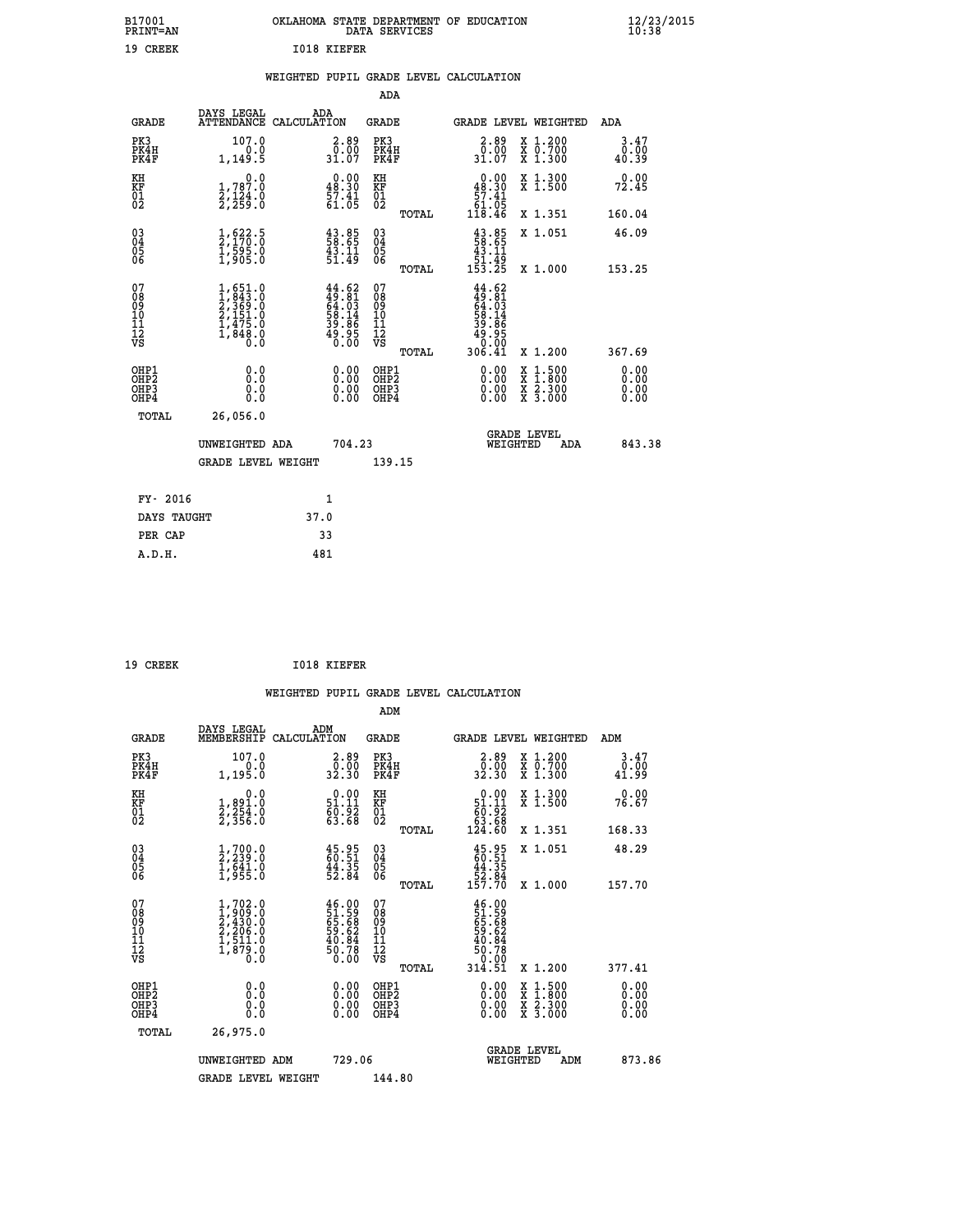| B17001<br><b>PRINT=AN</b> | OKLAHOMA STATE DEPARTMENT OF EDUCATION<br>DATA SERVICES | $\frac{12}{23}$ /2015 |
|---------------------------|---------------------------------------------------------|-----------------------|
| 19<br>CREEK               | <b>I018 KIEFER</b>                                      |                       |

|  |  | WEIGHTED PUPIL GRADE LEVEL CALCULATION |
|--|--|----------------------------------------|
|  |  |                                        |

|                                                                              |                                                                                          |                                                                          | ADA                                                |       |                                                                                         |                                                                                                                                           |                              |
|------------------------------------------------------------------------------|------------------------------------------------------------------------------------------|--------------------------------------------------------------------------|----------------------------------------------------|-------|-----------------------------------------------------------------------------------------|-------------------------------------------------------------------------------------------------------------------------------------------|------------------------------|
| <b>GRADE</b>                                                                 | DAYS LEGAL                                                                               | ADA<br>ATTENDANCE CALCULATION                                            | GRADE                                              |       | <b>GRADE LEVEL WEIGHTED</b>                                                             |                                                                                                                                           | ADA                          |
| PK3<br>PK4H<br>PK4F                                                          | 107.0<br>0.0<br>1,149.5                                                                  | $\begin{smallmatrix} 2.89\0.00\\31.07\end{smallmatrix}$                  | PK3<br>PK4H<br>PK4F                                |       | 2.89<br>0.00<br>31.07                                                                   | X 1.200<br>X 0.700<br>X 1.300                                                                                                             | 3.47<br>0.00<br>40.39        |
| KH<br>KF<br>01<br>02                                                         | 0.0<br>1,787.0<br>2,124.0<br>2,259.0                                                     | $\begin{smallmatrix} 0.00\\ 48.30\\ 57.41\\ 61.05 \end{smallmatrix}$     | KH<br>KF<br>01<br>02                               |       | $\begin{smallmatrix} &0.00\ 48.30\ 57.41\ 61.05\ 118.46\ \end{smallmatrix}$             | X 1.300<br>X 1.500                                                                                                                        | 0.00<br>72.45                |
|                                                                              |                                                                                          |                                                                          |                                                    | TOTAL |                                                                                         | X 1.351                                                                                                                                   | 160.04                       |
| $\begin{matrix} 03 \\ 04 \\ 05 \\ 06 \end{matrix}$                           | $\frac{1}{2}, \frac{622}{170}.\frac{5}{0}$<br>$\frac{1}{1}, \frac{595}{905}.\frac{0}{0}$ | $\begin{smallmatrix} 43.85\ 58.65\ 43.11\ 51.49 \end{smallmatrix}$       | $\begin{matrix} 03 \\ 04 \\ 05 \\ 06 \end{matrix}$ |       | $\begin{smallmatrix} 43.85\\ 58.65\\ 43.11\\ 51.49\\ 153.25 \end{smallmatrix}$          | X 1.051                                                                                                                                   | 46.09                        |
|                                                                              |                                                                                          |                                                                          |                                                    | TOTAL |                                                                                         | X 1.000                                                                                                                                   | 153.25                       |
| 07<br>08<br>09<br>11<br>11<br>12<br>VS                                       | $1,651.0$<br>$1,843.0$<br>$2,369.0$<br>$2,151.0$<br>$1,475.0$<br>$1,848.0$<br>$0.0$      | $44.62$<br>$49.81$<br>$64.03$<br>$58.14$<br>$39.86$<br>$49.95$<br>$0.00$ | 07<br>08<br>09<br>101<br>11<br>12<br>VS            | TOTAL | $44.62$<br>$49.81$<br>$64.03$<br>$58.146$<br>$59.86$<br>$49.050$<br>$0.001$<br>$306.41$ | X 1.200                                                                                                                                   | 367.69                       |
| OHP1<br>OH <sub>P</sub> <sub>2</sub><br>OH <sub>P3</sub><br>OH <sub>P4</sub> | 0.0<br>Ō.Ō<br>0.0<br>0.0                                                                 | 0.00<br>0.00<br>0.00                                                     | OHP1<br>OHP2<br>OHP3<br>OHP4                       |       | 0.00<br>0.00<br>0.00                                                                    | $\begin{smallmatrix} \mathtt{X} & 1\cdot500\\ \mathtt{X} & 1\cdot800\\ \mathtt{X} & 2\cdot300\\ \mathtt{X} & 3\cdot000 \end{smallmatrix}$ | 0.00<br>0.00<br>0.00<br>0.00 |
| TOTAL                                                                        | 26,056.0                                                                                 |                                                                          |                                                    |       |                                                                                         |                                                                                                                                           |                              |
|                                                                              | UNWEIGHTED ADA                                                                           | 704.23                                                                   |                                                    |       | WEIGHTED                                                                                | <b>GRADE LEVEL</b><br>ADA                                                                                                                 | 843.38                       |
|                                                                              | <b>GRADE LEVEL WEIGHT</b>                                                                |                                                                          | 139.15                                             |       |                                                                                         |                                                                                                                                           |                              |
|                                                                              |                                                                                          |                                                                          |                                                    |       |                                                                                         |                                                                                                                                           |                              |
| FY- 2016                                                                     |                                                                                          | $\mathbf{1}$                                                             |                                                    |       |                                                                                         |                                                                                                                                           |                              |
| DAYS TAUGHT                                                                  |                                                                                          | 37.0                                                                     |                                                    |       |                                                                                         |                                                                                                                                           |                              |
| PER CAP                                                                      |                                                                                          | 33                                                                       |                                                    |       |                                                                                         |                                                                                                                                           |                              |
| A.D.H.                                                                       |                                                                                          | 481                                                                      |                                                    |       |                                                                                         |                                                                                                                                           |                              |

 **19 CREEK I018 KIEFER**

|                                          |                                                                                                  |                                                                       | ADM                                                |       |                                                                               |                                          |                              |
|------------------------------------------|--------------------------------------------------------------------------------------------------|-----------------------------------------------------------------------|----------------------------------------------------|-------|-------------------------------------------------------------------------------|------------------------------------------|------------------------------|
| <b>GRADE</b>                             | DAYS LEGAL<br>MEMBERSHIP                                                                         | ADM<br>CALCULATION                                                    | <b>GRADE</b>                                       |       |                                                                               | <b>GRADE LEVEL WEIGHTED</b>              | ADM                          |
| PK3<br>PK4H<br>PK4F                      | 107.0<br>0.0<br>1,195.0                                                                          | $\begin{smallmatrix} 2.89\0.00\\0.00\\32.30\end{smallmatrix}$         | PK3<br>PK4H<br>PK4F                                |       | $\begin{smallmatrix} 2.89\\ 0.00\\ 32.30 \end{smallmatrix}$                   | X 1.200<br>X 0.700<br>X 1.300            | 3.47<br>ۇۋ∶ۇ<br>41.99        |
| KH<br>KF<br>01<br>02                     | 0.0<br>1,891.0<br>2,254.0<br>2,356.0                                                             | $\begin{smallmatrix} 0.00\\ 51.11\\ 60.92\\ 63.68 \end{smallmatrix}$  | KH<br>KF<br>01<br>02                               |       | $\begin{smallmatrix} &0.00\\ 51.11\\ 60.92\\ 63.68\\ 124.60\end{smallmatrix}$ | X 1.300<br>X 1.500                       | 0.00<br>76.67                |
|                                          |                                                                                                  |                                                                       |                                                    | TOTAL |                                                                               | X 1.351                                  | 168.33                       |
| 03<br>04<br>05<br>06                     | $\frac{1}{2}$ , 700.0<br>$\frac{2}{3}$ , 239.0<br>$\frac{1}{1}$ , 641.0<br>$\frac{1}{1}$ , 955.0 | $45.95$<br>$60.51$<br>$44.35$<br>$52.84$                              | $\begin{matrix} 03 \\ 04 \\ 05 \\ 06 \end{matrix}$ |       | $45.95$<br>$60.51$<br>$44.35$<br>$52.84$<br>$157.70$                          | X 1.051                                  | 48.29                        |
|                                          |                                                                                                  |                                                                       |                                                    | TOTAL |                                                                               | X 1.000                                  | 157.70                       |
| 07<br>08<br>09<br>101<br>112<br>VS       | $1,702.0$<br>$2,430.0$<br>$2,430.0$<br>$2,206.0$<br>$1,511.0$<br>$1,879.0$<br>$0.0$              | $46.00$<br>51.59<br>65.68<br>69.62<br>59.84<br>40.84<br>50.78<br>0.00 | 07<br>08<br>09<br>11<br>11<br>12<br>VS             |       | 46.00<br>51.59<br>65.68<br>69.62<br>50.78<br>50.70                            |                                          |                              |
|                                          |                                                                                                  |                                                                       |                                                    | TOTAL | 314.51                                                                        | X 1.200                                  | 377.41                       |
| OHP1<br>OHP2<br>OHP <sub>3</sub><br>OHP4 | 0.0<br>$\begin{smallmatrix} 0.0 & 0 \ 0.0 & 0 \end{smallmatrix}$                                 |                                                                       | OHP1<br>OHP2<br>OHP <sub>3</sub>                   |       | $0.00$<br>$0.00$<br>0.00                                                      | X 1:500<br>X 1:800<br>X 2:300<br>X 3:000 | 0.00<br>0.00<br>0.00<br>0.00 |
| TOTAL                                    | 26,975.0                                                                                         |                                                                       |                                                    |       |                                                                               |                                          |                              |
|                                          | UNWEIGHTED ADM                                                                                   | 729.06                                                                |                                                    |       | WEIGHTED                                                                      | <b>GRADE LEVEL</b><br>ADM                | 873.86                       |
|                                          | <b>GRADE LEVEL WEIGHT</b>                                                                        |                                                                       | 144.80                                             |       |                                                                               |                                          |                              |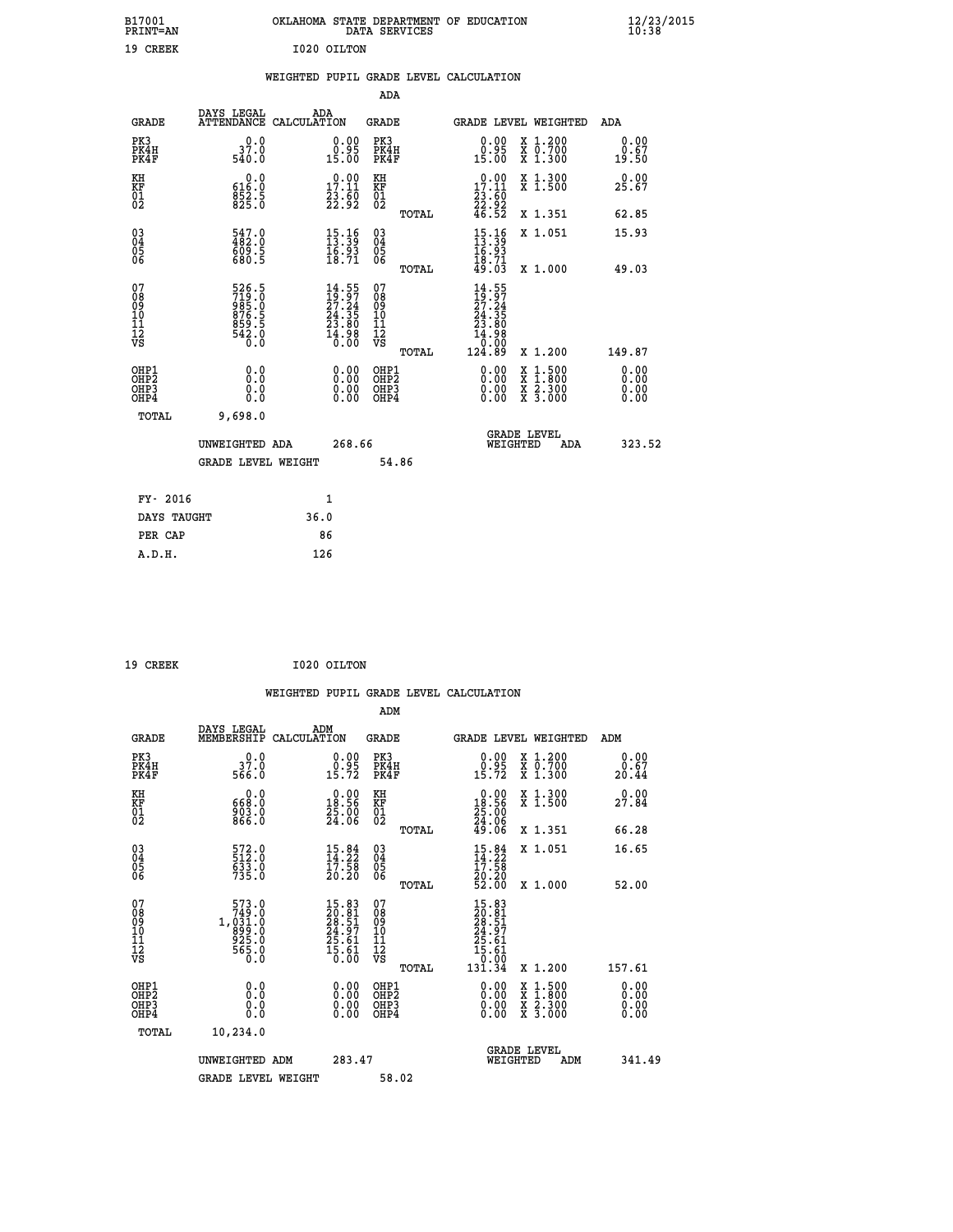| B17001<br><b>PRINT=AN</b>                |                                                                     | OKLAHOMA STATE DEPARTMENT OF EDUCATION                                           | DATA SERVICES                                                       |                                                                              |                                                                                                  | $\frac{12}{23}$ /2015        |
|------------------------------------------|---------------------------------------------------------------------|----------------------------------------------------------------------------------|---------------------------------------------------------------------|------------------------------------------------------------------------------|--------------------------------------------------------------------------------------------------|------------------------------|
| 19 CREEK                                 |                                                                     | I020 OILTON                                                                      |                                                                     |                                                                              |                                                                                                  |                              |
|                                          |                                                                     | WEIGHTED PUPIL GRADE LEVEL CALCULATION                                           |                                                                     |                                                                              |                                                                                                  |                              |
|                                          |                                                                     |                                                                                  | ADA                                                                 |                                                                              |                                                                                                  |                              |
| GRADE                                    | DAYS LEGAL<br>ATTENDANCE CALCULATION                                | ADA                                                                              | GRADE                                                               | GRADE LEVEL WEIGHTED                                                         |                                                                                                  | ADA                          |
| PK3<br>PK4H<br>PK4F                      | 37.0<br>540.0                                                       | 0.00<br>0.95<br>15.00                                                            | PK3<br>PK4H<br>PK4F                                                 | 0.00<br>ĕĕ.ĕ<br>15.00                                                        | X 1.200<br>X 0.700<br>X 1.300                                                                    | 0.00<br>0.67<br>19.50        |
| KH<br>KF<br>$\overline{01}$              | 0.0<br>616.0<br>$8\bar{5}\bar{2}\cdot\bar{5}$<br>$825.0$            | $\begin{smallmatrix} 0.00\\ 17.11\\ 23.60\\ 22.92 \end{smallmatrix}$             | КH<br>KF<br>$\overline{01}$                                         | $\begin{smallmatrix} 0.00\\ 17.11\\ 23.60\\ 22.92\\ 46.52 \end{smallmatrix}$ | X 1.300<br>X 1.500                                                                               | 0.00<br>25.67                |
|                                          |                                                                     |                                                                                  | TOTAL                                                               |                                                                              | X 1.351                                                                                          | 62.85                        |
| $03\overline{4}$<br>Ŏ5<br>06             | $\frac{547.0}{482.0}$<br>609.5<br>680.5                             | $\begin{array}{c} 15\cdot 16\\ 13\cdot 39\\ 16\cdot 93\\ 18\cdot 71 \end{array}$ | 030404<br>ŎĞ                                                        | $15.1613.3916.9318.7149.03$                                                  | X 1.051                                                                                          | 15.93                        |
|                                          |                                                                     |                                                                                  | <b>TOTAL</b>                                                        |                                                                              | X 1.000                                                                                          | 49.03                        |
| 07<br>08<br>09<br>10<br>11<br>12<br>VS   | 526.5<br>719.0<br>985.0<br>$876.5$<br>$859.5$<br>$542.0$<br>$540.0$ | $14.55$<br>$27.24$<br>$24.35$<br>$23.80$<br>$14.98$<br>$0.00$                    | 07<br>08<br>09<br>10<br>$\frac{11}{12}$<br>$\frac{12}{18}$<br>TOTAL | 14.55<br>$\frac{19.97}{27.24}$<br>24.35<br>23.80<br>14.98<br>0.00<br>124.89  | X 1.200                                                                                          | 149.87                       |
| OHP1<br>OHP <sub>2</sub><br>OHP3<br>OHP4 | 0.0<br>Ō.Ō<br>0.0<br>0.0                                            | 0.00<br>0.00<br>0.00                                                             | OHP1<br>OH <sub>P</sub> 2<br>OHP3<br>OHP4                           | 0.00<br>0.00<br>0.00                                                         | $\begin{smallmatrix} x & 1 & 500 \\ x & 1 & 800 \\ x & 2 & 300 \\ x & 3 & 000 \end{smallmatrix}$ | 0.00<br>0.00<br>0.00<br>0.00 |
| TOTAL                                    | 9,698.0                                                             |                                                                                  |                                                                     |                                                                              |                                                                                                  |                              |
|                                          | UNWEIGHTED ADA                                                      | 268.66                                                                           |                                                                     | <b>GRADE LEVEL</b><br>WEIGHTED                                               | ADA                                                                                              | 323.52                       |
|                                          | GRADE LEVEL WEIGHT                                                  |                                                                                  | 54.86                                                               |                                                                              |                                                                                                  |                              |
| FY- 2016                                 |                                                                     | 1                                                                                |                                                                     |                                                                              |                                                                                                  |                              |
| DAYS TAUGHT                              |                                                                     | 36.0                                                                             |                                                                     |                                                                              |                                                                                                  |                              |
| PER CAP                                  |                                                                     | 86                                                                               |                                                                     |                                                                              |                                                                                                  |                              |
| A.D.H.                                   |                                                                     | 126                                                                              |                                                                     |                                                                              |                                                                                                  |                              |

| 19 CREEK | I020 OILTON |
|----------|-------------|

| <b>GRADE</b>                                         | DAYS LEGAL<br>MEMBERSHIP                                                                     | ADM<br>CALCULATION                                                       | <b>GRADE</b>                           |       | GRADE LEVEL WEIGHTED                                                                                                                                                                                                                                                           |                                          | ADM                          |        |
|------------------------------------------------------|----------------------------------------------------------------------------------------------|--------------------------------------------------------------------------|----------------------------------------|-------|--------------------------------------------------------------------------------------------------------------------------------------------------------------------------------------------------------------------------------------------------------------------------------|------------------------------------------|------------------------------|--------|
| PK3<br>PK4H<br>PK4F                                  | 0.0<br>37.0<br>566.0                                                                         | $\begin{smallmatrix} 0.00\\ 0.95\\ 15.72 \end{smallmatrix}$              | PK3<br>PK4H<br>PK4F                    |       | $\begin{smallmatrix} 0.00\\ 0.95\\ 15.72 \end{smallmatrix}$                                                                                                                                                                                                                    | X 1.200<br>X 0.700<br>X 1.300            | 0.00<br>$\frac{0.67}{20.44}$ |        |
| KH<br>KF<br>01<br>02                                 | 0.0<br>668:0<br>903:0<br>866:0                                                               | $\begin{smallmatrix} 0.00\\18.56\\25.00\\24.06 \end{smallmatrix}$        | KH<br>KF<br>01<br>02                   |       | $\begin{smallmatrix} 0.00\\18.56\\25.00\\24.06\\49.06 \end{smallmatrix}$                                                                                                                                                                                                       | X 1.300<br>X 1.500                       | 0.00<br>27.84                |        |
|                                                      |                                                                                              |                                                                          |                                        | TOTAL |                                                                                                                                                                                                                                                                                | X 1.351                                  | 66.28                        |        |
| $\begin{matrix} 03 \\ 04 \\ 05 \\ 06 \end{matrix}$   | 572.0<br>512.0<br>633.0<br>735.0                                                             | $\begin{smallmatrix} 15.84\ 14.22\ 17.58\ 10.20 \end{smallmatrix}$       | 03<br>04<br>05<br>06                   |       | $15.84$<br>$14.22$<br>$17.58$<br>$20.20$<br>$52.00$                                                                                                                                                                                                                            | X 1.051                                  | 16.65                        |        |
|                                                      |                                                                                              |                                                                          |                                        | TOTAL |                                                                                                                                                                                                                                                                                | X 1.000                                  | 52.00                        |        |
| 07<br>08<br>09<br>101<br>112<br>VS                   | $\begin{smallmatrix}573.0\\749.0\\1,031.0\\891.0\\825.0\\925.0\\565.0\\0.0\end{smallmatrix}$ | $15.83$<br>$20.81$<br>$28.51$<br>$24.97$<br>$25.61$<br>$15.61$<br>$0.00$ | 07<br>08<br>09<br>11<br>11<br>12<br>VS | TOTAL | $\begin{smallmatrix} 15.83\ 20.81\ 20.51\ 24.57\ 24.57\ 25.61\ 15.61\ 131.34\ \end{smallmatrix}$                                                                                                                                                                               | X 1.200                                  | 157.61                       |        |
| OHP1<br>OH <sub>P</sub> <sub>2</sub><br>OHP3<br>OHP4 | 0.0<br>Ō.Ō<br>Ŏ.Ŏ                                                                            |                                                                          | OHP1<br>OHP2<br>OHP3<br>OHP4           |       | $\begin{smallmatrix} 0.00 & 0.00 & 0.00 & 0.00 & 0.00 & 0.00 & 0.00 & 0.00 & 0.00 & 0.00 & 0.00 & 0.00 & 0.00 & 0.00 & 0.00 & 0.00 & 0.00 & 0.00 & 0.00 & 0.00 & 0.00 & 0.00 & 0.00 & 0.00 & 0.00 & 0.00 & 0.00 & 0.00 & 0.00 & 0.00 & 0.00 & 0.00 & 0.00 & 0.00 & 0.00 & 0.0$ | X 1:500<br>X 1:800<br>X 2:300<br>X 3:000 | 0.00<br>0.00<br>0.00<br>0.00 |        |
| TOTAL                                                | 10,234.0                                                                                     |                                                                          |                                        |       |                                                                                                                                                                                                                                                                                |                                          |                              |        |
|                                                      | UNWEIGHTED ADM                                                                               | 283.47                                                                   |                                        |       | WEIGHTED                                                                                                                                                                                                                                                                       | <b>GRADE LEVEL</b><br>ADM                |                              | 341.49 |
|                                                      | <b>GRADE LEVEL WEIGHT</b>                                                                    |                                                                          | 58.02                                  |       |                                                                                                                                                                                                                                                                                |                                          |                              |        |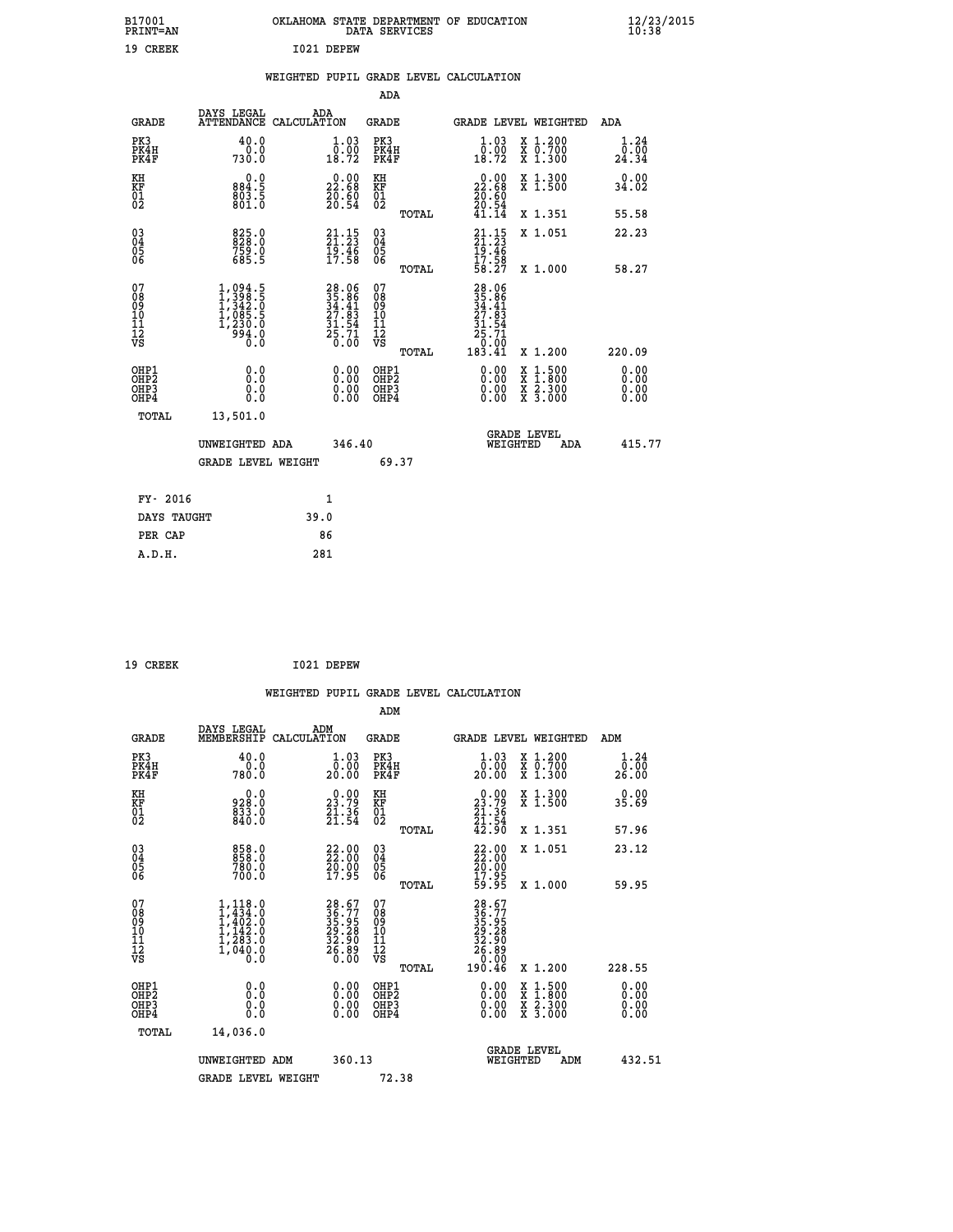| B17001<br>PRINT=AN                     |                                                                                                                                                                      | OKLAHOMA STATE DEPARTMENT OF EDUCATION                                   | DATA SERVICES                                      |                                                                                                           |                                                                                                  | $\frac{12}{23}$ /2015 |
|----------------------------------------|----------------------------------------------------------------------------------------------------------------------------------------------------------------------|--------------------------------------------------------------------------|----------------------------------------------------|-----------------------------------------------------------------------------------------------------------|--------------------------------------------------------------------------------------------------|-----------------------|
| 19 CREEK                               |                                                                                                                                                                      | I021 DEPEW                                                               |                                                    |                                                                                                           |                                                                                                  |                       |
|                                        |                                                                                                                                                                      | WEIGHTED PUPIL GRADE LEVEL CALCULATION                                   |                                                    |                                                                                                           |                                                                                                  |                       |
|                                        |                                                                                                                                                                      |                                                                          | ADA                                                |                                                                                                           |                                                                                                  |                       |
| <b>GRADE</b>                           | DAYS LEGAL                                                                                                                                                           | ADA<br>ATTENDANCE CALCULATION                                            | GRADE                                              |                                                                                                           | GRADE LEVEL WEIGHTED                                                                             | ADA                   |
| PK3<br>PK4H<br>PK4F                    | 40.0<br>0.0<br>730.0                                                                                                                                                 | 1.03<br>0.00<br>18.72                                                    | PK3<br>PK4H<br>PK4F                                | 1.03<br>$\begin{smallmatrix} \bar{0} \ \bar{0} \ \bar{1} \ \bar{8} \ \bar{7} \ \bar{2} \end{smallmatrix}$ | X 1.200<br>X 0.700<br>X 1.300                                                                    | 1.24<br>0.00<br>24.34 |
| KH<br>KF<br>$\frac{01}{02}$            | 0.0<br>884.5<br>803.5<br>801.0                                                                                                                                       | $\begin{smallmatrix} 0.00\\ 22.68\\ 20.60\\ 20.54 \end{smallmatrix}$     | KH<br>KF<br>01<br>02                               | 22.68<br>$\frac{20.60}{20.54}$                                                                            | X 1.300<br>X 1.500                                                                               | 0.00<br>34.02         |
|                                        |                                                                                                                                                                      |                                                                          | TOTAL                                              | 41.14                                                                                                     | X 1.351                                                                                          | 55.58                 |
| $\substack{03 \ 04}$<br>ŏ5<br>06       | $825.0$<br>$828.0$<br>759.0<br>685.5                                                                                                                                 | 21:15<br>$\frac{19.46}{17.58}$                                           | $\begin{matrix} 03 \\ 04 \\ 05 \\ 06 \end{matrix}$ | $21:15$<br>21:23<br>$\frac{19.46}{17.58}$<br>58.27                                                        | X 1.051                                                                                          | 22.23                 |
|                                        |                                                                                                                                                                      |                                                                          | TOTAL                                              |                                                                                                           | X 1.000                                                                                          | 58.27                 |
| 07<br>08<br>09<br>11<br>11<br>12<br>VS | 1,094.5<br>$\frac{1}{3}$ , $\frac{3}{3}$<br>$\frac{1}{3}$ , $\frac{3}{2}$<br>$\frac{2}{3}$ , $\frac{5}{3}$<br>$\frac{1}{3}$ , $\frac{1}{2}$<br>$\frac{230.0}{994.0}$ | $28.06$<br>$35.86$<br>$34.41$<br>$27.83$<br>$31.54$<br>$25.71$<br>$0.00$ | 07<br>08<br>09<br>10<br>īĭ<br>12<br>VS             | 28.06<br>35.86<br>34.41<br>27.83<br>31.54<br>.71<br>25<br>:óō<br>0                                        |                                                                                                  |                       |
| OHP1                                   |                                                                                                                                                                      |                                                                          | TOTAL                                              | 183.41                                                                                                    | X 1.200                                                                                          | 220.09                |
| OHP <sub>2</sub><br>OHP3<br>OHP4       | 0.0<br>0.0<br>0.0                                                                                                                                                    | $0.00$<br>$0.00$<br>0.00                                                 | OHP1<br>OHP2<br>OHP3<br>OHP4                       | 0.00<br>0.00<br>0.00                                                                                      | $\begin{smallmatrix} x & 1 & 500 \\ x & 1 & 800 \\ x & 2 & 300 \\ x & 3 & 000 \end{smallmatrix}$ | 0.00<br>0.00<br>0.00  |
| <b>TOTAL</b>                           | 13,501.0                                                                                                                                                             |                                                                          |                                                    |                                                                                                           |                                                                                                  |                       |
|                                        | UNWEIGHTED ADA                                                                                                                                                       | 346.40                                                                   |                                                    | WEIGHTED                                                                                                  | <b>GRADE LEVEL</b><br>ADA                                                                        | 415.77                |
|                                        | <b>GRADE LEVEL WEIGHT</b>                                                                                                                                            |                                                                          | 69.37                                              |                                                                                                           |                                                                                                  |                       |
| FY- 2016                               |                                                                                                                                                                      | 1                                                                        |                                                    |                                                                                                           |                                                                                                  |                       |
| DAYS TAUGHT                            |                                                                                                                                                                      | 39.0                                                                     |                                                    |                                                                                                           |                                                                                                  |                       |
| PER CAP                                |                                                                                                                                                                      | 86                                                                       |                                                    |                                                                                                           |                                                                                                  |                       |

| 19 CREEK | I021 DEPEW |
|----------|------------|

 **WEIGHTED PUPIL GRADE LEVEL CALCULATION ADM DAYS LEGAL ADM GRADE MEMBERSHIP CALCULATION GRADE GRADE LEVEL WEIGHTED ADM PK3 40.0 1.03 PK3 1.03 X 1.200 1.24 PK4H 0.0 0.00 PK4H 0.00 X 0.700 0.00 PK4F 780.0 20.00 PK4F 20.00 X 1.300 26.00 KH 0.0 0.00 KH 0.00 X 1.300 0.00 KF 928.0 23.79 KF 23.79 X 1.500 35.69 01 833.0 21.36 01 21.36**  $02 \t\t 840.0 \t\t 21.54 \t 02 \t 21.54$  **TOTAL 42.90 X 1.351 57.96 03 858.0 22.00 03 22.00 X 1.051 23.12 04 858.0 22.00 04 22.00 05 780.0 20.00 05 20.00** 06 700.0 17.95 06 <sub>memax</sub> 17.95  **TOTAL 59.95 X 1.000 59.95**  $\begin{array}{cccc} 07 & 1,118.0 & 28.67 & 07 & 28.67 \ 08 & 1,434.0 & 36.77 & 08 & 35.75 \ 09 & 1,402.0 & 35.95 & 09 & 35.95 \ 10 & 1,142.0 & 29.28 & 10 & 29.28 \ 11 & 1,283.0 & 32.98 & 10 & 32.98 \ 12 & 1,040.0 & 26.89 & 12 & 32.99 \ 13 & 0 & 0.0 & 0 & 0 & 0 & 0 \ \end{$  **TOTAL 190.46 X 1.200 228.55 OHP1 0.0 0.00 OHP1 0.00 X 1.500 0.00 OHP2 0.0 0.00 OHP2 0.00 X 1.800 0.00 OHP3 0.0 0.00 OHP3 0.00 X 2.300 0.00 OHP4 0.0 0.00 OHP4 0.00 X 3.000 0.00 TOTAL 14,036.0 GRADE LEVEL UNWEIGHTED ADM 360.13 WEIGHTED ADM 432.51** GRADE LEVEL WEIGHT 72.38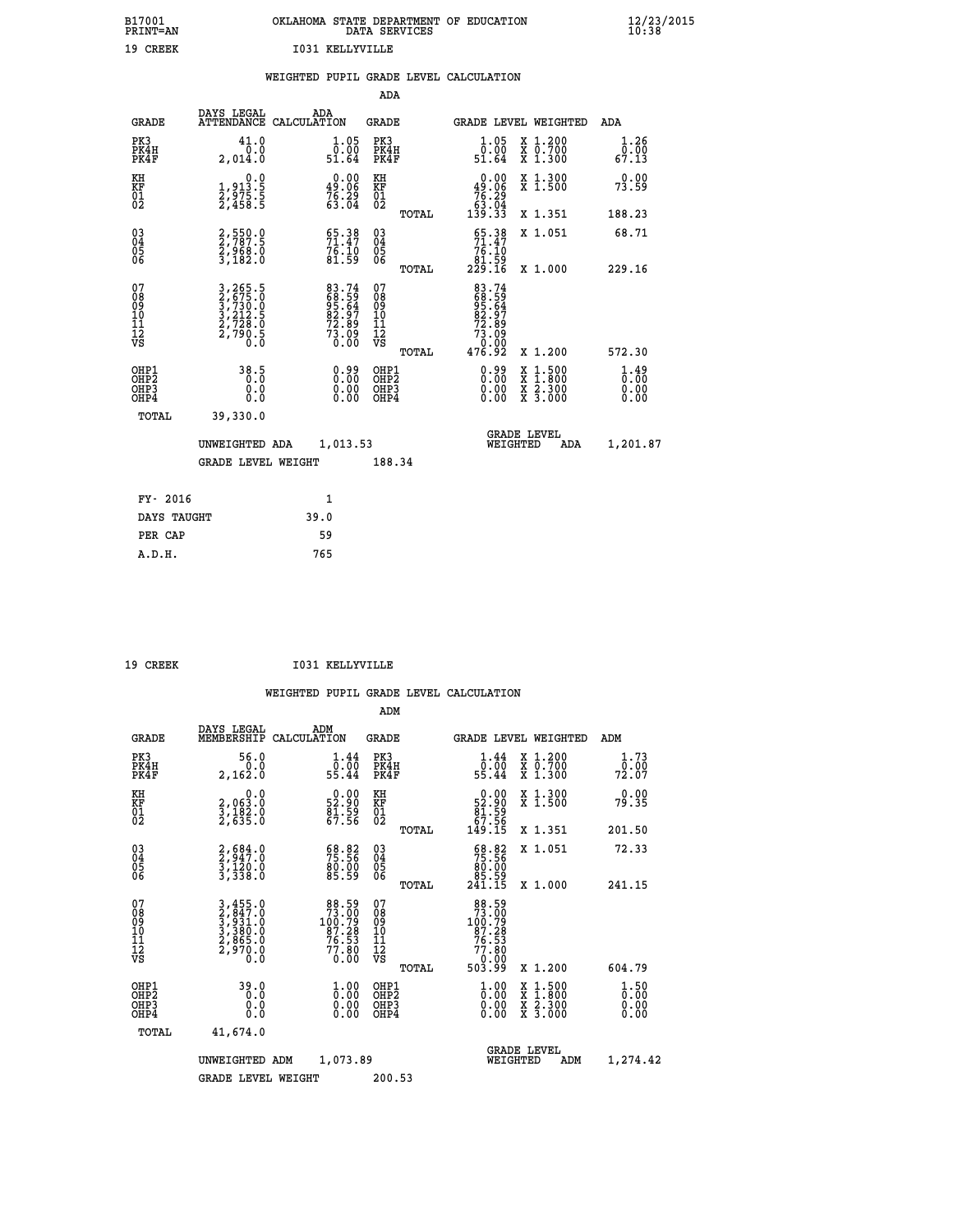| B17001          | OKLAHOMA STATE DEPARTMENT OF EDUCATION |
|-----------------|----------------------------------------|
| <b>PRINT=AN</b> | DATA SERVICES                          |
| 19 CREEK        | T031 KELLYVILLE                        |

|  |  | WEIGHTED PUPIL GRADE LEVEL CALCULATION |
|--|--|----------------------------------------|
|  |  |                                        |

|                                                                    |                                                                  |                                                                | ADA                                       |       |                                                                                        |                                          |                                                 |
|--------------------------------------------------------------------|------------------------------------------------------------------|----------------------------------------------------------------|-------------------------------------------|-------|----------------------------------------------------------------------------------------|------------------------------------------|-------------------------------------------------|
| <b>GRADE</b>                                                       | DAYS LEGAL                                                       | ADA<br>ATTENDANCE CALCULATION                                  | <b>GRADE</b>                              |       | GRADE LEVEL WEIGHTED                                                                   |                                          | ADA                                             |
| PK3<br>PK4H<br>PK4F                                                | 41.0<br>0.0<br>2,014.0                                           | $\begin{array}{c} 1.05 \\ 0.00 \\ 51.64 \end{array}$           | PK3<br>PK4H<br>PK4F                       |       | $\begin{smallmatrix} 1.05\ 0.00$<br>51.64                                              | X 1.200<br>X 0.700<br>X 1.300            | 1.26<br>0.00<br>67.13                           |
| KH<br><b>KF</b><br>01<br>02                                        | 0.0<br>$\frac{1}{2}, \frac{9}{2}, \frac{13}{5}$ : 5<br>2,458 : 5 | $0.00$<br>49.06<br>$76.29$<br>$63.04$                          | KH<br>KF<br>01<br>02                      |       | 0.00<br>$\begin{array}{r} 49.06 \\ 76.29 \\ 63.04 \\ 139.33 \end{array}$               | X 1.300<br>X 1.500                       | 0.00<br>73.59                                   |
|                                                                    |                                                                  |                                                                |                                           | TOTAL |                                                                                        | X 1.351                                  | 188.23                                          |
| $\begin{smallmatrix} 03 \\[-4pt] 04 \end{smallmatrix}$<br>Ŏ5<br>06 | 2,550.0<br>2,787.5<br>2,968.0<br>3,182.0                         | 55.38<br>71.47<br>76.10<br>81.59                               | $\substack{03 \\ 04}$<br>05<br>06         |       | $\begin{array}{c} 65.38 \\ 71.47 \\ 76.10 \\ 81.59 \\ 229.16 \end{array}$              | X 1.051                                  | 68.71                                           |
| 07                                                                 |                                                                  |                                                                | 07                                        | TOTAL |                                                                                        | X 1.000                                  | 229.16                                          |
| 08901112<br>1112<br>VS                                             | 3,265.5<br>2,675.0<br>3,730.0<br>3,212.5<br>2,728.0<br>2,790.5   | 83.74<br>68.59<br>95.64<br>92.97<br>72.89<br>73.09<br>73.00    | 08901112<br>1112<br>VS                    |       | 83.74<br>68.59<br>95.64<br>82.97<br>82.89<br>73.099                                    |                                          |                                                 |
|                                                                    |                                                                  |                                                                |                                           | TOTAL | 476.92                                                                                 | X 1.200                                  | 572.30                                          |
| OHP1<br>OH <sub>P</sub> 2<br>OH <sub>P3</sub><br>OH <sub>P4</sub>  | 38.5<br>0.000                                                    | $\begin{smallmatrix} 0.99\ 0.00\ 0.00\ 0.00 \end{smallmatrix}$ | OHP1<br>OH <sub>P</sub> 2<br>OHP3<br>OHP4 |       | $\begin{smallmatrix} 0.99 \\[-4pt] 0.00 \\[-4pt] 0.00 \\[-4pt] 0.00 \end{smallmatrix}$ | X 1:500<br>X 1:800<br>X 2:300<br>X 3:000 | $\frac{1}{0}$ : $\frac{49}{00}$<br>0.00<br>0.00 |
| TOTAL                                                              | 39,330.0                                                         |                                                                |                                           |       |                                                                                        |                                          |                                                 |
|                                                                    | UNWEIGHTED ADA                                                   | 1,013.53                                                       |                                           |       |                                                                                        | GRADE LEVEL<br>WEIGHTED<br>ADA           | 1,201.87                                        |
|                                                                    | <b>GRADE LEVEL WEIGHT</b>                                        |                                                                | 188.34                                    |       |                                                                                        |                                          |                                                 |
| FY- 2016                                                           |                                                                  | $\mathbf{1}$                                                   |                                           |       |                                                                                        |                                          |                                                 |
| DAYS TAUGHT                                                        |                                                                  | 39.0                                                           |                                           |       |                                                                                        |                                          |                                                 |
| PER CAP                                                            |                                                                  | 59                                                             |                                           |       |                                                                                        |                                          |                                                 |

 **A.D.H. 765**

19 CREEK 1031 KELLYVILLE

|                                          |                                                                |                                                                                       | ADM                                                 |       |                                                                                                      |                                          |                              |
|------------------------------------------|----------------------------------------------------------------|---------------------------------------------------------------------------------------|-----------------------------------------------------|-------|------------------------------------------------------------------------------------------------------|------------------------------------------|------------------------------|
| <b>GRADE</b>                             | DAYS LEGAL<br>MEMBERSHIP                                       | ADM<br>CALCULATION                                                                    | <b>GRADE</b>                                        |       |                                                                                                      | <b>GRADE LEVEL WEIGHTED</b>              | ADM                          |
| PK3<br>PK4H<br>PK4F                      | 56.0<br>0.0<br>2,162.0                                         | $\begin{smallmatrix} 1.44 \\ 0.00 \\ 55.44 \end{smallmatrix}$                         | PK3<br>PK4H<br>PK4F                                 |       | $\begin{smallmatrix}1.44\\0.00\\55.44\end{smallmatrix}$                                              | X 1.200<br>X 0.700<br>X 1.300            | 1.73<br>70.00<br>72.07       |
| KH<br>KF<br>01<br>02                     | 0.0<br>2,063:0<br>3,182:0<br>2,635:0                           | $\begin{smallmatrix} 0.00\\ 52.90\\ 81.59\\ 67.56 \end{smallmatrix}$                  | KH<br>KF<br>01<br>02                                |       | $\begin{smallmatrix} &0.00\ 52.90\ 81.59\ 67.56\ 149.15 \end{smallmatrix}$                           | X 1.300<br>X 1.500                       | 0.00<br>79.35                |
|                                          |                                                                |                                                                                       |                                                     | TOTAL |                                                                                                      | X 1.351                                  | 201.50                       |
| 03<br>04<br>05<br>06                     | $2,684.0$<br>$2,947.0$<br>$3,120.0$<br>$3,338.0$               | 68.82<br>75.56<br>80.00<br>85.59                                                      | $\begin{array}{c} 03 \\ 04 \\ 05 \\ 06 \end{array}$ |       | $\begin{smallmatrix} 68.82\ 75.56\ 80.00\ 85.59\ 241.15 \end{smallmatrix}$                           | X 1.051                                  | 72.33                        |
|                                          |                                                                |                                                                                       |                                                     | TOTAL |                                                                                                      | X 1.000                                  | 241.15                       |
| 07<br>08<br>09<br>101<br>11<br>12<br>VS  | 3,455.0<br>2,847.0<br>3,931.0<br>3,380.0<br>2,865.0<br>2,970.0 | $\begin{smallmatrix}88.59\\73.00\\100.79\\87.28\\76.53\\77.80\\0.00\end{smallmatrix}$ | 07<br>08<br>09<br>11<br>11<br>12<br>VS              | TOTAL | $\begin{array}{r} 88.59 \\ 73.00 \\ 100.79 \\ 87.28 \\ 76.53 \\ 77.80 \\ 0.00 \\ 503.99 \end{array}$ | X 1.200                                  | 604.79                       |
|                                          |                                                                |                                                                                       |                                                     |       |                                                                                                      |                                          |                              |
| OHP1<br>OHP2<br>OHP <sub>3</sub><br>OHP4 | 39.0<br>0.000                                                  | $\begin{smallmatrix} 1.00\ 0.00\ 0.00 \end{smallmatrix}$                              | OHP1<br>OHP2<br>OHP <sub>3</sub>                    |       | $\frac{1}{0}$ :00<br>0.00<br>0.00                                                                    | X 1:500<br>X 1:800<br>X 2:300<br>X 3:000 | 1.50<br>0.00<br>0.00<br>0.00 |
| TOTAL                                    | 41,674.0                                                       |                                                                                       |                                                     |       |                                                                                                      |                                          |                              |
|                                          | UNWEIGHTED                                                     | 1,073.89<br>ADM                                                                       |                                                     |       | WEIGHTED                                                                                             | <b>GRADE LEVEL</b><br>ADM                | 1,274.42                     |
|                                          | <b>GRADE LEVEL WEIGHT</b>                                      |                                                                                       | 200.53                                              |       |                                                                                                      |                                          |                              |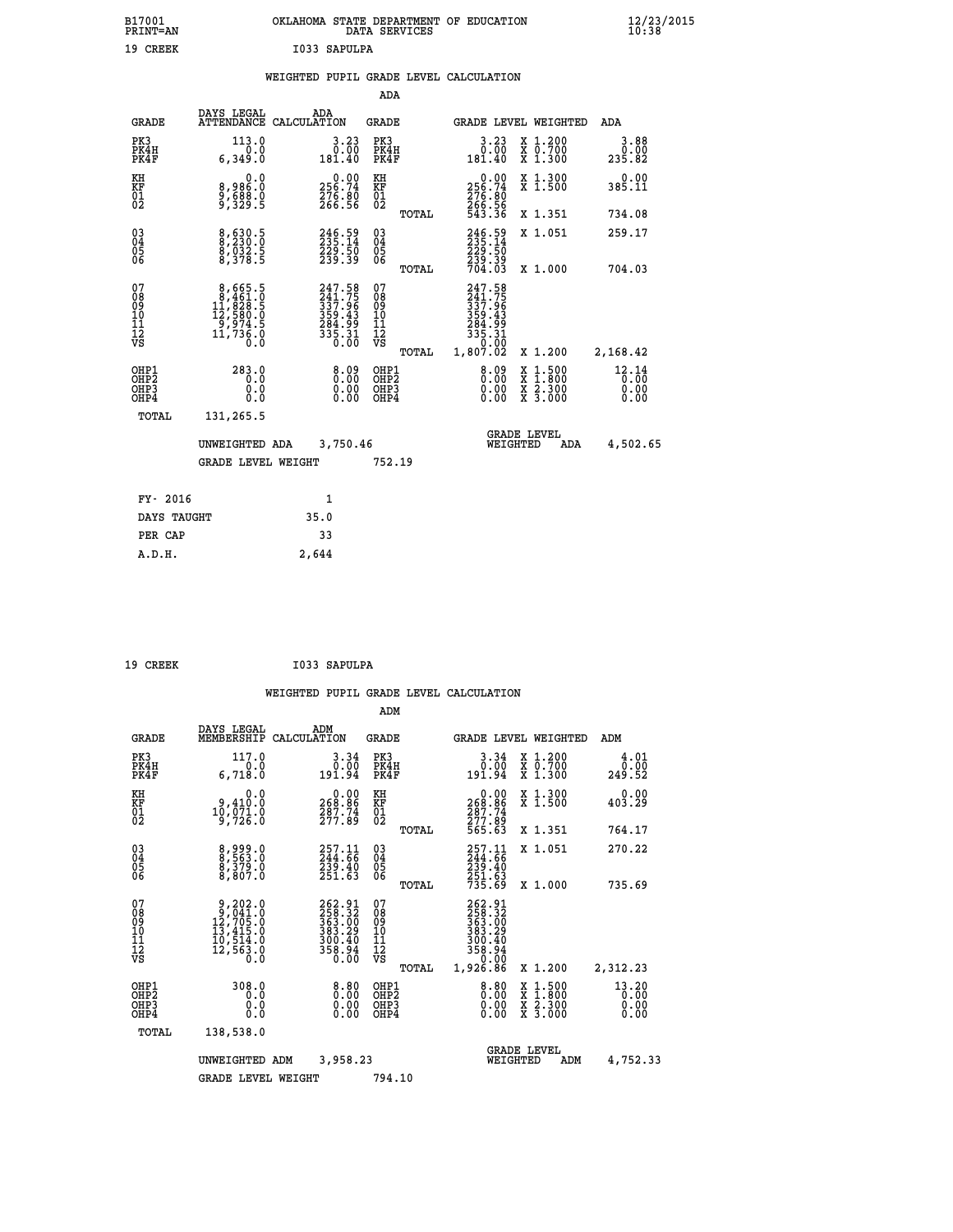| B17001<br><b>PRINT=AN</b> | OKLAHOMA STATE DEPARTMENT OF EDUCATION<br>DATA SERVICES |  |
|---------------------------|---------------------------------------------------------|--|
| 19 CREEK                  | I033 SAPULPA                                            |  |

|  |  | WEIGHTED PUPIL GRADE LEVEL CALCULATION |
|--|--|----------------------------------------|
|  |  |                                        |

|                                                      |                                                                                                    |                                                                            | ADA                                      |       |                                                                                  |                                          |                               |
|------------------------------------------------------|----------------------------------------------------------------------------------------------------|----------------------------------------------------------------------------|------------------------------------------|-------|----------------------------------------------------------------------------------|------------------------------------------|-------------------------------|
| <b>GRADE</b>                                         | DAYS LEGAL                                                                                         | ADA<br>ATTENDANCE CALCULATION                                              | <b>GRADE</b>                             |       |                                                                                  | GRADE LEVEL WEIGHTED                     | ADA                           |
| PK3<br>PK4H<br>PK4F                                  | 113.0<br>0.0<br>6,349.0                                                                            | 3.23<br>0.00<br>181.40                                                     | PK3<br>PK4H<br>PK4F                      |       | 3.23<br>00.00<br>181.40                                                          | X 1.200<br>X 0.700<br>X 1.300            | 3.88<br>0.00<br>235.82        |
| KH<br>KF<br>01<br>02                                 | 0.0<br>8,986:0<br>9,588:0<br>9,329:5                                                               | $\begin{smallmatrix} &0.00\\ 256.74\\ 276.80\\ 266.56\end{smallmatrix}$    | KH<br>KF<br>01<br>02                     |       | $\begin{smallmatrix} &0.00\\ 256.74\\ 276.80\\ 266.56\\ 543.36\end{smallmatrix}$ | X 1.300<br>X 1.500                       | 0.00<br>385.11                |
|                                                      |                                                                                                    |                                                                            |                                          | TOTAL |                                                                                  | X 1.351                                  | 734.08                        |
| $\begin{matrix} 03 \\ 04 \\ 05 \\ 06 \end{matrix}$   | 8,630.5<br>8,230.0<br>8,032.5<br>8,378.5                                                           | 246.59<br>235.14<br>229.50<br>239.39                                       | $\substack{03 \\ 04}$<br>Ŏ5<br>06        |       | 246.59<br>235.14<br>229:50<br>239:39<br>704:03                                   | X 1.051                                  | 259.17                        |
|                                                      |                                                                                                    |                                                                            |                                          | TOTAL |                                                                                  | X 1.000                                  | 704.03                        |
| 07<br>08<br>09<br>11<br>11<br>12<br>VS               | $\begin{smallmatrix}8,665.5\\8,461.0\\11,828.5\\12,580.0\\9,974.5\\11,736.0\\0.0\end{smallmatrix}$ | 247.58<br>241.75<br>337.96<br>359.43<br>359.43<br>284.99<br>335.31<br>0.00 | 07<br>08<br>09<br>101<br>112<br>VS       |       | 247.58<br>241.756<br>337.965<br>359.43<br>284.991<br>335.31<br>335.31<br>0.000   |                                          |                               |
|                                                      |                                                                                                    |                                                                            |                                          | TOTAL | 1,807.02                                                                         | X 1.200                                  | 2,168.42                      |
| OHP1<br>OH <sub>P</sub> <sub>2</sub><br>OHP3<br>OHP4 | 283.0<br>0.0<br>0.0<br>0.0                                                                         | $\begin{smallmatrix} 8.09\ 0.00\ 0.00 \end{smallmatrix}$                   | OHP1<br>OHP <sub>2</sub><br>OHP3<br>OHP4 |       | $\begin{smallmatrix} 8.09\ 0.00\ 0.00 \end{smallmatrix}$                         | X 1:500<br>X 1:800<br>X 2:300<br>X 3:000 | 12.14<br>0.00<br>0.00<br>0.00 |
| <b>TOTAL</b>                                         | 131,265.5                                                                                          |                                                                            |                                          |       |                                                                                  |                                          |                               |
|                                                      | UNWEIGHTED ADA                                                                                     | 3,750.46                                                                   |                                          |       |                                                                                  | <b>GRADE LEVEL</b><br>WEIGHTED<br>ADA    | 4,502.65                      |
|                                                      | <b>GRADE LEVEL WEIGHT</b>                                                                          |                                                                            | 752.19                                   |       |                                                                                  |                                          |                               |
|                                                      |                                                                                                    |                                                                            |                                          |       |                                                                                  |                                          |                               |
| FY- 2016                                             |                                                                                                    | 1                                                                          |                                          |       |                                                                                  |                                          |                               |
| DAYS TAUGHT                                          |                                                                                                    | 35.0                                                                       |                                          |       |                                                                                  |                                          |                               |
| PER CAP                                              |                                                                                                    | 33                                                                         |                                          |       |                                                                                  |                                          |                               |

| 19 CREEK | I033 SAPULPA |
|----------|--------------|

 **A.D.H. 2,644**

|                                                       |                                                                                                     |                                                                                             |                                                     | ADM                          |                                                                              |                                          |                                   |
|-------------------------------------------------------|-----------------------------------------------------------------------------------------------------|---------------------------------------------------------------------------------------------|-----------------------------------------------------|------------------------------|------------------------------------------------------------------------------|------------------------------------------|-----------------------------------|
| <b>GRADE</b>                                          | DAYS LEGAL<br>MEMBERSHIP                                                                            | ADM<br>CALCULATION                                                                          | <b>GRADE</b>                                        |                              |                                                                              | <b>GRADE LEVEL WEIGHTED</b>              | ADM                               |
| PK3<br>PK4H<br>PK4F                                   | 117.0<br>0.0<br>6,718.0                                                                             | 3.34<br>0.00<br>191.94                                                                      | PK3                                                 | PK4H<br>PK4F                 | 3.34<br>0.00<br>191.94                                                       | X 1.200<br>X 0.700<br>X 1.300            | 4.01<br>0.00<br>249.52            |
| KH<br>KF<br>01<br>02                                  | 0.0<br>9,410:0<br>10,071:0<br>9,726:0                                                               | $\begin{smallmatrix} &0.00\ 268.86\ 287.74\ 277.89\ \end{smallmatrix}$                      | KH<br>KF<br>01<br>02                                |                              | 0.00<br>268:86<br>287:74<br>277:89<br>565:63                                 | X 1.300<br>X 1.500                       | 0.00<br>403.29                    |
|                                                       |                                                                                                     |                                                                                             |                                                     | TOTAL                        |                                                                              | X 1.351                                  | 764.17                            |
| 03<br>04<br>05<br>06                                  | 8,999.0<br>8,563.0<br>8,379.0<br>8,807.0                                                            | $257.11$<br>244.66<br>$\frac{2}{3}$ $\frac{3}{5}$ $\frac{3}{5}$ $\frac{3}{5}$ $\frac{3}{5}$ | $\begin{array}{c} 03 \\ 04 \\ 05 \\ 06 \end{array}$ |                              | 257.11<br>244.66<br>239.40<br>251.63<br>735.69                               | X 1.051                                  | 270.22                            |
|                                                       |                                                                                                     |                                                                                             |                                                     | TOTAL                        |                                                                              | X 1.000                                  | 735.69                            |
| 07<br>08<br>09<br>101<br>112<br>VS                    | $\begin{smallmatrix}9,202.0\\9,041.0\\12,705.0\\13,415.0\\10,514.0\\12,563.0\\0.0\end{smallmatrix}$ | 262.91<br>258.32<br>363.00<br>383.29<br>300:40<br>358.94<br>0.00                            | 07<br>08<br>09<br>11<br>11<br>12<br>VS              | TOTAL                        | 262.91<br>258.32<br>363.00<br>383.29<br>300.40<br>358.94<br>0.00<br>1,926.86 | X 1.200                                  | 2,312.23                          |
| OHP1<br>OH <sub>P</sub> 2<br>OH <sub>P3</sub><br>OHP4 | 308.0<br>0.0<br>0.000                                                                               | $0.00$<br>$0.00$<br>0.00                                                                    |                                                     | OHP1<br>OHP2<br>OHP3<br>OHP4 | $0.00$<br>0.00<br>0.00                                                       | X 1:500<br>X 1:800<br>X 2:300<br>X 3:000 | $13.20$<br>$0.00$<br>0.00<br>0.00 |
| TOTAL                                                 | 138,538.0                                                                                           |                                                                                             |                                                     |                              |                                                                              |                                          |                                   |
|                                                       | UNWEIGHTED                                                                                          | 3,958.23<br>ADM                                                                             |                                                     |                              | WEIGHTED                                                                     | <b>GRADE LEVEL</b><br>ADM                | 4,752.33                          |
|                                                       | <b>GRADE LEVEL WEIGHT</b>                                                                           |                                                                                             |                                                     | 794.10                       |                                                                              |                                          |                                   |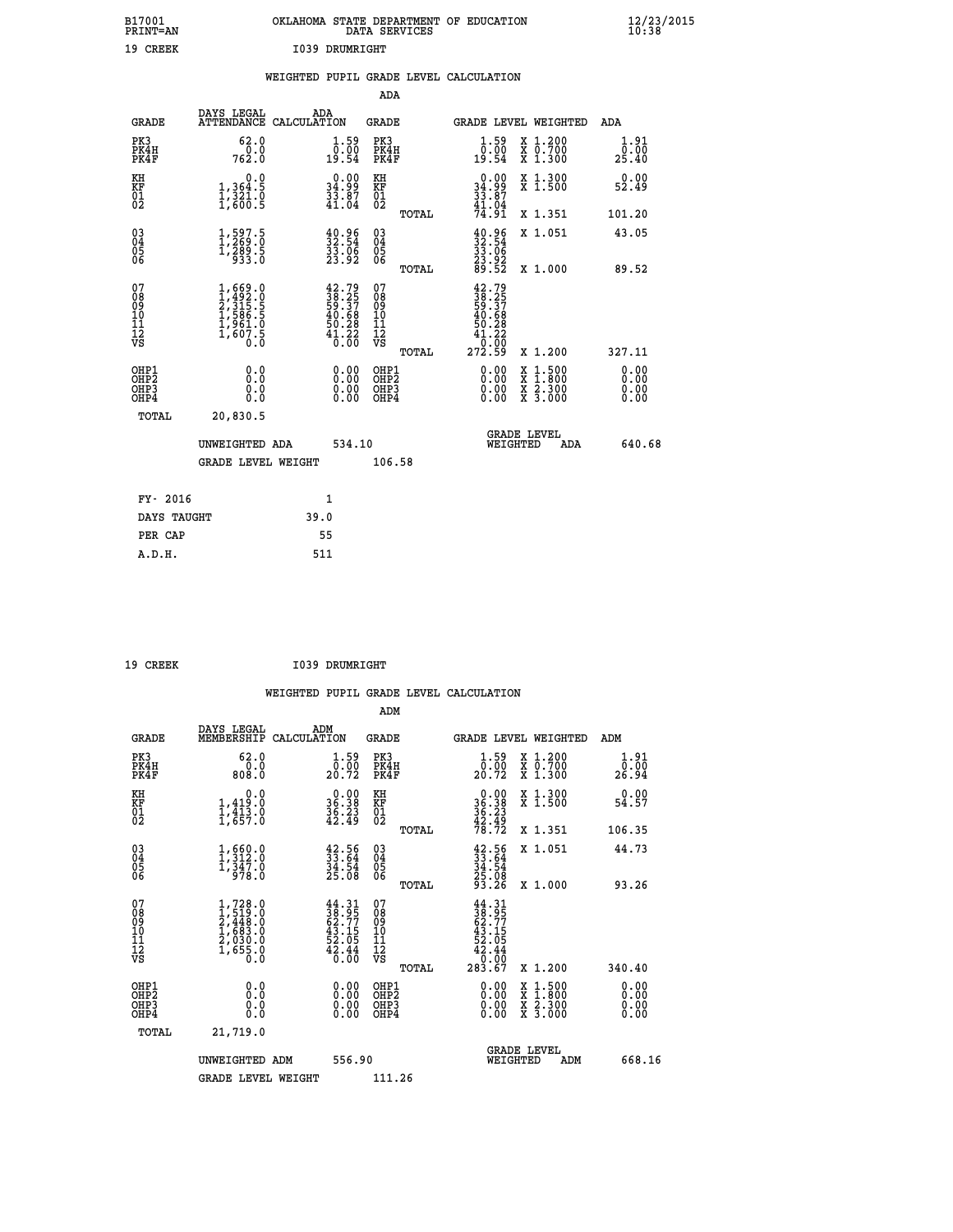| B17001<br>PRINT=AN                                               |                                                                           |                                                                      | DATA SERVICES                                               | OKLAHOMA STATE DEPARTMENT OF EDUCATION                                                |                                                                                          | $\frac{12}{23}$ /2015 |  |
|------------------------------------------------------------------|---------------------------------------------------------------------------|----------------------------------------------------------------------|-------------------------------------------------------------|---------------------------------------------------------------------------------------|------------------------------------------------------------------------------------------|-----------------------|--|
| 19 CREEK                                                         |                                                                           | <b>I039 DRUMRIGHT</b>                                                |                                                             |                                                                                       |                                                                                          |                       |  |
|                                                                  |                                                                           | WEIGHTED PUPIL GRADE LEVEL CALCULATION                               |                                                             |                                                                                       |                                                                                          |                       |  |
|                                                                  |                                                                           |                                                                      | ADA                                                         |                                                                                       |                                                                                          |                       |  |
| <b>GRADE</b>                                                     | DAYS LEGAL                                                                | ADA<br>ATTENDANCE CALCULATION                                        | <b>GRADE</b>                                                | GRADE LEVEL WEIGHTED                                                                  |                                                                                          | ADA                   |  |
| PK3<br>PK4H<br>PK4F                                              | 62.0<br>762.0                                                             | $1.59$<br>$0.00$<br>19.54                                            | PK3<br>PK4H<br>PK4F                                         | $\begin{smallmatrix} 1.59\ 0.00 \ 19.54 \end{smallmatrix}$                            | X 1.200<br>X 0.700<br>X 1.300                                                            | 1.91<br>0.00<br>25.40 |  |
| KH<br>KF<br>$\overline{01}$                                      | 0.0<br>$\frac{1}{1}, \frac{364}{321}$ .0<br>1,800.5                       | $\begin{smallmatrix} 0.00\\ 34.99\\ 33.87\\ 41.04 \end{smallmatrix}$ | KH<br>KF<br>$\overline{01}$                                 | $\begin{smallmatrix} 0.00\\ 34.99\\ 33.87\\ 41.04\\ 74.91 \end{smallmatrix}$          | X 1.300<br>X 1.500                                                                       | 0.00<br>52.49         |  |
|                                                                  |                                                                           |                                                                      | TOTAL                                                       |                                                                                       | X 1.351                                                                                  | 101.20                |  |
| $\substack{03 \\ 04}$<br>$\frac{05}{06}$                         | $1, 597.5$<br>$1, 269.0$<br>$\frac{1}{9}$ $\frac{289}{933}$ $\frac{5}{0}$ | $\begin{smallmatrix} 40.96\ 32.54\ 33.06\ 33.92 \end{smallmatrix}$   | $\begin{matrix} 03 \\ 04 \\ 05 \\ 06 \end{matrix}$<br>TOTAL | $\begin{smallmatrix} 40.96\\ 32.54\\ 33.06\\ 23.92\\ 89.52 \end{smallmatrix}$         | X 1.051<br>X 1.000                                                                       | 43.05<br>89.52        |  |
| 07<br>08<br>09<br>11<br>11<br>12<br>VS                           | $1,492.0$<br>$2,315.5$<br>$1,586.5$<br>$1,961.0$<br>$1,607.5$<br>$0.0$    | $42.79$<br>$38.25$<br>$59.37$<br>$40.68$<br>$50.28$<br>$41.220$      | 078901112<br>00010112<br>VS<br>TOTAL                        | $42.79$<br>$38.25$<br>$59.37$<br>$40.68$<br>$50.28$<br>$\frac{41.22}{0.00}$<br>272.59 | X 1.200                                                                                  | 327.11                |  |
| OHP1<br>OHP <sub>2</sub><br>OH <sub>P3</sub><br>OH <sub>P4</sub> | 0.0<br>0.0<br>0.0                                                         | 0.00<br>0.00                                                         | OHP1<br>OHP <sub>2</sub><br>OHP3<br>OHP4                    | 0.00<br>0.00<br>0.00                                                                  | $\begin{smallmatrix} x & 1.500 \\ x & 1.800 \\ x & 2.300 \\ x & 3.000 \end{smallmatrix}$ | 0.00<br>0.00          |  |
| TOTAL                                                            | 20,830.5                                                                  |                                                                      |                                                             |                                                                                       |                                                                                          |                       |  |
|                                                                  | UNWEIGHTED ADA                                                            | 534.10                                                               |                                                             | <b>GRADE LEVEL</b><br>WEIGHTED                                                        | ADA                                                                                      | 640.68                |  |
|                                                                  | <b>GRADE LEVEL WEIGHT</b>                                                 |                                                                      | 106.58                                                      |                                                                                       |                                                                                          |                       |  |
| FY- 2016                                                         |                                                                           | 1                                                                    |                                                             |                                                                                       |                                                                                          |                       |  |
|                                                                  |                                                                           | $\sim$ $\sim$                                                        |                                                             |                                                                                       |                                                                                          |                       |  |

| DAYS TAUGHT | 39.0 |
|-------------|------|
| PER CAP     | 55   |
| A.D.H.      | 511  |
|             |      |
|             |      |

| 19 CREEK | I039 DRUMRIGHT |
|----------|----------------|
|          |                |

 **WEIGHTED PUPIL GRADE LEVEL CALCULATION ADM DAYS LEGAL ADM GRADE MEMBERSHIP CALCULATION GRADE GRADE LEVEL WEIGHTED ADM PK3 62.0 1.59 PK3 1.59 X 1.200 1.91 PK4H 0.0 0.00 PK4H 0.00 X 0.700 0.00 PK4F 808.0 20.72 PK4F 20.72 X 1.300 26.94 KH 0.0 0.00 KH 0.00 X 1.300 0.00 KF 1,419.0 36.38 KF 36.38 X 1.500 54.57 01 1,413.0 36.23 01 36.23 02 1,657.0 42.49 02 42.49 TOTAL 78.72 X 1.351 106.35 03 1,660.0 42.56 03 42.56 X 1.051 44.73 04 1,312.0 33.64 04 33.64 05 1,347.0 34.54 05 34.54 06 978.0 25.08 06 25.08 TOTAL 93.26 X 1.000 93.26**  $\begin{array}{cccc} 07 & 1,728.0 & 44.31 & 07 & 44.31 \cr 08 & 1,519.0 & 38.95 & 0 & 38.95 \cr 09 & 2,448.0 & 62.77 & 09 & 62.77 \cr 10 & 1,683.0 & 43.15 & 10 & 43.15 \cr 11 & 2,030.0 & 52.05 & 11 & 52.05 \cr 12 & 1,655.0 & 42.44 & 12 & 42.44 \cr \nabla\mathbf{S} & 1,655.0 & 4$  $\begin{tabular}{@{}lllllllllllll@{}}\n 44.31 & 07 & 44.31\, 51 & 52.97 & 08 & 38.97\, 77 & 08 & 32.97\, 77 & 09 & 62.71\, 71 & 52.05 & 11 & 52.97\, 72.05 & 11 & 52.44 & 52.44\, 62.45 & 12 & 42.44\, 62.60 & 08 & 08.90\, 72.05 & 72.05 & 72.00 & 340.40\, 8 & 0.00$  **OHP1 0.0 0.00 OHP1 0.00 X 1.500 0.00 OHP2 0.0 0.00 OHP2 0.00 X 1.800 0.00 OHP3 0.0 0.00 OHP3 0.00 X 2.300 0.00 OHP4 0.0 0.00 OHP4 0.00 X 3.000 0.00 TOTAL 21,719.0 GRADE LEVEL UNWEIGHTED ADM 556.90 WEIGHTED ADM 668.16** GRADE LEVEL WEIGHT 111.26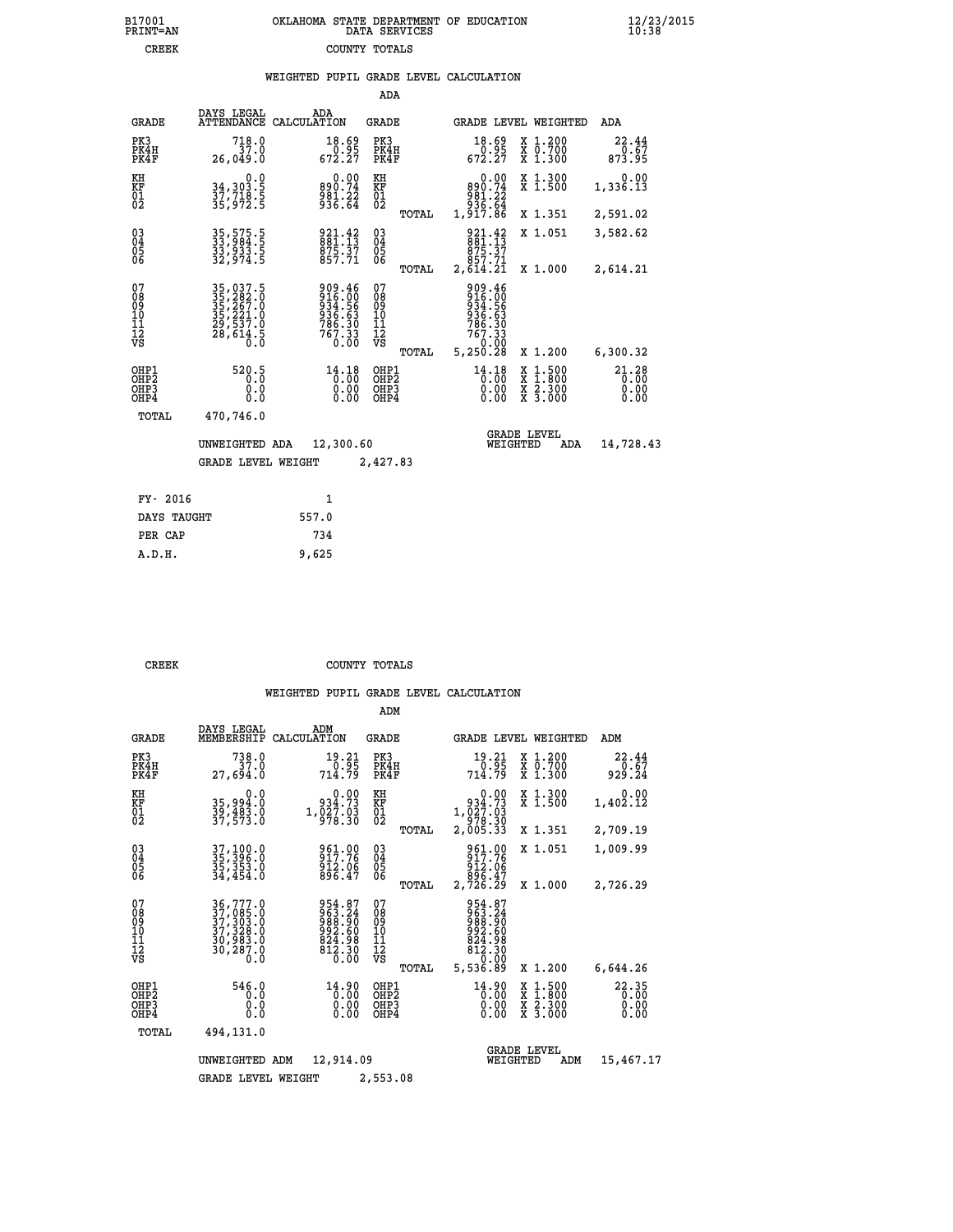|  | OKLAHOMA STATE DEPARTMENT OF EDUCATION<br>DATA SERVICES |  |
|--|---------------------------------------------------------|--|
|  | COUNTY TOTALS                                           |  |

|  |  | WEIGHTED PUPIL GRADE LEVEL CALCULATION |
|--|--|----------------------------------------|
|  |  |                                        |

|                                                    |                                                                            |                                                                            | ADA                                                |       |                                                                                  |                                                                                                  |                                   |
|----------------------------------------------------|----------------------------------------------------------------------------|----------------------------------------------------------------------------|----------------------------------------------------|-------|----------------------------------------------------------------------------------|--------------------------------------------------------------------------------------------------|-----------------------------------|
| <b>GRADE</b>                                       | DAYS LEGAL                                                                 | ADA<br>ATTENDANCE CALCULATION                                              | GRADE                                              |       | GRADE LEVEL WEIGHTED                                                             |                                                                                                  | ADA                               |
| PK3<br>PK4H<br>PK4F                                | 718.0<br>37.0<br>26,049.0                                                  | $18.69\n0.95\n672.27$                                                      | PK3<br>PK4H<br>PK4F                                |       | 18.69<br>$\frac{5}{672.27}$                                                      | X 1.200<br>X 0.700<br>X 1.300                                                                    | 22.44<br>873.95                   |
| KH<br>KF<br>01<br>02                               | 0.0<br>34,303.5<br>37,718.5<br>35,972.5                                    | $890.74$<br>$981.22$<br>$936.64$                                           | KH<br>KF<br>01<br>02                               |       | $0.00$<br>$890.74$<br>$981.22$<br>$935.64$                                       | X 1.300<br>X 1.500                                                                               | 0.00<br>1,336.13                  |
|                                                    |                                                                            |                                                                            |                                                    | TOTAL | 1,917.86                                                                         | X 1.351                                                                                          | 2,591.02                          |
| $\begin{matrix} 03 \\ 04 \\ 05 \\ 06 \end{matrix}$ | 35,575.5<br>33,984.5<br>33,933.5<br>32,974.5                               | 921.42<br>881.13<br>$875.37$<br>$857.71$                                   | $\begin{matrix} 03 \\ 04 \\ 05 \\ 06 \end{matrix}$ |       | $\frac{921.42}{881.13}$<br>875.37<br>857.71                                      | X 1.051                                                                                          | 3,582.62                          |
|                                                    |                                                                            |                                                                            |                                                    | TOTAL | 2,614.21                                                                         | X 1.000                                                                                          | 2,614.21                          |
| 07<br>08<br>09<br>11<br>11<br>12<br>VS             | 35, 237.5<br>35, 282.0<br>35, 267.0<br>35, 221.0<br>29, 537.0<br>28, 614.5 | 909.46<br>916.00<br>934.56<br>936.63<br>936.30<br>786.30<br>767.33<br>0.00 | 07<br>08<br>09<br>11<br>11<br>12<br>VS             | TOTAL | 909.46<br>916.00<br>934.56<br>936.63<br>786.30<br>$767.33$<br>--0.00<br>5,250.28 | X 1.200                                                                                          | 6,300.32                          |
| OHP1<br>OH <sub>P</sub> 2<br>OHP3<br>OHP4          | 520.5<br>0.0<br>0.0                                                        | 14.18<br>0.00<br>0.00                                                      | OHP1<br>OHP <sub>2</sub><br>OHP3<br>OHP4           |       | 14.18<br>0.00<br>0.00<br>0.00                                                    | $\begin{smallmatrix} x & 1 & 500 \\ x & 1 & 800 \\ x & 2 & 300 \\ x & 3 & 000 \end{smallmatrix}$ | $21.28$<br>$0.00$<br>0.00<br>0.00 |
| TOTAL                                              | 470,746.0                                                                  |                                                                            |                                                    |       |                                                                                  |                                                                                                  |                                   |
|                                                    | UNWEIGHTED ADA<br><b>GRADE LEVEL WEIGHT</b>                                | 12,300.60                                                                  | 2,427.83                                           |       | WEIGHTED                                                                         | <b>GRADE LEVEL</b><br>ADA                                                                        | 14,728.43                         |
| FY- 2016                                           |                                                                            | $\mathbf{1}$                                                               |                                                    |       |                                                                                  |                                                                                                  |                                   |
| DAYS TAUGHT                                        |                                                                            | 557.0                                                                      |                                                    |       |                                                                                  |                                                                                                  |                                   |
| PER CAP                                            |                                                                            | 734                                                                        |                                                    |       |                                                                                  |                                                                                                  |                                   |
| A.D.H.                                             |                                                                            | 9,625                                                                      |                                                    |       |                                                                                  |                                                                                                  |                                   |
|                                                    |                                                                            |                                                                            |                                                    |       |                                                                                  |                                                                                                  |                                   |

| πĸ |  |  |
|----|--|--|

B17001<br>PRINT=AN<br>CREEK

**CREEK COUNTY TOTALS** 

|                                                       |                                                                             |                                                                                                                                                   | ADM                                              |                                                                                     |                                                                                                  |                               |
|-------------------------------------------------------|-----------------------------------------------------------------------------|---------------------------------------------------------------------------------------------------------------------------------------------------|--------------------------------------------------|-------------------------------------------------------------------------------------|--------------------------------------------------------------------------------------------------|-------------------------------|
| <b>GRADE</b>                                          | DAYS LEGAL<br>MEMBERSHIP                                                    | ADM<br>CALCULATION                                                                                                                                | <b>GRADE</b>                                     | GRADE LEVEL WEIGHTED                                                                |                                                                                                  | ADM                           |
| PK3<br>PK4H<br>PK4F                                   | 738.0<br>37.0<br>27,694.0                                                   | 19.21<br>0.95<br>714.79                                                                                                                           | PK3<br>PK4H<br>PK4F                              | 19.21<br>0.95<br>714.79                                                             | $\begin{smallmatrix} x & 1.200 \\ x & 0.700 \end{smallmatrix}$<br>$X$ 1.300                      | 22.44<br>0.67<br>929.24       |
| KH<br>KF<br>01<br>02                                  | 0.0<br>35,994.0<br>39,483.0<br>37,573.0                                     | $0.00$<br>934.73<br>$1,\overline{\smash{\substack{0\\9}}\,1}$ , $\overline{\smash{\substack{0\\9}}\,1}$ , $\overline{\smash{\substack{0\\9}}\,1}$ | KH<br>KF<br>01<br>02                             | 0.00<br>934.73<br>1,027.03<br>978.30<br>2,005.33                                    | X 1.300<br>X 1.500                                                                               | 0.00<br>1,402.12              |
|                                                       |                                                                             |                                                                                                                                                   | TOTAL                                            |                                                                                     | X 1.351                                                                                          | 2,709.19                      |
| 03<br>04<br>05<br>06                                  | 37,100.0<br>35,396.0<br>35,353.0<br>34,454.0                                | 961.00<br>917.76<br>912.06<br>896.47                                                                                                              | $\substack{03 \\ 04}$<br>05<br>TOTAL             | 961.00<br>917.76<br>912.06<br>896.47<br>2,726.29                                    | X 1.051<br>X 1.000                                                                               | 1,009.99<br>2,726.29          |
| 07<br>08<br>09<br>11<br>11<br>12<br>VS                | 36,777.0<br>37,085.0<br>37,303.0<br>37,328.0<br>30,983.0<br>30,287.0<br>0.0 | 954.87<br>963.24<br>988.90<br>992.60<br>824.98<br>812.30<br>0.00                                                                                  | 07<br>08<br>09<br>101<br>11<br>12<br>VS<br>TOTAL | 954.87<br>003.34<br>008.90<br>002.60<br>$\frac{824.98}{812.30}$<br>0.00<br>5,536.89 | X 1.200                                                                                          | 6,644.26                      |
| OHP1<br>OH <sub>P</sub> 2<br>OH <sub>P3</sub><br>OHP4 | 546.0<br>0.0<br>0.0<br>Ŏ.Ŏ                                                  | 14.90<br>0.00<br>0.00<br>0.00                                                                                                                     | OHP1<br>OHP2<br>OHP3<br>OHP4                     | 14.90<br>0.00<br>0.00                                                               | $\begin{smallmatrix} x & 1 & 500 \\ x & 1 & 800 \\ x & 2 & 300 \\ x & 3 & 000 \end{smallmatrix}$ | 22.35<br>0.00<br>0.00<br>0.00 |
| TOTAL                                                 | 494,131.0                                                                   |                                                                                                                                                   |                                                  |                                                                                     |                                                                                                  |                               |
|                                                       | UNWEIGHTED                                                                  | ADM<br>12,914.09                                                                                                                                  |                                                  | <b>GRADE LEVEL</b><br>WEIGHTED                                                      | ADM                                                                                              | 15,467.17                     |
|                                                       | <b>GRADE LEVEL WEIGHT</b>                                                   |                                                                                                                                                   | 2,553.08                                         |                                                                                     |                                                                                                  |                               |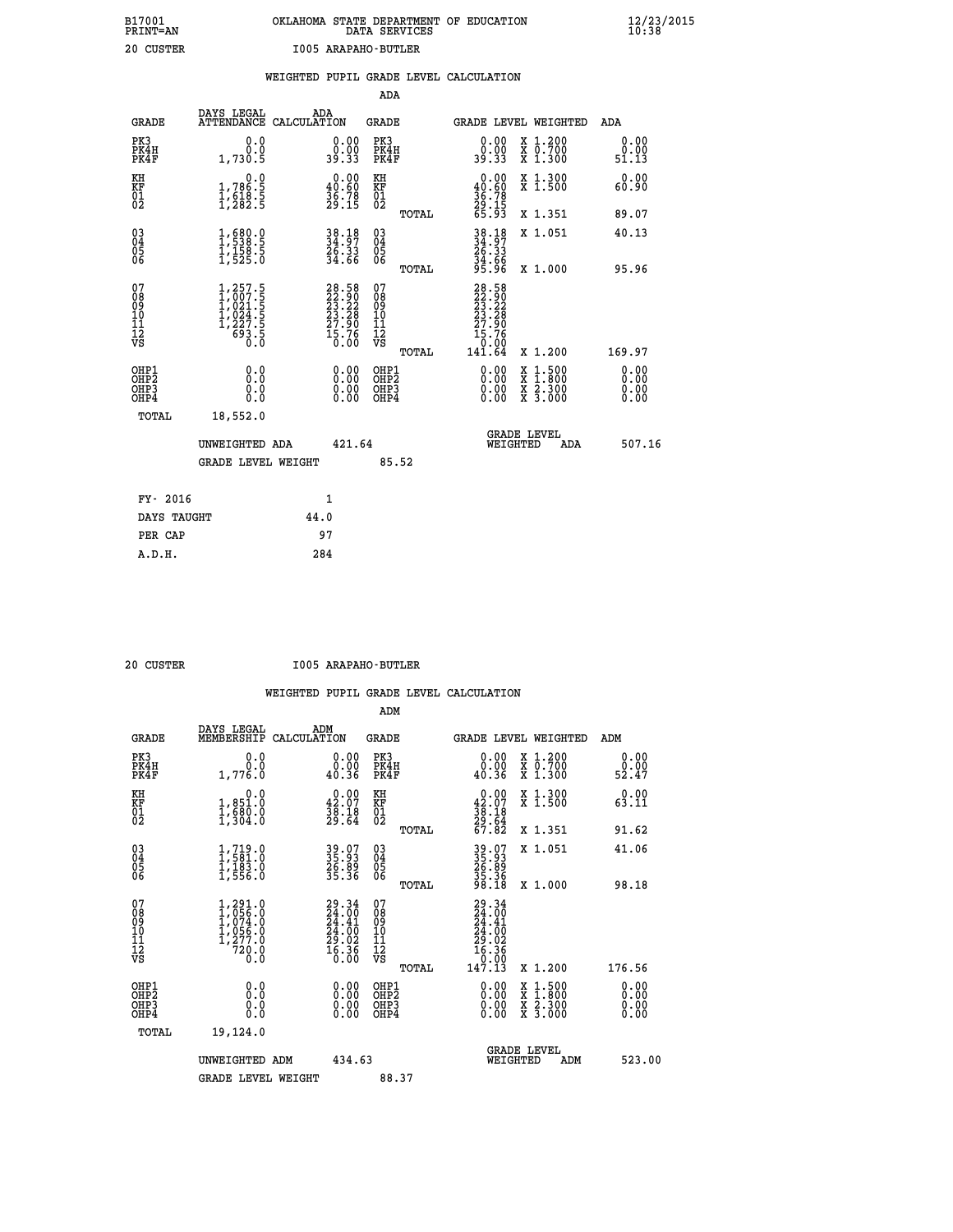# **B17001 OKLAHOMA STATE DEPARTMENT OF EDUCATION 12/23/2015 PRINT=AN DATA SERVICES 10:38 20 CUSTER I005 ARAPAHO-BUTLER**

|                                                                    |                                                                                                       |                                                                                              | ADA                                       |       |                                                                   |                                          |                              |
|--------------------------------------------------------------------|-------------------------------------------------------------------------------------------------------|----------------------------------------------------------------------------------------------|-------------------------------------------|-------|-------------------------------------------------------------------|------------------------------------------|------------------------------|
| <b>GRADE</b>                                                       | DAYS LEGAL                                                                                            | ADA<br>ATTENDANCE CALCULATION                                                                | <b>GRADE</b>                              |       |                                                                   | GRADE LEVEL WEIGHTED                     | ADA                          |
| PK3<br>PK4H<br>PK4F                                                | 0.0<br>0.0<br>1,730.5                                                                                 | $\begin{smallmatrix} 0.00\\ 0.00\\ 39.33 \end{smallmatrix}$                                  | PK3<br>PK4H<br>PK4F                       |       | 0.00<br>0.00<br>39.33                                             | X 1.200<br>X 0.700<br>X 1.300            | 0.00<br>0.00<br>51.13        |
| KH<br><b>KF</b><br>01<br>02                                        | 0.0<br>1,786:5<br>1,618:5<br>1,282:5                                                                  | $0.00$<br>40.60<br>$\frac{36.78}{29.15}$                                                     | KH<br>KF<br>01<br>02                      |       | 0.00<br>40.60<br>$\frac{36}{29}$ : 78<br>29:15<br>65:93           | X 1.300<br>X 1.500                       | 0.00<br>60.90                |
|                                                                    |                                                                                                       |                                                                                              |                                           | TOTAL |                                                                   | X 1.351                                  | 89.07                        |
| $\begin{smallmatrix} 03 \\[-4pt] 04 \end{smallmatrix}$<br>05<br>06 | $\frac{1}{1}, \frac{680}{538}.\frac{0}{5} \ \frac{1}{1}, \frac{158}{525}.\frac{5}{0}$                 | 38.18<br>34.97<br>26.33<br>34.66                                                             | $\substack{03 \\ 04}$<br>Ŏ5<br>06         |       | 38.18<br>34.37<br>26.33<br>34.66<br>35.96                         | X 1.051                                  | 40.13                        |
|                                                                    |                                                                                                       |                                                                                              |                                           | TOTAL |                                                                   | X 1.000                                  | 95.96                        |
| 07<br>08<br>09<br>11<br>11<br>12<br>VS                             | $\begin{smallmatrix} 1,257.5\\ 1,007.5\\ 1,021.5\\ 1,024.5\\ 1,227.5\\ 693.5\\ 0.0 \end{smallmatrix}$ | $\begin{smallmatrix} 28.58\\ 22.90\\ 23.22\\ 23.28\\ 27.90\\ 15.76\\ 0.00 \end{smallmatrix}$ | 07<br>08<br>09<br>11<br>11<br>12<br>VS    |       | 28.58<br>22.90<br>23.22<br>23.28<br>27.90<br>$\frac{15.76}{0.00}$ |                                          |                              |
|                                                                    |                                                                                                       |                                                                                              |                                           | TOTAL | 141.64                                                            | X 1.200                                  | 169.97                       |
| OHP1<br>OH <sub>P</sub> 2<br>OH <sub>P3</sub><br>OH <sub>P4</sub>  | 0.0<br>0.0<br>0.0                                                                                     | 0.00<br>0.00<br>0.00                                                                         | OHP1<br>OH <sub>P</sub> 2<br>OHP3<br>OHP4 |       | 0.00<br>0.00<br>0.00                                              | X 1:500<br>X 1:800<br>X 2:300<br>X 3:000 | 0.00<br>0.00<br>0.00<br>0.00 |
| TOTAL                                                              | 18,552.0                                                                                              |                                                                                              |                                           |       |                                                                   |                                          |                              |
|                                                                    | UNWEIGHTED ADA                                                                                        | 421.64                                                                                       |                                           |       |                                                                   | GRADE LEVEL<br>WEIGHTED<br>ADA           | 507.16                       |
|                                                                    | <b>GRADE LEVEL WEIGHT</b>                                                                             |                                                                                              |                                           | 85.52 |                                                                   |                                          |                              |
| FY- 2016                                                           |                                                                                                       | $\mathbf{1}$                                                                                 |                                           |       |                                                                   |                                          |                              |
| DAYS TAUGHT                                                        |                                                                                                       | 44.0                                                                                         |                                           |       |                                                                   |                                          |                              |
| PER CAP                                                            |                                                                                                       | 97                                                                                           |                                           |       |                                                                   |                                          |                              |

 **A.D.H. 284**

 **20 CUSTER I005 ARAPAHO-BUTLER**

|                                          |                                                                                 |                                                                      | ADM                                                 |                                                                                                  |                                          |                              |
|------------------------------------------|---------------------------------------------------------------------------------|----------------------------------------------------------------------|-----------------------------------------------------|--------------------------------------------------------------------------------------------------|------------------------------------------|------------------------------|
| <b>GRADE</b>                             | DAYS LEGAL<br>MEMBERSHIP                                                        | ADM<br>CALCULATION                                                   | <b>GRADE</b>                                        |                                                                                                  | GRADE LEVEL WEIGHTED                     | ADM                          |
| PK3<br>PK4H<br>PK4F                      | 0.0<br>0.0<br>1,776.0                                                           | $\begin{smallmatrix} 0.00\\ 0.00\\ 0.36 \end{smallmatrix}$           | PK3<br>PK4H<br>PK4F                                 | $\begin{smallmatrix} 0.00\\ 0.00\\ 0.36 \end{smallmatrix}$                                       | X 1.200<br>X 0.700<br>X 1.300            | 0.00<br>ة.00<br>52.47        |
| KH<br>KF<br>01<br>02                     | 0.0<br>1,851.0<br>1,680.0<br>1,304.0                                            | $\begin{smallmatrix} 0.00\\ 42.07\\ 38.18\\ 29.64 \end{smallmatrix}$ | KH<br>KF<br>01<br>02                                | $0.00\n42.07\n38.18\n29.64\n67.82$                                                               | X 1.300<br>X 1.500                       | 0.00<br>63.11                |
|                                          |                                                                                 |                                                                      | TOTAL                                               |                                                                                                  | X 1.351                                  | 91.62                        |
| 03<br>04<br>05<br>06                     | $1, 719.0$<br>$1, 581.0$<br>$1, 183.0$<br>$1, 556.0$                            | 39.07<br>35.93<br>26.89<br>35.36                                     | $\begin{array}{c} 03 \\ 04 \\ 05 \\ 06 \end{array}$ | 39.93<br>35.93<br>26.89<br>35.36<br>98.18                                                        | X 1.051                                  | 41.06                        |
|                                          |                                                                                 |                                                                      | TOTAL                                               |                                                                                                  | X 1.000                                  | 98.18                        |
| 07<br>08<br>09<br>101<br>112<br>VS       | $1,291.0$<br>$1,056.0$<br>$1,074.0$<br>$1,056.0$<br>$1,277.0$<br>$720.0$<br>0.0 | $29.34\n24.00\n24.41\n24.00\n29.02\n29.02\n16.36\n16.36$             | 07<br>08<br>09<br>11<br>11<br>12<br>VS<br>TOTAL     | $\begin{smallmatrix} 29.34\ 24.00\ 24.41\ 24.00\ 29.02\ 16.36\ 19.13\ 147.13\ \end{smallmatrix}$ | X 1.200                                  | 176.56                       |
| OHP1<br>OHP2<br>OHP <sub>3</sub><br>OHP4 | 0.0<br>0.000                                                                    | $0.00$<br>$0.00$<br>0.00                                             | OHP1<br>OHP2<br>OHP <sub>3</sub>                    | $0.00$<br>$0.00$<br>0.00                                                                         | X 1:500<br>X 1:800<br>X 2:300<br>X 3:000 | 0.00<br>0.00<br>0.00<br>0.00 |
| TOTAL                                    | 19,124.0                                                                        |                                                                      |                                                     |                                                                                                  |                                          |                              |
|                                          | UNWEIGHTED ADM                                                                  | 434.63                                                               |                                                     | WEIGHTED                                                                                         | <b>GRADE LEVEL</b><br>ADM                | 523.00                       |
|                                          | <b>GRADE LEVEL WEIGHT</b>                                                       |                                                                      | 88.37                                               |                                                                                                  |                                          |                              |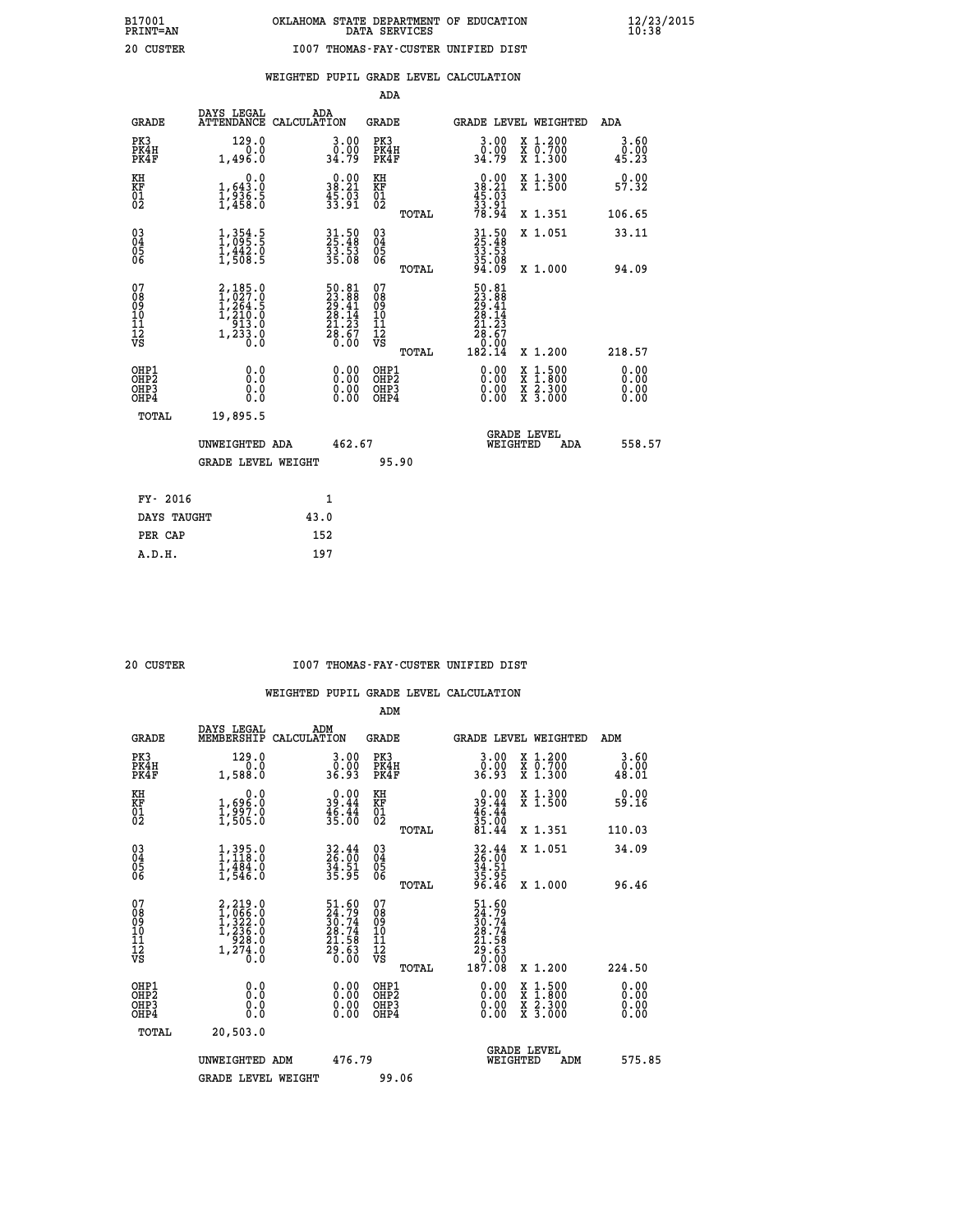**WEIGHTED PUPIL GRADE LEVEL CALCULATION**

|                                                                    |                                                                                          |                                                                          | ADA                                                 |       |                                                                              |                                          |                              |
|--------------------------------------------------------------------|------------------------------------------------------------------------------------------|--------------------------------------------------------------------------|-----------------------------------------------------|-------|------------------------------------------------------------------------------|------------------------------------------|------------------------------|
| <b>GRADE</b>                                                       | DAYS LEGAL                                                                               | ADA<br>ATTENDANCE CALCULATION                                            | <b>GRADE</b>                                        |       |                                                                              | GRADE LEVEL WEIGHTED                     | ADA                          |
| PK3<br>PK4H<br>PK4F                                                | 129.0<br>0.0<br>1,496.0                                                                  | 3.00<br>0.00<br>34.79                                                    | PK3<br>PK4H<br>PK4F                                 |       | 3.00<br>ۆة:≬<br>34:79                                                        | X 1.200<br>X 0.700<br>X 1.300            | 3.60<br>0.00<br>45.23        |
| KH<br>KF<br>01<br>02                                               | 0.0<br>$\frac{1}{1}, \frac{643}{936}$ . 5<br>1,458. 0                                    | $\begin{smallmatrix} 0.00\\ 38.21\\ 45.03\\ 33.91 \end{smallmatrix}$     | KH<br>KF<br>01<br>02                                |       | $\begin{smallmatrix} 0.00\\ 38.21\\ 45.03\\ 33.91\\ 78.94 \end{smallmatrix}$ | X 1.300<br>X 1.500                       | 0.00<br>57.32                |
|                                                                    |                                                                                          |                                                                          |                                                     | TOTAL |                                                                              | X 1.351                                  | 106.65                       |
| $\begin{smallmatrix} 03 \\[-4pt] 04 \end{smallmatrix}$<br>Ŏ5<br>06 | $\frac{1}{1}, \frac{354}{095}.\frac{5}{5}$<br>$\frac{1}{1}, \frac{442}{508}.\frac{0}{5}$ | 31.50<br>25.48<br>33.53<br>35.08                                         | $\begin{array}{c} 03 \\ 04 \\ 05 \\ 06 \end{array}$ |       | 31.50<br>25.48<br>33.53<br>35.08<br>35.08                                    | X 1.051                                  | 33.11                        |
|                                                                    |                                                                                          |                                                                          |                                                     | TOTAL |                                                                              | X 1.000                                  | 94.09                        |
| 07<br>08<br>09<br>01<br>11<br>11<br>12<br>VS                       | $2,185.0$<br>$1,027.0$<br>$1,264.5$<br>$1,210.0$<br>$913.0$<br>$1,233.0$<br>$0.0$        | $50.81$<br>$23.88$<br>$29.41$<br>$28.14$<br>$21.23$<br>$28.67$<br>$0.00$ | 07<br>08<br>09<br>11<br>11<br>12<br>VS              |       | $50.81$<br>$23.88$<br>$29.41$<br>$28.14$<br>$21.23$<br>$28.67$<br>$0.99$     |                                          |                              |
|                                                                    |                                                                                          |                                                                          |                                                     | TOTAL | 182.ĭ4                                                                       | X 1.200                                  | 218.57                       |
| OHP1<br>OHP <sub>2</sub><br>OH <sub>P3</sub><br>OHP4               | 0.0<br>0.000                                                                             | 0.00<br>$\begin{smallmatrix} 0.00 \ 0.00 \end{smallmatrix}$              | OHP1<br>OHP2<br>OHP <sub>3</sub>                    |       | 0.00<br>0.00                                                                 | X 1:500<br>X 1:800<br>X 2:300<br>X 3:000 | 0.00<br>0.00<br>0.00<br>0.00 |
| TOTAL                                                              | 19,895.5                                                                                 |                                                                          |                                                     |       |                                                                              |                                          |                              |
|                                                                    | UNWEIGHTED ADA                                                                           | 462.67                                                                   |                                                     |       |                                                                              | <b>GRADE LEVEL</b><br>WEIGHTED<br>ADA    | 558.57                       |
|                                                                    | <b>GRADE LEVEL WEIGHT</b>                                                                |                                                                          |                                                     | 95.90 |                                                                              |                                          |                              |
| FY- 2016                                                           |                                                                                          | 1                                                                        |                                                     |       |                                                                              |                                          |                              |
| DAYS TAUGHT                                                        |                                                                                          | 43.0                                                                     |                                                     |       |                                                                              |                                          |                              |
| PER CAP                                                            |                                                                                          | 152                                                                      |                                                     |       |                                                                              |                                          |                              |

| CUSTER |
|--------|
|        |

 **A.D.H. 197**

### **20 CUSTER I007 THOMAS-FAY-CUSTER UNIFIED DIST**

|                                                    |                                                                     |                                                                      | ADM                                                   |                                                                                                         |                                          |                                                           |
|----------------------------------------------------|---------------------------------------------------------------------|----------------------------------------------------------------------|-------------------------------------------------------|---------------------------------------------------------------------------------------------------------|------------------------------------------|-----------------------------------------------------------|
| <b>GRADE</b>                                       | DAYS LEGAL<br>MEMBERSHIP                                            | ADM<br>CALCULATION                                                   | <b>GRADE</b>                                          |                                                                                                         | GRADE LEVEL WEIGHTED                     | ADM                                                       |
| PK3<br>PK4H<br>PK4F                                | 129.0<br>0.0<br>1,588.0                                             | $3.00$<br>$0.00$<br>36.93                                            | PK3<br>PK4H<br>PK4F                                   | $\begin{smallmatrix} 3.00\ 0.00 \ 36.93 \end{smallmatrix}$                                              | X 1.200<br>X 0.700<br>X 1.300            | 3.60<br>$\begin{smallmatrix} &0.00\0.01\end{smallmatrix}$ |
| KH<br>KF<br>01<br>02                               | 0.0<br>1,696:0<br>1,997.0<br>1,505:0                                | $\begin{smallmatrix} 0.00\\ 39.44\\ 46.44\\ 35.00 \end{smallmatrix}$ | KH<br>KF<br>01<br>02                                  | $0.00$<br>$39.44$<br>$46.44$<br>$35.00$<br>$81.44$                                                      | X 1.300<br>X 1.500                       | 0.00<br>59.16                                             |
|                                                    |                                                                     |                                                                      | TOTAL                                                 |                                                                                                         | X 1.351                                  | 110.03                                                    |
| $\begin{matrix} 03 \\ 04 \\ 05 \\ 06 \end{matrix}$ | $1,395.0$<br>$1,118.0$<br>$1,484.0$<br>$1,546.0$                    | 32.44<br>26.00<br>34.51<br>35.95                                     | $\begin{matrix} 03 \\ 04 \\ 05 \\ 06 \end{matrix}$    | 32.44<br>26.00<br>34.51<br>35.95<br>36.46                                                               | X 1.051                                  | 34.09                                                     |
|                                                    |                                                                     |                                                                      | TOTAL                                                 |                                                                                                         | X 1.000                                  | 96.46                                                     |
| 07<br>08<br>09<br>10<br>11<br>11<br>12<br>VS       | 2,219.0<br>1,066.0<br>1,322.0<br>1,236.0<br>928.0<br>1,274.0<br>Ō.Ō | 51.60<br>24.79<br>30.74<br>28.74<br>21.58<br>29.63<br>29.63          | 07<br>08<br>09<br>01<br>11<br>11<br>12<br>VS<br>TOTAL | $\begin{smallmatrix} 51.60\ 24.79\ 30.74\ 30.74\ 28.74\ 21.58\ 29.63\ 0.008\ 187.08\ \end{smallmatrix}$ | X 1.200                                  | 224.50                                                    |
| OHP1<br>OHP2<br>OH <sub>P3</sub><br>OHP4           | 0.0<br>0.000                                                        | $\begin{smallmatrix} 0.00 \ 0.00 \ 0.00 \ 0.00 \end{smallmatrix}$    | OHP1<br>OHP2<br>OHP3<br>OHP4                          |                                                                                                         | X 1:500<br>X 1:800<br>X 2:300<br>X 3:000 | 0.00<br>0.00<br>0.00                                      |
| TOTAL                                              | 20,503.0                                                            |                                                                      |                                                       |                                                                                                         |                                          |                                                           |
|                                                    | UNWEIGHTED ADM                                                      | 476.79                                                               |                                                       | WEIGHTED                                                                                                | <b>GRADE LEVEL</b><br>ADM                | 575.85                                                    |
|                                                    | <b>GRADE LEVEL WEIGHT</b>                                           |                                                                      | 99.06                                                 |                                                                                                         |                                          |                                                           |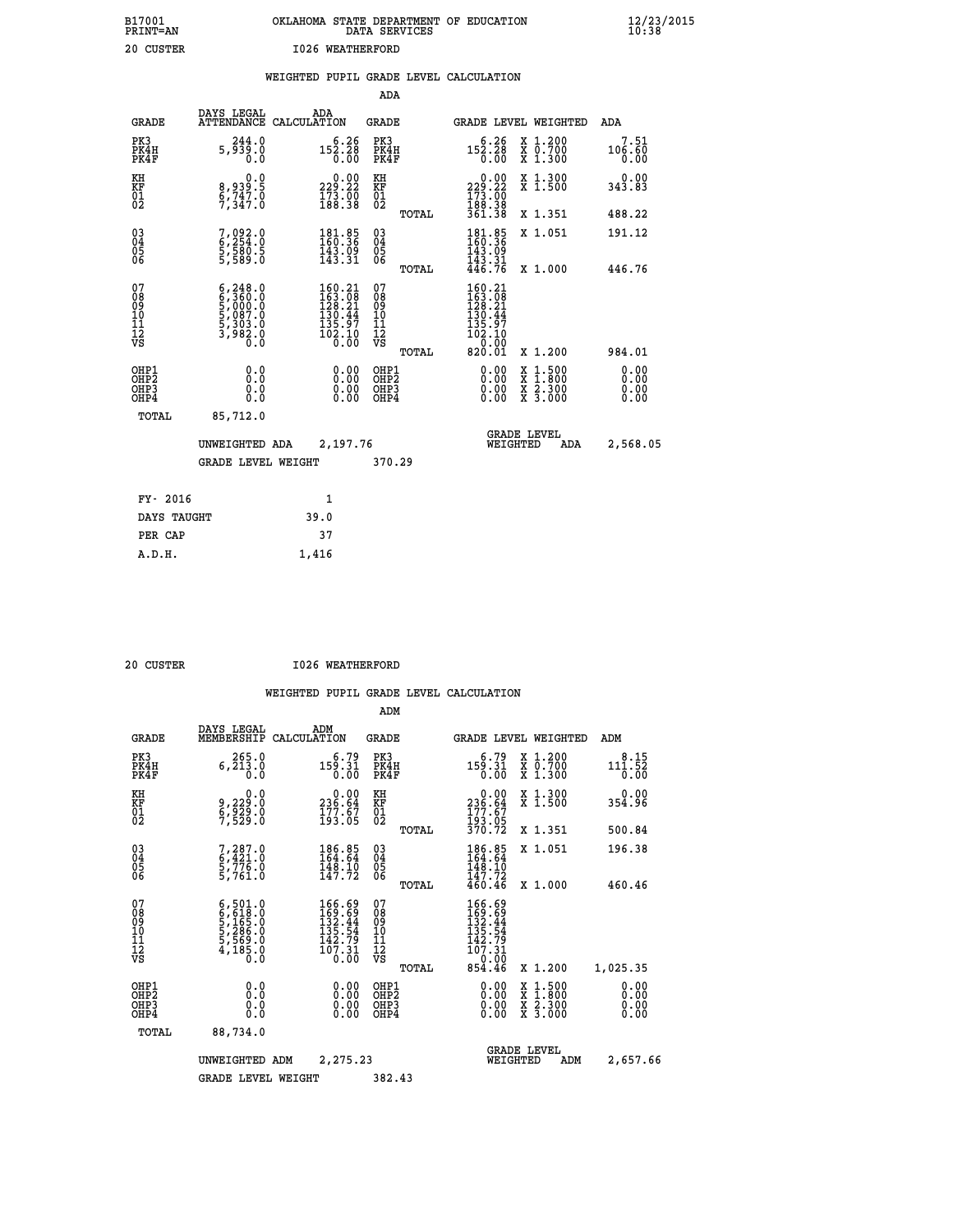# **B17001 OKLAHOMA STATE DEPARTMENT OF EDUCATION 12/23/2015 PRINT=AN DATA SERVICES 10:38 20 CUSTER 1026 WEATHERFORD**

### **WEIGHTED PUPIL GRADE LEVEL CALCULATION**

|                                                                    |                                                                                         |                                                                                             | ADA                                    |       |                                                                                                      |                                                                                          |                              |
|--------------------------------------------------------------------|-----------------------------------------------------------------------------------------|---------------------------------------------------------------------------------------------|----------------------------------------|-------|------------------------------------------------------------------------------------------------------|------------------------------------------------------------------------------------------|------------------------------|
| <b>GRADE</b>                                                       | DAYS LEGAL                                                                              | ADA<br>ATTENDANCE CALCULATION                                                               | <b>GRADE</b>                           |       |                                                                                                      | GRADE LEVEL WEIGHTED                                                                     | ADA                          |
| PK3<br>PK4H<br>PK4F                                                | 244.0<br>5,939.0<br>0.0                                                                 | $5.26$<br>152.28<br>0.00                                                                    | PK3<br>PK4H<br>PK4F                    |       | 6.26<br>152.28<br>0.00                                                                               | X 1.200<br>X 0.700<br>X 1.300                                                            | 7.51<br>106.60<br>0.00       |
| KH<br>KF<br>01<br>02                                               | 0.0<br>8,939.5<br>6,747.0<br>7,347.0                                                    | 229.22<br>$\frac{173}{188.38}$                                                              | KH<br>KF<br>01<br>02                   |       | $\begin{smallmatrix} &0.00\\ 229.22\\ 173.00\\ 188.38\\ 361.38 \end{smallmatrix}$                    | X 1.300<br>X 1.500                                                                       | 0.00<br>343.83               |
|                                                                    |                                                                                         |                                                                                             |                                        | TOTAL |                                                                                                      | X 1.351                                                                                  | 488.22                       |
| $\begin{smallmatrix} 03 \\[-4pt] 04 \end{smallmatrix}$<br>Ŏ5<br>06 | 7,092.0<br>6,254.0<br>5,580.5<br>5,589.0                                                | $\begin{smallmatrix} 181\cdot 85\\160\cdot 36\\143\cdot 09\\143\cdot 31\end{smallmatrix}$   | $\substack{03 \\ 04}$<br>Ŏ5<br>06      |       | $\begin{array}{c} 181\cdot85 \\ 160\cdot36 \\ 143\cdot99 \\ 143\cdot31 \\ 446\cdot76 \end{array}$    | X 1.051                                                                                  | 191.12                       |
|                                                                    |                                                                                         |                                                                                             |                                        | TOTAL |                                                                                                      | X 1.000                                                                                  | 446.76                       |
| 07<br>08<br>09<br>101<br>11<br>12<br>VS                            | $6, 248.0$<br>$6, 360.0$<br>$5, 000.0$<br>$5, 087.0$<br>$5, 303.0$<br>$3, 982.0$<br>0.0 | $\begin{smallmatrix} 160.21\\163.08\\128.21\\130.44\\135.97\\102.10\\0.00\end{smallmatrix}$ | 07<br>08<br>09<br>11<br>11<br>12<br>VS |       | $\begin{smallmatrix} 160.21\\ 163.08\\ 128.21\\ 130.44\\ 135.97 \end{smallmatrix}$<br>102.10<br>0.00 |                                                                                          |                              |
|                                                                    |                                                                                         |                                                                                             |                                        | TOTAL | 820.01                                                                                               | X 1.200                                                                                  | 984.01                       |
| OHP1<br>OHP <sub>2</sub><br>OH <sub>P3</sub><br>OHP4               | 0.0<br>0.000                                                                            | 0.00<br>$\begin{smallmatrix} 0.00 \ 0.00 \end{smallmatrix}$                                 | OHP1<br>OHP2<br>OHP <sub>3</sub>       |       | 0.00<br>0.00                                                                                         | $\begin{smallmatrix} x & 1.500 \\ x & 1.800 \\ x & 2.300 \\ x & 3.000 \end{smallmatrix}$ | 0.00<br>0.00<br>0.00<br>0.00 |
| TOTAL                                                              | 85,712.0                                                                                |                                                                                             |                                        |       |                                                                                                      |                                                                                          |                              |
|                                                                    | UNWEIGHTED ADA                                                                          | 2,197.76                                                                                    |                                        |       |                                                                                                      | <b>GRADE LEVEL</b><br>WEIGHTED<br>ADA                                                    | 2,568.05                     |
|                                                                    | <b>GRADE LEVEL WEIGHT</b>                                                               |                                                                                             | 370.29                                 |       |                                                                                                      |                                                                                          |                              |
| FY- 2016                                                           |                                                                                         | $\mathbf{1}$                                                                                |                                        |       |                                                                                                      |                                                                                          |                              |
| DAYS TAUGHT                                                        |                                                                                         | 39.0                                                                                        |                                        |       |                                                                                                      |                                                                                          |                              |
| PER CAP                                                            |                                                                                         | 37                                                                                          |                                        |       |                                                                                                      |                                                                                          |                              |

| 20 CUSTER | <b>I026 WEATHERFORD</b> |
|-----------|-------------------------|
|           |                         |

 **A.D.H. 1,416**

|                                          |                                                                                     |                                                                                                  | ADM                                                 |       |                                                                                                          |                                          |                              |
|------------------------------------------|-------------------------------------------------------------------------------------|--------------------------------------------------------------------------------------------------|-----------------------------------------------------|-------|----------------------------------------------------------------------------------------------------------|------------------------------------------|------------------------------|
| <b>GRADE</b>                             | DAYS LEGAL<br>MEMBERSHIP                                                            | ADM<br>CALCULATION                                                                               | <b>GRADE</b>                                        |       |                                                                                                          | <b>GRADE LEVEL WEIGHTED</b>              | ADM                          |
| PK3<br>PK4H<br>PK4F                      | 265.0<br>6, 213.0<br>0.0                                                            | 6.79<br>159.31<br>0.00                                                                           | PK3<br>PK4H<br>PK4F                                 |       | 6.79<br>159.31<br>0.00                                                                                   | x 1.200<br>x 0.700<br>X 1.300            | 8.15<br>111.52<br>0.00       |
| KH<br>KF<br>01<br>02                     | 0.0<br>9,229:0<br>6,929:0<br>7,529:0                                                | $\begin{smallmatrix} &0.00\\ 236.64\\ 177.67\\ 193.05\end{smallmatrix}$                          | KH<br>KF<br>01<br>02                                |       | $\begin{smallmatrix} &0.00\\ 236.64\\ 177.67\\ 193.05\\ 370.72 \end{smallmatrix}$                        | X 1.300<br>X 1.500                       | $0.00$<br>354.96             |
|                                          |                                                                                     |                                                                                                  |                                                     | TOTAL |                                                                                                          | X 1.351                                  | 500.84                       |
| 03<br>04<br>05<br>06                     | 7,287.0<br>6,421.0<br>5,776.0<br>5,761.0                                            | 186.85<br>164.64<br>$\frac{148.10}{147.72}$                                                      | $\begin{array}{c} 03 \\ 04 \\ 05 \\ 06 \end{array}$ |       | 186.85<br>164.64<br>148.10                                                                               | X 1.051                                  | 196.38                       |
|                                          |                                                                                     |                                                                                                  |                                                     | TOTAL | 147.72<br>460.46                                                                                         | X 1.000                                  | 460.46                       |
| 07<br>08<br>09<br>101<br>11<br>12<br>VS  | $6,501.0$<br>$6,618.0$<br>$5,165.0$<br>$5,286.0$<br>$5,569.0$<br>$4,185.0$<br>$0.0$ | 166.69<br>169.69<br>132.44<br>135.54<br>142.79<br>$\bar{1}\bar{0}\bar{7}\cdot 31\over 0\cdot 00$ | 07<br>08<br>09<br>11<br>11<br>12<br>VS              | TOTAL | $\begin{smallmatrix} 166.69\\169.69\\132.44\\135.54\\142.79\\107.31 \end{smallmatrix}$<br>0.00<br>854.46 | X 1.200                                  | 1,025.35                     |
| OHP1<br>OHP2<br>OH <sub>P3</sub><br>OHP4 | 0.0<br>0.000                                                                        | $0.00$<br>$0.00$<br>0.00                                                                         | OHP1<br>OHP2<br>OHP <sub>3</sub>                    |       | $0.00$<br>$0.00$<br>0.00                                                                                 | X 1:500<br>X 1:800<br>X 2:300<br>X 3:000 | 0.00<br>0.00<br>0.00<br>0.00 |
| TOTAL                                    | 88,734.0                                                                            |                                                                                                  |                                                     |       |                                                                                                          |                                          |                              |
|                                          | UNWEIGHTED                                                                          | 2,275.23<br>ADM                                                                                  |                                                     |       | WEIGHTED                                                                                                 | <b>GRADE LEVEL</b><br>ADM                | 2,657.66                     |
|                                          | <b>GRADE LEVEL WEIGHT</b>                                                           |                                                                                                  | 382.43                                              |       |                                                                                                          |                                          |                              |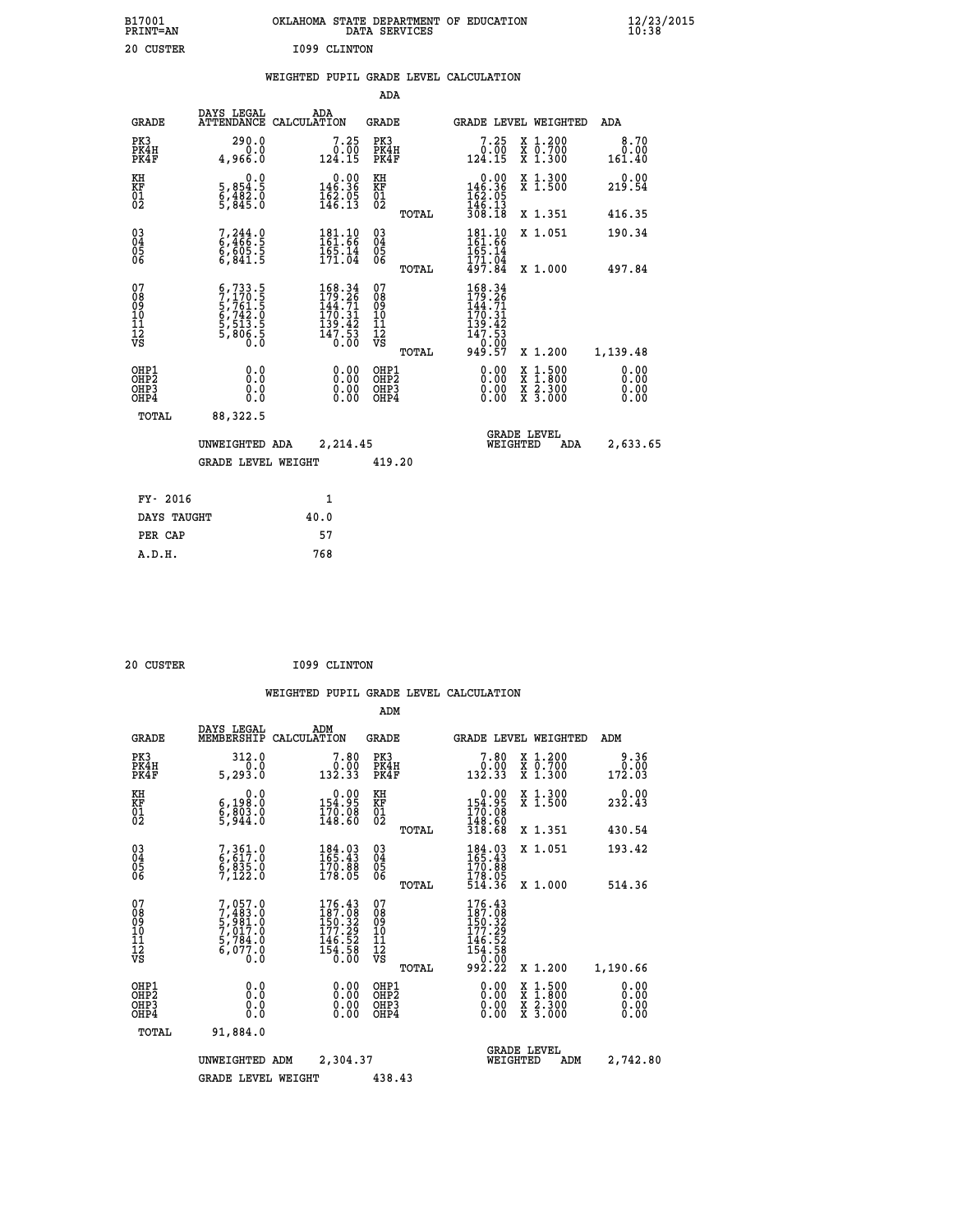| B17001<br><b>PRINT=AN</b> | OKLAHOMA<br>. STATE DEPARTMENT OF EDUCATION<br>DATA SERVICES | $\frac{12}{23}$ /2015 |
|---------------------------|--------------------------------------------------------------|-----------------------|
| 20<br>CUSTER              | I099 CLINTON                                                 |                       |

|  |  | WEIGHTED PUPIL GRADE LEVEL CALCULATION |
|--|--|----------------------------------------|
|  |  |                                        |

|                                                                    |                                                                                                                                        |                                                                                             | ADA                                       |       |                                                                                           |                                                    |                              |
|--------------------------------------------------------------------|----------------------------------------------------------------------------------------------------------------------------------------|---------------------------------------------------------------------------------------------|-------------------------------------------|-------|-------------------------------------------------------------------------------------------|----------------------------------------------------|------------------------------|
| <b>GRADE</b>                                                       | DAYS LEGAL                                                                                                                             | ADA<br>ATTENDANCE CALCULATION                                                               | <b>GRADE</b>                              |       |                                                                                           | GRADE LEVEL WEIGHTED                               | <b>ADA</b>                   |
| PK3<br>PK4H<br>PK4F                                                | 290.0<br>0.0<br>4,966.0                                                                                                                | $7.25$<br>124.15                                                                            | PK3<br>PK4H<br>PK4F                       |       | $7.25$<br>124.15                                                                          | X 1.200<br>X 0.700<br>X 1.300                      | 8.70<br>0.00<br>161.40       |
| KH<br>KF<br>01<br>02                                               | 0.0<br>5,854:5<br>6,482.0<br>5,845:0                                                                                                   | $0.00$<br>146.36<br>$\frac{162}{146}$ : $\frac{05}{13}$                                     | KH<br>KF<br>01<br>02                      |       | $\begin{array}{c} 0.00 \\ 146.36 \\ 162.05 \\ 146.13 \\ 308.18 \end{array}$               | X 1.300<br>X 1.500                                 | 0.00<br>219.54               |
|                                                                    |                                                                                                                                        |                                                                                             |                                           | TOTAL |                                                                                           | X 1.351                                            | 416.35                       |
| $\begin{smallmatrix} 03 \\[-4pt] 04 \end{smallmatrix}$<br>Ŏ5<br>06 | $7,244.0$<br>6,466.5<br>6,605.5<br>6,841.5                                                                                             | $181.10$<br>$161.66$<br>$165.14$<br>$171.04$                                                | $\substack{03 \\ 04}$<br>$\frac{05}{06}$  |       | 181.10<br>161.66<br>165.14<br>171.04<br>497.84                                            | X 1.051                                            | 190.34                       |
|                                                                    |                                                                                                                                        |                                                                                             |                                           | TOTAL |                                                                                           | X 1.000                                            | 497.84                       |
| 07<br>08<br>09<br>11<br>11<br>12<br>VS                             | $\begin{smallmatrix} 6\,,733\,.5\,7\\ 7\,,170\,.5\\ 5\,,761\,.5\\ 6\,,742\,.0\\ 5\,,513\,.5\\ 5\,,806\,.5\\ 0\,.0\\ \end{smallmatrix}$ | $\begin{smallmatrix} 168.34\\179.26\\144.71\\170.31\\139.42\\147.53\\0.00\end{smallmatrix}$ | 07<br>08<br>09<br>11<br>11<br>12<br>VS    |       | 168.34<br>$179.261$<br>$144.71$<br>$170.31$<br>$139.42$<br>$147.53$<br>$0.00$<br>$949.57$ |                                                    |                              |
|                                                                    |                                                                                                                                        |                                                                                             |                                           | TOTAL |                                                                                           | X 1.200                                            | 1,139.48                     |
| OHP1<br>OH <sub>P</sub> 2<br>OHP3<br>OHP4                          | 0.0<br>0.0<br>Ō.Ō                                                                                                                      | 0.00<br>$\begin{smallmatrix} 0.00 \ 0.00 \end{smallmatrix}$                                 | OHP1<br>OH <sub>P</sub> 2<br>OHP3<br>OHP4 |       | 0.00<br>0.00<br>0.00                                                                      | $1:500$<br>$1:800$<br>X<br>X<br>X 2.300<br>X 3.000 | 0.00<br>0.00<br>0.00<br>0.00 |
| TOTAL                                                              | 88,322.5                                                                                                                               |                                                                                             |                                           |       |                                                                                           |                                                    |                              |
|                                                                    | UNWEIGHTED ADA                                                                                                                         | 2,214.45                                                                                    |                                           |       |                                                                                           | <b>GRADE LEVEL</b><br>WEIGHTED<br><b>ADA</b>       | 2,633.65                     |
|                                                                    | <b>GRADE LEVEL WEIGHT</b>                                                                                                              |                                                                                             | 419.20                                    |       |                                                                                           |                                                    |                              |
| FY- 2016                                                           |                                                                                                                                        | 1                                                                                           |                                           |       |                                                                                           |                                                    |                              |
| DAYS TAUGHT                                                        |                                                                                                                                        | 40.0                                                                                        |                                           |       |                                                                                           |                                                    |                              |
| PER CAP                                                            |                                                                                                                                        | 57                                                                                          |                                           |       |                                                                                           |                                                    |                              |
|                                                                    |                                                                                                                                        |                                                                                             |                                           |       |                                                                                           |                                                    |                              |

| 20 CUSTER |  | I099 CLINTON |
|-----------|--|--------------|
|           |  |              |

|                                          |                                                                                     |                                                                                                                                                                                                                                                     | ADM                                                |       |                                                                                                                                                                                                                                                     |                                          |                              |
|------------------------------------------|-------------------------------------------------------------------------------------|-----------------------------------------------------------------------------------------------------------------------------------------------------------------------------------------------------------------------------------------------------|----------------------------------------------------|-------|-----------------------------------------------------------------------------------------------------------------------------------------------------------------------------------------------------------------------------------------------------|------------------------------------------|------------------------------|
| <b>GRADE</b>                             | DAYS LEGAL<br>MEMBERSHIP                                                            | ADM<br>CALCULATION                                                                                                                                                                                                                                  | <b>GRADE</b>                                       |       |                                                                                                                                                                                                                                                     | <b>GRADE LEVEL WEIGHTED</b>              | ADM                          |
| PK3<br>PK4H<br>PK4F                      | 312.0<br>0.0<br>5, 293.0                                                            | 7.80<br>$\begin{smallmatrix} 0.001 0.001 0.001 0.001 0.001 0.001 0.001 0.001 0.001 0.001 0.001 0.001 0.001 0.001 0.001 0.001 0.001 0.001 0.001 0.001 0.001 0.001 0.001 0.001 0.001 0.001 0.001 0.001 0.001 0.001 0.001 0.001 0.001 0.001 0.001 0.0$ | PK3<br>PK4H<br>PK4F                                |       | 7.80<br>$\begin{smallmatrix} 0.001 0.001 0.001 0.001 0.001 0.001 0.001 0.001 0.001 0.001 0.001 0.001 0.001 0.001 0.001 0.001 0.001 0.001 0.001 0.001 0.001 0.001 0.001 0.001 0.001 0.001 0.001 0.001 0.001 0.001 0.001 0.001 0.001 0.001 0.001 0.0$ | X 1.200<br>X 0.700<br>X 1.300            | 9.36<br>0.00<br>172.03       |
| KH<br>KF<br>01<br>02                     | 0.0<br>6,198.0<br>6,803.0<br>5,944.0                                                | $\begin{smallmatrix} &0.00\\ 154.95\\ 170.08\\ 148.60\end{smallmatrix}$                                                                                                                                                                             | KH<br>KF<br>01<br>02                               |       | $\begin{smallmatrix} &0.00\\ 154.95\\ 170.08\\ 148.60\\ 318.68 \end{smallmatrix}$                                                                                                                                                                   | X 1.300<br>X 1.500                       | 232.43                       |
|                                          |                                                                                     |                                                                                                                                                                                                                                                     |                                                    | TOTAL |                                                                                                                                                                                                                                                     | X 1.351                                  | 430.54                       |
| 03<br>04<br>05<br>06                     | 7, 361.0<br>6, 617.0<br>6, 835.0<br>7,122.0                                         | $\begin{smallmatrix} 184.03\ 165.43\ 170.88\ 178.05 \end{smallmatrix}$                                                                                                                                                                              | $\begin{matrix} 03 \\ 04 \\ 05 \\ 06 \end{matrix}$ |       | 184.03<br>165.43<br>170.88                                                                                                                                                                                                                          | X 1.051                                  | 193.42                       |
|                                          |                                                                                     |                                                                                                                                                                                                                                                     |                                                    | TOTAL | Ī78.05<br>514.36                                                                                                                                                                                                                                    | X 1.000                                  | 514.36                       |
| 07<br>08<br>09<br>101<br>112<br>VS       | $7,057.0$<br>$7,483.0$<br>$5,981.0$<br>$7,017.0$<br>$5,784.0$<br>$6,077.0$<br>$0.0$ | $\begin{smallmatrix} 176.43\\ 187.08\\ 150.32\\ 177.29\\ 146.52\\ 154.58\\ 0.00 \end{smallmatrix}$                                                                                                                                                  | 07<br>08<br>09<br>11<br>11<br>12<br>VS             | TOTAL | $176.43$<br>$187.08$<br>$150.32$<br>$177.29$<br>$\begin{array}{r} 146.52 \\ 154.58 \\ 992.22 \end{array}$                                                                                                                                           | X 1.200                                  | 1,190.66                     |
| OHP1<br>OHP2<br>OH <sub>P3</sub><br>OHP4 | 0.0<br>0.000                                                                        | $0.00$<br>$0.00$<br>0.00                                                                                                                                                                                                                            | OHP1<br>OHP2<br>OHP3<br>OHP4                       |       | $0.00$<br>$0.00$<br>0.00                                                                                                                                                                                                                            | X 1:500<br>X 1:800<br>X 2:300<br>X 3:000 | 0.00<br>0.00<br>0.00<br>0.00 |
| TOTAL                                    | 91,884.0                                                                            |                                                                                                                                                                                                                                                     |                                                    |       |                                                                                                                                                                                                                                                     |                                          |                              |
|                                          | UNWEIGHTED                                                                          | 2,304.37<br>ADM                                                                                                                                                                                                                                     |                                                    |       | WEIGHTED                                                                                                                                                                                                                                            | <b>GRADE LEVEL</b><br>ADM                | 2,742.80                     |
|                                          | <b>GRADE LEVEL WEIGHT</b>                                                           |                                                                                                                                                                                                                                                     | 438.43                                             |       |                                                                                                                                                                                                                                                     |                                          |                              |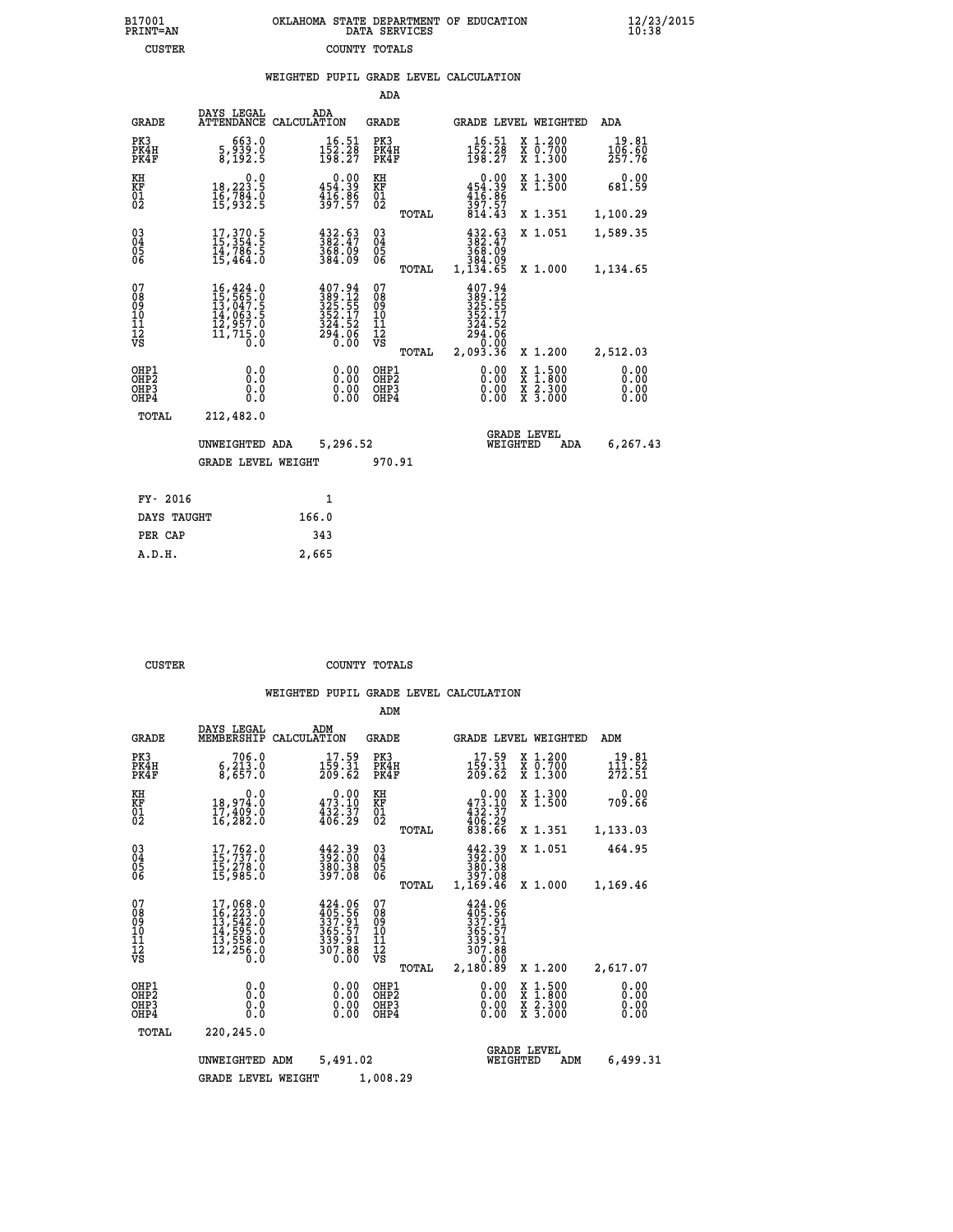|               | OKLAHOMA STATE DEPARTMENT OF EDUCATION<br>DATA SERVICES |  |
|---------------|---------------------------------------------------------|--|
| COUNTY TOTALS |                                                         |  |

|                                                                    |                                                                                                                                                                                          |                                                                                | ADA                                        |                                                                                                                        |                                                                                                  |                              |
|--------------------------------------------------------------------|------------------------------------------------------------------------------------------------------------------------------------------------------------------------------------------|--------------------------------------------------------------------------------|--------------------------------------------|------------------------------------------------------------------------------------------------------------------------|--------------------------------------------------------------------------------------------------|------------------------------|
| <b>GRADE</b>                                                       | DAYS LEGAL                                                                                                                                                                               | ADA<br>ATTENDANCE CALCULATION                                                  | <b>GRADE</b>                               | GRADE LEVEL WEIGHTED                                                                                                   |                                                                                                  | ADA                          |
| PK3<br>PK4H<br>PK4F                                                | 663.0<br>5,939.0<br>8,192.5                                                                                                                                                              | $\substack{16.51\\152.28\\198.27}$                                             | PK3<br>PK4H<br>PK4F                        | $152.28$<br>$152.28$<br>$198.27$                                                                                       | X 1.200<br>X 0.700<br>X 1.300                                                                    | 19.81<br>106.60<br>257.76    |
| KH<br><b>KF</b><br>01<br>02                                        | 0.0<br>18,223.5<br>1ĕ,7§4:ŏ<br>15,932:5                                                                                                                                                  | 0.00<br>454.39<br>$\frac{416.86}{397.57}$                                      | KH<br>KF<br>01<br>02                       | 0.00<br>$454.39$<br>$416.86$<br>$397.57$<br>$814.43$                                                                   | X 1.300<br>X 1.500                                                                               | 0.00<br>681.59               |
|                                                                    |                                                                                                                                                                                          |                                                                                | TOTAL                                      |                                                                                                                        | X 1.351                                                                                          | 1,100.29                     |
| $\begin{smallmatrix} 03 \\[-4pt] 04 \end{smallmatrix}$<br>05<br>06 | $17,370.5$<br>$15,354.5$<br>$14,786.5$<br>$15,464.0$                                                                                                                                     | $\frac{432.63}{382.47}$<br>368.09<br>384.09                                    | $\substack{03 \\ 04}$<br>05<br>06<br>TOTAL | $432.63$<br>$382.47$<br>368.09<br>384.09<br>1,134.65                                                                   | X 1.051<br>X 1.000                                                                               | 1,589.35<br>1,134.65         |
| 07<br>08<br>09<br>11<br>11<br>12<br>VS                             | $\begin{smallmatrix} 16\,, & 424\,, & 0\\ 15\,, & 565\,, & 0\\ 13\,, & 047\,, & 5\\ 14\,, & 063\,, & 5\\ 12\,, & 957\,, & 0\\ 11\,, & 715\,, & 0\\ 0\,. & 0\,. & 0\,. \end{smallmatrix}$ | $407.94$<br>$389.12$<br>$325.55$<br>$352.17$<br>$324.52$<br>$294.06$<br>$0.00$ | 07<br>08<br>09<br>11<br>11<br>12<br>VS     | 407.94<br>$\frac{389}{325}$ $\cdot\frac{17}{55}$<br>$\frac{352}{352}$ $\cdot\frac{17}{27}$<br>324.52<br>294.06<br>0.00 |                                                                                                  |                              |
|                                                                    |                                                                                                                                                                                          |                                                                                | TOTAL                                      | 2,093.36                                                                                                               | X 1.200                                                                                          | 2,512.03                     |
| OHP1<br>OH <sub>P</sub> 2<br>OH <sub>P3</sub><br>OH <sub>P4</sub>  | 0.0<br>0.0<br>0.0                                                                                                                                                                        | 0.00<br>0.00<br>0.00                                                           | OHP1<br>OH <sub>P</sub> 2<br>OHP3<br>OHP4  | 0.00<br>0.00<br>0.00                                                                                                   | $\begin{smallmatrix} x & 1 & 500 \\ x & 1 & 800 \\ x & 2 & 300 \\ x & 3 & 000 \end{smallmatrix}$ | 0.00<br>0.00<br>0.00<br>0.00 |
| TOTAL                                                              | 212,482.0                                                                                                                                                                                |                                                                                |                                            |                                                                                                                        |                                                                                                  |                              |
|                                                                    | UNWEIGHTED ADA                                                                                                                                                                           | 5,296.52                                                                       |                                            | WEIGHTED                                                                                                               | <b>GRADE LEVEL</b><br>ADA                                                                        | 6,267.43                     |
|                                                                    | <b>GRADE LEVEL WEIGHT</b>                                                                                                                                                                |                                                                                | 970.91                                     |                                                                                                                        |                                                                                                  |                              |
|                                                                    | FY- 2016                                                                                                                                                                                 | $\mathbf{1}$                                                                   |                                            |                                                                                                                        |                                                                                                  |                              |
|                                                                    | DAYS TAUGHT                                                                                                                                                                              | 166.0                                                                          |                                            |                                                                                                                        |                                                                                                  |                              |
|                                                                    | PER CAP                                                                                                                                                                                  | 343                                                                            |                                            |                                                                                                                        |                                                                                                  |                              |

| סס |
|----|

 **A.D.H. 2,665**

B17001<br>PRINT=AN<br>CUSTER

 **CUSTER COUNTY TOTALS**

|                                                       |                                                                                                       |                                                                          | ADM                                              |                                                                                          |                                                                                                  |                                               |
|-------------------------------------------------------|-------------------------------------------------------------------------------------------------------|--------------------------------------------------------------------------|--------------------------------------------------|------------------------------------------------------------------------------------------|--------------------------------------------------------------------------------------------------|-----------------------------------------------|
| <b>GRADE</b>                                          | DAYS LEGAL<br>MEMBERSHIP                                                                              | ADM<br>CALCULATION                                                       | <b>GRADE</b>                                     | <b>GRADE LEVEL WEIGHTED</b>                                                              |                                                                                                  | ADM                                           |
| PK3<br>PK4H<br>PK4F                                   | 706.0<br>6, 213.0<br>8,657.0                                                                          | 17.59<br>159.31<br>209.62                                                | PK3<br>PK4H<br>PK4F                              | 17.59<br>159.31<br>209.62                                                                | $\begin{smallmatrix} x & 1.200 \\ x & 0.700 \end{smallmatrix}$<br>X 1.300                        | 19.81<br>$1\bar{1}1.\bar{5}\bar{2}$<br>272.51 |
| KH<br>KF<br>01<br>02                                  | 0.0<br>18,974:0<br>17,409:0<br>16,282:0                                                               | $\substack{0.00\\473.10\\432.37\\406.29}$                                | KH<br>KF<br>01<br>02                             | $\begin{smallmatrix}&&0.00\\473.10\\432.37\\406.29\\838.66\end{smallmatrix}$             | X 1.300<br>X 1.500                                                                               | 0.00<br>709.66                                |
|                                                       |                                                                                                       |                                                                          | TOTAL                                            |                                                                                          | X 1.351                                                                                          | 1,133.03                                      |
| 03<br>04<br>05<br>06                                  | 17,762.0<br>īš, 278.0<br>15,985.0                                                                     | $\frac{442.39}{392.00}$<br>$\frac{380.38}{397.08}$                       | $\substack{03 \\ 04}$<br>05                      | 442.39<br>392.00<br>380.38<br>397.08                                                     | X 1.051                                                                                          | 464.95                                        |
|                                                       |                                                                                                       |                                                                          | TOTAL                                            | 1,169.46                                                                                 | X 1.000                                                                                          | 1,169.46                                      |
| 07<br>08<br>09<br>101<br>112<br>VS                    | $\begin{smallmatrix}17,068.0\\16,223.0\\13,542.0\\14,595.0\\13,558.0\\12,256.0\\0.0\end{smallmatrix}$ | $424.06$<br>$405.56$<br>$337.91$<br>$365.57$<br>339.91<br>307.88<br>0.00 | 07<br>08<br>09<br>101<br>11<br>12<br>VS<br>TOTAL | $424.06$<br>$405.56$<br>$337.91$<br>$365.57$<br>$339.91$<br>$307.88$<br>0.00<br>2,180.89 | X 1.200                                                                                          | 2,617.07                                      |
| OHP1<br>OH <sub>P</sub> 2<br>OH <sub>P3</sub><br>OHP4 | 0.0<br>0.000                                                                                          | $0.00$<br>$0.00$<br>0.00                                                 | OHP1<br>OHP2<br>OHP3<br>OHP4                     | $0.00$<br>$0.00$<br>0.00                                                                 | $\begin{smallmatrix} x & 1 & 500 \\ x & 1 & 800 \\ x & 2 & 300 \\ x & 3 & 000 \end{smallmatrix}$ | 0.00<br>0.00<br>0.00<br>0.00                  |
| TOTAL                                                 | 220,245.0                                                                                             |                                                                          |                                                  |                                                                                          |                                                                                                  |                                               |
|                                                       | UNWEIGHTED ADM                                                                                        | 5,491.02                                                                 |                                                  | <b>GRADE LEVEL</b><br>WEIGHTED                                                           | ADM                                                                                              | 6,499.31                                      |
|                                                       | <b>GRADE LEVEL WEIGHT</b>                                                                             |                                                                          | 1,008.29                                         |                                                                                          |                                                                                                  |                                               |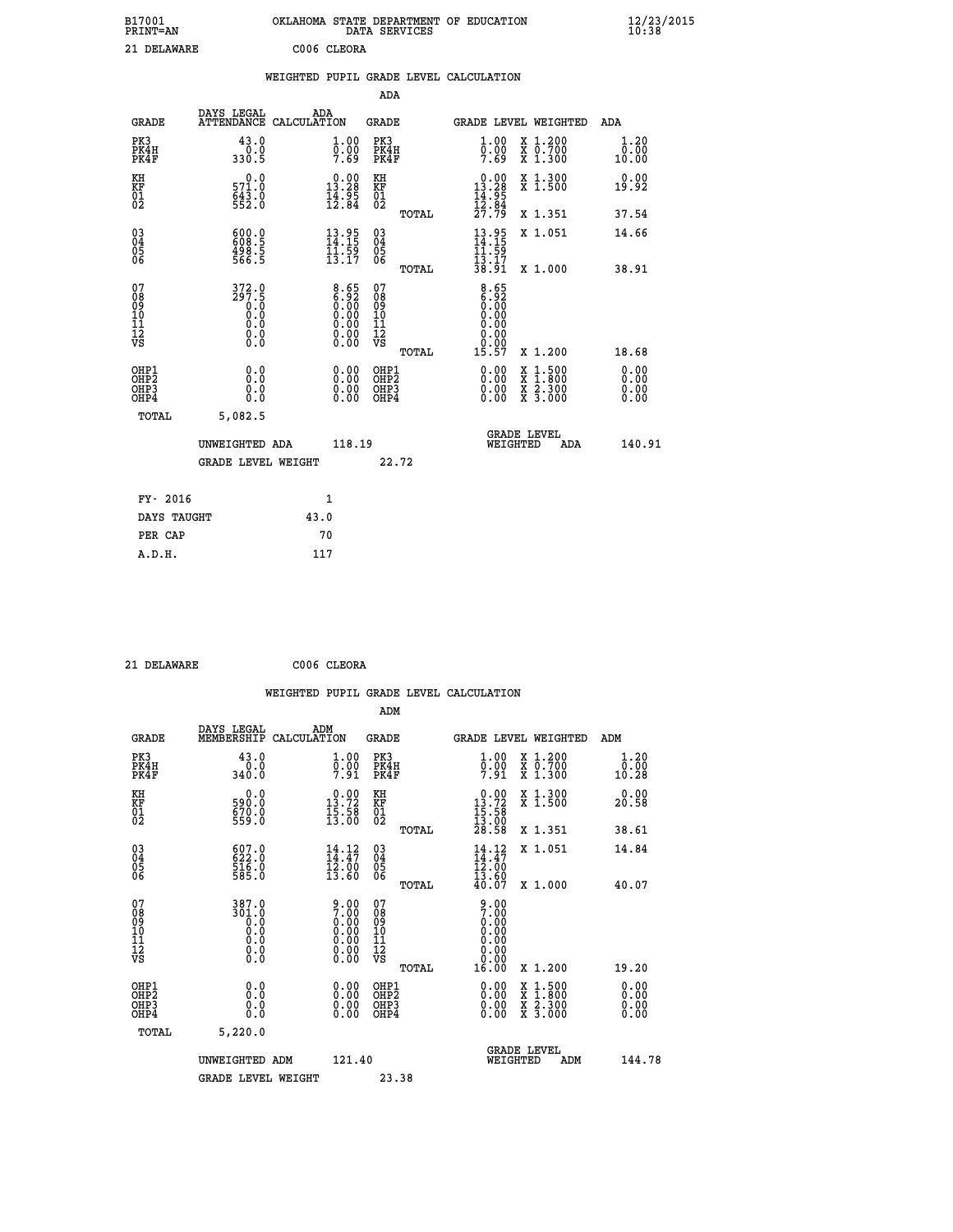| B17001<br><b>PRINT=AN</b> | OKLAHOMA STATE DEPARTMENT OF EDUCATION<br>DATA SERVICES | $\frac{12}{23}$ /2015 |
|---------------------------|---------------------------------------------------------|-----------------------|
| 21 DELAWARE               | C006 CLEORA                                             |                       |

|                                                                    |                                                                       |              |                                                                                               |                                   |       | WEIGHTED PUPIL GRADE LEVEL CALCULATION                                       |                                                                                                           |                       |
|--------------------------------------------------------------------|-----------------------------------------------------------------------|--------------|-----------------------------------------------------------------------------------------------|-----------------------------------|-------|------------------------------------------------------------------------------|-----------------------------------------------------------------------------------------------------------|-----------------------|
|                                                                    |                                                                       |              |                                                                                               | <b>ADA</b>                        |       |                                                                              |                                                                                                           |                       |
| <b>GRADE</b>                                                       | DAYS LEGAL<br>ATTENDANCE CALCULATION                                  | ADA          |                                                                                               | <b>GRADE</b>                      |       |                                                                              | GRADE LEVEL WEIGHTED                                                                                      | ADA                   |
| PK3<br>PK4H<br>PK4F                                                | 43.0<br>$\frac{0.0}{330.5}$                                           |              | $\begin{smallmatrix} 1.00\ 0.00\ 7.69 \end{smallmatrix}$                                      | PK3<br>PK4H<br>PK4F               |       | $\begin{smallmatrix} 1.00\ 0.00\ 7.69 \end{smallmatrix}$                     | X 1.200<br>X 0.700<br>X 1.300                                                                             | 1.20<br>0.00<br>10.00 |
| KH<br>KF<br>01<br>02                                               | 0.0<br>571.0<br>643.0<br>552.0                                        |              | $\begin{smallmatrix} 0.00\\ 13.28\\ 14.95\\ 12.84 \end{smallmatrix}$                          | KH<br>KF<br>01<br>02              |       | $\begin{smallmatrix} 0.00\\ 13.28\\ 14.95\\ 12.84\\ 27.79 \end{smallmatrix}$ | X 1.300<br>X 1.500                                                                                        | 0.00<br>19.92         |
|                                                                    |                                                                       |              |                                                                                               |                                   | TOTAL |                                                                              | X 1.351                                                                                                   | 37.54                 |
| $\begin{smallmatrix} 03 \\[-4pt] 04 \end{smallmatrix}$<br>Ŏ5<br>06 | $\begin{smallmatrix} 600.0\\ 608.5\\ 498.5\\ 566.5 \end{smallmatrix}$ |              | $13.95$<br>$14.15$<br>$11.59$<br>$13.17$                                                      | $\substack{03 \\ 04}$<br>Ŏ5<br>06 |       | $13.95$<br>$14.15$<br>$11.59$<br>$13.17$                                     | X 1.051                                                                                                   | 14.66                 |
|                                                                    |                                                                       |              |                                                                                               |                                   | TOTAL | 38.91                                                                        | X 1.000                                                                                                   | 38.91                 |
| 07<br>08901112<br>1112<br>VS                                       | 372.0                                                                 |              | $\begin{smallmatrix} 8.65\ 6.92\ 0.00\ 0.00\ 0.00\ 0.00\ 0.00\ 0.00\ 0.00\ \end{smallmatrix}$ | 07<br>08901112<br>1112<br>VS      | TOTAL | $8.65$<br>$6.92$<br>0.00<br>0.00<br>0.00<br>0.00<br>15.57                    | X 1.200                                                                                                   | 18.68                 |
| OHP1<br>OHP2<br>OHP3<br>OHP4                                       | 0.0<br>0.0<br>0.0                                                     |              | 0.0000<br>$\begin{smallmatrix} 0.00 \ 0.00 \end{smallmatrix}$                                 | OHP1<br>OHP2<br>OHP3<br>OHP4      |       | 0.00<br>0.00<br>0.00                                                         | 1:500<br>$\begin{smallmatrix} x & 1 & 500 \\ x & 1 & 800 \\ x & 2 & 300 \\ x & 3 & 000 \end{smallmatrix}$ | 0.00<br>0.00<br>0.00  |
| <b>TOTAL</b>                                                       | 5,082.5                                                               |              |                                                                                               |                                   |       |                                                                              |                                                                                                           |                       |
|                                                                    | UNWEIGHTED ADA                                                        |              | 118.19                                                                                        |                                   |       | WEIGHTED                                                                     | <b>GRADE LEVEL</b><br>ADA                                                                                 | 140.91                |
|                                                                    | <b>GRADE LEVEL WEIGHT</b>                                             |              |                                                                                               | 22.72                             |       |                                                                              |                                                                                                           |                       |
| FY- 2016                                                           |                                                                       | $\mathbf{1}$ |                                                                                               |                                   |       |                                                                              |                                                                                                           |                       |
| DAYS TAUGHT                                                        |                                                                       | 43.0         |                                                                                               |                                   |       |                                                                              |                                                                                                           |                       |
| PER CAP                                                            |                                                                       | 70           |                                                                                               |                                   |       |                                                                              |                                                                                                           |                       |

 **21 DELAWARE C006 CLEORA**

 **A.D.H. 117**

|                                                      |                                                                                                              | WEIGHTED PUPIL GRADE LEVEL CALCULATION                                                              |                                                 |                                                                                                                                                                                                                                                                                |                                          |                              |
|------------------------------------------------------|--------------------------------------------------------------------------------------------------------------|-----------------------------------------------------------------------------------------------------|-------------------------------------------------|--------------------------------------------------------------------------------------------------------------------------------------------------------------------------------------------------------------------------------------------------------------------------------|------------------------------------------|------------------------------|
|                                                      |                                                                                                              |                                                                                                     | ADM                                             |                                                                                                                                                                                                                                                                                |                                          |                              |
| <b>GRADE</b>                                         | DAYS LEGAL<br>MEMBERSHIP                                                                                     | ADM<br>CALCULATION                                                                                  | GRADE                                           | <b>GRADE LEVEL WEIGHTED</b>                                                                                                                                                                                                                                                    |                                          | ADM                          |
| PK3<br>PK4H<br>PK4F                                  | 43.0<br>$0.0$<br>$340.0$                                                                                     | 1.00<br>$\frac{0.00}{7.91}$                                                                         | PK3<br>PK4H<br>PK4F                             | $\begin{smallmatrix} 1.00 \\ 0.00 \\ 7.91 \end{smallmatrix}$                                                                                                                                                                                                                   | X 1.200<br>X 0.700<br>X 1.300            | 1.20<br>0.00<br>10.28        |
| KH<br>KF<br>01<br>02                                 | 0.0<br>590:0<br>670:0<br>559:0                                                                               | $\begin{smallmatrix} 0.00\\ 13.72\\ 15.58\\ 13.00 \end{smallmatrix}$                                | KH<br>KF<br>01<br>02                            | $\begin{smallmatrix} &0.00\\ 13.72\\ 15.58\\ 13.00\\ 28.58 \end{smallmatrix}$                                                                                                                                                                                                  | X 1.300<br>X 1.500                       | 0.00<br>20.58                |
|                                                      |                                                                                                              |                                                                                                     | TOTAL                                           |                                                                                                                                                                                                                                                                                | X 1.351                                  | 38.61                        |
| $\begin{matrix} 03 \\ 04 \\ 05 \\ 06 \end{matrix}$   | 607.0<br>622.0<br>516.0<br>585.0                                                                             | $14.12$<br>$14.47$<br>$12.00$<br>$13.60$                                                            | 03<br>04<br>05<br>06                            | $14.12$<br>$14.47$<br>$12.00$<br>$13.60$                                                                                                                                                                                                                                       | X 1.051                                  | 14.84                        |
|                                                      |                                                                                                              |                                                                                                     | TOTAL                                           | 40.07                                                                                                                                                                                                                                                                          | X 1.000                                  | 40.07                        |
| 07<br>08<br>09<br>101<br>112<br>VS                   | $\begin{smallmatrix} 3\,8\,7\cdot0\\ 3\,0\,1\cdot0\\ 0\\ 0\\ 0\cdot0 \end{smallmatrix}$<br>0.0<br>$\S.$ $\S$ | $\begin{smallmatrix} 9.00\ 7.00\ 0.00\ 0.00\ 0.00\ 0.00\ 0.00\ 0.00\ 0.00\ 0.00\ \end{smallmatrix}$ | 07<br>08<br>09<br>11<br>11<br>12<br>VS<br>TOTAL | $\frac{9.00}{7.00}$<br>0.00<br>0.00<br>0.00<br>0.00<br>16.00                                                                                                                                                                                                                   | X 1.200                                  | 19.20                        |
|                                                      |                                                                                                              |                                                                                                     |                                                 |                                                                                                                                                                                                                                                                                |                                          |                              |
| OHP1<br>OHP <sub>2</sub><br>OH <sub>P3</sub><br>OHP4 | 0.0<br>0.0<br>Ō.Ō                                                                                            | 0.00<br>0.00<br>0.00                                                                                | OHP1<br>OHP <sub>2</sub><br>OHP3<br>OHP4        | $\begin{smallmatrix} 0.00 & 0.00 & 0.00 & 0.00 & 0.00 & 0.00 & 0.00 & 0.00 & 0.00 & 0.00 & 0.00 & 0.00 & 0.00 & 0.00 & 0.00 & 0.00 & 0.00 & 0.00 & 0.00 & 0.00 & 0.00 & 0.00 & 0.00 & 0.00 & 0.00 & 0.00 & 0.00 & 0.00 & 0.00 & 0.00 & 0.00 & 0.00 & 0.00 & 0.00 & 0.00 & 0.0$ | X 1:500<br>X 1:800<br>X 2:300<br>X 3:000 | 0.00<br>0.00<br>0.00<br>0.00 |
|                                                      | TOTAL<br>5,220.0                                                                                             |                                                                                                     |                                                 |                                                                                                                                                                                                                                                                                |                                          |                              |
|                                                      | UNWEIGHTED ADM                                                                                               | 121.40                                                                                              |                                                 | <b>GRADE LEVEL</b><br>WEIGHTED                                                                                                                                                                                                                                                 | ADM                                      | 144.78                       |
|                                                      | <b>GRADE LEVEL WEIGHT</b>                                                                                    |                                                                                                     | 23.38                                           |                                                                                                                                                                                                                                                                                |                                          |                              |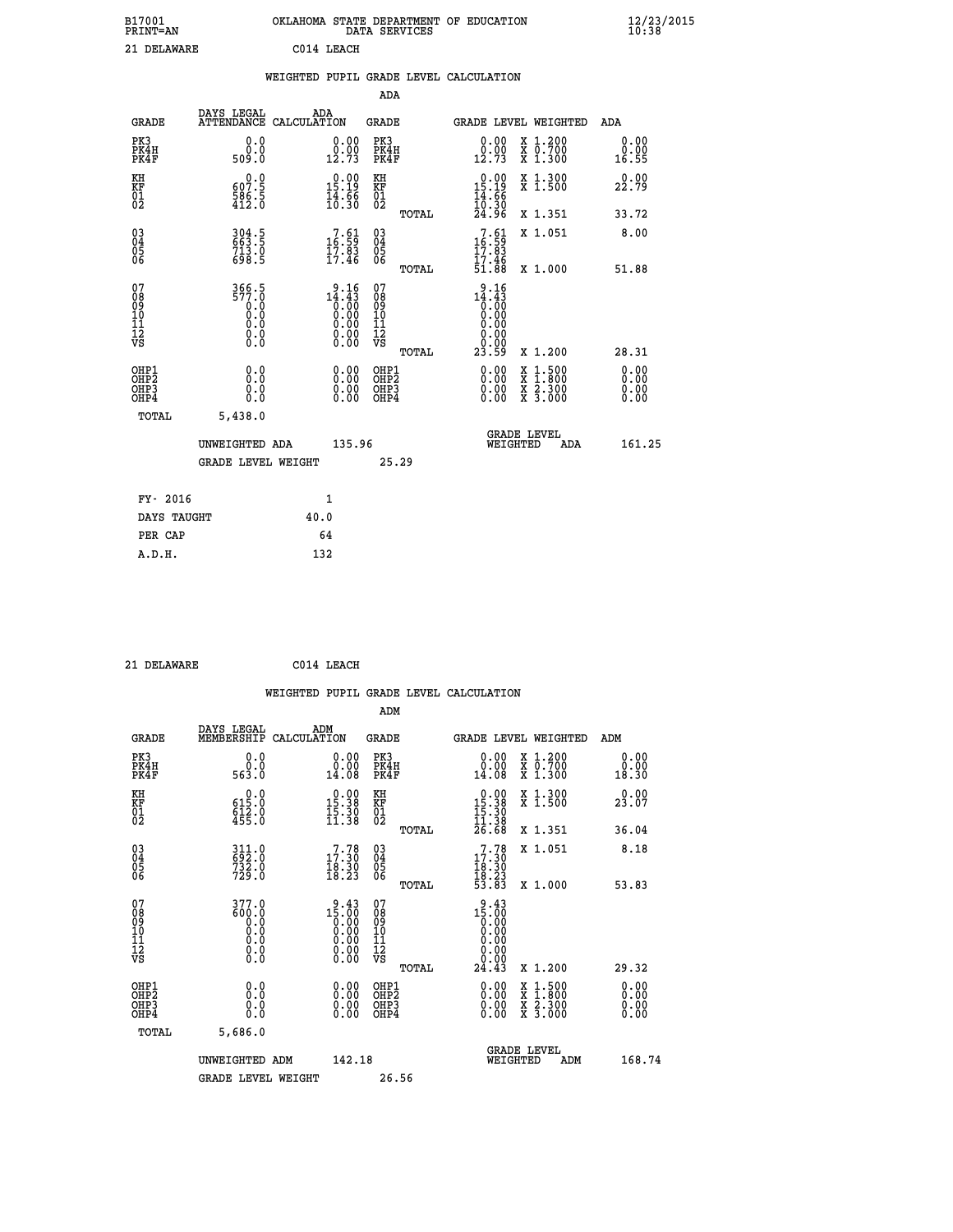|     |                         | OKLAHOMA STATE DEPARTMENT OF EDUCATION<br>DATA SERVICES |  |
|-----|-------------------------|---------------------------------------------------------|--|
| ١DΡ | C <sub>0</sub> 14 TFACH |                                                         |  |

| 21 DELAWARE                                                        |                                       |      | C014 LEACH                                                                                                          |                                           |       |                                                                                       |                                                                                                                                           |                              |
|--------------------------------------------------------------------|---------------------------------------|------|---------------------------------------------------------------------------------------------------------------------|-------------------------------------------|-------|---------------------------------------------------------------------------------------|-------------------------------------------------------------------------------------------------------------------------------------------|------------------------------|
|                                                                    |                                       |      |                                                                                                                     |                                           |       | WEIGHTED PUPIL GRADE LEVEL CALCULATION                                                |                                                                                                                                           |                              |
|                                                                    |                                       |      |                                                                                                                     | ADA                                       |       |                                                                                       |                                                                                                                                           |                              |
| <b>GRADE</b>                                                       | DAYS LEGAL<br>ATTENDANCE CALCULATION  |      | ADA                                                                                                                 | <b>GRADE</b>                              |       |                                                                                       | GRADE LEVEL WEIGHTED                                                                                                                      | ADA                          |
| PK3<br>PK4H<br>PK4F                                                | 0.0<br>0.0<br>509.0                   |      | $\begin{smallmatrix} 0.00\\ 0.00\\ 12.73 \end{smallmatrix}$                                                         | PK3<br>PK4H<br>PK4F                       |       | 0.00<br>0.00<br>12.73                                                                 | X 1.200<br>X 0.700<br>X 1.300                                                                                                             | 0.00<br>0.00<br>16.55        |
| KH<br>KF<br>01<br>02                                               | 0.0<br>607.5<br>$\frac{586.5}{412.0}$ |      | $\begin{smallmatrix} 0.00\\ 15.19\\ 14.56\\ 16.30 \end{smallmatrix}$                                                | KH<br>KF<br>01<br>02                      |       | $\begin{smallmatrix} 0.00\\ 15.19\\ 14.66\\ 10.30\\ 24.96 \end{smallmatrix}$          | X 1.300<br>X 1.500                                                                                                                        | 0.00<br>22.79                |
|                                                                    |                                       |      |                                                                                                                     |                                           | TOTAL |                                                                                       | X 1.351                                                                                                                                   | 33.72                        |
| $\begin{smallmatrix} 03 \\[-4pt] 04 \end{smallmatrix}$<br>Ŏ5<br>ŌĞ | 304.5<br>663.5<br>713.0<br>698.5      |      | $\begin{smallmatrix}7.61\5.59\17.83\17.46\end{smallmatrix}$                                                         | 030404<br>ŎĞ                              |       | $\frac{7.61}{16.59}$                                                                  | X 1.051                                                                                                                                   | 8.00                         |
|                                                                    |                                       |      |                                                                                                                     |                                           | TOTAL | $\frac{17.46}{51.88}$                                                                 | X 1.000                                                                                                                                   | 51.88                        |
| 07<br>08<br>09<br>11<br>11<br>12<br>VS                             | 366.5<br>577.0<br>0.0<br>Ō.Ō<br>$\S.$ |      | $14.43$<br>$0.43$<br>$0.00$<br>$0.00$<br>0.00<br>$\begin{smallmatrix} 0.00 & 0.00 \\ 0.00 & 0.00 \end{smallmatrix}$ | 07<br>08<br>09<br>11<br>11<br>12<br>VS    |       | $3.16$<br>14.43<br>$\begin{smallmatrix} 0.15 \ 0.00 \ 0.00 \end{smallmatrix}$<br>0.00 |                                                                                                                                           |                              |
|                                                                    |                                       |      |                                                                                                                     |                                           | TOTAL | ŏ:ŏŏ<br>23.59                                                                         | X 1.200                                                                                                                                   | 28.31                        |
| OHP1<br>OH <sub>P</sub> 2<br>OH <sub>P3</sub><br>OHP4              | 0.0<br>0.0<br>0.0                     |      |                                                                                                                     | OHP1<br>OH <sub>P</sub> 2<br>OHP3<br>OHP4 |       | 0.00<br>$0.00$<br>0.00                                                                | $\begin{smallmatrix} \mathtt{X} & 1\cdot500\\ \mathtt{X} & 1\cdot800\\ \mathtt{X} & 2\cdot300\\ \mathtt{X} & 3\cdot000 \end{smallmatrix}$ | 0.00<br>0.00<br>0.00<br>0.00 |
| TOTAL                                                              | 5,438.0                               |      |                                                                                                                     |                                           |       |                                                                                       |                                                                                                                                           |                              |
|                                                                    | UNWEIGHTED ADA                        |      | 135.96                                                                                                              |                                           |       | WEIGHTED                                                                              | <b>GRADE LEVEL</b><br>ADA                                                                                                                 | 161.25                       |
|                                                                    | <b>GRADE LEVEL WEIGHT</b>             |      |                                                                                                                     |                                           | 25.29 |                                                                                       |                                                                                                                                           |                              |
| FY- 2016                                                           |                                       |      | $\mathbf{1}$                                                                                                        |                                           |       |                                                                                       |                                                                                                                                           |                              |
| DAYS TAUGHT                                                        |                                       | 40.0 |                                                                                                                     |                                           |       |                                                                                       |                                                                                                                                           |                              |
| PER CAP                                                            |                                       |      | 64                                                                                                                  |                                           |       |                                                                                       |                                                                                                                                           |                              |

 **21 DELAWARE C014 LEACH**

 **A.D.H. 132**

**B17001<br>PRINT=AN** 

|                                                    |                                                                                              | WEIGHTED PUPIL GRADE LEVEL CALCULATION                               |                                              |                                                                                                                                                                                                                                                                                |                                          |                       |
|----------------------------------------------------|----------------------------------------------------------------------------------------------|----------------------------------------------------------------------|----------------------------------------------|--------------------------------------------------------------------------------------------------------------------------------------------------------------------------------------------------------------------------------------------------------------------------------|------------------------------------------|-----------------------|
|                                                    |                                                                                              |                                                                      | ADM                                          |                                                                                                                                                                                                                                                                                |                                          |                       |
| <b>GRADE</b>                                       | DAYS LEGAL<br>MEMBERSHIP                                                                     | ADM<br>CALCULATION                                                   | GRADE                                        | GRADE LEVEL WEIGHTED                                                                                                                                                                                                                                                           |                                          | ADM                   |
| PK3<br>PK4H<br>PK4F                                | 0.0<br>ŏ.ŏ<br>563.O                                                                          | 0.00<br>14.08                                                        | PK3<br>PK4H<br>PK4F                          | 0.00<br>14.08                                                                                                                                                                                                                                                                  | X 1.200<br>X 0.700<br>X 1.300            | 0.00<br>0.00<br>18.30 |
| KH<br>KF<br>01<br>02                               | $\begin{smallmatrix} &0.0\ 615.0\ 612.0\ 455.0 \end{smallmatrix}$                            | $\begin{smallmatrix} 0.00\\ 15.38\\ 15.30\\ 11.38 \end{smallmatrix}$ | KH<br>KF<br>01<br>02                         | $\begin{smallmatrix} 0.00\\ 15.38\\ 15.30\\ 11.38\\ 26.68 \end{smallmatrix}$                                                                                                                                                                                                   | X 1.300<br>X 1.500                       | 0.00<br>23.07         |
|                                                    |                                                                                              |                                                                      | TOTAL                                        |                                                                                                                                                                                                                                                                                | X 1.351                                  | 36.04                 |
| $\begin{matrix} 03 \\ 04 \\ 05 \\ 06 \end{matrix}$ | 311.0<br>692.0<br>732.0<br>729.0                                                             | $\begin{smallmatrix}7.78\\17.30\\18.30\\18.23\end{smallmatrix}$      | 03<br>04<br>05<br>06                         | 17:30<br>$\frac{18.30}{18.23}$<br>53.83                                                                                                                                                                                                                                        | X 1.051                                  | 8.18                  |
|                                                    |                                                                                              |                                                                      | TOTAL                                        |                                                                                                                                                                                                                                                                                | X 1.000                                  | 53.83                 |
| 07<br>08<br>09<br>101<br>11<br>12<br>VS            | 377.0<br>0.005<br>0.0<br>$\begin{smallmatrix} 0.0 & 0 \ 0.0 & 0 \ 0.0 & 0 \end{smallmatrix}$ | 9.43                                                                 | 07<br>08<br>09<br>01<br>11<br>11<br>12<br>VS | 9.43<br>$15.00$<br>0.00<br>0.000000000000                                                                                                                                                                                                                                      |                                          |                       |
|                                                    |                                                                                              |                                                                      | TOTAL                                        | 24.43                                                                                                                                                                                                                                                                          | X 1.200                                  | 29.32                 |
| OHP1<br>OHP2<br>OH <sub>P3</sub><br>OHP4           | 0.0<br>0.0<br>Ō.O                                                                            | $\begin{smallmatrix} 0.00 \ 0.00 \ 0.00 \ 0.00 \end{smallmatrix}$    | OHP1<br>OHP2<br>OHP3<br>OHP4                 | $\begin{smallmatrix} 0.00 & 0.00 & 0.00 & 0.00 & 0.00 & 0.00 & 0.00 & 0.00 & 0.00 & 0.00 & 0.00 & 0.00 & 0.00 & 0.00 & 0.00 & 0.00 & 0.00 & 0.00 & 0.00 & 0.00 & 0.00 & 0.00 & 0.00 & 0.00 & 0.00 & 0.00 & 0.00 & 0.00 & 0.00 & 0.00 & 0.00 & 0.00 & 0.00 & 0.00 & 0.00 & 0.0$ | X 1:500<br>X 1:800<br>X 2:300<br>X 3:000 | 0.00<br>0.00<br>0.00  |
| TOTAL                                              | 5,686.0                                                                                      |                                                                      |                                              |                                                                                                                                                                                                                                                                                |                                          |                       |
|                                                    | UNWEIGHTED ADM                                                                               | 142.18                                                               |                                              | <b>GRADE LEVEL</b><br>WEIGHTED                                                                                                                                                                                                                                                 | ADM                                      | 168.74                |
|                                                    | <b>GRADE LEVEL WEIGHT</b>                                                                    |                                                                      | 26.56                                        |                                                                                                                                                                                                                                                                                |                                          |                       |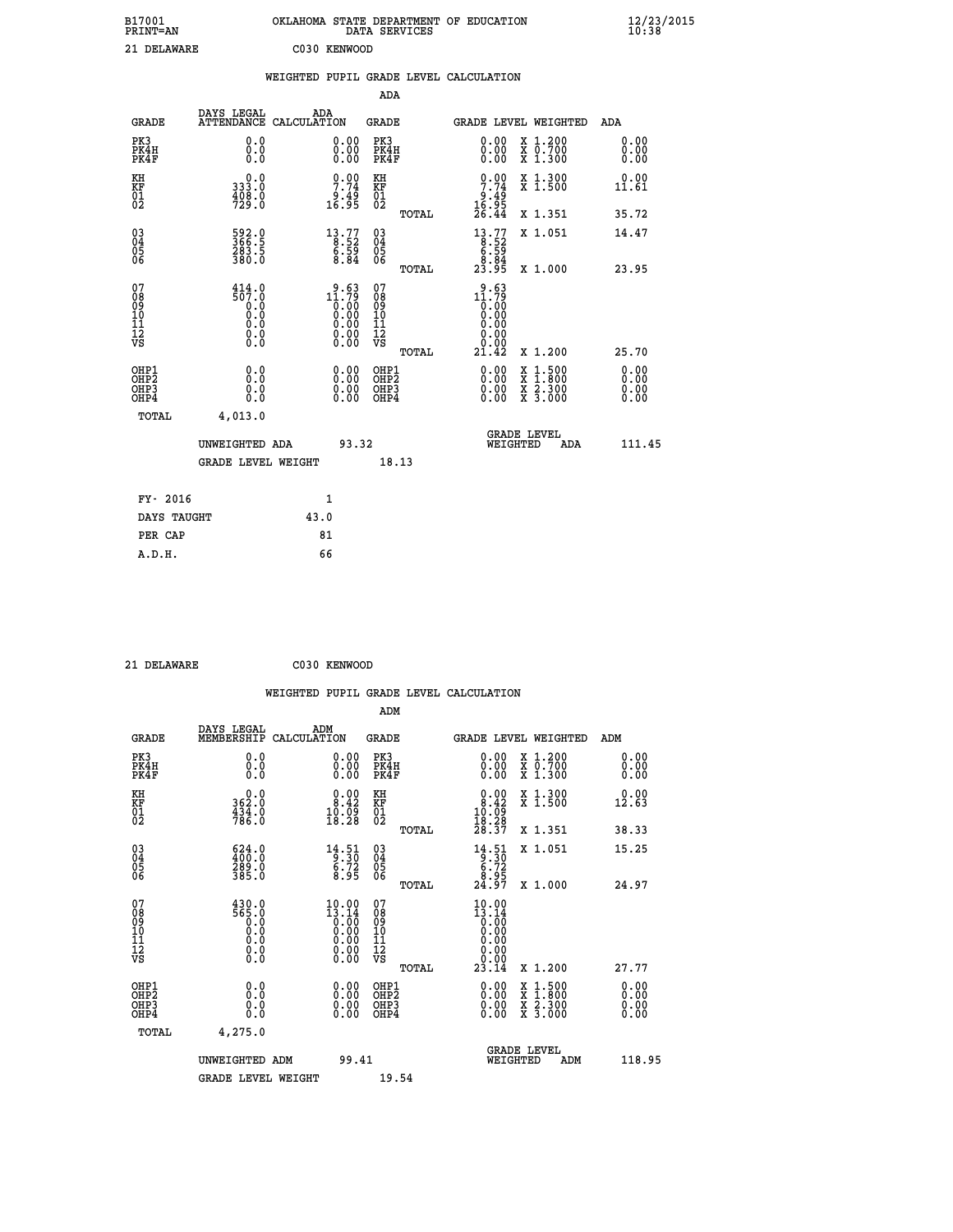| B17001<br><b>PRINT=AN</b> | OKLAHOMA<br>STATE DEPARTMENT OF EDUCATION<br>SERVICES<br>DATA | $\frac{12}{23}$ /2015<br>10:38 |
|---------------------------|---------------------------------------------------------------|--------------------------------|
| 21<br>DELAWARE            | C030<br>KENWOOD                                               |                                |

| 21 DELAWARE                                          |                                                   |      | C030 KENWOOD                                                  |                                         |       |                                                                                             |                                                                                                                                      |                              |
|------------------------------------------------------|---------------------------------------------------|------|---------------------------------------------------------------|-----------------------------------------|-------|---------------------------------------------------------------------------------------------|--------------------------------------------------------------------------------------------------------------------------------------|------------------------------|
|                                                      |                                                   |      |                                                               |                                         |       | WEIGHTED PUPIL GRADE LEVEL CALCULATION                                                      |                                                                                                                                      |                              |
|                                                      |                                                   |      |                                                               | <b>ADA</b>                              |       |                                                                                             |                                                                                                                                      |                              |
| <b>GRADE</b>                                         | DAYS LEGAL<br>ATTENDANCE CALCULATION              | ADA  |                                                               | <b>GRADE</b>                            |       |                                                                                             | GRADE LEVEL WEIGHTED                                                                                                                 | ADA                          |
| PK3<br>PK4H<br>PK4F                                  | 0.0<br>0.0<br>0.0                                 |      | 0.00<br>$\begin{smallmatrix} 0.00 \ 0.00 \end{smallmatrix}$   | PK3<br>PK4H<br>PK4F                     |       | 0.00<br>0.00<br>0.00                                                                        | X 1.200<br>X 0.700<br>X 1.300                                                                                                        | 0.00<br>0.00<br>0.00         |
| KH<br>KF<br>01<br>02                                 | 0.0<br>333.0<br>$\frac{408.0}{729.0}$             |      | $\begin{array}{c} 0.00 \\ 7.74 \\ 9.49 \\ 16.95 \end{array}$  | KH<br>KF<br>01<br>02                    |       | $\frac{0.00}{7.74}$<br>$\begin{array}{c} 6.45 \\ 16.95 \\ 26.44 \end{array}$                | X 1.300<br>X 1.500                                                                                                                   | 0.00<br>11.61                |
|                                                      |                                                   |      |                                                               |                                         | TOTAL |                                                                                             | X 1.351                                                                                                                              | 35.72                        |
| $^{03}_{04}$<br>05<br>06                             | 592.0<br>366.5<br>283.5<br>380.0                  |      | $\begin{smallmatrix}13.77\ 8.52\ 6.59\ 8.84\end{smallmatrix}$ | $^{03}_{04}$<br>05<br>ŎĞ                |       | $\begin{array}{c} 13\cdot 77\\ -8\cdot 52\\ 6\cdot 59\\ 8\cdot 84\\ 23\cdot 95 \end{array}$ | X 1.051                                                                                                                              | 14.47                        |
|                                                      |                                                   |      |                                                               |                                         | TOTAL |                                                                                             | X 1.000                                                                                                                              | 23.95                        |
| 07<br>08<br>09<br>11<br>11<br>12<br>VS               | $\frac{414.0}{507.0}$<br>0.0<br>0.0<br>$\S.$ $\S$ |      | $2.63$<br>11.79<br>0:00<br>0:00<br>0:00<br>Ŏ.ŎŎ<br>O.OO       | 07<br>08<br>09<br>101<br>11<br>12<br>VS | TOTAL | $\frac{9.63}{11.79}$<br>$\overline{0}\ .00$<br>0.00<br>0.00<br>Ŏ.ŌŌ<br>21.42                | X 1.200                                                                                                                              | 25.70                        |
| OHP1<br>OHP <sub>2</sub><br>OH <sub>P3</sub><br>OHP4 | 0.0<br>Ō.Ō<br>0.0<br>0.0                          |      |                                                               | OHP1<br>OHP2<br>OHP3<br>OHP4            |       | 0.00<br>0.00<br>0.00                                                                        | $\begin{smallmatrix} \mathtt{X} & 1 & 500 \\ \mathtt{X} & 1 & 800 \\ \mathtt{X} & 2 & 300 \\ \mathtt{X} & 3 & 000 \end{smallmatrix}$ | 0.00<br>0.00<br>0.00<br>0.00 |
| <b>TOTAL</b>                                         | 4,013.0                                           |      |                                                               |                                         |       |                                                                                             |                                                                                                                                      |                              |
|                                                      | UNWEIGHTED ADA                                    |      | 93.32                                                         |                                         |       | WEIGHTED                                                                                    | <b>GRADE LEVEL</b><br>ADA                                                                                                            | 111.45                       |
|                                                      | <b>GRADE LEVEL WEIGHT</b>                         |      |                                                               |                                         | 18.13 |                                                                                             |                                                                                                                                      |                              |
| FY- 2016                                             |                                                   |      | $\mathbf{1}$                                                  |                                         |       |                                                                                             |                                                                                                                                      |                              |
| DAYS TAUGHT                                          |                                                   | 43.0 |                                                               |                                         |       |                                                                                             |                                                                                                                                      |                              |
| PER CAP                                              |                                                   |      | 81                                                            |                                         |       |                                                                                             |                                                                                                                                      |                              |
| A.D.H.                                               |                                                   |      | 66                                                            |                                         |       |                                                                                             |                                                                                                                                      |                              |

 **21 DELAWARE C030 KENWOOD**

|                                         |                                                                                                                                      | WEIGHTED PUPIL GRADE LEVEL CALCULATION                                                   |                                         |       |                                                                                               |                                          |                      |
|-----------------------------------------|--------------------------------------------------------------------------------------------------------------------------------------|------------------------------------------------------------------------------------------|-----------------------------------------|-------|-----------------------------------------------------------------------------------------------|------------------------------------------|----------------------|
|                                         |                                                                                                                                      |                                                                                          | ADM                                     |       |                                                                                               |                                          |                      |
| <b>GRADE</b>                            | DAYS LEGAL<br>MEMBERSHIP                                                                                                             | ADM<br>CALCULATION                                                                       | <b>GRADE</b>                            |       |                                                                                               | GRADE LEVEL WEIGHTED                     | ADM                  |
| PK3<br>PK4H<br>PK4F                     | 0.0<br>0.0<br>Ŏ.Ŏ                                                                                                                    | $\begin{smallmatrix} 0.00 \ 0.00 \ 0.00 \end{smallmatrix}$                               | PK3<br>PK4H<br>PK4F                     |       | 0.00<br>0.00                                                                                  | X 1.200<br>X 0.700<br>X 1.300            | 0.00<br>0.00<br>0.00 |
| KH<br>KF<br>01<br>02                    | 362.0<br>$\frac{434}{786}$ :0                                                                                                        | $\begin{smallmatrix} 0.00\\ 8.42\\ 10.09\\ 18.28 \end{smallmatrix}$                      | KH<br>KF<br>01<br>02                    |       | $\begin{smallmatrix} 0.00\\ 8.42\\ 10.09\\ 18.28\\ 28.37 \end{smallmatrix}$                   | X 1.300<br>X 1.500                       | 0.00<br>12.63        |
|                                         |                                                                                                                                      |                                                                                          |                                         | TOTAL |                                                                                               | X 1.351                                  | 38.33                |
| 03<br>04<br>05<br>06                    | $\begin{smallmatrix} 624.0\\ 400.0\\ 289.0\\ 385.0 \end{smallmatrix}$                                                                | $\begin{array}{c} 14\cdot 51 \\ 9\cdot 30 \\ 6\cdot 72 \\ 8\cdot 95 \end{array}$         | 03<br>04<br>05<br>06                    |       | $\begin{array}{r} 14.51 \\[-4pt] 9.30 \\[-4pt] 6.72 \\[-4pt] 8.95 \\[-4pt] 24.97 \end{array}$ | X 1.051                                  | 15.25                |
|                                         |                                                                                                                                      |                                                                                          |                                         | TOTAL |                                                                                               | X 1.000                                  | 24.97                |
| 07<br>08<br>09<br>101<br>11<br>12<br>VS | $\begin{smallmatrix} 4\,3\,0\cdot\,0\\ 5\,6\,5\cdot\,0\\ 0\cdot\,0\\ 0\cdot\,0\\ 0\cdot\,0\\ 0\cdot\,0\\ 0\cdot\,0\end{smallmatrix}$ | $\begin{smallmatrix} 10.00\\13.14\\0.00\\0.00\\0.00\\0.00\\0.00\\0.00 \end{smallmatrix}$ | 07<br>08<br>09<br>11<br>11<br>12<br>VS  | TOTAL | $10.00$<br>$13.14$<br>$0.00$<br>$0.00$<br>$0.00$<br>$0.00$<br>$0.00$<br>23.14                 | X 1.200                                  | 27.77                |
| OHP1<br><b>OHP2</b><br>OHP3<br>OHP4     | 0.0<br>0.000                                                                                                                         | $0.00$<br>$0.00$<br>0.00                                                                 | OHP1<br><b>OHP2</b><br>OHP <sub>3</sub> |       | 0.00<br>0.00                                                                                  | X 1:500<br>X 1:800<br>X 2:300<br>X 3:000 | 0.00<br>0.00<br>0.00 |
| TOTAL                                   | 4,275.0                                                                                                                              |                                                                                          |                                         |       |                                                                                               |                                          |                      |
|                                         | UNWEIGHTED ADM<br><b>GRADE LEVEL WEIGHT</b>                                                                                          | 99.41                                                                                    | 19.54                                   |       | WEIGHTED                                                                                      | <b>GRADE LEVEL</b><br>ADM                | 118.95               |
|                                         |                                                                                                                                      |                                                                                          |                                         |       |                                                                                               |                                          |                      |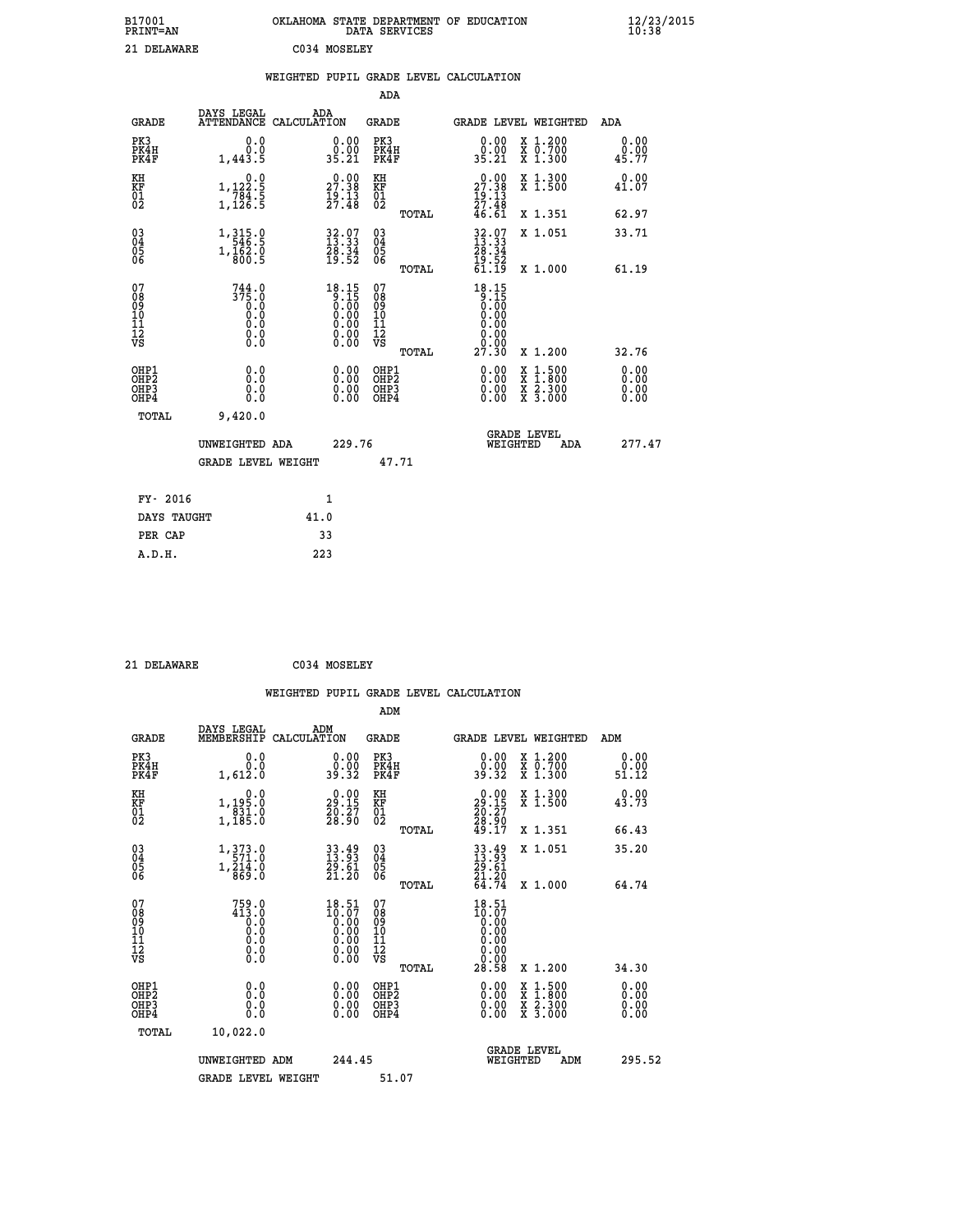| B17001<br><b>PRINT=AN</b> | OKLAHOMA<br>. STATE DEPARTMENT OF EDUCATION<br>DATA SERVICES | $\frac{12}{23}$ /2015 |
|---------------------------|--------------------------------------------------------------|-----------------------|
| 21 DELAWARE               | C034 MOSELEY                                                 |                       |

|                                        |                                                                 | WEIGHTED PUPIL GRADE LEVEL CALCULATION                               |                                                    |                                                                                                          |                       |
|----------------------------------------|-----------------------------------------------------------------|----------------------------------------------------------------------|----------------------------------------------------|----------------------------------------------------------------------------------------------------------|-----------------------|
|                                        |                                                                 |                                                                      | ADA                                                |                                                                                                          |                       |
| <b>GRADE</b>                           | DAYS LEGAL                                                      | ADA<br>ATTENDANCE CALCULATION                                        | GRADE                                              | GRADE LEVEL WEIGHTED                                                                                     | ADA                   |
| PK3<br>PK4H<br>PK4F                    | 0.0<br>0.0<br>1,443.5                                           | 0.00<br>0.00<br>35.21                                                | PK3<br>PK4H<br>PK4F                                | 0.00<br>X 1.200<br><del>Χ</del> Ō:7ŎŎ<br>Χ 1:300<br>0.00<br>35.21                                        | 0.00<br>0.00<br>45.77 |
| KH<br>KF<br>01<br>02                   | 0.0<br>$1, 122.5$<br>$784.5$<br>$1, 126.5$                      | $\begin{smallmatrix} 0.00\\ 27.38\\ 19.13\\ 27.48 \end{smallmatrix}$ | KH<br>KF<br>01<br>02                               | X 1.300<br>X 1.500<br>$\begin{smallmatrix} 0.00\\ 27.38\\ 19.13\\ 27.48\\ 46.61 \end{smallmatrix}$       | 0.00<br>41.07         |
|                                        |                                                                 |                                                                      | TOTAL                                              | X 1.351                                                                                                  | 62.97                 |
| $^{03}_{04}$<br>Ŏ5<br>06               | $1,315.0$<br>$546.5$<br>$1,\frac{1}{800}.\frac{5}{5}$           | $32.97$<br>$13.33$<br>$28.34$<br>$19.52$                             | $\begin{matrix} 03 \\ 04 \\ 05 \\ 06 \end{matrix}$ | $32.97$<br>$13.33$<br>$28.34$<br>$19.52$<br>$61.19$<br>X 1.051                                           | 33.71                 |
|                                        |                                                                 |                                                                      | TOTAL                                              | X 1.000                                                                                                  | 61.19                 |
| 07<br>08<br>09<br>11<br>11<br>12<br>VS | $744.0$<br>$375.0$<br>$0.0$<br>$0.0$<br>$0.0$<br>$0.0$<br>$0.0$ | $18.15\n9.15\n0.00\n0.00\n0.00\n0.00\n0.00$                          | 07<br>08<br>09<br>11<br>11<br>12<br>VS             | $18.15$<br>$0.15$<br>$0.00$<br>$0.00$<br>0.00<br>0.00<br>ŏ.ŏŏ                                            |                       |
|                                        |                                                                 |                                                                      | TOTAL                                              | 27.30<br>X 1.200                                                                                         | 32.76                 |
| OHP1<br>OHP2<br>OHP3<br>OHP4           | 0.0<br>0.0<br>0.0                                               | 0.00<br>$\begin{smallmatrix} 0.00 \ 0.00 \end{smallmatrix}$          | OHP1<br>OHP <sub>2</sub><br>OHP3<br>OHP4           | 0.00<br>$\begin{smallmatrix} x & 1.500 \\ x & 1.800 \\ x & 2.300 \\ x & 3.000 \end{smallmatrix}$<br>0.00 | 0.00<br>0.00<br>0.00  |
| <b>TOTAL</b>                           | 9,420.0<br>UNWEIGHTED ADA                                       | 229.76                                                               |                                                    | <b>GRADE LEVEL</b><br>WEIGHTED<br>ADA                                                                    | 277.47                |
|                                        | <b>GRADE LEVEL WEIGHT</b>                                       |                                                                      | 47.71                                              |                                                                                                          |                       |
|                                        | FY- 2016                                                        | 1                                                                    |                                                    |                                                                                                          |                       |
|                                        | DAYS TAUGHT                                                     | 41.0                                                                 |                                                    |                                                                                                          |                       |
|                                        | PER CAP                                                         | 33                                                                   |                                                    |                                                                                                          |                       |
| A.D.H.                                 |                                                                 | 223                                                                  |                                                    |                                                                                                          |                       |

| 21 DELAWARE                                        |                                                                                                                         |             | C034 MOSELEY                                                |                                                     |       |                                                                                               |          |                                                                                          |                              |  |
|----------------------------------------------------|-------------------------------------------------------------------------------------------------------------------------|-------------|-------------------------------------------------------------|-----------------------------------------------------|-------|-----------------------------------------------------------------------------------------------|----------|------------------------------------------------------------------------------------------|------------------------------|--|
|                                                    |                                                                                                                         |             |                                                             | ADM                                                 |       | WEIGHTED PUPIL GRADE LEVEL CALCULATION                                                        |          |                                                                                          |                              |  |
| <b>GRADE</b>                                       | DAYS LEGAL<br>MEMBERSHIP                                                                                                | CALCULATION | ADM                                                         | <b>GRADE</b>                                        |       |                                                                                               |          | GRADE LEVEL WEIGHTED                                                                     | ADM                          |  |
| PK3<br>PK4H<br>PK4F                                | 0.0<br>0.0<br>1,612.0                                                                                                   |             | $\begin{smallmatrix} 0.00\\ 0.00\\ 39.32 \end{smallmatrix}$ | PK3<br>PK4H<br>PK4F                                 |       | 0.00<br>0.00<br>39.32                                                                         |          | X 1.200<br>X 0.700<br>X 1.300                                                            | 0.00<br>0.00<br>51.12        |  |
| KH<br>KF<br>01<br>02                               | 0.0<br>1, 195:0<br>831:0<br>1, 185:0                                                                                    |             | 29.00<br>$\frac{20}{28}$ : $\frac{27}{90}$                  | KH<br>KF<br>01<br>02                                |       | $29.15$<br>$20.27$<br>$28.90$<br>$49.17$                                                      |          | X 1.300<br>X 1.500                                                                       | 0.00<br>43.73                |  |
|                                                    |                                                                                                                         |             |                                                             |                                                     | TOTAL |                                                                                               |          | X 1.351                                                                                  | 66.43                        |  |
| $\begin{matrix} 03 \\ 04 \\ 05 \\ 06 \end{matrix}$ | $\begin{smallmatrix} 1\,, & 3\,7\,3\,. & 0\\ 5\,7\,1\,. & 0\\ 1\,, & 2\,1\,4\,. & 0\\ 8\,6\,9\,. & 0 \end{smallmatrix}$ |             | 33.49<br>13.93<br>29.61<br>21.20                            | $\begin{array}{c} 03 \\ 04 \\ 05 \\ 06 \end{array}$ | TOTAL | 33.49<br>13.93<br>29.61<br>21.20<br>64.74                                                     |          | X 1.051<br>X 1.000                                                                       | 35.20<br>64.74               |  |
| 07<br>08<br>09<br>11<br>11<br>12<br>VS             | $759.0$<br>$413.0$<br>$0.0$<br>$0.0$<br>$0.0$<br>$\S.$ $\S$                                                             |             | $18.51$<br>$10.07$<br>$0.00$                                | 07<br>08<br>09<br>101<br>11<br>12<br>VS             | TOTAL | 18.51<br>$\begin{smallmatrix} 10.07 \ 0.00 \ 0.00 \end{smallmatrix}$<br>0.00<br>0.00<br>28.58 |          | X 1.200                                                                                  | 34.30                        |  |
| OHP1<br>OH <sub>P</sub> 2<br>OHP3<br>OHP4          | 0.0<br>0.000                                                                                                            |             | $0.00$<br>$0.00$<br>0.00                                    | OHP1<br>OHP <sub>2</sub><br>OHP3<br>OHP4            |       | 0.00<br>0.00<br>0.00                                                                          |          | $\begin{smallmatrix} x & 1.500 \\ x & 1.800 \\ x & 2.300 \\ x & 3.000 \end{smallmatrix}$ | 0.00<br>0.00<br>0.00<br>0.00 |  |
| TOTAL                                              | 10,022.0<br>UNWEIGHTED ADM<br><b>GRADE LEVEL WEIGHT</b>                                                                 |             | 244.45                                                      | 51.07                                               |       |                                                                                               | WEIGHTED | <b>GRADE LEVEL</b><br>ADM                                                                | 295.52                       |  |
|                                                    |                                                                                                                         |             |                                                             |                                                     |       |                                                                                               |          |                                                                                          |                              |  |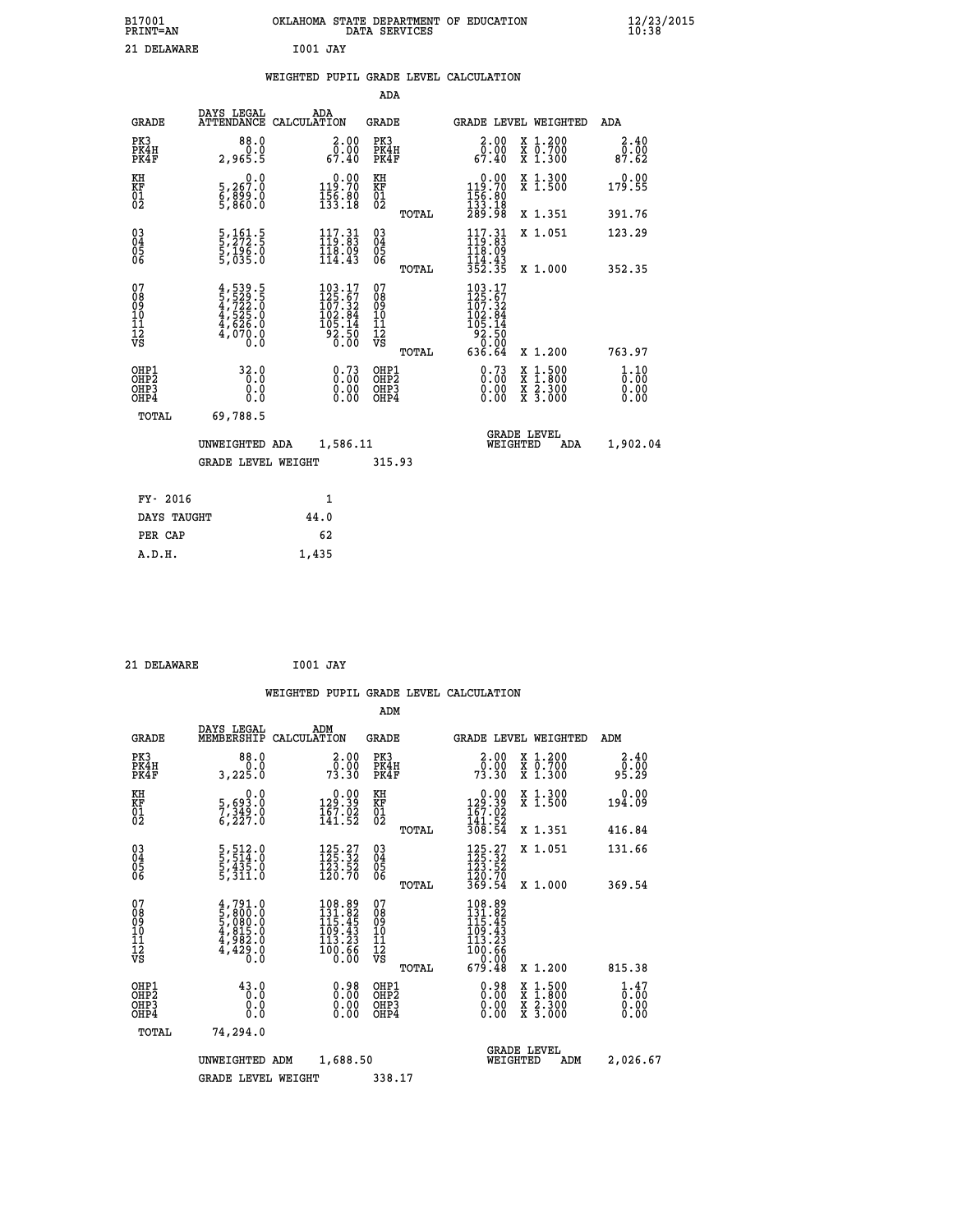| B17001          | OKLAHOMA STATE DEPARTMENT OF EDUCATION |
|-----------------|----------------------------------------|
| <b>PRINT=AN</b> | DATA SERVICES                          |
| 21 DELAWARE     | 1001 JAY                               |

|  |  | WEIGHTED PUPIL GRADE LEVEL CALCULATION |
|--|--|----------------------------------------|
|  |  |                                        |

| DAYS LEGAL                | ADA                                                                                                                                                            | <b>GRADE</b>                                                                                     |                                                                                                                                                                                                                                                                                                                                                                                                                             |                                   |                                                                                                                                                                                                                                                                                               | ADA                                                    |
|---------------------------|----------------------------------------------------------------------------------------------------------------------------------------------------------------|--------------------------------------------------------------------------------------------------|-----------------------------------------------------------------------------------------------------------------------------------------------------------------------------------------------------------------------------------------------------------------------------------------------------------------------------------------------------------------------------------------------------------------------------|-----------------------------------|-----------------------------------------------------------------------------------------------------------------------------------------------------------------------------------------------------------------------------------------------------------------------------------------------|--------------------------------------------------------|
| 88.0<br>0:0<br>5:2,965    |                                                                                                                                                                | PK3<br>PK4H<br>PK4F                                                                              |                                                                                                                                                                                                                                                                                                                                                                                                                             | 2.00<br>õ?.õŏ<br>67.40            | X 1.200<br>X 0.700<br>X 1.300                                                                                                                                                                                                                                                                 | 2.40<br>0.00<br>87.62                                  |
| 0.0                       |                                                                                                                                                                |                                                                                                  |                                                                                                                                                                                                                                                                                                                                                                                                                             |                                   | X 1.300<br>X 1.500                                                                                                                                                                                                                                                                            | 0.00<br>179.55                                         |
|                           |                                                                                                                                                                |                                                                                                  |                                                                                                                                                                                                                                                                                                                                                                                                                             |                                   | X 1.351                                                                                                                                                                                                                                                                                       | 391.76                                                 |
|                           | $117.31$<br>$119.83$                                                                                                                                           |                                                                                                  |                                                                                                                                                                                                                                                                                                                                                                                                                             | $117.31$<br>$119.83$              | X 1.051                                                                                                                                                                                                                                                                                       | 123.29                                                 |
|                           |                                                                                                                                                                |                                                                                                  |                                                                                                                                                                                                                                                                                                                                                                                                                             |                                   | X 1.000                                                                                                                                                                                                                                                                                       | 352.35                                                 |
|                           |                                                                                                                                                                | 07<br>08<br>09<br>11<br>11<br>12<br>VS                                                           |                                                                                                                                                                                                                                                                                                                                                                                                                             |                                   | X 1.200                                                                                                                                                                                                                                                                                       | 763.97                                                 |
| 32.0<br>0.0<br>0.0<br>Ō.Ō |                                                                                                                                                                | OHP1<br>OHP <sub>2</sub><br>OHP3<br>OHP4                                                         |                                                                                                                                                                                                                                                                                                                                                                                                                             | $0.73$<br>$0.00$<br>0.00<br>0.00  | X 1:500<br>X 1:800<br>X 2:300<br>X 3:000                                                                                                                                                                                                                                                      | 1.10<br>0.00<br>0.00<br>0.00                           |
| TOTAL<br>69,788.5         |                                                                                                                                                                |                                                                                                  |                                                                                                                                                                                                                                                                                                                                                                                                                             |                                   |                                                                                                                                                                                                                                                                                               |                                                        |
|                           |                                                                                                                                                                |                                                                                                  |                                                                                                                                                                                                                                                                                                                                                                                                                             |                                   | ADA                                                                                                                                                                                                                                                                                           | 1,902.04                                               |
|                           |                                                                                                                                                                |                                                                                                  |                                                                                                                                                                                                                                                                                                                                                                                                                             |                                   |                                                                                                                                                                                                                                                                                               |                                                        |
| FY- 2016                  | $\mathbf{1}$                                                                                                                                                   |                                                                                                  |                                                                                                                                                                                                                                                                                                                                                                                                                             |                                   |                                                                                                                                                                                                                                                                                               |                                                        |
| DAYS TAUGHT               | 44.0                                                                                                                                                           |                                                                                                  |                                                                                                                                                                                                                                                                                                                                                                                                                             |                                   |                                                                                                                                                                                                                                                                                               |                                                        |
| PER CAP                   | 62                                                                                                                                                             |                                                                                                  |                                                                                                                                                                                                                                                                                                                                                                                                                             |                                   |                                                                                                                                                                                                                                                                                               |                                                        |
| A.D.H.                    | 1,435                                                                                                                                                          |                                                                                                  |                                                                                                                                                                                                                                                                                                                                                                                                                             |                                   |                                                                                                                                                                                                                                                                                               |                                                        |
|                           | 5,267:0<br>6,889:0<br>5,860:0<br>5,161.5<br>5,272.5<br>5,196.0<br>5,035.0<br>$4,539.5$<br>$5,529.5$<br>$4,722.0$<br>$4,525.0$<br>$4,626.0$<br>$4,070.0$<br>0.0 | ATTENDANCE CALCULATION<br>$\frac{118.09}{114.43}$<br>UNWEIGHTED ADA<br><b>GRADE LEVEL WEIGHT</b> | ADA<br>$\begin{smallmatrix} 2.00\\ 0.00\\ 67.40 \end{smallmatrix}$<br>$\begin{smallmatrix} &0.00\\ 119.70\\ 156.80\\ 133.18\end{smallmatrix}$<br>KH<br>KF<br>01<br>02<br>03<br>04<br>05<br>06<br>$\begin{smallmatrix} 103\cdot 17\\ 125\cdot 67\\ 107\cdot 32\\ 102\cdot 84\\ 105\cdot 14\\ 92\cdot 50\\ 0\cdot 00\end{smallmatrix}$<br>$0.73$<br>$0.00$<br>$\begin{smallmatrix} 0.00 \ 0.00 \end{smallmatrix}$<br>1,586.11 | TOTAL<br>TOTAL<br>TOTAL<br>315.93 | $\begin{smallmatrix} &0.00\\ 119.70\\ 156.80\\ 133.18\\ 289.98 \end{smallmatrix}$<br>$\frac{118.09}{114.43}$<br>$\frac{114.43}{352.35}$<br>$\begin{smallmatrix} 103\cdot 17\\ 125\cdot 67\\ 107\cdot 32\\ 102\cdot 84\\ 105\cdot 14\\ 92\cdot 50\\ 0\cdot 00\\ 636\cdot 64 \end{smallmatrix}$ | GRADE LEVEL WEIGHTED<br><b>GRADE LEVEL</b><br>WEIGHTED |

| 21 DELAWARE | I001 JAY |  |
|-------------|----------|--|

 **B17001<br>PRINT=AN** 

|                                                    |                                                                             | WEIGHTED PUPIL GRADE LEVEL CALCULATION                                                                 |                                                    |       |                                                                                        |                                          |                                                 |
|----------------------------------------------------|-----------------------------------------------------------------------------|--------------------------------------------------------------------------------------------------------|----------------------------------------------------|-------|----------------------------------------------------------------------------------------|------------------------------------------|-------------------------------------------------|
|                                                    |                                                                             |                                                                                                        | ADM                                                |       |                                                                                        |                                          |                                                 |
| <b>GRADE</b>                                       | DAYS LEGAL<br>MEMBERSHIP                                                    | ADM<br>CALCULATION                                                                                     | <b>GRADE</b>                                       |       |                                                                                        | <b>GRADE LEVEL WEIGHTED</b>              | ADM                                             |
| PK3<br>PK4H<br>PK4F                                | 88.0<br>3,225.0                                                             | 2.00<br>$7\overline{3}\cdot 30$<br>73.30                                                               | PK3<br>PK4H<br>PK4F                                |       | 2.00<br>$\frac{0.00}{73.30}$                                                           | X 1.200<br>X 0.700<br>X 1.300            | 2.40<br>0.00<br>95.29                           |
| KH<br>KF<br>01<br>02                               | 0.0<br>5,693.0<br>7,349.0<br>6,227.0                                        | $\begin{smallmatrix} &0.00\\ 129.39\\ 167.02\\ 141.52\end{smallmatrix}$                                | KH<br>KF<br>01<br>02                               |       | $\begin{smallmatrix} &0.00\\ 129.39\\ 167.02\\ 141.52\\ 308.54 \end{smallmatrix}$      | X 1.300<br>X 1.500                       | 0.00<br>194.09                                  |
|                                                    |                                                                             |                                                                                                        |                                                    | TOTAL |                                                                                        | X 1.351                                  | 416.84                                          |
| $\begin{matrix} 03 \\ 04 \\ 05 \\ 06 \end{matrix}$ | 5,512.0<br>5,514.0<br>5,435.0<br>5,311.0                                    | $\begin{array}{c} 125\cdot 27\\ 125\cdot 32\\ 123\cdot 52\\ 120\cdot 70 \end{array}$                   | $\begin{matrix} 03 \\ 04 \\ 05 \\ 06 \end{matrix}$ |       | $\begin{smallmatrix} 125.27\\ 125.32\\ 123.52\\ 120.70\\ 369.54 \end{smallmatrix}$     | X 1.051                                  | 131.66                                          |
|                                                    |                                                                             |                                                                                                        |                                                    | TOTAL |                                                                                        | X 1.000                                  | 369.54                                          |
| 07<br>089<br>090<br>1112<br>VS                     | $4,791.0$<br>5,800.0<br>5,080.0<br>5,080.0<br>4,815.0<br>4,982.0<br>4,429.0 | $\begin{array}{l} 108.89 \\ 131.82 \\ 115.45 \\ 109.43 \\ 113.23 \end{array}$<br>$\frac{100.66}{0.00}$ | 07<br>08<br>09<br>11<br>11<br>12<br>VS             |       | 108.89<br>131.82<br>115.45<br>$1109.43$<br>$113.23$<br>$100.66$<br>$0.00$<br>$679.48$  |                                          |                                                 |
|                                                    |                                                                             |                                                                                                        |                                                    | TOTAL |                                                                                        | X 1.200                                  | 815.38                                          |
| OHP1<br>OHP2<br>OHP3<br>OHP4                       | 43.0<br>0.0<br>0.000                                                        | $\begin{smallmatrix} 0.98\0.00\\0.00\\0.00\end{smallmatrix}$                                           | OHP1<br>OHP2<br>OHP3<br>OHP4                       |       | $\begin{smallmatrix} 0.98 \\[-4pt] 0.00 \\[-4pt] 0.00 \\[-4pt] 0.00 \end{smallmatrix}$ | X 1:500<br>X 1:800<br>X 2:300<br>X 3:000 | $\frac{1}{0}$ : $\frac{47}{00}$<br>0.00<br>0.00 |
| TOTAL                                              | 74,294.0                                                                    |                                                                                                        |                                                    |       |                                                                                        |                                          |                                                 |
|                                                    | UNWEIGHTED ADM                                                              | 1,688.50                                                                                               |                                                    |       | WEIGHTED                                                                               | <b>GRADE LEVEL</b><br>ADM                | 2,026.67                                        |
|                                                    | <b>GRADE LEVEL WEIGHT</b>                                                   |                                                                                                        | 338.17                                             |       |                                                                                        |                                          |                                                 |
|                                                    |                                                                             |                                                                                                        |                                                    |       |                                                                                        |                                          |                                                 |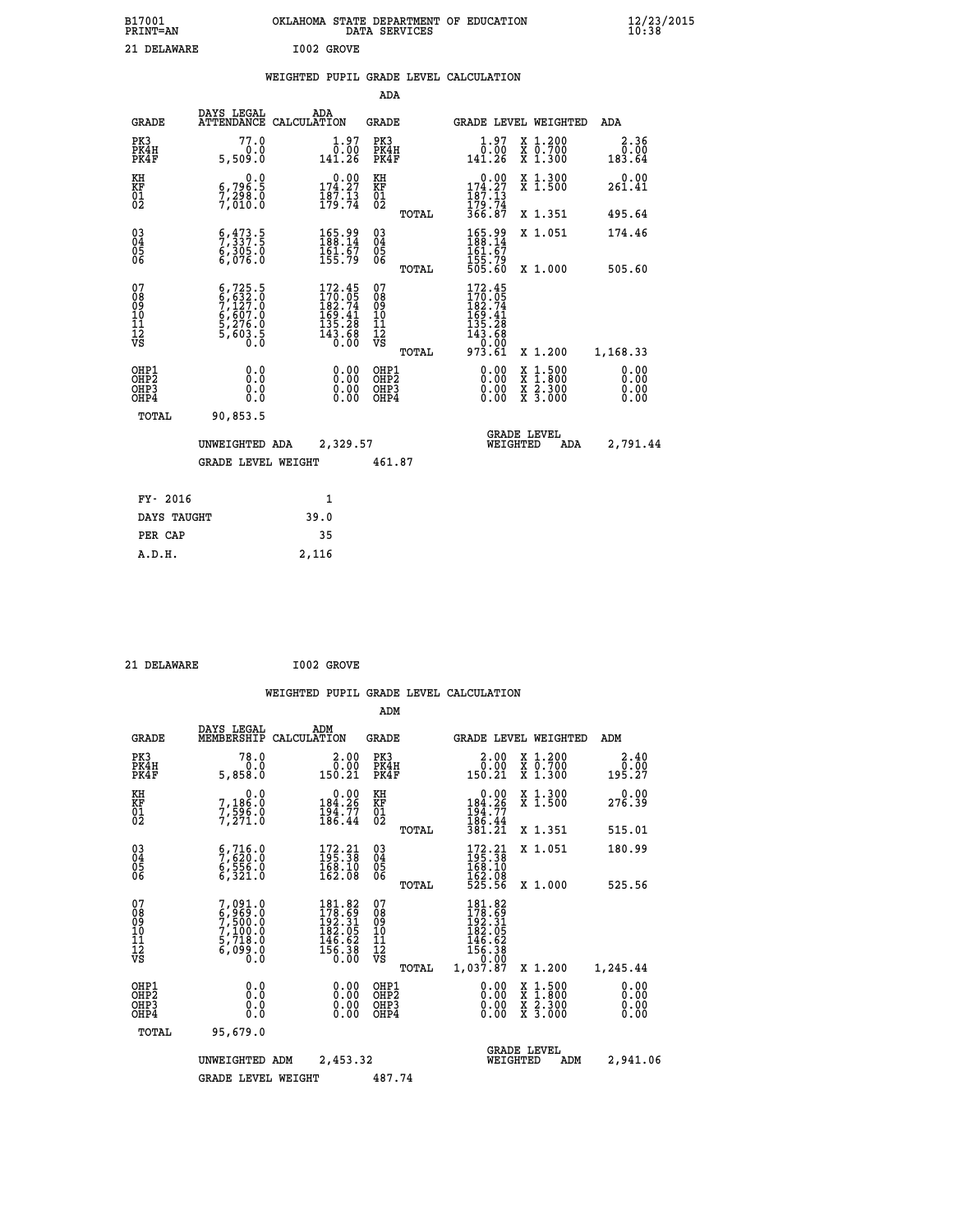| B17001<br><b>PRINT=AN</b> | OKLAHOMA STATE DEPARTMENT OF EDUCATION<br>DATA SERVICES | $\frac{12}{23}$ /2015 |
|---------------------------|---------------------------------------------------------|-----------------------|
| 21 DELAWARE               | I002 GROVE                                              |                       |

|  |  | WEIGHTED PUPIL GRADE LEVEL CALCULATION |
|--|--|----------------------------------------|
|  |  |                                        |

|                                           |                                                                                     |                                                                                                     | ADA                                      |       |                                                                                                               |                                                                                                  |                              |
|-------------------------------------------|-------------------------------------------------------------------------------------|-----------------------------------------------------------------------------------------------------|------------------------------------------|-------|---------------------------------------------------------------------------------------------------------------|--------------------------------------------------------------------------------------------------|------------------------------|
| <b>GRADE</b>                              | DAYS LEGAL                                                                          | ADA<br>ATTENDANCE CALCULATION                                                                       | GRADE                                    |       | GRADE LEVEL WEIGHTED                                                                                          |                                                                                                  | ADA                          |
| PK3<br>PK4H<br>PK4F                       | 77.0<br>0.0<br>5,509.0                                                              | $1.97$<br>$0.00$<br>141.26                                                                          | PK3<br>PK4H<br>PK4F                      |       | $\begin{smallmatrix} 1.97\ 0.00\ 141.26 \end{smallmatrix}$                                                    | X 1.200<br>X 0.700<br>X 1.300                                                                    | 2.36<br>0.00<br>183.64       |
| KH<br>KF<br>01<br>02                      | 0.0<br>6,796:5<br>7,298:0<br>7,010:0                                                | $\begin{smallmatrix} 0.00\\ 174.27\\ 187.13\\ 179.74 \end{smallmatrix}$                             | KH<br>KF<br>01<br>02                     |       | $\begin{smallmatrix} &0.00\\ 174.27\\ 187.13\\ 179.74\\ 366.87\end{smallmatrix}$                              | X 1.300<br>X 1.500                                                                               | 0.00<br>261.41               |
|                                           |                                                                                     |                                                                                                     |                                          | TOTAL |                                                                                                               | X 1.351                                                                                          | 495.64                       |
| 03<br>04<br>05<br>06                      | 5, 473.5<br>6,305.0                                                                 | $\begin{smallmatrix} 165.99\\ 188.14\\ 161.67\\ 155.79 \end{smallmatrix}$                           | 03<br>04<br>05<br>06                     |       | 165.99<br>188.14<br>161:67<br>155:79<br>505:60                                                                | X 1.051                                                                                          | 174.46                       |
|                                           |                                                                                     |                                                                                                     |                                          | TOTAL |                                                                                                               | X 1.000                                                                                          | 505.60                       |
| 07<br>08<br>09<br>11<br>11<br>12<br>VS    | $6,725.5$<br>$6,632.0$<br>$7,127.0$<br>$6,607.0$<br>$5,276.0$<br>$5,603.5$<br>$0.0$ | $\begin{smallmatrix} 172.45\\170.05\\182.74\\169.41\\155.28\\135.28\\143.68\\0.00\end{smallmatrix}$ | 07<br>08<br>09<br>11<br>11<br>12<br>VS   | TOTAL | $\begin{smallmatrix} 172.45\\ 170.05\\ 182.74\\ 169.41\\ 135.28\\ 143.68\\ 0.00\\ 973.61\\ \end{smallmatrix}$ | X 1.200                                                                                          | 1,168.33                     |
| OHP1<br>OH <sub>P</sub> 2<br>OHP3<br>OHP4 | 0.0<br>0.0<br>$0.\overline{0}$                                                      | 0.00<br>0.00                                                                                        | OHP1<br>OHP <sub>2</sub><br>OHP3<br>OHP4 |       | 0.00<br>0.00<br>0.00                                                                                          | $\begin{smallmatrix} x & 1 & 500 \\ x & 1 & 800 \\ x & 2 & 300 \\ x & 3 & 000 \end{smallmatrix}$ | 0.00<br>0.00<br>0.00<br>0.00 |
| TOTAL                                     | 90,853.5                                                                            |                                                                                                     |                                          |       |                                                                                                               |                                                                                                  |                              |
|                                           | UNWEIGHTED ADA                                                                      | 2,329.57                                                                                            |                                          |       | WEIGHTED                                                                                                      | <b>GRADE LEVEL</b><br>ADA                                                                        | 2,791.44                     |
|                                           | <b>GRADE LEVEL WEIGHT</b>                                                           |                                                                                                     | 461.87                                   |       |                                                                                                               |                                                                                                  |                              |
| FY- 2016                                  |                                                                                     | $\mathbf{1}$                                                                                        |                                          |       |                                                                                                               |                                                                                                  |                              |
|                                           |                                                                                     |                                                                                                     |                                          |       |                                                                                                               |                                                                                                  |                              |
| DAYS TAUGHT                               |                                                                                     | 39.0                                                                                                |                                          |       |                                                                                                               |                                                                                                  |                              |
| PER CAP                                   |                                                                                     | 35                                                                                                  |                                          |       |                                                                                                               |                                                                                                  |                              |
| A.D.H.                                    |                                                                                     | 2,116                                                                                               |                                          |       |                                                                                                               |                                                                                                  |                              |

| DELAWARE |  |
|----------|--|

 **ADM**

 **21 DELAWARE I002 GROVE**

| <b>GRADE</b>                                       | DAYS LEGAL<br>MEMBERSHIP                                                                         | ADM<br>CALCULATION                                                                                  | <b>GRADE</b>                                       | GRADE LEVEL WEIGHTED                                                                                                                                                                                                                                                           |                                          | ADM                    |
|----------------------------------------------------|--------------------------------------------------------------------------------------------------|-----------------------------------------------------------------------------------------------------|----------------------------------------------------|--------------------------------------------------------------------------------------------------------------------------------------------------------------------------------------------------------------------------------------------------------------------------------|------------------------------------------|------------------------|
| PK3<br>PK4H<br>PK4F                                | 78.0<br>0.0<br>5,858.0                                                                           | $\frac{2.00}{0.00}$<br>150.21                                                                       | PK3<br>PK4H<br>PK4F                                | $2.00$<br>$0.00$<br>150.21                                                                                                                                                                                                                                                     | X 1.200<br>X 0.700<br>X 1.300            | 2.40<br>0.00<br>195.27 |
| KH<br>KF<br>01<br>02                               | 0.0<br>7,186:0<br>7,596:0<br>7,271:0                                                             | $\begin{smallmatrix} &0.00\\184.26\\194.77\\186.44\end{smallmatrix}$                                | KH<br>KF<br>01<br>02                               | $\begin{smallmatrix} &0.00\\ 184.26\\ 194.77\\ 186.44\\ 381.21\end{smallmatrix}$                                                                                                                                                                                               | X 1.300<br>X 1.500                       | 0.00<br>276.39         |
|                                                    |                                                                                                  |                                                                                                     | TOTAL                                              |                                                                                                                                                                                                                                                                                | X 1.351                                  | 515.01                 |
| $\begin{matrix} 03 \\ 04 \\ 05 \\ 06 \end{matrix}$ | $\begin{smallmatrix} 6 & 716 & 0 \\ 7 & 620 & 0 \\ 6 & 556 & 0 \\ 6 & 321 & 0 \end{smallmatrix}$ | $\begin{smallmatrix} 172.21 \\ 195.38 \\ 168.10 \\ 162.08 \end{smallmatrix}$                        | $\begin{matrix} 03 \\ 04 \\ 05 \\ 06 \end{matrix}$ | $172.21$<br>$195.38$<br>$168.10$<br>$162.08$<br>$525.56$                                                                                                                                                                                                                       | X 1.051                                  | 180.99                 |
|                                                    |                                                                                                  |                                                                                                     | TOTAL                                              |                                                                                                                                                                                                                                                                                | X 1.000                                  | 525.56                 |
| 07<br>08<br>09<br>101<br>11<br>12<br>VS            | $7,091.0$<br>$6,969.0$<br>$7,500.0$<br>$7,100.0$<br>$5,718.0$<br>$6,099.0$<br>$0.0$              | $\begin{smallmatrix} 181.82\\178.69\\192.31\\182.05\\186.62\\146.62\\156.38\\0.00\end{smallmatrix}$ | 07<br>08<br>09<br>11<br>11<br>12<br>VS             | 181.82<br>178.69<br>192.31<br>182.05<br>146.62<br>15ĕ.38<br>0.00                                                                                                                                                                                                               |                                          |                        |
|                                                    |                                                                                                  |                                                                                                     | TOTAL                                              | 1,037.87                                                                                                                                                                                                                                                                       | X 1.200                                  | 1,245.44               |
| OHP1<br>OHP2<br>OH <sub>P3</sub><br>OHP4           | 0.0<br>0.000                                                                                     | $0.00$<br>$0.00$<br>0.00                                                                            | OHP1<br>OHP2<br>OHP3<br>OHP4                       | $\begin{smallmatrix} 0.00 & 0.00 & 0.00 & 0.00 & 0.00 & 0.00 & 0.00 & 0.00 & 0.00 & 0.00 & 0.00 & 0.00 & 0.00 & 0.00 & 0.00 & 0.00 & 0.00 & 0.00 & 0.00 & 0.00 & 0.00 & 0.00 & 0.00 & 0.00 & 0.00 & 0.00 & 0.00 & 0.00 & 0.00 & 0.00 & 0.00 & 0.00 & 0.00 & 0.00 & 0.00 & 0.0$ | X 1:500<br>X 1:800<br>X 2:300<br>X 3:000 | 0.00<br>0.00<br>0.00   |
| TOTAL                                              | 95,679.0                                                                                         |                                                                                                     |                                                    |                                                                                                                                                                                                                                                                                |                                          |                        |
|                                                    | UNWEIGHTED                                                                                       | 2,453.32<br>ADM                                                                                     |                                                    | WEIGHTED                                                                                                                                                                                                                                                                       | <b>GRADE LEVEL</b><br>ADM                | 2,941.06               |
|                                                    | <b>GRADE LEVEL WEIGHT</b>                                                                        |                                                                                                     | 487.74                                             |                                                                                                                                                                                                                                                                                |                                          |                        |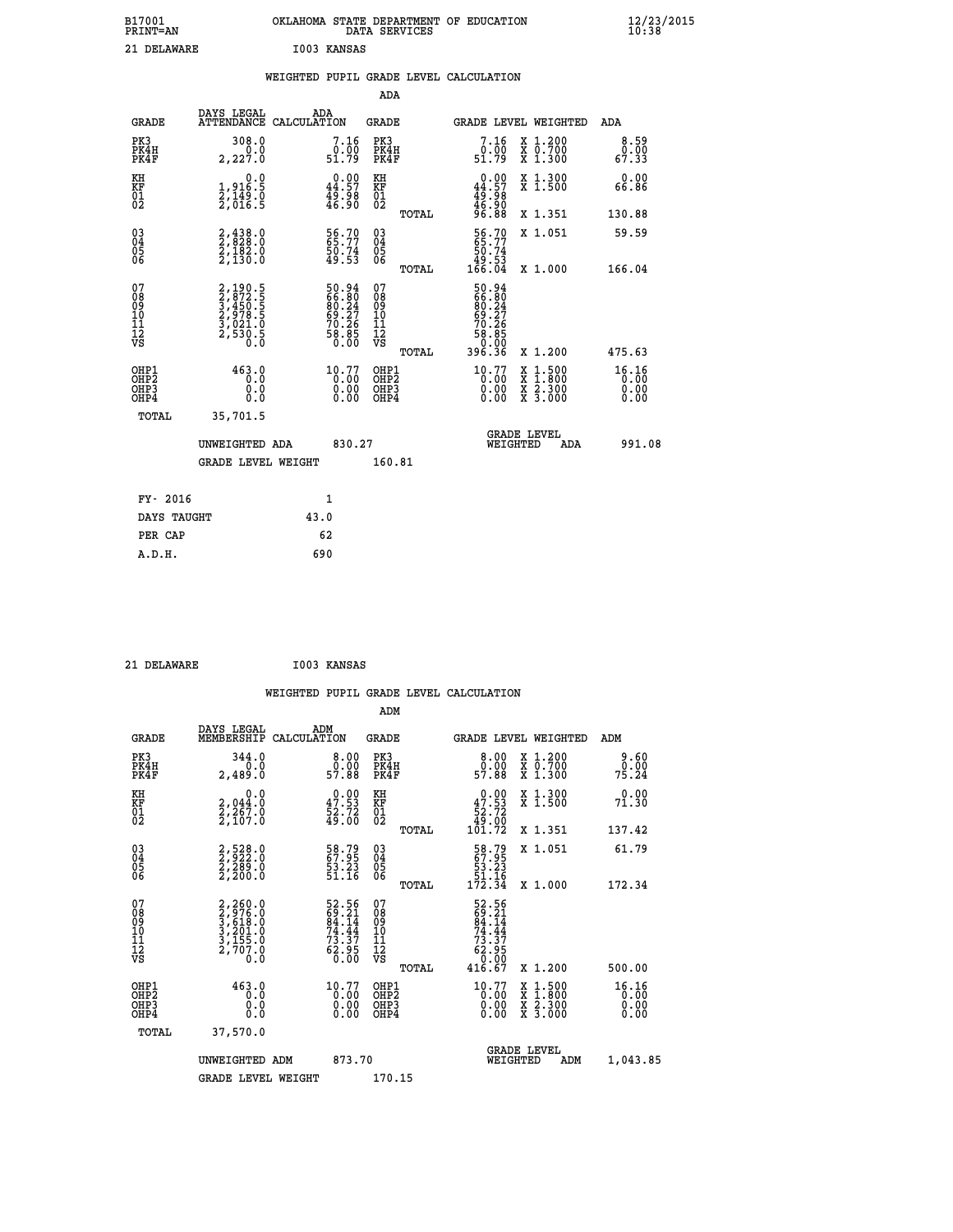| B17001<br><b>PRINT=AN</b> | OKLAHOMA STATE DEPARTMENT OF EDUCATION<br>DATA SERVICES | $\frac{12}{23}$ /2015 |
|---------------------------|---------------------------------------------------------|-----------------------|
| 21 DELAWARE               | I003 KANSAS                                             |                       |

|  |  | WEIGHTED PUPIL GRADE LEVEL CALCULATION |
|--|--|----------------------------------------|
|  |  |                                        |

|                                                                              |                                                                             |                                                                      | ADA                                                |       |                                                                 |                                          |                               |
|------------------------------------------------------------------------------|-----------------------------------------------------------------------------|----------------------------------------------------------------------|----------------------------------------------------|-------|-----------------------------------------------------------------|------------------------------------------|-------------------------------|
| <b>GRADE</b>                                                                 | DAYS LEGAL                                                                  | ADA<br>ATTENDANCE CALCULATION                                        | GRADE                                              |       | GRADE LEVEL WEIGHTED                                            |                                          | ADA                           |
| PK3<br>PK4H<br>PK4F                                                          | 308.0<br>0.0<br>2,227.0                                                     | 7.16<br>$\frac{0.00}{51.79}$                                         | PK3<br>PK4H<br>PK4F                                |       | 7.16<br>$\overset{0.00}{_{51.79}}$                              | X 1.200<br>X 0.700<br>X 1.300            | 8.59<br>0.00<br>67.33         |
| KH<br>KF<br>01<br>02                                                         | $\begin{smallmatrix}&&&0.0\\1,916.5\\2,149.0\\2,016.5\end{smallmatrix}$     | $\begin{smallmatrix} 0.00\\ 44.57\\ 49.98\\ 46.90 \end{smallmatrix}$ | KH<br>KF<br>01<br>02                               |       | $0.00\n44.57\n49.98\n46.90\n96.88$                              | X 1.300<br>X 1.500                       | 0.00<br>66.86                 |
|                                                                              |                                                                             |                                                                      |                                                    | TOTAL |                                                                 | X 1.351                                  | 130.88                        |
| $\begin{matrix} 03 \\ 04 \\ 05 \\ 06 \end{matrix}$                           | $2,438.0$<br>$2,182.0$<br>$2,130.0$<br>$2,130.0$                            | 56.70<br>50.74<br>49.53                                              | $\begin{matrix} 03 \\ 04 \\ 05 \\ 06 \end{matrix}$ |       | 56.70<br>65.77<br>50.74<br>53.ۆ <u>4</u><br>166.04              | X 1.051                                  | 59.59<br>166.04               |
|                                                                              |                                                                             |                                                                      |                                                    | TOTAL |                                                                 | X 1.000                                  |                               |
| 07<br>08<br>09<br>11<br>11<br>12<br>VS                                       | 2, 190.5<br>2, 872.5<br>3, 450.5<br>3, 978.5<br>3, 021.0<br>2, 530.5<br>0.0 | $50.9466.8080.2469.2770.2670.2658.85$                                | 07<br>08<br>09<br>11<br>11<br>12<br>VS             | TOTAL | 50.94<br>66.804<br>69.27<br>69.27<br>70.265<br>58.850<br>396.36 | X 1.200                                  | 475.63                        |
| OHP1<br>OH <sub>P</sub> <sub>2</sub><br>OH <sub>P3</sub><br>OH <sub>P4</sub> | 463.0<br>0.0<br>0.0                                                         | 10.77<br>0.00<br>0.00<br>0.00                                        | OHP1<br>OHP2<br>OHP3<br>OHP4                       |       | 10.77<br>0.00<br>0.00<br>0.00                                   | X 1:500<br>X 1:800<br>X 2:300<br>X 3:000 | 16.16<br>0.00<br>0.00<br>0.00 |
| TOTAL                                                                        | 35,701.5                                                                    |                                                                      |                                                    |       |                                                                 |                                          |                               |
|                                                                              | UNWEIGHTED ADA                                                              | 830.27                                                               |                                                    |       | WEIGHTED                                                        | <b>GRADE LEVEL</b><br>ADA                | 991.08                        |
|                                                                              | <b>GRADE LEVEL WEIGHT</b>                                                   |                                                                      | 160.81                                             |       |                                                                 |                                          |                               |
|                                                                              |                                                                             |                                                                      |                                                    |       |                                                                 |                                          |                               |
| FY- 2016                                                                     |                                                                             | 1                                                                    |                                                    |       |                                                                 |                                          |                               |
| DAYS TAUGHT                                                                  |                                                                             | 43.0                                                                 |                                                    |       |                                                                 |                                          |                               |
| PER CAP                                                                      |                                                                             | 62                                                                   |                                                    |       |                                                                 |                                          |                               |
| A.D.H.                                                                       |                                                                             | 690                                                                  |                                                    |       |                                                                 |                                          |                               |

| - - | ______ |  |
|-----|--------|--|

 **ADM**

 **A.D.H. 690**

 **21 DELAWARE I003 KANSAS**

| <b>GRADE</b>                 | DAYS LEGAL<br>MEMBERSHIP                                                      | ADM<br>CALCULATION                                                   | <b>GRADE</b>                                       |       |                                                                                | <b>GRADE LEVEL WEIGHTED</b>              | ADM                           |
|------------------------------|-------------------------------------------------------------------------------|----------------------------------------------------------------------|----------------------------------------------------|-------|--------------------------------------------------------------------------------|------------------------------------------|-------------------------------|
| PK3<br>PK4H<br>PK4F          | 344.0<br>2,489.0                                                              | $\begin{smallmatrix}8.00\0.00\\57.88\end{smallmatrix}$               | PK3<br>PK4H<br>PK4F                                |       | 8.00<br>ŏ.ŏŏ<br>57.88                                                          | X 1.200<br>X 0.700<br>X 1.300            | 9.60<br>0.00<br>75.24         |
| KH<br>KF<br>01<br>02         | 0.0<br>2,044.0<br>2,267.0<br>2,107.0                                          | $\begin{smallmatrix} 0.00\\ 47.53\\ 52.72\\ 49.00 \end{smallmatrix}$ | KH<br>KF<br>01<br>02                               |       | $\begin{smallmatrix}&&0.00\\47.53\\52.72\\49.00\\101.72\end{smallmatrix}$      | X 1.300<br>X 1.500                       | 0.00<br>71.30                 |
|                              |                                                                               |                                                                      |                                                    | TOTAL |                                                                                | X 1.351                                  | 137.42                        |
| 03<br>04<br>05<br>06         | $\begin{smallmatrix} 2,528.0\\ 2,922.0\\ 2,289.0\\ 2,200.0 \end{smallmatrix}$ | 58.79<br>67.95<br>53.23<br>51.16                                     | $\begin{matrix} 03 \\ 04 \\ 05 \\ 06 \end{matrix}$ |       | $\begin{smallmatrix} 58.79\\ 67.95\\ 53.23\\ 51.16\\ 172.34 \end{smallmatrix}$ | X 1.051                                  | 61.79                         |
|                              |                                                                               |                                                                      |                                                    | TOTAL |                                                                                | X 1.000                                  | 172.34                        |
| 07<br>08901112<br>1112<br>VS | 2,260.0<br>3,976.0<br>3,618.0<br>3,201.0<br>3,155.0<br>2,707.0<br>0.0         | 52.56<br>69.21<br>84.14<br>74.44<br>73.37<br>62.95<br>62.95          | 07<br>08<br>09<br>01<br>11<br>11<br>12<br>VS       | TOTAL | 52.56<br>69.21<br>84.14<br>74.44<br>73.37<br>62.950<br>6.00<br>416.67          | X 1.200                                  | 500.00                        |
| OHP1<br>OHP2<br>OHP3<br>OHP4 | 463.0<br>0.0<br>0.0<br>Ŏ.Ŏ                                                    | $\begin{smallmatrix} 10.77\\ 0.00\\ 0.00\\ 0.00 \end{smallmatrix}$   | OHP1<br>OHP2<br>OHP3<br>OHP4                       |       | $\begin{smallmatrix} 10.77\\ 0.00\\ 0.00\\ 0.00 \end{smallmatrix}$             | X 1:500<br>X 1:800<br>X 2:300<br>X 3:000 | 16.16<br>0.00<br>0.00<br>0.00 |
| TOTAL                        | 37,570.0                                                                      |                                                                      |                                                    |       |                                                                                |                                          |                               |
|                              | UNWEIGHTED ADM                                                                | 873.70                                                               |                                                    |       | <b>GRADE LEVEL</b><br>WEIGHTED                                                 | ADM                                      | 1,043.85                      |
|                              | <b>GRADE LEVEL WEIGHT</b>                                                     |                                                                      | 170.15                                             |       |                                                                                |                                          |                               |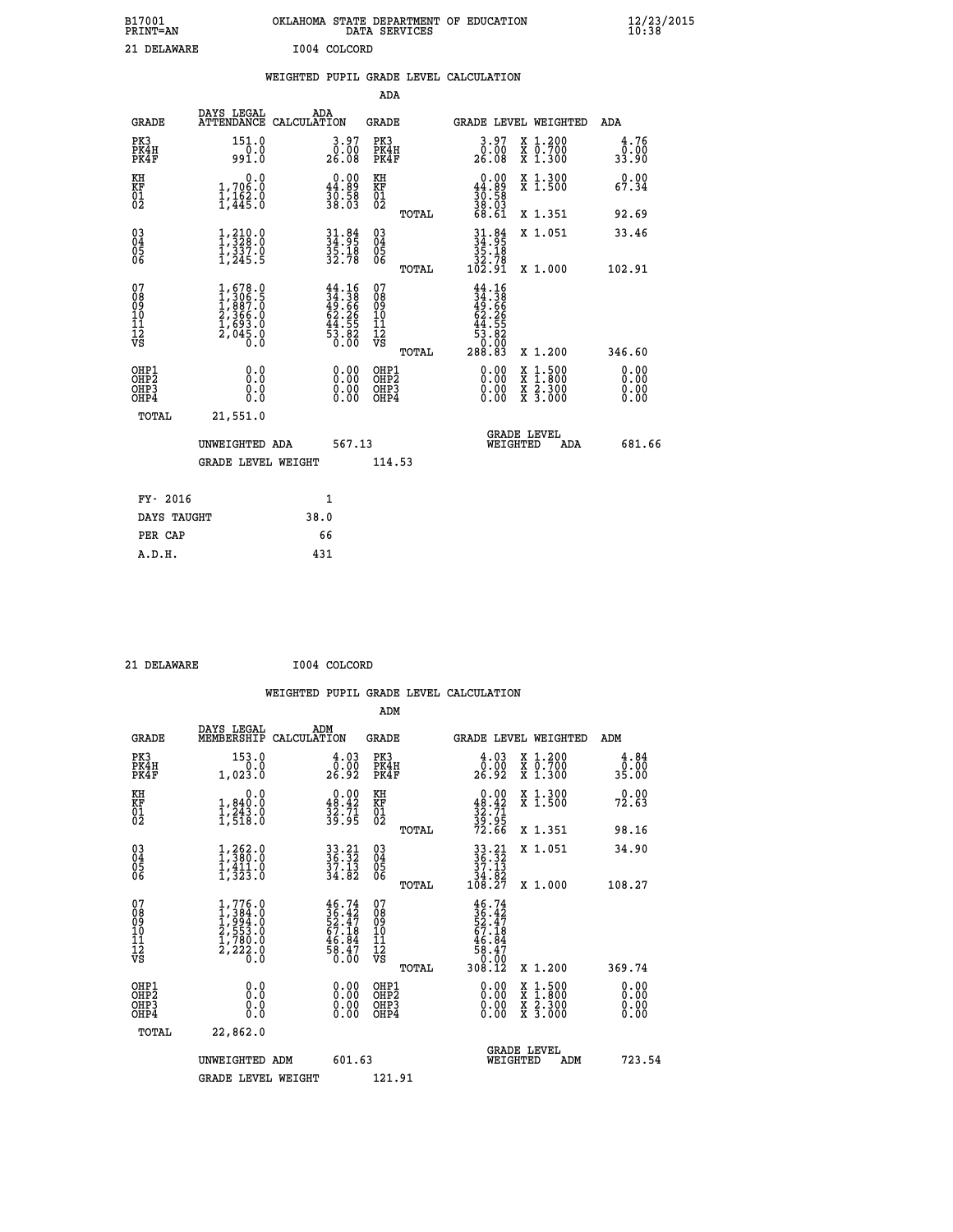| B17001<br><b>PRINT=AN</b> | OKLAHOMA STATE DEPARTMENT OF EDUCATION<br>DATA SERVICES | $\frac{12}{23}$ /2015 |
|---------------------------|---------------------------------------------------------|-----------------------|
| 21 DELAWARE               | I004 COLCORD                                            |                       |

|  |  | WEIGHTED PUPIL GRADE LEVEL CALCULATION |
|--|--|----------------------------------------|
|  |  |                                        |

|                                                                              |                                                                                   |                                                                                          | ADA                                                |       |                                                                                                         |                                                                                                                                           |                              |
|------------------------------------------------------------------------------|-----------------------------------------------------------------------------------|------------------------------------------------------------------------------------------|----------------------------------------------------|-------|---------------------------------------------------------------------------------------------------------|-------------------------------------------------------------------------------------------------------------------------------------------|------------------------------|
| <b>GRADE</b>                                                                 | DAYS LEGAL                                                                        | ADA<br>ATTENDANCE CALCULATION                                                            | GRADE                                              |       | <b>GRADE LEVEL WEIGHTED</b>                                                                             |                                                                                                                                           | ADA                          |
| PK3<br>PK4H<br>PK4F                                                          | 151.0<br>0.0<br>991.0                                                             | 3.97<br>0.00<br>26.08                                                                    | PK3<br>PK4H<br>PK4F                                |       | 3.97<br>0.00<br>26.08                                                                                   | X 1.200<br>X 0.700<br>X 1.300                                                                                                             | 4.76<br>0.00<br>33.90        |
| KH<br>KF<br>01<br>02                                                         | 0.0<br>1,706:0<br>1,162:0<br>1,445:0                                              | $\begin{smallmatrix} 0.00\\ 44.89\\ 30.58\\ 38.03 \end{smallmatrix}$                     | KH<br>KF<br>01<br>02                               |       | $\begin{smallmatrix} 0.00\\ 44.89\\ 30.58\\ 38.03\\ 68.61 \end{smallmatrix}$                            | X 1.300<br>X 1.500                                                                                                                        | 0.00<br>67.34                |
|                                                                              |                                                                                   |                                                                                          |                                                    | TOTAL |                                                                                                         | X 1.351                                                                                                                                   | 92.69                        |
| $^{03}_{04}$<br>Ŏ5<br>06                                                     | $\frac{1}{1}, \frac{210}{328}.0\\ 1, \frac{337}{337}.0\\1, 245.5$                 | $34.95$<br>$34.95$<br>$35.18$<br>$32.78$                                                 | $\begin{matrix} 03 \\ 04 \\ 05 \\ 06 \end{matrix}$ |       | $\begin{array}{c} 31.84 \\ 34.95 \\ 35.18 \\ 32.78 \\ 102.91 \end{array}$                               | X 1.051                                                                                                                                   | 33.46                        |
|                                                                              |                                                                                   |                                                                                          |                                                    | TOTAL |                                                                                                         | X 1.000                                                                                                                                   | 102.91                       |
| 07<br>08<br>09<br>11<br>11<br>12<br>VS                                       | $1,578.0$<br>$1,306.5$<br>$1,887.0$<br>$2,366.0$<br>$1,693.0$<br>$2,045.0$<br>0.0 | $\begin{smallmatrix} 44.16\\ 34.38\\ 49.66\\ 62.26\\ 44.55\\ 3\\ 0.00 \end{smallmatrix}$ | 07<br>08<br>09<br>11<br>11<br>12<br>VS             | TOTAL | $\begin{array}{r} 44.16 \\ 34.38 \\ 49.66 \\ 62.25 \\ 64.555 \\ 3.80 \\ 0.000 \\ 288.83 \\ \end{array}$ | X 1.200                                                                                                                                   | 346.60                       |
| OHP1<br>OH <sub>P</sub> <sub>2</sub><br>OH <sub>P3</sub><br>OH <sub>P4</sub> | 0.0<br>Ō.Ō<br>0.0<br>0.0                                                          | 0.00<br>0.00<br>0.00                                                                     | OHP1<br>OHP2<br>OHP3<br>OHP4                       |       | 0.00<br>0.00<br>0.00                                                                                    | $\begin{smallmatrix} \mathtt{X} & 1\cdot500\\ \mathtt{X} & 1\cdot800\\ \mathtt{X} & 2\cdot300\\ \mathtt{X} & 3\cdot000 \end{smallmatrix}$ | 0.00<br>0.00<br>0.00<br>0.00 |
| TOTAL                                                                        | 21,551.0                                                                          |                                                                                          |                                                    |       |                                                                                                         |                                                                                                                                           |                              |
|                                                                              | UNWEIGHTED ADA                                                                    | 567.13                                                                                   |                                                    |       | WEIGHTED                                                                                                | <b>GRADE LEVEL</b><br>ADA                                                                                                                 | 681.66                       |
|                                                                              | <b>GRADE LEVEL WEIGHT</b>                                                         |                                                                                          | 114.53                                             |       |                                                                                                         |                                                                                                                                           |                              |
| FY- 2016                                                                     |                                                                                   | $\mathbf{1}$                                                                             |                                                    |       |                                                                                                         |                                                                                                                                           |                              |
|                                                                              |                                                                                   |                                                                                          |                                                    |       |                                                                                                         |                                                                                                                                           |                              |
| DAYS TAUGHT                                                                  |                                                                                   | 38.0                                                                                     |                                                    |       |                                                                                                         |                                                                                                                                           |                              |
| PER CAP                                                                      |                                                                                   | 66                                                                                       |                                                    |       |                                                                                                         |                                                                                                                                           |                              |
| A.D.H.                                                                       |                                                                                   | 431                                                                                      |                                                    |       |                                                                                                         |                                                                                                                                           |                              |

| 21 | DELAWARE |
|----|----------|
|    |          |

 **ADM**

 **21 DELAWARE I004 COLCORD**

| <b>GRADE</b>                                         | DAYS LEGAL<br>MEMBERSHIP                                                            | ADM<br>CALCULATION                                                       | <b>GRADE</b>                                  |       |                                                                                                                                                  | GRADE LEVEL WEIGHTED                                                                                                | ADM                   |  |
|------------------------------------------------------|-------------------------------------------------------------------------------------|--------------------------------------------------------------------------|-----------------------------------------------|-------|--------------------------------------------------------------------------------------------------------------------------------------------------|---------------------------------------------------------------------------------------------------------------------|-----------------------|--|
| PK3<br>PK4H<br>PK4F                                  | 153.0<br>1,023.0                                                                    | $\begin{smallmatrix} 4.03\ 0.00\ 26.92 \end{smallmatrix}$                | PK3<br>PK4H<br>PK4F                           |       | $\begin{smallmatrix} 4.03\ 0.00\ 26.92 \end{smallmatrix}$                                                                                        | X 1.200<br>X 0.700<br>X 1.300                                                                                       | 4.84<br>0.00<br>35.00 |  |
| KH<br>KF<br>01<br>02                                 | 0.0<br>$\frac{1}{1}, \frac{840}{243}$ .0<br>1,518.0                                 | $0.00\n48.42\n32.71\n39.95$                                              | KH<br>KF<br>$\overline{01}$                   |       | $0.00\n48.42\n32.71\n39.95\n72.66$                                                                                                               | X 1.300<br>X 1.500                                                                                                  | 0.00<br>72.63         |  |
|                                                      |                                                                                     |                                                                          |                                               | TOTAL |                                                                                                                                                  | X 1.351                                                                                                             | 98.16                 |  |
| 03<br>04<br>05<br>06                                 | $1,380.0$<br>$1,411.0$<br>$1,411.0$<br>$1,323.0$                                    | 33.21<br>36.32<br>37.13<br>34.82                                         | 030404<br>06                                  |       | $\begin{array}{r} 33\cdot 21 \\ 36\cdot 32 \\ 37\cdot 13 \\ 34\cdot 82 \\ 108\cdot 27 \end{array}$                                               | X 1.051                                                                                                             | 34.90                 |  |
|                                                      |                                                                                     |                                                                          |                                               | TOTAL |                                                                                                                                                  | X 1.000                                                                                                             | 108.27                |  |
| 07<br>089<br>090<br>1112<br>VS                       | $1,776.0$<br>$1,384.0$<br>$1,994.0$<br>$2,553.0$<br>$1,780.0$<br>$2,222.0$<br>$0.0$ | $46.74$<br>$36.42$<br>$52.47$<br>$67.18$<br>$46.84$<br>$58.47$<br>$0.00$ | 07<br>08<br>09<br>001<br>11<br>11<br>12<br>VS | TOTAL | $\begin{smallmatrix} 46\cdot74\\ 36\cdot42\\ 52\cdot47\\ 67\cdot18\\ 67\cdot84\\ 46\cdot84\\ 58\cdot47\\ 0\cdot00\\ 308\cdot12\end{smallmatrix}$ | X 1.200                                                                                                             | 369.74                |  |
| OHP1<br>OHP <sub>2</sub><br>OH <sub>P3</sub><br>OHP4 | 0.0<br>0.000                                                                        |                                                                          | OHP1<br>OHP2<br>OHP3<br>OHP4                  |       | 0.00<br>$0.00$<br>0.00                                                                                                                           | $\begin{array}{l} \mathtt{X} & 1.500 \\ \mathtt{X} & 1.800 \\ \mathtt{X} & 2.300 \\ \mathtt{X} & 3.000 \end{array}$ | 0.00<br>0.00<br>0.00  |  |
| TOTAL                                                | 22,862.0                                                                            |                                                                          |                                               |       |                                                                                                                                                  |                                                                                                                     |                       |  |
|                                                      | UNWEIGHTED                                                                          | 601.63<br>ADM                                                            |                                               |       | WEIGHTED                                                                                                                                         | <b>GRADE LEVEL</b><br>ADM                                                                                           | 723.54                |  |
|                                                      | <b>GRADE LEVEL WEIGHT</b>                                                           |                                                                          | 121.91                                        |       |                                                                                                                                                  |                                                                                                                     |                       |  |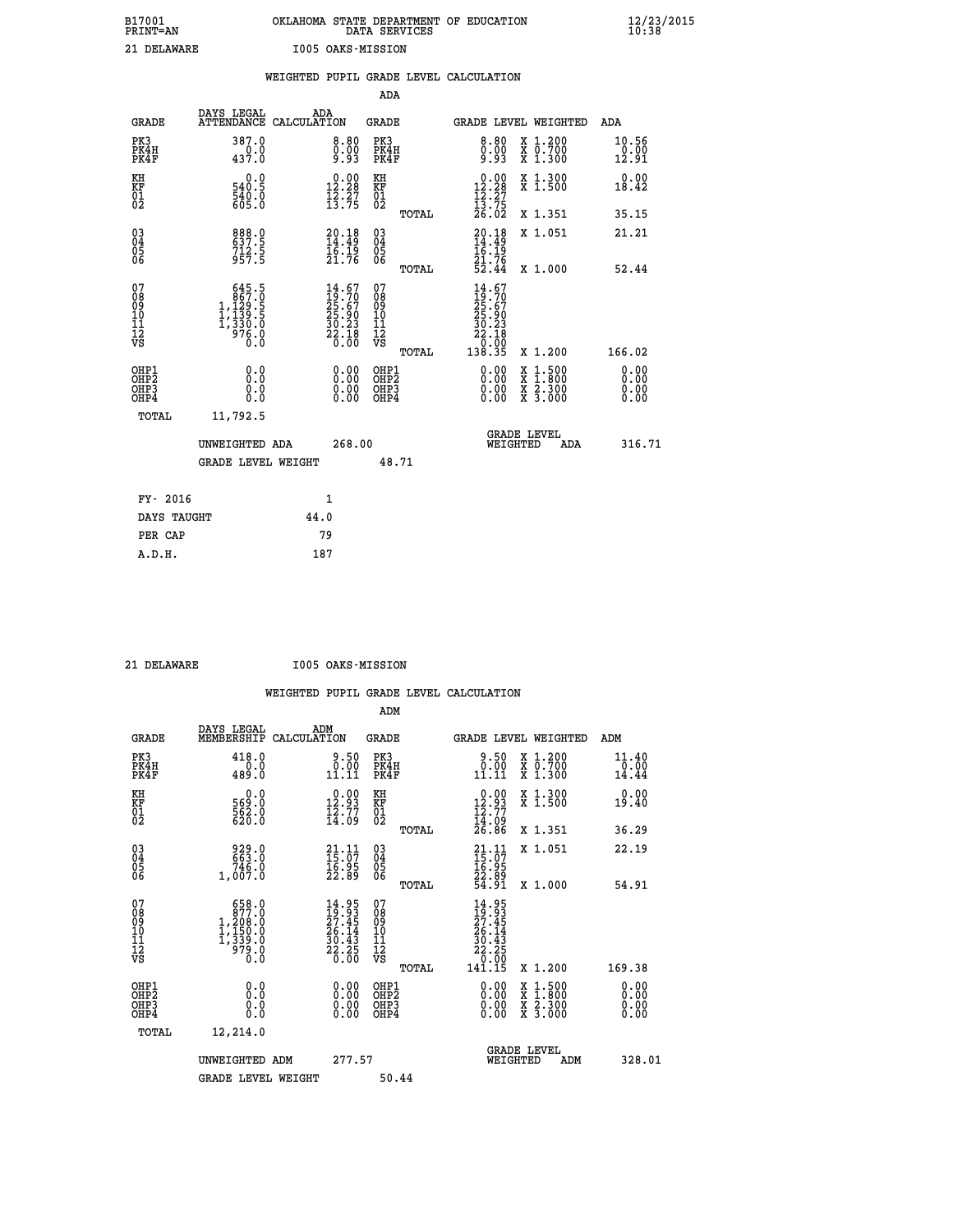| B17001<br><b>PRINT=AN</b> | OKLAHOMA STATE DEPARTMENT OF EDUCATION<br>DATA SERVICES | $\frac{12}{23}$ /2015 |
|---------------------------|---------------------------------------------------------|-----------------------|
| 21 DELAWARE               | 1005 OAKS-MISSION                                       |                       |

|                                                                    |                                                                                                       | WEIGHTED PUPIL GRADE LEVEL CALCULATION                                   |                                        |       |                                                                                                 |                                                                                        |                               |
|--------------------------------------------------------------------|-------------------------------------------------------------------------------------------------------|--------------------------------------------------------------------------|----------------------------------------|-------|-------------------------------------------------------------------------------------------------|----------------------------------------------------------------------------------------|-------------------------------|
|                                                                    |                                                                                                       |                                                                          | <b>ADA</b>                             |       |                                                                                                 |                                                                                        |                               |
| <b>GRADE</b>                                                       |                                                                                                       | DAYS LEGAL ADA ATTENDANCE CALCULATION                                    | <b>GRADE</b>                           |       |                                                                                                 | GRADE LEVEL WEIGHTED                                                                   | ADA                           |
| PK3<br>PK4H<br>PK4F                                                | 387.0<br>437.0                                                                                        | $\begin{smallmatrix} 8.80\ 0.00\ 9.93 \end{smallmatrix}$                 | PK3<br>PK4H<br>PK4F                    |       | 8.80<br>$0.00$<br>9.93                                                                          | X 1.200<br>X 0.700<br>X 1.300                                                          | 10.56<br>$\frac{0.00}{12.91}$ |
| KH<br>KF<br>01<br>02                                               | 0.0<br>540.5<br>540.0<br>605.0                                                                        | $\begin{smallmatrix} 0.00\\ 12.28\\ 12.27\\ 13.75 \end{smallmatrix}$     | KH<br>KF<br>01<br>02                   |       | $\begin{array}{r} 0.00 \\[-4pt] 12.28 \\[-4pt] 12.27 \\[-4pt] 13.75 \\[-4pt] 26.02 \end{array}$ | X 1.300<br>X 1.500                                                                     | 0.00<br>18.42                 |
|                                                                    |                                                                                                       |                                                                          |                                        | TOTAL |                                                                                                 | X 1.351                                                                                | 35.15                         |
| $\begin{smallmatrix} 03 \\[-4pt] 04 \end{smallmatrix}$<br>05<br>06 | 888.0<br>$712.5$<br>957.5                                                                             | $20.18$<br>14:49<br>16.19<br>21.76                                       | $\substack{03 \\ 04}$<br>05<br>06      |       | 20.18<br>$\begin{array}{c} 14.49 \\ 16.19 \\ 21.76 \\ 52.44 \end{array}$                        | X 1.051                                                                                | 21.21                         |
|                                                                    |                                                                                                       |                                                                          |                                        | TOTAL |                                                                                                 | X 1.000                                                                                | 52.44                         |
| 07<br>08<br>09<br>11<br>11<br>12<br>VS                             | $\begin{smallmatrix} & 645.5\\ & 867.0\\ 1,129.5\\ 1,139.5\\ 1,330.0\\ 976.0\\ 0.0 \end{smallmatrix}$ | $14.67$<br>$19.70$<br>$25.67$<br>$25.90$<br>$30.23$<br>$22.18$<br>$0.00$ | 07<br>08<br>09<br>11<br>11<br>12<br>VS | TOTAL | $14.67$<br>$19.70$<br>$25.67$<br>$25.90$<br>$30.23$<br>22.18<br>00:07<br>138.35                 | X 1.200                                                                                | 166.02                        |
| OHP1<br>OH <sub>P</sub> 2<br>OHP3<br>OHP4                          | 0.0<br>0.0<br>0.0                                                                                     | 0.0000<br>$\begin{smallmatrix} 0.00 \ 0.00 \end{smallmatrix}$            | OHP1<br>OHP2<br>OHP3<br>OHP4           |       | 0.00<br>0.00<br>0.00                                                                            | $1:500$<br>1:800<br>$\frac{\text{X}}{\text{X}}$<br>$\frac{x}{x}$ $\frac{5:300}{3:000}$ | 0.00<br>0.00<br>0.00<br>0.00  |
| <b>TOTAL</b>                                                       | 11,792.5                                                                                              |                                                                          |                                        |       |                                                                                                 |                                                                                        |                               |
|                                                                    | UNWEIGHTED ADA                                                                                        | 268.00                                                                   |                                        |       |                                                                                                 | GRADE LEVEL<br>WEIGHTED<br>ADA                                                         | 316.71                        |
|                                                                    | <b>GRADE LEVEL WEIGHT</b>                                                                             |                                                                          | 48.71                                  |       |                                                                                                 |                                                                                        |                               |
| FY- 2016                                                           |                                                                                                       | $\mathbf{1}$                                                             |                                        |       |                                                                                                 |                                                                                        |                               |
| DAYS TAUGHT                                                        |                                                                                                       | 44.0                                                                     |                                        |       |                                                                                                 |                                                                                        |                               |
| PER CAP                                                            |                                                                                                       | 79                                                                       |                                        |       |                                                                                                 |                                                                                        |                               |

 **21 DELAWARE I005 OAKS-MISSION**

|                                                      |                                                                                                      |                                                                          | ADM                                                 |                                                                              |                                          |                        |
|------------------------------------------------------|------------------------------------------------------------------------------------------------------|--------------------------------------------------------------------------|-----------------------------------------------------|------------------------------------------------------------------------------|------------------------------------------|------------------------|
| <b>GRADE</b>                                         | DAYS LEGAL<br>MEMBERSHIP                                                                             | ADM<br>CALCULATION                                                       | <b>GRADE</b>                                        |                                                                              | GRADE LEVEL WEIGHTED                     | ADM                    |
| PK3<br>PK4H<br>PK4F                                  | 418.0<br>0.0<br>489.0                                                                                | 9.50<br>0.00<br>11.11                                                    | PK3<br>PK4H<br>PK4F                                 | 9.50<br>$\begin{smallmatrix} 0.00 \ 11.11 \end{smallmatrix}$                 | X 1.200<br>X 0.700<br>X 1.300            | 11.40<br>0.00<br>14.44 |
| KH<br>KF<br>01<br>02                                 | 0.0<br>569:0<br>562:0<br>620:0                                                                       | $\begin{smallmatrix} 0.00\\ 12.93\\ 12.77\\ 14.09 \end{smallmatrix}$     | KH<br>KF<br>01<br>02                                | $\begin{smallmatrix} 0.00\\ 12.93\\ 12.77\\ 14.09\\ 26.86 \end{smallmatrix}$ | X 1.300<br>X 1.500                       | 0.00<br>19.40          |
|                                                      |                                                                                                      |                                                                          | TOTAL                                               |                                                                              | X 1.351                                  | 36.29                  |
| 03<br>04<br>05<br>06                                 | 929.0<br>663.0<br>746.0<br>1,007.0                                                                   | $\begin{smallmatrix} 21.11 \\ 15.07 \\ 16.95 \\ 22.89 \end{smallmatrix}$ | $\begin{array}{c} 03 \\ 04 \\ 05 \\ 06 \end{array}$ | $21.11$<br>$15.07$<br>$16.95$<br>$22.89$<br>$54.91$                          | X 1.051                                  | 22.19                  |
|                                                      |                                                                                                      |                                                                          | TOTAL                                               |                                                                              | X 1.000                                  | 54.91                  |
| 07<br>08<br>09<br>101<br>112<br>VS                   | 658.0<br>877.0<br>1,208.0<br>$\begin{smallmatrix} 1,150.0\\ 1,339.0\\ 979.0\\ 0.0 \end{smallmatrix}$ | $14.95$<br>$27.45$<br>$26.14$<br>$30.43$<br>$22.25$<br>$0.00$            | 07<br>08<br>09<br>11<br>11<br>12<br>VS<br>TOTAL     | $14.95$<br>$27.45$<br>$26.14$<br>$30.43$<br>$22.25$<br>$9.90$<br>141.15      | X 1.200                                  | 169.38                 |
|                                                      |                                                                                                      |                                                                          |                                                     |                                                                              |                                          | 0.00                   |
| OHP1<br>OHP2<br>OH <sub>P3</sub><br>OH <sub>P4</sub> | 0.0<br>0.000                                                                                         | $0.00$<br>$0.00$<br>0.00                                                 | OHP1<br>OHP2<br>OHP <sub>3</sub>                    | $0.00$<br>$0.00$<br>0.00                                                     | X 1:500<br>X 1:800<br>X 2:300<br>X 3:000 | 0.00<br>0.00<br>0.00   |
| TOTAL                                                | 12,214.0                                                                                             |                                                                          |                                                     |                                                                              |                                          |                        |
|                                                      | UNWEIGHTED ADM                                                                                       | 277.57                                                                   |                                                     | WEIGHTED                                                                     | <b>GRADE LEVEL</b><br>ADM                | 328.01                 |
|                                                      | <b>GRADE LEVEL WEIGHT</b>                                                                            |                                                                          | 50.44                                               |                                                                              |                                          |                        |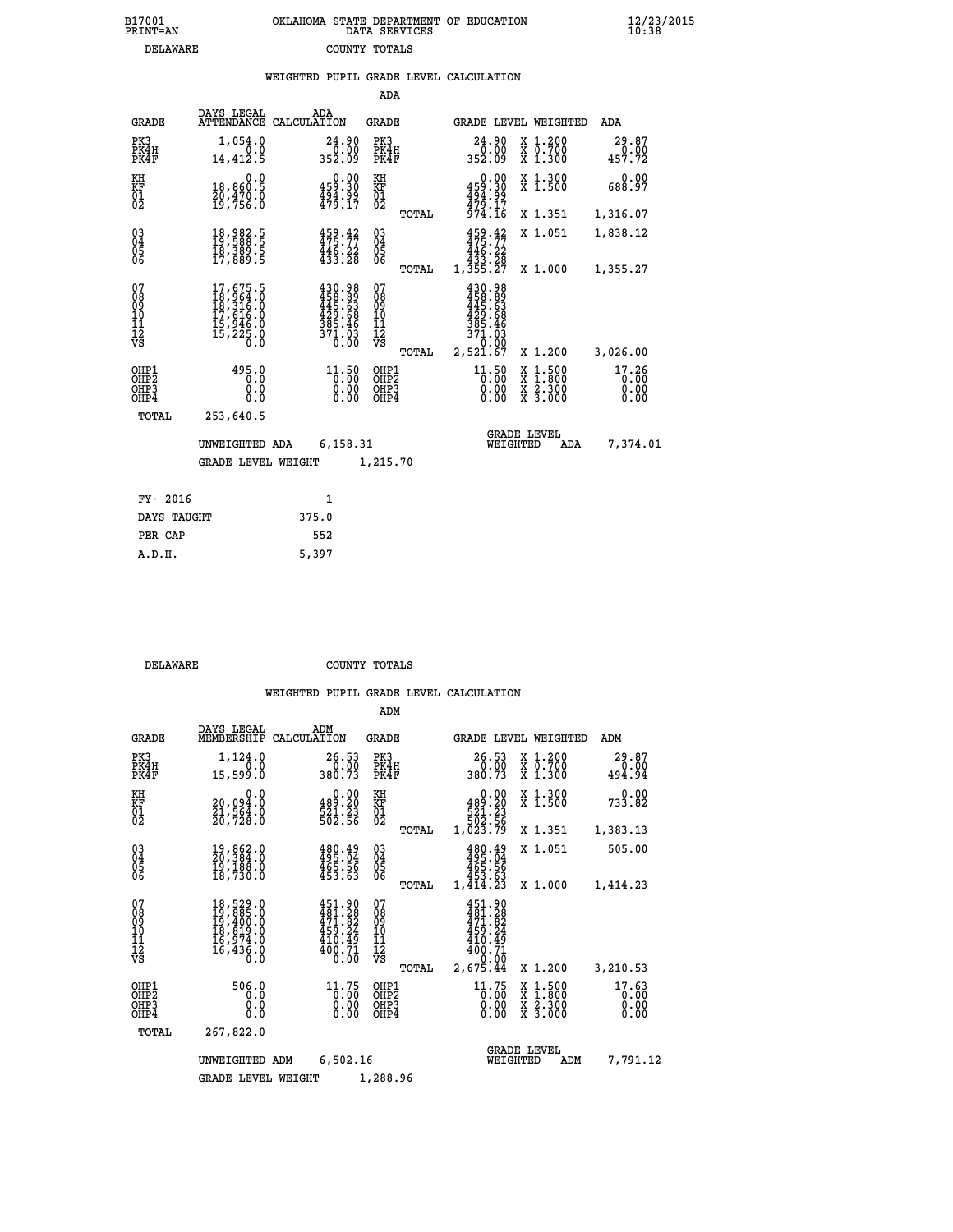| B17001          | OKLAHOMA STATE DEPARTMENT OF EDUCATION |
|-----------------|----------------------------------------|
| <b>PRINT=AN</b> | DATA SERVICES                          |
| DELAWARE        | COUNTY TOTALS                          |

|  |  | WEIGHTED PUPIL GRADE LEVEL CALCULATION |
|--|--|----------------------------------------|
|  |  |                                        |

|                                                                    |                                                                                                       |                                                                                                                                                                               | ADA                                                                     |       |                                                                              |                                                                                                  |                               |
|--------------------------------------------------------------------|-------------------------------------------------------------------------------------------------------|-------------------------------------------------------------------------------------------------------------------------------------------------------------------------------|-------------------------------------------------------------------------|-------|------------------------------------------------------------------------------|--------------------------------------------------------------------------------------------------|-------------------------------|
| <b>GRADE</b>                                                       | DAYS LEGAL                                                                                            | ADA<br>ATTENDANCE CALCULATION                                                                                                                                                 | <b>GRADE</b>                                                            |       |                                                                              | GRADE LEVEL WEIGHTED                                                                             | ADA                           |
| PK3<br>PK4H<br>PK4F                                                | 1,054.0<br>0.0<br>14,412.5                                                                            | 24.90<br>$\frac{0.00}{352.09}$                                                                                                                                                | PK3<br>PK4H<br>PK4F                                                     |       | 24.90<br>0.00<br>352.09                                                      | X 1.200<br>X 0.700<br>X 1.300                                                                    | 29.87<br>0.00<br>457.72       |
| KH<br><b>KF</b><br>01<br>02                                        | 0.0<br>18,860.5<br>20,470.0<br>19,756.0                                                               | $0.00$<br>459.30<br>494.99<br>479.17                                                                                                                                          | KH<br>KF<br>$\overline{\begin{smallmatrix} 0&1\ 0&2 \end{smallmatrix}}$ |       | $0.00$<br>459.30<br>494.99<br>479.17                                         | X 1.300<br>X 1.500                                                                               | 0.00<br>688.97                |
|                                                                    |                                                                                                       |                                                                                                                                                                               |                                                                         | TOTAL | 974.16                                                                       | X 1.351                                                                                          | 1,316.07                      |
| $\begin{smallmatrix} 03 \\[-4pt] 04 \end{smallmatrix}$<br>05<br>06 | 18,982.5<br>19,588.5<br>18,389.5<br>17,889.5                                                          | $459.42$<br>$475.77$<br>$\frac{446.22}{433.28}$                                                                                                                               | $\substack{03 \\ 04}$<br>05<br>06                                       |       | $459.42$<br>$475.77$<br>$446.22$<br>$433.28$<br>$1,355.27$                   | X 1.051                                                                                          | 1,838.12                      |
|                                                                    |                                                                                                       |                                                                                                                                                                               |                                                                         | TOTAL |                                                                              | X 1.000                                                                                          | 1,355.27                      |
| 07<br>08<br>09<br>11<br>11<br>12<br>VS                             | $\begin{smallmatrix}17,675.5\\18,964.0\\18,316.0\\17,616.0\\15,946.0\\15,225.0\\0.0\end{smallmatrix}$ | $\begin{smallmatrix} 4\,3\,0\cdot 9\,8\\ 4\,5\,8\cdot 8\,9\\ 4\,4\,5\cdot 6\,3\\ 4\,2\,9\cdot 6\,8\\ 3\,8\,5\cdot 4\,6\\ 3\,7\,1\cdot 0\,3\\ 0\cdot 0\,0\\ \end{smallmatrix}$ | 07<br>08<br>09<br>11<br>11<br>12<br>VS                                  |       | $430.98$<br>$458.89$<br>$445.63$<br>$429.68$<br>$385.46$<br>$371.93$<br>0.00 |                                                                                                  |                               |
|                                                                    |                                                                                                       |                                                                                                                                                                               |                                                                         | TOTAL | 2,521.67                                                                     | X 1.200                                                                                          | 3,026.00                      |
| OHP1<br>OH <sub>P</sub> 2<br>OH <sub>P3</sub><br>OH <sub>P4</sub>  | 495.0<br>0.0<br>0.0<br>0.0                                                                            | 11.50<br>0.00<br>0.00                                                                                                                                                         | OHP1<br>OH <sub>P</sub> 2<br>OHP3<br>OHP4                               |       | 11.50<br>0.00<br>0.00<br>0.00                                                | $\begin{smallmatrix} x & 1 & 500 \\ x & 1 & 800 \\ x & 2 & 300 \\ x & 3 & 000 \end{smallmatrix}$ | 17.26<br>0.00<br>0.00<br>0.00 |
| TOTAL                                                              | 253,640.5                                                                                             |                                                                                                                                                                               |                                                                         |       |                                                                              |                                                                                                  |                               |
|                                                                    | UNWEIGHTED ADA                                                                                        | 6,158.31                                                                                                                                                                      |                                                                         |       |                                                                              | <b>GRADE LEVEL</b><br>WEIGHTED<br>ADA                                                            | 7,374.01                      |
|                                                                    | <b>GRADE LEVEL WEIGHT</b>                                                                             |                                                                                                                                                                               | 1,215.70                                                                |       |                                                                              |                                                                                                  |                               |
| FY- 2016                                                           |                                                                                                       | $\mathbf{1}$                                                                                                                                                                  |                                                                         |       |                                                                              |                                                                                                  |                               |
| DAYS TAUGHT                                                        |                                                                                                       | 375.0                                                                                                                                                                         |                                                                         |       |                                                                              |                                                                                                  |                               |
| PER CAP                                                            |                                                                                                       | 552                                                                                                                                                                           |                                                                         |       |                                                                              |                                                                                                  |                               |

| DELAWARE | COUNTY TOTALS |  |
|----------|---------------|--|

 **A.D.H. 5,397**

|                                                       |                                                                      |                                                                  | ADM                                              |                                                                                |                                                                                                  |                               |
|-------------------------------------------------------|----------------------------------------------------------------------|------------------------------------------------------------------|--------------------------------------------------|--------------------------------------------------------------------------------|--------------------------------------------------------------------------------------------------|-------------------------------|
| <b>GRADE</b>                                          | DAYS LEGAL<br>MEMBERSHIP                                             | ADM<br>CALCULATION                                               | <b>GRADE</b>                                     | GRADE LEVEL WEIGHTED                                                           |                                                                                                  | ADM                           |
| PK3<br>PK4H<br>PK4F                                   | 1,124.0<br>0.0<br>15,599.0                                           | 26.53<br>$380.00$<br>380.73                                      | PK3<br>PK4H<br>PK4F                              | 26.53<br>0.00<br>380.73                                                        | $\begin{array}{c} x & 1.200 \\ x & 0.700 \end{array}$<br>$X$ 1.300                               | 29.87<br>0.00<br>494.94       |
| KH<br>KF<br>01<br>02                                  | 0.0<br>20,094:0<br>21,564:0<br>20,728:0                              | $0.00$<br>489.20<br>521.23<br>502.56                             | KH<br>KF<br>01<br>02                             | 0.00<br>489.20<br>$\begin{array}{r} 7521.23 \\ 502.56 \\ 1,023.79 \end{array}$ | X 1.300<br>X 1.500                                                                               | 0.00<br>733.82                |
|                                                       |                                                                      |                                                                  | TOTAL                                            |                                                                                | X 1.351                                                                                          | 1,383.13                      |
| 03<br>04<br>05<br>06                                  | 19,862.0<br>20,384.0<br>19,188.0<br>18,730.0                         | 480.49<br>495.04<br>465.56<br>453.63                             | $\substack{03 \\ 04}$<br>05                      | $480.49$<br>$495.04$<br>$465.56$<br>$453.63$                                   | X 1.051                                                                                          | 505.00                        |
|                                                       |                                                                      |                                                                  | TOTAL                                            | 1,414.23                                                                       | X 1.000                                                                                          | 1,414.23                      |
| 07<br>08<br>09<br>11<br>11<br>12<br>VS                | 18,529.0<br>19,885.0<br>19,400.0<br>18,819.0<br>16,974.0<br>16,436.0 | 451.90<br>481.28<br>471.82<br>459.24<br>410.49<br>400.71<br>Ŏ.OŌ | 07<br>08<br>09<br>101<br>11<br>12<br>VS<br>TOTAL | 451.90<br>481.28<br>471.82<br>459.24<br>410.49<br>400.71<br>0.00<br>2,675.44   | X 1.200                                                                                          | 3,210.53                      |
| OHP1<br>OH <sub>P</sub> 2<br>OH <sub>P3</sub><br>OHP4 | 506.0<br>0.0<br>0.0<br>Ŏ.Ŏ                                           | 11.75<br>0.00<br>0.00                                            | OHP1<br>OHP2<br>OHP3<br>OHP4                     | $\frac{11.75}{0.00}$<br>0.00                                                   | $\begin{smallmatrix} x & 1 & 500 \\ x & 1 & 800 \\ x & 2 & 300 \\ x & 3 & 000 \end{smallmatrix}$ | 17.63<br>0.00<br>0.00<br>0.00 |
| TOTAL                                                 | 267,822.0                                                            |                                                                  |                                                  |                                                                                |                                                                                                  |                               |
|                                                       | UNWEIGHTED ADM                                                       | 6,502.16                                                         |                                                  | WEIGHTED                                                                       | <b>GRADE LEVEL</b><br>ADM                                                                        | 7,791.12                      |
|                                                       | <b>GRADE LEVEL WEIGHT</b>                                            |                                                                  | 1,288.96                                         |                                                                                |                                                                                                  |                               |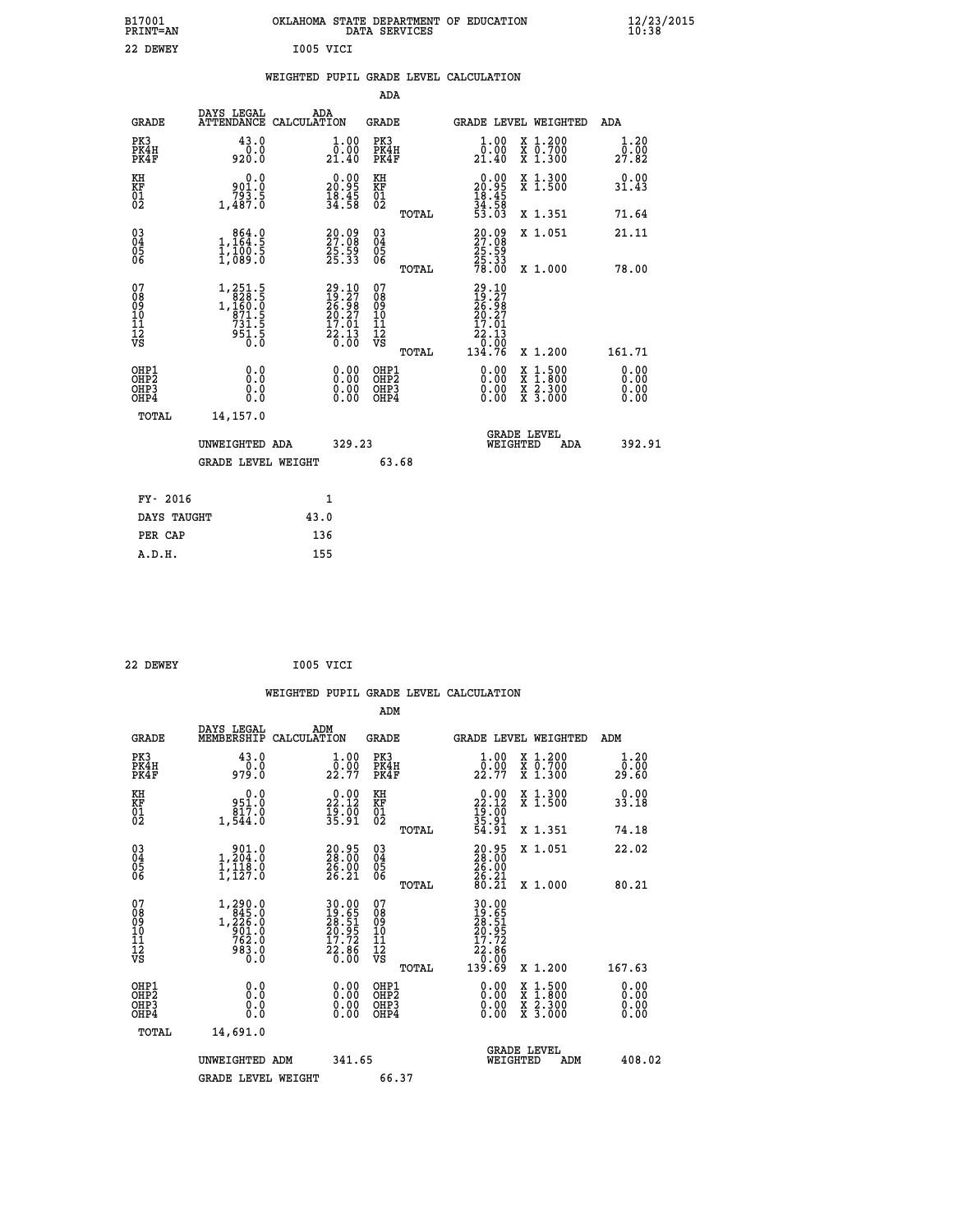| B17001<br>PRINT=AN                                 |                                                                                   | OKLAHOMA STATE DEPARTMENT OF EDUCATION                                 |                                          | DATA SERVICES |                                                                                              |                                                                                          | $\frac{12}{23}$ /2015        |
|----------------------------------------------------|-----------------------------------------------------------------------------------|------------------------------------------------------------------------|------------------------------------------|---------------|----------------------------------------------------------------------------------------------|------------------------------------------------------------------------------------------|------------------------------|
| 22 DEWEY                                           |                                                                                   | I005 VICI                                                              |                                          |               |                                                                                              |                                                                                          |                              |
|                                                    |                                                                                   | WEIGHTED PUPIL GRADE LEVEL CALCULATION                                 |                                          |               |                                                                                              |                                                                                          |                              |
|                                                    |                                                                                   |                                                                        |                                          | ADA           |                                                                                              |                                                                                          |                              |
| GRADE                                              | DAYS LEGAL                                                                        | ADA<br>ATTENDANCE CALCULATION                                          | GRADE                                    |               |                                                                                              | GRADE LEVEL WEIGHTED                                                                     | ADA                          |
| PK3<br>PK4H<br>PK4F                                | 43.0<br>0.0<br>920.0                                                              | 1.00<br>0.00<br>21.40                                                  | PK3<br>PK4H<br>PK4F                      |               | 1.00<br>0.00<br>21.40                                                                        | X 1.200<br>X 0.700<br>$X_1.300$                                                          | 1.20<br>0.00<br>27.82        |
| KH<br>KF<br>$\overline{01}$                        | 0.0<br>0.001<br>793.5<br>1,487.0                                                  | $\begin{smallmatrix} 0.00\\ 20.95\\ 18.45\\ 34.58 \end{smallmatrix}$   | KH<br>KF<br>01<br>02                     |               | 0.00<br>20.95<br>$\frac{18}{34}$ $\cdot\frac{45}{58}$<br>$\frac{5}{33}$ $\cdot\frac{03}{03}$ | X 1.300<br>X 1.500                                                                       | 0.00<br>31.43                |
|                                                    |                                                                                   |                                                                        |                                          | TOTAL         |                                                                                              | X 1.351                                                                                  | 71.64                        |
| $\begin{matrix} 03 \\ 04 \\ 05 \\ 06 \end{matrix}$ | $\begin{smallmatrix} & 864.0\\ 1,164.5\\ 1,100.5\\ 1,089.0 \end{smallmatrix}$     | 20.09<br>27.08<br>25.59<br>25.33                                       | 03<br>04<br>05<br>06                     |               | 20.09<br>27.08<br>25.59<br>25.33                                                             | X 1.051                                                                                  | 21.11                        |
|                                                    |                                                                                   |                                                                        |                                          | <b>TOTAL</b>  | 78.00                                                                                        | X 1.000                                                                                  | 78.00                        |
| 07<br>08<br>09<br>10<br>11<br>12<br>VS             | 1,251.5<br>$1, 231.5$<br>1, 160.0<br>971.5<br>731.5<br>951.5<br>$\overline{0}$ .0 | $29.10$<br>$19.27$<br>$26.98$<br>$20.27$<br>$17.01$<br>$22.13$<br>Ō.ŌŎ | 07<br>08<br>09<br>10<br>11<br>12<br>VS   | TOTAL         | 29.10<br>$\frac{15}{26}$ $\frac{27}{98}$<br>20.27<br>17.01<br>22.13<br>0.00<br>134.76        | X 1.200                                                                                  | 161.71                       |
| OHP1<br>OHP <sub>2</sub><br>OHP3<br>OHP4           | 0.0<br>Ŏ.Ō<br>0.0<br>0.0                                                          | 0.0000<br>0.00                                                         | OHP1<br>OHP <sub>2</sub><br>OHP3<br>OHP4 |               | 0.00<br>0.00<br>0.00                                                                         | $\begin{smallmatrix} x & 1.500 \\ x & 1.800 \\ x & 2.300 \\ x & 3.000 \end{smallmatrix}$ | 0.00<br>0.00<br>0.00<br>0.00 |
| TOTAL                                              | 14,157.0                                                                          |                                                                        |                                          |               |                                                                                              |                                                                                          |                              |
|                                                    | UNWEIGHTED ADA                                                                    |                                                                        | 329.23                                   |               |                                                                                              | <b>GRADE LEVEL</b><br>WEIGHTED<br>ADA                                                    | 392.91                       |
|                                                    | <b>GRADE LEVEL WEIGHT</b>                                                         |                                                                        |                                          | 63.68         |                                                                                              |                                                                                          |                              |
| FY- 2016                                           |                                                                                   | 1                                                                      |                                          |               |                                                                                              |                                                                                          |                              |
| DAYS TAUGHT                                        |                                                                                   | 43.0                                                                   |                                          |               |                                                                                              |                                                                                          |                              |

| 22 DEWEY | I005 VICI<br>$-$ |  |
|----------|------------------|--|
|          |                  |  |

PER CAP 136<br>A.D.H. 155

 **A.D.H. 155**

|                                                    |                                                                                                                        |                                                                     | ADM                                    |       |                                                                               |                                          |                              |  |
|----------------------------------------------------|------------------------------------------------------------------------------------------------------------------------|---------------------------------------------------------------------|----------------------------------------|-------|-------------------------------------------------------------------------------|------------------------------------------|------------------------------|--|
| <b>GRADE</b>                                       | DAYS LEGAL<br>MEMBERSHIP                                                                                               | ADM<br>CALCULATION                                                  | <b>GRADE</b>                           |       | GRADE LEVEL WEIGHTED                                                          |                                          | ADM                          |  |
| PK3<br>PK4H<br>PK4F                                | 43.0<br>0.0<br>979.0                                                                                                   | 1.00<br>22.77                                                       | PK3<br>PK4H<br>PK4F                    |       | 1.00<br>_0.00<br>22.77                                                        | X 1.200<br>X 0.700<br>X 1.300            | 1.20<br>0.00<br>29.60        |  |
| KH<br>KF<br>01<br>02                               | 0.0<br>0.138<br>817.0<br>1,544.0                                                                                       | $22.12$<br>$12.12$<br>$19.00$<br>$35.91$                            | KH<br>KF<br>01<br>02                   |       | $\begin{smallmatrix} 0.00\\ 22.12\\ 19.00\\ 35.91\\ 54.91 \end{smallmatrix}$  | X 1.300<br>X 1.500                       | 0.00<br>33.18                |  |
|                                                    |                                                                                                                        |                                                                     |                                        | TOTAL |                                                                               | X 1.351                                  | 74.18                        |  |
| $\begin{matrix} 03 \\ 04 \\ 05 \\ 06 \end{matrix}$ | $\begin{smallmatrix} & 9 & 0 & 1 & 0 \\ 1 & 2 & 0 & 4 & 0 \\ 1 & 1 & 1 & 8 & 0 \\ 1 & 1 & 2 & 7 & 0 \end{smallmatrix}$ | 20.95<br>28.00<br>26.00<br>26.21                                    | 03<br>04<br>05<br>06                   |       | $\begin{smallmatrix} 20.95\\ 28.00\\ 26.00\\ 26.21\\ 80.21 \end{smallmatrix}$ | X 1.051                                  | 22.02                        |  |
|                                                    |                                                                                                                        |                                                                     |                                        | TOTAL |                                                                               | X 1.000                                  | 80.21                        |  |
| 07<br>08<br>09<br>11<br>11<br>12<br>VS             | $\begin{smallmatrix} 1,290.0\\ 845.0\\ 1,226.0\\ 901.0\\ 762.0\\ 983.0\\ 0.0 \end{smallmatrix}$                        | 30.00<br>19.65<br>28.51<br>20.95<br>17.72<br>17.72<br>22.86<br>0.00 | 07<br>08<br>09<br>11<br>11<br>12<br>VS |       | 30.00<br>19.651<br>28.515<br>20.952<br>17.72<br>22.86<br>0.00<br>139.69       |                                          |                              |  |
|                                                    |                                                                                                                        |                                                                     |                                        | TOTAL |                                                                               | X 1.200                                  | 167.63                       |  |
| OHP1<br>OHP2<br>OH <sub>P3</sub><br>OHP4           | 0.0<br>0.000                                                                                                           | $0.00$<br>$0.00$<br>0.00                                            | OHP1<br>OHP2<br>OHP <sub>3</sub>       |       | $0.00$<br>$0.00$<br>0.00                                                      | X 1:500<br>X 1:800<br>X 2:300<br>X 3:000 | 0.00<br>0.00<br>0.00<br>0.00 |  |
| TOTAL                                              | 14,691.0                                                                                                               |                                                                     |                                        |       |                                                                               |                                          |                              |  |
|                                                    | UNWEIGHTED<br>ADM                                                                                                      | 341.65                                                              |                                        |       | <b>GRADE LEVEL</b><br>WEIGHTED                                                | ADM                                      | 408.02                       |  |
|                                                    | <b>GRADE LEVEL WEIGHT</b>                                                                                              |                                                                     | 66.37                                  |       |                                                                               |                                          |                              |  |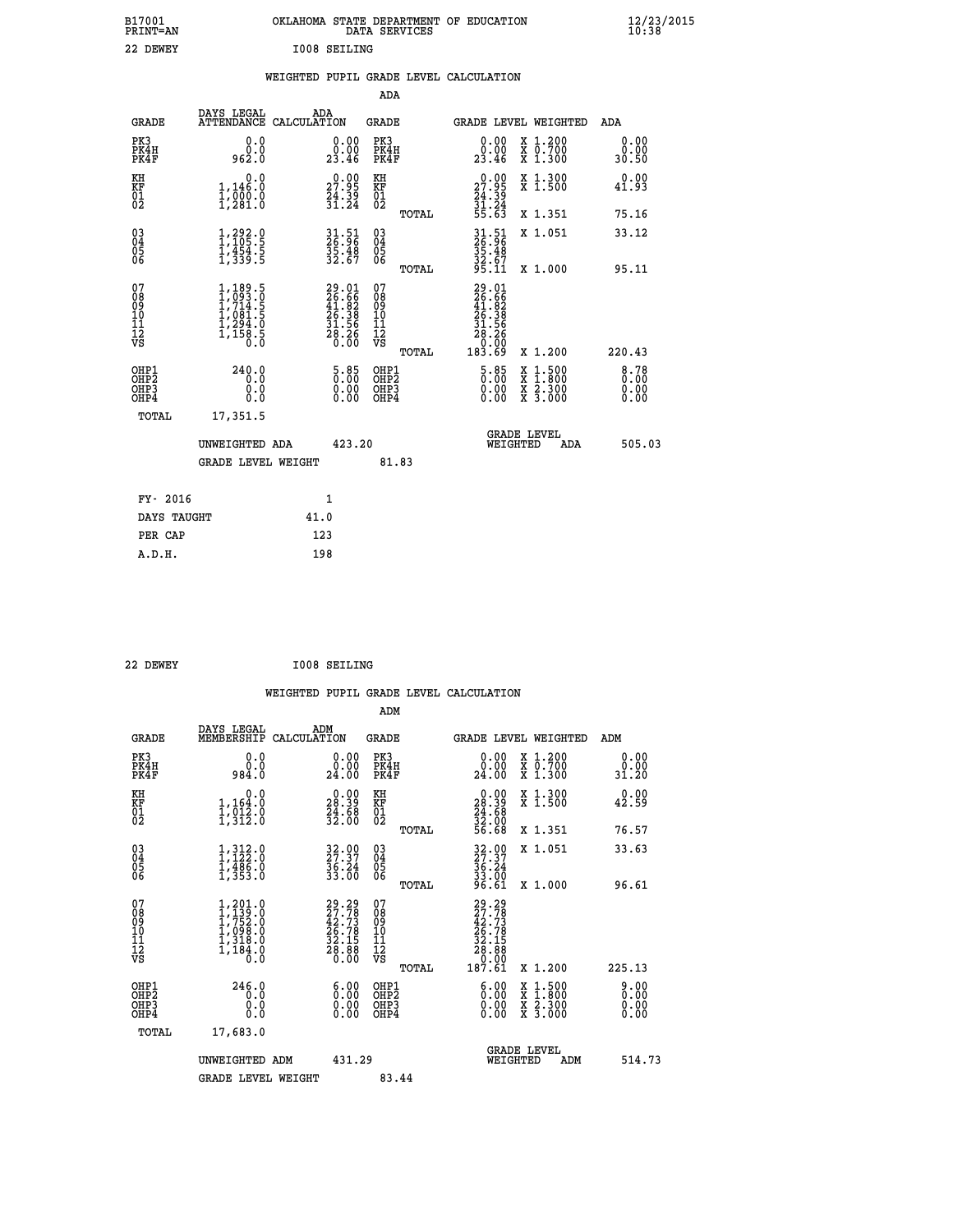| B17001<br><b>PRINT=AN</b> | OKLAHOMA STATE DEPARTMENT OF EDUCATION<br>DATA SERVICES |  |
|---------------------------|---------------------------------------------------------|--|
| 22 DEWEY                  | <b>I008 SEILING</b>                                     |  |

|  |  | WEIGHTED PUPIL GRADE LEVEL CALCULATION |
|--|--|----------------------------------------|
|  |  |                                        |

|                                                                    |                                                                                     |                                                                          | ADA                                                 |       |                                                                                                        |                                                    |                       |
|--------------------------------------------------------------------|-------------------------------------------------------------------------------------|--------------------------------------------------------------------------|-----------------------------------------------------|-------|--------------------------------------------------------------------------------------------------------|----------------------------------------------------|-----------------------|
| <b>GRADE</b>                                                       | DAYS LEGAL<br>ATTENDANCE CALCULATION                                                | ADA                                                                      | <b>GRADE</b>                                        |       |                                                                                                        | GRADE LEVEL WEIGHTED                               | <b>ADA</b>            |
| PK3<br>PK4H<br>PK4F                                                | 0.0<br>ة:ة<br>962:0                                                                 | $\begin{smallmatrix} 0.00\\ 0.00\\ 23.46 \end{smallmatrix}$              | PK3<br>PK4H<br>PK4F                                 |       | 0.00<br>$\begin{smallmatrix} 0.001 \ 2.3.46 \end{smallmatrix}$                                         | X 1.200<br>X 0.700<br>X 1.300                      | 0.00<br>0.00<br>30.50 |
| KH<br>KF<br>01<br>02                                               | 0.0<br>1,146.0<br>ī,ōōŏ:ŏ<br>1,281:ô                                                | 27.95<br>$\frac{74.39}{31.24}$                                           | KH<br>KF<br>01<br>02                                |       | 27.99<br>$\frac{24.39}{31.24}$<br>55.63                                                                | X 1.300<br>X 1.500                                 | 0.00<br>41.93         |
|                                                                    |                                                                                     |                                                                          |                                                     | TOTAL |                                                                                                        | X 1.351                                            | 75.16                 |
| $\begin{smallmatrix} 03 \\[-4pt] 04 \end{smallmatrix}$<br>Ŏ5<br>06 | 1, 292.9<br>$\frac{1}{4}, \frac{1}{3}, \frac{1}{3}, \frac{1}{5}$                    | 31.51<br>26.96<br>35.48<br>32.67                                         | $\begin{array}{c} 03 \\ 04 \\ 05 \\ 06 \end{array}$ |       | 31.51<br>26.96<br>35.48<br>32.67<br>95.11                                                              | X 1.051                                            | 33.12<br>95.11        |
| 07                                                                 |                                                                                     |                                                                          | 07                                                  | TOTAL |                                                                                                        | X 1.000                                            |                       |
| 08<br>09<br>11<br>11<br>12<br>VS                                   | $1,189.5$<br>$1,714.5$<br>$1,714.5$<br>$1,081.5$<br>$1,294.0$<br>$1,158.5$<br>$0.0$ | $29.01$<br>$26.66$<br>$41.82$<br>$26.38$<br>$31.56$<br>$28.26$<br>$0.00$ | 08<br>09<br>11<br>11<br>12<br>VS                    | TOTAL | $\begin{smallmatrix} 29.01\ 26.66\ 41.82\ 26.38\ 21.56\ 28.26\ 28.26\ 0.09\ 183.69\ \end{smallmatrix}$ | X 1.200                                            | 220.43                |
| OHP1<br>OHP <sub>2</sub><br>OHP3<br>OHP4                           | 240.0<br>0.0<br>0.0<br>Ō.Ō                                                          | 5.85<br>$\begin{smallmatrix} 0.00 \ 0.00 \end{smallmatrix}$              | OHP1<br>OH <sub>P</sub> 2<br>OHP3<br>OHP4           |       | 5.85<br>0.00<br>0.00                                                                                   | $1:500$<br>$1:800$<br>X<br>X<br>X 2.300<br>X 3.000 | 8.78<br>0.00<br>0.00  |
| TOTAL                                                              | 17,351.5                                                                            |                                                                          |                                                     |       |                                                                                                        |                                                    |                       |
|                                                                    | UNWEIGHTED ADA                                                                      | 423.20                                                                   |                                                     |       |                                                                                                        | <b>GRADE LEVEL</b><br>WEIGHTED<br>ADA              | 505.03                |
|                                                                    | <b>GRADE LEVEL WEIGHT</b>                                                           |                                                                          |                                                     | 81.83 |                                                                                                        |                                                    |                       |
| FY- 2016                                                           |                                                                                     | 1                                                                        |                                                     |       |                                                                                                        |                                                    |                       |
| DAYS TAUGHT                                                        |                                                                                     | 41.0                                                                     |                                                     |       |                                                                                                        |                                                    |                       |
| PER CAP                                                            |                                                                                     | 123                                                                      |                                                     |       |                                                                                                        |                                                    |                       |
|                                                                    |                                                                                     |                                                                          |                                                     |       |                                                                                                        |                                                    |                       |

 **22 DEWEY I008 SEILING**

 **A.D.H. 198**

| <b>GRADE</b>                                       | DAYS LEGAL<br>MEMBERSHIP                                                                                                                                  | ADM<br>CALCULATION                                                    | <b>GRADE</b>                                        |       | GRADE LEVEL WEIGHTED                                                                                                                               |                                                                                                  | ADM                          |
|----------------------------------------------------|-----------------------------------------------------------------------------------------------------------------------------------------------------------|-----------------------------------------------------------------------|-----------------------------------------------------|-------|----------------------------------------------------------------------------------------------------------------------------------------------------|--------------------------------------------------------------------------------------------------|------------------------------|
| PK3<br>PK4H<br>PK4F                                | 0.0<br>0.0<br>984.0                                                                                                                                       | 0.00<br>24.00                                                         | PK3<br>PK4H<br>PK4F                                 |       | 0.00<br>0.00<br>24.00                                                                                                                              | X 1.200<br>X 0.700<br>X 1.300                                                                    | 0.00<br>0.00<br>31.20        |
| KH<br>KF<br>01<br>02                               | 0.0<br>$1,164.0$<br>$1,912.0$<br>$1,312.0$                                                                                                                | $\begin{smallmatrix} 0.00\\ 28.39\\ 24.68\\ 32.00 \end{smallmatrix}$  | KH<br>KF<br>01<br>02                                |       | $\begin{smallmatrix} 0.00\\ 28.39\\ 24.68\\ 32.00\\ 56.68 \end{smallmatrix}$                                                                       | X 1.300<br>X 1.500                                                                               | 0.00<br>42.59                |
|                                                    |                                                                                                                                                           |                                                                       |                                                     | TOTAL |                                                                                                                                                    | X 1.351                                                                                          | 76.57                        |
| $\begin{matrix} 03 \\ 04 \\ 05 \\ 06 \end{matrix}$ | $1,312.0$<br>$1,122.0$<br>$1,486.0$<br>$1,353.0$                                                                                                          | $\begin{smallmatrix} 32.00\\ 27.37\\ 36.24\\ 33.00 \end{smallmatrix}$ | $\begin{array}{c} 03 \\ 04 \\ 05 \\ 06 \end{array}$ |       | $32.97$<br>$36.24$<br>$33.00$<br>$96.61$                                                                                                           | X 1.051                                                                                          | 33.63                        |
|                                                    |                                                                                                                                                           |                                                                       |                                                     | TOTAL |                                                                                                                                                    | X 1.000                                                                                          | 96.61                        |
| 07<br>08<br>09<br>11<br>11<br>12<br>VS             | $1, 201.0$<br>$1, 752.0$<br>$1, 098.0$<br>$1, 098.0$<br>$1, 318.0$<br>$\frac{1}{1}$ $\frac{1}{1}$ $\frac{3}{1}$ $\frac{3}{1}$ $\frac{3}{1}$ $\frac{3}{1}$ | $29.29\n27.78\n42.73\n26.78\n32.15\n32.88\n28.880$                    | 07<br>08<br>09<br>11<br>11<br>12<br>VS              |       | $\begin{smallmatrix} 29 & .29 \\ 27 & .78 \\ 42 & .73 \\ 26 & .78 \\ 27 & .78 \\ 28 & .158 \\ 28 & .80 \\ 0 & .000 \\ 187 & .61 \end{smallmatrix}$ |                                                                                                  |                              |
|                                                    |                                                                                                                                                           |                                                                       |                                                     | TOTAL |                                                                                                                                                    | X 1.200                                                                                          | 225.13                       |
| OHP1<br>OHP2<br>OH <sub>P3</sub><br>OHP4           | 246.0<br>0.0<br>0.0<br>0.0                                                                                                                                | $\begin{smallmatrix} 6.00 \ 0.00 \end{smallmatrix}$<br>0.00           | OHP1<br>OHP2<br>OHP3<br>OHP4                        |       | $\begin{smallmatrix} 6.00 \ 0.00 \ 0.00 \end{smallmatrix}$<br>0.00                                                                                 | $\begin{smallmatrix} x & 1 & 500 \\ x & 1 & 800 \\ x & 2 & 300 \\ x & 3 & 000 \end{smallmatrix}$ | 9.00<br>0.00<br>0.00<br>0.00 |
| TOTAL                                              | 17,683.0                                                                                                                                                  |                                                                       |                                                     |       |                                                                                                                                                    |                                                                                                  |                              |
|                                                    | UNWEIGHTED ADM                                                                                                                                            | 431.29                                                                |                                                     |       | WEIGHTED                                                                                                                                           | <b>GRADE LEVEL</b><br>ADM                                                                        | 514.73                       |
|                                                    | <b>GRADE LEVEL WEIGHT</b>                                                                                                                                 |                                                                       | 83.44                                               |       |                                                                                                                                                    |                                                                                                  |                              |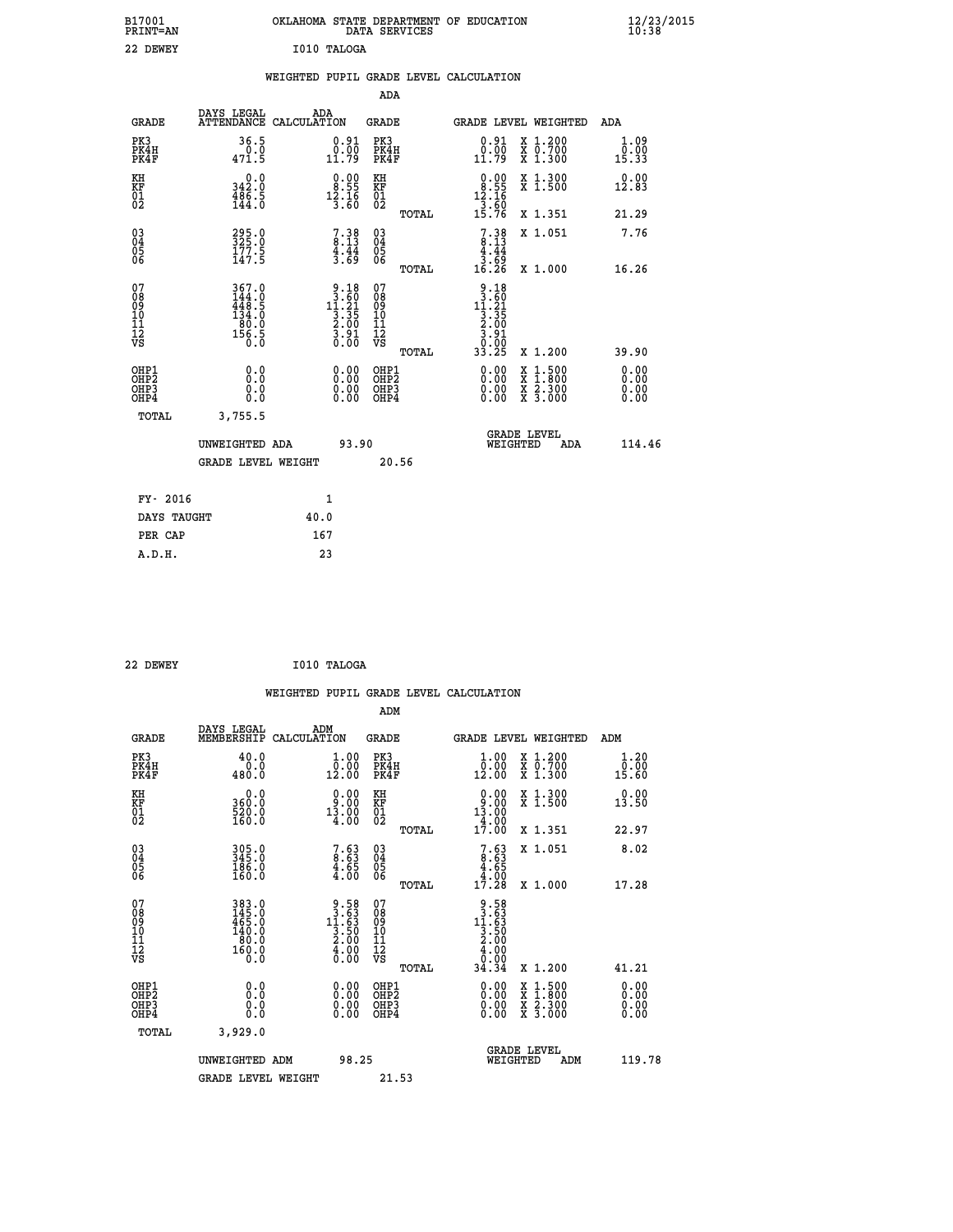| B17001<br>PRINT=AN                                |                                                                         | OKLAHOMA STATE DEPARTMENT OF EDUCATION                                               | DATA SERVICES                                              |                                                                              |                                                                                                                                           | $\frac{12}{23}$ /2015         |  |
|---------------------------------------------------|-------------------------------------------------------------------------|--------------------------------------------------------------------------------------|------------------------------------------------------------|------------------------------------------------------------------------------|-------------------------------------------------------------------------------------------------------------------------------------------|-------------------------------|--|
| 22 DEWEY                                          |                                                                         | I010 TALOGA                                                                          |                                                            |                                                                              |                                                                                                                                           |                               |  |
|                                                   |                                                                         | WEIGHTED PUPIL GRADE LEVEL CALCULATION                                               |                                                            |                                                                              |                                                                                                                                           |                               |  |
|                                                   |                                                                         |                                                                                      | ADA                                                        |                                                                              |                                                                                                                                           |                               |  |
| <b>GRADE</b>                                      | DAYS LEGAL                                                              | ADA<br>ATTENDANCE CALCULATION                                                        | GRADE                                                      |                                                                              | GRADE LEVEL WEIGHTED                                                                                                                      | ADA                           |  |
| PK3<br>PK4H<br>PK4F                               | 36.5<br>0.0<br>471.5                                                    | 0.91<br>$\substack{0.00\\11.79}$                                                     | PK3<br>PK4H<br>PK4F                                        | 0.91<br>0.00<br>11.79                                                        | X 1.200<br>X 0.700<br>X 1.300                                                                                                             | 1.09<br>0.00<br>15.33         |  |
| KH<br>KF<br>$\begin{matrix} 01 \ 02 \end{matrix}$ | 0.0<br>342.0<br>$\frac{486.5}{144.0}$                                   | $\begin{smallmatrix} 0.00\\ 8.55\\ 12.16\\ 3.60 \end{smallmatrix}$                   | KH<br>KF<br>$\overline{01}$                                | $\begin{array}{r} 0.00 \\ 8.55 \\ 12.16 \\ 3.60 \end{array}$                 | X 1.300<br>X 1.500                                                                                                                        | 0.00<br>12.83                 |  |
|                                                   |                                                                         |                                                                                      | TOTAL                                                      | 15.76                                                                        | X 1.351                                                                                                                                   | 21.29                         |  |
| $^{03}_{04}$<br>Ŏ5<br>ŌĞ                          | 295.0<br>325.0<br>177.5<br>147.5                                        | $7.38$<br>8.13<br>$\frac{4}{3}$ $\cdot \frac{44}{69}$                                | 030404<br>ŎĞ                                               | $7.38$<br>8.13<br>4.44<br>ۋة:{<br>16:26                                      | X 1.051                                                                                                                                   | 7.76                          |  |
|                                                   |                                                                         |                                                                                      | TOTAL                                                      |                                                                              | X 1.000                                                                                                                                   | 16.26                         |  |
| 07<br>08<br>09<br>11<br>11<br>12<br>VS            | 367.0<br>$\frac{144}{448}$ : 9<br>134.0<br>$\frac{180.0}{156.5}$<br>Ŏ.Ŏ | $\begin{array}{r} 9.18 \\ 3.60 \\ 11.21 \\ 3.35 \\ 2.00 \\ 3.00 \\ 0.00 \end{array}$ | 07<br>08<br>09<br>10<br>$\frac{11}{12}$<br>$\frac{12}{18}$ | $9.18$<br>$13.60$<br>$11.21$<br>$3.35$<br>$2.00$<br>$3.91$<br>_0:05<br>33.25 |                                                                                                                                           |                               |  |
|                                                   |                                                                         |                                                                                      | TOTAL                                                      |                                                                              | X 1.200                                                                                                                                   | 39.90                         |  |
| OHP1<br>OHP <sub>2</sub><br>OHP3<br>OHP4          | 0.0<br>Ō.Ō<br>0.0<br>0.0                                                | 0.00<br>$\begin{smallmatrix} 0.00 \ 0.00 \end{smallmatrix}$                          | OHP1<br>OHP <sub>2</sub><br>OHP3<br>OHP4                   | 0.00<br>0.00<br>0.00                                                         | $\begin{smallmatrix} \mathtt{X} & 1\cdot500\\ \mathtt{X} & 1\cdot800\\ \mathtt{X} & 2\cdot300\\ \mathtt{X} & 3\cdot000 \end{smallmatrix}$ | 0.00<br>Ō. ŌŌ<br>0.00<br>0.00 |  |
| TOTAL                                             | 3,755.5                                                                 |                                                                                      |                                                            |                                                                              |                                                                                                                                           |                               |  |
|                                                   | UNWEIGHTED ADA                                                          | 93.90                                                                                |                                                            | WEIGHTED                                                                     | <b>GRADE LEVEL</b><br>ADA                                                                                                                 | 114.46                        |  |
|                                                   | <b>GRADE LEVEL WEIGHT</b>                                               |                                                                                      | 20.56                                                      |                                                                              |                                                                                                                                           |                               |  |
| FY- 2016                                          |                                                                         | 1                                                                                    |                                                            |                                                                              |                                                                                                                                           |                               |  |
| DAYS TAUGHT                                       |                                                                         | 40.0                                                                                 |                                                            |                                                                              |                                                                                                                                           |                               |  |
| PER CAP                                           |                                                                         | 167                                                                                  |                                                            |                                                                              |                                                                                                                                           |                               |  |

| 22 DEWEY | I010 TALOGA |
|----------|-------------|
|          |             |

 **WEIGHTED PUPIL GRADE LEVEL CALCULATION ADM DAYS LEGAL ADM GRADE MEMBERSHIP CALCULATION GRADE GRADE LEVEL WEIGHTED ADM PK3 40.0 1.00 PK3 1.00 X 1.200 1.20 PK4H 0.0 0.00 PK4H 0.00 X 0.700 0.00 PK4F 480.0 12.00 PK4F 12.00 X 1.300 15.60 KH 0.0 0.00 KH 0.00 X 1.300 0.00 KF 360.0 9.00 KF 9.00 X 1.500 13.50 01 520.0 13.00 01 13.00** 02 160.0 4.00 02 4.00 4  **TOTAL 17.00 X 1.351 22.97 03 305.0 7.63 03 7.63 X 1.051 8.02 04 345.0 8.63 04 8.63 05 186.0 4.65 05 4.65** 06 160.0 4.00 06 <sub>memax</sub> 4.00  **TOTAL 17.28 X 1.000 17.28 07 383.0 9.58 07 9.58 08 145.0 3.63 08 3.63 09 465.0 11.63 09 11.63 10 140.0 3.50 10 3.50 11 80.0 2.00 11 2.00 12** 160.0 **4.00 12** 4.00 **VS** 0.0 0.00 VS 0.00 0.00 0.00  **TOTAL 34.34 X 1.200 41.21 OHP1 0.0 0.00 OHP1 0.00 X 1.500 0.00 OHP2 0.0 0.00 OHP2 0.00 X 1.800 0.00 OHP3 0.0 0.00 OHP3 0.00 X 2.300 0.00 OHP4 0.0 0.00 OHP4 0.00 X 3.000 0.00 TOTAL 3,929.0 GRADE LEVEL UNWEIGHTED ADM 98.25 WEIGHTED ADM 119.78** GRADE LEVEL WEIGHT 21.53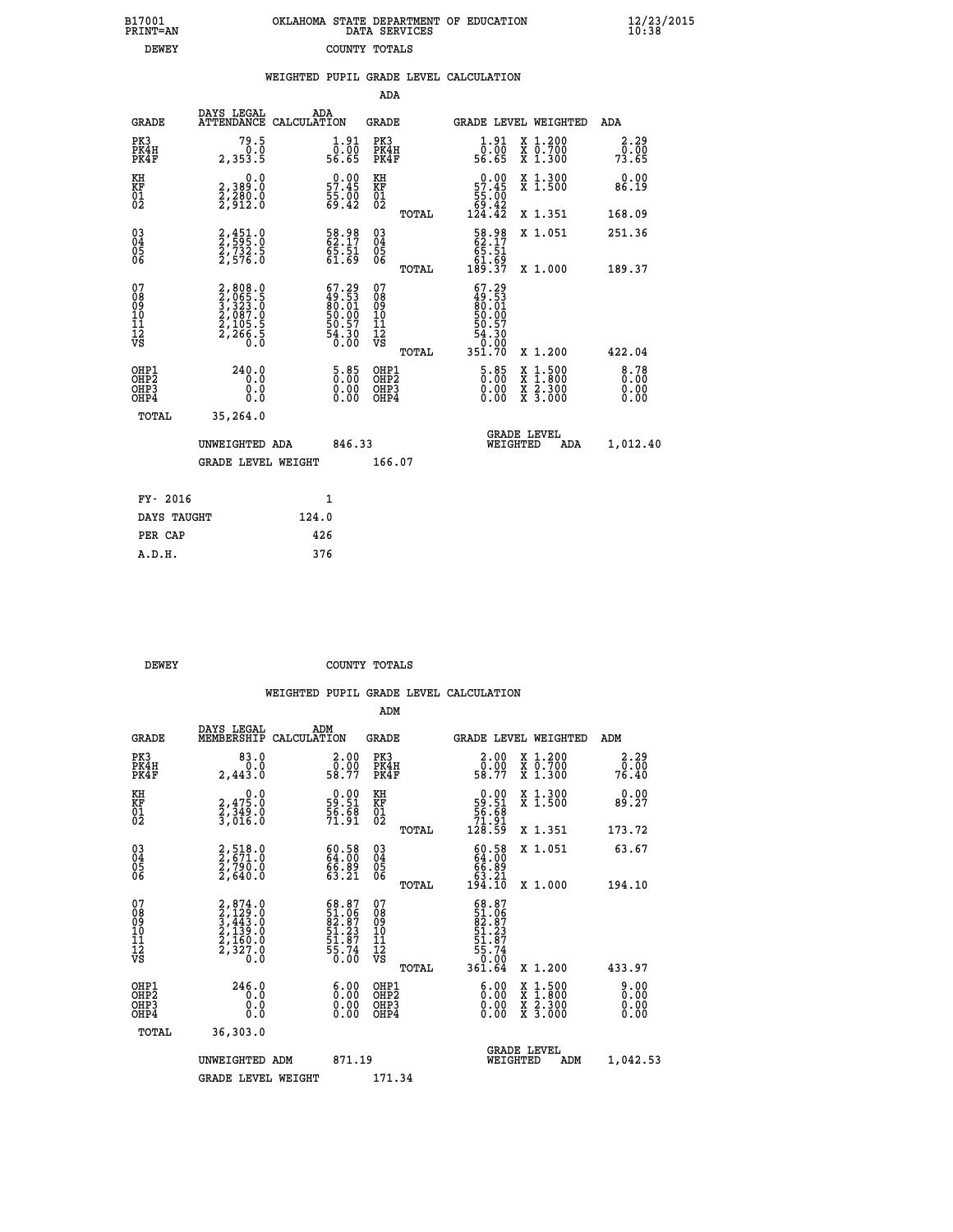| 7001<br>INT=AN | OKLAHOMA STATE DEPARTMENT OF EDUCATION<br>DATA SERVICES |  |  |
|----------------|---------------------------------------------------------|--|--|
| DEWEY          | COUNTY TOTALS                                           |  |  |

 **B17001<br>PRINT=AN** 

 **B17001 OKLAHOMA STATE DEPARTMENT OF EDUCATION 12/23/2015**

|                                                     |                                                                                                               | WEIGHTED PUPIL GRADE LEVEL CALCULATION                         |                                                     |       |                                                                                                                                        |                                                                                                                                           |                                  |
|-----------------------------------------------------|---------------------------------------------------------------------------------------------------------------|----------------------------------------------------------------|-----------------------------------------------------|-------|----------------------------------------------------------------------------------------------------------------------------------------|-------------------------------------------------------------------------------------------------------------------------------------------|----------------------------------|
|                                                     |                                                                                                               |                                                                | ADA                                                 |       |                                                                                                                                        |                                                                                                                                           |                                  |
| <b>GRADE</b>                                        | DAYS LEGAL<br><b>ATTENDANCE</b>                                                                               | ADA<br>CALCULATION                                             | <b>GRADE</b>                                        |       |                                                                                                                                        | GRADE LEVEL WEIGHTED                                                                                                                      | ADA                              |
| PK3<br>PK4H<br>PK4F                                 | $79.5$<br>$0.0$<br>2,353.5                                                                                    | $\begin{smallmatrix} 1.91\ 0.00\ 56.65 \end{smallmatrix}$      | PK3<br>PK4H<br>PK4F                                 |       | $\frac{1}{0}$ : $\frac{91}{00}$<br>56.65                                                                                               | X 1.200<br>X 0.700<br>X 1.300                                                                                                             | 2.29<br>0.00<br>73.65            |
| KH<br>KF<br>01<br>02                                | 0.0<br>2,389:0<br>2,280:0<br>2,912:0                                                                          | $0.00$<br>57.45<br>$\frac{55}{69}.$ $\frac{00}{42}$            | KH<br>KF<br>01<br>02                                |       | $0.00$<br>57.45                                                                                                                        | X 1.300<br>X 1.500                                                                                                                        | 0.00<br>86.19                    |
|                                                     |                                                                                                               |                                                                |                                                     | TOTAL | $\frac{55}{69}$ : $\frac{100}{42}$<br>124.42                                                                                           | X 1.351                                                                                                                                   | 168.09                           |
| 03<br>04<br>05<br>06                                | 2,451.0<br>2,595.0<br>2,732.5<br>2,576.0                                                                      | 58.98<br>62.17<br>65.51<br>61.69                               | $\begin{array}{c} 03 \\ 04 \\ 05 \\ 06 \end{array}$ |       | 58.98<br>62.17<br>65.51                                                                                                                | X 1.051                                                                                                                                   | 251.36                           |
|                                                     |                                                                                                               |                                                                |                                                     | TOTAL |                                                                                                                                        | X 1.000                                                                                                                                   | 189.37                           |
| 07<br>08<br>09<br>01<br>11<br>11<br>12<br>VS        | $\begin{smallmatrix} 2, 808.0\\ 2, 065.5\\ 3, 323.0\\ 2, 087.0\\ 2, 105.5\\ 2, 266.5\\ 0.0 \end{smallmatrix}$ | $67.29$<br>$49.53$<br>$80.01$<br>$50.00$<br>$50.57$<br>$54.30$ | 07<br>08<br>09<br>101<br>11<br>12<br>VS             | TOTAL | $\begin{smallmatrix} 67.29\\ 49.53\\ 80.01\\ 50.00 \end{smallmatrix}$<br>$\begin{smallmatrix}50.57\50.30\0.00\351.70\end{smallmatrix}$ | X 1.200                                                                                                                                   | 422.04                           |
| OHP1<br>OH <sub>P</sub><br>OH <sub>P3</sub><br>OHP4 | 240.0<br>0.0<br>0.0<br>0.0                                                                                    | $\begin{smallmatrix} 5.85\ 0.00\ 0.00 \end{smallmatrix}$       | OHP1<br>OHP <sub>2</sub><br>OHP <sub>3</sub>        |       | $\begin{smallmatrix} 5 & 85 \\ 0 & 00 \\ 0 & 00 \\ 0 & 00 \end{smallmatrix}$                                                           | $\begin{smallmatrix} \mathtt{X} & 1\cdot500\\ \mathtt{X} & 1\cdot800\\ \mathtt{X} & 2\cdot300\\ \mathtt{X} & 3\cdot000 \end{smallmatrix}$ | $8.78$<br>$0.00$<br>0.00<br>0.00 |
| TOTAL                                               | 35,264.0                                                                                                      |                                                                |                                                     |       |                                                                                                                                        |                                                                                                                                           |                                  |
|                                                     | UNWEIGHTED ADA                                                                                                | 846.33                                                         |                                                     |       | WEIGHTED                                                                                                                               | <b>GRADE LEVEL</b><br>ADA                                                                                                                 | 1,012.40                         |
|                                                     | <b>GRADE LEVEL WEIGHT</b>                                                                                     |                                                                | 166.07                                              |       |                                                                                                                                        |                                                                                                                                           |                                  |
| FY- 2016                                            |                                                                                                               | $\mathbf{1}$                                                   |                                                     |       |                                                                                                                                        |                                                                                                                                           |                                  |
| DAYS TAUGHT                                         |                                                                                                               | 124.0                                                          |                                                     |       |                                                                                                                                        |                                                                                                                                           |                                  |
| PER CAP                                             |                                                                                                               | 426                                                            |                                                     |       |                                                                                                                                        |                                                                                                                                           |                                  |

| PER CAP | 440 |
|---------|-----|
| A.D.H.  | 376 |
|         |     |
|         |     |
|         |     |
|         |     |

 **ADM**

**DEWEY COUNTY TOTALS** 

|  |  | WEIGHTED PUPIL GRADE LEVEL CALCULATION |
|--|--|----------------------------------------|
|  |  |                                        |

| <b>GRADE</b>                                       | DAYS LEGAL<br>MEMBERSHIP CALCULATION                                                | ADM                                                                      | <b>GRADE</b>                                       |       | GRADE LEVEL WEIGHTED                                                                                    |                                          | ADM                   |  |
|----------------------------------------------------|-------------------------------------------------------------------------------------|--------------------------------------------------------------------------|----------------------------------------------------|-------|---------------------------------------------------------------------------------------------------------|------------------------------------------|-----------------------|--|
| PK3<br>PK4H<br>PK4F                                | 83.0<br>0.0<br>2,443.0                                                              | 2.00<br>58.00<br>58.77                                                   | PK3<br>PK4H<br>PK4F                                |       | 2.00<br>0.00<br>58.77                                                                                   | X 1.200<br>X 0.700<br>X 1.300            | 2.29<br>0.00<br>76.40 |  |
| KH<br>KF<br>01<br>02                               | 0.0<br>2,475.0<br>2,349.0<br>3,016.0                                                | $\begin{smallmatrix} 0.00\\ 59.51\\ 56.68\\ 71.91 \end{smallmatrix}$     | KH<br>KF<br>01<br>02                               |       | $0.00\n59.51\n56.68\n71.91\n128.59$                                                                     | X 1.300<br>X 1.500                       | 0.00<br>89.27         |  |
|                                                    |                                                                                     |                                                                          |                                                    | TOTAL |                                                                                                         | X 1.351                                  | 173.72                |  |
| $\begin{matrix} 03 \\ 04 \\ 05 \\ 06 \end{matrix}$ | $2,518.0$<br>$2,790.0$<br>$2,790.0$<br>$2,640.0$                                    | 60.58<br>64.00<br>66.89<br>63.21                                         | $\begin{matrix} 03 \\ 04 \\ 05 \\ 06 \end{matrix}$ |       | $60.5864.0066.8963.21194.10$                                                                            | X 1.051                                  | 63.67                 |  |
|                                                    |                                                                                     |                                                                          |                                                    | TOTAL |                                                                                                         | X 1.000                                  | 194.10                |  |
| 07<br>08<br>09<br>101<br>11<br>12<br>VS            | $2,874.0$<br>$3,443.0$<br>$3,443.0$<br>$2,139.0$<br>$2,160.0$<br>$2,327.0$<br>$0.0$ | $68.87$<br>$51.96$<br>$82.87$<br>$51.23$<br>$51.87$<br>$55.74$<br>$0.00$ | 07<br>08<br>09<br>01<br>11<br>11<br>12<br>VS       | TOTAL | $\begin{smallmatrix} 68.87\\ 51.067\\ 82.87\\ 51.237\\ 51.87\\ 55.74\\ 0.00\\ 361.64 \end{smallmatrix}$ | X 1.200                                  | 433.97                |  |
| OHP1<br>OHP2<br>OHP3<br>OHP4                       | 246.0<br>0.0<br>0.0<br>0.0                                                          | $0.00$<br>$0.00$<br>0.00                                                 | OHP1<br>OHP2<br>OHP3<br>OHP4                       |       | $0.00$<br>$0.00$<br>0.00                                                                                | X 1:500<br>X 1:800<br>X 2:300<br>X 3:000 | 0.00<br>0.00<br>0.00  |  |
| TOTAL                                              | 36,303.0                                                                            |                                                                          |                                                    |       |                                                                                                         |                                          |                       |  |
|                                                    | UNWEIGHTED<br>ADM                                                                   | 871.19                                                                   |                                                    |       | WEIGHTED                                                                                                | <b>GRADE LEVEL</b><br>ADM                | 1,042.53              |  |
|                                                    | <b>GRADE LEVEL WEIGHT</b>                                                           |                                                                          | 171.34                                             |       |                                                                                                         |                                          |                       |  |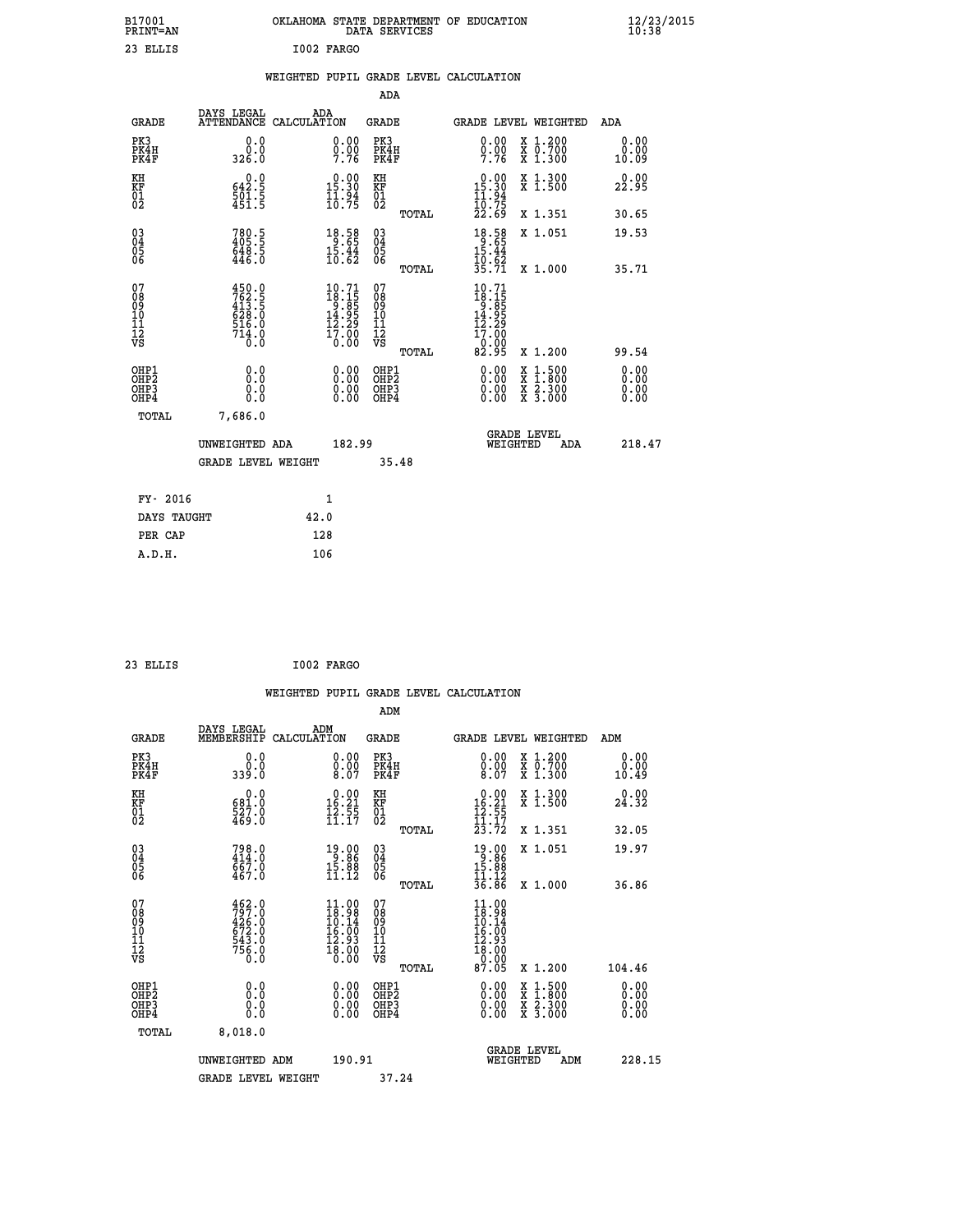| B17001<br>PRINT=AN                                |                                                                     |      |                                                                         |                                                            | DATA SERVICES | OKLAHOMA STATE DEPARTMENT OF EDUCATION                                                                    |          |                                                                                                                                           |                              | $\frac{12}{23}$ /2015 |
|---------------------------------------------------|---------------------------------------------------------------------|------|-------------------------------------------------------------------------|------------------------------------------------------------|---------------|-----------------------------------------------------------------------------------------------------------|----------|-------------------------------------------------------------------------------------------------------------------------------------------|------------------------------|-----------------------|
| 23 ELLIS                                          |                                                                     |      | I002 FARGO                                                              |                                                            |               |                                                                                                           |          |                                                                                                                                           |                              |                       |
|                                                   |                                                                     |      |                                                                         |                                                            |               | WEIGHTED PUPIL GRADE LEVEL CALCULATION                                                                    |          |                                                                                                                                           |                              |                       |
|                                                   |                                                                     |      |                                                                         | ADA                                                        |               |                                                                                                           |          |                                                                                                                                           |                              |                       |
| GRADE                                             | DAYS LEGAL<br>ATTENDANCE CALCULATION                                | ADA  |                                                                         | GRADE                                                      |               |                                                                                                           |          | GRADE LEVEL WEIGHTED                                                                                                                      | <b>ADA</b>                   |                       |
| PK3<br>PK4H<br>PK4F                               | 0.0<br>0.0<br>326.0                                                 |      | 0.00<br>$\frac{0}{7}$ . 76                                              | PK3<br>PK4H<br>PK4F                                        |               | 0.00<br>0.00<br>7.76                                                                                      |          | X 1.200<br>x 0.700<br>x 1.300                                                                                                             | 0.00<br>0.00<br>10.09        |                       |
| KH<br>KF<br>$\begin{matrix} 01 \ 02 \end{matrix}$ | 642.5<br>$\frac{501.5}{451.5}$                                      |      | $0.00$<br>15.30<br>$\frac{1}{10}$ $\frac{54}{75}$                       | ΚH<br><b>KF</b><br>01<br>02                                |               | $0.00$<br>15.30<br>$\frac{11.94}{10.75}$                                                                  |          | X 1.300<br>X 1.500                                                                                                                        | 0.00<br>22.95                |                       |
|                                                   |                                                                     |      |                                                                         |                                                            | TOTAL         | 22.69                                                                                                     |          | X 1.351                                                                                                                                   | 30.65                        |                       |
| 03<br>04<br>05<br>06                              | $780.5$<br>$405.5$<br>$548.5$<br>446.0                              |      | $\begin{array}{r} 18.58 \\ 9.65 \\ 15.44 \\ 10.62 \end{array}$          | $\begin{matrix} 03 \\ 04 \\ 05 \\ 06 \end{matrix}$         |               | $18.58$<br>$15.44$                                                                                        |          | X 1.051                                                                                                                                   | 19.53                        |                       |
|                                                   |                                                                     |      |                                                                         |                                                            | TOTAL         | $\frac{10.62}{35.71}$                                                                                     |          | X 1.000                                                                                                                                   | 35.71                        |                       |
| 07<br>08<br>09<br>11<br>11<br>12<br>VS            | 450.0<br>762.5<br>413.5<br>628.0<br>$\frac{516}{714}$ $\frac{0}{0}$ |      | $10.71$<br>$18.15$<br>$9.85$<br>$14.95$<br>$12.29$<br>$17.00$<br>$0.00$ | 07<br>08<br>09<br>10<br>$\frac{11}{12}$<br>$\frac{12}{18}$ |               | 10.71<br>$\begin{array}{c}\n 18.15 \\  -3.85 \\  14.95 \\  \hline\n 12.29\n \end{array}$<br>17.00<br>ô.ŏŏ |          |                                                                                                                                           |                              |                       |
|                                                   |                                                                     |      |                                                                         |                                                            | TOTAL         | 82.95                                                                                                     |          | X 1.200                                                                                                                                   | 99.54                        |                       |
| OHP1<br>OHP2<br>OHP3<br>OHP4                      | 0.0<br>Ō.Ō<br>0.0<br>0.0                                            |      | 0.00<br>0.00<br>0.00                                                    | OHP1<br>OHP <sub>2</sub><br>OHP3<br>OHP4                   |               | 0.00<br>0.00<br>0.00                                                                                      |          | $\begin{smallmatrix} \mathtt{X} & 1\cdot500\\ \mathtt{X} & 1\cdot800\\ \mathtt{X} & 2\cdot300\\ \mathtt{X} & 3\cdot000 \end{smallmatrix}$ | 0.00<br>0.00<br>0.00<br>0.00 |                       |
| TOTAL                                             | 7,686.0                                                             |      |                                                                         |                                                            |               |                                                                                                           |          |                                                                                                                                           |                              |                       |
|                                                   | UNWEIGHTED ADA                                                      |      | 182.99                                                                  |                                                            |               |                                                                                                           | WEIGHTED | <b>GRADE LEVEL</b><br>ADA                                                                                                                 | 218.47                       |                       |
|                                                   | <b>GRADE LEVEL WEIGHT</b>                                           |      |                                                                         |                                                            | 35.48         |                                                                                                           |          |                                                                                                                                           |                              |                       |
| FY- 2016                                          |                                                                     |      | 1                                                                       |                                                            |               |                                                                                                           |          |                                                                                                                                           |                              |                       |
| DAYS TAUGHT                                       |                                                                     | 42.0 |                                                                         |                                                            |               |                                                                                                           |          |                                                                                                                                           |                              |                       |
| PER CAP                                           |                                                                     | 128  |                                                                         |                                                            |               |                                                                                                           |          |                                                                                                                                           |                              |                       |

| I002 FARGO<br>23 ELLIS |  |
|------------------------|--|
|------------------------|--|

|                                                      |                                                                                                                                                                |                    |                                                                                              |                                                     |       | WEIGHTED PUPIL GRADE LEVEL CALCULATION                                                                                              |                                          |               |                               |
|------------------------------------------------------|----------------------------------------------------------------------------------------------------------------------------------------------------------------|--------------------|----------------------------------------------------------------------------------------------|-----------------------------------------------------|-------|-------------------------------------------------------------------------------------------------------------------------------------|------------------------------------------|---------------|-------------------------------|
|                                                      |                                                                                                                                                                |                    |                                                                                              | ADM                                                 |       |                                                                                                                                     |                                          |               |                               |
| <b>GRADE</b>                                         | DAYS LEGAL<br>MEMBERSHIP                                                                                                                                       | ADM<br>CALCULATION |                                                                                              | <b>GRADE</b>                                        |       | <b>GRADE LEVEL WEIGHTED</b>                                                                                                         |                                          | ADM           |                               |
| PK3<br>PK4H<br>PK4F                                  | 0.0<br>0.0<br>339.0                                                                                                                                            |                    | $\begin{smallmatrix} 0.00\ 0.00\ 0.00 \ 8.07 \end{smallmatrix}$                              | PK3<br>PK4H<br>PK4F                                 |       | $\begin{smallmatrix} 0.00 \ 0.00 \ 8.07 \end{smallmatrix}$                                                                          | X 1.200<br>X 0.700<br>X 1.300            | 0.00<br>10.49 | 0.00                          |
| KH<br>KF<br>01<br>02                                 | 0.0<br>681.0<br>527.0<br>469.0                                                                                                                                 |                    | $\begin{array}{c} 0.00 \\[-4pt] 16.21 \\[-4pt] 12.55 \\[-4pt] 11.17 \end{array}$             | KH<br>KF<br>01<br>02                                |       | $\begin{array}{r} 0.00 \\ 16.21 \\ 12.55 \\ 11.17 \\ 23.72 \end{array}$                                                             | X 1.300<br>X 1.500                       | 0.00<br>24.32 |                               |
|                                                      |                                                                                                                                                                |                    |                                                                                              |                                                     | TOTAL |                                                                                                                                     | X 1.351                                  | 32.05         |                               |
| $\begin{matrix} 03 \\ 04 \\ 05 \\ 06 \end{matrix}$   | $798.0$<br>$414.0$<br>$667.0$<br>$467.0$                                                                                                                       |                    | $\begin{array}{r} 19.00 \\ 9.86 \\ 15.88 \\ 11.12 \end{array}$                               | $\begin{array}{c} 03 \\ 04 \\ 05 \\ 06 \end{array}$ |       | $19.86$<br>$15.88$<br>$11.12$                                                                                                       | X 1.051                                  | 19.97         |                               |
| 07                                                   |                                                                                                                                                                |                    |                                                                                              |                                                     | TOTAL | 36.86                                                                                                                               | X 1.000                                  | 36.86         |                               |
| 0890112<br>1112<br>VS                                | $\begin{smallmatrix} 4\,6\,2\cdot0\\ 7\,9\,7\cdot0\\ 4\,2\,6\cdot0\\ 6\,7\,2\cdot0\\ 6\,7\,3\cdot0\\ 5\,4\,3\cdot0\\ 7\,5\,6\cdot0\\ 0\cdot0\end{smallmatrix}$ |                    | $11.00$<br>$18.98$<br>$\frac{10.14}{16.00}$<br>$\frac{12.93}{12.93}$<br>$\frac{18.00}{0.00}$ | 07<br>08901112<br>1112<br>VS                        |       | $\begin{array}{c} 11\cdot 00\\ 18\cdot 98\\ 10\cdot 14\\ 16\cdot 00\\ 12\cdot 93\\ 18\cdot 00\\ 0\cdot 00\\ 87\cdot 05 \end{array}$ |                                          |               |                               |
|                                                      |                                                                                                                                                                |                    |                                                                                              |                                                     | TOTAL |                                                                                                                                     | X 1.200                                  | 104.46        |                               |
| OHP1<br>OHP <sub>2</sub><br>OH <sub>P3</sub><br>OHP4 | 0.0<br>0.000                                                                                                                                                   |                    | $0.00$<br>$0.00$<br>0.00                                                                     | OHP1<br>OHP <sub>2</sub><br>OHP <sub>3</sub>        |       | 0.00<br>0.00<br>0.00                                                                                                                | X 1:500<br>X 1:800<br>X 2:300<br>X 3:000 |               | 0.00<br>Ō. ŌŌ<br>0.00<br>0.00 |
| TOTAL                                                | 8,018.0                                                                                                                                                        |                    |                                                                                              |                                                     |       |                                                                                                                                     |                                          |               |                               |
|                                                      | UNWEIGHTED ADM                                                                                                                                                 |                    | 190.91                                                                                       |                                                     |       | <b>GRADE LEVEL</b><br>WEIGHTED                                                                                                      | ADM                                      |               | 228.15                        |
|                                                      | <b>GRADE LEVEL WEIGHT</b>                                                                                                                                      |                    |                                                                                              | 37.24                                               |       |                                                                                                                                     |                                          |               |                               |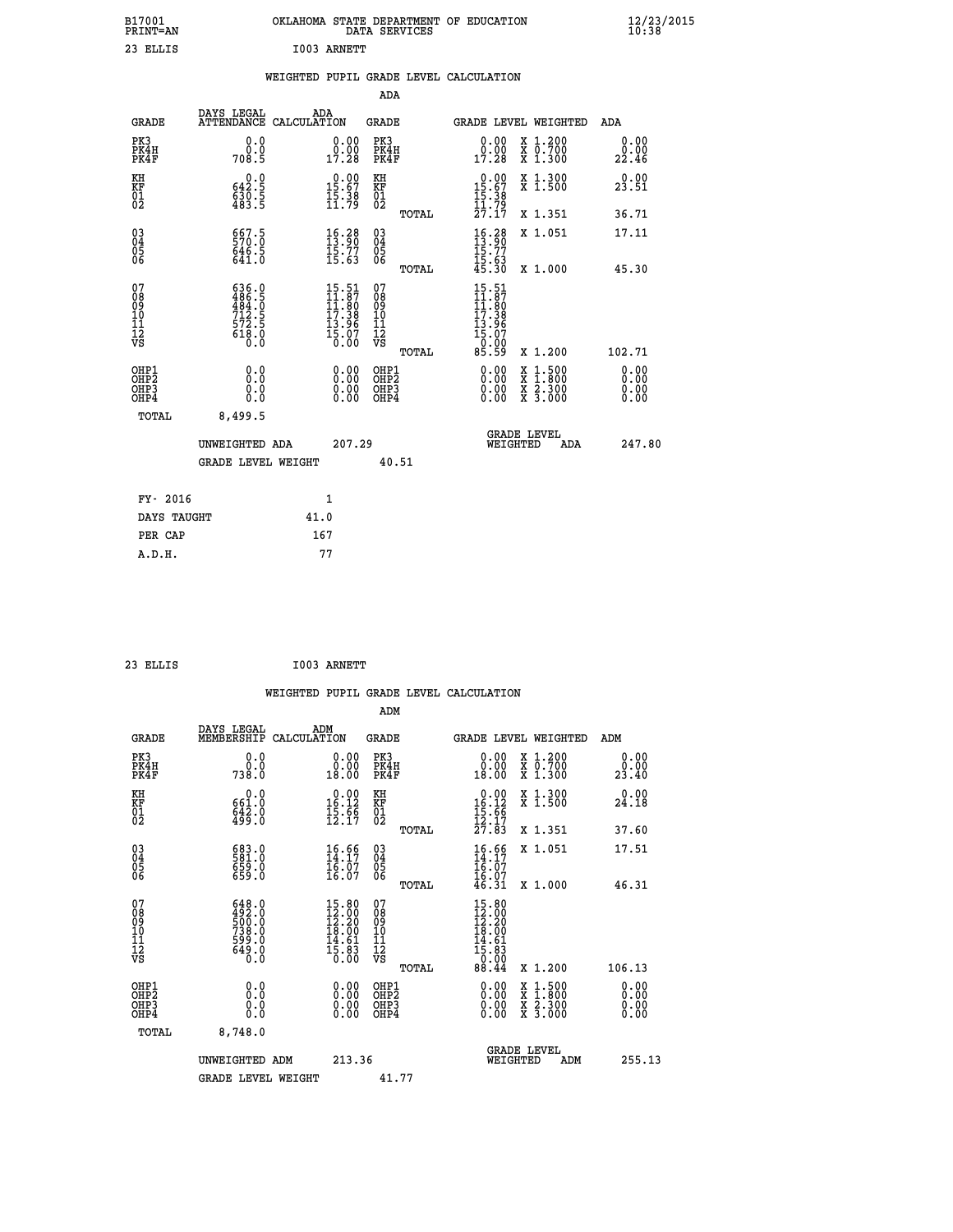| B17001<br><b>PRINT=AN</b>              |                                                                                                    | OKLAHOMA STATE DEPARTMENT OF EDUCATION                                   |                                                            | DATA SERVICES |                                                                                                 |                                                                                          | $\frac{12}{23}$ /2015 |
|----------------------------------------|----------------------------------------------------------------------------------------------------|--------------------------------------------------------------------------|------------------------------------------------------------|---------------|-------------------------------------------------------------------------------------------------|------------------------------------------------------------------------------------------|-----------------------|
| 23 ELLIS                               |                                                                                                    | I003 ARNETT                                                              |                                                            |               |                                                                                                 |                                                                                          |                       |
|                                        |                                                                                                    | WEIGHTED PUPIL GRADE LEVEL CALCULATION                                   |                                                            |               |                                                                                                 |                                                                                          |                       |
|                                        |                                                                                                    |                                                                          |                                                            | <b>ADA</b>    |                                                                                                 |                                                                                          |                       |
| <b>GRADE</b>                           | DAYS LEGAL                                                                                         | ADA<br>ATTENDANCE CALCULATION                                            | <b>GRADE</b>                                               |               |                                                                                                 | GRADE LEVEL WEIGHTED                                                                     | ADA                   |
| PK3<br>PK4H<br>PK4F                    | 0.0<br>0.0<br>708.5                                                                                | 0.00<br>0.00<br>17.28                                                    | PK3<br>PK4H<br>PK4F                                        |               | 0.00<br>0.00<br>17.28                                                                           | X 1.200<br>X 0.700<br>X 1.300                                                            | 0.00<br>0.00<br>22.46 |
| KH<br>KF<br>01<br>02                   | 0.0<br>$\frac{642.5}{630.5}$                                                                       | $0.00$<br>15.67<br>$\frac{15.38}{11.79}$                                 | KH<br><b>KF</b><br>01<br>02                                |               | $15.00$<br>15.67<br>$\frac{15:38}{11:72}$                                                       | X 1.300<br>X 1.500                                                                       | 0.00<br>23.51         |
|                                        |                                                                                                    |                                                                          |                                                            | TOTAL         | 27.17                                                                                           | X 1.351                                                                                  | 36.71                 |
| 03<br>04<br>05<br>06                   | 657.5<br>$646.5$<br>$641.0$                                                                        | $16.28$<br>$13.90$<br>$\frac{15:77}{15:63}$                              | $\begin{matrix} 03 \\ 04 \\ 05 \\ 06 \end{matrix}$         |               | $16.28$<br>$13.90$<br>$\frac{15.77}{15.63}$<br>$45.30$                                          | X 1.051                                                                                  | 17.11                 |
|                                        |                                                                                                    |                                                                          |                                                            | TOTAL         |                                                                                                 | X 1.000                                                                                  | 45.30                 |
| 07<br>08<br>09<br>11<br>11<br>12<br>VS | $\begin{smallmatrix} 636.0\\ 486.5\\ 484.0\\ 712.5\\ 72.5\\ 572.5\\ 618.0\\ 0.0 \end{smallmatrix}$ | $15.51$<br>$11.87$<br>$11.80$<br>$17.38$<br>$13.96$<br>$15.07$<br>$0.00$ | 07<br>08<br>09<br>10<br>$\frac{11}{12}$<br>$\frac{12}{18}$ | TOTAL         | 15.51<br>$\frac{11}{11}$ : 87<br>$\frac{17}{17}$ : 38<br>$\frac{13.96}{15.07}$<br>0.00<br>85.59 | X 1.200                                                                                  | 102.71                |
| OHP1                                   | 0.0                                                                                                | 0.00                                                                     | OHP1                                                       |               | 0.00                                                                                            |                                                                                          |                       |
| OHP <sub>2</sub><br>OHP3<br>OHP4       | Ō.Ō<br>0.0<br>0.0                                                                                  | 0.00                                                                     | OHP <sub>2</sub><br>OHP3<br>OHP4                           |               | 0.00<br>0.00                                                                                    | $\begin{smallmatrix} x & 1.500 \\ x & 1.800 \\ x & 2.300 \\ x & 3.000 \end{smallmatrix}$ | 0.00<br>0.00<br>0.00  |
| TOTAL                                  | 8,499.5                                                                                            |                                                                          |                                                            |               |                                                                                                 |                                                                                          |                       |
|                                        | UNWEIGHTED ADA                                                                                     |                                                                          | 207.29                                                     |               |                                                                                                 | <b>GRADE LEVEL</b><br>WEIGHTED<br>ADA                                                    | 247.80                |
|                                        | <b>GRADE LEVEL WEIGHT</b>                                                                          |                                                                          |                                                            | 40.51         |                                                                                                 |                                                                                          |                       |
| FY- 2016                               |                                                                                                    | 1                                                                        |                                                            |               |                                                                                                 |                                                                                          |                       |
| DAYS TAUGHT                            |                                                                                                    | 41.0                                                                     |                                                            |               |                                                                                                 |                                                                                          |                       |
| PER CAP                                |                                                                                                    | 167                                                                      |                                                            |               |                                                                                                 |                                                                                          |                       |

| 23 ELLIS |  | I003 ARNETT |
|----------|--|-------------|
|----------|--|-------------|

 **WEIGHTED PUPIL GRADE LEVEL CALCULATION ADM DAYS LEGAL ADM GRADE MEMBERSHIP CALCULATION GRADE GRADE LEVEL WEIGHTED ADM PK3 0.0 0.00 PK3 0.00 X 1.200 0.00 PK4H 0.0 0.00 PK4H 0.00 X 0.700 0.00 PK4F 738.0 18.00 PK4F 18.00 X 1.300 23.40 KH 0.0 0.00 KH 0.00 X 1.300 0.00 KF 661.0 16.12 KF 16.12 X 1.500 24.18 01 642.0 15.66 01 15.66**  $\begin{array}{cccc} 02 & 499.0 & 12.17 & 02 \end{array}$  **TOTAL 27.83 X 1.351 37.60 03 683.0 16.66 03 16.66 X 1.051 17.51 04 581.0 14.17 04 14.17 05 659.0 16.07 05 16.07** 06 659.0 16.07 06 <sub>memas</sub> 16.07  **TOTAL 46.31 X 1.000 46.31 07 648.0 15.80 07 15.80 08 492.0 12.00 08 12.00 09 500.0 12.20 09 12.20 10 738.0 18.00 10 18.00 11 599.0 14.61 11 14.61 12 649.0 15.83 12 15.83 VS** 0.0 0.00 VS 0.00 0.00 0.00  **TOTAL 88.44 X 1.200 106.13 OHP1 0.0 0.00 OHP1 0.00 X 1.500 0.00 OHP2 0.0 0.00 OHP2 0.00 X 1.800 0.00 OHP3 0.0 0.00 OHP3 0.00 X 2.300 0.00 OHP4 0.0 0.00 OHP4 0.00 X 3.000 0.00 TOTAL 8,748.0 GRADE LEVEL UNWEIGHTED ADM 213.36 WEIGHTED ADM 255.13** GRADE LEVEL WEIGHT 41.77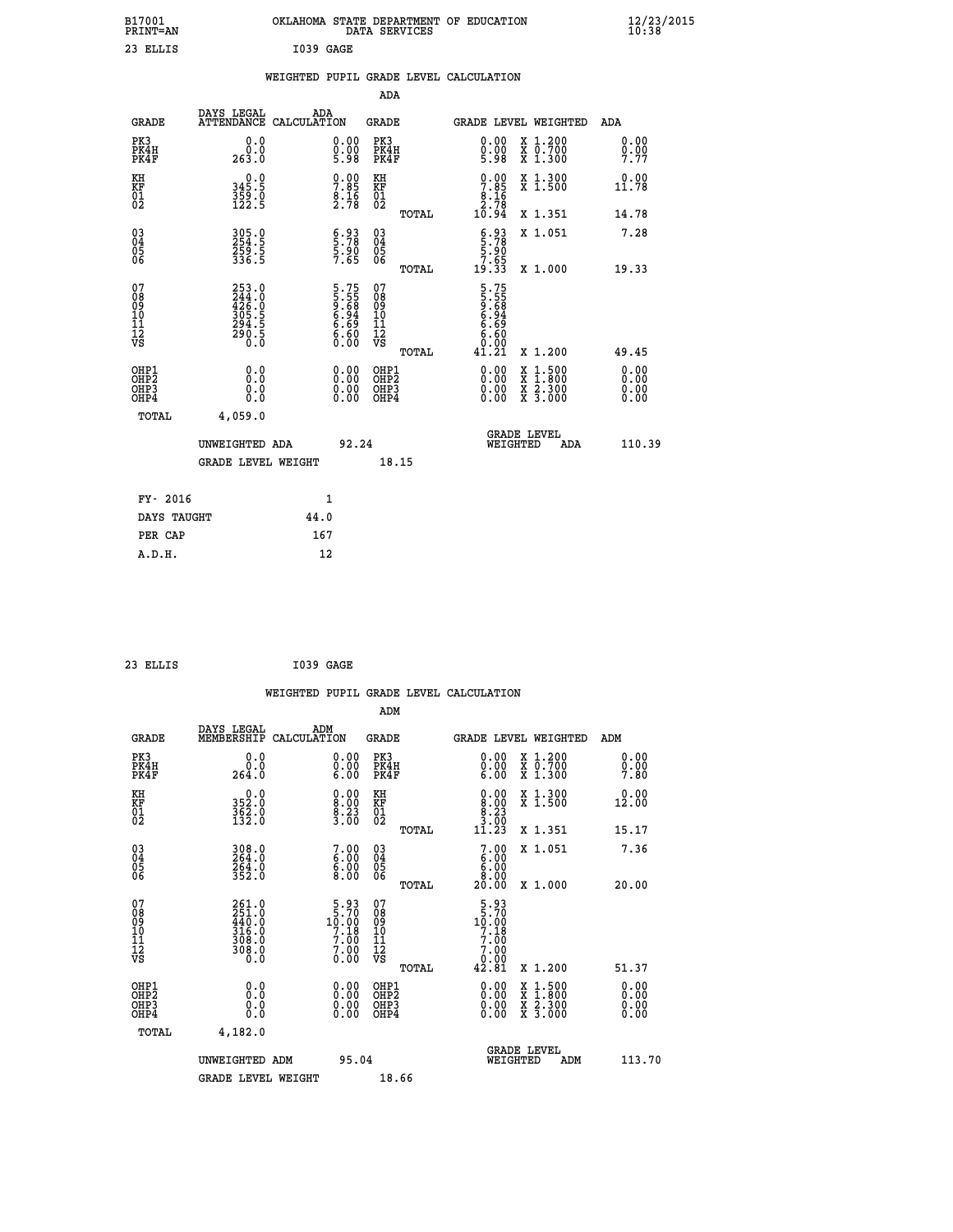| B17001<br>PRINT=AN                                 |                                                                       | OKLAHOMA STATE DEPARTMENT OF EDUCATION                            | DATA SERVICES                                   |                                                                             |                                                                                          | $\frac{12}{23}$ /2015        |  |
|----------------------------------------------------|-----------------------------------------------------------------------|-------------------------------------------------------------------|-------------------------------------------------|-----------------------------------------------------------------------------|------------------------------------------------------------------------------------------|------------------------------|--|
| 23 ELLIS                                           |                                                                       | I039 GAGE                                                         |                                                 |                                                                             |                                                                                          |                              |  |
|                                                    |                                                                       | WEIGHTED PUPIL GRADE LEVEL CALCULATION                            |                                                 |                                                                             |                                                                                          |                              |  |
|                                                    |                                                                       |                                                                   | ADA                                             |                                                                             |                                                                                          |                              |  |
| GRADE                                              | DAYS LEGAL<br>ATTENDANCE CALCULATION                                  | ADA                                                               | GRADE                                           | GRADE LEVEL WEIGHTED                                                        |                                                                                          | ADA                          |  |
| PK3<br>PK4H<br>PK4F                                | 0.0<br>0.0<br>263.0                                                   | 0.00<br>$\frac{0}{5}$ . $\frac{0}{9}$                             | PK3<br>PK4H<br>PK4F                             | 0.00<br>$0.00$<br>5.98                                                      | X 1.200<br>X 0.700<br>X 1.300                                                            | 0.00<br>0.00<br>7.77         |  |
| KH<br>ĶF<br>$^{01}_{02}$                           | 0.0<br>345.5<br>$\frac{359}{122}$ : 5                                 | $\begin{smallmatrix} 0.00\\ 7.85\\ 8.16\\ 2.78 \end{smallmatrix}$ | KH<br>ΚF<br>$\overline{01}$                     | $7.85$<br>$8.16$<br>$2.78$                                                  | X 1.300<br>X 1.500                                                                       | 0.00<br>11.78                |  |
|                                                    |                                                                       |                                                                   | <b>TOTAL</b>                                    | 10.94                                                                       | X 1.351                                                                                  | 14.78                        |  |
| $\begin{matrix} 03 \\ 04 \\ 05 \\ 06 \end{matrix}$ | 305.0<br>254.5<br>259.5<br>336.5                                      | $\begin{smallmatrix} 6.93\ 5.78\ 5.90\ 7.65 \end{smallmatrix}$    | 03<br>04<br>05<br>06                            | $\begin{smallmatrix} 6.93\ 5.78\ 5.90\ 5.90\ 7.65\ 19.33 \end{smallmatrix}$ | X 1.051                                                                                  | 7.28                         |  |
| 07<br>08<br>09<br>11<br>11<br>12<br>VS             | 253.0<br>$244.0$<br>$426.0$<br>$305.5$<br>$294.5$<br>$290.5$<br>$0.0$ | 5.75<br>5.55<br>9.68<br>6.94<br>6.69<br>6.60<br>0.00              | TOTAL<br>07<br>08<br>09<br>10<br>11<br>12<br>VS | 5.75<br>5.55<br>9.68<br>6.94<br>6.69<br>6.60                                | X 1.000                                                                                  | 19.33                        |  |
|                                                    |                                                                       |                                                                   | TOTAL                                           | Ŏ:ŎŎ<br>1.21<br>41                                                          | X 1.200                                                                                  | 49.45                        |  |
| OHP1<br>OHP <sub>2</sub><br>OHP3<br>OHP4           | 0.0<br>Ŏ.Ò<br>0.0<br>0.0                                              | $0.00$<br>$0.00$<br>0.00                                          | OHP1<br>OHP <sub>2</sub><br>OHP3<br>OHP4        | 0.00<br>0.00<br>0.00                                                        | $\begin{smallmatrix} x & 1.500 \\ x & 1.800 \\ x & 2.300 \\ x & 3.000 \end{smallmatrix}$ | 0.00<br>0.00<br>0.00<br>0.00 |  |
| TOTAL                                              | 4,059.0                                                               |                                                                   |                                                 |                                                                             |                                                                                          |                              |  |
|                                                    | UNWEIGHTED ADA<br><b>GRADE LEVEL WEIGHT</b>                           | 92.24                                                             | 18.15                                           | WEIGHTED                                                                    | <b>GRADE LEVEL</b><br>ADA                                                                | 110.39                       |  |
| FY- 2016                                           |                                                                       | 1                                                                 |                                                 |                                                                             |                                                                                          |                              |  |
| DAYS TAUGHT                                        |                                                                       | 44.0                                                              |                                                 |                                                                             |                                                                                          |                              |  |
| PER CAP                                            |                                                                       | 167                                                               |                                                 |                                                                             |                                                                                          |                              |  |

| 23 ELLIS | I039 GAGE |  |
|----------|-----------|--|
|          |           |  |

|                                                    |                      |                                                                         |                    |                                                                                 |                                        |       | WEIGHTED PUPIL GRADE LEVEL CALCULATION                                                                                                                                                                                                                                         |                                          |     |                      |
|----------------------------------------------------|----------------------|-------------------------------------------------------------------------|--------------------|---------------------------------------------------------------------------------|----------------------------------------|-------|--------------------------------------------------------------------------------------------------------------------------------------------------------------------------------------------------------------------------------------------------------------------------------|------------------------------------------|-----|----------------------|
|                                                    |                      |                                                                         |                    |                                                                                 | ADM                                    |       |                                                                                                                                                                                                                                                                                |                                          |     |                      |
|                                                    | <b>GRADE</b>         | DAYS LEGAL<br>MEMBERSHIP                                                | ADM<br>CALCULATION |                                                                                 | GRADE                                  |       | <b>GRADE LEVEL WEIGHTED</b>                                                                                                                                                                                                                                                    |                                          | ADM |                      |
|                                                    | PK3<br>PK4H<br>PK4F  | 0.0<br>0.0<br>264.0                                                     |                    | $\begin{smallmatrix} 0.00 \ 0.00 \ 6.00 \end{smallmatrix}$                      | PK3<br>PK4H<br>PK4F                    |       | $\begin{smallmatrix} 0.00 \\ 0.00 \\ 6.00 \end{smallmatrix}$                                                                                                                                                                                                                   | X 1.200<br>X 0.700<br>X 1.300            |     | 0.00<br>0.00<br>7.80 |
| KH<br>KF<br>01<br>02                               |                      | $352.0$<br>$362.0$<br>$362.0$<br>$132.0$                                |                    | $\begin{smallmatrix} 0.00\\ 8.00\\ 8.23\\ 3.00 \end{smallmatrix}$               | KH<br>KF<br>01<br>02                   |       | $\begin{smallmatrix} 0.00\\8.00\\8.23\\3.00\\11.23 \end{smallmatrix}$                                                                                                                                                                                                          | X 1.300<br>X 1.500                       |     | 0.00<br>12.00        |
|                                                    |                      |                                                                         |                    |                                                                                 |                                        | TOTAL |                                                                                                                                                                                                                                                                                | X 1.351                                  |     | 15.17                |
| $\begin{matrix} 03 \\ 04 \\ 05 \\ 06 \end{matrix}$ |                      | 308.0<br>264.0<br>264.0<br>352.0                                        |                    | $\begin{smallmatrix}7.00\6.00\6.00\8.00\end{smallmatrix}$                       | 03<br>04<br>05<br>06                   |       | 7.00<br>$\begin{array}{c} 6.00 \\ 6.00 \\ 8.00 \end{array}$                                                                                                                                                                                                                    | X 1.051                                  |     | 7.36                 |
|                                                    |                      |                                                                         |                    |                                                                                 |                                        | TOTAL | 20.00                                                                                                                                                                                                                                                                          | X 1.000                                  |     | 20.00                |
| 07<br>08<br>09<br>101<br>112<br>VS                 |                      | $261.0$<br>$251.0$<br>$440.0$<br>$316.0$<br>$308.0$<br>$308.0$<br>$0.0$ |                    | $\begin{smallmatrix}5.93\\5.70\\10.00\\7.18\\7.00\\7.00\\0.00\end{smallmatrix}$ | 07<br>08<br>09<br>11<br>11<br>12<br>VS | TOTAL | $\frac{5.93}{10.00}$<br>$7.18$<br>$7.00$<br>7.00<br>42.81                                                                                                                                                                                                                      | X 1.200                                  |     | 51.37                |
|                                                    | OHP1                 |                                                                         |                    |                                                                                 | OHP1                                   |       |                                                                                                                                                                                                                                                                                |                                          |     | 0.00                 |
|                                                    | OHP2<br>OHP3<br>OHP4 | 0.0<br>0.000                                                            |                    | $0.00$<br>$0.00$<br>0.00                                                        | OHP <sub>2</sub><br>OHP3<br>OHP4       |       | $\begin{smallmatrix} 0.00 & 0.00 & 0.00 & 0.00 & 0.00 & 0.00 & 0.00 & 0.00 & 0.00 & 0.00 & 0.00 & 0.00 & 0.00 & 0.00 & 0.00 & 0.00 & 0.00 & 0.00 & 0.00 & 0.00 & 0.00 & 0.00 & 0.00 & 0.00 & 0.00 & 0.00 & 0.00 & 0.00 & 0.00 & 0.00 & 0.00 & 0.00 & 0.00 & 0.00 & 0.00 & 0.0$ | X 1:500<br>X 1:800<br>X 2:300<br>X 3:000 |     | 0.00<br>0.00<br>0.00 |
|                                                    | TOTAL                | 4,182.0                                                                 |                    |                                                                                 |                                        |       |                                                                                                                                                                                                                                                                                |                                          |     |                      |
|                                                    |                      | UNWEIGHTED ADM                                                          |                    | 95.04                                                                           |                                        |       | WEIGHTED                                                                                                                                                                                                                                                                       | <b>GRADE LEVEL</b><br>ADM                |     | 113.70               |
|                                                    |                      | <b>GRADE LEVEL WEIGHT</b>                                               |                    |                                                                                 | 18.66                                  |       |                                                                                                                                                                                                                                                                                |                                          |     |                      |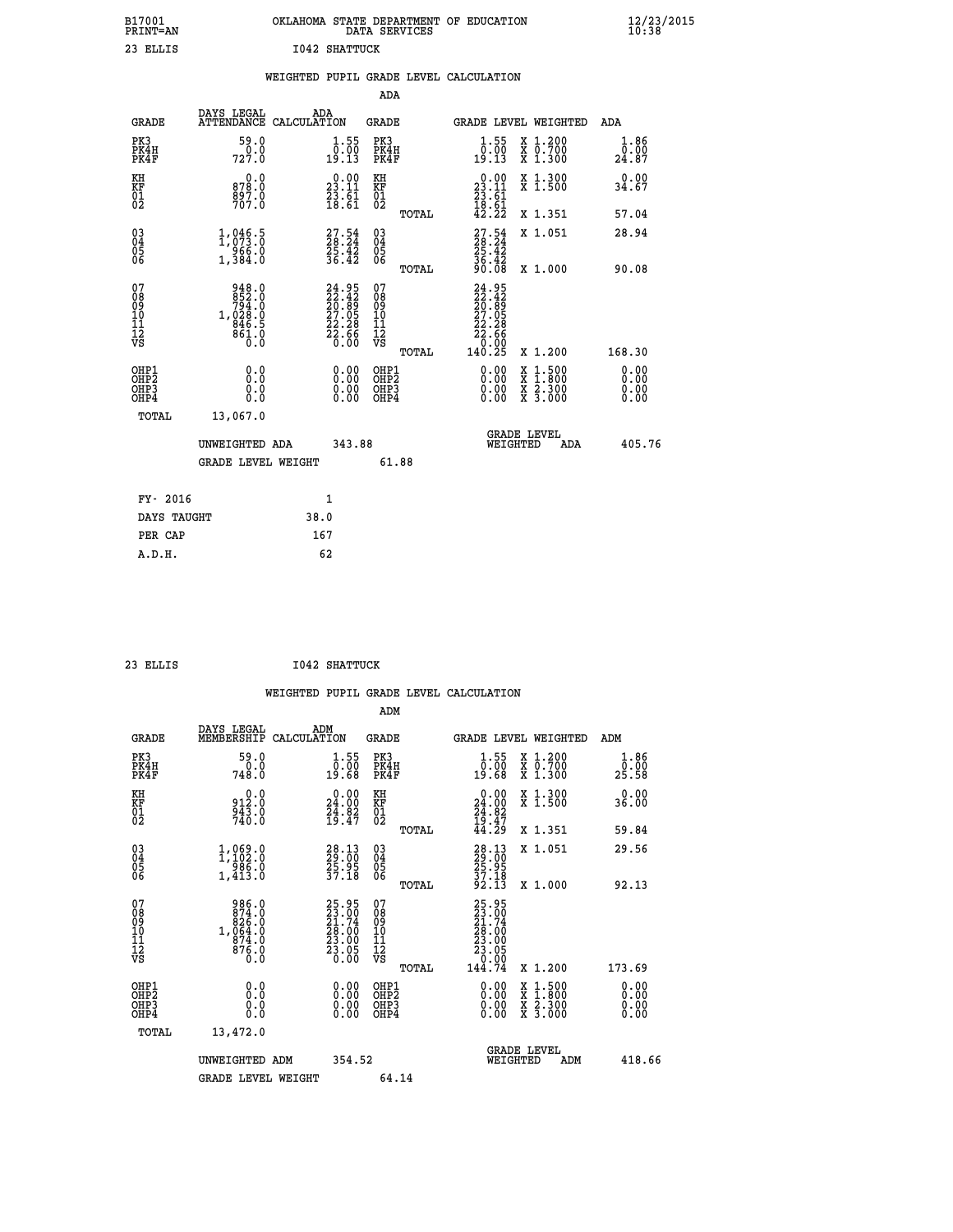| B17001<br>PRINT=AN                                 |                                                                               |                                                                          | OKLAHOMA STATE DEPARTMENT OF EDUCATION DATA SERVICES |                                                                                            |                                                                                          | $\frac{12}{23}$ /2015        |
|----------------------------------------------------|-------------------------------------------------------------------------------|--------------------------------------------------------------------------|------------------------------------------------------|--------------------------------------------------------------------------------------------|------------------------------------------------------------------------------------------|------------------------------|
| 23 ELLIS                                           |                                                                               | <b>I042 SHATTUCK</b>                                                     |                                                      |                                                                                            |                                                                                          |                              |
|                                                    |                                                                               |                                                                          | WEIGHTED PUPIL GRADE LEVEL CALCULATION               |                                                                                            |                                                                                          |                              |
|                                                    |                                                                               |                                                                          | ADA                                                  |                                                                                            |                                                                                          |                              |
| <b>GRADE</b>                                       | DAYS LEGAL<br>ATTENDANCE CALCULATION                                          | ADA                                                                      | <b>GRADE</b>                                         | <b>GRADE LEVEL WEIGHTED</b>                                                                |                                                                                          | ADA                          |
| PK3<br>PK4H<br>PK4F                                | 59.0<br>0.0<br>727.0                                                          | $\begin{smallmatrix} 1.55\\ 0.00\\ 19.13 \end{smallmatrix}$              | PK3<br>PK4H<br>PK4F                                  | $\begin{smallmatrix} 1.55\\ 0.00\\ 19.13 \end{smallmatrix}$                                | X 1.200<br>X 0.700<br>X 1.300                                                            | 1.86<br>0.00<br>24.87        |
| KH<br>KF<br>01<br>02                               | 0.0<br>878.0<br>897.0<br>707.0                                                | $\begin{smallmatrix} 0.00\\ 23.11\\ 23.61\\ 18.61 \end{smallmatrix}$     | КH<br>KF<br>01<br>02                                 | $\begin{smallmatrix} 0.00\\ 23.11\\ 23.61\\ 18.61\\ 42.22 \end{smallmatrix}$               | X 1.300<br>X <sub>1.500</sub>                                                            | 0.00<br>34.67                |
|                                                    |                                                                               |                                                                          | TOTAL                                                |                                                                                            | X 1.351                                                                                  | 57.04                        |
| $\begin{matrix} 03 \\ 04 \\ 05 \\ 06 \end{matrix}$ | 1,046.5<br>966.0<br>1,384.0                                                   | $27.54$<br>$28.24$<br>$25.42$<br>$36.42$                                 | 03<br>04<br>05<br>06                                 | $\frac{27.54}{28.24}$<br>36.42                                                             | X 1.051                                                                                  | 28.94                        |
|                                                    |                                                                               |                                                                          | TOTAL                                                | 90.08                                                                                      | X 1.000                                                                                  | 90.08                        |
| 07<br>08<br>09<br>11<br>11<br>12<br>VS             | 948.0<br>0: 852<br>0: 794<br>0: 299, 1<br>846.5<br>861.0<br>$\overline{0}$ .0 | $24.95$<br>$22.42$<br>$20.89$<br>$27.05$<br>$22.28$<br>$22.66$<br>$0.00$ | 07<br>08<br>09<br>10<br>11<br>ĪŽ<br>VŠ<br>TOTAL      | 24.95<br>22.42<br>20.89<br>27.05<br>22.28<br>$\bar{2}\bar{2}\cdot\bar{6}\bar{6}$<br>140.25 | X 1.200                                                                                  | 168.30                       |
| OHP1<br>OHP2<br>OHP3<br>OHP4                       | 0.0<br>0.0<br>0.0<br>0.0                                                      | 0.00<br>0.00                                                             | OHP1<br>OH <sub>P</sub> 2<br>OHP3<br>OHP4            | 0.00<br>0.00<br>0.00                                                                       | $\begin{smallmatrix} x & 1.500 \\ x & 1.800 \\ x & 2.300 \\ x & 3.000 \end{smallmatrix}$ | 0.00<br>0.00<br>0.00<br>0.00 |
| TOTAL                                              | 13,067.0                                                                      |                                                                          |                                                      |                                                                                            |                                                                                          |                              |
|                                                    | UNWEIGHTED ADA                                                                | 343.88                                                                   |                                                      | WEIGHTED                                                                                   | <b>GRADE LEVEL</b><br>ADA                                                                | 405.76                       |
|                                                    | GRADE LEVEL WEIGHT                                                            |                                                                          | 61.88                                                |                                                                                            |                                                                                          |                              |
| FY- 2016                                           |                                                                               | 1                                                                        |                                                      |                                                                                            |                                                                                          |                              |
| DAYS TAUGHT                                        |                                                                               | 38.0                                                                     |                                                      |                                                                                            |                                                                                          |                              |

| 23 ELLIS | <b>I042 SHATTUCK</b> |
|----------|----------------------|
|          |                      |

 **PER CAP 167 A.D.H. 62**

 **WEIGHTED PUPIL GRADE LEVEL CALCULATION ADM DAYS LEGAL ADM GRADE MEMBERSHIP CALCULATION GRADE GRADE LEVEL WEIGHTED ADM PK3 59.0 1.55 PK3 1.55 X 1.200 1.86 PK4H 0.0 0.00 PK4H 0.00 X 0.700 0.00 PK4F 748.0 19.68 PK4F 19.68 X 1.300 25.58 KH 0.0 0.00 KH 0.00 X 1.300 0.00 KF 912.0 24.00 KF 24.00 X 1.500 36.00 01 943.0 24.82 01 24.82** 02 740.0 19.47 02 <sub>noman</sub> 19.47  **TOTAL 44.29 X 1.351 59.84 03 1,069.0 28.13 03 28.13 X 1.051 29.56 04 1,102.0 29.00 04 29.00 05 986.0 25.95 05 25.95 06 1,413.0 37.18 06 37.18 TOTAL 92.13 X 1.000 92.13** 07 986.0 25.95 07 25.95<br>
08 874.0 23.00<br>
10 1,064.0 28.00 10 28.00<br>
11 874.0 28.00 10 28.00<br>
12 874.0 23.05 12<br>
VS 8 0.000 VS 0.000  **TOTAL 144.74 X 1.200 173.69 OHP1 0.0 0.00 OHP1 0.00 X 1.500 0.00 OHP2 0.0 0.00 OHP2 0.00 X 1.800 0.00 OHP3 0.0 0.00 OHP3 0.00 X 2.300 0.00 OHP4 0.0 0.00 OHP4 0.00 X 3.000 0.00 TOTAL 13,472.0 GRADE LEVEL UNWEIGHTED ADM 354.52 WEIGHTED ADM 418.66** GRADE LEVEL WEIGHT 64.14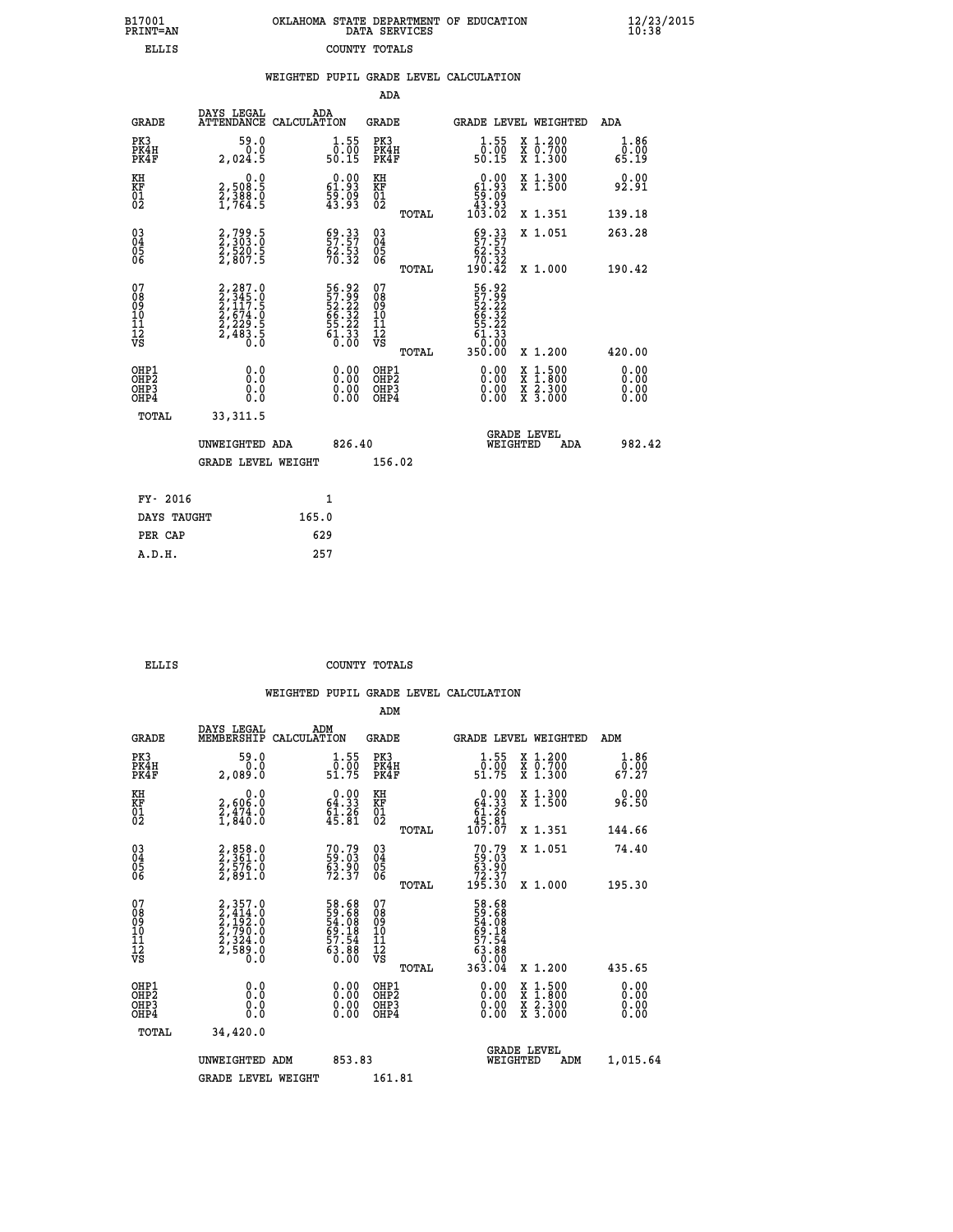|  | OKLAHOMA STATE DEPARTMENT OF EDUCATION<br>DATA SERVICES |  |
|--|---------------------------------------------------------|--|
|  | COUNTY TOTALS                                           |  |

|                                                                    |                                                                                                                   |       |                                                                      |                                                                  |       | WEIGHTED PUPIL GRADE LEVEL CALCULATION                                                                                                                                                                                                                                         |                                                                                        |                              |
|--------------------------------------------------------------------|-------------------------------------------------------------------------------------------------------------------|-------|----------------------------------------------------------------------|------------------------------------------------------------------|-------|--------------------------------------------------------------------------------------------------------------------------------------------------------------------------------------------------------------------------------------------------------------------------------|----------------------------------------------------------------------------------------|------------------------------|
|                                                                    |                                                                                                                   |       |                                                                      | <b>ADA</b>                                                       |       |                                                                                                                                                                                                                                                                                |                                                                                        |                              |
| <b>GRADE</b>                                                       | DAYS LEGAL<br>ATTENDANCE CALCULATION                                                                              | ADA   |                                                                      | GRADE                                                            |       |                                                                                                                                                                                                                                                                                | GRADE LEVEL WEIGHTED                                                                   | ADA                          |
| PK3<br>PK4H<br>PK4F                                                | 59.0<br>0.0<br>2,024.5                                                                                            |       | $\begin{smallmatrix} 1.55\\ 0.00\\ 50.15 \end{smallmatrix}$          | PK3<br>PK4H<br>PK4F                                              |       | $1.55$<br>$0.00$<br>50.15                                                                                                                                                                                                                                                      | X 1.200<br>X 0.700<br>X 1.300                                                          | 1.86<br>0.00<br>65.19        |
| KH<br><b>KF</b><br>01<br>02                                        | 0.0<br>2,508:5<br>2,388:0<br>1,764:5                                                                              |       | $\begin{smallmatrix} 0.00\\ 61.93\\ 59.09\\ 43.93 \end{smallmatrix}$ | KH<br>KF<br>01<br>02                                             |       | $\begin{smallmatrix} &0.00\ 61.93\ 59.09\ 43.93\ 103.02\end{smallmatrix}$                                                                                                                                                                                                      | X 1.300<br>X 1.500                                                                     | 0.00<br>92.91                |
|                                                                    |                                                                                                                   |       |                                                                      |                                                                  | TOTAL |                                                                                                                                                                                                                                                                                | X 1.351                                                                                | 139.18                       |
| $\begin{smallmatrix} 03 \\[-4pt] 04 \end{smallmatrix}$<br>Ŏ5<br>06 | 2,799.5<br>2,303.0<br>2,520.5<br>2,807.5                                                                          |       | $\begin{smallmatrix} 69.33\ 57.57\ 62.53\ 70.32 \end{smallmatrix}$   | $\begin{array}{c} 03 \\ 04 \\ 05 \\ 06 \end{array}$              |       | $\begin{smallmatrix} 69.33\\ 57.57\\ 62.53\\ 70.32\\ 190.42\\ \end{smallmatrix}$                                                                                                                                                                                               | X 1.051                                                                                | 263.28                       |
|                                                                    |                                                                                                                   |       |                                                                      |                                                                  | TOTAL |                                                                                                                                                                                                                                                                                | X 1.000                                                                                | 190.42                       |
| 07<br>08<br>09<br>11<br>11<br>12<br>VS                             | $\begin{smallmatrix} 2,287.0\\ 2,345.0\\ 2,117.5\\ 2,117.5\\ 2,674.0\\ 2,229.5\\ 2,483.5\\ 0.0 \end{smallmatrix}$ |       | 56.92<br>57.99<br>52.22<br>66.32<br>55.22<br>55.23<br>61.33          | 07<br>08<br>09<br>11<br>11<br>12<br>VS                           |       | 56.92<br>57.99<br>52.32<br>66.32<br>55.23<br>50.333<br>0.000                                                                                                                                                                                                                   |                                                                                        |                              |
|                                                                    |                                                                                                                   |       |                                                                      |                                                                  | TOTAL | 350.00                                                                                                                                                                                                                                                                         | X 1.200                                                                                | 420.00                       |
| OHP1<br>OH <sub>P</sub> 2<br>OHP3<br>OHP4                          | 0.0<br>Ŏ.Ŏ<br>0.0<br>0.0                                                                                          |       | $\begin{smallmatrix} 0.00 \ 0.00 \ 0.00 \ 0.00 \end{smallmatrix}$    | OHP1<br>OHP <sub>2</sub><br>OHP <sub>3</sub><br>OHP <sub>4</sub> |       | $\begin{smallmatrix} 0.00 & 0.00 & 0.00 & 0.00 & 0.00 & 0.00 & 0.00 & 0.00 & 0.00 & 0.00 & 0.00 & 0.00 & 0.00 & 0.00 & 0.00 & 0.00 & 0.00 & 0.00 & 0.00 & 0.00 & 0.00 & 0.00 & 0.00 & 0.00 & 0.00 & 0.00 & 0.00 & 0.00 & 0.00 & 0.00 & 0.00 & 0.00 & 0.00 & 0.00 & 0.00 & 0.0$ | $\begin{smallmatrix} 1.500\ 1.800\ 2.300\ 3.000 \end{smallmatrix}$<br>X<br>X<br>X<br>X | 0.00<br>0.00<br>0.00<br>0.00 |
| TOTAL                                                              | 33, 311.5                                                                                                         |       |                                                                      |                                                                  |       |                                                                                                                                                                                                                                                                                |                                                                                        |                              |
|                                                                    | UNWEIGHTED ADA                                                                                                    |       | 826.40                                                               |                                                                  |       | WEIGHTED                                                                                                                                                                                                                                                                       | <b>GRADE LEVEL</b><br>ADA                                                              | 982.42                       |
|                                                                    | <b>GRADE LEVEL WEIGHT</b>                                                                                         |       |                                                                      | 156.02                                                           |       |                                                                                                                                                                                                                                                                                |                                                                                        |                              |
| FY- 2016                                                           |                                                                                                                   |       | 1                                                                    |                                                                  |       |                                                                                                                                                                                                                                                                                |                                                                                        |                              |
| DAYS TAUGHT                                                        |                                                                                                                   | 165.0 |                                                                      |                                                                  |       |                                                                                                                                                                                                                                                                                |                                                                                        |                              |
| PER CAP                                                            |                                                                                                                   | 629   |                                                                      |                                                                  |       |                                                                                                                                                                                                                                                                                |                                                                                        |                              |
| A.D.H.                                                             |                                                                                                                   | 257   |                                                                      |                                                                  |       |                                                                                                                                                                                                                                                                                |                                                                                        |                              |

B17001<br>PRINT=AN<br>ELLIS

 **ELLIS COUNTY TOTALS**

|                                          |                                                                |                                                                      | ADM                                                 |       |                                                                         |                                          |                              |  |
|------------------------------------------|----------------------------------------------------------------|----------------------------------------------------------------------|-----------------------------------------------------|-------|-------------------------------------------------------------------------|------------------------------------------|------------------------------|--|
| <b>GRADE</b>                             | DAYS LEGAL<br>MEMBERSHIP                                       | ADM<br>CALCULATION                                                   | <b>GRADE</b>                                        |       | <b>GRADE LEVEL WEIGHTED</b>                                             |                                          | ADM                          |  |
| PK3<br>PK4H<br>PK4F                      | 59.0<br>0.0<br>2,089.0                                         | $\frac{1}{0}$ : 55<br>51.75                                          | PK3<br>PK4H<br>PK4F                                 |       | $\frac{1}{0}$ : 55<br>51.75                                             | X 1.200<br>X 0.700<br>X 1.300            | 1.86<br>$\frac{5.88}{67.27}$ |  |
| KH<br>KF<br>01<br>02                     | 0.0<br>2,606:0<br>2,474:0<br>1,840:0                           | $\begin{smallmatrix} 0.00\\ 64.33\\ 61.26\\ 45.81 \end{smallmatrix}$ | KH<br>KF<br>01<br>02                                |       | $0.00\n64.33\n61.26\n45.81\n107.07$                                     | X 1.300<br>X 1.500                       | 0.00<br>96.50                |  |
|                                          |                                                                |                                                                      |                                                     | TOTAL |                                                                         | X 1.351                                  | 144.66                       |  |
| 03<br>04<br>05<br>06                     | 2,858.0<br>2,361.0<br>2,576.0<br>2,891.0                       | 70.79<br>59.03<br>63.90<br>72.37                                     | $\begin{array}{c} 03 \\ 04 \\ 05 \\ 06 \end{array}$ |       | $70.79$<br>59.03<br>63.90<br>72.37<br>195.30                            | X 1.051                                  | 74.40                        |  |
|                                          |                                                                |                                                                      |                                                     | TOTAL |                                                                         | X 1.000                                  | 195.30                       |  |
| 07<br>08<br>09<br>101<br>11<br>12<br>VS  | 2,357.0<br>2,414.0<br>2,192.0<br>2,790.0<br>2,324.0<br>2,589.0 | 58.68<br>59.68<br>54.08<br>54.08<br>69.18<br>57.54<br>63.88<br>63.88 | 07<br>08<br>09<br>11<br>11<br>12<br>VS              |       | 58.68<br>59.688<br>54.088<br>57.54<br>57.54<br>63.88<br>0.000<br>363.04 |                                          |                              |  |
|                                          |                                                                |                                                                      |                                                     | TOTAL |                                                                         | X 1.200                                  | 435.65                       |  |
| OHP1<br>OHP2<br>OHP <sub>3</sub><br>OHP4 |                                                                |                                                                      | OHP1<br>OHP2<br>OHP <sub>3</sub>                    |       | $0.00$<br>$0.00$<br>0.00                                                | X 1:500<br>X 1:800<br>X 2:300<br>X 3:000 | 0.00<br>0.00<br>0.00         |  |
| TOTAL                                    | 34,420.0                                                       |                                                                      |                                                     |       |                                                                         |                                          |                              |  |
|                                          | UNWEIGHTED ADM                                                 |                                                                      | 853.83                                              |       | <b>GRADE LEVEL</b><br>WEIGHTED                                          | ADM                                      | 1,015.64                     |  |
|                                          | <b>GRADE LEVEL WEIGHT</b>                                      |                                                                      | 161.81                                              |       |                                                                         |                                          |                              |  |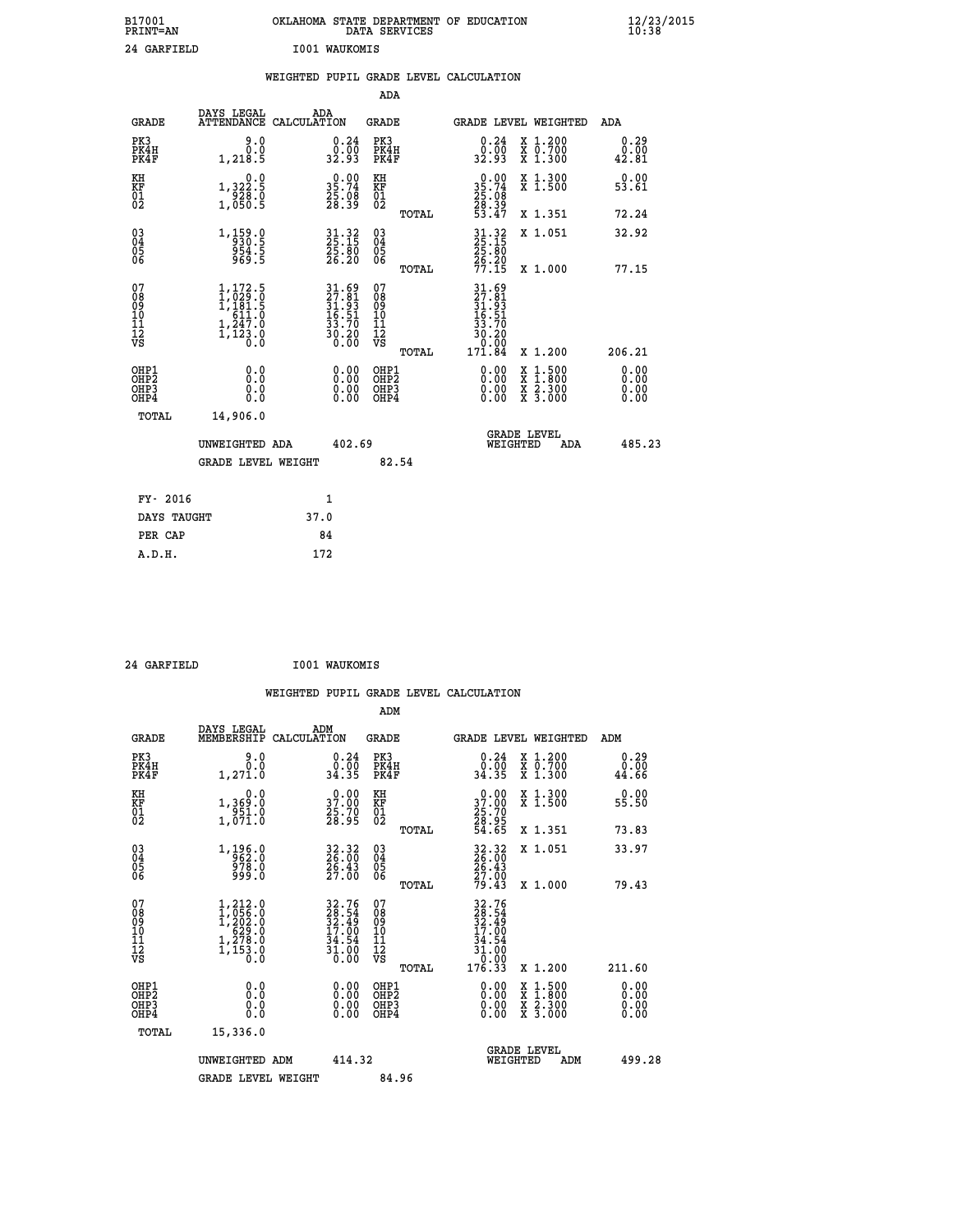| B17001<br>PRINT=AN | OKLAHOMA STATE DEPARTMENT OF EDUCATION<br>DATA SERVICES | $\frac{12}{23}$ /2015 |
|--------------------|---------------------------------------------------------|-----------------------|
| 24 GARFIELD        | <b>I001 WAUKOMIS</b>                                    |                       |

|                                                                    |                                                                                              | WEIGHTED PUPIL GRADE LEVEL CALCULATION                                   |                                        |                                                                                                                          |                               |
|--------------------------------------------------------------------|----------------------------------------------------------------------------------------------|--------------------------------------------------------------------------|----------------------------------------|--------------------------------------------------------------------------------------------------------------------------|-------------------------------|
|                                                                    |                                                                                              |                                                                          | <b>ADA</b>                             |                                                                                                                          |                               |
|                                                                    | DAYS LEGAL<br><b>GRADE</b>                                                                   | ADA<br>ATTENDANCE CALCULATION                                            | GRADE                                  | GRADE LEVEL WEIGHTED                                                                                                     | ADA                           |
| PK3<br>PK4H<br>PK4F                                                | 0.06<br>1,218.5                                                                              | 0.24<br>0.00<br>32.93                                                    | PK3<br>PK4H<br>PK4F                    | 0.24<br>X 1.200<br>0.00<br>X 0.700<br>X 1.300<br>32.93                                                                   | 0.29<br>0.00<br>42.81         |
| KH<br>KF<br>01<br>02                                               | 0.0<br>1,322:5<br>928:0<br>1,050:5                                                           | $\begin{smallmatrix} 0.00\\ 35.74\\ 25.08\\ 28.39 \end{smallmatrix}$     | KH<br>KF<br>01<br>02                   | 0.00<br>X 1.300<br>X 1.500<br>35.74<br>25.08<br>28.39<br>53.47                                                           | 0.00<br>53.61                 |
|                                                                    |                                                                                              |                                                                          | TOTAL                                  | X 1.351                                                                                                                  | 72.24                         |
| $\begin{smallmatrix} 03 \\[-4pt] 04 \end{smallmatrix}$<br>05<br>06 | $1, \frac{159}{930}$ : 9<br>954.5<br>969.5                                                   | $31.32$<br>$25.15$<br>$25.80$<br>$26.20$                                 | $^{03}_{04}$<br>$\frac{05}{06}$        | 31.32<br>25.15<br>25.80<br>X 1.051                                                                                       | 32.92                         |
|                                                                    |                                                                                              |                                                                          | TOTAL                                  | $\frac{26}{77}. \frac{20}{15}$<br>X 1.000                                                                                | 77.15                         |
| 07<br>08<br>09<br>101<br>112<br>VS                                 | $1,172.5$<br>$1,029.0$<br>$1,181.5$<br>$611.0$<br>$1, \frac{3}{4}, \frac{7}{2}, \frac{8}{8}$ | $31.69$<br>$27.81$<br>$31.93$<br>$16.51$<br>$33.70$<br>$30.20$<br>$0.00$ | 07<br>08<br>09<br>11<br>11<br>12<br>VS | 31.69<br>27.81<br>31.93<br>36.51<br>33.70<br>30.20<br>0.00<br>171.84                                                     |                               |
|                                                                    |                                                                                              |                                                                          | TOTAL                                  | X 1.200                                                                                                                  | 206.21                        |
| OHP1<br>OHP <sub>2</sub><br>OHP3<br>OHP4                           | 0.0<br>0.0<br>0.0                                                                            | 0.00<br>0.00<br>0.00                                                     | OHP1<br>OHP2<br>OHP3<br>OHP4           | 0.00<br>$\begin{smallmatrix} x & 1 & 500 \\ x & 1 & 800 \\ x & 2 & 300 \\ x & 3 & 000 \end{smallmatrix}$<br>0.00<br>0.00 | 0.00<br>Ō. ŌŌ<br>0.00<br>0.00 |
|                                                                    | TOTAL<br>14,906.0                                                                            |                                                                          |                                        |                                                                                                                          |                               |
|                                                                    | UNWEIGHTED ADA                                                                               | 402.69                                                                   |                                        | <b>GRADE LEVEL</b><br>WEIGHTED<br>ADA                                                                                    | 485.23                        |
|                                                                    | <b>GRADE LEVEL WEIGHT</b>                                                                    |                                                                          | 82.54                                  |                                                                                                                          |                               |
|                                                                    | FY- 2016                                                                                     | 1                                                                        |                                        |                                                                                                                          |                               |
|                                                                    | DAYS TAUGHT                                                                                  | 37.0                                                                     |                                        |                                                                                                                          |                               |
|                                                                    | PER CAP                                                                                      | 84                                                                       |                                        |                                                                                                                          |                               |
|                                                                    | A.D.H.                                                                                       | 172                                                                      |                                        |                                                                                                                          |                               |

 **24 GARFIELD I001 WAUKOMIS**

 **WEIGHTED PUPIL GRADE LEVEL CALCULATION ADM DAYS LEGAL ADM**

| <b>GRADE</b>                                       | DAYS TEGAT<br>MEMBERSHIP                                                                                                                | ADM<br>CALCULATION                                                         | <b>GRADE</b>                                        |       |                                                                              | <b>GRADE LEVEL WEIGHTED</b>                                                                                                               | ADM                          |  |
|----------------------------------------------------|-----------------------------------------------------------------------------------------------------------------------------------------|----------------------------------------------------------------------------|-----------------------------------------------------|-------|------------------------------------------------------------------------------|-------------------------------------------------------------------------------------------------------------------------------------------|------------------------------|--|
| PK3<br>PK4H<br>PK4F                                | 9.0<br>0.0<br>1,271.0                                                                                                                   | $\begin{smallmatrix} 0.24\ 0.00 \ 34.35 \end{smallmatrix}$                 | PK3<br>PK4H<br>PK4F                                 |       | 0.24<br>0.00<br>34.35                                                        | X 1.200<br>X 0.700<br>X 1.300                                                                                                             | 0.29<br>0.00<br>44.66        |  |
| KH<br>KF<br>01<br>02                               | 0.0<br>1,369:0<br>951:0<br>1,071:0                                                                                                      | $\begin{smallmatrix} 0.00\\ 37.00\\ 25.70\\ 28.95 \end{smallmatrix}$       | KH<br>KF<br>01<br>02                                |       | $\begin{smallmatrix} 0.00\\ 37.00\\ 25.70\\ 28.95\\ 54.65 \end{smallmatrix}$ | X 1.300<br>X 1.500                                                                                                                        | 0.00<br>55.50                |  |
|                                                    |                                                                                                                                         |                                                                            |                                                     | TOTAL |                                                                              | X 1.351                                                                                                                                   | 73.83                        |  |
| $\begin{matrix} 03 \\ 04 \\ 05 \\ 06 \end{matrix}$ | 1,196.0<br>962.0<br>978.0<br>999.0                                                                                                      | 32.32<br>26.00<br>26.43<br>27.00                                           | $\begin{array}{c} 03 \\ 04 \\ 05 \\ 06 \end{array}$ |       | 32.32<br>26.00<br>26.43<br>27.00<br>79.43                                    | X 1.051                                                                                                                                   | 33.97                        |  |
|                                                    |                                                                                                                                         |                                                                            |                                                     | TOTAL |                                                                              | X 1.000                                                                                                                                   | 79.43                        |  |
| 07<br>08<br>09<br>101<br>112<br>VS                 | $\begin{smallmatrix} 1,212\cdot 0\\ 1,056\cdot 0\\ 1,202\cdot 0\\ 629\cdot 0\\ 1,278\cdot 0\\ 1,153\cdot 0\\ 0\cdot 0\end{smallmatrix}$ | 32.76<br>28.54<br>32.49<br>32.00<br>17.00<br>34.54<br>$\frac{31.00}{0.00}$ | 07<br>08<br>09<br>11<br>11<br>12<br>VS              |       | $32.76$<br>$28.54$<br>$32.49$<br>$34.54$<br>$31.00$<br>$0.00$<br>$176.33$    |                                                                                                                                           |                              |  |
|                                                    |                                                                                                                                         |                                                                            |                                                     | TOTAL |                                                                              | X 1.200                                                                                                                                   | 211.60                       |  |
| OHP1<br>OHP2<br>OHP3<br>OHP4                       | 0.0<br>0.0<br>0.0                                                                                                                       | $0.00$<br>$0.00$<br>0.00                                                   | OHP1<br>OHP <sub>2</sub><br>OHP3<br>OHP4            |       |                                                                              | $\begin{smallmatrix} \mathtt{X} & 1\cdot500\\ \mathtt{X} & 1\cdot800\\ \mathtt{X} & 2\cdot300\\ \mathtt{X} & 3\cdot000 \end{smallmatrix}$ | 0.00<br>0.00<br>0.00<br>0.00 |  |
| TOTAL                                              | 15,336.0                                                                                                                                |                                                                            |                                                     |       |                                                                              |                                                                                                                                           |                              |  |
|                                                    | UNWEIGHTED ADM                                                                                                                          | 414.32                                                                     |                                                     |       | WEIGHTED                                                                     | <b>GRADE LEVEL</b><br>ADM                                                                                                                 | 499.28                       |  |
|                                                    | <b>GRADE LEVEL WEIGHT</b>                                                                                                               |                                                                            | 84.96                                               |       |                                                                              |                                                                                                                                           |                              |  |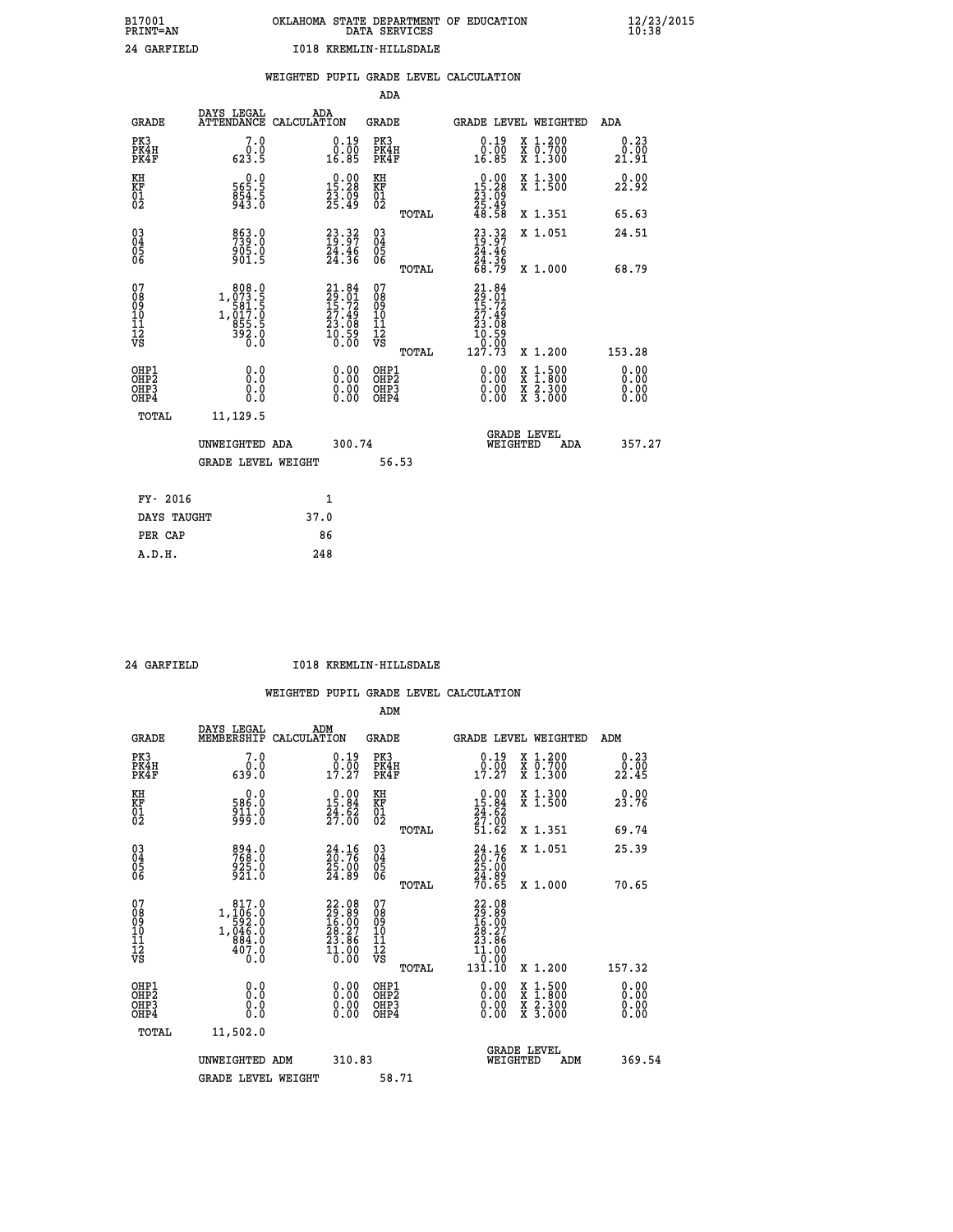# **B17001 OKLAHOMA STATE DEPARTMENT OF EDUCATION 12/23/2015 PRINT=AN DATA SERVICES 10:38 24 GARFIELD I018 KREMLIN-HILLSDALE**

|                                              |                                                                          | WEIGHTED PUPIL GRADE LEVEL CALCULATION                                   |        |                                        |       |                                                                              |                                          |                       |
|----------------------------------------------|--------------------------------------------------------------------------|--------------------------------------------------------------------------|--------|----------------------------------------|-------|------------------------------------------------------------------------------|------------------------------------------|-----------------------|
|                                              |                                                                          |                                                                          |        | ADA                                    |       |                                                                              |                                          |                       |
| <b>GRADE</b>                                 | DAYS LEGAL<br>ATTENDANCE                                                 | ADA<br>CALCULATION                                                       |        | <b>GRADE</b>                           |       | GRADE LEVEL WEIGHTED                                                         |                                          | ADA                   |
| PK3<br>PK4H<br>PK4F                          | 7.0<br>0.0<br>623.5                                                      | $0.19$<br>$0.00$<br>16.85                                                |        | PK3<br>PK4H<br>PK4F                    |       | 0.19<br>0.55<br>16.85                                                        | X 1.200<br>X 0.700<br>X 1.300            | 0.23<br>0.00<br>21.91 |
| KH<br>KF<br>01<br>02                         | 0.0<br>565.5<br>$854.5$<br>943.0                                         | $\begin{smallmatrix} 0.00\\ 15.28\\ 23.09\\ 25.49 \end{smallmatrix}$     |        | KH<br>KF<br>01<br>02                   |       | $\begin{smallmatrix} 0.00\\ 15.28\\ 23.09\\ 25.49\\ 48.58 \end{smallmatrix}$ | X 1.300<br>X 1.500                       | 0.00<br>22.92         |
|                                              |                                                                          |                                                                          |        |                                        | TOTAL |                                                                              | X 1.351                                  | 65.63                 |
| $^{03}_{04}$<br>Ŏ5<br>06                     | 863.0<br>739.0<br>905.0<br>901.5                                         | $\begin{smallmatrix} 23.32\ 19.97\ 24.46\ 24.36 \end{smallmatrix}$       |        | 03<br>04<br>05<br>06                   |       | $23.32$<br>$19.97$<br>$24.46$<br>$24.36$<br>$68.79$                          | X 1.051                                  | 24.51                 |
|                                              |                                                                          |                                                                          |        |                                        | TOTAL |                                                                              | X 1.000                                  | 68.79                 |
| 07<br>08<br>09<br>11<br>11<br>12<br>VS       | 808.0<br>$1, \substack{073.5 \\ 581.5 \\ 581.5 \\ 855.5 \\ 392.0 \\ 0.0$ | $21.84$<br>$29.01$<br>$15.72$<br>$27.49$<br>$23.08$<br>$10.59$<br>$0.00$ |        | 07<br>08<br>09<br>11<br>11<br>12<br>VS | TOTAL | 21.84<br>29.01<br>15.72<br>27.49<br>23.08<br>20.59<br>0.59<br>127.73         | X 1.200                                  | 153.28                |
| OHP1                                         | 0.0                                                                      |                                                                          |        |                                        |       |                                                                              |                                          | 0.00                  |
| OHP <sub>2</sub><br>OH <sub>P3</sub><br>OHP4 | Ō.Ō<br>0.0<br>0.0                                                        | $0.00$<br>$0.00$<br>0.00                                                 |        | OHP1<br>OHP2<br>OHP3<br>OHP4           |       | 0.00<br>0.00<br>0.00                                                         | X 1:500<br>X 1:800<br>X 2:300<br>X 3:000 | 0.00<br>0.00<br>0.00  |
| TOTAL                                        | 11, 129.5                                                                |                                                                          |        |                                        |       |                                                                              |                                          |                       |
|                                              | UNWEIGHTED ADA                                                           |                                                                          | 300.74 |                                        |       |                                                                              | GRADE LEVEL<br>WEIGHTED<br>ADA           | 357.27                |
|                                              | <b>GRADE LEVEL WEIGHT</b>                                                |                                                                          |        | 56.53                                  |       |                                                                              |                                          |                       |
| FY- 2016                                     |                                                                          | 1                                                                        |        |                                        |       |                                                                              |                                          |                       |
| DAYS TAUGHT                                  |                                                                          | 37.0                                                                     |        |                                        |       |                                                                              |                                          |                       |
| PER CAP                                      |                                                                          | 86                                                                       |        |                                        |       |                                                                              |                                          |                       |

 **A.D.H. 248**

 **24 GARFIELD I018 KREMLIN-HILLSDALE**

|                                                      |                                                                                     |                                                                             | ADM                                                 |                                                                           |                                          |                                                                                                                                                                 |
|------------------------------------------------------|-------------------------------------------------------------------------------------|-----------------------------------------------------------------------------|-----------------------------------------------------|---------------------------------------------------------------------------|------------------------------------------|-----------------------------------------------------------------------------------------------------------------------------------------------------------------|
| <b>GRADE</b>                                         | DAYS LEGAL<br>MEMBERSHIP                                                            | ADM<br>CALCULATION                                                          | <b>GRADE</b>                                        | <b>GRADE LEVEL WEIGHTED</b>                                               |                                          | ADM                                                                                                                                                             |
| PK3<br>PK4H<br>PK4F                                  | 7.0<br>õ.ó<br>0.0аэ                                                                 | $\begin{smallmatrix} 0.19 \\ 0.00 \\ 17.27 \end{smallmatrix}$               | PK3<br>PK4H<br>PK4F                                 | $\begin{smallmatrix} 0.19 \\ 0.00 \\ 17.27 \end{smallmatrix}$             | X 1.200<br>X 0.700<br>X 1.300            | 0.23<br>$2\overset{\textcolor{red}{\bullet}}{2}\overset{\textcolor{red}{\bullet}}{2}\overset{\textcolor{red}{\bullet}}{4}\overset{\textcolor{red}{\bullet}}{5}$ |
| KH<br>KF<br>01<br>02                                 | 0.0<br>586.0<br>911.0<br>999.0                                                      | $\begin{smallmatrix} 0.00\\15.84\\24.62\\27.00 \end{smallmatrix}$           | KH<br>KF<br>01<br>02                                | $\begin{smallmatrix} 0.00\\15.84\\24.62\\27.00\\51.62\end{smallmatrix}$   | X 1.300<br>X 1.500                       | 0.00<br>23.76                                                                                                                                                   |
|                                                      |                                                                                     |                                                                             | TOTAL                                               |                                                                           | X 1.351                                  | 69.74                                                                                                                                                           |
| 03<br>04<br>05<br>06                                 | 894.0<br>768.0<br>925.0<br>921.0                                                    | $\begin{smallmatrix} 24.16\\ 20.76\\ 25.00\\ 24.89 \end{smallmatrix}$       | $\begin{array}{c} 03 \\ 04 \\ 05 \\ 06 \end{array}$ | 24.16<br>20.76<br>25.00<br>24.89                                          | X 1.051                                  | 25.39                                                                                                                                                           |
|                                                      |                                                                                     |                                                                             | TOTAL                                               | 70.65                                                                     | X 1.000                                  | 70.65                                                                                                                                                           |
| 07<br>08<br>09<br>101<br>112<br>VS                   | 817.0<br>$1, \frac{1}{106}$<br>$592.0$<br>$1, \frac{046}{884}$ .0<br>$407.0$<br>Ó.Ŏ | 22.08<br>29.89<br>16.00<br>28.27<br>23.86<br>$\overline{1}\overline{1}$ :00 | 07<br>08<br>09<br>11<br>11<br>12<br>VS              | $22.08$<br>$29.89$<br>$16.00$<br>$28.27$<br>$23.86$<br>$11.000$<br>$0.00$ |                                          |                                                                                                                                                                 |
|                                                      |                                                                                     |                                                                             | TOTAL                                               | 131.10                                                                    | X 1.200                                  | 157.32                                                                                                                                                          |
| OHP1<br>OHP2<br>OH <sub>P3</sub><br>OH <sub>P4</sub> | 0.0<br>0.000                                                                        | $0.00$<br>$0.00$<br>0.00                                                    | OHP1<br>OHP2<br>OHP <sub>3</sub>                    | $0.00$<br>$0.00$<br>0.00                                                  | X 1:500<br>X 1:800<br>X 2:300<br>X 3:000 | 0.00<br>0.00<br>0.00<br>0.00                                                                                                                                    |
| TOTAL                                                | 11,502.0                                                                            |                                                                             |                                                     |                                                                           |                                          |                                                                                                                                                                 |
|                                                      | UNWEIGHTED ADM                                                                      | 310.83                                                                      |                                                     |                                                                           | GRADE LEVEL<br>WEIGHTED<br>ADM           | 369.54                                                                                                                                                          |
|                                                      | <b>GRADE LEVEL WEIGHT</b>                                                           |                                                                             | 58.71                                               |                                                                           |                                          |                                                                                                                                                                 |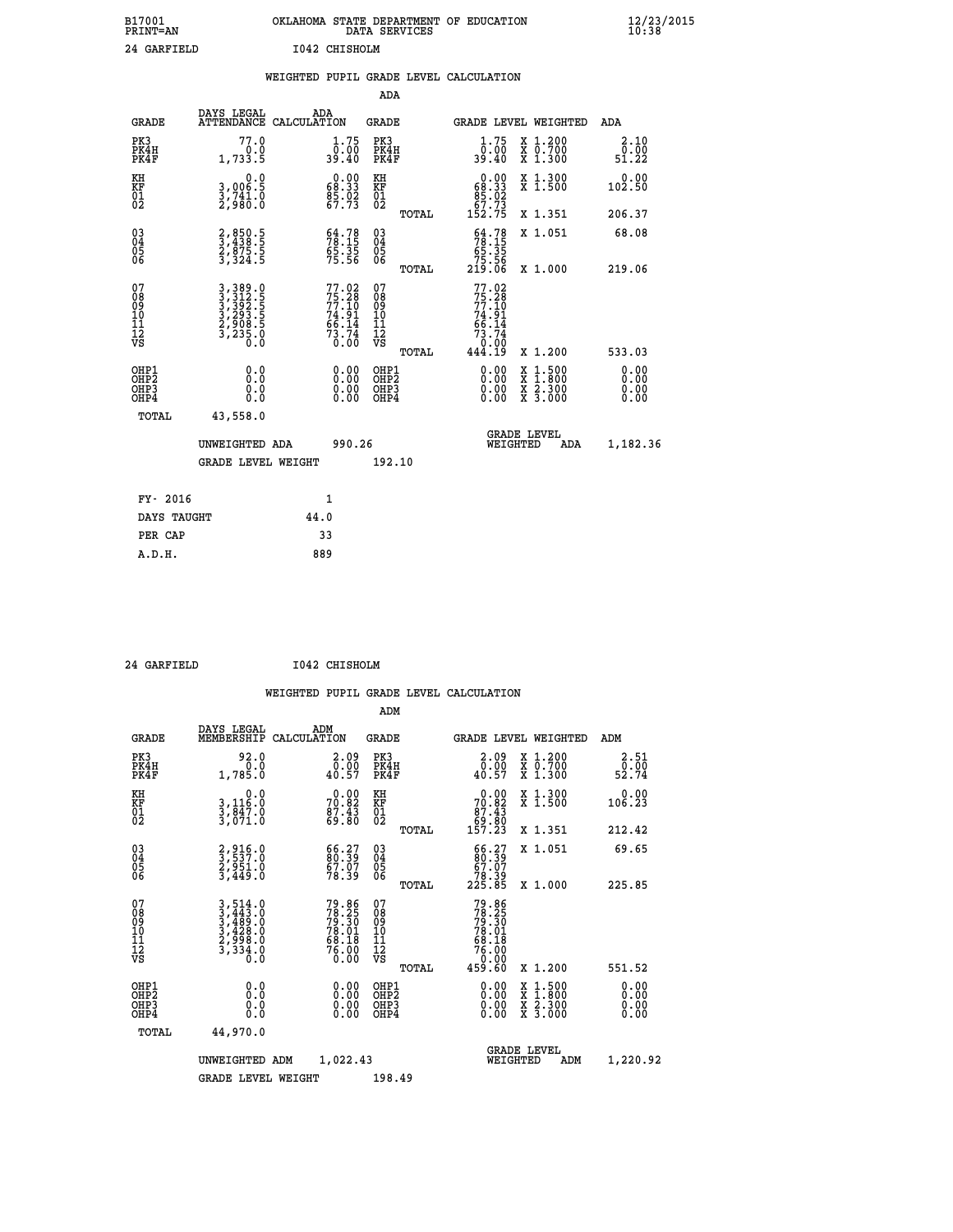| B17001<br><b>PRINT=AN</b> | OKLAHOMA STATE DEPARTMENT OF EDUCATION<br>DATA SERVICES | $\frac{12}{23}$ /2015 |
|---------------------------|---------------------------------------------------------|-----------------------|
| 24 GARFIELD               | I042 CHISHOLM                                           |                       |

|                                                      |                                                                             |      |                                                                          |                                                      |       | WEIGHTED PUPIL GRADE LEVEL CALCULATION                                                                                                                                                                                                                                         |                                                                                        |                               |
|------------------------------------------------------|-----------------------------------------------------------------------------|------|--------------------------------------------------------------------------|------------------------------------------------------|-------|--------------------------------------------------------------------------------------------------------------------------------------------------------------------------------------------------------------------------------------------------------------------------------|----------------------------------------------------------------------------------------|-------------------------------|
|                                                      |                                                                             |      |                                                                          | ADA                                                  |       |                                                                                                                                                                                                                                                                                |                                                                                        |                               |
| <b>GRADE</b>                                         | DAYS LEGAL<br>ATTENDANCE CALCULATION                                        | ADA  |                                                                          | <b>GRADE</b>                                         |       | GRADE LEVEL WEIGHTED                                                                                                                                                                                                                                                           |                                                                                        | ADA                           |
| PK3<br>PK4H<br>PK4F                                  | 77.0<br>0.0<br>1,733.5                                                      |      | $\frac{1}{0}$ : 75<br>39.40                                              | PK3<br>PK4H<br>PK4F                                  |       | $\frac{1}{0}$ : 75<br>39.40                                                                                                                                                                                                                                                    | X 1.200<br>X 0.700<br>X 1.300                                                          | 2.10<br>0.00<br>51.22         |
| KH<br>KF<br>01<br>02                                 | $\begin{smallmatrix}&&&0.0\\3.006.5\\3.741.0\\2.980.0\end{smallmatrix}$     |      | $0.00$<br>68.33<br>$\frac{85.02}{67.73}$                                 | KH<br>KF<br>01<br>02                                 |       | $\begin{array}{c} 0.00 \\ 68.33 \\ 85.02 \\ 67.73 \end{array}$                                                                                                                                                                                                                 | X 1.300<br>X 1.500                                                                     | $0.00$<br>102.50              |
|                                                      |                                                                             |      |                                                                          |                                                      | TOTAL | 152.75                                                                                                                                                                                                                                                                         | X 1.351                                                                                | 206.37                        |
| $^{03}_{04}$<br>Ŏ5<br>06                             | 2,850.5<br>3,438.5<br>2,875.5<br>3,324.5                                    |      | $\begin{smallmatrix} 64.78\ 78.15\ 65.35\ 75.56 \end{smallmatrix}$       | $\begin{array}{c} 03 \\ 04 \\ 05 \\ 06 \end{array}$  |       | $54.7878.1565.3575.56219.06$                                                                                                                                                                                                                                                   | X 1.051                                                                                | 68.08                         |
|                                                      |                                                                             |      |                                                                          |                                                      | TOTAL |                                                                                                                                                                                                                                                                                | X 1.000                                                                                | 219.06                        |
| 07<br>08<br>09<br>01<br>11<br>11<br>12<br>VS         | 3, 389 . 0<br>3, 312 . 5<br>3, 392 . 5<br>3, 293 . 5<br>3, 235 . 0<br>0 . 0 |      | $77.02$<br>$75.28$<br>$77.10$<br>$74.91$<br>$66.14$<br>$73.74$<br>$0.00$ | 07<br>08<br>09<br>11<br>11<br>12<br>VS               | TOTAL | $77.02$<br>$75.28$<br>$77.10$<br>$74.91$<br>$66.14$<br>$73.74$<br>$0.00$<br>$444.19$                                                                                                                                                                                           | X 1.200                                                                                | 533.03                        |
| OHP1<br>OH <sub>P</sub> <sub>2</sub><br>OHP3<br>OHP4 | 0.0<br>0.0<br>0.0                                                           |      | $\begin{smallmatrix} 0.00 \ 0.00 \ 0.00 \ 0.00 \end{smallmatrix}$        | OHP1<br>OHP2<br>OHP <sub>3</sub><br>OHP <sub>4</sub> |       | $\begin{smallmatrix} 0.00 & 0.00 & 0.00 & 0.00 & 0.00 & 0.00 & 0.00 & 0.00 & 0.00 & 0.00 & 0.00 & 0.00 & 0.00 & 0.00 & 0.00 & 0.00 & 0.00 & 0.00 & 0.00 & 0.00 & 0.00 & 0.00 & 0.00 & 0.00 & 0.00 & 0.00 & 0.00 & 0.00 & 0.00 & 0.00 & 0.00 & 0.00 & 0.00 & 0.00 & 0.00 & 0.0$ | $\begin{smallmatrix} 1.500\ 1.800\ 2.300\ 3.000 \end{smallmatrix}$<br>X<br>X<br>X<br>X | 0.00<br>Ō. ŌŌ<br>0.00<br>0.00 |
| TOTAL                                                | 43,558.0                                                                    |      |                                                                          |                                                      |       |                                                                                                                                                                                                                                                                                |                                                                                        |                               |
|                                                      | UNWEIGHTED ADA                                                              |      | 990.26                                                                   |                                                      |       | WEIGHTED                                                                                                                                                                                                                                                                       | <b>GRADE LEVEL</b><br>ADA                                                              | 1,182.36                      |
|                                                      | <b>GRADE LEVEL WEIGHT</b>                                                   |      |                                                                          | 192.10                                               |       |                                                                                                                                                                                                                                                                                |                                                                                        |                               |
| FY- 2016                                             |                                                                             |      | $\mathbf{1}$                                                             |                                                      |       |                                                                                                                                                                                                                                                                                |                                                                                        |                               |
| DAYS TAUGHT                                          |                                                                             | 44.0 |                                                                          |                                                      |       |                                                                                                                                                                                                                                                                                |                                                                                        |                               |
| PER CAP                                              |                                                                             | 33   |                                                                          |                                                      |       |                                                                                                                                                                                                                                                                                |                                                                                        |                               |

 **24 GARFIELD I042 CHISHOLM**

 **A.D.H. 889**

 **WEIGHTED PUPIL GRADE LEVEL CALCULATION ADM DAYS LEGAL ADM GRADE MEMBERSHIP CALCULATION GRADE GRADE LEVEL WEIGHTED ADM**

| PK3<br>PK4H<br>PK4F                                | 92.0<br>1,785.0                                                                                                                                          | $\begin{smallmatrix} 2.09\0.00\\0.57 \end{smallmatrix}$            | PK3<br>PK4H<br>PK4F                          | $\begin{smallmatrix} 2.09 \\ 0.00 \\ 40.57 \end{smallmatrix}$                        | X 1.200<br>X 0.700<br>X 1.300            | $\frac{2 \cdot 51}{0 \cdot 00}$<br>52.74 |
|----------------------------------------------------|----------------------------------------------------------------------------------------------------------------------------------------------------------|--------------------------------------------------------------------|----------------------------------------------|--------------------------------------------------------------------------------------|------------------------------------------|------------------------------------------|
| KH<br>KF<br>01<br>02                               | 0.0<br>3,116:0<br>3,847:0<br>3,071:0                                                                                                                     | $70.82$<br>$87.43$<br>$89.80$                                      | KH<br>KF<br>01<br>02                         | $\begin{smallmatrix} &0.00\ 70.82\ 87.43\ 69.80\ 157.23\ \end{smallmatrix}$          | X 1.300<br>X 1.500                       | 0.00<br>106.23                           |
|                                                    |                                                                                                                                                          |                                                                    | TOTAL                                        |                                                                                      | X 1.351                                  | 212.42                                   |
| $\begin{matrix} 03 \\ 04 \\ 05 \\ 06 \end{matrix}$ | 2,916.0<br>3,537.0<br>2,951.0<br>3,449.0                                                                                                                 | $\begin{smallmatrix} 66.27\ 80.39\ 67.07\ 78.39 \end{smallmatrix}$ | 03<br>04<br>05<br>06                         | $\begin{smallmatrix} 66.27\\ 80.39\\ 67.07\\ 78.39\\ 225.85 \end{smallmatrix}$       | X 1.051                                  | 69.65                                    |
|                                                    |                                                                                                                                                          |                                                                    | TOTAL                                        |                                                                                      | X 1.000                                  | 225.85                                   |
| 07<br>089<br>090<br>1112<br>VS                     | $\begin{smallmatrix} 3\,,\,514\,.\,0\\ 3\,,\,443\,.\,0\\ 3\,,\,489\,.\,0\\ 3\,,\,428\,.\,0\\ 2\,,\,998\,.\,0\\ 3\,,\,334\,.\,0\\ 0\,. \end{smallmatrix}$ | 79.86<br>78.25<br>79.30<br>78.01<br>68.18<br>68.00<br>76.00        | 07<br>08<br>09<br>01<br>11<br>11<br>12<br>VS | $79.86$<br>$78.25$<br>$79.30$<br>$78.01$<br>$68.18$<br>$76.00$<br>$0.00$<br>$459.60$ |                                          |                                          |
|                                                    |                                                                                                                                                          |                                                                    | TOTAL                                        |                                                                                      | X 1.200                                  | 551.52                                   |
| OHP1<br>OHP2<br>OH <sub>P3</sub><br>OHP4           |                                                                                                                                                          |                                                                    | OHP1<br>OHP <sub>2</sub><br>OHP3<br>OHP4     | $0.00$<br>$0.00$<br>0.00                                                             | X 1:500<br>X 1:800<br>X 2:300<br>X 3:000 | $0.00$<br>$0.00$<br>0.00                 |
| TOTAL                                              | 44,970.0                                                                                                                                                 |                                                                    |                                              |                                                                                      |                                          |                                          |
|                                                    | UNWEIGHTED<br>ADM                                                                                                                                        | 1,022.43                                                           |                                              | WEIGHTED                                                                             | <b>GRADE LEVEL</b><br>ADM                | 1,220.92                                 |
|                                                    | <b>GRADE LEVEL WEIGHT</b>                                                                                                                                |                                                                    | 198.49                                       |                                                                                      |                                          |                                          |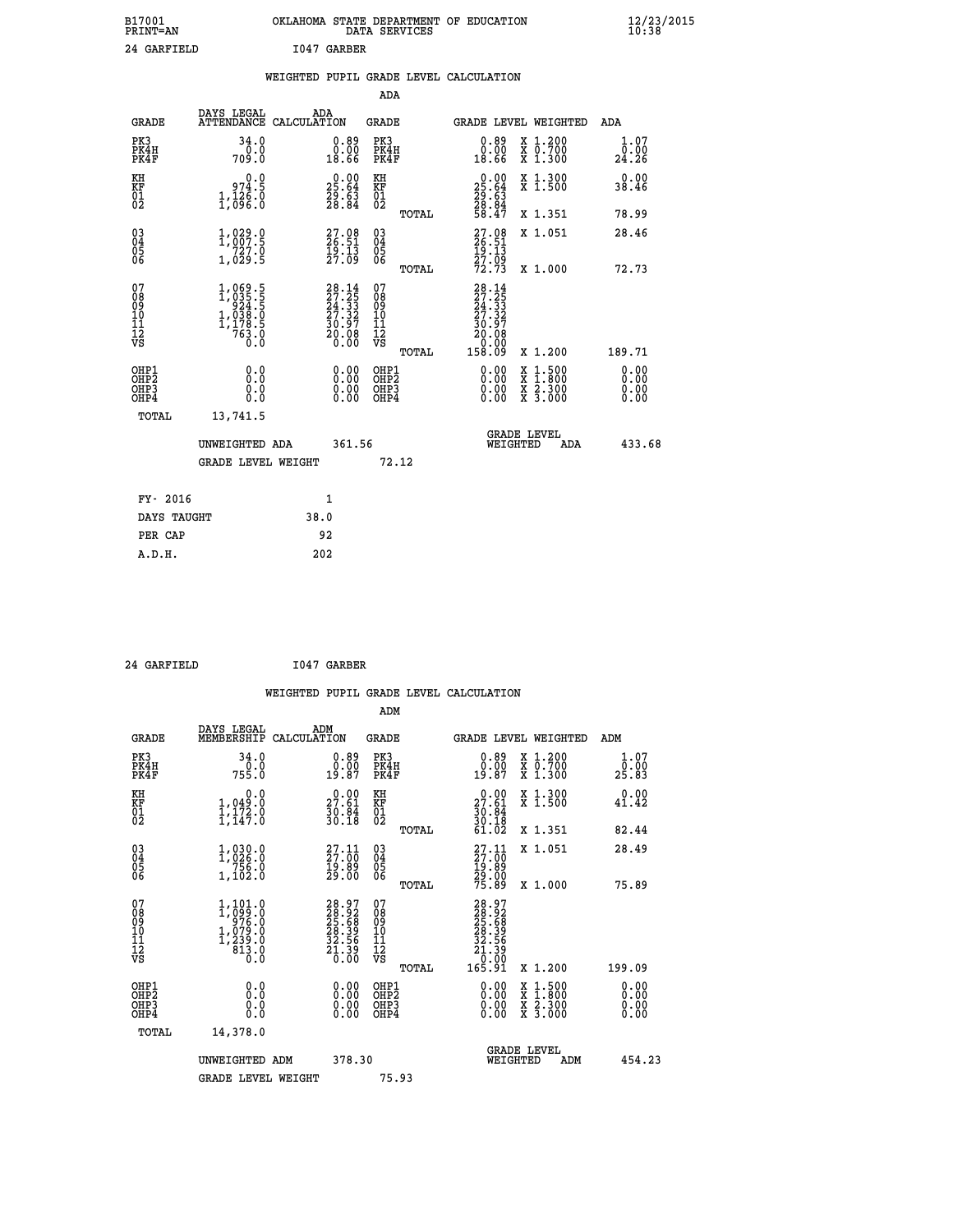| B17001<br><b>PRINT=AN</b> | OKLAHOMA STATE DEPARTMENT OF EDUCATION<br>DATA SERVICES | $\frac{12}{23}$ /2015 |
|---------------------------|---------------------------------------------------------|-----------------------|
| 24 GARFIELD               | I047 GARBER                                             |                       |

 **ADA**

 **A.D.H. 202**

|  |  | WEIGHTED PUPIL GRADE LEVEL CALCULATION |
|--|--|----------------------------------------|
|  |  |                                        |

| <b>GRADE</b>                                       | DAYS LEGAL<br>ATTENDANCE CALCULATION                                                                | ADA                                                                                          | GRADE                                              |       | GRADE LEVEL WEIGHTED                                                                                     |                                          | <b>ADA</b>                   |
|----------------------------------------------------|-----------------------------------------------------------------------------------------------------|----------------------------------------------------------------------------------------------|----------------------------------------------------|-------|----------------------------------------------------------------------------------------------------------|------------------------------------------|------------------------------|
| PK3<br>PK4H<br>PK4F                                | 34.0<br>0.0<br>709.0                                                                                | $0.89$<br>$0.00$<br>18.66                                                                    | PK3<br>PK4H<br>PK4F                                |       | 0.89<br>0.00<br>18.66                                                                                    | X 1.200<br>X 0.700<br>X 1.300            | 1.07<br>0.00<br>24.26        |
| KH<br><b>KF</b><br>01<br>02                        | 0.0<br>974.5<br>$1, \frac{1}{6}$ $\frac{2}{6}$ $\frac{2}{6}$                                        | 25.64<br>$\frac{29}{28}\cdot\frac{63}{84}$                                                   | KH<br>KF<br>01<br>02                               |       | $\begin{smallmatrix} 0.00\\ 25.64\\ 29.63\\ 28.84\\ 58.47 \end{smallmatrix}$                             | X 1.300<br>X 1.500                       | 0.00<br>38.46                |
|                                                    |                                                                                                     |                                                                                              |                                                    | TOTAL |                                                                                                          | X 1.351                                  | 78.99                        |
| $\begin{matrix} 03 \\ 04 \\ 05 \\ 06 \end{matrix}$ | 1,889.9<br>727.0<br>1,029.5                                                                         | $27.08$<br>26.51<br>$\frac{19}{27}\cdot\frac{13}{09}$                                        | $\begin{matrix} 03 \\ 04 \\ 05 \\ 06 \end{matrix}$ |       | 27.08<br>26.51<br>19.13<br>27.09<br>72.73                                                                | X 1.051                                  | 28.46                        |
|                                                    |                                                                                                     |                                                                                              |                                                    | TOTAL |                                                                                                          | X 1.000                                  | 72.73                        |
| 07<br>08<br>09<br>101<br>11<br>12<br>VS            | $\begin{smallmatrix} 1,069.5\\ 1,035.5\\ 924.5\\ 1,038.5\\ 1,178.5\\ 763.0\\ 0.0 \end{smallmatrix}$ | $\begin{smallmatrix} 28.14\\27.25\\24.33\\24.33\\27.32\\30.97\\20.08\\0.00\end{smallmatrix}$ | 07<br>08<br>09<br>101<br>11<br>12<br>VS            |       | $\begin{smallmatrix} 28.14\ 27.25\ 24.35\ 24.33\ 27.327\ 30.97\ 20.08\ 0.000\ 158.09\ \end{smallmatrix}$ |                                          |                              |
|                                                    |                                                                                                     |                                                                                              |                                                    | TOTAL |                                                                                                          | X 1.200                                  | 189.71                       |
| OHP1<br>OHP <sub>2</sub><br>OHP3<br>OHP4           | 0.0<br>Ō.Ō<br>0.0<br>0.0                                                                            | $\begin{smallmatrix} 0.00 \ 0.00 \ 0.00 \ 0.00 \end{smallmatrix}$                            | OHP1<br>OHP <sub>2</sub><br>OHP3<br>OHP4           |       | 0.00<br>0.00<br>0.00                                                                                     | X 1:500<br>X 1:800<br>X 2:300<br>X 3:000 | 0.00<br>0.00<br>0.00<br>0.00 |
| TOTAL                                              | 13,741.5                                                                                            |                                                                                              |                                                    |       |                                                                                                          |                                          |                              |
|                                                    | UNWEIGHTED ADA                                                                                      | 361.56                                                                                       |                                                    |       | WEIGHTED                                                                                                 | <b>GRADE LEVEL</b><br>ADA                | 433.68                       |
|                                                    | <b>GRADE LEVEL WEIGHT</b>                                                                           |                                                                                              |                                                    | 72.12 |                                                                                                          |                                          |                              |
| FY- 2016                                           |                                                                                                     | $\mathbf{1}$                                                                                 |                                                    |       |                                                                                                          |                                          |                              |
| DAYS TAUGHT                                        |                                                                                                     | 38.0                                                                                         |                                                    |       |                                                                                                          |                                          |                              |
| PER CAP                                            |                                                                                                     | 92                                                                                           |                                                    |       |                                                                                                          |                                          |                              |

 **24 GARFIELD I047 GARBER WEIGHTED PUPIL GRADE LEVEL CALCULATION ADM DAYS LEGAL ADM GRADE MEMBERSHIP CALCULATION GRADE GRADE LEVEL WEIGHTED ADM PK3 34.0 0.89 PK3 0.89 X 1.200 1.07 PK4H 0.0 0.00 PK4H 0.00 X 0.700 0.00 PK4F 755.0 19.87 PK4F 19.87 X 1.300 25.83 KH 0.0 0.00 KH 0.00 X 1.300 0.00 KF 1,049.0 27.61 KF 27.61 X 1.500 41.42 01 1,172.0 30.84 01 30.84 02 1,147.0 30.18 02 30.18 TOTAL 61.02 X 1.351 82.44 03 1,030.0 27.11 03 27.11 X 1.051 28.49 04 1,026.0 27.00 04 27.00 05 756.0 19.89 05 19.89 06 1,102.0 29.00 06 29.00 TOTAL 75.89 X 1.000 75.89**  $\begin{array}{cccc} 07 & 1,101.0 & 28.97 & 07 & 28.97 \ 08 & 1,099.0 & 25.68 & 09 & 25.68 \ 10 & 1,079.0 & 28.92 & 08 & 25.68 \ 10 & 1,079.0 & 28.39 & 10 & 28.39 \ 11 & 1,239.0 & 32.5.6 & 11 & 32.5.8 \ 12 & 339.0 & 32.5.6 & 11 & 32.5.8 \ \hline \end{array}$  $\begin{array}{cccc} 1,101.0 & 28.97 & 07 \\ 1,0976.0 & 28.92 & 08 \\ 976.0 & 28.39 & 10 \\ 1,079.0 & 28.39 & 10 \\ 1,079.0 & 32.539 & 11 \\ 639.0 & 32.539 & 11 \\ 6313.0 & 32.539 & 12 \\ 613.0 & 0.00 & 0.00 \\ 0.0 & 0.00 & 0.00 \\ 0.0 & 0.00 & 0.00 \\ 0.0 & 0.00 & 0.00 \\ 0.0$  **OHP1 0.0 0.00 OHP1 0.00 X 1.500 0.00 OHP2 0.0 0.00 OHP2 0.00 X 1.800 0.00 OHP3 0.0 0.00 OHP3 0.00 X 2.300 0.00 OHP4 0.0 0.00 OHP4 0.00 X 3.000 0.00 TOTAL 14,378.0** UNWEIGHTED ADM 378.30  **UNWEIGHTED ADM 378.30 WEIGHTED ADM 454.23** GRADE LEVEL WEIGHT 75.93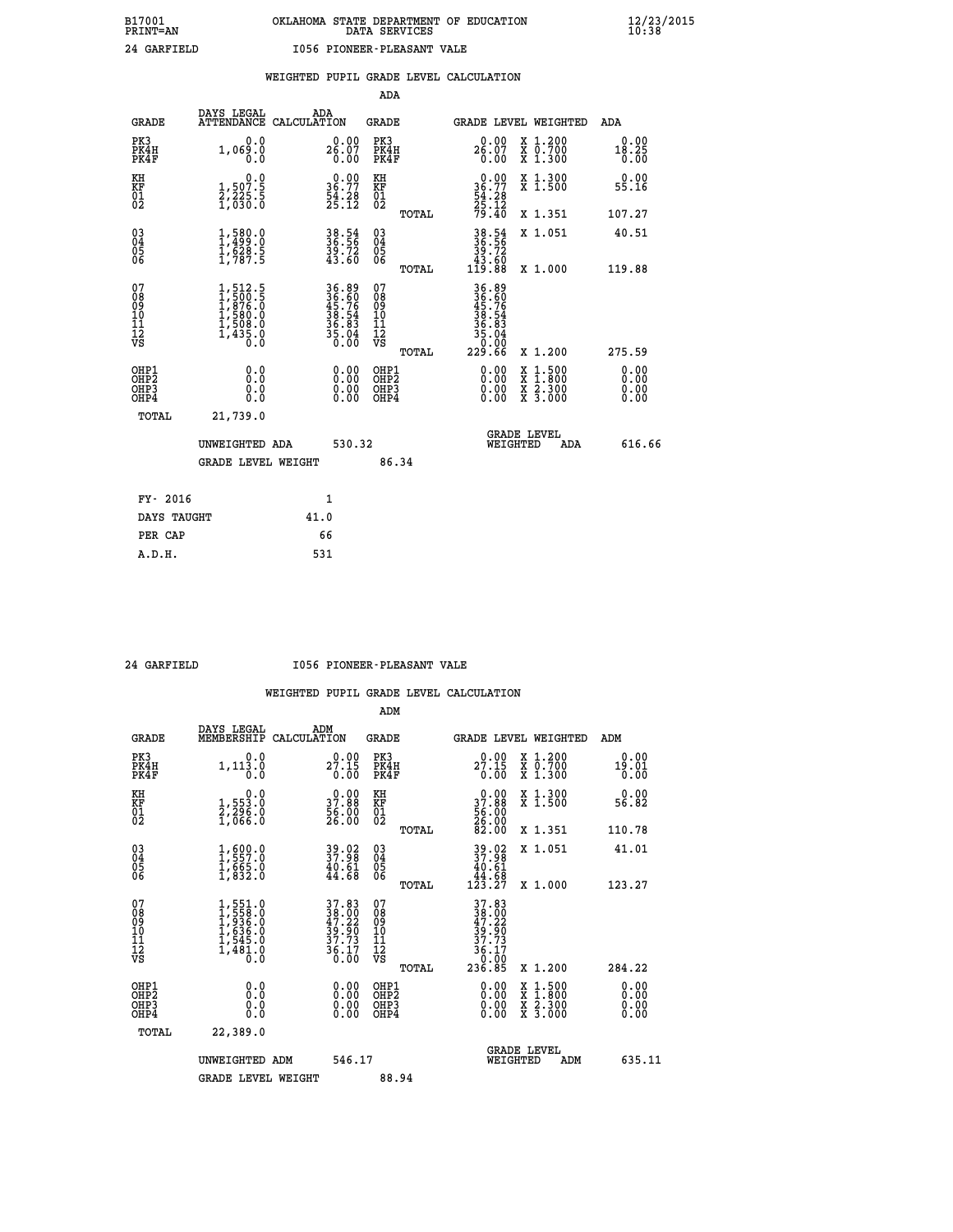|                                                                    |                                                                                        |                                                                      |                                                             | ADA                                                 |       |                                                                                       |                                          |                               |
|--------------------------------------------------------------------|----------------------------------------------------------------------------------------|----------------------------------------------------------------------|-------------------------------------------------------------|-----------------------------------------------------|-------|---------------------------------------------------------------------------------------|------------------------------------------|-------------------------------|
| <b>GRADE</b>                                                       | DAYS LEGAL                                                                             | ADA<br>ATTENDANCE CALCULATION                                        |                                                             | <b>GRADE</b>                                        |       | GRADE LEVEL WEIGHTED                                                                  |                                          | ADA                           |
| PK3<br>PK4H<br>PK4F                                                | 0.0<br>1,069.0<br>0.0                                                                  | $26.07$<br>$0.00$                                                    | 0.00                                                        | PK3<br>PK4H<br>PK4F                                 |       | 0.00<br>$26.07$<br>$0.00$                                                             | X 1.200<br>X 0.700<br>X 1.300            | 0.00<br>18.25<br>0.00         |
| KH<br>KF<br>01<br>02                                               | 0.0<br>1,507.5<br>2,225.5<br>1,630.0                                                   | $\begin{smallmatrix} 0.00\\ 36.77\\ 54.28\\ 25.12 \end{smallmatrix}$ |                                                             | KH<br>KF<br>01<br>02                                |       | 0.00<br>$36.77$<br>$54.28$<br>$25.12$<br>$79.40$                                      | X 1.300<br>X 1.500                       | 0.00<br>55.16                 |
|                                                                    |                                                                                        |                                                                      |                                                             |                                                     | TOTAL |                                                                                       | X 1.351                                  | 107.27                        |
| $\begin{smallmatrix} 03 \\[-4pt] 04 \end{smallmatrix}$<br>Ŏ5<br>06 | $\frac{1}{1}, \frac{580}{499}.0 \ \frac{1}{5628}.5 \ \frac{1}{1}, \frac{787.5}{787.5}$ | 38.54<br>36.56<br>39.72<br>43.60                                     |                                                             | $\begin{array}{c} 03 \\ 04 \\ 05 \\ 06 \end{array}$ |       | 38.54<br>36.56<br>39.72<br>43.60<br>119.88                                            | X 1.051                                  | 40.51                         |
|                                                                    |                                                                                        |                                                                      |                                                             |                                                     | TOTAL |                                                                                       | X 1.000                                  | 119.88                        |
| 07<br>08<br>09<br>101<br>11<br>12<br>VS                            | $1,512.5$<br>$1,500.5$<br>$1,876.0$<br>$1,580.0$<br>$1,508.0$<br>$1,435.0$<br>0.0      | 36.89<br>36.60<br>45.76<br>38.54<br>36.83<br>35.04<br>0.00           |                                                             | 07<br>08<br>09<br>11<br>11<br>12<br>VS              |       | $36.89$<br>$36.76$<br>$45.76$<br>$38.54$<br>$36.83$<br>$35.04$<br>$35.04$<br>$229.66$ |                                          |                               |
|                                                                    |                                                                                        |                                                                      |                                                             |                                                     | TOTAL |                                                                                       | X 1.200                                  | 275.59                        |
| OHP1<br>OHP <sub>2</sub><br>OH <sub>P3</sub><br>OHP4               | 0.0<br>0.000                                                                           |                                                                      | 0.00<br>$\begin{smallmatrix} 0.00 \ 0.00 \end{smallmatrix}$ | OHP1<br>OHP2<br>OHP <sub>3</sub>                    |       |                                                                                       | X 1:500<br>X 1:800<br>X 2:300<br>X 3:000 | 0.00<br>Ō. ŌŌ<br>0.00<br>0.00 |
| TOTAL                                                              | 21,739.0                                                                               |                                                                      |                                                             |                                                     |       |                                                                                       |                                          |                               |
|                                                                    | UNWEIGHTED ADA                                                                         |                                                                      | 530.32                                                      |                                                     |       | WEIGHTED                                                                              | <b>GRADE LEVEL</b><br><b>ADA</b>         | 616.66                        |
|                                                                    | <b>GRADE LEVEL WEIGHT</b>                                                              |                                                                      |                                                             |                                                     | 86.34 |                                                                                       |                                          |                               |
| FY- 2016                                                           |                                                                                        | 1                                                                    |                                                             |                                                     |       |                                                                                       |                                          |                               |
| DAYS TAUGHT                                                        |                                                                                        | 41.0                                                                 |                                                             |                                                     |       |                                                                                       |                                          |                               |
| PER CAP                                                            |                                                                                        | 66                                                                   |                                                             |                                                     |       |                                                                                       |                                          |                               |

#### **24 GARFIELD I056 PIONEER-PLEASANT VALE**

|                                                      |                                                                                     |                                                                                           | ADM                                                 |                                                                                           |                                          |                              |
|------------------------------------------------------|-------------------------------------------------------------------------------------|-------------------------------------------------------------------------------------------|-----------------------------------------------------|-------------------------------------------------------------------------------------------|------------------------------------------|------------------------------|
| <b>GRADE</b>                                         | DAYS LEGAL<br>MEMBERSHIP                                                            | ADM<br>CALCULATION                                                                        | <b>GRADE</b>                                        |                                                                                           | <b>GRADE LEVEL WEIGHTED</b>              | ADM                          |
| PK3<br>PK4H<br>PK4F                                  | 0.0<br>1,113.0<br>0.0                                                               | 0.00<br>27.15<br>0.00                                                                     | PK3<br>PK4H<br>PK4F                                 | 0.00<br>27.15<br>0.00                                                                     | X 1.200<br>X 0.700<br>X 1.300            | 0.00<br>19.01<br>0.00        |
| KH<br>KF<br>01<br>02                                 | 0.0<br>1,553:0<br>2,296:0<br>1,066:0                                                | $\begin{smallmatrix} 0.00\\ 37.88\\ 56.00\\ 26.00 \end{smallmatrix}$                      | KH<br>KF<br>01<br>02                                | $\begin{smallmatrix} 0.00\\ 37.88\\ 56.00\\ 26.00\\ 26.00\\ 82.00 \end{smallmatrix}$      | X 1.300<br>X 1.500                       | 0.00<br>56.82                |
|                                                      |                                                                                     |                                                                                           | TOTAL                                               |                                                                                           | X 1.351                                  | 110.78                       |
| 03<br>04<br>05<br>06                                 | $\begin{smallmatrix} 1,600.0\\ 1,557.0\\ 1,665.0\\ 1,832.0 \end{smallmatrix}$       | 39.02<br>37.98<br>$\frac{40.61}{44.68}$                                                   | $\begin{array}{c} 03 \\ 04 \\ 05 \\ 06 \end{array}$ | 39.02<br>37.98<br>$\begin{array}{r} 40.61 \\ 44.68 \\ 123.27 \end{array}$                 | X 1.051                                  | 41.01                        |
|                                                      |                                                                                     |                                                                                           | TOTAL                                               |                                                                                           | X 1.000                                  | 123.27                       |
| 07<br>08<br>09<br>101<br>112<br>VS                   | $1,551.0$<br>$1,558.0$<br>$1,936.0$<br>$1,636.0$<br>$1,545.0$<br>$1,481.0$<br>$0.0$ | $\begin{array}{l} 37.83 \\ 38.00 \\ 47.22 \\ 39.90 \\ 37.73 \\ 36.17 \\ 0.00 \end{array}$ | 07<br>08<br>09<br>11<br>11<br>12<br>VS<br>TOTAL     | $\begin{array}{@{}ll}37.83\\38.00\\47.22\\39.90\\37.73\\36.17\\9.00\end{array}$<br>236.85 | X 1.200                                  | 284.22                       |
| OHP1<br>OHP2<br>OH <sub>P3</sub><br>OH <sub>P4</sub> | 0.0<br>0.000                                                                        | $0.00$<br>$0.00$<br>0.00                                                                  | OHP1<br>OHP2<br>OHP <sub>3</sub>                    | $0.00$<br>$0.00$<br>0.00                                                                  | X 1:500<br>X 1:800<br>X 2:300<br>X 3:000 | 0.00<br>0.00<br>0.00<br>0.00 |
| TOTAL                                                | 22,389.0                                                                            |                                                                                           |                                                     |                                                                                           |                                          |                              |
|                                                      | UNWEIGHTED ADM                                                                      | 546.17                                                                                    |                                                     | WEIGHTED                                                                                  | <b>GRADE LEVEL</b><br>ADM                | 635.11                       |
|                                                      | <b>GRADE LEVEL WEIGHT</b>                                                           |                                                                                           | 88.94                                               |                                                                                           |                                          |                              |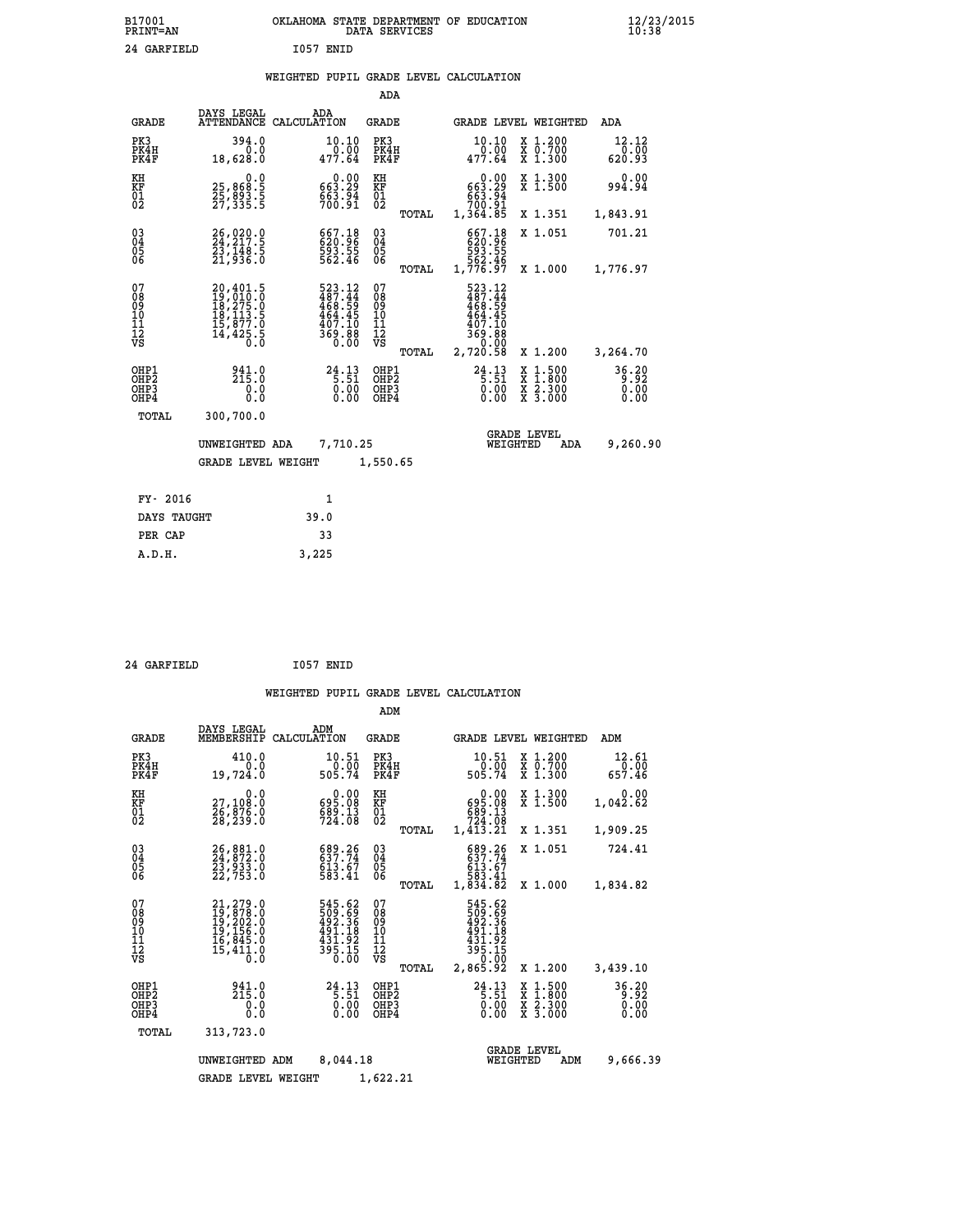| B17001<br><b>PRINT=AN</b> | OKLAHOMA STATE DEPARTMENT OF EDUCATION<br>DATA SERVICES | $\frac{12}{23}$ /2015 |
|---------------------------|---------------------------------------------------------|-----------------------|
| 24 GARFIELD               | I057<br>ENID                                            |                       |

|  |  | WEIGHTED PUPIL GRADE LEVEL CALCULATION |
|--|--|----------------------------------------|
|  |  |                                        |

|                                                                    |                                                                                                               |                                                                               | ADA                                       |                                                                                                           |                               |
|--------------------------------------------------------------------|---------------------------------------------------------------------------------------------------------------|-------------------------------------------------------------------------------|-------------------------------------------|-----------------------------------------------------------------------------------------------------------|-------------------------------|
| <b>GRADE</b>                                                       | DAYS LEGAL                                                                                                    | ADA<br>ATTENDANCE CALCULATION                                                 | <b>GRADE</b>                              | GRADE LEVEL WEIGHTED                                                                                      | ADA                           |
| PK3<br>PK4H<br>PK4F                                                | 394.0<br>0.0<br>18,628.0                                                                                      | 10.10<br>0.00<br>477.64                                                       | PK3<br>PK4H<br>PK4F                       | 10.10<br>X 1.200<br>X 0.700<br>X 1.300<br>0.00<br>477.64                                                  | 12.12<br>0.00<br>620.93       |
| KH<br><b>KF</b><br>01<br>02                                        | 0.0<br>25, 868: 5<br>25, 893: 5<br>27, 335: 5                                                                 | $0.00$<br>663.29<br>$\frac{663}{700}$ . 91                                    | KH<br>KF<br>01<br>02                      | 0.00<br>X 1.300<br>X 1.500<br>663:29<br>663:94<br>700:91                                                  | 0.00<br>994.94                |
|                                                                    |                                                                                                               |                                                                               | TOTAL                                     | 1,364.85<br>X 1.351                                                                                       | 1,843.91                      |
| $\begin{smallmatrix} 03 \\[-4pt] 04 \end{smallmatrix}$<br>05<br>06 | 26,020.0<br>23,148.5<br>21,936.0                                                                              | 667.18<br>620.96<br>593.55<br>562.46                                          | $\substack{03 \\ 04}$<br>05<br>06         | 667.18<br>620.96<br>593.55<br>562.46<br>X 1.051                                                           | 701.21                        |
|                                                                    |                                                                                                               |                                                                               | TOTAL                                     | 1,776.97<br>X 1.000                                                                                       | 1,776.97                      |
| 07<br>08<br>09<br>11<br>11<br>12<br>VS                             | $\begin{smallmatrix} 20,401.5\\ 19,010.0\\ 18,275.0\\ 18,113.5\\ 15,877.0\\ 14,425.5\\ 0.0 \end{smallmatrix}$ | 523.12<br>$3487.44$<br>$468.59$<br>$464.45$<br>$407.10$<br>$369.88$<br>$0.00$ | 07<br>08<br>09<br>11<br>11<br>12<br>VS    | 523.12<br>$487.44$<br>$468.59$<br>$464.45$<br>407.10<br>88.00<br>00.00                                    |                               |
|                                                                    |                                                                                                               |                                                                               | TOTAL                                     | 2,720.58<br>X 1.200                                                                                       | 3,264.70                      |
| OHP1<br>OH <sub>P2</sub><br>OH <sub>P3</sub><br>OH <sub>P4</sub>   | 941.0<br>215.0<br>0.0<br>0.0                                                                                  | 24.13<br>0.00                                                                 | OHP1<br>OH <sub>P</sub> 2<br>OHP3<br>OHP4 | 24.13<br>X 1:500<br>X 1:800<br>X 2:300<br>X 3:000<br>$\begin{matrix} 0 & 0 & 0 \\ 0 & 0 & 0 \end{matrix}$ | 36.20<br>9.92<br>0.00<br>0.00 |
|                                                                    | TOTAL<br>300,700.0                                                                                            |                                                                               |                                           |                                                                                                           |                               |
|                                                                    | UNWEIGHTED ADA                                                                                                | 7,710.25                                                                      |                                           | <b>GRADE LEVEL</b><br>WEIGHTED<br>ADA                                                                     | 9,260.90                      |
|                                                                    | <b>GRADE LEVEL WEIGHT</b>                                                                                     |                                                                               | 1,550.65                                  |                                                                                                           |                               |
|                                                                    | FY- 2016                                                                                                      | $\mathbf{1}$                                                                  |                                           |                                                                                                           |                               |
|                                                                    | DAYS TAUGHT                                                                                                   | 39.0                                                                          |                                           |                                                                                                           |                               |
|                                                                    | PER CAP                                                                                                       | 33                                                                            |                                           |                                                                                                           |                               |

| 24 GARFIELD | I057 ENID |
|-------------|-----------|

 **A.D.H. 3,225**

 **WEIGHTED PUPIL GRADE LEVEL CALCULATION ADM DAYS LEGAL ADM GRADE MEMBERSHIP CALCULATION GRADE GRADE LEVEL WEIGHTED ADM PK3 410.0 10.51 PK3 10.51 X 1.200 12.61 PK4H 0.0 0.00 PK4H 0.00 X 0.700 0.00 PK4F 19,724.0 505.74 PK4F 505.74 X 1.300 657.46 KH 0.0** 0.00 KH 0.00 X 1.300 0.00<br> **KF** 27,108.0 695.08 KF 695.03 X 1.500 1,042.62<br>
01 28,239.0 589.13 01 589.13 224.139 1,042.62<br>
28,239.0 724.08 02 500 1,244.03  **KF 27,108.0 695.08 KF 695.08 X 1.500 1,042.62**

| $\begin{matrix} 01 \\ 02 \end{matrix}$             | $\frac{26}{28}$ , $\frac{198}{239}$ : 0                                     | <b>023.00</b><br>689.13<br>724.08                               | $\substack{01\02}$                       |       | <b>023.00</b><br>689.13<br>724.08                                            | <b>A 1.900</b>                                                                                                      | 1,044.04                                            |
|----------------------------------------------------|-----------------------------------------------------------------------------|-----------------------------------------------------------------|------------------------------------------|-------|------------------------------------------------------------------------------|---------------------------------------------------------------------------------------------------------------------|-----------------------------------------------------|
|                                                    |                                                                             |                                                                 |                                          | TOTAL | 1,413.21                                                                     | X 1.351                                                                                                             | 1,909.25                                            |
| $\begin{matrix} 03 \\ 04 \\ 05 \\ 06 \end{matrix}$ | 26,881.0<br>24,872.0<br>23,933.0<br>22,753.0                                | 689.26<br>637.74<br>613.67<br>583.41                            | $03\overline{4}$<br>0500                 |       | 689.26<br>637.74<br>613.67                                                   | X 1.051                                                                                                             | 724.41                                              |
|                                                    |                                                                             |                                                                 |                                          | TOTAL | 583.41<br>1,834.82                                                           | X 1.000                                                                                                             | 1,834.82                                            |
| 07<br>08<br>09<br>101<br>11<br>12<br>VS            | 21,279.0<br>19,878.0<br>19,202.0<br>19,156.0<br>16,845.0<br>15,411.0<br>0.0 | 545.62<br>509.69<br>492.36<br>491.18<br>$\frac{451.92}{395.15}$ | 07<br>08<br>09<br>11<br>11<br>12<br>VS   |       | 545.62<br>509.69<br>492.36<br>491.18<br>431.92<br>395.15<br>0.00<br>2,865.92 |                                                                                                                     |                                                     |
|                                                    |                                                                             |                                                                 |                                          | TOTAL |                                                                              | X 1.200                                                                                                             | 3,439.10                                            |
| OHP1<br>OHP2<br>OHP3<br>OHP4                       | 215.0<br>0.0<br>0.0                                                         | $24.13$<br>5.51<br>0.00<br>0.00                                 | OHP1<br>OHP <sub>2</sub><br>OHP3<br>OHP4 |       | $24.13\n5.51\n0.00\n0.00$                                                    | $\begin{array}{l} \mathtt{X} & 1.500 \\ \mathtt{X} & 1.800 \\ \mathtt{X} & 2.300 \\ \mathtt{X} & 3.000 \end{array}$ | 36.20<br>$\overline{0}\,\overline{0}\,\overline{0}$ |
| TOTAL                                              | 313,723.0                                                                   |                                                                 |                                          |       |                                                                              |                                                                                                                     |                                                     |
|                                                    | UNWEIGHTED ADM                                                              | 8,044.18                                                        |                                          |       |                                                                              | <b>GRADE LEVEL</b><br>WEIGHTED<br>ADM                                                                               | 9,666.39                                            |
|                                                    | <b>GRADE LEVEL WEIGHT</b>                                                   |                                                                 | 1,622.21                                 |       |                                                                              |                                                                                                                     |                                                     |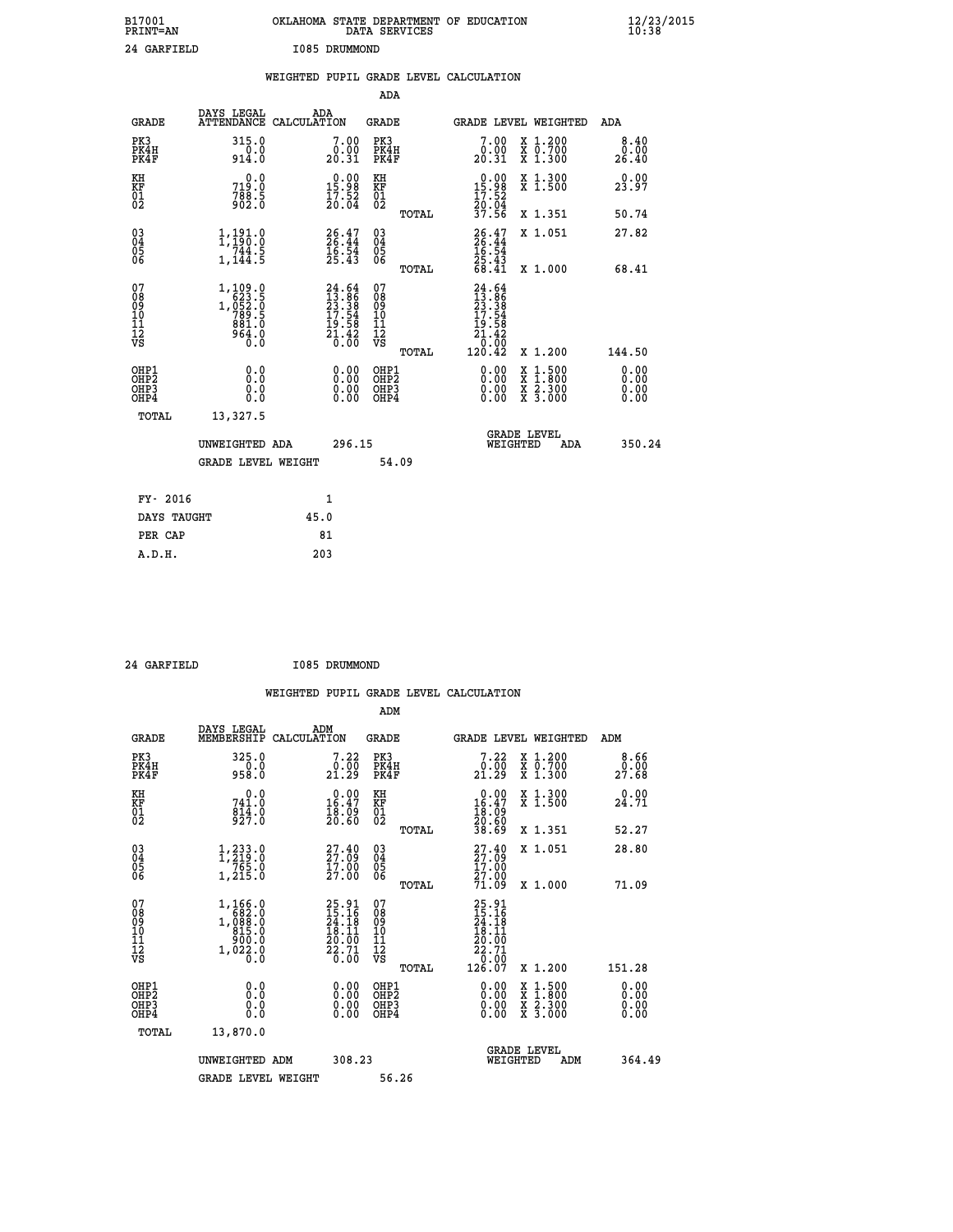| B17001<br>PRINT=AN                                 |                                                                                                             | OKLAHOMA STATE DEPARTMENT OF EDUCATION                                   | DATA SERVICES                                      |                                                                                  |                                                                                          | $\frac{12}{23}$ /2015        |  |
|----------------------------------------------------|-------------------------------------------------------------------------------------------------------------|--------------------------------------------------------------------------|----------------------------------------------------|----------------------------------------------------------------------------------|------------------------------------------------------------------------------------------|------------------------------|--|
| 24 GARFIELD                                        |                                                                                                             | I085 DRUMMOND                                                            |                                                    |                                                                                  |                                                                                          |                              |  |
|                                                    |                                                                                                             | WEIGHTED PUPIL GRADE LEVEL CALCULATION                                   |                                                    |                                                                                  |                                                                                          |                              |  |
|                                                    |                                                                                                             |                                                                          | <b>ADA</b>                                         |                                                                                  |                                                                                          |                              |  |
| <b>GRADE</b>                                       | DAYS LEGAL<br>ATTENDANCE CALCULATION                                                                        | ADA                                                                      | GRADE                                              | <b>GRADE LEVEL WEIGHTED</b>                                                      |                                                                                          | ADA                          |  |
| PK3<br>PK4H<br>PK4F                                | 315.0<br>914.0                                                                                              | 7.00<br>0.00<br>20.31                                                    | PK3<br>PK4H<br>PK4F                                | 7.00<br>$\begin{smallmatrix} 0.00 \ 20.31 \end{smallmatrix}$                     | X 1.200<br>$\begin{smallmatrix} 7 & 0.700 \\ 7 & 1.300 \end{smallmatrix}$                | 8.40<br>0.00<br>26.40        |  |
| KH<br>KF<br>$^{01}_{02}$                           | 0.0<br>719.0<br>$788.5$<br>902.0                                                                            | $\begin{smallmatrix} 0.00\\15.98\\17.52\\20.04 \end{smallmatrix}$        | KH<br>KF<br>01<br>02                               | $\begin{smallmatrix} 0.00\\ 15.98\\ 17.52\\ 20.04 \end{smallmatrix}$             | X 1.300<br>X 1.500                                                                       | 0.00<br>23.97                |  |
|                                                    |                                                                                                             |                                                                          | TOTAL                                              | 37.56                                                                            | X 1.351                                                                                  | 50.74                        |  |
| $\begin{matrix} 03 \\ 04 \\ 05 \\ 06 \end{matrix}$ | 1,191.0<br>744.5<br>1,144.5                                                                                 | $26.47$<br>$26.44$<br>$16.54$<br>$25.43$                                 | $\begin{matrix} 03 \\ 04 \\ 05 \\ 06 \end{matrix}$ | $\frac{26.47}{26.44}$<br>$\frac{16.54}{16.54}$<br>25.43                          | X 1.051                                                                                  | 27.82                        |  |
|                                                    |                                                                                                             |                                                                          | TOTAL                                              | 68.41                                                                            | X 1.000                                                                                  | 68.41                        |  |
| 07<br>08<br>09<br>11<br>11<br>12<br>VS             | $\begin{smallmatrix}1,109.0\\623.5\\1,052.0\\789.5\end{smallmatrix}$<br>881.0<br>964.0<br>$\overline{0}$ .0 | $24.64$<br>$13.86$<br>$23.38$<br>$17.54$<br>$19.58$<br>$21.42$<br>$0.00$ | 07<br>08<br>09<br>10<br>11<br>12<br>VS<br>TOTAL    | $24.64$<br>$13.86$<br>$23.38$<br>$17.54$<br>Ī9<br>.58<br>21.42<br>0.00<br>120.42 | X 1.200                                                                                  | 144.50                       |  |
| OHP1<br>OHP2<br>OHP3<br>OHP4                       | 0.0<br>Ō.Ŏ<br>0.0<br>0.0                                                                                    | 0.00<br>0.00<br>0.00                                                     | OHP1<br>OHP <sub>2</sub><br>OHP3<br>OHP4           | 0.00<br>0.00<br>0.00                                                             | $\begin{smallmatrix} x & 1.500 \\ x & 1.800 \\ x & 2.300 \\ x & 3.000 \end{smallmatrix}$ | 0.00<br>ŏ:ŏŏ<br>0.00<br>0.00 |  |
| TOTAL                                              | 13,327.5                                                                                                    |                                                                          |                                                    |                                                                                  |                                                                                          |                              |  |
|                                                    | UNWEIGHTED ADA                                                                                              | 296.15                                                                   |                                                    | <b>GRADE LEVEL</b><br>WEIGHTED                                                   | ADA                                                                                      | 350.24                       |  |
|                                                    | <b>GRADE LEVEL WEIGHT</b>                                                                                   |                                                                          | 54.09                                              |                                                                                  |                                                                                          |                              |  |
| FY- 2016                                           |                                                                                                             | 1                                                                        |                                                    |                                                                                  |                                                                                          |                              |  |

| FY- 2016    |      |  |
|-------------|------|--|
| DAYS TAUGHT | 45.0 |  |
| PER CAP     | 81   |  |
| A.D.H.      | 203  |  |
|             |      |  |

 **24 GARFIELD I085 DRUMMOND**

| <b>GRADE</b>                                         | DAYS LEGAL<br>MEMBERSHIP                                                | ADM<br>CALCULATION                                                       | <b>GRADE</b>                                 |       | GRADE LEVEL WEIGHTED                                                                |                                                                                                                     | ADM                   |  |
|------------------------------------------------------|-------------------------------------------------------------------------|--------------------------------------------------------------------------|----------------------------------------------|-------|-------------------------------------------------------------------------------------|---------------------------------------------------------------------------------------------------------------------|-----------------------|--|
| PK3<br>PK4H<br>PK4F                                  | 325.0<br>958.0                                                          | 7.22<br>$\frac{0.00}{21.29}$                                             | PK3<br>PK4H<br>PK4F                          |       | 7.22<br>$\frac{0.00}{21.29}$                                                        | X 1.200<br>X 0.700<br>X 1.300                                                                                       | 8.66<br>0.00<br>27.68 |  |
| KH<br>KF<br>01<br>02                                 | 0.0<br>741.0<br>$\frac{814}{927}$ :0                                    | $0.00$<br>16.47<br>$\frac{18.09}{20.60}$                                 | KH<br>KF<br>$\overline{01}$                  |       | $\begin{smallmatrix} 0.00\\ 16.47\\ 18.09\\ 20.60\\ 38.69 \end{smallmatrix}$        | X 1.300<br>X 1.500                                                                                                  | 0.00<br>24.71         |  |
|                                                      |                                                                         |                                                                          |                                              | TOTAL |                                                                                     | X 1.351                                                                                                             | 52.27                 |  |
| 03<br>04<br>05<br>06                                 | $\frac{1}{2}, \frac{233}{219}$ $\cdot 0$<br>$\frac{765}{20}$<br>1,215.0 | $27.40$<br>$27.09$<br>17.00<br>27.00                                     | $\substack{03 \\ 04}$<br>Ŏ5<br>06            |       | $27.40$<br>$27.09$<br>$17.00$<br>$27.00$                                            | X 1.051                                                                                                             | 28.80                 |  |
|                                                      |                                                                         |                                                                          |                                              | TOTAL | 71.09                                                                               | X 1.000                                                                                                             | 71.09                 |  |
| 07<br>08<br>09<br>101<br>112<br>VS                   | 1,166.0<br>1,000:0<br>815.0<br>900:0<br>1,022.0                         | $25.91$<br>$15.16$<br>$24.18$<br>$18.11$<br>$20.00$<br>$22.71$<br>$0.00$ | 07<br>08<br>09<br>01<br>11<br>11<br>12<br>VS | TOTAL | $25.91$<br>$15.16$<br>$24.18$<br>$18.11$<br>$20.00$<br>$22.71$<br>$26.00$<br>126.07 | X 1.200                                                                                                             | 151.28                |  |
| OHP1<br>OHP <sub>2</sub><br>OH <sub>P3</sub><br>OHP4 | 0.0<br>0.000                                                            |                                                                          | OHP1<br>OHP2<br>OHP3<br>OHP4                 |       | 0.00<br>$0.00$<br>0.00                                                              | $\begin{array}{l} \mathtt{X} & 1.500 \\ \mathtt{X} & 1.800 \\ \mathtt{X} & 2.300 \\ \mathtt{X} & 3.000 \end{array}$ | 0.00<br>0.00<br>0.00  |  |
| TOTAL                                                | 13,870.0                                                                |                                                                          |                                              |       |                                                                                     |                                                                                                                     |                       |  |
|                                                      | UNWEIGHTED ADM                                                          | 308.23                                                                   |                                              |       | WEIGHTED                                                                            | <b>GRADE LEVEL</b><br>ADM                                                                                           | 364.49                |  |
|                                                      | <b>GRADE LEVEL WEIGHT</b>                                               |                                                                          | 56.26                                        |       |                                                                                     |                                                                                                                     |                       |  |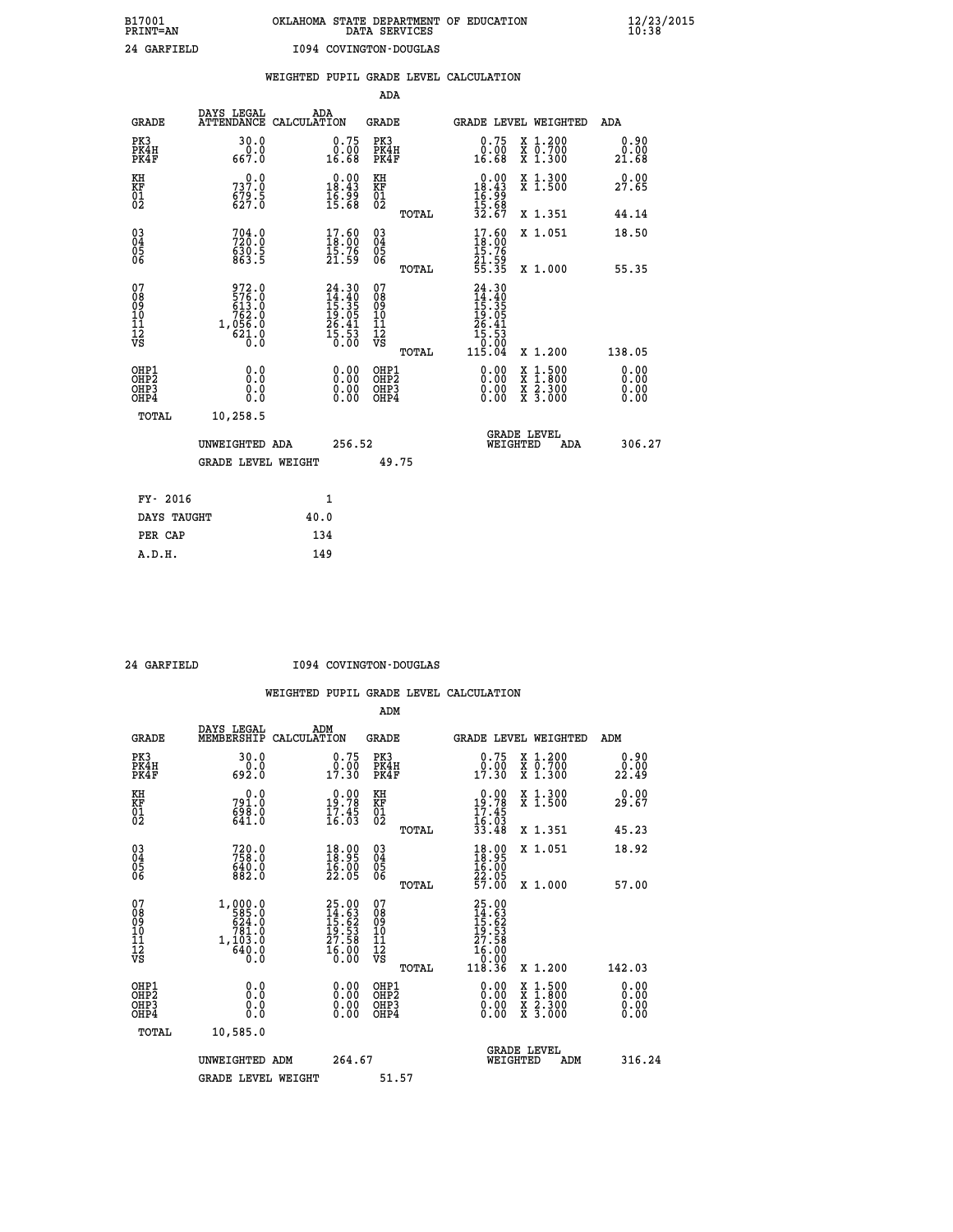# **B17001 OKLAHOMA STATE DEPARTMENT OF EDUCATION 12/23/2015 PRINT=AN DATA SERVICES 10:38**

| WEIGHTED PUPIL GRADE LEVEL CALCULATION<br><b>ADA</b><br>DAYS LEGAL<br>ADA<br><b>GRADE</b><br>ATTENDANCE CALCULATION<br><b>GRADE</b><br>GRADE LEVEL WEIGHTED<br>PK3<br>30.0<br>PK3<br>0.75<br>X 1.200<br>0.75<br>PK4H<br>X 0.700<br>X 1.300<br>PK4H<br>0.0<br>0.00<br>0.00<br>16.68<br>16.68<br>667.0<br>PK4F<br>PK4F                                           | ADA<br>0.90<br>0.00<br>21.68 |
|----------------------------------------------------------------------------------------------------------------------------------------------------------------------------------------------------------------------------------------------------------------------------------------------------------------------------------------------------------------|------------------------------|
|                                                                                                                                                                                                                                                                                                                                                                |                              |
|                                                                                                                                                                                                                                                                                                                                                                |                              |
|                                                                                                                                                                                                                                                                                                                                                                |                              |
|                                                                                                                                                                                                                                                                                                                                                                |                              |
| KH<br>$\begin{smallmatrix} 0.00\\18.43\\16.99\\15.68 \end{smallmatrix}$<br>KH<br>$\begin{array}{r} 0.00 \\ 18.43 \\ 16.99 \\ 15.68 \\ 32.67 \end{array}$<br>X 1.300<br>X 1.500<br>0.0<br>KF<br>01<br>02<br>737.0<br>KF<br>01<br>02<br>$679.5$<br>627.0                                                                                                         | 0.00<br>27.65                |
| TOTAL<br>X 1.351                                                                                                                                                                                                                                                                                                                                               | 44.14                        |
| $\begin{matrix} 03 \\ 04 \\ 05 \\ 06 \end{matrix}$<br>$\begin{smallmatrix} 17.60\\ 18.00\\ 15.76\\ 21.59 \end{smallmatrix}$<br>03<br>04<br>05<br>06<br>$\begin{smallmatrix} 17.60\\ 18.00\\ 15.76\\ 21.59\\ 55.35 \end{smallmatrix}$<br>X 1.051<br>704.0<br>630.5<br>863.5                                                                                     | 18.50                        |
| X 1.000<br>TOTAL                                                                                                                                                                                                                                                                                                                                               | 55.35                        |
| 07<br>972.0<br>$\begin{array}{r} 24.30 \\[-2pt] 14.40 \\[-2pt] 15.35 \\[-2pt] 19.05 \\[-2pt] 26.41 \\[-2pt] 26.41 \\[-2pt] 15.53 \\[-2pt] 0.00 \end{array}$<br>07<br>24.30<br>08<br>09<br>11<br>11<br>12<br>VS<br>08<br>09<br>11<br>11<br>12<br>VS<br>$\begin{smallmatrix} 24.300\115.305\19.051\26.41\15.53\0.00\115.04\end{smallmatrix}$                     |                              |
| X 1.200<br>TOTAL                                                                                                                                                                                                                                                                                                                                               | 138.05                       |
| OHP1<br>$\begin{smallmatrix} 0.00 \ 0.00 \ 0.00 \ 0.00 \end{smallmatrix}$<br>OHP1<br>0.00<br>0.0<br>$\begin{smallmatrix} \mathtt{X} & 1 & 500 \\ \mathtt{X} & 1 & 800 \\ \mathtt{X} & 2 & 300 \\ \mathtt{X} & 3 & 000 \end{smallmatrix}$<br>OH <sub>P</sub> <sub>2</sub><br>OHP <sub>2</sub><br>0.00<br>OH <sub>P3</sub><br>0.0<br>OHP3<br>0.0<br>OHP4<br>OHP4 | 0.00<br>0.00<br>0.00         |
| TOTAL<br>10,258.5                                                                                                                                                                                                                                                                                                                                              |                              |
| GRADE LEVEL<br>WEIGHTED<br>256.52<br>UNWEIGHTED ADA<br>ADA                                                                                                                                                                                                                                                                                                     | 306.27                       |
| 49.75<br><b>GRADE LEVEL WEIGHT</b>                                                                                                                                                                                                                                                                                                                             |                              |
| FY- 2016<br>1                                                                                                                                                                                                                                                                                                                                                  |                              |
| DAYS TAUGHT<br>40.0                                                                                                                                                                                                                                                                                                                                            |                              |
| PER CAP<br>134                                                                                                                                                                                                                                                                                                                                                 |                              |

 **A.D.H. 149**

 **24 GARFIELD I094 COVINGTON-DOUGLAS**

|                                                      |                                                                                                         |                                                                           | ADM                                                 |                                                                                   |                                          |                       |
|------------------------------------------------------|---------------------------------------------------------------------------------------------------------|---------------------------------------------------------------------------|-----------------------------------------------------|-----------------------------------------------------------------------------------|------------------------------------------|-----------------------|
| <b>GRADE</b>                                         | DAYS LEGAL<br>MEMBERSHIP                                                                                | ADM<br>CALCULATION                                                        | <b>GRADE</b>                                        | GRADE LEVEL WEIGHTED                                                              |                                          | ADM                   |
| PK3<br>PK4H<br>PK4F                                  | 30.0<br>692.0                                                                                           | 0.75<br>$\frac{0.00}{17.30}$                                              | PK3<br>PK4H<br>PK4F                                 | 0.75<br>$\begin{smallmatrix} 0.00 \\ 17.30 \end{smallmatrix}$                     | X 1.200<br>X 0.700<br>X 1.300            | 0.90<br>ةة:2<br>22:49 |
| KH<br>KF<br>01<br>02                                 | 0.0<br>791.0<br>698.0<br>641.0                                                                          | $19.78$<br>$19.78$<br>$17.45$<br>$16.03$                                  | KH<br>KF<br>01<br>02                                | $0.00\n19.78\n17.45\n16.03\n33.48$                                                | X 1.300<br>X 1.500                       | 0.00<br>29.67         |
|                                                      |                                                                                                         |                                                                           | TOTAL                                               |                                                                                   | X 1.351                                  | 45.23                 |
| 03<br>04<br>05<br>06                                 | $720.0$<br>$758.0$<br>$640.0$<br>$882.0$                                                                | 18.99<br>$\frac{16.00}{22.05}$                                            | $\begin{array}{c} 03 \\ 04 \\ 05 \\ 06 \end{array}$ | $\begin{smallmatrix} 18.90 \\ 18.95 \\ 16.00 \\ 22.05 \\ 57.00 \end{smallmatrix}$ | X 1.051                                  | 18.92                 |
|                                                      |                                                                                                         |                                                                           | TOTAL                                               |                                                                                   | X 1.000                                  | 57.00                 |
| 07<br>08<br>09<br>101<br>112<br>VS                   | $\begin{smallmatrix} 1,000.0\\ 585.0\\ 624.0\\ 781.0\\ 781.0\\ 1,103.0\\ 640.0\\ 0.0 \end{smallmatrix}$ | $25.00$<br>$14.63$<br>$15.62$<br>$19.53$<br>$27.58$<br>$27.58$<br>$16.00$ | 07<br>08<br>09<br>11<br>11<br>12<br>VS              | 25.00<br>14.63<br>15.62<br>15.53<br>27.58<br>27.58<br>16.00<br>10.00              |                                          |                       |
|                                                      |                                                                                                         |                                                                           | TOTAL                                               | 118.36                                                                            | X 1.200                                  | 142.03                |
| OHP1<br>OHP2<br>OH <sub>P3</sub><br>OH <sub>P4</sub> | 0.0<br>0.000                                                                                            |                                                                           | OHP1<br>OHP2<br>OHP <sub>3</sub>                    | $0.00$<br>$0.00$<br>0.00                                                          | X 1:500<br>X 1:800<br>X 2:300<br>X 3:000 | 0.00<br>0.00<br>0.00  |
| TOTAL                                                | 10,585.0                                                                                                |                                                                           |                                                     |                                                                                   |                                          |                       |
|                                                      | UNWEIGHTED ADM                                                                                          | 264.67                                                                    |                                                     | WEIGHTED                                                                          | <b>GRADE LEVEL</b><br>ADM                | 316.24                |
|                                                      | <b>GRADE LEVEL WEIGHT</b>                                                                               |                                                                           | 51.57                                               |                                                                                   |                                          |                       |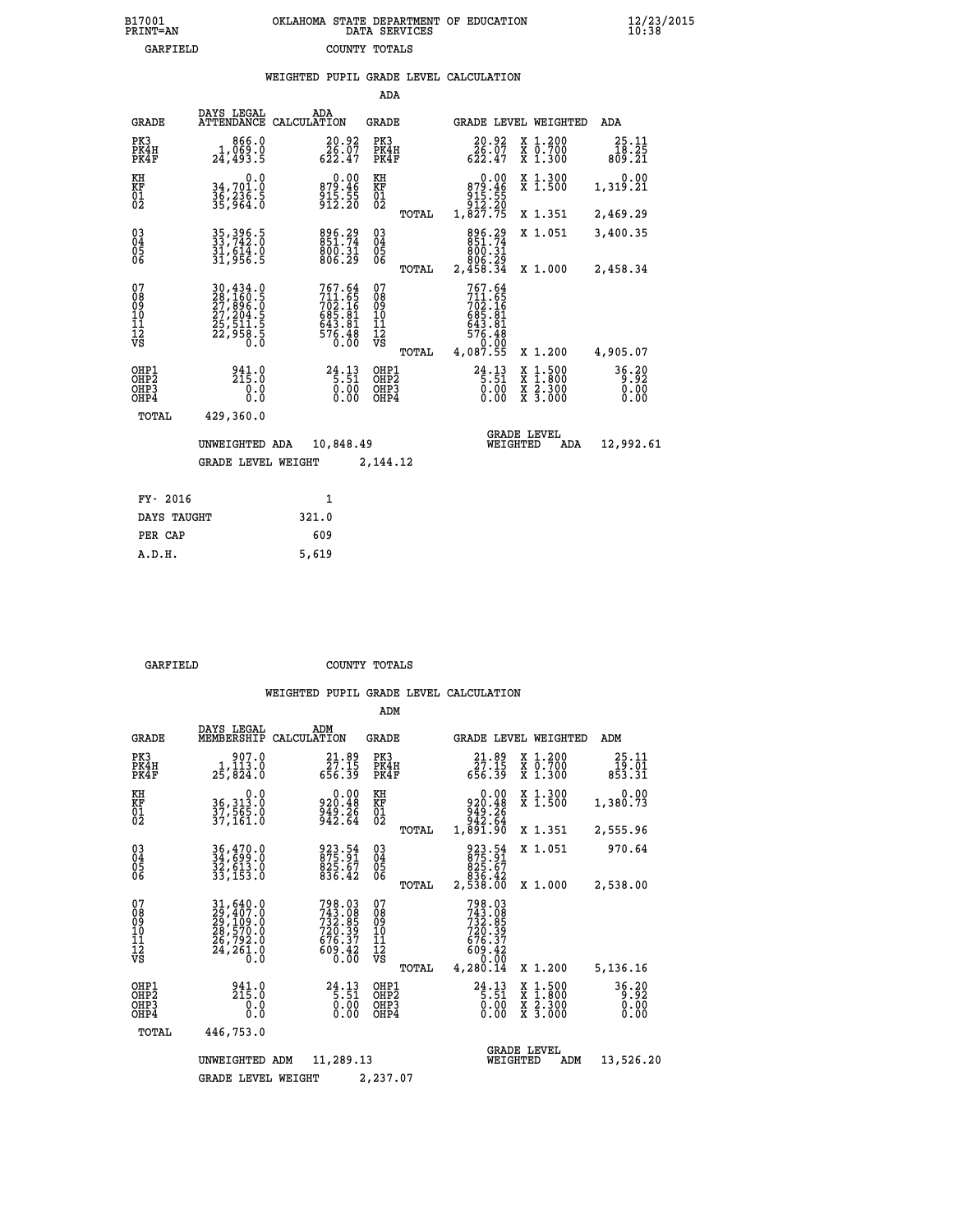# **B17001 OKLAHOMA STATE DEPARTMENT OF EDUCATION 12/23/2015 PRINT=AN DATA SERVICES 10:38 GARFIELD COUNTY TOTALS**

|                                        |                                                                             |                                                                             | ADA                                                               |       |                                                                                         |                                |                                          |                          |
|----------------------------------------|-----------------------------------------------------------------------------|-----------------------------------------------------------------------------|-------------------------------------------------------------------|-------|-----------------------------------------------------------------------------------------|--------------------------------|------------------------------------------|--------------------------|
| <b>GRADE</b>                           | DAYS LEGAL                                                                  | ADA<br>ATTENDANCE CALCULATION                                               | GRADE                                                             |       |                                                                                         |                                | GRADE LEVEL WEIGHTED                     | ADA                      |
| PK3<br>PK4H<br>PK4F                    | 866.0<br>1,069.0<br>24,493.5                                                | 20.92<br>$\bar{2}\check{6}\,\tilde{.}\,\tilde{0}\,\tilde{7}$ 622.47         | PK3<br>PK4H<br>PK4F                                               |       | 20.92<br>$\frac{26.07}{622.47}$                                                         |                                | X 1.200<br>X 0.700<br>X 1.300            | 25.11<br>18.25<br>809.21 |
| KH<br><b>KF</b><br>01<br>02            | 0.0<br>34,701.0<br>36,236.5<br>35,964.0                                     | $0.00$<br>$0.00$<br>$46$<br>$\frac{915.55}{912.20}$                         | KH<br>KF<br>01<br>02                                              |       | 0.00<br>$879.46$<br>$915.55$<br>$912.20$<br>$1,827.75$                                  |                                | X 1.300<br>$\overline{x}$ 1.500          | 0.00<br>1,319.21         |
|                                        |                                                                             |                                                                             |                                                                   | TOTAL |                                                                                         |                                | X 1.351                                  | 2,469.29                 |
| $^{03}_{04}$<br>05<br>06               | 35, 396.5<br>33, 742.0<br>31, 614.0<br>31, 956.5                            | 896.29<br>851.74<br>800.31<br>806.29                                        | $\substack{03 \\ 04}$<br>$\begin{matrix} 0.5 \\ 0.6 \end{matrix}$ |       | 896.29<br>851.74<br>800.31                                                              |                                | X 1.051                                  | 3,400.35                 |
|                                        |                                                                             |                                                                             |                                                                   | TOTAL | 2,400<br>2,458.34                                                                       |                                | X 1.000                                  | 2,458.34                 |
| 07<br>08<br>09<br>11<br>11<br>12<br>VS | 30,434.0<br>28,160.5<br>27,896.0<br>27,204.5<br>25,511.5<br>25,958.5<br>0.0 | 767.64<br>711.65<br>702.16<br>685.81<br>643.81<br>643.81<br>576.48<br>Ŏ. ŌŎ | 07<br>08<br>09<br>11<br>11<br>12<br>VS                            | TOTAL | 767.64<br>$711.65$<br>$702.16$<br>$685.81$<br>$643.81$<br>$576.48$<br>$0.9$<br>4,087.55 |                                | X 1.200                                  | 4,905.07                 |
|                                        |                                                                             |                                                                             |                                                                   |       |                                                                                         |                                |                                          |                          |
| OHP1<br>OHP2<br>OHP3<br>OHP4           | 215.0<br>0.0<br>0.0                                                         | $24.13$<br>5:51<br>0.00                                                     | OHP1<br>OHP2<br>OHP3<br>OHP4                                      |       | $24.13$<br>5:51<br>$\begin{matrix} 0.00 \\ 0.00 \end{matrix}$                           | X                              | $1.500$<br>$1.800$<br>X 2.300<br>X 3.000 | 36.20<br>0.00<br>0.00    |
| TOTAL                                  | 429,360.0                                                                   |                                                                             |                                                                   |       |                                                                                         |                                |                                          |                          |
|                                        | UNWEIGHTED ADA                                                              | 10,848.49                                                                   |                                                                   |       |                                                                                         | <b>GRADE LEVEL</b><br>WEIGHTED | ADA                                      | 12,992.61                |
|                                        | <b>GRADE LEVEL WEIGHT</b>                                                   |                                                                             | 2,144.12                                                          |       |                                                                                         |                                |                                          |                          |
|                                        |                                                                             |                                                                             |                                                                   |       |                                                                                         |                                |                                          |                          |
| FY- 2016                               |                                                                             | $\mathbf{1}$                                                                |                                                                   |       |                                                                                         |                                |                                          |                          |
| DAYS TAUGHT                            |                                                                             | 321.0                                                                       |                                                                   |       |                                                                                         |                                |                                          |                          |

|  | \RFTRI.D |  |
|--|----------|--|

 **PER CAP 609 A.D.H. 5,619**

 **GARFIELD COUNTY TOTALS**

|                                                       |                                                                                                                     |                                                                                                         | ADM                                              |                                                                                 |                                                                                                  |                               |
|-------------------------------------------------------|---------------------------------------------------------------------------------------------------------------------|---------------------------------------------------------------------------------------------------------|--------------------------------------------------|---------------------------------------------------------------------------------|--------------------------------------------------------------------------------------------------|-------------------------------|
| <b>GRADE</b>                                          | DAYS LEGAL<br>MEMBERSHIP                                                                                            | ADM<br>CALCULATION                                                                                      | <b>GRADE</b>                                     | GRADE LEVEL WEIGHTED                                                            |                                                                                                  | ADM                           |
| PK3<br>PK4H<br>PK4F                                   | 907.0<br>1,113.0<br>25,824.0                                                                                        | $\frac{21.89}{27.15}$<br>656.39                                                                         | PK3<br>PK4H<br>PK4F                              | $\frac{21.89}{27.15}$<br>656.39                                                 | $\begin{array}{c} x & 1.200 \\ x & 0.700 \end{array}$<br>X 1.300                                 | 25.11<br>19.01<br>853.31      |
| KH<br>KF<br>01<br>02                                  | 0.0<br>36, 313:0<br>37, 565:0<br>37, 161:0                                                                          | 0.00<br>920.48<br>949.26<br>942.64                                                                      | KH<br>KF<br>01<br>02                             | $0.00$<br>$920.48$<br>$949.26$<br>$942.64$<br>$1,891.90$                        | X 1.300<br>X 1.500                                                                               | 0.00<br>1,380.73              |
|                                                       |                                                                                                                     |                                                                                                         | TOTAL                                            |                                                                                 | X 1.351                                                                                          | 2,555.96                      |
| 03<br>04<br>05<br>06                                  | 36,470.0<br>34,699.0<br>32,613.0<br>33,153.0                                                                        | 923.54<br>875.91<br>825.67<br>836.42                                                                    | $\substack{03 \\ 04}$<br>0500                    | 923.54<br>875.91<br>825.67<br>836.42                                            | X 1.051                                                                                          | 970.64                        |
|                                                       |                                                                                                                     |                                                                                                         | TOTAL                                            | 2,538.00                                                                        | X 1.000                                                                                          | 2,538.00                      |
| 07<br>08<br>09<br>11<br>11<br>12<br>VS                | $\begin{smallmatrix} 31, 640.0\\ 29, 407.0\\ 29, 109.0\\ 28, 570.0\\ 26, 792.0\\ 24, 261.0\\ 0.0 \end{smallmatrix}$ | 798.03<br>743.08<br>732.85<br>720.39<br>$\overset{676.37}{\begin{array}{c} 69.42 \ 609.60 \end{array}}$ | 07<br>08<br>09<br>101<br>11<br>12<br>VS<br>TOTAL | 798.03<br>743.085<br>732.85<br>720.39<br>676.37<br>609.42<br>609.42<br>4,280.14 | X 1.200                                                                                          | 5,136.16                      |
| OHP1<br>OH <sub>P</sub> 2<br>OHP <sub>3</sub><br>OHP4 | 941.0<br>215.0<br>0.0<br>Ŏ.Ŏ                                                                                        | $24.13$<br>5.51<br>0.00<br>0.00                                                                         | OHP1<br>OHP2<br>OHP3<br>OHP4                     | $24.13$<br>5.51<br>0.00<br>0.00                                                 | $\begin{smallmatrix} x & 1 & 500 \\ x & 1 & 800 \\ x & 2 & 300 \\ x & 3 & 000 \end{smallmatrix}$ | 36.20<br>0.92<br>0.00<br>0.00 |
| TOTAL                                                 | 446,753.0                                                                                                           |                                                                                                         |                                                  |                                                                                 |                                                                                                  |                               |
|                                                       | UNWEIGHTED                                                                                                          | 11,289.13<br>ADM                                                                                        |                                                  | <b>GRADE LEVEL</b><br>WEIGHTED                                                  | ADM                                                                                              | 13,526.20                     |
|                                                       | <b>GRADE LEVEL WEIGHT</b>                                                                                           |                                                                                                         | 2,237.07                                         |                                                                                 |                                                                                                  |                               |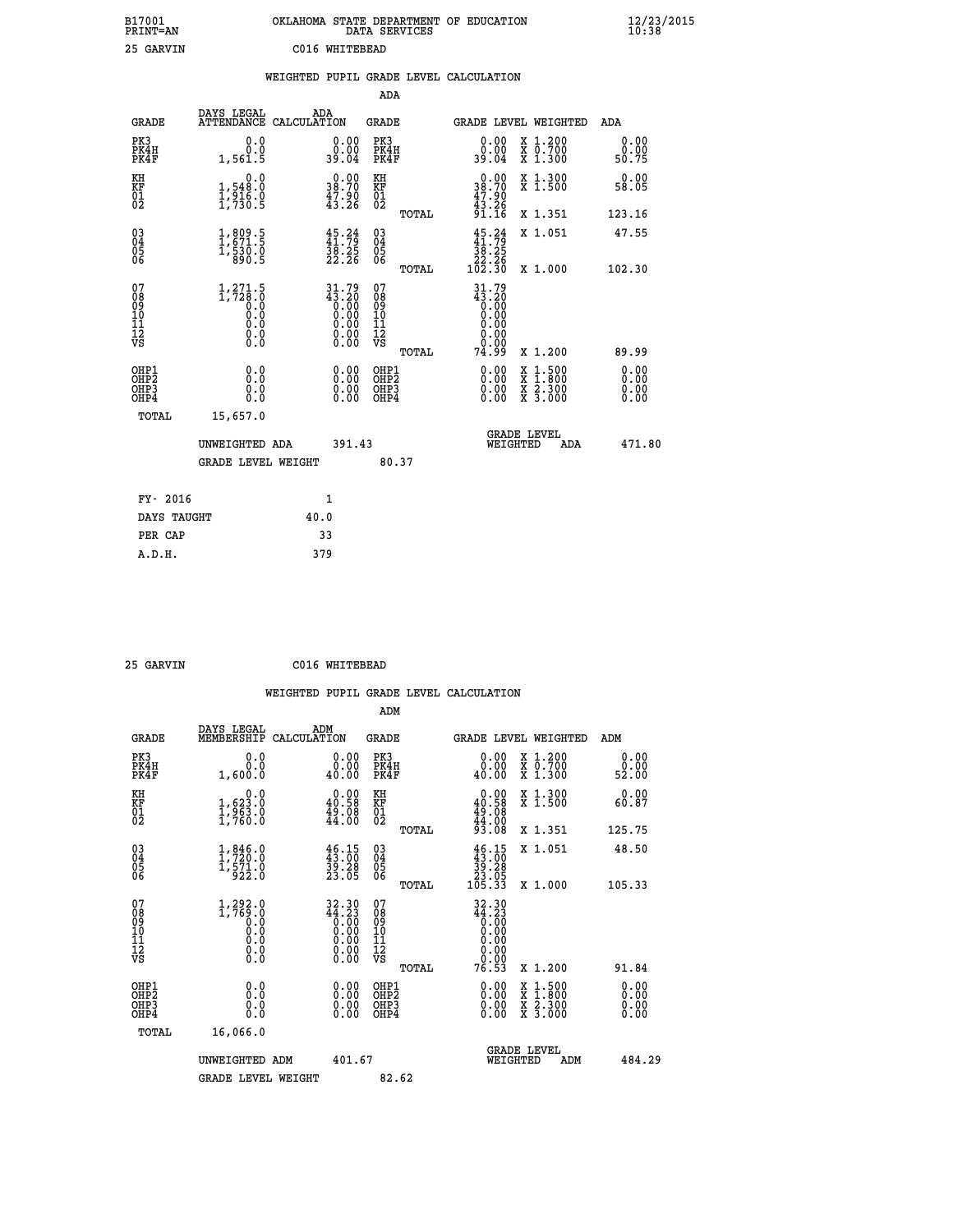| B17001<br>PRINT=AN                                |                                                          | OKLAHOMA STATE DEPARTMENT OF EDUCATION                                                         | DATA SERVICES                                   |                                                                   |                                                                                                                                           | 12/23/2015<br>10:38   |  |
|---------------------------------------------------|----------------------------------------------------------|------------------------------------------------------------------------------------------------|-------------------------------------------------|-------------------------------------------------------------------|-------------------------------------------------------------------------------------------------------------------------------------------|-----------------------|--|
| 25 GARVIN                                         |                                                          | C016 WHITEBEAD                                                                                 |                                                 |                                                                   |                                                                                                                                           |                       |  |
|                                                   |                                                          | WEIGHTED PUPIL GRADE LEVEL CALCULATION                                                         | ADA                                             |                                                                   |                                                                                                                                           |                       |  |
| <b>GRADE</b>                                      | DAYS LEGAL                                               | ADA<br>ATTENDANCE CALCULATION                                                                  | GRADE                                           |                                                                   | GRADE LEVEL WEIGHTED                                                                                                                      | ADA                   |  |
| PK3<br>PK4H<br>PK4F                               | 0.0<br>0.0<br>1,561.5                                    | 0.00<br>0.00<br>39.04                                                                          | PK3<br>PK4H<br>PK4F                             | 0.00<br>0.00<br>39.04                                             | X 1.200<br>X 0.700<br>X 1.300                                                                                                             | 0.00<br>0.00<br>50.75 |  |
| KH<br>KF<br>$\begin{matrix} 01 \ 02 \end{matrix}$ | 0.0<br>1,548:0<br>1,916.0<br>1,730:5                     | $\begin{smallmatrix} 0.00\\ 38.70\\ 47.90\\ 43.26 \end{smallmatrix}$                           | KH<br><b>KF</b><br>01<br>02                     | 38.70<br>$\frac{47.90}{43.26}$<br>91.16                           | X 1.300<br>X 1.500                                                                                                                        | 0.00<br>58.05         |  |
|                                                   |                                                          |                                                                                                | TOTAL                                           |                                                                   | X 1.351                                                                                                                                   | 123.16                |  |
| $\substack{03 \ 04}$<br>Ŏ5<br>06                  | 1,809.5<br>$\frac{1}{5}$ $\frac{530}{890}$ $\frac{0}{5}$ | $45.24$<br>$41.79$<br>$38.25$<br>$22.26$                                                       | 030404<br>ŎĞ                                    | $45.24$<br>$41.79$<br>38.25                                       | X 1.051                                                                                                                                   | 47.55                 |  |
|                                                   |                                                          |                                                                                                | TOTAL                                           | $\frac{22.26}{102.30}$                                            | X 1.000                                                                                                                                   | 102.30                |  |
| 07<br>08<br>09<br>11<br>11<br>12<br>VS            | $1, 271.5$<br>1, 728.0<br>0.0<br>0.0<br>0.000            | $\begin{smallmatrix} 31.79 \\ 43.20 \\ 0.00 \\ 0.00 \\ 0.00 \\ 0.00 \end{smallmatrix}$<br>0.00 | 07<br>08<br>09<br>10<br>īĭ<br>12<br>VS<br>TOTAL | 31.79<br>$43.20$<br>0.00<br>0.00<br>0.00<br>0.00<br>0.00<br>74.99 | X 1.200                                                                                                                                   | 89.99                 |  |
| OHP1<br>OHP2<br>OHP3<br>OHP4                      | 0.0<br>0.0<br>0.0                                        |                                                                                                | OHP1<br>OHP <sub>2</sub><br>OHP3<br>OHP4        | $0.00$<br>$0.00$<br>0.00                                          | $\begin{smallmatrix} \mathtt{X} & 1\cdot500\\ \mathtt{X} & 1\cdot800\\ \mathtt{X} & 2\cdot300\\ \mathtt{X} & 3\cdot000 \end{smallmatrix}$ | 0.00<br>0.00<br>0.00  |  |
| TOTAL                                             | 15,657.0                                                 |                                                                                                |                                                 |                                                                   |                                                                                                                                           |                       |  |
|                                                   | UNWEIGHTED ADA                                           | 391.43                                                                                         |                                                 | WEIGHTED                                                          | <b>GRADE LEVEL</b><br>ADA                                                                                                                 | 471.80                |  |
|                                                   | <b>GRADE LEVEL WEIGHT</b>                                |                                                                                                | 80.37                                           |                                                                   |                                                                                                                                           |                       |  |
| FY- 2016                                          |                                                          | 1                                                                                              |                                                 |                                                                   |                                                                                                                                           |                       |  |
| DAYS TAUGHT                                       |                                                          | 40.0                                                                                           |                                                 |                                                                   |                                                                                                                                           |                       |  |
| PER CAP                                           |                                                          | 33                                                                                             |                                                 |                                                                   |                                                                                                                                           |                       |  |
| A.D.H.                                            |                                                          | 379                                                                                            |                                                 |                                                                   |                                                                                                                                           |                       |  |

| 25 GARVIN | C016 WHITEBEAD |
|-----------|----------------|
|           |                |

|                                                    |                                                     |                                                                       |                                              | WEIGHTED PUPIL GRADE LEVEL CALCULATION                                                                  |                                          |                               |
|----------------------------------------------------|-----------------------------------------------------|-----------------------------------------------------------------------|----------------------------------------------|---------------------------------------------------------------------------------------------------------|------------------------------------------|-------------------------------|
|                                                    |                                                     |                                                                       | ADM                                          |                                                                                                         |                                          |                               |
| <b>GRADE</b>                                       | DAYS LEGAL<br>MEMBERSHIP                            | ADM<br>CALCULATION                                                    | <b>GRADE</b>                                 | GRADE LEVEL WEIGHTED                                                                                    |                                          | ADM                           |
| PK3<br>PK4H<br>PK4F                                | 0.0<br>0.0<br>1,600.0                               | 0.0000<br>40.00                                                       | PK3<br>PK4H<br>PK4F                          | 0.00<br>40.00                                                                                           | X 1.200<br>X 0.700<br>X 1.300            | 0.00<br>0.00<br>52.00         |
| KH<br>KF<br>01<br>02                               | 0.0<br>1,623.0<br>$\frac{1}{2}, \frac{3}{760}$ :0   | $\begin{smallmatrix} 0.00\\ 40.58\\ 49.08\\ 44.00 \end{smallmatrix}$  | KH<br>KF<br>01<br>02                         | $0.00\n40.58\n49.08\n44.00\n93.08$                                                                      | X 1.300<br>X 1.500                       | 0.00<br>60.87                 |
|                                                    |                                                     |                                                                       | TOTAL                                        |                                                                                                         | X 1.351                                  | 125.75                        |
| $\begin{matrix} 03 \\ 04 \\ 05 \\ 06 \end{matrix}$ | 1, 846.0<br>$\frac{1,571.0}{922.0}$                 | $\begin{smallmatrix} 46.15\\ 43.00\\ 39.28\\ 23.05 \end{smallmatrix}$ | 03<br>04<br>05<br>06                         | $\begin{array}{c} 46\cdot 15\\ 43\cdot 00\\ 39\cdot 28\\ 23\cdot 05\\ 105\cdot 33 \end{array}$          | X 1.051                                  | 48.50                         |
|                                                    |                                                     |                                                                       | TOTAL                                        |                                                                                                         | X 1.000                                  | 105.33                        |
| 07<br>0890112<br>1112<br>VS                        | $1, 292.0$<br>1,769.0<br>0.0<br>0.0<br>0.0<br>$\S.$ | 32.30<br>44.23<br>$\begin{smallmatrix} 0.00 \ 0.00 \end{smallmatrix}$ | 07<br>08901112<br>1112<br>VS<br>TOTAL        | $\begin{smallmatrix} 32.30 \\ 44.23 \\ 0.00 \\ 0.00 \\ 0.00 \\ 0.00 \end{smallmatrix}$<br>0.00<br>76.53 | X 1.200                                  | 91.84                         |
|                                                    |                                                     |                                                                       |                                              |                                                                                                         |                                          |                               |
| OHP1<br>OHP <sub>2</sub><br>OHP3<br>OHP4           | 0.0<br>0.000                                        | $0.00$<br>$0.00$<br>0.00                                              | OHP1<br>OHP <sub>2</sub><br>OHP <sub>3</sub> | 0.00<br>0.00<br>0.00                                                                                    | X 1:500<br>X 1:800<br>X 2:300<br>X 3:000 | 0.00<br>Ō. ŌŌ<br>0.00<br>0.00 |
| TOTAL                                              | 16,066.0                                            |                                                                       |                                              |                                                                                                         |                                          |                               |
|                                                    | UNWEIGHTED ADM                                      | 401.67                                                                |                                              | WEIGHTED                                                                                                | <b>GRADE LEVEL</b><br>ADM                | 484.29                        |
|                                                    | <b>GRADE LEVEL WEIGHT</b>                           |                                                                       | 82.62                                        |                                                                                                         |                                          |                               |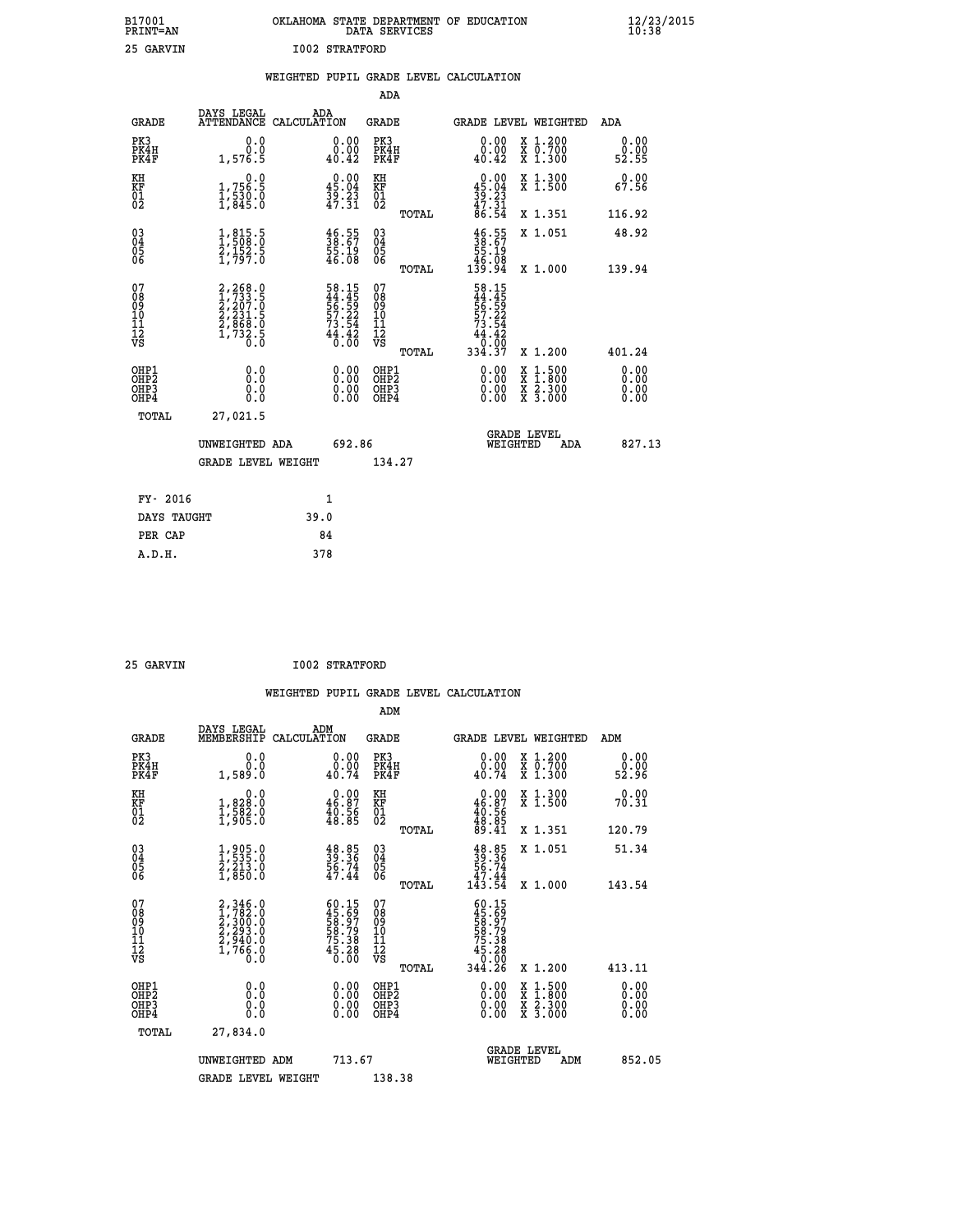| OKLAHOMA STATE DEPARTMENT OF EDUCATION<br>DATA SERVICES |
|---------------------------------------------------------|
| T002 STRATFORD                                          |

| 25 GARVIN                                          |                                                                                           |      | 1002 STRATFORD                                                       |                              |       |                                                                                                                                                      |                                                                                                                                           |                       |
|----------------------------------------------------|-------------------------------------------------------------------------------------------|------|----------------------------------------------------------------------|------------------------------|-------|------------------------------------------------------------------------------------------------------------------------------------------------------|-------------------------------------------------------------------------------------------------------------------------------------------|-----------------------|
|                                                    |                                                                                           |      |                                                                      |                              |       | WEIGHTED PUPIL GRADE LEVEL CALCULATION                                                                                                               |                                                                                                                                           |                       |
|                                                    |                                                                                           |      |                                                                      | <b>ADA</b>                   |       |                                                                                                                                                      |                                                                                                                                           |                       |
| <b>GRADE</b>                                       | DAYS LEGAL<br>ATTENDANCE CALCULATION                                                      |      | ADA                                                                  | <b>GRADE</b>                 |       |                                                                                                                                                      | GRADE LEVEL WEIGHTED                                                                                                                      | ADA                   |
| PK3<br>PK4H<br>PK4F                                | 0.0<br>Ō.Ō<br>1,576.5                                                                     |      | $\substack{0.00\\0.00\\40.42}$                                       | PK3<br>PK4H<br>PK4F          |       | 0.00<br>0.00<br>40.42                                                                                                                                | X 1.200<br>X 0.700<br>X 1.300                                                                                                             | 0.00<br>0.00<br>52.55 |
| KH<br>KF<br>01<br>02                               | 0.0<br>1,756.5<br>1,530.0<br>1,845.0                                                      |      | $\begin{smallmatrix} 0.00\\ 45.04\\ 39.23\\ 47.31 \end{smallmatrix}$ | KH<br>KF<br>01<br>02         |       | $0.00$<br>$45.04$<br>$39.23$<br>$47.31$<br>$86.54$                                                                                                   | X 1.300<br>X 1.500                                                                                                                        | 0.00<br>67.56         |
|                                                    |                                                                                           |      |                                                                      |                              | TOTAL |                                                                                                                                                      | X 1.351                                                                                                                                   | 116.92                |
| $\begin{matrix} 03 \\ 04 \\ 05 \\ 06 \end{matrix}$ | $\frac{1}{1}, \frac{815}{508}.\frac{5}{0}$<br>$\frac{2}{1}, \frac{152}{797}.\frac{5}{0}$  |      | $\frac{46.55}{38.67}$<br>55.19<br>46.08                              | 03<br>04<br>05<br>06         |       | $\frac{46.55}{38.67}$<br>86.08<br>94.031                                                                                                             | X 1.051                                                                                                                                   | 48.92                 |
|                                                    |                                                                                           |      |                                                                      |                              | TOTAL |                                                                                                                                                      | X 1.000                                                                                                                                   | 139.94                |
| 07<br>08<br>09<br>11<br>11<br>12<br>VS             | $2, 268.0$<br>$1, 733.5$<br>$2, 207.0$<br>$2, 231.5$<br>$2, 868.0$<br>$1, 732.5$<br>$0.0$ |      | 58.15<br>44.45<br>56.59<br>57.22<br>57.24<br>73.54<br>44.42<br>46.00 | 07<br>08901112<br>1112<br>VS | TOTAL | 58.15<br>44.45<br>56.59<br>57.22<br>57.34<br>44.42<br>$\begin{array}{r} 4\overline{4} \cdot \overline{4} \overline{2} \\ 0.00 \\ 334.37 \end{array}$ | X 1.200                                                                                                                                   | 401.24                |
| OHP1<br>OHP2<br>OHP3<br>OHP4                       | 0.0<br>0.0<br>0.0                                                                         |      | $0.00$<br>$0.00$<br>0.00                                             | OHP1<br>OHP2<br>OHP3<br>OHP4 |       | $0.00$<br>$0.00$<br>0.00                                                                                                                             | $\begin{smallmatrix} \mathtt{X} & 1\cdot500\\ \mathtt{X} & 1\cdot800\\ \mathtt{X} & 2\cdot300\\ \mathtt{X} & 3\cdot000 \end{smallmatrix}$ | 0.00<br>0.00<br>0.00  |
| TOTAL                                              | 27,021.5                                                                                  |      |                                                                      |                              |       |                                                                                                                                                      |                                                                                                                                           |                       |
|                                                    | UNWEIGHTED ADA                                                                            |      | 692.86                                                               |                              |       |                                                                                                                                                      | <b>GRADE LEVEL</b><br>WEIGHTED<br><b>ADA</b>                                                                                              | 827.13                |
|                                                    | <b>GRADE LEVEL WEIGHT</b>                                                                 |      |                                                                      | 134.27                       |       |                                                                                                                                                      |                                                                                                                                           |                       |
| FY- 2016                                           |                                                                                           |      | $\mathbf{1}$                                                         |                              |       |                                                                                                                                                      |                                                                                                                                           |                       |
| DAYS TAUGHT                                        |                                                                                           | 39.0 |                                                                      |                              |       |                                                                                                                                                      |                                                                                                                                           |                       |
| PER CAP                                            |                                                                                           |      | 84                                                                   |                              |       |                                                                                                                                                      |                                                                                                                                           |                       |
| A.D.H.                                             |                                                                                           |      | 378                                                                  |                              |       |                                                                                                                                                      |                                                                                                                                           |                       |

 **25 GARVIN I002 STRATFORD**

**B17001<br>PRINT=AN** 

| <b>GRADE</b>                                 | DAYS LEGAL<br>MEMBERSHIP                                                            | ADM<br>CALCULATION                                                   | <b>GRADE</b>                                        |       |                                                                                           | GRADE LEVEL WEIGHTED                                                                                                | ADM                      |  |
|----------------------------------------------|-------------------------------------------------------------------------------------|----------------------------------------------------------------------|-----------------------------------------------------|-------|-------------------------------------------------------------------------------------------|---------------------------------------------------------------------------------------------------------------------|--------------------------|--|
| PK3<br>PK4H<br>PK4F                          | 0.0<br>$0.0$<br>0.089.1                                                             | $\begin{smallmatrix} 0.00\\ 0.00\\ 40.74 \end{smallmatrix}$          | PK3<br>PK4H<br>PK4F                                 |       | $\begin{smallmatrix} 0.00\\ 0.00\\ 40.74 \end{smallmatrix}$                               | X 1.200<br>X 0.700<br>X 1.300                                                                                       | 0.00<br>ةة:ة<br>52:96    |  |
| KH<br>KF<br>01<br>02                         | 0.0<br>1,828:0<br>1,582:0<br>1,905:0                                                | $\begin{smallmatrix} 0.00\\ 46.87\\ 40.56\\ 48.85 \end{smallmatrix}$ | KH<br>KF<br>01<br>02                                |       | $0.00\n46.87\n40.56\n48.85\n48.41$                                                        | X 1.300<br>X 1.500                                                                                                  | 0.00<br>70.31            |  |
|                                              |                                                                                     |                                                                      |                                                     | TOTAL |                                                                                           | X 1.351                                                                                                             | 120.79                   |  |
| 03<br>04<br>05<br>06                         | 1,905.0<br>1,535.0<br>2,213.0<br>1,850.0                                            | $39.36$<br>$39.36$<br>$56.74$<br>$47.44$                             | $\begin{array}{c} 03 \\ 04 \\ 05 \\ 06 \end{array}$ |       | $39.36$<br>$56.74$<br>$47.44$<br>$143.54$                                                 | X 1.051                                                                                                             | 51.34                    |  |
|                                              |                                                                                     |                                                                      |                                                     | TOTAL |                                                                                           | X 1.000                                                                                                             | 143.54                   |  |
| 07<br>08<br>09<br>11<br>11<br>12<br>VS       | $2,346.0$<br>$1,782.0$<br>$2,300.0$<br>$2,293.0$<br>$2,940.0$<br>$1,766.0$<br>$0.0$ | 60.15<br>45.697<br>58.79<br>58.79<br>58.38<br>75.38<br>45.28<br>0.00 | 07<br>08<br>09<br>11<br>11<br>12<br>VS              | TOTAL | $60.15$<br>$45.697$<br>$58.797$<br>$58.798$<br>$75.38$<br>$45.280$<br>$0.000$<br>$344.26$ | X 1.200                                                                                                             | 413.11                   |  |
| OHP1                                         |                                                                                     |                                                                      | OHP1                                                |       |                                                                                           |                                                                                                                     |                          |  |
| OHP <sub>2</sub><br>OH <sub>P3</sub><br>OHP4 | 0.0<br>0.000                                                                        |                                                                      | OHP <sub>2</sub><br>OHP <sub>3</sub>                |       |                                                                                           | $\begin{array}{l} \mathtt{X} & 1.500 \\ \mathtt{X} & 1.800 \\ \mathtt{X} & 2.300 \\ \mathtt{X} & 3.000 \end{array}$ | $0.00$<br>$0.00$<br>0.00 |  |
| TOTAL                                        | 27,834.0                                                                            |                                                                      |                                                     |       |                                                                                           |                                                                                                                     |                          |  |
|                                              | UNWEIGHTED ADM                                                                      | 713.67                                                               |                                                     |       | WEIGHTED                                                                                  | <b>GRADE LEVEL</b><br>ADM                                                                                           | 852.05                   |  |
|                                              | <b>GRADE LEVEL WEIGHT</b>                                                           |                                                                      | 138.38                                              |       |                                                                                           |                                                                                                                     |                          |  |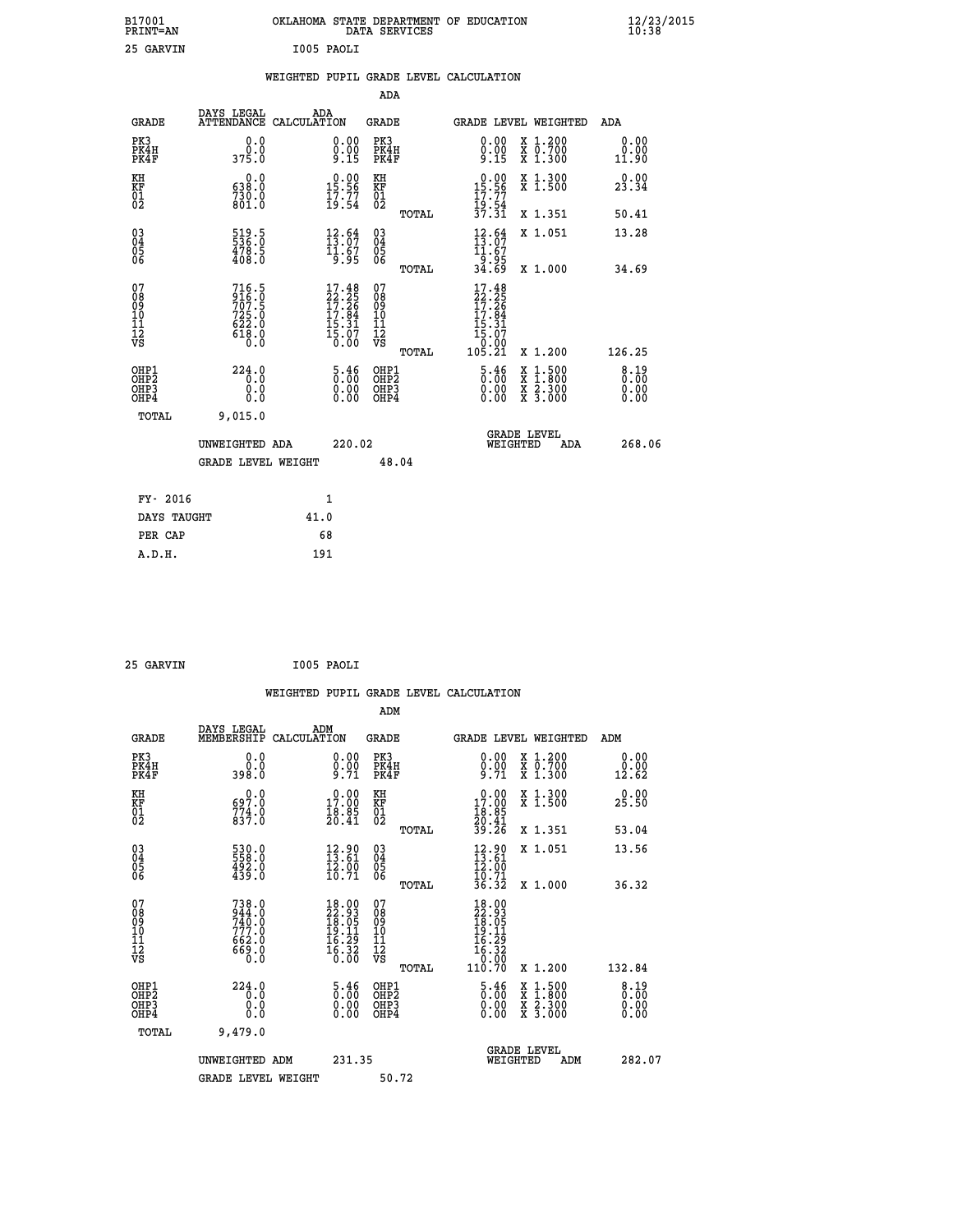| B17001<br><b>PRINT=AN</b>                |                                                                                          | OKLAHOMA STATE DEPARTMENT OF EDUCATION                                                  | DATA SERVICES                                                       |                                                                                           |                                                                                                  | $\frac{12}{23}$ /2015        |  |
|------------------------------------------|------------------------------------------------------------------------------------------|-----------------------------------------------------------------------------------------|---------------------------------------------------------------------|-------------------------------------------------------------------------------------------|--------------------------------------------------------------------------------------------------|------------------------------|--|
| 25 GARVIN                                |                                                                                          | I005 PAOLI                                                                              |                                                                     |                                                                                           |                                                                                                  |                              |  |
|                                          |                                                                                          | WEIGHTED PUPIL GRADE LEVEL CALCULATION                                                  |                                                                     |                                                                                           |                                                                                                  |                              |  |
|                                          |                                                                                          |                                                                                         | ADA                                                                 |                                                                                           |                                                                                                  |                              |  |
| <b>GRADE</b>                             | DAYS LEGAL                                                                               | ADA<br>ATTENDANCE CALCULATION                                                           | GRADE                                                               | GRADE LEVEL WEIGHTED                                                                      |                                                                                                  | ADA                          |  |
| PK3<br>PK4H<br>PK4F                      | 0.0<br>0.0<br>375.0                                                                      | 0.00<br>0.00<br>9.15                                                                    | PK3<br>PK4H<br>PK4F                                                 | 0.00<br>$\frac{0.00}{9.15}$                                                               | X 1.200<br>X 0.700<br>X 1.300                                                                    | 0.00<br>0.00<br>11.90        |  |
| KH<br>KF<br>$\overline{01}$              | 0.0<br>638.0<br>730.0<br>801.0                                                           | $15.90$<br>15.56<br>$\frac{17.77}{19.54}$                                               | KH<br>KF<br>$^{01}_{02}$                                            | $0.00$<br>15.56<br>17.77                                                                  | X 1.300<br>X 1.500                                                                               | 0.00<br>23.34                |  |
|                                          |                                                                                          |                                                                                         | TOTAL                                                               | 19:54<br>37.31                                                                            | X 1.351                                                                                          | 50.41                        |  |
| $\substack{03 \\ 04}$<br>Ŏ5<br>06        | 519.5<br>536.0<br>478.5<br>408.0                                                         | $\frac{12}{13}$ : 64<br>$\frac{11.67}{9.95}$                                            | $03\overline{4}$<br>$\substack{05 \\ 06}$                           | $\frac{12}{13}$ : $\frac{64}{7}$<br>11.67<br>ۇۆ:ۋ†<br>34.69                               | X 1.051                                                                                          | 13.28                        |  |
|                                          |                                                                                          |                                                                                         | TOTAL                                                               |                                                                                           | X 1.000                                                                                          | 34.69                        |  |
| 078901112<br>00901112<br>VS              | 716.5<br>$\frac{916}{707}$ . 5<br>725.0<br>$6\bar{2}\bar{2}\cdot\bar{0}$<br>618.0<br>0.0 | $\frac{17.48}{22.25}$<br>$\begin{array}{c} 17.84 \\ 15.31 \\ 15.07 \\ 0.00 \end{array}$ | 07<br>ŏġ<br>09<br>ĭõ<br>$\frac{11}{12}$<br>$\frac{12}{18}$<br>TOTAL | 17.48<br>$\frac{22}{17} \cdot \frac{25}{26}$<br>17.84<br>15.31<br>15.07<br>0.00<br>105.21 | X 1.200                                                                                          | 126.25                       |  |
| OHP1<br>OHP <sub>2</sub><br>OHP3<br>OHP4 | 224.0<br>0.0<br>0.0<br>0.0                                                               | 5.46<br>0.00<br>0.00                                                                    | OHP1<br>OHP2<br>OHP3<br>OHP4                                        | 5.46<br>0.00<br>0.00                                                                      | $\begin{smallmatrix} x & 1 & 500 \\ x & 1 & 800 \\ x & 2 & 300 \\ x & 3 & 000 \end{smallmatrix}$ | 8.19<br>0.00<br>0.00<br>0.00 |  |
| TOTAL                                    | 9,015.0                                                                                  |                                                                                         |                                                                     |                                                                                           |                                                                                                  |                              |  |
|                                          | UNWEIGHTED ADA                                                                           | 220.02                                                                                  |                                                                     | <b>GRADE LEVEL</b><br>WEIGHTED                                                            | ADA                                                                                              | 268.06                       |  |
|                                          | <b>GRADE LEVEL WEIGHT</b>                                                                |                                                                                         | 48.04                                                               |                                                                                           |                                                                                                  |                              |  |
| FY- 2016                                 |                                                                                          | 1                                                                                       |                                                                     |                                                                                           |                                                                                                  |                              |  |
| DAYS TAUGHT                              |                                                                                          | 41.0                                                                                    |                                                                     |                                                                                           |                                                                                                  |                              |  |
| PER CAP                                  |                                                                                          | 68                                                                                      |                                                                     |                                                                                           |                                                                                                  |                              |  |
| A.D.H.                                   |                                                                                          | 191                                                                                     |                                                                     |                                                                                           |                                                                                                  |                              |  |

| 25 GARVIN | I005 PAOLI |
|-----------|------------|

|                                                    |                                                                |                                                                                                                   | WEIGHTED PUPIL GRADE LEVEL CALCULATION              |                                                                                      |                                          |                       |
|----------------------------------------------------|----------------------------------------------------------------|-------------------------------------------------------------------------------------------------------------------|-----------------------------------------------------|--------------------------------------------------------------------------------------|------------------------------------------|-----------------------|
|                                                    |                                                                |                                                                                                                   | ADM                                                 |                                                                                      |                                          |                       |
| <b>GRADE</b>                                       | DAYS LEGAL<br>MEMBERSHIP<br>CALCULATION                        | ADM                                                                                                               | <b>GRADE</b>                                        | <b>GRADE LEVEL WEIGHTED</b>                                                          |                                          | ADM                   |
| PK3<br>PK4H<br>PK4F                                | 0.0<br>0.0<br>398.0                                            | $0.00$<br>$0.00$<br>$9.71$                                                                                        | PK3<br>PK4H<br>PK4F                                 | $0.00$<br>$0.00$<br>$9.71$                                                           | X 1.200<br>X 0.700<br>X 1.300            | 0.00<br>0.00<br>12.62 |
| KH<br>KF<br>01<br>02                               | 0.0<br>697.0<br>774.0<br>837.0                                 | $\begin{smallmatrix} 0.00\\ 17.00\\ 18.85\\ 20.41 \end{smallmatrix}$                                              | KH<br>KF<br>01<br>02                                | 0.00<br>$\begin{smallmatrix} 17.00 \\ 18.85 \\ 20.41 \\ 39.26 \end{smallmatrix}$     | X 1.300<br>X 1.500                       | 0.00<br>25.50         |
|                                                    |                                                                |                                                                                                                   | TOTAL                                               |                                                                                      | X 1.351                                  | 53.04                 |
| $\begin{matrix} 03 \\ 04 \\ 05 \\ 06 \end{matrix}$ | 530.0<br>558.0<br>492.0<br>439.0                               | 12.90<br>13.61<br>$\frac{1}{2}$ $\frac{5}{10}$ $\frac{5}{71}$                                                     | $\begin{array}{c} 03 \\ 04 \\ 05 \\ 06 \end{array}$ | $12.80$<br>$13.61$<br>$12.00$<br>$10.71$<br>$36.32$                                  | X 1.051                                  | 13.56                 |
|                                                    |                                                                |                                                                                                                   | TOTAL                                               |                                                                                      | X 1.000                                  | 36.32                 |
| 07<br>08<br>09<br>101<br>11<br>12<br>VS            | 738.0<br>$\frac{944}{740}$ :0<br>740:0<br>662.0<br>0.08<br>0.0 | $\begin{smallmatrix} 18.00 \\ 22.93 \\ 18.05 \\ 19.11 \\ 16.29 \\ 16.32 \\ 0.00 \end{smallmatrix}$                | 07<br>08<br>09<br>11<br>11<br>12<br>VS<br>TOTAL     | $18.00$<br>$22.93$<br>$18.05$<br>$19.11$<br>$16.29$<br>$16.320$<br>$10.90$<br>11Ŏ.7Ŏ | X 1.200                                  | 132.84                |
|                                                    | 224.0                                                          |                                                                                                                   |                                                     |                                                                                      |                                          | 8.19                  |
| OHP1<br>OHP2<br>OH <sub>P3</sub><br>OHP4           | 0.0<br>0.0<br>0.0                                              | $\begin{smallmatrix} 5\cdot\frac{4}{0} & 6 \ 0\cdot\,\frac{0}{0} & 0 \ 0\cdot\,\frac{0}{0} & 0 \end{smallmatrix}$ | OHP1<br>OHP2<br>OHP3<br>OHP4                        | $\begin{smallmatrix} 5\cdot 46\0\cdot 00\0\cdot 00\ \end{smallmatrix}$               | X 1:500<br>X 1:800<br>X 2:300<br>X 3:000 | 0.00<br>0.00<br>0.00  |
| TOTAL                                              | 9,479.0                                                        |                                                                                                                   |                                                     |                                                                                      |                                          |                       |
|                                                    | UNWEIGHTED ADM                                                 | 231.35                                                                                                            |                                                     | <b>GRADE LEVEL</b><br>WEIGHTED                                                       | ADM                                      | 282.07                |
|                                                    | <b>GRADE LEVEL WEIGHT</b>                                      |                                                                                                                   | 50.72                                               |                                                                                      |                                          |                       |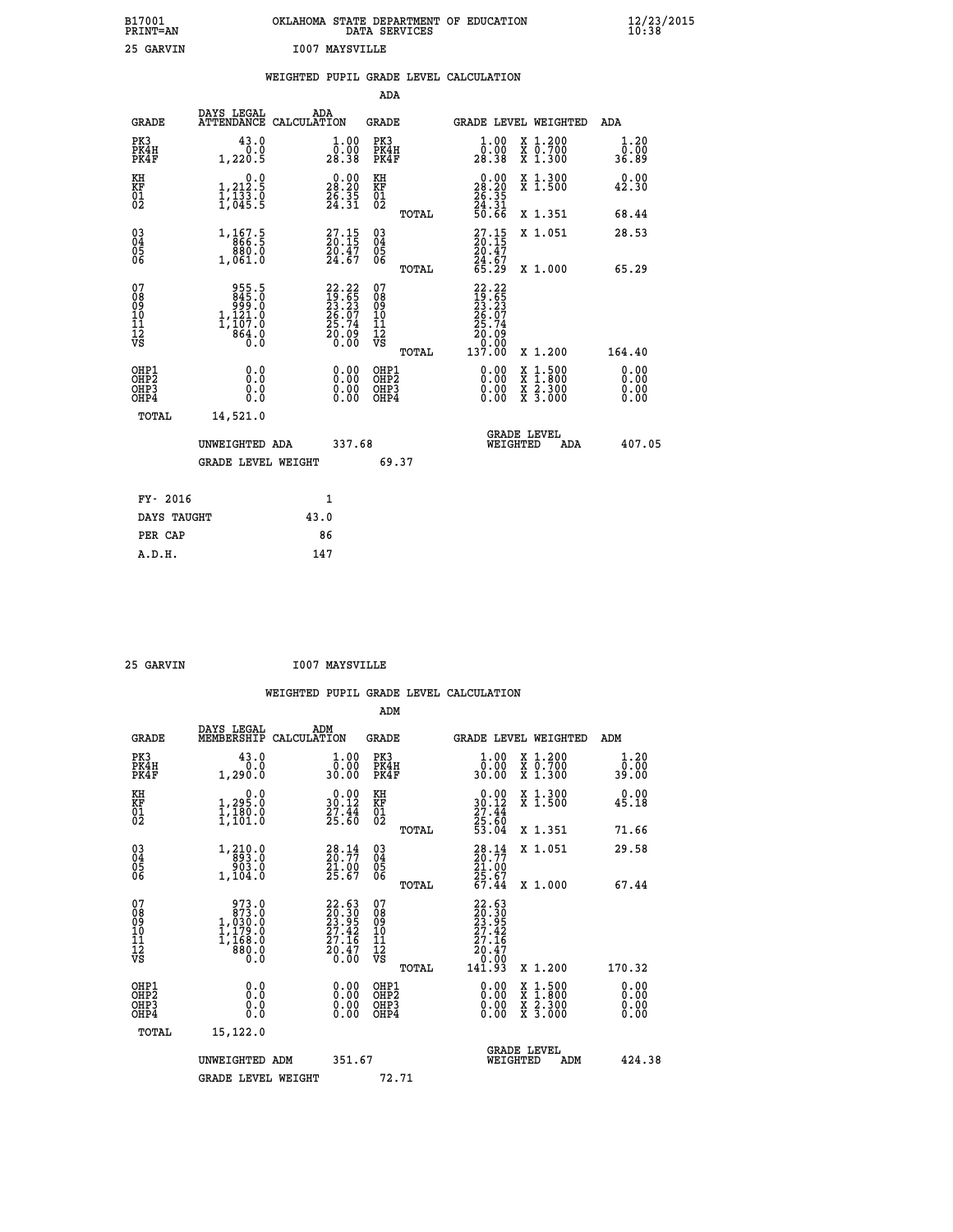| B17001<br>PRINT=AN | OKLAHOMA STATE DEPARTMENT OF EDUCATION<br>DATA SERVICES | $\frac{12}{23}$ /2015 |
|--------------------|---------------------------------------------------------|-----------------------|
| 25 GARVIN          | <b>I007 MAYSVILLE</b>                                   |                       |

|                                                                    |                                                                                      | WEIGHTED PUPIL GRADE LEVEL CALCULATION                                |                                                    |       |                                                                                                                                          |                                                                                                                                           |                              |
|--------------------------------------------------------------------|--------------------------------------------------------------------------------------|-----------------------------------------------------------------------|----------------------------------------------------|-------|------------------------------------------------------------------------------------------------------------------------------------------|-------------------------------------------------------------------------------------------------------------------------------------------|------------------------------|
|                                                                    |                                                                                      |                                                                       | ADA                                                |       |                                                                                                                                          |                                                                                                                                           |                              |
| <b>GRADE</b>                                                       | DAYS LEGAL                                                                           | ADA<br>ATTENDANCE CALCULATION                                         | <b>GRADE</b>                                       |       |                                                                                                                                          | GRADE LEVEL WEIGHTED                                                                                                                      | ADA                          |
| PK3<br>PK4H<br>PK4F                                                | 43.0<br>0.0<br>1,220.5                                                               | 1.00<br>0.00<br>28.38                                                 | PK3<br>PK4H<br>PK4F                                |       | 1.00<br>0.00<br>28.38                                                                                                                    | X 1.200<br>X 0.700<br>X 1.300                                                                                                             | 1.20<br>0.00<br>36.89        |
| KH<br>KF<br>01<br>02                                               | 0.0<br>$\frac{1}{1}, \frac{212}{133}$ .0<br>1,045.5                                  | $\begin{smallmatrix} 0.00\\ 28.20\\ 26.35\\ 24.31 \end{smallmatrix}$  | KH<br>KF<br>01<br>02                               |       | $\begin{smallmatrix} 0.00\\ 28.20\\ 26.35\\ 24.31\\ 50.66 \end{smallmatrix}$                                                             | X 1.300<br>X 1.500                                                                                                                        | 0.00<br>42.30                |
|                                                                    |                                                                                      |                                                                       |                                                    | TOTAL |                                                                                                                                          | X 1.351                                                                                                                                   | 68.44                        |
| $\begin{smallmatrix} 03 \\[-4pt] 04 \end{smallmatrix}$<br>Ŏ5<br>06 | 1, 167.5<br>880.0<br>1,061.0                                                         | $\begin{smallmatrix} 27.15\\ 20.15\\ 20.47\\ 24.67 \end{smallmatrix}$ | $\begin{matrix} 03 \\ 04 \\ 05 \\ 06 \end{matrix}$ |       | $27.15$<br>$20.15$<br>20.47                                                                                                              | X 1.051                                                                                                                                   | 28.53                        |
|                                                                    |                                                                                      |                                                                       |                                                    | TOTAL | 24.67<br>65.29                                                                                                                           | X 1.000                                                                                                                                   | 65.29                        |
| 07<br>08<br>09<br>11<br>11<br>12<br>VS                             | $955.5$<br>$845.0$<br>$999.0$<br>$1,121.0$<br>$1,107.0$<br>$1,007.0$<br>0.646<br>0.0 | 22.22<br>19.65<br>23.23<br>26.07<br>25.74<br>$\frac{50.09}{0.00}$     | 07<br>08<br>09<br>11<br>11<br>12<br>VS             |       | 22.22<br>$\begin{smallmatrix} 24 & 26 \\ 29 & 65 \\ 23 & 23 \\ 26 & 07 \\ 25 & 74 \\ 20 & 09 \\ 0 & 00 \\ 137 & 00 \\ \end{smallmatrix}$ |                                                                                                                                           |                              |
|                                                                    |                                                                                      |                                                                       |                                                    | TOTAL |                                                                                                                                          | X 1.200                                                                                                                                   | 164.40                       |
| OHP1<br>OHP <sub>2</sub><br>OHP3<br>OHP4                           | 0.0<br>0.0<br>0.0                                                                    | $\begin{smallmatrix} 0.00 \ 0.00 \ 0.00 \ 0.00 \end{smallmatrix}$     | OHP1<br>OHP <sub>2</sub><br>OHP3<br>OHP4           |       | 0.00<br>0.00                                                                                                                             | $\begin{smallmatrix} \mathtt{X} & 1\cdot500\\ \mathtt{X} & 1\cdot800\\ \mathtt{X} & 2\cdot300\\ \mathtt{X} & 3\cdot000 \end{smallmatrix}$ | 0.00<br>0.00<br>0.00<br>0.00 |
| TOTAL                                                              | 14,521.0                                                                             |                                                                       |                                                    |       |                                                                                                                                          |                                                                                                                                           |                              |
|                                                                    | UNWEIGHTED ADA                                                                       | 337.68                                                                |                                                    |       | WEIGHTED                                                                                                                                 | <b>GRADE LEVEL</b><br>ADA                                                                                                                 | 407.05                       |
|                                                                    | <b>GRADE LEVEL WEIGHT</b>                                                            |                                                                       | 69.37                                              |       |                                                                                                                                          |                                                                                                                                           |                              |
| FY- 2016                                                           |                                                                                      | 1                                                                     |                                                    |       |                                                                                                                                          |                                                                                                                                           |                              |
| DAYS TAUGHT                                                        |                                                                                      | 43.0                                                                  |                                                    |       |                                                                                                                                          |                                                                                                                                           |                              |
| PER CAP                                                            |                                                                                      | 86                                                                    |                                                    |       |                                                                                                                                          |                                                                                                                                           |                              |
| A.D.H.                                                             |                                                                                      | 147                                                                   |                                                    |       |                                                                                                                                          |                                                                                                                                           |                              |

| GARVIN |
|--------|
|        |

 **25 GARVIN I007 MAYSVILLE**

 **WEIGHTED PUPIL GRADE LEVEL CALCULATION ADM DAYS LEGAL ADM**

| <b>GRADE</b>                                       | nure mpann<br>MEMBERSHIP                                                                          | שעת<br>CALCULATION                                                    | GRADE                                        |       | GRADE LEVEL WEIGHTED                                                                           |                                                                                                                                           | ADM                          |  |
|----------------------------------------------------|---------------------------------------------------------------------------------------------------|-----------------------------------------------------------------------|----------------------------------------------|-------|------------------------------------------------------------------------------------------------|-------------------------------------------------------------------------------------------------------------------------------------------|------------------------------|--|
| PK3<br>PK4H<br>PK4F                                | 43.0<br>0.0<br>1,290.0                                                                            | $\begin{smallmatrix} 1.00\\ 0.00\\ 30.00 \end{smallmatrix}$           | PK3<br>PK4H<br>PK4F                          |       | $\frac{1}{0}$ :00<br>30.00                                                                     | X 1.200<br>X 0.700<br>X 1.300                                                                                                             | 1.20<br>0.00<br>39.00        |  |
| KH<br>KF<br>01<br>02                               | 0.0<br>1,295.0<br>1,180.0<br>1,101.0                                                              | $\begin{smallmatrix} 0.00\\ 30.12\\ 27.44\\ 25.60 \end{smallmatrix}$  | KH<br>KF<br>01<br>02                         |       | $\begin{smallmatrix} 0.00\\ 30.12\\ 27.44\\ 25.60\\ 53.04 \end{smallmatrix}$                   | X 1.300<br>X 1.500                                                                                                                        | 0.00<br>45.18                |  |
|                                                    |                                                                                                   |                                                                       |                                              | TOTAL |                                                                                                | X 1.351                                                                                                                                   | 71.66                        |  |
| $\begin{matrix} 03 \\ 04 \\ 05 \\ 06 \end{matrix}$ | $\begin{smallmatrix} 1,210.0\\ -893.0\\ 903.0\\ 1,104.0 \end{smallmatrix}$                        | $\begin{smallmatrix} 28.14\\ 20.77\\ 21.00\\ 25.67 \end{smallmatrix}$ | 03<br>04<br>05<br>06                         |       | $28.14$<br>$20.77$<br>$21.00$<br>$25.67$<br>$67.44$                                            | X 1.051                                                                                                                                   | 29.58                        |  |
|                                                    |                                                                                                   |                                                                       |                                              | TOTAL |                                                                                                | $X_1.000$                                                                                                                                 | 67.44                        |  |
| 07<br>08<br>09<br>101<br>11<br>12<br>VS            | 973.0<br>$\begin{smallmatrix} 873.0 \ 1,030.0 \ 1,179.0 \ 1,168.0 \ 80.0 \ 0.0 \end{smallmatrix}$ | $22.6329.3023.9527.4227.1620.470.00$                                  | 07<br>08<br>09<br>01<br>11<br>11<br>12<br>VS |       | $\begin{smallmatrix} 22.63\ 20.30\ 23.91\ 27.42\ 27.16\ 20.47\ 0.00\ 141.93 \end{smallmatrix}$ |                                                                                                                                           |                              |  |
|                                                    |                                                                                                   |                                                                       |                                              | TOTAL |                                                                                                | X 1.200                                                                                                                                   | 170.32                       |  |
| OHP1<br>OHP2<br>OH <sub>P3</sub><br>OHP4           | 0.0<br>0.000                                                                                      | $0.00$<br>$0.00$<br>0.00                                              | OHP1<br>OHP2<br>OHP3<br>OHP4                 |       | $0.00$<br>$0.00$<br>0.00                                                                       | $\begin{smallmatrix} \mathtt{X} & 1\cdot500\\ \mathtt{X} & 1\cdot800\\ \mathtt{X} & 2\cdot300\\ \mathtt{X} & 3\cdot000 \end{smallmatrix}$ | 0.00<br>0.00<br>0.00<br>0.00 |  |
| TOTAL                                              | 15,122.0                                                                                          |                                                                       |                                              |       |                                                                                                |                                                                                                                                           |                              |  |
|                                                    | UNWEIGHTED ADM                                                                                    | 351.67                                                                |                                              |       | WEIGHTED                                                                                       | <b>GRADE LEVEL</b><br>ADM                                                                                                                 | 424.38                       |  |
|                                                    | <b>GRADE LEVEL WEIGHT</b>                                                                         |                                                                       | 72.71                                        |       |                                                                                                |                                                                                                                                           |                              |  |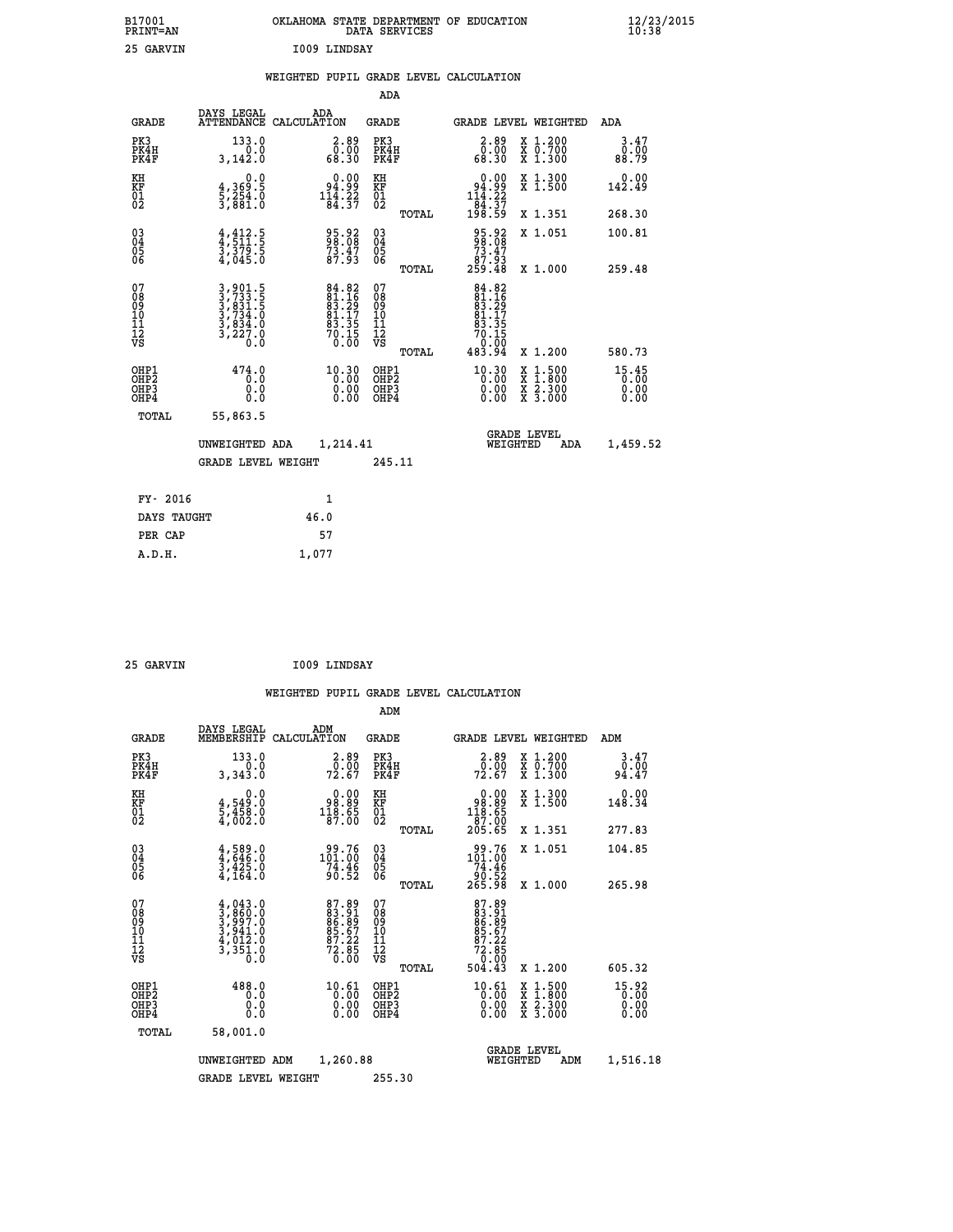| B17001<br>PRINT=AN | OKLAHOMA STATE DEPARTMENT OF EDUCATION<br>DATA SERVICES | $\frac{12}{23}$ /2015 |
|--------------------|---------------------------------------------------------|-----------------------|
| 25<br>GARVIN       | 1009 LINDSAY                                            |                       |

|  |     | WEIGHTED PUPIL GRADE LEVEL CALCULATION |  |
|--|-----|----------------------------------------|--|
|  | ADA |                                        |  |

| <b>GRADE</b>                       | DAYS LEGAL                                                                                      | ADA<br>ATTENDANCE CALCULATION                                                             | GRADE                                              |       | GRADE LEVEL WEIGHTED                                                                                         |                                                                                          | ADA                   |
|------------------------------------|-------------------------------------------------------------------------------------------------|-------------------------------------------------------------------------------------------|----------------------------------------------------|-------|--------------------------------------------------------------------------------------------------------------|------------------------------------------------------------------------------------------|-----------------------|
| PK3<br>PK4H<br>PK4F                | 133.0<br>0.0<br>3,142.0                                                                         | $2.89$<br>0.00<br>68.30                                                                   | PK3<br>PK4H<br>PK4F                                |       | $2.89$<br>$0.00$<br>68.30                                                                                    | X 1.200<br>X 0.700<br>X 1.300                                                            | 3.47<br>0.00<br>88.79 |
| KH<br>KF<br>01<br>02               | 0.0<br>$\frac{4}{5}, \frac{369}{254}$ .0<br>3,881.0                                             | $\begin{smallmatrix} 0.00\\ 94.99\\ 114.22\\ 84.37 \end{smallmatrix}$                     | KH<br>KF<br>01<br>02                               |       | 0.00<br>$\begin{array}{r} 94.99 \\ 114.22 \\ 84.37 \\ 198.59 \end{array}$                                    | X 1.300<br>X 1.500                                                                       | 0.00<br>142.49        |
|                                    |                                                                                                 |                                                                                           |                                                    | TOTAL |                                                                                                              | X 1.351                                                                                  | 268.30                |
| 030404<br>06                       | $\frac{4}{3}, \frac{412}{511}$ .<br>$\frac{5}{3}$ , $\frac{379}{50}$ .<br>$\frac{5}{4}$ , 045.0 | 95.92<br>98.08<br>73.47<br>87.93                                                          | $\begin{matrix} 03 \\ 04 \\ 05 \\ 06 \end{matrix}$ |       | $\begin{smallmatrix} 95.92\ 98.08\ 73.47\ 87.93\ 259.48 \end{smallmatrix}$                                   | X 1.051                                                                                  | 100.81                |
|                                    |                                                                                                 |                                                                                           |                                                    | TOTAL |                                                                                                              | X 1.000                                                                                  | 259.48                |
| 07<br>08<br>09<br>101<br>112<br>VS | 3,901.5<br>3,733.5<br>3,831.5<br>3,734.0<br>3,834.0<br>3,227.0<br>0.0                           | $\begin{array}{l} 84.82 \\ 81.16 \\ 83.29 \\ 81.17 \\ 81.35 \\ 70.15 \\ 0.00 \end{array}$ | 07<br>08<br>09<br>11<br>11<br>12<br>VS             |       | $\begin{array}{r} 84.82 \\ 81.16 \\ 83.29 \\ 81.17 \\ 81.17 \\ 93.35 \\ 70.15 \\ 0.00 \\ 483.94 \end{array}$ |                                                                                          |                       |
|                                    |                                                                                                 |                                                                                           |                                                    | TOTAL |                                                                                                              | X 1.200                                                                                  | 580.73                |
| OHP1<br>OHP2<br>OHP3<br>OHP4       | 474.0<br>0.0<br>0.0<br>0.0                                                                      | 10.30<br>$\begin{smallmatrix} 0.00 \ 0.00 \end{smallmatrix}$                              | OHP1<br>OHP2<br>OHP <sub>3</sub>                   |       | $\begin{smallmatrix} 10.30\\ 0.00\\ 0.00\\ 0.00 \end{smallmatrix}$                                           | $\begin{smallmatrix} x & 1.500 \\ x & 1.800 \\ x & 2.300 \\ x & 3.000 \end{smallmatrix}$ | 15.45<br>0.00<br>0.00 |
| TOTAL                              | 55,863.5                                                                                        |                                                                                           |                                                    |       |                                                                                                              |                                                                                          |                       |
|                                    | UNWEIGHTED ADA                                                                                  | 1,214.41                                                                                  |                                                    |       | WEIGHTED                                                                                                     | <b>GRADE LEVEL</b><br>ADA                                                                | 1,459.52              |
|                                    | <b>GRADE LEVEL WEIGHT</b>                                                                       |                                                                                           | 245.11                                             |       |                                                                                                              |                                                                                          |                       |
| FY- 2016                           |                                                                                                 | 1                                                                                         |                                                    |       |                                                                                                              |                                                                                          |                       |
| DAYS TAUGHT                        |                                                                                                 | 46.0                                                                                      |                                                    |       |                                                                                                              |                                                                                          |                       |
| PER CAP                            |                                                                                                 | 57                                                                                        |                                                    |       |                                                                                                              |                                                                                          |                       |
| A.D.H.                             |                                                                                                 | 1,077                                                                                     |                                                    |       |                                                                                                              |                                                                                          |                       |

| 25 GARVIN | I009 LINDSAY |
|-----------|--------------|

| <b>GRADE</b>                                       | DAYS LEGAL<br>MEMBERSHIP                                                            | ADM<br>CALCULATION                                                     | <b>GRADE</b>                                        |       | GRADE LEVEL WEIGHTED                                                         |                                          | ADM                     |  |
|----------------------------------------------------|-------------------------------------------------------------------------------------|------------------------------------------------------------------------|-----------------------------------------------------|-------|------------------------------------------------------------------------------|------------------------------------------|-------------------------|--|
| PK3<br>PK4H<br>PK4F                                | 133.0<br>3,343.0                                                                    | 2.89<br>$72.60$<br>72.67                                               | PK3<br>PK4H<br>PK4F                                 |       | $\begin{smallmatrix} 2.89 \\ 0.00 \\ 72.67 \end{smallmatrix}$                | X 1.200<br>X 0.700<br>X 1.300            | 3.47<br>$0.00$<br>94.47 |  |
| KH<br>KF<br>01<br>02                               | 0.0<br>$\frac{4}{5}, \frac{549}{458}$ .0<br>4,002.0                                 | $\begin{smallmatrix} 0.00\\ -98.89\\ 118.65\\ 87.00 \end{smallmatrix}$ | KH<br>KF<br>01<br>02                                |       | $\begin{smallmatrix} &0.00\ 98.89\ 118.65\ 87.00\ 205.65\ \end{smallmatrix}$ | X 1.300<br>X 1.500                       | 0.00<br>148.34          |  |
|                                                    |                                                                                     |                                                                        |                                                     | TOTAL |                                                                              | X 1.351                                  | 277.83                  |  |
| $\begin{matrix} 03 \\ 04 \\ 05 \\ 06 \end{matrix}$ | $4,589.0$<br>$3,425.0$<br>$3,425.0$<br>$4,164.0$                                    | $101.76$<br>$74.46$<br>$90.52$                                         | $\begin{array}{c} 03 \\ 04 \\ 05 \\ 06 \end{array}$ |       | $\begin{array}{r} 99.76 \\ 101.00 \\ 74.46 \\ 90.52 \\ 265.98 \end{array}$   | X 1.051                                  | 104.85                  |  |
|                                                    |                                                                                     |                                                                        |                                                     | TOTAL |                                                                              | X 1.000                                  | 265.98                  |  |
| 07<br>08<br>09<br>101<br>112<br>VS                 | $4,043.0$<br>$3,860.0$<br>$3,997.0$<br>$3,941.0$<br>$4,012.0$<br>$3,351.0$<br>$0.0$ | 87.891<br>83.81<br>86.89<br>85.67<br>87.22<br>72.850<br>70.00          | 07<br>08<br>09<br>11<br>11<br>12<br>VS              | TOTAL | 87.89<br>83.91<br>86.89<br>85.672<br>872.85<br>72.850<br>504.43              | X 1.200                                  | 605.32                  |  |
| OHP1<br>OHP2<br>OHP3<br>OHP4                       | 488.0<br>0.0<br>0.0<br>Ŏ.Ŏ                                                          | $\begin{smallmatrix} 10.61\ 0.00\ 0.00\ 0.00 \end{smallmatrix}$        | OHP1<br>OHP2<br>OHP3<br>OHP4                        |       | $\begin{smallmatrix} 10.61 \ 0.00 \ 0.00 \ 0.00 \end{smallmatrix}$           | X 1:500<br>X 1:800<br>X 2:300<br>X 3:000 | $15.92$<br>0.00<br>0.00 |  |
| TOTAL                                              | 58,001.0                                                                            |                                                                        |                                                     |       |                                                                              |                                          |                         |  |
|                                                    | UNWEIGHTED                                                                          | 1,260.88<br>ADM                                                        |                                                     |       | <b>GRADE LEVEL</b><br>WEIGHTED                                               | ADM                                      | 1,516.18                |  |
|                                                    | <b>GRADE LEVEL WEIGHT</b>                                                           |                                                                        | 255.30                                              |       |                                                                              |                                          |                         |  |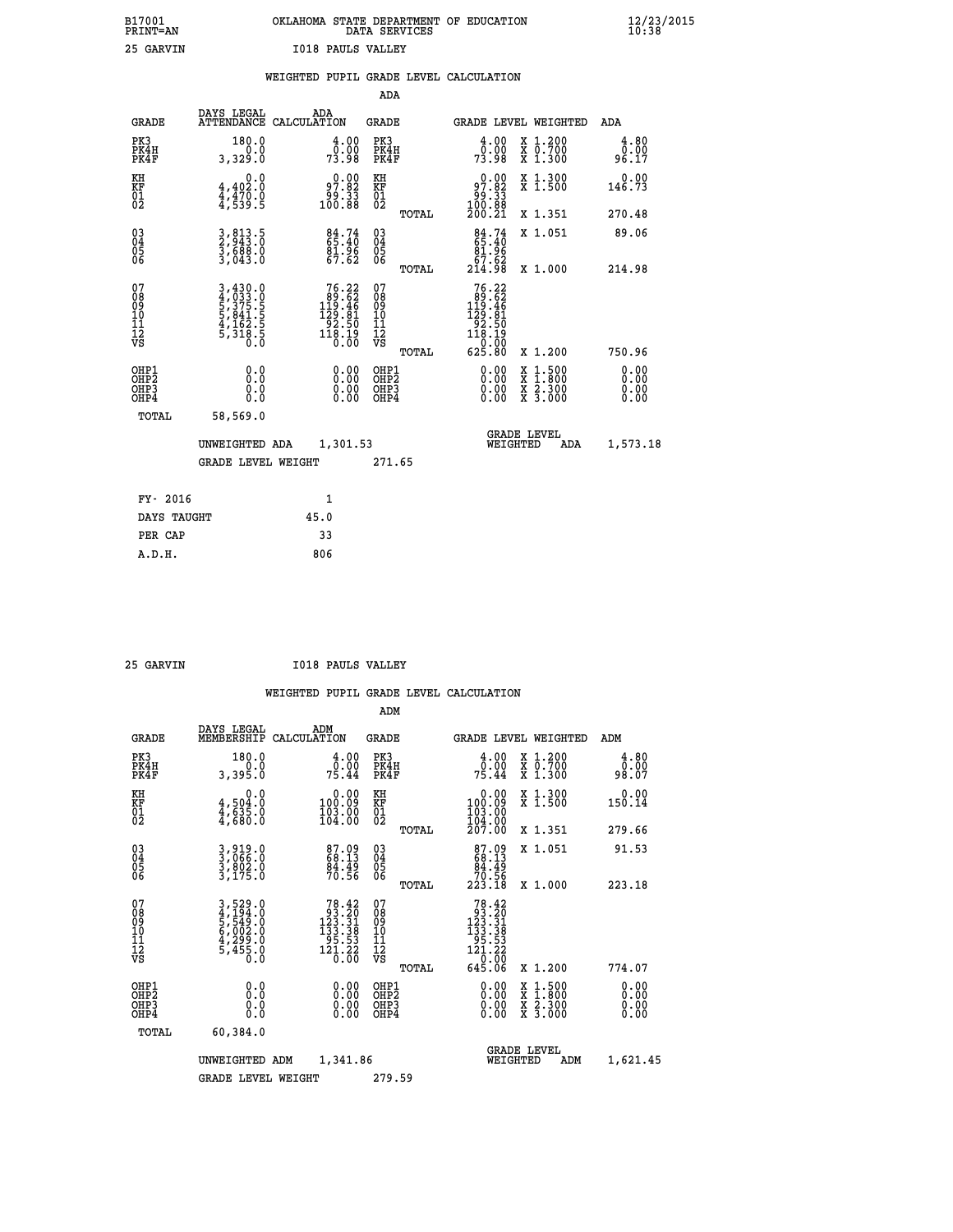| B17001<br><b>PRINT=AN</b> | OKLAHOMA STATE DEPARTMENT OF EDUCATION<br>DATA SERVICES | $\frac{12}{23}$ /2015 |
|---------------------------|---------------------------------------------------------|-----------------------|
| つち<br><b>CADVITNI</b>     | TO18 DANIC WALLEY                                       |                       |

| 25 GARVIN                                            |                                                                       |      | <b>I018 PAULS VALLEY</b>                                                                            |                                                      |       |                                                                                                                           |                                                                                                                                      |                       |
|------------------------------------------------------|-----------------------------------------------------------------------|------|-----------------------------------------------------------------------------------------------------|------------------------------------------------------|-------|---------------------------------------------------------------------------------------------------------------------------|--------------------------------------------------------------------------------------------------------------------------------------|-----------------------|
|                                                      |                                                                       |      |                                                                                                     |                                                      |       | WEIGHTED PUPIL GRADE LEVEL CALCULATION                                                                                    |                                                                                                                                      |                       |
|                                                      |                                                                       |      |                                                                                                     | ADA                                                  |       |                                                                                                                           |                                                                                                                                      |                       |
| <b>GRADE</b>                                         | DAYS LEGAL<br>ATTENDANCE CALCULATION                                  |      | ADA                                                                                                 | GRADE                                                |       |                                                                                                                           | GRADE LEVEL WEIGHTED                                                                                                                 | ADA                   |
| PK3<br>PK4H<br>PK4F                                  | 180.0<br>0.0<br>3,329.0                                               |      | 4.00<br>79.00<br>73.98                                                                              | PK3<br>PK4H<br>PK4F                                  |       | 4.00<br>ō.ŏō<br>73.98                                                                                                     | X 1.200<br>X 0.700<br>X 1.300                                                                                                        | 4.80<br>0.00<br>96.17 |
| KH<br>KF<br>01<br>02                                 | 0.0<br>4,402:0<br>4,470:0<br>4,539:5                                  |      | $\begin{smallmatrix} 0.00\\ 97.82\\ 99.33\\ 100.88 \end{smallmatrix}$                               | KH<br>KF<br>01<br>02                                 |       | $0.00$<br>97.82<br>33.00<br>100.88<br>200.21                                                                              | X 1.300<br>X 1.500                                                                                                                   | 0.00<br>146.73        |
|                                                      |                                                                       |      |                                                                                                     |                                                      | TOTAL |                                                                                                                           | X 1.351                                                                                                                              | 270.48                |
| $^{03}_{04}$<br>Ŏ5<br>06                             | 3,813.5<br>2,943.0<br>3,688.0<br>3,043.0                              |      | 84.74<br>65.40<br>$\frac{81.96}{67.62}$                                                             | 030404<br>ŎĞ                                         |       | 84.74<br>$\begin{array}{r} 81.96 \\ 67.62 \\ 214.98 \end{array}$                                                          | X 1.051                                                                                                                              | 89.06                 |
|                                                      |                                                                       |      |                                                                                                     |                                                      | TOTAL |                                                                                                                           | X 1.000                                                                                                                              | 214.98                |
| 07<br>08<br>09<br>11<br>11<br>12<br>VS               | 3,430.0<br>4,033.0<br>5,375.5<br>5,375.5<br>5,318.5<br>5,318.5<br>0.0 |      | 76.22<br>$\begin{smallmatrix} 69.62\ 119.46\ 129.81\ 92.50\ 118.19\ 118.19\ 0.00 \end{smallmatrix}$ | 07<br>08<br>09<br>11<br>11<br>12<br>VS               | TOTAL | 76.22<br>$\begin{smallmatrix} 100.72 \\ 190.62 \\ 129.81 \\ 22.50 \\ 92.50 \\ 118.19 \\ 0.00 \\ 625.80 \end{smallmatrix}$ | X 1.200                                                                                                                              | 750.96                |
| OHP1<br>OHP <sub>2</sub><br>OH <sub>P3</sub><br>OHP4 | 0.0<br>0.0<br>0.0                                                     |      | 0.00<br>0.00<br>0.00                                                                                | OHP1<br>OHP <sub>2</sub><br>OHP <sub>3</sub><br>OHP4 |       | 0.00<br>0.00<br>0.00                                                                                                      | $\begin{smallmatrix} \mathtt{X} & 1 & 500 \\ \mathtt{X} & 1 & 800 \\ \mathtt{X} & 2 & 300 \\ \mathtt{X} & 3 & 000 \end{smallmatrix}$ | 0.00<br>0.00<br>0.00  |
| <b>TOTAL</b>                                         | 58,569.0                                                              |      |                                                                                                     |                                                      |       |                                                                                                                           |                                                                                                                                      |                       |
|                                                      | UNWEIGHTED ADA                                                        |      | 1,301.53                                                                                            |                                                      |       |                                                                                                                           | <b>GRADE LEVEL</b><br>WEIGHTED<br>ADA                                                                                                | 1,573.18              |
|                                                      | GRADE LEVEL WEIGHT                                                    |      |                                                                                                     | 271.65                                               |       |                                                                                                                           |                                                                                                                                      |                       |
| FY- 2016                                             |                                                                       |      | 1                                                                                                   |                                                      |       |                                                                                                                           |                                                                                                                                      |                       |
| DAYS TAUGHT                                          |                                                                       | 45.0 |                                                                                                     |                                                      |       |                                                                                                                           |                                                                                                                                      |                       |
| PER CAP                                              |                                                                       |      | 33                                                                                                  |                                                      |       |                                                                                                                           |                                                                                                                                      |                       |
| A.D.H.                                               |                                                                       |      | 806                                                                                                 |                                                      |       |                                                                                                                           |                                                                                                                                      |                       |

| GARVTN |
|--------|
|        |

 **25 GARVIN I018 PAULS VALLEY**

|                                          |                                                                               |                                                                                                                                                                                                                                                                                                  | ADM                                                 |                                                                                                   |                                          |                              |
|------------------------------------------|-------------------------------------------------------------------------------|--------------------------------------------------------------------------------------------------------------------------------------------------------------------------------------------------------------------------------------------------------------------------------------------------|-----------------------------------------------------|---------------------------------------------------------------------------------------------------|------------------------------------------|------------------------------|
| <b>GRADE</b>                             | DAYS LEGAL<br>MEMBERSHIP                                                      | ADM<br>CALCULATION                                                                                                                                                                                                                                                                               | <b>GRADE</b>                                        | GRADE LEVEL WEIGHTED                                                                              |                                          | ADM                          |
| PK3<br>PK4H<br>PK4F                      | 180.0<br>0.0<br>3,395.0                                                       | 4.00<br>75.00<br>75.44                                                                                                                                                                                                                                                                           | PK3<br>PK4H<br>PK4F                                 | $\begin{smallmatrix} 4.00\\ 0.00\\ 75.44 \end{smallmatrix}$                                       | X 1.200<br>X 0.700<br>X 1.300            | 4.80<br>0.00<br>98.07        |
| KH<br>KF<br>01<br>02                     | 0.0<br>$\frac{4}{4}, \frac{504}{635}$ .0<br>$\frac{4}{4}, \frac{635}{680}$ .0 | $\begin{smallmatrix} &0.00\ 100.09\ 103.00\ 104.00 \end{smallmatrix}$                                                                                                                                                                                                                            | KH<br>KF<br>01<br>02                                | $\begin{smallmatrix} &0.00\ 100.09\ 103.00\ 104.00\ 207.00 \end{smallmatrix}$                     | X 1.300<br>X 1.500                       | 0.00<br>150.14               |
|                                          |                                                                               |                                                                                                                                                                                                                                                                                                  | TOTAL                                               |                                                                                                   | X 1.351                                  | 279.66                       |
| 03<br>04<br>05<br>06                     | 3,919.0<br>3,066.0<br>3,802.0<br>3,175.0                                      | 87.09<br>68.13<br>84.49<br>70.56                                                                                                                                                                                                                                                                 | $\begin{array}{c} 03 \\ 04 \\ 05 \\ 06 \end{array}$ | $87.09\n68.13\n84.49\n70.56\n223.18$                                                              | X 1.051                                  | 91.53                        |
|                                          |                                                                               |                                                                                                                                                                                                                                                                                                  | TOTAL                                               |                                                                                                   | X 1.000                                  | 223.18                       |
| 07<br>08<br>09<br>101<br>11<br>12<br>VS  | 3,529.0<br>4,194.0<br>5,549.0<br>5,002.0<br>4,299.0<br>5,455.0                | $78.42$<br>$93.20$<br>$123.31$<br>$\begin{array}{r} 1\overline{3}3\ \overline{3}3\ \overline{3}3\ \overline{3}3\ \overline{3}3\ \overline{3}3\ \overline{1}2\ \overline{3}1\ \overline{3}2\ \overline{3}3\ \overline{1}2\ \overline{1}3\ \overline{2}3\ \overline{0}3\ \overline{0} \end{array}$ | 07<br>08<br>09<br>11<br>11<br>12<br>VS              | $\begin{array}{r} 78.42 \\ 93.20 \\ 123.31 \\ 133.38 \\ 95.53 \\ 121.22 \\ 0 \\ 0 \\ \end{array}$ |                                          |                              |
|                                          |                                                                               |                                                                                                                                                                                                                                                                                                  | TOTAL                                               | 645.06                                                                                            | X 1.200                                  | 774.07                       |
| OHP1<br>OHP2<br>OHP <sub>3</sub><br>OHP4 | 0.0<br>$\begin{smallmatrix} 0.0 & 0 \ 0.0 & 0 \end{smallmatrix}$              |                                                                                                                                                                                                                                                                                                  | OHP1<br>OHP2<br>OHP <sub>3</sub>                    | $0.00$<br>$0.00$<br>0.00                                                                          | X 1:500<br>X 1:800<br>X 2:300<br>X 3:000 | 0.00<br>0.00<br>0.00<br>0.00 |
| TOTAL                                    | 60,384.0                                                                      |                                                                                                                                                                                                                                                                                                  |                                                     |                                                                                                   |                                          |                              |
|                                          | UNWEIGHTED                                                                    | 1,341.86<br>ADM                                                                                                                                                                                                                                                                                  |                                                     | <b>GRADE LEVEL</b><br>WEIGHTED                                                                    | ADM                                      | 1,621.45                     |
|                                          | <b>GRADE LEVEL WEIGHT</b>                                                     |                                                                                                                                                                                                                                                                                                  | 279.59                                              |                                                                                                   |                                          |                              |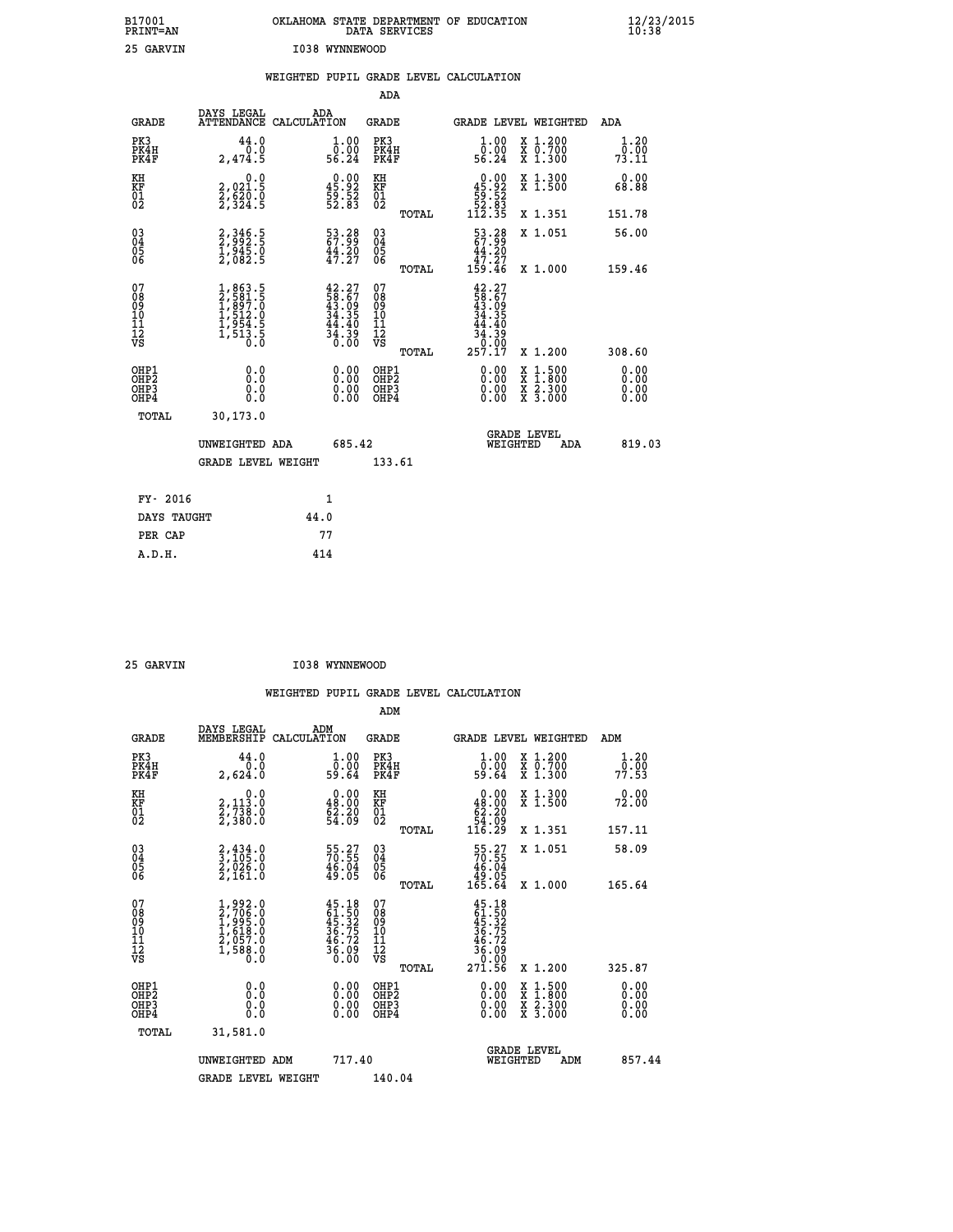| B17001<br>PRINT=AN                       |                                                                                     | OKLAHOMA STATE DEPARTMENT OF EDUCATION                               | DATA SERVICES                                      |                                                                           |                                          | $\frac{12}{23}$ /2015        |  |
|------------------------------------------|-------------------------------------------------------------------------------------|----------------------------------------------------------------------|----------------------------------------------------|---------------------------------------------------------------------------|------------------------------------------|------------------------------|--|
| 25 GARVIN                                |                                                                                     | I038 WYNNEWOOD                                                       |                                                    |                                                                           |                                          |                              |  |
|                                          |                                                                                     | WEIGHTED PUPIL GRADE LEVEL CALCULATION                               |                                                    |                                                                           |                                          |                              |  |
|                                          |                                                                                     |                                                                      | ADA                                                |                                                                           |                                          |                              |  |
| <b>GRADE</b>                             | DAYS LEGAL                                                                          | ADA<br>ATTENDANCE CALCULATION                                        | GRADE                                              |                                                                           | GRADE LEVEL WEIGHTED                     | ADA                          |  |
| PK3<br>PK4H<br>PK4F                      | 44.0<br>0.0<br>2,474.5                                                              | 1.00<br>ō:ŏŏ<br>56.24                                                | PK3<br>PK4H<br>PK4F                                | 1.00<br>ŏ.ŏŏ<br>56.24                                                     | X 1.200<br>X 0.700<br>X 1.300            | 1.20<br>0.00<br>73.11        |  |
| KH<br>KF<br>01<br>02                     | 0.0<br>2,021.5<br>$\frac{5}{2}, \frac{5}{3} \frac{5}{24} \cdot \frac{5}{5}$         | $\begin{smallmatrix} 0.00\\ 45.92\\ 59.52\\ 52.83 \end{smallmatrix}$ | KH<br>KF<br>01<br>02                               | $\begin{smallmatrix}&&0.00\\45.92\\59.52\\52.83\\112.35\end{smallmatrix}$ | X 1.300<br>X 1.500                       | 0.00<br>68.88                |  |
|                                          |                                                                                     |                                                                      | TOTAL                                              |                                                                           | X 1.351                                  | 151.78                       |  |
| 030404<br>ŌĞ                             | 2,346.5<br>2,992.5<br>1,945.0<br>2,082.5                                            | 53.28<br>67.99<br>44.20<br>47.27                                     | $\begin{matrix} 03 \\ 04 \\ 05 \\ 06 \end{matrix}$ | 53.38<br>67.99<br>44.20<br>47.27                                          | X 1.051                                  | 56.00                        |  |
| 07                                       |                                                                                     |                                                                      | TOTAL<br>07                                        | 159.46<br>42.27                                                           | X 1.000                                  | 159.46                       |  |
| 08<br>09<br>10<br>11<br>iż<br>vs         | $1,863.5$<br>$2,584.5$<br>$1,897.0$<br>$1,512.0$<br>$1,954.5$<br>$1,513.5$<br>$0.0$ | $42.27$<br>$58.67$<br>$43.09$<br>$34.35$<br>$\frac{44.40}{34.39}$    | 08<br>09<br>101<br>11<br>12<br>VS                  | $\frac{58.67}{34.35}$<br>.40<br>44<br>$\frac{54.59}{0.00}$                |                                          |                              |  |
|                                          |                                                                                     |                                                                      | <b>TOTAL</b>                                       | 257.17                                                                    | X 1.200                                  | 308.60                       |  |
| OHP1<br>OHP2<br>OH <sub>P3</sub><br>OHP4 | 0.0<br>Ō.Ō<br>0.0<br>0.0                                                            | 0.00<br>0.00<br>0.00                                                 | OHP1<br>OHP2<br>OHP3<br>OHP4                       | 0.00<br>0.00<br>0.00                                                      | X 1:500<br>X 1:800<br>X 2:300<br>X 3:000 | 0.00<br>0.00<br>0.00<br>0.00 |  |
| <b>TOTAL</b>                             | 30,173.0                                                                            |                                                                      |                                                    |                                                                           |                                          |                              |  |
|                                          | UNWEIGHTED ADA                                                                      | 685.42                                                               |                                                    | WEIGHTED                                                                  | <b>GRADE LEVEL</b><br>ADA                | 819.03                       |  |
|                                          | <b>GRADE LEVEL WEIGHT</b>                                                           |                                                                      | 133.61                                             |                                                                           |                                          |                              |  |
| FY- 2016                                 |                                                                                     | 1                                                                    |                                                    |                                                                           |                                          |                              |  |
| DAYS TAUGHT                              |                                                                                     | 44.0                                                                 |                                                    |                                                                           |                                          |                              |  |
| PER CAP                                  |                                                                                     | 77                                                                   |                                                    |                                                                           |                                          |                              |  |

 **25 GARVIN I038 WYNNEWOOD**

 **A.D.H. 414**

 **WEIGHTED PUPIL GRADE LEVEL CALCULATION ADM DAYS LEGAL ADM GRADE MEMBERSHIP CALCULATION GRADE GRADE LEVEL WEIGHTED ADM PK3 44.0 1.00 PK3 1.00 X 1.200 1.20 PK4H 0.0 0.00 PK4H 0.00 X 0.700 0.00 PK4F 2,624.0 59.64 PK4F 59.64 X 1.300 77.53 KH 0.0 0.00 KH 0.00 X 1.300 0.00 KF 2,113.0 48.00 KF 48.00 X 1.500 72.00 01 2,738.0 62.20 01 62.20 02 2,380.0 54.09 02 54.09 TOTAL 116.29 X 1.351 157.11 03 2,434.0 55.27 03 55.27 X 1.051 58.09 04 3,105.0 70.55 04 70.55 05 2,026.0 46.04 05 46.04 06 2,161.0 49.05 06 49.05 TOTAL 165.64 X 1.000 165.64**  $\begin{array}{cccc} 07 & 1,992.0 & 45.18 & 07 & 45.18 \ 08 & 2,706.0 & 61.50 & 08 & 61.50 \ 09 & 1,995.0 & 45.32 & 09 & 61.532 \ 10 & 1,618.0 & 36.75 & 10 & 36.75 \ 11 & 2,057.0 & 46.72 & 11 & 46.72 \ 12 & 1,588.0 & 36.09 & 12 & 46.79 \ \hline \end{array}$  **TOTAL 271.56 X 1.200 325.87 OHP1 0.0 0.00 OHP1 0.00 X 1.500 0.00 OHP2 0.0 0.00 OHP2 0.00 X 1.800 0.00 OHP3 0.0 0.00 OHP3 0.00 X 2.300 0.00 OHP4 0.0 0.00 OHP4 0.00 X 3.000 0.00**

| TOTAL | 31,581.0           |        |                                       |        |
|-------|--------------------|--------|---------------------------------------|--------|
|       | UNWEIGHTED ADM     | 717.40 | <b>GRADE LEVEL</b><br>WEIGHTED<br>ADM | 857.44 |
|       | GRADE LEVEL WEIGHT | 140.04 |                                       |        |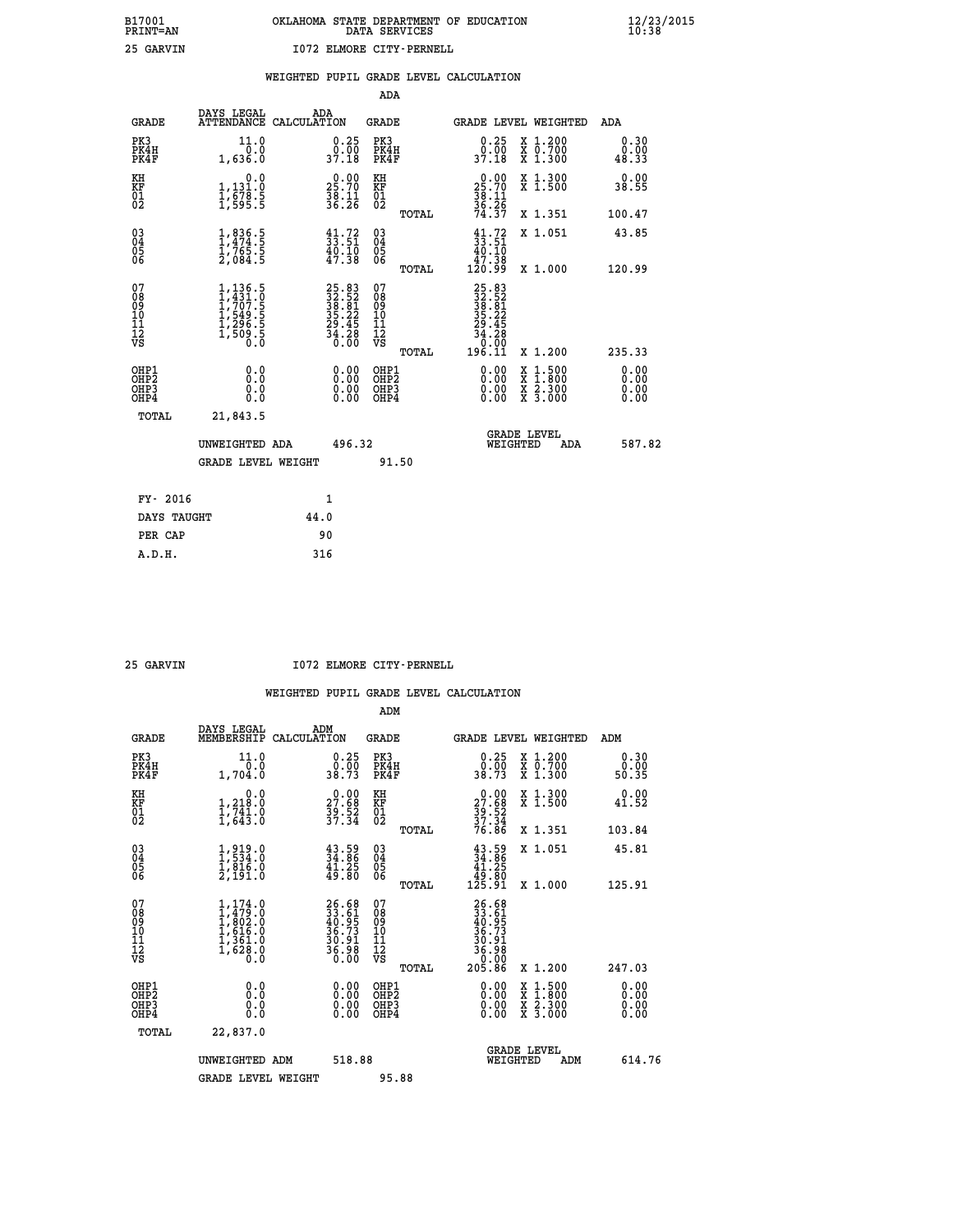|                                                                    |                                                                                         |                                                                    | ADA                                                 |       |                                                                                |                                                                                          |                               |
|--------------------------------------------------------------------|-----------------------------------------------------------------------------------------|--------------------------------------------------------------------|-----------------------------------------------------|-------|--------------------------------------------------------------------------------|------------------------------------------------------------------------------------------|-------------------------------|
| <b>GRADE</b>                                                       | DAYS LEGAL                                                                              | ADA<br>ATTENDANCE CALCULATION                                      | <b>GRADE</b>                                        |       |                                                                                | GRADE LEVEL WEIGHTED                                                                     | <b>ADA</b>                    |
| PK3<br>PK4H<br>PK4F                                                | 11.0<br>0.0<br>1,636.0                                                                  | $\begin{smallmatrix} 0.25\ 0.00\ 37.18 \end{smallmatrix}$          | PK3<br>PK4H<br>PK4F                                 |       | 0.25<br>$\begin{smallmatrix} 0.700 \ 37.18 \end{smallmatrix}$                  | X 1.200<br>X 0.700<br>X 1.300                                                            | 0.30<br>0.00<br>48.33         |
| KH<br>KF<br>01<br>02                                               | 0.0<br>1,131.0<br>1,678.5<br>1,595.5                                                    | $25.70$<br>$38.11$<br>$36.26$                                      | KH<br>KF<br>01<br>02                                |       | $25.70$<br>$38.11$<br>$36.26$<br>$74.37$                                       | X 1.300<br>X 1.500                                                                       | 0.00<br>38.55                 |
|                                                                    |                                                                                         |                                                                    |                                                     | TOTAL |                                                                                | X 1.351                                                                                  | 100.47                        |
| $\begin{smallmatrix} 03 \\[-4pt] 04 \end{smallmatrix}$<br>Ŏ5<br>06 | $\frac{1}{1}, \frac{836}{474}$ .<br>1, 765.5<br>2, 084.5                                | $\begin{smallmatrix} 41.72\ 33.51\ 40.10\ 47.38 \end{smallmatrix}$ | $\begin{array}{c} 03 \\ 04 \\ 05 \\ 06 \end{array}$ |       | $\begin{smallmatrix} 41.72\\ 33.51\\ 40.10\\ 47.38\\ 120.99 \end{smallmatrix}$ | X 1.051                                                                                  | 43.85                         |
|                                                                    |                                                                                         |                                                                    |                                                     | TOTAL |                                                                                | X 1.000                                                                                  | 120.99                        |
| 07<br>08<br>09<br>01<br>11<br>11<br>12<br>VS                       | $1, 136.5$<br>$1, 431.0$<br>$1, 707.5$<br>$1, 549.5$<br>$1, 296.5$<br>$1, 509.5$<br>0.0 | $25.8332.5238.8135.2229.4534.2836.00$                              | 07<br>08<br>09<br>11<br>11<br>12<br>VS              |       | $25.83$<br>$32.52$<br>$38.21$<br>$35.22$<br>$29.45$<br>$34.28$<br>$0.90$       |                                                                                          |                               |
|                                                                    |                                                                                         |                                                                    |                                                     | TOTAL | 196.11                                                                         | X 1.200                                                                                  | 235.33                        |
| OHP1<br>OHP <sub>2</sub><br>OH <sub>P3</sub><br>OHP4               | 0.0<br>0.000                                                                            | 0.00<br>$\begin{smallmatrix} 0.00 \ 0.00 \end{smallmatrix}$        | OHP1<br>OHP2<br>OHP <sub>3</sub>                    |       | 0.00<br>0.00                                                                   | $\begin{smallmatrix} x & 1.500 \\ x & 1.800 \\ x & 2.300 \\ x & 3.000 \end{smallmatrix}$ | 0.00<br>Ō. ŌŌ<br>0.00<br>0.00 |
| TOTAL                                                              | 21,843.5                                                                                |                                                                    |                                                     |       |                                                                                |                                                                                          |                               |
|                                                                    | UNWEIGHTED ADA                                                                          | 496.32                                                             |                                                     |       |                                                                                | <b>GRADE LEVEL</b><br>WEIGHTED<br>ADA                                                    | 587.82                        |
|                                                                    | <b>GRADE LEVEL WEIGHT</b>                                                               |                                                                    |                                                     | 91.50 |                                                                                |                                                                                          |                               |
| FY- 2016                                                           |                                                                                         | 1                                                                  |                                                     |       |                                                                                |                                                                                          |                               |
| DAYS TAUGHT                                                        |                                                                                         | 44.0                                                               |                                                     |       |                                                                                |                                                                                          |                               |
| PER CAP                                                            |                                                                                         | 90                                                                 |                                                     |       |                                                                                |                                                                                          |                               |

 **25 GARVIN I072 ELMORE CITY-PERNELL**

|                                           |                                                                                     |                                                                          | ADM                                                 |                                                                                       |                                          |                              |
|-------------------------------------------|-------------------------------------------------------------------------------------|--------------------------------------------------------------------------|-----------------------------------------------------|---------------------------------------------------------------------------------------|------------------------------------------|------------------------------|
| <b>GRADE</b>                              | DAYS LEGAL<br>MEMBERSHIP                                                            | ADM<br>CALCULATION                                                       | <b>GRADE</b>                                        | GRADE LEVEL WEIGHTED                                                                  |                                          | ADM                          |
| PK3<br>PK4H<br>PK4F                       | 11.0<br>0.0<br>1,704.0                                                              | $\begin{smallmatrix} 0.25\ 0.00 \ 38.73 \end{smallmatrix}$               | PK3<br>PK4H<br>PK4F                                 | $\begin{smallmatrix} 0.25\ 0.00\\ 38.73 \end{smallmatrix}$                            | X 1.200<br>X 0.700<br>X 1.300            | 0.30<br>ŏ:ŏŏ<br>50:35        |
| KH<br>KF<br>01<br>02                      | 0.0<br>$\frac{1}{1}, \frac{218}{741}$ .0<br>1,643.0                                 | $\begin{smallmatrix} 0.00\\ 27.68\\ 39.52\\ 37.34 \end{smallmatrix}$     | KH<br>KF<br>01<br>02                                | $\begin{smallmatrix} 0.00\\27.68\\39.52\\37.34\\76.86 \end{smallmatrix}$              | X 1.300<br>X 1.500                       | 0.00<br>41.52                |
|                                           |                                                                                     |                                                                          | TOTAL                                               |                                                                                       | X 1.351                                  | 103.84                       |
| 03<br>04<br>05<br>06                      | 1,919.0<br>1,534.0<br>1,916.0<br>2,191.0                                            | $\frac{43.59}{34.86}$<br>$\frac{41.25}{49.80}$                           | $\begin{array}{c} 03 \\ 04 \\ 05 \\ 06 \end{array}$ | $\begin{smallmatrix} 43.59\\ 34.86\\ 41.25\\ 49.80\\ 125.91\\ \end{smallmatrix}$      | X 1.051                                  | 45.81                        |
|                                           |                                                                                     |                                                                          | TOTAL                                               |                                                                                       | X 1.000                                  | 125.91                       |
| 07<br>08<br>09<br>101<br>112<br>VS        | $1,479.0$<br>$1,479.0$<br>$1,802.0$<br>$1,616.0$<br>$1,361.0$<br>$1,628.0$<br>$0.0$ | $26.68$<br>$33.61$<br>$40.95$<br>$36.73$<br>$30.91$<br>$36.98$<br>$0.00$ | 07<br>08<br>09<br>11<br>11<br>12<br>VS              | $26.68$<br>$33.61$<br>$40.95$<br>$36.73$<br>$30.91$<br>$36.98$<br>$6.98$<br>$0.05.86$ |                                          |                              |
|                                           |                                                                                     |                                                                          | TOTAL                                               |                                                                                       | X 1.200                                  | 247.03                       |
| OHP1<br>OHP2<br>OH <sub>P</sub> 3<br>OHP4 | 0.0<br>0.000                                                                        |                                                                          | OHP1<br>OHP2<br>OHP <sub>3</sub>                    | $0.00$<br>$0.00$<br>0.00                                                              | X 1:500<br>X 1:800<br>X 2:300<br>X 3:000 | 0.00<br>0.00<br>0.00<br>0.00 |
| TOTAL                                     | 22,837.0                                                                            |                                                                          |                                                     |                                                                                       |                                          |                              |
|                                           | UNWEIGHTED ADM                                                                      | 518.88                                                                   |                                                     | WEIGHTED                                                                              | <b>GRADE LEVEL</b><br>ADM                | 614.76                       |
|                                           | <b>GRADE LEVEL WEIGHT</b>                                                           |                                                                          | 95.88                                               |                                                                                       |                                          |                              |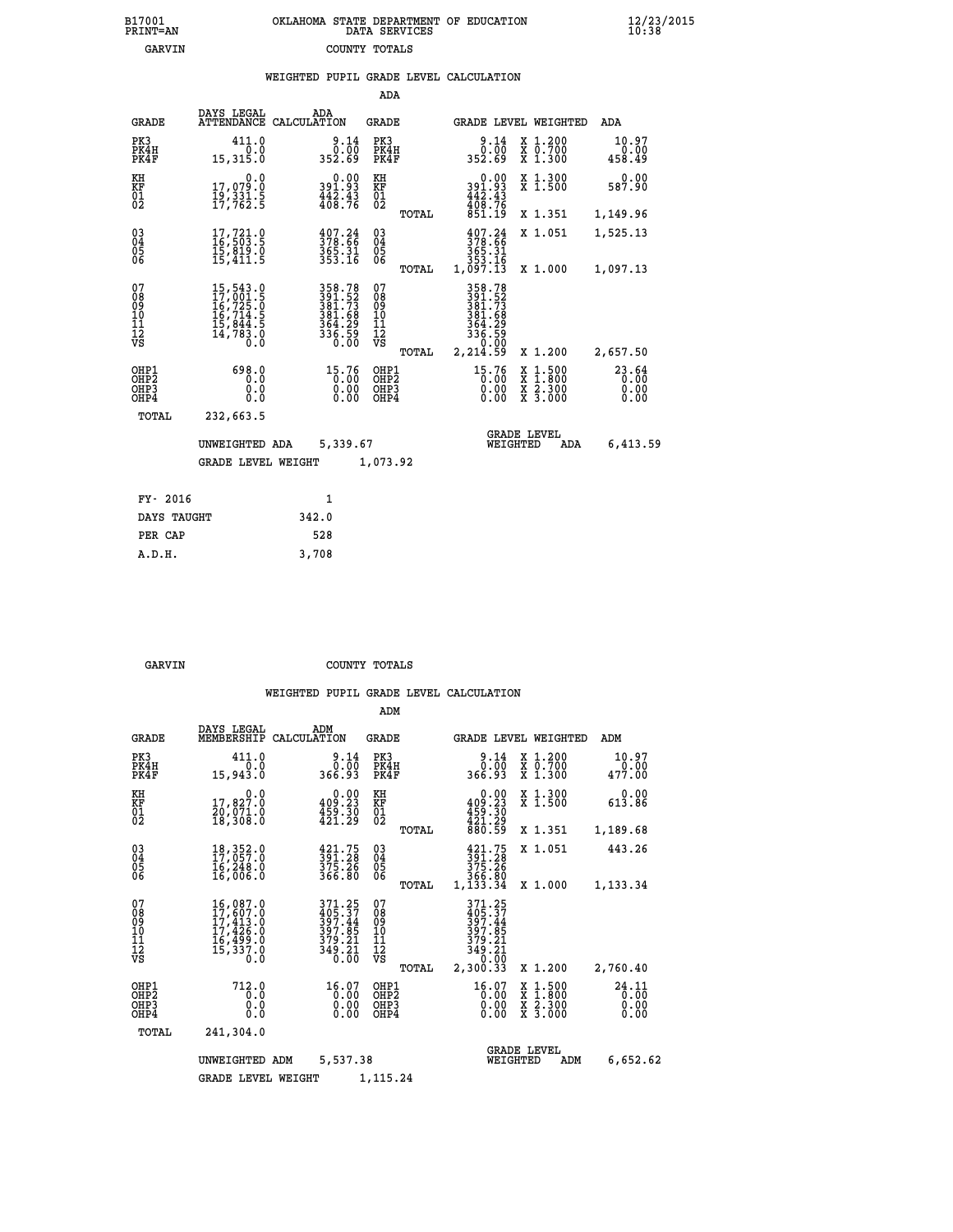| 7001<br>INT=AN | OKLAHOMA STATE DEPARTMENT OF EDUCATION<br>DATA SERVICES |  |
|----------------|---------------------------------------------------------|--|
| <b>GARVIN</b>  | COUNTY TOTALS                                           |  |

|                                                              |                                                                                                                                  | WEIGHTED PUPIL GRADE LEVEL CALCULATION                                     |                                         |       |                                                                                                          |                                                                                                                                              |                               |
|--------------------------------------------------------------|----------------------------------------------------------------------------------------------------------------------------------|----------------------------------------------------------------------------|-----------------------------------------|-------|----------------------------------------------------------------------------------------------------------|----------------------------------------------------------------------------------------------------------------------------------------------|-------------------------------|
|                                                              |                                                                                                                                  |                                                                            | ADA                                     |       |                                                                                                          |                                                                                                                                              |                               |
| <b>GRADE</b>                                                 | DAYS LEGAL                                                                                                                       | ADA<br>ATTENDANCE CALCULATION                                              | <b>GRADE</b>                            |       |                                                                                                          | GRADE LEVEL WEIGHTED                                                                                                                         | ADA                           |
| PK3<br>PK4H<br>PK4F                                          | 411.0<br>0.0<br>15,315.0                                                                                                         | $\frac{9.14}{0.00}$<br>352.69                                              | PK3<br>PK4H<br>PK4F                     |       | $\frac{9.14}{0.00}$<br>352.69                                                                            | X 1.200<br>X 0.700<br>X 1.300                                                                                                                | 10.97<br>0.00<br>458.49       |
| KH<br>KF<br>01<br>02                                         | 0.0<br>17,079:0<br>19,331:5<br>17,762:5                                                                                          | 0.00<br>391.93<br>$\frac{442.43}{408.76}$                                  | KH<br>KF<br>01<br>02                    |       | $0.00$<br>$391.93$<br>$442.43$<br>$408.76$<br>$851.19$                                                   | X 1.300<br>X 1.500                                                                                                                           | 0.00<br>587.90                |
|                                                              |                                                                                                                                  |                                                                            |                                         | TOTAL |                                                                                                          | X 1.351                                                                                                                                      | 1,149.96                      |
| $\begin{smallmatrix} 03 \\[-4pt] 04 \end{smallmatrix}$<br>05 | $\begin{smallmatrix} 17,721.0\\ 16,503.5\\ 15,819.0\\ 15,411.5 \end{smallmatrix}$                                                | $\frac{407.24}{378.66}$<br>365.31<br>353.16                                | $^{03}_{04}$<br>0500                    |       | $\frac{407.24}{378.66}$<br>365.31                                                                        | X 1.051                                                                                                                                      | 1,525.13                      |
| 06                                                           |                                                                                                                                  |                                                                            |                                         | TOTAL | 353.16<br>1,097.13                                                                                       | X 1.000                                                                                                                                      | 1,097.13                      |
| 07<br>08<br>09<br>10<br>11<br>11<br>12<br>VS                 | $\begin{smallmatrix} 15, 543 & 0\\ 17, 001 & 5\\ 16, 725 & 0\\ 16, 714 & 5\\ 15, 844 & 5\\ 14, 783 & 0\\ 0 & 0\end{smallmatrix}$ | 358.78<br>391.52<br>381.73<br>381.68<br>364.29<br>364.29<br>336.59<br>0.00 | 07<br>08<br>09<br>101<br>11<br>12<br>VS | TOTAL | 358.78<br>$\frac{381.52}{381.73}$<br>$\frac{381.68}{381.68}$<br>$364.29$<br>336.59<br>336.59<br>2,214.59 | X 1.200                                                                                                                                      | 2,657.50                      |
| OHP1<br>OHP2<br>OHP3<br>OHP4                                 | 698.0<br>0.0<br>0.0<br>0.0                                                                                                       | 15.76<br>0:00<br>0.00<br>0.00                                              | OHP1<br>OHP2<br>OHP3<br>OHP4            |       | $\begin{smallmatrix} 15.76\ 0.00\ 0.00\ 0.00 \end{smallmatrix}$                                          | $\begin{smallmatrix} \mathtt{X} & 1\cdot500 \\ \mathtt{X} & 1\cdot800 \\ \mathtt{X} & 2\cdot300 \\ \mathtt{X} & 3\cdot000 \end{smallmatrix}$ | 23.64<br>0.00<br>0.00<br>0.00 |
| TOTAL                                                        | 232,663.5                                                                                                                        |                                                                            |                                         |       |                                                                                                          |                                                                                                                                              |                               |
|                                                              | UNWEIGHTED ADA                                                                                                                   | 5,339.67                                                                   |                                         |       | WEIGHTED                                                                                                 | <b>GRADE LEVEL</b><br>ADA                                                                                                                    | 6,413.59                      |
|                                                              | <b>GRADE LEVEL WEIGHT</b>                                                                                                        |                                                                            | 1,073.92                                |       |                                                                                                          |                                                                                                                                              |                               |
| FY- 2016                                                     |                                                                                                                                  | $\mathbf{1}$                                                               |                                         |       |                                                                                                          |                                                                                                                                              |                               |
| DAYS TAUGHT                                                  |                                                                                                                                  | 342.0                                                                      |                                         |       |                                                                                                          |                                                                                                                                              |                               |
| PER CAP                                                      |                                                                                                                                  | 528                                                                        |                                         |       |                                                                                                          |                                                                                                                                              |                               |

| GARVIN | COUNTY TOTALS |  |
|--------|---------------|--|

 **A.D.H. 3,708**

 **B17001<br>PRINT=AN** 

|                                                       |                                                                                     |                                                                 | ADM                                              |                                                                                              |                                                                                                  |                               |
|-------------------------------------------------------|-------------------------------------------------------------------------------------|-----------------------------------------------------------------|--------------------------------------------------|----------------------------------------------------------------------------------------------|--------------------------------------------------------------------------------------------------|-------------------------------|
| <b>GRADE</b>                                          | DAYS LEGAL<br>MEMBERSHIP                                                            | ADM<br>CALCULATION                                              | <b>GRADE</b>                                     | GRADE LEVEL WEIGHTED                                                                         |                                                                                                  | ADM                           |
| PK3<br>PK4H<br>PK4F                                   | 411.0<br>0.0<br>15,943.0                                                            | 9.14<br>0.00<br>366.93                                          | PK3<br>PK4H<br>PK4F                              | 9.14<br>0.00<br>366.93                                                                       | $\begin{array}{c} x & 1.200 \\ x & 0.700 \end{array}$<br>$X$ 1.300                               | 10.97<br>0.00<br>477.00       |
| KH<br>KF<br>01<br>02                                  | 0.0<br>17,827.0<br>20,071.0<br>18,308.0                                             | $0.00$<br>409.23<br>$\frac{155}{421.29}$                        | KH<br>KF<br>01<br>02                             | 0.00<br>409.23<br>$\frac{159}{421}.29$                                                       | X 1.300<br>X 1.500                                                                               | 0.00<br>613.86                |
|                                                       |                                                                                     |                                                                 | TOTAL                                            | 880.59                                                                                       | X 1.351                                                                                          | 1,189.68                      |
| 03<br>04<br>05<br>06                                  | 18, 352.0<br>17, 057.0<br>16, 248.0<br>16,006.0                                     | 391.75<br>391.28<br>375.26<br>366.80                            | $\substack{03 \\ 04}$<br>0500                    | $391.75$<br>$391.28$<br>$375.26$<br>366.80                                                   | X 1.051                                                                                          | 443.26                        |
|                                                       |                                                                                     |                                                                 | TOTAL                                            | 1,133.34                                                                                     | X 1.000                                                                                          | 1,133.34                      |
| 07<br>08<br>09<br>11<br>11<br>12<br>VS                | 16,087.0<br>17,607.0<br>$17,413.0$<br>$17,426.0$<br>$16,499.0$<br>$15,337.0$<br>0.0 | 371.25<br>405.37<br>397.44<br>397.85<br>$\frac{379.21}{349.21}$ | 07<br>08<br>09<br>101<br>11<br>12<br>VS<br>TOTAL | 371.25<br>405.37<br>397.44<br>$\frac{397.85}{379.21}$<br>$\frac{349.21}{349.00}$<br>2,300.33 | X 1.200                                                                                          | 2,760.40                      |
| OHP1<br>OH <sub>P</sub> 2<br>OH <sub>P3</sub><br>OHP4 | 712.0<br>0.0<br>0.0<br>Ŏ.Ŏ                                                          | $16.07$<br>$0.00$<br>0.00<br>0.00                               | OHP1<br>OHP2<br>OHP3<br>OHP4                     | 16.07<br>0.00<br>0.00<br>0.00                                                                | $\begin{smallmatrix} x & 1 & 500 \\ x & 1 & 800 \\ x & 2 & 300 \\ x & 3 & 000 \end{smallmatrix}$ | 24.11<br>0.00<br>0.00<br>0.00 |
| TOTAL                                                 | 241,304.0                                                                           |                                                                 |                                                  |                                                                                              |                                                                                                  |                               |
|                                                       | UNWEIGHTED ADM                                                                      | 5,537.38                                                        |                                                  | <b>GRADE LEVEL</b><br>WEIGHTED                                                               | ADM                                                                                              | 6,652.62                      |
|                                                       | <b>GRADE LEVEL WEIGHT</b>                                                           |                                                                 | 1,115.24                                         |                                                                                              |                                                                                                  |                               |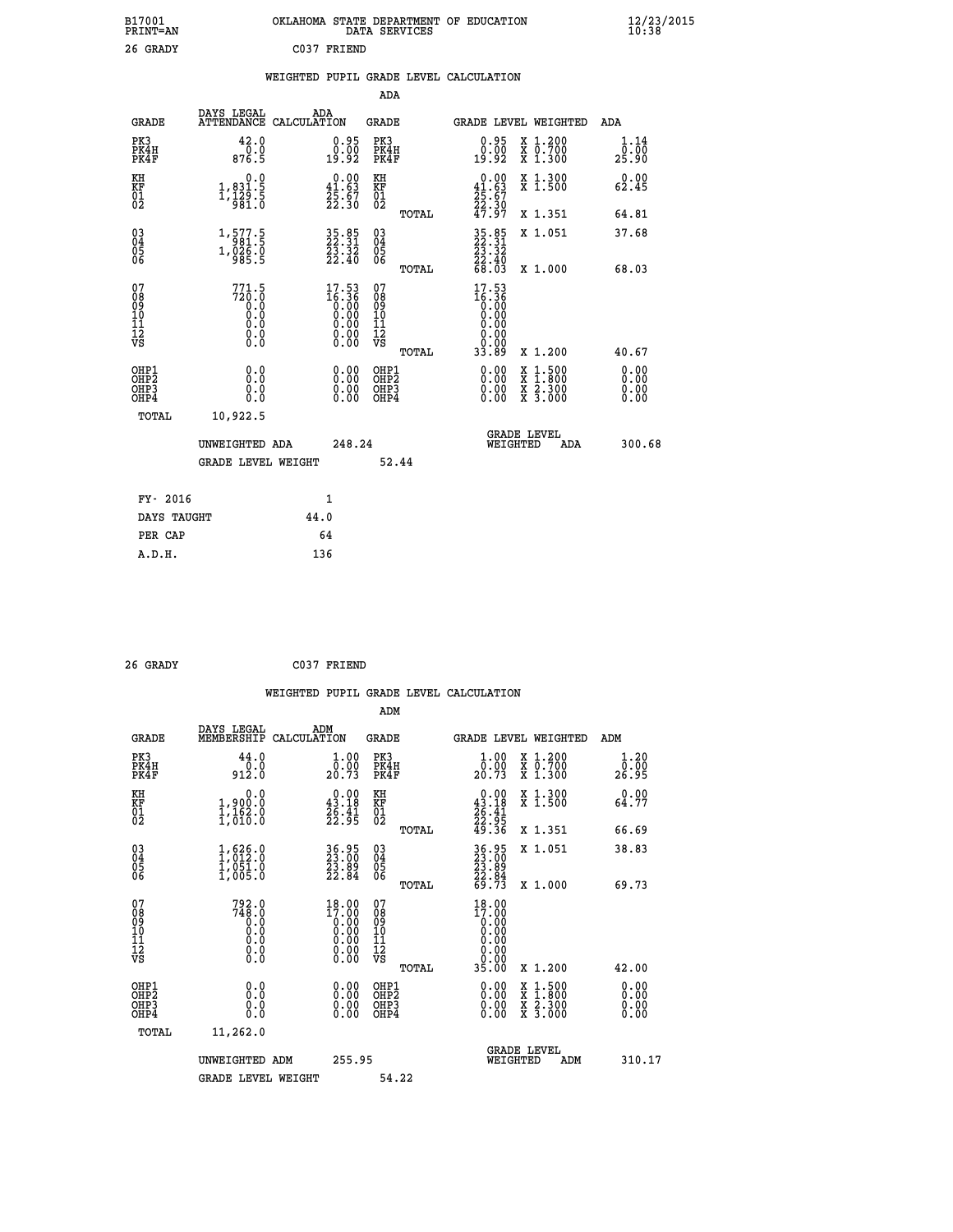| B17001<br><b>PRINT=AN</b> | OKLAHOMA STATE DEPARTMENT OF EDUCATION<br>DATA SERVICES | $\frac{12}{23}$ /2015 |
|---------------------------|---------------------------------------------------------|-----------------------|
| 26 GRADY                  | C037 FRIEND                                             |                       |

#### **WEIGHTED PUPIL GRADE LEVEL CALCULATION**

|                                                    |                                                                       |                    |                                                                      | ADA                                    |       |                                                                                                                            |        |                                                           |                              |
|----------------------------------------------------|-----------------------------------------------------------------------|--------------------|----------------------------------------------------------------------|----------------------------------------|-------|----------------------------------------------------------------------------------------------------------------------------|--------|-----------------------------------------------------------|------------------------------|
| <b>GRADE</b>                                       | DAYS LEGAL<br><b>ATTENDANCE</b>                                       | ADA<br>CALCULATION |                                                                      | GRADE                                  |       |                                                                                                                            |        | GRADE LEVEL WEIGHTED                                      | <b>ADA</b>                   |
| PK3<br>PK4H<br>PK4F                                | 42.0<br>0.0<br>876.5                                                  |                    | $\begin{smallmatrix} 0.95\ 0.00\\ -0.00\\ 19.92 \end{smallmatrix}$   | PK3<br>PK4H<br>PK4F                    |       | 0.95<br>0.00<br>19:92                                                                                                      |        | X 1.200<br>X 0.700<br>X 1.300                             | 1.14<br>0.00<br>25.90        |
| KH<br><b>KF</b><br>01<br>02                        | $\begin{smallmatrix}&&&0.0\\1,831.5\\1,129.5\\981.0\end{smallmatrix}$ |                    | $\begin{smallmatrix} 0.00\\ 41.63\\ 25.67\\ 22.30 \end{smallmatrix}$ | KH<br>KF<br>01<br>02                   |       | $0.00\n41.63\n25.67\n22.30\n47.97$                                                                                         |        | X 1.300<br>X 1.500                                        | 0.00<br>62.45                |
|                                                    |                                                                       |                    |                                                                      |                                        | TOTAL |                                                                                                                            |        | X 1.351                                                   | 64.81                        |
| $\begin{matrix} 03 \\ 04 \\ 05 \\ 06 \end{matrix}$ | 1,577.5<br>$1, 0.26.0$<br>985.5                                       |                    | 35.85<br>22.31<br>23.32<br>22.40                                     | 03<br>04<br>05<br>06                   |       | $\begin{smallmatrix} 35 & 85 \\ 22 & 31 \\ 23 & 32 \\ 23 & 40 \\ 68 & 03 \end{smallmatrix}$                                |        | X 1.051                                                   | 37.68                        |
|                                                    |                                                                       |                    |                                                                      |                                        | TOTAL |                                                                                                                            |        | X 1.000                                                   | 68.03                        |
| 07<br>08<br>09<br>101<br>11<br>12<br>VS            | $771.5$<br>$720.0$<br>$0.0$<br>0.0<br>0.0<br>$\S.$                    |                    | $17.53$<br>$16.36$<br>$0.00$<br>$0.00$<br>$0.00$<br>$0.00$<br>Ŏ.ŎŎ   | 07<br>08<br>09<br>11<br>11<br>12<br>VS | TOTAL | 17.53<br>$\begin{smallmatrix} 16.36 \\ 6.36 \\ 0.00 \\ 0.00 \\ 0.00 \\ 0.00 \\ 0.00 \\ 0.00 \\ \end{smallmatrix}$<br>33.89 |        | X 1.200                                                   | 40.67                        |
| OHP1<br>OHP2<br>OHP3<br>OHP4                       | 0.0<br>0.0<br>0.0                                                     |                    | 0.00<br>$0.00$<br>0.00                                               | OHP1<br>OHP2<br>OHP3<br>OHP4           |       | $0.00$<br>$0.00$<br>0.00                                                                                                   | X<br>X | $1.500$<br>$1.800$<br>$\frac{x}{x}$ $\frac{5.300}{3.000}$ | 0.00<br>0.00<br>0.00<br>0.00 |
| TOTAL                                              | 10,922.5                                                              |                    |                                                                      |                                        |       |                                                                                                                            |        |                                                           |                              |
|                                                    | UNWEIGHTED ADA                                                        |                    | 248.24                                                               |                                        |       | WEIGHTED                                                                                                                   |        | <b>GRADE LEVEL</b><br>ADA                                 | 300.68                       |
|                                                    | <b>GRADE LEVEL WEIGHT</b>                                             |                    |                                                                      |                                        | 52.44 |                                                                                                                            |        |                                                           |                              |
| FY- 2016                                           |                                                                       | $\mathbf{1}$       |                                                                      |                                        |       |                                                                                                                            |        |                                                           |                              |
| DAYS TAUGHT                                        |                                                                       | 44.0               |                                                                      |                                        |       |                                                                                                                            |        |                                                           |                              |
|                                                    |                                                                       |                    |                                                                      |                                        |       |                                                                                                                            |        |                                                           |                              |

| 26 GRADY | C037 FRIEND |
|----------|-------------|
|          |             |

**PER CAP** 64

 **A.D.H. 136**

 **WEIGHTED PUPIL GRADE LEVEL CALCULATION ADM DAYS LEGAL ADM**

| <b>GRADE</b>                                       | MEMBERSHIP                                                                                      | בנשבי<br>CALCULATION                                                 | GRADE                                    |       |                                                                                                                                    |          | <b>GRADE LEVEL WEIGHTED</b>                                                                                                               | ADM                          |  |
|----------------------------------------------------|-------------------------------------------------------------------------------------------------|----------------------------------------------------------------------|------------------------------------------|-------|------------------------------------------------------------------------------------------------------------------------------------|----------|-------------------------------------------------------------------------------------------------------------------------------------------|------------------------------|--|
| PK3<br>PK4H<br>PK4F                                | 44.0<br>$\frac{0.0}{912.0}$                                                                     | 1.00<br>0.00<br>20.73                                                | PK3<br>PK4H<br>PK4F                      |       | $\begin{smallmatrix} 1.00\\ 0.00\\ 20.73 \end{smallmatrix}$                                                                        |          | X 1.200<br>X 0.700<br>X 1.300                                                                                                             | 1.20<br>ō:ōŏ<br>26.95        |  |
| KH<br>KF<br>01<br>02                               | 0.0<br>1,900:0<br>1,162.0<br>1,010:0                                                            | $\begin{smallmatrix}&&0.00\\ 43.18\\ 26.41\\ 22.95\end{smallmatrix}$ | KH<br>KF<br>01<br>02                     |       | 0.00<br>$\begin{array}{r} 43.18 \\ 26.41 \\ 22.95 \\ 49.36 \end{array}$                                                            |          | X 1.300<br>X 1.500                                                                                                                        | 0.00<br>64.77                |  |
|                                                    |                                                                                                 |                                                                      |                                          | TOTAL |                                                                                                                                    |          | X 1.351                                                                                                                                   | 66.69                        |  |
| $\begin{matrix} 03 \\ 04 \\ 05 \\ 06 \end{matrix}$ | $\begin{smallmatrix} 1, 626 & 0\\ 1, 012 & 0\\ 1, 051 & 0\\ 1, 005 & 0 \end{smallmatrix}$       | 36.95<br>23.00<br>23.89<br>22.84                                     | $\substack{03 \\ 04}$<br>Ŏ5<br>06        |       | 36.95<br>23.89<br>23.89<br>22.84<br>69.73                                                                                          |          | X 1.051                                                                                                                                   | 38.83                        |  |
|                                                    |                                                                                                 |                                                                      |                                          | TOTAL |                                                                                                                                    |          | X 1.000                                                                                                                                   | 69.73                        |  |
| 07<br>08<br>09<br>101<br>11<br>12<br>VS            | 792.0<br>748.0<br>$\begin{smallmatrix} 0.1 & 0 \ 0.0 & 0 \ 0.0 & 0 \ 0.0 & 0 \end{smallmatrix}$ | $18.00$<br>$17.00$<br>$0.00$                                         | 07<br>08<br>09<br>101<br>11<br>12<br>VS  |       | 18.00<br>$\begin{smallmatrix} 17.000 \\[-4pt] 0.000 \\[-4pt] 0.000 \\[-4pt] 0.000 \\[-4pt] 0.000 \\[-4pt] 0.000 \end{smallmatrix}$ |          |                                                                                                                                           |                              |  |
|                                                    |                                                                                                 |                                                                      |                                          | TOTAL | 35.00                                                                                                                              |          | X 1.200                                                                                                                                   | 42.00                        |  |
| OHP1<br>OHP2<br>OH <sub>P3</sub><br>OHP4           | 0.0<br>0.0<br>Ŏ.Ŏ                                                                               | $0.00$<br>$0.00$<br>0.00                                             | OHP1<br>OHP2<br>OHP <sub>3</sub><br>OHP4 |       | $0.00$<br>$0.00$<br>0.00                                                                                                           |          | $\begin{smallmatrix} \mathtt{X} & 1\cdot500\\ \mathtt{X} & 1\cdot800\\ \mathtt{X} & 2\cdot300\\ \mathtt{X} & 3\cdot000 \end{smallmatrix}$ | 0.00<br>0.00<br>0.00<br>0.00 |  |
| TOTAL                                              | 11,262.0                                                                                        |                                                                      |                                          |       |                                                                                                                                    |          |                                                                                                                                           |                              |  |
|                                                    | UNWEIGHTED ADM                                                                                  | 255.95                                                               |                                          |       |                                                                                                                                    | WEIGHTED | <b>GRADE LEVEL</b><br>ADM                                                                                                                 | 310.17                       |  |
|                                                    | <b>GRADE LEVEL WEIGHT</b>                                                                       |                                                                      | 54.22                                    |       |                                                                                                                                    |          |                                                                                                                                           |                              |  |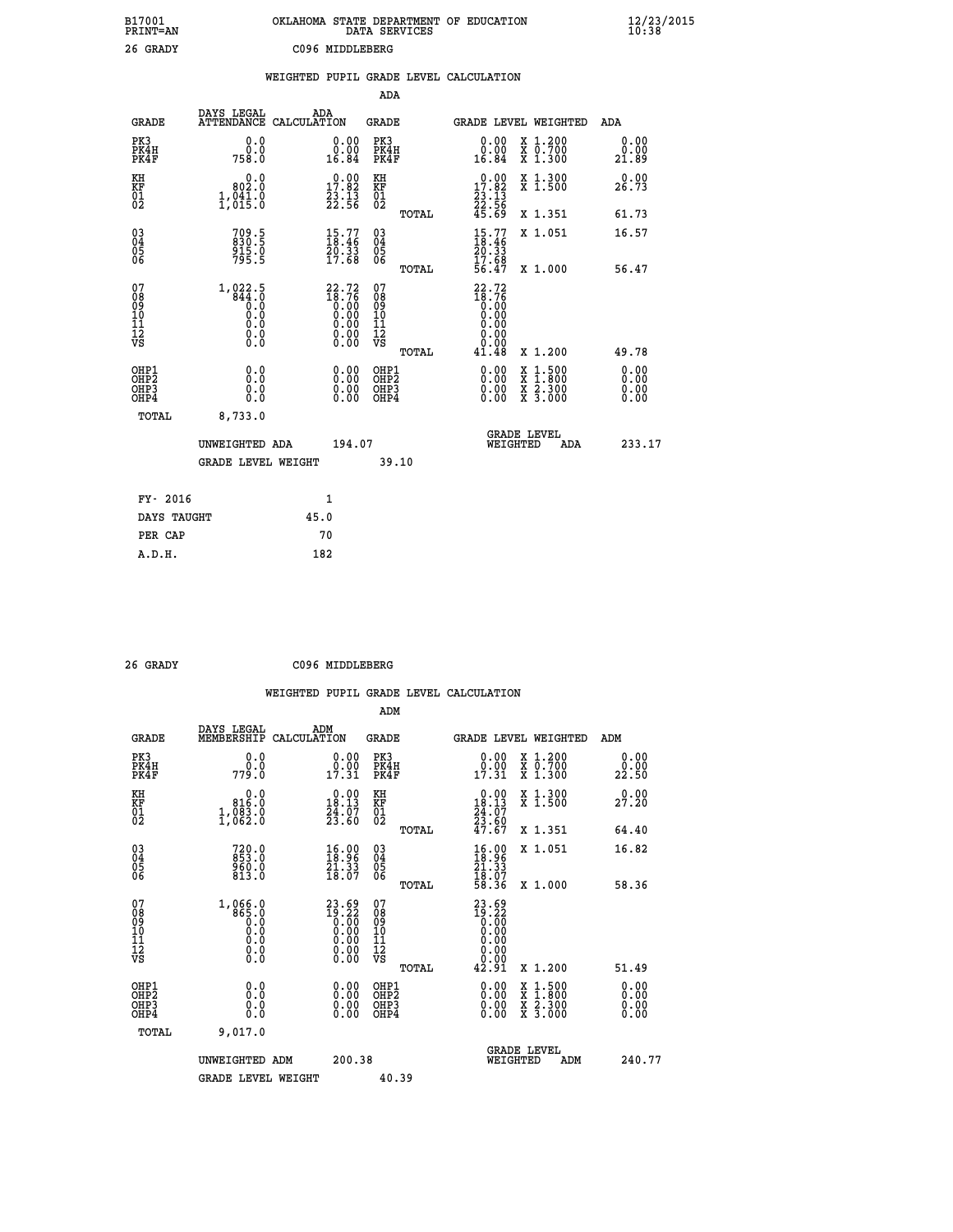| B17001<br>PRINT=AN                           |                                                           | OKLAHOMA STATE DEPARTMENT OF EDUCATION                               | DATA SERVICES                                                       |                                                                 |                                          | $\frac{12}{23}$ /2015        |  |
|----------------------------------------------|-----------------------------------------------------------|----------------------------------------------------------------------|---------------------------------------------------------------------|-----------------------------------------------------------------|------------------------------------------|------------------------------|--|
| 26 GRADY                                     |                                                           | C096 MIDDLEBERG                                                      |                                                                     |                                                                 |                                          |                              |  |
|                                              |                                                           | WEIGHTED PUPIL GRADE LEVEL CALCULATION                               |                                                                     |                                                                 |                                          |                              |  |
|                                              |                                                           |                                                                      | ADA                                                                 |                                                                 |                                          |                              |  |
| <b>GRADE</b>                                 | DAYS LEGAL                                                | ADA<br>ATTENDANCE CALCULATION                                        | GRADE                                                               |                                                                 | GRADE LEVEL WEIGHTED                     | ADA                          |  |
| PK3<br>PK4H<br>PK4F                          | 0.0<br>0.0<br>758.0                                       | 0.00<br>0.00<br>16.84                                                | PK3<br>PK4H<br>PK4F                                                 | 0.00<br>0.00<br>16.84                                           | X 1.200<br>X 0.700<br>X 1.300            | 0.00<br>0.00<br>21.89        |  |
| KH<br>KF<br>01<br>02                         | 0.0<br>802.0<br>1,041.0                                   | $\begin{smallmatrix} 0.00\\ 17.82\\ 23.13\\ 22.56 \end{smallmatrix}$ | KH<br>KF<br>01<br>02                                                | $\begin{array}{c} 0.00 \\ 17.82 \\ 23.13 \\ 22.56 \end{array}$  | X 1.300<br>X 1.500                       | 0.00<br>26.73                |  |
|                                              |                                                           |                                                                      | TOTAL                                                               | 45.69                                                           | X 1.351                                  | 61.73                        |  |
| 03<br>04<br>05<br>06                         | 709.5<br>830.5<br>915.0<br>795.5                          | $\begin{smallmatrix} 15.77\ 18.46\ 20.33\ 17.68 \end{smallmatrix}$   | $\begin{matrix} 03 \\ 04 \\ 05 \\ 06 \end{matrix}$<br>TOTAL         | $\frac{15.77}{20.33}$<br>17.68<br>56.47                         | X 1.051<br>X 1.000                       | 16.57<br>56.47               |  |
| 07<br>08<br>09<br>10<br>11<br>11<br>12<br>VS | $1,822.5$<br>$844.0$<br>$0.0$<br>0.0<br>0.0<br>$\S.$ $\S$ |                                                                      | 07<br>08<br>09<br>10<br>$\frac{11}{12}$<br>$\frac{12}{18}$<br>TOTAL | $22.72$<br>$18.76$<br>$0.00$<br>$0.00$<br>0.00<br>0.00<br>41.48 | X 1.200                                  | 49.78                        |  |
| OHP1<br>OHP2<br>OHP3<br>OHP4                 | 0.0<br>0.0<br>0.0<br>0.0                                  | 0.00<br>$\begin{smallmatrix} 0.00 \ 0.00 \end{smallmatrix}$          | OHP1<br>OH <sub>P</sub> 2<br>OHP3<br>OHP4                           | 0.00<br>0.00<br>0.00                                            | X 1:500<br>X 1:800<br>X 2:300<br>X 3:000 | 0.00<br>0.00<br>0.00<br>0.00 |  |
| TOTAL                                        | 8,733.0                                                   |                                                                      |                                                                     |                                                                 |                                          |                              |  |
|                                              | UNWEIGHTED ADA<br><b>GRADE LEVEL WEIGHT</b>               | 194.07                                                               | 39.10                                                               | WEIGHTED                                                        | <b>GRADE LEVEL</b><br>ADA                | 233.17                       |  |
| FY- 2016                                     |                                                           | 1                                                                    |                                                                     |                                                                 |                                          |                              |  |
| DAYS TAUGHT                                  |                                                           | 45.0                                                                 |                                                                     |                                                                 |                                          |                              |  |
| PER CAP                                      |                                                           | 70                                                                   |                                                                     |                                                                 |                                          |                              |  |

| 26 GRADY | C096 MIDDLEBERG |
|----------|-----------------|

 **WEIGHTED PUPIL GRADE LEVEL CALCULATION ADM DAYS LEGAL ADM GRADE MEMBERSHIP CALCULATION GRADE GRADE LEVEL WEIGHTED ADM PK3 0.0 0.00 PK3 0.00 X 1.200 0.00 PK4H 0.0 0.00 PK4H 0.00 X 0.700 0.00 PK4F 779.0 17.31 PK4F 17.31 X 1.300 22.50 KH 0.0 0.00 KH 0.00 X 1.300 0.00 KF 816.0 18.13 KF 18.13 X 1.500 27.20 01 1,083.0 24.07 01 24.07 02 1,062.0 23.60 02 23.60 TOTAL 47.67 X 1.351 64.40 03 720.0 16.00 03 16.00 X 1.051 16.82 04 853.0 18.96 04 18.96 05 960.0 21.33 05 21.33** 06 813.0 18.07 06 <sub>memax</sub> 18.07  **TOTAL 58.36 X 1.000 58.36** 07 1,066.0 23.69 07 23.69<br>
08 865.0 19.22 08 19.22<br>
10 0.0 0.00 10 0.00<br>
11 0.0 0.00 10 0.00<br>
12 0.0 0.00 12<br>
VS 0.0 0.00 VS 0.00  **TOTAL 42.91 X 1.200 51.49 OHP1 0.0 0.00 OHP1 0.00 X 1.500 0.00 OHP2 0.0 0.00 OHP2 0.00 X 1.800 0.00 OHP3 0.0 0.00 OHP3 0.00 X 2.300 0.00 OHP4 0.0 0.00 OHP4 0.00 X 3.000 0.00 TOTAL 9,017.0 GRADE LEVEL UNWEIGHTED ADM 200.38 WEIGHTED ADM 240.77** GRADE LEVEL WEIGHT 40.39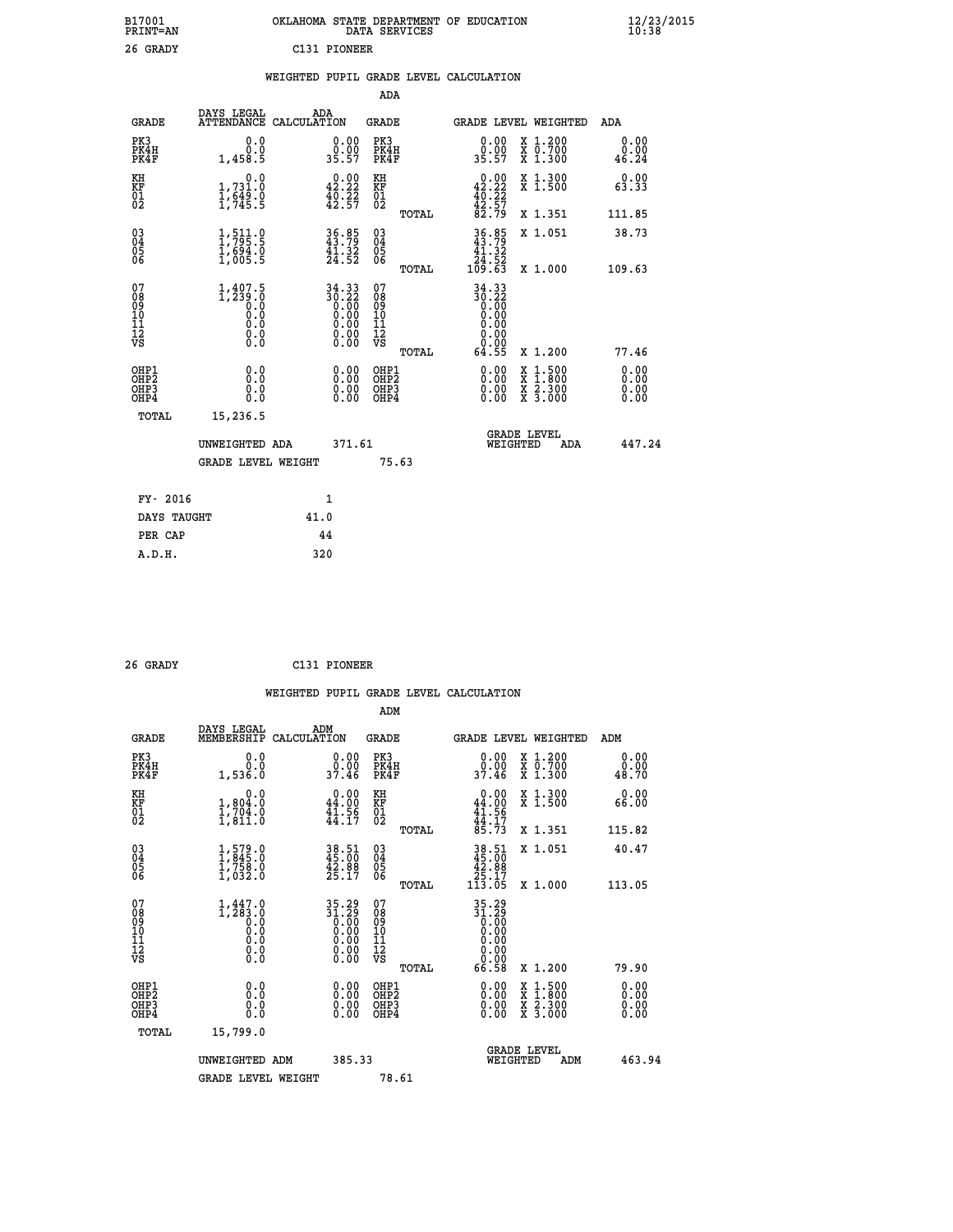| B17001<br><b>PRINT=AN</b> | OKLAHOMA STATE DEPARTMENT OF EDUCATION<br>DATA SERVICES | $\frac{12}{23}$ /2015 |
|---------------------------|---------------------------------------------------------|-----------------------|
| 26 GRADY                  | C131 PIONEER                                            |                       |

#### **WEIGHTED PUPIL GRADE LEVEL CALCULATION**

|                                                                              |                                                                                            |                                                                                               | ADA                                      |                                                                          |                                                                                                                                              |                              |
|------------------------------------------------------------------------------|--------------------------------------------------------------------------------------------|-----------------------------------------------------------------------------------------------|------------------------------------------|--------------------------------------------------------------------------|----------------------------------------------------------------------------------------------------------------------------------------------|------------------------------|
| <b>GRADE</b>                                                                 | DAYS LEGAL                                                                                 | ADA<br>ATTENDANCE CALCULATION                                                                 | GRADE                                    |                                                                          | GRADE LEVEL WEIGHTED                                                                                                                         | ADA                          |
| PK3<br>PK4H<br>PK4F                                                          | 0.0<br>0.0<br>1,458.5                                                                      | $\begin{smallmatrix} 0.00\\ 0.00\\ 35.57 \end{smallmatrix}$                                   | PK3<br>PK4H<br>PK4F                      | 0.00<br>0.00<br>35.57                                                    | X 1.200<br>X 0.700<br>X 1.300                                                                                                                | 0.00<br>0.00<br>46.24        |
| KH<br>KF<br>01<br>02                                                         | 0.0<br>1,731:0<br>1,649:0<br>1,745:5                                                       | $\begin{smallmatrix} 0.00\\ 42.22\\ 40.22\\ 42.57 \end{smallmatrix}$                          | KH<br>KF<br>01<br>02                     | $0.00\n42.22\n40.22\n42.57\n82.79$                                       | X 1.300<br>X 1.500                                                                                                                           | 0.00<br>63.33                |
|                                                                              |                                                                                            |                                                                                               |                                          | TOTAL                                                                    | X 1.351                                                                                                                                      | 111.85                       |
| $^{03}_{04}$<br>Ŏ5<br>06                                                     | 1, 511.9<br>$\frac{1}{1}$ , 694.0<br>1,005.5                                               | $36.85$<br>$43.79$<br>$41.32$<br>$24.52$                                                      | 03<br>04<br>05<br>06                     | $36.85$<br>$43.79$<br>$41.32$<br>24.52<br>109.63                         | X 1.051                                                                                                                                      | 38.73                        |
|                                                                              |                                                                                            |                                                                                               |                                          | TOTAL                                                                    | X 1.000                                                                                                                                      | 109.63                       |
| 07<br>08<br>09<br>11<br>11<br>12<br>VS                                       | $1,407.5$<br>$1,239.0$<br>$\begin{smallmatrix} 0.10\ 0.0 \ 0.0 \end{smallmatrix}$<br>$\S.$ | 34.33<br>30.22<br>$\begin{smallmatrix} 0.500 0.000 0.000 0.000 0.000 0.000 \end{smallmatrix}$ | 07<br>08<br>09<br>11<br>11<br>12<br>VS   | $34.33$<br>$30.22$<br>$0.00$<br>$0.00$<br>0.00<br>0.00<br>TOTAL<br>64.55 | X 1.200                                                                                                                                      | 77.46                        |
| OHP1<br>OH <sub>P</sub> <sub>2</sub><br>OH <sub>P3</sub><br>OH <sub>P4</sub> | 0.0<br>Ō.Ō<br>0.0<br>0.0                                                                   | 0.00<br>0.00<br>0.00                                                                          | OHP1<br>OHP <sub>2</sub><br>OHP3<br>OHP4 | 0.00<br>0.00<br>0.00                                                     | $\begin{smallmatrix} \mathtt{X} & 1\cdot500 \\ \mathtt{X} & 1\cdot800 \\ \mathtt{X} & 2\cdot300 \\ \mathtt{X} & 3\cdot000 \end{smallmatrix}$ | 0.00<br>0.00<br>0.00<br>0.00 |
| TOTAL                                                                        | 15,236.5                                                                                   |                                                                                               |                                          |                                                                          |                                                                                                                                              |                              |
|                                                                              | UNWEIGHTED ADA                                                                             | 371.61                                                                                        |                                          |                                                                          | <b>GRADE LEVEL</b><br>WEIGHTED<br>ADA                                                                                                        | 447.24                       |
|                                                                              | <b>GRADE LEVEL WEIGHT</b>                                                                  |                                                                                               | 75.63                                    |                                                                          |                                                                                                                                              |                              |
|                                                                              | FY- 2016                                                                                   | 1                                                                                             |                                          |                                                                          |                                                                                                                                              |                              |
|                                                                              | DAYS TAUGHT                                                                                | 41.0                                                                                          |                                          |                                                                          |                                                                                                                                              |                              |
|                                                                              | PER CAP                                                                                    | 44                                                                                            |                                          |                                                                          |                                                                                                                                              |                              |
| A.D.H.                                                                       |                                                                                            | 320                                                                                           |                                          |                                                                          |                                                                                                                                              |                              |

| 26 GRADY | C131 PIONEER |
|----------|--------------|
|          |              |

 **A.D.H. 320**

|                                                    |                                                                                    |                    |                                                                      |                              |       | WEIGHTED PUPIL GRADE LEVEL CALCULATION                                                                                                                                                                                                                                         |                                                                                                  |                       |  |
|----------------------------------------------------|------------------------------------------------------------------------------------|--------------------|----------------------------------------------------------------------|------------------------------|-------|--------------------------------------------------------------------------------------------------------------------------------------------------------------------------------------------------------------------------------------------------------------------------------|--------------------------------------------------------------------------------------------------|-----------------------|--|
|                                                    |                                                                                    |                    |                                                                      | ADM                          |       |                                                                                                                                                                                                                                                                                |                                                                                                  |                       |  |
| <b>GRADE</b>                                       | DAYS LEGAL<br>MEMBERSHIP                                                           | ADM<br>CALCULATION |                                                                      | <b>GRADE</b>                 |       | GRADE LEVEL WEIGHTED                                                                                                                                                                                                                                                           |                                                                                                  | ADM                   |  |
| PK3<br>PK4H<br>PK4F                                | 0.0<br>0.0<br>1,536.0                                                              |                    | 0.00<br>37.46                                                        | PK3<br>PK4H<br>PK4F          |       | $\begin{smallmatrix} 0.00\\ 0.00\\ 37.46 \end{smallmatrix}$                                                                                                                                                                                                                    | X 1.200<br>X 0.700<br>X 1.300                                                                    | 0.00<br>0.00<br>48.70 |  |
| KH<br>KF<br>01<br>02                               | 0.0<br>$\frac{1}{1}, \frac{804}{704}$<br>$\frac{3}{1}, \frac{94}{811}$<br>$\vdots$ |                    | $\begin{smallmatrix} 0.00\\ 44.00\\ 41.56\\ 44.17 \end{smallmatrix}$ | KH<br>KF<br>01<br>02         |       | $0.00$<br>$44.00$<br>$41.56$<br>$44.17$<br>$85.73$                                                                                                                                                                                                                             | X 1.300<br>X 1.500                                                                               | 0.00<br>66.00         |  |
|                                                    |                                                                                    |                    |                                                                      |                              | TOTAL |                                                                                                                                                                                                                                                                                | X 1.351                                                                                          | 115.82                |  |
| $\begin{matrix} 03 \\ 04 \\ 05 \\ 06 \end{matrix}$ | $\begin{smallmatrix} 1.579.0\\ 1.845.0\\ 1.758.0\\ 1.032.0 \end{smallmatrix}$      |                    | 38.51<br>45.00<br>42.88<br>25.17                                     | $^{03}_{04}$<br>Ŏ5<br>06     |       | $\begin{array}{r} 38.51 \\ 45.00 \\ 42.88 \\ 25.17 \\ 113.05 \end{array}$                                                                                                                                                                                                      | X 1.051                                                                                          | 40.47                 |  |
|                                                    |                                                                                    |                    |                                                                      |                              | TOTAL |                                                                                                                                                                                                                                                                                | X 1.000                                                                                          | 113.05                |  |
| 07<br>0890112<br>1112<br>VS                        | $1, 447.0$<br>$1, 283.0$<br>$0.0$<br>0.0<br>0.0<br>$\S.$                           |                    | $35.29\n31.29\n0.00\n0.00\n0.00\n0.00\n0.00$                         | 07<br>08901112<br>1112<br>VS |       | $35.29$<br>$31.29$<br>$0.00$<br>$0.00$<br>0.00<br>0.00<br>66.58                                                                                                                                                                                                                |                                                                                                  |                       |  |
|                                                    |                                                                                    |                    |                                                                      |                              | TOTAL |                                                                                                                                                                                                                                                                                | $X_1.200$                                                                                        | 79.90                 |  |
| OHP1<br>OHP2<br>OH <sub>P3</sub><br>OHP4           | 0.0<br>0.000                                                                       |                    | $\begin{smallmatrix} 0.00 \ 0.00 \ 0.00 \ 0.00 \end{smallmatrix}$    | OHP1<br>OHP2<br>OHP3<br>OHP4 |       | $\begin{smallmatrix} 0.00 & 0.00 & 0.00 & 0.00 & 0.00 & 0.00 & 0.00 & 0.00 & 0.00 & 0.00 & 0.00 & 0.00 & 0.00 & 0.00 & 0.00 & 0.00 & 0.00 & 0.00 & 0.00 & 0.00 & 0.00 & 0.00 & 0.00 & 0.00 & 0.00 & 0.00 & 0.00 & 0.00 & 0.00 & 0.00 & 0.00 & 0.00 & 0.00 & 0.00 & 0.00 & 0.0$ | $\begin{smallmatrix} x & 1 & 500 \\ x & 1 & 800 \\ x & 2 & 300 \\ x & 3 & 000 \end{smallmatrix}$ | 0.00<br>0.00<br>0.00  |  |
| TOTAL                                              | 15,799.0                                                                           |                    |                                                                      |                              |       |                                                                                                                                                                                                                                                                                |                                                                                                  |                       |  |
|                                                    | UNWEIGHTED ADM                                                                     |                    | 385.33                                                               |                              |       | WEIGHTED                                                                                                                                                                                                                                                                       | <b>GRADE LEVEL</b><br>ADM                                                                        | 463.94                |  |
|                                                    | <b>GRADE LEVEL WEIGHT</b>                                                          |                    |                                                                      | 78.61                        |       |                                                                                                                                                                                                                                                                                |                                                                                                  |                       |  |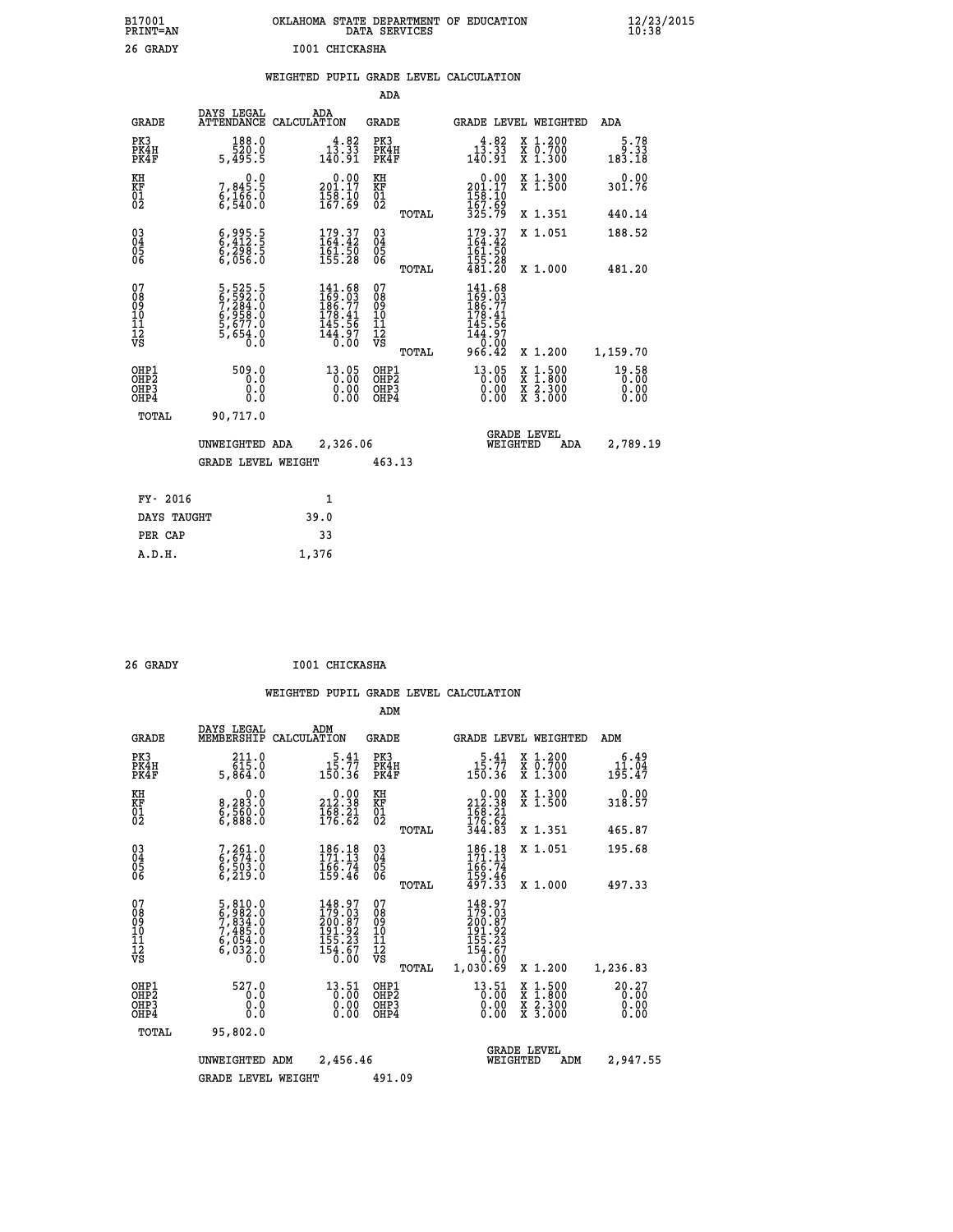| B17001          | OKLAHOMA STATE DEPARTMENT OF EDUCATION |
|-----------------|----------------------------------------|
| <b>PRINT=AN</b> | DATA SERVICES                          |
| 26 GRADY        | I001 CHICKASHA                         |

|  |  | WEIGHTED PUPIL GRADE LEVEL CALCULATION |
|--|--|----------------------------------------|
|  |  |                                        |

|                                                                    |              |                                                                            |                                                                                 |                                        | ADA                                      |                                                                                          |                                                                                                  |                               |
|--------------------------------------------------------------------|--------------|----------------------------------------------------------------------------|---------------------------------------------------------------------------------|----------------------------------------|------------------------------------------|------------------------------------------------------------------------------------------|--------------------------------------------------------------------------------------------------|-------------------------------|
|                                                                    | <b>GRADE</b> | DAYS LEGAL                                                                 | ADA<br>ATTENDANCE CALCULATION                                                   | <b>GRADE</b>                           |                                          |                                                                                          | GRADE LEVEL WEIGHTED                                                                             | ADA                           |
| PK3<br>PK4H<br>PK4F                                                |              | 188.0<br>520.0<br>5,495.5                                                  | $13.33$<br>$140.91$                                                             |                                        | PK3<br>PK4H<br>PK4F                      | $1\overline{3}\cdot 3\overline{3}\atop{140.91}$                                          | X 1.200<br>X 0.700<br>X 1.300                                                                    | $5.78$<br>9.33<br>183.18      |
| KH<br><b>KF</b><br>01<br>02                                        |              | 0.0<br>7,845:5<br>6,166:0<br>6,540:0                                       | $\begin{smallmatrix} &0.00\\ 201.17\\ 158.10\\ 167.69\end{smallmatrix}$         | KH<br><b>KF</b><br>01<br>02            |                                          | $\begin{array}{c} 0.00 \\ 201.17 \\ 158.10 \\ 167.62 \end{array}$                        | X 1.300<br>X 1.500                                                                               | 0.00<br>301.76                |
|                                                                    |              |                                                                            |                                                                                 |                                        | TOTAL                                    | 325.79                                                                                   | X 1.351                                                                                          | 440.14                        |
| $\begin{smallmatrix} 03 \\[-4pt] 04 \end{smallmatrix}$<br>05<br>06 |              | $\begin{smallmatrix} 6,995.5\ 6,412.5\ 6,298.5\ 6,056.0 \end{smallmatrix}$ | 179.37<br>164.42<br>$\frac{161.50}{155.28}$                                     | $\substack{03 \\ 04}$<br>05<br>06      |                                          | $179.37$<br>$164.42$<br>161:50<br>155:28<br>481:20                                       | X 1.051                                                                                          | 188.52                        |
|                                                                    |              |                                                                            |                                                                                 |                                        | TOTAL                                    |                                                                                          | X 1.000                                                                                          | 481.20                        |
| 07<br>08901112<br>1112<br>VS                                       |              | 5,525.5<br>6,592.0<br>7,284.0<br>6,958.0<br>6,677.0<br>5,654.0<br>5,654.0  | 141.68<br>$169.03$<br>$186.77$<br>$178.41$<br>$145.56$<br>$\frac{144.97}{0.00}$ | 07<br>08<br>09<br>11<br>11<br>12<br>VS |                                          | 141.68<br>$145.03$<br>$186.77$<br>$178.41$<br>$145.56$<br>$144.97$<br>$0.00$<br>$966.42$ |                                                                                                  |                               |
|                                                                    |              |                                                                            |                                                                                 |                                        | TOTAL                                    |                                                                                          | X 1.200                                                                                          | 1,159.70                      |
| OHP1<br>OH <sub>P2</sub><br>OH <sub>P3</sub><br>OH <sub>P4</sub>   |              | 509.0<br>0.0<br>0.0<br>0.0                                                 | 13.05<br>0.00<br>0.00<br>0.00                                                   |                                        | OHP1<br>OHP <sub>2</sub><br>OHP3<br>OHP4 | 13.05<br>0.00<br>0.00                                                                    | $\begin{smallmatrix} x & 1 & 500 \\ x & 1 & 800 \\ x & 2 & 300 \\ x & 3 & 000 \end{smallmatrix}$ | 19.58<br>0.00<br>0.00<br>0.00 |
|                                                                    | TOTAL        | 90,717.0                                                                   |                                                                                 |                                        |                                          |                                                                                          |                                                                                                  |                               |
|                                                                    |              | UNWEIGHTED ADA                                                             | 2,326.06                                                                        |                                        |                                          |                                                                                          | GRADE LEVEL<br>WEIGHTED<br>ADA                                                                   | 2,789.19                      |
|                                                                    |              | <b>GRADE LEVEL WEIGHT</b>                                                  |                                                                                 |                                        | 463.13                                   |                                                                                          |                                                                                                  |                               |
|                                                                    | FY- 2016     |                                                                            | $\mathbf{1}$                                                                    |                                        |                                          |                                                                                          |                                                                                                  |                               |
|                                                                    | DAYS TAUGHT  |                                                                            | 39.0                                                                            |                                        |                                          |                                                                                          |                                                                                                  |                               |
|                                                                    | PER CAP      |                                                                            | 33                                                                              |                                        |                                          |                                                                                          |                                                                                                  |                               |

| 26 GRADY | I001 CHICKASHA |
|----------|----------------|
|          |                |

 **A.D.H. 1,376**

|                                  |                                                                                     |                                                                                               | ADM                                                 |       |                                                                                     |                                          |                         |
|----------------------------------|-------------------------------------------------------------------------------------|-----------------------------------------------------------------------------------------------|-----------------------------------------------------|-------|-------------------------------------------------------------------------------------|------------------------------------------|-------------------------|
| <b>GRADE</b>                     | DAYS LEGAL<br>MEMBERSHIP                                                            | ADM<br>CALCULATION                                                                            | GRADE                                               |       |                                                                                     | <b>GRADE LEVEL WEIGHTED</b>              | ADM                     |
| PK3<br>PK4H<br>PK4F              | $211.0$<br>$615.0$<br>5,864.0                                                       | $15.41$<br>$15.77$<br>150.36                                                                  | PK3<br>PK4H<br>PK4F                                 |       | $15.41$<br>$15.77$<br>150.36                                                        | X 1.200<br>X 0.700<br>X 1.300            | 6.49<br>11.04<br>195.47 |
| KH<br>KF<br>01<br>02             | 0.0<br>8,283:0<br>6,560:0<br>6,888:0                                                | $\begin{smallmatrix} 0.00\\ 212.38\\ 168.21\\ 176.62 \end{smallmatrix}$                       | KH<br>KF<br>01<br>02                                |       | $\begin{smallmatrix} &0.00\\ 212.38\\ 168.21\\ 176.62\\ 344.83\end{smallmatrix}$    | X 1.300<br>X 1.500                       | 0.00<br>318.57          |
|                                  |                                                                                     |                                                                                               |                                                     | TOTAL |                                                                                     | X 1.351                                  | 465.87                  |
| 03<br>04<br>05<br>06             | 7,261.0<br>6,674.0<br>6,503.0<br>6,219.0                                            | $\begin{smallmatrix} 186.18\\171.13\\166.74\\159.46 \end{smallmatrix}$                        | $\begin{array}{c} 03 \\ 04 \\ 05 \\ 06 \end{array}$ |       | $186.18$<br>$171.13$<br>$166.74$<br>$159.46$<br>$497.33$                            | X 1.051                                  | 195.68                  |
|                                  |                                                                                     |                                                                                               |                                                     | TOTAL |                                                                                     | X 1.000                                  | 497.33                  |
| 07<br>08901112<br>1112<br>VS     | $5,810.0$<br>$6,982.0$<br>$7,834.0$<br>$7,485.0$<br>$6,054.0$<br>$6,032.0$<br>$0.0$ | 148.97<br>179.03<br>200.87<br>191.92<br>155.23<br>$\frac{154.67}{0.00}$                       | 07<br>08<br>09<br>11<br>11<br>12<br>VS              | TOTAL | 148.97<br>179.03<br>200.87<br>191.92<br>155.23<br>$\frac{154.67}{0.00}$<br>1,030.69 | X 1.200                                  |                         |
| OHP1                             | 527.0                                                                               |                                                                                               | OHP1                                                |       |                                                                                     |                                          | 1,236.83                |
| OHP <sub>2</sub><br>OHP3<br>OHP4 | 0.0<br>0.000                                                                        | $\begin{smallmatrix} 13\cdot51\\[-1.2mm] 0.00\\[-1.2mm] 0.00\\[-1.2mm] 0.00\end{smallmatrix}$ | OHP <sub>2</sub><br>OHP <sub>3</sub>                |       | $\begin{smallmatrix} 13.51\ 0.00\ 0.00\ 0.00 \end{smallmatrix}$                     | X 1:500<br>X 1:800<br>X 2:300<br>X 3:000 | 20.27<br>0.00<br>0.00   |
| TOTAL                            | 95,802.0                                                                            |                                                                                               |                                                     |       |                                                                                     |                                          |                         |
|                                  | UNWEIGHTED                                                                          | 2,456.46<br>ADM                                                                               |                                                     |       | WEIGHTED                                                                            | <b>GRADE LEVEL</b><br>ADM                | 2,947.55                |
|                                  | <b>GRADE LEVEL WEIGHT</b>                                                           |                                                                                               | 491.09                                              |       |                                                                                     |                                          |                         |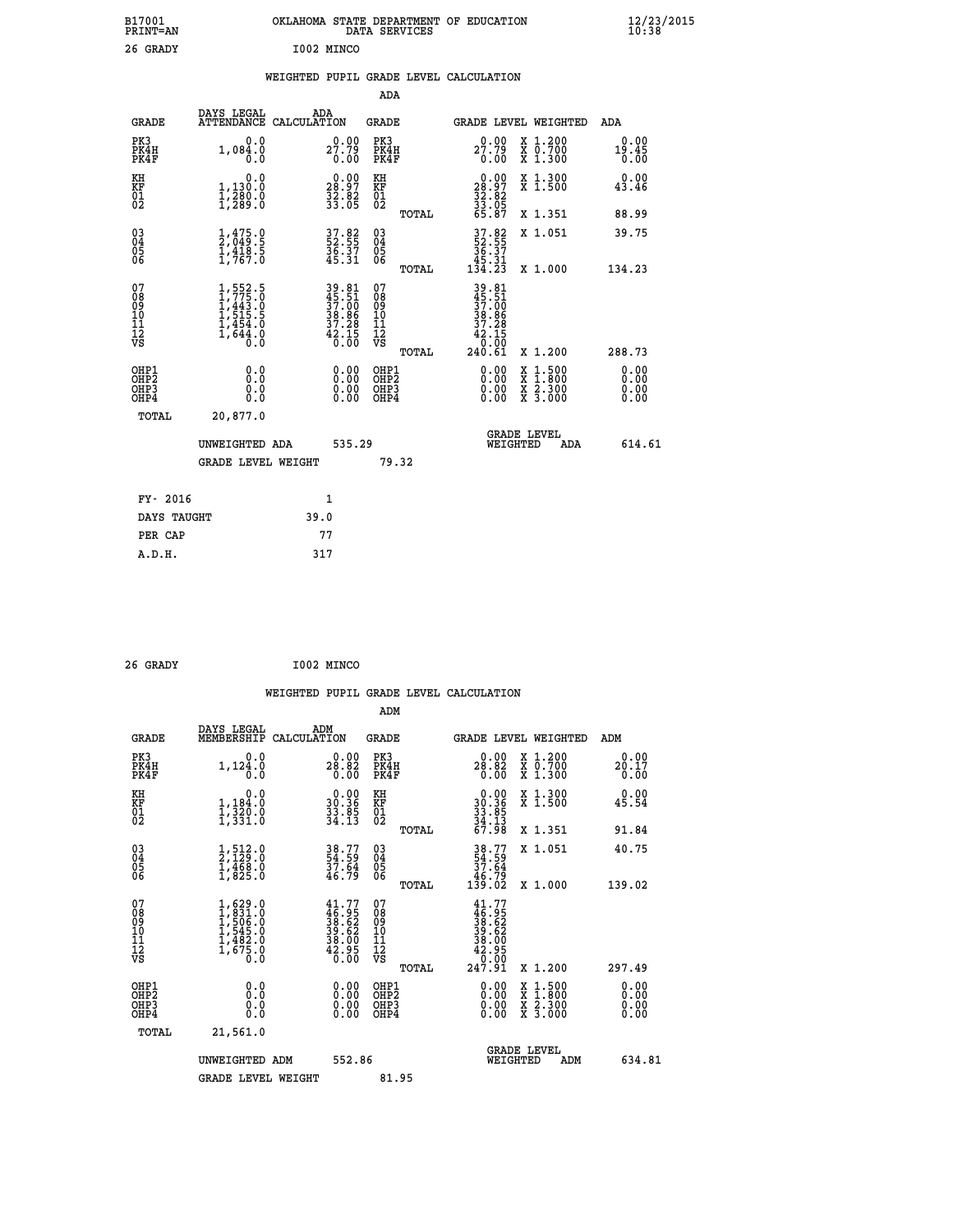| B17001<br><b>PRINT=AN</b> | OKLAHOMA STATE DEPARTMENT OF EDUCATION<br>DATA SERVICES | $\frac{12}{23}$ /2015 |
|---------------------------|---------------------------------------------------------|-----------------------|
| 26 GRADY                  | I002 MINCO                                              |                       |

#### **WEIGHTED PUPIL GRADE LEVEL CALCULATION**

|                                                                    |                                                                                                      |                                                                      | ADA                                                 |       |                                                                              |                                          |                               |
|--------------------------------------------------------------------|------------------------------------------------------------------------------------------------------|----------------------------------------------------------------------|-----------------------------------------------------|-------|------------------------------------------------------------------------------|------------------------------------------|-------------------------------|
| <b>GRADE</b>                                                       | DAYS LEGAL                                                                                           | ADA<br>ATTENDANCE CALCULATION                                        | <b>GRADE</b>                                        |       |                                                                              | GRADE LEVEL WEIGHTED                     | ADA                           |
| PK3<br>PK4H<br>PK4F                                                | 0.0<br>1,084.0<br>0.0                                                                                | 27.79<br>0.00                                                        | PK3<br>PK4H<br>PK4F                                 |       | $27.79$<br>0.00                                                              | X 1.200<br>X 0.700<br>X 1.300            | 0.00<br>19.45<br>0.00         |
| KH<br>KF<br>01<br>02                                               | 0.0<br>1,130:0<br>1,280:0<br>1,289:0                                                                 | $\begin{smallmatrix} 0.00\\ 28.97\\ 32.82\\ 33.05 \end{smallmatrix}$ | KH<br>KF<br>01<br>02                                |       | $\begin{smallmatrix} 0.00\\ 28.97\\ 32.82\\ 33.05\\ 65.87 \end{smallmatrix}$ | X 1.300<br>X 1.500                       | 0.00<br>43.46                 |
|                                                                    |                                                                                                      |                                                                      |                                                     | TOTAL |                                                                              | X 1.351                                  | 88.99                         |
| $\begin{smallmatrix} 03 \\[-4pt] 04 \end{smallmatrix}$<br>Ŏ5<br>06 | $\frac{1}{2}, \frac{475}{049}$ .<br>$\frac{1}{1}, \frac{418}{767}$ .<br>$\frac{5}{1}, \frac{767}{0}$ | 37.82<br>52.55<br>36.37<br>45.31                                     | $\begin{array}{c} 03 \\ 04 \\ 05 \\ 06 \end{array}$ |       | $37.82$<br>$52.55$<br>$36.37$<br>$45.31$<br>$134.23$                         | X 1.051                                  | 39.75                         |
|                                                                    |                                                                                                      |                                                                      |                                                     | TOTAL |                                                                              | X 1.000                                  | 134.23                        |
| 07<br>08<br>09<br>101<br>11<br>12<br>VS                            | $1, 775.0$<br>$1, 443.0$<br>$1, 443.5$<br>$1, 515.5$<br>$1, 454.0$<br>$1, 644.0$<br>$0.0$            | 39.81<br>45.51<br>37.00<br>38.86<br>37.28<br>37.28<br>42.15<br>6.00  | 07<br>08<br>09<br>11<br>11<br>12<br>VS              |       | 39.81<br>45.51<br>37.00<br>38.86<br>37.28<br>42.15<br>0.00                   |                                          |                               |
|                                                                    |                                                                                                      |                                                                      |                                                     | TOTAL | 240.61                                                                       | X 1.200                                  | 288.73                        |
| OHP1<br>OHP <sub>2</sub><br>OH <sub>P3</sub><br>OHP4               | 0.0<br>0.000                                                                                         | 0.00<br>$\begin{smallmatrix} 0.00 \ 0.00 \end{smallmatrix}$          | OHP1<br>OHP2<br>OHP <sub>3</sub>                    |       | 0.00<br>0.00                                                                 | X 1:500<br>X 1:800<br>X 2:300<br>X 3:000 | 0.00<br>Ō. ŌŌ<br>0.00<br>0.00 |
| TOTAL                                                              | 20,877.0                                                                                             |                                                                      |                                                     |       |                                                                              |                                          |                               |
|                                                                    | UNWEIGHTED ADA                                                                                       | 535.29                                                               |                                                     |       |                                                                              | <b>GRADE LEVEL</b><br>WEIGHTED<br>ADA    | 614.61                        |
|                                                                    | <b>GRADE LEVEL WEIGHT</b>                                                                            |                                                                      |                                                     | 79.32 |                                                                              |                                          |                               |
| FY- 2016                                                           |                                                                                                      | $\mathbf{1}$                                                         |                                                     |       |                                                                              |                                          |                               |
| DAYS TAUGHT                                                        |                                                                                                      | 39.0                                                                 |                                                     |       |                                                                              |                                          |                               |
| PER CAP                                                            |                                                                                                      | 77                                                                   |                                                     |       |                                                                              |                                          |                               |

| 26 GRADY | I002 MINCO |
|----------|------------|
|          | . .        |

 **A.D.H. 317**

 **WEIGHTED PUPIL GRADE LEVEL CALCULATION ADM DAYS LEGAL ADM GRADE MEMBERSHIP CALCULATION GRADE GRADE LEVEL WEIGHTED ADM PK3 0.0 0.00 PK3 0.00 X 1.200 0.00 PK4H 1,124.0 28.82 PK4H 28.82 X 0.700 20.17 PK4F 0.0 0.00 PK4F 0.00 X 1.300 0.00 KH 0.0 0.00 KH 0.00 X 1.300 0.00 KF 1,184.0 30.36 KF 30.36 X 1.500 45.54 01 1,320.0 33.85 01 33.85 02 1,331.0 34.13 02 34.13 TOTAL 67.98 X 1.351 91.84 03 1,512.0 38.77 03 38.77 X 1.051 40.75 04 2,129.0 54.59 04 54.59 05 1,468.0 37.64 05 37.64 06 1,825.0 46.79 06 46.79 TOTAL 139.02 X 1.000 139.02**  $\begin{array}{cccc} 07 & 1,629.0 & 41.77 & 07 & 41.77 \ 08 & 1,839.0 & 46.95 & 08 & 46.95 \ 09 & 1,506.0 & 38.62 & 09 & 38.62 \ 10 & 1,545.0 & 39.62 & 10 & 39.62 \ 11 & 1,482.0 & 38.62 & 11 & 38.62 \ 12 & 1,675.0 & 42.95 & 12 & 42.95 \ \hline \textrm{vs} & 1,675.0 & 40.00 &$  $\begin{array}{cccc} 41.77 & 07 & 41.77 \ 46.95 & 08 & 46.95 \ 39.62 & 10 & 39.62 \ 39.62 & 11 & 39.62 \ 42.95 & 12 & 42.95 \ 42.95 & 12 & 42.95 \ 6.00 & 08 & 12 & 42.95 \ 6.00 & 08 & 12 & 47.91 & 1.200 \ 0.00 & 08 & 1.500 & 0.00 \ 0.00 & 08 & 1.500 & 0.00 \ 0.00 & 08 &$  **OHP1 0.0 0.00 OHP1 0.00 X 1.500 0.00 OHP2 0.0 0.00 OHP2 0.00 X 1.800 0.00 OHP3 0.0 0.00 OHP3 0.00 X 2.300 0.00 OHP4 0.0 0.00 OHP4 0.00 X 3.000 0.00 TOTAL 21,561.0 GRADE LEVEL UNWEIGHTED ADM 552.86 WEIGHTED ADM 634.81** GRADE LEVEL WEIGHT 81.95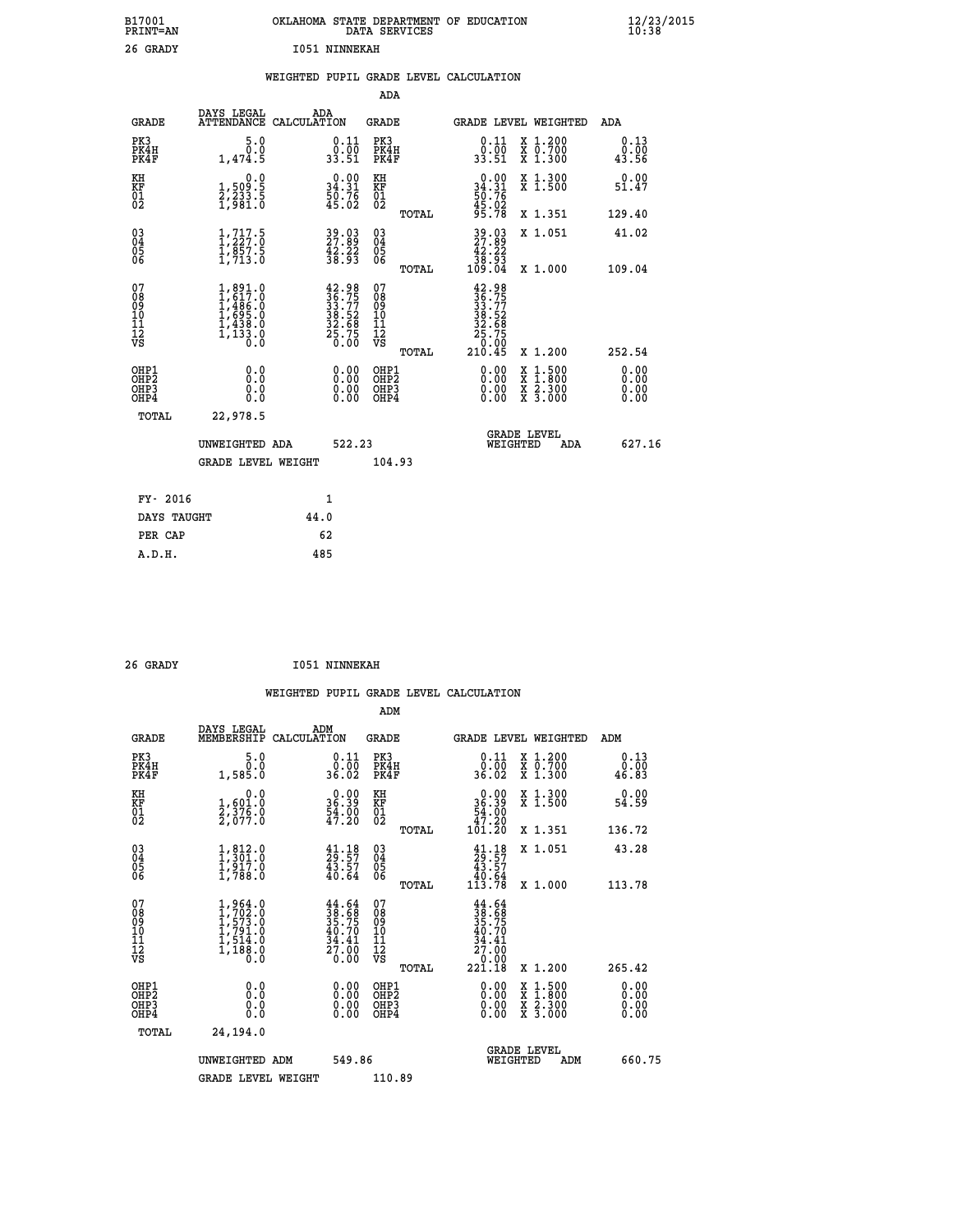| B17001<br>PRINT=AN                     |                                                                                               | OKLAHOMA STATE DEPARTMENT OF EDUCATION                                                       | DATA SERVICES                                                      |                                                                              |                                                                                          | $\frac{12}{23}$ /2015 |
|----------------------------------------|-----------------------------------------------------------------------------------------------|----------------------------------------------------------------------------------------------|--------------------------------------------------------------------|------------------------------------------------------------------------------|------------------------------------------------------------------------------------------|-----------------------|
| 26 GRADY                               |                                                                                               | <b>I051 NINNEKAH</b>                                                                         |                                                                    |                                                                              |                                                                                          |                       |
|                                        |                                                                                               | WEIGHTED PUPIL GRADE LEVEL CALCULATION                                                       |                                                                    |                                                                              |                                                                                          |                       |
|                                        |                                                                                               |                                                                                              | <b>ADA</b>                                                         |                                                                              |                                                                                          |                       |
| <b>GRADE</b>                           | DAYS LEGAL<br>ATTENDANCE CALCULATION                                                          | ADA                                                                                          | GRADE                                                              |                                                                              | GRADE LEVEL WEIGHTED                                                                     | ADA                   |
| PK3<br>PK4H<br>PK4F                    | 5.0<br>0.0<br>1,474.5                                                                         | $\begin{smallmatrix} 0.11 \\ 0.00 \\ 33.51 \end{smallmatrix}$                                | PK3<br>PK4H<br>PK4F                                                | $\begin{smallmatrix} 0.11 \\ 0.00 \\ 33.51 \end{smallmatrix}$                | X 1.200<br>X 0.700<br>X 1.300                                                            | 0.13<br>0.00<br>43.56 |
| KH<br>KF<br>01<br>02                   | 0.0<br>1,509:5<br>2,233:5<br>1,981:0                                                          | $\begin{smallmatrix} 0.00\\ 34.31\\ 50.76\\ 45.02 \end{smallmatrix}$                         | KH<br><b>KF</b><br>01<br>02                                        | $\begin{smallmatrix} 0.00\\ 34.31\\ 50.76\\ 45.02\\ 95.78 \end{smallmatrix}$ | X 1.300<br>X 1.500                                                                       | 0.00<br>51.47         |
|                                        |                                                                                               |                                                                                              | TOTAL                                                              |                                                                              | X 1.351                                                                                  | 129.40                |
| $\substack{03 \ 04}$<br>ŎŜ<br>06       | $\frac{1}{1}, \frac{717}{227}.\overset{5}{0} \\ 1, \frac{857}{37}.\overset{5}{5} \\ 1, 713.0$ | 39.03<br>27.89<br>42.22<br>38.93                                                             | $\begin{matrix} 03 \\ 04 \\ 05 \\ 06 \end{matrix}$                 | $\frac{39}{27}$ : 89<br>42.22                                                | X 1.051                                                                                  | 41.02                 |
|                                        |                                                                                               |                                                                                              | TOTAL                                                              | 38.93<br>109.04                                                              | X 1.000                                                                                  | 109.04                |
| 07<br>08<br>09<br>11<br>11<br>12<br>VS | 1,891.0<br>1,617.0<br>1,486.0<br>$1, 695.0$<br>$1, 438.0$<br>$1, 133.0$<br>$0.0$              | $\begin{smallmatrix} 42.98\\ 36.75\\ 33.77\\ 33.52\\ 32.68\\ 25.75\\ 0.00 \end{smallmatrix}$ | 07<br>ŏġ<br>09<br>$\frac{10}{11}$<br>$\frac{12}{12}$<br>$\sqrt{8}$ | $\frac{42.98}{36.75}$<br>38:52<br>32:68<br>25:75<br>20:00                    |                                                                                          |                       |
|                                        |                                                                                               |                                                                                              | <b>TOTAL</b>                                                       | 210.45                                                                       | X 1.200                                                                                  | 252.54                |
| OHP1<br>ŎHP2<br>OHP3<br>OHP4           | 0.0<br>0.0<br>0.0                                                                             | 0.00<br>0.00<br>0.00                                                                         | OHP1<br>OHP2<br>OHP3<br>OHP4                                       | 0.00<br>0.00<br>0.00                                                         | $\begin{smallmatrix} x & 1.500 \\ x & 1.800 \\ x & 2.300 \\ x & 3.000 \end{smallmatrix}$ | 0.00<br>0.00<br>0.00  |
| TOTAL                                  | 22,978.5                                                                                      |                                                                                              |                                                                    |                                                                              |                                                                                          |                       |
|                                        | UNWEIGHTED ADA                                                                                | 522.23                                                                                       |                                                                    | WEIGHTED                                                                     | <b>GRADE LEVEL</b><br>ADA                                                                | 627.16                |
|                                        | <b>GRADE LEVEL WEIGHT</b>                                                                     |                                                                                              | 104.93                                                             |                                                                              |                                                                                          |                       |
|                                        |                                                                                               |                                                                                              |                                                                    |                                                                              |                                                                                          |                       |
| FY- 2016                               |                                                                                               | 1                                                                                            |                                                                    |                                                                              |                                                                                          |                       |
| DAYS TAUGHT<br>PER CAP                 |                                                                                               | 44.0<br>62                                                                                   |                                                                    |                                                                              |                                                                                          |                       |
| A.D.H.                                 |                                                                                               | 485                                                                                          |                                                                    |                                                                              |                                                                                          |                       |

| 26 GRADY | <b>I051 NINNEKAH</b> |
|----------|----------------------|
|          |                      |

|                                                    |                                                                                     | WEIGHTED PUPIL GRADE LEVEL CALCULATION                                   |                                                     |       |                                                                                          |                                          |     |                              |  |
|----------------------------------------------------|-------------------------------------------------------------------------------------|--------------------------------------------------------------------------|-----------------------------------------------------|-------|------------------------------------------------------------------------------------------|------------------------------------------|-----|------------------------------|--|
|                                                    |                                                                                     |                                                                          | ADM                                                 |       |                                                                                          |                                          |     |                              |  |
| <b>GRADE</b>                                       | DAYS LEGAL<br>MEMBERSHIP                                                            | ADM<br>CALCULATION                                                       | GRADE                                               |       | GRADE LEVEL WEIGHTED                                                                     |                                          |     | ADM                          |  |
| PK3<br>PK4H<br>PK4F                                | 5.0<br>0.0<br>1,585.0                                                               | $0.11$<br>$0.00$<br>36.02                                                | PK3<br>PK4H<br>PK4F                                 |       | $0.11$<br>$0.00$<br>36.02                                                                | X 1.200<br>X 0.700<br>X 1.300            |     | 0.13<br>0.00<br>46.83        |  |
| KH<br>KF<br>01<br>02                               | 0.0<br>1,601.0<br>2,376.0<br>2,077.0                                                | $\begin{smallmatrix} 0.00\\ 36.39\\ 54.00\\ 47.20 \end{smallmatrix}$     | KH<br>KF<br>01<br>02                                |       | 0.00<br>36:39<br>54:00<br>47:20<br>101:20                                                | X 1.300<br>X 1.500                       |     | 0.00<br>54.59                |  |
|                                                    |                                                                                     |                                                                          |                                                     | TOTAL |                                                                                          | X 1.351                                  |     | 136.72                       |  |
| $\begin{matrix} 03 \\ 04 \\ 05 \\ 06 \end{matrix}$ | $1,301.0$<br>$1,301.0$<br>$1,917.0$<br>$1,788.0$                                    | $\begin{smallmatrix} 41.18\\ 29.57\\ 43.57\\ 40.64 \end{smallmatrix}$    | $\begin{array}{c} 03 \\ 04 \\ 05 \\ 06 \end{array}$ |       | $\begin{smallmatrix} 41.18\\29.57\\43.57\\40.64\\113.78 \end{smallmatrix}$               | X 1.051                                  |     | 43.28                        |  |
|                                                    |                                                                                     |                                                                          |                                                     | TOTAL |                                                                                          | X 1.000                                  |     | 113.78                       |  |
| 07<br>08<br>09<br>101<br>11<br>12<br>VS            | $1,964.0$<br>$1,702.0$<br>$1,573.0$<br>$1,791.0$<br>$1,514.0$<br>$1,188.0$<br>$0.0$ | $44.64$<br>$38.68$<br>$35.75$<br>$40.70$<br>$34.41$<br>$27.00$<br>$0.00$ | 07<br>08<br>09<br>11<br>11<br>12<br>VS              |       | 44.64<br>$\frac{38}{35}$ : $\frac{68}{75}$<br>40.70<br>34.41<br>27.00<br>0.00-<br>221.18 |                                          |     |                              |  |
|                                                    |                                                                                     |                                                                          |                                                     | TOTAL |                                                                                          | X 1.200                                  |     | 265.42                       |  |
| OHP1<br>OHP2<br>OHP3<br>OHP4                       | 0.0<br>0.000                                                                        | $\begin{smallmatrix} 0.00 \ 0.00 \ 0.00 \ 0.00 \end{smallmatrix}$        | OHP1<br>OHP2<br>OHP3<br>OHP4                        |       | $0.00$<br>$0.00$<br>0.00                                                                 | X 1:500<br>X 1:800<br>X 2:300<br>X 3:000 |     | 0.00<br>Ŏ.ŎŎ<br>0.00<br>0.00 |  |
| TOTAL                                              | 24,194.0                                                                            |                                                                          |                                                     |       |                                                                                          |                                          |     |                              |  |
|                                                    | UNWEIGHTED ADM                                                                      | 549.86                                                                   |                                                     |       | WEIGHTED                                                                                 | <b>GRADE LEVEL</b>                       | ADM | 660.75                       |  |
|                                                    | <b>GRADE LEVEL WEIGHT</b>                                                           |                                                                          | 110.89                                              |       |                                                                                          |                                          |     |                              |  |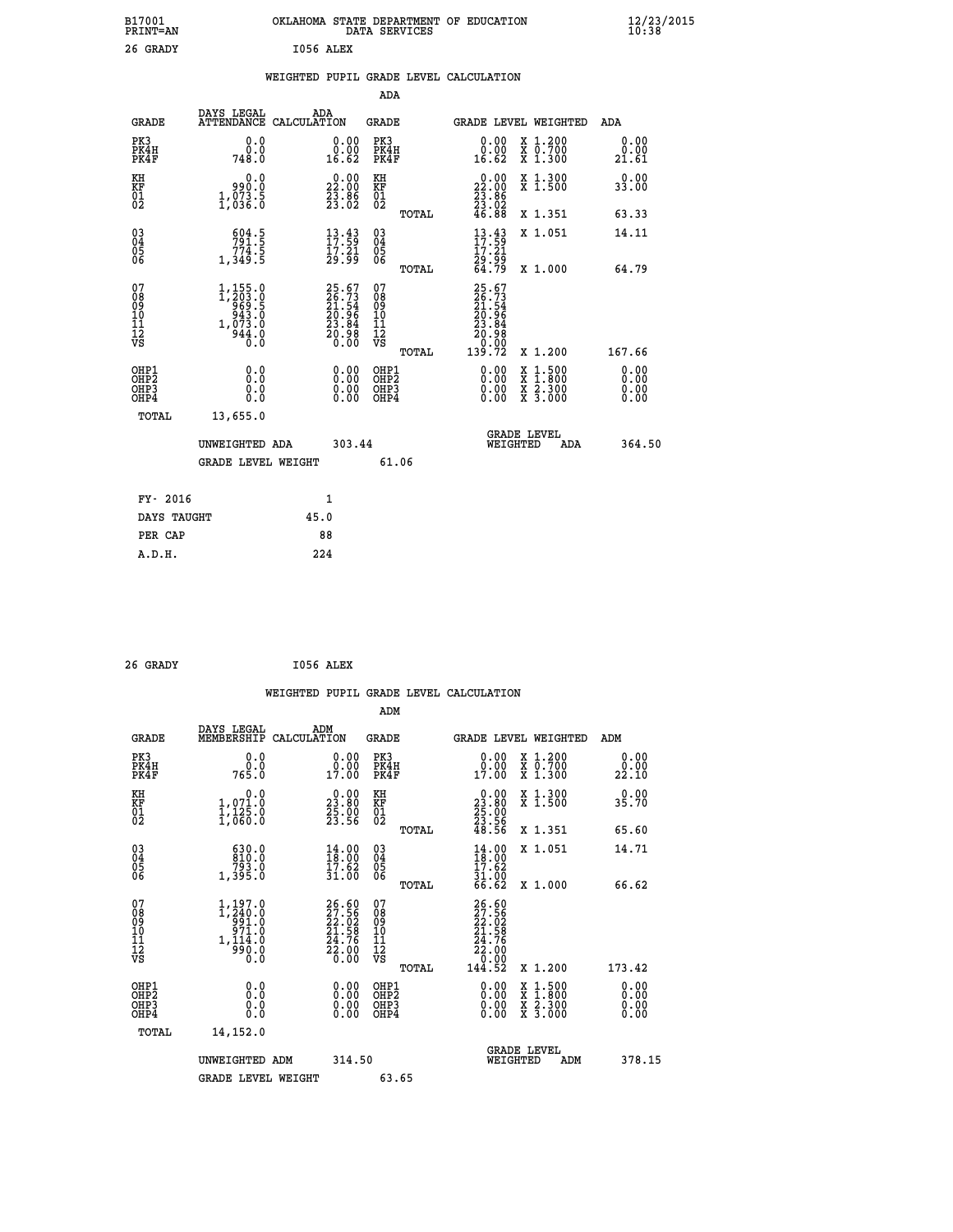| B17001<br><b>PRINT=AN</b>                          |                                                                 | OKLAHOMA STATE DEPARTMENT OF EDUCATION                                                    | DATA SERVICES                                      |                                                                                      |                                                                                                                                      | $\frac{12}{10}$ :38/2015     |  |
|----------------------------------------------------|-----------------------------------------------------------------|-------------------------------------------------------------------------------------------|----------------------------------------------------|--------------------------------------------------------------------------------------|--------------------------------------------------------------------------------------------------------------------------------------|------------------------------|--|
| 26 GRADY                                           |                                                                 | I056 ALEX                                                                                 |                                                    |                                                                                      |                                                                                                                                      |                              |  |
|                                                    |                                                                 | WEIGHTED PUPIL GRADE LEVEL CALCULATION                                                    |                                                    |                                                                                      |                                                                                                                                      |                              |  |
|                                                    |                                                                 |                                                                                           | ADA                                                |                                                                                      |                                                                                                                                      |                              |  |
| <b>GRADE</b>                                       | DAYS LEGAL<br>ATTENDANCE CALCULATION                            | ADA                                                                                       | <b>GRADE</b>                                       | GRADE LEVEL WEIGHTED                                                                 |                                                                                                                                      | ADA                          |  |
| PK3<br>PK4H<br>PK4F                                | 0.0<br>0.0<br>748.0                                             | 0.00<br>0.00<br>16.62                                                                     | PK3<br>PK4H<br>PK4F                                | 0.00<br>0.00<br>16.62                                                                | X 1.200<br>X 0.700<br>X 1.300                                                                                                        | 0.00<br>0.00<br>21.61        |  |
| KH<br>KF<br>01<br>02                               | 0.0<br>990.0<br>1,033.5                                         | 22.00<br>$\frac{2}{3}\cdot\frac{8}{6}$                                                    | KН<br><b>KF</b><br>01<br>02                        | $\begin{smallmatrix} 0.00\\ 22.00\\ 23.86\\ 23.02\\ 24.02\\ 46.88 \end{smallmatrix}$ | X 1.300<br>X 1.500                                                                                                                   | 0.00<br>33.00                |  |
|                                                    |                                                                 |                                                                                           | TOTAL                                              |                                                                                      | X 1.351                                                                                                                              | 63.33                        |  |
| $\begin{matrix} 03 \\ 04 \\ 05 \\ 06 \end{matrix}$ | $\frac{604.5}{791.5}$<br>1,349.5                                | $\begin{smallmatrix} 13\cdot 43\\ 17\cdot 59\\ 17\cdot 21\\ 29\cdot 99 \end{smallmatrix}$ | $\begin{matrix} 03 \\ 04 \\ 05 \\ 06 \end{matrix}$ | $\frac{13}{17}$ : 53<br>17: 21<br>29.99                                              | X 1.051                                                                                                                              | 14.11                        |  |
|                                                    |                                                                 |                                                                                           | TOTAL                                              | 64.79                                                                                | X 1.000                                                                                                                              | 64.79                        |  |
| 07<br>08<br>09<br>10<br>11<br>12<br>νs             | 1,155.0<br>1,203.0<br>969.5<br>943.0<br>1,073.0<br>944.0<br>Ō.Ō | $25.67$<br>$26.73$<br>$21.54$<br>$20.96$<br>$23.84$<br>$20.98$<br>$0.00$                  | 07<br>08<br>09<br>10<br>11<br>12<br>VS<br>TOTAL    | 25.67<br>26.73<br>21.54<br>20.96<br>23.84<br>30.98<br>0.00<br>139.72                 | X 1.200                                                                                                                              | 167.66                       |  |
| OHP1<br>OHP2<br>OHP3<br>OHP4                       | 0.0<br>Ŏ.Ŏ<br>0.0<br>0.0                                        | 0.00<br>0.00<br>0.00                                                                      | OHP1<br>OHP2<br>OHP3<br>OHP4                       | 0.00<br>0.00<br>0.00                                                                 | $\begin{smallmatrix} \mathtt{X} & 1 & 500 \\ \mathtt{X} & 1 & 800 \\ \mathtt{X} & 2 & 300 \\ \mathtt{X} & 3 & 000 \end{smallmatrix}$ | 0.00<br>Ŏ.ŎŎ<br>0.00<br>0.00 |  |
| TOTAL                                              | 13,655.0                                                        |                                                                                           |                                                    |                                                                                      |                                                                                                                                      |                              |  |
|                                                    | UNWEIGHTED ADA                                                  | 303.44                                                                                    |                                                    | <b>GRADE LEVEL</b><br>WEIGHTED                                                       | ADA                                                                                                                                  | 364.50                       |  |
|                                                    | <b>GRADE LEVEL WEIGHT</b>                                       |                                                                                           | 61.06                                              |                                                                                      |                                                                                                                                      |                              |  |
| FY- 2016                                           |                                                                 | 1                                                                                         |                                                    |                                                                                      |                                                                                                                                      |                              |  |
| DAYS TAUGHT                                        |                                                                 | 45.0                                                                                      |                                                    |                                                                                      |                                                                                                                                      |                              |  |
| PER CAP                                            |                                                                 | 88                                                                                        |                                                    |                                                                                      |                                                                                                                                      |                              |  |
| A.D.H.                                             |                                                                 | 224                                                                                       |                                                    |                                                                                      |                                                                                                                                      |                              |  |

| 26 GRADY | I056 ALEX |  |
|----------|-----------|--|
|          |           |  |

|                                              |                                                                             |                    |                                                                                           |                                        |       | WEIGHTED PUPIL GRADE LEVEL CALCULATION                                                                                                                                                                                                                                         |                                          |     |                              |
|----------------------------------------------|-----------------------------------------------------------------------------|--------------------|-------------------------------------------------------------------------------------------|----------------------------------------|-------|--------------------------------------------------------------------------------------------------------------------------------------------------------------------------------------------------------------------------------------------------------------------------------|------------------------------------------|-----|------------------------------|
|                                              |                                                                             |                    |                                                                                           | ADM                                    |       |                                                                                                                                                                                                                                                                                |                                          |     |                              |
| <b>GRADE</b>                                 | DAYS LEGAL<br>MEMBERSHIP                                                    | ADM<br>CALCULATION |                                                                                           | GRADE                                  |       | GRADE LEVEL WEIGHTED                                                                                                                                                                                                                                                           |                                          | ADM |                              |
| PK3<br>PK4H<br>PK4F                          | 0.0<br>ة:ة<br>765:0                                                         |                    | $0.00$<br>$0.00$<br>17.00                                                                 | PK3<br>PK4H<br>PK4F                    |       | 0.00<br>$\begin{smallmatrix} 0.001 0.001 0.001 0.001 0.001 0.001 0.001 0.001 0.001 0.001 0.001 0.001 0.001 0.001 0.001 0.001 0.001 0.001 0.001 0.001 0.001 0.001 0.001 0.001 0.001 0.001 0.001 0.001 0.001 0.001 0.001 0.001 0.001 0.001 0.001 0.0$                            | X 1.200<br>X 0.700<br>X 1.300            |     | 0.00<br>0.00<br>22.10        |
| KH<br>KF<br>01<br>02                         | 0.0<br>1,071.0<br>$\frac{1}{1}$ , $\frac{1}{2}$ $\frac{5}{6}$ $\frac{5}{6}$ |                    | $\begin{smallmatrix} 0.00\\ 23.80\\ 25.00\\ 23.56 \end{smallmatrix}$                      | KH<br>KF<br>01<br>02                   |       | $\begin{smallmatrix} 0.00\\ 23.80\\ 25.00\\ 23.56\\ 48.56 \end{smallmatrix}$                                                                                                                                                                                                   | X 1.300<br>X 1.500                       |     | 0.00<br>35.70                |
|                                              |                                                                             |                    |                                                                                           |                                        | TOTAL |                                                                                                                                                                                                                                                                                | X 1.351                                  |     | 65.60                        |
| 03<br>04<br>05<br>06                         | $\begin{smallmatrix} 630.0\\ 810.0\\ 793.0\\ 1,395.0 \end{smallmatrix}$     |                    | $\begin{smallmatrix} 14\cdot 00\\ 18\cdot 00\\ 17\cdot 62\\ 31\cdot 00 \end{smallmatrix}$ | 03<br>04<br>05<br>06                   |       | $14.00$<br>$17.62$<br>$31.00$<br>$66.62$                                                                                                                                                                                                                                       | X 1.051                                  |     | 14.71                        |
|                                              |                                                                             |                    |                                                                                           |                                        | TOTAL |                                                                                                                                                                                                                                                                                | X 1.000                                  |     | 66.62                        |
| 07<br>08<br>09<br>101<br>112<br>VS           | 1,197.0<br>1,240.0<br>91.0<br>971.0<br>$1,11\bar{4}.\bar{0}$<br>ŏ:ŏë<br>0:0 |                    | 26.60<br>27.56<br>22.02<br>24.76<br>$\frac{52.00}{0.00}$                                  | 07<br>08<br>09<br>11<br>11<br>12<br>VS | TOTAL | 26.60<br>27.56<br>22.02<br>21.58<br>24.76<br>$\begin{smallmatrix} 2\bar{2}\ 3\ 0\ \phantom{0}0\ 144.52 \end{smallmatrix}$                                                                                                                                                      | X 1.200                                  |     | 173.42                       |
| OHP1                                         |                                                                             |                    |                                                                                           | OHP1                                   |       |                                                                                                                                                                                                                                                                                |                                          |     |                              |
| OHP <sub>2</sub><br>OH <sub>P3</sub><br>OHP4 | 0.0<br>0.000                                                                |                    | 0.00<br>0.00<br>0.00                                                                      | OHP <sub>2</sub><br>OHP3<br>OHP4       |       | $\begin{smallmatrix} 0.00 & 0.00 & 0.00 & 0.00 & 0.00 & 0.00 & 0.00 & 0.00 & 0.00 & 0.00 & 0.00 & 0.00 & 0.00 & 0.00 & 0.00 & 0.00 & 0.00 & 0.00 & 0.00 & 0.00 & 0.00 & 0.00 & 0.00 & 0.00 & 0.00 & 0.00 & 0.00 & 0.00 & 0.00 & 0.00 & 0.00 & 0.00 & 0.00 & 0.00 & 0.00 & 0.0$ | X 1:500<br>X 1:800<br>X 2:300<br>X 3:000 |     | 0.00<br>0.00<br>0.00<br>0.00 |
| TOTAL                                        | 14,152.0                                                                    |                    |                                                                                           |                                        |       |                                                                                                                                                                                                                                                                                |                                          |     |                              |
|                                              | UNWEIGHTED ADM                                                              |                    | 314.50                                                                                    |                                        |       | WEIGHTED                                                                                                                                                                                                                                                                       | <b>GRADE LEVEL</b><br>ADM                |     | 378.15                       |
|                                              | <b>GRADE LEVEL WEIGHT</b>                                                   |                    |                                                                                           | 63.65                                  |       |                                                                                                                                                                                                                                                                                |                                          |     |                              |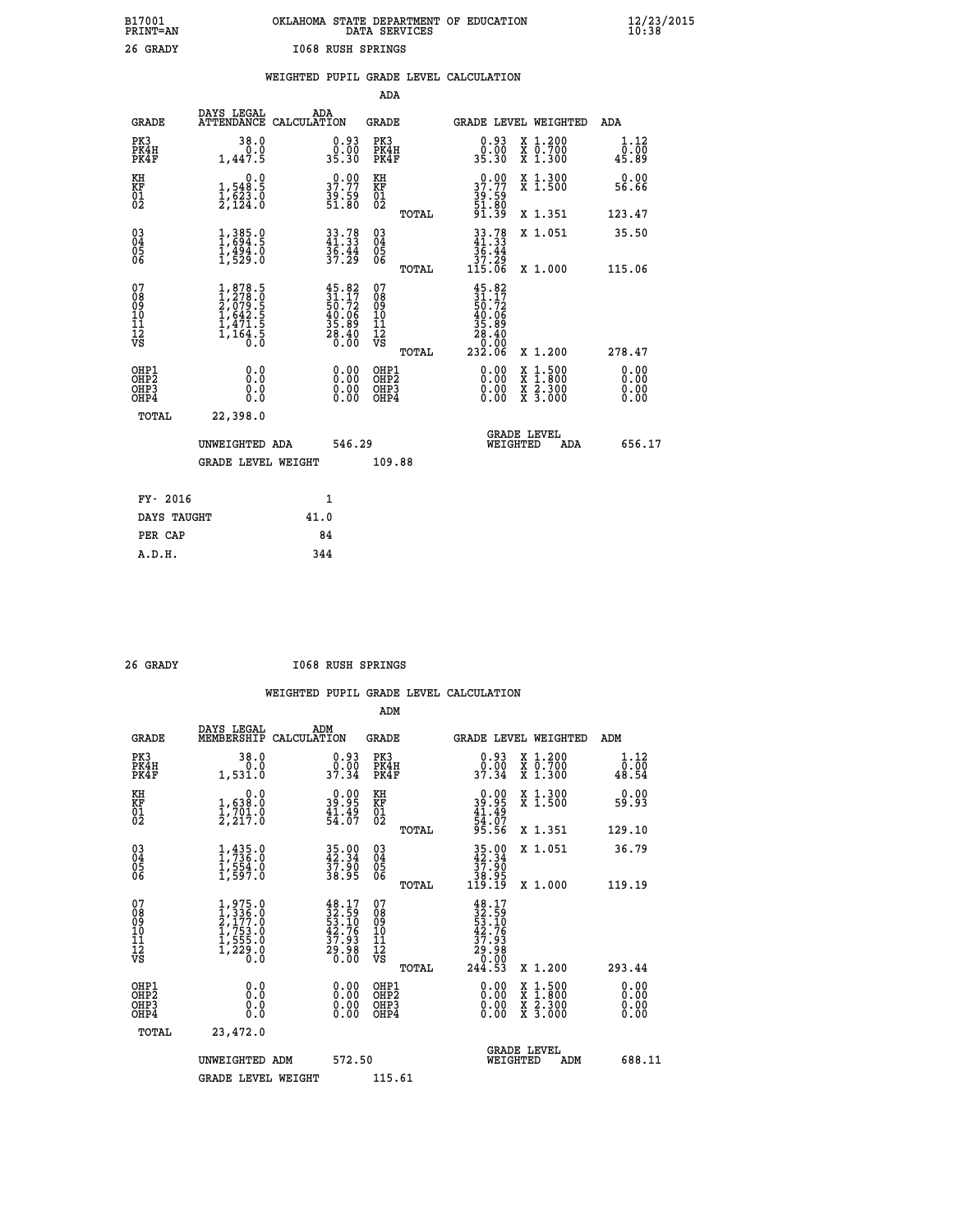| OKLAHOMA STATE DEPARTMENT OF EDUCATION<br>DATA SERVICES |  |
|---------------------------------------------------------|--|
| 1068 RUSH SPRINGS                                       |  |

|                                                                              |                                                                                      |                                                                          | ADA                                                |       |                                                                                                                     |                                                                                                                                              |                              |
|------------------------------------------------------------------------------|--------------------------------------------------------------------------------------|--------------------------------------------------------------------------|----------------------------------------------------|-------|---------------------------------------------------------------------------------------------------------------------|----------------------------------------------------------------------------------------------------------------------------------------------|------------------------------|
| <b>GRADE</b>                                                                 | DAYS LEGAL                                                                           | ADA<br>ATTENDANCE CALCULATION                                            | GRADE                                              |       | GRADE LEVEL WEIGHTED                                                                                                |                                                                                                                                              | ADA                          |
| PK3<br>PK4H<br>PK4F                                                          | 38.0<br>0.0<br>1,447.5                                                               | 0.93<br>0.00<br>35.30                                                    | PK3<br>PK4H<br>PK4F                                |       | 0.93<br>0.00<br>35.30                                                                                               | X 1.200<br>X 0.700<br>X 1.300                                                                                                                | 1.12<br>0.00<br>45.89        |
| KH<br>KF<br>01<br>02                                                         | 0.0<br>1,548.5<br>1,623.0<br>2,124.0                                                 | $\begin{smallmatrix} 0.00\\ 37.77\\ 39.59\\ 51.80 \end{smallmatrix}$     | KH<br>KF<br>01<br>02                               |       | 37.77<br>$\frac{39.59}{51.80}$<br>91.39                                                                             | X 1.300<br>X 1.500                                                                                                                           | 0.00<br>56.66                |
|                                                                              |                                                                                      |                                                                          |                                                    | TOTAL |                                                                                                                     | X 1.351                                                                                                                                      | 123.47                       |
| $^{03}_{04}$<br>Ŏ5<br>06                                                     | 1,385.9<br>$\frac{1}{1}, \frac{1}{5}$ $\frac{5}{4}$ $\frac{3}{5}$ $\frac{3}{5}$      | $33.78$<br>41.33<br>$\frac{36.44}{37.29}$                                | $\begin{matrix} 03 \\ 04 \\ 05 \\ 06 \end{matrix}$ |       | $\begin{array}{r} 33.78 \\ 41.33 \\ 36.44 \\ 37.29 \\ 115.06 \end{array}$                                           | X 1.051                                                                                                                                      | 35.50                        |
|                                                                              |                                                                                      |                                                                          |                                                    | TOTAL |                                                                                                                     | X 1.000                                                                                                                                      | 115.06                       |
| 07<br>08<br>09<br>11<br>11<br>12<br>VS                                       | $1,878.5$<br>$2,7879.5$<br>$2,079.5$<br>$1,642.5$<br>$1,471.5$<br>$1,164.5$<br>$0.0$ | $45.82$<br>$31.17$<br>$50.72$<br>$40.06$<br>$35.89$<br>$28.40$<br>$0.00$ | 07<br>08<br>09<br>11<br>11<br>12<br>VS             | TOTAL | $45.82$<br>$31.17$<br>$50.72$<br>$\begin{smallmatrix} 40.06 \\ 35.89 \\ 28.40 \\ 2.00 \\ 2.32.06 \end{smallmatrix}$ | X 1.200                                                                                                                                      | 278.47                       |
| OHP1<br>OH <sub>P</sub> <sub>2</sub><br>OH <sub>P3</sub><br>OH <sub>P4</sub> | 0.0<br>Ō.Ō<br>0.0<br>0.0                                                             | 0.00<br>0.00<br>0.00                                                     | OHP1<br>OHP2<br>OHP3<br>OHP4                       |       | 0.00<br>0.00<br>0.00                                                                                                | $\begin{smallmatrix} \mathtt{X} & 1\cdot500 \\ \mathtt{X} & 1\cdot800 \\ \mathtt{X} & 2\cdot300 \\ \mathtt{X} & 3\cdot000 \end{smallmatrix}$ | 0.00<br>0.00<br>0.00<br>0.00 |
| TOTAL                                                                        | 22,398.0                                                                             |                                                                          |                                                    |       |                                                                                                                     |                                                                                                                                              |                              |
|                                                                              | UNWEIGHTED ADA                                                                       | 546.29                                                                   |                                                    |       | WEIGHTED                                                                                                            | <b>GRADE LEVEL</b><br>ADA                                                                                                                    | 656.17                       |
|                                                                              | <b>GRADE LEVEL WEIGHT</b>                                                            |                                                                          | 109.88                                             |       |                                                                                                                     |                                                                                                                                              |                              |
|                                                                              |                                                                                      |                                                                          |                                                    |       |                                                                                                                     |                                                                                                                                              |                              |
| FY- 2016                                                                     |                                                                                      | 1                                                                        |                                                    |       |                                                                                                                     |                                                                                                                                              |                              |
| DAYS TAUGHT                                                                  |                                                                                      | 41.0                                                                     |                                                    |       |                                                                                                                     |                                                                                                                                              |                              |
| PER CAP                                                                      |                                                                                      | 84                                                                       |                                                    |       |                                                                                                                     |                                                                                                                                              |                              |
| A.D.H.                                                                       |                                                                                      | 344                                                                      |                                                    |       |                                                                                                                     |                                                                                                                                              |                              |

| GRAD |  |
|------|--|
|      |  |

 **A.D.H. 344**

 **B17001<br>PRINT=AN<br>26 GRADY** 

 **26 GRADY I068 RUSH SPRINGS**

|                                                      |                                                                                      |                                                                                              | ADM                                                |       |                                                                                                                                        |                                          |                              |
|------------------------------------------------------|--------------------------------------------------------------------------------------|----------------------------------------------------------------------------------------------|----------------------------------------------------|-------|----------------------------------------------------------------------------------------------------------------------------------------|------------------------------------------|------------------------------|
| <b>GRADE</b>                                         | DAYS LEGAL<br>MEMBERSHIP                                                             | ADM<br>CALCULATION                                                                           | <b>GRADE</b>                                       |       |                                                                                                                                        | GRADE LEVEL WEIGHTED                     | ADM                          |
| PK3<br>PK4H<br>PK4F                                  | 38.0<br>0.0<br>1,531.0                                                               | $\begin{smallmatrix} 0.93\ 0.00\ 37.34 \end{smallmatrix}$                                    | PK3<br>PK4H<br>PK4F                                |       | $\begin{smallmatrix} 0.93\ 0.00\\ 37.34 \end{smallmatrix}$                                                                             | X 1.200<br>X 0.700<br>X 1.300            | 1.12<br>0.00<br>48.54        |
| KH<br>KF<br>01<br>02                                 | 0.0<br>$\frac{1}{2}, \frac{638}{701}$ .0<br>2,217.0                                  | $\begin{smallmatrix} 0.00\\ 39.95\\ 41.49\\ 54.07 \end{smallmatrix}$                         | KH<br>KF<br>01<br>02                               |       | $0.00$<br>$39.95$<br>$41.49$<br>$54.07$<br>$95.56$                                                                                     | X 1.300<br>X 1.500                       | 0.00<br>59.93                |
|                                                      |                                                                                      |                                                                                              |                                                    | TOTAL |                                                                                                                                        | X 1.351                                  | 129.10                       |
| 03<br>04<br>05<br>06                                 | $1, 435.0$<br>$1, 736.0$<br>$1, 554.0$<br>$1, 597.0$                                 | 35.00<br>42.34<br>37.90<br>38.95                                                             | $\begin{matrix} 03 \\ 04 \\ 05 \\ 06 \end{matrix}$ |       | $\begin{array}{c} 35\cdot90 \\ 42\cdot34 \\ 37\cdot90 \\ 38\cdot95 \\ 119\cdot19 \end{array}$                                          | X 1.051                                  | 36.79                        |
|                                                      |                                                                                      |                                                                                              |                                                    | TOTAL |                                                                                                                                        | X 1.000                                  | 119.19                       |
| 07<br>08<br>09<br>101<br>112<br>VS                   | $1,975.0$<br>$2,177.0$<br>$2,1753.0$<br>$1,755.0$<br>$1,555.0$<br>$1,229.0$<br>$0.0$ | $\begin{smallmatrix} 48.17\\ 32.59\\ 53.10\\ 42.76\\ 37.93\\ 29.98\\ 0.00 \end{smallmatrix}$ | 07<br>08<br>09<br>11<br>11<br>12<br>VS             |       | $\begin{smallmatrix} 48.17\\[-4pt] 32.59\\[-4pt] 53.106\\[-4pt] 42.76\\[-4pt] 37.93\\[-4pt] 29.080\\[-4pt] 244.53\\ \end{smallmatrix}$ |                                          |                              |
|                                                      |                                                                                      |                                                                                              |                                                    | TOTAL |                                                                                                                                        | X 1.200                                  | 293.44                       |
| OHP1<br>OHP2<br>OH <sub>P3</sub><br>OH <sub>P4</sub> | 0.0<br>0.000                                                                         | $0.00$<br>$0.00$<br>0.00                                                                     | OHP1<br>OHP2<br>OHP <sub>3</sub>                   |       | $0.00$<br>$0.00$<br>0.00                                                                                                               | X 1:500<br>X 1:800<br>X 2:300<br>X 3:000 | 0.00<br>0.00<br>0.00<br>0.00 |
| TOTAL                                                | 23,472.0                                                                             |                                                                                              |                                                    |       |                                                                                                                                        |                                          |                              |
|                                                      | UNWEIGHTED ADM                                                                       | 572.50                                                                                       |                                                    |       |                                                                                                                                        | <b>GRADE LEVEL</b><br>WEIGHTED<br>ADM    | 688.11                       |
|                                                      | <b>GRADE LEVEL WEIGHT</b>                                                            |                                                                                              | 115.61                                             |       |                                                                                                                                        |                                          |                              |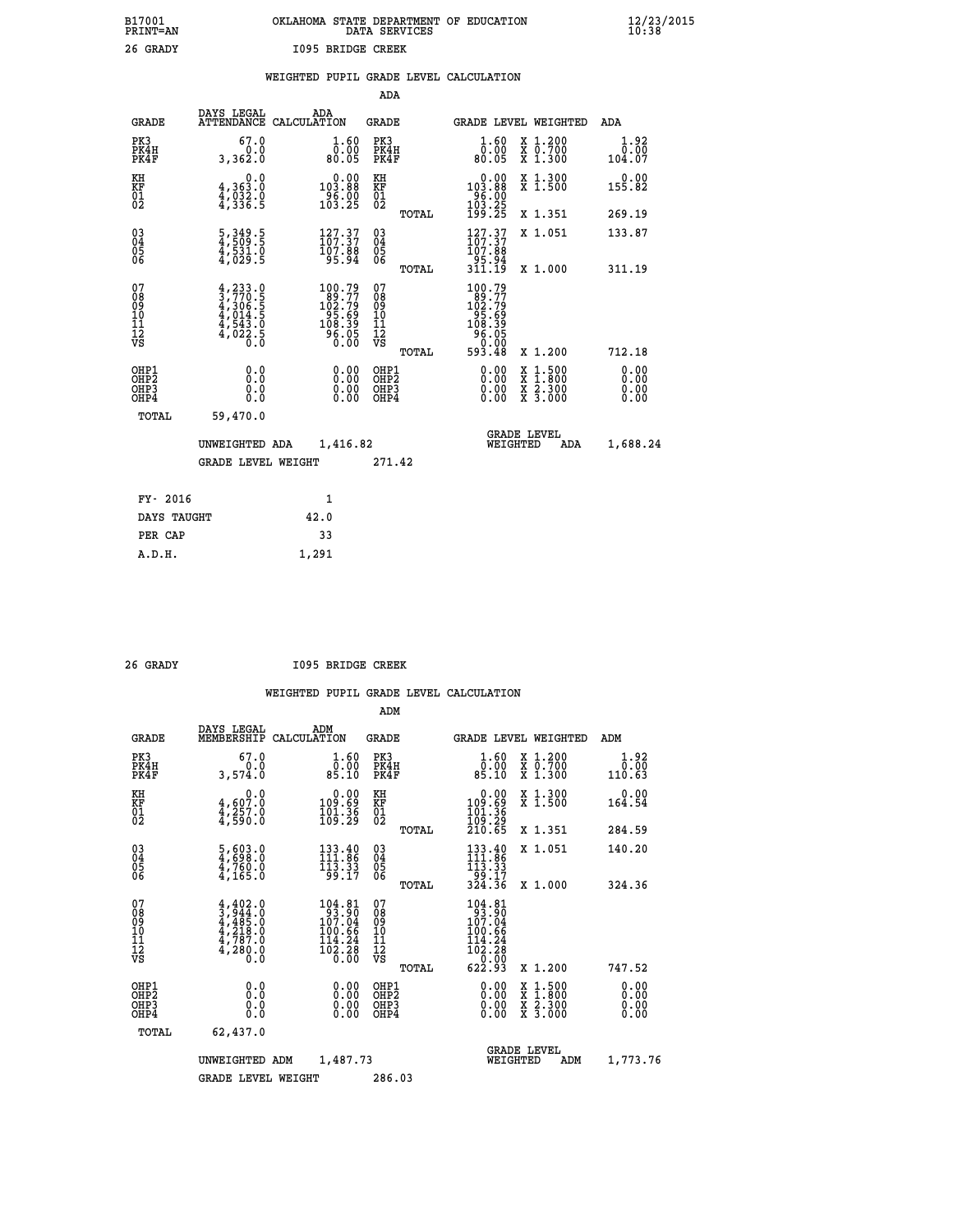| B17001<br><b>PRINT=AN</b> | OKLAHOMA STATE DEPARTMENT OF EDUCATION<br>DATA SERVICES | $\frac{12}{23}$ /2015 |
|---------------------------|---------------------------------------------------------|-----------------------|
| 26 GRADY                  | 1095 BRIDGE CREEK                                       |                       |

|  |  | WEIGHTED PUPIL GRADE LEVEL CALCULATION |
|--|--|----------------------------------------|
|  |  |                                        |

|                                                                    |                                                                                           |                                                                  |                                                             | ADA                                       |       |                                                                         |          |                                          |                              |
|--------------------------------------------------------------------|-------------------------------------------------------------------------------------------|------------------------------------------------------------------|-------------------------------------------------------------|-------------------------------------------|-------|-------------------------------------------------------------------------|----------|------------------------------------------|------------------------------|
| <b>GRADE</b>                                                       | DAYS LEGAL<br>ATTENDANCE CALCULATION                                                      | ADA                                                              |                                                             | <b>GRADE</b>                              |       |                                                                         |          | GRADE LEVEL WEIGHTED                     | <b>ADA</b>                   |
| PK3<br>PK4H<br>PK4F                                                | 67.0<br>0.0<br>3,362.0                                                                    |                                                                  | $\begin{smallmatrix} 1.60\ 0.00\ 80.05 \end{smallmatrix}$   | PK3<br>PK4H<br>PK4F                       |       | 1.60<br>ŏŏ:ŏŏ<br><sup>50:08</sup>                                       |          | X 1.200<br>X 0.700<br>X 1.300            | 1.92<br>0.00<br>104.07       |
| KH<br>KF<br>01<br>02                                               | 0.0<br>4,363:0<br>4,032:0<br>4,336:5                                                      | $0.00$<br>103.88<br>$\frac{56.00}{103.25}$                       |                                                             | KH<br>KF<br>01<br>02                      |       | 0.00<br>103:88<br>96:00<br>103:25<br>199:25                             |          | X 1.300<br>X 1.500                       | 0.00<br>155.82               |
|                                                                    |                                                                                           |                                                                  |                                                             |                                           | TOTAL |                                                                         |          | X 1.351                                  | 269.19                       |
| $\begin{smallmatrix} 03 \\[-4pt] 04 \end{smallmatrix}$<br>Ŏ5<br>06 | $\frac{5}{4}$ , $\frac{349}{509}$ . 5<br>$\frac{4}{3}, \frac{5}{3}\frac{3}{3}\frac{1}{5}$ | $\frac{127.37}{107.37}$<br>107.88<br>95.94                       |                                                             | $\substack{03 \\ 04}$<br>$\frac{05}{06}$  | TOTAL | $\frac{127.37}{107.37}$<br>107.88<br>-Š5.Š4<br>311.19                   |          | X 1.051<br>X 1.000                       | 133.87<br>311.19             |
| 07                                                                 |                                                                                           | 100.79                                                           |                                                             | 07                                        |       | 100.79                                                                  |          |                                          |                              |
| 08<br>09<br>11<br>11<br>12<br>VS                                   | $4, 233.0$<br>$3, 770.5$<br>$4, 306.5$<br>$4, 014.5$<br>$4, 543.0$<br>$4, 022.5$<br>$0.0$ | $189.77$<br>$102.79$<br>$95.69$<br>$108.39$<br>$96.05$<br>$0.00$ |                                                             | 08<br>09<br>11<br>11<br>12<br>VS          |       | $102.799$<br>$102.799$<br>$95.699$<br>$108.395$<br>$96.050$<br>$593.48$ |          |                                          |                              |
|                                                                    |                                                                                           |                                                                  |                                                             |                                           | TOTAL |                                                                         |          | X 1.200                                  | 712.18                       |
| OHP1<br>OHP <sub>2</sub><br>OHP3<br>OHP4                           | 0.0<br>Ō.Ō<br>0.0<br>$0.\overline{0}$                                                     |                                                                  | 0.00<br>$\begin{smallmatrix} 0.00 \ 0.00 \end{smallmatrix}$ | OHP1<br>OH <sub>P</sub> 2<br>OHP3<br>OHP4 |       | 0.00<br>0.00<br>0.00                                                    | X<br>X   | $1:500$<br>$1:800$<br>X 2.300<br>X 3.000 | 0.00<br>0.00<br>0.00<br>0.00 |
| TOTAL                                                              | 59,470.0                                                                                  |                                                                  |                                                             |                                           |       |                                                                         |          |                                          |                              |
|                                                                    | UNWEIGHTED ADA                                                                            |                                                                  | 1,416.82                                                    |                                           |       |                                                                         | WEIGHTED | <b>GRADE LEVEL</b><br>ADA                | 1,688.24                     |
|                                                                    | <b>GRADE LEVEL WEIGHT</b>                                                                 |                                                                  |                                                             | 271.42                                    |       |                                                                         |          |                                          |                              |
| FY- 2016                                                           |                                                                                           | 1                                                                |                                                             |                                           |       |                                                                         |          |                                          |                              |
| DAYS TAUGHT                                                        |                                                                                           | 42.0                                                             |                                                             |                                           |       |                                                                         |          |                                          |                              |
| PER CAP                                                            |                                                                                           | 33                                                               |                                                             |                                           |       |                                                                         |          |                                          |                              |

 **A.D.H. 1,291**

 **26 GRADY I095 BRIDGE CREEK**

|                                          |                                                                                                                                                                                    |                                                                                     | ADM                                                |                                                                                                          |                                          |                              |
|------------------------------------------|------------------------------------------------------------------------------------------------------------------------------------------------------------------------------------|-------------------------------------------------------------------------------------|----------------------------------------------------|----------------------------------------------------------------------------------------------------------|------------------------------------------|------------------------------|
| <b>GRADE</b>                             | DAYS LEGAL<br>MEMBERSHIP                                                                                                                                                           | ADM<br>CALCULATION                                                                  | <b>GRADE</b>                                       | GRADE LEVEL WEIGHTED                                                                                     |                                          | ADM                          |
| PK3<br>PK4H<br>PK4F                      | 67.0<br>0.0<br>3,574.0                                                                                                                                                             | 1.60<br>ŏ:ŏŏ<br>85:10                                                               | PK3<br>PK4H<br>PK4F                                | $\begin{smallmatrix} 1.60\ 0.00\ 85.10 \end{smallmatrix}$                                                | X 1.200<br>X 0.700<br>X 1.300            | 1.92<br>0.00<br>110.63       |
| KH<br>KF<br>01<br>02                     | 0.0<br>$\frac{4}{4}, \frac{607}{257}$ .0<br>$\frac{4}{4}, \frac{257}{590}$ .0                                                                                                      | $\begin{smallmatrix} &0.00\ 109.69\ 101.36\ 109.29\ \end{smallmatrix}$              | KH<br>KF<br>01<br>02                               | $\begin{smallmatrix} &0.00\ 109.69\ 101.36\ 109.29\ 210.65 \end{smallmatrix}$                            | X 1.300<br>X 1.500                       | 0.00<br>164.54               |
|                                          |                                                                                                                                                                                    |                                                                                     | TOTAL                                              |                                                                                                          | X 1.351                                  | 284.59                       |
| 03<br>04<br>05<br>06                     | $\frac{5}{4}, \frac{603}{698}.0$<br>$\frac{4}{4}, \frac{760}{165}.0$                                                                                                               | $\begin{array}{c} 133\cdot 40\\ 111\cdot 86\\ 113\cdot 33\\ 99\cdot 17 \end{array}$ | $\begin{matrix} 03 \\ 04 \\ 05 \\ 06 \end{matrix}$ | $133.40$<br>$111.86$<br>$113.33$                                                                         | X 1.051                                  | 140.20                       |
|                                          |                                                                                                                                                                                    |                                                                                     | TOTAL                                              | -53:17<br>324.36                                                                                         | X 1.000                                  | 324.36                       |
| 07<br>08<br>09<br>101<br>112<br>VS       | $\begin{smallmatrix} 4\,,\,4\,0\,2\,.\,0\\ 3\,,\,9\,4\,4\,.\,0\\ 4\,,\,4\,8\,5\,.\,0\\ 4\,,\,2\,1\,8\,.\,0\\ 4\,,\,7\,8\,7\,.\,0\\ 4\,,\,2\,8\,0\,.\,0\\ 0\,.\,0\end{smallmatrix}$ | 104.81<br>93.90<br>107.04<br>100.66<br>$\frac{114.24}{102.28}$                      | 07<br>08<br>09<br>11<br>11<br>12<br>VS<br>TOTAL    | 104.81<br>93.90<br>107.04<br>100.66<br>$\begin{array}{c} 114.24 \\ 102.28 \\ 0.00 \end{array}$<br>622.93 | X 1.200                                  | 747.52                       |
|                                          |                                                                                                                                                                                    |                                                                                     |                                                    |                                                                                                          |                                          |                              |
| OHP1<br>OHP2<br>OH <sub>P3</sub><br>OHP4 | 0.0<br>0.000                                                                                                                                                                       | $0.00$<br>$0.00$<br>0.00                                                            | OHP1<br>OHP2<br>OHP <sub>3</sub>                   | $0.00$<br>$0.00$<br>0.00                                                                                 | X 1:500<br>X 1:800<br>X 2:300<br>X 3:000 | 0.00<br>0.00<br>0.00<br>0.00 |
|                                          | TOTAL<br>62,437.0                                                                                                                                                                  |                                                                                     |                                                    |                                                                                                          |                                          |                              |
|                                          | UNWEIGHTED ADM                                                                                                                                                                     | 1,487.73                                                                            |                                                    | <b>GRADE LEVEL</b><br>WEIGHTED                                                                           | ADM                                      | 1,773.76                     |
|                                          | <b>GRADE LEVEL WEIGHT</b>                                                                                                                                                          |                                                                                     | 286.03                                             |                                                                                                          |                                          |                              |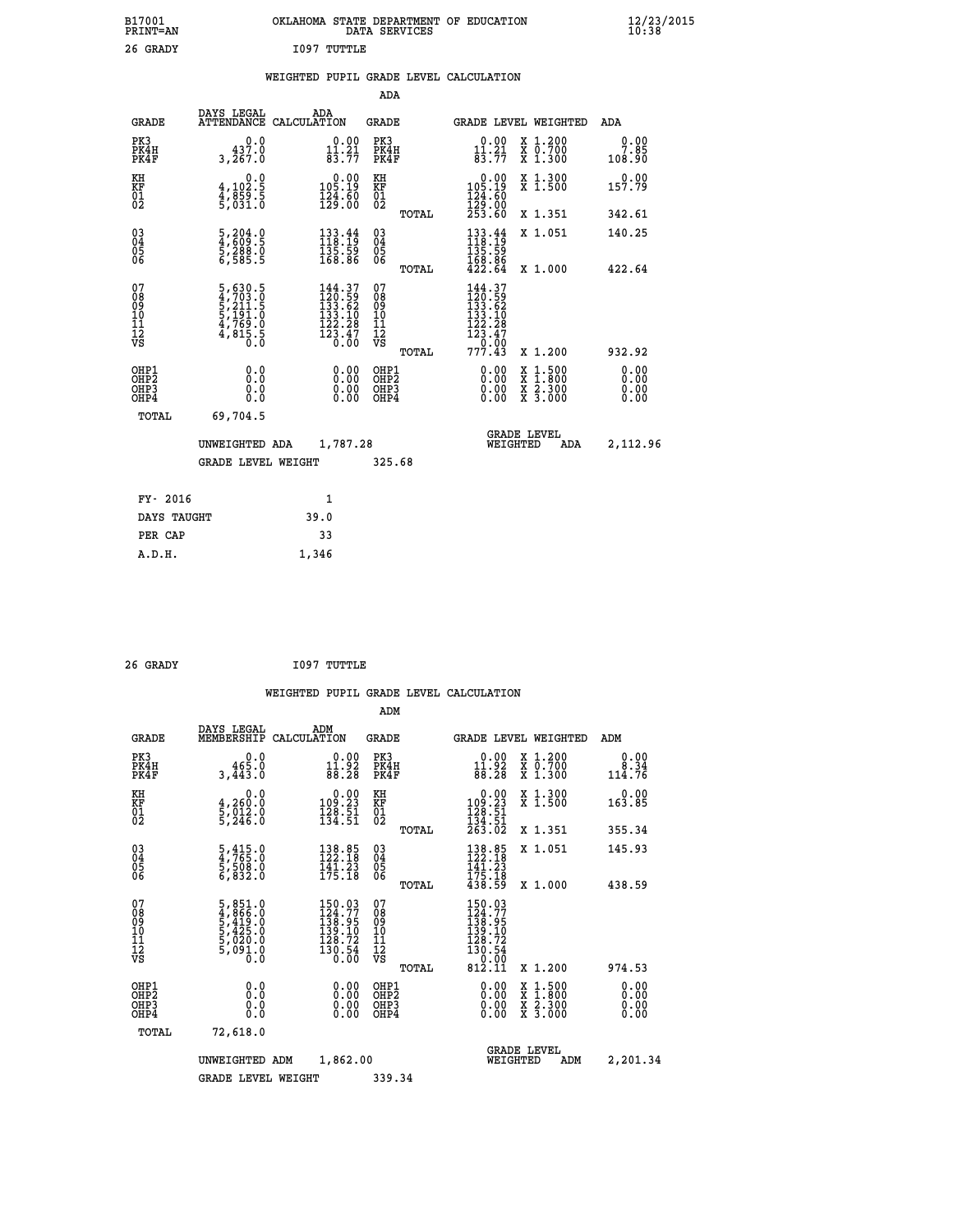| B17001<br>PRINT=AN | OKLAHOMA STATE DEPARTMENT OF EDUCATION<br>SERVICES<br>DATA | $\frac{12}{23}$ /2015 |
|--------------------|------------------------------------------------------------|-----------------------|
| 26 GRADY           | I097<br>TUTTLE                                             |                       |

### **WEIGHTED PUPIL GRADE LEVEL CALCULATION**

|                                           |                                                                |                                                                                      | ADA                                                 |       |                                                                                                          |                                                                                                                                              |                              |
|-------------------------------------------|----------------------------------------------------------------|--------------------------------------------------------------------------------------|-----------------------------------------------------|-------|----------------------------------------------------------------------------------------------------------|----------------------------------------------------------------------------------------------------------------------------------------------|------------------------------|
| <b>GRADE</b>                              | DAYS LEGAL                                                     | ADA<br>ATTENDANCE CALCULATION                                                        | GRADE                                               |       | GRADE LEVEL WEIGHTED                                                                                     |                                                                                                                                              | ADA                          |
| PK3<br>PK4H<br>PK4F                       | 0.0<br>437.0<br>3,267.0                                        | $\begin{smallmatrix} 0.00\\ 11.21\\ 83.77 \end{smallmatrix}$                         | PK3<br>PK4H<br>PK4F                                 |       | $\begin{smallmatrix} 0.00\\ 11.21\\ 83.77 \end{smallmatrix}$                                             | X 1.200<br>X 0.700<br>X 1.300                                                                                                                | 0.00<br>7.85<br>108.90       |
| KH<br>KF<br>01<br>02                      | 0.0<br>4,102:5<br>4,859:5<br>5,031:0                           | $\begin{smallmatrix} &0.00\\ 105.19\\ 124.60\\ 129.00\end{smallmatrix}$              | KH<br>KF<br>01<br>02                                |       | $\begin{smallmatrix}&&0.00\\105.19\\124.60\\129.00\\253.60\end{smallmatrix}$                             | X 1.300<br>X 1.500                                                                                                                           | 0.00<br>157.79               |
|                                           |                                                                |                                                                                      |                                                     | TOTAL |                                                                                                          | X 1.351                                                                                                                                      | 342.61                       |
| $\substack{03 \\ 04}$<br>Ŏ5<br>06         | 5,204.0<br>4,609.5<br>5,288.0<br>6,585.5                       | $\begin{array}{l} 133\cdot 44\\ 118\cdot 19\\ 135\cdot 59\\ 168\cdot 86 \end{array}$ | $\begin{array}{c} 03 \\ 04 \\ 05 \\ 06 \end{array}$ |       | $\begin{smallmatrix} 133.44\\ 118.19\\ 135.59\\ 168.86\\ 422.64 \end{smallmatrix}$                       | X 1.051                                                                                                                                      | 140.25                       |
|                                           |                                                                |                                                                                      |                                                     | TOTAL |                                                                                                          | X 1.000                                                                                                                                      | 422.64                       |
| 07<br>08<br>09<br>11<br>11<br>12<br>VS    | 5,630.5<br>4,703.0<br>5,211.5<br>5,191.0<br>4,769.0<br>4,815.5 | $144.37$<br>$120.59$<br>$133.62$<br>$133.10$<br>$\frac{122.28}{123.47}$              | 07<br>08<br>09<br>101<br>11<br>12<br>VS             | TOTAL | $144.37$<br>$120.59$<br>$133.62$<br>$133.10$<br>$\begin{array}{r} 122.28 \\ 123.47 \\ 77.43 \end{array}$ | X 1.200                                                                                                                                      | 932.92                       |
| OHP1<br>OH <sub>P</sub> 2<br>OHP3<br>OHP4 | 0.0<br>0.0<br>0.0                                              | 0.00<br>$\begin{smallmatrix} 0.00 \ 0.00 \end{smallmatrix}$                          | OHP1<br>OHP <sub>2</sub><br>OHP3<br>OHP4            |       | 0.00<br>$0.00$<br>0.00                                                                                   | $\begin{smallmatrix} \mathtt{X} & 1\cdot500 \\ \mathtt{X} & 1\cdot800 \\ \mathtt{X} & 2\cdot300 \\ \mathtt{X} & 3\cdot000 \end{smallmatrix}$ | 0.00<br>0.00<br>0.00<br>0.00 |
| TOTAL                                     | 69,704.5                                                       |                                                                                      |                                                     |       |                                                                                                          |                                                                                                                                              |                              |
|                                           | UNWEIGHTED ADA                                                 | 1,787.28                                                                             |                                                     |       | WEIGHTED                                                                                                 | <b>GRADE LEVEL</b><br>ADA                                                                                                                    | 2,112.96                     |
|                                           | <b>GRADE LEVEL WEIGHT</b>                                      |                                                                                      | 325.68                                              |       |                                                                                                          |                                                                                                                                              |                              |
| FY- 2016                                  |                                                                | 1                                                                                    |                                                     |       |                                                                                                          |                                                                                                                                              |                              |
| DAYS TAUGHT                               |                                                                |                                                                                      |                                                     |       |                                                                                                          |                                                                                                                                              |                              |
|                                           |                                                                | 39.0                                                                                 |                                                     |       |                                                                                                          |                                                                                                                                              |                              |
| PER CAP                                   |                                                                | 33                                                                                   |                                                     |       |                                                                                                          |                                                                                                                                              |                              |
| A.D.H.                                    |                                                                | 1.346                                                                                |                                                     |       |                                                                                                          |                                                                                                                                              |                              |

| 26 GRADY | I097 TUTTLE |
|----------|-------------|

 **A.D.H. 1,346**

|                                          |                                                                       |                                                                                                                                               | ADM                                                |                                                                                                               |                                          |                              |
|------------------------------------------|-----------------------------------------------------------------------|-----------------------------------------------------------------------------------------------------------------------------------------------|----------------------------------------------------|---------------------------------------------------------------------------------------------------------------|------------------------------------------|------------------------------|
| <b>GRADE</b>                             | DAYS LEGAL<br>MEMBERSHIP                                              | ADM<br>CALCULATION                                                                                                                            | <b>GRADE</b>                                       |                                                                                                               | GRADE LEVEL WEIGHTED                     | ADM                          |
| PK3<br>PK4H<br>PK4F                      | 0.0<br>465.0<br>3,443.0                                               | $0.00$<br>11.92<br>88.28                                                                                                                      | PK3<br>PK4H<br>PK4F                                | $0.00$<br>11.92<br>88.28                                                                                      | X 1.200<br>X 0.700<br>X 1.300            | 0.00<br>8.34<br>114.76       |
| KH<br>KF<br>01<br>02                     | 0.0<br>4,260:0<br>5,012:0<br>5,246:0                                  | $\begin{smallmatrix}&&0.00\\109.23\\128.51\\134.51\end{smallmatrix}$                                                                          | KH<br>KF<br>01<br>02                               | $\begin{smallmatrix}&&0.00\\109.23\\128.51\\134.51\\263.02\end{smallmatrix}$                                  | X 1.300<br>X 1.500                       | 0.00<br>163.85               |
|                                          |                                                                       |                                                                                                                                               | TOTAL                                              |                                                                                                               | X 1.351                                  | 355.34                       |
| 03<br>04<br>05<br>06                     | 5,415.0<br>4,765.0<br>5,508.0<br>6,832.0                              | 138.85<br>122.18<br>$\frac{1}{1}\overline{4}\overline{1}\cdot \overline{2}\overline{3}\overline{1}\overline{7}\cdot \overline{1}\overline{8}$ | $\begin{matrix} 03 \\ 04 \\ 05 \\ 06 \end{matrix}$ | $\begin{array}{c} 138.85 \\ 122.18 \\ 141.23 \end{array}$<br>175.18<br>438.59                                 | X 1.051                                  | 145.93                       |
|                                          |                                                                       |                                                                                                                                               | TOTAL                                              |                                                                                                               | X 1.000                                  | 438.59                       |
| 07<br>08<br>09<br>101<br>11<br>12<br>VS  | 5,851.0<br>4,866.0<br>5,419.0<br>5,425.0<br>5,020.0<br>5,091.0<br>0.0 | $\begin{smallmatrix} 150.03\\ 124.77\\ 138.95\\ 139.10\\ 128.72 \end{smallmatrix}$<br>$\frac{1}{30}$ , $\frac{5}{4}$                          | 07<br>08<br>09<br>11<br>11<br>12<br>VS<br>TOTAL    | $\begin{smallmatrix} 150.03\\ 124.77\\ 138.95\\ 139.10\\ 128.72\\ 130.54 \end{smallmatrix}$<br>0.00<br>812.11 | X 1.200                                  | 974.53                       |
| OHP1<br>OHP2<br>OH <sub>P3</sub><br>OHP4 | 0.0<br>0.000                                                          |                                                                                                                                               | OHP1<br>OHP2<br>OHP <sub>3</sub>                   | $0.00$<br>$0.00$<br>0.00                                                                                      | X 1:500<br>X 1:800<br>X 2:300<br>X 3:000 | 0.00<br>0.00<br>0.00<br>0.00 |
| TOTAL                                    | 72,618.0                                                              |                                                                                                                                               |                                                    |                                                                                                               |                                          |                              |
|                                          | UNWEIGHTED                                                            | 1,862.00<br>ADM                                                                                                                               |                                                    | WEIGHTED                                                                                                      | <b>GRADE LEVEL</b><br>ADM                | 2,201.34                     |
|                                          | <b>GRADE LEVEL WEIGHT</b>                                             |                                                                                                                                               | 339.34                                             |                                                                                                               |                                          |                              |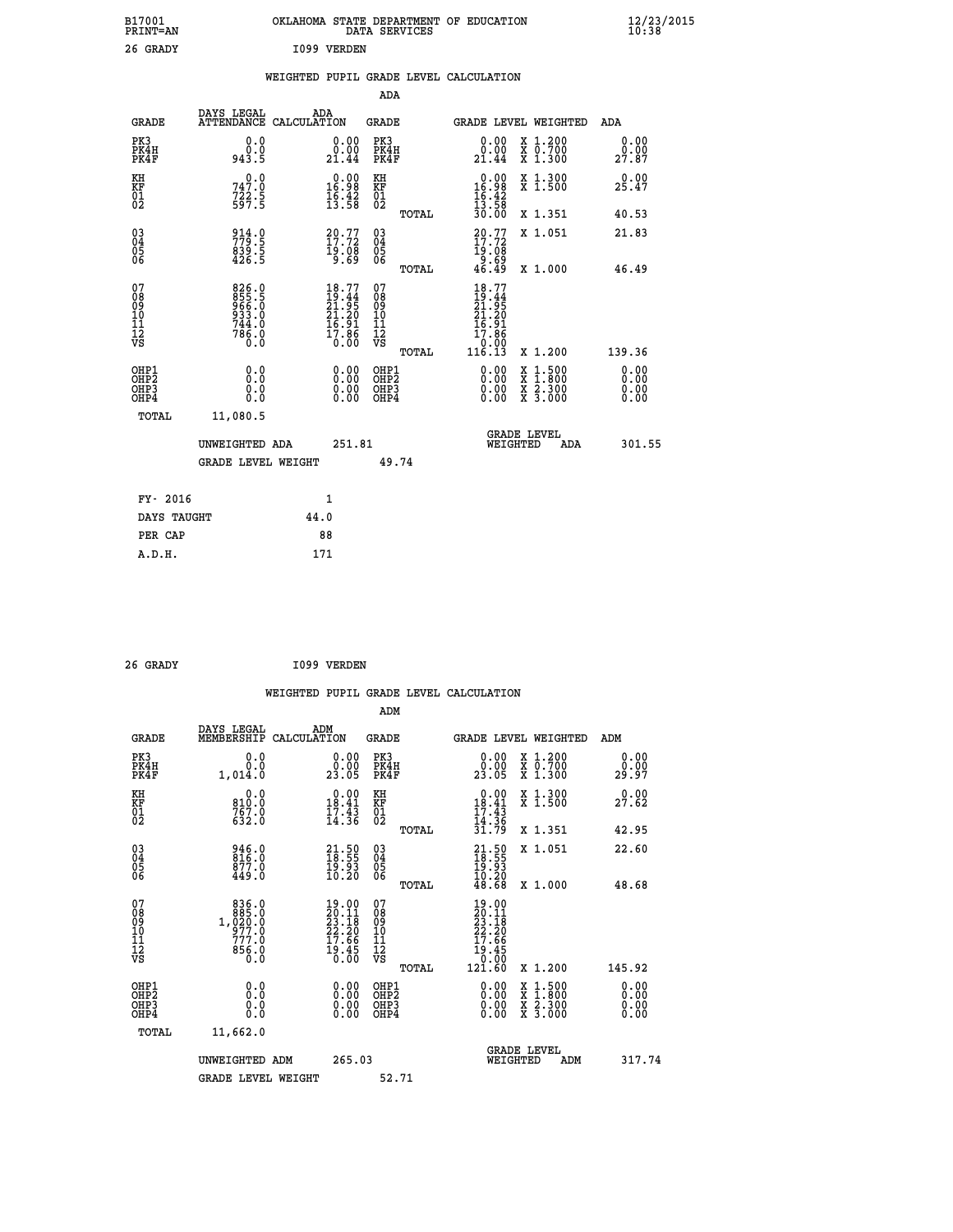| B17001<br>PRINT=AN                     |                                                               | OKLAHOMA STATE DEPARTMENT OF EDUCATION                                   | DATA SERVICES                                      |                                                                                                                           |                                                                                                  | $\frac{12}{23}$ /2015        |
|----------------------------------------|---------------------------------------------------------------|--------------------------------------------------------------------------|----------------------------------------------------|---------------------------------------------------------------------------------------------------------------------------|--------------------------------------------------------------------------------------------------|------------------------------|
| 26 GRADY                               |                                                               | I099 VERDEN                                                              |                                                    |                                                                                                                           |                                                                                                  |                              |
|                                        |                                                               | WEIGHTED PUPIL GRADE LEVEL CALCULATION                                   |                                                    |                                                                                                                           |                                                                                                  |                              |
|                                        |                                                               |                                                                          | ADA                                                |                                                                                                                           |                                                                                                  |                              |
| <b>GRADE</b>                           | DAYS LEGAL                                                    | ADA<br>ATTENDANCE CALCULATION                                            | GRADE                                              | GRADE LEVEL WEIGHTED                                                                                                      |                                                                                                  | ADA                          |
| PK3<br>PK4H<br>PK4F                    | 0.0<br>0.0<br>943.5                                           | 0.00<br>0.00<br>21.44                                                    | PK3<br>PK4H<br>PK4F                                | 0.00<br>0.00<br>21.44                                                                                                     | X 1.200<br>X 0.700<br>X 1.300                                                                    | 0.00<br>0.00<br>27.87        |
| KH<br>KF<br>01<br>02                   | 0.0<br>747.0<br>722.5<br>597.5                                | $\begin{smallmatrix} 0.00\\ 16.98\\ 16.42\\ 13.58 \end{smallmatrix}$     | KH<br>KF<br>01<br>02                               | $\begin{smallmatrix} 0.00\\ 16.98\\ 16.42\\ 13.58 \end{smallmatrix}$                                                      | X 1.300<br>X 1.500                                                                               | 0.00<br>25.47                |
|                                        |                                                               |                                                                          | TOTAL                                              | 30.00                                                                                                                     | X 1.351                                                                                          | 40.53                        |
| $^{03}_{04}$<br>$\frac{05}{06}$        | 914.0<br>779.5<br>839.5<br>426.5                              | $20.77$<br>$17.72$<br>19:08<br>0.69                                      | $\begin{matrix} 03 \\ 04 \\ 05 \\ 06 \end{matrix}$ | $20.77$<br>17.72<br>19:08<br>0.69<br>46.49                                                                                | X 1.051                                                                                          | 21.83                        |
|                                        |                                                               |                                                                          | TOTAL                                              |                                                                                                                           | X 1.000                                                                                          | 46.49                        |
| 07<br>08<br>09<br>10<br>11<br>12<br>VS | 826.0<br>855.5<br>966.0<br>933.0<br>$744.0$<br>$786.0$<br>0.0 | $18.77$<br>$19.44$<br>$21.95$<br>$21.20$<br>$16.91$<br>$17.86$<br>$0.00$ | 07<br>08<br>09<br>10<br>11<br>12<br>VS<br>TOTAL    | $\frac{18.77}{21.95}$<br>21.20<br>$\frac{1}{6}$ . $\frac{1}{9}$<br>17.86<br>$\begin{array}{c} 0.00 \\ 116.13 \end{array}$ | X 1.200                                                                                          | 139.36                       |
| OHP1<br>OHP2<br>OHP3<br>OHP4           | 0.0<br>0.0<br>0.0<br>0.0                                      | 0.00<br>$\begin{smallmatrix} 0.00 \ 0.00 \end{smallmatrix}$              | OHP1<br>OHP <sub>2</sub><br>OHP3<br>OHP4           | 0.00<br>0.00<br>0.00                                                                                                      | $\begin{smallmatrix} x & 1 & 500 \\ x & 1 & 800 \\ x & 2 & 300 \\ x & 3 & 000 \end{smallmatrix}$ | 0.00<br>0.00<br>0.00<br>0.00 |
| TOTAL                                  | 11,080.5                                                      |                                                                          |                                                    |                                                                                                                           |                                                                                                  |                              |
|                                        | UNWEIGHTED ADA                                                | 251.81                                                                   |                                                    | <b>GRADE LEVEL</b><br>WEIGHTED                                                                                            | ADA                                                                                              | 301.55                       |
|                                        | <b>GRADE LEVEL WEIGHT</b>                                     |                                                                          | 49.74                                              |                                                                                                                           |                                                                                                  |                              |
| FY- 2016                               |                                                               | 1                                                                        |                                                    |                                                                                                                           |                                                                                                  |                              |
| DAYS TAUGHT                            |                                                               | 44.0                                                                     |                                                    |                                                                                                                           |                                                                                                  |                              |
| PER CAP                                |                                                               | 88                                                                       |                                                    |                                                                                                                           |                                                                                                  |                              |
| A.D.H.                                 |                                                               | 171                                                                      |                                                    |                                                                                                                           |                                                                                                  |                              |

| 26 GRADY |  | I099 VERDEN |
|----------|--|-------------|
|          |  |             |

|                                                    |                                                                                           |                    |                                                                             |                                              |       | WEIGHTED PUPIL GRADE LEVEL CALCULATION                                                                                     |                                                                                                  |        |                               |
|----------------------------------------------------|-------------------------------------------------------------------------------------------|--------------------|-----------------------------------------------------------------------------|----------------------------------------------|-------|----------------------------------------------------------------------------------------------------------------------------|--------------------------------------------------------------------------------------------------|--------|-------------------------------|
|                                                    |                                                                                           |                    |                                                                             | ADM                                          |       |                                                                                                                            |                                                                                                  |        |                               |
| <b>GRADE</b>                                       | DAYS LEGAL<br>MEMBERSHIP                                                                  | ADM<br>CALCULATION |                                                                             | <b>GRADE</b>                                 |       | GRADE LEVEL WEIGHTED                                                                                                       |                                                                                                  | ADM    |                               |
| PK3<br>PK4H<br>PK4F                                | 0.0<br>0.0<br>1,014.0                                                                     |                    | 0.0000<br>23.05                                                             | PK3<br>PK4H<br>PK4F                          |       | 0.00<br>23.05                                                                                                              | X 1.200<br>X 0.700<br>X 1.300                                                                    | 29.97  | 0.00<br>0.00                  |
| KH<br>KF<br>01<br>02                               | 0.0<br>810:0<br>767:0<br>632:0                                                            |                    | $\begin{smallmatrix} 0.00\\18.41\\17.43\\14.36 \end{smallmatrix}$           | KH<br>KF<br>01<br>02                         |       | $\begin{array}{r} 0.00 \\ 18.41 \\ 17.43 \\ 14.36 \\ 31.79 \end{array}$                                                    | X 1.300<br>X 1.500                                                                               | 27.62  |                               |
|                                                    |                                                                                           |                    |                                                                             |                                              | TOTAL |                                                                                                                            | X 1.351                                                                                          | 42.95  |                               |
| $\begin{matrix} 03 \\ 04 \\ 05 \\ 06 \end{matrix}$ | 946.0<br>816.0<br>877.0<br>449.0                                                          |                    | $\begin{smallmatrix} 21.50\\ 18.55\\ 19.93\\ 10.20 \end{smallmatrix}$       | 03<br>04<br>05<br>06                         |       | $21.50$<br>$18.55$<br>$19.93$<br>$10.20$                                                                                   | X 1.051                                                                                          | 22.60  |                               |
|                                                    |                                                                                           |                    |                                                                             |                                              | TOTAL | 48.68                                                                                                                      | X 1.000                                                                                          | 48.68  |                               |
| 07<br>08<br>09<br>11<br>11<br>12<br>VS             | $\begin{smallmatrix}836.0\\885.0\\1,020.0\\977.0\\777.0\end{smallmatrix}$<br>856.0<br>0.0 |                    | $19.00$<br>$20.11$<br>$23.18$<br>$22.20$<br>$17.66$<br>$\frac{19.45}{0.00}$ | 07<br>08<br>09<br>01<br>11<br>11<br>17<br>VS | TOTAL | $19.00$<br>$20.11$<br>$23.18$<br>$22.20$<br>$17.66$<br>$\begin{array}{r} 19.45 \\[-4pt] 19.45 \\[-4pt] 121.60 \end{array}$ | $X_1.200$                                                                                        | 145.92 |                               |
| OHP1<br>OHP2<br>OH <sub>P3</sub><br>OHP4           | 0.0<br>0.000                                                                              |                    | $\begin{smallmatrix} 0.00 \ 0.00 \ 0.00 \ 0.00 \end{smallmatrix}$           | OHP1<br>OHP2<br>OHP3<br>OHP4                 |       |                                                                                                                            | $\begin{smallmatrix} x & 1 & 500 \\ x & 1 & 800 \\ x & 2 & 300 \\ x & 3 & 000 \end{smallmatrix}$ |        | 0.00<br>Ō. ŌŌ<br>0.00<br>0.00 |
| TOTAL                                              | 11,662.0                                                                                  |                    |                                                                             |                                              |       |                                                                                                                            |                                                                                                  |        |                               |
|                                                    | UNWEIGHTED ADM                                                                            |                    | 265.03                                                                      |                                              |       | WEIGHTED                                                                                                                   | <b>GRADE LEVEL</b><br>ADM                                                                        |        | 317.74                        |
|                                                    | <b>GRADE LEVEL WEIGHT</b>                                                                 |                    |                                                                             | 52.71                                        |       |                                                                                                                            |                                                                                                  |        |                               |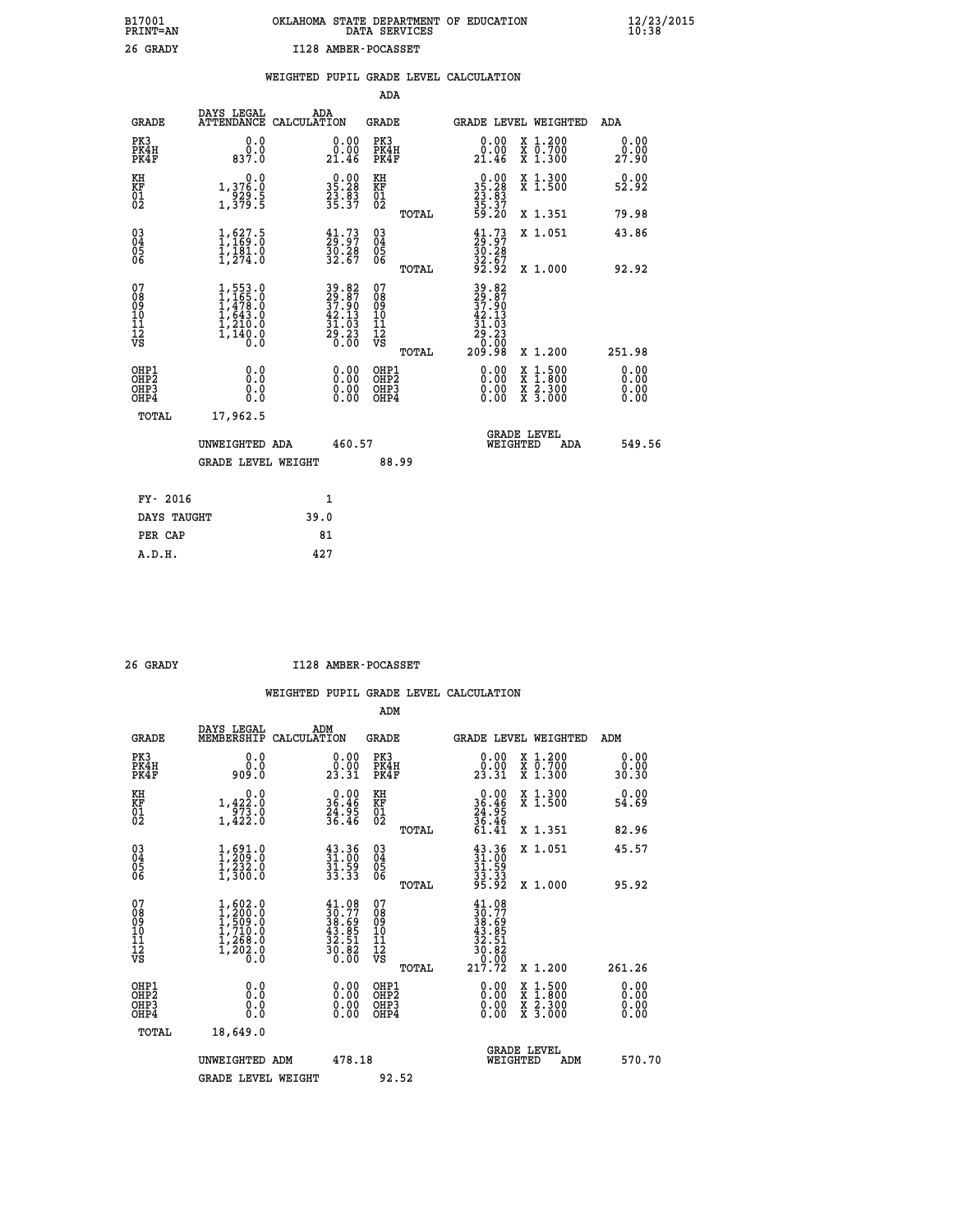# **B17001 OKLAHOMA STATE DEPARTMENT OF EDUCATION 12/23/2015 PRINT=AN DATA SERVICES 10:38 26 GRADY I128 AMBER-POCASSET**

|  |  | WEIGHTED PUPIL GRADE LEVEL CALCULATION |
|--|--|----------------------------------------|
|  |  |                                        |

|                                                                    |                                                                                           |                                                                                           | ADA                                       |       |                                                                                                    |                                          |                              |
|--------------------------------------------------------------------|-------------------------------------------------------------------------------------------|-------------------------------------------------------------------------------------------|-------------------------------------------|-------|----------------------------------------------------------------------------------------------------|------------------------------------------|------------------------------|
| <b>GRADE</b>                                                       | DAYS LEGAL                                                                                | ADA<br>ATTENDANCE CALCULATION                                                             | <b>GRADE</b>                              |       | GRADE LEVEL WEIGHTED                                                                               |                                          | ADA                          |
| PK3<br>PK4H<br>PK4F                                                | 0.0<br>0.0837.0                                                                           | 0.00<br>21.46                                                                             | PK3<br>PK4H<br>PK4F                       |       | 0.00<br>0.00<br>21.46                                                                              | X 1.200<br>X 0.700<br>X 1.300            | 0.00<br>0.00<br>27.90        |
| KH<br><b>KF</b><br>01<br>02                                        | 0.0<br>1,376.0<br>929.5<br>1,379.5                                                        | 35.28<br>23.83<br>35.37                                                                   | KH<br>KF<br>01<br>02                      |       | $\begin{smallmatrix} 0.00\\ 35.28\\ 23.83\\ 35.37\\ 59.20 \end{smallmatrix}$                       | X 1.300<br>X 1.500                       | 0.00<br>52.92                |
|                                                                    |                                                                                           |                                                                                           |                                           | TOTAL |                                                                                                    | X 1.351                                  | 79.98                        |
| $\begin{smallmatrix} 03 \\[-4pt] 04 \end{smallmatrix}$<br>Ŏ5<br>06 | 1, 627.5<br>$\frac{1}{1}, \frac{1}{2}, \frac{3}{4}$                                       | $\begin{smallmatrix} 41.73\ 29.97\ 30.28\ 32.67 \end{smallmatrix}$                        | $\substack{03 \\ 04}$<br>Ŏ5<br>06         |       | $29.27$<br>$30.28$<br>$32.67$<br>$92.92$                                                           | X 1.051                                  | 43.86                        |
|                                                                    |                                                                                           |                                                                                           |                                           | TOTAL |                                                                                                    | X 1.000                                  | 92.92                        |
| 07<br>08<br>09<br>11<br>11<br>12<br>VS                             | $1, 553.0$<br>$1, 475.0$<br>$1, 478.0$<br>$1, 643.0$<br>$1, 210.0$<br>$1, 140.0$<br>$0.0$ | $\begin{array}{r} 39.82 \\ 29.87 \\ 37.90 \\ 42.13 \\ 31.03 \\ 29.23 \\ 0.00 \end{array}$ | 07<br>08<br>09<br>11<br>11<br>12<br>VS    |       | $\begin{array}{@{}ll} 39.82 \\ 29.87 \\ 37.90 \\ 42.13 \\ 31.03 \\ 29.23 \\ 0 \\ 0 \\ \end{array}$ |                                          |                              |
|                                                                    |                                                                                           |                                                                                           |                                           | TOTAL | 209.98                                                                                             | X 1.200                                  | 251.98                       |
| OHP1<br>OH <sub>P</sub> 2<br>OH <sub>P3</sub><br>OH <sub>P4</sub>  | 0.0<br>0.0<br>0.0                                                                         | 0.00<br>0.00<br>0.00                                                                      | OHP1<br>OH <sub>P</sub> 2<br>OHP3<br>OHP4 |       | 0.00<br>0.00<br>0.00                                                                               | X 1:500<br>X 1:800<br>X 2:300<br>X 3:000 | 0.00<br>0.00<br>0.00<br>0.00 |
| TOTAL                                                              | 17,962.5                                                                                  |                                                                                           |                                           |       |                                                                                                    |                                          |                              |
|                                                                    | UNWEIGHTED ADA                                                                            | 460.57                                                                                    |                                           |       |                                                                                                    | GRADE LEVEL<br>WEIGHTED                  | 549.56<br>ADA                |
|                                                                    | <b>GRADE LEVEL WEIGHT</b>                                                                 |                                                                                           |                                           | 88.99 |                                                                                                    |                                          |                              |
| FY- 2016                                                           |                                                                                           | $\mathbf{1}$                                                                              |                                           |       |                                                                                                    |                                          |                              |
| DAYS TAUGHT                                                        |                                                                                           | 39.0                                                                                      |                                           |       |                                                                                                    |                                          |                              |
| PER CAP                                                            |                                                                                           | 81                                                                                        |                                           |       |                                                                                                    |                                          |                              |

 **A.D.H. 427**

 **26 GRADY I128 AMBER-POCASSET**

|                                                      |                                                                                                                                                                                  |                                                                                              | ADM                                                |                                                                                                        |                                          |                              |
|------------------------------------------------------|----------------------------------------------------------------------------------------------------------------------------------------------------------------------------------|----------------------------------------------------------------------------------------------|----------------------------------------------------|--------------------------------------------------------------------------------------------------------|------------------------------------------|------------------------------|
| <b>GRADE</b>                                         | DAYS LEGAL<br>MEMBERSHIP                                                                                                                                                         | ADM<br>CALCULATION                                                                           | <b>GRADE</b>                                       |                                                                                                        | GRADE LEVEL WEIGHTED                     | ADM                          |
| PK3<br>PK4H<br>PK4F                                  | 0.0<br>ŏ:ŏ<br>0:00e                                                                                                                                                              | $\begin{smallmatrix} 0.00\\ 0.00\\ 23.31 \end{smallmatrix}$                                  | PK3<br>PK4H<br>PK4F                                | $\begin{smallmatrix} 0.00\\ 0.00\\ 23.31 \end{smallmatrix}$                                            | X 1.200<br>X 0.700<br>X 1.300            | 0.00<br>ةة.ة<br>30.30        |
| KH<br>KF<br>01<br>02                                 | 0.0<br>$1,42\overset{2}{\cancel{2}}\cdot\overset{0}{\cancel{0}}\cdot\overset{1}{\cancel{0}}\cdot\overset{4}{\cancel{2}}\cdot\overset{2}{\cancel{0}}\cdot\overset{0}{\cancel{0}}$ | $\begin{array}{r} 0.00 \\ 36.46 \\ 24.95 \\ 36.46 \end{array}$                               | KH<br>KF<br>01<br>02                               | $0.00$<br>$36.46$<br>$24.95$<br>$36.46$<br>$61.41$                                                     | X 1.300<br>X 1.500                       | 0.00<br>54.69                |
|                                                      |                                                                                                                                                                                  |                                                                                              | TOTAL                                              |                                                                                                        | X 1.351                                  | 82.96                        |
| 03<br>04<br>05<br>06                                 | $\begin{smallmatrix} 1, 691.0\\ 1, 209.0\\ 1, 232.0\\ 1, 300.0 \end{smallmatrix}$                                                                                                | $\begin{smallmatrix} 43.36\ 31.00\ 31.59\ 33.33 \end{smallmatrix}$                           | $\begin{matrix} 03 \\ 04 \\ 05 \\ 06 \end{matrix}$ | $\begin{smallmatrix} 43.36\ 31.00\ 31.59\ 33.33\ 35.92 \end{smallmatrix}$                              | X 1.051                                  | 45.57                        |
|                                                      |                                                                                                                                                                                  |                                                                                              | TOTAL                                              |                                                                                                        | X 1.000                                  | 95.92                        |
| 07<br>08<br>09<br>101<br>112<br>VS                   | $\begin{smallmatrix} 1,602.0\\ 1,200.0\\ 1,509.0\\ 1,710.0\\ 1,268.0\\ 1,202.0\\ 0.0 \end{smallmatrix}$                                                                          | $\begin{smallmatrix} 41.08\\ 30.77\\ 38.69\\ 43.85\\ 32.51\\ 30.82\\ 0.00 \end{smallmatrix}$ | 07<br>08<br>09<br>11<br>11<br>12<br>VS<br>TOTAL    | $\begin{array}{r} 41.08 \\ 30.77 \\ 38.695 \\ 43.851 \\ 32.51 \\ 30.82 \\ 0.000 \\ 217.72 \end{array}$ | X 1.200                                  | 261.26                       |
| OHP1<br>OHP2<br>OHP <sub>3</sub><br>OH <sub>P4</sub> | 0.0<br>0.000                                                                                                                                                                     |                                                                                              | OHP1<br>OHP2<br>OHP <sub>3</sub>                   | $0.00$<br>$0.00$<br>0.00                                                                               | X 1:500<br>X 1:800<br>X 2:300<br>X 3:000 | 0.00<br>0.00<br>0.00<br>0.00 |
| TOTAL                                                | 18,649.0                                                                                                                                                                         |                                                                                              |                                                    |                                                                                                        |                                          |                              |
|                                                      | UNWEIGHTED ADM                                                                                                                                                                   | 478.18                                                                                       |                                                    |                                                                                                        | GRADE LEVEL<br>WEIGHTED<br>ADM           | 570.70                       |
|                                                      | <b>GRADE LEVEL WEIGHT</b>                                                                                                                                                        |                                                                                              | 92.52                                              |                                                                                                        |                                          |                              |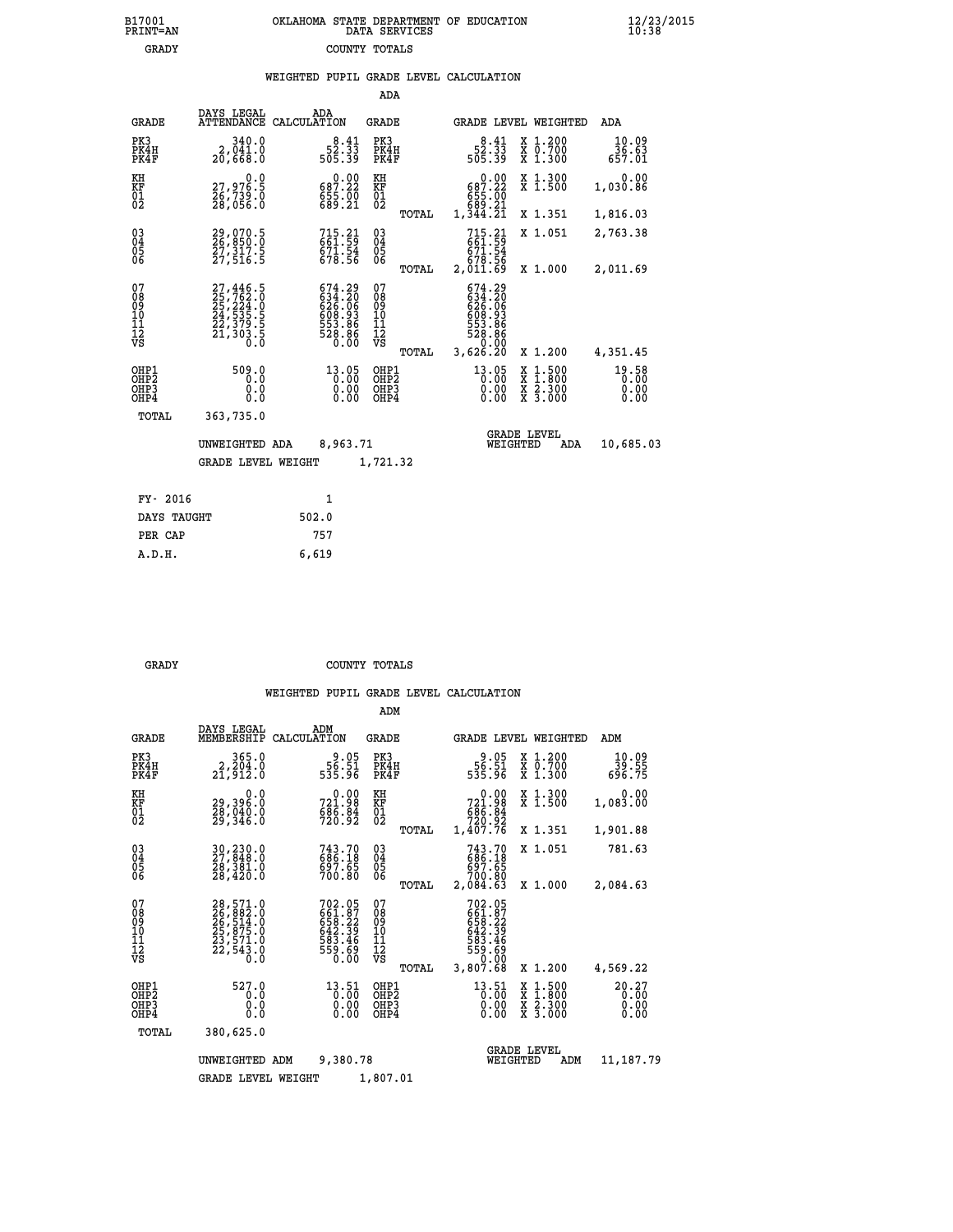|  | OKLAHOMA STATE DEPARTMENT OF EDUCATION<br>DATA SERVICES |  |
|--|---------------------------------------------------------|--|
|  | COUNTY TOTALS                                           |  |

|  |  | WEIGHTED PUPIL GRADE LEVEL CALCULATION |
|--|--|----------------------------------------|
|  |  |                                        |

|                                                                    |                                                                                  |                                                                                | ADA                                       |                                                                     |                                                                                                  |     |                               |
|--------------------------------------------------------------------|----------------------------------------------------------------------------------|--------------------------------------------------------------------------------|-------------------------------------------|---------------------------------------------------------------------|--------------------------------------------------------------------------------------------------|-----|-------------------------------|
| <b>GRADE</b>                                                       | DAYS LEGAL                                                                       | ADA<br>ATTENDANCE CALCULATION                                                  | <b>GRADE</b>                              |                                                                     | GRADE LEVEL WEIGHTED                                                                             |     | ADA                           |
| PK3<br>PK4H<br>PK4F                                                | 340.0<br>2,041.0<br>20,668.0                                                     | $52.33$<br>505.39                                                              | PK3<br>PK4H<br>PK4F                       | $52.33$<br>505.39                                                   | X 1.200<br>X 0.700<br>X 1.300                                                                    |     | 10.09<br>36.63<br>657.01      |
| KH<br><b>KF</b><br>01<br>02                                        | 0.0<br>27,976.5<br>Ž6,739.0<br>28,056.0                                          | $0.00$<br>687.22<br>$\frac{855}{689}. \frac{00}{21}$                           | KH<br>KF<br>01<br>02                      | 0.00<br>687.22<br>655.00<br>889.21<br>1,344.21                      | X 1.300<br>X 1.500                                                                               |     | 0.00<br>1,030.86              |
|                                                                    |                                                                                  |                                                                                | TOTAL                                     |                                                                     | X 1.351                                                                                          |     | 1,816.03                      |
| $\begin{smallmatrix} 03 \\[-4pt] 04 \end{smallmatrix}$<br>05<br>06 | 29,070.5<br>26,850.0<br>27,317.5<br>27,516.5                                     | $715.21$<br>661.59<br>671.54<br>678.56                                         | $\substack{03 \\ 04}$<br>$\frac{05}{06}$  | 715.21<br>661.59<br>671.54<br>678.56<br>2,011.69                    | X 1.051                                                                                          |     | 2,763.38                      |
| 07                                                                 |                                                                                  |                                                                                | TOTAL<br>07                               |                                                                     | X 1.000                                                                                          |     | 2,011.69                      |
| 08<br>09<br>11<br>11<br>12<br>VS                                   | $27,446.5$<br>$25,762.0$<br>$25,224.0$<br>$24,535.5$<br>$22,379.5$<br>$21,303.5$ | $674.29$<br>$634.20$<br>$626.06$<br>$608.93$<br>$553.86$<br>$528.86$<br>$0.00$ | 08<br>09<br>11<br>11<br>12<br>VS          | 674.29<br>634.20<br>626.065<br>608.93<br>553.86<br>528.86<br>528.86 |                                                                                                  |     |                               |
|                                                                    |                                                                                  |                                                                                | TOTAL                                     | 3,626.20                                                            | X 1.200                                                                                          |     | 4,351.45                      |
| OHP1<br>OH <sub>P2</sub><br>OH <sub>P3</sub><br>OH <sub>P4</sub>   | 509.0<br>0.0<br>0.0<br>0.0                                                       | 13.05<br>0.00<br>0.00<br>0.00                                                  | OHP1<br>OH <sub>P</sub> 2<br>OHP3<br>OHP4 | 13.05<br>0.00<br>0.00<br>0.00                                       | $\begin{smallmatrix} x & 1 & 500 \\ x & 1 & 800 \\ x & 2 & 300 \\ x & 3 & 000 \end{smallmatrix}$ |     | 19.58<br>0.00<br>0.00<br>0.00 |
| TOTAL                                                              | 363,735.0                                                                        |                                                                                |                                           |                                                                     |                                                                                                  |     |                               |
|                                                                    | UNWEIGHTED ADA                                                                   | 8,963.71                                                                       |                                           |                                                                     | <b>GRADE LEVEL</b><br>WEIGHTED                                                                   | ADA | 10,685.03                     |
|                                                                    | <b>GRADE LEVEL WEIGHT</b>                                                        |                                                                                | 1,721.32                                  |                                                                     |                                                                                                  |     |                               |
| FY- 2016                                                           |                                                                                  | $\mathbf{1}$                                                                   |                                           |                                                                     |                                                                                                  |     |                               |
| DAYS TAUGHT                                                        |                                                                                  | 502.0                                                                          |                                           |                                                                     |                                                                                                  |     |                               |
| PER CAP                                                            |                                                                                  | 757                                                                            |                                           |                                                                     |                                                                                                  |     |                               |

| A.D.H. | 6,619 |
|--------|-------|
|        |       |

B17001<br>PRINT=AN<br>GRADY

 **GRADY COUNTY TOTALS**

|                                                       |                                                                      |                                                                  | ADM                                              |                                                                                                                                                                                                                                                                                        |                                                                                                  |                          |
|-------------------------------------------------------|----------------------------------------------------------------------|------------------------------------------------------------------|--------------------------------------------------|----------------------------------------------------------------------------------------------------------------------------------------------------------------------------------------------------------------------------------------------------------------------------------------|--------------------------------------------------------------------------------------------------|--------------------------|
| <b>GRADE</b>                                          | DAYS LEGAL<br>MEMBERSHIP                                             | ADM<br>CALCULATION                                               | <b>GRADE</b>                                     | GRADE LEVEL WEIGHTED                                                                                                                                                                                                                                                                   |                                                                                                  | ADM                      |
| PK3<br>PK4H<br>PK4F                                   | 365.0<br>2, 204.0<br>21,912.0                                        | 9.05<br>56.51<br>535.96                                          | PK3<br>PK4H<br>PK4F                              | 9.05<br>56.ŠI<br>535.96                                                                                                                                                                                                                                                                | $\begin{smallmatrix} x & 1.200 \\ x & 0.700 \end{smallmatrix}$<br>X 1.300                        | 10.09<br>39.55<br>696.75 |
| KH<br>KF<br>01<br>02                                  | 0.0<br>29,396.0<br>28,040.0<br>29,346.0                              | 721.98<br>721.98<br>686.84<br>720.92                             | KH<br>KF<br>01<br>02                             | 0.00<br>$721.98686.84720.921,407.76$                                                                                                                                                                                                                                                   | X 1.300<br>X 1.500                                                                               | 0.00<br>1,083.00         |
|                                                       |                                                                      |                                                                  | TOTAL                                            |                                                                                                                                                                                                                                                                                        | X 1.351                                                                                          | 1,901.88                 |
| 03<br>04<br>05<br>06                                  | 30,230.0<br>27,848.0<br>28,381.0<br>28,420.0                         | 743.70<br>686.18<br>697.65<br>700.80                             | $^{03}_{04}$<br>0500                             | 743.70<br>686.18<br>697.65<br>700.80                                                                                                                                                                                                                                                   | X 1.051                                                                                          | 781.63                   |
|                                                       |                                                                      |                                                                  | TOTAL                                            | 2,084.63                                                                                                                                                                                                                                                                               | X 1.000                                                                                          | 2,084.63                 |
| 07<br>08<br>09<br>11<br>11<br>12<br>VS                | 28,571.0<br>26,882.0<br>26,514.0<br>25,875.0<br>23,571.0<br>22,543.0 | 702.05<br>661.87<br>658.22<br>642.39<br>583.46<br>559.69<br>0.00 | 07<br>08<br>09<br>101<br>11<br>12<br>VS<br>TOTAL | 702.05<br>$661.87$<br>$658.22$<br>$642.39$<br>$583.46$<br>$559.69$<br>$0.92$<br>3,807.68                                                                                                                                                                                               | X 1.200                                                                                          | 4,569.22                 |
| OHP1<br>OH <sub>P</sub> 2<br>OH <sub>P3</sub><br>OHP4 | 527.0<br>0.0<br>0.0<br>Ŏ.Ŏ                                           | 13.51<br>0.00<br>0.00                                            | OHP1<br>OHP2<br>OHP3<br>OHP4                     | 13.51<br>$\begin{smallmatrix} 0.00000 & 0.0000 & 0.0000 & 0.0000 & 0.0000 & 0.0000 & 0.0000 & 0.0000 & 0.0000 & 0.0000 & 0.0000 & 0.0000 & 0.0000 & 0.0000 & 0.0000 & 0.0000 & 0.0000 & 0.0000 & 0.0000 & 0.0000 & 0.0000 & 0.0000 & 0.0000 & 0.0000 & 0.0000 & 0.0000 & 0.00$<br>0.00 | $\begin{smallmatrix} x & 1 & 500 \\ x & 1 & 800 \\ x & 2 & 300 \\ x & 3 & 000 \end{smallmatrix}$ | 20.27<br>0.00<br>0.00    |
| TOTAL                                                 | 380,625.0                                                            |                                                                  |                                                  |                                                                                                                                                                                                                                                                                        |                                                                                                  |                          |
|                                                       | UNWEIGHTED ADM                                                       | 9,380.78                                                         |                                                  | <b>GRADE LEVEL</b><br>WEIGHTED                                                                                                                                                                                                                                                         | ADM                                                                                              | 11,187.79                |
|                                                       | <b>GRADE LEVEL WEIGHT</b>                                            |                                                                  | 1,807.01                                         |                                                                                                                                                                                                                                                                                        |                                                                                                  |                          |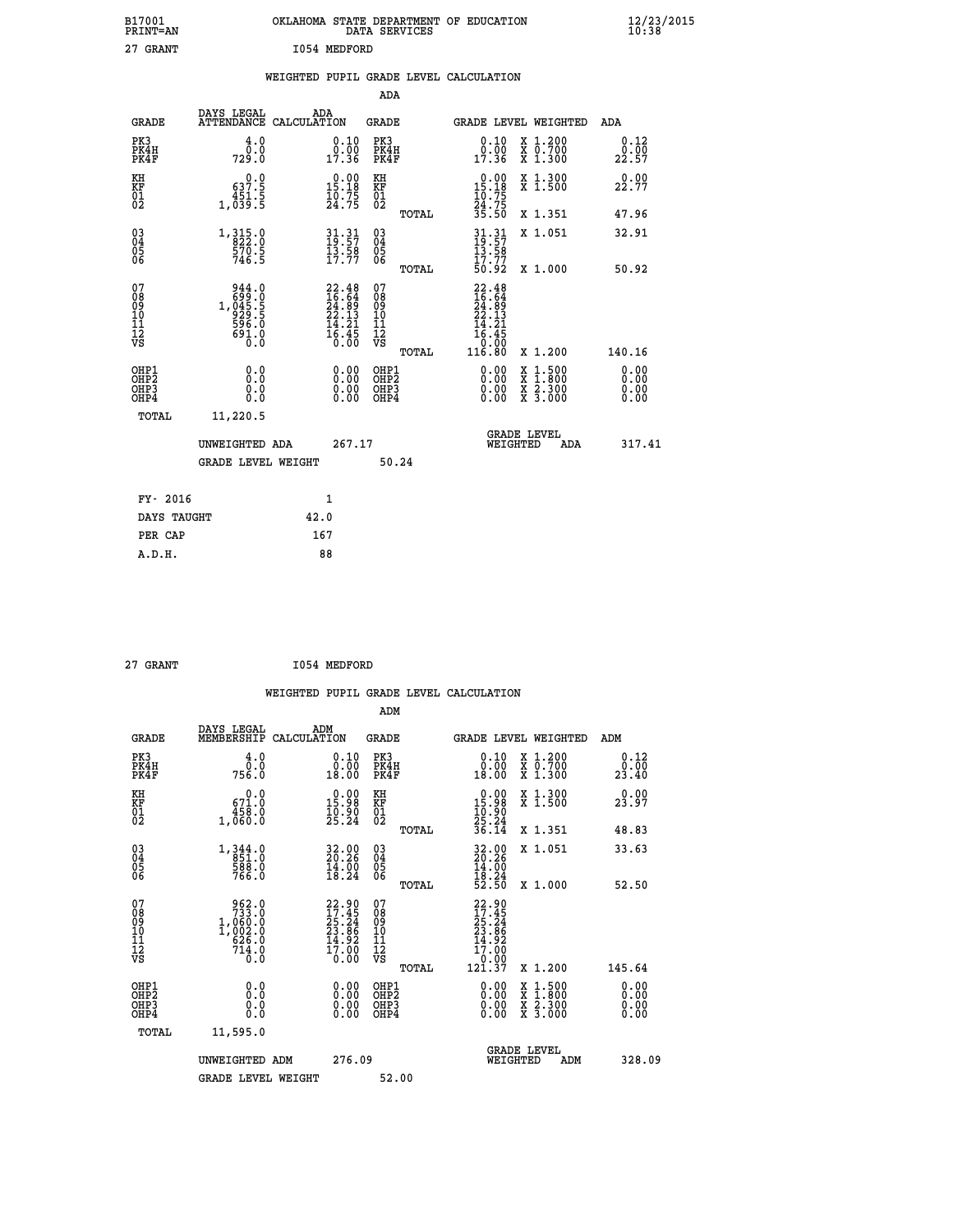| B17001<br>PRINT=AN                                 |                                                     | OKLAHOMA STATE DEPARTMENT OF EDUCATION                                   | DATA SERVICES                                   |                                                                          |                                                                                       | 12/23/2015<br>10:38          |  |
|----------------------------------------------------|-----------------------------------------------------|--------------------------------------------------------------------------|-------------------------------------------------|--------------------------------------------------------------------------|---------------------------------------------------------------------------------------|------------------------------|--|
| 27 GRANT                                           |                                                     | 1054 MEDFORD                                                             |                                                 |                                                                          |                                                                                       |                              |  |
|                                                    |                                                     | WEIGHTED PUPIL GRADE LEVEL CALCULATION                                   |                                                 |                                                                          |                                                                                       |                              |  |
|                                                    |                                                     |                                                                          | ADA                                             |                                                                          |                                                                                       |                              |  |
| <b>GRADE</b>                                       | DAYS LEGAL                                          | ADA<br>ATTENDANCE CALCULATION                                            | GRADE                                           | GRADE LEVEL WEIGHTED                                                     |                                                                                       | ADA                          |  |
| PK3<br>PK4H<br>PK4F                                | 4.0<br>0.0<br>729.0                                 | 0.10<br>0.00<br>17.36                                                    | PK3<br>PK4H<br>PK4F                             | 0.10<br>0.00<br>17.36                                                    | X 1.200<br>X 0.700<br>X 1.300                                                         | 0.12<br>0.00<br>22.57        |  |
| KH<br>KF<br>$\overline{01}$                        | 0.0<br>637.5<br>$1,\frac{451}{039}\cdot\frac{5}{5}$ | 0.00<br>$\frac{15.18}{10.75}$                                            | KH<br>KF<br>$\overline{01}$                     | 0.00<br>15.18<br>$\frac{10}{24}$ : 75<br>$\frac{24}{35}$ : 50            | X 1.300<br>X 1.500                                                                    | 0.00<br>22.77                |  |
|                                                    |                                                     |                                                                          | TOTAL                                           |                                                                          | X 1.351                                                                               | 47.96                        |  |
| $\begin{matrix} 03 \\ 04 \\ 05 \\ 06 \end{matrix}$ | $1,315.0$<br>$822.0$<br>570.5<br>746.5              | 31.31<br>19.57<br>13.58<br>17.77                                         | 030404<br>ŎĞ                                    | $31.31$<br>$19.57$<br>$\frac{13.58}{17.77}$<br>50.92                     | X 1.051                                                                               | 32.91                        |  |
|                                                    |                                                     |                                                                          | TOTAL                                           |                                                                          | X 1,000                                                                               | 50.92                        |  |
| 07<br>08<br>09<br>10<br>11<br>Ī2<br>VS             | 944.0<br>691.0<br>0.0                               | $22.48$<br>$16.64$<br>$24.89$<br>$22.13$<br>$14.21$<br>$16.45$<br>$0.00$ | 07<br>08<br>09<br>10<br>11<br>īā<br>vs<br>TOTAL | $22.48$<br>$16.64$<br>24.09<br>22.13<br>14.21<br>16.45<br>0.00<br>116.80 | X 1.200                                                                               | 140.16                       |  |
| OHP1<br>OHP <sub>2</sub><br>OHP3<br>OHP4           | 0.0<br>0.0<br>0.0<br>0.0                            | 0.00<br>0.00<br>0.00                                                     | OHP1<br>OHP <sub>2</sub><br>OHP3<br>OHP4        | 0.00<br>0.00<br>0.00                                                     | $\frac{x}{x}$ $\frac{1.500}{1.800}$<br>$\frac{\overline{x}}{x}$ $\frac{2.300}{3.000}$ | 0.00<br>0.00<br>0.00<br>0.00 |  |
| TOTAL                                              | 11,220.5                                            |                                                                          |                                                 |                                                                          |                                                                                       |                              |  |
|                                                    | UNWEIGHTED ADA                                      | 267.17                                                                   |                                                 | <b>GRADE LEVEL</b><br>WEIGHTED                                           | ADA                                                                                   | 317.41                       |  |
|                                                    | <b>GRADE LEVEL WEIGHT</b>                           |                                                                          | 50.24                                           |                                                                          |                                                                                       |                              |  |
| FY- 2016                                           |                                                     | 1                                                                        |                                                 |                                                                          |                                                                                       |                              |  |
| DAYS TAUGHT                                        |                                                     | 42.0                                                                     |                                                 |                                                                          |                                                                                       |                              |  |
| PER CAP                                            |                                                     | 167                                                                      |                                                 |                                                                          |                                                                                       |                              |  |

| 27 GRANT | 1054 MEDFORD |
|----------|--------------|

 **WEIGHTED PUPIL GRADE LEVEL CALCULATION ADM DAYS LEGAL ADM GRADE MEMBERSHIP CALCULATION GRADE GRADE LEVEL WEIGHTED ADM PK3 4.0 0.10 PK3 0.10 X 1.200 0.12 PK4H 0.0 0.00 PK4H 0.00 X 0.700 0.00 PK4F 756.0 18.00 PK4F 18.00 X 1.300 23.40 KH 0.0 0.00 KH 0.00 X 1.300 0.00 KF 671.0 15.98 KF 15.98 X 1.500 23.97 01 458.0 10.90 01 10.90 02 1,060.0 25.24 02 25.24 TOTAL 36.14 X 1.351 48.83 03 1,344.0 32.00 03 32.00 X 1.051 33.63 04 851.0 20.26 04 20.26 05 588.0 14.00 05 14.00** 06 766.0 18.24 06 <sub>momas</sub> 18.24  **TOTAL 52.50 X 1.000 52.50** 07 962.0 22.90 07 22.90<br>
08 1,060.0 17.45 08 17.45<br>
10 1,002.0 23.86 10 23.86<br>
11 626.0 14.92 11 14.92<br>
VS 714.0 10.00 VS 0.000<br>
12 0.00 VS 0.000  **TOTAL 121.37 X 1.200 145.64 OHP1 0.0 0.00 OHP1 0.00 X 1.500 0.00 OHP2 0.0 0.00 OHP2 0.00 X 1.800 0.00 OHP3 0.0 0.00 OHP3 0.00 X 2.300 0.00 OHP4 0.0 0.00 OHP4 0.00 X 3.000 0.00 TOTAL 11,595.0 GRADE LEVEL UNWEIGHTED ADM 276.09 WEIGHTED ADM 328.09** GRADE LEVEL WEIGHT 52.00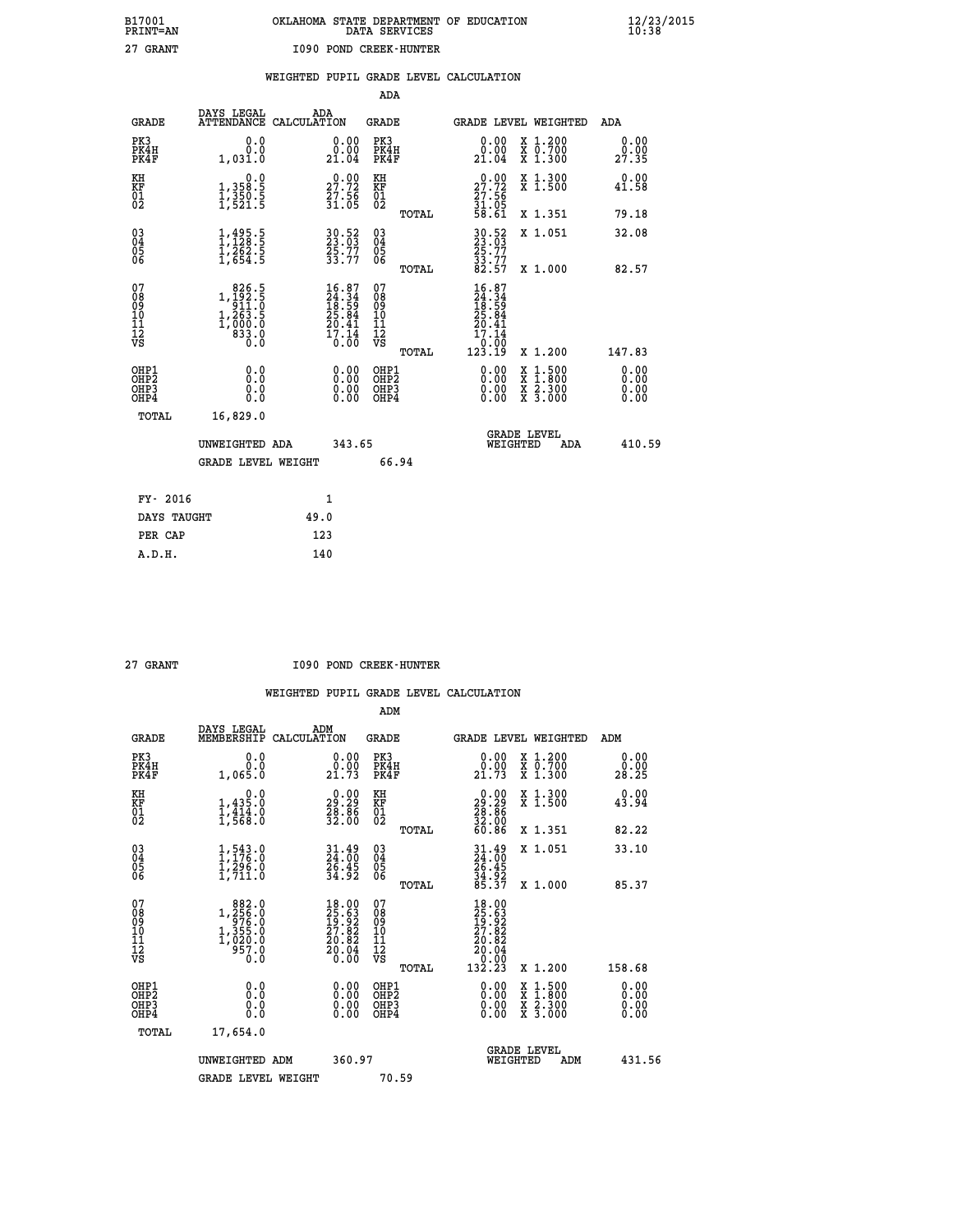|  | OKLAHOMA STATE DEPARTMENT OF EDUCATION<br>DATA SERVICES |  |
|--|---------------------------------------------------------|--|
|  | 1090 POND CREEK-HUNTER                                  |  |

|  |  | WEIGHTED PUPIL GRADE LEVEL CALCULATION |
|--|--|----------------------------------------|
|  |  |                                        |

|                                                                    |                                                                                                     |              |                                                                             | ADA                                       |       |                                                                |                                                                                                  |                              |
|--------------------------------------------------------------------|-----------------------------------------------------------------------------------------------------|--------------|-----------------------------------------------------------------------------|-------------------------------------------|-------|----------------------------------------------------------------|--------------------------------------------------------------------------------------------------|------------------------------|
| <b>GRADE</b>                                                       | DAYS LEGAL<br>ATTENDANCE CALCULATION                                                                | ADA          |                                                                             | <b>GRADE</b>                              |       |                                                                | GRADE LEVEL WEIGHTED                                                                             | ADA                          |
| PK3<br>PK4H<br>PK4F                                                | 0.0<br>0.0<br>1,031.0                                                                               |              | 0.00<br>21.04                                                               | PK3<br>PK4H<br>PK4F                       |       | 0.00<br>ŏ:ŏŏ<br>21:04                                          | X 1.200<br>X 0.700<br>X 1.300                                                                    | 0.00<br>0.00<br>27.35        |
| KH<br><b>KF</b><br>01<br>02                                        | 0.0<br>1,358:5<br>1,350:5<br>1,521:5                                                                |              | 27.72<br>$\frac{57.56}{31.05}$                                              | KH<br>KF<br>01<br>02                      |       | 27.72<br>$\frac{27.56}{31.05}$<br>58.61                        | X 1.300<br>X 1.500                                                                               | 0.00<br>41.58                |
|                                                                    |                                                                                                     |              |                                                                             |                                           | TOTAL |                                                                | X 1.351                                                                                          | 79.18                        |
| $\begin{smallmatrix} 03 \\[-4pt] 04 \end{smallmatrix}$<br>05<br>06 | $1, 495.5$<br>$1, 128.5$<br>$1, 262.5$<br>$1, 654.5$                                                |              | 30.52<br>23.03<br>25.77<br>33.77                                            | $\substack{03 \\ 04}$<br>Ŏ5<br>06         | TOTAL | 30:52<br>23:03<br>25:77<br>33:77<br>33:57                      | X 1.051<br>X 1.000                                                                               | 32.08<br>82.57               |
| 07<br>08901112<br>1112<br>VS                                       | $\begin{smallmatrix} & 826.5\\ 1,192.5\\ 911.0\\ 1,263.5\\ 1,000.0\\ 833.0\\ 0.0 \end{smallmatrix}$ |              | $16.87$<br>$24.34$<br>$18.59$<br>$25.84$<br>$20.41$<br>$\frac{17.14}{0.00}$ | 07<br>08<br>09<br>11<br>11<br>12<br>VS    |       | $16.87$<br>$24.34$<br>$18.59$<br>$25.84$<br>$20.41$<br>$17.14$ |                                                                                                  |                              |
|                                                                    |                                                                                                     |              |                                                                             |                                           | TOTAL | 10.00<br>123.19                                                | X 1.200                                                                                          | 147.83                       |
| OHP1<br>OH <sub>P</sub> 2<br>OH <sub>P3</sub><br>OH <sub>P4</sub>  | 0.0<br>0.0<br>0.0                                                                                   |              | 0.00<br>$\begin{smallmatrix} 0.00 \ 0.00 \end{smallmatrix}$                 | OHP1<br>OH <sub>P</sub> 2<br>OHP3<br>OHP4 |       | 0.00<br>0.00<br>0.00                                           | $\begin{smallmatrix} x & 1 & 500 \\ x & 1 & 800 \\ x & 2 & 300 \\ x & 3 & 000 \end{smallmatrix}$ | 0.00<br>0.00<br>0.00<br>0.00 |
| TOTAL                                                              | 16,829.0                                                                                            |              |                                                                             |                                           |       |                                                                |                                                                                                  |                              |
|                                                                    | UNWEIGHTED ADA                                                                                      |              | 343.65                                                                      |                                           |       |                                                                | GRADE LEVEL<br>WEIGHTED<br>ADA                                                                   | 410.59                       |
|                                                                    | <b>GRADE LEVEL WEIGHT</b>                                                                           |              |                                                                             |                                           | 66.94 |                                                                |                                                                                                  |                              |
| FY- 2016                                                           |                                                                                                     | $\mathbf{1}$ |                                                                             |                                           |       |                                                                |                                                                                                  |                              |
| DAYS TAUGHT                                                        |                                                                                                     | 49.0         |                                                                             |                                           |       |                                                                |                                                                                                  |                              |
| PER CAP                                                            |                                                                                                     | 123          |                                                                             |                                           |       |                                                                |                                                                                                  |                              |

| <b>RANT</b> |
|-------------|
|             |

 **A.D.H. 140**

 **B17001<br>PRINT=AN<br>27 GRANT** 

 **27 GRANT 1090 POND CREEK-HUNTER** 

|                                                      |                                                                                                                                                                                                                                   |                                                                                              | ADM                                                 |                                                                                                  |                                          |                              |
|------------------------------------------------------|-----------------------------------------------------------------------------------------------------------------------------------------------------------------------------------------------------------------------------------|----------------------------------------------------------------------------------------------|-----------------------------------------------------|--------------------------------------------------------------------------------------------------|------------------------------------------|------------------------------|
| <b>GRADE</b>                                         | DAYS LEGAL<br>MEMBERSHIP                                                                                                                                                                                                          | ADM<br>CALCULATION                                                                           | <b>GRADE</b>                                        |                                                                                                  | GRADE LEVEL WEIGHTED                     | ADM                          |
| PK3<br>PK4H<br>PK4F                                  | 0.0<br>0.0<br>1,065.Ŏ                                                                                                                                                                                                             | $\begin{smallmatrix} 0.00\\ 0.00\\ 21.73 \end{smallmatrix}$                                  | PK3<br>PK4H<br>PK4F                                 | $\begin{smallmatrix} 0.00\\ 0.00\\ 21.73 \end{smallmatrix}$                                      | X 1.200<br>X 0.700<br>X 1.300            | 0.00<br>0.00<br>28.25        |
| KH<br>KF<br>01<br>02                                 | 0.0<br>$1,435.0$<br>$1,414.0$<br>$1,568.0$                                                                                                                                                                                        | $\begin{smallmatrix} 0.00\\ 29.29\\ 28.86\\ 32.00 \end{smallmatrix}$                         | KH<br>KF<br>01<br>02                                | $\begin{smallmatrix} 0.00\\29.29\\28.86\\32.00\\ 60.86 \end{smallmatrix}$                        | X 1.300<br>X 1.500                       | 0.00<br>43.94                |
|                                                      |                                                                                                                                                                                                                                   |                                                                                              | TOTAL                                               |                                                                                                  | X 1.351                                  | 82.22                        |
| 03<br>04<br>05<br>06                                 | $1, 543.0$<br>$1, 176.0$<br>$1, 296.0$<br>1,711.0                                                                                                                                                                                 | 31.49<br>24.00<br>26.45<br>34.92                                                             | $\begin{array}{c} 03 \\ 04 \\ 05 \\ 06 \end{array}$ | 31.49<br>24.00<br>26.45<br>34.92<br>35.37                                                        | X 1.051                                  | 33.10                        |
|                                                      |                                                                                                                                                                                                                                   |                                                                                              | TOTAL                                               |                                                                                                  | X 1.000                                  | 85.37                        |
| 07<br>08<br>09<br>101<br>112<br>VS                   | $\begin{smallmatrix} & 8 & 8 & 2 & . & 0 \\ 1 & , & 2 & 5 & 6 & . & 0 \\ 9 & 7 & 6 & . & 0 & 0 \\ 1 & , & 3 & 5 & 5 & . & 0 \\ 1 & , & 0 & 2 & 0 & . & 0 \\ 9 & 5 & 7 & . & 0 & . & 0 \\ 0 & . & 0 & 0 & . & 0 \end{smallmatrix}$ | $\begin{smallmatrix} 18.00\\ 25.63\\ 19.92\\ 27.82\\ 20.82\\ 20.04\\ 0.00 \end{smallmatrix}$ | 07<br>08<br>09<br>11<br>11<br>12<br>VS              | $\begin{smallmatrix} 18.00\ 25.63\ 19.922\ 27.822\ 20.82\ 20.04\ 0.00\ 132.23 \end{smallmatrix}$ |                                          |                              |
|                                                      |                                                                                                                                                                                                                                   |                                                                                              | TOTAL                                               |                                                                                                  | X 1.200                                  | 158.68                       |
| OHP1<br>OHP2<br>OHP <sub>3</sub><br>OH <sub>P4</sub> | 0.0<br>$\begin{smallmatrix} 0.0 & 0 \ 0.0 & 0 \end{smallmatrix}$                                                                                                                                                                  | $0.00$<br>$0.00$<br>0.00                                                                     | OHP1<br>OHP2<br>OHP <sub>3</sub>                    | $0.00$<br>$0.00$<br>0.00                                                                         | X 1:500<br>X 1:800<br>X 2:300<br>X 3:000 | 0.00<br>0.00<br>0.00<br>0.00 |
| TOTAL                                                | 17,654.0                                                                                                                                                                                                                          |                                                                                              |                                                     |                                                                                                  |                                          |                              |
|                                                      | UNWEIGHTED ADM                                                                                                                                                                                                                    | 360.97                                                                                       |                                                     |                                                                                                  | GRADE LEVEL<br>WEIGHTED<br>ADM           | 431.56                       |
|                                                      | <b>GRADE LEVEL WEIGHT</b>                                                                                                                                                                                                         |                                                                                              | 70.59                                               |                                                                                                  |                                          |                              |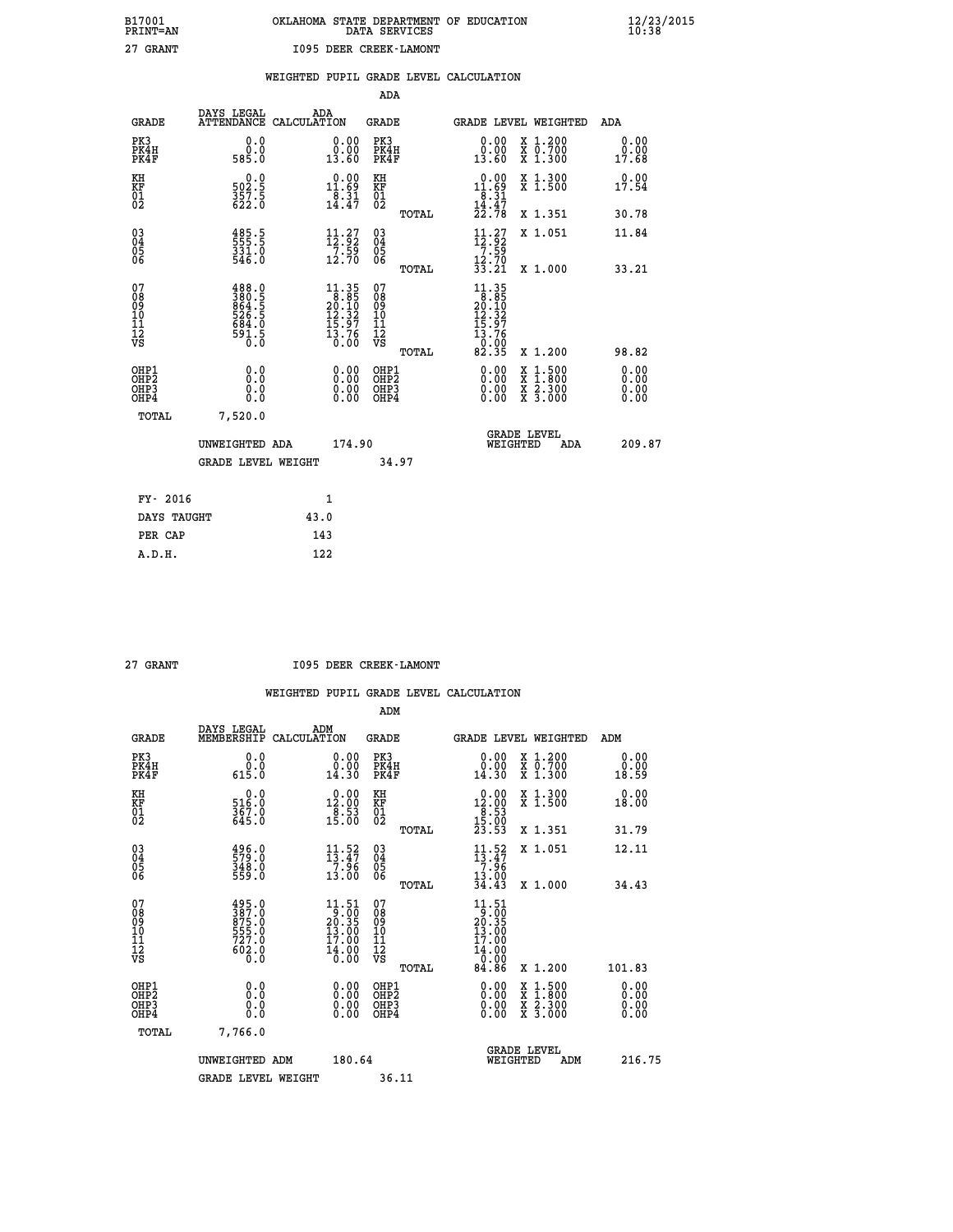|  | OKLAHOMA STATE DEPARTMENT OF EDUCATION<br>DATA SERVICES |  |
|--|---------------------------------------------------------|--|
|  | 1095 DEER CREEK-LAMONT                                  |  |

|  |  | WEIGHTED PUPIL GRADE LEVEL CALCULATION |
|--|--|----------------------------------------|
|  |  |                                        |

|                                                    |                                                                      |                                                                                          | ADA                                    |       |                                                                                                                                    |   |                                          |                              |
|----------------------------------------------------|----------------------------------------------------------------------|------------------------------------------------------------------------------------------|----------------------------------------|-------|------------------------------------------------------------------------------------------------------------------------------------|---|------------------------------------------|------------------------------|
| <b>GRADE</b>                                       | DAYS LEGAL<br><b>ATTENDANCE</b>                                      | ADA<br>CALCULATION                                                                       | GRADE                                  |       | GRADE LEVEL WEIGHTED                                                                                                               |   |                                          | <b>ADA</b>                   |
| PK3<br>PK4H<br>PK4F                                | 0.0<br>0.0<br>585.0                                                  | 0.00<br>0.00<br>13.60                                                                    | PK3<br>PK4H<br>PK4F                    |       | 0.00<br>0.00<br>13.60                                                                                                              |   | X 1.200<br>X 0.700<br>X 1.300            | 0.00<br>0.00<br>17.68        |
| KH<br><b>KF</b><br>01<br>02                        | 0.0<br>502.5<br>357.5<br>622.0                                       | $0.00$<br>11.69<br>$\frac{8.31}{14.47}$                                                  | KH<br>KF<br>01<br>02                   |       | $\begin{array}{r} 0.00 \\[-4pt] 11.69 \\[-4pt] 8.31 \\[-4pt] 14.47 \\[-4pt] 22.78 \end{array}$                                     |   | X 1.300<br>$\bar{x}$ 1.500               | 0.00<br>17.54                |
|                                                    |                                                                      |                                                                                          |                                        | TOTAL |                                                                                                                                    |   | X 1.351                                  | 30.78                        |
| $\begin{matrix} 03 \\ 04 \\ 05 \\ 06 \end{matrix}$ | 185.5<br>$\frac{331.0}{546.0}$                                       | 11.27<br>$\frac{7}{12}$ $\frac{55}{70}$                                                  | 03<br>04<br>05<br>06                   |       | $\begin{array}{c} 11.27 \\[-4pt] 12.92 \\[-4pt] 7.59 \\[-4pt] 12.70 \\[-4pt] 33.21 \end{array}$                                    |   | X 1.051                                  | 11.84                        |
|                                                    |                                                                      |                                                                                          |                                        | TOTAL |                                                                                                                                    |   | X 1.000                                  | 33.21                        |
| 07<br>08<br>09<br>101<br>11<br>12<br>VS            | 488.0<br>380.5<br>864.5<br>826.5<br>526.5<br>684.0<br>591.5<br>591.5 | $\begin{array}{c} 11.35 \\ 8.85 \\ 20.10 \\ 12.32 \\ 15.97 \\ 13.76 \end{array}$<br>0.00 | 07<br>08<br>09<br>11<br>11<br>12<br>VS | TOTAL | $\begin{array}{c} 11\cdot 35\\ 8\cdot 50\\ 20\cdot 10\\ 12\cdot 32\\ 15\cdot 97\\ 13\cdot 76\\ 0\cdot 00\\ 82\cdot 35 \end{array}$ |   | X 1.200                                  | 98.82                        |
|                                                    |                                                                      |                                                                                          |                                        |       |                                                                                                                                    |   |                                          |                              |
| OHP1<br>OHP2<br>OHP3<br>OH <sub>P4</sub>           | 0.0<br>0.0<br>0.0                                                    | 0.00<br>$\begin{smallmatrix} 0.00 \ 0.00 \end{smallmatrix}$                              | OHP1<br>OHP2<br>OHP3<br>OHP4           |       | $0.00$<br>$0.00$<br>0.00                                                                                                           | X | $1.500$<br>$1.800$<br>X 2.300<br>X 3.000 | 0.00<br>0.00<br>0.00<br>0.00 |
| TOTAL                                              | 7,520.0                                                              |                                                                                          |                                        |       |                                                                                                                                    |   |                                          |                              |
|                                                    | UNWEIGHTED ADA                                                       | 174.90                                                                                   |                                        |       | WEIGHTED                                                                                                                           |   | <b>GRADE LEVEL</b><br>ADA                | 209.87                       |
|                                                    | <b>GRADE LEVEL WEIGHT</b>                                            |                                                                                          |                                        | 34.97 |                                                                                                                                    |   |                                          |                              |
| FY- 2016                                           |                                                                      | $\mathbf{1}$                                                                             |                                        |       |                                                                                                                                    |   |                                          |                              |
| DAYS TAUGHT                                        |                                                                      | 43.0                                                                                     |                                        |       |                                                                                                                                    |   |                                          |                              |
|                                                    |                                                                      |                                                                                          |                                        |       |                                                                                                                                    |   |                                          |                              |

| . тп<br>۰ |
|-----------|
|           |

 **PER CAP 143 A.D.H. 122**

 **B17001<br>PRINT=AN<br>27 GRANT** 

 **27 GRANT I095 DEER CREEK-LAMONT**

|                                                      |                                                                      |                                                                                                          | ADM                                                 |                                                                                                |                                          |                       |
|------------------------------------------------------|----------------------------------------------------------------------|----------------------------------------------------------------------------------------------------------|-----------------------------------------------------|------------------------------------------------------------------------------------------------|------------------------------------------|-----------------------|
| <b>GRADE</b>                                         | DAYS LEGAL<br>MEMBERSHIP                                             | ADM<br>CALCULATION                                                                                       | <b>GRADE</b>                                        |                                                                                                | GRADE LEVEL WEIGHTED                     | ADM                   |
| PK3<br>PK4H<br>PK4F                                  | 0.0<br>$\begin{smallmatrix} 0.0 & 0 \ 6 & 15 & 0 \end{smallmatrix}$  | $\begin{smallmatrix} 0.00\\ 0.00\\ 14.30 \end{smallmatrix}$                                              | PK3<br>PK4H<br>PK4F                                 | $\begin{smallmatrix} 0.00\\ 0.00\\ 14.30 \end{smallmatrix}$                                    | X 1.200<br>X 0.700<br>X 1.300            | 0.00<br>0.00<br>18.59 |
| KH<br>KF<br>01<br>02                                 | $516.0$<br>$367.0$<br>$645.0$                                        | $\begin{smallmatrix} 0.00\\12.00\\8.53\\15.00 \end{smallmatrix}$                                         | KH<br>KF<br>01<br>02                                | $\begin{array}{c} 0.00 \\[-4pt] 12.00 \\[-4pt] 8.53 \\[-4pt] 15.00 \\[-4pt] 23.53 \end{array}$ | X 1.300<br>X 1.500                       | 0.00<br>18.00         |
|                                                      |                                                                      |                                                                                                          | TOTAL                                               |                                                                                                | X 1.351                                  | 31.79                 |
| 03<br>04<br>05<br>06                                 | 496.0<br>579.0<br>348.0<br>559.0                                     | $\begin{array}{c} 11\cdot 52\\13\cdot 47\\7\cdot 96\\13\cdot 00\end{array}$                              | $\begin{array}{c} 03 \\ 04 \\ 05 \\ 06 \end{array}$ | $\frac{11}{13}$ : 47<br>7.96                                                                   | X 1.051                                  | 12.11                 |
|                                                      |                                                                      |                                                                                                          | TOTAL                                               | $\frac{13.00}{34.43}$                                                                          | X 1.000                                  | 34.43                 |
| 07<br>08<br>09<br>101<br>112<br>VS                   | 495.0<br>387.0<br>875.0<br>875.0<br>555.0<br>727.0<br>602.0<br>602.0 | $\begin{smallmatrix} 11.51 \\ 9.00 \\ 20.35 \\ 13.00 \\ 17.00 \end{smallmatrix}$<br>$\frac{14.00}{0.00}$ | 07<br>08<br>09<br>11<br>11<br>12<br>VS              | $\begin{smallmatrix}11.51\\9.00\\20.35\\13.00\\17.00\\14.00\\0.00\end{smallmatrix}$            |                                          |                       |
|                                                      |                                                                      |                                                                                                          | TOTAL                                               | 84.86                                                                                          | X 1.200                                  | 101.83                |
| OHP1<br>OHP2<br>OH <sub>P3</sub><br>OH <sub>P4</sub> | 0.0<br>0.000                                                         |                                                                                                          | OHP1<br>OHP2<br>OHP <sub>3</sub>                    | $0.00$<br>$0.00$<br>0.00                                                                       | X 1:500<br>X 1:800<br>X 2:300<br>X 3:000 | 0.00<br>0.00<br>0.00  |
| TOTAL                                                | 7,766.0                                                              |                                                                                                          |                                                     |                                                                                                |                                          |                       |
|                                                      | UNWEIGHTED ADM                                                       | 180.64                                                                                                   |                                                     |                                                                                                | GRADE LEVEL<br>WEIGHTED<br>ADM           | 216.75                |
|                                                      | <b>GRADE LEVEL WEIGHT</b>                                            |                                                                                                          | 36.11                                               |                                                                                                |                                          |                       |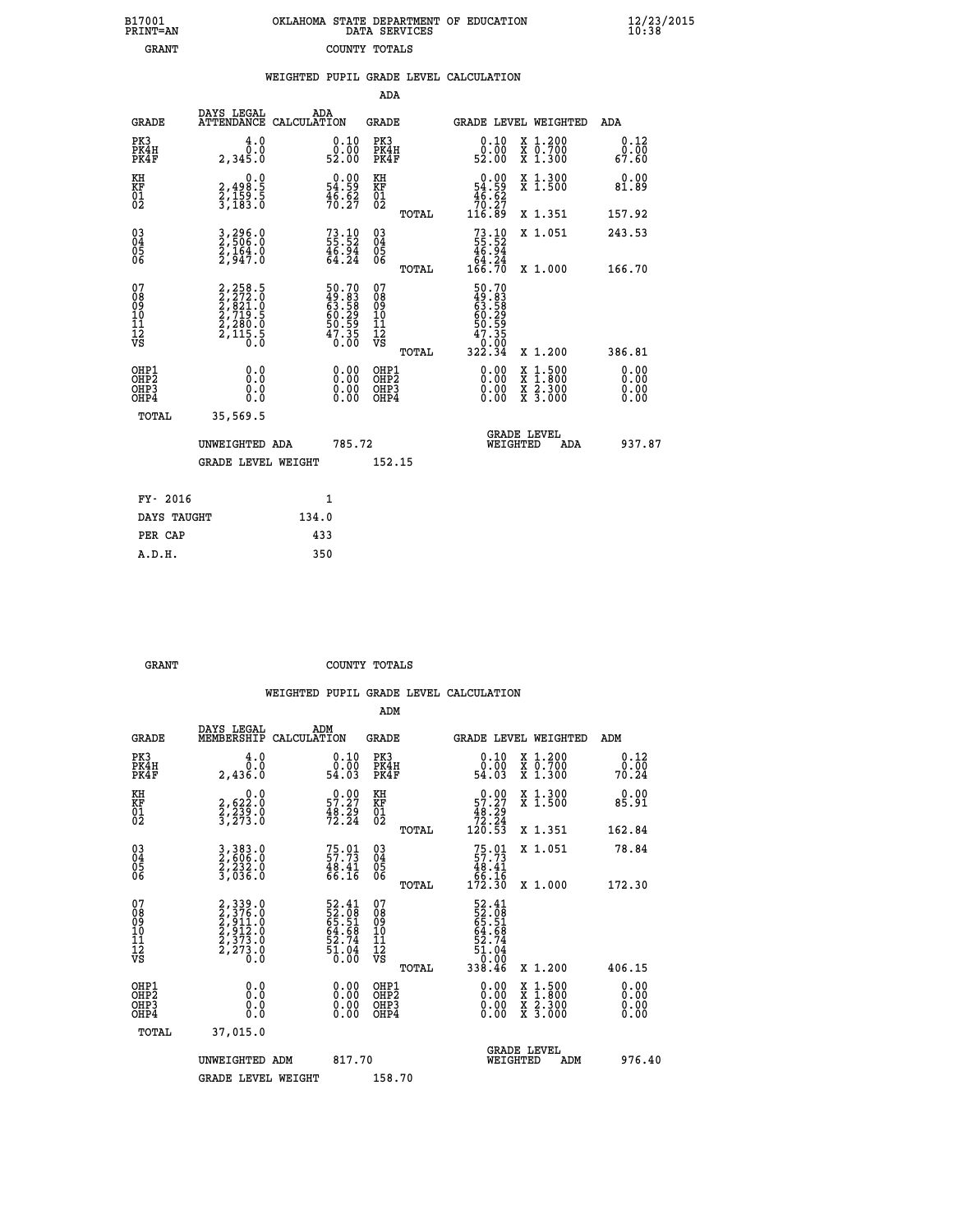|               | OKLAHOMA STATE DEPARTMENT OF EDUCATION<br>DATA SERVICES |  |
|---------------|---------------------------------------------------------|--|
| COUNTY TOTALS |                                                         |  |

| <b>GRANT</b>                                       |                                                                | COUNTY TOTALS                                                        |                                                      |       |                                                                               |          |                                                                                                                                              |                       |  |
|----------------------------------------------------|----------------------------------------------------------------|----------------------------------------------------------------------|------------------------------------------------------|-------|-------------------------------------------------------------------------------|----------|----------------------------------------------------------------------------------------------------------------------------------------------|-----------------------|--|
|                                                    |                                                                |                                                                      |                                                      |       | WEIGHTED PUPIL GRADE LEVEL CALCULATION                                        |          |                                                                                                                                              |                       |  |
|                                                    |                                                                |                                                                      | ADA                                                  |       |                                                                               |          |                                                                                                                                              |                       |  |
| <b>GRADE</b>                                       | DAYS LEGAL ADA ATTENDANCE CALCULATION                          |                                                                      | <b>GRADE</b>                                         |       |                                                                               |          | GRADE LEVEL WEIGHTED                                                                                                                         | ADA                   |  |
| PK3<br>PK4H<br>PK4F                                | 4.0<br>ة:ة<br>2,345.0                                          | $\begin{smallmatrix} 0.10\\ 0.00\\ 52.00 \end{smallmatrix}$          | PK3<br>PK4H<br>PK4F                                  |       | $\begin{smallmatrix} 0.10\\ 0.00\\ 52.00 \end{smallmatrix}$                   |          | X 1.200<br>X 0.700<br>X 1.300                                                                                                                | 0.12<br>0.00<br>67.60 |  |
| KH<br>KF<br>01<br>02                               | 0.0<br>2,498:5<br>2,159:5<br>3,183:0                           | $\begin{smallmatrix} 0.00\\ 54.59\\ 46.52\\ 70.27 \end{smallmatrix}$ | KH<br>KF<br>01<br>02                                 |       | $\begin{smallmatrix} &0.00\\ 54.59\\ 46.62\\ 70.27\\ 116.89\end{smallmatrix}$ |          | X 1.300<br>X 1.500                                                                                                                           | 0.00<br>81.89         |  |
|                                                    |                                                                |                                                                      |                                                      | TOTAL |                                                                               |          | X 1.351                                                                                                                                      | 157.92                |  |
| $\begin{matrix} 03 \\ 04 \\ 05 \\ 06 \end{matrix}$ | 3,296.0<br>2,506.0<br>2,164.0<br>2,947.0                       | $73.10$<br>55.52<br>46.94<br>64.24                                   | $\begin{array}{c} 03 \\ 04 \\ 05 \\ 06 \end{array}$  |       | $73.10$<br>55.52<br>46.94<br>464.24<br>166.70                                 |          | X 1.051                                                                                                                                      | 243.53                |  |
|                                                    |                                                                |                                                                      |                                                      | TOTAL |                                                                               |          | X 1.000                                                                                                                                      | 166.70                |  |
| 07<br>08<br>09<br>001<br>11<br>11<br>12<br>VS      | 2,258.5<br>2,272.0<br>2,821.0<br>2,719.5<br>2,280.0<br>2,115.5 | 50.70<br>49.83<br>63.58<br>60.29<br>60.59<br>50.59<br>57.35<br>0.00  | 07<br>08<br>09<br>11<br>11<br>12<br>VS               | TOTAL | 50.70<br>49.83<br>63.58<br>60.29<br>60.59<br>50.595<br>0:00<br>322.34         |          | X 1.200                                                                                                                                      | 386.81                |  |
| OHP1                                               |                                                                |                                                                      |                                                      |       |                                                                               |          |                                                                                                                                              | 0.00                  |  |
| OHP <sub>2</sub><br>OHP3<br>OHP4                   | 0.0<br>0.0<br>0.0                                              | $0.00$<br>$0.00$<br>0.00                                             | OHP1<br>OHP2<br>OHP <sub>3</sub><br>OHP <sub>4</sub> |       | 0.00<br>0.00                                                                  |          | $\begin{smallmatrix} \mathtt{X} & 1\cdot500 \\ \mathtt{X} & 1\cdot800 \\ \mathtt{X} & 2\cdot300 \\ \mathtt{X} & 3\cdot000 \end{smallmatrix}$ | 0.00<br>0.00<br>0.00  |  |
| TOTAL                                              | 35,569.5                                                       |                                                                      |                                                      |       |                                                                               |          |                                                                                                                                              |                       |  |
|                                                    | UNWEIGHTED ADA                                                 | 785.72                                                               |                                                      |       |                                                                               | WEIGHTED | <b>GRADE LEVEL</b><br><b>ADA</b>                                                                                                             | 937.87                |  |
|                                                    | <b>GRADE LEVEL WEIGHT</b>                                      |                                                                      | 152.15                                               |       |                                                                               |          |                                                                                                                                              |                       |  |
| FY- 2016                                           |                                                                | 1                                                                    |                                                      |       |                                                                               |          |                                                                                                                                              |                       |  |
|                                                    |                                                                |                                                                      |                                                      |       |                                                                               |          |                                                                                                                                              |                       |  |

| FY- 2016    |       |
|-------------|-------|
| DAYS TAUGHT | 134.0 |
| PER CAP     | 433   |
| A.D.H.      | 350   |
|             |       |

**B17001<br>PRINT=AN** 

GRANT **GRANT** COUNTY TOTALS

|                                          |                                                                             |                                                                      | ADM                                                 |                                                                           |                                          |                              |
|------------------------------------------|-----------------------------------------------------------------------------|----------------------------------------------------------------------|-----------------------------------------------------|---------------------------------------------------------------------------|------------------------------------------|------------------------------|
| <b>GRADE</b>                             | DAYS LEGAL<br>MEMBERSHIP                                                    | ADM<br>CALCULATION                                                   | <b>GRADE</b>                                        | GRADE LEVEL WEIGHTED                                                      |                                          | ADM                          |
| PK3<br>PK4H<br>PK4F                      | 4.0<br>Ō.O<br>2,436.0                                                       | $0.10$<br>$0.00$<br>54.03                                            | PK3<br>PK4H<br>PK4F                                 | $\begin{smallmatrix} 0.10\\ 0.00\\ 54.03 \end{smallmatrix}$               | X 1.200<br>X 0.700<br>X 1.300            | 0.12<br>0.00<br>70.24        |
| KH<br>KF<br>01<br>02                     | 0.0<br>2,622:0<br>2,239:0<br>3,273:0                                        | $\begin{smallmatrix} 0.00\\ 57.27\\ 48.29\\ 72.24 \end{smallmatrix}$ | KH<br>KF<br>01<br>02                                | $\begin{smallmatrix}&&0.00\\57.27\\48.29\\72.24\\120.53\end{smallmatrix}$ | X 1.300<br>X 1.500                       | 0.00<br>85.91                |
|                                          |                                                                             |                                                                      | TOTAL                                               |                                                                           | X 1.351                                  | 162.84                       |
| 03<br>04<br>05<br>06                     | 3,383.0<br>2,606.0<br>2,232.0<br>3,036.0                                    | $75.01$<br>$57.73$<br>$48.41$<br>$66.16$                             | $\begin{array}{c} 03 \\ 04 \\ 05 \\ 06 \end{array}$ | $75.01$<br>57.73<br>48.41<br>46.16<br>56.16<br>172.30                     | X 1.051                                  | 78.84                        |
|                                          |                                                                             |                                                                      | TOTAL                                               |                                                                           | X 1.000                                  | 172.30                       |
| 07<br>08<br>09<br>101<br>112<br>VS       | 2, 339.0<br>2, 376.0<br>2, 911.0<br>2, 912.0<br>2, 373.0<br>2, 273.0<br>0.0 | 52.41<br>52.08<br>65.51<br>64.68<br>64.68<br>52.74<br>51.04<br>51.04 | 07<br>08<br>09<br>11<br>11<br>12<br>VS<br>TOTAL     | 52.41<br>52.081<br>64.64<br>64.644<br>52.74<br>51.04<br>538.46            | X 1.200                                  | 406.15                       |
| OHP1<br>OHP2<br>OHP <sub>3</sub><br>OHP4 | 0.0<br>0.000                                                                | $0.00$<br>$0.00$<br>0.00                                             | OHP1<br>OHP2<br>OHP <sub>3</sub>                    | $0.00$<br>$0.00$<br>0.00                                                  | X 1:500<br>X 1:800<br>X 2:300<br>X 3:000 | 0.00<br>0.00<br>0.00<br>0.00 |
| TOTAL                                    | 37,015.0                                                                    |                                                                      |                                                     |                                                                           |                                          |                              |
|                                          | UNWEIGHTED ADM                                                              | 817.70                                                               |                                                     | WEIGHTED                                                                  | <b>GRADE LEVEL</b><br>ADM                | 976.40                       |
|                                          | <b>GRADE LEVEL WEIGHT</b>                                                   |                                                                      | 158.70                                              |                                                                           |                                          |                              |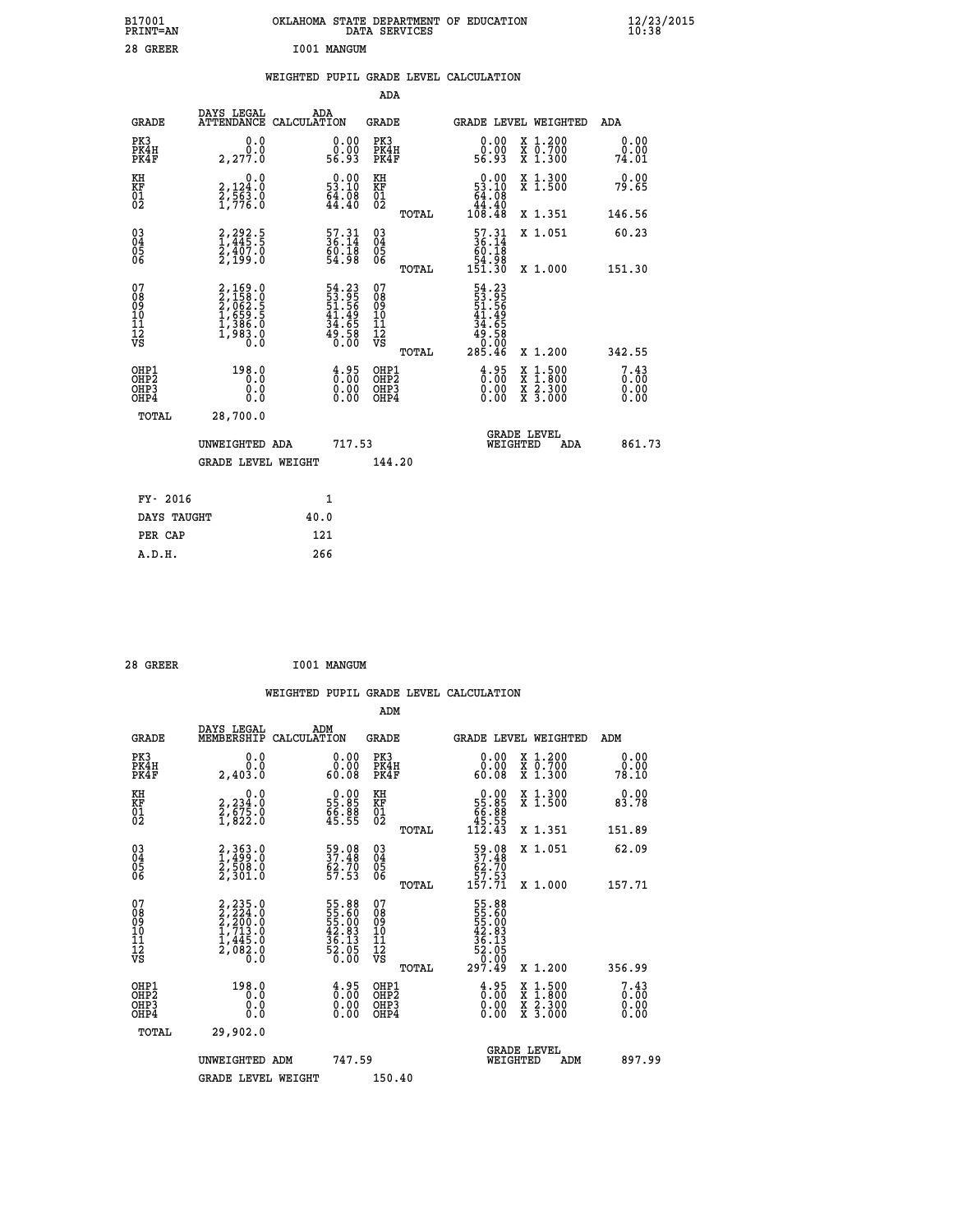| B17001<br>PRINT=AN                                 |                                                                                  | OKLAHOMA STATE DEPARTMENT OF EDUCATION                                     | DATA SERVICES                                      |                                                               |                                                                                          | $\frac{12}{23}$ /2015        |  |
|----------------------------------------------------|----------------------------------------------------------------------------------|----------------------------------------------------------------------------|----------------------------------------------------|---------------------------------------------------------------|------------------------------------------------------------------------------------------|------------------------------|--|
| 28 GREER                                           |                                                                                  | I001 MANGUM                                                                |                                                    |                                                               |                                                                                          |                              |  |
|                                                    |                                                                                  | WEIGHTED PUPIL GRADE LEVEL CALCULATION                                     |                                                    |                                                               |                                                                                          |                              |  |
|                                                    |                                                                                  |                                                                            | ADA                                                |                                                               |                                                                                          |                              |  |
| <b>GRADE</b>                                       | DAYS LEGAL                                                                       | ADA<br>ATTENDANCE CALCULATION                                              | GRADE                                              |                                                               | GRADE LEVEL WEIGHTED                                                                     | ADA                          |  |
| PK3<br>PK4H<br>PK4F                                | 0.0<br>0.0<br>2,277.0                                                            | $\begin{smallmatrix} 0.00\\ 0.00\\ 56.93 \end{smallmatrix}$                | PK3<br>PK4H<br>PK4F                                | 0.00<br>ŏ.ŏŏ<br>56.93                                         | X 1.200<br>X 0.700<br>X 1.300                                                            | 0.00<br>0.00<br>74.01        |  |
| KH<br>KF<br>$\frac{01}{02}$                        | 0.0<br>2,124:0<br>2,563:0<br>1,776:0                                             | $0.00$<br>53.10<br>$\frac{54}{44}.08$                                      | KH<br>KF<br>01<br>02                               | $0.00$<br>53.10<br>$\frac{64}{44}$ : $\frac{08}{40}$          | X 1.300<br>X 1.500                                                                       | 0.00<br>79.65                |  |
|                                                    |                                                                                  |                                                                            | TOTAL                                              | 108.48                                                        | X 1.351                                                                                  | 146.56                       |  |
| $\begin{matrix} 03 \\ 04 \\ 05 \\ 06 \end{matrix}$ | 2,292.5<br>1,445.5<br>2,407.0<br>2,199.0                                         | 57.31<br>36.14<br>$\frac{60}{54}. \frac{18}{98}$                           | $\begin{matrix} 03 \\ 04 \\ 05 \\ 06 \end{matrix}$ | $\frac{57.31}{36.14}$<br>$\frac{60.18}{9}$<br>84.98<br>151.30 | X 1.051                                                                                  | 60.23                        |  |
| 07<br>08<br>09<br>111<br>12<br>VS                  | 2,169.0<br>2,158.0<br>2,062.5<br>2,063.5<br>1,659.5<br>1,386.0<br>1,983.0<br>0.0 | 54.23<br>53.95<br>51.56<br>51.49<br>44.65<br>49.58<br>0.00                 | TOTAL<br>0789011128                                | 54.23<br>53.95<br>51.56<br>41.49<br>34<br>.65                 | X 1,000                                                                                  | 151.30                       |  |
|                                                    |                                                                                  |                                                                            | TOTAL                                              | $\frac{45.58}{0.00}$<br>285.46                                | X 1.200                                                                                  | 342.55                       |  |
| OHP1<br>OHP2<br>OHP3<br>OHP4                       | 198.0<br>0.0<br>0.0<br>0.0                                                       | $\frac{4.95}{0.00}$<br>$\begin{smallmatrix} 0.00 \ 0.00 \end{smallmatrix}$ | OHP1<br>OHP <sub>2</sub><br>OHP3<br>OHP4           | 3:85<br>0.00<br>0.00                                          | $\begin{smallmatrix} x & 1.500 \\ x & 1.800 \\ x & 2.300 \\ x & 3.000 \end{smallmatrix}$ | 7.43<br>0.00<br>0.00<br>0.00 |  |
| TOTAL                                              | 28,700.0                                                                         |                                                                            |                                                    |                                                               |                                                                                          |                              |  |
|                                                    | UNWEIGHTED ADA                                                                   | 717.53                                                                     |                                                    | WEIGHTED                                                      | <b>GRADE LEVEL</b><br>ADA                                                                | 861.73                       |  |
|                                                    | <b>GRADE LEVEL WEIGHT</b>                                                        |                                                                            | 144.20                                             |                                                               |                                                                                          |                              |  |
| FY- 2016                                           |                                                                                  | 1                                                                          |                                                    |                                                               |                                                                                          |                              |  |
| DAYS TAUGHT                                        |                                                                                  | 40.0                                                                       |                                                    |                                                               |                                                                                          |                              |  |
| PER CAP                                            |                                                                                  | 121                                                                        |                                                    |                                                               |                                                                                          |                              |  |

| 28 GREER | I001 MANGUM |
|----------|-------------|
|          |             |

 **WEIGHTED PUPIL GRADE LEVEL CALCULATION ADM DAYS LEGAL ADM GRADE MEMBERSHIP CALCULATION GRADE GRADE LEVEL WEIGHTED ADM PK3 0.0 0.00 PK3 0.00 X 1.200 0.00 PK4H 0.0 0.00 PK4H 0.00 X 0.700 0.00 PK4F 2,403.0 60.08 PK4F 60.08 X 1.300 78.10** 0.00 KH 0.00 KH 0.00 KH 0.00 X 1.300<br>RF 2,234.0 55.85 KF 55.85 X 1.500 83.78  **01 2,675.0 66.88 01 66.88 02 1,822.0 45.55 02 45.55 TOTAL 112.43 X 1.351 151.89 03 2,363.0 59.08 03 59.08 X 1.051 62.09 04 1,499.0 37.48 04 37.48 05 2,508.0 62.70 05 62.70 06 2,301.0 57.53 06 57.53 TOTAL 157.71 X 1.000 157.71**  $\begin{array}{cccc} 07 & 2,235.0 & 55.88 & 07 & 55.88 \ 08 & 2,226.0 & 55.00 & 08 & 55.60 \ 09 & 2,220.0 & 55.00 & 09 & 55.00 \ 10 & 1,713.0 & 42.83 & 10 & 42.83 \ 11 & 1,445.0 & 36.13 & 11 & 36.13 \ \hline\end{array}$  **TOTAL 297.49 X 1.200 356.99** OHP1 198.0 4.95 OHP1 4.95 OHP2<br>OHP2 0.00 0.00 OHP2 4.95 X 1.500 7.43<br>OHP3 0.00 0.00 OHP3 0.000 X 2.300 0.00  **OHP4 0.0 0.00 OHP4 0.00 X 3.000 0.00 TOTAL 29,902.0 GRADE LEVEL UNWEIGHTED ADM 747.59 WEIGHTED ADM 897.99 GRADE LEVEL WEIGHT 150.40**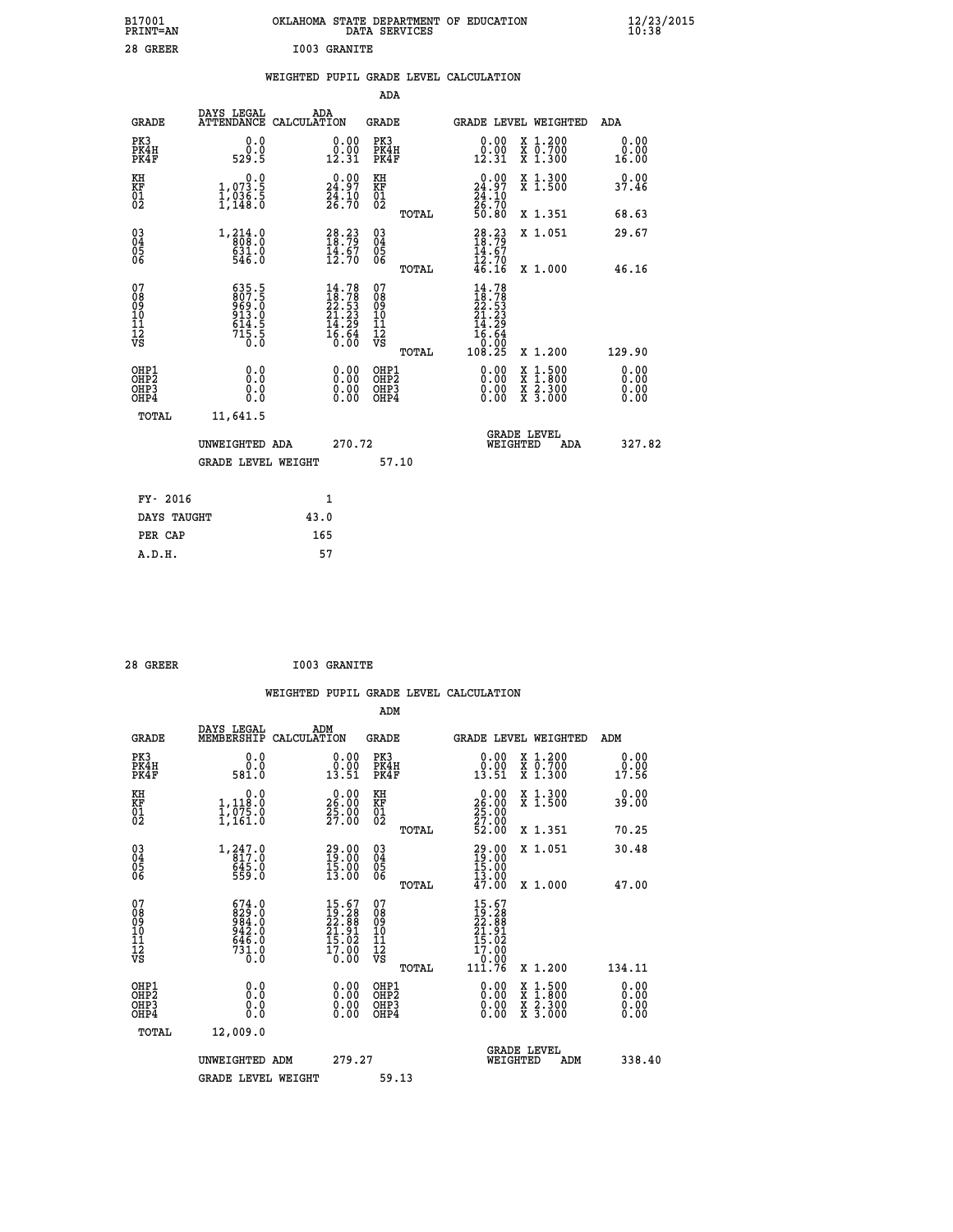| B17001<br>PRINT=AN | OKLAHOMA STATE DEPARTMENT OF EDUCATION<br>DATA SERVICES | $\frac{12}{23}$ /2015 |
|--------------------|---------------------------------------------------------|-----------------------|
| 28 GREER           | <b>I003 GRANITE</b>                                     |                       |

|  |  | WEIGHTED PUPIL GRADE LEVEL CALCULATION |
|--|--|----------------------------------------|
|  |  |                                        |

|                                                                  |                                                                     |                                                                                                   | ADA                                      |       |                                                                                                             |                                                                                                                                           |                              |
|------------------------------------------------------------------|---------------------------------------------------------------------|---------------------------------------------------------------------------------------------------|------------------------------------------|-------|-------------------------------------------------------------------------------------------------------------|-------------------------------------------------------------------------------------------------------------------------------------------|------------------------------|
| <b>GRADE</b>                                                     | DAYS LEGAL                                                          | ADA<br>ATTENDANCE CALCULATION                                                                     | <b>GRADE</b>                             |       |                                                                                                             | GRADE LEVEL WEIGHTED                                                                                                                      | ADA                          |
| PK3<br>PK4H<br>PK4F                                              | 0.0<br>$\overset{0.0}{\phantom{0}529}$ .5                           | $\begin{smallmatrix} 0.00\\ 0.00\\ 12.31 \end{smallmatrix}$                                       | PK3<br>PK4H<br>PK4F                      |       | 0.00<br>0:00<br>12:31                                                                                       | X 1.200<br>X 0.700<br>X 1.300                                                                                                             | 0.00<br>0.00<br>16.00        |
| KH<br>KF<br>01<br>02                                             | 0.0<br>1,073.5<br>1,036.5<br>1,148.0                                | $\begin{smallmatrix} 0.00\\ 24.97\\ 24.10\\ 26.70 \end{smallmatrix}$                              | KH<br>KF<br>01<br>02                     |       | $\begin{smallmatrix} 0.00\\24.97\\24.10\\26.70\\50.80 \end{smallmatrix}$                                    | X 1.300<br>X 1.500                                                                                                                        | 0.00<br>37.46                |
|                                                                  |                                                                     |                                                                                                   |                                          | TOTAL |                                                                                                             | X 1.351                                                                                                                                   | 68.63                        |
| $\begin{matrix} 03 \\ 04 \\ 05 \\ 06 \end{matrix}$               | 1, 214.0<br>631.0<br>546.0                                          | $28.23$<br>18.79<br>$\frac{1}{12}$ $\frac{1}{70}$                                                 | $\substack{03 \\ 04}$<br>Ŏ5<br>06        |       | $28.23$<br>$18.79$<br>$\frac{14.67}{12.70}$<br>$46.16$                                                      | X 1.051                                                                                                                                   | 29.67                        |
|                                                                  |                                                                     |                                                                                                   |                                          | TOTAL |                                                                                                             | X 1.000                                                                                                                                   | 46.16                        |
| 07<br>08<br>09<br>101<br>112<br>VS                               | 635.5<br>807.5<br>969.0<br>913.0<br>$\frac{614}{715}$ $\frac{5}{0}$ | $14.78$<br>$18.78$<br>$22.53$<br>$21.23$<br>$\begin{array}{c} 14.29 \\ 16.64 \\ 0.00 \end{array}$ | 07<br>08<br>09<br>11<br>11<br>12<br>VS   |       | $14.78$<br>$18.78$<br>$22.53$<br>$21.23$<br>$\begin{array}{r} 14.29 \\ 16.64 \\ 0.00 \\ 108.25 \end{array}$ |                                                                                                                                           |                              |
|                                                                  |                                                                     |                                                                                                   |                                          | TOTAL |                                                                                                             | X 1.200                                                                                                                                   | 129.90                       |
| OHP1<br>OH <sub>P</sub> <sub>2</sub><br>OH <sub>P3</sub><br>OHP4 | 0.0<br>Ō.Ō<br>0.0<br>0.0                                            | $\begin{smallmatrix} 0.00 \ 0.00 \ 0.00 \ 0.00 \end{smallmatrix}$                                 | OHP1<br>OHP <sub>2</sub><br>OHP3<br>OHP4 |       | $0.00$<br>$0.00$<br>0.00                                                                                    | $\begin{smallmatrix} \mathtt{X} & 1\cdot500\\ \mathtt{X} & 1\cdot800\\ \mathtt{X} & 2\cdot300\\ \mathtt{X} & 3\cdot000 \end{smallmatrix}$ | 0.00<br>0.00<br>0.00<br>0.00 |
| <b>TOTAL</b>                                                     | 11,641.5                                                            |                                                                                                   |                                          |       |                                                                                                             |                                                                                                                                           |                              |
|                                                                  | UNWEIGHTED ADA                                                      | 270.72                                                                                            |                                          |       |                                                                                                             | <b>GRADE LEVEL</b><br>WEIGHTED<br>ADA                                                                                                     | 327.82                       |
|                                                                  | <b>GRADE LEVEL WEIGHT</b>                                           |                                                                                                   |                                          | 57.10 |                                                                                                             |                                                                                                                                           |                              |
|                                                                  |                                                                     |                                                                                                   |                                          |       |                                                                                                             |                                                                                                                                           |                              |
| FY- 2016                                                         |                                                                     | 1                                                                                                 |                                          |       |                                                                                                             |                                                                                                                                           |                              |
| DAYS TAUGHT                                                      |                                                                     | 43.0                                                                                              |                                          |       |                                                                                                             |                                                                                                                                           |                              |
| PER CAP                                                          |                                                                     | 165                                                                                               |                                          |       |                                                                                                             |                                                                                                                                           |                              |

|                                                    |                                                                                   |                                                                          |                                                     |       | WEIGHTED PUPIL GRADE LEVEL CALCULATION                                       |                                                                                                                                      |                              |
|----------------------------------------------------|-----------------------------------------------------------------------------------|--------------------------------------------------------------------------|-----------------------------------------------------|-------|------------------------------------------------------------------------------|--------------------------------------------------------------------------------------------------------------------------------------|------------------------------|
|                                                    |                                                                                   |                                                                          | ADM                                                 |       |                                                                              |                                                                                                                                      |                              |
| <b>GRADE</b>                                       | DAYS LEGAL<br>MEMBERSHIP                                                          | ADM<br>CALCULATION                                                       | <b>GRADE</b>                                        |       |                                                                              | <b>GRADE LEVEL WEIGHTED</b>                                                                                                          | ADM                          |
| PK3<br>PK4H<br>PK4F                                | 0.0<br>0.0<br>581.0                                                               | 0.00<br>$\begin{smallmatrix} 0.00 \ 0.51 \end{smallmatrix}$              | PK3<br>PK4H<br>PK4F                                 |       | 0.00<br>$\begin{smallmatrix} 0.00 \ 0.51 \end{smallmatrix}$                  | X 1.200<br>x ō:7ŏŏ<br>x 1:300                                                                                                        | 0.00<br>0.00<br>17.56        |
| KH<br>KF<br>01<br>02                               | 0.0<br>1,118:0<br>1,075:0<br>1,161:0                                              | $\begin{smallmatrix} 0.00\\ 26.00\\ 25.00\\ 27.00 \end{smallmatrix}$     | KH<br>KF<br>01<br>02                                |       | $\begin{smallmatrix} 0.00\\ 26.00\\ 25.00\\ 27.00\\ 52.00 \end{smallmatrix}$ | X 1.300<br>X 1.500                                                                                                                   | 0.00<br>39.00                |
|                                                    |                                                                                   |                                                                          |                                                     | TOTAL |                                                                              | X 1.351                                                                                                                              | 70.25                        |
| $\begin{matrix} 03 \\ 04 \\ 05 \\ 06 \end{matrix}$ | 1, 247.0<br>$645.0$<br>559.0                                                      | 29.00<br>19:00<br>$\frac{15.00}{13.00}$                                  | $\begin{array}{c} 03 \\ 04 \\ 05 \\ 06 \end{array}$ |       | 29.00<br>19:00<br>$\frac{15.00}{13.00}$<br>$\frac{47.00}{13.00}$             | X 1.051                                                                                                                              | 30.48                        |
|                                                    |                                                                                   |                                                                          |                                                     | TOTAL |                                                                              | X 1.000                                                                                                                              | 47.00                        |
| 07<br>08<br>09<br>10<br>11<br>11<br>17<br>VS       | $674.0$<br>$829.0$<br>$984.0$<br>$942.0$<br>$646.0$<br>$7\bar{3}\tilde{1}\cdot 0$ | $15.67$<br>$19.28$<br>$22.88$<br>$21.91$<br>$15.02$<br>$17.00$<br>$0.00$ | 07<br>08901112<br>1112<br>VS                        |       | $15.67$<br>$19.28$<br>$22.88$<br>$21.91$<br>$15.02$<br>$17.00$<br>0.00       |                                                                                                                                      |                              |
|                                                    |                                                                                   |                                                                          |                                                     | TOTAL | 111.76                                                                       | X 1.200                                                                                                                              | 134.11                       |
| OHP1<br>OHP2<br>OHP3<br>OHP4                       | 0.0<br>0.000                                                                      | $\begin{smallmatrix} 0.00 \ 0.00 \ 0.00 \ 0.00 \end{smallmatrix}$        | OHP1<br>OHP2<br>OHP <sub>3</sub><br>OHP4            |       |                                                                              | $\begin{smallmatrix} \mathtt{X} & 1 & 500 \\ \mathtt{X} & 1 & 800 \\ \mathtt{X} & 2 & 300 \\ \mathtt{X} & 3 & 000 \end{smallmatrix}$ | 0.00<br>0.00<br>0.00<br>0.00 |
| TOTAL                                              | 12,009.0                                                                          |                                                                          |                                                     |       |                                                                              |                                                                                                                                      |                              |
|                                                    | UNWEIGHTED ADM                                                                    | 279.27                                                                   |                                                     |       | WEIGHTED                                                                     | <b>GRADE LEVEL</b><br>ADM                                                                                                            | 338.40                       |
|                                                    | <b>GRADE LEVEL WEIGHT</b>                                                         |                                                                          | 59.13                                               |       |                                                                              |                                                                                                                                      |                              |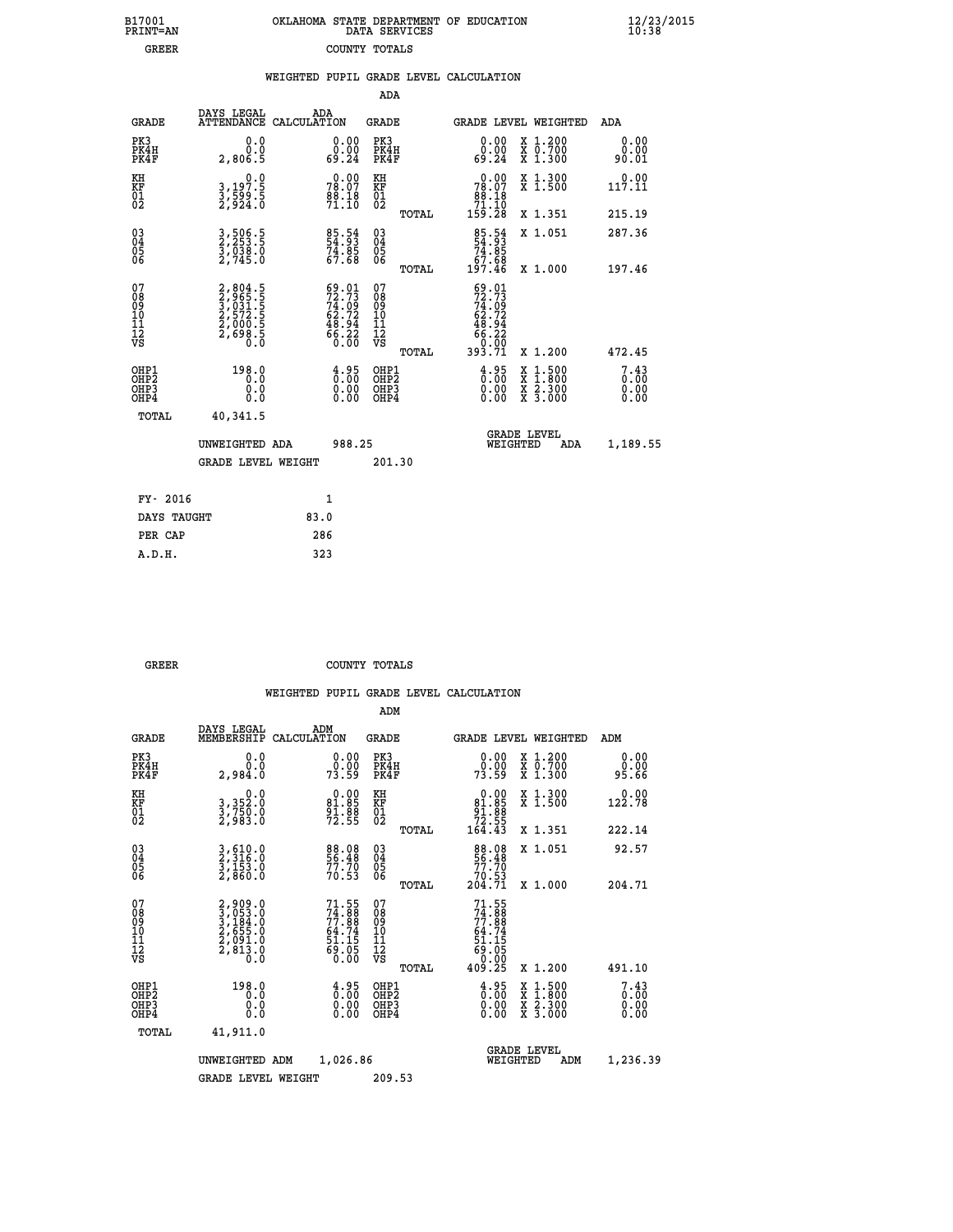| OKLAHOMA STATE DEPARTMENT OF EDUCATION | DATA SERVICES |  |
|----------------------------------------|---------------|--|
|                                        | COUNTY TOTALS |  |

B17001<br>PRINT=AN<br>GREER

 **B17001 OKLAHOMA STATE DEPARTMENT OF EDUCATION 12/23/2015**

|                                                                   |                                                                           |                    |                                                                          | ADA                                                 |       |                                                                           |                                          |                              |
|-------------------------------------------------------------------|---------------------------------------------------------------------------|--------------------|--------------------------------------------------------------------------|-----------------------------------------------------|-------|---------------------------------------------------------------------------|------------------------------------------|------------------------------|
| <b>GRADE</b>                                                      | DAYS LEGAL<br><b>ATTENDANCE</b>                                           | ADA<br>CALCULATION |                                                                          | <b>GRADE</b>                                        |       |                                                                           | GRADE LEVEL WEIGHTED                     | ADA                          |
| PK3<br>PK4H<br>PK4F                                               | 0.0<br>0.0<br>2,806.5                                                     |                    | $\begin{smallmatrix} 0.00\\ 0.00\\ 69.24 \end{smallmatrix}$              | PK3<br>PK4H<br>PK4F                                 |       | $\begin{smallmatrix} 0.00\\ 0.00\\ 69.24 \end{smallmatrix}$               | X 1.200<br>X 0.700<br>X 1.300            | 0.00<br>0.00<br>90.01        |
| KH<br>KF<br>01<br>02                                              | 0.0<br>3,197:5<br>3,599:5<br>2,924:0                                      |                    | $78.00$<br>78.07<br>$\frac{88.18}{71.10}$                                | KH<br>KF<br>01<br>02                                |       | 0.00<br>$78.07$<br>$88.18$<br>$71.10$<br>$159.28$                         | X 1.300<br>X 1.500                       | 0.00<br>117.11               |
|                                                                   |                                                                           |                    |                                                                          |                                                     | TOTAL |                                                                           | X 1.351                                  | 215.19                       |
| $^{03}_{04}$<br>Ŏ5<br>06                                          | 3,506.5<br>2,253.5<br>3,038.0<br>2,745.0                                  |                    | 85.54<br>54.83<br>74.85<br>67.68                                         | $\begin{array}{c} 03 \\ 04 \\ 05 \\ 06 \end{array}$ |       | $85.54$<br>54.93<br>74.85<br>67.68<br>67.68                               | X 1.051                                  | 287.36                       |
|                                                                   |                                                                           |                    |                                                                          |                                                     | TOTAL |                                                                           | X 1.000                                  | 197.46                       |
| 07<br>08901112<br>1112<br>VS                                      | 2,804.5<br>2,965.5<br>3,031.5<br>3,031.5<br>2,572.5<br>2,698.5<br>2,698.5 |                    | $59.01$<br>$72.73$<br>$74.09$<br>$62.72$<br>$48.94$<br>$66.22$<br>$0.00$ | 07<br>08901112<br>1112<br>VS                        |       | $59.01$<br>$72.73$<br>$74.09$<br>$62.72$<br>$48.94$<br>$66.22$<br>$69.29$ |                                          |                              |
|                                                                   |                                                                           |                    |                                                                          |                                                     | TOTAL | 393.71                                                                    | X 1.200                                  | 472.45                       |
| OHP1<br>OH <sub>P</sub> 2<br>OH <sub>P3</sub><br>OH <sub>P4</sub> | 198.0<br>0.0<br>0.0<br>0.0                                                |                    | $\begin{smallmatrix} 4.95\ 0.00\ 0.00 \end{smallmatrix}$                 | OHP1<br>OH <sub>P</sub> 2<br>OHP3<br>OHP4           |       | $\begin{smallmatrix} 4.95\ 0.00\ 0.00 \end{smallmatrix}$                  | X 1:500<br>X 1:800<br>X 2:300<br>X 3:000 | 7.43<br>0.00<br>0.00<br>0.00 |
| TOTAL                                                             | 40,341.5                                                                  |                    |                                                                          |                                                     |       |                                                                           |                                          |                              |
|                                                                   | UNWEIGHTED ADA                                                            |                    | 988.25                                                                   |                                                     |       |                                                                           | GRADE LEVEL<br>WEIGHTED<br>ADA           | 1,189.55                     |
|                                                                   | <b>GRADE LEVEL WEIGHT</b>                                                 |                    |                                                                          | 201.30                                              |       |                                                                           |                                          |                              |
| FY- 2016                                                          |                                                                           |                    | $\mathbf{1}$                                                             |                                                     |       |                                                                           |                                          |                              |
| DAYS TAUGHT                                                       |                                                                           | 83.0               |                                                                          |                                                     |       |                                                                           |                                          |                              |
| PER CAP                                                           |                                                                           | 286                |                                                                          |                                                     |       |                                                                           |                                          |                              |

 **A.D.H. 323**

 **GREER COUNTY TOTALS**

|                                                    |                                                                                     |                                                                      | ADM                                                 |       |                                                                                      |                                          |                                                                   |  |
|----------------------------------------------------|-------------------------------------------------------------------------------------|----------------------------------------------------------------------|-----------------------------------------------------|-------|--------------------------------------------------------------------------------------|------------------------------------------|-------------------------------------------------------------------|--|
| <b>GRADE</b>                                       | DAYS LEGAL<br>MEMBERSHIP                                                            | ADM<br>CALCULATION                                                   | <b>GRADE</b>                                        |       |                                                                                      | GRADE LEVEL WEIGHTED                     | ADM                                                               |  |
| PK3<br>PK4H<br>PK4F                                | 0.0<br>0.0<br>2,984.0                                                               | $\begin{smallmatrix} 0.00\\ 0.00\\ 73.59 \end{smallmatrix}$          | PK3<br>PK4H<br>PK4F                                 |       | $\begin{smallmatrix} 0.00\\ 0.00\\ 73.59 \end{smallmatrix}$                          | X 1.200<br>X 0.700<br>X 1.300            | 0.00<br>ŏ.ŏŏ<br>95.66                                             |  |
| KH<br>KF<br>01<br>02                               | 0.0<br>3,352:0<br>3,750:0<br>2,983:0                                                | $0.00\n81.85\n91.88\n72.55$                                          | KH<br>KF<br>01<br>02                                |       | $\begin{array}{c} 0.00 \\ 81.85 \\ 91.88 \\ 72.55 \\ 164.43 \end{array}$             | X 1.300<br>X 1.500                       | 0.00<br>122.78                                                    |  |
|                                                    |                                                                                     |                                                                      |                                                     | TOTAL |                                                                                      | X 1.351                                  | 222.14                                                            |  |
| $\begin{matrix} 03 \\ 04 \\ 05 \\ 06 \end{matrix}$ | 3,610.0<br>2,316.0<br>3,153.0<br>2,860.0                                            | 88.08<br>56.48<br>77.70<br>70.53                                     | $\begin{array}{c} 03 \\ 04 \\ 05 \\ 06 \end{array}$ |       | 88.08<br>56.48<br>77.70<br>70.53<br>204.71                                           | X 1.051                                  | 92.57                                                             |  |
|                                                    |                                                                                     |                                                                      |                                                     | TOTAL |                                                                                      | X 1.000                                  | 204.71                                                            |  |
| 07<br>08<br>09<br>10<br>11<br>11<br>12<br>VS       | $2,909.0$<br>$3,053.0$<br>$3,184.0$<br>$2,655.0$<br>$2,091.0$<br>$2,813.0$<br>$0.0$ | 71.55<br>74.888<br>77.88<br>64.74<br>64.74<br>51.15<br>69.05<br>0.00 | 07<br>08<br>09<br>01<br>11<br>11<br>12<br>VS        | TOTAL | $71.55$<br>$74.88$<br>$77.88$<br>$64.74$<br>$51.15$<br>$69.05$<br>$0.00$<br>$409.25$ | X 1.200                                  | 491.10                                                            |  |
| OHP1<br>OHP2<br>OH <sub>P3</sub><br>OHP4           | 198.0<br>0.0<br>0.000                                                               | $\begin{smallmatrix} 4.95\ 0.00\ 0.00 \end{smallmatrix}$             | OHP1<br>OHP2<br>OHP3<br>OHP4                        |       | $\begin{smallmatrix} 4.95\ 0.00\ 0.00 \end{smallmatrix}$                             | X 1:500<br>X 1:800<br>X 2:300<br>X 3:000 | $\begin{smallmatrix} 7.43\ 0.00 \ 0.00 \end{smallmatrix}$<br>0.00 |  |
| TOTAL                                              | 41,911.0                                                                            |                                                                      |                                                     |       |                                                                                      |                                          |                                                                   |  |
|                                                    | UNWEIGHTED                                                                          | 1,026.86<br>ADM                                                      |                                                     |       | WEIGHTED                                                                             | <b>GRADE LEVEL</b><br>ADM                | 1,236.39                                                          |  |
|                                                    | <b>GRADE LEVEL WEIGHT</b>                                                           |                                                                      | 209.53                                              |       |                                                                                      |                                          |                                                                   |  |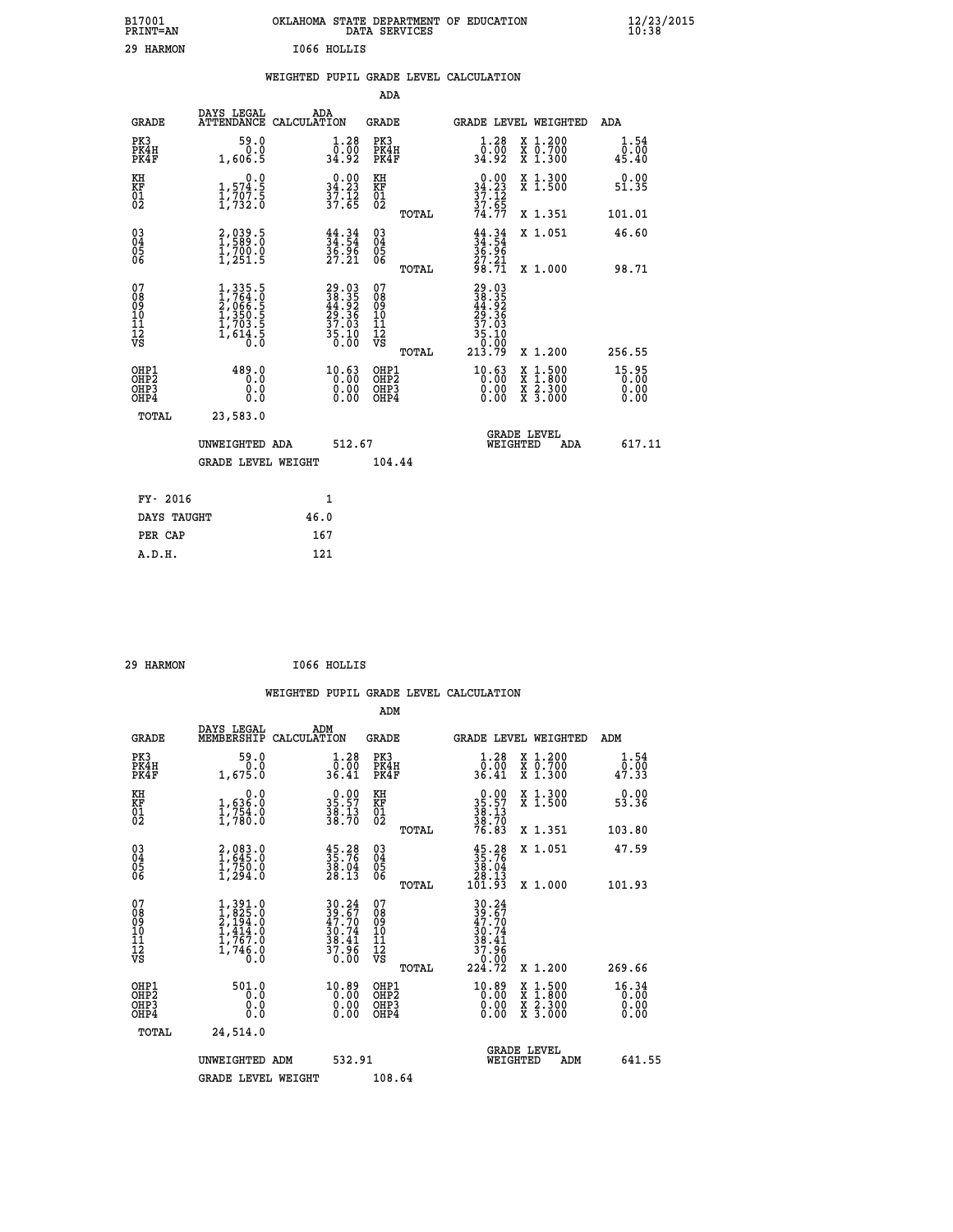| B17001<br><b>PRINT=AN</b> |             | OKLAHOMA STATE DEPARTMENT OF EDUCATION<br>DATA SERVICES |  |
|---------------------------|-------------|---------------------------------------------------------|--|
| 29 HARMON                 | I066 HOLLIS |                                                         |  |

|  |  | WEIGHTED PUPIL GRADE LEVEL CALCULATION |
|--|--|----------------------------------------|
|  |  |                                        |

|                                                                              |                                                                                     |                                                                                              | ADA                                                |       |                                                                             |                                                                                                                                              |                                 |
|------------------------------------------------------------------------------|-------------------------------------------------------------------------------------|----------------------------------------------------------------------------------------------|----------------------------------------------------|-------|-----------------------------------------------------------------------------|----------------------------------------------------------------------------------------------------------------------------------------------|---------------------------------|
| <b>GRADE</b>                                                                 | DAYS LEGAL                                                                          | ADA<br>ATTENDANCE CALCULATION                                                                | GRADE                                              |       |                                                                             | GRADE LEVEL WEIGHTED                                                                                                                         | ADA                             |
| PK3<br>PK4H<br>PK4F                                                          | 59.0<br>0.0<br>1,606.5                                                              | $\begin{smallmatrix} 1.28 \\ 0.00 \\ 34.92 \end{smallmatrix}$                                | PK3<br>PK4H<br>PK4F                                |       | 1.28<br>0.00<br>34.92                                                       | X 1.200<br>X 0.700<br>X 1.300                                                                                                                | 1.54<br>0.00<br>45.40           |
| KH<br>KF<br>01<br>02                                                         | 0.0<br>$\frac{1}{1}, \frac{574}{707}$<br>$\frac{5}{1}, \frac{707}{732}$ . 0         | $\begin{array}{c} 0.00 \\ 34.23 \\ 37.12 \\ 37.65 \end{array}$                               | KH<br><b>KF</b><br>01<br>02                        |       | $0.00$<br>$34.23$<br>$37.12$<br>$37.65$<br>$74.77$                          | X 1.300<br>X 1.500                                                                                                                           | 0.00<br>51.35                   |
|                                                                              |                                                                                     |                                                                                              |                                                    | TOTAL |                                                                             | X 1.351                                                                                                                                      | 101.01                          |
| $^{03}_{04}$<br>Ŏ5<br>06                                                     | 2,039.5<br>$\frac{17700.0}{17251.5}$                                                | $34.34$<br>$34.54$<br>$36.96$<br>$27.21$                                                     | $\begin{matrix} 03 \\ 04 \\ 05 \\ 06 \end{matrix}$ |       | $34.34$<br>$34.54$<br>$36.96$<br>$27.21$<br>$98.71$                         | X 1.051                                                                                                                                      | 46.60                           |
|                                                                              |                                                                                     |                                                                                              |                                                    | TOTAL |                                                                             | X 1.000                                                                                                                                      | 98.71                           |
| 07<br>08<br>09<br>11<br>11<br>12<br>VS                                       | $1,335.5$<br>$1,764.0$<br>$2,066.5$<br>$1,350.5$<br>$1,703.5$<br>$1,614.5$<br>$0.0$ | $\begin{smallmatrix} 29.03\\ 38.35\\ 44.92\\ 29.36\\ 37.03\\ 35.10\\ 0.00 \end{smallmatrix}$ | 07<br>08<br>09<br>11<br>11<br>12<br>VS             | TOTAL | 29.03<br>38.35<br>44.92<br>29.36<br>37.03<br>$\frac{35.10}{0.00}$<br>213.79 | X 1.200                                                                                                                                      | 256.55                          |
| OHP1<br>OH <sub>P</sub> <sub>2</sub><br>OH <sub>P3</sub><br>OH <sub>P4</sub> | 489.0<br>0.0<br>0.0                                                                 | $10.63$<br>$0.00$<br>0.00<br>0.00                                                            | OHP1<br>OHP2<br>OHP3<br>OHP4                       |       | $10.63$<br>$0.00$<br>0.00<br>0.00                                           | $\begin{smallmatrix} \mathtt{X} & 1\cdot500 \\ \mathtt{X} & 1\cdot800 \\ \mathtt{X} & 2\cdot300 \\ \mathtt{X} & 3\cdot000 \end{smallmatrix}$ | $15.95$<br>0.00<br>0.00<br>0.00 |
| TOTAL                                                                        | 23,583.0                                                                            |                                                                                              |                                                    |       |                                                                             |                                                                                                                                              |                                 |
|                                                                              | UNWEIGHTED ADA                                                                      | 512.67                                                                                       |                                                    |       | WEIGHTED                                                                    | <b>GRADE LEVEL</b><br>ADA                                                                                                                    | 617.11                          |
|                                                                              | <b>GRADE LEVEL WEIGHT</b>                                                           |                                                                                              | 104.44                                             |       |                                                                             |                                                                                                                                              |                                 |
|                                                                              |                                                                                     | $\mathbf{1}$                                                                                 |                                                    |       |                                                                             |                                                                                                                                              |                                 |
| FY- 2016                                                                     |                                                                                     |                                                                                              |                                                    |       |                                                                             |                                                                                                                                              |                                 |
| DAYS TAUGHT                                                                  |                                                                                     | 46.0                                                                                         |                                                    |       |                                                                             |                                                                                                                                              |                                 |
| PER CAP                                                                      |                                                                                     | 167                                                                                          |                                                    |       |                                                                             |                                                                                                                                              |                                 |
| A.D.H.                                                                       |                                                                                     | 121                                                                                          |                                                    |       |                                                                             |                                                                                                                                              |                                 |

| I066 HOLLIS |  | 29 HARMON |  |  |
|-------------|--|-----------|--|--|
|-------------|--|-----------|--|--|

 **A.D.H. 121**

|                                          |                                                                                                         |                                                                          | ADM                                                 |                                                                                                     |                                                                                                                                           |                               |
|------------------------------------------|---------------------------------------------------------------------------------------------------------|--------------------------------------------------------------------------|-----------------------------------------------------|-----------------------------------------------------------------------------------------------------|-------------------------------------------------------------------------------------------------------------------------------------------|-------------------------------|
| <b>GRADE</b>                             | DAYS LEGAL<br>MEMBERSHIP                                                                                | ADM<br>CALCULATION                                                       | <b>GRADE</b>                                        |                                                                                                     | GRADE LEVEL WEIGHTED                                                                                                                      | ADM                           |
| PK3<br>PK4H<br>PK4F                      | 59.0<br>0.0<br>1,675.0                                                                                  | 1.28<br>0.00<br>36.41                                                    | PK3<br>PK4H<br>PK4F                                 | $\begin{smallmatrix}1.28\0.00\\36.41\end{smallmatrix}$                                              | X 1.200<br>X 0.700<br>X 1.300                                                                                                             | 1.54<br>_0.00<br>47.33        |
| KH<br>KF<br>01<br>02                     | 0.0<br>$\frac{1}{1}, \frac{636}{754}$ .0<br>1,754.0                                                     | $35.57$<br>$38.13$<br>$38.70$                                            | KH<br>KF<br>01<br>02                                | $35.57$<br>$38.13$<br>$38.70$<br>$76.83$                                                            | X 1.300<br>X 1.500                                                                                                                        | 0.00<br>53.36                 |
|                                          |                                                                                                         |                                                                          | TOTAL                                               |                                                                                                     | X 1.351                                                                                                                                   | 103.80                        |
| 03<br>04<br>05<br>06                     | 2,083.0<br>1,645.0<br>1,750.0<br>1,294.0                                                                | $35.76$<br>$35.76$<br>$38.04$<br>$28.13$                                 | $\begin{array}{c} 03 \\ 04 \\ 05 \\ 06 \end{array}$ | $\begin{smallmatrix} 45.28\\ 35.76\\ 38.04\\ 28.13\\ 101.93\\ \end{smallmatrix}$                    | X 1.051                                                                                                                                   | 47.59                         |
|                                          |                                                                                                         |                                                                          | TOTAL                                               |                                                                                                     | X 1.000                                                                                                                                   | 101.93                        |
| 07<br>08<br>09<br>101<br>112<br>VS       | $\begin{smallmatrix} 1,391.0\\ 1,825.0\\ 2,194.0\\ 1,414.0\\ 1,767.0\\ 1,746.0\\ 0.0 \end{smallmatrix}$ | $30.24$<br>$39.67$<br>$47.70$<br>$30.74$<br>$38.41$<br>$37.96$<br>$0.00$ | 07<br>08<br>09<br>11<br>11<br>12<br>VS              | $\begin{array}{r} 30.24 \\ 39.67 \\ 47.70 \\ 30.74 \\ 38.41 \\ 37.96 \\ 0.00 \\ 224.72 \end{array}$ |                                                                                                                                           |                               |
|                                          |                                                                                                         |                                                                          | TOTAL                                               |                                                                                                     | X 1.200                                                                                                                                   | 269.66                        |
| OHP1<br>OHP2<br>OH <sub>P3</sub><br>OHP4 | 501.0<br>0.000                                                                                          | $^{10.89}_{0.00}$<br>0.00                                                | OHP1<br>OHP2<br>OHP <sub>3</sub>                    | $^{10.89}_{0.00}$<br>0.00                                                                           | $\begin{smallmatrix} \mathtt{X} & 1\cdot500\\ \mathtt{X} & 1\cdot800\\ \mathtt{X} & 2\cdot300\\ \mathtt{X} & 3\cdot000 \end{smallmatrix}$ | 16.34<br>0.00<br>0.00<br>0.00 |
| TOTAL                                    | 24,514.0                                                                                                |                                                                          |                                                     |                                                                                                     |                                                                                                                                           |                               |
|                                          | UNWEIGHTED ADM                                                                                          | 532.91                                                                   |                                                     | WEIGHTED                                                                                            | <b>GRADE LEVEL</b><br>ADM                                                                                                                 | 641.55                        |
|                                          | <b>GRADE LEVEL WEIGHT</b>                                                                               |                                                                          | 108.64                                              |                                                                                                     |                                                                                                                                           |                               |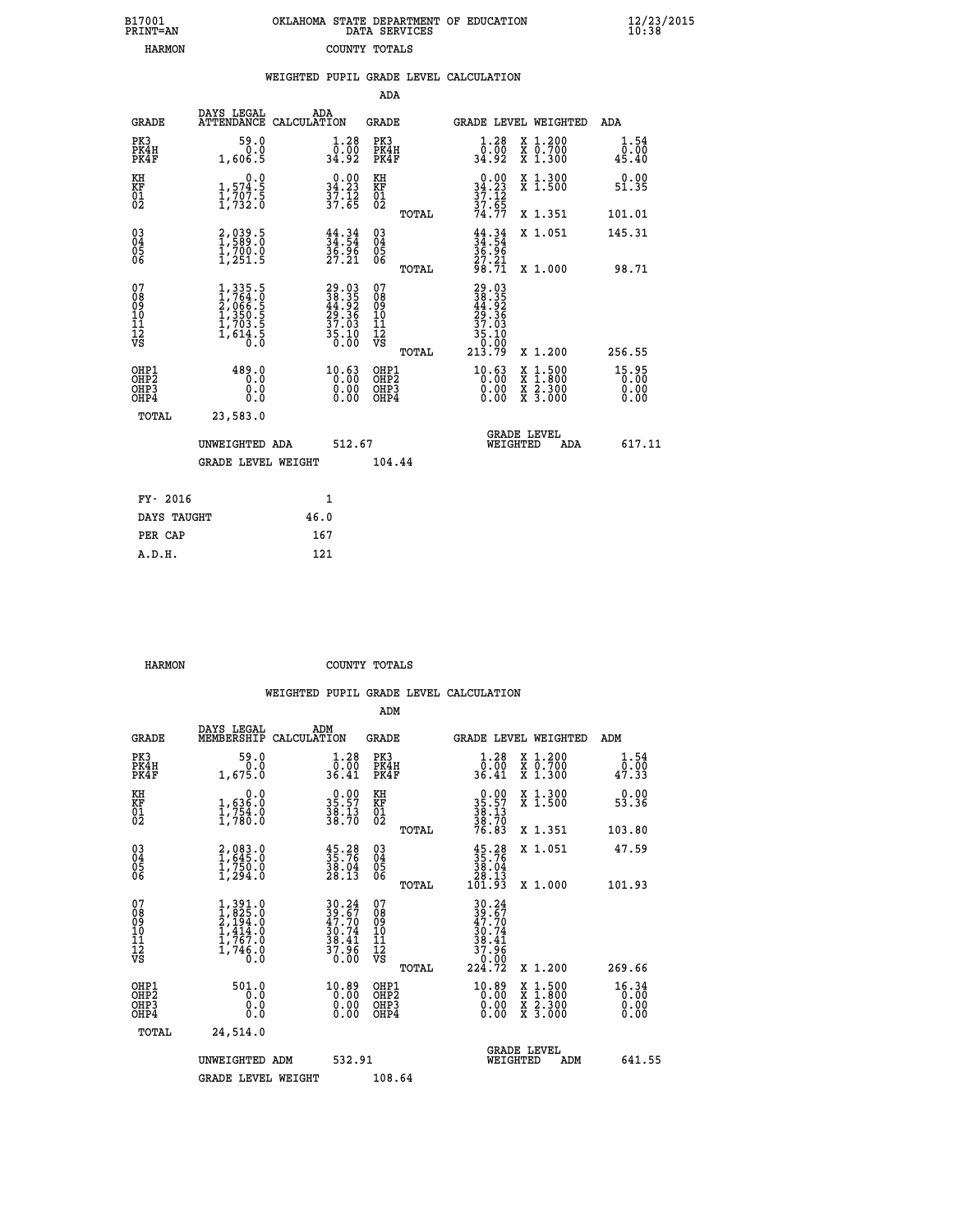| 7001<br>INT=AN | OKLAHOMA STATE DEPARTMENT OF EDUCATION<br>DATA SERVICES |  |
|----------------|---------------------------------------------------------|--|
| <b>HARMON</b>  | COUNTY TOTALS                                           |  |

|                                                       |                                                                                     |      |                                                                                              |                                           |       | WEIGHTED PUPIL GRADE LEVEL CALCULATION                              |                                                                                                  |                               |
|-------------------------------------------------------|-------------------------------------------------------------------------------------|------|----------------------------------------------------------------------------------------------|-------------------------------------------|-------|---------------------------------------------------------------------|--------------------------------------------------------------------------------------------------|-------------------------------|
|                                                       |                                                                                     |      |                                                                                              | ADA                                       |       |                                                                     |                                                                                                  |                               |
| <b>GRADE</b>                                          | DAYS LEGAL<br>ATTENDANCE CALCULATION                                                | ADA  |                                                                                              | <b>GRADE</b>                              |       | GRADE LEVEL WEIGHTED                                                |                                                                                                  | ADA                           |
| PK3<br>PK4H<br>PK4F                                   | 59.0<br>0.0<br>1,606.5                                                              |      | $\begin{smallmatrix} 1.28 \\ 0.00 \\ 34.92 \end{smallmatrix}$                                | PK3<br>PK4H<br>PK4F                       |       | $\begin{smallmatrix} 1.28 \\ 0.00 \\ 34.92 \end{smallmatrix}$       | X 1.200<br>X 0.700<br>X 1.300                                                                    | 1.54<br>0.00<br>45.40         |
| KH<br>KF<br>01<br>02                                  | $\begin{smallmatrix}&&&0.0\\1,574.5\\1,707.5\\1,732.0\end{smallmatrix}$             |      | $\begin{array}{c} 0.00 \\ 34.23 \\ 37.12 \\ 37.65 \end{array}$                               | KH<br>KF<br>01<br>02                      |       | $0.00$<br>$34.23$<br>$37.12$<br>$37.65$<br>$74.77$                  | X 1.300<br>X 1.500                                                                               | 0.00<br>51.35                 |
|                                                       |                                                                                     |      |                                                                                              |                                           | TOTAL |                                                                     | X 1.351                                                                                          | 101.01                        |
| $^{03}_{04}$<br>Ŏ5<br>06                              | $2,039.5$<br>1,589.0<br>$\frac{1}{2}$ , 700.0                                       |      | $\frac{44}{34}$ : $\frac{34}{54}$<br>$\frac{36.96}{27.21}$                                   | $\substack{03 \\ 04}$<br>05<br>06         |       | $\frac{44}{34}$ : $\frac{34}{54}$<br>$\frac{36.96}{27.21}$<br>98.71 | X 1.051                                                                                          | 145.31                        |
|                                                       |                                                                                     |      |                                                                                              |                                           | TOTAL |                                                                     | X 1.000                                                                                          | 98.71                         |
| 07<br>08<br>09<br>11<br>11<br>12<br>VS                | $1,335.5$<br>$1,764.0$<br>$2,066.5$<br>$1,350.5$<br>$1,703.5$<br>$1,614.5$<br>$0.0$ |      | $\begin{smallmatrix} 29.03\\ 38.35\\ 44.92\\ 29.36\\ 37.03\\ 35.10\\ 0.00 \end{smallmatrix}$ | 07<br>08<br>09<br>11<br>11<br>12<br>VS    |       | $29.0338.3544.9229.3637.0335.1035.100.92$                           |                                                                                                  |                               |
|                                                       |                                                                                     |      |                                                                                              |                                           | TOTAL | 213.79                                                              | X 1.200                                                                                          | 256.55                        |
| OHP1<br>OH <sub>P</sub> 2<br>OHP3<br>OH <sub>P4</sub> | 489.0<br>0.0<br>0.0<br>0.0                                                          |      | $10.63$<br>$0.00$<br>$0.00$<br>0.00                                                          | OHP1<br>OH <sub>P</sub> 2<br>OHP3<br>OHP4 |       | $^{10.63}_{0.00}$<br>0.00                                           | $\begin{smallmatrix} x & 1 & 500 \\ x & 1 & 800 \\ x & 2 & 300 \\ x & 3 & 000 \end{smallmatrix}$ | 15.95<br>0.00<br>0.00<br>0.00 |
| TOTAL                                                 | 23,583.0                                                                            |      |                                                                                              |                                           |       |                                                                     |                                                                                                  |                               |
|                                                       | UNWEIGHTED ADA                                                                      |      | 512.67                                                                                       |                                           |       | WEIGHTED                                                            | <b>GRADE LEVEL</b><br>ADA                                                                        | 617.11                        |
|                                                       | <b>GRADE LEVEL WEIGHT</b>                                                           |      |                                                                                              | 104.44                                    |       |                                                                     |                                                                                                  |                               |
| FY- 2016                                              |                                                                                     |      | $\mathbf{1}$                                                                                 |                                           |       |                                                                     |                                                                                                  |                               |
| DAYS TAUGHT                                           |                                                                                     | 46.0 |                                                                                              |                                           |       |                                                                     |                                                                                                  |                               |
| סגי סתם                                               |                                                                                     | 167  |                                                                                              |                                           |       |                                                                     |                                                                                                  |                               |

| ____<br>_______ |     |
|-----------------|-----|
| PER CAP         | 167 |
| A.D.H.          | 121 |
|                 |     |
|                 |     |

 **B17001<br>PRINT=AN** 

 **HARMON COUNTY TOTALS**

|                                          |                                                                                                         |                                                                          | ADM                                                 |                                                                                                     |                                                                                                                                           |                               |
|------------------------------------------|---------------------------------------------------------------------------------------------------------|--------------------------------------------------------------------------|-----------------------------------------------------|-----------------------------------------------------------------------------------------------------|-------------------------------------------------------------------------------------------------------------------------------------------|-------------------------------|
| <b>GRADE</b>                             | DAYS LEGAL<br>MEMBERSHIP                                                                                | ADM<br>CALCULATION                                                       | <b>GRADE</b>                                        |                                                                                                     | GRADE LEVEL WEIGHTED                                                                                                                      | ADM                           |
| PK3<br>PK4H<br>PK4F                      | 59.0<br>0.0<br>1,675.0                                                                                  | 1.28<br>0.00<br>36.41                                                    | PK3<br>PK4H<br>PK4F                                 | $\begin{smallmatrix}1.28\0.00\\36.41\end{smallmatrix}$                                              | X 1.200<br>X 0.700<br>X 1.300                                                                                                             | 1.54<br>_0.00<br>47.33        |
| KH<br>KF<br>01<br>02                     | 0.0<br>$\frac{1}{1}, \frac{636}{754}$ .0<br>1,754.0                                                     | $35.57$<br>$38.13$<br>$38.70$                                            | KH<br>KF<br>01<br>02                                | $35.57$<br>$38.13$<br>$38.70$<br>$76.83$                                                            | X 1.300<br>X 1.500                                                                                                                        | 0.00<br>53.36                 |
|                                          |                                                                                                         |                                                                          | TOTAL                                               |                                                                                                     | X 1.351                                                                                                                                   | 103.80                        |
| 03<br>04<br>05<br>06                     | 2,083.0<br>1,645.0<br>1,750.0<br>1,294.0                                                                | $35.76$<br>$35.76$<br>$38.04$<br>$28.13$                                 | $\begin{array}{c} 03 \\ 04 \\ 05 \\ 06 \end{array}$ | $\begin{smallmatrix} 45.28\\ 35.76\\ 38.04\\ 28.13\\ 101.93\\ \end{smallmatrix}$                    | X 1.051                                                                                                                                   | 47.59                         |
|                                          |                                                                                                         |                                                                          | TOTAL                                               |                                                                                                     | X 1.000                                                                                                                                   | 101.93                        |
| 07<br>08<br>09<br>101<br>112<br>VS       | $\begin{smallmatrix} 1,391.0\\ 1,825.0\\ 2,194.0\\ 1,414.0\\ 1,767.0\\ 1,746.0\\ 0.0 \end{smallmatrix}$ | $30.24$<br>$39.67$<br>$47.70$<br>$30.74$<br>$38.41$<br>$37.96$<br>$0.00$ | 07<br>08<br>09<br>11<br>11<br>12<br>VS              | $\begin{array}{r} 30.24 \\ 39.67 \\ 47.70 \\ 30.74 \\ 38.41 \\ 37.96 \\ 0.00 \\ 224.72 \end{array}$ |                                                                                                                                           |                               |
|                                          |                                                                                                         |                                                                          | TOTAL                                               |                                                                                                     | X 1.200                                                                                                                                   | 269.66                        |
| OHP1<br>OHP2<br>OH <sub>P3</sub><br>OHP4 | 501.0<br>0.000                                                                                          | $^{10.89}_{0.00}$<br>0.00                                                | OHP1<br>OHP2<br>OHP <sub>3</sub>                    | $^{10.89}_{0.00}$<br>0.00                                                                           | $\begin{smallmatrix} \mathtt{X} & 1\cdot500\\ \mathtt{X} & 1\cdot800\\ \mathtt{X} & 2\cdot300\\ \mathtt{X} & 3\cdot000 \end{smallmatrix}$ | 16.34<br>0.00<br>0.00<br>0.00 |
| TOTAL                                    | 24,514.0                                                                                                |                                                                          |                                                     |                                                                                                     |                                                                                                                                           |                               |
|                                          | UNWEIGHTED ADM                                                                                          | 532.91                                                                   |                                                     | WEIGHTED                                                                                            | <b>GRADE LEVEL</b><br>ADM                                                                                                                 | 641.55                        |
|                                          | <b>GRADE LEVEL WEIGHT</b>                                                                               |                                                                          | 108.64                                              |                                                                                                     |                                                                                                                                           |                               |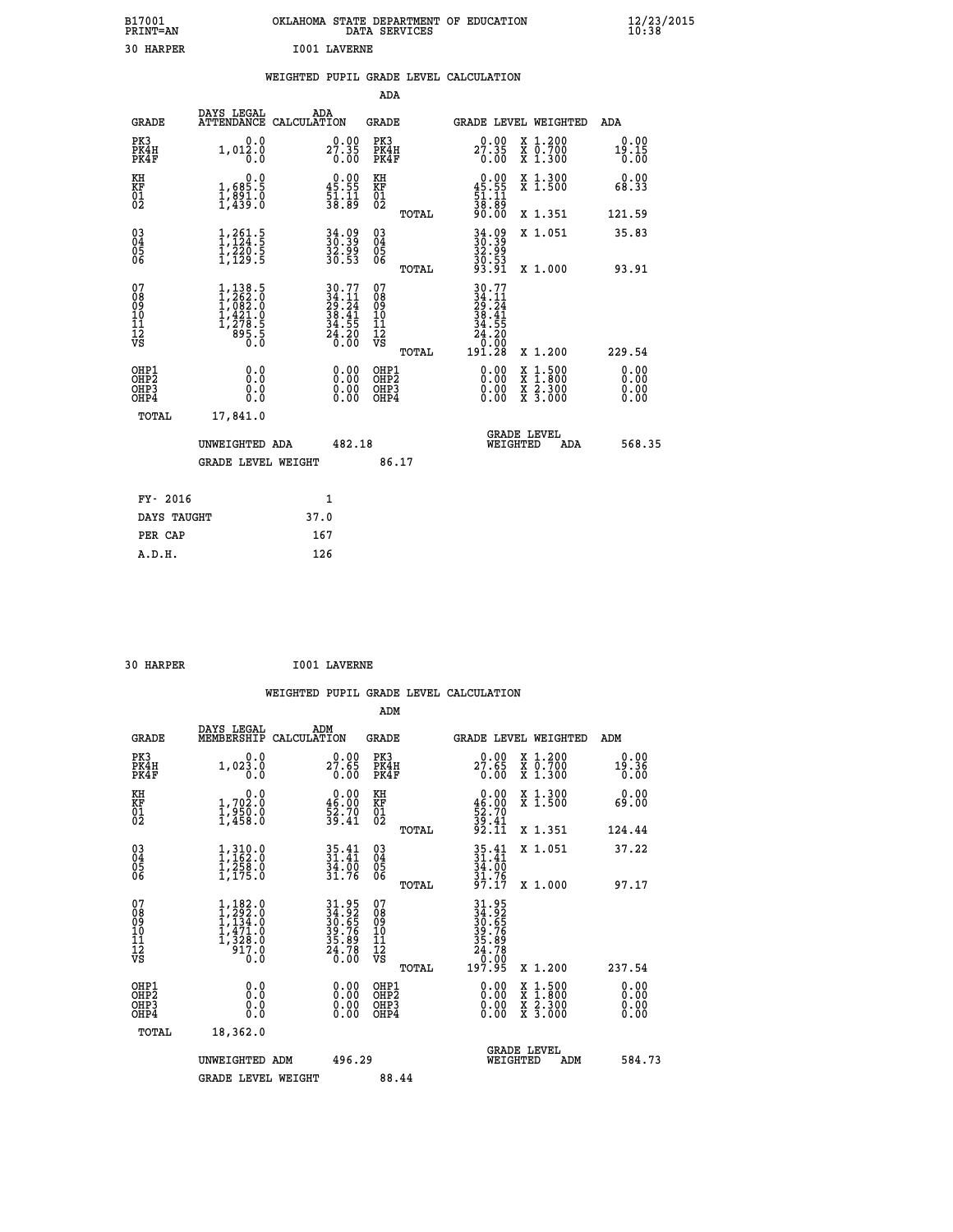| B17001<br><b>PRINT=AN</b> | OKLAHOMA<br>. STATE DEPARTMENT OF EDUCATION<br>DATA SERVICES | $\frac{12}{23}$ /2015 |
|---------------------------|--------------------------------------------------------------|-----------------------|
| 30<br>HARPER              | <b>I001 LAVERNE</b>                                          |                       |

|  |  | WEIGHTED PUPIL GRADE LEVEL CALCULATION |
|--|--|----------------------------------------|
|  |  |                                        |

|                                                                              |                                                                                                       |                                                                                                                         | ADA                                                |       |                                                                                       |                                                                                                                                              |                              |
|------------------------------------------------------------------------------|-------------------------------------------------------------------------------------------------------|-------------------------------------------------------------------------------------------------------------------------|----------------------------------------------------|-------|---------------------------------------------------------------------------------------|----------------------------------------------------------------------------------------------------------------------------------------------|------------------------------|
| <b>GRADE</b>                                                                 | DAYS LEGAL                                                                                            | ADA<br>ATTENDANCE CALCULATION                                                                                           | GRADE                                              |       | GRADE LEVEL WEIGHTED                                                                  |                                                                                                                                              | ADA                          |
| PK3<br>PK4H<br>PK4F                                                          | 0.0<br>1,012.0<br>0.0                                                                                 | $2^{0.00}_{7.35}$<br>0.00                                                                                               | PK3<br>PK4H<br>PK4F                                |       | 27.35<br>0.00                                                                         | X 1.200<br>X 0.700<br>X 1.300                                                                                                                | 0.00<br>19.15<br>0.00        |
| KH<br>KF<br>01<br>02                                                         | 0.0<br>1,685.5<br>$\frac{1}{2}, \frac{891}{435}$ :0                                                   | $\begin{smallmatrix} 0.00\\ 45.55\\ 51.11\\ 38.89 \end{smallmatrix}$                                                    | KH<br>KF<br>01<br>02                               |       | $\begin{array}{c} 0.00 \\ 45.55 \\ 51.11 \\ 38.89 \end{array}$                        | X 1.300<br>X 1.500                                                                                                                           | 0.00<br>68.33                |
|                                                                              |                                                                                                       |                                                                                                                         |                                                    | TOTAL | 90.00                                                                                 | X 1.351                                                                                                                                      | 121.59                       |
| $\begin{matrix} 03 \\ 04 \\ 05 \\ 06 \end{matrix}$                           | $\frac{1}{1}, \frac{261}{124}$<br>$\frac{5}{1}, \frac{220}{20}$<br>$\frac{5}{1}, \frac{220}{129}$     | 34.09<br>30.39<br>32.99<br>30.53                                                                                        | $\begin{matrix} 03 \\ 04 \\ 05 \\ 06 \end{matrix}$ | TOTAL | $34.99$<br>$30.39$<br>$32.99$<br>$30.53$<br>$93.91$                                   | X 1.051<br>X 1.000                                                                                                                           | 35.83<br>93.91               |
| 07<br>08<br>09<br>11<br>11<br>12<br>VS                                       | $\begin{smallmatrix} 1,138.5\\ 1,262.0\\ 1,082.0\\ 1,421.0\\ 1,278.5\\ 895.5\\ 0.0 \end{smallmatrix}$ | $\begin{array}{l} 30\cdot 77 \\ 34\cdot 11 \\ 29\cdot 24 \\ 38\cdot 41 \\ 34\cdot 55 \\ 24\cdot 20 \\ 0.00 \end{array}$ | 07<br>08<br>09<br>11<br>11<br>12<br>VS             | TOTAL | $30.77$<br>$24.14$<br>$29.24$<br>$38.41$<br>$34.55$<br>$24.20$<br>$0.008$<br>$191.28$ | X 1.200                                                                                                                                      | 229.54                       |
| OHP1<br>OH <sub>P</sub> <sub>2</sub><br>OH <sub>P3</sub><br>OH <sub>P4</sub> | 0.0<br>Ō.Ō<br>0.0<br>0.0                                                                              | 0.00<br>0.00<br>0.00                                                                                                    | OHP1<br>OHP2<br>OHP3<br>OHP4                       |       | 0.00<br>0.00<br>0.00                                                                  | $\begin{smallmatrix} \mathtt{X} & 1\cdot500 \\ \mathtt{X} & 1\cdot800 \\ \mathtt{X} & 2\cdot300 \\ \mathtt{X} & 3\cdot000 \end{smallmatrix}$ | 0.00<br>0.00<br>0.00<br>0.00 |
| TOTAL                                                                        | 17,841.0<br>UNWEIGHTED ADA<br><b>GRADE LEVEL WEIGHT</b>                                               | 482.18                                                                                                                  | 86.17                                              |       | WEIGHTED                                                                              | <b>GRADE LEVEL</b><br>ADA                                                                                                                    | 568.35                       |
| FY- 2016                                                                     |                                                                                                       | $\mathbf{1}$                                                                                                            |                                                    |       |                                                                                       |                                                                                                                                              |                              |
| DAYS TAUGHT                                                                  |                                                                                                       | 37.0                                                                                                                    |                                                    |       |                                                                                       |                                                                                                                                              |                              |
| PER CAP                                                                      |                                                                                                       | 167                                                                                                                     |                                                    |       |                                                                                       |                                                                                                                                              |                              |
| A.D.H.                                                                       |                                                                                                       | 126                                                                                                                     |                                                    |       |                                                                                       |                                                                                                                                              |                              |

| 30 HARPER | <b>I001 LAVERNE</b> |
|-----------|---------------------|
|           |                     |

|                                                    |                                                                                                        |                                                                      | ADM                                                   |                                                                                       |                                                                                                                                                                                                                                                                                |                                                                                                                                           |                       |
|----------------------------------------------------|--------------------------------------------------------------------------------------------------------|----------------------------------------------------------------------|-------------------------------------------------------|---------------------------------------------------------------------------------------|--------------------------------------------------------------------------------------------------------------------------------------------------------------------------------------------------------------------------------------------------------------------------------|-------------------------------------------------------------------------------------------------------------------------------------------|-----------------------|
| <b>GRADE</b>                                       | DAYS LEGAL<br>MEMBERSHIP                                                                               | ADM<br>CALCULATION                                                   | <b>GRADE</b>                                          |                                                                                       |                                                                                                                                                                                                                                                                                | GRADE LEVEL WEIGHTED                                                                                                                      | ADM                   |
| PK3<br>PK4H<br>PK4F                                | 0.0<br>$1,02\overset{3}{\phantom{}}\,\overset{.}{\phantom{}}\,\,0\,$                                   | 27.65<br>0.00                                                        | PK3<br>PK4H<br>PK4F                                   |                                                                                       | 27.65<br>0.00                                                                                                                                                                                                                                                                  | X 1.200<br>X 0.700<br>X 1.300                                                                                                             | 0.00<br>19.36<br>0.00 |
| KH<br>KF<br>01<br>02                               | $\begin{smallmatrix}&&&0.0\\1.702.0\\1.950.0\\1.458.0\end{smallmatrix}$                                | $\begin{smallmatrix} 0.00\\ 46.00\\ 52.70\\ 39.41 \end{smallmatrix}$ | KH<br>KF<br>01<br>02                                  |                                                                                       | $\begin{smallmatrix} 0.00\\ 46.00\\ 52.70\\ 39.41\\ 92.11 \end{smallmatrix}$                                                                                                                                                                                                   | X 1.300<br>X 1.500                                                                                                                        | 0.00<br>69.00         |
|                                                    |                                                                                                        |                                                                      | TOTAL                                                 |                                                                                       |                                                                                                                                                                                                                                                                                | X 1.351                                                                                                                                   | 124.44                |
| $\begin{matrix} 03 \\ 04 \\ 05 \\ 06 \end{matrix}$ | $1,310.0$<br>$1,162.0$<br>$1,258.0$<br>$1,175.0$                                                       | $35.41$<br>$31.41$<br>34:00<br>31.76                                 | $\begin{array}{c} 03 \\ 04 \\ 05 \\ 06 \end{array}$   |                                                                                       | 35.41<br>31.41<br>34.00<br>31.76<br>97.17                                                                                                                                                                                                                                      | X 1.051                                                                                                                                   | 37.22                 |
|                                                    |                                                                                                        |                                                                      | TOTAL                                                 |                                                                                       |                                                                                                                                                                                                                                                                                | X 1.000                                                                                                                                   | 97.17                 |
| 07<br>08<br>09<br>10<br>11<br>11<br>12<br>VS       | $\begin{smallmatrix} 1,182.0\\ 1,292.0\\ 1,134.0\\ 1,471.0\\ 1,328.0\\ 917.0 \end{smallmatrix}$<br>0.0 | 31.95<br>34.92<br>30.65<br>39.76<br>35.89<br>35.89<br>24.78          | 07<br>08<br>09<br>01<br>11<br>11<br>12<br>VS<br>TOTAL | 31.95<br>34.92<br>30.65<br>39.76<br>35.89<br>35.78<br>24.78<br>0.00<br>0.00<br>197.95 |                                                                                                                                                                                                                                                                                | X 1.200                                                                                                                                   | 237.54                |
| OHP1<br>OHP2<br>OH <sub>P3</sub><br>OHP4           |                                                                                                        | $\begin{smallmatrix} 0.00 \ 0.00 \ 0.00 \ 0.00 \end{smallmatrix}$    | OHP1<br>OHP2<br>OHP3<br>OHP4                          |                                                                                       | $\begin{smallmatrix} 0.00 & 0.00 & 0.00 & 0.00 & 0.00 & 0.00 & 0.00 & 0.00 & 0.00 & 0.00 & 0.00 & 0.00 & 0.00 & 0.00 & 0.00 & 0.00 & 0.00 & 0.00 & 0.00 & 0.00 & 0.00 & 0.00 & 0.00 & 0.00 & 0.00 & 0.00 & 0.00 & 0.00 & 0.00 & 0.00 & 0.00 & 0.00 & 0.00 & 0.00 & 0.00 & 0.0$ | $\begin{smallmatrix} \mathtt{X} & 1\cdot500\\ \mathtt{X} & 1\cdot800\\ \mathtt{X} & 2\cdot300\\ \mathtt{X} & 3\cdot000 \end{smallmatrix}$ | 0.00<br>0.00<br>0.00  |
| TOTAL                                              | 18,362.0                                                                                               |                                                                      |                                                       |                                                                                       |                                                                                                                                                                                                                                                                                |                                                                                                                                           |                       |
|                                                    | UNWEIGHTED ADM                                                                                         | 496.29                                                               |                                                       |                                                                                       | <b>GRADE LEVEL</b><br>WEIGHTED                                                                                                                                                                                                                                                 | ADM                                                                                                                                       | 584.73                |
|                                                    | <b>GRADE LEVEL WEIGHT</b>                                                                              |                                                                      | 88.44                                                 |                                                                                       |                                                                                                                                                                                                                                                                                |                                                                                                                                           |                       |
|                                                    |                                                                                                        |                                                                      |                                                       |                                                                                       |                                                                                                                                                                                                                                                                                |                                                                                                                                           |                       |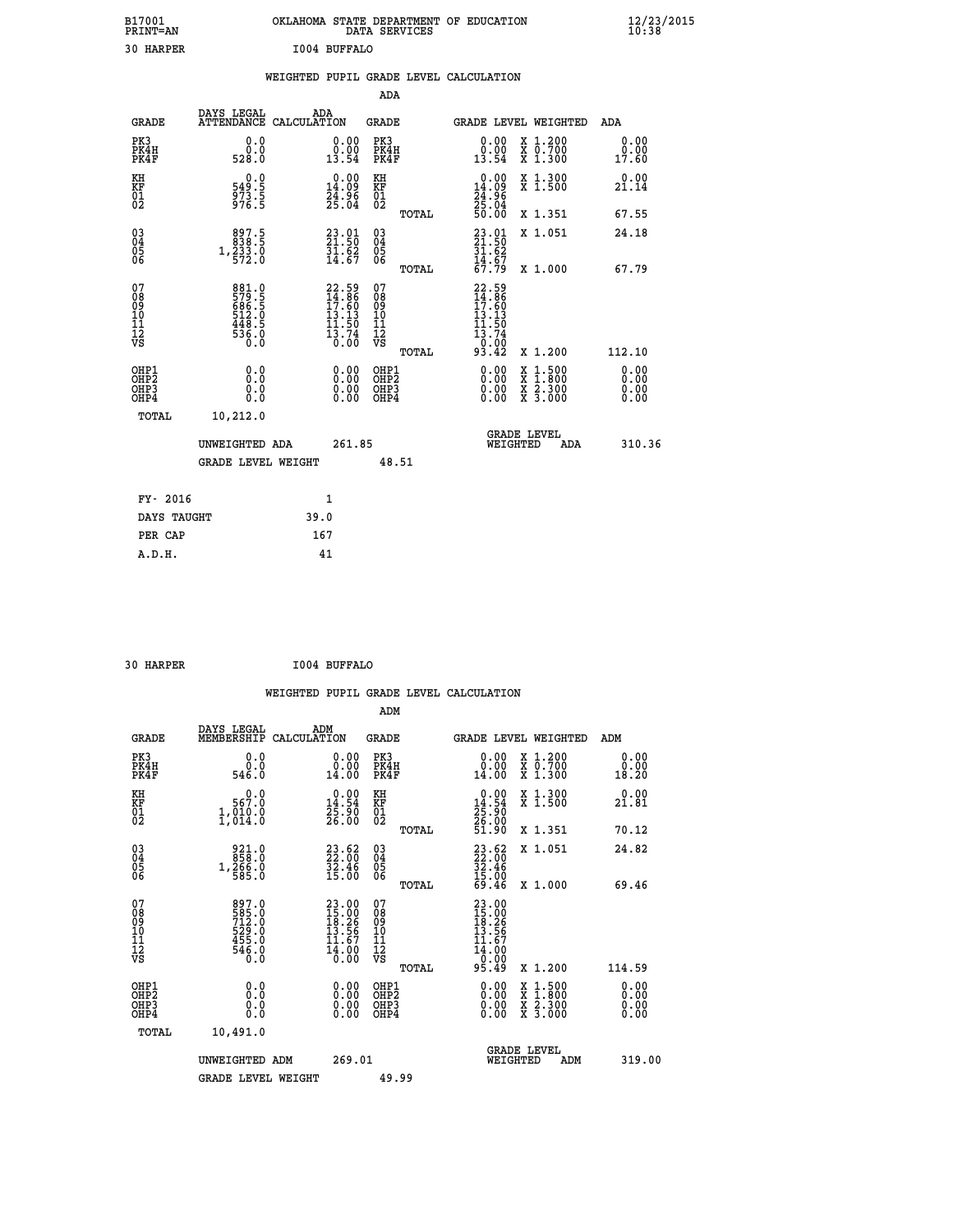| B17001<br><b>PRINT=AN</b> | OKLAHOMA STATE DEPARTMENT OF EDUCATION<br>DATA SERVICES | $\frac{12}{23}$ /2015 |
|---------------------------|---------------------------------------------------------|-----------------------|
| 30<br><b>HARPER</b>       | 1004 BUFFALO                                            |                       |

|                                                                    |                                                                    |                                                                   |                                                             | ADA                                          |       |                                                                          |  |                                                                                                                                           |                              |
|--------------------------------------------------------------------|--------------------------------------------------------------------|-------------------------------------------------------------------|-------------------------------------------------------------|----------------------------------------------|-------|--------------------------------------------------------------------------|--|-------------------------------------------------------------------------------------------------------------------------------------------|------------------------------|
| <b>GRADE</b>                                                       | DAYS LEGAL<br>ATTENDANCE CALCULATION                               | ADA                                                               |                                                             | <b>GRADE</b>                                 |       | GRADE LEVEL WEIGHTED                                                     |  |                                                                                                                                           | ADA                          |
| PK3<br>PK4H<br>PK4F                                                | 0.0<br>$0.0$<br>528.0                                              | $\begin{smallmatrix} 0.00\\ 0.00\\ 13.54 \end{smallmatrix}$       |                                                             | PK3<br>PK4H<br>PK4F                          |       | $\begin{smallmatrix} 0.00\\ 0.00\\ 13.54 \end{smallmatrix}$              |  | X 1.200<br>X 0.700<br>X 1.300                                                                                                             | 0.00<br>0.00<br>17.60        |
| KH<br>KF<br>01<br>02                                               | 0.0<br>549:5<br>973:5<br>976:5                                     | $0.00$<br>14.09<br>$\frac{24.96}{25.04}$                          |                                                             | KH<br>KF<br>01<br>02                         |       | $\begin{smallmatrix} 0.00\\14.09\\24.96\\25.04\\50.00 \end{smallmatrix}$ |  | X 1.300<br>X 1.500                                                                                                                        | 0.00<br>21.14                |
|                                                                    |                                                                    |                                                                   |                                                             |                                              | TOTAL |                                                                          |  | X 1.351                                                                                                                                   | 67.55                        |
| $\begin{smallmatrix} 03 \\[-4pt] 04 \end{smallmatrix}$<br>Ŏ5<br>06 | $\begin{smallmatrix}897.5\\838.5\\1,233.0\\572.0\end{smallmatrix}$ | $23.01$<br>$21.50$<br>$\frac{51.62}{14.67}$                       |                                                             | $\substack{03 \\ 04}$<br>Ŏ5<br>06            |       | $23.91$<br>$21.50$<br>$31.62$<br>$14.67$<br>$67.79$                      |  | X 1.051                                                                                                                                   | 24.18                        |
|                                                                    |                                                                    |                                                                   |                                                             |                                              | TOTAL |                                                                          |  | X 1.000                                                                                                                                   | 67.79                        |
| 07<br>08<br>09<br>101<br>11<br>12<br>VS                            | 881.0<br>579.5<br>686.5<br>686.5<br>512.0<br>448.5<br>536.0        | 22.59<br>14.86<br>17.60<br>13.13<br>11.50<br>$\frac{13.74}{0.00}$ |                                                             | 07<br>08<br>09<br>11<br>11<br>12<br>VS       |       | 22.59<br>14.86<br>17.60<br>13.13<br>11.50<br>13.74<br>0.00               |  |                                                                                                                                           |                              |
|                                                                    |                                                                    |                                                                   |                                                             |                                              | TOTAL | 93.42                                                                    |  | X 1.200                                                                                                                                   | 112.10                       |
| OHP1<br>OHP <sub>2</sub><br>OH <sub>P3</sub><br>OHP4               | 0.0<br>0.0<br>0.0                                                  |                                                                   | 0.00<br>$\begin{smallmatrix} 0.00 \ 0.00 \end{smallmatrix}$ | OHP1<br>OHP <sub>2</sub><br>OHP <sub>3</sub> |       | 0.00<br>0.00                                                             |  | $\begin{smallmatrix} \mathtt{X} & 1\cdot500\\ \mathtt{X} & 1\cdot800\\ \mathtt{X} & 2\cdot300\\ \mathtt{X} & 3\cdot000 \end{smallmatrix}$ | 0.00<br>0.00<br>0.00<br>0.00 |
| TOTAL                                                              | 10,212.0                                                           |                                                                   |                                                             |                                              |       |                                                                          |  |                                                                                                                                           |                              |
| UNWEIGHTED ADA                                                     |                                                                    |                                                                   | 261.85                                                      |                                              |       | <b>GRADE LEVEL</b><br>WEIGHTED<br>ADA                                    |  |                                                                                                                                           | 310.36                       |
|                                                                    | GRADE LEVEL WEIGHT                                                 |                                                                   |                                                             | 48.51                                        |       |                                                                          |  |                                                                                                                                           |                              |
| FY- 2016                                                           |                                                                    | 1                                                                 |                                                             |                                              |       |                                                                          |  |                                                                                                                                           |                              |
| DAYS TAUGHT                                                        |                                                                    | 39.0                                                              |                                                             |                                              |       |                                                                          |  |                                                                                                                                           |                              |
| PER CAP                                                            |                                                                    | 167                                                               |                                                             |                                              |       |                                                                          |  |                                                                                                                                           |                              |

 **30 HARPER I004 BUFFALO**

 **A.D.H. 41**

 **WEIGHTED PUPIL GRADE LEVEL CALCULATION ADM DAYS LEGAL ADM GRADE MEMBERSHIP CALCULATION GRADE GRADE LEVEL WEIGHTED ADM PK3 0.0 0.00 PK3 0.00 X 1.200 0.00 PK4H 0.0 0.00 PK4H 0.00 X 0.700 0.00 PK4F 546.0 14.00 PK4F 14.00 X 1.300 18.20 KH 0.0 0.00 KH 0.00 X 1.300 0.00 KF 567.0 14.54 KF 14.54 X 1.500 21.81**  $\begin{array}{cccc} \tt KH & & & & 0.0 & & & 0.00 & \tt KH \\ \tt KF & & & 567.0 & & 14.54 & \tt KF \\ 01 & & & 1,010.0 & & 25.90 & 01 \\ 02 & & & 1,014.0 & & 25.00 & 02 \end{array}$  **02 1,014.0 26.00 02 26.00**

| υz                                                   | 1,011.0                                                                 | 40.00                                                                | υZ<br>TOTAL                                           | 51.90<br>X 1.351                                                          | 70.12                                                                                                                                                                                                                                                                          |
|------------------------------------------------------|-------------------------------------------------------------------------|----------------------------------------------------------------------|-------------------------------------------------------|---------------------------------------------------------------------------|--------------------------------------------------------------------------------------------------------------------------------------------------------------------------------------------------------------------------------------------------------------------------------|
| 03<br>04<br>05<br>06                                 | $\begin{smallmatrix} 921.0\\ 858.0\\ 1,266.0\\ 585.0 \end{smallmatrix}$ | $\begin{smallmatrix} 23.62\ 22.00\ 32.46\ 35.00 \end{smallmatrix}$   | $\substack{03 \\ 04}$<br>05<br>06<br>TOTAL            | $23.62$<br>$32.46$<br>$35.46$<br>$15.00$<br>$69.46$<br>X 1.051<br>X 1.000 | 24.82<br>69.46                                                                                                                                                                                                                                                                 |
| 07<br>08<br>09<br>101<br>11<br>12<br>VS              | 897.0<br>585.0<br>712.0<br>529.0<br>$455.0$<br>546.0<br>0.0             | 23.00<br>$15.00$<br>$18.26$<br>$13.56$<br>$11.67$<br>$14.00$<br>0.00 | 07<br>08<br>09<br>101<br>11<br>12<br>VS<br>TOTAL      | 23.00<br>15:000<br>18:266<br>13:56<br>14:67<br>14:000<br>95.49<br>X 1.200 | 114.59                                                                                                                                                                                                                                                                         |
| OHP1<br>OHP <sub>2</sub><br>OH <sub>P3</sub><br>OHP4 | 0.0<br>0.0<br>0.0                                                       |                                                                      | OHP1<br>OHP <sub>2</sub><br>OH <sub>P</sub> 3<br>OHP4 | x 1:500<br>x 1:800<br>x 2:300<br>$\overline{x}$ 3.000                     | $\begin{smallmatrix} 0.00 & 0.00 & 0.00 & 0.00 & 0.00 & 0.00 & 0.00 & 0.00 & 0.00 & 0.00 & 0.00 & 0.00 & 0.00 & 0.00 & 0.00 & 0.00 & 0.00 & 0.00 & 0.00 & 0.00 & 0.00 & 0.00 & 0.00 & 0.00 & 0.00 & 0.00 & 0.00 & 0.00 & 0.00 & 0.00 & 0.00 & 0.00 & 0.00 & 0.00 & 0.00 & 0.0$ |
| TOTAL                                                | 10,491.0<br>UNWEIGHTED ADM                                              | 269.01                                                               |                                                       | <b>GRADE LEVEL</b><br>WEIGHTED<br>ADM                                     | 319.00                                                                                                                                                                                                                                                                         |
|                                                      | <b>GRADE LEVEL WEIGHT</b>                                               |                                                                      | 49.99                                                 |                                                                           |                                                                                                                                                                                                                                                                                |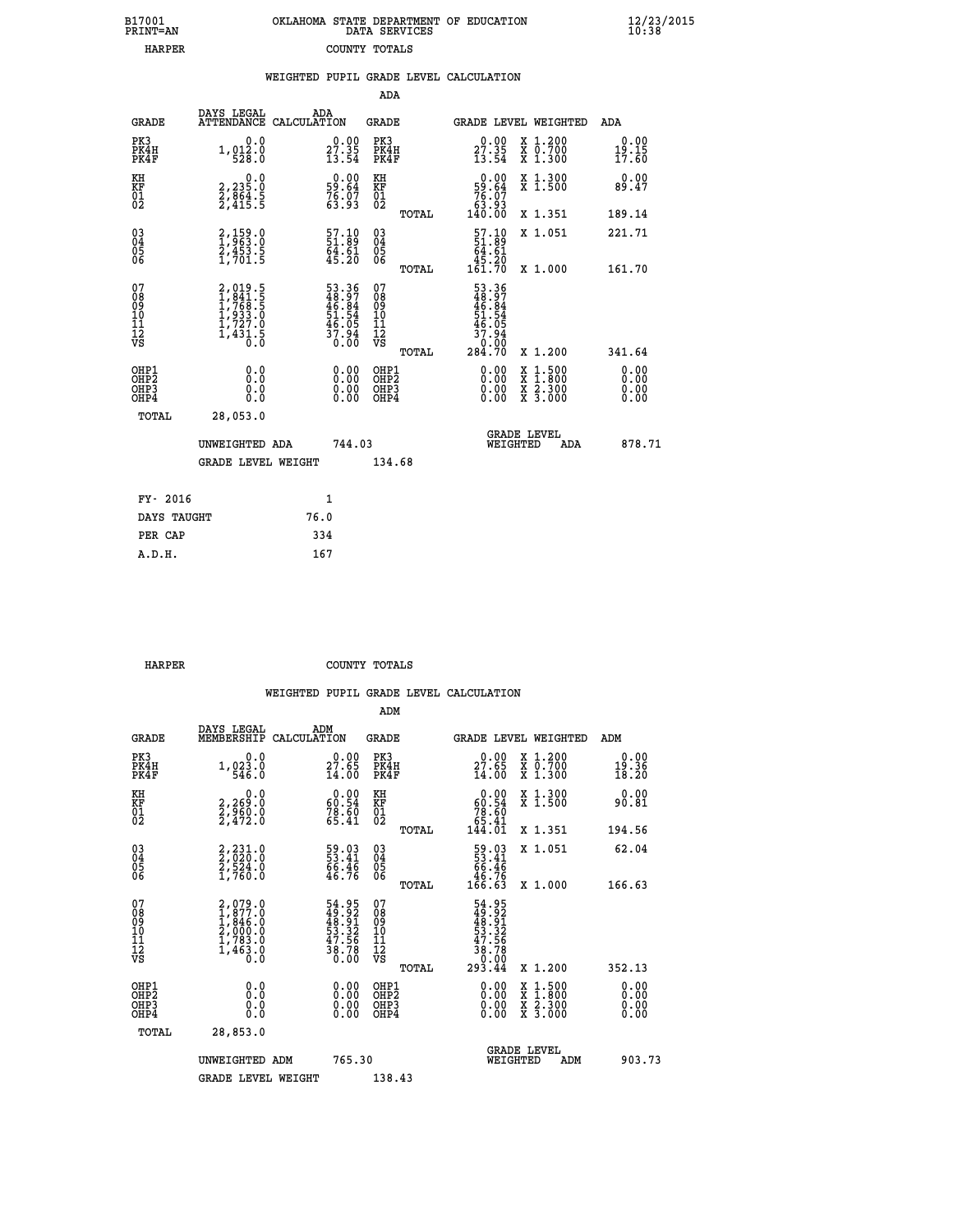| 7001<br>INT=AN |  | OKLAHOMA STATE DEPARTMENT OF EDUCATION<br>DATA SERVICES |  |
|----------------|--|---------------------------------------------------------|--|
| <b>HARPER</b>  |  | COUNTY TOTALS                                           |  |

 **B17001<br>PRINT=AN** 

 **B17001 OKLAHOMA STATE DEPARTMENT OF EDUCATION 12/23/2015**

|                                                                    |                                                                                   | WEIGHTED PUPIL GRADE LEVEL CALCULATION                                |                                                    |       |                                                                                                                                                                                                                                                                                |                                                                                                                                           |                        |
|--------------------------------------------------------------------|-----------------------------------------------------------------------------------|-----------------------------------------------------------------------|----------------------------------------------------|-------|--------------------------------------------------------------------------------------------------------------------------------------------------------------------------------------------------------------------------------------------------------------------------------|-------------------------------------------------------------------------------------------------------------------------------------------|------------------------|
|                                                                    |                                                                                   |                                                                       | ADA                                                |       |                                                                                                                                                                                                                                                                                |                                                                                                                                           |                        |
| <b>GRADE</b>                                                       | DAYS LEGAL                                                                        | ADA<br>ATTENDANCE CALCULATION                                         | <b>GRADE</b>                                       |       |                                                                                                                                                                                                                                                                                | <b>GRADE LEVEL WEIGHTED</b>                                                                                                               | ADA                    |
| PK3<br>PK4H<br>PK4F                                                | 0.0<br>1, 012.0                                                                   | $27.35$<br>$13.54$                                                    | PK3<br>PK4H<br>PK4F                                |       | $27.35$<br>$13.54$                                                                                                                                                                                                                                                             | X 1.200<br>X 0.700<br>X 1.300                                                                                                             | 0.00<br>19.15<br>17.60 |
| KH<br>KF<br>01<br>02                                               | $\begin{smallmatrix} 2,235.0\\ 2,854.5\\ 2,415.5 \end{smallmatrix}$               | $0.00$<br>59.64<br>76.07<br>63.93                                     | KH<br>KF<br>01<br>02                               |       | $0.00$<br>$59.64$<br>$76.07$<br>$63.93$<br>$140.00$                                                                                                                                                                                                                            | X 1.300<br>X 1.500                                                                                                                        | 0.00<br>89.47          |
|                                                                    |                                                                                   |                                                                       |                                                    | TOTAL |                                                                                                                                                                                                                                                                                | X 1.351                                                                                                                                   | 189.14                 |
| $\begin{smallmatrix} 03 \\[-4pt] 04 \end{smallmatrix}$<br>05<br>06 | 2,159.0<br>1,963.0<br>2,453.5<br>1,701.5                                          | $\begin{smallmatrix} 57.10\\ 51.89\\ 64.61\\ 45.20 \end{smallmatrix}$ | $\begin{matrix} 03 \\ 04 \\ 05 \\ 06 \end{matrix}$ |       | $\frac{57.10}{51.89}$<br>64.61                                                                                                                                                                                                                                                 | X 1.051                                                                                                                                   | 221.71                 |
|                                                                    |                                                                                   |                                                                       |                                                    | TOTAL | $\frac{15.20}{161.70}$                                                                                                                                                                                                                                                         | X 1.000                                                                                                                                   | 161.70                 |
| 07<br>08<br>09<br>001<br>11<br>11<br>12<br>VS                      | $2,019.5$<br>$1,841.5$<br>$1,768.5$<br>$1,933.0$<br>$1,727.0$<br>$1,431.5$<br>0.0 | 53.36<br>48.97<br>46.84<br>51.54<br>51.95<br>37.94<br>0.00            | 07<br>08901112<br>1112<br>VS                       | TOTAL | 53.36<br>48.97<br>46.84<br>51.54<br>$\frac{46.05}{37.94}$<br>0:00<br>284.70                                                                                                                                                                                                    | X 1.200                                                                                                                                   | 341.64                 |
| OHP1<br>OHP2<br>OH <sub>P</sub> 3<br>OH <sub>P4</sub>              | 0.0<br>0.0<br>0.0                                                                 | 0.00<br>$\begin{smallmatrix} 0.00 \ 0.00 \end{smallmatrix}$           | OHP1<br>OHP2<br>OHP3<br>OHP4                       |       | $\begin{smallmatrix} 0.00 & 0.00 & 0.00 & 0.00 & 0.00 & 0.00 & 0.00 & 0.00 & 0.00 & 0.00 & 0.00 & 0.00 & 0.00 & 0.00 & 0.00 & 0.00 & 0.00 & 0.00 & 0.00 & 0.00 & 0.00 & 0.00 & 0.00 & 0.00 & 0.00 & 0.00 & 0.00 & 0.00 & 0.00 & 0.00 & 0.00 & 0.00 & 0.00 & 0.00 & 0.00 & 0.0$ | $\begin{smallmatrix} \mathtt{X} & 1\cdot500\\ \mathtt{X} & 1\cdot800\\ \mathtt{X} & 2\cdot300\\ \mathtt{X} & 3\cdot000 \end{smallmatrix}$ | 0.00<br>0.00<br>0.00   |
| TOTAL                                                              | 28,053.0                                                                          |                                                                       |                                                    |       |                                                                                                                                                                                                                                                                                |                                                                                                                                           |                        |
|                                                                    | UNWEIGHTED ADA                                                                    | 744.03                                                                |                                                    |       | WEIGHTED                                                                                                                                                                                                                                                                       | <b>GRADE LEVEL</b><br>ADA                                                                                                                 | 878.71                 |
|                                                                    | <b>GRADE LEVEL WEIGHT</b>                                                         |                                                                       | 134.68                                             |       |                                                                                                                                                                                                                                                                                |                                                                                                                                           |                        |
| FY- 2016                                                           |                                                                                   | $\mathbf{1}$                                                          |                                                    |       |                                                                                                                                                                                                                                                                                |                                                                                                                                           |                        |
| DAYS TAUGHT                                                        |                                                                                   | 76.0                                                                  |                                                    |       |                                                                                                                                                                                                                                                                                |                                                                                                                                           |                        |
| PER CAP                                                            |                                                                                   | 334                                                                   |                                                    |       |                                                                                                                                                                                                                                                                                |                                                                                                                                           |                        |

 **A.D.H. 167**

 **HARPER COUNTY TOTALS**

|                                                    |                                                                                     |                                                                      | ADM                                                 |       |                                                                                        |                                          |                                                              |        |
|----------------------------------------------------|-------------------------------------------------------------------------------------|----------------------------------------------------------------------|-----------------------------------------------------|-------|----------------------------------------------------------------------------------------|------------------------------------------|--------------------------------------------------------------|--------|
| <b>GRADE</b>                                       | DAYS LEGAL<br>MEMBERSHIP                                                            | ADM<br>CALCULATION                                                   | <b>GRADE</b>                                        |       |                                                                                        | GRADE LEVEL WEIGHTED                     | ADM                                                          |        |
| PK3<br>PK4H<br>PK4F                                | 0.0<br>1,023.0<br>546.0                                                             | $\substack{0.00\\27.65\\14.00}$                                      | PK3<br>PK4H<br>PK4F                                 |       | $\begin{smallmatrix} 0.00\\ 27.65\\ 14.00 \end{smallmatrix}$                           | X 1.200<br>X 0.700<br>X 1.300            | $\begin{smallmatrix} 0.00\\ 19.36\\ 18.20 \end{smallmatrix}$ |        |
| KH<br>KF<br>01<br>02                               | 0.0<br>2,269:0<br>2,960:0<br>2,472:0                                                | $\begin{smallmatrix} 0.00\\ 60.54\\ 78.60\\ 65.41 \end{smallmatrix}$ | KH<br>KF<br>01<br>02                                |       | $\begin{smallmatrix} &0.00\ 60.54\ 78.60\ 65.41\ 144.01\end{smallmatrix}$              | X 1.300<br>X 1.500                       | 0.00<br>90.81                                                |        |
|                                                    |                                                                                     |                                                                      |                                                     | TOTAL |                                                                                        | X 1.351                                  | 194.56                                                       |        |
| $\begin{matrix} 03 \\ 04 \\ 05 \\ 06 \end{matrix}$ | $2,231.0$<br>$2,520.0$<br>$2,524.0$<br>$1,760.0$                                    | 59.03<br>53.41<br>66.46<br>46.76                                     | $\begin{array}{c} 03 \\ 04 \\ 05 \\ 06 \end{array}$ |       | $\begin{array}{r} 59.03 \\ 53.41 \\ 66.46 \\ 46.76 \\ 166.63 \end{array}$              | X 1.051                                  | 62.04                                                        |        |
|                                                    |                                                                                     |                                                                      |                                                     | TOTAL |                                                                                        | X 1.000                                  | 166.63                                                       |        |
| 07<br>08<br>09<br>101<br>11<br>12<br>VS            | $2,079.0$<br>$1,877.0$<br>$1,846.0$<br>$2,000.0$<br>$1,783.0$<br>$1,463.0$<br>$0.0$ | 54.95<br>49.92<br>48.91<br>53.32<br>53.756<br>38.78<br>38.78         | 07<br>08<br>09<br>11<br>11<br>12<br>VS              | TOTAL | $54.95$<br>$49.921$<br>$48.321$<br>$53.326$<br>$47.56$<br>$38.78$<br>$0.000$<br>293.44 | X 1.200                                  | 352.13                                                       |        |
| OHP1<br>OHP2<br>OH <sub>P3</sub><br>OHP4           |                                                                                     | $\begin{smallmatrix} 0.00 \ 0.00 \ 0.00 \ 0.00 \end{smallmatrix}$    | OHP1<br>OHP2<br>OHP3<br>OHP4                        |       | $0.00$<br>$0.00$<br>0.00                                                               | X 1:500<br>X 1:800<br>X 2:300<br>X 3:000 | 0.00<br>0.00<br>0.00                                         |        |
| TOTAL                                              | 28,853.0                                                                            |                                                                      |                                                     |       |                                                                                        |                                          |                                                              |        |
|                                                    | UNWEIGHTED ADM                                                                      | 765.30                                                               |                                                     |       | WEIGHTED                                                                               | <b>GRADE LEVEL</b><br>ADM                |                                                              | 903.73 |
|                                                    | <b>GRADE LEVEL WEIGHT</b>                                                           |                                                                      | 138.43                                              |       |                                                                                        |                                          |                                                              |        |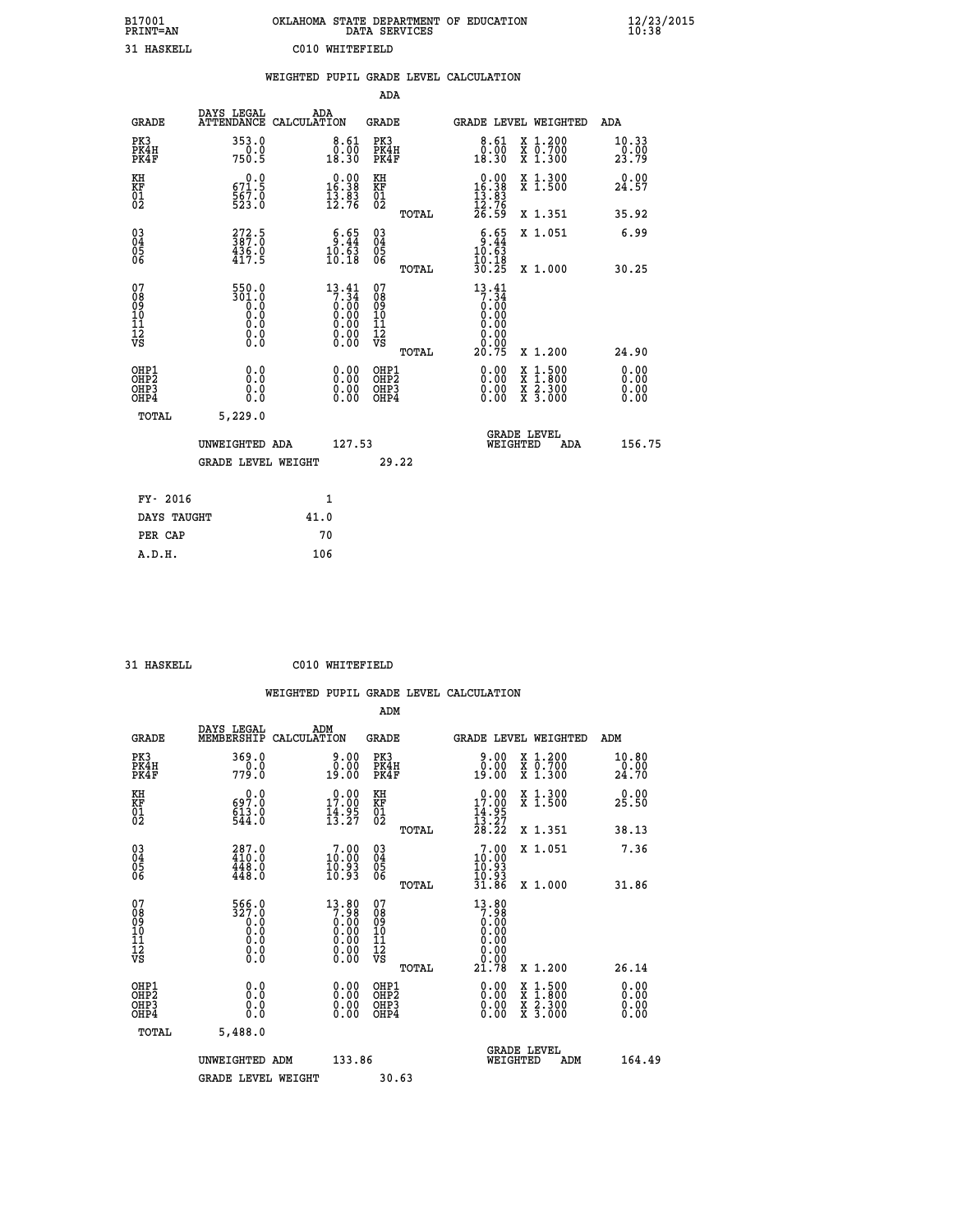| B17001<br>PRINT=AN | OKLAHOMA STATE DEPARTMENT OF EDUCATION<br>DATA SERVICES | $\frac{12}{23}$ /2015 |
|--------------------|---------------------------------------------------------|-----------------------|
| 31 HASKELL         | C010 WHITEFIELD                                         |                       |

|                                              |                                                     |      |                                                                     |                                          |       | WEIGHTED PUPIL GRADE LEVEL CALCULATION                                                                                                                                                                                                                                         |                                                                                          |                                  |
|----------------------------------------------|-----------------------------------------------------|------|---------------------------------------------------------------------|------------------------------------------|-------|--------------------------------------------------------------------------------------------------------------------------------------------------------------------------------------------------------------------------------------------------------------------------------|------------------------------------------------------------------------------------------|----------------------------------|
|                                              |                                                     |      |                                                                     | <b>ADA</b>                               |       |                                                                                                                                                                                                                                                                                |                                                                                          |                                  |
| <b>GRADE</b>                                 | DAYS LEGAL<br>ATTENDANCE CALCULATION                |      | ADA                                                                 | GRADE                                    |       | GRADE LEVEL WEIGHTED                                                                                                                                                                                                                                                           |                                                                                          | ADA                              |
| PK3<br>PK4H<br>PK4F                          | 353.0<br>750.0                                      |      | $\begin{smallmatrix} 8\cdot 61\\ 0.00\\ 18.30 \end{smallmatrix}$    | PK3<br>PK4H<br>PK4F                      |       | $\begin{smallmatrix} 8\cdot 61\\ 0.00\\ 18.30 \end{smallmatrix}$                                                                                                                                                                                                               | X 1.200<br>X 0.700<br>X 1.300                                                            | 10.33<br>23.79                   |
| KH<br>KF<br>01<br>02                         | 671.5<br>$\frac{567.0}{523.0}$                      |      | $\begin{smallmatrix} 0.00\\16.38\\13.83\\12.76 \end{smallmatrix}$   | KH<br>KF<br>01<br>02                     |       | 16.38                                                                                                                                                                                                                                                                          | X 1.300<br>X 1.500                                                                       | 0.00<br>24.57                    |
|                                              |                                                     |      |                                                                     |                                          | TOTAL | $\frac{13}{12}$ $\frac{83}{76}$<br>$\frac{26}{59}$                                                                                                                                                                                                                             | X 1.351                                                                                  | 35.92                            |
| 03<br>04<br>05<br>06                         | $372.5$<br>387.0<br>$\frac{436.0}{417.5}$           |      | $\begin{smallmatrix} 6.65\\ 9.44\\ 10.63\\ 10.18 \end{smallmatrix}$ | $\substack{03 \\ 04}$<br>$\frac{05}{06}$ |       | $\frac{6.65}{10.63}$                                                                                                                                                                                                                                                           | X 1.051                                                                                  | 6.99                             |
|                                              |                                                     |      |                                                                     |                                          | TOTAL | 10.18<br>30.25                                                                                                                                                                                                                                                                 | X 1.000                                                                                  | 30.25                            |
| 07<br>08<br>09<br>01<br>11<br>11<br>12<br>VS | 550.0<br>301.0<br>$\overline{0}$ :0<br>0.0<br>$\S.$ |      | 13.41<br>$7:\overline{34}$<br>0:00<br>0:00<br>0:00<br>0:00<br>0.00  | 07<br>08<br>09<br>11<br>11<br>12<br>VS   | TOTAL | 13.41<br>$\begin{smallmatrix} 7.34 \ 0.00 \ 0.00 \end{smallmatrix}$<br>0.00<br>0.00<br>0.00<br>20.75                                                                                                                                                                           | X 1.200                                                                                  | 24.90                            |
| OHP1<br>OHP2<br>OHP3<br>OHP4                 | 0.0<br>0.0<br>0.0                                   |      | $\begin{smallmatrix} 0.00 \ 0.00 \ 0.00 \ 0.00 \end{smallmatrix}$   | OHP1<br>OHP2<br>OHP3<br>OHP4             |       | $\begin{smallmatrix} 0.00 & 0.00 & 0.00 & 0.00 & 0.00 & 0.00 & 0.00 & 0.00 & 0.00 & 0.00 & 0.00 & 0.00 & 0.00 & 0.00 & 0.00 & 0.00 & 0.00 & 0.00 & 0.00 & 0.00 & 0.00 & 0.00 & 0.00 & 0.00 & 0.00 & 0.00 & 0.00 & 0.00 & 0.00 & 0.00 & 0.00 & 0.00 & 0.00 & 0.00 & 0.00 & 0.0$ | $\begin{smallmatrix} x & 1.500 \\ x & 1.800 \\ x & 2.300 \\ x & 3.000 \end{smallmatrix}$ | 0.00<br>0.00<br>$0.00$<br>$0.00$ |
| TOTAL                                        | 5,229.0                                             |      |                                                                     |                                          |       |                                                                                                                                                                                                                                                                                |                                                                                          |                                  |
|                                              | UNWEIGHTED ADA                                      |      | 127.53                                                              |                                          |       | <b>GRADE LEVEL</b><br>WEIGHTED                                                                                                                                                                                                                                                 | ADA                                                                                      | 156.75                           |
|                                              | <b>GRADE LEVEL WEIGHT</b>                           |      |                                                                     |                                          | 29.22 |                                                                                                                                                                                                                                                                                |                                                                                          |                                  |
| FY- 2016                                     |                                                     |      | $\mathbf{1}$                                                        |                                          |       |                                                                                                                                                                                                                                                                                |                                                                                          |                                  |
| DAYS TAUGHT                                  |                                                     | 41.0 |                                                                     |                                          |       |                                                                                                                                                                                                                                                                                |                                                                                          |                                  |
| PER CAP                                      |                                                     |      | 70                                                                  |                                          |       |                                                                                                                                                                                                                                                                                |                                                                                          |                                  |

 **31 HASKELL C010 WHITEFIELD**

|                                                      |                                                                                    | WEIGHTED PUPIL GRADE LEVEL CALCULATION                                                |                                                     |                                                                         |                                                                                          |                               |
|------------------------------------------------------|------------------------------------------------------------------------------------|---------------------------------------------------------------------------------------|-----------------------------------------------------|-------------------------------------------------------------------------|------------------------------------------------------------------------------------------|-------------------------------|
|                                                      |                                                                                    |                                                                                       | ADM                                                 |                                                                         |                                                                                          |                               |
| <b>GRADE</b>                                         | DAYS LEGAL<br>MEMBERSHIP                                                           | ADM<br>CALCULATION                                                                    | <b>GRADE</b>                                        | GRADE LEVEL WEIGHTED                                                    |                                                                                          | ADM                           |
| PK3<br>PK4H<br>PK4F                                  | 369.0<br>779.0                                                                     | ≬.≬≬<br>∂:≬0<br>19.00                                                                 | PK3<br>PK4H<br>PK4F                                 | 0.00<br>19.00                                                           | X 1.200<br>X 0.700<br>X 1.300                                                            | 10.80<br>$\frac{0.00}{24.70}$ |
| KH<br>KF<br>01<br>02                                 | $697.0$<br>$613.0$<br>$544.0$                                                      | $\begin{smallmatrix} 0.00\\ 17.00\\ 14.95\\ 13.27 \end{smallmatrix}$                  | KH<br>KF<br>01<br>02                                | $\begin{array}{c} 0.00 \\ 17.00 \\ 14.95 \\ 13.27 \\ 28.22 \end{array}$ | X 1.300<br>X 1.500                                                                       | 0.00<br>25.50                 |
|                                                      |                                                                                    |                                                                                       | TOTAL                                               |                                                                         | X 1.351                                                                                  | 38.13                         |
| $\begin{matrix} 03 \\ 04 \\ 05 \\ 06 \end{matrix}$   | $\begin{smallmatrix} 287.0\\ 410.0\\ 448.0\\ 448.0\\ 448.0 \end{smallmatrix}$      | $\begin{smallmatrix}7.00\\10.00\\10.93\\10.93\end{smallmatrix}$                       | $\begin{array}{c} 03 \\ 04 \\ 05 \\ 06 \end{array}$ | 7.00<br>10.00<br>īŏ.93                                                  | X 1.051                                                                                  | 7.36                          |
|                                                      |                                                                                    |                                                                                       | TOTAL                                               | 10:93<br>31.86                                                          | X 1.000                                                                                  | 31.86                         |
| 07<br>08<br>09<br>101<br>112<br>VS                   | 566.0<br>327.0<br>$\begin{smallmatrix}0.0 \ 0.0 \end{smallmatrix}$<br>0.0<br>$\S.$ | $\begin{smallmatrix}13.80\\7.98\\0.00\\0.00\\0.00\\0.00\\0.00\\0.00\end{smallmatrix}$ | 07<br>08<br>09<br>101<br>11<br>12<br>VS             | $13.80$<br>7.98<br>0.00<br>0.00<br>0.00                                 |                                                                                          |                               |
|                                                      |                                                                                    |                                                                                       | TOTAL                                               | 21.78                                                                   | X 1.200                                                                                  | 26.14                         |
| OHP1<br>OHP2<br>OH <sub>P3</sub><br>OH <sub>P4</sub> | 0.0<br>$\begin{smallmatrix} 0.0 & 0 \ 0.0 & 0 \end{smallmatrix}$                   | $\begin{smallmatrix} 0.00 \ 0.00 \ 0.00 \ 0.00 \end{smallmatrix}$                     | OHP1<br>OHP2<br>OHP3<br>OHP4                        |                                                                         | $\begin{smallmatrix} x & 1.500 \\ x & 1.800 \\ x & 2.300 \\ x & 3.000 \end{smallmatrix}$ | 0.00<br>0.00<br>0.00<br>0.00  |
| TOTAL                                                | 5,488.0                                                                            |                                                                                       |                                                     |                                                                         |                                                                                          |                               |
|                                                      | UNWEIGHTED ADM<br><b>GRADE LEVEL WEIGHT</b>                                        | 133.86                                                                                | 30.63                                               | <b>GRADE LEVEL</b><br>WEIGHTED                                          | ADM                                                                                      | 164.49                        |
|                                                      |                                                                                    |                                                                                       |                                                     |                                                                         |                                                                                          |                               |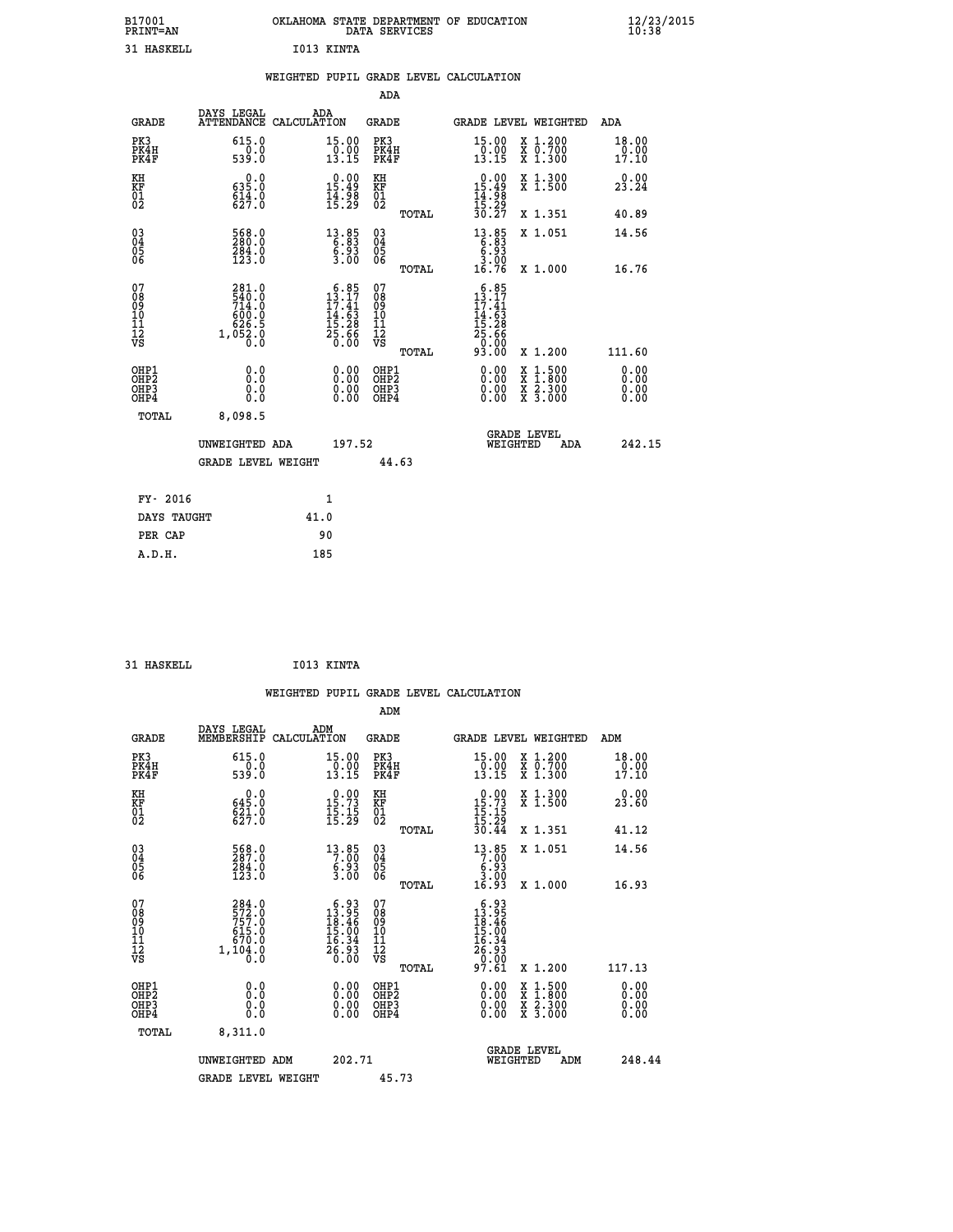| B17001          | OKLAHOMA STATE DEPARTMENT OF EDUCATION |
|-----------------|----------------------------------------|
| <b>PRINT=AN</b> | DATA SERVICES                          |
| 31 HASKELL      | I013 KINTA                             |

|                                               |                                                      |              |                                                                                               |                                      |       | WEIGHTED PUPIL GRADE LEVEL CALCULATION                                                                  |                                                                                                                                           |                        |
|-----------------------------------------------|------------------------------------------------------|--------------|-----------------------------------------------------------------------------------------------|--------------------------------------|-------|---------------------------------------------------------------------------------------------------------|-------------------------------------------------------------------------------------------------------------------------------------------|------------------------|
|                                               |                                                      |              |                                                                                               | ADA                                  |       |                                                                                                         |                                                                                                                                           |                        |
| <b>GRADE</b>                                  | DAYS LEGAL<br>ATTENDANCE CALCULATION                 | ADA          |                                                                                               | GRADE                                |       |                                                                                                         | GRADE LEVEL WEIGHTED                                                                                                                      | ADA                    |
| PK3<br>PK4H<br>PK4F                           | 615.0<br>0.0<br>539.0                                |              | 15.00<br>$\frac{1}{13}.00$<br>13.15                                                           | PK3<br>PK4H<br>PK4F                  |       | 15.00<br>$\frac{10.00}{13.15}$                                                                          | X 1.200<br>X 0.700<br>X 1.300                                                                                                             | 18.00<br>0.00<br>17.10 |
| KH<br>KF<br>01<br>02                          | $0.0$<br>$0.35.0$<br>$614.0$<br>$627.0$              |              | $0.00$<br>15.49<br>$\frac{1}{4}$ $\frac{1}{5}$ $\frac{5}{29}$                                 | KH<br>KF<br>01<br>02                 |       | $0.00$<br>15.49<br>$\frac{14}{15}$ $\frac{38}{30}$<br>$\frac{29}{30}$                                   | X 1.300<br>X 1.500                                                                                                                        | 0.00<br>23.24          |
|                                               |                                                      |              |                                                                                               |                                      | TOTAL |                                                                                                         | X 1.351                                                                                                                                   | 40.89                  |
| $^{03}_{04}$<br>05<br>06                      | 568.0<br>$\frac{284.0}{123.0}$                       |              | $\begin{smallmatrix} 13 & 85 \\ 6 & 83 \\ 6 & 93 \\ 3 & 00 \end{smallmatrix}$                 | $^{03}_{04}$<br>0500                 |       | $\begin{array}{r} 13.85 \\ 6.83 \\ 6.93 \\ 3.00 \\ 16.76 \end{array}$                                   | X 1.051                                                                                                                                   | 14.56                  |
|                                               |                                                      |              |                                                                                               |                                      | TOTAL |                                                                                                         | X 1.000                                                                                                                                   | 16.76                  |
| 07<br>08<br>09<br>001<br>11<br>11<br>12<br>VS | 281.0<br>540.0<br>714.0<br>600.0<br>626.5<br>1,052.0 |              | $13.85$<br>$13.17$<br>$\begin{array}{c} 13.41 \\ 14.63 \\ 15.28 \\ 25.66 \\ 0.00 \end{array}$ | 078<br>089<br>0011<br>11<br>12<br>VS | TOTAL | $13.85$<br>$13.17$<br>$\begin{array}{r} 17.41 \\ 14.63 \\ 15.28 \\ 25.666 \\ 0.00 \\ 93.00 \end{array}$ | X 1.200                                                                                                                                   | 111.60                 |
| OHP1<br>OHP2<br>OHP3<br>OH <sub>P4</sub>      | 0.0<br>0.0<br>0.0                                    |              | 0.00<br>$\begin{smallmatrix} 0.00 \ 0.00 \end{smallmatrix}$                                   | OHP1<br>OHP2<br>OHP3<br>OHP4         |       | 0.00<br>0.00                                                                                            | $\begin{smallmatrix} \mathtt{X} & 1\cdot500\\ \mathtt{X} & 1\cdot800\\ \mathtt{X} & 2\cdot300\\ \mathtt{X} & 3\cdot000 \end{smallmatrix}$ | 0.00<br>0.00<br>0.00   |
| TOTAL                                         | 8,098.5                                              |              |                                                                                               |                                      |       |                                                                                                         |                                                                                                                                           |                        |
|                                               | UNWEIGHTED ADA                                       |              | 197.52                                                                                        |                                      |       | WEIGHTED                                                                                                | <b>GRADE LEVEL</b><br>ADA                                                                                                                 | 242.15                 |
|                                               | <b>GRADE LEVEL WEIGHT</b>                            |              |                                                                                               | 44.63                                |       |                                                                                                         |                                                                                                                                           |                        |
| FY- 2016                                      |                                                      | $\mathbf{1}$ |                                                                                               |                                      |       |                                                                                                         |                                                                                                                                           |                        |
| DAYS TAUGHT                                   |                                                      | 41.0         |                                                                                               |                                      |       |                                                                                                         |                                                                                                                                           |                        |
| PER CAP                                       |                                                      | 90           |                                                                                               |                                      |       |                                                                                                         |                                                                                                                                           |                        |

| I013 KINTA<br>31 HASKELL |
|--------------------------|
|--------------------------|

|                                                                      |                                                      |                    |                                                                                                                                      |                                                     |       | WEIGHTED PUPIL GRADE LEVEL CALCULATION                                                                                                                                                                                                                                         |                                |                                                                                          |                               |        |
|----------------------------------------------------------------------|------------------------------------------------------|--------------------|--------------------------------------------------------------------------------------------------------------------------------------|-----------------------------------------------------|-------|--------------------------------------------------------------------------------------------------------------------------------------------------------------------------------------------------------------------------------------------------------------------------------|--------------------------------|------------------------------------------------------------------------------------------|-------------------------------|--------|
|                                                                      |                                                      |                    |                                                                                                                                      | ADM                                                 |       |                                                                                                                                                                                                                                                                                |                                |                                                                                          |                               |        |
| <b>GRADE</b>                                                         | DAYS LEGAL<br>MEMBERSHIP                             | ADM<br>CALCULATION |                                                                                                                                      | <b>GRADE</b>                                        |       | <b>GRADE LEVEL WEIGHTED</b>                                                                                                                                                                                                                                                    |                                |                                                                                          | ADM                           |        |
| PK3<br>PK4H<br>PK4F                                                  | 615.0<br>539.0                                       |                    | 15.00<br>$\frac{0}{13}.00$<br>13.15                                                                                                  | PK3<br>PK4H<br>PK4F                                 |       | 15.00<br>$\frac{0.00}{13.15}$                                                                                                                                                                                                                                                  | X 1.200<br>X 0.700<br>X 1.300  |                                                                                          | 18.00<br>$\frac{0.00}{17.10}$ |        |
| KH<br>KF<br>01<br>02                                                 | $645.0$<br>$621.0$<br>$627.0$                        |                    | $0.00$<br>15.73<br>$\frac{15}{15}$ : $\frac{15}{29}$                                                                                 | KH<br>KF<br>01<br>02                                |       | $\begin{smallmatrix} 0.00\\ 15.73\\ 15.15\\ 15.29\\ 30.44 \end{smallmatrix}$                                                                                                                                                                                                   |                                | X 1.300<br>X 1.500                                                                       | 0.00<br>23.60                 |        |
|                                                                      |                                                      |                    |                                                                                                                                      |                                                     | TOTAL |                                                                                                                                                                                                                                                                                | X 1.351                        |                                                                                          | 41.12                         |        |
| 030404<br>ŌĞ                                                         | 568.0<br>284.0<br>123.0                              |                    | $\begin{smallmatrix} 13 & 85\\7 & 00\\6 & 93\\3 & 00\end{smallmatrix}$                                                               | $\begin{array}{c} 03 \\ 04 \\ 05 \\ 06 \end{array}$ |       | $\begin{smallmatrix}13.85\\7.00\\6.93\\3.00\\16.93\end{smallmatrix}$                                                                                                                                                                                                           | X 1.051                        |                                                                                          | 14.56                         |        |
|                                                                      |                                                      |                    |                                                                                                                                      |                                                     | TOTAL |                                                                                                                                                                                                                                                                                |                                | X 1.000                                                                                  | 16.93                         |        |
| 07<br>08<br>09<br>101<br>112<br>VS                                   | 284.0<br>572.0<br>757.0<br>615.0<br>670.0<br>1,104.0 |                    | $\begin{smallmatrix} 6 & 9 & 3 \\ 13 & 9 & 5 \\ 18 & 4 & 6 \\ 15 & 0 & 0 \\ 16 & 3 & 4 \\ 26 & 9 & 3 \\ 0 & 0 & 0 \end{smallmatrix}$ | 07<br>08<br>09<br>11<br>11<br>12<br>VS              | TOTAL | $\begin{smallmatrix} 6 & 93 \\ 13 & 95 \\ 18 & 46 \\ 15 & 00 \\ 16 & 34 \\ 26 & 93 \\ 0 & 00 \\ 97 & 61 \end{smallmatrix}$                                                                                                                                                     |                                | X 1.200                                                                                  | 117.13                        |        |
| OHP1                                                                 |                                                      |                    |                                                                                                                                      | OHP1                                                |       |                                                                                                                                                                                                                                                                                |                                |                                                                                          | 0.00                          |        |
| OH <sub>P</sub> <sub>2</sub><br>OH <sub>P3</sub><br>OH <sub>P4</sub> | 0.0<br>0.0<br>Ŏ.Ŏ                                    |                    | 0.00<br>0.00<br>0.00                                                                                                                 | OH <sub>P</sub> 2<br>OHP3<br>OHP4                   |       | $\begin{smallmatrix} 0.00 & 0.00 & 0.00 & 0.00 & 0.00 & 0.00 & 0.00 & 0.00 & 0.00 & 0.00 & 0.00 & 0.00 & 0.00 & 0.00 & 0.00 & 0.00 & 0.00 & 0.00 & 0.00 & 0.00 & 0.00 & 0.00 & 0.00 & 0.00 & 0.00 & 0.00 & 0.00 & 0.00 & 0.00 & 0.00 & 0.00 & 0.00 & 0.00 & 0.00 & 0.00 & 0.0$ |                                | $\begin{smallmatrix} x & 1.500 \\ x & 1.800 \\ x & 2.300 \\ x & 3.000 \end{smallmatrix}$ | 0.00<br>0.00<br>0.00          |        |
| TOTAL                                                                | 8,311.0                                              |                    |                                                                                                                                      |                                                     |       |                                                                                                                                                                                                                                                                                |                                |                                                                                          |                               |        |
|                                                                      | UNWEIGHTED ADM                                       |                    | 202.71                                                                                                                               |                                                     |       |                                                                                                                                                                                                                                                                                | <b>GRADE LEVEL</b><br>WEIGHTED | ADM                                                                                      |                               | 248.44 |
|                                                                      | <b>GRADE LEVEL WEIGHT</b>                            |                    |                                                                                                                                      | 45.73                                               |       |                                                                                                                                                                                                                                                                                |                                |                                                                                          |                               |        |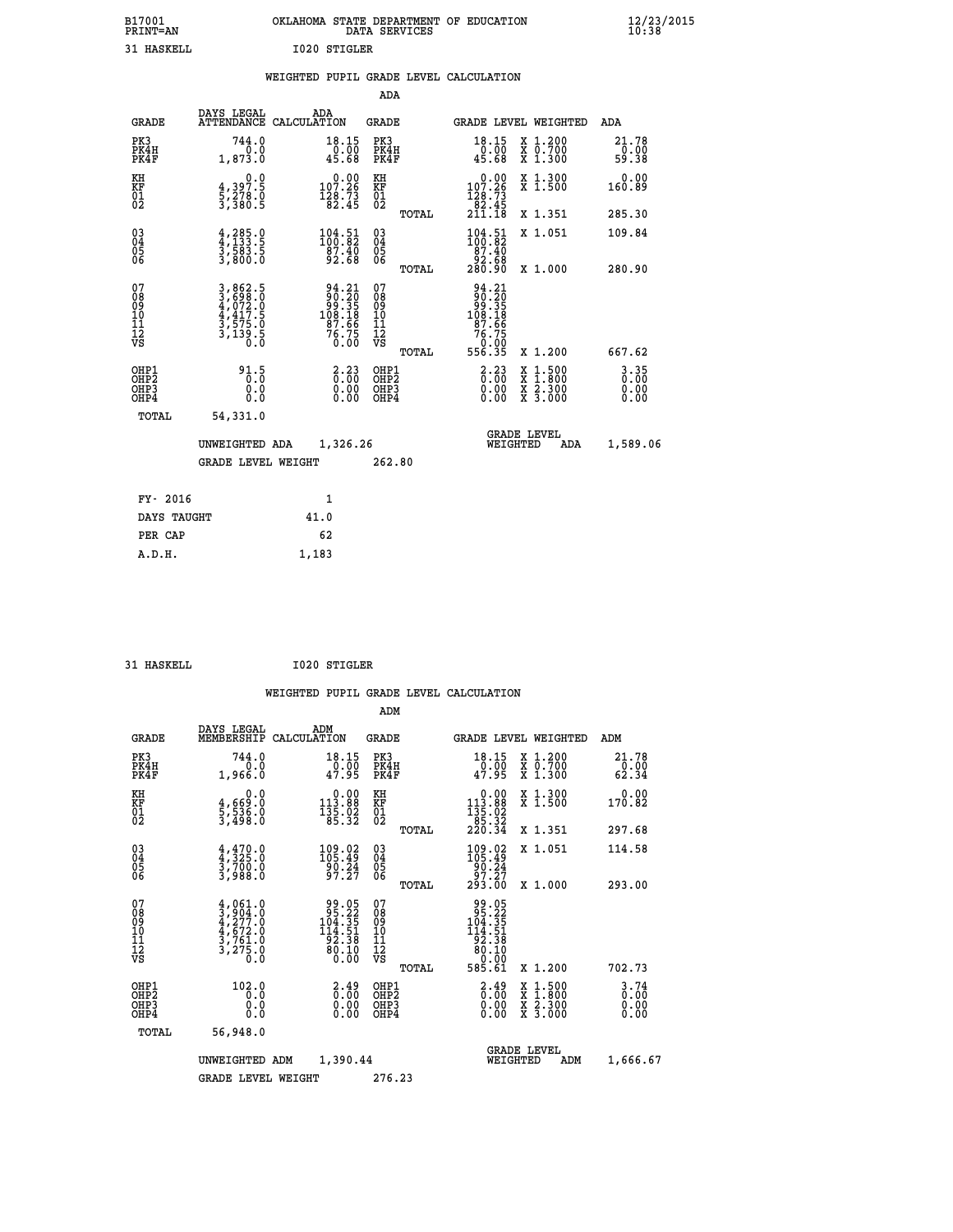| B17001<br><b>PRINT=AN</b> | OKLAHOMA STATE DEPARTMENT OF EDUCATION<br>DATA SERVICES | $\frac{12}{23}$ /2015 |
|---------------------------|---------------------------------------------------------|-----------------------|
| 31 HASKELL                | I020 STIGLER                                            |                       |

|  |  | WEIGHTED PUPIL GRADE LEVEL CALCULATION |
|--|--|----------------------------------------|
|  |  |                                        |

|                                                       |                                                                                          |                                                                                      | ADA                                      |       |                                                                                  |                                          |                                  |
|-------------------------------------------------------|------------------------------------------------------------------------------------------|--------------------------------------------------------------------------------------|------------------------------------------|-------|----------------------------------------------------------------------------------|------------------------------------------|----------------------------------|
| <b>GRADE</b>                                          | DAYS LEGAL                                                                               | ADA<br>ATTENDANCE CALCULATION                                                        | GRADE                                    |       |                                                                                  | GRADE LEVEL WEIGHTED                     | ADA                              |
| PK3<br>PK4H<br>PK4F                                   | 744.0<br>0.0<br>1,873.0                                                                  | $18.15$<br>0.00<br>45.68                                                             | PK3<br>PK4H<br>PK4F                      |       | 18.15<br>$\frac{10}{45.68}$                                                      | X 1.200<br>X 0.700<br>X 1.300            | 21.78<br>$0.00$<br>59.38         |
| KH<br>KF<br>01<br>02                                  | 0.0<br>$\frac{4}{5}, \frac{397.5}{278.0}$<br>3,380.5                                     | $\begin{smallmatrix} &0.00\\ 107.26\\ 128.73\\ 82.45\end{smallmatrix}$               | KH<br>KF<br>01<br>02                     |       | $\begin{smallmatrix} &0.00\\ 107.26\\ 128.73\\ 82.45\\ 211.18\end{smallmatrix}$  | X 1.300<br>X 1.500                       | 0.00<br>160.89                   |
|                                                       |                                                                                          |                                                                                      |                                          | TOTAL |                                                                                  | X 1.351                                  | 285.30                           |
| 03<br>04<br>05<br>06                                  | $\frac{4}{4}, \frac{285}{133}.\frac{0}{5}$<br>$\frac{3}{3}, \frac{583}{800}.\frac{5}{0}$ | $\begin{smallmatrix} 104\cdot51\\100\cdot82\\87\cdot40\\92\cdot68 \end{smallmatrix}$ | 03<br>04<br>05<br>06                     |       | $\begin{smallmatrix} 104.51\\ 100.82\\ 87.40\\ 92.68\\ 280.90 \end{smallmatrix}$ | X 1.051                                  | 109.84                           |
|                                                       |                                                                                          |                                                                                      |                                          | TOTAL |                                                                                  | X 1.000                                  | 280.90                           |
| 07<br>08<br>09<br>11<br>11<br>12<br>VS                | 3,862.5<br>3,698.0<br>4,072.0<br>4,417.5<br>3,575.0<br>3,139.5                           | 94.21<br>90.20<br>99.35<br>108.18<br>16.76<br>76.75<br>0.00                          | 07<br>08<br>09<br>11<br>11<br>12<br>VS   | TOTAL | 94.21<br>90.205<br>99.35<br>108.18<br>76.75<br>76.75<br>76.00<br>556.35          | X 1.200                                  | 667.62                           |
| OHP1<br>OH <sub>P</sub> 2<br>OH <sub>P3</sub><br>OHP4 | 91.5<br>0.0<br>0.0                                                                       | 3.23<br>$\begin{smallmatrix} 0.00 \ 0.00 \end{smallmatrix}$                          | OHP1<br>OHP <sub>2</sub><br>OHP3<br>OHP4 |       | $\begin{smallmatrix} 2.23\ 0.00 \ 0.00 \end{smallmatrix}$<br>0.00                | X 1:500<br>X 1:800<br>X 2:300<br>X 3:000 | $3.35$<br>$0.00$<br>0.00<br>0.00 |
| TOTAL                                                 | 54,331.0                                                                                 |                                                                                      |                                          |       |                                                                                  |                                          |                                  |
|                                                       | UNWEIGHTED ADA                                                                           | 1,326.26                                                                             |                                          |       | WEIGHTED                                                                         | <b>GRADE LEVEL</b><br>ADA                | 1,589.06                         |
|                                                       | <b>GRADE LEVEL WEIGHT</b>                                                                |                                                                                      | 262.80                                   |       |                                                                                  |                                          |                                  |
|                                                       |                                                                                          |                                                                                      |                                          |       |                                                                                  |                                          |                                  |
| FY- 2016                                              |                                                                                          | $\mathbf{1}$                                                                         |                                          |       |                                                                                  |                                          |                                  |
| DAYS TAUGHT                                           |                                                                                          | 41.0                                                                                 |                                          |       |                                                                                  |                                          |                                  |
| PER CAP                                               |                                                                                          | 62                                                                                   |                                          |       |                                                                                  |                                          |                                  |
| A.D.H.                                                |                                                                                          | 1,183                                                                                |                                          |       |                                                                                  |                                          |                                  |

| 31 HASKELL | <b>I020 STIGLER</b> |
|------------|---------------------|
|            |                     |

|                                          |                                                                        |                                                                                              | ADM                                                 |       |                                                                                                                                        |                                          |                                    |
|------------------------------------------|------------------------------------------------------------------------|----------------------------------------------------------------------------------------------|-----------------------------------------------------|-------|----------------------------------------------------------------------------------------------------------------------------------------|------------------------------------------|------------------------------------|
| <b>GRADE</b>                             | DAYS LEGAL<br>MEMBERSHIP                                               | ADM<br>CALCULATION                                                                           | <b>GRADE</b>                                        |       |                                                                                                                                        | GRADE LEVEL WEIGHTED                     | ADM                                |
| PK3<br>PK4H<br>PK4F                      | 744.0<br>0.0<br>1,966.0                                                | 18.15<br>$\frac{0.00}{47.95}$                                                                | PK3<br>PK4H<br>PK4F                                 |       | 18.15<br>$\frac{10.00}{47.95}$                                                                                                         | X 1.200<br>X 0.700<br>X 1.300            | 21.78<br>0.00<br>62.34             |
| KH<br>KF<br>01<br>02                     | 0.0<br>$\frac{4}{5}, \frac{669}{536}$ .0<br>3,498.0                    | $\begin{smallmatrix}&&0\,1&0\\1&1&3&\cdot&8\\1&3&5&\cdot&9\\1&3&5&\cdot&32\end{smallmatrix}$ | KH<br>KF<br>01<br>02                                |       | $\begin{smallmatrix}&&0.00\\113.88\\135.02\\85.32\\220.34\end{smallmatrix}$                                                            | X 1.300<br>X 1.500                       | 0.00<br>170.82                     |
|                                          |                                                                        |                                                                                              |                                                     | TOTAL |                                                                                                                                        | X 1.351                                  | 297.68                             |
| 03<br>04<br>05<br>06                     | $4,325.0$<br>$3,700.0$<br>$3,988.0$                                    | 109.02<br>105.49<br>90.24<br>97.27                                                           | $\begin{array}{c} 03 \\ 04 \\ 05 \\ 06 \end{array}$ |       | $\begin{smallmatrix} 109.02\\ 105.49\\ 90.24\\ 97.27\\ 293.00 \end{smallmatrix}$                                                       | X 1.051                                  | 114.58                             |
|                                          |                                                                        |                                                                                              |                                                     | TOTAL |                                                                                                                                        | X 1.000                                  | 293.00                             |
| 07<br>08<br>09<br>101<br>112<br>VS       | $4,061.0$<br>$3,277.0$<br>$4,672.0$<br>$3,761.0$<br>$3,275.0$<br>$0.0$ | 99.05<br>95.22<br>104.35<br>$\frac{111.51}{92.38}$<br>80.10<br>114<br>ŏ:ōŏ                   | 07<br>08<br>09<br>11<br>11<br>12<br>VS              | TOTAL | $\begin{array}{r} 99\cdot 05\\ 95\cdot 22\\ 104\cdot 35\\ 114\cdot 51\\ 92\cdot 38\\ 80\cdot 10\\ 0\cdot 00\\ 585\cdot 61 \end{array}$ | X 1.200                                  | 702.73                             |
| OHP1<br>OHP2<br>OH <sub>P3</sub><br>OHP4 | 102.0<br>0.0<br>0.000                                                  | $\overset{2}{0}.\overset{49}{00}$<br>0.00                                                    | OHP1<br>OHP2<br>OHP <sub>3</sub>                    |       | $\begin{smallmatrix} 2.49 \ 0.00 \ 0.00 \end{smallmatrix}$<br>0.00                                                                     | X 1:500<br>X 1:800<br>X 2:300<br>X 3:000 | $3.74$<br>$0.00$<br>$0.00$<br>0.00 |
| TOTAL                                    | 56,948.0                                                               |                                                                                              |                                                     |       |                                                                                                                                        |                                          |                                    |
|                                          | UNWEIGHTED                                                             | 1,390.44<br>ADM                                                                              |                                                     |       | WEIGHTED                                                                                                                               | <b>GRADE LEVEL</b><br>ADM                | 1,666.67                           |
|                                          | <b>GRADE LEVEL WEIGHT</b>                                              |                                                                                              | 276.23                                              |       |                                                                                                                                        |                                          |                                    |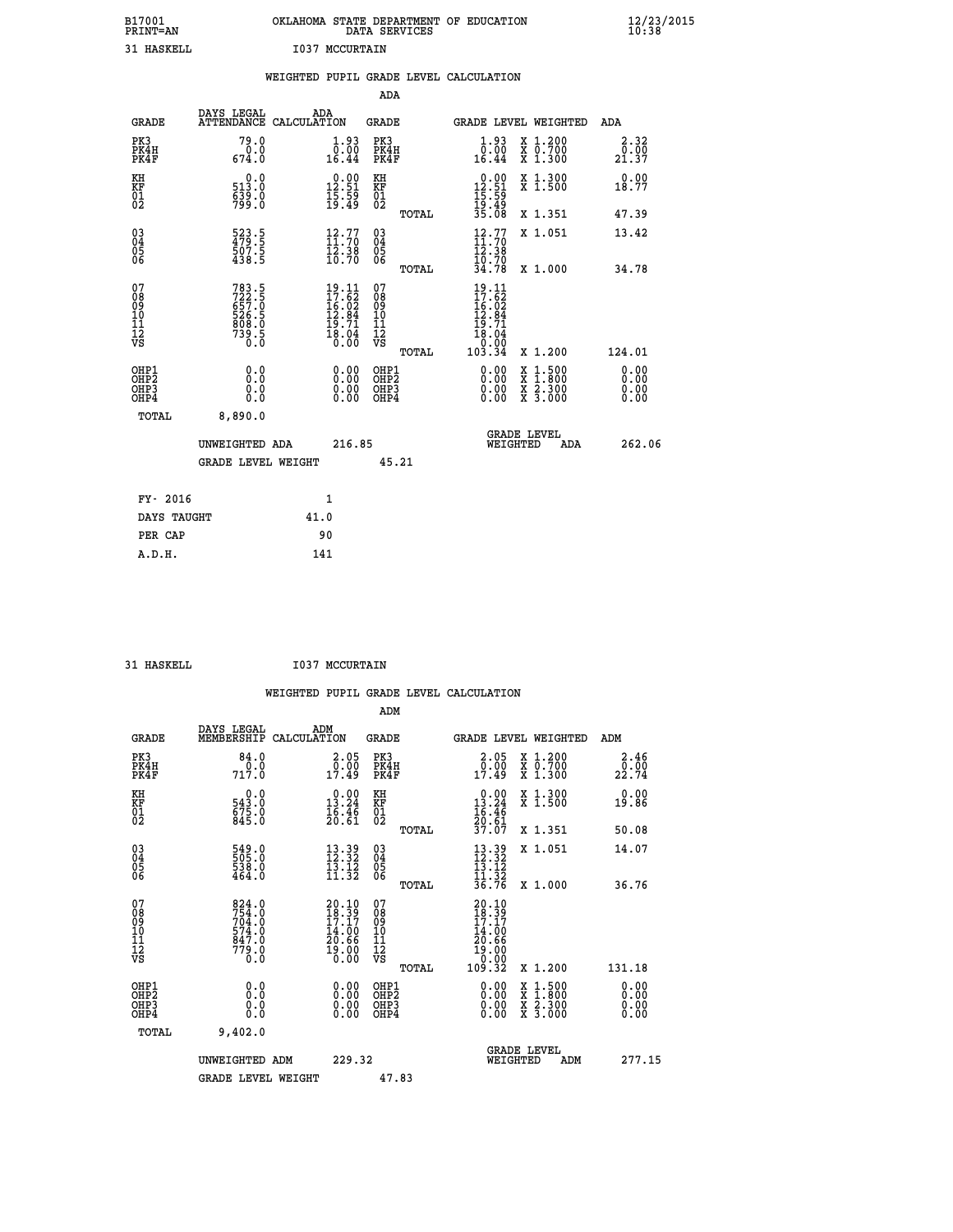| B17001<br><b>PRINT=AN</b> | OKLAHOMA STATE DEPARTMENT OF EDUCATION<br>DATA SERVICES | $\frac{12}{23}$ /2015 |
|---------------------------|---------------------------------------------------------|-----------------------|
| 31 HASKELL                | I037<br>MCCURTAIN                                       |                       |

|                                                                    |                                                                      | WEIGHTED PUPIL GRADE LEVEL CALCULATION                                             |                                                      |                                                                                                                                                                                                                                                                                                                                                                            |                                                        |
|--------------------------------------------------------------------|----------------------------------------------------------------------|------------------------------------------------------------------------------------|------------------------------------------------------|----------------------------------------------------------------------------------------------------------------------------------------------------------------------------------------------------------------------------------------------------------------------------------------------------------------------------------------------------------------------------|--------------------------------------------------------|
|                                                                    |                                                                      |                                                                                    | ADA                                                  |                                                                                                                                                                                                                                                                                                                                                                            |                                                        |
| <b>GRADE</b>                                                       | DAYS LEGAL                                                           | ADA<br>ATTENDANCE CALCULATION                                                      | <b>GRADE</b>                                         | GRADE LEVEL WEIGHTED                                                                                                                                                                                                                                                                                                                                                       | ADA                                                    |
| PK3<br>PK4H<br>PK4F                                                | 79.0<br>$\frac{0.0}{674.0}$                                          | $\begin{smallmatrix} 1.93\ 0.0010.44 \end{smallmatrix}$                            | PK3<br>PK4H<br>PK4F                                  | $\begin{smallmatrix} 1.93\ 0.0010.44 \end{smallmatrix}$<br>X 1.200<br>X 0.700<br>X 1.300                                                                                                                                                                                                                                                                                   | 2.32<br>$\frac{\bar{0}\cdot\bar{0}\bar{0}}{21\cdot37}$ |
| KH<br>KF<br>01<br>02                                               | 0.0<br>513.0<br>$\frac{539}{799}$ :0                                 | $\begin{smallmatrix} 0.00\\ 12.51\\ 15.59\\ 19.49 \end{smallmatrix}$               | KH<br>KF<br>01<br>02                                 | $\begin{array}{r} 0.00 \\ 12.51 \\ 15.59 \\ 19.49 \\ 35.08 \end{array}$<br>X 1.300<br>X 1.500                                                                                                                                                                                                                                                                              | 0.00<br>18.77                                          |
|                                                                    |                                                                      |                                                                                    | TOTAL                                                | X 1.351                                                                                                                                                                                                                                                                                                                                                                    | 47.39                                                  |
| $\begin{smallmatrix} 03 \\[-4pt] 04 \end{smallmatrix}$<br>Ŏ5<br>06 | 523.5<br>479.5<br>507.5<br>438.5                                     | $\begin{smallmatrix} 12\cdot77\ 11\cdot70\ 12\cdot38\ 10\cdot70 \end{smallmatrix}$ | $\begin{matrix} 03 \\ 04 \\ 05 \\ 06 \end{matrix}$   | $\begin{array}{c} 12.77 \\[-4pt] 11.70 \\[-4pt] 12.38 \\[-4pt] 10.70 \\[-4pt] 34.78 \end{array}$<br>X 1.051                                                                                                                                                                                                                                                                | 13.42                                                  |
|                                                                    |                                                                      |                                                                                    | TOTAL                                                | X 1.000                                                                                                                                                                                                                                                                                                                                                                    | 34.78                                                  |
| 07<br>0890112<br>1112<br>VS                                        | 783.5<br>722.5<br>657.0<br>657.0<br>526.5<br>808.0<br>739.5<br>739.5 | $19.11$<br>$17.62$<br>$16.02$<br>$12.84$<br>$19.71$<br>$18.04$<br>$0.00$           | 07<br>08901112<br>1112<br>VS<br>TOTAL                | 19.11<br>$\begin{smallmatrix} 17.7 \\ 17.62 \\ 16.02 \\ 12.84 \\ 19.71 \\ 18.04 \\ 0.00 \\ 0.00 \\ 103.34 \end{smallmatrix}$<br>X 1.200                                                                                                                                                                                                                                    | 124.01                                                 |
| OHP1<br>OHP <sub>2</sub><br>OHP3<br>OHP4                           | 0.0<br>0.0<br>0.0                                                    | $\begin{smallmatrix} 0.00 \ 0.00 \ 0.00 \ 0.00 \end{smallmatrix}$                  | OHP1<br>OHP2<br>OHP <sub>3</sub><br>OHP <sub>4</sub> | $\begin{smallmatrix} 0.00 & 0.00 & 0.00 & 0.00 & 0.00 & 0.00 & 0.00 & 0.00 & 0.00 & 0.00 & 0.00 & 0.00 & 0.00 & 0.00 & 0.00 & 0.00 & 0.00 & 0.00 & 0.00 & 0.00 & 0.00 & 0.00 & 0.00 & 0.00 & 0.00 & 0.00 & 0.00 & 0.00 & 0.00 & 0.00 & 0.00 & 0.00 & 0.00 & 0.00 & 0.00 & 0.0$<br>$\begin{smallmatrix} x & 1.500 \\ x & 1.800 \\ x & 2.300 \\ x & 3.000 \end{smallmatrix}$ | 0.00<br>0.00<br>0.00<br>0.00                           |
| TOTAL                                                              | 8,890.0                                                              |                                                                                    |                                                      |                                                                                                                                                                                                                                                                                                                                                                            |                                                        |
|                                                                    | UNWEIGHTED ADA                                                       | 216.85                                                                             |                                                      | <b>GRADE LEVEL</b><br>WEIGHTED<br><b>ADA</b>                                                                                                                                                                                                                                                                                                                               | 262.06                                                 |
|                                                                    | <b>GRADE LEVEL WEIGHT</b>                                            |                                                                                    | 45.21                                                |                                                                                                                                                                                                                                                                                                                                                                            |                                                        |
| FY- 2016                                                           |                                                                      | 1                                                                                  |                                                      |                                                                                                                                                                                                                                                                                                                                                                            |                                                        |
| DAYS TAUGHT                                                        |                                                                      | 41.0                                                                               |                                                      |                                                                                                                                                                                                                                                                                                                                                                            |                                                        |
| PER CAP                                                            |                                                                      | 90                                                                                 |                                                      |                                                                                                                                                                                                                                                                                                                                                                            |                                                        |

31 HASKELL **I037 MCCURTAIN** 

 **WEIGHTED PUPIL GRADE LEVEL CALCULATION ADM DAYS LEGAL ADM GRADE MEMBERSHIP CALCULATION GRADE GRADE LEVEL WEIGHTED ADM PK3 84.0 2.05 PK3 2.05 X 1.200 2.46 PK4H 0.0 0.00 PK4H 0.00 X 0.700 0.00 PK4F 717.0 17.49 PK4F 17.49 X 1.300 22.74 KH 0.0 0.00 KH 0.00 X 1.300 0.00 KF 543.0 13.24 KF 13.24 X 1.500 19.86 01 675.0 16.46 01 16.46**  $02$  845.0  $20.61$   $02$   $22.61$  **TOTAL 37.07 X 1.351 50.08 03 549.0 13.39 03 13.39 X 1.051 14.07 04 505.0 12.32 04 12.32 05 538.0 13.12 05 13.12**  $06$  464.0 11.32 06 <sub>mome</sub> 11.32  **TOTAL 36.76 X 1.000 36.76**  $\begin{array}{cccc} 07 & 824.0 & 20.10 & 07 \ 08 & 754.0 & 17.17 & 09 \ 09 & 704.0 & 17.17 & 09 & 17.17 \ 10 & 574.0 & 14.00 & 10 & 14.00 \ 11 & 779.0 & 19.00 & 10 & 14.00 \ 12 & 779.0 & 19.00 & 12 & 19.00 \ 12 & 779.0 & 19.00 & 12 & 19.00 \ 13 & 0.0 & 0.0 & 0 & 0.00 \end$  **OHP1 0.0 0.00 OHP1 0.00 X 1.500 0.00 OHP2 0.0 0.00 OHP2 0.00 X 1.800 0.00 OHP3 0.0 0.00 OHP3 0.00 X 2.300 0.00 OHP4 0.0 0.00 OHP4 0.00 X 3.000 0.00 TOTAL 9,402.0 GRADE LEVEL UNWEIGHTED ADM 229.32 WEIGHTED ADM 277.15** GRADE LEVEL WEIGHT 47.83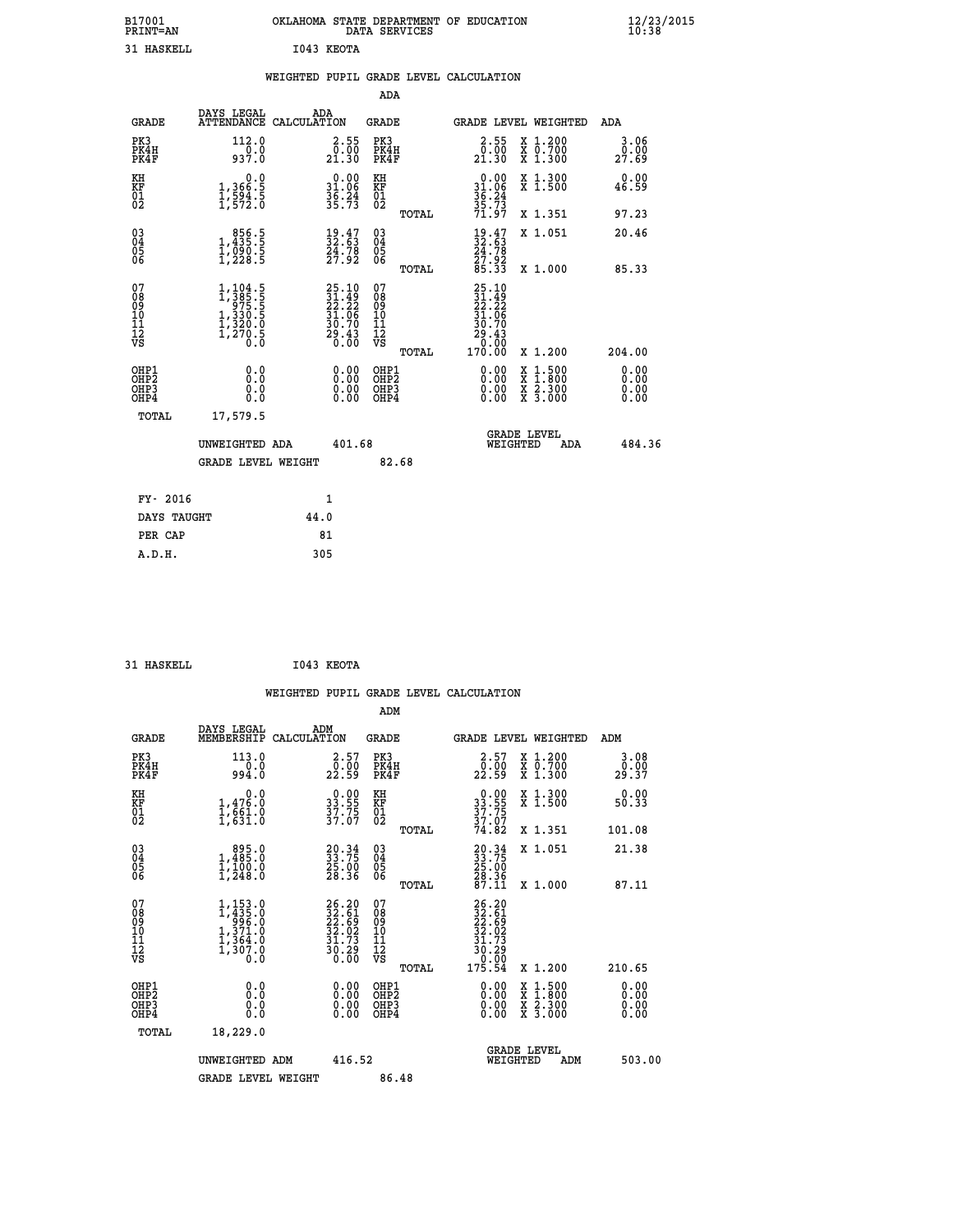| B17001<br>PRINT=AN                                            |                                                                                                                 | OKLAHOMA STATE DEPARTMENT OF EDUCATION                             | DATA SERVICES                                   |                                                                            |                                                                                              | $\frac{12}{23}$ /2015        |
|---------------------------------------------------------------|-----------------------------------------------------------------------------------------------------------------|--------------------------------------------------------------------|-------------------------------------------------|----------------------------------------------------------------------------|----------------------------------------------------------------------------------------------|------------------------------|
| <b>31 HASKELL</b>                                             |                                                                                                                 | I043 KEOTA                                                         |                                                 |                                                                            |                                                                                              |                              |
|                                                               |                                                                                                                 | WEIGHTED PUPIL GRADE LEVEL CALCULATION                             |                                                 |                                                                            |                                                                                              |                              |
|                                                               |                                                                                                                 |                                                                    | ADA                                             |                                                                            |                                                                                              |                              |
| <b>GRADE</b>                                                  | DAYS LEGAL<br>ATTENDANCE CALCULATION                                                                            | ADA                                                                | GRADE                                           | <b>GRADE LEVEL WEIGHTED</b>                                                |                                                                                              | ADA                          |
| PK3<br>PK4H<br>PK4F                                           | 112.0<br>937.0                                                                                                  | $\begin{smallmatrix} 2.55\\ 0.50\\ 21.30 \end{smallmatrix}$        | PK3<br>PK4H<br>PK4F                             | $\begin{smallmatrix} 2.55\\ 0.00\\ 21.30 \end{smallmatrix}$                | X 1.200<br>X 0.700<br>X 1.300                                                                | 3.06<br>0.00<br>27.69        |
| KH<br>KF<br>$\overline{01}$                                   | 0.0<br>$\frac{1}{1}, \frac{366}{594}$ .<br>1,594.5                                                              | $\begin{array}{r} 0.00 \\ 31.06 \\ 36.24 \\ 35.73 \end{array}$     | KH<br><b>KF</b><br>01<br>02                     | $0.00$<br>$31.06$<br>$36.24$<br>$35.73$                                    | X 1.300<br>X 1.500                                                                           | 0.00<br>46.59                |
|                                                               |                                                                                                                 |                                                                    | TOTAL                                           | 71.97                                                                      | X 1.351                                                                                      | 97.23                        |
| $\begin{matrix} 03 \\ 04 \\ 05 \\ 06 \end{matrix}$            | $\begin{smallmatrix}856.5\\1,435.5\\1,090.5\\1,228.5\end{smallmatrix}$                                          | $\begin{smallmatrix} 19.47\ 32.63\ 24.78\ 27.92 \end{smallmatrix}$ | 03<br>04<br>05<br>06                            | $\begin{smallmatrix} 19.47\ 32.63\ 24.78\ 27.92\ 85.33 \end{smallmatrix}$  | X 1.051                                                                                      | 20.46                        |
|                                                               |                                                                                                                 |                                                                    | TOTAL                                           |                                                                            | X 1,000                                                                                      | 85.33                        |
| 07<br>08<br>09<br>10<br>11<br>12<br>VS                        | $\begin{smallmatrix} 1,104.5\\ 1,385.5\\ 975.5\\ 1,330.5\\ 1,330.5\\ 1,320.0\\ 1,270.5\\ 0.0 \end{smallmatrix}$ | 25.10<br>31.49<br>22.22<br>31.06<br>30.70<br>30.43<br>29.43        | 07<br>08<br>09<br>10<br>11<br>12<br>VS<br>TOTAL | $25.10$<br>$31.49$<br>$22.22$<br>31.06<br>30.70<br>29.43<br>0.00<br>170.00 | X 1.200                                                                                      | 204.00                       |
| OHP1<br>OHP <sub>2</sub><br>OH <sub>P3</sub><br>OHP4<br>TOTAL | 0.0<br>0.0<br>0.0<br>0.0<br>17,579.5                                                                            | 0.00<br>0.00<br>0.00                                               | OHP1<br>OH <sub>P</sub> 2<br>OHP3<br>OHP4       | 0.00<br>0.00<br>0.00                                                       | $\frac{x}{x}$ $\frac{1.500}{x}$<br>$\frac{\overline{x}}{\overline{x}}$ $\frac{2.300}{3.000}$ | 0.00<br>0.00<br>0.00<br>0.00 |
|                                                               | UNWEIGHTED ADA<br><b>GRADE LEVEL WEIGHT</b>                                                                     | 401.68                                                             | 82.68                                           | <b>GRADE LEVEL</b><br>WEIGHTED                                             | ADA                                                                                          | 484.36                       |
|                                                               |                                                                                                                 |                                                                    |                                                 |                                                                            |                                                                                              |                              |
| FY- 2016                                                      |                                                                                                                 | 1                                                                  |                                                 |                                                                            |                                                                                              |                              |
| DAYS TAUGHT                                                   |                                                                                                                 | 44.0                                                               |                                                 |                                                                            |                                                                                              |                              |

| DAYS TAUGHT | 44.0 |
|-------------|------|
| PER CAP     | 81   |
| A.D.H.      | 305  |
|             |      |

```
 31 HASKELL I043 KEOTA
```

|                                                    |                                                                                      |                    |                                                                    |                                              |       | WEIGHTED PUPIL GRADE LEVEL CALCULATION                                                                                              |                                                                                                  |                       |        |
|----------------------------------------------------|--------------------------------------------------------------------------------------|--------------------|--------------------------------------------------------------------|----------------------------------------------|-------|-------------------------------------------------------------------------------------------------------------------------------------|--------------------------------------------------------------------------------------------------|-----------------------|--------|
|                                                    |                                                                                      |                    |                                                                    | ADM                                          |       |                                                                                                                                     |                                                                                                  |                       |        |
| <b>GRADE</b>                                       | DAYS LEGAL<br>MEMBERSHIP                                                             | ADM<br>CALCULATION |                                                                    | <b>GRADE</b>                                 |       | GRADE LEVEL WEIGHTED                                                                                                                |                                                                                                  | ADM                   |        |
| PK3<br>PK4H<br>PK4F                                | 113.0<br>994.0                                                                       |                    | $\begin{smallmatrix} 2.57\0.00\\22.59\end{smallmatrix}$            | PK3<br>PK4H<br>PK4F                          |       | $\begin{smallmatrix} 2.57\0.00\\22.59\end{smallmatrix}$                                                                             | X 1.200<br>X 0.700<br>X 1.300                                                                    | 3.08<br>0.00<br>29.37 |        |
| KH<br>KF<br>01<br>02                               | 0.0<br>$1,476.0$<br>$1,661.0$<br>$1,631.0$                                           |                    | $33.55$<br>$37.75$<br>$37.75$                                      | KH<br>KF<br>01<br>02                         |       | $33.55$<br>$37.75$<br>$37.07$<br>$74.82$                                                                                            | X 1.300<br>X 1.500                                                                               | 0.00<br>50.33         |        |
|                                                    |                                                                                      |                    |                                                                    |                                              | TOTAL |                                                                                                                                     | X 1.351                                                                                          | 101.08                |        |
| $\begin{matrix} 03 \\ 04 \\ 05 \\ 06 \end{matrix}$ | 1,485.0<br>$\frac{1}{1}$ , $\frac{1}{2}$ $\frac{0}{8}$ , $\frac{0}{0}$               |                    | $\begin{smallmatrix} 20.34\ 33.75\ 25.00\ 28.36 \end{smallmatrix}$ | 03<br>04<br>05<br>06                         |       | $20.34$<br>$33.75$<br>$25.00$<br>$28.36$<br>$87.11$                                                                                 | X 1.051                                                                                          | 21.38                 |        |
| 07                                                 |                                                                                      |                    |                                                                    |                                              | TOTAL |                                                                                                                                     | X 1.000                                                                                          | 87.11                 |        |
| 0890112<br>1112<br>VS                              | $1, 435.0$<br>$1, 435.0$<br>$996.0$<br>$1, 371.0$<br>$1, 364.0$<br>$1, 307.0$<br>0.0 |                    | 26.20<br>32.61<br>22.69<br>32.02<br>31.73<br>$\frac{35.29}{0.00}$  | 07<br>08<br>09<br>09<br>10<br>11<br>12<br>VS |       | $\begin{array}{r} 26\cdot20 \\ 32\cdot61 \\ 22\cdot69 \\ 32\cdot02 \\ 31\cdot73 \\ 30\cdot29 \\ 0\cdot00 \\ 175\cdot54 \end{array}$ |                                                                                                  |                       |        |
|                                                    |                                                                                      |                    |                                                                    |                                              | TOTAL |                                                                                                                                     | X 1.200                                                                                          | 210.65                |        |
| OHP1<br>OHP2<br>OH <sub>P3</sub><br>OHP4           | 0.0<br>0.000                                                                         |                    | $\begin{smallmatrix} 0.00 \ 0.00 \ 0.00 \ 0.00 \end{smallmatrix}$  | OHP1<br>OHP2<br>OHP3<br>OHP4                 |       |                                                                                                                                     | $\begin{smallmatrix} x & 1 & 500 \\ x & 1 & 800 \\ x & 2 & 300 \\ x & 3 & 000 \end{smallmatrix}$ | 0.00<br>0.00<br>0.00  |        |
| TOTAL                                              | 18,229.0                                                                             |                    |                                                                    |                                              |       |                                                                                                                                     |                                                                                                  |                       |        |
|                                                    | UNWEIGHTED ADM                                                                       |                    | 416.52                                                             |                                              |       | WEIGHTED                                                                                                                            | <b>GRADE LEVEL</b><br>ADM                                                                        |                       | 503.00 |
|                                                    | <b>GRADE LEVEL WEIGHT</b>                                                            |                    |                                                                    | 86.48                                        |       |                                                                                                                                     |                                                                                                  |                       |        |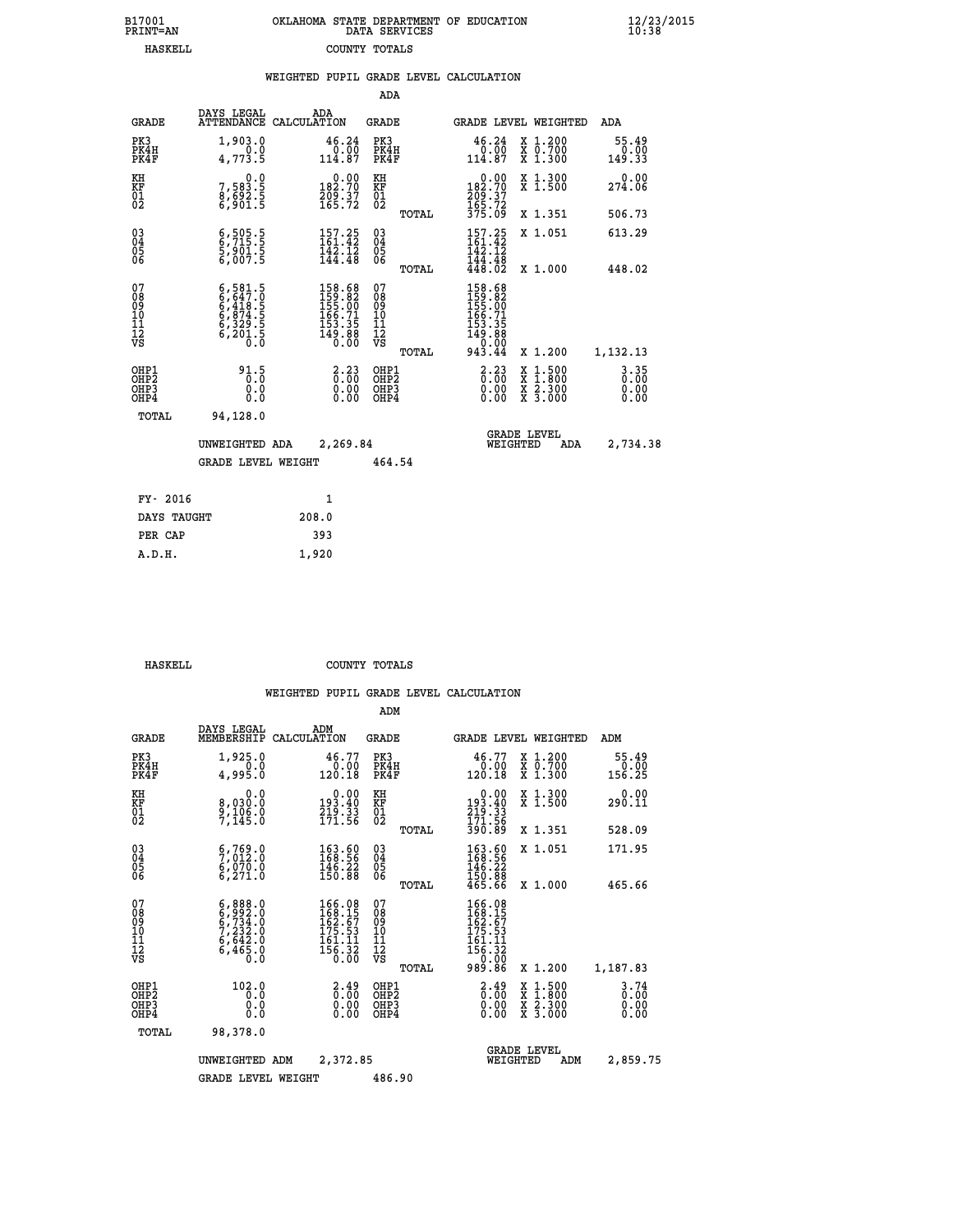| B17001          | OKLAHOMA STATE DEPARTMENT OF EDUCATION |
|-----------------|----------------------------------------|
| <b>PRINT=AN</b> | DATA SERVICES                          |
| HASKELL.        | COUNTY TOTALS                          |

|                                                    |                                                                                           | WEIGHTED PUPIL GRADE LEVEL CALCULATION                                                                      |                                                    |                                                                                                                       |                                                                    |                                                               |
|----------------------------------------------------|-------------------------------------------------------------------------------------------|-------------------------------------------------------------------------------------------------------------|----------------------------------------------------|-----------------------------------------------------------------------------------------------------------------------|--------------------------------------------------------------------|---------------------------------------------------------------|
|                                                    |                                                                                           |                                                                                                             | <b>ADA</b>                                         |                                                                                                                       |                                                                    |                                                               |
| <b>GRADE</b>                                       | DAYS LEGAL                                                                                | ADA<br>ATTENDANCE CALCULATION                                                                               | <b>GRADE</b>                                       | GRADE LEVEL WEIGHTED                                                                                                  |                                                                    | ADA                                                           |
| PK3<br>PK4H<br>PK4F                                | 1,903.0<br>4,773.5                                                                        | $\begin{smallmatrix} 46.24\ 0.00\ 114.87 \end{smallmatrix}$                                                 | PK3<br>PK4H<br>PK4F                                | $\begin{smallmatrix} 46.24\ 0.00\ 114.87 \end{smallmatrix}$                                                           | X 1.200<br>X 0.700<br>X 1.300                                      | 55.49<br>$\begin{smallmatrix} 0.00 \\ 0.33 \end{smallmatrix}$ |
| KH<br>KF<br>01<br>02                               | $7,583.5$<br>8,692.5<br>6,901.5                                                           | $\begin{smallmatrix} &0.00\\182.70\\209.37\\165.72\end{smallmatrix}$                                        | KH<br>KF<br>01<br>02                               | $\begin{smallmatrix} &0.00\\182.70\\209.37\\165.72\\375.09\end{smallmatrix}$                                          | X 1.300<br>X 1.500                                                 | 0.00<br>274.06                                                |
|                                                    |                                                                                           |                                                                                                             | TOTAL                                              |                                                                                                                       | X 1.351                                                            | 506.73                                                        |
| $\begin{matrix} 03 \\ 04 \\ 05 \\ 06 \end{matrix}$ | $\begin{smallmatrix} 6,505.5\ 6,715.5\ 5,901.5\ 6,007.5 \end{smallmatrix}$                | $157.25$<br>$161.42$<br>$142.12$<br>$144.48$                                                                | $\begin{matrix} 03 \\ 04 \\ 05 \\ 06 \end{matrix}$ | $157.25$<br>$161.42$<br>$142.12$                                                                                      | X 1.051                                                            | 613.29                                                        |
|                                                    |                                                                                           |                                                                                                             | TOTAL                                              | $\frac{1}{4}$ $\frac{1}{8}$ $\cdot \frac{1}{6}$ $\frac{1}{2}$                                                         | X 1.000                                                            | 448.02                                                        |
| 07<br>08<br>09<br>11<br>11<br>12<br>VS             | $6, 581.5$<br>$6, 647.0$<br>$6, 418.5$<br>$6, 874.5$<br>$6, 329.5$<br>$6, 201.5$<br>$0.0$ | $\begin{smallmatrix} 158.68\\ 159.82\\ 155.00\\ 155.00\\ 166.71\\ 153.35\\ 149.88\\ 0.00 \end{smallmatrix}$ | 07<br>08<br>09<br>11<br>11<br>12<br>VS             | $\begin{smallmatrix} 158.68\\ 159.82\\ 155.00\\ 155.00\\ 166.71\\ 153.35\\ 149.88\\ 0.000\\ 943.44 \end{smallmatrix}$ |                                                                    |                                                               |
|                                                    |                                                                                           |                                                                                                             | TOTAL                                              |                                                                                                                       | X 1.200                                                            | 1,132.13                                                      |
| OHP1<br>OH <sub>P</sub> 2<br>OHP3<br>OHP4          | 91.5<br>Ō.Ŏ<br>0.0<br>0.0                                                                 | $\begin{smallmatrix} 2\cdot 23\0\cdot 00\0\cdot 00\0\cdot 00\end{smallmatrix}$                              | OHP1<br>OHP <sub>2</sub><br>OHP3<br>OHP4           | $\begin{smallmatrix} 2\cdot 23\0.00\0.00 \end{smallmatrix}$<br>X<br>X<br>X<br>X                                       | $\begin{smallmatrix} 1.500\ 1.800\ 2.300\ 3.000 \end{smallmatrix}$ | 3.35<br>ŏ:ŏŏ<br>0.00<br>0.00                                  |
| TOTAL                                              | 94,128.0<br>UNWEIGHTED ADA                                                                | 2,269.84                                                                                                    |                                                    | <b>GRADE LEVEL</b><br>WEIGHTED                                                                                        | ADA                                                                | 2,734.38                                                      |
|                                                    | <b>GRADE LEVEL WEIGHT</b>                                                                 |                                                                                                             | 464.54                                             |                                                                                                                       |                                                                    |                                                               |
| FY- 2016                                           |                                                                                           | $\mathbf{1}$                                                                                                |                                                    |                                                                                                                       |                                                                    |                                                               |
| DAYS TAUGHT                                        |                                                                                           | 208.0                                                                                                       |                                                    |                                                                                                                       |                                                                    |                                                               |
| PER CAP                                            |                                                                                           | 393                                                                                                         |                                                    |                                                                                                                       |                                                                    |                                                               |
| A.D.H.                                             |                                                                                           | 1,920                                                                                                       |                                                    |                                                                                                                       |                                                                    |                                                               |

| HASKELL | COUNTY TOTALS |  |
|---------|---------------|--|

|                                          |                                                                                                  |                                                                     | ADM                                                 |                                                                                                                                                              |                                                                    |                                          |                                  |
|------------------------------------------|--------------------------------------------------------------------------------------------------|---------------------------------------------------------------------|-----------------------------------------------------|--------------------------------------------------------------------------------------------------------------------------------------------------------------|--------------------------------------------------------------------|------------------------------------------|----------------------------------|
| <b>GRADE</b>                             | DAYS LEGAL<br>MEMBERSHIP                                                                         | ADM<br>CALCULATION                                                  | <b>GRADE</b>                                        |                                                                                                                                                              |                                                                    | GRADE LEVEL WEIGHTED                     | ADM                              |
| PK3<br>PK4H<br>PK4F                      | 1,925.0<br>0.0<br>4,995.0                                                                        | 46.77<br>0.00<br>120.18                                             | PK3<br>PK4H<br>PK4F                                 | 46.77<br>0:00<br>120.18                                                                                                                                      |                                                                    | X 1.200<br>X 0.700<br>X 1.300            | 55.49<br>0.00<br>156.25          |
| KH<br>KF<br>01<br>02                     | 0.0<br>8,030:0<br>9,106:0<br>7,145:0                                                             | $\begin{smallmatrix}&&0.00\\193.40\\219.33\\71.56\end{smallmatrix}$ | KH<br>KF<br>01<br>02                                | $\begin{smallmatrix} &0.00\ 193.40\ 219.33\ 171.56\ 390.89\ \end{smallmatrix}$                                                                               |                                                                    | X 1.300<br>X 1.500                       | 0.00<br>290.11                   |
|                                          |                                                                                                  |                                                                     |                                                     | TOTAL                                                                                                                                                        |                                                                    | X 1.351                                  | 528.09                           |
| 03<br>04<br>05<br>06                     | $\begin{smallmatrix} 6 & 769 & 0 \\ 7 & 012 & 0 \\ 6 & 070 & 0 \\ 6 & 271 & 0 \end{smallmatrix}$ | $\begin{array}{l} 163.60 \\ 168.56 \\ 146.22 \\ 150.88 \end{array}$ | $\begin{array}{c} 03 \\ 04 \\ 05 \\ 06 \end{array}$ | $\begin{smallmatrix} 163.60\\ 168.56\\ 146.22\\ 150.88\\ 465.66 \end{smallmatrix}$                                                                           |                                                                    | X 1.051                                  | 171.95                           |
|                                          |                                                                                                  |                                                                     |                                                     | TOTAL                                                                                                                                                        |                                                                    | X 1.000                                  | 465.66                           |
| 07<br>08<br>09<br>101<br>112<br>VS       | $6, 888.0$<br>$6, 734.0$<br>$7, 232.0$<br>$6, 642.0$<br>$6, 465.0$<br>$0.0$                      | 166.08<br>168.15<br>162.67<br>175.53<br>$\frac{161.11}{156.32}$     | 07<br>08<br>09<br>11<br>11<br>12<br>VS              | $\begin{smallmatrix} 166\cdot 08\\ 168\cdot 15\\ 162\cdot 57\\ 175\cdot 53\\ 161\cdot 11\\ 156\cdot 32\\ 0\cdot 00\\ 989\cdot 86 \end{smallmatrix}$<br>TOTAL |                                                                    | X 1.200                                  | 1,187.83                         |
| OHP1<br>OHP2<br>OH <sub>P3</sub><br>OHP4 | 102.0<br>0.0<br>0.000                                                                            | $\overset{2}{0}.\overset{49}{00}$<br>0.00                           | OHP1<br>OHP2<br>OHP3<br>OHP4                        |                                                                                                                                                              | $\begin{smallmatrix} 2.49 \ 0.00 \ 0.00 \end{smallmatrix}$<br>0.00 | X 1:500<br>X 1:800<br>X 2:300<br>X 3:000 | $3.74$<br>$0.00$<br>0.00<br>0.00 |
| TOTAL                                    | 98,378.0                                                                                         |                                                                     |                                                     |                                                                                                                                                              |                                                                    |                                          |                                  |
|                                          | UNWEIGHTED                                                                                       | 2,372.85<br>ADM                                                     |                                                     |                                                                                                                                                              | <b>GRADE LEVEL</b><br>WEIGHTED                                     | ADM                                      | 2,859.75                         |
|                                          | <b>GRADE LEVEL WEIGHT</b>                                                                        |                                                                     | 486.90                                              |                                                                                                                                                              |                                                                    |                                          |                                  |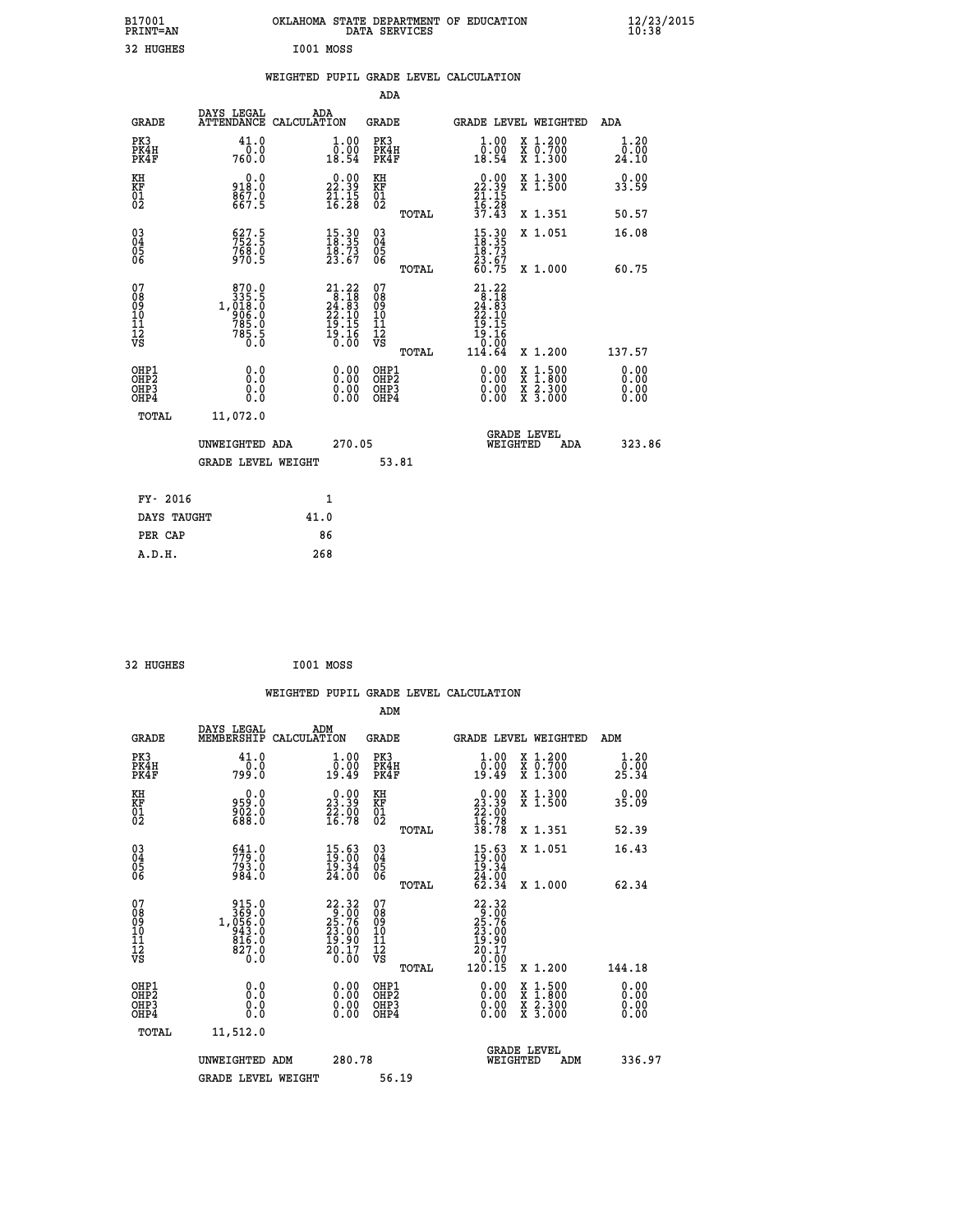| B17001<br>PRINT=AN                                 |                                                                                                                                                                      | OKLAHOMA STATE DEPARTMENT OF EDUCATION                                                            | DATA SERVICES                            |                                                                                                     |                                                                                          | $\frac{12}{23}$ /2015        |  |
|----------------------------------------------------|----------------------------------------------------------------------------------------------------------------------------------------------------------------------|---------------------------------------------------------------------------------------------------|------------------------------------------|-----------------------------------------------------------------------------------------------------|------------------------------------------------------------------------------------------|------------------------------|--|
| 32 HUGHES                                          |                                                                                                                                                                      | I001 MOSS                                                                                         |                                          |                                                                                                     |                                                                                          |                              |  |
|                                                    |                                                                                                                                                                      | WEIGHTED PUPIL GRADE LEVEL CALCULATION                                                            |                                          |                                                                                                     |                                                                                          |                              |  |
|                                                    |                                                                                                                                                                      |                                                                                                   | ADA                                      |                                                                                                     |                                                                                          |                              |  |
| GRADE                                              | DAYS LEGAL                                                                                                                                                           | ADA<br>ATTENDANCE CALCULATION                                                                     | GRADE                                    |                                                                                                     | GRADE LEVEL WEIGHTED                                                                     | ADA                          |  |
| PK3<br>PK4H<br>PK4F                                | 41.0<br>0.0<br>760.0                                                                                                                                                 | 1.00<br>0.00<br>18.54                                                                             | PK3<br>PK4H<br>PK4F                      | 1.00<br>0.00<br>18.54                                                                               | X 1.200<br>X 0.700<br>X 1.300                                                            | 1.20<br>0.00<br>24.10        |  |
| KH<br>KF<br>$^{01}_{02}$                           | 0.0<br>918.0<br>867.0                                                                                                                                                | $\begin{smallmatrix} 0.00\\ 22.39\\ 21.15\\ 16.28 \end{smallmatrix}$                              | KH<br>KF<br>$^{01}_{02}$                 | $\begin{smallmatrix} 0.00\\ 22.39\\ 21.15\\ 16.28 \end{smallmatrix}$                                | X 1.300<br>X 1.500                                                                       | 0.00<br>33.59                |  |
|                                                    |                                                                                                                                                                      |                                                                                                   | <b>TOTAL</b>                             | 37.43                                                                                               | X 1.351                                                                                  | 50.57                        |  |
| $\begin{matrix} 03 \\ 04 \\ 05 \\ 06 \end{matrix}$ | $752.5$<br>$752.5$<br>$768.0$<br>$970.5$                                                                                                                             | $\begin{smallmatrix} 15.30\\ 18.35\\ 18.73\\ 23.67 \end{smallmatrix}$                             | 03<br>04<br>05<br>06<br>TOTAL            | $\frac{15.30}{18.73}$<br>23.67<br>60.75                                                             | X 1.051<br>X 1,000                                                                       | 16.08<br>60.75               |  |
| 07<br>08<br>09<br>11<br>11<br>12<br>VS             | 870.0<br>$\begin{smallmatrix} 3 & 3 & 5 & 5 \\ 3 & 3 & 5 & 5 \\ 9 & 0 & 6 & 0 \\ 9 & 0 & 6 & 0 \\ 7 & 8 & 5 & 0 \\ 7 & 8 & 5 & 5 \\ 0 & 0 & 0 & 0 \end{smallmatrix}$ | $\begin{smallmatrix} 21.22 \\ 8.18 \\ 24.83 \\ 22.10 \\ 19.15 \\ 19.15 \\ 0.00 \end{smallmatrix}$ | 07<br>08<br>09<br>10<br>11<br>12<br>VS   | 21.22<br>$\frac{1}{24}$ : $\frac{1}{8}$<br>$\frac{2}{4}$ : $\frac{1}{10}$<br>19.15<br>19.16<br>0.00 |                                                                                          |                              |  |
|                                                    |                                                                                                                                                                      |                                                                                                   | TOTAL                                    | 114.64                                                                                              | X 1.200                                                                                  | 137.57                       |  |
| OHP1<br>OHP <sub>2</sub><br>OHP3<br>OHP4           | 0.0<br>Ō.Ō<br>0.0<br>0.0                                                                                                                                             | 0.00<br>0.00<br>0.00                                                                              | OHP1<br>OHP <sub>2</sub><br>OHP3<br>OHP4 | 0.00<br>0.00<br>0.00                                                                                | $\begin{smallmatrix} x & 1.500 \\ x & 1.800 \\ x & 2.300 \\ x & 3.000 \end{smallmatrix}$ | 0.00<br>0.00<br>0.00<br>0.00 |  |
| TOTAL                                              | 11,072.0                                                                                                                                                             |                                                                                                   |                                          |                                                                                                     |                                                                                          |                              |  |
|                                                    | UNWEIGHTED ADA<br>GRADE LEVEL WEIGHT                                                                                                                                 | 270.05                                                                                            | 53.81                                    | WEIGHTED                                                                                            | <b>GRADE LEVEL</b><br>ADA                                                                | 323.86                       |  |
| FY- 2016                                           |                                                                                                                                                                      | 1                                                                                                 |                                          |                                                                                                     |                                                                                          |                              |  |
| DAYS TAUGHT                                        |                                                                                                                                                                      | 41.0                                                                                              |                                          |                                                                                                     |                                                                                          |                              |  |
| PER CAP                                            |                                                                                                                                                                      | 86                                                                                                |                                          |                                                                                                     |                                                                                          |                              |  |

| 32 HUGHES |  | I001 MOSS |
|-----------|--|-----------|
|-----------|--|-----------|

|                      |                                                                      |                                                                                               |                    |                                                                      |                                                     |       | WEIGHTED PUPIL GRADE LEVEL CALCULATION                                                                                                                                                                                                                                         |                                                                                                                                           |     |                       |
|----------------------|----------------------------------------------------------------------|-----------------------------------------------------------------------------------------------|--------------------|----------------------------------------------------------------------|-----------------------------------------------------|-------|--------------------------------------------------------------------------------------------------------------------------------------------------------------------------------------------------------------------------------------------------------------------------------|-------------------------------------------------------------------------------------------------------------------------------------------|-----|-----------------------|
|                      |                                                                      |                                                                                               |                    |                                                                      | ADM                                                 |       |                                                                                                                                                                                                                                                                                |                                                                                                                                           |     |                       |
|                      | <b>GRADE</b>                                                         | DAYS LEGAL<br>MEMBERSHIP                                                                      | ADM<br>CALCULATION |                                                                      | <b>GRADE</b>                                        |       |                                                                                                                                                                                                                                                                                | <b>GRADE LEVEL WEIGHTED</b>                                                                                                               | ADM |                       |
|                      | PK3<br>PK4H<br>PK4F                                                  | 41.0<br>0.0<br>799.O                                                                          |                    | 0.0000<br>19.49                                                      | PK3<br>PK4H<br>PK4F                                 |       | 1.00<br>0:00<br>19:49                                                                                                                                                                                                                                                          | X 1.200<br>X 0.700<br>X 1.300                                                                                                             |     | 1.20<br>0.00<br>25.34 |
| KH<br>KF<br>01<br>02 |                                                                      | 0.0<br>0. 159<br>0. 1992<br>1. 888                                                            |                    | $\begin{smallmatrix} 0.00\\ 23.39\\ 22.90\\ 16.78 \end{smallmatrix}$ | KH<br>KF<br>01<br>02                                |       | $\begin{smallmatrix} 0.00\\ 23.39\\ 22.00\\ 16.78\\ 38.78 \end{smallmatrix}$                                                                                                                                                                                                   | X 1.300<br>X 1.500                                                                                                                        |     | 0.00<br>35.09         |
|                      |                                                                      |                                                                                               |                    |                                                                      |                                                     | TOTAL |                                                                                                                                                                                                                                                                                | X 1.351                                                                                                                                   |     | 52.39                 |
|                      | $\begin{matrix} 03 \\ 04 \\ 05 \\ 06 \end{matrix}$                   | 641.0<br>779.0<br>793.0<br>984.0                                                              |                    | $\begin{smallmatrix} 15.63\ 19.00\ 19.34\ 24.00 \end{smallmatrix}$   | $\begin{array}{c} 03 \\ 04 \\ 05 \\ 06 \end{array}$ |       | $15.63$<br>$19.36$<br>$19.34$<br>$24.00$<br>$62.34$                                                                                                                                                                                                                            | X 1.051                                                                                                                                   |     | 16.43                 |
|                      |                                                                      |                                                                                               |                    |                                                                      |                                                     | TOTAL |                                                                                                                                                                                                                                                                                | X 1.000                                                                                                                                   |     | 62.34                 |
| 07                   | 08<br>09<br>101<br>112<br>VS                                         | $\begin{smallmatrix} 915.0\\ 369.0\\ 1,056.0\\ 943.0\\ 816.0\\ 827.0\\ 0.0 \end{smallmatrix}$ |                    | $22.32$<br>$25.76$<br>$23.00$<br>$19.90$<br>$\frac{20.17}{0.00}$     | 07<br>08<br>09<br>11<br>11<br>12<br>VS              | TOTAL | 22.32<br>25.76<br>25.76<br>23.00<br>19.90<br>$\frac{20.17}{0.00}$<br>120.15                                                                                                                                                                                                    | X 1.200                                                                                                                                   |     | 144.18                |
|                      | OHP1                                                                 |                                                                                               |                    |                                                                      |                                                     |       |                                                                                                                                                                                                                                                                                |                                                                                                                                           |     | 0.00                  |
|                      | OH <sub>P</sub> <sub>2</sub><br>OH <sub>P3</sub><br>OH <sub>P4</sub> | 0.0<br>0.0<br>0.0                                                                             |                    | $0.00$<br>$0.00$<br>0.00                                             | OHP1<br>OH <sub>P</sub> 2<br>OHP3<br>OHP4           |       | $\begin{smallmatrix} 0.00 & 0.00 & 0.00 & 0.00 & 0.00 & 0.00 & 0.00 & 0.00 & 0.00 & 0.00 & 0.00 & 0.00 & 0.00 & 0.00 & 0.00 & 0.00 & 0.00 & 0.00 & 0.00 & 0.00 & 0.00 & 0.00 & 0.00 & 0.00 & 0.00 & 0.00 & 0.00 & 0.00 & 0.00 & 0.00 & 0.00 & 0.00 & 0.00 & 0.00 & 0.00 & 0.0$ | $\begin{smallmatrix} \mathtt{X} & 1\cdot500\\ \mathtt{X} & 1\cdot800\\ \mathtt{X} & 2\cdot300\\ \mathtt{X} & 3\cdot000 \end{smallmatrix}$ |     | 0.00<br>0.00<br>0.00  |
|                      | TOTAL                                                                | 11,512.0                                                                                      |                    |                                                                      |                                                     |       |                                                                                                                                                                                                                                                                                |                                                                                                                                           |     |                       |
|                      |                                                                      | UNWEIGHTED ADM                                                                                |                    | 280.78                                                               |                                                     |       | WEIGHTED                                                                                                                                                                                                                                                                       | <b>GRADE LEVEL</b><br>ADM                                                                                                                 |     | 336.97                |
|                      |                                                                      | <b>GRADE LEVEL WEIGHT</b>                                                                     |                    |                                                                      | 56.19                                               |       |                                                                                                                                                                                                                                                                                |                                                                                                                                           |     |                       |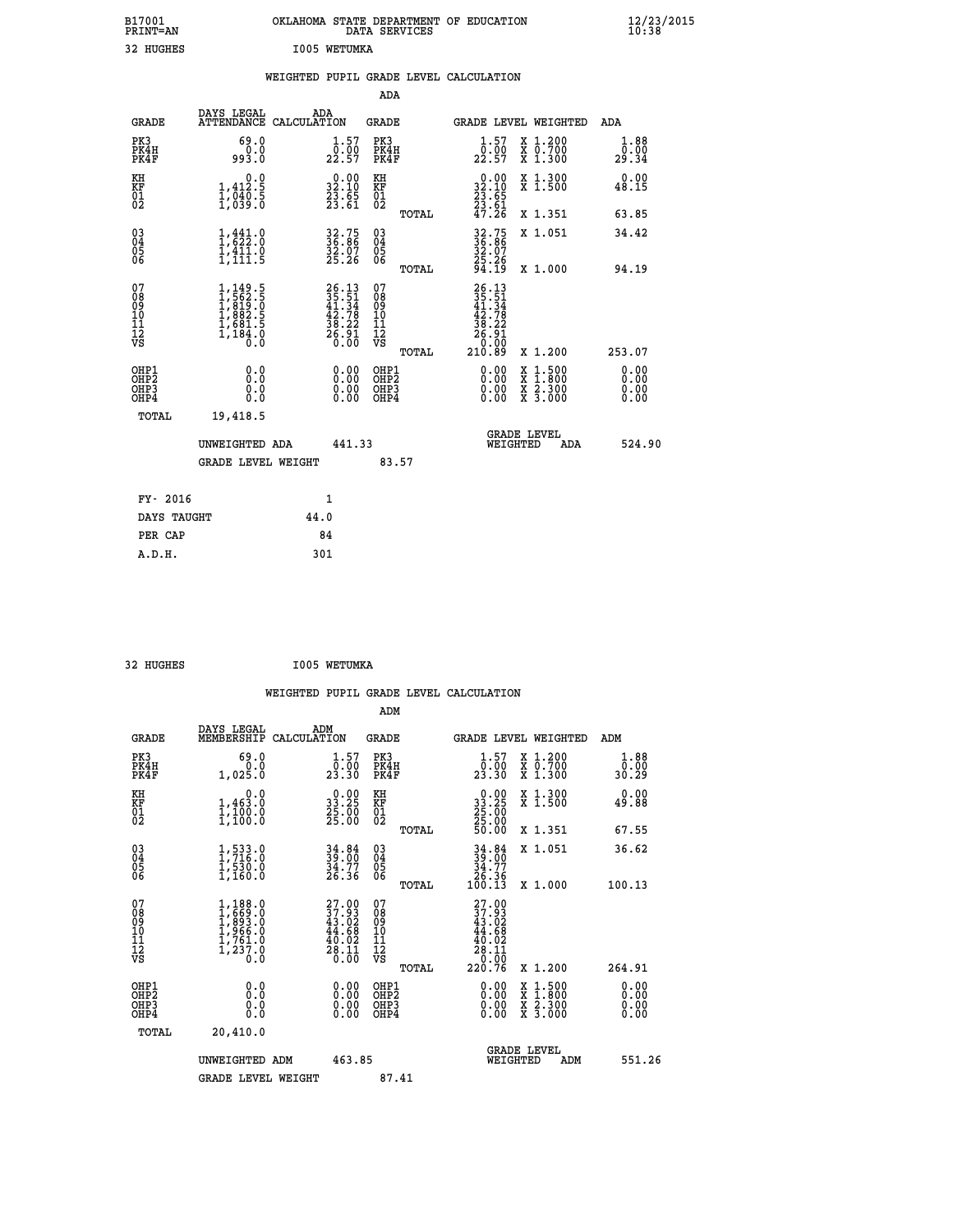| B17001<br>PRINT=AN                                |                                                                                           | OKLAHOMA STATE DEPARTMENT OF EDUCATION                               | DATA SERVICES                                                   |                                                                                                                        |                                                                                          | $\frac{12}{23}$ /2015 |
|---------------------------------------------------|-------------------------------------------------------------------------------------------|----------------------------------------------------------------------|-----------------------------------------------------------------|------------------------------------------------------------------------------------------------------------------------|------------------------------------------------------------------------------------------|-----------------------|
| 32 HUGHES                                         |                                                                                           | I005 WETUMKA                                                         |                                                                 |                                                                                                                        |                                                                                          |                       |
|                                                   |                                                                                           | WEIGHTED PUPIL GRADE LEVEL CALCULATION                               |                                                                 |                                                                                                                        |                                                                                          |                       |
|                                                   |                                                                                           |                                                                      | <b>ADA</b>                                                      |                                                                                                                        |                                                                                          |                       |
| <b>GRADE</b>                                      | DAYS LEGAL<br>ATTENDANCE CALCULATION                                                      | ADA                                                                  | <b>GRADE</b>                                                    |                                                                                                                        | <b>GRADE LEVEL WEIGHTED</b>                                                              | ADA                   |
| PK3<br>PK4H<br>PK4F                               | 69.0<br>0.0<br>993.0                                                                      | $1.57$<br>$0.00$<br>22.57                                            | PK3<br>PK4H<br>PK4F                                             | $1.57$<br>$0.00$<br>22.57                                                                                              | X 1.200<br>X 0.700<br>X 1.300                                                            | 1.88<br>0.00<br>29.34 |
| KH<br>KF<br>$\begin{matrix} 01 \ 02 \end{matrix}$ | 0.0<br>$1,412.5$<br>$1,040.5$<br>$1,039.0$                                                | $\begin{smallmatrix} 0.00\\ 32.10\\ 23.65\\ 23.61 \end{smallmatrix}$ | KH<br>KF<br>$\overline{01}$                                     | $\begin{smallmatrix} 0.00\\ 32.10\\ 23.65\\ 23.61\\ 47.26 \end{smallmatrix}$                                           | X 1.300<br>X 1.500                                                                       | 0.00<br>48.15         |
|                                                   |                                                                                           |                                                                      | TOTAL                                                           |                                                                                                                        | X 1.351                                                                                  | 63.85                 |
| 03<br>04<br>05<br>06                              | $\begin{smallmatrix} 1,441.0\\ 1,622.0\\ 1,411.0\\ 1,111.5 \end{smallmatrix}$             | 32.75<br>36.86<br>32.07<br>25.26                                     | $\begin{matrix} 03 \\ 04 \\ 05 \\ 06 \end{matrix}$              | 32.75<br>36.86<br>32.07                                                                                                | X 1.051                                                                                  | 34.42                 |
|                                                   |                                                                                           |                                                                      | TOTAL                                                           | 25.26<br>94.19                                                                                                         | X 1.000                                                                                  | 94.19                 |
| 07<br>Ŏġ<br>09<br>10<br>11<br>12<br>VS            | $1, 149.5$<br>$1, 562.5$<br>$1, 819.0$<br>$1, 882.5$<br>$1, 681.5$<br>$1, 184.0$<br>$0.0$ | $26.1335.5141.3442.7838.2226.9126.00$                                | 07<br>$\frac{0.8}{0.9}$<br>ίŌ<br>īi<br>ĪŽ<br>VŠ<br><b>TOTAL</b> | $\frac{26.13}{35.51}$<br>$\frac{41.34}{3}$<br>$\begin{array}{c} 42.78 \\ 38.22 \\ 26.91 \\ 9.00 \end{array}$<br>210.89 | X 1.200                                                                                  | 253.07                |
| OHP1                                              | 0.0                                                                                       |                                                                      | OHP1                                                            | 0.00                                                                                                                   |                                                                                          |                       |
| OHP <sub>2</sub><br>OH <sub>P3</sub><br>OHP4      | Ō.Ō<br>0.0<br>0.0                                                                         | 0.00<br>$\begin{smallmatrix} 0.00 \ 0.00 \end{smallmatrix}$          | OHP <sub>2</sub><br>OHP3<br>OHP4                                | 0.00<br>0.00                                                                                                           | $\begin{smallmatrix} x & 1.500 \\ x & 1.800 \\ x & 2.300 \\ x & 3.000 \end{smallmatrix}$ | 0.00<br>0.00<br>0.00  |
| <b>TOTAL</b>                                      | 19,418.5                                                                                  |                                                                      |                                                                 |                                                                                                                        |                                                                                          |                       |
|                                                   | UNWEIGHTED ADA                                                                            | 441.33                                                               |                                                                 | WEIGHTED                                                                                                               | <b>GRADE LEVEL</b><br>ADA                                                                | 524.90                |
|                                                   | <b>GRADE LEVEL WEIGHT</b>                                                                 |                                                                      | 83.57                                                           |                                                                                                                        |                                                                                          |                       |
| FY- 2016                                          |                                                                                           | 1                                                                    |                                                                 |                                                                                                                        |                                                                                          |                       |
| DAYS TAUGHT                                       |                                                                                           | 44.0                                                                 |                                                                 |                                                                                                                        |                                                                                          |                       |
| PER CAP                                           |                                                                                           | 84                                                                   |                                                                 |                                                                                                                        |                                                                                          |                       |
| A.D.H.                                            |                                                                                           | 301                                                                  |                                                                 |                                                                                                                        |                                                                                          |                       |

 **32 HUGHES I005 WETUMKA**

|                                                      |                                                                       |                                                                      |        |                                              |       | WEIGHTED PUPIL GRADE LEVEL CALCULATION                                                                        |                                          |                               |        |
|------------------------------------------------------|-----------------------------------------------------------------------|----------------------------------------------------------------------|--------|----------------------------------------------|-------|---------------------------------------------------------------------------------------------------------------|------------------------------------------|-------------------------------|--------|
|                                                      |                                                                       |                                                                      |        | ADM                                          |       |                                                                                                               |                                          |                               |        |
| <b>GRADE</b>                                         | DAYS LEGAL<br>MEMBERSHIP                                              | ADM<br>CALCULATION                                                   |        | <b>GRADE</b>                                 |       | <b>GRADE LEVEL WEIGHTED</b>                                                                                   |                                          | ADM                           |        |
| PK3<br>PK4H<br>PK4F                                  | 69.0<br>0.0<br>1,025.0                                                | $1.57$<br>$0.00$<br>23.30                                            |        | PK3<br>PK4H<br>PK4F                          |       | $\frac{1}{0}$ : 57<br>23:30                                                                                   | X 1.200<br>X 0.700<br>X 1.300            | 1.88<br>0.00<br>30.29         |        |
| KH<br>KF<br>01<br>02                                 | 0.0<br>1,463.0<br>$\frac{1}{1}$ , $\frac{1}{1}$ 00:0                  | $\begin{smallmatrix} 0.00\\ 33.25\\ 25.00\\ 25.00 \end{smallmatrix}$ |        | KH<br>KF<br>01<br>02                         |       | $\begin{smallmatrix} 0.00\\ 33.25\\ 25.00\\ 25.00\\ 50.00 \end{smallmatrix}$                                  | X 1.300<br>X 1.500                       | 0.00<br>49.88                 |        |
|                                                      |                                                                       |                                                                      |        |                                              | TOTAL |                                                                                                               | X 1.351                                  | 67.55                         |        |
| $\begin{matrix} 03 \\ 04 \\ 05 \\ 06 \end{matrix}$   | $1, 533.0$<br>1,716.0<br>$\frac{1}{1}$ , 530.0                        | $34.84$<br>$39.00$<br>$34.77$<br>$26.36$                             |        | 03<br>04<br>05<br>06                         |       | $34.84$<br>$39.00$<br>$34.77$<br>$26.36$<br>$100.13$                                                          | X 1.051                                  | 36.62                         |        |
|                                                      |                                                                       |                                                                      |        |                                              | TOTAL |                                                                                                               | X 1.000                                  | 100.13                        |        |
| 07<br>0890112<br>1112<br>VS                          | 1,188.0<br>1,669.0<br>1,893.0<br>1,966.0<br>1,761.0<br>1,237.0<br>Ò.Ò | 37.99<br>$43.02$<br>$44.68$<br>$40.02$<br>$28.11$<br>$0.00$          |        | 07<br>08901112<br>1112<br>VS                 |       | $\begin{smallmatrix} 27.00\\ 37.93\\ 43.02\\ 43.02\\ 44.68\\ 40.02\\ 28.11\\ 0.00\\ 220.76 \end{smallmatrix}$ |                                          |                               |        |
|                                                      |                                                                       |                                                                      |        |                                              | TOTAL |                                                                                                               | X 1.200                                  | 264.91                        |        |
| OHP1<br>OHP <sub>2</sub><br>OH <sub>P3</sub><br>OHP4 | 0.0<br>0.000                                                          | $0.00$<br>$0.00$<br>0.00                                             |        | OHP1<br>OHP <sub>2</sub><br>OHP <sub>3</sub> |       | 0.00<br>0.00<br>0.00                                                                                          | X 1:500<br>X 1:800<br>X 2:300<br>X 3:000 | 0.00<br>Ō. ŌŌ<br>0.00<br>0.00 |        |
| TOTAL                                                | 20,410.0                                                              |                                                                      |        |                                              |       |                                                                                                               |                                          |                               |        |
|                                                      | UNWEIGHTED ADM                                                        |                                                                      | 463.85 |                                              |       | WEIGHTED                                                                                                      | <b>GRADE LEVEL</b><br>ADM                |                               | 551.26 |
|                                                      | <b>GRADE LEVEL WEIGHT</b>                                             |                                                                      |        | 87.41                                        |       |                                                                                                               |                                          |                               |        |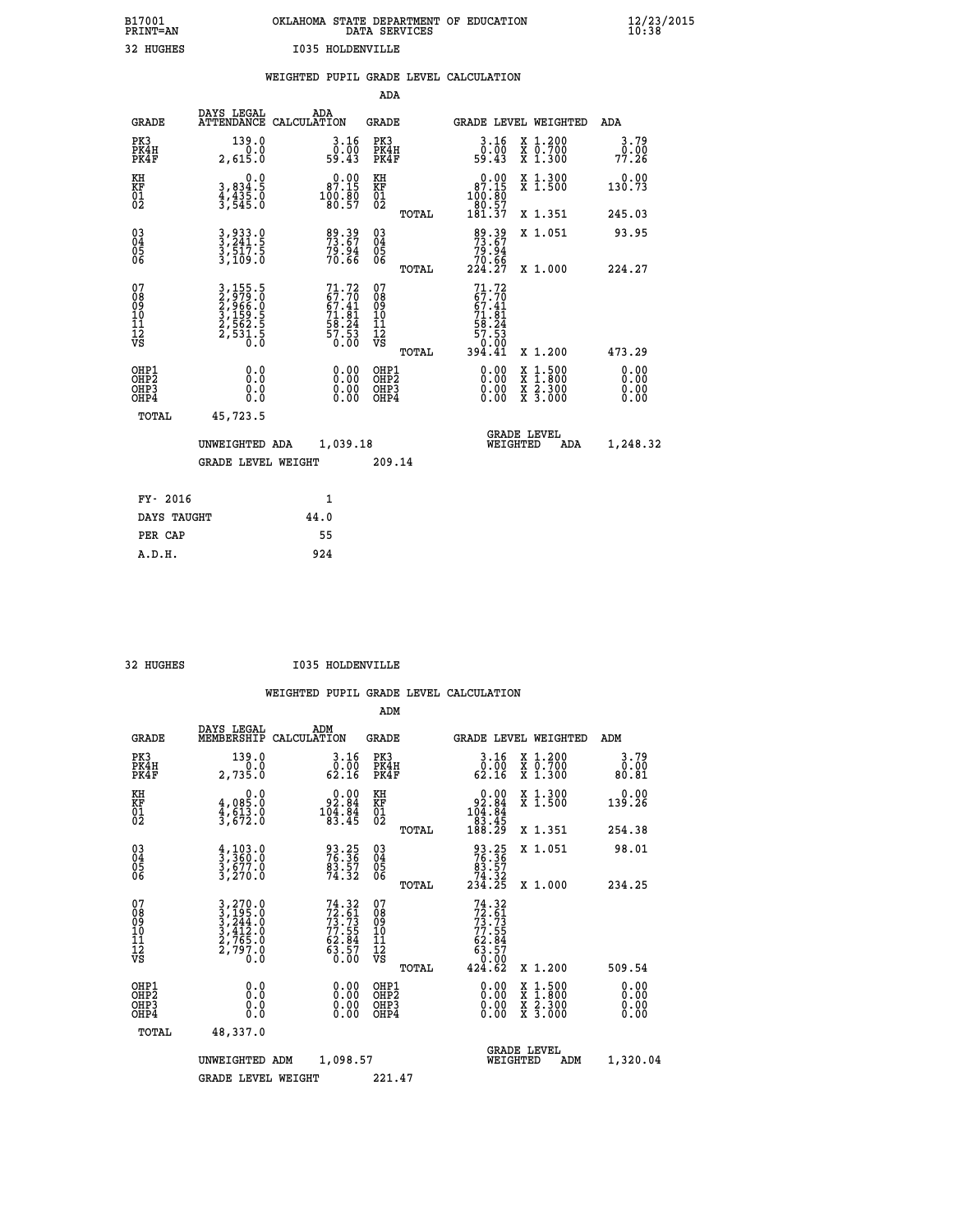| B17001          | OKLAHOMA STATE DEPARTMENT OF EDUCATION |
|-----------------|----------------------------------------|
| <b>PRINT=AN</b> | DATA SERVICES                          |
| 32 HUGHES       | <b>I035 HOLDENVILLE</b>                |

|  |  | WEIGHTED PUPIL GRADE LEVEL CALCULATION |
|--|--|----------------------------------------|
|  |  |                                        |

|                                                                   |                                                                         |                                                                       | ADA                                                 |       |                                                                                    |                                          |                              |
|-------------------------------------------------------------------|-------------------------------------------------------------------------|-----------------------------------------------------------------------|-----------------------------------------------------|-------|------------------------------------------------------------------------------------|------------------------------------------|------------------------------|
| <b>GRADE</b>                                                      | DAYS LEGAL                                                              | ADA<br>ATTENDANCE CALCULATION                                         | <b>GRADE</b>                                        |       |                                                                                    | <b>GRADE LEVEL WEIGHTED</b>              | ADA                          |
| PK3<br>PK4H<br>PK4F                                               | 139.0<br>0.0<br>2,615.0                                                 | 3.16<br>ō:ōŏ<br>59.43                                                 | PK3<br>PK4H<br>PK4F                                 |       | 3.16<br>ŏ:ōŏ<br>59:43                                                              | X 1.200<br>X 0.700<br>X 1.300            | 3.79<br>0.00<br>77.26        |
| KH<br>KF<br>01<br>02                                              | 0.0<br>3,834:5<br>4,435.0<br>3,545.0                                    | $0.00$<br>87.15<br>$\frac{100}{80}$ $\frac{50}{57}$                   | KH<br>KF<br>01<br>02                                |       | $0.00$<br>87.15<br>100:80<br>80:57<br>181:37                                       | X 1.300<br>X 1.500                       | 0.00<br>130.73               |
|                                                                   |                                                                         |                                                                       |                                                     | TOTAL |                                                                                    | X 1.351                                  | 245.03                       |
| $^{03}_{04}$<br>Ŏ5<br>06                                          | 3,933.0<br>3,241.5<br>3,517.5<br>3,109.0                                | 89.39<br>73.67<br>79.94<br>70.66                                      | $\begin{array}{c} 03 \\ 04 \\ 05 \\ 06 \end{array}$ |       | $89.39$<br>$73.67$<br>$79.94$<br>$70.66$<br>$224.27$                               | X 1.051                                  | 93.95                        |
|                                                                   |                                                                         |                                                                       |                                                     | TOTAL |                                                                                    | X 1.000                                  | 224.27                       |
| 07<br>08901112<br>1112<br>VS                                      | 3,155.5<br>2,979.0<br>2,966.0<br>3,1562.5<br>3,1562.5<br>2,531.5<br>0.0 | $71.72$<br>67.70<br>67.41<br>71.81<br>73.24<br>58.24<br>57.53<br>0.00 | 07<br>08901112<br>1112<br>VS                        |       | 71.72<br>$71.70$<br>$67.41$<br>$71.81$<br>$58.24$<br>$57.53$<br>$0.00$<br>$394.41$ |                                          |                              |
|                                                                   |                                                                         |                                                                       |                                                     | TOTAL |                                                                                    | X 1.200                                  | 473.29                       |
| OHP1<br>OH <sub>P</sub> 2<br>OH <sub>P3</sub><br>OH <sub>P4</sub> | 0.0<br>0.0<br>0.0                                                       | $\begin{smallmatrix} 0.00 \ 0.00 \ 0.00 \ 0.00 \end{smallmatrix}$     | OHP1<br>OH <sub>P</sub> 2<br>OHP3<br>OHP4           |       | 0.00<br>0.00<br>0.00                                                               | X 1:500<br>X 1:800<br>X 2:300<br>X 3:000 | 0.00<br>0.00<br>0.00<br>0.00 |
| TOTAL                                                             | 45,723.5                                                                |                                                                       |                                                     |       |                                                                                    |                                          |                              |
|                                                                   | UNWEIGHTED ADA                                                          | 1,039.18                                                              |                                                     |       |                                                                                    | GRADE LEVEL<br>WEIGHTED<br>ADA           | 1,248.32                     |
|                                                                   | <b>GRADE LEVEL WEIGHT</b>                                               |                                                                       | 209.14                                              |       |                                                                                    |                                          |                              |
| FY- 2016                                                          |                                                                         | $\mathbf{1}$                                                          |                                                     |       |                                                                                    |                                          |                              |
| DAYS TAUGHT                                                       |                                                                         | 44.0                                                                  |                                                     |       |                                                                                    |                                          |                              |
| PER CAP                                                           |                                                                         | 55                                                                    |                                                     |       |                                                                                    |                                          |                              |

 **A.D.H. 924**

32 HUGHES **I035 HOLDENVILLE** 

|                                           |                                                                                                                                                                  |                                                                          | ADM                                                 |                                                                                     |                                          |                              |
|-------------------------------------------|------------------------------------------------------------------------------------------------------------------------------------------------------------------|--------------------------------------------------------------------------|-----------------------------------------------------|-------------------------------------------------------------------------------------|------------------------------------------|------------------------------|
| <b>GRADE</b>                              | DAYS LEGAL<br>MEMBERSHIP                                                                                                                                         | ADM<br>CALCULATION                                                       | <b>GRADE</b>                                        | GRADE LEVEL WEIGHTED                                                                |                                          | ADM                          |
| PK3<br>PK4H<br>PK4F                       | 139.0<br>2,735.0                                                                                                                                                 | 3.16<br>ŏ:ōŏ<br>62:16                                                    | PK3<br>PK4H<br>PK4F                                 | $\begin{smallmatrix} 3.16 \\ 0.00 \\ 62.16 \end{smallmatrix}$                       | X 1.200<br>X 0.700<br>X 1.300            | 3.79<br>00.0<br>81.08        |
| KH<br>KF<br>01<br>02                      | 0.0<br>$\frac{4}{3}, \frac{085}{613}$ .0<br>$\frac{3}{3}, \frac{613}{672}$ .0                                                                                    | $0.00\n92.84\n104.84\n83.45$                                             | KH<br>KF<br>01<br>02                                | $0.00\n92.84\n104.84\n83.45\n188.29$                                                | X 1.300<br>X 1.500                       | 0.00<br>139.26               |
|                                           |                                                                                                                                                                  |                                                                          | TOTAL                                               |                                                                                     | X 1.351                                  | 254.38                       |
| 03<br>04<br>05<br>06                      | $\frac{4}{3}, \frac{103}{360}.0$<br>$\frac{3}{3}, \frac{677}{270}.0$                                                                                             | 93.25<br>76.36<br>83.57<br>74.32                                         | $\begin{array}{c} 03 \\ 04 \\ 05 \\ 06 \end{array}$ | $\begin{array}{r} 93.25 \\ 76.36 \\ 83.57 \\ 74.32 \\ 234.25 \end{array}$           | X 1.051                                  | 98.01                        |
|                                           |                                                                                                                                                                  |                                                                          | TOTAL                                               |                                                                                     | X 1.000                                  | 234.25                       |
| 07<br>08<br>09<br>101<br>11<br>12<br>VS   | $\begin{smallmatrix} 3\,,\,270\,.\,0\\ 3\,,\,195\,. \,0\\ 3\,,\,244\,. \,0\\ 3\,,\,412\,. \,0\\ 2\,,\,765\,. \,0\\ 2\,,\,797\,. \,0\\ 0\,. \,0\end{smallmatrix}$ | $74.32$<br>$72.61$<br>$73.73$<br>$77.55$<br>$62.84$<br>$63.57$<br>$0.00$ | 07<br>08<br>09<br>11<br>11<br>12<br>VS<br>TOTAL     | $74.32$<br>$72.61$<br>$73.73$<br>$77.55$<br>$62.84$<br>$63.570$<br>$0.02$<br>424.62 | X 1.200                                  | 509.54                       |
| OHP1<br>OHP2<br>OH <sub>P</sub> 3<br>OHP4 |                                                                                                                                                                  |                                                                          | OHP1<br>OHP2<br>OHP <sub>3</sub>                    | $0.00$<br>$0.00$<br>0.00                                                            | X 1:500<br>X 1:800<br>X 2:300<br>X 3:000 | 0.00<br>0.00<br>0.00<br>0.00 |
| TOTAL                                     | 48,337.0                                                                                                                                                         |                                                                          |                                                     |                                                                                     |                                          |                              |
|                                           | UNWEIGHTED                                                                                                                                                       | 1,098.57<br>ADM                                                          |                                                     | WEIGHTED                                                                            | <b>GRADE LEVEL</b><br>ADM                | 1,320.04                     |
|                                           | <b>GRADE LEVEL WEIGHT</b>                                                                                                                                        |                                                                          | 221.47                                              |                                                                                     |                                          |                              |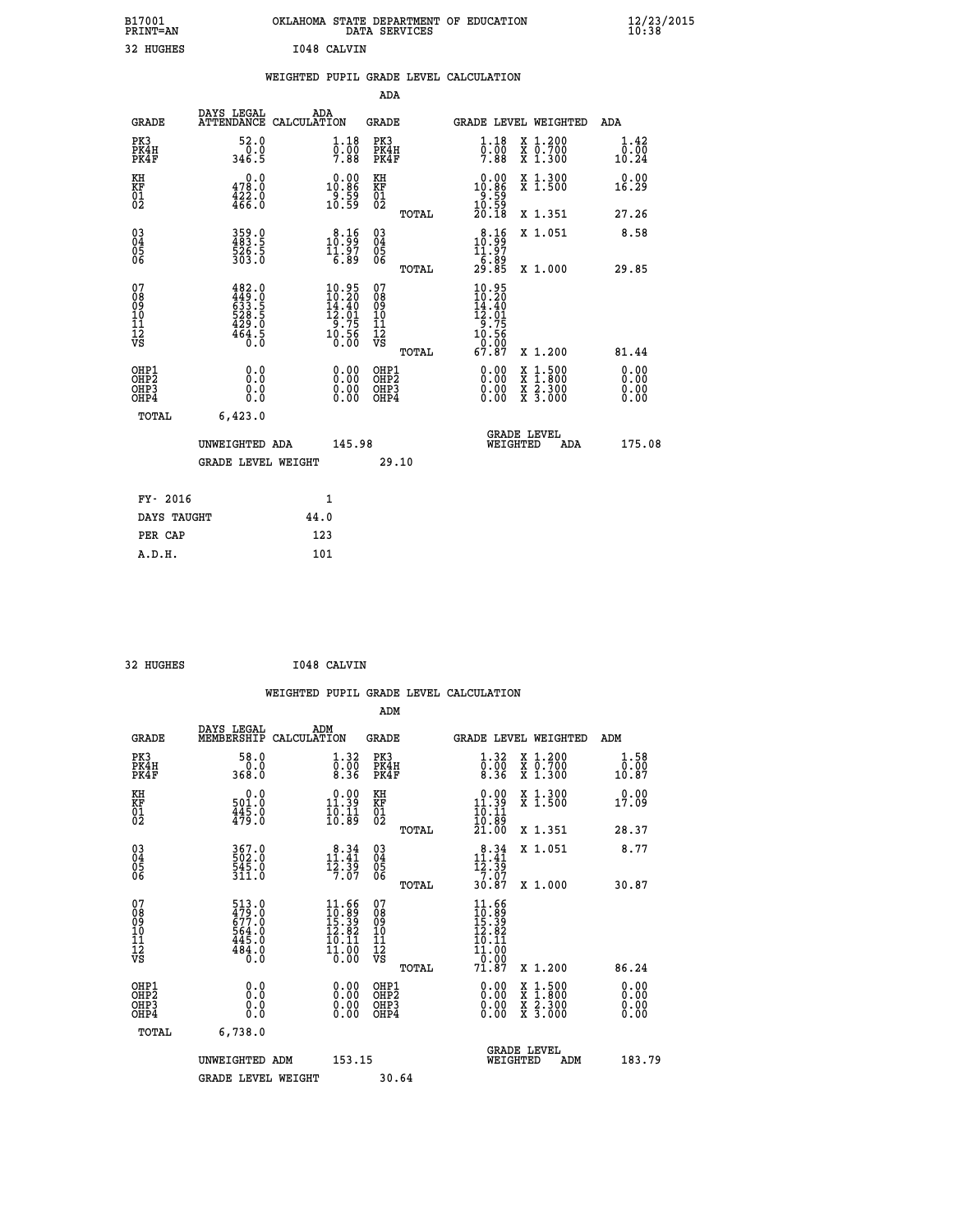| B17001<br>PRINT=AN                                  |                                                                           | OKLAHOMA STATE DEPARTMENT OF EDUCATION<br>DATA SERVICES                                     |                                                 |                                                                                                             |                                                                                                                                      | $\frac{12}{23}$ /2015        |
|-----------------------------------------------------|---------------------------------------------------------------------------|---------------------------------------------------------------------------------------------|-------------------------------------------------|-------------------------------------------------------------------------------------------------------------|--------------------------------------------------------------------------------------------------------------------------------------|------------------------------|
| 32 HUGHES                                           |                                                                           | I048 CALVIN                                                                                 |                                                 |                                                                                                             |                                                                                                                                      |                              |
|                                                     |                                                                           | WEIGHTED PUPIL GRADE LEVEL CALCULATION                                                      |                                                 |                                                                                                             |                                                                                                                                      |                              |
|                                                     |                                                                           |                                                                                             | <b>ADA</b>                                      |                                                                                                             |                                                                                                                                      |                              |
| <b>GRADE</b>                                        | DAYS LEGAL                                                                | ADA<br>ATTENDANCE CALCULATION                                                               | GRADE                                           | <b>GRADE LEVEL WEIGHTED</b>                                                                                 |                                                                                                                                      | ADA                          |
| PK3<br>PK4H<br>PK4F                                 | 52.0<br>0.0<br>346.5                                                      | 1.18<br>$\overline{0}$ .00<br>7.88                                                          | PK3<br>PK4H<br>PK4F                             | 1.18<br>$\overline{0}$ .00<br>7.88                                                                          | X 1.200<br>X 0.700<br>X 1.300                                                                                                        | 1.42<br>0.00<br>10.24        |
| KH<br>KF<br>01<br>02                                | 0.0<br>478.0<br>$\frac{422.0}{466.0}$                                     | $\begin{smallmatrix} 0.00\\ 10.86\\ 9.59\\ 10.59 \end{smallmatrix}$                         | KH<br>KF<br>01<br>02                            | $\begin{smallmatrix} 0.00\\ 10.86\\ 9.59\\ 10.59\\ 20.18 \end{smallmatrix}$                                 | X 1.300<br>X 1.500                                                                                                                   | 0.00<br>16.29                |
|                                                     |                                                                           |                                                                                             | TOTAL                                           |                                                                                                             | X 1.351                                                                                                                              | 27.26                        |
| $\begin{array}{c} 03 \\ 04 \\ 05 \\ 06 \end{array}$ | 359.0<br>483.5<br>526.5<br>303.0                                          | $\begin{smallmatrix} 8.16\\ 10.99\\ 11.97\\ 6.89 \end{smallmatrix}$                         | 03<br>04<br>05<br>06                            | 10.99<br>11.97                                                                                              | X 1.051                                                                                                                              | 8.58                         |
|                                                     |                                                                           |                                                                                             | TOTAL                                           | $\frac{1}{29}.\overline{89}$                                                                                | X 1.000                                                                                                                              | 29.85                        |
| 07<br>08<br>09<br>11<br>11<br>12<br>VS              | $482.0$<br>$449.0$<br>$633.5$<br>$528.5$<br>$528.5$<br>$429.0$<br>$464.5$ | $\begin{smallmatrix} 10.95\\ 10.20\\ 14.40\\ 12.01\\ 9.75\\ 10.56\\ 0.00 \end{smallmatrix}$ | 07<br>08<br>09<br>10<br>11<br>12<br>VS<br>TOTAL | 10.95<br>$\begin{smallmatrix} 10.20 \\ 14.40 \\ 12.01 \\ 9.75 \\ 10.56 \\ 0.007 \end{smallmatrix}$<br>67.87 | X 1.200                                                                                                                              | 81.44                        |
| OHP1<br>OHP <sub>2</sub><br>OHP3<br>OHP4            | 0.0<br>Ō.Ŏ<br>0.0<br>0.0                                                  | 0.00<br>0.00<br>0.00                                                                        | OHP1<br>OHP <sub>2</sub><br>OHP3<br>OHP4        | 0.00<br>0.00<br>0.00                                                                                        | $\begin{smallmatrix} \mathtt{X} & 1 & 500 \\ \mathtt{X} & 1 & 800 \\ \mathtt{X} & 2 & 300 \\ \mathtt{X} & 3 & 000 \end{smallmatrix}$ | 0.00<br>0.00<br>0.00<br>0.00 |
| TOTAL                                               | 6,423.0                                                                   |                                                                                             |                                                 |                                                                                                             |                                                                                                                                      |                              |
|                                                     | UNWEIGHTED ADA<br><b>GRADE LEVEL WEIGHT</b>                               | 145.98                                                                                      | 29.10                                           | WEIGHTED                                                                                                    | <b>GRADE LEVEL</b><br>ADA                                                                                                            | 175.08                       |
| FY- 2016                                            |                                                                           | 1                                                                                           |                                                 |                                                                                                             |                                                                                                                                      |                              |
| DAYS TAUGHT                                         |                                                                           | 44.0                                                                                        |                                                 |                                                                                                             |                                                                                                                                      |                              |

| 32 HUGHES | 1048 CALVIN |
|-----------|-------------|
|           |             |

 **PER CAP 123 A.D.H. 101**

 **ADM DAYS LEGAL ADM GRADE MEMBERSHIP CALCULATION GRADE GRADE LEVEL WEIGHTED ADM PK3 58.0 1.32 PK3 1.32 X 1.200 1.58 PK4H 0.0 0.00 PK4H 0.00 X 0.700 0.00 PK4F 368.0 8.36 PK4F 8.36 X 1.300 10.87 KH 0.0 0.00 KH 0.00 X 1.300 0.00 KF 501.0 11.39 KF 11.39 X 1.500 17.09 01 445.0 10.11 01 10.11 02 479.0 10.89 02 19.89 TOTAL 21.00 X 1.351 28.37 03 367.0 8.34 03 8.34 X 1.051 8.77 04 502.0 11.41 04 11.41 05 545.0 12.39 05 12.39** 06 311.0 7.07 06 <sub>memax</sub> 2.07  **TOTAL 30.87 X 1.000 30.87 07 513.0 11.66 07 11.66 08 479.0 10.89 08 10.89 09 677.0 15.39 09 15.39 10 564.0 12.82 10 12.82 11 445.0 10.11 11 10.11 12 484.0 11.00 12 11.00 VS 0.0 0.00 VS 0.00**  $\begin{array}{cccc} 513.0 & 11.66 & 07 & 11.66 & 07 & 01.67 & 01.67 & 01.68 & 01.67 & 01.68 & 01.68 & 01.68 & 01.68 & 01.68 & 01.68 & 01.68 & 01.68 & 01.68 & 01.68 & 01.68 & 01.68 & 01.68 & 01.68 & 01.68 & 01.60 & 01.60 & 01.60 & 01.60 & 01.60 & 01.60 & 01.60 & 0$  **OHP1 0.0 0.00 OHP1 0.00 X 1.500 0.00 OHP2 0.0 0.00 OHP2 0.00 X 1.800 0.00 OHP3 0.0 0.00 OHP3 0.00 X 2.300 0.00 OHP4 0.0 0.00 OHP4 0.00 X 3.000 0.00 TOTAL 6,738.0 GRADE LEVEL UNWEIGHTED ADM 153.15 WEIGHTED ADM 183.79** GRADE LEVEL WEIGHT 30.64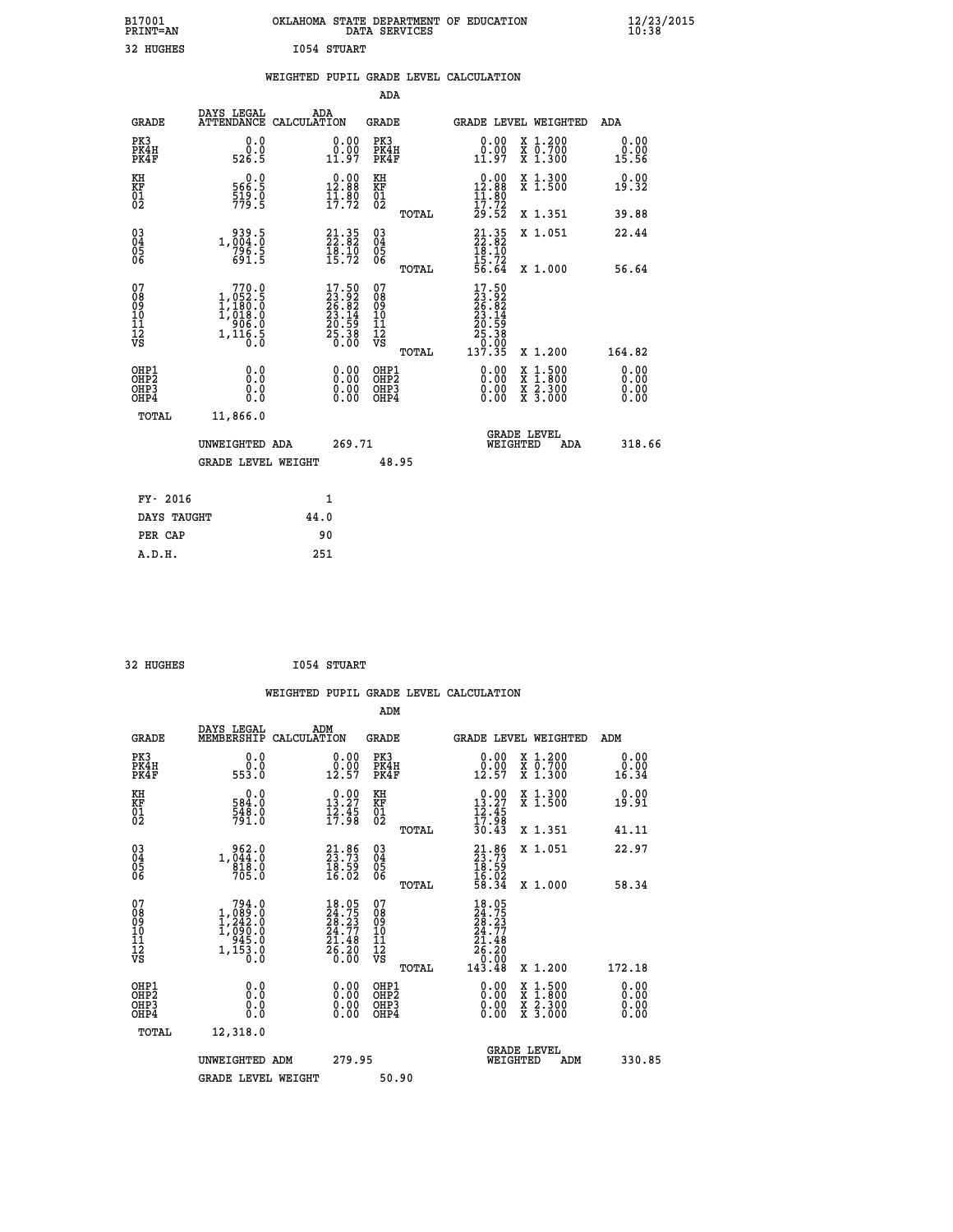| B17001<br><b>PRINT=AN</b> | OKLAHOMA STATE DEPARTMENT OF EDUCATION<br>DATA SERVICES | $\frac{12}{23}$ /2015 |
|---------------------------|---------------------------------------------------------|-----------------------|
| 32 HUGHES                 | 1054 STUART                                             |                       |

|  |  | WEIGHTED PUPIL GRADE LEVEL CALCULATION |
|--|--|----------------------------------------|
|  |  |                                        |

|                                                                    |                                                                                                               |                                                                          | ADA                                          |       |                                                                                                          |                                                                                                                                           |                              |
|--------------------------------------------------------------------|---------------------------------------------------------------------------------------------------------------|--------------------------------------------------------------------------|----------------------------------------------|-------|----------------------------------------------------------------------------------------------------------|-------------------------------------------------------------------------------------------------------------------------------------------|------------------------------|
| <b>GRADE</b>                                                       | DAYS LEGAL<br>ATTENDANCE CALCULATION                                                                          | ADA                                                                      | <b>GRADE</b>                                 |       |                                                                                                          | GRADE LEVEL WEIGHTED                                                                                                                      | <b>ADA</b>                   |
| PK3<br>PK4H<br>PK4F                                                | 0.0<br>ة:ة<br>526.5                                                                                           | $\begin{smallmatrix} 0.00\\ 0.00\\ 11.97 \end{smallmatrix}$              | PK3<br>PK4H<br>PK4F                          |       | 0.00<br>$\begin{smallmatrix} 0.00 \ 11.97 \end{smallmatrix}$                                             | X 1.200<br>X 0.700<br>X 1.300                                                                                                             | 0.00<br>0.00<br>15.56        |
| KH<br>KF<br>01<br>02                                               | 0.0<br>566:5<br>519:0<br>779:5                                                                                | $0.00$<br>12.88<br>$\frac{11.80}{17.72}$                                 | KH<br>KF<br>01<br>02                         |       | $\begin{array}{c} 0.00 \\ 12.88 \\ 11.80 \\ 17.72 \\ 29.52 \end{array}$                                  | X 1.300<br>X 1.500                                                                                                                        | 0.00<br>19.32                |
|                                                                    |                                                                                                               |                                                                          |                                              | TOTAL |                                                                                                          | X 1.351                                                                                                                                   | 39.88                        |
| $\begin{smallmatrix} 03 \\[-4pt] 04 \end{smallmatrix}$<br>Ŏ5<br>06 | 1,004:0<br>796.5<br>691.5                                                                                     | $21.35$<br>$22.82$<br>$18.10$<br>$15.72$                                 | $\substack{03 \\ 04}$<br>Ŏ5<br>06            | TOTAL | $21.35$<br>$22.82$<br>$18.10$<br>$15.72$<br>$56.64$                                                      | X 1.051<br>X 1.000                                                                                                                        | 22.44<br>56.64               |
| 07<br>08<br>09<br>101<br>11<br>12<br>VS                            | $\begin{smallmatrix} & 770.0\\ 1,052.5\\ 1,180.0\\ 1,180.0\\ 906.0\\ 906.0\\ 1,116.5\\ 0.0 \end{smallmatrix}$ | $17.50$<br>$23.92$<br>$26.82$<br>$23.14$<br>$20.59$<br>$25.38$<br>$0.00$ | 07<br>08<br>09<br>11<br>11<br>12<br>VS       |       | $\begin{smallmatrix} 17.50 \\ 23.92 \\ 26.82 \\ 23.14 \\ 20.59 \\ 25.38 \\ 25.30 \\ 0 \end{smallmatrix}$ |                                                                                                                                           |                              |
|                                                                    |                                                                                                               |                                                                          |                                              | TOTAL | 137.35                                                                                                   | X 1.200                                                                                                                                   | 164.82                       |
| OHP1<br>OHP <sub>2</sub><br>OH <sub>P3</sub><br>OHP4               | 0.0<br>0.0<br>$0.\overline{0}$                                                                                | 0.00<br>$\begin{smallmatrix} 0.00 \ 0.00 \end{smallmatrix}$              | OHP1<br>OHP <sub>2</sub><br>OHP <sub>3</sub> |       | 0.00<br>0.00                                                                                             | $\begin{smallmatrix} \mathtt{X} & 1\cdot500\\ \mathtt{X} & 1\cdot800\\ \mathtt{X} & 2\cdot300\\ \mathtt{X} & 3\cdot000 \end{smallmatrix}$ | 0.00<br>0.00<br>0.00<br>0.00 |
| TOTAL                                                              | 11,866.0                                                                                                      |                                                                          |                                              |       |                                                                                                          |                                                                                                                                           |                              |
|                                                                    | UNWEIGHTED ADA                                                                                                | 269.71                                                                   |                                              |       |                                                                                                          | <b>GRADE LEVEL</b><br>WEIGHTED<br>ADA                                                                                                     | 318.66                       |
|                                                                    | <b>GRADE LEVEL WEIGHT</b>                                                                                     |                                                                          |                                              | 48.95 |                                                                                                          |                                                                                                                                           |                              |
| FY- 2016                                                           |                                                                                                               | 1                                                                        |                                              |       |                                                                                                          |                                                                                                                                           |                              |
| DAYS TAUGHT                                                        |                                                                                                               | 44.0                                                                     |                                              |       |                                                                                                          |                                                                                                                                           |                              |
| PER CAP                                                            |                                                                                                               | 90                                                                       |                                              |       |                                                                                                          |                                                                                                                                           |                              |

32 HUGHES **I054 STUART** 

 **A.D.H. 251**

 **WEIGHTED PUPIL GRADE LEVEL CALCULATION ADM DAYS LEGAL ADM GRADE MEMBERSHIP CALCULATION GRADE GRADE LEVEL WEIGHTED ADM PK3 0.0 0.00 PK3 0.00 X 1.200 0.00 PK4H 0.0 0.00 PK4H 0.00 X 0.700 0.00 PK4F 553.0 12.57 PK4F 12.57 X 1.300 16.34 KH 0.0 0.00 KH 0.00 X 1.300 0.00 KF 584.0 13.27 KF 13.27 X 1.500 19.91 01 548.0 12.45 01 12.45** 02 791.0 17.98 02 <sub>noman</sub> 17.98  **TOTAL 30.43 X 1.351 41.11 03 962.0 21.86 03 21.86 X 1.051 22.97 04 1,044.0 23.73 04 23.73 05 818.0 18.59 05 18.59** 06 705.0 16.02 06 <sub>memas</sub> 16.02  **TOTAL 58.34 X 1.000 58.34**  $\begin{array}{cccc} 07 & 794.0 & 18.05 & 07 & 18.05\ 08 & 1,089.0 & 24.75 & 08 & 23.23\ 10 & 1,090.0 & 24.77 & 10 & 24.77\ 11 & 945.0 & 24.77 & 10 & 24.77\ 12 & 945.0 & 21.48 & 11 & 21.48\ 153.0 & 21.48 & 11 & 21.48\ 153.0 & 26.20 & 12 & 21.48\ 178 & 1,153.0 &$  $\begin{array}{cccc} 18.05 & 07 & 18.05 \\ 24.75 & 08 & 24.75 \\ 24.77 & 10 & 24.77 \\ 24.77 & 10 & 24.77 \\ 25.148 & 11 & 21.48 \\ 26.20 & 12 & 26.20 \\ 0.00 & 08 & 12 & 143.48 \\ 0.00 & 08 & 1 & 24.7 \\ 0.00 & 08 & 1 & 24.7 \\ 0.00 & 08 & 2 & 1.500 \\ 0.00 & 08 & 2 & 1.500 \\ 0.0$  **OHP1 0.0 0.00 OHP1 0.00 X 1.500 0.00 OHP2 0.0 0.00 OHP2 0.00 X 1.800 0.00 OHP3 0.0 0.00 OHP3 0.00 X 2.300 0.00 OHP4 0.0 0.00 OHP4 0.00 X 3.000 0.00 TOTAL 12,318.0 GRADE LEVEL UNWEIGHTED ADM 279.95 WEIGHTED ADM 330.85** GRADE LEVEL WEIGHT 50.90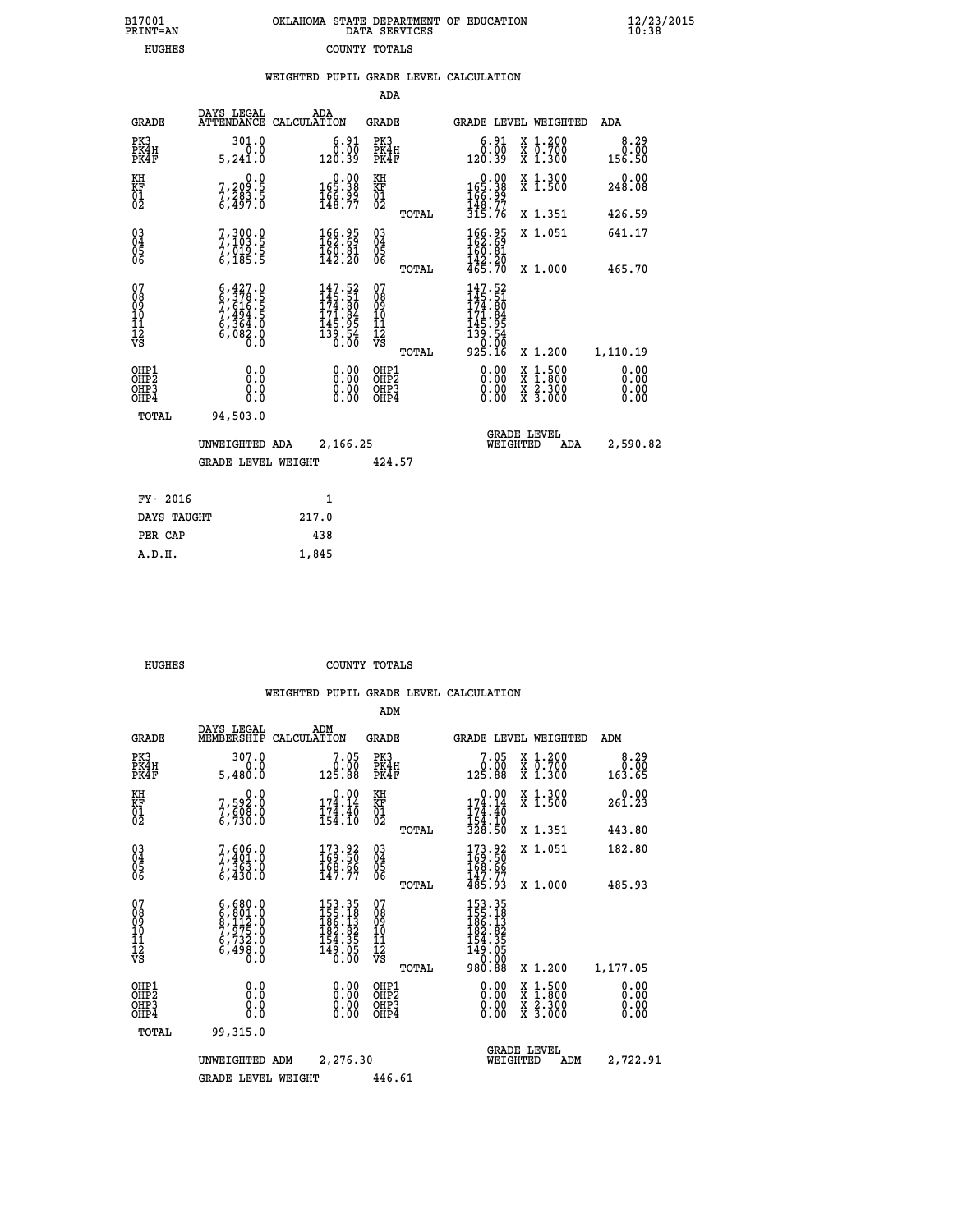| 7001<br>INT=AN |  | OKLAHOMA STATE DEPARTMENT OF EDUCATION<br>DATA SERVICES |  |
|----------------|--|---------------------------------------------------------|--|
| HUGHES         |  | COUNTY TOTALS                                           |  |

|                                                    |                                                                                                                                                            |                    |                                                                                                     | ADA                                    |       |                                                                                                      |                                |                                          |                              |
|----------------------------------------------------|------------------------------------------------------------------------------------------------------------------------------------------------------------|--------------------|-----------------------------------------------------------------------------------------------------|----------------------------------------|-------|------------------------------------------------------------------------------------------------------|--------------------------------|------------------------------------------|------------------------------|
| <b>GRADE</b>                                       | DAYS LEGAL<br><b>ATTENDANCE</b>                                                                                                                            | ADA<br>CALCULATION |                                                                                                     | GRADE                                  |       |                                                                                                      |                                | <b>GRADE LEVEL WEIGHTED</b>              | <b>ADA</b>                   |
| PK3<br>PK4H<br>PK4F                                | 301.0<br>0.0<br>5,241.0                                                                                                                                    |                    | $6.91$<br>$0.00$<br>120.39                                                                          | PK3<br>PK4H<br>PK4F                    |       | 120.39                                                                                               | 6.91<br>0.00                   | X 1.200<br>X 0.700<br>X 1.300            | 8.29<br>0.00<br>156.50       |
| KH<br>KF<br>01<br>02                               | $7,209.5$<br>$7,283.5$<br>$6,497.0$                                                                                                                        |                    | 0.00<br>§§.§§1<br>$\frac{166}{148}$ $\frac{59}{77}$                                                 | KH<br>KF<br>01<br>02                   |       | $0.00$<br>$165.38$<br>$166.99$<br>$148.77$<br>$315.76$                                               |                                | X 1.300<br>X 1.500                       | 0.00<br>248.08               |
|                                                    |                                                                                                                                                            |                    |                                                                                                     |                                        | TOTAL |                                                                                                      |                                | X 1.351                                  | 426.59                       |
| $\begin{matrix} 03 \\ 04 \\ 05 \\ 06 \end{matrix}$ | 7, 300.0<br>7, 103.5<br>7, 019.5<br>6, 185.5                                                                                                               |                    | $\begin{smallmatrix} 166.95\\ 162.69\\ 160.81\\ 142.20 \end{smallmatrix}$                           | 03<br>04<br>05<br>06                   |       | $\begin{smallmatrix} 166.95\\ 162.69\\ 160.81\\ 42.20\\ 465.70 \end{smallmatrix}$                    |                                | X 1.051                                  | 641.17                       |
|                                                    |                                                                                                                                                            |                    |                                                                                                     |                                        | TOTAL |                                                                                                      |                                | X 1.000                                  | 465.70                       |
| 07<br>08<br>09<br>10<br>11<br>11<br>12<br>VS       | $\begin{smallmatrix} 6\,,\,427\,,\,0\\ 6\,,\,378\,,\,5\\ 7\,,\,616\,,\,5\\ 7\,,\,494\,,\,5\\ 6\,,\,364\,,\,0\\ 6\,,\,082\,,\,0\\ 0\,,\,0\end{smallmatrix}$ |                    | $\begin{smallmatrix} 147.52\\145.51\\174.80\\171.84\\111.84\\145.95\\139.54\\0.00\end{smallmatrix}$ | 07<br>08<br>09<br>11<br>11<br>12<br>VS | TOTAL | 147.52<br>$145.51$<br>$174.80$<br>$171.84$<br>$145.95$<br>$145.54$<br>$139.54$<br>$0.00$<br>$925.16$ |                                | X 1.200                                  | 1,110.19                     |
| OHP1<br>OHP2<br>OH <sub>P</sub> 3<br>OHP4          | 0.0<br>0.0<br>0.0                                                                                                                                          |                    | $\begin{smallmatrix} 0.00 \ 0.00 \ 0.00 \ 0.00 \end{smallmatrix}$                                   | OHP1<br>OHP2<br>OHP3<br>OHP4           |       |                                                                                                      | $0.00$<br>$0.00$<br>0.00       | X 1:500<br>X 1:800<br>X 2:300<br>X 3:000 | 0.00<br>0.00<br>0.00<br>0.00 |
| TOTAL                                              | 94,503.0                                                                                                                                                   |                    |                                                                                                     |                                        |       |                                                                                                      |                                |                                          |                              |
|                                                    | UNWEIGHTED ADA                                                                                                                                             |                    | 2,166.25                                                                                            |                                        |       |                                                                                                      | <b>GRADE LEVEL</b><br>WEIGHTED | ADA                                      | 2,590.82                     |
|                                                    | <b>GRADE LEVEL WEIGHT</b>                                                                                                                                  |                    |                                                                                                     | 424.57                                 |       |                                                                                                      |                                |                                          |                              |
| FY- 2016                                           |                                                                                                                                                            | 1                  |                                                                                                     |                                        |       |                                                                                                      |                                |                                          |                              |
| DAYS TAUGHT                                        |                                                                                                                                                            | 217.0              |                                                                                                     |                                        |       |                                                                                                      |                                |                                          |                              |
|                                                    |                                                                                                                                                            |                    |                                                                                                     |                                        |       |                                                                                                      |                                |                                          |                              |

| FY- 2016    |       |
|-------------|-------|
| DAYS TAUGHT | 217.0 |
| PER CAP     | 438   |
| A.D.H.      | 1,845 |
|             |       |

 **B17001<br>PRINT=AN** 

 **HUGHES COUNTY TOTALS**

|                                          |                                                                                                                                               |                                                                                                                                      | ADM                                                 |                                                                                        |                                          |                               |
|------------------------------------------|-----------------------------------------------------------------------------------------------------------------------------------------------|--------------------------------------------------------------------------------------------------------------------------------------|-----------------------------------------------------|----------------------------------------------------------------------------------------|------------------------------------------|-------------------------------|
| <b>GRADE</b>                             | DAYS LEGAL<br>MEMBERSHIP                                                                                                                      | ADM<br>CALCULATION                                                                                                                   | <b>GRADE</b>                                        | GRADE LEVEL WEIGHTED                                                                   |                                          | ADM                           |
| PK3<br>PK4H<br>PK4F                      | 307.0<br>0.0<br>5,480.0                                                                                                                       | 7.05<br>$\begin{smallmatrix} & 0.000\ 125.88 \end{smallmatrix}$                                                                      | PK3<br>PK4H<br>PK4F                                 | 7.05<br>$\begin{smallmatrix} &0.00\0.81.88\end{smallmatrix}$                           | X 1.200<br>X 0.700<br>X 1.300            | 8.29<br>$\frac{0.00}{163.65}$ |
| KH<br>KF<br>01<br>02                     | 0.0<br>7,592:0<br>7,608:0<br>6,730:0                                                                                                          | $\begin{smallmatrix} &0.00\\ 174.14\\ 174.40\\ 154.10\end{smallmatrix}$                                                              | KH<br>KF<br>01<br>02                                | $0.00$<br>174.14<br>$\frac{17\overline{4}:\overline{40}}{154:\overline{10}}$<br>328.50 | X 1.300<br>X 1.500                       | 0.00<br>261.23                |
|                                          |                                                                                                                                               |                                                                                                                                      | TOTAL                                               |                                                                                        | X 1.351                                  | 443.80                        |
| 03<br>04<br>05<br>06                     | 7,606.0<br>7,401.0<br>7,363.0<br>6,430.0                                                                                                      | $\begin{smallmatrix} 173.92\ 169.50\ 168.66\ 147.77 \end{smallmatrix}$                                                               | $\begin{array}{c} 03 \\ 04 \\ 05 \\ 06 \end{array}$ | $173.92$<br>$169.50$<br>$168.66$<br>$147.77$<br>$485.93$                               | X 1.051                                  | 182.80                        |
|                                          |                                                                                                                                               |                                                                                                                                      | TOTAL                                               |                                                                                        | X 1.000                                  | 485.93                        |
| 07<br>08<br>09<br>101<br>112<br>VS       | $\begin{smallmatrix} 6\,,\,680\,.0\\ 6\,,\,801\,.0\\ 9\,,\,112\,.0\\ 7\,,\,975\,.0\\ 6\,,\,732\,.0\\ 6\,,\,498\,.0\\ 0\,.0 \end{smallmatrix}$ | $\begin{smallmatrix} 153\cdot 35\\ 155\cdot 18\\ 186\cdot 13\\ 182\cdot 82\\ 154\cdot 35\\ 149\cdot 05\\ 0\cdot 00\end{smallmatrix}$ | 07<br>08<br>09<br>11<br>11<br>12<br>VS<br>TOTAL     | 153.35<br>155.18<br>186.13<br>184.35<br>154.355<br>149.050<br>00.000<br>980.88         | X 1.200                                  | 1,177.05                      |
| OHP1<br>OHP2<br>OH <sub>P3</sub><br>OHP4 | 0.0<br>0.000                                                                                                                                  | $0.00$<br>$0.00$<br>0.00                                                                                                             | OHP1<br>OHP2<br>OHP <sub>3</sub>                    | $0.00$<br>$0.00$<br>0.00                                                               | X 1:500<br>X 1:800<br>X 2:300<br>X 3:000 | 0.00<br>0.00<br>0.00<br>0.00  |
| TOTAL                                    | 99,315.0                                                                                                                                      |                                                                                                                                      |                                                     |                                                                                        |                                          |                               |
|                                          | UNWEIGHTED                                                                                                                                    | 2,276.30<br>ADM                                                                                                                      |                                                     | <b>GRADE LEVEL</b><br>WEIGHTED                                                         | ADM                                      | 2,722.91                      |
|                                          | <b>GRADE LEVEL WEIGHT</b>                                                                                                                     |                                                                                                                                      | 446.61                                              |                                                                                        |                                          |                               |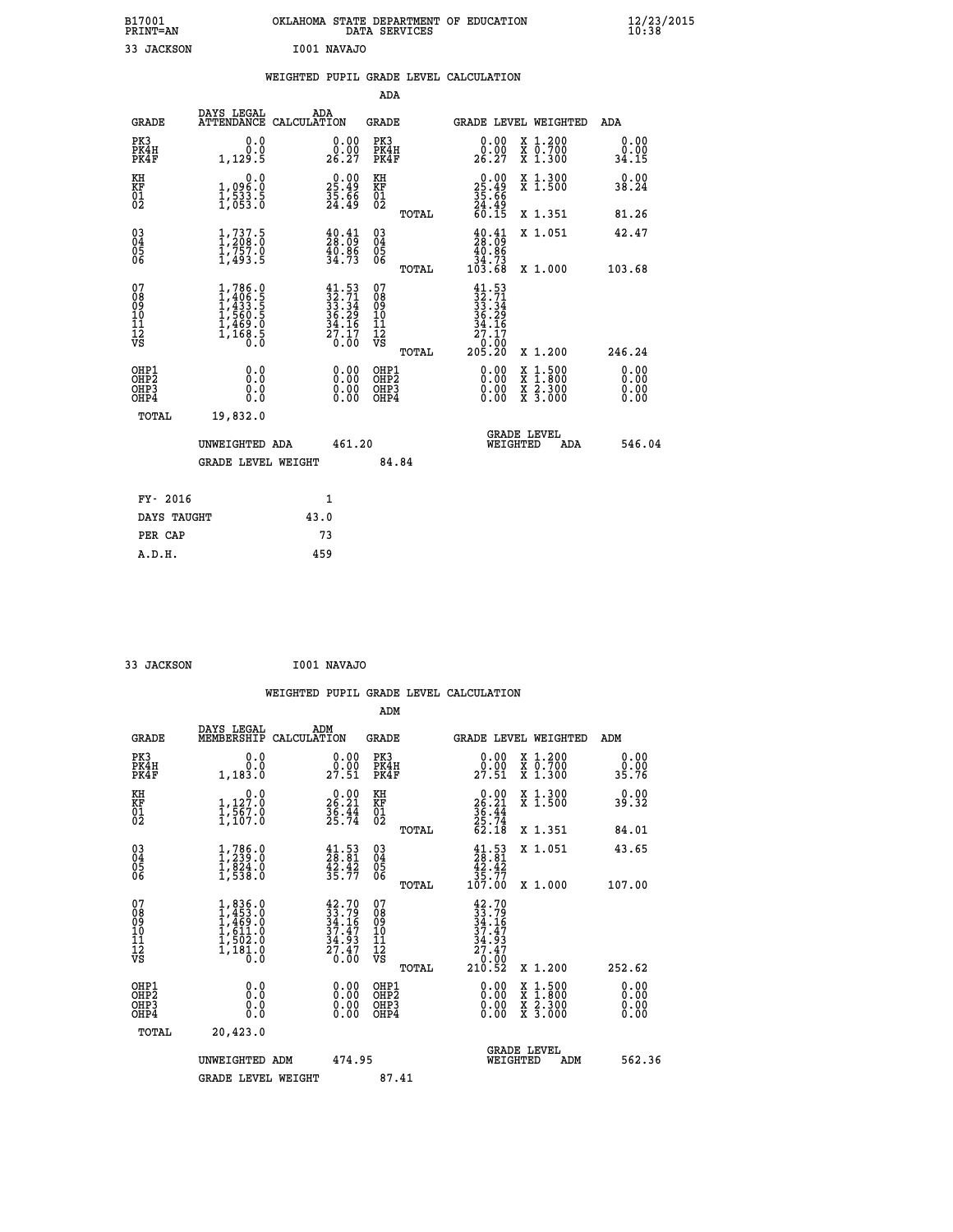| B17001<br><b>PRINT=AN</b> | OKLAHOMA STATE DEPARTMENT OF EDUCATION<br>DATA SERVICES | $\frac{12}{23}$ /2015 |
|---------------------------|---------------------------------------------------------|-----------------------|
| 33<br>JACKSON             | I001 NAVAJO                                             |                       |

|                                                                    |                                                                                                                                           | WEIGHTED PUPIL GRADE LEVEL CALCULATION                                                    |                                          |                                                                                  |                                                                                                                                           |                              |
|--------------------------------------------------------------------|-------------------------------------------------------------------------------------------------------------------------------------------|-------------------------------------------------------------------------------------------|------------------------------------------|----------------------------------------------------------------------------------|-------------------------------------------------------------------------------------------------------------------------------------------|------------------------------|
|                                                                    |                                                                                                                                           |                                                                                           | <b>ADA</b>                               |                                                                                  |                                                                                                                                           |                              |
| GRADE                                                              | DAYS LEGAL                                                                                                                                | ADA<br>ATTENDANCE CALCULATION                                                             | GRADE                                    |                                                                                  | GRADE LEVEL WEIGHTED                                                                                                                      | ADA                          |
| PK3<br>PK4H<br>PK4F                                                | 0.0<br>0.0<br>1,129.5                                                                                                                     | 0.00<br>0.00<br>26.27                                                                     | PK3<br>PK4H<br>PK4F                      | 0.00<br>0.00<br>26.27                                                            | X 1.200<br>X 0.700<br>X 1.300                                                                                                             | 0.00<br>0.00<br>34.15        |
| KH<br><b>KF</b><br>01<br>02                                        | 0.0<br>1,096:0<br>1,533.5<br>1,053:0                                                                                                      | $\begin{smallmatrix} 0.00\\ 25.49\\ 35.66\\ 24.49 \end{smallmatrix}$                      | KH<br>KF<br>01<br>02                     | $\begin{smallmatrix} 0.00\\ 25.49\\ 35.66\\ 24.49\\ 60.15 \end{smallmatrix}$     | X 1.300<br>X 1.500                                                                                                                        | 0.00<br>38.24                |
|                                                                    |                                                                                                                                           |                                                                                           | TOTAL                                    |                                                                                  | X 1.351                                                                                                                                   | 81.26                        |
| $\begin{smallmatrix} 03 \\[-4pt] 04 \end{smallmatrix}$<br>05<br>ŎĞ | 1, 737.5<br>$\frac{1}{7}\frac{757}{493}\frac{0}{5}$                                                                                       | $\frac{40.41}{28.09}$<br>$\frac{40.86}{34.73}$                                            | $\substack{03 \\ 04}$<br>$\frac{05}{06}$ | $\frac{40.41}{28.09}$<br>$\begin{array}{r} 40.86 \\ 34.73 \\ 103.68 \end{array}$ | X 1.051                                                                                                                                   | 42.47                        |
|                                                                    |                                                                                                                                           |                                                                                           | TOTAL                                    |                                                                                  | X 1.000                                                                                                                                   | 103.68                       |
| 07<br>08<br>09<br>11<br>11<br>12<br>VS                             | $\begin{smallmatrix} 1,786\cdot 0\\ 1,406\cdot 5\\ 1,433\cdot 5\\ 1,560\cdot 5\\ 1,469\cdot 0\\ 1,168\cdot 5\\ 0\cdot 0\end{smallmatrix}$ | $\begin{array}{l} 41.53 \\ 32.71 \\ 33.34 \\ 36.29 \\ 34.16 \\ 27.17 \\ 0.00 \end{array}$ | 07<br>08<br>09<br>11<br>11<br>12<br>VS   | $41.53$<br>$32.71$<br>$33.34$<br>$36.29$<br>$34.16$<br>$27.17$                   |                                                                                                                                           |                              |
|                                                                    |                                                                                                                                           |                                                                                           | TOTAL                                    | 00.0 <sup>1</sup><br>205.20                                                      | X 1.200                                                                                                                                   | 246.24                       |
| OHP1<br>OHP <sub>2</sub><br>OHP3<br>OHP4                           | 0.0<br>Ō.Ō<br>0.0<br>0.0                                                                                                                  | $0.00$<br>$0.00$<br>0.00                                                                  | OHP1<br>OHP2<br>OHP3<br>OHP4             | $0.00$<br>$0.00$<br>0.00                                                         | $\begin{smallmatrix} \mathtt{X} & 1\cdot500\\ \mathtt{X} & 1\cdot800\\ \mathtt{X} & 2\cdot300\\ \mathtt{X} & 3\cdot000 \end{smallmatrix}$ | 0.00<br>0.00<br>0.00<br>0.00 |
| TOTAL                                                              | 19,832.0                                                                                                                                  |                                                                                           |                                          |                                                                                  |                                                                                                                                           |                              |
|                                                                    | UNWEIGHTED ADA                                                                                                                            | 461.20                                                                                    |                                          |                                                                                  | <b>GRADE LEVEL</b><br>WEIGHTED<br>ADA                                                                                                     | 546.04                       |
|                                                                    | <b>GRADE LEVEL WEIGHT</b>                                                                                                                 |                                                                                           | 84.84                                    |                                                                                  |                                                                                                                                           |                              |
| FY- 2016                                                           |                                                                                                                                           | $\mathbf{1}$                                                                              |                                          |                                                                                  |                                                                                                                                           |                              |
| DAYS TAUGHT                                                        |                                                                                                                                           | 43.0                                                                                      |                                          |                                                                                  |                                                                                                                                           |                              |
| PER CAP                                                            |                                                                                                                                           | 73                                                                                        |                                          |                                                                                  |                                                                                                                                           |                              |
| A.D.H.                                                             |                                                                                                                                           | 459                                                                                       |                                          |                                                                                  |                                                                                                                                           |                              |

 **33 JACKSON I001 NAVAJO**

 **WEIGHTED PUPIL GRADE LEVEL CALCULATION ADM DAYS LEGAL ADM GRADE MEMBERSHIP CALCULATION GRADE GRADE LEVEL WEIGHTED ADM PK3 0.0 0.00 PK3 0.00 X 1.200 0.00 PK4H 0.0 0.00 PK4H 0.00 X 0.700 0.00 PK4F 1,183.0 27.51 PK4F 27.51 X 1.300 35.76 KH 0.0 0.00 KH 0.00 X 1.300 0.00 KF 1,127.0 26.21 KF 26.21 X 1.500 39.32 01 1,567.0 36.44 01 36.44 02 1,107.0 25.74 02 25.74 TOTAL 62.18 X 1.351 84.01 03 1,786.0 41.53 03 41.53 X 1.051 43.65 04 1,239.0 28.81 04 28.81 05 1,824.0 42.42 05 42.42 06 1,538.0 35.77 06 35.77 TOTAL 107.00 X 1.000 107.00**  $\begin{array}{cccc} 07 & 1,836.0 & 42.70 & 07 & 42.70 \ 08 & 1,453.0 & 33.79 & 08 & 33.79 \ 09 & 1,469.0 & 34.16 & 09 & 34.16 \ 10 & 1,611.0 & 37.47 & 10 & 37.47 \ 11 & 1,502.0 & 34.9 & 11 & 34.16 \ 12 & 1,181.0 & 27.47 & 12 & 34.9 \ 13 & 0 & 27.47 & 12 & 27.47 \ 18 &$  $\begin{array}{cccc} 42.70 & 07 & 42.70 & 11.11 & 11.11 & 11.11 & 11.11 & 11.11 & 11.11 & 11.11 & 11.11 & 11.11 & 11.11 & 11.11 & 11.11 & 11.11 & 11.11 & 11.11 & 11.11 & 11.11 & 11.11 & 11.11 & 11.11 & 11.11 & 11.11 & 11.11 & 11.11 & 11.11 & 11.11 & 11.11 & 11.11$  **OHP1 0.0 0.00 OHP1 0.00 X 1.500 0.00 OHP2 0.0 0.00 OHP2 0.00 X 1.800 0.00 OHP3 0.0 0.00 OHP3 0.00 X 2.300 0.00 OHP4 0.0 0.00 OHP4 0.00 X 3.000 0.00 TOTAL 20,423.0** UNWEIGHTED ADM 474.95  **UNWEIGHTED ADM 474.95 WEIGHTED ADM 562.36** GRADE LEVEL WEIGHT 87.41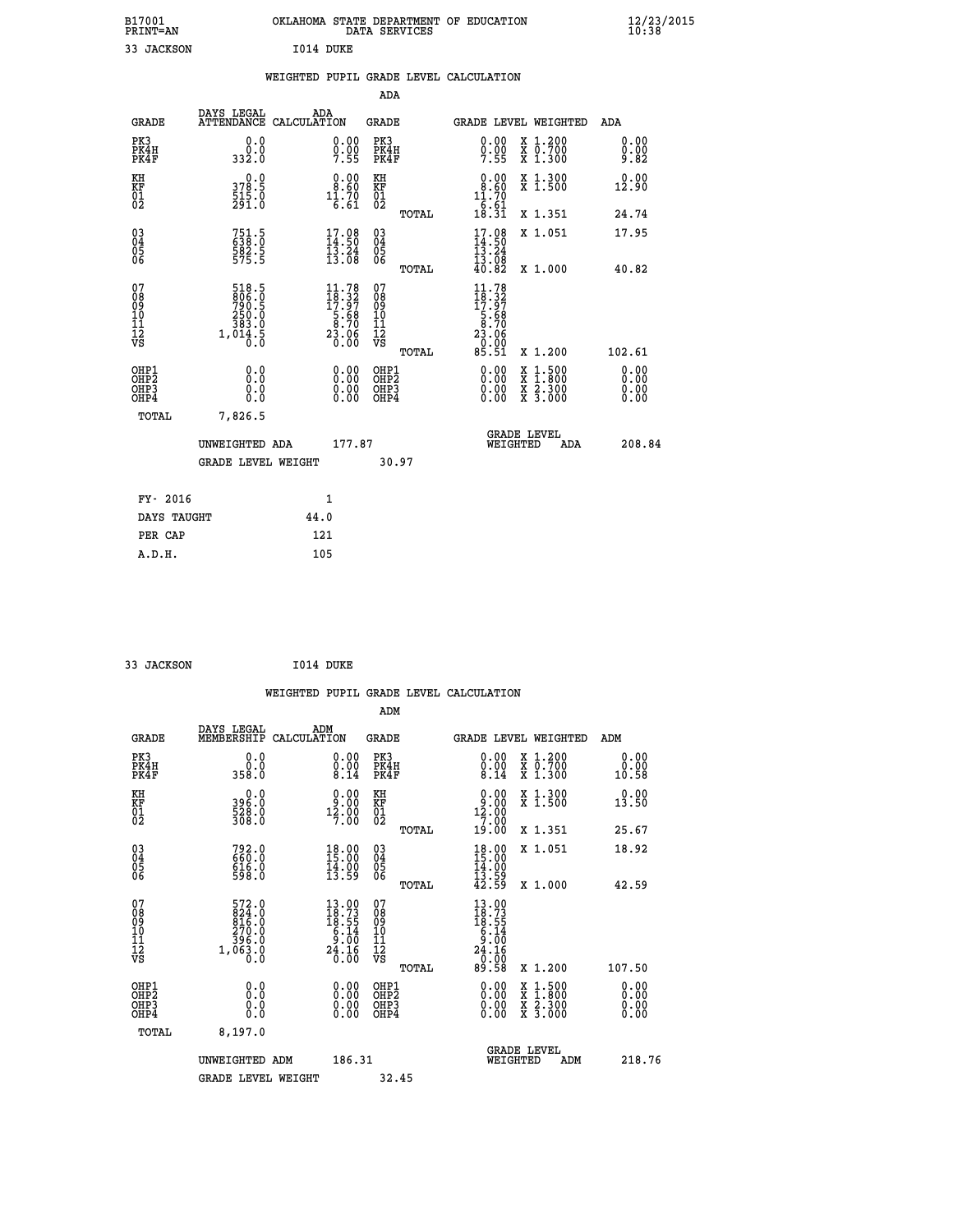| B17001<br>PRINT=AN                                 |                                                                                                                                       | OKLAHOMA STATE DEPARTMENT OF EDUCATION                                                                                                                                                                                                                                                                                                                                                                                          | DATA SERVICES                                      |                                                                                                  |                                                                                                  | $\frac{12}{23}$ /2015        |  |
|----------------------------------------------------|---------------------------------------------------------------------------------------------------------------------------------------|---------------------------------------------------------------------------------------------------------------------------------------------------------------------------------------------------------------------------------------------------------------------------------------------------------------------------------------------------------------------------------------------------------------------------------|----------------------------------------------------|--------------------------------------------------------------------------------------------------|--------------------------------------------------------------------------------------------------|------------------------------|--|
| 33 JACKSON                                         |                                                                                                                                       | I014 DUKE                                                                                                                                                                                                                                                                                                                                                                                                                       |                                                    |                                                                                                  |                                                                                                  |                              |  |
|                                                    |                                                                                                                                       | WEIGHTED PUPIL GRADE LEVEL CALCULATION                                                                                                                                                                                                                                                                                                                                                                                          |                                                    |                                                                                                  |                                                                                                  |                              |  |
|                                                    |                                                                                                                                       |                                                                                                                                                                                                                                                                                                                                                                                                                                 | ADA                                                |                                                                                                  |                                                                                                  |                              |  |
| GRADE                                              | DAYS LEGAL                                                                                                                            | ADA<br>ATTENDANCE CALCULATION                                                                                                                                                                                                                                                                                                                                                                                                   | GRADE                                              | GRADE LEVEL WEIGHTED                                                                             |                                                                                                  | ADA                          |  |
| PK3<br>PK4H<br>PK4F                                | 0.0<br>0.0<br>332.0                                                                                                                   | 0.00<br>$0.00$<br>7.55                                                                                                                                                                                                                                                                                                                                                                                                          | PK3<br>PK4H<br>PK4F                                | $\substack{0.00\\0.00\\7.55}$                                                                    | X 1.200<br>X 0.700<br>X 1.300                                                                    | 0.00<br>0.00<br>9.82         |  |
| KH<br>KF<br>01<br>02                               | 0.0<br>378.5<br>$\frac{515}{291}$ .0                                                                                                  | $\begin{smallmatrix} 0.00\\ 8.60\\ 11.70\\ 6.61 \end{smallmatrix}$                                                                                                                                                                                                                                                                                                                                                              | КH<br><b>KF</b><br>01<br>02                        | 0.00<br>8.60<br>11.70                                                                            | $X1$ .300<br>X <sub>1.500</sub>                                                                  | 0.00<br>12.90                |  |
|                                                    |                                                                                                                                       |                                                                                                                                                                                                                                                                                                                                                                                                                                 | TOTAL                                              | $\begin{array}{c} -6.61 \\ 18.31 \end{array}$                                                    | X 1.351                                                                                          | 24.74                        |  |
| $\begin{matrix} 03 \\ 04 \\ 05 \\ 06 \end{matrix}$ | $751.5$<br>638.0<br>$\frac{582.5}{575.5}$                                                                                             | $17.08$<br>$14.50$<br>$13.24$<br>13.08                                                                                                                                                                                                                                                                                                                                                                                          | $\begin{matrix} 03 \\ 04 \\ 05 \\ 06 \end{matrix}$ | $17.98$<br>$14.50$<br>$13.24$<br>13.08                                                           | X 1.051                                                                                          | 17.95                        |  |
|                                                    |                                                                                                                                       |                                                                                                                                                                                                                                                                                                                                                                                                                                 | TOTAL                                              | 40.82                                                                                            | X 1.000                                                                                          | 40.82                        |  |
| 07<br>08<br>09<br>11<br>11<br>12<br>VS             | 518.5<br>$\frac{806}{790}$ : 5<br>250.0<br>$\begin{smallmatrix} & 5 & 8 & 3 & 0 \\ 1 & 0 & 14 & 5 \\ 0 & 0 & 0 & 0 \end{smallmatrix}$ | 11.78<br>$\begin{array}{@{}c@{\hspace{1em}}c@{\hspace{1em}}c@{\hspace{1em}}c@{\hspace{1em}}c@{\hspace{1em}}c@{\hspace{1em}}c@{\hspace{1em}}c@{\hspace{1em}}c@{\hspace{1em}}c@{\hspace{1em}}c@{\hspace{1em}}c@{\hspace{1em}}c@{\hspace{1em}}c@{\hspace{1em}}c@{\hspace{1em}}c@{\hspace{1em}}c@{\hspace{1em}}c@{\hspace{1em}}c@{\hspace{1em}}c@{\hspace{1em}}c@{\hspace{1em}}c@{\hspace{1em}}c@{\hspace{1em}}c@{\hspace{$<br>0.00 | 07<br>08<br>09<br>10<br>īĭ<br>12<br>VS<br>TOTAL    | 11.78<br>$\begin{array}{c} 18.32 \\ 17.97 \\ 5.68 \\ 8.70 \\ 23.08 \end{array}$<br>0.00<br>85.51 | X 1.200                                                                                          | 102.61                       |  |
| OHP1<br>OHP <sub>2</sub><br>OHP3<br>OHP4           | 0.0<br>Ō.Ō<br>0.0<br>0.0                                                                                                              | 0.00<br>0.00<br>0.00                                                                                                                                                                                                                                                                                                                                                                                                            | OHP1<br>OHP <sub>2</sub><br>OHP3<br>OHP4           | 0.00<br>0.00<br>0.00                                                                             | $\begin{smallmatrix} x & 1 & 500 \\ x & 1 & 800 \\ x & 2 & 300 \\ x & 3 & 000 \end{smallmatrix}$ | 0.00<br>0.00<br>0.00<br>0.00 |  |
| TOTAL                                              | 7,826.5                                                                                                                               |                                                                                                                                                                                                                                                                                                                                                                                                                                 |                                                    |                                                                                                  |                                                                                                  |                              |  |
|                                                    | UNWEIGHTED ADA                                                                                                                        | 177.87                                                                                                                                                                                                                                                                                                                                                                                                                          |                                                    | <b>GRADE LEVEL</b><br>WEIGHTED                                                                   | ADA                                                                                              | 208.84                       |  |
|                                                    | <b>GRADE LEVEL WEIGHT</b>                                                                                                             |                                                                                                                                                                                                                                                                                                                                                                                                                                 | 30.97                                              |                                                                                                  |                                                                                                  |                              |  |
| FY- 2016                                           |                                                                                                                                       | 1                                                                                                                                                                                                                                                                                                                                                                                                                               |                                                    |                                                                                                  |                                                                                                  |                              |  |
| DAYS TAUGHT                                        |                                                                                                                                       | 44.0                                                                                                                                                                                                                                                                                                                                                                                                                            |                                                    |                                                                                                  |                                                                                                  |                              |  |
| PER CAP                                            |                                                                                                                                       | 121                                                                                                                                                                                                                                                                                                                                                                                                                             |                                                    |                                                                                                  |                                                                                                  |                              |  |
| A.D.H.                                             |                                                                                                                                       | 105                                                                                                                                                                                                                                                                                                                                                                                                                             |                                                    |                                                                                                  |                                                                                                  |                              |  |

| 33 JACKSON | I014 DUKE |  |
|------------|-----------|--|

|                                                    |                                                             |                    |                                                                                                                                           |                                      |       | WEIGHTED PUPIL GRADE LEVEL CALCULATION                                                                                                 |                                          |                       |  |
|----------------------------------------------------|-------------------------------------------------------------|--------------------|-------------------------------------------------------------------------------------------------------------------------------------------|--------------------------------------|-------|----------------------------------------------------------------------------------------------------------------------------------------|------------------------------------------|-----------------------|--|
|                                                    |                                                             |                    |                                                                                                                                           | ADM                                  |       |                                                                                                                                        |                                          |                       |  |
| <b>GRADE</b>                                       | DAYS LEGAL<br>MEMBERSHIP                                    | ADM<br>CALCULATION |                                                                                                                                           | <b>GRADE</b>                         |       | GRADE LEVEL WEIGHTED                                                                                                                   |                                          | ADM                   |  |
| PK3<br>PK4H<br>PK4F                                | 0.0<br>0.0<br>358.0                                         |                    | $\begin{smallmatrix} 0.00 \ 0.00 \ 8.14 \end{smallmatrix}$                                                                                | PK3<br>PK4H<br>PK4F                  |       | $\begin{smallmatrix} 0.00\\ 0.00\\ 0.01\\ 8.14 \end{smallmatrix}$                                                                      | X 1.200<br>X 0.700<br>X 1.300            | 0.00<br>0.00<br>10.58 |  |
| KH<br>KF<br>01<br>02                               | $396.0$<br>$528.0$<br>$308.0$                               |                    | $\begin{smallmatrix} 0.00\\ 9.00\\ 12.00\\ 7.00 \end{smallmatrix}$                                                                        | KH<br>KF<br>01<br>02                 |       | $\begin{smallmatrix} 0.00\\ 9.00\\ 12.00\\ 7.00 \end{smallmatrix}$                                                                     | X 1.300<br>X 1.500                       | 0.00<br>13.50         |  |
|                                                    |                                                             |                    |                                                                                                                                           |                                      | TOTAL | 19.00                                                                                                                                  | X 1.351                                  | 25.67                 |  |
| $\begin{matrix} 03 \\ 04 \\ 05 \\ 06 \end{matrix}$ | 792.0<br>660.0<br>616.0<br>598.0                            |                    | $\begin{smallmatrix} 18.00\\ 15.00\\ 14.00\\ 13.59 \end{smallmatrix}$                                                                     | $^{03}_{04}$<br>05<br>06             |       | $18.00$<br>$15.00$<br>$14.00$<br>$13.59$<br>$42.59$                                                                                    | X 1.051                                  | 18.92                 |  |
|                                                    |                                                             |                    |                                                                                                                                           |                                      | TOTAL |                                                                                                                                        | X 1.000                                  | 42.59                 |  |
| 07<br>0890112<br>1112<br>VS                        | 572.0<br>824.0<br>816.0<br>270.0<br>8:396<br>1,063:8<br>0:0 |                    | $\begin{array}{r} 13.00 \\[-4pt] 18.73 \\[-4pt] 18.55 \\[-4pt] 6.14 \\[-4pt] 9.00 \\[-4pt] 24.16 \\[-4pt] 2.00 \\[-4pt] 0.00 \end{array}$ | 07<br>08901112<br>1112<br>VS         | TOTAL | $\begin{array}{r} 13\cdot 00 \\ 18\cdot 7 \\ 18\cdot 5 \\ 6\cdot 14 \\ 6\cdot 16 \\ 24\cdot 16 \\ 0\cdot 00 \\ 89\cdot 58 \end{array}$ | X 1.200                                  | 107.50                |  |
| OHP1                                               |                                                             |                    |                                                                                                                                           | OHP1                                 |       |                                                                                                                                        |                                          | 0.00                  |  |
| OHP <sub>2</sub><br>OH <sub>P3</sub><br>OHP4       | 0.0<br>0.000                                                |                    | $0.00$<br>$0.00$<br>0.00                                                                                                                  | OHP <sub>2</sub><br>OHP <sub>3</sub> |       | 0.00<br>0.00<br>0.00                                                                                                                   | X 1:500<br>X 1:800<br>X 2:300<br>X 3:000 | Ō. ŌŌ<br>0.00<br>0.00 |  |
| TOTAL                                              | 8,197.0                                                     |                    |                                                                                                                                           |                                      |       |                                                                                                                                        |                                          |                       |  |
|                                                    | UNWEIGHTED ADM                                              |                    | 186.31                                                                                                                                    |                                      |       | <b>GRADE LEVEL</b><br>WEIGHTED                                                                                                         | ADM                                      | 218.76                |  |
|                                                    | <b>GRADE LEVEL WEIGHT</b>                                   |                    |                                                                                                                                           | 32.45                                |       |                                                                                                                                        |                                          |                       |  |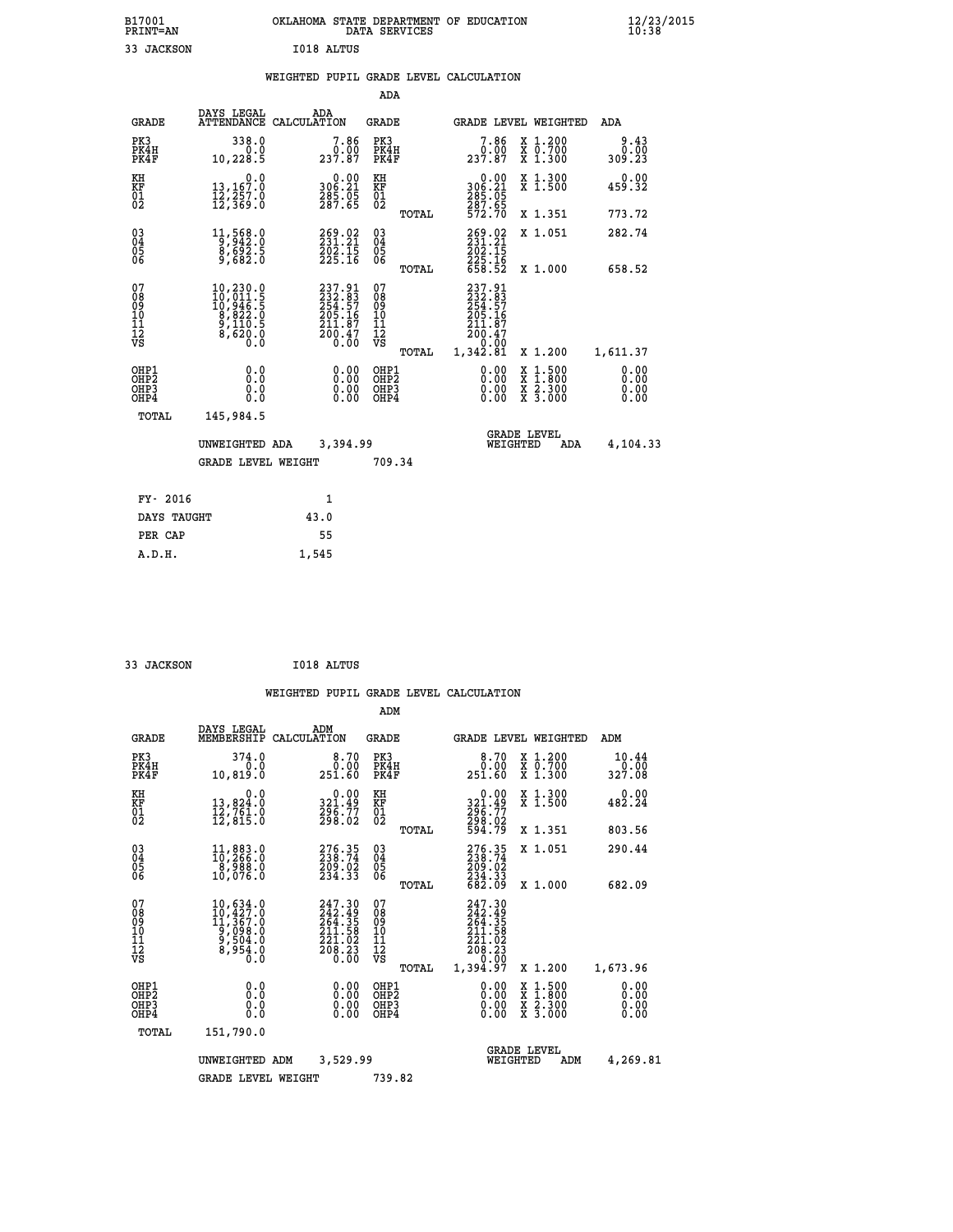| B17001<br><b>PRINT=AN</b> | OKLAHOMA<br>. STATE DEPARTMENT OF EDUCATION<br>DATA SERVICES | $\frac{12}{23}$ /2015 |
|---------------------------|--------------------------------------------------------------|-----------------------|
| 33<br>JACKSON             | I018 ALTUS                                                   |                       |

|  |  | WEIGHTED PUPIL GRADE LEVEL CALCULATION |
|--|--|----------------------------------------|
|  |  |                                        |

|                                                                  |                                                                                                                  |                                                                         | ADA                                      |       |                                                                                 |                                                                                                  |                              |
|------------------------------------------------------------------|------------------------------------------------------------------------------------------------------------------|-------------------------------------------------------------------------|------------------------------------------|-------|---------------------------------------------------------------------------------|--------------------------------------------------------------------------------------------------|------------------------------|
| <b>GRADE</b>                                                     | DAYS LEGAL                                                                                                       | ADA<br>ATTENDANCE CALCULATION                                           | <b>GRADE</b>                             |       |                                                                                 | GRADE LEVEL WEIGHTED                                                                             | <b>ADA</b>                   |
| PK3<br>PK4H<br>PK4F                                              | 338.0<br>0.0<br>10,228.5                                                                                         | $\begin{smallmatrix}7.86\0.00\\237.87\end{smallmatrix}$                 | PK3<br>PK4H<br>PK4F                      |       | 7.86<br>237.87                                                                  | X 1.200<br>X 0.700<br>X 1.300                                                                    | 9.43<br>0.00<br>309.23       |
| KH<br>KF<br>01<br>02                                             | 0.0<br>13,167.0<br>12,257.0<br>12,369.0                                                                          | $\begin{smallmatrix} 0.00\\ 306.21\\ 285.05\\ 287.65 \end{smallmatrix}$ | KH<br>KF<br>01<br>02                     |       | 0.00<br>306:21<br>285:05<br>287:65<br>572:70                                    | X 1.300<br>X 1.500                                                                               | 0.00<br>459.32               |
|                                                                  |                                                                                                                  |                                                                         |                                          | TOTAL |                                                                                 | X 1.351                                                                                          | 773.72                       |
| $\begin{matrix} 03 \\ 04 \\ 05 \\ 06 \end{matrix}$               | 11,568.0<br>$\frac{8}{9}, \frac{69}{682}.5$                                                                      | 269.02<br>231.21<br>202.15<br>225.16                                    | $\substack{03 \\ 04}$<br>Ŏ5<br>06        |       | 269.02<br>$\frac{202.15}{225.16}$<br>658.52                                     | X 1.051                                                                                          | 282.74                       |
|                                                                  |                                                                                                                  |                                                                         |                                          | TOTAL |                                                                                 | X 1.000                                                                                          | 658.52                       |
| 07<br>08<br>09<br>10<br>11<br>12<br>VS                           | $\begin{smallmatrix} 10, 230.0\\ 10, 011.5\\ 10, 946.5\\ 8, 822.0\\ 9, 110.5\\ 8, 620.0\\ 0.0 \end{smallmatrix}$ | 237.91<br>232.83<br>254.57<br>205.16<br>$\frac{211.87}{200.47}$         | 07<br>08<br>09<br>11<br>11<br>12<br>VS   |       | 237.91<br>$232.83$<br>$254.57$<br>$205.16$<br>$211.87$<br>$\frac{200.47}{0.00}$ |                                                                                                  |                              |
|                                                                  |                                                                                                                  |                                                                         |                                          | TOTAL | 1,342.81                                                                        | X 1.200                                                                                          | 1,611.37                     |
| OHP1<br>OH <sub>P</sub> <sub>2</sub><br>OH <sub>P3</sub><br>OHP4 | 0.0<br>0.0<br>0.0                                                                                                | $0.00$<br>$0.00$<br>0.00                                                | OHP1<br>OHP <sub>2</sub><br>OHP3<br>OHP4 |       | $0.00$<br>$0.00$<br>0.00                                                        | $\begin{smallmatrix} x & 1 & 500 \\ x & 1 & 800 \\ x & 2 & 300 \\ x & 3 & 000 \end{smallmatrix}$ | 0.00<br>0.00<br>0.00<br>0.00 |
| <b>TOTAL</b>                                                     | 145,984.5                                                                                                        |                                                                         |                                          |       |                                                                                 |                                                                                                  |                              |
|                                                                  | UNWEIGHTED ADA                                                                                                   | 3,394.99                                                                |                                          |       |                                                                                 | <b>GRADE LEVEL</b><br>WEIGHTED<br>ADA                                                            | 4,104.33                     |
|                                                                  | <b>GRADE LEVEL WEIGHT</b>                                                                                        |                                                                         | 709.34                                   |       |                                                                                 |                                                                                                  |                              |
|                                                                  |                                                                                                                  |                                                                         |                                          |       |                                                                                 |                                                                                                  |                              |
| FY- 2016                                                         |                                                                                                                  | 1                                                                       |                                          |       |                                                                                 |                                                                                                  |                              |
| DAYS TAUGHT                                                      |                                                                                                                  | 43.0                                                                    |                                          |       |                                                                                 |                                                                                                  |                              |
| PER CAP                                                          |                                                                                                                  | 55                                                                      |                                          |       |                                                                                 |                                                                                                  |                              |

 **33 JACKSON I018 ALTUS**

 **A.D.H. 1,545**

|                                                       |                                                                                                                                                    |                                                                                         | ADM                                             |                                                                                                                     |                                          |                              |
|-------------------------------------------------------|----------------------------------------------------------------------------------------------------------------------------------------------------|-----------------------------------------------------------------------------------------|-------------------------------------------------|---------------------------------------------------------------------------------------------------------------------|------------------------------------------|------------------------------|
| <b>GRADE</b>                                          | DAYS LEGAL<br>MEMBERSHIP                                                                                                                           | ADM<br>CALCULATION                                                                      | <b>GRADE</b>                                    | GRADE LEVEL WEIGHTED                                                                                                |                                          | ADM                          |
| PK3<br>PK4H<br>PK4F                                   | 374.0<br>0.0<br>10,819.0                                                                                                                           | 8.70<br>0.00<br>251.60                                                                  | PK3<br>PK4H<br>PK4F                             | 8.70<br>0.00<br>251.60                                                                                              | X 1.200<br>X 0.700<br>X 1.300            | 10.44<br>0.00<br>327.08      |
| KH<br>KF<br>01<br>02                                  | 0.0<br>13,824.0<br>12,761.0<br>12,815.0                                                                                                            | $\begin{smallmatrix} 0.00\\ 321.49\\ 296.77\\ 298.02 \end{smallmatrix}$                 | KH<br>KF<br>01<br>02                            | $\begin{smallmatrix} &0.00\\ 321.49\\ 296.77\\ 298.02\\ 594.79\end{smallmatrix}$                                    | X 1.300<br>X 1.500                       | 0.00<br>482.24               |
|                                                       |                                                                                                                                                    |                                                                                         | TOTAL                                           |                                                                                                                     | X 1.351                                  | 803.56                       |
| 03<br>04<br>05<br>06                                  | 11,883.0<br>10,266.0<br>9,988.0<br>10,076.0                                                                                                        | 276.35<br>238.74<br>209.02<br>234.33                                                    | $^{03}_{04}$<br>05<br>06                        | 276.35<br>238.74<br>$\frac{209}{234}$ $\cdot \frac{07}{33}$<br>682.09                                               | X 1.051                                  | 290.44                       |
|                                                       |                                                                                                                                                    |                                                                                         | TOTAL                                           |                                                                                                                     | X 1.000                                  | 682.09                       |
| 07<br>08<br>09<br>101<br>112<br>VS                    | $\begin{smallmatrix} 10, 634\cdot 0\\ 10, 427\cdot 0\\ 11, 367\cdot 0\\ 9, 098\cdot 0\\ 9, 504\cdot 0\\ 8, 954\cdot 0\\ 0\cdot 0\end{smallmatrix}$ | 247.30<br>$\frac{242.49}{264.35}$<br>$\frac{211.59}{211.59}$<br>$\frac{221.02}{208.23}$ | 07<br>08<br>09<br>11<br>11<br>12<br>VS<br>TOTAL | 247.30<br>242.49<br>264.35<br>211.58<br>$\frac{2}{2}$ $\frac{2}{9}$ $\frac{1}{2}$ $\frac{0}{3}$<br>0.00<br>1,394.97 | X 1.200                                  | 1,673.96                     |
| OHP1<br>OH <sub>P</sub> 2<br>OH <sub>P3</sub><br>OHP4 | 0.0<br>0.000                                                                                                                                       | $0.00$<br>$0.00$<br>0.00                                                                | OHP1<br>OHP2<br>OHP3<br>OHP4                    | $0.00$<br>$0.00$<br>0.00                                                                                            | X 1:500<br>X 1:800<br>X 2:300<br>X 3:000 | 0.00<br>0.00<br>0.00<br>0.00 |
|                                                       | TOTAL<br>151,790.0                                                                                                                                 |                                                                                         |                                                 |                                                                                                                     |                                          |                              |
|                                                       | UNWEIGHTED<br>ADM                                                                                                                                  |                                                                                         | 3,529.99                                        | <b>GRADE LEVEL</b><br>WEIGHTED                                                                                      | ADM                                      | 4,269.81                     |
|                                                       | <b>GRADE LEVEL WEIGHT</b>                                                                                                                          |                                                                                         | 739.82                                          |                                                                                                                     |                                          |                              |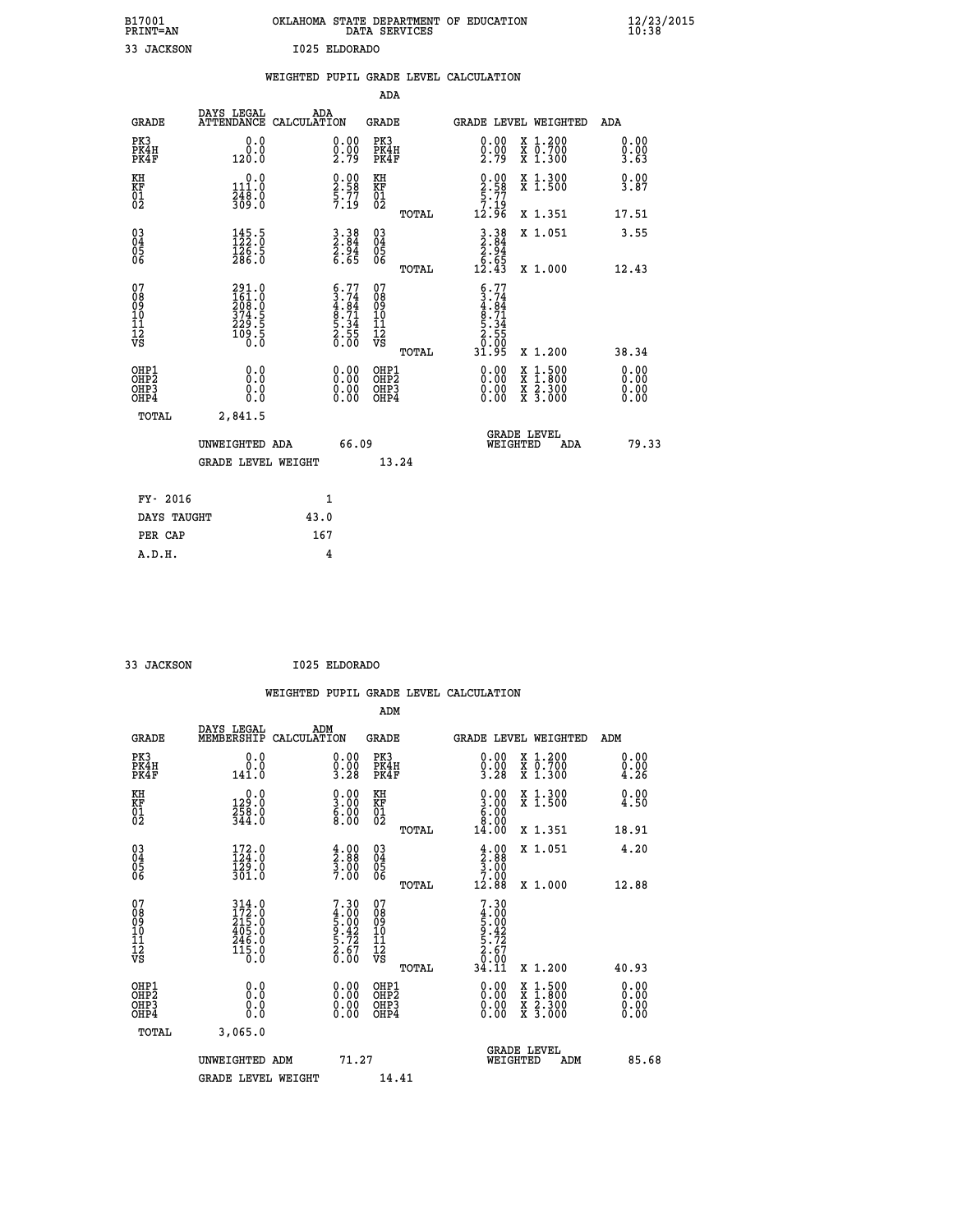| B17001<br><b>PRINT=AN</b> | OKLAHOMA<br>. STATE DEPARTMENT OF EDUCATION<br>DATA SERVICES | $\frac{12}{23}$ /2015 |
|---------------------------|--------------------------------------------------------------|-----------------------|
| 33<br>JACKSON             | I025 ELDORADO                                                |                       |

|                                        |                                                            | WEIGHTED PUPIL GRADE LEVEL CALCULATION                             |       |                                                     |       |                                                                                       |                                                                                                           |                              |
|----------------------------------------|------------------------------------------------------------|--------------------------------------------------------------------|-------|-----------------------------------------------------|-------|---------------------------------------------------------------------------------------|-----------------------------------------------------------------------------------------------------------|------------------------------|
|                                        |                                                            |                                                                    |       | <b>ADA</b>                                          |       |                                                                                       |                                                                                                           |                              |
| <b>GRADE</b>                           | DAYS LEGAL ADA ATTENDANCE CALCULATION                      |                                                                    |       | <b>GRADE</b>                                        |       |                                                                                       | GRADE LEVEL WEIGHTED                                                                                      | ADA                          |
| PK3<br>PK4H<br>PK4F                    | 0.0<br>0.0<br>120.0                                        | $\substack{0.00\\0.00\\2.79}$                                      |       | PK3<br>PK4H<br>PK4F                                 |       | 0.00<br>$\frac{0.00}{2.79}$                                                           | X 1.200<br>X 0.700<br>X 1.300                                                                             | 0.00<br>0.00<br>3.63         |
| KH<br>KF<br>01<br>02                   | 0.0<br>$\frac{111.0}{248.0}$<br>309.0                      | $\begin{smallmatrix} 0.00\ 2.58\ 5.77\ 7.19 \end{smallmatrix}$     |       | KH<br><b>KF</b><br>01<br>02                         |       | $0.00$<br>$2.58$<br>$5.77$<br>$7.19$<br>$12.96$                                       | X 1.300<br>X 1.500                                                                                        | 0.00<br>3.87                 |
|                                        |                                                            |                                                                    |       |                                                     | TOTAL |                                                                                       | X 1.351                                                                                                   | 17.51                        |
| $^{03}_{04}$<br>Ŏ5<br>06               | 145.5<br>$\frac{1}{286}$ .<br>286.0                        | $3.38$<br>$2.84$<br>$2.94$<br>$6.65$                               |       | $\begin{array}{c} 03 \\ 04 \\ 05 \\ 06 \end{array}$ |       | $3.38$<br>$2.84$<br>$2.94$<br>$6.65$<br>$12.43$                                       | X 1.051                                                                                                   | 3.55                         |
|                                        |                                                            |                                                                    |       |                                                     | TOTAL |                                                                                       | X 1.000                                                                                                   | 12.43                        |
| 07<br>08<br>09<br>11<br>11<br>12<br>VS | 291.0<br>161.00<br>208.0<br>374.5<br>229.5<br>109.5<br>0.0 | $6.77$<br>$3.74$<br>$4.84$<br>$8.71$<br>$5.34$<br>$2.55$<br>$0.00$ |       | 07<br>08<br>09<br>11<br>11<br>12<br>VS              | TOTAL | $6.77$<br>$3.74$<br>$4.84$<br>$8.71$<br>$8.71$<br>$5.34$<br>$2.55$<br>$0.05$<br>31.95 | X 1.200                                                                                                   | 38.34                        |
| OHP1<br>OHP2<br>OHP3<br>OHP4           | 0.0<br>0.0<br>0.0                                          | 0.0000<br>0.00                                                     |       | OHP1<br>OHP2<br>OHP3<br>OHP4                        |       | 0.00<br>0.00                                                                          | 1:500<br>$\begin{smallmatrix} x & 1 & 500 \\ x & 1 & 800 \\ x & 2 & 300 \\ x & 3 & 000 \end{smallmatrix}$ | 0.00<br>0.00<br>0.00<br>0.00 |
| <b>TOTAL</b>                           | 2,841.5                                                    |                                                                    |       |                                                     |       |                                                                                       |                                                                                                           |                              |
|                                        | UNWEIGHTED ADA                                             |                                                                    | 66.09 |                                                     |       | WEIGHTED                                                                              | <b>GRADE LEVEL</b><br>ADA                                                                                 | 79.33                        |
|                                        | <b>GRADE LEVEL WEIGHT</b>                                  |                                                                    |       | 13.24                                               |       |                                                                                       |                                                                                                           |                              |
| FY- 2016                               |                                                            | 1                                                                  |       |                                                     |       |                                                                                       |                                                                                                           |                              |
| DAYS TAUGHT                            |                                                            | 43.0                                                               |       |                                                     |       |                                                                                       |                                                                                                           |                              |
| PER CAP                                |                                                            | 167                                                                |       |                                                     |       |                                                                                       |                                                                                                           |                              |

 **33 JACKSON I025 ELDORADO**

|                                                    |                                                                                                                                       |                    |                                                                   |                                  |       | WEIGHTED PUPIL GRADE LEVEL CALCULATION                                                                                                                                                                                                                                         |                                                                                                  |                      |       |
|----------------------------------------------------|---------------------------------------------------------------------------------------------------------------------------------------|--------------------|-------------------------------------------------------------------|----------------------------------|-------|--------------------------------------------------------------------------------------------------------------------------------------------------------------------------------------------------------------------------------------------------------------------------------|--------------------------------------------------------------------------------------------------|----------------------|-------|
|                                                    |                                                                                                                                       |                    |                                                                   | ADM                              |       |                                                                                                                                                                                                                                                                                |                                                                                                  |                      |       |
| <b>GRADE</b>                                       | DAYS LEGAL<br>MEMBERSHIP                                                                                                              | ADM<br>CALCULATION |                                                                   | <b>GRADE</b>                     |       | <b>GRADE LEVEL WEIGHTED</b>                                                                                                                                                                                                                                                    |                                                                                                  | ADM                  |       |
| PK3<br>PK4H<br>PK4F                                | 0.0<br>0.0<br>141.0                                                                                                                   |                    | $\begin{smallmatrix} 0.00\\ 0.00\\ 3.28 \end{smallmatrix}$        | PK3<br>PK4H<br>PK4F              |       | $\begin{smallmatrix} 0.00\\ 0.00\\ 3.28 \end{smallmatrix}$                                                                                                                                                                                                                     | X 1.200<br>X 0.700<br>X 1.300                                                                    | 0.00<br>0.00<br>4.26 |       |
| KH<br>KF<br>01<br>02                               | $\begin{smallmatrix} 0.0\\ 129.0\\ 258.0\\ 344.0 \end{smallmatrix}$                                                                   |                    | $\begin{smallmatrix} 0.00\\ 3.00\\ 6.00\\ 8.00 \end{smallmatrix}$ | KH<br>KF<br>01<br>02             |       | $\begin{smallmatrix} 0.00 & 0.00 & 0.00 & 0.00 & 0.00 & 0.00 & 0.00 & 0.00 & 0.00 & 0.00 & 0.00 & 0.00 & 0.00 & 0.00 & 0.00 & 0.00 & 0.00 & 0.00 & 0.00 & 0.00 & 0.00 & 0.00 & 0.00 & 0.00 & 0.00 & 0.00 & 0.00 & 0.00 & 0.00 & 0.00 & 0.00 & 0.00 & 0.00 & 0.00 & 0.00 & 0.0$ | X 1.300<br>X 1.500                                                                               | 0.00<br>4.50         |       |
|                                                    |                                                                                                                                       |                    |                                                                   |                                  | TOTAL | 14.00                                                                                                                                                                                                                                                                          | X 1.351                                                                                          | 18.91                |       |
| $\begin{matrix} 03 \\ 04 \\ 05 \\ 06 \end{matrix}$ | $172.0$<br>$124.0$<br>$129.0$<br>$301.0$                                                                                              |                    | $\begin{smallmatrix} 4.00\ 2.88\ 3.00\ 7.00 \end{smallmatrix}$    | $^{03}_{04}$<br>Ŏ5<br>06         |       | $\begin{smallmatrix} 4.00\\[-4pt] 2.88\\[-4pt] 3.00\\[-4pt] 7.00\end{smallmatrix}$                                                                                                                                                                                             | X 1.051                                                                                          | 4.20                 |       |
|                                                    |                                                                                                                                       |                    |                                                                   |                                  | TOTAL | 12.88                                                                                                                                                                                                                                                                          | X 1.000                                                                                          | 12.88                |       |
| 07<br>0890112<br>1112<br>VS                        | $\begin{smallmatrix} 3\,14\,.\,0\\ 1\,72\,.\,0\\ 2\,15\,.\,0\\ 4\,05\,.\,0\\ 2\,4\,6\,.\,0\\ 1\,15\,.\,0\\ 0\,.\,0 \end{smallmatrix}$ |                    | $7.30$<br>$4.00$<br>$5.00$<br>$9.42$<br>$5.72$<br>$2.67$<br>0.00  | 07<br>08901123<br>1112<br>VS     | TOTAL | 7.30<br>$\begin{array}{r} 4.000 \\[-4pt] 5.000 \\[-4pt] 9.42 \\[-4pt] 5.72 \\[-4pt] 2.67 \\[-4pt] 0.00 \\[-4pt] 0.00 \end{array}$<br>34.11                                                                                                                                     | X 1.200                                                                                          | 40.93                |       |
| OHP1<br>OHP2<br>OH <sub>P3</sub><br>OHP4           | 0.0<br>0.000                                                                                                                          |                    | $\begin{smallmatrix} 0.00 \ 0.00 \ 0.00 \ 0.00 \end{smallmatrix}$ | OHP1<br>OHP2<br>OHP <sub>3</sub> |       |                                                                                                                                                                                                                                                                                | $\begin{smallmatrix} x & 1 & 500 \\ x & 1 & 800 \\ x & 2 & 300 \\ x & 3 & 000 \end{smallmatrix}$ | 0.00<br>0.00<br>0.00 |       |
| TOTAL                                              | 3,065.0                                                                                                                               |                    |                                                                   |                                  |       |                                                                                                                                                                                                                                                                                |                                                                                                  |                      |       |
|                                                    | UNWEIGHTED ADM                                                                                                                        |                    | 71.27                                                             |                                  |       | WEIGHTED                                                                                                                                                                                                                                                                       | <b>GRADE LEVEL</b><br>ADM                                                                        |                      | 85.68 |
|                                                    | <b>GRADE LEVEL WEIGHT</b>                                                                                                             |                    |                                                                   | 14.41                            |       |                                                                                                                                                                                                                                                                                |                                                                                                  |                      |       |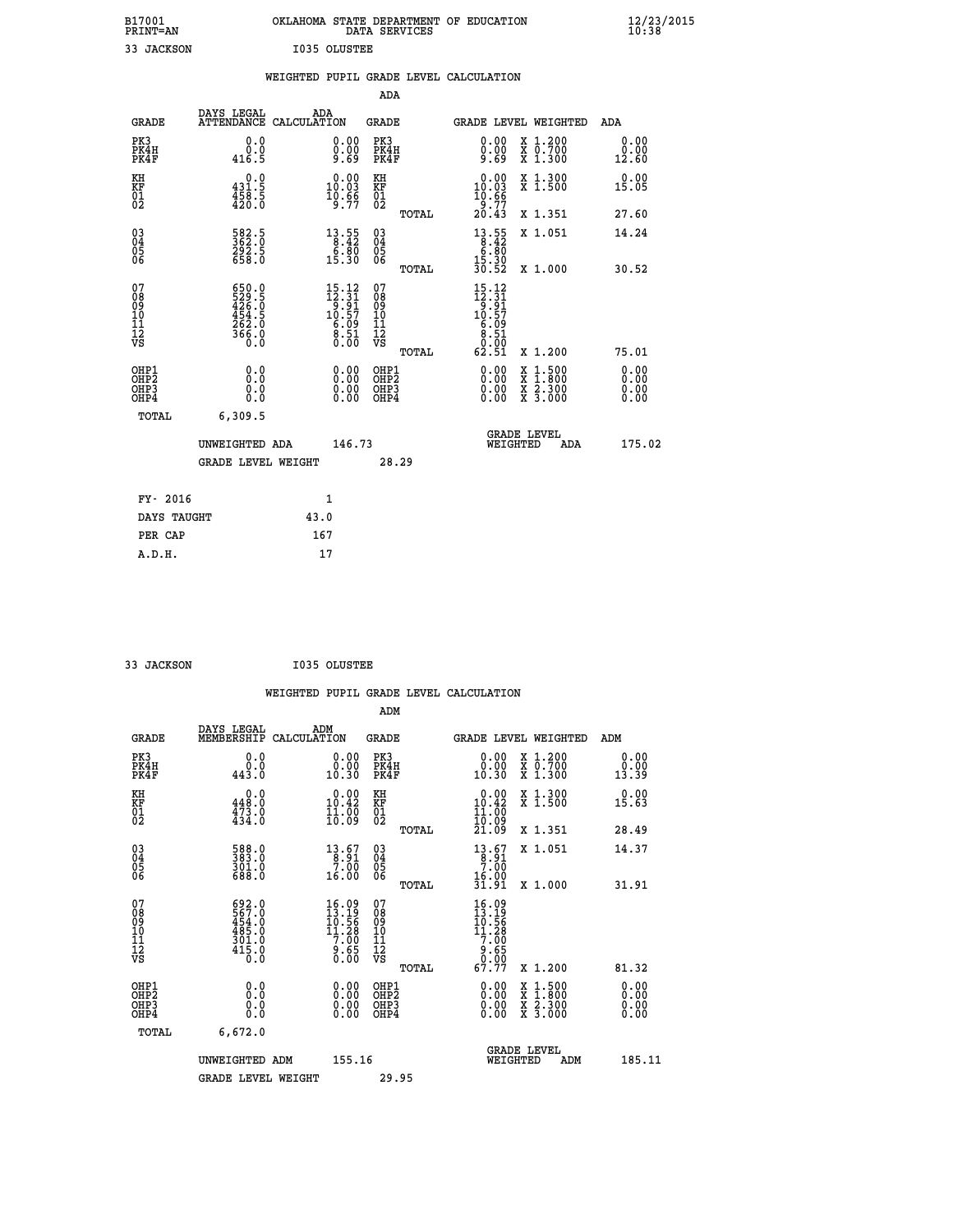| B17001<br><b>PRINT=AN</b> | OKLAHOMA STATE DEPARTMENT OF EDUCATION<br>DATA SERVICES | $\frac{12}{23}$ /2015 |
|---------------------------|---------------------------------------------------------|-----------------------|
| 33<br>JACKSON             | I035 OLUSTEE                                            |                       |

|                                                                    |                                                                |                                                                                                                                         |                                                 | WEIGHTED PUPIL GRADE LEVEL CALCULATION                                                                                             |                                                                                                                                           |                              |
|--------------------------------------------------------------------|----------------------------------------------------------------|-----------------------------------------------------------------------------------------------------------------------------------------|-------------------------------------------------|------------------------------------------------------------------------------------------------------------------------------------|-------------------------------------------------------------------------------------------------------------------------------------------|------------------------------|
|                                                                    |                                                                |                                                                                                                                         | <b>ADA</b>                                      |                                                                                                                                    |                                                                                                                                           |                              |
| <b>GRADE</b>                                                       | DAYS LEGAL                                                     | ADA<br>ATTENDANCE CALCULATION                                                                                                           | GRADE                                           | GRADE LEVEL WEIGHTED                                                                                                               |                                                                                                                                           | ADA                          |
| PK3<br>PK4H<br>PK4F                                                | 0.0<br>0.0<br>416.5                                            | $\substack{0.00\\0.00\\9.69}$                                                                                                           | PK3<br>PK4H<br>PK4F                             | 0.00<br>≬.ŏŏ<br>9.69                                                                                                               | X 1.200<br>X 0.700<br>X 1.300                                                                                                             | 0.00<br>0.00<br>12.60        |
| KH<br>KF<br>01<br>02                                               | $\begin{smallmatrix} &0.0\431.5\458.5\420.0 \end{smallmatrix}$ | $\begin{smallmatrix} 0.00\\ 10.03\\ 10.63\\ 9.97 \end{smallmatrix}$                                                                     | KH<br>KF<br>01<br>02                            | $\begin{array}{c} 0.00 \\ 10.03 \\ 10.66 \\ 9.77 \\ 20.43 \end{array}$                                                             | X 1.300<br>X 1.500                                                                                                                        | 0.00<br>15.05                |
|                                                                    |                                                                |                                                                                                                                         | TOTAL                                           |                                                                                                                                    | X 1.351                                                                                                                                   | 27.60                        |
| $\begin{smallmatrix} 03 \\[-4pt] 04 \end{smallmatrix}$<br>05<br>06 | 582.5<br>$\frac{292.5}{658.0}$                                 | $\begin{array}{r} 13 \cdot 55 \\ 8 \cdot 42 \\ 6 \cdot 80 \\ 15 \cdot 30 \end{array}$                                                   | $\substack{03 \\ 04}$<br>$\frac{05}{06}$        | $\begin{array}{r} 13 \cdot 55 \\ 8 \cdot 42 \\ 6 \cdot 80 \\ 15 \cdot 30 \\ 30 \cdot 52 \end{array}$                               | X 1.051                                                                                                                                   | 14.24                        |
|                                                                    |                                                                |                                                                                                                                         | TOTAL                                           |                                                                                                                                    | X 1.000                                                                                                                                   | 30.52                        |
| 07<br>08<br>09<br>11<br>11<br>12<br>VS                             | 650.0<br>529.5<br>426.0<br>454.5<br>452.0<br>266.0<br>366.0    | $\begin{array}{c} 15\cdot 12 \\ 12\cdot 31 \\ 9\cdot 91 \\ 10\cdot 57 \\ 6\cdot 09 \\ 8\cdot 51 \\ 0\cdot 0 \\ 0\cdot 0 \\ \end{array}$ | 07<br>08<br>09<br>11<br>11<br>12<br>VS<br>TOTAL | $\begin{array}{l} 15\cdot 12 \\ 12\cdot 31 \\ 9\cdot 91 \\ 10\cdot 57 \\ 6\cdot 09 \\ 8\cdot 51 \\ 0 \\ 0 \\ \end{array}$<br>62.51 | X 1.200                                                                                                                                   | 75.01                        |
| OHP1<br>OHP2<br>OH <sub>P3</sub><br>OHP4                           | 0.0<br>0.0<br>0.0                                              | $\begin{smallmatrix} 0.00 \ 0.00 \ 0.00 \ 0.00 \end{smallmatrix}$                                                                       | OHP1<br>OHP2<br>OHP3<br>OHP4                    | $0.00$<br>$0.00$<br>0.00                                                                                                           | $\begin{smallmatrix} \mathtt{X} & 1\cdot500\\ \mathtt{X} & 1\cdot800\\ \mathtt{X} & 2\cdot300\\ \mathtt{X} & 3\cdot000 \end{smallmatrix}$ | 0.00<br>0.00<br>0.00<br>0.00 |
| TOTAL                                                              | 6,309.5                                                        |                                                                                                                                         |                                                 |                                                                                                                                    |                                                                                                                                           |                              |
|                                                                    | UNWEIGHTED ADA                                                 | 146.73                                                                                                                                  |                                                 | <b>GRADE LEVEL</b><br>WEIGHTED                                                                                                     | ADA                                                                                                                                       | 175.02                       |
|                                                                    | <b>GRADE LEVEL WEIGHT</b>                                      |                                                                                                                                         | 28.29                                           |                                                                                                                                    |                                                                                                                                           |                              |
| FY- 2016                                                           |                                                                | $\mathbf{1}$                                                                                                                            |                                                 |                                                                                                                                    |                                                                                                                                           |                              |
| DAYS TAUGHT                                                        |                                                                | 43.0                                                                                                                                    |                                                 |                                                                                                                                    |                                                                                                                                           |                              |
| PER CAP                                                            |                                                                | 167                                                                                                                                     |                                                 |                                                                                                                                    |                                                                                                                                           |                              |

 **33 JACKSON I035 OLUSTEE**

|                                                    |                                                                                             |                    |                                                                                 |                                              |       | WEIGHTED PUPIL GRADE LEVEL CALCULATION                                       |                                                                                                  |                       |  |
|----------------------------------------------------|---------------------------------------------------------------------------------------------|--------------------|---------------------------------------------------------------------------------|----------------------------------------------|-------|------------------------------------------------------------------------------|--------------------------------------------------------------------------------------------------|-----------------------|--|
|                                                    |                                                                                             |                    |                                                                                 | ADM                                          |       |                                                                              |                                                                                                  |                       |  |
| <b>GRADE</b>                                       | DAYS LEGAL<br>MEMBERSHIP                                                                    | ADM<br>CALCULATION |                                                                                 | <b>GRADE</b>                                 |       | GRADE LEVEL WEIGHTED                                                         |                                                                                                  | ADM                   |  |
| PK3<br>PK4H<br>PK4F                                | 0.0<br>ة:ة<br>443.0                                                                         |                    | 0.00<br>10.30                                                                   | PK3<br>PK4H<br>PK4F                          |       | 0.00<br>10.30                                                                | X 1.200<br>X 0.700<br>X 1.300                                                                    | 0.00<br>0.00<br>13.39 |  |
| KH<br>KF<br>01<br>02                               | $\begin{smallmatrix} &0.0\\ 448.0\\ 473.0\\ 434.0 \end{smallmatrix}$                        |                    | $0.00$<br>10.42<br>$\frac{11}{10}$ : $\frac{00}{09}$                            | KH<br>KF<br>01<br>02                         |       | $\begin{smallmatrix} 0.00\\ 10.42\\ 11.00\\ 10.09\\ 21.09 \end{smallmatrix}$ | X 1.300<br>X 1.500                                                                               | 0.00<br>15.63         |  |
|                                                    |                                                                                             |                    |                                                                                 |                                              | TOTAL |                                                                              | X 1.351                                                                                          | 28.49                 |  |
| $\begin{matrix} 03 \\ 04 \\ 05 \\ 06 \end{matrix}$ | 588.0<br>383.0<br>301.0<br>688.0                                                            |                    | $\begin{array}{r} 13.67 \\[-4pt] 3.91 \\[-4pt] 7.00 \\[-4pt] 16.00 \end{array}$ | $^{03}_{04}$<br>Ŏ5<br>06                     |       | $13.67$<br>$7.90$<br>16.00                                                   | X 1.051                                                                                          | 14.37                 |  |
|                                                    |                                                                                             |                    |                                                                                 |                                              | TOTAL | 31.91                                                                        | X 1.000                                                                                          | 31.91                 |  |
| 07<br>0890112<br>1112<br>VS                        | $\begin{smallmatrix} 692.0\\ 567.0\\ 454.0\\ 485.0\\ 301.0\\ 415.0\\ 0.0 \end{smallmatrix}$ |                    | 16.09<br>13.19<br>$10.56$<br>$11.28$<br>$7.60$<br>$9.65$<br>0.00                | 07<br>08<br>09<br>01<br>11<br>11<br>12<br>VS | TOTAL | $\frac{16.09}{13.19}$<br>$11.28$<br>$7.00$<br>$9.65$<br>$67.77$              | X 1.200                                                                                          | 81.32                 |  |
|                                                    |                                                                                             |                    |                                                                                 |                                              |       |                                                                              |                                                                                                  |                       |  |
| OHP1<br>OHP2<br>OHP <sub>3</sub><br>OHP4           | 0.0<br>0.000                                                                                |                    | $\begin{smallmatrix} 0.00 \ 0.00 \ 0.00 \ 0.00 \end{smallmatrix}$               | OHP1<br>OHP2<br>OHP <sub>3</sub>             |       |                                                                              | $\begin{smallmatrix} x & 1 & 500 \\ x & 1 & 800 \\ x & 2 & 300 \\ x & 3 & 000 \end{smallmatrix}$ | 0.00<br>0.00<br>0.00  |  |
| TOTAL                                              | 6,672.0                                                                                     |                    |                                                                                 |                                              |       |                                                                              |                                                                                                  |                       |  |
|                                                    | UNWEIGHTED ADM                                                                              |                    | 155.16                                                                          |                                              |       | WEIGHTED                                                                     | <b>GRADE LEVEL</b><br>ADM                                                                        | 185.11                |  |
|                                                    | <b>GRADE LEVEL WEIGHT</b>                                                                   |                    |                                                                                 | 29.95                                        |       |                                                                              |                                                                                                  |                       |  |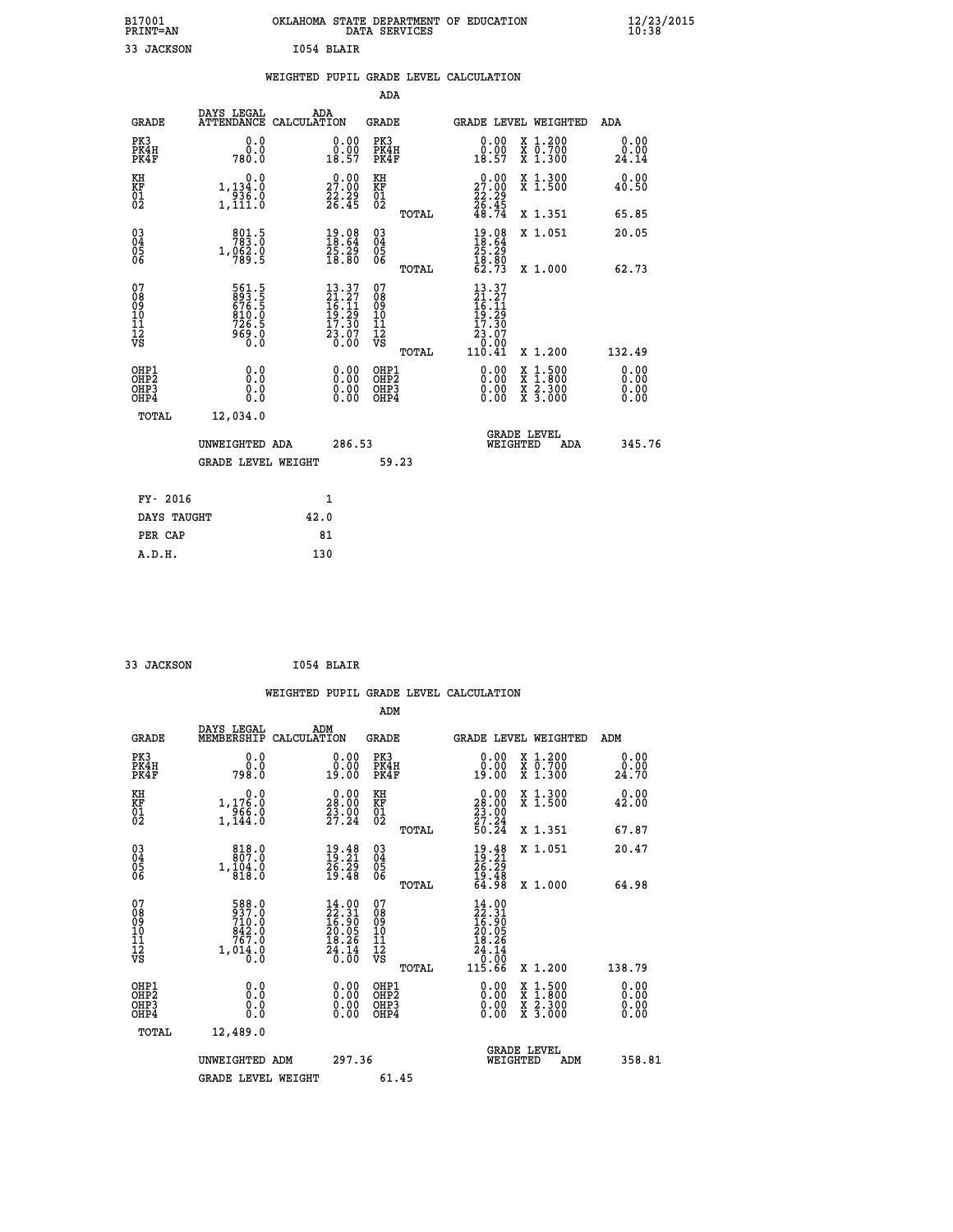| B17001<br><b>PRINT=AN</b> | OKLAHOMA STATE DEPARTMENT OF EDUCATION<br>DATA SERVICES |  |
|---------------------------|---------------------------------------------------------|--|
| 33 JACKSON                | T054 BLATR                                              |  |

|                                                              |                                                             | WEIGHTED PUPIL GRADE LEVEL CALCULATION                                                                           |                                          |                                                                                                                                                |                              |
|--------------------------------------------------------------|-------------------------------------------------------------|------------------------------------------------------------------------------------------------------------------|------------------------------------------|------------------------------------------------------------------------------------------------------------------------------------------------|------------------------------|
|                                                              |                                                             |                                                                                                                  | <b>ADA</b>                               |                                                                                                                                                |                              |
|                                                              | DAYS LEGAL<br><b>GRADE</b>                                  | ADA<br>ATTENDANCE CALCULATION                                                                                    | GRADE                                    | GRADE LEVEL WEIGHTED                                                                                                                           | ADA                          |
| PK3<br>PK4H<br>PK4F                                          | 0.0<br>0.0<br>780.0                                         | 0.00<br>$\frac{0.00}{18.57}$                                                                                     | PK3<br>PK4H<br>PK4F                      | 0.00<br>X 1.200<br>X 0.700<br>X 1.300<br>0.00<br>18.57                                                                                         | 0.00<br>0.00<br>24.14        |
| KH<br>KF<br>01<br>02                                         | 0.0<br>1, 134:0<br>936.0<br>1, 111:0                        | $\begin{smallmatrix} 0.00\\ 27.00\\ 22.29\\ 26.45 \end{smallmatrix}$                                             | KH<br>KF<br>01<br>02                     | $\begin{array}{c} 0.00 \\ 27.00 \\ 22.29 \\ 26.45 \end{array}$<br>X 1.300<br>X 1.500                                                           | 0.00<br>40.50                |
|                                                              |                                                             |                                                                                                                  | TOTAL                                    | 48.74<br>X 1.351                                                                                                                               | 65.85                        |
| $\begin{smallmatrix} 03 \\[-4pt] 04 \end{smallmatrix}$<br>05 | 801.5<br>1,062.0                                            | 19.08<br>18.64<br>25.29<br>18.80                                                                                 | $\substack{03 \\ 04}$<br>05              | 19.08<br>18.64<br>X 1.051                                                                                                                      | 20.05                        |
| ŎĞ                                                           |                                                             |                                                                                                                  | ŌĞ<br>TOTAL                              | $\frac{25.29}{18.80}$<br>62.73<br>X 1.000                                                                                                      | 62.73                        |
| 07<br>08901112<br>1112<br>VS                                 | 561.5<br>893.5<br>676.5<br>610.0<br>726.5<br>0. ۋەۋ<br>0. 0 | $\begin{smallmatrix} 13 & 37 \\ 21 & 27 \\ 16 & 11 \\ 19 & 29 \\ 17 & 30 \\ 23 & 07 \\ 0 & 00 \end{smallmatrix}$ | 07<br>089<br>101<br>111<br>VS            | 13.37<br>$\frac{21}{16}$ $\cdot\frac{27}{19}$<br>17.30<br>$\begin{smallmatrix} 2\dot{3}\ \ 1\ \ 0\ \ 0\ \ 0\ \ 4\ \end{smallmatrix}$<br>110.41 |                              |
|                                                              |                                                             |                                                                                                                  | TOTAL                                    | X 1.200                                                                                                                                        | 132.49                       |
| OHP1<br>OHP <sub>2</sub><br>OHP3<br>OHP4                     | 0.0<br>Ō.Ō<br>0.0<br>0.0                                    | $0.00$<br>$0.00$<br>0.00                                                                                         | OHP1<br>OHP <sub>2</sub><br>OHP3<br>OHP4 | 0.00<br>$\begin{smallmatrix} x & 1 & 500 \\ x & 1 & 800 \\ x & 2 & 300 \\ x & 3 & 000 \end{smallmatrix}$<br>0.00<br>0.00                       | 0.00<br>0.00<br>0.00<br>0.00 |
|                                                              | <b>TOTAL</b><br>12,034.0                                    |                                                                                                                  |                                          |                                                                                                                                                |                              |
|                                                              | UNWEIGHTED ADA                                              | 286.53                                                                                                           |                                          | <b>GRADE LEVEL</b><br>WEIGHTED<br>ADA                                                                                                          | 345.76                       |
|                                                              | <b>GRADE LEVEL WEIGHT</b>                                   |                                                                                                                  | 59.23                                    |                                                                                                                                                |                              |
|                                                              | FY- 2016                                                    | 1                                                                                                                |                                          |                                                                                                                                                |                              |
|                                                              | DAYS TAUGHT                                                 | 42.0                                                                                                             |                                          |                                                                                                                                                |                              |
|                                                              | PER CAP                                                     | 81                                                                                                               |                                          |                                                                                                                                                |                              |
|                                                              | A.D.H.                                                      | 130                                                                                                              |                                          |                                                                                                                                                |                              |

 **33 JACKSON I054 BLAIR**

 **B17001<br>PRINT=AN** 

|                                                    |                                              |                                                                                                                                   |                    |                                                                             |                                        |       | WEIGHTED PUPIL GRADE LEVEL CALCULATION                                                                                                                                                                                                                                         |                                                                                                                                           |     |                       |
|----------------------------------------------------|----------------------------------------------|-----------------------------------------------------------------------------------------------------------------------------------|--------------------|-----------------------------------------------------------------------------|----------------------------------------|-------|--------------------------------------------------------------------------------------------------------------------------------------------------------------------------------------------------------------------------------------------------------------------------------|-------------------------------------------------------------------------------------------------------------------------------------------|-----|-----------------------|
|                                                    |                                              |                                                                                                                                   |                    |                                                                             | ADM                                    |       |                                                                                                                                                                                                                                                                                |                                                                                                                                           |     |                       |
|                                                    | <b>GRADE</b>                                 | DAYS LEGAL<br>MEMBERSHIP                                                                                                          | ADM<br>CALCULATION |                                                                             | GRADE                                  |       |                                                                                                                                                                                                                                                                                | GRADE LEVEL WEIGHTED                                                                                                                      | ADM |                       |
| PK3                                                | PK4H<br>PK4F                                 | 0.0<br>0.0<br>798.0                                                                                                               |                    | 0.0000<br>19.00                                                             | PK3<br>PK4H<br>PK4F                    |       | 0.00<br>0.00<br>19.00                                                                                                                                                                                                                                                          | X 1.200<br>X 0.700<br>X 1.300                                                                                                             |     | 0.00<br>0.00<br>24.70 |
| KH<br>KF<br>01<br>02                               |                                              | 0.0<br>1,176.0<br>966.0<br>1,144.0                                                                                                |                    | $\begin{smallmatrix} 0.00\\ 28.00\\ 23.00\\ 27.24 \end{smallmatrix}$        | KH<br>KF<br>01<br>02                   |       | $\begin{smallmatrix} 0.00\\ 28.00\\ 23.00\\ 27.24\\ 50.24 \end{smallmatrix}$                                                                                                                                                                                                   | X 1.300<br>X 1.500                                                                                                                        |     | 0.00<br>42.00         |
|                                                    |                                              |                                                                                                                                   |                    |                                                                             |                                        | TOTAL |                                                                                                                                                                                                                                                                                | X 1.351                                                                                                                                   |     | 67.87                 |
| $\begin{matrix} 03 \\ 04 \\ 05 \\ 06 \end{matrix}$ |                                              | 818.0<br>$1,\overline{104.0}$<br>818.0                                                                                            |                    | 19.48<br>19:21<br>$\frac{26.29}{19.48}$                                     | 03<br>04<br>05<br>06                   |       | $19.21$<br>$26.29$<br>$26.29$<br>$19.48$<br>$64.98$                                                                                                                                                                                                                            | X 1.051                                                                                                                                   |     | 20.47                 |
|                                                    |                                              |                                                                                                                                   |                    |                                                                             |                                        | TOTAL |                                                                                                                                                                                                                                                                                | X 1.000                                                                                                                                   |     | 64.98                 |
| 07<br>08<br>09<br>101<br>112<br>VS                 |                                              | 588.0<br>937.0<br>710.0<br>$\frac{8\bar{4}\tilde{2}\cdot\tilde{0}}{7\bar{6}\bar{7}\cdot\tilde{0}}$<br>1,014.0<br>$0.\overline{0}$ |                    | $14.00$<br>$22.31$<br>$16.90$<br>$20.05$<br>$18.29$<br>$\frac{54.14}{0.00}$ | 07<br>08<br>09<br>11<br>11<br>12<br>VS | TOTAL | $14.00$<br>$22.31$<br>$16.90$<br>$20.05$<br>$18.26$<br>$\frac{24.14}{0.00}$<br>115.66                                                                                                                                                                                          | X 1.200                                                                                                                                   |     | 138.79                |
|                                                    | OHP1                                         |                                                                                                                                   |                    |                                                                             | OHP1                                   |       |                                                                                                                                                                                                                                                                                |                                                                                                                                           |     | 0.00                  |
|                                                    | OHP <sub>2</sub><br>OH <sub>P3</sub><br>OHP4 | 0.0<br>0.000                                                                                                                      |                    | 0.00<br>0.00<br>0.00                                                        | OHP <sub>2</sub><br>OHP3<br>OHP4       |       | $\begin{smallmatrix} 0.00 & 0.00 & 0.00 & 0.00 & 0.00 & 0.00 & 0.00 & 0.00 & 0.00 & 0.00 & 0.00 & 0.00 & 0.00 & 0.00 & 0.00 & 0.00 & 0.00 & 0.00 & 0.00 & 0.00 & 0.00 & 0.00 & 0.00 & 0.00 & 0.00 & 0.00 & 0.00 & 0.00 & 0.00 & 0.00 & 0.00 & 0.00 & 0.00 & 0.00 & 0.00 & 0.0$ | $\begin{smallmatrix} \mathtt{X} & 1\cdot500\\ \mathtt{X} & 1\cdot800\\ \mathtt{X} & 2\cdot300\\ \mathtt{X} & 3\cdot000 \end{smallmatrix}$ |     | 0.00<br>0.00<br>0.00  |
|                                                    | TOTAL                                        | 12,489.0                                                                                                                          |                    |                                                                             |                                        |       |                                                                                                                                                                                                                                                                                |                                                                                                                                           |     |                       |
|                                                    |                                              | UNWEIGHTED ADM                                                                                                                    |                    | 297.36                                                                      |                                        |       | WEIGHTED                                                                                                                                                                                                                                                                       | <b>GRADE LEVEL</b><br>ADM                                                                                                                 |     | 358.81                |
|                                                    |                                              | <b>GRADE LEVEL WEIGHT</b>                                                                                                         |                    |                                                                             | 61.45                                  |       |                                                                                                                                                                                                                                                                                |                                                                                                                                           |     |                       |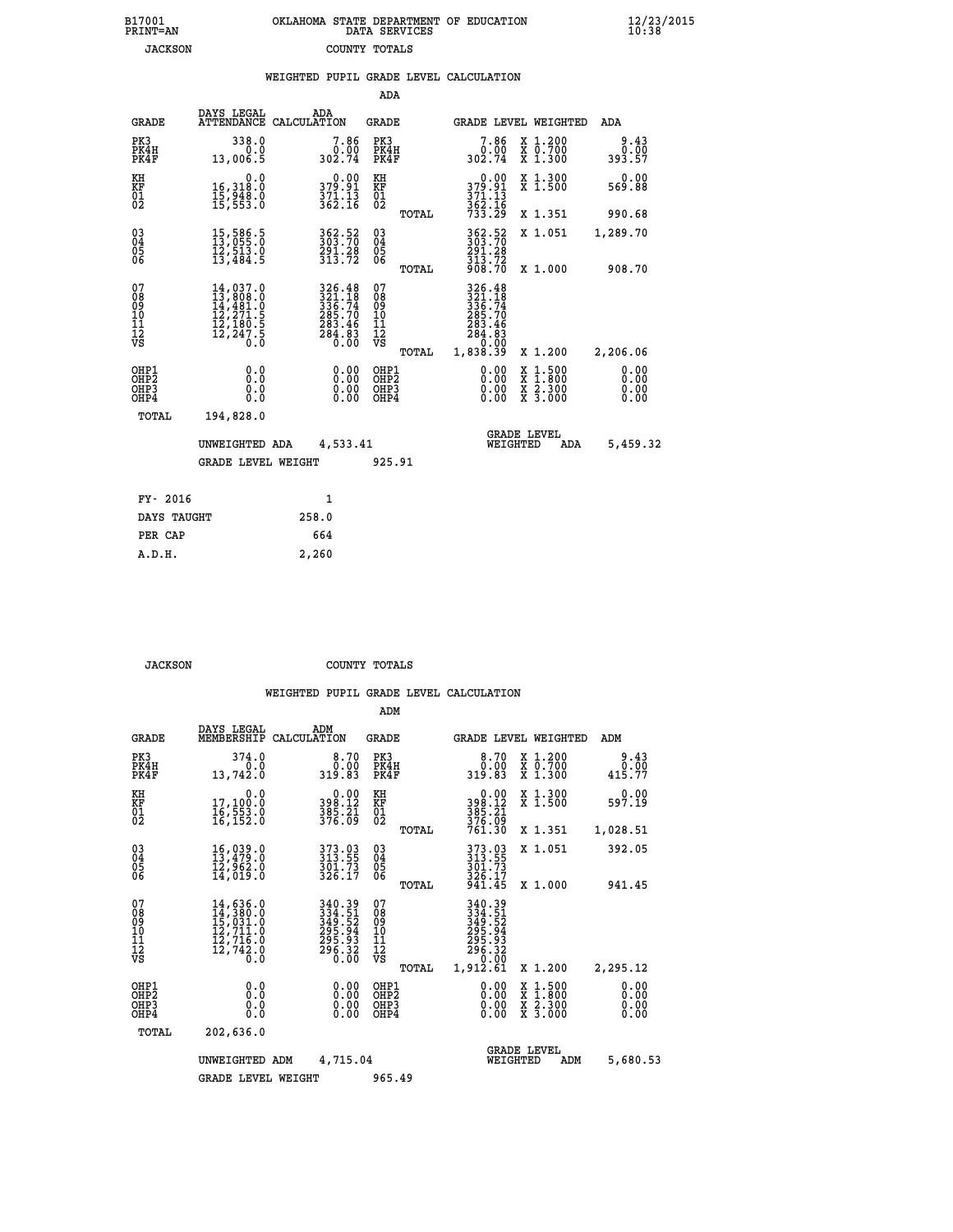| B17001          | OKLAHOMA STATE DEPARTMENT OF EDUCATION |
|-----------------|----------------------------------------|
| <b>PRINT=AN</b> | DATA SERVICES                          |
| <b>JACKSON</b>  | COUNTY TOTALS                          |

|                                                                    |                                                                                                                                                                      | WEIGHTED PUPIL GRADE LEVEL CALCULATION                                                             |                                               |                                                                                                                                                                          |                                                                                                                                              |                        |
|--------------------------------------------------------------------|----------------------------------------------------------------------------------------------------------------------------------------------------------------------|----------------------------------------------------------------------------------------------------|-----------------------------------------------|--------------------------------------------------------------------------------------------------------------------------------------------------------------------------|----------------------------------------------------------------------------------------------------------------------------------------------|------------------------|
|                                                                    |                                                                                                                                                                      |                                                                                                    | ADA                                           |                                                                                                                                                                          |                                                                                                                                              |                        |
| <b>GRADE</b>                                                       | DAYS LEGAL                                                                                                                                                           | ADA<br>ATTENDANCE CALCULATION                                                                      | GRADE                                         | GRADE LEVEL WEIGHTED                                                                                                                                                     |                                                                                                                                              | ADA                    |
| PK3<br>PK4H<br>PK4F                                                | 338.0<br>0.0<br>13,006.5                                                                                                                                             | $7.86$<br>302.74                                                                                   | PK3<br>PK4H<br>PK4F                           | 7.86<br>ةة: 0<br>302.74                                                                                                                                                  | X 1.200<br>X 0.700<br>X 1.300                                                                                                                | 9.43<br>0.00<br>393.57 |
| KH<br>KF<br>01<br>02                                               | 0.0<br>16,318.0<br>$\frac{15}{15}, \frac{51}{53}.$ $\frac{3}{5}$                                                                                                     | 0.00<br>379.91<br>$\frac{371.13}{362.16}$                                                          | KH<br>KF<br>01<br>02                          | 0.00<br>379.91<br>$\frac{371.13}{362.16}$<br>$\frac{733.29}{733.29}$                                                                                                     | X 1.300<br>X 1.500                                                                                                                           | 0.00<br>569.88         |
|                                                                    |                                                                                                                                                                      |                                                                                                    | TOTAL                                         |                                                                                                                                                                          | X 1.351                                                                                                                                      | 990.68                 |
| $\begin{smallmatrix} 03 \\[-4pt] 04 \end{smallmatrix}$<br>05<br>06 | 15,586.5<br>13,055.0<br>īž,šīš.ŏ<br>13,484.5                                                                                                                         | 362.52<br>303.70<br>291.28<br>313.72                                                               | $\substack{03 \\ 04}$<br>0500                 | 362.52<br>303.70<br>291.28                                                                                                                                               | X 1.051                                                                                                                                      | 1,289.70               |
|                                                                    |                                                                                                                                                                      |                                                                                                    | TOTAL                                         | $\frac{513.72}{908.70}$                                                                                                                                                  | X 1.000                                                                                                                                      | 908.70                 |
| 07<br>08<br>09<br>001<br>11<br>11<br>12<br>VS                      | $\begin{smallmatrix} 14\,,\,037\,. \ 13\,,\,808\,. \ 0\\ 14\,,\,481\,. \ 0\\ 12\,,\,271\,. \ 5\\ 12\,,\,180\,. \ 5\\ 12\,,\,247\,. \ 5\\ 0\,. \ 0 \end{smallmatrix}$ | $\begin{smallmatrix} 326.48\\ 321.18\\ 336.74\\ 285.70\\ 283.46\\ 284.83\\ 0.00 \end{smallmatrix}$ | 078<br>089<br>0011<br>11<br>12<br>VS<br>TOTAL | 326.48<br>$\begin{array}{r} 326448 \\ 3236 \cdot .74 \\ 285 \cdot .70 \\ 283 \cdot .46 \\ 283 \cdot .46 \\ 284 \cdot .83 \\ 39 \cdot .90 \\ 1,838 \cdot .39 \end{array}$ | X 1.200                                                                                                                                      | 2,206.06               |
| OHP1<br>OHP2<br>OHP3<br>OHP4                                       | 0.0<br>0.0<br>0.0                                                                                                                                                    | 0.00<br>$\begin{smallmatrix} 0.00 \ 0.00 \end{smallmatrix}$                                        | OHP1<br>OHP2<br>OHP3<br>OHP4                  | 0.00<br>0.00                                                                                                                                                             | $\begin{smallmatrix} \mathtt{X} & 1\cdot500 \\ \mathtt{X} & 1\cdot800 \\ \mathtt{X} & 2\cdot300 \\ \mathtt{X} & 3\cdot000 \end{smallmatrix}$ | 0.00<br>0.00<br>0.00   |
| TOTAL                                                              | 194,828.0                                                                                                                                                            |                                                                                                    |                                               |                                                                                                                                                                          |                                                                                                                                              |                        |
|                                                                    | UNWEIGHTED ADA                                                                                                                                                       | 4,533.41                                                                                           |                                               | <b>GRADE LEVEL</b><br>WEIGHTED                                                                                                                                           | ADA                                                                                                                                          | 5,459.32               |
|                                                                    | <b>GRADE LEVEL WEIGHT</b>                                                                                                                                            |                                                                                                    | 925.91                                        |                                                                                                                                                                          |                                                                                                                                              |                        |
| FY- 2016                                                           |                                                                                                                                                                      | $\mathbf{1}$                                                                                       |                                               |                                                                                                                                                                          |                                                                                                                                              |                        |
| DAYS TAUGHT                                                        |                                                                                                                                                                      | 258.0                                                                                              |                                               |                                                                                                                                                                          |                                                                                                                                              |                        |
| PER CAP                                                            |                                                                                                                                                                      | 664                                                                                                |                                               |                                                                                                                                                                          |                                                                                                                                              |                        |

 **A.D.H. 2,260**

 **JACKSON COUNTY TOTALS**

|                                          |                                                                                                                                                     |                    |                                                                                                                                             | ADM                                                 |       |                                                                             |                                       |                                          |                              |  |
|------------------------------------------|-----------------------------------------------------------------------------------------------------------------------------------------------------|--------------------|---------------------------------------------------------------------------------------------------------------------------------------------|-----------------------------------------------------|-------|-----------------------------------------------------------------------------|---------------------------------------|------------------------------------------|------------------------------|--|
| <b>GRADE</b>                             | DAYS LEGAL<br>MEMBERSHIP                                                                                                                            | ADM<br>CALCULATION |                                                                                                                                             | <b>GRADE</b>                                        |       |                                                                             |                                       | GRADE LEVEL WEIGHTED                     | ADM                          |  |
| PK3<br>PK4H<br>PK4F                      | 374.0<br>0.0<br>13,742.0                                                                                                                            |                    | 8.70<br>0.00<br>319.83                                                                                                                      | PK3<br>PK4H<br>PK4F                                 |       | ŏ:óŏ<br>319.83                                                              | 8.70                                  | X 1.200<br>X 0.700<br>X 1.300            | 9.43<br>0.00<br>415.77       |  |
| KH<br>KF<br>01<br>02                     | 0.0<br>17,100:0<br>16,553:0<br>16,152:0                                                                                                             |                    | $\begin{array}{c} 0.00 \\ 398.12 \\ 385.21 \\ 376.09 \end{array}$                                                                           | KH<br>KF<br>01<br>02                                |       | $\begin{array}{c} 0.00 \\ 398.12 \\ 385.21 \\ 376.09 \\ 761.30 \end{array}$ |                                       | X 1.300<br>X 1.500                       | 0.00<br>597.19               |  |
|                                          |                                                                                                                                                     |                    |                                                                                                                                             |                                                     | TOTAL |                                                                             |                                       | X 1.351                                  | 1,028.51                     |  |
| 03<br>04<br>05<br>06                     | $16,039.0$<br>$13,479.0$<br>$12,962.0$<br>$14,019.0$                                                                                                |                    | 373.03<br>313.55<br>$\frac{3}{3}\overline{0}\overline{1}\cdot\overline{7}\overline{3}\overline{2}\overline{6}\cdot\overline{1}\overline{7}$ | $\begin{array}{c} 03 \\ 04 \\ 05 \\ 06 \end{array}$ |       | 373.03<br>313.55<br>301.73<br>326.17                                        |                                       | X 1.051                                  | 392.05                       |  |
|                                          |                                                                                                                                                     |                    |                                                                                                                                             |                                                     | TOTAL | 941.45                                                                      |                                       | X 1.000                                  | 941.45                       |  |
| 07<br>08<br>09<br>101<br>112<br>VS       | $\begin{smallmatrix} 14\,,\,636\,.0\\ 14\,,\,380\,.0\\ 15\,,\,031\,.0\\ 12\,,\,711\,.0\\ 12\,,\,716\,.0\\ 12\,,\,742\,.0\\ 0\,.0 \end{smallmatrix}$ |                    | 340.39<br>3349.51<br>349.52<br>3495.94<br>295.93<br>296.32<br>0.00                                                                          | 07<br>08<br>09<br>11<br>11<br>12<br>VS              | TOTAL | 340.39<br>334.51<br>349.52<br>295.94<br>296.33<br>296.32<br>1,912.61        | 0.00                                  | X 1.200                                  | 2,295.12                     |  |
| OHP1<br>OHP2<br>OH <sub>P3</sub><br>OHP4 | 0.0<br>0.000                                                                                                                                        |                    | $0.00$<br>$0.00$<br>0.00                                                                                                                    | OHP1<br>OHP2<br>OHP <sub>3</sub>                    |       |                                                                             | $0.00$<br>$0.00$<br>0.00              | X 1:500<br>X 1:800<br>X 2:300<br>X 3:000 | 0.00<br>0.00<br>0.00<br>0.00 |  |
| TOTAL                                    | 202,636.0                                                                                                                                           |                    |                                                                                                                                             |                                                     |       |                                                                             |                                       |                                          |                              |  |
|                                          | UNWEIGHTED                                                                                                                                          | ADM                | 4,715.04                                                                                                                                    |                                                     |       |                                                                             | <b>GRADE LEVEL</b><br>WEIGHTED<br>ADM |                                          | 5,680.53                     |  |
|                                          | <b>GRADE LEVEL WEIGHT</b>                                                                                                                           |                    |                                                                                                                                             | 965.49                                              |       |                                                                             |                                       |                                          |                              |  |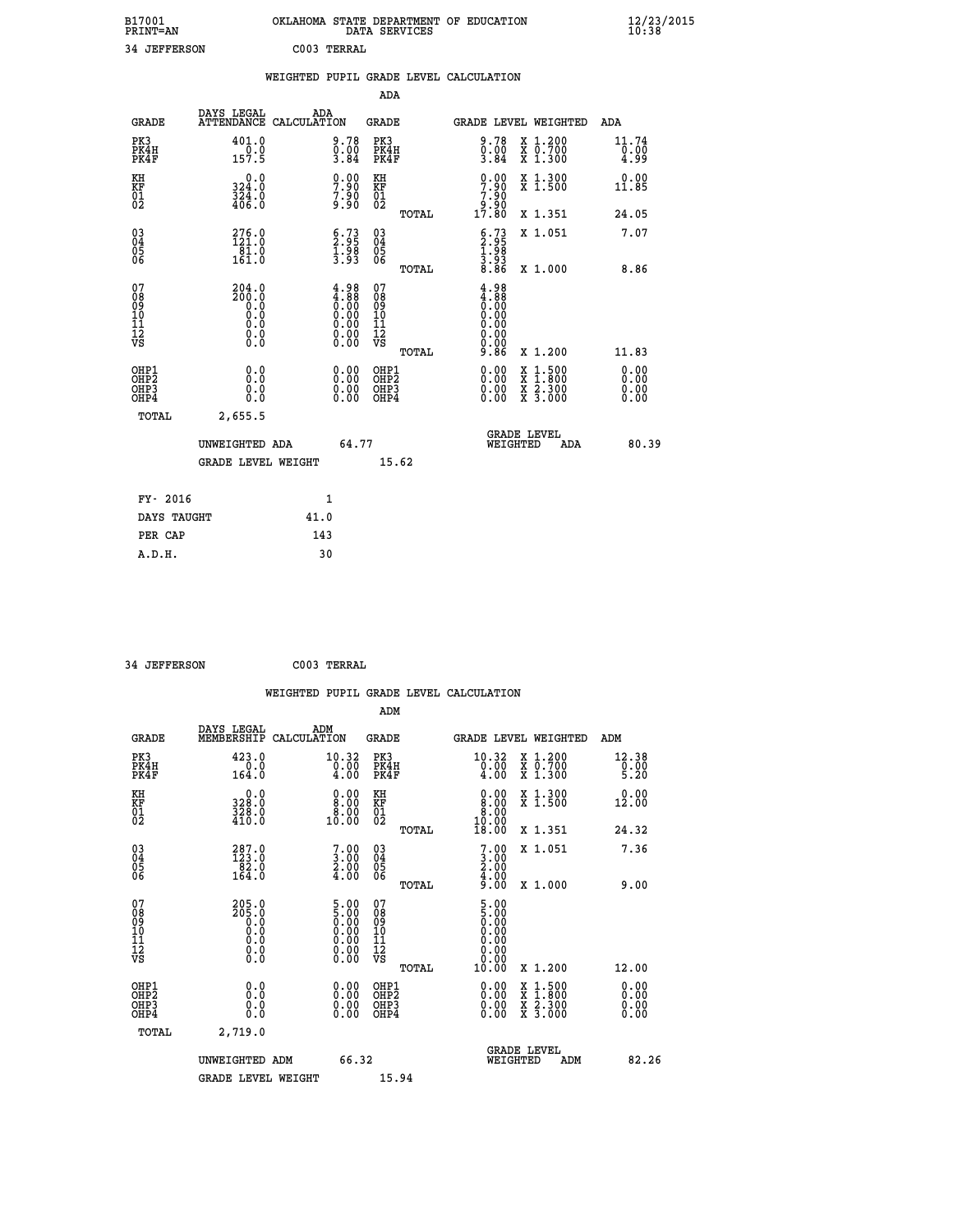| B17001          | OKLAHOMA STATE DEPARTMENT OF EDUCATION |
|-----------------|----------------------------------------|
| <b>PRINT=AN</b> | DATA SERVICES                          |
| 34 JEFFERSON    | C003 TERRAL                            |

|                                                                    |                                                                                              |              |                                                                                               |                                        |       | WEIGHTED PUPIL GRADE LEVEL CALCULATION                                     |                                                                                          |                              |
|--------------------------------------------------------------------|----------------------------------------------------------------------------------------------|--------------|-----------------------------------------------------------------------------------------------|----------------------------------------|-------|----------------------------------------------------------------------------|------------------------------------------------------------------------------------------|------------------------------|
|                                                                    |                                                                                              |              |                                                                                               | <b>ADA</b>                             |       |                                                                            |                                                                                          |                              |
| <b>GRADE</b>                                                       | DAYS LEGAL<br>ATTENDANCE CALCULATION                                                         | ADA          |                                                                                               | <b>GRADE</b>                           |       |                                                                            | GRADE LEVEL WEIGHTED                                                                     | ADA                          |
| PK3<br>PK4H<br>PK4F                                                | 401.0<br>$\frac{0.0}{157.5}$                                                                 |              | $\begin{smallmatrix} 9.78\ 0.00\ 3.84 \end{smallmatrix}$                                      | PK3<br>PK4H<br>PK4F                    |       | $\begin{smallmatrix} 9.78\ 0.00\ 3.84 \end{smallmatrix}$                   | X 1.200<br>X 0.700<br>X 1.300                                                            | 11.74<br>$\frac{0.00}{4.99}$ |
| KH<br>KF<br>01<br>02                                               | 0.0<br>324.0<br>$\frac{3}{4}$ $\frac{2}{4}$ $\frac{4}{6}$ $\frac{3}{6}$                      |              | $\begin{smallmatrix} 0.00\\ 7.90\\ 7.90\\ 9.90 \end{smallmatrix}$                             | KH<br>KF<br>01<br>02                   |       | $7.90$<br>$7.90$                                                           | X 1.300<br>X 1.500                                                                       | 0.00<br>11.85                |
|                                                                    |                                                                                              |              |                                                                                               |                                        | TOTAL | 00:é<br>17:80                                                              | X 1.351                                                                                  | 24.05                        |
| $\begin{smallmatrix} 03 \\[-4pt] 04 \end{smallmatrix}$<br>Ŏ5<br>06 | 276.0<br>121.0<br>$\frac{1}{161}$ .0                                                         |              | $\begin{smallmatrix} 6.73\ 2.95\ 1.98\ 3.93 \end{smallmatrix}$                                | $\substack{03 \\ 04}$<br>Ŏ5<br>06      |       | $\begin{smallmatrix} 6.73\ 2.95\ 1.98\ 1.98\ 3.93\ 8.86 \end{smallmatrix}$ | X 1.051                                                                                  | 7.07                         |
|                                                                    |                                                                                              |              |                                                                                               |                                        | TOTAL |                                                                            | X 1.000                                                                                  | 8.86                         |
| 07<br>08<br>09<br>11<br>11<br>12<br>VS                             | 204.0<br>2ŏō.ŏ<br>∂.⊙<br>$\begin{smallmatrix} 0.1 & 0 \ 0.0 & 0 \ 0.0 & 0 \end{smallmatrix}$ |              | $\begin{smallmatrix} 4.98\ 4.88\ 0.00\ 0.00\ 0.00\ 0.00\ 0.00\ 0.00\ 0.00\ \end{smallmatrix}$ | 07<br>08<br>09<br>11<br>11<br>12<br>VS |       | $4.98$<br>$4.88$<br>0.00<br>0.00<br>0.00<br>0.00                           |                                                                                          |                              |
|                                                                    |                                                                                              |              |                                                                                               |                                        | TOTAL | 9.86                                                                       | X 1.200                                                                                  | 11.83                        |
| OHP1<br>OHP2<br>OHP3<br>OHP4                                       | 0.0<br>0.0<br>0.0                                                                            |              | 0.0000<br>$\begin{smallmatrix} 0.00 \ 0.00 \end{smallmatrix}$                                 | OHP1<br>OHP2<br>OHP3<br>OHP4           |       | 0.00<br>0.00                                                               | $\begin{smallmatrix} x & 1.500 \\ x & 1.800 \\ x & 2.300 \\ x & 3.000 \end{smallmatrix}$ | 0.00<br>0.00<br>0.00         |
| <b>TOTAL</b>                                                       | 2,655.5                                                                                      |              |                                                                                               |                                        |       |                                                                            |                                                                                          |                              |
|                                                                    | UNWEIGHTED ADA                                                                               |              | 64.77                                                                                         |                                        |       | WEIGHTED                                                                   | <b>GRADE LEVEL</b><br>ADA                                                                | 80.39                        |
|                                                                    | <b>GRADE LEVEL WEIGHT</b>                                                                    |              |                                                                                               | 15.62                                  |       |                                                                            |                                                                                          |                              |
| FY- 2016                                                           |                                                                                              | $\mathbf{1}$ |                                                                                               |                                        |       |                                                                            |                                                                                          |                              |
| DAYS TAUGHT                                                        |                                                                                              | 41.0         |                                                                                               |                                        |       |                                                                            |                                                                                          |                              |
| PER CAP                                                            |                                                                                              | 143          |                                                                                               |                                        |       |                                                                            |                                                                                          |                              |

| 34 JEFFERSON | C003 TERRAL |
|--------------|-------------|
|              |             |

 **A.D.H. 30**

| <b>GRADE</b>                                       | DAYS LEGAL<br>MEMBERSHIP                                                                       | ADM<br>CALCULATION                                                                                   | <b>GRADE</b>                                       |       | <b>GRADE LEVEL WEIGHTED</b>                                                                                   |          |                                          | ADM                       |       |
|----------------------------------------------------|------------------------------------------------------------------------------------------------|------------------------------------------------------------------------------------------------------|----------------------------------------------------|-------|---------------------------------------------------------------------------------------------------------------|----------|------------------------------------------|---------------------------|-------|
| PK3<br>PK4H<br>PK4F                                | 423.0<br>0.0<br>164.0                                                                          | 10.32<br>0.00<br>4.00                                                                                | PK3<br>PK4H<br>PK4F                                |       | 10.32                                                                                                         |          | X 1.200<br>X 0.700<br>X 1.300            | 12.38<br>$\frac{0}{5}.00$ |       |
| KH<br>KF<br>01<br>02                               | 0.0<br>328:0<br>328:0<br>410:0                                                                 | $\begin{smallmatrix} 0.00\\ 8.00\\ 8.00\\ 8.00\\ 10.00 \end{smallmatrix}$                            | KH<br>KF<br>01<br>02                               |       | $\begin{smallmatrix} 0.00\\ 8.00\\ 8.00\\ 8.00\\ 10.00\\ 18.00 \end{smallmatrix}$                             |          | X 1.300<br>X 1.500                       | 0.00<br>12.00             |       |
|                                                    |                                                                                                |                                                                                                      |                                                    | TOTAL |                                                                                                               |          | X 1.351                                  | 24.32                     |       |
| $\begin{matrix} 03 \\ 04 \\ 05 \\ 06 \end{matrix}$ | $\begin{smallmatrix} 287.0\\ 123.0\\ 82.0\\ 164.0\\ \end{smallmatrix}$                         | $\begin{smallmatrix}7\cdot & 0 & 0\ 3\cdot & 0 & 0\ 2\cdot & 0 & 0\ 4\cdot & 0 & 0\end{smallmatrix}$ | $\begin{matrix} 03 \\ 04 \\ 05 \\ 06 \end{matrix}$ |       | 7.00<br>$\frac{3:00}{2:00}$<br>$\frac{4:00}{9:00}$                                                            |          | X 1.051                                  | 7.36                      |       |
|                                                    |                                                                                                |                                                                                                      |                                                    | TOTAL |                                                                                                               |          | X 1.000                                  | 9.00                      |       |
| 07<br>08<br>09<br>101<br>112<br>VS                 | 205.0<br>$\begin{smallmatrix} 205.0 & 0 \ 0.0 & 0.0 \ 0.0 & 0.0 \ 0.0 & 0.0 \end{smallmatrix}$ | $\begin{smallmatrix} 5.00\ 5.00\ 0.00\ 0.00\ 0.00\ 0.00\ 0.00\ 0.00\ 0.00\ \end{smallmatrix}$        | 07<br>08901112<br>1112<br>VS                       | TOTAL | $\begin{smallmatrix} 5.00 \ 5.00 \ 0.00 \ 0.00 \ 0.00 \ 0.00 \ 0.00 \ 0.00 \ 0.00 \end{smallmatrix}$<br>10.00 |          | X 1.200                                  | 12.00                     |       |
| OHP1<br>OHP2<br>OHP3<br>OHP4                       | 0.0<br>$\begin{smallmatrix} 0.0 & 0 \ 0.0 & 0 \end{smallmatrix}$                               |                                                                                                      | OHP1<br>OHP2<br>OHP3<br>OHP4                       |       |                                                                                                               |          | X 1:500<br>X 1:800<br>X 2:300<br>X 3:000 | 0.00<br>0.00<br>0.00      |       |
| TOTAL                                              | 2,719.0                                                                                        |                                                                                                      |                                                    |       |                                                                                                               |          |                                          |                           |       |
|                                                    | UNWEIGHTED ADM                                                                                 | 66.32                                                                                                |                                                    |       |                                                                                                               | WEIGHTED | <b>GRADE LEVEL</b><br>ADM                |                           | 82.26 |
|                                                    | <b>GRADE LEVEL WEIGHT</b>                                                                      |                                                                                                      | 15.94                                              |       |                                                                                                               |          |                                          |                           |       |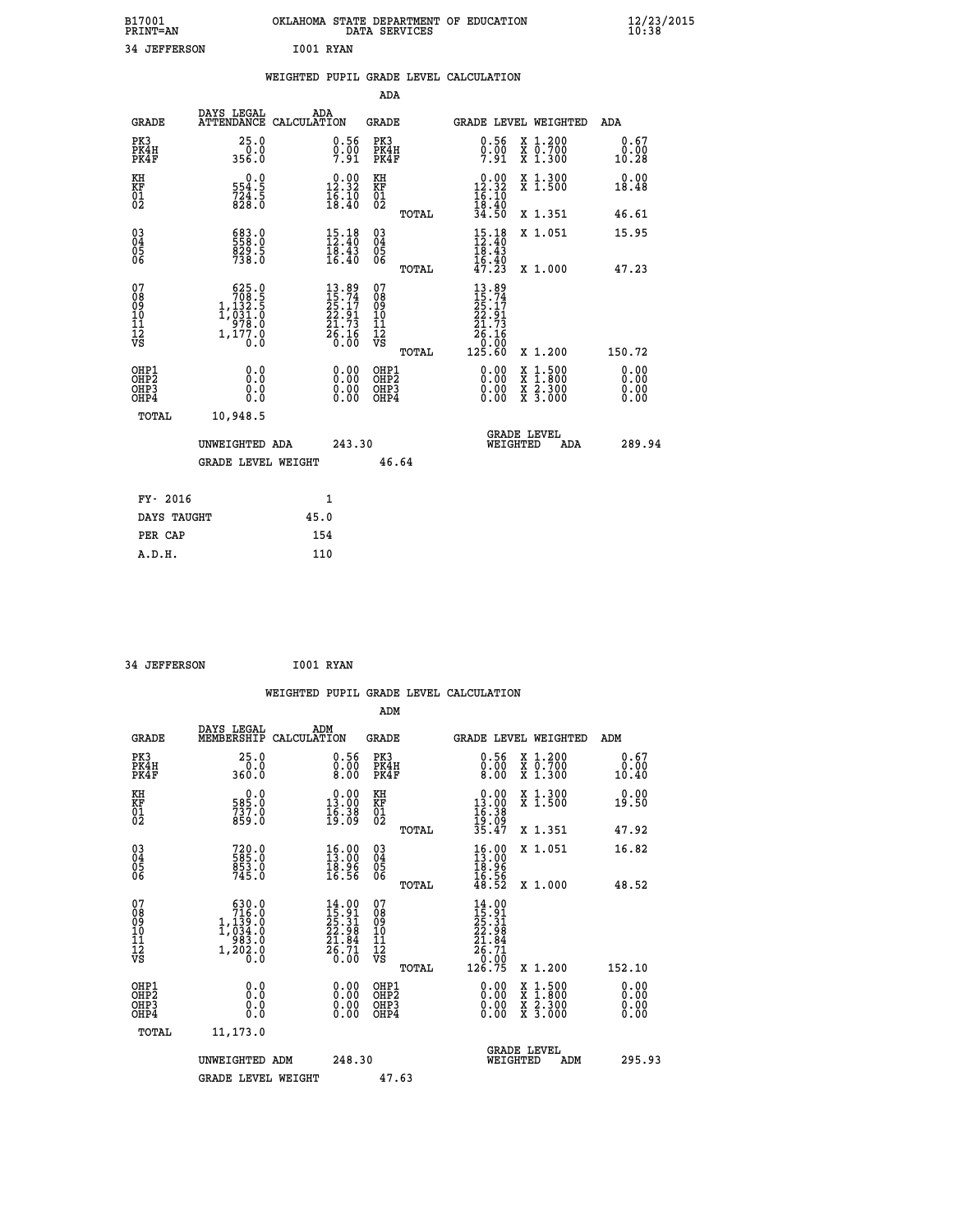| B17001 | <b>PRINT=AN</b> | OKLAHOMA STATE DEPARTMENT OF EDUCATION<br>DATA SERVICES |  |
|--------|-----------------|---------------------------------------------------------|--|
|        | 34 JEFFERSON    | I001 RYAN                                               |  |

|                                                      |                                                                                                                          | WEIGHTED PUPIL GRADE LEVEL CALCULATION                                   |                                                     |       |                                                                                                               |                                                                                                                                      |                              |
|------------------------------------------------------|--------------------------------------------------------------------------------------------------------------------------|--------------------------------------------------------------------------|-----------------------------------------------------|-------|---------------------------------------------------------------------------------------------------------------|--------------------------------------------------------------------------------------------------------------------------------------|------------------------------|
|                                                      |                                                                                                                          |                                                                          | <b>ADA</b>                                          |       |                                                                                                               |                                                                                                                                      |                              |
| <b>GRADE</b>                                         | DAYS LEGAL<br><b>ATTENDANCE</b>                                                                                          | ADA<br>CALCULATION                                                       | <b>GRADE</b>                                        |       |                                                                                                               | GRADE LEVEL WEIGHTED                                                                                                                 | ADA                          |
| PK3<br>PK4H<br>PK4F                                  | 25.0<br>$0.0$<br>356.0                                                                                                   | $\substack{0.56 \\ 0.00 \\ 7.91}$                                        | PK3<br>PK4H<br>PK4F                                 |       | $0.56$<br>$0.00$<br>7.91                                                                                      | X 1.200<br>X 0.700<br>X 1.300                                                                                                        | 0.67<br>0.00<br>10.28        |
| KH<br>KF<br>01<br>02                                 | 0.0<br>554.5<br>$724.5$<br>828.0                                                                                         | $\begin{smallmatrix} 0.00\\ 12.32\\ 16.10\\ 18.40 \end{smallmatrix}$     | KH<br>KF<br>01<br>02                                |       | $\begin{smallmatrix} 0.00\\ 12.32\\ 16.10\\ 18.40\\ 34.50 \end{smallmatrix}$                                  | X 1.300<br>X 1.500                                                                                                                   | 0.00<br>18.48                |
|                                                      |                                                                                                                          |                                                                          |                                                     | TOTAL |                                                                                                               | X 1.351                                                                                                                              | 46.61                        |
| $^{03}_{04}$<br>Ŏ5<br>06                             | 683.0<br>829.5<br>738.0                                                                                                  | $15.18$<br>$12.40$<br>$\frac{1}{16}$ $\frac{1}{40}$                      | $\begin{array}{c} 03 \\ 04 \\ 05 \\ 06 \end{array}$ |       | $15.18$<br>$12.40$<br>$\frac{16.43}{16.40}$<br>$\frac{47.23}{17.23}$                                          | X 1.051                                                                                                                              | 15.95                        |
|                                                      |                                                                                                                          |                                                                          |                                                     | TOTAL |                                                                                                               | X 1.000                                                                                                                              | 47.23                        |
| 07<br>08<br>09<br>101<br>112<br>VS                   | $\begin{smallmatrix} & 625 & 0\\ & 708 & 5\\ 1 & 132 & 5\\ 1 & 031 & 0\\ 978 & 0\\ 1 & 177 & 0\\ 0 & 0\end{smallmatrix}$ | $13.89$<br>$15.74$<br>$25.17$<br>$22.91$<br>$21.73$<br>$26.16$<br>$0.00$ | 07<br>08<br>09<br>101<br>11<br>12<br>VS             | TOTAL | $13.89$<br>$15.74$<br>$25.17$<br>$22.91$<br>$21.73$<br>$\begin{array}{r} 26.16 \\ 0.00 \\ 125.60 \end{array}$ | X 1.200                                                                                                                              | 150.72                       |
| OHP1<br>OHP <sub>2</sub><br>OH <sub>P3</sub><br>OHP4 | 0.0<br>0.0<br>Ō.Ō                                                                                                        | 0.00<br>$\begin{smallmatrix} 0.00 \ 0.00 \end{smallmatrix}$              | OHP1<br>OHP2<br>OHP3<br>OHP4                        |       | 0.00<br>0.00<br>0.00                                                                                          | $\begin{smallmatrix} \mathtt{X} & 1 & 500 \\ \mathtt{X} & 1 & 800 \\ \mathtt{X} & 2 & 300 \\ \mathtt{X} & 3 & 000 \end{smallmatrix}$ | 0.00<br>0.00<br>0.00<br>0.00 |
| TOTAL                                                | 10,948.5                                                                                                                 |                                                                          |                                                     |       |                                                                                                               |                                                                                                                                      |                              |
|                                                      | UNWEIGHTED ADA                                                                                                           |                                                                          | 243.30                                              |       | WEIGHTED                                                                                                      | <b>GRADE LEVEL</b><br>ADA                                                                                                            | 289.94                       |
|                                                      | <b>GRADE LEVEL WEIGHT</b>                                                                                                |                                                                          |                                                     | 46.64 |                                                                                                               |                                                                                                                                      |                              |
| FY- 2016                                             |                                                                                                                          | $\mathbf{1}$                                                             |                                                     |       |                                                                                                               |                                                                                                                                      |                              |
| DAYS TAUGHT                                          |                                                                                                                          | 45.0                                                                     |                                                     |       |                                                                                                               |                                                                                                                                      |                              |
| PER CAP                                              |                                                                                                                          | 154                                                                      |                                                     |       |                                                                                                               |                                                                                                                                      |                              |

```
 34 JEFFERSON I001 RYAN
```

|                                                    |                                                                                              |                    |                                                                                       |                                               |       | WEIGHTED PUPIL GRADE LEVEL CALCULATION                                                                                                                                                                                                                                         |                                          |                       |        |
|----------------------------------------------------|----------------------------------------------------------------------------------------------|--------------------|---------------------------------------------------------------------------------------|-----------------------------------------------|-------|--------------------------------------------------------------------------------------------------------------------------------------------------------------------------------------------------------------------------------------------------------------------------------|------------------------------------------|-----------------------|--------|
|                                                    |                                                                                              |                    |                                                                                       | ADM                                           |       |                                                                                                                                                                                                                                                                                |                                          |                       |        |
| <b>GRADE</b>                                       | DAYS LEGAL<br>MEMBERSHIP                                                                     | ADM<br>CALCULATION |                                                                                       | <b>GRADE</b>                                  |       | <b>GRADE LEVEL WEIGHTED</b>                                                                                                                                                                                                                                                    |                                          | ADM                   |        |
| PK3<br>PK4H<br>PK4F                                | 25.0<br>0.0<br>0.0ac                                                                         |                    | $\substack{0.56 \\ 0.00 \\ 8.00}$                                                     | PK3<br>PK4H<br>PK4F                           |       | $\substack{0.56 \\ 0.00 \\ 8.00}$                                                                                                                                                                                                                                              | X 1.200<br>X 0.700<br>X 1.300            | 0.67<br>0.00<br>10.40 |        |
| KH<br>KF<br>01<br>02                               | 0.0<br>585.0<br>737.0<br>859.0                                                               |                    | $0.00$<br>$13.00$<br>$\frac{16.38}{19.09}$                                            | KH<br>KF<br>01<br>02                          |       | $\begin{array}{c} 0.00 \\ 13.00 \\ 16.38 \\ 19.09 \\ 35.47 \end{array}$                                                                                                                                                                                                        | X 1.300<br>X 1.500                       | 0.00<br>19.50         |        |
|                                                    |                                                                                              |                    |                                                                                       |                                               | TOTAL |                                                                                                                                                                                                                                                                                | X 1.351                                  | 47.92                 |        |
| $\begin{matrix} 03 \\ 04 \\ 05 \\ 06 \end{matrix}$ | 720.0<br>585.0<br>853.0<br>745.0                                                             |                    | $\begin{smallmatrix} 16.00\\ 13.00\\ 18.96\\ 16.56 \end{smallmatrix}$                 | 03<br>04<br>05<br>06                          |       | $\begin{smallmatrix} 16.00\\ 13.00\\ 18.96\\ 16.56\\ 48.52 \end{smallmatrix}$                                                                                                                                                                                                  | X 1.051                                  | 16.82                 |        |
|                                                    |                                                                                              |                    |                                                                                       |                                               | TOTAL |                                                                                                                                                                                                                                                                                | X 1.000                                  | 48.52                 |        |
| 07<br>08<br>09<br>11<br>11<br>12<br>VS             | $\begin{smallmatrix} & 630.0\\716.0\\1,139.0\\1,034.0\\983.0\\1,202.0\\0.0\end{smallmatrix}$ |                    | $\begin{smallmatrix} 14.00\\15.91\\25.31\\22.98\\21.84\\26.71\\0.00\end{smallmatrix}$ | 07<br>08<br>09<br>001<br>11<br>11<br>12<br>VS | TOTAL | $\begin{array}{r} 14\cdot 00\\15\cdot 91\\25\cdot 31\\22\cdot 98\\21\cdot 84\\26\cdot 71\\0\cdot 00\\126\cdot 75\end{array}$                                                                                                                                                   | X 1.200                                  | 152.10                |        |
|                                                    |                                                                                              |                    |                                                                                       |                                               |       |                                                                                                                                                                                                                                                                                |                                          |                       |        |
| OHP1<br>OHP2<br>OH <sub>P3</sub><br>OHP4           | 0.0<br>0.000                                                                                 |                    | $0.00$<br>$0.00$<br>0.00                                                              | OHP1<br>OHP2<br>OHP3<br>OHP4                  |       | $\begin{smallmatrix} 0.00 & 0.00 & 0.00 & 0.00 & 0.00 & 0.00 & 0.00 & 0.00 & 0.00 & 0.00 & 0.00 & 0.00 & 0.00 & 0.00 & 0.00 & 0.00 & 0.00 & 0.00 & 0.00 & 0.00 & 0.00 & 0.00 & 0.00 & 0.00 & 0.00 & 0.00 & 0.00 & 0.00 & 0.00 & 0.00 & 0.00 & 0.00 & 0.00 & 0.00 & 0.00 & 0.0$ | X 1:500<br>X 1:800<br>X 2:300<br>X 3:000 | 0.00<br>0.00<br>0.00  |        |
| TOTAL                                              | 11,173.0                                                                                     |                    |                                                                                       |                                               |       |                                                                                                                                                                                                                                                                                |                                          |                       |        |
|                                                    | UNWEIGHTED ADM                                                                               |                    | 248.30                                                                                |                                               |       | WEIGHTED                                                                                                                                                                                                                                                                       | <b>GRADE LEVEL</b><br>ADM                |                       | 295.93 |
|                                                    | <b>GRADE LEVEL WEIGHT</b>                                                                    |                    |                                                                                       | 47.63                                         |       |                                                                                                                                                                                                                                                                                |                                          |                       |        |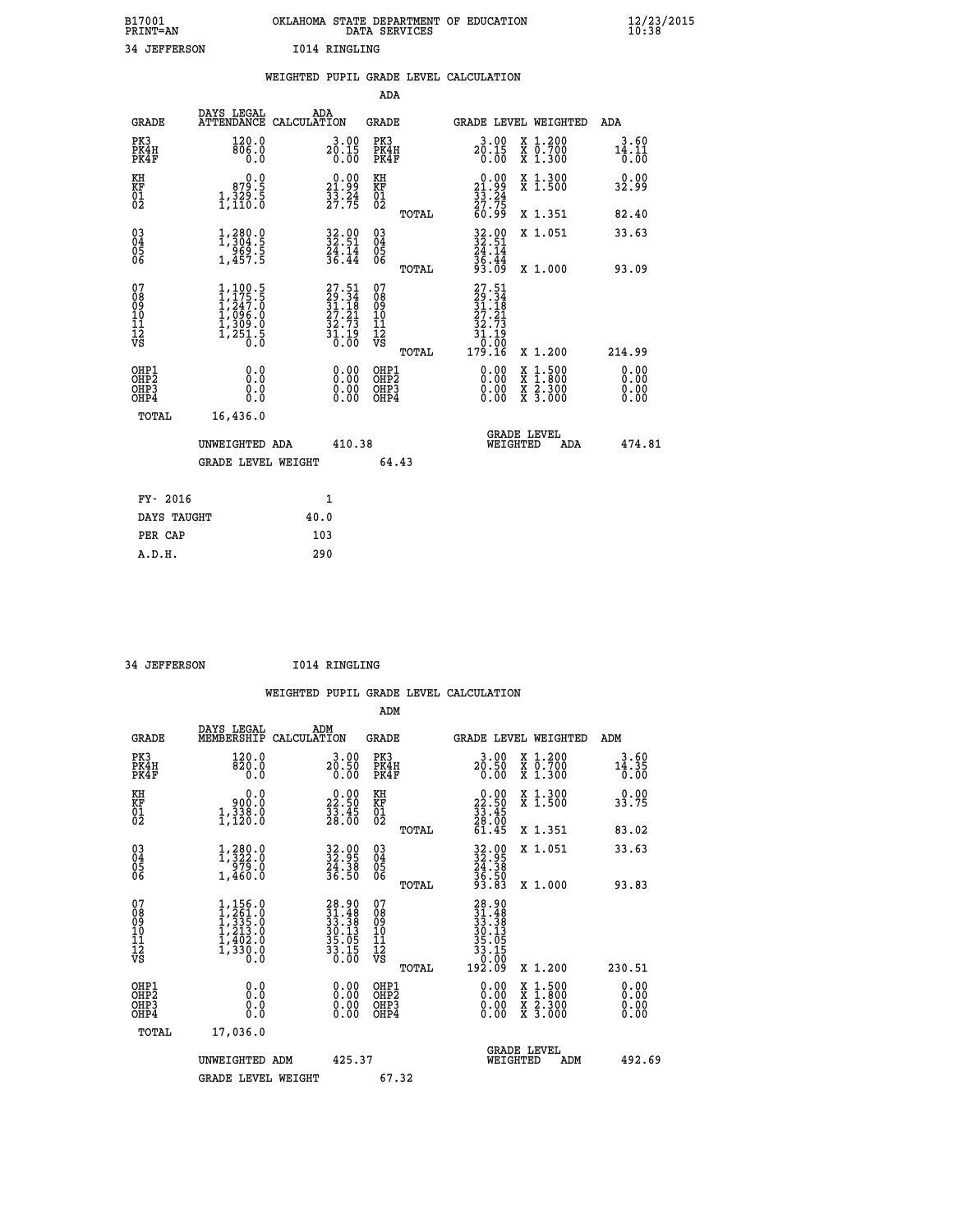| B17001<br><b>PRINT=AN</b> |              |               | OKLAHOMA STATE DEPARTMENT OF EDUCATION<br>DATA SERVICES |  |
|---------------------------|--------------|---------------|---------------------------------------------------------|--|
|                           | 34 JEFFERSON | 1014 RINGLING |                                                         |  |

|  |  | WEIGHTED PUPIL GRADE LEVEL CALCULATION |
|--|--|----------------------------------------|
|  |  |                                        |

|                                                                              |                                                                                                         |                                                                                              | ADA                                                |                                                                                  |                                                                                                                                           |                              |
|------------------------------------------------------------------------------|---------------------------------------------------------------------------------------------------------|----------------------------------------------------------------------------------------------|----------------------------------------------------|----------------------------------------------------------------------------------|-------------------------------------------------------------------------------------------------------------------------------------------|------------------------------|
| <b>GRADE</b>                                                                 | DAYS LEGAL                                                                                              | ADA<br>ATTENDANCE CALCULATION                                                                | GRADE                                              |                                                                                  | GRADE LEVEL WEIGHTED                                                                                                                      | ADA                          |
| PK3<br>PK4H<br>PK4F                                                          | 120.0<br>806.0<br>0.0                                                                                   | 3.00<br>20.15<br>0.00                                                                        | PK3<br>PK4H<br>PK4F                                | $3.00$<br>20.15<br>0.00                                                          | X 1.200<br>X 0.700<br>X 1.300                                                                                                             | 3.60<br>14.11<br>0.00        |
| KH<br>KF<br>01<br>02                                                         | 0.0<br>879.5<br>$1, \frac{3}{2}, \frac{5}{6}$                                                           | $\begin{smallmatrix} 0.00\\21.99\\33.24\\27.75 \end{smallmatrix}$                            | KH<br><b>KF</b><br>01<br>02                        | $\begin{smallmatrix} 0.00\\21.99\\33.24\\27.75\\60.99\end{smallmatrix}$          | X 1.300<br>X 1.500                                                                                                                        | 0.00<br>32.99                |
|                                                                              |                                                                                                         |                                                                                              | TOTAL                                              |                                                                                  | X 1.351                                                                                                                                   | 82.40                        |
| $^{03}_{04}$<br>Ŏ5<br>06                                                     | 1,304.9<br>$\frac{5}{1,457.5}$                                                                          | 32.00<br>32.51<br>$\frac{24}{36}. \frac{14}{44}$                                             | $\begin{matrix} 03 \\ 04 \\ 05 \\ 06 \end{matrix}$ | $32.90$<br>$32.51$<br>$24.14$<br>36.44<br>93.09                                  | X 1.051                                                                                                                                   | 33.63                        |
|                                                                              |                                                                                                         |                                                                                              | TOTAL                                              |                                                                                  | X 1.000                                                                                                                                   | 93.09                        |
| 07<br>08<br>09<br>11<br>11<br>12<br>VS                                       | $\begin{smallmatrix} 1,100.5\\ 1,175.5\\ 1,247.0\\ 1,096.0\\ 1,309.0\\ 1,251.5\\ 0.0 \end{smallmatrix}$ | $\begin{smallmatrix} 27.51\\ 29.34\\ 31.18\\ 27.21\\ 32.73\\ 31.19\\ 0.00 \end{smallmatrix}$ | 07<br>08<br>09<br>11<br>11<br>12<br>VS<br>TOTAL    | $27.51$<br>$29.34$<br>$31.18$<br>$27.21$<br>$32.73$<br>$31.19$<br>$-9$<br>179.16 | X 1.200                                                                                                                                   | 214.99                       |
| OHP1<br>OH <sub>P</sub> <sub>2</sub><br>OH <sub>P3</sub><br>OH <sub>P4</sub> | 0.0<br>Ō.Ō<br>0.0<br>0.0                                                                                | 0.00<br>0.00<br>0.00                                                                         | OHP1<br>OHP <sub>2</sub><br>OHP3<br>OHP4           | 0.00<br>0.00<br>0.00                                                             | $\begin{smallmatrix} \mathtt{X} & 1\cdot500\\ \mathtt{X} & 1\cdot800\\ \mathtt{X} & 2\cdot300\\ \mathtt{X} & 3\cdot000 \end{smallmatrix}$ | 0.00<br>0.00<br>0.00<br>0.00 |
| TOTAL                                                                        | 16,436.0                                                                                                |                                                                                              |                                                    |                                                                                  |                                                                                                                                           |                              |
|                                                                              | UNWEIGHTED ADA                                                                                          | 410.38                                                                                       |                                                    |                                                                                  | <b>GRADE LEVEL</b><br>WEIGHTED<br>ADA                                                                                                     | 474.81                       |
|                                                                              | <b>GRADE LEVEL WEIGHT</b>                                                                               |                                                                                              | 64.43                                              |                                                                                  |                                                                                                                                           |                              |
| FY- 2016                                                                     |                                                                                                         | 1                                                                                            |                                                    |                                                                                  |                                                                                                                                           |                              |
| DAYS TAUGHT                                                                  |                                                                                                         | 40.0                                                                                         |                                                    |                                                                                  |                                                                                                                                           |                              |
| PER CAP                                                                      |                                                                                                         | 103                                                                                          |                                                    |                                                                                  |                                                                                                                                           |                              |
| A.D.H.                                                                       |                                                                                                         | 290                                                                                          |                                                    |                                                                                  |                                                                                                                                           |                              |

| 34 JEFFERSON | 1014 RINGLING |
|--------------|---------------|
|              |               |

 **A.D.H. 290**

| <b>GRADE</b>                                         | DAYS LEGAL<br>MEMBERSHIP                                                                                | ADM<br>CALCULATION                                                        | <b>GRADE</b>                                        |       | <b>GRADE LEVEL WEIGHTED</b>                                                                                  |                                          | ADM                   |        |
|------------------------------------------------------|---------------------------------------------------------------------------------------------------------|---------------------------------------------------------------------------|-----------------------------------------------------|-------|--------------------------------------------------------------------------------------------------------------|------------------------------------------|-----------------------|--------|
| PK3<br>PK4H<br>PK4F                                  | 120.0<br>820.0<br>0.0                                                                                   | $3.00$<br>$20.50$<br>0.00                                                 | PK3<br>PK4H<br>PK4F                                 |       | $3.00$<br>20.50<br>0.00                                                                                      | X 1.200<br>X 0.700<br>X 1.300            | 3.60<br>14.35<br>0.00 |        |
| KH<br>KF<br>01<br>02                                 | 0.0<br>0:00<br>1,338:0<br>1,120:0                                                                       | $\begin{smallmatrix} 0.00\\ 22.50\\ 33.45\\ 28.00 \end{smallmatrix}$      | KH<br>KF<br>01<br>02                                |       | $\begin{smallmatrix} 0.00\\ 22.50\\ 33.45\\ 28.00\\ 61.45 \end{smallmatrix}$                                 | X 1.300<br>X 1.500                       | 0.00<br>33.75         |        |
|                                                      |                                                                                                         |                                                                           |                                                     | TOTAL |                                                                                                              | X 1.351                                  | 83.02                 |        |
| 03<br>04<br>05<br>06                                 | $1,380.0$<br>$1,322.0$<br>$979.0$                                                                       | 32.95<br>32.95<br>24.38<br>36.50                                          | $\begin{array}{c} 03 \\ 04 \\ 05 \\ 06 \end{array}$ |       | 32.95<br>32.95<br>24.38<br>36.50<br>93.83                                                                    | X 1.051                                  | 33.63                 |        |
|                                                      | 1,460.0                                                                                                 |                                                                           |                                                     | TOTAL |                                                                                                              | X 1.000                                  | 93.83                 |        |
| 07<br>08<br>09<br>11<br>11<br>12<br>VS               | $\begin{smallmatrix} 1,156.0\\ 1,261.0\\ 1,335.0\\ 1,213.0\\ 1,402.0\\ 1,330.0\\ 0.0 \end{smallmatrix}$ | $28.90$<br>$31.48$<br>$33.38$<br>$30.13$<br>$35.05$<br>$33.15$<br>$33.15$ | 07<br>08<br>09<br>11<br>11<br>12<br>VS              | TOTAL | $\begin{array}{r} 28.90 \\ 31.48 \\ 33.38 \\ 30.13 \\ 30.13 \\ 35.05 \\ 33.15 \\ 0.00 \\ 192.09 \end{array}$ | X 1.200                                  | 230.51                |        |
| OHP1<br>OH <sub>P</sub> <sub>2</sub><br>OHP3<br>OHP4 | 0.0<br>0.0<br>0.0                                                                                       |                                                                           | OHP1<br>OHP <sub>2</sub><br>OHP3<br>OHP4            |       |                                                                                                              | X 1:500<br>X 1:800<br>X 2:300<br>X 3:000 | 0.00<br>0.00<br>0.00  |        |
| TOTAL                                                | 17,036.0                                                                                                |                                                                           |                                                     |       |                                                                                                              |                                          |                       |        |
|                                                      | UNWEIGHTED ADM                                                                                          | 425.37                                                                    |                                                     |       | <b>GRADE LEVEL</b><br>WEIGHTED                                                                               | ADM                                      |                       | 492.69 |
|                                                      | <b>GRADE LEVEL WEIGHT</b>                                                                               |                                                                           | 67.32                                               |       |                                                                                                              |                                          |                       |        |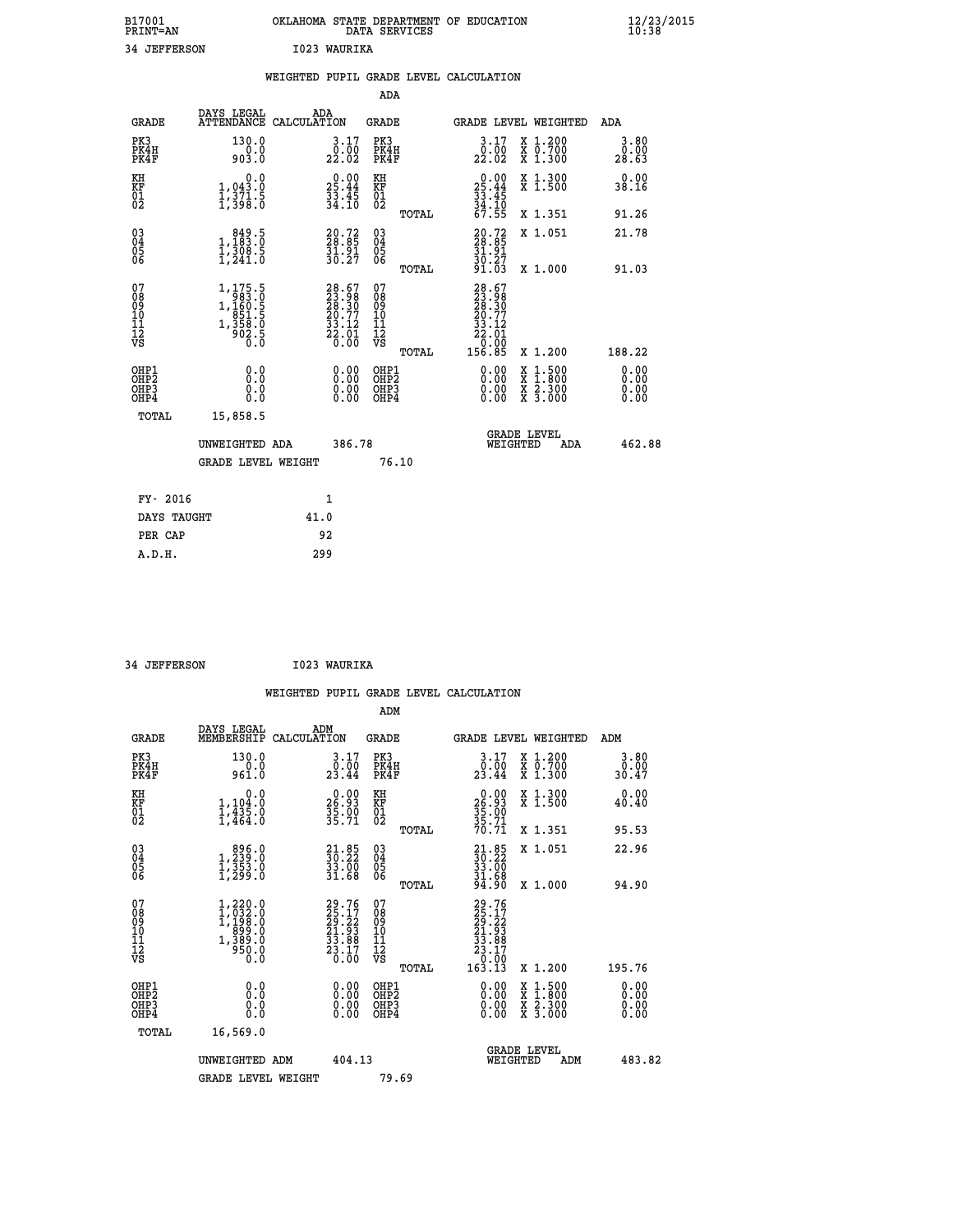| B17001<br><b>PRINT=AN</b> | OKLAHOMA<br>. STATE DEPARTMENT OF EDUCATION<br>DATA SERVICES | $\frac{12}{23}$ /2015 |
|---------------------------|--------------------------------------------------------------|-----------------------|
| 34<br><b>JEFFERSON</b>    | 1023 WAURIKA                                                 |                       |

|                                                    |                                                                                                               | WEIGHTED PUPIL GRADE LEVEL CALCULATION                                   |                                                 |                                                                                                                      |                              |
|----------------------------------------------------|---------------------------------------------------------------------------------------------------------------|--------------------------------------------------------------------------|-------------------------------------------------|----------------------------------------------------------------------------------------------------------------------|------------------------------|
|                                                    |                                                                                                               |                                                                          | ADA                                             |                                                                                                                      |                              |
| <b>GRADE</b>                                       | DAYS LEGAL                                                                                                    | ADA<br>ATTENDANCE CALCULATION                                            | <b>GRADE</b>                                    | GRADE LEVEL WEIGHTED                                                                                                 | ADA                          |
| PK3<br>PK4H<br>PK4F                                | 130.0<br>$0.0$<br>903.0                                                                                       | $\begin{smallmatrix} 3.17\\ 0.00\\ 22.02 \end{smallmatrix}$              | PK3<br>PK4H<br>PK4F                             | $3.17$<br>$0.00$<br>X 1.200<br>X 0.700<br>X 1.300<br>22.02                                                           | 3.80<br>0.00<br>28.63        |
| KH<br>KF<br>01<br>02                               | 0.0<br>$\frac{1}{1}, \frac{043}{371}$ . 5<br>1, 371. 5                                                        | $25.44$<br>$33.45$<br>$34.10$                                            | KH<br>KF<br>01<br>02                            | X 1.300<br>X 1.500<br>$25.44$<br>$33.45$<br>$34.10$<br>$67.55$                                                       | 0.00<br>38.16                |
|                                                    |                                                                                                               |                                                                          | TOTAL                                           | X 1.351                                                                                                              | 91.26                        |
| $\begin{matrix} 03 \\ 04 \\ 05 \\ 06 \end{matrix}$ | 1,183:0<br>$\frac{1}{2}$ , $\frac{3}{2}$ $\frac{3}{2}$ , $\frac{3}{2}$                                        | $20.72$<br>$28.85$<br>$\frac{51.91}{30.27}$                              | 03<br>04<br>05<br>06                            | 20.72<br>28.85<br>31.91<br>30.27<br>91.03<br>X 1.051                                                                 | 21.78                        |
|                                                    |                                                                                                               |                                                                          | TOTAL                                           | X 1.000                                                                                                              | 91.03                        |
| 07<br>08<br>09<br>11<br>11<br>12<br>VS             | $\begin{smallmatrix} 1,175.5\\ 983.0\\ 1,160.5\\ 1,160.5\\ 851.5\\ 1,358.0\\ 902.5\\ 0.0\\ \end{smallmatrix}$ | $28.67$<br>$23.98$<br>$28.30$<br>$20.77$<br>$33.12$<br>$22.01$<br>$0.00$ | 07<br>08<br>09<br>11<br>11<br>12<br>VS<br>TOTAL | $28.67$<br>$23.98$<br>$28.30$<br>$20.77$<br>$33.12$<br>$22.01$<br>0.00<br>156.85<br>X 1.200                          | 188.22                       |
| OHP1<br>OHP2<br>OH <sub>P3</sub><br>OHP4           | 0.0<br>Ō.Ō<br>0.0<br>0.0                                                                                      | $\begin{smallmatrix} 0.00 \ 0.00 \ 0.00 \ 0.00 \end{smallmatrix}$        | OHP1<br>OHP2<br>OHP3<br>OHP4                    | $0.00$<br>$0.00$<br>$\begin{smallmatrix} x & 1.500 \\ x & 1.800 \\ x & 2.300 \\ x & 3.000 \end{smallmatrix}$<br>0.00 | 0.00<br>0.00<br>0.00<br>0.00 |
| TOTAL                                              | 15,858.5                                                                                                      |                                                                          |                                                 |                                                                                                                      |                              |
|                                                    | UNWEIGHTED ADA                                                                                                | 386.78                                                                   |                                                 | <b>GRADE LEVEL</b><br>WEIGHTED<br>ADA                                                                                | 462.88                       |
|                                                    | <b>GRADE LEVEL WEIGHT</b>                                                                                     |                                                                          | 76.10                                           |                                                                                                                      |                              |
| FY- 2016                                           |                                                                                                               | $\mathbf{1}$                                                             |                                                 |                                                                                                                      |                              |
| DAYS TAUGHT                                        |                                                                                                               | 41.0                                                                     |                                                 |                                                                                                                      |                              |
| PER CAP                                            |                                                                                                               | 92                                                                       |                                                 |                                                                                                                      |                              |

| 34 JEFFERSON | I023 WAURIKA |
|--------------|--------------|

|                      |                                                                                 | WEIGHTED PUPIL GRADE LEVEL CALCULATION |                               |                             |       |                         |                                 |                                                      |
|----------------------|---------------------------------------------------------------------------------|----------------------------------------|-------------------------------|-----------------------------|-------|-------------------------|---------------------------------|------------------------------------------------------|
|                      |                                                                                 |                                        |                               | ADM                         |       |                         |                                 |                                                      |
| GRADE                | DAYS LEGAL<br>MEMBERSHIP CALCULATION                                            | ADM                                    |                               | GRADE                       |       |                         | GRADE LEVEL WEIGHTED            | ADM                                                  |
| PK3<br>PK4H<br>PK4F  | 130.0<br>0.0<br>961.0                                                           |                                        | $3.17$<br>$0.00$<br>23.44     | PK3<br>PK4H<br>PK4F         |       | 3.17<br>0.00<br>23.44   | X 1.200<br>X 0.700<br>$X$ 1.300 | $\begin{array}{c} 3.80 \\ 0.00 \\ 30.47 \end{array}$ |
| ΚH<br>KF<br>01<br>02 | 0.0<br>1,194.0<br>$\frac{1}{4}$ , $\frac{1}{4}$ , $\frac{3}{4}$ , $\frac{5}{4}$ |                                        | $26.93$<br>$35.93$<br>$35.71$ | КH<br>KF<br>$\overline{01}$ |       | 26.93<br>35.00<br>35.71 | X 1.300<br>X <sub>1.500</sub>   | $0.00$<br>40.40                                      |
|                      |                                                                                 |                                        |                               |                             | TOTAL | 70.71                   | X 1.351                         | 95.53                                                |
| Ŏ3                   | . 83ĕ.ŏ                                                                         |                                        | 21.85                         | ğ3                          |       | 21.85                   | X 1.051                         | 22.96                                                |

|                                                      |                                                                                                               |                                                                              |                                                    | TOTAL | 70.71                                                                                                                                    | X 1.351                                                                                  | 95.53                                                                                                                                                                                                                                                                          |
|------------------------------------------------------|---------------------------------------------------------------------------------------------------------------|------------------------------------------------------------------------------|----------------------------------------------------|-------|------------------------------------------------------------------------------------------------------------------------------------------|------------------------------------------------------------------------------------------|--------------------------------------------------------------------------------------------------------------------------------------------------------------------------------------------------------------------------------------------------------------------------------|
| $\begin{matrix} 03 \\ 04 \\ 05 \\ 06 \end{matrix}$   | $\begin{smallmatrix} & 896.0 \ 1,239.0 \ 1,353.0 \ 1,299.0 \end{smallmatrix}$                                 | $\begin{smallmatrix} 21.85\\ 30.22\\ 33.00\\ 31.68 \end{smallmatrix}$        | $\begin{matrix} 03 \\ 04 \\ 05 \\ 06 \end{matrix}$ | TOTAL | $\begin{smallmatrix} 21.85\\ 30.22\\ 33.00\\ 31.68\\ 94.90 \end{smallmatrix}$                                                            | X 1.051<br>X 1.000                                                                       | 22.96<br>94.90                                                                                                                                                                                                                                                                 |
| 07<br>08<br>09<br>101<br>11<br>12<br>VS              | $\begin{smallmatrix} 1,220.0\\ 1,032.0\\ 1,199.0\\ 1,199.0\\ 899.0\\ 1,389.0\\ 950.0\\ 0.0 \end{smallmatrix}$ | 29.76<br>$\frac{25}{29}$ : $\frac{17}{21}$<br>21.93<br>$\frac{33.88}{23.17}$ | 07<br>08<br>09<br>10<br>11<br>12<br>VS             | TOTAL | 29.76<br>$\begin{smallmatrix} 25 & 17 \ 29 & 12 \ 21 & 23 \ 21 & 23 \ 33 & 89 \ 23 & 17 \ 23 & 17 \ 0 & 00 \ 163 & 13 \end{smallmatrix}$ | X 1.200                                                                                  | 195.76                                                                                                                                                                                                                                                                         |
| OHP1<br>OHP <sub>2</sub><br>OH <sub>P3</sub><br>OHP4 | 0.0<br>0.0<br>Ō.Ō                                                                                             | $0.00$<br>$0.00$<br>0.00                                                     | OHP1<br>OHP <sub>2</sub><br>OHP3<br>OHP4           |       |                                                                                                                                          | $\begin{smallmatrix} x & 1.500 \\ x & 1.800 \\ x & 2.300 \\ x & 3.000 \end{smallmatrix}$ | $\begin{smallmatrix} 0.00 & 0.00 & 0.00 & 0.00 & 0.00 & 0.00 & 0.00 & 0.00 & 0.00 & 0.00 & 0.00 & 0.00 & 0.00 & 0.00 & 0.00 & 0.00 & 0.00 & 0.00 & 0.00 & 0.00 & 0.00 & 0.00 & 0.00 & 0.00 & 0.00 & 0.00 & 0.00 & 0.00 & 0.00 & 0.00 & 0.00 & 0.00 & 0.00 & 0.00 & 0.00 & 0.0$ |
| TOTAL                                                | 16,569.0                                                                                                      |                                                                              |                                                    |       |                                                                                                                                          |                                                                                          |                                                                                                                                                                                                                                                                                |
|                                                      | UNWEIGHTED<br>ADM                                                                                             | 404.13                                                                       |                                                    |       | WEIGHTED                                                                                                                                 | <b>GRADE LEVEL</b><br>ADM                                                                | 483.82                                                                                                                                                                                                                                                                         |
|                                                      | <b>GRADE LEVEL WEIGHT</b>                                                                                     |                                                                              | 79.69                                              |       |                                                                                                                                          |                                                                                          |                                                                                                                                                                                                                                                                                |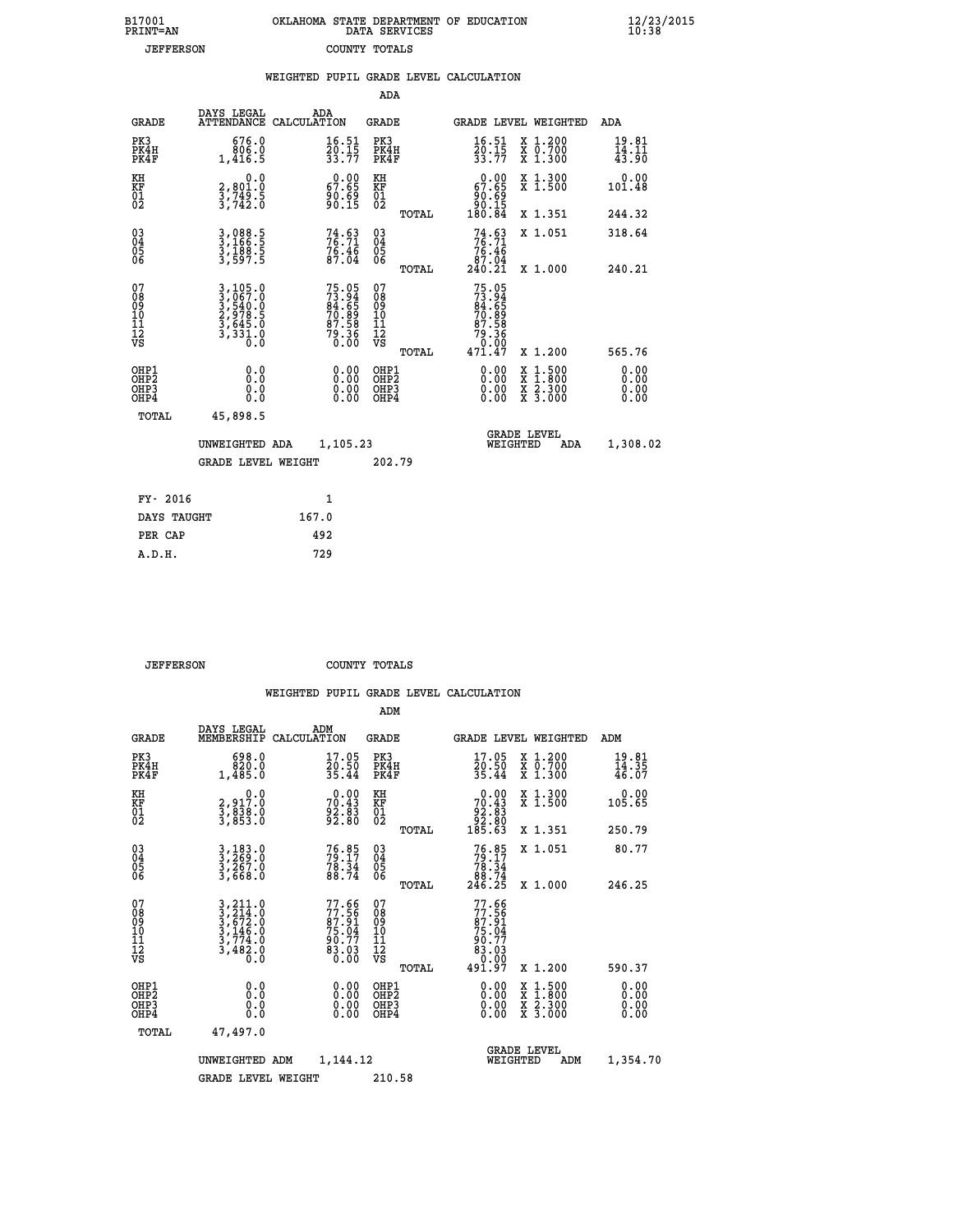| 7001<br>INT=AN   |  | OKLAHOMA STATE DEPARTMENT OF EDUCATION<br>DATA SERVICES |  |
|------------------|--|---------------------------------------------------------|--|
| <b>JEFFERSON</b> |  | COUNTY TOTALS                                           |  |

|                                                    |                                                                                                                                               | WEIGHTED PUPIL GRADE LEVEL CALCULATION                               |                                                 |                                                                                                                                                                                                                                                                                |                                                                                          |                                             |
|----------------------------------------------------|-----------------------------------------------------------------------------------------------------------------------------------------------|----------------------------------------------------------------------|-------------------------------------------------|--------------------------------------------------------------------------------------------------------------------------------------------------------------------------------------------------------------------------------------------------------------------------------|------------------------------------------------------------------------------------------|---------------------------------------------|
|                                                    |                                                                                                                                               |                                                                      | <b>ADA</b>                                      |                                                                                                                                                                                                                                                                                |                                                                                          |                                             |
| <b>GRADE</b>                                       | DAYS LEGAL<br><b>ATTENDANCE</b>                                                                                                               | ADA<br>CALCULATION                                                   | <b>GRADE</b>                                    | GRADE LEVEL WEIGHTED                                                                                                                                                                                                                                                           |                                                                                          | ADA                                         |
| PK3<br>PK4H<br>PK4F                                | 676.0<br>806.0<br>1,416.5                                                                                                                     | $\frac{16.51}{20.15}$<br>33.77                                       | PK3<br>PK4H<br>PK4F                             | $\frac{16.51}{20.15}$<br>33.77                                                                                                                                                                                                                                                 | X 1.200<br>X 0.700<br>X 1.300                                                            | $\frac{19.81}{14.11}$<br>$\frac{43.90}{14}$ |
| KH<br>KF<br>01<br>02                               | 0.0<br>2,801:0<br>3,749:5<br>3,742:0                                                                                                          | $\begin{smallmatrix} 0.00\\ 67.65\\ 90.69\\ 90.15 \end{smallmatrix}$ | KH<br>KF<br>01<br>02                            | $\begin{smallmatrix} &0.00\ 67.65\ 90.69\ 90.15\ 180.84\end{smallmatrix}$                                                                                                                                                                                                      | X 1.300<br>X 1.500                                                                       | 0.00<br>101.48                              |
|                                                    |                                                                                                                                               |                                                                      | TOTAL                                           |                                                                                                                                                                                                                                                                                | X 1.351                                                                                  | 244.32                                      |
| $\begin{matrix} 03 \\ 04 \\ 05 \\ 06 \end{matrix}$ | 3,088.5<br>3,166.5<br>3,188.5<br>3,597.5                                                                                                      | 74.63<br>$7\overline{6}\cdot 4\overline{6}\over 87\cdot 04$          | 03<br>04<br>05<br>06                            | $74.63$<br>$76.71$<br>$\begin{array}{r} 76.46 \\ 87.04 \\ 240.21 \end{array}$                                                                                                                                                                                                  | X 1.051                                                                                  | 318.64                                      |
|                                                    |                                                                                                                                               |                                                                      | TOTAL                                           |                                                                                                                                                                                                                                                                                | X 1.000                                                                                  | 240.21                                      |
| 07<br>08901112<br>1112<br>VS                       | $\begin{smallmatrix} 3\,,\,105\,.0\\ 3\,,\,067\,.0\\ 3\,,\,540\,.0\\ 2\,,\,978\,.5\\ 3\,,\,645\,.0\\ 3\,,\,331\,.0\\ 0\,.0 \end{smallmatrix}$ | 75.05<br>73.94<br>84.65<br>70.89<br>70.58<br>79.36<br>79.36          | 07<br>08<br>09<br>11<br>11<br>12<br>VS<br>TOTAL | 75.05<br>73.94<br>84.65<br>70.89<br>70.58<br>79.36<br>471.47                                                                                                                                                                                                                   | X 1.200                                                                                  | 565.76                                      |
| OHP1<br>OHP2<br>OHP3<br>OHP4                       | 0.0<br>0.0<br>0.0                                                                                                                             | $\begin{smallmatrix} 0.00 \ 0.00 \ 0.00 \ 0.00 \end{smallmatrix}$    | OHP1<br>OHP2<br>OHP3<br>OHP4                    | $\begin{smallmatrix} 0.00 & 0.00 & 0.00 & 0.00 & 0.00 & 0.00 & 0.00 & 0.00 & 0.00 & 0.00 & 0.00 & 0.00 & 0.00 & 0.00 & 0.00 & 0.00 & 0.00 & 0.00 & 0.00 & 0.00 & 0.00 & 0.00 & 0.00 & 0.00 & 0.00 & 0.00 & 0.00 & 0.00 & 0.00 & 0.00 & 0.00 & 0.00 & 0.00 & 0.00 & 0.00 & 0.0$ | $\begin{smallmatrix} x & 1.500 \\ x & 1.800 \\ x & 2.300 \\ x & 3.000 \end{smallmatrix}$ | 0.00<br>0.00<br>0.00<br>0.00                |
| TOTAL                                              | 45,898.5                                                                                                                                      |                                                                      |                                                 |                                                                                                                                                                                                                                                                                |                                                                                          |                                             |
|                                                    | UNWEIGHTED ADA                                                                                                                                | 1,105.23                                                             |                                                 | <b>GRADE LEVEL</b><br>WEIGHTED                                                                                                                                                                                                                                                 | ADA                                                                                      | 1,308.02                                    |
|                                                    | <b>GRADE LEVEL WEIGHT</b>                                                                                                                     |                                                                      | 202.79                                          |                                                                                                                                                                                                                                                                                |                                                                                          |                                             |
|                                                    | FY- 2016                                                                                                                                      | $\mathbf{1}$                                                         |                                                 |                                                                                                                                                                                                                                                                                |                                                                                          |                                             |
|                                                    | DAYS TAUGHT                                                                                                                                   | 167.0                                                                |                                                 |                                                                                                                                                                                                                                                                                |                                                                                          |                                             |
|                                                    | PER CAP                                                                                                                                       | 492                                                                  |                                                 |                                                                                                                                                                                                                                                                                |                                                                                          |                                             |

 **JEFFERSON COUNTY TOTALS**

 **A.D.H. 729**

 **B17001<br>PRINT=AN** 

|                                                      |                                                                                                                                                                                                 |                                                                      | ADM                                                 |                                                                               |                                          |                                             |  |
|------------------------------------------------------|-------------------------------------------------------------------------------------------------------------------------------------------------------------------------------------------------|----------------------------------------------------------------------|-----------------------------------------------------|-------------------------------------------------------------------------------|------------------------------------------|---------------------------------------------|--|
| <b>GRADE</b>                                         | DAYS LEGAL<br>MEMBERSHIP                                                                                                                                                                        | ADM<br>CALCULATION                                                   | <b>GRADE</b>                                        | GRADE LEVEL WEIGHTED                                                          |                                          | ADM                                         |  |
| PK3<br>PK4H<br>PK4F                                  | 698.0<br>820.0<br>1,485.0                                                                                                                                                                       | $\frac{17.05}{20.50}$<br>35.44                                       | PK3<br>PK4H<br>PK4F                                 | $\frac{17.05}{20.50}$<br>35.44                                                | X 1.200<br>X 0.700<br>X 1.300            | $\frac{19.81}{14.35}$<br>$\frac{46.07}{14}$ |  |
| KH<br>KF<br>01<br>02                                 | 0.0<br>2,917.0<br>3,838.0<br>3,853.0                                                                                                                                                            | 70.43<br>70.43<br>92.83<br>92.80                                     | KH<br>KF<br>01<br>02                                | $\begin{smallmatrix} &0.00\ 70.43\ 92.83\ 92.80\ 185.63\ \end{smallmatrix}$   | X 1.300<br>X 1.500                       | 0.00<br>105.65                              |  |
|                                                      |                                                                                                                                                                                                 |                                                                      | TOTAL                                               |                                                                               | X 1.351                                  | 250.79                                      |  |
| 03<br>04<br>05<br>06                                 | $3, 269.0$<br>$3, 267.0$<br>$3, 267.0$<br>$3, 668.0$                                                                                                                                            | $76.85$<br>$79.17$<br>$78.34$<br>$88.74$                             | $\begin{array}{c} 03 \\ 04 \\ 05 \\ 06 \end{array}$ | $76.85$<br>$79.17$<br>$78.34$<br>$88.74$<br>$246.25$                          | X 1.051                                  | 80.77                                       |  |
|                                                      |                                                                                                                                                                                                 |                                                                      | TOTAL                                               |                                                                               | X 1.000                                  | 246.25                                      |  |
| 07<br>08<br>09<br>101<br>112<br>VS                   | $\begin{smallmatrix} 3\,, & 2\,1\,1\,.\,0 \\ 3\,, & 2\,1\,4\,.\,0 \\ 3\,, & 6\,7\,2\,.\,0 \\ 3\,, & 1\,4\,6\,.\,0 \\ 3\,, & 7\,7\,4\,.\,0 \\ 3\,, & 4\,8\,2\,.\,0 \\ 0\,.\,0 \end{smallmatrix}$ | 77.66<br>77.56<br>87.91<br>87.04<br>75.04<br>90.77<br>83.03<br>83.03 | 07<br>08<br>09<br>11<br>11<br>12<br>VS<br>TOTAL     | 77.66<br>77.56<br>87.91<br>75.04<br>78.03<br>83.03<br>83.03<br>0.09<br>491.97 | X 1.200                                  | 590.37                                      |  |
| OHP1<br>OHP2<br>OH <sub>P3</sub><br>OH <sub>P4</sub> | 0.0<br>0.000                                                                                                                                                                                    |                                                                      | OHP1<br>OHP2<br>OHP <sub>3</sub>                    | $0.00$<br>$0.00$<br>0.00                                                      | X 1:500<br>X 1:800<br>X 2:300<br>X 3:000 | 0.00<br>0.00<br>0.00<br>0.00                |  |
| TOTAL                                                | 47,497.0                                                                                                                                                                                        |                                                                      |                                                     |                                                                               |                                          |                                             |  |
|                                                      | UNWEIGHTED                                                                                                                                                                                      | 1,144.12<br>ADM                                                      |                                                     | <b>GRADE LEVEL</b><br>WEIGHTED<br>ADM                                         |                                          |                                             |  |
|                                                      | <b>GRADE LEVEL WEIGHT</b>                                                                                                                                                                       |                                                                      | 210.58                                              |                                                                               |                                          |                                             |  |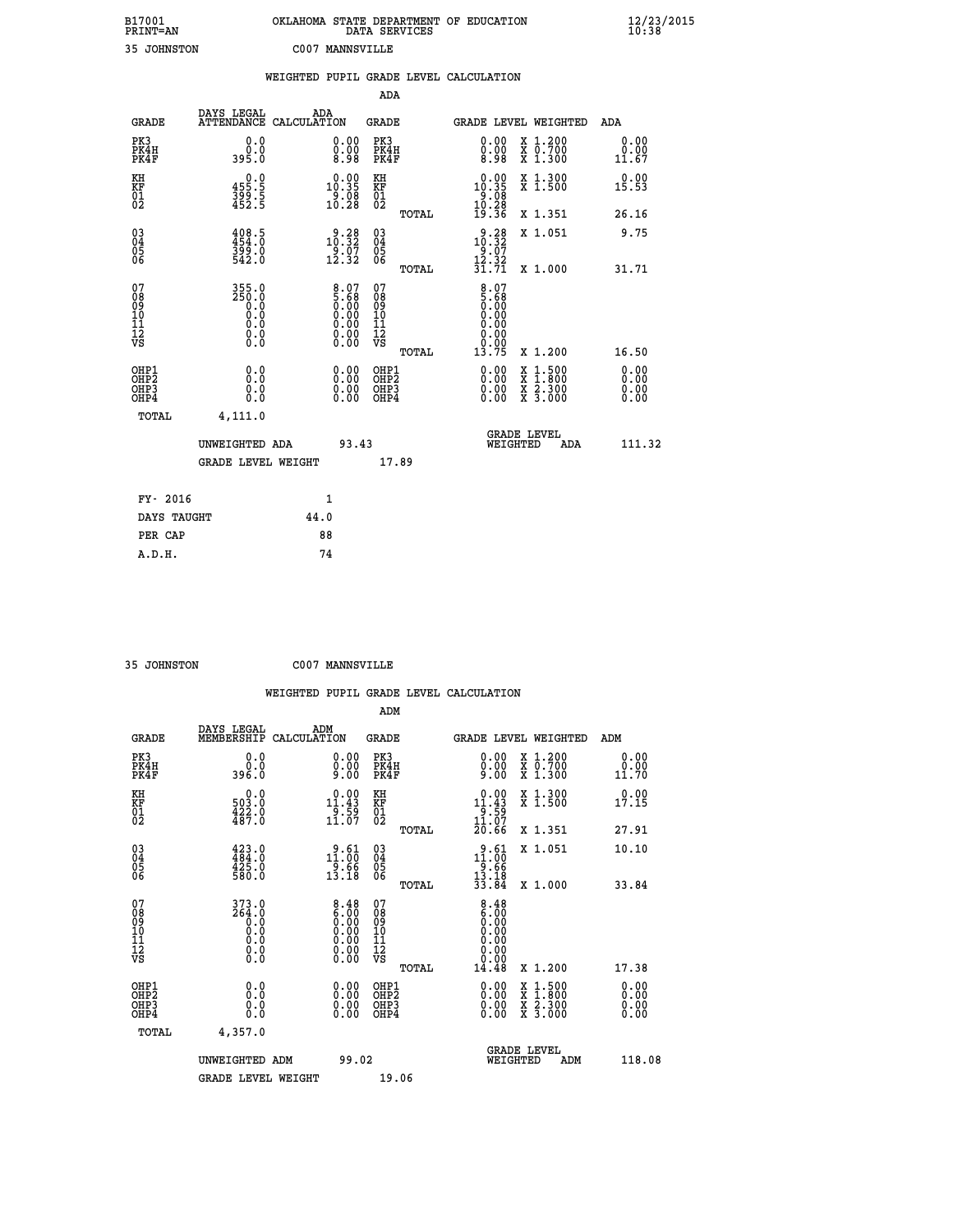| B17001          | OKLAHOMA STATE DEPARTMENT OF EDUCATION |
|-----------------|----------------------------------------|
| <b>PRINT=AN</b> | DATA SERVICES                          |
| 35 JOHNSTON     | C007 MANNSVILLE                        |

|                                                    |                              |                                      |      |                                                                                               |                                        |       | WEIGHTED PUPIL GRADE LEVEL CALCULATION                                                   |          |                                                                                                  |                       |
|----------------------------------------------------|------------------------------|--------------------------------------|------|-----------------------------------------------------------------------------------------------|----------------------------------------|-------|------------------------------------------------------------------------------------------|----------|--------------------------------------------------------------------------------------------------|-----------------------|
|                                                    |                              |                                      |      |                                                                                               | ADA                                    |       |                                                                                          |          |                                                                                                  |                       |
|                                                    | <b>GRADE</b>                 | DAYS LEGAL<br>ATTENDANCE CALCULATION | ADA  |                                                                                               | <b>GRADE</b>                           |       |                                                                                          |          | GRADE LEVEL WEIGHTED                                                                             | ADA                   |
|                                                    | PK3<br>PK4H<br>PK4F          | 0.0<br>0.0<br>395.0                  |      | 0.00<br>$\begin{smallmatrix} 0.00 & 0.00 \\ 0.98 & 0.00 \\ \end{smallmatrix}$                 | PK3<br>PK4H<br>PK4F                    |       | 0.00<br>0.00<br>8.98                                                                     |          | X 1.200<br>X 0.700<br>X 1.300                                                                    | 0.00<br>0.00<br>11.67 |
| KH<br>KF<br>01<br>02                               |                              | $355.5$<br>$399.5$<br>$452.5$        |      | $\begin{smallmatrix} 0.00\\ 10.35\\ 9.08\\ 10.28 \end{smallmatrix}$                           | KH<br>KF<br>01<br>02                   |       | $\begin{array}{r} 0.00 \\ 10.35 \\ 9.08 \\ 10.28 \\ 19.36 \end{array}$                   |          | X 1.300<br>X 1.500                                                                               | 0.00<br>15.53         |
|                                                    |                              |                                      |      |                                                                                               |                                        | TOTAL |                                                                                          |          | X 1.351                                                                                          | 26.16                 |
| $\begin{matrix} 03 \\ 04 \\ 05 \\ 06 \end{matrix}$ |                              | 408.5<br>454.0<br>399.0<br>542.0     |      | $3.38$<br>10:32<br>$\frac{5}{12}$ . $\frac{5}{32}$                                            | 03<br>04<br>05<br>06                   |       | $3.28$<br>10.32<br>$\frac{19:87}{12:32}$<br>$\frac{12:32}{31:71}$                        |          | X 1.051                                                                                          | 9.75                  |
|                                                    |                              |                                      |      |                                                                                               |                                        | TOTAL |                                                                                          |          | X 1.000                                                                                          | 31.71                 |
| 07<br>08<br>09<br>101<br>112<br>VS                 |                              | $355.0$<br>$250.0$<br>0.000<br>$\S.$ |      | $\begin{smallmatrix} 8.07\ 5.68\ 0.00\ 0.00\ 0.00\ 0.00\ 0.00\ 0.00\ 0.00\ \end{smallmatrix}$ | 07<br>08<br>09<br>11<br>11<br>12<br>VS | TOTAL | $\begin{smallmatrix} 8.07\ 5.68\ 0.000\ 0.000\ 0.00\ \end{smallmatrix}$<br>0.00<br>13.75 |          | X 1.200                                                                                          | 16.50                 |
|                                                    | OHP1<br>OHP2<br>OHP3<br>OHP4 | 0.0<br>0.0<br>0.0                    |      | 0.00<br>$\begin{smallmatrix} 0.00 \ 0.00 \end{smallmatrix}$                                   | OHP1<br>OHP2<br>OHP3<br>OHP4           |       | 0.00<br>0.00<br>0.00                                                                     |          | $\begin{smallmatrix} x & 1 & 500 \\ x & 1 & 800 \\ x & 2 & 300 \\ x & 3 & 000 \end{smallmatrix}$ | 0.00<br>0.00<br>0.00  |
|                                                    | <b>TOTAL</b>                 | 4,111.0                              |      |                                                                                               |                                        |       |                                                                                          |          |                                                                                                  |                       |
|                                                    |                              | UNWEIGHTED ADA                       |      | 93.43                                                                                         |                                        |       |                                                                                          | WEIGHTED | <b>GRADE LEVEL</b><br>ADA                                                                        | 111.32                |
|                                                    |                              | <b>GRADE LEVEL WEIGHT</b>            |      |                                                                                               | 17.89                                  |       |                                                                                          |          |                                                                                                  |                       |
|                                                    | FY- 2016                     |                                      |      | 1                                                                                             |                                        |       |                                                                                          |          |                                                                                                  |                       |
|                                                    | DAYS TAUGHT                  |                                      | 44.0 |                                                                                               |                                        |       |                                                                                          |          |                                                                                                  |                       |
|                                                    | PER CAP                      |                                      |      | 88                                                                                            |                                        |       |                                                                                          |          |                                                                                                  |                       |

 **A.D.H. 74**

 **35 JOHNSTON C007 MANNSVILLE**

|                                                      |                                                                     |                    |                                                                                               |                                                     |       | WEIGHTED PUPIL GRADE LEVEL CALCULATION                                                         |                                          |                       |
|------------------------------------------------------|---------------------------------------------------------------------|--------------------|-----------------------------------------------------------------------------------------------|-----------------------------------------------------|-------|------------------------------------------------------------------------------------------------|------------------------------------------|-----------------------|
|                                                      |                                                                     |                    |                                                                                               | ADM                                                 |       |                                                                                                |                                          |                       |
| <b>GRADE</b>                                         | DAYS LEGAL<br>MEMBERSHIP                                            | ADM<br>CALCULATION |                                                                                               | <b>GRADE</b>                                        |       | <b>GRADE LEVEL WEIGHTED</b>                                                                    |                                          | ADM                   |
| PK3<br>PK4H<br>PK4F                                  | 0.0<br>ŏ:ŏ<br>396:0                                                 |                    | $\begin{smallmatrix} 0.00 \ 0.00 \ 9.00 \end{smallmatrix}$                                    | PK3<br>PK4H<br>PK4F                                 |       | $0.00\n0.00\n9.00$                                                                             | X 1.200<br>X 0.700<br>X 1.300            | 0.00<br>0.00<br>11.70 |
| KH<br>KF<br>01<br>02                                 | $\begin{smallmatrix} 0.0\\ 503.0\\ 422.0\\ 487.0 \end{smallmatrix}$ |                    | $\begin{array}{c} 0.00 \\[-4pt] 11.43 \\[-4pt] 9.59 \\[-4pt] 11.07 \end{array}$               | KH<br>KF<br>01<br>02                                |       | $\begin{array}{r} 0.00 \\[-4pt] 11.43 \\[-4pt] 9.59 \\[-4pt] 11.07 \\[-4pt] 20.66 \end{array}$ | X 1.300<br>X 1.500                       | 0.00<br>17.15         |
|                                                      |                                                                     |                    |                                                                                               |                                                     | TOTAL |                                                                                                | X 1.351                                  | 27.91                 |
| $\begin{matrix} 03 \\ 04 \\ 05 \\ 06 \end{matrix}$   | $423.0$<br>$484.0$<br>$425.0$<br>$580.0$                            |                    | 11.60<br>$\frac{1}{13}.$ $\frac{6}{18}$                                                       | $\begin{array}{c} 03 \\ 04 \\ 05 \\ 06 \end{array}$ |       | $\begin{array}{r} 9.61 \\ 11.00 \\ 9.66 \\ 13.18 \\ 33.84 \end{array}$                         | X 1.051                                  | 10.10                 |
|                                                      |                                                                     |                    |                                                                                               |                                                     | TOTAL |                                                                                                | X 1.000                                  | 33.84                 |
| 07<br>0890112<br>1112<br>VS                          | $373.0$<br>$264.0$<br>$0.0$<br>$0.0$<br>$0.0$<br>$\S.$ $\S$         |                    | $\begin{smallmatrix} 8.48\ 6.00\ 0.00\ 0.00\ 0.00\ 0.00\ 0.00\ 0.00\ 0.00\ \end{smallmatrix}$ | 07<br>08<br>09<br>11<br>11<br>12<br>VS              |       | $\begin{smallmatrix} 8.48\ 6.00\ 0.00 \end{smallmatrix}$<br>0.00<br>0.00<br>0.00<br>14.48      | X 1.200                                  | 17.38                 |
|                                                      |                                                                     |                    |                                                                                               |                                                     | TOTAL |                                                                                                |                                          |                       |
| OHP1<br>OHP <sub>2</sub><br>OH <sub>P3</sub><br>OHP4 | 0.0<br>0.000                                                        |                    | $0.00$<br>$0.00$<br>0.00                                                                      | OHP1<br>OHP <sub>2</sub><br>OHP <sub>3</sub>        |       | 0.00<br>0.00<br>0.00                                                                           | X 1:500<br>X 1:800<br>X 2:300<br>X 3:000 | 0.00<br>0.00<br>0.00  |
| TOTAL                                                | 4,357.0                                                             |                    |                                                                                               |                                                     |       |                                                                                                |                                          |                       |
|                                                      | UNWEIGHTED ADM                                                      |                    | 99.02                                                                                         |                                                     |       | <b>GRADE LEVEL</b><br>WEIGHTED                                                                 | ADM                                      | 118.08                |
|                                                      | <b>GRADE LEVEL WEIGHT</b>                                           |                    |                                                                                               | 19.06                                               |       |                                                                                                |                                          |                       |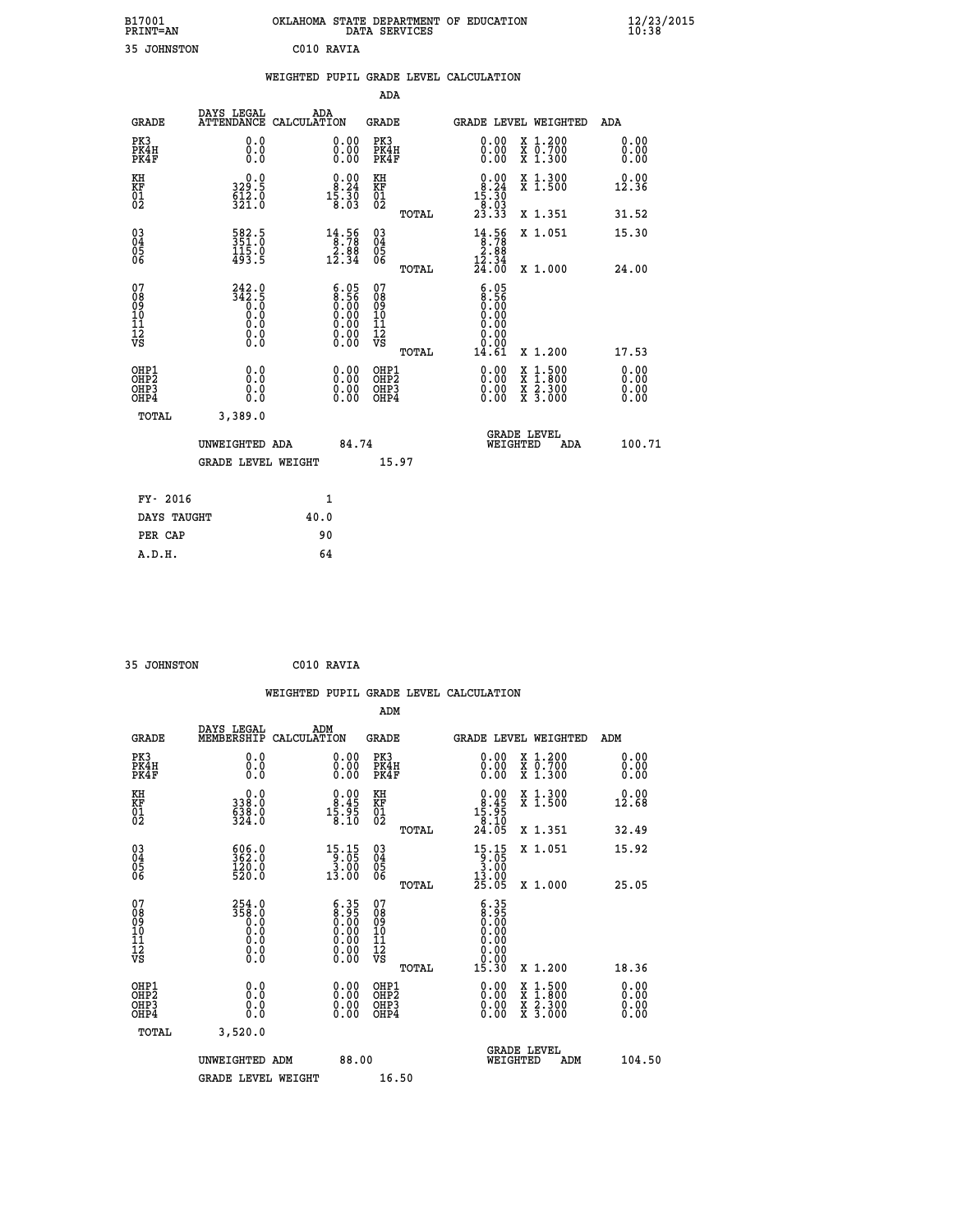|                        | OKLAHOMA STATE DEPARTMENT OF EDUCATION<br>DATA SERVICES |  |
|------------------------|---------------------------------------------------------|--|
| C <sub>010</sub> RAVTA |                                                         |  |

|  |     | WEIGHTED PUPIL GRADE LEVEL CALCULATION |
|--|-----|----------------------------------------|
|  | ADA |                                        |

| <b>GRADE</b>                                       | DAYS LEGAL<br><b>ATTENDANCE</b>                             | ADA<br>CALCULATION                                                                                                           | <b>GRADE</b>                             |       | GRADE LEVEL WEIGHTED                                                                                                                                                                                                                                                           |                                                                                          | ADA                  |
|----------------------------------------------------|-------------------------------------------------------------|------------------------------------------------------------------------------------------------------------------------------|------------------------------------------|-------|--------------------------------------------------------------------------------------------------------------------------------------------------------------------------------------------------------------------------------------------------------------------------------|------------------------------------------------------------------------------------------|----------------------|
| PK3<br>PK4H<br>PK4F                                | 0.0<br>0.0<br>0.0                                           | 0.00<br>0.00<br>0.00                                                                                                         | PK3<br>PK4H<br>PK4F                      |       | 0.00<br>0.00<br>0.00                                                                                                                                                                                                                                                           | X 1.200<br>X 0.700<br>X 1.300                                                            | 0.00<br>0.00<br>0.00 |
| KH<br>KF<br>01<br>02                               | $329.5$<br>$612.0$<br>$321.0$                               | $\begin{smallmatrix} 0.00\\ 8.24\\ 15.30\\ 8.03 \end{smallmatrix}$                                                           | KH<br>KF<br>01<br>02                     |       | $\begin{smallmatrix}&&0.00\\&8.24\\15.30\\&8.03\\23.33\end{smallmatrix}$                                                                                                                                                                                                       | X 1.300<br>X 1.500                                                                       | 0.00<br>12.36        |
|                                                    |                                                             |                                                                                                                              |                                          | TOTAL |                                                                                                                                                                                                                                                                                | X 1.351                                                                                  | 31.52                |
| $\begin{matrix} 03 \\ 04 \\ 05 \\ 06 \end{matrix}$ | 582.5<br>351.0<br>115.0<br>493.5                            | $\begin{array}{r} 14.56 \\[-4pt] 8.78 \\[-4pt] 2.88 \\[-4pt] 12.34 \end{array}$                                              | $\substack{03 \\ 04}$<br>05<br>06        |       | $\begin{smallmatrix} 14.56 \\ 8.78 \\ 2.88 \\ 12.34 \\ 24.00 \end{smallmatrix}$                                                                                                                                                                                                | X 1.051                                                                                  | 15.30                |
|                                                    |                                                             |                                                                                                                              |                                          | TOTAL |                                                                                                                                                                                                                                                                                | X 1.000                                                                                  | 24.00                |
| 07<br>08<br>09<br>11<br>11<br>12<br>VS             | $242.9$<br>$342.5$<br>$0.0$<br>$0.0$<br>$0.0$<br>$\S.$ $\S$ | $\begin{smallmatrix} 6.05\ 8.56\ 0.00\ 0.00\ 0.00 \end{smallmatrix}$<br>$\begin{smallmatrix} 0.00 \\ 0.00 \end{smallmatrix}$ | 07<br>08<br>09<br>11<br>11<br>12<br>VS   |       | $\begin{smallmatrix} 6.05\ 8.56\ 0.00 \end{smallmatrix}$<br>0.00<br>0.00<br>0.00                                                                                                                                                                                               |                                                                                          |                      |
|                                                    |                                                             |                                                                                                                              |                                          | TOTAL | 14.61                                                                                                                                                                                                                                                                          | X 1.200                                                                                  | 17.53                |
| OHP1<br>OHP2<br>OHP3<br>OH <sub>P4</sub>           | 0.0<br>0.0<br>0.0                                           | $0.00$<br>$0.00$<br>0.00                                                                                                     | OHP1<br>OHP <sub>2</sub><br>OHP3<br>OHP4 |       | $\begin{smallmatrix} 0.00 & 0.00 & 0.00 & 0.00 & 0.00 & 0.00 & 0.00 & 0.00 & 0.00 & 0.00 & 0.00 & 0.00 & 0.00 & 0.00 & 0.00 & 0.00 & 0.00 & 0.00 & 0.00 & 0.00 & 0.00 & 0.00 & 0.00 & 0.00 & 0.00 & 0.00 & 0.00 & 0.00 & 0.00 & 0.00 & 0.00 & 0.00 & 0.00 & 0.00 & 0.00 & 0.0$ | $\begin{smallmatrix} x & 1.500 \\ x & 1.800 \\ x & 2.300 \\ x & 3.000 \end{smallmatrix}$ | 0.00<br>0.00<br>0.00 |
| TOTAL                                              | 3,389.0                                                     |                                                                                                                              |                                          |       |                                                                                                                                                                                                                                                                                |                                                                                          |                      |
|                                                    | UNWEIGHTED ADA                                              | 84.74                                                                                                                        |                                          |       | WEIGHTED                                                                                                                                                                                                                                                                       | <b>GRADE LEVEL</b><br>ADA                                                                | 100.71               |
|                                                    | <b>GRADE LEVEL WEIGHT</b>                                   |                                                                                                                              |                                          | 15.97 |                                                                                                                                                                                                                                                                                |                                                                                          |                      |
| FY- 2016                                           |                                                             | $\mathbf{1}$                                                                                                                 |                                          |       |                                                                                                                                                                                                                                                                                |                                                                                          |                      |
| DAYS TAUGHT                                        |                                                             | 40.0                                                                                                                         |                                          |       |                                                                                                                                                                                                                                                                                |                                                                                          |                      |
| PER CAP                                            |                                                             | 90                                                                                                                           |                                          |       |                                                                                                                                                                                                                                                                                |                                                                                          |                      |

| 35 JOHNSTON | C010 RAVIA |
|-------------|------------|
|             |            |
|             |            |

B17001<br>PRINT=AN<br>35 JOHNSTON

|                                                      |                                                                          |                    |                                                                                               |                                                     |       | WEIGHTED PUPIL GRADE LEVEL CALCULATION                                                               |                                          |                      |  |
|------------------------------------------------------|--------------------------------------------------------------------------|--------------------|-----------------------------------------------------------------------------------------------|-----------------------------------------------------|-------|------------------------------------------------------------------------------------------------------|------------------------------------------|----------------------|--|
|                                                      |                                                                          |                    |                                                                                               | ADM                                                 |       |                                                                                                      |                                          |                      |  |
| <b>GRADE</b>                                         | DAYS LEGAL<br>MEMBERSHIP                                                 | ADM<br>CALCULATION |                                                                                               | <b>GRADE</b>                                        |       | GRADE LEVEL WEIGHTED                                                                                 |                                          | ADM                  |  |
| PK3<br>PK4H<br>PK4F                                  | 0.0<br>0.0<br>0.0                                                        |                    | 0.00<br>$\begin{smallmatrix} 0.00 \ 0.00 \end{smallmatrix}$                                   | PK3<br>PK4H<br>PK4F                                 |       | $\begin{smallmatrix} 0.00 \\ 0.00 \\ 0.00 \end{smallmatrix}$                                         | X 1.200<br>X 0.700<br>X 1.300            | 0.00<br>0.00<br>0.00 |  |
| KH<br>KF<br>01<br>02                                 | $\begin{smallmatrix} &0.0\,338.0\,638.0\,638.0\,324.0 \end{smallmatrix}$ |                    | $\begin{smallmatrix} 0.00\\ 8.45\\ 15.95\\ 18.10 \end{smallmatrix}$                           | KH<br>KF<br>01<br>02                                |       | $\begin{array}{c} 0.00 \\ 8.45 \\ 15.95 \\ 8.10 \\ 24.05 \end{array}$                                | X 1.300<br>X 1.500                       | 0.00<br>12.68        |  |
|                                                      |                                                                          |                    |                                                                                               |                                                     | TOTAL |                                                                                                      | X 1.351                                  | 32.49                |  |
| $\begin{matrix} 03 \\ 04 \\ 05 \\ 06 \end{matrix}$   | $\begin{smallmatrix} 606.0\\ 362.0\\ 120.0\\ 520.0 \end{smallmatrix}$    |                    | $\begin{array}{r} 15 \cdot 15 \\ 9 \cdot 05 \\ 3 \cdot 00 \\ 13 \cdot 00 \end{array}$         | $\begin{array}{c} 03 \\ 04 \\ 05 \\ 06 \end{array}$ |       | $\begin{array}{r} 15 \cdot 15 \\ 9 \cdot 05 \\ 3 \cdot 00 \\ 13 \cdot 00 \\ 25 \cdot 05 \end{array}$ | X 1.051                                  | 15.92                |  |
|                                                      |                                                                          |                    |                                                                                               |                                                     | TOTAL |                                                                                                      | X 1.000                                  | 25.05                |  |
| 07<br>0890112<br>1112<br>VS                          | $358.0$<br>$358.0$<br>$0.0$<br>$0.0$<br>$0.0$<br>$\S.$                   |                    | $\begin{smallmatrix} 6.35\ 8.95\ 0.00\ 0.00\ 0.00\ 0.00\ 0.00\ 0.00\ 0.00\ \end{smallmatrix}$ | 07<br>08<br>09<br>11<br>11<br>12<br>VS              |       | $\begin{smallmatrix} 6.35\ 8.95\ 0.00\ 0.00 \end{smallmatrix}$<br>0.00<br>0.00                       |                                          |                      |  |
|                                                      |                                                                          |                    |                                                                                               |                                                     | TOTAL | 15.30                                                                                                | X 1.200                                  | 18.36                |  |
| OHP1<br>OHP <sub>2</sub><br>OH <sub>P3</sub><br>OHP4 | 0.0<br>0.000                                                             |                    | $0.00$<br>$0.00$<br>0.00                                                                      | OHP1<br>OHP <sub>2</sub><br>OHP <sub>3</sub>        |       | 0.00<br>0.00<br>0.00                                                                                 | X 1:500<br>X 1:800<br>X 2:300<br>X 3:000 | 0.00<br>0.00<br>0.00 |  |
| TOTAL                                                | 3,520.0                                                                  |                    |                                                                                               |                                                     |       |                                                                                                      |                                          |                      |  |
|                                                      | UNWEIGHTED ADM                                                           |                    | 88.00                                                                                         |                                                     |       | WEIGHTED                                                                                             | <b>GRADE LEVEL</b><br>ADM                | 104.50               |  |
|                                                      | <b>GRADE LEVEL WEIGHT</b>                                                |                    |                                                                                               | 16.50                                               |       |                                                                                                      |                                          |                      |  |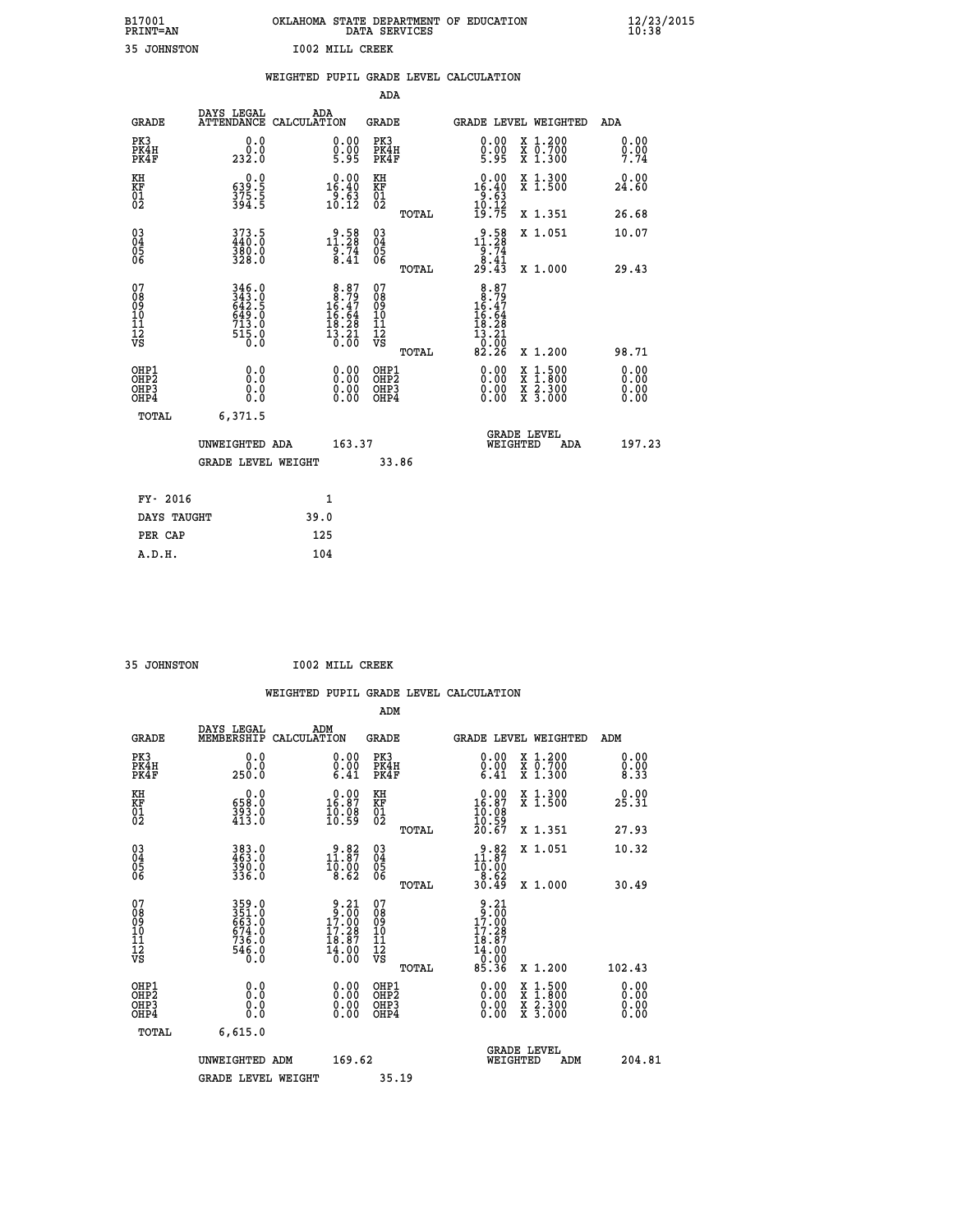| B17001          | OKLAHOMA STATE DEPARTMENT OF EDUCATION |
|-----------------|----------------------------------------|
| <b>PRINT=AN</b> | DATA SERVICES                          |
| 35 JOHNSTON     | <b>I002 MILL CREEK</b>                 |

|                                                                    |                                                                             |                    |                                                                                          |                                   |       | WEIGHTED PUPIL GRADE LEVEL CALCULATION                                                            |                                                                                                                                              |                              |
|--------------------------------------------------------------------|-----------------------------------------------------------------------------|--------------------|------------------------------------------------------------------------------------------|-----------------------------------|-------|---------------------------------------------------------------------------------------------------|----------------------------------------------------------------------------------------------------------------------------------------------|------------------------------|
|                                                                    |                                                                             |                    |                                                                                          | <b>ADA</b>                        |       |                                                                                                   |                                                                                                                                              |                              |
| <b>GRADE</b>                                                       | DAYS LEGAL<br><b>ATTENDANCE</b>                                             | ADA<br>CALCULATION |                                                                                          | <b>GRADE</b>                      |       |                                                                                                   | GRADE LEVEL WEIGHTED                                                                                                                         | ADA                          |
| PK3<br>PK4H<br>PK4F                                                | 0.0<br>0.0<br>232.0                                                         |                    | $\substack{0.00\\0.00\\5.95}$                                                            | PK3<br>PK4H<br>PK4F               |       | 0.00<br>$0.00$<br>5.95                                                                            | X 1.200<br>X 0.700<br>X 1.300                                                                                                                | 0.00<br>$\frac{0.00}{7.74}$  |
| KH<br>KF<br>01<br>02                                               | $\begin{smallmatrix} 0.0\\ 539.5\\ 375.5\\ 394.5 \end{smallmatrix}$         |                    | $\begin{smallmatrix} 0.00\\16.40\\9.63\\10.12 \end{smallmatrix}$                         | KH<br>KF<br>01<br>02              |       | $\begin{array}{r} 0.00 \\ 16.40 \\ 9.63 \\ 10.12 \\ 19.75 \end{array}$                            | X 1.300<br>X 1.500                                                                                                                           | 0.00<br>24.60                |
|                                                                    |                                                                             |                    |                                                                                          |                                   | TOTAL |                                                                                                   | X 1.351                                                                                                                                      | 26.68                        |
| $\begin{smallmatrix} 03 \\[-4pt] 04 \end{smallmatrix}$<br>Ŏ5<br>06 | 373.5<br>440.0<br>380.0<br>328.0                                            |                    | $11.28$<br>$11.28$<br>$9.74$<br>$8.41$                                                   | $\substack{03 \\ 04}$<br>Ŏ5<br>06 |       | $\begin{smallmatrix} 9.58\\ 11.28\\ 9.74\\ 8.41\\ 29.43 \end{smallmatrix}$                        | X 1.051                                                                                                                                      | 10.07                        |
|                                                                    |                                                                             |                    |                                                                                          |                                   | TOTAL |                                                                                                   | X 1.000                                                                                                                                      | 29.43                        |
| 07<br>0890112<br>1112<br>VS                                        | 346.0<br>343.0<br>642.5<br>649.0<br>$7\overline{13}\cdot 0$<br>515.0<br>0.0 |                    | $\begin{smallmatrix}8.87\\ 8.79\\ 16.47\\ 16.64\\ 18.28\\ 13.21\\ 0.00\end{smallmatrix}$ | 07<br>08901112<br>1112<br>VS      | TOTAL | $\begin{array}{r} 8.87 \\ 16.47 \\ 16.64 \\ 16.64 \\ 18.28 \\ 13.21 \\ 0.20 \end{array}$<br>82.26 | X 1.200                                                                                                                                      | 98.71                        |
| OHP1<br>OHP2<br>OH <sub>P3</sub><br>OH <sub>P4</sub>               | 0.0<br>Ō.Ō<br>0.0<br>0.0                                                    |                    | 0.00<br>$\begin{smallmatrix} 0.00 \ 0.00 \end{smallmatrix}$                              | OHP1<br>OHP2<br>OHP3<br>OHP4      |       | $0.00$<br>$0.00$<br>0.00                                                                          | $\begin{smallmatrix} \mathtt{X} & 1\cdot500 \\ \mathtt{X} & 1\cdot800 \\ \mathtt{X} & 2\cdot300 \\ \mathtt{X} & 3\cdot000 \end{smallmatrix}$ | 0.00<br>0.00<br>0.00<br>0.00 |
| TOTAL                                                              | 6,371.5                                                                     |                    |                                                                                          |                                   |       |                                                                                                   |                                                                                                                                              |                              |
|                                                                    | UNWEIGHTED ADA                                                              |                    | 163.37                                                                                   |                                   |       | WEIGHTED                                                                                          | <b>GRADE LEVEL</b><br>ADA                                                                                                                    | 197.23                       |
|                                                                    | <b>GRADE LEVEL WEIGHT</b>                                                   |                    |                                                                                          | 33.86                             |       |                                                                                                   |                                                                                                                                              |                              |
| FY- 2016                                                           |                                                                             | $\mathbf{1}$       |                                                                                          |                                   |       |                                                                                                   |                                                                                                                                              |                              |
| DAYS TAUGHT                                                        |                                                                             | 39.0               |                                                                                          |                                   |       |                                                                                                   |                                                                                                                                              |                              |
| PER CAP                                                            |                                                                             | 125                |                                                                                          |                                   |       |                                                                                                   |                                                                                                                                              |                              |

 **35 JOHNSTON I002 MILL CREEK**

|                                                    |                                                                   |                    |                                                                                        |                                              |       | WEIGHTED PUPIL GRADE LEVEL CALCULATION                                                                                                                                                                                                                                         |                                                                                                  |                      |        |
|----------------------------------------------------|-------------------------------------------------------------------|--------------------|----------------------------------------------------------------------------------------|----------------------------------------------|-------|--------------------------------------------------------------------------------------------------------------------------------------------------------------------------------------------------------------------------------------------------------------------------------|--------------------------------------------------------------------------------------------------|----------------------|--------|
|                                                    |                                                                   |                    |                                                                                        | ADM                                          |       |                                                                                                                                                                                                                                                                                |                                                                                                  |                      |        |
| <b>GRADE</b>                                       | DAYS LEGAL<br>MEMBERSHIP                                          | ADM<br>CALCULATION |                                                                                        | <b>GRADE</b>                                 |       | GRADE LEVEL WEIGHTED                                                                                                                                                                                                                                                           |                                                                                                  | ADM                  |        |
| PK3<br>PK4H<br>PK4F                                | 0.0<br>0.0<br>250.0                                               |                    | 0.00<br>$\begin{smallmatrix} 0.00 \ 6.41 \end{smallmatrix}$                            | PK3<br>PK4H<br>PK4F                          |       | $\begin{smallmatrix} 0.00 \\ 0.00 \\ 6.41 \end{smallmatrix}$                                                                                                                                                                                                                   | X 1.200<br>X 0.700<br>X 1.300                                                                    | 0.00<br>0.00<br>8.33 |        |
| KH<br>KF<br>01<br>02                               | $\begin{smallmatrix} &0.0\ 658.0\ 393.0\ 413.0 \end{smallmatrix}$ |                    | $\begin{smallmatrix} 0.00\\ 16.87\\ 10.98\\ 10.59 \end{smallmatrix}$                   | KH<br>KF<br>01<br>02                         |       | $\begin{smallmatrix} 0.00\\ 16.87\\ 10.08\\ 10.59\\ 20.67 \end{smallmatrix}$                                                                                                                                                                                                   | X 1.300<br>X 1.500                                                                               | 0.00<br>25.31        |        |
|                                                    |                                                                   |                    |                                                                                        |                                              | TOTAL |                                                                                                                                                                                                                                                                                | X 1.351                                                                                          | 27.93                |        |
| $\begin{matrix} 03 \\ 04 \\ 05 \\ 06 \end{matrix}$ | 383.0<br>463.0<br>390.0<br>336.0                                  |                    | $\begin{smallmatrix} 9.82\ 11.87\ 10.00\ 8.62 \end{smallmatrix}$                       | 03<br>04<br>05<br>06                         |       | $2,82$<br>11:87<br>$\frac{1}{8}$ .00                                                                                                                                                                                                                                           | X 1.051                                                                                          | 10.32                |        |
|                                                    |                                                                   |                    |                                                                                        |                                              | TOTAL | 30.49                                                                                                                                                                                                                                                                          | X 1.000                                                                                          | 30.49                |        |
| 07<br>0890112<br>1112<br>VS                        | 359.0<br>351.0<br>663.0<br>674.0<br>536.0<br>736.0<br>546.0       |                    | $\begin{array}{r} 9.21 \\ 9.00 \\ 17.00 \\ 17.28 \end{array}$<br>$\frac{18.87}{14.00}$ | 07<br>08<br>09<br>09<br>10<br>11<br>12<br>VS | TOTAL | $\frac{9.21}{2.00}$<br>17:00<br>17:28<br>$\begin{smallmatrix} 1 & 2 & 8 & 7 \\ 1 & 8 & 0 & 0 \\ 1 & 0 & 0 & 0 \\ 0 & 0 & 0 & 0 \\ 8 & 5 & 0 & 36 \end{smallmatrix}$                                                                                                            | X 1.200                                                                                          | 102.43               |        |
| OHP1<br>OHP2<br>OH <sub>P3</sub><br>OHP4           | 0.0<br>0.000                                                      |                    | $\begin{smallmatrix} 0.00 \ 0.00 \ 0.00 \ 0.00 \end{smallmatrix}$                      | OHP1<br>OHP2<br>OHP3<br>OHP4                 |       | $\begin{smallmatrix} 0.00 & 0.00 & 0.00 & 0.00 & 0.00 & 0.00 & 0.00 & 0.00 & 0.00 & 0.00 & 0.00 & 0.00 & 0.00 & 0.00 & 0.00 & 0.00 & 0.00 & 0.00 & 0.00 & 0.00 & 0.00 & 0.00 & 0.00 & 0.00 & 0.00 & 0.00 & 0.00 & 0.00 & 0.00 & 0.00 & 0.00 & 0.00 & 0.00 & 0.00 & 0.00 & 0.0$ | $\begin{smallmatrix} x & 1 & 500 \\ x & 1 & 800 \\ x & 2 & 300 \\ x & 3 & 000 \end{smallmatrix}$ | 0.00<br>0.00<br>0.00 |        |
| TOTAL                                              | 6,615.0                                                           |                    |                                                                                        |                                              |       |                                                                                                                                                                                                                                                                                |                                                                                                  |                      |        |
|                                                    | UNWEIGHTED ADM                                                    |                    | 169.62                                                                                 |                                              |       | WEIGHTED                                                                                                                                                                                                                                                                       | <b>GRADE LEVEL</b><br>ADM                                                                        |                      | 204.81 |
|                                                    | <b>GRADE LEVEL WEIGHT</b>                                         |                    |                                                                                        | 35.19                                        |       |                                                                                                                                                                                                                                                                                |                                                                                                  |                      |        |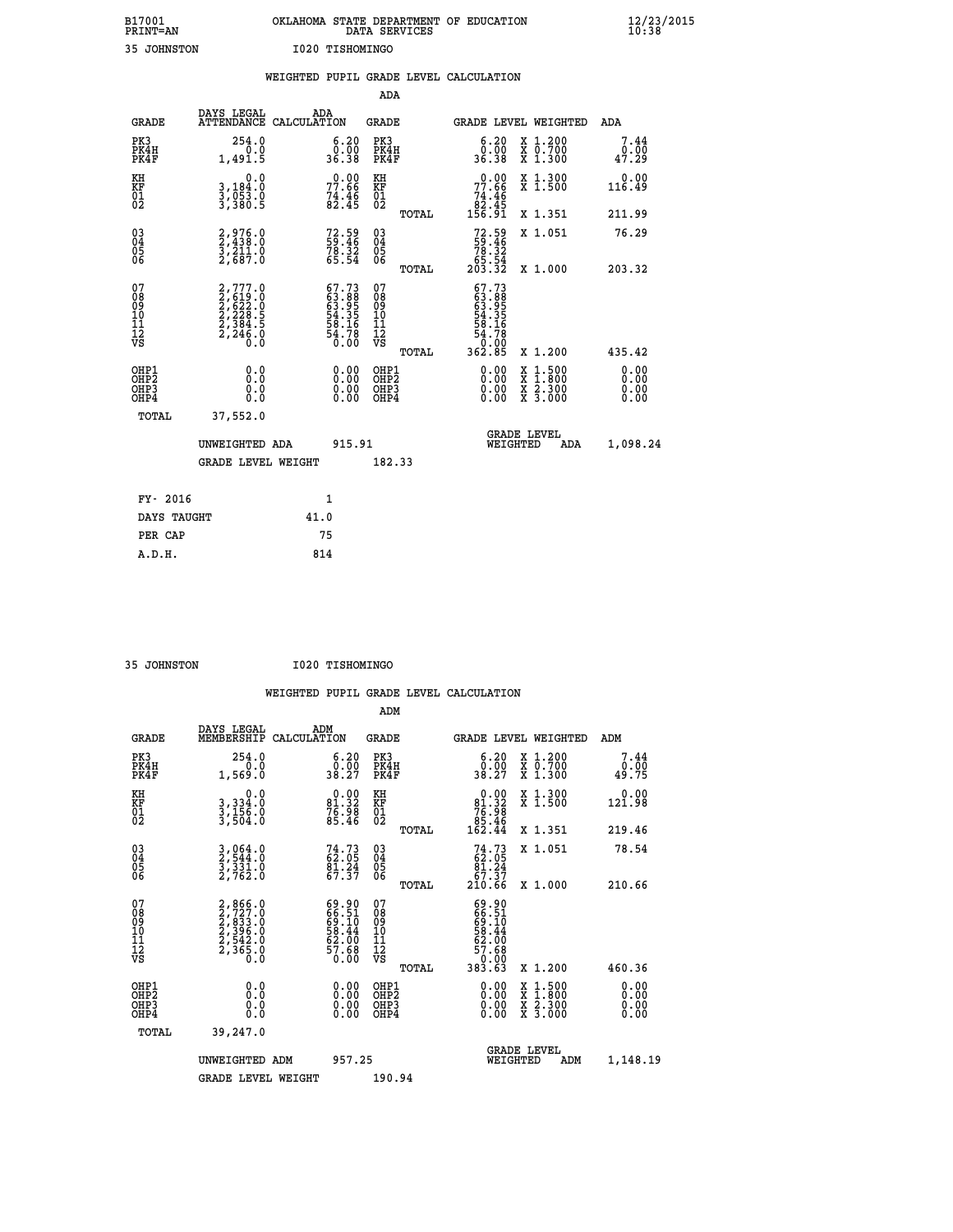| B17001          | OKLAHOMA STATE DEPARTMENT OF EDUCATION |
|-----------------|----------------------------------------|
| <b>PRINT=AN</b> | DATA SERVICES                          |
| 35 JOHNSTON     | I020 TISHOMINGO                        |

|                                          |                                                                                     | WEIGHTED PUPIL GRADE LEVEL CALCULATION                                   |                                         |       |                                                                                                    |                                          |                              |
|------------------------------------------|-------------------------------------------------------------------------------------|--------------------------------------------------------------------------|-----------------------------------------|-------|----------------------------------------------------------------------------------------------------|------------------------------------------|------------------------------|
|                                          |                                                                                     |                                                                          | <b>ADA</b>                              |       |                                                                                                    |                                          |                              |
| <b>GRADE</b>                             | DAYS LEGAL<br><b>ATTENDANCE</b>                                                     | ADA<br>CALCULATION                                                       | <b>GRADE</b>                            |       |                                                                                                    | GRADE LEVEL WEIGHTED                     | ADA                          |
| PK3<br>PK4H<br>PK4F                      | 254.0<br>1,491.5                                                                    | $\begin{smallmatrix} 6.20\ 0.00\ 36.38 \end{smallmatrix}$                | PK3<br>PK4H<br>PK4F                     |       | 6.20<br>Ŏ.ŌŎ<br>36.38                                                                              | X 1.200<br>X 0.700<br>X 1.300            | 7.44<br>0.00<br>47.29        |
| KH<br>KF<br>01<br>02                     | 0.0<br>3,184:0<br>3,053.0<br>3,380:5                                                | $77.66$<br>$74.46$<br>$82.45$                                            | KH<br>KF<br>01<br>02                    |       | $\begin{smallmatrix} &0.00\ 77.66\ 74.46\ 82.45\ 156.91\end{smallmatrix}$                          | X 1.300<br>X 1.500                       | 0.00<br>116.49               |
|                                          |                                                                                     |                                                                          |                                         | TOTAL |                                                                                                    | X 1.351                                  | 211.99                       |
| $^{03}_{04}$<br>Ŏ5<br>06                 | $2,976.0$<br>$2,438.0$<br>$3,211.0$<br>$2,687.0$                                    | $72.59$<br>$59.46$<br>$78.32$<br>$65.54$                                 | 03<br>04<br>05<br>06                    |       | $72.59$<br>59.46<br>78.32<br>65.54<br>203.32                                                       | X 1.051                                  | 76.29                        |
|                                          |                                                                                     |                                                                          |                                         | TOTAL |                                                                                                    | X 1.000                                  | 203.32                       |
| 07<br>08<br>09<br>101<br>112<br>VS       | $2,777.0$<br>$2,619.0$<br>$2,622.0$<br>$2,228.5$<br>$2,384.5$<br>$2,246.0$<br>$0.0$ | $67.73$<br>$63.88$<br>$63.95$<br>$54.35$<br>$58.16$<br>$54.78$<br>$0.00$ | 07<br>08<br>09<br>101<br>11<br>12<br>VS | TOTAL | $\begin{smallmatrix} 67.73\ 63.89\ 63.955\ 64.356\ 54.78\ 54.780\ 0.005\ 362.85 \end{smallmatrix}$ | X 1.200                                  | 435.42                       |
| OHP1<br>OHP2<br>OH <sub>P3</sub><br>OHP4 | 0.0<br>Ō.Ō<br>Ō.Ō                                                                   | 0.00<br>$\begin{smallmatrix} 0.00 \ 0.00 \end{smallmatrix}$              | OHP1<br>OHP2<br>OHP3<br>OHP4            |       | 0.00<br>0.00<br>0.00                                                                               | X 1:500<br>X 1:800<br>X 2:300<br>X 3:000 | 0.00<br>0.00<br>0.00<br>0.00 |
| TOTAL                                    | 37,552.0                                                                            |                                                                          |                                         |       |                                                                                                    |                                          |                              |
|                                          | UNWEIGHTED ADA                                                                      | 915.91                                                                   |                                         |       |                                                                                                    | GRADE LEVEL<br>WEIGHTED<br>ADA           | 1,098.24                     |
|                                          | <b>GRADE LEVEL WEIGHT</b>                                                           |                                                                          | 182.33                                  |       |                                                                                                    |                                          |                              |
| FY- 2016                                 |                                                                                     | $\mathbf{1}$                                                             |                                         |       |                                                                                                    |                                          |                              |
| DAYS TAUGHT                              |                                                                                     | 41.0                                                                     |                                         |       |                                                                                                    |                                          |                              |
| PER CAP                                  |                                                                                     | 75                                                                       |                                         |       |                                                                                                    |                                          |                              |

 **35 JOHNSTON I020 TISHOMINGO**

|  |     | WEIGHTED PUPIL GRADE LEVEL CALCULATION |
|--|-----|----------------------------------------|
|  | ADM |                                        |

| <b>GRADE</b>                                       | DAYS LEGAL<br>MEMBERSHIP                                                                 | ADM<br>CALCULATION                                                   | <b>GRADE</b>                                       |       |                                                                       |          | GRADE LEVEL WEIGHTED                                                                                                                      | ADM                          |  |
|----------------------------------------------------|------------------------------------------------------------------------------------------|----------------------------------------------------------------------|----------------------------------------------------|-------|-----------------------------------------------------------------------|----------|-------------------------------------------------------------------------------------------------------------------------------------------|------------------------------|--|
| PK3<br>PK4H<br>PK4F                                | 254.0<br>1,569.0                                                                         | 6.20<br>0.00<br>38.27                                                | PK3<br>PK4H<br>PK4F                                |       | 6.20<br>$\frac{0.00}{38.27}$                                          |          | X 1.200<br>X 0.700<br>X 1.300                                                                                                             | 7.44<br>0.00<br>49.75        |  |
| KH<br>KF<br>01<br>02                               | 0.0<br>3, 334:0<br>3, 156:0<br>3, 504:0                                                  | $\begin{smallmatrix} 0.00\\81.32\\76.98\\85.46\end{smallmatrix}$     | KH<br>KF<br>01<br>02                               |       | $0.00\n81.32\n76.98\n85.46\n162.44$                                   |          | X 1.300<br>X 1.500                                                                                                                        | 0.00<br>121.98               |  |
|                                                    |                                                                                          |                                                                      |                                                    | TOTAL |                                                                       |          | X 1.351                                                                                                                                   | 219.46                       |  |
| $\begin{matrix} 03 \\ 04 \\ 05 \\ 06 \end{matrix}$ | $\frac{3}{2}, \frac{064}{544}.0$<br>$\frac{3}{3}, \frac{331}{32}.0$<br>$\frac{2}{762}.0$ | $74.73$<br>62.05<br>81.24<br>67.37                                   | $\begin{matrix} 03 \\ 04 \\ 05 \\ 06 \end{matrix}$ |       | $74.73\n62.05\n81.24\n67.37\n210.66$                                  |          | X 1.051                                                                                                                                   | 78.54                        |  |
|                                                    |                                                                                          |                                                                      |                                                    | TOTAL |                                                                       |          | X 1.000                                                                                                                                   | 210.66                       |  |
| 07<br>08<br>09<br>101<br>11<br>12<br>VS            | $2,866.0$<br>$2,727.0$<br>$2,833.0$<br>$2,396.0$<br>$2,542.0$<br>$2,365.0$<br>$0.0$      | 69.90<br>66.51<br>69.10<br>69.44<br>58.44<br>62.00<br>57.68<br>50.00 | 07<br>08<br>09<br>11<br>11<br>12<br>VS             |       | 69.90<br>66.51<br>69.10<br>68.44<br>57.68<br>57.68<br>0.000<br>383.63 |          |                                                                                                                                           |                              |  |
|                                                    |                                                                                          |                                                                      |                                                    | TOTAL |                                                                       |          | X 1.200                                                                                                                                   | 460.36                       |  |
| OHP1<br>OHP2<br>OHP <sub>3</sub><br>OHP4           | 0.0<br>0.000                                                                             | $0.00$<br>$0.00$<br>0.00                                             | OHP1<br>OHP2<br>OHP <sub>3</sub><br>OHP4           |       | $0.00$<br>$0.00$<br>0.00                                              |          | $\begin{smallmatrix} \mathtt{X} & 1\cdot500\\ \mathtt{X} & 1\cdot800\\ \mathtt{X} & 2\cdot300\\ \mathtt{X} & 3\cdot000 \end{smallmatrix}$ | 0.00<br>0.00<br>0.00<br>0.00 |  |
| TOTAL                                              | 39,247.0                                                                                 |                                                                      |                                                    |       |                                                                       |          |                                                                                                                                           |                              |  |
|                                                    | UNWEIGHTED ADM                                                                           | 957.25                                                               |                                                    |       |                                                                       | WEIGHTED | <b>GRADE LEVEL</b><br>ADM                                                                                                                 | 1,148.19                     |  |
|                                                    | <b>GRADE LEVEL WEIGHT</b>                                                                |                                                                      | 190.94                                             |       |                                                                       |          |                                                                                                                                           |                              |  |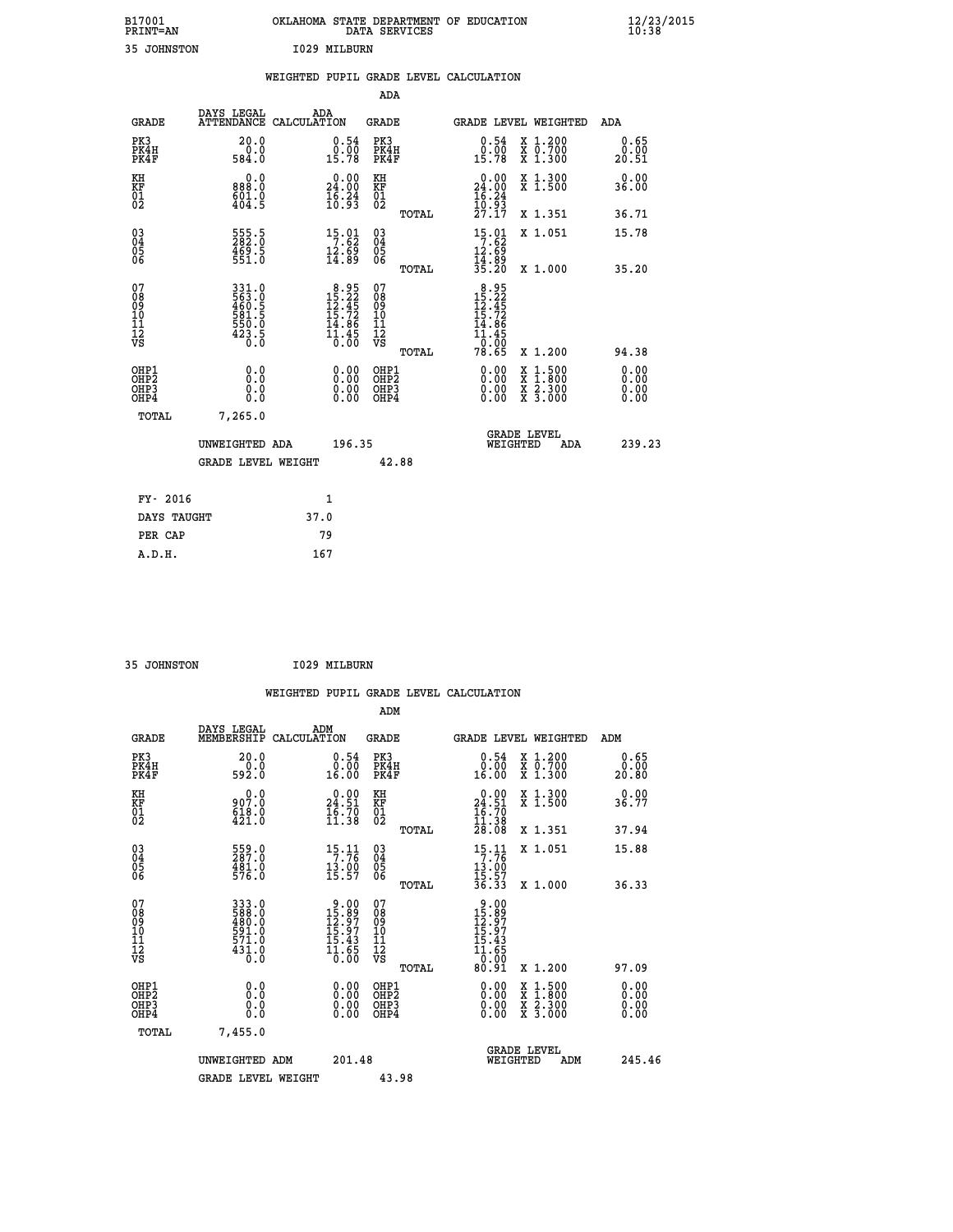| B17001<br><b>PRINT=AN</b> | OKLAHOMA STATE DEPARTMENT OF EDUCATION<br>DATA SERVICES | $\frac{12}{23}$ /2015 |
|---------------------------|---------------------------------------------------------|-----------------------|
| 35<br>JOHNSTON            | 1029 MILBURN                                            |                       |

|                                                      |                                                             | WEIGHTED PUPIL GRADE LEVEL CALCULATION                                                 |                                                     |       |                                                                                     |                                          |                       |
|------------------------------------------------------|-------------------------------------------------------------|----------------------------------------------------------------------------------------|-----------------------------------------------------|-------|-------------------------------------------------------------------------------------|------------------------------------------|-----------------------|
|                                                      |                                                             |                                                                                        | <b>ADA</b>                                          |       |                                                                                     |                                          |                       |
| <b>GRADE</b>                                         | DAYS LEGAL<br><b>ATTENDANCE</b>                             | ADA<br>CALCULATION                                                                     | <b>GRADE</b>                                        |       | GRADE LEVEL WEIGHTED                                                                |                                          | ADA                   |
| PK3<br>PK4H<br>PK4F                                  | 20.0<br>584.0                                               | $\begin{smallmatrix} 0.54\ 0.00\\ 15.78 \end{smallmatrix}$                             | PK3<br>PK4H<br>PK4F                                 |       | $\begin{smallmatrix} 0.54\ 0.00\\ 15.78 \end{smallmatrix}$                          | X 1.200<br>X 0.700<br>X 1.300            | 0.65<br>0.00<br>20.51 |
| KH<br>KF<br>01<br>02                                 | 0.0<br>888.0<br>601.0<br>404.5                              | $\begin{smallmatrix} 0.00\\24.00\\16.24\\10.93 \end{smallmatrix}$                      | KH<br>KF<br>01<br>02                                |       | $\begin{smallmatrix} 0.00\\24.00\\16.24\\10.93\\27.17 \end{smallmatrix}$            | X 1.300<br>X 1.500                       | 0.00<br>36.00         |
|                                                      |                                                             |                                                                                        |                                                     | TOTAL |                                                                                     | X 1.351                                  | 36.71                 |
| $^{03}_{04}$<br>Ŏ5<br>06                             | 555.5<br>282.0<br>$\frac{469.5}{551.0}$                     | $\begin{array}{c} 15 \cdot 01 \\ 7 \cdot 62 \\ 12 \cdot 69 \\ 14 \cdot 89 \end{array}$ | $\begin{array}{c} 03 \\ 04 \\ 05 \\ 06 \end{array}$ |       | $15.01$<br>7.62                                                                     | X 1.051                                  | 15.78                 |
|                                                      |                                                             |                                                                                        |                                                     | TOTAL | $\frac{12.69}{14.89}$<br>$\frac{35.20}{8}$                                          | X 1.000                                  | 35.20                 |
| 07<br>08<br>09<br>11<br>11<br>12<br>VS               | 331.0<br>563.0<br>560.5<br>460.5<br>550.0<br>550.0<br>423.5 | $\begin{smallmatrix}8.95\\15.22\\12.45\\15.72\\14.86\\11.45\\0.00\end{smallmatrix}$    | 07<br>08<br>09<br>101<br>11<br>12<br>VS             | TOTAL | $8.95$<br>$15.22$<br>$12.45$<br>$15.72$<br>$14.86$<br>$\frac{11.45}{0.00}$<br>78.65 | X 1.200                                  | 94.38                 |
| OHP1<br>OHP <sub>2</sub><br>OH <sub>P3</sub><br>OHP4 | 0.0<br>0.0<br>Ō.Ō                                           | 0.00<br>$\begin{smallmatrix} 0.00 \ 0.00 \end{smallmatrix}$                            | OHP1<br>OHP2<br>OHP3<br>OHP4                        |       | 0.00<br>0.00<br>0.00                                                                | X 1:500<br>X 1:800<br>X 2:300<br>X 3:000 | 0.00<br>0.00<br>0.00  |
| TOTAL                                                | 7,265.0                                                     |                                                                                        |                                                     |       |                                                                                     |                                          |                       |
|                                                      | UNWEIGHTED ADA                                              | 196.35                                                                                 |                                                     |       | WEIGHTED                                                                            | <b>GRADE LEVEL</b><br>ADA                | 239.23                |
|                                                      | <b>GRADE LEVEL WEIGHT</b>                                   |                                                                                        | 42.88                                               |       |                                                                                     |                                          |                       |
| FY- 2016                                             |                                                             | $\mathbf{1}$                                                                           |                                                     |       |                                                                                     |                                          |                       |
| DAYS TAUGHT                                          |                                                             | 37.0                                                                                   |                                                     |       |                                                                                     |                                          |                       |
| PER CAP                                              |                                                             | 79                                                                                     |                                                     |       |                                                                                     |                                          |                       |

| A.D.H. | __<br>167 |
|--------|-----------|
|        |           |

| 35 JOHNSTON | I029 MILBURN |
|-------------|--------------|

|                                                      |                                                                  | WEIGHTED PUPIL GRADE LEVEL CALCULATION                                                                                      |                                                     |       |                                                                                               |                                          |                               |
|------------------------------------------------------|------------------------------------------------------------------|-----------------------------------------------------------------------------------------------------------------------------|-----------------------------------------------------|-------|-----------------------------------------------------------------------------------------------|------------------------------------------|-------------------------------|
|                                                      |                                                                  |                                                                                                                             | ADM                                                 |       |                                                                                               |                                          |                               |
| <b>GRADE</b>                                         | DAYS LEGAL<br>MEMBERSHIP                                         | ADM<br>CALCULATION                                                                                                          | <b>GRADE</b>                                        |       |                                                                                               | GRADE LEVEL WEIGHTED                     | ADM                           |
| PK3<br>PK4H<br>PK4F                                  | 20.0<br>592.0                                                    | $\begin{smallmatrix} 0.54\ 0.00\ 16.00 \end{smallmatrix}$                                                                   | PK3<br>PK4H<br>PK4F                                 |       | $\begin{smallmatrix} 0.54\ 0.00\ 16.00 \end{smallmatrix}$                                     | X 1.200<br>X 0.700<br>X 1.300            | 0.65<br>0.00<br>20.80         |
| KH<br>KF<br>01<br>02                                 | $0.0$<br>$0.0$<br>$\frac{618.0}{421.0}$                          | $\begin{smallmatrix} 0.00\\24.51\\16.70\\11.38 \end{smallmatrix}$                                                           | KH<br>KF<br>01<br>02                                |       | $\begin{smallmatrix} 0.00\\24.51\\16.70\\11.38\\28.08 \end{smallmatrix}$                      | X 1.300<br>X 1.500                       | 0.00<br>36.77                 |
|                                                      |                                                                  |                                                                                                                             | TOTAL                                               |       |                                                                                               | X 1.351<br>X 1.051                       | 37.94<br>15.88                |
| $\begin{matrix} 03 \\ 04 \\ 05 \\ 06 \end{matrix}$   | 559.0<br>481.0<br>576.0                                          | $15.11$<br>7.76<br>$\frac{13.00}{15.57}$                                                                                    | $\begin{array}{c} 03 \\ 04 \\ 05 \\ 06 \end{array}$ | TOTAL | $15.11$<br>7.76<br>$\frac{13.00}{15.57}$<br>36.33                                             | X 1.000                                  | 36.33                         |
| 07<br>0890112<br>1112<br>VS                          | 333.0<br>588.0<br>480.0<br>591.0<br>571.0<br>$\frac{431.0}{0.0}$ | $\begin{array}{r} 9.00 \\[-4pt] 15.89 \\[-4pt] 12.97 \\[-4pt] 15.43 \\[-4pt] 15.43 \\[-4pt] 1.65 \\[-4pt] 0.00 \end{array}$ | 07<br>08901112<br>1112<br>VS                        | TOTAL | $\begin{array}{r} 9.00 \\ 15.997 \\ 12.977 \\ 15.435 \\ 11.650 \\ 0.001 \\ 80.91 \end{array}$ | X 1.200                                  | 97.09                         |
| OHP1<br>OHP <sub>2</sub><br>OH <sub>P3</sub><br>OHP4 | 0.0<br>0.000                                                     | $0.00$<br>$0.00$<br>0.00                                                                                                    | OHP1<br>OHP <sub>2</sub><br>OHP <sub>3</sub>        |       | 0.00<br>0.00<br>0.00                                                                          | X 1:500<br>X 1:800<br>X 2:300<br>X 3:000 | 0.00<br>Ō. ŌŌ<br>0.00<br>0.00 |
| TOTAL                                                | 7,455.0                                                          |                                                                                                                             |                                                     |       |                                                                                               |                                          |                               |
|                                                      | UNWEIGHTED ADM                                                   | 201.48                                                                                                                      |                                                     |       | WEIGHTED                                                                                      | <b>GRADE LEVEL</b><br>ADM                | 245.46                        |
|                                                      | <b>GRADE LEVEL WEIGHT</b>                                        |                                                                                                                             | 43.98                                               |       |                                                                                               |                                          |                               |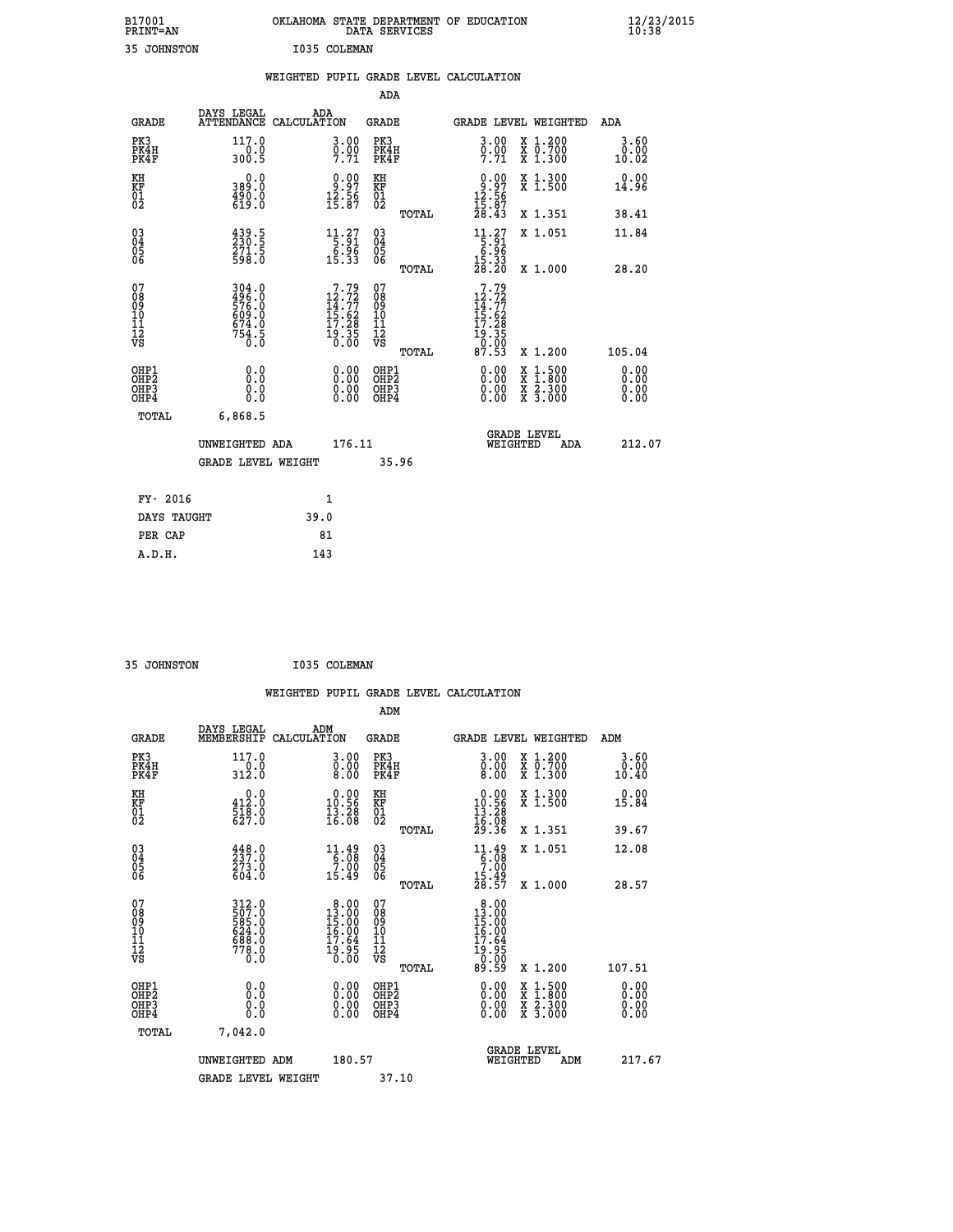| B17001<br><b>PRINT=AN</b> | OKLAHOMA STATE DEPARTMENT OF EDUCATION<br>DATA SERVICES |  |
|---------------------------|---------------------------------------------------------|--|
| 35 JOHNSTON               | I035 COLEMAN                                            |  |

|                                                                    |                                                             | WEIGHTED PUPIL GRADE LEVEL CALCULATION                                                                          |                                                     |       |                                                                                                 |                                                                                                                                           |                              |
|--------------------------------------------------------------------|-------------------------------------------------------------|-----------------------------------------------------------------------------------------------------------------|-----------------------------------------------------|-------|-------------------------------------------------------------------------------------------------|-------------------------------------------------------------------------------------------------------------------------------------------|------------------------------|
|                                                                    |                                                             |                                                                                                                 | <b>ADA</b>                                          |       |                                                                                                 |                                                                                                                                           |                              |
| <b>GRADE</b>                                                       | DAYS LEGAL                                                  | ADA<br>ATTENDANCE CALCULATION                                                                                   | GRADE                                               |       |                                                                                                 | GRADE LEVEL WEIGHTED                                                                                                                      | ADA                          |
| PK3<br>PK4H<br>PK4F                                                | 117.0<br>$\frac{-0.0}{300.5}$                               | $\begin{smallmatrix} 3.00\ 0.00\ 7.71 \end{smallmatrix}$                                                        | PK3<br>PK4H<br>PK4F                                 |       | 3.00<br>$\frac{0}{7}$ . $\frac{0}{7}$                                                           | X 1.200<br>X 0.700<br>X 1.300                                                                                                             | 3.60<br>0.00<br>10.02        |
| KH<br>KF<br>01<br>02                                               | 0.0<br>389.0<br>$\frac{490.0}{619.0}$                       | $\begin{smallmatrix} 0.00\\ 9.97\\ 12.56\\ 15.87 \end{smallmatrix}$                                             | KH<br>KF<br>01<br>02                                |       | $0.97$<br>$12.56$<br>$15.87$<br>$28.43$                                                         | X 1.300<br>X 1.500                                                                                                                        | 0.00<br>14.96                |
|                                                                    |                                                             |                                                                                                                 |                                                     | TOTAL |                                                                                                 | X 1.351                                                                                                                                   | 38.41                        |
| $\begin{smallmatrix} 03 \\[-4pt] 04 \end{smallmatrix}$<br>Ŏ5<br>06 | 439.5<br>230.5<br>271.5<br>598.0                            | $\begin{array}{r} 11.27 \\[-4pt] 5.91 \\[-4pt] 6.96 \\[-4pt] 15.33 \end{array}$                                 | $\begin{array}{c} 03 \\ 04 \\ 05 \\ 06 \end{array}$ |       | $\begin{array}{r} 11.27 \\[-4pt] 5.91 \\[-4pt] 6.96 \\[-4pt] 15.33 \\[-4pt] 28.20 \end{array}$  | X 1.051                                                                                                                                   | 11.84                        |
|                                                                    |                                                             |                                                                                                                 |                                                     | TOTAL |                                                                                                 | X 1.000                                                                                                                                   | 28.20                        |
| 07<br>08<br>09<br>11<br>11<br>12<br>VS                             | 304.0<br>496.0<br>576.0<br>576.0<br>609.0<br>674.0<br>754.5 | $\begin{smallmatrix}7\cdot79\\12\cdot72\\14\cdot77\\15\cdot62\\17\cdot28\\19\cdot35\\0\cdot00\end{smallmatrix}$ | 07<br>08<br>09<br>11<br>11<br>12<br>VS              | TOTAL | 7.79<br>$12.72$<br>$14.77$<br>$15.62$<br>$17.28$<br>$\frac{19}{0} \cdot \frac{35}{00}$<br>87.53 | X 1.200                                                                                                                                   | 105.04                       |
| OHP1<br>OHP2<br>OH <sub>P3</sub><br>OHP4                           | 0.0<br>0.0<br>0.0                                           | $\begin{smallmatrix} 0.00 \ 0.00 \ 0.00 \ 0.00 \end{smallmatrix}$                                               | OHP1<br>OHP2<br>OHP3<br>OHP4                        |       | $0.00$<br>$0.00$<br>0.00                                                                        | $\begin{smallmatrix} \mathtt{X} & 1\cdot500\\ \mathtt{X} & 1\cdot800\\ \mathtt{X} & 2\cdot300\\ \mathtt{X} & 3\cdot000 \end{smallmatrix}$ | 0.00<br>0.00<br>0.00<br>0.00 |
| TOTAL                                                              | 6,868.5                                                     |                                                                                                                 |                                                     |       |                                                                                                 |                                                                                                                                           |                              |
|                                                                    | UNWEIGHTED ADA                                              | 176.11                                                                                                          |                                                     |       | WEIGHTED                                                                                        | <b>GRADE LEVEL</b><br>ADA                                                                                                                 | 212.07                       |
|                                                                    | <b>GRADE LEVEL WEIGHT</b>                                   |                                                                                                                 | 35.96                                               |       |                                                                                                 |                                                                                                                                           |                              |
| FY- 2016                                                           |                                                             | $\mathbf{1}$                                                                                                    |                                                     |       |                                                                                                 |                                                                                                                                           |                              |
| DAYS TAUGHT                                                        |                                                             | 39.0                                                                                                            |                                                     |       |                                                                                                 |                                                                                                                                           |                              |
| PER CAP                                                            |                                                             | 81                                                                                                              |                                                     |       |                                                                                                 |                                                                                                                                           |                              |

 **A.D.H. 143**

 **35 JOHNSTON I035 COLEMAN**

|                                                    |                                                                     |                                                                                                                              |                                                     |       | WEIGHTED PUPIL GRADE LEVEL CALCULATION                                                            |                                          |                       |
|----------------------------------------------------|---------------------------------------------------------------------|------------------------------------------------------------------------------------------------------------------------------|-----------------------------------------------------|-------|---------------------------------------------------------------------------------------------------|------------------------------------------|-----------------------|
|                                                    |                                                                     |                                                                                                                              |                                                     | ADM   |                                                                                                   |                                          |                       |
| <b>GRADE</b>                                       | DAYS LEGAL<br>MEMBERSHIP                                            | ADM<br>CALCULATION                                                                                                           | <b>GRADE</b>                                        |       |                                                                                                   | GRADE LEVEL WEIGHTED                     | ADM                   |
| PK3<br>PK4H<br>PK4F                                | 117.0<br>$\frac{1}{312.0}$                                          | 3.00<br>$\begin{smallmatrix} 0.00\ 0.00 \end{smallmatrix}$                                                                   | PK3<br>PK4H<br>PK4F                                 |       | $\begin{smallmatrix} 3 & 0 & 0 \\ 0 & 0 & 0 \\ 8 & 0 & 0 \end{smallmatrix}$                       | X 1.200<br>X 0.700<br>X 1.300            | 3.60<br>0.00<br>10.40 |
| KH<br>KF<br>01<br>02                               | $\begin{smallmatrix} 0.0\\ 412.0\\ 518.0\\ 627.0 \end{smallmatrix}$ | $\begin{smallmatrix} 0.00\\ 10.56\\ 13.28\\ 16.08 \end{smallmatrix}$                                                         | KH<br>KF<br>01<br>02                                |       | $\begin{array}{r} 0.00 \\ 10.56 \\ 13.28 \\ 16.08 \\ 29.36 \end{array}$                           | X 1.300<br>X 1.500                       | 0.00<br>15.84         |
|                                                    |                                                                     |                                                                                                                              |                                                     | TOTAL |                                                                                                   | X 1.351                                  | 39.67                 |
| $\begin{matrix} 03 \\ 04 \\ 05 \\ 06 \end{matrix}$ | $448.0$<br>$237.0$<br>$273.0$<br>$604.0$                            | $11.49\n6.08\n7.00\n15.49$                                                                                                   | $\begin{array}{c} 03 \\ 04 \\ 05 \\ 06 \end{array}$ |       | $11.49$<br>$6.08$<br>$7.00$<br>$\frac{15.49}{28.57}$                                              | X 1.051                                  | 12.08                 |
|                                                    |                                                                     |                                                                                                                              |                                                     | TOTAL |                                                                                                   | X 1.000                                  | 28.57                 |
| 07<br>0890112<br>1112<br>VS                        | 312.0<br>507.0<br>585.0<br>524.0<br>624.0<br>688.0<br>778.0         | $\begin{array}{r} 8.00 \\[-4pt] 13.00 \\[-4pt] 15.00 \\[-4pt] 16.00 \\[-4pt] 17.64 \\[-4pt] 19.95 \\[-4pt] 0.00 \end{array}$ | 07<br>08901112<br>1112<br>VS                        | TOTAL | $\begin{array}{r} 8.00 \\ 13.00 \\ 15.00 \\ 16.00 \\ 17.64 \\ 19.95 \\ 0.00 \\ 89.59 \end{array}$ | X 1.200                                  | 107.51                |
| OHP1                                               |                                                                     |                                                                                                                              | OHP1                                                |       |                                                                                                   |                                          | 0.00                  |
| OHP <sub>2</sub><br>OH <sub>P3</sub><br>OHP4       | 0.0<br>0.000                                                        | $0.00$<br>$0.00$<br>0.00                                                                                                     | OHP <sub>2</sub><br>OHP <sub>3</sub>                |       | 0.00<br>0.00<br>0.00                                                                              | X 1:500<br>X 1:800<br>X 2:300<br>X 3:000 | 0.00<br>0.00<br>0.00  |
| TOTAL                                              | 7.042.0                                                             |                                                                                                                              |                                                     |       |                                                                                                   |                                          |                       |
|                                                    | UNWEIGHTED ADM                                                      |                                                                                                                              | 180.57                                              |       | WEIGHTED                                                                                          | <b>GRADE LEVEL</b><br>ADM                | 217.67                |
|                                                    | <b>GRADE LEVEL WEIGHT</b>                                           |                                                                                                                              |                                                     | 37.10 |                                                                                                   |                                          |                       |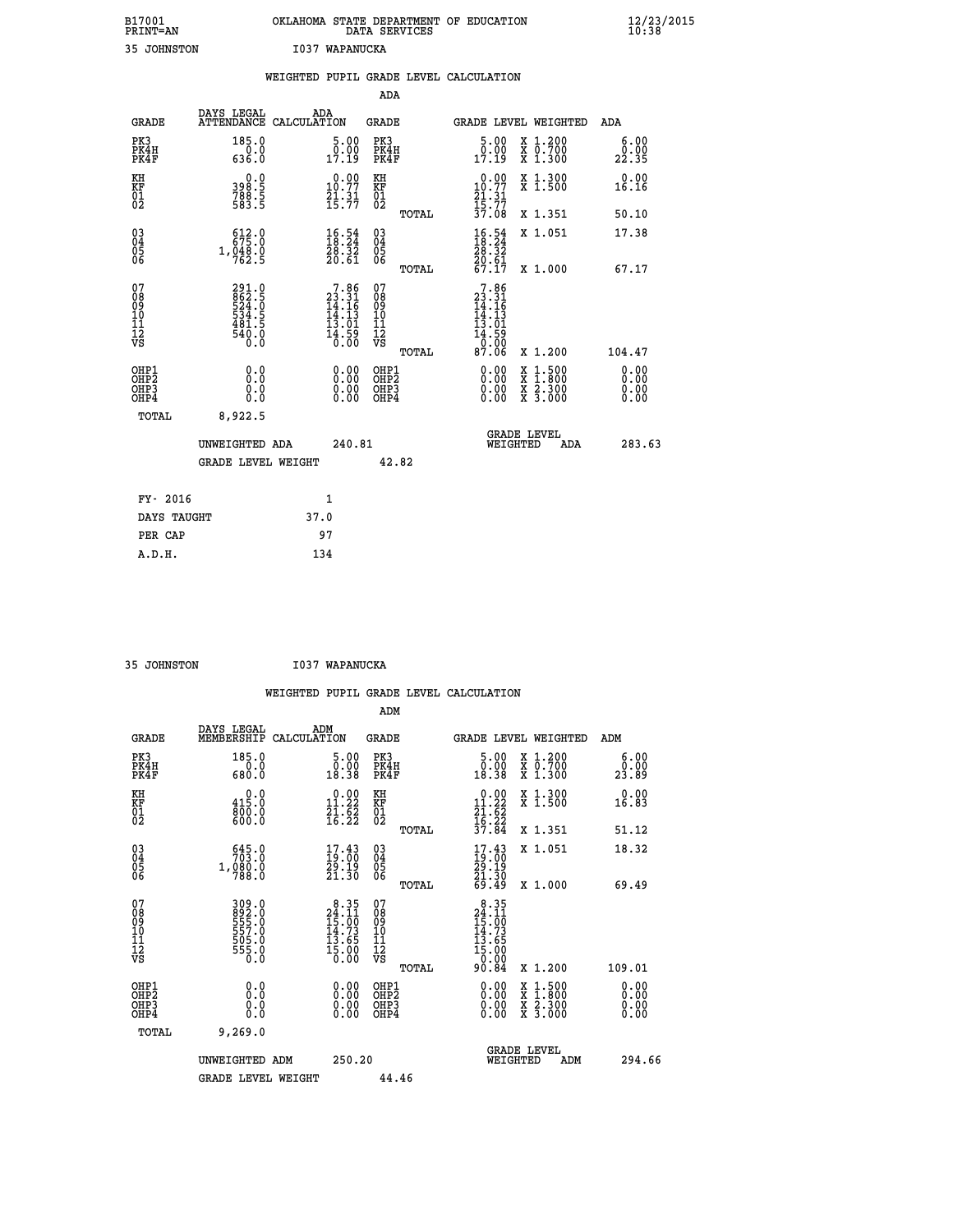| B17001<br><b>PRINT=AN</b> | OKLAHOMA STATE DEPARTMENT OF EDUCATION<br>DATA SERVICES | $\frac{12}{23}$ /2015 |
|---------------------------|---------------------------------------------------------|-----------------------|
| 35 JOHNSTON               | I037<br>WAPANUCKA                                       |                       |

|                                                                    |                              |                                                             |      |                                                                                      |                                        |       | WEIGHTED PUPIL GRADE LEVEL CALCULATION                                    |                                |                              |
|--------------------------------------------------------------------|------------------------------|-------------------------------------------------------------|------|--------------------------------------------------------------------------------------|----------------------------------------|-------|---------------------------------------------------------------------------|--------------------------------|------------------------------|
|                                                                    |                              |                                                             |      |                                                                                      | <b>ADA</b>                             |       |                                                                           |                                |                              |
|                                                                    | <b>GRADE</b>                 | DAYS LEGAL<br>ATTENDANCE CALCULATION                        | ADA  |                                                                                      | <b>GRADE</b>                           |       |                                                                           | GRADE LEVEL WEIGHTED           | ADA                          |
|                                                                    | PK3<br>PK4H<br>PK4F          | 185.0<br>$\frac{0.0}{636.0}$                                |      | $\begin{smallmatrix}5.00\0.00\\17.19\end{smallmatrix}$                               | PK3<br>PK4H<br>PK4F                    |       | 5.00<br>0.00<br>17.19                                                     | X 1.200<br>X 0.700<br>X 1.300  | 6.00<br>0.00<br>22.35        |
| KH<br>KF<br>01<br>02                                               |                              | 0.0<br>398:5<br>788:5<br>583:5                              |      | $10.00$<br>10.77<br>$\frac{21}{15}$ : $\frac{31}{7}$                                 | KH<br>KF<br>01<br>02                   |       | $0.00$<br>10.77<br>$\frac{21}{15}$ : 31<br>$\frac{7}{37}$ . 08            | X 1.300<br>X 1.500             | 0.00<br>16.16                |
|                                                                    |                              |                                                             |      |                                                                                      |                                        | TOTAL |                                                                           | X 1.351                        | 50.10                        |
| $\begin{smallmatrix} 03 \\[-4pt] 04 \end{smallmatrix}$<br>Ŏ5<br>06 |                              | 612.0<br>$1,\frac{048}{762}.\frac{0}{5}$                    |      | $\frac{16.54}{18.24}$<br>28.32<br>20.61                                              | $\substack{03 \\ 04}$<br>Ŏ5<br>06      |       | $16.54$<br>$18.24$<br>$\frac{28.32}{20.61}$<br>67.17                      | X 1.051                        | 17.38                        |
|                                                                    |                              |                                                             |      |                                                                                      |                                        | TOTAL |                                                                           | X 1.000                        | 67.17                        |
| 07<br>08<br>09<br>101<br>112<br>VS                                 |                              | 291.0<br>862.5<br>524.0<br>534.5<br>534.5<br>481.5<br>540.0 |      | $\begin{smallmatrix}7.86\\23.31\\14.16\\14.13\\13.01\\14.59\\16.00\end{smallmatrix}$ | 07<br>08<br>09<br>11<br>11<br>12<br>VS | TOTAL | 7.86<br>23:31<br>14:16<br>14:13<br>13:01<br>$\frac{14.59}{0.00}$<br>87.06 | X 1.200                        | 104.47                       |
|                                                                    | OHP1<br>OHP2<br>OHP3<br>OHP4 | 0.0<br>0.0<br>Ō.Ō                                           |      | 0.00<br>$\begin{smallmatrix} 0.00 \ 0.00 \end{smallmatrix}$                          | OHP1<br>OHP2<br>OHP3<br>OHP4           |       | 0.00<br>0.00<br>0.00                                                      | X 1:500<br>X 2.300<br>X 3.000  | 0.00<br>0.00<br>0.00<br>0.00 |
|                                                                    | <b>TOTAL</b>                 | 8,922.5                                                     |      |                                                                                      |                                        |       |                                                                           |                                |                              |
|                                                                    |                              | UNWEIGHTED ADA                                              |      | 240.81                                                                               |                                        |       |                                                                           | GRADE LEVEL<br>WEIGHTED<br>ADA | 283.63                       |
|                                                                    |                              | <b>GRADE LEVEL WEIGHT</b>                                   |      |                                                                                      | 42.82                                  |       |                                                                           |                                |                              |
|                                                                    | FY- 2016                     |                                                             |      | $\mathbf{1}$                                                                         |                                        |       |                                                                           |                                |                              |
|                                                                    | DAYS TAUGHT                  |                                                             | 37.0 |                                                                                      |                                        |       |                                                                           |                                |                              |
|                                                                    | PER CAP                      |                                                             |      | 97                                                                                   |                                        |       |                                                                           |                                |                              |

 **35 JOHNSTON I037 WAPANUCKA**

 **WEIGHTED PUPIL GRADE LEVEL CALCULATION ADM DAYS LEGAL ADM GRADE MEMBERSHIP CALCULATION GRADE GRADE LEVEL WEIGHTED ADM PK3 185.0 5.00 PK3 5.00 X 1.200 6.00 PK4H 0.0 0.00 PK4H 0.00 X 0.700 0.00 PK4F 680.0 18.38 PK4F 18.38 X 1.300 23.89 KH 0.0 0.00 KH 0.00 X 1.300 0.00 KF 415.0 11.22 KF 11.22 X 1.500 16.83 01 800.0 21.62 01 21.62**  $\frac{02}{2}$  600.0 16.22 02 <sub>nomas</sub> 16.22  **TOTAL 37.84 X 1.351 51.12 03 645.0 17.43 03 17.43 X 1.051 18.32 04 703.0 19.00 04 19.00 05 1,080.0 29.19 05 29.19 06 788.0 21.30 06 21.30 TOTAL 69.49 X 1.000 69.49 07 309.0 8.35 07 8.35**  $98$   $822.9$   $24.11$   $98$   $24.11$  **09 555.0 15.00 09 15.00 10 557.0 14.73 10 14.73 11 505.0 13.65 11 13.65 12 555.0 15.00 12 15.00 VS** 0.0 0.00 VS 0.00 0.00 **109.0**<br> **109.0**<br> **109.0**<br> **109.9**<br> **109.00**<br> **109.00**<br> **109.00**<br> **109.00**<br> **109.00**<br> **109.00**<br> **109.00**<br> **109.01**<br> **109.00**<br> **109.00**<br> **109.00**<br> **109.00**<br> **109.00**<br> **109.00**<br> **109.00**<br> **109.00**<br> **109.00**<br> **109.00**<br> **109.0 OHP1 0.0 0.00 OHP1 0.00 X 1.500 0.00 OHP2 0.0 0.00 OHP2 0.00 X 1.800 0.00 OHP3 0.0 0.00 OHP3 0.00 X 2.300 0.00 OHP4 0.0 0.00 OHP4 0.00 X 3.000 0.00 TOTAL 9,269.0 GRADE LEVEL UNWEIGHTED ADM 250.20 WEIGHTED ADM 294.66** GRADE LEVEL WEIGHT 44.46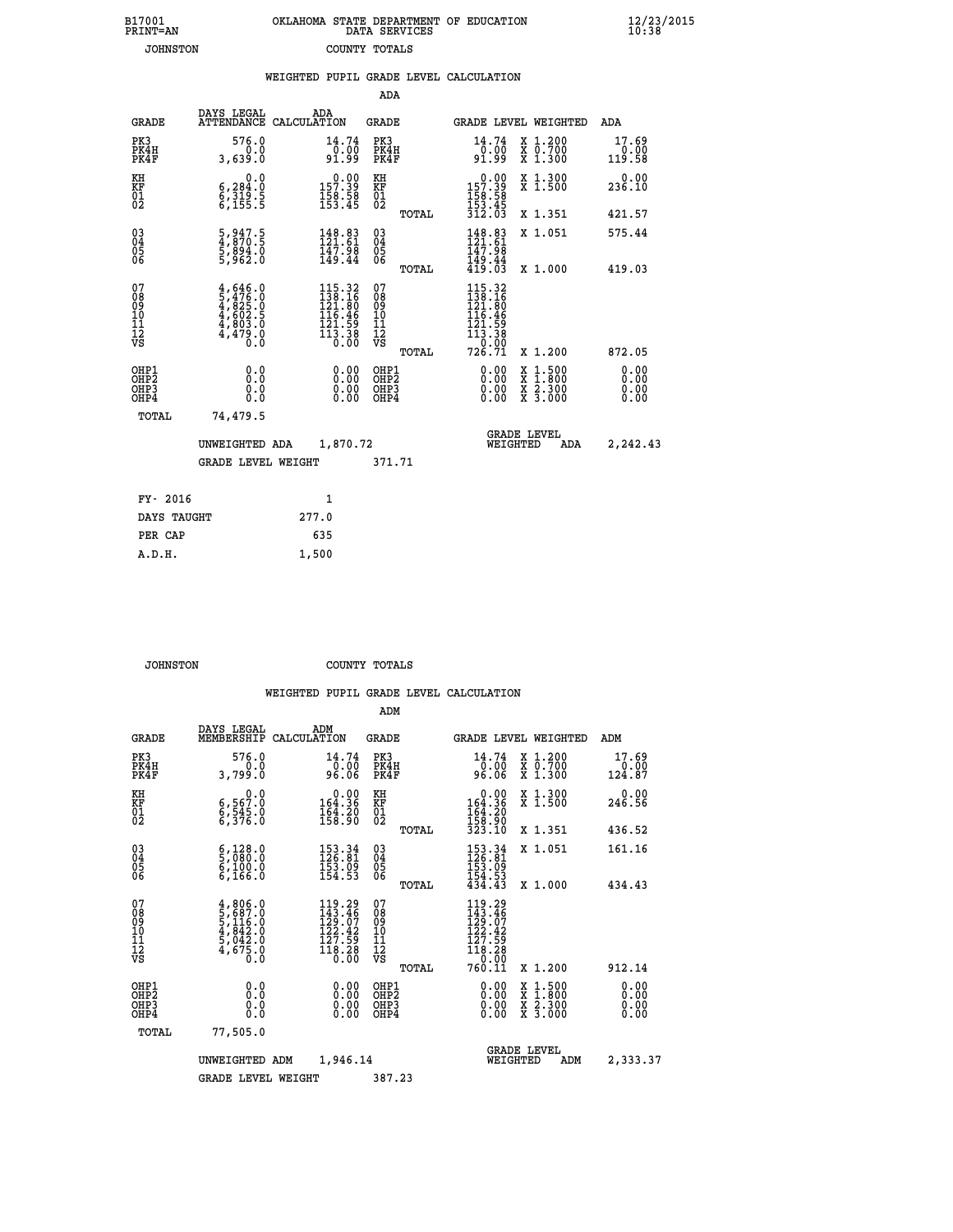| 7001<br>INT=AN | OKLAHOMA STATE DEPARTMENT OF EDUCATION<br>DATA SERVICES |  |
|----------------|---------------------------------------------------------|--|
| JOHNSTON       | COUNTY TOTALS                                           |  |

 **B17001<br>PRINT=AN** 

 **B17001 OKLAHOMA STATE DEPARTMENT OF EDUCATION 12/23/2015**

|                                              |                                                                                                                                                            | WEIGHTED PUPIL GRADE LEVEL CALCULATION                                                                  |                                                  |                                                                                                                                                                                                                                                                                                                                                                                                                             |                              |
|----------------------------------------------|------------------------------------------------------------------------------------------------------------------------------------------------------------|---------------------------------------------------------------------------------------------------------|--------------------------------------------------|-----------------------------------------------------------------------------------------------------------------------------------------------------------------------------------------------------------------------------------------------------------------------------------------------------------------------------------------------------------------------------------------------------------------------------|------------------------------|
|                                              |                                                                                                                                                            |                                                                                                         | ADA                                              |                                                                                                                                                                                                                                                                                                                                                                                                                             |                              |
| <b>GRADE</b>                                 | DAYS LEGAL                                                                                                                                                 | ADA<br>ATTENDANCE CALCULATION                                                                           | <b>GRADE</b>                                     | GRADE LEVEL WEIGHTED                                                                                                                                                                                                                                                                                                                                                                                                        | ADA                          |
| PK3<br>PK4H<br>PK4F                          | 576.0<br>0.0<br>3,639.0                                                                                                                                    | $\begin{smallmatrix} 14.74\ 0.00 \ 91.99 \end{smallmatrix}$                                             | PK3<br>PK4H<br>PK4F                              | 14.74<br>X 1.200<br>X 0.700<br>X 1.300<br>0:00<br>199∶9                                                                                                                                                                                                                                                                                                                                                                     | 17.69<br>0.00<br>119.58      |
| KH<br>KF<br>01<br>02                         | 0.0<br>$\begin{smallmatrix} 6,284.0 \ 6,319.5 \ 6,155.5 \end{smallmatrix}$                                                                                 | $0.00$<br>157.39<br>$\frac{158}{153.45}$                                                                | KH<br>KF<br>01<br>02                             | X 1.300<br>X 1.500<br>$0.00$<br>157.39<br>$\frac{156}{153}$ $\frac{58}{312}$                                                                                                                                                                                                                                                                                                                                                | 0.00<br>236.10               |
|                                              |                                                                                                                                                            |                                                                                                         | TOTAL                                            | X 1.351                                                                                                                                                                                                                                                                                                                                                                                                                     | 421.57                       |
| $^{03}_{04}$<br>Ŏ5<br>06                     | 5,947.5<br>4,870.5<br>5,894.0<br>5,962.0                                                                                                                   | 148.83<br>121.61<br>147.98<br>149.44                                                                    | $\substack{03 \\ 04}$<br>$\frac{05}{06}$         | 148.83<br>121.61<br>147.98<br>X 1.051                                                                                                                                                                                                                                                                                                                                                                                       | 575.44                       |
|                                              |                                                                                                                                                            |                                                                                                         | TOTAL                                            | 149.44<br>419.03<br>X 1.000                                                                                                                                                                                                                                                                                                                                                                                                 | 419.03                       |
| 07<br>08<br>09<br>01<br>11<br>11<br>12<br>VS | $\begin{smallmatrix} 4\,,\,646\,,\,0\\ 5\,,\,476\,,\,0\\ 4\,,\,825\,,\,0\\ 4\,,\,602\,,\,5\\ 4\,,\,803\,,\,0\\ 4\,,\,479\,,\,0\\ 0\,,\,0\end{smallmatrix}$ | $115.32$<br>$138.16$<br>$121.80$<br>$116.46$<br>$\begin{array}{c} 121.59 \\ 113.38 \\ 0.00 \end{array}$ | 07<br>08<br>09<br>101<br>11<br>12<br>VS<br>TOTAL | $115.32$<br>$138.16$<br>$121.80$<br>$115.46$<br>$\begin{array}{c} 111.59 \\ 121.59 \\ 113.38 \\ 0.00 \\ 726.71 \end{array}$<br>X 1.200                                                                                                                                                                                                                                                                                      | 872.05                       |
| OHP1<br>OH <sub>P</sub> 2<br>OHP3<br>OHP4    | 0.0<br>0.000                                                                                                                                               | $\begin{smallmatrix} 0.00 \ 0.00 \ 0.00 \ 0.00 \end{smallmatrix}$                                       | OHP1<br>OHP <sub>2</sub><br>OHP3<br>OHP4         | $\begin{smallmatrix} 0.00 & 0.00 & 0.00 & 0.00 & 0.00 & 0.00 & 0.00 & 0.00 & 0.00 & 0.00 & 0.00 & 0.00 & 0.00 & 0.00 & 0.00 & 0.00 & 0.00 & 0.00 & 0.00 & 0.00 & 0.00 & 0.00 & 0.00 & 0.00 & 0.00 & 0.00 & 0.00 & 0.00 & 0.00 & 0.00 & 0.00 & 0.00 & 0.00 & 0.00 & 0.00 & 0.0$<br>$\begin{smallmatrix} \mathtt{X} & 1\cdot500\\ \mathtt{X} & 1\cdot800\\ \mathtt{X} & 2\cdot300\\ \mathtt{X} & 3\cdot000 \end{smallmatrix}$ | 0.00<br>0.00<br>0.00<br>0.00 |
| TOTAL                                        | 74,479.5                                                                                                                                                   |                                                                                                         |                                                  |                                                                                                                                                                                                                                                                                                                                                                                                                             |                              |
|                                              | UNWEIGHTED ADA                                                                                                                                             | 1,870.72                                                                                                |                                                  | <b>GRADE LEVEL</b><br>WEIGHTED                                                                                                                                                                                                                                                                                                                                                                                              | 2,242.43<br>ADA              |
|                                              | <b>GRADE LEVEL WEIGHT</b>                                                                                                                                  |                                                                                                         | 371.71                                           |                                                                                                                                                                                                                                                                                                                                                                                                                             |                              |
| FY- 2016                                     |                                                                                                                                                            | $\mathbf{1}$                                                                                            |                                                  |                                                                                                                                                                                                                                                                                                                                                                                                                             |                              |
| DAYS TAUGHT                                  |                                                                                                                                                            | 277.0                                                                                                   |                                                  |                                                                                                                                                                                                                                                                                                                                                                                                                             |                              |
| PER CAP                                      |                                                                                                                                                            | 635                                                                                                     |                                                  |                                                                                                                                                                                                                                                                                                                                                                                                                             |                              |

 **JOHNSTON COUNTY TOTALS**

 **A.D.H. 1,500**

 **ADM**

|  |  | WEIGHTED PUPIL GRADE LEVEL CALCOLATION |
|--|--|----------------------------------------|
|  |  |                                        |

| <b>GRADE</b>                                         | DAYS LEGAL                                                                                       | ADM<br>MEMBERSHIP CALCULATION                                                        | <b>GRADE</b>                                  |       | <b>GRADE LEVEL WEIGHTED</b>                                                                                                       |                                          | ADM                       |
|------------------------------------------------------|--------------------------------------------------------------------------------------------------|--------------------------------------------------------------------------------------|-----------------------------------------------|-------|-----------------------------------------------------------------------------------------------------------------------------------|------------------------------------------|---------------------------|
| PK3<br>PK4H<br>PK4F                                  | 576.0<br>0.0<br>3,799.0                                                                          | 14.74<br>_0.00<br>96.06                                                              | PK3<br>PK4H<br>PK4F                           |       | 14.74<br>$96.00$<br>96.06                                                                                                         | X 1.200<br>X 0.700<br>X 1.300            | 17.69<br>$0.00$<br>124.87 |
| KH<br>KF<br>01<br>02                                 | 0.0<br>6,567:0<br>6,545:0<br>6,376:0                                                             | $0.00$<br>164.36<br>$\frac{164.20}{158.90}$                                          | KH<br>KF<br>$\overline{01}$                   |       | $0.00$<br>164.36<br>$\frac{164.20}{158.90}$<br>323.10                                                                             | X 1.300<br>X 1.500                       | 0.00<br>246.56            |
|                                                      |                                                                                                  |                                                                                      |                                               | TOTAL |                                                                                                                                   | X 1.351                                  | 436.52                    |
| $\begin{matrix} 03 \\ 04 \\ 05 \\ 06 \end{matrix}$   | $\begin{smallmatrix} 6 & 128 & 0 \\ 5 & 080 & 0 \\ 6 & 100 & 0 \\ 6 & 166 & 0 \end{smallmatrix}$ | $\begin{array}{c} 153\cdot 34\\ 126\cdot 81\\ 153\cdot 09\\ 154\cdot 53 \end{array}$ | $\substack{03 \\ 04}$<br>Ŏ5<br>06             |       | $\begin{array}{c} 153\cdot34\\ 126\cdot81\\ 153\cdot99\\ 154\cdot53\\ 434\cdot43 \end{array}$                                     | X 1.051                                  | 161.16                    |
|                                                      |                                                                                                  |                                                                                      |                                               | TOTAL |                                                                                                                                   | X 1.000                                  | 434.43                    |
| 07<br>08<br>09<br>101<br>11<br>12<br>VS              | $4,806.0$<br>$5,687.0$<br>$5,116.0$<br>$4,842.0$<br>$5,042.0$<br>$4,675.0$<br>$0.0$              | 119.29<br>$143.46$<br>$129.07$<br>$122.42$<br>$127.59$<br>$118.28$<br>$0.00$         | 07<br>08<br>09<br>001<br>11<br>11<br>12<br>VS |       | $\begin{smallmatrix} 119\cdot29\\143\cdot46\\129\cdot07\\122\cdot42\\127\cdot59\\118\cdot28\\0\cdot00\\0\cdot11\end{smallmatrix}$ |                                          |                           |
|                                                      |                                                                                                  |                                                                                      |                                               | TOTAL |                                                                                                                                   | X 1.200                                  | 912.14                    |
| OHP1<br>OHP <sub>2</sub><br>OH <sub>P3</sub><br>OHP4 | 0.0<br>0.000                                                                                     | $\begin{smallmatrix} 0.00 \ 0.00 \ 0.00 \ 0.00 \end{smallmatrix}$                    | OHP1<br>OHP2<br>OHP3<br>OHP4                  |       | 0.00<br>$0.00$<br>0.00                                                                                                            | X 1:500<br>X 1:800<br>X 2:300<br>X 3:000 | 0.00<br>0.00<br>0.00      |
| TOTAL                                                | 77,505.0                                                                                         |                                                                                      |                                               |       |                                                                                                                                   |                                          |                           |
|                                                      | UNWEIGHTED                                                                                       | 1,946.14<br>ADM                                                                      |                                               |       | WEIGHTED                                                                                                                          | <b>GRADE LEVEL</b><br>ADM                | 2,333.37                  |
|                                                      | <b>GRADE LEVEL WEIGHT</b>                                                                        |                                                                                      | 387.23                                        |       |                                                                                                                                   |                                          |                           |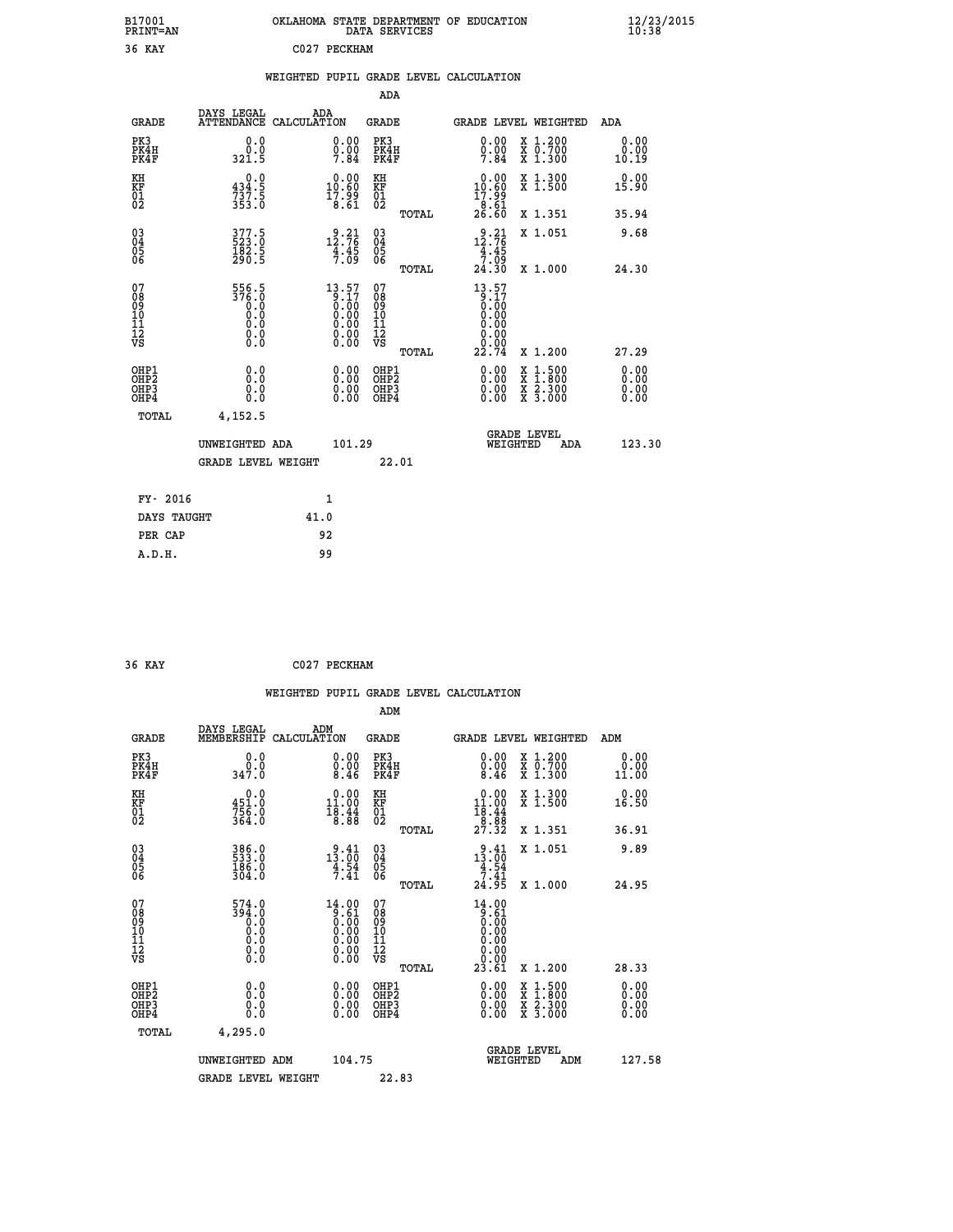| B17001<br><b>PRINT=AN</b> | OKLAHOMA STATE DEPARTMENT OF EDUCATION<br>DATA SERVICES | $\frac{12}{23}$ /2015 |
|---------------------------|---------------------------------------------------------|-----------------------|
| 36 KAY                    | C027 PECKHAM                                            |                       |

|  |  | WEIGHTED PUPIL GRADE LEVEL CALCULATION |
|--|--|----------------------------------------|
|  |  |                                        |

|                                                                    |                                                |                                                                                      |                                              | ADA   |                                                                                     |                                                                                                                                           |                               |
|--------------------------------------------------------------------|------------------------------------------------|--------------------------------------------------------------------------------------|----------------------------------------------|-------|-------------------------------------------------------------------------------------|-------------------------------------------------------------------------------------------------------------------------------------------|-------------------------------|
| <b>GRADE</b>                                                       | DAYS LEGAL                                     | ADA<br>ATTENDANCE CALCULATION                                                        | <b>GRADE</b>                                 |       |                                                                                     | GRADE LEVEL WEIGHTED                                                                                                                      | ADA                           |
| PK3<br>PK4H<br>PK4F                                                | 0.0<br>0.0<br>321.5                            | 0.00<br>$0.00$<br>7.84                                                               | PK3<br>PK4H<br>PK4F                          |       | 0.00<br>$0.00$<br>7.84                                                              | X 1.200<br>X 0.700<br>X 1.300                                                                                                             | 0.00<br>0.00<br>10.19         |
| KH<br>KF<br>01<br>02                                               | 0.0<br>434.5<br>$737.5$<br>353.0               | $0.00$<br>10.60<br>$\frac{17.99}{8.61}$                                              | KH<br>KF<br>01<br>02                         |       | $\begin{smallmatrix} 0.00\\ 10.60\\ 17.99\\ 8.61\\ 26.60 \end{smallmatrix}$         | X 1.300<br>X 1.500                                                                                                                        | 0.00<br>15.90                 |
|                                                                    |                                                |                                                                                      |                                              | TOTAL |                                                                                     | X 1.351                                                                                                                                   | 35.94                         |
| $\begin{smallmatrix} 03 \\[-4pt] 04 \end{smallmatrix}$<br>Ŏ5<br>06 | $377.5$<br>523.0<br>$\frac{1}{290}$ .<br>290.5 | $\begin{array}{c} 2 \cdot 21 \\ 12 \cdot 76 \\ 4 \cdot 45 \\ 7 \cdot 09 \end{array}$ | $\substack{03 \\ 04}$<br>05<br>06            |       | 12:76<br>$\frac{4}{7}$ : 45<br>7.09                                                 | X 1.051                                                                                                                                   | 9.68                          |
|                                                                    |                                                |                                                                                      |                                              | TOTAL | 24.30                                                                               | X 1.000                                                                                                                                   | 24.30                         |
| 07<br>08<br>09<br>101<br>11<br>12<br>VS                            | 556.5<br>376.0<br>0.00000<br>$\S.$ $\S$        | 13.57<br>$\begin{array}{c} 0.17 \\ 0.00 \\ 0.00 \\ 0.00 \\ 0.00 \\ 0.00 \end{array}$ | 07<br>08<br>09<br>101<br>11<br>12<br>VS      |       | 13.57<br>$\begin{smallmatrix} 0.17 \ 0.00 \ 0.00 \end{smallmatrix}$<br>0.00<br>0.00 |                                                                                                                                           |                               |
|                                                                    |                                                |                                                                                      |                                              | TOTAL | 22.74                                                                               | X 1.200                                                                                                                                   | 27.29                         |
| OHP1<br>OHP <sub>2</sub><br>OH <sub>P3</sub><br>OH <sub>P4</sub>   | 0.0<br>0.0<br>$0.\overline{0}$                 | 0.00<br>$\begin{smallmatrix} 0.00 \ 0.00 \end{smallmatrix}$                          | OHP1<br>OHP <sub>2</sub><br>OHP <sub>3</sub> |       | 0.00<br>0.00                                                                        | $\begin{smallmatrix} \mathtt{X} & 1\cdot500\\ \mathtt{X} & 1\cdot800\\ \mathtt{X} & 2\cdot300\\ \mathtt{X} & 3\cdot000 \end{smallmatrix}$ | 0.00<br>Ō. ŌŌ<br>0.00<br>0.00 |
| TOTAL                                                              | 4,152.5                                        |                                                                                      |                                              |       |                                                                                     |                                                                                                                                           |                               |
|                                                                    | UNWEIGHTED ADA                                 | 101.29                                                                               |                                              |       |                                                                                     | <b>GRADE LEVEL</b><br>WEIGHTED<br>ADA                                                                                                     | 123.30                        |
|                                                                    | <b>GRADE LEVEL WEIGHT</b>                      |                                                                                      |                                              | 22.01 |                                                                                     |                                                                                                                                           |                               |
| FY- 2016                                                           |                                                | 1                                                                                    |                                              |       |                                                                                     |                                                                                                                                           |                               |
| DAYS TAUGHT                                                        |                                                | 41.0                                                                                 |                                              |       |                                                                                     |                                                                                                                                           |                               |
| PER CAP                                                            |                                                | 92                                                                                   |                                              |       |                                                                                     |                                                                                                                                           |                               |

| 36 KAY | C027 PECKHAM |
|--------|--------------|
|        |              |

 **WEIGHTED PUPIL GRADE LEVEL CALCULATION ADM DAYS LEGAL ADM GRADE MEMBERSHIP CALCULATION GRADE GRADE LEVEL WEIGHTED ADM PK3 0.0 0.00 PK3 0.00 X 1.200 0.00 PK4H 0.0 0.00 PK4H 0.00 X 0.700 0.00 PK4F 347.0 8.46 PK4F 8.46 X 1.300 11.00 KH 0.0 0.00 KH 0.00 X 1.300 0.00 KF 451.0 11.00 KF 11.00 X 1.500 16.50 01 756.0 18.44 01 18.44**  $02$   $364.0$   $8.88$   $02$   $2.88$   $8.88$  **TOTAL 27.32 X 1.351 36.91 03 386.0 9.41 03 9.41 X 1.051 9.89 04 533.0 13.00 04 13.00 05 186.0 4.54 05 4.54 06 304.0 7.41 06 7.41 TOTAL 24.95 X 1.000 24.95 07 574.0 14.00 07 14.00 08 394.0 9.61 08 9.61 03 0.00 0.00 0.000 0.000 10 0.0 0.00 10 0.00 11 0.0 0.00 11 0.00 12 0.0 0.00 12 0.00 VS 0.0 0.00 VS 0.00 TOTAL 23.61 X 1.200 28.33 OHP1 0.0 0.00 OHP1 0.00 X 1.500 0.00 OHP2 0.0 0.00 OHP2 0.00 X 1.800 0.00 OHP3 0.0 0.00 OHP3 0.00 X 2.300 0.00 OHP4 0.0 0.00 OHP4 0.00 X 3.000 0.00 TOTAL 4,295.0 GRADE LEVEL UNWEIGHTED ADM 104.75 WEIGHTED ADM 127.58** GRADE LEVEL WEIGHT 22.83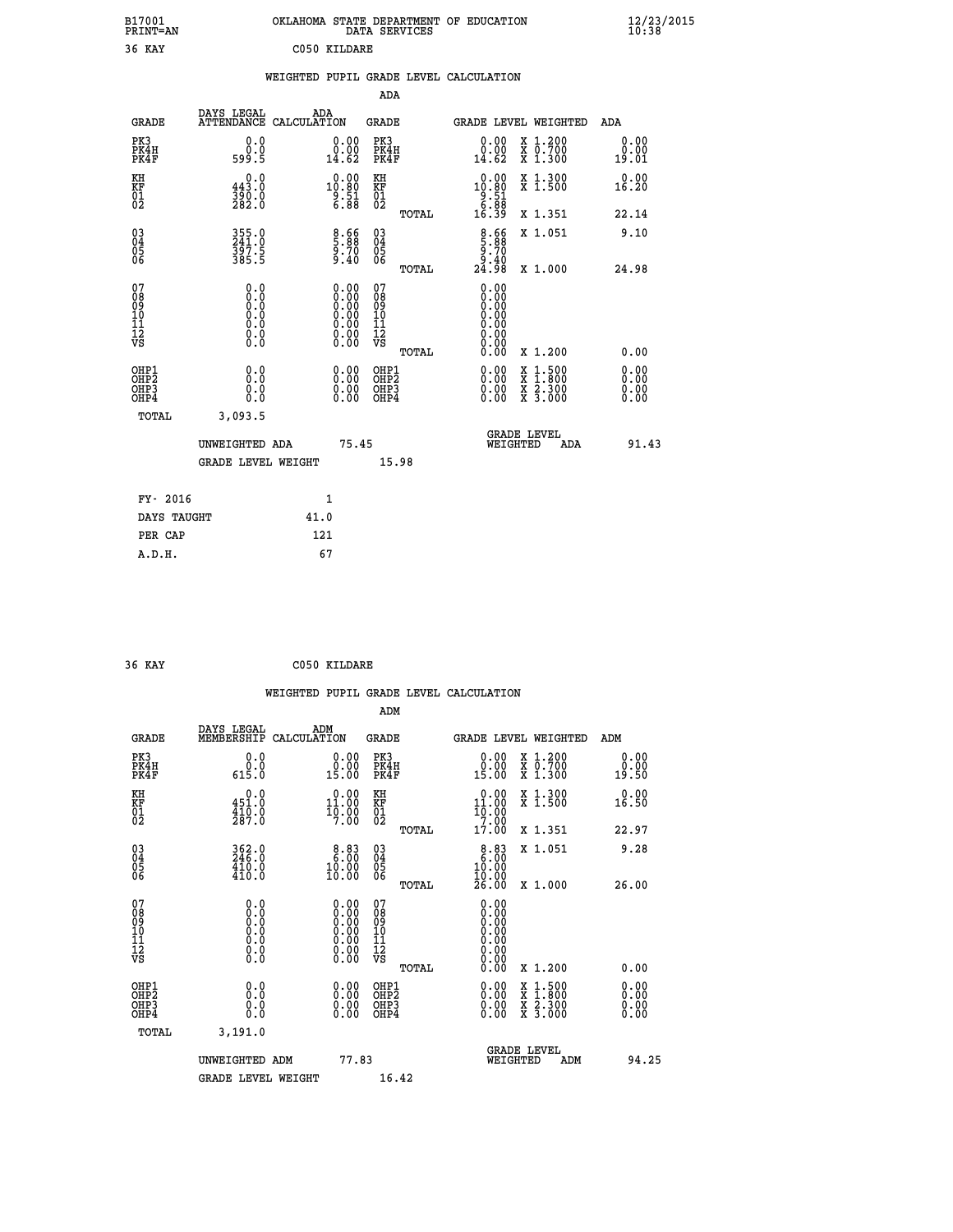| B17001<br>PRINT=AN | OKLAHOMA STATE DEPARTMENT OF EDUCATION<br>DATA SERVICES | $\frac{12}{23}$ /2015 |
|--------------------|---------------------------------------------------------|-----------------------|
| 36 KAY             | C050 KILDARE                                            |                       |

|  |     | WEIGHTED PUPIL GRADE LEVEL CALCULATION |  |
|--|-----|----------------------------------------|--|
|  | ADA |                                        |  |

| <b>GRADE</b>                                         | DAYS LEGAL<br>ATTENDANCE CALCULATION | ADA  |                                                                                                      | <b>GRADE</b>                           |       | <b>GRADE LEVEL WEIGHTED</b>                                                                                                                                                                                                                                                    |                                                                                                                                           | ADA                    |  |
|------------------------------------------------------|--------------------------------------|------|------------------------------------------------------------------------------------------------------|----------------------------------------|-------|--------------------------------------------------------------------------------------------------------------------------------------------------------------------------------------------------------------------------------------------------------------------------------|-------------------------------------------------------------------------------------------------------------------------------------------|------------------------|--|
| PK3<br>PK4H<br>PK4F                                  | 0.0<br>0.0<br>599.5                  |      | 0.00<br>14.62                                                                                        | PK3<br>PK4H<br>PK4F                    |       | 0.00<br>ă:ă.<br>14:62                                                                                                                                                                                                                                                          | X 1.200<br>X 0.700<br>X 1.300                                                                                                             | 0.00<br>0.00<br>19.01  |  |
| KH<br>KF<br>01<br>02                                 | 0.0<br>443.0<br>390.0<br>282.0       |      | $\begin{smallmatrix} 0.00\\ 10.80\\ 9.51\\ 6.88 \end{smallmatrix}$                                   | KH<br>KF<br>01<br>02                   |       | $\begin{array}{c} 0.00 \\ 10.80 \\ 9.51 \\ 6.88 \\ 16.39 \end{array}$                                                                                                                                                                                                          | X 1.300<br>X 1.500                                                                                                                        | 0.00<br>16.20          |  |
|                                                      |                                      |      |                                                                                                      |                                        | TOTAL |                                                                                                                                                                                                                                                                                | X 1.351                                                                                                                                   | 22.14                  |  |
| 030404<br>ŌĞ                                         | 355.0<br>241.0<br>397.5<br>385.5     |      | 8.66<br>5.88<br>9.70<br>9.40                                                                         | 030404<br>ŌĞ                           |       | $\begin{array}{c} 8.66 \\ 5.88 \\ 9.70 \\ 9.40 \\ 24.98 \end{array}$                                                                                                                                                                                                           | X 1.051                                                                                                                                   | 9.10                   |  |
|                                                      |                                      |      |                                                                                                      |                                        | TOTAL |                                                                                                                                                                                                                                                                                | X 1.000                                                                                                                                   | 24.98                  |  |
| 07<br>089<br>090<br>1112<br>VS                       | $\S.$ $\S$                           |      | $\begin{smallmatrix} 0.00 \ 0.00 \ 0.00 \ 0.00 \ 0.00 \ 0.00 \ 0.00 \ 0.00 \ 0.00 \end{smallmatrix}$ | 07<br>08<br>09<br>11<br>11<br>12<br>VS |       | 0.00<br>Ŏ.ŎŎ<br>Q.QQ<br>0.00                                                                                                                                                                                                                                                   |                                                                                                                                           |                        |  |
|                                                      |                                      |      |                                                                                                      |                                        | TOTAL | 0.00                                                                                                                                                                                                                                                                           | X 1.200                                                                                                                                   | 0.00                   |  |
| OHP1<br>OHP2<br>OH <sub>P3</sub><br>OH <sub>P4</sub> | 0.0<br>0.000                         |      | $\begin{smallmatrix} 0.00 \ 0.00 \ 0.00 \ 0.00 \end{smallmatrix}$                                    | OHP1<br>OHP2<br>OHP3<br>OHP4           |       | $\begin{smallmatrix} 0.00 & 0.00 & 0.00 & 0.00 & 0.00 & 0.00 & 0.00 & 0.00 & 0.00 & 0.00 & 0.00 & 0.00 & 0.00 & 0.00 & 0.00 & 0.00 & 0.00 & 0.00 & 0.00 & 0.00 & 0.00 & 0.00 & 0.00 & 0.00 & 0.00 & 0.00 & 0.00 & 0.00 & 0.00 & 0.00 & 0.00 & 0.00 & 0.00 & 0.00 & 0.00 & 0.0$ | $\begin{smallmatrix} \mathtt{X} & 1\cdot500\\ \mathtt{X} & 1\cdot800\\ \mathtt{X} & 2\cdot300\\ \mathtt{X} & 3\cdot000 \end{smallmatrix}$ | 0.00<br>0.00<br>0.0000 |  |
| TOTAL                                                | 3,093.5                              |      |                                                                                                      |                                        |       |                                                                                                                                                                                                                                                                                |                                                                                                                                           |                        |  |
|                                                      | UNWEIGHTED ADA                       |      | 75.45                                                                                                |                                        |       | WEIGHTED                                                                                                                                                                                                                                                                       | <b>GRADE LEVEL</b><br>ADA                                                                                                                 | 91.43                  |  |
|                                                      | <b>GRADE LEVEL WEIGHT</b>            |      |                                                                                                      | 15.98                                  |       |                                                                                                                                                                                                                                                                                |                                                                                                                                           |                        |  |
| FY- 2016                                             |                                      | 1    |                                                                                                      |                                        |       |                                                                                                                                                                                                                                                                                |                                                                                                                                           |                        |  |
| DAYS TAUGHT                                          |                                      | 41.0 |                                                                                                      |                                        |       |                                                                                                                                                                                                                                                                                |                                                                                                                                           |                        |  |
|                                                      |                                      |      |                                                                                                      |                                        |       |                                                                                                                                                                                                                                                                                |                                                                                                                                           |                        |  |

| 36 KAY | C050 KILDARE |
|--------|--------------|
|        |              |

PER CAP 121<br>A.D.H. 67

|                                          |                                                          | WEIGHTED PUPIL GRADE LEVEL CALCULATION                                                        |                                                     |       |                                                     |                                          |                       |
|------------------------------------------|----------------------------------------------------------|-----------------------------------------------------------------------------------------------|-----------------------------------------------------|-------|-----------------------------------------------------|------------------------------------------|-----------------------|
|                                          |                                                          |                                                                                               | ADM                                                 |       |                                                     |                                          |                       |
| <b>GRADE</b>                             | DAYS LEGAL<br>MEMBERSHIP                                 | ADM<br>CALCULATION                                                                            | <b>GRADE</b>                                        |       |                                                     | GRADE LEVEL WEIGHTED                     | ADM                   |
| PK3<br>PK4H<br>PK4F                      | 0.0<br>$\overset{\stackrel{.}{0} \dot{.0}}{0.5 \cdot 0}$ | 0.0000<br>15.00                                                                               | PK3<br>PK4H<br>PK4F                                 |       | 0.00<br>0.00<br>15.00                               | X 1.200<br>X 0.700<br>X 1.300            | 0.00<br>0.00<br>19.50 |
| KH<br>KF<br>01<br>02                     | 0.0<br>451.0<br>$\frac{1}{287}$ .0                       | $0.00$<br>11.00<br>$\frac{1}{7}.\overset{0}{00}$                                              | KH<br>KF<br>$\begin{matrix} 01 \ 02 \end{matrix}$   |       | $0.00$<br>11.00<br>10.00<br>7.00                    | X 1.300<br>X 1.500                       | 0.00<br>16.50         |
|                                          |                                                          |                                                                                               |                                                     | TOTAL | 17.00                                               | X 1.351                                  | 22.97                 |
| 03<br>04<br>05<br>06                     | $362.0$<br>246.0<br>$\frac{410.0}{410.0}$                | 8.83<br>$\frac{10.00}{10.00}$                                                                 | $\begin{array}{c} 03 \\ 04 \\ 05 \\ 06 \end{array}$ |       | 8.83<br>10.00<br>īŏ.ŏŏ<br>26.00                     | X 1.051                                  | 9.28                  |
|                                          |                                                          |                                                                                               |                                                     | TOTAL |                                                     | X 1.000                                  | 26.00                 |
| 07<br>08901112<br>1112<br>VS             | 0.0<br>$\S.$                                             | $\begin{smallmatrix} 0.00\ 0.00\ 0.00\ 0.00\ 0.00\ 0.00\ 0.00\ 0.00\ 0.00\ \end{smallmatrix}$ | 07<br>08901112<br>1112<br>VS                        | TOTAL | 0.00<br>0.000000000<br>0.00<br>0.00<br>Ŏ.ŎŎ<br>0.00 | X 1.200                                  | 0.00                  |
| OHP1<br>OHP <sub>2</sub><br>OHP3<br>OHP4 | 0.0<br>0.0<br>Ŏ.Ŏ                                        | $0.00$<br>$0.00$<br>0.00                                                                      | OHP1<br>OHP <sub>2</sub><br>OHP3<br>OHP4            |       | 0.00<br>$0.00$<br>0.00                              | X 1:500<br>X 1:800<br>X 2:300<br>X 3:000 | 0.00<br>0.00<br>0.00  |
| TOTAL                                    | 3,191.0                                                  |                                                                                               |                                                     |       |                                                     |                                          |                       |
|                                          | UNWEIGHTED ADM                                           | 77.83                                                                                         |                                                     |       | WEIGHTED                                            | <b>GRADE LEVEL</b><br>ADM                | 94.25                 |
|                                          | <b>GRADE LEVEL WEIGHT</b>                                |                                                                                               | 16.42                                               |       |                                                     |                                          |                       |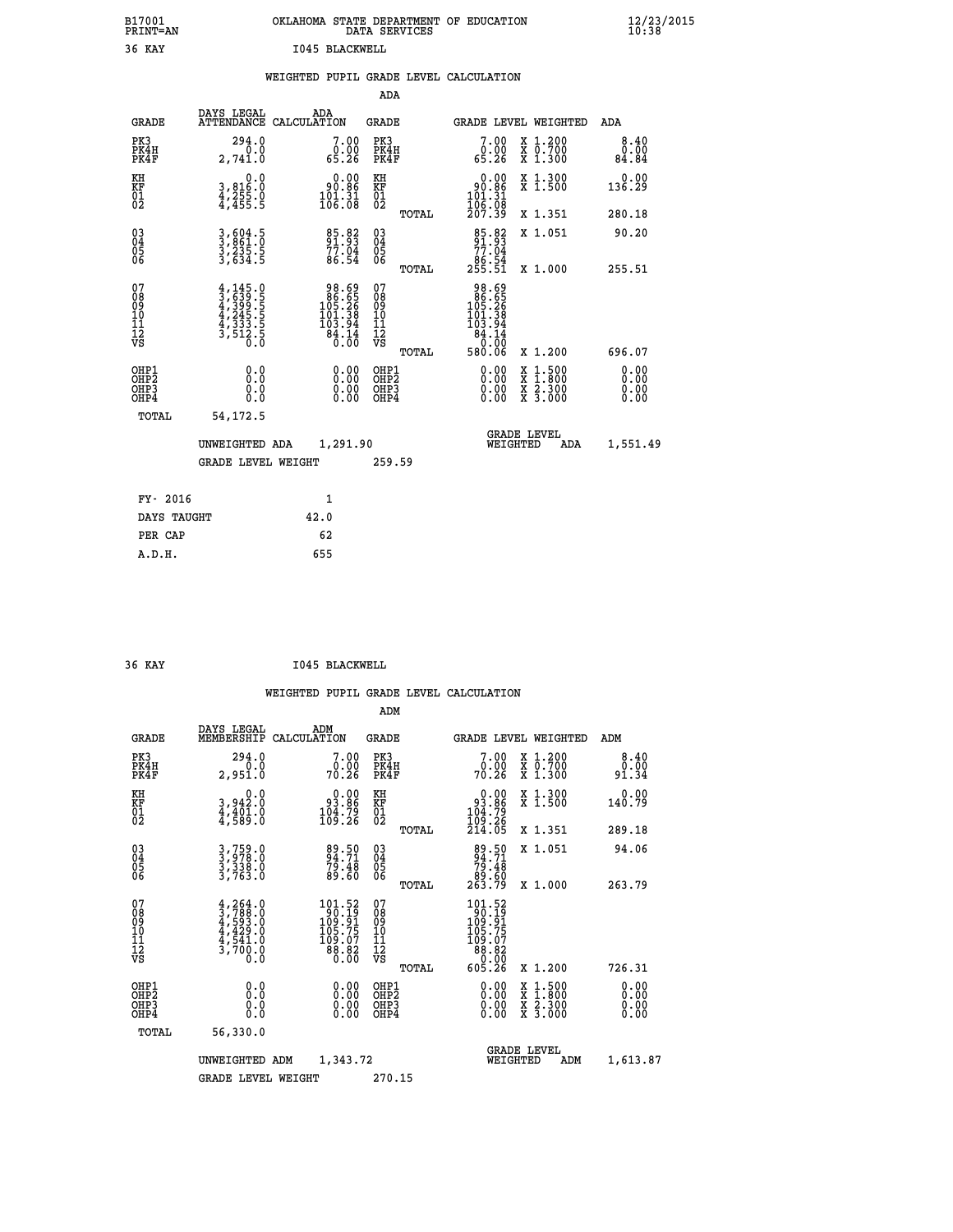| B17001<br><b>PRINT=AN</b> | OKLAHOMA STATE DEPARTMENT OF EDUCATION<br>DATA SERVICES | $\frac{12}{23}$ /2015 |
|---------------------------|---------------------------------------------------------|-----------------------|
| 36 KAY                    | 1045 BLACKWELL                                          |                       |

|  |  | WEIGHTED PUPIL GRADE LEVEL CALCULATION |
|--|--|----------------------------------------|
|  |  |                                        |

|                                                    |                                                                                     |                                                                                              | ADA                                    |       |                                                                                                        |   |                                                           |                              |
|----------------------------------------------------|-------------------------------------------------------------------------------------|----------------------------------------------------------------------------------------------|----------------------------------------|-------|--------------------------------------------------------------------------------------------------------|---|-----------------------------------------------------------|------------------------------|
| <b>GRADE</b>                                       | DAYS LEGAL<br><b>ATTENDANCE</b>                                                     | ADA<br>CALCULATION                                                                           | GRADE                                  |       | GRADE LEVEL WEIGHTED                                                                                   |   |                                                           | <b>ADA</b>                   |
| PK3<br>PK4H<br>PK4F                                | 294.0<br>0.0<br>2,741.0                                                             | 7.00<br>ة<br>65.26                                                                           | PK3<br>PK4H<br>PK4F                    |       | 7.00<br>0.00<br>65.26                                                                                  |   | X 1.200<br>X 0.700<br>X 1.300                             | 8.40<br>0.00<br>84.84        |
| KH<br><b>KF</b><br>01<br>02                        | $\begin{smallmatrix}&&&0.0\\3,816.0\\4,255.0\\4,455.5\end{smallmatrix}$             | $\begin{smallmatrix} &0.00\ 90.86\ 101.31\ 106.08\ \end{smallmatrix}$                        | KH<br>KF<br>01<br>02                   |       | $\begin{array}{c} 0.00 \\ 90.86 \\ 101.31 \\ 106.08 \\ 207.39 \end{array}$                             |   | X 1.300<br>X 1.500                                        | 0.00<br>136.29               |
|                                                    |                                                                                     |                                                                                              |                                        | TOTAL |                                                                                                        |   | X 1.351                                                   | 280.18                       |
| $\begin{matrix} 03 \\ 04 \\ 05 \\ 06 \end{matrix}$ | 3,604.5<br>3,861.0<br>3,235.5<br>3,634.5                                            | 85.82<br>91.93<br>77.04<br>86.54                                                             | 03<br>04<br>05<br>06                   |       | 85.82<br>91.93<br>77.04                                                                                |   | X 1.051                                                   | 90.20                        |
|                                                    |                                                                                     |                                                                                              |                                        | TOTAL | 86.54<br>255.51                                                                                        |   | X 1.000                                                   | 255.51                       |
| 07<br>08<br>09<br>101<br>11<br>12<br>VS            | $4,145.0$<br>$4,399.5$<br>$4,399.5$<br>$4,245.5$<br>$4,333.5$<br>$3,512.5$<br>$0.0$ | $\begin{array}{r} 98.69 \\ 86.55 \\ 105.26 \\ 101.38 \\ 103.94 \\ 84.14 \\ 0.00 \end{array}$ | 07<br>08<br>09<br>11<br>11<br>12<br>VS | TOTAL | $\begin{array}{r} 98.69 \\ 86.55 \\ 105.26 \\ 101.38 \\ 103.94 \\ 84.14 \\ 0.00 \\ 580.06 \end{array}$ |   | X 1.200                                                   | 696.07                       |
| OHP1<br>OHP2<br>OHP3<br>OH <sub>P4</sub>           | 0.0<br>0.000                                                                        | 0.00<br>$0.00$<br>0.00                                                                       | OHP1<br>OHP2<br>OHP3<br>OHP4           |       | 0.00<br>0.00<br>0.00                                                                                   | X | $1.500$<br>$1.800$<br>$\frac{x}{x}$ $\frac{5.300}{3.000}$ | 0.00<br>0.00<br>0.00<br>0.00 |
| TOTAL                                              | 54,172.5                                                                            |                                                                                              |                                        |       |                                                                                                        |   |                                                           |                              |
|                                                    | UNWEIGHTED ADA                                                                      | 1,291.90                                                                                     |                                        |       | <b>GRADE LEVEL</b><br>WEIGHTED                                                                         |   | ADA                                                       | 1,551.49                     |
|                                                    | <b>GRADE LEVEL WEIGHT</b>                                                           |                                                                                              | 259.59                                 |       |                                                                                                        |   |                                                           |                              |
| FY- 2016                                           |                                                                                     | $\mathbf{1}$                                                                                 |                                        |       |                                                                                                        |   |                                                           |                              |
| DAYS TAUGHT                                        |                                                                                     | 42.0                                                                                         |                                        |       |                                                                                                        |   |                                                           |                              |
|                                                    |                                                                                     |                                                                                              |                                        |       |                                                                                                        |   |                                                           |                              |

| 36 KAY | 1045 BLACKWELL |
|--------|----------------|

PER CAP 62<br>A.D.H. 655

 **A.D.H. 655**

|                                           |                                                                                           |                                                                                               | ADM                                                 |                                                                                                 |                                          |                              |
|-------------------------------------------|-------------------------------------------------------------------------------------------|-----------------------------------------------------------------------------------------------|-----------------------------------------------------|-------------------------------------------------------------------------------------------------|------------------------------------------|------------------------------|
| <b>GRADE</b>                              | DAYS LEGAL<br>MEMBERSHIP                                                                  | ADM<br>CALCULATION                                                                            | <b>GRADE</b>                                        | GRADE LEVEL WEIGHTED                                                                            |                                          | ADM                          |
| PK3<br>PK4H<br>PK4F                       | 294.0<br>0.0<br>2,951.0                                                                   | 7.00<br>0:00<br>70:26                                                                         | PK3<br>PK4H<br>PK4F                                 | $\begin{smallmatrix}7.00\0.00\\70.26\end{smallmatrix}$                                          | X 1.200<br>X 0.700<br>X 1.300            | 8.40<br>0.00<br>91.34        |
| KH<br>KF<br>01<br>02                      | 0.0<br>3,942:0<br>4,401:0<br>4,589:0                                                      | $\begin{smallmatrix} 0.00\\ 93.86\\ 104.79\\ 109.26 \end{smallmatrix}$                        | KH<br>KF<br>01<br>02                                | $0.00$<br>$93.86$<br>$104.79$<br>$109.26$<br>$214.05$                                           | X 1.300<br>X 1.500                       | 0.00<br>140.79               |
|                                           |                                                                                           |                                                                                               | TOTAL                                               |                                                                                                 | X 1.351                                  | 289.18                       |
| 03<br>04<br>05<br>06                      | 3,759.0<br>3,978.0<br>3,338.0<br>3,763.0                                                  | 89.50<br>94.71<br>79.48<br>89.60                                                              | $\begin{array}{c} 03 \\ 04 \\ 05 \\ 06 \end{array}$ | 89.50<br>94.71<br>79.48<br>89.60<br>263.79                                                      | X 1.051                                  | 94.06                        |
|                                           |                                                                                           |                                                                                               | TOTAL                                               |                                                                                                 | X 1.000                                  | 263.79                       |
| 07<br>08<br>09<br>101<br>112<br>VS        | $4, 264.0$<br>$3, 788.0$<br>$4, 593.0$<br>$4, 429.0$<br>$4, 541.0$<br>$3, 700.0$<br>$0.0$ | $\begin{array}{l} 101.52 \\ 90.19 \\ 109.91 \\ 105.75 \end{array}$<br>109:07<br>88.82<br>0.00 | 07<br>08<br>09<br>11<br>11<br>12<br>VS<br>TOTAL     | $\begin{array}{r} 101.52 \\ 90.19 \\ 109.91 \\ 105.75 \\ 105.75 \\ 88.82 \\ 605.26 \end{array}$ | X 1.200                                  | 726.31                       |
| OHP1<br>OHP2<br>OH <sub>P</sub> 3<br>OHP4 | 0.0<br>0.000                                                                              |                                                                                               | OHP1<br>OHP2<br>OHP <sub>3</sub>                    | $0.00$<br>$0.00$<br>0.00                                                                        | X 1:500<br>X 1:800<br>X 2:300<br>X 3:000 | 0.00<br>0.00<br>0.00<br>0.00 |
| TOTAL                                     | 56,330.0                                                                                  |                                                                                               |                                                     |                                                                                                 |                                          |                              |
|                                           | UNWEIGHTED                                                                                | 1,343.72<br>ADM                                                                               |                                                     | <b>GRADE LEVEL</b><br>WEIGHTED                                                                  | ADM                                      | 1,613.87                     |
|                                           | <b>GRADE LEVEL WEIGHT</b>                                                                 |                                                                                               | 270.15                                              |                                                                                                 |                                          |                              |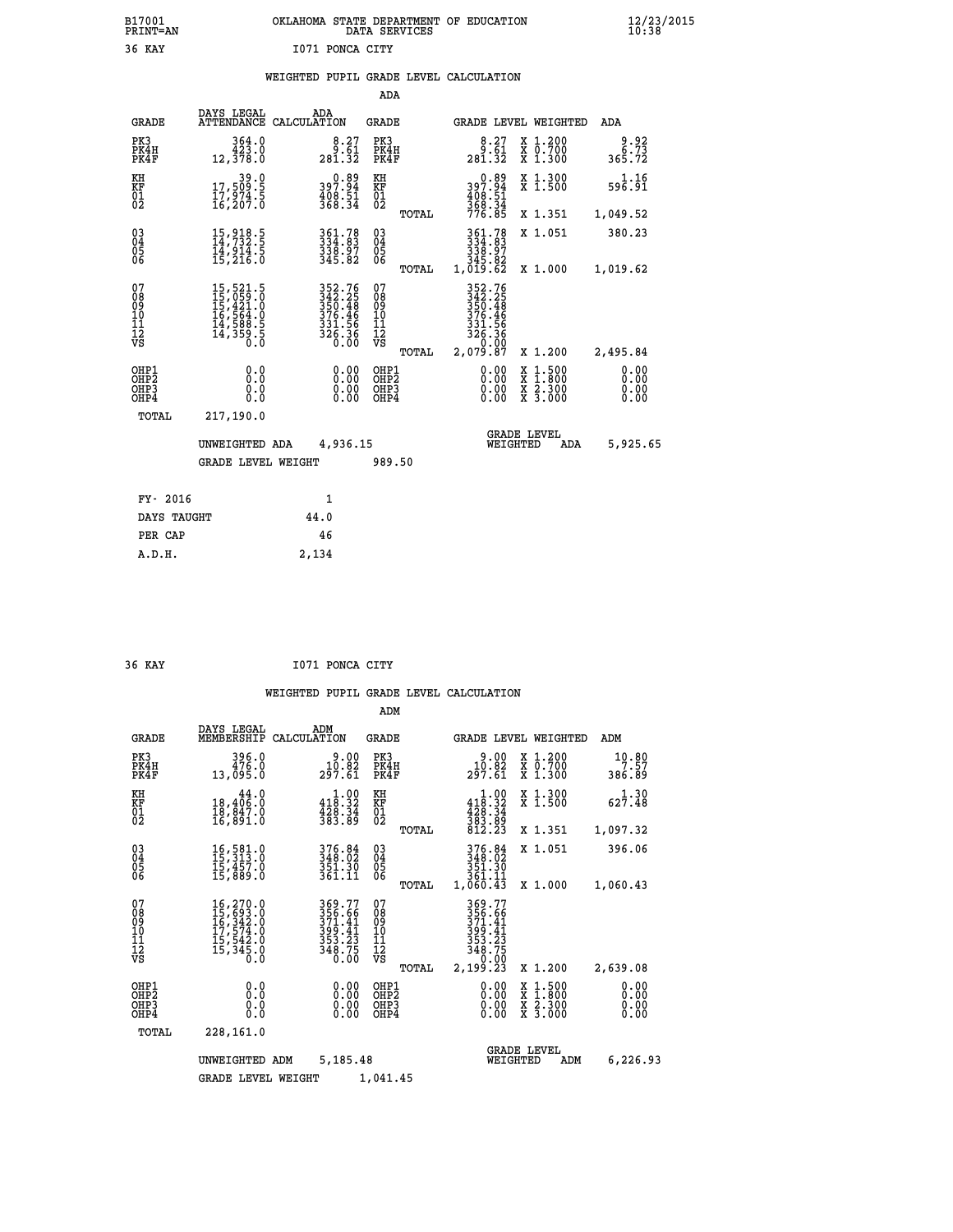| B17001<br><b>PRINT=AN</b> | OKLAHOMA STATE DEPARTMENT OF EDUCATION<br>DATA SERVICES | $\frac{12}{23}$ /2015 |
|---------------------------|---------------------------------------------------------|-----------------------|
| 36 KAY                    | 1071 PONCA CITY                                         |                       |

# **WEIGHTED PUPIL GRADE LEVEL CALCULATION**

|                                                                    |                                                                                                                                                                                              |                                                                            | ADA                                                 |       |                                                                                  |                                                                                                                                           |                               |
|--------------------------------------------------------------------|----------------------------------------------------------------------------------------------------------------------------------------------------------------------------------------------|----------------------------------------------------------------------------|-----------------------------------------------------|-------|----------------------------------------------------------------------------------|-------------------------------------------------------------------------------------------------------------------------------------------|-------------------------------|
| <b>GRADE</b>                                                       | DAYS LEGAL                                                                                                                                                                                   | ADA<br>ATTENDANCE CALCULATION                                              | <b>GRADE</b>                                        |       |                                                                                  | GRADE LEVEL WEIGHTED                                                                                                                      | ADA                           |
| PK3<br>PK4H<br>PK4F                                                | 364.0<br>423.0<br>12,378.0                                                                                                                                                                   | $\begin{smallmatrix}8.27\ 9.61\ 281.32\end{smallmatrix}$                   | PK3<br>PK4H<br>PK4F                                 |       | $\begin{smallmatrix}8.27\ 9.61\ 281.32\end{smallmatrix}$                         | X 1.200<br>X 0.700<br>X 1.300                                                                                                             | $\frac{9.92}{6.73}$<br>365.72 |
| KH<br>KF<br>01<br>02                                               | 39.0<br>17,509:5<br>17,974:5<br>16,207:0                                                                                                                                                     | 0.89<br>397.94<br>408.51<br>368.34                                         | KH<br>KF<br>01<br>02                                |       | 0.89<br>94.99<br>$\frac{408.51}{368.34}$<br>776.85                               | X 1.300<br>X 1.500                                                                                                                        | 1.16<br>596.91                |
|                                                                    |                                                                                                                                                                                              |                                                                            |                                                     | TOTAL |                                                                                  | X 1.351                                                                                                                                   | 1,049.52                      |
| $\begin{smallmatrix} 03 \\[-4pt] 04 \end{smallmatrix}$<br>Ŏ5<br>06 | 15, 918. 5<br>14, 732. 5<br>14, 914. 5<br>15, 216. 0                                                                                                                                         | 361.78<br>334.83<br>338.97<br>345.82                                       | $\begin{array}{c} 03 \\ 04 \\ 05 \\ 06 \end{array}$ |       | $\begin{smallmatrix} 361.78\ 334.83\ 338.97\ 345.82\ 1,019.62 \end{smallmatrix}$ | X 1.051                                                                                                                                   | 380.23                        |
|                                                                    |                                                                                                                                                                                              |                                                                            |                                                     | TOTAL |                                                                                  | X 1.000                                                                                                                                   | 1,019.62                      |
| 07<br>08<br>09<br>101<br>11<br>12<br>VS                            | $\begin{smallmatrix} 15 \,,\, 521 \,. \ 15 \,,\, 059 \,. \ 0 \\ 15 \,,\, 421 \,. \ 0 \\ 16 \,,\, 564 \,. \ 0 \\ 14 \,,\, 588 \,. \ 5 \\ 14 \,,\, 359 \,. \ 5 \\ 0 \,. \ 0 \end{smallmatrix}$ | 352.76<br>342.25<br>350.48<br>350.48<br>376.46<br>331.56<br>326.36<br>0.00 | 07<br>08<br>09<br>11<br>11<br>12<br>VS              |       | 352.76<br>342.25<br>350.48<br>376.46<br>331.56<br>326.36<br>0.00                 |                                                                                                                                           |                               |
|                                                                    |                                                                                                                                                                                              |                                                                            |                                                     | TOTAL | 2,079.87                                                                         | X 1.200                                                                                                                                   | 2,495.84                      |
| OHP1<br>OHP <sub>2</sub><br>OH <sub>P3</sub><br>OHP4               | 0.0<br>0.0<br>$0.\overline{0}$                                                                                                                                                               | 0.00<br>$\begin{smallmatrix} 0.00 \ 0.00 \end{smallmatrix}$                | OHP1<br>OHP2<br>OHP <sub>3</sub>                    |       | 0.00<br>0.00                                                                     | $\begin{smallmatrix} \mathtt{X} & 1\cdot500\\ \mathtt{X} & 1\cdot800\\ \mathtt{X} & 2\cdot300\\ \mathtt{X} & 3\cdot000 \end{smallmatrix}$ | 0.00<br>0.00<br>0.00<br>0.00  |
| TOTAL                                                              | 217,190.0                                                                                                                                                                                    |                                                                            |                                                     |       |                                                                                  |                                                                                                                                           |                               |
|                                                                    | UNWEIGHTED ADA                                                                                                                                                                               | 4,936.15                                                                   |                                                     |       |                                                                                  | <b>GRADE LEVEL</b><br>WEIGHTED<br>ADA                                                                                                     | 5,925.65                      |
|                                                                    | <b>GRADE LEVEL WEIGHT</b>                                                                                                                                                                    |                                                                            | 989.50                                              |       |                                                                                  |                                                                                                                                           |                               |
| FY- 2016                                                           |                                                                                                                                                                                              | 1                                                                          |                                                     |       |                                                                                  |                                                                                                                                           |                               |
| DAYS TAUGHT                                                        |                                                                                                                                                                                              | 44.0                                                                       |                                                     |       |                                                                                  |                                                                                                                                           |                               |
| PER CAP                                                            |                                                                                                                                                                                              | 46                                                                         |                                                     |       |                                                                                  |                                                                                                                                           |                               |

| ۰.<br>י | ₽ |  |
|---------|---|--|
|         |   |  |

 **A.D.H. 2,134**

 **36 KAY I071 PONCA CITY**

|                                                       |                                                                                                                                                                                          |                                                                            | ADM                                             |                                                                               |                                                                  |                              |
|-------------------------------------------------------|------------------------------------------------------------------------------------------------------------------------------------------------------------------------------------------|----------------------------------------------------------------------------|-------------------------------------------------|-------------------------------------------------------------------------------|------------------------------------------------------------------|------------------------------|
| <b>GRADE</b>                                          | DAYS LEGAL<br>MEMBERSHIP                                                                                                                                                                 | ADM<br>CALCULATION                                                         | <b>GRADE</b>                                    | GRADE LEVEL WEIGHTED                                                          |                                                                  | ADM                          |
| PK3<br>PK4H<br>PK4F                                   | 396.0<br>476.0<br>13,095.0                                                                                                                                                               | 9.00<br>10.02<br>297.61                                                    | PK3<br>PK4H<br>PK4F                             | 9.00<br>10.02<br>297.61                                                       | $\begin{array}{c} x & 1.200 \\ x & 0.700 \end{array}$<br>X 1.300 | 10.80<br>7.57<br>386.89      |
| KH<br>KF<br>01<br>02                                  | 44.0<br>18,406:0<br>18,847.0<br>16,891:0                                                                                                                                                 | $\begin{array}{c} 1.00 \\ 418.32 \\ 428.34 \\ 383.89 \end{array}$          | KH<br>KF<br>01<br>02                            | $\begin{array}{c} 1.00 \\ 418.32 \\ 428.34 \\ 383.89 \\ 812.23 \end{array}$   | X 1.300<br>X 1.500                                               | $62\overline{7.48}$          |
|                                                       |                                                                                                                                                                                          |                                                                            | TOTAL                                           |                                                                               | X 1.351                                                          | 1,097.32                     |
| 03<br>04<br>05<br>06                                  | 16,581.0<br>15,313.0<br>15,457.0<br>15,889.0                                                                                                                                             | 376.84<br>348.02<br>351.30<br>361.11                                       | $\substack{03 \\ 04}$<br>05<br>06               | 376.84<br>348.02<br>351.30<br>361.11                                          | X 1.051                                                          | 396.06                       |
|                                                       |                                                                                                                                                                                          |                                                                            | TOTAL                                           | 1,060.43                                                                      | X 1.000                                                          | 1,060.43                     |
| 07<br>08<br>09<br>11<br>11<br>12<br>VS                | $\begin{smallmatrix} 16\,, & 270\,. & 0\\ 15\,, & 693\,. & 0\\ 16\,, & 342\,. & 0\\ 17\,, & 574\,. & 0\\ 15\,, & 542\,. & 0\\ 15\,, & 345\,. & 0\\ 0\,. & 0\,. & 0\,. \end{smallmatrix}$ | 369.77<br>$\frac{356}{371.41}$<br>$399.41$<br>$353.23$<br>$348.75$<br>0.00 | 07<br>08<br>09<br>11<br>11<br>12<br>VS<br>TOTAL | 369.77<br>356.66<br>371.41<br>399.41<br>353.23<br>348.75<br>30.00<br>2,199.23 | X 1.200                                                          | 2,639.08                     |
| OHP1<br>OH <sub>P</sub> 2<br>OH <sub>P3</sub><br>OHP4 | 0.0<br>0.000                                                                                                                                                                             | $0.00$<br>$0.00$<br>0.00                                                   | OHP1<br>OHP2<br>OHP3<br>OHP4                    | $0.00$<br>$0.00$<br>0.00                                                      | X 1:500<br>X 1:800<br>X 2:300<br>X 3:000                         | 0.00<br>0.00<br>0.00<br>0.00 |
| TOTAL                                                 | 228,161.0                                                                                                                                                                                |                                                                            |                                                 |                                                                               |                                                                  |                              |
|                                                       | UNWEIGHTED                                                                                                                                                                               | 5,185.48<br>ADM                                                            |                                                 | <b>GRADE LEVEL</b><br>WEIGHTED                                                | ADM                                                              | 6,226.93                     |
|                                                       | <b>GRADE LEVEL WEIGHT</b>                                                                                                                                                                |                                                                            | 1,041.45                                        |                                                                               |                                                                  |                              |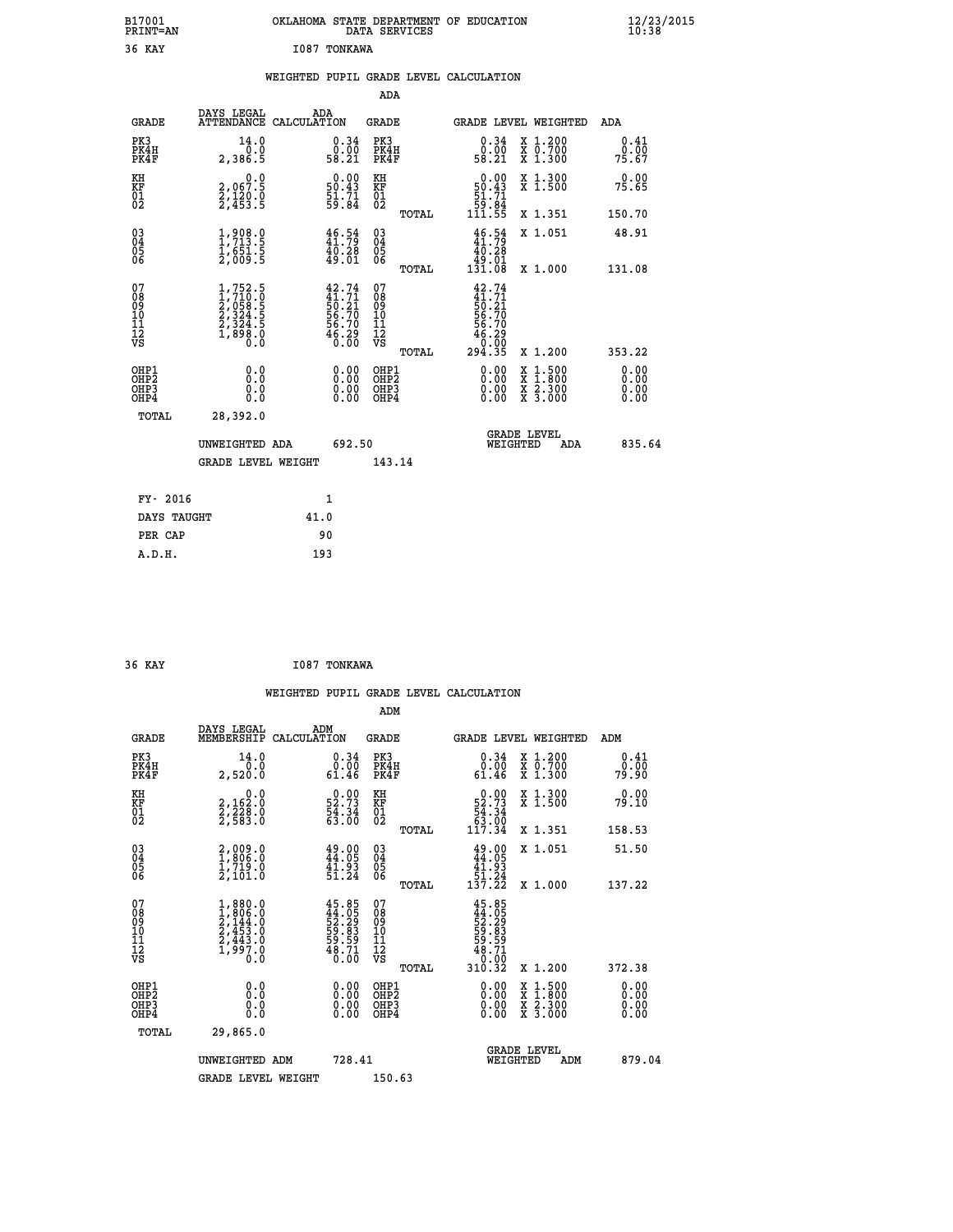| B17001<br><b>PRINT=AN</b> | OKLAHOMA STATE DEPARTMENT OF EDUCATION<br>DATA SERVICES | $\frac{12}{23}$ /2015 |
|---------------------------|---------------------------------------------------------|-----------------------|
| 36 KAY                    | I087 TONKAWA                                            |                       |

|  |  | WEIGHTED PUPIL GRADE LEVEL CALCULATION |
|--|--|----------------------------------------|
|  |  |                                        |

|                                           |                                                                                             |                                                                           | ADA                                       |       |                                                                                       |                                                                                                  |                              |
|-------------------------------------------|---------------------------------------------------------------------------------------------|---------------------------------------------------------------------------|-------------------------------------------|-------|---------------------------------------------------------------------------------------|--------------------------------------------------------------------------------------------------|------------------------------|
| <b>GRADE</b>                              | DAYS LEGAL                                                                                  | ADA<br>ATTENDANCE CALCULATION                                             | GRADE                                     |       | <b>GRADE LEVEL WEIGHTED</b>                                                           |                                                                                                  | ADA                          |
| PK3<br>PK4H<br>PK4F                       | 14.0<br>0.0<br>2,386.5                                                                      | $\substack{0.34 \\ 0.00 \\ 58.21}$                                        | PK3<br>PK4H<br>PK4F                       |       | $\begin{smallmatrix} 0.34\ 0.00\\ 58.21 \end{smallmatrix}$                            | X 1.200<br>X 0.700<br>X 1.300                                                                    | 0.41<br>0.00<br>75.67        |
| KH<br>KF<br>01<br>02                      | 0.0<br>2,067:5<br>2,120:0<br>2,453:5                                                        | $\begin{smallmatrix} 0.00\\ 50.43\\ 51.71\\ 59.84 \end{smallmatrix}$      | KH<br>KF<br>01<br>02                      |       | $\begin{smallmatrix} &0.00\ 50.43\ 51.71\ 59.84\ 111.55\ \end{smallmatrix}$           | X 1.300<br>X 1.500                                                                               | 0.00<br>75.65                |
|                                           |                                                                                             |                                                                           |                                           | TOTAL |                                                                                       | X 1.351                                                                                          | 150.70                       |
| 03<br>04<br>05<br>06                      | $\frac{1}{1}, \frac{908}{713}$ .<br>$\frac{1}{651}$ .<br>$\frac{5}{2}, \frac{5}{009}$ .<br> | $46.54$<br>$41.79$<br>$40.28$<br>$49.01$                                  | 03<br>04<br>05<br>06                      |       | $\frac{46}{11.79}$<br>40.28<br>19.01<br>131.08                                        | X 1.051                                                                                          | 48.91                        |
|                                           |                                                                                             |                                                                           |                                           | TOTAL |                                                                                       | X 1.000                                                                                          | 131.08                       |
| 07<br>08<br>09<br>11<br>11<br>12<br>VS    | $1,752.5$<br>$1,710.0$<br>$2,058.5$<br>$2,324.5$<br>$2,324.5$<br>$1,898.0$<br>$0.0$         | $42.74$<br>$41.71$<br>$50.21$<br>$56.70$<br>$56.70$<br>$56.29$<br>$46.29$ | 07<br>08<br>09<br>11<br>11<br>12<br>VS    | TOTAL | $42.74$<br>$41.71$<br>$50.21$<br>$56.70$<br>$56.70$<br>$\frac{46.29}{0.00}$<br>294.35 | X 1.200                                                                                          | 353.22                       |
| OHP1<br>OH <sub>P</sub> 2<br>OHP3<br>OHP4 | 0.0<br>0.0<br>0.0                                                                           | 0.00<br>$\begin{smallmatrix} 0.00 \ 0.00 \end{smallmatrix}$               | OHP1<br>OH <sub>P</sub> 2<br>OHP3<br>OHP4 |       | 0.00<br>0.00<br>0.00                                                                  | $\begin{smallmatrix} x & 1 & 500 \\ x & 1 & 800 \\ x & 2 & 300 \\ x & 3 & 000 \end{smallmatrix}$ | 0.00<br>0.00<br>0.00<br>0.00 |
| TOTAL                                     | 28,392.0                                                                                    |                                                                           |                                           |       |                                                                                       |                                                                                                  |                              |
|                                           | UNWEIGHTED ADA                                                                              | 692.50                                                                    |                                           |       | WEIGHTED                                                                              | <b>GRADE LEVEL</b><br>ADA                                                                        | 835.64                       |
|                                           | GRADE LEVEL WEIGHT                                                                          |                                                                           | 143.14                                    |       |                                                                                       |                                                                                                  |                              |
|                                           |                                                                                             |                                                                           |                                           |       |                                                                                       |                                                                                                  |                              |
| FY- 2016                                  |                                                                                             | $\mathbf{1}$                                                              |                                           |       |                                                                                       |                                                                                                  |                              |
| DAYS TAUGHT                               |                                                                                             | 41.0                                                                      |                                           |       |                                                                                       |                                                                                                  |                              |
| PER CAP                                   |                                                                                             | 90                                                                        |                                           |       |                                                                                       |                                                                                                  |                              |
| A.D.H.                                    |                                                                                             | 193                                                                       |                                           |       |                                                                                       |                                                                                                  |                              |

| 36 KAY<br>I087 TONKAWA |
|------------------------|
|------------------------|

 **ADM**

| <b>GRADE</b>                                       | DAYS LEGAL<br>MEMBERSHIP                                                                                | ADM<br>CALCULATION                                                   | <b>GRADE</b>                                       |       |                                                                                                                                                                                                                                                                                | GRADE LEVEL WEIGHTED                                                      | ADM                   |  |
|----------------------------------------------------|---------------------------------------------------------------------------------------------------------|----------------------------------------------------------------------|----------------------------------------------------|-------|--------------------------------------------------------------------------------------------------------------------------------------------------------------------------------------------------------------------------------------------------------------------------------|---------------------------------------------------------------------------|-----------------------|--|
| PK3<br>PK4H<br>PK4F                                | 14.0<br>0.0<br>2,520.0                                                                                  | $0.34$<br>$0.00$<br>61.46                                            | PK3<br>PK4H<br>PK4F                                |       | $0.34$<br>$0.00$<br>61.46                                                                                                                                                                                                                                                      | $\begin{smallmatrix} x & 1.200 \\ x & 0.700 \end{smallmatrix}$<br>X 1.300 | 0.41<br>0.00<br>79.90 |  |
| KH<br>KF<br>01<br>02                               | 0.0<br>2,162:0<br>2,228:0<br>2,583:0                                                                    | $\begin{smallmatrix} 0.00\\ 52.73\\ 54.34\\ 63.00 \end{smallmatrix}$ | KH<br>KF<br>01<br>02                               |       | $0.00\n52.73\n54.34\n63.00\n117.34$                                                                                                                                                                                                                                            | X 1.300<br>X 1.500                                                        | 0.00<br>79.10         |  |
|                                                    |                                                                                                         |                                                                      |                                                    | TOTAL |                                                                                                                                                                                                                                                                                | X 1.351                                                                   | 158.53                |  |
| $\begin{matrix} 03 \\ 04 \\ 05 \\ 06 \end{matrix}$ | $\begin{smallmatrix} 2,009.0\\ 1,806.0\\ 1,719.0\\ 2,101.0 \end{smallmatrix}$                           | 49.00<br>44.05<br>41.93<br>51.24                                     | $\begin{matrix} 03 \\ 04 \\ 05 \\ 06 \end{matrix}$ |       | $49.00\n44.05\n41.93\n51.24\n137.22$                                                                                                                                                                                                                                           | X 1.051                                                                   | 51.50                 |  |
|                                                    |                                                                                                         |                                                                      |                                                    | TOTAL |                                                                                                                                                                                                                                                                                | X 1.000                                                                   | 137.22                |  |
| 07<br>08<br>09<br>101<br>11<br>12<br>VS            | $\begin{smallmatrix} 1,880.0\\ 1,806.0\\ 2,144.0\\ 2,453.0\\ 2,443.0\\ 1,997.0\\ 0.0 \end{smallmatrix}$ | 45.85<br>44.05<br>52.29<br>59.83<br>59.59<br>58.71<br>48.71          | 07<br>08<br>09<br>11<br>11<br>12<br>VS             | TOTAL | $45.85$<br>$44.05$<br>$52.29$<br>$59.83$<br>$59.59$<br>$59.71$<br>$48.71$<br>$0.00$<br>310.32                                                                                                                                                                                  | X 1.200                                                                   | 372.38                |  |
| OHP1<br>OHP2<br>OH <sub>P3</sub><br>OHP4           | 0.0<br>0.000                                                                                            | $0.00$<br>$0.00$<br>0.00                                             | OHP1<br>OHP2<br>OHP3<br>OHP4                       |       | $\begin{smallmatrix} 0.00 & 0.00 & 0.00 & 0.00 & 0.00 & 0.00 & 0.00 & 0.00 & 0.00 & 0.00 & 0.00 & 0.00 & 0.00 & 0.00 & 0.00 & 0.00 & 0.00 & 0.00 & 0.00 & 0.00 & 0.00 & 0.00 & 0.00 & 0.00 & 0.00 & 0.00 & 0.00 & 0.00 & 0.00 & 0.00 & 0.00 & 0.00 & 0.00 & 0.00 & 0.00 & 0.0$ | X 1:500<br>X 1:800<br>X 2:300<br>X 3:000                                  | 0.00<br>0.00<br>0.00  |  |
| TOTAL                                              | 29,865.0                                                                                                |                                                                      |                                                    |       |                                                                                                                                                                                                                                                                                |                                                                           |                       |  |
|                                                    | UNWEIGHTED ADM                                                                                          | 728.41                                                               |                                                    |       | WEIGHTED                                                                                                                                                                                                                                                                       | <b>GRADE LEVEL</b><br>ADM                                                 | 879.04                |  |
|                                                    | <b>GRADE LEVEL WEIGHT</b>                                                                               |                                                                      | 150.63                                             |       |                                                                                                                                                                                                                                                                                |                                                                           |                       |  |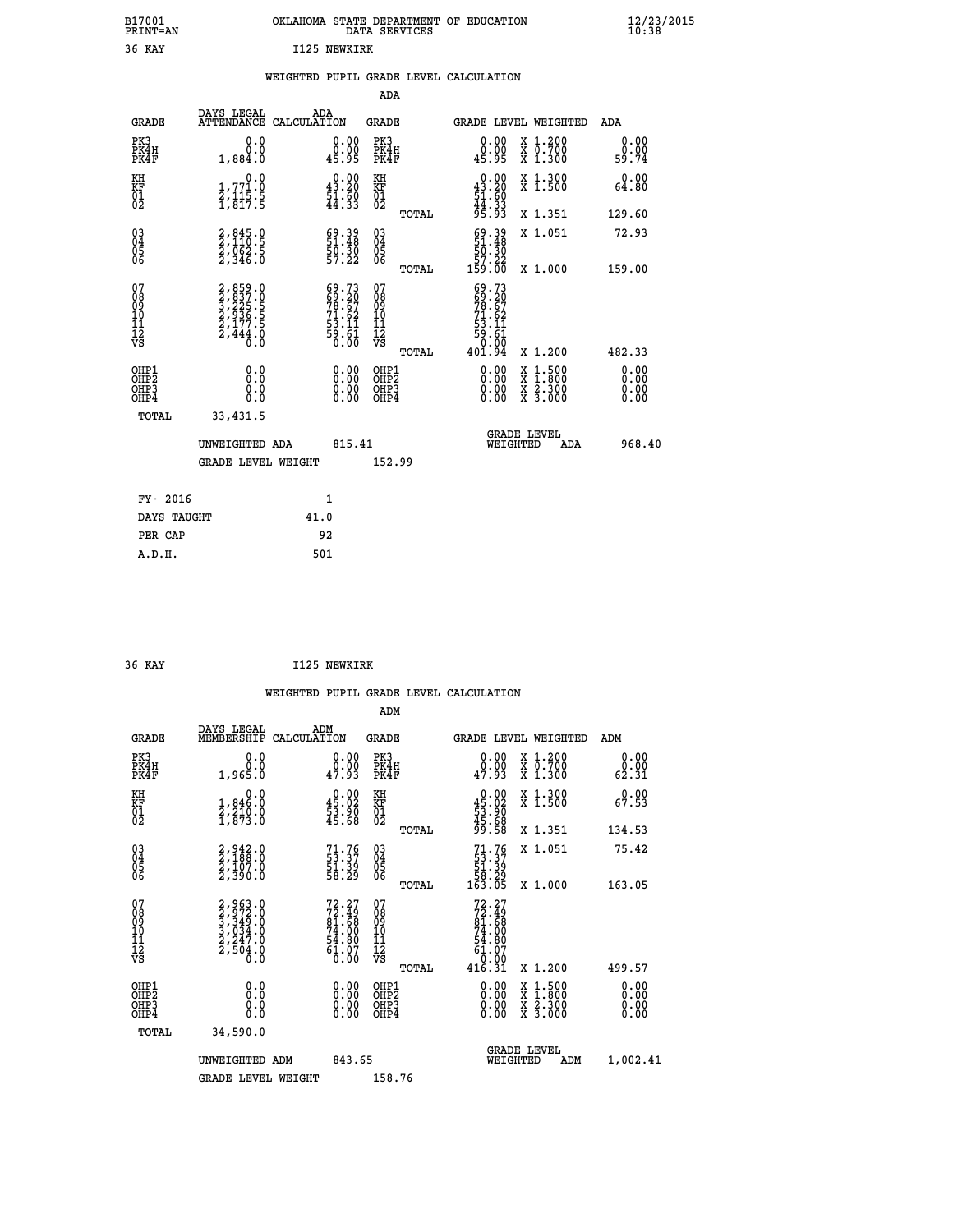| B17001<br><b>PRINT=AN</b> | . STATE DEPARTMENT OF EDUCATION<br>OKLAHOMA<br>DATA SERVICES | $\frac{12}{23}$ /2015 |
|---------------------------|--------------------------------------------------------------|-----------------------|
| 36 KAY                    | I125 NEWKIRK                                                 |                       |

|  |  | WEIGHTED PUPIL GRADE LEVEL CALCULATION |
|--|--|----------------------------------------|
|  |  |                                        |

|                                                                            |          | ADA                                                                                                                                                                                                                                                                                       |                                                                                                                                                                                                                                                                                                                                  |                                                                                                                                                                                       |
|----------------------------------------------------------------------------|----------|-------------------------------------------------------------------------------------------------------------------------------------------------------------------------------------------------------------------------------------------------------------------------------------------|----------------------------------------------------------------------------------------------------------------------------------------------------------------------------------------------------------------------------------------------------------------------------------------------------------------------------------|---------------------------------------------------------------------------------------------------------------------------------------------------------------------------------------|
| DAYS LEGAL<br><b>GRADE</b>                                                 | ADA      | <b>GRADE</b>                                                                                                                                                                                                                                                                              | <b>GRADE LEVEL WEIGHTED</b>                                                                                                                                                                                                                                                                                                      | ADA                                                                                                                                                                                   |
| PK3<br>0.0<br>0.0<br>PK4H<br>PK4F<br>1,884.0                               |          | PK3<br>PK4H<br>PK4F                                                                                                                                                                                                                                                                       | X 1.200<br>X 0.700<br>X 1.300<br>0.00<br>0.00<br>45.95                                                                                                                                                                                                                                                                           | 0.00<br>0.00<br>59.74                                                                                                                                                                 |
|                                                                            |          |                                                                                                                                                                                                                                                                                           | X 1.300<br>X 1.500                                                                                                                                                                                                                                                                                                               | 0.00<br>64.80                                                                                                                                                                         |
|                                                                            |          | TOTAL                                                                                                                                                                                                                                                                                     | X 1.351                                                                                                                                                                                                                                                                                                                          | 129.60                                                                                                                                                                                |
|                                                                            |          | 03<br>04<br>05<br>06                                                                                                                                                                                                                                                                      | X 1.051                                                                                                                                                                                                                                                                                                                          | 72.93                                                                                                                                                                                 |
|                                                                            |          |                                                                                                                                                                                                                                                                                           |                                                                                                                                                                                                                                                                                                                                  | 159.00                                                                                                                                                                                |
|                                                                            |          | 08<br>09<br>11<br>11<br>12<br>VS<br>TOTAL                                                                                                                                                                                                                                                 | X 1.200                                                                                                                                                                                                                                                                                                                          | 482.33                                                                                                                                                                                |
| OHP1<br>0.0<br>OH <sub>P</sub> 2<br>0.0<br>OH <sub>P3</sub><br>0.0<br>OHP4 |          | OHP1<br>OHP <sub>2</sub><br>OHP3<br>OHP4                                                                                                                                                                                                                                                  | 0.00<br>X 1:500<br>X 1:800<br>X 2:300<br>X 3:000<br>0.00<br>0.00                                                                                                                                                                                                                                                                 | 0.00<br>0.00<br>0.00<br>0.00                                                                                                                                                          |
| TOTAL<br>33,431.5                                                          |          |                                                                                                                                                                                                                                                                                           |                                                                                                                                                                                                                                                                                                                                  |                                                                                                                                                                                       |
|                                                                            |          |                                                                                                                                                                                                                                                                                           | <b>GRADE LEVEL</b><br>WEIGHTED<br>ADA                                                                                                                                                                                                                                                                                            | 968.40                                                                                                                                                                                |
|                                                                            |          |                                                                                                                                                                                                                                                                                           |                                                                                                                                                                                                                                                                                                                                  |                                                                                                                                                                                       |
|                                                                            |          |                                                                                                                                                                                                                                                                                           |                                                                                                                                                                                                                                                                                                                                  |                                                                                                                                                                                       |
| DAYS TAUGHT                                                                | 41.0     |                                                                                                                                                                                                                                                                                           |                                                                                                                                                                                                                                                                                                                                  |                                                                                                                                                                                       |
| PER CAP                                                                    | 92       |                                                                                                                                                                                                                                                                                           |                                                                                                                                                                                                                                                                                                                                  |                                                                                                                                                                                       |
| A.D.H.                                                                     | 501      |                                                                                                                                                                                                                                                                                           |                                                                                                                                                                                                                                                                                                                                  |                                                                                                                                                                                       |
|                                                                            | FY- 2016 | ATTENDANCE CALCULATION<br>$\begin{smallmatrix}&&&0.0\\1.771.0\\2.115.5\\1.817.5\end{smallmatrix}$<br>2,845.0<br>2,110.5<br>2,062.5<br>2,346.0<br>2,859.0<br>3,837.0<br>3,225.5<br>3,235.5<br>2,936.5<br>2,177.5<br>2,444.0<br>UNWEIGHTED ADA<br><b>GRADE LEVEL WEIGHT</b><br>$\mathbf{1}$ | $\begin{smallmatrix} 0.00\\ 0.00\\ 45.95 \end{smallmatrix}$<br>$\begin{smallmatrix} 0.00\\ 43.20\\ 51.60\\ 44.33 \end{smallmatrix}$<br>KH<br>KF<br>01<br>02<br>51.39<br>50:30<br>57:22<br>TOTAL<br>$69.7369.2078.6771.6253.1159.610.00$<br>07<br>0.00<br>$\begin{smallmatrix} 0.00 \ 0.00 \end{smallmatrix}$<br>815.41<br>152.99 | $0.00$<br>$43.20$<br>$51.60$<br>$44.33$<br>$95.93$<br>$69.3951.4850.3057.22159.00$<br>X 1.000<br>$69.73$<br>$69.20$<br>$78.67$<br>$71.62$<br>$53.11$<br>$59.61$<br>$0.00$<br>$401.94$ |

| 36 KAY |  | I125 NEWKIRK |
|--------|--|--------------|
|        |  |              |

| <b>GRADE</b>                                         | DAYS LEGAL<br>MEMBERSHIP                                              | ADM<br>CALCULATION                                                       | <b>GRADE</b>                             |       |                                                                                      |          | GRADE LEVEL WEIGHTED                                                                                                                      | ADM                          |  |
|------------------------------------------------------|-----------------------------------------------------------------------|--------------------------------------------------------------------------|------------------------------------------|-------|--------------------------------------------------------------------------------------|----------|-------------------------------------------------------------------------------------------------------------------------------------------|------------------------------|--|
| PK3<br>PK4H<br>PK4F                                  | 0.0<br>0.0<br>1,965.0                                                 | $\begin{smallmatrix} 0.00\\ 0.00\\ 47.93 \end{smallmatrix}$              | PK3<br>PK4H<br>PK4F                      |       | 0.00<br>$0.\overline{0}0$<br>47.93                                                   |          | X 1.200<br>X 0.700<br>X 1.300                                                                                                             | 0.00<br>0.00<br>62.31        |  |
| KH<br>KF<br>01<br>02                                 | 0.0<br>$\frac{1}{2}, \frac{846}{210}$<br>1,873.0                      | $\begin{smallmatrix} 0.00\\ 45.02\\ 53.90\\ 45.68 \end{smallmatrix}$     | KH<br>KF<br>01<br>02                     |       | $\begin{smallmatrix} 0.00\\ 45.02\\ 53.90\\ 45.68\\ 45.68\\ 99.58 \end{smallmatrix}$ |          | X 1.300<br>X 1.500                                                                                                                        | 0.00<br>67.53                |  |
|                                                      |                                                                       |                                                                          |                                          | TOTAL |                                                                                      |          | X 1.351                                                                                                                                   | 134.53                       |  |
| $\begin{matrix} 03 \\ 04 \\ 05 \\ 06 \end{matrix}$   | $2,942.0$<br>$2,188.0$<br>$2,107.0$<br>$2,390.0$                      | 71.76<br>53.37<br>51.39<br>58.29                                         | 03<br>04<br>05<br>06                     |       | $71.76$<br>53.37<br>51.39<br>58.29<br>58.29                                          |          | X 1.051                                                                                                                                   | 75.42                        |  |
|                                                      |                                                                       |                                                                          |                                          | TOTAL |                                                                                      |          | X 1.000                                                                                                                                   | 163.05                       |  |
| 07<br>08<br>09<br>101<br>112<br>VS                   | 2,963.0<br>3,972.0<br>3,349.0<br>3,034.0<br>2,247.0<br>2,504.0<br>0.0 | $72.27$<br>$72.49$<br>$81.68$<br>$74.00$<br>$54.80$<br>$61.07$<br>$0.00$ | 07<br>08901112<br>1112<br>VS             |       | $72.27$<br>$72.49$<br>$81.68$<br>$74.00$<br>$54.80$<br>$61.07$<br>$0.00$<br>$416.31$ |          |                                                                                                                                           |                              |  |
|                                                      |                                                                       |                                                                          |                                          | TOTAL |                                                                                      |          | X 1.200                                                                                                                                   | 499.57                       |  |
| OHP1<br>OHP <sub>2</sub><br>OH <sub>P3</sub><br>OHP4 | 0.0<br>0.0<br>0.0                                                     |                                                                          | OHP1<br>OHP <sub>2</sub><br>OHP3<br>OHP4 |       |                                                                                      |          | $\begin{smallmatrix} \mathtt{X} & 1\cdot500\\ \mathtt{X} & 1\cdot800\\ \mathtt{X} & 2\cdot300\\ \mathtt{X} & 3\cdot000 \end{smallmatrix}$ | 0.00<br>0.00<br>0.00<br>0.00 |  |
| TOTAL                                                | 34,590.0                                                              |                                                                          |                                          |       |                                                                                      |          |                                                                                                                                           |                              |  |
|                                                      | UNWEIGHTED ADM                                                        | 843.65                                                                   |                                          |       |                                                                                      | WEIGHTED | <b>GRADE LEVEL</b><br>ADM                                                                                                                 | 1,002.41                     |  |
|                                                      | <b>GRADE LEVEL WEIGHT</b>                                             |                                                                          | 158.76                                   |       |                                                                                      |          |                                                                                                                                           |                              |  |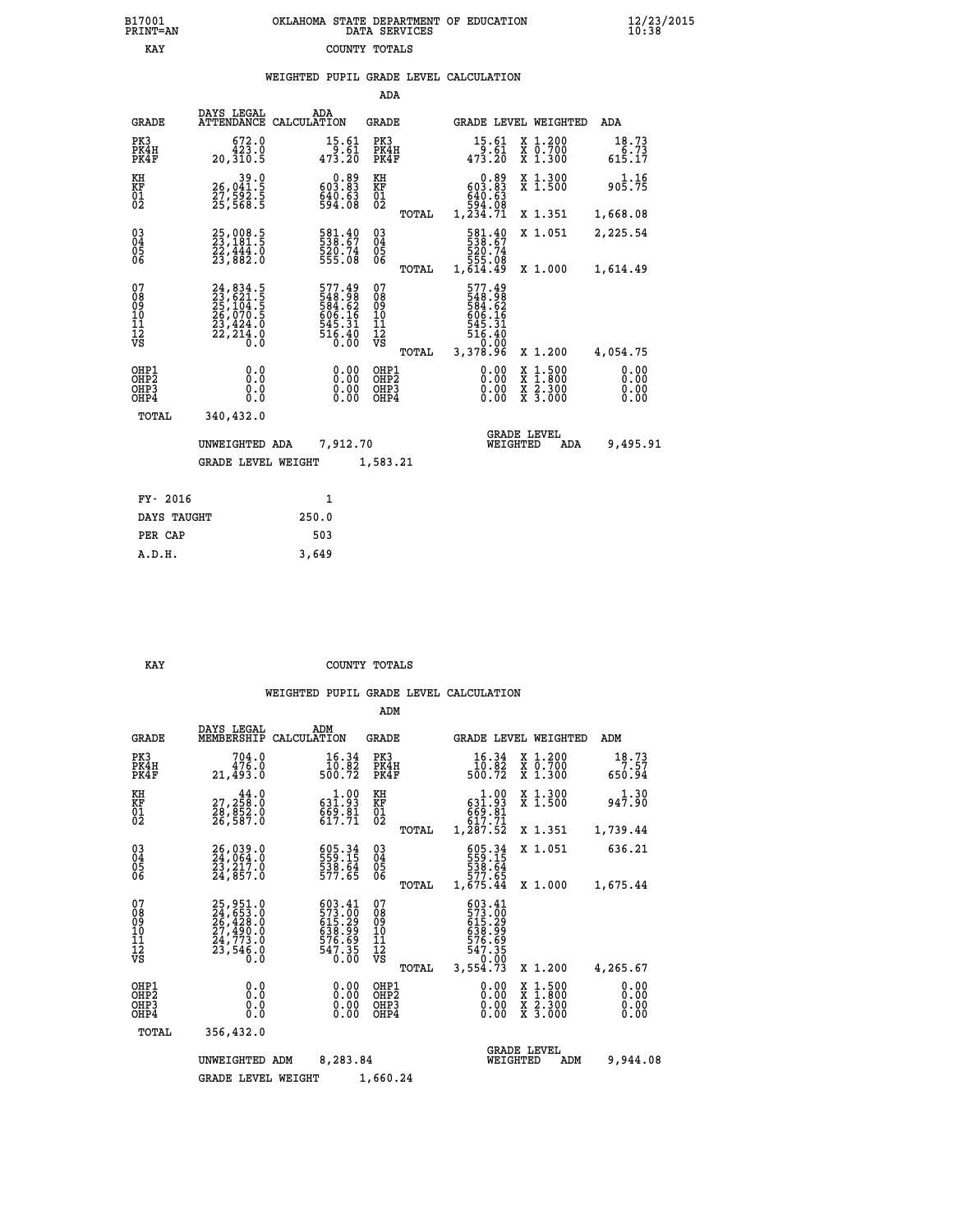# **B17001 OKLAHOMA STATE DEPARTMENT OF EDUCATION 12/23/2015 PRINT=AN DATA SERVICES 10:38 EXAY** COUNTY TOTALS

# **WEIGHTED PUPIL GRADE LEVEL CALCULATION**

|                                                    |                                                                                   |                    |                                                          | ADA                                    |       |                                                                                 |                                |                                          |                              |
|----------------------------------------------------|-----------------------------------------------------------------------------------|--------------------|----------------------------------------------------------|----------------------------------------|-------|---------------------------------------------------------------------------------|--------------------------------|------------------------------------------|------------------------------|
| <b>GRADE</b>                                       | DAYS LEGAL<br><b>ATTENDANCE</b>                                                   | ADA<br>CALCULATION |                                                          | GRADE                                  |       |                                                                                 |                                | GRADE LEVEL WEIGHTED                     | ADA                          |
| PK3<br>PK4H<br>PK4F                                | 672.0<br>423.0<br>20,310.5                                                        |                    | 15.61<br>9.61<br>473.20                                  | PK3<br>PK4H<br>PK4F                    |       | 15.61                                                                           |                                | X 1.200<br>X 0.700<br>X 1.300            | 18.73<br>6.73<br>615.17      |
| KH<br><b>KF</b><br>01<br>02                        | 39.0<br>26,041.5<br>27,592.5<br>25,568.5                                          |                    | eg.com<br>Eg.go<br>$640.63$<br>594.08                    | KH<br>KF<br>01<br>02                   |       | eg.o<br>Eg.Eog<br>640:63<br>594.08<br>1,234.71                                  |                                | X 1.300<br>X 1.500                       | 1.16<br>905.75               |
|                                                    |                                                                                   |                    |                                                          |                                        | TOTAL |                                                                                 |                                | X 1.351                                  | 1,668.08                     |
| $\begin{matrix} 03 \\ 04 \\ 05 \\ 06 \end{matrix}$ | 25,008.5<br>23,181.5<br>22,444.0<br>23,882.0                                      |                    | 581.40<br>538.67<br>520.74<br>555.08                     | $\substack{03 \\ 04}$<br>05<br>06      |       | 581.40<br>538.67<br>520.74<br>555.08<br>1,614.49                                |                                | X 1.051                                  | 2,225.54                     |
|                                                    |                                                                                   |                    |                                                          |                                        | TOTAL |                                                                                 |                                | X 1.000                                  | 1,614.49                     |
| 07<br>08<br>09<br>11<br>11<br>12<br>VS             | 24, 834.5<br>23, 621.5<br>25, 104.5<br>26, 070.5<br>23, 424.0<br>22, 214.0<br>Ō.Ŏ |                    | 577.49<br>548.98<br>584.62<br>506.16<br>645.31<br>516.40 | 07<br>08<br>09<br>11<br>11<br>12<br>VS | TOTAL | 577.49<br>548.98<br>584.62<br>5645.31<br>645.31<br>516.40<br>5.0.00<br>3,378.96 |                                | X 1.200                                  | 4,054.75                     |
|                                                    |                                                                                   |                    |                                                          |                                        |       |                                                                                 |                                |                                          |                              |
| OHP1<br>OHP2<br>OHP3<br>OHP4                       | 0.0<br>0.0<br>0.0                                                                 |                    | 0.00<br>$0.00$<br>$0.00$                                 | OHP1<br>OHP2<br>OHP3<br>OHP4           |       |                                                                                 | 0.00<br>X<br>X<br>0.00<br>0.00 | $1.500$<br>$1.800$<br>X 2.300<br>X 3.000 | 0.00<br>0.00<br>0.00<br>0.00 |
| TOTAL                                              | 340,432.0                                                                         |                    |                                                          |                                        |       |                                                                                 |                                |                                          |                              |
|                                                    | UNWEIGHTED ADA                                                                    |                    | 7,912.70                                                 |                                        |       |                                                                                 | <b>GRADE LEVEL</b><br>WEIGHTED | ADA                                      | 9,495.91                     |
|                                                    | <b>GRADE LEVEL WEIGHT</b>                                                         |                    |                                                          | 1,583.21                               |       |                                                                                 |                                |                                          |                              |
|                                                    |                                                                                   |                    |                                                          |                                        |       |                                                                                 |                                |                                          |                              |
| FY- 2016                                           |                                                                                   |                    | $\mathbf{1}$                                             |                                        |       |                                                                                 |                                |                                          |                              |
| DAYS TAUGHT                                        |                                                                                   | 250.0              |                                                          |                                        |       |                                                                                 |                                |                                          |                              |

 **A.D.H. 3,649**

PER CAP 503<br> **A.D.H.** 3,649

#### **KAY COUNTY TOTALS**

|                                                       |                                                                      |                                                                  | ADM                                              |                                                                                                                                                                                       |                                                                                                  |                              |
|-------------------------------------------------------|----------------------------------------------------------------------|------------------------------------------------------------------|--------------------------------------------------|---------------------------------------------------------------------------------------------------------------------------------------------------------------------------------------|--------------------------------------------------------------------------------------------------|------------------------------|
| <b>GRADE</b>                                          | DAYS LEGAL<br>MEMBERSHIP                                             | ADM<br>CALCULATION                                               | <b>GRADE</b>                                     | GRADE LEVEL WEIGHTED                                                                                                                                                                  |                                                                                                  | ADM                          |
| PK3<br>PK4H<br>PK4F                                   | 704.0<br>476.0<br>21,493.0                                           | 16.34<br>$\frac{10.82}{500.72}$                                  | PK3<br>PK4H<br>PK4F                              | 16.34<br>10.82<br>500.72                                                                                                                                                              | $\begin{array}{c} x & 1.200 \\ x & 0.700 \end{array}$<br>$X$ 1.300                               | 18.73<br>7.57<br>650.94      |
| KH<br>KF<br>01<br>02                                  | 44.0<br>27,258.0<br>28,852.0<br>26,587.0                             | $\begin{array}{c} 1.00 \\ 631.93 \\ 69.81 \\ 617.71 \end{array}$ | KH<br>KF<br>01<br>02                             | 1.00<br>$\begin{smallmatrix} 631.93 \\ 69.81 \\ 69.81 \\ 617.71 \\ 1,287.52 \end{smallmatrix}$                                                                                        | X 1.300<br>X 1.500                                                                               | 1.30<br>947.90               |
|                                                       |                                                                      |                                                                  | TOTAL                                            |                                                                                                                                                                                       | X 1.351                                                                                          | 1,739.44                     |
| 03<br>04<br>05<br>06                                  | 26,039.0<br>24,064.0<br>23,217.0<br>24,857.0                         | 605.34<br>559.15<br>538.64<br>577.65                             | $\substack{03 \\ 04}$<br>05<br>06                | 605.34<br>559.15<br>538.64                                                                                                                                                            | X 1.051                                                                                          | 636.21                       |
|                                                       |                                                                      |                                                                  | TOTAL                                            | 577.65<br>1,675.44                                                                                                                                                                    | X 1.000                                                                                          | 1,675.44                     |
| 07<br>08<br>09<br>11<br>11<br>12<br>VS                | 25,951.0<br>24,653.0<br>26,428.0<br>27,490.0<br>24,773.0<br>23,546.0 | 603.41<br>573.00<br>615.29<br>638.99<br>576.69<br>547.35<br>0.00 | 07<br>08<br>09<br>101<br>11<br>12<br>VS<br>TOTAL | $\begin{smallmatrix} 6 & 0 & 3 & 4 & 1 \\ 5 & 7 & 3 & 0 & 0 \\ 6 & 1 & 5 & 0 & 2 \\ 6 & 3 & 9 & 0 & 9 \\ 9 & 9 & 9 & 9 & 0 \end{smallmatrix}$<br>576.69<br>547.35<br>0.00<br>3,554.73 | X 1.200                                                                                          | 4,265.67                     |
| OHP1<br>OH <sub>P</sub> 2<br>OH <sub>P3</sub><br>OHP4 | 0.0<br>0.0<br>Ŏ.Ŏ                                                    | 0.00<br>0.00<br>0.00                                             | OHP1<br>OHP2<br>OHP3<br>OHP4                     | $0.00$<br>$0.00$<br>0.00                                                                                                                                                              | $\begin{smallmatrix} x & 1 & 500 \\ x & 1 & 800 \\ x & 2 & 300 \\ x & 3 & 000 \end{smallmatrix}$ | 0.00<br>0.00<br>0.00<br>0.00 |
| TOTAL                                                 | 356,432.0                                                            |                                                                  |                                                  |                                                                                                                                                                                       |                                                                                                  |                              |
|                                                       | UNWEIGHTED                                                           | 8,283.84<br>ADM                                                  |                                                  | <b>GRADE LEVEL</b><br>WEIGHTED                                                                                                                                                        | ADM                                                                                              | 9,944.08                     |
|                                                       | <b>GRADE LEVEL WEIGHT</b>                                            |                                                                  | 1,660.24                                         |                                                                                                                                                                                       |                                                                                                  |                              |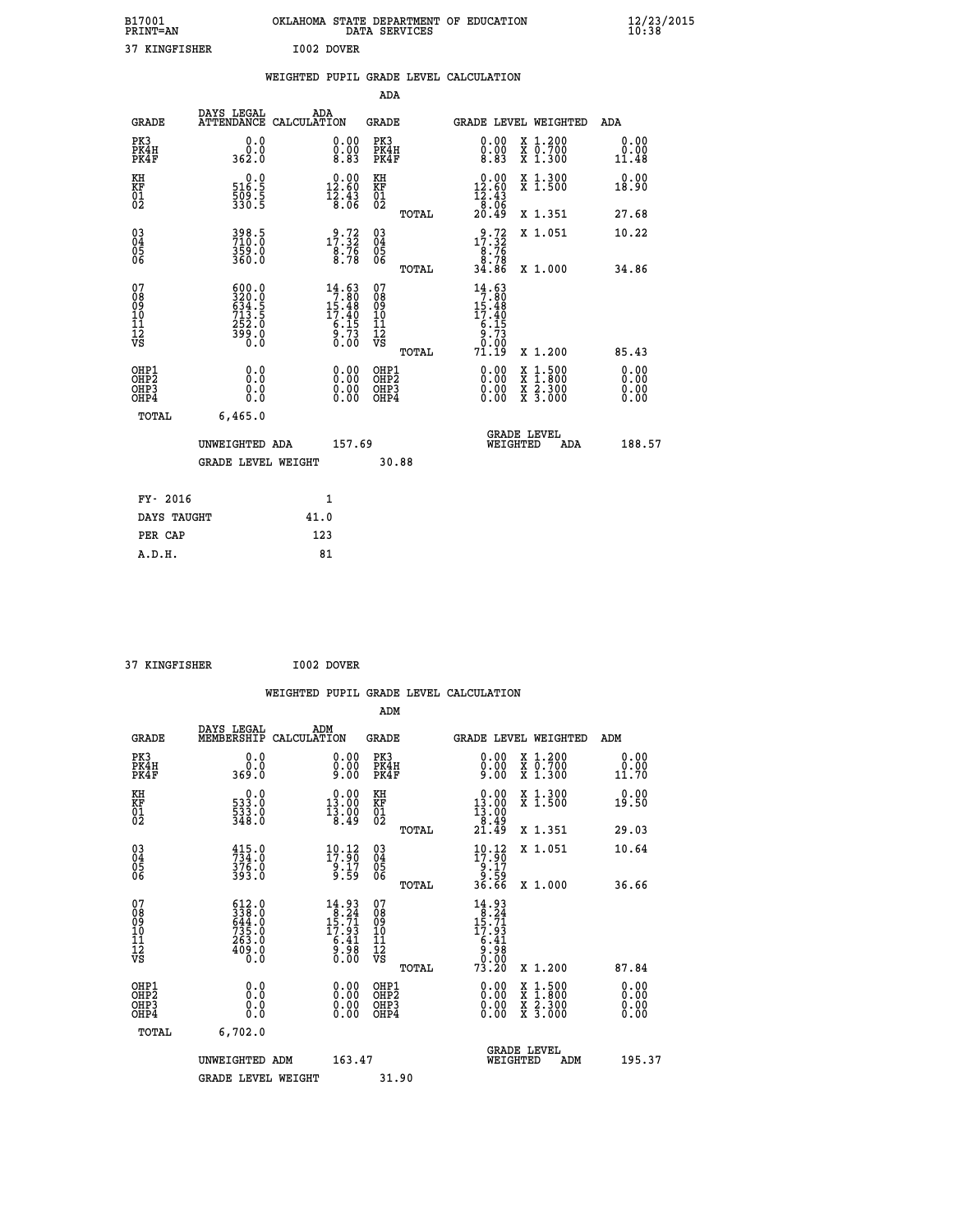| B17001<br><b>PRINT=AN</b> | OKLAHOMA STATE DEPARTMENT OF EDUCATION<br>DATA SERVICES | $\frac{12}{23}$ /2015 |
|---------------------------|---------------------------------------------------------|-----------------------|
| 37<br>KINGFISHER          | I002 DOVER                                              |                       |

|                                                      |                                                                                             |      |                                                                       |                                          |       | WEIGHTED PUPIL GRADE LEVEL CALCULATION                                                         |                                                                                                                                           |                              |
|------------------------------------------------------|---------------------------------------------------------------------------------------------|------|-----------------------------------------------------------------------|------------------------------------------|-------|------------------------------------------------------------------------------------------------|-------------------------------------------------------------------------------------------------------------------------------------------|------------------------------|
|                                                      |                                                                                             |      |                                                                       | <b>ADA</b>                               |       |                                                                                                |                                                                                                                                           |                              |
| <b>GRADE</b>                                         | DAYS LEGAL<br>ATTENDANCE CALCULATION                                                        |      | ADA                                                                   | <b>GRADE</b>                             |       | GRADE LEVEL WEIGHTED                                                                           |                                                                                                                                           | ADA                          |
| PK3<br>PK4H<br>PK4F                                  | 0.0<br>0.0<br>362.0                                                                         |      | 0.00<br>$\substack{0.00 \\ 8.83}$                                     | PK3<br>PK4H<br>PK4F                      |       | 0.00<br>0.00<br>8.83                                                                           | X 1.200<br>X 0.700<br>X 1.300                                                                                                             | 0.00<br>0.00<br>11.48        |
| KH<br>KF<br>01<br>02                                 | $516.5$<br>$509.5$<br>$330.5$                                                               |      | $0.00$<br>12.60<br>$\frac{12.43}{8.06}$                               | KH<br><b>KF</b><br>01<br>02              |       | $12.60$<br>12.60<br>$\frac{12.43}{8.06}$<br>20.49                                              | X 1.300<br>X 1.500                                                                                                                        | 0.00<br>18.90                |
|                                                      |                                                                                             |      |                                                                       |                                          | TOTAL |                                                                                                | X 1.351                                                                                                                                   | 27.68                        |
| $^{03}_{04}$<br>Ŏ5<br>06                             | 398.5<br>710.0<br>$359.0$<br>360.0                                                          |      | 17:32<br>$\frac{8.76}{8.78}$                                          | $\substack{03 \\ 04}$<br>05<br>ŌĞ        |       | $\begin{array}{r} 9.72 \\ 17.32 \\ 8.76 \\ 8.78 \\ 34.86 \end{array}$                          | X 1.051                                                                                                                                   | 10.22                        |
|                                                      |                                                                                             |      |                                                                       |                                          | TOTAL |                                                                                                | X 1.000                                                                                                                                   | 34.86                        |
| 07<br>08<br>09<br>11<br>11<br>12<br>VS               | $\begin{smallmatrix} 600.0\\ 320.0\\ 634.5\\ 713.5\\ 252.0\\ 399.0\\ 0.0 \end{smallmatrix}$ |      | $14.63$<br>$7.80$<br>$15.48$<br>$17.40$<br>$6.15$<br>$\frac{9}{0.73}$ | 07<br>08<br>09<br>11<br>11<br>12<br>VS   |       | $14.63$<br>$7.80$<br>$15.48$<br>$17.40$<br>$\begin{array}{c} 6.15 \\ 9.73 \\ 0.00 \end{array}$ |                                                                                                                                           |                              |
|                                                      |                                                                                             |      |                                                                       |                                          | TOTAL | 71.19                                                                                          | X 1.200                                                                                                                                   | 85.43                        |
| OHP1<br>OHP <sub>2</sub><br>OHP3<br>OH <sub>P4</sub> | 0.0<br>0.0<br>0.0<br>0.0                                                                    |      | 0.00<br>0.00<br>0.00                                                  | OHP1<br>OHP <sub>2</sub><br>OHP3<br>OHP4 |       | 0.00<br>0.00<br>0.00                                                                           | $\begin{smallmatrix} \mathtt{X} & 1\cdot500\\ \mathtt{X} & 1\cdot800\\ \mathtt{X} & 2\cdot300\\ \mathtt{X} & 3\cdot000 \end{smallmatrix}$ | 0.00<br>0.00<br>0.00<br>0.00 |
| <b>TOTAL</b>                                         | 6,465.0                                                                                     |      |                                                                       |                                          |       |                                                                                                |                                                                                                                                           |                              |
|                                                      | UNWEIGHTED ADA                                                                              |      | 157.69                                                                |                                          |       | WEIGHTED                                                                                       | <b>GRADE LEVEL</b><br>ADA                                                                                                                 | 188.57                       |
|                                                      | <b>GRADE LEVEL WEIGHT</b>                                                                   |      |                                                                       |                                          | 30.88 |                                                                                                |                                                                                                                                           |                              |
| FY- 2016                                             |                                                                                             |      | 1                                                                     |                                          |       |                                                                                                |                                                                                                                                           |                              |
| DAYS TAUGHT                                          |                                                                                             | 41.0 |                                                                       |                                          |       |                                                                                                |                                                                                                                                           |                              |
| PER CAP                                              |                                                                                             |      | 123                                                                   |                                          |       |                                                                                                |                                                                                                                                           |                              |

 **37 KINGFISHER I002 DOVER**

 **WEIGHTED PUPIL GRADE LEVEL CALCULATION ADM DAYS LEGAL ADM GRADE MEMBERSHIP CALCULATION GRADE GRADE LEVEL WEIGHTED ADM PK3 0.0 0.00 PK3 0.00 X 1.200 0.00 PK4H 0.0 0.00 PK4H 0.00 X 0.700 0.00 PK4F 369.0 9.00 PK4F 9.00 X 1.300 11.70 KH 0.0 0.00 KH 0.00 X 1.300 0.00 KF 533.0 13.00 KF 13.00 X 1.500 19.50 01 533.0 13.00 01 13.00 02 348.0 8.49 02 8.49 TOTAL 21.49 X 1.351 29.03 03 415.0 10.12 03 10.12 X 1.051 10.64 04 734.0 17.90 04 17.90 05 376.0 9.17 05 9.17 06 393.0 9.59 06 9.59 TOTAL 36.66 X 1.000 36.66** 07 612.0 14.93 07 14.93<br>
08 338.0 8.24 0 15.71 09 15.71<br>
10 735.0 17.93 10 17.93<br>
11 263.0 6.41 11 6.41<br>
12 409.0 9.98 12<br>
VS 10.0 0.00 VS 0.000  $\begin{array}{cccc} 612.0 & 14.93 & 07 & 14.93 \ 338.0 & 15.74 & 08 & 18.24 \ 6344.0 & 17.93 & 10 & 15.793 \ 735.0 & 6.41 & 11 & 6.41 \ 409.0 & 6.42 & 17.98 & 73.20 \ 630.0 & 6.98 & 12 & 6.36 \ 0.0 & 0.00 & 0.00 & 0.00 \ 0.0 & 0.00 & 0.00 & 0.00 \ 0.0 & 0.00 & 0.00 &$  **OHP1 0.0 0.00 OHP1 0.00 X 1.500 0.00 OHP2 0.0 0.00 OHP2 0.00 X 1.800 0.00 OHP3 0.0 0.00 OHP3 0.00 X 2.300 0.00 OHP4 0.0 0.00 OHP4 0.00 X 3.000 0.00 TOTAL 6,702.0 GRADE LEVEL UNWEIGHTED ADM 163.47 WEIGHTED ADM 195.37** GRADE LEVEL WEIGHT 31.90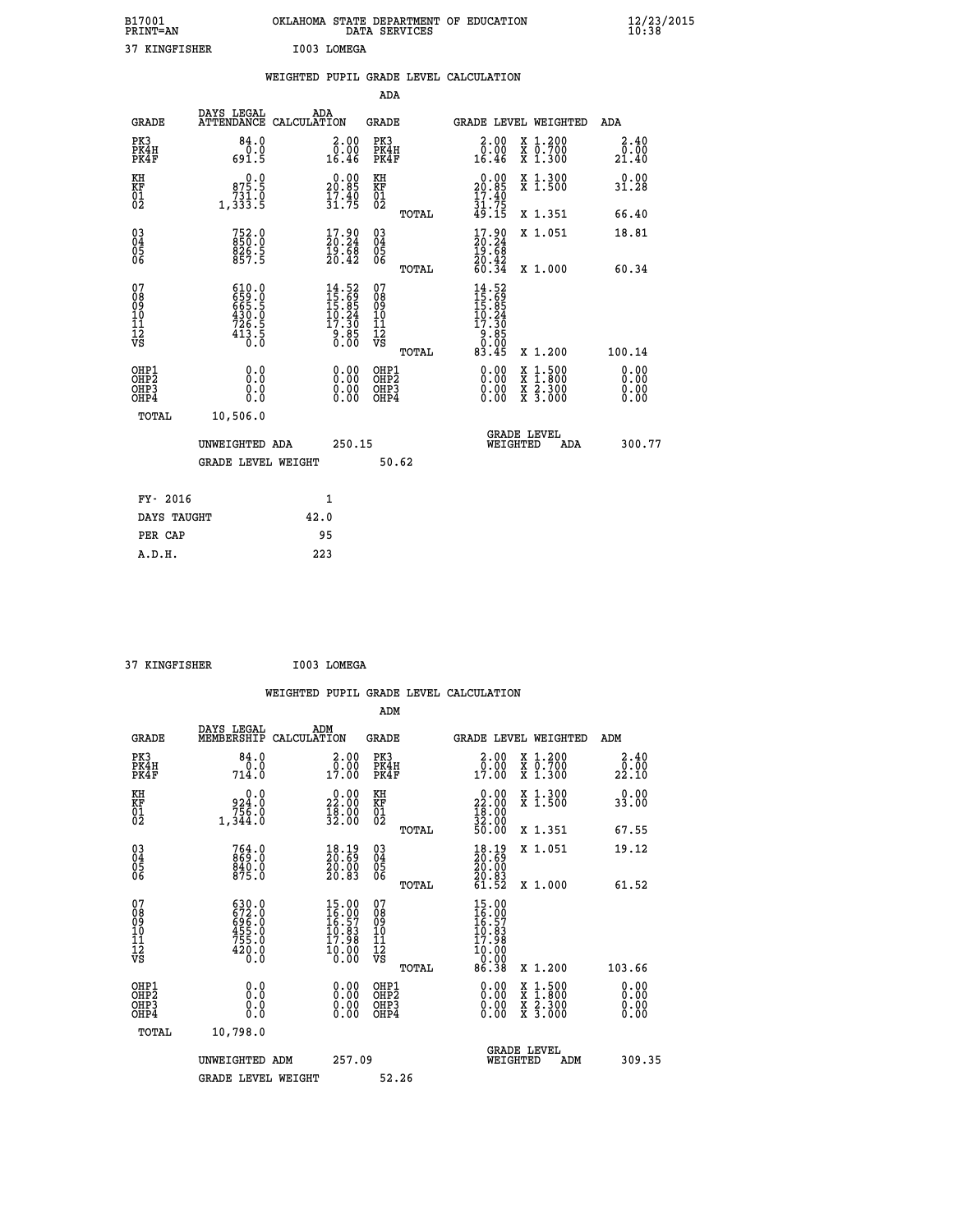| B17001<br><b>PRINT=AN</b> | OKLAHOMA<br>STATE DEPARTMENT OF EDUCATION<br>DATA SERVICES | $\frac{12}{23}$ /2015 |
|---------------------------|------------------------------------------------------------|-----------------------|
| 37 KINGFISHER             | I003 LOMEGA                                                |                       |

|                                                                    |                                                                                                                                                                                         | WEIGHTED PUPIL GRADE LEVEL CALCULATION                                                      |                                                     |       |                                                                                                                                                                                                                                                                                |                                                                                                                                              |                              |
|--------------------------------------------------------------------|-----------------------------------------------------------------------------------------------------------------------------------------------------------------------------------------|---------------------------------------------------------------------------------------------|-----------------------------------------------------|-------|--------------------------------------------------------------------------------------------------------------------------------------------------------------------------------------------------------------------------------------------------------------------------------|----------------------------------------------------------------------------------------------------------------------------------------------|------------------------------|
|                                                                    |                                                                                                                                                                                         |                                                                                             | <b>ADA</b>                                          |       |                                                                                                                                                                                                                                                                                |                                                                                                                                              |                              |
| <b>GRADE</b>                                                       | DAYS LEGAL                                                                                                                                                                              | ADA<br>ATTENDANCE CALCULATION                                                               | <b>GRADE</b>                                        |       | GRADE LEVEL WEIGHTED                                                                                                                                                                                                                                                           |                                                                                                                                              | <b>ADA</b>                   |
| PK3<br>PK4H<br>PK4F                                                | 84.0<br>691.5                                                                                                                                                                           | $\begin{smallmatrix} 2.00\\ 0.00\\ 16.46 \end{smallmatrix}$                                 | PK3<br>PK4H<br>PK4F                                 |       | 2.00<br>ŏ.ŏŏ<br>16.46                                                                                                                                                                                                                                                          | X 1.200<br>X 0.700<br>X 1.300                                                                                                                | 2.40<br>_0.00<br>21.40       |
| KH<br>KF<br>01<br>02                                               | 0.0<br>875.5<br>731.0<br>1,333.5                                                                                                                                                        | $20.00$<br>20.85<br>$\frac{17.40}{31.75}$                                                   | KH<br>KF<br>01<br>02                                |       | 20.00<br>$\frac{17.40}{31.75}$<br>49.15                                                                                                                                                                                                                                        | X 1.300<br>X 1.500                                                                                                                           | 0.00<br>31.28                |
|                                                                    |                                                                                                                                                                                         |                                                                                             |                                                     | TOTAL |                                                                                                                                                                                                                                                                                | X 1.351                                                                                                                                      | 66.40                        |
| $\begin{smallmatrix} 03 \\[-4pt] 04 \end{smallmatrix}$<br>Ŏ5<br>06 | 752.0<br>850.0<br>826.5<br>857.5                                                                                                                                                        | $\begin{smallmatrix} 17.90\\ 20.24\\ 19.68\\ 20.42 \end{smallmatrix}$                       | $\begin{array}{c} 03 \\ 04 \\ 05 \\ 06 \end{array}$ |       | $\begin{smallmatrix} 17.90 \\ 20.24 \\ 19.68 \\ 20.42 \\ 60.34 \end{smallmatrix}$                                                                                                                                                                                              | X 1.051                                                                                                                                      | 18.81                        |
|                                                                    |                                                                                                                                                                                         |                                                                                             |                                                     | TOTAL |                                                                                                                                                                                                                                                                                | X 1.000                                                                                                                                      | 60.34                        |
| 07<br>0890112<br>1112<br>VS                                        | $\begin{smallmatrix} 6 & 1 & 0 & . & 0 \\ 6 & 5 & 9 & . & 0 \\ 6 & 6 & 5 & . & 5 \\ 4 & 3 & 0 & . & 0 \\ 7 & 2 & 6 & . & 5 \\ 4 & 1 & 3 & . & 5 \\ 0 & . & 0 & . & 0 \end{smallmatrix}$ | $\begin{smallmatrix} 14.52\\ 15.69\\ 15.85\\ 10.24\\ 17.30\\ 9.85\\ 0.00 \end{smallmatrix}$ | 07<br>08<br>09<br>11<br>11<br>12<br>VS              | TOTAL | $14.52$<br>$15.69$<br>$15.85$<br>$10.24$<br>$17.30$<br>$\begin{array}{c} 6.85 \\ 0.00 \\ 83.45 \end{array}$                                                                                                                                                                    | X 1.200                                                                                                                                      | 100.14                       |
| OHP1<br>OHP2<br>OH <sub>P3</sub><br>OH <sub>P4</sub>               | 0.0<br>Ō.Ō<br>0.0<br>0.0                                                                                                                                                                | 0.00<br>$\begin{smallmatrix} 0.00 \ 0.00 \end{smallmatrix}$                                 | OHP1<br>OHP2<br>OHP3<br>OHP4                        |       | $\begin{smallmatrix} 0.00 & 0.00 & 0.00 & 0.00 & 0.00 & 0.00 & 0.00 & 0.00 & 0.00 & 0.00 & 0.00 & 0.00 & 0.00 & 0.00 & 0.00 & 0.00 & 0.00 & 0.00 & 0.00 & 0.00 & 0.00 & 0.00 & 0.00 & 0.00 & 0.00 & 0.00 & 0.00 & 0.00 & 0.00 & 0.00 & 0.00 & 0.00 & 0.00 & 0.00 & 0.00 & 0.0$ | $\begin{smallmatrix} \mathtt{X} & 1\cdot500 \\ \mathtt{X} & 1\cdot800 \\ \mathtt{X} & 2\cdot300 \\ \mathtt{X} & 3\cdot000 \end{smallmatrix}$ | 0.00<br>0.00<br>0.00<br>0.00 |
| TOTAL                                                              | 10,506.0                                                                                                                                                                                |                                                                                             |                                                     |       |                                                                                                                                                                                                                                                                                |                                                                                                                                              |                              |
|                                                                    | UNWEIGHTED ADA                                                                                                                                                                          |                                                                                             | 250.15                                              |       | WEIGHTED                                                                                                                                                                                                                                                                       | <b>GRADE LEVEL</b><br>ADA                                                                                                                    | 300.77                       |
|                                                                    | <b>GRADE LEVEL WEIGHT</b>                                                                                                                                                               |                                                                                             |                                                     | 50.62 |                                                                                                                                                                                                                                                                                |                                                                                                                                              |                              |
| FY- 2016                                                           |                                                                                                                                                                                         | $\mathbf{1}$                                                                                |                                                     |       |                                                                                                                                                                                                                                                                                |                                                                                                                                              |                              |
| DAYS TAUGHT                                                        |                                                                                                                                                                                         | 42.0                                                                                        |                                                     |       |                                                                                                                                                                                                                                                                                |                                                                                                                                              |                              |
| PER CAP                                                            |                                                                                                                                                                                         | 95                                                                                          |                                                     |       |                                                                                                                                                                                                                                                                                |                                                                                                                                              |                              |

 **37 KINGFISHER I003 LOMEGA**

| <b>GRADE</b>                                                     | DAYS LEGAL<br>MEMBERSHIP                                       | ADM<br>CALCULATION                                                          | <b>GRADE</b>                                        |       |                                                                              | GRADE LEVEL WEIGHTED                                             | ADM                          |  |
|------------------------------------------------------------------|----------------------------------------------------------------|-----------------------------------------------------------------------------|-----------------------------------------------------|-------|------------------------------------------------------------------------------|------------------------------------------------------------------|------------------------------|--|
| PK3<br>PK4H<br>PK4F                                              | 84.0<br>714.0                                                  | 2.00<br>0.00<br>17.00                                                       | PK3<br>PK4H<br>PK4F                                 |       | 2.00<br>$\frac{0.00}{17.00}$                                                 | $\begin{array}{c} x & 1.200 \\ x & 0.700 \end{array}$<br>X 1.300 | 2.40<br>$22.00$<br>$22.10$   |  |
| KH<br>KF<br>01<br>02                                             | 0.0<br>0:324<br>756.0<br>1,344.0                               | $\begin{smallmatrix} 0.00\\ 22.00\\ 18.00\\ 32.00 \end{smallmatrix}$        | KH<br>KF<br>01<br>02                                |       | $\begin{smallmatrix} 0.00\\ 22.00\\ 18.00\\ 32.00\\ 50.00 \end{smallmatrix}$ | X 1.300<br>X 1.500                                               | 0.00<br>33.00                |  |
|                                                                  |                                                                |                                                                             |                                                     | TOTAL |                                                                              | X 1.351                                                          | 67.55                        |  |
| $\begin{matrix} 03 \\ 04 \\ 05 \\ 06 \end{matrix}$               | 764.0<br>869.0<br>840.0<br>875.0                               | $\begin{smallmatrix} 18.19\ 20.69\ 20.00\ 20.83 \end{smallmatrix}$          | $\begin{array}{c} 03 \\ 04 \\ 05 \\ 06 \end{array}$ |       | 18.19<br>20:69<br>20:00<br>20:83                                             | X 1.051                                                          | 19.12                        |  |
|                                                                  |                                                                |                                                                             |                                                     | TOTAL | 61.52                                                                        | X 1.000                                                          | 61.52                        |  |
| 07<br>08<br>09<br>11<br>11<br>12<br>VS                           | 630.0<br>672.0<br>696.0<br>6455.0<br>755.0<br>$^{420.0}_{0.0}$ | $15.00$<br>$16.90$<br>$16.57$<br>$10.83$<br>$17.98$<br>$\frac{10.00}{0.00}$ | 07<br>08<br>09<br>11<br>11<br>12<br>VS              | TOTAL | $15.0016.9716.5710.8317.9810.0000.00086.38$                                  | X 1.200                                                          | 103.66                       |  |
| OHP1<br>OH <sub>P</sub> <sub>2</sub><br>OH <sub>P3</sub><br>OHP4 | 0.0<br>0.0<br>Ŏ.Ŏ                                              |                                                                             | OHP1<br>OHP <sub>2</sub><br>OHP3<br>OHP4            |       |                                                                              | X 1:500<br>X 1:800<br>X 2:300<br>X 3:000                         | 0.00<br>0.00<br>0.00<br>0.00 |  |
| TOTAL                                                            | 10,798.0                                                       |                                                                             |                                                     |       |                                                                              |                                                                  |                              |  |
|                                                                  | UNWEIGHTED ADM                                                 | 257.09                                                                      |                                                     |       | WEIGHTED                                                                     | <b>GRADE LEVEL</b><br>ADM                                        | 309.35                       |  |
|                                                                  | <b>GRADE LEVEL WEIGHT</b>                                      |                                                                             | 52.26                                               |       |                                                                              |                                                                  |                              |  |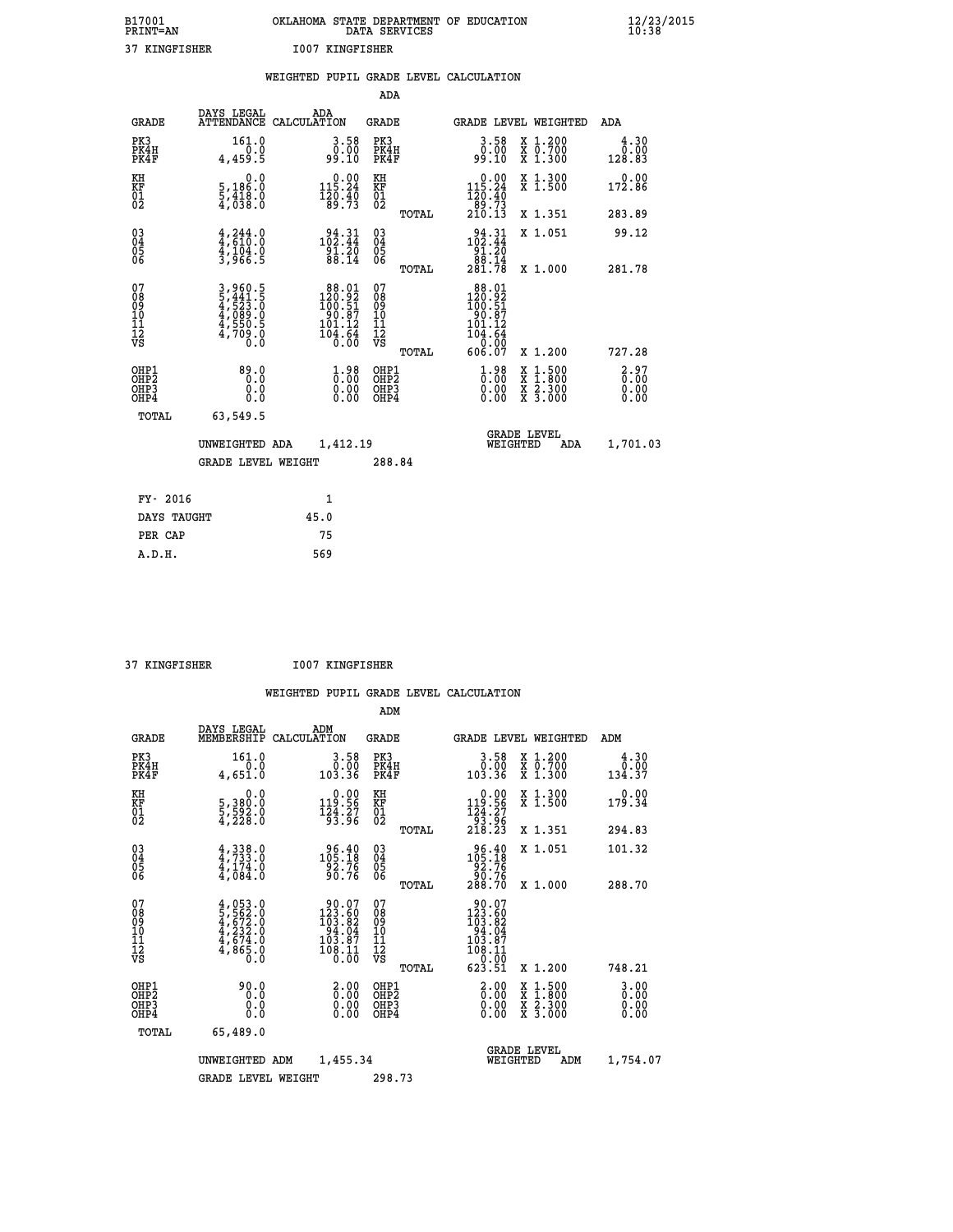| B17001<br><b>PRINT=AN</b> | OKLAHOMA STATE DEPARTMENT OF EDUCATION<br>DATA SERVICES | $\frac{12}{23}$ /2015 |
|---------------------------|---------------------------------------------------------|-----------------------|
| 37 KINGFISHER             | 1007 KINGFISHER                                         |                       |

|                                                                    |                                                            | WEIGHTED PUPIL GRADE LEVEL CALCULATION                                                        |                                                     |       |                                                                                                         |                                                                                                                                           |                                                       |
|--------------------------------------------------------------------|------------------------------------------------------------|-----------------------------------------------------------------------------------------------|-----------------------------------------------------|-------|---------------------------------------------------------------------------------------------------------|-------------------------------------------------------------------------------------------------------------------------------------------|-------------------------------------------------------|
|                                                                    |                                                            |                                                                                               | <b>ADA</b>                                          |       |                                                                                                         |                                                                                                                                           |                                                       |
| <b>GRADE</b>                                                       | DAYS LEGAL                                                 | ADA<br>ATTENDANCE CALCULATION                                                                 | <b>GRADE</b>                                        |       |                                                                                                         | GRADE LEVEL WEIGHTED                                                                                                                      | <b>ADA</b>                                            |
| PK3<br>PK4H<br>PK4F                                                | 161.0<br>4,459.5                                           | $\begin{smallmatrix} 3.58\ 0.00\ 9.10 \end{smallmatrix}$                                      | PK3<br>PK4H<br>PK4F                                 |       | 3.58<br>ةة:ة<br>99:10                                                                                   | X 1.200<br>X 0.700<br>X 1.300                                                                                                             | 4.30<br>$\begin{array}{c} 0.00 \\ 128.83 \end{array}$ |
| KH<br>KF<br>01<br>02                                               | 0.0<br>5,186:0<br>5,418:0<br>4,038:0                       | $\begin{smallmatrix} 0.00\\ 115.24\\ 120.40\\ 89.73 \end{smallmatrix}$                        | KH<br>KF<br>01<br>02                                |       | 0.00<br>$115.24$<br>$120.40$<br>$89.73$<br>$210.13$                                                     | X 1.300<br>X 1.500                                                                                                                        | 0.00<br>172.86                                        |
|                                                                    |                                                            |                                                                                               |                                                     | TOTAL |                                                                                                         | X 1.351                                                                                                                                   | 283.89                                                |
| $\begin{smallmatrix} 03 \\[-4pt] 04 \end{smallmatrix}$<br>Ŏ5<br>06 | $4,244.0$<br>$4,610.0$<br>$4,104.0$<br>$3,966.5$           | $\begin{smallmatrix} 94.31 \\ 102.44 \\ 91.20 \\ 88.14 \end{smallmatrix}$                     | $\begin{array}{c} 03 \\ 04 \\ 05 \\ 06 \end{array}$ |       | $102.31$<br>$102.44$<br>$\begin{array}{r} 191.20 \\ 98.14 \\ 281.78 \end{array}$                        | X 1.051                                                                                                                                   | 99.12                                                 |
|                                                                    |                                                            |                                                                                               |                                                     | TOTAL |                                                                                                         | X 1.000                                                                                                                                   | 281.78                                                |
| 07<br>0890112<br>1112<br>VS                                        | 3,960.5<br>5,441.5<br>4,523.0<br>4,550.5<br>4,709.0<br>0.0 | $\begin{array}{r} 88.01 \\ 120.92 \\ 100.51 \\ 90.87 \\ 101.12 \\ 104.64 \\ 0.00 \end{array}$ | 07<br>08901112<br>1112<br>VS                        | TOTAL | $\begin{array}{r} 88.01 \\ 120.92 \\ 100.51 \\ 90.87 \\ 101.12 \\ 104.64 \\ 0.00 \\ 606.07 \end{array}$ | X 1.200                                                                                                                                   | 727.28                                                |
| OHP1<br>OHP2<br>OH <sub>P3</sub><br>OHP4                           | 89.0<br>0.0<br>0.0                                         | $\begin{smallmatrix} 1.98\ 0.00\ 0.00 \end{smallmatrix}$                                      | OHP1<br>OHP2<br>OHP3<br>OHP4                        |       | $1.98$<br>$0.00$<br>0.00                                                                                | $\begin{smallmatrix} \mathtt{X} & 1\cdot500\\ \mathtt{X} & 1\cdot800\\ \mathtt{X} & 2\cdot300\\ \mathtt{X} & 3\cdot000 \end{smallmatrix}$ | 2.97<br>0.00<br>0.00<br>0.00                          |
| <b>TOTAL</b>                                                       | 63,549.5                                                   |                                                                                               |                                                     |       |                                                                                                         |                                                                                                                                           |                                                       |
|                                                                    | UNWEIGHTED ADA                                             | 1,412.19                                                                                      |                                                     |       | WEIGHTED                                                                                                | <b>GRADE LEVEL</b><br>ADA                                                                                                                 | 1,701.03                                              |
|                                                                    | <b>GRADE LEVEL WEIGHT</b>                                  |                                                                                               | 288.84                                              |       |                                                                                                         |                                                                                                                                           |                                                       |
| FY- 2016                                                           |                                                            | $\mathbf{1}$                                                                                  |                                                     |       |                                                                                                         |                                                                                                                                           |                                                       |
| DAYS TAUGHT                                                        |                                                            | 45.0                                                                                          |                                                     |       |                                                                                                         |                                                                                                                                           |                                                       |
| PER CAP                                                            |                                                            | 75                                                                                            |                                                     |       |                                                                                                         |                                                                                                                                           |                                                       |

| $\mathbf{A} \mathbf{B}$ |
|-------------------------|

 **37 KINGFISHER I007 KINGFISHER**

|                                          |                                                                                     |                    |                                                                                             | ADM                                                |       |                                                                                                                 |          |                                          |                                  |
|------------------------------------------|-------------------------------------------------------------------------------------|--------------------|---------------------------------------------------------------------------------------------|----------------------------------------------------|-------|-----------------------------------------------------------------------------------------------------------------|----------|------------------------------------------|----------------------------------|
| <b>GRADE</b>                             | DAYS LEGAL<br>MEMBERSHIP                                                            | ADM<br>CALCULATION |                                                                                             | <b>GRADE</b>                                       |       |                                                                                                                 |          | GRADE LEVEL WEIGHTED                     | ADM                              |
| PK3<br>PK4H<br>PK4F                      | 161.0<br>0.0<br>4,651.0                                                             |                    | 3.58<br>0.00<br>103.36                                                                      | PK3<br>PK4H<br>PK4F                                |       | $\begin{smallmatrix} 3.58\ 0.00\ 0.00\ 103.36\ \end{smallmatrix}$                                               |          | X 1.200<br>X 0.700<br>X 1.300            | 4.30<br>0.00<br>134.37           |
| KH<br>KF<br>01<br>02                     | 0.0<br>5,380:0<br>5,592:0<br>4,228:0                                                |                    | $0.00$<br>119.56<br>$\frac{1}{9}$ $\frac{2}{3}$ $\cdot\frac{2}{9}$ $\frac{7}{9}$            | KH<br>KF<br>01<br>02                               |       | $0.00$<br>119.56<br>$\begin{array}{c} 124.27 \\[-4pt] 93.96 \\[-4pt] 218.23 \end{array}$                        |          | X 1.300<br>X 1.500                       | 0.00<br>179.34                   |
|                                          |                                                                                     |                    |                                                                                             |                                                    | TOTAL |                                                                                                                 |          | X 1.351                                  | 294.83                           |
| 03<br>04<br>05<br>06                     | $4,338.0$<br>$4,733.0$<br>$4,174.0$<br>$4,084.0$                                    |                    | $\substack{ 96.40\\105.18\\92.76\\90.76 }$                                                  | $\begin{matrix} 03 \\ 04 \\ 05 \\ 06 \end{matrix}$ |       | $\begin{smallmatrix} 96.40\\ 105.18\\ 92.76\\ 90.76\\ 288.70 \end{smallmatrix}$                                 |          | X 1.051                                  | 101.32                           |
|                                          |                                                                                     |                    |                                                                                             |                                                    | TOTAL |                                                                                                                 |          | X 1.000                                  | 288.70                           |
| 07<br>08<br>09<br>101<br>112<br>VS       | $4,053.0$<br>$5,562.0$<br>$4,672.0$<br>$4,232.0$<br>$4,674.0$<br>$4,865.0$<br>$0.0$ |                    | $\frac{90.07}{123.60}$<br>$\begin{array}{r} 184.04 \\ 103.87 \\ 108.11 \end{array}$<br>ŏ:ōō | 07<br>08<br>09<br>11<br>11<br>12<br>VS             | TOTAL | $\begin{array}{r} 90.07 \\ 123.60 \\ 103.82 \\ 94.04 \\ 103.87 \\ 108.11 \\ 0.00 \\ 0.00 \\ 623.51 \end{array}$ |          | X 1.200                                  | 748.21                           |
|                                          | 90.0                                                                                |                    |                                                                                             |                                                    |       |                                                                                                                 |          |                                          |                                  |
| OHP1<br>OHP2<br>OH <sub>P3</sub><br>OHP4 | 0.0<br>0.000                                                                        |                    | $\begin{smallmatrix} 2.00\ 0.00 \ 0.00 \end{smallmatrix}$<br>0.00                           | OHP1<br>OHP2<br>OHP <sub>3</sub>                   |       | $\begin{smallmatrix} 2.00 \ 0.00 \ 0.00 \end{smallmatrix}$<br>0.00                                              |          | X 1:500<br>X 1:800<br>X 2:300<br>X 3:000 | $3.00$<br>$0.00$<br>0.00<br>0.00 |
| TOTAL                                    | 65,489.0                                                                            |                    |                                                                                             |                                                    |       |                                                                                                                 |          |                                          |                                  |
|                                          | UNWEIGHTED                                                                          | ADM                | 1,455.34                                                                                    |                                                    |       |                                                                                                                 | WEIGHTED | <b>GRADE LEVEL</b><br>ADM                | 1,754.07                         |
|                                          | <b>GRADE LEVEL WEIGHT</b>                                                           |                    |                                                                                             | 298.73                                             |       |                                                                                                                 |          |                                          |                                  |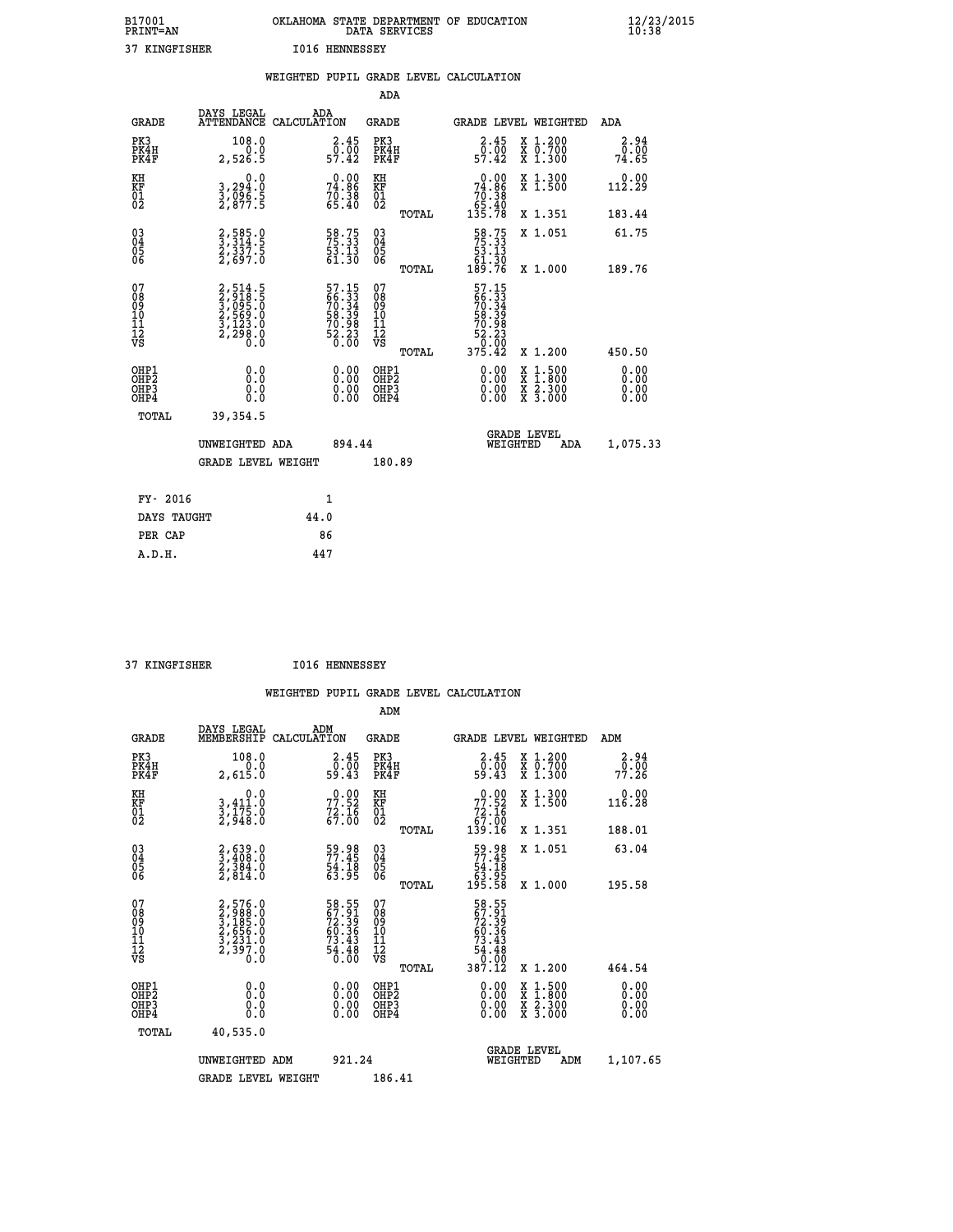| B17001<br><b>PRINT=AN</b> | OKLAHOMA<br>STATE DEPARTMENT OF EDUCATION<br>DATA SERVICES | $\frac{12}{23}$ /2015 |
|---------------------------|------------------------------------------------------------|-----------------------|
| 37<br>KINGFISHER          | I016<br>HENNESSEY                                          |                       |

|                                          |                                                                           | WEIGHTED PUPIL GRADE LEVEL CALCULATION                               |                                                    |       |                                                                                                                                                                                                                                                                                |                                                                                        |                                  |
|------------------------------------------|---------------------------------------------------------------------------|----------------------------------------------------------------------|----------------------------------------------------|-------|--------------------------------------------------------------------------------------------------------------------------------------------------------------------------------------------------------------------------------------------------------------------------------|----------------------------------------------------------------------------------------|----------------------------------|
|                                          |                                                                           |                                                                      | ADA                                                |       |                                                                                                                                                                                                                                                                                |                                                                                        |                                  |
| <b>GRADE</b>                             | DAYS LEGAL                                                                | ADA<br>ATTENDANCE CALCULATION                                        | <b>GRADE</b>                                       |       |                                                                                                                                                                                                                                                                                | GRADE LEVEL WEIGHTED                                                                   | ADA                              |
| PK3<br>PK4H<br>PK4F                      | 108.0<br>0.0<br>2,526.5                                                   | 2.45<br>$\frac{5}{57.42}$                                            | PK3<br>PK4H<br>PK4F                                |       | 2.45<br>$0.\bar{0}\bar{0}$<br>57.42                                                                                                                                                                                                                                            | X 1.200<br>X 0.700<br>X 1.300                                                          | 2.94<br>0.00<br>74.65            |
| KH<br>KF<br>01<br>02                     | 0.0<br>3,294.0<br>3,096.5<br>2,877.5                                      | $74.86$<br>$70.38$<br>$70.38$<br>$65.40$                             | KH<br>KF<br>01<br>02                               |       | $\begin{smallmatrix} &0.00\ 74.86\ 70.38\ 5.40\ 135.78\ \end{smallmatrix}$                                                                                                                                                                                                     | X 1.300<br>X 1.500                                                                     | 0.00<br>112.29                   |
|                                          |                                                                           |                                                                      |                                                    | TOTAL |                                                                                                                                                                                                                                                                                | X 1.351                                                                                | 183.44                           |
| $^{03}_{04}$<br>Ŏ5<br>06                 | 2,585.0<br>3,314.5<br>2,337.5<br>2,697.0                                  | 58.75<br>75.33<br>53.13<br>61.30                                     | $\begin{matrix} 03 \\ 04 \\ 05 \\ 06 \end{matrix}$ |       | $\begin{array}{r} 58.75 \\ 75.33 \\ 53.13 \\ 61.30 \\ 189.76 \end{array}$                                                                                                                                                                                                      | X 1.051                                                                                | 61.75                            |
|                                          |                                                                           |                                                                      |                                                    | TOTAL |                                                                                                                                                                                                                                                                                | X 1.000                                                                                | 189.76                           |
| 07<br>08<br>09<br>11<br>11<br>12<br>VS   | 2,514.5<br>3,918.5<br>3,095.0<br>3,095.0<br>2,569.0<br>3,123.0<br>2,298.0 | 57.15<br>66.33<br>70.34<br>70.34<br>58.39<br>70.98<br>70.23<br>52.23 | 07<br>08<br>09<br>11<br>11<br>12<br>VS             |       | $57.15$<br>$56.33$<br>$70.34$<br>$58.39$<br>$70.98$<br>$52.23$<br>50.00<br>375.42                                                                                                                                                                                              |                                                                                        |                                  |
|                                          |                                                                           |                                                                      |                                                    | TOTAL |                                                                                                                                                                                                                                                                                | X 1.200                                                                                | 450.50                           |
| OHP1<br>OHP <sub>2</sub><br>OHP3<br>OHP4 | 0.0<br>0.0<br>0.0                                                         | $\begin{smallmatrix} 0.00 \ 0.00 \ 0.00 \ 0.00 \end{smallmatrix}$    | OHP1<br>OHP2<br>OHP3<br>OHP4                       |       | $\begin{smallmatrix} 0.00 & 0.00 & 0.00 & 0.00 & 0.00 & 0.00 & 0.00 & 0.00 & 0.00 & 0.00 & 0.00 & 0.00 & 0.00 & 0.00 & 0.00 & 0.00 & 0.00 & 0.00 & 0.00 & 0.00 & 0.00 & 0.00 & 0.00 & 0.00 & 0.00 & 0.00 & 0.00 & 0.00 & 0.00 & 0.00 & 0.00 & 0.00 & 0.00 & 0.00 & 0.00 & 0.0$ | $\begin{smallmatrix} 1.500\ 1.800\ 2.300\ 3.000 \end{smallmatrix}$<br>X<br>X<br>X<br>X | 0.00<br>0.00<br>$0.00$<br>$0.00$ |
| TOTAL                                    | 39, 354.5                                                                 |                                                                      |                                                    |       |                                                                                                                                                                                                                                                                                |                                                                                        |                                  |
|                                          | UNWEIGHTED ADA                                                            | 894.44                                                               |                                                    |       | WEIGHTED                                                                                                                                                                                                                                                                       | <b>GRADE LEVEL</b><br>ADA                                                              | 1,075.33                         |
|                                          | <b>GRADE LEVEL WEIGHT</b>                                                 |                                                                      | 180.89                                             |       |                                                                                                                                                                                                                                                                                |                                                                                        |                                  |
| FY- 2016                                 |                                                                           | 1                                                                    |                                                    |       |                                                                                                                                                                                                                                                                                |                                                                                        |                                  |
| DAYS TAUGHT                              |                                                                           | 44.0                                                                 |                                                    |       |                                                                                                                                                                                                                                                                                |                                                                                        |                                  |
| PER CAP                                  |                                                                           | 86                                                                   |                                                    |       |                                                                                                                                                                                                                                                                                |                                                                                        |                                  |
| A.D.H.                                   |                                                                           | 447                                                                  |                                                    |       |                                                                                                                                                                                                                                                                                |                                                                                        |                                  |

| <b>I016 HENNESSEY</b><br>37 KINGFISHER |
|----------------------------------------|
|----------------------------------------|

|                                          |                                                                                     |                                                                      | ADM                                                 |       |                                                                                         |                                          |                      |
|------------------------------------------|-------------------------------------------------------------------------------------|----------------------------------------------------------------------|-----------------------------------------------------|-------|-----------------------------------------------------------------------------------------|------------------------------------------|----------------------|
| <b>GRADE</b>                             | DAYS LEGAL<br>MEMBERSHIP                                                            | ADM<br>CALCULATION                                                   | <b>GRADE</b>                                        |       |                                                                                         | GRADE LEVEL WEIGHTED                     | ADM                  |
| PK3<br>PK4H<br>PK4F                      | 108.0<br>2,615.0                                                                    | $\begin{smallmatrix} 2.45\0.00\\0.00\\59.43\end{smallmatrix}$        | PK3<br>PK4H<br>PK4F                                 |       | $\begin{smallmatrix} 2.45\0.00\\0.00\\59.43\end{smallmatrix}$                           | X 1.200<br>X 0.700<br>X 1.300            | 2.94<br>77.26        |
| KH<br>KF<br>01<br>02                     | 0.0<br>3,411:0<br>3,175:0<br>2,948:0                                                | $77.52$<br>$77.52$<br>$72.16$<br>$67.00$                             | KH<br>KF<br>01<br>02                                |       | $\begin{smallmatrix} &0.00\ 77.52\ 72.16\ 67.00\ 139.16\ \end{smallmatrix}$             | X 1.300<br>X 1.500                       | 0.00<br>116.28       |
|                                          |                                                                                     |                                                                      |                                                     | TOTAL |                                                                                         | X 1.351                                  | 188.01               |
| 03<br>04<br>05<br>06                     | $\begin{smallmatrix} 2, 639.0\\ 3, 408.0\\ 2, 384.0\\ 2, 814.0 \end{smallmatrix}$   | 59.98<br>77.45<br>$\frac{54.18}{63.95}$                              | $\begin{array}{c} 03 \\ 04 \\ 05 \\ 06 \end{array}$ |       | 59.98<br>77.45<br>$\begin{array}{r} 64.18 \\ 63.95 \\ 195.58 \end{array}$               | X 1.051                                  | 63.04                |
|                                          |                                                                                     |                                                                      |                                                     | TOTAL |                                                                                         | X 1.000                                  | 195.58               |
| 07<br>08<br>09<br>101<br>11<br>12<br>VS  | $2,576.0$<br>$2,988.0$<br>$3,185.0$<br>$2,656.0$<br>$3,231.0$<br>$2,397.0$<br>$0.0$ | 58.55<br>67.91<br>72.39<br>60.36<br>73.43<br>73.43<br>54.48<br>54.60 | 07<br>08<br>09<br>11<br>11<br>12<br>VS              |       | 58.55<br>672.39<br>72.39<br>60.36<br>60.36<br>73.43<br>54.48<br>54.48<br>0.00<br>387.12 |                                          |                      |
|                                          |                                                                                     |                                                                      |                                                     | TOTAL |                                                                                         | X 1.200                                  | 464.54               |
| OHP1<br>OHP2<br>OHP <sub>3</sub><br>OHP4 |                                                                                     |                                                                      | OHP1<br>OHP2<br>OHP <sub>3</sub>                    |       | $0.00$<br>$0.00$<br>0.00                                                                | X 1:500<br>X 1:800<br>X 2:300<br>X 3:000 | 0.00<br>0.00<br>0.00 |
| TOTAL                                    | 40,535.0                                                                            |                                                                      |                                                     |       |                                                                                         |                                          |                      |
|                                          | UNWEIGHTED ADM                                                                      | 921.24                                                               |                                                     |       | WEIGHTED                                                                                | <b>GRADE LEVEL</b><br>ADM                | 1,107.65             |
|                                          | <b>GRADE LEVEL WEIGHT</b>                                                           |                                                                      | 186.41                                              |       |                                                                                         |                                          |                      |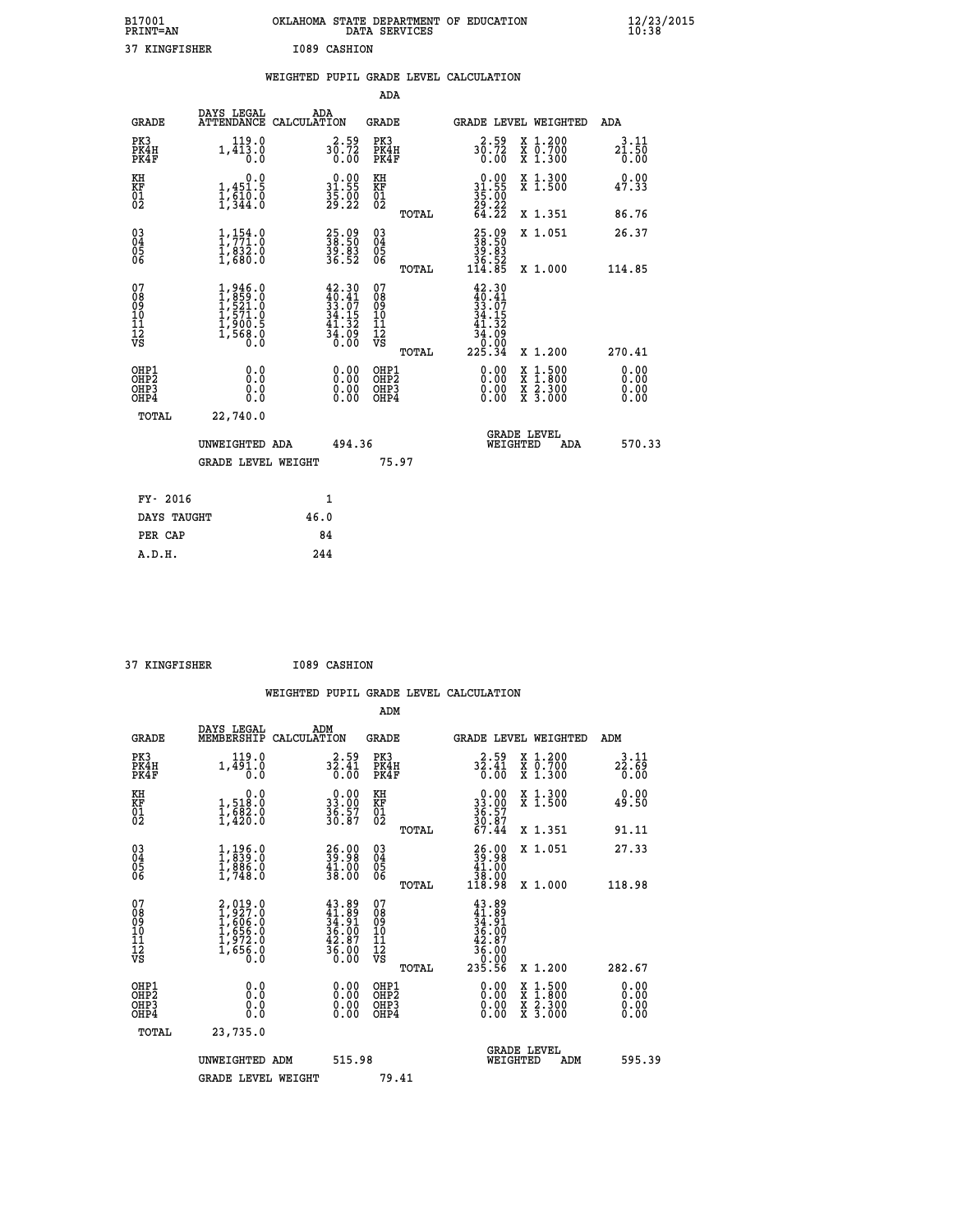| B17001<br><b>PRINT=AN</b> | OKLAHOMA STATE DEPARTMENT OF EDUCATION<br>DATA SERVICES | $\frac{12}{23}$ /2015 |
|---------------------------|---------------------------------------------------------|-----------------------|
| 37 KINGFISHER             | I089 CASHION                                            |                       |

|                                                                    |                                                                                     |                                                                        | ADA                                                |       |                                                                                                            |                                                                                                                                           |                       |
|--------------------------------------------------------------------|-------------------------------------------------------------------------------------|------------------------------------------------------------------------|----------------------------------------------------|-------|------------------------------------------------------------------------------------------------------------|-------------------------------------------------------------------------------------------------------------------------------------------|-----------------------|
| <b>GRADE</b>                                                       | DAYS LEGAL<br>ATTENDANCE CALCULATION                                                | ADA                                                                    | <b>GRADE</b>                                       |       |                                                                                                            | GRADE LEVEL WEIGHTED                                                                                                                      | ADA                   |
| PK3<br>PK4H<br>PK4F                                                | 119.0<br>1,413.0<br>0.0                                                             | 30.59<br>0.00                                                          | PK3<br>PK4H<br>PK4F                                |       | 30.59<br>0.00                                                                                              | X 1.200<br>X 0.700<br>X 1.300                                                                                                             | 3.11<br>21.50<br>0.00 |
| KH<br>KF<br>$\begin{matrix} 0 \\ 2 \end{matrix}$                   | 0.0<br>$1,451.5$<br>$1,510.0$<br>$1,344.0$                                          | $0.00$<br>31.55<br>$\frac{35.00}{29.22}$                               | KH<br>KF<br>01<br>02                               |       | $\begin{smallmatrix} 0.00\\ 31.55\\ 35.00\\ 29.22\\ 64.22 \end{smallmatrix}$                               | X 1.300<br>X 1.500                                                                                                                        | 0.00<br>47.33         |
|                                                                    |                                                                                     |                                                                        |                                                    | TOTAL |                                                                                                            | X 1.351                                                                                                                                   | 86.76                 |
| $\begin{smallmatrix} 03 \\[-4pt] 04 \end{smallmatrix}$<br>Ŏ5<br>06 | $1, 154.0$<br>$1, 771.0$<br>$1, 832.0$<br>$1, 680.0$                                | 25.09<br>38.50<br>39.83<br>36.52                                       | $\begin{matrix} 03 \\ 04 \\ 05 \\ 06 \end{matrix}$ |       | $\begin{smallmatrix} 25.09\\ 38.50\\ 39.83\\ 36.52\\ 114.85 \end{smallmatrix}$                             | X 1.051                                                                                                                                   | 26.37                 |
|                                                                    |                                                                                     |                                                                        |                                                    | TOTAL |                                                                                                            | X 1.000                                                                                                                                   | 114.85                |
| 07<br>08<br>09<br>10<br>11<br>11<br>12<br>VS                       | $1,946.0$<br>$1,859.0$<br>$1,521.0$<br>$1,571.0$<br>$1,900.5$<br>$1,568.0$<br>$0.0$ | 42.30<br>$40.41$<br>$33.07$<br>$34.15$<br>$41.32$<br>$34.09$<br>$0.00$ | 07<br>08<br>09<br>11<br>11<br>12<br>VS             | TOTAL | 42.30<br>$\frac{40.41}{33.07}$<br>34.15<br>$\begin{array}{r} 41.32 \\ 34.09 \\ 0.00 \\ 225.34 \end{array}$ | X 1.200                                                                                                                                   | 270.41                |
| OHP1                                                               |                                                                                     |                                                                        |                                                    |       |                                                                                                            |                                                                                                                                           |                       |
| <b>OHP2</b><br>OH <sub>P3</sub><br>OHP4                            | 0.0<br>0.0<br>0.0                                                                   | $0.00$<br>$0.00$<br>0.00                                               | OHP1<br>OHP2<br>OHP3<br>OHP4                       |       |                                                                                                            | $\begin{smallmatrix} \mathtt{X} & 1\cdot500\\ \mathtt{X} & 1\cdot800\\ \mathtt{X} & 2\cdot300\\ \mathtt{X} & 3\cdot000 \end{smallmatrix}$ | 0.00<br>0.00<br>0.00  |
| TOTAL                                                              | 22,740.0                                                                            |                                                                        |                                                    |       |                                                                                                            |                                                                                                                                           |                       |
|                                                                    | UNWEIGHTED ADA                                                                      | 494.36                                                                 |                                                    |       |                                                                                                            | <b>GRADE LEVEL</b><br>WEIGHTED<br>ADA                                                                                                     | 570.33                |
|                                                                    | <b>GRADE LEVEL WEIGHT</b>                                                           |                                                                        |                                                    | 75.97 |                                                                                                            |                                                                                                                                           |                       |
| FY- 2016                                                           |                                                                                     | $\mathbf{1}$                                                           |                                                    |       |                                                                                                            |                                                                                                                                           |                       |
| DAYS TAUGHT                                                        |                                                                                     | 46.0                                                                   |                                                    |       |                                                                                                            |                                                                                                                                           |                       |
| PER CAP                                                            |                                                                                     | 84                                                                     |                                                    |       |                                                                                                            |                                                                                                                                           |                       |

| . . | ----- |
|-----|-------|

 **37 KINGFISHER I089 CASHION WEIGHTED PUPIL GRADE LEVEL CALCULATION ADM DAYS LEGAL ADM GRADE MEMBERSHIP CALCULATION GRADE GRADE LEVEL WEIGHTED ADM PK3 119.0 2.59 PK3 2.59 X 1.200 3.11 PK4H 1,491.0 32.41 PK4H 32.41 X 0.700 22.69 PK4F 0.0 0.00 PK4F 0.00 X 1.300 0.00 KH 0.0 0.00 KH 0.00 X 1.300 0.00 KF 1,518.0 33.00 KF 33.00 X 1.500 49.50 01 1,682.0 36.57 01 36.57 02 1,420.0 30.87 02 30.87 TOTAL 67.44 X 1.351 91.11 03 1,196.0 26.00 03 26.00 X 1.051 27.33 04 1,839.0 39.98 04 39.98 05 1,886.0 41.00 05 41.00 06 1,748.0 38.00 06 38.00 TOTAL 118.98 X 1.000 118.98**  $\begin{array}{cccc} 07 & 2,019.0 & 43.89 & 07 & 43.89 \ 08 & 1,227.0 & 41.89 & 08 & 41.89 \ 09 & 1,606.0 & 34.91 & 09 & 34.91 \ 10 & 1,656.0 & 36.00 & 10 & 36.00 \ 11 & 1,972.0 & 42.87 & 11 & 42.87 \ \hline \textrm{vs} & 1,656.0 & 36.00 & 12 & 42.87 \ \hline \textrm{vs} & 1,656.0 &$  **TOTAL 235.56 X 1.200 282.67 OHP1 0.0 0.00 OHP1 0.00 X 1.500 0.00 OHP2 0.0 0.00 OHP2 0.00 X 1.800 0.00 OHP3 0.0 0.00 OHP3 0.00 X 2.300 0.00 OHP4 0.0 0.00 OHP4 0.00 X 3.000 0.00 TOTAL 23,735.0** UNWEIGHTED ADM 515.98  **UNWEIGHTED ADM 515.98 WEIGHTED ADM 595.39** GRADE LEVEL WEIGHT 79.41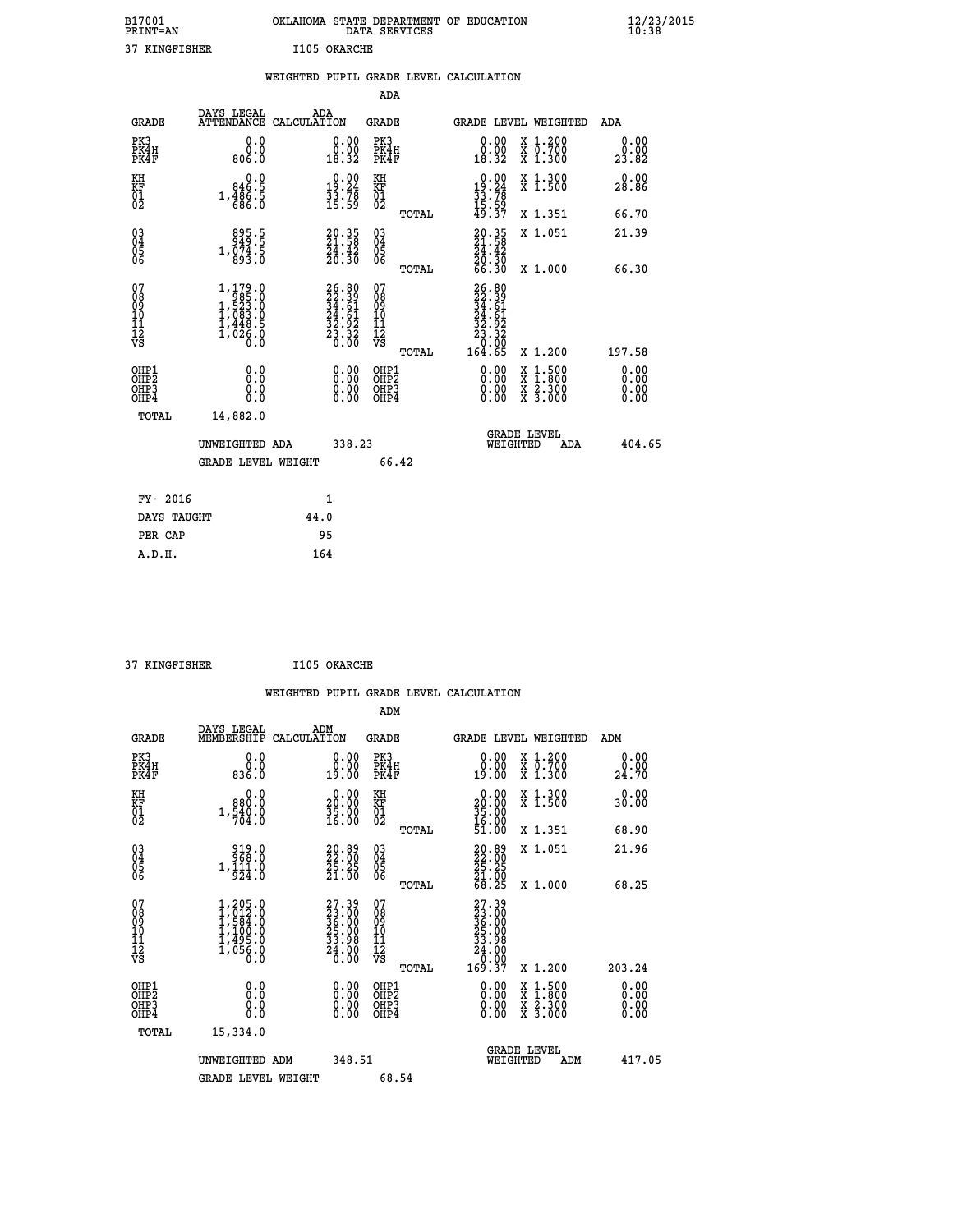| B17001<br><b>PRINT=AN</b> | OKLAHOMA STATE DEPARTMENT OF EDUCATION<br>DATA SERVICES | $\frac{12}{23}$ /2015 |
|---------------------------|---------------------------------------------------------|-----------------------|
| 37<br>KINGFISHER          | I105 OKARCHE                                            |                       |

|                                                                    |                                                                                           | WEIGHTED PUPIL GRADE LEVEL CALCULATION                                   |                                                     |                                                                                                                                                                      |                              |
|--------------------------------------------------------------------|-------------------------------------------------------------------------------------------|--------------------------------------------------------------------------|-----------------------------------------------------|----------------------------------------------------------------------------------------------------------------------------------------------------------------------|------------------------------|
|                                                                    |                                                                                           |                                                                          | <b>ADA</b>                                          |                                                                                                                                                                      |                              |
| <b>GRADE</b>                                                       | DAYS LEGAL<br><b>ATTENDANCE</b>                                                           | ADA<br>CALCULATION                                                       | <b>GRADE</b>                                        | GRADE LEVEL WEIGHTED                                                                                                                                                 | ADA                          |
| PK3<br>PK4H<br>PK4F                                                | 0.0<br>ŏ:ŏ<br>0.∂08                                                                       | $\begin{smallmatrix} 0.00\\ 0.00\\ 18.32 \end{smallmatrix}$              | PK3<br>PK4H<br>PK4F                                 | 0.00<br>X 1.200<br>X 0.700<br>X 1.300<br>0:00<br>18:32                                                                                                               | 0.00<br>$\frac{0.00}{23.82}$ |
| KH<br>KF<br>01<br>02                                               | $0.0$<br>0.946.5<br>1,486.5<br>686.0                                                      | $\begin{smallmatrix} 0.00\\19.24\\33.78\\15.59 \end{smallmatrix}$        | KH<br>KF<br>01<br>02                                | 0.00<br>X 1.300<br>X 1.500<br>$19.24$<br>$33.78$<br>$15.59$<br>$49.37$                                                                                               | 0.00<br>28.86                |
|                                                                    |                                                                                           |                                                                          | TOTAL                                               | X 1.351                                                                                                                                                              | 66.70                        |
| $\begin{smallmatrix} 03 \\[-4pt] 04 \end{smallmatrix}$<br>Ŏ5<br>06 | $895.5$<br>949.5<br>1,074.5<br>893.0                                                      | $\begin{smallmatrix} 20.35\\ 21.58\\ 24.42\\ 20.30 \end{smallmatrix}$    | $\begin{array}{c} 03 \\ 04 \\ 05 \\ 06 \end{array}$ | $20.35$<br>$21.58$<br>X 1.051<br>$\frac{24}{20}$ . $\frac{42}{30}$<br>66.30                                                                                          | 21.39                        |
|                                                                    |                                                                                           |                                                                          | TOTAL                                               | X 1.000                                                                                                                                                              | 66.30                        |
| 07<br>08<br>09<br>111<br>12<br>VS                                  | $1, 179.0$<br>$1, 523.0$<br>$1, 523.0$<br>$1, 083.0$<br>$1, 448.5$<br>$1, 026.0$<br>$0.0$ | $26.80$<br>$22.39$<br>$34.61$<br>$24.61$<br>$32.92$<br>$23.32$<br>$0.00$ | 07<br>08901112<br>1112<br>VS<br>TOTAL               | $26.8022.3934.6124.6123.9223.320.000164.65$<br>X 1.200                                                                                                               | 197.58                       |
| OHP1<br>OHP2<br>OH <sub>P3</sub><br>OHP4                           | 0.0<br>0.0<br>0.0                                                                         | $\begin{smallmatrix} 0.00 \ 0.00 \ 0.00 \ 0.00 \end{smallmatrix}$        | OHP1<br>OHP2<br>OHP3<br>OHP4                        | 0.00<br>$\begin{smallmatrix} \mathtt{X} & 1\cdot500 \\ \mathtt{X} & 1\cdot800 \\ \mathtt{X} & 2\cdot300 \\ \mathtt{X} & 3\cdot000 \end{smallmatrix}$<br>0.00<br>0.00 | 0.00<br>0.00<br>0.00<br>0.00 |
| TOTAL                                                              | 14,882.0                                                                                  |                                                                          |                                                     |                                                                                                                                                                      |                              |
|                                                                    | UNWEIGHTED ADA                                                                            | 338.23                                                                   |                                                     | <b>GRADE LEVEL</b><br>WEIGHTED<br>ADA                                                                                                                                | 404.65                       |
|                                                                    | <b>GRADE LEVEL WEIGHT</b>                                                                 |                                                                          | 66.42                                               |                                                                                                                                                                      |                              |
| FY- 2016                                                           |                                                                                           | $\mathbf{1}$                                                             |                                                     |                                                                                                                                                                      |                              |
| DAYS TAUGHT                                                        |                                                                                           | 44.0                                                                     |                                                     |                                                                                                                                                                      |                              |
| PER CAP                                                            |                                                                                           | 95                                                                       |                                                     |                                                                                                                                                                      |                              |

| 27.7 |
|------|

 **37 KINGFISHER I105 OKARCHE**

 **WEIGHTED PUPIL GRADE LEVEL CALCULATION ADM DAYS LEGAL ADM GRADE MEMBERSHIP CALCULATION GRADE GRADE LEVEL WEIGHTED ADM PK3 0.0 0.00 PK3 0.00 X 1.200 0.00 PK4H 0.0 0.00 PK4H 0.00 X 0.700 0.00 PK4F 836.0 19.00 PK4F 19.00 X 1.300 24.70** 0.00 KH 0.00 0.00 KH 0.00 X 1.300<br>RH 980.0 20.00 KH 0.00 X 1.300 0.00 **EXH**<br> **EXP 1,540.0** 30.00 EXP<br>
02 1,540.0 35.00 02<br>
1,564.0 35.00 02 02 704.0 16.00 02 <sub>noman</sub> 16.00  **TOTAL 51.00 X 1.351 68.90 03 919.0 20.89 03 20.89 X 1.051 21.96 04 968.0 22.00 04 22.00 05 1,111.0 25.25 05 25.25 06 924.0 21.00 06 21.00 TOTAL 68.25 X 1.000 68.25**  $\begin{array}{cccc} 07 & 1,205.0 & 27.39 & 07 & 27.39 \ 08 & 1,012.0 & 23.00 & 08 & 23.00 \ 09 & 1,584.0 & 36.00 & 09 & 36.00 \ 10 & 1,100.0 & 25.00 & 10 & 25.00 \ 11 & 1,495.0 & 33.98 & 11 & 33.98 \ 1,055.0 & 33.98 & 11 & 33.98 \ \hline \end{array}$  **TOTAL 169.37 X 1.200 203.24 OHP1 0.0 0.00 OHP1 0.00 X 1.500 0.00 OHP2 0.0 0.00 OHP2 0.00 X 1.800 0.00 OHP3 0.0 0.00 OHP3 0.00 X 2.300 0.00 OHP4 0.0 0.00 OHP4 0.00 X 3.000 0.00 TOTAL 15,334.0 GRADE LEVEL UNWEIGHTED ADM 348.51 WEIGHTED ADM 417.05 GRADE LEVEL WEIGHT 68.54**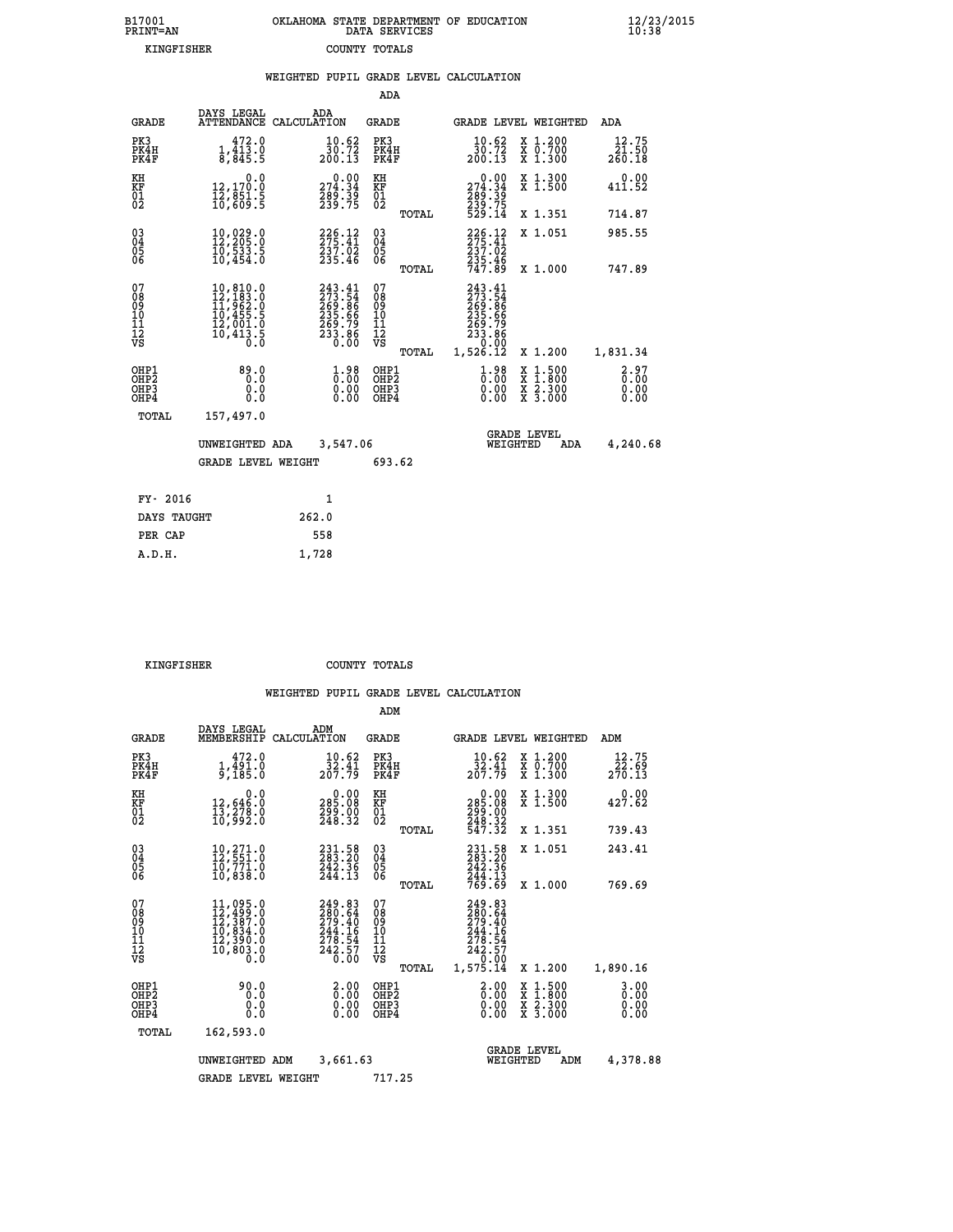| B17001<br>PRINT=AN | OKLAHOMA STATE DEPARTMENT OF EDUCATION<br>DATA SERVICES | $\frac{12}{23}$ /2015<br>10:38 |
|--------------------|---------------------------------------------------------|--------------------------------|
| KINGFISHER         | COUNTY TOTALS                                           |                                |

|                                                              |                                                                                                                     |       |                                                                  |                                          |       | WEIGHTED PUPIL GRADE LEVEL CALCULATION                                                   |                                                                                                  |                                             |
|--------------------------------------------------------------|---------------------------------------------------------------------------------------------------------------------|-------|------------------------------------------------------------------|------------------------------------------|-------|------------------------------------------------------------------------------------------|--------------------------------------------------------------------------------------------------|---------------------------------------------|
|                                                              |                                                                                                                     |       |                                                                  | ADA                                      |       |                                                                                          |                                                                                                  |                                             |
| <b>GRADE</b>                                                 | DAYS LEGAL<br>ATTENDANCE CALCULATION                                                                                | ADA   |                                                                  | GRADE                                    |       |                                                                                          | GRADE LEVEL WEIGHTED                                                                             | ADA                                         |
| PK3<br>PK4H<br>PK4F                                          | 472.0<br>$\frac{1}{8}$ , $\frac{113}{845}$ . $\frac{0}{5}$                                                          |       | $\substack{10.62\\10.72\\200.13}$                                | PK3<br>PK4H<br>PK4F                      |       | 10.62<br>$\frac{30.72}{200.13}$                                                          | X 1.200<br>X 0.700<br>X 1.300                                                                    | 12.75<br>$\frac{\bar{2}\bar{1}.50}{260.18}$ |
| KH<br>KF<br>01<br>02                                         | 0.0<br>12, 170.0<br>12,051:5<br>10,609:5                                                                            |       | 274.34<br>$\frac{289.39}{239.75}$                                | KH<br>KF<br>$\overline{01}$              |       | $274.34$<br>$289.39$<br>$232.75$                                                         | X 1.300<br>X 1.500                                                                               | 0.00<br>411.52                              |
|                                                              |                                                                                                                     |       |                                                                  |                                          | TOTAL | 529.14                                                                                   | X 1.351                                                                                          | 714.87                                      |
| $\begin{smallmatrix} 03 \\[-4pt] 04 \end{smallmatrix}$<br>Ŏ5 | 10,029.0<br>10,533.5<br>10,454.0                                                                                    |       | 226.12<br>275.41<br>237.02<br>235.46                             | $\substack{03 \\ 04}$<br>05<br>06        |       | 226.12<br>275.41<br>237.02<br>235.46<br>747.89                                           | X 1.051                                                                                          | 985.55                                      |
| ŌĞ                                                           |                                                                                                                     |       |                                                                  |                                          | TOTAL |                                                                                          | X 1.000                                                                                          | 747.89                                      |
| 07<br>08<br>09<br>11<br>11<br>12<br>VS                       | $\begin{smallmatrix} 10, 810.0\\ 12, 183.0\\ 11, 962.0\\ 10, 455.5\\ 12, 001.0\\ 10, 413.5\\ 0.0 \end{smallmatrix}$ |       | 243.41<br>273.54<br>269.86<br>269.79<br>269.79<br>233.86<br>0.00 | 07<br>08<br>09<br>11<br>11<br>12<br>VS   | TOTAL | 243.41<br>$273.54$<br>$269.86$<br>$235.66$<br>$269.79$<br>$233.86$<br>$2.90$<br>1,526.12 | X 1.200                                                                                          | 1,831.34                                    |
| OHP1<br>OHP <sub>2</sub><br>OHP3<br>OHP4                     | 89.0<br>0.0<br>0.0<br>0.0                                                                                           |       | $\begin{smallmatrix} 1.98\ 0.00\ 0.00 \end{smallmatrix}$         | OHP1<br>OHP <sub>2</sub><br>OHP3<br>OHP4 |       | 0.98<br>0.00                                                                             | $\begin{smallmatrix} x & 1 & 500 \\ x & 1 & 800 \\ x & 2 & 300 \\ x & 3 & 000 \end{smallmatrix}$ | 2.97<br>0.00<br>0.00<br>0.00                |
| TOTAL                                                        | 157,497.0                                                                                                           |       |                                                                  |                                          |       |                                                                                          |                                                                                                  |                                             |
|                                                              | UNWEIGHTED ADA                                                                                                      |       | 3,547.06                                                         |                                          |       | WEIGHTED                                                                                 | <b>GRADE LEVEL</b><br>ADA                                                                        | 4,240.68                                    |
|                                                              | <b>GRADE LEVEL WEIGHT</b>                                                                                           |       |                                                                  | 693.62                                   |       |                                                                                          |                                                                                                  |                                             |
| FY- 2016                                                     |                                                                                                                     |       | $\mathbf{1}$                                                     |                                          |       |                                                                                          |                                                                                                  |                                             |
| DAYS TAUGHT                                                  |                                                                                                                     | 262.0 |                                                                  |                                          |       |                                                                                          |                                                                                                  |                                             |
| PER CAP                                                      |                                                                                                                     | 558   |                                                                  |                                          |       |                                                                                          |                                                                                                  |                                             |

 **KINGFISHER COUNTY TOTALS**

 **A.D.H. 1,728**

|                                                       |                                                                                                                                                                        |                                                                                                 | ADM                                              |                                                                                   |                                          |                                  |
|-------------------------------------------------------|------------------------------------------------------------------------------------------------------------------------------------------------------------------------|-------------------------------------------------------------------------------------------------|--------------------------------------------------|-----------------------------------------------------------------------------------|------------------------------------------|----------------------------------|
| <b>GRADE</b>                                          | DAYS LEGAL<br>MEMBERSHIP                                                                                                                                               | ADM<br>CALCULATION                                                                              | <b>GRADE</b>                                     | GRADE LEVEL WEIGHTED                                                              |                                          | ADM                              |
| PK3<br>PK4H<br>PK4F                                   | 472.0<br>$\frac{1}{9}$ , $\frac{1}{185}$ .0                                                                                                                            | 10.62<br>$\frac{\bar{3}\check{2}\cdot\check{4}\bar{1}}{207.79}$                                 | PK3<br>PK4H<br>PK4F                              | $\frac{10.62}{32.41}$<br>207.79                                                   | X 1.200<br>X 0.700<br>X 1.300            | 12.75<br>22.69<br>270.13         |
| KH<br>KF<br>01<br>02                                  | 0.0<br>12,646:0<br>13,278:0<br>10,992:0                                                                                                                                | 0.00<br>285.08<br>299.00<br>248.32                                                              | KH<br>KF<br>01<br>02                             | $\begin{smallmatrix} &0.00\\ 285.08\\ 299.00\\ 248.32\\ 547.32 \end{smallmatrix}$ | X 1.300<br>X 1.500                       | 0.00<br>427.62                   |
|                                                       |                                                                                                                                                                        |                                                                                                 | TOTAL                                            |                                                                                   | X 1.351                                  | 739.43                           |
| 03<br>04<br>05<br>06                                  | $\begin{smallmatrix} 10 & 271 & 0 \\ 12 & 551 & 0 \\ 10 & 771 & 0 \\ 10 & 838 & 0 \end{smallmatrix}$                                                                   | 231.58<br>283.20<br>242.36<br>244.13                                                            | $\substack{03 \\ 04}$<br>0500                    | 231.58<br>283.20<br>242.36                                                        | X 1.051                                  | 243.41                           |
|                                                       |                                                                                                                                                                        |                                                                                                 | TOTAL                                            | 244.13<br>769.69                                                                  | X 1.000                                  | 769.69                           |
| 07<br>08<br>09<br>101<br>112<br>VS                    | $\begin{smallmatrix} 11\,,\,095\,.\,0\\ 12\,,\,499\,. \,0\\ 12\,,\,387\,. \,0\\ 10\,,\,834\,. \,0\\ 12\,,\,390\,. \,0\\ 10\,,\,803\,. \,0\\ 0\,. \,0\end{smallmatrix}$ | 249.83<br>280.64<br>279.40<br>$\begin{array}{c} 244.16 \\ 278.54 \\ 242.57 \\ 6.00 \end{array}$ | 07<br>08<br>09<br>101<br>11<br>12<br>VS<br>TOTAL | 249.83<br>280.64<br>279.40<br>244.16<br>278.54<br>242.57<br>0.00<br>1,575.14      | X 1.200                                  | 1,890.16                         |
| OHP1<br>OH <sub>P</sub> 2<br>OH <sub>P3</sub><br>OHP4 | 90.0<br>0.0<br>0.000                                                                                                                                                   | $\begin{smallmatrix} 2.00\ 0.00 \ 0.00 \end{smallmatrix}$<br>0.00                               | OHP1<br>OHP2<br>OHP3<br>OHP4                     | $\begin{smallmatrix} 2.00 \ 0.00 \ 0.00 \end{smallmatrix}$<br>0.00                | X 1:500<br>X 1:800<br>X 2:300<br>X 3:000 | $3.00$<br>$0.00$<br>0.00<br>0.00 |
| TOTAL                                                 | 162,593.0                                                                                                                                                              |                                                                                                 |                                                  |                                                                                   |                                          |                                  |
|                                                       | UNWEIGHTED                                                                                                                                                             | 3,661.63<br>ADM                                                                                 |                                                  | <b>GRADE LEVEL</b><br>WEIGHTED                                                    | ADM                                      | 4,378.88                         |
|                                                       | <b>GRADE LEVEL WEIGHT</b>                                                                                                                                              |                                                                                                 | 717.25                                           |                                                                                   |                                          |                                  |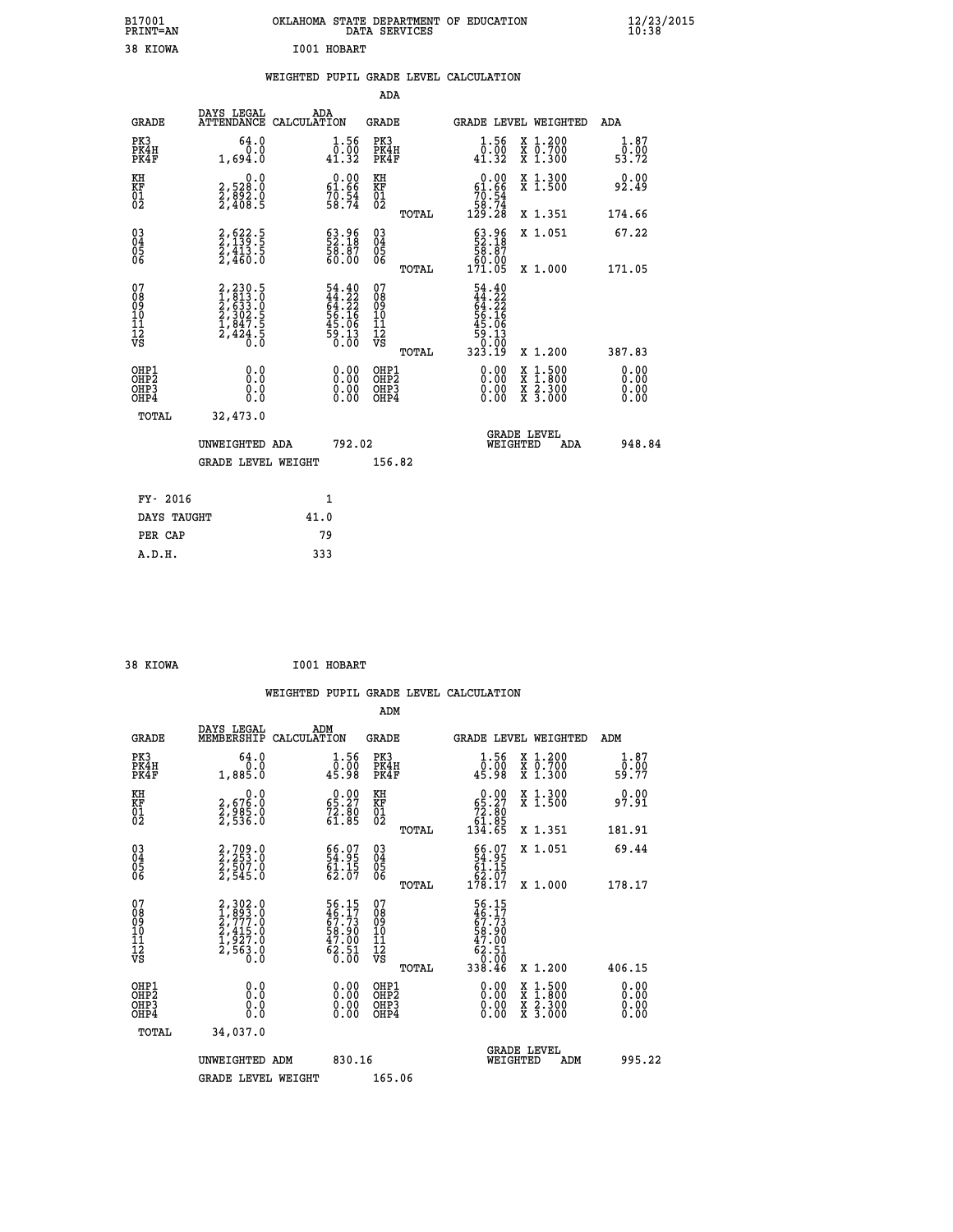| B17001<br><b>PRINT=AN</b> | OKLAHOMA STATE DEPARTMENT OF EDUCATION<br>DATA SERVICES | $\frac{12}{23}$ /2015 |
|---------------------------|---------------------------------------------------------|-----------------------|
| 38 KIOWA                  | I001 HOBART                                             |                       |

# **WEIGHTED PUPIL GRADE LEVEL CALCULATION**

|                                                                    |                                                                           |                                                                                     | ADA                                       |       |                                                                                      |                                          |                              |
|--------------------------------------------------------------------|---------------------------------------------------------------------------|-------------------------------------------------------------------------------------|-------------------------------------------|-------|--------------------------------------------------------------------------------------|------------------------------------------|------------------------------|
| <b>GRADE</b>                                                       | DAYS LEGAL<br>ATTENDANCE CALCULATION                                      | ADA                                                                                 | <b>GRADE</b>                              |       | <b>GRADE LEVEL WEIGHTED</b>                                                          |                                          | ADA                          |
| PK3<br>PK4H<br>PK4F                                                | 64.0<br>0.0<br>1,694.0                                                    | $\begin{smallmatrix} 1.56\\ 0.00\\ 41.32 \end{smallmatrix}$                         | PK3<br>PK4H<br>PK4F                       |       | $\begin{smallmatrix} 1.56 \\[-4pt] 0.50 \\[-4pt] 41.32 \end{smallmatrix}$            | X 1.200<br>X 0.700<br>X 1.300            | 1.87<br>0.00<br>53.72        |
| KH<br><b>KF</b><br>01<br>02                                        | 0.0<br>2,528:0<br>2,892:0<br>2,408:5                                      | $\begin{smallmatrix} 0.00\\ 61.66\\ 70.54\\ 58.74 \end{smallmatrix}$                | KH<br>KF<br>01<br>02                      |       | $\begin{smallmatrix} &0.00\ 61.66\ 70.54\ 58.74\ 129.28\ \end{smallmatrix}$          | X 1.300<br>X 1.500                       | 0.00<br>92.49                |
|                                                                    |                                                                           |                                                                                     |                                           | TOTAL |                                                                                      | X 1.351                                  | 174.66                       |
| $\begin{smallmatrix} 03 \\[-4pt] 04 \end{smallmatrix}$<br>Ŏ5<br>06 | 2,622.5<br>2,139.5<br>2,413.5<br>2,460.0                                  | $\begin{smallmatrix} 63.96\\ 52.18\\ 58.87\\ 60.00 \end{smallmatrix}$               | $\substack{03 \\ 04}$<br>Ŏ5<br>06         | TOTAL | 63.96<br>58.18<br>58.00<br>60.00<br>171.05                                           | X 1.051<br>X 1.000                       | 67.22<br>171.05              |
| 07<br>08901112<br>1112<br>VS                                       | 2,230.5<br>1,813.0<br>2,633.0<br>2,302.5<br>2,302.5<br>1,847.5<br>2,424.5 | $54.40$<br>$44.22$<br>$64.22$<br>$56.16$<br>$56.06$<br>$45.06$<br>$59.13$<br>$0.00$ | 07<br>08<br>09<br>11<br>11<br>12<br>VS    |       | $54.40$<br>$44.22$<br>$64.22$<br>$65.16$<br>$59.16$<br>$59.13$<br>$0.00$<br>$323.19$ |                                          |                              |
|                                                                    |                                                                           |                                                                                     |                                           | TOTAL |                                                                                      | X 1.200                                  | 387.83                       |
| OHP1<br>OH <sub>P</sub> 2<br>OH <sub>P3</sub><br>OH <sub>P4</sub>  | 0.0<br>0.0<br>0.0                                                         | $\begin{smallmatrix} 0.00 \ 0.00 \ 0.00 \ 0.00 \end{smallmatrix}$                   | OHP1<br>OH <sub>P</sub> 2<br>OHP3<br>OHP4 |       | 0.00<br>0.00<br>0.00                                                                 | X 1:500<br>X 1:800<br>X 2:300<br>X 3:000 | 0.00<br>0.00<br>0.00<br>0.00 |
| TOTAL                                                              | 32,473.0                                                                  |                                                                                     |                                           |       |                                                                                      |                                          |                              |
|                                                                    | UNWEIGHTED ADA                                                            | 792.02                                                                              |                                           |       |                                                                                      | GRADE LEVEL<br>WEIGHTED<br>ADA           | 948.84                       |
|                                                                    | <b>GRADE LEVEL WEIGHT</b>                                                 |                                                                                     | 156.82                                    |       |                                                                                      |                                          |                              |
| FY- 2016                                                           |                                                                           | $\mathbf{1}$                                                                        |                                           |       |                                                                                      |                                          |                              |
| DAYS TAUGHT                                                        |                                                                           | 41.0                                                                                |                                           |       |                                                                                      |                                          |                              |
| PER CAP                                                            |                                                                           | 79                                                                                  |                                           |       |                                                                                      |                                          |                              |

| 38 KIOWA<br>$\sim$ $\sim$ $\sim$ $\sim$ $\sim$ $\sim$ | I001 HOBART |
|-------------------------------------------------------|-------------|

 **A.D.H. 333**

|                                                    |                                                                            |                    |                                                                      |                                                     |       | WEIGHTED PUPIL GRADE LEVEL CALCULATION                                            |                                          |                               |
|----------------------------------------------------|----------------------------------------------------------------------------|--------------------|----------------------------------------------------------------------|-----------------------------------------------------|-------|-----------------------------------------------------------------------------------|------------------------------------------|-------------------------------|
|                                                    |                                                                            |                    |                                                                      | ADM                                                 |       |                                                                                   |                                          |                               |
| <b>GRADE</b>                                       | DAYS LEGAL<br>MEMBERSHIP                                                   | ADM<br>CALCULATION |                                                                      | <b>GRADE</b>                                        |       |                                                                                   | GRADE LEVEL WEIGHTED                     | ADM                           |
| PK3<br>PK4H<br>PK4F                                | 64.0<br>0.0<br>1,885.0                                                     |                    | $\begin{smallmatrix} 1.56\ 0.00\\ 45.98 \end{smallmatrix}$           | PK3<br>PK4H<br>PK4F                                 |       | $\begin{smallmatrix} 1.56\ 0.00\\ 45.98 \end{smallmatrix}$                        | X 1.200<br>X 0.700<br>X 1.300            | 1.87<br>0.00<br>59.77         |
| KH<br>KF<br>01<br>02                               | $\begin{smallmatrix} & & 0.0\ 2.676.0\ 2.985.0\ 2.536.0 \end{smallmatrix}$ |                    | $\begin{smallmatrix} 0.00\\ 65.27\\ 72.80\\ 61.85 \end{smallmatrix}$ | KH<br>KF<br>01<br>02                                |       | $\begin{smallmatrix} &0.00\ 65.27\ 72.80\ 61.85\ 134.65\ \end{smallmatrix}$       | X 1.300<br>X 1.500                       | 0.00<br>97.91                 |
|                                                    |                                                                            |                    |                                                                      |                                                     | TOTAL |                                                                                   | X 1.351                                  | 181.91                        |
| $\begin{matrix} 03 \\ 04 \\ 05 \\ 06 \end{matrix}$ | 2,709.0<br>2,253.0<br>2,507.0<br>2,545.0                                   |                    | 66.07<br>54.95<br>61.15<br>62.07                                     | $\begin{array}{c} 03 \\ 04 \\ 05 \\ 06 \end{array}$ |       | $66.07$<br>54.95<br>61.15<br>62.07<br>178.17                                      | X 1.051                                  | 69.44                         |
|                                                    |                                                                            |                    |                                                                      |                                                     | TOTAL |                                                                                   | X 1.000                                  | 178.17                        |
| 07<br>0890112<br>1112<br>VS                        | 2,302.0<br>1,893.0<br>2,777.0<br>2,415.0<br>1,927.0<br>2,563.0<br>0.0      |                    | 56.15<br>46.17<br>67.73<br>58.90<br>58.90<br>47.00<br>62.51<br>60.00 | 07<br>08901112<br>1112<br>VS                        | TOTAL | 56.15<br>46.173<br>67.73<br>68.900<br>47.000<br>62.51<br>62.51<br>0.000<br>338.46 | X 1.200                                  | 406.15                        |
| OHP1                                               |                                                                            |                    |                                                                      |                                                     |       |                                                                                   |                                          |                               |
| OHP <sub>2</sub><br>OH <sub>P3</sub><br>OHP4       | 0.0<br>0.000                                                               |                    | $0.00$<br>$0.00$<br>0.00                                             | OHP1<br>OHP2<br>OHP <sub>3</sub>                    |       | 0.00<br>0.00<br>0.00                                                              | X 1:500<br>X 1:800<br>X 2:300<br>X 3:000 | 0.00<br>Ō. ŌŌ<br>0.00<br>0.00 |
| TOTAL                                              | 34,037.0                                                                   |                    |                                                                      |                                                     |       |                                                                                   |                                          |                               |
|                                                    | UNWEIGHTED ADM                                                             |                    | 830.16                                                               |                                                     |       | WEIGHTED                                                                          | <b>GRADE LEVEL</b><br>ADM                | 995.22                        |
|                                                    | <b>GRADE LEVEL WEIGHT</b>                                                  |                    |                                                                      | 165.06                                              |       |                                                                                   |                                          |                               |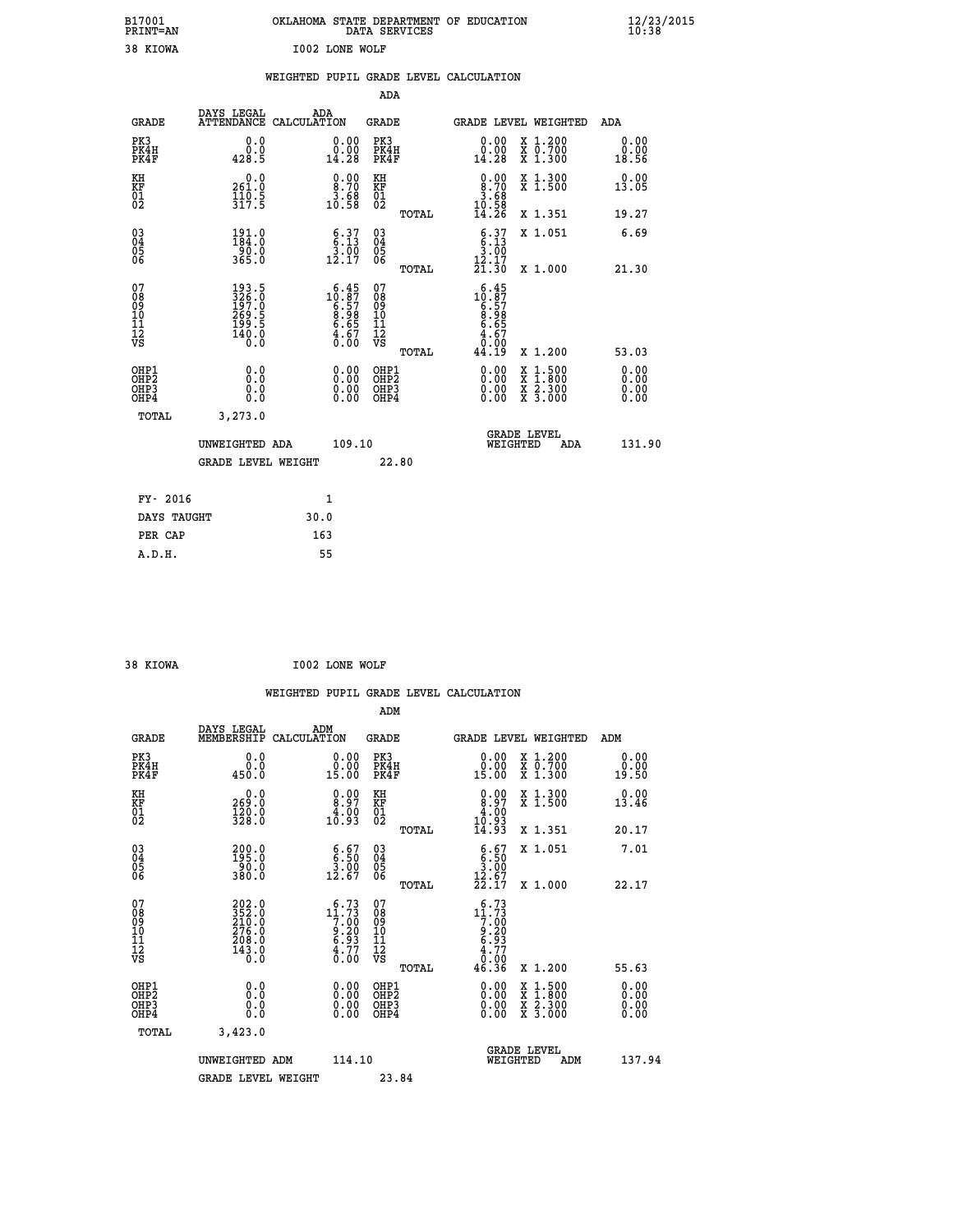| B17001<br><b>PRINT=AN</b> | OKLAHOMA STATE DEPARTMENT OF EDUCATION<br>DATA SERVICES | $\frac{12}{23}$ /2015 |
|---------------------------|---------------------------------------------------------|-----------------------|
| 38 KIOWA                  | I002 LONE WOLF                                          |                       |

|                                                       |                                                               | WEIGHTED PUPIL GRADE LEVEL CALCULATION                                                                                 |                                                    |       |                                                                                                 |                                                                                                                                              |                       |
|-------------------------------------------------------|---------------------------------------------------------------|------------------------------------------------------------------------------------------------------------------------|----------------------------------------------------|-------|-------------------------------------------------------------------------------------------------|----------------------------------------------------------------------------------------------------------------------------------------------|-----------------------|
|                                                       |                                                               |                                                                                                                        | ADA                                                |       |                                                                                                 |                                                                                                                                              |                       |
| <b>GRADE</b>                                          | DAYS LEGAL                                                    | ADA<br>ATTENDANCE CALCULATION                                                                                          | <b>GRADE</b>                                       |       |                                                                                                 | <b>GRADE LEVEL WEIGHTED</b>                                                                                                                  | ADA                   |
| PK3<br>PK4H<br>PK4F                                   | 0.0<br>0.0<br>428.5                                           | $\substack{0.00\\0.00\\14.28}$                                                                                         | PK3<br>PK4H<br>PK4F                                |       | $\begin{smallmatrix} 0.00\\ 0.00\\ 14.28 \end{smallmatrix}$                                     | X 1.200<br>X 0.700<br>X 1.300                                                                                                                | 0.00<br>0.00<br>18.56 |
| KH<br>KF<br>01<br>02                                  | 261.0<br>$\frac{1}{3}\frac{1}{1}\overline{0}\cdot\frac{5}{5}$ | 0.008.70<br>$3.68$<br>10.58                                                                                            | KH<br>KF<br>01<br>02                               |       | $\begin{smallmatrix} 0.00\\ 8.70\\ 3.68\\ 10.58\\ 14.26 \end{smallmatrix}$                      | X 1.300<br>X 1.500                                                                                                                           | 0.00<br>13.05         |
|                                                       |                                                               |                                                                                                                        |                                                    | TOTAL |                                                                                                 | X 1.351                                                                                                                                      | 19.27                 |
| 03<br>04<br>05<br>06                                  | $\frac{191}{184}$ :0<br>$\frac{90.0}{365.0}$                  | $\begin{array}{c} 6.37 \\ 6.13 \\ 3.00 \\ 12.17 \end{array}$                                                           | $\begin{matrix} 03 \\ 04 \\ 05 \\ 06 \end{matrix}$ |       | $6.37$<br>$6.13$<br>$3.00$                                                                      | X 1.051                                                                                                                                      | 6.69                  |
|                                                       |                                                               |                                                                                                                        |                                                    | TOTAL | $\frac{15}{21}$ $\frac{17}{30}$                                                                 | X 1.000                                                                                                                                      | 21.30                 |
| 07<br>08<br>09<br>10<br>11<br>11<br>12<br>VS          | 193.5<br>326.0<br>197.0<br>269.5<br>199.5<br>190.0<br>140.0   | $\begin{smallmatrix} 6\cdot45\\10\cdot87\\6\cdot57\\8\cdot98\\6\cdot65\\4\cdot67\\4\cdot60\\0\cdot00\end{smallmatrix}$ | 07<br>08<br>09<br>001<br>11<br>11<br>12<br>VS      | TOTAL | $\begin{array}{r} 6.45 \\ 10.57 \\ 6.57 \\ 8.98 \\ 6.655 \\ 4.670 \\ 9.90 \end{array}$<br>44.19 | X 1.200                                                                                                                                      | 53.03                 |
| OHP1<br>OHP2<br>OH <sub>P</sub> 3<br>OH <sub>P4</sub> | 0.0<br>0.0<br>0.0                                             | $\begin{smallmatrix} 0.00 \ 0.00 \ 0.00 \ 0.00 \end{smallmatrix}$                                                      | OHP1<br>OHP2<br>OHP3<br>OHP4                       |       | 0.00<br>0.00                                                                                    | $\begin{smallmatrix} \mathtt{X} & 1\cdot500 \\ \mathtt{X} & 1\cdot800 \\ \mathtt{X} & 2\cdot300 \\ \mathtt{X} & 3\cdot000 \end{smallmatrix}$ | 0.00<br>0.00<br>0.00  |
| TOTAL                                                 | 3, 273.0                                                      |                                                                                                                        |                                                    |       |                                                                                                 |                                                                                                                                              |                       |
|                                                       | UNWEIGHTED ADA                                                | 109.10                                                                                                                 |                                                    |       | WEIGHTED                                                                                        | <b>GRADE LEVEL</b><br>ADA                                                                                                                    | 131.90                |
|                                                       | GRADE LEVEL WEIGHT                                            |                                                                                                                        |                                                    | 22.80 |                                                                                                 |                                                                                                                                              |                       |
| FY- 2016                                              |                                                               | $\mathbf{1}$                                                                                                           |                                                    |       |                                                                                                 |                                                                                                                                              |                       |
| DAYS TAUGHT                                           |                                                               | 30.0                                                                                                                   |                                                    |       |                                                                                                 |                                                                                                                                              |                       |
| PER CAP                                               |                                                               | 163                                                                                                                    |                                                    |       |                                                                                                 |                                                                                                                                              |                       |

38 KIOWA **I002 LONE WOLF** 

 **A.D.H. 55**

 **WEIGHTED PUPIL GRADE LEVEL CALCULATION ADM DAYS LEGAL ADM GRADE MEMBERSHIP CALCULATION GRADE GRADE LEVEL WEIGHTED ADM PK3** 0.0 0.00 PK3 0.00 X 1.200 0.00<br>PEAU

| PK4H<br>PK4F                                       | 0.0<br>450.0                                                                                | $\begin{smallmatrix} 0.00 \ 15.00 \end{smallmatrix}$                                                                                                               | PK4H<br>PK4F                                                 | $\begin{smallmatrix} 0.00 \ 15.00 \end{smallmatrix}$                                                                           | X 0.700<br>X 1.300                                                                                                  | $\begin{smallmatrix} 0.00 \ 19.50 \end{smallmatrix}$ |
|----------------------------------------------------|---------------------------------------------------------------------------------------------|--------------------------------------------------------------------------------------------------------------------------------------------------------------------|--------------------------------------------------------------|--------------------------------------------------------------------------------------------------------------------------------|---------------------------------------------------------------------------------------------------------------------|------------------------------------------------------|
| KH<br>KF<br>01<br>02                               | 0.0<br>269.0<br>120.0<br>328.0                                                              | $\begin{smallmatrix} 0.00\\ 8.97\\ 4.00\\ 10.93 \end{smallmatrix}$                                                                                                 | KH<br>KF<br>01<br>02                                         | $\begin{smallmatrix} 0.00\\ 8.97\\ 4.00\\ 10.93\\ 14.93\\ \end{smallmatrix}$                                                   | X 1.300<br>X 1.500                                                                                                  | 0.00<br>13.46                                        |
|                                                    |                                                                                             |                                                                                                                                                                    | TOTAL                                                        |                                                                                                                                | X 1.351                                                                                                             | 20.17                                                |
| $\begin{matrix} 03 \\ 04 \\ 05 \\ 06 \end{matrix}$ | $\begin{smallmatrix} 200.0\\195.0\\90.0\\380.0 \end{smallmatrix}$                           | $\begin{smallmatrix} 6.67\ 6.50\ 3.00\ 12.67 \end{smallmatrix}$                                                                                                    | $\begin{array}{c} 03 \\ 04 \\ 05 \\ 06 \end{array}$<br>TOTAL | $\begin{smallmatrix} 6.67\ 6.50\ 3.00\ 12.67\ 22.17 \end{smallmatrix}$                                                         | X 1.051<br>X 1.000                                                                                                  | 7.01<br>22.17                                        |
| 07<br>08<br>09<br>101<br>11<br>12<br>VS            | $\begin{smallmatrix} 202.0\\ 352.0\\ 210.0\\ 276.0\\ 208.0\\ 143.0\\ 0.0 \end{smallmatrix}$ | $\begin{smallmatrix} 6\cdot73\\[-1.2mm] 11\cdot73\\[-1.2mm] 7\cdot00\\[-1.2mm] 9\cdot20\\[-1.2mm] 6\cdot93\\[-1.2mm] 4\cdot77\\[-1.2mm] 0\cdot00\end{smallmatrix}$ | 07<br>08<br>09<br>11<br>11<br>12<br>VS<br>TOTAL              | $\begin{smallmatrix} 6 & .73 \\ 11 & .73 \\ 7 & .00 \\ 9 & .20 \\ 6 & .93 \\ 4 & .77 \\ 0 & .00 \\ 46 & .36 \end{smallmatrix}$ | X 1.200                                                                                                             | 55.63                                                |
| OHP1<br>OHP2<br>OHP3<br>OHP4                       | 0.0<br>0.000                                                                                | $0.00$<br>$0.00$<br>0.00                                                                                                                                           | OHP1<br>OHP2<br>OHP3<br>OHP4                                 | $0.00$<br>$0.00$<br>0.00                                                                                                       | $\begin{array}{l} \mathtt{X} & 1.500 \\ \mathtt{X} & 1.800 \\ \mathtt{X} & 2.300 \\ \mathtt{X} & 3.000 \end{array}$ | $0.00$<br>$0.00$<br>0.00                             |
| TOTAL                                              | 3,423.0                                                                                     |                                                                                                                                                                    |                                                              |                                                                                                                                |                                                                                                                     |                                                      |
|                                                    | UNWEIGHTED ADM                                                                              | 114.10                                                                                                                                                             |                                                              |                                                                                                                                | <b>GRADE LEVEL</b><br>WEIGHTED<br>ADM                                                                               | 137.94                                               |
|                                                    | <b>GRADE LEVEL WEIGHT</b>                                                                   |                                                                                                                                                                    | 23.84                                                        |                                                                                                                                |                                                                                                                     |                                                      |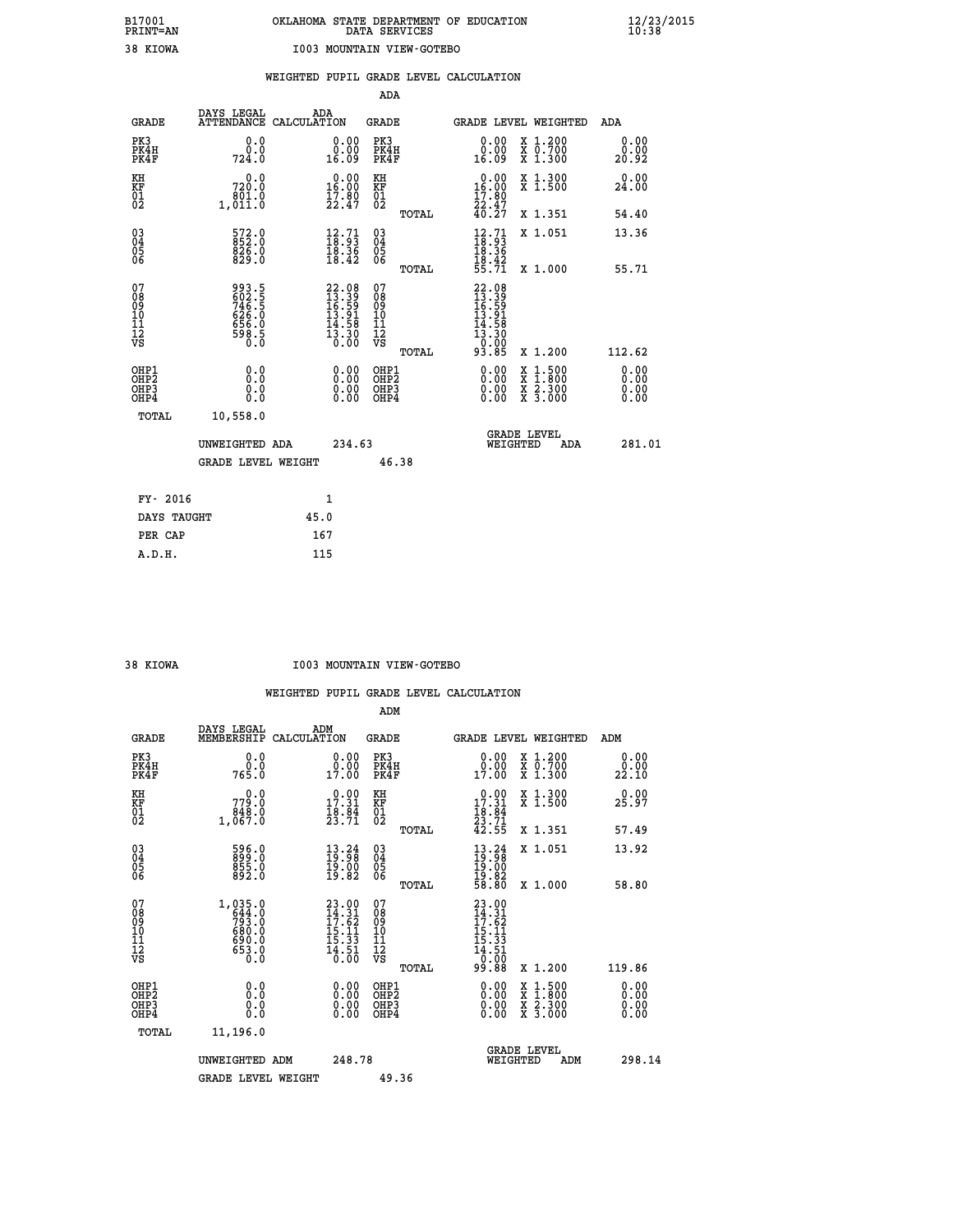|                                                                    |                                                              |      |                                                                                                             | ADA                                          |       |                                                                                   |                                                                                                                                           |                              |
|--------------------------------------------------------------------|--------------------------------------------------------------|------|-------------------------------------------------------------------------------------------------------------|----------------------------------------------|-------|-----------------------------------------------------------------------------------|-------------------------------------------------------------------------------------------------------------------------------------------|------------------------------|
| <b>GRADE</b>                                                       | DAYS LEGAL<br>ATTENDANCE CALCULATION                         | ADA  |                                                                                                             | GRADE                                        |       |                                                                                   | GRADE LEVEL WEIGHTED                                                                                                                      | ADA                          |
| PK3<br>PK4H<br>PK4F                                                | 0.0<br>0.0<br>724.0                                          |      | 0.00<br>0.00<br>16.09                                                                                       | PK3<br>PK4H<br>PK4F                          |       | 0.00<br>ŏ:ŏŏ<br>16:09                                                             | X 1.200<br>X 0.700<br>X 1.300                                                                                                             | 0.00<br>0.00<br>20.92        |
| KH<br>KF<br>01<br>02                                               | 0.0<br>720.0<br>1,801.0                                      |      | $0.00$<br>16.00<br>$\frac{17.80}{22.47}$                                                                    | KH<br>KF<br>01<br>02                         |       | 0.00<br>16.00<br>$\frac{17.80}{22.47}$<br>40.27                                   | X 1.300<br>X 1.500                                                                                                                        | 0.00<br>24.00                |
|                                                                    |                                                              |      |                                                                                                             |                                              | TOTAL |                                                                                   | X 1.351                                                                                                                                   | 54.40                        |
| $\begin{smallmatrix} 03 \\[-4pt] 04 \end{smallmatrix}$<br>Ŏ5<br>06 | $572.0$<br>852.0<br>$\frac{826.0}{829.0}$                    |      | $\begin{smallmatrix} 12.71\ 18.93\ 18.36\ 18.42 \end{smallmatrix}$                                          | $\substack{03 \\ 04}$<br>Ŏ5<br>06            |       | $\begin{smallmatrix} 12.71 \\ 18.93 \\ 18.36 \\ 18.42 \\ 55.71 \end{smallmatrix}$ | X 1.051                                                                                                                                   | 13.36                        |
|                                                                    |                                                              |      |                                                                                                             |                                              | TOTAL |                                                                                   | X 1.000                                                                                                                                   | 55.71                        |
| 07<br>08<br>09<br>101<br>11<br>12<br>VS                            | 993.5<br>602.5<br>746.5<br>746.5<br>626.0<br>6598.5<br>598.5 |      | 22.08<br>13.39<br>16.59<br>13.91<br>14.58<br>$\overline{1}\overline{3}\overline{.}\overline{3}\overline{0}$ | 07<br>08<br>09<br>101<br>11<br>12<br>VS      |       | $22.08$<br>$13.39$<br>$16.59$<br>$13.91$<br>$14.58$<br>$13.30$<br>0.00            |                                                                                                                                           |                              |
|                                                                    |                                                              |      |                                                                                                             |                                              | TOTAL | 93.85                                                                             | X 1.200                                                                                                                                   | 112.62                       |
| OHP1<br>OHP <sub>2</sub><br>OH <sub>P3</sub><br>OH <sub>P4</sub>   | 0.0<br>Ō.Ō<br>0.0<br>$0.\overline{0}$                        |      | 0.00<br>$\begin{smallmatrix} 0.00 \ 0.00 \end{smallmatrix}$                                                 | OHP1<br>OHP <sub>2</sub><br>OHP <sub>3</sub> |       | 0.00<br>0.00                                                                      | $\begin{smallmatrix} \mathtt{X} & 1\cdot500\\ \mathtt{X} & 1\cdot800\\ \mathtt{X} & 2\cdot300\\ \mathtt{X} & 3\cdot000 \end{smallmatrix}$ | 0.00<br>0.00<br>0.00<br>0.00 |
| TOTAL                                                              | 10,558.0                                                     |      |                                                                                                             |                                              |       |                                                                                   |                                                                                                                                           |                              |
|                                                                    | UNWEIGHTED ADA                                               |      | 234.63                                                                                                      |                                              |       | WEIGHTED                                                                          | <b>GRADE LEVEL</b><br>ADA                                                                                                                 | 281.01                       |
|                                                                    | <b>GRADE LEVEL WEIGHT</b>                                    |      |                                                                                                             |                                              | 46.38 |                                                                                   |                                                                                                                                           |                              |
| FY- 2016                                                           |                                                              |      | 1                                                                                                           |                                              |       |                                                                                   |                                                                                                                                           |                              |
| DAYS TAUGHT                                                        |                                                              | 45.0 |                                                                                                             |                                              |       |                                                                                   |                                                                                                                                           |                              |
| PER CAP                                                            |                                                              | 167  |                                                                                                             |                                              |       |                                                                                   |                                                                                                                                           |                              |

#### **38 KIOWA I003 MOUNTAIN VIEW-GOTEBO**

|                                                      |                                                                           |                                                                                       | ADM                                                 |                                                                                                        |                                          |                       |
|------------------------------------------------------|---------------------------------------------------------------------------|---------------------------------------------------------------------------------------|-----------------------------------------------------|--------------------------------------------------------------------------------------------------------|------------------------------------------|-----------------------|
| <b>GRADE</b>                                         | DAYS LEGAL<br>MEMBERSHIP                                                  | ADM<br>CALCULATION                                                                    | <b>GRADE</b>                                        | GRADE LEVEL WEIGHTED                                                                                   |                                          | ADM                   |
| PK3<br>PK4H<br>PK4F                                  | 0.0<br>ة:ة<br>765:0                                                       | 0.00<br>0.00<br>17.00                                                                 | PK3<br>PK4H<br>PK4F                                 | $\begin{smallmatrix} 0.00\\ 0.00\\ 17.00 \end{smallmatrix}$                                            | X 1.200<br>X 0.700<br>X 1.300            | 0.00<br>0.00<br>22.10 |
| KH<br>KF<br>01<br>02                                 | 0.0<br>0.077<br>848.0<br>1,067.0                                          | $\begin{array}{c} 0.00 \\ 17.31 \\ 18.84 \\ 23.71 \end{array}$                        | KH<br>KF<br>01<br>02                                | $\begin{smallmatrix} 0.00\\ 17.31\\ 18.84\\ 23.71\\ 42.55 \end{smallmatrix}$                           | X 1.300<br>X 1.500                       | 0.00<br>25.97         |
|                                                      |                                                                           |                                                                                       | TOTAL                                               |                                                                                                        | X 1.351                                  | 57.49                 |
| 03<br>04<br>05<br>06                                 | 596.0<br>899.0<br>855.0<br>892.0                                          | $\begin{smallmatrix} 13\cdot 24\\19\cdot 98\\19\cdot 00\\19\cdot 82\end{smallmatrix}$ | $\begin{array}{c} 03 \\ 04 \\ 05 \\ 06 \end{array}$ | $\begin{smallmatrix} 13\cdot 24\\ 19\cdot 98\\ 19\cdot 00\\ 19\cdot 82\\ 58\cdot 80 \end{smallmatrix}$ | X 1.051                                  | 13.92                 |
|                                                      |                                                                           |                                                                                       | TOTAL                                               |                                                                                                        | X 1.000                                  | 58.80                 |
| 07<br>08<br>09<br>101<br>112<br>VS                   | $1,035.0$<br>$644.0$<br>$793.0$<br>$680.0$<br>$690.0$<br>$653.0$<br>$0.0$ | $23.00$<br>$14.31$<br>$17.62$<br>$15.11$<br>$15.33$<br>$\frac{14.51}{0.00}$           | 07<br>08<br>09<br>11<br>11<br>12<br>VS              | $23.00$<br>$14.31$<br>$17.62$<br>$15.11$<br>$15.33$<br>$14.51$<br>$0.00$<br>99.88                      |                                          |                       |
|                                                      |                                                                           |                                                                                       | TOTAL                                               |                                                                                                        | X 1.200                                  | 119.86                |
| OHP1<br>OHP2<br>OH <sub>P3</sub><br>OH <sub>P4</sub> | 0.0<br>0.000                                                              |                                                                                       | OHP1<br>OHP2<br>OHP <sub>3</sub>                    | $0.00$<br>$0.00$<br>0.00                                                                               | X 1:500<br>X 1:800<br>X 2:300<br>X 3:000 | 0.00<br>0.00<br>0.00  |
| TOTAL                                                | 11,196.0                                                                  |                                                                                       |                                                     |                                                                                                        |                                          |                       |
|                                                      | UNWEIGHTED ADM                                                            | 248.78                                                                                |                                                     |                                                                                                        | GRADE LEVEL<br>WEIGHTED<br>ADM           | 298.14                |
|                                                      | <b>GRADE LEVEL WEIGHT</b>                                                 |                                                                                       | 49.36                                               |                                                                                                        |                                          |                       |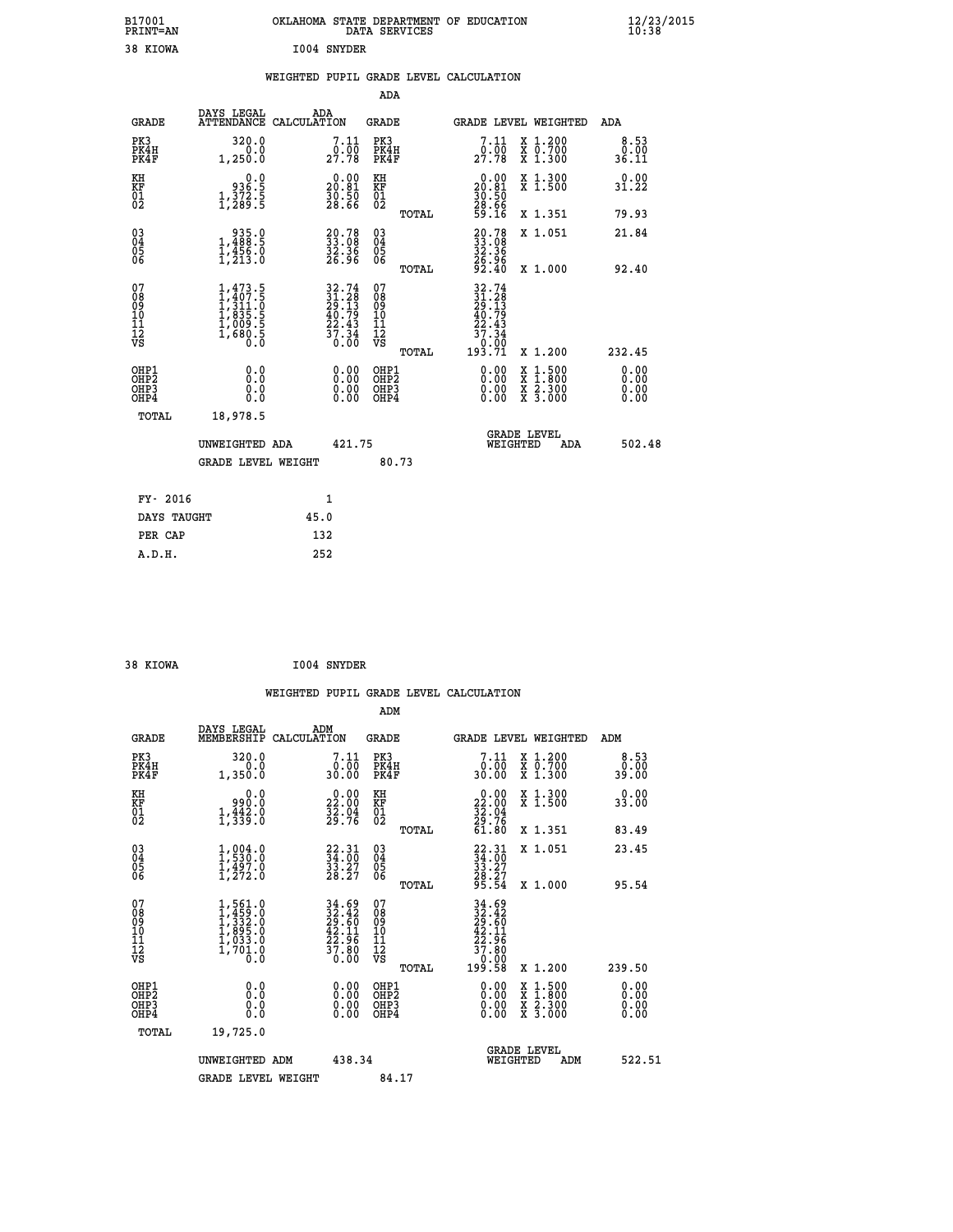| B17001<br>PRINT=AN                                    |                                                                                     | OKLAHOMA STATE DEPARTMENT OF EDUCATION                                   | DATA SERVICES                                               |                                                        |                                                                                                                                           | $\frac{12}{23}$ /2015        |  |
|-------------------------------------------------------|-------------------------------------------------------------------------------------|--------------------------------------------------------------------------|-------------------------------------------------------------|--------------------------------------------------------|-------------------------------------------------------------------------------------------------------------------------------------------|------------------------------|--|
| 38 KIOWA                                              |                                                                                     | I004 SNYDER                                                              |                                                             |                                                        |                                                                                                                                           |                              |  |
|                                                       |                                                                                     | WEIGHTED PUPIL GRADE LEVEL CALCULATION                                   |                                                             |                                                        |                                                                                                                                           |                              |  |
|                                                       |                                                                                     |                                                                          | ADA                                                         |                                                        |                                                                                                                                           |                              |  |
| GRADE                                                 | DAYS LEGAL                                                                          | ADA<br>ATTENDANCE CALCULATION                                            | GRADE                                                       |                                                        | GRADE LEVEL WEIGHTED                                                                                                                      | ADA                          |  |
| PK3<br>PK4H<br>PK4F                                   | 320.0<br>0.0<br>1,250.0                                                             | 7.11<br>$29.00$<br>$27.78$                                               | PK3<br>PK4H<br>PK4F                                         | 7.11<br>$29.00$<br>$27.78$                             | X 1.200<br>X 0.700<br>X 1.300                                                                                                             | 8.53<br>0.00<br>36.11        |  |
| KH<br>KF<br>01<br>02                                  | 0.0<br>8:5<br>1,372:5<br>1,289:5                                                    | $20.00$<br>20.81<br>$\frac{50.50}{28.66}$                                | ΚH<br>KF<br>01<br>02                                        | $20.00$<br>20.81<br>$\frac{50}{28}$ . 50               | X 1.300<br>X 1.500                                                                                                                        | 0.00<br>31.22                |  |
|                                                       |                                                                                     |                                                                          | TOTAL                                                       | 59.16                                                  | X 1.351                                                                                                                                   | 79.93                        |  |
| 030404<br>06                                          | $\begin{smallmatrix} & 935.0 \ 1,488.5 \ 1,456.0 \ 1,213.0 \end{smallmatrix}$       | 20.78<br>33.08<br>32.36<br>26.96                                         | $\begin{matrix} 03 \\ 04 \\ 05 \\ 06 \end{matrix}$          | 20.78<br>33.08<br>32.36<br>26.96                       | X 1.051                                                                                                                                   | 21.84                        |  |
| 07<br>08<br>09<br>10<br>īi<br>Ī2<br>VS                | $1,473.5$<br>$1,407.5$<br>$1,311.0$<br>$1,835.5$<br>$1,009.5$<br>$1,680.5$<br>$0.0$ | $32.74$<br>$31.28$<br>$29.13$<br>$40.79$<br>$22.43$<br>$37.34$<br>$0.00$ | TOTAL<br>07<br>Ŏ8<br>09<br>10<br>īī<br>$\frac{1}{\sqrt{2}}$ | 92.40                                                  | X 1.000                                                                                                                                   | 92.40                        |  |
|                                                       |                                                                                     |                                                                          | TOTAL                                                       | $\begin{array}{r} 37.34 \\ 0.00 \\ 193.71 \end{array}$ | X 1.200                                                                                                                                   | 232.45                       |  |
| OHP1<br>OH <sub>P</sub> 2<br>OH <sub>P3</sub><br>OHP4 | 0.0<br>0.0<br>0.0                                                                   | 0.00<br>0.00                                                             | OHP1<br>OHP <sub>2</sub><br>OHP3<br>OHP4                    | 0.00<br>0.00<br>0.00                                   | $\begin{smallmatrix} \mathtt{X} & 1\cdot500\\ \mathtt{X} & 1\cdot800\\ \mathtt{X} & 2\cdot300\\ \mathtt{X} & 3\cdot000 \end{smallmatrix}$ | 0.00<br>0.00<br>0.00<br>0.00 |  |
| TOTAL                                                 | 18,978.5                                                                            |                                                                          |                                                             |                                                        |                                                                                                                                           |                              |  |
|                                                       | UNWEIGHTED ADA                                                                      | 421.75                                                                   |                                                             | WEIGHTED                                               | <b>GRADE LEVEL</b><br>ADA                                                                                                                 | 502.48                       |  |
|                                                       | <b>GRADE LEVEL WEIGHT</b>                                                           |                                                                          | 80.73                                                       |                                                        |                                                                                                                                           |                              |  |
| FY- 2016                                              |                                                                                     | 1                                                                        |                                                             |                                                        |                                                                                                                                           |                              |  |
| DAYS TAUGHT                                           |                                                                                     | 45.0                                                                     |                                                             |                                                        |                                                                                                                                           |                              |  |
| PER CAP                                               |                                                                                     | 132                                                                      |                                                             |                                                        |                                                                                                                                           |                              |  |

| 38 KIOWA | 1004 SNYDER |
|----------|-------------|

 **WEIGHTED PUPIL GRADE LEVEL CALCULATION ADM DAYS LEGAL ADM GRADE MEMBERSHIP CALCULATION GRADE GRADE LEVEL WEIGHTED ADM PK3 320.0 7.11 PK3 7.11 X 1.200 8.53 PK4H 0.0 0.00 PK4H 0.00 X 0.700 0.00 PK4F 1,350.0 30.00 PK4F 30.00 X 1.300 39.00 KH 0.0 0.00 KH 0.00 X 1.300 0.00 KF 990.0 22.00 KF 22.00 X 1.500 33.00 01 1,442.0 32.04 01 32.04 02 1,339.0 29.76 02 29.76 TOTAL 61.80 X 1.351 83.49 03 1,004.0 22.31 03 22.31 X 1.051 23.45 04 1,530.0 34.00 04 34.00 05 1,497.0 33.27 05 33.27**  $06 \hspace{1.5cm} 1,272.0 \hspace{1.5cm} 28.27 \hspace{1.5cm} 06 \hspace{1.5cm} 28.27$  **TOTAL 95.54 X 1.000 95.54**  $\begin{array}{cccc} 07 & 1,561.0 & 34.69 & 07 & 34.69 \ 08 & 1,429.0 & 22.42 & 08 & 32.469 \ 10 & 1,895.0 & 29.60 & 09 & 29.60 \ 10 & 1,895.0 & 42.11 & 10 & 42.11 \ 11 & 1,033.0 & 22.96 & 11 & 22.96 \ 12 & 1700.0 & 37.80 & 12 & 27.80 \ \hline \end{array}$ **34.69 07**<br> **32.46** 08<br> **42.11 10**<br> **42.11 10**<br> **52.46** 08<br> **42.11 10**<br> **52.46 29.66**<br> **42.11 10**<br> **52.46**<br> **52.46**<br> **42.11 10**<br> **52.46**<br> **52.46**<br> **52.46**<br> **52.46**<br> **52.11**<br> **57.80**<br> **50.00**<br> **70.80**<br> **70.80**<br> **70.80**<br>  **OHP1 0.0 0.00 OHP1 0.00 X 1.500 0.00 OHP2 0.0 0.00 OHP2 0.00 X 1.800 0.00 OHP3 0.0 0.00 OHP3 0.00 X 2.300 0.00 OHP4 0.0 0.00 OHP4 0.00 X 3.000 0.00 TOTAL 19,725.0 GRADE LEVEL UNWEIGHTED ADM 438.34 WEIGHTED ADM 522.51** GRADE LEVEL WEIGHT 84.17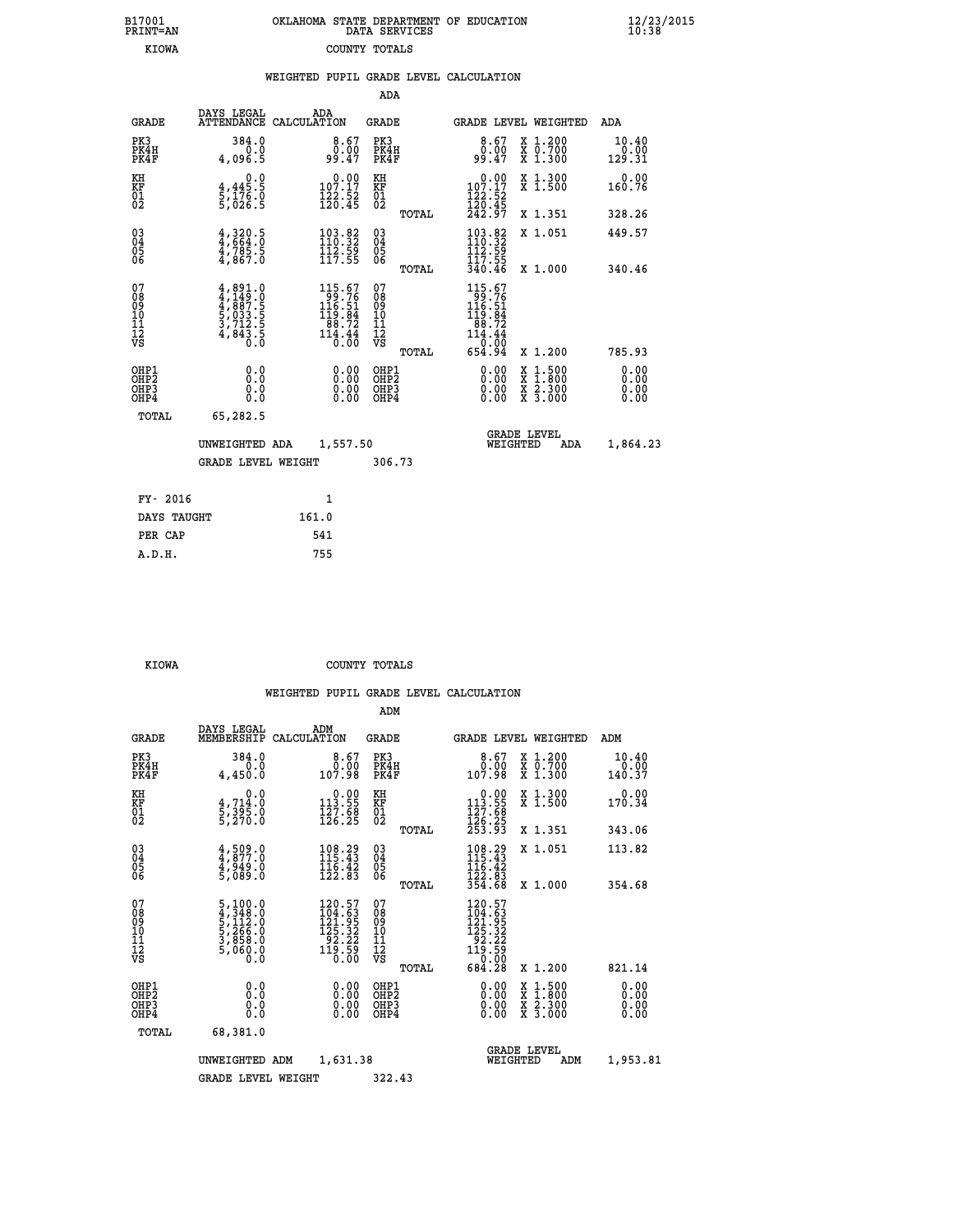|  | OKLAHOMA STATE DEPARTMENT OF EDUCATION<br>DATA SERVICES |  |
|--|---------------------------------------------------------|--|
|  | COUNTY TOTALS                                           |  |

 **B17001 OKLAHOMA STATE DEPARTMENT OF EDUCATION 12/23/2015**

|            |           |     | WEIGHTED PUPIL GRADE LEVEL CALCULATION |  |
|------------|-----------|-----|----------------------------------------|--|
|            |           | ADA |                                        |  |
| DAVG TEGAT | $\lambda$ |     |                                        |  |

| <b>GRADE</b>                                         | DAYS LEGAL<br><b>ATTENDANCE</b>                                                            | ADA<br>CALCULATION                                                                      | <b>GRADE</b>                                       | <b>GRADE LEVEL WEIGHTED</b>                                                                                                              |                                          | ADA                     |
|------------------------------------------------------|--------------------------------------------------------------------------------------------|-----------------------------------------------------------------------------------------|----------------------------------------------------|------------------------------------------------------------------------------------------------------------------------------------------|------------------------------------------|-------------------------|
| PK3<br>PK4H<br>PK4F                                  | 384.0<br>0.0<br>4,096.5                                                                    | $\begin{smallmatrix} 8.67\ 0.00\ 99.47 \end{smallmatrix}$                               | PK3<br>PK4H<br>PK4F                                | $\begin{smallmatrix} 8.67\ 0.00\ 9.47 \end{smallmatrix}$                                                                                 | X 1.200<br>X 0.700<br>X 1.300            | 10.40<br>0.00<br>129.31 |
| KH<br>KF<br>01<br>02                                 | $\begin{smallmatrix} 0 & 0 \\ 4 & 445 & 5 \\ 5 & 176 & 0 \\ 5 & 026 & 5 \end{smallmatrix}$ | $\begin{smallmatrix} &0.00\\ 107.17\\ 122.52\\ 126.45\end{smallmatrix}$                 | KH<br>KF<br>01<br>02                               | $\begin{array}{c} 0.00 \\ 107.17 \\ 122.52 \\ 120.45 \\ 242.97 \end{array}$                                                              | X 1.300<br>X 1.500                       | 0.00<br>160.76          |
|                                                      |                                                                                            |                                                                                         | TOTAL                                              |                                                                                                                                          | X 1.351                                  | 328.26                  |
| $\begin{matrix} 03 \\ 04 \\ 05 \\ 06 \end{matrix}$   | $4,320.5$<br>$4,785.5$<br>$4,785.5$<br>$4,867.0$                                           | $\begin{array}{l} 103\cdot 82\\ 110\cdot 32\\ 112\cdot 59\\ 117\cdot 55 \end{array}$    | $\begin{matrix} 03 \\ 04 \\ 05 \\ 06 \end{matrix}$ | $103.82$<br>$110.32$<br>$112.59$<br>$117.55$                                                                                             | X 1.051                                  | 449.57                  |
|                                                      |                                                                                            |                                                                                         | TOTAL                                              | 340.46                                                                                                                                   | X 1.000                                  | 340.46                  |
| 07<br>089<br>090<br>1112<br>VS                       | $4,891.0$<br>$4,149.0$<br>$4,887.5$<br>$5,033.5$<br>$3,712.5$<br>$4,843.5$<br>$0.0$        | $\begin{array}{r} 115.67\\ 99.76\\ 116.51\\ 119.84\\ 88.72\\ 114.44\\ 0.00 \end{array}$ | 07<br>08<br>09<br>101<br>11<br>12<br>VS<br>TOTAL   | $\begin{array}{r} 115\cdot 67\\ 99\cdot 76\\ 116\cdot 51\\ 119\cdot 84\\ 88\cdot 72\\ 114\cdot 44\\ 0\cdot 00\\ 654\cdot 94 \end{array}$ | X 1.200                                  | 785.93                  |
|                                                      |                                                                                            |                                                                                         |                                                    |                                                                                                                                          |                                          | 0.00                    |
| OHP1<br>OHP2<br>OH <sub>P3</sub><br>OH <sub>P4</sub> | 0.0<br>0.000                                                                               | 0.00<br>$\begin{smallmatrix} 0.00 \ 0.00 \end{smallmatrix}$                             | OHP1<br>OHP2<br>OHP3<br>OHP4                       |                                                                                                                                          | X 1:500<br>X 1:800<br>X 2:300<br>X 3:000 | 0.00<br>0.00<br>0.00    |
| TOTAL                                                | 65,282.5                                                                                   |                                                                                         |                                                    |                                                                                                                                          |                                          |                         |
|                                                      | UNWEIGHTED ADA                                                                             | 1,557.50                                                                                |                                                    | <b>GRADE LEVEL</b><br>WEIGHTED                                                                                                           | ADA                                      | 1,864.23                |
|                                                      | <b>GRADE LEVEL WEIGHT</b>                                                                  |                                                                                         | 306.73                                             |                                                                                                                                          |                                          |                         |
| FY- 2016                                             |                                                                                            | 1                                                                                       |                                                    |                                                                                                                                          |                                          |                         |
|                                                      |                                                                                            |                                                                                         |                                                    |                                                                                                                                          |                                          |                         |

| FI- ZUID    |       |
|-------------|-------|
| DAYS TAUGHT | 161.0 |
| PER CAP     | 541   |
| A.D.H.      | 755   |
|             |       |

B17001<br>PRINT=AN<br>KIOWA

 **KIOWA COUNTY TOTALS**

|                                                      |                                                                                                         |                                                                                            | ADM                                                 |                                                                                                                 |                                          |                         |
|------------------------------------------------------|---------------------------------------------------------------------------------------------------------|--------------------------------------------------------------------------------------------|-----------------------------------------------------|-----------------------------------------------------------------------------------------------------------------|------------------------------------------|-------------------------|
| <b>GRADE</b>                                         | DAYS LEGAL<br>MEMBERSHIP                                                                                | ADM<br>CALCULATION                                                                         | <b>GRADE</b>                                        | GRADE LEVEL WEIGHTED                                                                                            |                                          | ADM                     |
| PK3<br>PK4H<br>PK4F                                  | 384.0<br>0.0<br>4,450.0                                                                                 | $\begin{smallmatrix}8.67\0.00\\0.00\\107.98\end{smallmatrix}$                              | PK3<br>PK4H<br>PK4F                                 | $\begin{smallmatrix}8.67\0.00\\0.00\\107.98\end{smallmatrix}$                                                   | X 1.200<br>X 0.700<br>X 1.300            | 10.40<br>0.00<br>140.37 |
| KH<br>KF<br>01<br>02                                 | 0.0<br>$\frac{4}{5}, \frac{714}{395}$ .0<br>5,270.0                                                     | $\begin{smallmatrix} &0.00\\ 113.55\\ 127.68\\ 126.25 \end{smallmatrix}$                   | KH<br>KF<br>01<br>02                                | $\begin{array}{c} 0.00 \\ 113.55 \\ 127.68 \\ 126.25 \\ 253.93 \end{array}$                                     | X 1.300<br>X 1.500                       | 0.00<br>170.34          |
|                                                      |                                                                                                         |                                                                                            | TOTAL                                               |                                                                                                                 | X 1.351                                  | 343.06                  |
| 03<br>04<br>05<br>06                                 | $4,509.0$<br>$4,877.0$<br>$4,949.0$<br>$5,089.0$                                                        | 108.29<br>115.43<br>$\frac{116}{122}$ $\frac{12}{83}$                                      | $\begin{array}{c} 03 \\ 04 \\ 05 \\ 06 \end{array}$ | $\begin{array}{l} 108\cdot 29\\ 115\cdot 43\\ 116\cdot 42\\ 122\cdot 83\\ 354\cdot 68 \end{array}$              | X 1.051                                  | 113.82                  |
|                                                      |                                                                                                         |                                                                                            | TOTAL                                               |                                                                                                                 | X 1.000                                  | 354.68                  |
| 07<br>08<br>09<br>101<br>112<br>VS                   | $\begin{smallmatrix} 5,100.0\\ 4,348.0\\ 5,112.0\\ 5,266.0\\ 3,858.0\\ 5,060.0\\ 0.0 \end{smallmatrix}$ | $\begin{smallmatrix} 120.57\\104.53\\121.95\\125.32\\92.22\\119.59\\0.00\end{smallmatrix}$ | 07<br>08<br>09<br>11<br>11<br>12<br>VS<br>TOTAL     | $\begin{smallmatrix} 120.57\\104.63\\121.95\\125.322\\92.222\\119.59\\0&0.00\\0&0&0\end{smallmatrix}$<br>684.28 | X 1.200                                  | 821.14                  |
|                                                      |                                                                                                         |                                                                                            |                                                     |                                                                                                                 |                                          | 0.00                    |
| OHP1<br>OHP2<br>OH <sub>P3</sub><br>OH <sub>P4</sub> | 0.0<br>0.000                                                                                            | $0.00$<br>$0.00$<br>0.00                                                                   | OHP1<br>OHP2<br>OHP <sub>3</sub>                    | $0.00$<br>$0.00$<br>0.00                                                                                        | X 1:500<br>X 1:800<br>X 2:300<br>X 3:000 | 0.00<br>0.00<br>0.00    |
|                                                      | TOTAL<br>68,381.0                                                                                       |                                                                                            |                                                     |                                                                                                                 |                                          |                         |
|                                                      | UNWEIGHTED ADM                                                                                          | 1,631.38                                                                                   |                                                     | <b>GRADE LEVEL</b><br>WEIGHTED                                                                                  | ADM                                      | 1,953.81                |
|                                                      | <b>GRADE LEVEL WEIGHT</b>                                                                               |                                                                                            | 322.43                                              |                                                                                                                 |                                          |                         |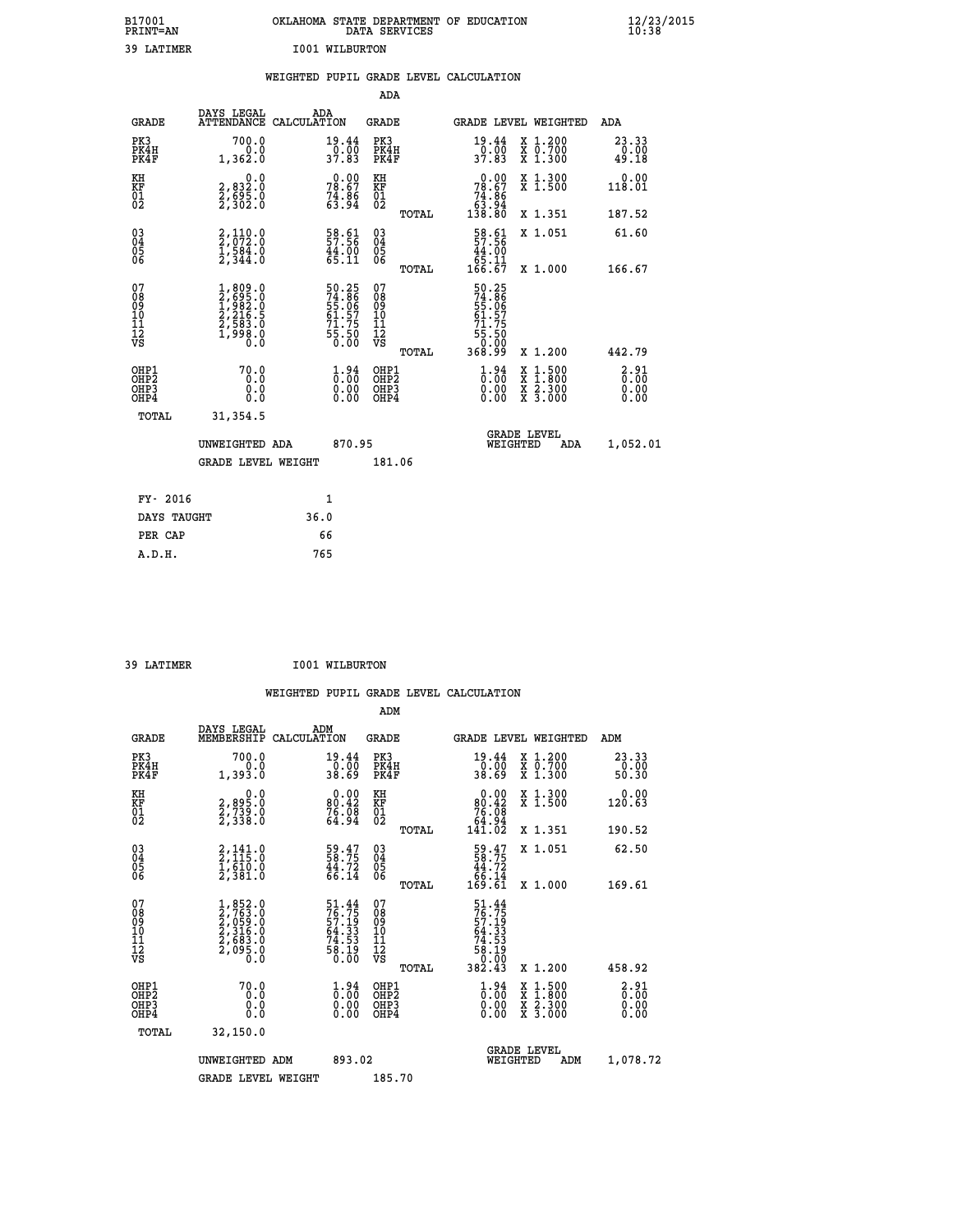| B17001<br><b>PRINT=AN</b> | OKLAHOMA STATE DEPARTMENT OF EDUCATION<br>DATA SERVICES | $\frac{12}{23}$ /2015 |
|---------------------------|---------------------------------------------------------|-----------------------|
| 39 LATIMER                | 1001 WILBURTON                                          |                       |

|                                                                    |                                                                                                                  | WEIGHTED PUPIL GRADE LEVEL CALCULATION                               |                                                    |                                                                                                                                                                                                          |                               |
|--------------------------------------------------------------------|------------------------------------------------------------------------------------------------------------------|----------------------------------------------------------------------|----------------------------------------------------|----------------------------------------------------------------------------------------------------------------------------------------------------------------------------------------------------------|-------------------------------|
|                                                                    |                                                                                                                  |                                                                      | <b>ADA</b>                                         |                                                                                                                                                                                                          |                               |
| <b>GRADE</b>                                                       | DAYS LEGAL                                                                                                       | ADA<br>ATTENDANCE CALCULATION                                        | <b>GRADE</b>                                       | GRADE LEVEL WEIGHTED                                                                                                                                                                                     | <b>ADA</b>                    |
| PK3<br>PK4H<br>PK4F                                                | 700.0<br>1,362.0                                                                                                 | $\frac{19.44}{0.00}$<br>37.83                                        | PK3<br>PK4H<br>PK4F                                | $\frac{19.44}{0.00}$<br>37.83<br>X 1.200<br>X 0.700<br>X 1.300                                                                                                                                           | 23.33<br>$\frac{0.00}{49.18}$ |
| KH<br>KF<br>01<br>02                                               | $\begin{smallmatrix} 0 & 0 & 0 \\ 2 & 8 & 3 & 2 & 0 \\ 2 & 6 & 9 & 5 & 0 \\ 2 & 3 & 0 & 2 & 0 \end{smallmatrix}$ | $78.67$<br>$74.86$<br>$74.86$<br>$63.94$                             | KH<br>KF<br>01<br>02                               | 0.00<br>X 1.300<br>X 1.500<br>$78.67$<br>$74.86$<br>$63.94$<br>$138.80$                                                                                                                                  | 0.00<br>118.01                |
|                                                                    |                                                                                                                  |                                                                      | TOTAL                                              | X 1.351                                                                                                                                                                                                  | 187.52                        |
| $\begin{smallmatrix} 03 \\[-4pt] 04 \end{smallmatrix}$<br>05<br>06 | $2,110.0$<br>$2,072.0$<br>$1,584.0$<br>$2,344.0$                                                                 | 58.61<br>57.56<br>44.00<br>65.11                                     | $\begin{matrix} 03 \\ 04 \\ 05 \\ 06 \end{matrix}$ | $\begin{array}{r} 58.61 \\ 57.56 \\ 44.00 \\ 65.11 \\ 166.67 \end{array}$<br>X 1.051                                                                                                                     | 61.60                         |
|                                                                    |                                                                                                                  |                                                                      | TOTAL                                              | X 1.000                                                                                                                                                                                                  | 166.67                        |
| 07<br>08<br>09<br>11<br>11<br>12<br>VS                             | $1,809.0$<br>$2,695.0$<br>$1,982.0$<br>$2,216.5$<br>$2,583.0$<br>$1,998.0$<br>$0.0$                              | 50.25<br>74.86<br>55.06<br>55.06<br>61.57<br>71.75<br>55.50<br>50.00 | 07<br>08<br>09<br>11<br>11<br>12<br>VS<br>TOTAL    | 50.25<br>74.86<br>55.06<br>61.57<br>71.75<br>03:55<br>00:00<br>09:836<br>X 1.200                                                                                                                         | 442.79                        |
| OHP1<br>OHP2<br>OH <sub>P3</sub><br>OH <sub>P4</sub>               | 70.0<br>0.0<br>0.0<br>0.0                                                                                        | $\begin{smallmatrix} 1.94\ 0.00\ 0.00\ 0.00 \end{smallmatrix}$       | OHP1<br>OHP2<br>OHP3<br>OHP4                       | $\begin{smallmatrix} 1.94\ 0.00\ 0.00 \end{smallmatrix}$<br>$\begin{smallmatrix} \mathtt{X} & 1\cdot500 \\ \mathtt{X} & 1\cdot800 \\ \mathtt{X} & 2\cdot300 \\ \mathtt{X} & 3\cdot000 \end{smallmatrix}$ | 2.91<br>0.00<br>0.00<br>0.00  |
| TOTAL                                                              | 31,354.5                                                                                                         |                                                                      |                                                    |                                                                                                                                                                                                          |                               |
|                                                                    | UNWEIGHTED ADA                                                                                                   | 870.95                                                               |                                                    | <b>GRADE LEVEL</b><br>WEIGHTED<br>ADA                                                                                                                                                                    | 1,052.01                      |
|                                                                    | GRADE LEVEL WEIGHT                                                                                               |                                                                      | 181.06                                             |                                                                                                                                                                                                          |                               |
| FY- 2016                                                           |                                                                                                                  | $\mathbf{1}$                                                         |                                                    |                                                                                                                                                                                                          |                               |
| DAYS TAUGHT                                                        |                                                                                                                  | 36.0                                                                 |                                                    |                                                                                                                                                                                                          |                               |
| PER CAP                                                            |                                                                                                                  | 66                                                                   |                                                    |                                                                                                                                                                                                          |                               |

 **39 LATIMER I001 WILBURTON**

| <b>GRADE</b>                             | DAYS LEGAL<br>MEMBERSHIP                                                            | ADM<br>CALCULATION                                              | <b>GRADE</b>                                       |       | GRADE LEVEL WEIGHTED                                                                                         |                                          | ADM                                                         |  |
|------------------------------------------|-------------------------------------------------------------------------------------|-----------------------------------------------------------------|----------------------------------------------------|-------|--------------------------------------------------------------------------------------------------------------|------------------------------------------|-------------------------------------------------------------|--|
| PK3<br>PK4H<br>PK4F                      | 700.0<br>1,393.0                                                                    | 19.44<br>$\frac{0.00}{38.69}$                                   | PK3<br>PK4H<br>PK4F                                |       | 19.44<br>$\frac{0.00}{38.69}$                                                                                | X 1.200<br>X 0.700<br>X 1.300            | $\begin{smallmatrix} 23.33\ 0.00 \ 50.30 \end{smallmatrix}$ |  |
| KH<br>KF<br>01<br>02                     | $\begin{smallmatrix} 2, 895.0\\ 2, 739.0\\ 2, 739.0\\ 2, 338.0 \end{smallmatrix}$   | $0.00$<br>$80.42$<br>$76.08$<br>$64.94$                         | KH<br>KF<br>01<br>02                               |       | $\begin{smallmatrix} &0.00\ 80.42\ 76.08\ 64.94\ 141.02\end{smallmatrix}$                                    | X 1.300<br>X 1.500                       | 0.00<br>120.63                                              |  |
|                                          |                                                                                     |                                                                 |                                                    | TOTAL |                                                                                                              | X 1.351                                  | 190.52                                                      |  |
| 03<br>04<br>05<br>06                     | $2,141.0$<br>$2,115.0$<br>$1,610.0$<br>$2,381.0$                                    | $\begin{array}{c} 59.47 \\ 58.75 \\ 44.72 \\ 66.14 \end{array}$ | $\begin{matrix} 03 \\ 04 \\ 05 \\ 06 \end{matrix}$ |       | $\begin{array}{c} 59.47 \\ 58.75 \\ 44.72 \\ 66.14 \\ 169.61 \end{array}$                                    | X 1.051                                  | 62.50                                                       |  |
|                                          |                                                                                     |                                                                 |                                                    | TOTAL |                                                                                                              | X 1.000                                  | 169.61                                                      |  |
| 07<br>089<br>090<br>1112<br>VS           | $1,852.0$<br>$2,763.0$<br>$2,959.0$<br>$2,316.0$<br>$2,683.0$<br>$2,095.0$<br>$0.0$ | 51.44<br>76.75<br>57.19<br>57.33<br>74.53<br>78.19<br>58.19     | 07<br>08901112<br>1112<br>VS                       | TOTAL | $\begin{array}{r} 51.44 \\ 76.75 \\ 57.19 \\ 64.33 \\ 74.53 \\ 76.19 \\ 58.19 \\ 0.00 \\ 382.43 \end{array}$ | X 1.200                                  | 458.92                                                      |  |
| OHP1<br>OHP2<br>OH <sub>P3</sub><br>OHP4 | 70.0<br>0.0<br>0.000                                                                | $\begin{smallmatrix} 1.94\ 0.00\ 0.00\ 0.00 \end{smallmatrix}$  | OHP1<br>OHP2<br>OHP3<br>OHP4                       |       | $\begin{smallmatrix} 1.94\ 0.00\ 0.00\ 0.00 \end{smallmatrix}$                                               | X 1:500<br>X 1:800<br>X 2:300<br>X 3:000 | $\frac{2.91}{0.00}$<br>0.00<br>0.00                         |  |
| TOTAL                                    | 32,150.0                                                                            |                                                                 |                                                    |       |                                                                                                              |                                          |                                                             |  |
|                                          | UNWEIGHTED<br>ADM                                                                   | 893.02                                                          |                                                    |       | <b>GRADE LEVEL</b><br>WEIGHTED                                                                               | ADM                                      | 1,078.72                                                    |  |
|                                          | <b>GRADE LEVEL WEIGHT</b>                                                           |                                                                 | 185.70                                             |       |                                                                                                              |                                          |                                                             |  |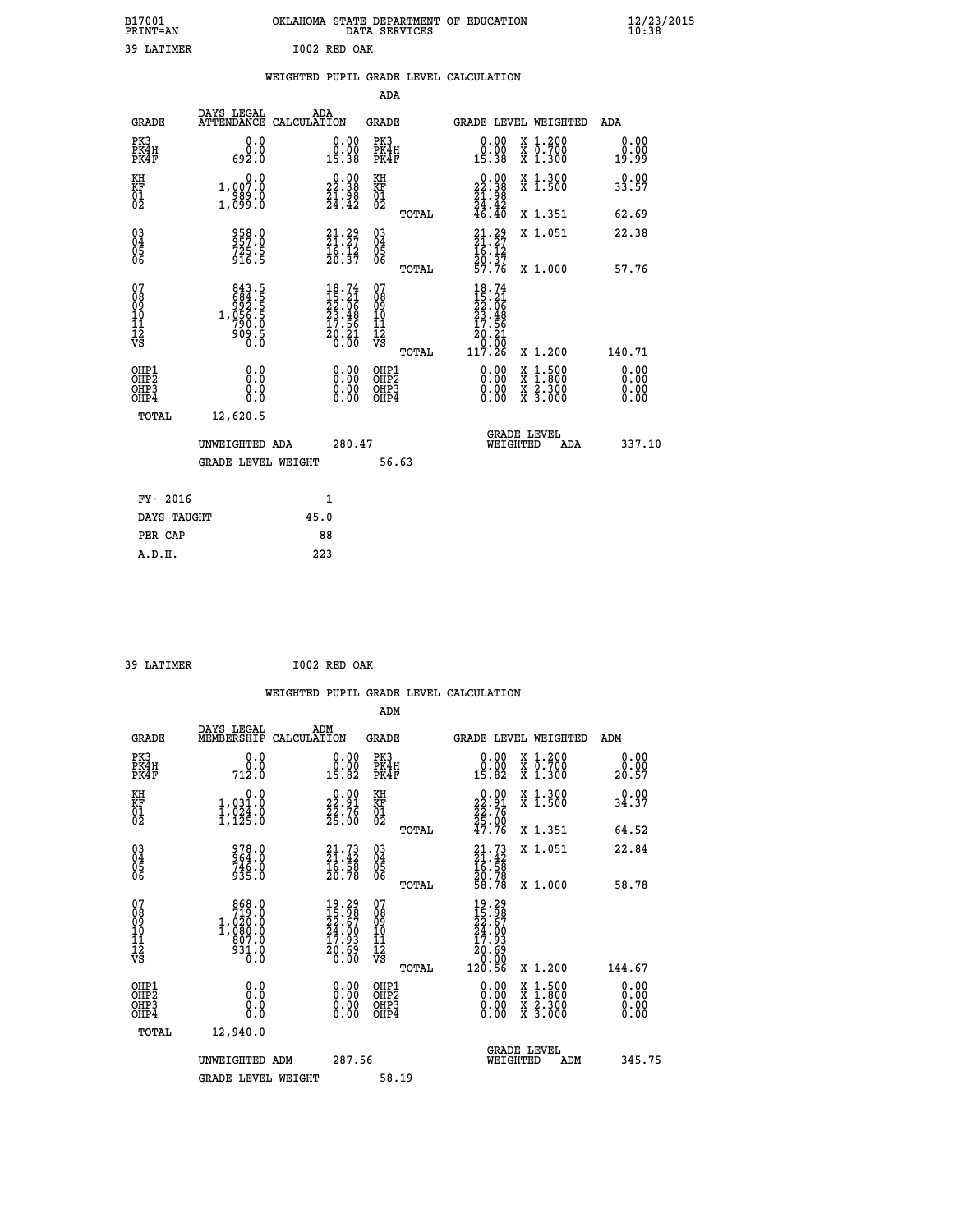| B17001<br><b>PRINT=AN</b> | OKLAHOMA STATE DEPARTMENT OF EDUCATION<br>DATA SERVICES |  |
|---------------------------|---------------------------------------------------------|--|
| 39 LATIMER                | I002 RED OAK                                            |  |

 **B17001 OKLAHOMA STATE DEPARTMENT OF EDUCATION 12/23/2015**

|                                                       |                                                                         | WEIGHTED PUPIL GRADE LEVEL CALCULATION                                   |                                                                  |              |                                                                                                           |                                          |                              |
|-------------------------------------------------------|-------------------------------------------------------------------------|--------------------------------------------------------------------------|------------------------------------------------------------------|--------------|-----------------------------------------------------------------------------------------------------------|------------------------------------------|------------------------------|
|                                                       |                                                                         |                                                                          | ADA                                                              |              |                                                                                                           |                                          |                              |
| <b>GRADE</b>                                          | DAYS LEGAL                                                              | ADA<br>ATTENDANCE CALCULATION                                            | <b>GRADE</b>                                                     |              |                                                                                                           | GRADE LEVEL WEIGHTED                     | <b>ADA</b>                   |
| PK3<br>PK4H<br>PK4F                                   | 0.0<br>0.0<br>692.0                                                     | $\begin{smallmatrix} 0.00\\ 0.00\\ 15.38 \end{smallmatrix}$              | PK3<br>PK4H<br>PK4F                                              |              | 0.00<br>$\substack{\texttt{0.00}\ 15.38}$                                                                 | X 1.200<br>X 0.700<br>X 1.300            | 0.00<br>0.00<br>19.99        |
| KH<br>KF<br>01<br>02                                  | 0.0<br>1,007.0<br>989.0<br>1,099.0                                      | $\begin{smallmatrix} 0.00\\ 22.38\\ 21.98\\ 24.42 \end{smallmatrix}$     | KH<br>KF<br>01<br>02                                             |              | 0.00<br>$\begin{smallmatrix} 22.38 \\ 21.38 \\ 24.42 \\ 46.40 \end{smallmatrix}$                          | X 1.300<br>X 1.500                       | 0.00<br>33.57                |
|                                                       |                                                                         |                                                                          |                                                                  | TOTAL        |                                                                                                           | X 1.351                                  | 62.69                        |
| 030404<br>ŌĞ                                          | 958.0<br>957.0<br>725.5<br>916.5                                        | $21.29$<br>$21.27$<br>$16.12$<br>$20.37$                                 | $\begin{array}{c} 03 \\ 04 \\ 05 \\ 06 \end{array}$              |              | $21.29$<br>$21.27$<br>$16.12$                                                                             | X 1.051                                  | 22.38                        |
|                                                       |                                                                         |                                                                          |                                                                  | <b>TOTAL</b> | 20.37<br>57.76                                                                                            | X 1.000                                  | 57.76                        |
| 07<br>08<br>09<br>101<br>11<br>12<br>VS               | 843.5<br>684.55<br>684.55<br>992.55<br>1,056.5<br>790.0<br>909.5<br>0.0 | $18.74$<br>$15.21$<br>$22.06$<br>$23.48$<br>$17.56$<br>$20.21$<br>$0.00$ | 07<br>08<br>09<br>11<br>11<br>12<br>VS                           |              | 18.74<br>$\frac{15}{22}$ : $\frac{21}{26}$<br>$\frac{23}{23}$ : $\frac{48}{29}$<br>17.56<br>20.21<br>Ŏ.ŌŌ |                                          |                              |
|                                                       |                                                                         |                                                                          |                                                                  | TOTAL        | 117.26                                                                                                    | X 1.200                                  | 140.71                       |
| OHP1<br>OH <sub>P</sub> 2<br>OH <sub>P3</sub><br>OHP4 | 0.0<br>0.0<br>0.0                                                       |                                                                          | 0.00<br>OHP1<br>OHP <sub>2</sub><br>0.00<br>OHP3<br>0.00<br>OHP4 |              | 0.00<br>0.00<br>0.00                                                                                      | X 1:500<br>X 1:800<br>X 2:300<br>X 3:000 | 0.00<br>0.00<br>0.00<br>0.00 |
| TOTAL                                                 | 12,620.5                                                                |                                                                          |                                                                  |              |                                                                                                           |                                          |                              |
|                                                       | UNWEIGHTED ADA                                                          |                                                                          | 280.47                                                           |              | WEIGHTED                                                                                                  | <b>GRADE LEVEL</b><br><b>ADA</b>         | 337.10                       |
|                                                       | <b>GRADE LEVEL WEIGHT</b>                                               |                                                                          |                                                                  | 56.63        |                                                                                                           |                                          |                              |
| FY- 2016                                              |                                                                         | 1                                                                        |                                                                  |              |                                                                                                           |                                          |                              |
|                                                       | DAYS TAUGHT                                                             | 45.0                                                                     |                                                                  |              |                                                                                                           |                                          |                              |
| PER CAP                                               |                                                                         | 88                                                                       |                                                                  |              |                                                                                                           |                                          |                              |
| A.D.H.                                                |                                                                         | 223                                                                      |                                                                  |              |                                                                                                           |                                          |                              |

 **39 LATIMER I002 RED OAK**

**B17001<br>PRINT=AN** 

 **WEIGHTED PUPIL GRADE LEVEL CALCULATION ADM DAYS LEGAL ADM GRADE MEMBERSHIP CALCULATION GRADE GRADE LEVEL WEIGHTED ADM EK3 6.0 0.00 PK3 0.000 PK3** 0.000 PK3 0.00

| エハン<br>PK4H<br>PK4F                                | $\mathsf{v} \cdot \mathsf{v}$<br>712.0                                          | <b>v.vv</b><br>$0.00$<br>15.82                                                     | 5 I.J<br>PK4H<br>PK4F                            | $\begin{smallmatrix} 0.00 \\[-4pt] 15.82\end{smallmatrix}$               | $\begin{array}{c} \hat{x} & \hat{0}.700 \\ x & 1.300 \end{array}$                                                                    | <b>v.vv</b><br>ŏ:ŏŏ<br>20:57 |
|----------------------------------------------------|---------------------------------------------------------------------------------|------------------------------------------------------------------------------------|--------------------------------------------------|--------------------------------------------------------------------------|--------------------------------------------------------------------------------------------------------------------------------------|------------------------------|
| KH<br>KF<br>01<br>02                               | 0.0<br>1,031.0<br>$\frac{1}{2}$ , $\frac{5}{2}$ , $\frac{5}{2}$ , $\frac{5}{2}$ | $\begin{smallmatrix} 0.00\\ 22.91\\ 22.76\\ 25.00 \end{smallmatrix}$               | KH<br>KF<br>$\overline{01}$                      | $22.91$<br>$22.76$<br>$25.00$<br>$47.76$                                 | X 1.300<br>X 1.500                                                                                                                   | 0.00<br>34.37                |
|                                                    |                                                                                 |                                                                                    | TOTAL                                            |                                                                          | X 1.351                                                                                                                              | 64.52                        |
| $\begin{matrix} 03 \\ 04 \\ 05 \\ 06 \end{matrix}$ | 978.0<br>964.0<br>746.0<br>935.0                                                | $\begin{smallmatrix} 21\cdot73\ 21\cdot42\ 16\cdot58\ 20\cdot78 \end{smallmatrix}$ | $03\overline{4}$<br>05<br>06                     | $21.7321.4216.5820.7858.78$                                              | X 1.051                                                                                                                              | 22.84                        |
|                                                    |                                                                                 |                                                                                    | TOTAL                                            |                                                                          | X 1.000                                                                                                                              | 58.78                        |
| 07<br>08<br>09<br>101<br>112<br>VS                 | 868.0<br>719.0<br>1,020:0<br>1,080.0<br>0,007:0<br>931.0<br>0.0                 | $19.29$<br>$15.98$<br>$22.67$<br>$24.00$<br>$17.93$<br>$20.69$<br>0.00             | 07<br>08<br>09<br>101<br>11<br>12<br>VS<br>TOTAL | $19.29$<br>$22.67$<br>$24.00$<br>$17.93$<br>$20.69$<br>$20.90$<br>120.56 | X 1.200                                                                                                                              | 144.67                       |
| OHP1<br>OHP2<br>OHP3<br>OHP4                       | 0.0<br>0.000                                                                    | $0.00$<br>$0.00$<br>0.00                                                           | OHP1<br>OHP <sub>2</sub><br>OHP3<br>OHP4         | $0.00$<br>$0.00$<br>0.00                                                 | $\begin{smallmatrix} \mathtt{X} & 1 & 500 \\ \mathtt{X} & 1 & 800 \\ \mathtt{X} & 2 & 300 \\ \mathtt{X} & 3 & 000 \end{smallmatrix}$ | 0.00<br>0.00<br>0.00<br>0.00 |
| TOTAL                                              | 12,940.0                                                                        |                                                                                    |                                                  |                                                                          |                                                                                                                                      |                              |
|                                                    | UNWEIGHTED ADM                                                                  | 287.56                                                                             |                                                  | WEIGHTED                                                                 | <b>GRADE LEVEL</b><br>ADM                                                                                                            | 345.75                       |
|                                                    | <b>GRADE LEVEL WEIGHT</b>                                                       |                                                                                    | 58.19                                            |                                                                          |                                                                                                                                      |                              |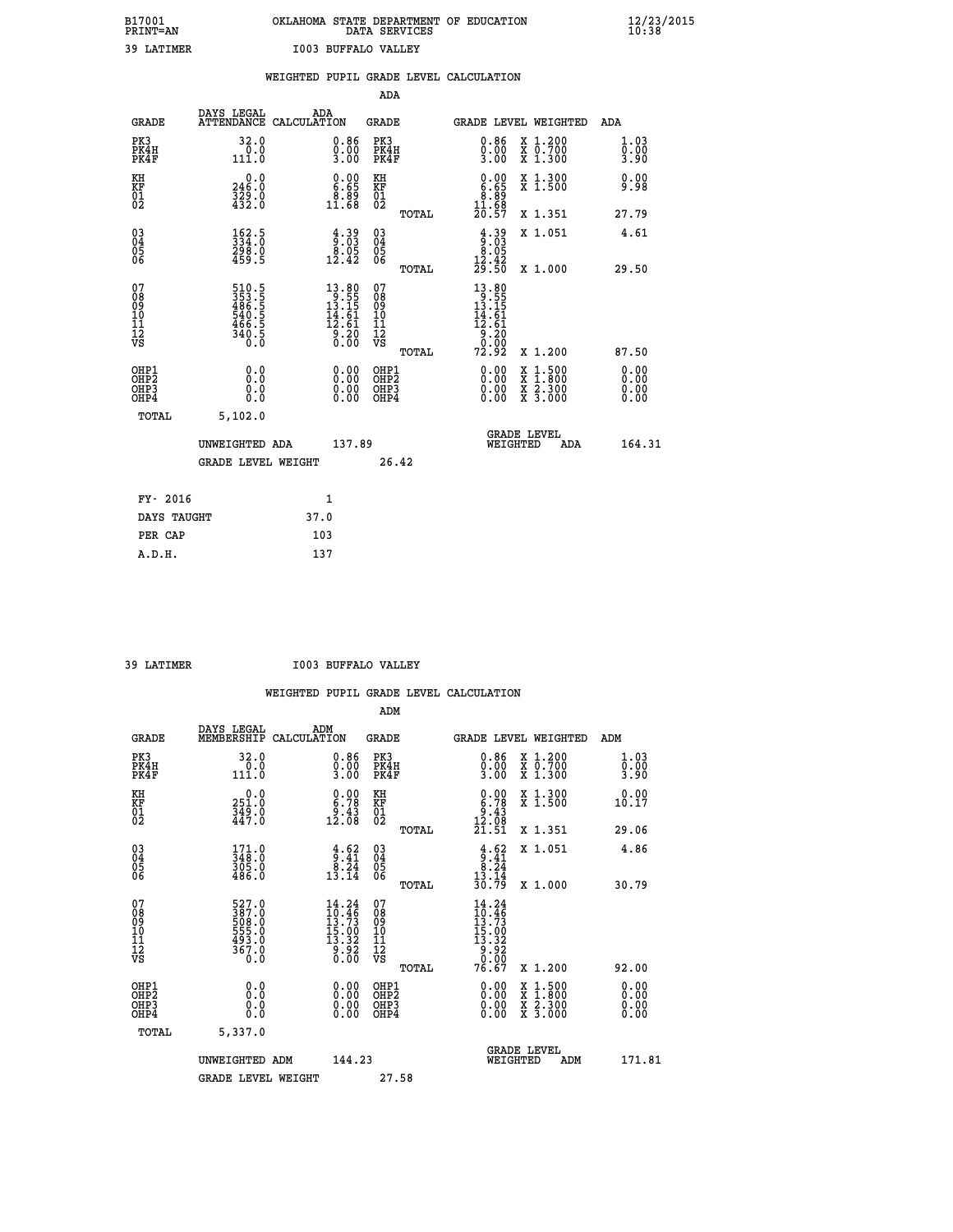# **B17001 OKLAHOMA STATE DEPARTMENT OF EDUCATION 12/23/2015 PRINT=AN DATA SERVICES 10:38**

| 39 LATIMER                                           |                                                                   |      | 1003 BUFFALO VALLEY                                                                              |                                          |       |                                                                                            |                                                                                          |                              |
|------------------------------------------------------|-------------------------------------------------------------------|------|--------------------------------------------------------------------------------------------------|------------------------------------------|-------|--------------------------------------------------------------------------------------------|------------------------------------------------------------------------------------------|------------------------------|
|                                                      |                                                                   |      |                                                                                                  |                                          |       | WEIGHTED PUPIL GRADE LEVEL CALCULATION                                                     |                                                                                          |                              |
|                                                      |                                                                   |      |                                                                                                  | <b>ADA</b>                               |       |                                                                                            |                                                                                          |                              |
| <b>GRADE</b>                                         | DAYS LEGAL<br>ATTENDANCE CALCULATION                              | ADA  |                                                                                                  | GRADE                                    |       |                                                                                            | GRADE LEVEL WEIGHTED                                                                     | ADA                          |
| PK3<br>PK4H<br>PK4F                                  | 32.0<br>$\frac{0.0}{111.0}$                                       |      | $0.86$<br>$0.00$<br>$3.00$                                                                       | PK3<br>PK4H<br>PK4F                      |       | 0.86<br>$\frac{0}{3}$ .00                                                                  | X 1.200<br>X 0.700<br>X 1.300                                                            | 1.03<br>0.00<br>3.90         |
| KH<br>KF<br>01<br>02                                 | $\begin{smallmatrix} &0.0\ 246.0\ 329.0\ 432.0 \end{smallmatrix}$ |      | $\begin{smallmatrix} 0.00\\ 6.65\\ 8.89\\ 11.68 \end{smallmatrix}$                               | KH<br>KF<br>01<br>02                     |       | $\begin{smallmatrix} 0.00\\ 6.65\\ 8.89\\ 11.68\\ 20.57 \end{smallmatrix}$                 | X 1.300<br>X 1.500                                                                       | 0.00<br>9.98                 |
|                                                      |                                                                   |      |                                                                                                  |                                          | TOTAL |                                                                                            | X 1.351                                                                                  | 27.79                        |
| $\begin{matrix} 03 \\ 04 \\ 05 \\ 06 \end{matrix}$   | $\frac{162.5}{334.0}$<br>298.0<br>459.5                           |      | $\frac{4}{9}$ : $\frac{39}{9}$<br>$3.05$<br>$12.42$                                              | $\substack{03 \\ 04}$<br>$\frac{05}{06}$ |       | $\frac{4.39}{9.03}$                                                                        | X 1.051                                                                                  | 4.61                         |
|                                                      |                                                                   |      |                                                                                                  |                                          | TOTAL | $\frac{12.42}{29.50}$                                                                      | X 1.000                                                                                  | 29.50                        |
| 07<br>08<br>09<br>11<br>11<br>12<br>VS               | 510.5<br>353.5<br>486.5<br>540.5<br>540.5<br>340.5<br>0.0         |      | $\begin{smallmatrix} 13.80 \\ 9.55 \\ 13.15 \\ 14.61 \\ 12.61 \\ 9.20 \\ 0.00 \end{smallmatrix}$ | 07<br>08<br>09<br>11<br>11<br>12<br>VS   |       | $\begin{array}{r} 13.80 \\ 9.55 \\ 13.15 \\ 14.61 \\ 12.61 \\ 9.20 \\ 9.00 \\ \end{array}$ |                                                                                          |                              |
|                                                      |                                                                   |      |                                                                                                  |                                          | TOTAL | 72.92                                                                                      | X 1.200                                                                                  | 87.50                        |
| OHP1<br>OHP <sub>2</sub><br>OH <sub>P3</sub><br>OHP4 | 0.0<br>0.0<br>0.0                                                 |      | 0.00<br>$0.00$<br>0.00                                                                           | OHP1<br>OHP <sub>2</sub><br>OHP3<br>OHP4 |       | 0.00<br>0.00                                                                               | $\begin{smallmatrix} x & 1.500 \\ x & 1.800 \\ x & 2.300 \\ x & 3.000 \end{smallmatrix}$ | 0.00<br>0.00<br>0.00<br>0.00 |
| TOTAL                                                | 5,102.0                                                           |      |                                                                                                  |                                          |       |                                                                                            |                                                                                          |                              |
|                                                      | UNWEIGHTED ADA                                                    |      | 137.89                                                                                           |                                          |       | WEIGHTED                                                                                   | <b>GRADE LEVEL</b><br>ADA                                                                | 164.31                       |
|                                                      | <b>GRADE LEVEL WEIGHT</b>                                         |      |                                                                                                  | 26.42                                    |       |                                                                                            |                                                                                          |                              |
| FY- 2016                                             |                                                                   |      | 1                                                                                                |                                          |       |                                                                                            |                                                                                          |                              |
| DAYS TAUGHT                                          |                                                                   | 37.0 |                                                                                                  |                                          |       |                                                                                            |                                                                                          |                              |
| PER CAP                                              |                                                                   | 103  |                                                                                                  |                                          |       |                                                                                            |                                                                                          |                              |
| A.D.H.                                               |                                                                   | 137  |                                                                                                  |                                          |       |                                                                                            |                                                                                          |                              |

 **39 LATIMER I003 BUFFALO VALLEY**

|                                                      |                                                                       |                                                                                                                         | ADM                                                 |       |                                                                                 |                                          |                             |
|------------------------------------------------------|-----------------------------------------------------------------------|-------------------------------------------------------------------------------------------------------------------------|-----------------------------------------------------|-------|---------------------------------------------------------------------------------|------------------------------------------|-----------------------------|
| <b>GRADE</b>                                         | DAYS LEGAL<br>MEMBERSHIP                                              | ADM<br>CALCULATION                                                                                                      | <b>GRADE</b>                                        |       |                                                                                 | GRADE LEVEL WEIGHTED                     | ADM                         |
| PK3<br>PK4H<br>PK4F                                  | 32.0<br>0.0<br>111.0                                                  | $0.86$<br>$0.00$<br>$3.00$                                                                                              | PK3<br>PK4H<br>PK4F                                 |       | $0.86$<br>$0.00$<br>$3.00$                                                      | X 1.200<br>X 0.700<br>X 1.300            | 1.03<br>$\frac{0.00}{3.90}$ |
| KH<br>KF<br>01<br>02                                 | 0.0<br>$\frac{251.0}{349.0}$<br>447.0                                 | $\begin{smallmatrix} 0.00\\ 6.78\\ 9.43\\ 12.08 \end{smallmatrix}$                                                      | KH<br>KF<br>01<br>02                                |       | $\begin{smallmatrix} 0.00\\ 6.78\\ 9.43\\ 12.08\\ 21.51 \end{smallmatrix}$      | X 1.300<br>X 1.500                       | 0.00<br>10.17               |
|                                                      |                                                                       |                                                                                                                         |                                                     | TOTAL |                                                                                 | X 1.351                                  | 29.06                       |
| 03<br>04<br>05<br>06                                 | $\begin{smallmatrix} 171.0\\ 348.0\\ 305.0\\ 486.0 \end{smallmatrix}$ | $\begin{array}{c} 4.62 \\ 9.41 \\ 8.24 \\ 13.14 \end{array}$                                                            | $\begin{array}{c} 03 \\ 04 \\ 05 \\ 06 \end{array}$ |       | $\begin{array}{r} 4.62 \\ 9.41 \\ 8.24 \\ 13.14 \end{array}$                    | X 1.051                                  | 4.86                        |
|                                                      |                                                                       |                                                                                                                         |                                                     | TOTAL | 30.79                                                                           | X 1.000                                  | 30.79                       |
| 07<br>08<br>09<br>101<br>112<br>VS                   | 527.0<br>387.0<br>508.0<br>555.0<br>555.0<br>493.0<br>367.0<br>0.0    | $\begin{smallmatrix} 14\cdot24\\ 10\cdot46\\ 13\cdot73\\ 15\cdot00\\ 13\cdot32\\ 9\cdot92\\ 0\cdot00 \end{smallmatrix}$ | 07<br>08<br>09<br>11<br>11<br>12<br>VS              | TOTAL | 14.24<br>$10.46$<br>$13.73$<br>$15.00$<br>$13.32$<br>$9.920$<br>$9.00$<br>76.67 | X 1.200                                  | 92.00                       |
|                                                      |                                                                       |                                                                                                                         |                                                     |       |                                                                                 |                                          |                             |
| OHP1<br>OHP2<br>OH <sub>P3</sub><br>OH <sub>P4</sub> | 0.0<br>0.000                                                          |                                                                                                                         | OHP1<br>OHP2<br>OHP <sub>3</sub>                    |       | $0.00$<br>$0.00$<br>0.00                                                        | X 1:500<br>X 1:800<br>X 2:300<br>X 3:000 | 0.00<br>0.00<br>0.00        |
| TOTAL                                                | 5,337.0                                                               |                                                                                                                         |                                                     |       |                                                                                 |                                          |                             |
|                                                      | UNWEIGHTED ADM                                                        | 144.23                                                                                                                  |                                                     |       |                                                                                 | GRADE LEVEL<br>WEIGHTED<br>ADM           | 171.81                      |
|                                                      | <b>GRADE LEVEL WEIGHT</b>                                             |                                                                                                                         | 27.58                                               |       |                                                                                 |                                          |                             |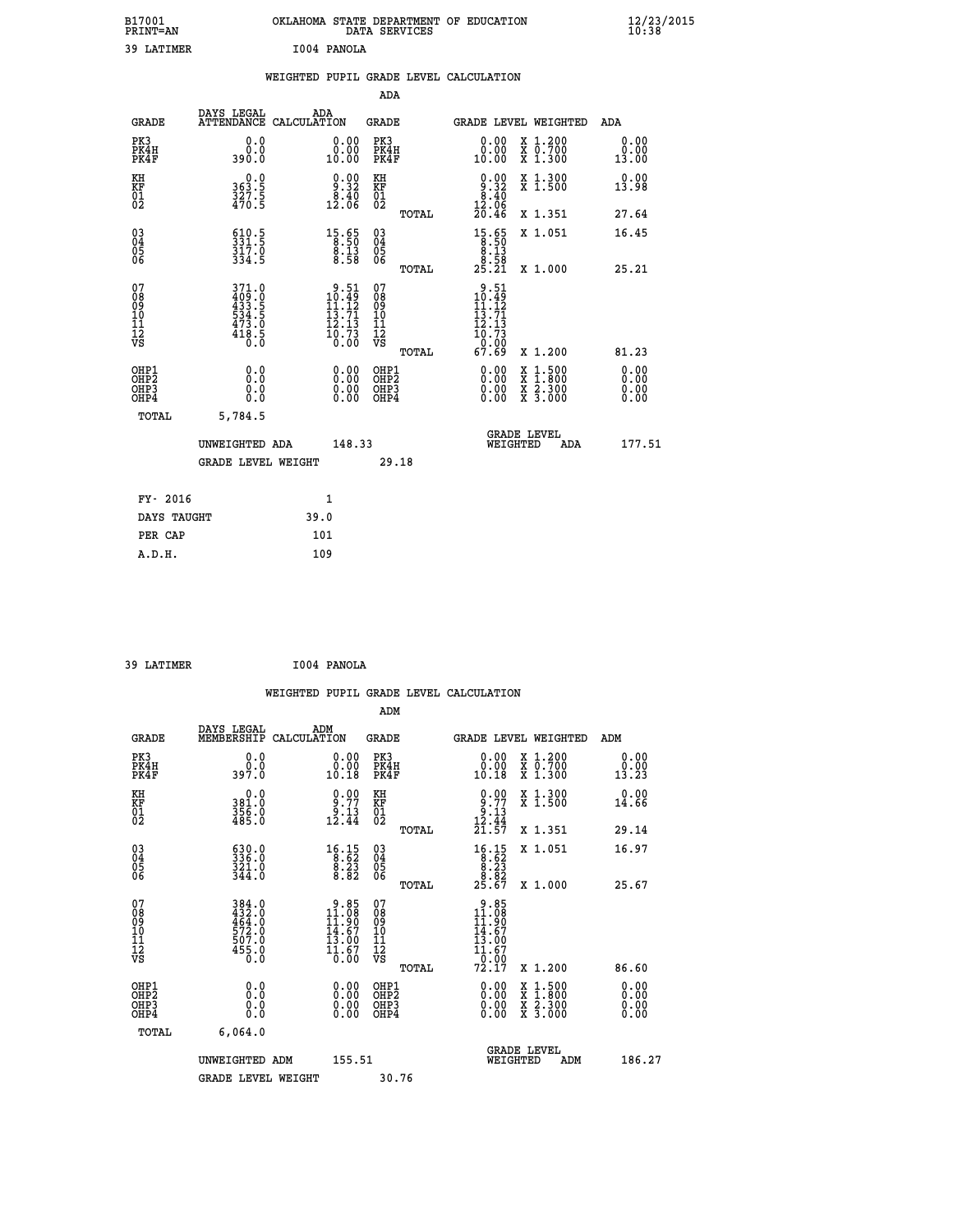| B17001<br>PRINT=AN                                |                                                                       | OKLAHOMA STATE DEPARTMENT OF EDUCATION                                                                                  | DATA SERVICES                                                       |                                                                                                                                                              | $\frac{12}{23}$ /2015 |
|---------------------------------------------------|-----------------------------------------------------------------------|-------------------------------------------------------------------------------------------------------------------------|---------------------------------------------------------------------|--------------------------------------------------------------------------------------------------------------------------------------------------------------|-----------------------|
| 39 LATIMER                                        |                                                                       | I004 PANOLA                                                                                                             |                                                                     |                                                                                                                                                              |                       |
|                                                   |                                                                       | WEIGHTED PUPIL GRADE LEVEL CALCULATION                                                                                  |                                                                     |                                                                                                                                                              |                       |
|                                                   |                                                                       |                                                                                                                         | ADA                                                                 |                                                                                                                                                              |                       |
| <b>GRADE</b>                                      | DAYS LEGAL                                                            | ADA<br>ATTENDANCE CALCULATION                                                                                           | GRADE                                                               | <b>GRADE LEVEL WEIGHTED</b>                                                                                                                                  | ADA                   |
| PK3<br>PK4H<br>PK4F                               | 0.0<br>0.0<br>390.0                                                   | 0.00<br>0.00<br>10.00                                                                                                   | PK3<br>PK4H<br>PK4F                                                 | X 1.200<br>0.00<br>X 0.700<br>X 1.300<br>0.00<br>10.00                                                                                                       | 0.00<br>0.00<br>13.00 |
| KH<br>KF<br>$\begin{matrix} 01 \ 02 \end{matrix}$ | $363.5$<br>$327.5$<br>$470.5$                                         | $9.90$<br>$9.32$<br>12.00                                                                                               | KH<br>KF<br>01<br>02                                                | $\begin{smallmatrix} 0.00\\ 9.32\\ 8.40\\ 12.06\\ 20.46 \end{smallmatrix}$<br>X 1.300<br>X 1.500                                                             | 0.00<br>13.98         |
|                                                   |                                                                       |                                                                                                                         | TOTAL                                                               | X 1.351                                                                                                                                                      | 27.64                 |
| $^{03}_{04}$<br>Ŏ5<br>06                          | $510.5$<br>$331.5$<br>317.0<br>334.5                                  | $15.65$<br>$8.50$<br>$\frac{8.13}{8.58}$                                                                                | $\begin{matrix} 03 \\ 04 \\ 05 \\ 06 \end{matrix}$                  | $\begin{smallmatrix} 15.65\\ 8.50\\ 8.13\\ 8.58\\ 25.21 \end{smallmatrix}$<br>X 1.051                                                                        | 16.45                 |
|                                                   |                                                                       |                                                                                                                         | TOTAL                                                               | X 1.000                                                                                                                                                      | 25.21                 |
| 07<br>08<br>09<br>11<br>11<br>12<br>VS            | 371.0<br>$409.0$<br>$433.5$<br>$534.5$<br>$473.0$<br>$418.5$<br>$0.0$ | $\begin{array}{c} 9.51 \\ 10.49 \\ 11.12 \end{array}$<br>$\begin{array}{c} 13.71 \\ 12.13 \\ 16.73 \\ 0.00 \end{array}$ | 07<br>Ŏġ<br>09<br>1Ō<br>$\frac{11}{12}$<br>$\frac{12}{18}$<br>TOTAL | .51<br>9<br>$\frac{10.49}{11.12}$<br>$\frac{13.71}{13.71}$<br>īž.13<br>$\frac{10.73}{67.69}$<br>X 1.200                                                      | 81.23                 |
| OHP1                                              |                                                                       |                                                                                                                         | OHP1                                                                |                                                                                                                                                              | 0.00                  |
| OHP2<br>OHP3<br>OHP4                              | 0.000<br>0.0<br>0.0                                                   | 0.00<br>0.00<br>0.00                                                                                                    | OHP <sub>2</sub><br>OHP3<br>OHP4                                    | 0.00<br>$\begin{smallmatrix} \mathtt{X} & 1 & 500 \\ \mathtt{X} & 1 & 800 \\ \mathtt{X} & 2 & 300 \\ \mathtt{X} & 3 & 000 \end{smallmatrix}$<br>0.00<br>0.00 | 0.00<br>0.00<br>0.00  |
| TOTAL                                             | 5,784.5                                                               |                                                                                                                         |                                                                     |                                                                                                                                                              |                       |
|                                                   | UNWEIGHTED ADA                                                        | 148.33                                                                                                                  |                                                                     | <b>GRADE LEVEL</b><br>WEIGHTED                                                                                                                               | 177.51<br>ADA         |
|                                                   | <b>GRADE LEVEL WEIGHT</b>                                             |                                                                                                                         | 29.18                                                               |                                                                                                                                                              |                       |
| FY- 2016                                          |                                                                       | 1                                                                                                                       |                                                                     |                                                                                                                                                              |                       |
| DAYS TAUGHT                                       |                                                                       | 39.0                                                                                                                    |                                                                     |                                                                                                                                                              |                       |
| PER CAP                                           |                                                                       | 101                                                                                                                     |                                                                     |                                                                                                                                                              |                       |

| 39 LATIMER | I004 PANOLA |
|------------|-------------|
|            |             |

|                                                      |                                                    |                                                                                                                                                  |                                                     | WEIGHTED PUPIL GRADE LEVEL CALCULATION                                                                                                                                                                                                                                         |                                          |                              |
|------------------------------------------------------|----------------------------------------------------|--------------------------------------------------------------------------------------------------------------------------------------------------|-----------------------------------------------------|--------------------------------------------------------------------------------------------------------------------------------------------------------------------------------------------------------------------------------------------------------------------------------|------------------------------------------|------------------------------|
|                                                      |                                                    |                                                                                                                                                  | ADM                                                 |                                                                                                                                                                                                                                                                                |                                          |                              |
| <b>GRADE</b>                                         | DAYS LEGAL<br>MEMBERSHIP                           | ADM<br>CALCULATION                                                                                                                               | <b>GRADE</b>                                        | GRADE LEVEL WEIGHTED                                                                                                                                                                                                                                                           |                                          | ADM                          |
| PK3<br>PK4H<br>PK4F                                  | 0.0<br>0.0<br>397.0                                | 0.00<br>10.18                                                                                                                                    | PK3<br>PK4H<br>PK4F                                 | 0.00<br>10.18                                                                                                                                                                                                                                                                  | X 1.200<br>X 0.700<br>X 1.300            | 0.00<br>0.00<br>13.23        |
| KH<br>KF<br>01<br>02                                 | 0.0<br>381.0<br>356.0<br>485.0                     | $\begin{smallmatrix} 0.00\\ 9.77\\ 9.13\\ 12.44 \end{smallmatrix}$                                                                               | KH<br>KF<br>01<br>02                                | $\begin{array}{c} 0.00 \\ 9.77 \\ 9.13 \\ 12.44 \end{array}$                                                                                                                                                                                                                   | X 1.300<br>X 1.500                       | 0.00<br>14.66                |
|                                                      |                                                    |                                                                                                                                                  | TOTAL                                               | 21.57                                                                                                                                                                                                                                                                          | X 1.351                                  | 29.14                        |
| 03<br>04<br>05<br>06                                 | 630.0<br>336.0<br>$\frac{321.0}{344.0}$            | $\begin{smallmatrix} 16.15\\ 8.62\\ 8.23\\ 8.82 \end{smallmatrix}$                                                                               | $\begin{array}{c} 03 \\ 04 \\ 05 \\ 06 \end{array}$ | $\begin{array}{r} 16.15 \\ 8.62 \\ 8.23 \\ 8.82 \\ 25.67 \end{array}$                                                                                                                                                                                                          | X 1.051                                  | 16.97                        |
|                                                      |                                                    |                                                                                                                                                  | TOTAL                                               |                                                                                                                                                                                                                                                                                | X 1.000                                  | 25.67                        |
| 07<br>08<br>09<br>101<br>112<br>VS                   | 384.0<br>432.0<br>464.0<br>572.0<br>507.0<br>455.0 | $\begin{array}{c} 9.85 \\ 11.08 \\ 11.90 \end{array}$<br>$\frac{1}{13}$ . 67<br>13.00<br>$\frac{1}{0}$ $\frac{1}{0}$ $\frac{1}{0}$ $\frac{5}{0}$ | 07<br>08<br>09<br>11<br>11<br>12<br>VS<br>TOTAL     | $9.85$<br>$11.08$<br>$11.90$<br>$14.67$<br>$13.00$<br>11.67<br>0.00<br>72.I7                                                                                                                                                                                                   | X 1.200                                  | 86.60                        |
| OHP1<br>OHP2<br>OH <sub>P3</sub><br>OH <sub>P4</sub> | 0.0<br>0.000                                       | $\begin{smallmatrix} 0.00 \ 0.00 \ 0.00 \ 0.00 \end{smallmatrix}$                                                                                | OHP1<br>OHP2<br>OHP3<br>OHP4                        | $\begin{smallmatrix} 0.00 & 0.00 & 0.00 & 0.00 & 0.00 & 0.00 & 0.00 & 0.00 & 0.00 & 0.00 & 0.00 & 0.00 & 0.00 & 0.00 & 0.00 & 0.00 & 0.00 & 0.00 & 0.00 & 0.00 & 0.00 & 0.00 & 0.00 & 0.00 & 0.00 & 0.00 & 0.00 & 0.00 & 0.00 & 0.00 & 0.00 & 0.00 & 0.00 & 0.00 & 0.00 & 0.0$ | X 1:500<br>X 1:800<br>X 2:300<br>X 3:000 | 0.00<br>0.00<br>0.00<br>0.00 |
| TOTAL                                                | 6.064.0                                            |                                                                                                                                                  |                                                     |                                                                                                                                                                                                                                                                                |                                          |                              |
|                                                      | UNWEIGHTED ADM                                     | 155.51                                                                                                                                           |                                                     | GRADE LEVEL<br>WEIGHTED                                                                                                                                                                                                                                                        | ADM                                      | 186.27                       |
|                                                      | <b>GRADE LEVEL WEIGHT</b>                          |                                                                                                                                                  | 30.76                                               |                                                                                                                                                                                                                                                                                |                                          |                              |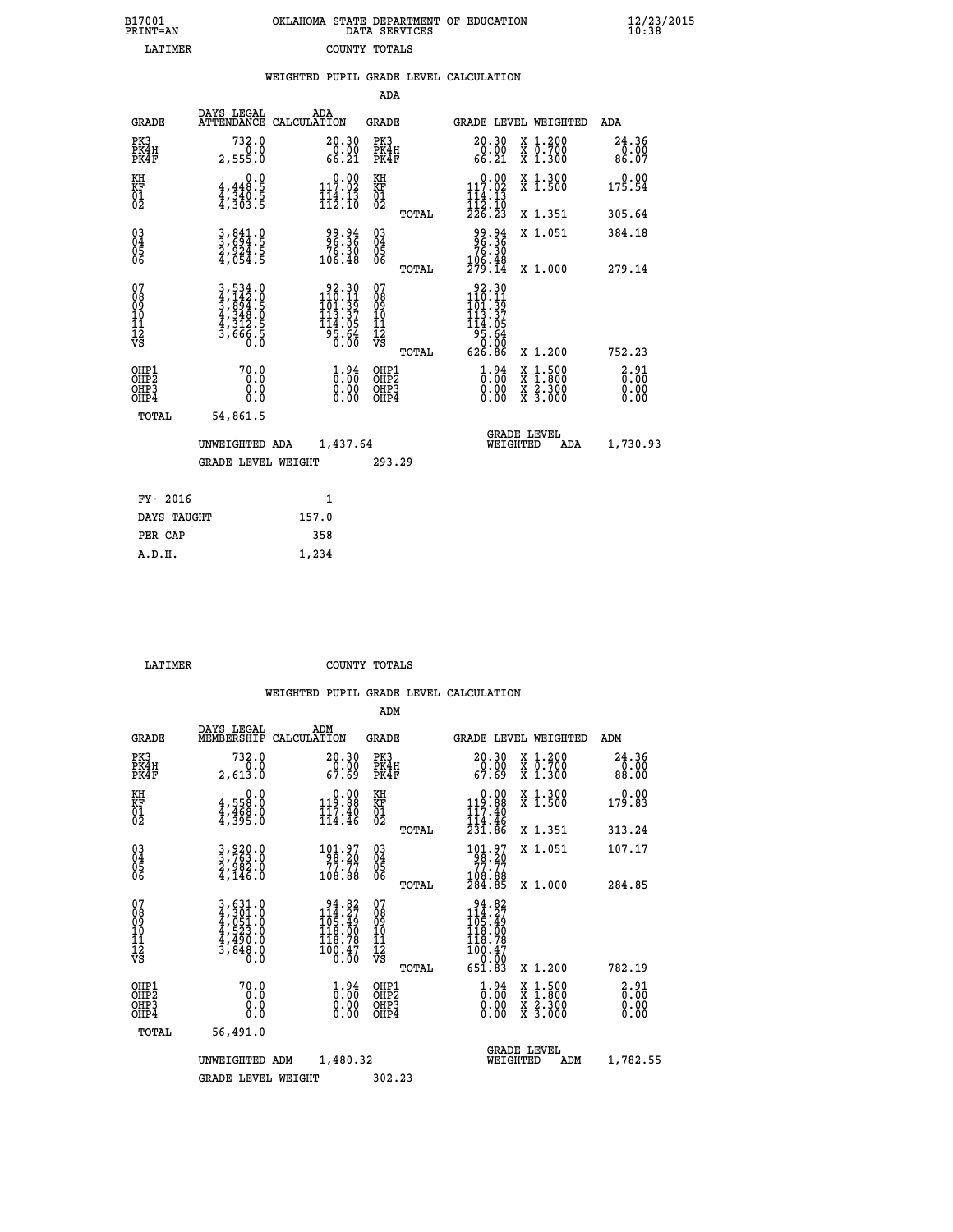| 7001<br>INT=AN | OKLAHOMA STATE DEPARTMENT OF EDUCATION<br>DATA SERVICES |  |
|----------------|---------------------------------------------------------|--|
| <b>TATTMER</b> | COUNTY TOTALS                                           |  |

 **B17001<br>PRINT=AN** 

 **B17001 OKLAHOMA STATE DEPARTMENT OF EDUCATION 12/23/2015**

|                                                       |                                                                | WEIGHTED PUPIL GRADE LEVEL CALCULATION                                                                        |                                               |                                                                                                                                                                      |                                                                                                                                              |                        |
|-------------------------------------------------------|----------------------------------------------------------------|---------------------------------------------------------------------------------------------------------------|-----------------------------------------------|----------------------------------------------------------------------------------------------------------------------------------------------------------------------|----------------------------------------------------------------------------------------------------------------------------------------------|------------------------|
|                                                       |                                                                |                                                                                                               | <b>ADA</b>                                    |                                                                                                                                                                      |                                                                                                                                              |                        |
| <b>GRADE</b>                                          | DAYS LEGAL                                                     | ADA<br>ATTENDANCE CALCULATION                                                                                 | <b>GRADE</b>                                  | GRADE LEVEL WEIGHTED                                                                                                                                                 |                                                                                                                                              | ADA                    |
| PK3<br>PK4H<br>PK4F                                   | 732.0<br>0.0<br>2,555.0                                        | $\begin{smallmatrix} 20.30\ 0.00\ 66.21 \end{smallmatrix}$                                                    | PK3<br>PK4H<br>PK4F                           | 20.30<br>$\frac{6}{66}.00$                                                                                                                                           | X 1.200<br>X 0.700<br>X 1.300                                                                                                                | 24.36<br>0.00<br>86.07 |
| KH<br>KF<br>01<br>02                                  | 0.0<br>$4,348.5$<br>$4,340.5$<br>$4,303.5$                     | $0.00$<br>117.02<br>$\frac{1}{112}$ : $\frac{1}{10}$                                                          | KH<br>KF<br>01<br>02                          | $\begin{array}{c} 0.00 \\ 117.02 \\ 114.13 \\ 112.10 \\ 226.23 \end{array}$                                                                                          | X 1.300<br>X 1.500                                                                                                                           | 0.00<br>175.54         |
|                                                       |                                                                |                                                                                                               | TOTAL                                         |                                                                                                                                                                      | X 1.351                                                                                                                                      | 305.64                 |
| $^{03}_{04}$<br>05<br>06                              | 3,841.0<br>3,694.5<br>2,924.5<br>4,054.5                       | 99.94<br>96.36<br>76.30<br>106.48                                                                             | $^{03}_{04}$<br>0500                          | 99.94<br>96.36<br>76.30                                                                                                                                              | X 1.051                                                                                                                                      | 384.18                 |
|                                                       |                                                                |                                                                                                               | TOTAL                                         | 106.48<br>279.14                                                                                                                                                     | X 1.000                                                                                                                                      | 279.14                 |
| 07<br>08<br>09<br>01<br>11<br>11<br>12<br>VS          | 3,534.0<br>4,142.0<br>5,894.5<br>3,848.0<br>4,312.5<br>3,666.5 | $\begin{array}{r} 92.30 \\ 110.11 \\ 101.39 \\ 113.37 \\ 14.05 \\ \end{array}$<br>$\frac{5}{6}$ $\frac{5}{6}$ | 078<br>089<br>0011<br>11<br>12<br>VS<br>TOTAL | $\frac{92.30}{110.11}$<br>1ōĭ:39<br>113.37<br>114.05<br>$\frac{1}{9}\overline{5}\cdot\overline{6}\overline{4}\overline{6}\overline{2}\overline{6}\cdot8\overline{6}$ | X 1.200                                                                                                                                      | 752.23                 |
| OHP1<br>OHP2<br>OH <sub>P</sub> 3<br>OH <sub>P4</sub> | 70.0<br>0.0<br>0.0<br>0.0                                      | $\frac{1}{0}$ : $\frac{94}{00}$<br>$\begin{smallmatrix} 0.00 \ 0.00 \end{smallmatrix}$                        | OHP1<br>OHP2<br>OHP3<br>OHP4                  | $\begin{smallmatrix} 1.94\ 0.00\ 0.00 \end{smallmatrix}$                                                                                                             | $\begin{smallmatrix} \mathtt{X} & 1\cdot500 \\ \mathtt{X} & 1\cdot800 \\ \mathtt{X} & 2\cdot300 \\ \mathtt{X} & 3\cdot000 \end{smallmatrix}$ | 3:31<br>0.00<br>0.00   |
| TOTAL                                                 | 54,861.5                                                       |                                                                                                               |                                               |                                                                                                                                                                      |                                                                                                                                              |                        |
|                                                       | UNWEIGHTED ADA                                                 | 1,437.64                                                                                                      |                                               | <b>GRADE LEVEL</b><br>WEIGHTED                                                                                                                                       | ADA                                                                                                                                          | 1,730.93               |
|                                                       | <b>GRADE LEVEL WEIGHT</b>                                      |                                                                                                               | 293.29                                        |                                                                                                                                                                      |                                                                                                                                              |                        |
| FY- 2016                                              |                                                                | $\mathbf{1}$                                                                                                  |                                               |                                                                                                                                                                      |                                                                                                                                              |                        |
| DAYS TAUGHT                                           |                                                                | 157.0                                                                                                         |                                               |                                                                                                                                                                      |                                                                                                                                              |                        |
| PER CAP                                               |                                                                | 358                                                                                                           |                                               |                                                                                                                                                                      |                                                                                                                                              |                        |

 **A.D.H. 1,234**

 **LATIMER COUNTY TOTALS**

|                                                    |                                                                                                                                                             |                                                                                                     | ADM                                                    |                                                                                                                                         |                                                                                                                     |                                     |
|----------------------------------------------------|-------------------------------------------------------------------------------------------------------------------------------------------------------------|-----------------------------------------------------------------------------------------------------|--------------------------------------------------------|-----------------------------------------------------------------------------------------------------------------------------------------|---------------------------------------------------------------------------------------------------------------------|-------------------------------------|
| <b>GRADE</b>                                       | DAYS LEGAL<br>MEMBERSHIP                                                                                                                                    | ADM<br>CALCULATION                                                                                  | <b>GRADE</b>                                           | <b>GRADE LEVEL WEIGHTED</b>                                                                                                             |                                                                                                                     | ADM                                 |
| PK3<br>PK4H<br>PK4F                                | 732.0<br>0.0<br>2,613.0                                                                                                                                     | 20.30<br>$\frac{0.00}{67.69}$                                                                       | PK3<br>PK4H<br>PK4F                                    | 20.30<br>$\frac{0.00}{67.69}$                                                                                                           | X 1.200<br>X 0.700<br>X 1.300                                                                                       | 24.36<br>$\frac{0.00}{88.00}$       |
| KH<br>KF<br>01<br>02                               | 0.0<br>$4,558.0$<br>$4,468.0$<br>$4,395.0$                                                                                                                  | $0.00$<br>$0.00$<br>$0.00$                                                                          | KH<br>KF<br>01<br>02                                   | $0.00$<br>119.88<br>$\frac{117.40}{114.46}$<br>$\frac{231.86}{8}$                                                                       | X 1.300<br>X 1.500                                                                                                  | 0.00<br>179.83                      |
|                                                    |                                                                                                                                                             |                                                                                                     | TOTAL                                                  |                                                                                                                                         | X 1.351                                                                                                             | 313.24                              |
| $\begin{matrix} 03 \\ 04 \\ 05 \\ 06 \end{matrix}$ | 3,920.0<br>3,763.0<br>2,982.0<br>4,146.0                                                                                                                    | $\begin{array}{r} 101.97 \\ 98.20 \\ 77.77 \\ 108.88 \end{array}$                                   | $\begin{matrix} 03 \\ 04 \\ 05 \\ 06 \end{matrix}$     | $\begin{array}{c} 101.97 \\ 98.20 \\ 77.77 \\ 108.88 \\ 284.85 \end{array}$                                                             | X 1.051                                                                                                             | 107.17                              |
|                                                    |                                                                                                                                                             |                                                                                                     | TOTAL                                                  |                                                                                                                                         | X 1.000                                                                                                             | 284.85                              |
| 07<br>08<br>09<br>01<br>11<br>11<br>12<br>VS       | $\begin{smallmatrix} 3\,,\,631\,.\,0\\ 4\,,\,301\,.\,0\\ 4\,,\,051\,.\,0\\ 4\,,\,523\,.\,0\\ 4\,,\,490\,.\,0\\ 3\,,\,848\,.\,0\\ 0\,.\,0 \end{smallmatrix}$ | $\begin{array}{c} 94.82 \\ 114.27 \\ 105.49 \\ 118.00 \\ 119.78 \end{array}$<br>100.47<br>0.00      | 07<br>08<br>09<br>001<br>11<br>11<br>12<br>VS<br>TOTAL | $\begin{array}{c} 94.82 \\ 114.27 \\ 105.49 \\ 118.00 \\ 119.78 \end{array}$<br>$\begin{array}{r} 100.47 \\ 0.00 \\ 651.83 \end{array}$ | X 1.200                                                                                                             | 782.19                              |
| OHP1<br>OHP2<br>OH <sub>P3</sub><br>OHP4           | 70.0<br>0.0<br>0.000                                                                                                                                        | $\overset{1}{\underset{0}{0}}\,\overset{94}{\underset{0}{0}}\,\overset{1}{\underset{0}{0}}$<br>0.00 | OHP1<br>OHP2<br>OHP3<br>OHP4                           | $\begin{smallmatrix} 1.94\ 0.00\ 0.00 \end{smallmatrix}$                                                                                | $\begin{array}{l} \mathtt{X} & 1.500 \\ \mathtt{X} & 1.800 \\ \mathtt{X} & 2.300 \\ \mathtt{X} & 3.000 \end{array}$ | $\frac{2.91}{0.00}$<br>0.00<br>0.00 |
| TOTAL                                              | 56,491.0                                                                                                                                                    |                                                                                                     |                                                        |                                                                                                                                         |                                                                                                                     |                                     |
|                                                    | UNWEIGHTED ADM                                                                                                                                              | 1,480.32                                                                                            |                                                        | WEIGHTED                                                                                                                                | <b>GRADE LEVEL</b><br>ADM                                                                                           | 1,782.55                            |
|                                                    | <b>GRADE LEVEL WEIGHT</b>                                                                                                                                   |                                                                                                     | 302.23                                                 |                                                                                                                                         |                                                                                                                     |                                     |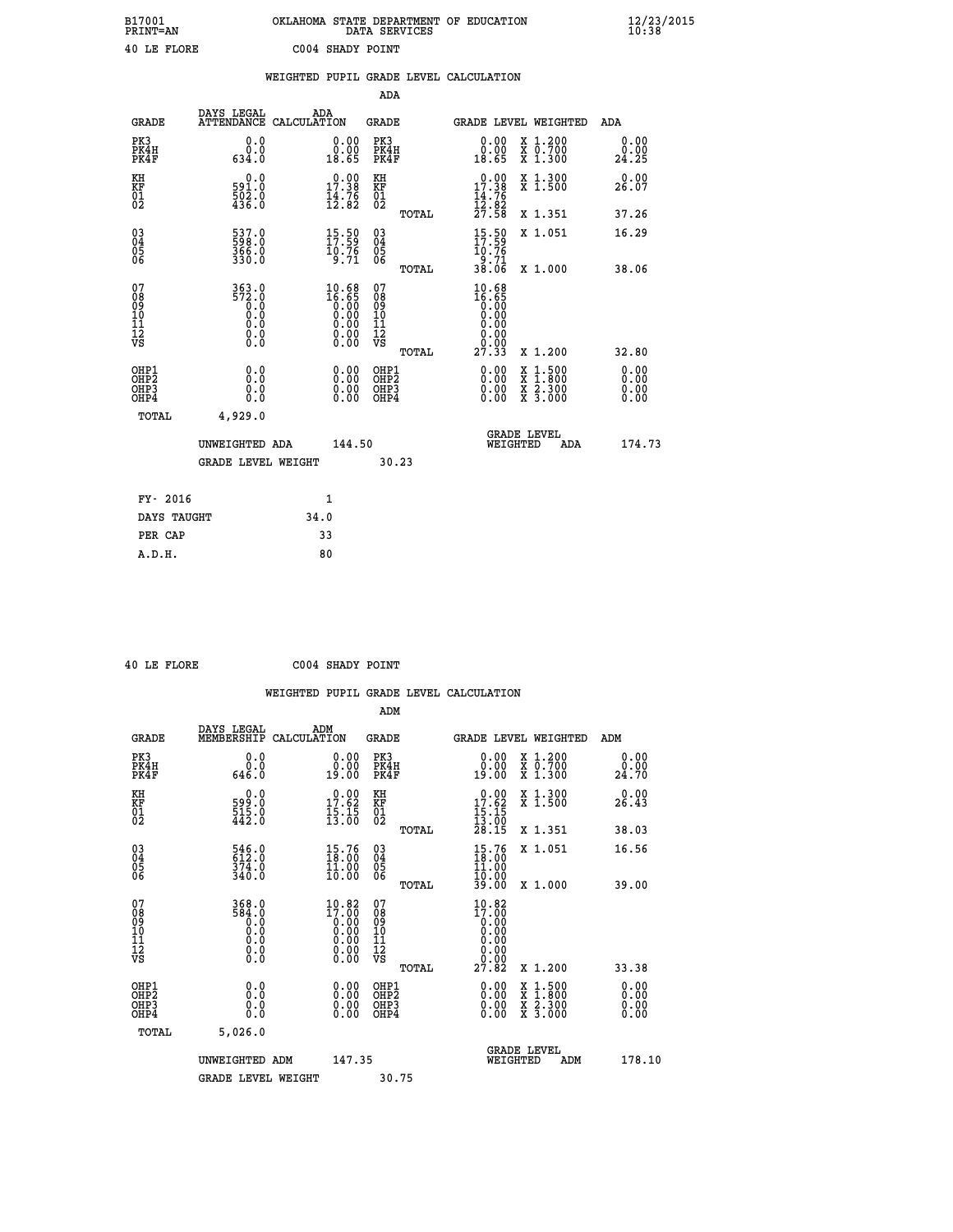| B17001<br><b>PRINT=AN</b> | OKLAHOMA STATE DEPARTMENT OF EDUCATION<br>DATA SERVICES | $\frac{12}{23}$ /2015 |
|---------------------------|---------------------------------------------------------|-----------------------|
| 40 LE FLORE               | C004 SHADY POINT                                        |                       |

|                                                                  |                                                                                             |      |                                                                      |                                        |       | WEIGHTED PUPIL GRADE LEVEL CALCULATION                                                      |          |                                                                                                                                           |                              |
|------------------------------------------------------------------|---------------------------------------------------------------------------------------------|------|----------------------------------------------------------------------|----------------------------------------|-------|---------------------------------------------------------------------------------------------|----------|-------------------------------------------------------------------------------------------------------------------------------------------|------------------------------|
|                                                                  |                                                                                             |      |                                                                      | ADA                                    |       |                                                                                             |          |                                                                                                                                           |                              |
| <b>GRADE</b>                                                     | DAYS LEGAL<br>ATTENDANCE CALCULATION                                                        | ADA  |                                                                      | <b>GRADE</b>                           |       |                                                                                             |          | GRADE LEVEL WEIGHTED                                                                                                                      | ADA                          |
| PK3<br>PK4H<br>PK4F                                              | 0.0<br>0.0<br>634.0                                                                         |      | 0.00<br>18.65                                                        | PK3<br>PK4H<br>PK4F                    |       | 0.00<br>0.00<br>18.65                                                                       |          | X 1.200<br>X 0.700<br>X 1.300                                                                                                             | 0.00<br>0.00<br>24.25        |
| KH<br>KF<br>01<br>02                                             | $0.0$<br>591.0<br>$\frac{502}{436}$ .0                                                      |      | $\begin{smallmatrix} 0.00\\ 17.38\\ 14.76\\ 12.82 \end{smallmatrix}$ | KH<br>KF<br>01<br>02                   |       | $\begin{array}{r} 0.00 \\ 17.38 \\ 14.76 \\ 12.82 \\ 27.58 \end{array}$                     |          | X 1.300<br>X 1.500                                                                                                                        | 0.00<br>26.07                |
|                                                                  |                                                                                             |      |                                                                      |                                        | TOTAL |                                                                                             |          | X 1.351                                                                                                                                   | 37.26                        |
| $\begin{matrix} 03 \\ 04 \\ 05 \\ 06 \end{matrix}$               | 537.0<br>$\frac{366}{330}$ .0                                                               |      | 15:59<br>$\frac{10.76}{9.71}$                                        | 03<br>04<br>05<br>06                   |       | $15.50$<br>$17.59$<br>10:76<br>9:71                                                         |          | X 1.051                                                                                                                                   | 16.29                        |
|                                                                  |                                                                                             |      |                                                                      |                                        | TOTAL | 38.06                                                                                       |          | X 1.000                                                                                                                                   | 38.06                        |
| 07<br>0890112<br>1112<br>VS                                      | 363.0<br>572.0<br>0.0<br>$\begin{smallmatrix} 0.5 & 0 \ 0.0 & 0 \end{smallmatrix}$<br>$\S.$ |      | $10.68$<br>$16.65$<br>0.00<br>0.00<br>0.00<br>ŏ:ŏŏ<br>O.OO           | 07<br>08<br>09<br>11<br>11<br>12<br>VS | TOTAL | 10.68<br>$\begin{smallmatrix} 16.85\ 16.80\ 0.00\ 0.00\ \end{smallmatrix}$<br>0.00<br>27.33 |          | X 1.200                                                                                                                                   | 32.80                        |
| OHP1<br>OH <sub>P</sub> <sub>2</sub><br>OH <sub>P3</sub><br>OHP4 | 0.0<br>0.0<br>0.0                                                                           |      | 0.0000<br>$\begin{smallmatrix} 0.00 \ 0.00 \end{smallmatrix}$        | OHP1<br>OHP2<br>OHP3<br>OHP4           |       | 0.00<br>0.00<br>0.00                                                                        |          | $\begin{smallmatrix} \mathtt{X} & 1\cdot500\\ \mathtt{X} & 1\cdot800\\ \mathtt{X} & 2\cdot300\\ \mathtt{X} & 3\cdot000 \end{smallmatrix}$ | 0.00<br>0.00<br>0.00<br>0.00 |
| <b>TOTAL</b>                                                     | 4,929.0                                                                                     |      |                                                                      |                                        |       |                                                                                             |          |                                                                                                                                           |                              |
|                                                                  | UNWEIGHTED ADA<br><b>GRADE LEVEL WEIGHT</b>                                                 |      | 144.50                                                               | 30.23                                  |       |                                                                                             | WEIGHTED | <b>GRADE LEVEL</b><br><b>ADA</b>                                                                                                          | 174.73                       |
|                                                                  |                                                                                             |      |                                                                      |                                        |       |                                                                                             |          |                                                                                                                                           |                              |
| FY- 2016                                                         |                                                                                             | 1    |                                                                      |                                        |       |                                                                                             |          |                                                                                                                                           |                              |
| DAYS TAUGHT                                                      |                                                                                             | 34.0 |                                                                      |                                        |       |                                                                                             |          |                                                                                                                                           |                              |
| PER CAP                                                          |                                                                                             | 33   |                                                                      |                                        |       |                                                                                             |          |                                                                                                                                           |                              |

 **40 LE FLORE C004 SHADY POINT**

 **A.D.H. 80**

 **ADM**

| <b>GRADE</b>                                       | DAYS LEGAL<br>MEMBERSHIP CALCULATION                                                        | ADM                                                                                                   | <b>GRADE</b>                                       |       |                                                                                                                                            |          | GRADE LEVEL WEIGHTED                     | ADM                   |
|----------------------------------------------------|---------------------------------------------------------------------------------------------|-------------------------------------------------------------------------------------------------------|----------------------------------------------------|-------|--------------------------------------------------------------------------------------------------------------------------------------------|----------|------------------------------------------|-----------------------|
| PK3<br>PK4H<br>PK4F                                | 0.0<br>$0.0$<br>$0.346$                                                                     | $\begin{smallmatrix} 0.00\\ 0.00\\ 19.00 \end{smallmatrix}$                                           | PK3<br>PK4H<br>PK4F                                |       | 0.00<br>0.00<br>19:00                                                                                                                      |          | X 1.200<br>X 0.700<br>X 1.300            | 0.00<br>0.00<br>24.70 |
| KH<br>KF<br>01<br>02                               | 0.0<br>599:0<br>515:0<br>442:0                                                              | $\begin{array}{r} 0.00 \\ 17.62 \\ 15.15 \\ 13.00 \end{array}$                                        | KH<br>KF<br>01<br>02                               |       | $17.00$<br>17.62<br>$\frac{15}{13}$ : $\frac{15}{00}$<br>$28.15$                                                                           |          | X 1.300<br>X 1.500                       | 0.00<br>26.43         |
|                                                    |                                                                                             |                                                                                                       |                                                    | TOTAL |                                                                                                                                            |          | X 1.351                                  | 38.03                 |
| $\begin{matrix} 03 \\ 04 \\ 05 \\ 06 \end{matrix}$ | $546.0$<br>$512.0$<br>$374.0$<br>340.0                                                      | $\frac{15.76}{18.00}$<br>10.00                                                                        | $\begin{matrix} 03 \\ 04 \\ 05 \\ 06 \end{matrix}$ |       | $15.76$<br>$18.00$<br>$11.00$<br>$10.00$                                                                                                   |          | X 1.051                                  | 16.56                 |
|                                                    |                                                                                             |                                                                                                       |                                                    | TOTAL | 39.00                                                                                                                                      |          | X 1.000                                  | 39.00                 |
| 07<br>08<br>09<br>101<br>11<br>12<br>VS            | 368.0<br>584.0<br>0.0<br>$\begin{smallmatrix} 0.5 & 0 \ 0.0 & 0 \end{smallmatrix}$<br>0.000 | $\begin{smallmatrix} 10.82\ 17.00\ 0.00\ 0.00\ 0.00\ 0.00\ 0.00\ 0.00\ 0.00\ 0.00\ \end{smallmatrix}$ | 07<br>08<br>09<br>001<br>11<br>11<br>12<br>VS      |       | 10.82<br>$\begin{smallmatrix} 17.06 \\[-4pt] 7.00 \\[-4pt] 0.00 \\[-4pt] 0.00 \\[-4pt] 0.00 \\[-4pt] 0.00 \\[-4pt] 2.82 \end{smallmatrix}$ |          |                                          |                       |
|                                                    |                                                                                             |                                                                                                       |                                                    | TOTAL |                                                                                                                                            |          | X 1.200                                  | 33.38                 |
| OHP1<br>OHP2<br>OH <sub>P3</sub><br>OHP4           | 0.0<br>0.000                                                                                | $\begin{smallmatrix} 0.00 \ 0.00 \ 0.00 \ 0.00 \end{smallmatrix}$                                     | OHP1<br>OHP2<br>OHP3<br>OHP4                       |       | 0.00<br>$0.00$<br>0.00                                                                                                                     |          | X 1:500<br>X 1:800<br>X 2:300<br>X 3:000 | 0.00<br>0.00<br>0.00  |
| TOTAL                                              | 5,026.0                                                                                     |                                                                                                       |                                                    |       |                                                                                                                                            |          |                                          |                       |
|                                                    | UNWEIGHTED                                                                                  | 147.35<br>ADM                                                                                         |                                                    |       |                                                                                                                                            | WEIGHTED | <b>GRADE LEVEL</b><br>ADM                | 178.10                |
|                                                    | <b>GRADE LEVEL WEIGHT</b>                                                                   |                                                                                                       | 30.75                                              |       |                                                                                                                                            |          |                                          |                       |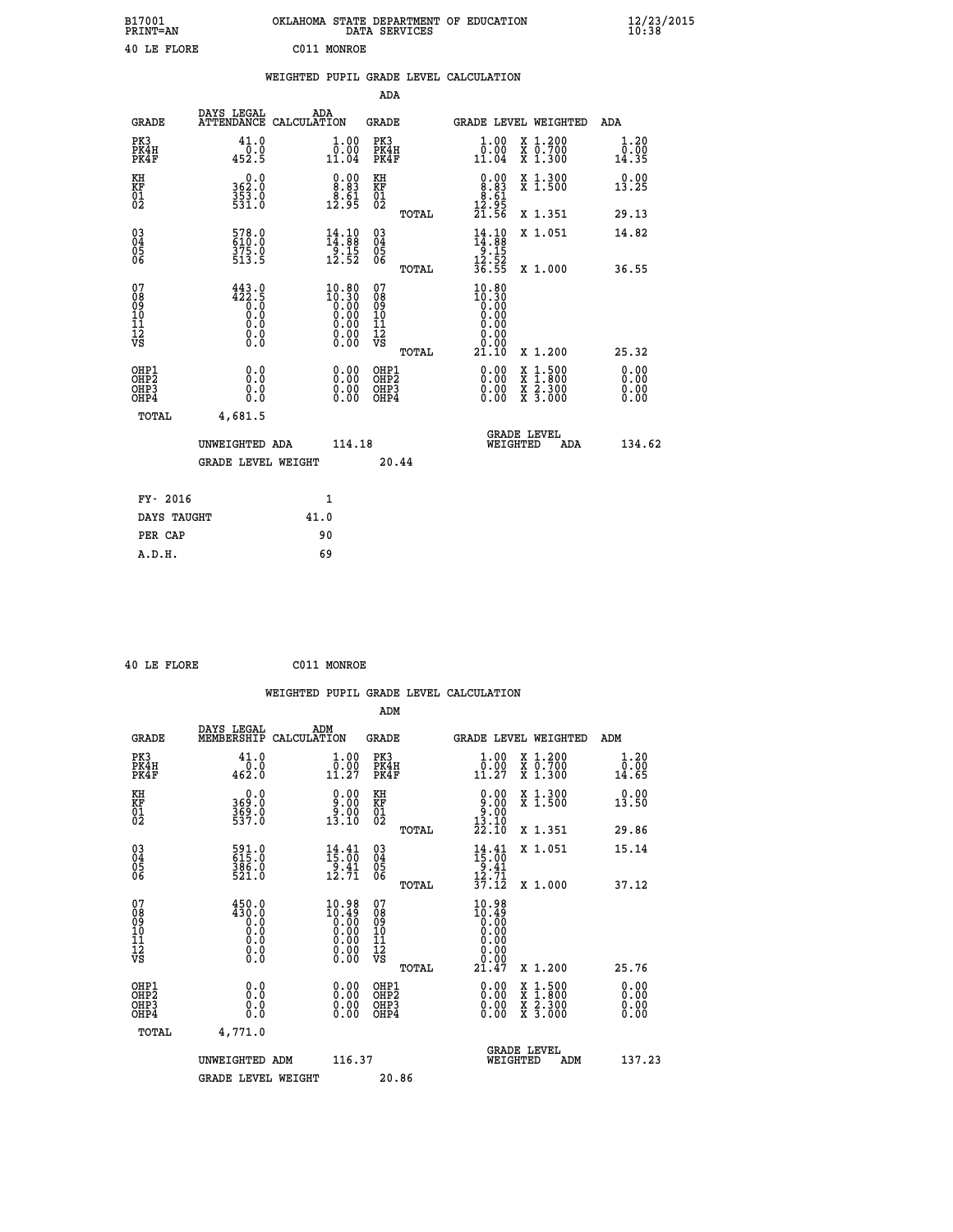| B17001<br><b>PRINT=AN</b> | OKLAHOMA STATE DEPARTMENT OF EDUCATION<br>DATA SERVICES | $\frac{12}{23}$ /2015 |
|---------------------------|---------------------------------------------------------|-----------------------|
| 40 LE FLORE               | C011<br>MONROE                                          |                       |

|                                          |                                                                                           | WEIGHTED PUPIL GRADE LEVEL CALCULATION                                                          |                                                    |       |                                                                                                                                                                                                                                                                                |                                                                                                                                              |                                  |
|------------------------------------------|-------------------------------------------------------------------------------------------|-------------------------------------------------------------------------------------------------|----------------------------------------------------|-------|--------------------------------------------------------------------------------------------------------------------------------------------------------------------------------------------------------------------------------------------------------------------------------|----------------------------------------------------------------------------------------------------------------------------------------------|----------------------------------|
|                                          |                                                                                           |                                                                                                 | ADA                                                |       |                                                                                                                                                                                                                                                                                |                                                                                                                                              |                                  |
| <b>GRADE</b>                             | DAYS LEGAL                                                                                | ADA<br>ATTENDANCE CALCULATION                                                                   | GRADE                                              |       |                                                                                                                                                                                                                                                                                | GRADE LEVEL WEIGHTED                                                                                                                         | ADA                              |
| PK3<br>PK4H<br>PK4F                      | 41.0<br>0.0<br>452.5                                                                      | 1.00<br>$\bar{0}.\tilde{0}\tilde{0}$<br>11.04                                                   | PK3<br>PK4H<br>PK4F                                |       | 1.00<br>0.00<br>11.04                                                                                                                                                                                                                                                          | X 1.200<br>X 0.700<br>X 1.300                                                                                                                | 1.20<br>0.00<br>14.35            |
| KH<br>KF<br>01<br>02                     | 0.0<br>362.0<br>353.0<br>531.0                                                            | $0.00$<br>$8.83$<br>12.51                                                                       | KH<br>KF<br>01<br>02                               |       | $\begin{smallmatrix} 0.00\\ 8.83\\ 8.61\\ 12.95\\ 21.56 \end{smallmatrix}$                                                                                                                                                                                                     | X 1.300<br>X 1.500                                                                                                                           | 0.00<br>13.25                    |
|                                          |                                                                                           |                                                                                                 |                                                    | TOTAL |                                                                                                                                                                                                                                                                                | X 1.351                                                                                                                                      | 29.13                            |
| $^{03}_{04}$<br>Ŏ5<br>06                 | 578.0<br>$\frac{375.0}{513.5}$                                                            | $\begin{array}{c} 14\cdot 10\\14\cdot 88\\9\cdot 15\\12\cdot 52\end{array}$                     | $\begin{matrix} 03 \\ 04 \\ 05 \\ 06 \end{matrix}$ |       | $\begin{array}{c} 14\cdot 10\\14\cdot 88\\9\cdot 15\\12\cdot 52\\36\cdot 55\end{array}$                                                                                                                                                                                        | X 1.051                                                                                                                                      | 14.82                            |
|                                          |                                                                                           |                                                                                                 |                                                    | TOTAL |                                                                                                                                                                                                                                                                                | X 1.000                                                                                                                                      | 36.55                            |
| 07<br>08<br>09<br>11<br>11<br>12<br>VS   | $\begin{smallmatrix} 443.0\\ 422.5\\ 0.0\\ 0.0\\ 0.0\\ 0.0\\ 0.0\\ 0.0 \end{smallmatrix}$ | $\begin{smallmatrix} 10.80\\ 10.30\\ 0.00\\ 0.00\\ 0.00\\ 0.00\\ 0.00\\ 0.00 \end{smallmatrix}$ | 07<br>08<br>09<br>11<br>11<br>12<br>VS             | TOTAL | 10.80<br>10:30<br>0.00<br>0.00<br>0.00<br>0.00<br>21.10                                                                                                                                                                                                                        | X 1.200                                                                                                                                      | 25.32                            |
| OHP1<br>OHP <sub>2</sub><br>OHP3<br>OHP4 | 0.0<br>0.0<br>0.0                                                                         | $\begin{smallmatrix} 0.00 \ 0.00 \ 0.00 \ 0.00 \end{smallmatrix}$                               | OHP1<br>OHP <sub>2</sub><br>OHP3<br>OHP4           |       | $\begin{smallmatrix} 0.00 & 0.00 & 0.00 & 0.00 & 0.00 & 0.00 & 0.00 & 0.00 & 0.00 & 0.00 & 0.00 & 0.00 & 0.00 & 0.00 & 0.00 & 0.00 & 0.00 & 0.00 & 0.00 & 0.00 & 0.00 & 0.00 & 0.00 & 0.00 & 0.00 & 0.00 & 0.00 & 0.00 & 0.00 & 0.00 & 0.00 & 0.00 & 0.00 & 0.00 & 0.00 & 0.0$ | $\begin{smallmatrix} \mathtt{X} & 1\cdot500 \\ \mathtt{X} & 1\cdot800 \\ \mathtt{X} & 2\cdot300 \\ \mathtt{X} & 3\cdot000 \end{smallmatrix}$ | 0.00<br>0.00<br>$0.00$<br>$0.00$ |
| TOTAL                                    | 4,681.5<br>UNWEIGHTED ADA                                                                 | 114.18                                                                                          |                                                    |       | WEIGHTED                                                                                                                                                                                                                                                                       | <b>GRADE LEVEL</b><br>ADA                                                                                                                    | 134.62                           |
|                                          | <b>GRADE LEVEL WEIGHT</b>                                                                 |                                                                                                 | 20.44                                              |       |                                                                                                                                                                                                                                                                                |                                                                                                                                              |                                  |
| FY- 2016                                 |                                                                                           | 1                                                                                               |                                                    |       |                                                                                                                                                                                                                                                                                |                                                                                                                                              |                                  |
| DAYS TAUGHT                              |                                                                                           | 41.0                                                                                            |                                                    |       |                                                                                                                                                                                                                                                                                |                                                                                                                                              |                                  |
| PER CAP                                  |                                                                                           | 90                                                                                              |                                                    |       |                                                                                                                                                                                                                                                                                |                                                                                                                                              |                                  |
| A.D.H.                                   |                                                                                           | 69                                                                                              |                                                    |       |                                                                                                                                                                                                                                                                                |                                                                                                                                              |                                  |

 **40 LE FLORE C011 MONROE**

 **A.D.H. 69**

| <b>GRADE</b>                                       | DAYS LEGAL<br>MEMBERSHIP                                                                                                      | ADM<br>CALCULATION                                                                               | <b>GRADE</b>                                        |       |                                                                                                                                                                                                                                                                                |          | GRADE LEVEL WEIGHTED                     | ADM                                                              |
|----------------------------------------------------|-------------------------------------------------------------------------------------------------------------------------------|--------------------------------------------------------------------------------------------------|-----------------------------------------------------|-------|--------------------------------------------------------------------------------------------------------------------------------------------------------------------------------------------------------------------------------------------------------------------------------|----------|------------------------------------------|------------------------------------------------------------------|
| PK3<br>PK4H<br>PK4F                                | 41.0<br>$\frac{0.0}{462.0}$                                                                                                   | $\begin{smallmatrix} 1.00\\[-1mm] 0.00\\[-1mm] 11.27\end{smallmatrix}$                           | PK3<br>PK4H<br>PK4F                                 |       | $\begin{smallmatrix} 1.00\\ 0.00\\ 11.27 \end{smallmatrix}$                                                                                                                                                                                                                    |          | X 1.200<br>X 0.700<br>X 1.300            | 1.20<br>$\bar{\begin{smallmatrix}0.00\0.41.65\end{smallmatrix}}$ |
| KH<br>KF<br>01<br>02                               | 0.0<br>369:0<br>369:0<br>537:0                                                                                                | $\begin{smallmatrix} 0.00\\ 9.00\\ -9.00\\ 13.10 \end{smallmatrix}$                              | KH<br>KF<br>01<br>02                                |       | $\begin{smallmatrix} 0.00\\ 9.00\\ 9.00\\ 13.10\\ 22.10 \end{smallmatrix}$                                                                                                                                                                                                     |          | X 1.300<br>X 1.500                       | 0.00<br>13.50                                                    |
|                                                    |                                                                                                                               |                                                                                                  |                                                     | TOTAL |                                                                                                                                                                                                                                                                                |          | X 1.351                                  | 29.86                                                            |
| $\begin{matrix} 03 \\ 04 \\ 05 \\ 06 \end{matrix}$ | 591.0<br>615.0<br>386.0<br>521.0                                                                                              | $\frac{14}{15}$ : $\frac{41}{00}$<br>$\frac{1}{12}$ $\frac{3}{71}$                               | $\begin{array}{c} 03 \\ 04 \\ 05 \\ 06 \end{array}$ |       | $14.41$<br>$15.00$<br>$9.41$<br>$12.71$<br>$37.12$                                                                                                                                                                                                                             |          | X 1.051                                  | 15.14                                                            |
|                                                    |                                                                                                                               |                                                                                                  |                                                     | TOTAL |                                                                                                                                                                                                                                                                                |          | X 1.000                                  | 37.12                                                            |
| 07<br>089<br>090<br>1112<br>VS                     | $\begin{smallmatrix} 4\,5\,0\,. \,0\\ 4\,3\,0\,. \,0\\ 0\,. \,0\\ 0\,. \,0\\ 0\,. \,0\\ 0\,. \,0\\ 0\,. \,0\end{smallmatrix}$ | 10.98<br>$\begin{smallmatrix} 10.49 \ 0.00 \ 0.00 \ 0.00 \ 0.00 \ 0.00 \ 0.00 \end{smallmatrix}$ | 07<br>08<br>09<br>01<br>11<br>11<br>12<br>VS        | TOTAL | $\begin{smallmatrix} 10.98\\10.49\\0.00\\0.00\\0.00\\0.00\\0.00\\21.47\end{smallmatrix}$                                                                                                                                                                                       |          | X 1.200                                  | 25.76                                                            |
| OHP1<br>OHP2<br>OH <sub>P3</sub><br>OHP4           | 0.0<br>0.000                                                                                                                  |                                                                                                  | OHP1<br>OHP2<br>OHP3<br>OHP4                        |       | $\begin{smallmatrix} 0.00 & 0.00 & 0.00 & 0.00 & 0.00 & 0.00 & 0.00 & 0.00 & 0.00 & 0.00 & 0.00 & 0.00 & 0.00 & 0.00 & 0.00 & 0.00 & 0.00 & 0.00 & 0.00 & 0.00 & 0.00 & 0.00 & 0.00 & 0.00 & 0.00 & 0.00 & 0.00 & 0.00 & 0.00 & 0.00 & 0.00 & 0.00 & 0.00 & 0.00 & 0.00 & 0.0$ |          | X 1:500<br>X 1:800<br>X 2:300<br>X 3:000 | 0.00<br>0.00<br>0.00                                             |
| TOTAL                                              | 4,771.0                                                                                                                       |                                                                                                  |                                                     |       |                                                                                                                                                                                                                                                                                |          |                                          |                                                                  |
|                                                    | UNWEIGHTED ADM                                                                                                                | 116.37                                                                                           |                                                     |       |                                                                                                                                                                                                                                                                                | WEIGHTED | <b>GRADE LEVEL</b><br>ADM                | 137.23                                                           |
|                                                    | <b>GRADE LEVEL WEIGHT</b>                                                                                                     |                                                                                                  | 20.86                                               |       |                                                                                                                                                                                                                                                                                |          |                                          |                                                                  |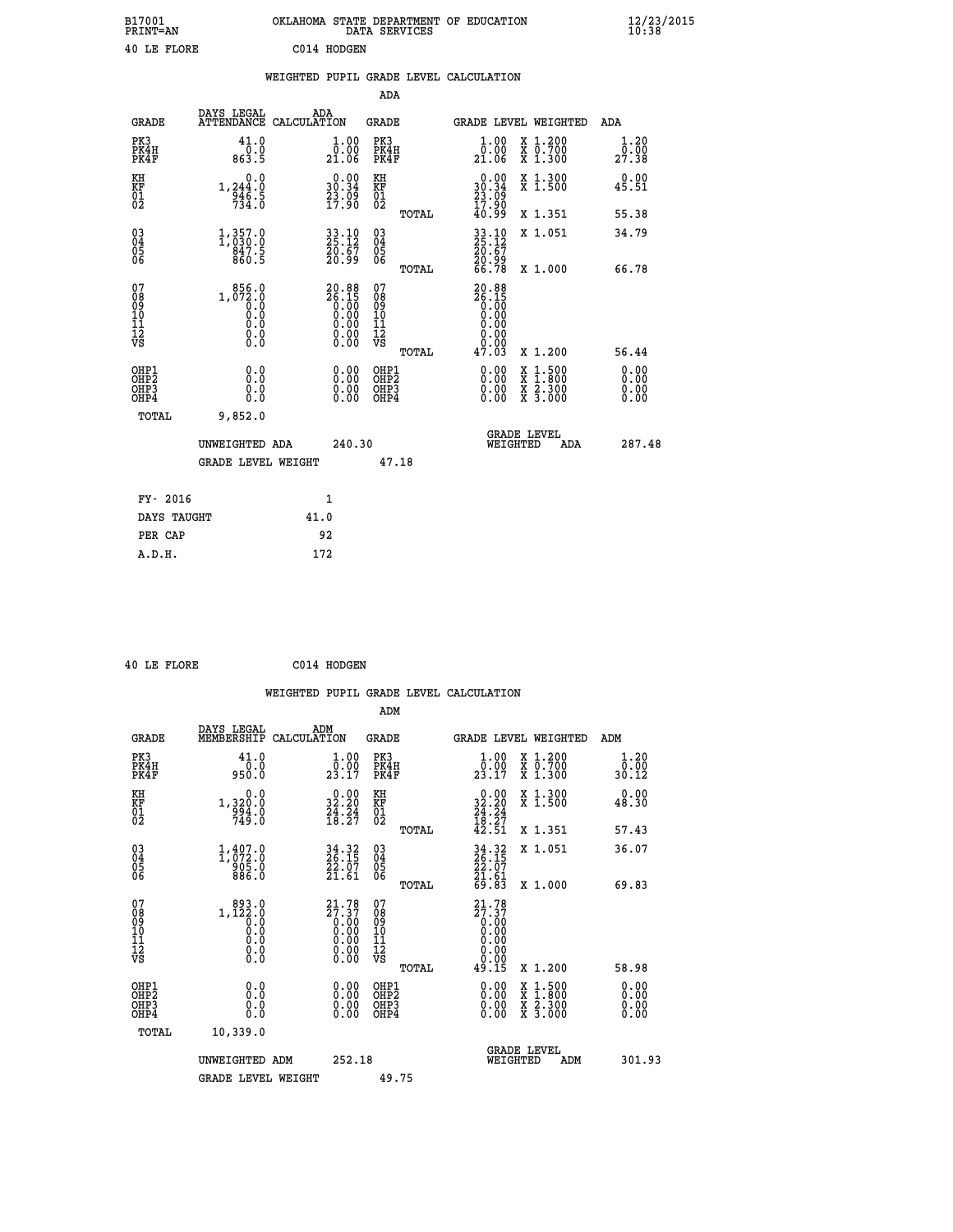| B17001<br><b>PRINT=AN</b> | OKLAHOMA STATE DEPARTMENT OF EDUCATION<br>DATA SERVICES | $\frac{12}{23}$ /2015 |
|---------------------------|---------------------------------------------------------|-----------------------|
| 40 LE FLORE               | C014 HODGEN                                             |                       |

|                                                      |                                                      |                                                                      |                                                                   | ADA                                                |       |                                                                              |                                          |                              |
|------------------------------------------------------|------------------------------------------------------|----------------------------------------------------------------------|-------------------------------------------------------------------|----------------------------------------------------|-------|------------------------------------------------------------------------------|------------------------------------------|------------------------------|
| <b>GRADE</b>                                         | DAYS LEGAL<br><b>ATTENDANCE</b>                      | ADA<br>CALCULATION                                                   |                                                                   | <b>GRADE</b>                                       |       |                                                                              | GRADE LEVEL WEIGHTED                     | <b>ADA</b>                   |
| PK3<br>PK4H<br>PK4F                                  | 41.0<br>0.0<br>863.5                                 | 21.06                                                                | 1.00<br>0.00                                                      | PK3<br>PK4H<br>PK4F                                |       | 1.00<br>0.00<br>21.06                                                        | X 1.200<br>X 0.700<br>X 1.300            | 1.20<br>0.00<br>27.38        |
| KH<br>KF<br>01<br>02                                 | 0.0<br>$1, 244.0$<br>$946.5$<br>$734.0$              | $\begin{smallmatrix} 0.00\\ 30.34\\ 23.09\\ 17.90 \end{smallmatrix}$ |                                                                   | KH<br>KF<br>01<br>02                               |       | $\begin{smallmatrix} 0.00\\ 30.34\\ 23.09\\ 17.90\\ 40.99 \end{smallmatrix}$ | X 1.300<br>X 1.500                       | 0.00<br>45.51                |
|                                                      |                                                      |                                                                      |                                                                   |                                                    | TOTAL |                                                                              | X 1.351                                  | 55.38                        |
| $\begin{matrix} 03 \\ 04 \\ 05 \\ 06 \end{matrix}$   | $\substack{1,357.0\\1,030.0\\847.5\\860.5}$          | $33.10$<br>$25.12$<br>$\frac{20.67}{20.99}$                          |                                                                   | $\begin{matrix} 03 \\ 04 \\ 05 \\ 06 \end{matrix}$ |       | 33.10<br>25.12<br>20.67<br>20.99<br>66.78                                    | X 1.051                                  | 34.79                        |
|                                                      |                                                      |                                                                      |                                                                   |                                                    | TOTAL |                                                                              | X 1.000                                  | 66.78                        |
| 07<br>08<br>09<br>101<br>11<br>12<br>VS              | 856.0<br>1, 072:0<br>0:0<br>0:0<br>0:0<br>$\S.$ $\S$ | $20.88\n26.15\n0.00\n0.00\n0.00\n0.00\n0.00$                         |                                                                   | 07<br>08<br>09<br>11<br>11<br>12<br>VS             | TOTAL | 20.88<br>$26.15$<br>0.00<br>0.00<br>0.00<br>0.00<br>47.03                    | X 1.200                                  | 56.44                        |
| OHP1<br>OHP <sub>2</sub><br>OH <sub>P3</sub><br>OHP4 | 0.0<br>0.0<br>0.0                                    |                                                                      | $\begin{smallmatrix} 0.00 \ 0.00 \ 0.00 \ 0.00 \end{smallmatrix}$ | OHP1<br>OHP2<br>OHP3<br>OHP4                       |       |                                                                              | X 1:500<br>X 1:800<br>X 2:300<br>X 3:000 | 0.00<br>0.00<br>0.00<br>0.00 |
| TOTAL                                                | 9,852.0                                              |                                                                      |                                                                   |                                                    |       |                                                                              |                                          |                              |
|                                                      | UNWEIGHTED ADA                                       |                                                                      | 240.30                                                            |                                                    |       |                                                                              | GRADE LEVEL<br>WEIGHTED<br>ADA           | 287.48                       |
|                                                      | <b>GRADE LEVEL WEIGHT</b>                            |                                                                      |                                                                   | 47.18                                              |       |                                                                              |                                          |                              |
| FY- 2016                                             |                                                      | 1                                                                    |                                                                   |                                                    |       |                                                                              |                                          |                              |
| DAYS TAUGHT                                          |                                                      | 41.0                                                                 |                                                                   |                                                    |       |                                                                              |                                          |                              |
|                                                      |                                                      |                                                                      |                                                                   |                                                    |       |                                                                              |                                          |                              |

|  | 40 LE FLORE | C014 HODGEN |
|--|-------------|-------------|
|  |             |             |

**PER CAP** 92  **A.D.H. 172**

 **WEIGHTED PUPIL GRADE LEVEL CALCULATION ADM DAYS LEGAL ADM GRADE MEMBERSHIP CALCULATION GRADE GRADE LEVEL WEIGHTED ADM**

| PK3<br>PK4H<br>PK4F                                  | 41.0<br>$0.0$<br>0.039                                                                                                | $\begin{smallmatrix}1.00\\0.00\\23.17\end{smallmatrix}$                                                           | PK3<br>PK4H<br>PK4F                                              | $\frac{1 \cdot 00}{23 \cdot 17}$<br>X 1.200<br>X 0.700<br>X 1.300                                         | $\begin{smallmatrix}1.20\0.00\\30.12\end{smallmatrix}$                                                                                                                                                                                                                         |
|------------------------------------------------------|-----------------------------------------------------------------------------------------------------------------------|-------------------------------------------------------------------------------------------------------------------|------------------------------------------------------------------|-----------------------------------------------------------------------------------------------------------|--------------------------------------------------------------------------------------------------------------------------------------------------------------------------------------------------------------------------------------------------------------------------------|
| KH<br>KF<br>01<br>02                                 | 0.0<br>1,320:0<br>9.49:0<br>749:0                                                                                     | $\begin{smallmatrix} 0.00\\ 32.20\\ 24.24\\ 18.27 \end{smallmatrix}$                                              | KH<br>KF<br>01<br>02                                             | $\begin{smallmatrix} 0.00\\ 32.20\\ 24.24\\ 18.27\\ 42.51 \end{smallmatrix}$<br>X 1.300<br>X 1.500        | 0.00<br>48.30                                                                                                                                                                                                                                                                  |
|                                                      |                                                                                                                       |                                                                                                                   | TOTAL                                                            | X 1.351                                                                                                   | 57.43                                                                                                                                                                                                                                                                          |
| $\begin{matrix} 03 \\ 04 \\ 05 \\ 06 \end{matrix}$   | $1, 407.0$<br>$1, 072.0$<br>$905.0$<br>886.0                                                                          | 34.32<br>26.15<br>22.07<br>21.61                                                                                  | $\begin{matrix} 03 \\ 04 \\ 05 \\ 06 \end{matrix}$               | $34.32$<br>$26.15$<br>$22.07$<br>$21.61$<br>$69.83$<br>X 1.051                                            | 36.07                                                                                                                                                                                                                                                                          |
|                                                      |                                                                                                                       |                                                                                                                   | TOTAL                                                            | X 1.000                                                                                                   | 69.83                                                                                                                                                                                                                                                                          |
| 07<br>08<br>09<br>101<br>112<br>VS                   | $\begin{smallmatrix} & 893 & .0\\ 1,122 & .0\\ 0 & .0\\ 0 & .0\\ 0 & .0\\ 0 & .0\\ 0 & .0\\ 0 & .0 \end{smallmatrix}$ | ${\begin{smallmatrix} 21.78\\ 27.37\\ 0.00\\ 0.00\\ 0.00\\ 0.00\\ 0.00\\ 0.00\\ 0.00\\ 0.00\\ \end{smallmatrix}}$ | 07<br>08<br>09<br>11<br>11<br>12<br>VS<br>TOTAL                  | $\begin{smallmatrix} 21.78\\27.37\\0.00\\0.00\\0.00\\0.00\\0.00\\0.00\\49.15\end{smallmatrix}$<br>X 1.200 | 58.98                                                                                                                                                                                                                                                                          |
| OHP1<br>OHP <sub>2</sub><br>OH <sub>P3</sub><br>OHP4 | 0.0<br>$\begin{smallmatrix} 0.0 & 0 \ 0.0 & 0 \end{smallmatrix}$                                                      | $0.00$<br>$0.00$<br>0.00                                                                                          | OHP1<br>OHP <sub>2</sub><br>OHP <sub>3</sub><br>OHP <sub>4</sub> | $\begin{smallmatrix} x & 1 & 500 \\ x & 1 & 800 \\ x & 2 & 300 \\ x & 3 & 000 \end{smallmatrix}$          | $\begin{smallmatrix} 0.00 & 0.00 & 0.00 & 0.00 & 0.00 & 0.00 & 0.00 & 0.00 & 0.00 & 0.00 & 0.00 & 0.00 & 0.00 & 0.00 & 0.00 & 0.00 & 0.00 & 0.00 & 0.00 & 0.00 & 0.00 & 0.00 & 0.00 & 0.00 & 0.00 & 0.00 & 0.00 & 0.00 & 0.00 & 0.00 & 0.00 & 0.00 & 0.00 & 0.00 & 0.00 & 0.0$ |
| TOTAL                                                | 10,339.0                                                                                                              |                                                                                                                   |                                                                  |                                                                                                           |                                                                                                                                                                                                                                                                                |
|                                                      | UNWEIGHTED ADM                                                                                                        | 252.18                                                                                                            |                                                                  | <b>GRADE LEVEL</b><br>WEIGHTED<br>ADM                                                                     | 301.93                                                                                                                                                                                                                                                                         |
|                                                      | <b>GRADE LEVEL WEIGHT</b>                                                                                             |                                                                                                                   | 49.75                                                            |                                                                                                           |                                                                                                                                                                                                                                                                                |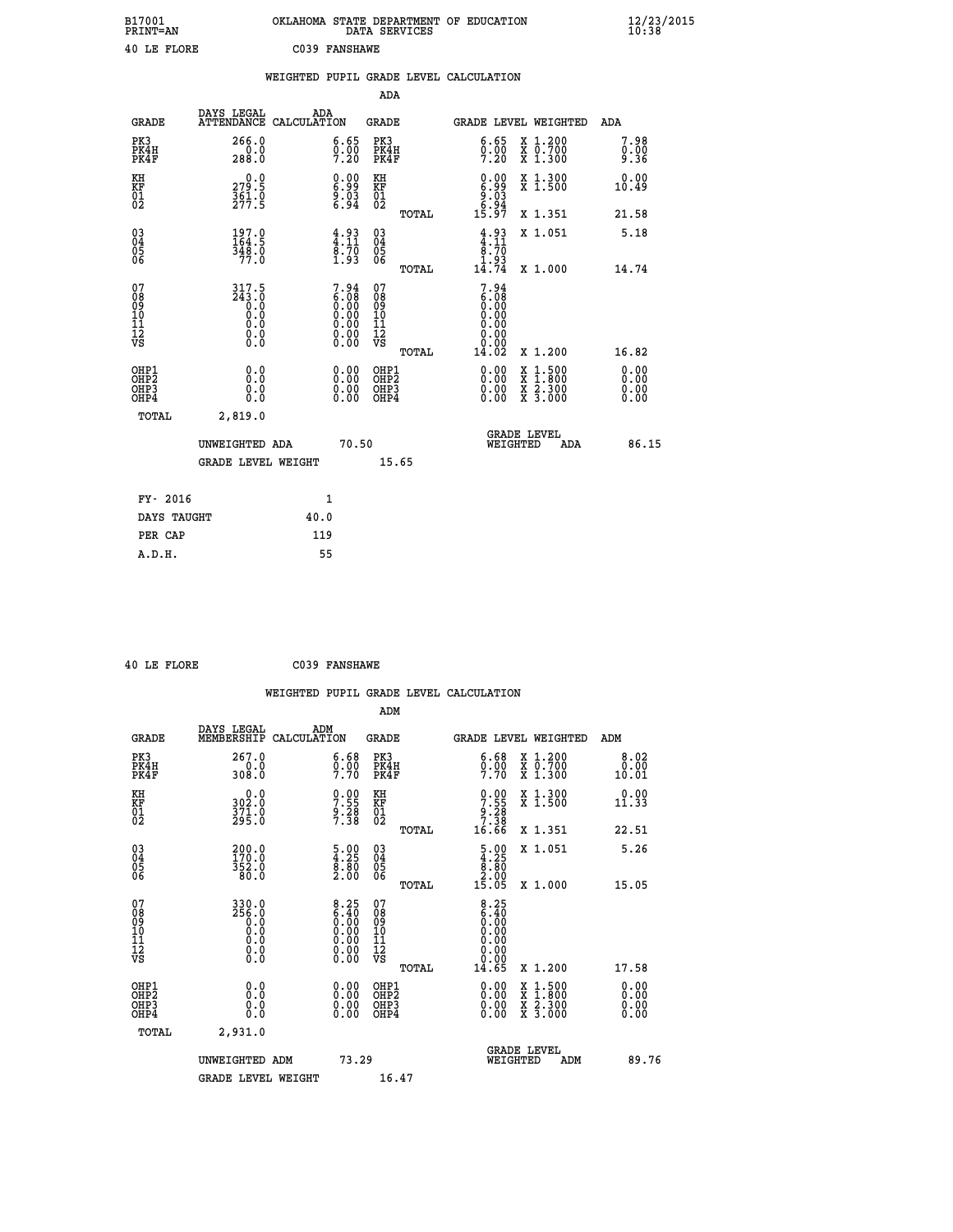| B17001<br><b>PRINT=AN</b> | OKLAHOMA STATE DEPARTMENT OF EDUCATION<br>DATA SERVICES | $\frac{12}{23}$ /2015 |
|---------------------------|---------------------------------------------------------|-----------------------|
| 40 LE FLORE               | C039 FANSHAWE                                           |                       |

|                                                    |                                                      |                                                                                                   |      |                                                                   |                                                    |       | WEIGHTED PUPIL GRADE LEVEL CALCULATION                                           |                                                                                                                                           |                      |
|----------------------------------------------------|------------------------------------------------------|---------------------------------------------------------------------------------------------------|------|-------------------------------------------------------------------|----------------------------------------------------|-------|----------------------------------------------------------------------------------|-------------------------------------------------------------------------------------------------------------------------------------------|----------------------|
|                                                    |                                                      |                                                                                                   |      |                                                                   | ADA                                                |       |                                                                                  |                                                                                                                                           |                      |
|                                                    | <b>GRADE</b>                                         | DAYS LEGAL<br>ATTENDANCE CALCULATION                                                              | ADA  |                                                                   | <b>GRADE</b>                                       |       | GRADE LEVEL WEIGHTED                                                             |                                                                                                                                           | ADA                  |
|                                                    | PK3<br>PK4H<br>PK4F                                  | 266.0<br>$\frac{0.0}{288.0}$                                                                      |      | $\begin{smallmatrix} 6.65\ 0.00\ 7.20 \end{smallmatrix}$          | PK3<br>PK4H<br>PK4F                                |       | 6.65<br>$0.00$<br>7.20                                                           | X 1.200<br>X 0.700<br>X 1.300                                                                                                             | 7.98<br>0.00<br>9.36 |
| KH<br>KF<br>01<br>02                               |                                                      | $\begin{smallmatrix} 0.0\\ 279.5\\ 361.9\\ 277.5 \end{smallmatrix}$                               |      | $\begin{smallmatrix} 0.00\\ 6.99\\ 9.03\\ 6.94 \end{smallmatrix}$ | KH<br>KF<br>01<br>02                               |       | $\begin{smallmatrix} 0.00\\ 6.99\\ 9.03\\ 9.03\\ 6.94\\ 15.97 \end{smallmatrix}$ | X 1.300<br>X 1.500                                                                                                                        | 0.00<br>10.49        |
|                                                    |                                                      |                                                                                                   |      |                                                                   |                                                    | TOTAL |                                                                                  | X 1.351                                                                                                                                   | 21.58                |
| $\begin{matrix} 03 \\ 04 \\ 05 \\ 06 \end{matrix}$ |                                                      | $\frac{197.0}{164.5}$<br>$\frac{348.0}{77.0}$                                                     |      | $\frac{4.93}{4.11}$<br>$\frac{8.70}{1.93}$                        | $\begin{matrix} 03 \\ 04 \\ 05 \\ 06 \end{matrix}$ |       | $4.93$<br>$4.11$<br>$8.70$<br>$1.93$<br>$14.74$                                  | X 1.051                                                                                                                                   | 5.18                 |
|                                                    |                                                      |                                                                                                   |      |                                                                   |                                                    | TOTAL |                                                                                  | X 1.000                                                                                                                                   | 14.74                |
| 07<br>089<br>090<br>1112<br>VS                     |                                                      | $317.5$<br>$243.0$<br>$0.0$<br>$\begin{smallmatrix} 0.5 & 0 \ 0.0 & 0 \end{smallmatrix}$<br>$\S.$ |      | $7.94 \ 6.08 \ 0.00 \ 0.00 \ 0.00 \ 0.00 \ 0.00 \ 0.00 \ 0.00$    | 07<br>08<br>09<br>11<br>11<br>12<br>VS             | TOTAL | $7.94$<br>$6.08$<br>$0.00$<br>$0.00$<br>$0.00$<br>0.00<br>Ŏ.ŌŌ<br>14.02          | X 1.200                                                                                                                                   | 16.82                |
|                                                    | OHP1<br>OHP <sub>2</sub><br>OH <sub>P3</sub><br>OHP4 | 0.0<br>0.0<br>Ō.Ō                                                                                 |      | 0.0000<br>$\begin{smallmatrix} 0.00 \ 0.00 \end{smallmatrix}$     | OHP1<br>OHP2<br>OHP3<br>OHP4                       |       | 0.00<br>0.00                                                                     | $\begin{smallmatrix} \mathtt{X} & 1\cdot500\\ \mathtt{X} & 1\cdot800\\ \mathtt{X} & 2\cdot300\\ \mathtt{X} & 3\cdot000 \end{smallmatrix}$ | 0.00<br>0.00<br>0.00 |
|                                                    | <b>TOTAL</b>                                         | 2,819.0                                                                                           |      |                                                                   |                                                    |       |                                                                                  |                                                                                                                                           |                      |
|                                                    |                                                      | UNWEIGHTED ADA                                                                                    |      | 70.50                                                             |                                                    |       | WEIGHTED                                                                         | <b>GRADE LEVEL</b><br><b>ADA</b>                                                                                                          | 86.15                |
|                                                    |                                                      | <b>GRADE LEVEL WEIGHT</b>                                                                         |      |                                                                   | 15.65                                              |       |                                                                                  |                                                                                                                                           |                      |
|                                                    | FY- 2016                                             |                                                                                                   |      | 1                                                                 |                                                    |       |                                                                                  |                                                                                                                                           |                      |
|                                                    | DAYS TAUGHT                                          |                                                                                                   | 40.0 |                                                                   |                                                    |       |                                                                                  |                                                                                                                                           |                      |
|                                                    | PER CAP                                              |                                                                                                   | 119  |                                                                   |                                                    |       |                                                                                  |                                                                                                                                           |                      |

|  | 40 LE FLORE | C039 FANSHAWE |
|--|-------------|---------------|

|                                                      |                                                                      |                                                                                               | WEIGHTED PUPIL GRADE LEVEL CALCULATION       |                                                                          |                                          |                              |
|------------------------------------------------------|----------------------------------------------------------------------|-----------------------------------------------------------------------------------------------|----------------------------------------------|--------------------------------------------------------------------------|------------------------------------------|------------------------------|
|                                                      |                                                                      |                                                                                               | ADM                                          |                                                                          |                                          |                              |
| <b>GRADE</b>                                         | DAYS LEGAL<br>MEMBERSHIP                                             | ADM<br>CALCULATION                                                                            | <b>GRADE</b>                                 | <b>GRADE LEVEL WEIGHTED</b>                                              |                                          | ADM                          |
| PK3<br>PK4H<br>PK4F                                  | 267.0<br>$\frac{0.0}{308.0}$                                         | $\begin{smallmatrix} 6.68\ 0.00\ 7.70 \end{smallmatrix}$                                      | PK3<br>PK4H<br>PK4F                          | $\begin{smallmatrix} 6.68\\ 0.00\\ 7.70 \end{smallmatrix}$               | X 1.200<br>X 0.700<br>X 1.300            | 8.02<br>0.00<br>10.01        |
| KH<br>KF<br>01<br>02                                 | $302.0$<br>$371.0$<br>$295.0$                                        | $7.55$<br>$9.28$<br>$7.38$                                                                    | KH<br>KF<br>01<br>02                         | $0.00\n7.55\n9.28\n7.38\n16.66$                                          | X 1.300<br>X 1.500                       | 0.00<br>11.33                |
|                                                      |                                                                      |                                                                                               | TOTAL                                        |                                                                          | X 1.351                                  | 22.51                        |
| $\begin{matrix} 03 \\ 04 \\ 05 \\ 06 \end{matrix}$   | $\begin{smallmatrix} 200.0\\ 170.0\\ 352.0\\ 80.0 \end{smallmatrix}$ | $\begin{smallmatrix} 5 & 0 & 0 \\ 4 & 25 & 8 \\ 8 & 80 & 2 \\ 2 & 0 & 0 \end{smallmatrix}$    | 03<br>04<br>05<br>06                         | $\begin{array}{c} 5.00 \\ 4.25 \\ 8.80 \\ 2.00 \end{array}$              | X 1.051                                  | 5.26                         |
|                                                      |                                                                      |                                                                                               | TOTAL                                        | 15.05                                                                    | X 1.000                                  | 15.05                        |
| 07<br>0890112<br>1112<br>VS                          | $330.0$<br>$256.0$<br>$0.0$<br>$0.0$<br>$0.0$<br>$\S.$ $\S$          | $\begin{smallmatrix} 8.25\ 6.40\ 0.00\ 0.00\ 0.00\ 0.00\ 0.00\ 0.00\ 0.00\ \end{smallmatrix}$ | 07<br>08<br>09<br>11<br>11<br>12<br>VS       | $\begin{smallmatrix} 8.25\ 6.40\ 0.00 \end{smallmatrix}$<br>0.00<br>0.00 |                                          |                              |
|                                                      |                                                                      |                                                                                               | TOTAL                                        | 14.65                                                                    | X 1.200                                  | 17.58                        |
| OHP1<br>OHP <sub>2</sub><br>OH <sub>P3</sub><br>OHP4 | 0.0<br>0.000                                                         | $0.00$<br>$0.00$<br>0.00                                                                      | OHP1<br>OHP <sub>2</sub><br>OHP <sub>3</sub> | 0.00<br>0.00<br>0.00                                                     | X 1:500<br>X 1:800<br>X 2:300<br>X 3:000 | 0.00<br>0.00<br>0.00<br>0.00 |
| TOTAL                                                | 2,931.0                                                              |                                                                                               |                                              |                                                                          |                                          |                              |
|                                                      | UNWEIGHTED ADM                                                       | 73.29                                                                                         |                                              | <b>GRADE LEVEL</b><br>WEIGHTED                                           | ADM                                      | 89.76                        |
|                                                      | <b>GRADE LEVEL WEIGHT</b>                                            |                                                                                               | 16.47                                        |                                                                          |                                          |                              |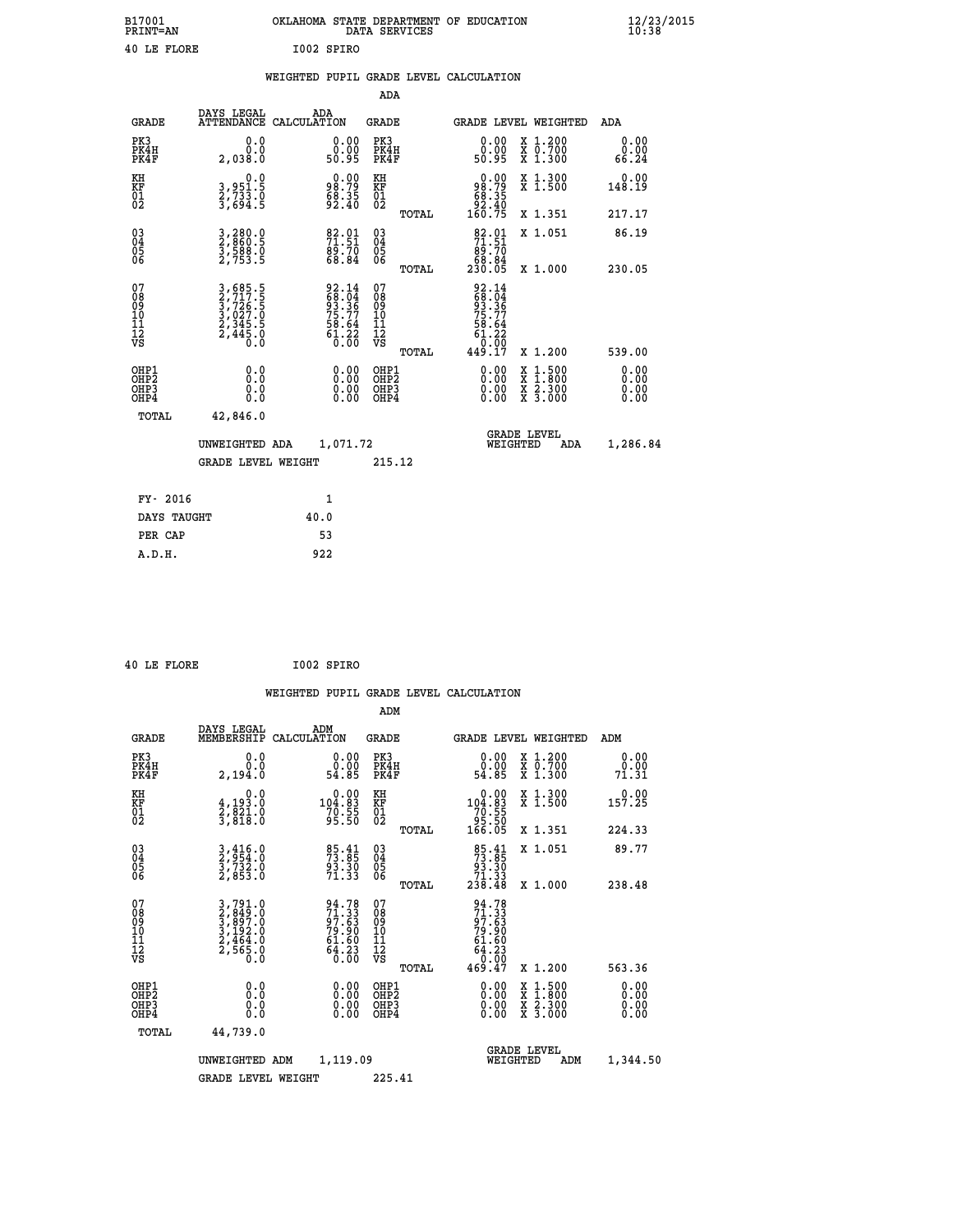| B17001          | OKLAHOMA STATE DEPARTMENT OF EDUCATION |
|-----------------|----------------------------------------|
| <b>PRINT=AN</b> | DATA SERVICES                          |
| 40 LE FLORE     | I002 SPIRO                             |

**EXECUTE:**<br> **B12/23/2015**<br> **B10:38** 

|  |  | WEIGHTED PUPIL GRADE LEVEL CALCULATION |
|--|--|----------------------------------------|
|  |  |                                        |

|                                                                  |                                                                |                                                                                           | ADA                                                |       |                                                                               |                                                                                                                                              |                              |
|------------------------------------------------------------------|----------------------------------------------------------------|-------------------------------------------------------------------------------------------|----------------------------------------------------|-------|-------------------------------------------------------------------------------|----------------------------------------------------------------------------------------------------------------------------------------------|------------------------------|
| <b>GRADE</b>                                                     | DAYS LEGAL                                                     | ADA<br>ATTENDANCE CALCULATION                                                             | GRADE                                              |       | <b>GRADE LEVEL WEIGHTED</b>                                                   |                                                                                                                                              | ADA                          |
| PK3<br>PK4H<br>PK4F                                              | 0.0<br>0.0<br>2,038.0                                          | $\begin{smallmatrix} 0.00\\ 0.00\\ 50.95 \end{smallmatrix}$                               | PK3<br>PK4H<br>PK4F                                |       | 0.00<br>0.00<br>50.95                                                         | X 1.200<br>X 0.700<br>X 1.300                                                                                                                | 0.00<br>0.00<br>66.24        |
| KH<br>KF<br>01<br>02                                             | 0.0<br>3,951.5<br>2,733.0<br>3,694.5                           | $98.79$<br>$68.35$<br>$92.40$                                                             | KH<br>KF<br>01<br>02                               |       | $\begin{smallmatrix} &0.00\ 98.79\ 68.35\ 92.40\ 160.75 \end{smallmatrix}$    | X 1.300<br>X 1.500                                                                                                                           | 0.00<br>148.19               |
|                                                                  |                                                                |                                                                                           |                                                    | TOTAL |                                                                               | X 1.351                                                                                                                                      | 217.17                       |
| $\begin{matrix} 03 \\ 04 \\ 05 \\ 06 \end{matrix}$               | 3,280.0<br>2,860.5<br>3,588.0<br>2,753.5                       | $\begin{smallmatrix} 82.01\ 71.51\ 89.70\ 68.84 \end{smallmatrix}$                        | $\begin{matrix} 03 \\ 04 \\ 05 \\ 06 \end{matrix}$ | TOTAL | $\begin{smallmatrix}82.01\\71.51\\89.70\\68.84\\230.05\end{smallmatrix}$      | X 1.051<br>X 1.000                                                                                                                           | 86.19<br>230.05              |
| 07<br>08<br>09<br>11<br>11<br>12<br>VS                           | 3,685.5<br>2,717.5<br>3,726.5<br>3,027.0<br>2,345.5<br>2,445.0 | $\begin{array}{r} 92.14 \\ 68.04 \\ 93.36 \\ 75.77 \\ 58.64 \\ 61.22 \\ 0.00 \end{array}$ | 07<br>08<br>09<br>11<br>11<br>12<br>VS             | TOTAL | 92.14<br>68.04<br>63.36<br>75.77<br>75.64<br>58.64<br>61.22<br>0.00<br>449.17 | X 1.200                                                                                                                                      | 539.00                       |
| OHP1<br>OHP <sub>2</sub><br>OH <sub>P3</sub><br>OH <sub>P4</sub> | 0.0<br>0.0<br>0.0                                              | 0.00<br>$0.00$<br>0.00                                                                    | OHP1<br>OHP2<br>OHP3<br>OHP4                       |       | 0.00<br>0.00<br>0.00                                                          | $\begin{smallmatrix} \mathtt{X} & 1\cdot500 \\ \mathtt{X} & 1\cdot800 \\ \mathtt{X} & 2\cdot300 \\ \mathtt{X} & 3\cdot000 \end{smallmatrix}$ | 0.00<br>0.00<br>0.00<br>0.00 |
| TOTAL                                                            | 42,846.0                                                       |                                                                                           |                                                    |       |                                                                               |                                                                                                                                              |                              |
|                                                                  | UNWEIGHTED ADA                                                 | 1,071.72                                                                                  |                                                    |       | WEIGHTED                                                                      | <b>GRADE LEVEL</b><br>ADA                                                                                                                    | 1,286.84                     |
|                                                                  | <b>GRADE LEVEL WEIGHT</b>                                      |                                                                                           | 215.12                                             |       |                                                                               |                                                                                                                                              |                              |
| FY- 2016                                                         |                                                                | 1                                                                                         |                                                    |       |                                                                               |                                                                                                                                              |                              |
| DAYS TAUGHT                                                      |                                                                | 40.0                                                                                      |                                                    |       |                                                                               |                                                                                                                                              |                              |
| PER CAP                                                          |                                                                | 53                                                                                        |                                                    |       |                                                                               |                                                                                                                                              |                              |
| A.D.H.                                                           |                                                                | 922                                                                                       |                                                    |       |                                                                               |                                                                                                                                              |                              |

|  | 40 LE FLORE | I002 SPIRO |
|--|-------------|------------|
|  |             |            |

 **ADM**

 **A.D.H. 922**

| <b>GRADE</b>                                       | DAYS LEGAL<br>MEMBERSHIP                                             | ADM<br>CALCULATION                                                                                                                                                                                                                                                             | <b>GRADE</b>                                        |       | GRADE LEVEL WEIGHTED                                                                                                                                                                                                                                                           |                                          | ADM                   |  |
|----------------------------------------------------|----------------------------------------------------------------------|--------------------------------------------------------------------------------------------------------------------------------------------------------------------------------------------------------------------------------------------------------------------------------|-----------------------------------------------------|-------|--------------------------------------------------------------------------------------------------------------------------------------------------------------------------------------------------------------------------------------------------------------------------------|------------------------------------------|-----------------------|--|
| PK3<br>PK4H<br>PK4F                                | 0.0<br>0.0<br>2,194.0                                                | $\begin{smallmatrix} 0.00\\ 0.00\\ 54.85 \end{smallmatrix}$                                                                                                                                                                                                                    | PK3<br>PK4H<br>PK4F                                 |       | $\begin{smallmatrix} 0.00\\ 0.00\\ 54.85 \end{smallmatrix}$                                                                                                                                                                                                                    | X 1.200<br>X 0.700<br>X 1.300            | 0.00<br>0.00<br>71.31 |  |
| KH<br>KF<br>01<br>02                               | 0.0<br>$\frac{4}{2}, \frac{193}{821}$ $\cdot \frac{0}{0}$<br>3,818:0 | $\substack{ \textcolor{red}{\substack{ 0.00\\104.83\\70.55\\95.50} } }$                                                                                                                                                                                                        | KH<br>KF<br>01<br>02                                |       | $\begin{smallmatrix} &0.00\ 104.83\ 70.55\ 95.50\ 166.05\ \end{smallmatrix}$                                                                                                                                                                                                   | X 1.300<br>X 1.500                       | $0.00$<br>157.25      |  |
|                                                    |                                                                      |                                                                                                                                                                                                                                                                                |                                                     | TOTAL |                                                                                                                                                                                                                                                                                | X 1.351                                  | 224.33                |  |
| $\begin{matrix} 03 \\ 04 \\ 05 \\ 06 \end{matrix}$ | $\frac{3}{2}, \frac{416}{954}.0$<br>$\frac{3}{2}, \frac{732}{853}.0$ | 85.41<br>73.85<br>93.30<br>71.33                                                                                                                                                                                                                                               | $\begin{array}{c} 03 \\ 04 \\ 05 \\ 06 \end{array}$ |       | $\begin{array}{r} 85 \cdot 41 \\ 73 \cdot 85 \\ 93 \cdot 30 \\ 71 \cdot 33 \\ 238 \cdot 48 \end{array}$                                                                                                                                                                        | X 1.051                                  | 89.77                 |  |
|                                                    |                                                                      |                                                                                                                                                                                                                                                                                |                                                     | TOTAL |                                                                                                                                                                                                                                                                                | X 1.000                                  | 238.48                |  |
| 07<br>08<br>09<br>101<br>11<br>12<br>VS            | 3,791.0<br>2,849.0<br>3,897.0<br>3,192.0<br>2,464.0<br>2,565.0       | 94.78<br>71.33<br>97.63<br>79.90<br>79.90<br>61.60<br>64.23<br>6.00                                                                                                                                                                                                            | 07<br>08<br>09<br>001<br>11<br>11<br>12<br>VS       | TOTAL | $94.78$<br>$71.33$<br>$97.63$<br>$79.90$<br>$61.60$<br>$64.23$<br>$0.00$<br>$469.47$                                                                                                                                                                                           | X 1.200                                  | 563.36                |  |
| OHP1<br>OHP2<br>OHP3<br>OHP4                       |                                                                      | $\begin{smallmatrix} 0.00 & 0.00 & 0.00 & 0.00 & 0.00 & 0.00 & 0.00 & 0.00 & 0.00 & 0.00 & 0.00 & 0.00 & 0.00 & 0.00 & 0.00 & 0.00 & 0.00 & 0.00 & 0.00 & 0.00 & 0.00 & 0.00 & 0.00 & 0.00 & 0.00 & 0.00 & 0.00 & 0.00 & 0.00 & 0.00 & 0.00 & 0.00 & 0.00 & 0.00 & 0.00 & 0.0$ | OHP1<br>OHP2<br>OHP3<br>OHP4                        |       | $\begin{smallmatrix} 0.00 & 0.00 & 0.00 & 0.00 & 0.00 & 0.00 & 0.00 & 0.00 & 0.00 & 0.00 & 0.00 & 0.00 & 0.00 & 0.00 & 0.00 & 0.00 & 0.00 & 0.00 & 0.00 & 0.00 & 0.00 & 0.00 & 0.00 & 0.00 & 0.00 & 0.00 & 0.00 & 0.00 & 0.00 & 0.00 & 0.00 & 0.00 & 0.00 & 0.00 & 0.00 & 0.0$ | X 1:500<br>X 1:800<br>X 2:300<br>X 3:000 | 0.00<br>0.00<br>0.00  |  |
| TOTAL                                              | 44,739.0                                                             |                                                                                                                                                                                                                                                                                |                                                     |       |                                                                                                                                                                                                                                                                                |                                          |                       |  |
|                                                    | UNWEIGHTED                                                           | 1,119.09<br>ADM                                                                                                                                                                                                                                                                |                                                     |       | WEIGHTED                                                                                                                                                                                                                                                                       | <b>GRADE LEVEL</b><br>ADM                | 1,344.50              |  |
|                                                    | <b>GRADE LEVEL WEIGHT</b>                                            |                                                                                                                                                                                                                                                                                | 225.41                                              |       |                                                                                                                                                                                                                                                                                |                                          |                       |  |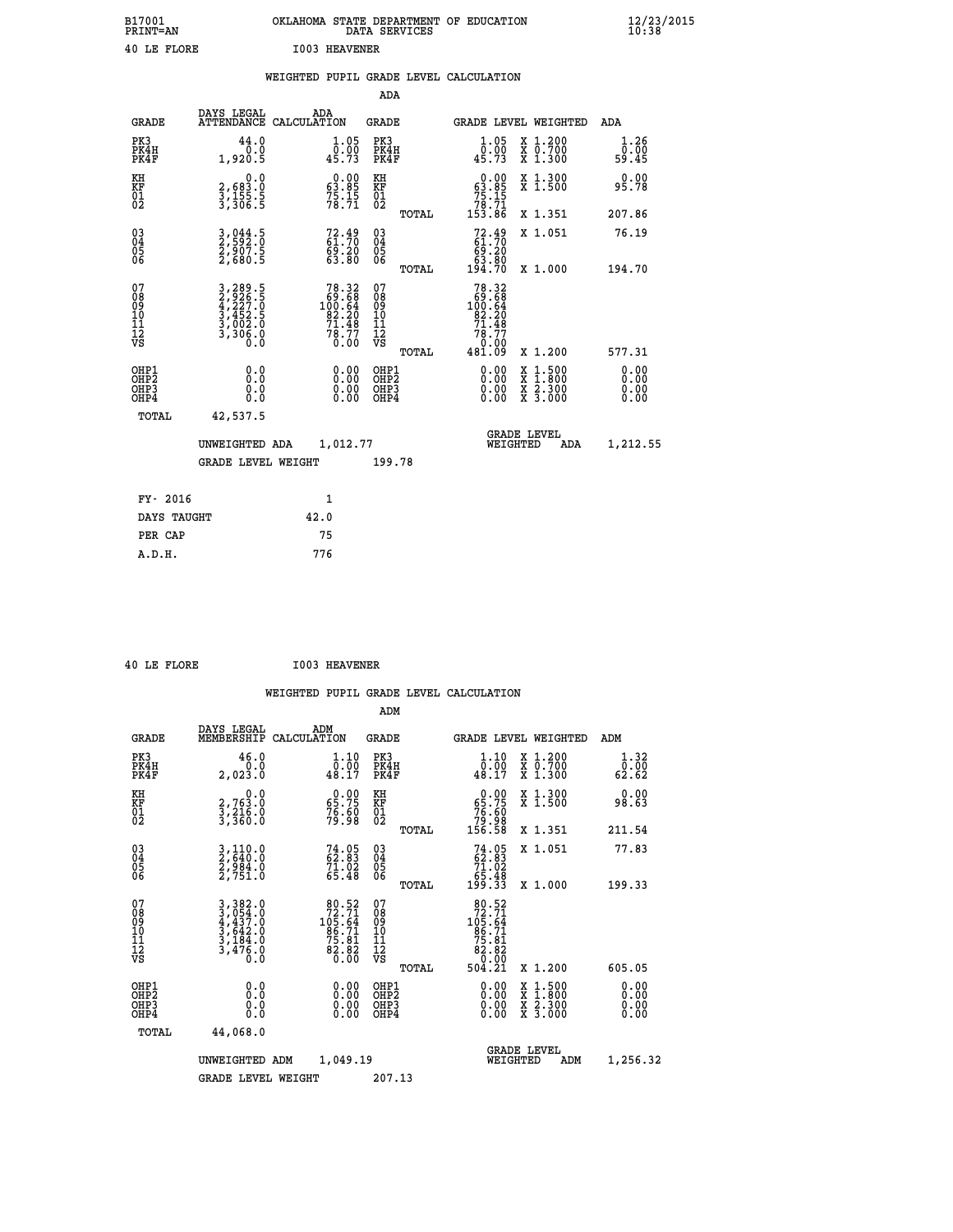| B17001<br>PRINT=AN | OKLAHOMA STATE DEPARTMENT OF EDUCATION<br>DATA SERVICES | $\frac{12}{23}$ /2015 |
|--------------------|---------------------------------------------------------|-----------------------|
| 40 LE FLORE        | <b>I003 HEAVENER</b>                                    |                       |

|                                                                    |                                                                           | WEIGHTED PUPIL GRADE LEVEL CALCULATION                                                |                                                             |                                                    |       |                                                                                                                                                                                                                                                                                |                                                                                                                                              |                       |
|--------------------------------------------------------------------|---------------------------------------------------------------------------|---------------------------------------------------------------------------------------|-------------------------------------------------------------|----------------------------------------------------|-------|--------------------------------------------------------------------------------------------------------------------------------------------------------------------------------------------------------------------------------------------------------------------------------|----------------------------------------------------------------------------------------------------------------------------------------------|-----------------------|
|                                                                    |                                                                           |                                                                                       |                                                             | <b>ADA</b>                                         |       |                                                                                                                                                                                                                                                                                |                                                                                                                                              |                       |
| <b>GRADE</b>                                                       | DAYS LEGAL                                                                | ADA<br>ATTENDANCE CALCULATION                                                         |                                                             | <b>GRADE</b>                                       |       | GRADE LEVEL WEIGHTED                                                                                                                                                                                                                                                           |                                                                                                                                              | ADA                   |
| PK3<br>PK4H<br>PK4F                                                | 44.0<br>0.0<br>1,920.5                                                    | 45.73                                                                                 | $1.05$<br>$0.00$                                            | PK3<br>PK4H<br>PK4F                                |       | 1.05<br>0.00<br>45.73                                                                                                                                                                                                                                                          | X 1.200<br>X 0.700<br>X 1.300                                                                                                                | 1.26<br>0.00<br>59.45 |
| KH<br>KF<br>01<br>02                                               | $\begin{smallmatrix}&&&0.0\\2,683.0\\3,155.5\\3,306.5\end{smallmatrix}$   | $\begin{smallmatrix} 0.00\\ 63.85\\ 75.15\\ 78.71 \end{smallmatrix}$                  |                                                             | KH<br>KF<br>01<br>02                               |       | $\begin{smallmatrix} &0.00\ 63.85\ 75.15\ 78.71\ 153.86\ \end{smallmatrix}$                                                                                                                                                                                                    | X 1.300<br>X 1.500                                                                                                                           | 0.00<br>95.78         |
|                                                                    |                                                                           |                                                                                       |                                                             |                                                    | TOTAL |                                                                                                                                                                                                                                                                                | X 1.351                                                                                                                                      | 207.86                |
| $\begin{smallmatrix} 03 \\[-4pt] 04 \end{smallmatrix}$<br>Ŏ5<br>06 | 3,044.5<br>2,592.0<br>2,907.5<br>2,680.5                                  | 72.49<br>61.70<br>69.20<br>63.80                                                      |                                                             | $\begin{matrix} 03 \\ 04 \\ 05 \\ 06 \end{matrix}$ |       | $72.49\n61.70\n69.20\n63.80\n194.70$                                                                                                                                                                                                                                           | X 1.051                                                                                                                                      | 76.19                 |
|                                                                    |                                                                           |                                                                                       |                                                             |                                                    | TOTAL |                                                                                                                                                                                                                                                                                | X 1.000                                                                                                                                      | 194.70                |
| 07<br>08<br>09<br>11<br>11<br>12<br>VS                             | 3,289.5<br>2,926.5<br>4,227.0<br>4,227.0<br>3,452.5<br>3,002.0<br>3,306.0 | $\begin{smallmatrix}78.32\\69.68\\100.64\\82.20\\71.48\\78.77\\0.00\end{smallmatrix}$ |                                                             | 07<br>08<br>09<br>11<br>11<br>12<br>VS             | TOTAL | 78.32<br>$\begin{array}{r} 69.68 \\ 100.64 \\ 82.20 \end{array}$<br>$71.48$<br>$78.77$<br>$0.00$<br>$481.09$                                                                                                                                                                   | X 1.200                                                                                                                                      | 577.31                |
| OHP1<br>OHP2<br>OH <sub>P3</sub><br>OH <sub>P4</sub>               | 0.0<br>0.0<br>Ŏ.Ŏ                                                         |                                                                                       | 0.00<br>$\begin{smallmatrix} 0.00 \ 0.00 \end{smallmatrix}$ | OHP1<br>OHP2<br>OHP3<br>OHP4                       |       | $\begin{smallmatrix} 0.00 & 0.00 & 0.00 & 0.00 & 0.00 & 0.00 & 0.00 & 0.00 & 0.00 & 0.00 & 0.00 & 0.00 & 0.00 & 0.00 & 0.00 & 0.00 & 0.00 & 0.00 & 0.00 & 0.00 & 0.00 & 0.00 & 0.00 & 0.00 & 0.00 & 0.00 & 0.00 & 0.00 & 0.00 & 0.00 & 0.00 & 0.00 & 0.00 & 0.00 & 0.00 & 0.0$ | $\begin{smallmatrix} \mathtt{X} & 1\cdot500 \\ \mathtt{X} & 1\cdot800 \\ \mathtt{X} & 2\cdot300 \\ \mathtt{X} & 3\cdot000 \end{smallmatrix}$ | 0.00<br>0.00<br>0.00  |
| TOTAL                                                              | 42,537.5                                                                  |                                                                                       |                                                             |                                                    |       |                                                                                                                                                                                                                                                                                |                                                                                                                                              |                       |
|                                                                    | UNWEIGHTED ADA                                                            | 1,012.77                                                                              |                                                             |                                                    |       | WEIGHTED                                                                                                                                                                                                                                                                       | <b>GRADE LEVEL</b><br>ADA                                                                                                                    | 1,212.55              |
|                                                                    | <b>GRADE LEVEL WEIGHT</b>                                                 |                                                                                       |                                                             | 199.78                                             |       |                                                                                                                                                                                                                                                                                |                                                                                                                                              |                       |
| FY- 2016                                                           |                                                                           | 1                                                                                     |                                                             |                                                    |       |                                                                                                                                                                                                                                                                                |                                                                                                                                              |                       |
| DAYS TAUGHT                                                        |                                                                           | 42.0                                                                                  |                                                             |                                                    |       |                                                                                                                                                                                                                                                                                |                                                                                                                                              |                       |
| PER CAP                                                            |                                                                           | 75                                                                                    |                                                             |                                                    |       |                                                                                                                                                                                                                                                                                |                                                                                                                                              |                       |

 **40 LE FLORE I003 HEAVENER**

 **A.D.H. 776**

 **ADM**

| <b>GRADE</b>                            | DAYS LEGAL<br>MEMBERSHIP                                                                                                                                                                  | ADM<br>CALCULATION                                                                     | <b>GRADE</b>                                       |       |                                                                                                | <b>GRADE LEVEL WEIGHTED</b>              | ADM                                                    |  |
|-----------------------------------------|-------------------------------------------------------------------------------------------------------------------------------------------------------------------------------------------|----------------------------------------------------------------------------------------|----------------------------------------------------|-------|------------------------------------------------------------------------------------------------|------------------------------------------|--------------------------------------------------------|--|
| PK3<br>PK4H<br>PK4F                     | 46.0<br>2,023.0                                                                                                                                                                           | $\substack{1.10 \\ 0.00 \\ 48.17}$                                                     | PK3<br>PK4H<br>PK4F                                |       | $\begin{smallmatrix} 1\cdot 10\\ 0\cdot 00\\ 48\cdot 17 \end{smallmatrix}$                     | X 1.200<br>X 0.700<br>X 1.300            | $\begin{smallmatrix}1.32\0.00\\62.62\end{smallmatrix}$ |  |
| KH<br>KF<br>01<br>02                    | 0.0<br>2,763.0<br>3,216.0<br>3,360.0                                                                                                                                                      | $\begin{smallmatrix} 0.00\\ 65.75\\ 76.60\\ 79.98 \end{smallmatrix}$                   | KH<br>KF<br>01<br>02                               |       | $0.00\n65.75\n76.60\n79.98\n156.58$                                                            | X 1.300<br>X 1.500                       | 0.00<br>98.63                                          |  |
|                                         |                                                                                                                                                                                           |                                                                                        |                                                    | TOTAL |                                                                                                | X 1.351                                  | 211.54                                                 |  |
| 03<br>04<br>05<br>06                    | 3,110.0<br>2,640.0<br>2,984.0<br>2,751.0                                                                                                                                                  | $74.05$<br>$62.83$<br>$71.02$<br>$65.48$                                               | $\begin{matrix} 03 \\ 04 \\ 05 \\ 06 \end{matrix}$ |       | $74.05$<br>$62.83$<br>$71.02$<br>$65.48$<br>$199.33$                                           | X 1.051                                  | 77.83                                                  |  |
|                                         |                                                                                                                                                                                           |                                                                                        |                                                    | TOTAL |                                                                                                | X 1.000                                  | 199.33                                                 |  |
| 07<br>08<br>09<br>101<br>11<br>12<br>VS | $\begin{smallmatrix} 3\,,\,3\,8\,2\,. \ 0\\ 3\,,\,0\,5\,4\,. \ 0\\ 4\,,\,4\,3\,7\,. \ 0\\ 3\,,\,6\,4\,2\,. \ 0\\ 3\,,\,1\,8\,4\,. \ 0\\ 3\,,\,4\,7\,6\,. \ 0\\ 0\,. \ 0\end{smallmatrix}$ | $\begin{smallmatrix}80.52\\72.71\\105.64\\86.71\\875.81\\82.82\\0.00\end{smallmatrix}$ | 07<br>08<br>09<br>001<br>11<br>11<br>12<br>VS      | TOTAL | $\begin{smallmatrix}80.52\\72.71\\105.64\\86.71\\86.81\\82.82\\60.00\\504.21\end{smallmatrix}$ | X 1.200                                  | 605.05                                                 |  |
| OHP1                                    |                                                                                                                                                                                           |                                                                                        |                                                    |       |                                                                                                |                                          |                                                        |  |
| OHP <sub>2</sub><br>OHP3<br>OHP4        | 0.0<br>0.000                                                                                                                                                                              | $\begin{smallmatrix} 0.00 \ 0.00 \ 0.00 \ 0.00 \end{smallmatrix}$                      | OHP1<br>OHP2<br>OHP3<br>OHP4                       |       | 0.00<br>$0.00$<br>0.00                                                                         | X 1:500<br>X 1:800<br>X 2:300<br>X 3:000 | 0.00<br>0.00<br>0.00                                   |  |
| TOTAL                                   | 44,068.0                                                                                                                                                                                  |                                                                                        |                                                    |       |                                                                                                |                                          |                                                        |  |
|                                         | UNWEIGHTED                                                                                                                                                                                | 1,049.19<br>ADM                                                                        |                                                    |       | <b>GRADE LEVEL</b><br>WEIGHTED                                                                 | ADM                                      | 1,256.32                                               |  |
|                                         | <b>GRADE LEVEL WEIGHT</b>                                                                                                                                                                 |                                                                                        | 207.13                                             |       |                                                                                                |                                          |                                                        |  |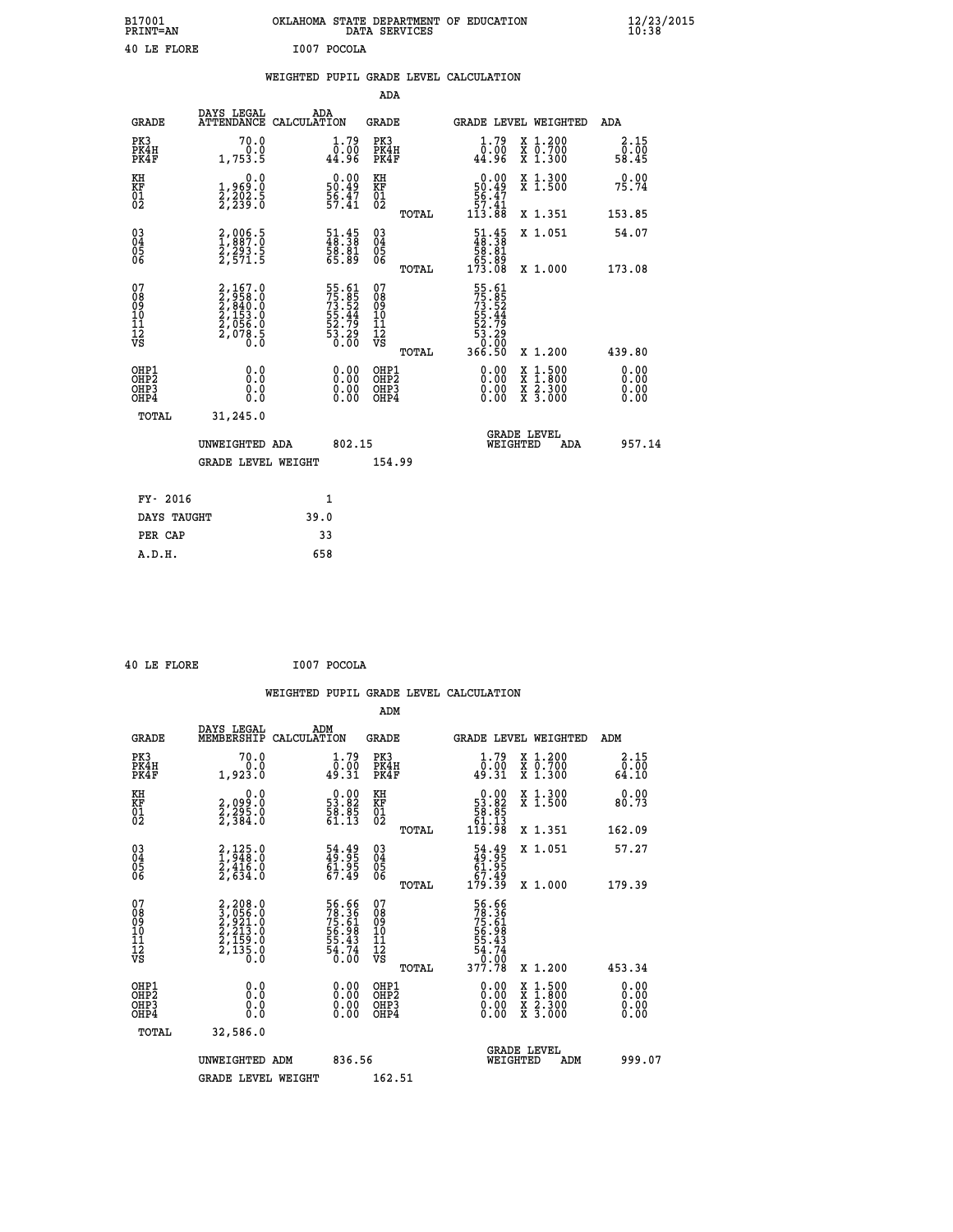| B17001<br><b>PRINT=AN</b> | OKLAHOMA STATE DEPARTMENT OF EDUCATION<br>DATA SERVICES | $\frac{12}{23}$ /2015 |
|---------------------------|---------------------------------------------------------|-----------------------|
| 40 LE FLORE               | I007 POCOLA                                             |                       |

|  |  | WEIGHTED PUPIL GRADE LEVEL CALCULATION |
|--|--|----------------------------------------|
|  |  |                                        |

|                                                       |                                                                       |                                                                      | ADA                                                  |       |                                                                                |   |                                                           |                              |
|-------------------------------------------------------|-----------------------------------------------------------------------|----------------------------------------------------------------------|------------------------------------------------------|-------|--------------------------------------------------------------------------------|---|-----------------------------------------------------------|------------------------------|
| <b>GRADE</b>                                          | DAYS LEGAL<br><b>ATTENDANCE</b>                                       | ADA<br>CALCULATION                                                   | GRADE                                                |       | GRADE LEVEL WEIGHTED                                                           |   |                                                           | <b>ADA</b>                   |
| PK3<br>PK4H<br>PK4F                                   | 70.0<br>0.0<br>1,753.5                                                | 1.79<br>00.00<br>44.96                                               | PK3<br>PK4H<br>PK4F                                  |       | 1.79<br>00.ٰ0<br>44.96                                                         |   | X 1.200<br>X 0.700<br>X 1.300                             | 2.15<br>0.00<br>58.45        |
| KH<br><b>KF</b><br>01<br>02                           | 0.0<br>1,969:0<br>2,202:5<br>2,239:0                                  | $\begin{smallmatrix} 0.00\\ 50.49\\ 56.47\\ 57.41 \end{smallmatrix}$ | KH<br>KF<br>01<br>02                                 |       | $0.00$<br>50.49<br>56.47<br>57.41<br>57.41<br>113.88                           |   | X 1.300<br>X 1.500                                        | 0.00<br>75.74                |
|                                                       |                                                                       |                                                                      |                                                      | TOTAL |                                                                                |   | X 1.351                                                   | 153.85                       |
| $\begin{matrix} 03 \\ 04 \\ 05 \\ 06 \end{matrix}$    | 2,006.5<br>1,887.0<br>2,293.5<br>2,571.5                              | 51.45<br>48.38<br>58.81<br>55.89                                     | 03<br>04<br>05<br>06                                 |       | $\begin{smallmatrix} 51.45\\ 48.38\\ 58.81\\ 65.89\\ 173.08 \end{smallmatrix}$ |   | X 1.051                                                   | 54.07                        |
|                                                       |                                                                       |                                                                      |                                                      | TOTAL |                                                                                |   | X 1.000                                                   | 173.08                       |
| 07<br>08<br>09<br>101<br>11<br>12<br>VS               | 2,167.0<br>2,958.0<br>2,840.0<br>2,153.0<br>2,056.0<br>2,078.5<br>0.0 | 55.61<br>75.85<br>73.52<br>55.44<br>55.79<br>53.29<br>53.20          | 07<br>08<br>09<br>11<br>11<br>12<br>VS               | TOTAL | 55.61<br>75.852<br>73.52<br>73.444<br>55.79<br>53.29<br>53.000<br>366.50       |   | X 1.200                                                   | 439.80                       |
| OHP1<br>OHP2<br>OH <sub>P</sub> 3<br>OH <sub>P4</sub> | 0.0<br>0.0<br>ŏ.ŏ                                                     | 0.00<br>$0.00$<br>0.00                                               | OHP1<br>OHP2<br>OHP <sub>3</sub><br>OHP <sub>4</sub> |       | $0.00$<br>$0.00$<br>0.00                                                       | X | $1.500$<br>$1.800$<br>$\frac{x}{x}$ $\frac{5.300}{3.000}$ | 0.00<br>0.00<br>0.00<br>0.00 |
| TOTAL                                                 | 31,245.0                                                              |                                                                      |                                                      |       |                                                                                |   |                                                           |                              |
|                                                       | UNWEIGHTED ADA                                                        | 802.15                                                               |                                                      |       | WEIGHTED                                                                       |   | <b>GRADE LEVEL</b><br>ADA                                 | 957.14                       |
|                                                       | <b>GRADE LEVEL WEIGHT</b>                                             |                                                                      | 154.99                                               |       |                                                                                |   |                                                           |                              |
| FY- 2016                                              |                                                                       | $\mathbf{1}$                                                         |                                                      |       |                                                                                |   |                                                           |                              |
| DAYS TAUGHT                                           |                                                                       | 39.0                                                                 |                                                      |       |                                                                                |   |                                                           |                              |
|                                                       |                                                                       |                                                                      |                                                      |       |                                                                                |   |                                                           |                              |

| PER CAP | 33  |
|---------|-----|
| A.D.H.  | 658 |
|         |     |

 **ADM**

 **40 LE FLORE I007 POCOLA**

| <b>GRADE</b>                                       | DAYS LEGAL<br>MEMBERSHIP                                                    | ADM<br>CALCULATION                                                     | <b>GRADE</b>                                       |       |                                                                                  | <b>GRADE LEVEL WEIGHTED</b>              | ADM                   |
|----------------------------------------------------|-----------------------------------------------------------------------------|------------------------------------------------------------------------|----------------------------------------------------|-------|----------------------------------------------------------------------------------|------------------------------------------|-----------------------|
| PK3<br>PK4H<br>PK4F                                | 70.0<br>1,923.0                                                             | $\begin{smallmatrix} 1.79 \\ 0.00 \\ 49.31 \end{smallmatrix}$          | PK3<br>PK4H<br>PK4F                                |       | $\begin{smallmatrix} 1.79 \\ 0.00 \\ 49.31 \end{smallmatrix}$                    | X 1.200<br>X 0.700<br>X 1.300            | 2.15<br>0.00<br>64.10 |
| KH<br>KF<br>01<br>02                               | 0.0<br>2,099:0<br>2,295:0<br>2,384:0                                        | $\begin{smallmatrix} 0.00\\ 53.82\\ 58.85\\ 61.13\\ \end{smallmatrix}$ | KH<br>KF<br>01<br>02                               |       | $\begin{smallmatrix} &0.00\,53.82\,58.85\,61.13\,61.13\,119.98\end{smallmatrix}$ | X 1.300<br>X 1.500                       | 0.00<br>80.73         |
|                                                    |                                                                             |                                                                        |                                                    | TOTAL |                                                                                  | X 1.351                                  | 162.09                |
| $\begin{matrix} 03 \\ 04 \\ 05 \\ 06 \end{matrix}$ | $2,125.0$<br>$1,948.0$<br>$2,416.0$<br>$2,634.0$                            | 54.49<br>49.95<br>61.95<br>67.49                                       | $\begin{matrix} 03 \\ 04 \\ 05 \\ 06 \end{matrix}$ |       | 54.49<br>49.95<br>61.95<br>67.49<br>179.39                                       | X 1.051                                  | 57.27                 |
|                                                    |                                                                             |                                                                        |                                                    | TOTAL |                                                                                  | X 1.000                                  | 179.39                |
| 07<br>08<br>09<br>101<br>11<br>12<br>VS            | $2, 208.0$<br>$3, 056.0$<br>$2, 213.0$<br>$2, 159.0$<br>$2, 159.0$<br>$0.0$ | 56.66<br>78.36<br>75.61<br>75.98<br>56.98<br>55.43<br>54.74<br>54.74   | 07<br>08<br>09<br>001<br>11<br>11<br>12<br>VS      | TOTAL | 56.66<br>78.361<br>75.61<br>55.43<br>54.74<br>54.74<br>54.70<br>377.78           | X 1.200                                  | 453.34                |
| OHP1<br>OHP2<br>OH <sub>P3</sub><br>OHP4           |                                                                             | $\begin{smallmatrix} 0.00 \ 0.00 \ 0.00 \ 0.00 \end{smallmatrix}$      | OHP1<br>OHP2<br>OHP3<br>OHP4                       |       |                                                                                  | X 1:500<br>X 1:800<br>X 2:300<br>X 3:000 | 0.00<br>0.00<br>0.00  |
| TOTAL                                              | 32,586.0                                                                    |                                                                        |                                                    |       |                                                                                  |                                          |                       |
|                                                    | UNWEIGHTED                                                                  | 836.56<br>ADM                                                          |                                                    |       | WEIGHTED                                                                         | <b>GRADE LEVEL</b><br>ADM                | 999.07                |
|                                                    | <b>GRADE LEVEL WEIGHT</b>                                                   |                                                                        | 162.51                                             |       |                                                                                  |                                          |                       |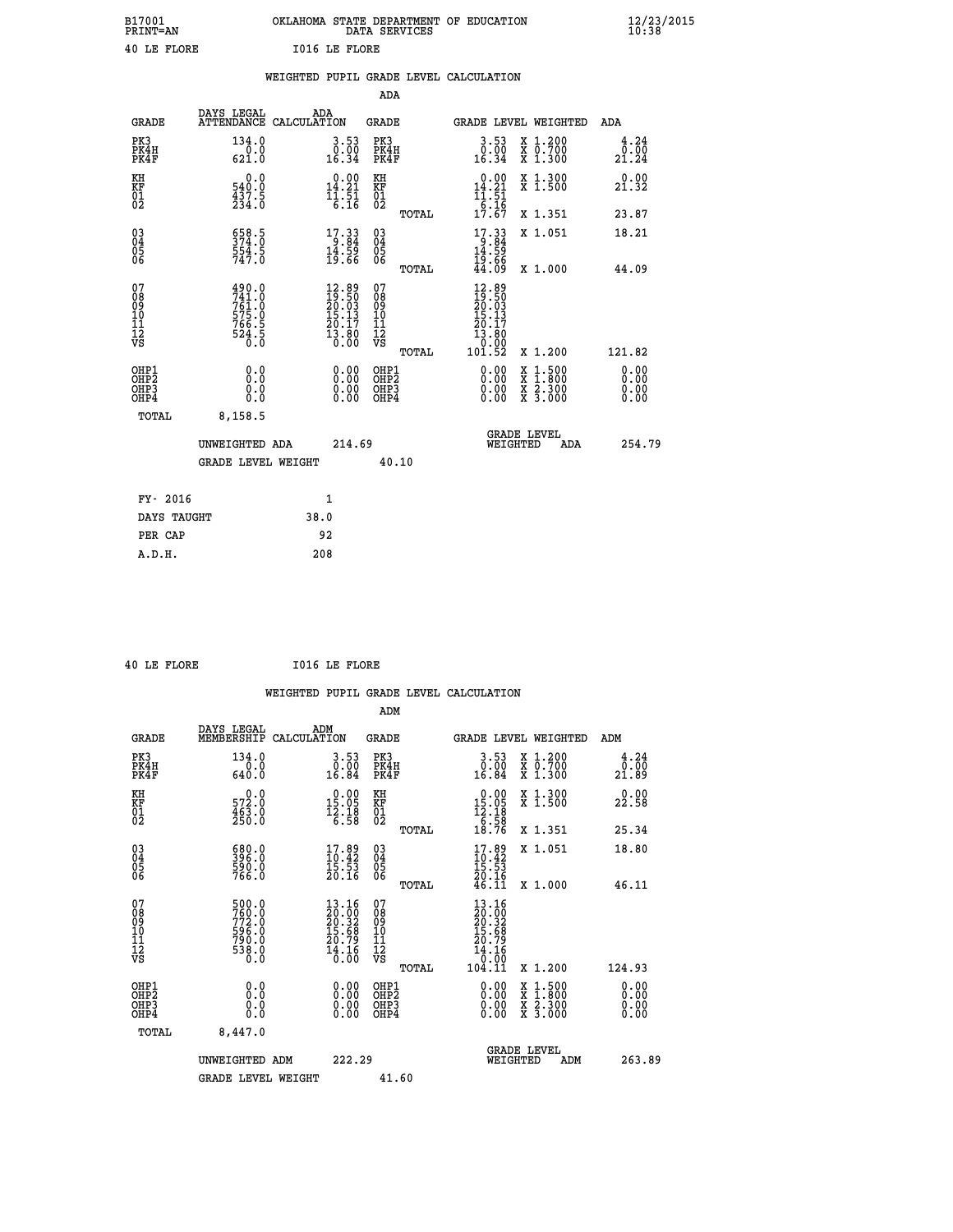| B17001<br><b>PRINT=AN</b> | OKLAHOMA STATE DEPARTMENT OF EDUCATION<br>DATA SERVICES | $\frac{12}{23}$ /2015 |
|---------------------------|---------------------------------------------------------|-----------------------|
| 40 LE FLORE               | <b>I016 LE FLORE</b>                                    |                       |

|                                                                  |                                                                           | WEIGHTED PUPIL GRADE LEVEL CALCULATION                                                             |                                                     |       |                                                                              |                                                                                                                                              |                              |
|------------------------------------------------------------------|---------------------------------------------------------------------------|----------------------------------------------------------------------------------------------------|-----------------------------------------------------|-------|------------------------------------------------------------------------------|----------------------------------------------------------------------------------------------------------------------------------------------|------------------------------|
|                                                                  |                                                                           |                                                                                                    | ADA                                                 |       |                                                                              |                                                                                                                                              |                              |
| <b>GRADE</b>                                                     | DAYS LEGAL                                                                | ADA<br>ATTENDANCE CALCULATION                                                                      | <b>GRADE</b>                                        |       |                                                                              | GRADE LEVEL WEIGHTED                                                                                                                         | ADA                          |
| PK3<br>PK4H<br>PK4F                                              | 134.0<br>$\frac{0.0}{621.0}$                                              | $\begin{smallmatrix} 3.53\ 0.00\ 16.34 \end{smallmatrix}$                                          | PK3<br>PK4H<br>PK4F                                 |       | $\begin{smallmatrix} 3.53\ 0.00\ 16.34 \end{smallmatrix}$                    | X 1.200<br>X 0.700<br>X 1.300                                                                                                                | 4.24<br>ō:ōō<br>21.24        |
| KH<br>KF<br>01<br>02                                             | 0.0<br>540.0<br>$\frac{4\bar{3}\tilde{7}\cdot\tilde{5}}{234\cdot0}$       | 0.00<br>$14.21$<br>$11.51$<br>$6.16$                                                               | KH<br>KF<br>01<br>02                                |       | 0.00<br>$14.21$<br>$11.51$<br>$6.16$<br>$17.67$                              | X 1.300<br>X 1.500                                                                                                                           | 0.00<br>21.32                |
|                                                                  |                                                                           |                                                                                                    |                                                     | TOTAL |                                                                              | X 1.351                                                                                                                                      | 23.87                        |
| $^{03}_{04}$<br>Ŏ5<br>06                                         | 658.5<br>374.0<br>$\frac{5}{5}$ $\frac{5}{4}$ $\frac{3}{1}$ $\frac{5}{0}$ | $17.33$<br>$9.84$<br>$14.59$<br>$19.66$                                                            | $\begin{array}{c} 03 \\ 04 \\ 05 \\ 06 \end{array}$ |       | $17.339.8414.5919.6644.09$                                                   | X 1.051                                                                                                                                      | 18.21                        |
|                                                                  |                                                                           |                                                                                                    |                                                     | TOTAL |                                                                              | X 1.000                                                                                                                                      | 44.09                        |
| 07<br>08<br>09<br>11<br>11<br>12<br>VS                           | 490.0<br>741.0<br>761.0<br>575.0<br>575.0<br>766.5<br>766.5<br>524.5      | $\begin{smallmatrix} 12.89 \\ 19.50 \\ 20.03 \\ 15.13 \\ 20.17 \\ 13.80 \\ 0.00 \end{smallmatrix}$ | 07<br>08<br>09<br>11<br>11<br>12<br>VS              | TOTAL | $12.89$<br>$19.50$<br>$20.03$<br>$15.13$<br>20.17<br>13.80<br>0.00<br>101.52 | X 1.200                                                                                                                                      | 121.82                       |
| OHP1<br>OH <sub>P</sub> <sub>2</sub><br>OH <sub>P3</sub><br>OHP4 | 0.0<br>0.0<br>Ō.Ō                                                         | 0.00<br>$\begin{smallmatrix} 0.00 \ 0.00 \end{smallmatrix}$                                        | OHP1<br>OHP2<br>OHP3<br>OHP4                        |       | 0.00<br>0.00<br>0.00                                                         | $\begin{smallmatrix} \mathtt{X} & 1\cdot500 \\ \mathtt{X} & 1\cdot800 \\ \mathtt{X} & 2\cdot300 \\ \mathtt{X} & 3\cdot000 \end{smallmatrix}$ | 0.00<br>0.00<br>0.00<br>0.00 |
| TOTAL                                                            | 8,158.5                                                                   |                                                                                                    |                                                     |       |                                                                              |                                                                                                                                              |                              |
|                                                                  | UNWEIGHTED ADA                                                            |                                                                                                    | 214.69                                              |       | WEIGHTED                                                                     | <b>GRADE LEVEL</b><br><b>ADA</b>                                                                                                             | 254.79                       |
|                                                                  | <b>GRADE LEVEL WEIGHT</b>                                                 |                                                                                                    |                                                     | 40.10 |                                                                              |                                                                                                                                              |                              |
| FY- 2016                                                         |                                                                           | $\mathbf{1}$                                                                                       |                                                     |       |                                                                              |                                                                                                                                              |                              |
| DAYS TAUGHT                                                      |                                                                           | 38.0                                                                                               |                                                     |       |                                                                              |                                                                                                                                              |                              |
| PER CAP                                                          |                                                                           | 92                                                                                                 |                                                     |       |                                                                              |                                                                                                                                              |                              |

 **40 LE FLORE I016 LE FLORE**

|                                                      |                                                                   |                                                                                                                  | ADM                                                |                                                                                           |                                          |                         |
|------------------------------------------------------|-------------------------------------------------------------------|------------------------------------------------------------------------------------------------------------------|----------------------------------------------------|-------------------------------------------------------------------------------------------|------------------------------------------|-------------------------|
| <b>GRADE</b>                                         | DAYS LEGAL<br>MEMBERSHIP                                          | ADM<br>CALCULATION                                                                                               | <b>GRADE</b>                                       |                                                                                           | GRADE LEVEL WEIGHTED                     | ADM                     |
| PK3<br>PK4H<br>PK4F                                  | 134.0<br>0.0<br>640.0                                             | 3.53<br>$\begin{smallmatrix} \texttt{0.00}\ \texttt{0.84} \end{smallmatrix}$                                     | PK3<br>PK4H<br>PK4F                                | $\begin{smallmatrix} 3.53\ 0.00\ 16.84 \end{smallmatrix}$                                 | X 1.200<br>X 0.700<br>X 1.300            | 4.24<br>0.00 ق<br>21.89 |
| KH<br>KF<br>01<br>02                                 | $\begin{smallmatrix} &0.0\ 572.0\ 463.0\ 250.0 \end{smallmatrix}$ | $\begin{smallmatrix} 0.00\\ 15.05\\ 12.18\\ 6.58 \end{smallmatrix}$                                              | KH<br>KF<br>01<br>02                               | $\begin{array}{r} 0.00 \\ 15.05 \\ 12.18 \\ 6.58 \\ 18.76 \end{array}$                    | X 1.300<br>X 1.500                       | 0.00<br>22.58           |
|                                                      |                                                                   |                                                                                                                  | TOTAL                                              |                                                                                           | X 1.351                                  | 25.34                   |
| 03<br>04<br>05<br>06                                 | 580.0<br>396.0<br>590.0<br>766.0                                  | $\frac{17.89}{10.42}$<br>$\frac{15.53}{15.53}$<br>20.16                                                          | $\begin{matrix} 03 \\ 04 \\ 05 \\ 06 \end{matrix}$ | $17.89$<br>$10.42$<br>$15.53$<br>$20.16$<br>$46.11$                                       | X 1.051                                  | 18.80                   |
|                                                      |                                                                   |                                                                                                                  | TOTAL                                              |                                                                                           | X 1.000                                  | 46.11                   |
| 07<br>08<br>09<br>101<br>112<br>VS                   | 500.0<br>760.0<br>772.0<br>596.0<br>590.0<br>790.0<br>538.0       | 13.16<br>$\begin{smallmatrix} 20.002 10.32 \\ 20.32 \\ 15.68 \\ 20.79 \end{smallmatrix}$<br>$\frac{14.16}{0.00}$ | 07<br>08<br>09<br>11<br>11<br>12<br>VS             | $\begin{array}{l} 13.16 \\ 20.32 \\ 20.32 \\ 15.68 \\ 20.79 \\ 14.16 \\ 0 \\ \end{array}$ |                                          |                         |
|                                                      |                                                                   |                                                                                                                  | TOTAL                                              | 104.11                                                                                    | X 1.200                                  | 124.93                  |
| OHP1<br>OHP2<br>OH <sub>P3</sub><br>OH <sub>P4</sub> | 0.0<br>0.000                                                      | $0.00$<br>$0.00$<br>0.00                                                                                         | OHP1<br>OHP2<br>OHP <sub>3</sub>                   | $0.00$<br>$0.00$<br>0.00                                                                  | X 1:500<br>X 1:800<br>X 2:300<br>X 3:000 | 0.00<br>0.00<br>0.00    |
| TOTAL                                                | 8,447.0                                                           |                                                                                                                  |                                                    |                                                                                           |                                          |                         |
|                                                      | UNWEIGHTED ADM                                                    | 222.29                                                                                                           |                                                    |                                                                                           | GRADE LEVEL<br>WEIGHTED<br>ADM           | 263.89                  |
|                                                      | <b>GRADE LEVEL WEIGHT</b>                                         |                                                                                                                  | 41.60                                              |                                                                                           |                                          |                         |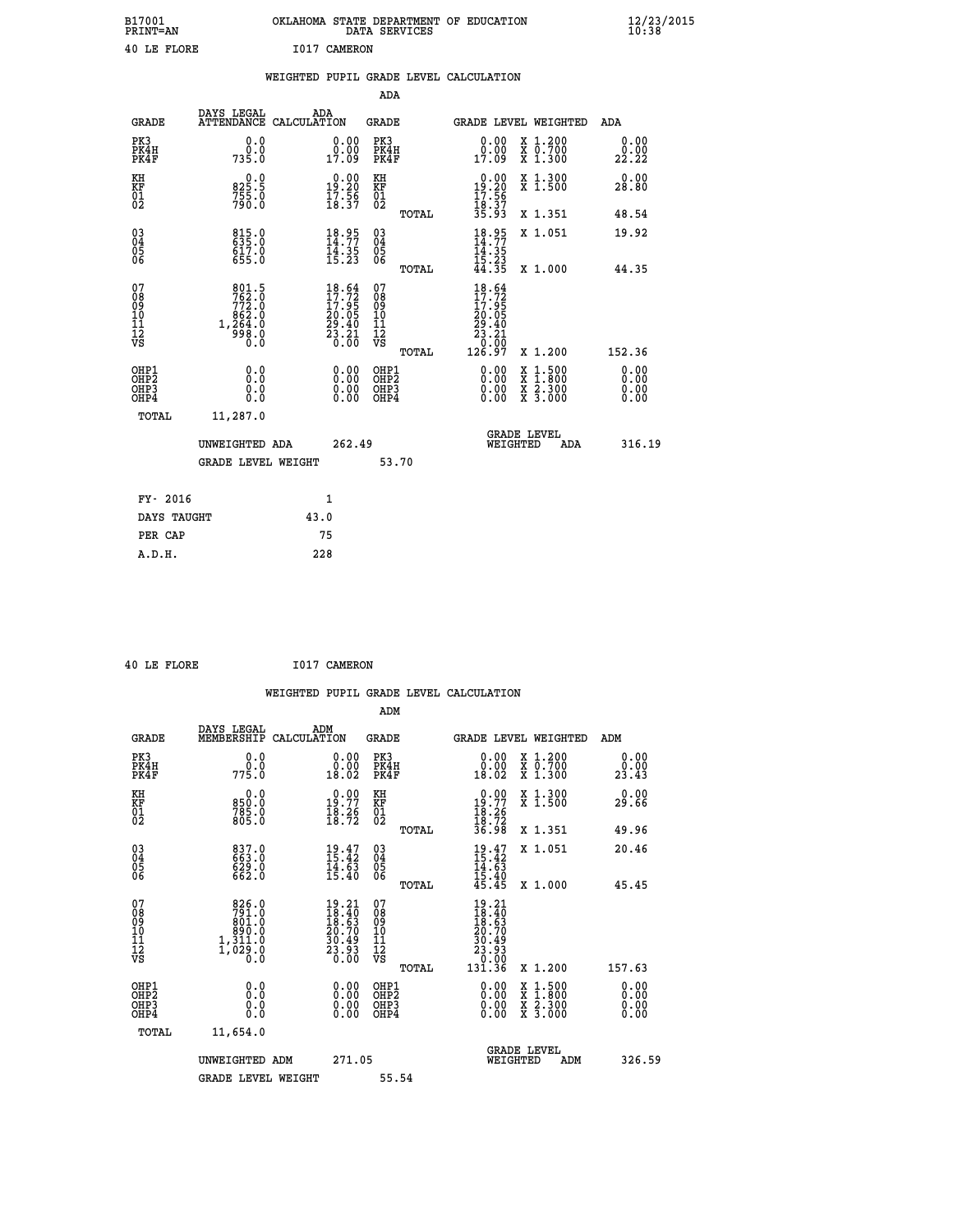| B17001<br>PRINT=AN | OKLAHOMA STATE DEPARTMENT OF EDUCATION<br>DATA SERVICES | $\frac{12}{23}$ /2015 |
|--------------------|---------------------------------------------------------|-----------------------|
| 40 LE FLORE        | I017 CAMERON                                            |                       |

|                                                    |                                                                        | WEIGHTED PUPIL GRADE LEVEL CALCULATION                                                             |                                                     |              |                                                                                                             |                                                                                                                                           |                              |
|----------------------------------------------------|------------------------------------------------------------------------|----------------------------------------------------------------------------------------------------|-----------------------------------------------------|--------------|-------------------------------------------------------------------------------------------------------------|-------------------------------------------------------------------------------------------------------------------------------------------|------------------------------|
|                                                    |                                                                        |                                                                                                    | <b>ADA</b>                                          |              |                                                                                                             |                                                                                                                                           |                              |
| <b>GRADE</b>                                       | DAYS LEGAL                                                             | ADA<br>ATTENDANCE CALCULATION                                                                      | <b>GRADE</b>                                        |              | GRADE LEVEL WEIGHTED                                                                                        |                                                                                                                                           | ADA                          |
| PK3<br>PK4H<br>PK4F                                | 0.0<br>735.0                                                           | $\begin{smallmatrix} 0.00\\ 0.00\\ 17.09 \end{smallmatrix}$                                        | PK3<br>PK4H<br>PK4F                                 |              | 0.00<br>ŏ:ŏŏ<br>17:09                                                                                       | X 1.200<br>X 0.700<br>X 1.300                                                                                                             | 0.00<br>22.22                |
| KH<br>KF<br>01<br>02                               | 0.0<br>825.5<br>$7\bar{5}\bar{5}\cdot 0$<br>790.0                      | $0.00$<br>19.20<br>17.56<br>18.37                                                                  | KH<br>KF<br>01<br>02                                |              | 0.00<br>$\frac{19.20}{17.56}$                                                                               | X 1.300<br>X 1.500                                                                                                                        | 0.00<br>28.80                |
|                                                    |                                                                        |                                                                                                    |                                                     | <b>TOTAL</b> | 18:37<br>35.93                                                                                              | X 1.351                                                                                                                                   | 48.54                        |
| $\begin{matrix} 03 \\ 04 \\ 05 \\ 06 \end{matrix}$ | 815.0<br>635.0<br>617.0<br>655.0                                       | $18.95$<br>$14.77$<br>$14.35$<br>$15.23$                                                           | $\begin{array}{c} 03 \\ 04 \\ 05 \\ 06 \end{array}$ |              | $18.95$<br>$14.77$<br>$14.35$<br>$15.23$<br>$44.35$                                                         | X 1.051                                                                                                                                   | 19.92                        |
|                                                    |                                                                        |                                                                                                    |                                                     | TOTAL        |                                                                                                             | X 1.000                                                                                                                                   | 44.35                        |
| 07<br>0890112<br>1112<br>VS                        | 801.5<br>762.0<br>$772.0$<br>862.0<br>862.0<br>1,264.0<br>998.0<br>0.0 | $\begin{smallmatrix} 18.64 \\ 17.72 \\ 17.95 \\ 20.05 \\ 29.40 \\ 23.21 \\ 0.00 \end{smallmatrix}$ | 07<br>08<br>09<br>11<br>11<br>12<br>VS              | TOTAL        | 18.64<br>$\begin{smallmatrix}10&0&0&0&0\1&7&0&9&5\0&2&0&0&5\0&2&3&0&0\0&0&0&0&0\1&2&6&9&7\end{smallmatrix}$ | X 1.200                                                                                                                                   | 152.36                       |
| OHP1<br>OHP2<br>OH <sub>P3</sub><br>OHP4           | 0.0<br>0.0<br>0.0                                                      | $\begin{smallmatrix} 0.00 \ 0.00 \ 0.00 \ 0.00 \end{smallmatrix}$                                  | OHP1<br>OHP2<br>OHP3<br>OHP4                        |              | 0.00<br>0.00<br>0.00                                                                                        | $\begin{smallmatrix} \mathtt{X} & 1\cdot500\\ \mathtt{X} & 1\cdot800\\ \mathtt{X} & 2\cdot300\\ \mathtt{X} & 3\cdot000 \end{smallmatrix}$ | 0.00<br>0.00<br>0.00<br>0.00 |
| <b>TOTAL</b>                                       | 11,287.0                                                               |                                                                                                    |                                                     |              |                                                                                                             |                                                                                                                                           |                              |
|                                                    | UNWEIGHTED ADA                                                         | 262.49                                                                                             |                                                     |              | WEIGHTED                                                                                                    | <b>GRADE LEVEL</b><br>ADA                                                                                                                 | 316.19                       |
|                                                    | <b>GRADE LEVEL WEIGHT</b>                                              |                                                                                                    |                                                     | 53.70        |                                                                                                             |                                                                                                                                           |                              |
| FY- 2016                                           |                                                                        | $\mathbf{1}$                                                                                       |                                                     |              |                                                                                                             |                                                                                                                                           |                              |
| DAYS TAUGHT                                        |                                                                        | 43.0                                                                                               |                                                     |              |                                                                                                             |                                                                                                                                           |                              |
| PER CAP                                            |                                                                        | 75                                                                                                 |                                                     |              |                                                                                                             |                                                                                                                                           |                              |

 **40 LE FLORE I017 CAMERON**

 **A.D.H. 228**

 **WEIGHTED PUPIL GRADE LEVEL CALCULATION ADM DAYS LEGAL** ... ADM

| <b>GRADE</b>                                       | MEMBERSHIP                                                                              | CALCULATION                                                               | GRADE                        |       | <b>GRADE LEVEL WEIGHTED</b>                                                                       |                                                                                                                     | ADM                          |        |
|----------------------------------------------------|-----------------------------------------------------------------------------------------|---------------------------------------------------------------------------|------------------------------|-------|---------------------------------------------------------------------------------------------------|---------------------------------------------------------------------------------------------------------------------|------------------------------|--------|
| PK3<br>PK4H<br>PK4F                                | 0.0<br>775.0                                                                            | $\begin{smallmatrix} 0.00\\ 0.00\\ 18.02 \end{smallmatrix}$               | PK3<br>PK4H<br>PK4F          |       | $\begin{smallmatrix} 0.00\\ 0.00\\ 18.02 \end{smallmatrix}$                                       | X 1.200<br>X 0.700<br>X 1.300                                                                                       | 0.00<br>$\frac{0.00}{23.43}$ |        |
| KH<br>KF<br>01<br>02                               | 0.0<br>850:0<br>785:0<br>805:0                                                          | 19:77<br>$\frac{18.26}{18.72}$                                            | KH<br>KF<br>01<br>02         |       | $0.00$<br>19.77                                                                                   | X 1.300<br>X 1.500                                                                                                  | 0.00<br>29.66                |        |
|                                                    |                                                                                         |                                                                           |                              | TOTAL | $\frac{18.26}{18.72}$<br>36.98                                                                    | X 1.351                                                                                                             | 49.96                        |        |
| $\begin{matrix} 03 \\ 04 \\ 05 \\ 06 \end{matrix}$ | 837.0<br>663.0<br>629.0<br>662.0                                                        | $19.47$<br>$15.42$<br>$\frac{14.63}{15.40}$                               | 03<br>04<br>05<br>06         |       | $19.47$<br>$15.42$<br>$14.63$<br>$15.40$<br>$45.45$                                               | X 1.051                                                                                                             | 20.46                        |        |
|                                                    |                                                                                         |                                                                           |                              | TOTAL |                                                                                                   | X 1.000                                                                                                             | 45.45                        |        |
| 07<br>0890112<br>1112<br>VS                        | $\begin{smallmatrix}826.0\\791.0\\801.0\\800.0\\1,311.0\\1,029.0\\0.0\end{smallmatrix}$ | $19.21$<br>$18.40$<br>$18.63$<br>$20.70$<br>$30.49$<br>$23.93$<br>$23.93$ | 07<br>08901123<br>1112<br>VS |       | $\begin{smallmatrix} 19.21\ 18.40\ 18.63\ 10.709\ 20.493\ 23.93\ 0.00\ 131.36\ \end{smallmatrix}$ |                                                                                                                     |                              |        |
|                                                    |                                                                                         |                                                                           |                              | TOTAL |                                                                                                   | X 1.200                                                                                                             | 157.63                       |        |
| OHP1<br>OHP2<br>OHP <sub>3</sub><br>OHP4           |                                                                                         |                                                                           | OHP1<br>OHP2<br>OHP3<br>OHP4 |       |                                                                                                   | $\begin{array}{l} \mathtt{X} & 1.500 \\ \mathtt{X} & 1.800 \\ \mathtt{X} & 2.300 \\ \mathtt{X} & 3.000 \end{array}$ | $0.00$<br>$0.00$<br>0.00     |        |
| TOTAL                                              | 11,654.0                                                                                |                                                                           |                              |       |                                                                                                   |                                                                                                                     |                              |        |
|                                                    | UNWEIGHTED ADM                                                                          | 271.05                                                                    |                              |       | <b>GRADE LEVEL</b><br>WEIGHTED                                                                    | ADM                                                                                                                 |                              | 326.59 |
|                                                    | <b>GRADE LEVEL WEIGHT</b>                                                               |                                                                           | 55.54                        |       |                                                                                                   |                                                                                                                     |                              |        |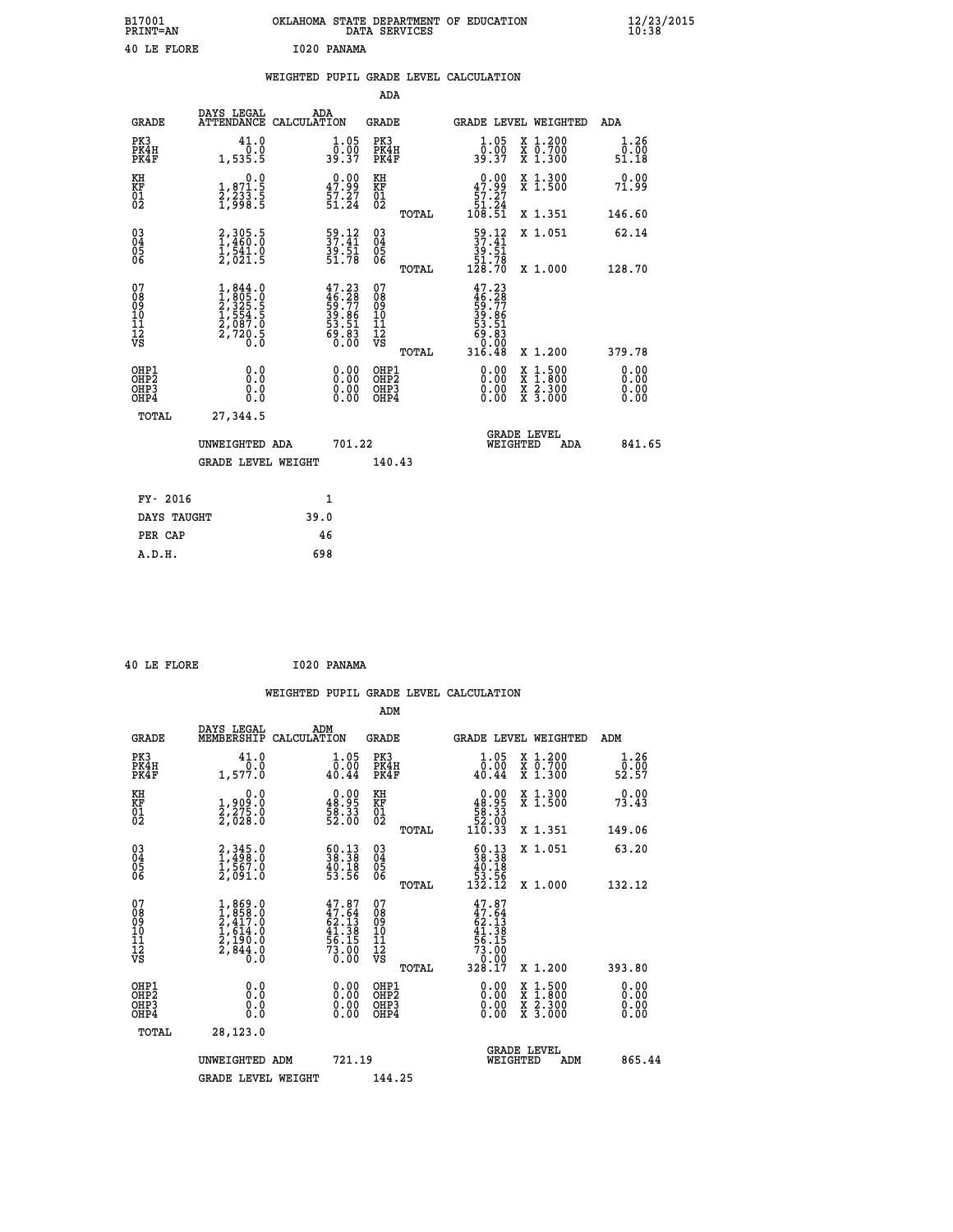| B17001<br><b>PRINT=AN</b> | OKLAHOMA STATE DEPARTMENT OF EDUCATION<br>DATA SERVICES | $\frac{12}{23}$ /2015 |
|---------------------------|---------------------------------------------------------|-----------------------|
| 40 LE FLORE               | I020 PANAMA                                             |                       |

|  |     | WEIGHTED PUPIL GRADE LEVEL CALCULATION |  |
|--|-----|----------------------------------------|--|
|  | ADA |                                        |  |

| <b>GRADE</b>                                       | DAYS LEGAL                                                                                                                                                | ADA<br>ATTENDANCE CALCULATION                                        | <b>GRADE</b>                                        | <b>GRADE LEVEL WEIGHTED</b>                                                                                                                                                                                                                                                    |                               | ADA                          |
|----------------------------------------------------|-----------------------------------------------------------------------------------------------------------------------------------------------------------|----------------------------------------------------------------------|-----------------------------------------------------|--------------------------------------------------------------------------------------------------------------------------------------------------------------------------------------------------------------------------------------------------------------------------------|-------------------------------|------------------------------|
| PK3<br>PK4H<br>PK4F                                | 41.0<br>0.0<br>1,535.5                                                                                                                                    | $\frac{1 \cdot 05}{0 \cdot 00}$<br>39.37                             | PK3<br>PK4H<br>PK4F                                 | $\frac{1}{0}$ : 05<br>39.37                                                                                                                                                                                                                                                    | X 1.200<br>X 0.700<br>X 1.300 | 1.26<br>0.00<br>51.18        |
| KH<br>KF<br>01<br>02                               | 0.0<br>1,871.5<br>2,233.5<br>1,998.5                                                                                                                      | $\begin{smallmatrix} 0.00\\ 47.99\\ 57.27\\ 51.24 \end{smallmatrix}$ | KH<br>KF<br>01<br>02                                | 47.99<br>$\frac{57}{51}$ $\frac{27}{24}$<br>108.51                                                                                                                                                                                                                             | X 1.300<br>X 1.500            | 0.00<br>71.99                |
|                                                    |                                                                                                                                                           |                                                                      | TOTAL                                               |                                                                                                                                                                                                                                                                                | X 1.351                       | 146.60                       |
| $\begin{matrix} 03 \\ 04 \\ 05 \\ 06 \end{matrix}$ | 2,305.5<br>1,460.0<br>1,541.0<br>2,021.5                                                                                                                  | 59.12<br>37.41<br>39.51<br>51.78                                     | $\begin{array}{c} 03 \\ 04 \\ 05 \\ 06 \end{array}$ | $\frac{59.12}{37.41}$<br>$\frac{39.51}{39.51}$<br>51.78<br>128.70                                                                                                                                                                                                              | X 1.051                       | 62.14                        |
|                                                    |                                                                                                                                                           |                                                                      | TOTAL                                               |                                                                                                                                                                                                                                                                                | X 1.000                       | 128.70                       |
| 07<br>08<br>09<br>11<br>11<br>12<br>VS             | $\begin{smallmatrix} 1, & 844 & 0\\ 1, & 805 & 0\\ 2, & 325 & 5\\ 2, & 554 & 5\\ 1, & 554 & 5\\ 2, & 087 & 0\\ 2, & 720 & 5\\ 0 & 0 & 0\end{smallmatrix}$ | $47.23\n46.28\n59.77\n39.86\n53.51\n53.51\n69.83\n0.00$              | 07<br>08<br>09<br>11<br>11<br>12<br>VS<br>TOTAL     | $47.23\n46.28\n59.77\n59.86\n30.81\n60.83\n0.000\n316.48$                                                                                                                                                                                                                      | X 1.200                       | 379.78                       |
| OHP1<br>OHP2<br>OHP3<br>OHP4                       | 0.0<br>0.000                                                                                                                                              | 0.00<br>$\begin{smallmatrix} 0.00 \ 0.00 \end{smallmatrix}$          | OHP1<br>OHP2<br>OHP3<br>OHP4                        | $\begin{smallmatrix} 0.00 & 0.00 & 0.00 & 0.00 & 0.00 & 0.00 & 0.00 & 0.00 & 0.00 & 0.00 & 0.00 & 0.00 & 0.00 & 0.00 & 0.00 & 0.00 & 0.00 & 0.00 & 0.00 & 0.00 & 0.00 & 0.00 & 0.00 & 0.00 & 0.00 & 0.00 & 0.00 & 0.00 & 0.00 & 0.00 & 0.00 & 0.00 & 0.00 & 0.00 & 0.00 & 0.0$ | X 1:500<br>X 2.300<br>X 3.000 | 0.00<br>0.00<br>0.00<br>0.00 |
| TOTAL                                              | 27,344.5                                                                                                                                                  |                                                                      |                                                     |                                                                                                                                                                                                                                                                                |                               |                              |
|                                                    | UNWEIGHTED ADA                                                                                                                                            | 701.22                                                               |                                                     | <b>GRADE LEVEL</b><br>WEIGHTED                                                                                                                                                                                                                                                 | <b>ADA</b>                    | 841.65                       |
|                                                    | <b>GRADE LEVEL WEIGHT</b>                                                                                                                                 |                                                                      | 140.43                                              |                                                                                                                                                                                                                                                                                |                               |                              |
|                                                    |                                                                                                                                                           |                                                                      |                                                     |                                                                                                                                                                                                                                                                                |                               |                              |
| FY- 2016                                           |                                                                                                                                                           | 1                                                                    |                                                     |                                                                                                                                                                                                                                                                                |                               |                              |
| DAYS TAUGHT                                        |                                                                                                                                                           | 39.0                                                                 |                                                     |                                                                                                                                                                                                                                                                                |                               |                              |
| PER CAP                                            |                                                                                                                                                           | 46                                                                   |                                                     |                                                                                                                                                                                                                                                                                |                               |                              |

|  | 40 LE FLORE | I020 PANAMA |
|--|-------------|-------------|
|  |             |             |

PER CAP 46<br>A.D.H. 698

 **ADM**

| <b>GRADE</b>                             | DAYS LEGAL<br>MEMBERSHIP                                                                                                                    | ADM<br>CALCULATION                                                       | <b>GRADE</b>                                        |       | GRADE LEVEL WEIGHTED                                                                             |                                          | ADM                    |  |
|------------------------------------------|---------------------------------------------------------------------------------------------------------------------------------------------|--------------------------------------------------------------------------|-----------------------------------------------------|-------|--------------------------------------------------------------------------------------------------|------------------------------------------|------------------------|--|
| PK3<br>PK4H<br>PK4F                      | 41.0<br>1,577.0                                                                                                                             | $1.05$<br>$0.00$<br>40.44                                                | PK3<br>PK4H<br>PK4F                                 |       | 1.05<br>0.00<br>40.44                                                                            | X 1.200<br>X 0.700<br>X 1.300            | 1.26<br>52.50<br>52.57 |  |
| KH<br>KF<br>01<br>02                     | 0.0<br>1,909:0<br>2,275:0<br>2,028:0                                                                                                        | $\begin{smallmatrix} 0.00\\ 48.95\\ 58.33\\ 52.00 \end{smallmatrix}$     | KH<br>KF<br>01<br>02                                |       | $\begin{smallmatrix}&&0.00\\48.95\\58.33\\52.00\\110.33\end{smallmatrix}$                        | X 1.300<br>X 1.500                       | 0.00<br>73.43          |  |
|                                          |                                                                                                                                             |                                                                          |                                                     | TOTAL |                                                                                                  | X 1.351                                  | 149.06                 |  |
| 03<br>04<br>05<br>06                     | 2,345.0<br>1,498.0<br>1,567.0<br>2,091.0                                                                                                    | $\begin{smallmatrix} 60.13\ 38.38\ 40.18\ 53.56 \end{smallmatrix}$       | $\begin{array}{c} 03 \\ 04 \\ 05 \\ 06 \end{array}$ |       | $\begin{smallmatrix} 60.13\\ 38.38\\ 40.18\\ 53.56\\ 132.12 \end{smallmatrix}$                   | X 1.051                                  | 63.20                  |  |
|                                          |                                                                                                                                             |                                                                          |                                                     | TOTAL |                                                                                                  | X 1.000                                  | 132.12                 |  |
| 07<br>089<br>090<br>1112<br>VS           | $\begin{smallmatrix} 1, & 869 & 0\\ 1, & 858 & 0\\ 2, & 417 & 0\\ 1, & 614 & 0\\ 2, & 190 & 0\\ 2, & 844 & 0\\ 0 & 0 & 0 \end{smallmatrix}$ | $47.87$<br>$47.64$<br>$62.13$<br>$41.38$<br>$56.15$<br>$73.00$<br>$0.00$ | 07<br>08<br>09<br>11<br>11<br>12<br>VS              | TOTAL | $47.87$<br>$47.64$<br>$62.13$<br>$62.13$<br>$41.38$<br>$56.15$<br>$73.00$<br>$0.000$<br>$328.17$ | X 1.200                                  | 393.80                 |  |
|                                          |                                                                                                                                             |                                                                          |                                                     |       |                                                                                                  |                                          |                        |  |
| OHP1<br>OHP2<br>OH <sub>P3</sub><br>OHP4 | 0.0<br>0.000                                                                                                                                |                                                                          | OHP1<br>OHP2<br>OHP3<br>OHP4                        |       | 0.00<br>$0.00$<br>0.00                                                                           | X 1:500<br>X 1:800<br>X 2:300<br>X 3:000 | 0.00<br>0.00<br>0.00   |  |
| TOTAL                                    | 28,123.0                                                                                                                                    |                                                                          |                                                     |       |                                                                                                  |                                          |                        |  |
|                                          | UNWEIGHTED<br>ADM                                                                                                                           | 721.19                                                                   |                                                     |       | WEIGHTED                                                                                         | <b>GRADE LEVEL</b><br>ADM                | 865.44                 |  |
|                                          | <b>GRADE LEVEL WEIGHT</b>                                                                                                                   |                                                                          | 144.25                                              |       |                                                                                                  |                                          |                        |  |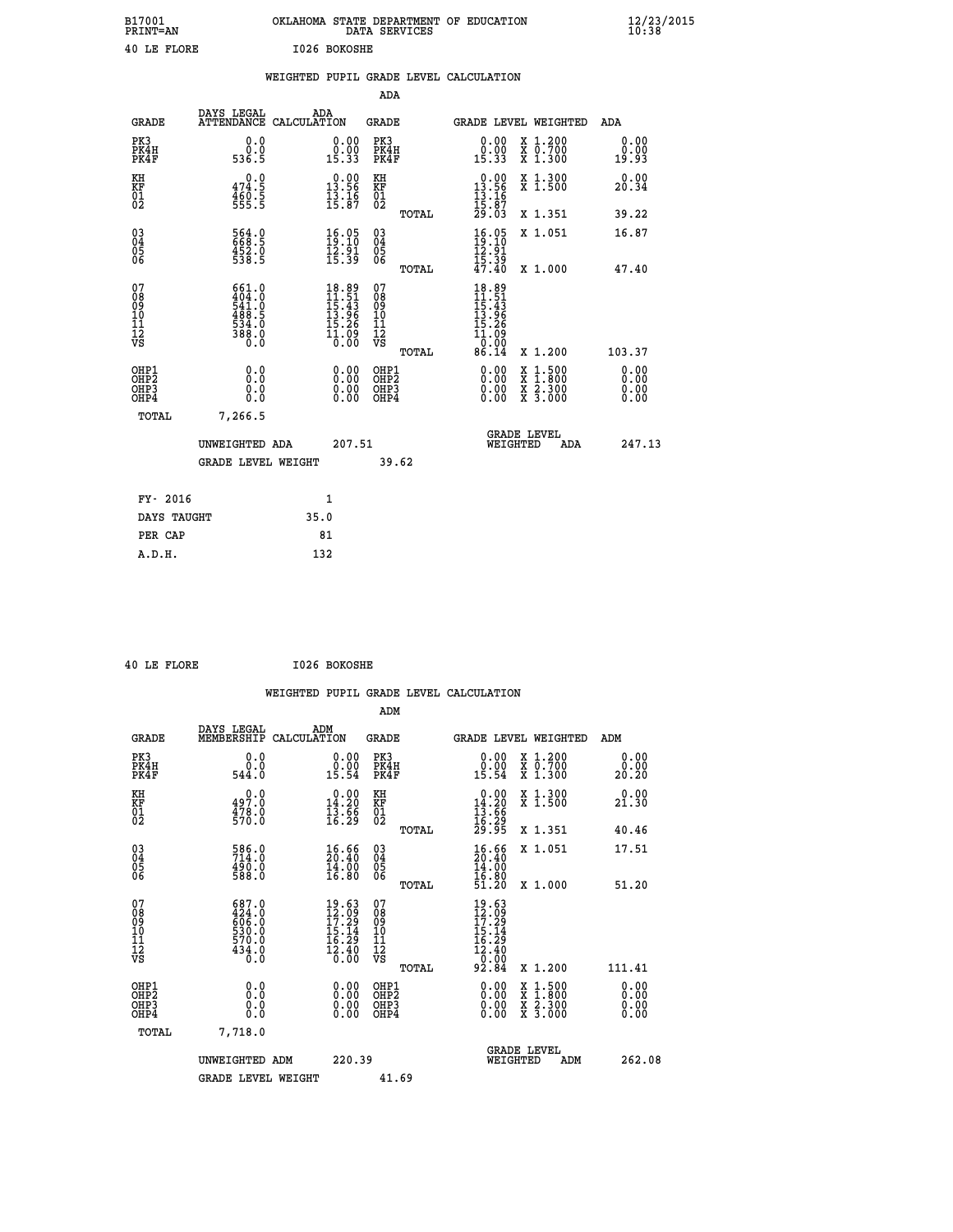| B17001<br><b>PRINT=AN</b> | OKLAHOMA STATE DEPARTMENT OF EDUCATION<br>DATA SERVICES | $\frac{12}{23}$ /2015 |
|---------------------------|---------------------------------------------------------|-----------------------|
| 40 LE FLORE               | I026 BOKOSHE                                            |                       |

|                                        |                                                         | WEIGHTED PUPIL GRADE LEVEL CALCULATION                                                                                                       |                                                      |                                                                                                                                                                                                                                                                                                                                                                                                                             |                              |
|----------------------------------------|---------------------------------------------------------|----------------------------------------------------------------------------------------------------------------------------------------------|------------------------------------------------------|-----------------------------------------------------------------------------------------------------------------------------------------------------------------------------------------------------------------------------------------------------------------------------------------------------------------------------------------------------------------------------------------------------------------------------|------------------------------|
|                                        |                                                         |                                                                                                                                              | <b>ADA</b>                                           |                                                                                                                                                                                                                                                                                                                                                                                                                             |                              |
| <b>GRADE</b>                           | DAYS LEGAL<br><b>ATTENDANCE</b>                         | ADA<br>CALCULATION                                                                                                                           | <b>GRADE</b>                                         | GRADE LEVEL WEIGHTED                                                                                                                                                                                                                                                                                                                                                                                                        | ADA                          |
| PK3<br>PK4H<br>PK4F                    | 0.0<br>ō:ō<br>536.5                                     | $\begin{smallmatrix} 0.00\\ 0.00\\ 15.33 \end{smallmatrix}$                                                                                  | PK3<br>PK4H<br>PK4F                                  | 0.00<br>X 1.200<br>X 0.700<br>X 1.300<br>$\begin{smallmatrix} 0.00 \ 15.33 \end{smallmatrix}$                                                                                                                                                                                                                                                                                                                               | 0.00<br>0.00<br>19.93        |
| KH<br>KF<br>01<br>02                   | 0.0<br>$474.5$<br>$460.5$<br>$555.5$                    | $\begin{array}{c} 0.00 \\ 13.56 \\ 13.16 \\ 15.87 \end{array}$                                                                               | KH<br>KF<br>01<br>02                                 | $\begin{array}{r} 0.00 \\ 13.56 \\ 13.16 \\ 15.87 \\ 29.03 \end{array}$<br>X 1.300<br>X 1.500                                                                                                                                                                                                                                                                                                                               | 0.00<br>20.34                |
|                                        |                                                         |                                                                                                                                              | TOTAL                                                | X 1.351                                                                                                                                                                                                                                                                                                                                                                                                                     | 39.22                        |
| 03<br>04<br>05<br>06                   | 564.0<br>668.5<br>452.0<br>538.5                        | $\begin{smallmatrix} 16.05\\19.10\\12.91\\15.39 \end{smallmatrix}$                                                                           | $\begin{array}{c} 03 \\ 04 \\ 05 \\ 06 \end{array}$  | $\begin{array}{c} 16.05 \\ 19.10 \\ 12.91 \\ 15.39 \\ 47.40 \end{array}$<br>X 1.051                                                                                                                                                                                                                                                                                                                                         | 16.87                        |
|                                        |                                                         |                                                                                                                                              | TOTAL                                                | X 1.000                                                                                                                                                                                                                                                                                                                                                                                                                     | 47.40                        |
| 07<br>08<br>09<br>11<br>11<br>12<br>VS | 661.0<br>404.04.04<br>541.0541.05<br>534.06<br>538.00.0 | $\begin{array}{r} 18.89 \\[-2pt] 11.51 \\[-2pt] 15.43 \\[-2pt] 13.96 \\[-2pt] 13.26 \\[-2pt] 15.26 \\[-2pt] 10.09 \\[-2pt] 0.00 \end{array}$ | 07<br>08<br>09<br>11<br>11<br>12<br>VS<br>TOTAL      | $18.89$<br>$11.51$<br>$15.43$<br>$13.96$<br>$\bar{1}\bar{5}\cdot\bar{2}\bar{6}$<br>$\bar{1}\bar{1}\cdot\bar{0}\bar{9}$<br>0.00<br>86.14<br>X 1.200                                                                                                                                                                                                                                                                          | 103.37                       |
| OHP1<br>OHP2<br>OHP3<br>OHP4           | 0.0<br>0.0<br>0.0                                       | $\begin{smallmatrix} 0.00 \ 0.00 \ 0.00 \ 0.00 \end{smallmatrix}$                                                                            | OHP1<br>OHP2<br>OHP <sub>3</sub><br>OHP <sub>4</sub> | $\begin{smallmatrix} 0.00 & 0.00 & 0.00 & 0.00 & 0.00 & 0.00 & 0.00 & 0.00 & 0.00 & 0.00 & 0.00 & 0.00 & 0.00 & 0.00 & 0.00 & 0.00 & 0.00 & 0.00 & 0.00 & 0.00 & 0.00 & 0.00 & 0.00 & 0.00 & 0.00 & 0.00 & 0.00 & 0.00 & 0.00 & 0.00 & 0.00 & 0.00 & 0.00 & 0.00 & 0.00 & 0.0$<br>$\begin{smallmatrix} \mathtt{X} & 1\cdot500\\ \mathtt{X} & 1\cdot800\\ \mathtt{X} & 2\cdot300\\ \mathtt{X} & 3\cdot000 \end{smallmatrix}$ | 0.00<br>0.00<br>0.00<br>0.00 |
| <b>TOTAL</b>                           | 7,266.5                                                 |                                                                                                                                              |                                                      |                                                                                                                                                                                                                                                                                                                                                                                                                             |                              |
|                                        | UNWEIGHTED ADA                                          | 207.51                                                                                                                                       |                                                      | <b>GRADE LEVEL</b><br>WEIGHTED<br>ADA                                                                                                                                                                                                                                                                                                                                                                                       | 247.13                       |
|                                        | <b>GRADE LEVEL WEIGHT</b>                               |                                                                                                                                              | 39.62                                                |                                                                                                                                                                                                                                                                                                                                                                                                                             |                              |
| FY- 2016                               |                                                         | 1                                                                                                                                            |                                                      |                                                                                                                                                                                                                                                                                                                                                                                                                             |                              |
|                                        | DAYS TAUGHT                                             | 35.0                                                                                                                                         |                                                      |                                                                                                                                                                                                                                                                                                                                                                                                                             |                              |
| PER CAP                                |                                                         | 81                                                                                                                                           |                                                      |                                                                                                                                                                                                                                                                                                                                                                                                                             |                              |

|  | $\cdots$ $\cdots$ |  |
|--|-------------------|--|

 **40 LE FLORE I026 BOKOSHE WEIGHTED PUPIL GRADE LEVEL CALCULATION ADM DAYS LEGAL ADM GRADE MEMBERSHIP CALCULATION GRADE GRADE LEVEL WEIGHTED ADM PK3 0.0 0.00 PK3 0.00 X 1.200 0.00 PK4H 0.0 0.00 PK4H 0.00 X 0.700 0.00 PK4F 544.0 15.54 PK4F 15.54 X 1.300 20.20 KH 0.0 0.00 KH 0.00 X 1.300 0.00 KF 497.0 14.20 KF 14.20 X 1.500 21.30 01 13.66 01 13.66 01 02 570.0 16.29 02 16.29 TOTAL 29.95 X 1.351 40.46 03 586.0 16.66 03 16.66 X 1.051 17.51 04 714.0 20.40 04 20.40 05 490.0 14.00 05 14.00** 06 588.0 16.80 06 <sub>momas</sub> 16.80  **TOTAL 51.20 X 1.000 51.20 07 687.0 19.63 07 19.63 08 424.0 12.09 08 12.09 09 606.0 17.29 09 17.29 10 530.0 15.14 10 15.14 11 570.0 16.29 11 16.29 12 434.0 12.40 12 12.40 VS** 0.0 0.00 VS 0.00 0.00  **TOTAL 92.84 X 1.200 111.41 OHP1 0.0 0.00 OHP1 0.00 X 1.500 0.00 OHP2 0.0 0.00 OHP2 0.00 X 1.800 0.00 OHP3 0.0 0.00 OHP3 0.00 X 2.300 0.00 OHP4 0.0 0.00 OHP4 0.00 X 3.000 0.00 TOTAL 7,718.0 GRADE LEVEL UNWEIGHTED ADM 220.39 WEIGHTED ADM 262.08** GRADE LEVEL WEIGHT 41.69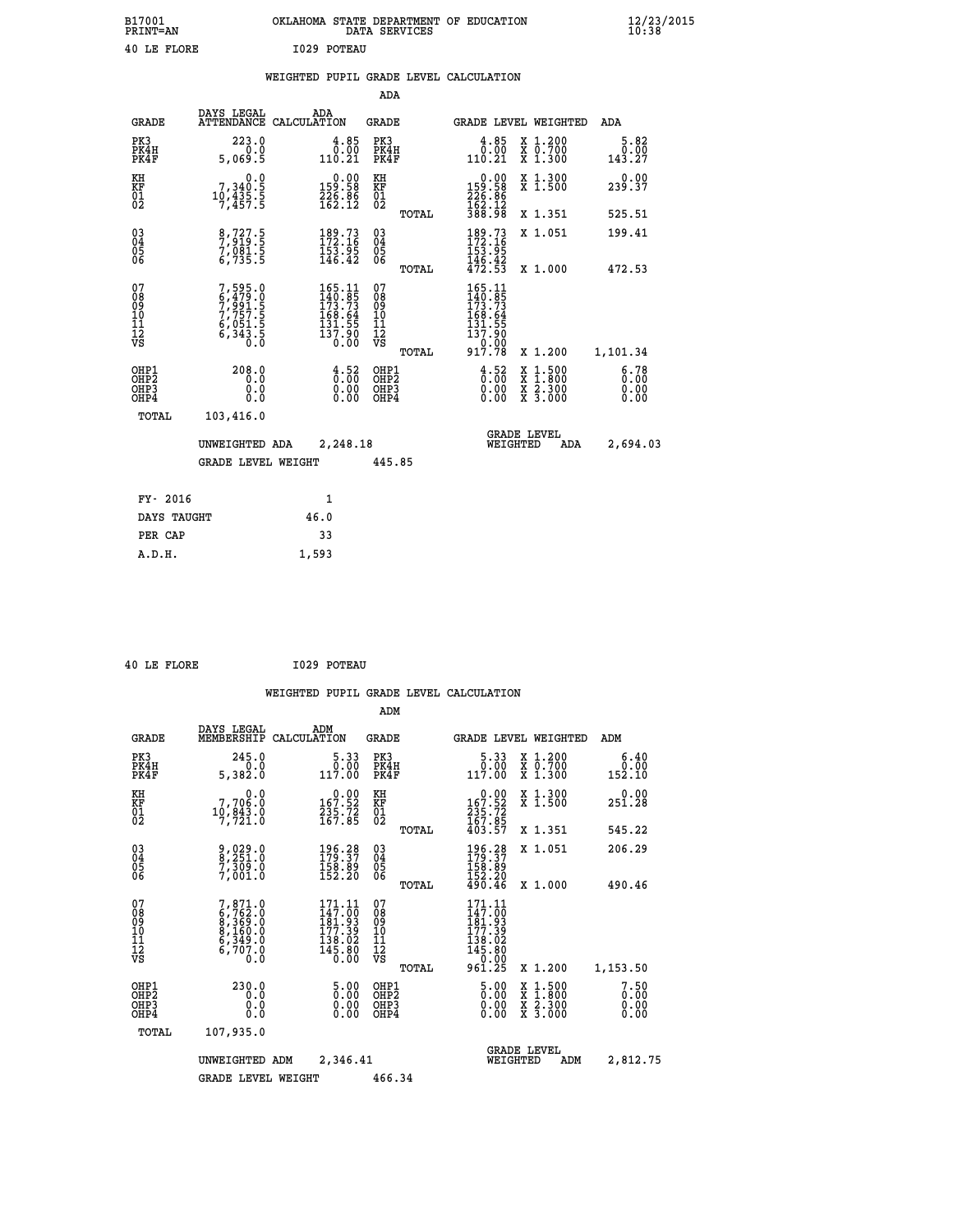| B17001<br><b>PRINT=AN</b> | OKLAHOMA STATE DEPARTMENT OF EDUCATION<br>DATA SERVICES | $\frac{12}{23}$ /2015 |
|---------------------------|---------------------------------------------------------|-----------------------|
| 40 LE FLORE               | I029 POTEAU                                             |                       |

|  |  | WEIGHTED PUPIL GRADE LEVEL CALCULATION |
|--|--|----------------------------------------|
|  |  |                                        |

|                                                                    |                                                                        |                                                                                             | ADA                                       |       |                                                                                              |                                          |                              |
|--------------------------------------------------------------------|------------------------------------------------------------------------|---------------------------------------------------------------------------------------------|-------------------------------------------|-------|----------------------------------------------------------------------------------------------|------------------------------------------|------------------------------|
| <b>GRADE</b>                                                       | DAYS LEGAL                                                             | ADA<br>ATTENDANCE CALCULATION                                                               | <b>GRADE</b>                              |       | <b>GRADE LEVEL WEIGHTED</b>                                                                  |                                          | <b>ADA</b>                   |
| PK3<br>PK4H<br>PK4F                                                | 223.0<br>0.0<br>5,069.5                                                | $\frac{4.85}{0.00}$<br>110.21                                                               | PK3<br>PK4H<br>PK4F                       |       | $\begin{smallmatrix} 4.85\ 0.00\ 110.21\ \end{smallmatrix}$                                  | X 1.200<br>X 0.700<br>X 1.300            | 5.82<br>0.00<br>143.27       |
| KH<br><b>KF</b><br>01<br>02                                        | 0.0<br>$7,340.5$<br>$10,435.5$<br>$7,457.5$                            | $\begin{smallmatrix} &0.00\\159.58\\226.86\\162.12\end{smallmatrix}$                        | KH<br>KF<br>01<br>02                      |       | $159.58$<br>$226.86$<br>$162.12$                                                             | X 1.300<br>X 1.500                       | 0.00<br>239.37               |
|                                                                    |                                                                        |                                                                                             |                                           | TOTAL | 388.98                                                                                       | X 1.351                                  | 525.51                       |
| $\begin{smallmatrix} 03 \\[-4pt] 04 \end{smallmatrix}$<br>Ŏ5<br>06 | 8,727.5<br>7,919.5<br>7,081.5<br>6,735.5                               | $\begin{smallmatrix} 189.73\ 172.16\ 153.95\ 146.42 \end{smallmatrix}$                      | $\substack{03 \\ 04}$<br>05<br>06         |       | $189.73172.16153.95146.42472.53$                                                             | X 1.051                                  | 199.41                       |
|                                                                    |                                                                        |                                                                                             |                                           | TOTAL |                                                                                              | X 1.000                                  | 472.53                       |
| 07<br>08901112<br>1112<br>VS                                       | 7,595.0<br>6,479.0<br>7,991.5<br>7,757.55<br>6,051.5<br>6,343.5<br>0.0 | $\begin{smallmatrix} 165.11\\140.85\\173.73\\168.64\\131.55\\137.90\\0.00\end{smallmatrix}$ | 07<br>08<br>09<br>11<br>11<br>12<br>VS    |       | 165.11<br>$\frac{140}{173}$ : 73<br>$\frac{15}{169}$ : 64<br>$\frac{131.55}{137.90}$<br>0.00 |                                          |                              |
|                                                                    |                                                                        |                                                                                             |                                           | TOTAL | 917.78                                                                                       | X 1.200                                  | 1,101.34                     |
| OHP1<br>OH <sub>P2</sub><br>OH <sub>P3</sub><br>OH <sub>P4</sub>   | 208.0<br>0.0<br>0.0<br>0.0                                             | $\frac{4}{9}$ : $\frac{52}{9}$<br>0.00<br>0.00                                              | OHP1<br>OH <sub>P</sub> 2<br>OHP3<br>OHP4 |       | $\frac{4}{9}$ : $\frac{52}{9}$<br>0.00<br>0.00                                               | X 1:500<br>X 1:800<br>X 2:300<br>X 3:000 | 6.78<br>0.00<br>0.00<br>0.00 |
| TOTAL                                                              | 103,416.0                                                              |                                                                                             |                                           |       |                                                                                              |                                          |                              |
|                                                                    | UNWEIGHTED ADA                                                         | 2,248.18                                                                                    |                                           |       |                                                                                              | GRADE LEVEL<br>WEIGHTED<br>ADA           | 2,694.03                     |
|                                                                    | <b>GRADE LEVEL WEIGHT</b>                                              |                                                                                             | 445.85                                    |       |                                                                                              |                                          |                              |
| FY- 2016                                                           |                                                                        | $\mathbf{1}$                                                                                |                                           |       |                                                                                              |                                          |                              |
| DAYS TAUGHT                                                        |                                                                        | 46.0                                                                                        |                                           |       |                                                                                              |                                          |                              |
| PER CAP                                                            |                                                                        | 33                                                                                          |                                           |       |                                                                                              |                                          |                              |

 **A.D.H. 1,593**

 **40 LE FLORE I029 POTEAU**

|                                          |                                                                                     |                                                                                             | ADM                                                 |                                                                                                                                                                                                                                                                                                                                           |                                          |                              |
|------------------------------------------|-------------------------------------------------------------------------------------|---------------------------------------------------------------------------------------------|-----------------------------------------------------|-------------------------------------------------------------------------------------------------------------------------------------------------------------------------------------------------------------------------------------------------------------------------------------------------------------------------------------------|------------------------------------------|------------------------------|
| <b>GRADE</b>                             | DAYS LEGAL<br>MEMBERSHIP                                                            | ADM<br>CALCULATION                                                                          | <b>GRADE</b>                                        | <b>GRADE LEVEL WEIGHTED</b>                                                                                                                                                                                                                                                                                                               |                                          | ADM                          |
| PK3<br>PK4H<br>PK4F                      | 245.0<br>0.0<br>5,382.0                                                             | 5.33<br>0.00<br>117.00                                                                      | PK3<br>PK4H<br>PK4F                                 | 5.33<br>$\begin{smallmatrix} & 0 & 0 & 0 \\ 1 & 1 & 7 & 0 & 0 \\ 0 & 0 & 0 & 0 & 0 \\ 0 & 0 & 0 & 0 & 0 \\ 0 & 0 & 0 & 0 & 0 \\ 0 & 0 & 0 & 0 & 0 \\ 0 & 0 & 0 & 0 & 0 \\ 0 & 0 & 0 & 0 & 0 \\ 0 & 0 & 0 & 0 & 0 \\ 0 & 0 & 0 & 0 & 0 \\ 0 & 0 & 0 & 0 & 0 \\ 0 & 0 & 0 & 0 & 0 \\ 0 & 0 & 0 & 0 & 0 & 0 \\ 0 & 0 & 0 & 0 & 0 & 0 \\ 0 &$ | X 1.200<br>X 0.700<br>X 1.300            | 6.40<br>0.00<br>152.10       |
| KH<br>KF<br>01<br>02                     | 0.0<br>7,706.0<br>10,843.0<br>7,721.0                                               | $\begin{array}{c} 0.00 \\ 167.52 \\ 235.72 \\ 167.85 \end{array}$                           | KH<br>KF<br>01<br>02                                | $0.00\n167.52\n235.72\n167.85\n403.57$                                                                                                                                                                                                                                                                                                    | X 1.300<br>X 1.500                       | 0.00<br>251.28               |
|                                          |                                                                                     |                                                                                             | TOTAL                                               |                                                                                                                                                                                                                                                                                                                                           | X 1.351                                  | 545.22                       |
| 03<br>04<br>05<br>06                     | 9,029.0<br>8,251.0<br>7,309.0<br>7,001.0                                            | 196.28<br>179.37<br>$\frac{158.89}{152.20}$                                                 | $\begin{array}{c} 03 \\ 04 \\ 05 \\ 06 \end{array}$ | $\begin{array}{c} 196\cdot 28 \\ 179\cdot 37 \\ 158\cdot 89 \\ 152\cdot 20 \\ 490\cdot 46 \end{array}$                                                                                                                                                                                                                                    | X 1.051                                  | 206.29                       |
|                                          |                                                                                     |                                                                                             | TOTAL                                               |                                                                                                                                                                                                                                                                                                                                           | X 1.000                                  | 490.46                       |
| 07<br>08<br>09<br>101<br>112<br>VS       | $7,871.0$<br>$6,762.0$<br>$8,369.0$<br>$8,160.0$<br>$6,349.0$<br>$6,707.0$<br>$0.0$ | $\begin{smallmatrix} 171.11\\147.00\\181.93\\177.39\\138.02\\145.80\\0.00\end{smallmatrix}$ | 07<br>08<br>09<br>11<br>11<br>12<br>VS<br>TOTAL     | $171.11$<br>$147.00$<br>$181.93$<br>$177.32$<br>138.02<br>145.80<br>--0.00<br>961.25                                                                                                                                                                                                                                                      | X 1.200                                  | 1,153.50                     |
| OHP1<br>OHP2<br>OH <sub>P3</sub><br>OHP4 | 230.0<br>0.0<br>0.000                                                               | 5.00<br>0.00<br>0.00<br>0.00                                                                | OHP1<br>OHP2<br>OHP3<br>OHP4                        | $\frac{5.00}{0.00}$<br>0.00                                                                                                                                                                                                                                                                                                               | X 1:500<br>X 1:800<br>X 2:300<br>X 3:000 | 7.50<br>0.00<br>0.00<br>0.00 |
| TOTAL                                    | 107,935.0                                                                           |                                                                                             |                                                     |                                                                                                                                                                                                                                                                                                                                           |                                          |                              |
|                                          | UNWEIGHTED                                                                          | 2,346.41<br>ADM                                                                             |                                                     | <b>GRADE LEVEL</b><br>WEIGHTED                                                                                                                                                                                                                                                                                                            | ADM                                      | 2,812.75                     |
|                                          | <b>GRADE LEVEL WEIGHT</b>                                                           |                                                                                             | 466.34                                              |                                                                                                                                                                                                                                                                                                                                           |                                          |                              |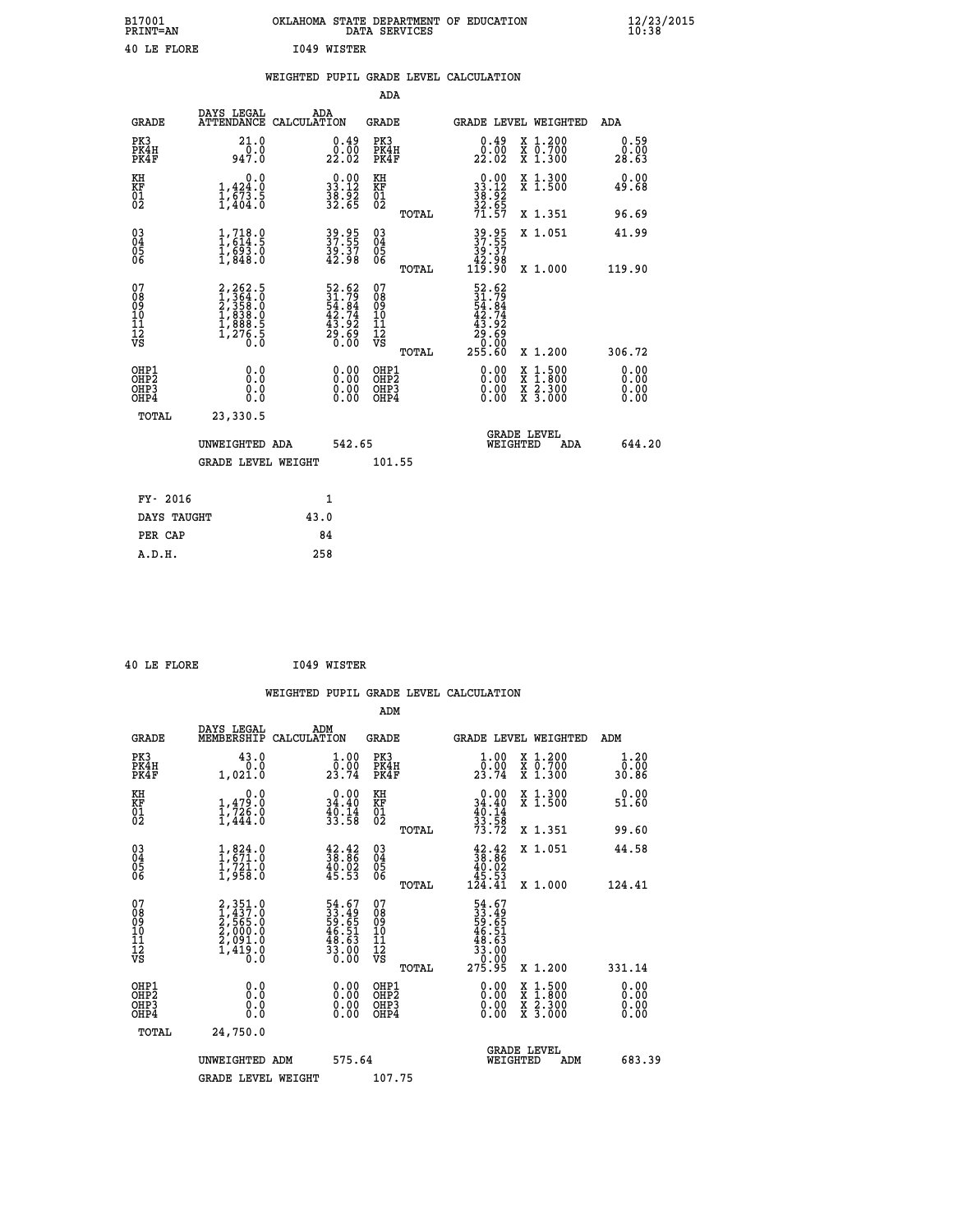| B17001<br>PRINT=AN | OKLAHOMA STATE DEPARTMENT OF EDUCATION<br>DATA SERVICES | $\frac{12}{23}$ /2015 |
|--------------------|---------------------------------------------------------|-----------------------|
| 40 LE FLORE        | 1049 WISTER                                             |                       |

|                                                     |                                                                                                         |      |                                                                          |                                                      |       | WEIGHTED PUPIL GRADE LEVEL CALCULATION                      |                                                                                                                                      |                              |
|-----------------------------------------------------|---------------------------------------------------------------------------------------------------------|------|--------------------------------------------------------------------------|------------------------------------------------------|-------|-------------------------------------------------------------|--------------------------------------------------------------------------------------------------------------------------------------|------------------------------|
|                                                     |                                                                                                         |      |                                                                          | ADA                                                  |       |                                                             |                                                                                                                                      |                              |
| <b>GRADE</b>                                        | DAYS LEGAL<br>ATTENDANCE CALCULATION                                                                    |      | ADA                                                                      | GRADE                                                |       |                                                             | GRADE LEVEL WEIGHTED                                                                                                                 | ADA                          |
| PK3<br>PK4H<br>PK4F                                 | 21.0<br>0.0<br>947.0                                                                                    |      | $0.49$<br>$0.00$<br>22.02                                                | PK3<br>PK4H<br>PK4F                                  |       | $0.49$<br>$0.00$<br>22.02                                   | X 1.200<br>X 0.700<br>X 1.300                                                                                                        | 0.59<br>0.00<br>28.63        |
| KH<br>KF<br>01<br>02                                | 0.0<br>1,424.0<br>$\frac{1}{1}$ , $\frac{673}{404}$ . 5                                                 |      | $\begin{smallmatrix} 0.00\\ 33.12\\ 38.92\\ 32.65 \end{smallmatrix}$     | KH<br>KF<br>01<br>02                                 |       | $0.00$<br>$33.12$<br>$38.92$<br>$32.65$<br>$71.57$          | X 1.300<br>X 1.500                                                                                                                   | 0.00<br>49.68                |
|                                                     |                                                                                                         |      |                                                                          |                                                      | TOTAL |                                                             | X 1.351                                                                                                                              | 96.69                        |
| 030404<br>ŎĞ                                        | $1,718.0$<br>$1,614.5$<br>$1,693.0$<br>$1,848.0$                                                        |      | 39.95<br>37.55<br>39.37<br>42.98                                         | 03<br>04<br>05<br>06                                 |       | 39.95<br>37.55<br>39.37<br>42.98<br>119.90                  | X 1.051                                                                                                                              | 41.99                        |
|                                                     |                                                                                                         |      |                                                                          |                                                      | TOTAL |                                                             | X 1.000                                                                                                                              | 119.90                       |
| 07<br>0890112<br>1112<br>VS                         | $\begin{smallmatrix} 2,262.5\\ 1,364.5\\ 2,358.0\\ 1,838.0\\ 1,888.5\\ 1,276.5\\ 0.0 \end{smallmatrix}$ |      | $52.62$<br>$31.79$<br>$54.84$<br>$42.74$<br>$43.92$<br>$29.69$<br>$0.00$ | 07<br>08<br>09<br>11<br>11<br>12<br>VS               |       | 52.62<br>31.79<br>54.84<br>42.74<br>43.92<br>29.69<br>29.90 |                                                                                                                                      |                              |
|                                                     |                                                                                                         |      |                                                                          |                                                      | TOTAL | 255.60                                                      | X 1.200                                                                                                                              | 306.72                       |
| OHP1<br>OH <sub>P</sub><br>OH <sub>P3</sub><br>OHP4 | 0.0<br>Ō.Ō<br>0.0<br>0.0                                                                                |      | 0.00<br>0.00<br>0.00                                                     | OHP1<br>OH <sub>P</sub> <sub>2</sub><br>OHP3<br>OHP4 |       | $0.00$<br>$0.00$<br>0.00                                    | $\begin{smallmatrix} \mathtt{X} & 1 & 500 \\ \mathtt{X} & 1 & 800 \\ \mathtt{X} & 2 & 300 \\ \mathtt{X} & 3 & 000 \end{smallmatrix}$ | 0.00<br>0.00<br>0.00<br>0.00 |
| TOTAL                                               | 23,330.5                                                                                                |      |                                                                          |                                                      |       |                                                             | <b>GRADE LEVEL</b>                                                                                                                   |                              |
|                                                     | UNWEIGHTED ADA                                                                                          |      | 542.65                                                                   |                                                      |       | WEIGHTED                                                    | ADA                                                                                                                                  | 644.20                       |
|                                                     | <b>GRADE LEVEL WEIGHT</b>                                                                               |      |                                                                          | 101.55                                               |       |                                                             |                                                                                                                                      |                              |
| FY- 2016                                            |                                                                                                         |      | 1                                                                        |                                                      |       |                                                             |                                                                                                                                      |                              |
| DAYS TAUGHT                                         |                                                                                                         | 43.0 |                                                                          |                                                      |       |                                                             |                                                                                                                                      |                              |
| PER CAP                                             |                                                                                                         |      | 84                                                                       |                                                      |       |                                                             |                                                                                                                                      |                              |
| A.D.H.                                              |                                                                                                         |      | 258                                                                      |                                                      |       |                                                             |                                                                                                                                      |                              |

 **40 LE FLORE I049 WISTER**

 **ADM**

| <b>GRADE</b>                                         | DAYS LEGAL<br>MEMBERSHIP                                                                          | ADM<br>CALCULATION                                          | <b>GRADE</b>                                        |       |                                                                             | GRADE LEVEL WEIGHTED                     | ADM                   |        |
|------------------------------------------------------|---------------------------------------------------------------------------------------------------|-------------------------------------------------------------|-----------------------------------------------------|-------|-----------------------------------------------------------------------------|------------------------------------------|-----------------------|--------|
| PK3<br>PK4H<br>PK4F                                  | 43.0<br>0.0<br>1,021.0                                                                            | $\frac{1 \cdot 00}{0 \cdot 00}$<br>23.74                    | PK3<br>PK4H<br>PK4F                                 |       | $\frac{1 \cdot 00}{0 \cdot 00}$<br>23.74                                    | X 1.200<br>X 0.700<br>X 1.300            | 1.20<br>0.00<br>30.86 |        |
| KH<br>KF<br>01<br>02                                 | 0.0<br>$\frac{1}{1}, \frac{4}{726}$<br>$\frac{7}{1}, \frac{726}{444}$<br>1,444.0                  | $0.00$<br>34.40<br>$\frac{40.14}{33.58}$                    | KH<br>KF<br>$\overline{01}$                         |       | $0.00$<br>$34.40$<br>$40.14$<br>$33.58$<br>$73.72$                          | X 1.300<br>X 1.500                       | 0.00<br>51.60         |        |
|                                                      |                                                                                                   |                                                             |                                                     | TOTAL |                                                                             | X 1.351                                  | 99.60                 |        |
| 03<br>04<br>05<br>06                                 | $\begin{smallmatrix} 1, & 824 & 0\\ 1, & 671 & 0\\ 1, & 721 & 0\\ 1, & 958 & 0 \end{smallmatrix}$ | $\frac{42.42}{38.86}$<br>$\frac{40.02}{45.53}$              | $\begin{array}{c} 03 \\ 04 \\ 05 \\ 06 \end{array}$ |       | $\begin{smallmatrix} 42.42\ 38.86\ 40.02\ 45.53\ 124.41\ \end{smallmatrix}$ | X 1.051                                  | 44.58                 |        |
|                                                      |                                                                                                   |                                                             |                                                     | TOTAL |                                                                             | X 1.000                                  | 124.41                |        |
| 07<br>089<br>090<br>1112<br>VS                       | 2,351.0<br>1,437.0<br>2,565.0<br>2,000.0<br>2,091.0<br>1,419.0<br>0.0                             | 54.67<br>33.49<br>59.65<br>56.51<br>48.63<br>33.000<br>0.00 | 07<br>08<br>09<br>01<br>11<br>11<br>12<br>VS        | TOTAL | 54.67<br>33.495<br>59.651<br>50.51<br>48.63<br>33.000<br>275.95             | X 1.200                                  | 331.14                |        |
|                                                      |                                                                                                   |                                                             |                                                     |       |                                                                             |                                          |                       |        |
| OHP1<br>OHP2<br>OH <sub>P3</sub><br>OH <sub>P4</sub> | 0.0<br>0.000                                                                                      |                                                             | OHP1<br>OHP2<br>OHP3<br>OHP4                        |       | 0.00<br>0.00                                                                | X 1:500<br>X 1:800<br>X 2:300<br>X 3:000 | 0.00<br>0.00<br>0.00  |        |
| TOTAL                                                | 24,750.0                                                                                          |                                                             |                                                     |       |                                                                             |                                          |                       |        |
|                                                      | UNWEIGHTED                                                                                        | 575.64<br>ADM                                               |                                                     |       | WEIGHTED                                                                    | <b>GRADE LEVEL</b><br>ADM                |                       | 683.39 |
|                                                      | <b>GRADE LEVEL WEIGHT</b>                                                                         |                                                             | 107.75                                              |       |                                                                             |                                          |                       |        |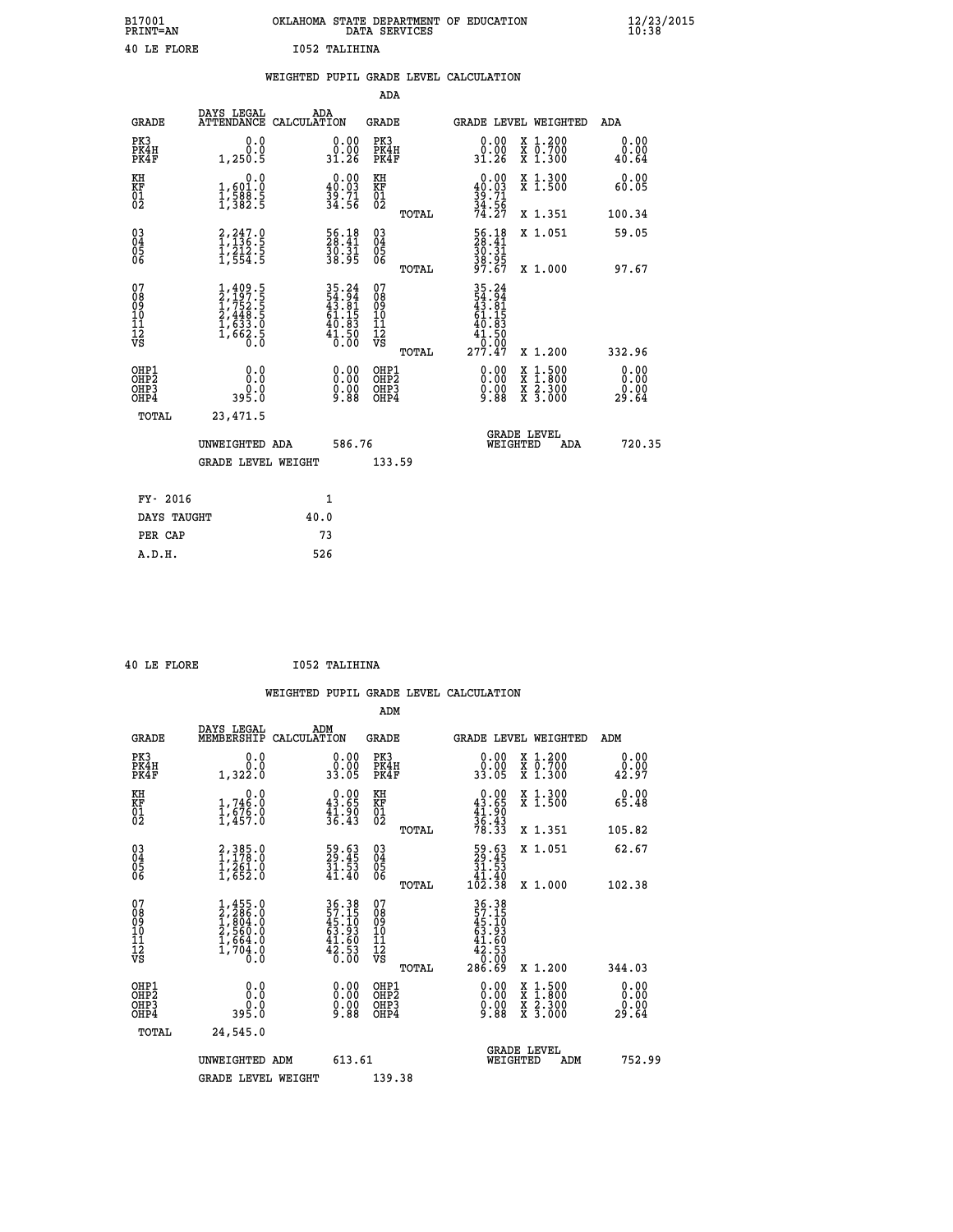| B17001<br>PRINT=AN | OKLAHOMA STATE DEPARTMENT OF EDUCATION<br>DATA SERVICES | $\frac{12}{23}$ /2015 |
|--------------------|---------------------------------------------------------|-----------------------|
| 40 LE FLORE        | 1052 TALIHINA                                           |                       |

|                                                                    |                                                                                     |                                                                          | ADA                                      |       |                                                                                               |                                          |                               |
|--------------------------------------------------------------------|-------------------------------------------------------------------------------------|--------------------------------------------------------------------------|------------------------------------------|-------|-----------------------------------------------------------------------------------------------|------------------------------------------|-------------------------------|
| <b>GRADE</b>                                                       | DAYS LEGAL                                                                          | ADA<br>ATTENDANCE CALCULATION                                            | <b>GRADE</b>                             |       |                                                                                               | GRADE LEVEL WEIGHTED                     | ADA                           |
| PK3<br>PK4H<br>PK4F                                                | 0.0<br>0.0<br>1,250.5                                                               | $\begin{smallmatrix} 0.00\\ 0.00\\ 31.26 \end{smallmatrix}$              | PK3<br>PK4H<br>PK4F                      |       | 0.00<br>ŏ:ŏŏ<br>31:26                                                                         | X 1.200<br>X 0.700<br>X 1.300            | 0.00<br>0.00<br>40.64         |
| KH<br><b>KF</b><br>01<br>02                                        | 0.0<br>1,601:0<br>1,588.5<br>1,382:5                                                | $\begin{smallmatrix} 0.00\\ 40.03\\ 39.71\\ 34.56 \end{smallmatrix}$     | KH<br>KF<br>01<br>02                     |       | 0.00<br>$30.03$<br>$39.71$<br>$34.56$<br>$74.27$                                              | X 1.300<br>X 1.500                       | 0.00<br>60.05                 |
|                                                                    |                                                                                     |                                                                          |                                          | TOTAL |                                                                                               | X 1.351                                  | 100.34                        |
| $\begin{smallmatrix} 03 \\[-4pt] 04 \end{smallmatrix}$<br>Ŏ5<br>06 | $\begin{smallmatrix} 2,247.0\\ 1,136.5\\ 1,212.5\\ 1,554.5 \end{smallmatrix}$       | 56.18<br>28.41<br>30.31<br>38.95                                         | $\substack{03 \\ 04}$<br>Ŏ5<br>06        |       | 56.18<br>28.41<br>30.31<br>38.95<br>37.67                                                     | X 1.051                                  | 59.05                         |
|                                                                    |                                                                                     |                                                                          |                                          | TOTAL |                                                                                               | X 1.000                                  | 97.67                         |
| 07<br>08901112<br>1112<br>VS                                       | $1,409.5$<br>$2,197.5$<br>$1,752.5$<br>$2,448.5$<br>$1,633.0$<br>$1,662.5$<br>$0.0$ | $35.24$<br>$54.94$<br>$43.81$<br>$61.15$<br>$40.83$<br>$41.50$<br>$0.00$ | 07<br>08<br>09<br>11<br>11<br>12<br>VS   |       | $\begin{array}{@{}ll} 35.24 \\ 54.94 \\ 43.81 \\ 61.15 \\ 40.83 \\ 41.50 \end{array}$<br>0.00 |                                          |                               |
|                                                                    |                                                                                     |                                                                          |                                          | TOTAL | 277.47                                                                                        | X 1.200                                  | 332.96                        |
| OHP1<br>OH <sub>P</sub> 2<br>OH <sub>P3</sub><br>OH <sub>P4</sub>  | 0.0<br>395.0                                                                        | $\begin{smallmatrix} 0.00 \ 0.00 \ 0.00 \ 9.88 \end{smallmatrix}$        | OHP1<br>OHP <sub>2</sub><br>OHP3<br>OHP4 |       | 0.00<br>0.00<br>9.88                                                                          | X 1:500<br>X 1:800<br>X 2:300<br>X 3:000 | 0.00<br>0.00<br>0.00<br>29.64 |
| TOTAL                                                              | 23,471.5                                                                            |                                                                          |                                          |       |                                                                                               |                                          |                               |
|                                                                    | UNWEIGHTED ADA                                                                      | 586.76                                                                   |                                          |       |                                                                                               | GRADE LEVEL<br>WEIGHTED<br>ADA           | 720.35                        |
|                                                                    | <b>GRADE LEVEL WEIGHT</b>                                                           |                                                                          | 133.59                                   |       |                                                                                               |                                          |                               |
| FY- 2016                                                           |                                                                                     | $\mathbf{1}$                                                             |                                          |       |                                                                                               |                                          |                               |
| DAYS TAUGHT                                                        |                                                                                     | 40.0                                                                     |                                          |       |                                                                                               |                                          |                               |
| PER CAP                                                            |                                                                                     | 73                                                                       |                                          |       |                                                                                               |                                          |                               |

|  | $10TF$ FT $00F$ |  |
|--|-----------------|--|

 **40 LE FLORE I052 TALIHINA**

|                                          |                                                                                     |                                                                      | ADM                                                 |       |                                                                                        |                                          |                        |
|------------------------------------------|-------------------------------------------------------------------------------------|----------------------------------------------------------------------|-----------------------------------------------------|-------|----------------------------------------------------------------------------------------|------------------------------------------|------------------------|
| <b>GRADE</b>                             | DAYS LEGAL<br>MEMBERSHIP                                                            | ADM<br>CALCULATION                                                   | <b>GRADE</b>                                        |       |                                                                                        | <b>GRADE LEVEL WEIGHTED</b>              | ADM                    |
| PK3<br>PK4H<br>PK4F                      | 0.0<br>ة:ة<br>1,322.0                                                               | $\begin{smallmatrix} 0.00\\ 0.00\\ 33.05 \end{smallmatrix}$          | PK3<br>PK4H<br>PK4F                                 |       | $\begin{smallmatrix} 0.00\\ 0.00\\ 33.05 \end{smallmatrix}$                            | X 1.200<br>X 0.700<br>X 1.300            | 0.00<br>_0.00<br>42.97 |
| KH<br>KF<br>01<br>02                     | 0.0<br>$1,746.0$<br>$1,676.0$<br>$1,457.0$                                          | $\begin{smallmatrix} 0.00\\ 43.65\\ 41.90\\ 36.43 \end{smallmatrix}$ | KH<br>KF<br>01<br>02                                |       | $0.00\n43.65\n41.90\n36.43\n78.33$                                                     | X 1.300<br>X 1.500                       | 0.00<br>65.48          |
|                                          |                                                                                     |                                                                      |                                                     | TOTAL |                                                                                        | X 1.351                                  | 105.82                 |
| 03<br>04<br>05<br>06                     | 2,385.0<br>1,178.0<br>1,261.0<br>1,652.0                                            | $\begin{smallmatrix} 59.63\ 29.45\ 31.53\ 41.40 \end{smallmatrix}$   | $\begin{array}{c} 03 \\ 04 \\ 05 \\ 06 \end{array}$ |       | $\begin{smallmatrix}59.63\29.45\31.53\14.40\102.38\end{smallmatrix}$                   | X 1.051                                  | 62.67                  |
|                                          |                                                                                     |                                                                      |                                                     | TOTAL |                                                                                        | X 1.000                                  | 102.38                 |
| 07<br>08<br>09<br>101<br>112<br>VS       | $1,455.0$<br>$2,286.0$<br>$1,804.0$<br>$2,560.0$<br>$1,664.0$<br>$1,704.0$<br>$0.0$ | 36.38<br>57.15<br>45.10<br>43.93<br>41.60<br>42.53<br>6.00           | 07<br>08<br>09<br>11<br>11<br>12<br>VS              |       | $36.38$<br>$57.150$<br>$45.103$<br>$63.93$<br>$41.60$<br>$42.53$<br>$0.00$<br>$286.69$ |                                          |                        |
|                                          |                                                                                     |                                                                      |                                                     | TOTAL |                                                                                        | X 1.200                                  | 344.03                 |
| OHP1<br>OHP2<br>OH <sub>P3</sub><br>OHP4 | 0.0<br>$0.0$<br>0.0395                                                              | $\begin{smallmatrix} 0.00 \ 0.00 \ 0.00 \ 9.88 \end{smallmatrix}$    | OHP1<br>OHP2<br>OHP <sub>3</sub>                    |       | $\begin{smallmatrix} 0.00\\ 0.00\\ 0.00\\ 9.88 \end{smallmatrix}$                      | X 1:500<br>X 1:800<br>X 2:300<br>X 3:000 | 0.00<br>0.00<br>29.64  |
| TOTAL                                    | 24,545.0                                                                            |                                                                      |                                                     |       |                                                                                        |                                          |                        |
|                                          | UNWEIGHTED ADM                                                                      | 613.61                                                               |                                                     |       | WEIGHTED                                                                               | <b>GRADE LEVEL</b><br>ADM                | 752.99                 |
|                                          | <b>GRADE LEVEL WEIGHT</b>                                                           |                                                                      | 139.38                                              |       |                                                                                        |                                          |                        |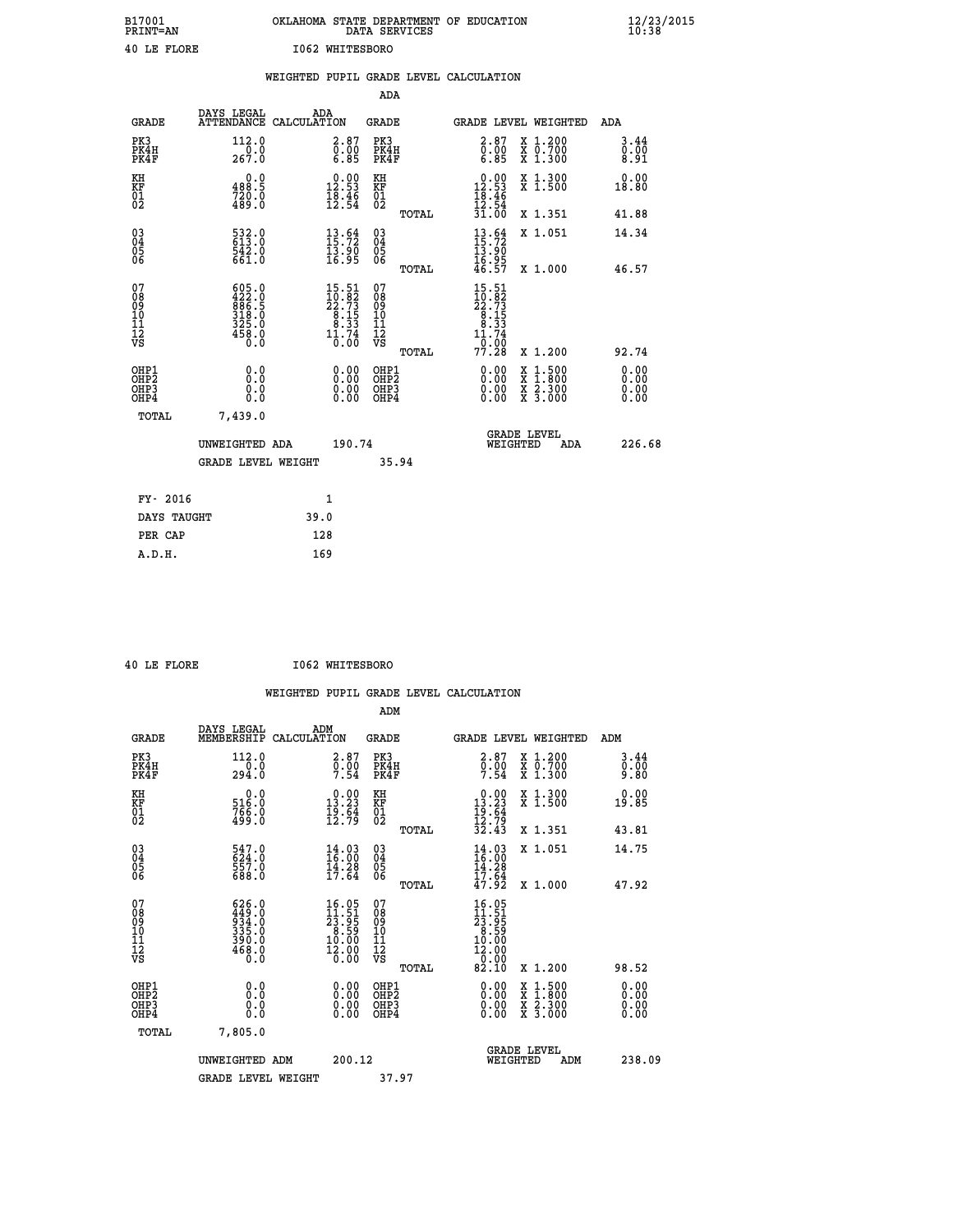| B17001<br><b>PRINT=AN</b> | OKLAHOMA STATE DEPARTMENT OF EDUCATION<br>DATA SERVICES | $\frac{12}{23}$ /2015 |
|---------------------------|---------------------------------------------------------|-----------------------|
| 40 LE FLORE               | 1062 WHITESBORO                                         |                       |

|                                           |                                                                                                                                                                              |      |                                                                                                 |                                           |       | WEIGHTED PUPIL GRADE LEVEL CALCULATION                                          |                                                                                                                                              |                              |
|-------------------------------------------|------------------------------------------------------------------------------------------------------------------------------------------------------------------------------|------|-------------------------------------------------------------------------------------------------|-------------------------------------------|-------|---------------------------------------------------------------------------------|----------------------------------------------------------------------------------------------------------------------------------------------|------------------------------|
|                                           |                                                                                                                                                                              |      |                                                                                                 | ADA                                       |       |                                                                                 |                                                                                                                                              |                              |
| <b>GRADE</b>                              | DAYS LEGAL<br>ATTENDANCE CALCULATION                                                                                                                                         |      | ADA                                                                                             | GRADE                                     |       | GRADE LEVEL WEIGHTED                                                            |                                                                                                                                              | ADA                          |
| PK3<br>PK4H<br>PK4F                       | 112.0<br>$\frac{1}{267.0}$                                                                                                                                                   |      | 2.87<br>$\overline{0}$ .00<br>6.85                                                              | PK3<br>PK4H<br>PK4F                       |       | 2.87<br>$\frac{0}{6}$ .00                                                       | X 1.200<br>X 0.700<br>X 1.300                                                                                                                | 3.44<br>0.00<br>8.91         |
| KH<br>KF<br>01<br>02                      | 0.0<br>488.5<br>720.0<br>489.0                                                                                                                                               |      | $\begin{smallmatrix} 0.00\\ 12.53\\ 18.46\\ 12.54 \end{smallmatrix}$                            | KH<br>KF<br>01<br>02                      |       | $0.00$<br>12.53<br>$\frac{18.46}{12.54}$                                        | X 1.300<br>X 1.500                                                                                                                           | 0.00<br>18.80                |
|                                           |                                                                                                                                                                              |      |                                                                                                 |                                           | TOTAL | 31.00                                                                           | X 1.351                                                                                                                                      | 41.88                        |
| 03<br>04<br>05<br>06                      | 532.0<br>613.0<br>542.0<br>661.0                                                                                                                                             |      | 13.92<br>$\frac{13.90}{16.95}$                                                                  | $\substack{03 \\ 04}$<br>0500             |       | $13.72$<br>$15.72$<br>$13.90$<br>$16.95$<br>$46.57$                             | X 1.051                                                                                                                                      | 14.34                        |
|                                           |                                                                                                                                                                              |      |                                                                                                 |                                           | TOTAL |                                                                                 | X 1.000                                                                                                                                      | 46.57                        |
| 07<br>08<br>09<br>11<br>11<br>12<br>VS    | $\begin{smallmatrix} 6 & 0 & 5 & 0 \\ 4 & 2 & 2 & 0 \\ 8 & 6 & 6 & 5 \\ 3 & 1 & 8 & 0 \\ 3 & 1 & 8 & 0 \\ 3 & 2 & 5 & 0 \\ 4 & 5 & 8 & 0 \\ 0 & 0 & 0 & 0 \end{smallmatrix}$ |      | $\begin{smallmatrix} 15.51 \\ 10.82 \\ 22.73 \\ 8.15 \\ 8.33 \\ 1.74 \\ 0.00 \end{smallmatrix}$ | 07<br>08<br>09<br>11<br>11<br>12<br>VS    |       | 15.51<br>$10.82$<br>$22.73$<br>$8.15$<br>$8.33$<br>$11.74$<br>$0.00$<br>$77.28$ |                                                                                                                                              |                              |
|                                           |                                                                                                                                                                              |      |                                                                                                 |                                           | TOTAL |                                                                                 | X 1.200                                                                                                                                      | 92.74                        |
| OHP1<br>OH <sub>P</sub> 2<br>OHP3<br>OHP4 | 0.0<br>Ō.Ō<br>0.0<br>Ō.Ō                                                                                                                                                     |      | $0.00$<br>$0.00$<br>0.00                                                                        | OHP1<br>OH <sub>P</sub> 2<br>OHP3<br>OHP4 |       | 0.00<br>0.00<br>0.00                                                            | $\begin{smallmatrix} \mathtt{X} & 1\cdot500 \\ \mathtt{X} & 1\cdot800 \\ \mathtt{X} & 2\cdot300 \\ \mathtt{X} & 3\cdot000 \end{smallmatrix}$ | 0.00<br>0.00<br>0.00<br>0.00 |
| <b>TOTAL</b>                              | 7,439.0                                                                                                                                                                      |      |                                                                                                 |                                           |       |                                                                                 |                                                                                                                                              |                              |
|                                           | UNWEIGHTED ADA                                                                                                                                                               |      | 190.74                                                                                          |                                           |       | WEIGHTED                                                                        | <b>GRADE LEVEL</b><br>ADA                                                                                                                    | 226.68                       |
|                                           | <b>GRADE LEVEL WEIGHT</b>                                                                                                                                                    |      |                                                                                                 |                                           | 35.94 |                                                                                 |                                                                                                                                              |                              |
| FY- 2016                                  |                                                                                                                                                                              |      | 1                                                                                               |                                           |       |                                                                                 |                                                                                                                                              |                              |
| DAYS TAUGHT                               |                                                                                                                                                                              | 39.0 |                                                                                                 |                                           |       |                                                                                 |                                                                                                                                              |                              |
| PER CAP                                   |                                                                                                                                                                              |      | 128                                                                                             |                                           |       |                                                                                 |                                                                                                                                              |                              |

|  | 40 LE FLORE |  |
|--|-------------|--|

 **40 LE FLORE I062 WHITESBORO**

| <b>GRADE</b>                                         | DAYS LEGAL<br>MEMBERSHIP                                                                    | ADM<br>CALCULATION                                                                                                     | <b>GRADE</b>                                        |       |                                                                                                                                                      |          | GRADE LEVEL WEIGHTED                     | ADM                          |
|------------------------------------------------------|---------------------------------------------------------------------------------------------|------------------------------------------------------------------------------------------------------------------------|-----------------------------------------------------|-------|------------------------------------------------------------------------------------------------------------------------------------------------------|----------|------------------------------------------|------------------------------|
| PK3<br>PK4H<br>PK4F                                  | 112.0<br>294.0                                                                              | $\begin{smallmatrix} 2.87\ 0.00\ 7.54 \end{smallmatrix}$                                                               | PK3<br>PK4H<br>PK4F                                 |       | $\begin{smallmatrix} 2.87\ 0.00\ 7.54 \end{smallmatrix}$                                                                                             |          | X 1.200<br>X 0.700<br>X 1.300            | 3.44<br>$0.00$<br>9.80       |
| KH<br>KF<br>01<br>02                                 | $\begin{smallmatrix} 0.0\\516.0\\766.0\\499.0\end{smallmatrix}$                             | $\begin{smallmatrix} 0.00\\ 13.23\\ 19.64\\ 12.79 \end{smallmatrix}$                                                   | KH<br>KF<br>01<br>02                                |       | $0.00\n13.23\n19.64\n12.79\n32.43$                                                                                                                   |          | X 1.300<br>X 1.500                       | 0.00<br>19.85                |
|                                                      |                                                                                             |                                                                                                                        |                                                     | TOTAL |                                                                                                                                                      |          | X 1.351                                  | 43.81                        |
| $\begin{matrix} 03 \\ 04 \\ 05 \\ 06 \end{matrix}$   | 547.0<br>624.0<br>557.0<br>688.0                                                            | $14.03$<br>$16.00$<br>$14.28$<br>$17.64$                                                                               | $\begin{array}{c} 03 \\ 04 \\ 05 \\ 06 \end{array}$ |       | $\frac{14}{16}$ : 03<br>14.28                                                                                                                        |          | X 1.051                                  | 14.75                        |
|                                                      |                                                                                             |                                                                                                                        |                                                     | TOTAL | $\frac{17.54}{47.92}$                                                                                                                                |          | X 1.000                                  | 47.92                        |
| 07<br>08<br>09<br>11<br>11<br>12<br>VS               | $\begin{smallmatrix} 626.0\\ 449.0\\ 934.0\\ 335.0\\ 390.0\\ 468.0\\ 0.0 \end{smallmatrix}$ | $\begin{array}{r} 16.05 \\[-4pt] 11.51 \\[-4pt] 23.95 \\[-4pt] 8.59 \\[-4pt] 10.00 \\[-4pt] 12.00 \end{array}$<br>0.00 | 07<br>08<br>09<br>11<br>11<br>12<br>VS              | TOTAL | $\begin{smallmatrix} 16 & 0 & 5 \\ 11 & 5 & 1 \\ 23 & 9 & 5 \\ 8 & 5 & 9 \\ 10 & 0 & 0 \\ 12 & 0 & 0 \\ 0 & 0 & 0 \\ 8 & 1 & 0 \\ \end{smallmatrix}$ |          | X 1.200                                  | 98.52                        |
| OHP1<br>OHP <sub>2</sub><br>OH <sub>P3</sub><br>OHP4 | 0.0<br>Ō.Ō<br>Ŏ.Ŏ                                                                           |                                                                                                                        | OHP1<br>OHP <sub>2</sub><br>OHP3<br>OHP4            |       |                                                                                                                                                      |          | X 1:500<br>X 1:800<br>X 2:300<br>X 3:000 | 0.00<br>0.00<br>0.00<br>0.00 |
| TOTAL                                                | 7,805.0                                                                                     |                                                                                                                        |                                                     |       |                                                                                                                                                      |          |                                          |                              |
|                                                      | UNWEIGHTED ADM                                                                              |                                                                                                                        | 200.12                                              |       |                                                                                                                                                      | WEIGHTED | <b>GRADE LEVEL</b><br>ADM                | 238.09                       |
|                                                      | <b>GRADE LEVEL WEIGHT</b>                                                                   |                                                                                                                        | 37.97                                               |       |                                                                                                                                                      |          |                                          |                              |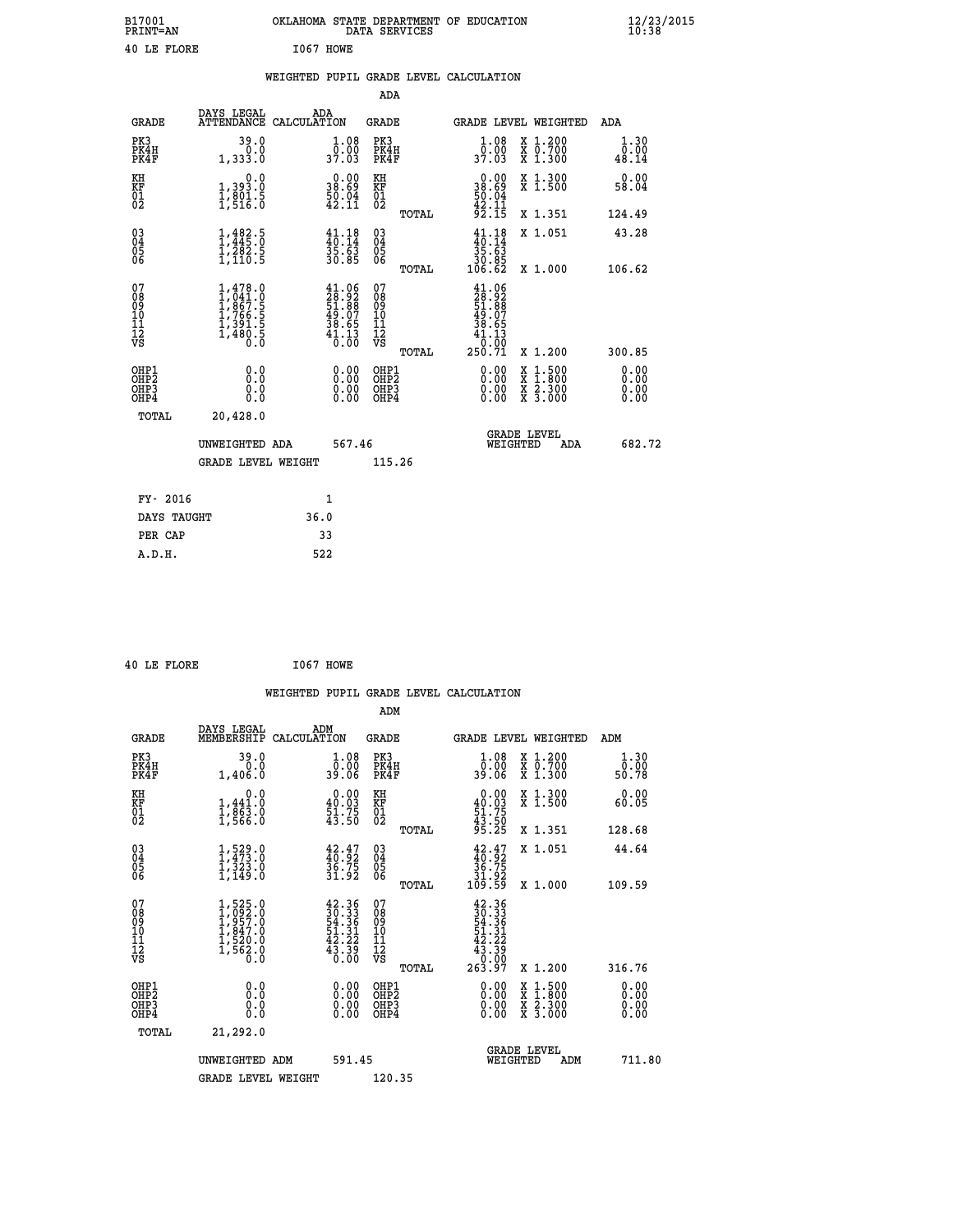| B17001<br>PRINT=AN | <b>OKLAHOMA</b><br>STATE DEPARTMENT OF EDUCATION<br>SERVICES<br>DATA | $\frac{12}{23}$ /2015 |
|--------------------|----------------------------------------------------------------------|-----------------------|
| 40 LE FLORE        | I067<br><b>HOWE</b>                                                  |                       |

| DAYS LEGAL                                                                        | ADA                                                                                         |                                                                                       |                                                                                                                                                                                                                                                                                                                                                        |                                                                                                                                                                                                                                                                                |                                                                                                 | ADA                                                                                                                                                                                                                                              |
|-----------------------------------------------------------------------------------|---------------------------------------------------------------------------------------------|---------------------------------------------------------------------------------------|--------------------------------------------------------------------------------------------------------------------------------------------------------------------------------------------------------------------------------------------------------------------------------------------------------------------------------------------------------|--------------------------------------------------------------------------------------------------------------------------------------------------------------------------------------------------------------------------------------------------------------------------------|-------------------------------------------------------------------------------------------------|--------------------------------------------------------------------------------------------------------------------------------------------------------------------------------------------------------------------------------------------------|
| 39.0<br>0.0<br>1,333.0                                                            |                                                                                             | PK3                                                                                   |                                                                                                                                                                                                                                                                                                                                                        | 1.08<br>ō:ŏŏ<br>37:03                                                                                                                                                                                                                                                          | X 1.200<br>X 0.700<br>X 1.300                                                                   | 1.30<br>0.00<br>48.14                                                                                                                                                                                                                            |
| 0.0<br>1,393.0                                                                    |                                                                                             | KH                                                                                    |                                                                                                                                                                                                                                                                                                                                                        |                                                                                                                                                                                                                                                                                | X 1.300<br>X 1.500                                                                              | 0.00<br>58.04                                                                                                                                                                                                                                    |
|                                                                                   |                                                                                             |                                                                                       | TOTAL                                                                                                                                                                                                                                                                                                                                                  |                                                                                                                                                                                                                                                                                | X 1.351                                                                                         | 124.49                                                                                                                                                                                                                                           |
|                                                                                   |                                                                                             | $^{03}_{04}$                                                                          |                                                                                                                                                                                                                                                                                                                                                        | $\frac{41}{10}$ : 18<br>35.63                                                                                                                                                                                                                                                  | X 1.051                                                                                         | 43.28                                                                                                                                                                                                                                            |
|                                                                                   |                                                                                             |                                                                                       | TOTAL                                                                                                                                                                                                                                                                                                                                                  |                                                                                                                                                                                                                                                                                | X 1.000                                                                                         | 106.62                                                                                                                                                                                                                                           |
| $1,478.0$<br>$1,041.0$<br>$1,867.5$<br>$1,766.5$<br>$1,391.5$<br>$1,480.5$<br>0.0 |                                                                                             | 078<br>089<br>0011<br>11<br>11<br>12<br>VS                                            | TOTAL                                                                                                                                                                                                                                                                                                                                                  | $41.06$<br>$28.92$<br>$51.88$<br>$49.07$<br>$38.65$<br>$41.13$<br>0.00<br>250.71                                                                                                                                                                                               | X 1.200                                                                                         | 300.85                                                                                                                                                                                                                                           |
| 0.0<br>0.0<br>0.0                                                                 |                                                                                             |                                                                                       |                                                                                                                                                                                                                                                                                                                                                        | $\begin{smallmatrix} 0.00 & 0.00 & 0.00 & 0.00 & 0.00 & 0.00 & 0.00 & 0.00 & 0.00 & 0.00 & 0.00 & 0.00 & 0.00 & 0.00 & 0.00 & 0.00 & 0.00 & 0.00 & 0.00 & 0.00 & 0.00 & 0.00 & 0.00 & 0.00 & 0.00 & 0.00 & 0.00 & 0.00 & 0.00 & 0.00 & 0.00 & 0.00 & 0.00 & 0.00 & 0.00 & 0.0$ |                                                                                                 | 0.00<br>0.00<br>0.00                                                                                                                                                                                                                             |
| 20,428.0                                                                          |                                                                                             |                                                                                       |                                                                                                                                                                                                                                                                                                                                                        |                                                                                                                                                                                                                                                                                |                                                                                                 |                                                                                                                                                                                                                                                  |
|                                                                                   |                                                                                             |                                                                                       |                                                                                                                                                                                                                                                                                                                                                        |                                                                                                                                                                                                                                                                                | ADA                                                                                             | 682.72                                                                                                                                                                                                                                           |
|                                                                                   |                                                                                             |                                                                                       |                                                                                                                                                                                                                                                                                                                                                        |                                                                                                                                                                                                                                                                                |                                                                                                 |                                                                                                                                                                                                                                                  |
|                                                                                   |                                                                                             |                                                                                       |                                                                                                                                                                                                                                                                                                                                                        |                                                                                                                                                                                                                                                                                |                                                                                                 |                                                                                                                                                                                                                                                  |
| DAYS TAUGHT                                                                       | 36.0                                                                                        |                                                                                       |                                                                                                                                                                                                                                                                                                                                                        |                                                                                                                                                                                                                                                                                |                                                                                                 |                                                                                                                                                                                                                                                  |
|                                                                                   | 33                                                                                          |                                                                                       |                                                                                                                                                                                                                                                                                                                                                        |                                                                                                                                                                                                                                                                                |                                                                                                 |                                                                                                                                                                                                                                                  |
|                                                                                   | $\frac{1}{2}, \frac{8}{5} \frac{0}{16}$<br>$1,482.5$<br>$1,445.0$<br>$1,282.5$<br>$1,110.5$ | ATTENDANCE CALCULATION<br>UNWEIGHTED ADA<br><b>GRADE LEVEL WEIGHT</b><br>$\mathbf{1}$ | $\begin{smallmatrix} 1.08\\ 0.00\\ 37.03 \end{smallmatrix}$<br>$38.00$<br>38.69<br>KF<br>01<br>02<br>$\frac{50.04}{42.11}$<br>$41.18$<br>$40.14$<br>$35.63$<br>$30.85$<br>0500<br>$\begin{smallmatrix} 41.06\\28.92\\51.88\\49.07\\38.65\\41.13\\6.00\end{smallmatrix}$<br>$\begin{smallmatrix} 0.00 \ 0.00 \ 0.00 \ 0.00 \end{smallmatrix}$<br>567.46 | ADA<br>GRADE<br>PK4H<br>PK4F<br>OHP1<br>OHP2<br>OHP3<br>OHP4<br>115.26                                                                                                                                                                                                         | $\begin{smallmatrix} 0.00\\ 38.69\\ 50.04\\ 42.11\\ 92.15 \end{smallmatrix}$<br>85.0E<br>106.62 | WEIGHTED PUPIL GRADE LEVEL CALCULATION<br>GRADE LEVEL WEIGHTED<br>$\begin{smallmatrix} \mathtt{X} & 1\cdot500 \\ \mathtt{X} & 1\cdot800 \\ \mathtt{X} & 2\cdot300 \\ \mathtt{X} & 3\cdot000 \end{smallmatrix}$<br><b>GRADE LEVEL</b><br>WEIGHTED |

 **40 LE FLORE I067 HOWE**

|                                                      |                                                                                     |                                                                                              |                                                     | WEIGHTED PUPIL GRADE LEVEL CALCULATION                                                                                                                                                                                                                                                                                     |                              |
|------------------------------------------------------|-------------------------------------------------------------------------------------|----------------------------------------------------------------------------------------------|-----------------------------------------------------|----------------------------------------------------------------------------------------------------------------------------------------------------------------------------------------------------------------------------------------------------------------------------------------------------------------------------|------------------------------|
|                                                      |                                                                                     |                                                                                              | ADM                                                 |                                                                                                                                                                                                                                                                                                                            |                              |
| <b>GRADE</b>                                         | DAYS LEGAL<br>MEMBERSHIP<br>CALCULATION                                             | ADM                                                                                          | <b>GRADE</b>                                        | <b>GRADE LEVEL WEIGHTED</b>                                                                                                                                                                                                                                                                                                | ADM                          |
| PK3<br>PK4H<br>PK4F                                  | 39.0<br>0.0<br>1,406.0                                                              | $\begin{smallmatrix} 1.08 \\ 0.00 \\ 39.06 \end{smallmatrix}$                                | PK3<br>PK4H<br>PK4F                                 | $\begin{smallmatrix} 1.08 \\ 0.00 \\ 39.06 \end{smallmatrix}$<br>X 1.200<br>X 0.700<br>X 1.300                                                                                                                                                                                                                             | 1.30<br>0.00<br>50.78        |
| KH<br>KF<br>01<br>02                                 | 0.0<br>$1,441.0$<br>$1,863.0$<br>$1,566.0$                                          | $\begin{smallmatrix} 0.00\\ 40.03\\ 51.75\\ 43.50 \end{smallmatrix}$                         | KH<br>KF<br>01<br>02                                | 0.00<br>X 1.300<br>X 1.500<br>$40.03$<br>$51.75$<br>$43.50$<br>$95.25$                                                                                                                                                                                                                                                     | 0.00<br>60.05                |
|                                                      |                                                                                     |                                                                                              | TOTAL                                               | X 1.351                                                                                                                                                                                                                                                                                                                    | 128.68                       |
| $\begin{matrix} 03 \\ 04 \\ 05 \\ 06 \end{matrix}$   | $1, 529.0$<br>$1, 473.0$<br>$1, 323.0$<br>$1, 149.0$                                | 42.47<br>40.92<br>36.75<br>31.92                                                             | $\begin{array}{c} 03 \\ 04 \\ 05 \\ 06 \end{array}$ | X 1.051<br>$\begin{smallmatrix} 42.47\\ 40.92\\ 36.75\\ 31.92\\ 109.59 \end{smallmatrix}$                                                                                                                                                                                                                                  | 44.64                        |
|                                                      |                                                                                     |                                                                                              | TOTAL                                               | X 1.000                                                                                                                                                                                                                                                                                                                    | 109.59                       |
| 07<br>08<br>09<br>101<br>112<br>VS                   | $1,525.0$<br>$1,992.0$<br>$1,957.0$<br>$1,847.0$<br>$1,520.0$<br>$1,562.0$<br>$0.0$ | $\begin{smallmatrix} 42.36\\ 30.33\\ 54.36\\ 51.31\\ 42.22\\ 43.39\\ 0.00 \end{smallmatrix}$ | 07<br>08<br>09<br>11<br>11<br>12<br>VS              | $\begin{smallmatrix} 42.36\\ 30.33\\ 4.33\\ 54.36\\ 51.31\\ 42.22\\ 43.39\\ 0.000\\ 263.97 \end{smallmatrix}$                                                                                                                                                                                                              |                              |
|                                                      |                                                                                     |                                                                                              | TOTAL                                               | X 1.200                                                                                                                                                                                                                                                                                                                    | 316.76                       |
| OHP1<br>OHP2<br>OH <sub>P3</sub><br>OH <sub>P4</sub> | 0.0<br>0.000                                                                        | 0.00<br>$\begin{smallmatrix} 0.00 \ 0.00 \end{smallmatrix}$                                  | OHP1<br>OH <sub>P</sub> 2<br>OHP3<br>OHP4           | $\begin{smallmatrix} 0.00 & 0.00 & 0.00 & 0.00 & 0.00 & 0.00 & 0.00 & 0.00 & 0.00 & 0.00 & 0.00 & 0.00 & 0.00 & 0.00 & 0.00 & 0.00 & 0.00 & 0.00 & 0.00 & 0.00 & 0.00 & 0.00 & 0.00 & 0.00 & 0.00 & 0.00 & 0.00 & 0.00 & 0.00 & 0.00 & 0.00 & 0.00 & 0.00 & 0.00 & 0.00 & 0.0$<br>X 1:500<br>X 1:800<br>X 2:300<br>X 3:000 | 0.00<br>0.00<br>0.00<br>0.00 |
| TOTAL                                                | 21,292.0                                                                            |                                                                                              |                                                     |                                                                                                                                                                                                                                                                                                                            |                              |
|                                                      | UNWEIGHTED ADM                                                                      | 591.45                                                                                       |                                                     | <b>GRADE LEVEL</b><br>WEIGHTED<br>ADM                                                                                                                                                                                                                                                                                      | 711.80                       |
|                                                      | <b>GRADE LEVEL WEIGHT</b>                                                           |                                                                                              | 120.35                                              |                                                                                                                                                                                                                                                                                                                            |                              |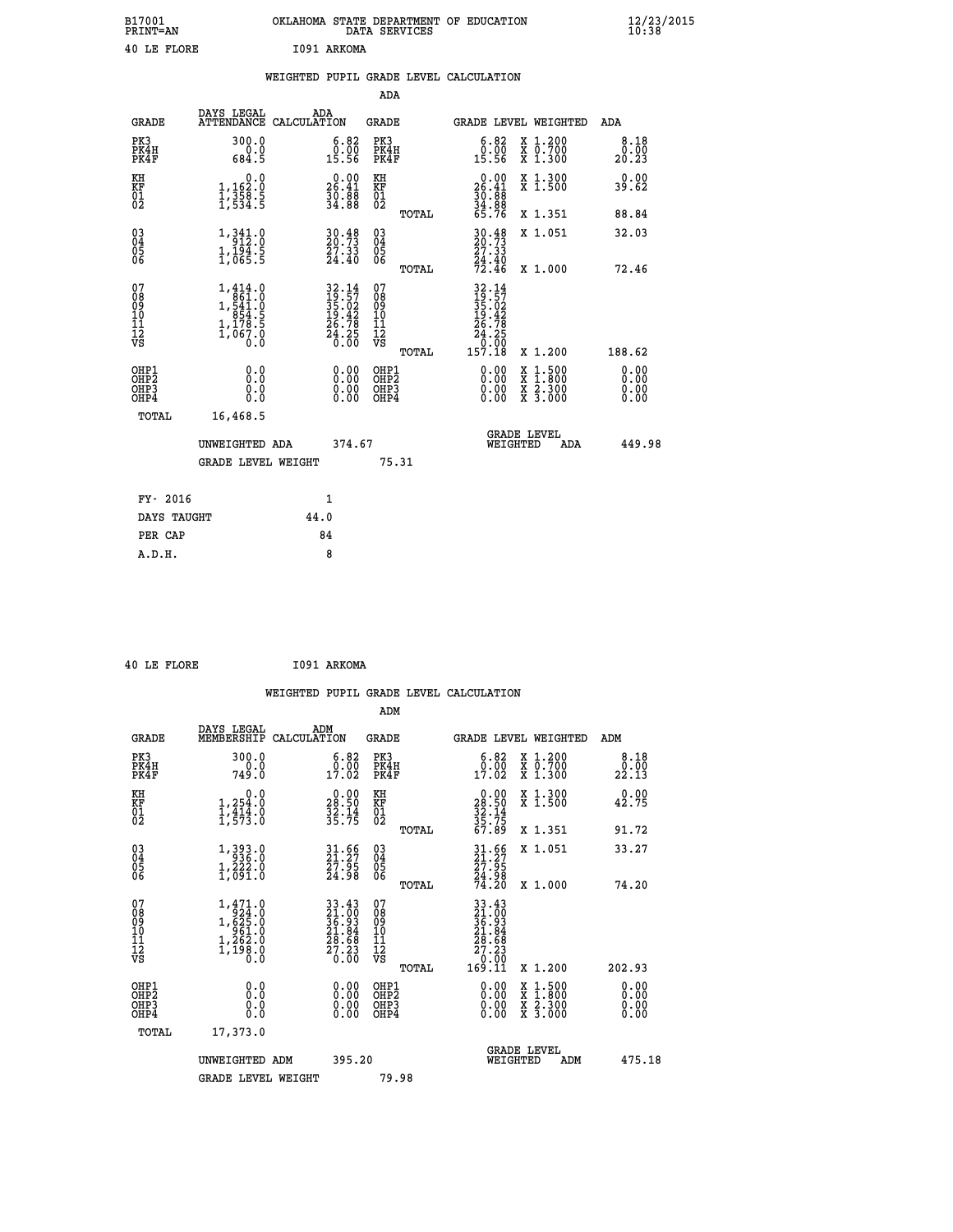| B17001<br>PRINT=AN | OKLAHOMA STATE DEPARTMENT OF EDUCATION<br>DATA SERVICES | $\frac{12}{23}$ /2015 |
|--------------------|---------------------------------------------------------|-----------------------|
| 40 LE FLORE        | 1091 ARKOMA                                             |                       |

|                                        |                                                                                                                       | WEIGHTED PUPIL GRADE LEVEL CALCULATION                                                                                                     |                                        |       |                                                                                                                                              |                                                                                                           |                              |
|----------------------------------------|-----------------------------------------------------------------------------------------------------------------------|--------------------------------------------------------------------------------------------------------------------------------------------|----------------------------------------|-------|----------------------------------------------------------------------------------------------------------------------------------------------|-----------------------------------------------------------------------------------------------------------|------------------------------|
|                                        |                                                                                                                       |                                                                                                                                            | <b>ADA</b>                             |       |                                                                                                                                              |                                                                                                           |                              |
| <b>GRADE</b>                           |                                                                                                                       | DAYS LEGAL ADA ATTENDANCE CALCULATION                                                                                                      | <b>GRADE</b>                           |       |                                                                                                                                              | GRADE LEVEL WEIGHTED                                                                                      | ADA                          |
| PK3<br>PK4H<br>PK4F                    | 300.0<br>$6.0$<br>684.5                                                                                               | $\begin{smallmatrix} 6.82\ 0.00\ 15.56 \end{smallmatrix}$                                                                                  | PK3<br>PK4H<br>PK4F                    |       | 6.82<br>$\frac{0.00}{15.56}$                                                                                                                 | X 1.200<br>X 0.700<br>X 1.300                                                                             | 8.18<br>0.00<br>20.23        |
| KH<br>KF<br>01<br>02                   | 0.0<br>1,162:0<br>1,358:5<br>1,534:5                                                                                  | $\begin{smallmatrix} 0.00\\ 26.41\\ 30.88\\ 34.88 \end{smallmatrix}$                                                                       | KH<br>KF<br>01<br>02                   |       | $\begin{smallmatrix} 0.00\\ 26.41\\ 30.88\\ 34.88\\ 65.76 \end{smallmatrix}$                                                                 | X 1.300<br>X 1.500                                                                                        | 0.00<br>39.62                |
|                                        |                                                                                                                       |                                                                                                                                            |                                        | TOTAL |                                                                                                                                              | X 1.351                                                                                                   | 88.84                        |
| $^{03}_{04}$<br>05<br>06               | 1,341.0<br>$\frac{1}{1}$ , $\frac{1}{0}$ , $\frac{3}{5}$ , $\frac{3}{5}$                                              | $\begin{smallmatrix} 30.48\\ 20.73\\ 27.33\\ 24.40 \end{smallmatrix}$                                                                      | 03<br>04<br>05<br>06                   |       | $30.48$<br>$20.73$<br>$27.33$<br>$24.40$<br>$72.46$                                                                                          | X 1.051                                                                                                   | 32.03                        |
|                                        |                                                                                                                       |                                                                                                                                            |                                        | TOTAL |                                                                                                                                              | X 1.000                                                                                                   | 72.46                        |
| 07<br>08<br>09<br>11<br>11<br>12<br>VS | $1,414.0$<br>861.0<br>$1, \frac{541}{854}. \frac{0}{5}$<br>$1, \frac{178}{067}. \frac{5}{0}$<br>$1, 067. \frac{0}{0}$ | $\begin{array}{r} 32\cdot 14 \\ 19\cdot 57 \\ 35\cdot 02 \\ 19\cdot 42 \\ 26\cdot 78 \\ 24\cdot 25 \\ 24\cdot 25 \\ 0\cdot 00 \end{array}$ | 07<br>08<br>09<br>11<br>11<br>12<br>VS | TOTAL | $\begin{array}{r} 32\cdot 14 \\ 19\cdot 57 \\ 35\cdot 02 \\ 19\cdot 42 \\ 26\cdot 78 \\ 24\cdot 25 \\ 26\cdot 00 \\ 157\cdot 18 \end{array}$ | X 1.200                                                                                                   | 188.62                       |
| OHP1<br>OHP2<br>OHP3<br>OHP4           | 0.0<br>0.0<br>0.0                                                                                                     | 0.0000<br>$\begin{smallmatrix} 0.00 \ 0.00 \end{smallmatrix}$                                                                              | OHP1<br>OHP2<br>OHP3<br>OHP4           |       | 0.00<br>0.00<br>0.00                                                                                                                         | 1:500<br>$\begin{smallmatrix} x & 1 & 500 \\ x & 1 & 800 \\ x & 2 & 300 \\ x & 3 & 000 \end{smallmatrix}$ | 0.00<br>0.00<br>0.00<br>0.00 |
| <b>TOTAL</b>                           | 16,468.5                                                                                                              |                                                                                                                                            |                                        |       |                                                                                                                                              |                                                                                                           |                              |
|                                        | UNWEIGHTED ADA                                                                                                        | 374.67                                                                                                                                     |                                        |       | WEIGHTED                                                                                                                                     | <b>GRADE LEVEL</b><br>ADA                                                                                 | 449.98                       |
|                                        | GRADE LEVEL WEIGHT                                                                                                    |                                                                                                                                            | 75.31                                  |       |                                                                                                                                              |                                                                                                           |                              |
| FY- 2016                               |                                                                                                                       | 1                                                                                                                                          |                                        |       |                                                                                                                                              |                                                                                                           |                              |
| DAYS TAUGHT                            |                                                                                                                       | 44.0                                                                                                                                       |                                        |       |                                                                                                                                              |                                                                                                           |                              |
| PER CAP                                |                                                                                                                       | 84                                                                                                                                         |                                        |       |                                                                                                                                              |                                                                                                           |                              |

 **40 LE FLORE I091 ARKOMA**

 **A.D.H. 8**

 **ADM**

| <b>GRADE</b>                 | DAYS LEGAL<br>MEMBERSHIP                                                                                    | ADM<br>CALCULATION                                                    | <b>GRADE</b>                                       |       |                                                                                                         | GRADE LEVEL WEIGHTED                     | ADM                  |  |
|------------------------------|-------------------------------------------------------------------------------------------------------------|-----------------------------------------------------------------------|----------------------------------------------------|-------|---------------------------------------------------------------------------------------------------------|------------------------------------------|----------------------|--|
| PK3<br>PK4H<br>PK4F          | 300.0<br>749.0                                                                                              | $\begin{smallmatrix} 6.82\ 0.00\ 17.02 \end{smallmatrix}$             | PK3<br>PK4H<br>PK4F                                |       | 6.82<br>$\begin{smallmatrix}0.00\\17.02\end{smallmatrix}$                                               | X 1.200<br>X 0.700<br>X 1.300            | 8.18<br>22.13        |  |
| KH<br>KF<br>01<br>02         | 0.0<br>$1,254.0$<br>$1,414.0$<br>$1,573.0$                                                                  | $\begin{smallmatrix} 0.00\\ 28.50\\ 32.14\\ 35.75 \end{smallmatrix}$  | KH<br>KF<br>01<br>02                               |       | $\begin{smallmatrix} 0.00\\ 28.50\\ 32.14\\ 35.75\\ 67.89 \end{smallmatrix}$                            | X 1.300<br>X 1.500                       | 0.00<br>42.75        |  |
|                              |                                                                                                             |                                                                       |                                                    | TOTAL |                                                                                                         | X 1.351                                  | 91.72                |  |
| 03<br>04<br>05<br>06         | $1,393.0$<br>$1,222.0$<br>$1,691.0$                                                                         | $\begin{smallmatrix} 31.66\\ 21.27\\ 27.95\\ 24.98 \end{smallmatrix}$ | $\begin{matrix} 03 \\ 04 \\ 05 \\ 06 \end{matrix}$ |       | $\begin{smallmatrix} 31.66\\ 21.27\\ 27.95\\ 24.98\\ 74.20 \end{smallmatrix}$                           | X 1.051                                  | 33.27                |  |
|                              |                                                                                                             |                                                                       |                                                    | TOTAL |                                                                                                         | X 1.000                                  | 74.20                |  |
| 07<br>08901112<br>1112<br>VS | $\begin{smallmatrix} 1,471.0\\ 924.0\\ 1,625.0\\ 961.0\\ 961.0\\ 1,262.0\\ 1,198.0\\ 0.0 \end{smallmatrix}$ | $33.4321.0036.9321.8428.6827.330.00$                                  | 07<br>08<br>09<br>001<br>11<br>11<br>12<br>VS      | TOTAL | $\begin{smallmatrix} 33.43\ 21.00\ 36.93\ 36.94\ 21.84\ 27.23\ 27.23\ 0.001\ 169.11\ \end{smallmatrix}$ | X 1.200                                  | 202.93               |  |
| OHP1<br>OHP2<br>OHP3<br>OHP4 | 0.0<br>0.000                                                                                                |                                                                       | OHP1<br>OHP2<br>OHP3<br>OHP4                       |       |                                                                                                         | X 1:500<br>X 1:800<br>X 2:300<br>X 3:000 | 0.00<br>0.00<br>0.00 |  |
| TOTAL                        | 17,373.0                                                                                                    |                                                                       |                                                    |       |                                                                                                         |                                          |                      |  |
|                              | UNWEIGHTED ADM                                                                                              | 395.20                                                                |                                                    |       | WEIGHTED                                                                                                | <b>GRADE LEVEL</b><br>ADM                | 475.18               |  |
|                              | <b>GRADE LEVEL WEIGHT</b>                                                                                   |                                                                       | 79.98                                              |       |                                                                                                         |                                          |                      |  |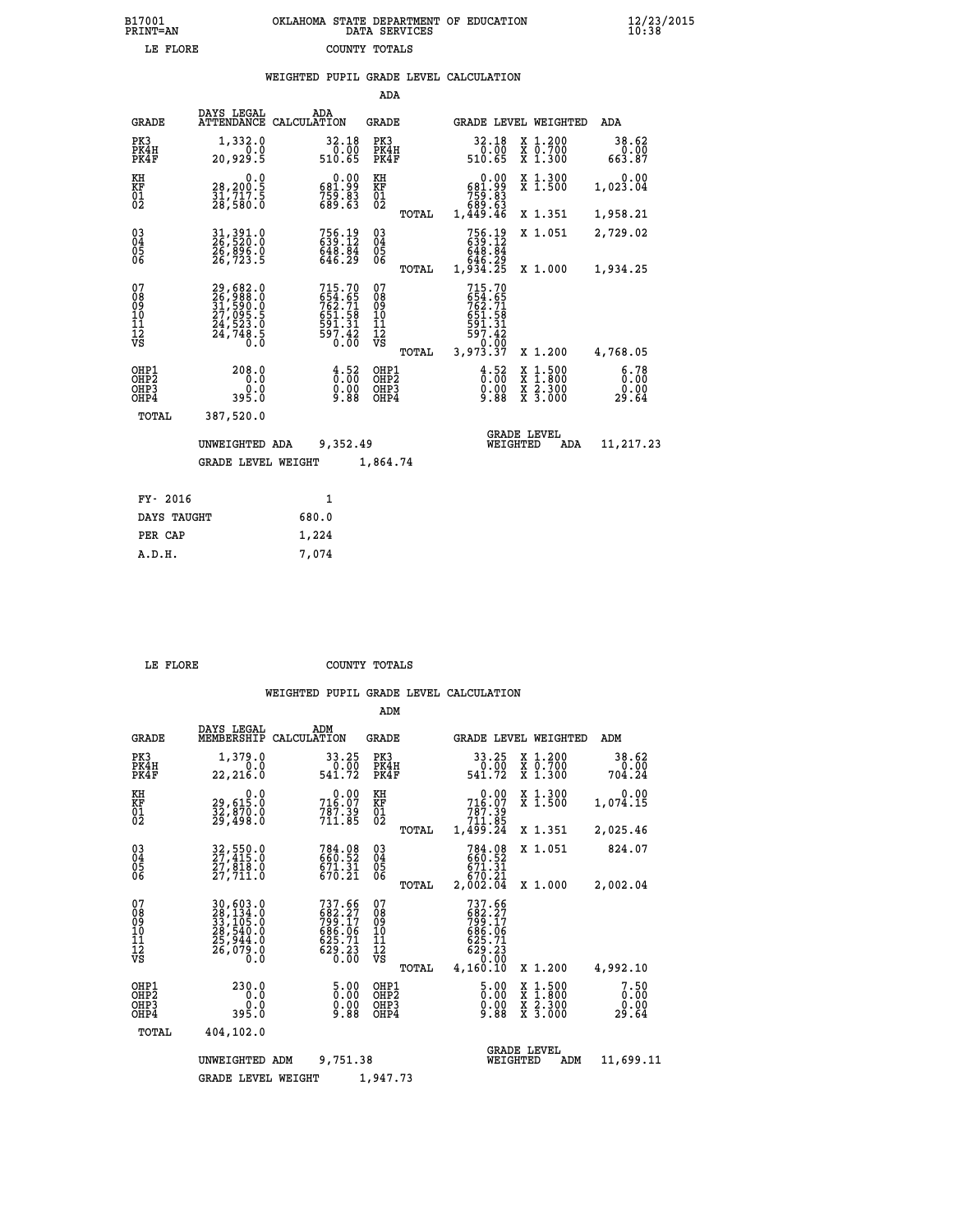|                                                                    |                                                                      | WEIGHTED PUPIL GRADE LEVEL CALCULATION                             |                                                     |                                                                                                                   |                                                                    |                               |
|--------------------------------------------------------------------|----------------------------------------------------------------------|--------------------------------------------------------------------|-----------------------------------------------------|-------------------------------------------------------------------------------------------------------------------|--------------------------------------------------------------------|-------------------------------|
|                                                                    |                                                                      |                                                                    | <b>ADA</b>                                          |                                                                                                                   |                                                                    |                               |
| <b>GRADE</b>                                                       | DAYS LEGAL<br><b>ATTENDANCE</b>                                      | ADA<br>CALCULATION                                                 | <b>GRADE</b>                                        | GRADE LEVEL WEIGHTED                                                                                              |                                                                    | ADA                           |
| PK3<br>PK4H<br>PK4F                                                | 1,332.0<br>20,929.5                                                  | $32.18\n0.00\n510.65$                                              | PK3<br>PK4H<br>PK4F                                 | $\begin{array}{r} 32.18 \\ 0.00 \\ 510.65 \end{array}$                                                            | X 1.200<br>X 0.700<br>X 1.300                                      | 38.62<br>$0.00$<br>87.63      |
| KH<br>KF<br>01<br>02                                               | 0.0<br>28,200.5<br>31,717.5<br>28,580.0                              | 0.00<br>681.99<br>$759.83$<br>689.63                               | KH<br>KF<br>01<br>02                                | 0.00<br>$\begin{smallmatrix} 681.99\ 759.83\ 689.63\ 1,449.46 \end{smallmatrix}$                                  | X 1.300<br>X 1.500                                                 | 0.00<br>1,023.04              |
|                                                                    |                                                                      |                                                                    | TOTAL                                               |                                                                                                                   | X 1.351                                                            | 1,958.21                      |
| $\begin{smallmatrix} 03 \\[-4pt] 04 \end{smallmatrix}$<br>05<br>06 | 31, 391.0<br>26, 520.0<br>26, 896.0<br>26, 723.5                     | 756.19<br>639.12<br>648.84<br>646.29                               | $\begin{array}{c} 03 \\ 04 \\ 05 \\ 06 \end{array}$ | 756.19<br>639.12<br>648.84<br>646.29<br>1,934.25                                                                  | X 1.051                                                            | 2,729.02                      |
|                                                                    |                                                                      |                                                                    | TOTAL                                               |                                                                                                                   | X 1.000                                                            | 1,934.25                      |
| 07<br>08<br>09<br>11<br>11<br>12<br>VS                             | 29,682.0<br>26,988.0<br>31,590.0<br>27,095.5<br>24,523.0<br>24,748.5 | 715.70<br>654.65<br>762.718<br>7651.58<br>651.31<br>597.42<br>0.00 | 07<br>08<br>09<br>101<br>11<br>12<br>VS<br>TOTAL    | 715.70<br>$654.65$<br>$762.71$<br>$651.59$<br>$\begin{array}{r} 591.31 \\ 597.42 \\ 0.00 \\ 3,973.37 \end{array}$ | X 1.200                                                            | 4,768.05                      |
| OHP1<br>OHP2<br>OHP3<br>OHP4                                       | 208.0<br>0.0<br>0.0<br>395.0                                         | $\frac{4}{0}$ : 52<br>Ŏ.ŎŎ<br>9.88                                 | OHP1<br>OHP2<br>OHP3<br>OHP4                        | $\frac{4.52}{0.00}$<br>X<br>X<br>X<br>X<br>0.00<br>9.88                                                           | $\begin{smallmatrix} 1.500\ 1.800\ 2.300\ 3.000 \end{smallmatrix}$ | 6.78<br>0.00<br>0.00<br>29.64 |
| TOTAL                                                              | 387,520.0                                                            |                                                                    |                                                     |                                                                                                                   |                                                                    |                               |
|                                                                    | UNWEIGHTED ADA                                                       | 9,352.49                                                           |                                                     | <b>GRADE LEVEL</b><br>WEIGHTED                                                                                    | ADA                                                                | 11,217.23                     |
|                                                                    | <b>GRADE LEVEL WEIGHT</b>                                            |                                                                    | 1,864.74                                            |                                                                                                                   |                                                                    |                               |
| FY- 2016                                                           |                                                                      | $\mathbf{1}$                                                       |                                                     |                                                                                                                   |                                                                    |                               |
|                                                                    | DAYS TAUGHT                                                          | 680.0                                                              |                                                     |                                                                                                                   |                                                                    |                               |
| PER CAP                                                            |                                                                      | 1,224                                                              |                                                     |                                                                                                                   |                                                                    |                               |

| $***$ $\sim$ $\sim$ |  |
|---------------------|--|

 **A.D.H. 7,074**

 **LE FLORE COUNTY TOTALS**

|                                           |                                                                                                  |                                                                      | ADM                                              |                                                                                                                   |                                                                                                  |                               |
|-------------------------------------------|--------------------------------------------------------------------------------------------------|----------------------------------------------------------------------|--------------------------------------------------|-------------------------------------------------------------------------------------------------------------------|--------------------------------------------------------------------------------------------------|-------------------------------|
| <b>GRADE</b>                              | DAYS LEGAL<br>MEMBERSHIP                                                                         | ADM<br>CALCULATION                                                   | <b>GRADE</b>                                     | GRADE LEVEL WEIGHTED                                                                                              |                                                                                                  | ADM                           |
| PK3<br>PK4H<br>PK4F                       | 1,379.0<br>0.0<br>22,216.0                                                                       | 33.25<br>0.00<br>541.72                                              | PK3<br>PK4H<br>PK4F                              | 33.25<br>0.00<br>541.72                                                                                           | $\begin{array}{c} x & 1.200 \\ x & 0.700 \end{array}$<br>X 1.300                                 | 38.62<br>0.00<br>704.24       |
| KH<br>KF<br>01<br>02                      | 0.0<br>29,615:0<br>32,870:0<br>29,498:0                                                          | $716.00$<br>716.07<br>$7\bar{8}\tilde{7}\cdot\tilde{3}9.711\cdot 85$ | KH<br>KF<br>01<br>02                             | 0.00<br>716.07<br>787.39<br>711.85                                                                                | X 1.300<br>X 1.500                                                                               | 0.00<br>1,074.15              |
|                                           |                                                                                                  |                                                                      | TOTAL                                            | 1,499.24                                                                                                          | X 1.351                                                                                          | 2,025.46                      |
| 03<br>04<br>05<br>06                      | 32,550.0<br>27,415.0<br>27,818.0<br>27,711.0                                                     | 784.08<br>660.52<br>671.31<br>670.21                                 | $\substack{03 \\ 04}$<br>05                      | 784.08<br>660.52<br>671.31<br>670.21                                                                              | X 1.051                                                                                          | 824.07                        |
|                                           |                                                                                                  |                                                                      | TOTAL                                            | 2,002.04                                                                                                          | X 1.000                                                                                          | 2,002.04                      |
| 07<br>08<br>09<br>11<br>11<br>12<br>VS    | 30,603.0<br>$\frac{28}{33}, \frac{134}{105}.0$<br>$\frac{28}{25}, \frac{540}{944}.0$<br>26,079.0 | 737.66<br>682.27<br>799.17<br>686.06<br>625.71<br>629.23<br>0.00     | 07<br>08<br>09<br>101<br>11<br>12<br>VS<br>TOTAL | 737.66<br>$682.27$<br>$799.17$<br>$689.06$<br>$\begin{array}{c} 625.71 \\ 629.23 \\ 0.00 \end{array}$<br>4,160.10 | X 1.200                                                                                          | 4,992.10                      |
| OHP1<br>OH <sub>P</sub> 2<br>OHP3<br>OHP4 | 230.0<br>0.0<br>0.0<br>395.0                                                                     | 0.00<br>0.00<br>9.88                                                 | OHP1<br>OHP2<br>OHP3<br>OHP4                     | $\frac{5.00}{0.00}$<br>9.88                                                                                       | $\begin{smallmatrix} x & 1 & 500 \\ x & 1 & 800 \\ x & 2 & 300 \\ x & 3 & 000 \end{smallmatrix}$ | 7.50<br>0.00<br>0.00<br>29.64 |
| TOTAL                                     | 404,102.0                                                                                        |                                                                      |                                                  |                                                                                                                   |                                                                                                  |                               |
|                                           | UNWEIGHTED ADM                                                                                   | 9,751.38                                                             |                                                  | <b>GRADE LEVEL</b><br>WEIGHTED                                                                                    | ADM                                                                                              | 11,699.11                     |
|                                           | <b>GRADE LEVEL WEIGHT</b>                                                                        |                                                                      | 1,947.73                                         |                                                                                                                   |                                                                                                  |                               |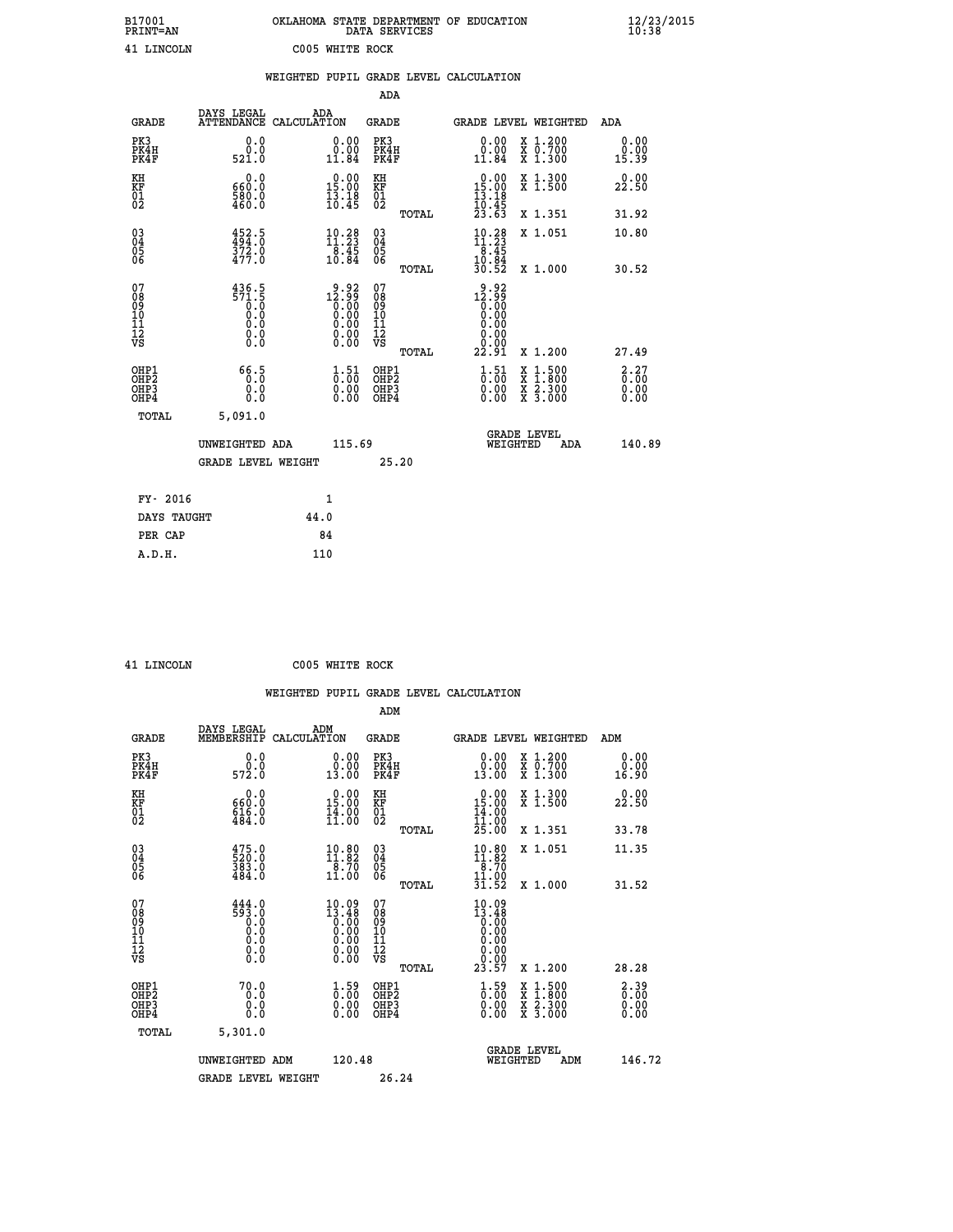| B17001<br>PRINT=AN | OKLAHOMA STATE DEPARTMENT OF EDUCATION<br>DATA SERVICES | $\frac{12}{23}/\frac{23}{2015}$ |
|--------------------|---------------------------------------------------------|---------------------------------|
| 41 LINCOLN         | C005 WHITE ROCK                                         |                                 |

| $\frac{12}{23}/\frac{23}{2015}$ |  |
|---------------------------------|--|
|---------------------------------|--|

|                                              |                                                                                  | WEIGHTED PUPIL GRADE LEVEL CALCULATION                                                                                                                                                                                                                                                                                                          |                                          |       |                                                                              |                                          |                              |
|----------------------------------------------|----------------------------------------------------------------------------------|-------------------------------------------------------------------------------------------------------------------------------------------------------------------------------------------------------------------------------------------------------------------------------------------------------------------------------------------------|------------------------------------------|-------|------------------------------------------------------------------------------|------------------------------------------|------------------------------|
|                                              |                                                                                  |                                                                                                                                                                                                                                                                                                                                                 | ADA                                      |       |                                                                              |                                          |                              |
| <b>GRADE</b>                                 | DAYS LEGAL                                                                       | ADA<br>ATTENDANCE CALCULATION                                                                                                                                                                                                                                                                                                                   | GRADE                                    |       |                                                                              | GRADE LEVEL WEIGHTED                     | ADA                          |
| PK3<br>PK4H<br>PK4F                          | 0.0<br>0.0<br>521.0                                                              | $\begin{smallmatrix} 0.00\\ 0.00\\ 11.84 \end{smallmatrix}$                                                                                                                                                                                                                                                                                     | PK3<br>PK4H<br>PK4F                      |       | 0.00<br>11.84                                                                | X 1.200<br>X 0.700<br>X 1.300            | 0.00<br>0.00<br>15.39        |
| KH<br>KF<br>01<br>02                         | 0.0<br>660.0<br>580.0<br>460.0                                                   | 15.00<br>$\frac{13.18}{10.45}$                                                                                                                                                                                                                                                                                                                  | KH<br>KF<br>01<br>02                     |       | $\begin{smallmatrix} 0.00\\ 15.00\\ 13.18\\ 10.45\\ 23.63 \end{smallmatrix}$ | X 1.300<br>X 1.500                       | 0.00<br>22.50                |
|                                              |                                                                                  |                                                                                                                                                                                                                                                                                                                                                 |                                          | TOTAL |                                                                              | X 1.351                                  | 31.92                        |
| 03<br>04<br>05<br>06                         | $452.5$<br>$494.0$<br>$372.0$<br>$477.0$                                         | $\begin{smallmatrix} 10.28\\ 11.23\\ 8.45\\ 10.84 \end{smallmatrix}$                                                                                                                                                                                                                                                                            | $\substack{03 \\ 04}$<br>0500            |       | $10.28$<br>$11.23$<br>8.45                                                   | X 1.051                                  | 10.80                        |
|                                              |                                                                                  |                                                                                                                                                                                                                                                                                                                                                 |                                          | TOTAL | $\frac{10.84}{30.52}$                                                        | X 1.000                                  | 30.52                        |
| 07<br>08<br>09<br>01<br>11<br>11<br>12<br>VS | $\begin{array}{c} 436.5 \\ 571.5 \\ 0.0 \\ 0.0 \end{array}$<br>0.0<br>$\S.$ $\S$ | $\begin{smallmatrix} 9 & 92 \\ 12 & 99 \\ 0 & 00 \\ 0 & 00 \\ 0 & 00 \\ 0 & 00 \\ 0 & 00 \\ 0 & 00 \\ 0 & 00 \\ 0 & 00 \\ 0 & 00 \\ 0 & 00 \\ 0 & 0 \\ 0 & 0 \\ 0 & 0 \\ 0 & 0 \\ 0 & 0 \\ 0 & 0 \\ 0 & 0 \\ 0 & 0 \\ 0 & 0 \\ 0 & 0 \\ 0 & 0 \\ 0 & 0 \\ 0 & 0 \\ 0 & 0 \\ 0 & 0 \\ 0 & 0 \\ 0 & 0 \\ 0 & 0 \\ 0 & 0 \\ 0 & 0 \\ 0 & 0 \\ 0 &$ | 07<br>08<br>09<br>101<br>11<br>12<br>VS  | TOTAL | $12.99$<br>$0.00$<br>0.00<br>0.00<br>0.00<br>0.00<br>22.91                   | X 1.200                                  | 27.49                        |
| OHP1<br>OH <sub>P</sub> 2<br>OHP3<br>OHP4    | 66.5<br>0.0<br>0.0                                                               | $\begin{smallmatrix} 1.51\ 0.00\ 0.00 \end{smallmatrix}$                                                                                                                                                                                                                                                                                        | OHP1<br>OHP <sub>2</sub><br>OHP3<br>OHP4 |       | $\begin{smallmatrix} 1.51\ 0.00\ 0.00 \end{smallmatrix}$                     | X 1:500<br>X 1:800<br>X 2:300<br>X 3:000 | 2.27<br>0.00<br>0.00<br>0.00 |
| TOTAL                                        | 5,091.0                                                                          |                                                                                                                                                                                                                                                                                                                                                 |                                          |       |                                                                              |                                          |                              |
|                                              | UNWEIGHTED ADA                                                                   |                                                                                                                                                                                                                                                                                                                                                 | 115.69                                   |       | WEIGHTED                                                                     | <b>GRADE LEVEL</b><br><b>ADA</b>         | 140.89                       |
|                                              | <b>GRADE LEVEL WEIGHT</b>                                                        |                                                                                                                                                                                                                                                                                                                                                 |                                          | 25.20 |                                                                              |                                          |                              |
| FY- 2016                                     |                                                                                  | $\mathbf{1}$                                                                                                                                                                                                                                                                                                                                    |                                          |       |                                                                              |                                          |                              |
| DAYS TAUGHT                                  |                                                                                  | 44.0                                                                                                                                                                                                                                                                                                                                            |                                          |       |                                                                              |                                          |                              |
| PER CAP                                      |                                                                                  | 84                                                                                                                                                                                                                                                                                                                                              |                                          |       |                                                                              |                                          |                              |

 **41 LINCOLN C005 WHITE ROCK**

|                                                      |                                                                                           |                                                                                                                                                       |                                                     | WEIGHTED PUPIL GRADE LEVEL CALCULATION                                                           |                                                                                                                                           |                            |
|------------------------------------------------------|-------------------------------------------------------------------------------------------|-------------------------------------------------------------------------------------------------------------------------------------------------------|-----------------------------------------------------|--------------------------------------------------------------------------------------------------|-------------------------------------------------------------------------------------------------------------------------------------------|----------------------------|
|                                                      |                                                                                           |                                                                                                                                                       | ADM                                                 |                                                                                                  |                                                                                                                                           |                            |
| <b>GRADE</b>                                         | DAYS LEGAL<br>MEMBERSHIP                                                                  | ADM<br>CALCULATION                                                                                                                                    | <b>GRADE</b>                                        | <b>GRADE LEVEL WEIGHTED</b>                                                                      |                                                                                                                                           | ADM                        |
| PK3<br>PK4H<br>PK4F                                  | 0.0<br>ة:ة<br>572:0                                                                       | 0.00<br>13.00                                                                                                                                         | PK3<br>PK4H<br>PK4F                                 | 0.00<br>$\begin{smallmatrix} 0.00 \ 13.00 \end{smallmatrix}$                                     | X 1.200<br>X 0.700<br>X 1.300                                                                                                             | 0.00<br>0.00<br>16.90      |
| KH<br>KF<br>01<br>02                                 | 0.0<br>660:0<br>616:0<br>484:0                                                            | $0.00$<br>15.00<br>$\frac{14}{11}$ :00                                                                                                                | KH<br>KF<br>01<br>02                                | $\begin{smallmatrix} 0.00\\ 15.00\\ 14.00\\ 11.00\\ 25.00 \end{smallmatrix}$                     | X 1.300<br>X 1.500                                                                                                                        | 22.50                      |
|                                                      |                                                                                           |                                                                                                                                                       | TOTAL                                               |                                                                                                  | X 1.351                                                                                                                                   | 33.78                      |
| $\begin{matrix} 03 \\ 04 \\ 05 \\ 06 \end{matrix}$   | 475.0<br>520.0<br>383.0<br>484.0                                                          | $\begin{smallmatrix} 10.80\\ 11.82\\ 8.70\\ 11.00 \end{smallmatrix}$                                                                                  | $\begin{array}{c} 03 \\ 04 \\ 05 \\ 06 \end{array}$ | $10.80$<br>$11.82$<br>$8.70$<br>$11.00$                                                          | X 1.051                                                                                                                                   | 11.35                      |
|                                                      |                                                                                           |                                                                                                                                                       | TOTAL                                               | 31.52                                                                                            | X 1.000                                                                                                                                   | 31.52                      |
| 07<br>08<br>09<br>11<br>11<br>12<br>VS               | $\begin{smallmatrix} 444.0\\ 593.0\\ 0.0\\ 0.0\\ 0.0\\ 0.0\\ 0.0\\ 0.0 \end{smallmatrix}$ | $\begin{smallmatrix} 10.09\\[-1mm] 13.48\\[-1mm] 0.00\\[-1mm] 0.00\\[-1mm] 0.00\\[-1mm] 0.00\\[-1mm] 0.00\\[-1mm] 0.00\\[-1mm] 0.00\end{smallmatrix}$ | 07<br>08<br>09<br>11<br>11<br>12<br>VS              | 10.09<br>$\begin{smallmatrix} 13.48 \\[-4pt] 0.00\\[-4pt] 0.00\end{smallmatrix}$<br>0.00<br>0.00 |                                                                                                                                           |                            |
|                                                      |                                                                                           |                                                                                                                                                       | TOTAL                                               | 23.57                                                                                            | X 1.200                                                                                                                                   | 28.28                      |
| OHP1<br>OHP2<br>OH <sub>P3</sub><br>OH <sub>P4</sub> | 70.0<br>0.0<br>0.0<br>0.0                                                                 | $\begin{smallmatrix} 1.59\ 0.00\ 0.00 \end{smallmatrix}$                                                                                              | OHP1<br>OHP2<br>OHP3<br>OHP4                        | $\begin{smallmatrix} 1.59\ 0.00\ 0.00 \end{smallmatrix}$                                         | $\begin{smallmatrix} \mathtt{X} & 1\cdot500\\ \mathtt{X} & 1\cdot800\\ \mathtt{X} & 2\cdot300\\ \mathtt{X} & 3\cdot000 \end{smallmatrix}$ | $2.39$<br>$0.00$<br>0.0000 |
| TOTAL                                                | 5,301.0                                                                                   |                                                                                                                                                       |                                                     |                                                                                                  |                                                                                                                                           |                            |
|                                                      | UNWEIGHTED ADM                                                                            | 120.48                                                                                                                                                |                                                     | <b>GRADE LEVEL</b><br>WEIGHTED                                                                   | ADM                                                                                                                                       | 146.72                     |
|                                                      | <b>GRADE LEVEL WEIGHT</b>                                                                 |                                                                                                                                                       | 26.24                                               |                                                                                                  |                                                                                                                                           |                            |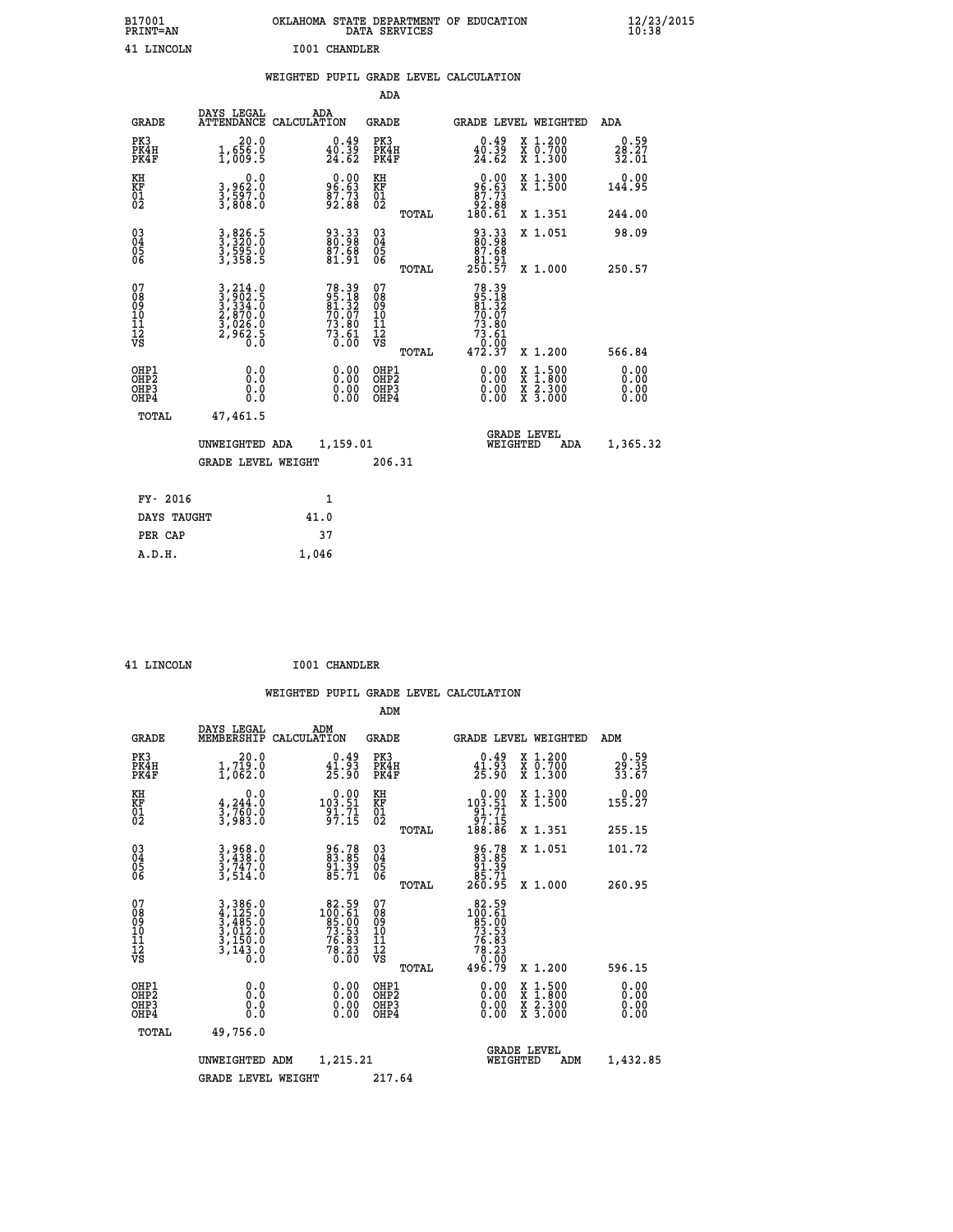| B17001<br>PRINT=AN                                 |                                                                                |                                                                          | DATA SERVICES                            | OKLAHOMA STATE DEPARTMENT OF EDUCATION                                    |                                                                                                                                             | $\frac{12}{23}$ /2015        |  |
|----------------------------------------------------|--------------------------------------------------------------------------------|--------------------------------------------------------------------------|------------------------------------------|---------------------------------------------------------------------------|---------------------------------------------------------------------------------------------------------------------------------------------|------------------------------|--|
| 41 LINCOLN                                         |                                                                                | <b>I001 CHANDLER</b><br>WEIGHTED PUPIL GRADE LEVEL CALCULATION           |                                          |                                                                           |                                                                                                                                             |                              |  |
|                                                    |                                                                                |                                                                          | ADA                                      |                                                                           |                                                                                                                                             |                              |  |
| <b>GRADE</b>                                       | DAYS LEGAL<br>ATTENDANCE CALCULATION                                           | ADA                                                                      | <b>GRADE</b>                             | <b>GRADE LEVEL WEIGHTED</b>                                               |                                                                                                                                             | <b>ADA</b>                   |  |
| PK3<br>PK4H<br>PK4F                                | 20.0<br>1,656.0<br>1,009.5                                                     | $\substack{0.49 \\ 40.39 \\ 24.62}$                                      | PK3<br>PK4H<br>PK4F                      | 0.49<br>$\frac{40.39}{24.62}$                                             | X 1.200<br>$\begin{smallmatrix} \ddot{x} & \ddot{0} & \ddot{7} & \ddot{0} & \dot{0} \\ \dot{x} & 1 & \dot{0} & 3 & 0 & 0 \end{smallmatrix}$ | 0.59<br>28.27<br>32.01       |  |
| KH<br>KF<br>01<br>02                               | $\begin{smallmatrix}&&&0&.0\\3&,962&.0\\3&,597&.0\\3&,808&.0\end{smallmatrix}$ | 96.63<br>96.63<br>87.73<br>92.88                                         | KH<br>KF<br>01<br>02                     | $\begin{smallmatrix} &0.00\ 96.63\ 87.73\ 92.88\ 180.61\end{smallmatrix}$ | X 1.300<br>X 1.500                                                                                                                          | 0.00<br>144.95               |  |
|                                                    |                                                                                |                                                                          | TOTAL                                    |                                                                           | X 1.351                                                                                                                                     | 244.00                       |  |
| $\begin{matrix} 03 \\ 04 \\ 05 \\ 06 \end{matrix}$ | 3,826.5<br>3,320.0<br>3,595.0<br>3,358.5                                       | 93.33<br>80.98<br>87.68<br>81.91                                         | 03<br>04<br>05<br>06                     | 93.33<br>80.98<br>87.68                                                   | X 1.051                                                                                                                                     | 98.09                        |  |
|                                                    |                                                                                |                                                                          | TOTAL                                    | 81.91<br>250.57                                                           | X 1.000                                                                                                                                     | 250.57                       |  |
| 07<br>08<br>09<br>10<br>11<br>12<br>VS             | 3,214.0<br>3,902.5<br>3,334.0<br>2,870.0<br>2,962.5<br>0.0                     | $78.39$<br>$95.18$<br>$81.32$<br>$70.07$<br>$73.80$<br>$73.61$<br>$0.00$ | 0789011128<br>TOTAL                      | 78.39<br>95.18<br>81.32<br>70.07<br>73.80<br>$73.61$<br>$0.00$<br>472.37  | X 1.200                                                                                                                                     | 566.84                       |  |
| OHP1<br>OHP2<br>OH <sub>P3</sub><br>OHP4<br>TOTAL  | 0.000<br>0.0<br>0.0<br>47,461.5                                                | 0.00<br>0.00<br>0.00                                                     | OHP1<br>OHP <sub>2</sub><br>OHP3<br>OHP4 | 0.00<br>0.00<br>0.00                                                      | X 1:500<br>X 1:800<br>X 2:300<br>X 3:000                                                                                                    | 0.00<br>0.00<br>0.00<br>0.00 |  |
|                                                    | UNWEIGHTED ADA<br><b>GRADE LEVEL WEIGHT</b>                                    | 1,159.01                                                                 | 206.31                                   | <b>GRADE LEVEL</b><br>WEIGHTED                                            | <b>ADA</b>                                                                                                                                  | 1,365.32                     |  |

| FY- 2016    |       |
|-------------|-------|
| DAYS TAUGHT | 41.0  |
| PER CAP     | 37    |
| A.D.H.      | 1,046 |
|             |       |

| 41 LINCOLN |
|------------|

 **41 LINCOLN I001 CHANDLER**

| <b>GRADE</b>                             | DAYS LEGAL<br>MEMBERSHIP                                                                                                                                                       | ADM<br>CALCULATION                                                                     | <b>GRADE</b>                                       |       | GRADE LEVEL WEIGHTED                                                                                                                                                                                                                                                           |                                          | ADM                       |  |
|------------------------------------------|--------------------------------------------------------------------------------------------------------------------------------------------------------------------------------|----------------------------------------------------------------------------------------|----------------------------------------------------|-------|--------------------------------------------------------------------------------------------------------------------------------------------------------------------------------------------------------------------------------------------------------------------------------|------------------------------------------|---------------------------|--|
| PK3<br>PK4H<br>PK4F                      | $\begin{smallmatrix} 20.0\\ 1,719.0\\ 1,062.0 \end{smallmatrix}$                                                                                                               | $\begin{smallmatrix} 0.49 \\ 41.93 \\ 25.90 \end{smallmatrix}$                         | PK3<br>PK4H<br>PK4F                                |       | $\begin{smallmatrix} 0.49\\ 41.93\\ 25.90 \end{smallmatrix}$                                                                                                                                                                                                                   | X 1.200<br>X 0.700<br>X 1.300            | $29.59$<br>33.35<br>33.67 |  |
| KH<br>KF<br>01<br>02                     | 0.0<br>$\frac{4}{3}, \frac{244}{760}$ .0<br>3,983.0                                                                                                                            | $0.00$<br>103.51<br>$\frac{91.71}{97.15}$                                              | KH<br>KF<br>01<br>02                               |       | $\begin{smallmatrix}&&0.00\\103.51\\91.71\\97.15\\188.86\end{smallmatrix}$                                                                                                                                                                                                     | X 1.300<br>X 1.500                       | 0.00<br>155.27            |  |
|                                          |                                                                                                                                                                                |                                                                                        |                                                    | TOTAL |                                                                                                                                                                                                                                                                                | X 1.351                                  | 255.15                    |  |
| 03<br>04<br>05<br>06                     | $3, 438.0$<br>$3, 747.0$<br>$3, 514.0$                                                                                                                                         | 96.78<br>83.85<br>91.39<br>85.71                                                       | $\begin{matrix} 03 \\ 04 \\ 05 \\ 06 \end{matrix}$ |       | 96.78<br>83.85<br>91.39<br>85.71<br>260.95                                                                                                                                                                                                                                     | X 1.051                                  | 101.72                    |  |
|                                          |                                                                                                                                                                                |                                                                                        |                                                    | TOTAL |                                                                                                                                                                                                                                                                                | X 1.000                                  | 260.95                    |  |
| 07<br>089<br>090<br>1112<br>VS           | $\begin{smallmatrix} 3\,, & 386\,. & 0\\ 4\,, & 125\,. & 0\\ 3\,, & 485\,. & 0\\ 3\,, & 012\,. & 0\\ 3\,, & 150\,. & 0\\ 3\,, & 143\,. & 0\\ 0\,. & 0\,. & 0\end{smallmatrix}$ | $\begin{smallmatrix} 82.59\\100.61\\85.00\\73.53\\76.83\\76.23\\0.00\end{smallmatrix}$ | 07<br>08<br>09<br>01<br>11<br>11<br>12<br>VS       | TOTAL | $\begin{smallmatrix} 82.59\\100.51\\95.00\\73.53\\76.83\\76.23\\0.00\\496.79\end{smallmatrix}$                                                                                                                                                                                 | X 1.200                                  | 596.15                    |  |
| OHP1<br>OHP2<br>OH <sub>P3</sub><br>OHP4 | $\begin{smallmatrix} 0.0 \ 0.0 \ 0.0 \end{smallmatrix}$                                                                                                                        | $\begin{smallmatrix} 0.00 \ 0.00 \ 0.00 \ 0.00 \end{smallmatrix}$                      | OHP1<br>OHP2<br>OHP3<br>OHP4                       |       | $\begin{smallmatrix} 0.00 & 0.00 & 0.00 & 0.00 & 0.00 & 0.00 & 0.00 & 0.00 & 0.00 & 0.00 & 0.00 & 0.00 & 0.00 & 0.00 & 0.00 & 0.00 & 0.00 & 0.00 & 0.00 & 0.00 & 0.00 & 0.00 & 0.00 & 0.00 & 0.00 & 0.00 & 0.00 & 0.00 & 0.00 & 0.00 & 0.00 & 0.00 & 0.00 & 0.00 & 0.00 & 0.0$ | X 1:500<br>X 1:800<br>X 2:300<br>X 3:000 | 0.00<br>0.00<br>0.00      |  |
| TOTAL                                    | 49,756.0                                                                                                                                                                       |                                                                                        |                                                    |       |                                                                                                                                                                                                                                                                                |                                          |                           |  |
|                                          | UNWEIGHTED                                                                                                                                                                     | 1,215.21<br>ADM                                                                        |                                                    |       | WEIGHTED                                                                                                                                                                                                                                                                       | <b>GRADE LEVEL</b><br>ADM                | 1,432.85                  |  |
|                                          | <b>GRADE LEVEL WEIGHT</b>                                                                                                                                                      |                                                                                        | 217.64                                             |       |                                                                                                                                                                                                                                                                                |                                          |                           |  |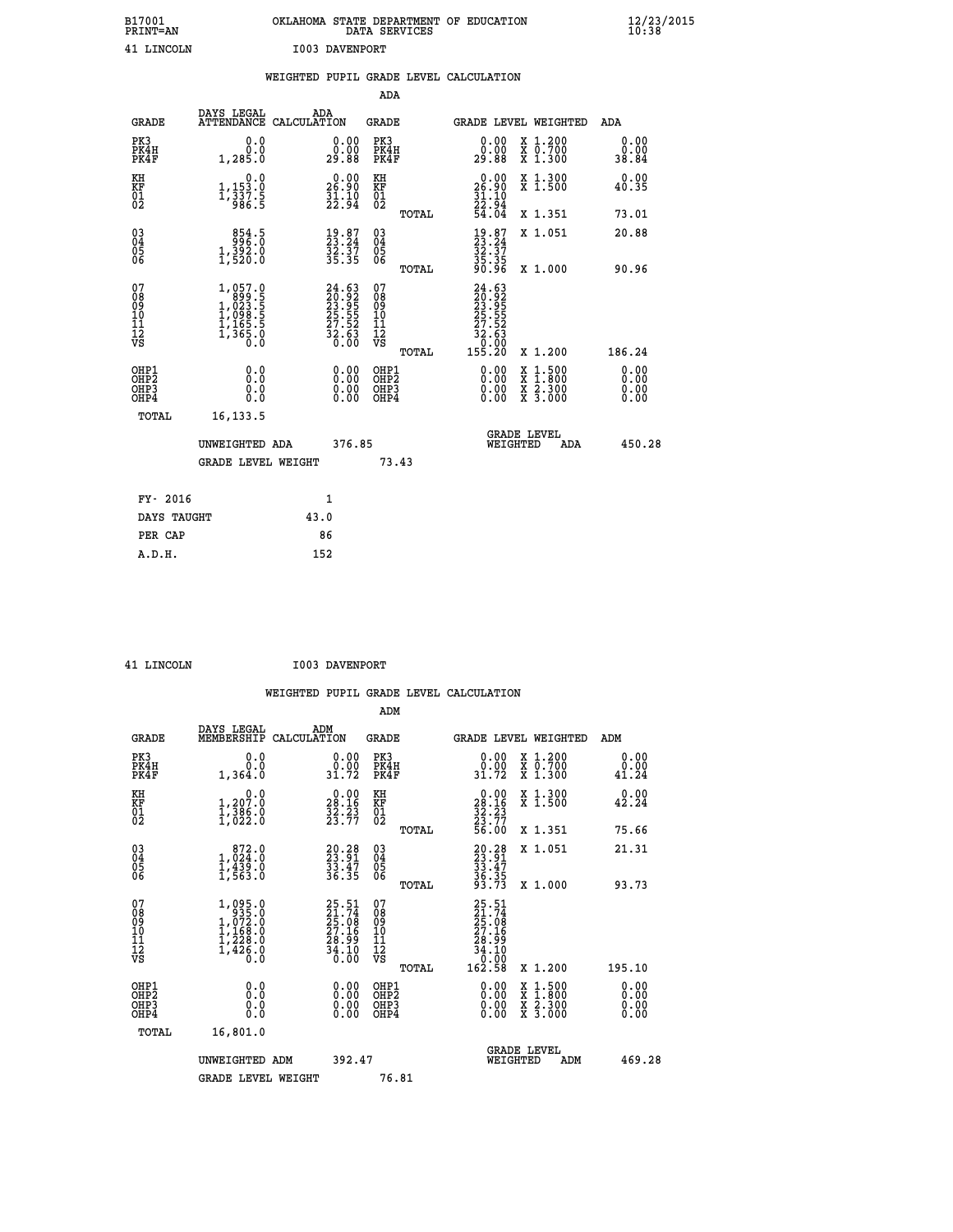| B17001<br><b>PRINT=AN</b> | OKLAHOMA STATE DEPARTMENT OF EDUCATION<br>DATA SERVICES | $\frac{12}{23}$ /2015 |
|---------------------------|---------------------------------------------------------|-----------------------|
| 41 LINCOLN                | I003 DAVENPORT                                          |                       |

|                                        |                                                                            | WEIGHTED PUPIL GRADE LEVEL CALCULATION                                                       |                                                     |                                                                                                                                           |                              |
|----------------------------------------|----------------------------------------------------------------------------|----------------------------------------------------------------------------------------------|-----------------------------------------------------|-------------------------------------------------------------------------------------------------------------------------------------------|------------------------------|
|                                        |                                                                            |                                                                                              | <b>ADA</b>                                          |                                                                                                                                           |                              |
| <b>GRADE</b>                           | DAYS LEGAL<br><b>ATTENDANCE</b>                                            | ADA<br>CALCULATION                                                                           | <b>GRADE</b>                                        | GRADE LEVEL WEIGHTED                                                                                                                      | ADA                          |
| PK3<br>PK4H<br>PK4F                    | 0.0<br>0.0<br>1,285.0                                                      | $\begin{smallmatrix} 0.00\\ 0.00\\ 29.88 \end{smallmatrix}$                                  | PK3<br>PK4H<br>PK4F                                 | 0.00<br>X 1.200<br>X 0.700<br>X 1.300<br>0.00<br>29.88                                                                                    | 0.00<br>0.00<br>38.84        |
| KH<br>KF<br>01<br>02                   | 0.0<br>1,153.0<br>1,337.5<br>986.5                                         | $\begin{smallmatrix} 0.00\\ 26.90\\ 31.10\\ 22.94 \end{smallmatrix}$                         | KH<br>KF<br>01<br>02                                | 0.00<br>X 1.300<br>X 1.500<br>$26.90$<br>$31.10$<br>$22.94$<br>$54.04$                                                                    | 0.00<br>40.35                |
|                                        |                                                                            |                                                                                              | TOTAL                                               | X 1.351                                                                                                                                   | 73.01                        |
| $\substack{03 \\ 04}$<br>Ŏ5<br>06      | 854.5<br>$1,392.0$<br>$1,520.0$                                            | $\begin{smallmatrix} 19.87\ 23.24\ 32.37\ 35.35 \end{smallmatrix}$                           | $\begin{array}{c} 03 \\ 04 \\ 05 \\ 06 \end{array}$ | $19.87$<br>$33.24$<br>$32.37$<br>$35.35$<br>$90.96$<br>X 1.051                                                                            | 20.88                        |
|                                        |                                                                            |                                                                                              | TOTAL                                               | X 1.000                                                                                                                                   | 90.96                        |
| 07<br>08<br>09<br>11<br>11<br>12<br>VS | $1,057.0$<br>$1,023.5$<br>$1,023.5$<br>$1,165.5$<br>$1,165.5$<br>$1,365.0$ | $\begin{smallmatrix} 24.63\\ 20.92\\ 23.95\\ 25.55\\ 27.52\\ 32.63\\ 0.00 \end{smallmatrix}$ | 07<br>08<br>09<br>11<br>11<br>12<br>VS<br>TOTAL     | $24.63$<br>$29.92$<br>$23.95$<br>$25.55$<br>.52<br>27<br>$\frac{32.63}{0.00}$<br>155.20<br>X 1.200                                        | 186.24                       |
| OHP1<br>OHP2<br>OHP3<br>OHP4           | 0.0<br>0.0<br>Ŏ.Ŏ                                                          | 0.00<br>$\begin{smallmatrix} 0.00 \ 0.00 \end{smallmatrix}$                                  | OHP1<br>OHP2<br>OHP3<br>OHP4                        | $\begin{smallmatrix} \mathtt{X} & 1\cdot500\\ \mathtt{X} & 1\cdot800\\ \mathtt{X} & 2\cdot300\\ \mathtt{X} & 3\cdot000 \end{smallmatrix}$ | 0.00<br>ŏ:ŏŏ<br>0.00<br>0.00 |
| TOTAL                                  | 16, 133.5                                                                  |                                                                                              |                                                     |                                                                                                                                           |                              |
|                                        | UNWEIGHTED ADA                                                             | 376.85                                                                                       |                                                     | <b>GRADE LEVEL</b><br>WEIGHTED<br><b>ADA</b>                                                                                              | 450.28                       |
|                                        | <b>GRADE LEVEL WEIGHT</b>                                                  |                                                                                              | 73.43                                               |                                                                                                                                           |                              |
| FY- 2016                               |                                                                            | 1                                                                                            |                                                     |                                                                                                                                           |                              |
| DAYS TAUGHT                            |                                                                            | 43.0                                                                                         |                                                     |                                                                                                                                           |                              |
| PER CAP                                |                                                                            | 86                                                                                           |                                                     |                                                                                                                                           |                              |

| <b>T.TNOOT.N</b> |
|------------------|

 **41 LINCOLN I003 DAVENPORT**

 **ADM DAYS LEGAL ADM GRADE MEMBERSHIP CALCULATION GRADE GRADE LEVEL WEIGHTED ADM PK3 0.0 0.00 PK3 0.00 X 1.200 0.00 PK4H 0.0 0.00 PK4H 0.00 X 0.700 0.00 PK4F 1,364.0 31.72 PK4F 31.72 X 1.300 41.24 KH 0.0 0.00 KH 0.00 X 1.300 0.00 KF 1,207.0 28.16 KF 28.16 X 1.500 42.24**  $\begin{array}{cccc} 01 & 1,386.0 & 32.23 & 01 & 32.23 \\ 02 & 1,022.0 & 23.77 & 02 & 0 \end{array}$ 

|                                                    |                                                                               |                                                            | TOTAL                                                 | 56.00<br>X 1.351                                                                                                  | 75.66          |
|----------------------------------------------------|-------------------------------------------------------------------------------|------------------------------------------------------------|-------------------------------------------------------|-------------------------------------------------------------------------------------------------------------------|----------------|
| $\begin{matrix} 03 \\ 04 \\ 05 \\ 06 \end{matrix}$ | $\begin{smallmatrix} & 872.0\\ 1,024.0\\ 1,439.0\\ 1,563.0 \end{smallmatrix}$ | 20.28<br>23.91<br>33.47<br>36.35                           | 030404<br>06<br>TOTAL                                 | $20.28$<br>$23.91$<br>$33.47$<br>$36.35$<br>$93.73$<br>X 1.051<br>X 1.000                                         | 21.31<br>93.73 |
| 07<br>08<br>09<br>101<br>112<br>VS                 | $1,095.0$<br>$1,072.0$<br>$1,168.0$<br>$1,228.0$<br>$1,426.0$<br>$0.0$        | 25.51<br>21.74<br>25.08<br>27.16<br>28.99<br>34.10<br>0.00 | 07<br>08<br>09<br>10<br>11<br>11<br>12<br>VS<br>TOTAL | $\begin{smallmatrix} 25.51\ 21.74\ 25.08\ 27.16\ 27.16\ 28.99\ 34.10\ 0.00\ 162.58\ \end{smallmatrix}$<br>X 1.200 | 195.10         |
| OHP1<br>OHP2<br>OH <sub>P3</sub><br>OHP4           | 0.0<br>0.0<br>0.0                                                             | 0.00<br>0.00<br>0.00                                       | OHP1<br>OHP <sub>2</sub><br>OHP3<br>OHP4              | $\begin{array}{c} x & 1.500 \\ x & 1.800 \\ x & 2.300 \end{array}$<br>X <sub>3.000</sub>                          | 0.00<br>0.0000 |
| TOTAL                                              | 16,801.0<br>UNWEIGHTED ADM                                                    | 392.47                                                     |                                                       | <b>GRADE LEVEL</b><br>WEIGHTED<br>ADM                                                                             | 469.28         |
|                                                    | <b>GRADE LEVEL WEIGHT</b>                                                     |                                                            | 76.81                                                 |                                                                                                                   |                |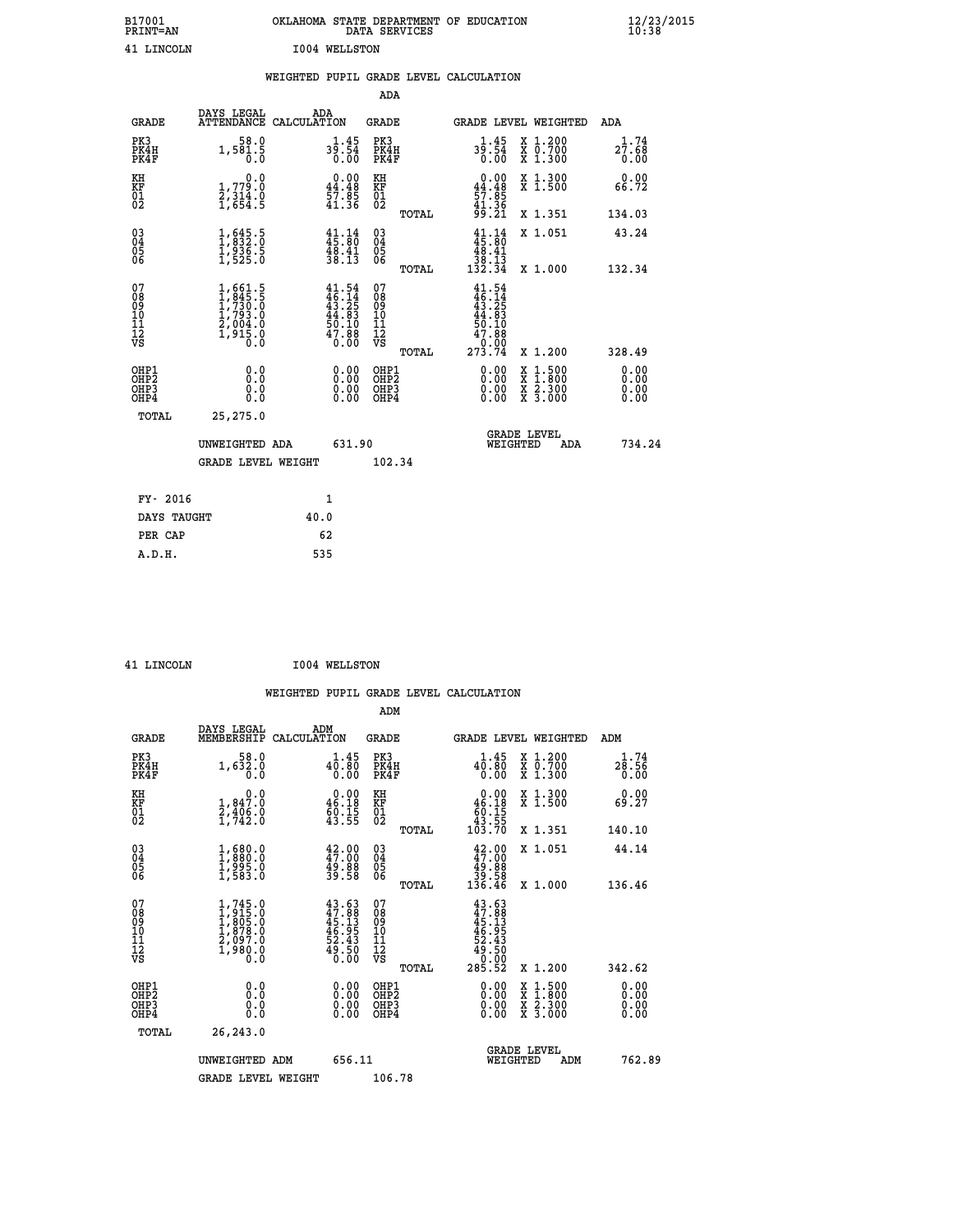| B17001<br><b>PRINT=AN</b> | OKLAHOMA STATE DEPARTMENT OF EDUCATION<br>DATA SERVICES | $\frac{12}{23}$ /2015 |
|---------------------------|---------------------------------------------------------|-----------------------|
| LINCOLN                   | 1004 WELLSTON                                           |                       |

| 41 LINCOLN                                                         |                                                                                                         |      | <b>I004 WELLSTON</b>                                                     |                                          |       |                                                                          |                                                                                                  |                       |
|--------------------------------------------------------------------|---------------------------------------------------------------------------------------------------------|------|--------------------------------------------------------------------------|------------------------------------------|-------|--------------------------------------------------------------------------|--------------------------------------------------------------------------------------------------|-----------------------|
|                                                                    |                                                                                                         |      |                                                                          |                                          |       | WEIGHTED PUPIL GRADE LEVEL CALCULATION                                   |                                                                                                  |                       |
|                                                                    |                                                                                                         |      |                                                                          | <b>ADA</b>                               |       |                                                                          |                                                                                                  |                       |
| <b>GRADE</b>                                                       | DAYS LEGAL<br>ATTENDANCE CALCULATION                                                                    |      | ADA                                                                      | GRADE                                    |       |                                                                          | GRADE LEVEL WEIGHTED                                                                             | ADA                   |
| PK3<br>PK4H<br>PK4F                                                | 58.0<br>1,581.5<br>0.0                                                                                  |      | $3\frac{1}{9}\cdot\frac{45}{54}$<br>0.00                                 | PK3<br>PK4H<br>PK4F                      |       | $3\frac{1}{9}\cdot\frac{45}{54}$<br>0.00                                 | X 1.200<br>X 0.700<br>X 1.300                                                                    | 1.74<br>27.68<br>0.00 |
| KH<br>KF<br>01<br>02                                               | 0.0<br>1,779.0<br>2,314.0<br>1,654.5                                                                    |      | $\begin{smallmatrix} 0.00\\ 44.48\\ 57.85\\ 41.36 \end{smallmatrix}$     | KH<br>KF<br>01<br>02                     |       | $0.00\n44.48\n57.85\n41.36\n99.21$                                       | X 1.300<br>X 1.500                                                                               | 0.00<br>66.72         |
|                                                                    |                                                                                                         |      |                                                                          |                                          | TOTAL |                                                                          | X 1.351                                                                                          | 134.03                |
| $\begin{smallmatrix} 03 \\[-4pt] 04 \end{smallmatrix}$<br>05<br>06 | $\frac{1}{1}, \begin{smallmatrix} 645.5\\ 332.0\\ 1,936.5\\ 1,525.0 \end{smallmatrix}$                  |      | $\frac{41}{15}:\frac{14}{80}$<br>$\frac{48.41}{38.13}$                   | $\substack{03 \\ 04}$<br>0500            |       | $41.14$<br>$45.80$<br>$48.41$                                            | X 1.051                                                                                          | 43.24                 |
|                                                                    |                                                                                                         |      |                                                                          |                                          | TOTAL | 38.13<br>132.34                                                          | X 1.000                                                                                          | 132.34                |
| 07<br>08<br>09<br>10<br>11<br>12<br>VS                             | $\begin{smallmatrix} 1,661.5\\ 1,845.5\\ 1,730.0\\ 1,793.0\\ 2,004.0\\ 1,915.0\\ 0.0 \end{smallmatrix}$ |      | $41.54$<br>$46.14$<br>$43.25$<br>$44.83$<br>$50.10$<br>$47.88$<br>$0.00$ | 07<br>08<br>09<br>11<br>11<br>12<br>VS   |       | $41.54$<br>$46.14$<br>$43.25$<br>$44.83$<br>$50.10$<br>$47.88$<br>$9.99$ |                                                                                                  |                       |
|                                                                    |                                                                                                         |      |                                                                          |                                          | TOTAL | 273.74                                                                   | X 1.200                                                                                          | 328.49                |
| OHP1<br>OHP2<br>OH <sub>P3</sub><br>OHP4                           | 0.0<br>0.0<br>0.0                                                                                       |      | 0.00<br>$0.00$<br>0.00                                                   | OHP1<br>OHP2<br>OHP <sub>3</sub><br>OHP4 |       | 0.00<br>0.00<br>0.00                                                     | $\begin{smallmatrix} x & 1 & 500 \\ x & 1 & 800 \\ x & 2 & 300 \\ x & 3 & 000 \end{smallmatrix}$ | 0.00<br>0.00<br>0.00  |
| TOTAL                                                              | 25,275.0                                                                                                |      |                                                                          |                                          |       |                                                                          |                                                                                                  |                       |
|                                                                    | UNWEIGHTED ADA                                                                                          |      | 631.90                                                                   |                                          |       | WEIGHTED                                                                 | <b>GRADE LEVEL</b><br>ADA                                                                        | 734.24                |
|                                                                    | <b>GRADE LEVEL WEIGHT</b>                                                                               |      |                                                                          | 102.34                                   |       |                                                                          |                                                                                                  |                       |
| FY- 2016                                                           |                                                                                                         |      | 1                                                                        |                                          |       |                                                                          |                                                                                                  |                       |
| DAYS TAUGHT                                                        |                                                                                                         | 40.0 |                                                                          |                                          |       |                                                                          |                                                                                                  |                       |
| PER CAP                                                            |                                                                                                         |      | 62                                                                       |                                          |       |                                                                          |                                                                                                  |                       |
| A.D.H.                                                             |                                                                                                         |      | 535                                                                      |                                          |       |                                                                          |                                                                                                  |                       |

 **41 LINCOLN I004 WELLSTON**

| <b>GRADE</b>                                         | DAYS LEGAL<br>MEMBERSHIP                                                                  | ADM<br>CALCULATION                                                   | <b>GRADE</b>                                        |       | <b>GRADE LEVEL WEIGHTED</b>                                               |                                                                                                                     | ADM                         |        |
|------------------------------------------------------|-------------------------------------------------------------------------------------------|----------------------------------------------------------------------|-----------------------------------------------------|-------|---------------------------------------------------------------------------|---------------------------------------------------------------------------------------------------------------------|-----------------------------|--------|
| PK3<br>PK4H<br>PK4F                                  | 58.0<br>1,632.0<br>0.0                                                                    | 40.45<br>0.00                                                        | PK3<br>PK4H<br>PK4F                                 |       | 40.45<br>0.00                                                             | X 1.200<br>X 0.700<br>X 1.300                                                                                       | $2\frac{1}{6}$ : 56<br>0.00 |        |
| KH<br>KF<br>01<br>02                                 | 0.0<br>$\frac{1}{2}, \frac{847.0}{406.0}$<br>1,742.0                                      | $\begin{smallmatrix} 0.00\\ 46.18\\ 60.15\\ 43.55 \end{smallmatrix}$ | KH<br>KF<br>01<br>02                                |       | $\begin{smallmatrix}&&0.00\\46.18\\60.15\\43.55\\103.70\end{smallmatrix}$ | X 1.300<br>X 1.500                                                                                                  | 0.00<br>69.27               |        |
|                                                      |                                                                                           |                                                                      |                                                     | TOTAL |                                                                           | X 1.351                                                                                                             | 140.10                      |        |
| 03<br>04<br>05<br>06                                 | $\begin{smallmatrix} 1,680.0\\ 1,880.0\\ 1,995.0\\ 1,583.0 \end{smallmatrix}$             | 42.00<br>47.00<br>49.88<br>39.58                                     | $\begin{array}{c} 03 \\ 04 \\ 05 \\ 06 \end{array}$ |       | $42.00\n47.00\n49.88\n39.58\n136.46$                                      | X 1.051                                                                                                             | 44.14                       |        |
|                                                      |                                                                                           |                                                                      |                                                     | TOTAL |                                                                           | X 1.000                                                                                                             | 136.46                      |        |
| 07<br>08<br>09<br>11<br>11<br>12<br>VS               | $1, 745.0$<br>$1, 915.0$<br>$1, 805.0$<br>$1, 878.0$<br>$2, 097.0$<br>$1, 980.0$<br>$0.0$ | $43.63\n47.88\n45.13\n46.95\n52.43\n52.50\n60.00$                    | 07<br>08<br>09<br>11<br>11<br>12<br>VS              | TOTAL | $43.63\n47.88\n45.135\n46.955\n52.430\n49.500\n285.52$                    | X 1.200                                                                                                             | 342.62                      |        |
| OHP1<br>OH <sub>P</sub> <sub>2</sub><br>OHP3<br>OHP4 | 0.0<br>0.0<br>0.0                                                                         |                                                                      | OHP1<br>OHP <sub>2</sub><br>OHP3<br>OHP4            |       |                                                                           | $\begin{array}{l} \mathtt{X} & 1.500 \\ \mathtt{X} & 1.800 \\ \mathtt{X} & 2.300 \\ \mathtt{X} & 3.000 \end{array}$ | 0.00<br>0.00<br>0.00        |        |
| TOTAL                                                | 26,243.0                                                                                  |                                                                      |                                                     |       |                                                                           |                                                                                                                     |                             |        |
|                                                      | UNWEIGHTED ADM                                                                            | 656.11                                                               |                                                     |       | WEIGHTED                                                                  | <b>GRADE LEVEL</b><br>ADM                                                                                           |                             | 762.89 |
|                                                      | <b>GRADE LEVEL WEIGHT</b>                                                                 |                                                                      | 106.78                                              |       |                                                                           |                                                                                                                     |                             |        |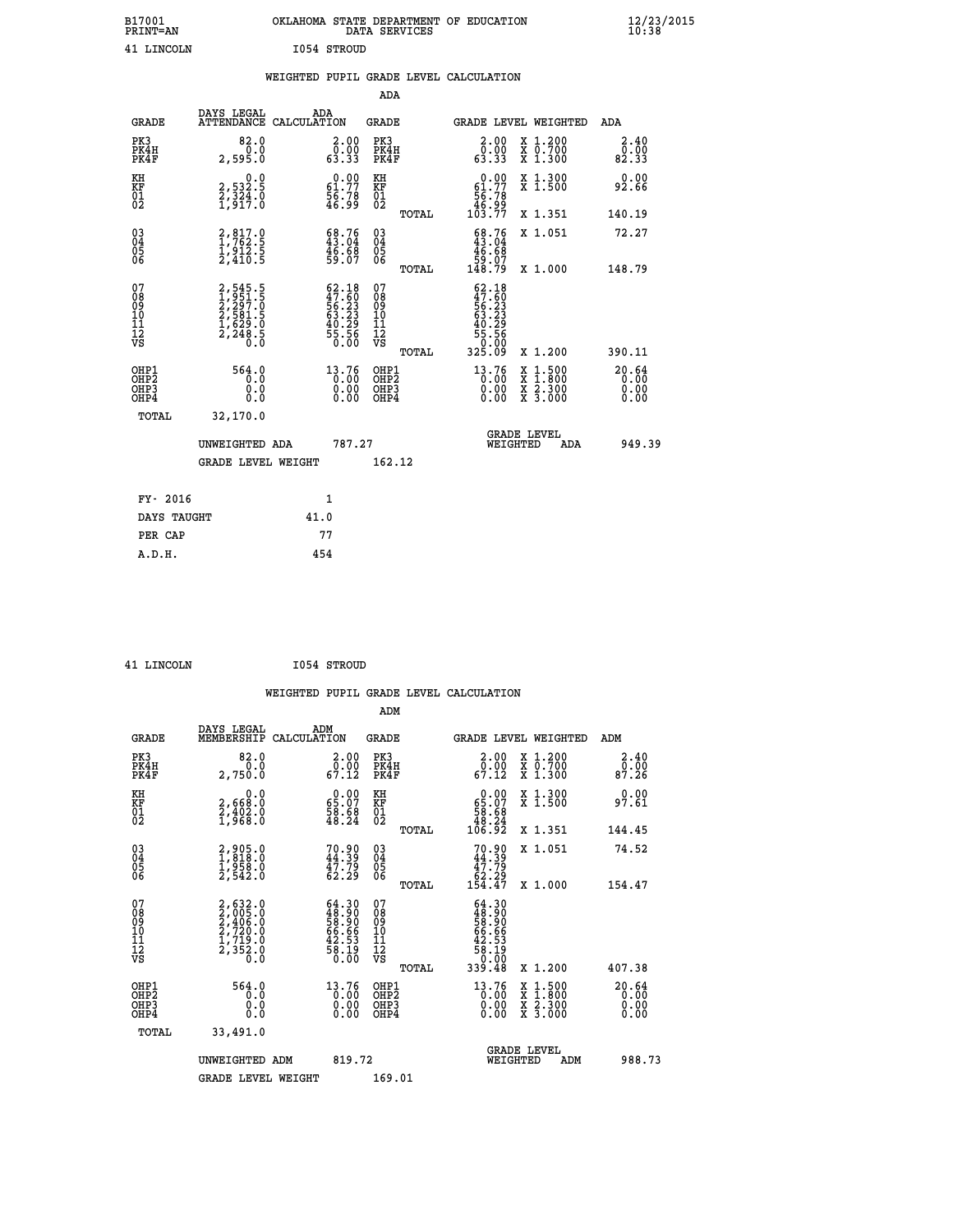| B17001<br><b>PRINT=AN</b> |             | OKLAHOMA STATE DEPARTMENT OF EDUCATION<br>DATA SERVICES |  |
|---------------------------|-------------|---------------------------------------------------------|--|
| 41 LINCOLN                | I054 STROUD |                                                         |  |

|  |  | WEIGHTED PUPIL GRADE LEVEL CALCULATION |
|--|--|----------------------------------------|
|  |  |                                        |

|                                                                    |                                                                           |                                                                       | ADA                                       |       |                                                                                    |                                                                                                  |                               |
|--------------------------------------------------------------------|---------------------------------------------------------------------------|-----------------------------------------------------------------------|-------------------------------------------|-------|------------------------------------------------------------------------------------|--------------------------------------------------------------------------------------------------|-------------------------------|
| <b>GRADE</b>                                                       | DAYS LEGAL<br>ATTENDANCE CALCULATION                                      | ADA                                                                   | <b>GRADE</b>                              |       |                                                                                    | GRADE LEVEL WEIGHTED                                                                             | <b>ADA</b>                    |
| PK3<br>PK4H<br>PK4F                                                | 82.0<br>0.0<br>2,595.0                                                    | $\begin{smallmatrix} 2.00\\ 0.00\\ 63.33 \end{smallmatrix}$           | PK3<br>PK4H<br>PK4F                       |       | 2.00<br>Ŏ.ŎŎ<br>63.33                                                              | X 1.200<br>X 0.700<br>X 1.300                                                                    | 2.40<br>0.00<br>82.33         |
| KH<br><b>KF</b><br>01<br>02                                        | 0.0<br>2,532.5<br>2,324.0<br>1,917.0                                      | $\begin{smallmatrix} 0.00\\ 61.77\\ 56.78\\ 46.99 \end{smallmatrix}$  | KH<br>KF<br>01<br>02                      |       | 0.00<br>$\begin{smallmatrix} 61.77\ 56.78\ 46.99\ 103.77 \end{smallmatrix}$        | X 1.300<br>X 1.500                                                                               | 0.00<br>92.66                 |
|                                                                    |                                                                           |                                                                       |                                           | TOTAL |                                                                                    | X 1.351                                                                                          | 140.19                        |
| $\begin{smallmatrix} 03 \\[-4pt] 04 \end{smallmatrix}$<br>05<br>06 | $2,817.0$<br>$1,762.5$<br>$1,912.5$<br>$2,410.5$                          | $\begin{smallmatrix} 68.76\\ 43.04\\ 46.68\\ 59.07 \end{smallmatrix}$ | $\substack{03 \\ 04}$<br>05<br>06         |       | $\begin{smallmatrix} 68.76 \\ 43.04 \\ 46.68 \\ 59.07 \\ 148.79 \end{smallmatrix}$ | X 1.051                                                                                          | 72.27                         |
|                                                                    |                                                                           |                                                                       |                                           | TOTAL |                                                                                    | X 1.000                                                                                          | 148.79                        |
| 07<br>08<br>09<br>11<br>11<br>12<br>VS                             | 2,545.5<br>1,951.5<br>2,297.0<br>2,581.5<br>2,581.5<br>1,629.0<br>2,248.5 | $62.18\n47.60\n56.23\n63.23\n40.29\n45.56\n55.56$                     | 07<br>08<br>09<br>11<br>11<br>12<br>VS    |       | $62.18$<br>$47.60$<br>$56.23$<br>$63.23$<br>$40.29$<br>$45.56$<br>$55.560$         |                                                                                                  |                               |
|                                                                    |                                                                           |                                                                       |                                           | TOTAL | 325.09                                                                             | X 1.200                                                                                          | 390.11                        |
| OHP1<br>OH <sub>P2</sub><br>OH <sub>P3</sub><br>OH <sub>P4</sub>   | 564.0<br>0.0<br>0.0<br>0.0                                                | 13.76<br>0.00<br>0.00<br>0.00                                         | OHP1<br>OH <sub>P</sub> 2<br>OHP3<br>OHP4 |       | $13.76$<br>$0.00$<br>0.00<br>0.00                                                  | $\begin{smallmatrix} x & 1 & 500 \\ x & 1 & 800 \\ x & 2 & 300 \\ x & 3 & 000 \end{smallmatrix}$ | 20.64<br>0.00<br>0.00<br>0.00 |
| TOTAL                                                              | 32,170.0                                                                  |                                                                       |                                           |       |                                                                                    |                                                                                                  |                               |
|                                                                    | UNWEIGHTED ADA                                                            | 787.27                                                                |                                           |       |                                                                                    | GRADE LEVEL<br>WEIGHTED<br>ADA                                                                   | 949.39                        |
|                                                                    | <b>GRADE LEVEL WEIGHT</b>                                                 |                                                                       | 162.12                                    |       |                                                                                    |                                                                                                  |                               |
| FY- 2016                                                           |                                                                           | $\mathbf{1}$                                                          |                                           |       |                                                                                    |                                                                                                  |                               |
| DAYS TAUGHT                                                        |                                                                           | 41.0                                                                  |                                           |       |                                                                                    |                                                                                                  |                               |
| PER CAP                                                            |                                                                           | 77                                                                    |                                           |       |                                                                                    |                                                                                                  |                               |
|                                                                    |                                                                           |                                                                       |                                           |       |                                                                                    |                                                                                                  |                               |

 **41 LINCOLN I054 STROUD**

 **A.D.H. 454**

| <b>GRADE</b>                                       | DAYS LEGAL<br>MEMBERSHIP                                              | ADM<br>CALCULATION                                                   | <b>GRADE</b>                           |       | GRADE LEVEL WEIGHTED                                                                                     |                                                                                                                                           | ADM                                            |  |
|----------------------------------------------------|-----------------------------------------------------------------------|----------------------------------------------------------------------|----------------------------------------|-------|----------------------------------------------------------------------------------------------------------|-------------------------------------------------------------------------------------------------------------------------------------------|------------------------------------------------|--|
| PK3<br>PK4H<br>PK4F                                | 82.0<br>0.0<br>2,750.0                                                | 2.00<br>$\begin{smallmatrix} 0.00 \ 67.12 \end{smallmatrix}$         | PK3<br>PK4H<br>PK4F                    |       | 2.00<br>$\begin{smallmatrix} \bar{0} \ . \ 0 \ 0 \ . \ 12 \end{smallmatrix}$                             | X 1.200<br>X 0.700<br>X 1.300                                                                                                             | 2.40<br>$\frac{\bar{0}.\bar{0}\bar{0}}{87.26}$ |  |
| KH<br>KF<br>01<br>02                               | 0.0<br>2,668:0<br>2,402:0<br>1,968:0                                  | $\begin{smallmatrix} 0.00\\ 65.07\\ 58.68\\ 48.24 \end{smallmatrix}$ | KH<br>KF<br>01<br>02                   |       | $\begin{smallmatrix} &0.00\ 65.07\ 58.68\ 48.24\ 106.92\ \end{smallmatrix}$                              | X 1.300<br>X 1.500                                                                                                                        | 0.00<br>97.61                                  |  |
|                                                    |                                                                       |                                                                      |                                        | TOTAL |                                                                                                          | X 1.351                                                                                                                                   | 144.45                                         |  |
| $\begin{matrix} 03 \\ 04 \\ 05 \\ 06 \end{matrix}$ | 2,905.0<br>1,818.0<br>1,958.0<br>2,542.0                              | 70.90<br>44.39<br>47.79<br>62.29                                     | 03<br>04<br>05<br>06                   |       | $70.90$<br>$44.39$<br>$47.79$<br>$62.29$<br>$154.47$                                                     | X 1.051                                                                                                                                   | 74.52                                          |  |
|                                                    |                                                                       |                                                                      |                                        | TOTAL |                                                                                                          | X 1.000                                                                                                                                   | 154.47                                         |  |
| 07<br>08<br>09<br>101<br>112<br>VS                 | 2,632.0<br>2,005.0<br>2,406.0<br>2,720.0<br>1,719.0<br>2,352.0<br>Ō.Ō | $64.3048.9058.9066.6642.5358.1950.00$                                | 07<br>08<br>09<br>11<br>11<br>12<br>VS | TOTAL | $\begin{array}{r} 64.30 \\ 48.900 \\ 58.900 \\ 66.660 \\ 42.53 \\ 58.190 \\ 0.000 \\ 339.48 \end{array}$ | X 1.200                                                                                                                                   | 407.38                                         |  |
| OHP1                                               | 564.0                                                                 | 13.76                                                                | OHP1                                   |       |                                                                                                          |                                                                                                                                           |                                                |  |
| OHP <sub>2</sub><br>OH <sub>P3</sub><br>OHP4       | 0.0<br>0.0<br>0.0                                                     | Ŏ.ŎŎ<br>Ō.QO<br>0.00                                                 | OHP <sub>2</sub><br>OHP3<br>OHP4       |       | $\begin{smallmatrix} 13\cdot76\0\cdot00\0\cdot00\0\cdot00\end{smallmatrix}$                              | $\begin{smallmatrix} \mathtt{X} & 1\cdot500\\ \mathtt{X} & 1\cdot800\\ \mathtt{X} & 2\cdot300\\ \mathtt{X} & 3\cdot000 \end{smallmatrix}$ | 20.64<br>0.00<br>0.00                          |  |
| TOTAL                                              | 33,491.0                                                              |                                                                      |                                        |       |                                                                                                          |                                                                                                                                           |                                                |  |
|                                                    | UNWEIGHTED ADM                                                        | 819.72                                                               |                                        |       | WEIGHTED                                                                                                 | <b>GRADE LEVEL</b><br>ADM                                                                                                                 | 988.73                                         |  |
|                                                    | <b>GRADE LEVEL WEIGHT</b>                                             |                                                                      | 169.01                                 |       |                                                                                                          |                                                                                                                                           |                                                |  |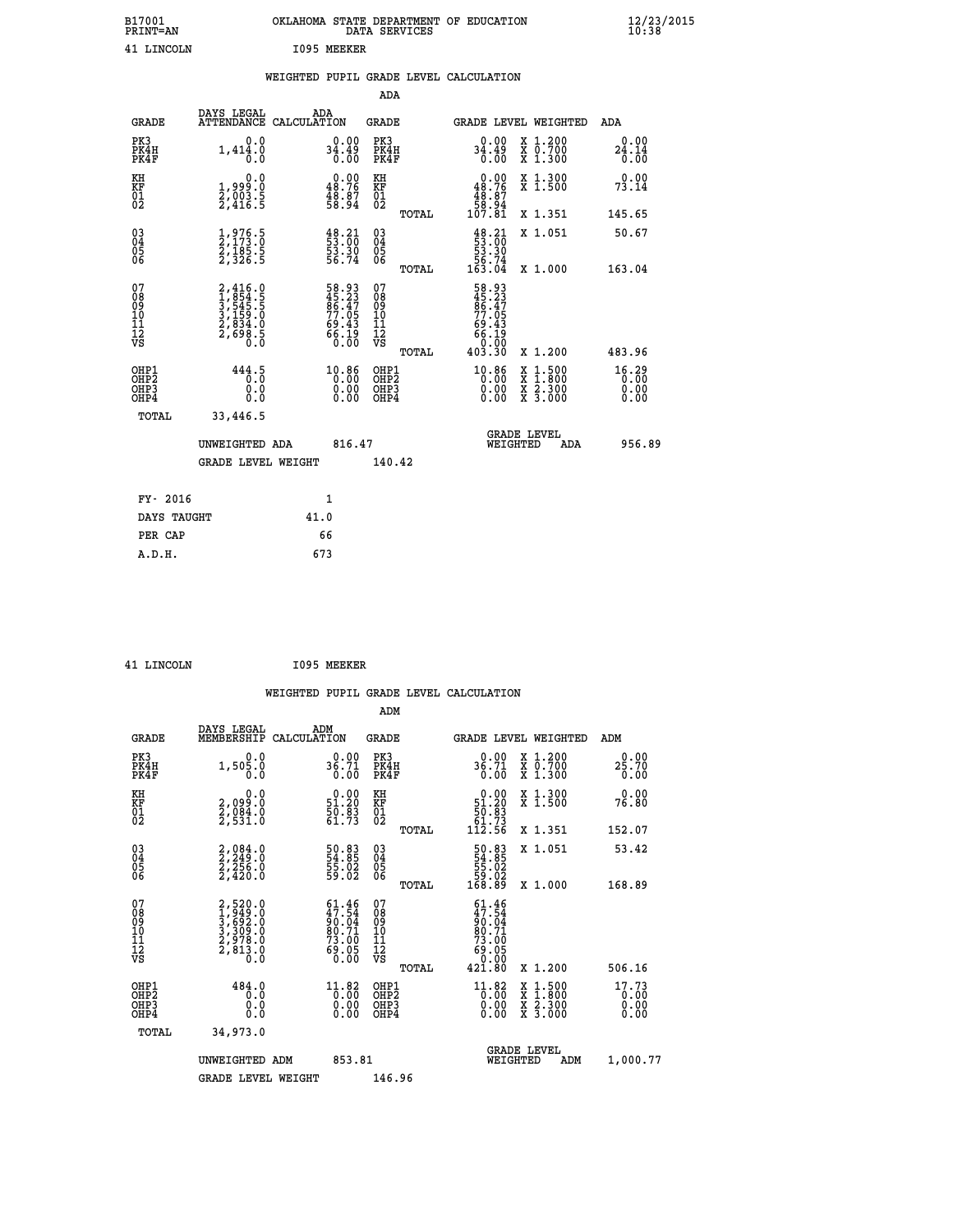| B17001<br><b>PRINT=AN</b> | OKLAHOMA STATE DEPARTMENT OF EDUCATION<br>DATA SERVICES | $\frac{12}{23}$ /2015 |
|---------------------------|---------------------------------------------------------|-----------------------|
| 41<br>LINCOLN             | 1095<br>MEEKER                                          |                       |

|  |  | WEIGHTED PUPIL GRADE LEVEL CALCULATION |
|--|--|----------------------------------------|
|  |  |                                        |

|                                                                              |                                                                                          |                                                                           | ADA                                                |       |                                                                                          |                                                                                                                                              |                               |
|------------------------------------------------------------------------------|------------------------------------------------------------------------------------------|---------------------------------------------------------------------------|----------------------------------------------------|-------|------------------------------------------------------------------------------------------|----------------------------------------------------------------------------------------------------------------------------------------------|-------------------------------|
| <b>GRADE</b>                                                                 | DAYS LEGAL                                                                               | ADA<br>ATTENDANCE CALCULATION                                             | GRADE                                              |       |                                                                                          | GRADE LEVEL WEIGHTED                                                                                                                         | ADA                           |
| PK3<br>PK4H<br>PK4F                                                          | 0.0<br>1,414.0<br>0.0                                                                    | 0.00<br>34.49<br>$\overline{0}$ . $\overline{0}0$                         | PK3<br>PK4H<br>PK4F                                |       | 0.00<br>ۆ¥.43<br>0.00                                                                    | X 1.200<br>X 0.700<br>X 1.300                                                                                                                | 0.00<br>24.14<br>0.00         |
| KH<br>KF<br>01<br>02                                                         | 0.0<br>1,999:0<br>2,003:5<br>2,416:5                                                     | $\begin{smallmatrix} 0.00\\ 48.76\\ 48.37\\ 58.94 \end{smallmatrix}$      | KH<br>KF<br>01<br>02                               |       | $\begin{smallmatrix} &0.00\\ 48.76\\ 48.87\\ 48.87\\ 58.94\\ 107.81\\ \end{smallmatrix}$ | X 1.300<br>X 1.500                                                                                                                           | 0.00<br>73.14                 |
|                                                                              |                                                                                          |                                                                           |                                                    | TOTAL |                                                                                          | X 1.351                                                                                                                                      | 145.65                        |
| $^{03}_{04}$<br>Ŏ5<br>06                                                     | $\frac{1}{2}, \frac{976}{173}.\frac{5}{0}$<br>$\frac{2}{3}, \frac{185}{326}.\frac{5}{5}$ | $\begin{smallmatrix} 48.21\ 53.00\ 53.30\ 53.30\ 56.74 \end{smallmatrix}$ | $\begin{matrix} 03 \\ 04 \\ 05 \\ 06 \end{matrix}$ |       | $48.21$<br>53.00<br>53.30<br>56.74<br>56.74<br>163.04                                    | X 1.051                                                                                                                                      | 50.67                         |
|                                                                              |                                                                                          |                                                                           |                                                    | TOTAL |                                                                                          | X 1.000                                                                                                                                      | 163.04                        |
| 07<br>08<br>09<br>11<br>11<br>12<br>VS                                       | 2,416.0<br>1,854.5<br>3,545.5<br>3,159.0<br>2,834.0<br>2,698.5                           | 58.93<br>45.23<br>86.47<br>77.05<br>77.05<br>69.43<br>66.19<br>66.19      | 07<br>08<br>09<br>101<br>11<br>12<br>VS            | TOTAL | $58.93\n45.23\n86.47\n77.055\n69.43\n66.19\n66.19\n0.000\n403.30$                        | X 1.200                                                                                                                                      | 483.96                        |
| OHP1<br>OH <sub>P</sub> <sub>2</sub><br>OH <sub>P3</sub><br>OH <sub>P4</sub> | 444.5<br>0.0<br>0.0                                                                      | 10.86<br>0.00<br>0.00                                                     | OHP1<br>OHP2<br>OHP3<br>OHP4                       |       | 10.86<br>0.00<br>0.00                                                                    | $\begin{smallmatrix} \mathtt{X} & 1\cdot500 \\ \mathtt{X} & 1\cdot800 \\ \mathtt{X} & 2\cdot300 \\ \mathtt{X} & 3\cdot000 \end{smallmatrix}$ | 16.29<br>0.00<br>0.00<br>0.00 |
| TOTAL                                                                        | 33,446.5                                                                                 |                                                                           |                                                    |       |                                                                                          |                                                                                                                                              |                               |
|                                                                              | UNWEIGHTED ADA                                                                           | 816.47                                                                    |                                                    |       | WEIGHTED                                                                                 | <b>GRADE LEVEL</b><br>ADA                                                                                                                    | 956.89                        |
|                                                                              | <b>GRADE LEVEL WEIGHT</b>                                                                |                                                                           | 140.42                                             |       |                                                                                          |                                                                                                                                              |                               |
|                                                                              |                                                                                          |                                                                           |                                                    |       |                                                                                          |                                                                                                                                              |                               |
| FY- 2016                                                                     |                                                                                          | 1                                                                         |                                                    |       |                                                                                          |                                                                                                                                              |                               |
| DAYS TAUGHT                                                                  |                                                                                          | 41.0                                                                      |                                                    |       |                                                                                          |                                                                                                                                              |                               |
| PER CAP                                                                      |                                                                                          | 66                                                                        |                                                    |       |                                                                                          |                                                                                                                                              |                               |
| A.D.H.                                                                       |                                                                                          | 673                                                                       |                                                    |       |                                                                                          |                                                                                                                                              |                               |

 **41 LINCOLN I095 MEEKER**

 **ADM**

 **A.D.H. 673**

| <b>GRADE</b>                                       | DAYS LEGAL<br>MEMBERSHIP                                                     | ADM<br>CALCULATION                                                                                            | <b>GRADE</b>                                        |       | GRADE LEVEL WEIGHTED                                                          |                                          | ADM                           |  |
|----------------------------------------------------|------------------------------------------------------------------------------|---------------------------------------------------------------------------------------------------------------|-----------------------------------------------------|-------|-------------------------------------------------------------------------------|------------------------------------------|-------------------------------|--|
| PK3<br>PK4H<br>PK4F                                | 0.0<br>$1,50\overline{5}\cdot 0$                                             | $36.71$<br>0.00                                                                                               | PK3<br>PK4H<br>PK4F                                 |       | 0.00<br>36.71<br>0.00                                                         | X 1.200<br>X 0.700<br>X 1.300            | 0.00<br>$25.70$<br>$0.00$     |  |
| KH<br>KF<br>01<br>02                               | $\begin{smallmatrix} 0.0 \\ 2.099.0 \\ 2.084.0 \\ 2.531.0 \end{smallmatrix}$ | $\begin{smallmatrix} 0.00\\ 51.20\\ 50.83\\ 61.73 \end{smallmatrix}$                                          | KH<br>KF<br>$\overline{01}$                         |       | $\begin{smallmatrix} &0.00\\ 51.20\\ 50.83\\ 61.73\\ 112.56\end{smallmatrix}$ | X 1.300<br>X 1.500                       | 0.00<br>76.80                 |  |
|                                                    |                                                                              |                                                                                                               |                                                     | TOTAL |                                                                               | X 1.351                                  | 152.07                        |  |
| $\begin{matrix} 03 \\ 04 \\ 05 \\ 06 \end{matrix}$ | $2,249.0$<br>$2,249.0$<br>$2,256.0$<br>$2,420.0$                             | 50.83<br>54.85<br>55.02<br>59.02                                                                              | $\begin{array}{c} 03 \\ 04 \\ 05 \\ 06 \end{array}$ |       | $\begin{smallmatrix} 50.83\ 54.85\ 55.02\ 59.02\ 168.89 \end{smallmatrix}$    | X 1.051                                  | 53.42                         |  |
|                                                    |                                                                              |                                                                                                               |                                                     | TOTAL |                                                                               | X 1.000                                  | 168.89                        |  |
| 07<br>08<br>09<br>101<br>11<br>12<br>VS            | 2,520.0<br>1,949.0<br>3,692.0<br>3,309.0<br>2,978.0<br>2,813.0<br>0.0        | $61.46$<br>$47.54$<br>$90.04$<br>$80.71$<br>$73.005$<br>$69.05$                                               | 07<br>08<br>09<br>01<br>11<br>11<br>12<br>VS        | TOTAL | $61.46\n47.54\n90.04\n80.71\n73.00\n69.05\n0.00\n421.80$                      | X 1.200                                  | 506.16                        |  |
| OHP1<br>OHP2<br>OH <sub>P3</sub><br>OHP4           | 484.0<br>0.0<br>0.0<br>Ŏ.Ŏ                                                   | $\begin{smallmatrix} 11\cdot 82\\[-1.2mm] 0\cdot 00\\[-1.2mm] 0\cdot 00\\[-1.2mm] 0\cdot 00\end{smallmatrix}$ | OHP1<br>OHP2<br>OHP3<br>OHP4                        |       | $\begin{smallmatrix} 11.82\ 0.00\ 0.00\ 0.00 \end{smallmatrix}$               | X 1:500<br>X 1:800<br>X 2:300<br>X 3:000 | 17.73<br>0.00<br>0.00<br>0.00 |  |
| TOTAL                                              | 34,973.0                                                                     |                                                                                                               |                                                     |       |                                                                               |                                          |                               |  |
|                                                    | UNWEIGHTED<br>ADM                                                            | 853.81                                                                                                        |                                                     |       | WEIGHTED                                                                      | <b>GRADE LEVEL</b><br>ADM                | 1,000.77                      |  |
|                                                    | <b>GRADE LEVEL WEIGHT</b>                                                    |                                                                                                               | 146.96                                              |       |                                                                               |                                          |                               |  |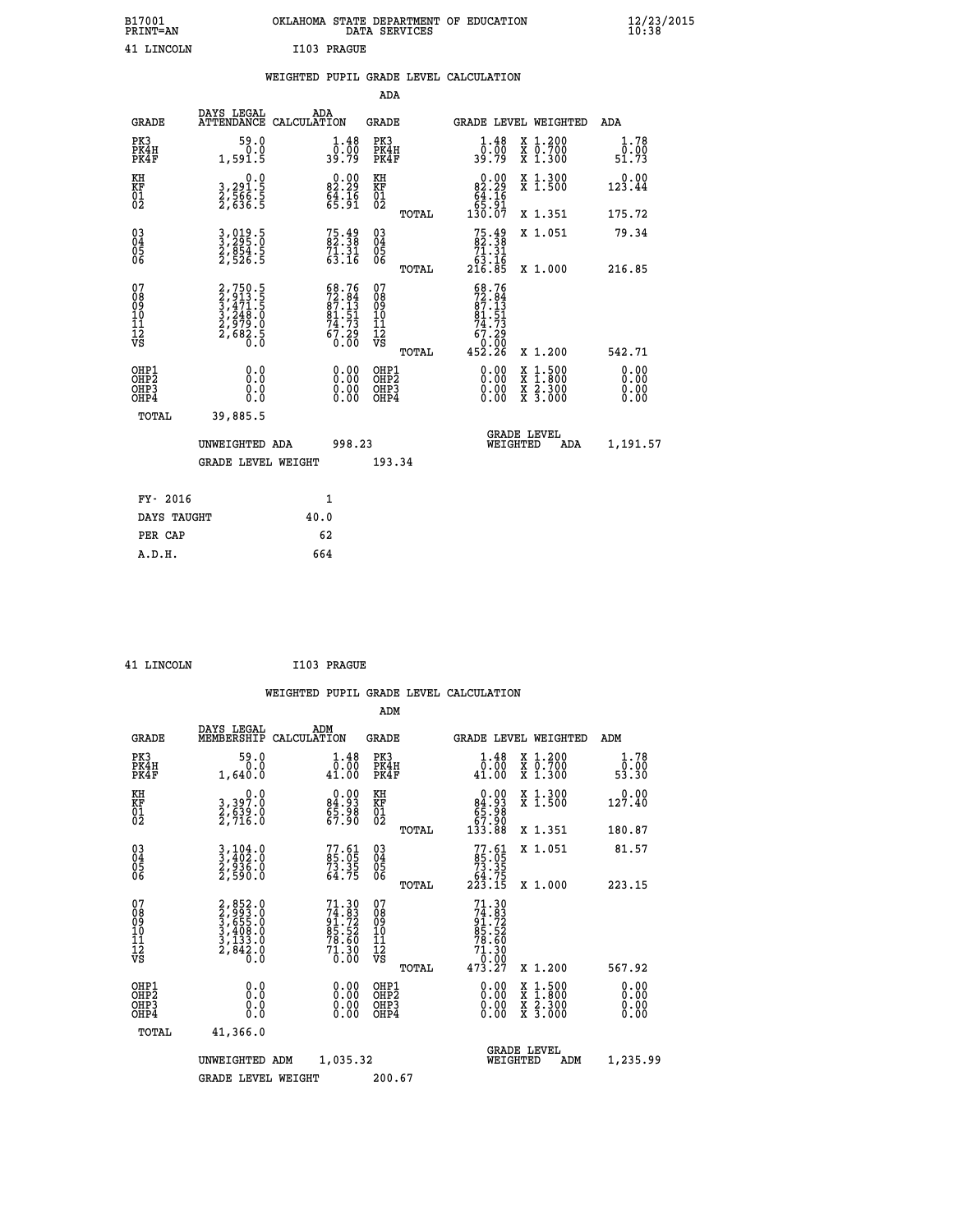| B17001<br><b>PRINT=AN</b> | OKLAHOMA STATE DEPARTMENT OF EDUCATION<br>DATA SERVICES |  |
|---------------------------|---------------------------------------------------------|--|
| 41 LINCOLN                | I103 PRAGUE                                             |  |

|  |  | WEIGHTED PUPIL GRADE LEVEL CALCULATION |
|--|--|----------------------------------------|
|  |  |                                        |

|                                                                  |                                                                         |                                                                                                                | ADA                                      |       |                                                                                                      |                                          |                              |
|------------------------------------------------------------------|-------------------------------------------------------------------------|----------------------------------------------------------------------------------------------------------------|------------------------------------------|-------|------------------------------------------------------------------------------------------------------|------------------------------------------|------------------------------|
| <b>GRADE</b>                                                     | DAYS LEGAL                                                              | ADA<br>ATTENDANCE CALCULATION                                                                                  | <b>GRADE</b>                             |       |                                                                                                      | GRADE LEVEL WEIGHTED                     | ADA                          |
| PK3<br>PK4H<br>PK4F                                              | 59.0<br>0.0<br>1,591.5                                                  | $\frac{1.48}{0.00}$<br>39.79                                                                                   | PK3<br>PK4H<br>PK4F                      |       | $\frac{1 \cdot 48}{0 \cdot 00}$<br>39.79                                                             | X 1.200<br>X 0.700<br>X 1.300            | 1.78<br>0.00<br>51.73        |
| KH<br>KF<br>01<br>02                                             | $\begin{smallmatrix}&&&0.0\\3,291.5\\2,566.5\\2,636.5\end{smallmatrix}$ | $\begin{smallmatrix} 0.00\\ 82.29\\ 64.16\\ 65.91 \end{smallmatrix}$                                           | KH<br>KF<br>01<br>02                     |       | 0.00<br>$82.29$<br>64.16<br>65.91<br>130.07                                                          | X 1.300<br>X 1.500                       | 0.00<br>123.44               |
|                                                                  |                                                                         |                                                                                                                |                                          | TOTAL |                                                                                                      | X 1.351                                  | 175.72                       |
| $\begin{matrix} 03 \\ 04 \\ 05 \\ 06 \end{matrix}$               | 3,019.5<br>3,295.0<br>2,854.5<br>2,526.5                                | $75.49$<br>82.38<br>$7\overline{1}\cdot\overline{3}\cdot\overline{1}\overline{6}\cdot\overline{1}\overline{6}$ | 03<br>04<br>05<br>06                     |       | $75.4982.3871.3163.16216.85$                                                                         | X 1.051                                  | 79.34                        |
|                                                                  |                                                                         |                                                                                                                |                                          | TOTAL |                                                                                                      | X 1.000                                  | 216.85                       |
| 07<br>08<br>09<br>11<br>11<br>12<br>VS                           | 2,750.5<br>3,471.5<br>3,471.5<br>3,248.0<br>2,979.0<br>2,682.5          | $68.76$<br>$72.84$<br>$87.13$<br>$81.51$<br>$74.73$<br>$67.29$<br>$0.00$                                       | 07<br>08<br>09<br>11<br>11<br>12<br>VS   |       | $\begin{smallmatrix} 68.76\\72.84\\87.13\\81.51\\84.73\\74.73\\67.29\\0.00\\452.26\end{smallmatrix}$ |                                          |                              |
|                                                                  |                                                                         |                                                                                                                |                                          | TOTAL |                                                                                                      | X 1.200                                  | 542.71                       |
| OHP1<br>OH <sub>P</sub> <sub>2</sub><br>OH <sub>P3</sub><br>OHP4 | 0.0<br>0.0<br>0.0                                                       | $\begin{smallmatrix} 0.00 \ 0.00 \ 0.00 \ 0.00 \end{smallmatrix}$                                              | OHP1<br>OHP <sub>2</sub><br>OHP3<br>OHP4 |       | $0.00$<br>$0.00$<br>0.00                                                                             | X 1:500<br>X 1:800<br>X 2:300<br>X 3:000 | 0.00<br>0.00<br>0.00<br>0.00 |
| <b>TOTAL</b>                                                     | 39,885.5                                                                |                                                                                                                |                                          |       |                                                                                                      |                                          |                              |
|                                                                  | UNWEIGHTED ADA                                                          | 998.23                                                                                                         |                                          |       |                                                                                                      | <b>GRADE LEVEL</b><br>WEIGHTED<br>ADA    | 1,191.57                     |
|                                                                  | <b>GRADE LEVEL WEIGHT</b>                                               |                                                                                                                | 193.34                                   |       |                                                                                                      |                                          |                              |
|                                                                  |                                                                         |                                                                                                                |                                          |       |                                                                                                      |                                          |                              |
| FY- 2016                                                         |                                                                         | 1                                                                                                              |                                          |       |                                                                                                      |                                          |                              |
| DAYS TAUGHT                                                      |                                                                         | 40.0                                                                                                           |                                          |       |                                                                                                      |                                          |                              |
| PER CAP                                                          |                                                                         | 62                                                                                                             |                                          |       |                                                                                                      |                                          |                              |

| 41 LINCOLN | I103 PRAGUE |
|------------|-------------|
|            |             |

**B17001<br>PRINT=AN** 

 **ADM DAYS LEGAL ADM GRADE MEMBERSHIP CALCULATION GRADE GRADE LEVEL WEIGHTED ADM**

| PK3<br>PK4H<br>PK4F                                | 59.0<br>1,640.0                                                       | $\begin{smallmatrix}1.48\0.00\\1.00\end{smallmatrix}$               | PK3<br>PK4H<br>PK4F                                | $\begin{smallmatrix}1.48\0.00\\1.00\end{smallmatrix}$    | X 1.200<br>X 0.700<br>X 1.300                                                                                                             | $\begin{smallmatrix}1.78\0.00\\53.30\end{smallmatrix}$ |
|----------------------------------------------------|-----------------------------------------------------------------------|---------------------------------------------------------------------|----------------------------------------------------|----------------------------------------------------------|-------------------------------------------------------------------------------------------------------------------------------------------|--------------------------------------------------------|
| KH<br>KF<br>01<br>02                               | 0.0<br>3,397.0<br>2,639.0<br>2,716.0                                  | $\begin{smallmatrix} 0.00\\ 84.93\\ 5.98\\ 67.90 \end{smallmatrix}$ | KH<br>KF<br>01<br>02                               | $0.00\n84.93\n65.98\n67.90\n133.88$                      | X 1.300<br>X 1.500                                                                                                                        | 0.00<br>127.40                                         |
|                                                    |                                                                       |                                                                     | TOTAL                                              |                                                          | X 1.351                                                                                                                                   | 180.87                                                 |
| $\begin{matrix} 03 \\ 04 \\ 05 \\ 06 \end{matrix}$ | $3,404.0$<br>$3,402.0$<br>$2,936.0$<br>$2,590.0$                      | $77.61$<br>85.05<br>73.35<br>64.75                                  | $\begin{matrix} 03 \\ 04 \\ 05 \\ 06 \end{matrix}$ | $77.61$<br>85.05<br>73.35<br>73.75<br>64.75<br>223.15    | X 1.051                                                                                                                                   | 81.57                                                  |
|                                                    |                                                                       |                                                                     | TOTAL                                              |                                                          | X 1.000                                                                                                                                   | 223.15                                                 |
| 07<br>08<br>09<br>101<br>11<br>12<br>VS            | 2,852.0<br>3,993.0<br>3,655.0<br>3,408.0<br>3,133.0<br>2,842.0<br>0.0 | $71.30\n74.83\n91.72\n85.52\n78.60\n71.30\n0.00$                    | 07<br>08<br>09<br>101<br>11<br>12<br>VS<br>TOTAL   | $71.30\n74.83\n91.72\n85.52\n78.60\n71.30\n0.00\n473.27$ | X 1.200                                                                                                                                   | 567.92                                                 |
| OHP1<br>OHP2<br>OHP3<br>OHP4                       | 0.0<br>$\begin{smallmatrix} 0.5 & 0 \ 0.0 & 0 \end{smallmatrix}$      | $0.00$<br>$0.00$<br>0.00                                            | OHP1<br>OHP <sub>2</sub><br>OHP3<br>OHP4           | $0.00$<br>$0.00$<br>0.00                                 | $\begin{smallmatrix} \mathtt{X} & 1\cdot500\\ \mathtt{X} & 1\cdot800\\ \mathtt{X} & 2\cdot300\\ \mathtt{X} & 3\cdot000 \end{smallmatrix}$ | 0.00<br>Ŏ.ŎŎ<br>O.OO<br>0.00                           |
| TOTAL                                              | 41,366.0                                                              |                                                                     |                                                    |                                                          |                                                                                                                                           |                                                        |
|                                                    | UNWEIGHTED<br>ADM                                                     | 1,035.32                                                            |                                                    | WEIGHTED                                                 | <b>GRADE LEVEL</b><br>ADM                                                                                                                 | 1,235.99                                               |
|                                                    | <b>GRADE LEVEL WEIGHT</b>                                             |                                                                     | 200.67                                             |                                                          |                                                                                                                                           |                                                        |
|                                                    |                                                                       |                                                                     |                                                    |                                                          |                                                                                                                                           |                                                        |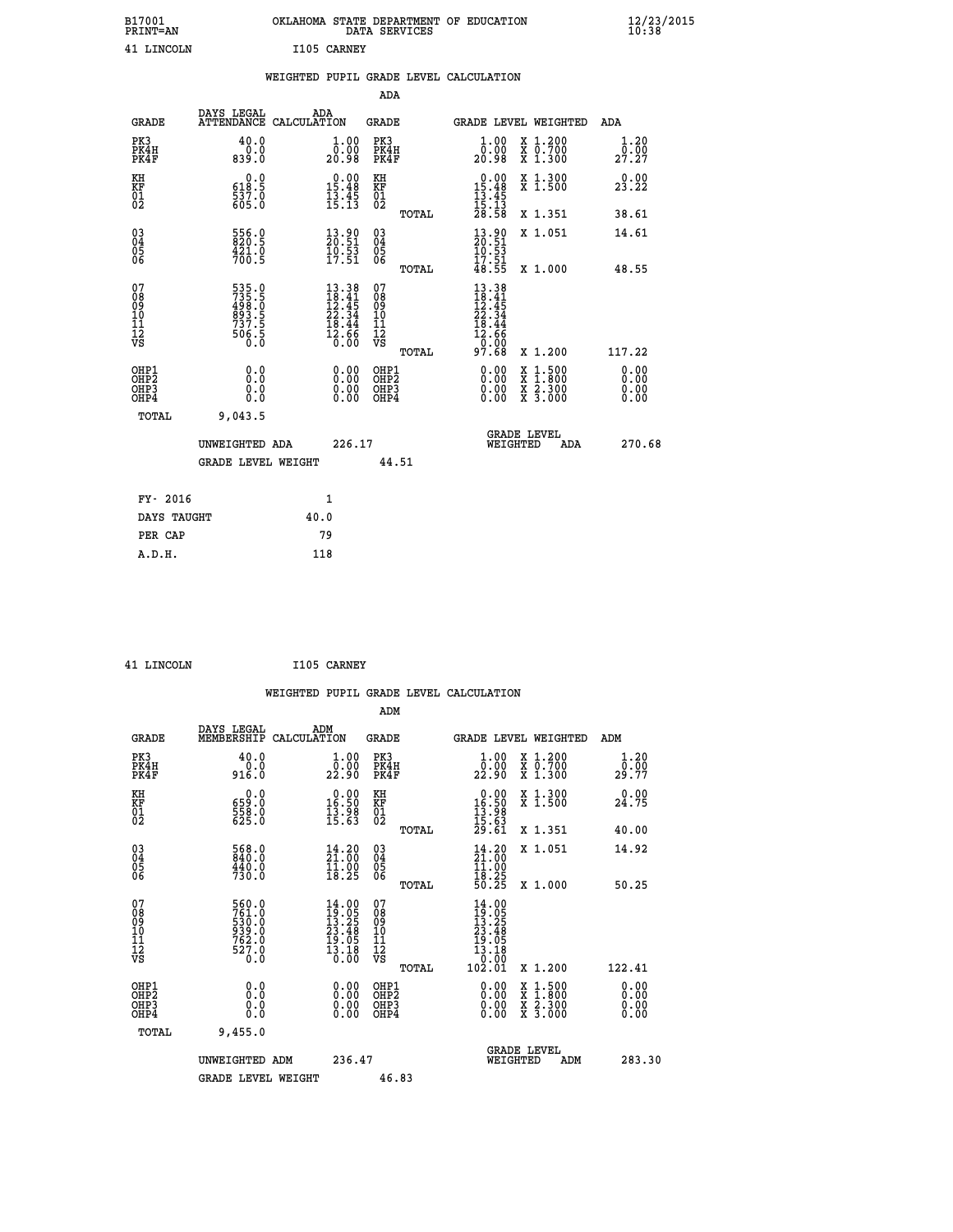| B17001<br>PRINT=AN                       |                                                                      |             |                                                                                                                              |                                                            | DATA SERVICES | OKLAHOMA STATE DEPARTMENT OF EDUCATION                                  |                                                                                                                                           | $\frac{12}{23}$ /2015        |
|------------------------------------------|----------------------------------------------------------------------|-------------|------------------------------------------------------------------------------------------------------------------------------|------------------------------------------------------------|---------------|-------------------------------------------------------------------------|-------------------------------------------------------------------------------------------------------------------------------------------|------------------------------|
| 41 LINCOLN                               |                                                                      | I105 CARNEY |                                                                                                                              |                                                            |               |                                                                         |                                                                                                                                           |                              |
|                                          |                                                                      |             |                                                                                                                              |                                                            |               | WEIGHTED PUPIL GRADE LEVEL CALCULATION                                  |                                                                                                                                           |                              |
|                                          |                                                                      |             |                                                                                                                              | ADA                                                        |               |                                                                         |                                                                                                                                           |                              |
| <b>GRADE</b>                             | DAYS LEGAL<br>ATTENDANCE CALCULATION                                 | ADA         |                                                                                                                              | GRADE                                                      |               |                                                                         | GRADE LEVEL WEIGHTED                                                                                                                      | ADA                          |
| PK3<br>PK4H<br>PK4F                      | 40.0<br>0.0<br>839.0                                                 |             | 1.00<br>0.00<br>20.98                                                                                                        | PK3<br>PK4H<br>PK4F                                        |               | 1.00<br>ŏÖ.ÖÖ<br>20.98                                                  | X 1.200<br>X 0.700<br>X 1.300                                                                                                             | 1.20<br>0.00<br>27.27        |
| KH<br>KF<br>01<br>02                     | 0.0<br>618.5<br>$\frac{537.0}{605.0}$                                |             | $\begin{array}{r} 0.00 \\ 15.48 \\ 13.45 \\ 15.13 \end{array}$                                                               | KH<br><b>KF</b><br>01<br>02                                |               | $\begin{array}{r} 0.00 \\ 15.48 \\ 13.45 \\ 15.13 \\ 28.58 \end{array}$ | X 1.300<br>X 1.500                                                                                                                        | 0.00<br>23.22                |
|                                          |                                                                      |             |                                                                                                                              |                                                            | TOTAL         |                                                                         | X 1.351                                                                                                                                   | 38.61                        |
| 03<br>04<br>05<br>06                     | 556.0<br>820.5<br>421.0<br>700.5                                     |             | $\begin{smallmatrix} 13.90\\ 20.51\\ 10.53\\ 17.51 \end{smallmatrix}$                                                        | $\begin{matrix} 03 \\ 04 \\ 05 \\ 06 \end{matrix}$         |               | 13.90<br>20.51<br>10.53                                                 | X 1.051                                                                                                                                   | 14.61                        |
|                                          |                                                                      |             |                                                                                                                              |                                                            | <b>TOTAL</b>  | $\frac{17.51}{48.55}$                                                   | X 1.000                                                                                                                                   | 48.55                        |
| 07<br>08<br>09<br>11<br>11<br>12<br>VS   | 535.5<br>735.5<br>498.0<br>893.5<br>893.5<br>737.5<br>506.5<br>506.5 |             | $\begin{array}{r} 13\cdot 38 \\ 18\cdot 41 \\ 12\cdot 45 \\ 22\cdot 34 \\ 18\cdot 44 \\ 12\cdot 66 \\ 0\cdot 00 \end{array}$ | 07<br>08<br>09<br>10<br>$\frac{11}{12}$<br>$\frac{12}{18}$ |               | $13.38$<br>$18.41$<br>$12.45$<br>$22.34$<br>$\frac{18.44}{12.66}$       |                                                                                                                                           |                              |
|                                          |                                                                      |             |                                                                                                                              |                                                            | TOTAL         | 97.68                                                                   | X 1.200                                                                                                                                   | 117.22                       |
| OHP1<br>OHP2<br>OH <sub>P3</sub><br>OHP4 | 0.0<br>Ŏ.Ō<br>0.0<br>0.0                                             |             | 0.00<br>0.00<br>0.00                                                                                                         | OHP1<br>OHP2<br>OHP3<br>OHP4                               |               | 0.00<br>0.00<br>0.00                                                    | $\begin{smallmatrix} \mathtt{X} & 1\cdot500\\ \mathtt{X} & 1\cdot800\\ \mathtt{X} & 2\cdot300\\ \mathtt{X} & 3\cdot000 \end{smallmatrix}$ | 0.00<br>0.00<br>0.00<br>0.00 |
| <b>TOTAL</b>                             | 9,043.5                                                              |             |                                                                                                                              |                                                            |               |                                                                         |                                                                                                                                           |                              |
|                                          | UNWEIGHTED ADA                                                       |             | 226.17                                                                                                                       |                                                            |               |                                                                         | <b>GRADE LEVEL</b><br>WEIGHTED<br>ADA                                                                                                     | 270.68                       |
|                                          | <b>GRADE LEVEL WEIGHT</b>                                            |             |                                                                                                                              |                                                            | 44.51         |                                                                         |                                                                                                                                           |                              |
| FY- 2016                                 |                                                                      |             | 1                                                                                                                            |                                                            |               |                                                                         |                                                                                                                                           |                              |
| DAYS TAUGHT                              |                                                                      | 40.0        |                                                                                                                              |                                                            |               |                                                                         |                                                                                                                                           |                              |
| PER CAP                                  |                                                                      | 79          |                                                                                                                              |                                                            |               |                                                                         |                                                                                                                                           |                              |

| 41 LINCOLN |  | I105 CARNEY |
|------------|--|-------------|

|                                                               |                                                                     | WEIGHTED PUPIL GRADE LEVEL CALCULATION                                                             |                                                              |                                                                                                                |                                          |                               |
|---------------------------------------------------------------|---------------------------------------------------------------------|----------------------------------------------------------------------------------------------------|--------------------------------------------------------------|----------------------------------------------------------------------------------------------------------------|------------------------------------------|-------------------------------|
|                                                               |                                                                     |                                                                                                    | ADM                                                          |                                                                                                                |                                          |                               |
| <b>GRADE</b>                                                  | DAYS LEGAL<br>MEMBERSHIP                                            | ADM<br>CALCULATION                                                                                 | <b>GRADE</b>                                                 | GRADE LEVEL WEIGHTED                                                                                           |                                          | ADM                           |
| PK3<br>PK4H<br>PK4F                                           | 40.0<br>$0.0$<br>916.0                                              | 1.00<br>22:00<br>22:90                                                                             | PK3<br>PK4H<br>PK4F                                          | $\frac{1}{0}$ :00<br>22.90                                                                                     | X 1.200<br>X 0.700<br>X 1.300            | 1.20<br>0.00<br>29.77         |
| KH<br>KF<br>01<br>02                                          | $\begin{smallmatrix} 0.0\\ 659.0\\ 558.0\\ 625.0 \end{smallmatrix}$ | $\begin{smallmatrix} 0.00\\ 16.50\\ 13.98\\ 15.63 \end{smallmatrix}$                               | KH<br>KF<br>01<br>02                                         | $\begin{smallmatrix} 0.00\\16.50\\13.98\\15.63\\29.61 \end{smallmatrix}$                                       | X 1.300<br>X 1.500<br>X 1.351            | 0.00<br>24.75                 |
| $\begin{matrix} 03 \\ 04 \\ 05 \\ 06 \end{matrix}$            | 568.0<br>840.0<br>$\frac{440.0}{730.0}$                             | 14.20<br>21.00<br>$\frac{11.00}{18.25}$                                                            | TOTAL<br>$\begin{array}{c} 03 \\ 04 \\ 05 \\ 06 \end{array}$ | $\begin{smallmatrix} 14.20\\ 21.00\\ 11.00\\ 18.25\\ 50.25 \end{smallmatrix}$                                  | X 1.051                                  | 40.00<br>14.92                |
| 07<br>0890112<br>1112<br>VS                                   | 560.0<br>761.0<br>530.0<br>939.0<br>762.0<br>762.0<br>0.0           | $\begin{smallmatrix} 14.00 \\ 19.05 \\ 13.25 \\ 23.48 \\ 19.05 \\ 13.18 \\ 0.00 \end{smallmatrix}$ | TOTAL<br>07<br>08<br>09<br>11<br>11<br>12<br>VS<br>TOTAL     | $\begin{smallmatrix} 14 & .00\ 19 & .05\ 13 & .25\ 23 & .48\ 19 & .05\ 13 & .10\ 102 & .01\ \end{smallmatrix}$ | X 1.000<br>X 1.200                       | 50.25<br>122.41               |
| OHP1<br>OHP <sub>2</sub><br>OH <sub>P3</sub><br>OHP4<br>TOTAL | 0.0<br>0.000<br>9,455.0                                             | $0.00$<br>$0.00$<br>0.00                                                                           | OHP1<br>OHP <sub>2</sub><br>OHP <sub>3</sub>                 | 0.00<br>0.00<br>0.00                                                                                           | X 1:500<br>X 1:800<br>X 2:300<br>X 3:000 | 0.00<br>Ō. ŌŌ<br>0.00<br>0.00 |
|                                                               | UNWEIGHTED ADM<br><b>GRADE LEVEL WEIGHT</b>                         | 236.47                                                                                             | 46.83                                                        | <b>GRADE LEVEL</b><br>WEIGHTED                                                                                 | ADM                                      | 283.30                        |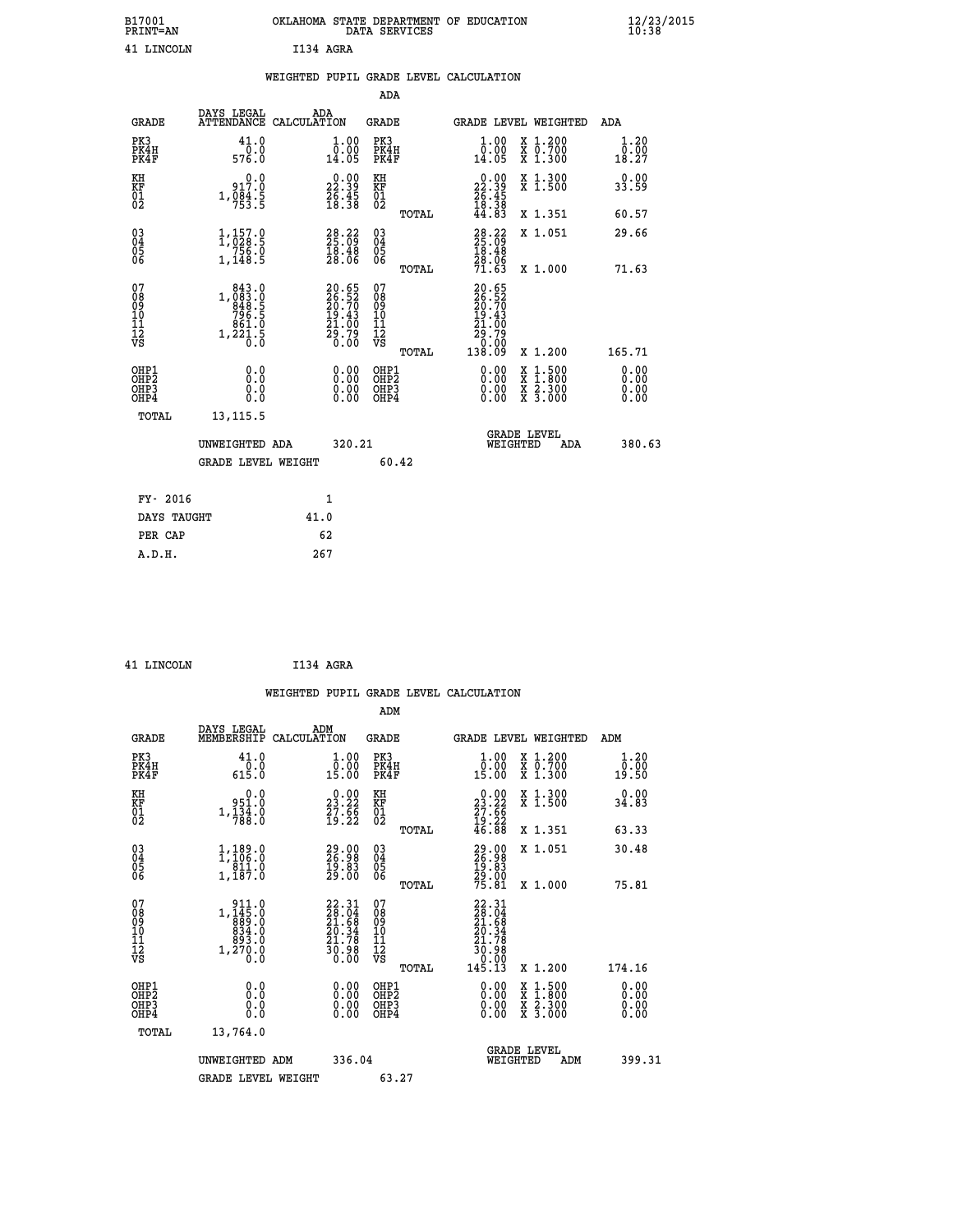|           |  | OKLAHOMA STATE DEPARTMENT OF EDUCATION<br>DATA SERVICES |  |
|-----------|--|---------------------------------------------------------|--|
| T134 AGRA |  |                                                         |  |

 **B17001 OKLAHOMA STATE DEPARTMENT OF EDUCATION 12/23/2015**

|                                        |                                                                                                                        | WEIGHTED PUPIL GRADE LEVEL CALCULATION                               |                                        |       |                                                                              |                                                   |                              |
|----------------------------------------|------------------------------------------------------------------------------------------------------------------------|----------------------------------------------------------------------|----------------------------------------|-------|------------------------------------------------------------------------------|---------------------------------------------------|------------------------------|
|                                        |                                                                                                                        |                                                                      | <b>ADA</b>                             |       |                                                                              |                                                   |                              |
| <b>GRADE</b>                           | DAYS LEGAL ADA ATTENDANCE CALCULATION                                                                                  |                                                                      | <b>GRADE</b>                           |       |                                                                              | GRADE LEVEL WEIGHTED                              | ADA                          |
| PK3<br>PK4H<br>PK4F                    | 41.0<br>$\frac{0.0}{576.0}$                                                                                            | $\begin{smallmatrix} 1.00\\ 0.00\\ 14.05 \end{smallmatrix}$          | PK3<br>PK4H<br>PK4F                    |       | 1.00<br>0.00<br>14.05                                                        | X 1.200<br>X 0.700<br>X 1.300                     | 1.20<br>0.00<br>18.27        |
| KH<br>KF<br>01<br>02                   | 0.0<br>917.0<br>$1, \frac{5}{6}$ $\frac{3}{3}$ $\cdot\frac{5}{5}$                                                      | $\begin{smallmatrix} 0.00\\ 22.39\\ 26.45\\ 18.38 \end{smallmatrix}$ | KH<br>KF<br>01<br>02                   |       | $\begin{smallmatrix} 0.00\\ 22.39\\ 26.45\\ 18.38\\ 44.83 \end{smallmatrix}$ | X 1.300<br>X 1.500                                | 0.00<br>33.59                |
|                                        |                                                                                                                        |                                                                      |                                        | TOTAL |                                                                              | X 1.351                                           | 60.57                        |
| $^{03}_{04}$<br>05<br>06               | 1,157.9<br>$\frac{756.0}{1,148.5}$                                                                                     | $\begin{smallmatrix} 28.22\ 25.09\ 18.48\ 28.06 \end{smallmatrix}$   | 03<br>04<br>05<br>06                   |       | $\begin{smallmatrix} 28.22\ 25.09\ 18.48\ 28.06\ 71.63 \end{smallmatrix}$    | X 1.051                                           | 29.66                        |
|                                        |                                                                                                                        |                                                                      |                                        | TOTAL |                                                                              | X 1.000                                           | 71.63                        |
| 07<br>08<br>09<br>11<br>11<br>12<br>VS | $\begin{smallmatrix} 843 & 0\\ 1,083 & 0\\ 848 & 5\\ 796 & 5\\ 796 & 5\\ 861 & 0\\ 1,221 & 5\\ 0 & 0\end{smallmatrix}$ | 20.65<br>26.52<br>20.70<br>29.43<br>21.00<br>29.79<br>0.00           | 07<br>08<br>09<br>11<br>11<br>12<br>VS | TOTAL | 20.65<br>$26.52$<br>$20.70$<br>$19.43$<br>$21.00$<br>25:79<br>0.00<br>138.09 | X 1.200                                           | 165.71                       |
| OHP1<br>OHP2<br>OHP3<br>OHP4           | 0.0<br>0.0<br>0.0                                                                                                      | 0.0000<br>$\begin{smallmatrix} 0.00 \ 0.00 \end{smallmatrix}$        | OHP1<br>OHP2<br>OHP3<br>OHP4           |       | 0.00<br>0.00<br>0.00                                                         | 1:500<br>X 1:500<br>X 1:800<br>X 2:300<br>X 3:000 | 0.00<br>0.00<br>0.00<br>0.00 |
| <b>TOTAL</b>                           | 13, 115.5<br>UNWEIGHTED ADA<br><b>GRADE LEVEL WEIGHT</b>                                                               | 320.21                                                               |                                        | 60.42 | WEIGHTED                                                                     | <b>GRADE LEVEL</b><br>ADA                         | 380.63                       |
| FY- 2016                               |                                                                                                                        |                                                                      |                                        |       |                                                                              |                                                   |                              |
| DAYS TAUGHT                            |                                                                                                                        | 1<br>41.0                                                            |                                        |       |                                                                              |                                                   |                              |
| PER CAP                                |                                                                                                                        | 62                                                                   |                                        |       |                                                                              |                                                   |                              |
|                                        |                                                                                                                        |                                                                      |                                        |       |                                                                              |                                                   |                              |

| 41 LINCOLN | I134 AGRA |  |
|------------|-----------|--|
|            |           |  |

 **A.D.H. 267**

B17001<br>PRINT=AN<br>41 LINCOLN

|                                                    |                                                                                                                                                                                                           |                    |                                                                                               |                                              |       | WEIGHTED PUPIL GRADE LEVEL CALCULATION                                                                                                                                                                                                                                         |                                |                                                                                                  |                       |  |
|----------------------------------------------------|-----------------------------------------------------------------------------------------------------------------------------------------------------------------------------------------------------------|--------------------|-----------------------------------------------------------------------------------------------|----------------------------------------------|-------|--------------------------------------------------------------------------------------------------------------------------------------------------------------------------------------------------------------------------------------------------------------------------------|--------------------------------|--------------------------------------------------------------------------------------------------|-----------------------|--|
|                                                    |                                                                                                                                                                                                           |                    |                                                                                               | ADM                                          |       |                                                                                                                                                                                                                                                                                |                                |                                                                                                  |                       |  |
| <b>GRADE</b>                                       | DAYS LEGAL<br>MEMBERSHIP                                                                                                                                                                                  | ADM<br>CALCULATION |                                                                                               | <b>GRADE</b>                                 |       | GRADE LEVEL WEIGHTED                                                                                                                                                                                                                                                           |                                |                                                                                                  | ADM                   |  |
| PK3<br>PK4H<br>PK4F                                | 41.0<br>$\begin{smallmatrix} & 0 & . & 0 \\ 6 & 15 & . & 0 \end{smallmatrix}$                                                                                                                             |                    | $\begin{smallmatrix} 1.00\\[-1mm] 0.00\\[-1mm] 15.00\end{smallmatrix}$                        | PK3<br>PK4H<br>PK4F                          |       | $\begin{smallmatrix} 1.00\\ 0.00\\ 15.00 \end{smallmatrix}$                                                                                                                                                                                                                    |                                | X 1.200<br>X 0.700<br>X 1.300                                                                    | 1.20<br>0.00<br>19.50 |  |
| KH<br>KF<br>01<br>02                               | 0.0<br>951.0<br>$1,\frac{1}{7}\overline{3}\overline{4}\cdot\overline{0}$                                                                                                                                  |                    | $\begin{smallmatrix} 0.00\\ 23.22\\ 7.66\\ 19.22 \end{smallmatrix}$                           | KH<br>KF<br>01<br>02                         |       | $\begin{smallmatrix} 0.00\\ 23.22\\ 27.66\\ 19.22\\ 46.88 \end{smallmatrix}$                                                                                                                                                                                                   |                                | X 1.300<br>X 1.500                                                                               | 0.00<br>34.83         |  |
|                                                    |                                                                                                                                                                                                           |                    |                                                                                               |                                              | TOTAL |                                                                                                                                                                                                                                                                                |                                | X 1.351                                                                                          | 63.33                 |  |
| $\begin{matrix} 03 \\ 04 \\ 05 \\ 06 \end{matrix}$ | $1, 189.0$<br>$1, 106.0$<br>$811.0$<br>$1, 187.0$                                                                                                                                                         |                    | 29.00<br>26.98<br>19.83<br>29.00                                                              | 03<br>04<br>05<br>06                         |       | 29.98<br>19.83<br>19.83<br>29.00<br>75.81                                                                                                                                                                                                                                      |                                | X 1.051                                                                                          | 30.48                 |  |
|                                                    |                                                                                                                                                                                                           |                    |                                                                                               |                                              | TOTAL |                                                                                                                                                                                                                                                                                |                                | X 1.000                                                                                          | 75.81                 |  |
| 07<br>0890112<br>1112<br>VS                        | $\begin{smallmatrix} 9 & 1 & 1 & . & 0 \\ 1 & , & 14 & 5 & . & 0 \\ 8 & 8 & 9 & . & 0 \\ 8 & 9 & 3 & . & 0 \\ 8 & 9 & 3 & . & 0 \\ 9 & 3 & . & 0 \\ 1 & , & 2 & 7 & 0 \\ 0 & . & 0 & . \end{smallmatrix}$ |                    | $\begin{smallmatrix} 22.31\ 28.04\ 21.68\ 20.34\ 21.78\ 21.78\ 30.98\ 0.00 \end{smallmatrix}$ | 07<br>08<br>09<br>09<br>10<br>11<br>12<br>VS | TOTAL | $\begin{smallmatrix} 22.31\ 28.04\ 21.68\ 21.54\ 20.34\ 21.78\ 30.98\ 0.000\ 145.13\ \end{smallmatrix}$                                                                                                                                                                        |                                | X 1.200                                                                                          | 174.16                |  |
|                                                    |                                                                                                                                                                                                           |                    |                                                                                               |                                              |       |                                                                                                                                                                                                                                                                                |                                |                                                                                                  |                       |  |
| OHP1<br>OHP2<br>OHP <sub>3</sub><br>OHP4           | 0.0<br>0.000                                                                                                                                                                                              |                    | $\begin{smallmatrix} 0.00 \ 0.00 \ 0.00 \ 0.00 \end{smallmatrix}$                             | OHP1<br>OHP2<br>OHP <sub>3</sub>             |       | $\begin{smallmatrix} 0.00 & 0.00 & 0.00 & 0.00 & 0.00 & 0.00 & 0.00 & 0.00 & 0.00 & 0.00 & 0.00 & 0.00 & 0.00 & 0.00 & 0.00 & 0.00 & 0.00 & 0.00 & 0.00 & 0.00 & 0.00 & 0.00 & 0.00 & 0.00 & 0.00 & 0.00 & 0.00 & 0.00 & 0.00 & 0.00 & 0.00 & 0.00 & 0.00 & 0.00 & 0.00 & 0.0$ |                                | $\begin{smallmatrix} x & 1 & 500 \\ x & 1 & 800 \\ x & 2 & 300 \\ x & 3 & 000 \end{smallmatrix}$ | 0.00<br>0.00<br>0.00  |  |
| TOTAL                                              | 13,764.0                                                                                                                                                                                                  |                    |                                                                                               |                                              |       |                                                                                                                                                                                                                                                                                |                                |                                                                                                  |                       |  |
|                                                    | UNWEIGHTED ADM                                                                                                                                                                                            |                    | 336.04                                                                                        |                                              |       |                                                                                                                                                                                                                                                                                | <b>GRADE LEVEL</b><br>WEIGHTED | ADM                                                                                              | 399.31                |  |
|                                                    | <b>GRADE LEVEL WEIGHT</b>                                                                                                                                                                                 |                    |                                                                                               | 63.27                                        |       |                                                                                                                                                                                                                                                                                |                                |                                                                                                  |                       |  |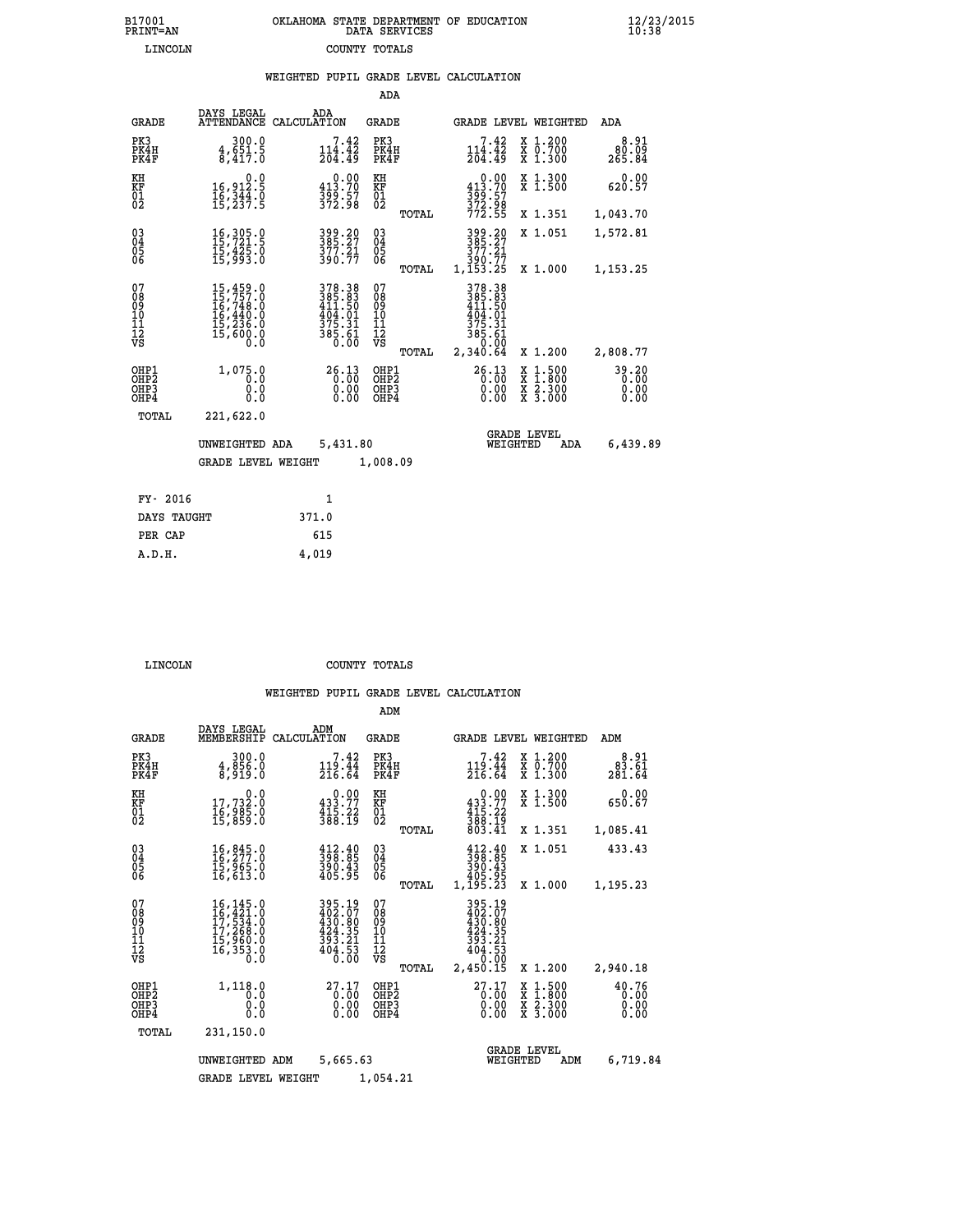| OKLAHOMA STATE DEPARTMENT OF EDUCATION | DATA SERVICES |  |
|----------------------------------------|---------------|--|
|                                        | COUNTY TOTALS |  |

 **B17001 OKLAHOMA STATE DEPARTMENT OF EDUCATION 12/23/2015**

|                                           |                                                                                                       |                                                                                                    | ADA                                                |                                                                                   |                                                                                                  |                         |
|-------------------------------------------|-------------------------------------------------------------------------------------------------------|----------------------------------------------------------------------------------------------------|----------------------------------------------------|-----------------------------------------------------------------------------------|--------------------------------------------------------------------------------------------------|-------------------------|
| <b>GRADE</b>                              | DAYS LEGAL                                                                                            | ADA<br>ATTENDANCE CALCULATION                                                                      | GRADE                                              |                                                                                   | GRADE LEVEL WEIGHTED                                                                             | ADA                     |
| PK3<br>PK4H<br>PK4F                       | 300.0<br>$\frac{4}{8}$ , $\frac{551}{417}$ . $\frac{5}{0}$                                            | $7.42$<br>$114.42$<br>$204.49$                                                                     | PK3<br>PK4H<br>PK4F                                | $7.42$<br>$114.42$<br>$204.49$                                                    | X 1.200<br>X 0.700<br>X 1.300                                                                    | 8.91<br>80.09<br>265.84 |
| KH<br>KF<br>01<br>02                      | 0.0<br>16,912:5<br>16,344:0<br>15,237:5                                                               | $\begin{smallmatrix} 0.00\\ 413.70\\ 399.57\\ 372.98 \end{smallmatrix}$                            | KH<br>KF<br>01<br>02                               | $\begin{smallmatrix} &0.00\\ 413.70\\ 399.57\\ 372.98\\ 772.55 \end{smallmatrix}$ | X 1.300<br>X 1.500                                                                               | 0.00<br>620.57          |
|                                           |                                                                                                       |                                                                                                    | TOTAL                                              |                                                                                   | X 1.351                                                                                          | 1,043.70                |
| 03<br>04<br>05<br>06                      | 16, 305.0<br>15,425.0<br>15,993.0                                                                     | 399.20<br>385.27<br>$\frac{377.21}{390.77}$                                                        | $\begin{matrix} 03 \\ 04 \\ 05 \\ 06 \end{matrix}$ | 399.20<br>385.27<br>377.21<br>390.77<br>1,153.25                                  | X 1.051                                                                                          | 1,572.81                |
|                                           |                                                                                                       |                                                                                                    | TOTAL                                              |                                                                                   | X 1.000                                                                                          | 1,153.25                |
| 07<br>08<br>09<br>10<br>11<br>12<br>VS    | $\begin{smallmatrix}15,459.0\\15,757.0\\16,748.0\\16,440.0\\15,236.0\\15,600.0\\0.0\end{smallmatrix}$ | $\begin{smallmatrix} 378.38\\ 385.83\\ 411.50\\ 404.01\\ 375.31\\ 385.61\\ 0.00 \end{smallmatrix}$ | 07<br>08<br>09<br>11<br>11<br>12<br>VS<br>TOTAL    | 378.38<br>385.83<br>411.50<br>404.01<br>$\frac{375.31}{385.61}$<br>2,340.64       | X 1.200                                                                                          | 2,808.77                |
|                                           |                                                                                                       |                                                                                                    |                                                    |                                                                                   |                                                                                                  |                         |
| OHP1<br>OH <sub>P</sub> 2<br>OHP3<br>OHP4 | 1,075.0<br>0.0<br>0.0<br>0.0                                                                          | 26.13<br>0.00                                                                                      | OHP1<br>OHP <sub>2</sub><br>OHP3<br>OHP4           | 26.13<br>0.00<br>0.00<br>0.00                                                     | $\begin{smallmatrix} x & 1 & 500 \\ x & 1 & 800 \\ x & 2 & 300 \\ x & 3 & 000 \end{smallmatrix}$ | 39.20<br>0.00<br>0.00   |
| TOTAL                                     | 221,622.0                                                                                             |                                                                                                    |                                                    |                                                                                   |                                                                                                  |                         |
|                                           | UNWEIGHTED ADA<br><b>GRADE LEVEL WEIGHT</b>                                                           | 5,431.80                                                                                           | 1,008.09                                           | WEIGHTED                                                                          | <b>GRADE LEVEL</b><br>ADA                                                                        | 6,439.89                |
|                                           |                                                                                                       |                                                                                                    |                                                    |                                                                                   |                                                                                                  |                         |
| FY- 2016                                  |                                                                                                       | $\mathbf{1}$                                                                                       |                                                    |                                                                                   |                                                                                                  |                         |
| DAYS TAUGHT                               |                                                                                                       | 371.0                                                                                              |                                                    |                                                                                   |                                                                                                  |                         |
| PER CAP                                   |                                                                                                       | 615                                                                                                |                                                    |                                                                                   |                                                                                                  |                         |
| A.D.H.                                    |                                                                                                       | 4,019                                                                                              |                                                    |                                                                                   |                                                                                                  |                         |

| 'OT N |  |  |  |
|-------|--|--|--|
|       |  |  |  |

B17001<br>PRINT=AN<br>LINCOLN

 **LINCOLN COUNTY TOTALS**

|                                                       |                                                                                                                                                    |                                                                           | ADM                                              |                                                                              |                                                                                                  |                               |
|-------------------------------------------------------|----------------------------------------------------------------------------------------------------------------------------------------------------|---------------------------------------------------------------------------|--------------------------------------------------|------------------------------------------------------------------------------|--------------------------------------------------------------------------------------------------|-------------------------------|
| <b>GRADE</b>                                          | DAYS LEGAL<br>MEMBERSHIP                                                                                                                           | ADM<br>CALCULATION                                                        | <b>GRADE</b>                                     | GRADE LEVEL WEIGHTED                                                         |                                                                                                  | ADM                           |
| PK3<br>PK4H<br>PK4F                                   | 300.0<br>4, ŠŠČ. 0<br>8, 919. 0                                                                                                                    | 7.42<br>119.44<br>216.64                                                  | PK3<br>PK4H<br>PK4F                              | 7.42<br>119.44<br>216.64                                                     | $\begin{smallmatrix} x & 1.200 \\ x & 0.700 \end{smallmatrix}$<br>X 1.300                        | 8.91<br>83.61<br>281.64       |
| KH<br>KF<br>01<br>02                                  | 0.0<br>17,732:0<br>16,985:0<br>15,859:0                                                                                                            | $\begin{smallmatrix} &0.00\\ 433.77\\ 415.22\\ 388.19\end{smallmatrix}$   | KH<br>KF<br>01<br>02                             | $\begin{smallmatrix}&&0.00\\433.77\\415.22\\388.19\\803.41\end{smallmatrix}$ | X 1.300<br>X 1.500                                                                               | 0.00<br>650.67                |
|                                                       |                                                                                                                                                    |                                                                           | TOTAL                                            |                                                                              | X 1.351                                                                                          | 1,085.41                      |
| 03<br>04<br>05<br>06                                  | 16,845.0<br>16,277.0<br>15,965.0<br>16,613.0                                                                                                       | $\begin{smallmatrix} 412.40\\ 398.85\\ 390.43\\ 405.95 \end{smallmatrix}$ | $^{03}_{04}$<br>05<br>06                         | 398.89<br>$390.43$<br>$405.95$                                               | X 1.051                                                                                          | 433.43                        |
|                                                       |                                                                                                                                                    |                                                                           | TOTAL                                            | 1,195.23                                                                     | X 1.000                                                                                          | 1,195.23                      |
| 07<br>08<br>09<br>101<br>112<br>VS                    | $\begin{smallmatrix} 16\,,\,145\,.0\\ 16\,,\,421\,.0\\ 17\,,\,534\,.0\\ 17\,,\,268\,.0\\ 15\,,\,960\,.0\\ 16\,,\,353\,.0 \end{smallmatrix}$<br>Ŏ.Ŏ | 395.19<br>402.07<br>430.00<br>424.35<br>$\frac{353.21}{404.53}$           | 07<br>08<br>09<br>101<br>11<br>12<br>VS<br>TOTAL | 395.19<br>402.07<br>430.80<br>424.35<br>393.21<br>404.53<br>Ō.ŎŎ<br>2,450.15 | X 1.200                                                                                          | 2,940.18                      |
| OHP1<br>OH <sub>P</sub> 2<br>OH <sub>P3</sub><br>OHP4 | 1,118.0<br>0.0<br>0.000                                                                                                                            | $27.17$<br>0.00<br>0.00<br>0.00                                           | OHP1<br>OHP2<br>OHP3<br>OHP4                     | $27.17$<br>0.00<br>0.00                                                      | $\begin{smallmatrix} x & 1 & 500 \\ x & 1 & 800 \\ x & 2 & 300 \\ x & 3 & 000 \end{smallmatrix}$ | 40.76<br>0.00<br>0.00<br>0.00 |
| TOTAL                                                 | 231,150.0                                                                                                                                          |                                                                           |                                                  |                                                                              |                                                                                                  |                               |
|                                                       | UNWEIGHTED ADM                                                                                                                                     | 5,665.63                                                                  |                                                  | <b>GRADE LEVEL</b><br>WEIGHTED                                               | ADM                                                                                              | 6,719.84                      |
|                                                       | <b>GRADE LEVEL WEIGHT</b>                                                                                                                          |                                                                           | 1,054.21                                         |                                                                              |                                                                                                  |                               |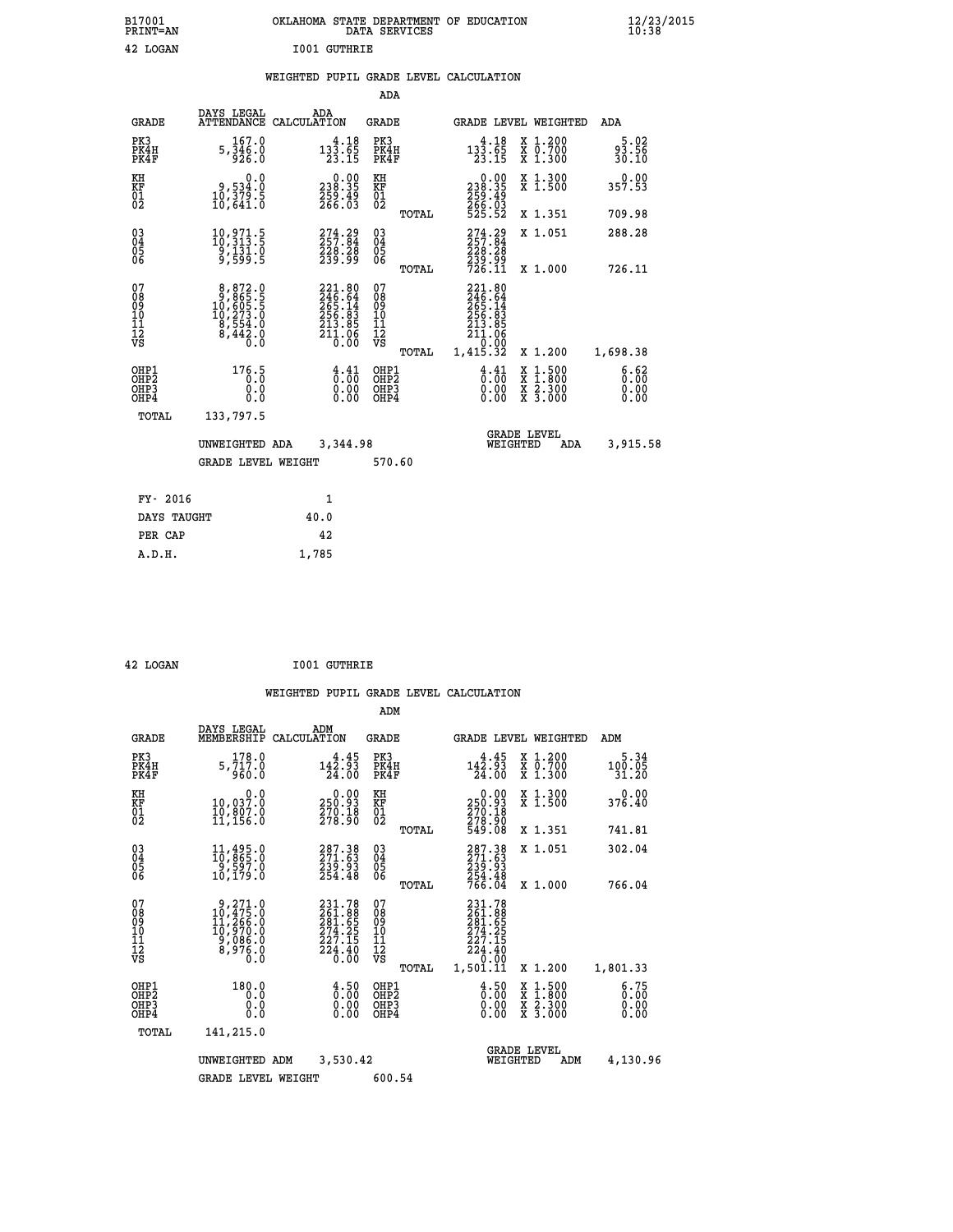| B17001<br><b>PRINT=AN</b> | OKLAHOMA STATE DEPARTMENT OF EDUCATION<br>DATA SERVICES | $\frac{12}{23}$ /2015 |
|---------------------------|---------------------------------------------------------|-----------------------|
| 42<br>LOGAN               | <b>IO01 GUTHRIE</b>                                     |                       |

 **WEIGHTED PUPIL GRADE LEVEL CALCULATION**

|                                                    |                                                                                                   |                                                                                        | ADA                                    |       |                                                                                                         |                                               |                              |
|----------------------------------------------------|---------------------------------------------------------------------------------------------------|----------------------------------------------------------------------------------------|----------------------------------------|-------|---------------------------------------------------------------------------------------------------------|-----------------------------------------------|------------------------------|
| <b>GRADE</b>                                       | DAYS LEGAL<br><b>ATTENDANCE</b>                                                                   | ADA<br>CALCULATION                                                                     | <b>GRADE</b>                           |       |                                                                                                         | GRADE LEVEL WEIGHTED                          | <b>ADA</b>                   |
| PK3<br>PK4H<br>PK4F                                | 167.0<br>$5, \overline{3}\overline{4}\overline{6}\overline{.0}$<br>926.0                          | $13\overline{3}\cdot\overline{65}$<br>$13\overline{3}\cdot\overline{65}$<br>$23.15$    | PK3<br>PK4H<br>PK4F                    |       | $133.65$<br>$23.15$                                                                                     | X 1.200<br>X 0.700<br>X 1.300                 | $93.56$<br>30.10             |
| KH<br>KF<br>01<br>02                               | 0.0<br>0,534.0<br>10,379.5<br>10,641.0                                                            | $\begin{smallmatrix} 0.00\\ 238.35\\ 259.49\\ 266.03 \end{smallmatrix}$                | KH<br>KF<br>01<br>02                   |       | $\begin{smallmatrix} &0.00\\ 238.35\\ 259.49\\ 266.03\\ 525.52 \end{smallmatrix}$                       | X 1.300<br>X 1.500                            | 0.00<br>357.53               |
|                                                    |                                                                                                   |                                                                                        |                                        | TOTAL |                                                                                                         | X 1.351                                       | 709.98                       |
| $\begin{matrix} 03 \\ 04 \\ 05 \\ 06 \end{matrix}$ | 10,971.5<br>10,313.5<br>`9,131.0<br>9,599.5                                                       | $274.29$<br>$257.84$<br>228.28<br>239.99                                               | 03<br>04<br>05<br>06                   |       | $274.29$<br>257.84<br>228:28<br>239:99<br>726:11                                                        | X 1.051                                       | 288.28                       |
|                                                    |                                                                                                   |                                                                                        |                                        | TOTAL |                                                                                                         | X 1.000                                       | 726.11                       |
| 07<br>08<br>09<br>11<br>11<br>12<br>VS             | $\begin{smallmatrix}8,872.0\\9,865.5\\10,605.5\\10,273.0\\8,554.0\\8,442.0\\0.0\end{smallmatrix}$ | $221.80$<br>$246.64$<br>$265.14$<br>$256.83$<br>$213.85$<br>$211.06$<br>$0.00$         | 07<br>08<br>09<br>11<br>11<br>12<br>VS |       | $\begin{smallmatrix} 221.80\ 246.64\ 265.14\ 256.83\ 213.85\ 211.06\ 0.00\ 1,415.32\ \end{smallmatrix}$ |                                               |                              |
|                                                    |                                                                                                   |                                                                                        |                                        | TOTAL |                                                                                                         | X 1.200                                       | 1,698.38                     |
| OHP1<br>OHP <sub>2</sub><br>OHP3<br>OHP4           | 176.5<br>0.000                                                                                    | $\frac{4}{0}$ : $\frac{41}{00}$<br>$\begin{smallmatrix} 0.00 \ 0.00 \end{smallmatrix}$ | OHP1<br>OHP2<br>OHP3<br>OHP4           |       | $\begin{smallmatrix} 4 & 4 & 1 \\ 0 & 0 & 0 \\ 0 & 0 & 0 \end{smallmatrix}$<br>0.00                     | $1.500$<br>$1.800$<br>X<br>X 2.300<br>X 3.000 | 6.62<br>0.00<br>0.00<br>0.00 |
| TOTAL                                              | 133,797.5                                                                                         |                                                                                        |                                        |       |                                                                                                         |                                               |                              |
|                                                    | UNWEIGHTED ADA                                                                                    | 3,344.98                                                                               |                                        |       |                                                                                                         | <b>GRADE LEVEL</b><br>WEIGHTED<br><b>ADA</b>  | 3,915.58                     |
|                                                    | <b>GRADE LEVEL WEIGHT</b>                                                                         |                                                                                        | 570.60                                 |       |                                                                                                         |                                               |                              |
| FY- 2016                                           |                                                                                                   | $\mathbf{1}$                                                                           |                                        |       |                                                                                                         |                                               |                              |
| DAYS TAUGHT                                        |                                                                                                   | 40.0                                                                                   |                                        |       |                                                                                                         |                                               |                              |
| PER CAP                                            |                                                                                                   | 42                                                                                     |                                        |       |                                                                                                         |                                               |                              |
|                                                    |                                                                                                   |                                                                                        |                                        |       |                                                                                                         |                                               |                              |

| 42 LOGAN | <b>I001 GUTHRIE</b> |
|----------|---------------------|
|          |                     |

 **A.D.H. 1,785**

|                                                       |                                                                                                            |                                                                                                            | ADM                                                 |                                                                                   |                                                                                                  |                              |
|-------------------------------------------------------|------------------------------------------------------------------------------------------------------------|------------------------------------------------------------------------------------------------------------|-----------------------------------------------------|-----------------------------------------------------------------------------------|--------------------------------------------------------------------------------------------------|------------------------------|
| <b>GRADE</b>                                          | DAYS LEGAL<br>MEMBERSHIP                                                                                   | ADM<br>CALCULATION                                                                                         | <b>GRADE</b>                                        | GRADE LEVEL WEIGHTED                                                              |                                                                                                  | ADM                          |
| PK3<br>PK4H<br>PK4F                                   | 178.0<br>5,717.0<br>960.0                                                                                  | 4.45<br>142.93<br>24.00                                                                                    | PK3<br>PK4H<br>PK4F                                 | 4.45<br>142.93<br>24.00                                                           | $\begin{smallmatrix} x & 1.200 \\ x & 0.700 \end{smallmatrix}$<br>$X$ 1.300                      | 5.34<br>100.05<br>31.20      |
| KH<br>KF<br>01<br>02                                  | 0.0<br>10,037:0<br>10,807:0<br>11,156:0                                                                    | $\substack{0.00\\250.93\\270.18\\278.90$                                                                   | KH<br>KF<br>01<br>02                                | $\begin{smallmatrix} &0.00\\ 250.93\\ 270.18\\ 278.90\\ 549.08 \end{smallmatrix}$ | X 1.300<br>X 1.500                                                                               | 0.00<br>376.40               |
|                                                       |                                                                                                            |                                                                                                            | TOTAL                                               |                                                                                   | X 1.351                                                                                          | 741.81                       |
| 03<br>04<br>05<br>06                                  | $\frac{11}{10}$ , $\frac{495}{865}$ . 0<br>9, 597. 0<br>10, 179.0                                          | 287.38<br>271.63<br>239.93<br>254.48                                                                       | $\begin{array}{c} 03 \\ 04 \\ 05 \\ 06 \end{array}$ | $287.38$<br>$271.63$<br>$239.93$<br>$254.48$<br>$766.04$                          | X 1.051                                                                                          | 302.04                       |
|                                                       |                                                                                                            |                                                                                                            | TOTAL                                               |                                                                                   | X 1.000                                                                                          | 766.04                       |
| 07<br>08<br>09<br>101<br>112<br>VS                    | $\begin{smallmatrix} 9,271.0\\ 10,475.0\\ 11,266.0\\ 10,970.0\\ 9,086.0\\ 8,976.0\\ 0.0 \end{smallmatrix}$ | 231.78<br>261.88<br>281.65<br>274.25<br>227.15<br>$\frac{5}{2}\frac{4}{3}\cdot\frac{4}{6}\cdot\frac{6}{6}$ | 07<br>08<br>09<br>11<br>11<br>12<br>VS<br>TOTAL     | 231.78<br>261.88<br>281.65<br>274.25<br>227.15<br>224.40<br>0.00<br>1,501.11      | X 1.200                                                                                          | 1,801.33                     |
| OHP1<br>OH <sub>P</sub> 2<br>OH <sub>P3</sub><br>OHP4 | 180.0<br>0.0<br>0.000                                                                                      | $\begin{smallmatrix} 4.50\ 0.00 \end{smallmatrix}$<br>0.00                                                 | OHP1<br>OHP2<br>OHP3<br>OHP4                        | $\begin{smallmatrix} 4.50\ 0.00 \end{smallmatrix}$<br>0.00                        | $\begin{smallmatrix} x & 1 & 500 \\ x & 1 & 800 \\ x & 2 & 300 \\ x & 3 & 000 \end{smallmatrix}$ | 6.75<br>0.00<br>0.00<br>0.00 |
| TOTAL                                                 | 141,215.0                                                                                                  |                                                                                                            |                                                     |                                                                                   |                                                                                                  |                              |
|                                                       | UNWEIGHTED ADM                                                                                             | 3,530.42                                                                                                   |                                                     | WEIGHTED                                                                          | <b>GRADE LEVEL</b><br>ADM                                                                        | 4,130.96                     |
|                                                       | <b>GRADE LEVEL WEIGHT</b>                                                                                  |                                                                                                            | 600.54                                              |                                                                                   |                                                                                                  |                              |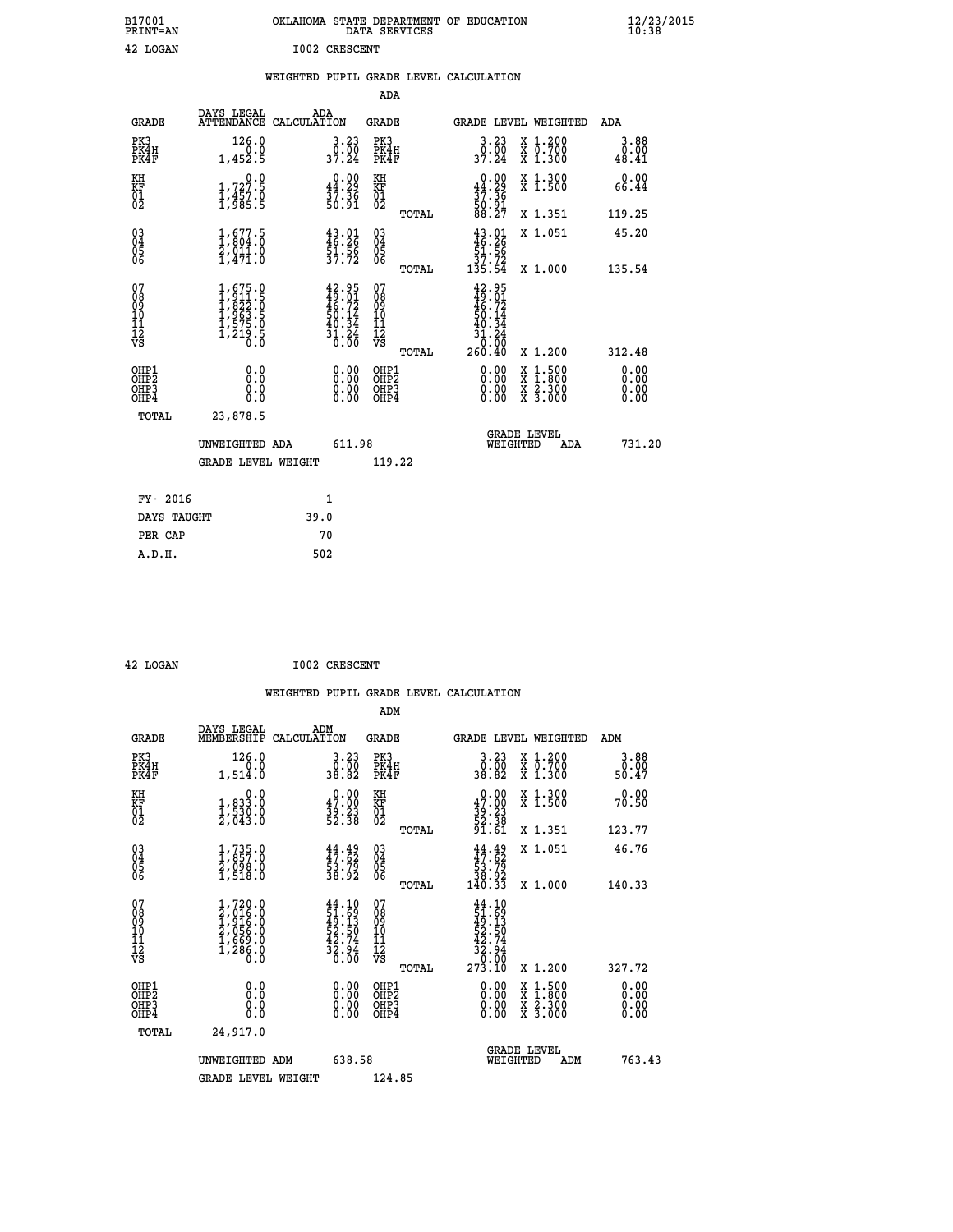| B17001<br>PRINT=AN | OKLAHOMA STATE DEPARTMENT OF EDUCATION<br>DATA SERVICES | $\frac{12}{23}$ /2015 |
|--------------------|---------------------------------------------------------|-----------------------|
| 42 LOGAN           | 1002 CRESCENT                                           |                       |

|  |  | WEIGHTED PUPIL GRADE LEVEL CALCULATION |
|--|--|----------------------------------------|
|  |  |                                        |

|                                                                                       |                                                                                           |                                                                          | ADA                                                         |                                                                                                                                           |                                                                                                                                                         |                                        |
|---------------------------------------------------------------------------------------|-------------------------------------------------------------------------------------------|--------------------------------------------------------------------------|-------------------------------------------------------------|-------------------------------------------------------------------------------------------------------------------------------------------|---------------------------------------------------------------------------------------------------------------------------------------------------------|----------------------------------------|
| <b>GRADE</b>                                                                          | DAYS LEGAL                                                                                | ADA<br>ATTENDANCE CALCULATION                                            | GRADE                                                       |                                                                                                                                           | GRADE LEVEL WEIGHTED                                                                                                                                    | ADA                                    |
| PK3<br>PK4H<br>PK4F                                                                   | 126.0<br>0.0<br>1,452.5                                                                   | $\begin{smallmatrix} 3.23\ 0.00\ 37.24 \end{smallmatrix}$                | PK3<br>PK4H<br>PK4F                                         | 3.23<br>0.00<br>37.24                                                                                                                     | X 1.200<br>X 0.700<br>X 1.300                                                                                                                           | 3.88<br>0.00<br>48.41                  |
| KH<br>KF<br>01<br>02                                                                  | 0.0<br>1,727.5<br>1,457.0<br>1,985.5                                                      | $\begin{smallmatrix} 0.00\\ 44.29\\ 37.36\\ 50.91 \end{smallmatrix}$     | KH<br>KF<br>01<br>02                                        | $0.00\n44.29\n37.36\n50.91\n50.27$                                                                                                        | X 1.300<br>X 1.500                                                                                                                                      | 0.00<br>66.44                          |
|                                                                                       |                                                                                           |                                                                          | TOTAL                                                       |                                                                                                                                           | X 1.351                                                                                                                                                 | 119.25                                 |
| $^{03}_{04}$<br>Ŏ5<br>06                                                              | $\frac{1}{2}$ , $\frac{677.5}{804.0}$<br>$\frac{2}{2}$ , $\frac{011.0}{911.0}$<br>1,471.0 | $43.01$<br>$46.26$<br>$51.56$<br>$37.72$                                 | $\begin{matrix} 03 \\ 04 \\ 05 \\ 06 \end{matrix}$<br>TOTAL | $43.01$<br>$46.26$<br>$51.56$<br>$37.72$<br>$135.54$                                                                                      | X 1.051<br>X 1.000                                                                                                                                      | 45.20<br>135.54                        |
| 07<br>08<br>09<br>11<br>11<br>12<br>VS                                                | $1,675.0$<br>$1,811.5$<br>$1,822.0$<br>$1,963.5$<br>$1,575.0$<br>$1,219.5$<br>0.0         | $42.95$<br>$49.01$<br>$46.72$<br>$50.14$<br>$50.34$<br>$31.24$<br>$0.00$ | 07<br>08<br>09<br>101<br>11<br>12<br>VS                     | $42.95$<br>$49.01$<br>$46.72$<br>$50.14$<br>$50.34$<br>$\begin{array}{r} \bar{3}\tilde{1}.\tilde{2}\bar{4} \\ 0.00 \\ 260.40 \end{array}$ |                                                                                                                                                         |                                        |
| OHP1<br>OH <sub>P</sub> <sub>2</sub><br>OH <sub>P3</sub><br>OH <sub>P4</sub><br>TOTAL | 0.0<br>Ō.Ō<br>0.0<br>0.0<br>23,878.5                                                      | 0.00<br>0.00<br>0.00                                                     | TOTAL<br>OHP1<br>OHP <sub>2</sub><br>OHP3<br>OHP4           | 0.00<br>0.00<br>0.00                                                                                                                      | X 1.200<br>$\begin{smallmatrix} \mathtt{X} & 1\cdot500 \\ \mathtt{X} & 1\cdot800 \\ \mathtt{X} & 2\cdot300 \\ \mathtt{X} & 3\cdot000 \end{smallmatrix}$ | 312.48<br>0.00<br>0.00<br>0.00<br>0.00 |
|                                                                                       | UNWEIGHTED ADA<br><b>GRADE LEVEL WEIGHT</b>                                               | 611.98                                                                   | 119.22                                                      | WEIGHTED                                                                                                                                  | <b>GRADE LEVEL</b><br>ADA                                                                                                                               | 731.20                                 |
| FY- 2016                                                                              |                                                                                           | 1                                                                        |                                                             |                                                                                                                                           |                                                                                                                                                         |                                        |
|                                                                                       | DAYS TAUGHT                                                                               | 39.0                                                                     |                                                             |                                                                                                                                           |                                                                                                                                                         |                                        |
| PER CAP                                                                               |                                                                                           | 70                                                                       |                                                             |                                                                                                                                           |                                                                                                                                                         |                                        |
| A.D.H.                                                                                |                                                                                           | 502                                                                      |                                                             |                                                                                                                                           |                                                                                                                                                         |                                        |

**42 LOGAN 1002 CRESCENT** 

| <b>GRADE</b>                 | DAYS LEGAL<br>MEMBERSHIP                                                            | ADM<br>CALCULATION                                                       | <b>GRADE</b>                                       |       |                                                                                                                                      |          | GRADE LEVEL WEIGHTED                     | ADM                   |  |
|------------------------------|-------------------------------------------------------------------------------------|--------------------------------------------------------------------------|----------------------------------------------------|-------|--------------------------------------------------------------------------------------------------------------------------------------|----------|------------------------------------------|-----------------------|--|
| PK3<br>PK4H<br>PK4F          | 126.0<br>0.0<br>1,514.0                                                             | 3.23<br>0.00<br>38.82                                                    | PK3<br>PK4H<br>PK4F                                |       | $\begin{smallmatrix} 3.23\ 0.00\\ 38.82 \end{smallmatrix}$                                                                           |          | X 1.200<br>X 0.700<br>X 1.300            | 3.88<br>0.00<br>50.47 |  |
| KH<br>KF<br>01<br>02         | 0.0<br>$1,833.0$<br>$1,530.0$<br>2,043.0                                            | $\begin{smallmatrix} 0.00\\ 47.00\\ 39.23\\ 52.38 \end{smallmatrix}$     | KH<br>KF<br>01<br>02                               |       | $\begin{smallmatrix} 0.00\\ 47.00\\ 39.23\\ 52.38\\ 51.61 \end{smallmatrix}$                                                         |          | X 1.300<br>X 1.500                       | 0.00<br>70.50         |  |
|                              |                                                                                     |                                                                          |                                                    | TOTAL |                                                                                                                                      |          | X 1.351                                  | 123.77                |  |
| 03<br>04<br>05<br>06         | $\begin{smallmatrix} 1.735.0\\ 1.857.0\\ 2.098.0\\ 1.518.0 \end{smallmatrix}$       | $44.49$<br>$47.62$<br>$53.79$<br>$38.92$                                 | $\begin{matrix} 03 \\ 04 \\ 05 \\ 06 \end{matrix}$ |       | $44.49$<br>$47.62$<br>$53.79$<br>$38.92$<br>$140.33$                                                                                 |          | X 1.051                                  | 46.76                 |  |
|                              |                                                                                     |                                                                          |                                                    | TOTAL |                                                                                                                                      |          | X 1.000                                  | 140.33                |  |
| 07<br>08901112<br>1112<br>VS | $1,720.0$<br>$2,016.0$<br>$1,916.0$<br>$2,056.0$<br>$1,669.0$<br>$1,286.0$<br>$0.0$ | $44.10$<br>$51.69$<br>$49.13$<br>$52.50$<br>$42.74$<br>$32.94$<br>$0.00$ | 07<br>08<br>09<br>01<br>11<br>11<br>12<br>VS       | TOTAL | $\begin{array}{r} 44\cdot 10\\ 51\cdot 69\\ 49\cdot 13\\ 52\cdot 50\\ 42\cdot 74\\ 32\cdot 94\\ 0\cdot 00\\ 273\cdot 10 \end{array}$ |          | X 1.200                                  | 327.72                |  |
| OHP1<br>OHP2<br>OHP3<br>OHP4 | 0.0<br>0.000                                                                        |                                                                          | OHP1<br>OHP2<br>OHP3<br>OHP4                       |       |                                                                                                                                      |          | X 1:500<br>X 1:800<br>X 2:300<br>X 3:000 | 0.00<br>0.00<br>0.00  |  |
| TOTAL                        | 24,917.0                                                                            |                                                                          |                                                    |       |                                                                                                                                      |          |                                          |                       |  |
|                              | UNWEIGHTED ADM                                                                      | 638.58                                                                   |                                                    |       |                                                                                                                                      | WEIGHTED | <b>GRADE LEVEL</b><br>ADM                | 763.43                |  |
|                              | <b>GRADE LEVEL WEIGHT</b>                                                           |                                                                          | 124.85                                             |       |                                                                                                                                      |          |                                          |                       |  |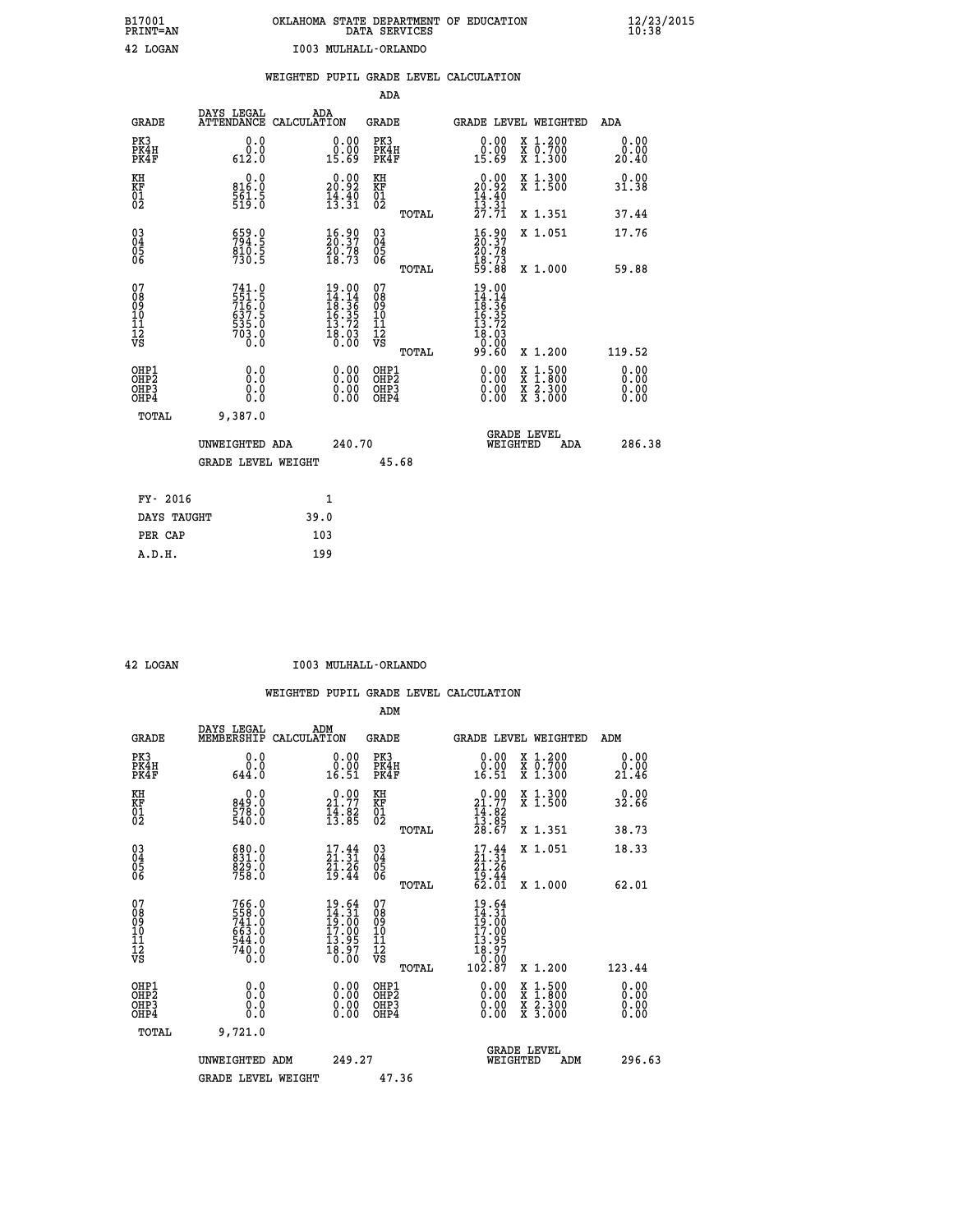| B17001          | OKLAHOMA STATE DEPARTMENT OF EDUCATION |
|-----------------|----------------------------------------|
| <b>PRINT=AN</b> | DATA SERVICES                          |
| 42 LOGAN        | I003 MULHALL-ORLANDO                   |

 **B17001 OKLAHOMA STATE DEPARTMENT OF EDUCATION 12/23/2015**

|                                                                    |                                                             |                                                                                                                                              | ADA                                               |       |                                                                                                                                                          |        |                                                                  |                              |
|--------------------------------------------------------------------|-------------------------------------------------------------|----------------------------------------------------------------------------------------------------------------------------------------------|---------------------------------------------------|-------|----------------------------------------------------------------------------------------------------------------------------------------------------------|--------|------------------------------------------------------------------|------------------------------|
| <b>GRADE</b>                                                       | DAYS LEGAL                                                  | ADA<br>ATTENDANCE CALCULATION                                                                                                                | <b>GRADE</b>                                      |       | GRADE LEVEL WEIGHTED                                                                                                                                     |        |                                                                  | <b>ADA</b>                   |
| PK3<br>PK4H<br>PK4F                                                | 0.0<br>$\overset{\text{o}}{0.0}$<br>612.0                   | $\begin{smallmatrix} 0.00\\ 0.00\\ 15.69 \end{smallmatrix}$                                                                                  | PK3<br>PK4H<br>PK4F                               |       | 0.00<br>$\substack{0.001 \ 15.69}$                                                                                                                       |        | X 1.200<br>X 0.700<br>X 1.300                                    | 0.00<br>0.00<br>20.40        |
| KH<br>KF<br>01<br>02                                               | 0.0<br>816.0<br>$\frac{5}{519}$ : 5                         | 20.92<br>$\frac{1}{4}$ $\frac{3}{3}$ $\frac{1}{3}$ $\frac{5}{3}$                                                                             | KH<br>KF<br>$\begin{matrix} 01 \ 02 \end{matrix}$ |       | $\begin{smallmatrix} 0.00\\ 20.92\\ 14.40\\ 13.31\\ 27.71 \end{smallmatrix}$                                                                             |        | X 1.300<br>X 1.500                                               | 0.00<br>31.38                |
|                                                                    |                                                             |                                                                                                                                              |                                                   | TOTAL |                                                                                                                                                          |        | X 1.351                                                          | 37.44                        |
| $\begin{smallmatrix} 03 \\[-4pt] 04 \end{smallmatrix}$<br>Ŏ5<br>06 | 559.9<br>$\frac{810.5}{730.5}$                              | $\frac{16.90}{20.37}$<br>20.78<br>18.73                                                                                                      | $\substack{03 \\ 04}$<br>$\frac{05}{06}$          |       | $\begin{smallmatrix} 16.90\\ 20.37\\ 20.78\\ 18.73\\ 59.88 \end{smallmatrix}$                                                                            |        | X 1.051                                                          | 17.76                        |
|                                                                    |                                                             |                                                                                                                                              |                                                   | TOTAL |                                                                                                                                                          |        | X 1.000                                                          | 59.88                        |
| 07<br>08<br>09<br>11<br>11<br>12<br>VS                             | 741.0<br>551.5<br>716.0<br>637.5<br>635.0<br>535.0<br>703.0 | $\begin{array}{r} 19.00 \\[-4pt] 14.14 \\[-4pt] 18.36 \\[-4pt] 16.35 \\[-4pt] 13.72 \\[-4pt] 13.03 \\[-4pt] 18.03 \\[-4pt] 0.00 \end{array}$ | 07<br>08<br>09<br>11<br>11<br>12<br>VS            |       | $\begin{array}{r} 19\cdot 00 \\ 14\cdot 14 \\ 18\cdot 36 \\ 16\cdot 35 \\ 15\cdot 72 \\ 13\cdot 72 \\ 18\cdot 03 \\ 0\cdot 00 \\ 99\cdot 60 \end{array}$ |        |                                                                  |                              |
|                                                                    |                                                             |                                                                                                                                              |                                                   | TOTAL |                                                                                                                                                          |        | X 1.200                                                          | 119.52                       |
| OHP1<br>OH <sub>P</sub> 2<br>OHP3<br>OHP4                          | 0.0<br>Ō.Ō<br>0.0<br>$0.\overline{0}$                       | 0.00<br>$\begin{smallmatrix} 0.00 \ 0.00 \end{smallmatrix}$                                                                                  | OHP1<br>OH <sub>P</sub> 2<br>OHP3<br>OHP4         |       | 0.00<br>0.00<br>0.00                                                                                                                                     | X<br>X | $1:500$<br>$1:800$<br>$\frac{\ddot{x}}{x}$ $\frac{2.300}{3.000}$ | 0.00<br>0.00<br>0.00<br>0.00 |
| TOTAL                                                              | 9,387.0                                                     |                                                                                                                                              |                                                   |       |                                                                                                                                                          |        |                                                                  |                              |
|                                                                    | UNWEIGHTED ADA                                              | 240.70                                                                                                                                       |                                                   |       | <b>GRADE LEVEL</b><br>WEIGHTED                                                                                                                           |        | ADA                                                              | 286.38                       |
|                                                                    | <b>GRADE LEVEL WEIGHT</b>                                   |                                                                                                                                              |                                                   | 45.68 |                                                                                                                                                          |        |                                                                  |                              |
| FY- 2016                                                           |                                                             | 1                                                                                                                                            |                                                   |       |                                                                                                                                                          |        |                                                                  |                              |
|                                                                    |                                                             |                                                                                                                                              |                                                   |       |                                                                                                                                                          |        |                                                                  |                              |
| DAYS TAUGHT                                                        |                                                             | 39.0                                                                                                                                         |                                                   |       |                                                                                                                                                          |        |                                                                  |                              |
| PER CAP                                                            |                                                             | 103                                                                                                                                          |                                                   |       |                                                                                                                                                          |        |                                                                  |                              |

| OGAN |
|------|
|      |

 **A.D.H. 199**

 **42 LOGAN I003 MULHALL-ORLANDO**

|                                                      |                                                          |                                                                                                                               | ADM                                                 |                                                                              |                                          |                       |
|------------------------------------------------------|----------------------------------------------------------|-------------------------------------------------------------------------------------------------------------------------------|-----------------------------------------------------|------------------------------------------------------------------------------|------------------------------------------|-----------------------|
| <b>GRADE</b>                                         | DAYS LEGAL<br>MEMBERSHIP                                 | ADM<br>CALCULATION                                                                                                            | <b>GRADE</b>                                        |                                                                              | GRADE LEVEL WEIGHTED                     | ADM                   |
| PK3<br>PK4H<br>PK4F                                  | 0.0<br>0.0<br>644.0                                      | $\begin{smallmatrix} 0.00\\ 0.00\\ 16.51 \end{smallmatrix}$                                                                   | PK3<br>PK4H<br>PK4F                                 | $\begin{smallmatrix} 0.00\\ 0.00\\ 16.51 \end{smallmatrix}$                  | X 1.200<br>X 0.700<br>X 1.300            | 0.00<br>0.00<br>21.46 |
| KH<br>KF<br>01<br>02                                 | 0.0<br>849.0<br>578.0<br>540.0                           | $\begin{smallmatrix} 0.00\\ 21.77\\ 14.82\\ 13.85 \end{smallmatrix}$                                                          | KH<br>KF<br>01<br>02                                | $\begin{smallmatrix} 0.00\\ 21.77\\ 14.82\\ 13.85\\ 28.67 \end{smallmatrix}$ | X 1.300<br>X 1.500                       | 0.00<br>32.66         |
|                                                      |                                                          |                                                                                                                               | TOTAL                                               |                                                                              | X 1.351                                  | 38.73                 |
| 03<br>04<br>05<br>06                                 | 680.0<br>831.0<br>829.0<br>758.0                         | $\frac{17.44}{21.31}$<br>$\frac{21.26}{19.44}$                                                                                | $\begin{array}{c} 03 \\ 04 \\ 05 \\ 06 \end{array}$ | $\frac{17}{21}:\frac{44}{31}$<br>21.26<br>$\frac{19.44}{62.01}$              | X 1.051                                  | 18.33                 |
|                                                      |                                                          |                                                                                                                               | TOTAL                                               |                                                                              | X 1.000                                  | 62.01                 |
| 07<br>08<br>09<br>101<br>112<br>VS                   | 766.0<br>558.0<br>741.0<br>663.0<br>$\frac{544}{740}$ :0 | $\begin{array}{l} 19.64 \\[-4pt] 14.31 \\[-4pt] 19.00 \\[-4pt] 17.00 \\[-4pt] 13.95 \\[-4pt] 18.97 \\[-4pt] 0.00 \end{array}$ | 07<br>08<br>09<br>11<br>11<br>12<br>VS              | 19.64<br>$14.31$<br>$19.00$<br>$17.00$<br>$13.957$<br>$18.970$               |                                          |                       |
|                                                      |                                                          |                                                                                                                               | TOTAL                                               | 102.87                                                                       | X 1.200                                  | 123.44                |
| OHP1<br>OHP2<br>OH <sub>P3</sub><br>OH <sub>P4</sub> | 0.0<br>0.000                                             |                                                                                                                               | OHP1<br>OHP2<br>OHP <sub>3</sub>                    | $0.00$<br>$0.00$<br>0.00                                                     | X 1:500<br>X 1:800<br>X 2:300<br>X 3:000 | 0.00<br>0.00<br>0.00  |
| TOTAL                                                | 9,721.0                                                  |                                                                                                                               |                                                     |                                                                              |                                          |                       |
|                                                      | UNWEIGHTED ADM                                           | 249.27                                                                                                                        |                                                     |                                                                              | GRADE LEVEL<br>WEIGHTED<br>ADM           | 296.63                |
|                                                      | <b>GRADE LEVEL WEIGHT</b>                                |                                                                                                                               | 47.36                                               |                                                                              |                                          |                       |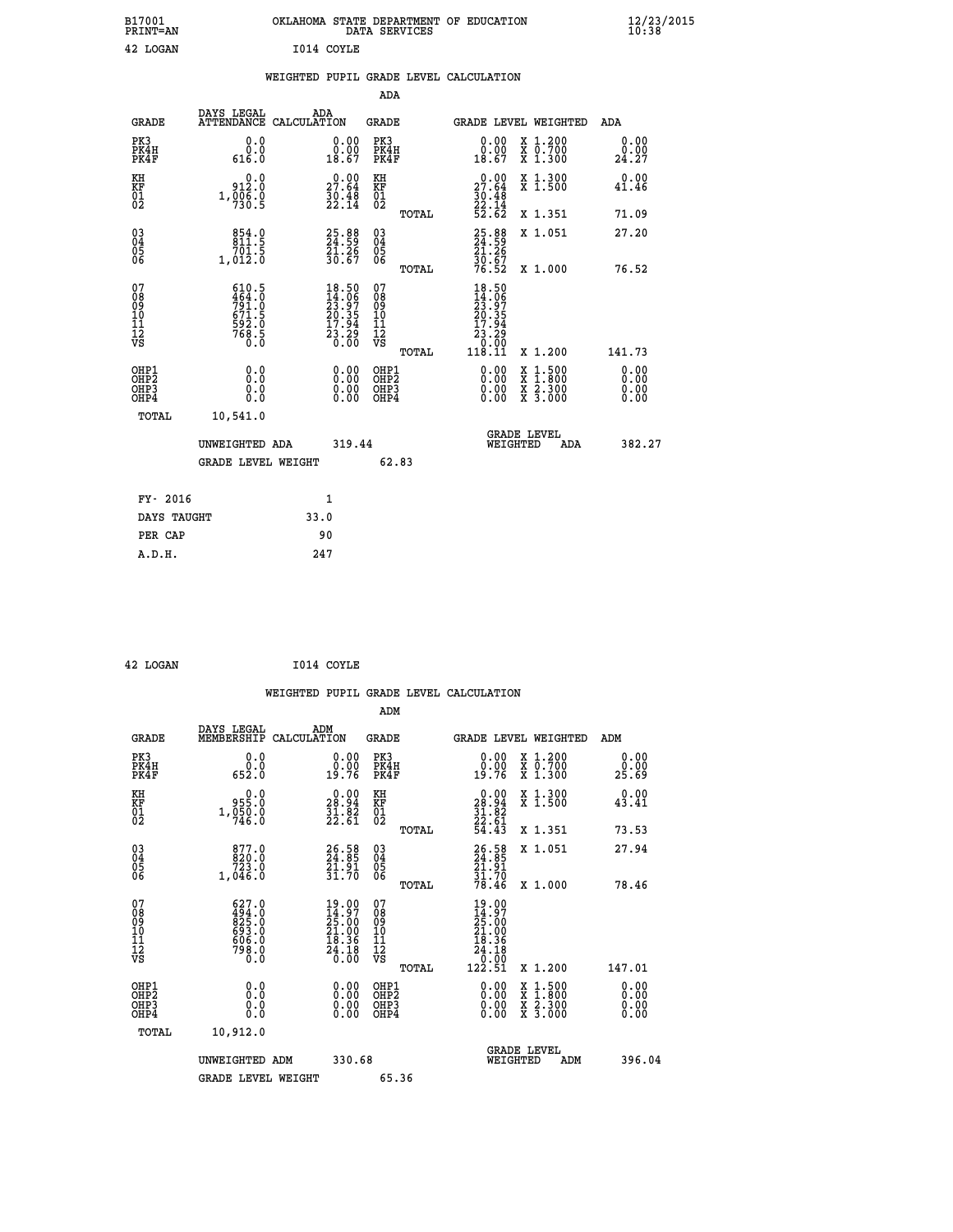| B17001<br>PRINT=AN | OKLAHOMA STATE DEPARTMENT OF EDUCATION<br>DATA SERVICES | $\frac{12}{23}$ /2015 |
|--------------------|---------------------------------------------------------|-----------------------|
| 42 LOGAN           | I014 COYLE                                              |                       |
|                    | WEIGHTED PUPIL GRADE LEVEL CALCULATION                  |                       |

|                                                    |                                                                            |                                                                                                    | ADA                                                |       |                                                                                                              |                                                                                                  |                              |
|----------------------------------------------------|----------------------------------------------------------------------------|----------------------------------------------------------------------------------------------------|----------------------------------------------------|-------|--------------------------------------------------------------------------------------------------------------|--------------------------------------------------------------------------------------------------|------------------------------|
| <b>GRADE</b>                                       | DAYS LEGAL<br><b>ATTENDANCE</b>                                            | ADA<br>CALCULATION                                                                                 | <b>GRADE</b>                                       |       | GRADE LEVEL WEIGHTED                                                                                         |                                                                                                  | <b>ADA</b>                   |
| PK3<br>PK4H<br>PK4F                                | 0.0<br>0.0<br>616.0                                                        | 0.00<br>0.00<br>18.67                                                                              | PK3<br>PK4H<br>PK4F                                |       | 0.00<br>$\begin{smallmatrix} \v{0} \ 0.00 \ 18.67 \end{smallmatrix}$                                         | X 1.200<br>X 0.700<br>X 1.300                                                                    | 0.00<br>0.00<br>24.27        |
| KH<br>KF<br>01<br>02                               | 0.0<br>912.0<br>$1, \overline{0}\overline{0}\overline{6}\cdot\overline{9}$ | $\begin{smallmatrix} 0.00\\ 27.64\\ 30.48\\ 22.14 \end{smallmatrix}$                               | KH<br>KF<br>01<br>02                               |       | $\begin{smallmatrix} 0.00\\ 27.64\\ 30.48\\ 22.14\\ 52.62 \end{smallmatrix}$                                 | X 1.300<br>X 1.500                                                                               | 0.00<br>41.46                |
|                                                    |                                                                            |                                                                                                    |                                                    | TOTAL |                                                                                                              | X 1.351                                                                                          | 71.09                        |
| $\begin{matrix} 03 \\ 04 \\ 05 \\ 06 \end{matrix}$ | $854.0$<br>$811.5$<br>701.5<br>1,012.0                                     | 25.88<br>24.59<br>21.26<br>30.67                                                                   | $\begin{matrix} 03 \\ 04 \\ 05 \\ 06 \end{matrix}$ |       | 25.88<br>24.59<br>21.26<br>30.67<br>30.52                                                                    | X 1.051                                                                                          | 27.20                        |
|                                                    |                                                                            |                                                                                                    |                                                    | TOTAL |                                                                                                              | X 1.000                                                                                          | 76.52                        |
| 07<br>08<br>09<br>11<br>11<br>12<br>VS             | 610.5<br>464.00<br>791.0<br>671.5<br>6768.5<br>768.5                       | $\begin{smallmatrix} 18.50 \\ 14.06 \\ 23.97 \\ 20.35 \\ 17.94 \\ 23.29 \\ 0.00 \end{smallmatrix}$ | 07<br>08<br>09<br>11<br>11<br>12<br>VS             | TOTAL | 18.50<br>$\begin{smallmatrix} 14.306\ 14.307\ 23.354\ 20.354\ 17.94\ 23.29\ 0.00\ 118.11\ \end{smallmatrix}$ | X 1.200                                                                                          | 141.73                       |
| OHP1<br>OHP2<br>OH <sub>P3</sub><br>OHP4           | 0.0<br>Ŏ.Ŏ<br>0.000                                                        | 0.00<br>$\begin{smallmatrix} 0.00 \ 0.00 \end{smallmatrix}$                                        | OHP1<br>OH <sub>P</sub> 2<br>OHP3<br>OHP4          |       | $0.00$<br>$0.00$<br>0.00                                                                                     | $\begin{smallmatrix} x & 1 & 500 \\ x & 1 & 800 \\ x & 2 & 300 \\ x & 3 & 000 \end{smallmatrix}$ | 0.00<br>0.00<br>0.00<br>0.00 |
| TOTAL                                              | 10,541.0                                                                   |                                                                                                    |                                                    |       |                                                                                                              |                                                                                                  |                              |
|                                                    | UNWEIGHTED ADA                                                             | 319.44                                                                                             |                                                    |       | <b>GRADE LEVEL</b><br>WEIGHTED                                                                               | ADA                                                                                              | 382.27                       |
|                                                    | <b>GRADE LEVEL WEIGHT</b>                                                  |                                                                                                    |                                                    | 62.83 |                                                                                                              |                                                                                                  |                              |
|                                                    |                                                                            |                                                                                                    |                                                    |       |                                                                                                              |                                                                                                  |                              |
| FY- 2016                                           |                                                                            | $\mathbf{1}$                                                                                       |                                                    |       |                                                                                                              |                                                                                                  |                              |
| DAYS TAUGHT                                        |                                                                            | 33.0                                                                                               |                                                    |       |                                                                                                              |                                                                                                  |                              |

| 42 LOGAN | I014 COYLE |
|----------|------------|
|          |            |

**PER CAP** 90<br> **A.D.H.** 247

|                                                    |                                                         |                                                                                                 |                                              | WEIGHTED PUPIL GRADE LEVEL CALCULATION                                                                      |                                          |                       |
|----------------------------------------------------|---------------------------------------------------------|-------------------------------------------------------------------------------------------------|----------------------------------------------|-------------------------------------------------------------------------------------------------------------|------------------------------------------|-----------------------|
|                                                    |                                                         |                                                                                                 | ADM                                          |                                                                                                             |                                          |                       |
| <b>GRADE</b>                                       | DAYS LEGAL<br>MEMBERSHIP<br>CALCULATION                 | ADM                                                                                             | GRADE                                        | GRADE LEVEL WEIGHTED                                                                                        |                                          | ADM                   |
| PK3<br>PK4H<br>PK4F                                | 0.0<br>ة:ة<br>652:0                                     | $\begin{smallmatrix} 0.00\\ 0.00\\ 19.76 \end{smallmatrix}$                                     | PK3<br>PK4H<br>PK4F                          | 0.00<br>19.76                                                                                               | X 1.200<br>X 0.700<br>X 1.300            | 0.00<br>0.00<br>25.69 |
| KH<br>KF<br>01<br>02                               | $0.0$<br>0.550<br>1,050.0                               | $\begin{smallmatrix} 0.00\\ 28.94\\ 31.82\\ 22.61 \end{smallmatrix}$                            | KH<br>KF<br>01<br>02                         | 0.00<br>$28.84$<br>$31.82$<br>$22.61$<br>$54.43$                                                            | X 1.300<br>X 1.500                       | 0.00<br>43.41         |
|                                                    |                                                         |                                                                                                 | TOTAL                                        |                                                                                                             | X 1.351                                  | 73.53                 |
| $\begin{matrix} 03 \\ 04 \\ 05 \\ 06 \end{matrix}$ | 877.0<br>820.0<br>723.0<br>1,046.0                      | $26.58$<br>$24.85$<br>$21.91$<br>$31.70$                                                        | 030404<br>ŌĞ                                 | 26.58<br>24.85<br>21.91<br>31.70<br>31.70                                                                   | X 1.051                                  | 27.94                 |
|                                                    |                                                         |                                                                                                 | TOTAL                                        |                                                                                                             | X 1.000                                  | 78.46                 |
| 07<br>08<br>09<br>101<br>11<br>12<br>VS            | 627.0<br>494.00<br>825.00<br>693.00<br>606.00<br>798.00 | 19.00<br>$\begin{smallmatrix} 14.97\ 25.00\ 21.00\ 21.00\ 18.36\ 24.18\ 0.00 \end{smallmatrix}$ | 07<br>08<br>09<br>01<br>11<br>11<br>12<br>VS | 19.00<br>$\frac{14}{25}$ : 00<br>$21.00$<br>$\begin{array}{r} 18.36 \\ 24.18 \\ 0.00 \\ 122.51 \end{array}$ |                                          |                       |
|                                                    |                                                         |                                                                                                 | TOTAL                                        |                                                                                                             | X 1.200                                  | 147.01                |
| OHP1<br>OHP <sub>2</sub><br>OHP3<br>OHP4           | 0.0<br>0.0<br>Ō.O                                       | $\begin{smallmatrix} 0.00 \ 0.00 \ 0.00 \ 0.00 \end{smallmatrix}$                               | OHP1<br>OHP2<br>OHP3<br>OHP4                 | $0.00$<br>$0.00$<br>0.00                                                                                    | X 1:500<br>X 1:800<br>X 2:300<br>X 3:000 | 0.00<br>0.00<br>0.00  |
| TOTAL                                              | 10,912.0                                                |                                                                                                 |                                              |                                                                                                             |                                          |                       |
|                                                    | UNWEIGHTED ADM                                          | 330.68                                                                                          |                                              | <b>GRADE LEVEL</b><br>WEIGHTED                                                                              | ADM                                      | 396.04                |
|                                                    | <b>GRADE LEVEL WEIGHT</b>                               |                                                                                                 | 65.36                                        |                                                                                                             |                                          |                       |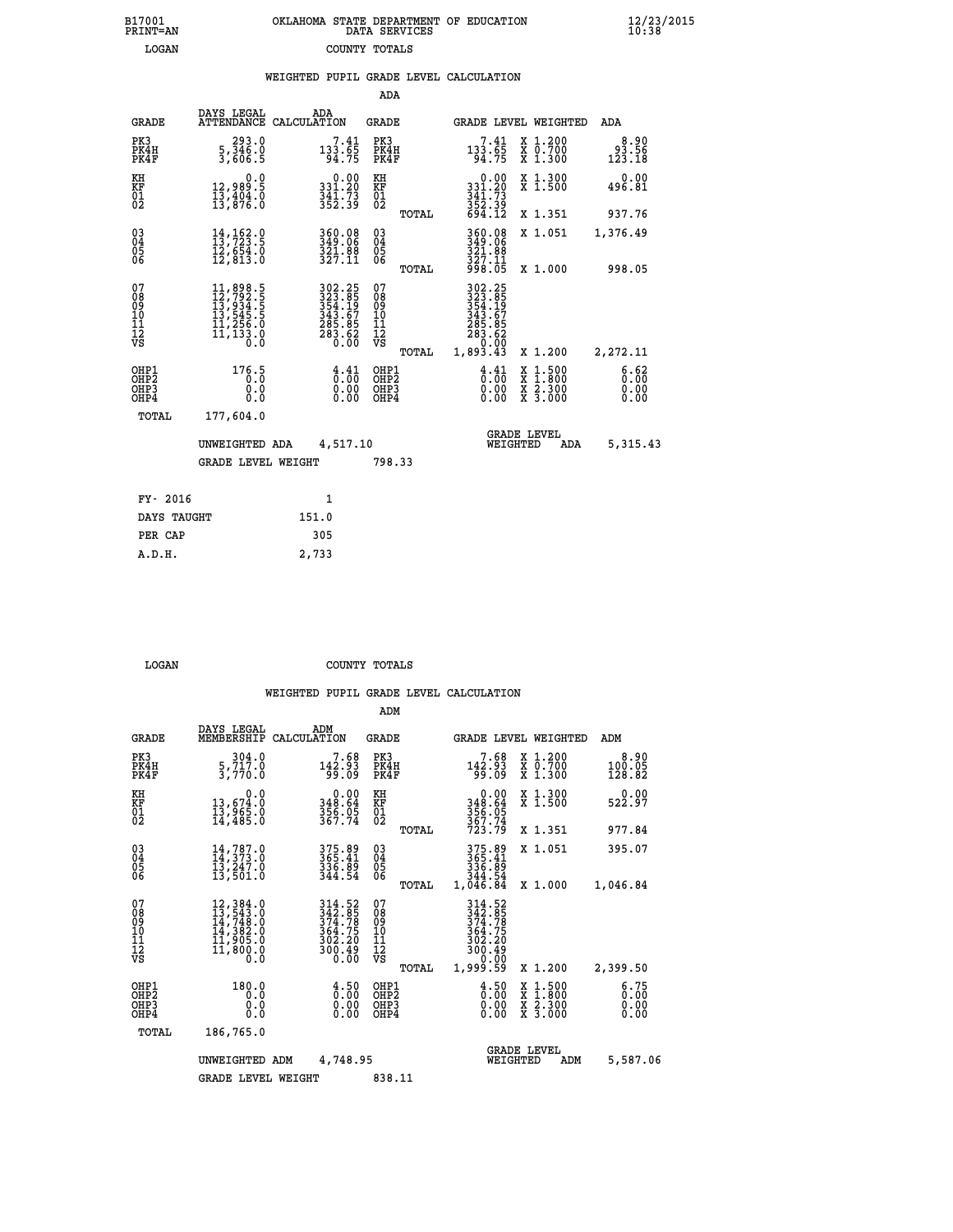|  | OKLAHOMA STATE DEPARTMENT OF EDUCATION<br>DATA SERVICES |  |
|--|---------------------------------------------------------|--|
|  | COUNTY TOTALS                                           |  |

B17001<br>PRINT=AN<br>LOGAN

 **B17001 OKLAHOMA STATE DEPARTMENT OF EDUCATION 12/23/2015**

|                                                                   |                                                                                                                                                                                           | ADA                                                                                                                                                                                                                      |                                                                    |                                                                                                                                             |                                                                              |
|-------------------------------------------------------------------|-------------------------------------------------------------------------------------------------------------------------------------------------------------------------------------------|--------------------------------------------------------------------------------------------------------------------------------------------------------------------------------------------------------------------------|--------------------------------------------------------------------|---------------------------------------------------------------------------------------------------------------------------------------------|------------------------------------------------------------------------------|
| DAYS LEGAL                                                        | ADA                                                                                                                                                                                       | GRADE                                                                                                                                                                                                                    |                                                                    |                                                                                                                                             | ADA                                                                          |
| $\begin{smallmatrix} 293.0\\ 5,346.0\\ 3,606.5 \end{smallmatrix}$ | $\substack{7.41 \\ 133.65 \\ 94.75}$                                                                                                                                                      | PK3<br>PK4H<br>PK4F                                                                                                                                                                                                      | $133.65$<br>94.75                                                  | X 1.200<br>X 0.700<br>X 1.300                                                                                                               | 8.90<br>93.56<br>123.18                                                      |
| 0.0                                                               |                                                                                                                                                                                           |                                                                                                                                                                                                                          |                                                                    | X 1.300<br>X 1.500                                                                                                                          | 0.00<br>496.81                                                               |
|                                                                   |                                                                                                                                                                                           | TOTAL                                                                                                                                                                                                                    |                                                                    | X 1.351                                                                                                                                     | 937.76                                                                       |
| $14, 162.9$<br>$13, 723.9$<br>12,654.0<br>12,813.0                | 360.08<br>349.06<br>321.88<br>327.11                                                                                                                                                      | 03<br>04<br>05<br>06                                                                                                                                                                                                     | 360.08<br>349.06<br>321.00<br>327.11                               | X 1.051                                                                                                                                     | 1,376.49                                                                     |
|                                                                   |                                                                                                                                                                                           |                                                                                                                                                                                                                          |                                                                    |                                                                                                                                             | 998.05                                                                       |
|                                                                   |                                                                                                                                                                                           | 08<br>09<br>11<br>11<br>12<br>VS                                                                                                                                                                                         |                                                                    |                                                                                                                                             | 2,272.11                                                                     |
| 176.5<br>0.0<br>$0.\overline{0}$                                  | $\frac{4}{0}:\frac{41}{00}$<br>$\begin{smallmatrix} 0.00 \ 0.00 \end{smallmatrix}$                                                                                                        | OHP1<br>OHP <sub>2</sub><br>OHP3<br>OHP4                                                                                                                                                                                 | $\frac{4}{0}$ : $\frac{41}{00}$<br>0.00<br>0.00                    | $\begin{smallmatrix} x & 1 & 500 \\ x & 1 & 800 \\ x & 2 & 300 \\ x & 3 & 000 \end{smallmatrix}$                                            | 6.62<br>0.00<br>0.00<br>0.00                                                 |
| 177,604.0                                                         |                                                                                                                                                                                           |                                                                                                                                                                                                                          |                                                                    |                                                                                                                                             |                                                                              |
|                                                                   |                                                                                                                                                                                           |                                                                                                                                                                                                                          |                                                                    | ADA                                                                                                                                         | 5,315.43                                                                     |
|                                                                   |                                                                                                                                                                                           |                                                                                                                                                                                                                          |                                                                    |                                                                                                                                             |                                                                              |
| FY- 2016                                                          | $\mathbf{1}$                                                                                                                                                                              |                                                                                                                                                                                                                          |                                                                    |                                                                                                                                             |                                                                              |
| DAYS TAUGHT                                                       | 151.0                                                                                                                                                                                     |                                                                                                                                                                                                                          |                                                                    |                                                                                                                                             |                                                                              |
|                                                                   | 305                                                                                                                                                                                       |                                                                                                                                                                                                                          |                                                                    |                                                                                                                                             |                                                                              |
|                                                                   | 2,733                                                                                                                                                                                     |                                                                                                                                                                                                                          |                                                                    |                                                                                                                                             |                                                                              |
|                                                                   | 12,989.5<br>13,404.0<br>13,876.0<br>$\begin{smallmatrix} 11, 898\cdot 5\\ 12, 792\cdot 5\\ 13, 934\cdot 5\\ 13, 545\cdot 5\\ 11, 256\cdot 0\\ 11, 133\cdot 0\\ 0\cdot 0\end{smallmatrix}$ | ATTENDANCE CALCULATION<br>$\begin{array}{c} 0.00 \\ 331.20 \\ 341.73 \\ 352.39 \end{array}$<br>302.25<br>323.85<br>323.85<br>343.67<br>343.67<br>285.85<br>283.62<br>0.00<br>UNWEIGHTED ADA<br><b>GRADE LEVEL WEIGHT</b> | KH<br>KF<br>01<br>02<br>TOTAL<br>07<br>TOTAL<br>4,517.10<br>798.33 | $\begin{array}{c} 0.00 \\ 331.20 \\ 341.73 \\ 352.39 \\ 694.12 \end{array}$<br>998.05<br>$302.25323.85354.19343.67285.85283.620.001,893.43$ | GRADE LEVEL WEIGHTED<br>X 1.000<br>X 1.200<br><b>GRADE LEVEL</b><br>WEIGHTED |

| LOGAN | COUNTY TOTALS |  |
|-------|---------------|--|

|                                                       |                                                                                                                                                                                          |                                                                         | ADM                                                |                                                                              |                                                                                                  |                              |
|-------------------------------------------------------|------------------------------------------------------------------------------------------------------------------------------------------------------------------------------------------|-------------------------------------------------------------------------|----------------------------------------------------|------------------------------------------------------------------------------|--------------------------------------------------------------------------------------------------|------------------------------|
| <b>GRADE</b>                                          | DAYS LEGAL<br>MEMBERSHIP                                                                                                                                                                 | ADM<br>CALCULATION                                                      | <b>GRADE</b>                                       |                                                                              | GRADE LEVEL WEIGHTED                                                                             | ADM                          |
| PK3<br>PK4H<br>PK4F                                   | 304.0<br>5,717.0<br>3,770.0                                                                                                                                                              | 7.68<br>142.93<br>99.09                                                 | PK3<br>PK4H<br>PK4F                                | 7.68<br>142.93<br>99.09                                                      | $\begin{smallmatrix} x & 1.200 \\ x & 0.700 \end{smallmatrix}$<br>$X$ 1.300                      | 8.90<br>100.05<br>128.82     |
| KH<br>KF<br>01<br>02                                  | 0.0<br>13,674:0<br>13,965:0<br>14,485:0                                                                                                                                                  | $348.64$<br>$356.05$<br>$367.74$                                        | KH<br>KF<br>01<br>02                               | $0.00$<br>348.64<br>356.05<br>367.74<br>367.79                               | X 1.300<br>X 1.500                                                                               | 0.00<br>522.97               |
|                                                       |                                                                                                                                                                                          |                                                                         | TOTAL                                              |                                                                              | X 1.351                                                                                          | 977.84                       |
| 03<br>04<br>05<br>06                                  | $14,787.0$<br>$14,373.0$<br>$13,247.0$<br>13,501.0                                                                                                                                       | 375.89<br>365.41<br>336.89<br>344.54                                    | $\begin{matrix} 03 \\ 04 \\ 05 \\ 06 \end{matrix}$ | 375.89<br>365.41<br>336.89<br>344.54                                         | X 1.051                                                                                          | 395.07                       |
|                                                       |                                                                                                                                                                                          |                                                                         | TOTAL                                              | 1,046.84                                                                     | X 1.000                                                                                          | 1,046.84                     |
| 07<br>08<br>09<br>101<br>112<br>VS                    | $\begin{smallmatrix} 12\,, & 384\,. & 0\\ 13\,, & 543\,. & 0\\ 14\,, & 748\,. & 0\\ 14\,, & 382\,. & 0\\ 11\,, & 905\,. & 0\\ 11\,, & 800\,. & 0\\ 0\,. & 0\,. & 0\,. \end{smallmatrix}$ | 314.52<br>342.85<br>374.78<br>364.75<br>302.20<br>$\frac{300.49}{0.00}$ | 07<br>08<br>09<br>101<br>11<br>12<br>VS<br>TOTAL   | 314.52<br>342.85<br>374.78<br>364.75<br>302.20<br>300.49<br>0.00<br>1,999.59 | X 1.200                                                                                          | 2,399.50                     |
| OHP1<br>OH <sub>P</sub> 2<br>OH <sub>P3</sub><br>OHP4 | 180.0<br>0.0<br>0.0<br>Ŏ.Ŏ                                                                                                                                                               | $\begin{smallmatrix} 4.50\ 0.00 \end{smallmatrix}$<br>0.00              | OHP1<br>OHP2<br>OHP3<br>OHP4                       | $\begin{smallmatrix} 4.50\ 0.00 \end{smallmatrix}$<br>0.00                   | $\begin{smallmatrix} x & 1 & 500 \\ x & 1 & 800 \\ x & 2 & 300 \\ x & 3 & 000 \end{smallmatrix}$ | 6.75<br>0.00<br>0.00<br>0.00 |
| TOTAL                                                 | 186,765.0                                                                                                                                                                                |                                                                         |                                                    |                                                                              |                                                                                                  |                              |
|                                                       | UNWEIGHTED                                                                                                                                                                               | 4,748.95<br>ADM                                                         |                                                    | WEIGHTED                                                                     | <b>GRADE LEVEL</b><br>ADM                                                                        | 5,587.06                     |
|                                                       | <b>GRADE LEVEL WEIGHT</b>                                                                                                                                                                |                                                                         | 838.11                                             |                                                                              |                                                                                                  |                              |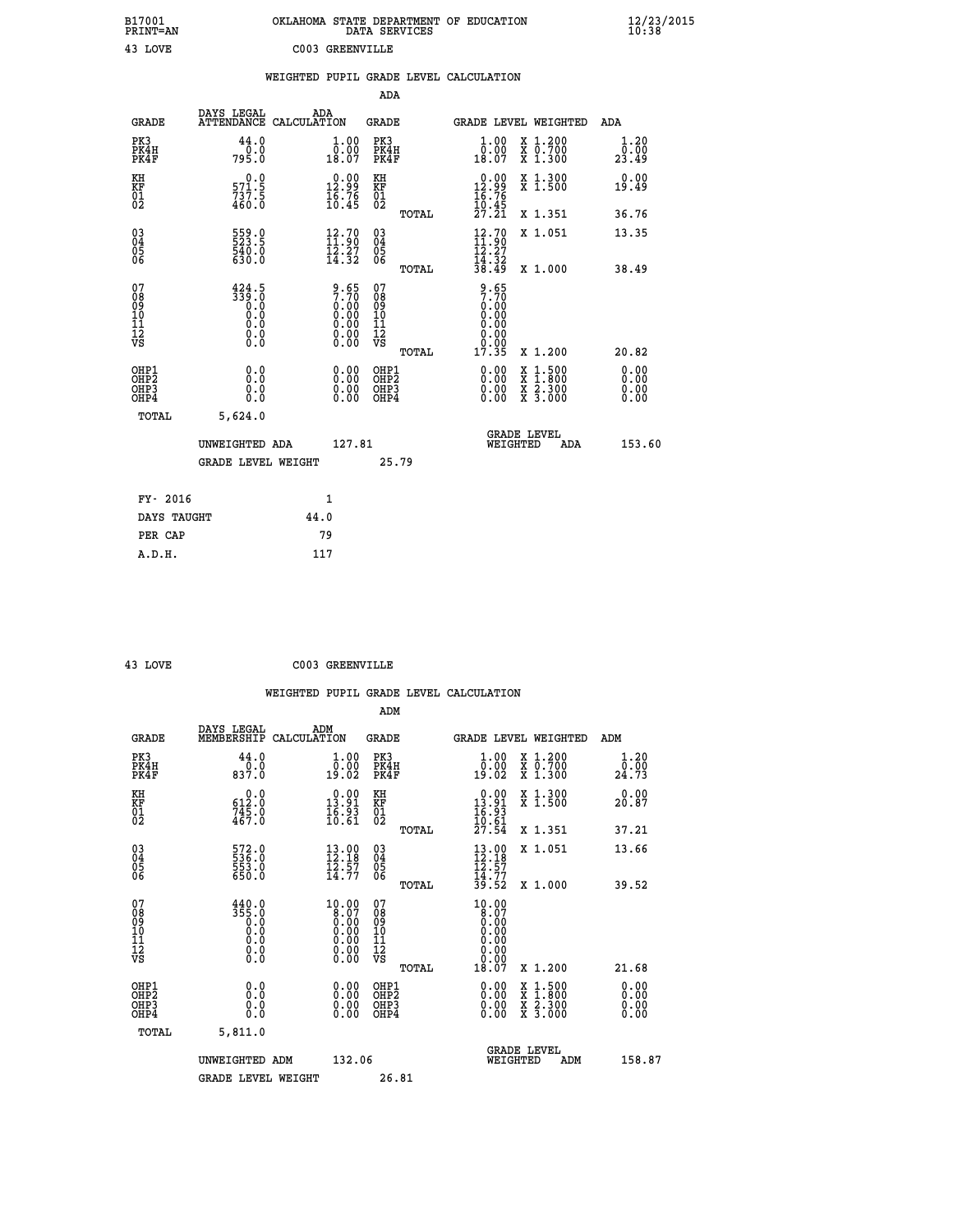| B17001<br>PRINT=AN           |                                                          |      |                                                                       |                                                            | DATA SERVICES | OKLAHOMA STATE DEPARTMENT OF EDUCATION                                                        |                                                                                                                                           | $\frac{12}{23}$ /2015 |  |
|------------------------------|----------------------------------------------------------|------|-----------------------------------------------------------------------|------------------------------------------------------------|---------------|-----------------------------------------------------------------------------------------------|-------------------------------------------------------------------------------------------------------------------------------------------|-----------------------|--|
| 43 LOVE                      |                                                          |      | C003 GREENVILLE                                                       |                                                            |               |                                                                                               |                                                                                                                                           |                       |  |
|                              |                                                          |      |                                                                       |                                                            |               | WEIGHTED PUPIL GRADE LEVEL CALCULATION                                                        |                                                                                                                                           |                       |  |
|                              |                                                          |      |                                                                       | ADA                                                        |               |                                                                                               |                                                                                                                                           |                       |  |
| <b>GRADE</b>                 | DAYS LEGAL<br>ATTENDANCE CALCULATION                     | ADA  |                                                                       | GRADE                                                      |               |                                                                                               | GRADE LEVEL WEIGHTED                                                                                                                      | <b>ADA</b>            |  |
| PK3<br>PK4H<br>PK4F          | 44.0<br>0.0<br>795.0                                     |      | 1.00<br>0.00<br>18.07                                                 | PK3<br>PK4H<br>PK4F                                        |               | 1.00<br>$\begin{smallmatrix} \bar{0} & \tilde{0} & \tilde{0} \\ 18 & 0 & 7 \end{smallmatrix}$ | X 1.200<br>X 0.700<br>X 1.300                                                                                                             | 1.20<br>0.00<br>23.49 |  |
| KH<br>KF<br>01<br>02         | 0.0<br>$\frac{571.5}{737.5}$<br>460.0                    |      | $\begin{smallmatrix} 0.00\\ 12.99\\ 16.76\\ 10.45 \end{smallmatrix}$  | KH<br><b>KF</b><br>01<br>02                                |               | $\begin{smallmatrix} 0.00\\ 12.99\\ 16.76\\ 10.45\\ 27.21 \end{smallmatrix}$                  | X 1.300<br>X 1.500                                                                                                                        | 0.00<br>19.49         |  |
|                              |                                                          |      |                                                                       |                                                            | TOTAL         |                                                                                               | X 1.351                                                                                                                                   | 36.76                 |  |
| 03<br>04<br>05<br>06         | 559.0<br>540.0<br>630.0                                  |      | $\begin{smallmatrix} 12.70\\ 11.90\\ 12.27\\ 14.32 \end{smallmatrix}$ | $\begin{matrix} 03 \\ 04 \\ 05 \\ 06 \end{matrix}$         |               | $\frac{12.70}{11.90}$                                                                         | X 1.051                                                                                                                                   | 13.35                 |  |
|                              |                                                          |      |                                                                       |                                                            | <b>TOTAL</b>  | $\frac{1}{3}\overline{4}\cdot\overline{3}\overline{2}\overline{3}$                            | X 1.000                                                                                                                                   | 38.49                 |  |
| 078901112<br>000101112<br>VS | 424.5<br>$\frac{359.0}{0.0}$<br>0.0<br>0.0<br>$\S.$ $\S$ |      | $9.657.700.000.000.000.000.000.00$                                    | 07<br>08<br>09<br>10<br>$\frac{11}{12}$<br>$\frac{12}{18}$ | TOTAL         | $2.50$<br>$2.70$<br>$0.00$<br>0.00<br>0.00<br>0.00<br>17.35                                   | X 1.200                                                                                                                                   | 20.82                 |  |
| OHP1<br>OHP2                 | 0.0                                                      |      | 0.00                                                                  | OHP1<br>OHP2                                               |               | 0.00                                                                                          |                                                                                                                                           | 0.00                  |  |
| OH <sub>P3</sub><br>OHP4     | Ŏ.Ō<br>0.0<br>0.0                                        |      | 0.00<br>0.00                                                          | OHP3<br>OHP4                                               |               | 0.00<br>0.00                                                                                  | $\begin{smallmatrix} \mathtt{X} & 1\cdot500\\ \mathtt{X} & 1\cdot800\\ \mathtt{X} & 2\cdot300\\ \mathtt{X} & 3\cdot000 \end{smallmatrix}$ | 0.00<br>0.00<br>0.00  |  |
| TOTAL                        | 5,624.0                                                  |      |                                                                       |                                                            |               |                                                                                               |                                                                                                                                           |                       |  |
|                              | UNWEIGHTED ADA                                           |      | 127.81                                                                |                                                            |               |                                                                                               | <b>GRADE LEVEL</b><br>WEIGHTED<br>ADA                                                                                                     | 153.60                |  |
|                              | <b>GRADE LEVEL WEIGHT</b>                                |      |                                                                       |                                                            | 25.79         |                                                                                               |                                                                                                                                           |                       |  |
| FY- 2016                     |                                                          |      | 1                                                                     |                                                            |               |                                                                                               |                                                                                                                                           |                       |  |
| DAYS TAUGHT                  |                                                          | 44.0 |                                                                       |                                                            |               |                                                                                               |                                                                                                                                           |                       |  |
| PER CAP                      |                                                          |      | 79                                                                    |                                                            |               |                                                                                               |                                                                                                                                           |                       |  |

| 43 LOVE | C003 GREENVILLE |
|---------|-----------------|
|         |                 |

|                                                    |                                                                                           |                                                                                         | ADM                                    |       |                                                                                                                                                                                                                                                                                |                                                                                                                                           |                              |
|----------------------------------------------------|-------------------------------------------------------------------------------------------|-----------------------------------------------------------------------------------------|----------------------------------------|-------|--------------------------------------------------------------------------------------------------------------------------------------------------------------------------------------------------------------------------------------------------------------------------------|-------------------------------------------------------------------------------------------------------------------------------------------|------------------------------|
| <b>GRADE</b>                                       | DAYS LEGAL<br>MEMBERSHIP                                                                  | ADM<br>CALCULATION                                                                      | <b>GRADE</b>                           |       |                                                                                                                                                                                                                                                                                | GRADE LEVEL WEIGHTED                                                                                                                      | ADM                          |
| PK3<br>PK4H<br>PK4F                                | 44.0<br>837.0                                                                             | 1.00<br>0:00<br>19:02                                                                   | PK3<br>PK4H<br>PK4F                    |       | 1.00<br>0:00<br>19:02                                                                                                                                                                                                                                                          | X 1.200<br>x ō:7ŏŏ<br>x 1:300                                                                                                             | 1.20<br>ō:ōŏ<br>24.73        |
| KH<br>KF<br>01<br>02                               | $\begin{smallmatrix} &0.0\ 612.0\ 745.0\ 467.0 \end{smallmatrix}$                         | $\begin{smallmatrix} 0.00\\ 13.91\\ 16.93\\ 10.61 \end{smallmatrix}$                    | KH<br>KF<br>01<br>02                   |       | $\begin{smallmatrix} 0.00\\ 13.91\\ 16.93\\ 16.81\\ 10.61\\ 27.54 \end{smallmatrix}$                                                                                                                                                                                           | X 1.300<br>X 1.500                                                                                                                        | 0.00<br>20.87                |
|                                                    |                                                                                           |                                                                                         |                                        | TOTAL |                                                                                                                                                                                                                                                                                | X 1.351                                                                                                                                   | 37.21                        |
| $\begin{matrix} 03 \\ 04 \\ 05 \\ 06 \end{matrix}$ | 572.0<br>536.0<br>553.0<br>650.0                                                          | 13.00<br>12.18<br>$\frac{15.57}{14.77}$                                                 | 03<br>04<br>05<br>06                   |       | $13.0012.1812.5714.7739.52$                                                                                                                                                                                                                                                    | X 1.051                                                                                                                                   | 13.66                        |
|                                                    |                                                                                           |                                                                                         |                                        | TOTAL |                                                                                                                                                                                                                                                                                | X 1.000                                                                                                                                   | 39.52                        |
| 07<br>08<br>09<br>101<br>112<br>VS                 | $\begin{smallmatrix} 440.0\\ 355.0\\ 0.0\\ 0.0\\ 0.0\\ 0.0\\ 0.0\\ 0.0 \end{smallmatrix}$ | $\begin{smallmatrix} 10.00\\8.07\\0.00\\0.00\\0.00\\0.00\\0.00\\0.00 \end{smallmatrix}$ | 07<br>08<br>09<br>11<br>11<br>12<br>VS |       | $10.00$<br>8.07<br>0.00<br>0.00<br>0.00<br>0.00<br>0.00                                                                                                                                                                                                                        |                                                                                                                                           |                              |
|                                                    |                                                                                           |                                                                                         |                                        | TOTAL | 18.07                                                                                                                                                                                                                                                                          | X 1.200                                                                                                                                   | 21.68                        |
| OHP1<br>OHP2<br>OH <sub>P3</sub><br>OHP4           | 0.0<br>$\begin{smallmatrix} 0.0 & 0 \ 0.0 & 0 \end{smallmatrix}$                          | $\begin{smallmatrix} 0.00 \ 0.00 \ 0.00 \ 0.00 \end{smallmatrix}$                       | OHP1<br>OHP2<br>OHP3<br>OHP4           |       | $\begin{smallmatrix} 0.00 & 0.00 & 0.00 & 0.00 & 0.00 & 0.00 & 0.00 & 0.00 & 0.00 & 0.00 & 0.00 & 0.00 & 0.00 & 0.00 & 0.00 & 0.00 & 0.00 & 0.00 & 0.00 & 0.00 & 0.00 & 0.00 & 0.00 & 0.00 & 0.00 & 0.00 & 0.00 & 0.00 & 0.00 & 0.00 & 0.00 & 0.00 & 0.00 & 0.00 & 0.00 & 0.0$ | $\begin{smallmatrix} \mathtt{X} & 1\cdot500\\ \mathtt{X} & 1\cdot800\\ \mathtt{X} & 2\cdot300\\ \mathtt{X} & 3\cdot000 \end{smallmatrix}$ | 0.00<br>Ŏ.ŎŎ<br>Q.QQ<br>0.00 |
| TOTAL                                              | 5,811.0                                                                                   |                                                                                         |                                        |       |                                                                                                                                                                                                                                                                                |                                                                                                                                           |                              |
|                                                    | UNWEIGHTED ADM                                                                            | 132.06                                                                                  |                                        |       | WEIGHTED                                                                                                                                                                                                                                                                       | <b>GRADE LEVEL</b><br>ADM                                                                                                                 | 158.87                       |
|                                                    | <b>GRADE LEVEL WEIGHT</b>                                                                 |                                                                                         |                                        | 26.81 |                                                                                                                                                                                                                                                                                |                                                                                                                                           |                              |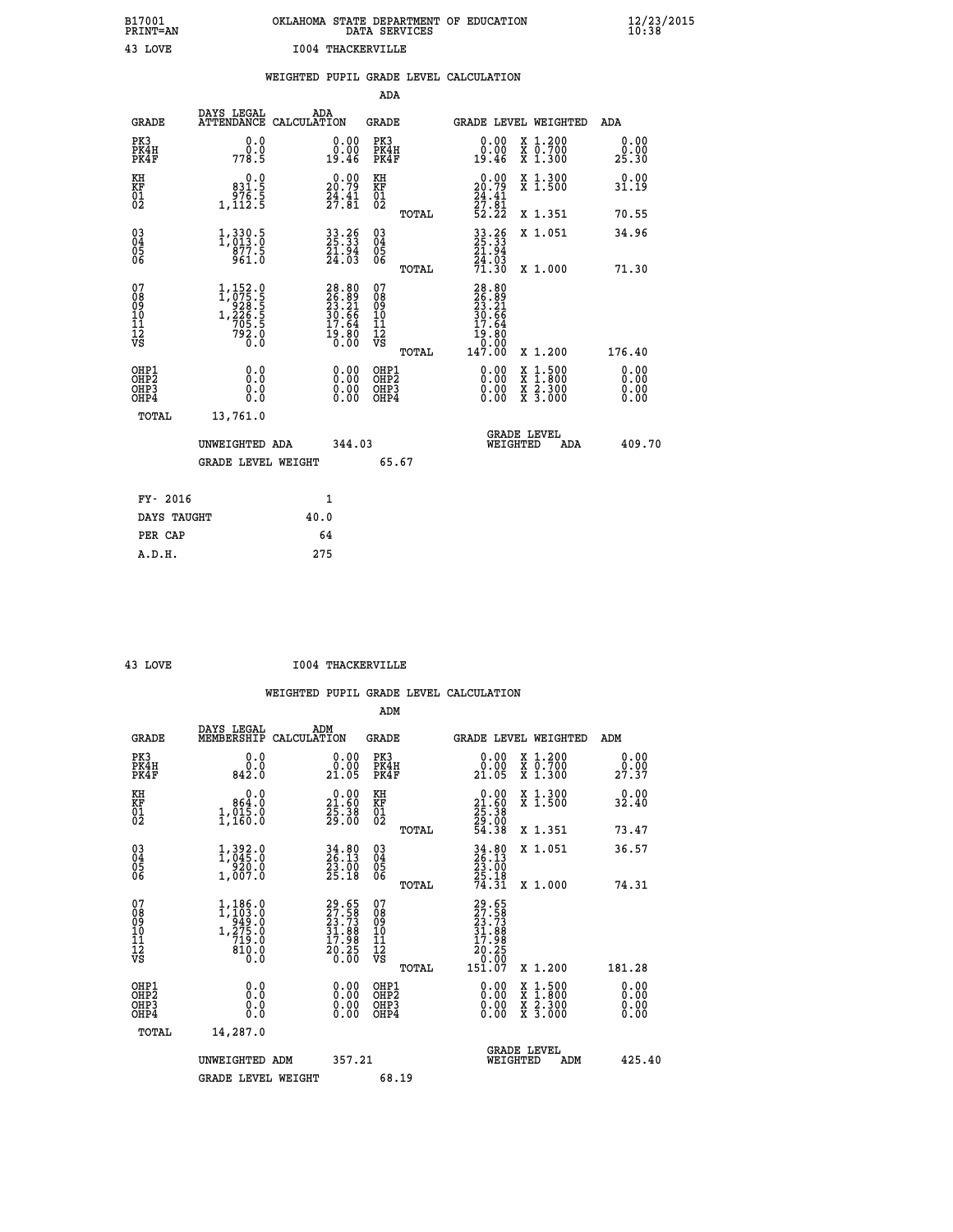| OKLAHOMA STATE DEPARTMENT OF EDUCATION<br>DATA SERVICES |  |
|---------------------------------------------------------|--|
| 1004 THACKERVILLE                                       |  |

 **B17001 OKLAHOMA STATE DEPARTMENT OF EDUCATION 12/23/2015**

|                                                                              |                                                                                                   |                                                                      | ADA                                                |                                                                                                                                                                      |                              |
|------------------------------------------------------------------------------|---------------------------------------------------------------------------------------------------|----------------------------------------------------------------------|----------------------------------------------------|----------------------------------------------------------------------------------------------------------------------------------------------------------------------|------------------------------|
| <b>GRADE</b>                                                                 | DAYS LEGAL                                                                                        | ADA<br>ATTENDANCE CALCULATION                                        | GRADE                                              | GRADE LEVEL WEIGHTED                                                                                                                                                 | ADA                          |
| PK3<br>PK4H<br>PK4F                                                          | 0.0<br>0.0<br>778.5                                                                               | 0.00<br>0.00<br>19.46                                                | PK3<br>PK4H<br>PK4F                                | X 1.200<br>X 0.700<br>X 1.300<br>0.00<br>0.00<br>19.46                                                                                                               | 0.00<br>0.00<br>25.30        |
| KH<br>KF<br>01<br>02                                                         | 0.0<br>831.5<br>976.5<br>1,112.5                                                                  | $\begin{smallmatrix} 0.00\\ 20.79\\ 24.41\\ 27.81 \end{smallmatrix}$ | KH<br>KF<br>01<br>02                               | $\begin{smallmatrix} 0.00\\ 20.79\\ 24.41\\ 27.81\\ 52.22 \end{smallmatrix}$<br>X 1.300<br>X 1.500                                                                   | 0.00<br>31.19                |
|                                                                              |                                                                                                   |                                                                      | TOTAL                                              | X 1.351                                                                                                                                                              | 70.55                        |
| $\begin{matrix} 03 \\ 04 \\ 05 \\ 06 \end{matrix}$                           | $1,330.5$<br>$1,013.0$<br>877.5<br>961.0                                                          | 33.26<br>25.33<br>21.94<br>24.03                                     | $\begin{matrix} 03 \\ 04 \\ 05 \\ 06 \end{matrix}$ | $\frac{33}{25}$ : $\frac{26}{3}$<br>$\frac{21}{3}$ : $\frac{94}{3}$<br>X 1.051<br>24.03<br>71.30                                                                     | 34.96                        |
|                                                                              |                                                                                                   |                                                                      | TOTAL                                              | X 1.000                                                                                                                                                              | 71.30                        |
| 07<br>08<br>09<br>11<br>11<br>12<br>VS                                       | $\begin{smallmatrix} 1,152.0\\ 1,075.5\\ 928.5\\ 1,226.5\\ 705.5\\ 792.0\\ 0.0 \end{smallmatrix}$ | $28.80$<br>$25.21$<br>$30.66$<br>$17.64$<br>$19.80$<br>$0.00$        | 07<br>08<br>09<br>11<br>11<br>12<br>VS<br>TOTAL    | 28.80<br>26.89<br>23.21<br>30.66<br>37.64<br>19:00<br>0:00<br>147:00<br>X 1.200                                                                                      | 176.40                       |
| OHP1<br>OH <sub>P</sub> <sub>2</sub><br>OH <sub>P3</sub><br>OH <sub>P4</sub> | 0.0<br>Ō.Ō<br>0.0<br>0.0                                                                          | 0.00<br>0.00<br>0.00                                                 | OHP1<br>OHP2<br>OHP3<br>OHP4                       | 0.00<br>$\begin{smallmatrix} \mathtt{X} & 1\cdot500 \\ \mathtt{X} & 1\cdot800 \\ \mathtt{X} & 2\cdot300 \\ \mathtt{X} & 3\cdot000 \end{smallmatrix}$<br>0.00<br>0.00 | 0.00<br>0.00<br>0.00<br>0.00 |
|                                                                              | TOTAL<br>13,761.0                                                                                 |                                                                      |                                                    |                                                                                                                                                                      |                              |
|                                                                              | UNWEIGHTED ADA                                                                                    | 344.03                                                               |                                                    | <b>GRADE LEVEL</b><br>WEIGHTED<br>ADA                                                                                                                                | 409.70                       |
|                                                                              | <b>GRADE LEVEL WEIGHT</b>                                                                         |                                                                      | 65.67                                              |                                                                                                                                                                      |                              |
|                                                                              | FY- 2016                                                                                          | 1                                                                    |                                                    |                                                                                                                                                                      |                              |
|                                                                              | DAYS TAUGHT                                                                                       | 40.0                                                                 |                                                    |                                                                                                                                                                      |                              |
|                                                                              | PER CAP                                                                                           | 64                                                                   |                                                    |                                                                                                                                                                      |                              |
|                                                                              | A.D.H.                                                                                            | 275                                                                  |                                                    |                                                                                                                                                                      |                              |

 **A.D.H. 275**

**B17001<br>PRINT=AN<br>43 LOVE** 

 **43 LOVE I004 THACKERVILLE**

|                                                      |                                                                                                 |                                                                      | ADM                                                 |                                                                              |                                          |                              |
|------------------------------------------------------|-------------------------------------------------------------------------------------------------|----------------------------------------------------------------------|-----------------------------------------------------|------------------------------------------------------------------------------|------------------------------------------|------------------------------|
| <b>GRADE</b>                                         | DAYS LEGAL<br>MEMBERSHIP                                                                        | ADM<br>CALCULATION                                                   | <b>GRADE</b>                                        |                                                                              | GRADE LEVEL WEIGHTED                     | ADM                          |
| PK3<br>PK4H<br>PK4F                                  | 0.0<br>ة:ة<br>842:0                                                                             | 0.00<br>21.05                                                        | PK3<br>PK4H<br>PK4F                                 | $\begin{smallmatrix} 0.00\\ 0.00\\ 21.05 \end{smallmatrix}$                  | X 1.200<br>X 0.700<br>X 1.300            | 0.00<br>_0.00<br>27.37       |
| KH<br>KF<br>01<br>02                                 | 0.0<br>864.0<br>1,015.0                                                                         | $\begin{smallmatrix} 0.00\\ 21.60\\ 25.38\\ 29.00 \end{smallmatrix}$ | KH<br>KF<br>01<br>02                                | $\begin{smallmatrix} 0.00\\ 21.60\\ 25.38\\ 29.00\\ 54.38 \end{smallmatrix}$ | X 1.300<br>X 1.500                       | 0.00<br>32.40                |
|                                                      |                                                                                                 |                                                                      | TOTAL                                               |                                                                              | X 1.351                                  | 73.47                        |
| 03<br>04<br>05<br>06                                 | 1,392.0<br>1,045.0<br>220.0<br>1,007.0                                                          | $34.80$<br>$26.13$<br>$23.00$<br>$25.18$                             | $\begin{array}{c} 03 \\ 04 \\ 05 \\ 06 \end{array}$ | 34.80<br>26.13<br>23.00<br>25.18<br>74.31                                    | X 1.051                                  | 36.57                        |
|                                                      |                                                                                                 |                                                                      | TOTAL                                               |                                                                              | X 1.000                                  | 74.31                        |
| 07<br>08<br>09<br>101<br>112<br>VS                   | $\begin{smallmatrix} 1,186.0\\ 1,103.0\\ 949.0\\ 275.0\\ 719.0\\ 810.0\\ 0.0 \end{smallmatrix}$ | 29.65<br>27.58<br>23.73<br>31.88<br>31.98<br>17.98<br>20.25<br>20.25 | 07<br>08<br>09<br>11<br>11<br>12<br>VS              | 29.65<br>27.588<br>23.73<br>31.888<br>31.988<br>20.2050<br>20.2050           |                                          |                              |
|                                                      |                                                                                                 |                                                                      | TOTAL                                               | 151.07                                                                       | X 1.200                                  | 181.28                       |
| OHP1<br>OHP2<br>OHP <sub>3</sub><br>OH <sub>P4</sub> | 0.0<br>0.000                                                                                    | $0.00$<br>$0.00$<br>0.00                                             | OHP1<br>OHP2<br>OHP <sub>3</sub>                    | $0.00$<br>$0.00$<br>0.00                                                     | X 1:500<br>X 1:800<br>X 2:300<br>X 3:000 | 0.00<br>0.00<br>0.00<br>0.00 |
| TOTAL                                                | 14,287.0                                                                                        |                                                                      |                                                     |                                                                              |                                          |                              |
|                                                      | UNWEIGHTED ADM                                                                                  | 357.21                                                               |                                                     | WEIGHTED                                                                     | <b>GRADE LEVEL</b><br>ADM                | 425.40                       |
|                                                      | <b>GRADE LEVEL WEIGHT</b>                                                                       |                                                                      | 68.19                                               |                                                                              |                                          |                              |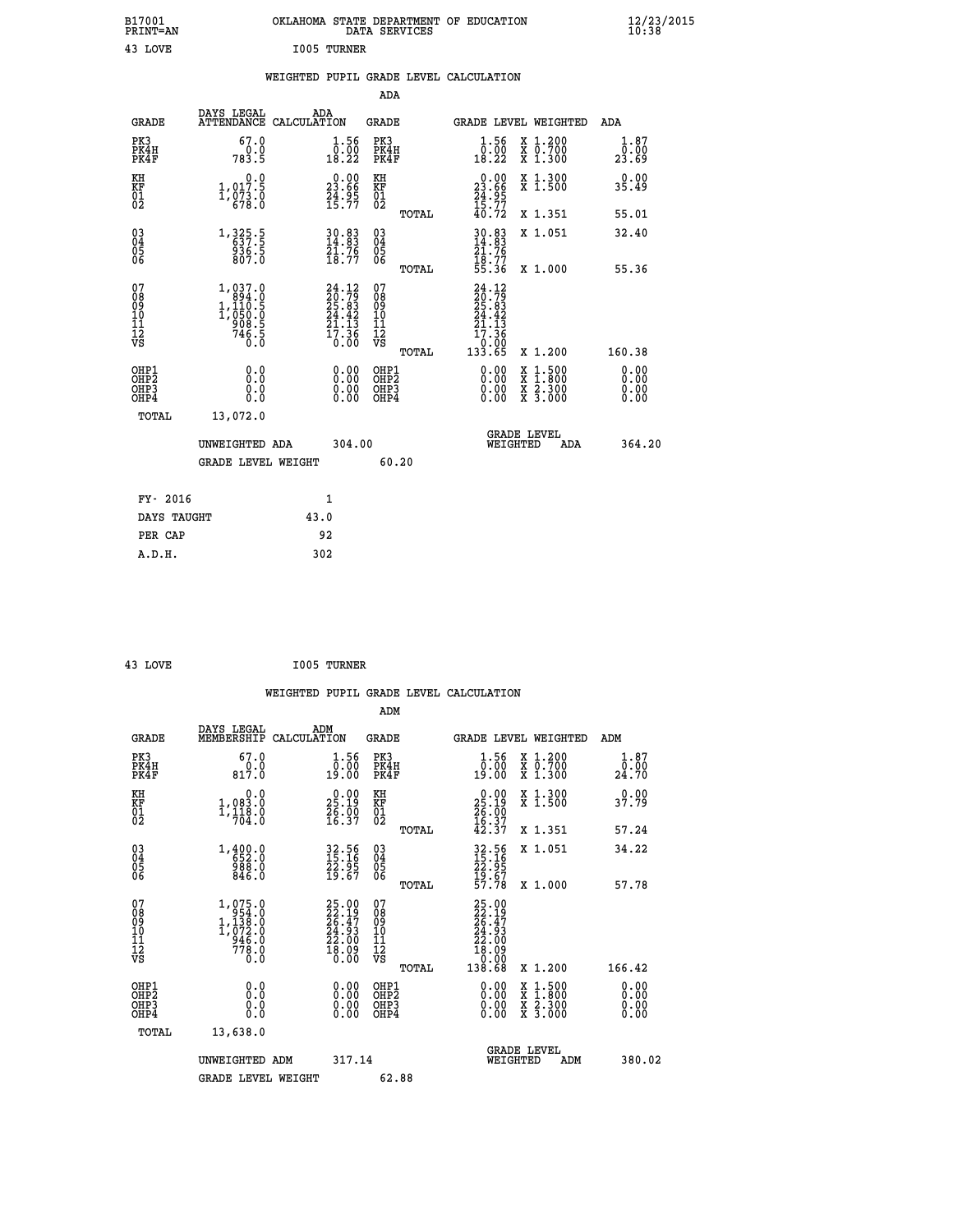| B17001<br>PRINT=AN                            |                                                                 | OKLAHOMA STATE DEPARTMENT OF EDUCATION                                                                                 | DATA SERVICES                                         |                                                                                                               |                                                                                                                                           | $\frac{12}{23}$ /2015 |  |
|-----------------------------------------------|-----------------------------------------------------------------|------------------------------------------------------------------------------------------------------------------------|-------------------------------------------------------|---------------------------------------------------------------------------------------------------------------|-------------------------------------------------------------------------------------------------------------------------------------------|-----------------------|--|
| 43 LOVE                                       |                                                                 | I005 TURNER                                                                                                            |                                                       |                                                                                                               |                                                                                                                                           |                       |  |
|                                               |                                                                 | WEIGHTED PUPIL GRADE LEVEL CALCULATION                                                                                 |                                                       |                                                                                                               |                                                                                                                                           |                       |  |
|                                               |                                                                 |                                                                                                                        | ADA                                                   |                                                                                                               |                                                                                                                                           |                       |  |
| GRADE                                         | DAYS LEGAL                                                      | ADA<br>ATTENDANCE CALCULATION                                                                                          | GRADE                                                 |                                                                                                               | GRADE LEVEL WEIGHTED                                                                                                                      | ADA                   |  |
| PK3<br>PK4H<br>PK4F                           | 67.0<br>0.0<br>783.5                                            | 1.56<br>$\begin{smallmatrix} \bar{0} & \bar{0} & \bar{0} \ \bar{0} & \bar{0} & \bar{0} \ 1 & 8 & 22 \end{smallmatrix}$ | PK3<br>PK4H<br>PK4F                                   | 1.56<br>$\begin{smallmatrix} \bar{0} & \bar{0} & \bar{0} \ \bar{1} & \bar{8} & \bar{2} & 2 \end{smallmatrix}$ | X 1.200<br>X 0.700<br>X 1.300                                                                                                             | 1.87<br>0.00<br>23.69 |  |
| KH<br>KF<br>01<br>02                          | 0.0<br>1,017.5<br>1,873.0                                       | $\begin{smallmatrix} 0.00\\ 23.66\\ 24.95\\ 15.77 \end{smallmatrix}$                                                   | KH<br>KF<br>01<br>02                                  | $23.00$<br>23.66<br>$\frac{74.95}{15.77}$                                                                     | X 1.300<br>X 1.500                                                                                                                        | 0.00<br>35.49         |  |
|                                               |                                                                 |                                                                                                                        | TOTAL                                                 | 40.72                                                                                                         | X 1.351                                                                                                                                   | 55.01                 |  |
| 030404<br>ŌĞ                                  | 1, 325.5<br>637.5<br>936.5<br>807.0                             | 30.83<br>14.83<br>21.76<br>18.77                                                                                       | $\begin{matrix} 03 \\ 04 \\ 05 \\ 06 \end{matrix}$    | $30.83$<br>14.83<br>21.76<br>$\frac{1}{55}.77$<br>55.36                                                       | X 1.051                                                                                                                                   | 32.40                 |  |
| 07                                            |                                                                 |                                                                                                                        | TOTAL<br>07                                           |                                                                                                               | X 1.000                                                                                                                                   | 55.36                 |  |
| 08<br>09<br>10<br>īi<br>Ī2<br>VS              | 1,037.0<br>894.0<br>1,110.5<br>1,050.0<br>908.5<br>746.5<br>0.0 | $24.12$<br>$20.79$<br>$25.83$<br>$24.42$<br>$\frac{21.13}{17.36}$<br>$\frac{1}{0.00}$                                  | 08<br>09<br>10<br>īī<br>$\frac{1}{\sqrt{2}}$<br>TOTAL | $24.12$<br>$20.79$<br>$25.83$<br>$24.42$<br>21.13<br>$\frac{17.36}{0.00}$<br>133.65                           | X 1.200                                                                                                                                   | 160.38                |  |
| OHP1                                          | 0.0                                                             | 0.00                                                                                                                   | OHP1                                                  | 0.00                                                                                                          |                                                                                                                                           | 0.00                  |  |
| OH <sub>P</sub> 2<br>OH <sub>P3</sub><br>OHP4 | 0.0<br>0.0                                                      | $\begin{smallmatrix} 0.00 \ 0.00 \end{smallmatrix}$                                                                    | OHP <sub>2</sub><br>OHP3<br>OHP4                      | 0.00<br>0.00                                                                                                  | $\begin{smallmatrix} \mathtt{X} & 1\cdot500\\ \mathtt{X} & 1\cdot800\\ \mathtt{X} & 2\cdot300\\ \mathtt{X} & 3\cdot000 \end{smallmatrix}$ | 0.00<br>0.00<br>0.00  |  |
| TOTAL                                         | 13,072.0                                                        |                                                                                                                        |                                                       |                                                                                                               |                                                                                                                                           |                       |  |
|                                               | UNWEIGHTED ADA                                                  | 304.00                                                                                                                 |                                                       | WEIGHTED                                                                                                      | <b>GRADE LEVEL</b><br>ADA                                                                                                                 | 364.20                |  |
|                                               | <b>GRADE LEVEL WEIGHT</b>                                       |                                                                                                                        | 60.20                                                 |                                                                                                               |                                                                                                                                           |                       |  |
| FY- 2016                                      |                                                                 | 1                                                                                                                      |                                                       |                                                                                                               |                                                                                                                                           |                       |  |
| DAYS TAUGHT                                   |                                                                 | 43.0                                                                                                                   |                                                       |                                                                                                               |                                                                                                                                           |                       |  |
| PER CAP                                       |                                                                 | 92                                                                                                                     |                                                       |                                                                                                               |                                                                                                                                           |                       |  |

| 43 LOVE<br>$\sim$ | I005 TURNER |
|-------------------|-------------|
|                   |             |

 **WEIGHTED PUPIL GRADE LEVEL CALCULATION ADM DAYS LEGAL ADM GRADE MEMBERSHIP CALCULATION GRADE GRADE LEVEL WEIGHTED ADM PK3 67.0 1.56 PK3 1.56 X 1.200 1.87 PK4H 0.0 0.00 PK4H 0.00 X 0.700 0.00 PK4F 817.0 19.00 PK4F 19.00 X 1.300 24.70 KH 0.0 0.00 KH 0.00 X 1.300 0.00 KF 1,083.0 25.19 KF 25.19 X 1.500 37.79 01 1,118.0 26.00 01 26.00 02 704.0 16.37 02 16.37 TOTAL 42.37 X 1.351 57.24 03 1,400.0 32.56 03 32.56 X 1.051 34.22 04 652.0 15.16 04 15.16 05 988.0 22.95 05 22.95 06 846.0 19.67 06 19.67 TOTAL 57.78 X 1.000 57.78**  $\begin{array}{cccc} 07 & 1,075.0 & 25.00 & 07 & 25.00 \ 08 & 1,138.0 & 22.19 & 08 & 22.19 \ 09 & 1,138.0 & 26.47 & 09 & 26.49 \ 10 & 1,072.0 & 24.93 & 10 & 24.93 \ 11 & 946.0 & 22.00 & 11 & 22.00 \ \hline \textrm{vs} & 778.0 & 18.09 & 12 & 18.09 \ 0.0 & 0.0 & 0.0 & 0.0 & 0.0$  **TOTAL 138.68 X 1.200 166.42 OHP1 0.0 0.00 OHP1 0.00 X 1.500 0.00 OHP2 0.0 0.00 OHP2 0.00 X 1.800 0.00 OHP3 0.0 0.00 OHP3 0.00 X 2.300 0.00 OHP4 0.0 0.00 OHP4 0.00 X 3.000 0.00 TOTAL 13,638.0 GRADE LEVEL UNWEIGHTED ADM 317.14 WEIGHTED ADM 380.02** GRADE LEVEL WEIGHT 62.88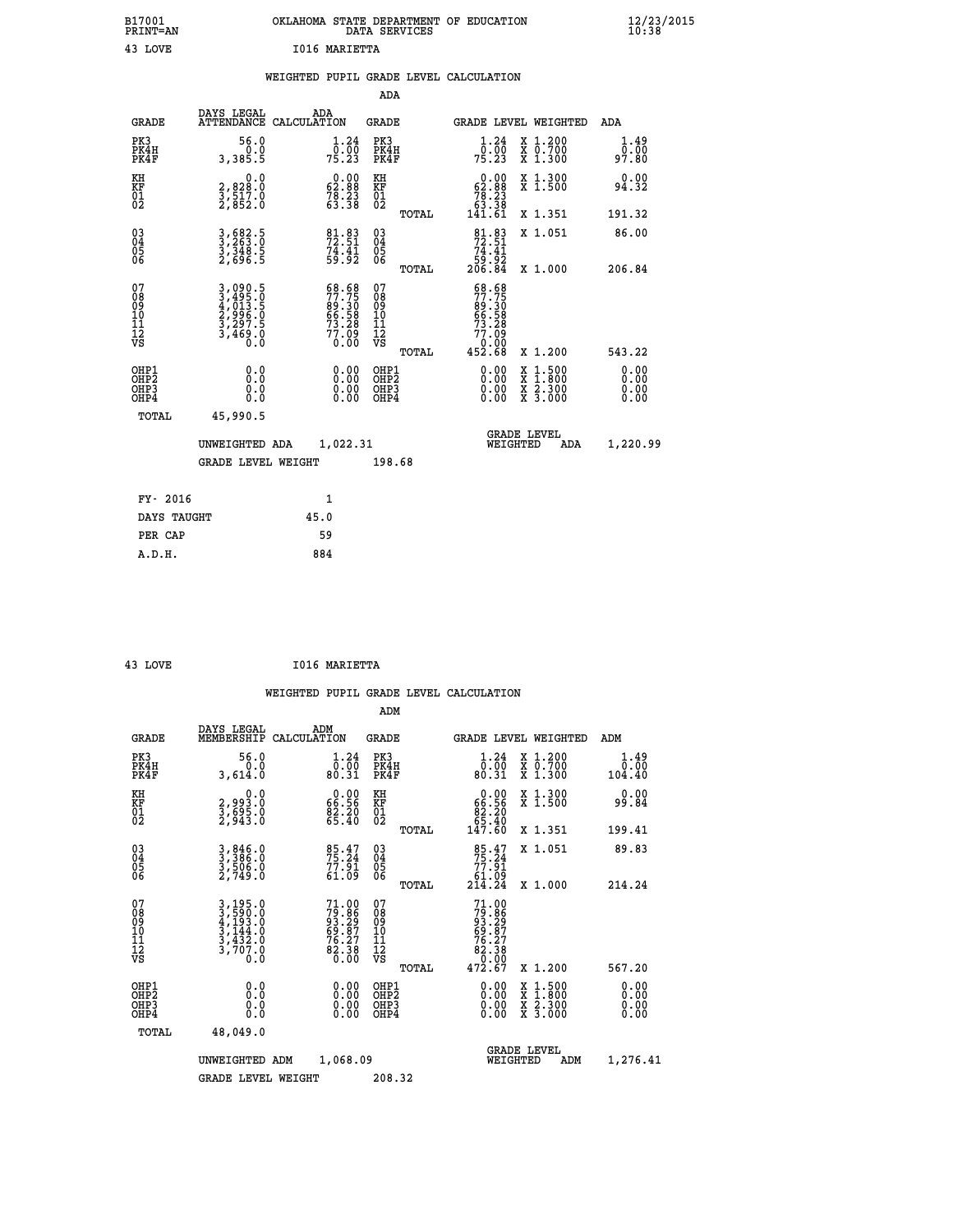| B17001<br><b>PRINT=AN</b> | OKLAHOMA STATE DEPARTMENT OF EDUCATION<br>DATA SERVICES | $\frac{12}{23}$ /2015 |
|---------------------------|---------------------------------------------------------|-----------------------|
| 43<br>LOVE                | 1016 MARIETTA                                           |                       |

|  |  | WEIGHTED PUPIL GRADE LEVEL CALCULATION |
|--|--|----------------------------------------|
|  |  |                                        |

| <b>GRADE</b>                                          | DAYS LEGAL<br><b>ATTENDANCE</b>                                             | ADA                                                                                                                                                        |                                                                                                                                                                                                                                               |                                                    |                                                                        |                                                                                                                                                                                                                                                              |     | <b>ADA</b>                                                                                                                                                                                                             |
|-------------------------------------------------------|-----------------------------------------------------------------------------|------------------------------------------------------------------------------------------------------------------------------------------------------------|-----------------------------------------------------------------------------------------------------------------------------------------------------------------------------------------------------------------------------------------------|----------------------------------------------------|------------------------------------------------------------------------|--------------------------------------------------------------------------------------------------------------------------------------------------------------------------------------------------------------------------------------------------------------|-----|------------------------------------------------------------------------------------------------------------------------------------------------------------------------------------------------------------------------|
| PK3<br>PK4H<br>PK4F                                   | 56.0<br>0.0<br>3,385.5                                                      | 1.24<br>$7\bar{5}\,.\bar{2}\bar{3}$                                                                                                                        | PK3                                                                                                                                                                                                                                           |                                                    | 1.24<br>$7\overline{5}\cdot\overline{2}\overline{3}$                   |                                                                                                                                                                                                                                                              |     | 1.49<br>0.00<br>97.80                                                                                                                                                                                                  |
| KH                                                    | 0.0                                                                         |                                                                                                                                                            | KH                                                                                                                                                                                                                                            |                                                    |                                                                        |                                                                                                                                                                                                                                                              |     | 0.00<br>94.32                                                                                                                                                                                                          |
|                                                       |                                                                             |                                                                                                                                                            |                                                                                                                                                                                                                                               | TOTAL                                              |                                                                        |                                                                                                                                                                                                                                                              |     | 191.32                                                                                                                                                                                                                 |
|                                                       |                                                                             |                                                                                                                                                            |                                                                                                                                                                                                                                               |                                                    |                                                                        |                                                                                                                                                                                                                                                              |     | 86.00                                                                                                                                                                                                                  |
|                                                       |                                                                             |                                                                                                                                                            |                                                                                                                                                                                                                                               | TOTAL                                              |                                                                        |                                                                                                                                                                                                                                                              |     | 206.84                                                                                                                                                                                                                 |
| 07<br>08<br>09<br>101<br>11<br>12<br>VS               |                                                                             |                                                                                                                                                            | 07<br>08<br>09<br>101<br>11<br>12<br>VS                                                                                                                                                                                                       | TOTAL                                              |                                                                        |                                                                                                                                                                                                                                                              |     | 543.22                                                                                                                                                                                                                 |
| OHP1<br>OHP2<br>OH <sub>P</sub> 3<br>OH <sub>P4</sub> | 0.0<br>0.0<br>Ŏ.Ŏ                                                           | 0.00<br>$0.00$<br>0.00                                                                                                                                     |                                                                                                                                                                                                                                               |                                                    | $0.00$<br>$0.00$<br>0.00                                               | X                                                                                                                                                                                                                                                            |     | 0.00<br>0.00<br>0.00<br>0.00                                                                                                                                                                                           |
| TOTAL                                                 | 45,990.5                                                                    |                                                                                                                                                            |                                                                                                                                                                                                                                               |                                                    |                                                                        |                                                                                                                                                                                                                                                              |     |                                                                                                                                                                                                                        |
|                                                       |                                                                             |                                                                                                                                                            |                                                                                                                                                                                                                                               |                                                    |                                                                        |                                                                                                                                                                                                                                                              | ADA | 1,220.99                                                                                                                                                                                                               |
|                                                       |                                                                             |                                                                                                                                                            |                                                                                                                                                                                                                                               |                                                    |                                                                        |                                                                                                                                                                                                                                                              |     |                                                                                                                                                                                                                        |
| FY- 2016                                              |                                                                             | $\mathbf{1}$                                                                                                                                               |                                                                                                                                                                                                                                               |                                                    |                                                                        |                                                                                                                                                                                                                                                              |     |                                                                                                                                                                                                                        |
|                                                       |                                                                             | 45.0                                                                                                                                                       |                                                                                                                                                                                                                                               |                                                    |                                                                        |                                                                                                                                                                                                                                                              |     |                                                                                                                                                                                                                        |
|                                                       | <b>KF</b><br>01<br>02<br>$\begin{matrix} 03 \\ 04 \\ 05 \\ 06 \end{matrix}$ | 2,828:0<br>3,517:0<br>2,852:0<br>3,682.5<br>3,263.0<br>3,348.5<br>2,696.5<br>3,090.5<br>3,495.0<br>4,013.5<br>2,996.0<br>3,297.5<br>3,469.0<br>DAYS TAUGHT | CALCULATION<br>$\begin{smallmatrix} 0.00\\ 62.88\\ 78.23\\ 63.38 \end{smallmatrix}$<br>81.83<br>72.51<br>74.41<br>59.92<br>68.68<br>77.75<br>89.30<br>66.58<br>66.58<br>73.28<br>77.09<br>0.00<br>UNWEIGHTED ADA<br><b>GRADE LEVEL WEIGHT</b> | KF<br>01<br>02<br>03<br>04<br>05<br>06<br>1,022.31 | ADA<br>GRADE<br>PK4H<br>PK4F<br>OHP1<br>OHP2<br>OHP3<br>OHP4<br>198.68 | $\begin{smallmatrix}&&0.00\\ 62.88\\ 78.23\\ 63.38\\ 141.61\end{smallmatrix}$<br>$\begin{array}{c} 81.83 \\ 72.51 \\ 74.41 \\ 59.92 \\ 206.84 \end{array}$<br>$\begin{smallmatrix} 68.68\\77.75\\89.30\\66.58\\73.28\\77.09\\0.000\\452.68\end{smallmatrix}$ |     | GRADE LEVEL WEIGHTED<br>X 1.200<br>X 0.700<br>X 1.300<br>X 1.300<br>X 1.500<br>X 1.351<br>X 1.051<br>X 1.000<br>X 1.200<br>$1.500$<br>$1.800$<br>$\frac{x}{x}$ $\frac{5.300}{3.000}$<br><b>GRADE LEVEL</b><br>WEIGHTED |

 **PER CAP 59 A.D.H. 884**

 **43 LOVE I016 MARIETTA**

|                                          |                                                                |                                                                      | ADM                                                 |       |                                                                                                         |                                          |                        |
|------------------------------------------|----------------------------------------------------------------|----------------------------------------------------------------------|-----------------------------------------------------|-------|---------------------------------------------------------------------------------------------------------|------------------------------------------|------------------------|
| <b>GRADE</b>                             | DAYS LEGAL<br>MEMBERSHIP                                       | ADM<br>CALCULATION                                                   | <b>GRADE</b>                                        |       |                                                                                                         | GRADE LEVEL WEIGHTED                     | ADM                    |
| PK3<br>PK4H<br>PK4F                      | 56.0<br>0.0<br>3,614.0                                         | $\substack{1.24 \\ 0.00 \\ 80.31}$                                   | PK3<br>PK4H<br>PK4F                                 |       | $\begin{smallmatrix}1.24\0.00\\80.31\end{smallmatrix}$                                                  | X 1.200<br>X 0.700<br>X 1.300            | 1.49<br>0.00<br>104.40 |
| KH<br>KF<br>01<br>02                     | 0.0<br>2,993.0<br>3,695.0<br>2,943.0                           | $\begin{smallmatrix} 0.00\\ 66.56\\ 82.20\\ 65.40 \end{smallmatrix}$ | KH<br>KF<br>01<br>02                                |       | $\begin{smallmatrix} &0.00\ 66.56\ 82.20\ 65.40\ 147.60\ \end{smallmatrix}$                             | X 1.300<br>X 1.500                       | 0.00<br>99.84          |
|                                          |                                                                |                                                                      |                                                     | TOTAL |                                                                                                         | X 1.351                                  | 199.41                 |
| 03<br>04<br>05<br>06                     | 3,846.0<br>3,386.0<br>3,506.0<br>2,749.0                       | 85.47<br>75.24<br>77.91<br>61.09                                     | $\begin{array}{c} 03 \\ 04 \\ 05 \\ 06 \end{array}$ |       | $\begin{array}{c} 85 \cdot 47 \\ 75 \cdot 24 \\ 77 \cdot 91 \\ 61 \cdot 09 \\ 214 \cdot 24 \end{array}$ | X 1.051                                  | 89.83                  |
|                                          |                                                                |                                                                      |                                                     | TOTAL |                                                                                                         | X 1.000                                  | 214.24                 |
| 07<br>08<br>09<br>101<br>11<br>12<br>VS  | 3,195.0<br>3,590.0<br>4,193.0<br>3,144.0<br>3,432.0<br>3,707.0 | $71.00\n79.86\n93.29\n69.87\n76.27\n82.38\n0.00$                     | 07<br>08<br>09<br>11<br>11<br>12<br>VS              | TOTAL | $71.00$<br>$79.86$<br>$93.29$<br>$69.87$<br>$76.27$<br>$82.38$<br>$0.00$<br>$472.67$                    | X 1.200                                  | 567.20                 |
|                                          |                                                                |                                                                      |                                                     |       |                                                                                                         |                                          | 0.00                   |
| OHP1<br>OHP2<br>OHP <sub>3</sub><br>OHP4 |                                                                |                                                                      | OHP1<br>OHP2<br>OHP <sub>3</sub>                    |       | $0.00$<br>$0.00$<br>0.00                                                                                | X 1:500<br>X 1:800<br>X 2:300<br>X 3:000 | 0.00<br>0.00           |
| TOTAL                                    | 48,049.0                                                       |                                                                      |                                                     |       |                                                                                                         |                                          |                        |
|                                          | UNWEIGHTED                                                     | 1,068.09<br>ADM                                                      |                                                     |       | WEIGHTED                                                                                                | <b>GRADE LEVEL</b><br>ADM                | 1,276.41               |
|                                          | <b>GRADE LEVEL WEIGHT</b>                                      |                                                                      | 208.32                                              |       |                                                                                                         |                                          |                        |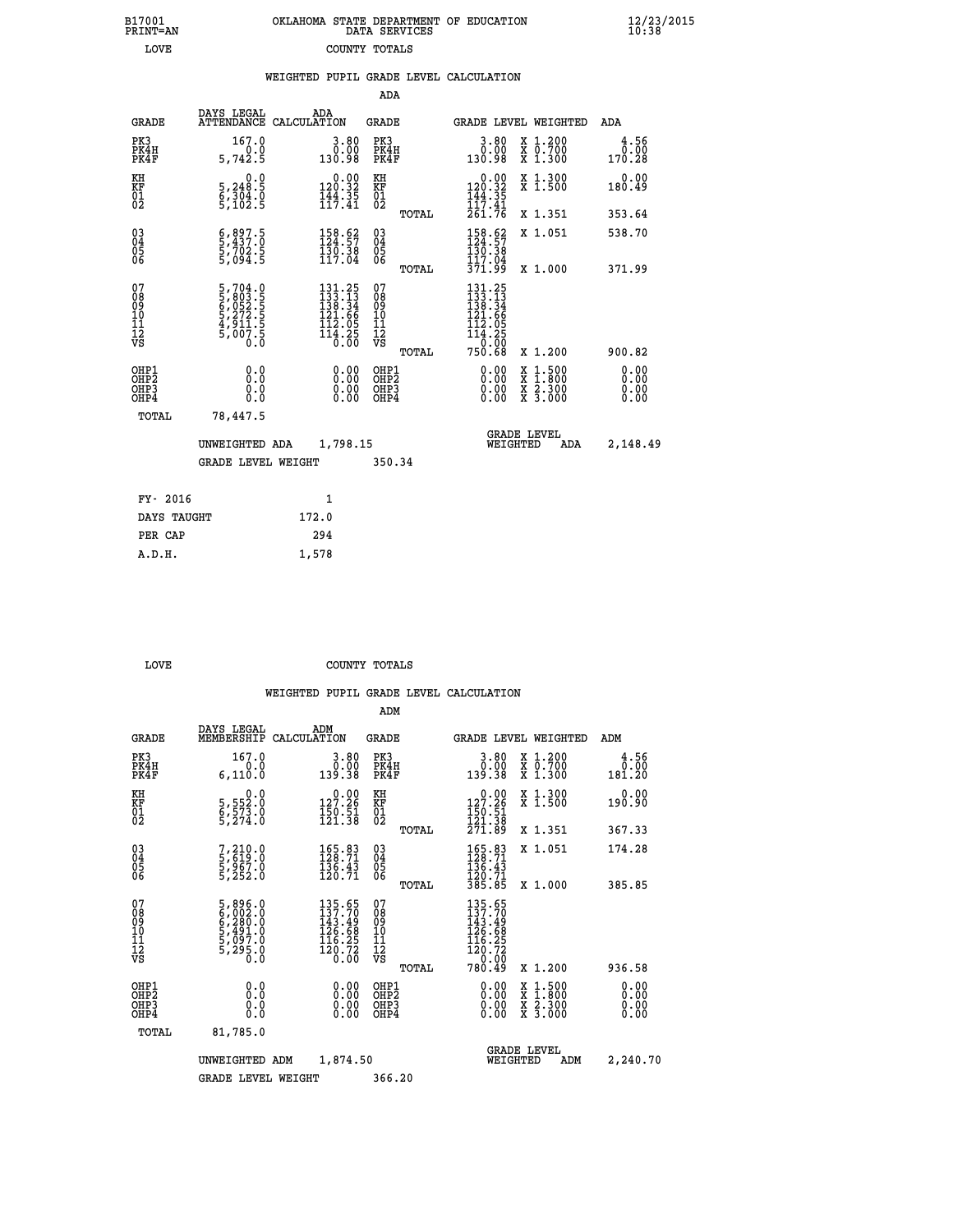| B17001          | OKLAHOMA STATE DEPARTMENT OF EDUCATION |
|-----------------|----------------------------------------|
| <b>PRINT=AN</b> | DATA SERVICES                          |
| LOVE            | COUNTY TOTALS                          |

 **B17001 OKLAHOMA STATE DEPARTMENT OF EDUCATION 12/23/2015**

|                                              |                                                                           | WEIGHTED PUPIL GRADE LEVEL CALCULATION                                                      |                                                  |                                                                                                                                                                                                                                                                                                                                                                                                                                |                        |
|----------------------------------------------|---------------------------------------------------------------------------|---------------------------------------------------------------------------------------------|--------------------------------------------------|--------------------------------------------------------------------------------------------------------------------------------------------------------------------------------------------------------------------------------------------------------------------------------------------------------------------------------------------------------------------------------------------------------------------------------|------------------------|
|                                              |                                                                           |                                                                                             | ADA                                              |                                                                                                                                                                                                                                                                                                                                                                                                                                |                        |
| <b>GRADE</b>                                 | DAYS LEGAL                                                                | ADA<br>ATTENDANCE CALCULATION                                                               | GRADE                                            | GRADE LEVEL WEIGHTED                                                                                                                                                                                                                                                                                                                                                                                                           | ADA                    |
| PK3<br>PK4H<br>PK4F                          | 167.0<br>0.0<br>5,742.5                                                   | $3.80$<br>$0.00$<br>130.98                                                                  | PK3<br>PK4H<br>PK4F                              | $3.80$<br>$0.00$<br>X 1.200<br>X 0.700<br>X 1.300<br>130.98                                                                                                                                                                                                                                                                                                                                                                    | 4.56<br>0.00<br>170.28 |
| KH<br>KF<br>01<br>02                         | 0.0<br>5,248:5<br>6,304:0<br>5,102:5                                      | $0.00$<br>120.32<br>$\frac{1}{11}\cdot\frac{3}{11}$                                         | KH<br>KF<br>01<br>02                             | $0.00$<br>$120.32$<br>$144.35$<br>$117.41$<br>X 1.300<br>X 1.500                                                                                                                                                                                                                                                                                                                                                               | 0.00<br>180.49         |
|                                              |                                                                           |                                                                                             | TOTAL                                            | 261.76<br>X 1.351                                                                                                                                                                                                                                                                                                                                                                                                              | 353.64                 |
| $^{03}_{04}$<br>05                           | $\frac{6}{5}, \frac{897}{437}.0$<br>$\frac{5}{5}, \frac{702}{094}.5$      | $\begin{smallmatrix} 158.62\\ 124.57\\ 130.38\\ 117.04 \end{smallmatrix}$                   | $^{03}_{04}$<br>0500                             | 158.62<br>X 1.051<br>130.38                                                                                                                                                                                                                                                                                                                                                                                                    | 538.70                 |
| 06                                           |                                                                           |                                                                                             | TOTAL                                            | 117.04<br>371.99<br>X 1.000                                                                                                                                                                                                                                                                                                                                                                                                    | 371.99                 |
| 07<br>08<br>09<br>01<br>11<br>11<br>12<br>VS | 5,704.0<br>5,803.5<br>6,052.5<br>6,052.5<br>5,272.5<br>4,911.5<br>5,007.5 | $\begin{smallmatrix} 131.25\\133.13\\138.34\\121.66\\112.05\\114.25\\0.00\end{smallmatrix}$ | 07<br>08<br>09<br>101<br>11<br>12<br>VS<br>TOTAL | 131.25<br>$\frac{133}{138}$ $\cdot \frac{13}{34}$<br>$\frac{138}{121}$ $\cdot \frac{66}{9}$<br>$\begin{array}{r} 112.05 \\ 114.25 \\ 0.00 \\ 750.68 \end{array}$<br>X 1.200                                                                                                                                                                                                                                                    | 900.82                 |
| OHP1<br>OHP2<br>OHP3<br>OHP4                 | 0.0<br>0.000                                                              | $\begin{smallmatrix} 0.00 \ 0.00 \ 0.00 \ 0.00 \end{smallmatrix}$                           | OHP1<br>OHP2<br>OHP3<br>OHP4                     | $\begin{smallmatrix} 0.00 & 0.00 & 0.00 & 0.00 & 0.00 & 0.00 & 0.00 & 0.00 & 0.00 & 0.00 & 0.00 & 0.00 & 0.00 & 0.00 & 0.00 & 0.00 & 0.00 & 0.00 & 0.00 & 0.00 & 0.00 & 0.00 & 0.00 & 0.00 & 0.00 & 0.00 & 0.00 & 0.00 & 0.00 & 0.00 & 0.00 & 0.00 & 0.00 & 0.00 & 0.00 & 0.0$<br>$\begin{smallmatrix} \mathtt{X} & 1\cdot500 \\ \mathtt{X} & 1\cdot800 \\ \mathtt{X} & 2\cdot300 \\ \mathtt{X} & 3\cdot000 \end{smallmatrix}$ | 0.00<br>0.00           |
| TOTAL                                        | 78,447.5                                                                  |                                                                                             |                                                  |                                                                                                                                                                                                                                                                                                                                                                                                                                |                        |
|                                              | UNWEIGHTED ADA                                                            | 1,798.15                                                                                    |                                                  | <b>GRADE LEVEL</b><br>WEIGHTED<br>ADA                                                                                                                                                                                                                                                                                                                                                                                          | 2,148.49               |
|                                              | <b>GRADE LEVEL WEIGHT</b>                                                 |                                                                                             | 350.34                                           |                                                                                                                                                                                                                                                                                                                                                                                                                                |                        |
| FY- 2016                                     |                                                                           | $\mathbf{1}$                                                                                |                                                  |                                                                                                                                                                                                                                                                                                                                                                                                                                |                        |
| DAYS TAUGHT                                  |                                                                           | 172.0                                                                                       |                                                  |                                                                                                                                                                                                                                                                                                                                                                                                                                |                        |
| PER CAP                                      |                                                                           | 294                                                                                         |                                                  |                                                                                                                                                                                                                                                                                                                                                                                                                                |                        |

 **A.D.H. 1,578**

 **B17001<br>PRINT=AN** 

**LOVE COUNTY TOTALS** 

|                                          |                                                                |                                                                                                             | ADM                                                |                                                                           |                                          |                              |
|------------------------------------------|----------------------------------------------------------------|-------------------------------------------------------------------------------------------------------------|----------------------------------------------------|---------------------------------------------------------------------------|------------------------------------------|------------------------------|
| <b>GRADE</b>                             | DAYS LEGAL<br>MEMBERSHIP                                       | ADM<br>CALCULATION                                                                                          | <b>GRADE</b>                                       |                                                                           | GRADE LEVEL WEIGHTED                     | ADM                          |
| PK3<br>PK4H<br>PK4F                      | 167.0<br>0.0<br>6,110.0                                        | 3.80<br>0.00<br>139.38                                                                                      | PK3<br>PK4H<br>PK4F                                | $\begin{smallmatrix} 3.80\ 0.00\ 139.38 \end{smallmatrix}$                | X 1.200<br>X 0.700<br>X 1.300            | 4.56<br>0.00<br>181.20       |
| KH<br>KF<br>01<br>02                     | 0.0<br>5,552:0<br>6,573:0<br>5,274:0                           | $0.00$<br>127.26<br>$\frac{150.51}{121.38}$                                                                 | KH<br>KF<br>01<br>02                               | 127.26<br>$\frac{150.51}{121.38}$                                         | X 1.300<br>X 1.500                       | 0.00<br>190.90               |
|                                          |                                                                |                                                                                                             | TOTAL                                              | 271.89                                                                    | X 1.351                                  | 367.33                       |
| 03<br>04<br>05<br>06                     | 7,210.0<br>5,619.0<br>5,967.0<br>5,252.0                       | $\begin{smallmatrix} 165.83\\ 128.71\\ 136.43\\ 120.71 \end{smallmatrix}$                                   | $\begin{matrix} 03 \\ 04 \\ 05 \\ 06 \end{matrix}$ | $\frac{165.83}{128.71}$<br>$\frac{136.43}{136}$<br>120.71<br>385.85       | X 1.051                                  | 174.28                       |
|                                          |                                                                |                                                                                                             | TOTAL                                              |                                                                           | X 1.000                                  | 385.85                       |
| 07<br>08<br>09<br>101<br>112<br>VS       | 5,896.0<br>6,002.0<br>6,280.0<br>5,491.0<br>5,097.0<br>5,295.0 | $\begin{smallmatrix} 135.65\\ 137.70\\ 143.49\\ 126.68\\ 116.25\\ 116.25\\ 120.72\\ 0.00 \end{smallmatrix}$ | 07<br>08<br>09<br>11<br>11<br>12<br>VS<br>TOTAL    | 135.65<br>137.70<br>143:49<br>126.68<br>$\frac{116.25}{120.72}$<br>780.49 | X 1.200                                  | 936.58                       |
|                                          |                                                                |                                                                                                             |                                                    |                                                                           |                                          |                              |
| OHP1<br>OHP2<br>OH <sub>P3</sub><br>OHP4 | 0.0<br>0.000                                                   | $0.00$<br>$0.00$<br>0.00                                                                                    | OHP1<br>OHP2<br>OHP <sub>3</sub>                   | $0.00$<br>$0.00$<br>0.00                                                  | X 1:500<br>X 1:800<br>X 2:300<br>X 3:000 | 0.00<br>0.00<br>0.00<br>0.00 |
| TOTAL                                    | 81,785.0                                                       |                                                                                                             |                                                    |                                                                           |                                          |                              |
|                                          | UNWEIGHTED<br>ADM                                              | 1,874.50                                                                                                    |                                                    | WEIGHTED                                                                  | <b>GRADE LEVEL</b><br>ADM                | 2,240.70                     |
|                                          | <b>GRADE LEVEL WEIGHT</b>                                      |                                                                                                             | 366.20                                             |                                                                           |                                          |                              |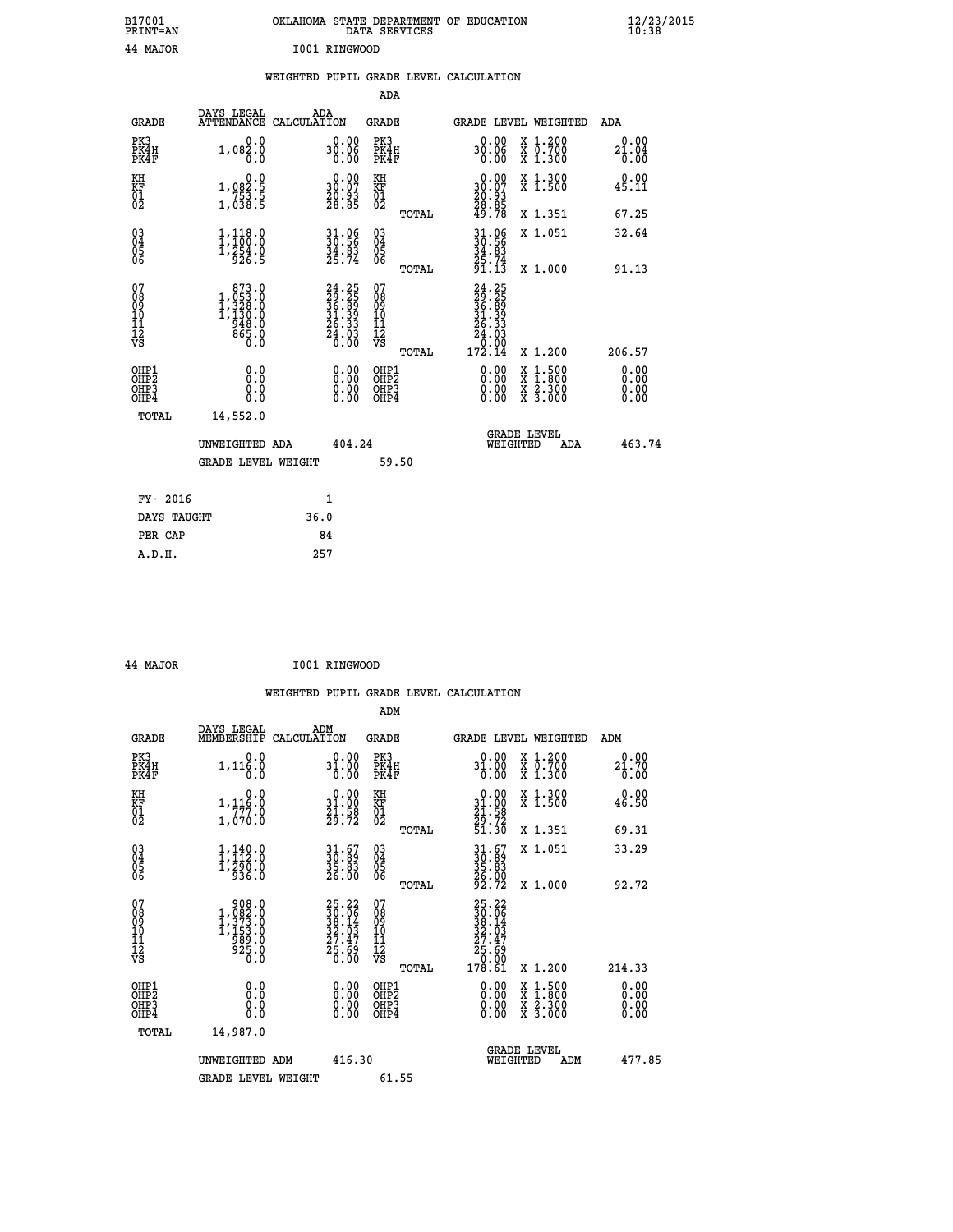|               | OKLAHOMA STATE DEPARTMENT OF EDUCATION<br>DATA SERVICES |  |
|---------------|---------------------------------------------------------|--|
| I001 RINGWOOD |                                                         |  |

 **B17001 OKLAHOMA STATE DEPARTMENT OF EDUCATION 12/23/2015**

|  |  | WEIGHTED PUPIL GRADE LEVEL CALCULATION |
|--|--|----------------------------------------|
|  |  |                                        |

|                                                    |                                                                              |                                                                                           |                                                                          | ADA                                                |       |                                                                                                                |                                                                                                                                              |                              |
|----------------------------------------------------|------------------------------------------------------------------------------|-------------------------------------------------------------------------------------------|--------------------------------------------------------------------------|----------------------------------------------------|-------|----------------------------------------------------------------------------------------------------------------|----------------------------------------------------------------------------------------------------------------------------------------------|------------------------------|
|                                                    | <b>GRADE</b>                                                                 | DAYS LEGAL                                                                                | ADA<br>ATTENDANCE CALCULATION                                            | GRADE                                              |       |                                                                                                                | GRADE LEVEL WEIGHTED                                                                                                                         | ADA                          |
| PK3                                                | PK4H<br>PK4F                                                                 | 0.0<br>1,082.0<br>0.0                                                                     | 0.00<br>30.06<br>0.00                                                    | PK3<br>PK4H<br>PK4F                                |       | 0.00<br>30.06<br>0.00                                                                                          | X 1.200<br>X 0.700<br>X 1.300                                                                                                                | 0.00<br>21.04<br>0.00        |
| KH<br>KF<br>01<br>02                               |                                                                              | 0.0<br>1,082.5<br>753.5<br>1,038.5                                                        | $\begin{smallmatrix} 0.00\\ 30.07\\ 20.93\\ 28.85 \end{smallmatrix}$     | KH<br>KF<br>01<br>02                               |       | $\begin{smallmatrix} 0.00\\ 30.07\\ 20.93\\ 28.85\\ 49.78 \end{smallmatrix}$                                   | X 1.300<br>X 1.500                                                                                                                           | 0.00<br>45.11                |
|                                                    |                                                                              |                                                                                           |                                                                          |                                                    | TOTAL |                                                                                                                | X 1.351                                                                                                                                      | 67.25                        |
| $\begin{matrix} 03 \\ 04 \\ 05 \\ 06 \end{matrix}$ |                                                                              | 1,118.0<br>$\frac{1}{2}$ $\frac{254}{926}$ $\frac{0}{5}$                                  | 31.06<br>30.56<br>34.83<br>25.74                                         | $\begin{matrix} 03 \\ 04 \\ 05 \\ 06 \end{matrix}$ |       | $30.56$<br>$34.83$<br>25.74<br>91.13                                                                           | X 1.051                                                                                                                                      | 32.64                        |
|                                                    |                                                                              |                                                                                           |                                                                          |                                                    | TOTAL |                                                                                                                | X 1.000                                                                                                                                      | 91.13                        |
| 07<br>08<br>09<br>11<br>11<br>12<br>VS             |                                                                              | $\begin{smallmatrix}873.0\\1,053.0\\1,328.0\\1,130.0\\948.0\\865.0\\0.0\end{smallmatrix}$ | $24.25$<br>$29.25$<br>$36.35$<br>$31.39$<br>$26.33$<br>$24.03$<br>$0.00$ | 07<br>08<br>09<br>11<br>11<br>12<br>VS             | TOTAL | $\begin{smallmatrix} 24.25\\ 29.25\\ 36.89\\ 31.39\\ 24.33\\ 24.03\\ 24.03\\ 0.000\\ 172.14 \end{smallmatrix}$ | X 1.200                                                                                                                                      | 206.57                       |
|                                                    | OHP1<br>OH <sub>P</sub> <sub>2</sub><br>OH <sub>P3</sub><br>OH <sub>P4</sub> | 0.0<br>Ō.Ō<br>0.0<br>0.0                                                                  | 0.00<br>0.00<br>0.00                                                     | OHP1<br>OHP2<br>OHP3<br>OHP4                       |       | 0.00<br>0.00<br>0.00                                                                                           | $\begin{smallmatrix} \mathtt{X} & 1\cdot500 \\ \mathtt{X} & 1\cdot800 \\ \mathtt{X} & 2\cdot300 \\ \mathtt{X} & 3\cdot000 \end{smallmatrix}$ | 0.00<br>0.00<br>0.00<br>0.00 |
|                                                    | TOTAL                                                                        | 14,552.0                                                                                  |                                                                          |                                                    |       |                                                                                                                |                                                                                                                                              |                              |
|                                                    |                                                                              | UNWEIGHTED ADA<br><b>GRADE LEVEL WEIGHT</b>                                               | 404.24                                                                   |                                                    |       | WEIGHTED                                                                                                       | <b>GRADE LEVEL</b><br>ADA                                                                                                                    | 463.74                       |
|                                                    |                                                                              |                                                                                           |                                                                          |                                                    | 59.50 |                                                                                                                |                                                                                                                                              |                              |
|                                                    | FY- 2016                                                                     |                                                                                           | $\mathbf{1}$                                                             |                                                    |       |                                                                                                                |                                                                                                                                              |                              |
|                                                    | DAYS TAUGHT                                                                  |                                                                                           | 36.0                                                                     |                                                    |       |                                                                                                                |                                                                                                                                              |                              |
|                                                    | PER CAP                                                                      |                                                                                           | 84                                                                       |                                                    |       |                                                                                                                |                                                                                                                                              |                              |
|                                                    | A.D.H.                                                                       |                                                                                           | 257                                                                      |                                                    |       |                                                                                                                |                                                                                                                                              |                              |

| 44 MAJOR | I001 RINGWOOD |
|----------|---------------|

 **A.D.H. 257**

 **B17001<br>PRINT=AN 44 MAJOR I001 RINGWOOD**

| <b>GRADE</b>                                         | DAYS LEGAL<br>MEMBERSHIP                                                                            | ADM<br>CALCULATION                                                       | <b>GRADE</b>                                 |       | GRADE LEVEL WEIGHTED                                                                            |                                                                                                                                           | ADM    |                              |
|------------------------------------------------------|-----------------------------------------------------------------------------------------------------|--------------------------------------------------------------------------|----------------------------------------------|-------|-------------------------------------------------------------------------------------------------|-------------------------------------------------------------------------------------------------------------------------------------------|--------|------------------------------|
| PK3<br>PK4H<br>PK4F                                  | 0.0<br>1,116.0<br>0.0                                                                               | 0.00<br>31.00<br>0.00                                                    | PK3<br>PK4H<br>PK4F                          |       | 0.00<br>31.00<br>$\overline{0}$ .00                                                             | X 1.200<br>X 0.700<br>X 1.300                                                                                                             | 21.70  | 0.00<br>0.00                 |
| KH<br>KF<br>01<br>02                                 | 0.0<br>1,116:0<br>777:0<br>1,070:0                                                                  | $\begin{smallmatrix} 0.00\\ 31.00\\ 21.58\\ 29.72 \end{smallmatrix}$     | KH<br>KF<br>01<br>02                         |       | $\begin{smallmatrix} 0.00\\ 31.00\\ 21.58\\ 29.72\\ 51.30 \end{smallmatrix}$                    | X 1.300<br>X 1.500                                                                                                                        | 46.50  | 0.00                         |
|                                                      |                                                                                                     |                                                                          |                                              | TOTAL |                                                                                                 | X 1.351                                                                                                                                   | 69.31  |                              |
| $\begin{matrix} 03 \\ 04 \\ 05 \\ 06 \end{matrix}$   | $\frac{1}{1}, \frac{140}{12}.0$<br>$\frac{1}{290}.0$<br>$\frac{936.0}{936.0}$                       | 31.67<br>30.89<br>35.83<br>26.00                                         | 03<br>04<br>05<br>06                         |       | 31.67<br>30.89<br>35.83<br>26.00<br>92.72                                                       | X 1.051                                                                                                                                   |        | 33.29                        |
|                                                      |                                                                                                     |                                                                          |                                              | TOTAL |                                                                                                 | X 1.000                                                                                                                                   | 92.72  |                              |
| 07<br>08<br>09<br>101<br>112<br>VS                   | $\begin{smallmatrix} & 908.0\\ 1,082.0\\ 1,373.0\\ 1,153.0\\ 989.0\\ 925.0\\ 0.0 \end{smallmatrix}$ | $25.22$<br>$30.06$<br>$38.14$<br>$32.03$<br>$27.47$<br>$25.69$<br>$0.00$ | 07<br>08<br>09<br>01<br>11<br>11<br>12<br>VS |       | $\begin{smallmatrix} 25.22\ 30.06\ 38.14\ 32.03\ 27.47\ 25.69\ 0.00\ 178.61\ \end{smallmatrix}$ |                                                                                                                                           |        |                              |
|                                                      |                                                                                                     |                                                                          |                                              | TOTAL |                                                                                                 | X 1.200                                                                                                                                   | 214.33 |                              |
| OHP1<br>OHP <sub>2</sub><br>OH <sub>P3</sub><br>OHP4 | 0.0<br>0.0<br>0.0                                                                                   | $0.00$<br>$0.00$<br>0.00                                                 | OHP1<br>OHP <sub>2</sub><br>OHP3<br>OHP4     |       |                                                                                                 | $\begin{smallmatrix} \mathtt{X} & 1\cdot500\\ \mathtt{X} & 1\cdot800\\ \mathtt{X} & 2\cdot300\\ \mathtt{X} & 3\cdot000 \end{smallmatrix}$ |        | 0.00<br>0.00<br>0.00<br>0.00 |
| TOTAL                                                | 14,987.0                                                                                            |                                                                          |                                              |       |                                                                                                 |                                                                                                                                           |        |                              |
|                                                      | UNWEIGHTED ADM                                                                                      | 416.30                                                                   |                                              |       | WEIGHTED                                                                                        | <b>GRADE LEVEL</b><br>ADM                                                                                                                 |        | 477.85                       |
|                                                      | <b>GRADE LEVEL WEIGHT</b>                                                                           |                                                                          | 61.55                                        |       |                                                                                                 |                                                                                                                                           |        |                              |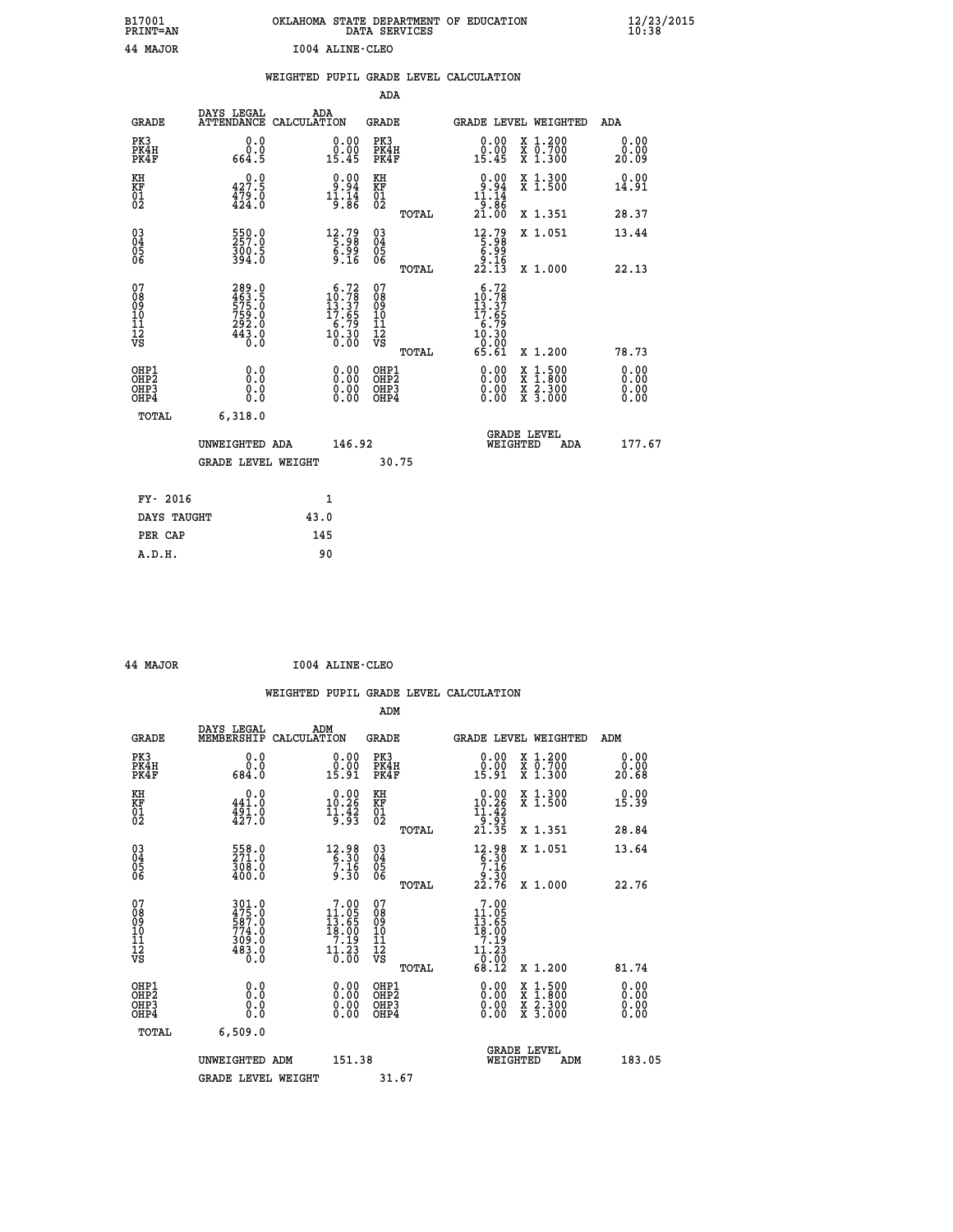| B17001<br>PRINT=AN                                   |                                                           |                                                                                                                   | DATA SERVICES                                      | OKLAHOMA STATE DEPARTMENT OF EDUCATION                                                                           |                       | 12/23/2015 |
|------------------------------------------------------|-----------------------------------------------------------|-------------------------------------------------------------------------------------------------------------------|----------------------------------------------------|------------------------------------------------------------------------------------------------------------------|-----------------------|------------|
| 44 MAJOR                                             |                                                           | 1004 ALINE-CLEO                                                                                                   |                                                    |                                                                                                                  |                       |            |
|                                                      |                                                           | WEIGHTED PUPIL GRADE LEVEL CALCULATION                                                                            |                                                    |                                                                                                                  |                       |            |
|                                                      |                                                           |                                                                                                                   | ADA                                                |                                                                                                                  |                       |            |
| <b>GRADE</b>                                         | DAYS LEGAL<br>ATTENDANCE CALCULATION                      | ADA                                                                                                               | <b>GRADE</b>                                       | <b>GRADE LEVEL WEIGHTED</b>                                                                                      | ADA                   |            |
| PK3<br>PK4H<br>PK4F                                  | 0.0<br>0.0<br>664.5                                       | 0.00<br>0.00<br>15.45                                                                                             | PK3<br>PK4H<br>PK4F                                | 0.00<br>X 1.200<br>0.00<br>X 0.700<br>X 1.300<br>15.45                                                           | 0.00<br>0.00<br>20.09 |            |
| KH<br>KF<br>01<br>02                                 | 0.0<br>$\frac{427.5}{479.0}$                              | $0.00$<br>$0.94$<br>$11.14$<br>$9.86$                                                                             | KH<br>KF<br>01<br>02                               | 0.00<br>X 1.300<br>X 1.500<br>$\begin{array}{c} 0.94 \\[-4pt] 11.14 \\[-4pt] 21.00 \end{array}$                  | 0.00<br>14.91         |            |
|                                                      |                                                           |                                                                                                                   | TOTAL                                              | X 1.351                                                                                                          | 28.37                 |            |
| $\begin{array}{c} 03 \\ 04 \\ 05 \\ 06 \end{array}$  | 550.0<br>300.5<br>394.0                                   | $\begin{smallmatrix} 12.79\\[-1.2mm] 5.98\\[-1.2mm] 6.99\\[-1.2mm] 9.16\end{smallmatrix}$                         | $\begin{matrix} 03 \\ 04 \\ 05 \\ 06 \end{matrix}$ | $\begin{array}{c} 12.79 \\[-2pt] 5.98 \\[-2pt] 6.99 \\[-2pt] 2.15 \end{array}$<br>X 1.051                        | 13.44                 |            |
|                                                      |                                                           |                                                                                                                   | TOTAL                                              | X 1.000                                                                                                          | 22.13                 |            |
| 07<br>08<br>09<br>10<br>11<br>12<br>VS               | 289.0<br>463.5<br>575.0<br>759.0<br>$\frac{292.0}{443.0}$ | $\begin{smallmatrix} & 6 & .72\\ 10 & .78\\ 13 & .37\\ 17 & .65\\ 6 & .79\\ 10 & .30\\ 0 & .00 \end{smallmatrix}$ | 07<br>08<br>09<br>10<br>11<br>12<br>VS<br>TOTAL    | 6.72<br>$\frac{10.78}{13.37}$<br>$\frac{7}{2.65}$<br>$\frac{16.79}{10.30}$<br>65.61<br>X 1.200                   | 78.73                 |            |
| OHP1<br>OHP <sub>2</sub><br>OH <sub>P3</sub><br>OHP4 | 0.0<br>Ŏ.Ō<br>0.0<br>0.0                                  | 0.00<br>0.00<br>0.00                                                                                              | OHP1<br>OHP <sub>2</sub><br>OHP3<br>OHP4           | 0.00<br>$\begin{smallmatrix} x & 1.500 \\ x & 1.800 \\ x & 2.300 \\ x & 3.000 \end{smallmatrix}$<br>0.00<br>0.00 | 0.00<br>0.00<br>0.00  |            |
| TOTAL                                                | 6,318.0                                                   |                                                                                                                   |                                                    |                                                                                                                  |                       |            |
|                                                      | UNWEIGHTED ADA<br>GRADE LEVEL WEIGHT                      | 146.92                                                                                                            | 30.75                                              | <b>GRADE LEVEL</b><br>WEIGHTED                                                                                   | ADA<br>177.67         |            |
|                                                      |                                                           |                                                                                                                   |                                                    |                                                                                                                  |                       |            |
| FY- 2016<br>DAYS TAUGHT                              |                                                           | 1<br>43.0                                                                                                         |                                                    |                                                                                                                  |                       |            |
| PER CAP                                              |                                                           | 145                                                                                                               |                                                    |                                                                                                                  |                       |            |
| A.D.H.                                               |                                                           | 90                                                                                                                |                                                    |                                                                                                                  |                       |            |

| 44 MAJOR | 1004 ALINE-CLEO |
|----------|-----------------|
|          |                 |

|                                                    |                                                             |                                                                     | WEIGHTED PUPIL GRADE LEVEL CALCULATION                |                                                                                                                                                                                                                                                                                                                                                                                    |                          |
|----------------------------------------------------|-------------------------------------------------------------|---------------------------------------------------------------------|-------------------------------------------------------|------------------------------------------------------------------------------------------------------------------------------------------------------------------------------------------------------------------------------------------------------------------------------------------------------------------------------------------------------------------------------------|--------------------------|
|                                                    |                                                             |                                                                     | ADM                                                   |                                                                                                                                                                                                                                                                                                                                                                                    |                          |
| <b>GRADE</b>                                       | DAYS LEGAL<br>MEMBERSHIP<br>CALCULATION                     | ADM                                                                 | <b>GRADE</b>                                          | GRADE LEVEL WEIGHTED                                                                                                                                                                                                                                                                                                                                                               | ADM                      |
| PK3<br>PK4H<br>PK4F                                | 0.0<br>0.0<br>684.0                                         | $0.00$<br>$0.00$<br>15.91                                           | PK3<br>PK4H<br>PK4F                                   | $0.00$<br>$0.00$<br>X 1.200<br>X 0.700<br>X 1.300<br>15.91                                                                                                                                                                                                                                                                                                                         | 0.00<br>0.00<br>20.68    |
| KH<br>KF<br>01<br>02                               | 0.0<br>$\frac{441.0}{491.0}$<br>$427.0$                     | $\begin{smallmatrix} 0.00\\ 10.26\\ 11.42\\ 1.93 \end{smallmatrix}$ | KH<br>KF<br>01<br>02                                  | 0.00<br>X 1.300<br>X 1.500<br>$10.26$<br>$11.42$<br>$9.93$<br>$21.35$                                                                                                                                                                                                                                                                                                              | 0.00<br>15.39            |
|                                                    |                                                             |                                                                     | TOTAL                                                 | X 1.351                                                                                                                                                                                                                                                                                                                                                                            | 28.84                    |
| $\begin{matrix} 03 \\ 04 \\ 05 \\ 06 \end{matrix}$ | 558.0<br>$\frac{308.0}{400.0}$                              | $12.98$<br>$6.30$<br>$7.16$<br>9.30                                 | $\begin{array}{c} 03 \\ 04 \\ 05 \\ 06 \end{array}$   | $\begin{array}{r} 12.98 \\ 6.30 \\ 7.16 \\ 9.30 \\ 22.76 \end{array}$<br>X 1.051                                                                                                                                                                                                                                                                                                   | 13.64                    |
|                                                    |                                                             |                                                                     | TOTAL                                                 | X 1.000                                                                                                                                                                                                                                                                                                                                                                            | 22.76                    |
| 07<br>08<br>09<br>101<br>11<br>12<br>VS            | 301.0<br>475.0<br>587.0<br>774.0<br>774.0<br>309.0<br>483.0 | $7.00$<br>$11.05$<br>$13.65$<br>18.00<br>$\frac{7:19}{11:23}$       | 07<br>08<br>09<br>01<br>11<br>11<br>12<br>VS<br>TOTAL | 7.00<br>$\begin{smallmatrix} 11.05 \\ 13.65 \\ 18.00 \\ 7.19 \end{smallmatrix}$<br>$\frac{11.23}{0.00}$<br>68.12<br>X 1.200                                                                                                                                                                                                                                                        | 81.74                    |
| OHP1<br>OHP2<br>OHP3<br>OHP4                       | 0.0<br>0.000                                                | $\begin{smallmatrix} 0.00 \ 0.00 \ 0.00 \ 0.00 \end{smallmatrix}$   | OHP1<br>OHP2<br>OHP3<br>OHP4                          | $\begin{smallmatrix} 0.00 & 0.00 & 0.00 & 0.00 & 0.00 & 0.00 & 0.00 & 0.00 & 0.00 & 0.00 & 0.00 & 0.00 & 0.00 & 0.00 & 0.00 & 0.00 & 0.00 & 0.00 & 0.00 & 0.00 & 0.00 & 0.00 & 0.00 & 0.00 & 0.00 & 0.00 & 0.00 & 0.00 & 0.00 & 0.00 & 0.00 & 0.00 & 0.00 & 0.00 & 0.00 & 0.0$<br>$\begin{smallmatrix} x & 1 & 500 \\ x & 1 & 800 \\ x & 2 & 300 \\ x & 3 & 000 \end{smallmatrix}$ | $0.00$<br>$0.00$<br>0.00 |
| TOTAL                                              | 6,509.0                                                     |                                                                     |                                                       |                                                                                                                                                                                                                                                                                                                                                                                    |                          |
|                                                    | UNWEIGHTED ADM                                              | 151.38                                                              |                                                       | <b>GRADE LEVEL</b><br>WEIGHTED                                                                                                                                                                                                                                                                                                                                                     | 183.05<br>ADM            |
|                                                    | <b>GRADE LEVEL WEIGHT</b>                                   |                                                                     | 31.67                                                 |                                                                                                                                                                                                                                                                                                                                                                                    |                          |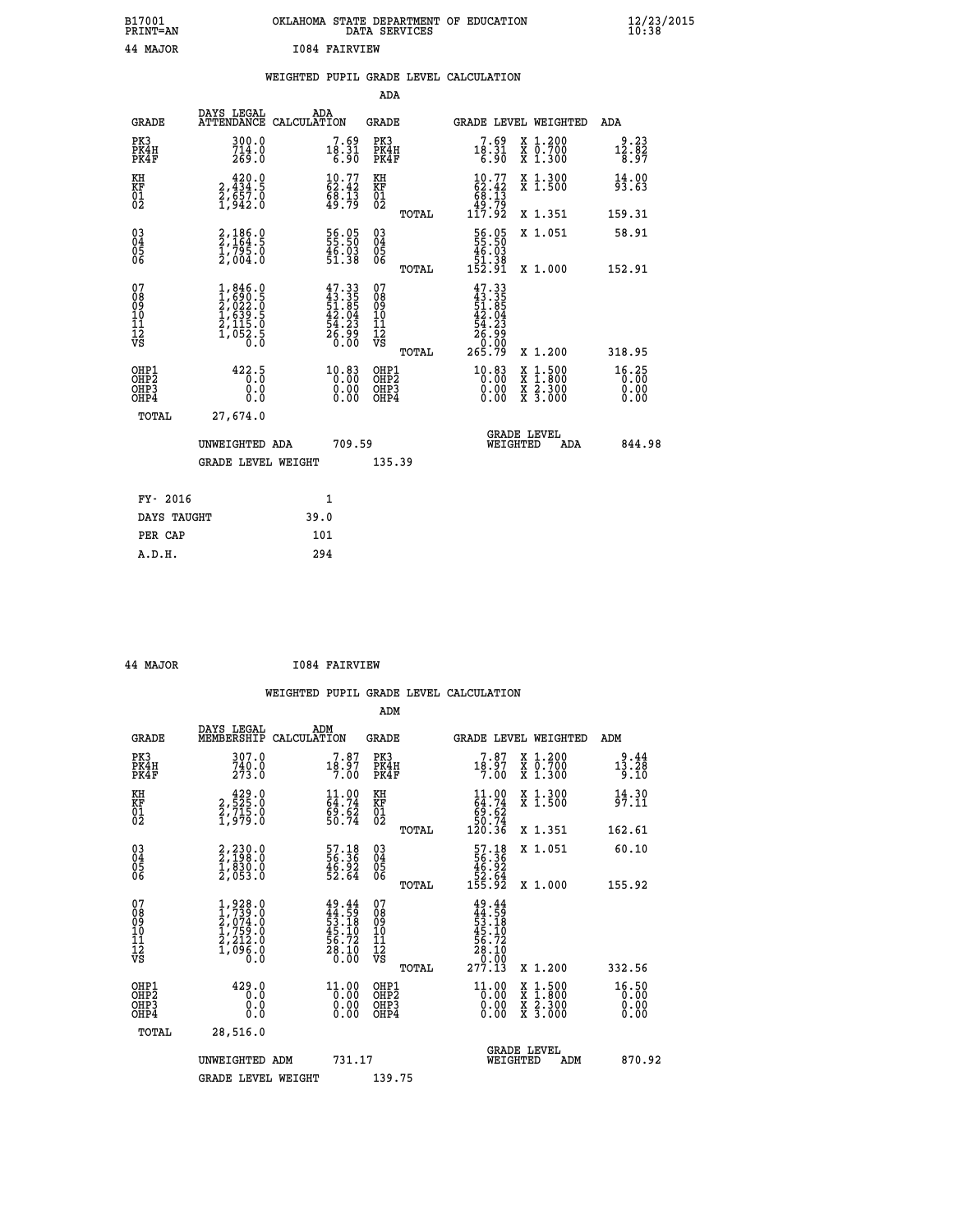## **B17001 OKLAHOMA STATE DEPARTMENT OF EDUCATION 12/23/2015 PRINT=AN DATA SERVICES 10:38 44 MAJOR I084 FAIRVIEW**

## **WEIGHTED PUPIL GRADE LEVEL CALCULATION**

|                                                                    |                                                                                     |                                                                    | ADA                                       |                                                                            |                               |
|--------------------------------------------------------------------|-------------------------------------------------------------------------------------|--------------------------------------------------------------------|-------------------------------------------|----------------------------------------------------------------------------|-------------------------------|
|                                                                    | DAYS LEGAL<br><b>GRADE</b>                                                          | ADA<br>ATTENDANCE CALCULATION                                      | <b>GRADE</b>                              | GRADE LEVEL WEIGHTED                                                       | ADA                           |
| PK3<br>PK4H<br>PK4F                                                | $\frac{300.0}{714.0}$<br>269.0                                                      | $18.31$<br>$6.31$<br>$6.90$                                        | PK3<br>PK4H<br>PK4F                       | $18.31$<br>$6.31$<br>$6.90$<br>X 1.200<br>X 0.700<br>X 1.300               | 9.23<br>$\frac{12.82}{8.97}$  |
| KH<br><b>KF</b><br>01<br>02                                        | 420.0<br>2,434:5<br>2,657.0<br>1,942:0                                              | $\begin{smallmatrix} 10.77\ 62.42\ 68.13\ 49.79 \end{smallmatrix}$ | KH<br>KF<br>01<br>02                      | $10.77$<br>$62.42$<br>$68.13$<br>$49.79$<br>$117.92$<br>X 1.300<br>X 1.500 | 14.00<br>93.63                |
|                                                                    |                                                                                     |                                                                    | TOTAL                                     | X 1.351                                                                    | 159.31                        |
| $\begin{smallmatrix} 03 \\[-4pt] 04 \end{smallmatrix}$<br>05<br>06 | 2,186.0<br>2,164.5<br>1,795.0<br>2,004.0                                            | 56.05<br>55.50<br>$\frac{46.03}{51.38}$                            | $\substack{03 \\ 04}$<br>Ŏ5<br>06         | 56.05<br>55.50<br>46.03<br>51.38<br>152.91<br>X 1.051                      | 58.91                         |
| 07                                                                 |                                                                                     |                                                                    | TOTAL<br>07                               | X 1.000                                                                    | 152.91                        |
| 08901112<br>1112<br>VS                                             | $1,846.0$<br>$1,690.5$<br>$2,022.0$<br>$1,639.5$<br>$2,115.0$<br>$1,052.5$<br>$0.0$ | $47.33\n43.35\n51.85\n42.04\n54.23\n56.99\n0.00$                   | 08<br>09<br>11<br>11<br>12<br>VS          | $47.33$<br>$43.35$<br>$51.85$<br>$42.04$<br>$54.23$<br>$26.93$<br>0.00     |                               |
|                                                                    |                                                                                     |                                                                    | TOTAL                                     | 265.79<br>X 1.200                                                          | 318.95                        |
| OHP1<br>OH <sub>P</sub> 2<br>OH <sub>P3</sub><br>OH <sub>P4</sub>  | 422.5<br>0.0<br>0.0                                                                 | 10.83<br>0.00<br>0.00                                              | OHP1<br>OH <sub>P</sub> 2<br>OHP3<br>OHP4 | 10.83<br>X 1:500<br>X 1:800<br>X 2:300<br>X 3:000<br>0.00<br>0.00          | 16.25<br>0.00<br>0.00<br>0.00 |
|                                                                    | TOTAL<br>27,674.0                                                                   |                                                                    |                                           |                                                                            |                               |
|                                                                    | UNWEIGHTED ADA                                                                      | 709.59                                                             |                                           | GRADE LEVEL<br>WEIGHTED<br>ADA                                             | 844.98                        |
|                                                                    | <b>GRADE LEVEL WEIGHT</b>                                                           |                                                                    | 135.39                                    |                                                                            |                               |
|                                                                    | FY- 2016                                                                            | $\mathbf{1}$                                                       |                                           |                                                                            |                               |
|                                                                    | DAYS TAUGHT                                                                         | 39.0                                                               |                                           |                                                                            |                               |
|                                                                    | PER CAP                                                                             | 101                                                                |                                           |                                                                            |                               |

 **A.D.H. 294**

 **ADM**

 **44 MAJOR I084 FAIRVIEW**

| <b>GRADE</b>                                       | DAYS LEGAL<br>MEMBERSHIP                                                                                       | ADM<br>CALCULATION                                                       | <b>GRADE</b>                                       |       | GRADE LEVEL WEIGHTED                                                                                                                              |                                          | ADM                                       |  |
|----------------------------------------------------|----------------------------------------------------------------------------------------------------------------|--------------------------------------------------------------------------|----------------------------------------------------|-------|---------------------------------------------------------------------------------------------------------------------------------------------------|------------------------------------------|-------------------------------------------|--|
| PK3<br>PK4H<br>PK4F                                | 307.0<br>740.0<br>273.0                                                                                        | $7.87$<br>18.97<br>7.00                                                  | PK3<br>PK4H<br>PK4F                                |       | $7.87$<br>18.97<br>7.00                                                                                                                           | X 1.200<br>X 0.700<br>X 1.300            | 9.44<br>$1\bar{3}.\bar{2}\bar{8}$<br>9.IO |  |
| KH<br>KF<br>01<br>02                               | $\begin{smallmatrix} 4 & 2 & 9 & 0 \\ 2 & 5 & 25 & 0 \\ 2 & 7 & 15 & 0 \\ 1 & 9 & 7 & 9 & 0 \end{smallmatrix}$ | $\begin{smallmatrix} 11.00 \\ 64.74 \\ 9.62 \\ 50.74 \end{smallmatrix}$  | KH<br>KF<br>01<br>02                               |       | $\begin{smallmatrix} 11.00\\ 64.74\\ 69.62\\ 50.74\\ 120.36 \end{smallmatrix}$                                                                    | X 1.300<br>X 1.500                       | 14.30<br>97.11                            |  |
|                                                    |                                                                                                                |                                                                          |                                                    | TOTAL |                                                                                                                                                   | X 1.351                                  | 162.61                                    |  |
| $\begin{matrix} 03 \\ 04 \\ 05 \\ 06 \end{matrix}$ | $2, 230.0$<br>$2, 198.0$<br>$1, 830.0$<br>$2, 053.0$                                                           | $\begin{smallmatrix} 57.18\\ 56.36\\ 46.92\\ 52.64 \end{smallmatrix}$    | $\begin{matrix} 03 \\ 04 \\ 05 \\ 06 \end{matrix}$ |       | $\begin{array}{r} 57.18 \\ 56.36 \\ 46.92 \\ 52.64 \\ 155.92 \end{array}$                                                                         | X 1.051                                  | 60.10                                     |  |
|                                                    |                                                                                                                |                                                                          |                                                    | TOTAL |                                                                                                                                                   | X 1.000                                  | 155.92                                    |  |
| 07<br>08<br>09<br>101<br>11<br>12<br>VS            | $1,928.0$<br>$2,074.0$<br>$2,074.0$<br>$1,759.0$<br>$2,212.0$<br>$1,096.0$<br>$0.0$                            | $49.44$<br>$44.59$<br>$53.18$<br>$45.10$<br>$56.72$<br>$28.10$<br>$0.00$ | 07<br>08<br>09<br>101<br>11<br>12<br>VS            | TOTAL | $\begin{array}{r} 49\cdot 44\\ 44\cdot 59\\ 53\cdot 18\\ 55\cdot 19\\ 45\cdot 10\\ 56\cdot 72\\ 28\cdot 10\\ 0\cdot 00\\ 277\cdot 13 \end{array}$ | X 1.200                                  | 332.56                                    |  |
| OHP1<br>OHP2<br>OH <sub>P3</sub><br>OHP4           | 429.0<br>0.0<br>0.0<br>Ō.Ō                                                                                     | $\frac{11.00}{0.00}$<br>0.00                                             | OHP1<br>OHP2<br>OHP3<br>OHP4                       |       | $\begin{smallmatrix} 11.00 \\[-4pt] 0.00 \\[-4pt] 0.00 \\[-4pt] 0.00 \end{smallmatrix}$                                                           | X 1:500<br>X 1:800<br>X 2:300<br>X 3:000 | 16.50<br>0.00<br>0.00<br>0.00             |  |
| TOTAL                                              | 28,516.0                                                                                                       |                                                                          |                                                    |       |                                                                                                                                                   |                                          |                                           |  |
|                                                    | UNWEIGHTED<br>ADM                                                                                              | 731.17                                                                   |                                                    |       | WEIGHTED                                                                                                                                          | <b>GRADE LEVEL</b><br>ADM                | 870.92                                    |  |
|                                                    | <b>GRADE LEVEL WEIGHT</b>                                                                                      |                                                                          | 139.75                                             |       |                                                                                                                                                   |                                          |                                           |  |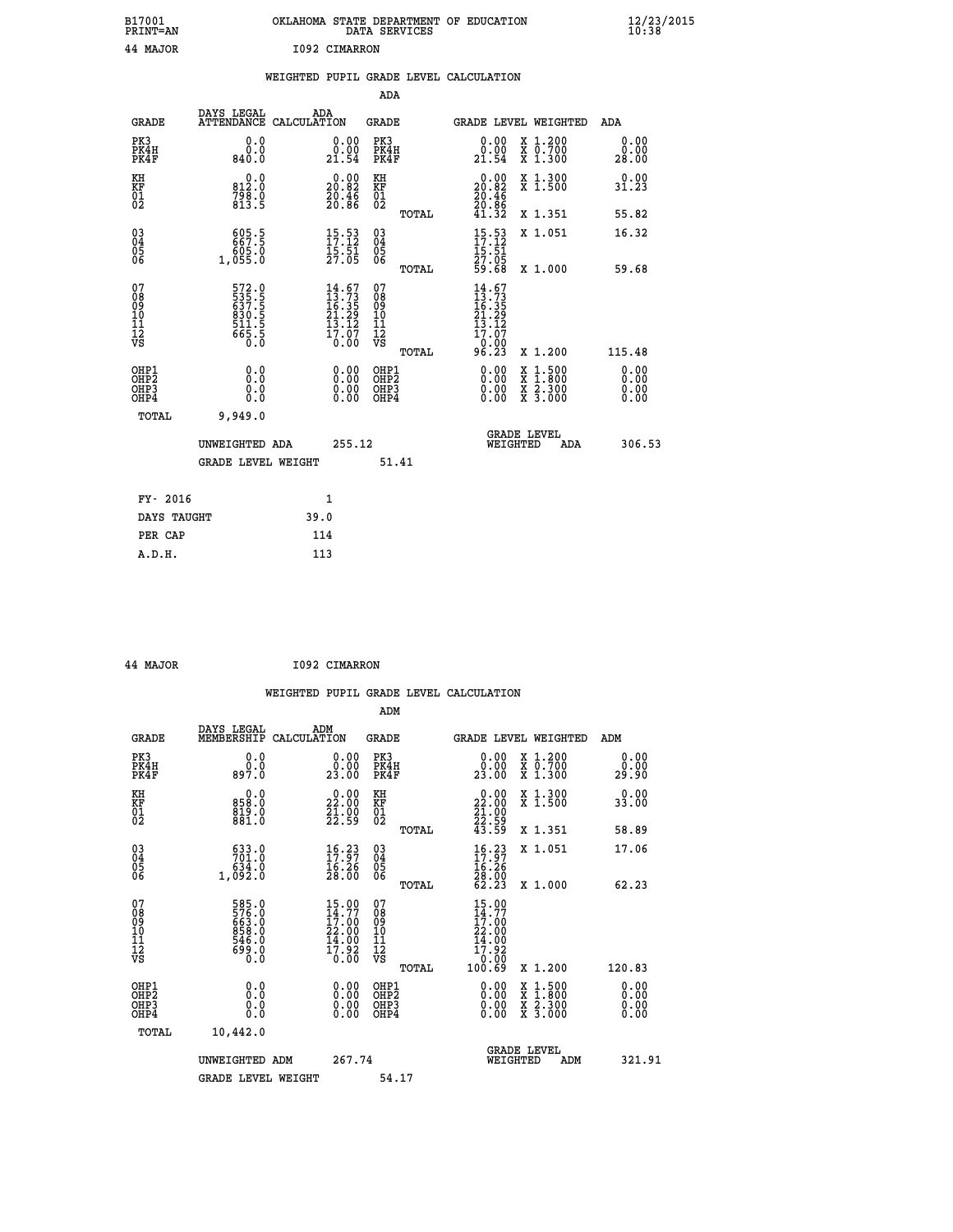| B17001<br>PRINT=AN                     |                                                             |               |                                                                                       |                                                              | DATA SERVICES | OKLAHOMA STATE DEPARTMENT OF EDUCATION                                                             |                                                                                          | $\frac{12}{23}$ /2015 |  |
|----------------------------------------|-------------------------------------------------------------|---------------|---------------------------------------------------------------------------------------|--------------------------------------------------------------|---------------|----------------------------------------------------------------------------------------------------|------------------------------------------------------------------------------------------|-----------------------|--|
| 44 MAJOR                               |                                                             | 1092 CIMARRON |                                                                                       |                                                              |               |                                                                                                    |                                                                                          |                       |  |
|                                        |                                                             |               |                                                                                       |                                                              |               | WEIGHTED PUPIL GRADE LEVEL CALCULATION                                                             |                                                                                          |                       |  |
|                                        |                                                             |               |                                                                                       | <b>ADA</b>                                                   |               |                                                                                                    |                                                                                          |                       |  |
| <b>GRADE</b>                           | DAYS LEGAL<br>ATTENDANCE CALCULATION                        | ADA           |                                                                                       | GRADE                                                        |               |                                                                                                    | GRADE LEVEL WEIGHTED                                                                     | ADA                   |  |
| PK3<br>PK4H<br>PK4F                    | 0.0<br>0.0<br>840.0                                         |               | 0.00<br>0.00<br>21.54                                                                 | PK3<br>PK4H<br>PK4F                                          |               | 0.00<br>0.00<br>21.54                                                                              | X 1.200<br>X 0.700<br>X 1.300                                                            | 0.00<br>0.00<br>28.00 |  |
| KH<br>KF<br>01<br>02                   | 0.0<br>812.0<br>$7\bar{9}\bar{8}\cdot 0$<br>813.5           |               | $\begin{smallmatrix} 0.00\\ 20.82\\ 20.46\\ 20.86 \end{smallmatrix}$                  | KH<br><b>KF</b><br>01<br>02                                  |               | $\begin{smallmatrix} 0.00\\ 20.82\\ 20.46\\ 20.86\\ 21.32 \end{smallmatrix}$                       | X 1.300<br>X 1.500                                                                       | 0.00<br>31.23         |  |
|                                        |                                                             |               |                                                                                       |                                                              | TOTAL         |                                                                                                    | X 1.351                                                                                  | 55.82                 |  |
| $\substack{03 \ 04}$<br>Ŏ5<br>06       | 605.5<br>0. 605<br>1,055.0                                  |               | $15.53$<br>$17.12$<br>$\frac{15.51}{27.05}$                                           | $03\overline{4}$<br>$\begin{matrix} 0.5 \\ 0.6 \end{matrix}$ |               | $15.53$<br>$17.12$<br>15.51<br>27.05                                                               | X 1.051                                                                                  | 16.32                 |  |
|                                        |                                                             |               |                                                                                       |                                                              | TOTAL         | 59.68                                                                                              | X 1.000                                                                                  | 59.68                 |  |
| 07<br>08<br>09<br>10<br>11<br>12<br>VS | 572.0<br>535.5<br>637.5<br>630.5<br>811.5<br>511.5<br>665.5 |               | $\begin{smallmatrix} 14.67\\13.73\\16.35\\21.29\\13.12\\17.07\\0.00\end{smallmatrix}$ | 07<br>08<br>09<br>10<br>īĭ<br>12<br>VS                       | TOTAL         | 14.67<br>$\begin{array}{c} 13.73 \\ 16.35 \\ 21.29 \\ 13.12 \end{array}$<br>17.07<br>0.00<br>96.23 | X 1.200                                                                                  | 115.48                |  |
| OHP1                                   |                                                             |               |                                                                                       | OHP1                                                         |               |                                                                                                    |                                                                                          | 0.00                  |  |
| OH <sub>P</sub> 2<br>OHP3<br>OHP4      | 0.0<br>0.0<br>0.0                                           |               | 0.00<br>0.00<br>0.00                                                                  | OH <sub>P</sub> 2<br>OHP3<br>OHP4                            |               | 0.00<br>0.00<br>0.00                                                                               | $\begin{smallmatrix} x & 1.500 \\ x & 1.800 \\ x & 2.300 \\ x & 3.000 \end{smallmatrix}$ | 0.00<br>0.00<br>0.00  |  |
| <b>TOTAL</b>                           | 9,949.0                                                     |               |                                                                                       |                                                              |               |                                                                                                    |                                                                                          |                       |  |
|                                        | UNWEIGHTED ADA                                              |               | 255.12                                                                                |                                                              |               |                                                                                                    | <b>GRADE LEVEL</b><br>WEIGHTED<br>ADA                                                    | 306.53                |  |
|                                        | <b>GRADE LEVEL WEIGHT</b>                                   |               |                                                                                       |                                                              | 51.41         |                                                                                                    |                                                                                          |                       |  |
| FY- 2016                               |                                                             | 1             |                                                                                       |                                                              |               |                                                                                                    |                                                                                          |                       |  |
| DAYS TAUGHT                            |                                                             | 39.0          |                                                                                       |                                                              |               |                                                                                                    |                                                                                          |                       |  |
| PER CAP                                |                                                             | 114           |                                                                                       |                                                              |               |                                                                                                    |                                                                                          |                       |  |

| 44 MAJOR | I092 CIMARRON |
|----------|---------------|
|          |               |

 **WEIGHTED PUPIL GRADE LEVEL CALCULATION ADM DAYS LEGAL ADM GRADE MEMBERSHIP CALCULATION GRADE GRADE LEVEL WEIGHTED ADM PK3 0.0 0.00 PK3 0.00 X 1.200 0.00 PK4H 0.0 0.00 PK4H 0.00 X 0.700 0.00 PK4F 897.0 23.00 PK4F 23.00 X 1.300 29.90 KH 0.0 0.00 KH 0.00 X 1.300 0.00 KF 858.0 22.00 KF 22.00 X 1.500 33.00 01 819.0 21.00 01 21.00 02 881.0 22.59 02 22.59 TOTAL 43.59 X 1.351 58.89 03 633.0 16.23 03 16.23 X 1.051 17.06 04 701.0 17.97 04 17.97 05 634.0 16.26 05 16.26 06 1,092.0 28.00 06 28.00 TOTAL 62.23 X 1.000 62.23 07 585.0 15.00 07 15.00 08 576.0 14.77 08 14.77 09 663.0 17.00 09 17.00 10 858.0 22.00 10 22.00 11 546.0 14.00 11 14.00 12 699.0 17.92 12 17.92 VS** 0.0 0.00 VS 0.00 0.00 0.00  **TOTAL 100.69 X 1.200 120.83 OHE1 0.00 0.00 0.000 OHE1 0.00 X 1.500 0.00 OHES 0.0 0.0 0.00 OHES 0.00 X 1.800 0.00 OHP3 0.0 0.00 OHP3 0.00 X 2.300 0.00 OHP4 0.0 0.00 OHP4 0.00 X 3.000 0.00 TOTAL 10,442.0 GRADE LEVEL UNWEIGHTED ADM 267.74 WEIGHTED ADM 321.91** GRADE LEVEL WEIGHT 54.17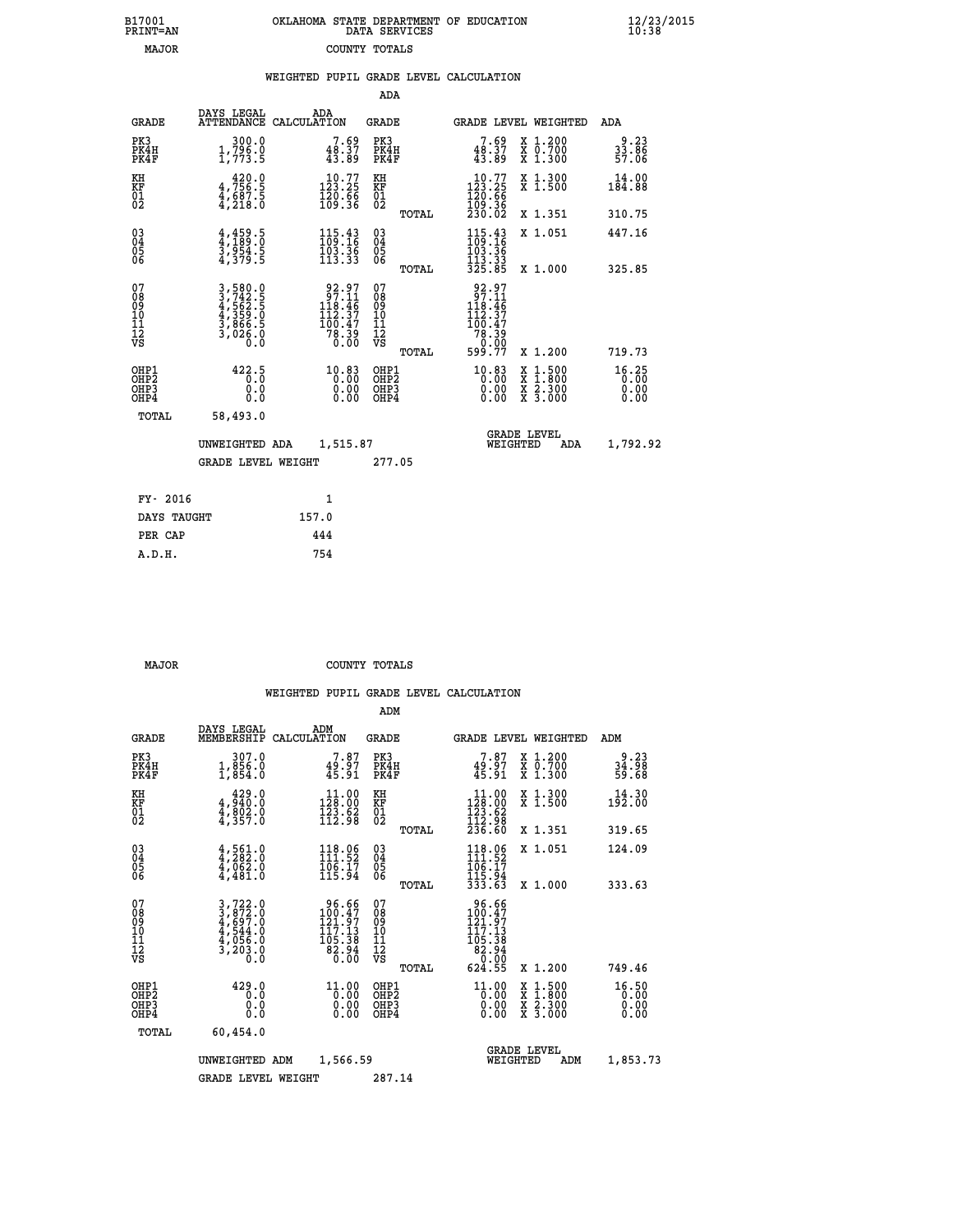| 7001<br>INT=AN | OKLAHOMA STATE DEPARTMENT OF EDUCATION<br>DATA SERVICES |  |
|----------------|---------------------------------------------------------|--|
| MAJOR          | COUNTY TOTALS                                           |  |

 **B17001 OKLAHOMA STATE DEPARTMENT OF EDUCATION 12/23/2015**

|  |  | WEIGHTED PUPIL GRADE LEVEL CALCULATION |
|--|--|----------------------------------------|
|  |  |                                        |

|                                                                  |                                                                |                                                                                                | ADA                                                 |       |                                                                                                                    |                                                                                                                                              |                                            |
|------------------------------------------------------------------|----------------------------------------------------------------|------------------------------------------------------------------------------------------------|-----------------------------------------------------|-------|--------------------------------------------------------------------------------------------------------------------|----------------------------------------------------------------------------------------------------------------------------------------------|--------------------------------------------|
| <b>GRADE</b>                                                     | DAYS LEGAL                                                     | ADA<br>ATTENDANCE CALCULATION                                                                  | GRADE                                               |       | GRADE LEVEL WEIGHTED                                                                                               |                                                                                                                                              | ADA                                        |
| PK3<br>PK4H<br>PK4F                                              | 300.0<br>$1,796.0$<br>$1,773.5$                                | 7.69<br>48.37<br>43.89                                                                         | PK3<br>PK4H<br>PK4F                                 |       | 7.69<br>$48.37$<br>$43.89$                                                                                         | X 1.200<br>X 0.700<br>X 1.300                                                                                                                | $33.86$<br>$57.06$                         |
| KH<br>KF<br>01<br>02                                             | $4,756.5$<br>$4,687.5$<br>$4,218.0$                            | $\begin{array}{c} 10.77 \\ 123.25 \\ 120.66 \\ 109.36 \end{array}$                             | KH<br>KF<br>01<br>02                                |       | $\begin{smallmatrix} 10.77\\123.25\\120.66\\109.36\\230.02 \end{smallmatrix}$                                      | X 1.300<br>X 1.500                                                                                                                           | 14.00<br>184.88                            |
|                                                                  |                                                                |                                                                                                |                                                     | TOTAL |                                                                                                                    | X 1.351                                                                                                                                      | 310.75                                     |
| $\begin{matrix} 03 \\ 04 \\ 05 \\ 06 \end{matrix}$               | $4,459.5$<br>$3,954.5$<br>$4,379.5$                            | $115.43$<br>$109.16$<br>$\frac{103}{113}$ $\frac{36}{33}$                                      | $\begin{array}{c} 03 \\ 04 \\ 05 \\ 06 \end{array}$ |       | $\begin{array}{c} 115\cdot 43 \\ 109\cdot 16 \\ 103\cdot 36 \\ 113\cdot 33 \\ 325\cdot 85 \end{array}$             | X 1.051                                                                                                                                      | 447.16                                     |
|                                                                  |                                                                |                                                                                                |                                                     | TOTAL |                                                                                                                    | X 1.000                                                                                                                                      | 325.85                                     |
| 07<br>08<br>09<br>11<br>11<br>12<br>VS                           | 3,580.0<br>3,742.5<br>4,562.5<br>4,359.0<br>3,866.5<br>3,026.0 | $\begin{smallmatrix} 92.97\\ 97.11\\ 18.46\\ 112.37\\ 100.47\\ 78.39\\ 0.00 \end{smallmatrix}$ | 07<br>08<br>09<br>11<br>11<br>12<br>VS              | TOTAL | $\begin{array}{r} 92.97 \\ 97.11 \\ 118.46 \\ 112.37 \\ 100.47 \\ 78.39 \\ 0.00 \\ \text{F} \end{array}$<br>599.77 | X 1.200                                                                                                                                      | 719.73                                     |
| OHP1<br>OHP <sub>2</sub><br>OH <sub>P3</sub><br>OH <sub>P4</sub> | 422.5<br>0.0<br>0.0                                            | 10.83<br>0.00<br>0.00                                                                          | OHP1<br>OHP2<br>OHP3<br>OHP4                        |       | 10.83<br>0.00<br>0.00                                                                                              | $\begin{smallmatrix} \mathtt{X} & 1\cdot500 \\ \mathtt{X} & 1\cdot800 \\ \mathtt{X} & 2\cdot300 \\ \mathtt{X} & 3\cdot000 \end{smallmatrix}$ | 16.25<br>$0.\overline{0}0$<br>0.00<br>0.00 |
| TOTAL                                                            | 58,493.0                                                       |                                                                                                |                                                     |       |                                                                                                                    |                                                                                                                                              |                                            |
|                                                                  | UNWEIGHTED ADA                                                 | 1,515.87                                                                                       |                                                     |       | WEIGHTED                                                                                                           | <b>GRADE LEVEL</b><br>ADA                                                                                                                    | 1,792.92                                   |
|                                                                  | <b>GRADE LEVEL WEIGHT</b>                                      |                                                                                                | 277.05                                              |       |                                                                                                                    |                                                                                                                                              |                                            |
| FY- 2016                                                         |                                                                | $\mathbf{1}$                                                                                   |                                                     |       |                                                                                                                    |                                                                                                                                              |                                            |
| DAYS TAUGHT                                                      |                                                                | 157.0                                                                                          |                                                     |       |                                                                                                                    |                                                                                                                                              |                                            |
|                                                                  |                                                                |                                                                                                |                                                     |       |                                                                                                                    |                                                                                                                                              |                                            |
| PER CAP                                                          |                                                                | 444                                                                                            |                                                     |       |                                                                                                                    |                                                                                                                                              |                                            |
| A.D.H.                                                           |                                                                | 754                                                                                            |                                                     |       |                                                                                                                    |                                                                                                                                              |                                            |

 **B17001<br>PRINT=AN** 

 **MAJOR COUNTY TOTALS**

|                                          |                                                                                                                                                            |                    |                                                                    | ADM                                                |       |                                                                              |                                |                                                                                                                                           |                               |
|------------------------------------------|------------------------------------------------------------------------------------------------------------------------------------------------------------|--------------------|--------------------------------------------------------------------|----------------------------------------------------|-------|------------------------------------------------------------------------------|--------------------------------|-------------------------------------------------------------------------------------------------------------------------------------------|-------------------------------|
| <b>GRADE</b>                             | DAYS LEGAL<br>MEMBERSHIP                                                                                                                                   | ADM<br>CALCULATION |                                                                    | <b>GRADE</b>                                       |       |                                                                              |                                | GRADE LEVEL WEIGHTED                                                                                                                      | ADM                           |
| PK3<br>PK4H<br>PK4F                      | 307.0<br>1,856.0<br>1,854.0                                                                                                                                |                    | 7.87<br>49.97<br>45.91                                             | PK3<br>PK4H<br>PK4F                                |       | 7.87<br>$49.97$<br>$45.91$                                                   |                                | X 1.200<br>X 0.700<br>X 1.300                                                                                                             | 9.23<br>34.98<br>59.68        |
| KH<br>KF<br>01<br>02                     | 429.0<br>$4,802.0$<br>$4,802.0$<br>$4,357.0$                                                                                                               |                    | $\begin{array}{c} 11.00 \\ 128.00 \\ 123.62 \\ 112.98 \end{array}$ | KH<br>KF<br>01<br>02                               |       | $\begin{array}{c} 11.00 \\ 128.00 \\ 123.62 \\ 112.98 \\ 236.60 \end{array}$ |                                | X 1.300<br>X 1.500                                                                                                                        | 14.30<br>192.00               |
|                                          |                                                                                                                                                            |                    |                                                                    |                                                    | TOTAL |                                                                              |                                | X 1.351                                                                                                                                   | 319.65                        |
| 03<br>04<br>05<br>06                     | $4,561.0$<br>$4,282.0$<br>$4,062.0$<br>4,481.0                                                                                                             |                    | 118.06<br>111.52<br>$\frac{106}{115.94}$                           | $\begin{matrix} 03 \\ 04 \\ 05 \\ 06 \end{matrix}$ |       | 118.06<br>111.52<br>106:17<br>115:94<br>333:63                               |                                | X 1.051                                                                                                                                   | 124.09                        |
|                                          |                                                                                                                                                            |                    |                                                                    |                                                    | TOTAL |                                                                              |                                | X 1.000                                                                                                                                   | 333.63                        |
| 07<br>08<br>09<br>101<br>112<br>VS       | $\begin{smallmatrix} 3\,,\,722\,.\,0\\ 3\,,\,872\,.\,0\\ 4\,,\,697\,.\,0\\ 4\,,\,544\,.\,0\\ 4\,,\,056\,.\,0\\ 3\,,\,203\,.\,0\\ 0\,.\,0\end{smallmatrix}$ |                    | 96.66<br>100.47<br>121.97<br>117:13<br>105:38<br>82:94<br>0.00     | 07<br>08<br>09<br>11<br>11<br>12<br>VS             |       | 96.66<br>100.47<br>121.97<br>117.13<br>105.38<br>82.94<br>0.00               |                                |                                                                                                                                           |                               |
|                                          |                                                                                                                                                            |                    |                                                                    |                                                    | TOTAL | 624.55                                                                       |                                | X 1.200                                                                                                                                   | 749.46                        |
| OHP1<br>OHP2<br>OH <sub>P3</sub><br>OHP4 | 429.0<br>0.0<br>0.000                                                                                                                                      |                    | $11.00$<br>$0.00$<br>$0.00$<br>0.00                                | OHP1<br>OHP2<br>OHP3<br>OHP4                       |       | $\frac{11.00}{0.00}$<br>0.00                                                 |                                | $\begin{smallmatrix} \mathtt{X} & 1\cdot500\\ \mathtt{X} & 1\cdot800\\ \mathtt{X} & 2\cdot300\\ \mathtt{X} & 3\cdot000 \end{smallmatrix}$ | 16.50<br>0.00<br>0.00<br>0.00 |
| TOTAL                                    | 60,454.0                                                                                                                                                   |                    |                                                                    |                                                    |       |                                                                              |                                |                                                                                                                                           |                               |
|                                          | UNWEIGHTED ADM                                                                                                                                             |                    | 1,566.59                                                           |                                                    |       |                                                                              | <b>GRADE LEVEL</b><br>WEIGHTED | ADM                                                                                                                                       | 1,853.73                      |
|                                          | <b>GRADE LEVEL WEIGHT</b>                                                                                                                                  |                    |                                                                    | 287.14                                             |       |                                                                              |                                |                                                                                                                                           |                               |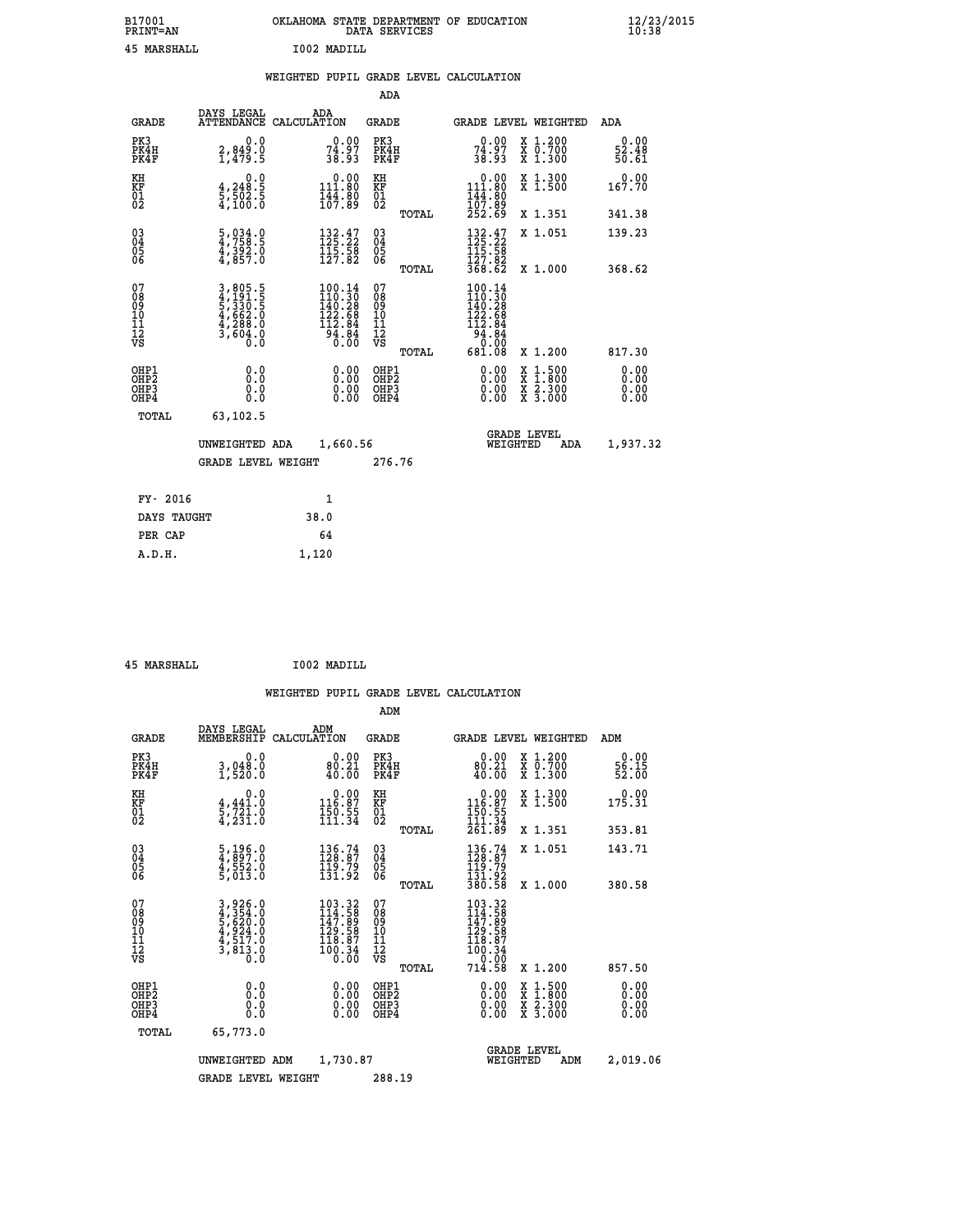| B17001          | OKLAHOMA STATE DEPARTMENT OF EDUCATION |
|-----------------|----------------------------------------|
| <b>PRINT=AN</b> | DATA SERVICES                          |
| 45 MARSHALL     | I002 MADILL                            |

|  |  | WEIGHTED PUPIL GRADE LEVEL CALCULATION |
|--|--|----------------------------------------|
|  |  |                                        |

|                                                                    |                                                                                             |                                                                                             | ADA                                                 |       |                                                                                         |                                                                                                                                           |                              |
|--------------------------------------------------------------------|---------------------------------------------------------------------------------------------|---------------------------------------------------------------------------------------------|-----------------------------------------------------|-------|-----------------------------------------------------------------------------------------|-------------------------------------------------------------------------------------------------------------------------------------------|------------------------------|
| <b>GRADE</b>                                                       | DAYS LEGAL                                                                                  | ADA<br>ATTENDANCE CALCULATION                                                               | <b>GRADE</b>                                        |       |                                                                                         | GRADE LEVEL WEIGHTED                                                                                                                      | ADA                          |
| PK3<br>PK4H<br>PK4F                                                | 0.0<br>2,849.0<br>1,479.5                                                                   | $74.97$<br>38.93                                                                            | PK3<br>PK4H<br>PK4F                                 |       | $74.97$<br>38.93                                                                        | X 1.200<br>X 0.700<br>X 1.300                                                                                                             | 0.00<br>52.48<br>50.61       |
| KH<br>KF<br>01<br>02                                               | 0.0<br>$\frac{4}{5}, \frac{248}{502}$ . 5<br>4,100.0                                        | $0.00$<br>111.80<br>$\frac{1}{4}$ $\frac{1}{6}$ $\frac{2}{7}$ $\frac{2}{8}$ $\frac{2}{9}$   | KH<br>KF<br>01<br>02                                |       | $\begin{array}{c} 0.00 \\ 111.80 \\ 144.80 \\ 107.89 \\ 252.69 \end{array}$             | X 1.300<br>X 1.500                                                                                                                        | 0.00<br>167.70               |
|                                                                    |                                                                                             |                                                                                             |                                                     | TOTAL |                                                                                         | X 1.351                                                                                                                                   | 341.38                       |
| $\begin{smallmatrix} 03 \\[-4pt] 04 \end{smallmatrix}$<br>Ŏ5<br>06 | $\frac{5}{4}, \frac{034}{758}.\frac{0}{5}$<br>$\frac{4}{4}, \frac{392}{857}.\overset{0}{0}$ | $\begin{array}{l} 132\cdot 47\\ 125\cdot 22\\ 115\cdot 58\\ 127\cdot 82 \end{array}$        | $\begin{array}{c} 03 \\ 04 \\ 05 \\ 06 \end{array}$ |       | $132.47$<br>$125.22$<br>$115.58$<br>$127.82$                                            | X 1.051                                                                                                                                   | 139.23                       |
|                                                                    |                                                                                             |                                                                                             |                                                     | TOTAL | 368.62                                                                                  | X 1.000                                                                                                                                   | 368.62                       |
| 07<br>08<br>09<br>101<br>11<br>12<br>VS                            | 3,805.5<br>4,191.5<br>5,330.5<br>5,330.5<br>4,662.0<br>4,288.0<br>3,604.0                   | $\begin{smallmatrix} 100.14\\110.30\\140.28\\122.68\\112.84\\94.84\\0.00 \end{smallmatrix}$ | 07<br>08<br>09<br>11<br>11<br>12<br>VS              |       | $\begin{smallmatrix} 100.14\\110.30\\140.28\\122.68\\112.84\\94.84\\0\end{smallmatrix}$ |                                                                                                                                           |                              |
|                                                                    |                                                                                             |                                                                                             |                                                     | TOTAL | 681.08                                                                                  | X 1.200                                                                                                                                   | 817.30                       |
| OHP1<br>OHP <sub>2</sub><br>OH <sub>P3</sub><br>OHP4               | 0.0<br>0.000                                                                                | 0.00<br>$\begin{smallmatrix} 0.00 \ 0.00 \end{smallmatrix}$                                 | OHP1<br>OHP2<br>OHP <sub>3</sub>                    |       | 0.00<br>0.00                                                                            | $\begin{smallmatrix} \mathtt{X} & 1\cdot500\\ \mathtt{X} & 1\cdot800\\ \mathtt{X} & 2\cdot300\\ \mathtt{X} & 3\cdot000 \end{smallmatrix}$ | 0.00<br>0.00<br>0.00<br>0.00 |
| TOTAL                                                              | 63,102.5                                                                                    |                                                                                             |                                                     |       |                                                                                         |                                                                                                                                           |                              |
|                                                                    | UNWEIGHTED ADA                                                                              | 1,660.56                                                                                    |                                                     |       |                                                                                         | <b>GRADE LEVEL</b><br>WEIGHTED<br>ADA                                                                                                     | 1,937.32                     |
|                                                                    | <b>GRADE LEVEL WEIGHT</b>                                                                   |                                                                                             | 276.76                                              |       |                                                                                         |                                                                                                                                           |                              |
| FY- 2016                                                           |                                                                                             | $\mathbf{1}$                                                                                |                                                     |       |                                                                                         |                                                                                                                                           |                              |
| DAYS TAUGHT                                                        |                                                                                             | 38.0                                                                                        |                                                     |       |                                                                                         |                                                                                                                                           |                              |
| PER CAP                                                            |                                                                                             | 64                                                                                          |                                                     |       |                                                                                         |                                                                                                                                           |                              |

| 45 MARSHALL | I002 MADILL |
|-------------|-------------|
|             |             |

 **A.D.H. 1,120**

 **ADM**

| <b>GRADE</b>                                       | DAYS LEGAL<br>MEMBERSHIP                                                                    | ADM<br>CALCULATION                                                                                                                  | <b>GRADE</b>                                       |       |                                                                                                                                                                                                                                                                                | GRADE LEVEL WEIGHTED                     | ADM                    |
|----------------------------------------------------|---------------------------------------------------------------------------------------------|-------------------------------------------------------------------------------------------------------------------------------------|----------------------------------------------------|-------|--------------------------------------------------------------------------------------------------------------------------------------------------------------------------------------------------------------------------------------------------------------------------------|------------------------------------------|------------------------|
| PK3<br>PK4H<br>PK4F                                | 0.0<br>3,048.0<br>1,520.0                                                                   | 0.00<br>80.21<br>40.00                                                                                                              | PK3<br>PK4H<br>PK4F                                |       | $0.00$<br>$80.21$<br>40.00                                                                                                                                                                                                                                                     | X 1.200<br>X 0.700<br>X 1.300            | 0.00<br>56.15<br>52.00 |
| KH<br>KF<br>01<br>02                               | 0.0<br>$\frac{4}{5}, \frac{441}{721}$ $\cdot \frac{0}{0}$<br>4, 231:0                       | $\begin{smallmatrix} &0.00\\ 116.87\\ 150.55\\ 111.34\end{smallmatrix}$                                                             | KH<br>KF<br>01<br>02                               |       | $\begin{smallmatrix} &0.00\ 116.87\ 150.55\ 111.34\ \end{smallmatrix}$                                                                                                                                                                                                         | X 1.300<br>X 1.500                       | 0.00<br>175.31         |
|                                                    |                                                                                             |                                                                                                                                     |                                                    | TOTAL | 261.89                                                                                                                                                                                                                                                                         | X 1.351                                  | 353.81                 |
| $\begin{matrix} 03 \\ 04 \\ 05 \\ 06 \end{matrix}$ | $\frac{5}{4}, \frac{196}{897}.0$<br>$\frac{4}{4}, \frac{552}{53}.0$<br>$\frac{6}{5}, 013.0$ | 136.74<br>128.87<br>119.79<br>131.92                                                                                                | $\begin{matrix} 03 \\ 04 \\ 05 \\ 06 \end{matrix}$ |       | 136.74<br>128.87<br>119:79<br>131:92<br>380:58                                                                                                                                                                                                                                 | X 1.051                                  | 143.71                 |
|                                                    |                                                                                             |                                                                                                                                     |                                                    | TOTAL |                                                                                                                                                                                                                                                                                | X 1.000                                  | 380.58                 |
| 07<br>08<br>09<br>101<br>11<br>12<br>VS            | 3,926.0<br>4,354.0<br>5,620.0<br>5,620.0<br>4,517.0<br>4,517.0<br>3,813.0                   | $\begin{smallmatrix} 103\cdot 32\\ 14\cdot 58\\ 147\cdot 89\\ 129\cdot 58\\ 118\cdot 87\\ 100\cdot 34\\ 0\cdot 00\end{smallmatrix}$ | 07<br>08<br>09<br>001<br>11<br>11<br>12<br>VS      | TOTAL | $\begin{array}{r} 103\cdot 32\\ 144\cdot 58\\ 147\cdot 89\\ 129\cdot 58\\ 118\cdot 87\\ 100\cdot 34\\ 0\cdot 00\\ 0\\ 714\cdot 58 \end{array}$                                                                                                                                 | X 1.200                                  | 857.50                 |
| OHP1<br>OHP2<br>OH <sub>P3</sub><br>OHP4           |                                                                                             | $\begin{smallmatrix} 0.00 \ 0.00 \ 0.00 \ 0.00 \end{smallmatrix}$                                                                   | OHP1<br>OHP2<br>OHP3<br>OHP4                       |       | $\begin{smallmatrix} 0.00 & 0.00 & 0.00 & 0.00 & 0.00 & 0.00 & 0.00 & 0.00 & 0.00 & 0.00 & 0.00 & 0.00 & 0.00 & 0.00 & 0.00 & 0.00 & 0.00 & 0.00 & 0.00 & 0.00 & 0.00 & 0.00 & 0.00 & 0.00 & 0.00 & 0.00 & 0.00 & 0.00 & 0.00 & 0.00 & 0.00 & 0.00 & 0.00 & 0.00 & 0.00 & 0.0$ | X 1:500<br>X 1:800<br>X 2:300<br>X 3:000 | 0.00<br>0.00<br>0.00   |
| TOTAL                                              | 65,773.0                                                                                    |                                                                                                                                     |                                                    |       |                                                                                                                                                                                                                                                                                |                                          |                        |
|                                                    | UNWEIGHTED                                                                                  | 1,730.87<br>ADM                                                                                                                     |                                                    |       | WEIGHTED                                                                                                                                                                                                                                                                       | <b>GRADE LEVEL</b><br>ADM                | 2,019.06               |
|                                                    | <b>GRADE LEVEL WEIGHT</b>                                                                   |                                                                                                                                     | 288.19                                             |       |                                                                                                                                                                                                                                                                                |                                          |                        |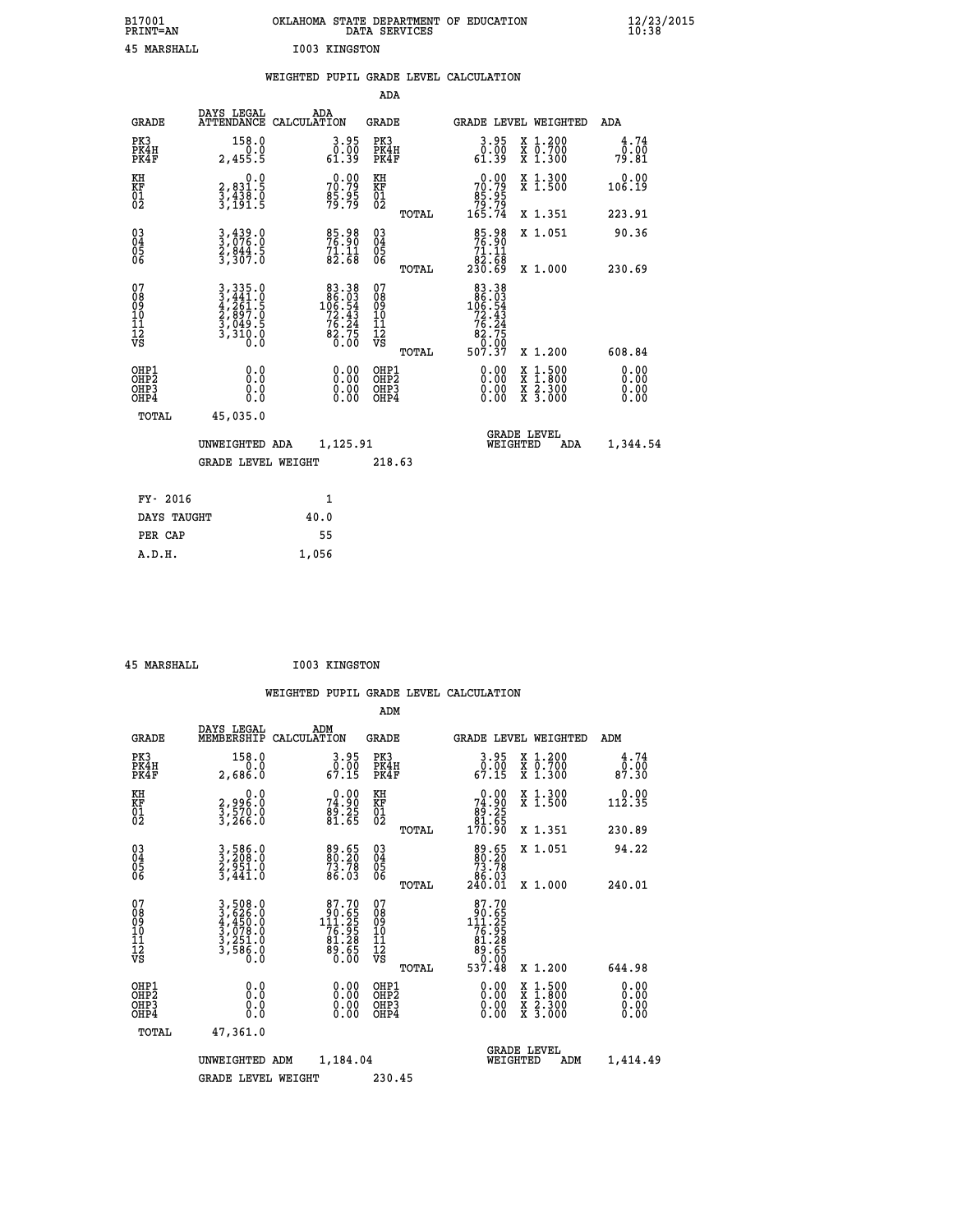| B17001<br>PRINT=AN | OKLAHOMA STATE DEPARTMENT OF EDUCATION<br>DATA SERVICES | $\frac{12}{23}$ /2015 |
|--------------------|---------------------------------------------------------|-----------------------|
| 45<br>MARSHALL     | <b>I003 KINGSTON</b>                                    |                       |

|                                                    |                                                                             |                                                                                                                          | ADA                                    |       |                                                                                                                                       |                                                                                                                                           |                              |
|----------------------------------------------------|-----------------------------------------------------------------------------|--------------------------------------------------------------------------------------------------------------------------|----------------------------------------|-------|---------------------------------------------------------------------------------------------------------------------------------------|-------------------------------------------------------------------------------------------------------------------------------------------|------------------------------|
| <b>GRADE</b>                                       | DAYS LEGAL                                                                  | ADA<br>ATTENDANCE CALCULATION                                                                                            | <b>GRADE</b>                           |       |                                                                                                                                       | GRADE LEVEL WEIGHTED                                                                                                                      | ADA                          |
| PK3<br>PK4H<br>PK4F                                | 158.0<br>0.0<br>2,455.5                                                     | 3.95<br>0.00<br>61.39                                                                                                    | PK3<br>PK4H<br>PK4F                    |       | 3.95<br>$\begin{array}{c} \texttt{0.00} \ \texttt{0.39} \end{array}$                                                                  | X 1.200<br>X 0.700<br>X 1.300                                                                                                             | 4.74<br>0.00<br>79.81        |
| KH<br>KF<br>01<br>02                               | 0.0<br>2, 831:5<br>3, 438:0<br>3, 191:5                                     | $70.79$<br>$70.79$<br>$85.95$<br>$79.79$                                                                                 | KH<br>KF<br>01<br>02                   |       | $70.79$<br>$85.95$<br>$79.79$<br>$165.74$                                                                                             | X 1.300<br>X 1.500                                                                                                                        | 0.00<br>106.19               |
|                                                    |                                                                             |                                                                                                                          |                                        | TOTAL |                                                                                                                                       | X 1.351                                                                                                                                   | 223.91                       |
| $\begin{matrix} 03 \\ 04 \\ 05 \\ 06 \end{matrix}$ | 3,439.0<br>3,076.0<br>2,844.5<br>3,307.0                                    | 85.98<br>76.90<br>71.11<br>82.68                                                                                         | $\substack{03 \\ 04}$<br>Ŏ5<br>06      |       | 85.98<br>76.90<br>71.11                                                                                                               | X 1.051                                                                                                                                   | 90.36                        |
|                                                    |                                                                             |                                                                                                                          |                                        | TOTAL | 83.58<br>230.69                                                                                                                       | X 1.000                                                                                                                                   | 230.69                       |
| 07<br>089<br>090<br>1112<br>VS                     | 3, 335.0<br>3, 441.0<br>4, 261.5<br>2, 897.0<br>3, 049.5<br>3, 310.0<br>0.0 | $\begin{smallmatrix}83\cdot 38\\86\cdot 03\\106\cdot 54\\72\cdot 43\\76\cdot 24\\82\cdot 75\\0\cdot 00\end{smallmatrix}$ | 07<br>08<br>09<br>11<br>11<br>12<br>VS | TOTAL | $\begin{array}{r} 83\cdot 38\\ 86\cdot 03\\ 106\cdot 54\\ 72\cdot 43\\ 76\cdot 24\\ 82\cdot 75\\ 0\cdot 00\\ 507\cdot 37 \end{array}$ | X 1.200                                                                                                                                   | 608.84                       |
| OHP1<br>OHP2<br>OH <sub>P3</sub><br>OHP4           | 0.0<br>0.000                                                                | 0.00<br>$\begin{smallmatrix} 0.00 \ 0.00 \end{smallmatrix}$                                                              | OHP1<br>OHP2<br>OHP3<br>OHP4           |       | 0.00<br>0.00                                                                                                                          | $\begin{smallmatrix} \mathtt{X} & 1\cdot500\\ \mathtt{X} & 1\cdot800\\ \mathtt{X} & 2\cdot300\\ \mathtt{X} & 3\cdot000 \end{smallmatrix}$ | 0.00<br>0.00<br>0.00<br>0.00 |
| TOTAL                                              | 45,035.0                                                                    |                                                                                                                          |                                        |       |                                                                                                                                       |                                                                                                                                           |                              |
|                                                    | UNWEIGHTED ADA                                                              | 1,125.91                                                                                                                 |                                        |       |                                                                                                                                       | <b>GRADE LEVEL</b><br>WEIGHTED<br>ADA                                                                                                     | 1,344.54                     |
|                                                    | <b>GRADE LEVEL WEIGHT</b>                                                   |                                                                                                                          | 218.63                                 |       |                                                                                                                                       |                                                                                                                                           |                              |
| FY- 2016                                           |                                                                             | $\mathbf{1}$                                                                                                             |                                        |       |                                                                                                                                       |                                                                                                                                           |                              |
| DAYS TAUGHT                                        |                                                                             | 40.0                                                                                                                     |                                        |       |                                                                                                                                       |                                                                                                                                           |                              |
|                                                    |                                                                             |                                                                                                                          |                                        |       |                                                                                                                                       |                                                                                                                                           |                              |

| 45 MARSHALL | <b>I003 KINGSTON</b> |
|-------------|----------------------|
|             |                      |

PER CAP 55  **A.D.H. 1,056**

 **WEIGHTED PUPIL GRADE LEVEL CALCULATION ADM** DAYS LEGAL <sub>200</sub> 200 ADM

| <b>GRADE</b>                                       | MEMBERSHIP                                                            | CALCULATION                                                                                | <b>GRADE</b>                                        |       |                                                                                                                     | <b>GRADE LEVEL WEIGHTED</b>                                                                      | ADM                      |
|----------------------------------------------------|-----------------------------------------------------------------------|--------------------------------------------------------------------------------------------|-----------------------------------------------------|-------|---------------------------------------------------------------------------------------------------------------------|--------------------------------------------------------------------------------------------------|--------------------------|
| PK3<br>PK4H<br>PK4F                                | 158.0<br>2,686.0                                                      | $\begin{smallmatrix} 3.95\ 0.00\ 67.15 \end{smallmatrix}$                                  | PK3<br>PK4H<br>PK4F                                 |       | $3.95$<br>$67.15$                                                                                                   | X 1.200<br>X 0.700<br>X 1.300                                                                    | 4.74<br>ō:óō<br>87.30    |
| KH<br>KF<br>01<br>02                               | 0.0<br>2,996:0<br>3,570:0<br>3,266:0                                  | 74.90<br>74.90<br>89.25<br>81.65                                                           | KH<br>KF<br>01<br>02                                |       | $\begin{smallmatrix} &0.00\ 74.90\ 89.25\ 81.65\ 170.90\ \end{smallmatrix}$                                         | X 1.300<br>X 1.500                                                                               | 0.00<br>112.35           |
|                                                    |                                                                       |                                                                                            |                                                     | TOTAL |                                                                                                                     | X 1.351                                                                                          | 230.89                   |
| $\begin{matrix} 03 \\ 04 \\ 05 \\ 06 \end{matrix}$ | 3,586.0<br>3,208.0<br>2,951.0<br>3,441.0                              | 89.65<br>80.20<br>73.78<br>86.03                                                           | $\begin{array}{c} 03 \\ 04 \\ 05 \\ 06 \end{array}$ |       | $\begin{smallmatrix}89.65\\80.20\\73.78\\86.03\\240.01\end{smallmatrix}$                                            | X 1.051                                                                                          | 94.22                    |
|                                                    |                                                                       |                                                                                            |                                                     | TOTAL |                                                                                                                     | X 1.000                                                                                          | 240.01                   |
| 07<br>089<br>090<br>1112<br>VS                     | 3,508.0<br>3,626.0<br>4,450.0<br>3,078.0<br>3,251.0<br>3,586.0<br>0.0 | $\begin{array}{r} 87.70 \\ 90.65 \\ 111.25 \\ 76.95 \\ 81.28 \\ 89.65 \\ 0.00 \end{array}$ | 07<br>08<br>09<br>11<br>11<br>12<br>VS              |       | 87.70<br>$\begin{smallmatrix} 90.655 \\ 111.255 \\ 76.958 \\ 81.288 \\ 89.650 \\ 0.000 \\ 537.48 \end{smallmatrix}$ |                                                                                                  |                          |
|                                                    |                                                                       |                                                                                            |                                                     | TOTAL |                                                                                                                     | X 1.200                                                                                          | 644.98                   |
| OHP1<br>OHP2<br>OHP <sub>3</sub><br>OHP4           |                                                                       | $0.00$<br>$0.00$<br>0.00                                                                   | OHP1<br>OHP2<br>OHP <sub>3</sub>                    |       | $0.00$<br>$0.00$<br>0.00                                                                                            | $\begin{smallmatrix} x & 1 & 500 \\ x & 1 & 800 \\ x & 2 & 300 \\ x & 3 & 000 \end{smallmatrix}$ | $0.00$<br>$0.00$<br>0.00 |
| TOTAL                                              | 47,361.0                                                              |                                                                                            |                                                     |       |                                                                                                                     |                                                                                                  |                          |
|                                                    | UNWEIGHTED ADM                                                        | 1,184.04                                                                                   |                                                     |       | WEIGHTED                                                                                                            | <b>GRADE LEVEL</b><br>ADM                                                                        | 1,414.49                 |
|                                                    | <b>GRADE LEVEL WEIGHT</b>                                             |                                                                                            | 230.45                                              |       |                                                                                                                     |                                                                                                  |                          |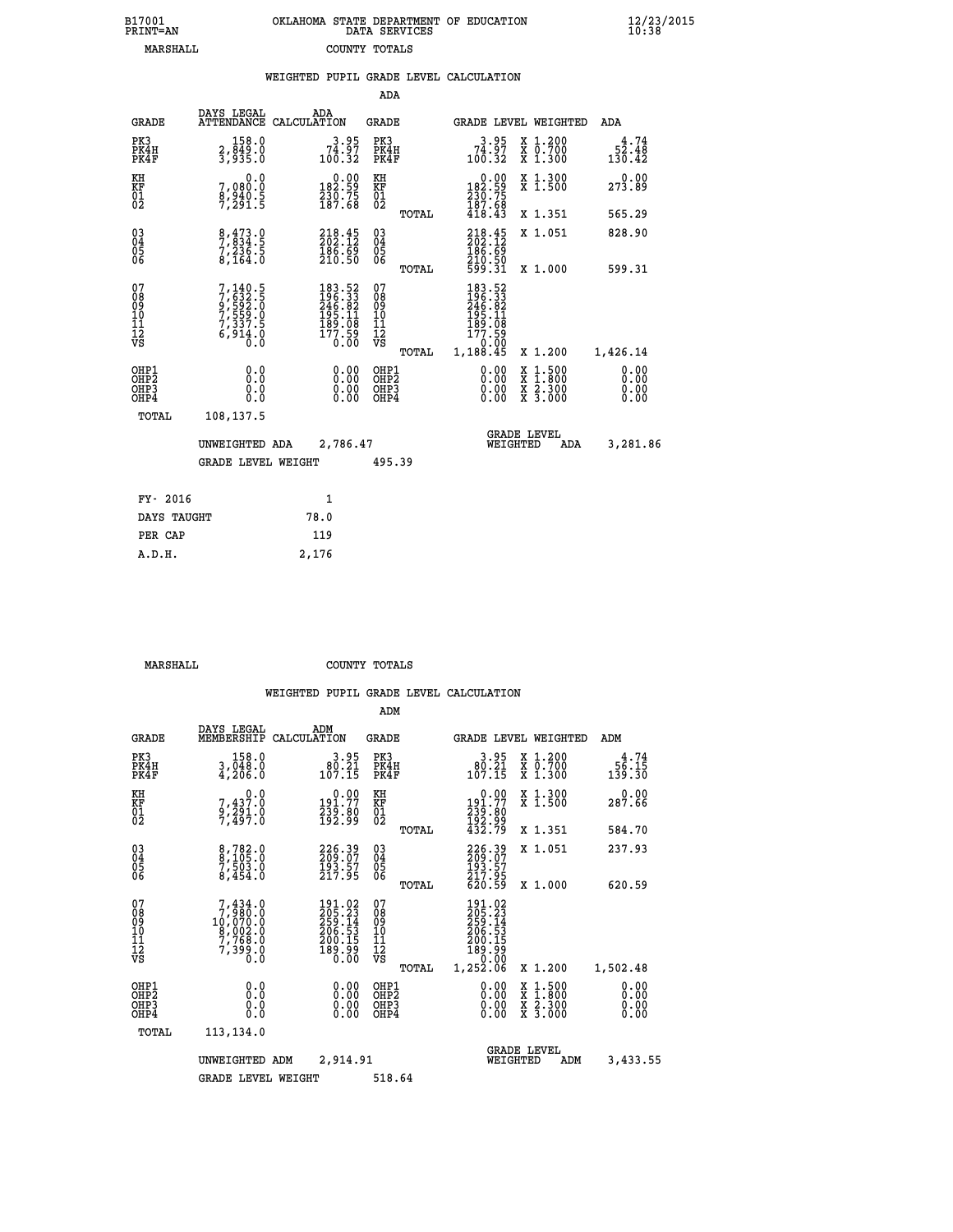| B17001<br>PRINT=AN | OKLAHOMA STATE DEPARTMENT OF EDUCATION<br>DATA SERVICES | $\frac{12}{23}$ /2015<br>10:38 |
|--------------------|---------------------------------------------------------|--------------------------------|
| MARSHALL           | COUNTY TOTALS                                           |                                |

|                                        |                                                                                                  |       |                                                                                               |                                                    |       | WEIGHTED PUPIL GRADE LEVEL CALCULATION                                           |                                                                                                                                              |                               |
|----------------------------------------|--------------------------------------------------------------------------------------------------|-------|-----------------------------------------------------------------------------------------------|----------------------------------------------------|-------|----------------------------------------------------------------------------------|----------------------------------------------------------------------------------------------------------------------------------------------|-------------------------------|
|                                        |                                                                                                  |       |                                                                                               | <b>ADA</b>                                         |       |                                                                                  |                                                                                                                                              |                               |
| <b>GRADE</b>                           | DAYS LEGAL<br>ATTENDANCE CALCULATION                                                             | ADA   |                                                                                               | <b>GRADE</b>                                       |       |                                                                                  | GRADE LEVEL WEIGHTED                                                                                                                         | ADA                           |
| PK3<br>PK4H<br>PK4F                    | 158.0<br>2,849.0<br>3,935.0                                                                      |       | $\begin{smallmatrix} 3.95\\ 74.97\\ 100.32 \end{smallmatrix}$                                 | PK3<br>PK4H<br>PK4F                                |       | $\begin{smallmatrix} 3.95\\ 74.97\\ 100.32 \end{smallmatrix}$                    | X 1.200<br>X 0.700<br>X 1.300                                                                                                                | 4.74<br>52.48<br>130.42       |
| KH<br>KF<br>01<br>02                   | 0.0<br>7,080.0<br>8,940.5<br>7,291.5                                                             |       | $\begin{smallmatrix} 0.00\\182.59\\230.75\\187.68\end{smallmatrix}$                           | KH<br>KF<br>01<br>02                               |       | $\begin{smallmatrix} &0.00\\ 182.59\\ 230.75\\ 187.68\\ 418.43\end{smallmatrix}$ | X 1.300<br>X 1.500                                                                                                                           | 0.00<br>273.89                |
|                                        |                                                                                                  |       |                                                                                               |                                                    | TOTAL |                                                                                  | X 1.351                                                                                                                                      | 565.29                        |
| 030404<br>06                           | $\begin{smallmatrix} 8 & 473 & 0 \\ 7 & 834 & 5 \\ 7 & 236 & 5 \\ 8 & 164 & 0 \end{smallmatrix}$ |       | $\begin{smallmatrix} 218\cdot 45\\ 202\cdot 12\\ 186\cdot 69\\ 210\cdot 50 \end{smallmatrix}$ | $\begin{matrix} 03 \\ 04 \\ 05 \\ 06 \end{matrix}$ |       | 218.45<br>186.69                                                                 | X 1.051                                                                                                                                      | 828.90                        |
|                                        |                                                                                                  |       |                                                                                               |                                                    | TOTAL | 210.50<br>599.31                                                                 | X 1.000                                                                                                                                      | 599.31                        |
| 07<br>08<br>09<br>11<br>11<br>12<br>VS | $7,140.5$<br>$7,632.5$<br>$9,592.0$<br>$7,559.0$<br>$7,337.5$<br>$6,914.0$<br>$0.0$              |       | $\begin{smallmatrix} 183.52\\196.33\\246.82\\195.11\\189.08\\177.59\\0.00\end{smallmatrix}$   | 07<br>08<br>09<br>11<br>11<br>12<br>VS             |       | 183.52<br>196.33<br>246.82<br>245.11<br>199.08<br>177.59<br>100.00               |                                                                                                                                              |                               |
|                                        |                                                                                                  |       |                                                                                               |                                                    | TOTAL | 1,188.45                                                                         | X 1.200                                                                                                                                      | 1,426.14                      |
| OHP1<br>OHP2<br>OHP3<br>OHP4           | 0.0<br>0.0<br>0.0                                                                                |       | $0.00$<br>$0.00$<br>0.00                                                                      | OHP1<br>OHP2<br>OHP3<br>OHP4                       |       | 0.00<br>0.00                                                                     | $\begin{smallmatrix} \mathtt{X} & 1\cdot500 \\ \mathtt{X} & 1\cdot800 \\ \mathtt{X} & 2\cdot300 \\ \mathtt{X} & 3\cdot000 \end{smallmatrix}$ | 0.00<br>Ō. ŌŌ<br>0.00<br>0.00 |
| TOTAL                                  | 108,137.5                                                                                        |       |                                                                                               |                                                    |       |                                                                                  |                                                                                                                                              |                               |
|                                        | UNWEIGHTED ADA                                                                                   |       | 2,786.47                                                                                      |                                                    |       | WEIGHTED                                                                         | <b>GRADE LEVEL</b><br>ADA                                                                                                                    | 3,281.86                      |
|                                        | <b>GRADE LEVEL WEIGHT</b>                                                                        |       |                                                                                               | 495.39                                             |       |                                                                                  |                                                                                                                                              |                               |
| FY- 2016                               |                                                                                                  |       | $\mathbf{1}$                                                                                  |                                                    |       |                                                                                  |                                                                                                                                              |                               |
| DAYS TAUGHT                            |                                                                                                  | 78.0  |                                                                                               |                                                    |       |                                                                                  |                                                                                                                                              |                               |
| PER CAP                                |                                                                                                  | 119   |                                                                                               |                                                    |       |                                                                                  |                                                                                                                                              |                               |
| A.D.H.                                 |                                                                                                  | 2,176 |                                                                                               |                                                    |       |                                                                                  |                                                                                                                                              |                               |

 **MARSHALL COUNTY TOTALS**

|                                          |                                                                                      |                                                                                                     | ADM                                                 |                                                                                 |                                          |                              |
|------------------------------------------|--------------------------------------------------------------------------------------|-----------------------------------------------------------------------------------------------------|-----------------------------------------------------|---------------------------------------------------------------------------------|------------------------------------------|------------------------------|
| <b>GRADE</b>                             | DAYS LEGAL<br>MEMBERSHIP                                                             | ADM<br>CALCULATION                                                                                  | <b>GRADE</b>                                        | GRADE LEVEL WEIGHTED                                                            |                                          | ADM                          |
| PK3<br>PK4H<br>PK4F                      | 158.0<br>3,048.0<br>4,206.0                                                          | 3.95<br>$\begin{smallmatrix} 8\0.21 \ 107.15 \end{smallmatrix}$                                     | PK3<br>PK4H<br>PK4F                                 | $3.95$<br>$180.21$<br>$107.15$                                                  | X 1.200<br>X 0.700<br>X 1.300            | 4.74<br>56.15<br>139.30      |
| KH<br>KF<br>01<br>02                     | 0.0<br>7,437.0<br>9,291.0<br>7,497.0                                                 | $\begin{smallmatrix} 0.00\\191.77\\239.80\\192.99 \end{smallmatrix}$                                | KH<br>KF<br>01<br>02                                | $\begin{smallmatrix} &0.00\\191.77\\239.80\\192.99\\432.79\end{smallmatrix}$    | X 1.300<br>X 1.500                       | 0.00<br>287.66               |
|                                          |                                                                                      |                                                                                                     | TOTAL                                               |                                                                                 | X 1.351                                  | 584.70                       |
| 03<br>04<br>05<br>06                     | 8,782.0<br>8,105.0<br>7,503.0<br>8,454.0                                             | 226:39<br>209:07<br>193:57<br>217:95                                                                | $\begin{array}{c} 03 \\ 04 \\ 05 \\ 06 \end{array}$ | 226:39<br>209:07<br>193:57<br>217:25                                            | X 1.051                                  | 237.93                       |
|                                          |                                                                                      |                                                                                                     | TOTAL                                               | 620.59                                                                          | X 1.000                                  | 620.59                       |
| 07<br>08<br>09<br>101<br>112<br>VS       | $7,434.0$<br>$7,980.0$<br>$10,070.0$<br>$8,002.0$<br>$7,768.0$<br>$7,399.0$<br>$0.0$ | $\begin{smallmatrix} 191.02\\205.23\\259.14\\250.15\\206.53\\200.15\\189.99\\0.00\end{smallmatrix}$ | 07<br>08<br>09<br>11<br>11<br>12<br>VS<br>TOTAL     | 191.02<br>205.23<br>259.14<br>206.53<br>200.15<br>189.99<br>189.000<br>1,252.06 | X 1.200                                  | 1,502.48                     |
| OHP1<br>OHP2<br>OH <sub>P3</sub><br>OHP4 | 0.0<br>0.000                                                                         | $0.00$<br>$0.00$<br>0.00                                                                            | OHP1<br>OHP2<br>OHP <sub>3</sub>                    | $0.00$<br>$0.00$<br>0.00                                                        | X 1:500<br>X 1:800<br>X 2:300<br>X 3:000 | 0.00<br>0.00<br>0.00<br>0.00 |
| TOTAL                                    | 113,134.0                                                                            |                                                                                                     |                                                     |                                                                                 |                                          |                              |
|                                          | UNWEIGHTED                                                                           | 2,914.91<br>ADM                                                                                     |                                                     | <b>GRADE LEVEL</b><br>WEIGHTED                                                  | ADM                                      | 3,433.55                     |
|                                          | <b>GRADE LEVEL WEIGHT</b>                                                            |                                                                                                     | 518.64                                              |                                                                                 |                                          |                              |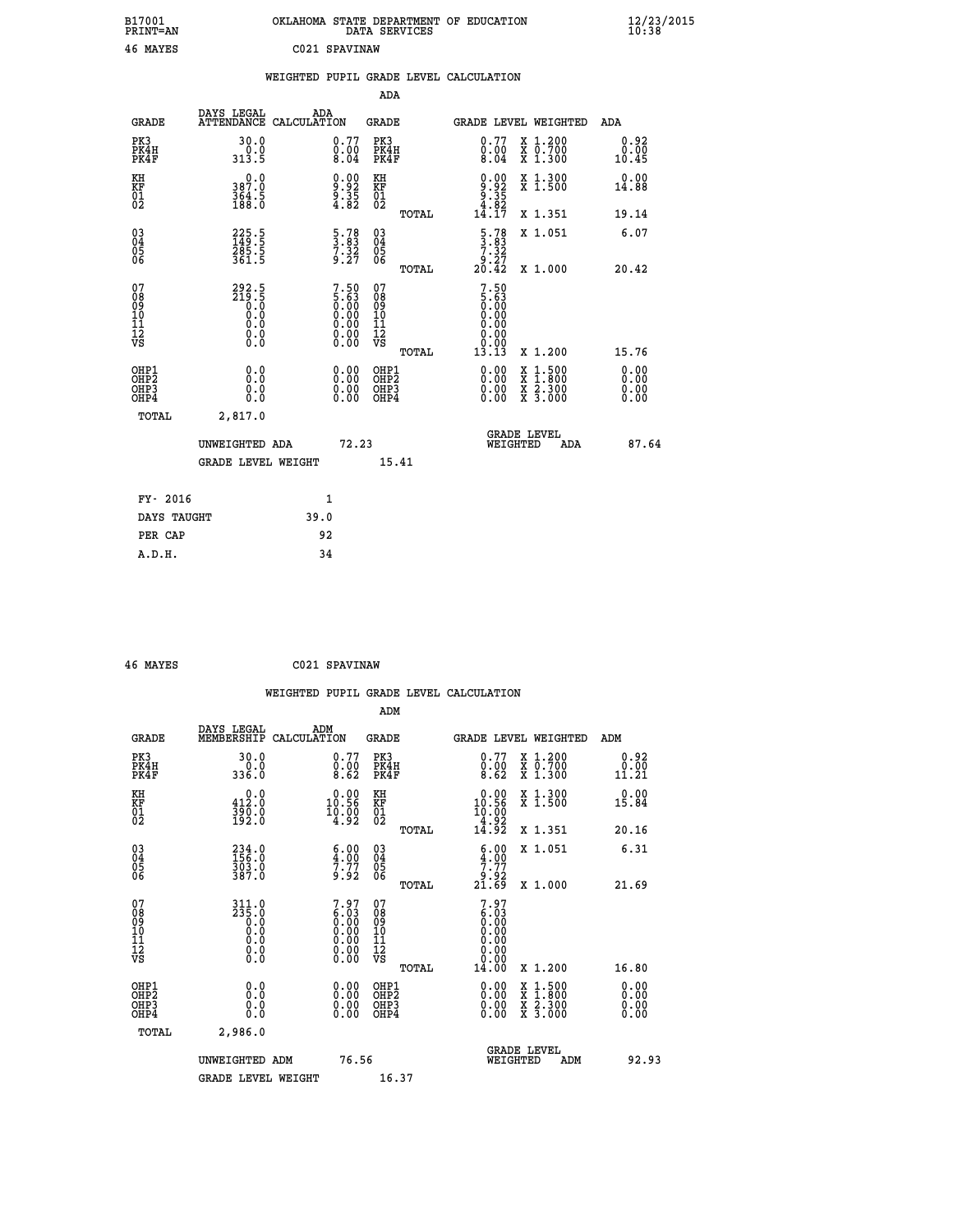| B17001<br>PRINT=AN                     |                                                    | OKLAHOMA STATE DEPARTMENT OF EDUCATION                         | DATA SERVICES                                              |                                                                                   |                                                                                          | $\frac{12}{23}$ /2015 |  |
|----------------------------------------|----------------------------------------------------|----------------------------------------------------------------|------------------------------------------------------------|-----------------------------------------------------------------------------------|------------------------------------------------------------------------------------------|-----------------------|--|
| 46 MAYES                               |                                                    | C021 SPAVINAW                                                  |                                                            |                                                                                   |                                                                                          |                       |  |
|                                        |                                                    | WEIGHTED PUPIL GRADE LEVEL CALCULATION                         |                                                            |                                                                                   |                                                                                          |                       |  |
|                                        |                                                    |                                                                | <b>ADA</b>                                                 |                                                                                   |                                                                                          |                       |  |
| <b>GRADE</b>                           | DAYS LEGAL<br>ATTENDANCE CALCULATION               | ADA                                                            | <b>GRADE</b>                                               |                                                                                   | GRADE LEVEL WEIGHTED                                                                     | ADA                   |  |
| PK3<br>PK4H<br>PK4F                    | 30.0<br>0.0<br>313.5                               | 0.77<br>$\begin{smallmatrix}0.00\0.04\end{smallmatrix}$        | PK3<br>PK4H<br>PK4F                                        | 0.77<br>$\begin{smallmatrix} 0.00 \\ 0.04 \end{smallmatrix}$                      | X 1.200<br>X 0.700<br>X 1.300                                                            | 0.92<br>0.00<br>10.45 |  |
| KH<br>KF<br>01<br>02                   | 0.0<br>387.0<br>364.5<br>188.0                     | $\begin{smallmatrix} 0.00\\9.92\\9.35\\4.82 \end{smallmatrix}$ | KH<br>KF<br>01<br>02                                       | $0.92$<br>$9.35$<br>$4.82$<br>$14.17$                                             | X 1.300<br>X 1.500                                                                       | 0.00<br>14.88         |  |
|                                        |                                                    |                                                                | TOTAL                                                      |                                                                                   | X 1.351                                                                                  | 19.14                 |  |
| 03<br>04<br>05<br>06                   | 225.5<br>149.5<br>285.5<br>361.5                   | $\frac{5 \cdot 78}{3 \cdot 32}$<br>7.32<br>9.27                | $\begin{matrix} 03 \\ 04 \\ 05 \\ 06 \end{matrix}$         | $\frac{5.78}{3.83}$<br>7.32<br>27.ۈ<br>20.42                                      | X 1.051                                                                                  | 6.07                  |  |
|                                        |                                                    |                                                                | <b>TOTAL</b>                                               |                                                                                   | X 1.000                                                                                  | 20.42                 |  |
| 07<br>08<br>09<br>11<br>11<br>12<br>VS | $292.5$<br>$219.5$<br>$0.0$<br>$0.0$<br>0.0<br>0.0 | $7.505.630.000.000.000.000.00$                                 | 07<br>08<br>09<br>10<br>$\frac{11}{12}$<br>$\frac{12}{18}$ | $\begin{smallmatrix}7.50\5.63\0.00\0.00\end{smallmatrix}$<br>0.00<br>0.00<br>0.00 |                                                                                          |                       |  |
|                                        |                                                    |                                                                | TOTAL                                                      | 13.13                                                                             | X 1.200                                                                                  | 15.76                 |  |
| OHP1<br>OHP2<br>OHP3<br>OHP4           | 0.000<br>0.0<br>0.0                                | $0.00$<br>$0.00$<br>0.00                                       | OHP1<br>OHP2<br>OHP3<br>OHP4                               | $0.00$<br>$0.00$<br>0.00                                                          | $\begin{smallmatrix} x & 1.500 \\ x & 1.800 \\ x & 2.300 \\ x & 3.000 \end{smallmatrix}$ | 0.00<br>0.00<br>0.00  |  |
| TOTAL                                  | 2,817.0                                            |                                                                |                                                            |                                                                                   |                                                                                          |                       |  |
|                                        | UNWEIGHTED ADA                                     | 72.23                                                          |                                                            | WEIGHTED                                                                          | <b>GRADE LEVEL</b><br>ADA                                                                | 87.64                 |  |
|                                        | <b>GRADE LEVEL WEIGHT</b>                          |                                                                | 15.41                                                      |                                                                                   |                                                                                          |                       |  |
| FY- 2016                               |                                                    | 1                                                              |                                                            |                                                                                   |                                                                                          |                       |  |
| DAYS TAUGHT                            |                                                    | 39.0                                                           |                                                            |                                                                                   |                                                                                          |                       |  |
| PER CAP                                |                                                    | 92                                                             |                                                            |                                                                                   |                                                                                          |                       |  |

| 46 MAYES | C021 SPAVINAW |
|----------|---------------|
|          |               |

|                                                    |                                                             |                    |                                                                                                                      |                                        |       | WEIGHTED PUPIL GRADE LEVEL CALCULATION                               |                                          |                       |
|----------------------------------------------------|-------------------------------------------------------------|--------------------|----------------------------------------------------------------------------------------------------------------------|----------------------------------------|-------|----------------------------------------------------------------------|------------------------------------------|-----------------------|
|                                                    |                                                             |                    |                                                                                                                      | ADM                                    |       |                                                                      |                                          |                       |
| <b>GRADE</b>                                       | DAYS LEGAL<br>MEMBERSHIP                                    | ADM<br>CALCULATION |                                                                                                                      | <b>GRADE</b>                           |       | GRADE LEVEL WEIGHTED                                                 |                                          | ADM                   |
| PK3<br>PK4H<br>PK4F                                | 30.0<br>336.0                                               |                    | 0.77<br>$\frac{0.00}{8.62}$                                                                                          | PK3<br>PK4H<br>PK4F                    |       | $\begin{smallmatrix} 0.77 \ 0.00 \ 8.62 \end{smallmatrix}$           | X 1.200<br>X 0.700<br>X 1.300            | 0.92<br>0.00<br>11.21 |
| KH<br>KF<br>01<br>02                               | $0.0$<br>412.0<br>390.0<br>192.0                            |                    | $0.00$<br>10.56<br>$\frac{10.00}{4.92}$                                                                              | KH<br>KF<br>01<br>02                   |       | $0.00$<br>10.56<br>$\frac{10.00}{4.92}$<br>$14.92$                   | X 1.300<br>X 1.500                       | 0.00<br>15.84         |
|                                                    |                                                             |                    |                                                                                                                      |                                        | TOTAL |                                                                      | X 1.351                                  | 20.16                 |
| $\begin{matrix} 03 \\ 04 \\ 05 \\ 06 \end{matrix}$ | 234.0<br>156.0<br>303.0<br>387.0                            |                    | $\begin{smallmatrix} 6.00\ 4.00\ 7.77\ 9.92 \end{smallmatrix}$                                                       | 03<br>04<br>05<br>06                   |       | $\begin{array}{c} 6.00 \\ 4.00 \\ 7.77 \\ 9.92 \\ 21.69 \end{array}$ | X 1.051                                  | 6.31                  |
|                                                    |                                                             |                    |                                                                                                                      |                                        | TOTAL |                                                                      | X 1.000                                  | 21.69                 |
| 07<br>0890112<br>1112<br>VS                        | $311.0$<br>$235.0$<br>$0.0$<br>$0.0$<br>$0.0$<br>$\S.$ $\S$ |                    | $7.97$<br>$6.03$<br>$0.00$<br>$0.00$<br>$0.00$<br>$\begin{smallmatrix} 0.00 & 0.00 \\ 0.00 & 0.00 \end{smallmatrix}$ | 07<br>08<br>09<br>11<br>11<br>12<br>VS | TOTAL | $7.97$<br>$6.03$<br>$0.00$<br>0.00<br>0.00<br>0.00<br>14.00          | X 1.200                                  | 16.80                 |
| OHP1                                               |                                                             |                    |                                                                                                                      | OHP1                                   |       |                                                                      |                                          | 0.00                  |
| OHP <sub>2</sub><br>OH <sub>P3</sub><br>OHP4       | 0.0<br>0.000                                                |                    | $0.00$<br>$0.00$<br>0.00                                                                                             | OHP <sub>2</sub><br>OHP <sub>3</sub>   |       | 0.00<br>0.00<br>0.00                                                 | X 1:500<br>X 1:800<br>X 2:300<br>X 3:000 | 0.00<br>0.00<br>0.00  |
| TOTAL                                              | 2,986.0                                                     |                    |                                                                                                                      |                                        |       |                                                                      |                                          |                       |
|                                                    | UNWEIGHTED ADM                                              |                    | 76.56                                                                                                                |                                        |       | WEIGHTED                                                             | <b>GRADE LEVEL</b><br>ADM                | 92.93                 |
|                                                    | <b>GRADE LEVEL WEIGHT</b>                                   |                    |                                                                                                                      | 16.37                                  |       |                                                                      |                                          |                       |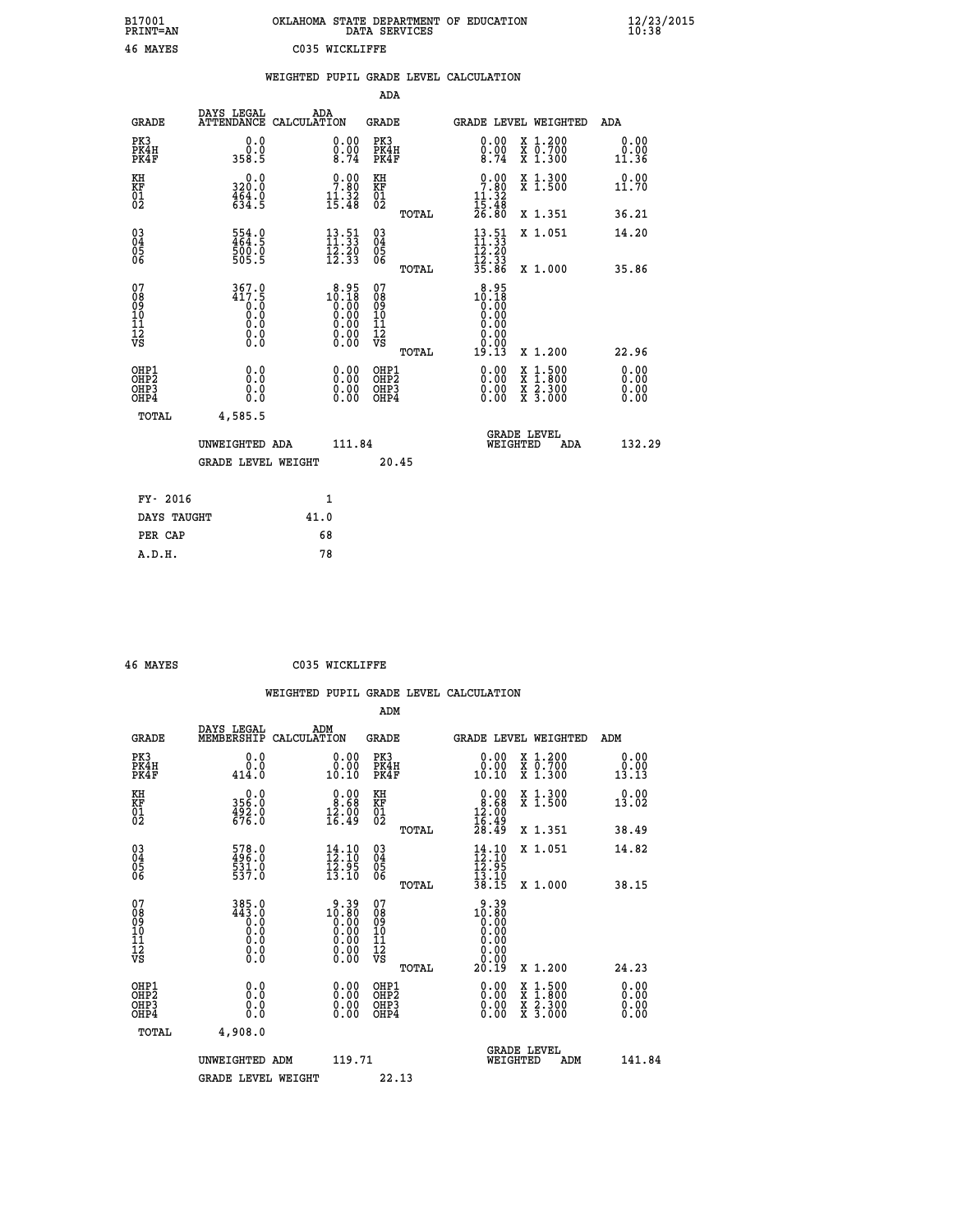| B17001<br>PRINT=AN                       |                                                               | OKLAHOMA STATE DEPARTMENT OF EDUCATION                                                                 | DATA SERVICES                                   |                                                                 |                                                                                                  | $\frac{12}{23}$ /2015        |  |
|------------------------------------------|---------------------------------------------------------------|--------------------------------------------------------------------------------------------------------|-------------------------------------------------|-----------------------------------------------------------------|--------------------------------------------------------------------------------------------------|------------------------------|--|
| 46 MAYES                                 |                                                               | C035 WICKLIFFE                                                                                         |                                                 |                                                                 |                                                                                                  |                              |  |
|                                          |                                                               | WEIGHTED PUPIL GRADE LEVEL CALCULATION                                                                 |                                                 |                                                                 |                                                                                                  |                              |  |
|                                          |                                                               |                                                                                                        | ADA                                             |                                                                 |                                                                                                  |                              |  |
| GRADE                                    | DAYS LEGAL                                                    | ADA<br>ATTENDANCE CALCULATION                                                                          | GRADE                                           | GRADE LEVEL WEIGHTED                                            |                                                                                                  | ADA                          |  |
| PK3<br>PK4H<br>PK4F                      | 0.0<br>0.0<br>358.5                                           | 0.00<br>$\frac{0.00}{8.74}$                                                                            | PK3<br>PK4H<br>PK4F                             | 0.00<br>$\frac{0.00}{8.74}$                                     | X 1.200<br>X 0.700<br>X 1.300                                                                    | 0.00<br>0.00<br>11.36        |  |
| KH<br>KF<br>$\overline{01}$              | 0.0<br>320.0<br>$\frac{4}{6}$ , $\frac{6}{4}$ , $\frac{6}{5}$ | $\begin{smallmatrix} 0.00\\ 7.80\\ 11.32\\ 15.48 \end{smallmatrix}$                                    | КH<br>KF<br>01<br>02                            | 0.00<br>7.80<br>$\frac{11.32}{15.48}$<br>$26.80$                | X 1.300<br>X 1.500                                                                               | 0.00<br>11.70                |  |
|                                          |                                                               |                                                                                                        | TOTAL                                           |                                                                 | X 1.351                                                                                          | 36.21                        |  |
| $\substack{03 \\ 04}$<br>0500            | $\frac{554}{464}$ : 9<br>500.0<br>505.5                       | $\begin{array}{c} 13\cdot 51\\ 11\cdot 33\\ 12\cdot 20\\ 12\cdot 33 \end{array}$                       | $03\overline{4}$<br>$\frac{05}{06}$             | $13.51$<br>$11.33$<br>$\frac{1}{2}$ $\frac{2}{3}$ $\frac{5}{3}$ | X 1.051                                                                                          | 14.20                        |  |
|                                          |                                                               |                                                                                                        | TOTAL                                           | 35.86                                                           | X 1.000                                                                                          | 35.86                        |  |
| 07<br>08<br>09<br>10<br>11<br>12<br>VS   | 367.0<br>417.5<br>0.0<br>0.0<br>0.0                           | $10.18\n10.18\n0.00\n0.00\n0.00$<br>$\begin{smallmatrix} 0.00 & 0.00 \\ 0.00 & 0.00 \end{smallmatrix}$ | 07<br>08<br>09<br>10<br>11<br>12<br>VS<br>TOTAL | 8.95<br>10.18<br>0.00<br>0.00<br>0.00<br>0.00<br>0.00<br>19.13  | X 1.200                                                                                          | 22.96                        |  |
| OHP1<br>OHP <sub>2</sub><br>OHP3<br>OHP4 | 0.0<br>Ō.Ō<br>0.0<br>0.0                                      | 0.00<br>$\begin{smallmatrix} 0.00 \ 0.00 \end{smallmatrix}$                                            | OHP1<br>OHP <sub>2</sub><br>OHP3<br>OHP4        | 0.00<br>0.00<br>0.00                                            | $\begin{smallmatrix} x & 1 & 500 \\ x & 1 & 800 \\ x & 2 & 300 \\ x & 3 & 000 \end{smallmatrix}$ | 0.00<br>0.00<br>0.00<br>0.00 |  |
| TOTAL                                    | 4,585.5                                                       |                                                                                                        |                                                 |                                                                 |                                                                                                  |                              |  |
|                                          | UNWEIGHTED ADA                                                | 111.84                                                                                                 |                                                 | <b>GRADE LEVEL</b><br>WEIGHTED                                  | ADA                                                                                              | 132.29                       |  |
|                                          | GRADE LEVEL WEIGHT                                            |                                                                                                        | 20.45                                           |                                                                 |                                                                                                  |                              |  |
| FY- 2016                                 |                                                               | 1                                                                                                      |                                                 |                                                                 |                                                                                                  |                              |  |
| DAYS TAUGHT                              |                                                               | 41.0                                                                                                   |                                                 |                                                                 |                                                                                                  |                              |  |
| PER CAP                                  |                                                               | 68                                                                                                     |                                                 |                                                                 |                                                                                                  |                              |  |
| A.D.H.                                   |                                                               | 78                                                                                                     |                                                 |                                                                 |                                                                                                  |                              |  |

|                                                    |                                                                                                                                             |                    |                                                                                                                                                                                                                                                                                                                                                 |                                   |       | WEIGHTED PUPIL GRADE LEVEL CALCULATION                                                       |                                                                                                                                           |                       |  |
|----------------------------------------------------|---------------------------------------------------------------------------------------------------------------------------------------------|--------------------|-------------------------------------------------------------------------------------------------------------------------------------------------------------------------------------------------------------------------------------------------------------------------------------------------------------------------------------------------|-----------------------------------|-------|----------------------------------------------------------------------------------------------|-------------------------------------------------------------------------------------------------------------------------------------------|-----------------------|--|
|                                                    |                                                                                                                                             |                    |                                                                                                                                                                                                                                                                                                                                                 | ADM                               |       |                                                                                              |                                                                                                                                           |                       |  |
| <b>GRADE</b>                                       | DAYS LEGAL<br>MEMBERSHIP                                                                                                                    | ADM<br>CALCULATION |                                                                                                                                                                                                                                                                                                                                                 | <b>GRADE</b>                      |       | GRADE LEVEL WEIGHTED                                                                         |                                                                                                                                           | ADM                   |  |
| PK3<br>PK4H<br>PK4F                                | 0.0<br>0.0<br>414.0                                                                                                                         |                    | 0.00<br>10.10                                                                                                                                                                                                                                                                                                                                   | PK3<br>PK4H<br>PK4F               |       | $\begin{smallmatrix} 0.00\\ 0.00\\ 10.10 \end{smallmatrix}$                                  | X 1.200<br>X 0.700<br>X 1.300                                                                                                             | 0.00<br>0.00<br>13.13 |  |
| KH<br>KF<br>01<br>02                               | $356.0$<br>$492.0$<br>$676.0$                                                                                                               |                    | $\begin{smallmatrix} 0.00\\ 8.68\\ 12.00\\ 16.49 \end{smallmatrix}$                                                                                                                                                                                                                                                                             | KH<br>KF<br>01<br>02              |       | $\begin{smallmatrix} 0.00\\ 8.68\\ 12.00\\ 16.49\\ 28.49 \end{smallmatrix}$                  | X 1.300<br>X 1.500                                                                                                                        | 0.00<br>13.02         |  |
|                                                    |                                                                                                                                             |                    |                                                                                                                                                                                                                                                                                                                                                 |                                   | TOTAL |                                                                                              | X 1.351                                                                                                                                   | 38.49                 |  |
| $\begin{matrix} 03 \\ 04 \\ 05 \\ 06 \end{matrix}$ | 578.0<br>496.0<br>531.0<br>537.0                                                                                                            |                    | $\frac{14}{12}$ : 10<br>$\frac{1}{2}\overline{3}\cdot\overline{9}\overline{5}$<br>$\frac{1}{3}\cdot\overline{10}$                                                                                                                                                                                                                               | $\substack{03 \\ 04}$<br>Ŏ5<br>06 |       | $\begin{array}{c} 14\cdot 10\\ 12\cdot 10\\ 12\cdot 9\\ 13\cdot 10\\ 38\cdot 15 \end{array}$ | X 1.051                                                                                                                                   | 14.82                 |  |
|                                                    |                                                                                                                                             |                    |                                                                                                                                                                                                                                                                                                                                                 |                                   | TOTAL |                                                                                              | X 1.000                                                                                                                                   | 38.15                 |  |
| 07<br>0890112<br>1112<br>VS                        | 385.0<br>443.0<br>$\begin{smallmatrix} 0.59 \ 0.0 \end{smallmatrix}$<br>$\begin{smallmatrix} 0.0 & 0 \ 0.0 & 0 \ 0.0 & 0 \end{smallmatrix}$ |                    | $\begin{smallmatrix} 9 & 39 \\ 10 & 80 \\ 0 & 00 \\ 0 & 00 \\ 0 & 00 \\ 0 & 00 \\ 0 & 00 \\ 0 & 00 \\ 0 & 00 \\ 0 & 00 \\ 0 & 00 \\ 0 & 00 \\ 0 & 0 \\ 0 & 0 \\ 0 & 0 \\ 0 & 0 \\ 0 & 0 \\ 0 & 0 \\ 0 & 0 \\ 0 & 0 \\ 0 & 0 \\ 0 & 0 \\ 0 & 0 \\ 0 & 0 \\ 0 & 0 \\ 0 & 0 \\ 0 & 0 \\ 0 & 0 \\ 0 & 0 \\ 0 & 0 \\ 0 & 0 \\ 0 & 0 \\ 0 & 0 \\ 0 &$ | 07<br>08901123<br>1112<br>VS      |       | 9.39<br>10.80<br>0.00<br>0.00<br>0.00                                                        |                                                                                                                                           |                       |  |
|                                                    |                                                                                                                                             |                    |                                                                                                                                                                                                                                                                                                                                                 |                                   | TOTAL | 20.19                                                                                        | X 1.200                                                                                                                                   | 24.23                 |  |
| OHP1<br>OHP2<br>OH <sub>P3</sub><br>OHP4           | 0.0<br>0.000                                                                                                                                |                    | $\begin{smallmatrix} 0.00 \ 0.00 \ 0.00 \ 0.00 \end{smallmatrix}$                                                                                                                                                                                                                                                                               | OHP1<br>OHP2<br>OHP <sub>3</sub>  |       |                                                                                              | $\begin{smallmatrix} \mathtt{X} & 1\cdot500\\ \mathtt{X} & 1\cdot800\\ \mathtt{X} & 2\cdot300\\ \mathtt{X} & 3\cdot000 \end{smallmatrix}$ | 0.00<br>0.00<br>0.00  |  |
| TOTAL                                              | 4,908.0                                                                                                                                     |                    |                                                                                                                                                                                                                                                                                                                                                 |                                   |       |                                                                                              |                                                                                                                                           |                       |  |
|                                                    | UNWEIGHTED ADM                                                                                                                              |                    | 119.71                                                                                                                                                                                                                                                                                                                                          |                                   |       | WEIGHTED                                                                                     | <b>GRADE LEVEL</b><br>ADM                                                                                                                 | 141.84                |  |
|                                                    | <b>GRADE LEVEL WEIGHT</b>                                                                                                                   |                    |                                                                                                                                                                                                                                                                                                                                                 | 22.13                             |       |                                                                                              |                                                                                                                                           |                       |  |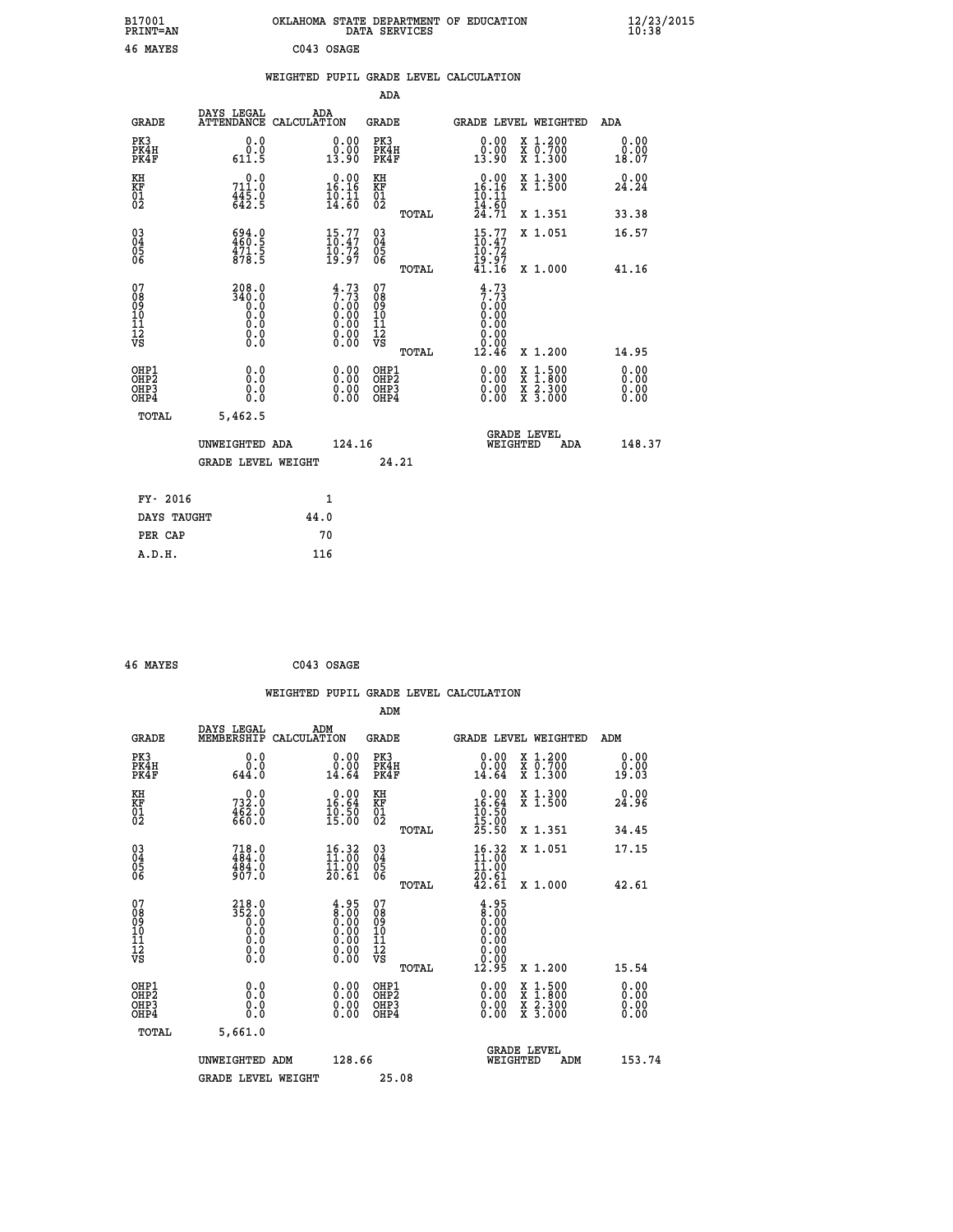| B17001<br><b>PRINT=AN</b>                          |                                                   | OKLAHOMA STATE DEPARTMENT OF EDUCATION                                                                           | DATA SERVICES                                        |                                                                                      |                                                                                                  | 12/23/2015<br>10:38          |  |
|----------------------------------------------------|---------------------------------------------------|------------------------------------------------------------------------------------------------------------------|------------------------------------------------------|--------------------------------------------------------------------------------------|--------------------------------------------------------------------------------------------------|------------------------------|--|
| 46 MAYES                                           |                                                   | C043 OSAGE                                                                                                       |                                                      |                                                                                      |                                                                                                  |                              |  |
|                                                    |                                                   | WEIGHTED PUPIL GRADE LEVEL CALCULATION                                                                           |                                                      |                                                                                      |                                                                                                  |                              |  |
|                                                    |                                                   |                                                                                                                  | ADA                                                  |                                                                                      |                                                                                                  |                              |  |
| <b>GRADE</b>                                       | DAYS LEGAL<br>ATTENDANCE CALCULATION              | ADA                                                                                                              | GRADE                                                | GRADE LEVEL WEIGHTED                                                                 |                                                                                                  | ADA                          |  |
| PK3<br>PK4H<br>PK4F                                | 0.0<br>0.0<br>611.5                               | 0.00<br>0:00<br>13:90                                                                                            | PK3<br>PK4H<br>PK4F                                  | $\begin{smallmatrix} 0.00\\ 0.00\\ 13.90 \end{smallmatrix}$                          | X 1.200<br>X 0.700<br>X 1.300                                                                    | 0.00<br>0.00<br>18.07        |  |
| KH<br>KF<br>$^{01}_{02}$                           | 711.0<br>$\frac{445.0}{642.5}$                    | $16.00$<br>16.16<br>$\frac{10}{14}$ $\frac{11}{60}$                                                              | KH<br>KF<br>$^{01}_{02}$                             | 0.00<br>16.16<br>10.11                                                               | X 1.300<br>X 1.500                                                                               | 0.00<br>24.24                |  |
|                                                    |                                                   |                                                                                                                  | TOTAL                                                | 14:60<br>24:71                                                                       | X 1.351                                                                                          | 33.38                        |  |
| $\begin{matrix} 03 \\ 04 \\ 05 \\ 06 \end{matrix}$ | $\frac{694}{460}$ : 5<br>$\frac{471}{5}$<br>878.5 | $\begin{smallmatrix} 15.77\ 10.47\ 19.72\ 19.97 \end{smallmatrix}$                                               | 03<br>04<br>05<br>06                                 | 15.77<br>10.47<br>10.72<br>$\frac{\bar{1}\check{9}\cdot\check{9}\bar{7}}{41\cdot16}$ | X 1.051                                                                                          | 16.57                        |  |
|                                                    |                                                   |                                                                                                                  | TOTAL                                                |                                                                                      | X 1,000                                                                                          | 41.16                        |  |
| 07<br>08<br>09<br>10<br>11<br>12<br>VS             | 208.0<br>340.0<br>0.0<br>0.0<br>0.0<br>Ŏ.O        | $\begin{smallmatrix} 4\cdot73\7\cdot73\0\cdot00\0\cdot00\0\cdot00\0\cdot00\0\cdot0\0\0\cdot0\0\end{smallmatrix}$ | 07<br>08<br>09<br>10<br>11<br>12<br>VS<br>TOTAL      | 4.73<br>7.73<br>0.00<br>0.00<br>0.00<br>0.00<br>12.46                                | X 1.200                                                                                          | 14.95                        |  |
| OHP1<br>OHP <sub>2</sub><br>OHP3<br>OHP4           | 0.0<br>0.0<br>0.0<br>0.0                          | 0.00<br>0.00<br>0.00                                                                                             | OHP1<br>OH <sub>P</sub> <sub>2</sub><br>OHP3<br>OHP4 | 0.00<br>0.00<br>0.00                                                                 | $\begin{smallmatrix} x & 1 & 500 \\ x & 1 & 800 \\ x & 2 & 300 \\ x & 3 & 000 \end{smallmatrix}$ | 0.00<br>0.00<br>0.00<br>0.00 |  |
| TOTAL                                              | 5,462.5                                           |                                                                                                                  |                                                      |                                                                                      |                                                                                                  |                              |  |
|                                                    | UNWEIGHTED ADA<br>GRADE LEVEL WEIGHT              | 124.16                                                                                                           | 24.21                                                | <b>GRADE LEVEL</b><br>WEIGHTED                                                       | ADA                                                                                              | 148.37                       |  |
|                                                    |                                                   |                                                                                                                  |                                                      |                                                                                      |                                                                                                  |                              |  |
| FY- 2016                                           |                                                   | 1                                                                                                                |                                                      |                                                                                      |                                                                                                  |                              |  |
| DAYS TAUGHT                                        |                                                   | 44.0                                                                                                             |                                                      |                                                                                      |                                                                                                  |                              |  |
| PER CAP                                            |                                                   | 70                                                                                                               |                                                      |                                                                                      |                                                                                                  |                              |  |

| 46 MAYES | C043 OSAGE |
|----------|------------|

|                                              |                                                        |                                                                                               |                                                 | WEIGHTED PUPIL GRADE LEVEL CALCULATION                                                            |                                          |                       |
|----------------------------------------------|--------------------------------------------------------|-----------------------------------------------------------------------------------------------|-------------------------------------------------|---------------------------------------------------------------------------------------------------|------------------------------------------|-----------------------|
|                                              |                                                        |                                                                                               | ADM                                             |                                                                                                   |                                          |                       |
| <b>GRADE</b>                                 | DAYS LEGAL<br>MEMBERSHIP                               | ADM<br>CALCULATION                                                                            | <b>GRADE</b>                                    | GRADE LEVEL WEIGHTED                                                                              |                                          | ADM                   |
| PK3<br>PK4H<br>PK4F                          | 0.0<br>0.0<br>644.0                                    | $\begin{smallmatrix} 0.00\\ 0.00\\ 14.64 \end{smallmatrix}$                                   | PK3<br>PK4H<br>PK4F                             | 0.00<br>14.64                                                                                     | X 1.200<br>X 0.700<br>X 1.300            | 0.00<br>0.00<br>19.03 |
| KH<br>KF<br>01<br>02                         | $732.0$<br>$462.0$<br>$660.0$                          | $\begin{smallmatrix} 0.00\\ 16.64\\ 10.50\\ 15.00 \end{smallmatrix}$                          | KH<br>KF<br>01<br>02                            | 0.00<br>$16.64$<br>$10.50$<br>$15.00$<br>$25.50$                                                  | X 1.300<br>X 1.500                       | 0.00<br>24.96         |
|                                              |                                                        |                                                                                               | TOTAL                                           |                                                                                                   | X 1.351                                  | 34.45                 |
| 03<br>04<br>05<br>06                         | $718.0$<br>$484.0$<br>$484.0$<br>$907.0$               | 16.32<br>$\frac{1}{2}$ $\frac{1}{6}$ $\frac{1}{6}$ $\frac{1}{6}$                              | 03<br>04<br>05<br>06                            | $16.32$<br>$11.00$<br>īī.ŏŏ<br>$\frac{20.61}{42.61}$                                              | X 1.051                                  | 17.15                 |
|                                              |                                                        |                                                                                               | TOTAL                                           |                                                                                                   | X 1.000                                  | 42.61                 |
| 07<br>08<br>09<br>101<br>11<br>12<br>VS      | $218.0$<br>$352.0$<br>$0.0$<br>$0.0$<br>$0.0$<br>$\S.$ | $\begin{smallmatrix} 4.95\ 8.00\ 0.00\ 0.00\ 0.00\ 0.00\ 0.00\ 0.00\ 0.00\ \end{smallmatrix}$ | 07<br>08<br>09<br>11<br>11<br>12<br>VS<br>TOTAL | $\begin{smallmatrix} 4.95\ 8.00\ 9.00 \end{smallmatrix}$<br>0.00<br>0.00<br>0.00<br>0:00<br>12:95 | X 1.200                                  | 15.54                 |
| OHP1                                         |                                                        |                                                                                               | OHP1                                            |                                                                                                   |                                          | 0.00                  |
| OH <sub>P2</sub><br>OH <sub>P3</sub><br>OHP4 | 0.0<br>0.0<br>0.0                                      | $\begin{smallmatrix} 0.00 \ 0.00 \ 0.00 \ 0.00 \end{smallmatrix}$                             | OHP <sub>2</sub><br>OHP3<br>OHP4                | 0.00<br>$\begin{smallmatrix} 0.00 & 0 \ 0.00 & 0 \end{smallmatrix}$                               | X 1:500<br>X 1:800<br>X 2:300<br>X 3:000 | 0.00<br>0.00<br>0.00  |
| TOTAL                                        | 5,661.0                                                |                                                                                               |                                                 |                                                                                                   |                                          |                       |
|                                              | UNWEIGHTED ADM<br><b>GRADE LEVEL WEIGHT</b>            | 128.66                                                                                        | 25.08                                           | <b>GRADE LEVEL</b><br>WEIGHTED                                                                    | ADM                                      | 153.74                |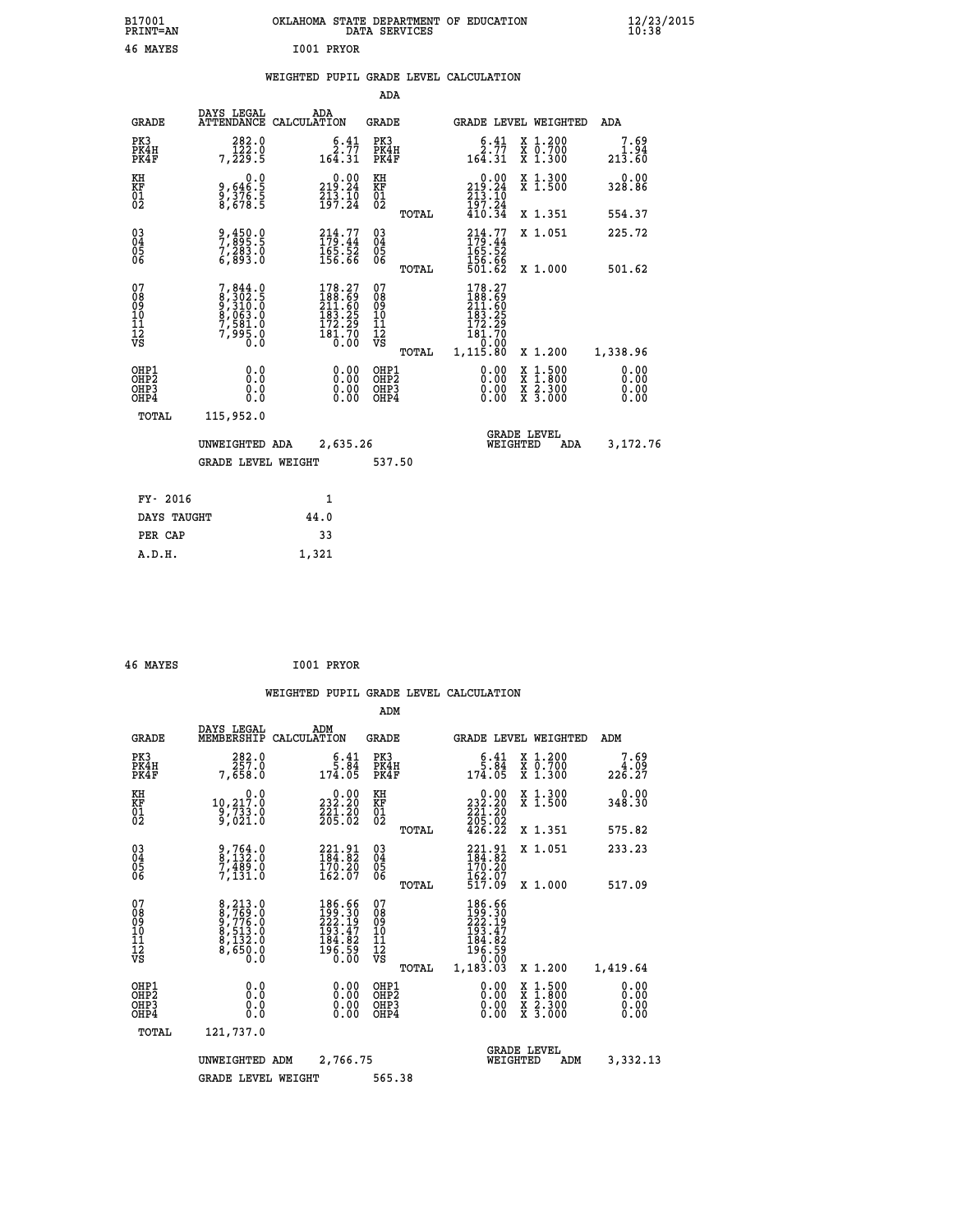| B17001<br>PRINT=AN                                               |                                                                             | OKLAHOMA STATE DEPARTMENT OF EDUCATION<br>DATA SERVICES                                                                                                |                                                 |                                                                                     |                                                                                          | $\frac{12}{23}$ /2015        |
|------------------------------------------------------------------|-----------------------------------------------------------------------------|--------------------------------------------------------------------------------------------------------------------------------------------------------|-------------------------------------------------|-------------------------------------------------------------------------------------|------------------------------------------------------------------------------------------|------------------------------|
| 46 MAYES                                                         |                                                                             | I001 PRYOR                                                                                                                                             |                                                 |                                                                                     |                                                                                          |                              |
|                                                                  |                                                                             | WEIGHTED PUPIL GRADE LEVEL CALCULATION                                                                                                                 |                                                 |                                                                                     |                                                                                          |                              |
|                                                                  |                                                                             |                                                                                                                                                        | ADA                                             |                                                                                     |                                                                                          |                              |
| GRADE                                                            | DAYS LEGAL                                                                  | ADA<br>ATTENDANCE CALCULATION                                                                                                                          | GRADE                                           | GRADE LEVEL WEIGHTED                                                                |                                                                                          | ADA                          |
| PK3<br>PK4H<br>PK4F                                              | 282.0<br>$\overline{1}\overline{2}\overline{2}$ .0<br>7,229.5               | $\frac{6.41}{2.77}$<br>164.31                                                                                                                          | PK3<br>PK4H<br>PK4F                             | $\frac{6.41}{2.77}$<br>$16\overline{4}.31$                                          | X 1.200<br>X 0.700<br>X 1.300                                                            | 7.69<br>1.94<br>213.60       |
| KH<br>KF<br>$\begin{matrix} 01 \ 02 \end{matrix}$                | 0.0<br>9,646:5<br>9,376:5<br>8,678:5                                        | $\begin{smallmatrix} 0.00\\219.24\\213.10\\197.24\end{smallmatrix}$                                                                                    | ΚH<br><b>KF</b><br>01<br>02                     | $\begin{array}{c} 0.00 \\ 219.24 \\ 213.10 \end{array}$                             | X 1.300<br>X 1.500                                                                       | 0.00<br>328.86               |
|                                                                  |                                                                             |                                                                                                                                                        | TOTAL                                           | $\frac{197.24}{410.34}$                                                             | X 1.351                                                                                  | 554.37                       |
| $^{03}_{04}$<br>Ŏ5<br>ŎĞ                                         | 9,450.0<br>7,895.5<br>7,283.0<br>6,893.0                                    | $214.77$<br>$179.44$<br>$165.52$<br>$156.66$                                                                                                           | $^{03}_{04}$<br>0500                            | 214.77<br>179.44<br>165.52<br>156.66                                                | X 1.051                                                                                  | 225.72                       |
|                                                                  |                                                                             |                                                                                                                                                        | TOTAL                                           | 501.62                                                                              | X 1.000                                                                                  | 501.62                       |
| 07<br>Ŏ8<br>09<br>10<br>Īľ<br>12<br>VS                           | 7, 844.0<br>8, 302.5<br>9, 310.0<br>9, 063.0<br>7, 581.0<br>7, 995.0<br>0.0 | 178.27<br>188.69<br>211.60<br>$\begin{smallmatrix} 1 & 1 & 3 & 2 & 5 \\ 1 & 7 & 2 & 2 & 9 \\ 1 & 8 & 1 & 7 & 0 \\ 1 & 8 & 0 & 0 & 0 \end{smallmatrix}$ | 07<br>ŏġ<br>09<br>ĭõ<br>īĭ<br>12<br>VS<br>TOTAL | 178.27<br>188.69<br>211.60<br>183.25<br>$\frac{172.29}{181.70}$<br>0.00<br>1,115.80 | X 1.200                                                                                  | 1,338.96                     |
| OHP1<br>OHP <sub>2</sub><br>OH <sub>P3</sub><br>OH <sub>P4</sub> | 0.0<br>Ŏ.Ŏ<br>0.0<br>0.0                                                    | 0.00<br>0.00<br>0.00                                                                                                                                   | OHP1<br>OHP <sub>2</sub><br>OHP3<br>OHP4        | 0.00<br>0.00<br>0.00                                                                | $\begin{smallmatrix} x & 1.500 \\ x & 1.800 \\ x & 2.300 \\ x & 3.000 \end{smallmatrix}$ | 0.00<br>0.00<br>0.00<br>0.00 |
| TOTAL                                                            | 115,952.0                                                                   |                                                                                                                                                        |                                                 |                                                                                     |                                                                                          |                              |
|                                                                  | UNWEIGHTED ADA                                                              | 2,635.26                                                                                                                                               |                                                 | WEIGHTED                                                                            | <b>GRADE LEVEL</b><br>ADA                                                                | 3,172.76                     |
|                                                                  | <b>GRADE LEVEL WEIGHT</b>                                                   |                                                                                                                                                        | 537.50                                          |                                                                                     |                                                                                          |                              |
| FY- 2016                                                         |                                                                             | 1                                                                                                                                                      |                                                 |                                                                                     |                                                                                          |                              |
| DAYS TAUGHT                                                      |                                                                             | 44.0                                                                                                                                                   |                                                 |                                                                                     |                                                                                          |                              |
| PER CAP                                                          |                                                                             | 33                                                                                                                                                     |                                                 |                                                                                     |                                                                                          |                              |

| 46 MAYES | I001 PRYOR |  |
|----------|------------|--|
|          |            |  |

 **A.D.H. 1,321**

 **WEIGHTED PUPIL GRADE LEVEL CALCULATION ADM DAYS LEGAL ADM GRADE MEMBERSHIP CALCULATION GRADE GRADE LEVEL WEIGHTED ADM PK3 282.0 6.41 PK3 6.41 X 1.200 7.69 PK4H 257.0 5.84 PK4H 5.84 X 0.700 4.09 PK4F 7,658.0 174.05 PK4F 174.05 X 1.300 226.27 KH 0.0 0.00 KH 0.00 X 1.300 0.00 KF 10,217.0 232.20 KF 232.20 X 1.500 348.30 01 9,733.0 221.20 01 221.20 02 9,021.0 205.02 02 205.02 TOTAL 426.22 X 1.351 575.82 03 9,764.0 221.91 03 221.91 X 1.051 233.23 04 8,132.0 184.82 04 184.82 05 7,489.0 170.20 05 170.20 06 7,131.0 162.07 06 162.07 TOTAL 517.09 X 1.000 517.09**  $\begin{array}{cccc} 07 & 8, 213\cdot 0 & 186\cdot 66 & 07 & 186\cdot 66 \ 08 & 8, 769\cdot 0 & 129\cdot 30 & 08 & 129\cdot 10 \ 09 & 8, 716\cdot 0 & 129\cdot 19 & 09 & 222\cdot 19 \ 10 & 8, 513\cdot 0 & 193\cdot 47 & 10 & 193\cdot 47 \ 11 & 8, 132\cdot 0 & 184\cdot 82 & 11 & 186\cdot 82 \ 12 & 196\cdot 59$ **8, 213.0**<br> **8, 769.0**<br> **186.66**<br> **199.30**<br> **186.66**<br> **199.30**<br> **186.66**<br> **186.66**<br> **186.66**<br> **189.30**<br> **189.30**<br> **189.90**<br> **189.90**<br> **189.90**<br> **189.90**<br> **189.90**<br> **189.90**<br> **189.90**<br> **199.10**<br> **189.90**<br> **199.10**<br> **199.90 OHP1 0.0 0.00 OHP1 0.00 X 1.500 0.00 OHP2 0.0 0.00 OHP2 0.00 X 1.800 0.00 OHP3 0.0 0.00 OHP3 0.00 X 2.300 0.00 OHP4 0.0 0.00 OHP4 0.00 X 3.000 0.00 TOTAL 121,737.0 GRADE LEVEL UNWEIGHTED ADM 2,766.75 WEIGHTED ADM 3,332.13 GRADE LEVEL WEIGHT 565.38**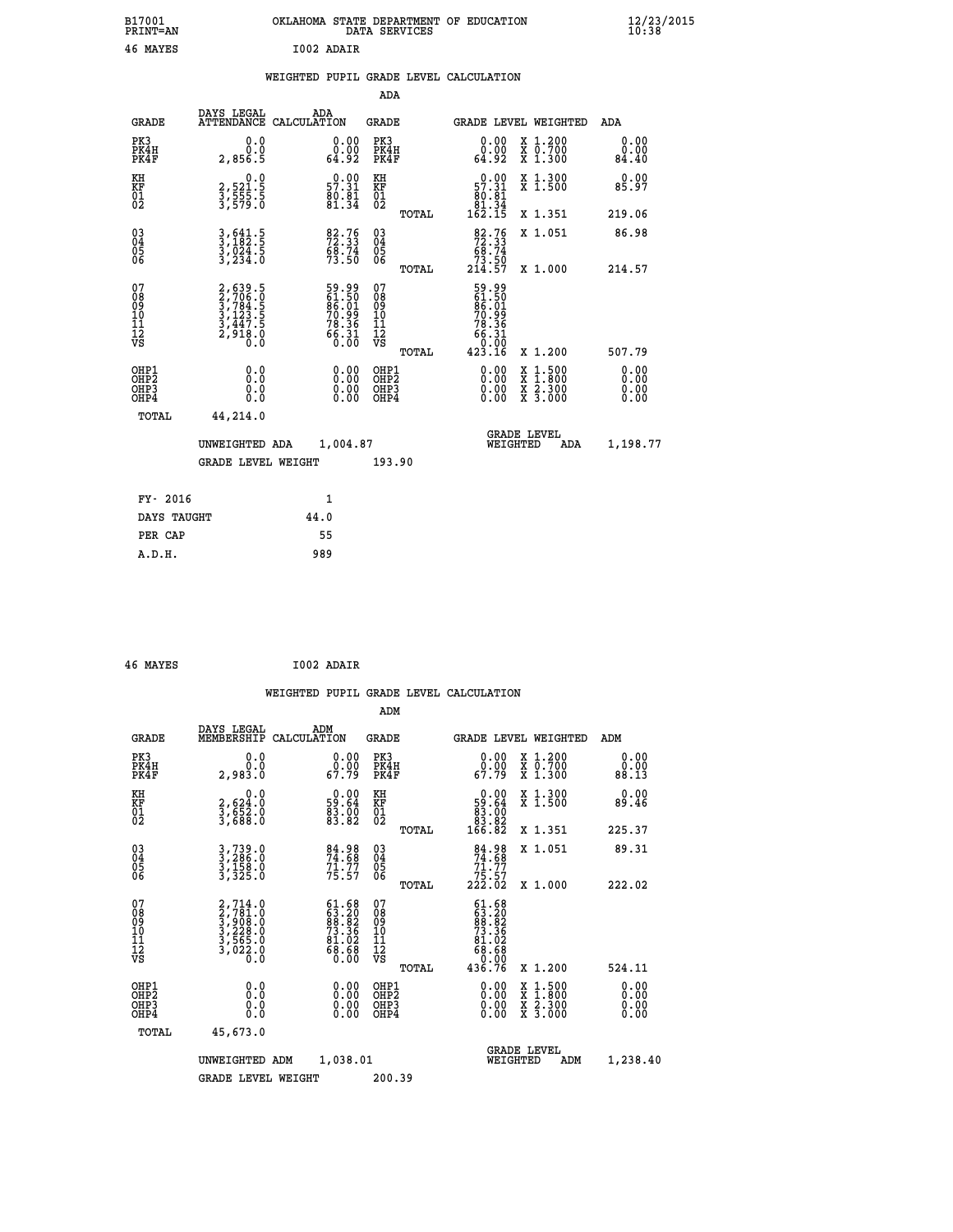| B17001<br><b>PRINT=AN</b> | OKLAHOMA STATE DEPARTMENT OF EDUCATION<br>DATA SERVICES | $\frac{12}{23}$ /2015 |
|---------------------------|---------------------------------------------------------|-----------------------|
| 46<br>MAYES               | I002 ADAIR                                              |                       |

## **WEIGHTED PUPIL GRADE LEVEL CALCULATION**

|                                                                    |                                                                       |                                                             | ADA                                    |       |                                                                                        |                                                                                          |                       |
|--------------------------------------------------------------------|-----------------------------------------------------------------------|-------------------------------------------------------------|----------------------------------------|-------|----------------------------------------------------------------------------------------|------------------------------------------------------------------------------------------|-----------------------|
| <b>GRADE</b>                                                       | DAYS LEGAL                                                            | ADA<br>ATTENDANCE CALCULATION                               | <b>GRADE</b>                           |       |                                                                                        | <b>GRADE LEVEL WEIGHTED</b>                                                              | ADA                   |
| PK3<br>PK4H<br>PK4F                                                | 0.0<br>0.0<br>2,856.5                                                 | 0.0000<br>64.92                                             | PK3<br>PK4H<br>PK4F                    |       | 0.00<br>ةة:ة<br>64:92                                                                  | X 1.200<br>X 0.700<br>X 1.300                                                            | 0.00<br>0.00<br>84.40 |
| KH<br>KF<br>01<br>02                                               | 0.0<br>2,521:5<br>3,555:5<br>3,579:0                                  | $0.00$<br>57.31<br>$\frac{80.81}{81.34}$                    | KH<br>KF<br>01<br>02                   |       | $\begin{smallmatrix} &0.00\\ 57.31\\ 80.81\\ 81.34\\ 162.15 \end{smallmatrix}$         | X 1.300<br>X 1.500                                                                       | 0.00<br>85.97         |
|                                                                    |                                                                       |                                                             |                                        | TOTAL |                                                                                        | X 1.351                                                                                  | 219.06                |
| $\begin{smallmatrix} 03 \\[-4pt] 04 \end{smallmatrix}$<br>Ŏ5<br>06 | $3, 641.5$<br>$3, 182.5$<br>$3, 024.5$<br>$3, 234.0$                  | 82.76<br>72.33<br>68.74<br>73.50                            | 03<br>04<br>05<br>06                   |       | $\begin{smallmatrix}82.76\\72.33\\68.74\\73.50\\214.57\end{smallmatrix}$               | X 1.051                                                                                  | 86.98                 |
|                                                                    |                                                                       |                                                             |                                        | TOTAL |                                                                                        | X 1.000                                                                                  | 214.57                |
| 07<br>08<br>09<br>01<br>11<br>11<br>12<br>VS                       | 2,639.5<br>2,706.0<br>3,784.5<br>3,123.5<br>3,447.5<br>2,918.0<br>0.0 | 59.99<br>61.50<br>66.01<br>70.99<br>78.36<br>78.31<br>66.31 | 07<br>08<br>09<br>11<br>11<br>12<br>VS |       | $59.99$<br>$61.501$<br>$86.01$<br>$70.99$<br>$78.36$<br>$66.31$<br>$60.00$<br>$423.16$ |                                                                                          |                       |
|                                                                    |                                                                       |                                                             |                                        | TOTAL |                                                                                        | X 1.200                                                                                  | 507.79                |
| OHP1<br>OHP2<br>OH <sub>P3</sub><br>OHP4                           | 0.0<br>0.0<br>0.0                                                     | $0.00$<br>$0.00$<br>0.00                                    | OHP1<br>OHP2<br>OHP3<br>OHP4           |       | 0.00<br>$\begin{smallmatrix} 0.00 \\ 0.00 \end{smallmatrix}$                           | $\begin{smallmatrix} x & 1.500 \\ x & 1.800 \\ x & 2.300 \\ x & 3.000 \end{smallmatrix}$ | 0.00<br>0.00<br>0.00  |
| TOTAL                                                              | 44,214.0                                                              |                                                             |                                        |       |                                                                                        |                                                                                          |                       |
|                                                                    | UNWEIGHTED ADA                                                        | 1,004.87                                                    |                                        |       |                                                                                        | <b>GRADE LEVEL</b><br>WEIGHTED<br>ADA                                                    | 1,198.77              |
|                                                                    | <b>GRADE LEVEL WEIGHT</b>                                             |                                                             | 193.90                                 |       |                                                                                        |                                                                                          |                       |
| FY- 2016                                                           |                                                                       | $\mathbf{1}$                                                |                                        |       |                                                                                        |                                                                                          |                       |
| DAYS TAUGHT                                                        |                                                                       | 44.0                                                        |                                        |       |                                                                                        |                                                                                          |                       |
| PER CAP                                                            |                                                                       | 55                                                          |                                        |       |                                                                                        |                                                                                          |                       |

| 46 MAYES | I002 ADAIR |
|----------|------------|
|          |            |

 **A.D.H. 989**

 **WEIGHTED PUPIL GRADE LEVEL CALCULATION ADM DAYS LEGAL ADM GRADE MEMBERSHIP CALCULATION GRADE GRADE LEVEL WEIGHTED ADM PK3 0.0 0.00 PK3 0.00 X 1.200 0.00 PK4H 0.0 0.00 PK4H 0.00 X 0.700 0.00 PK4F 2,983.0 67.79 PK4F 67.79 X 1.300 88.13** 0.00 KH 0.00 0.00 KH 0.00 X 1.300<br>RF 2,624.0 59.64 KF 59.64 X 1.500 89.46  **01 3,652.0 83.00 01 83.00 02 3,688.0 83.82 02 83.82 TOTAL 166.82 X 1.351 225.37 03 3,739.0 84.98 03 84.98 X 1.051 89.31 04 3,286.0 74.68 04 74.68 05 3,158.0 71.77 05 71.77** 06 3,325.0 75.57 06 <sub>momas</sub> 25.57  **TOTAL 222.02 X 1.000 222.02**  $\begin{array}{cccc} 07 & 2,714.0 & 61.68 & 07 & 61.68 \ 08 & 2,781.0 & 63.20 & 08 & 63.20 \ 09 & 3,908.0 & 83.82 & 09 & 63.82 \ 10 & 3,228.0 & 73.36 & 10 & 73.36 \ 11 & 3,6025.0 & 81.02 & 11 & 81.02 \ \hline \textrm{vs} & 3,0228.0 & 63.68 & 12 & 81.02 \ \hline \textrm{vs} & 3,023.$  **TOTAL 436.76 X 1.200 524.11 OHP1 0.0 0.00 OHP1 0.00 X 1.500 0.00 OHP2 0.0 0.00 OHP2 0.00 X 1.800 0.00 OHP3 0.0 0.00 OHP3 0.00 X 2.300 0.00 OHP4 0.0 0.00 OHP4 0.00 X 3.000 0.00 TOTAL 45,673.0 GRADE LEVEL UNWEIGHTED ADM 1,038.01 WEIGHTED ADM 1,238.40 GRADE LEVEL WEIGHT 200.39**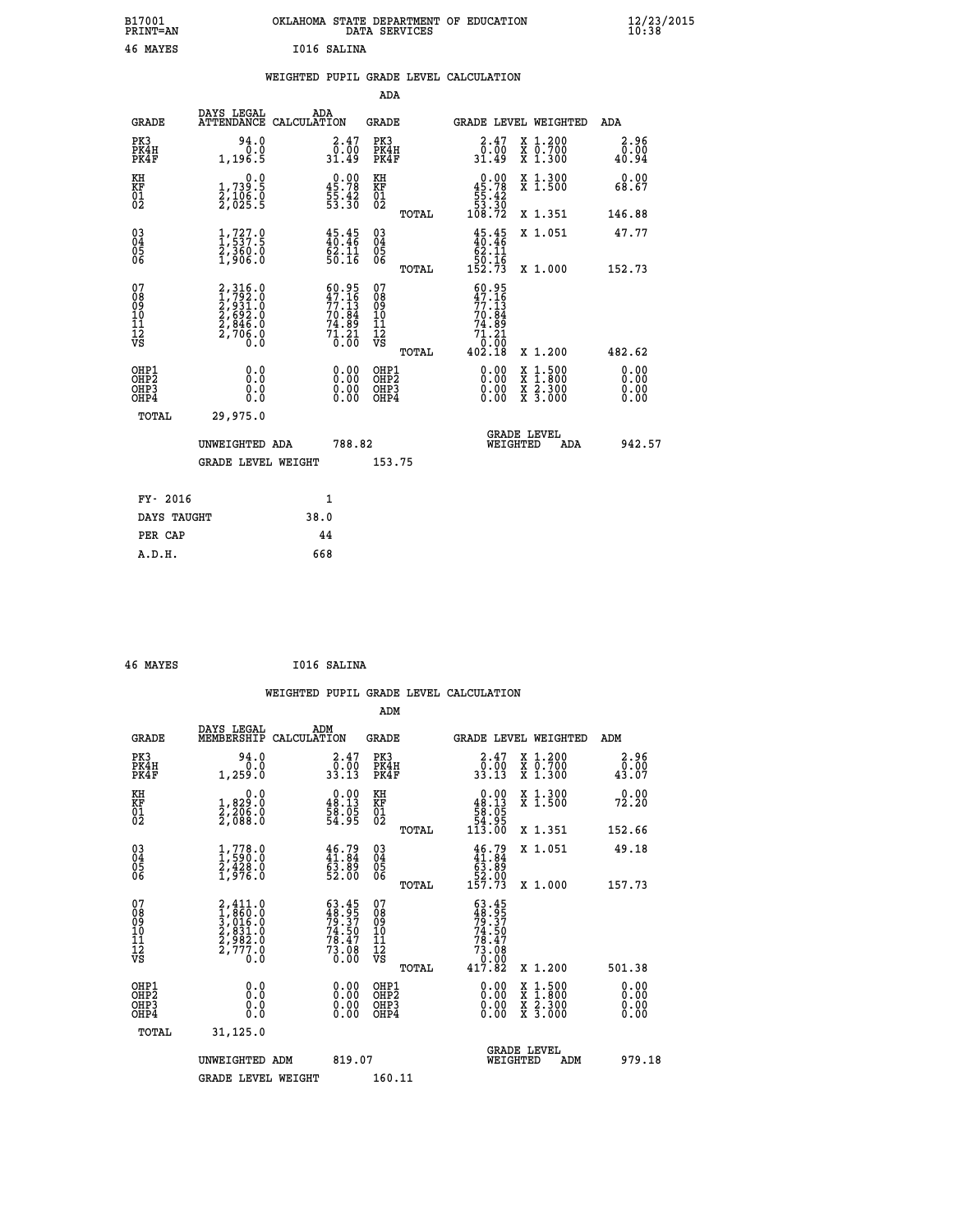| B17001<br><b>PRINT=AN</b> | OKLAHOMA STATE DEPARTMENT OF EDUCATION<br>DATA SERVICES | $\frac{12}{23}$ /2015 |
|---------------------------|---------------------------------------------------------|-----------------------|
| 46<br>MAYES               | I016 SALINA                                             |                       |

#### **WEIGHTED PUPIL GRADE LEVEL CALCULATION**

|                                                                    |                                                                                                       |                                                                          | ADA                                                 |       |                                                                           |                                          |                              |
|--------------------------------------------------------------------|-------------------------------------------------------------------------------------------------------|--------------------------------------------------------------------------|-----------------------------------------------------|-------|---------------------------------------------------------------------------|------------------------------------------|------------------------------|
| <b>GRADE</b>                                                       | DAYS LEGAL                                                                                            | ADA<br>ATTENDANCE CALCULATION                                            | <b>GRADE</b>                                        |       |                                                                           | <b>GRADE LEVEL WEIGHTED</b>              | <b>ADA</b>                   |
| PK3<br>PK4H<br>PK4F                                                | 94.0<br>0.0<br>1,196.5                                                                                | $2.47$ <sub>0.00</sub><br>31.49                                          | PK3<br>PK4H<br>PK4F                                 |       | $\begin{smallmatrix} 2.47\0.00\\0.00\\31.49\end{smallmatrix}$             | X 1.200<br>X 0.700<br>X 1.300            | 2.96<br>0.00<br>40.94        |
| KH<br>KF<br>01<br>02                                               | 0.0<br>1,739:5<br>2,106:0<br>2,025:5                                                                  | $\begin{smallmatrix} 0.00\\ 45.78\\ 55.42\\ 53.30 \end{smallmatrix}$     | KH<br>KF<br>01<br>02                                |       | $\begin{smallmatrix}&&0.00\\45.78\\55.42\\53.30\\108.72\end{smallmatrix}$ | X 1.300<br>X 1.500                       | 0.00<br>68.67                |
|                                                                    |                                                                                                       |                                                                          |                                                     | TOTAL |                                                                           | X 1.351                                  | 146.88                       |
| $\begin{smallmatrix} 03 \\[-4pt] 04 \end{smallmatrix}$<br>Ŏ5<br>06 | $\frac{1}{2}, \frac{727}{537}.5$<br>$\frac{2}{3}, \frac{360}{360}.0$<br>$\frac{1}{2}, \frac{906}{50}$ | 45.45<br>62.11<br>50.16                                                  | $\begin{array}{c} 03 \\ 04 \\ 05 \\ 06 \end{array}$ |       | $45.45\n40.46\n62.11\n50.16\n152.73$                                      | X 1.051                                  | 47.77                        |
|                                                                    |                                                                                                       |                                                                          |                                                     | TOTAL |                                                                           | X 1.000                                  | 152.73                       |
| 07<br>08<br>09<br>101<br>11<br>12<br>VS                            | 2,316.0<br>1,792.0<br>2,931.0<br>2,692.0<br>2,846.0<br>2,706.0                                        | $60.95$<br>$47.16$<br>$77.13$<br>$70.84$<br>$74.89$<br>$71.21$<br>$0.00$ | 07<br>08<br>09<br>11<br>11<br>12<br>VS              |       | $60.95$<br>$47.16$<br>$77.13$<br>$70.84$<br>$74.89$<br>$71.21$<br>$0.00$  |                                          |                              |
|                                                                    |                                                                                                       |                                                                          |                                                     | TOTAL | 402.18                                                                    | X 1.200                                  | 482.62                       |
| OHP1<br>OHP <sub>2</sub><br>OH <sub>P3</sub><br>OHP4               | 0.0<br>0.0<br>0.0                                                                                     | 0.00<br>$\begin{smallmatrix} 0.00 \ 0.00 \end{smallmatrix}$              | OHP1<br>OHP <sub>2</sub><br>OHP <sub>3</sub>        |       | 0.00<br>0.00                                                              | X 1:500<br>X 1:800<br>X 2:300<br>X 3:000 | 0.00<br>0.00<br>0.00<br>0.00 |
| TOTAL                                                              | 29,975.0                                                                                              |                                                                          |                                                     |       |                                                                           |                                          |                              |
|                                                                    | UNWEIGHTED ADA                                                                                        | 788.82                                                                   |                                                     |       |                                                                           | <b>GRADE LEVEL</b><br>WEIGHTED<br>ADA    | 942.57                       |
|                                                                    | <b>GRADE LEVEL WEIGHT</b>                                                                             |                                                                          | 153.75                                              |       |                                                                           |                                          |                              |
| FY- 2016                                                           |                                                                                                       | $\mathbf{1}$                                                             |                                                     |       |                                                                           |                                          |                              |
| DAYS TAUGHT                                                        |                                                                                                       | 38.0                                                                     |                                                     |       |                                                                           |                                          |                              |
| PER CAP                                                            |                                                                                                       | 44                                                                       |                                                     |       |                                                                           |                                          |                              |

| 46 MAYES | I016 SALINA |
|----------|-------------|
|          |             |

 **A.D.H. 668**

| <b>GRADE</b>                                       | DAYS LEGAL<br>MEMBERSHIP                                                           | ADM<br>CALCULATION                                                   | <b>GRADE</b>                           |       |                                                                                                                                 |          | GRADE LEVEL WEIGHTED                                                                                                                      | ADM                          |  |
|----------------------------------------------------|------------------------------------------------------------------------------------|----------------------------------------------------------------------|----------------------------------------|-------|---------------------------------------------------------------------------------------------------------------------------------|----------|-------------------------------------------------------------------------------------------------------------------------------------------|------------------------------|--|
| PK3<br>PK4H<br>PK4F                                | 94.0<br>1, 259.0                                                                   | $2.47$<br>$0.00$<br>33.13                                            | PK3<br>PK4H<br>PK4F                    |       | $\begin{smallmatrix} 2.47\ 0.00\ 33.13 \end{smallmatrix}$                                                                       |          | X 1.200<br>X 0.700<br>X 1.300                                                                                                             | 2.96<br>$\frac{0.00}{43.07}$ |  |
| KH<br>KF<br>01<br>02                               | 0.0<br>1,829:0<br>2,206:0<br>2,088:0                                               | $\begin{smallmatrix} 0.00\\ 48.13\\ 58.05\\ 54.95 \end{smallmatrix}$ | KH<br>KF<br>01<br>02                   |       | $\begin{smallmatrix} &0.00\48.13\phantom{00}58.05\phantom{0}54.95\phantom{0}54.95\phantom{0}\phantom{0}113.00\end{smallmatrix}$ |          | X 1.300<br>X 1.500                                                                                                                        | 0.00<br>72.20                |  |
|                                                    |                                                                                    |                                                                      |                                        | TOTAL |                                                                                                                                 |          | X 1.351                                                                                                                                   | 152.66                       |  |
| $\begin{matrix} 03 \\ 04 \\ 05 \\ 06 \end{matrix}$ | $1,778.0$<br>$2,428.0$<br>$1,976.0$                                                | 46.79<br>41.84<br>63.89<br>52.00                                     | 03<br>04<br>05<br>06                   |       | $46.79$<br>$41.84$<br>$63.89$<br>$52.00$<br>$157.73$                                                                            |          | X 1.051                                                                                                                                   | 49.18                        |  |
|                                                    |                                                                                    |                                                                      |                                        | TOTAL |                                                                                                                                 |          | X 1.000                                                                                                                                   | 157.73                       |  |
| 07<br>08<br>09<br>101<br>112<br>VS                 | 2,411.0<br>1,860.0<br>3,016.0<br>3,031.0<br>2,982.0<br>2,777.0<br>$0.\overline{0}$ | $63.45$<br>$79.37$<br>$74.50$<br>$78.47$<br>$73.08$<br>0.00          | 07<br>08<br>09<br>11<br>11<br>12<br>VS | TOTAL | $63.45$<br>$79.37$<br>$74.50$<br>$78.47$<br>$73.08$<br>$0.000$<br>$417.82$                                                      |          | X 1.200                                                                                                                                   | 501.38                       |  |
| OHP1                                               |                                                                                    |                                                                      | OHP1                                   |       |                                                                                                                                 |          |                                                                                                                                           |                              |  |
| OHP <sub>2</sub><br>OH <sub>P3</sub><br>OHP4       | 0.0<br>0.0<br>0.0                                                                  |                                                                      | OHP <sub>2</sub><br>OHP3<br>OHP4       |       |                                                                                                                                 |          | $\begin{smallmatrix} \mathtt{X} & 1\cdot500\\ \mathtt{X} & 1\cdot800\\ \mathtt{X} & 2\cdot300\\ \mathtt{X} & 3\cdot000 \end{smallmatrix}$ | 0.00<br>0.00<br>0.00<br>0.00 |  |
| TOTAL                                              | 31,125.0                                                                           |                                                                      |                                        |       |                                                                                                                                 |          |                                                                                                                                           |                              |  |
|                                                    | UNWEIGHTED ADM                                                                     | 819.07                                                               |                                        |       |                                                                                                                                 | WEIGHTED | <b>GRADE LEVEL</b><br>ADM                                                                                                                 | 979.18                       |  |
|                                                    | <b>GRADE LEVEL WEIGHT</b>                                                          |                                                                      | 160.11                                 |       |                                                                                                                                 |          |                                                                                                                                           |                              |  |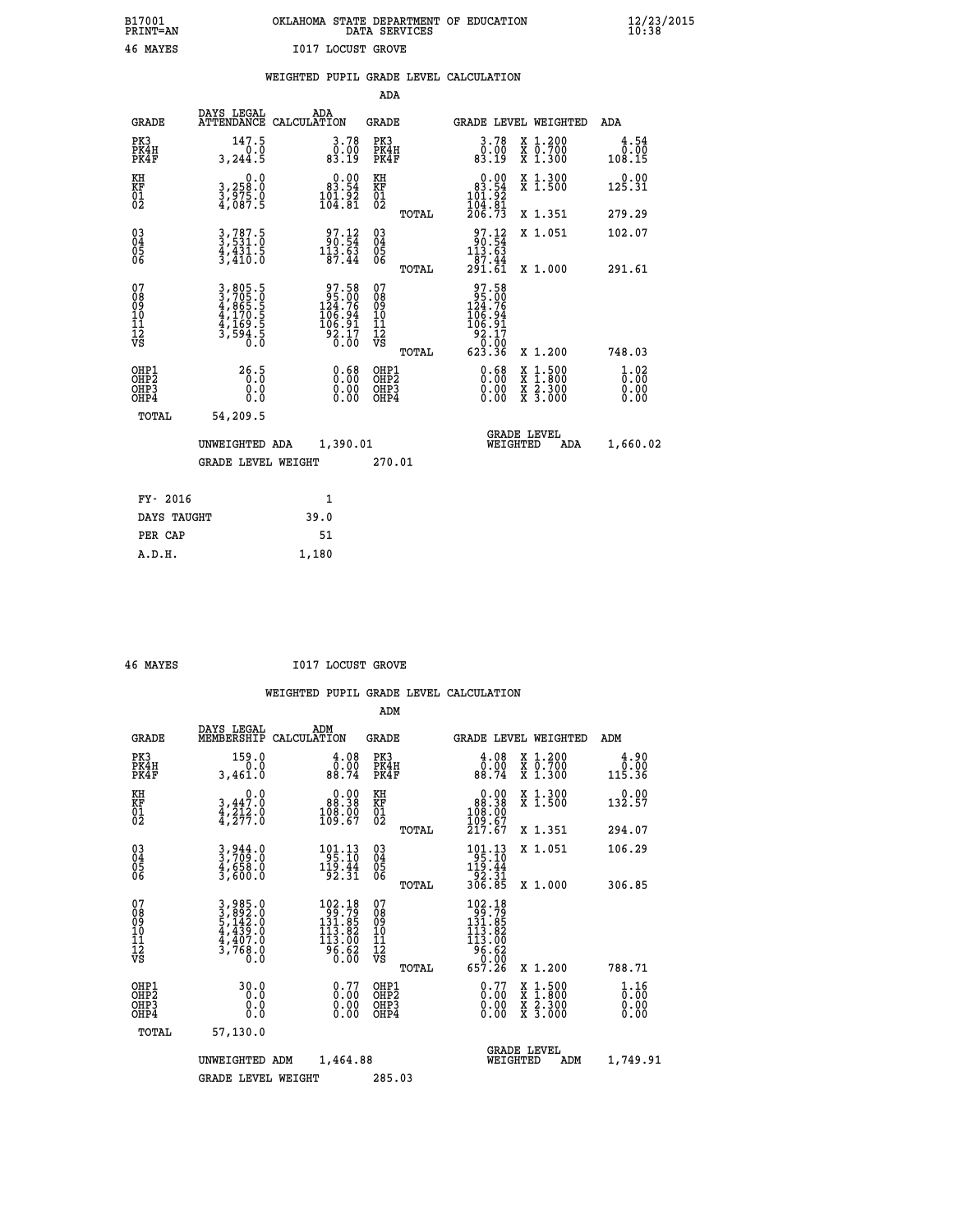## **B17001 OKLAHOMA STATE DEPARTMENT OF EDUCATION 12/23/2015 PRINT=AN DATA SERVICES 10:38 46 MAYES I017 LOCUST GROVE**

|                                                                   |                                                                       |                                                                                              | ADA                                      |       |                                                                                                        |                                          |                                    |
|-------------------------------------------------------------------|-----------------------------------------------------------------------|----------------------------------------------------------------------------------------------|------------------------------------------|-------|--------------------------------------------------------------------------------------------------------|------------------------------------------|------------------------------------|
| <b>GRADE</b>                                                      | DAYS LEGAL<br><b>ATTENDANCE</b>                                       | ADA<br>CALCULATION                                                                           | <b>GRADE</b>                             |       |                                                                                                        | <b>GRADE LEVEL WEIGHTED</b>              | ADA                                |
| PK3<br>PK4H<br>PK4F                                               | 147.5<br>0.0<br>3, 244.5                                              | 3.78<br>0.00<br>83.19                                                                        | PK3<br>PK4H<br>PK4F                      |       | $\begin{smallmatrix} 3.78\ 0.00\\ 9.10\ 83.19 \end{smallmatrix}$                                       | X 1.200<br>X 0.700<br>X 1.300            | 4.54<br>0.00<br>108.15             |
| KH<br>KF<br>01<br>02                                              | 0.0<br>3,258:0<br>3,975.0<br>4,087:5                                  | $0.00$<br>83.54<br>$\frac{101.92}{104.81}$                                                   | KH<br>KF<br>01<br>02                     |       | $\begin{smallmatrix} &0.00\\ 83.54\\ 101.92\\ 104.81\\ 206.73\end{smallmatrix}$                        | X 1.300<br>X 1.500                       | 0.00<br>125.31                     |
|                                                                   |                                                                       |                                                                                              |                                          | TOTAL |                                                                                                        | X 1.351                                  | 279.29                             |
| $^{03}_{04}$<br>Ŏ5<br>06                                          | $3, 787.5$<br>$3, 531.0$<br>$4, 431.5$<br>$3, 410.0$                  | $\begin{array}{r} 97.12 \\ 90.54 \\ 113.63 \end{array}$<br>87.44                             | 03<br>04<br>05<br>06                     | TOTAL | $\begin{smallmatrix} 97.12\\ 90.54\\ 113.63\\ 87.44\\ 291.61 \end{smallmatrix}$                        | X 1.051<br>X 1.000                       | 102.07<br>291.61                   |
| 07<br>08901112<br>1112<br>VS                                      | 3,805.5<br>3,705.05<br>4,865.55<br>4,170.55<br>4,169.55<br>3,594.50.0 | $\begin{array}{c} 97.58 \\ 95.00 \\ 124.76 \\ 106.94 \\ 106.91 \\ 92.17 \\ 0.00 \end{array}$ | 07<br>08901112<br>1112<br>VS             |       | $\begin{array}{r} 97.58 \\ 95.00 \\ 124.76 \\ 106.94 \\ 106.91 \\ 92.17 \\ 0.00 \\ 623.36 \end{array}$ |                                          |                                    |
|                                                                   |                                                                       |                                                                                              |                                          | TOTAL |                                                                                                        | X 1.200                                  | 748.03                             |
| OHP1<br>OH <sub>P</sub> 2<br>OH <sub>P3</sub><br>OH <sub>P4</sub> | 26.5<br>0.0<br>0.0                                                    | $\begin{smallmatrix} 0.68\ 0.00\ 0.00 \end{smallmatrix}$                                     | OHP1<br>OHP <sub>2</sub><br>OHP3<br>OHP4 |       | 0.68<br>0.00<br>0.00                                                                                   | X 1:500<br>X 1:800<br>X 2:300<br>X 3:000 | $\frac{1}{0}$ : 02<br>0.00<br>0.00 |
| TOTAL                                                             | 54,209.5                                                              |                                                                                              |                                          |       |                                                                                                        |                                          |                                    |
|                                                                   | UNWEIGHTED ADA                                                        | 1,390.01                                                                                     |                                          |       |                                                                                                        | GRADE LEVEL<br>WEIGHTED<br>ADA           | 1,660.02                           |
|                                                                   | <b>GRADE LEVEL WEIGHT</b>                                             |                                                                                              | 270.01                                   |       |                                                                                                        |                                          |                                    |
| FY- 2016                                                          |                                                                       | $\mathbf{1}$                                                                                 |                                          |       |                                                                                                        |                                          |                                    |
| DAYS TAUGHT                                                       |                                                                       | 39.0                                                                                         |                                          |       |                                                                                                        |                                          |                                    |
| PER CAP                                                           |                                                                       | 51                                                                                           |                                          |       |                                                                                                        |                                          |                                    |

 **A.D.H. 1,180**

 **46 MAYES I017 LOCUST GROVE**

|                                    |                                          |                                                                                                                                                                                                          |             |                                                                                                                                    | ADM                                                 |       |                                                                                                                                          |          |                                          |                                         |
|------------------------------------|------------------------------------------|----------------------------------------------------------------------------------------------------------------------------------------------------------------------------------------------------------|-------------|------------------------------------------------------------------------------------------------------------------------------------|-----------------------------------------------------|-------|------------------------------------------------------------------------------------------------------------------------------------------|----------|------------------------------------------|-----------------------------------------|
|                                    | <b>GRADE</b>                             | DAYS LEGAL<br>MEMBERSHIP                                                                                                                                                                                 | CALCULATION | ADM                                                                                                                                | <b>GRADE</b>                                        |       |                                                                                                                                          |          | GRADE LEVEL WEIGHTED                     | ADM                                     |
|                                    | PK3<br>PK4H<br>PK4F                      | 159.0<br>0.0<br>3,461.0                                                                                                                                                                                  |             | 4.08<br>0:00<br>88:74                                                                                                              | PK3<br>PK4H<br>PK4F                                 |       | $\begin{smallmatrix} 4.08 \\ 0.00 \\ 88.74 \end{smallmatrix}$                                                                            |          | X 1.200<br>X 0.700<br>X 1.300            | 4.90<br>0.00<br>115.36                  |
| KH<br>KF<br>01<br>02               |                                          | 0.0<br>$3,447.0$<br>$4,212.0$<br>$4,277.0$                                                                                                                                                               |             | $\begin{smallmatrix} &0.00\ 88.38\ 108.00\ 109.67\ \end{smallmatrix}$                                                              | KH<br>KF<br>01<br>02                                |       | $\begin{smallmatrix} &0.00\\ 88.38\\ 108.00\\ 109.67\\ 217.67\end{smallmatrix}$                                                          |          | X 1.300<br>X 1.500                       | 0.00<br>132.57                          |
|                                    |                                          |                                                                                                                                                                                                          |             |                                                                                                                                    |                                                     | TOTAL |                                                                                                                                          |          | X 1.351                                  | 294.07                                  |
| 03<br>04<br>05<br>06               |                                          | 3,944.0<br>3,709.0<br>4,658.0<br>3,600.0                                                                                                                                                                 |             | $101.13$<br>95.10<br>$\frac{1\bar{1}\bar{9}\cdot\bar{4}\bar{4}}{92\cdot31}$                                                        | $\begin{array}{c} 03 \\ 04 \\ 05 \\ 06 \end{array}$ |       | $\begin{array}{c} 101.13 \\ 95.10 \\ 119.44 \\ 92.31 \\ 306.85 \end{array}$                                                              |          | X 1.051                                  | 106.29                                  |
|                                    |                                          |                                                                                                                                                                                                          |             |                                                                                                                                    |                                                     | TOTAL |                                                                                                                                          |          | X 1.000                                  | 306.85                                  |
| 07<br>08<br>09<br>101<br>112<br>VS |                                          | $\begin{smallmatrix} 3\,, & 9 & 8 & 5 & 0 \\ 3\,, & 8 & 9 & 2 & 0 \\ 5\,, & 1 & 4 & 2 & 0 \\ 4\,, & 4 & 3 & 9 & 0 \\ 4\,, & 4 & 0 & 7 & 0 \\ 3\,, & 7 & 6 & 8 & 0 \\ 0\,, & 0 & 0 & 0 \end{smallmatrix}$ |             | $\begin{smallmatrix} 102\cdot 18\\ 99\cdot 79\\ 131\cdot 85\\ 113\cdot 82\\ 113\cdot 00\\ 96\cdot 62\\ 0\cdot 00\end{smallmatrix}$ | 07<br>08<br>09<br>11<br>11<br>12<br>VS              | TOTAL | $\begin{array}{r} 102\cdot 18\\ 99\cdot 79\\ 131\cdot 85\\ 113\cdot 82\\ 113\cdot 00\\ 96\cdot 62\\ 0\cdot 00\\ 657\cdot 26 \end{array}$ |          | X 1.200                                  | 788.71                                  |
|                                    | OHP1<br>OHP2<br>OH <sub>P3</sub><br>OHP4 | 30.0<br>0.0<br>0.000                                                                                                                                                                                     |             | $0.77$<br>$0.00$<br>$0.00$<br>0.00                                                                                                 | OHP1<br>OHP2<br>OHP <sub>3</sub>                    |       | $0.77$<br>$0.00$<br>$0.00$<br>0.00                                                                                                       |          | X 1:500<br>X 1:800<br>X 2:300<br>X 3:000 | $\frac{1}{0}$ : $\frac{16}{00}$<br>0.00 |
|                                    | TOTAL                                    | 57,130.0                                                                                                                                                                                                 |             |                                                                                                                                    |                                                     |       |                                                                                                                                          |          |                                          |                                         |
|                                    |                                          | UNWEIGHTED                                                                                                                                                                                               | ADM         | 1,464.88                                                                                                                           |                                                     |       |                                                                                                                                          | WEIGHTED | <b>GRADE LEVEL</b><br>ADM                | 1,749.91                                |
|                                    |                                          | <b>GRADE LEVEL WEIGHT</b>                                                                                                                                                                                |             |                                                                                                                                    | 285.03                                              |       |                                                                                                                                          |          |                                          |                                         |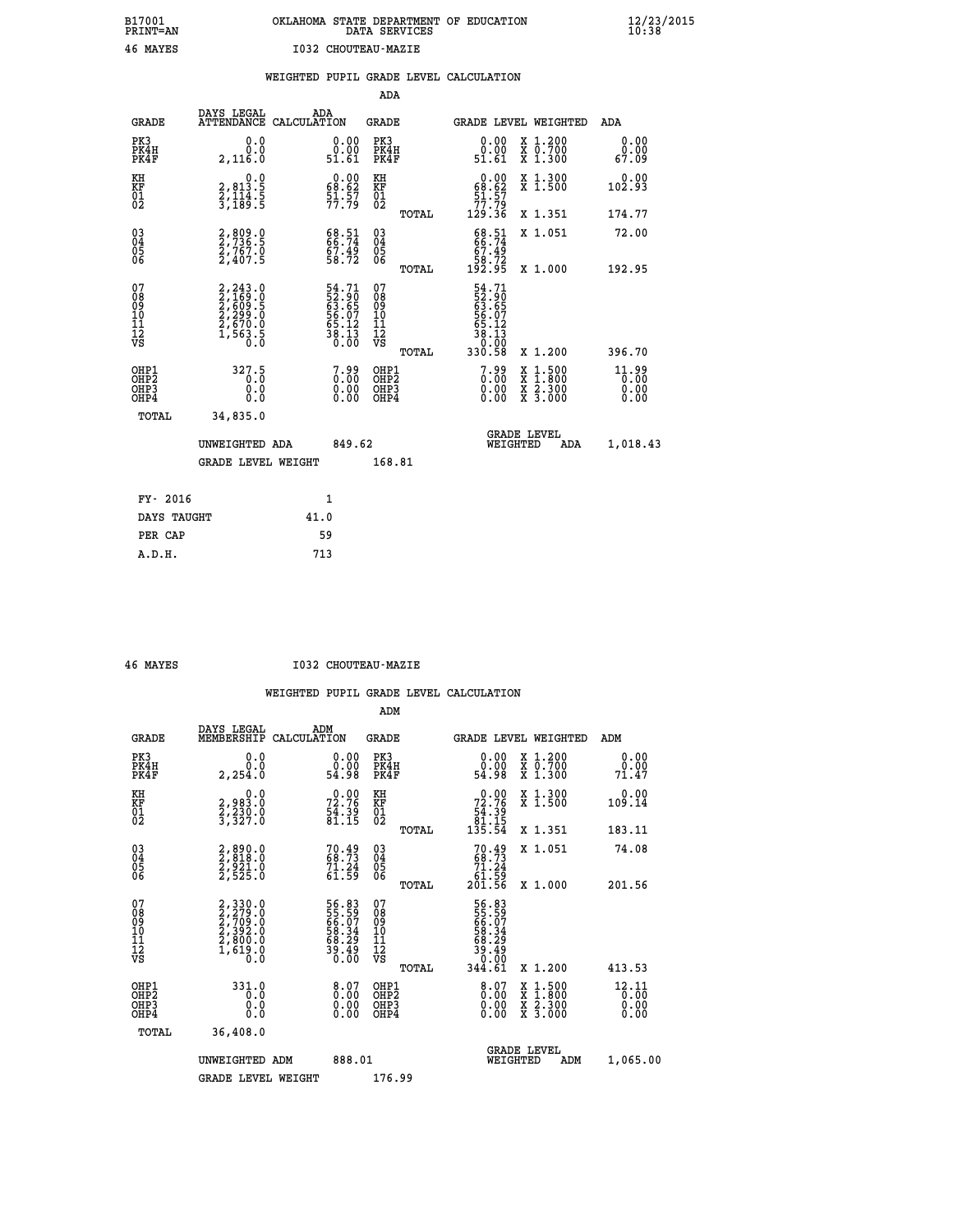# **B17001 OKLAHOMA STATE DEPARTMENT OF EDUCATION 12/23/2015 PRINT=AN DATA SERVICES 10:38 46 MAYES I032 CHOUTEAU-MAZIE**

|  |  | WEIGHTED PUPIL GRADE LEVEL CALCULATION |
|--|--|----------------------------------------|
|  |  |                                        |

|                                                                    |                                                                                                                                           |                                                                         |        | ADA                                                 |       |                                                                      |                                          |                               |
|--------------------------------------------------------------------|-------------------------------------------------------------------------------------------------------------------------------------------|-------------------------------------------------------------------------|--------|-----------------------------------------------------|-------|----------------------------------------------------------------------|------------------------------------------|-------------------------------|
| <b>GRADE</b>                                                       | DAYS LEGAL                                                                                                                                | ADA<br>ATTENDANCE CALCULATION                                           |        | <b>GRADE</b>                                        |       | GRADE LEVEL WEIGHTED                                                 |                                          | ADA                           |
| PK3<br>PK4H<br>PK4F                                                | 0.0<br>0.0<br>2,116.0                                                                                                                     | $\begin{smallmatrix} 0.00\\ 0.00\\ 51.61 \end{smallmatrix}$             |        | PK3<br>PK4H<br>PK4F                                 |       | 0.00<br>ŏ.ŏŏ<br>51.61                                                | X 1.200<br>X 0.700<br>X 1.300            | 0.00<br>0.00<br>67.09         |
| KH<br>KF<br>01<br>02                                               | 0.0<br>2,813.5<br>2,114.5<br>3,189.5                                                                                                      | $\begin{smallmatrix} 0.00\\ 68.62\\ 51.57\\ 77.79 \end{smallmatrix}$    |        | KH<br>KF<br>01<br>02                                |       | 0.00<br>$\frac{68.62}{51.57}$                                        | X 1.300<br>X 1.500                       | 0.00<br>102.93                |
|                                                                    |                                                                                                                                           |                                                                         |        |                                                     | TOTAL | 129.36                                                               | X 1.351                                  | 174.77                        |
| $\begin{smallmatrix} 03 \\[-4pt] 04 \end{smallmatrix}$<br>Ŏ5<br>06 | 2,809.0<br>2,736.5<br>2,767.0<br>2,407.5                                                                                                  | 68.51<br>66.74<br>67.49<br>58.72                                        |        | $\begin{array}{c} 03 \\ 04 \\ 05 \\ 06 \end{array}$ |       | $68.51$<br>$66.74$<br>$67.49$<br>$58.72$<br>$192.95$                 | X 1.051                                  | 72.00                         |
|                                                                    |                                                                                                                                           |                                                                         |        |                                                     | TOTAL |                                                                      | X 1.000                                  | 192.95                        |
| 07<br>08<br>09<br>01<br>11<br>11<br>12<br>VS                       | $\begin{smallmatrix} 2,243\cdot 0\\ 2,169\cdot 0\\ 2,609\cdot 5\\ 2,299\cdot 0\\ 2,670\cdot 0\\ 1,563\cdot 5\\ 0\cdot 0\end{smallmatrix}$ | 54.71<br>52.90<br>63.65<br>65.07<br>56.12<br>58.13<br>38.13             |        | 07<br>08<br>09<br>11<br>11<br>12<br>VS              |       | 54.71<br>52.90<br>63.65<br>65.07<br>56.123<br>38.139                 |                                          |                               |
|                                                                    |                                                                                                                                           |                                                                         |        |                                                     | TOTAL | 330.58                                                               | X 1.200                                  | 396.70                        |
| OHP1<br>OHP <sub>2</sub><br>OH <sub>P3</sub><br>OHP4               | 327.5<br>0.0<br>0.0                                                                                                                       | $7.99$<br>$0.00$<br>$\begin{smallmatrix} 0.00 \ 0.00 \end{smallmatrix}$ |        | OHP1<br>OHP2<br>OHP <sub>3</sub>                    |       | $\begin{smallmatrix} 7.99 \\ 0.00 \\ 0.00 \\ 0.00 \end{smallmatrix}$ | X 1:500<br>X 1:800<br>X 2:300<br>X 3:000 | 11.99<br>0.00<br>0.00<br>0.00 |
| TOTAL                                                              | 34,835.0                                                                                                                                  |                                                                         |        |                                                     |       |                                                                      |                                          |                               |
|                                                                    | UNWEIGHTED ADA                                                                                                                            |                                                                         | 849.62 |                                                     |       | WEIGHTED                                                             | <b>GRADE LEVEL</b><br>ADA                | 1,018.43                      |
|                                                                    | <b>GRADE LEVEL WEIGHT</b>                                                                                                                 |                                                                         |        | 168.81                                              |       |                                                                      |                                          |                               |
| FY- 2016                                                           |                                                                                                                                           | 1                                                                       |        |                                                     |       |                                                                      |                                          |                               |
| DAYS TAUGHT                                                        |                                                                                                                                           | 41.0                                                                    |        |                                                     |       |                                                                      |                                          |                               |
| PER CAP                                                            |                                                                                                                                           | 59                                                                      |        |                                                     |       |                                                                      |                                          |                               |

 **A.D.H. 713**

 **46 MAYES I032 CHOUTEAU-MAZIE**

|                                           |                                                                                     |                                                                   | ADM                                                 |       |                                                                                  |                                          |                                 |
|-------------------------------------------|-------------------------------------------------------------------------------------|-------------------------------------------------------------------|-----------------------------------------------------|-------|----------------------------------------------------------------------------------|------------------------------------------|---------------------------------|
| <b>GRADE</b>                              | DAYS LEGAL<br>MEMBERSHIP                                                            | ADM<br>CALCULATION                                                | <b>GRADE</b>                                        |       |                                                                                  | GRADE LEVEL WEIGHTED                     | ADM                             |
| PK3<br>PK4H<br>PK4F                       | 0.0<br>0.0<br>2, 254.0                                                              | $\begin{smallmatrix} 0.00\\ 0.00\\ 54.98 \end{smallmatrix}$       | PK3<br>PK4H<br>PK4F                                 |       | $\begin{smallmatrix} 0.00\\ 0.00\\ 54.98 \end{smallmatrix}$                      | X 1.200<br>X 0.700<br>X 1.300            | 0.00<br>0.00<br>71.47           |
| KH<br>KF<br>01<br>02                      | 0.0<br>2,983.0<br>2,230.0<br>3,327.0                                                | $72.76$<br>$54.39$<br>$81.15$                                     | KH<br>KF<br>01<br>02                                |       | $\begin{smallmatrix} &0.00\\72.76\,54.39\\54.39\\81.15\\135.54\end{smallmatrix}$ | X 1.300<br>X 1.500                       | 0.00<br>109.14                  |
|                                           |                                                                                     |                                                                   |                                                     | TOTAL |                                                                                  | X 1.351                                  | 183.11                          |
| 03<br>04<br>05<br>06                      | 2,890.0<br>2,818.0<br>2,921.0<br>2,525.0                                            | 70.49<br>68.73<br>$71.24$<br>61.59                                | $\begin{array}{c} 03 \\ 04 \\ 05 \\ 06 \end{array}$ |       | 70.49<br>68.73<br>$\begin{array}{r} 71.24 \\ 61.59 \\ 201.56 \end{array}$        | X 1.051                                  | 74.08                           |
|                                           |                                                                                     |                                                                   |                                                     | TOTAL |                                                                                  | X 1.000                                  | 201.56                          |
| 07<br>08<br>09<br>101<br>11<br>12<br>VS   | $2,330.0$<br>$2,709.0$<br>$2,709.0$<br>$2,392.0$<br>$2,800.0$<br>$1,619.0$<br>$0.0$ | 56.83<br>55.59<br>66.07<br>58.34<br>58.29<br>59.49<br>39.40       | 07<br>08<br>09<br>11<br>11<br>12<br>VS              | TOTAL | 56.83<br>55.59<br>66.07<br>68.34<br>58.29<br>39.400<br>344.61                    | X 1.200                                  | 413.53                          |
|                                           |                                                                                     |                                                                   |                                                     |       |                                                                                  |                                          |                                 |
| OHP1<br>OHP2<br>OH <sub>P</sub> 3<br>OHP4 | 331.0<br>0.000                                                                      | $\begin{smallmatrix} 8.07 \ 0.00 \ 0.00 \ 0.00 \end{smallmatrix}$ | OHP1<br>OHP2<br>OHP <sub>3</sub>                    |       | $\begin{smallmatrix} 8.07 \ 0.00 \ 0.00 \end{smallmatrix}$<br>0.00               | X 1:500<br>X 1:800<br>X 2:300<br>X 3:000 | $12.11$<br>0.00<br>0.00<br>0.00 |
| TOTAL                                     | 36,408.0                                                                            |                                                                   |                                                     |       |                                                                                  |                                          |                                 |
|                                           | UNWEIGHTED ADM                                                                      | 888.01                                                            |                                                     |       |                                                                                  | <b>GRADE LEVEL</b><br>WEIGHTED<br>ADM    | 1,065.00                        |
|                                           | <b>GRADE LEVEL WEIGHT</b>                                                           |                                                                   | 176.99                                              |       |                                                                                  |                                          |                                 |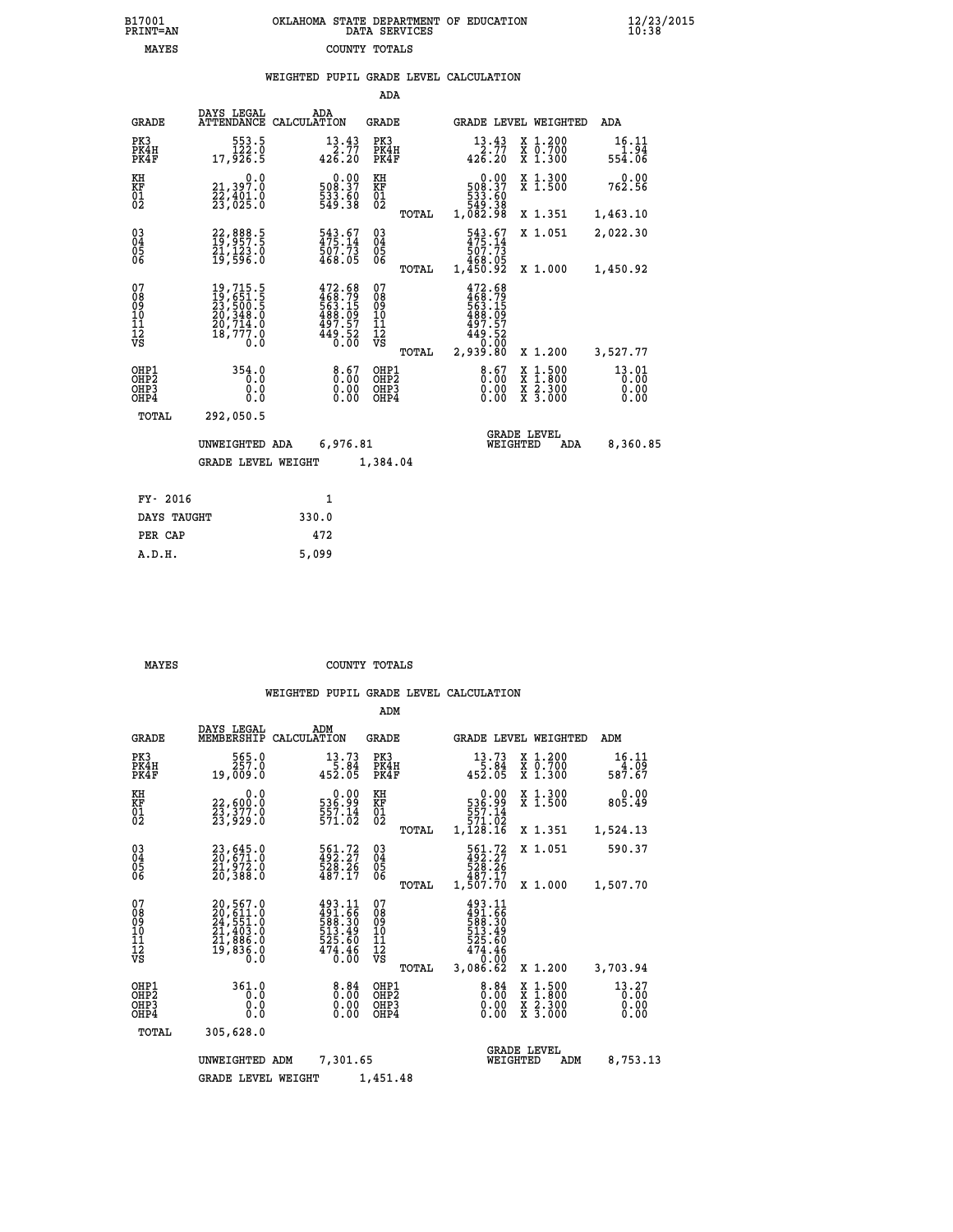| 7001<br>INT=AN | OKLAHOMA STATE DEPARTMENT OF EDUCATION<br>DATA SERVICES |  |
|----------------|---------------------------------------------------------|--|
| MAYES          | COUNTY TOTALS                                           |  |

|  |  | WEIGHTED PUPIL GRADE LEVEL CALCULATION |
|--|--|----------------------------------------|
|  |  |                                        |

|                                        |                                                                             |                                                                             | ADA                                                 |       |                                                                                              |                                                                                                                                      |                                |
|----------------------------------------|-----------------------------------------------------------------------------|-----------------------------------------------------------------------------|-----------------------------------------------------|-------|----------------------------------------------------------------------------------------------|--------------------------------------------------------------------------------------------------------------------------------------|--------------------------------|
| <b>GRADE</b>                           | DAYS LEGAL                                                                  | ADA<br>ATTENDANCE CALCULATION                                               | GRADE                                               |       | <b>GRADE LEVEL WEIGHTED</b>                                                                  |                                                                                                                                      | ADA                            |
| PK3<br>PK4H<br>PK4F                    | 553.5<br>0.221<br>17,926.5                                                  | $13.43$<br>2.77<br>426.20                                                   | PK3<br>PK4H<br>PK4F                                 |       | 13.43<br>$-2.77$<br>426.20                                                                   | X 1.200<br>X 0.700<br>X 1.300                                                                                                        | 16.11<br>$\frac{1.94}{554.06}$ |
| KH<br>KF<br>01<br>02                   | 0.0<br>21,397.0<br>22,401.0<br>23,025.0                                     | $\begin{smallmatrix} 0.00\\ 508.37\\ 533.60\\ 549.38 \end{smallmatrix}$     | KH<br>KF<br>01<br>02                                |       | $\begin{smallmatrix} &0.00\\ 508.37\\ 533.50\\ 549.38\\ 549.38\\ 1,082.98 \end{smallmatrix}$ | X 1.300<br>X 1.500                                                                                                                   | 0.00<br>762.56                 |
|                                        |                                                                             |                                                                             |                                                     | TOTAL |                                                                                              | X 1.351                                                                                                                              | 1,463.10                       |
| 03<br>04<br>05<br>06                   | 22,888.5<br>19,957.5<br>21,123.0<br>19,596.0                                | 543.67<br>475:14<br>507:73<br>468.05                                        | $\begin{array}{c} 03 \\ 04 \\ 05 \\ 06 \end{array}$ |       | 543.67<br>475.14<br>507.73<br>468.05<br>1,450.92                                             | X 1.051                                                                                                                              | 2,022.30                       |
|                                        |                                                                             |                                                                             |                                                     | TOTAL |                                                                                              | X 1.000                                                                                                                              | 1,450.92                       |
| 07<br>08<br>09<br>10<br>11<br>12<br>VS | 19,715.5<br>19,651.5<br>23,500.5<br>20,348.0<br>20,714.0<br>18,777.0<br>0.0 | 472.68<br>468.79<br>563.15<br>563.15<br>488.097<br>497.57<br>449.52<br>0.00 | 07<br>08<br>09<br>11<br>11<br>12<br>VS              | TOTAL | 472.68<br>468.79<br>563.15<br>563.09<br>497.57<br>449.52<br>0.00<br>2,939.80                 | X 1.200                                                                                                                              | 3,527.77                       |
| OHP1<br>OH <sub>P</sub> 2              | 354.0<br>0.0                                                                | 8.67                                                                        | OHP1<br>OHP <sub>2</sub>                            |       | 8.67                                                                                         | $1:500$<br>1:800                                                                                                                     | 13.01<br>0.00                  |
| OHP3<br>OHP4                           | 0.0<br>0.0                                                                  | 0.00                                                                        | OHP3<br>OHP4                                        |       | 0.00<br>0.00                                                                                 | $\begin{smallmatrix} \mathtt{X} & 1 & 500 \\ \mathtt{X} & 1 & 800 \\ \mathtt{X} & 2 & 300 \\ \mathtt{X} & 3 & 000 \end{smallmatrix}$ | 0.00<br>0.00                   |
| TOTAL                                  | 292,050.5                                                                   |                                                                             |                                                     |       |                                                                                              |                                                                                                                                      |                                |
|                                        | UNWEIGHTED ADA                                                              | 6,976.81                                                                    |                                                     |       | WEIGHTED                                                                                     | <b>GRADE LEVEL</b><br>ADA                                                                                                            | 8,360.85                       |
|                                        | <b>GRADE LEVEL WEIGHT</b>                                                   |                                                                             | 1,384.04                                            |       |                                                                                              |                                                                                                                                      |                                |
|                                        |                                                                             |                                                                             |                                                     |       |                                                                                              |                                                                                                                                      |                                |
| FY- 2016                               |                                                                             | $\mathbf{1}$                                                                |                                                     |       |                                                                                              |                                                                                                                                      |                                |
| DAYS TAUGHT                            |                                                                             | 330.0                                                                       |                                                     |       |                                                                                              |                                                                                                                                      |                                |
| PER CAP                                |                                                                             | 472                                                                         |                                                     |       |                                                                                              |                                                                                                                                      |                                |
| A.D.H.                                 |                                                                             | 5,099                                                                       |                                                     |       |                                                                                              |                                                                                                                                      |                                |

 **B17001<br>PRINT=AN** 

 **MAYES COUNTY TOTALS**

|                                                       |                                                                                  |                                                                         | ADM                                              |                                                                              |                                                                                                  |                               |
|-------------------------------------------------------|----------------------------------------------------------------------------------|-------------------------------------------------------------------------|--------------------------------------------------|------------------------------------------------------------------------------|--------------------------------------------------------------------------------------------------|-------------------------------|
| <b>GRADE</b>                                          | DAYS LEGAL<br>MEMBERSHIP                                                         | ADM<br>CALCULATION                                                      | <b>GRADE</b>                                     | GRADE LEVEL WEIGHTED                                                         |                                                                                                  | ADM                           |
| PK3<br>PK4H<br>PK4F                                   | 565.0<br>257.0<br>19,009.0                                                       | 13.73<br>5.84<br>452.05                                                 | PK3<br>PK4H<br>PK4F                              | 13.73<br>5.84<br>452.05                                                      | $\begin{array}{c} x & 1.200 \\ x & 0.700 \end{array}$<br>$X$ 1.300                               | 16.11<br>4.09<br>587.67       |
| KH<br>KF<br>01<br>02                                  | 0.0<br>22,600:0<br>23,377.0<br>23,929:0                                          | $\begin{smallmatrix} 0.00\\ 536.99\\ 557.14\\ 571.02 \end{smallmatrix}$ | KH<br>KF<br>01<br>02                             | 0.00<br>$536.99$<br>$557.14$<br>$571.02$<br>1,128.16                         | X 1.300<br>X 1.500                                                                               | 0.00<br>805.49                |
|                                                       |                                                                                  |                                                                         | TOTAL                                            |                                                                              | X 1.351                                                                                          | 1,524.13                      |
| 03<br>04<br>05<br>06                                  | 23,645.0<br>20,671.0<br>21,972.0<br>20,388.0                                     | 561.72<br>492.27<br>528.26<br>487.17                                    | $\substack{03 \\ 04}$<br>0500                    | 561.72<br>528.26<br>487.17                                                   | X 1.051                                                                                          | 590.37                        |
|                                                       |                                                                                  |                                                                         | TOTAL                                            | 1,507.70                                                                     | X 1.000                                                                                          | 1,507.70                      |
| 07<br>08<br>09<br>11<br>11<br>12<br>VS                | $20,567.0$<br>$20,611.0$<br>$24,551.0$<br>$21,403.0$<br>$21,886.0$<br>$19,836.0$ | 493.11<br>491.66<br>588.30<br>513.49<br>525.60<br>474.46<br>0.00        | 07<br>08<br>09<br>101<br>11<br>12<br>VS<br>TOTAL | 493.11<br>491.66<br>588.30<br>513.49<br>525.60<br>474.46<br>0.00<br>3,086.62 | X 1.200                                                                                          | 3,703.94                      |
| OHP1<br>OH <sub>P</sub> 2<br>OH <sub>P3</sub><br>OHP4 | 361.0<br>0.0<br>0.0<br>Ŏ.Ŏ                                                       | 0.84<br>0.00<br>0.00                                                    | OHP1<br>OHP2<br>OHP3<br>OHP4                     | $\begin{smallmatrix} 8.84\ 0.00 \ 0.00 \end{smallmatrix}$<br>0.00            | $\begin{smallmatrix} x & 1 & 500 \\ x & 1 & 800 \\ x & 2 & 300 \\ x & 3 & 000 \end{smallmatrix}$ | 13.27<br>0.00<br>0.00<br>0.00 |
| TOTAL                                                 | 305,628.0                                                                        |                                                                         |                                                  |                                                                              |                                                                                                  |                               |
|                                                       | UNWEIGHTED ADM                                                                   | 7,301.65                                                                |                                                  | WEIGHTED                                                                     | <b>GRADE LEVEL</b><br>ADM                                                                        | 8,753.13                      |
|                                                       | <b>GRADE LEVEL WEIGHT</b>                                                        |                                                                         | 1,451.48                                         |                                                                              |                                                                                                  |                               |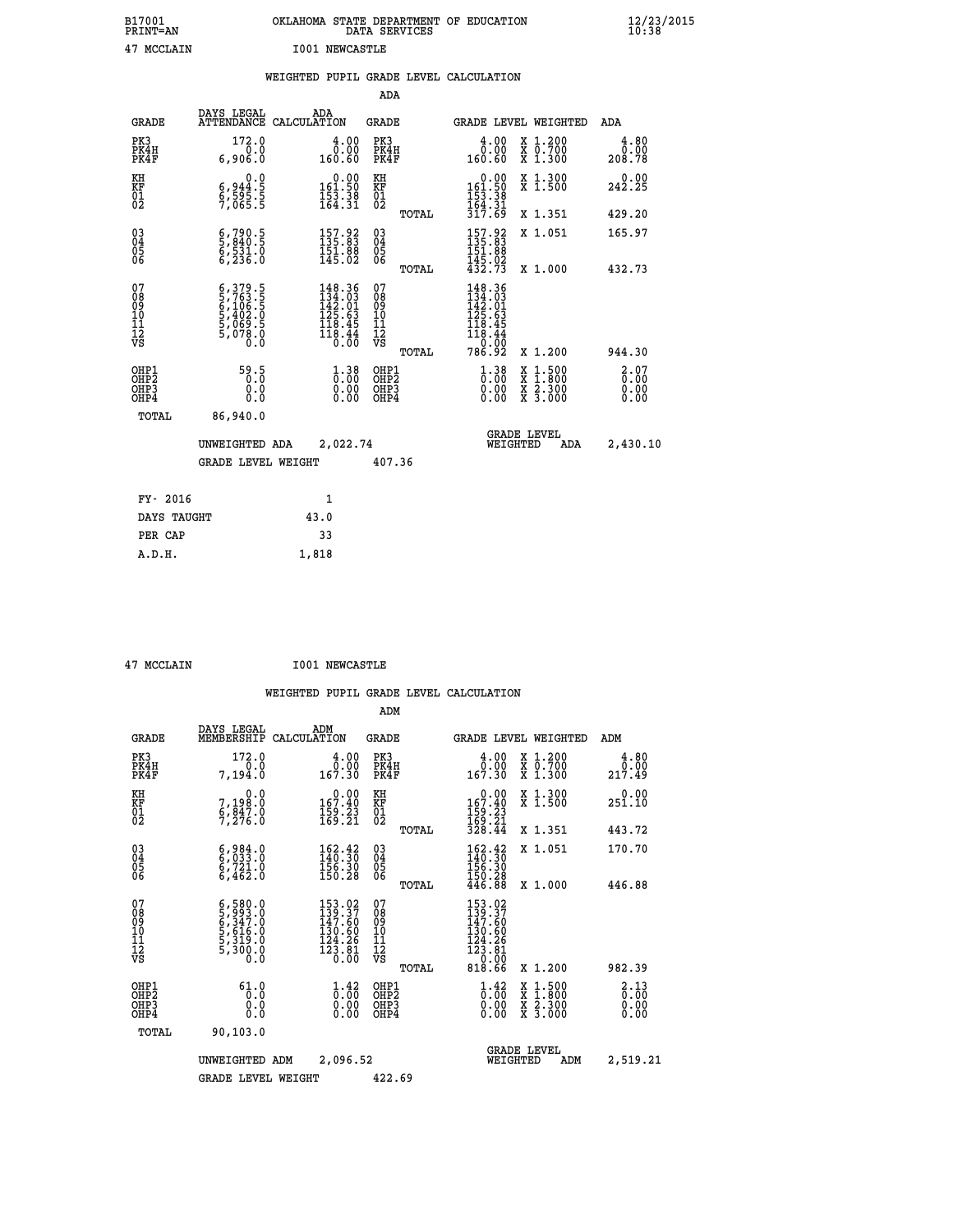|    | B17001<br><b>PRINT=AN</b> |      | OKLAHOMA STATE DEPARTMENT OF EDUCATION<br>DATA SERVICES |  | $\frac{12}{23}$ /2015 |
|----|---------------------------|------|---------------------------------------------------------|--|-----------------------|
| 47 | MCCLAIN                   | I001 | NEWCASTLE                                               |  |                       |

|                                                                    |                                                                                     | WEIGHTED PUPIL GRADE LEVEL CALCULATION                                                             |                                        |       |                                                                                   |                                                                   |                        |
|--------------------------------------------------------------------|-------------------------------------------------------------------------------------|----------------------------------------------------------------------------------------------------|----------------------------------------|-------|-----------------------------------------------------------------------------------|-------------------------------------------------------------------|------------------------|
|                                                                    |                                                                                     |                                                                                                    | ADA                                    |       |                                                                                   |                                                                   |                        |
| <b>GRADE</b>                                                       | DAYS LEGAL                                                                          | ADA<br>ATTENDANCE CALCULATION                                                                      | <b>GRADE</b>                           |       |                                                                                   | GRADE LEVEL WEIGHTED                                              | ADA                    |
| PK3<br>PK4H<br>PK4F                                                | 172.0<br>0.0<br>6,906.0                                                             | $\begin{smallmatrix} 4.00\ 0.00\ 160.60 \end{smallmatrix}$                                         | PK3<br>PK4H<br>PK4F                    |       | 4.00<br>ةة:ة<br>160.60                                                            | X 1.200<br>X 0.700<br>X 1.300                                     | 4.80<br>0.00<br>208.78 |
| KH<br>KF<br>01<br>02                                               | 0.0<br>$\frac{6}{9}, \frac{944}{595}.\frac{5}{5}$<br>7,065.5                        | $\begin{smallmatrix} &0.00\\ 161.50\\ 153.38\\ 164.31\\ \end{smallmatrix}$                         | KH<br>KF<br>01<br>02                   |       | $\begin{array}{r} 0.00 \\ 161.50 \\ 153.38 \\ 164.31 \\ 317.69 \end{array}$       | X 1.300<br>X 1.500                                                | 242.25                 |
|                                                                    |                                                                                     |                                                                                                    |                                        | TOTAL |                                                                                   | X 1.351                                                           | 429.20                 |
| $\begin{smallmatrix} 03 \\[-4pt] 04 \end{smallmatrix}$<br>Ŏ5<br>06 | $\frac{6}{5}, \frac{790}{840}.5$<br>$\frac{531}{6}, \frac{531}{236}.0$              | $157.92$<br>$135.83$<br>IŠI: 88<br>145.02                                                          | $\substack{03 \\ 04}$<br>Ŏ5<br>06      |       | 157.92<br>135.83<br>151:88<br>145:02<br>432:73                                    | X 1.051                                                           | 165.97                 |
|                                                                    |                                                                                     |                                                                                                    |                                        | TOTAL |                                                                                   | X 1.000                                                           | 432.73                 |
| 07<br>08<br>09<br>101<br>112<br>VS                                 | $6,379.5$<br>$5,763.5$<br>$6,106.5$<br>$5,402.0$<br>$5,069.5$<br>$5,078.0$<br>$0.0$ | $\begin{smallmatrix} 148.36\\ 134.03\\ 142.01\\ 125.63\\ 118.45\\ 118.44\\ 0.00 \end{smallmatrix}$ | 07<br>08<br>09<br>11<br>11<br>12<br>VS | TOTAL | 148.36<br>134.03<br>142.01<br>125.63<br>118.45<br>$\frac{118.44}{0.00}$<br>786.92 | X 1.200                                                           | 944.30                 |
| OHP1<br>OHP2<br>OHP3<br>OHP4                                       | 59.5<br>0.0<br>Ō.Ō                                                                  | $1.38$<br>$0.00$<br>$\begin{smallmatrix} 0.00 \ 0.00 \end{smallmatrix}$                            | OHP1<br>OHP2<br>OHP3<br>OHP4           |       | $1.38$<br>$0.00$<br>0.00<br>0.00                                                  | $1:500$<br>1:800<br>X<br>X<br>$\frac{x}{x}$ $\frac{5:300}{3:000}$ | 2.07<br>0.00<br>0.00   |
| <b>TOTAL</b>                                                       | 86,940.0                                                                            |                                                                                                    |                                        |       |                                                                                   |                                                                   |                        |
|                                                                    | UNWEIGHTED ADA                                                                      | 2,022.74                                                                                           |                                        |       |                                                                                   | GRADE LEVEL<br>WEIGHTED<br>ADA                                    | 2,430.10               |
|                                                                    | <b>GRADE LEVEL WEIGHT</b>                                                           |                                                                                                    | 407.36                                 |       |                                                                                   |                                                                   |                        |
| FY- 2016                                                           |                                                                                     | $\mathbf{1}$                                                                                       |                                        |       |                                                                                   |                                                                   |                        |
| DAYS TAUGHT                                                        |                                                                                     | 43.0                                                                                               |                                        |       |                                                                                   |                                                                   |                        |
| PER CAP                                                            |                                                                                     | 33                                                                                                 |                                        |       |                                                                                   |                                                                   |                        |

 **A.D.H. 1,818**

 **47 MCCLAIN I001 NEWCASTLE**

|                                          |                                                                                                         |                                                                                                                                        | ADM                                                 |                                                                                                                  |                                          |                                                                   |
|------------------------------------------|---------------------------------------------------------------------------------------------------------|----------------------------------------------------------------------------------------------------------------------------------------|-----------------------------------------------------|------------------------------------------------------------------------------------------------------------------|------------------------------------------|-------------------------------------------------------------------|
| <b>GRADE</b>                             | DAYS LEGAL<br>MEMBERSHIP                                                                                | ADM<br>CALCULATION                                                                                                                     | <b>GRADE</b>                                        | GRADE LEVEL WEIGHTED                                                                                             |                                          | ADM                                                               |
| PK3<br>PK4H<br>PK4F                      | 172.0<br>0.0<br>7,194.0                                                                                 | 4.00<br>ة:ة<br>167.30                                                                                                                  | PK3<br>PK4H<br>PK4F                                 | $\begin{smallmatrix} 4.00\\ 0.00\\ 167.30 \end{smallmatrix}$                                                     | X 1.200<br>X 0.700<br>X 1.300            | 4.80<br>0.00<br>217.49                                            |
| KH<br>KF<br>01<br>02                     | 0.0<br>7,198:0<br>6,847:0<br>7,276:0                                                                    | $\begin{smallmatrix} &0.00\\167.40\\159.23\\169.21\end{smallmatrix}$                                                                   | KH<br>KF<br>01<br>02                                | $0.00$<br>167.40<br>$\frac{159}{169}$ : $\frac{23}{21}$<br>$\frac{328}{328}$ : 44                                | X 1.300<br>X 1.500                       | 0.00<br>251.10                                                    |
|                                          |                                                                                                         |                                                                                                                                        | TOTAL                                               |                                                                                                                  | X 1.351                                  | 443.72                                                            |
| 03<br>04<br>05<br>06                     | $\begin{smallmatrix} 6,984.0\\ 6,033.0\\ 6,721.0\\ 6,462.0 \end{smallmatrix}$                           | $162.42$<br>$140.30$<br>$156.30$<br>150.28                                                                                             | $\begin{array}{c} 03 \\ 04 \\ 05 \\ 06 \end{array}$ | $162.42$<br>$140.30$<br>156.30                                                                                   | X 1.051                                  | 170.70                                                            |
|                                          |                                                                                                         |                                                                                                                                        | TOTAL                                               | 150.28<br>446.88                                                                                                 | X 1.000                                  | 446.88                                                            |
| 07<br>08<br>09<br>101<br>112<br>VS       | $\begin{smallmatrix} 6,580.0\\ 5,993.0\\ 6,347.0\\ 5,616.0\\ 5,319.0\\ 5,300.0\\ 0.0 \end{smallmatrix}$ | 153.02<br>139.37<br>147.60<br>$\begin{smallmatrix} 1\overline{3} & 0.6 & 0 \\ 12 & 2 & 2 \\ 12 & 3 & 8 \\ 0 & 0 & 0 \end{smallmatrix}$ | 07<br>08<br>09<br>11<br>11<br>12<br>VS<br>TOTAL     | 153.02<br>139.37<br>147.60<br>130.60<br>$\begin{smallmatrix} 124.26\\ 123.81\\ 0.00 \end{smallmatrix}$<br>818.66 | X 1.200                                  | 982.39                                                            |
| OHP1<br>OHP2<br>OH <sub>P3</sub><br>OHP4 | 61.0<br>0.0<br>0.000                                                                                    | $\overset{1}{\underset{0}{0}}\overset{4}{\cdot}\,\overset{2}{\underset{0}{0}}\,\overset{6}{\phantom{0}}$<br>0.00                       | OHP1<br>OHP2<br>OHP3<br>OHP4                        | $\begin{smallmatrix} 1.42 \ 0.00 \ 0.00 \end{smallmatrix}$<br>0.00                                               | X 1:500<br>X 1:800<br>X 2:300<br>X 3:000 | $\begin{smallmatrix} 2.13\ 0.00 \ 0.00 \end{smallmatrix}$<br>0.00 |
| TOTAL                                    | 90, 103.0                                                                                               |                                                                                                                                        |                                                     |                                                                                                                  |                                          |                                                                   |
|                                          | UNWEIGHTED ADM                                                                                          | 2,096.52                                                                                                                               |                                                     | <b>GRADE LEVEL</b><br>WEIGHTED                                                                                   | ADM                                      | 2,519.21                                                          |
|                                          | <b>GRADE LEVEL WEIGHT</b>                                                                               |                                                                                                                                        | 422.69                                              |                                                                                                                  |                                          |                                                                   |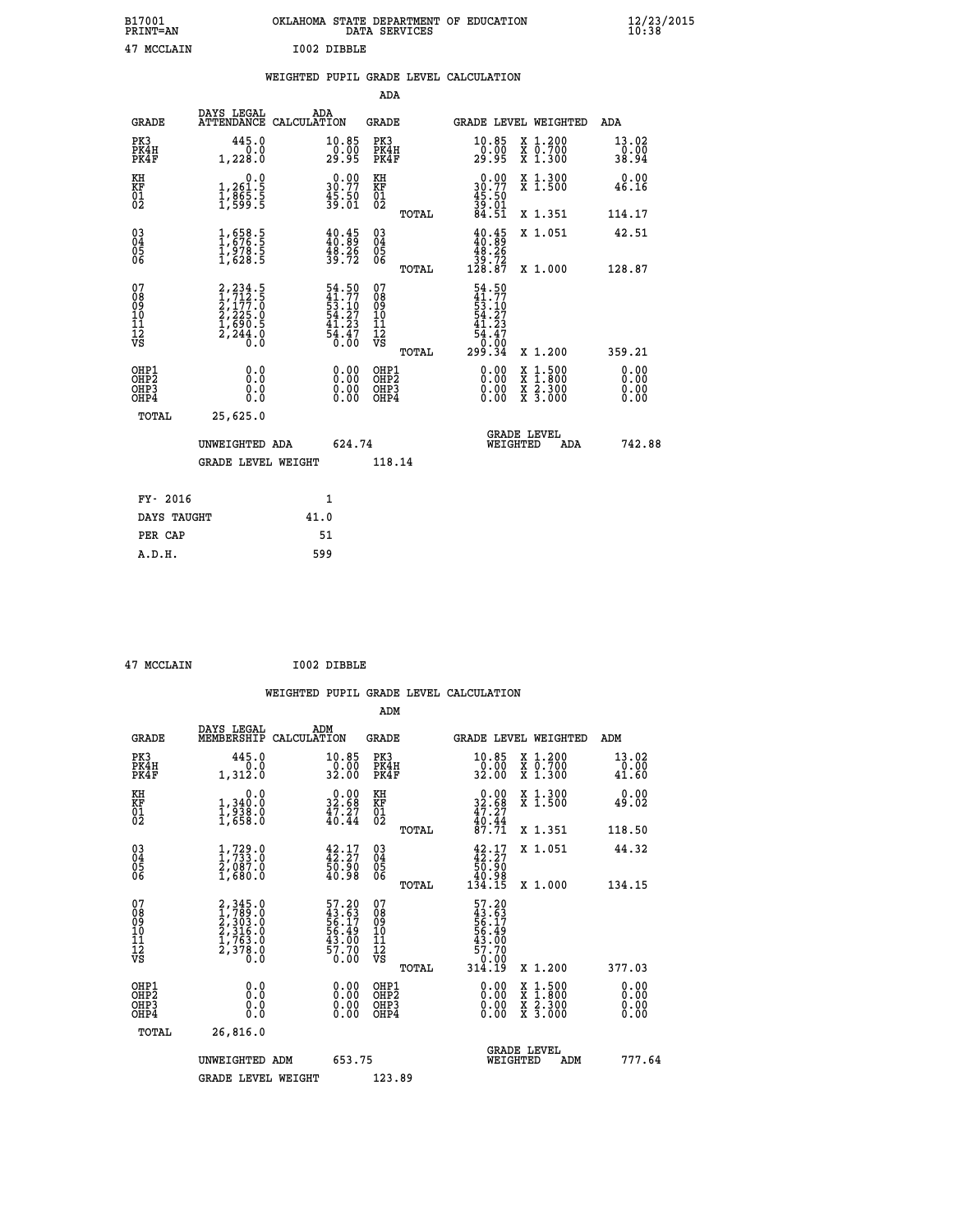| B17001          | OKLAHOMA STATE DEPARTMENT OF EDUCATION |
|-----------------|----------------------------------------|
| <b>PRINT=AN</b> | DATA SERVICES                          |
| 47 MCCLAIN      | I002 DIBBLE                            |

|  |  | WEIGHTED PUPIL GRADE LEVEL CALCULATION |
|--|--|----------------------------------------|
|  |  |                                        |

|                                                                    |                                                                  |                                                                                           |              |                                                                           | ADA                                       |       |                                                                                                                         |                                                                                                  |                              |
|--------------------------------------------------------------------|------------------------------------------------------------------|-------------------------------------------------------------------------------------------|--------------|---------------------------------------------------------------------------|-------------------------------------------|-------|-------------------------------------------------------------------------------------------------------------------------|--------------------------------------------------------------------------------------------------|------------------------------|
|                                                                    | <b>GRADE</b>                                                     | DAYS LEGAL<br>ATTENDANCE CALCULATION                                                      | ADA          |                                                                           | <b>GRADE</b>                              |       |                                                                                                                         | GRADE LEVEL WEIGHTED                                                                             | ADA                          |
|                                                                    | PK3<br>PK4H<br>PK4F                                              | 445.0<br>0.0<br>1,228.0                                                                   |              | 10.85<br>$\frac{0.00}{29.95}$                                             | PK3<br>PK4H<br>PK4F                       |       | $\substack{10.85 \\ 0.00 \\ 29.95}$                                                                                     | X 1.200<br>X 0.700<br>X 1.300                                                                    | 13.02<br>0.00<br>38.94       |
| KH<br><b>KF</b><br>01<br>02                                        |                                                                  | 0.0<br>1,261:5<br>1,865:5<br>1,599:5                                                      |              | $30.00$<br>30.77<br>$\frac{45.50}{39.01}$                                 | KH<br>KF<br>01<br>02                      |       | 0.00<br>30.77<br>45.50<br>39.01<br>84.51                                                                                | X 1.300<br>X 1.500                                                                               | 0.00<br>46.16                |
|                                                                    |                                                                  |                                                                                           |              |                                                                           |                                           | TOTAL |                                                                                                                         | X 1.351                                                                                          | 114.17                       |
| $\begin{smallmatrix} 03 \\[-4pt] 04 \end{smallmatrix}$<br>05<br>06 |                                                                  | $\frac{1}{1}, \frac{658}{676}.\frac{5}{5} \ \frac{1}{1}, \frac{978}{628}.\frac{5}{5}$     |              | $\begin{smallmatrix} 40.45\\ 40.89\\ 48.26\\ 39.72 \end{smallmatrix}$     | $\substack{03 \\ 04}$<br>05<br>06         | TOTAL | $\frac{40.45}{40.89}$<br>$\begin{array}{c} 48.26 \\ 39.72 \\ 128.87 \end{array}$                                        | X 1.051<br>X 1.000                                                                               | 42.51<br>128.87              |
| 07<br>08901112<br>1112<br>VS                                       |                                                                  | $2, 234.5$<br>$1, 712.5$<br>$2, 177.0$<br>$2, 225.0$<br>$1, 690.5$<br>$2, 244.0$<br>$0.0$ |              | $54.50$<br>$41.77$<br>$53.10$<br>$54.27$<br>$41.23$<br>$43.47$<br>$54.47$ | 07<br>08<br>09<br>11<br>11<br>12<br>VS    |       | 54.50<br>$\begin{smallmatrix} 41.77 \\ 41.770 \\ 54.273 \\ 41.23 \\ 41.23 \\ 54.47 \\ 0.00 \\ 299.34 \end{smallmatrix}$ |                                                                                                  |                              |
|                                                                    |                                                                  |                                                                                           |              |                                                                           |                                           | TOTAL |                                                                                                                         | X 1.200                                                                                          | 359.21                       |
|                                                                    | OHP1<br>OH <sub>P2</sub><br>OH <sub>P3</sub><br>OH <sub>P4</sub> | 0.0<br>0.0<br>0.0                                                                         |              | 0.00<br>0.00<br>0.00                                                      | OHP1<br>OH <sub>P</sub> 2<br>OHP3<br>OHP4 |       | 0.00<br>0.00<br>0.00                                                                                                    | $\begin{smallmatrix} x & 1 & 500 \\ x & 1 & 800 \\ x & 2 & 300 \\ x & 3 & 000 \end{smallmatrix}$ | 0.00<br>0.00<br>0.00<br>0.00 |
|                                                                    | TOTAL                                                            | 25,625.0                                                                                  |              |                                                                           |                                           |       |                                                                                                                         |                                                                                                  |                              |
|                                                                    |                                                                  | UNWEIGHTED ADA                                                                            |              | 624.74                                                                    |                                           |       |                                                                                                                         | GRADE LEVEL<br>WEIGHTED<br>ADA                                                                   | 742.88                       |
|                                                                    |                                                                  | <b>GRADE LEVEL WEIGHT</b>                                                                 |              |                                                                           | 118.14                                    |       |                                                                                                                         |                                                                                                  |                              |
|                                                                    | FY- 2016                                                         |                                                                                           | $\mathbf{1}$ |                                                                           |                                           |       |                                                                                                                         |                                                                                                  |                              |
|                                                                    | DAYS TAUGHT                                                      |                                                                                           | 41.0         |                                                                           |                                           |       |                                                                                                                         |                                                                                                  |                              |
|                                                                    | PER CAP                                                          |                                                                                           | 51           |                                                                           |                                           |       |                                                                                                                         |                                                                                                  |                              |

 **47 MCCLAIN I002 DIBBLE**

 **A.D.H. 599**

 **ADM**

| <b>GRADE</b>                                         | DAYS LEGAL<br>MEMBERSHIP CALCULATION                                                | ADM                                                                  | <b>GRADE</b>                                  |       |                                                                                                                                                                                                                                                                                |          | GRADE LEVEL WEIGHTED                                                                                                | ADM                    |  |
|------------------------------------------------------|-------------------------------------------------------------------------------------|----------------------------------------------------------------------|-----------------------------------------------|-------|--------------------------------------------------------------------------------------------------------------------------------------------------------------------------------------------------------------------------------------------------------------------------------|----------|---------------------------------------------------------------------------------------------------------------------|------------------------|--|
| PK3<br>PK4H<br>PK4F                                  | 445.0<br>0.0<br>1,312.0                                                             | 10.85<br>0.00<br>32.00                                               | PK3<br>PK4H<br>PK4F                           |       | 10.85<br>0.00<br>32.00                                                                                                                                                                                                                                                         |          | X 1.200<br>X 0.700<br>X 1.300                                                                                       | 13.02<br>0.00<br>41.60 |  |
| KH<br>KF<br>01<br>02                                 | 0.0<br>$\frac{1}{1}, \frac{340}{938}$ .0<br>1,658.0                                 | $\begin{smallmatrix} 0.00\\ 32.68\\ 47.27\\ 40.44 \end{smallmatrix}$ | KH<br>KF<br>01<br>02                          |       | $0.00\n32.68\n47.27\n40.44\n87.71$                                                                                                                                                                                                                                             |          | X 1.300<br>X 1.500                                                                                                  | 0.00<br>49.02          |  |
|                                                      |                                                                                     |                                                                      |                                               | TOTAL |                                                                                                                                                                                                                                                                                |          | X 1.351                                                                                                             | 118.50                 |  |
| $\begin{matrix} 03 \\ 04 \\ 05 \\ 06 \end{matrix}$   | $\frac{1}{1}, \frac{729}{733} . 0 \\ 2, 087 . 0 \\ 1, 680 . 0$                      | 42:17<br>50.90<br>40.98                                              | $\substack{03 \\ 04}$<br>05<br>06             |       | $42.17$<br>$42.27$<br>$50.90$<br>$40.98$<br>$134.15$                                                                                                                                                                                                                           |          | X 1.051                                                                                                             | 44.32                  |  |
|                                                      |                                                                                     |                                                                      |                                               | TOTAL |                                                                                                                                                                                                                                                                                |          | X 1.000                                                                                                             | 134.15                 |  |
| 07<br>08<br>09<br>101<br>11<br>12<br>VS              | $2,345.0$<br>$1,789.0$<br>$2,303.0$<br>$2,316.0$<br>$1,763.0$<br>$2,378.0$<br>$0.0$ | 57.20<br>43.63<br>56.17<br>56.49<br>43.00<br>43.70<br>0.00           | 07<br>08<br>09<br>001<br>11<br>11<br>12<br>VS | TOTAL | 57.20<br>43.63<br>56.17<br>56.49<br>57.70<br>43.00<br>57.70<br>314.19                                                                                                                                                                                                          |          | X 1.200                                                                                                             | 377.03                 |  |
| OHP1<br>OHP <sub>2</sub><br>OH <sub>P3</sub><br>OHP4 |                                                                                     | $0.00$<br>$0.00$<br>0.00                                             | OHP1<br>OHP <sub>2</sub><br>OHP3<br>OHP4      |       | $\begin{smallmatrix} 0.00 & 0.00 & 0.00 & 0.00 & 0.00 & 0.00 & 0.00 & 0.00 & 0.00 & 0.00 & 0.00 & 0.00 & 0.00 & 0.00 & 0.00 & 0.00 & 0.00 & 0.00 & 0.00 & 0.00 & 0.00 & 0.00 & 0.00 & 0.00 & 0.00 & 0.00 & 0.00 & 0.00 & 0.00 & 0.00 & 0.00 & 0.00 & 0.00 & 0.00 & 0.00 & 0.0$ |          | $\begin{array}{l} \mathtt{X} & 1.500 \\ \mathtt{X} & 1.800 \\ \mathtt{X} & 2.300 \\ \mathtt{X} & 3.000 \end{array}$ | 0.00<br>0.00<br>0.00   |  |
| TOTAL                                                | 26,816.0                                                                            |                                                                      |                                               |       |                                                                                                                                                                                                                                                                                |          |                                                                                                                     |                        |  |
|                                                      | UNWEIGHTED ADM                                                                      | 653.75                                                               |                                               |       |                                                                                                                                                                                                                                                                                | WEIGHTED | <b>GRADE LEVEL</b><br>ADM                                                                                           | 777.64                 |  |
|                                                      | <b>GRADE LEVEL WEIGHT</b>                                                           |                                                                      | 123.89                                        |       |                                                                                                                                                                                                                                                                                |          |                                                                                                                     |                        |  |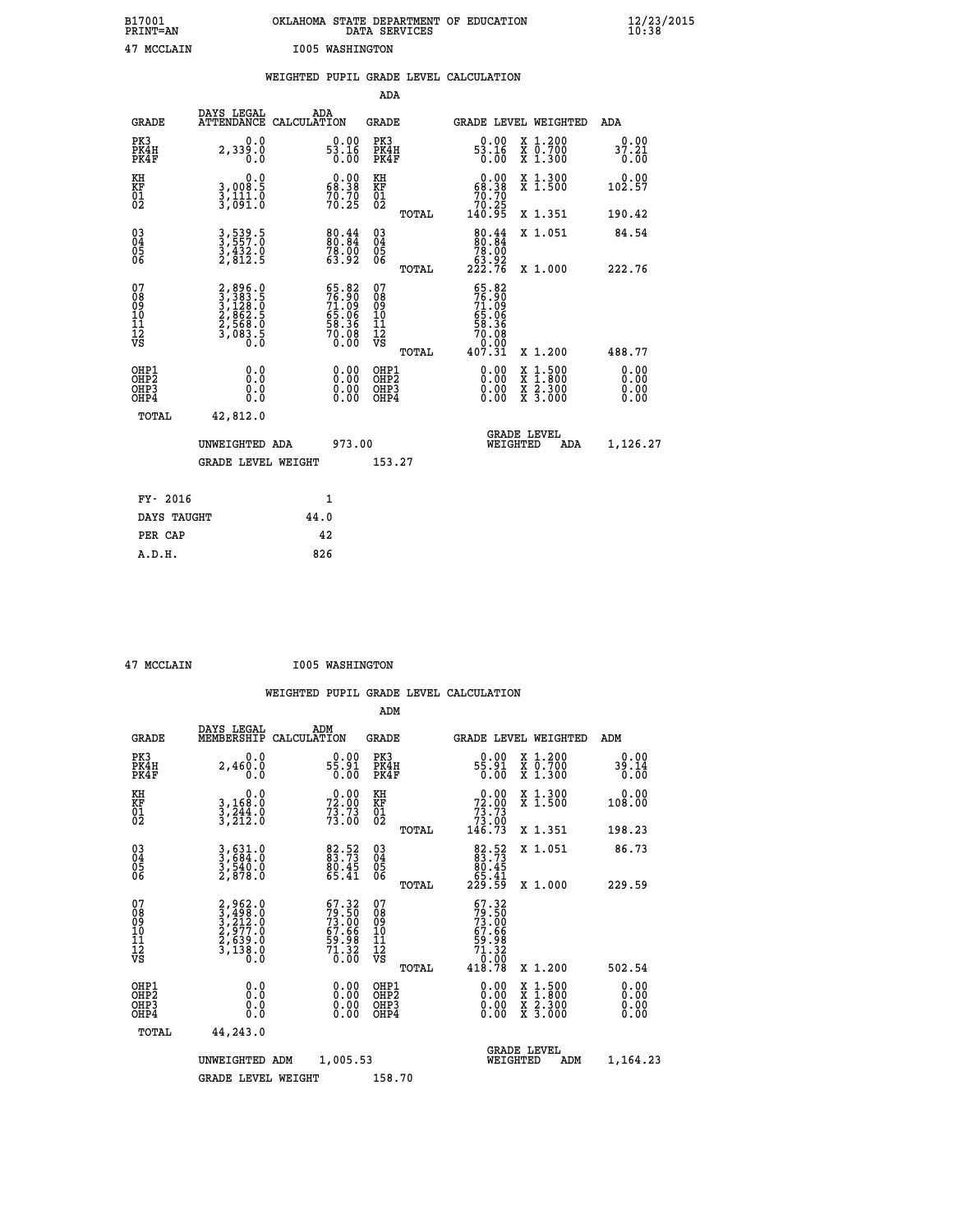| B17001<br><b>PRINT=AN</b> | OKLAHOMA STATE DEPARTMENT OF EDUCATION<br>DATA SERVICES | $\frac{12}{23}$ /2015 |
|---------------------------|---------------------------------------------------------|-----------------------|
| 47 MCCLAIN                | 1005 WASHINGTON                                         |                       |

|  |  | WEIGHTED PUPIL GRADE LEVEL CALCULATION |
|--|--|----------------------------------------|
|  |  |                                        |

|                                                                              |                                                                 |                    |                                                                          | ADA                                      |       |                                                                                     |                                          |                              |
|------------------------------------------------------------------------------|-----------------------------------------------------------------|--------------------|--------------------------------------------------------------------------|------------------------------------------|-------|-------------------------------------------------------------------------------------|------------------------------------------|------------------------------|
| <b>GRADE</b>                                                                 | DAYS LEGAL<br><b>ATTENDANCE</b>                                 | ADA<br>CALCULATION |                                                                          | <b>GRADE</b>                             |       |                                                                                     | <b>GRADE LEVEL WEIGHTED</b>              | ADA                          |
| PK3<br>PK4H<br>PK4F                                                          | 0.0<br>2,339.0                                                  |                    | $53.16\n 0.00\n 0.00$                                                    | PK3<br>PK4H<br>PK4F                      |       | $53.16\n 0.00\n 0.00$                                                               | X 1.200<br>X 0.700<br>X 1.300            | 0.00<br>37.21<br>0.00        |
| KH<br>KF<br>01<br>02                                                         | 0.0<br>3,008:5<br>3,111:0<br>3,091:0                            |                    | $0.00$<br>68.38<br>$70.70$<br>$70.25$                                    | KH<br>KF<br>01<br>02                     |       | $0.00$<br>68.38<br>$\begin{smallmatrix} 70.70 \\ 70.25 \\ 140.95 \end{smallmatrix}$ | X 1.300<br>X 1.500                       | 0.00<br>102.57               |
|                                                                              |                                                                 |                    |                                                                          |                                          | TOTAL |                                                                                     | X 1.351                                  | 190.42                       |
| $^{03}_{04}$<br>Ŏ5<br>06                                                     | 3,539.5<br>3,557.0<br>3,432.0<br>2,812.5                        |                    | $80.84$<br>$78.00$<br>$78.00$<br>$63.92$                                 | $\substack{03 \\ 04}$<br>Ŏ5<br>06        | TOTAL | $\begin{smallmatrix}80.44\\80.84\\78.00\\63.92\\222.76\end{smallmatrix}$            | X 1.051<br>X 1.000                       | 84.54<br>222.76              |
| 07<br>08901112<br>1112<br>VS                                                 | 2,896.0<br>3,383.5<br>3,1228.0<br>2,862.5<br>2,568.0<br>3,083.5 |                    | $55.82$<br>$76.90$<br>$71.09$<br>$65.06$<br>$58.36$<br>$70.08$<br>$0.00$ | 07<br>08901112<br>1112<br>VS             |       | 65.82<br>76.90<br>71.09<br>65.06<br>65.36<br>70.080<br>70.09                        |                                          |                              |
|                                                                              |                                                                 |                    |                                                                          |                                          | TOTAL | 407.31                                                                              | X 1.200                                  | 488.77                       |
| OHP1<br>OH <sub>P</sub> <sub>2</sub><br>OH <sub>P3</sub><br>OH <sub>P4</sub> | 0.0<br>0.000                                                    |                    | $\begin{smallmatrix} 0.00 \ 0.00 \ 0.00 \ 0.00 \end{smallmatrix}$        | OHP1<br>OHP <sub>2</sub><br>OHP3<br>OHP4 |       | $0.00$<br>$0.00$<br>0.00                                                            | X 1:500<br>X 1:800<br>X 2:300<br>X 3:000 | 0.00<br>0.00<br>0.00<br>0.00 |
| TOTAL                                                                        | 42,812.0                                                        |                    |                                                                          |                                          |       |                                                                                     |                                          |                              |
|                                                                              | UNWEIGHTED ADA                                                  |                    | 973.00                                                                   |                                          |       |                                                                                     | GRADE LEVEL<br>WEIGHTED<br>ADA           | 1,126.27                     |
|                                                                              | <b>GRADE LEVEL WEIGHT</b>                                       |                    |                                                                          | 153.27                                   |       |                                                                                     |                                          |                              |
| FY- 2016                                                                     |                                                                 | $\mathbf{1}$       |                                                                          |                                          |       |                                                                                     |                                          |                              |
| DAYS TAUGHT                                                                  |                                                                 | 44.0               |                                                                          |                                          |       |                                                                                     |                                          |                              |
| PER CAP                                                                      |                                                                 | 42                 |                                                                          |                                          |       |                                                                                     |                                          |                              |

 **ADM**

 **47 MCCLAIN I005 WASHINGTON**

| <b>GRADE</b>                             | DAYS LEGAL<br>MEMBERSHIP                                               | ADM<br>CALCULATION                                                       | <b>GRADE</b>                                        |       | GRADE LEVEL WEIGHTED                                                                                                                                                                                                                                                           |                                                                                                                     | ADM                      |  |
|------------------------------------------|------------------------------------------------------------------------|--------------------------------------------------------------------------|-----------------------------------------------------|-------|--------------------------------------------------------------------------------------------------------------------------------------------------------------------------------------------------------------------------------------------------------------------------------|---------------------------------------------------------------------------------------------------------------------|--------------------------|--|
| PK3<br>PK4H<br>PK4F                      | 0.0<br>2,460.0<br>0.0                                                  | $0.00$<br>55.91<br>0.00                                                  | PK3<br>PK4H<br>PK4F                                 |       | $0.00$<br>55.91<br>0.00                                                                                                                                                                                                                                                        | X 1.200<br>X 0.700<br>X 1.300                                                                                       | 0.00<br>39.14<br>0.00    |  |
| KH<br>KF<br>01<br>02                     | 0.0<br>3,168:0<br>3,244:0<br>3,212:0                                   | $72.00$<br>$73.73$<br>$73.73$<br>$73.00$                                 | KH<br>KF<br>01<br>02                                |       | $\begin{smallmatrix} &0.00\ 72.00\ 73.73\ 73.00\ 146.73\end{smallmatrix}$                                                                                                                                                                                                      | X 1.300<br>X 1.500                                                                                                  | 0.00<br>108.00           |  |
|                                          |                                                                        |                                                                          |                                                     | TOTAL |                                                                                                                                                                                                                                                                                | X 1.351                                                                                                             | 198.23                   |  |
| 03<br>04<br>05<br>06                     | 3,631.0<br>3,684.0<br>3,540.0<br>2,878.0                               | 82.52<br>83.73<br>80.45<br>65.41                                         | $\begin{array}{c} 03 \\ 04 \\ 05 \\ 06 \end{array}$ |       | $83.73\n80.45\n65.41\n229.59$                                                                                                                                                                                                                                                  | X 1.051                                                                                                             | 86.73                    |  |
|                                          |                                                                        |                                                                          |                                                     | TOTAL |                                                                                                                                                                                                                                                                                | X 1.000                                                                                                             | 229.59                   |  |
| 07<br>08<br>09<br>11<br>11<br>12<br>VS   | $2,962.0$<br>$3,498.0$<br>$3,212.0$<br>$2,639.0$<br>$3,138.0$<br>$0.0$ | $57.32$<br>$79.50$<br>$73.00$<br>$67.66$<br>$59.98$<br>$71.32$<br>$0.00$ | 07<br>08<br>09<br>11<br>11<br>12<br>VS              | TOTAL | $\begin{smallmatrix} 67.32\ 79.50\ 73.00\ 67.66\ 59.982\ 71.320\ 418.78 \end{smallmatrix}$                                                                                                                                                                                     | X 1.200                                                                                                             | 502.54                   |  |
| OHP1<br>OHP2<br>OH <sub>P3</sub><br>OHP4 | 0.0<br>0.000                                                           |                                                                          | OHP1<br>OHP2<br>OHP <sub>3</sub>                    |       | $\begin{smallmatrix} 0.00 & 0.00 & 0.00 & 0.00 & 0.00 & 0.00 & 0.00 & 0.00 & 0.00 & 0.00 & 0.00 & 0.00 & 0.00 & 0.00 & 0.00 & 0.00 & 0.00 & 0.00 & 0.00 & 0.00 & 0.00 & 0.00 & 0.00 & 0.00 & 0.00 & 0.00 & 0.00 & 0.00 & 0.00 & 0.00 & 0.00 & 0.00 & 0.00 & 0.00 & 0.00 & 0.0$ | $\begin{array}{l} \mathtt{X} & 1.500 \\ \mathtt{X} & 1.800 \\ \mathtt{X} & 2.300 \\ \mathtt{X} & 3.000 \end{array}$ | $0.00$<br>$0.00$<br>0.00 |  |
| TOTAL                                    | 44,243.0                                                               |                                                                          |                                                     |       |                                                                                                                                                                                                                                                                                |                                                                                                                     |                          |  |
|                                          | UNWEIGHTED                                                             | 1,005.53<br>ADM                                                          |                                                     |       | WEIGHTED                                                                                                                                                                                                                                                                       | <b>GRADE LEVEL</b><br>ADM                                                                                           | 1,164.23                 |  |
|                                          | <b>GRADE LEVEL WEIGHT</b>                                              |                                                                          | 158.70                                              |       |                                                                                                                                                                                                                                                                                |                                                                                                                     |                          |  |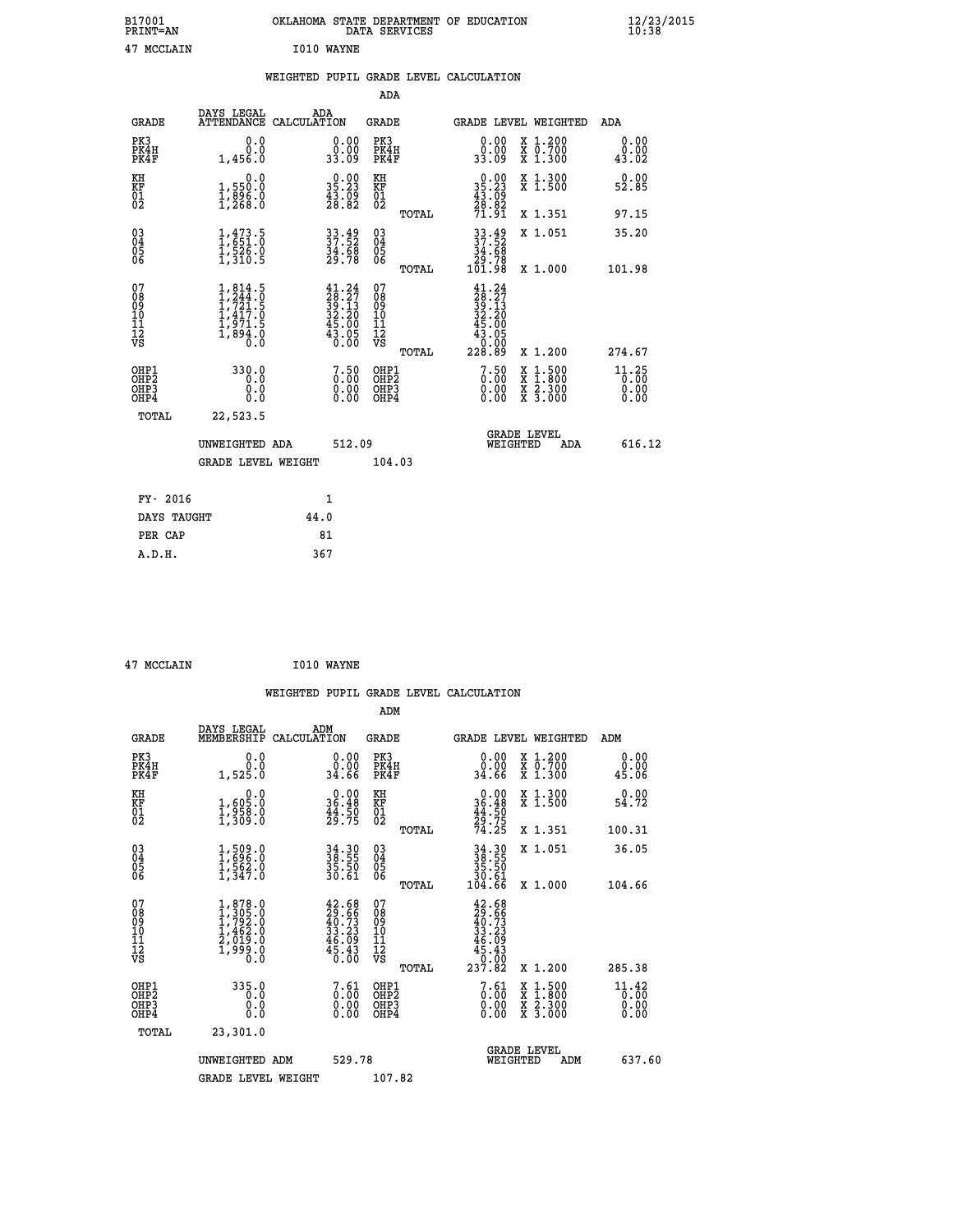| B17001<br><b>PRINT=AN</b> | OKLAHOMA STATE DEPARTMENT OF EDUCATION<br>DATA SERVICES | $\frac{12}{23}$ /2015 |
|---------------------------|---------------------------------------------------------|-----------------------|
| 47 MCCLAIN                | I010 WAYNE                                              |                       |

|  |  | WEIGHTED PUPIL GRADE LEVEL CALCULATION |
|--|--|----------------------------------------|
|  |  |                                        |

|                                                       |                                                                                     |                                                                                                                                    | ADA                                      |       |                                                                                                   |                                                                                                  |                               |
|-------------------------------------------------------|-------------------------------------------------------------------------------------|------------------------------------------------------------------------------------------------------------------------------------|------------------------------------------|-------|---------------------------------------------------------------------------------------------------|--------------------------------------------------------------------------------------------------|-------------------------------|
| <b>GRADE</b>                                          | DAYS LEGAL                                                                          | ADA<br>ATTENDANCE CALCULATION                                                                                                      | GRADE                                    |       | GRADE LEVEL WEIGHTED                                                                              |                                                                                                  | ADA                           |
| PK3<br>PK4H<br>PK4F                                   | 0.0<br>0.0<br>1,456.0                                                               | $\begin{smallmatrix} 0.00\\ 0.00\\ 33.09 \end{smallmatrix}$                                                                        | PK3<br>PK4H<br>PK4F                      |       | 0.00<br>ةة:ة<br>33.09                                                                             | X 1.200<br>X 0.700<br>X 1.300                                                                    | 0.00<br>0.00<br>43.02         |
| KH<br>KF<br>01<br>02                                  | 0.0<br>1,550:0<br>1,896:0<br>1,268:0                                                | $\begin{smallmatrix} 0.00\\ 35.23\\ 43.09\\ 28.82 \end{smallmatrix}$                                                               | KH<br>KF<br>01<br>02                     |       | $\begin{smallmatrix} 0.00\\ 35.23\\ 43.09\\ 28.82\\ 71.91\\ \end{smallmatrix}$                    | X 1.300<br>X 1.500                                                                               | 0.00<br>52.85                 |
|                                                       |                                                                                     |                                                                                                                                    |                                          | TOTAL |                                                                                                   | X 1.351                                                                                          | 97.15                         |
| 03<br>04<br>05<br>06                                  | $1,473.5$<br>$1,551.0$<br>$1,526.0$<br>$1,310.5$                                    | 33.49<br>37.52<br>34.68<br>29.78                                                                                                   | 03<br>04<br>05<br>06                     |       | $33.49$<br>$37.52$<br>$34.68$<br>$29.78$<br>$101.98$                                              | X 1.051                                                                                          | 35.20                         |
|                                                       |                                                                                     |                                                                                                                                    |                                          | TOTAL |                                                                                                   | X 1.000                                                                                          | 101.98                        |
| 07<br>08<br>09<br>11<br>11<br>12<br>VS                | $1,814.5$<br>$1,244.0$<br>$1,721.5$<br>$1,417.0$<br>$1,971.5$<br>$1,894.0$<br>$0.0$ | $\begin{smallmatrix} 41\cdot 24\\ 28\cdot 27\\ 39\cdot 13\\ 32\cdot 20\\ 45\cdot 00\\ 43\cdot 05\\ 0\cdot 00\\ 0\end{smallmatrix}$ | 07<br>08<br>09<br>11<br>11<br>12<br>VS   | TOTAL | $\begin{smallmatrix} 41.24\ 28.27\ 39.13\ 32.13\ 32.20\ 45.005\ 43.050\ 228.89 \end{smallmatrix}$ | X 1.200                                                                                          | 274.67                        |
| OHP1<br>OH <sub>P</sub> 2<br>OH <sub>P3</sub><br>OHP4 | 330.0<br>0.0<br>0.0<br>0.0                                                          | 7.50<br>$\begin{smallmatrix} 0.00 \ 0.00 \end{smallmatrix}$                                                                        | OHP1<br>OHP <sub>2</sub><br>OHP3<br>OHP4 |       | $\begin{smallmatrix} 7.50\ 0.00 \end{smallmatrix}$<br>0.00                                        | $\begin{smallmatrix} x & 1 & 500 \\ x & 1 & 800 \\ x & 2 & 300 \\ x & 3 & 000 \end{smallmatrix}$ | 11.25<br>0.00<br>0.00<br>0.00 |
| TOTAL                                                 | 22,523.5                                                                            |                                                                                                                                    |                                          |       |                                                                                                   |                                                                                                  |                               |
|                                                       | UNWEIGHTED ADA                                                                      | 512.09                                                                                                                             |                                          |       | WEIGHTED                                                                                          | <b>GRADE LEVEL</b><br>ADA                                                                        | 616.12                        |
|                                                       | <b>GRADE LEVEL WEIGHT</b>                                                           |                                                                                                                                    | 104.03                                   |       |                                                                                                   |                                                                                                  |                               |
| FY- 2016                                              |                                                                                     | $\mathbf{1}$                                                                                                                       |                                          |       |                                                                                                   |                                                                                                  |                               |
| DAYS TAUGHT                                           |                                                                                     | 44.0                                                                                                                               |                                          |       |                                                                                                   |                                                                                                  |                               |
| PER CAP                                               |                                                                                     | 81                                                                                                                                 |                                          |       |                                                                                                   |                                                                                                  |                               |
| A.D.H.                                                |                                                                                     | 367                                                                                                                                |                                          |       |                                                                                                   |                                                                                                  |                               |
|                                                       |                                                                                     |                                                                                                                                    |                                          |       |                                                                                                   |                                                                                                  |                               |

| 47 MCCLAIN |  |
|------------|--|
|            |  |

**MCCLAIN 1010 WAYNE** 

|                                                      |                                                                                     |                                                                                              | WEIGHTED PUPIL GRADE LEVEL CALCULATION             |                                                                                               |                                                                |                               |
|------------------------------------------------------|-------------------------------------------------------------------------------------|----------------------------------------------------------------------------------------------|----------------------------------------------------|-----------------------------------------------------------------------------------------------|----------------------------------------------------------------|-------------------------------|
|                                                      |                                                                                     |                                                                                              | ADM                                                |                                                                                               |                                                                |                               |
| <b>GRADE</b>                                         | DAYS LEGAL<br>MEMBERSHIP<br>CALCULATION                                             | ADM                                                                                          | GRADE                                              | <b>GRADE LEVEL WEIGHTED</b>                                                                   |                                                                | ADM                           |
| PK3<br>PK4H<br>PK4F                                  | 0.0<br>0.0<br>1,525.0                                                               | $\begin{smallmatrix} 0.00\\ 0.00\\ 34.66 \end{smallmatrix}$                                  | PK3<br>PK4H<br>PK4F                                | $\begin{smallmatrix} 0.00\\ 0.00\\ 34.66 \end{smallmatrix}$                                   | X 1.200<br>X 0.700<br>X 1.300                                  | 0.00<br>0.00<br>45.06         |
| KH<br>KF<br>01<br>02                                 | 0.0<br>1,605:0<br>1,958:0<br>1,309:0                                                | $\begin{smallmatrix} 0.00\\ 36.48\\ 44.50\\ 29.75 \end{smallmatrix}$                         | KH<br>KF<br>01<br>02                               | $0.00$<br>$36.48$<br>$44.50$<br>$29.75$<br>$74.25$                                            | X 1.300<br>X 1.500                                             | 0.00<br>54.72                 |
|                                                      |                                                                                     |                                                                                              | TOTAL                                              |                                                                                               | X 1.351                                                        | 100.31                        |
| $\begin{matrix} 03 \\ 04 \\ 05 \\ 06 \end{matrix}$   | $1,509.0$<br>$1,596.0$<br>$1,562.0$<br>$1,347.0$                                    | 34.30<br>38.55<br>35.50<br>30.61                                                             | $\begin{matrix} 03 \\ 04 \\ 05 \\ 06 \end{matrix}$ | $34.3038.5535.5030.61104.66$                                                                  | X 1.051                                                        | 36.05                         |
|                                                      |                                                                                     |                                                                                              | TOTAL                                              |                                                                                               | X 1.000                                                        | 104.66                        |
| 07<br>08<br>09<br>11<br>11<br>12<br>VS               | $1,878.0$<br>$1,795.0$<br>$1,792.0$<br>$1,462.0$<br>$2,019.0$<br>$1,999.0$<br>$0.0$ | $\begin{smallmatrix} 42.68\\ 29.66\\ 40.73\\ 33.23\\ 46.09\\ 45.43\\ 0.00 \end{smallmatrix}$ | 07<br>08<br>09<br>101<br>11<br>12<br>VS            | $42.68$<br>$29.66$<br>$40.73$<br>$33.23$<br>$46.09$<br>$45.43$<br>00.0 <sup>1</sup><br>237.82 |                                                                |                               |
|                                                      |                                                                                     |                                                                                              | TOTAL                                              |                                                                                               | X 1.200                                                        | 285.38                        |
| OHP1<br>OHP2<br>OH <sub>P3</sub><br>OH <sub>P4</sub> | 335.0<br>0.0<br>0.000                                                               | $\begin{smallmatrix}7.61\0.00\0.00\0.00\end{smallmatrix}$                                    | OHP1<br>OHP2<br>OHP3<br>OHP4                       | $\begin{smallmatrix} 7.61 \ 0.00 \ 0.00 \end{smallmatrix}$<br>0.00                            | $1:500$<br>$1:800$<br>X 1:500<br>X 1:800<br>X 2:300<br>X 3:000 | 11.42<br>0.00<br>0.00<br>0.00 |
| TOTAL                                                | 23,301.0                                                                            |                                                                                              |                                                    |                                                                                               |                                                                |                               |
|                                                      | UNWEIGHTED ADM                                                                      | 529.78                                                                                       |                                                    | <b>GRADE LEVEL</b><br>WEIGHTED                                                                | ADM                                                            | 637.60                        |
|                                                      | <b>GRADE LEVEL WEIGHT</b>                                                           |                                                                                              | 107.82                                             |                                                                                               |                                                                |                               |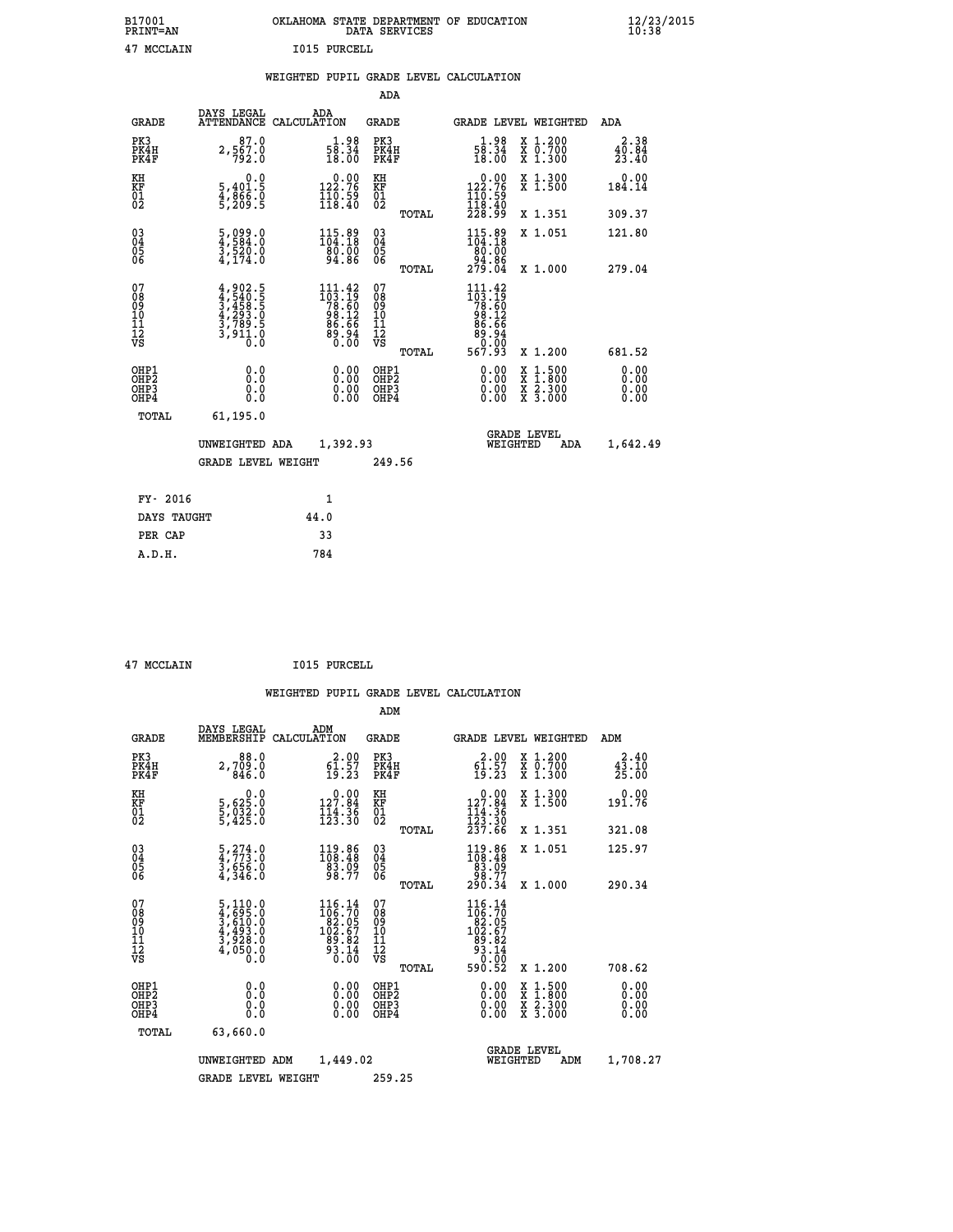## **B17001 OKLAHOMA STATE DEPARTMENT OF EDUCATION 12/23/2015 PRINT=AN DATA SERVICES 10:38 47 MCCLAIN I015 PURCELL**

|  |  | WEIGHTED PUPIL GRADE LEVEL CALCULATION |
|--|--|----------------------------------------|
|  |  |                                        |

|                                                                    |                                                                                      |                                                                            | ADA                                    |       |                                                                                                       |                                          |                               |
|--------------------------------------------------------------------|--------------------------------------------------------------------------------------|----------------------------------------------------------------------------|----------------------------------------|-------|-------------------------------------------------------------------------------------------------------|------------------------------------------|-------------------------------|
| <b>GRADE</b>                                                       | DAYS LEGAL                                                                           | ADA<br>ATTENDANCE CALCULATION                                              | <b>GRADE</b>                           |       |                                                                                                       | GRADE LEVEL WEIGHTED                     | ADA                           |
| PK3<br>PK4H<br>PK4F                                                | 87.0<br>2,567.0<br>792.0                                                             | $\begin{smallmatrix} 1.98\\ 58.34\\ 18.00 \end{smallmatrix}$               | PK3<br>PK4H<br>PK4F                    |       | $\frac{1 \cdot 98}{58 \cdot 34}$<br>18.00                                                             | X 1.200<br>X 0.700<br>X 1.300            | 2.38<br>$\frac{40.84}{23.40}$ |
| KH<br>KF<br>01<br>02                                               | 0.0<br>5,401.5<br>4,866.0<br>5,209.5                                                 | $0.00$<br>122.76<br>$\frac{110.59}{118.40}$                                | KH<br>KF<br>01<br>02                   |       | $\begin{smallmatrix} &0.00\\ 122.76\\ 110.59\\ 118.40\\ 228.99\end{smallmatrix}$                      | X 1.300<br>X 1.500                       | 0.00<br>184.14                |
|                                                                    |                                                                                      |                                                                            |                                        | TOTAL |                                                                                                       | X 1.351                                  | 309.37                        |
| $\begin{smallmatrix} 03 \\[-4pt] 04 \end{smallmatrix}$<br>Ŏ5<br>06 | $\frac{5}{4}, \frac{0}{584}.0\\ \frac{3}{3}, \frac{520}{520}.0\\ \frac{4}{174}.0$    | $115.89$<br>$104.18$<br>80:00<br>94.86                                     | $\substack{03 \\ 04}$<br>Ŏ5<br>06      |       | $115.89$<br>$104.18$<br>$\begin{array}{r} 180.000 \\ -94.86 \\ 279.04 \end{array}$                    | X 1.051                                  | 121.80                        |
|                                                                    |                                                                                      |                                                                            |                                        | TOTAL |                                                                                                       | X 1.000                                  | 279.04                        |
| 07<br>08<br>09<br>101<br>11<br>12<br>VS                            | $4,902.5$<br>$3,4540.5$<br>$3,458.5$<br>$4,293.5$<br>$3,789.5$<br>$3,911.0$<br>$0.0$ | $111.42$<br>$103.19$<br>$78.60$<br>$98.12$<br>$86.66$<br>$89.94$<br>$0.00$ | 07<br>08<br>09<br>11<br>11<br>12<br>VS |       | $\begin{array}{r} 111.42 \\ 103.19 \\ 78.60 \\ 98.12 \\ 86.66 \\ 89.94 \\ 0.00 \\ 567.93 \end{array}$ |                                          |                               |
|                                                                    |                                                                                      |                                                                            |                                        | TOTAL |                                                                                                       | X 1.200                                  | 681.52                        |
| OHP1<br>OHP <sub>2</sub><br>OH <sub>P3</sub><br>OHP4               | 0.0<br>0.0<br>0.0                                                                    | 0.00<br>$\begin{smallmatrix} 0.00 \ 0.00 \end{smallmatrix}$                | OHP1<br>OHP2<br>OHP <sub>3</sub>       |       | 0.00<br>0.00                                                                                          | X 1:500<br>X 1:800<br>X 2:300<br>X 3:000 | 0.00<br>Ō. ŌŌ<br>0.00<br>0.00 |
| TOTAL                                                              | 61,195.0                                                                             |                                                                            |                                        |       |                                                                                                       |                                          |                               |
|                                                                    | UNWEIGHTED ADA                                                                       | 1,392.93                                                                   |                                        |       |                                                                                                       | <b>GRADE LEVEL</b><br>WEIGHTED<br>ADA    | 1,642.49                      |
|                                                                    | <b>GRADE LEVEL WEIGHT</b>                                                            |                                                                            | 249.56                                 |       |                                                                                                       |                                          |                               |
| FY- 2016                                                           |                                                                                      | 1                                                                          |                                        |       |                                                                                                       |                                          |                               |
| DAYS TAUGHT                                                        |                                                                                      | 44.0                                                                       |                                        |       |                                                                                                       |                                          |                               |
| PER CAP                                                            |                                                                                      | 33                                                                         |                                        |       |                                                                                                       |                                          |                               |

 **A.D.H. 784**

 **47 MCCLAIN I015 PURCELL**

|                                          |                                                                                   |                                                                                                                             | ADM                                                 |       |                                                                                                       |                                          |                               |  |
|------------------------------------------|-----------------------------------------------------------------------------------|-----------------------------------------------------------------------------------------------------------------------------|-----------------------------------------------------|-------|-------------------------------------------------------------------------------------------------------|------------------------------------------|-------------------------------|--|
| <b>GRADE</b>                             | DAYS LEGAL<br>MEMBERSHIP                                                          | ADM<br>CALCULATION                                                                                                          | <b>GRADE</b>                                        |       |                                                                                                       | GRADE LEVEL WEIGHTED                     | ADM                           |  |
| PK3<br>PK4H<br>PK4F                      | 88.0<br>2,709.0<br>846.0                                                          | $\begin{smallmatrix} 2.00\\ 61.57\\ 19.23 \end{smallmatrix}$                                                                | PK3<br>PK4H<br>PK4F                                 |       | $\begin{smallmatrix} 2.00\\ 61.57\\ 19.23 \end{smallmatrix}$                                          | X 1.200<br>X 0.700<br>X 1.300            | 2.40<br>$\frac{45.10}{25.00}$ |  |
| KH<br>KF<br>01<br>02                     | 0.0<br>5,625.0<br>5,032.0<br>5,425.0                                              | $\begin{smallmatrix} &0.00\\ 127.84\\ 114.36\\ 123.30\end{smallmatrix}$                                                     | KH<br>KF<br>01<br>02                                |       | $0.00$<br>127.84<br>$\frac{114}{123}$ $\frac{36}{30}$<br>$\frac{237}{37}$                             | X 1.300<br>X 1.500                       | 0.00<br>191.76                |  |
|                                          |                                                                                   |                                                                                                                             |                                                     | TOTAL |                                                                                                       | X 1.351                                  | 321.08                        |  |
| 03<br>04<br>05<br>06                     | $\frac{5}{4}, \frac{274}{773}$ .0<br>$\frac{3}{4}, \frac{656}{346}$ .0<br>4,346.0 | $\begin{smallmatrix} 119.86\\108.48\\83.09\\98.77 \end{smallmatrix}$                                                        | $\begin{array}{c} 03 \\ 04 \\ 05 \\ 06 \end{array}$ |       | $\begin{smallmatrix} 119.86\\ 108.48\\ 83.09\\ 98.77\\ 290.34 \end{smallmatrix}$                      | X 1.051                                  | 125.97                        |  |
|                                          |                                                                                   |                                                                                                                             |                                                     | TOTAL |                                                                                                       | X 1.000                                  | 290.34                        |  |
| 07<br>08<br>09<br>101<br>112<br>VS       | 5,110.0<br>4,695.0<br>3,610.0<br>4,493.0<br>3,928.0<br>4,050.0<br>0.0             | $\begin{smallmatrix} 116\cdot 14\\106\cdot 70\\82\cdot 05\\102\cdot 67\\89\cdot 82\\93\cdot 14\\0\cdot 00\end{smallmatrix}$ | 07<br>08<br>09<br>11<br>11<br>12<br>VS              | TOTAL | $\begin{smallmatrix} 116.14\\106.70\\182.05\\102.67\\93.82\\93.14\\0&0.00\end{smallmatrix}$<br>590.52 | X 1.200                                  | 708.62                        |  |
| OHP1<br>OHP2<br>OH <sub>P3</sub><br>OHP4 | 0.0<br>0.000                                                                      |                                                                                                                             | OHP1<br>OHP2<br>OHP <sub>3</sub>                    |       | $0.00$<br>$0.00$<br>0.00                                                                              | X 1:500<br>X 1:800<br>X 2:300<br>X 3:000 | 0.00<br>0.00<br>0.00<br>0.00  |  |
| TOTAL                                    | 63,660.0                                                                          |                                                                                                                             |                                                     |       |                                                                                                       |                                          |                               |  |
|                                          | UNWEIGHTED                                                                        | 1,449.02<br>ADM                                                                                                             |                                                     |       | WEIGHTED                                                                                              | <b>GRADE LEVEL</b><br>ADM                | 1,708.27                      |  |
|                                          | <b>GRADE LEVEL WEIGHT</b>                                                         |                                                                                                                             | 259.25                                              |       |                                                                                                       |                                          |                               |  |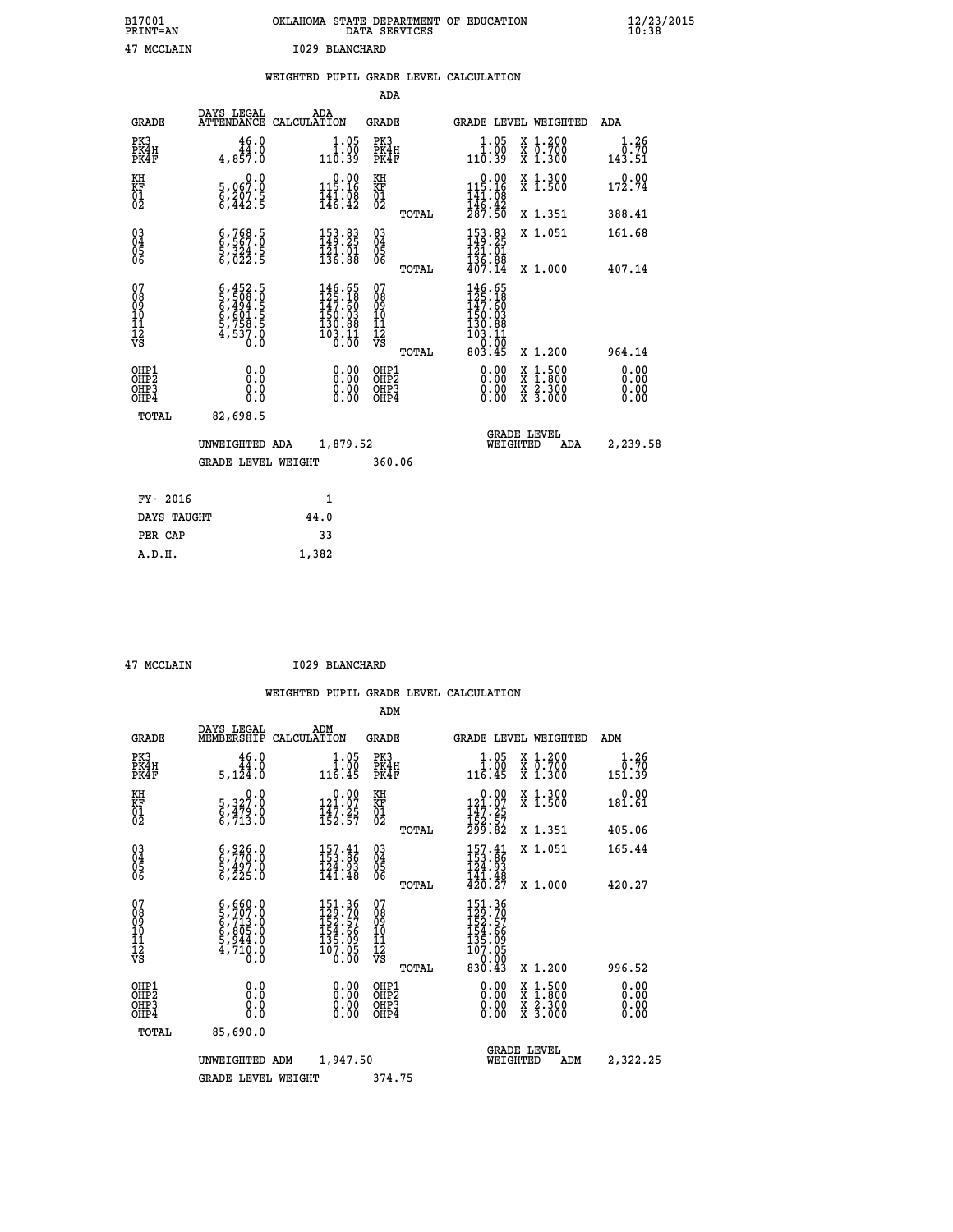| B17001<br>PRINT=AN | OKLAHOMA STATE DEPARTMENT OF EDUCATION<br>DATA SERVICES | $\frac{12}{23}$ /2015 |
|--------------------|---------------------------------------------------------|-----------------------|
| 47 MCCLAIN         | 1029 BLANCHARD                                          |                       |

|  |     | WEIGHTED PUPIL GRADE LEVEL CALCULATION |  |
|--|-----|----------------------------------------|--|
|  | ADA |                                        |  |

| <b>GRADE</b>                             | DAYS LEGAL                                                                          | ADA<br>ATTENDANCE CALCULATION                                                                     | <b>GRADE</b>                           |       |                                                                                                                                                                                                                                                                                | <b>GRADE LEVEL WEIGHTED</b>                                                                      | ADA                          |
|------------------------------------------|-------------------------------------------------------------------------------------|---------------------------------------------------------------------------------------------------|----------------------------------------|-------|--------------------------------------------------------------------------------------------------------------------------------------------------------------------------------------------------------------------------------------------------------------------------------|--------------------------------------------------------------------------------------------------|------------------------------|
| PK3<br>PK4H<br>PK4F                      | 46.0<br>44.0<br>4,857.0                                                             | $1.05$<br>$1.00$<br>110.39                                                                        | PK3<br>PK4H<br>PK4F                    |       | 1.05<br>$\begin{smallmatrix} 1.00 \ 110.39 \end{smallmatrix}$                                                                                                                                                                                                                  | X 1.200<br>X 0.700<br>X 1.300                                                                    | 1.26<br>0.70<br>143.51       |
| KH<br>KF<br>01<br>02                     | 0.0<br>5,067:0<br>6,207:5<br>6,442:5                                                | $0.00$<br>115.16<br>$\frac{1}{4}$ $\frac{1}{4}$ $\frac{1}{6}$ $\cdot$ $\frac{1}{4}$ $\frac{1}{2}$ | KH<br>KF<br>01<br>02                   |       | $0.00$<br>115.16<br>$\frac{141.08}{146.42}$<br>$\frac{287.50}{287.50}$                                                                                                                                                                                                         | X 1.300<br>X 1.500                                                                               | 0.00<br>172.74               |
|                                          |                                                                                     |                                                                                                   |                                        | TOTAL |                                                                                                                                                                                                                                                                                | X 1.351                                                                                          | 388.41                       |
| 030404<br>06                             | $\begin{smallmatrix} 6,768.5\\ 6,567.0\\ 5,324.5\\ 6,022.5 \end{smallmatrix}$       | 153.83<br>149.25<br>$\frac{121}{136.88}$                                                          | 030404<br>06                           |       | 153.83<br>149.25<br>$\frac{121.01}{136.88}$<br>$407.14$                                                                                                                                                                                                                        | X 1.051                                                                                          | 161.68                       |
|                                          |                                                                                     |                                                                                                   |                                        | TOTAL |                                                                                                                                                                                                                                                                                | X 1.000                                                                                          | 407.14                       |
| 07<br>08<br>09<br>11<br>11<br>12<br>VS   | $6,452.5$<br>$5,508.0$<br>$6,494.5$<br>$6,601.5$<br>$5,758.5$<br>$4,537.0$<br>$0.0$ | 146.65<br>125.18<br>147.60<br>$\begin{smallmatrix} 150.03\\130.88\\103.11\\0.01\end{smallmatrix}$ | 07<br>08<br>09<br>11<br>11<br>12<br>VS |       | 146.65<br>125.18<br>$147.60$<br>$150.03$<br>$130.88$<br>$103.11$<br>$0.00$<br>$803.45$                                                                                                                                                                                         |                                                                                                  |                              |
|                                          |                                                                                     |                                                                                                   |                                        | TOTAL |                                                                                                                                                                                                                                                                                | X 1.200                                                                                          | 964.14                       |
| OHP1<br>OHP2<br>OH <sub>P3</sub><br>OHP4 | 0.0<br>0.0<br>0.0                                                                   | 0.00<br>$\begin{smallmatrix} 0.00 \ 0.00 \end{smallmatrix}$                                       | OHP1<br>OHP2<br>OHP3<br>OHP4           |       | $\begin{smallmatrix} 0.00 & 0.00 & 0.00 & 0.00 & 0.00 & 0.00 & 0.00 & 0.00 & 0.00 & 0.00 & 0.00 & 0.00 & 0.00 & 0.00 & 0.00 & 0.00 & 0.00 & 0.00 & 0.00 & 0.00 & 0.00 & 0.00 & 0.00 & 0.00 & 0.00 & 0.00 & 0.00 & 0.00 & 0.00 & 0.00 & 0.00 & 0.00 & 0.00 & 0.00 & 0.00 & 0.0$ | $\begin{smallmatrix} x & 1 & 500 \\ x & 1 & 800 \\ x & 2 & 300 \\ x & 3 & 000 \end{smallmatrix}$ | 0.00<br>0.00<br>0.00<br>0.00 |
| TOTAL                                    | 82,698.5                                                                            |                                                                                                   |                                        |       |                                                                                                                                                                                                                                                                                |                                                                                                  |                              |
|                                          | UNWEIGHTED ADA                                                                      | 1,879.52                                                                                          |                                        |       | <b>GRADE LEVEL</b><br>WEIGHTED                                                                                                                                                                                                                                                 | ADA                                                                                              | 2,239.58                     |
|                                          | GRADE LEVEL WEIGHT                                                                  |                                                                                                   | 360.06                                 |       |                                                                                                                                                                                                                                                                                |                                                                                                  |                              |
| FY- 2016                                 |                                                                                     | $\mathbf{1}$                                                                                      |                                        |       |                                                                                                                                                                                                                                                                                |                                                                                                  |                              |
| DAYS TAUGHT                              |                                                                                     | 44.0                                                                                              |                                        |       |                                                                                                                                                                                                                                                                                |                                                                                                  |                              |
| PER CAP                                  |                                                                                     | 33                                                                                                |                                        |       |                                                                                                                                                                                                                                                                                |                                                                                                  |                              |
|                                          |                                                                                     |                                                                                                   |                                        |       |                                                                                                                                                                                                                                                                                |                                                                                                  |                              |

| 47 MCCLAIN |  |
|------------|--|

 **A.D.H. 1,382**

**17 MCCLAIN 17 MCCLAIN** 

|                                          |                                                                                                  |                                                                   | ADM                                                 |                                                                             |                                          |                              |
|------------------------------------------|--------------------------------------------------------------------------------------------------|-------------------------------------------------------------------|-----------------------------------------------------|-----------------------------------------------------------------------------|------------------------------------------|------------------------------|
| <b>GRADE</b>                             | DAYS LEGAL<br>MEMBERSHIP                                                                         | ADM<br>CALCULATION                                                | <b>GRADE</b>                                        |                                                                             | GRADE LEVEL WEIGHTED                     | ADM                          |
| PK3<br>PK4H<br>PK4F                      | 46.0<br>44.0<br>5,124.0                                                                          | 1.05<br>116.45                                                    | PK3<br>PK4H<br>PK4F                                 | $\begin{array}{c} 1.05 \\[-4pt] 1.00 \\[-4pt] 116.45 \end{array}$           | X 1.200<br>X 0.700<br>X 1.300            | 1.26<br>0.70<br>151.39       |
| KH<br>KF<br>01<br>02                     | 0.0<br>5, 327:0<br>6, 479:0<br>6, 713:0                                                          | $\begin{array}{c} 0.00 \\ 121.07 \\ 147.25 \\ 152.57 \end{array}$ | KH<br>KF<br>01<br>02                                | $\begin{array}{c} 0.00 \\ 121.07 \\ 147.25 \\ 152.57 \\ 299.82 \end{array}$ | X 1.300<br>X 1.500                       | 0.00<br>181.61               |
|                                          |                                                                                                  |                                                                   | TOTAL                                               |                                                                             | X 1.351                                  | 405.06                       |
| 03<br>04<br>05<br>06                     | $\begin{smallmatrix} 6 & 926 & 0 \\ 6 & 770 & 0 \\ 5 & 497 & 0 \\ 6 & 225 & 0 \end{smallmatrix}$ | $157.41$<br>$153.86$<br>124.93<br>141.48                          | $\begin{array}{c} 03 \\ 04 \\ 05 \\ 06 \end{array}$ | $157.41$<br>$153.86$<br>$124.93$<br>141.48                                  | X 1.051                                  | 165.44                       |
|                                          |                                                                                                  |                                                                   | TOTAL                                               | 420.27                                                                      | X 1.000                                  | 420.27                       |
| 07<br>08<br>09<br>101<br>112<br>VS       | $6,660.0$<br>$6,707.0$<br>$6,713.0$<br>$6,805.0$<br>$5,944.0$<br>$4,710.0$<br>$0.0$              | 151.36<br>129.70<br>152.57<br>154.66<br>135.09<br>107.05<br>ó.ŏŏ  | 07<br>08<br>09<br>11<br>11<br>12<br>VS<br>TOTAL     | 151.36<br>129.70<br>152.57<br>154.66<br>135.09<br>107.05<br>0.00<br>830.43  | X 1.200                                  | 996.52                       |
|                                          |                                                                                                  |                                                                   |                                                     |                                                                             |                                          |                              |
| OHP1<br>OHP2<br>OH <sub>P3</sub><br>OHP4 | 0.0<br>0.000                                                                                     | $0.00$<br>$0.00$<br>0.00                                          | OHP1<br>OHP2<br>OHP <sub>3</sub>                    | $0.00$<br>$0.00$<br>0.00                                                    | X 1:500<br>X 1:800<br>X 2:300<br>X 3:000 | 0.00<br>0.00<br>0.00<br>0.00 |
| TOTAL                                    | 85,690.0                                                                                         |                                                                   |                                                     |                                                                             |                                          |                              |
|                                          | UNWEIGHTED<br>ADM                                                                                | 1,947.50                                                          |                                                     | WEIGHTED                                                                    | <b>GRADE LEVEL</b><br>ADM                | 2,322.25                     |
|                                          | <b>GRADE LEVEL WEIGHT</b>                                                                        |                                                                   | 374.75                                              |                                                                             |                                          |                              |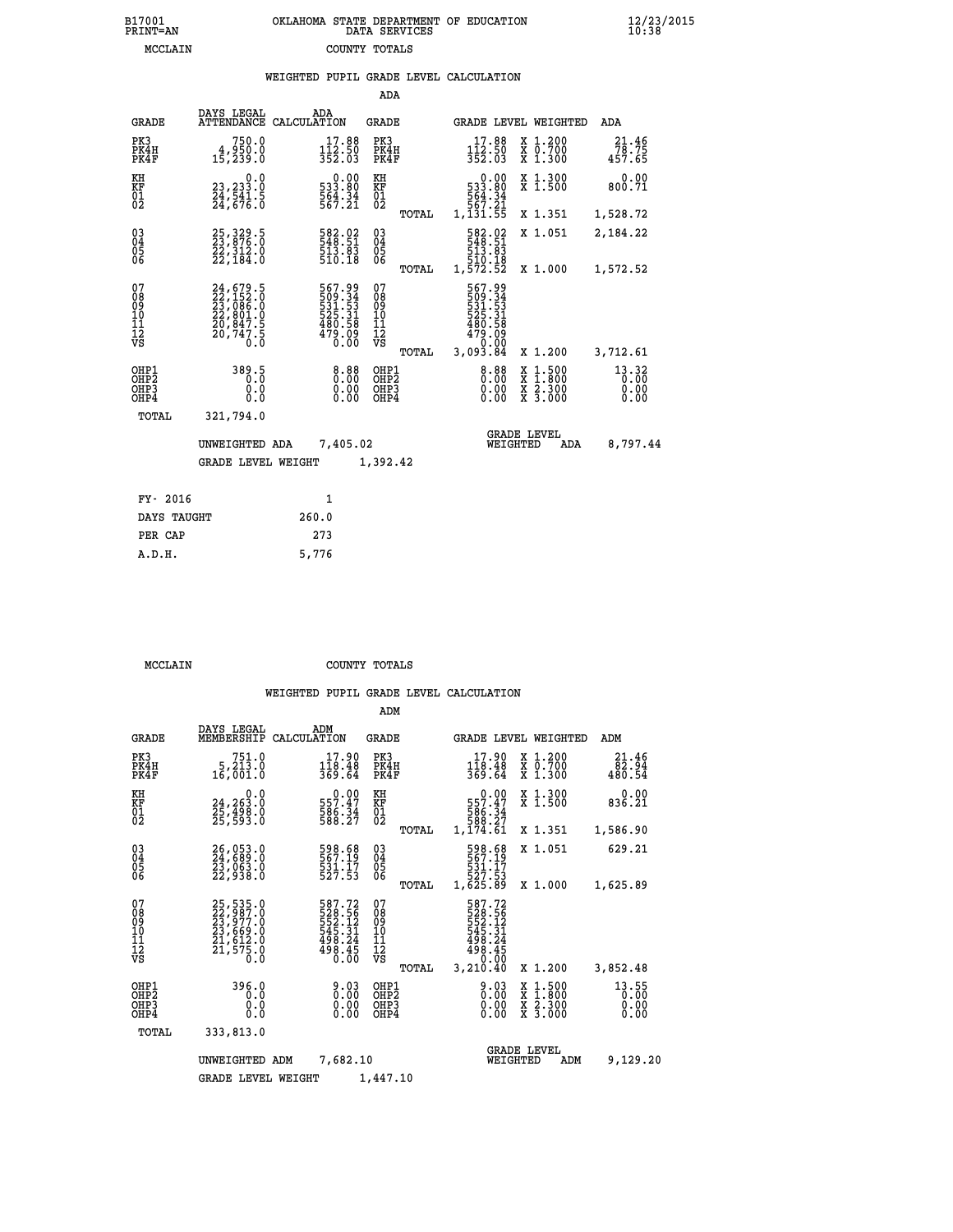| OKLAHOMA STATE DEPARTMENT OF EDUCATION<br>DATA SERVICES |  |
|---------------------------------------------------------|--|
| COUNTY TOTALS                                           |  |

|                                           |                                                                                                       | WEIGHTED PUPIL GRADE LEVEL CALCULATION                                      |                                                 |                                                                                     |                                                                                                                                           |                               |
|-------------------------------------------|-------------------------------------------------------------------------------------------------------|-----------------------------------------------------------------------------|-------------------------------------------------|-------------------------------------------------------------------------------------|-------------------------------------------------------------------------------------------------------------------------------------------|-------------------------------|
|                                           |                                                                                                       |                                                                             | <b>ADA</b>                                      |                                                                                     |                                                                                                                                           |                               |
| <b>GRADE</b>                              | DAYS LEGAL                                                                                            | ADA<br>ATTENDANCE CALCULATION                                               | <b>GRADE</b>                                    | GRADE LEVEL WEIGHTED                                                                |                                                                                                                                           | ADA                           |
| PK3<br>PK4H<br>PK4F                       | 750.0<br>4,950.0<br>15, 239.0                                                                         | $17.88$<br>$112.50$<br>$352.03$                                             | PK3<br>PK4H<br>PK4F                             | $17.88$<br>$112.50$<br>$352.03$                                                     | X 1.200<br>X 0.700<br>X 1.300                                                                                                             | 21.46<br>78.75<br>457.65      |
| KH<br>KF<br>$\overline{01}$               | 0.0<br>23,233.0<br>24,541.5<br>24,676.0                                                               | 0.00<br>533.80<br>564.34<br>567.21                                          | KH<br>KF<br>$\overline{01}$                     | 0.00<br>533.80                                                                      | X 1.300<br>X 1.500                                                                                                                        | 0.00<br>800.71                |
|                                           |                                                                                                       |                                                                             | TOTAL                                           | 564:34<br>567:21<br>1,131:55                                                        | X 1.351                                                                                                                                   | 1,528.72                      |
| $\substack{03 \\ 04}$<br>05<br>06         | 25, 329.5<br>23, 876.0<br>22, 312.0<br>22, 184.0                                                      | 582.02<br>548.51<br>$\frac{513}{510}. \frac{83}{18}$                        | $^{03}_{04}$<br>$\frac{05}{06}$                 | 582.02<br>548.51<br>513.83                                                          | X 1.051                                                                                                                                   | 2,184.22                      |
|                                           |                                                                                                       |                                                                             | TOTAL                                           | 510.18<br>1,572.52                                                                  | X 1.000                                                                                                                                   | 1,572.52                      |
| 07<br>08<br>09<br>11<br>11<br>12<br>VS    | 24,679.5<br>22,152.0<br>23,086.0<br>22,801.0<br>20,847.5<br>$\frac{1}{20}, \frac{1}{74}, \frac{1}{8}$ | 567.99<br>509.34<br>531.531<br>525.31<br>525.31<br>480.58<br>479.09<br>0.00 | 07<br>08<br>09<br>11<br>11<br>12<br>VS<br>TOTAL | 567.99<br>509.34<br>531.53<br>525.31<br>$\frac{480.58}{479.09}$<br>0.00<br>3,093.84 | X 1.200                                                                                                                                   | 3,712.61                      |
| OHP1<br>OH <sub>P</sub> 2<br>OHP3<br>OHP4 | 389.5<br>0.0<br>0.0                                                                                   | $0.00$<br>$0.00$<br>0.00                                                    | OHP1<br>OHP <sub>2</sub><br>OHP3<br>OHP4        | 0.88<br>0.00<br>0.00                                                                | $\begin{smallmatrix} \mathtt{X} & 1\cdot500\\ \mathtt{X} & 1\cdot800\\ \mathtt{X} & 2\cdot300\\ \mathtt{X} & 3\cdot000 \end{smallmatrix}$ | 13.32<br>0.00<br>0.00<br>0.00 |
| TOTAL                                     | 321,794.0                                                                                             |                                                                             |                                                 |                                                                                     |                                                                                                                                           |                               |
|                                           | UNWEIGHTED ADA                                                                                        | 7,405.02                                                                    |                                                 | <b>GRADE LEVEL</b><br>WEIGHTED                                                      | <b>ADA</b>                                                                                                                                | 8,797.44                      |
|                                           | <b>GRADE LEVEL WEIGHT</b>                                                                             |                                                                             | 1,392.42                                        |                                                                                     |                                                                                                                                           |                               |
| FY- 2016                                  |                                                                                                       | $\mathbf{1}$                                                                |                                                 |                                                                                     |                                                                                                                                           |                               |
| DAYS TAUGHT                               |                                                                                                       | 260.0                                                                       |                                                 |                                                                                     |                                                                                                                                           |                               |
| PER CAP                                   |                                                                                                       | 273                                                                         |                                                 |                                                                                     |                                                                                                                                           |                               |

 **A.D.H. 5,776**

B17001<br>PRINT=AN<br>MCCLAIN

 **MCCLAIN COUNTY TOTALS**

|                                                    |                                                                      |                                                                         | ADM                                             |                                                                                                                                         |                                          |                               |
|----------------------------------------------------|----------------------------------------------------------------------|-------------------------------------------------------------------------|-------------------------------------------------|-----------------------------------------------------------------------------------------------------------------------------------------|------------------------------------------|-------------------------------|
| <b>GRADE</b>                                       | DAYS LEGAL<br>MEMBERSHIP                                             | ADM<br>CALCULATION                                                      | GRADE                                           | GRADE LEVEL WEIGHTED                                                                                                                    |                                          | ADM                           |
| PK3<br>PK4H<br>PK4F                                | 751.0<br>$5,21\overline{3}.0$<br>16,001.0                            | 17.90<br>$\frac{1\bar{1}\dot{8}\cdot\bar{4}\dot{8}}{369.64}$            | PK3<br>PK4H<br>PK4F                             | 17.90<br>$\frac{1\bar{1}\dot{8}\cdot\bar{4}\dot{8}}{369.64}$                                                                            | x 1.200<br>x 0.700<br>$X$ 1.300          | 21.46<br>82.94<br>480.54      |
| KH<br>KF<br>01<br>02                               | 0.0<br>24,263.0<br>25,498.0<br>25,593.0                              | $\begin{smallmatrix} &0.00\\ 557.47\\ 586.34\\ 588.27\end{smallmatrix}$ | KH<br>KF<br>01<br>02                            | $\begin{smallmatrix}&&0.00\\557.47\\586.34\\586.37\\588.27\\1,174.61\end{smallmatrix}$                                                  | X 1.300<br>X 1.500                       | 0.00<br>836.21                |
|                                                    |                                                                      |                                                                         | TOTAL                                           |                                                                                                                                         | X 1.351                                  | 1,586.90                      |
| $\begin{matrix} 03 \\ 04 \\ 05 \\ 06 \end{matrix}$ | 26,053.0<br>24,689.0<br>23,063.0<br>22,938.0                         | 598.68<br>567.19<br>$\frac{531}{527}.$ $\frac{17}{53}$                  | $\substack{03 \\ 04}$<br>05<br>06               | 598.68<br>567.19<br>531.I7<br>527.53                                                                                                    | X 1.051                                  | 629.21                        |
|                                                    |                                                                      |                                                                         | TOTAL                                           | 1,625.89                                                                                                                                | X 1.000                                  | 1,625.89                      |
| 07<br>08<br>09<br>101<br>11<br>12<br>VS            | 25,535.0<br>22,987.0<br>23,977.0<br>23,669.0<br>21,612.0<br>21,575.0 | 587.72<br>528.56<br>552.12<br>545.31<br>498.24<br>498.45<br>0.00        | 07<br>08<br>09<br>11<br>11<br>12<br>VS<br>TOTAL | 587.72<br>$\begin{array}{r} 283.56 \\ 528.12 \\ 545.31 \\ 498.24 \\ 498.45 \\ \circ \\ \circ \\ \circ \\ \circ \end{array}$<br>3,210.40 | X 1.200                                  | 3,852.48                      |
| OHP1<br>OHP2<br>OH <sub>P3</sub><br>OHP4           | 396.0<br>0.0<br>0.0<br>0.0                                           | 9.03<br>0.00<br>0.00<br>0.00                                            | OHP1<br>OHP2<br>OHP3<br>OHP4                    | $0.03\n0.00$<br>0.00                                                                                                                    | X 1:500<br>X 1:800<br>X 2:300<br>X 3:000 | 13.55<br>0.00<br>0.00<br>0.00 |
| TOTAL                                              | 333,813.0                                                            |                                                                         |                                                 |                                                                                                                                         |                                          |                               |
|                                                    | UNWEIGHTED                                                           | 7,682.10<br>ADM                                                         |                                                 | <b>GRADE LEVEL</b><br>WEIGHTED                                                                                                          | ADM                                      | 9,129.20                      |
|                                                    | <b>GRADE LEVEL WEIGHT</b>                                            |                                                                         | 1,447.10                                        |                                                                                                                                         |                                          |                               |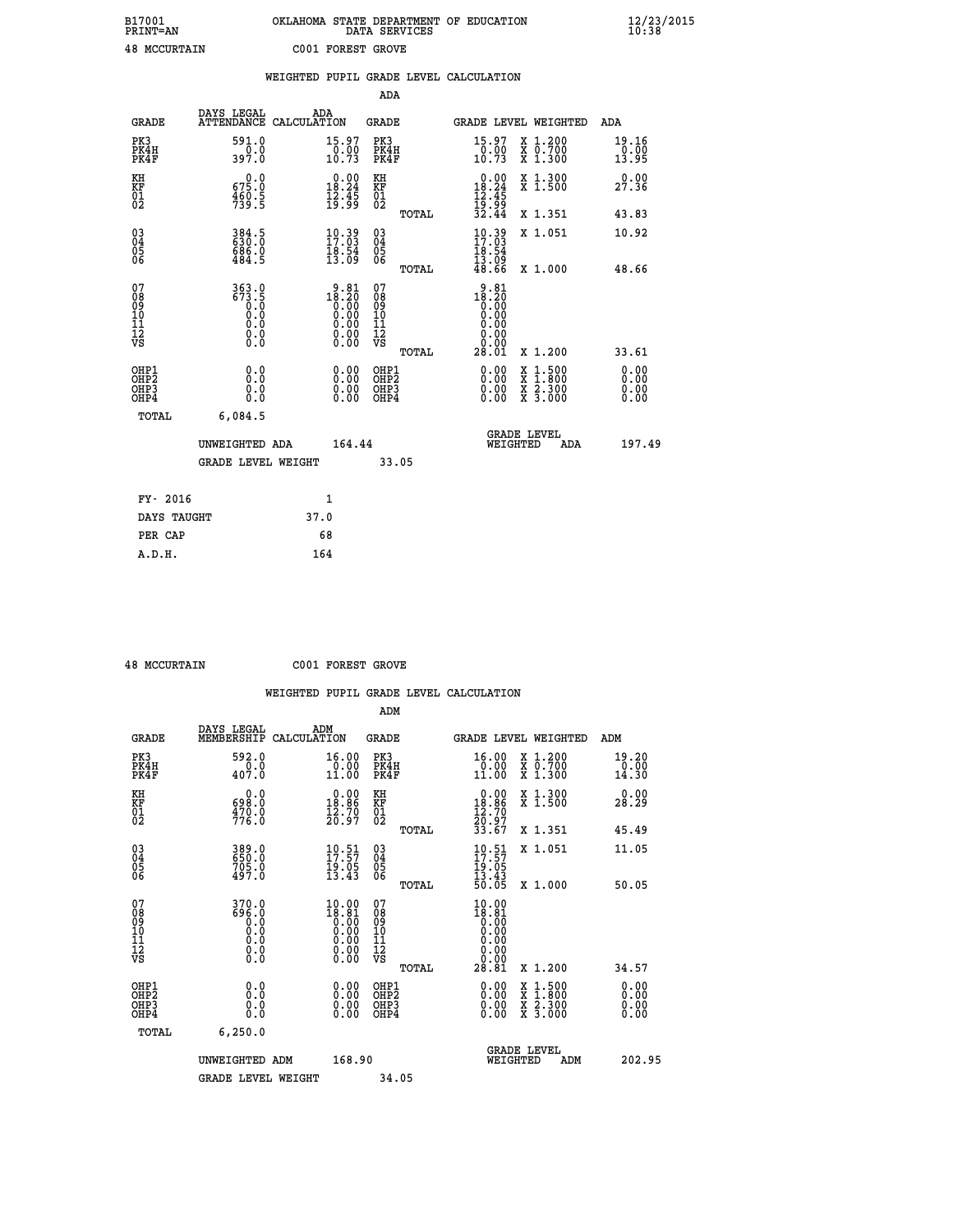## **B17001 OKLAHOMA STATE DEPARTMENT OF EDUCATION 12/23/2015 PRINT=AN DATA SERVICES 10:38 48 MCCURTAIN C001 FOREST GROVE**

|                                                    |                                             | WEIGHTED PUPIL GRADE LEVEL CALCULATION                                                                                                                                                                                                                                                                                                          |                                        |       |                                                                         |                                                                                                  |                               |
|----------------------------------------------------|---------------------------------------------|-------------------------------------------------------------------------------------------------------------------------------------------------------------------------------------------------------------------------------------------------------------------------------------------------------------------------------------------------|----------------------------------------|-------|-------------------------------------------------------------------------|--------------------------------------------------------------------------------------------------|-------------------------------|
|                                                    |                                             |                                                                                                                                                                                                                                                                                                                                                 | ADA                                    |       |                                                                         |                                                                                                  |                               |
| <b>GRADE</b>                                       | DAYS LEGAL                                  | ADA<br>ATTENDANCE CALCULATION                                                                                                                                                                                                                                                                                                                   | <b>GRADE</b>                           |       |                                                                         | GRADE LEVEL WEIGHTED                                                                             | ADA                           |
| PK3<br>PK4H<br>PK4F                                | 591.0<br>397.0                              | 15.97<br>$\frac{0.00}{10.73}$                                                                                                                                                                                                                                                                                                                   | PK3<br>PK4H<br>PK4F                    |       | 15.97<br>$\frac{0.00}{10.73}$                                           | X 1.200<br>X 0.700<br>X 1.300                                                                    | 19.16<br>$\frac{0.00}{13.95}$ |
| KH<br>KF<br>01<br>02                               | 675.0<br>$\frac{460.5}{739.5}$              | $\begin{smallmatrix} 0.00\\ 18.24\\ 12.45\\ 19.99 \end{smallmatrix}$                                                                                                                                                                                                                                                                            | KH<br>KF<br>01<br>02                   |       | $\begin{array}{r} 0.00 \\ 18.24 \\ 12.45 \\ 19.99 \\ 32.44 \end{array}$ | X 1.300<br>X 1.500                                                                               | 0.00<br>27.36                 |
|                                                    |                                             |                                                                                                                                                                                                                                                                                                                                                 |                                        | TOTAL |                                                                         | X 1.351                                                                                          | 43.83                         |
| $\begin{matrix} 03 \\ 04 \\ 05 \\ 06 \end{matrix}$ | 384.5<br>630.0<br>686.0<br>484.5            | $10.39$<br>17:03<br>$\frac{18.54}{13.09}$                                                                                                                                                                                                                                                                                                       | $^{03}_{04}$<br>05<br>06               |       | $10.39$<br>$17.03$<br>18.54<br>13.09                                    | X 1.051                                                                                          | 10.92                         |
|                                                    |                                             |                                                                                                                                                                                                                                                                                                                                                 |                                        | TOTAL | 48.66                                                                   | X 1.000                                                                                          | 48.66                         |
| 07<br>08<br>09<br>101<br>112<br>VS                 | 363.0<br>323<br>63.5<br>0.0<br>0.0<br>$\S.$ | $\begin{smallmatrix} 9 & 81 \\ 18 & 20 \\ 0 & 00 \\ 0 & 00 \\ 0 & 00 \\ 0 & 00 \\ 0 & 00 \\ 0 & 00 \\ 0 & 00 \\ 0 & 00 \\ 0 & 00 \\ 0 & 00 \\ 0 & 0 \\ 0 & 0 \\ 0 & 0 \\ 0 & 0 \\ 0 & 0 \\ 0 & 0 \\ 0 & 0 \\ 0 & 0 \\ 0 & 0 \\ 0 & 0 \\ 0 & 0 \\ 0 & 0 \\ 0 & 0 \\ 0 & 0 \\ 0 & 0 \\ 0 & 0 \\ 0 & 0 \\ 0 & 0 \\ 0 & 0 \\ 0 & 0 \\ 0 & 0 \\ 0 &$ | 07<br>08<br>09<br>11<br>11<br>12<br>VS | TOTAL | $18.20\n18.20\n0.00\n0.00\n0.00$<br>0.00<br>28.01                       | X 1.200                                                                                          | 33.61                         |
| OHP1<br>OHP2<br>OHP3<br>OHP4                       | 0.0<br>0.0<br>0.0                           | 0.00<br>0.00                                                                                                                                                                                                                                                                                                                                    | OHP1<br>OHP2<br>OHP3<br>OHP4           |       | 0.00<br>0.00<br>0.00                                                    | $\begin{smallmatrix} x & 1 & 500 \\ x & 1 & 800 \\ x & 2 & 300 \\ x & 3 & 000 \end{smallmatrix}$ | 0.00<br>0.00<br>0.00          |
| <b>TOTAL</b>                                       | 6,084.5                                     |                                                                                                                                                                                                                                                                                                                                                 |                                        |       |                                                                         |                                                                                                  |                               |
|                                                    | UNWEIGHTED ADA                              | 164.44                                                                                                                                                                                                                                                                                                                                          |                                        |       | WEIGHTED                                                                | <b>GRADE LEVEL</b><br>ADA                                                                        | 197.49                        |
|                                                    | GRADE LEVEL WEIGHT                          |                                                                                                                                                                                                                                                                                                                                                 | 33.05                                  |       |                                                                         |                                                                                                  |                               |
| FY- 2016                                           |                                             | 1                                                                                                                                                                                                                                                                                                                                               |                                        |       |                                                                         |                                                                                                  |                               |
| DAYS TAUGHT                                        |                                             | 37.0                                                                                                                                                                                                                                                                                                                                            |                                        |       |                                                                         |                                                                                                  |                               |
| PER CAP                                            |                                             | 68                                                                                                                                                                                                                                                                                                                                              |                                        |       |                                                                         |                                                                                                  |                               |

 **A.D.H. 164**

 **48 MCCURTAIN C001 FOREST GROVE**

|                                                    |                                                     |                                                                    | ADM                                                   |                                                                           |                                          |                                       |
|----------------------------------------------------|-----------------------------------------------------|--------------------------------------------------------------------|-------------------------------------------------------|---------------------------------------------------------------------------|------------------------------------------|---------------------------------------|
| <b>GRADE</b>                                       | DAYS LEGAL<br>MEMBERSHIP                            | ADM<br>CALCULATION                                                 | <b>GRADE</b>                                          |                                                                           | GRADE LEVEL WEIGHTED                     | ADM                                   |
| PK3<br>PK4H<br>PK4F                                | 592.0<br>$\frac{0.0}{407.0}$                        | 16.00<br>0.00<br>11.00                                             | PK3<br>PK4H<br>PK4F                                   | 16.00<br>$\begin{array}{c} 0.00 \\ 11.00 \end{array}$                     | X 1.200<br>X 0.700<br>X 1.300            | 19.20<br>$\frac{5}{14}$ . 00<br>14.30 |
| KH<br>KF<br>01<br>02                               | 0.0<br>698.0<br>$\frac{470.0}{776.0}$               | $0.00$<br>18.86<br>$\frac{1}{20}$ $\frac{3}{9}$                    | KH<br>KF<br>01<br>02                                  | $\begin{array}{c} 0.00 \\ 18.86 \\ 12.70 \\ 20.97 \\ 33.67 \end{array}$   | X 1.300<br>X 1.500                       | 0.00<br>28.29                         |
|                                                    |                                                     |                                                                    | TOTAL                                                 |                                                                           | X 1.351                                  | 45.49                                 |
| $\begin{matrix} 03 \\ 04 \\ 05 \\ 06 \end{matrix}$ | 389.0<br>650.0<br>705.0<br>497.0                    | $\begin{smallmatrix} 10.51\ 17.57\ 19.05\ 13.43 \end{smallmatrix}$ | $\begin{array}{c} 03 \\ 04 \\ 05 \\ 06 \end{array}$   | $\begin{smallmatrix} 10.51\ 17.57\ 19.05\ 13.43\ 50.05 \end{smallmatrix}$ | X 1.051                                  | 11.05                                 |
|                                                    |                                                     |                                                                    | TOTAL                                                 |                                                                           | $X_1.000$                                | 50.05                                 |
| 07<br>08<br>09<br>10<br>11<br>11<br>12<br>VS       | $370.0$<br>696.0<br>6.0<br>0.0<br>0.0<br>0.0<br>0.0 | $10.00$<br>$18.81$<br>$0.00$                                       | 07<br>08<br>09<br>01<br>11<br>11<br>12<br>VS<br>TOTAL | $10.00$<br>$18.81$<br>$0.00$<br>$0.00$<br>$0.00$<br>0.00<br>28.81         | X 1.200                                  | 34.57                                 |
| OHP1<br>OHP2<br>OH <sub>P3</sub><br>OHP4           | 0.0<br>0.000                                        | $0.00$<br>$0.00$<br>0.00                                           | OHP1<br>OHP2<br>OHP3<br>OHP4                          |                                                                           | X 1:500<br>X 1:800<br>X 2:300<br>X 3:000 | 0.00<br>0.00<br>0.00                  |
| TOTAL                                              | 6, 250.0                                            |                                                                    |                                                       |                                                                           |                                          |                                       |
|                                                    | UNWEIGHTED ADM                                      | 168.90                                                             |                                                       |                                                                           | <b>GRADE LEVEL</b><br>WEIGHTED<br>ADM    | 202.95                                |
|                                                    | <b>GRADE LEVEL WEIGHT</b>                           |                                                                    | 34.05                                                 |                                                                           |                                          |                                       |
|                                                    |                                                     |                                                                    |                                                       |                                                                           |                                          |                                       |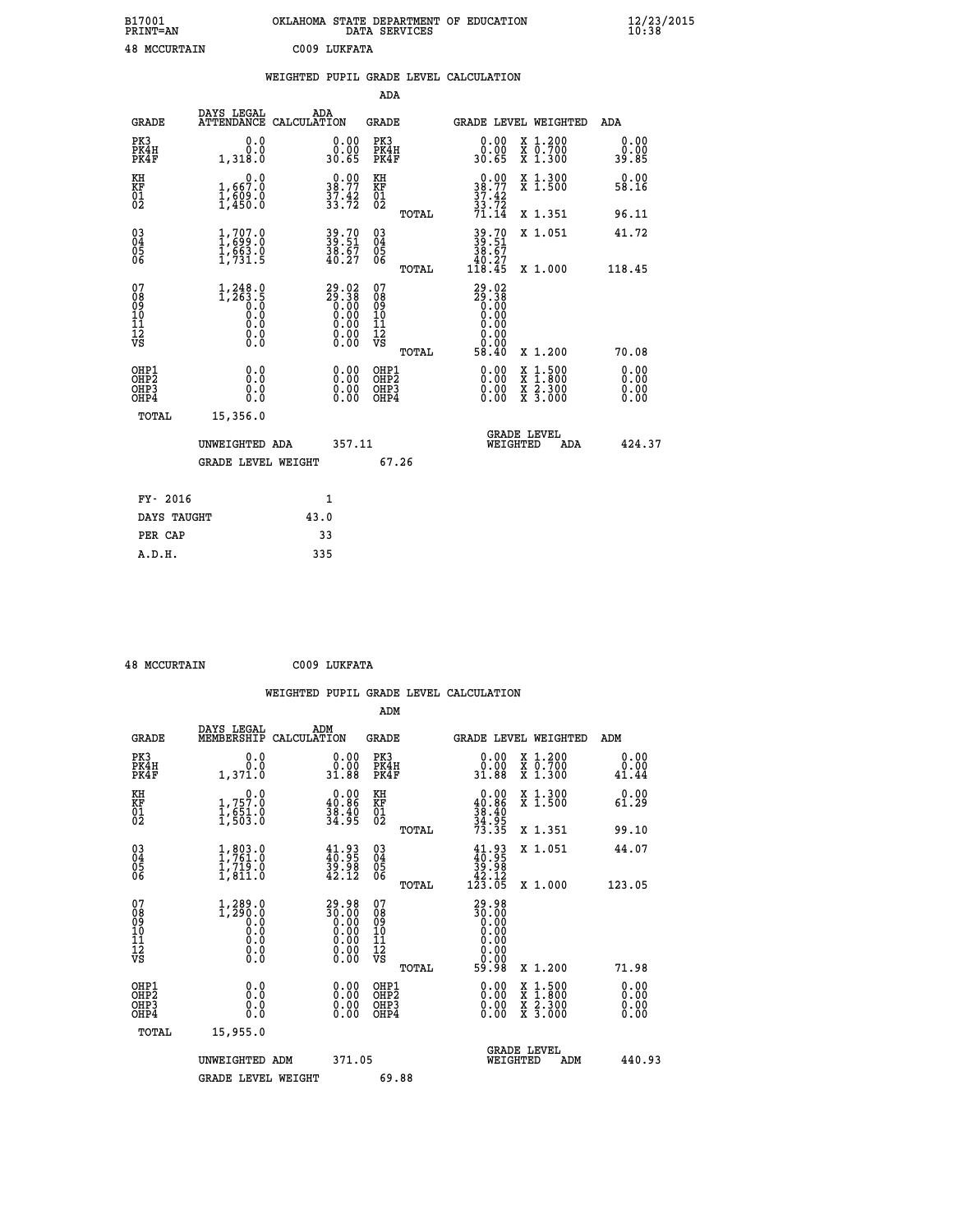| B17001<br><b>PRINT=AN</b> |      | OKLAHOMA STATE DEPARTMENT OF EDUCATION<br>DATA SERVICES | $\frac{12}{23}$ /2015 |
|---------------------------|------|---------------------------------------------------------|-----------------------|
| 48<br>MCCURTAIN           | 2009 | LUKFATA                                                 |                       |

|                                              |                                                                                                           |                    |                                                                                                        |                                                     |       | WEIGHTED PUPIL GRADE LEVEL CALCULATION                                                                                                                                                                                                                                         |                                          |                              |
|----------------------------------------------|-----------------------------------------------------------------------------------------------------------|--------------------|--------------------------------------------------------------------------------------------------------|-----------------------------------------------------|-------|--------------------------------------------------------------------------------------------------------------------------------------------------------------------------------------------------------------------------------------------------------------------------------|------------------------------------------|------------------------------|
|                                              |                                                                                                           |                    |                                                                                                        | ADA                                                 |       |                                                                                                                                                                                                                                                                                |                                          |                              |
| <b>GRADE</b>                                 | DAYS LEGAL<br><b>ATTENDANCE</b>                                                                           | ADA<br>CALCULATION |                                                                                                        | <b>GRADE</b>                                        |       | <b>GRADE LEVEL WEIGHTED</b>                                                                                                                                                                                                                                                    |                                          | ADA                          |
| PK3<br>PK4H<br>PK4F                          | 0.0<br>0.0<br>1,318.0                                                                                     |                    | $\begin{smallmatrix} 0.00\\ 0.00\\ 30.65 \end{smallmatrix}$                                            | PK3<br>PK4H<br>PK4F                                 |       | $\begin{smallmatrix} 0.00\\ 0.00\\ 30.65 \end{smallmatrix}$                                                                                                                                                                                                                    | X 1.200<br>X 0.700<br>X 1.300            | 0.00<br>0.00<br>39.85        |
| KH<br>KF<br>01<br>02                         | 1,667.0<br>$\frac{1}{1}$ , $\frac{5}{4}$ 50.0                                                             |                    | $38.00$<br>38.77<br>$\frac{37.42}{33.72}$                                                              | KH<br>KF<br>01<br>02                                |       | 38.00<br>$\frac{37.42}{33.72}$<br>$71.14$                                                                                                                                                                                                                                      | X 1.300<br>X 1.500                       | 0.00<br>58.16                |
|                                              |                                                                                                           |                    |                                                                                                        |                                                     | TOTAL |                                                                                                                                                                                                                                                                                | X 1.351                                  | 96.11                        |
| $^{03}_{04}$<br>Ŏ5<br>06                     | $1, 707.0$<br>$1, 699.0$<br>$1, 663.0$<br>$1, 731.5$                                                      |                    | 39.70<br>39.51<br>38.67<br>40.27                                                                       | $\begin{array}{c} 03 \\ 04 \\ 05 \\ 06 \end{array}$ |       | 39.70<br>39.51<br>38.67                                                                                                                                                                                                                                                        | X 1.051                                  | 41.72                        |
|                                              |                                                                                                           |                    |                                                                                                        |                                                     | TOTAL | $\frac{1}{118.45}$                                                                                                                                                                                                                                                             | X 1.000                                  | 118.45                       |
| 07<br>08<br>09<br>01<br>11<br>11<br>12<br>VS | $1,248.0$<br>1,263.5<br>0.0<br>0.0<br>$\begin{smallmatrix} 0.0 & 0 \ 0.0 & 0 \ 0.0 & 0 \end{smallmatrix}$ |                    | $\begin{smallmatrix} 29.02\\ 29.38\\ 0.00\\ 0.00\\ 0.00\\ 0.00\\ 0.00\\ 0.00\\ 0.00 \end{smallmatrix}$ | 07<br>08<br>09<br>101<br>11<br>12<br>VS             | TOTAL | $29.38$<br>$0.38$<br>$0.00$<br>$0.00$<br>0.00<br>0.00<br>58.40                                                                                                                                                                                                                 | X 1.200                                  | 70.08                        |
| OHP1<br>OHP <sub>2</sub><br>OHP3<br>OHP4     | 0.0<br>0.0<br>0.0                                                                                         |                    | $\begin{smallmatrix} 0.00 \ 0.00 \ 0.00 \ 0.00 \end{smallmatrix}$                                      | OHP1<br>OHP <sub>2</sub><br>OHP3<br>OHP4            |       | $\begin{smallmatrix} 0.00 & 0.00 & 0.00 & 0.00 & 0.00 & 0.00 & 0.00 & 0.00 & 0.00 & 0.00 & 0.00 & 0.00 & 0.00 & 0.00 & 0.00 & 0.00 & 0.00 & 0.00 & 0.00 & 0.00 & 0.00 & 0.00 & 0.00 & 0.00 & 0.00 & 0.00 & 0.00 & 0.00 & 0.00 & 0.00 & 0.00 & 0.00 & 0.00 & 0.00 & 0.00 & 0.0$ | X 1:500<br>X 1:800<br>X 2:300<br>X 3:000 | 0.00<br>0.00<br>0.00<br>0.00 |
| TOTAL                                        | 15,356.0                                                                                                  |                    |                                                                                                        |                                                     |       |                                                                                                                                                                                                                                                                                |                                          |                              |
|                                              | UNWEIGHTED ADA                                                                                            |                    | 357.11                                                                                                 |                                                     |       | <b>GRADE LEVEL</b><br>WEIGHTED                                                                                                                                                                                                                                                 | ADA                                      | 424.37                       |
|                                              | <b>GRADE LEVEL WEIGHT</b>                                                                                 |                    |                                                                                                        |                                                     | 67.26 |                                                                                                                                                                                                                                                                                |                                          |                              |
| FY- 2016                                     |                                                                                                           | $\mathbf{1}$       |                                                                                                        |                                                     |       |                                                                                                                                                                                                                                                                                |                                          |                              |
| DAYS TAUGHT                                  |                                                                                                           | 43.0               |                                                                                                        |                                                     |       |                                                                                                                                                                                                                                                                                |                                          |                              |
| PER CAP                                      |                                                                                                           | 33                 |                                                                                                        |                                                     |       |                                                                                                                                                                                                                                                                                |                                          |                              |

 **48 MCCURTAIN C009 LUKFATA**

 **ADM DAYS LEGAL ADM GRADE MEMBERSHIP CALCULATION GRADE GRADE LEVEL WEIGHTED ADM PK3 0.0 0.00 PK3 0.00 X 1.200 0.00 PK4H 0.0 0.00 PK4H 0.00 X 0.700 0.00**

| PK4F                                                 | 1,371.0                                                                                       | 31.88                                                                | PK4F                                               | 31.88                                                                         | X 1.300                                  | 41.44                    |
|------------------------------------------------------|-----------------------------------------------------------------------------------------------|----------------------------------------------------------------------|----------------------------------------------------|-------------------------------------------------------------------------------|------------------------------------------|--------------------------|
| KH<br>KF<br>01<br>02                                 | $\begin{smallmatrix} & & 0.0\ 1.757.0\ 1.651.0\ 1.503.0 \end{smallmatrix}$                    | $\begin{smallmatrix} 0.00\\ 40.86\\ 38.40\\ 34.95 \end{smallmatrix}$ | KH<br>KF<br>01<br>02                               | $0.00\n40.86\n38.40\n34.95\n73.35$                                            | X 1.300<br>$\overline{x}$ 1.500          | 0.00<br>61.29            |
|                                                      |                                                                                               |                                                                      | TOTAL                                              |                                                                               | X 1.351                                  | 99.10                    |
| $\begin{matrix} 03 \\ 04 \\ 05 \\ 06 \end{matrix}$   | $1, 803.0$<br>$1, 761.0$<br>$1, 719.0$<br>$1, 811.0$                                          | $\begin{smallmatrix} 41.93\ 40.95\ 39.98\ 42.12 \end{smallmatrix}$   | $\begin{matrix} 03 \\ 04 \\ 05 \\ 06 \end{matrix}$ | $41.93\n40.95\n39.98\n42.12\n123.05$                                          | X 1.051                                  | 44.07                    |
|                                                      |                                                                                               |                                                                      | TOTAL                                              |                                                                               | X 1.000                                  | 123.05                   |
| 07<br>08<br>09<br>101<br>11<br>12<br>VS              | $1,289.0$<br>$1,290.0$<br>$\begin{smallmatrix} 0.1 & 0 \ 0.0 & 0 \ 0.0 & 0 \end{smallmatrix}$ | $29.9830.000.000.000.000.000.00$                                     | 07<br>08<br>09<br>101<br>11<br>12<br>VS<br>TOTAL   | $29.98$<br>$30.00$<br>$0.00$<br>$0.00$<br>$0.00$<br>$0.00$<br>$0.00$<br>59.98 | X 1.200                                  | 71.98                    |
|                                                      |                                                                                               |                                                                      |                                                    |                                                                               |                                          |                          |
| OHP1<br>OHP <sub>2</sub><br>OH <sub>P3</sub><br>OHP4 | 0.0<br>0.0<br>0.0                                                                             | $0.00$<br>$0.00$<br>0.00                                             | OHP1<br>OHP <sub>2</sub><br>OHP3<br>OHP4           | $0.00$<br>$0.00$<br>0.00                                                      | X 1:500<br>X 1:800<br>X 2:300<br>X 3:000 | $0.00$<br>$0.00$<br>0.00 |
| TOTAL                                                | 15,955.0                                                                                      |                                                                      |                                                    |                                                                               |                                          |                          |
|                                                      | UNWEIGHTED ADM                                                                                | 371.05                                                               |                                                    |                                                                               | <b>GRADE LEVEL</b><br>WEIGHTED<br>ADM    | 440.93                   |
|                                                      | <b>GRADE LEVEL WEIGHT</b>                                                                     |                                                                      | 69.88                                              |                                                                               |                                          |                          |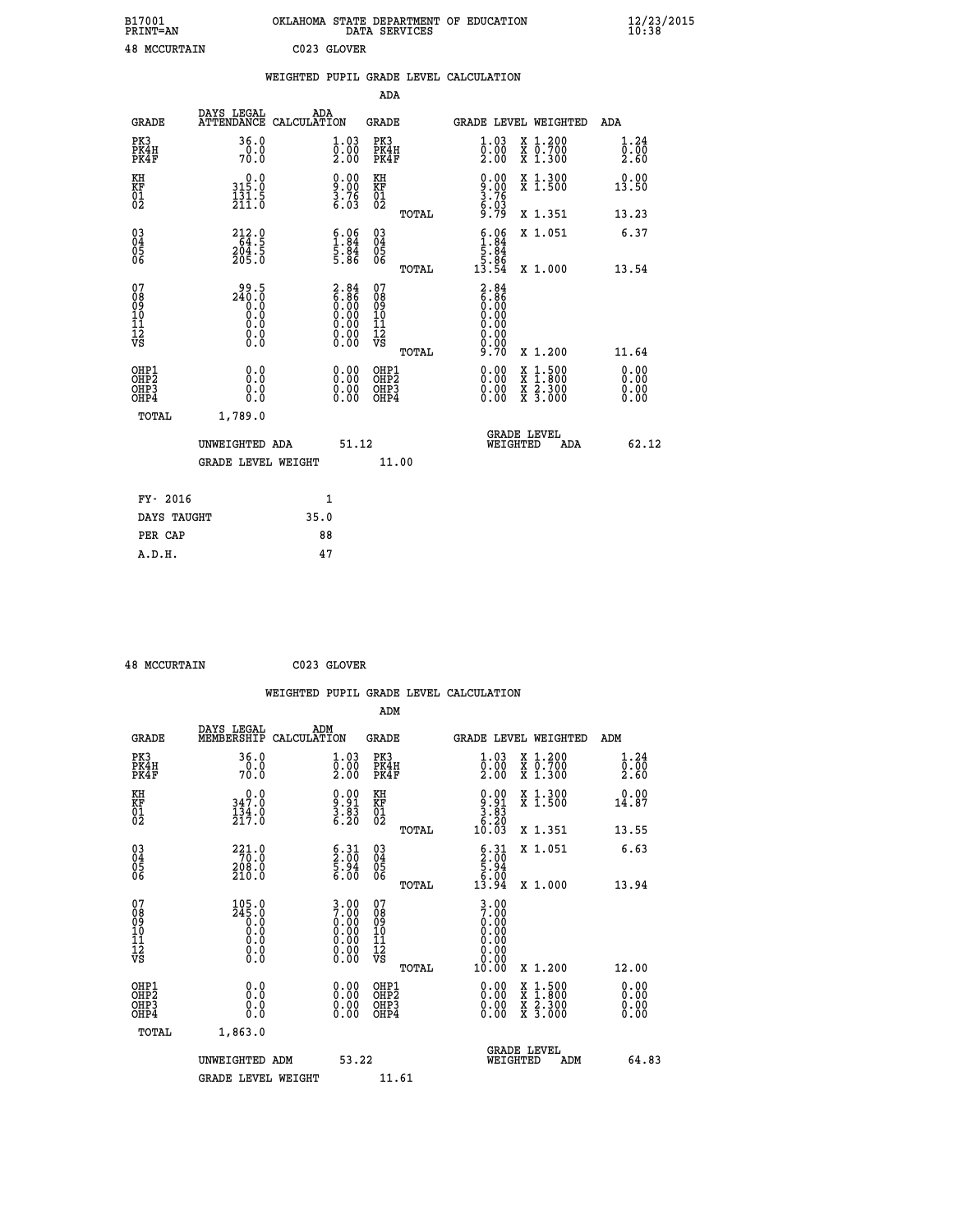| B17001              | OKLAHOMA STATE DEPARTMENT OF EDUCATION |
|---------------------|----------------------------------------|
| <b>PRINT=AN</b>     | DATA SERVICES                          |
| <b>48 MCCURTAIN</b> | C023 GLOVER                            |

|                                                                    |                                            | WEIGHTED PUPIL GRADE LEVEL CALCULATION                                                        |                                                     |       |                                                                                     |                                                                                                                                           |                              |
|--------------------------------------------------------------------|--------------------------------------------|-----------------------------------------------------------------------------------------------|-----------------------------------------------------|-------|-------------------------------------------------------------------------------------|-------------------------------------------------------------------------------------------------------------------------------------------|------------------------------|
|                                                                    |                                            |                                                                                               | ADA                                                 |       |                                                                                     |                                                                                                                                           |                              |
| <b>GRADE</b>                                                       | DAYS LEGAL<br><b>ATTENDANCE</b>            | ADA<br>CALCULATION                                                                            | <b>GRADE</b>                                        |       |                                                                                     | GRADE LEVEL WEIGHTED                                                                                                                      | ADA                          |
| PK3<br>PK4H<br>PK4F                                                | 36.0<br>70.0                               | $\overset{1}{\underset{2.00}{\stackrel{03}{0}}}$                                              | PK3<br>PK4H<br>PK4F                                 |       | $\overset{1}{\underset{2.00}{\stackrel{03}{0}}}$                                    | X 1.200<br>X 0.700<br>X 1.300                                                                                                             | 1.24<br>0.00<br>2.60         |
| KH<br>KF<br>01<br>02                                               | 0.0<br>315:0<br>131:5<br>211:0             | $\begin{smallmatrix} 0.00\\9.00\\3.76\\6.03 \end{smallmatrix}$                                | KH<br>KF<br>01<br>02                                |       | $\begin{smallmatrix} 0.00\ 9.00\ 3.76\ 3.76\ 6.03\ 9.79 \end{smallmatrix}$          | X 1.300<br>X 1.500                                                                                                                        | 0.00<br>13.50                |
|                                                                    |                                            |                                                                                               |                                                     | TOTAL |                                                                                     | X 1.351                                                                                                                                   | 13.23                        |
| $\begin{smallmatrix} 03 \\[-4pt] 04 \end{smallmatrix}$<br>Ŏ5<br>06 | 212.0<br>64.5<br>204.5<br>205.0            | $\begin{smallmatrix} 6.06\ 1.84\ 5.84\ 5.86 \end{smallmatrix}$                                | $\begin{array}{c} 03 \\ 04 \\ 05 \\ 06 \end{array}$ |       | $\begin{array}{r} 6.06 \\ 1.84 \\ 5.84 \\ 5.86 \\ 13.54 \end{array}$                | X 1.051                                                                                                                                   | 6.37                         |
|                                                                    |                                            |                                                                                               |                                                     | TOTAL |                                                                                     | X 1.000                                                                                                                                   | 13.54                        |
| 07<br>0890112<br>1112<br>VS                                        | $240.5$<br>0.0<br>0.0<br>0.0<br>0.0<br>0.0 | $\begin{smallmatrix} 2.84\ 6.86\ 0.00\ 0.00\ 0.00\ 0.00\ 0.00\ 0.00\ 0.00\ \end{smallmatrix}$ | 07<br>08901112<br>1112<br>VS                        | TOTAL | $\begin{array}{c} 2.84 \\ 6.86 \\ 0.00 \\ 0.00 \end{array}$<br>0.00<br>0.00<br>9.70 | X 1.200                                                                                                                                   | 11.64                        |
| OHP1<br>OHP2<br>OH <sub>P3</sub><br>OHP4                           | 0.0<br>0.0<br>0.0                          | $\begin{smallmatrix} 0.00 \ 0.00 \ 0.00 \ 0.00 \end{smallmatrix}$                             | OHP1<br>OHP2<br>OHP3<br>OHP4                        |       | $0.00$<br>$0.00$<br>0.00                                                            | $\begin{smallmatrix} \mathtt{X} & 1\cdot500\\ \mathtt{X} & 1\cdot800\\ \mathtt{X} & 2\cdot300\\ \mathtt{X} & 3\cdot000 \end{smallmatrix}$ | 0.00<br>0.00<br>0.00<br>0.00 |
| <b>TOTAL</b>                                                       | 1,789.0                                    |                                                                                               |                                                     |       |                                                                                     |                                                                                                                                           |                              |
|                                                                    | UNWEIGHTED ADA                             | 51.12                                                                                         |                                                     |       | WEIGHTED                                                                            | <b>GRADE LEVEL</b><br>ADA                                                                                                                 | 62.12                        |
|                                                                    | <b>GRADE LEVEL WEIGHT</b>                  |                                                                                               |                                                     | 11.00 |                                                                                     |                                                                                                                                           |                              |
| FY- 2016                                                           |                                            | $\mathbf{1}$                                                                                  |                                                     |       |                                                                                     |                                                                                                                                           |                              |
| DAYS TAUGHT                                                        |                                            | 35.0                                                                                          |                                                     |       |                                                                                     |                                                                                                                                           |                              |
| PER CAP                                                            |                                            | 88                                                                                            |                                                     |       |                                                                                     |                                                                                                                                           |                              |

 **48 MCCURTAIN C023 GLOVER**

 **A.D.H. 47**

|                                                    |                                                                                        |                                                                                                       | WEIGHTED PUPIL GRADE LEVEL CALCULATION          |                                                                           |                                          |                      |
|----------------------------------------------------|----------------------------------------------------------------------------------------|-------------------------------------------------------------------------------------------------------|-------------------------------------------------|---------------------------------------------------------------------------|------------------------------------------|----------------------|
|                                                    |                                                                                        |                                                                                                       | ADM                                             |                                                                           |                                          |                      |
| <b>GRADE</b>                                       | DAYS LEGAL<br>MEMBERSHIP                                                               | ADM<br>CALCULATION                                                                                    | <b>GRADE</b>                                    | <b>GRADE LEVEL WEIGHTED</b>                                               |                                          | ADM                  |
| PK3<br>PK4H<br>PK4F                                | 36.0<br>0.0<br>70.0                                                                    | 1.03<br>$\frac{0.00}{2.00}$                                                                           | PK3<br>PK4H<br>PK4F                             | $\begin{smallmatrix} 1.03\ 0.00\ 2.00 \end{smallmatrix}$                  | X 1.200<br>X 0.700<br>X 1.300            | 1.24<br>0.00<br>2.60 |
| KH<br>KF<br>01<br>02                               | 347.0<br>$\frac{1}{2}$ $\frac{3}{4}$ $\cdot$ $\frac{0}{0}$                             | $\begin{smallmatrix} 0.00\\ 9.91\\ 3.83\\ 6.20 \end{smallmatrix}$                                     | KH<br>KF<br>01<br>02                            | $\begin{smallmatrix} 0.00\\ 9.91\\ 3.83\\ 6.20\\ 10.03 \end{smallmatrix}$ | X 1.300<br>X 1.500                       | 0.00<br>14.87        |
|                                                    |                                                                                        |                                                                                                       | TOTAL                                           |                                                                           | X 1.351                                  | 13.55                |
| $\begin{matrix} 03 \\ 04 \\ 05 \\ 06 \end{matrix}$ | $\begin{array}{r} 221.0 \\ 70.0 \\ 208.0 \\ 210.0 \end{array}$                         | $\begin{smallmatrix} 6 & 31\ 2 & 00\ 5 & 94\ 6 & 00 \end{smallmatrix}$                                | 03<br>04<br>05<br>06                            | $\begin{array}{c} 6.31 \\ 2.00 \\ 5.94 \\ 6.00 \end{array}$               | X 1.051                                  | 6.63                 |
|                                                    |                                                                                        |                                                                                                       | TOTAL                                           | 13.94                                                                     | X 1.000                                  | 13.94                |
| 07<br>0890112<br>1112<br>VS                        | $105.0$<br>$245.0$<br>$\begin{smallmatrix} 0.0 \ 0.0 \ 0.0 \end{smallmatrix}$<br>$\S.$ | $3.00$<br>$7.00$<br>$0.00$<br>$0.00$<br>$0.00$<br>$\begin{smallmatrix} 0.00 \ 0.00 \end{smallmatrix}$ | 07<br>08<br>09<br>11<br>11<br>12<br>VS<br>TOTAL | $3.00$<br>7.00<br>0.00<br>0.00<br>0.00<br>0.00<br>10.00                   | X 1.200                                  | 12.00                |
| OHP1                                               |                                                                                        |                                                                                                       | OHP1                                            |                                                                           |                                          | 0.00                 |
| OHP <sub>2</sub><br>OH <sub>P3</sub><br>OHP4       | 0.0<br>0.000                                                                           | $0.00$<br>$0.00$<br>0.00                                                                              | OHP <sub>2</sub><br>OHP <sub>3</sub>            | 0.00<br>0.00<br>0.00                                                      | X 1:500<br>X 1:800<br>X 2:300<br>X 3:000 | 0.00<br>0.00<br>0.00 |
| TOTAL                                              | 1,863.0                                                                                |                                                                                                       |                                                 |                                                                           |                                          |                      |
|                                                    | UNWEIGHTED ADM                                                                         | 53.22                                                                                                 |                                                 | <b>GRADE LEVEL</b><br>WEIGHTED                                            | ADM                                      | 64.83                |
|                                                    | <b>GRADE LEVEL WEIGHT</b>                                                              |                                                                                                       | 11.61                                           |                                                                           |                                          |                      |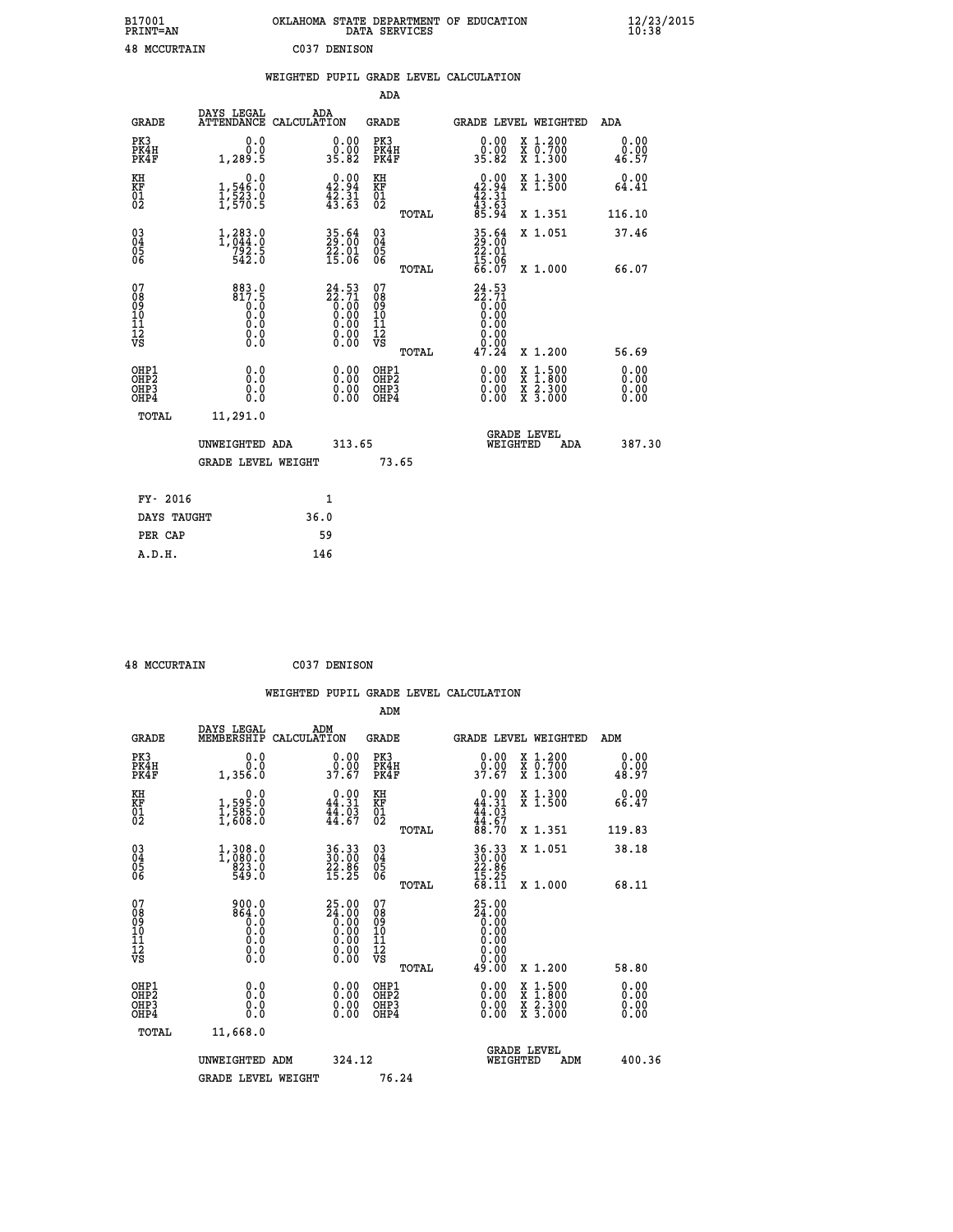| B17001<br><b>PRINT=AN</b> | OKLAHOMA STATE DEPARTMENT OF EDUCATION<br>SERVICES<br>DATA | $\frac{12}{23}$ /2015 |
|---------------------------|------------------------------------------------------------|-----------------------|
| 48<br>MCCURTAIN           | C037<br>DENISON                                            |                       |

|                                                      |                                                                                                   | WEIGHTED PUPIL GRADE LEVEL CALCULATION                               |                                        |       |                                                                   |                                                                                                  |                              |
|------------------------------------------------------|---------------------------------------------------------------------------------------------------|----------------------------------------------------------------------|----------------------------------------|-------|-------------------------------------------------------------------|--------------------------------------------------------------------------------------------------|------------------------------|
|                                                      |                                                                                                   |                                                                      | <b>ADA</b>                             |       |                                                                   |                                                                                                  |                              |
| <b>GRADE</b>                                         | DAYS LEGAL<br><b>ATTENDANCE</b>                                                                   | ADA<br>CALCULATION                                                   | <b>GRADE</b>                           |       |                                                                   | GRADE LEVEL WEIGHTED                                                                             | ADA                          |
| PK3<br>PK4H<br>PK4F                                  | 0.0<br>0.0<br>1,289.5                                                                             | $\begin{smallmatrix} 0.00\\ 0.00\\ 35.82 \end{smallmatrix}$          | PK3<br>PK4H<br>PK4F                    |       | 0.00<br>0.00<br>35.82                                             | X 1.200<br>X 0.700<br>X 1.300                                                                    | 0.00<br>0.00<br>46.57        |
| KH<br>KF<br>01<br>02                                 | $\begin{smallmatrix}&&&0.0\\1,546.0\\1,523.0\\1,570.5\end{smallmatrix}$                           | $\begin{smallmatrix} 0.00\\ 42.94\\ 42.31\\ 43.63 \end{smallmatrix}$ | KH<br>KF<br>01<br>02                   |       | $0.00$<br>$42.94$<br>$42.31$<br>$43.63$<br>$85.94$                | X 1.300<br>X 1.500                                                                               | 0.00<br>64.41                |
|                                                      |                                                                                                   |                                                                      |                                        | TOTAL |                                                                   | X 1.351                                                                                          | 116.10                       |
| $\begin{matrix} 03 \\ 04 \\ 05 \\ 06 \end{matrix}$   | $1,383.0$<br>1,044.0<br>792.5<br>542.0                                                            | $35.64$<br>29:00<br>$\frac{55.01}{15.06}$                            | 03<br>04<br>05<br>06                   |       | 35.64<br>29.00<br>22.01<br>15.06<br>66.07                         | X 1.051                                                                                          | 37.46                        |
|                                                      |                                                                                                   |                                                                      |                                        | TOTAL |                                                                   | X 1.000                                                                                          | 66.07                        |
| 07<br>089<br>090<br>1112<br>VS                       | $883.0$<br>$817.5$<br>$0.0$<br>$\begin{smallmatrix} 0.5 & 0 \ 0.0 & 0 \end{smallmatrix}$<br>$\S.$ | $24.53$<br>$22.71$<br>$0.00$<br>$0.00$<br>$0.00$<br>ŏ:ŏŏ<br>O.OO     | 07<br>08<br>09<br>11<br>11<br>12<br>VS | TOTAL | $24.53$<br>$22.71$<br>$0.00$<br>$0.00$<br>$0.00$<br>0.00<br>47.24 | X 1.200                                                                                          | 56.69                        |
| OHP1<br>OHP <sub>2</sub><br>OH <sub>P3</sub><br>OHP4 | 0.0<br>0.0<br>0.0                                                                                 | 0.0000<br>$\begin{smallmatrix} 0.00 \ 0.00 \end{smallmatrix}$        | OHP1<br>OHP2<br>OHP3<br>OHP4           |       | 0.00<br>0.00<br>0.00                                              | $\begin{smallmatrix} x & 1 & 500 \\ x & 1 & 800 \\ x & 2 & 300 \\ x & 3 & 000 \end{smallmatrix}$ | 0.00<br>0.00<br>0.00<br>0.00 |
| <b>TOTAL</b>                                         | 11,291.0                                                                                          |                                                                      |                                        |       |                                                                   |                                                                                                  |                              |
|                                                      | UNWEIGHTED ADA                                                                                    | 313.65                                                               |                                        |       | WEIGHTED                                                          | <b>GRADE LEVEL</b><br>ADA                                                                        | 387.30                       |
|                                                      | <b>GRADE LEVEL WEIGHT</b>                                                                         |                                                                      |                                        | 73.65 |                                                                   |                                                                                                  |                              |
| FY- 2016                                             |                                                                                                   | 1                                                                    |                                        |       |                                                                   |                                                                                                  |                              |
| DAYS TAUGHT                                          |                                                                                                   | 36.0                                                                 |                                        |       |                                                                   |                                                                                                  |                              |
| PER CAP                                              |                                                                                                   | 59                                                                   |                                        |       |                                                                   |                                                                                                  |                              |

| <b>48 MCCURTAIN</b> | C037 DENISON |
|---------------------|--------------|

 **WEIGHTED PUPIL GRADE LEVEL CALCULATION ADM** DAYS\_LEGAL \_\_\_ \_\_\_ ADM

| <b>GRADE</b>                                       | MEMBERSHIP                                                                 | CALCULATION                                                                                                       | GRADE                                               |       | <b>GRADE LEVEL WEIGHTED</b>                                          |                                                                                                  | ADM                      |  |
|----------------------------------------------------|----------------------------------------------------------------------------|-------------------------------------------------------------------------------------------------------------------|-----------------------------------------------------|-------|----------------------------------------------------------------------|--------------------------------------------------------------------------------------------------|--------------------------|--|
| PK3<br>PK4H<br>PK4F                                | 0.0<br>0.0<br>1,356.0                                                      | $\begin{smallmatrix} 0.00\\ 0.00\\ 37.67 \end{smallmatrix}$                                                       | PK3<br>PK4H<br>PK4F                                 |       | $\begin{smallmatrix} 0.00\\ 0.00\\ 37.67 \end{smallmatrix}$          | X 1.200<br>X 0.700<br>X 1.300                                                                    | 0.00<br>0.00<br>48.97    |  |
| KH<br>KF<br>01<br>02                               | $\begin{smallmatrix} & & 0.0\ 1,595.0\ 1,585.0\ 1,608.0 \end{smallmatrix}$ | $0.00$<br>44.31<br>$\frac{44.03}{44.67}$                                                                          | KH<br>KF<br>01<br>02                                |       | $0.00$<br>$44.31$<br>$44.03$<br>$44.67$<br>$88.70$                   | X 1.300<br>X 1.500                                                                               | 0.00<br>66.47            |  |
|                                                    |                                                                            |                                                                                                                   |                                                     | TOTAL |                                                                      | X 1.351                                                                                          | 119.83                   |  |
| $\begin{matrix} 03 \\ 04 \\ 05 \\ 06 \end{matrix}$ | $1,308.0$<br>$1,080.0$<br>$823.0$<br>$549.0$                               | 36.33<br>30.00<br>22.86<br>15.25                                                                                  | $\begin{array}{c} 03 \\ 04 \\ 05 \\ 06 \end{array}$ |       | 36.33<br>30.00<br>22.86<br>15.25<br>68.11                            | X 1.051                                                                                          | 38.18                    |  |
|                                                    |                                                                            |                                                                                                                   |                                                     | TOTAL |                                                                      | X 1.000                                                                                          | 68.11                    |  |
| 07<br>089<br>090<br>1112<br>VS                     | $900.0$<br>$864.0$<br>$0.0$<br>$0.0$<br>$0.0$<br>$0.0$<br>$0.0$            | ${\begin{smallmatrix} 25.00\\ 24.00\\ 0.00\\ 0.00\\ 0.00\\ 0.00\\ 0.00\\ 0.00\\ 0.00\\ 0.00\\ \end{smallmatrix}}$ | 07<br>08<br>09<br>11<br>11<br>12<br>VS              |       | $25.00$<br>$24.00$<br>$0.00$<br>$0.00$<br>$0.00$<br>$0.00$<br>$0.00$ |                                                                                                  |                          |  |
|                                                    |                                                                            |                                                                                                                   |                                                     | TOTAL | 49.00                                                                | X 1.200                                                                                          | 58.80                    |  |
| OHP1<br>OHP2<br>OHP3<br>OHP4                       | 0.0<br>0.000                                                               | $0.00$<br>$0.00$<br>0.00                                                                                          | OHP1<br>OHP2<br>OHP3<br>OHP4                        |       | $0.00$<br>$0.00$<br>$0.00$<br>0.00                                   | $\begin{smallmatrix} x & 1 & 500 \\ x & 1 & 800 \\ x & 2 & 300 \\ x & 3 & 000 \end{smallmatrix}$ | $0.00$<br>$0.00$<br>0.00 |  |
| TOTAL                                              | 11,668.0                                                                   |                                                                                                                   |                                                     |       |                                                                      |                                                                                                  |                          |  |
|                                                    | UNWEIGHTED ADM                                                             | 324.12                                                                                                            |                                                     |       | <b>GRADE LEVEL</b><br>WEIGHTED                                       | ADM                                                                                              | 400.36                   |  |
|                                                    | <b>GRADE LEVEL WEIGHT</b>                                                  |                                                                                                                   | 76.24                                               |       |                                                                      |                                                                                                  |                          |  |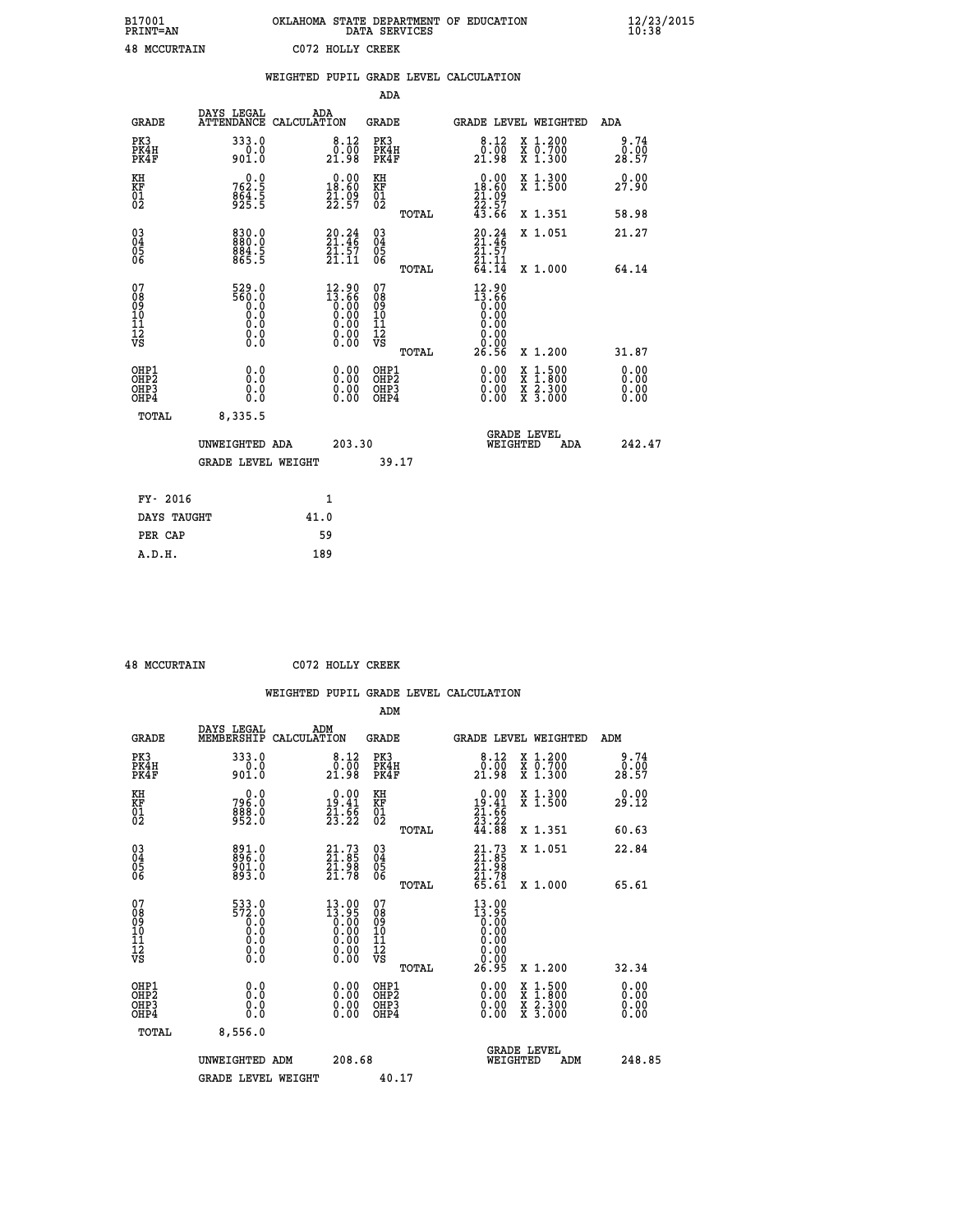| B17001<br><b>PRINT=AN</b> | OKLAHOMA STATE DEPARTMENT OF EDUCATION<br>DATA SERVICES | $\frac{12}{23}$ /2015 |
|---------------------------|---------------------------------------------------------|-----------------------|
| <b>48 MCCURTAIN</b>       | C072 HOLLY CREEK                                        |                       |

|                                                                    |                                              | WEIGHTED PUPIL GRADE LEVEL CALCULATION                                                |                                                 |                                                                                                                 |                                          |                              |
|--------------------------------------------------------------------|----------------------------------------------|---------------------------------------------------------------------------------------|-------------------------------------------------|-----------------------------------------------------------------------------------------------------------------|------------------------------------------|------------------------------|
|                                                                    |                                              |                                                                                       | <b>ADA</b>                                      |                                                                                                                 |                                          |                              |
| <b>GRADE</b>                                                       | DAYS LEGAL                                   | ADA<br>ATTENDANCE CALCULATION                                                         | GRADE                                           | GRADE LEVEL WEIGHTED                                                                                            |                                          | ADA                          |
| PK3<br>PK4H<br>PK4F                                                | 333.0<br>$0.0$<br>901.0                      | 8.12<br>$\begin{smallmatrix} \v{0} \ \v{0} \ \v{0} \ \v{1} \ \v{9} \end{smallmatrix}$ | PK3<br>PK4H<br>PK4F                             | 8.12<br>0.00<br>21.98                                                                                           | X 1.200<br>X 0.700<br>X 1.300            | 9.74<br>0.00<br>28.57        |
| KH<br>KF<br>01<br>02                                               | $762.5$<br>864.5<br>925.5                    | $0.00$<br>18.60<br>$\frac{21.09}{22.57}$                                              | KH<br>KF<br>01<br>02                            | $\begin{smallmatrix} &0.00\\[-1.2mm] 18.60\\[-1.2mm] ^21.09\\[-1.2mm] ^22.57\\[-1.2mm] ^43.66\end{smallmatrix}$ | X 1.300<br>X 1.500                       | 0.00<br>27.90                |
|                                                                    |                                              |                                                                                       | TOTAL                                           |                                                                                                                 | X 1.351                                  | 58.98                        |
| $\begin{smallmatrix} 03 \\[-4pt] 04 \end{smallmatrix}$<br>05<br>06 | 830.0<br>$884.5$<br>$865.5$                  | $20.24$<br>21.46<br>$\frac{51.57}{21.11}$                                             | $\substack{03 \\ 04}$<br>05<br>06               | 20.24<br>21.46<br>21.57                                                                                         | X 1.051                                  | 21.27                        |
|                                                                    |                                              |                                                                                       | TOTAL                                           | 21.11<br>64.14                                                                                                  | X 1.000                                  | 64.14                        |
| 07<br>08<br>09<br>11<br>11<br>12<br>VS                             | 529.0<br>560.0<br>0.0<br>0.000<br>$\S.$ $\S$ | 12.90<br>13.66                                                                        | 07<br>08<br>09<br>11<br>11<br>12<br>VS<br>TOTAL | $12.90$<br>$13.66$<br>0.00<br>0.00<br>0.00<br>0.00<br>26.56                                                     | X 1.200                                  | 31.87                        |
| OHP1<br>OHP2<br>OH <sub>P3</sub><br>OHP4                           | 0.0<br>0.0<br>0.0                            | 0.00<br>$\begin{smallmatrix} 0.00 \ 0.00 \end{smallmatrix}$                           | OHP1<br>OHP2<br>OHP3<br>OHP4                    | 0.00<br>0.00<br>0.00                                                                                            | X 1:500<br>X 1:800<br>X 2:300<br>X 3:000 | 0.00<br>0.00<br>0.00<br>0.00 |
| TOTAL                                                              | 8,335.5                                      |                                                                                       |                                                 |                                                                                                                 |                                          |                              |
|                                                                    | UNWEIGHTED ADA                               | 203.30                                                                                |                                                 | <b>GRADE LEVEL</b><br>WEIGHTED                                                                                  | ADA                                      | 242.47                       |
|                                                                    | <b>GRADE LEVEL WEIGHT</b>                    |                                                                                       | 39.17                                           |                                                                                                                 |                                          |                              |
| FY- 2016                                                           |                                              | $\mathbf{1}$                                                                          |                                                 |                                                                                                                 |                                          |                              |
| DAYS TAUGHT                                                        |                                              | 41.0                                                                                  |                                                 |                                                                                                                 |                                          |                              |
| PER CAP                                                            |                                              | 59                                                                                    |                                                 |                                                                                                                 |                                          |                              |

| $10$ MCCITOMATN |  |
|-----------------|--|

 **ADM**

 **48 MCCURTAIN C072 HOLLY CREEK**

| <b>GRADE</b>                                       | DAYS LEGAL<br>MEMBERSHIP                                                                                                                | ADM<br>CALCULATION                                                                                     | <b>GRADE</b>                                        |       |                                                                                                                                                                                                                                                                                | GRADE LEVEL WEIGHTED                     | ADM                   |  |
|----------------------------------------------------|-----------------------------------------------------------------------------------------------------------------------------------------|--------------------------------------------------------------------------------------------------------|-----------------------------------------------------|-------|--------------------------------------------------------------------------------------------------------------------------------------------------------------------------------------------------------------------------------------------------------------------------------|------------------------------------------|-----------------------|--|
| PK3<br>PK4H<br>PK4F                                | 333.0<br>901.0                                                                                                                          | $\begin{smallmatrix}8.12\0.00\\21.98\end{smallmatrix}$                                                 | PK3<br>PK4H<br>PK4F                                 |       | 8.12<br>$\frac{0.000}{21.98}$                                                                                                                                                                                                                                                  | X 1.200<br>X 0.700<br>X 1.300            | 9.74<br>0.00<br>28.57 |  |
| KH<br>KF<br>01<br>02                               | $796.0$<br>$888.0$<br>$952.0$                                                                                                           | $\begin{smallmatrix} 0.00\\19.41\\21.66\\23.22 \end{smallmatrix}$                                      | KH<br>KF<br>01<br>02                                |       | $\begin{smallmatrix} 0.00\\19.41\\21.66\\23.22\\44.88 \end{smallmatrix}$                                                                                                                                                                                                       | X 1.300<br>X 1.500                       | 0.00<br>29.12         |  |
|                                                    |                                                                                                                                         |                                                                                                        |                                                     | TOTAL |                                                                                                                                                                                                                                                                                | X 1.351                                  | 60.63                 |  |
| $\begin{matrix} 03 \\ 04 \\ 05 \\ 06 \end{matrix}$ | 891.0<br>896.0<br>901.0<br>893.0                                                                                                        | $\begin{smallmatrix} 21.73 \\ 21.85 \\ 21.98 \\ 21.78 \end{smallmatrix}$                               | $\begin{array}{c} 03 \\ 04 \\ 05 \\ 06 \end{array}$ |       | $21.7321.8521.9821.7865.61$                                                                                                                                                                                                                                                    | X 1.051                                  | 22.84                 |  |
|                                                    |                                                                                                                                         |                                                                                                        |                                                     | TOTAL |                                                                                                                                                                                                                                                                                | X 1.000                                  | 65.61                 |  |
| 07<br>089<br>090<br>1112<br>VS                     | $\begin{smallmatrix} 5 & 3 & 3 & 0 \\ 5 & 7 & 2 & 0 \\ 0 & 0 & 0 \\ 0 & 0 & 0 \\ 0 & 0 & 0 \\ 0 & 0 & 0 \\ 0 & 0 & 0 \end{smallmatrix}$ | $\begin{smallmatrix} 13.00 \\ 13.95 \\ 0.00 \\ 0.00 \\ 0.00 \\ 0.00 \\ 0.00 \\ 0.00 \end{smallmatrix}$ | 07<br>08<br>09<br>001<br>11<br>11<br>12<br>VS       |       | $\begin{smallmatrix} 13 & .00 \\ 13 & .95 \\ 0 & .00 \\ 0 & .00 \\ 0 & .00 \\ 0 & .00 \\ 0 & .00 \\ 2 & .95 \\ \end{smallmatrix}$                                                                                                                                              |                                          |                       |  |
|                                                    |                                                                                                                                         |                                                                                                        |                                                     | TOTAL |                                                                                                                                                                                                                                                                                | X 1.200                                  | 32.34                 |  |
| OHP1<br>OHP2<br>OH <sub>P3</sub><br>OHP4           | 0.0<br>0.000                                                                                                                            |                                                                                                        | OHP1<br>OHP2<br>OHP3<br>OHP4                        |       | $\begin{smallmatrix} 0.00 & 0.00 & 0.00 & 0.00 & 0.00 & 0.00 & 0.00 & 0.00 & 0.00 & 0.00 & 0.00 & 0.00 & 0.00 & 0.00 & 0.00 & 0.00 & 0.00 & 0.00 & 0.00 & 0.00 & 0.00 & 0.00 & 0.00 & 0.00 & 0.00 & 0.00 & 0.00 & 0.00 & 0.00 & 0.00 & 0.00 & 0.00 & 0.00 & 0.00 & 0.00 & 0.0$ | X 1:500<br>X 1:800<br>X 2:300<br>X 3:000 | 0.00<br>0.00<br>0.00  |  |
| TOTAL                                              | 8,556.0                                                                                                                                 |                                                                                                        |                                                     |       |                                                                                                                                                                                                                                                                                |                                          |                       |  |
|                                                    | UNWEIGHTED                                                                                                                              | 208.68<br>ADM                                                                                          |                                                     |       | WEIGHTED                                                                                                                                                                                                                                                                       | <b>GRADE LEVEL</b><br>ADM                | 248.85                |  |
|                                                    | <b>GRADE LEVEL WEIGHT</b>                                                                                                               |                                                                                                        | 40.17                                               |       |                                                                                                                                                                                                                                                                                |                                          |                       |  |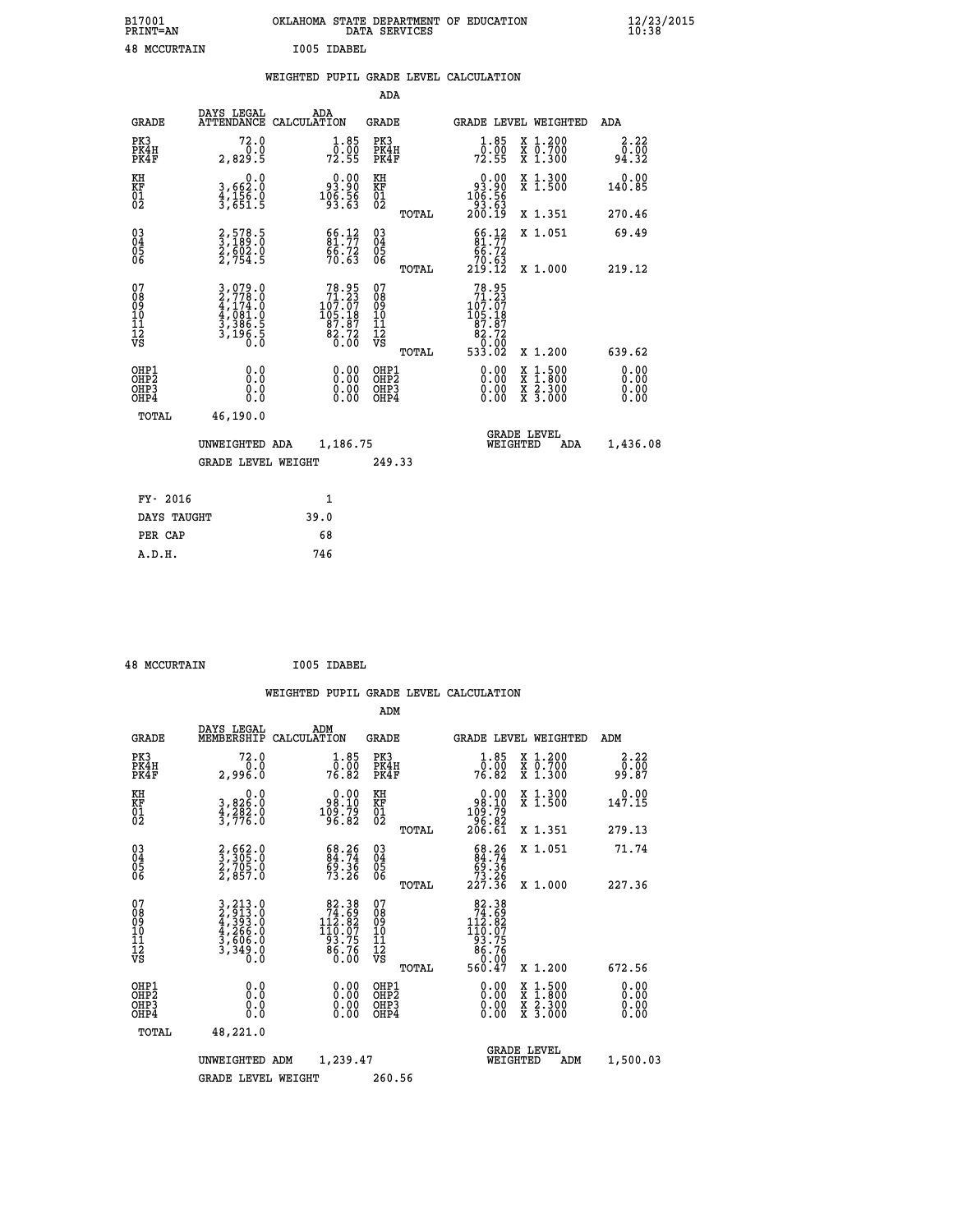| B17001<br><b>PRINT=AN</b> |             | OKLAHOMA STATE DEPARTMENT OF EDUCATION<br>DATA SERVICES |  |
|---------------------------|-------------|---------------------------------------------------------|--|
| <b>48 MCCURTAIN</b>       | T005 TDAREL |                                                         |  |

|  |  | WEIGHTED PUPIL GRADE LEVEL CALCULATION |
|--|--|----------------------------------------|
|  |  |                                        |

|                                                                   |                                                                                   |                                                                                        | ADA                                       |       |                                                                                                     |                                          |                              |
|-------------------------------------------------------------------|-----------------------------------------------------------------------------------|----------------------------------------------------------------------------------------|-------------------------------------------|-------|-----------------------------------------------------------------------------------------------------|------------------------------------------|------------------------------|
| <b>GRADE</b>                                                      | DAYS LEGAL<br><b>ATTENDANCE</b>                                                   | ADA<br>CALCULATION                                                                     | <b>GRADE</b>                              |       | <b>GRADE LEVEL WEIGHTED</b>                                                                         |                                          | ADA                          |
| PK3<br>PK4H<br>PK4F                                               | 72.0<br>0.0<br>2,829.5                                                            | $\frac{1 \cdot 85}{0 \cdot 00}$<br>72.55                                               | PK3<br>PK4H<br>PK4F                       |       | $\frac{1}{0}$ : $\frac{85}{00}$<br>72.55                                                            | X 1.200<br>X 0.700<br>X 1.300            | 2.22<br>0.00<br>94.32        |
| KH<br><b>KF</b><br>01<br>02                                       | 0.0<br>3,662:0<br>4,156.0<br>3,651:5                                              | $\begin{smallmatrix} &0.00\ 93.90\ 106.56\ 93.63\end{smallmatrix}$                     | KH<br>KF<br>01<br>02                      |       | 0.00<br>88:30<br>186:56<br>198:53<br>200:19                                                         | X 1.300<br>X 1.500                       | 0.00<br>140.85               |
|                                                                   |                                                                                   |                                                                                        |                                           | TOTAL |                                                                                                     | X 1.351                                  | 270.46                       |
| $^{03}_{04}$<br>Ŏ5<br>06                                          | 2,578.5<br>3,189.0<br>2,602.0<br>2,754.5                                          | $\frac{66}{81}.77$<br>$\frac{6}{70}$ . 63                                              | $\substack{03 \\ 04}$<br>Ŏ5<br>06         | TOTAL | $\begin{smallmatrix} 66.12\\ 81.77\\ 66.72\\ 70.63\\ 219.12 \end{smallmatrix}$                      | X 1.051<br>X 1.000                       | 69.49<br>219.12              |
| 07<br>08901112<br>1112<br>VS                                      | $3,079.0$<br>$2,778.0$<br>$4,174.0$<br>$4,081.0$<br>$3,386.5$<br>$3,196.5$<br>0.0 | $\begin{smallmatrix}78.95\\71.23\\107.07\\105.18\\87.87\\82.72\\0.00\end{smallmatrix}$ | 07<br>08901112<br>1112<br>VS              |       | $\begin{array}{r} 78.95 \\ 71.23 \\ 107.07 \\ 105.18 \\ 87.87 \\ 82.72 \\ 0.00 \\ 0.00 \end{array}$ |                                          |                              |
|                                                                   |                                                                                   |                                                                                        |                                           | TOTAL | 533.02                                                                                              | X 1.200                                  | 639.62                       |
| OHP1<br>OH <sub>P</sub> 2<br>OH <sub>P3</sub><br>OH <sub>P4</sub> | 0.0<br>0.0<br>0.0                                                                 | 0.00<br>$\begin{smallmatrix} 0.00 \ 0.00 \end{smallmatrix}$                            | OHP1<br>OH <sub>P</sub> 2<br>OHP3<br>OHP4 |       | 0.00<br>0.00<br>0.00                                                                                | X 1:500<br>X 1:800<br>X 2:300<br>X 3:000 | 0.00<br>0.00<br>0.00<br>0.00 |
| TOTAL                                                             | 46,190.0                                                                          |                                                                                        |                                           |       |                                                                                                     |                                          |                              |
|                                                                   | UNWEIGHTED ADA                                                                    | 1,186.75                                                                               |                                           |       |                                                                                                     | GRADE LEVEL<br>WEIGHTED<br>ADA           | 1,436.08                     |
|                                                                   | <b>GRADE LEVEL WEIGHT</b>                                                         |                                                                                        | 249.33                                    |       |                                                                                                     |                                          |                              |
| FY- 2016                                                          |                                                                                   | $\mathbf{1}$                                                                           |                                           |       |                                                                                                     |                                          |                              |
| DAYS TAUGHT                                                       |                                                                                   | 39.0                                                                                   |                                           |       |                                                                                                     |                                          |                              |
| PER CAP                                                           |                                                                                   | 68                                                                                     |                                           |       |                                                                                                     |                                          |                              |

| <b>48 MCCURTAIN</b> | I005 IDABEL |
|---------------------|-------------|
|                     |             |

 **A.D.H. 746**

 **ADM**

| <b>GRADE</b>                             | DAYS LEGAL<br>MEMBERSHIP                                                    | ADM<br>CALCULATION                                                                          | <b>GRADE</b>                                       |       |                                                                                                                                                                                                                                                                                | GRADE LEVEL WEIGHTED                     | ADM                    |  |
|------------------------------------------|-----------------------------------------------------------------------------|---------------------------------------------------------------------------------------------|----------------------------------------------------|-------|--------------------------------------------------------------------------------------------------------------------------------------------------------------------------------------------------------------------------------------------------------------------------------|------------------------------------------|------------------------|--|
| PK3<br>PK4H<br>PK4F                      | 72.0<br>2,996.0                                                             | $\frac{1}{0}$ : $\frac{85}{00}$<br>76.82                                                    | PK3<br>PK4H<br>PK4F                                |       | $\frac{1}{0}$ : $\frac{85}{00}$<br>76.82                                                                                                                                                                                                                                       | X 1.200<br>X 0.700<br>X 1.300            | 2.22<br>ōō.ōō<br>87.0e |  |
| KH<br>KF<br>01<br>02                     | $\begin{smallmatrix}&&&0.0\\3,826.0\\4,282.0\\3,776.0\end{smallmatrix}$     | $\begin{smallmatrix} &0.00\ 98.10\ 109.79\ 96.82\end{smallmatrix}$                          | KH<br>KF<br>01<br>02                               |       | $\begin{smallmatrix} &0.00\ 98.10\ 109.79\ 96.82\ 206.61\ \end{smallmatrix}$                                                                                                                                                                                                   | X 1.300<br>X 1.500                       | 0.00<br>147.15         |  |
|                                          |                                                                             |                                                                                             |                                                    | TOTAL |                                                                                                                                                                                                                                                                                | X 1.351                                  | 279.13                 |  |
| 03<br>04<br>05<br>06                     | 2,662.0<br>3,305.0<br>2,705.0<br>2,857.0                                    | $68.26$<br>$84.74$<br>$69.36$<br>$73.26$                                                    | $\begin{matrix} 03 \\ 04 \\ 05 \\ 06 \end{matrix}$ |       | $\begin{smallmatrix} 68.26 \\ 84.74 \\ 69.36 \\ 73.26 \\ 227.36 \end{smallmatrix}$                                                                                                                                                                                             | X 1.051                                  | 71.74                  |  |
|                                          |                                                                             |                                                                                             |                                                    | TOTAL |                                                                                                                                                                                                                                                                                | X 1.000                                  | 227.36                 |  |
| 07<br>089<br>090<br>1112<br>VS           | 3, 213.0<br>2, 913.0<br>4, 393.0<br>4, 266.0<br>3, 606.0<br>3, 349.0<br>0.0 | $\begin{array}{r} 82.38 \\ 74.69 \\ 112.82 \\ 110.07 \\ 93.75 \\ 86.76 \end{array}$<br>0.00 | 07<br>08<br>09<br>01<br>11<br>11<br>12<br>VS       | TOTAL | $\begin{array}{r} 82.38 \\ 74.59 \\ 112.82 \\ 110.07 \\ 93.75 \\ 86.76 \\ 0.00 \\ 560.47 \end{array}$                                                                                                                                                                          | X 1.200                                  | 672.56                 |  |
| OHP1<br>OHP2<br>OH <sub>P3</sub><br>OHP4 | $\begin{smallmatrix} 0.0 \ 0.0 \ 0.0 \end{smallmatrix}$                     | $\begin{smallmatrix} 0.00 \ 0.00 \ 0.00 \ 0.00 \end{smallmatrix}$                           | OHP1<br>OHP2<br>OHP3<br>OHP4                       |       | $\begin{smallmatrix} 0.00 & 0.00 & 0.00 & 0.00 & 0.00 & 0.00 & 0.00 & 0.00 & 0.00 & 0.00 & 0.00 & 0.00 & 0.00 & 0.00 & 0.00 & 0.00 & 0.00 & 0.00 & 0.00 & 0.00 & 0.00 & 0.00 & 0.00 & 0.00 & 0.00 & 0.00 & 0.00 & 0.00 & 0.00 & 0.00 & 0.00 & 0.00 & 0.00 & 0.00 & 0.00 & 0.0$ | X 1:500<br>X 1:800<br>X 2:300<br>X 3:000 | 0.00<br>0.00<br>0.00   |  |
| TOTAL                                    | 48,221.0                                                                    |                                                                                             |                                                    |       |                                                                                                                                                                                                                                                                                |                                          |                        |  |
|                                          | UNWEIGHTED                                                                  | 1,239.47<br>ADM                                                                             |                                                    |       | WEIGHTED                                                                                                                                                                                                                                                                       | <b>GRADE LEVEL</b><br>ADM                | 1,500.03               |  |
|                                          | <b>GRADE LEVEL WEIGHT</b>                                                   |                                                                                             | 260.56                                             |       |                                                                                                                                                                                                                                                                                |                                          |                        |  |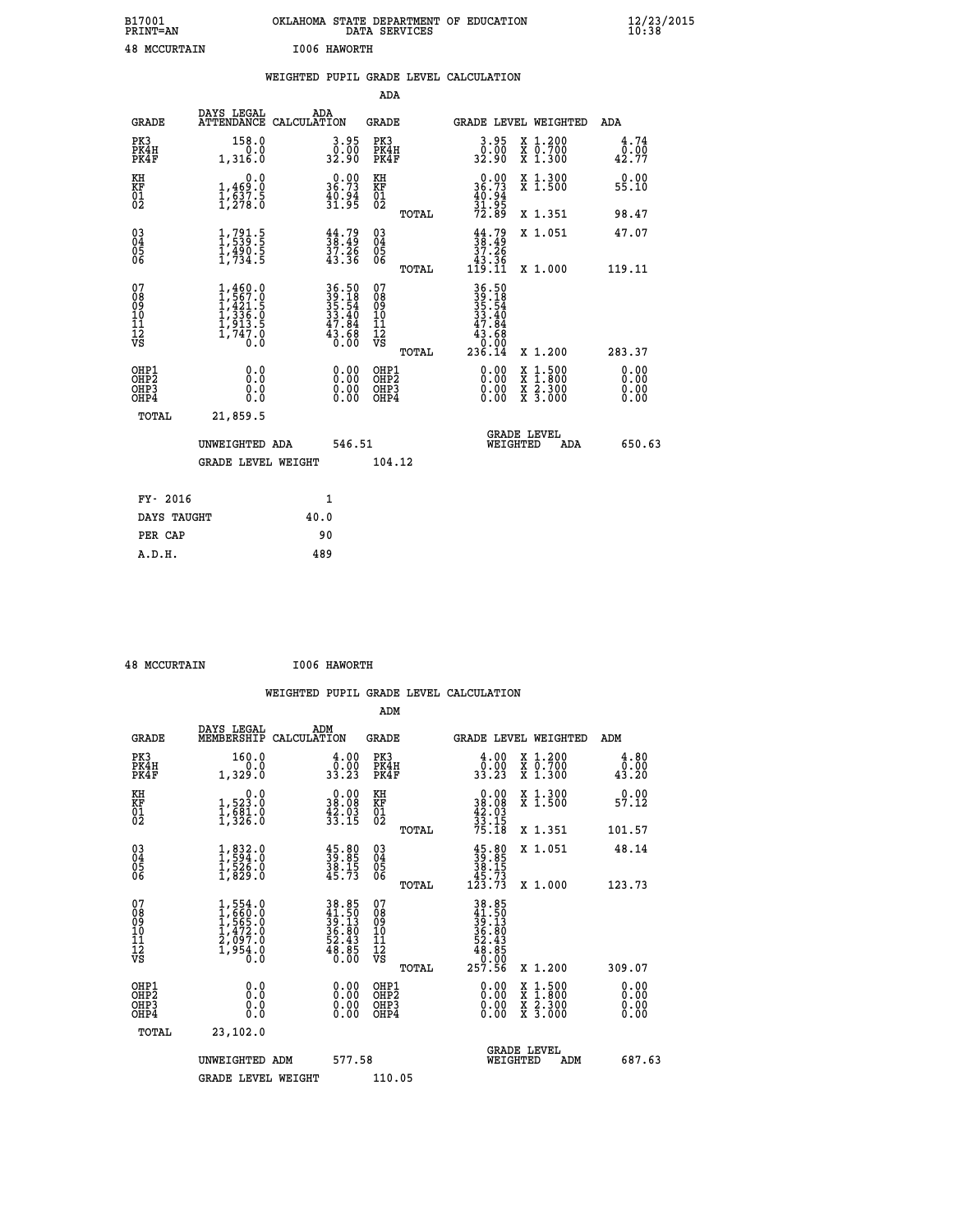| B17001<br><b>PRINT=AN</b> | OKLAHOMA STATE DEPARTMENT OF EDUCATION<br>DATA SERVICES | $\frac{12}{23}$ /2015 |
|---------------------------|---------------------------------------------------------|-----------------------|
| 48<br>MCCURTAIN           | I006 HAWORTH                                            |                       |

|  |     | WEIGHTED PUPIL GRADE LEVEL CALCULATION |  |
|--|-----|----------------------------------------|--|
|  | ADA |                                        |  |

| <b>GRADE</b>                             | DAYS LEGAL                                                                          | ADA<br>ATTENDANCE CALCULATION                                            | <b>GRADE</b>                           |       |                                                                                                                                                                                                                                                                                | <b>GRADE LEVEL WEIGHTED</b>              | ADA                   |
|------------------------------------------|-------------------------------------------------------------------------------------|--------------------------------------------------------------------------|----------------------------------------|-------|--------------------------------------------------------------------------------------------------------------------------------------------------------------------------------------------------------------------------------------------------------------------------------|------------------------------------------|-----------------------|
| PK3<br>PK4H<br>PK4F                      | 158.0<br>0.0<br>1,316.0                                                             | $\begin{smallmatrix} 3.95\0.00\\ 32.90 \end{smallmatrix}$                | PK3<br>PK4H<br>PK4F                    |       | $3.95$<br>$0.00$<br>32.90                                                                                                                                                                                                                                                      | X 1.200<br>X 0.700<br>X 1.300            | 4.74<br>0.00<br>42.77 |
| KH<br>KF<br>01<br>02                     | 0.0<br>$1,469.0$<br>$1,537.5$<br>$1,278.0$                                          | $\begin{smallmatrix} 0.00\\ 36.73\\ 40.94\\ 31.95 \end{smallmatrix}$     | KH<br>KF<br>01<br>02                   |       | $\frac{0.00}{36.73}$                                                                                                                                                                                                                                                           | X 1.300<br>X 1.500                       | 0.00<br>55.10         |
|                                          |                                                                                     |                                                                          |                                        | TOTAL | 31:95<br>72.89                                                                                                                                                                                                                                                                 | X 1.351                                  | 98.47                 |
| 030404<br>06                             | $\frac{1}{1}, \frac{791}{539}$<br>$\frac{5}{1}, \frac{490}{734}$<br>$\frac{5}{5}$   | $\frac{44}{38}\cdot\frac{79}{49}$<br>$\frac{37}{37}\cdot\frac{26}{36}$   | 030404<br>06                           |       | $\frac{44}{38}$ : 49<br>37.26<br>43.36<br>119.11                                                                                                                                                                                                                               | X 1.051                                  | 47.07                 |
|                                          |                                                                                     |                                                                          |                                        | TOTAL |                                                                                                                                                                                                                                                                                | X 1.000                                  | 119.11                |
| 07<br>08<br>09<br>10<br>11<br>12<br>VS   | $1,460.0$<br>$1,567.0$<br>$1,421.5$<br>$1,336.0$<br>$1,913.5$<br>$1,747.0$<br>$0.0$ | $36.50$<br>$39.18$<br>$35.54$<br>$33.40$<br>$47.84$<br>$43.68$<br>$0.00$ | 07<br>08<br>09<br>11<br>11<br>12<br>VS |       | $\begin{array}{r} 36\cdot 50 \\ 39\cdot 18 \\ 35\cdot 54 \\ 33\cdot 40 \\ 47\cdot 84 \\ 43\cdot 68 \\ 0\cdot 00 \\ 236\cdot 14 \end{array}$                                                                                                                                    |                                          |                       |
|                                          |                                                                                     |                                                                          |                                        | TOTAL |                                                                                                                                                                                                                                                                                | X 1.200                                  | 283.37                |
| OHP1<br>OHP2<br>OH <sub>P3</sub><br>OHP4 | 0.0<br>0.0<br>0.0                                                                   | $\begin{smallmatrix} 0.00 \ 0.00 \ 0.00 \ 0.00 \end{smallmatrix}$        | OHP1<br>OHP2<br>OHP <sub>3</sub>       |       | $\begin{smallmatrix} 0.00 & 0.00 & 0.00 & 0.00 & 0.00 & 0.00 & 0.00 & 0.00 & 0.00 & 0.00 & 0.00 & 0.00 & 0.00 & 0.00 & 0.00 & 0.00 & 0.00 & 0.00 & 0.00 & 0.00 & 0.00 & 0.00 & 0.00 & 0.00 & 0.00 & 0.00 & 0.00 & 0.00 & 0.00 & 0.00 & 0.00 & 0.00 & 0.00 & 0.00 & 0.00 & 0.0$ | X 1:500<br>X 1:800<br>X 2:300<br>X 3:000 | 0.00<br>0.00          |
| TOTAL                                    | 21,859.5                                                                            |                                                                          |                                        |       |                                                                                                                                                                                                                                                                                |                                          |                       |
|                                          | UNWEIGHTED ADA                                                                      | 546.51                                                                   |                                        |       | WEIGHTED                                                                                                                                                                                                                                                                       | <b>GRADE LEVEL</b><br><b>ADA</b>         | 650.63                |
|                                          | <b>GRADE LEVEL WEIGHT</b>                                                           |                                                                          | 104.12                                 |       |                                                                                                                                                                                                                                                                                |                                          |                       |
|                                          |                                                                                     |                                                                          |                                        |       |                                                                                                                                                                                                                                                                                |                                          |                       |
| FY- 2016                                 |                                                                                     | $\mathbf{1}$                                                             |                                        |       |                                                                                                                                                                                                                                                                                |                                          |                       |
| DAYS TAUGHT                              |                                                                                     | 40.0                                                                     |                                        |       |                                                                                                                                                                                                                                                                                |                                          |                       |
| PER CAP                                  |                                                                                     | 90                                                                       |                                        |       |                                                                                                                                                                                                                                                                                |                                          |                       |
| A.D.H.                                   |                                                                                     | 489                                                                      |                                        |       |                                                                                                                                                                                                                                                                                |                                          |                       |

| <b>48 MCCURTAIN</b> | I006 HAWORTH |
|---------------------|--------------|

| <b>GRADE</b>                                       | DAYS LEGAL<br>MEMBERSHIP                                                            | ADM<br>CALCULATION                                                        | <b>GRADE</b>                                       |       | <b>GRADE LEVEL WEIGHTED</b>                                                                                  |                                          | ADM                   |        |
|----------------------------------------------------|-------------------------------------------------------------------------------------|---------------------------------------------------------------------------|----------------------------------------------------|-------|--------------------------------------------------------------------------------------------------------------|------------------------------------------|-----------------------|--------|
| PK3<br>PK4H<br>PK4F                                | 160.0<br>1,329.0                                                                    | $\begin{smallmatrix} 4.00\\ 0.00\\ 33.23 \end{smallmatrix}$               | PK3<br>PK4H<br>PK4F                                |       | $\begin{smallmatrix} 4.00\\ 0.00\\ 33.23 \end{smallmatrix}$                                                  | X 1.200<br>X 0.700<br>X 1.300            | 4.80<br>0.00<br>43.20 |        |
| KH<br>KF<br>01<br>02                               | 0.0<br>1,523.0<br>1,581.0<br>1,326.0                                                | $\begin{smallmatrix} 0.00\\ 38.08\\ 42.03\\ 33.15 \end{smallmatrix}$      | KH<br>KF<br>01<br>02                               |       | $\begin{smallmatrix} 0.00\\ 38.08\\ 42.03\\ 33.15\\ 75.18 \end{smallmatrix}$                                 | X 1.300<br>X 1.500                       | 0.00<br>57.12         |        |
|                                                    |                                                                                     |                                                                           |                                                    | TOTAL |                                                                                                              | X 1.351                                  | 101.57                |        |
| $\begin{matrix} 03 \\ 04 \\ 05 \\ 06 \end{matrix}$ | $1,832.0$<br>$1,594.0$<br>$1,526.0$<br>$1,829.0$                                    | $\frac{45.80}{39.85}$<br>$\frac{38.15}{45.73}$                            | $\begin{matrix} 03 \\ 04 \\ 05 \\ 06 \end{matrix}$ |       | $35.8039.8538.1545.73123.73$                                                                                 | X 1.051                                  | 48.14                 |        |
|                                                    |                                                                                     |                                                                           |                                                    | TOTAL |                                                                                                              | X 1.000                                  | 123.73                |        |
| 07<br>08901112<br>1112<br>VS                       | $1,554.0$<br>$1,660.0$<br>$1,565.0$<br>$1,472.0$<br>$2,097.0$<br>$1,954.0$<br>$0.0$ | $38.85$<br>$41.50$<br>$39.13$<br>$36.80$<br>$52.43$<br>$58.85$<br>$48.85$ | 07<br>08<br>09<br>001<br>11<br>11<br>12<br>VS      | TOTAL | $\begin{array}{r} 38.85 \\ 41.50 \\ 39.13 \\ 36.81 \\ 52.43 \\ 52.43 \\ 48.85 \\ 0.00 \\ 257.56 \end{array}$ | X 1.200                                  | 309.07                |        |
| OHP1<br>OHP2<br>OH <sub>P3</sub><br>OHP4           | 0.0<br>$\begin{smallmatrix} 0.0 & 0 \ 0.0 & 0 \end{smallmatrix}$                    |                                                                           | OHP1<br>OHP2<br>OHP3<br>OHP4                       |       |                                                                                                              | X 1:500<br>X 1:800<br>X 2:300<br>X 3:000 | 0.00<br>0.00<br>0.00  |        |
| TOTAL                                              | 23,102.0                                                                            |                                                                           |                                                    |       |                                                                                                              |                                          |                       |        |
|                                                    | UNWEIGHTED<br>ADM                                                                   | 577.58                                                                    |                                                    |       | WEIGHTED                                                                                                     | <b>GRADE LEVEL</b><br>ADM                |                       | 687.63 |
|                                                    | <b>GRADE LEVEL WEIGHT</b>                                                           |                                                                           | 110.05                                             |       |                                                                                                              |                                          |                       |        |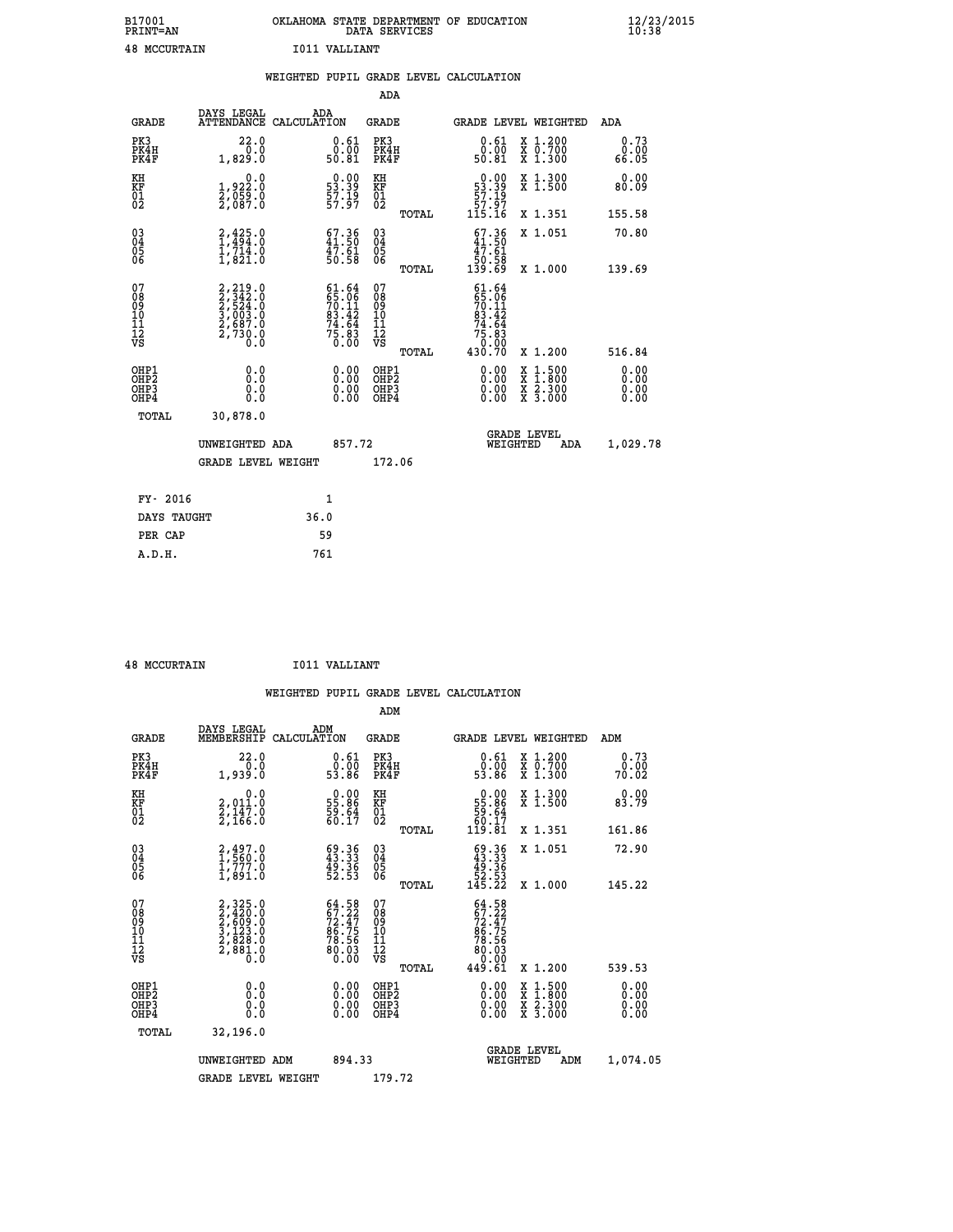| B17001<br><b>PRINT=AN</b> | OKLAHOMA STATE DEPARTMENT OF EDUCATION<br>DATA SERVICES | $\frac{12}{23}$ /2015 |
|---------------------------|---------------------------------------------------------|-----------------------|
| 48<br>MCCURTAIN           | I011 VALLIANT                                           |                       |

|                                                                    |                                                                                           |      |                                                                          |                                        |       | WEIGHTED PUPIL GRADE LEVEL CALCULATION                                                                                                                                                                                                                                         |                                          |     |                                   |
|--------------------------------------------------------------------|-------------------------------------------------------------------------------------------|------|--------------------------------------------------------------------------|----------------------------------------|-------|--------------------------------------------------------------------------------------------------------------------------------------------------------------------------------------------------------------------------------------------------------------------------------|------------------------------------------|-----|-----------------------------------|
|                                                                    |                                                                                           |      |                                                                          | <b>ADA</b>                             |       |                                                                                                                                                                                                                                                                                |                                          |     |                                   |
| <b>GRADE</b>                                                       | DAYS LEGAL<br>ATTENDANCE CALCULATION                                                      |      | ADA                                                                      | GRADE                                  |       | GRADE LEVEL WEIGHTED                                                                                                                                                                                                                                                           |                                          |     | ADA                               |
| PK3<br>PK4H<br>PK4F                                                | 22.0<br>0.0<br>1,829.0                                                                    |      | $\substack{0.61 \\ 0.00 \\ 50.81}$                                       | PK3<br>PK4H<br>PK4F                    |       | 0.61<br>0.00<br>50.81                                                                                                                                                                                                                                                          | X 1.200<br>X 0.700<br>X 1.300            |     | 0.73<br>0.00<br>66.05             |
| KH<br>KF<br>01<br>02                                               | $\begin{smallmatrix}&&&0.0\\1.922.0\\2.059.0\\2.087.0\end{smallmatrix}$                   |      | $\begin{smallmatrix} 0.00\\ 53.39\\ 57.19\\ 57.97 \end{smallmatrix}$     | KH<br>KF<br>01<br>02                   |       | $\begin{smallmatrix} 0.00\\ 53.39\\ 57.19\\ 57.97 \end{smallmatrix}$                                                                                                                                                                                                           | X 1.300<br>X 1.500                       |     | 0.00<br>80.09                     |
|                                                                    |                                                                                           |      |                                                                          |                                        | TOTAL | 115.16                                                                                                                                                                                                                                                                         | X 1.351                                  |     | 155.58                            |
| $\begin{smallmatrix} 03 \\[-4pt] 04 \end{smallmatrix}$<br>Ŏ5<br>06 | $^{2,425.0}_{1,714.0}$<br>$^{1,714.0}_{1,821.0}$                                          |      | $\begin{smallmatrix} 67.36\\ 41.50\\ 47.61\\ 50.58 \end{smallmatrix}$    | $\substack{03 \\ 04}$<br>Ŏ5<br>06      |       | $\begin{smallmatrix} 67.36\\ 41.50\\ 47.61\\ 50.58\\ 139.69 \end{smallmatrix}$                                                                                                                                                                                                 | X 1.051                                  |     | 70.80                             |
|                                                                    |                                                                                           |      |                                                                          |                                        | TOTAL |                                                                                                                                                                                                                                                                                | X 1.000                                  |     | 139.69                            |
| 07<br>08<br>09<br>01<br>11<br>11<br>12<br>VS                       | $2, 219.0$<br>$2, 342.0$<br>$2, 524.0$<br>$3, 003.0$<br>$2, 687.0$<br>$2, 730.0$<br>$0.0$ |      | $61.64$<br>$65.06$<br>$70.11$<br>$83.42$<br>$74.64$<br>$75.83$<br>$0.00$ | 07<br>08<br>09<br>11<br>11<br>12<br>VS | TOTAL | 61.64<br>$\begin{smallmatrix} 65.061\ 670.112\ 81.424\ 74.643\ 75.83\ 430.70 \end{smallmatrix}$                                                                                                                                                                                | X 1.200                                  |     | 516.84                            |
| OHP1<br>OHP2<br>OHP3<br>OHP4                                       | 0.0<br>0.0<br>0.0                                                                         |      | $\begin{smallmatrix} 0.00 \ 0.00 \ 0.00 \ 0.00 \end{smallmatrix}$        | OHP1<br>OHP2<br>OHP3<br>OHP4           |       | $\begin{smallmatrix} 0.00 & 0.00 & 0.00 & 0.00 & 0.00 & 0.00 & 0.00 & 0.00 & 0.00 & 0.00 & 0.00 & 0.00 & 0.00 & 0.00 & 0.00 & 0.00 & 0.00 & 0.00 & 0.00 & 0.00 & 0.00 & 0.00 & 0.00 & 0.00 & 0.00 & 0.00 & 0.00 & 0.00 & 0.00 & 0.00 & 0.00 & 0.00 & 0.00 & 0.00 & 0.00 & 0.0$ | X 1:500<br>X 1:800<br>X 2:300<br>X 3:000 |     | 0.00<br>Ō. ŌŌ<br>$0.00$<br>$0.00$ |
| TOTAL                                                              | 30,878.0                                                                                  |      |                                                                          |                                        |       |                                                                                                                                                                                                                                                                                |                                          |     |                                   |
|                                                                    | UNWEIGHTED ADA                                                                            |      | 857.72                                                                   |                                        |       | WEIGHTED                                                                                                                                                                                                                                                                       | <b>GRADE LEVEL</b>                       | ADA | 1,029.78                          |
|                                                                    | <b>GRADE LEVEL WEIGHT</b>                                                                 |      |                                                                          | 172.06                                 |       |                                                                                                                                                                                                                                                                                |                                          |     |                                   |
| FY- 2016                                                           |                                                                                           |      | $\mathbf{1}$                                                             |                                        |       |                                                                                                                                                                                                                                                                                |                                          |     |                                   |
| DAYS TAUGHT                                                        |                                                                                           | 36.0 |                                                                          |                                        |       |                                                                                                                                                                                                                                                                                |                                          |     |                                   |
| PER CAP                                                            |                                                                                           |      | 59                                                                       |                                        |       |                                                                                                                                                                                                                                                                                |                                          |     |                                   |

 **48 MCCURTAIN I011 VALLIANT**

 **A.D.H. 761**

|                                                    |                                                                                     |                                                                          | WEIGHTED PUPIL GRADE LEVEL CALCULATION             |                                                                                     |                                          |                       |
|----------------------------------------------------|-------------------------------------------------------------------------------------|--------------------------------------------------------------------------|----------------------------------------------------|-------------------------------------------------------------------------------------|------------------------------------------|-----------------------|
|                                                    |                                                                                     |                                                                          | ADM                                                |                                                                                     |                                          |                       |
| <b>GRADE</b>                                       | DAYS LEGAL<br>MEMBERSHIP                                                            | ADM<br>CALCULATION                                                       | GRADE                                              | GRADE LEVEL WEIGHTED                                                                |                                          | ADM                   |
| PK3<br>PK4H<br>PK4F                                | 22.0<br>0.0<br>1,939.0                                                              | $\begin{smallmatrix} 0.61\ 0.00\ 53.86 \end{smallmatrix}$                | PK3<br>PK4H<br>PK4F                                | $\begin{smallmatrix} 0.61\ 0.00\\ 53.86 \end{smallmatrix}$                          | X 1.200<br>X 0.700<br>X 1.300            | 0.73<br>0.00<br>70.02 |
| KH<br>KF<br>01<br>02                               | 0.0<br>2,011:0<br>2,147:0<br>2,166:0                                                | $\begin{smallmatrix} 0.00\\ 55.86\\ 59.64\\ 60.17 \end{smallmatrix}$     | KH<br>KF<br>01<br>02                               | $\begin{smallmatrix} &0.00\ 55.86\ 59.64\ 60.17\ 119.81\end{smallmatrix}$           | X 1.300<br>X 1.500                       | 0.00<br>83.79         |
|                                                    |                                                                                     |                                                                          | TOTAL                                              |                                                                                     | X 1.351                                  | 161.86                |
| $\begin{matrix} 03 \\ 04 \\ 05 \\ 06 \end{matrix}$ | 2,497.0<br>1,560.0<br>1,777.0<br>1,891.0                                            | $\begin{smallmatrix} 69.36\ 43.33\ 49.36\ 52.53 \end{smallmatrix}$       | $\begin{matrix} 03 \\ 04 \\ 05 \\ 06 \end{matrix}$ | $\begin{smallmatrix} 69.36\ 43.33\ 49.36\ 52.53\ 145.22 \end{smallmatrix}$          | X 1.051                                  | 72.90                 |
|                                                    |                                                                                     |                                                                          | TOTAL                                              |                                                                                     | X 1.000                                  | 145.22                |
| 07<br>08<br>09<br>101<br>11<br>12<br>VS            | $2,325.0$<br>$2,420.0$<br>$2,609.0$<br>$3,123.0$<br>$2,828.0$<br>$2,881.0$<br>$0.0$ | $64.58$<br>$67.22$<br>$72.47$<br>$86.75$<br>$78.56$<br>$80.03$<br>$0.00$ | 07<br>08<br>09<br>001<br>11<br>11<br>12<br>VS      | $64.58$<br>$67.22$<br>$72.47$<br>$86.75$<br>$78.56$<br>$80.03$<br>$0.00$<br>$49.61$ |                                          |                       |
|                                                    |                                                                                     |                                                                          | TOTAL                                              |                                                                                     | X 1.200                                  | 539.53                |
| OHP1<br>OHP2<br>OH <sub>P3</sub><br>OHP4           | 0.0<br>0.000                                                                        | $\begin{smallmatrix} 0.00 \ 0.00 \ 0.00 \ 0.00 \end{smallmatrix}$        | OHP1<br>OHP2<br>OHP3<br>OHP4                       | $0.00$<br>$0.00$<br>0.00                                                            | X 1:500<br>X 1:800<br>X 2:300<br>X 3:000 | 0.00<br>0.00<br>0.00  |
| TOTAL                                              | 32,196.0                                                                            |                                                                          |                                                    |                                                                                     |                                          |                       |
|                                                    | UNWEIGHTED ADM                                                                      | 894.33                                                                   |                                                    | WEIGHTED                                                                            | <b>GRADE LEVEL</b><br>ADM                | 1,074.05              |
|                                                    | <b>GRADE LEVEL WEIGHT</b>                                                           |                                                                          | 179.72                                             |                                                                                     |                                          |                       |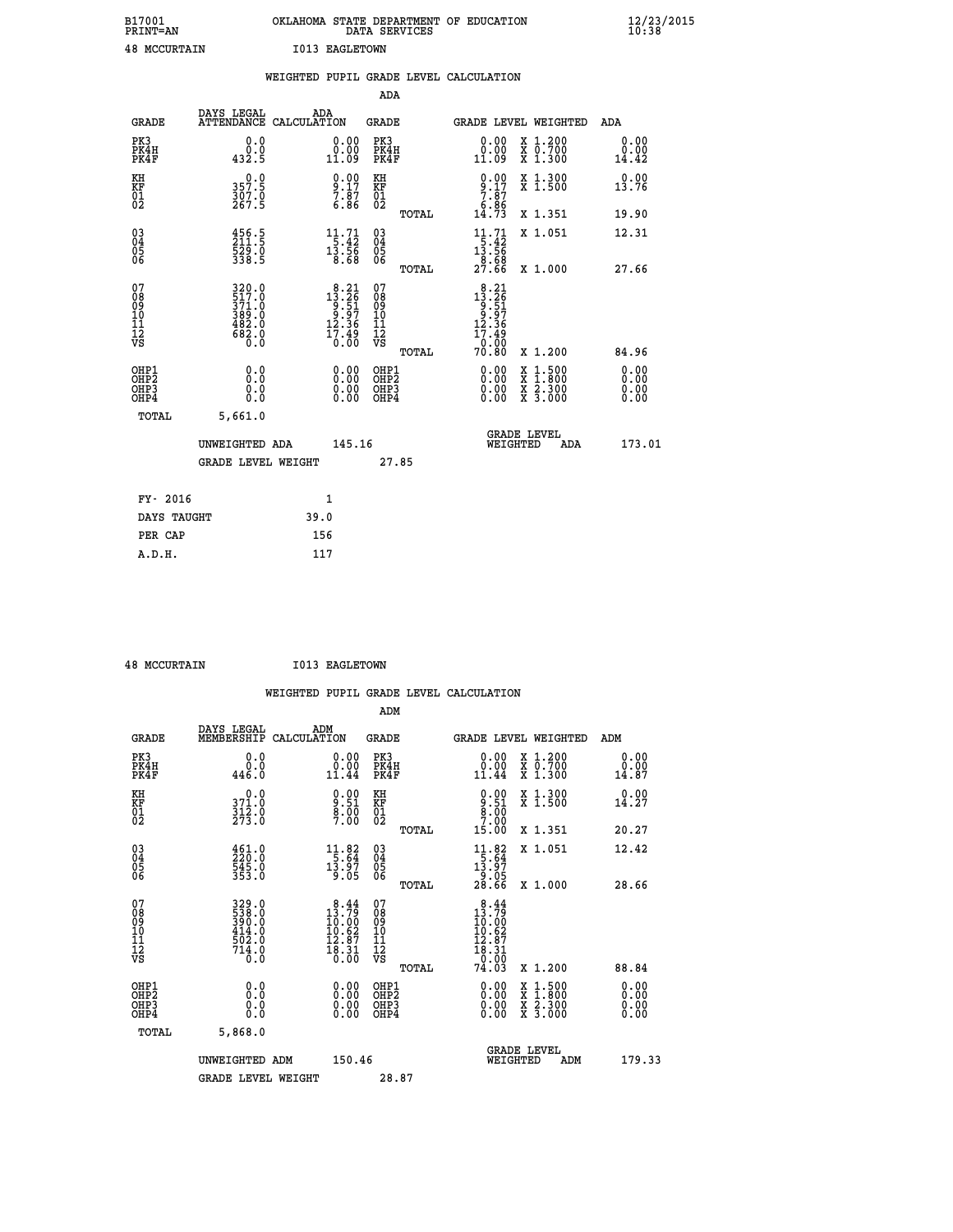| B17001              | OKLAHOMA STATE DEPARTMENT OF EDUCATION |
|---------------------|----------------------------------------|
| <b>PRINT=AN</b>     | DATA SERVICES                          |
| <b>48 MCCURTAIN</b> | I013 EAGLETOWN                         |

|                                                      |                                                                         | WEIGHTED PUPIL GRADE LEVEL CALCULATION                                                                         |                                                     |       |                                                                                                                           |                                                                                                  |                              |
|------------------------------------------------------|-------------------------------------------------------------------------|----------------------------------------------------------------------------------------------------------------|-----------------------------------------------------|-------|---------------------------------------------------------------------------------------------------------------------------|--------------------------------------------------------------------------------------------------|------------------------------|
|                                                      |                                                                         |                                                                                                                | <b>ADA</b>                                          |       |                                                                                                                           |                                                                                                  |                              |
| <b>GRADE</b>                                         | <b>DAYS LEGAL<br/>ATTENDANCE</b>                                        | ADA<br>CALCULATION                                                                                             | <b>GRADE</b>                                        |       |                                                                                                                           | GRADE LEVEL WEIGHTED                                                                             | ADA                          |
| PK3<br>PK4H<br>PK4F                                  | 0.0<br>$\begin{smallmatrix} & 0 & 0 \\ 4 & 3 & 2 & 5 \end{smallmatrix}$ | $\begin{smallmatrix} 0.00\\ 0.00\\ 11.09 \end{smallmatrix}$                                                    | PK3<br>PK4H<br>PK4F                                 |       | 0.00<br>ŏ:ŏŏ<br>11:09                                                                                                     | X 1.200<br>X 0.700<br>X 1.300                                                                    | 0.00<br>0.00<br>14.42        |
| KH<br>KF<br>01<br>02                                 | 0.0<br>357.5<br>$\frac{307.0}{267.5}$                                   | $\begin{smallmatrix} 0.00\ 9.17\ 7.87\ 6.86 \end{smallmatrix}$                                                 | KH<br>KF<br>01<br>02                                |       | $9.17$<br>$7.87$<br>$6.86$<br>$14.73$                                                                                     | X 1.300<br>X 1.500                                                                               | 0.00<br>13.76                |
|                                                      |                                                                         |                                                                                                                |                                                     | TOTAL |                                                                                                                           | X 1.351                                                                                          | 19.90                        |
| $\begin{matrix} 03 \\ 04 \\ 05 \\ 06 \end{matrix}$   | $\frac{456}{211}$ : 5<br>$\frac{529.0}{338.5}$                          | $\begin{array}{r} 11\cdot 71 \\[-4pt] 5\cdot 42 \\[-4pt] 13\cdot 56 \\[-4pt] 8\cdot 68 \end{array}$            | $\begin{array}{c} 03 \\ 04 \\ 05 \\ 06 \end{array}$ |       | 11.71<br>$\begin{array}{r} 1\overline{5}.42 \\ 13.56 \\ 8.68 \\ 27.66 \end{array}$                                        | X 1.051                                                                                          | 12.31                        |
|                                                      |                                                                         |                                                                                                                |                                                     | TOTAL |                                                                                                                           | X 1.000                                                                                          | 27.66                        |
| 07<br>08<br>09<br>10<br>11<br>11<br>12<br>VS         | 320.0<br>517.0<br>371:0<br>389:0<br>482:0<br>682:0<br>680:0             | $\begin{smallmatrix} 8\cdot21\\13\cdot26\\9\cdot51\\9\cdot97\\12\cdot36\\17\cdot49\\0\cdot00\end{smallmatrix}$ | 07<br>08901112<br>1112<br>VS                        | TOTAL | $\begin{smallmatrix} 8\cdot21\\13\cdot26\\9\cdot51\\9\cdot97\\12\cdot36\\17\cdot49\\0\cdot00\\70\cdot80\end{smallmatrix}$ | X 1.200                                                                                          | 84.96                        |
| OHP1<br>OHP2<br>OH <sub>P3</sub><br>OH <sub>P4</sub> | 0.0<br>0.0<br>0.0                                                       | $\begin{smallmatrix} 0.00 \ 0.00 \ 0.00 \ 0.00 \end{smallmatrix}$                                              | OHP1<br>OHP2<br>OHP3<br>OHP4                        |       | $0.00$<br>$0.00$<br>0.00                                                                                                  | $\begin{smallmatrix} x & 1 & 500 \\ x & 1 & 800 \\ x & 2 & 300 \\ x & 3 & 000 \end{smallmatrix}$ | 0.00<br>0.00<br>0.00<br>0.00 |
| TOTAL                                                | 5,661.0                                                                 |                                                                                                                |                                                     |       |                                                                                                                           |                                                                                                  |                              |
|                                                      | UNWEIGHTED ADA                                                          | 145.16                                                                                                         |                                                     |       | WEIGHTED                                                                                                                  | <b>GRADE LEVEL</b><br>ADA                                                                        | 173.01                       |
|                                                      | <b>GRADE LEVEL WEIGHT</b>                                               |                                                                                                                |                                                     | 27.85 |                                                                                                                           |                                                                                                  |                              |
| FY- 2016                                             |                                                                         | $\mathbf{1}$                                                                                                   |                                                     |       |                                                                                                                           |                                                                                                  |                              |
| DAYS TAUGHT                                          |                                                                         | 39.0                                                                                                           |                                                     |       |                                                                                                                           |                                                                                                  |                              |
| PER CAP                                              |                                                                         | 156                                                                                                            |                                                     |       |                                                                                                                           |                                                                                                  |                              |

 **48 MCCURTAIN I013 EAGLETOWN**

 **A.D.H. 117**

|                                                                              |                                                                                                           |                                                                                                                 |                                                     | WEIGHTED PUPIL GRADE LEVEL CALCULATION                                                                                                                                                                                                                                                                                     |                              |
|------------------------------------------------------------------------------|-----------------------------------------------------------------------------------------------------------|-----------------------------------------------------------------------------------------------------------------|-----------------------------------------------------|----------------------------------------------------------------------------------------------------------------------------------------------------------------------------------------------------------------------------------------------------------------------------------------------------------------------------|------------------------------|
|                                                                              |                                                                                                           |                                                                                                                 | ADM                                                 |                                                                                                                                                                                                                                                                                                                            |                              |
| <b>GRADE</b>                                                                 | DAYS LEGAL<br>MEMBERSHIP<br>CALCULATION                                                                   | ADM                                                                                                             | <b>GRADE</b>                                        | <b>GRADE LEVEL WEIGHTED</b>                                                                                                                                                                                                                                                                                                | ADM                          |
| PK3<br>PK4H<br>PK4F                                                          | 0.0<br>ة:ة<br>446.0                                                                                       | 0.00<br>11.44                                                                                                   | PK3<br>PK4H<br>PK4F                                 | 0.00<br>X 1.200<br>X 0.700<br>X 1.300<br>0.00<br>11.44                                                                                                                                                                                                                                                                     | 0.00<br>0.00<br>14.87        |
| KH<br>KF<br>01<br>02                                                         | $\begin{smallmatrix} 0.0\\ 371.0\\ 312.0\\ 273.0 \end{smallmatrix}$                                       | $\begin{smallmatrix} 0.00\ 9.51\ 8.00\ 7.00 \end{smallmatrix}$                                                  | KH<br>KF<br>01<br>02                                | $9.51$<br>$8.51$<br>$9.00$<br>$7.00$<br>X 1.300<br>X 1.500                                                                                                                                                                                                                                                                 | 0.00<br>14.27                |
|                                                                              |                                                                                                           |                                                                                                                 | TOTAL                                               | 15.00<br>X 1.351                                                                                                                                                                                                                                                                                                           | 20.27                        |
| $\begin{matrix} 03 \\ 04 \\ 05 \\ 06 \end{matrix}$                           | $\begin{smallmatrix} 4\,6\,1\,. & 0\\ 2\,2\,0\,. & 0\\ 5\,4\,5\,. & 0\\ 3\,5\,3\,. & 0 \end{smallmatrix}$ | $\begin{array}{c} 11.82 \\[-4pt] 5.64 \\[-4pt] 13.97 \\[-4pt] 9.05 \end{array}$                                 | $\begin{array}{c} 03 \\ 04 \\ 05 \\ 06 \end{array}$ | $\begin{array}{r} 11.82 \\[-4pt] 5.64 \\[-4pt] 13.97 \\[-4pt] 9.05 \\[-4pt] 28.66 \end{array}$<br>X 1.051                                                                                                                                                                                                                  | 12.42                        |
|                                                                              |                                                                                                           |                                                                                                                 | TOTAL                                               | X 1.000                                                                                                                                                                                                                                                                                                                    | 28.66                        |
| 07<br>08<br>09<br>101<br>112<br>VS                                           | 329.0<br>538.0<br>390.0<br>414.0<br>502.0<br>714.0                                                        | $\begin{smallmatrix}8\cdot44\\13\cdot79\\10\cdot60\\10\cdot62\\12\cdot87\\18\cdot31\\0\cdot00\end{smallmatrix}$ | 07<br>08<br>09<br>11<br>11<br>12<br>VS<br>TOTAL     | $\begin{smallmatrix}8.44\\13.79\\10.00\\10.62\end{smallmatrix}$<br>$\begin{array}{c} 12.87 \\ 18.31 \\ 0.00 \\ 74.03 \end{array}$<br>X 1.200                                                                                                                                                                               | 88.84                        |
| OHP1<br>OH <sub>P</sub> <sub>2</sub><br>OH <sub>P3</sub><br>OH <sub>P4</sub> | 0.0<br>0.000                                                                                              | $\begin{smallmatrix} 0.00 \ 0.00 \ 0.00 \ 0.00 \end{smallmatrix}$                                               | OHP1<br>OH <sub>P</sub> 2<br>OHP3<br>OHP4           | $\begin{smallmatrix} 0.00 & 0.00 & 0.00 & 0.00 & 0.00 & 0.00 & 0.00 & 0.00 & 0.00 & 0.00 & 0.00 & 0.00 & 0.00 & 0.00 & 0.00 & 0.00 & 0.00 & 0.00 & 0.00 & 0.00 & 0.00 & 0.00 & 0.00 & 0.00 & 0.00 & 0.00 & 0.00 & 0.00 & 0.00 & 0.00 & 0.00 & 0.00 & 0.00 & 0.00 & 0.00 & 0.0$<br>X 1:500<br>X 1:800<br>X 2:300<br>X 3:000 | 0.00<br>0.00<br>0.00<br>0.00 |
| TOTAL                                                                        | 5,868.0                                                                                                   |                                                                                                                 |                                                     |                                                                                                                                                                                                                                                                                                                            |                              |
|                                                                              | UNWEIGHTED ADM                                                                                            | 150.46                                                                                                          |                                                     | GRADE LEVEL<br>WEIGHTED<br>ADM                                                                                                                                                                                                                                                                                             | 179.33                       |
|                                                                              | <b>GRADE LEVEL WEIGHT</b>                                                                                 |                                                                                                                 | 28.87                                               |                                                                                                                                                                                                                                                                                                                            |                              |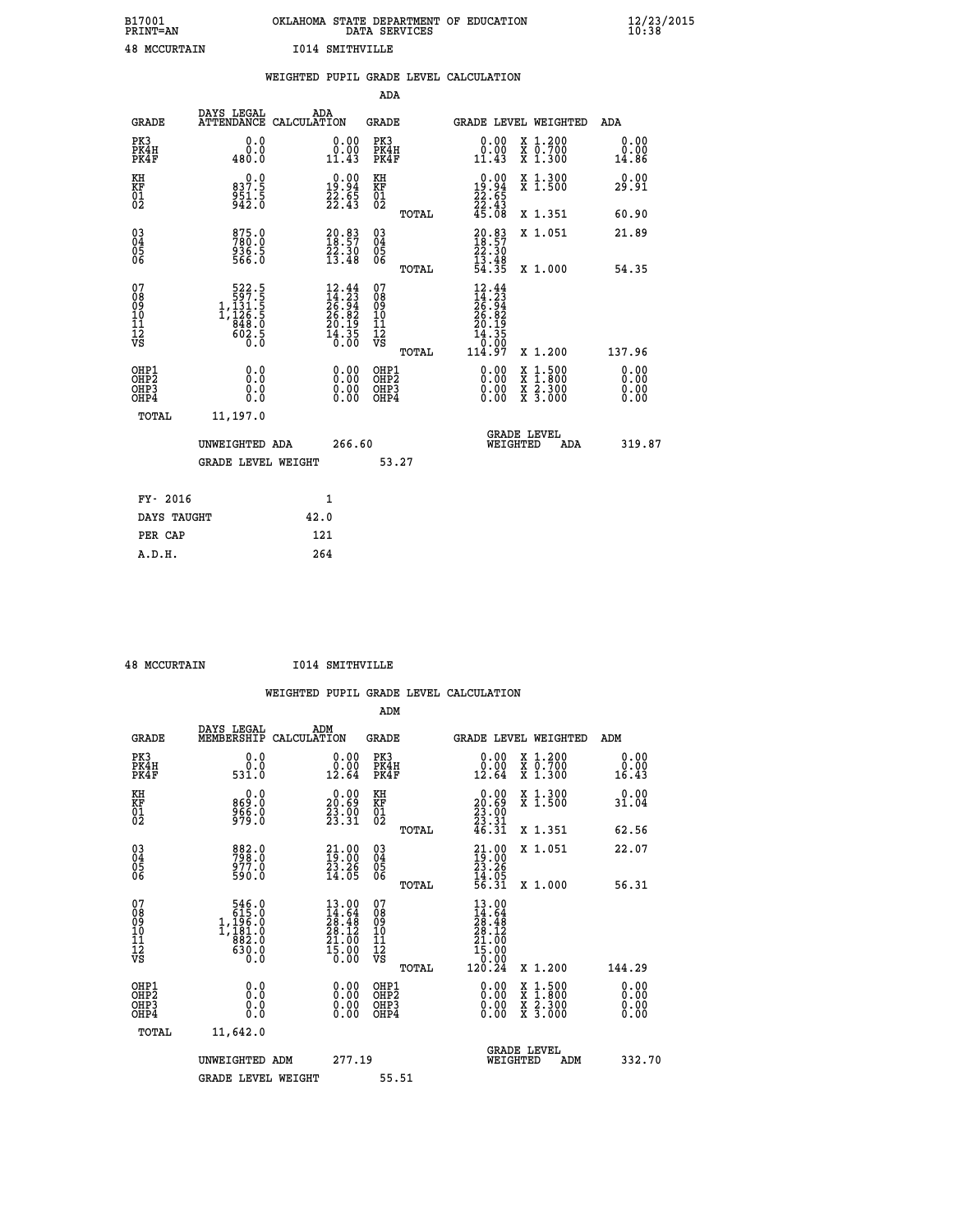| B17001<br>PRINT=AN  | . STATE DEPARTMENT OF EDUCATION<br>OKLAHOMA<br>DATA SERVICES | $\frac{12}{23}$ /2015 |
|---------------------|--------------------------------------------------------------|-----------------------|
| <b>48 MCCURTAIN</b> | 1014 SMITHVILLE                                              |                       |

|                                                       |                                                                                       | WEIGHTED PUPIL GRADE LEVEL CALCULATION                                   |                                                 |                                                                                                                                                                                                                                                                                                                            |                              |
|-------------------------------------------------------|---------------------------------------------------------------------------------------|--------------------------------------------------------------------------|-------------------------------------------------|----------------------------------------------------------------------------------------------------------------------------------------------------------------------------------------------------------------------------------------------------------------------------------------------------------------------------|------------------------------|
|                                                       |                                                                                       |                                                                          | <b>ADA</b>                                      |                                                                                                                                                                                                                                                                                                                            |                              |
| <b>GRADE</b>                                          | DAYS LEGAL                                                                            | ADA<br>ATTENDANCE CALCULATION                                            | <b>GRADE</b>                                    | GRADE LEVEL WEIGHTED                                                                                                                                                                                                                                                                                                       | ADA                          |
| PK3<br>PK4H<br>PK4F                                   | 0.0<br>0.0<br>480.0                                                                   | $\begin{smallmatrix} 0.00\\ 0.00\\ 11.43 \end{smallmatrix}$              | PK3<br>PK4H<br>PK4F                             | X 1.200<br>X 0.700<br>X 1.300<br>0.00<br>0.00<br>11.43                                                                                                                                                                                                                                                                     | 0.00<br>0.00<br>14.86        |
| KH<br>KF<br>01<br>02                                  | 0.0<br>837:5<br>951:5<br>942:0                                                        | $\begin{smallmatrix} 0.00\\ 19.94\\ 22.65\\ 22.43 \end{smallmatrix}$     | KH<br>KF<br>01<br>02                            | $\begin{smallmatrix} 0.00\\19.94\\22.65\\22.43\\45.08 \end{smallmatrix}$<br>X 1.300<br>X 1.500                                                                                                                                                                                                                             | 0.00<br>29.91                |
|                                                       |                                                                                       |                                                                          | TOTAL                                           | X 1.351                                                                                                                                                                                                                                                                                                                    | 60.90                        |
| $\begin{matrix} 03 \\ 04 \\ 05 \\ 06 \end{matrix}$    | 875.0<br>780.0<br>936.5<br>566.0                                                      | $20.83$<br>$18.57$<br>$22.30$<br>$13.48$                                 | $\substack{03 \\ 04}$<br>Ŏ5<br>06               | $20.83$<br>$18.57$<br>$22.30$<br>$13.48$<br>$54.35$<br>X 1.051                                                                                                                                                                                                                                                             | 21.89                        |
|                                                       |                                                                                       |                                                                          | TOTAL                                           | X 1.000                                                                                                                                                                                                                                                                                                                    | 54.35                        |
| 07<br>08<br>09<br>11<br>11<br>12<br>VS                | $\begin{smallmatrix}522.5\\597.5\\1,131.5\\1,126.5\\848.0\\602.5\\0\end{smallmatrix}$ | $12.44$<br>$14.23$<br>$26.94$<br>$26.82$<br>$20.19$<br>$14.35$<br>$0.00$ | 07<br>08<br>09<br>11<br>11<br>12<br>VS<br>TOTAL | $12.44$<br>$14.23$<br>$26.94$<br>$26.82$<br>$20.195$<br>$14.350$<br>$114.97$<br>X 1.200                                                                                                                                                                                                                                    | 137.96                       |
| OHP1<br>OH <sub>P</sub> 2<br>OHP3<br>OH <sub>P4</sub> | 0.0<br>0.0<br>0.0                                                                     | $\begin{smallmatrix} 0.00 \ 0.00 \ 0.00 \ 0.00 \end{smallmatrix}$        | OHP1<br>OHP <sub>2</sub><br>OHP3<br>OHP4        | $\begin{smallmatrix} 0.00 & 0.00 & 0.00 & 0.00 & 0.00 & 0.00 & 0.00 & 0.00 & 0.00 & 0.00 & 0.00 & 0.00 & 0.00 & 0.00 & 0.00 & 0.00 & 0.00 & 0.00 & 0.00 & 0.00 & 0.00 & 0.00 & 0.00 & 0.00 & 0.00 & 0.00 & 0.00 & 0.00 & 0.00 & 0.00 & 0.00 & 0.00 & 0.00 & 0.00 & 0.00 & 0.0$<br>X 1:500<br>X 1:800<br>X 2:300<br>X 3:000 | 0.00<br>0.00<br>0.00<br>0.00 |
| TOTAL                                                 | 11,197.0                                                                              |                                                                          |                                                 |                                                                                                                                                                                                                                                                                                                            |                              |
|                                                       | UNWEIGHTED ADA                                                                        | 266.60                                                                   |                                                 | <b>GRADE LEVEL</b><br>WEIGHTED<br>ADA                                                                                                                                                                                                                                                                                      | 319.87                       |
|                                                       | <b>GRADE LEVEL WEIGHT</b>                                                             |                                                                          | 53.27                                           |                                                                                                                                                                                                                                                                                                                            |                              |
|                                                       | FY- 2016                                                                              | $\mathbf{1}$                                                             |                                                 |                                                                                                                                                                                                                                                                                                                            |                              |
|                                                       | DAYS TAUGHT                                                                           | 42.0                                                                     |                                                 |                                                                                                                                                                                                                                                                                                                            |                              |
| PER CAP                                               |                                                                                       | 121                                                                      |                                                 |                                                                                                                                                                                                                                                                                                                            |                              |

 **48 MCCURTAIN I014 SMITHVILLE**

| <b>GRADE</b>                                             | DAYS LEGAL<br>MEMBERSHIP                                                                         | ADM<br>CALCULATION                                                                                                              | <b>GRADE</b>                                        |       |                                                                                                                                             | GRADE LEVEL WEIGHTED                     | ADM                          |
|----------------------------------------------------------|--------------------------------------------------------------------------------------------------|---------------------------------------------------------------------------------------------------------------------------------|-----------------------------------------------------|-------|---------------------------------------------------------------------------------------------------------------------------------------------|------------------------------------------|------------------------------|
| PK3<br>PK4H<br>PK4F                                      | 0.0<br>0.0<br>531.0                                                                              | $\begin{smallmatrix} 0.00\\ 0.00\\ 12.64 \end{smallmatrix}$                                                                     | PK3<br>PK4H<br>PK4F                                 |       | 0.00<br>0.00<br>12.64                                                                                                                       | X 1.200<br>X 0.700<br>X 1.300            | 0.00<br>0.00<br>16.43        |
| KH<br>KF<br>01<br>02                                     | 0.0<br>0. 869<br>956. 8<br>979. 0                                                                | $\begin{smallmatrix} 0.00\\ 20.69\\ 23.90\\ 23.31 \end{smallmatrix}$                                                            | KH<br>KF<br>01<br>02                                |       | $\begin{smallmatrix} 0.00\\ 20.69\\ 23.00\\ 23.31\\ 46.31 \end{smallmatrix}$                                                                | X 1.300<br>X 1.500                       | 0.00<br>31.04                |
|                                                          |                                                                                                  |                                                                                                                                 |                                                     | TOTAL |                                                                                                                                             | X 1.351                                  | 62.56                        |
| $\begin{matrix} 03 \\ 04 \\ 05 \\ 06 \end{matrix}$       | 882.0<br>798.0<br>977.0<br>590.0                                                                 | $\begin{smallmatrix} 21.00\\19.00\\23.26\\14.05 \end{smallmatrix}$                                                              | $\begin{array}{c} 03 \\ 04 \\ 05 \\ 06 \end{array}$ |       | $21.0019.0023.2614.0556.31$                                                                                                                 | X 1.051                                  | 22.07                        |
|                                                          |                                                                                                  |                                                                                                                                 |                                                     | TOTAL |                                                                                                                                             | X 1.000                                  | 56.31                        |
| 07<br>08<br>09<br>11<br>11<br>12<br>VS                   | $\begin{smallmatrix} &546.0\\ 615.0\\ 1,196.0\\ 1,181.0\\ 882.0\\ 630.0\\ 0.0 \end{smallmatrix}$ | $\begin{smallmatrix} 13\cdot 00\\ 14\cdot 64\\ 28\cdot 48\\ 28\cdot 12\\ 21\cdot 00\\ 15\cdot 00\\ 0\cdot 00 \end{smallmatrix}$ | 07<br>08<br>09<br>11<br>11<br>12<br>VS              | TOTAL | $\begin{array}{r} 13\cdot 00 \\ 14\cdot 64 \\ 28\cdot 48 \\ 28\cdot 12 \\ 21\cdot 00 \\ 15\cdot 00 \\ 0\cdot 00 \\ 120\cdot 24 \end{array}$ | X 1.200                                  | 144.29                       |
| OHP1                                                     |                                                                                                  |                                                                                                                                 | OHP1                                                |       |                                                                                                                                             |                                          |                              |
| OH <sub>P</sub> <sub>2</sub><br>OH <sub>P3</sub><br>OHP4 | 0.0<br>0.0<br>Ŏ.Ŏ                                                                                |                                                                                                                                 | OHP <sub>2</sub><br>OHP3<br>OHP4                    |       |                                                                                                                                             | X 1:500<br>X 1:800<br>X 2:300<br>X 3:000 | 0.00<br>0.00<br>0.00<br>0.00 |
| TOTAL                                                    | 11,642.0                                                                                         |                                                                                                                                 |                                                     |       |                                                                                                                                             |                                          |                              |
|                                                          | UNWEIGHTED ADM                                                                                   | 277.19                                                                                                                          |                                                     |       | WEIGHTED                                                                                                                                    | <b>GRADE LEVEL</b><br>ADM                | 332.70                       |
|                                                          | <b>GRADE LEVEL WEIGHT</b>                                                                        |                                                                                                                                 | 55.51                                               |       |                                                                                                                                             |                                          |                              |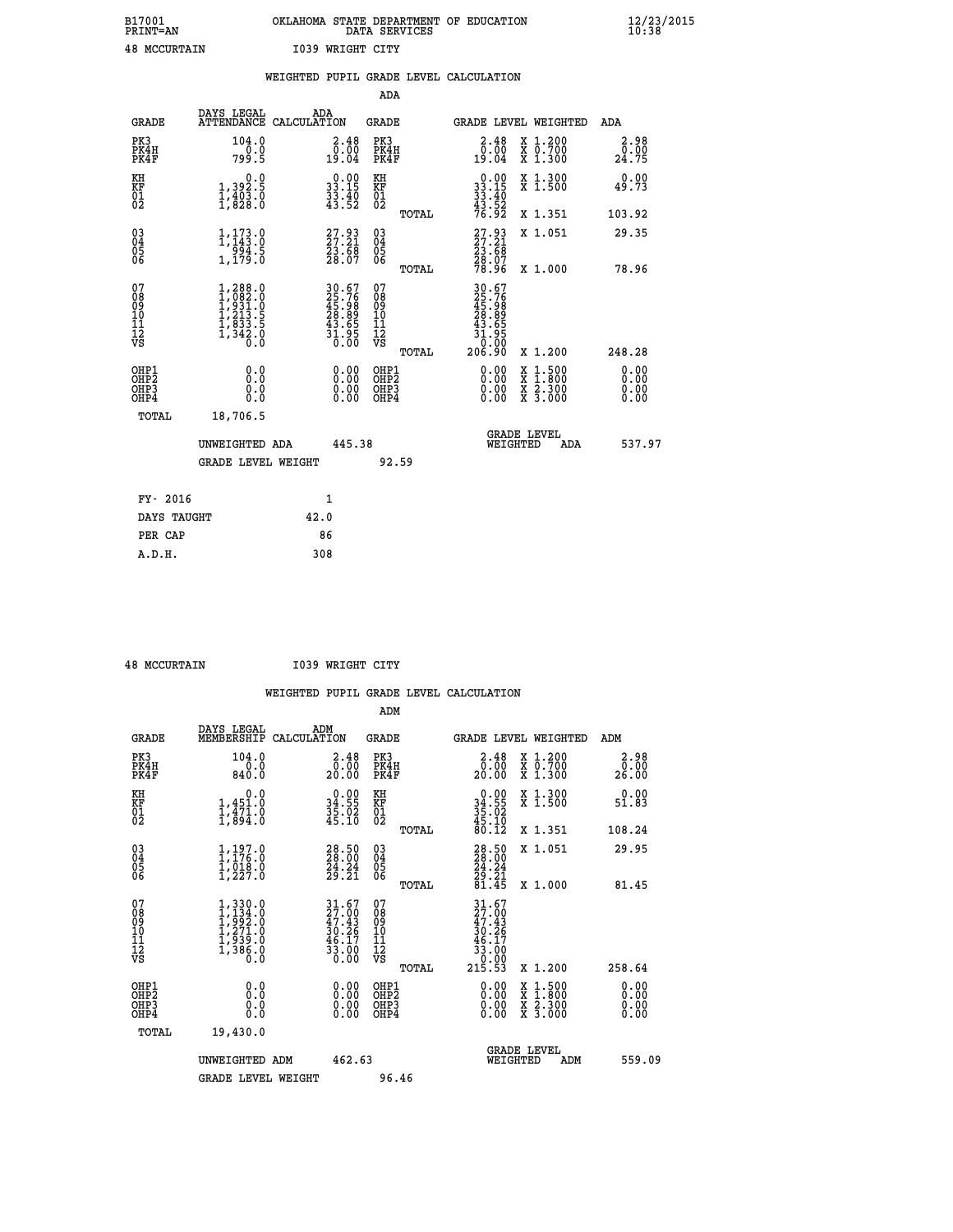| B17001              | OKLAHOMA STATE DEPARTMENT OF EDUCATION |
|---------------------|----------------------------------------|
| <b>PRINT=AN</b>     | DATA SERVICES                          |
| <b>48 MCCURTAIN</b> | 1039 WRIGHT CITY                       |

|                                        |                                                                                                         | WEIGHTED PUPIL GRADE LEVEL CALCULATION                               |                                                     |       |                                                                                   |                                                                                                           |                              |
|----------------------------------------|---------------------------------------------------------------------------------------------------------|----------------------------------------------------------------------|-----------------------------------------------------|-------|-----------------------------------------------------------------------------------|-----------------------------------------------------------------------------------------------------------|------------------------------|
|                                        |                                                                                                         |                                                                      | <b>ADA</b>                                          |       |                                                                                   |                                                                                                           |                              |
| <b>GRADE</b>                           |                                                                                                         | DAYS LEGAL ADA ATTENDANCE CALCULATION                                | <b>GRADE</b>                                        |       |                                                                                   | GRADE LEVEL WEIGHTED                                                                                      | <b>ADA</b>                   |
| PK3<br>PK4H<br>PK4F                    | 104.0<br>799.5                                                                                          | $\begin{smallmatrix} 2.48\ 0.00\\ 19.04 \end{smallmatrix}$           | PK3<br>PK4H<br>PK4F                                 |       | $2.48$<br>$0.00$<br>19.04                                                         | X 1.200<br>X 0.700<br>X 1.300                                                                             | 2.98<br>0.00<br>24.75        |
| KH<br>KF<br>01<br>02                   | 0.0<br>1,392.5<br>1,403.0<br>1,828.0                                                                    | $\begin{smallmatrix} 0.00\\ 33.15\\ 33.40\\ 43.52 \end{smallmatrix}$ | KH<br>KF<br>01<br>02                                |       | $\begin{smallmatrix} 0.00\\ 33.15\\ 33.40\\ 43.52\\ 76.92 \end{smallmatrix}$      | X 1.300<br>X 1.500                                                                                        | 0.00<br>49.73                |
|                                        |                                                                                                         |                                                                      |                                                     | TOTAL |                                                                                   | X 1.351                                                                                                   | 103.92                       |
| $^{03}_{04}$<br>Ŏ5<br>06               | $\begin{smallmatrix} 1,173\cdot 0\\ 1,143\cdot 0\\ 994\cdot 5\\ 1,179\cdot 0 \end{smallmatrix}$         | 27.93<br>27.21<br>23.68<br>28.07                                     | $\begin{array}{c} 03 \\ 04 \\ 05 \\ 06 \end{array}$ |       | $\begin{smallmatrix} 27.93 \\ 27.21 \\ 23.68 \\ 28.07 \\ 78.96 \end{smallmatrix}$ | X 1.051                                                                                                   | 29.35                        |
|                                        |                                                                                                         |                                                                      |                                                     | TOTAL |                                                                                   | X 1.000                                                                                                   | 78.96                        |
| 07<br>08<br>09<br>11<br>11<br>12<br>VS | $\begin{smallmatrix} 1,288.0\\ 1,082.0\\ 1,931.0\\ 1,213.5\\ 1,833.5\\ 1,342.0\\ 0.0 \end{smallmatrix}$ | 30.67<br>25.76<br>45.98<br>28.89<br>28.655<br>43.655<br>31.950       | 07<br>08<br>09<br>11<br>11<br>12<br>VS              | TOTAL | $30.67$<br>$25.76$<br>$45.989$<br>$28.895$<br>$43.655$<br>$31.950$<br>$206.90$    | X 1.200                                                                                                   | 248.28                       |
| OHP1<br>OHP2<br>OHP3<br>OHP4           | 0.0<br>0.0<br>0.0                                                                                       | 0.0000<br>$\begin{smallmatrix} 0.00 \ 0.00 \end{smallmatrix}$        | OHP1<br>OHP2<br>OHP3<br>OHP4                        |       | 0.00<br>0.00<br>0.00                                                              | 1:500<br>$\begin{smallmatrix} x & 1 & 500 \\ x & 1 & 800 \\ x & 2 & 300 \\ x & 3 & 000 \end{smallmatrix}$ | 0.00<br>0.00<br>0.00<br>0.00 |
| <b>TOTAL</b>                           | 18,706.5                                                                                                |                                                                      |                                                     |       |                                                                                   |                                                                                                           |                              |
|                                        | UNWEIGHTED ADA                                                                                          | 445.38                                                               |                                                     |       | WEIGHTED                                                                          | <b>GRADE LEVEL</b><br>ADA                                                                                 | 537.97                       |
|                                        | GRADE LEVEL WEIGHT                                                                                      |                                                                      | 92.59                                               |       |                                                                                   |                                                                                                           |                              |
| FY- 2016                               |                                                                                                         | 1                                                                    |                                                     |       |                                                                                   |                                                                                                           |                              |
| DAYS TAUGHT                            |                                                                                                         | 42.0                                                                 |                                                     |       |                                                                                   |                                                                                                           |                              |
| PER CAP                                |                                                                                                         | 86                                                                   |                                                     |       |                                                                                   |                                                                                                           |                              |

 **A.D.H. 308**

 **48 MCCURTAIN I039 WRIGHT CITY**

|                                                      |                                                                            |                                                                          | ADM                                                 |                                                                              |                                          |                              |
|------------------------------------------------------|----------------------------------------------------------------------------|--------------------------------------------------------------------------|-----------------------------------------------------|------------------------------------------------------------------------------|------------------------------------------|------------------------------|
| <b>GRADE</b>                                         | DAYS LEGAL<br>MEMBERSHIP                                                   | ADM<br>CALCULATION                                                       | <b>GRADE</b>                                        | GRADE LEVEL WEIGHTED                                                         |                                          | ADM                          |
| PK3<br>PK4H<br>PK4F                                  | 104.0<br>0.0<br>840.0                                                      | 2.48<br>00.00<br>00.00                                                   | PK3<br>PK4H<br>PK4F                                 | $\begin{smallmatrix} 2.48\ 0.0000 \ 20.000 \end{smallmatrix}$                | X 1.200<br>X 0.700<br>X 1.300            | 2.98<br>0.00<br>26.00        |
| KH<br>KF<br>01<br>02                                 | 0.0<br>$1,451.0$<br>$1,471.0$<br>$1,894.0$                                 | $\begin{smallmatrix} 0.00\\ 34.55\\ 35.02\\ 45.10 \end{smallmatrix}$     | KH<br>KF<br>01<br>02                                | $\begin{smallmatrix} 0.00\\ 34.55\\ 35.02\\ 45.10\\ 60.12 \end{smallmatrix}$ | X 1.300<br>X 1.500                       | 0.00<br>51.83                |
|                                                      |                                                                            |                                                                          | TOTAL                                               |                                                                              | X 1.351                                  | 108.24                       |
| 03<br>04<br>05<br>06                                 | $1, 197.0$<br>$1, 176.0$<br>$1, 018.0$<br>$1, 227.0$                       | $\begin{smallmatrix} 28.50\\ 28.00\\ 24.24\\ 29.21 \end{smallmatrix}$    | $\begin{array}{c} 03 \\ 04 \\ 05 \\ 06 \end{array}$ | 28.50<br>24.24<br>$\frac{29.21}{81.45}$                                      | X 1.051                                  | 29.95                        |
|                                                      |                                                                            |                                                                          | TOTAL                                               |                                                                              | X 1.000                                  | 81.45                        |
| 07<br>08<br>09<br>101<br>112<br>VS                   | $1,330.0$<br>$1,992.0$<br>$1,271.0$<br>$1,271.0$<br>$1,939.0$<br>$1,386.0$ | $31.67$<br>$27.00$<br>$47.43$<br>$30.26$<br>$46.17$<br>$33.00$<br>$0.00$ | 07<br>08<br>09<br>11<br>11<br>12<br>VS<br>TOTAL     | $31.67$<br>$47.43$<br>$30.26$<br>$46.17$<br>$33.00$<br>$0.00$<br>$215.53$    | X 1.200                                  | 258.64                       |
| OHP1<br>OHP2<br>OH <sub>P3</sub><br>OH <sub>P4</sub> | 0.0<br>0.000                                                               | $0.00$<br>$0.00$<br>0.00                                                 | OHP1<br>OHP2<br>OHP <sub>3</sub>                    | $0.00$<br>$0.00$<br>0.00                                                     | X 1:500<br>X 1:800<br>X 2:300<br>X 3:000 | 0.00<br>0.00<br>0.00<br>0.00 |
| TOTAL                                                | 19,430.0                                                                   |                                                                          |                                                     |                                                                              |                                          |                              |
|                                                      | UNWEIGHTED ADM                                                             | 462.63                                                                   |                                                     | WEIGHTED                                                                     | <b>GRADE LEVEL</b><br>ADM                | 559.09                       |
|                                                      | <b>GRADE LEVEL WEIGHT</b>                                                  |                                                                          | 96.46                                               |                                                                              |                                          |                              |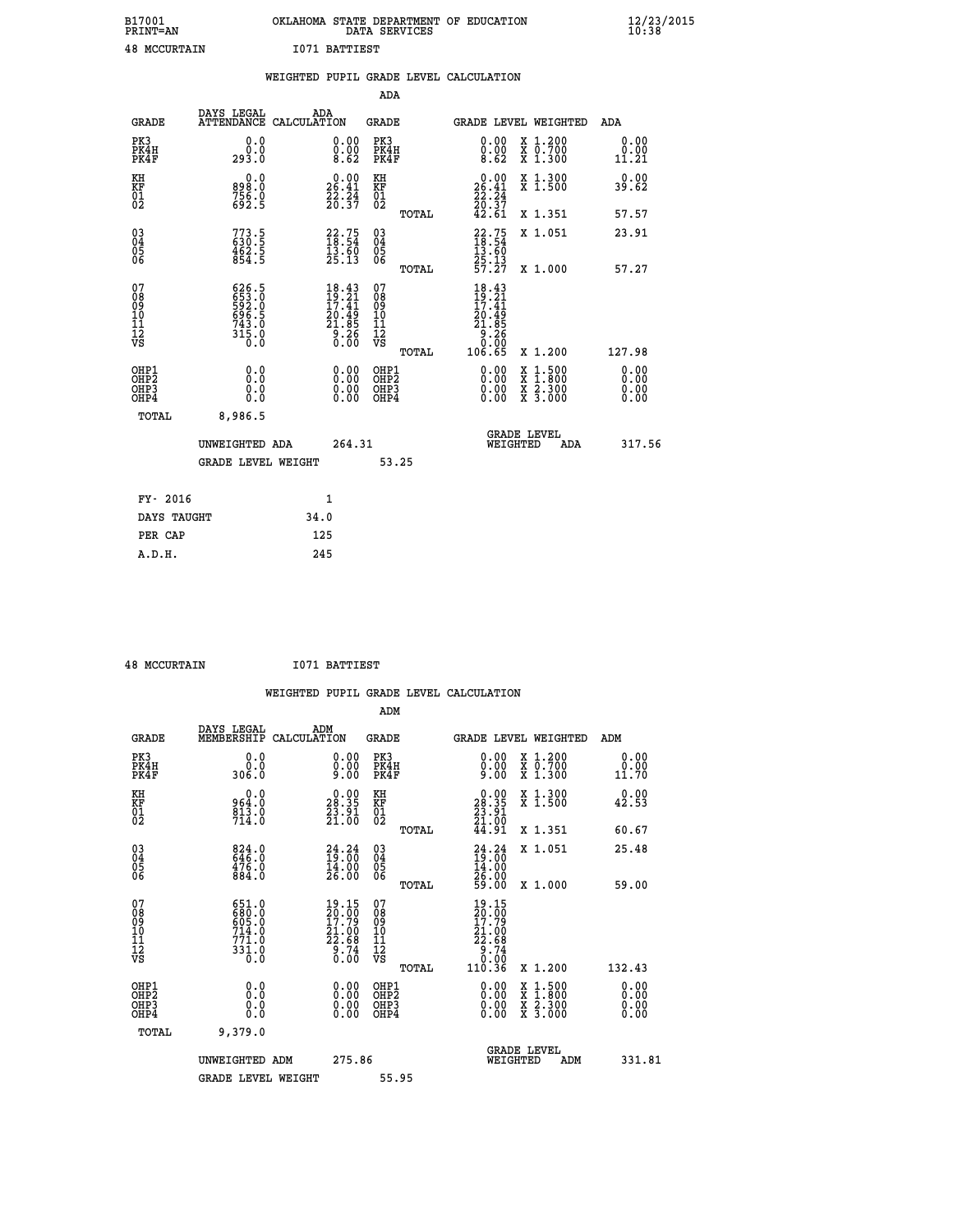| B17001<br>PRINT=AN  | . STATE DEPARTMENT OF EDUCATION<br>OKLAHOMA<br>DATA SERVICES | $\frac{12}{23}$ /2015 |
|---------------------|--------------------------------------------------------------|-----------------------|
| <b>48 MCCURTAIN</b> | 1071 BATTIEST                                                |                       |

|                                                      |             |                                                             |      |                                                                                                   |                                                      |       | WEIGHTED PUPIL GRADE LEVEL CALCULATION                                 |                                          |                               |
|------------------------------------------------------|-------------|-------------------------------------------------------------|------|---------------------------------------------------------------------------------------------------|------------------------------------------------------|-------|------------------------------------------------------------------------|------------------------------------------|-------------------------------|
|                                                      |             |                                                             |      |                                                                                                   | <b>ADA</b>                                           |       |                                                                        |                                          |                               |
| <b>GRADE</b>                                         |             | DAYS LEGAL<br>ATTENDANCE CALCULATION                        |      | ADA                                                                                               | GRADE                                                |       |                                                                        | GRADE LEVEL WEIGHTED                     | ADA                           |
| PK3<br>PK4H<br>PK4F                                  |             | 0.0<br>0.0<br>293.0                                         |      | 0.00<br>0.00<br>8.62                                                                              | PK3<br>PK4H<br>PK4F                                  |       | 0.00<br>0.00<br>8.62                                                   | X 1.200<br>X 0.700<br>X 1.300            | 0.00<br>0.00<br>11.21         |
| KH<br>KF<br>01<br>02                                 |             | 0.0<br>898.0<br>$756.0$<br>692.5                            |      | $26.00$<br>26.41<br>$\frac{22.24}{20.37}$                                                         | KH<br>KF<br>01<br>02                                 |       | 0.00<br>$26.41$<br>$22.24$<br>$20.37$<br>$42.61$                       | X 1.300<br>X 1.500                       | 0.00<br>39.62                 |
|                                                      |             |                                                             |      |                                                                                                   |                                                      | TOTAL |                                                                        | X 1.351                                  | 57.57                         |
| 03<br>04<br>05<br>06                                 |             | $773.5$<br>$630.5$<br>$462.5$<br>$854.5$                    |      | $\begin{smallmatrix} 22.75\ 18.54\ 13.60\ 25.13 \end{smallmatrix}$                                | $\substack{03 \\ 04}$<br>Ŏ5<br>06                    |       | $\frac{22.75}{18.54}$<br>$\frac{13.60}{13.60}$                         | X 1.051                                  | 23.91                         |
|                                                      |             |                                                             |      |                                                                                                   |                                                      | TOTAL | $\frac{25}{57}$ $\frac{13}{27}$                                        | X 1.000                                  | 57.27                         |
| 07<br>08<br>09<br>11<br>11<br>12<br>VS               |             | 626.5<br>653.0<br>592.0<br>596.5<br>696.5<br>743.0<br>315.0 |      | $\begin{smallmatrix} 18.43 \\ 19.21 \\ 17.41 \\ 20.49 \\ 21.85 \\ 9.26 \\ 0.00 \end{smallmatrix}$ | 07<br>08<br>09<br>101<br>11<br>12<br>VS              | TOTAL | 18.43<br>$19.21$<br>$17.41$<br>$20.49$<br>$21.85$<br>$9.260$<br>106.65 | X 1.200                                  | 127.98                        |
| OHP1<br>OH <sub>P</sub> <sub>2</sub><br>OHP3<br>OHP4 |             | 0.0<br>0.0<br>0.0                                           |      | $\begin{smallmatrix} 0.00 \ 0.00 \ 0.00 \ 0.00 \end{smallmatrix}$                                 | OHP1<br>OHP2<br>OHP <sub>3</sub><br>OHP <sub>4</sub> |       |                                                                        | X 1:500<br>X 1:800<br>X 2:300<br>X 3:000 | 0.00<br>Ō. ŌŌ<br>0.00<br>0.00 |
|                                                      | TOTAL       | 8,986.5                                                     |      |                                                                                                   |                                                      |       |                                                                        |                                          |                               |
|                                                      |             | UNWEIGHTED ADA                                              |      | 264.31                                                                                            |                                                      |       | WEIGHTED                                                               | <b>GRADE LEVEL</b><br>ADA                | 317.56                        |
|                                                      |             | <b>GRADE LEVEL WEIGHT</b>                                   |      |                                                                                                   |                                                      | 53.25 |                                                                        |                                          |                               |
|                                                      | FY- 2016    |                                                             |      | $\mathbf{1}$                                                                                      |                                                      |       |                                                                        |                                          |                               |
|                                                      | DAYS TAUGHT |                                                             | 34.0 |                                                                                                   |                                                      |       |                                                                        |                                          |                               |
|                                                      | PER CAP     |                                                             | 125  |                                                                                                   |                                                      |       |                                                                        |                                          |                               |

| $10$ MCCITOMATN |
|-----------------|

 **48 MCCURTAIN I071 BATTIEST**

|                                                      |                                                                      |                                                                                          | WEIGHTED PUPIL GRADE LEVEL CALCULATION       |                                                                                            |                                                                        |                              |
|------------------------------------------------------|----------------------------------------------------------------------|------------------------------------------------------------------------------------------|----------------------------------------------|--------------------------------------------------------------------------------------------|------------------------------------------------------------------------|------------------------------|
|                                                      |                                                                      |                                                                                          | ADM                                          |                                                                                            |                                                                        |                              |
| <b>GRADE</b>                                         | DAYS LEGAL<br>MEMBERSHIP                                             | ADM<br>CALCULATION                                                                       | <b>GRADE</b>                                 | GRADE LEVEL WEIGHTED                                                                       |                                                                        | ADM                          |
| PK3<br>PK4H<br>PK4F                                  | 0.0<br>0.0<br>306.0                                                  | $\begin{smallmatrix} 0.00 \ 0.00 \ 9.00 \end{smallmatrix}$                               | PK3<br>PK4H<br>PK4F                          | $0.00\n0.00\n9.00$                                                                         | X 1.200<br>X 0.700<br>X 1.300                                          | 0.00<br>0.00<br>11.70        |
| KH<br>KF<br>01<br>02                                 | 0.0<br>964:0<br>813:0<br>714:0                                       | $\begin{smallmatrix} 0.00\\ 28.35\\ 23.91\\ 21.00 \end{smallmatrix}$                     | KH<br>KF<br>01<br>02                         | $\begin{smallmatrix} 0.00\\ 28.35\\ 23.91\\ 21.00\\ 44.91 \end{smallmatrix}$               | X 1.300<br>X 1.500                                                     | 0.00<br>42.53                |
|                                                      |                                                                      |                                                                                          | TOTAL                                        |                                                                                            | X 1.351                                                                | 60.67                        |
| $\begin{matrix} 03 \\ 04 \\ 05 \\ 06 \end{matrix}$   | $824.0$<br>646.0<br>476.0<br>884.0                                   | $24.24$<br>$19.00$<br>$14.00$<br>$26.00$                                                 | 03<br>04<br>05<br>06                         | $24.24$<br>$19.00$<br>$14.00$<br>$26.00$<br>$59.00$                                        | X 1.051                                                                | 25.48                        |
|                                                      |                                                                      |                                                                                          | TOTAL                                        |                                                                                            | $X_1.000$                                                              | 59.00                        |
| 07<br>08<br>09<br>01<br>11<br>11<br>12<br>VS         | 651.0<br>680.0<br>605.0<br>714.0<br>771.0<br>$33\overline{1}\cdot 0$ | 19.15<br>$\begin{smallmatrix} 20.100\\17.79\\21.00\\22.68\\9.74\\0.00 \end{smallmatrix}$ | 07<br>08<br>09<br>01<br>11<br>11<br>12<br>VS | 19.15<br>$\begin{array}{r} 20.008 \\ 17.79 \\ 21.008 \\ 22.68 \\ 9.74 \\ 0.00 \end{array}$ |                                                                        |                              |
|                                                      |                                                                      |                                                                                          | TOTAL                                        | 110.36                                                                                     | X 1.200                                                                | 132.43                       |
| OHP1<br>OHP2<br>OH <sub>P3</sub><br>OH <sub>P4</sub> | 0.0<br>0.000                                                         | 0.00<br>0.00<br>0.00                                                                     | OHP1<br>OHP2<br>OHP3<br>OHP4                 | $0.00$<br>$0.00$<br>0.00                                                                   | $\frac{x}{x}$ $\frac{1.500}{x}$<br>$\frac{x}{x}$ $\frac{5:300}{3:000}$ | 0.00<br>0.00<br>0.00<br>0.00 |
| TOTAL                                                | 9,379.0                                                              |                                                                                          |                                              |                                                                                            |                                                                        |                              |
|                                                      | UNWEIGHTED ADM                                                       | 275.86                                                                                   |                                              | <b>GRADE LEVEL</b><br>WEIGHTED                                                             | ADM                                                                    | 331.81                       |
|                                                      | <b>GRADE LEVEL WEIGHT</b>                                            |                                                                                          | 55.95                                        |                                                                                            |                                                                        |                              |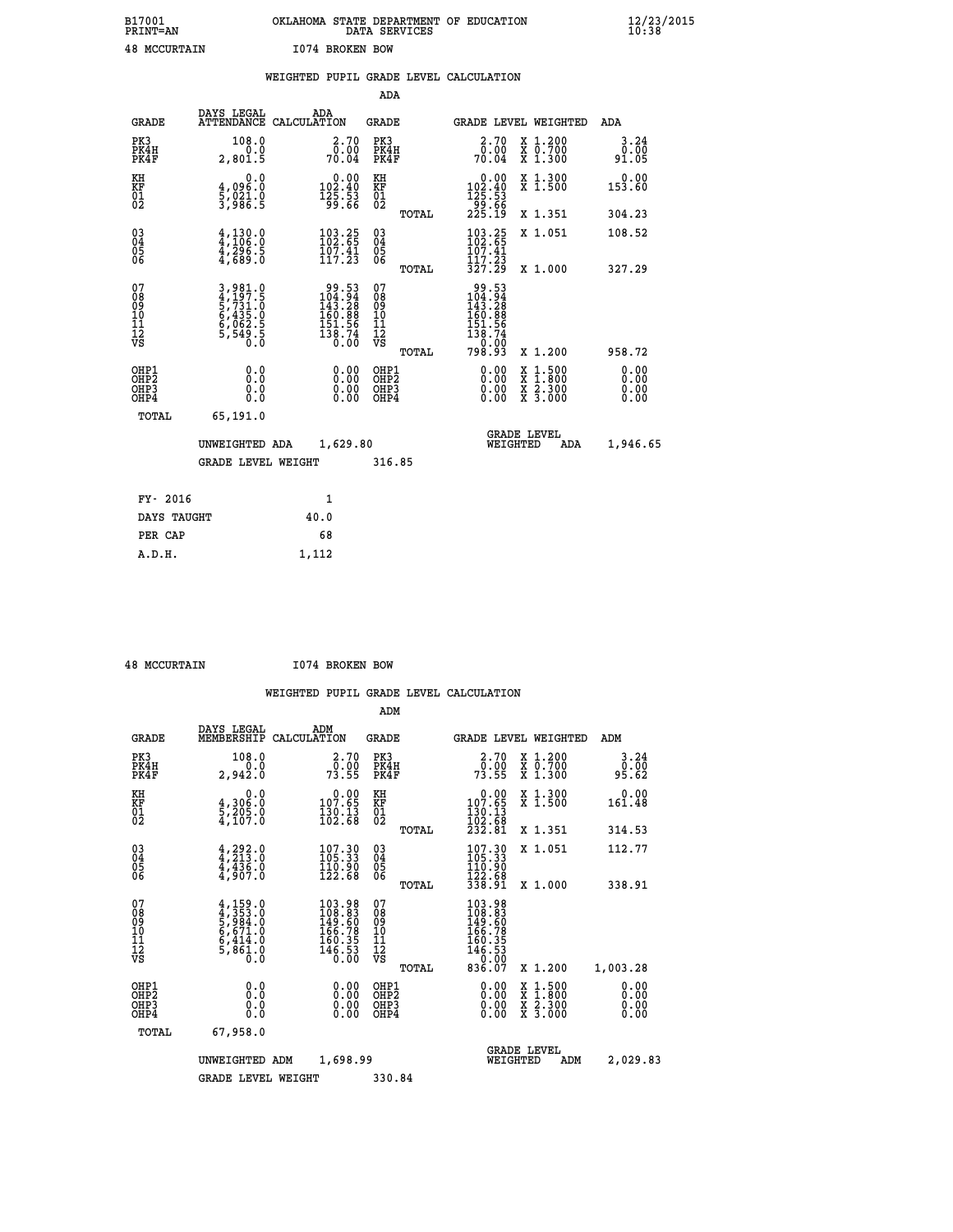| B17001<br><b>PRINT=AN</b> | OKLAHOMA STATE DEPARTMENT OF EDUCATION<br>DATA SERVICES | $\frac{12}{23}$ /2015 |
|---------------------------|---------------------------------------------------------|-----------------------|
| <b>48 MCCURTAIN</b>       | 1074 BROKEN BOW                                         |                       |

|                                                                    |                                                                | WEIGHTED PUPIL GRADE LEVEL CALCULATION                                                                               |                                                     |       |                                                                          |                                          |                              |
|--------------------------------------------------------------------|----------------------------------------------------------------|----------------------------------------------------------------------------------------------------------------------|-----------------------------------------------------|-------|--------------------------------------------------------------------------|------------------------------------------|------------------------------|
|                                                                    |                                                                |                                                                                                                      | <b>ADA</b>                                          |       |                                                                          |                                          |                              |
| <b>GRADE</b>                                                       | DAYS LEGAL                                                     | ADA<br>ATTENDANCE CALCULATION                                                                                        | <b>GRADE</b>                                        |       |                                                                          | GRADE LEVEL WEIGHTED                     | <b>ADA</b>                   |
| PK3<br>PK4H<br>PK4F                                                | 108.0<br>2,801.5                                               | $\begin{smallmatrix} 2.70\0.00\\70.04\end{smallmatrix}$                                                              | PK3<br>PK4H<br>PK4F                                 |       | $\begin{smallmatrix} 2.70\0.00\\70.04\end{smallmatrix}$                  | X 1.200<br>X 0.700<br>X 1.300            | 3.24<br>$0.00$<br>91.05      |
| KH<br>KF<br>01<br>02                                               | 0.0<br>4,096:0<br>5,021.0<br>3,986:5                           | $\begin{smallmatrix}&&0\,1\,0\,2\,.\,4\,0\,\\1\,0\,2\,.\,4\,0\,\\1\,2\,5\,.\,5\,3\,\\9\,9\,.\,6\,6\end{smallmatrix}$ | KH<br>KF<br>01<br>02                                |       | 0.00<br>$102.40$<br>$125.53$<br>$99.66$<br>$225.19$                      | X 1.300<br>X 1.500                       | 0.00<br>153.60               |
|                                                                    |                                                                |                                                                                                                      |                                                     | TOTAL |                                                                          | X 1.351                                  | 304.23                       |
| $\begin{smallmatrix} 03 \\[-4pt] 04 \end{smallmatrix}$<br>Ŏ5<br>06 | $4,130.0$<br>$4,296.5$<br>$4,296.5$<br>$4,689.0$               | $\begin{smallmatrix} 103.25\\ 102.65\\ 107.41\\ 117.23 \end{smallmatrix}$                                            | $\begin{array}{c} 03 \\ 04 \\ 05 \\ 06 \end{array}$ |       | $103.25$<br>$102.65$<br>$107.41$<br>$117.23$                             | X 1.051                                  | 108.52                       |
|                                                                    |                                                                |                                                                                                                      |                                                     | TOTAL | 327.29                                                                   | X 1.000                                  | 327.29                       |
| 07<br>0890112<br>1112<br>VS                                        | 3,981.0<br>4,197.5<br>5,731.0<br>6,435.0<br>6,062.5<br>5,549.5 | $\begin{array}{r} 99.53 \\ 104.94 \\ 143.28 \\ 160.88 \\ 151.56 \\ 151.56 \\ 138.74 \\ 0.00 \end{array}$             | 07<br>08<br>09<br>01<br>11<br>11<br>12<br>VS        | TOTAL | 99.53<br>104.94<br>143.28<br>160.88<br>$\frac{151.56}{138.74}$<br>798.93 | X 1.200                                  | 958.72                       |
| OHP1<br>OHP2<br>OH <sub>P3</sub><br>OHP4                           | 0.0<br>0.0<br>0.0                                              | $\begin{smallmatrix} 0.00 \ 0.00 \ 0.00 \ 0.00 \end{smallmatrix}$                                                    | OHP1<br>OHP2<br>OHP3<br>OHP4                        |       | 0.00<br>0.00<br>0.00                                                     | X 1:500<br>X 1:800<br>X 2:300<br>X 3:000 | 0.00<br>0.00<br>0.00<br>0.00 |
| <b>TOTAL</b>                                                       | 65,191.0                                                       |                                                                                                                      |                                                     |       |                                                                          |                                          |                              |
|                                                                    | UNWEIGHTED ADA                                                 | 1,629.80                                                                                                             |                                                     |       | WEIGHTED                                                                 | <b>GRADE LEVEL</b><br>ADA                | 1,946.65                     |
|                                                                    | <b>GRADE LEVEL WEIGHT</b>                                      |                                                                                                                      | 316.85                                              |       |                                                                          |                                          |                              |
| FY- 2016                                                           |                                                                | $\mathbf{1}$                                                                                                         |                                                     |       |                                                                          |                                          |                              |
| DAYS TAUGHT                                                        |                                                                | 40.0                                                                                                                 |                                                     |       |                                                                          |                                          |                              |
| PER CAP                                                            |                                                                | 68                                                                                                                   |                                                     |       |                                                                          |                                          |                              |

| 48 MCCURTAIN |
|--------------|
|              |

 **A.D.H. 1,112**

 **48 MCCURTAIN I074 BROKEN BOW**

|                                          |                                                                                     |                                                                                                                                       | ADM                                                 |                                                                                              |                                          |                              |
|------------------------------------------|-------------------------------------------------------------------------------------|---------------------------------------------------------------------------------------------------------------------------------------|-----------------------------------------------------|----------------------------------------------------------------------------------------------|------------------------------------------|------------------------------|
| <b>GRADE</b>                             | DAYS LEGAL<br>MEMBERSHIP                                                            | ADM<br>CALCULATION                                                                                                                    | <b>GRADE</b>                                        | GRADE LEVEL WEIGHTED                                                                         |                                          | ADM                          |
| PK3<br>PK4H<br>PK4F                      | 108.0<br>0.0<br>2,942.0                                                             | 2.70<br>_0:00<br>73.55                                                                                                                | PK3<br>PK4H<br>PK4F                                 | $\begin{smallmatrix} 2.70 \\ 0.00 \\ 73.55 \end{smallmatrix}$                                | X 1.200<br>X 0.700<br>X 1.300            | 3.24<br>ōō.ōō<br>95.62       |
| KH<br>KF<br>01<br>02                     | 0.0<br>$\frac{4}{5}, \frac{306}{205}$ .0<br>4,107.0                                 | $\begin{smallmatrix} &0.00\\ 107.65\\ 130.13\\ 102.68\end{smallmatrix}$                                                               | KH<br>KF<br>01<br>02                                | $\begin{smallmatrix}&&0.00\\107.65\\130.13\\102.68\\232.81\end{smallmatrix}$                 | X 1.300<br>X 1.500                       | 0.00<br>161.48               |
|                                          |                                                                                     |                                                                                                                                       | TOTAL                                               |                                                                                              | X 1.351                                  | 314.53                       |
| 03<br>04<br>05<br>06                     | $4,292.0$<br>$4,213.0$<br>$4,436.0$<br>$4,907.0$                                    | 107.30<br>105.33<br>$\frac{110.90}{122.68}$                                                                                           | $\begin{array}{c} 03 \\ 04 \\ 05 \\ 06 \end{array}$ | $107.30$<br>$105.33$<br>$110.90$<br>$122.68$<br>$338.91$                                     | X 1.051                                  | 112.77                       |
|                                          |                                                                                     |                                                                                                                                       | TOTAL                                               |                                                                                              | X 1.000                                  | 338.91                       |
| 07<br>08<br>09<br>101<br>11<br>12<br>VS  | $4,159.0$<br>$4,353.0$<br>$5,984.0$<br>$6,671.0$<br>$6,414.0$<br>$5,861.0$<br>$0.0$ | $\begin{smallmatrix} 103\cdot 98\\ 108\cdot 83\\ 149\cdot 60\\ 166\cdot 78\\ 160\cdot 35\\ 146\cdot 53\\ 0\cdot 00 \end{smallmatrix}$ | 07<br>08<br>09<br>11<br>11<br>12<br>VS<br>TOTAL     | $103.98$<br>$108.83$<br>$149.60$<br>$166.785$<br>$160.353$<br>$146.530$<br>$0.007$<br>836.07 | X 1.200                                  | 1,003.28                     |
| OHP1<br>OHP2<br>OH <sub>P3</sub><br>OHP4 | 0.0<br>0.000                                                                        | $0.00$<br>$0.00$<br>0.00                                                                                                              | OHP1<br>OHP2<br>OHP <sub>3</sub>                    | $0.00$<br>$0.00$<br>0.00                                                                     | X 1:500<br>X 1:800<br>X 2:300<br>X 3:000 | 0.00<br>0.00<br>0.00<br>0.00 |
| TOTAL                                    | 67,958.0                                                                            |                                                                                                                                       |                                                     |                                                                                              |                                          |                              |
|                                          | UNWEIGHTED                                                                          | 1,698.99<br>ADM                                                                                                                       |                                                     | <b>GRADE LEVEL</b><br>WEIGHTED                                                               | ADM                                      | 2,029.83                     |
|                                          | <b>GRADE LEVEL WEIGHT</b>                                                           |                                                                                                                                       | 330.84                                              |                                                                                              |                                          |                              |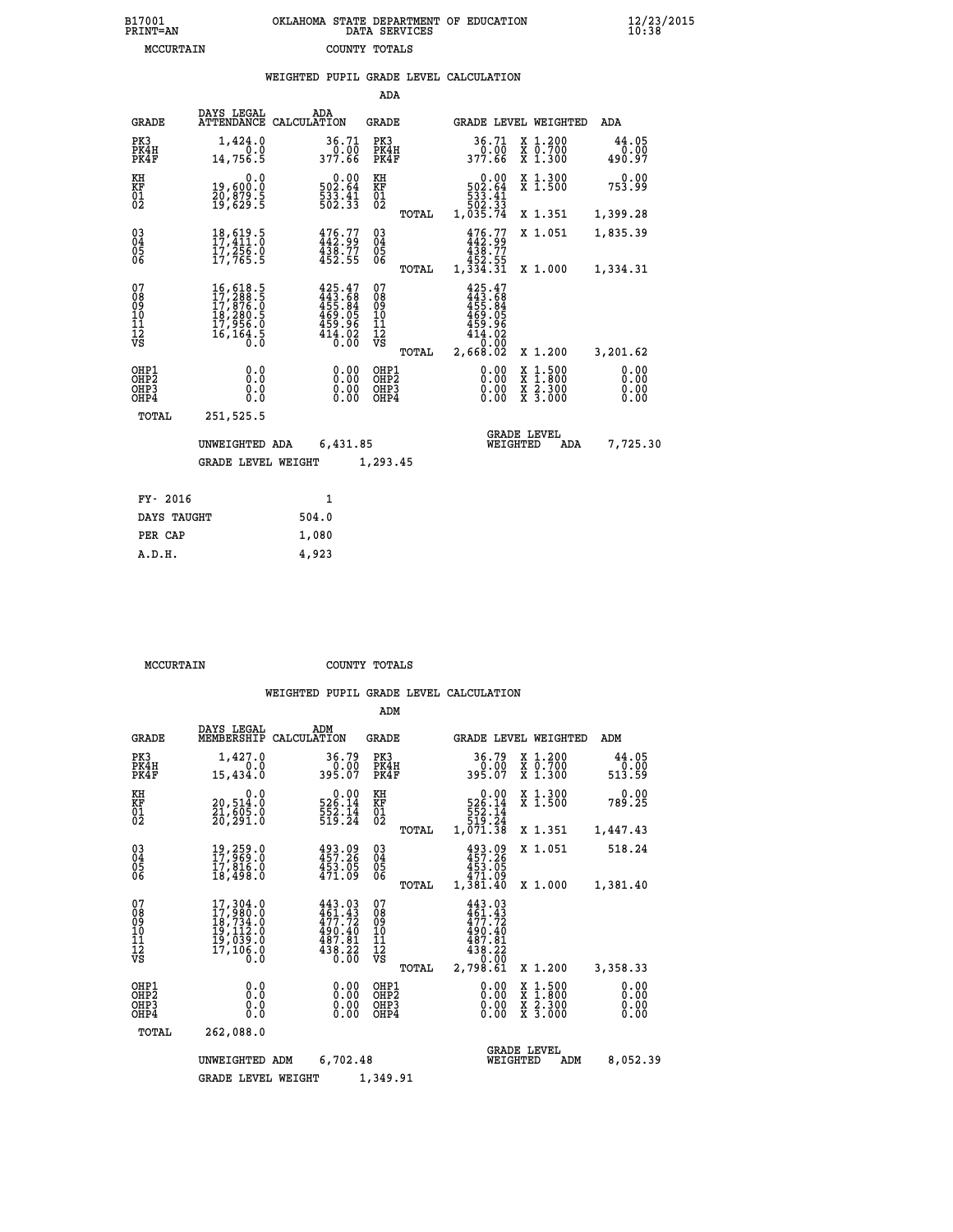| B17001          | OKLAHOMA STATE DEPARTMENT OF EDUCATION |
|-----------------|----------------------------------------|
| <b>PRINT=AN</b> | DATA SERVICES                          |
| MCCURTAIN       | COUNTY TOTALS                          |

|                                                                    |                                                                                                                                                                                                                                  | WEIGHTED PUPIL GRADE LEVEL CALCULATION                                         |                                          |       |                                                                                              |                                                  |                              |
|--------------------------------------------------------------------|----------------------------------------------------------------------------------------------------------------------------------------------------------------------------------------------------------------------------------|--------------------------------------------------------------------------------|------------------------------------------|-------|----------------------------------------------------------------------------------------------|--------------------------------------------------|------------------------------|
|                                                                    |                                                                                                                                                                                                                                  |                                                                                | ADA                                      |       |                                                                                              |                                                  |                              |
| <b>GRADE</b>                                                       | DAYS LEGAL                                                                                                                                                                                                                       | ADA<br>ATTENDANCE CALCULATION                                                  | <b>GRADE</b>                             |       |                                                                                              | GRADE LEVEL WEIGHTED                             | ADA                          |
| PK3<br>PK4H<br>PK4F                                                | 1,424.0<br>0.0<br>14,756.5                                                                                                                                                                                                       | 36.71<br>_0.00<br>377.66                                                       | PK3<br>PK4H<br>PK4F                      |       | 36.71                                                                                        | X 1.200<br>X 0.700<br>X 1.300                    | 44.05<br>0.00<br>490.97      |
| KH<br>KF<br>01<br>02                                               | 0.0<br>19,600.0<br>20,879.5<br>19,629.5                                                                                                                                                                                          | $\begin{array}{c} 0.00\\ 502.64\\ 533.41\\ 502.33 \end{array}$                 | KH<br>KF<br>01<br>02                     |       | $\begin{smallmatrix}&&0.00\\502.64\\533.41\\533.41\\502.33\\1,035.74\end{smallmatrix}$       | X 1.300<br>X 1.500                               | $0.00$<br>753.99             |
|                                                                    |                                                                                                                                                                                                                                  |                                                                                |                                          | TOTAL |                                                                                              | X 1.351                                          | 1,399.28                     |
| $\begin{smallmatrix} 03 \\[-4pt] 04 \end{smallmatrix}$<br>Ŏ5<br>06 | 18,619.5<br>17,411:0<br>17,256.0<br>17,765.5                                                                                                                                                                                     | 476.77<br>442.99<br>$438.77$<br>$452.55$                                       | $\substack{03 \\ 04}$<br>$\frac{05}{06}$ |       | 476.77<br>438.77                                                                             | X 1.051                                          | 1,835.39                     |
|                                                                    |                                                                                                                                                                                                                                  |                                                                                |                                          | TOTAL | 452.55<br>1,334.31                                                                           | X 1.000                                          | 1,334.31                     |
| 07<br>08<br>09<br>11<br>11<br>12<br>VS                             | $\begin{smallmatrix} 16 \, , \, 618 \, . \, 5 \\ 17 \, , \, 288 \, . \, . \, 5 \\ 17 \, , \, 876 \, . \, 0 \\ 18 \, , \, 280 \, . \, 5 \\ 17 \, , \, 956 \, . \, 0 \\ 16 \, , \, 164 \, . \, 5 \\ 0 \, . \, 0 \end{smallmatrix}$ | $425.47$<br>$443.68$<br>$455.84$<br>$469.05$<br>$459.96$<br>$414.02$<br>$0.00$ | 07<br>08<br>09<br>11<br>11<br>12<br>VS   | TOTAL | $425.47$<br>$443.68$<br>$455.84$<br>$469.05$<br>$459.96$<br>$414.02$<br>$0.00$<br>$2,668.02$ | X 1.200                                          | 3,201.62                     |
| OHP1<br>OH <sub>P</sub> <sub>2</sub><br>OHP3<br>OHP4               | 0.0<br>0.0<br>0.0                                                                                                                                                                                                                | 0.00<br>$\begin{smallmatrix} 0.00 \ 0.00 \end{smallmatrix}$                    | OHP1<br>OHP2<br>OHP3<br>OHP4             |       | 0.00<br>0.00<br>0.00                                                                         | $1:500$<br>1:800<br>X<br>X<br>X 2.300<br>X 3.000 | 0.00<br>0.00<br>0.00<br>0.00 |
| <b>TOTAL</b>                                                       | 251,525.5                                                                                                                                                                                                                        |                                                                                |                                          |       |                                                                                              |                                                  |                              |
|                                                                    | UNWEIGHTED ADA                                                                                                                                                                                                                   | 6,431.85                                                                       |                                          |       | WEIGHTED                                                                                     | <b>GRADE LEVEL</b><br>ADA                        | 7,725.30                     |
|                                                                    | <b>GRADE LEVEL WEIGHT</b>                                                                                                                                                                                                        |                                                                                | 1,293.45                                 |       |                                                                                              |                                                  |                              |
| FY- 2016                                                           |                                                                                                                                                                                                                                  | 1                                                                              |                                          |       |                                                                                              |                                                  |                              |
| DAYS TAUGHT                                                        |                                                                                                                                                                                                                                  | 504.0                                                                          |                                          |       |                                                                                              |                                                  |                              |
| PER CAP                                                            |                                                                                                                                                                                                                                  | 1,080                                                                          |                                          |       |                                                                                              |                                                  |                              |

 **MCCURTAIN COUNTY TOTALS**

 **A.D.H. 4,923**

|                                                       |                                                                                                             |                                                                                                                      | ADM                                              |                                                                                                                |                                                                                                  |                              |
|-------------------------------------------------------|-------------------------------------------------------------------------------------------------------------|----------------------------------------------------------------------------------------------------------------------|--------------------------------------------------|----------------------------------------------------------------------------------------------------------------|--------------------------------------------------------------------------------------------------|------------------------------|
| <b>GRADE</b>                                          | DAYS LEGAL<br>MEMBERSHIP                                                                                    | ADM<br>CALCULATION                                                                                                   | <b>GRADE</b>                                     | GRADE LEVEL WEIGHTED                                                                                           |                                                                                                  | ADM                          |
| PK3<br>PK4H<br>PK4F                                   | 1,427.0<br>0.0<br>15,434.0                                                                                  | 36.79<br>0.00<br>395.07                                                                                              | PK3<br>PK4H<br>PK4F                              | 36.79<br>0.00<br>395.07                                                                                        | $\begin{array}{c} x & 1.200 \\ x & 0.700 \end{array}$<br>$X$ 1.300                               | 44.05<br>0.00<br>513.59      |
| KH<br>KF<br>01<br>02                                  | 0.0<br>20,514:0<br>21,605:0<br>20,291:0                                                                     | $\begin{array}{r} 0.00 \\ 526.14 \\ 552.14 \\ 519.24 \end{array}$                                                    | KH<br>KF<br>01<br>02                             | 0.00<br>526.14<br>552.14<br>519.24                                                                             | X 1.300<br>X 1.500                                                                               | 0.00<br>789.25               |
|                                                       |                                                                                                             |                                                                                                                      | TOTAL                                            | 1,071.38                                                                                                       | X 1.351                                                                                          | 1,447.43                     |
| 03<br>04<br>05<br>06                                  | 19,259.0<br>17,969.0<br>17,816.0<br>18,498.0                                                                | 493.09<br>457.26<br>453.05<br>471.09                                                                                 | $\substack{03 \\ 04}$<br>0500                    | 493.09<br>457.26<br>453.05<br>471.09                                                                           | X 1.051                                                                                          | 518.24                       |
|                                                       |                                                                                                             |                                                                                                                      | TOTAL                                            | 1,381.40                                                                                                       | X 1.000                                                                                          | 1,381.40                     |
| 07<br>08<br>09<br>101<br>112<br>VS                    | 17,304.0<br>17,980.0<br>$\begin{smallmatrix} 16',734.0\\19,112.0\\19,039.0\\17,106.0\\0.0\end{smallmatrix}$ | 443.03<br>$\frac{1}{4}\overline{6}\overline{1}\cdot\overline{4}\overline{3}$<br>490.40<br>487.81<br>$438.22$<br>0.00 | 07<br>08<br>09<br>101<br>11<br>12<br>VS<br>TOTAL | 443.03<br>$\frac{4}{9}$ $\frac{51}{7}$ $\cdot \frac{43}{72}$<br>490.40<br>487.81<br>438.22<br>0.00<br>2,798.61 | X 1.200                                                                                          | 3,358.33                     |
| OHP1<br>OH <sub>P</sub> 2<br>OH <sub>P3</sub><br>OHP4 | 0.0<br>0.000                                                                                                | $0.00$<br>$0.00$<br>0.00                                                                                             | OHP1<br>OHP2<br>OHP3<br>OHP4                     | $0.00$<br>$0.00$<br>0.00                                                                                       | $\begin{smallmatrix} x & 1 & 500 \\ x & 1 & 800 \\ x & 2 & 300 \\ x & 3 & 000 \end{smallmatrix}$ | 0.00<br>0.00<br>0.00<br>0.00 |
| TOTAL                                                 | 262,088.0                                                                                                   |                                                                                                                      |                                                  |                                                                                                                |                                                                                                  |                              |
|                                                       | UNWEIGHTED ADM                                                                                              | 6,702.48                                                                                                             |                                                  | WEIGHTED                                                                                                       | <b>GRADE LEVEL</b><br>ADM                                                                        | 8,052.39                     |
|                                                       | <b>GRADE LEVEL WEIGHT</b>                                                                                   |                                                                                                                      | 1,349.91                                         |                                                                                                                |                                                                                                  |                              |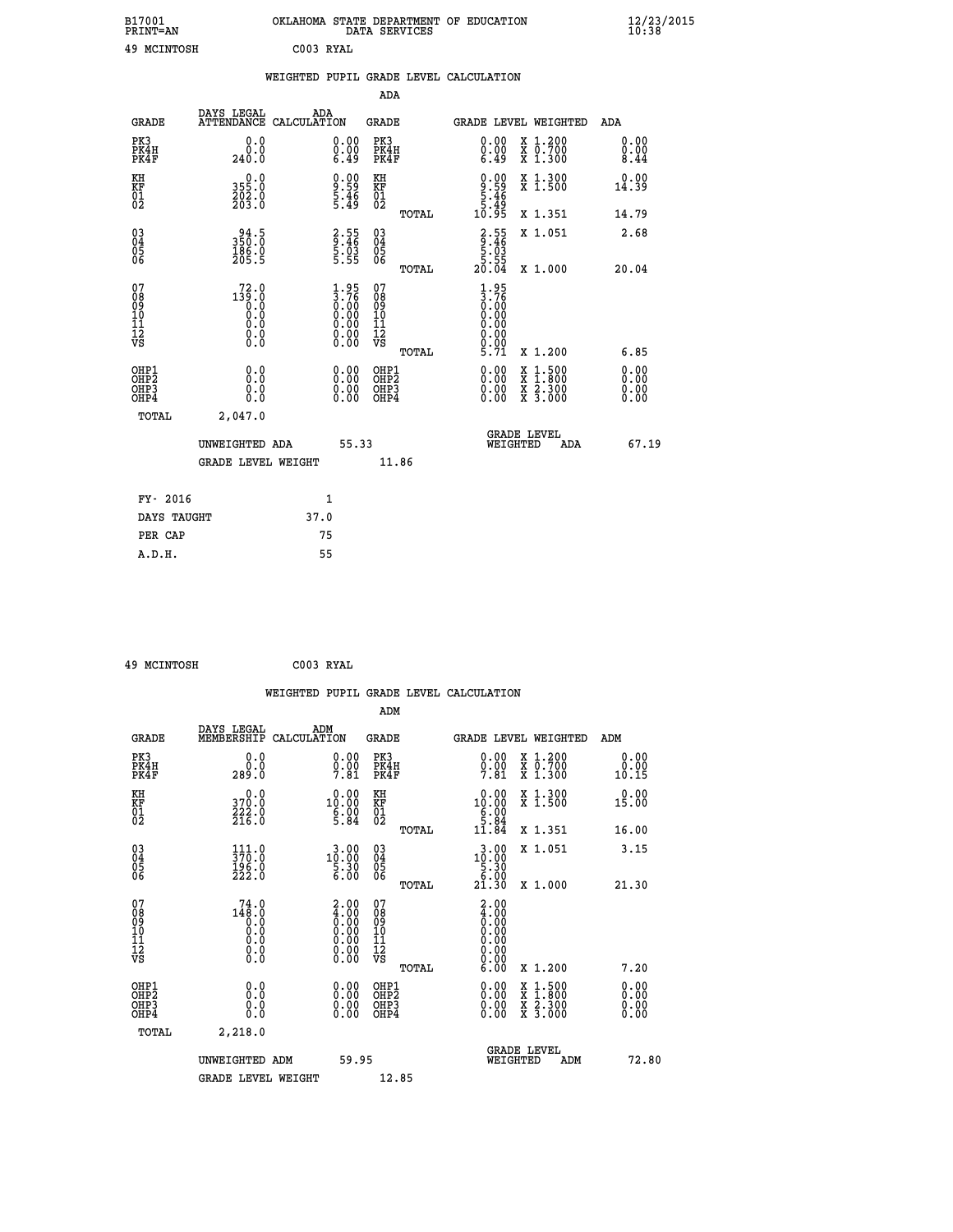| B17001          | OKLAHOMA STATE DEPARTMENT OF EDUCATION |
|-----------------|----------------------------------------|
| <b>PRINT=AN</b> | DATA SERVICES                          |
| 49 MCINTOSH     | C003 RYAL                              |

|                                          |                                                                                                 |      |                                                                              |                                                     |       | WEIGHTED PUPIL GRADE LEVEL CALCULATION                                                                                                                                                                                                                                         |                                          |                              |
|------------------------------------------|-------------------------------------------------------------------------------------------------|------|------------------------------------------------------------------------------|-----------------------------------------------------|-------|--------------------------------------------------------------------------------------------------------------------------------------------------------------------------------------------------------------------------------------------------------------------------------|------------------------------------------|------------------------------|
|                                          |                                                                                                 |      |                                                                              | <b>ADA</b>                                          |       |                                                                                                                                                                                                                                                                                |                                          |                              |
| <b>GRADE</b>                             | DAYS LEGAL<br>ATTENDANCE CALCULATION                                                            | ADA  |                                                                              | <b>GRADE</b>                                        |       |                                                                                                                                                                                                                                                                                | GRADE LEVEL WEIGHTED                     | <b>ADA</b>                   |
| PK3<br>PK4H<br>PK4F                      | 0.0<br>240.0                                                                                    |      | $\begin{smallmatrix} 0.00 \ 0.00 \ 6.49 \end{smallmatrix}$                   | PK3<br>PK4H<br>PK4F                                 |       | $\begin{smallmatrix} 0.00 \ 0.00 \ 6.49 \end{smallmatrix}$                                                                                                                                                                                                                     | X 1.200<br>X 0.700<br>X 1.300            | 0.00<br>$\frac{0.00}{8.44}$  |
| KH<br>KF<br>01<br>02                     | 0.0<br>355:0<br>202:0<br>203:0                                                                  |      | $\frac{9.00}{5.46}$<br>5.46                                                  | KH<br>KF<br>01<br>02                                |       | $0.00$<br>$9.59$<br>$5.46$<br>$5.49$<br>$10.95$                                                                                                                                                                                                                                | X 1.300<br>X 1.500                       | 0.00<br>14.39                |
|                                          |                                                                                                 |      |                                                                              |                                                     | TOTAL |                                                                                                                                                                                                                                                                                | X 1.351                                  | 14.79                        |
| 03<br>04<br>05<br>06                     | 94.5<br>350.0<br>186.0<br>205.5                                                                 |      | $\begin{array}{c} 2.55 \\ 9.46 \\ 5.03 \\ 5.55 \end{array}$                  | $\begin{array}{c} 03 \\ 04 \\ 05 \\ 06 \end{array}$ |       | $\begin{array}{r} 2.55 \\ 9.46 \\ 5.03 \\ 5.55 \\ 20.04 \end{array}$                                                                                                                                                                                                           | X 1.051                                  | 2.68                         |
|                                          |                                                                                                 |      |                                                                              |                                                     | TOTAL |                                                                                                                                                                                                                                                                                | X 1.000                                  | 20.04                        |
| 07<br>0890112<br>1112<br>VS              | $\begin{smallmatrix} 72.0 \\ 139.0 \\ 0.0 \\ 0.0 \\ 0.0 \\ 0.0 \\ 0.0 \\ 0.0 \end{smallmatrix}$ |      | $1.95$<br>$3.76$<br>$0.00$<br>$0.00$<br>$0.00$<br>$0.00$<br>$0.00$<br>$0.00$ | 07<br>08<br>09<br>001<br>11<br>11<br>12<br>VS       | TOTAL | $1.95$<br>$3.76$<br>$0.00$<br>$0.00$<br>0.00<br>0.00<br>5.71                                                                                                                                                                                                                   | X 1.200                                  | 6.85                         |
| OHP1<br>OHP2<br>OH <sub>P3</sub><br>OHP4 | 0.0<br>0.0<br>0.0                                                                               |      | $\begin{smallmatrix} 0.00 \ 0.00 \ 0.00 \ 0.00 \end{smallmatrix}$            | OHP1<br>OHP2<br>OHP3<br>OHP4                        |       | $\begin{smallmatrix} 0.00 & 0.00 & 0.00 & 0.00 & 0.00 & 0.00 & 0.00 & 0.00 & 0.00 & 0.00 & 0.00 & 0.00 & 0.00 & 0.00 & 0.00 & 0.00 & 0.00 & 0.00 & 0.00 & 0.00 & 0.00 & 0.00 & 0.00 & 0.00 & 0.00 & 0.00 & 0.00 & 0.00 & 0.00 & 0.00 & 0.00 & 0.00 & 0.00 & 0.00 & 0.00 & 0.0$ | X 1:500<br>X 1:800<br>X 2:300<br>X 3:000 | 0.00<br>0.00<br>0.00<br>0.00 |
| <b>TOTAL</b>                             | 2,047.0                                                                                         |      |                                                                              |                                                     |       |                                                                                                                                                                                                                                                                                |                                          |                              |
|                                          | UNWEIGHTED ADA                                                                                  |      | 55.33                                                                        |                                                     |       | WEIGHTED                                                                                                                                                                                                                                                                       | <b>GRADE LEVEL</b><br>ADA                | 67.19                        |
|                                          | <b>GRADE LEVEL WEIGHT</b>                                                                       |      |                                                                              |                                                     | 11.86 |                                                                                                                                                                                                                                                                                |                                          |                              |
| FY- 2016                                 |                                                                                                 |      | $\mathbf{1}$                                                                 |                                                     |       |                                                                                                                                                                                                                                                                                |                                          |                              |
| DAYS TAUGHT                              |                                                                                                 | 37.0 |                                                                              |                                                     |       |                                                                                                                                                                                                                                                                                |                                          |                              |
| PER CAP                                  |                                                                                                 |      | 75                                                                           |                                                     |       |                                                                                                                                                                                                                                                                                |                                          |                              |

| 49 MCINTOSH | C003 RYAL |  |
|-------------|-----------|--|

 **A.D.H. 55**

 **B17001<br>PRINT=AN** 

|                                                    |                                                                                                 | WEIGHTED PUPIL GRADE LEVEL CALCULATION                                                              |                                   |       |                                                                                                                                                                                                                                                                                |                                                                                                  |                              |
|----------------------------------------------------|-------------------------------------------------------------------------------------------------|-----------------------------------------------------------------------------------------------------|-----------------------------------|-------|--------------------------------------------------------------------------------------------------------------------------------------------------------------------------------------------------------------------------------------------------------------------------------|--------------------------------------------------------------------------------------------------|------------------------------|
|                                                    |                                                                                                 |                                                                                                     | ADM                               |       |                                                                                                                                                                                                                                                                                |                                                                                                  |                              |
| <b>GRADE</b>                                       | DAYS LEGAL<br>MEMBERSHIP                                                                        | ADM<br>CALCULATION                                                                                  | <b>GRADE</b>                      |       |                                                                                                                                                                                                                                                                                | <b>GRADE LEVEL WEIGHTED</b>                                                                      | ADM                          |
| PK3<br>PK4H<br>PK4F                                | 0.0<br>ة:ة<br>289:0                                                                             | $\substack{0.00\\0.00\\7.81}$                                                                       | PK3<br>PK4H<br>PK4F               |       | $\substack{0.00\\0.00\\7.81}$                                                                                                                                                                                                                                                  | X 1.200<br>X 0.700<br>X 1.300                                                                    | 0.00<br>0.00<br>10.15        |
| KH<br>KF<br>01<br>02                               | 0.0<br>370.0<br>222.0<br>216.0                                                                  | $10.00$<br>$6.00$<br>$6.00$<br>$5.84$                                                               | KH<br>KF<br>01<br>02              |       | $\begin{smallmatrix} 0.00\\ 10.00\\ 6.00\\ 5.84\\ 11.84 \end{smallmatrix}$                                                                                                                                                                                                     | X 1.300<br>X 1.500                                                                               | 0.00<br>15.00                |
|                                                    |                                                                                                 |                                                                                                     |                                   | TOTAL |                                                                                                                                                                                                                                                                                | X 1.351                                                                                          | 16.00                        |
| $\begin{matrix} 03 \\ 04 \\ 05 \\ 06 \end{matrix}$ | $\begin{smallmatrix} 111.0\\ 370.0\\ 196.0\\ 222.0 \end{smallmatrix}$                           | $\begin{smallmatrix} 3 & 0 & 0 \\ 1 & 0 & 0 \\ 5 & 3 & 0 \\ 6 & 0 & 0 \end{smallmatrix}$            | $\substack{03 \\ 04}$<br>Ŏ5<br>06 |       | $\begin{smallmatrix} 3\cdot 0 & 0\\ 1 & 0 & 0\\ 5 & 3 & 0\\ 6 & 0 & 0\\ 2 & 1 & 3 & 0 \end{smallmatrix}$                                                                                                                                                                       | X 1.051                                                                                          | 3.15                         |
|                                                    |                                                                                                 |                                                                                                     |                                   | TOTAL |                                                                                                                                                                                                                                                                                | X 1.000                                                                                          | 21.30                        |
| 07<br>08<br>09<br>101<br>11<br>12<br>VS            | $\begin{smallmatrix} 74.0 \\ 148.0 \\ 0.0 \\ 0.0 \\ 0.0 \\ 0.0 \\ 0.0 \\ 0.0 \end{smallmatrix}$ | $\begin{smallmatrix} 2.00\ 4.00\ 0.00\ 0.00\ 0.00\ 0.00\ 0.00\ 0.00\ 0.00\ 0.00\ \end{smallmatrix}$ | 07<br>08901112<br>1112<br>VS      |       | $\begin{smallmatrix} 2.00\ 4.00\ 0.00\ 0.00\ 0.00\ 0.00\ 0.00\ 0.00\ 0.00\ 0.00\ \end{smallmatrix}$                                                                                                                                                                            |                                                                                                  |                              |
|                                                    |                                                                                                 |                                                                                                     |                                   | TOTAL | 6.00                                                                                                                                                                                                                                                                           | X 1.200                                                                                          | 7.20                         |
| OHP1<br>OHP2<br>OH <sub>P3</sub><br>OHP4           | 0.0<br>0.000                                                                                    | $0.00$<br>$0.00$<br>0.00                                                                            | OHP1<br>OHP2<br>OHP3<br>OHP4      |       | $\begin{smallmatrix} 0.00 & 0.00 & 0.00 & 0.00 & 0.00 & 0.00 & 0.00 & 0.00 & 0.00 & 0.00 & 0.00 & 0.00 & 0.00 & 0.00 & 0.00 & 0.00 & 0.00 & 0.00 & 0.00 & 0.00 & 0.00 & 0.00 & 0.00 & 0.00 & 0.00 & 0.00 & 0.00 & 0.00 & 0.00 & 0.00 & 0.00 & 0.00 & 0.00 & 0.00 & 0.00 & 0.0$ | $\begin{smallmatrix} x & 1 & 500 \\ x & 1 & 800 \\ x & 2 & 300 \\ x & 3 & 000 \end{smallmatrix}$ | 0.00<br>0.00<br>0.00<br>0.00 |
| TOTAL                                              | 2,218.0                                                                                         |                                                                                                     |                                   |       |                                                                                                                                                                                                                                                                                |                                                                                                  |                              |
|                                                    | UNWEIGHTED ADM                                                                                  | 59.95                                                                                               |                                   |       | WEIGHTED                                                                                                                                                                                                                                                                       | <b>GRADE LEVEL</b><br>ADM                                                                        | 72.80                        |
|                                                    | <b>GRADE LEVEL WEIGHT</b>                                                                       |                                                                                                     | 12.85                             |       |                                                                                                                                                                                                                                                                                |                                                                                                  |                              |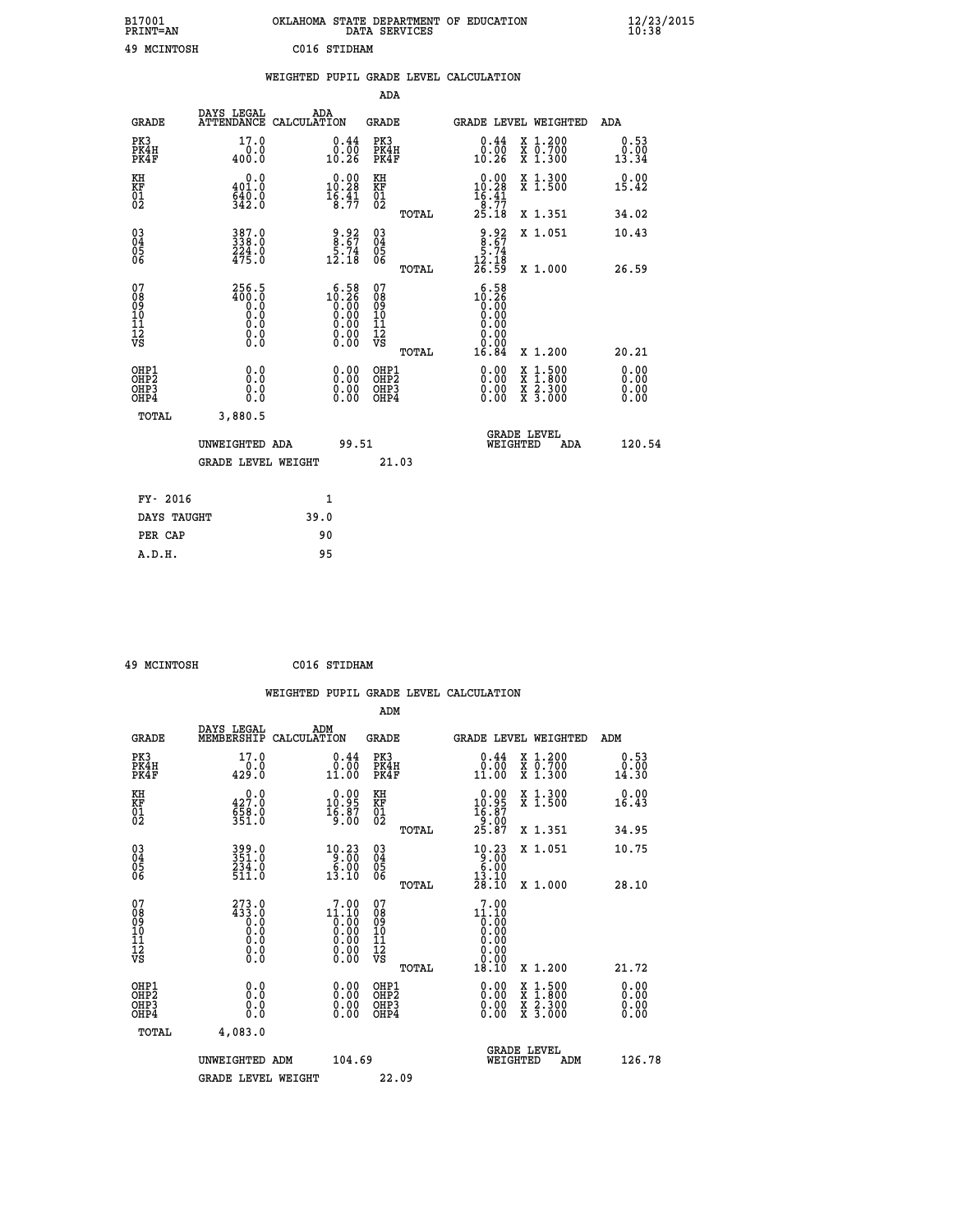| B17001<br><b>PRINT=AN</b> | OKLAHOMA<br>. STATE DEPARTMENT OF EDUCATION<br>DATA SERVICES | $\frac{12}{23}$ /2015 |
|---------------------------|--------------------------------------------------------------|-----------------------|
| 49<br>MCINTOSH            | C016 STIDHAM                                                 |                       |

|                                                    |                                                                                         |      |                                                                                                                                                                                                                                                                                                                                          |                                                     |       | WEIGHTED PUPIL GRADE LEVEL CALCULATION                                |                                                                                                                                           |                       |
|----------------------------------------------------|-----------------------------------------------------------------------------------------|------|------------------------------------------------------------------------------------------------------------------------------------------------------------------------------------------------------------------------------------------------------------------------------------------------------------------------------------------|-----------------------------------------------------|-------|-----------------------------------------------------------------------|-------------------------------------------------------------------------------------------------------------------------------------------|-----------------------|
|                                                    |                                                                                         |      |                                                                                                                                                                                                                                                                                                                                          | <b>ADA</b>                                          |       |                                                                       |                                                                                                                                           |                       |
| <b>GRADE</b>                                       | DAYS LEGAL ADA ATTENDANCE CALCULATION                                                   |      |                                                                                                                                                                                                                                                                                                                                          | <b>GRADE</b>                                        |       | GRADE LEVEL WEIGHTED                                                  |                                                                                                                                           | ADA                   |
| PK3<br>PK4H<br>PK4F                                | 17.0<br>0.0<br>400.0                                                                    |      | 0.44<br>0.00<br>10.26                                                                                                                                                                                                                                                                                                                    | PK3<br>PK4H<br>PK4F                                 |       | 0.44<br>0.00∔<br>10.26                                                | X 1.200<br>X 0.700<br>X 1.300                                                                                                             | 0.53<br>0.00<br>13.34 |
| KH<br>KF<br>01<br>02                               | 0.0<br>401.0<br>$\frac{640.0}{342.0}$                                                   |      | $0.00$<br>10.28<br>$\frac{16.41}{8.77}$                                                                                                                                                                                                                                                                                                  | KH<br>KF<br>01<br>02                                |       | 0.00<br>10.28<br>16.41                                                | X 1.300<br>X 1.500                                                                                                                        | 0.00<br>15.42         |
|                                                    |                                                                                         |      |                                                                                                                                                                                                                                                                                                                                          |                                                     | TOTAL | $\frac{18}{25}. \frac{77}{18}$                                        | X 1.351                                                                                                                                   | 34.02                 |
| $\begin{matrix} 03 \\ 04 \\ 05 \\ 06 \end{matrix}$ | 387.0<br>$224.0$<br>$475.0$                                                             |      | $\frac{9.92}{8.67}$<br>$\frac{5.74}{12.18}$                                                                                                                                                                                                                                                                                              | $\begin{array}{c} 03 \\ 04 \\ 05 \\ 06 \end{array}$ |       | $\begin{array}{r} 9.92 \\ 8.67 \\ 5.74 \\ 12.18 \\ 26.59 \end{array}$ | X 1.051                                                                                                                                   | 10.43                 |
|                                                    |                                                                                         |      |                                                                                                                                                                                                                                                                                                                                          |                                                     | TOTAL |                                                                       | X 1.000                                                                                                                                   | 26.59                 |
| 07<br>08<br>09<br>11<br>11<br>12<br>VS             | 256.5<br>0:00<br>0:0<br>0:0<br>$\begin{smallmatrix} 0.16 \ 0.0 \ 0.0 \end{smallmatrix}$ |      | $\begin{smallmatrix} 6 & 5 & 8 \\ 10 & 26 \\ 0 & 0 & 0 \\ 0 & 0 & 0 \\ 0 & 0 & 0 \\ 0 & 0 & 0 \\ 0 & 0 & 0 \\ 0 & 0 & 0 \\ 0 & 0 & 0 \\ 0 & 0 & 0 \\ 0 & 0 & 0 \\ 0 & 0 & 0 \\ 0 & 0 & 0 \\ 0 & 0 & 0 \\ 0 & 0 & 0 \\ 0 & 0 & 0 \\ 0 & 0 & 0 \\ 0 & 0 & 0 \\ 0 & 0 & 0 \\ 0 & 0 & 0 \\ 0 & 0 & 0 \\ 0 & 0 & 0 \\ 0 & 0 & 0 \\ 0 & 0 & 0$ | 07<br>08<br>09<br>10<br>11<br>12<br>VS              | TOTAL | 6.58<br>$10.26$<br>0.00<br>16.84                                      | X 1.200                                                                                                                                   | 20.21                 |
|                                                    |                                                                                         |      |                                                                                                                                                                                                                                                                                                                                          |                                                     |       |                                                                       |                                                                                                                                           |                       |
| OHP1<br>OHP2<br>OHP3<br>OH <sub>P4</sub>           | 0.0<br>0.0<br>0.0                                                                       |      | 0.00<br>$\begin{smallmatrix} 0.00 \ 0.00 \end{smallmatrix}$                                                                                                                                                                                                                                                                              | OHP1<br>OHP2<br>OHP3<br>OHP4                        |       | 0.00<br>0.00                                                          | $\begin{smallmatrix} \mathtt{X} & 1\cdot500\\ \mathtt{X} & 1\cdot800\\ \mathtt{X} & 2\cdot300\\ \mathtt{X} & 3\cdot000 \end{smallmatrix}$ | 0.00<br>0.00<br>0.00  |
| TOTAL                                              | 3,880.5                                                                                 |      |                                                                                                                                                                                                                                                                                                                                          |                                                     |       |                                                                       |                                                                                                                                           |                       |
|                                                    | UNWEIGHTED ADA                                                                          |      | 99.51                                                                                                                                                                                                                                                                                                                                    |                                                     |       | WEIGHTED                                                              | <b>GRADE LEVEL</b><br>ADA                                                                                                                 | 120.54                |
|                                                    | <b>GRADE LEVEL WEIGHT</b>                                                               |      |                                                                                                                                                                                                                                                                                                                                          | 21.03                                               |       |                                                                       |                                                                                                                                           |                       |
| FY- 2016                                           |                                                                                         |      | $\mathbf{1}$                                                                                                                                                                                                                                                                                                                             |                                                     |       |                                                                       |                                                                                                                                           |                       |
| DAYS TAUGHT                                        |                                                                                         | 39.0 |                                                                                                                                                                                                                                                                                                                                          |                                                     |       |                                                                       |                                                                                                                                           |                       |
| PER CAP                                            |                                                                                         | 90   |                                                                                                                                                                                                                                                                                                                                          |                                                     |       |                                                                       |                                                                                                                                           |                       |
| A.D.H.                                             |                                                                                         | 95   |                                                                                                                                                                                                                                                                                                                                          |                                                     |       |                                                                       |                                                                                                                                           |                       |

|  | 49 MCINTOSH |  | C016 STIDHAM |
|--|-------------|--|--------------|
|--|-------------|--|--------------|

|                                                      |                                                                                                 |                                                               |                                              | WEIGHTED PUPIL GRADE LEVEL CALCULATION                                                             |                              |
|------------------------------------------------------|-------------------------------------------------------------------------------------------------|---------------------------------------------------------------|----------------------------------------------|----------------------------------------------------------------------------------------------------|------------------------------|
|                                                      |                                                                                                 |                                                               | ADM                                          |                                                                                                    |                              |
| <b>GRADE</b>                                         | DAYS LEGAL<br>MEMBERSHIP<br>CALCULATION                                                         | ADM                                                           | <b>GRADE</b>                                 | GRADE LEVEL WEIGHTED                                                                               | ADM                          |
| PK3<br>PK4H<br>PK4F                                  | 17.0<br>0.0<br>429.0                                                                            | $0.44$<br>$0.00$<br>11.00                                     | PK3<br>PK4H<br>PK4F                          | $0.44$<br>$0.00$<br>X 1.200<br>X 0.700<br>X 1.300<br>11.00                                         | 0.53<br>0.00<br>14.30        |
| KH<br>KF<br>01<br>02                                 | $\begin{smallmatrix} &0.0\,427.0\,658.0\,551.0\end{smallmatrix}$                                | $0.00$<br>10.95<br>$\frac{16.87}{9.00}$                       | KH<br>KF<br>01<br>02                         | X 1.300<br>X 1.500<br>$\begin{smallmatrix} 0.00\\ 10.95\\ 16.87\\ 9.00\\ 25.87 \end{smallmatrix}$  | 0.00<br>16.43                |
|                                                      |                                                                                                 |                                                               | TOTAL                                        | X 1.351                                                                                            | 34.95                        |
| $\begin{matrix} 03 \\ 04 \\ 05 \\ 06 \end{matrix}$   | 399.0<br>351.0<br>234.0<br>511.0                                                                | $\begin{array}{r} 10.23 \\ 9.00 \\ 6.00 \\ 13.10 \end{array}$ | 03<br>04<br>05<br>06                         | $\begin{array}{r} 10.23 \\ 9.00 \\ 6.00 \\ 13.10 \\ 28.10 \end{array}$<br>X 1.051                  | 10.75                        |
|                                                      |                                                                                                 |                                                               | TOTAL                                        | X 1.000                                                                                            | 28.10                        |
| 07<br>08<br>09<br>101<br>11<br>12<br>VS              | $^{273}_{433}$ :0<br>0.0<br>$\begin{smallmatrix} 0.0 & 0 \ 0.0 & 0 \ 0.0 & 0 \end{smallmatrix}$ | $1^7.00$<br>$1^6.10$<br>$0.00$                                | 07<br>08<br>09<br>01<br>11<br>11<br>12<br>VS | 7.00<br>$11.10$<br>0.00<br>0.00<br>0.00<br>0.00                                                    |                              |
|                                                      |                                                                                                 |                                                               | TOTAL                                        | 18.10<br>X 1.200                                                                                   | 21.72                        |
| OHP1<br>OHP2<br>OH <sub>P3</sub><br>OH <sub>P4</sub> | 0.0<br>0.000                                                                                    | 0.00<br>$\begin{smallmatrix} 0.00 \ 0.00 \end{smallmatrix}$   | OHP1<br>OHP2<br>OHP3<br>OHP4                 | $0.00$<br>$0.00$<br>$\frac{x}{x}$ $\frac{1.500}{x}$<br>$\frac{x}{x}$ $\frac{5:300}{3:000}$<br>0.00 | 0.00<br>0.00<br>0.00<br>0.00 |
| TOTAL                                                | 4,083.0                                                                                         |                                                               |                                              |                                                                                                    |                              |
|                                                      | UNWEIGHTED ADM                                                                                  | 104.69                                                        |                                              | <b>GRADE LEVEL</b><br>WEIGHTED<br>ADM                                                              | 126.78                       |
|                                                      | <b>GRADE LEVEL WEIGHT</b>                                                                       |                                                               | 22.09                                        |                                                                                                    |                              |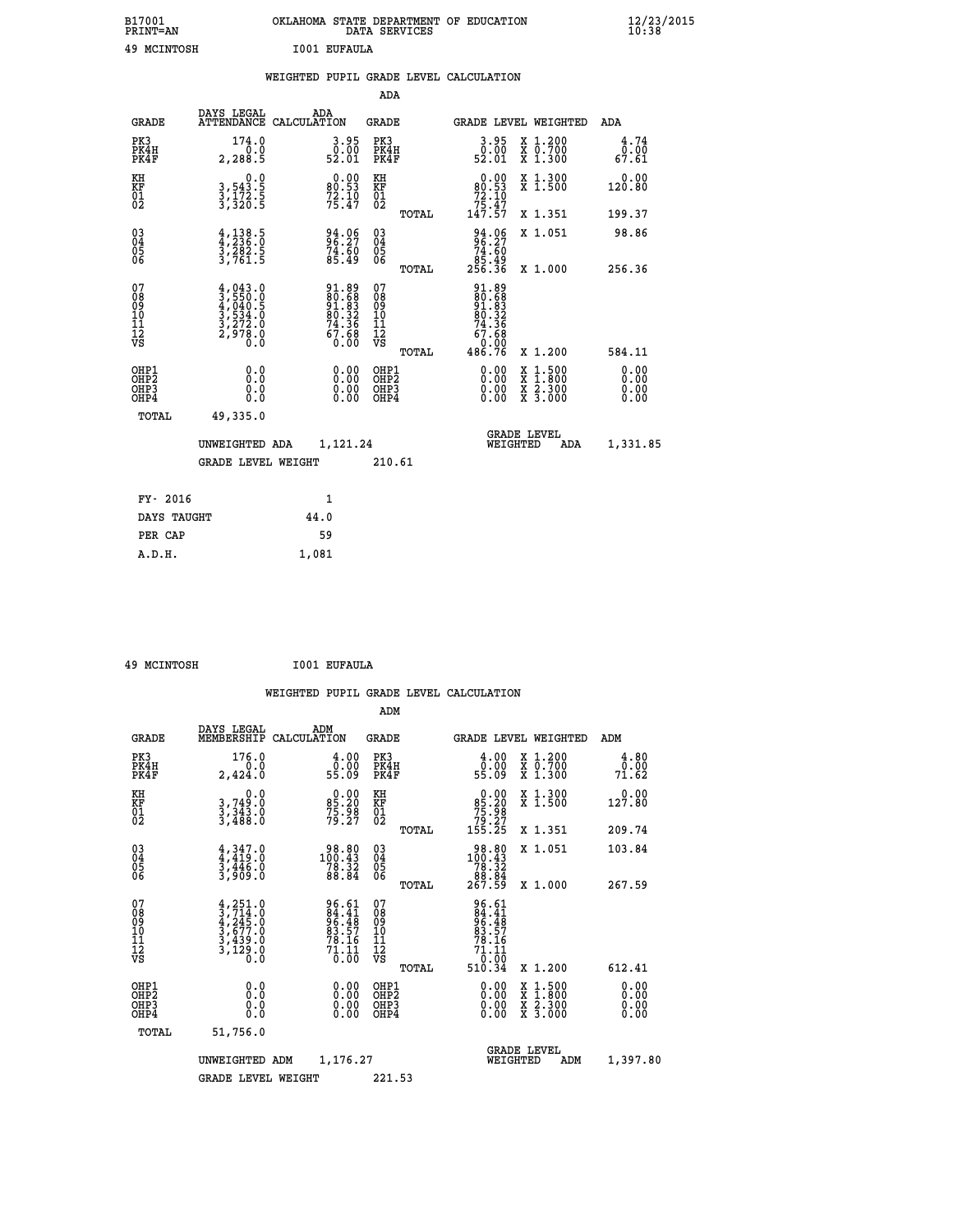| B17001<br><b>PRINT=AN</b> | OKLAHOMA<br>STATE DEPARTMENT OF EDUCATION<br>SERVICES<br>DATA | $\frac{12}{23}$ /2015 |
|---------------------------|---------------------------------------------------------------|-----------------------|
| 49<br>MCINTOSH            | I001<br><b>EUFAULA</b>                                        |                       |

| 49 MCINTOSH                                                        |                                                                                              |       | I001 EUFAULA                                         |                                         |       |                                                                           |                                                                                                                                           |                       |
|--------------------------------------------------------------------|----------------------------------------------------------------------------------------------|-------|------------------------------------------------------|-----------------------------------------|-------|---------------------------------------------------------------------------|-------------------------------------------------------------------------------------------------------------------------------------------|-----------------------|
|                                                                    |                                                                                              |       |                                                      |                                         |       | WEIGHTED PUPIL GRADE LEVEL CALCULATION                                    |                                                                                                                                           |                       |
|                                                                    |                                                                                              |       |                                                      | ADA                                     |       |                                                                           |                                                                                                                                           |                       |
| <b>GRADE</b>                                                       | DAYS LEGAL<br>ATTENDANCE CALCULATION                                                         |       | ADA                                                  | <b>GRADE</b>                            |       |                                                                           | GRADE LEVEL WEIGHTED                                                                                                                      | ADA                   |
| PK3<br>PK4H<br>PK4F                                                | 174.0<br>2, 288.5                                                                            |       | 3.95<br>$\begin{array}{c} 0.00 \\ 52.01 \end{array}$ | PK3<br>PK4H<br>PK4F                     |       | 3.95<br>$\bar{0}.\bar{0}\bar{0}\ 52.01$                                   | X 1.200<br>X 0.700<br>X 1.300                                                                                                             | 4.74<br>0.00<br>67.61 |
| KH<br>KF<br>01<br>02                                               | $\begin{smallmatrix}&&&0.0\\3,543.5\\3,172.5\\3,320.5\end{smallmatrix}$                      |       | $80.90$<br>$72.10$<br>$75.47$                        | KH<br>KF<br>01<br>02                    |       | $\begin{smallmatrix}&&0.00\\80.53\\72.10\\75.47\\147.57\end{smallmatrix}$ | X 1.300<br>X 1.500                                                                                                                        | 0.00<br>120.80        |
|                                                                    |                                                                                              |       |                                                      |                                         | TOTAL |                                                                           | X 1.351                                                                                                                                   | 199.37                |
| $\begin{smallmatrix} 03 \\[-4pt] 04 \end{smallmatrix}$<br>Ŏ5<br>06 | $\frac{4}{3}, \frac{138}{236}.\overset{5}{0} \\ \frac{3}{3}, \frac{282}{761}.\overset{5}{5}$ |       | 94.06<br>96.27<br>74.60<br>85.49                     | $^{03}_{04}$<br>$\frac{05}{06}$         |       | $94.06$<br>$74.60$<br>$85.49$<br>$256.36$                                 | X 1.051                                                                                                                                   | 98.86                 |
|                                                                    |                                                                                              |       |                                                      |                                         | TOTAL |                                                                           | X 1.000                                                                                                                                   | 256.36                |
| 07<br>08<br>09<br>11<br>11<br>12<br>VS                             | $4,043.0$<br>$3,550.0$<br>$4,040.5$<br>$3,534.0$<br>$3,272.0$<br>$2,978.0$<br>$0.0$          |       | $91.8980.68391.8380.3274.367.6867.68$                | 07<br>08<br>09<br>101<br>11<br>12<br>VS | TOTAL | 91.89<br>80.68<br>91.83<br>80.32<br>$74.36$<br>67.68<br>0.00<br>486.76    | X 1.200                                                                                                                                   | 584.11                |
| OHP1<br>OHP2                                                       | 0.0                                                                                          |       |                                                      | OHP1<br>OHP2                            |       |                                                                           |                                                                                                                                           | 0.00                  |
| OHP3<br>OHP4                                                       | Ō.Ō<br>0.0<br>0.0                                                                            |       | $0.00$<br>$0.00$<br>0.00                             | OHP3<br>OHP4                            |       | $0.00$<br>$0.00$<br>0.00                                                  | $\begin{smallmatrix} \mathtt{X} & 1\cdot500\\ \mathtt{X} & 1\cdot800\\ \mathtt{X} & 2\cdot300\\ \mathtt{X} & 3\cdot000 \end{smallmatrix}$ | 0.00<br>0.00<br>0.00  |
| TOTAL                                                              | 49,335.0                                                                                     |       |                                                      |                                         |       |                                                                           |                                                                                                                                           |                       |
|                                                                    | UNWEIGHTED ADA                                                                               |       | 1,121.24                                             |                                         |       |                                                                           | <b>GRADE LEVEL</b><br>WEIGHTED<br>ADA                                                                                                     | 1,331.85              |
|                                                                    | <b>GRADE LEVEL WEIGHT</b>                                                                    |       |                                                      | 210.61                                  |       |                                                                           |                                                                                                                                           |                       |
| FY- 2016                                                           |                                                                                              |       | 1                                                    |                                         |       |                                                                           |                                                                                                                                           |                       |
| DAYS TAUGHT                                                        |                                                                                              | 44.0  |                                                      |                                         |       |                                                                           |                                                                                                                                           |                       |
| PER CAP                                                            |                                                                                              |       | 59                                                   |                                         |       |                                                                           |                                                                                                                                           |                       |
| A.D.H.                                                             |                                                                                              | 1,081 |                                                      |                                         |       |                                                                           |                                                                                                                                           |                       |

 **49 MCINTOSH I001 EUFAULA WEIGHTED PUPIL GRADE LEVEL CALCULATION ADM DAYS LEGAL ADM GRADE MEMBERSHIP CALCULATION GRADE GRADE LEVEL WEIGHTED ADM PK3 176.0 4.00 PK3 4.00 X 1.200 4.80 PK4H 0.0 0.00 PK4H 0.00 X 0.700 0.00 PK4F 2,424.0 55.09 PK4F 55.09 X 1.300 71.62** 0.00 KH 0.00 RH 0.00 X 1.300<br>RF 3,749.0 85.20 RF 85.20 X 1.500 127.80  **01 3,343.0 75.98 01 75.98 02 3,488.0 79.27 02 79.27 TOTAL 155.25 X 1.351 209.74 03 4,347.0 98.80 03 98.80 X 1.051 103.84 04 4,419.0 100.43 04 100.43 05 3,446.0 78.32 05 78.32 06 3,909.0 88.84 06 88.84 TOTAL 267.59 X 1.000 267.59**  $\begin{array}{cccc} 07 & 4\,, 251.0 & 96.61 & 07 & 96.61\ 08 & 3\,, 714.0 & 84.41 & 08 & 84.41\ 09 & 4\,, 245.0 & 96.48 & 09 & 96.48\ 10 & 3\,, 677.0 & 83.57 & 10 & 83.57\ 11 & 3\,, 439.0 & 78.16 & 11 & 78.16\ \sqrt{3} & 3\,, 129.0 & 71.11 & 12 & 71.11\ 18 & 78.16 & 1$ **Pacific 18.8**<br> **Pacific 18.8**<br> **Pacific 18.9**<br> **Pacific 18.9**<br> **Pacific 18.9**<br> **Pacific 18.9**<br> **Pacific 18.9**<br> **Pacific 18.9**<br> **Pacific 18.9**<br> **Pacific 18.9**<br> **Pacific 1.11**<br> **Pacific 1.11**<br> **Pacific 1.11**<br> **Pacific 1.11 OHP1 0.0 0.00 OHP1 0.00 X 1.500 0.00 OHP2 0.0 0.00 OHP2 0.00 X 1.800 0.00 OHP3 0.0 0.00 OHP3 0.00 X 2.300 0.00 OHP4 0.0 0.00 OHP4 0.00 X 3.000 0.00 TOTAL 51,756.0 GRADE LEVEL UNWEIGHTED ADM 1,176.27 WEIGHTED ADM 1,397.80 GRADE LEVEL WEIGHT 221.53**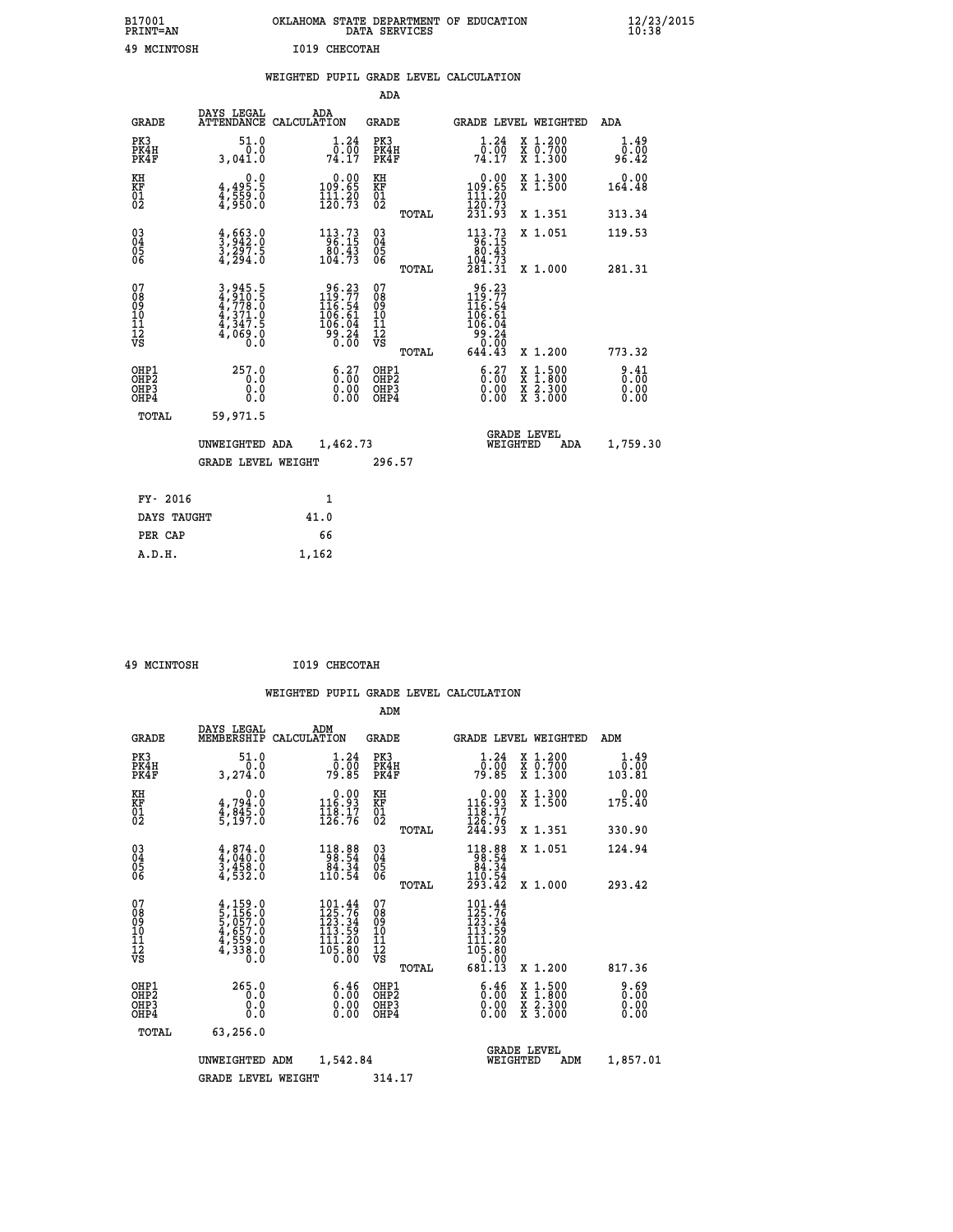| B17001<br><b>PRINT=AN</b> | OKLAHOMA<br>. STATE DEPARTMENT OF EDUCATION<br>DATA SERVICES | $\frac{12}{23}$ /2015 |
|---------------------------|--------------------------------------------------------------|-----------------------|
| 49<br>MCINTOSH            | 1019 CHECOTAH                                                |                       |

|                             |                              |                                                                |      |                                                                                                  |                                                    |       | WEIGHTED PUPIL GRADE LEVEL CALCULATION                                                                                                     |                                          |                                     |
|-----------------------------|------------------------------|----------------------------------------------------------------|------|--------------------------------------------------------------------------------------------------|----------------------------------------------------|-------|--------------------------------------------------------------------------------------------------------------------------------------------|------------------------------------------|-------------------------------------|
|                             |                              |                                                                |      |                                                                                                  | ADA                                                |       |                                                                                                                                            |                                          |                                     |
|                             | <b>GRADE</b>                 | DAYS LEGAL ADA ATTENDANCE CALCULATION                          |      |                                                                                                  | GRADE                                              |       | GRADE LEVEL WEIGHTED                                                                                                                       |                                          | ADA                                 |
| PK3                         | PK4H<br>PK4F                 | 51.0<br>0.0<br>3,041.0                                         |      | 1.24<br>$\frac{\overline{0} \cdot \overline{0} \overline{0}}{74.17}$                             | PK3<br>PK4H<br>PK4F                                |       | 1.24<br>$\bar{0}.\bar{0}\bar{0}$<br>74.17                                                                                                  | X 1.200<br>X 0.700<br>X 1.300            | 1.49<br>0.00<br>96.42               |
| KH<br>KF<br>01<br>02        |                              | $4,495.5$<br>$4,559.0$<br>$4,950.0$                            |      | $\begin{smallmatrix} &0.00\\ 109.65\\ 111.20\\ 120.73\end{smallmatrix}$                          | KH<br>KF<br>01<br>02                               |       | $\begin{smallmatrix} &0.00\\ 109.65\\ 111.20\\ 120.73\\ 231.93 \end{smallmatrix}$                                                          | X 1.300<br>X 1.500                       | 0.00<br>164.48                      |
|                             |                              |                                                                |      |                                                                                                  |                                                    | TOTAL |                                                                                                                                            | X 1.351                                  | 313.34                              |
| 03<br>04<br>05<br>06        |                              | $\frac{4}{3}, \frac{663}{942}$ : 0<br>3, 297: 5<br>4, 294: 0   |      | $\frac{113.73}{96.15}$                                                                           | $\begin{matrix} 03 \\ 04 \\ 05 \\ 06 \end{matrix}$ |       | $113.73$<br>$96.15$<br>$80.43$                                                                                                             | X 1.051                                  | 119.53                              |
|                             |                              |                                                                |      | 104.73                                                                                           |                                                    | TOTAL | $\frac{104.73}{281.31}$                                                                                                                    | X 1.000                                  | 281.31                              |
| 07<br>0890112<br>1112<br>VS |                              | 3,945.5<br>4,910.5<br>4,778.0<br>4,371.0<br>4,347.5<br>4,069.0 |      | $\begin{smallmatrix} 96.23\\ 119.77\\ 116.54\\ 106.61\\ 106.04\\ 99.24\\ 0.00 \end{smallmatrix}$ | 07<br>08901112<br>1112<br>VS                       | TOTAL | $\begin{array}{r} 96\cdot 23 \\ 119\cdot 77 \\ 116\cdot 54 \\ 106\cdot 61 \\ 106\cdot 04 \\ 99\cdot 24 \\ 0.00 \\ 644\cdot 43 \end{array}$ | X 1.200                                  | 773.32                              |
|                             | OHP1<br>OHP2<br>OHP3<br>OHP4 | 257.0<br>0.0<br>0.0<br>0.0                                     |      | $\begin{smallmatrix} 6.27\ 0.00\ 0.00\ 0.00 \end{smallmatrix}$                                   | OHP1<br>OHP2<br>OHP3<br>OHP4                       |       | $\begin{smallmatrix} 6.27\ 0.00\ 0.00 \end{smallmatrix}$                                                                                   | X 1:500<br>X 1:800<br>X 2:300<br>X 3:000 | $\frac{9.41}{0.00}$<br>0.00<br>0.00 |
|                             | TOTAL                        | 59,971.5                                                       |      |                                                                                                  |                                                    |       |                                                                                                                                            |                                          |                                     |
|                             |                              | UNWEIGHTED ADA                                                 |      | 1,462.73                                                                                         |                                                    |       | WEIGHTED                                                                                                                                   | <b>GRADE LEVEL</b><br>ADA                | 1,759.30                            |
|                             |                              | <b>GRADE LEVEL WEIGHT</b>                                      |      |                                                                                                  | 296.57                                             |       |                                                                                                                                            |                                          |                                     |
|                             | FY- 2016                     |                                                                |      | 1                                                                                                |                                                    |       |                                                                                                                                            |                                          |                                     |
|                             | DAYS TAUGHT                  |                                                                | 41.0 |                                                                                                  |                                                    |       |                                                                                                                                            |                                          |                                     |
|                             | PER CAP                      |                                                                |      | 66                                                                                               |                                                    |       |                                                                                                                                            |                                          |                                     |

 **49 MCINTOSH I019 CHECOTAH**

 **A.D.H. 1,162**

 **ADM**

| <b>GRADE</b>                                       | DAYS LEGAL<br>MEMBERSHIP                                                                              | ADM<br>CALCULATION                                                                                 | <b>GRADE</b>                             |       | GRADE LEVEL WEIGHTED                                                                                       |                                          | ADM                        |
|----------------------------------------------------|-------------------------------------------------------------------------------------------------------|----------------------------------------------------------------------------------------------------|------------------------------------------|-------|------------------------------------------------------------------------------------------------------------|------------------------------------------|----------------------------|
| PK3<br>PK4H<br>PK4F                                | 51.0<br>0.0<br>3,274.0                                                                                | $\frac{1 \cdot 24}{0 \cdot 00}$<br>79.85                                                           | PK3<br>PK4H<br>PK4F                      |       | 1.24<br>ōö:ōō<br>79∶85                                                                                     | X 1.200<br>X 0.700<br>X 1.300            | $1.49$<br>$0.00$<br>103.81 |
| KH<br>KF<br>01<br>02                               | 0.0<br>$4,794.0$<br>$4,845.0$<br>$5,197.0$                                                            | $\begin{smallmatrix} 0.00\\ 116.93\\ 118.17\\ 126.76 \end{smallmatrix}$                            | KH<br>KF<br>01<br>02                     |       | $\begin{array}{c} 0.00 \\ 116.93 \\ 118.17 \\ 126.76 \\ 244.93 \end{array}$                                | X 1.300<br>X 1.500                       | 0.00<br>175.40             |
|                                                    |                                                                                                       |                                                                                                    |                                          | TOTAL |                                                                                                            | X 1.351                                  | 330.90                     |
| $\begin{matrix} 03 \\ 04 \\ 05 \\ 06 \end{matrix}$ | $\begin{smallmatrix} 4\,,\,874\,.0\\ 4\,,\,040\,.0\\ 3\,,\,458\,.0\\ 4\,,\,532\,.0 \end{smallmatrix}$ | $\begin{array}{r} 118.88 \\ 98.54 \\ 84.34 \\ 110.54 \end{array}$                                  | $\substack{03 \\ 04}$<br>$\frac{05}{06}$ |       | $\begin{array}{r} 118.88 \\ 98.54 \\ 84.34 \\ 110.54 \\ 293.42 \end{array}$                                | X 1.051                                  | 124.94                     |
|                                                    |                                                                                                       |                                                                                                    |                                          | TOTAL |                                                                                                            | X 1.000                                  | 293.42                     |
| 07<br>089<br>090<br>1112<br>VS                     | $4,159.0$<br>5,156.0<br>5,057.0<br>4,657.0<br>4,559.0<br>4,338.0                                      | $\begin{smallmatrix} 101.44\\ 125.76\\ 123.34\\ 113.59\\ 111.20\\ 105.80\\ 0.00 \end{smallmatrix}$ | 07<br>08901112<br>1112<br>VS             | TOTAL | $\begin{smallmatrix} 101.44\\ 125.76\\ 123.34\\ 113.59\\ 111.20\\ 05.80\\ 0.00\\ 681.13 \end{smallmatrix}$ | X 1.200                                  | 817.36                     |
| OHP1<br>OHP <sub>2</sub><br>OHP3<br>OHP4           | 265.0<br>0.0<br>0.0<br>0.0                                                                            | $\begin{smallmatrix} 6.46 \ 0.00 \ 0.00 \end{smallmatrix}$<br>0.00                                 | OHP1<br>OHP <sub>2</sub><br>OHP3<br>OHP4 |       | $\begin{smallmatrix} 6.46 \ 0.00 \ 0.00 \end{smallmatrix}$<br>0.00                                         | X 1:500<br>X 1:800<br>X 2:300<br>X 3:000 | 0.69<br>0.00<br>0.00       |
| TOTAL                                              | 63,256.0                                                                                              |                                                                                                    |                                          |       |                                                                                                            |                                          |                            |
|                                                    | UNWEIGHTED                                                                                            | 1,542.84<br>ADM                                                                                    |                                          |       | WEIGHTED                                                                                                   | <b>GRADE LEVEL</b><br>ADM                | 1,857.01                   |
|                                                    | <b>GRADE LEVEL WEIGHT</b>                                                                             |                                                                                                    | 314.17                                   |       |                                                                                                            |                                          |                            |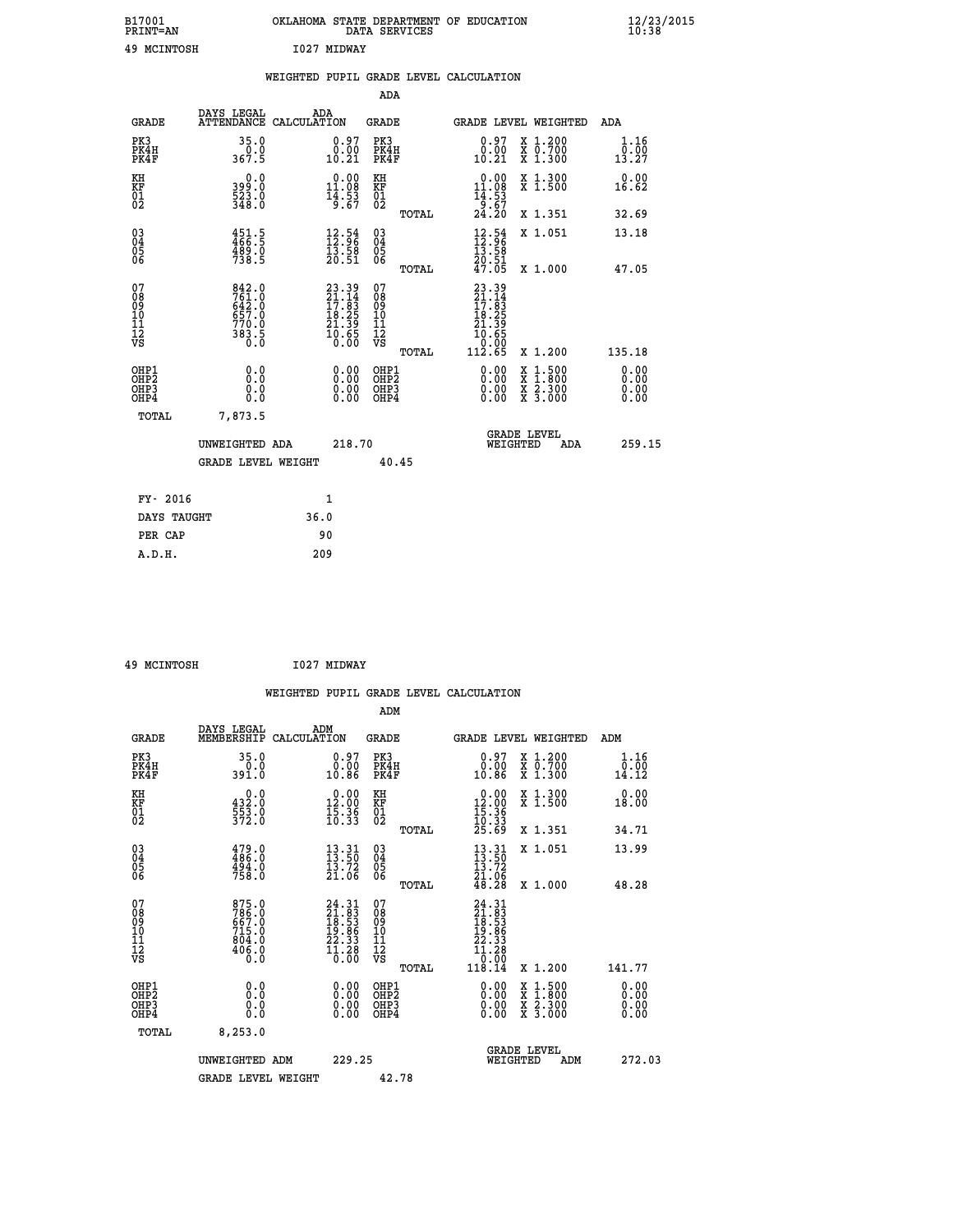| B17001<br><b>PRINT=AN</b> | OKLAHOMA STATE DEPARTMENT OF EDUCATION<br>DATA SERVICES | $\frac{12}{23}$ /2015 |
|---------------------------|---------------------------------------------------------|-----------------------|
| 49<br>MCINTOSH            | 1027 MIDWAY                                             |                       |

|                                         |                                                                      | WEIGHTED PUPIL GRADE LEVEL CALCULATION                                       |                                        |       |                                                                                                                                               |                               |                              |
|-----------------------------------------|----------------------------------------------------------------------|------------------------------------------------------------------------------|----------------------------------------|-------|-----------------------------------------------------------------------------------------------------------------------------------------------|-------------------------------|------------------------------|
|                                         |                                                                      |                                                                              | ADA                                    |       |                                                                                                                                               |                               |                              |
| <b>GRADE</b>                            | DAYS LEGAL                                                           | ADA<br>ATTENDANCE CALCULATION                                                | GRADE                                  |       |                                                                                                                                               | GRADE LEVEL WEIGHTED          | ADA                          |
| PK3<br>PK4H<br>PK4F                     | 35.0<br>0.0<br>367.5                                                 | 0.97<br>$\begin{smallmatrix} \texttt{0.00}\ \texttt{0.21} \end{smallmatrix}$ | PK3<br>PK4H<br>PK4F                    |       | 0.97<br>0.00<br>10.21                                                                                                                         | X 1.200<br>X 0.700<br>X 1.300 | 1.16<br>0.00<br>13.27        |
| KH<br>KF<br>01<br>02                    | $399.0$<br>$523.0$<br>$348.0$                                        | $\begin{smallmatrix} 0.00\\ 11.08\\ 14.03\\ 14.53\\ 67 \end{smallmatrix}$    | KH<br>KF<br>01<br>02                   |       | $\begin{array}{c} 0.00 \\ 11.08 \\ 14.53 \\ 9.67 \\ 24.20 \end{array}$                                                                        | X 1.300<br>X 1.500            | 0.00<br>16.62                |
|                                         |                                                                      |                                                                              |                                        | TOTAL |                                                                                                                                               | X 1.351                       | 32.69                        |
| 03<br>04<br>05<br>06                    | $451.5$<br>$466.5$<br>$489.0$<br>$738.5$                             | $\frac{12.54}{12.96}$<br>$\frac{15.58}{20.51}$                               | 03<br>04<br>05<br>06                   |       | $\begin{array}{r} 12.54 \\[-4pt] 12.96 \\[-4pt] 13.58 \\[-4pt] 20.51 \\[-4pt] 47.05 \\[-4pt] \end{array}$                                     | X 1.051                       | 13.18                        |
|                                         |                                                                      |                                                                              |                                        | TOTAL |                                                                                                                                               | X 1.000                       | 47.05                        |
| 07<br>08<br>09<br>101<br>11<br>12<br>VS | 842.0<br>761.0<br>642.0<br>657.0<br>657.0<br>770.0<br>383.5<br>383.5 | $23.39$<br>$21.14$<br>$17.83$<br>$18.25$<br>$21.39$<br>$10.65$<br>$0.00$     | 07<br>08<br>09<br>11<br>11<br>12<br>VS | TOTAL | $\begin{smallmatrix} 23 & 39 \\ 21 & 14 \\ 17 & 83 \\ 18 & 25 \\ 21 & 39 \\ 21 & 39 \\ 10 & 65 \\ 0 & 0 & 0 \\ 112 & 65 \\ \end{smallmatrix}$ | X 1.200                       | 135.18                       |
| OHP1<br>OHP2<br>OHP3<br>OHP4            | 0.0<br>0.0<br>Ō.Ō                                                    | 0.00<br>$\begin{smallmatrix} 0.00 \ 0.00 \end{smallmatrix}$                  | OHP1<br>OHP2<br>OHP3<br>OHP4           |       | 0.00<br>0.00<br>0.00                                                                                                                          | X 1:500<br>X 2.300<br>X 3.000 | 0.00<br>0.00<br>0.00<br>0.00 |
| TOTAL                                   | 7,873.5                                                              |                                                                              |                                        |       |                                                                                                                                               |                               |                              |
|                                         | UNWEIGHTED ADA                                                       | 218.70                                                                       |                                        |       | WEIGHTED                                                                                                                                      | <b>GRADE LEVEL</b><br>ADA     | 259.15                       |
|                                         | <b>GRADE LEVEL WEIGHT</b>                                            |                                                                              | 40.45                                  |       |                                                                                                                                               |                               |                              |
| FY- 2016                                |                                                                      | $\mathbf{1}$                                                                 |                                        |       |                                                                                                                                               |                               |                              |
| DAYS TAUGHT                             |                                                                      | 36.0                                                                         |                                        |       |                                                                                                                                               |                               |                              |
| PER CAP                                 |                                                                      | 90                                                                           |                                        |       |                                                                                                                                               |                               |                              |

| . . | -------------- |  |
|-----|----------------|--|

 **49 MCINTOSH I027 MIDWAY**

|                                                      |                                                                     |                                                                                                                  |                                              |       | WEIGHTED PUPIL GRADE LEVEL CALCULATION                                                                                                      |                                                     |                                                                                                                                             |
|------------------------------------------------------|---------------------------------------------------------------------|------------------------------------------------------------------------------------------------------------------|----------------------------------------------|-------|---------------------------------------------------------------------------------------------------------------------------------------------|-----------------------------------------------------|---------------------------------------------------------------------------------------------------------------------------------------------|
|                                                      |                                                                     |                                                                                                                  | ADM                                          |       |                                                                                                                                             |                                                     |                                                                                                                                             |
| <b>GRADE</b>                                         | DAYS LEGAL<br>MEMBERSHIP<br>CALCULATION                             | ADM                                                                                                              | <b>GRADE</b>                                 |       |                                                                                                                                             | GRADE LEVEL WEIGHTED                                | ADM                                                                                                                                         |
| PK3<br>PK4H<br>PK4F                                  | 35.0<br>$0.0$<br>391.0                                              | $\begin{smallmatrix} 0.97\ 0.00\ 10.86 \end{smallmatrix}$                                                        | PK3<br>PK4H<br>PK4F                          |       | $\begin{smallmatrix} 0.97\ 0.00\\ 0.00\\ 10.86 \end{smallmatrix}$                                                                           | X 1.200<br>X 0.700<br>X 1.300                       | 1.16<br>$\bar{\mathfrak{a}}\mathfrak{.}\bar{\mathfrak{d}}\mathfrak{d}\overline{\mathfrak{1}}\overline{\mathfrak{2}}\overline{\mathfrak{2}}$ |
| KH<br>KF<br>01<br>02                                 | $\begin{smallmatrix} 0.0\\ 432.0\\ 553.0\\ 372.0 \end{smallmatrix}$ | $\begin{smallmatrix} 0.00\\ 12.00\\ 15.36\\ 10.33 \end{smallmatrix}$                                             | KH<br>KF<br>01<br>02                         |       | $\begin{smallmatrix} 0.00\\ 12.00\\ 15.36\\ 10.33\\ 25.69 \end{smallmatrix}$                                                                | X 1.300<br>X 1.500                                  | 0.00<br>18.00                                                                                                                               |
| $\begin{matrix} 03 \\ 04 \\ 05 \\ 06 \end{matrix}$   | $479.0$<br>$486.0$<br>$494.0$<br>$758.0$                            | $\begin{smallmatrix} 13.31\ 13.50\ 13.72\ 21.06 \end{smallmatrix}$                                               | 03<br>04<br>05<br>06                         | TOTAL |                                                                                                                                             | X 1.351<br>X 1.051                                  | 34.71<br>13.99                                                                                                                              |
|                                                      |                                                                     |                                                                                                                  |                                              | TOTAL | $\begin{smallmatrix} 13.31\ 13.50\ 13.72\ 21.06\ 48.28 \end{smallmatrix}$                                                                   | X 1.000                                             | 48.28                                                                                                                                       |
| 07<br>0890112<br>1112<br>VS                          | 875.0<br>786.0<br>667.0<br>715.0<br>804.0<br>804.0<br>Ō.Ō           | $\begin{smallmatrix} 24 & 31 \\ 21 & 83 \\ 18 & 53 \\ 19 & 86 \\ 22 & 33 \\ 11 & 28 \\ 0 & 00 \end{smallmatrix}$ | 07<br>08901112<br>1112<br>VS                 |       | $\begin{array}{r} 24\cdot 31 \\ 21\cdot 83 \\ 18\cdot 53 \\ 19\cdot 86 \\ 22\cdot 33 \\ 11\cdot 28 \\ 0\cdot 00 \\ 118\cdot 14 \end{array}$ |                                                     |                                                                                                                                             |
| OHP1<br>OHP <sub>2</sub><br>OH <sub>P3</sub><br>OHP4 | 0.0<br>0.000                                                        | $0.00$<br>$0.00$<br>0.00                                                                                         | OHP1<br>OHP <sub>2</sub><br>OHP <sub>3</sub> | TOTAL | 0.00<br>0.00<br>0.00                                                                                                                        | X 1.200<br>X 1:500<br>X 1:800<br>X 2:300<br>X 3:000 | 141.77<br>0.00<br>0.00<br>0.00                                                                                                              |
| TOTAL                                                | 8, 253.0                                                            |                                                                                                                  |                                              |       |                                                                                                                                             | <b>GRADE LEVEL</b>                                  |                                                                                                                                             |
|                                                      | UNWEIGHTED ADM<br><b>GRADE LEVEL WEIGHT</b>                         | 229.25                                                                                                           | 42.78                                        |       | WEIGHTED                                                                                                                                    | ADM                                                 | 272.03                                                                                                                                      |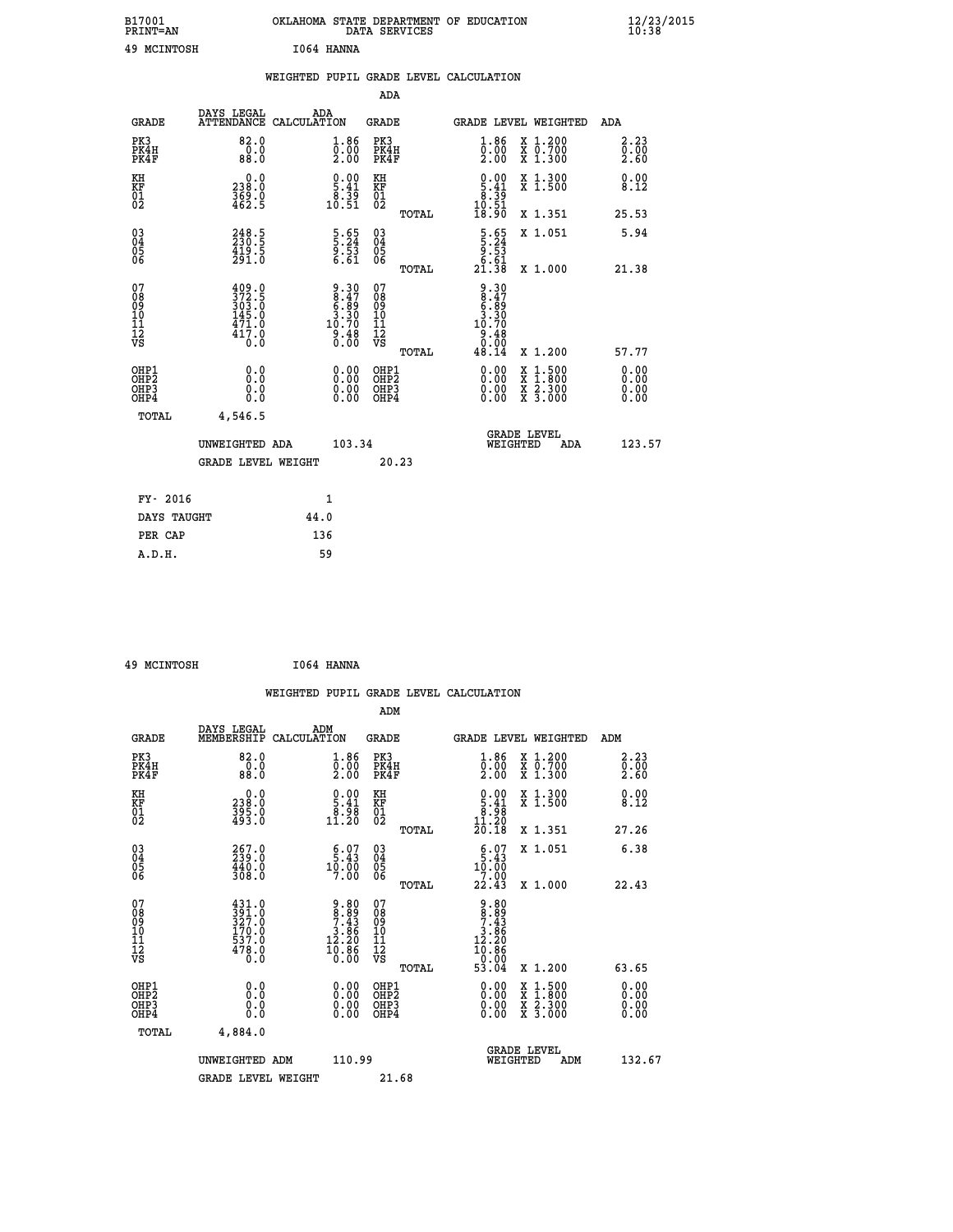| B17001<br><b>PRINT=AN</b>                          |                                                                                                                                          | OKLAHOMA STATE DEPARTMENT OF EDUCATION                              | DATA SERVICES                                      |                                                                      |                                                                                                  | $\frac{12}{10}$ :38/2015 |  |
|----------------------------------------------------|------------------------------------------------------------------------------------------------------------------------------------------|---------------------------------------------------------------------|----------------------------------------------------|----------------------------------------------------------------------|--------------------------------------------------------------------------------------------------|--------------------------|--|
| 49 MCINTOSH                                        |                                                                                                                                          | I064 HANNA                                                          |                                                    |                                                                      |                                                                                                  |                          |  |
|                                                    |                                                                                                                                          | WEIGHTED PUPIL GRADE LEVEL CALCULATION                              |                                                    |                                                                      |                                                                                                  |                          |  |
|                                                    |                                                                                                                                          |                                                                     | ADA                                                |                                                                      |                                                                                                  |                          |  |
| <b>GRADE</b>                                       | DAYS LEGAL<br>ATTENDANCE CALCULATION                                                                                                     | ADA                                                                 | GRADE                                              | <b>GRADE LEVEL WEIGHTED</b>                                          |                                                                                                  | ADA                      |  |
| PK3<br>PK4H<br>PK4F                                | 82.0<br>0.0<br>88.0                                                                                                                      | $\substack{1.86 \\ 0.00 \\ 2.00}$                                   | PK3<br>PK4H<br>PK4F                                | $1.86$<br>$0.00$<br>2.00                                             | X 1.200<br>X 0.700<br>X 1.300                                                                    | 2.23<br>0.00<br>2.60     |  |
| KH<br>KF<br>$\overline{01}$                        | 0.0<br>238.0<br>$\frac{369}{462}$ .g                                                                                                     | $\begin{smallmatrix} 0.00\\ 5.41\\ 8.39\\ 10.51 \end{smallmatrix}$  | KH<br>KF<br>01<br>02                               | $\begin{array}{c} 0.00 \\ 5.41 \\ 8.39 \\ 10.51 \end{array}$         | X 1.300<br>X 1.500                                                                               | 0.00<br>8.12             |  |
|                                                    |                                                                                                                                          |                                                                     | TOTAL                                              | 18.90                                                                | X 1.351                                                                                          | 25.53                    |  |
| $\begin{matrix} 03 \\ 04 \\ 05 \\ 06 \end{matrix}$ | $248.5$<br>$230.5$<br>$\frac{419.5}{291.0}$                                                                                              | $\frac{5 \cdot 65}{9 \cdot 53}$<br>6.61                             | $\begin{matrix} 03 \\ 04 \\ 05 \\ 06 \end{matrix}$ | $\begin{array}{r} 5.65 \\ 5.24 \\ 9.53 \\ 6.61 \\ 21.38 \end{array}$ | X 1.051                                                                                          | 5.94                     |  |
|                                                    |                                                                                                                                          |                                                                     | TOTAL                                              |                                                                      | X 1.000                                                                                          | 21.38                    |  |
| 07<br>08<br>09<br>10<br>11<br>12<br>VS             | $\begin{smallmatrix} 4 & 0 & 9 & 0 \\ 3 & 7 & 2 & 5 \\ 3 & 0 & 3 & 0 \\ 1 & 4 & 5 & 0 \end{smallmatrix}$<br>$\frac{471.0}{417.0}$<br>0.0 | $9.30$<br>$8.47$<br>$6.39$<br>$3.30$<br>$10.70$<br>$9.48$<br>$0.00$ | 07<br>08<br>09<br>10<br>11<br>12<br>VS<br>TOTAL    | 9.30<br>$8.47$<br>$6.89$<br>$3.30$<br>10.70<br>9.48<br>0.00<br>48.14 | X 1.200                                                                                          | 57.77                    |  |
|                                                    | 0.0                                                                                                                                      |                                                                     |                                                    |                                                                      |                                                                                                  | 0.00                     |  |
| OHP1<br>OHP2<br>OH <sub>P3</sub><br>OHP4           | 0.0<br>0.0<br>0.0                                                                                                                        | $0.00$<br>$0.00$<br>0.00                                            | OHP1<br>OHP2<br>OHP3<br>OHP4                       | $0.00$<br>$0.00$<br>0.00                                             | $\begin{smallmatrix} x & 1 & 500 \\ x & 1 & 800 \\ x & 2 & 300 \\ x & 3 & 000 \end{smallmatrix}$ | ŏ:ŏŏ<br>0.00<br>0.00     |  |
| TOTAL                                              | 4,546.5                                                                                                                                  |                                                                     |                                                    |                                                                      |                                                                                                  |                          |  |
|                                                    | UNWEIGHTED ADA                                                                                                                           | 103.34                                                              |                                                    | <b>GRADE LEVEL</b><br>WEIGHTED                                       | ADA                                                                                              | 123.57                   |  |
|                                                    | <b>GRADE LEVEL WEIGHT</b>                                                                                                                |                                                                     | 20.23                                              |                                                                      |                                                                                                  |                          |  |
| FY- 2016                                           |                                                                                                                                          | 1                                                                   |                                                    |                                                                      |                                                                                                  |                          |  |
| DAYS TAUGHT                                        |                                                                                                                                          | 44.0                                                                |                                                    |                                                                      |                                                                                                  |                          |  |
|                                                    |                                                                                                                                          | $\sim$ $\sim$                                                       |                                                    |                                                                      |                                                                                                  |                          |  |

|        | PER CAP | 136 |
|--------|---------|-----|
| A.D.H. |         | 59  |
|        |         |     |
|        |         |     |

```
 49 MCINTOSH I064 HANNA
```

|                                                    |                                                      |                                                                                                                                                 |                    |                                                                                       |                                                     |       | WEIGHTED PUPIL GRADE LEVEL CALCULATION                                 |                                          |       |                                       |
|----------------------------------------------------|------------------------------------------------------|-------------------------------------------------------------------------------------------------------------------------------------------------|--------------------|---------------------------------------------------------------------------------------|-----------------------------------------------------|-------|------------------------------------------------------------------------|------------------------------------------|-------|---------------------------------------|
|                                                    |                                                      |                                                                                                                                                 |                    |                                                                                       | ADM                                                 |       |                                                                        |                                          |       |                                       |
|                                                    | <b>GRADE</b>                                         | DAYS LEGAL<br>MEMBERSHIP                                                                                                                        | ADM<br>CALCULATION |                                                                                       | <b>GRADE</b>                                        |       |                                                                        | GRADE LEVEL WEIGHTED                     | ADM   |                                       |
| PK3                                                | PK4H<br>PK4F                                         | 82.0<br>$0.\overline{0}$<br>88.0                                                                                                                |                    | $\begin{smallmatrix} 1.86\ 0.00\ 2.00 \end{smallmatrix}$                              | PK3<br>PK4H<br>PK4F                                 |       | $\begin{smallmatrix} 1.86 \\ 0.00 \\ 2.00 \end{smallmatrix}$           | X 1.200<br>X 0.700<br>X 1.300            |       | 2.23<br>$\frac{0}{2}$ . $\frac{0}{6}$ |
| KH<br>KF<br>01<br>02                               |                                                      | $\begin{smallmatrix} 0.0\\ 238.0\\ 395.0\\ 493.0 \end{smallmatrix}$                                                                             |                    | $\begin{smallmatrix} 0.00\\ 5.41\\ 8.98\\ 11.20 \end{smallmatrix}$                    | KH<br>KF<br>01<br>02                                |       | $\begin{smallmatrix} 0.00\\5.41\\8.98\\11.20\\20.18\end{smallmatrix}$  | X 1.300<br>X 1.500                       |       | 0.00<br>8.12                          |
|                                                    |                                                      |                                                                                                                                                 |                    |                                                                                       |                                                     | TOTAL |                                                                        | X 1.351                                  | 27.26 |                                       |
| $\begin{matrix} 03 \\ 04 \\ 05 \\ 06 \end{matrix}$ |                                                      | $\begin{smallmatrix} 267.0\\ 239.0\\ 440.0\\ 308.0 \end{smallmatrix}$                                                                           |                    | $5.43$<br>$10.00$<br>$7.00$                                                           | $\begin{array}{c} 03 \\ 04 \\ 05 \\ 06 \end{array}$ |       | $5.43$<br>$10.00$<br>$7.00$                                            | X 1.051                                  |       | 6.38                                  |
|                                                    |                                                      |                                                                                                                                                 |                    |                                                                                       |                                                     | TOTAL | 22.43                                                                  | X 1.000                                  | 22.43 |                                       |
| 07<br>0890112<br>1112<br>VS                        |                                                      | $\begin{smallmatrix} 4\,3\,1\cdot0\\ 3\,9\,1\cdot0\\ 3\,2\,7\cdot0\\ 1\,7\,0\cdot0\\ 5\,3\,7\cdot0\\ 4\,7\,8\cdot0\\ 0\cdot0 \end{smallmatrix}$ |                    | $\begin{array}{c} 9.80 \\ 8.89 \\ 7.43 \\ 3.86 \\ 12.20 \\ 10.86 \\ 0.00 \end{array}$ | 07<br>08901112<br>1112<br>VS                        |       | $9.80$<br>$7.43$<br>$3.86$<br>$12.20$<br>$\frac{16.86}{0.00}$<br>53.04 |                                          |       |                                       |
|                                                    |                                                      |                                                                                                                                                 |                    |                                                                                       |                                                     | TOTAL |                                                                        | X 1.200                                  | 63.65 |                                       |
|                                                    | OHP1<br>OHP <sub>2</sub><br>OH <sub>P3</sub><br>OHP4 | 0.0<br>0.000                                                                                                                                    |                    | $0.00$<br>$0.00$<br>0.00                                                              | OHP1<br>OHP <sub>2</sub><br>OHP <sub>3</sub>        |       | 0.00<br>0.00<br>0.00                                                   | X 1:500<br>X 1:800<br>X 2:300<br>X 3:000 |       | 0.00<br>0.00<br>0.00                  |
|                                                    | TOTAL                                                | 4,884.0                                                                                                                                         |                    |                                                                                       |                                                     |       |                                                                        |                                          |       |                                       |
|                                                    |                                                      | UNWEIGHTED ADM                                                                                                                                  |                    | 110.99                                                                                |                                                     |       | WEIGHTED                                                               | <b>GRADE LEVEL</b><br>ADM                |       | 132.67                                |
|                                                    |                                                      | <b>GRADE LEVEL WEIGHT</b>                                                                                                                       |                    |                                                                                       | 21.68                                               |       |                                                                        |                                          |       |                                       |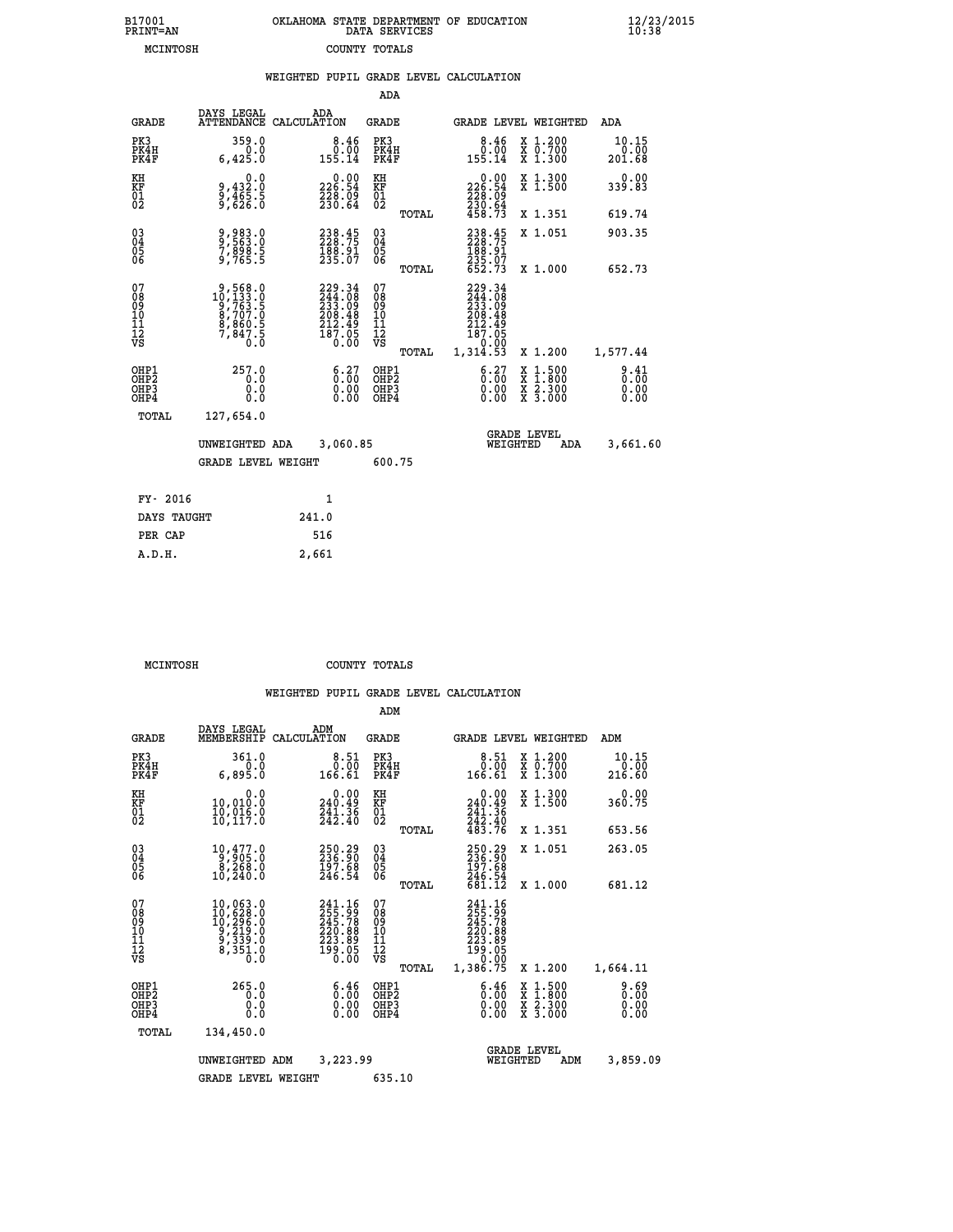| 7001<br>INT=AN | OKLAHOMA STATE DEPARTMENT OF EDUCATION<br>DATA SERVICES |  |
|----------------|---------------------------------------------------------|--|
| MCINTOSH       | COUNTY TOTALS                                           |  |

 **B17001<br>PRINT=AN** 

 **B17001 OKLAHOMA STATE DEPARTMENT OF EDUCATION 12/23/2015**

|                                              |                                                                                                  | WEIGHTED PUPIL GRADE LEVEL CALCULATION                         |                                        |        |                                                                                                        |                                                                                        |                         |
|----------------------------------------------|--------------------------------------------------------------------------------------------------|----------------------------------------------------------------|----------------------------------------|--------|--------------------------------------------------------------------------------------------------------|----------------------------------------------------------------------------------------|-------------------------|
|                                              |                                                                                                  |                                                                |                                        | ADA    |                                                                                                        |                                                                                        |                         |
| <b>GRADE</b>                                 | DAYS LEGAL                                                                                       | ADA<br>ATTENDANCE CALCULATION                                  | <b>GRADE</b>                           |        |                                                                                                        | GRADE LEVEL WEIGHTED                                                                   | ADA                     |
| PK3<br>PK4H<br>PK4F                          | 359.0<br>0.0<br>6,425.0                                                                          | $\begin{smallmatrix}8.46\0.00\0.155.14\end{smallmatrix}$       | PK3<br>PK4H<br>PK4F                    |        | $\begin{smallmatrix}8.46\0.00111\0.14\end{smallmatrix}$                                                | X 1.200<br>X 0.700<br>X 1.300                                                          | 10.15<br>0.00<br>201.68 |
| KH<br>KF<br>01<br>02                         | 0.0<br>0,432:0<br>0,465:5<br>0,626:0                                                             | 226.90<br>228.09<br>230.64                                     | KH<br>KF<br>01<br>02                   |        | 226.90<br>$\frac{228}{230}$ : $\frac{03}{64}$<br>$458.73$                                              | X 1.300<br>X 1.500                                                                     | 0.00<br>339.83          |
|                                              |                                                                                                  |                                                                |                                        | TOTAL  |                                                                                                        | X 1.351                                                                                | 619.74                  |
| $^{03}_{04}$<br>05                           | 9,983.0<br>9,563.0<br>7,898.5<br>9,765.5                                                         | 238.45<br>228.75<br>188.91<br>235.07                           | $^{03}_{04}$<br>05<br>06               |        | 238.45                                                                                                 | X 1.051                                                                                | 903.35                  |
| 06                                           |                                                                                                  |                                                                |                                        | TOTAL  | $\frac{188.91}{235.07}$<br>652.73                                                                      | X 1.000                                                                                | 652.73                  |
| 07<br>08<br>09<br>01<br>11<br>11<br>12<br>VS | $\begin{smallmatrix}9,568.0\\10,133.0\\9,763.5\\8,707.0\\8,860.5\\7,847.5\\0.0\end{smallmatrix}$ | $229.34244.08233.09208.48212.49187.050.00$                     | 07<br>08<br>09<br>10<br>11<br>12<br>VS | TOTAL  | $\begin{smallmatrix} 229.34\ 244.08\ 233.09\ 208.48\ 212.49\ 187.05\ 0.00\ 1,314.53 \end{smallmatrix}$ | X 1.200                                                                                | 1,577.44                |
| OHP1<br>OHP2<br>OHP3<br>OHP4                 | 257.0<br>0.0<br>0.0<br>0.0                                                                       | $\begin{smallmatrix} 6.27\ 0.00\ 0.00\ 0.00 \end{smallmatrix}$ | OHP1<br>OHP2<br>OHP3<br>OHP4           |        | $\begin{smallmatrix} 6.27\ 0.00\ 0.00 \end{smallmatrix}$                                               | $\begin{smallmatrix} 1.500\ 1.800\ 2.300\ 3.000 \end{smallmatrix}$<br><b>XXX</b><br>XX | 8:30<br>0.00            |
| TOTAL                                        | 127,654.0                                                                                        |                                                                |                                        |        |                                                                                                        |                                                                                        |                         |
|                                              | UNWEIGHTED ADA                                                                                   | 3,060.85                                                       |                                        |        | WEIGHTED                                                                                               | <b>GRADE LEVEL</b><br>ADA                                                              | 3,661.60                |
|                                              | <b>GRADE LEVEL WEIGHT</b>                                                                        |                                                                |                                        | 600.75 |                                                                                                        |                                                                                        |                         |
| FY- 2016                                     |                                                                                                  | $\mathbf{1}$                                                   |                                        |        |                                                                                                        |                                                                                        |                         |
| DAYS TAUGHT                                  |                                                                                                  | 241.0                                                          |                                        |        |                                                                                                        |                                                                                        |                         |
| PER CAP                                      |                                                                                                  | 516                                                            |                                        |        |                                                                                                        |                                                                                        |                         |

 **MCINTOSH COUNTY TOTALS**

 **A.D.H. 2,661**

|                                                       |                                                                                                                                              |                                                                               | ADM                                                 |                                                                                                         |                                          |                         |
|-------------------------------------------------------|----------------------------------------------------------------------------------------------------------------------------------------------|-------------------------------------------------------------------------------|-----------------------------------------------------|---------------------------------------------------------------------------------------------------------|------------------------------------------|-------------------------|
| <b>GRADE</b>                                          | DAYS LEGAL<br>MEMBERSHIP                                                                                                                     | ADM<br>CALCULATION                                                            | <b>GRADE</b>                                        | GRADE LEVEL WEIGHTED                                                                                    |                                          | ADM                     |
| PK3<br>PK4H<br>PK4F                                   | 361.0<br>0.0<br>6,895.0                                                                                                                      | 8.51<br>0.00<br>166.61                                                        | PK3<br>PK4H<br>PK4F                                 | 8.51<br>0.00<br>166.61                                                                                  | X 1.200<br>x 0.700<br>x 1.300            | 10.15<br>0.00<br>216.60 |
| KH<br>KF<br>01<br>02                                  | 0.0<br>10,010.0<br>īŏ,ŏīš.ŏ<br>10,117.0                                                                                                      | $0.00$<br>240.49<br>$\frac{741}{242}.$ $\frac{36}{40}$                        | KH<br>KF<br>01<br>02                                | $\begin{smallmatrix} &0.00\ 240.49\ \end{smallmatrix}$<br>$\frac{241 \cdot 36}{242 \cdot 40}$<br>483.76 | X 1.300<br>X 1.500                       | 0.00<br>360.75          |
|                                                       |                                                                                                                                              |                                                                               | TOTAL                                               |                                                                                                         | X 1.351                                  | 653.56                  |
| 03<br>04<br>05<br>06                                  | 10,477.0<br>0,905.0<br>0,268.0<br>10,240.0                                                                                                   | 250.29<br>236.90<br>197.68<br>246.54                                          | $\begin{array}{c} 03 \\ 04 \\ 05 \\ 06 \end{array}$ | 250.29<br>236.90<br>197.68                                                                              | X 1.051                                  | 263.05                  |
|                                                       |                                                                                                                                              |                                                                               | TOTAL                                               | 246.54<br>681.12                                                                                        | X 1.000                                  | 681.12                  |
| 07<br>08<br>09<br>101<br>112<br>VS                    | $\begin{smallmatrix} 10,063\cdot 0\\ 10,628\cdot 0\\ 10,296\cdot 0\\ 9,219\cdot 0\\ 9,339\cdot 0\\ 8,351\cdot 0\\ 0\cdot 0\end{smallmatrix}$ | $241.16$<br>$255.99$<br>$245.78$<br>220.88<br>223.89<br>$\frac{199.05}{0.00}$ | 07<br>08<br>09<br>101<br>11<br>12<br>VS<br>TOTAL    | 241.16<br>255.99<br>245.788<br>220.889<br>223.89<br>199.050<br>0.00<br>1,386.75                         | X 1.200                                  | 1,664.11                |
| OHP1<br>OH <sub>P</sub> 2<br>OH <sub>P3</sub><br>OHP4 | 265.0<br>0.0<br>0.000                                                                                                                        | $\begin{smallmatrix} 6.46 \ 0.00 \ 0.00 \end{smallmatrix}$<br>0.00            | OHP1<br>OHP2<br>OHP3<br>OHP4                        | $\begin{smallmatrix} 6.46 \ 0.00 \ 0.00 \end{smallmatrix}$<br>0.00                                      | X 1:500<br>X 1:800<br>X 2:300<br>X 3:000 | 0.69<br>0.00<br>0.00    |
|                                                       | TOTAL<br>134,450.0                                                                                                                           |                                                                               |                                                     |                                                                                                         |                                          |                         |
|                                                       | UNWEIGHTED                                                                                                                                   | 3,223.99<br>ADM                                                               |                                                     | <b>GRADE LEVEL</b><br>WEIGHTED                                                                          | ADM                                      | 3,859.09                |
|                                                       | <b>GRADE LEVEL WEIGHT</b>                                                                                                                    |                                                                               | 635.10                                              |                                                                                                         |                                          |                         |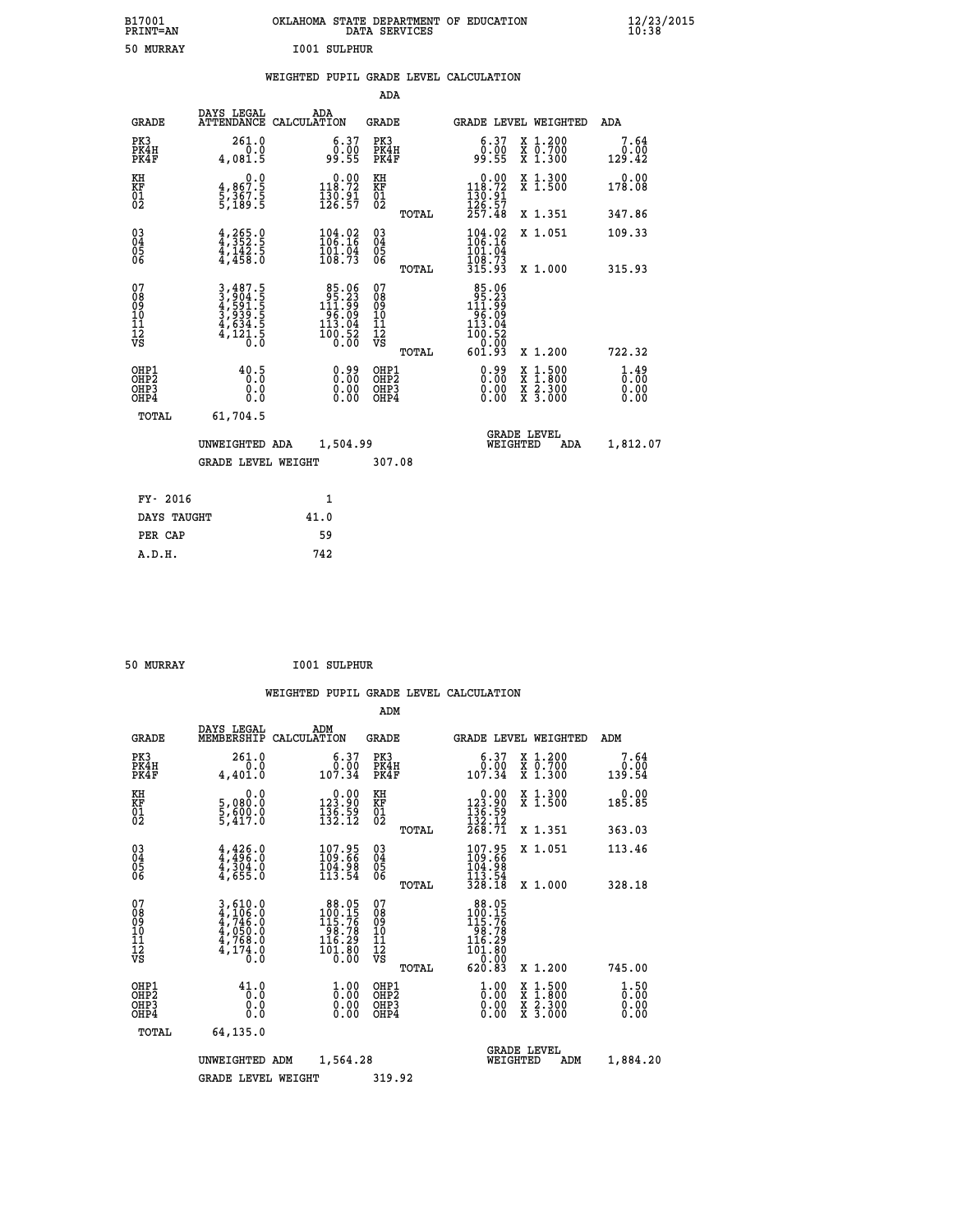| B17001<br><b>PRINT=AN</b> | OKLAHOMA STATE DEPARTMENT OF EDUCATION<br>DATA SERVICES | $\frac{12}{23}$ /2015 |
|---------------------------|---------------------------------------------------------|-----------------------|
| 50 MURRAY                 | 1001 SULPHUR                                            |                       |

|  |  | WEIGHTED PUPIL GRADE LEVEL CALCULATION |
|--|--|----------------------------------------|
|  |  |                                        |

| <b>GRADE</b>            | ADA                           | <b>GRADE</b>                                                                                                                                                                                            | <b>GRADE LEVEL WEIGHTED</b>                                                                                                                                                                                                                                                                                                                                                                                                             | ADA                                                                                                                                                                                                                                                                 |
|-------------------------|-------------------------------|---------------------------------------------------------------------------------------------------------------------------------------------------------------------------------------------------------|-----------------------------------------------------------------------------------------------------------------------------------------------------------------------------------------------------------------------------------------------------------------------------------------------------------------------------------------------------------------------------------------------------------------------------------------|---------------------------------------------------------------------------------------------------------------------------------------------------------------------------------------------------------------------------------------------------------------------|
| 261.0<br>0.0<br>4,081.5 |                               | PK3<br>PK4H<br>PK4F                                                                                                                                                                                     | 6.37<br>X 1.200<br>X 0.700<br>X 1.300<br>0.00<br>99.55                                                                                                                                                                                                                                                                                                                                                                                  | 7.64<br>0.00<br>129.42                                                                                                                                                                                                                                              |
| 0.0                     |                               |                                                                                                                                                                                                         | X 1.300<br>X 1.500                                                                                                                                                                                                                                                                                                                                                                                                                      | 0.00<br>178.08                                                                                                                                                                                                                                                      |
|                         |                               |                                                                                                                                                                                                         | X 1.351                                                                                                                                                                                                                                                                                                                                                                                                                                 | 347.86                                                                                                                                                                                                                                                              |
|                         |                               |                                                                                                                                                                                                         | $\frac{104.02}{106.16}$<br>X 1.051                                                                                                                                                                                                                                                                                                                                                                                                      | 109.33                                                                                                                                                                                                                                                              |
|                         |                               |                                                                                                                                                                                                         |                                                                                                                                                                                                                                                                                                                                                                                                                                         | 315.93                                                                                                                                                                                                                                                              |
|                         |                               | 08<br>09<br>11<br>11<br>12<br>VS                                                                                                                                                                        | X 1.200                                                                                                                                                                                                                                                                                                                                                                                                                                 | 722.32                                                                                                                                                                                                                                                              |
| 40.5<br>0.0<br>Ŏ.Ŏ      |                               | OHP1<br>OHP <sub>2</sub><br>OHP3<br>OHP4                                                                                                                                                                | 0.99<br>X 1:500<br>X 1:800<br>X 2:300<br>X 3:000<br>0.00<br>0.00                                                                                                                                                                                                                                                                                                                                                                        | $\frac{1}{0}$ : $\frac{49}{00}$<br>0.00<br>0.00                                                                                                                                                                                                                     |
| TOTAL<br>61,704.5       |                               |                                                                                                                                                                                                         |                                                                                                                                                                                                                                                                                                                                                                                                                                         |                                                                                                                                                                                                                                                                     |
|                         |                               |                                                                                                                                                                                                         | <b>GRADE LEVEL</b><br>WEIGHTED<br>ADA                                                                                                                                                                                                                                                                                                                                                                                                   | 1,812.07                                                                                                                                                                                                                                                            |
|                         |                               |                                                                                                                                                                                                         |                                                                                                                                                                                                                                                                                                                                                                                                                                         |                                                                                                                                                                                                                                                                     |
| FY- 2016                | $\mathbf{1}$                  |                                                                                                                                                                                                         |                                                                                                                                                                                                                                                                                                                                                                                                                                         |                                                                                                                                                                                                                                                                     |
| DAYS TAUGHT             | 41.0                          |                                                                                                                                                                                                         |                                                                                                                                                                                                                                                                                                                                                                                                                                         |                                                                                                                                                                                                                                                                     |
| PER CAP                 | 59                            |                                                                                                                                                                                                         |                                                                                                                                                                                                                                                                                                                                                                                                                                         |                                                                                                                                                                                                                                                                     |
| A.D.H.                  | 742                           |                                                                                                                                                                                                         |                                                                                                                                                                                                                                                                                                                                                                                                                                         |                                                                                                                                                                                                                                                                     |
|                         | 4,867.5<br>5,367.5<br>5,189.5 | DAYS LEGAL<br>ATTENDANCE CALCULATION<br>$4,352.5$<br>$4,142.5$<br>$4,458.0$<br>3,487.5<br>3,904.5<br>4,591.5<br>3,939.5<br>3,939.5<br>4,634.5<br>4,121.5<br>UNWEIGHTED ADA<br><b>GRADE LEVEL WEIGHT</b> | $\begin{smallmatrix} 6.37\ 0.00\ 99.55 \end{smallmatrix}$<br>$\begin{smallmatrix} 0.00\\ 118.72\\ 130.91\\ 126.57 \end{smallmatrix}$<br>KH<br>KF<br>01<br>02<br>03<br>04<br>05<br>06<br>$\frac{104.02}{106.16}$<br>$\frac{101.04}{108.73}$<br>$\begin{smallmatrix}85.06\\95.23\\111.99\\14.99\\96.09\\113.04\\100.52\\0.00\end{smallmatrix}$<br>07<br>0.99<br>$\begin{smallmatrix} 0.00 \ 0.00 \end{smallmatrix}$<br>1,504.99<br>307.08 | ADA<br>$\begin{smallmatrix} &0.00\\ 118.72\\ 130.91\\ 126.57\\ 257.48\end{smallmatrix}$<br>TOTAL<br>$\frac{101.04}{108.73}$<br>315.93<br>X 1.000<br>TOTAL<br>$\begin{array}{r} 85.06 \\ 95.23 \\ 111.99 \\ 96.09 \\ 13.94 \end{array}$<br>100:52<br>601:93<br>TOTAL |

| 50 MURRAY | <b>I001 SULPHUR</b> |
|-----------|---------------------|
|           |                     |

|                                          |                                                                                                                                                               |                                                                                                                     | ADM                                                 |                                                                                                         |                                          |                              |
|------------------------------------------|---------------------------------------------------------------------------------------------------------------------------------------------------------------|---------------------------------------------------------------------------------------------------------------------|-----------------------------------------------------|---------------------------------------------------------------------------------------------------------|------------------------------------------|------------------------------|
| <b>GRADE</b>                             | DAYS LEGAL<br>MEMBERSHIP                                                                                                                                      | ADM<br>CALCULATION                                                                                                  | <b>GRADE</b>                                        | GRADE LEVEL WEIGHTED                                                                                    |                                          | ADM                          |
| PK3<br>PK4H<br>PK4F                      | 261.0<br>0.0<br>4,401.0                                                                                                                                       | 6.37<br>ة:ة<br>107.34                                                                                               | PK3<br>PK4H<br>PK4F                                 | $\begin{smallmatrix} 6.37\0.00\0.34\ \end{smallmatrix}$                                                 | X 1.200<br>X 0.700<br>X 1.300            | 7.64<br>0.00<br>139.54       |
| KH<br>KF<br>01<br>02                     | 0.0<br>5,080:0<br>5,600:0<br>5,417:0                                                                                                                          | $\begin{smallmatrix} &0.00\\ 123.90\\ 136.59\\ 132.12\end{smallmatrix}$                                             | KH<br>KF<br>01<br>02                                | $\begin{smallmatrix}&&0.00\\123.90\\136.59\\132.12\\268.71\end{smallmatrix}$                            | X 1.300<br>X 1.500                       | 0.00<br>185.85               |
|                                          |                                                                                                                                                               |                                                                                                                     | TOTAL                                               |                                                                                                         | X 1.351                                  | 363.03                       |
| 03<br>04<br>05<br>06                     | $4,426.0$<br>$4,304.0$<br>$4,304.0$<br>$4,655.0$                                                                                                              | 107.95<br>109.66<br>104.98<br>113.54                                                                                | $\begin{array}{c} 03 \\ 04 \\ 05 \\ 06 \end{array}$ | 107.95<br>109.66<br>104.98                                                                              | X 1.051                                  | 113.46                       |
|                                          |                                                                                                                                                               |                                                                                                                     | TOTAL                                               | $\frac{113.54}{328.18}$                                                                                 | X 1.000                                  | 328.18                       |
| 07<br>08<br>09<br>101<br>112<br>VS       | $\begin{smallmatrix} 3\,,\,610\,.\,0\\ 4\,,\,106\,.\,0\\ 4\,,\,746\,.\,0\\ 4\,,\,050\,.\,0\\ 4\,,\,768\,.\,0\\ 4\,,\,174\,.\,0\\ 0\,\,.\,0 \end{smallmatrix}$ | $88.05$<br>$100.15$<br>$115.76$<br>$\begin{array}{r} 158.78 \\ 116.29 \\ 101.80 \\ 0.00 \end{array}$                | 07<br>08<br>09<br>11<br>11<br>12<br>VS<br>TOTAL     | $\begin{array}{r} 88.05 \\ 100.15 \\ 115.76 \\ 98.78 \\ 116.29 \\ 101.80 \\ 0.00 \end{array}$<br>620.83 | X 1.200                                  | 745.00                       |
|                                          |                                                                                                                                                               |                                                                                                                     |                                                     |                                                                                                         |                                          |                              |
| OHP1<br>OHP2<br>OH <sub>P3</sub><br>OHP4 | 41.0<br>0.0<br>0.000                                                                                                                                          | $\overset{1}{\underset{0}{0}}\,\overset{0}{\cdots}\,\overset{0}{\underset{0}{0}}\,\overset{0}{\phantom{0}}$<br>0.00 | OHP1<br>OHP2<br>OHP3<br>OHP4                        | $\frac{1}{0}$ :00<br>0.00<br>0.00                                                                       | X 1:500<br>X 1:800<br>X 2:300<br>X 3:000 | 1.50<br>0.00<br>0.00<br>0.00 |
| TOTAL                                    | 64,135.0                                                                                                                                                      |                                                                                                                     |                                                     |                                                                                                         |                                          |                              |
|                                          | UNWEIGHTED                                                                                                                                                    | 1,564.28<br>ADM                                                                                                     |                                                     | <b>GRADE LEVEL</b><br>WEIGHTED                                                                          | ADM                                      | 1,884.20                     |
|                                          | <b>GRADE LEVEL WEIGHT</b>                                                                                                                                     |                                                                                                                     | 319.92                                              |                                                                                                         |                                          |                              |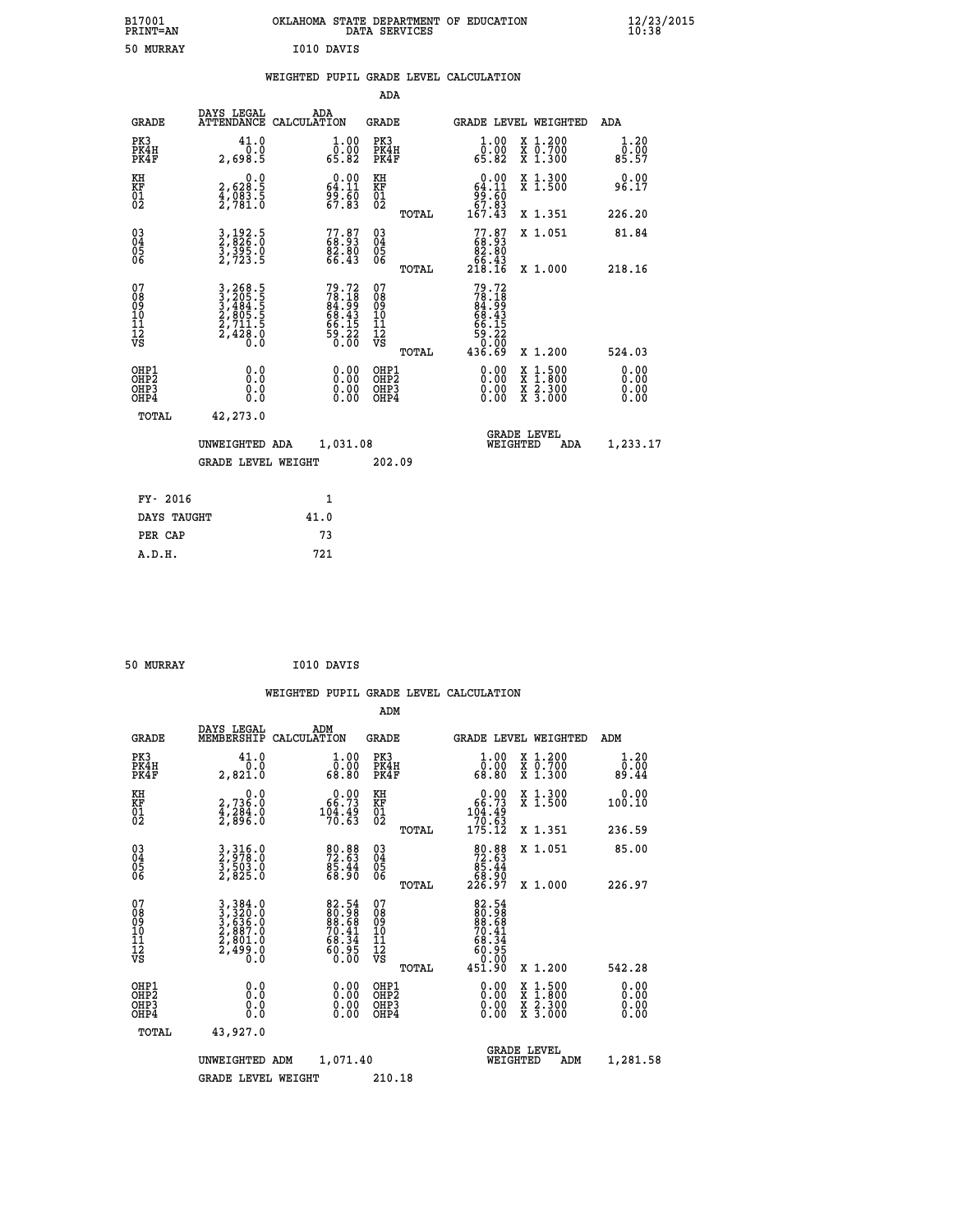| B17001<br><b>PRINT=AN</b> | OKLAHOMA STATE DEPARTMENT OF EDUCATION<br>DATA SERVICES | $\frac{12}{23}$ /2015 |
|---------------------------|---------------------------------------------------------|-----------------------|
| 50<br>MURRAY              | I010 DAVIS                                              |                       |

#### **WEIGHTED PUPIL GRADE LEVEL CALCULATION**

|                                                                    |                                                                |                                                                      | ADA                                    |       |                                                                                                           |                                          |                       |
|--------------------------------------------------------------------|----------------------------------------------------------------|----------------------------------------------------------------------|----------------------------------------|-------|-----------------------------------------------------------------------------------------------------------|------------------------------------------|-----------------------|
| <b>GRADE</b>                                                       | DAYS LEGAL                                                     | ADA<br>ATTENDANCE CALCULATION                                        | <b>GRADE</b>                           |       |                                                                                                           | <b>GRADE LEVEL WEIGHTED</b>              | ADA                   |
| PK3<br>PK4H<br>PK4F                                                | 41.0<br>0.0<br>2,698.5                                         | 1.00<br>ŏÖ.ÖŎ<br>65.82                                               | PK3<br>PK4H<br>PK4F                    |       | 1.00<br>ŏÖ.ÖŎ<br>65.82                                                                                    | X 1.200<br>X 0.700<br>X 1.300            | 1.20<br>0.00<br>85.57 |
| KH<br>KF<br>01<br>02                                               | 0.0<br>2,628:5<br>4,083:5<br>2,781:0                           | $\begin{smallmatrix} 0.00\\ 64.11\\ 99.60\\ 67.83 \end{smallmatrix}$ | KH<br>KF<br>01<br>02                   |       | 0.00<br>$64.11$<br>$99.60$<br>$67.83$<br>$167.43$                                                         | X 1.300<br>X 1.500                       | 0.00<br>96.17         |
|                                                                    |                                                                |                                                                      |                                        | TOTAL |                                                                                                           | X 1.351                                  | 226.20                |
| $\begin{smallmatrix} 03 \\[-4pt] 04 \end{smallmatrix}$<br>Ŏ5<br>06 | 3, 192.5<br>2, 826.0<br>3, 395.0<br>2, 723.5                   | 77.87<br>68.93<br>82.80<br>66.43                                     | 03<br>04<br>05<br>06                   |       | $77.87\n68.93\n82.80\n66.43\n218.16$                                                                      | X 1.051                                  | 81.84                 |
|                                                                    |                                                                |                                                                      |                                        | TOTAL |                                                                                                           | X 1.000                                  | 218.16                |
| 07<br>08<br>09<br>01<br>11<br>11<br>12<br>VS                       | 3,268.5<br>3,205.5<br>3,484.5<br>2,805.5<br>2,711.5<br>2,428.0 | 79.72<br>78.18<br>84.99<br>86.43<br>66.15<br>59.22<br>59.220         | 07<br>08<br>09<br>11<br>11<br>12<br>VS |       | 79.72<br>$78.18$<br>$84.99$<br>$68.43$<br>$\begin{array}{r} 66.15 \\ 59.22 \\ 0.60 \\ 436.69 \end{array}$ |                                          |                       |
|                                                                    |                                                                |                                                                      |                                        | TOTAL |                                                                                                           | X 1.200                                  | 524.03                |
| OHP1<br>OHP2<br>OH <sub>P3</sub><br>OHP4                           | 0.0<br>0.0<br>0.0                                              | $0.00$<br>$0.00$<br>0.00                                             | OHP1<br>OHP2<br>OHP3<br>OHP4           |       |                                                                                                           | X 1:500<br>X 1:800<br>X 2:300<br>X 3:000 | 0.00<br>0.00<br>0.00  |
| TOTAL                                                              | 42,273.0                                                       |                                                                      |                                        |       |                                                                                                           |                                          |                       |
|                                                                    | UNWEIGHTED ADA                                                 | 1,031.08                                                             |                                        |       |                                                                                                           | <b>GRADE LEVEL</b><br>WEIGHTED<br>ADA    | 1,233.17              |
|                                                                    | <b>GRADE LEVEL WEIGHT</b>                                      |                                                                      | 202.09                                 |       |                                                                                                           |                                          |                       |
| FY- 2016                                                           |                                                                | $\mathbf{1}$                                                         |                                        |       |                                                                                                           |                                          |                       |
| DAYS TAUGHT                                                        |                                                                | 41.0                                                                 |                                        |       |                                                                                                           |                                          |                       |
| PER CAP                                                            |                                                                | 73                                                                   |                                        |       |                                                                                                           |                                          |                       |

| 50 MURRAY | I010 DAVIS |
|-----------|------------|
|           |            |

 **A.D.H. 721**

 **WEIGHTED PUPIL GRADE LEVEL CALCULATION ADM DAYS LEGAL ADM GRADE MEMBERSHIP CALCULATION GRADE GRADE LEVEL WEIGHTED ADM PK3 41.0 1.00 PK3 1.00 X 1.200 1.20 PK4H 0.0 0.00 PK4H 0.00 X 0.700 0.00 PK4F 2,821.0 68.80 PK4F 68.80 X 1.300 89.44 KH 0.0 0.00 KH 0.00 X 1.300 0.00 KF 2,736.0 66.73 KF 66.73 X 1.500 100.10**  $\begin{array}{cccc} \text{KH} & \hspace{1.5cm} 0.0 & \hspace{1.5cm} 0.00 & \text{KH} \\ \text{KF} & \hspace{1.5cm} 2,736.0 & \hspace{1.5cm} 66.73 & \text{KF} \\ 01 & \hspace{1.5cm} 4,284.0 & \hspace{1.5cm} 104.49 & 01 \\ 2,896.0 & \hspace{1.5cm} 70.63 & \hspace{1.5cm} 02 \end{array}$  **02 2,896.0 70.63 02 70.63 TOTAL 175.12 X 1.351 236.59 03 3,316.0 80.88 03 80.88 X 1.051 85.00 04 2,978.0 72.63 04 72.63 05 3,503.0 85.44 05 85.44 06 2,825.0 68.90 06 68.90 TOTAL 226.97 X 1.000 226.97**  $\begin{array}{cccc} 07 & 3\, , 384 \cdot 0 & 82 \cdot 54 & 07 & 82 \cdot 54 \ 08 & 3\, , 220 \cdot 0 & 80 \cdot 68 & 089 & 80 \cdot 68 \ 10 & 2\, , 887 \cdot 0 & 70 \cdot 41 & 10 & 70 \cdot 41 \ 11 & 2\, , 499 \cdot 0 & 63 \cdot 34 & 11 & 68 \cdot 34 \ 12 & 76 \cdot 49 \cdot 0 & 63 \cdot 34 & 12 \ 78 & 87 \cdot 0 & 60 \cdot 0 & 0$  **TOTAL 451.90 X 1.200 542.28 OHP1 0.0 0.00 OHP1 0.00 X 1.500 0.00 OHP2 0.0 0.00 OHP2 0.00 X 1.800 0.00 OHP3 0.0 0.00 OHP3 0.00 X 2.300 0.00 OHP4 0.0 0.00 OHP4 0.00 X 3.000 0.00 TOTAL 43,927.0 GRADE LEVEL UNWEIGHTED ADM 1,071.40 WEIGHTED ADM 1,281.58 GRADE LEVEL WEIGHT 210.18**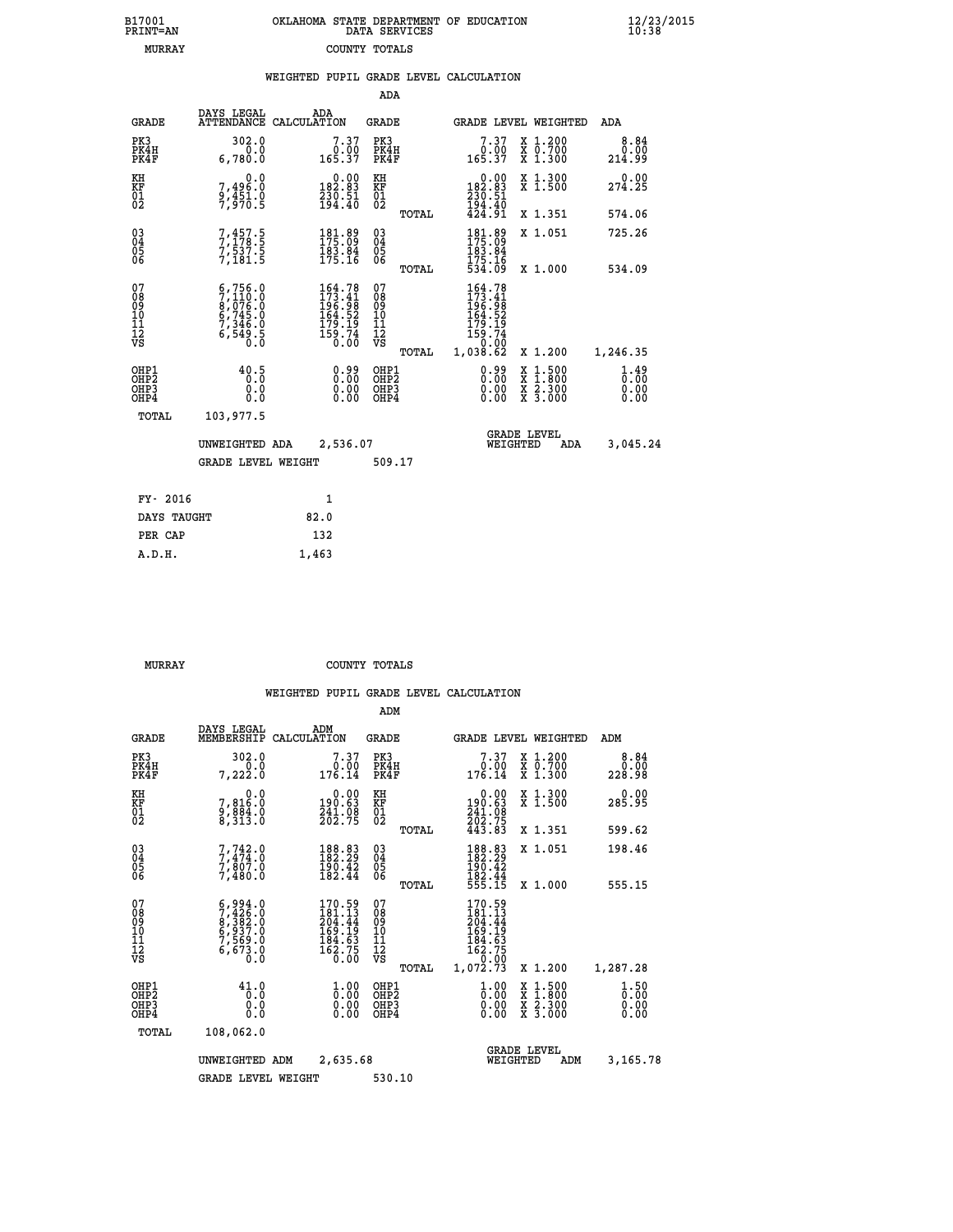| 7001<br>INT=AN |  | OKLAHOMA STATE DEPARTMENT OF EDUCATION<br>DATA SERVICES |  |
|----------------|--|---------------------------------------------------------|--|
| MURRAY         |  | COUNTY TOTALS                                           |  |

 **B17001<br>PRINT=AN** 

 **B17001 OKLAHOMA STATE DEPARTMENT OF EDUCATION 12/23/2015**

|                                                       |                                                                                                                                                          | WEIGHTED PUPIL GRADE LEVEL CALCULATION                                                                                              |                                                     |                                                                                                                       |                                                                                                                                           |                                                 |
|-------------------------------------------------------|----------------------------------------------------------------------------------------------------------------------------------------------------------|-------------------------------------------------------------------------------------------------------------------------------------|-----------------------------------------------------|-----------------------------------------------------------------------------------------------------------------------|-------------------------------------------------------------------------------------------------------------------------------------------|-------------------------------------------------|
|                                                       |                                                                                                                                                          |                                                                                                                                     | ADA                                                 |                                                                                                                       |                                                                                                                                           |                                                 |
| <b>GRADE</b>                                          | DAYS LEGAL                                                                                                                                               | ADA<br>ATTENDANCE CALCULATION                                                                                                       | <b>GRADE</b>                                        | <b>GRADE LEVEL WEIGHTED</b>                                                                                           |                                                                                                                                           | ADA                                             |
| PK3<br>PK4H<br>PK4F                                   | 302.0<br>0.0<br>6,780.0                                                                                                                                  | $7.37$<br>165.37                                                                                                                    | PK3<br>PK4H<br>PK4F                                 | 7.37<br>$\begin{array}{c} 0.00 \\ 165.37 \end{array}$                                                                 | X 1.200<br>X 0.700<br>X 1.300                                                                                                             | 8.84<br>0.00<br>214.99                          |
| KH<br>KF<br>01<br>02                                  | $\substack{7,496.0\\9,451.0\\7,970.5}$                                                                                                                   | $0.00$<br>182.83<br>$\frac{230.51}{194.40}$                                                                                         | KH<br>KF<br>01<br>02                                | $0.00$<br>182.83<br>$\frac{236}{194}$ $\cdot\frac{51}{40}$<br>$424$ $\cdot\frac{91}{91}$                              | X 1.300<br>X 1.500                                                                                                                        | 274.25                                          |
|                                                       |                                                                                                                                                          |                                                                                                                                     | TOTAL                                               |                                                                                                                       | X 1.351                                                                                                                                   | 574.06                                          |
| $^{03}_{04}$<br>05<br>06                              | $7, 457.5$<br>$7, 178.5$<br>$7, 537.5$<br>$7, 181.5$                                                                                                     | $\begin{smallmatrix} 181.89\\ 175.09\\ 183.84\\ 175.16 \end{smallmatrix}$                                                           | $^{03}_{04}$<br>0500                                | 181.89<br>175.09<br>183.84                                                                                            | X 1.051                                                                                                                                   | 725.26                                          |
|                                                       |                                                                                                                                                          |                                                                                                                                     | TOTAL                                               | 175.16<br>534.09                                                                                                      | X 1.000                                                                                                                                   | 534.09                                          |
| 07<br>08<br>09<br>10<br>11<br>11<br>12<br>VS          | $\begin{smallmatrix} 6\,,\,756\,,\,0\\ 7\,,\,110\,,\,0\\ 8\,,\,076\,,\,0\\ 6\,,\,745\,,\,0\\ 7\,,\,346\,,\,0\\ 6\,,\,549\,,\,5\\ 0\,. \end{smallmatrix}$ | $\begin{smallmatrix} 164\cdot78\\173\cdot41\\196\cdot98\\164\cdot52\\164\cdot52\\179\cdot19\\159\cdot74\\0\cdot00\end{smallmatrix}$ | 078<br>089<br>0011<br>11<br>11<br>12<br>VS<br>TOTAL | 164.78<br>173.41<br>196.98<br>164.52<br>$\begin{array}{r} 179.19 \\ 159.74 \\ 159.00 \\ 0.00 \\ 1,038.62 \end{array}$ | X 1.200                                                                                                                                   | 1,246.35                                        |
| OHP1<br>OHP2<br>OH <sub>P</sub> 3<br>OH <sub>P4</sub> | 40.5<br>0.0<br>0.0                                                                                                                                       | 0.99<br>$\begin{smallmatrix} 0.00 \ 0.00 \end{smallmatrix}$                                                                         | OHP1<br>OHP2<br>OHP3<br>OHP4                        | 0.99<br>0.00                                                                                                          | $\begin{smallmatrix} \mathtt{X} & 1\cdot500\\ \mathtt{X} & 1\cdot800\\ \mathtt{X} & 2\cdot300\\ \mathtt{X} & 3\cdot000 \end{smallmatrix}$ | $\frac{1}{0}$ : $\frac{49}{00}$<br>0.00<br>0.00 |
| TOTAL                                                 | 103,977.5                                                                                                                                                |                                                                                                                                     |                                                     |                                                                                                                       |                                                                                                                                           |                                                 |
|                                                       | UNWEIGHTED ADA                                                                                                                                           | 2,536.07                                                                                                                            |                                                     | <b>GRADE LEVEL</b><br>WEIGHTED                                                                                        | ADA                                                                                                                                       | 3,045.24                                        |
|                                                       | <b>GRADE LEVEL WEIGHT</b>                                                                                                                                |                                                                                                                                     | 509.17                                              |                                                                                                                       |                                                                                                                                           |                                                 |
| FY- 2016                                              |                                                                                                                                                          | $\mathbf{1}$                                                                                                                        |                                                     |                                                                                                                       |                                                                                                                                           |                                                 |
| DAYS TAUGHT                                           |                                                                                                                                                          | 82.0                                                                                                                                |                                                     |                                                                                                                       |                                                                                                                                           |                                                 |
| PER CAP                                               |                                                                                                                                                          | 132                                                                                                                                 |                                                     |                                                                                                                       |                                                                                                                                           |                                                 |

 **MURRAY COUNTY TOTALS**

 **A.D.H. 1,463**

|                                          |                                                                                           |             |                                                                                                       | ADM                                                 |       |                                                                                                                    |                                |                                          |                              |
|------------------------------------------|-------------------------------------------------------------------------------------------|-------------|-------------------------------------------------------------------------------------------------------|-----------------------------------------------------|-------|--------------------------------------------------------------------------------------------------------------------|--------------------------------|------------------------------------------|------------------------------|
| <b>GRADE</b>                             | DAYS LEGAL<br>MEMBERSHIP                                                                  | CALCULATION | ADM                                                                                                   | <b>GRADE</b>                                        |       |                                                                                                                    |                                | GRADE LEVEL WEIGHTED                     | ADM                          |
| PK3<br>PK4H<br>PK4F                      | 302.0<br>0.0<br>7,222.0                                                                   |             | 7.37<br>0.00<br>176.14                                                                                | PK3<br>PK4H<br>PK4F                                 |       | $7.37$<br>0.00<br>176.14                                                                                           |                                | X 1.200<br>X 0.700<br>X 1.300            | 8.84<br>0.00<br>228.98       |
| KH<br>KF<br>01<br>02                     | 0.0<br>7,816:0<br>9,884:0<br>8,313:0                                                      |             | $\begin{smallmatrix} &0.00\190.63\241.08\202.75 \end{smallmatrix}$                                    | KH<br>KF<br>01<br>02                                |       | $0.00$<br>$190.63$<br>$241.08$<br>$202.75$<br>$443.83$                                                             |                                | X 1.300<br>X 1.500                       | 0.00<br>285.95               |
|                                          |                                                                                           |             |                                                                                                       |                                                     | TOTAL |                                                                                                                    |                                | X 1.351                                  | 599.62                       |
| 03<br>04<br>05<br>06                     | $7, 742.0$<br>$7, 474.0$<br>$7, 807.0$<br>7,480.0                                         |             | 188.83<br>182.29<br>$\frac{190.42}{182.44}$                                                           | $\begin{array}{c} 03 \\ 04 \\ 05 \\ 06 \end{array}$ |       | 188.83<br>182.29<br>$\frac{196.42}{182.44}$<br>555.15                                                              |                                | X 1.051                                  | 198.46                       |
|                                          |                                                                                           |             |                                                                                                       |                                                     | TOTAL |                                                                                                                    |                                | X 1.000                                  | 555.15                       |
| 07<br>08<br>09<br>101<br>11<br>12<br>VS  | $5, 426.0$<br>$7, 426.0$<br>$8, 383.0$<br>$6, 937.0$<br>$7, 569.0$<br>$6, 673.0$<br>$0.0$ |             | $170.59$<br>$181.13$<br>$204.44$<br>$\begin{array}{c} 169.19 \\ 184.63 \\ 162.75 \\ 0.00 \end{array}$ | 07<br>08<br>09<br>11<br>11<br>12<br>VS              | TOTAL | $170.59$<br>$181.13$<br>$204.44$<br>169.19<br>$\begin{array}{r} 184.63 \\ 162.75 \\ -9.00 \end{array}$<br>1,072.73 |                                | X 1.200                                  | 1,287.28                     |
| OHP1<br>OHP2<br>OH <sub>P3</sub><br>OHP4 | 41.0<br>0.0<br>0.000                                                                      |             | $\begin{smallmatrix} 1.00\ 0.00\ 0.00 \end{smallmatrix}$                                              | OHP1<br>OHP2<br>OHP <sub>3</sub>                    |       | $\frac{1}{0}$ :00<br>0.00<br>0.00                                                                                  |                                | X 1:500<br>X 1:800<br>X 2:300<br>X 3:000 | 1.50<br>0.00<br>0.00<br>0.00 |
| TOTAL                                    | 108,062.0                                                                                 |             |                                                                                                       |                                                     |       |                                                                                                                    |                                |                                          |                              |
|                                          | UNWEIGHTED                                                                                | ADM         | 2,635.68                                                                                              |                                                     |       |                                                                                                                    | <b>GRADE LEVEL</b><br>WEIGHTED | ADM                                      | 3,165.78                     |
|                                          | <b>GRADE LEVEL WEIGHT</b>                                                                 |             |                                                                                                       | 530.10                                              |       |                                                                                                                    |                                |                                          |                              |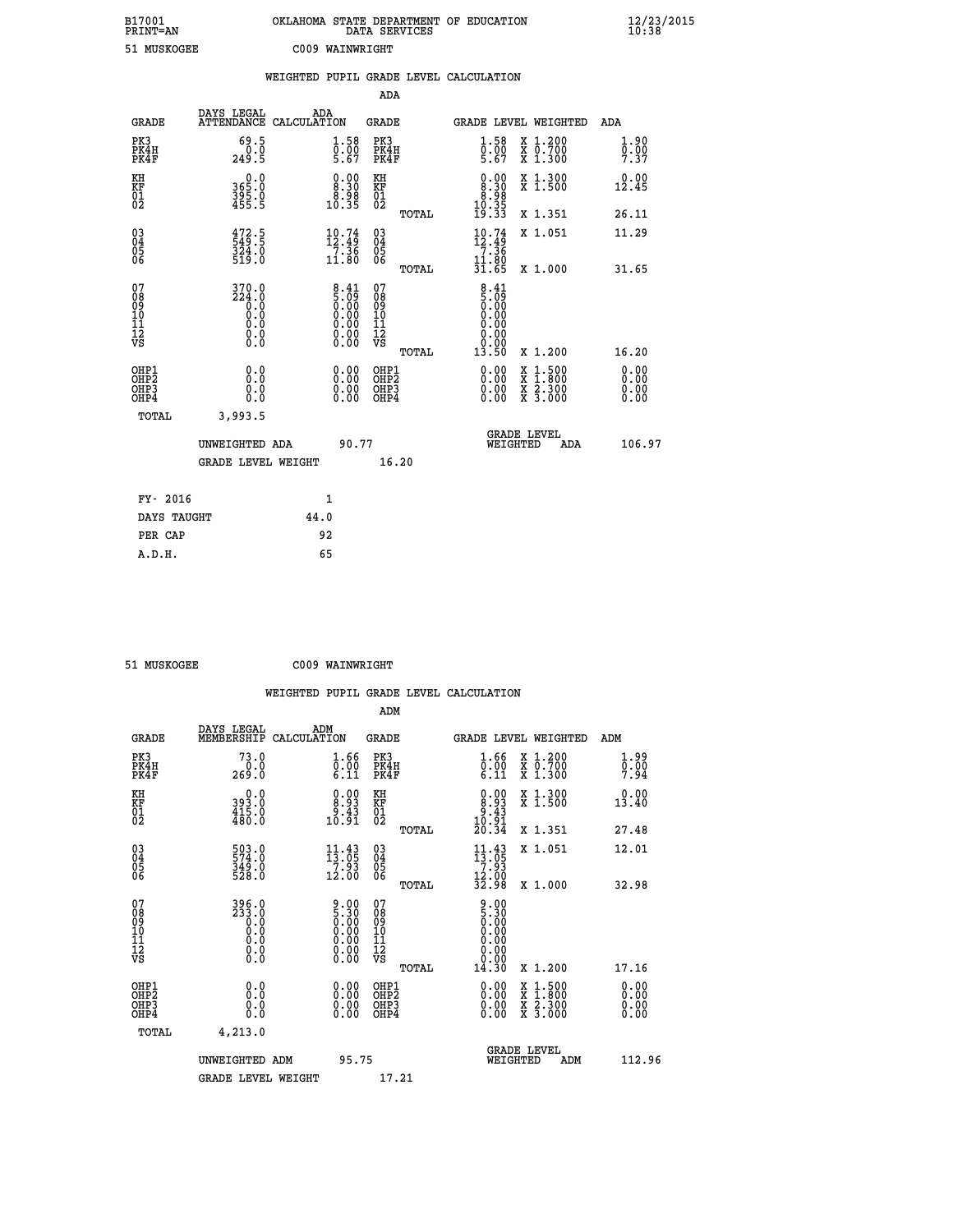| B17001<br><b>PRINT=AN</b> | OKLAHOMA STATE DEPARTMENT OF EDUCATION<br>DATA SERVICES | $\frac{12}{23}$ /2015 |
|---------------------------|---------------------------------------------------------|-----------------------|
| 51 MUSKOGEE               | C009 WAINWRIGHT                                         |                       |

|                              |                                                                                                                            | WEIGHTED PUPIL GRADE LEVEL CALCULATION                                                           |                                                      |       |                                                                                                                                                                                                                                                                                |                                          |                                  |
|------------------------------|----------------------------------------------------------------------------------------------------------------------------|--------------------------------------------------------------------------------------------------|------------------------------------------------------|-------|--------------------------------------------------------------------------------------------------------------------------------------------------------------------------------------------------------------------------------------------------------------------------------|------------------------------------------|----------------------------------|
|                              |                                                                                                                            |                                                                                                  | ADA                                                  |       |                                                                                                                                                                                                                                                                                |                                          |                                  |
| <b>GRADE</b>                 | DAYS LEGAL                                                                                                                 | ADA<br>ATTENDANCE CALCULATION                                                                    | <b>GRADE</b>                                         |       | GRADE LEVEL WEIGHTED                                                                                                                                                                                                                                                           |                                          | ADA                              |
| PK3<br>PK4H<br>PK4F          | 69.5<br>249.5                                                                                                              | $\begin{smallmatrix} 1.58\ 0.00\ 5.67 \end{smallmatrix}$                                         | PK3<br>PK4H<br>PK4F                                  |       | $\begin{smallmatrix} 1.58\ 0.00\\ 5.67 \end{smallmatrix}$                                                                                                                                                                                                                      | X 1.200<br>X 0.700<br>X 1.300            | 1.90<br>$\frac{0.00}{7.37}$      |
| KH<br>KF<br>01<br>02         | 0.0<br>365:0<br>395:0<br>455:5                                                                                             | $\begin{smallmatrix} 0.00\\ 8.30\\ 8.30\\ 8.98\\ 10.35 \end{smallmatrix}$                        | KH<br>KF<br>01<br>02                                 |       | $\begin{smallmatrix} 0.00\\ 8.30\\ 8.30\\ 8.98\\ 10.35\\ 19.33 \end{smallmatrix}$                                                                                                                                                                                              | X 1.300<br>X 1.500                       | 0.00<br>12.45                    |
|                              |                                                                                                                            |                                                                                                  |                                                      | TOTAL |                                                                                                                                                                                                                                                                                | X 1.351                                  | 26.11                            |
| $^{03}_{04}$<br>Ŏ5<br>06     | $\frac{472.5}{549.5}$<br>$\frac{324.0}{519.0}$                                                                             | $\begin{array}{c} 10\cdot74 \\[-4pt] 12\cdot49 \\[-4pt] 7\cdot36 \\[-4pt] 11\cdot80 \end{array}$ | $\begin{matrix} 03 \\ 04 \\ 05 \\ 06 \end{matrix}$   |       | 10.74<br>12:45<br>7.36                                                                                                                                                                                                                                                         | X 1.051                                  | 11.29                            |
|                              |                                                                                                                            |                                                                                                  |                                                      | TOTAL | $\frac{11.80}{31.65}$                                                                                                                                                                                                                                                          | X 1.000                                  | 31.65                            |
| 07<br>0890112<br>1112<br>VS  | $\begin{smallmatrix} 3\,7\,0\,. \ 0\\ 2\,2\,4\,. \ 0\\ 0\,. \ 0\\ 0\,. \ 0\\ 0\,. \ 0\\ 0\,. \ 0\\ 0\,. \end{smallmatrix}$ | $\begin{smallmatrix} 8.41\ 5.09\ 0.00\ 0.00\ 0.00\ 0.00\ 0.00\ 0.00\ 0.00\ \end{smallmatrix}$    | 07<br>08901112<br>1112<br>VS                         | TOTAL | $\begin{array}{c} 8.41 \\ 5.09 \\ 0.00 \\ 0.00 \end{array}$<br>0.00<br>0.00<br>0.00<br>13.50                                                                                                                                                                                   | X 1.200                                  | 16.20                            |
| OHP1<br>OHP2<br>OHP3<br>OHP4 | 0.0<br>0.0<br>0.0                                                                                                          | $\begin{smallmatrix} 0.00 \ 0.00 \ 0.00 \ 0.00 \end{smallmatrix}$                                | OHP1<br>OHP2<br>OHP <sub>3</sub><br>OHP <sub>4</sub> |       | $\begin{smallmatrix} 0.00 & 0.00 & 0.00 & 0.00 & 0.00 & 0.00 & 0.00 & 0.00 & 0.00 & 0.00 & 0.00 & 0.00 & 0.00 & 0.00 & 0.00 & 0.00 & 0.00 & 0.00 & 0.00 & 0.00 & 0.00 & 0.00 & 0.00 & 0.00 & 0.00 & 0.00 & 0.00 & 0.00 & 0.00 & 0.00 & 0.00 & 0.00 & 0.00 & 0.00 & 0.00 & 0.0$ | X 1:500<br>X 1:800<br>X 2:300<br>X 3:000 | 0.00<br>0.00<br>$0.00$<br>$0.00$ |
| TOTAL                        | 3,993.5                                                                                                                    |                                                                                                  |                                                      |       |                                                                                                                                                                                                                                                                                |                                          |                                  |
|                              | UNWEIGHTED ADA                                                                                                             | 90.77                                                                                            |                                                      |       | WEIGHTED                                                                                                                                                                                                                                                                       | <b>GRADE LEVEL</b><br>ADA                | 106.97                           |
|                              | <b>GRADE LEVEL WEIGHT</b>                                                                                                  |                                                                                                  | 16.20                                                |       |                                                                                                                                                                                                                                                                                |                                          |                                  |
| FY- 2016                     |                                                                                                                            | 1                                                                                                |                                                      |       |                                                                                                                                                                                                                                                                                |                                          |                                  |
| DAYS TAUGHT                  |                                                                                                                            | 44.0                                                                                             |                                                      |       |                                                                                                                                                                                                                                                                                |                                          |                                  |
| PER CAP                      |                                                                                                                            | 92                                                                                               |                                                      |       |                                                                                                                                                                                                                                                                                |                                          |                                  |

 **51 MUSKOGEE C009 WAINWRIGHT**

 **WEIGHTED PUPIL GRADE LEVEL CALCULATION ADM DAYS LEGAL ADM GRADE MEMBERSHIP CALCULATION GRADE GRADE LEVEL WEIGHTED ADM PK3 73.0 1.66 PK3 1.66 X 1.200 1.99 PK4H 0.0 0.00 PK4H 0.00 X 0.700 0.00 PK4F 269.0 6.11 PK4F 6.11 X 1.300 7.94**

| ΚH<br>KF<br>01<br>02                                 | $\begin{smallmatrix} 0.0\\ 393.0\\ 415.0\\ 480.0 \end{smallmatrix}$                       | $\begin{smallmatrix} 0.00\\ 8.93\\ -9.43\\ 10.91 \end{smallmatrix}$                           | KH<br>KF<br>01<br>02                                             |       | $\begin{smallmatrix} 0.00\\ 8.93\\ -9.43\\ 10.91\\ 20.34 \end{smallmatrix}$                            | X 1.300<br>X 1.500                       | $0.00$<br>13.40                                                                                                                                                                                                                                                                |
|------------------------------------------------------|-------------------------------------------------------------------------------------------|-----------------------------------------------------------------------------------------------|------------------------------------------------------------------|-------|--------------------------------------------------------------------------------------------------------|------------------------------------------|--------------------------------------------------------------------------------------------------------------------------------------------------------------------------------------------------------------------------------------------------------------------------------|
|                                                      |                                                                                           |                                                                                               |                                                                  | TOTAL |                                                                                                        | X 1.351                                  | 27.48<br>12.01                                                                                                                                                                                                                                                                 |
| $\begin{matrix} 03 \\ 04 \\ 05 \\ 06 \end{matrix}$   | 503.0<br>574.0<br>349.0<br>528.0                                                          | $\begin{array}{c} 11\cdot 43\\13\cdot 05\\7\cdot 93\\12\cdot 00\end{array}$                   | 03<br>04<br>05<br>06                                             |       | $11.43$<br>$7.93$<br>$7.93$<br>$12.00$<br>$32.98$                                                      | X 1.051                                  |                                                                                                                                                                                                                                                                                |
|                                                      |                                                                                           |                                                                                               |                                                                  | TOTAL |                                                                                                        | X 1.000                                  | 32.98                                                                                                                                                                                                                                                                          |
| 078901112<br>00010112<br>VS                          | $\begin{smallmatrix} 396.0\\ 233.0\\ 0.0\\ 0.0\\ 0.0\\ 0.0\\ 0.0\\ 0.0 \end{smallmatrix}$ | $\begin{smallmatrix} 9.00\ 5.30\ 0.00\ 0.00\ 0.00\ 0.00\ 0.00\ 0.00\ 0.00\ \end{smallmatrix}$ | 07<br>08<br>09<br>001<br>11<br>11<br>12<br>VS                    | TOTAL | $\begin{smallmatrix} 9.00\ 1.30\ 0.00\ 0.00\ 0.00\ 0.00\ 0.00\ 0.00\ 0.00\ \end{smallmatrix}$<br>14.30 | X 1.200                                  | 17.16                                                                                                                                                                                                                                                                          |
|                                                      |                                                                                           |                                                                                               |                                                                  |       |                                                                                                        |                                          |                                                                                                                                                                                                                                                                                |
| OHP1<br>OHP <sub>2</sub><br>OH <sub>P3</sub><br>OHP4 |                                                                                           | $\begin{smallmatrix} 0.00 \ 0.00 \ 0.00 \ 0.00 \end{smallmatrix}$                             | OHP1<br>OHP <sub>2</sub><br>OHP <sub>3</sub><br>OHP <sub>4</sub> |       |                                                                                                        | X 1:500<br>X 1:800<br>X 2:300<br>X 3:000 | $\begin{smallmatrix} 0.00 & 0.00 & 0.00 & 0.00 & 0.00 & 0.00 & 0.00 & 0.00 & 0.00 & 0.00 & 0.00 & 0.00 & 0.00 & 0.00 & 0.00 & 0.00 & 0.00 & 0.00 & 0.00 & 0.00 & 0.00 & 0.00 & 0.00 & 0.00 & 0.00 & 0.00 & 0.00 & 0.00 & 0.00 & 0.00 & 0.00 & 0.00 & 0.00 & 0.00 & 0.00 & 0.0$ |
| TOTAL                                                | 4,213.0                                                                                   |                                                                                               |                                                                  |       |                                                                                                        |                                          |                                                                                                                                                                                                                                                                                |
|                                                      | UNWEIGHTED<br>ADM                                                                         | 95.75                                                                                         |                                                                  |       |                                                                                                        | <b>GRADE LEVEL</b><br>WEIGHTED<br>ADM    | 112.96                                                                                                                                                                                                                                                                         |
|                                                      | <b>GRADE LEVEL WEIGHT</b>                                                                 |                                                                                               | 17.21                                                            |       |                                                                                                        |                                          |                                                                                                                                                                                                                                                                                |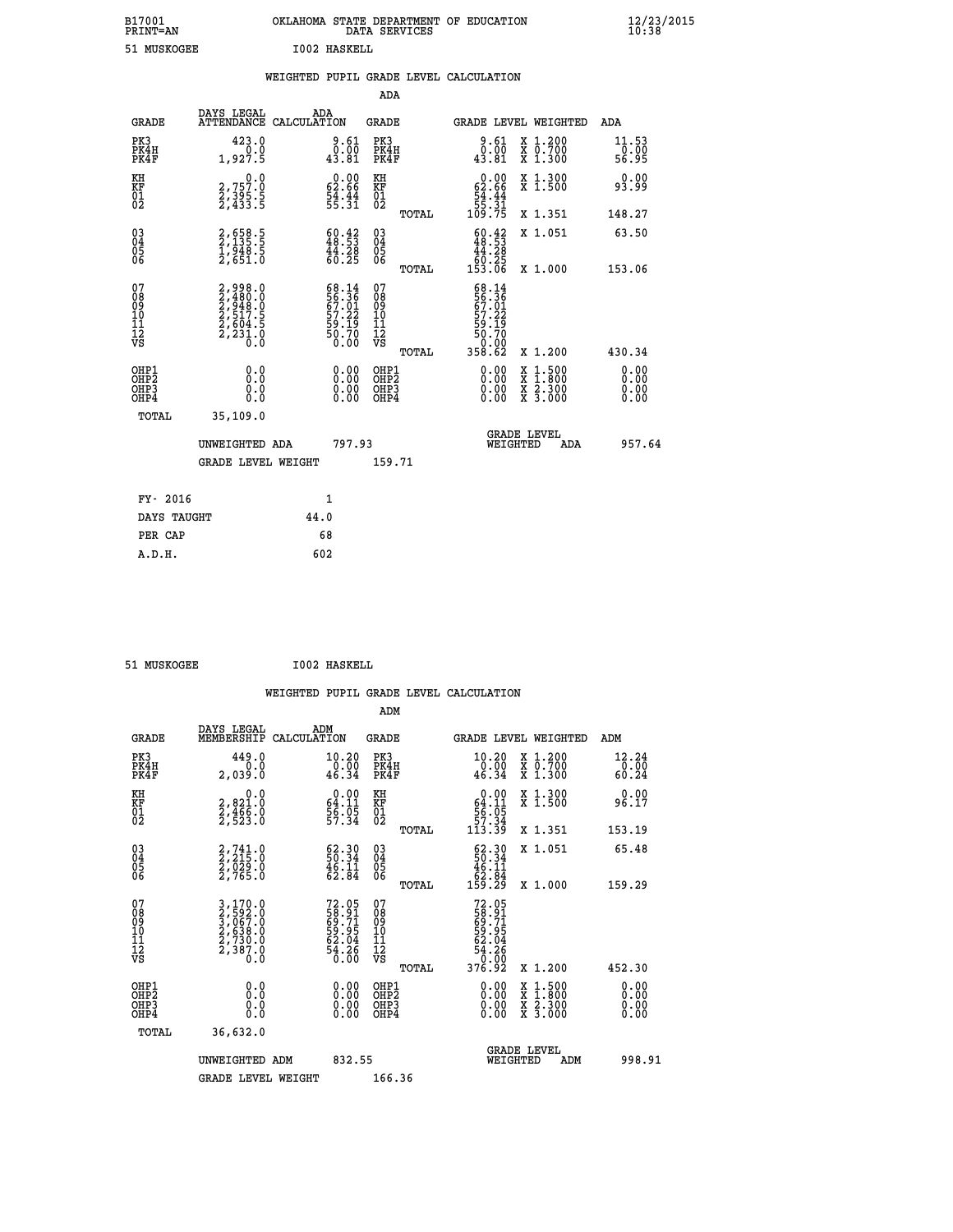| B17001<br><b>PRINT=AN</b> | OKLAHOMA STATE DEPARTMENT OF EDUCATION<br>DATA SERVICES |  |
|---------------------------|---------------------------------------------------------|--|
| 51 MUSKOGEE               | 1002 HASKELL                                            |  |

 **B17001 OKLAHOMA STATE DEPARTMENT OF EDUCATION 12/23/2015**

|                                                    |                                                                                                                   | WEIGHTED PUPIL GRADE LEVEL CALCULATION                               |                                                 |                                                                                                                                                                                                                                                                                |                                                                                                                                                                           |
|----------------------------------------------------|-------------------------------------------------------------------------------------------------------------------|----------------------------------------------------------------------|-------------------------------------------------|--------------------------------------------------------------------------------------------------------------------------------------------------------------------------------------------------------------------------------------------------------------------------------|---------------------------------------------------------------------------------------------------------------------------------------------------------------------------|
|                                                    |                                                                                                                   |                                                                      | <b>ADA</b>                                      |                                                                                                                                                                                                                                                                                |                                                                                                                                                                           |
| <b>GRADE</b>                                       | DAYS LEGAL                                                                                                        | ADA<br>ATTENDANCE CALCULATION                                        | <b>GRADE</b>                                    | GRADE LEVEL WEIGHTED                                                                                                                                                                                                                                                           | ADA                                                                                                                                                                       |
| PK3<br>PK4H<br>PK4F                                | 423.0<br>0.0<br>1,927.5                                                                                           | $\begin{smallmatrix} 9.61\0.00\\43.81\end{smallmatrix}$              | PK3<br>PK4H<br>PK4F                             | $0.61$<br>$0.00$<br>43.81                                                                                                                                                                                                                                                      | X 1.200<br>X 0.700<br>X 1.300<br>11.53<br>-ō:ŏŏ<br>56:95                                                                                                                  |
| KH<br>KF<br>01<br>02                               | $\begin{smallmatrix}&&&0.0\2,757.0\2,395.5\2,433.5\end{smallmatrix}$                                              | $\begin{smallmatrix} 0.00\\ 62.66\\ 54.44\\ 55.31 \end{smallmatrix}$ | KH<br>KF<br>01<br>02                            | $\begin{smallmatrix}&&0.00\\62.66\\54.44\\55.31\\109.75\end{smallmatrix}$                                                                                                                                                                                                      | X 1.300<br>X 1.500<br>0.00<br>93.99                                                                                                                                       |
|                                                    |                                                                                                                   |                                                                      | TOTAL                                           |                                                                                                                                                                                                                                                                                | X 1.351<br>148.27                                                                                                                                                         |
| $\begin{matrix} 03 \\ 04 \\ 05 \\ 06 \end{matrix}$ | 2,658.5<br>2,135.5<br>1,948.5<br>2,651.0                                                                          | $\frac{60.42}{48.53}$<br>$\frac{44.28}{60.25}$                       | 03<br>04<br>05<br>06                            | $\frac{60.42}{48.53}$<br>$\begin{array}{r} 44.28 \\ 60.25 \\ 153.06 \end{array}$                                                                                                                                                                                               | X 1.051<br>63.50                                                                                                                                                          |
|                                                    |                                                                                                                   |                                                                      | TOTAL                                           |                                                                                                                                                                                                                                                                                | 153.06<br>X 1.000                                                                                                                                                         |
| 07<br>08901112<br>1112<br>VS                       | $\begin{smallmatrix} 2,998.0\\ 2,480.0\\ 2,948.0\\ 2,948.0\\ 2,517.5\\ 2,604.5\\ 2,231.0\\ 0.0 \end{smallmatrix}$ | 68.14<br>56.36<br>67.01<br>67.22<br>59.19<br>50.70<br>50.00          | 07<br>08<br>09<br>11<br>11<br>12<br>VS<br>TOTAL | 68.14<br>56.36<br>67.01<br>57.22<br>59.19<br>50.70<br>0.00<br>358.62                                                                                                                                                                                                           | X 1.200<br>430.34                                                                                                                                                         |
| OHP1<br>OHP2<br>OHP3<br>OHP4                       | 0.0<br>0.0<br>0.0                                                                                                 | $\begin{smallmatrix} 0.00 \ 0.00 \ 0.00 \ 0.00 \end{smallmatrix}$    | OHP1<br>OHP2<br>OHP3<br>OHP4                    | $\begin{smallmatrix} 0.00 & 0.00 & 0.00 & 0.00 & 0.00 & 0.00 & 0.00 & 0.00 & 0.00 & 0.00 & 0.00 & 0.00 & 0.00 & 0.00 & 0.00 & 0.00 & 0.00 & 0.00 & 0.00 & 0.00 & 0.00 & 0.00 & 0.00 & 0.00 & 0.00 & 0.00 & 0.00 & 0.00 & 0.00 & 0.00 & 0.00 & 0.00 & 0.00 & 0.00 & 0.00 & 0.0$ | $\begin{smallmatrix} \mathtt{X} & 1\cdot500\\ \mathtt{X} & 1\cdot800\\ \mathtt{X} & 2\cdot300\\ \mathtt{X} & 3\cdot000 \end{smallmatrix}$<br>0.00<br>0.00<br>0.00<br>0.00 |
| TOTAL                                              | 35,109.0                                                                                                          |                                                                      |                                                 |                                                                                                                                                                                                                                                                                |                                                                                                                                                                           |
|                                                    | UNWEIGHTED ADA                                                                                                    | 797.93                                                               |                                                 | <b>GRADE LEVEL</b><br>WEIGHTED                                                                                                                                                                                                                                                 | 957.64<br>ADA                                                                                                                                                             |
|                                                    | <b>GRADE LEVEL WEIGHT</b>                                                                                         |                                                                      | 159.71                                          |                                                                                                                                                                                                                                                                                |                                                                                                                                                                           |
| FY- 2016                                           |                                                                                                                   | $\mathbf{1}$                                                         |                                                 |                                                                                                                                                                                                                                                                                |                                                                                                                                                                           |
|                                                    | DAYS TAUGHT                                                                                                       | 44.0                                                                 |                                                 |                                                                                                                                                                                                                                                                                |                                                                                                                                                                           |
| PER CAP                                            |                                                                                                                   | 68                                                                   |                                                 |                                                                                                                                                                                                                                                                                |                                                                                                                                                                           |

 **A.D.H. 602**

 **ADM**

51 MUSKOGEE **I002 HASKELL** 

| <b>GRADE</b>                                         | DAYS LEGAL<br>MEMBERSHIP                                                                                                                                                 | ADM<br>CALCULATION                                                   | <b>GRADE</b>                                       |       |                                                                      |          | GRADE LEVEL WEIGHTED                     | ADM                    |
|------------------------------------------------------|--------------------------------------------------------------------------------------------------------------------------------------------------------------------------|----------------------------------------------------------------------|----------------------------------------------------|-------|----------------------------------------------------------------------|----------|------------------------------------------|------------------------|
| PK3<br>PK4H<br>PK4F                                  | 449.0<br>0.0<br>2,039.0                                                                                                                                                  | 10.20<br>$\frac{0.00}{46.34}$                                        | PK3<br>PK4H<br>PK4F                                |       | 10.20<br>$\frac{0.00}{46.34}$                                        |          | X 1.200<br>X 0.700<br>X 1.300            | 12.24<br>0.00<br>60.24 |
| KH<br>KF<br>01<br>02                                 | 0.0<br>2,821:0<br>2,466:0<br>2,523:0                                                                                                                                     | $64.11$<br>$56.05$<br>$57.34$                                        | KH<br>KF<br>01<br>02                               |       | 0.00<br>$64.11$<br>56.05<br>57.34<br>113.39                          |          | X 1.300<br>X 1.500                       | 0.00<br>96.17          |
|                                                      |                                                                                                                                                                          |                                                                      |                                                    | TOTAL |                                                                      |          | X 1.351                                  | 153.19                 |
| $\begin{matrix} 03 \\ 04 \\ 05 \\ 06 \end{matrix}$   | 2,741.0<br>2,215.0<br>2,029.0<br>2,765.0                                                                                                                                 | $\begin{smallmatrix} 62.30\ 50.34\ 46.11\ 62.84 \end{smallmatrix}$   | $\begin{matrix} 03 \\ 04 \\ 05 \\ 06 \end{matrix}$ |       | $62.3050.3446.1162.84159.29$                                         |          | X 1.051                                  | 65.48                  |
|                                                      |                                                                                                                                                                          |                                                                      |                                                    | TOTAL |                                                                      |          | X 1.000                                  | 159.29                 |
| 07<br>08<br>09<br>101<br>11<br>12<br>VS              | $\begin{smallmatrix} 3\,,\,170\, .\, 0\\ 2\,,\,592\, .\, 0\\ 3\,,\,067\, .\, 0\\ 2\,,\,638\, .\, 0\\ 2\,,\,730\, .\, 0\\ 2\,,\,387\, .\, 0\\ 0\, .\, 0\end{smallmatrix}$ | 72.05<br>58.91<br>69.71<br>69.95<br>52.04<br>62.04<br>54.26<br>54.26 | 07<br>08<br>09<br>001<br>11<br>11<br>12<br>VS      | TOTAL | 72.05<br>58.91<br>59.71<br>59.04<br>54.26<br>54.26<br>54.00<br>50.92 |          | X 1.200                                  | 452.30                 |
| OHP1<br>OHP <sub>2</sub><br>OH <sub>P3</sub><br>OHP4 |                                                                                                                                                                          | $\begin{smallmatrix} 0.00 \ 0.00 \ 0.00 \ 0.00 \end{smallmatrix}$    | OHP1<br>OHP2<br>OHP3<br>OHP4                       |       |                                                                      |          | X 1:500<br>X 1:800<br>X 2:300<br>X 3:000 | 0.00<br>0.00<br>0.00   |
| TOTAL                                                | 36,632.0                                                                                                                                                                 |                                                                      |                                                    |       |                                                                      |          |                                          |                        |
|                                                      | UNWEIGHTED                                                                                                                                                               | 832.55<br>ADM                                                        |                                                    |       |                                                                      | WEIGHTED | <b>GRADE LEVEL</b><br>ADM                | 998.91                 |
|                                                      | <b>GRADE LEVEL WEIGHT</b>                                                                                                                                                |                                                                      | 166.36                                             |       |                                                                      |          |                                          |                        |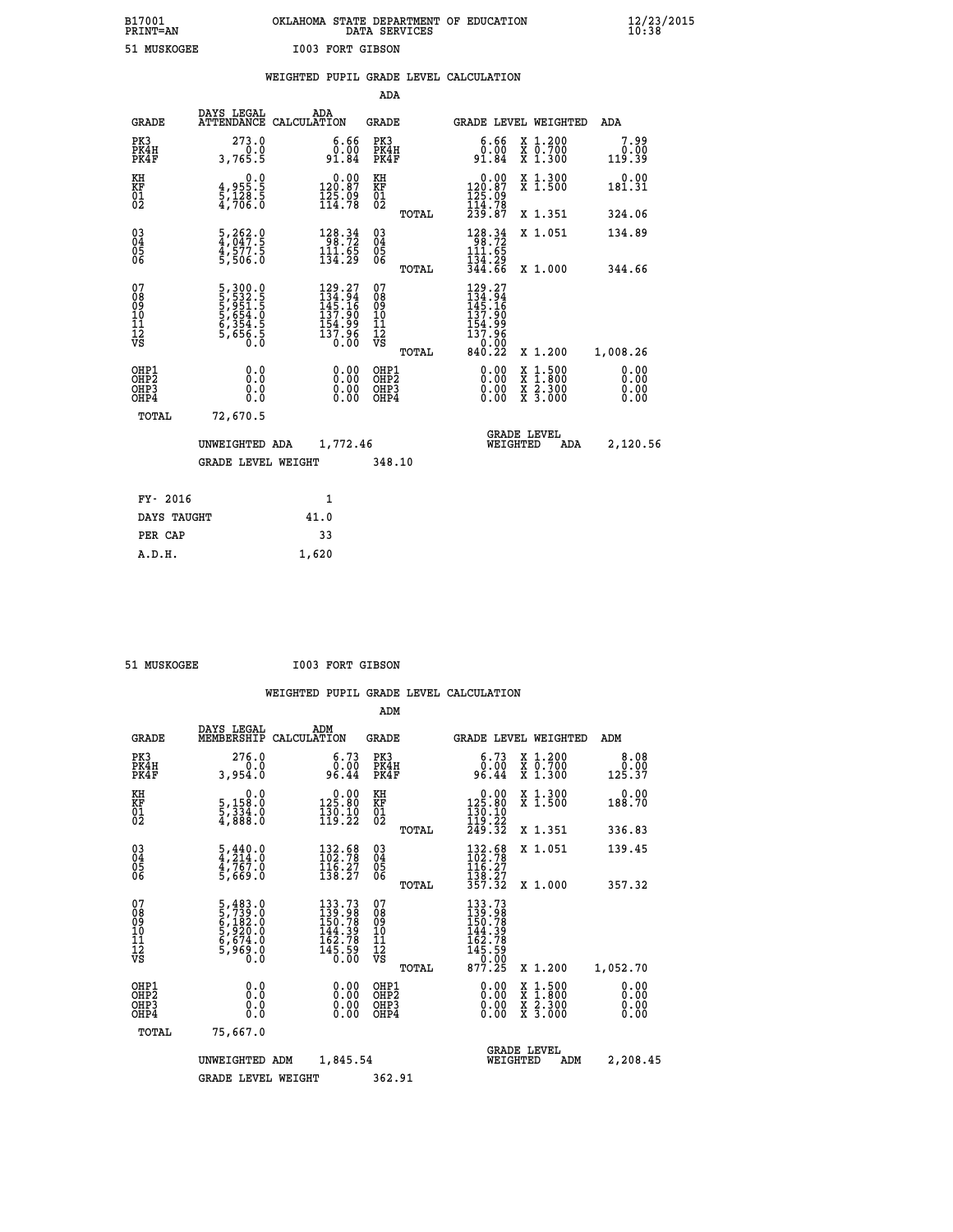# **B17001 OKLAHOMA STATE DEPARTMENT OF EDUCATION 12/23/2015 PRINT=AN DATA SERVICES 10:38**

| 51 MUSKOGEE                                                        |                                                                                            |       | <b>I003 FORT GIBSON</b>                                                                            |                                        |       |                                                                                                           |                                                                |                        |
|--------------------------------------------------------------------|--------------------------------------------------------------------------------------------|-------|----------------------------------------------------------------------------------------------------|----------------------------------------|-------|-----------------------------------------------------------------------------------------------------------|----------------------------------------------------------------|------------------------|
|                                                                    |                                                                                            |       |                                                                                                    |                                        |       | WEIGHTED PUPIL GRADE LEVEL CALCULATION                                                                    |                                                                |                        |
|                                                                    |                                                                                            |       |                                                                                                    | ADA                                    |       |                                                                                                           |                                                                |                        |
| <b>GRADE</b>                                                       | DAYS LEGAL<br>ATTENDANCE CALCULATION                                                       |       | ADA                                                                                                | GRADE                                  |       |                                                                                                           | GRADE LEVEL WEIGHTED                                           | ADA                    |
| PK3<br>PK4H<br>PK4F                                                | 273.0<br>0.0<br>3,765.5                                                                    |       | 6.66<br>0.00<br>91.84                                                                              | PK3<br>PK4H<br>PK4F                    |       | 6.66<br>0.00<br>91.84                                                                                     | X 1.200<br>X 0.700<br>X 1.300                                  | 7.99<br>0.00<br>119.39 |
| KH<br><b>KF</b><br>01<br>02                                        | $\begin{smallmatrix} 0 & 0 \\ 4 & 955 & 5 \\ 5 & 128 & 5 \\ 4 & 706 & 0 \end{smallmatrix}$ |       | $\begin{smallmatrix} &0.00\\ 120.87\\ 125.09\\ 114.78\end{smallmatrix}$                            | KH<br><b>KF</b><br>01<br>02            |       | 0.00<br>120.87<br>125.09<br>114.78                                                                        | X 1.300<br>X 1.500                                             | 0.00<br>181.31         |
|                                                                    |                                                                                            |       |                                                                                                    |                                        | TOTAL | 239.87                                                                                                    | X 1.351                                                        | 324.06                 |
| $\begin{smallmatrix} 03 \\[-4pt] 04 \end{smallmatrix}$<br>Ŏ5<br>06 | 5,262.0<br>4,047.5<br>4,577.5<br>5,506.0                                                   |       | $\begin{array}{r} 128.34 \\ 98.72 \\ 111.65 \\ 134.29 \end{array}$                                 | $\substack{03 \\ 04}$<br>Ŏ5<br>06      |       | $\begin{array}{r} 128.34 \\ 98.72 \\ 111.65 \\ 134.29 \end{array}$                                        | X 1.051                                                        | 134.89                 |
|                                                                    |                                                                                            |       |                                                                                                    |                                        | TOTAL | 344.66                                                                                                    | X 1.000                                                        | 344.66                 |
| 07<br>08<br>09<br>10<br>11<br>11<br>12<br>VS                       | 5, 300.0<br>5, 532.5<br>5, 951.5<br>5, 654.0<br>6, 354.5<br>6, 656.5<br>0.0                |       | $\begin{smallmatrix} 129.27\\ 134.94\\ 145.16\\ 137.90\\ 154.99\\ 137.96\\ 0.00 \end{smallmatrix}$ | 07<br>08<br>09<br>10<br>11<br>12<br>VS | TOTAL | $\begin{array}{r} 129.27 \\ 134.94 \\ 145.16 \\ 137.90 \\ 154.99 \\ 137.96 \end{array}$<br>0.00<br>840.22 | X 1.200                                                        | 1,008.26               |
| OHP1<br>OHP <sub>2</sub><br>OHP3<br>OHP4                           | 0.0<br>0.0<br>0.0                                                                          |       | 0.00<br>$0.00$<br>0.00                                                                             | OHP1<br>OHP2<br>OHP3<br>OHP4           |       | 0.00<br>0.00                                                                                              | $1:500$<br>$1:800$<br>X 1:500<br>X 1:800<br>X 2:300<br>X 3:000 | 0.00<br>0.00<br>0.00   |
| TOTAL                                                              | 72,670.5                                                                                   |       |                                                                                                    |                                        |       |                                                                                                           |                                                                |                        |
|                                                                    | UNWEIGHTED ADA                                                                             |       | 1,772.46                                                                                           |                                        |       | WEIGHTED                                                                                                  | <b>GRADE LEVEL</b><br>ADA                                      | 2,120.56               |
|                                                                    | <b>GRADE LEVEL WEIGHT</b>                                                                  |       |                                                                                                    | 348.10                                 |       |                                                                                                           |                                                                |                        |
| FY- 2016                                                           |                                                                                            |       | 1                                                                                                  |                                        |       |                                                                                                           |                                                                |                        |
| DAYS TAUGHT                                                        |                                                                                            | 41.0  |                                                                                                    |                                        |       |                                                                                                           |                                                                |                        |
| PER CAP                                                            |                                                                                            |       | 33                                                                                                 |                                        |       |                                                                                                           |                                                                |                        |
| A.D.H.                                                             |                                                                                            | 1,620 |                                                                                                    |                                        |       |                                                                                                           |                                                                |                        |

 **51 MUSKOGEE I003 FORT GIBSON**

|                                          |                                                                                 |             |                                                                                                 | ADM                                                |       |                                                                                 |                                |                                          |                              |
|------------------------------------------|---------------------------------------------------------------------------------|-------------|-------------------------------------------------------------------------------------------------|----------------------------------------------------|-------|---------------------------------------------------------------------------------|--------------------------------|------------------------------------------|------------------------------|
| <b>GRADE</b>                             | DAYS LEGAL<br>MEMBERSHIP                                                        | CALCULATION | ADM                                                                                             | <b>GRADE</b>                                       |       |                                                                                 |                                | GRADE LEVEL WEIGHTED                     | ADM                          |
| PK3<br>PK4H<br>PK4F                      | 276.0<br>0.0<br>3,954.0                                                         |             | 6.73<br>ةة:ة<br>96.44                                                                           | PK3<br>PK4H<br>PK4F                                |       | 6.73<br>ةة:ة<br>96.44                                                           |                                | X 1.200<br>X 0.700<br>X 1.300            | 8.08<br>0.00<br>125.37       |
| KH<br>KF<br>01<br>02                     | 0.0<br>5,158:0<br>5,334:0<br>4,888:0                                            |             | $\begin{smallmatrix} &0.00\\ 125.80\\ 130.10\\ 119.22\end{smallmatrix}$                         | KH<br>KF<br>01<br>02                               |       | $\begin{array}{c} 0.00 \\ 125.80 \\ 130.10 \\ 119.22 \\ 249.32 \end{array}$     |                                | X 1.300<br>X 1.500                       | 0.00<br>188.70               |
|                                          |                                                                                 |             |                                                                                                 |                                                    | TOTAL |                                                                                 |                                | X 1.351                                  | 336.83                       |
| 03<br>04<br>05<br>06                     | $\frac{5}{4}, \frac{440}{214}.0$<br>$\frac{4}{4}, \frac{767}{769}.0$<br>5,669.0 |             | $\begin{array}{l} 132.58 \\[-4pt] 102.78 \\[-4pt] 116.27 \\[-4pt] 138.27 \end{array}$           | $\begin{matrix} 03 \\ 04 \\ 05 \\ 06 \end{matrix}$ |       | 132.68<br>$\frac{116}{138}.27$<br>$\frac{138}{357}.32$                          |                                | X 1.051                                  | 139.45                       |
|                                          |                                                                                 |             |                                                                                                 |                                                    | TOTAL |                                                                                 |                                | X 1.000                                  | 357.32                       |
| 07<br>08<br>09<br>101<br>11<br>12<br>VS  | 5,483.0<br>5,739.0<br>6,182.0<br>6,520.0<br>6,674.0<br>5,969.0<br>0.0           |             | 133.73<br>139.98<br>150.78<br>$\begin{array}{r} 144.39 \\ 162.78 \\ 145.59 \\ 0.00 \end{array}$ | 07<br>08<br>09<br>11<br>11<br>12<br>VS             | TOTAL | 133.73<br>139.98<br>150.78<br>144.398<br>145.590<br>145.590<br>077.00<br>877.25 |                                | X 1.200                                  | 1,052.70                     |
| OHP1<br>OHP2<br>OH <sub>P3</sub><br>OHP4 | 0.0<br>0.000                                                                    |             | $0.00$<br>$0.00$<br>0.00                                                                        | OHP1<br>OHP2<br>OHP <sub>3</sub>                   |       | $0.00$<br>$0.00$<br>0.00                                                        |                                | X 1:500<br>X 1:800<br>X 2:300<br>X 3:000 | 0.00<br>0.00<br>0.00<br>0.00 |
| TOTAL                                    | 75,667.0                                                                        |             |                                                                                                 |                                                    |       |                                                                                 |                                |                                          |                              |
|                                          | UNWEIGHTED                                                                      | ADM         | 1,845.54                                                                                        |                                                    |       |                                                                                 | <b>GRADE LEVEL</b><br>WEIGHTED | ADM                                      | 2,208.45                     |
|                                          | <b>GRADE LEVEL WEIGHT</b>                                                       |             |                                                                                                 | 362.91                                             |       |                                                                                 |                                |                                          |                              |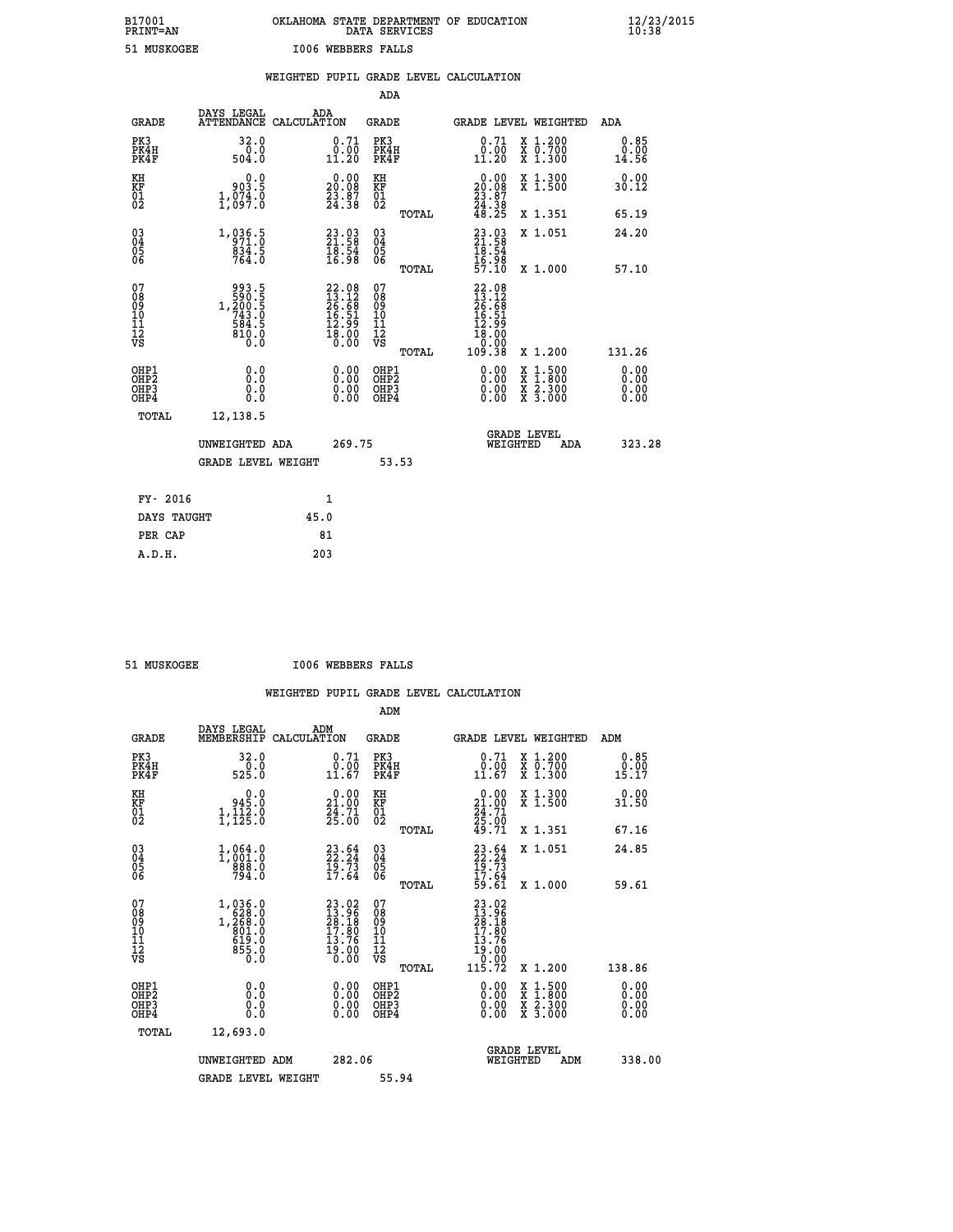# **B17001 OKLAHOMA STATE DEPARTMENT OF EDUCATION 12/23/2015 PRINT=AN DATA SERVICES 10:38 51 MUSKOGEE I006 WEBBERS FALLS**

|                                           |                                                              |      |                                                                    |                                                     |       | WEIGHTED PUPIL GRADE LEVEL CALCULATION                                                                             |                                                                                                                                           |                              |
|-------------------------------------------|--------------------------------------------------------------|------|--------------------------------------------------------------------|-----------------------------------------------------|-------|--------------------------------------------------------------------------------------------------------------------|-------------------------------------------------------------------------------------------------------------------------------------------|------------------------------|
|                                           |                                                              |      |                                                                    | <b>ADA</b>                                          |       |                                                                                                                    |                                                                                                                                           |                              |
| <b>GRADE</b>                              | DAYS LEGAL<br>ATTENDANCE CALCULATION                         |      | ADA                                                                | <b>GRADE</b>                                        |       | GRADE LEVEL WEIGHTED                                                                                               |                                                                                                                                           | ADA                          |
| PK3<br>PK4H<br>PK4F                       | 32.0<br>0.0<br>504.0                                         |      | $\substack{0.71 \\ 0.00 \\ 11.20}$                                 | PK3<br>PK4H<br>PK4F                                 |       | $0.71$<br>$0.00$<br>11.20                                                                                          | X 1.200<br>X 0.700<br>X 1.300                                                                                                             | 0.85<br>0.00<br>14.56        |
| KH<br>KF<br>01<br>02                      | 0.0<br>903.5<br>1,074.0                                      |      | $20.00$<br>20.08<br>$\frac{23.87}{24.38}$                          | KH<br>KF<br>01<br>02                                |       | 0.00<br>$\begin{smallmatrix} 20.08\\ 23.87\\ 24.38\\ 48.25 \end{smallmatrix}$                                      | X 1.300<br>X 1.500                                                                                                                        | 0.00<br>30.12                |
|                                           |                                                              |      |                                                                    |                                                     | TOTAL |                                                                                                                    | X 1.351                                                                                                                                   | 65.19                        |
| 03<br>04<br>05<br>06                      | 1, 936.5<br>$\frac{834.5}{764.0}$                            |      | $\begin{smallmatrix} 23.03\ 21.58\ 18.54\ 16.98 \end{smallmatrix}$ | $\begin{array}{c} 03 \\ 04 \\ 05 \\ 06 \end{array}$ |       | $23.93$<br>$21.58$<br>$18.54$                                                                                      | X 1.051                                                                                                                                   | 24.20                        |
|                                           |                                                              |      |                                                                    |                                                     | TOTAL | 16:98<br>57:10                                                                                                     | X 1.000                                                                                                                                   | 57.10                        |
| 07<br>08901112<br>1112<br>VS              | 993.5<br>590.5<br>1,200.5<br>743.0<br>584.5<br>5810.0<br>O.Ŏ |      | $22.0813.1226.6816.5112.9918.000.00$                               | 07<br>08<br>09<br>11<br>11<br>12<br>VS              | TOTAL | $\begin{array}{r} 22\cdot08\\13\cdot12\\26\cdot68\\16\cdot51\\12\cdot99\\18\cdot00\\0\cdot00\\0\cdot38\end{array}$ | X 1.200                                                                                                                                   | 131.26                       |
| OHP1<br>OH <sub>P</sub> 2<br>OHP3<br>OHP4 | 0.0<br>Ō.Ō<br>0.0<br>0.0                                     |      | $\begin{smallmatrix} 0.00 \ 0.00 \ 0.00 \ 0.00 \end{smallmatrix}$  | OHP1<br>OHP <sub>2</sub><br>OHP3<br>OHP4            |       | 0.00<br>0.00                                                                                                       | $\begin{smallmatrix} \mathtt{X} & 1\cdot500\\ \mathtt{X} & 1\cdot800\\ \mathtt{X} & 2\cdot300\\ \mathtt{X} & 3\cdot000 \end{smallmatrix}$ | 0.00<br>0.00<br>0.00<br>0.00 |
| TOTAL                                     | 12,138.5                                                     |      |                                                                    |                                                     |       |                                                                                                                    |                                                                                                                                           |                              |
|                                           | UNWEIGHTED ADA                                               |      | 269.75                                                             |                                                     |       | WEIGHTED                                                                                                           | <b>GRADE LEVEL</b><br>ADA                                                                                                                 | 323.28                       |
|                                           | <b>GRADE LEVEL WEIGHT</b>                                    |      |                                                                    |                                                     | 53.53 |                                                                                                                    |                                                                                                                                           |                              |
| FY- 2016                                  |                                                              |      | 1                                                                  |                                                     |       |                                                                                                                    |                                                                                                                                           |                              |
| DAYS TAUGHT                               |                                                              | 45.0 |                                                                    |                                                     |       |                                                                                                                    |                                                                                                                                           |                              |
| PER CAP                                   |                                                              |      | 81                                                                 |                                                     |       |                                                                                                                    |                                                                                                                                           |                              |

 **A.D.H. 203**

 **51 MUSKOGEE I006 WEBBERS FALLS**

|                                                      |                                                                               |                                                                                              | ADM                                                |                                                                                                                   |                                          |                              |
|------------------------------------------------------|-------------------------------------------------------------------------------|----------------------------------------------------------------------------------------------|----------------------------------------------------|-------------------------------------------------------------------------------------------------------------------|------------------------------------------|------------------------------|
| <b>GRADE</b>                                         | DAYS LEGAL<br>MEMBERSHIP                                                      | ADM<br>CALCULATION                                                                           | <b>GRADE</b>                                       | GRADE LEVEL WEIGHTED                                                                                              |                                          | ADM                          |
| PK3<br>PK4H<br>PK4F                                  | 32.0<br>$\frac{0.0}{525.0}$                                                   | 0.71<br>0.00<br>11.67                                                                        | PK3<br>PK4H<br>PK4F                                | $\begin{smallmatrix} 0.71\ 0.00\ 11.67 \end{smallmatrix}$                                                         | X 1.200<br>X 0.700<br>X 1.300            | 0.85<br>0.00<br>15.17        |
| KH<br>KF<br>01<br>02                                 | 945.0<br>$1,\overline{1}\overline{2}\overline{3}\overline{3}$                 | $\begin{smallmatrix} 0.00\\21.00\\24.71\\25.00 \end{smallmatrix}$                            | KH<br>KF<br>01<br>02                               | $\begin{smallmatrix} 0.00\\21.00\\24.71\\25.00\\49.71 \end{smallmatrix}$                                          | X 1.300<br>X 1.500                       | 0.00<br>31.50                |
|                                                      |                                                                               |                                                                                              | TOTAL                                              |                                                                                                                   | X 1.351                                  | 67.16                        |
| 03<br>04<br>05<br>06                                 | 1,064.0<br>1,001.0<br>888.0<br>794.0                                          | $23.24$<br>$22.24$<br>$19.73$<br>$17.64$                                                     | $\begin{matrix} 03 \\ 04 \\ 05 \\ 06 \end{matrix}$ | $23.24$<br>$19.73$<br>$17.64$<br>$59.61$                                                                          | X 1.051                                  | 24.85                        |
|                                                      |                                                                               |                                                                                              | TOTAL                                              |                                                                                                                   | X 1.000                                  | 59.61                        |
| 07<br>08<br>09<br>101<br>112<br>VS                   | $1,036.0$<br>$1,268.0$<br>$1,268.0$<br>$801.0$<br>$619.0$<br>$855.0$<br>$0.0$ | $\begin{smallmatrix} 23.02\\ 13.96\\ 28.18\\ 17.80\\ 13.76\\ 19.00\\ 0.00 \end{smallmatrix}$ | 07<br>08<br>09<br>11<br>11<br>12<br>VS             | $\begin{smallmatrix} 23 & 02\ 13 & 96\ 28 & 180\ 17 & 80\ 13 & 76\ 19 & 00\ 0 & 0.00\ 115 & 72 \end{smallmatrix}$ |                                          |                              |
|                                                      |                                                                               |                                                                                              | TOTAL                                              |                                                                                                                   | X 1.200                                  | 138.86                       |
| OHP1<br>OHP2<br>OH <sub>P3</sub><br>OH <sub>P4</sub> | 0.0<br>0.000                                                                  | $0.00$<br>$0.00$<br>0.00                                                                     | OHP1<br>OHP2<br>OHP <sub>3</sub>                   | $0.00$<br>$0.00$<br>0.00                                                                                          | X 1:500<br>X 1:800<br>X 2:300<br>X 3:000 | 0.00<br>0.00<br>0.00<br>0.00 |
| TOTAL                                                | 12,693.0                                                                      |                                                                                              |                                                    |                                                                                                                   |                                          |                              |
|                                                      | UNWEIGHTED ADM                                                                | 282.06                                                                                       |                                                    | WEIGHTED                                                                                                          | <b>GRADE LEVEL</b><br>ADM                | 338.00                       |
|                                                      | <b>GRADE LEVEL WEIGHT</b>                                                     |                                                                                              | 55.94                                              |                                                                                                                   |                                          |                              |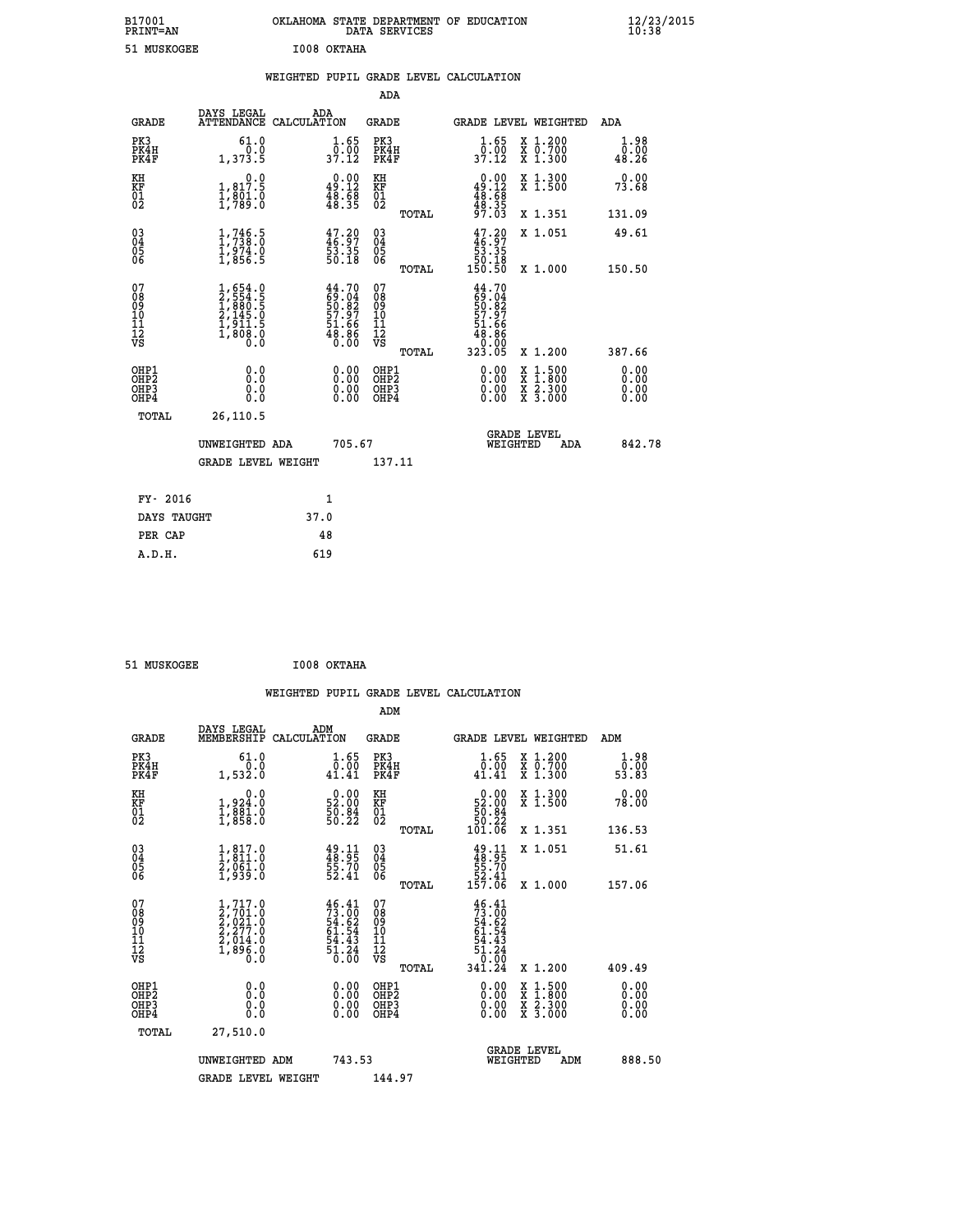| B17001<br><b>PRINT=AN</b> | OKLAHOMA STATE DEPARTMENT OF EDUCATION<br>DATA SERVICES | $\frac{12}{23}$ /2015 |
|---------------------------|---------------------------------------------------------|-----------------------|
| 51 MUSKOGEE               | I008 OKTAHA                                             |                       |

|  |  | WEIGHTED PUPIL GRADE LEVEL CALCULATION |
|--|--|----------------------------------------|
|  |  |                                        |

|                                                                    |                                                                                                          |                                                                          | ADA                                       |       |                                                                                |                                          |                              |
|--------------------------------------------------------------------|----------------------------------------------------------------------------------------------------------|--------------------------------------------------------------------------|-------------------------------------------|-------|--------------------------------------------------------------------------------|------------------------------------------|------------------------------|
| <b>GRADE</b>                                                       | DAYS LEGAL                                                                                               | ADA<br>ATTENDANCE CALCULATION                                            | <b>GRADE</b>                              |       |                                                                                | GRADE LEVEL WEIGHTED                     | <b>ADA</b>                   |
| PK3<br>PK4H<br>PK4F                                                | 61.0<br>0.0<br>1,373.5                                                                                   | $\frac{1}{0}$ : $\frac{65}{00}$<br>37.12                                 | PK3<br>PK4H<br>PK4F                       |       | 1.65<br>6:00<br>37:12                                                          | X 1.200<br>X 0.700<br>X 1.300            | 1.98<br>0.00<br>48.26        |
| KH<br><b>KF</b><br>01<br>02                                        | 0.0<br>1,817.5<br>$\frac{1}{2}, \frac{8}{7}\overline{8}\overline{3}\overline{3}\overline{1}\overline{6}$ | $\begin{smallmatrix} 0.00\\ 49.12\\ 48.58\\ 48.35 \end{smallmatrix}$     | KH<br>KF<br>01<br>02                      |       | $0.00$<br>49.12<br>$\frac{48.58}{48.35}$                                       | X 1.300<br>X 1.500                       | 0.00<br>73.68                |
|                                                                    |                                                                                                          |                                                                          |                                           | TOTAL |                                                                                | X 1.351                                  | 131.09                       |
| $\begin{smallmatrix} 03 \\[-4pt] 04 \end{smallmatrix}$<br>Ŏ5<br>06 | 1,746.5<br>$\frac{1}{2}, \frac{9}{856}$ . 5                                                              | 47.20<br>46.97<br>53.35<br>50.18                                         | $\substack{03 \\ 04}$<br>05<br>06         | TOTAL | $\begin{smallmatrix} 47.20\\ 46.97\\ 53.35\\ 50.18\\ 150.50 \end{smallmatrix}$ | X 1.051<br>X 1.000                       | 49.61<br>150.50              |
| 07<br>08<br>09<br>11<br>11<br>12<br>VS                             | $1,654.0$<br>$2,554.5$<br>$1,880.5$<br>$2,145.0$<br>$1,911.5$<br>$1,808.0$<br>$0.0$                      | $44.70$<br>$59.04$<br>$50.82$<br>$57.97$<br>$51.66$<br>$48.86$<br>$0.00$ | 07<br>08<br>09<br>11<br>11<br>12<br>VS    |       | $44.70$<br>$59.04$<br>$50.82$<br>$57.97$<br>$51.66$<br>$48.88$<br>0.00         |                                          |                              |
|                                                                    |                                                                                                          |                                                                          |                                           | TOTAL | 323.05                                                                         | X 1.200                                  | 387.66                       |
| OHP1<br>OH <sub>P</sub> 2<br>OH <sub>P3</sub><br>OH <sub>P4</sub>  | 0.0<br>0.0<br>0.0                                                                                        | 0.00<br>$\begin{smallmatrix} 0.00 \ 0.00 \end{smallmatrix}$              | OHP1<br>OH <sub>P</sub> 2<br>OHP3<br>OHP4 |       | 0.00<br>0.00<br>0.00                                                           | X 1:500<br>X 1:800<br>X 2:300<br>X 3:000 | 0.00<br>0.00<br>0.00<br>0.00 |
| TOTAL                                                              | 26,110.5                                                                                                 |                                                                          |                                           |       |                                                                                |                                          |                              |
|                                                                    | UNWEIGHTED ADA                                                                                           | 705.67                                                                   |                                           |       |                                                                                | GRADE LEVEL<br>WEIGHTED<br>ADA           | 842.78                       |
|                                                                    | <b>GRADE LEVEL WEIGHT</b>                                                                                |                                                                          | 137.11                                    |       |                                                                                |                                          |                              |
| FY- 2016                                                           |                                                                                                          | $\mathbf{1}$                                                             |                                           |       |                                                                                |                                          |                              |
| DAYS TAUGHT                                                        |                                                                                                          | 37.0                                                                     |                                           |       |                                                                                |                                          |                              |
| PER CAP                                                            |                                                                                                          | 48                                                                       |                                           |       |                                                                                |                                          |                              |

| 51 MUSKOGEE | I008 OKTAHA |
|-------------|-------------|
|             |             |

| <b>GRADE</b>                             | DAYS LEGAL<br>MEMBERSHIP                                                                  | ADM<br>CALCULATION                                                       | <b>GRADE</b>                                        |       |                                                                                      | <b>GRADE LEVEL WEIGHTED</b>                                                                                                               | ADM           |              |
|------------------------------------------|-------------------------------------------------------------------------------------------|--------------------------------------------------------------------------|-----------------------------------------------------|-------|--------------------------------------------------------------------------------------|-------------------------------------------------------------------------------------------------------------------------------------------|---------------|--------------|
| PK3<br>PK4H<br>PK4F                      | 61.0<br>1,532.0                                                                           | 1.65<br>0.00<br>41.41                                                    | PK3<br>PK4H<br>PK4F                                 |       | $\begin{smallmatrix} 1.65\ 0.001.41 \end{smallmatrix}$                               | X 1.200<br>x 0.700<br>x 1.300                                                                                                             | ō.ōō<br>53.83 | 1.98         |
| KH<br>KF<br>01<br>02                     | 0.0<br>1,924:0<br>1,881:0<br>1,858:0                                                      | $\begin{smallmatrix} 0.00\\ 52.00\\ 50.84\\ 50.22 \end{smallmatrix}$     | KH<br>KF<br>01<br>02                                |       | $\begin{smallmatrix} &0.00\ 52.00\ 50.84\ 50.22\ 101.06\ \end{smallmatrix}$          | X 1.300<br>X 1.500                                                                                                                        | 0.00<br>78.00 |              |
|                                          |                                                                                           |                                                                          |                                                     | TOTAL |                                                                                      | X 1.351                                                                                                                                   | 136.53        |              |
| 03<br>04<br>05<br>06                     | $\begin{smallmatrix} 1, 817.0\\ 1, 811.0\\ 2, 061.0\\ 1, 939.0 \end{smallmatrix}$         | $49.11$<br>$48.95$<br>$55.70$<br>$52.41$                                 | $\begin{array}{c} 03 \\ 04 \\ 05 \\ 06 \end{array}$ |       | $49.11$<br>$48.95$<br>$55.70$<br>$52.41$<br>$157.06$                                 | X 1.051                                                                                                                                   | 51.61         |              |
|                                          |                                                                                           |                                                                          |                                                     | TOTAL |                                                                                      | X 1.000                                                                                                                                   | 157.06        |              |
| 07<br>08<br>09<br>11<br>11<br>12<br>VS   | $1, 717.0$<br>$2, 701.0$<br>$2, 021.0$<br>$2, 277.0$<br>$2, 014.0$<br>$1, 896.0$<br>$0.0$ | $46.41$<br>$73.00$<br>$54.62$<br>$61.54$<br>$54.43$<br>$51.24$<br>$0.00$ | 07<br>08<br>09<br>11<br>11<br>12<br>VS              | TOTAL | $73.00$<br>$73.00$<br>$54.62$<br>$61.54$<br>$54.43$<br>$51.24$<br>$0.00$<br>$341.24$ | X 1.200                                                                                                                                   | 409.49        |              |
| OHP1<br>OHP <sub>2</sub><br>OHP3<br>OHP4 | 0.0<br>0.0<br>0.0                                                                         | $0.00$<br>$0.00$<br>0.00                                                 | OHP1<br>OHP <sub>2</sub><br>OHP3<br>OHP4            |       |                                                                                      | $\begin{smallmatrix} \mathtt{X} & 1\cdot500\\ \mathtt{X} & 1\cdot800\\ \mathtt{X} & 2\cdot300\\ \mathtt{X} & 3\cdot000 \end{smallmatrix}$ | 0.00          | 0.00<br>0.00 |
| TOTAL                                    | 27,510.0                                                                                  |                                                                          |                                                     |       |                                                                                      |                                                                                                                                           |               |              |
|                                          | UNWEIGHTED ADM                                                                            | 743.53                                                                   |                                                     |       | WEIGHTED                                                                             | <b>GRADE LEVEL</b><br>ADM                                                                                                                 |               | 888.50       |
|                                          | <b>GRADE LEVEL WEIGHT</b>                                                                 |                                                                          | 144.97                                              |       |                                                                                      |                                                                                                                                           |               |              |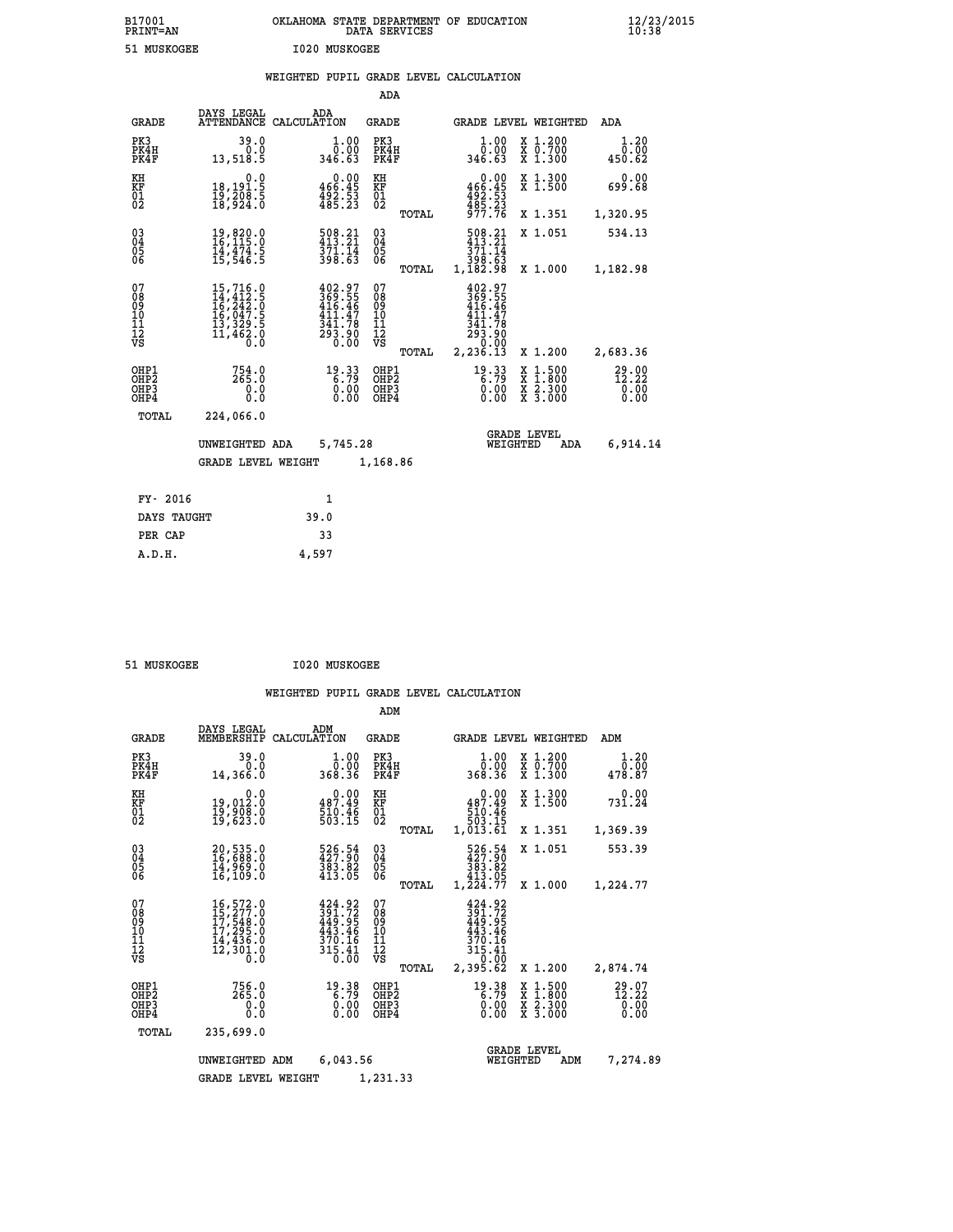| B17001<br><b>PRINT=AN</b> | OKLAHOMA STATE DEPARTMENT OF EDUCATION<br>DATA SERVICES | $\frac{12}{23}$ /2015 |
|---------------------------|---------------------------------------------------------|-----------------------|
| 51 MUSKOGEE               | 1020 MUSKOGEE                                           |                       |

|  |  | WEIGHTED PUPIL GRADE LEVEL CALCULATION |
|--|--|----------------------------------------|
|  |  |                                        |

|                                                                    |                                                                                                                                                      |                                                                                                 | ADA                                      |       |                                                                                                                                                                       |                                                                            |                        |
|--------------------------------------------------------------------|------------------------------------------------------------------------------------------------------------------------------------------------------|-------------------------------------------------------------------------------------------------|------------------------------------------|-------|-----------------------------------------------------------------------------------------------------------------------------------------------------------------------|----------------------------------------------------------------------------|------------------------|
| <b>GRADE</b>                                                       | DAYS LEGAL                                                                                                                                           | ADA<br>ATTENDANCE CALCULATION                                                                   | GRADE                                    |       |                                                                                                                                                                       | GRADE LEVEL WEIGHTED                                                       | ADA                    |
| PK3<br>PK4H<br>PK4F                                                | 39.0<br>0.0<br>13,518.5                                                                                                                              | $\begin{smallmatrix} 1.00\\ 0.00\\ 346.63 \end{smallmatrix}$                                    | PK3<br>PK4H<br>PK4F                      |       | 1.00<br>$\frac{\bar{0}.\bar{0}0}{346.63}$                                                                                                                             | X 1.200<br>X 0.700<br>X 1.300                                              | 1.20<br>0.00<br>450.62 |
| KH<br>KF<br>01<br>02                                               | 0.0<br>18,191.5<br>19,208.5<br>18,924.0                                                                                                              | $\begin{smallmatrix} &0.00\\ 466.45\\ 492.53\\ 485.23\end{smallmatrix}$                         | KH<br>KF<br>01<br>02                     |       | 0.00<br>466:45<br>492:53<br>485:23<br>977:76                                                                                                                          | X 1.300<br>X 1.500                                                         | 0.00<br>699.68         |
|                                                                    |                                                                                                                                                      |                                                                                                 |                                          | TOTAL |                                                                                                                                                                       | X 1.351                                                                    | 1,320.95               |
| $\begin{smallmatrix} 03 \\[-4pt] 04 \end{smallmatrix}$<br>05<br>06 | $\begin{smallmatrix} 19 \, , \, 820 \, . \, 0 \\ 16 \, , \, 115 \, . \, 0 \\ 14 \, , \, 474 \, . \, 5 \\ 15 \, , \, 546 \, . \, 5 \end{smallmatrix}$ | 508.21<br>$\frac{371.74}{398.63}$                                                               | $\substack{03 \\ 04}$<br>0500            |       | 508.21<br>371.14<br>398.63<br>1,182.98                                                                                                                                | X 1.051                                                                    | 534.13                 |
|                                                                    |                                                                                                                                                      |                                                                                                 |                                          | TOTAL |                                                                                                                                                                       | X 1.000                                                                    | 1,182.98               |
| 07<br>08<br>09<br>11<br>11<br>12<br>VS                             | $\begin{smallmatrix} 15,716\cdot 0\\ 14,412\cdot 5\\ 16,242\cdot 0\\ 16,047\cdot 5\\ 13,329\cdot 5\\ 11,462\cdot 0\\ 0\cdot 0\end{smallmatrix}$      | 402.97<br>369.55<br>416.46<br>$\begin{array}{c} 411.47 \\ 341.78 \\ 293.90 \\ 0.00 \end{array}$ | 07<br>08<br>09<br>11<br>11<br>12<br>VS   |       | 402.97<br>$\frac{369}{416}.55$<br>411<br>.47<br>$\begin{array}{@{}c@{\hspace{1em}}c@{\hspace{1em}}}\n \hline\n 341.78 \\  293.90 \\  0.00 \\  2,236.13\n \end{array}$ |                                                                            |                        |
|                                                                    |                                                                                                                                                      |                                                                                                 |                                          | TOTAL |                                                                                                                                                                       | X 1.200                                                                    | 2,683.36               |
| OHP1<br>OH <sub>P</sub> 2<br>OHP3<br>OHP4                          | $754.0$<br>265.0<br>0.0<br>0.0                                                                                                                       | 19.33<br>6.79<br>0.00                                                                           | OHP1<br>OHP <sub>2</sub><br>OHP3<br>OHP4 |       | 19.33<br>0.00<br>0.00                                                                                                                                                 | $1:500$<br>$1:800$<br>X<br>X<br>$\frac{\ddot{x}}{x}$ $\frac{2.300}{3.000}$ | 29.00<br>0.00<br>0.00  |
| TOTAL                                                              | 224,066.0                                                                                                                                            |                                                                                                 |                                          |       |                                                                                                                                                                       |                                                                            |                        |
| UNWEIGHTED ADA                                                     |                                                                                                                                                      |                                                                                                 | 5,745.28                                 |       | <b>GRADE LEVEL</b><br>WEIGHTED                                                                                                                                        | 6,914.14                                                                   |                        |
|                                                                    | <b>GRADE LEVEL WEIGHT</b>                                                                                                                            |                                                                                                 | 1,168.86                                 |       |                                                                                                                                                                       |                                                                            |                        |
| FY- 2016                                                           |                                                                                                                                                      | 1                                                                                               |                                          |       |                                                                                                                                                                       |                                                                            |                        |
| DAYS TAUGHT                                                        |                                                                                                                                                      | 39.0                                                                                            |                                          |       |                                                                                                                                                                       |                                                                            |                        |
| PER CAP                                                            |                                                                                                                                                      | 33                                                                                              |                                          |       |                                                                                                                                                                       |                                                                            |                        |
|                                                                    |                                                                                                                                                      |                                                                                                 |                                          |       |                                                                                                                                                                       |                                                                            |                        |

 **51 MUSKOGEE I020 MUSKOGEE**

 **A.D.H. 4,597**

|                                                       |                                                                                                                                         |                                                                  | ADM                                              |                                                                                |                                                                                                  |                                   |
|-------------------------------------------------------|-----------------------------------------------------------------------------------------------------------------------------------------|------------------------------------------------------------------|--------------------------------------------------|--------------------------------------------------------------------------------|--------------------------------------------------------------------------------------------------|-----------------------------------|
| <b>GRADE</b>                                          | DAYS LEGAL<br>MEMBERSHIP                                                                                                                | ADM<br>CALCULATION                                               | <b>GRADE</b>                                     | GRADE LEVEL WEIGHTED                                                           |                                                                                                  | ADM                               |
| PK3<br>PK4H<br>PK4F                                   | 39.0<br>0.0<br>14,366.0                                                                                                                 | 1.00<br>0.00<br>368.36                                           | PK3<br>PK4H<br>PK4F                              | 1.00<br>ŏ:ŏŏ<br>368.36                                                         | $\begin{array}{c} x & 1.200 \\ x & 0.700 \end{array}$<br>$X$ 1.300                               | 1.20<br>0.00<br>478.87            |
| KH<br>KF<br>01<br>02                                  | 0.0<br>19,012.0<br>19,908.0<br>19,623.0                                                                                                 | $0.00$<br>487.49<br>$\frac{510.46}{503.15}$                      | KH<br>KF<br>01<br>02                             | $0.00$<br>487.49<br>$\begin{array}{r} 10.46 \\ 503.15 \\ 1,013.61 \end{array}$ | X 1.300<br>X 1.500                                                                               | 0.00<br>731.24                    |
|                                                       |                                                                                                                                         |                                                                  | TOTAL                                            |                                                                                | X 1.351                                                                                          | 1,369.39                          |
| 03<br>04<br>05<br>06                                  | 20,535.0<br>16,688.0<br>14,969.0<br>16, 109.0                                                                                           | 526.54<br>427.90<br>$\frac{383.82}{413.05}$                      | $\substack{03 \\ 04}$<br>05<br>06                | 526.54<br>427.90<br>383.82<br>413.05                                           | X 1.051                                                                                          | 553.39                            |
|                                                       |                                                                                                                                         |                                                                  | TOTAL                                            | 1,224.77                                                                       | X 1.000                                                                                          | 1,224.77                          |
| 07<br>08<br>09<br>11<br>11<br>12<br>VS                | $\begin{smallmatrix} 16\,,572\,.0\\ 15\,,277\,.0\\ 17\,,548\,.0\\ 17\,,295\,.0\\ 14\,,436\,.0\\ 12\,,301\,.0\\ 0\,.0 \end{smallmatrix}$ | 424.92<br>391.72<br>449.95<br>443.46<br>370.16<br>315.41<br>ŏ:ōō | 07<br>08<br>09<br>101<br>11<br>12<br>VS<br>TOTAL | 424.92<br>391.72<br>449.95<br>443.46<br>370.16<br>315.41<br>0.00<br>2,395.62   | X 1.200                                                                                          | 2,874.74                          |
| OHP1<br>OH <sub>P</sub> 2<br>OH <sub>P3</sub><br>OHP4 | 756.0<br>265.0<br>0.000                                                                                                                 | $19.38$<br>6.79<br>0.00<br>0.00                                  | OHP1<br>OHP <sub>2</sub><br>OHP3<br>OHP4         | $19.38$<br>6.79<br>0.00<br>0.00                                                | $\begin{smallmatrix} x & 1 & 500 \\ x & 1 & 800 \\ x & 2 & 300 \\ x & 3 & 000 \end{smallmatrix}$ | $^{29.07}_{12.22}_{0.00}$<br>0.00 |
| TOTAL                                                 | 235,699.0                                                                                                                               |                                                                  |                                                  |                                                                                |                                                                                                  |                                   |
|                                                       | UNWEIGHTED ADM                                                                                                                          | 6,043.56                                                         | 1,231.33                                         | WEIGHTED                                                                       | <b>GRADE LEVEL</b><br>ADM                                                                        | 7,274.89                          |
|                                                       | <b>GRADE LEVEL WEIGHT</b>                                                                                                               |                                                                  |                                                  |                                                                                |                                                                                                  |                                   |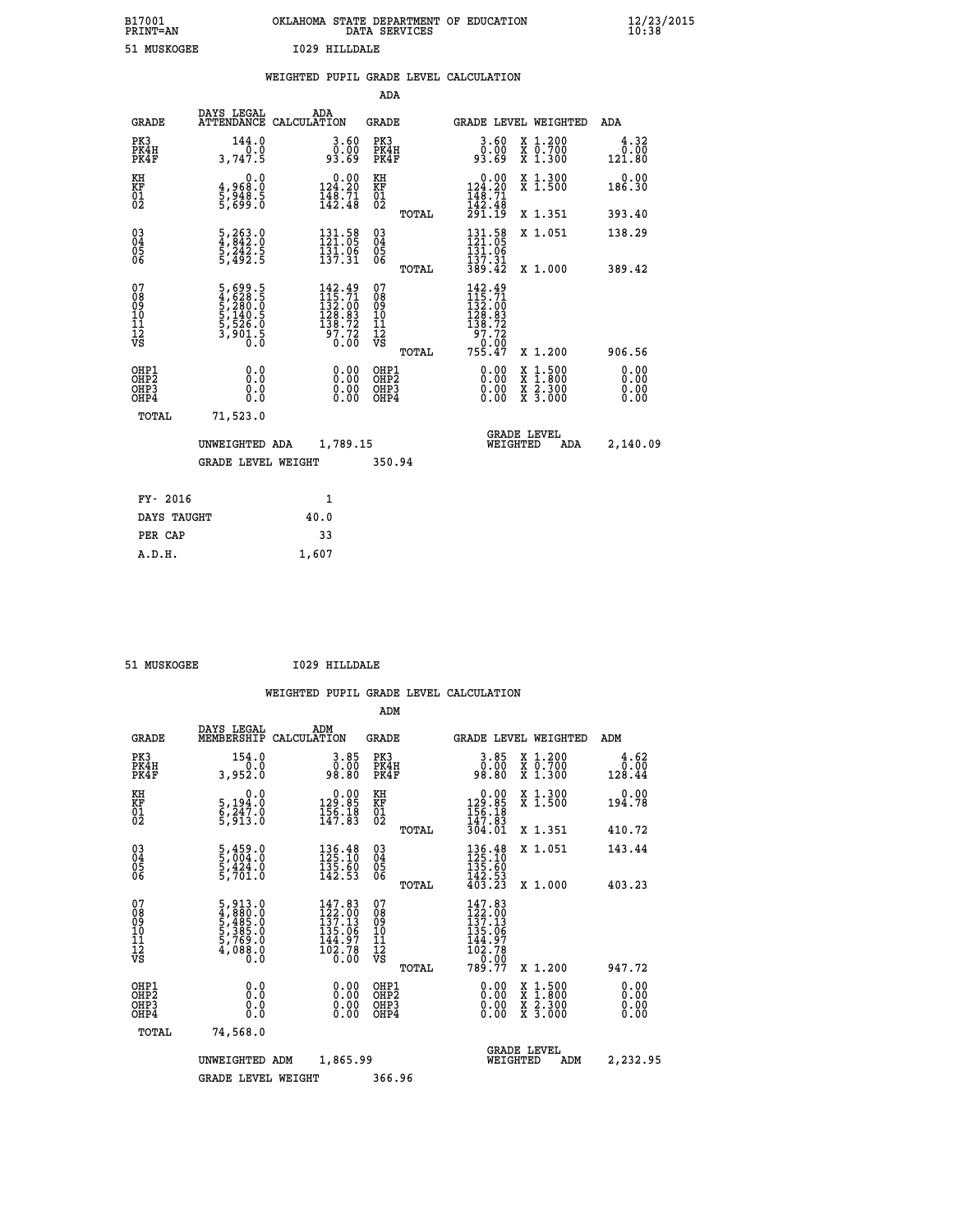| B17001<br><b>PRINT=AN</b> | OKLAHOMA | . STATE DEPARTMENT OF EDUCATION<br>DATA SERVICES |  | $\frac{12}{23}$ /2015 |
|---------------------------|----------|--------------------------------------------------|--|-----------------------|
| 51 MUSKOGEE               |          | 1029 HILLDALE                                    |  |                       |

|  |  | WEIGHTED PUPIL GRADE LEVEL CALCULATION |
|--|--|----------------------------------------|
|  |  |                                        |

|  |                                                                    |                                                                                      |                                                                                                  | ADA                                       |       |                                                                                                    |                                |                                          |                              |
|--|--------------------------------------------------------------------|--------------------------------------------------------------------------------------|--------------------------------------------------------------------------------------------------|-------------------------------------------|-------|----------------------------------------------------------------------------------------------------|--------------------------------|------------------------------------------|------------------------------|
|  | <b>GRADE</b>                                                       | DAYS LEGAL                                                                           | ADA<br>ATTENDANCE CALCULATION                                                                    | <b>GRADE</b>                              |       | <b>GRADE LEVEL WEIGHTED</b>                                                                        |                                |                                          | ADA                          |
|  | PK3<br>PK4H<br>PK4F                                                | 144.0<br>0.0<br>3,747.5                                                              | 3.60<br>ŏÖ.<br>93.69                                                                             | PK3<br>PK4H<br>PK4F                       |       | 3.60<br>ŏŏ.ŏŏ<br>93.69                                                                             |                                | X 1.200<br>X 0.700<br>X 1.300            | 4.32<br>0.00<br>121.80       |
|  | KH<br><b>KF</b><br>01<br>02                                        | 0.0<br>4,968:0<br>5,948.5<br>5,699:0                                                 | $0.00$<br>124.20<br>$\frac{148.71}{142.48}$                                                      | KH<br>KF<br>01<br>02                      |       | $0.00$<br>124.20<br>$\frac{1}{1}\overline{4}\overline{8}\cdot\overline{7}\overline{1}\overline{8}$ |                                | X 1.300<br>X 1.500                       | 0.00<br>186.30               |
|  |                                                                    |                                                                                      |                                                                                                  |                                           | TOTAL | 291.19                                                                                             |                                | X 1.351                                  | 393.40                       |
|  | $\begin{smallmatrix} 03 \\[-4pt] 04 \end{smallmatrix}$<br>Ŏ5<br>06 | $\frac{5}{4}, \frac{263}{842}$ : 0<br>$\frac{5}{5}, \frac{242}{492}$ : 5<br>5,492: 5 | 131.58<br>121.05<br>$\frac{1}{13}\overline{1}\cdot\overline{0}\overline{6}$<br>137.31            | $\substack{03 \\ 04}$<br>05<br>06         | TOTAL | $131.58$<br>$121.05$<br>131.06<br>137.31<br>389.42                                                 |                                | X 1.051<br>X 1.000                       | 138.29<br>389.42             |
|  | 07<br>08901112<br>1112<br>VS                                       | 5,699.5<br>4,628.5<br>5,280.0<br>5,140.5<br>5,526.0<br>5,526.0<br>3,901.5            | $\begin{smallmatrix} 142.49\\115.71\\ 132.00\\ 128.83\\ 138.72\\ 97.72\\ 0.00 \end{smallmatrix}$ | 07<br>08<br>09<br>11<br>11<br>12<br>VS    |       | 142.49                                                                                             |                                |                                          |                              |
|  |                                                                    |                                                                                      |                                                                                                  |                                           | TOTAL | 755.47                                                                                             |                                | X 1.200                                  | 906.56                       |
|  | OHP1<br>OH <sub>P</sub> 2<br>OH <sub>P3</sub><br>OH <sub>P4</sub>  | 0.0<br>0.0<br>0.0                                                                    | 0.00<br>0.00<br>0.00                                                                             | OHP1<br>OH <sub>P</sub> 2<br>OHP3<br>OHP4 |       | 0.00<br>0.00<br>0.00                                                                               |                                | X 1:500<br>X 1:800<br>X 2:300<br>X 3:000 | 0.00<br>0.00<br>0.00<br>0.00 |
|  | TOTAL                                                              | 71,523.0                                                                             |                                                                                                  |                                           |       |                                                                                                    |                                |                                          |                              |
|  | UNWEIGHTED ADA<br><b>GRADE LEVEL WEIGHT</b>                        |                                                                                      |                                                                                                  | 1,789.15                                  |       |                                                                                                    | GRADE LEVEL<br>WEIGHTED<br>ADA |                                          |                              |
|  |                                                                    |                                                                                      |                                                                                                  | 350.94                                    |       |                                                                                                    |                                |                                          |                              |
|  | FY- 2016                                                           |                                                                                      | $\mathbf{1}$                                                                                     |                                           |       |                                                                                                    |                                |                                          |                              |
|  | DAYS TAUGHT                                                        |                                                                                      | 40.0                                                                                             |                                           |       |                                                                                                    |                                |                                          |                              |
|  | PER CAP                                                            |                                                                                      | 33                                                                                               |                                           |       |                                                                                                    |                                |                                          |                              |

| 51 MUSKOGEE | 1029 HILLDALE |
|-------------|---------------|
|             |               |

 **A.D.H. 1,607**

 **ADM**

| <b>GRADE</b>                                       | DAYS LEGAL                                                                                              | ADM<br>MEMBERSHIP CALCULATION                                             | <b>GRADE</b>                                        |       |                                                                                                                                                                                                                                                                                | GRADE LEVEL WEIGHTED                     | ADM                      |
|----------------------------------------------------|---------------------------------------------------------------------------------------------------------|---------------------------------------------------------------------------|-----------------------------------------------------|-------|--------------------------------------------------------------------------------------------------------------------------------------------------------------------------------------------------------------------------------------------------------------------------------|------------------------------------------|--------------------------|
| PK3<br>PK4H<br>PK4F                                | 154.0<br>0.0<br>3,952.0                                                                                 | 3.85<br>0.00<br>98.80                                                     | PK3<br>PK4H<br>PK4F                                 |       | 3.85<br>ŏŏ.ŏ<br>08.80                                                                                                                                                                                                                                                          | X 1.200<br>X 0.700<br>X 1.300            | 4.62<br>$0.00$<br>128.44 |
| KH<br>KF<br>01<br>02                               | 0.0<br>5,194:0<br>6,247:0<br>5,913:0                                                                    | $\begin{smallmatrix} &0.00\\ 129.85\\ 156.18\\ 147.83\end{smallmatrix}$   | KH<br>KF<br>01<br>02                                |       | $0.00$<br>$129.85$<br>$156.18$<br>$147.83$<br>$304.01$                                                                                                                                                                                                                         | X 1.300<br>X 1.500                       | 0.00<br>194.78           |
|                                                    |                                                                                                         |                                                                           |                                                     | TOTAL |                                                                                                                                                                                                                                                                                | X 1.351                                  | 410.72                   |
| $\begin{matrix} 03 \\ 04 \\ 05 \\ 06 \end{matrix}$ | $\frac{5}{5}, \frac{459}{004}.0$<br>$\frac{5}{5}, \frac{424}{10}.0$<br>$\frac{5}{701}.0$                | $\begin{smallmatrix} 136.48\\ 125.10\\ 135.60\\ 142.53 \end{smallmatrix}$ | $\begin{array}{c} 03 \\ 04 \\ 05 \\ 06 \end{array}$ |       | $\begin{array}{r} 136\cdot 48 \\ 125\cdot 10 \\ 135\cdot 60 \\ 142\cdot 53 \\ 403\cdot 23 \end{array}$                                                                                                                                                                         | X 1.051                                  | 143.44                   |
|                                                    |                                                                                                         |                                                                           |                                                     | TOTAL |                                                                                                                                                                                                                                                                                | X 1.000                                  | 403.23                   |
| 07<br>08<br>09<br>101<br>11<br>12<br>VS            | $\begin{smallmatrix} 5,913.0\\ 4,880.0\\ 5,485.0\\ 5,385.0\\ 5,769.0\\ 4,088.0\\ 0.0 \end{smallmatrix}$ | $147.83$<br>$122.00$<br>$137.13$<br>$135.06$<br>$\frac{144.97}{102.78}$   | 07<br>08<br>09<br>001<br>11<br>11<br>12<br>VS       | TOTAL | $\begin{smallmatrix} 147.83\\ 122.00\\ 137.13\\ 135.06\\ 144.97\\ 102.78\\ 0.00\\ 789.77 \end{smallmatrix}$                                                                                                                                                                    | X 1.200                                  | 947.72                   |
| OHP1<br>OHP2<br>OHP3<br>OHP4                       |                                                                                                         | $\begin{smallmatrix} 0.00 \ 0.00 \ 0.00 \ 0.00 \end{smallmatrix}$         | OHP1<br>OHP2<br>OHP3<br>OHP4                        |       | $\begin{smallmatrix} 0.00 & 0.00 & 0.00 & 0.00 & 0.00 & 0.00 & 0.00 & 0.00 & 0.00 & 0.00 & 0.00 & 0.00 & 0.00 & 0.00 & 0.00 & 0.00 & 0.00 & 0.00 & 0.00 & 0.00 & 0.00 & 0.00 & 0.00 & 0.00 & 0.00 & 0.00 & 0.00 & 0.00 & 0.00 & 0.00 & 0.00 & 0.00 & 0.00 & 0.00 & 0.00 & 0.0$ | X 1:500<br>X 1:800<br>X 2:300<br>X 3:000 | 0.00<br>0.00<br>0.00     |
| TOTAL                                              | 74,568.0                                                                                                |                                                                           |                                                     |       |                                                                                                                                                                                                                                                                                |                                          |                          |
|                                                    | UNWEIGHTED                                                                                              | 1,865.99<br>ADM                                                           |                                                     |       | <b>GRADE LEVEL</b><br>WEIGHTED                                                                                                                                                                                                                                                 | ADM                                      | 2,232.95                 |
|                                                    | <b>GRADE LEVEL WEIGHT</b>                                                                               |                                                                           | 366.96                                              |       |                                                                                                                                                                                                                                                                                |                                          |                          |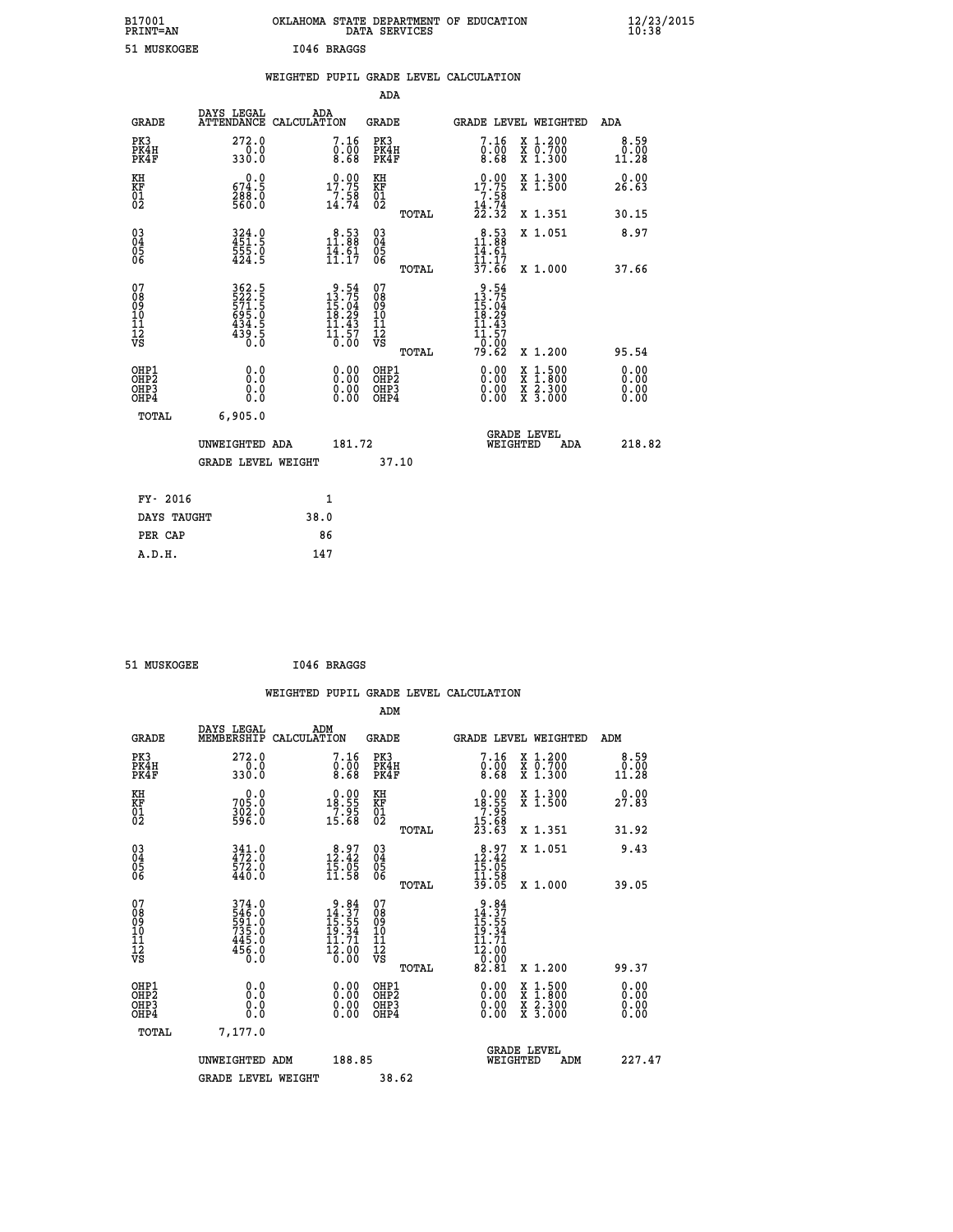| B17001<br><b>PRINT=AN</b> | OKLAHOMA STATE DEPARTMENT OF EDUCATION<br>DATA SERVICES | $\frac{12}{23}$ /2015 |
|---------------------------|---------------------------------------------------------|-----------------------|
| 51 MUSKOGEE               | T046 BRAGGS                                             |                       |

| <b>PRINT=AN</b>                          |                                                             |      |                                                                         |                                          | DATA SERVICES |                                                                                                    |                                                                                          | 10:38                 |
|------------------------------------------|-------------------------------------------------------------|------|-------------------------------------------------------------------------|------------------------------------------|---------------|----------------------------------------------------------------------------------------------------|------------------------------------------------------------------------------------------|-----------------------|
| 51 MUSKOGEE                              |                                                             |      | I046 BRAGGS                                                             |                                          |               |                                                                                                    |                                                                                          |                       |
|                                          |                                                             |      |                                                                         |                                          |               | WEIGHTED PUPIL GRADE LEVEL CALCULATION                                                             |                                                                                          |                       |
|                                          |                                                             |      |                                                                         | <b>ADA</b>                               |               |                                                                                                    |                                                                                          |                       |
| GRADE                                    | DAYS LEGAL<br>ATTENDANCE CALCULATION                        |      | ADA                                                                     | GRADE                                    |               |                                                                                                    | GRADE LEVEL WEIGHTED                                                                     | ADA                   |
| PK3<br>PK4H<br>PK4F                      | 272.0<br>0.0<br>330.0                                       |      | 7.16<br>0.00<br>8.68                                                    | PK3<br>PK4H<br>PK4F                      |               | 7.16<br>0.00<br>8.68                                                                               | X 1.200<br>X 0.700<br>X 1.300                                                            | 8.59<br>0.00<br>11.28 |
| KH<br>KF<br>01<br>02                     | 0.0<br>674.5<br>288.0<br>560.0                              |      | $17.75$<br>$7.75$<br>$14.74$                                            | KH<br><b>KF</b><br>01<br>02              |               | $\begin{smallmatrix} 0.00\\ 17.75\\ 7.58\\ 14.74\\ 22.32 \end{smallmatrix}$                        | X 1.300<br>X 1.500                                                                       | 0.00<br>26.63         |
|                                          |                                                             |      |                                                                         |                                          | TOTAL         |                                                                                                    | X 1.351                                                                                  | 30.15                 |
| 03<br>04<br>05<br>06                     | $324.0$<br>$451.5$<br>$\frac{555.0}{424.5}$                 |      | $\begin{smallmatrix} 8.53\ 11.88\ 14.61\ 11.17 \end{smallmatrix}$       | $^{03}_{04}$<br>05<br>ŎĞ                 |               | 11.88<br>14.61                                                                                     | X 1.051                                                                                  | 8.97                  |
|                                          |                                                             |      |                                                                         |                                          | TOTAL         | $\frac{11}{37}.$ $\frac{17}{66}$                                                                   | X 1.000                                                                                  | 37.66                 |
| 07<br>08<br>09<br>11<br>11<br>12<br>VS   | 362.5<br>522.5<br>571.5<br>595.0<br>695.0<br>434.5<br>439.5 |      | $9.54$<br>$13.75$<br>$15.04$<br>$18.29$<br>$11.43$<br>$11.57$<br>$0.00$ | 07<br>08901112<br>1112<br>VS             |               | $\begin{array}{r} 9.54 \\ 13.75 \\ 15.04 \\ 19.29 \end{array}$<br>11.43<br>11.57<br>-6:00<br>79.62 |                                                                                          |                       |
|                                          |                                                             |      |                                                                         |                                          | TOTAL         |                                                                                                    | X 1.200                                                                                  | 95.54                 |
| OHP1<br>OHP <sub>2</sub><br>OHP3<br>OHP4 | 0.0<br>0.0<br>0.0                                           |      | 0.00<br>$\begin{smallmatrix} 0.00 \ 0.00 \end{smallmatrix}$             | OHP1<br>OHP <sub>2</sub><br>OHP3<br>OHP4 |               | 0.00<br>$0.00$<br>0.00                                                                             | $\begin{smallmatrix} x & 1.500 \\ x & 1.800 \\ x & 2.300 \\ x & 3.000 \end{smallmatrix}$ | 0.00<br>0.00          |
| TOTAL                                    | 6,905.0                                                     |      |                                                                         |                                          |               |                                                                                                    |                                                                                          |                       |
|                                          | UNWEIGHTED ADA                                              |      | 181.72                                                                  |                                          |               |                                                                                                    | <b>GRADE LEVEL</b><br>WEIGHTED<br>ADA                                                    | 218.82                |
|                                          | <b>GRADE LEVEL WEIGHT</b>                                   |      |                                                                         | 37.10                                    |               |                                                                                                    |                                                                                          |                       |
| FY- 2016                                 |                                                             |      | 1                                                                       |                                          |               |                                                                                                    |                                                                                          |                       |
| DAYS TAUGHT                              |                                                             | 38.0 |                                                                         |                                          |               |                                                                                                    |                                                                                          |                       |
| PER CAP                                  |                                                             |      | 86                                                                      |                                          |               |                                                                                                    |                                                                                          |                       |
| A.D.H.                                   |                                                             |      | 147                                                                     |                                          |               |                                                                                                    |                                                                                          |                       |

51 MUSKOGEE 1046 BRAGGS

|                                                      |                                                             |                                                                         |                                                     | WEIGHTED PUPIL GRADE LEVEL CALCULATION                                                                                                                                                                                                                                         |                                                                                                                                           |                              |
|------------------------------------------------------|-------------------------------------------------------------|-------------------------------------------------------------------------|-----------------------------------------------------|--------------------------------------------------------------------------------------------------------------------------------------------------------------------------------------------------------------------------------------------------------------------------------|-------------------------------------------------------------------------------------------------------------------------------------------|------------------------------|
|                                                      |                                                             |                                                                         | ADM                                                 |                                                                                                                                                                                                                                                                                |                                                                                                                                           |                              |
| <b>GRADE</b>                                         | DAYS LEGAL<br>MEMBERSHIP                                    | ADM<br>CALCULATION                                                      | <b>GRADE</b>                                        |                                                                                                                                                                                                                                                                                | <b>GRADE LEVEL WEIGHTED</b>                                                                                                               | ADM                          |
| PK3<br>PK4H<br>PK4F                                  | 272.0<br>330.0                                              | 7.16<br>$\begin{smallmatrix}0.700\0.68\end{smallmatrix}$                | PK3<br>PK4H<br>PK4F                                 | 7.16<br>$\begin{smallmatrix}0.700\\ 0.68\end{smallmatrix}$                                                                                                                                                                                                                     | X 1.200<br>X 0.700<br>X 1.300                                                                                                             | 8.59<br>0.00<br>11.28        |
| KH<br>KF<br>01<br>02                                 | $705.0$<br>302.0<br>596.0                                   | $18.55$<br>$7.95$<br>$15.68$                                            | KH<br>KF<br>01<br>02                                | $\begin{array}{r} 0.00 \\ 18.55 \\ 7.95 \\ 15.68 \\ 23.63 \end{array}$                                                                                                                                                                                                         | X 1.300<br>X 1.500                                                                                                                        | 0.00<br>27.83                |
|                                                      |                                                             |                                                                         | TOTAL                                               |                                                                                                                                                                                                                                                                                | X 1.351                                                                                                                                   | 31.92                        |
| $\begin{matrix} 03 \\ 04 \\ 05 \\ 06 \end{matrix}$   | 341.0<br>472.0<br>572.0<br>440.0                            | 12.97<br>$\frac{15.05}{11.58}$                                          | $\begin{array}{c} 03 \\ 04 \\ 05 \\ 06 \end{array}$ | $8.97$<br>$12.42$<br>$15.05$<br>$11.58$<br>$39.05$                                                                                                                                                                                                                             | X 1.051                                                                                                                                   | 9.43                         |
|                                                      |                                                             |                                                                         | TOTAL                                               |                                                                                                                                                                                                                                                                                | X 1.000                                                                                                                                   | 39.05                        |
| 07<br>08<br>09<br>101<br>112<br>VS                   | 374.0<br>546.0<br>591.0<br>735.0<br>735.0<br>445.0<br>456.0 | $9.84$<br>$14.37$<br>$15.55$<br>$19.34$<br>$11.71$<br>$\frac{1}{2}$ :00 | 07<br>08<br>09<br>11<br>11<br>12<br>VS<br>TOTAL     | $9.84$<br>$14.37$<br>$15.55$<br>$19.34$<br>$11.71$<br>$\frac{12.00}{82.81}$                                                                                                                                                                                                    | X 1.200                                                                                                                                   | 99.37                        |
| OHP1<br>OHP2<br>OH <sub>P3</sub><br>OH <sub>P4</sub> | 0.0<br>0.000                                                | $\begin{smallmatrix} 0.00 \ 0.00 \ 0.00 \ 0.00 \end{smallmatrix}$       | OHP1<br>OHP2<br>OHP3<br>OHP4                        | $\begin{smallmatrix} 0.00 & 0.00 & 0.00 & 0.00 & 0.00 & 0.00 & 0.00 & 0.00 & 0.00 & 0.00 & 0.00 & 0.00 & 0.00 & 0.00 & 0.00 & 0.00 & 0.00 & 0.00 & 0.00 & 0.00 & 0.00 & 0.00 & 0.00 & 0.00 & 0.00 & 0.00 & 0.00 & 0.00 & 0.00 & 0.00 & 0.00 & 0.00 & 0.00 & 0.00 & 0.00 & 0.0$ | $\begin{smallmatrix} \mathtt{X} & 1\cdot500\\ \mathtt{X} & 1\cdot800\\ \mathtt{X} & 2\cdot300\\ \mathtt{X} & 3\cdot000 \end{smallmatrix}$ | 0.00<br>0.00<br>0.00<br>0.00 |
| TOTAL                                                | 7,177.0                                                     |                                                                         |                                                     |                                                                                                                                                                                                                                                                                |                                                                                                                                           |                              |
|                                                      | UNWEIGHTED ADM                                              | 188.85                                                                  |                                                     |                                                                                                                                                                                                                                                                                | GRADE LEVEL<br>WEIGHTED<br>ADM                                                                                                            | 227.47                       |
|                                                      | <b>GRADE LEVEL WEIGHT</b>                                   |                                                                         | 38.62                                               |                                                                                                                                                                                                                                                                                |                                                                                                                                           |                              |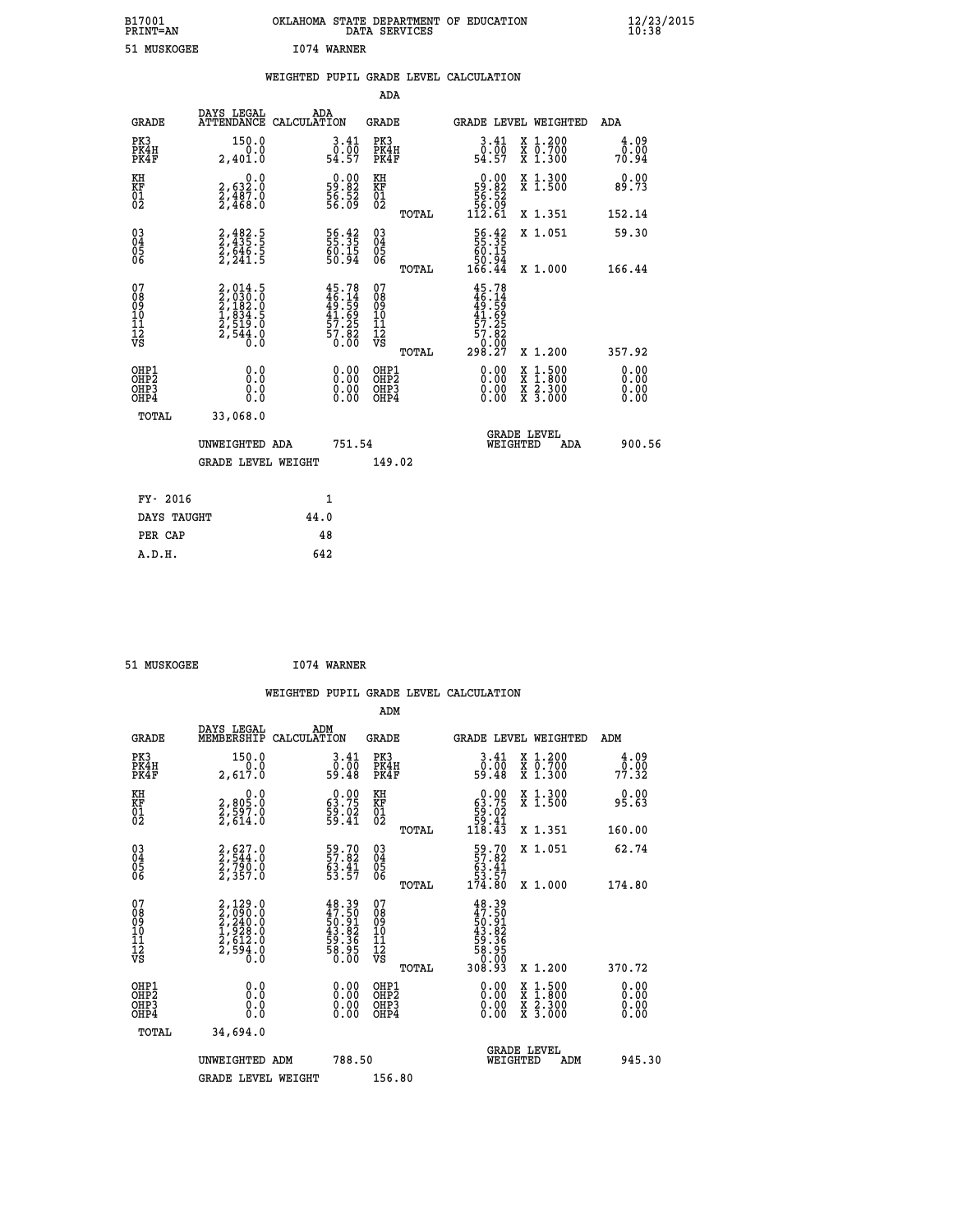| B17001<br><b>PRINT=AN</b> | OKLAHOMA STATE DEPARTMENT OF EDUCATION<br>DATA SERVICES | $\frac{12}{23}$ /2015 |
|---------------------------|---------------------------------------------------------|-----------------------|
| 51 MUSKOGEE               | 1074 WARNER                                             |                       |

|  |  | WEIGHTED PUPIL GRADE LEVEL CALCULATION |
|--|--|----------------------------------------|
|  |  |                                        |

|                                                                    |                                                                            |                                                                                                 | ADA                                                |       |                                                                                              |                                                                                                                                           |                       |
|--------------------------------------------------------------------|----------------------------------------------------------------------------|-------------------------------------------------------------------------------------------------|----------------------------------------------------|-------|----------------------------------------------------------------------------------------------|-------------------------------------------------------------------------------------------------------------------------------------------|-----------------------|
| <b>GRADE</b>                                                       | DAYS LEGAL<br>ATTENDANCE CALCULATION                                       | ADA                                                                                             | <b>GRADE</b>                                       |       |                                                                                              | <b>GRADE LEVEL WEIGHTED</b>                                                                                                               | <b>ADA</b>            |
| PK3<br>PK4H<br>PK4F                                                | 150.0<br>0.0<br>2,401.0                                                    | $\begin{smallmatrix} 3.41\ 0.00\ 54.57 \end{smallmatrix}$                                       | PK3<br>PK4H<br>PK4F                                |       | $3.41$<br>$0.00$<br>54.57                                                                    | X 1.200<br>X 0.700<br>X 1.300                                                                                                             | 4.09<br>0.00<br>70.94 |
| KH<br>KF<br>01<br>02                                               | 0.0<br>2,632:0<br>2,487:0<br>2,468:0                                       | $\begin{smallmatrix} 0.00\\ 59.82\\ 56.52\\ 56.09 \end{smallmatrix}$                            | KH<br>KF<br>01<br>02                               |       | $\begin{smallmatrix} 0.00\\ 59.82\\ 56.52\\ 56.09\\ 112.61 \end{smallmatrix}$                | X 1.300<br>X 1.500                                                                                                                        | 0.00<br>89.73         |
|                                                                    |                                                                            |                                                                                                 |                                                    | TOTAL |                                                                                              | X 1.351                                                                                                                                   | 152.14                |
| $\begin{smallmatrix} 03 \\[-4pt] 04 \end{smallmatrix}$<br>Ŏ5<br>06 | 2,482.5<br>2,435.5<br>2,646.5<br>2,241.5                                   | 56.42<br>55.35<br>60.15<br>50.94                                                                | $\begin{matrix} 03 \\ 04 \\ 05 \\ 06 \end{matrix}$ |       | $\begin{array}{r} 56.42 \\ 55.35 \\ 60.15 \\ 50.94 \\ 166.44 \end{array}$                    | X 1.051                                                                                                                                   | 59.30                 |
|                                                                    |                                                                            |                                                                                                 |                                                    | TOTAL |                                                                                              | X 1.000                                                                                                                                   | 166.44                |
| 07<br>08<br>09<br>01<br>11<br>11<br>12<br>VS                       | 2,014.5<br>2,030.0<br>2,182.0<br>2,1834.5<br>1,834.5<br>2,519.0<br>2,544.0 | $45.78$<br>$46.14$<br>$49.59$<br>$\begin{array}{c} 41.69 \\ 57.25 \\ 57.82 \\ 6.00 \end{array}$ | 07<br>08<br>09<br>11<br>11<br>12<br>VS             |       | 45.78<br>$46.14$<br>$49.59$<br>$41.69$<br>$57.25$<br>$57.82$<br>$57.82$<br>$0.000$<br>298.27 |                                                                                                                                           |                       |
|                                                                    |                                                                            |                                                                                                 |                                                    | TOTAL |                                                                                              | X 1.200                                                                                                                                   | 357.92                |
| OHP1<br>OHP2<br>OH <sub>P3</sub><br>OHP4                           | 0.0<br>0.0<br>0.0                                                          | $0.00$<br>$0.00$<br>0.00                                                                        | OHP1<br>OHP2<br>OHP3<br>OHP4                       |       |                                                                                              | $\begin{smallmatrix} \mathtt{X} & 1\cdot500\\ \mathtt{X} & 1\cdot800\\ \mathtt{X} & 2\cdot300\\ \mathtt{X} & 3\cdot000 \end{smallmatrix}$ | 0.00<br>0.00<br>0.00  |
| TOTAL                                                              | 33,068.0                                                                   |                                                                                                 |                                                    |       |                                                                                              |                                                                                                                                           |                       |
|                                                                    | UNWEIGHTED ADA                                                             | 751.54                                                                                          |                                                    |       |                                                                                              | <b>GRADE LEVEL</b><br>WEIGHTED<br>ADA                                                                                                     | 900.56                |
|                                                                    | <b>GRADE LEVEL WEIGHT</b>                                                  |                                                                                                 | 149.02                                             |       |                                                                                              |                                                                                                                                           |                       |
| FY- 2016                                                           |                                                                            | 1                                                                                               |                                                    |       |                                                                                              |                                                                                                                                           |                       |
| DAYS TAUGHT                                                        |                                                                            | 44.0                                                                                            |                                                    |       |                                                                                              |                                                                                                                                           |                       |
| PER CAP                                                            |                                                                            | 48                                                                                              |                                                    |       |                                                                                              |                                                                                                                                           |                       |

 **51 MUSKOGEE I074 WARNER WEIGHTED PUPIL GRADE LEVEL CALCULATION ADM DAYS LEGAL ADM GRADE MEMBERSHIP CALCULATION GRADE GRADE LEVEL WEIGHTED ADM PK3 150.0 3.41 PK3 3.41 X 1.200 4.09 PK4H 0.0 0.00 PK4H 0.00 X 0.700 0.00 PK4F 2,617.0 59.48 PK4F 59.48 X 1.300 77.32 KH 0.0 0.00 KH 0.00 X 1.300 0.00 KF 2,805.0 63.75 KF 63.75 X 1.500 95.63**  $\begin{array}{cccc} \text{KH} & \text{O.0} & \text{O.00} & \text{KH} \\ \text{KF} & \text{O.95-0} & \text{63.75} & \text{KF} \\ \text{O1} & \text{O.25} & \text{O.37} & \text{S.37} \\ \text{O2} & \text{O.27} & \text{O.37} & \text{O.37} \\ \end{array}$  **02 2,614.0 59.41 02 59.41 TOTAL 118.43 X 1.351 160.00 03 2,627.0 59.70 03 59.70 X 1.051 62.74 04 2,544.0 57.82 04 57.82 05 2,790.0 63.41 05 63.41 06 2,357.0 53.57 06 53.57 TOTAL 174.80 X 1.000 174.80**  $\begin{array}{cccc} 07 & 2,129.0 & 48.39 & 07 & 48.39 \ 08 & 2,290.0 & 50.91 & 08 & 49.59 \ 09 & 2,240.0 & 50.91 & 08 & 49.59 \ 10 & 1,928.0 & 43.82 & 10 & 43.82 \ 11 & 2,512.0 & 59.36 & 11 & 59.36 \ 12 & 59.36 & 0.0 & 59.36 & 12 & 59.36 \ \hline \end{array}$  $\begin{array}{cccc} 48.39 & 07 & 48.39 \\ 47.50 & 08 & 47.50 \\ 53.82 & 10 & 50.39 \\ 43.82 & 10 & 43.382 \\ 53.82 & 11 & 59.382 \\ 53.95 & 12 & 59.395 \\ 50.00 & \text{Vb} & \text{normal} & 308.39 \\ 0.00 & 0 \text{HP1} & 308.39 & \text{X} & 1.200 \\ 0.00 & 0 \text{HP2} & 0.00 & \text{X} & 1.500 & 0.0$  **OHP1 0.0 0.00 OHP1 0.00 X 1.500 0.00 OHP2 0.0 0.00 OHP2 0.00 X 1.800 0.00 OHP3 0.0 0.00 OHP3 0.00 X 2.300 0.00 OHP4 0.0 0.00 OHP4 0.00 X 3.000 0.00 TOTAL 34,694.0 GRADE LEVEL UNWEIGHTED ADM 788.50 WEIGHTED ADM 945.30 GRADE LEVEL WEIGHT 156.80**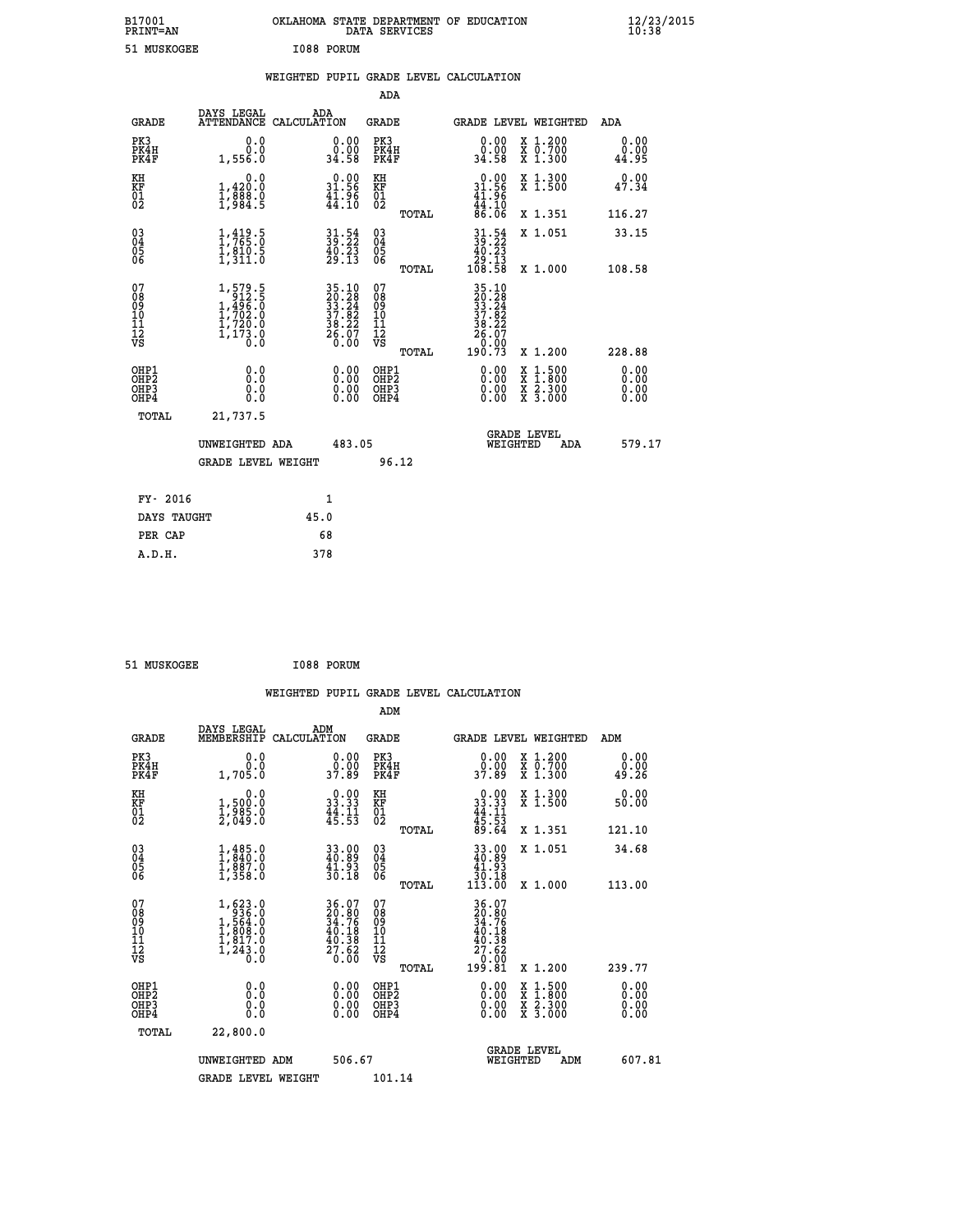| B17001<br><b>PRINT=AN</b> | OKLAHOMA STATE DEPARTMENT OF EDUCATION<br>DATA SERVICES | $\frac{12}{23}$ /2015 |
|---------------------------|---------------------------------------------------------|-----------------------|
| 51 MUSKOGEE               | I088 PORUM                                              |                       |

|  |  | WEIGHTED PUPIL GRADE LEVEL CALCULATION |
|--|--|----------------------------------------|
|  |  |                                        |

|                                                                    |                                                                                                       |                                                                                                                 |        | ADA                                                 |       |                                                                                                                  |                                                                                                                                           |                               |
|--------------------------------------------------------------------|-------------------------------------------------------------------------------------------------------|-----------------------------------------------------------------------------------------------------------------|--------|-----------------------------------------------------|-------|------------------------------------------------------------------------------------------------------------------|-------------------------------------------------------------------------------------------------------------------------------------------|-------------------------------|
| <b>GRADE</b>                                                       | DAYS LEGAL                                                                                            | ADA<br>ATTENDANCE CALCULATION                                                                                   |        | <b>GRADE</b>                                        |       | GRADE LEVEL WEIGHTED                                                                                             |                                                                                                                                           | ADA                           |
| PK3<br>PK4H<br>PK4F                                                | 0.0<br>0.0<br>1,556.0                                                                                 | $\begin{smallmatrix} 0.00\\ 0.00\\ 34.58 \end{smallmatrix}$                                                     |        | PK3<br>PK4H<br>PK4F                                 |       | $\begin{smallmatrix} 0.00\\ 0.00\\ 34.58 \end{smallmatrix}$                                                      | X 1.200<br>X 0.700<br>X 1.300                                                                                                             | 0.00<br>0.00<br>44.95         |
| KH<br>KF<br>01<br>02                                               | 0.0<br>1,420:0<br>1,888.0<br>1,984:5                                                                  | $0.00$<br>31.56<br>$\frac{41.96}{44.10}$                                                                        |        | KH<br>KF<br>01<br>02                                |       | $\begin{smallmatrix} 0.00\\ 31.56\\ 41.96\\ 44.10\\ 86.06 \end{smallmatrix}$                                     | X 1.300<br>X 1.500                                                                                                                        | 0.00<br>47.34                 |
|                                                                    |                                                                                                       |                                                                                                                 |        |                                                     | TOTAL |                                                                                                                  | X 1.351                                                                                                                                   | 116.27                        |
| $\begin{smallmatrix} 03 \\[-4pt] 04 \end{smallmatrix}$<br>Ŏ5<br>06 | $\frac{1}{1}, \frac{419}{765}.0$<br>$\frac{1}{1}, \frac{810}{311}.0$                                  | $31.54$<br>$39.22$<br>$40.23$<br>$29.13$                                                                        |        | $\begin{array}{c} 03 \\ 04 \\ 05 \\ 06 \end{array}$ |       | $\begin{smallmatrix} 31.54\\ 39.22\\ 40.23\\ 29.13\\ 108.58 \end{smallmatrix}$                                   | X 1.051                                                                                                                                   | 33.15                         |
|                                                                    |                                                                                                       |                                                                                                                 |        |                                                     | TOTAL |                                                                                                                  | X 1.000                                                                                                                                   | 108.58                        |
| 07<br>08<br>09<br>101<br>11<br>12<br>VS                            | $\begin{smallmatrix} 1,579.5\\ 912.5\\ 1,496.0\\ 1,702.0\\ 1,720.0\\ 1,173.0\\ 0.0 \end{smallmatrix}$ | $\begin{array}{l} 35\cdot 10\\20\cdot 28\\33\cdot 24\\37\cdot 82\\38\cdot 22\\26\cdot 07\\6\cdot 00\end{array}$ |        | 07<br>08<br>09<br>11<br>11<br>12<br>VS              |       | $\begin{array}{l} 35\cdot 10\\20\cdot 28\\33\cdot 24\\37\cdot 82\\38\cdot 22\\26\cdot 07\\26\cdot 92\end{array}$ |                                                                                                                                           |                               |
|                                                                    |                                                                                                       |                                                                                                                 |        |                                                     | TOTAL | 190.73                                                                                                           | X 1.200                                                                                                                                   | 228.88                        |
| OHP1<br>OHP <sub>2</sub><br>OH <sub>P3</sub><br>OHP4               | 0.0<br>0.000                                                                                          | 0.00<br>$\begin{smallmatrix} 0.00 \ 0.00 \end{smallmatrix}$                                                     |        | OHP1<br>OHP2<br>OHP <sub>3</sub>                    |       | 0.00<br>0.00                                                                                                     | $\begin{smallmatrix} \mathtt{X} & 1\cdot500\\ \mathtt{X} & 1\cdot800\\ \mathtt{X} & 2\cdot300\\ \mathtt{X} & 3\cdot000 \end{smallmatrix}$ | 0.00<br>Ō. ŌŌ<br>0.00<br>0.00 |
| TOTAL                                                              | 21,737.5                                                                                              |                                                                                                                 |        |                                                     |       |                                                                                                                  |                                                                                                                                           |                               |
|                                                                    | UNWEIGHTED ADA                                                                                        |                                                                                                                 | 483.05 |                                                     |       | WEIGHTED                                                                                                         | <b>GRADE LEVEL</b><br>ADA                                                                                                                 | 579.17                        |
|                                                                    | <b>GRADE LEVEL WEIGHT</b>                                                                             |                                                                                                                 |        | 96.12                                               |       |                                                                                                                  |                                                                                                                                           |                               |
| FY- 2016                                                           |                                                                                                       | 1                                                                                                               |        |                                                     |       |                                                                                                                  |                                                                                                                                           |                               |
| DAYS TAUGHT                                                        |                                                                                                       | 45.0                                                                                                            |        |                                                     |       |                                                                                                                  |                                                                                                                                           |                               |
| PER CAP                                                            |                                                                                                       | 68                                                                                                              |        |                                                     |       |                                                                                                                  |                                                                                                                                           |                               |

| I088 PORUM<br>51 MUSKOGEE |  |  |  |  |
|---------------------------|--|--|--|--|
|---------------------------|--|--|--|--|

 **WEIGHTED PUPIL GRADE LEVEL CALCULATION ADM DAYS LEGAL ADM GRADE MEMBERSHIP CALCULATION GRADE GRADE LEVEL WEIGHTED ADM PK3 0.0 0.00 PK3 0.00 X 1.200 0.00 PK4H 0.0 0.00 PK4H 0.00 X 0.700 0.00 PK4F 1,705.0 37.89 PK4F 37.89 X 1.300 49.26** 0.00 KH 0.00 RH 0.00 X 1.300<br>RF 3,500.0 33.33 KF 33.33 X 1.500 50.00  $\begin{array}{cccc} 01 & 1/985.0 & 44.11 & 01 & 44.11 \\ 2/049.0 & 45.53 & 02 & 45.53 \end{array}$  **TOTAL 89.64 X 1.351 121.10 03 1,485.0 33.00 03 33.00 X 1.051 34.68 04 1,840.0 40.89 04 40.89 05 1,887.0 41.93 05 41.93 06 1,358.0 30.18 06 30.18 TOTAL 113.00 X 1.000 113.00**  $\begin{array}{cccc} 07 & 1,623.0 & 36.07 & 07 & 36.07 \ 08 & 1936.0 & 20.80 & 08 & 20.80 \ 09 & 1,564.0 & 34.76 & 09 & 34.76 \ 10 & 1,808.0 & 40.18 & 10 & 40.18 \ 11 & 1,817.0 & 40.38 & 11 & 40.38 \ 12 & 1,243.0 & 27.62 & 12 & 40.38 \ \hline \end{array}$ 

|                                          |                           |                                   | TOTAL                        | 199.81 X 1.200               |                                                    |     | 239.77                                                     |
|------------------------------------------|---------------------------|-----------------------------------|------------------------------|------------------------------|----------------------------------------------------|-----|------------------------------------------------------------|
| OHP1<br>OHP <sub>2</sub><br>OHP3<br>OHP4 | 0.0<br>0.0<br>0.0<br>0.0  | 0.00<br>0.00<br>.00<br>0.<br>0.00 | OHP1<br>OHP2<br>OHP3<br>OHP4 | 0.00<br>0.00<br>Ŏ.ŎŎ<br>O.OO | $1.500$<br>$1.800$<br>X<br>X<br>X 2.300<br>X 3.000 |     | $\begin{smallmatrix} 0.00 \ 0.00 \ 0.00 \end{smallmatrix}$ |
| TOTAL                                    | 22,800.0                  |                                   |                              |                              |                                                    |     |                                                            |
|                                          | UNWEIGHTED ADM            | 506.67                            |                              | WEIGHTED                     | <b>GRADE LEVEL</b>                                 | ADM | 607.81                                                     |
|                                          | <b>GRADE LEVEL WEIGHT</b> |                                   | 101.14                       |                              |                                                    |     |                                                            |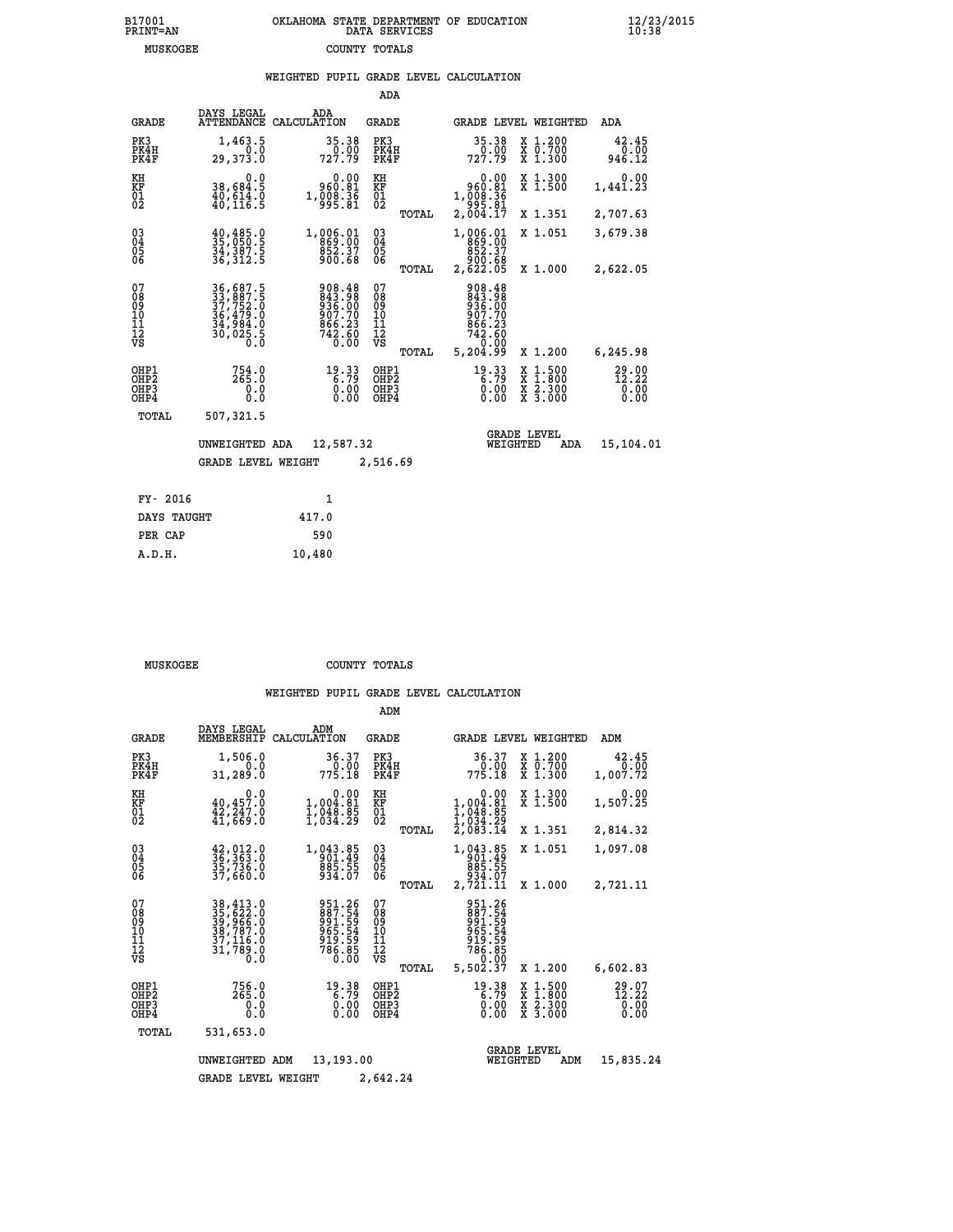# **B17001 OKLAHOMA STATE DEPARTMENT OF EDUCATION 12/23/2015 PRINT=AN DATA SERVICES 10:38 MUSKOGEE COUNTY TOTALS**

## **WEIGHTED PUPIL GRADE LEVEL CALCULATION**

|                                                    |                                                                      |                                                                  | ADA                                      |       |                                                                                                             |                                          |                                    |
|----------------------------------------------------|----------------------------------------------------------------------|------------------------------------------------------------------|------------------------------------------|-------|-------------------------------------------------------------------------------------------------------------|------------------------------------------|------------------------------------|
| <b>GRADE</b>                                       | DAYS LEGAL<br><b>ATTENDANCE</b>                                      | ADA<br>CALCULATION                                               | GRADE                                    |       |                                                                                                             | GRADE LEVEL WEIGHTED                     | ADA                                |
| PK3<br>PK4H<br>PK4F                                | 1,463.5<br>0.0<br>29,373.0                                           | 35.38<br>0.00<br>727.79                                          | PK3<br>PK4H<br>PK4F                      |       | 35.38<br>0.00<br>727.79                                                                                     | X 1.200<br>X 0.700<br>X 1.300            | 42.45<br>0.00<br>946.12            |
| KH<br><b>KF</b><br>01<br>02                        | 0.0<br>38,684.5<br>$\frac{40}{40}$ , $\frac{614}{116}$ . 9           | 0.00<br>960.81<br>1,008.36<br>995.81                             | KH<br>KF<br>$\overline{01}$              |       | 0.00<br>960.81<br>1, 008:36<br>995:81<br>2, 004:17                                                          | X 1.300<br>X 1.500                       | 0.00<br>1,441.23                   |
|                                                    |                                                                      |                                                                  |                                          | TOTAL |                                                                                                             | X 1.351                                  | 2,707.63                           |
| $\begin{matrix} 03 \\ 04 \\ 05 \\ 06 \end{matrix}$ | 40,485.0<br>35,050.5<br>34,387.5<br>36,312.5                         | 1,006.01<br>869.00<br>852.37<br>900.68                           | $\substack{03 \\ 04}$<br>$\frac{05}{06}$ |       | 1,006.01<br>869.00<br>852.37                                                                                | X 1.051                                  | 3,679.38                           |
|                                                    |                                                                      |                                                                  |                                          | TOTAL | 88.000<br>2,622.05                                                                                          | X 1.000                                  | 2,622.05                           |
| 07<br>08<br>09<br>101<br>11<br>12<br>VS            | 36,687.5<br>33,887.5<br>37,752.0<br>36,479.0<br>34,984.0<br>30,025.5 | 908.48<br>843.98<br>936.00<br>907.70<br>866.23<br>742.60<br>0.00 | 07<br>08<br>09<br>11<br>11<br>12<br>VS   | TOTAL | $\begin{array}{r} 908.48 \\ 843.98 \\ 936.00 \\ 907.70 \\ 866.23 \\ 742.60 \\ 0.00 \\ 5,204.99 \end{array}$ | X 1.200                                  | 6,245.98                           |
|                                                    |                                                                      |                                                                  | OHP1                                     |       |                                                                                                             |                                          |                                    |
| OHP1<br>OH <sub>P</sub> 2<br>OHP3<br>OHP4          | 754.0<br>265.0<br>0.0<br>0.0                                         | $19.33\n6.79\n0.00\n0.00$                                        | OH <sub>P</sub> 2<br>OHP3<br>OHP4        |       | $19.33$<br>6.79<br>0.00<br>0.00                                                                             | X 1:500<br>X 1:800<br>X 2:300<br>X 3:000 | $29.00$<br>$12.22$<br>0.00<br>0.00 |
| TOTAL                                              | 507,321.5                                                            |                                                                  |                                          |       |                                                                                                             |                                          |                                    |
|                                                    | UNWEIGHTED ADA                                                       | 12,587.32                                                        |                                          |       | WEIGHTED                                                                                                    | <b>GRADE LEVEL</b><br>ADA                | 15,104.01                          |
|                                                    | <b>GRADE LEVEL WEIGHT</b>                                            |                                                                  | 2,516.69                                 |       |                                                                                                             |                                          |                                    |
|                                                    |                                                                      |                                                                  |                                          |       |                                                                                                             |                                          |                                    |
| FY- 2016                                           |                                                                      | 1                                                                |                                          |       |                                                                                                             |                                          |                                    |
| DAYS TAUGHT                                        |                                                                      | 417.0                                                            |                                          |       |                                                                                                             |                                          |                                    |

| A.D.H. | 10,480 |
|--------|--------|
|        |        |
|        |        |

 **PER CAP 590**

 **MUSKOGEE COUNTY TOTALS**

|                                                       |                                                                             |                                                                            | ADM                                              |                                                                              |                                                                                                  |                                   |
|-------------------------------------------------------|-----------------------------------------------------------------------------|----------------------------------------------------------------------------|--------------------------------------------------|------------------------------------------------------------------------------|--------------------------------------------------------------------------------------------------|-----------------------------------|
| <b>GRADE</b>                                          | DAYS LEGAL<br>MEMBERSHIP                                                    | ADM<br>CALCULATION                                                         | <b>GRADE</b>                                     | GRADE LEVEL WEIGHTED                                                         |                                                                                                  | ADM                               |
| PK3<br>PK4H<br>PK4F                                   | 1,506.0<br>0.0<br>31,289.0                                                  | 36.37<br>775.18                                                            | PK3<br>PK4H<br>PK4F                              | 36.37<br>0.00<br>775.18                                                      | $\begin{array}{c} x & 1.200 \\ x & 0.700 \end{array}$<br>X 1.300                                 | 42.45<br>0.00<br>1,007.72         |
| KH<br>KF<br>01<br>02                                  | 0.0<br>$40,457.0$<br>$42,247.0$<br>$41,669.0$                               | $\begin{smallmatrix}&&0.00\\1,004.81\\1,048.85\\1,034.29\end{smallmatrix}$ | KH<br>KF<br>01<br>02                             | 0.00<br>$1,004.81$<br>$1,048.85$<br>$1,034.29$<br>$2,083.14$                 | X 1.300<br>X 1.500                                                                               | 0.00<br>1,507.25                  |
|                                                       |                                                                             |                                                                            | TOTAL                                            |                                                                              | X 1.351                                                                                          | 2,814.32                          |
| 03<br>04<br>05<br>06                                  | $\frac{42}{36}, \frac{012}{363}$ .0<br>35,736.0<br>37,660.0                 | 1,043.85<br>901.49<br>885.55<br>934.07                                     | $^{03}_{04}$<br>0500                             | 1,043.85<br>901.49<br>885.55<br>934.07                                       | X 1.051                                                                                          | 1,097.08                          |
|                                                       |                                                                             |                                                                            | TOTAL                                            | 2,721.11                                                                     | X 1.000                                                                                          | 2,721.11                          |
| 07<br>08<br>09<br>11<br>11<br>12<br>VS                | 38,413.0<br>35,622.0<br>39,966.0<br>38,787.0<br>37,116.0<br>31,789.0<br>Õ.Ŏ | 951.26<br>887.54<br>991.59<br>965.54<br>919.59<br>786.85<br>0.00           | 07<br>08<br>09<br>101<br>11<br>12<br>VS<br>TOTAL | 951.26<br>887.54<br>991.59<br>965.54<br>919.59<br>786.85<br>0.00<br>5,502.37 | X 1.200                                                                                          | 6,602.83                          |
| OHP1<br>OH <sub>P</sub> 2<br>OH <sub>P3</sub><br>OHP4 | 756.0<br>265.0<br>0.0<br>Ŏ.Ŏ                                                | $19.38$<br>6.79<br>0.00<br>0.00                                            | OHP1<br>OHP <sub>2</sub><br>OHP3<br>OHP4         | $19.38$<br>6.79<br>0.00<br>0.00                                              | $\begin{smallmatrix} x & 1 & 500 \\ x & 1 & 800 \\ x & 2 & 300 \\ x & 3 & 000 \end{smallmatrix}$ | $^{29.07}_{12.22}_{0.00}$<br>0.00 |
| TOTAL                                                 | 531,653.0                                                                   |                                                                            |                                                  |                                                                              |                                                                                                  |                                   |
|                                                       | UNWEIGHTED                                                                  | 13,193.00<br>ADM                                                           |                                                  | <b>GRADE LEVEL</b><br>WEIGHTED                                               | ADM                                                                                              | 15,835.24                         |
|                                                       | <b>GRADE LEVEL WEIGHT</b>                                                   |                                                                            | 2,642.24                                         |                                                                              |                                                                                                  |                                   |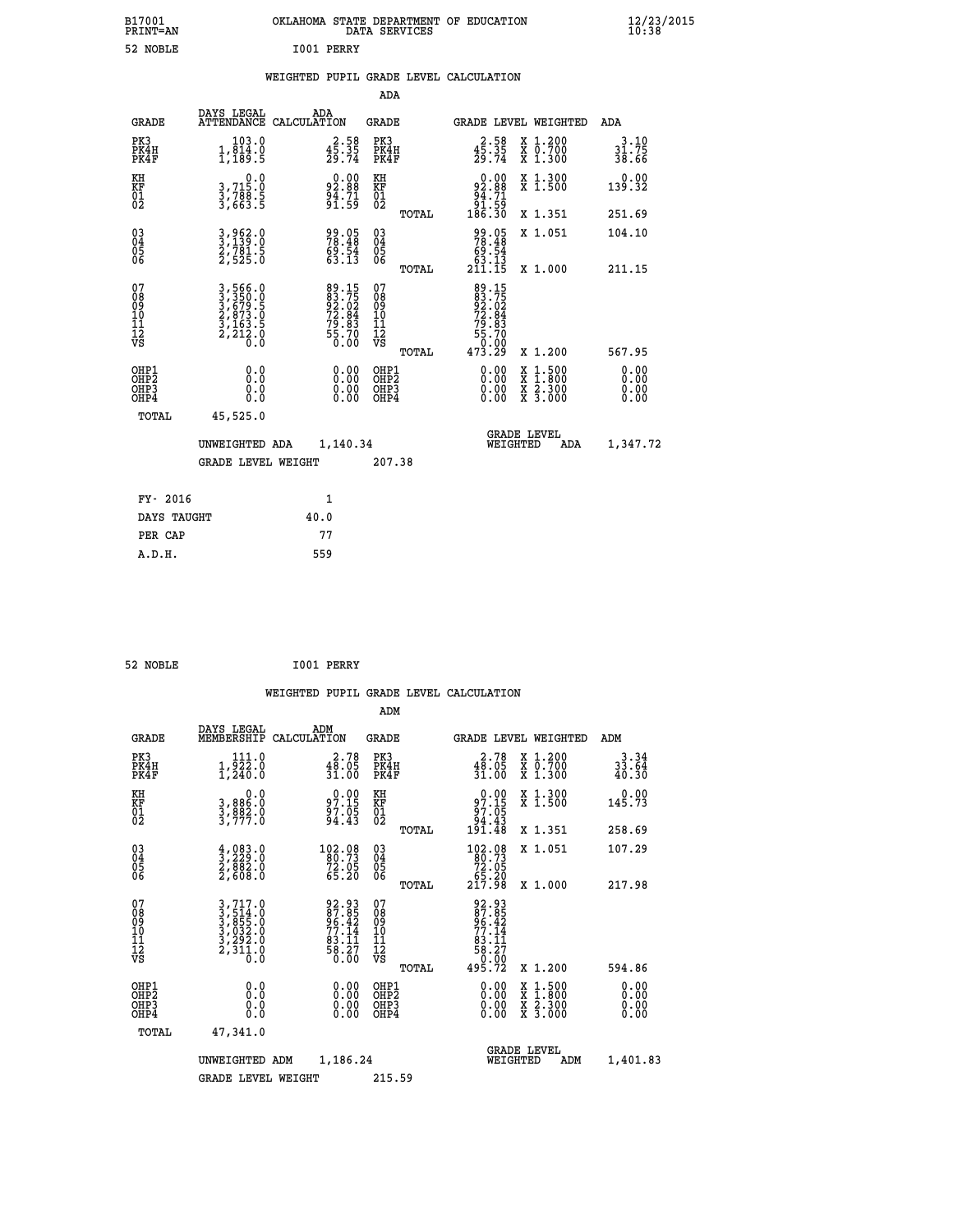| B17001<br>PRINT=AN                                   |                                                            | OKLAHOMA STATE DEPARTMENT OF EDUCATION                      | DATA SERVICES                                   |                                                                                   |                                                                                                  | 12/23/2015                   |  |
|------------------------------------------------------|------------------------------------------------------------|-------------------------------------------------------------|-------------------------------------------------|-----------------------------------------------------------------------------------|--------------------------------------------------------------------------------------------------|------------------------------|--|
| 52 NOBLE                                             |                                                            | I001 PERRY                                                  |                                                 |                                                                                   |                                                                                                  |                              |  |
|                                                      |                                                            | WEIGHTED PUPIL GRADE LEVEL CALCULATION                      |                                                 |                                                                                   |                                                                                                  |                              |  |
|                                                      |                                                            |                                                             | ADA                                             |                                                                                   |                                                                                                  |                              |  |
| <b>GRADE</b>                                         | DAYS LEGAL<br>ATTENDANCE CALCULATION                       | ADA                                                         | GRADE                                           | <b>GRADE LEVEL WEIGHTED</b>                                                       |                                                                                                  | ADA                          |  |
| PK3<br>PK4H<br>PK4F                                  | 103.0<br>$1,\overline{814.0}$<br>$1,189.5$                 | $4\overline{5}\cdot\overline{35}$<br>$29.74$                | PK3<br>PK4H<br>PK4F                             | $4\overline{5}\cdot\overline{35}$<br>$4\overline{5}\cdot\overline{35}$<br>$29.74$ | X 1.200<br>X 0.700<br>X 1.300                                                                    | 3.10<br>31.75<br>38.66       |  |
| KH<br>KF<br>01<br>02                                 | 0.0<br>3,715:0<br>3,788:5<br>3,663:5                       | $92.88$<br>$94.71$<br>$91.59$                               | KH<br><b>KF</b><br>01<br>02                     | $\begin{smallmatrix} 0.00\\ 92.88\\ 94.71\\ 91.59\\ 186.30 \end{smallmatrix}$     | X 1.300<br>X 1.500                                                                               | 0.00<br>139.32               |  |
|                                                      |                                                            |                                                             | TOTAL                                           |                                                                                   | X 1.351                                                                                          | 251.69                       |  |
| $\substack{03 \\ 04}$<br>$\frac{05}{06}$             | 3,962.0<br>3,139.0<br>2,781.5<br>2,525.0                   | 99.05<br>78.48<br>$69.54$<br>$63.13$                        | 030404<br>ŌĞ                                    | 99.05<br>78.48<br>69.54                                                           | X 1.051                                                                                          | 104.10                       |  |
|                                                      |                                                            |                                                             | TOTAL                                           | 63.13<br>211.15                                                                   | X 1.000                                                                                          | 211.15                       |  |
| 07<br>08<br>09<br>11<br>11<br>12<br>VS               | 3,566.0<br>3,350.0<br>3,679.5<br>2,873.0<br>2,212.0<br>0.0 | 89.15<br>83.75<br>92.02<br>72.84<br>79.83<br>75.70<br>55.70 | 07<br>08<br>09<br>11<br>11<br>12<br>VS<br>TOTAL | 89.15<br>83.75<br>92.02<br>72.84<br>79.83<br>55.70<br>ŏ:óŏ<br>473.29              | X 1.200                                                                                          | 567.95                       |  |
| OHP1<br>OHP <sub>2</sub><br>OH <sub>P3</sub><br>OHP4 | 0.0<br>Ō.Ō<br>0.0<br>0.0                                   | 0.00<br>0.00                                                | OHP1<br>OHP <sub>2</sub><br>OHP3<br>OHP4        | 0.00<br>0.00<br>0.00                                                              | $\begin{smallmatrix} x & 1 & 500 \\ x & 1 & 800 \\ x & 2 & 300 \\ x & 3 & 000 \end{smallmatrix}$ | 0.00<br>0.00<br>0.00<br>0.00 |  |
| TOTAL                                                | 45,525.0                                                   |                                                             |                                                 |                                                                                   |                                                                                                  |                              |  |
|                                                      | UNWEIGHTED ADA                                             | 1,140.34                                                    |                                                 | WEIGHTED                                                                          | <b>GRADE LEVEL</b><br>ADA                                                                        | 1,347.72                     |  |
|                                                      | GRADE LEVEL WEIGHT                                         |                                                             | 207.38                                          |                                                                                   |                                                                                                  |                              |  |
| FY- 2016                                             |                                                            | 1                                                           |                                                 |                                                                                   |                                                                                                  |                              |  |
| DAYS TAUGHT                                          |                                                            | 40.0                                                        |                                                 |                                                                                   |                                                                                                  |                              |  |
| PER CAP                                              |                                                            | 77                                                          |                                                 |                                                                                   |                                                                                                  |                              |  |
| A.D.H.                                               |                                                            | 559                                                         |                                                 |                                                                                   |                                                                                                  |                              |  |

| 52 NOBLE | I001 PERRY |
|----------|------------|

|                                                    |                                                                                                                                                            |                                                                   | ADM                                                |                                                                                                                                                                                                                                                                                                                                                                                                                        |                              |
|----------------------------------------------------|------------------------------------------------------------------------------------------------------------------------------------------------------------|-------------------------------------------------------------------|----------------------------------------------------|------------------------------------------------------------------------------------------------------------------------------------------------------------------------------------------------------------------------------------------------------------------------------------------------------------------------------------------------------------------------------------------------------------------------|------------------------------|
| <b>GRADE</b>                                       | DAYS LEGAL<br>MEMBERSHIP                                                                                                                                   | ADM<br>CALCULATION                                                | <b>GRADE</b>                                       | GRADE LEVEL WEIGHTED                                                                                                                                                                                                                                                                                                                                                                                                   | ADM                          |
| PK3<br>PK4H<br>PK4F                                | 111.0<br>$1,\overline{2}\overline{2}\overline{2}\cdot 0$<br>1,240.0                                                                                        | $48.78$<br>$31.05$<br>31.00                                       | PK3<br>PK4H<br>PK4F                                | $48.78$<br>$31.05$<br>$31.00$<br>X 1.200<br>X 0.700<br>X 1.300                                                                                                                                                                                                                                                                                                                                                         | $3.34$<br>$33.64$<br>$40.30$ |
| KH<br>KF<br>01<br>02                               | $\begin{smallmatrix}&&&0.0\\3, &886.0\\3, &892.0\\3, &777.0\end{smallmatrix}$                                                                              | $97.15$<br>$97.15$<br>$97.05$<br>$94.43$                          | KH<br>KF<br>01<br>02                               | X 1.300<br>X 1.500<br>$0.00$<br>$97.15$<br>$97.05$<br>$94.43$<br>$191.48$                                                                                                                                                                                                                                                                                                                                              | 0.00<br>145.73               |
|                                                    |                                                                                                                                                            |                                                                   | TOTAL                                              | X 1.351                                                                                                                                                                                                                                                                                                                                                                                                                | 258.69                       |
| $\begin{matrix} 03 \\ 04 \\ 05 \\ 06 \end{matrix}$ | $\frac{4}{3}, \frac{083}{229}.0$<br>$2, 882.0$<br>$2, 608.0$                                                                                               | $\substack{102.08\\80.73\\72.05\\65.20}$                          | $\begin{matrix} 03 \\ 04 \\ 05 \\ 06 \end{matrix}$ | $\begin{smallmatrix} 102.08\\ 80.73\\ 72.05\\ 65.20\\ 217.98 \end{smallmatrix}$<br>X 1.051                                                                                                                                                                                                                                                                                                                             | 107.29                       |
|                                                    |                                                                                                                                                            |                                                                   | TOTAL                                              | X 1.000                                                                                                                                                                                                                                                                                                                                                                                                                | 217.98                       |
| 07<br>08<br>09<br>01<br>11<br>11<br>12<br>VS       | $\begin{smallmatrix} 3\,,\,717\,.\,0\\ 3\,,\,514\,.\,0\\ 3\,,\,855\,.\,0\\ 3\,,\,032\,.\,0\\ 3\,,\,292\,.\,0\\ 2\,,\,311\,.\,0\\ 0\,.\,0\end{smallmatrix}$ | 92.93<br>87.85<br>96.42<br>77.14<br>83.11<br>83.27<br>58.27       | 07<br>08<br>09<br>11<br>11<br>12<br>VS<br>TOTAL    | 92.93<br>87.852<br>96.42<br>96.114<br>83.117<br>58.27<br>58.27<br>0.00<br>495.72<br>X 1.200                                                                                                                                                                                                                                                                                                                            | 594.86                       |
| OHP1<br>OHP2<br>OH <sub>P3</sub><br>OHP4           |                                                                                                                                                            | $\begin{smallmatrix} 0.00 \ 0.00 \ 0.00 \ 0.00 \end{smallmatrix}$ | OHP1<br>OHP2<br>OHP3<br>OHP4                       | $\begin{smallmatrix} 0.00 & 0.00 & 0.00 & 0.00 & 0.00 & 0.00 & 0.00 & 0.00 & 0.00 & 0.00 & 0.00 & 0.00 & 0.00 & 0.00 & 0.00 & 0.00 & 0.00 & 0.00 & 0.00 & 0.00 & 0.00 & 0.00 & 0.00 & 0.00 & 0.00 & 0.00 & 0.00 & 0.00 & 0.00 & 0.00 & 0.00 & 0.00 & 0.00 & 0.00 & 0.00 & 0.0$<br>$\begin{smallmatrix} \mathtt{X} & 1 & 500 \\ \mathtt{X} & 1 & 800 \\ \mathtt{X} & 2 & 300 \\ \mathtt{X} & 3 & 000 \end{smallmatrix}$ | 0.00<br>0.00<br>0.00         |
| TOTAL                                              | 47,341.0                                                                                                                                                   |                                                                   |                                                    |                                                                                                                                                                                                                                                                                                                                                                                                                        |                              |
|                                                    | UNWEIGHTED                                                                                                                                                 | 1,186.24<br>ADM                                                   |                                                    | <b>GRADE LEVEL</b><br>WEIGHTED<br>ADM                                                                                                                                                                                                                                                                                                                                                                                  | 1,401.83                     |
|                                                    | <b>GRADE LEVEL WEIGHT</b>                                                                                                                                  |                                                                   | 215.59                                             |                                                                                                                                                                                                                                                                                                                                                                                                                        |                              |
|                                                    |                                                                                                                                                            |                                                                   |                                                    |                                                                                                                                                                                                                                                                                                                                                                                                                        |                              |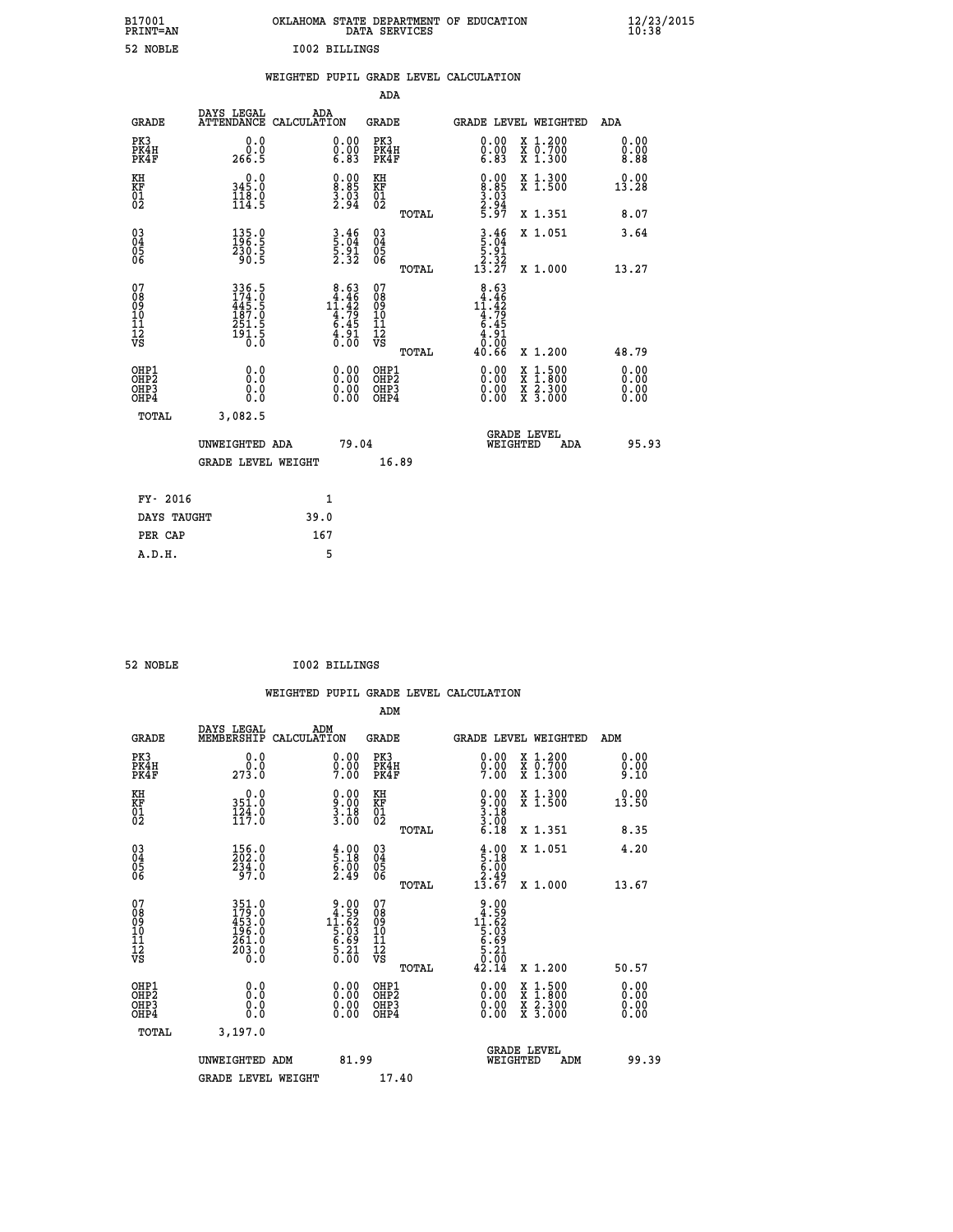| B17001<br>PRINT=AN                                 |                                                                    |                                                                                      | DATA SERVICES                                      | OKLAHOMA STATE DEPARTMENT OF EDUCATION                                                                               | 12/23/2015<br>10:38          |
|----------------------------------------------------|--------------------------------------------------------------------|--------------------------------------------------------------------------------------|----------------------------------------------------|----------------------------------------------------------------------------------------------------------------------|------------------------------|
| 52 NOBLE                                           |                                                                    | <b>I002 BILLINGS</b>                                                                 |                                                    |                                                                                                                      |                              |
|                                                    |                                                                    | WEIGHTED PUPIL GRADE LEVEL CALCULATION                                               |                                                    |                                                                                                                      |                              |
|                                                    |                                                                    |                                                                                      | ADA                                                |                                                                                                                      |                              |
| GRADE                                              | DAYS LEGAL<br>ATTENDANCE CALCULATION                               | ADA                                                                                  | GRADE                                              | GRADE LEVEL WEIGHTED                                                                                                 | ADA                          |
| PK3<br>PK4H<br>PK4F                                | 0.0<br>0.0<br>266.5                                                | $\begin{smallmatrix} 0.00\\ 0.00\\ 6.83 \end{smallmatrix}$                           | PK3<br>PK4H<br>PK4F                                | 0.00<br>X 1.200<br>$\begin{smallmatrix} 0.00 \ 6.83 \end{smallmatrix}$<br>X 0.700<br>X 1.300                         | 0.00<br>0.00<br>8.88         |
| KH<br>KF<br>$\overline{01}$                        | 0.0<br>345.0<br>$\frac{1}{1}\frac{1}{4}\cdot\frac{8}{5}$           | $\begin{smallmatrix} 0.00\\[-4pt] 8.85\\[-4pt] 3.03\\[-4pt] 2.94\end{smallmatrix}$   | КH<br>KF<br>01<br>02                               | 0.00<br>X 1.300<br>X 1.500<br>$\begin{array}{c} 8.85 \\ 3.03 \\ 2.94 \\ 5.97 \end{array}$                            | 0.00<br>13.28                |
|                                                    |                                                                    |                                                                                      | TOTAL                                              | X 1.351                                                                                                              | 8.07                         |
| $\begin{matrix} 03 \\ 04 \\ 05 \\ 06 \end{matrix}$ | $135.0$<br>$196.5$<br>$\frac{230.5}{90.5}$                         | $\frac{3.46}{5.04}$<br>$\frac{5.91}{2.32}$                                           | $\begin{matrix} 03 \\ 04 \\ 05 \\ 06 \end{matrix}$ | $\frac{3.46}{5.04}$<br>X 1.051<br>5.91<br>$\frac{2.52}{13.27}$                                                       | 3.64                         |
|                                                    |                                                                    |                                                                                      | TOTAL                                              | X 1.000                                                                                                              | 13.27                        |
| 07<br>08<br>09<br>10<br>11<br>12<br>VS             | 336.5<br>174.0<br>445.5<br>445.5<br>187.0<br>251.5<br>251.5<br>0.0 | $\begin{array}{r} 8.63 \\ 4.46 \\ 11.42 \\ 4.79 \\ 6.45 \\ 4.91 \\ 0.00 \end{array}$ | 07<br>08<br>09<br>10<br>11<br>12<br>VS<br>TOTAL    | 8.63<br>4.46<br>$1\overline{1}\cdot 4\overline{2}\n4\cdot 79\n6\cdot 45\n4\cdot 91$<br>0.00<br>X 1.200<br>40.66      | 48.79                        |
| OHP1<br>OHP2<br>OHP3<br>OHP4                       | 0.0<br>0.0<br>0.0<br>0.0                                           | 0.00<br>0.00<br>0.00                                                                 | OHP1<br>OHP <sub>2</sub><br>OHP3<br>OHP4           | 0.00<br>$\frac{x}{x}$ $\frac{1.500}{x}$<br>0.00<br>$\frac{\overline{x}}{\overline{x}}$ $\frac{2.300}{3.000}$<br>0.00 | 0.00<br>0.00<br>0.00<br>0.00 |
| TOTAL                                              | 3,082.5                                                            |                                                                                      |                                                    |                                                                                                                      |                              |
|                                                    | UNWEIGHTED ADA                                                     | 79.04                                                                                |                                                    | <b>GRADE LEVEL</b><br>WEIGHTED                                                                                       | 95.93<br>ADA                 |
|                                                    | <b>GRADE LEVEL WEIGHT</b>                                          |                                                                                      | 16.89                                              |                                                                                                                      |                              |
| FY- 2016                                           |                                                                    | 1                                                                                    |                                                    |                                                                                                                      |                              |
| DAYS TAUGHT                                        |                                                                    | 39.0                                                                                 |                                                    |                                                                                                                      |                              |
| PER CAP                                            |                                                                    | 167                                                                                  |                                                    |                                                                                                                      |                              |

| <b>I002 BILLINGS</b><br>52 NOBLE |
|----------------------------------|
|----------------------------------|

|                                                      |                                                             |                    |                                                                                              |                                              |       | WEIGHTED PUPIL GRADE LEVEL CALCULATION                               |                               |                                          |                      |  |
|------------------------------------------------------|-------------------------------------------------------------|--------------------|----------------------------------------------------------------------------------------------|----------------------------------------------|-------|----------------------------------------------------------------------|-------------------------------|------------------------------------------|----------------------|--|
|                                                      |                                                             |                    |                                                                                              | ADM                                          |       |                                                                      |                               |                                          |                      |  |
| <b>GRADE</b>                                         | DAYS LEGAL<br>MEMBERSHIP                                    | ADM<br>CALCULATION |                                                                                              | <b>GRADE</b>                                 |       | <b>GRADE LEVEL WEIGHTED</b>                                          |                               |                                          | ADM                  |  |
| PK3<br>PK4H<br>PK4F                                  | 0.0<br>273.0                                                |                    | $0.00$<br>$0.00$<br>7.00                                                                     | PK3<br>PK4H<br>PK4F                          |       | $0.00$<br>$0.00$<br>7.00                                             | X 1.200<br>X 0.700<br>X 1.300 |                                          | 0.00<br>0.00<br>9.10 |  |
| KH<br>KF<br>01<br>02                                 | 0.0<br>351.0<br>124.0<br>117.0                              |                    | $\begin{smallmatrix} 0.00\\ 9.00\\ 3.18\\ 3.00 \end{smallmatrix}$                            | KH<br>KF<br>01<br>02                         |       | $0.00$<br>$3.00$<br>$3.18$<br>$3.00$<br>$6.18$                       |                               | X 1.300<br>X 1.500                       | 0.00<br>13.50        |  |
|                                                      |                                                             |                    |                                                                                              |                                              | TOTAL |                                                                      | X 1.351                       |                                          | 8.35                 |  |
| $\begin{matrix} 03 \\ 04 \\ 05 \\ 06 \end{matrix}$   | 156.0<br>202.0<br>234.0<br>97.0                             |                    | $\begin{smallmatrix} 4.00\ 5.18\ 6.00\ 2.49 \end{smallmatrix}$                               | 03<br>04<br>05<br>06                         |       | $\begin{array}{c} 4.00 \\ 5.18 \\ 6.00 \\ 2.49 \\ 13.67 \end{array}$ | X 1.051                       |                                          | 4.20                 |  |
|                                                      |                                                             |                    |                                                                                              |                                              | TOTAL |                                                                      |                               | X 1.000                                  | 13.67                |  |
| 07<br>0890112<br>1112<br>VS                          | 351.0<br>179.0<br>453.0<br>453.0<br>196.0<br>261.0<br>203.0 |                    | $\begin{array}{r} 9.00 \\ 4.59 \\ 11.62 \\ 5.03 \\ 6.69 \\ 6.21 \\ 5.21 \\ 0.00 \end{array}$ | 07<br>08901112<br>1112<br>VS                 | TOTAL | $9.00$<br>$11.52$<br>$15.62$<br>$5.63$<br>$6.21$<br>$0.00$<br>42.14  | X 1.200                       |                                          | 50.57                |  |
| OHP1<br>OHP <sub>2</sub><br>OH <sub>P3</sub><br>OHP4 | 0.0<br>0.000                                                |                    | $0.00$<br>$0.00$<br>0.00                                                                     | OHP1<br>OHP <sub>2</sub><br>OHP <sub>3</sub> |       | 0.00<br>0.00<br>0.00                                                 |                               | X 1:500<br>X 1:800<br>X 2:300<br>X 3:000 | 0.00<br>0.00<br>0.00 |  |
| TOTAL                                                | 3,197.0                                                     |                    |                                                                                              |                                              |       |                                                                      |                               |                                          |                      |  |
|                                                      | UNWEIGHTED ADM                                              |                    | 81.99                                                                                        |                                              |       | WEIGHTED                                                             | <b>GRADE LEVEL</b>            | ADM                                      | 99.39                |  |
|                                                      | <b>GRADE LEVEL WEIGHT</b>                                   |                    |                                                                                              | 17.40                                        |       |                                                                      |                               |                                          |                      |  |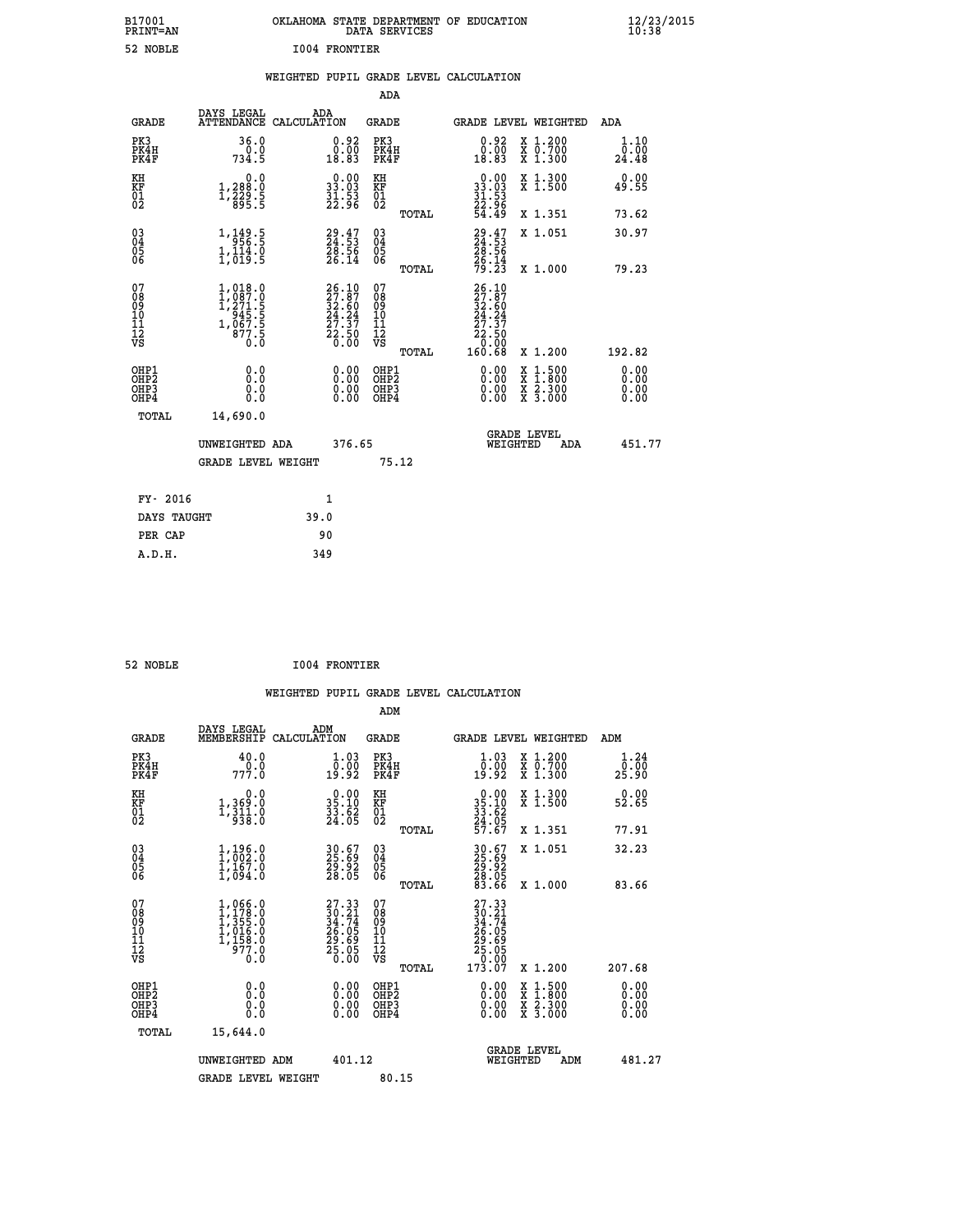| B17001<br>PRINT=AN | OKLAHOMA STATE DEPARTMENT OF EDUCATION<br>DATA SERVICES | $\frac{12}{23}$ /2015<br>10:38 |
|--------------------|---------------------------------------------------------|--------------------------------|
| 52 NOBLE           | <b>I004 FRONTIER</b>                                    |                                |

|  |  | WEIGHTED PUPIL GRADE LEVEL CALCULATION |
|--|--|----------------------------------------|
|  |  |                                        |

|                                                       |                                                                                                                                     |                                                                      | ADA                                             |                                                                                                                                                              |                              |
|-------------------------------------------------------|-------------------------------------------------------------------------------------------------------------------------------------|----------------------------------------------------------------------|-------------------------------------------------|--------------------------------------------------------------------------------------------------------------------------------------------------------------|------------------------------|
| <b>GRADE</b>                                          | DAYS LEGAL                                                                                                                          | ADA<br>ATTENDANCE CALCULATION                                        | GRADE                                           | <b>GRADE LEVEL WEIGHTED</b>                                                                                                                                  | ADA                          |
| PK3<br>PK4H<br>PK4F                                   | 36.0<br>0.0<br>734.5                                                                                                                | $\begin{smallmatrix} 0.92\ 0.00\\ 18.83 \end{smallmatrix}$           | PK3<br>PK4H<br>PK4F                             | $0.92$<br>$0.00$<br>X 1.200<br>X 0.700<br>X 1.300<br>18.83                                                                                                   | 1.10<br>0.00<br>24.48        |
| KH<br>KF<br>01<br>02                                  | 0.0<br>1,288:0<br>1,229:5<br>895:5                                                                                                  | $\begin{smallmatrix} 0.00\\ 33.03\\ 31.53\\ 22.96 \end{smallmatrix}$ | KH<br>KF<br>01<br>02                            | X 1.300<br>X 1.500<br>$\begin{smallmatrix} 0.00\\ 33.03\\ 31.53\\ 22.96\\ 54.49 \end{smallmatrix}$                                                           | 0.00<br>49.55                |
|                                                       |                                                                                                                                     |                                                                      | TOTAL                                           | X 1.351                                                                                                                                                      | 73.62                        |
| 03<br>04<br>05<br>06                                  | $1, \frac{149}{956}$ . 5<br>$1,\overline{1}\overline{1}\overline{4}\cdot\overline{9}\overline{5}$                                   | $29.47$<br>$24.53$<br>$\frac{28.56}{26.14}$                          | 03<br>04<br>05<br>06<br>TOTAL                   | $29.47$<br>$24.53$<br>$28.56$<br>$26.14$<br>$79.23$<br>X 1.051<br>X 1.000                                                                                    | 30.97<br>79.23               |
| 07<br>08<br>09<br>11<br>11<br>12<br>VS                | $\begin{smallmatrix} 1,018\cdot 0\\ 1,087\cdot 0\\ 1,271\cdot 5\\ 945\cdot 5\\ 967\cdot 5\\ 877\cdot 5\\ 0\cdot 0\end{smallmatrix}$ | $26.1027.8732.6024.2427.3722.500.00$                                 | 07<br>08<br>09<br>11<br>11<br>12<br>VS<br>TOTAL | 26.10<br>27.87<br>32.60<br>24.24<br>27.37<br>$\begin{array}{r} 22.50 \\ 0.00 \\ 160.68 \end{array}$<br>X 1.200                                               | 192.82                       |
| OHP1<br>OH <sub>P</sub> 2<br>OH <sub>P3</sub><br>OHP4 | 0.0<br>0.0<br>0.0                                                                                                                   | 0.00<br>$\begin{smallmatrix} 0.00 \ 0.00 \end{smallmatrix}$          | OHP1<br>OHP <sub>2</sub><br>OHP3<br>OHP4        | 0.00<br>$\begin{smallmatrix} \mathtt{X} & 1 & 500 \\ \mathtt{X} & 1 & 800 \\ \mathtt{X} & 2 & 300 \\ \mathtt{X} & 3 & 000 \end{smallmatrix}$<br>0.00<br>0.00 | 0.00<br>0.00<br>0.00<br>0.00 |
| TOTAL                                                 | 14,690.0<br>UNWEIGHTED ADA<br>GRADE LEVEL WEIGHT                                                                                    | 376.65                                                               | 75.12                                           | <b>GRADE LEVEL</b><br>WEIGHTED<br>ADA                                                                                                                        | 451.77                       |
| FY- 2016                                              |                                                                                                                                     | $\mathbf{1}$                                                         |                                                 |                                                                                                                                                              |                              |
| DAYS TAUGHT                                           |                                                                                                                                     | 39.0                                                                 |                                                 |                                                                                                                                                              |                              |
| PER CAP                                               |                                                                                                                                     | 90                                                                   |                                                 |                                                                                                                                                              |                              |
| A.D.H.                                                |                                                                                                                                     | 349                                                                  |                                                 |                                                                                                                                                              |                              |

| 52 NOBLE                                                         |                                                                                                                                  | 1004 FRONTIER                                                        |                                                 |                                                                                             |                                                                                                  |                       |
|------------------------------------------------------------------|----------------------------------------------------------------------------------------------------------------------------------|----------------------------------------------------------------------|-------------------------------------------------|---------------------------------------------------------------------------------------------|--------------------------------------------------------------------------------------------------|-----------------------|
|                                                                  |                                                                                                                                  |                                                                      | WEIGHTED PUPIL GRADE LEVEL CALCULATION          |                                                                                             |                                                                                                  |                       |
|                                                                  |                                                                                                                                  |                                                                      | ADM                                             |                                                                                             |                                                                                                  |                       |
| <b>GRADE</b>                                                     | DAYS LEGAL<br>MEMBERSHIP<br>CALCULATION                                                                                          | ADM                                                                  | <b>GRADE</b>                                    | GRADE LEVEL WEIGHTED                                                                        |                                                                                                  | ADM                   |
| PK3<br>PK4H<br>PK4F                                              | 40.0<br>777.0                                                                                                                    | $1.03$<br>$0.00$<br>19.92                                            | PK3<br>PK4H<br>PK4F                             | 1.03<br>0.00<br>19:92                                                                       | X 1.200<br>X 0.700<br>X 1.300                                                                    | 1.24<br>0.00<br>25.90 |
| KH<br>KF<br>01<br>02                                             | 0.0<br>1,369:0<br>1,311:0<br>938:0                                                                                               | $\begin{smallmatrix} 0.00\\ 35.10\\ 33.62\\ 24.05 \end{smallmatrix}$ | KH<br>KF<br>01<br>02                            | $\begin{smallmatrix} 0.00\\ 35.10\\ 33.62\\ 24.05\\ 57.67 \end{smallmatrix}$                | X 1.300<br>X 1.500                                                                               | 0.00<br>52.65         |
|                                                                  |                                                                                                                                  |                                                                      | TOTAL                                           |                                                                                             | X 1.351                                                                                          | 77.91                 |
| 030404                                                           | 1,196.0<br>$\frac{1}{1}$ , $\frac{1}{0}$ , $\frac{5}{1}$ , $\frac{3}{0}$                                                         | 30.67<br>25.69<br>29.92<br>28.05                                     | 03<br>04<br>05<br>06                            | 30.67<br>25.69<br>29.92<br>28.05<br>83.66                                                   | X 1.051                                                                                          | 32.23                 |
| ŌĞ                                                               |                                                                                                                                  |                                                                      | TOTAL                                           |                                                                                             | X 1.000                                                                                          | 83.66                 |
| 07<br>08<br>09<br>11<br>11<br>12<br>VS                           | $\begin{smallmatrix} 1,066\cdot0\\ 1,178\cdot0\\ 1,355\cdot0\\ 1,016\cdot0\\ 1,158\cdot0\\ 977\cdot0\\ 0\cdot0\end{smallmatrix}$ | $27.3330.2134.7426.0529.6925.0525.05$                                | 07<br>08<br>09<br>11<br>11<br>12<br>VS<br>TOTAL | $\begin{smallmatrix} 27.33\ 30.21\ 34.74\ 26.05\ 29.695\ 25.000\ 173.07\ \end{smallmatrix}$ | X 1.200                                                                                          | 207.68                |
| OHP1<br>OH <sub>P</sub> <sub>2</sub><br>OH <sub>P3</sub><br>OHP4 | 0.0<br>0.000                                                                                                                     | 0.00<br>$\begin{smallmatrix} 0.00 \ 0.00 \end{smallmatrix}$          | OHP1<br>OHP <sub>2</sub><br>OHP3<br>OHP4        | 0.00<br>0.00                                                                                | $\begin{smallmatrix} x & 1 & 500 \\ x & 1 & 800 \\ x & 2 & 300 \\ x & 3 & 000 \end{smallmatrix}$ | 0.00<br>0.00<br>0.00  |
| TOTAL                                                            | 15,644.0                                                                                                                         |                                                                      |                                                 |                                                                                             |                                                                                                  |                       |
|                                                                  | UNWEIGHTED ADM<br><b>GRADE LEVEL WEIGHT</b>                                                                                      | 401.12                                                               | 80.15                                           | <b>GRADE LEVEL</b><br>WEIGHTED                                                              | ADM                                                                                              | 481.27                |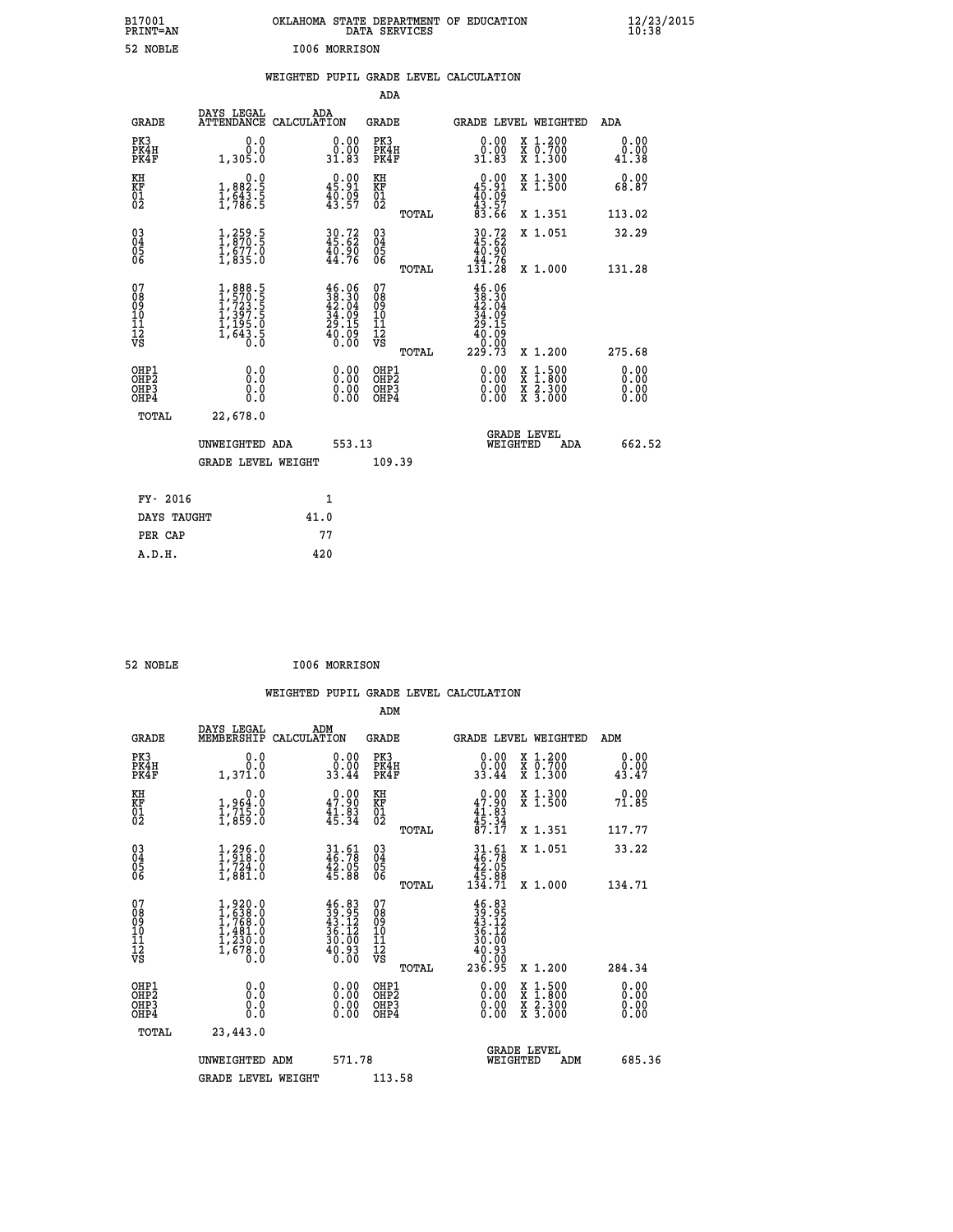| B17001<br>PRINT=AN                                   |                                                                                                                  | OKLAHOMA STATE DEPARTMENT OF EDUCATION DATA SERVICES |        |                                                    |       |                                                                                    |          |                                                                                                                                           | $\frac{12}{23}$ /2015        |  |
|------------------------------------------------------|------------------------------------------------------------------------------------------------------------------|------------------------------------------------------|--------|----------------------------------------------------|-------|------------------------------------------------------------------------------------|----------|-------------------------------------------------------------------------------------------------------------------------------------------|------------------------------|--|
| 52 NOBLE                                             |                                                                                                                  | I006 MORRISON                                        |        |                                                    |       |                                                                                    |          |                                                                                                                                           |                              |  |
|                                                      |                                                                                                                  | WEIGHTED PUPIL GRADE LEVEL CALCULATION               |        |                                                    |       |                                                                                    |          |                                                                                                                                           |                              |  |
|                                                      |                                                                                                                  |                                                      |        | <b>ADA</b>                                         |       |                                                                                    |          |                                                                                                                                           |                              |  |
| <b>GRADE</b>                                         | DAYS LEGAL                                                                                                       | ADA<br>ATTENDANCE CALCULATION                        |        | GRADE                                              |       |                                                                                    |          | GRADE LEVEL WEIGHTED                                                                                                                      | ADA                          |  |
| PK3<br>PK4H<br>PK4F                                  | 0.0<br>0.0<br>1,305.0                                                                                            | 0.00<br>ŏ:ŏŏ<br>31.83                                |        | PK3<br>PK4H<br>PK4F                                |       | 0.00<br>0.00<br>31.83                                                              |          | X 1.200<br>X 0.700<br>X 1.300                                                                                                             | 0.00<br>0.00<br>41.38        |  |
| KH<br>KF<br>01<br>02                                 | $\begin{smallmatrix}&&&0.0\\1,882.5\\1,643.5\\1,786.5\end{smallmatrix}$                                          | $0.00$<br>45.91<br>$\frac{40.09}{43.57}$             |        | KH<br>KF<br>01<br>02                               |       | $0.00$<br>45.91                                                                    |          | X 1.300<br>X 1.500                                                                                                                        | 0.00<br>68.87                |  |
|                                                      |                                                                                                                  |                                                      |        |                                                    | TOTAL | $\frac{40.09}{43.57}$<br>83.66                                                     |          | X 1.351                                                                                                                                   | 113.02                       |  |
| $\begin{matrix} 03 \\ 04 \\ 05 \\ 06 \end{matrix}$   | $\frac{1}{1}$ , $\frac{259}{870}$ .<br>$\frac{5}{1}$ , $\frac{677}{835}$ .<br>$\frac{1}{1}$ , $\frac{835}{83}$ . | $30.72$<br>$45.62$<br>$40.90$<br>$44.76$             |        | $\begin{matrix} 03 \\ 04 \\ 05 \\ 06 \end{matrix}$ |       | $30.72$<br>$45.62$<br>$40.90$<br>$44.76$<br>$131.28$                               |          | X 1.051                                                                                                                                   | 32.29                        |  |
|                                                      |                                                                                                                  |                                                      |        |                                                    | TOTAL |                                                                                    |          | X 1.000                                                                                                                                   | 131.28                       |  |
| 07<br>08<br>09<br>11<br>11<br>12<br>VS               | $1,888.5$<br>$1,723.5$<br>$1,723.5$<br>$1,397.5$<br>$1,195.0$<br>$1,643.5$<br>$0.0$                              | $46.0638.3042.0434.0929.1540.090.00$                 |        | 07<br>08<br>09<br>11<br>11<br>12<br>VS             | TOTAL | $46.06$<br>$38.30$<br>$42.04$<br>$34.09$<br>$29.15$<br>$40.09$<br>$0.90$<br>229.73 |          | X 1.200                                                                                                                                   | 275.68                       |  |
| OHP1<br>OHP <sub>2</sub><br>OHP3<br>OH <sub>P4</sub> | 0.000<br>$\begin{smallmatrix} 0.0 \ 0.0 \end{smallmatrix}$                                                       | 0.00<br>0.00<br>0.00                                 |        | OHP1<br>OH <sub>P</sub> 2<br>OHP3<br>OHP4          |       | 0.00<br>0.00<br>0.00                                                               |          | $\begin{smallmatrix} \mathtt{X} & 1\cdot500\\ \mathtt{X} & 1\cdot800\\ \mathtt{X} & 2\cdot300\\ \mathtt{X} & 3\cdot000 \end{smallmatrix}$ | 0.00<br>0.00<br>0.00<br>0.00 |  |
| TOTAL                                                | 22,678.0<br>UNWEIGHTED ADA<br><b>GRADE LEVEL WEIGHT</b>                                                          |                                                      | 553.13 | 109.39                                             |       |                                                                                    | WEIGHTED | <b>GRADE LEVEL</b><br>ADA                                                                                                                 | 662.52                       |  |

| FY- 2016    |      |
|-------------|------|
| DAYS TAUGHT | 41.0 |
| PER CAP     | 77   |
| A.D.H.      | 420  |
|             |      |

| 52 NOBLE | I006 MORRISON |
|----------|---------------|

 **WEIGHTED PUPIL GRADE LEVEL CALCULATION ADM DAYS LEGAL** ... ADM

| <b>GRADE</b>                                         | MEMBERSHIP                                                                        | CALCULATION                                                            | <b>GRADE</b>                                       |       |                                                                                                  |          | <b>GRADE LEVEL WEIGHTED</b>                                                                                                               | ADM                   |        |
|------------------------------------------------------|-----------------------------------------------------------------------------------|------------------------------------------------------------------------|----------------------------------------------------|-------|--------------------------------------------------------------------------------------------------|----------|-------------------------------------------------------------------------------------------------------------------------------------------|-----------------------|--------|
| PK3<br>PK4H<br>PK4F                                  | 0.0<br>0.0<br>1,371.0                                                             | $\begin{smallmatrix} 0.00\\ 0.00\\ 33.44 \end{smallmatrix}$            | PK3<br>PK4H<br>PK4F                                |       | 0.00<br>$\frac{0.00}{33.44}$                                                                     |          | X 1.200<br>X 0.700<br>X 1.300                                                                                                             | 0.00<br>0.00<br>43.47 |        |
| KH<br>KF<br>01<br>02                                 | 0.0<br>$\frac{1}{1}, \frac{964}{715}$ .0<br>1,859.0                               | 47.90<br>$\frac{41.83}{45.34}$                                         | KH<br>KF<br>$\overline{01}$                        |       | $\begin{smallmatrix} &0.00\\ 47.90\\ 41.83\\ 45.34\\ 57.17\end{smallmatrix}$                     |          | X 1.300<br>X 1.500                                                                                                                        | 0.00<br>71.85         |        |
|                                                      |                                                                                   |                                                                        |                                                    | TOTAL |                                                                                                  |          | X 1.351                                                                                                                                   | 117.77                |        |
| $\begin{matrix} 03 \\ 04 \\ 05 \\ 06 \end{matrix}$   | $\begin{smallmatrix} 1,296.0\\ 1,918.0\\ 1,724.0\\ 1,881.0 \end{smallmatrix}$     | $31.61$<br>$46.78$<br>$\frac{42.05}{45.88}$                            | $\begin{matrix} 03 \\ 04 \\ 05 \\ 06 \end{matrix}$ |       | $31.61$<br>$46.78$<br>$42.05$<br>$45.88$<br>$134.71$                                             |          | X 1.051                                                                                                                                   | 33.22                 |        |
|                                                      |                                                                                   |                                                                        |                                                    | TOTAL |                                                                                                  |          | X 1.000                                                                                                                                   | 134.71                |        |
| 07<br>08<br>09<br>101<br>11<br>12<br>VS              | $1,920.0$<br>$1,638.0$<br>$1,768.0$<br>$1,481.0$<br>$1,230.0$<br>$1,678.0$<br>0.0 | $46.83$<br>$39.95$<br>$43.12$<br>$36.12$<br>$30.00$<br>$40.93$<br>0.00 | 07<br>08<br>09<br>11<br>11<br>12<br>VS             |       | $\begin{smallmatrix} 46.83\ 39.95\ 43.12\ 43.12\ 36.12\ 30.003\ 40.93\ 236.95 \end{smallmatrix}$ |          |                                                                                                                                           |                       |        |
|                                                      |                                                                                   |                                                                        |                                                    | TOTAL |                                                                                                  |          | X 1.200                                                                                                                                   | 284.34                |        |
| OHP1<br>OHP <sub>2</sub><br>OH <sub>P3</sub><br>OHP4 | $\begin{smallmatrix} 0.0 \ 0.0 \ 0.0 \end{smallmatrix}$                           |                                                                        | OHP1<br>OHP2<br>OHP3<br>OHP4                       |       |                                                                                                  |          | $\begin{smallmatrix} \mathtt{X} & 1\cdot500\\ \mathtt{X} & 1\cdot800\\ \mathtt{X} & 2\cdot300\\ \mathtt{X} & 3\cdot000 \end{smallmatrix}$ | 0.00                  |        |
| TOTAL                                                | 23,443.0                                                                          |                                                                        |                                                    |       |                                                                                                  |          |                                                                                                                                           |                       |        |
|                                                      | UNWEIGHTED ADM                                                                    | 571.78                                                                 |                                                    |       |                                                                                                  | WEIGHTED | <b>GRADE LEVEL</b><br>ADM                                                                                                                 |                       | 685.36 |
|                                                      | <b>GRADE LEVEL WEIGHT</b>                                                         |                                                                        | 113.58                                             |       |                                                                                                  |          |                                                                                                                                           |                       |        |
|                                                      |                                                                                   |                                                                        |                                                    |       |                                                                                                  |          |                                                                                                                                           |                       |        |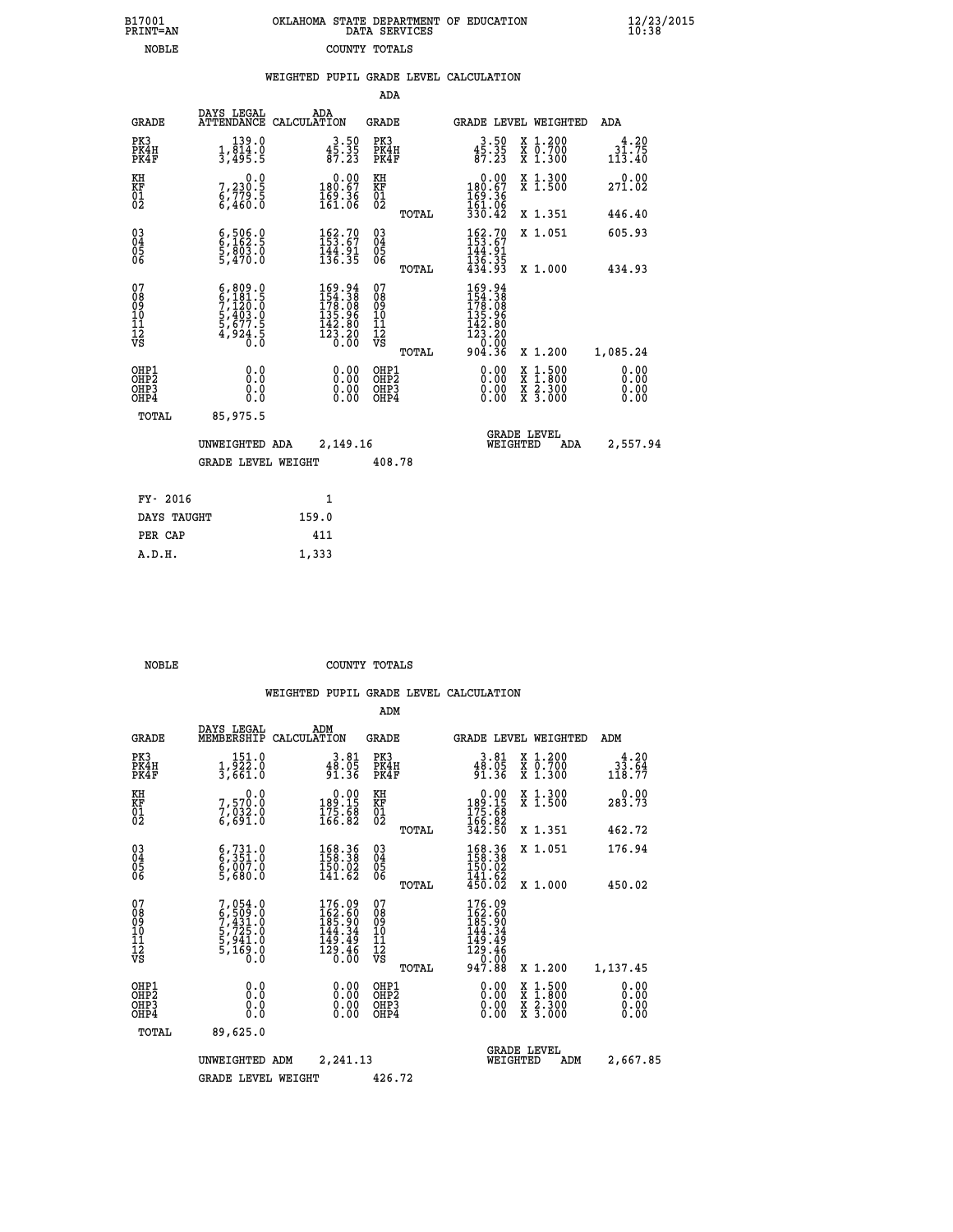| OKLAHOMA STATE DEPARTMENT OF EDUCATION<br>DATA SERVICES |
|---------------------------------------------------------|
| COUNTY TOTALS                                           |

 **B17001 OKLAHOMA STATE DEPARTMENT OF EDUCATION 12/23/2015**

|                                                                    |                                                                                                                                               |                                                                                                    | ADA                                       |       |                                                                                                     |                                                                                                  |                              |
|--------------------------------------------------------------------|-----------------------------------------------------------------------------------------------------------------------------------------------|----------------------------------------------------------------------------------------------------|-------------------------------------------|-------|-----------------------------------------------------------------------------------------------------|--------------------------------------------------------------------------------------------------|------------------------------|
| <b>GRADE</b>                                                       | DAYS LEGAL                                                                                                                                    | ADA<br>ATTENDANCE CALCULATION                                                                      | <b>GRADE</b>                              |       |                                                                                                     | GRADE LEVEL WEIGHTED                                                                             | ADA                          |
| PK3<br>PK4H<br>PK4F                                                | 139.0<br>$\frac{1}{3}, \frac{814}{495}$ : 5                                                                                                   | $3.50$<br>$45.35$<br>$87.23$                                                                       | PK3<br>PK4H<br>PK4F                       |       | $3.50$<br>$45.35$<br>$87.23$                                                                        | X 1.200<br>X 0.700<br>X 1.300                                                                    | 4.20<br>31.75<br>113.40      |
| KH<br><b>KF</b><br>01<br>02                                        | 0.0<br>$\begin{smallmatrix} 7,230.5 \ 6,779.5 \ 6,460.0 \end{smallmatrix}$                                                                    | $\begin{smallmatrix} &0.00\\ 180.67\\ 169.36\\ 161.06 \end{smallmatrix}$                           | KH<br>KF<br>01<br>02                      |       | 0.00<br>180.67<br>169.36<br>161.06                                                                  | X 1.300<br>X 1.500                                                                               | 0.00<br>271.02               |
|                                                                    |                                                                                                                                               |                                                                                                    |                                           | TOTAL | 330.42                                                                                              | X 1.351                                                                                          | 446.40                       |
| $\begin{smallmatrix} 03 \\[-4pt] 04 \end{smallmatrix}$<br>05<br>06 | $\begin{smallmatrix} 6, 506.0\\ 6, 162.5\\ 5, 803.0\\ 5, 470.0 \end{smallmatrix}$                                                             | $\begin{smallmatrix} 162.70\\ 153.67\\ 144.91\\ 136.35 \end{smallmatrix}$                          | $\substack{03 \\ 04}$<br>05<br>06         |       | $162.70$<br>$153.67$<br>$144.91$<br>$136.35$<br>$434.93$                                            | X 1.051                                                                                          | 605.93                       |
|                                                                    |                                                                                                                                               |                                                                                                    |                                           | TOTAL |                                                                                                     | X 1.000                                                                                          | 434.93                       |
| 07<br>08901112<br>1112<br>VS                                       | $\begin{smallmatrix} 6\,,\,809\,.0\\ 6\,,\,181\,.5\\ 7\,,\,120\,.0\\ 5\,,\,403\,.0\\ 5\,,\,677\,.5\\ 4\,,\,924\,.5\\ 0\,.0 \end{smallmatrix}$ | $\begin{smallmatrix} 169.94\\ 154.38\\ 178.08\\ 135.96\\ 142.80\\ 123.20\\ 0.00 \end{smallmatrix}$ | 07<br>08<br>09<br>11<br>11<br>12<br>VS    |       | $\begin{smallmatrix} 169.94\\154.38\\178.08\\135.96\\142.80\\123.20\\0.00\\904.36\end{smallmatrix}$ |                                                                                                  |                              |
|                                                                    |                                                                                                                                               |                                                                                                    |                                           | TOTAL |                                                                                                     | X 1.200                                                                                          | 1,085.24                     |
| OHP1<br>OH <sub>P</sub> 2<br>OH <sub>P3</sub><br>OH <sub>P4</sub>  | 0.0<br>0.0<br>0.0                                                                                                                             | 0.00<br>0.00<br>0.00                                                                               | OHP1<br>OH <sub>P</sub> 2<br>OHP3<br>OHP4 |       | 0.00<br>0.00<br>0.00                                                                                | $\begin{smallmatrix} x & 1 & 500 \\ x & 1 & 800 \\ x & 2 & 300 \\ x & 3 & 000 \end{smallmatrix}$ | 0.00<br>0.00<br>0.00<br>0.00 |
| TOTAL                                                              | 85,975.5                                                                                                                                      |                                                                                                    |                                           |       |                                                                                                     |                                                                                                  |                              |
|                                                                    | UNWEIGHTED ADA                                                                                                                                | 2,149.16                                                                                           |                                           |       |                                                                                                     | GRADE LEVEL<br>WEIGHTED<br>ADA                                                                   | 2,557.94                     |
|                                                                    | <b>GRADE LEVEL WEIGHT</b>                                                                                                                     |                                                                                                    | 408.78                                    |       |                                                                                                     |                                                                                                  |                              |
| FY- 2016                                                           |                                                                                                                                               | $\mathbf{1}$                                                                                       |                                           |       |                                                                                                     |                                                                                                  |                              |
| DAYS TAUGHT                                                        |                                                                                                                                               | 159.0                                                                                              |                                           |       |                                                                                                     |                                                                                                  |                              |
| PER CAP                                                            |                                                                                                                                               | 411                                                                                                |                                           |       |                                                                                                     |                                                                                                  |                              |

 **A.D.H. 1,333**

B17001<br>PRINT=AN<br>NOBLE

 **NOBLE COUNTY TOTALS**

|                                          |                                                                                     |                                                                      | ADM                                                 |                                                                                                                                             |                                          |                                                                |
|------------------------------------------|-------------------------------------------------------------------------------------|----------------------------------------------------------------------|-----------------------------------------------------|---------------------------------------------------------------------------------------------------------------------------------------------|------------------------------------------|----------------------------------------------------------------|
| <b>GRADE</b>                             | DAYS LEGAL<br>MEMBERSHIP                                                            | ADM<br>CALCULATION                                                   | <b>GRADE</b>                                        | GRADE LEVEL WEIGHTED                                                                                                                        |                                          | ADM                                                            |
| PK3<br>PK4H<br>PK4F                      | 151.0<br>1,922.0<br>3,661.0                                                         | 3.81<br>$38.05$<br>$91.36$                                           | PK3<br>PK4H<br>PK4F                                 | $3.81$<br>$48.05$<br>$91.36$                                                                                                                | X 1.200<br>X 0.700<br>X 1.300            | 4.20<br>$3\overline{3}\cdot\overline{6}\overline{4}$<br>118.77 |
| KH<br>KF<br>01<br>02                     | 0.0<br>7,570.0<br>7,032.0<br>6,691.0                                                | $\begin{smallmatrix} &0.00\\189.15\\175.68\\166.82\end{smallmatrix}$ | KH<br>KF<br>01<br>02                                | $\begin{smallmatrix} &0.00\\ 189.15\\ 175.68\\ 166.82\\ 342.50 \end{smallmatrix}$                                                           | X 1.300<br>X 1.500                       | 0.00<br>283.73                                                 |
|                                          |                                                                                     |                                                                      | TOTAL                                               |                                                                                                                                             | X 1.351                                  | 462.72                                                         |
| 03<br>04<br>05<br>06                     | $\begin{smallmatrix} 6,731.0\\ 6,351.0\\ 6,007.0\\ 5,680.0 \end{smallmatrix}$       | 168.36<br>158.38<br>150.02<br>141.62                                 | $\begin{array}{c} 03 \\ 04 \\ 05 \\ 06 \end{array}$ | 168.36<br>158.38<br>150.02                                                                                                                  | X 1.051                                  | 176.94                                                         |
|                                          |                                                                                     |                                                                      | TOTAL                                               | $\frac{141.62}{450.02}$                                                                                                                     | X 1.000                                  | 450.02                                                         |
| 07<br>08<br>09<br>101<br>112<br>VS       | $7,054.0$<br>$6,509.0$<br>$7,431.0$<br>$5,725.0$<br>$5,941.0$<br>$5,169.0$<br>$0.0$ | 176.09<br>162.60<br>185.90<br>144.34<br>149.49<br>129.46<br>0.00     | 07<br>08<br>09<br>11<br>11<br>12<br>VS<br>TOTAL     | $\begin{smallmatrix} 176\cdot 09\\162\cdot 60\\185\cdot 90\\144\cdot 34\\149\cdot 49\\129\cdot 46\\0\cdot 00\\947\cdot 88\end{smallmatrix}$ | X 1.200                                  | 1,137.45                                                       |
| OHP1<br>OHP2<br>OH <sub>P3</sub><br>OHP4 | 0.0<br>0.000                                                                        | $0.00$<br>$0.00$<br>0.00                                             | OHP1<br>OHP2<br>OHP <sub>3</sub>                    | $0.00$<br>$0.00$<br>0.00                                                                                                                    | X 1:500<br>X 1:800<br>X 2:300<br>X 3:000 | 0.00<br>0.00<br>0.00<br>0.00                                   |
| TOTAL                                    | 89,625.0                                                                            |                                                                      |                                                     |                                                                                                                                             |                                          |                                                                |
|                                          | UNWEIGHTED                                                                          | 2,241.13<br>ADM                                                      |                                                     | <b>GRADE LEVEL</b><br>WEIGHTED                                                                                                              | ADM                                      | 2,667.85                                                       |
|                                          | <b>GRADE LEVEL WEIGHT</b>                                                           |                                                                      | 426.72                                              |                                                                                                                                             |                                          |                                                                |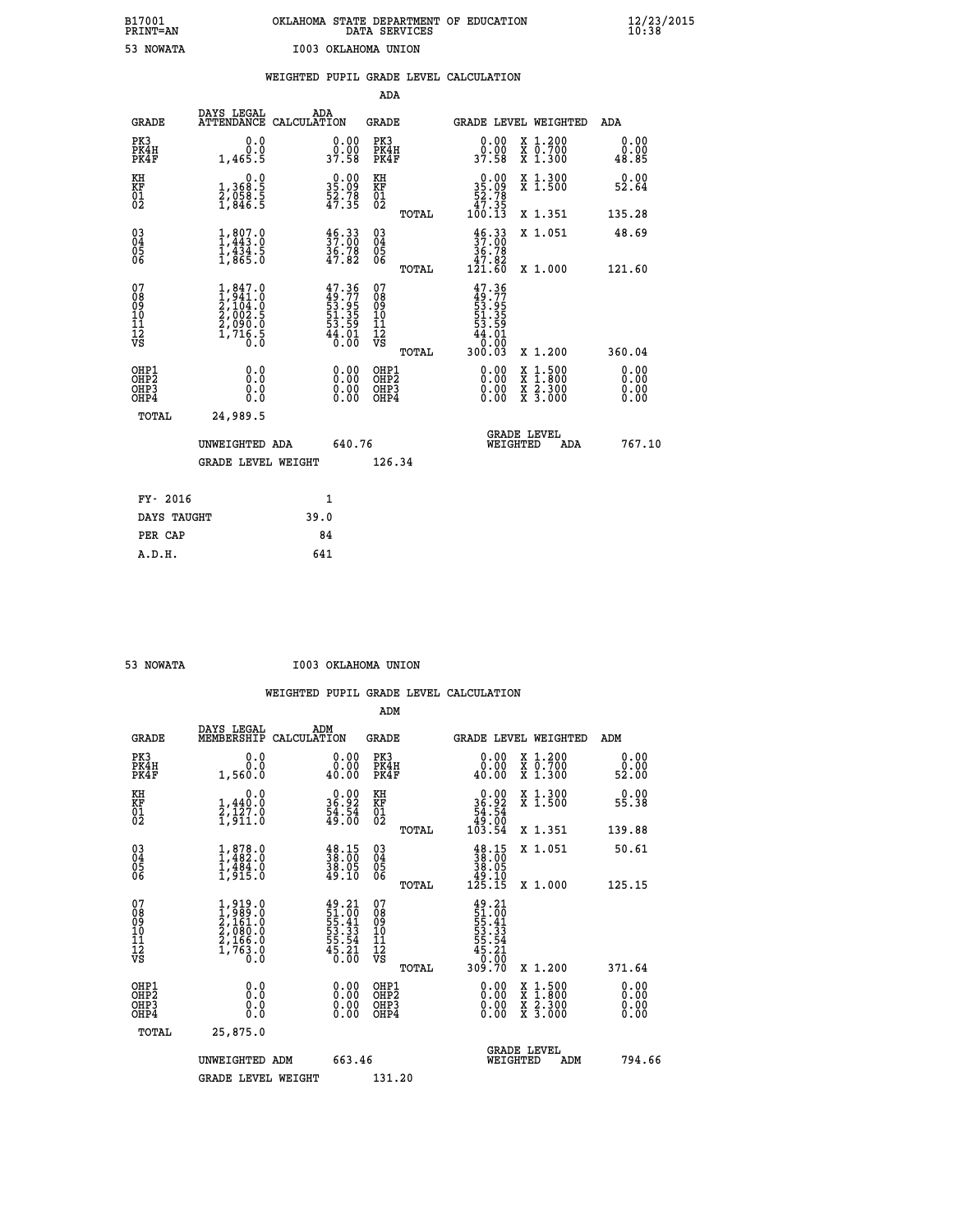| B17001          | OKLAHOMA STATE DEPARTMENT OF EDUCATION |
|-----------------|----------------------------------------|
| <b>PRINT=AN</b> | DATA SERVICES                          |
| 53 NOWATA       | I003 OKLAHOMA UNION                    |

 **B17001 OKLAHOMA STATE DEPARTMENT OF EDUCATION 12/23/2015**

|                                                                    |                                                                                     |                                                                          | ADA                                          |       |                                                                                          |                                                                                                                                           |                              |
|--------------------------------------------------------------------|-------------------------------------------------------------------------------------|--------------------------------------------------------------------------|----------------------------------------------|-------|------------------------------------------------------------------------------------------|-------------------------------------------------------------------------------------------------------------------------------------------|------------------------------|
| <b>GRADE</b>                                                       | DAYS LEGAL                                                                          | ADA<br>ATTENDANCE CALCULATION                                            | <b>GRADE</b>                                 |       |                                                                                          | GRADE LEVEL WEIGHTED                                                                                                                      | ADA                          |
| PK3<br>PK4H<br>PK4F                                                | 0.0<br>0.0<br>1,465.5                                                               | $\begin{smallmatrix} 0.00\\ 0.00\\ 37.58 \end{smallmatrix}$              | PK3<br>PK4H<br>PK4F                          |       | 0.00<br>ŏ:ŏŏ<br>37:58                                                                    | X 1.200<br>X 0.700<br>X 1.300                                                                                                             | 0.00<br>0.00<br>48.85        |
| KH<br>KF<br>01<br>02                                               | 0.0<br>$\frac{1}{2}, \substack{368.5 \\ 958.5 \\ 1,846.5$                           | $\begin{smallmatrix} 0.00\\ 35.09\\ 52.78\\ 47.35 \end{smallmatrix}$     | KH<br>KF<br>01<br>02                         |       | $\begin{smallmatrix}&&0&.00\\ 35&.09\\ 52&.78\\ 47&.35\\ 100&.13\end{smallmatrix}$       | X 1.300<br>X 1.500                                                                                                                        | 0.00<br>52.64                |
|                                                                    |                                                                                     |                                                                          |                                              | TOTAL |                                                                                          | X 1.351                                                                                                                                   | 135.28                       |
| $\begin{smallmatrix} 03 \\[-4pt] 04 \end{smallmatrix}$<br>Ŏ5<br>06 | $1,807.0$<br>$1,443.0$<br>$1,434.5$<br>$1,865.0$                                    | $\frac{46}{37}$ .00<br>36.78<br>47.82                                    | $\substack{03 \\ 04}$<br>Ŏ5<br>06            |       | $\begin{smallmatrix} 46 & 33\\ 37 & 00\\ 36 & 78\\ 47 & 82\\ 121 & 60 \end{smallmatrix}$ | X 1.051                                                                                                                                   | 48.69                        |
|                                                                    |                                                                                     |                                                                          |                                              | TOTAL |                                                                                          | X 1.000                                                                                                                                   | 121.60                       |
| 07<br>08<br>09<br>101<br>11<br>12<br>VS                            | $1,847.0$<br>$2,104.0$<br>$2,104.0$<br>$2,002.5$<br>$2,090.0$<br>$1,716.5$<br>$0.0$ | $47.36$<br>$49.77$<br>$53.95$<br>$51.35$<br>$53.59$<br>$44.01$<br>$0.00$ | 07<br>08<br>09<br>11<br>11<br>12<br>VS       |       | $47.36$<br>$49.77$<br>$53.95$<br>$51.35$<br>$53.59$<br>$44.01$<br>$46.00$                |                                                                                                                                           |                              |
|                                                                    |                                                                                     |                                                                          |                                              | TOTAL | 300.03                                                                                   | X 1.200                                                                                                                                   | 360.04                       |
| OHP1<br>OHP <sub>2</sub><br>OH <sub>P3</sub><br>OHP4               | 0.0<br>0.0<br>0.0                                                                   | 0.00<br>$\begin{smallmatrix} 0.00 \ 0.00 \end{smallmatrix}$              | OHP1<br>OHP <sub>2</sub><br>OHP <sub>3</sub> |       | 0.00<br>0.00                                                                             | $\begin{smallmatrix} \mathtt{X} & 1\cdot500\\ \mathtt{X} & 1\cdot800\\ \mathtt{X} & 2\cdot300\\ \mathtt{X} & 3\cdot000 \end{smallmatrix}$ | 0.00<br>0.00<br>0.00<br>0.00 |
| TOTAL                                                              | 24,989.5                                                                            |                                                                          |                                              |       |                                                                                          |                                                                                                                                           |                              |
|                                                                    | UNWEIGHTED ADA                                                                      | 640.76                                                                   |                                              |       |                                                                                          | <b>GRADE LEVEL</b><br>WEIGHTED<br>ADA                                                                                                     | 767.10                       |
|                                                                    | <b>GRADE LEVEL WEIGHT</b>                                                           |                                                                          | 126.34                                       |       |                                                                                          |                                                                                                                                           |                              |
| FY- 2016                                                           |                                                                                     | 1                                                                        |                                              |       |                                                                                          |                                                                                                                                           |                              |
| DAYS TAUGHT                                                        |                                                                                     | 39.0                                                                     |                                              |       |                                                                                          |                                                                                                                                           |                              |
| PER CAP                                                            |                                                                                     | 84                                                                       |                                              |       |                                                                                          |                                                                                                                                           |                              |

| <b>NOWATA</b> |  |
|---------------|--|
|               |  |

 **A.D.H. 641**

 **53 NOWATA I003 OKLAHOMA UNION**

|                                          |                                                                                     |                                                                                           | ADM                                                 |       |                                                                                |                                          |                       |
|------------------------------------------|-------------------------------------------------------------------------------------|-------------------------------------------------------------------------------------------|-----------------------------------------------------|-------|--------------------------------------------------------------------------------|------------------------------------------|-----------------------|
| <b>GRADE</b>                             | DAYS LEGAL<br>MEMBERSHIP                                                            | ADM<br>CALCULATION                                                                        | <b>GRADE</b>                                        |       |                                                                                | <b>GRADE LEVEL WEIGHTED</b>              | ADM                   |
| PK3<br>PK4H<br>PK4F                      | 0.0<br>0.0<br>1,560.0                                                               | 0.00<br>40.00                                                                             | PK3<br>PK4H<br>PK4F                                 |       | $\begin{smallmatrix} 0.00\\ 0.00\\ 0.00 \end{smallmatrix}$                     | X 1.200<br>X 0.700<br>X 1.300            | 0.00<br>ŏ:ŏŏ<br>52:00 |
| KH<br>KF<br>01<br>02                     | 0.0<br>$\frac{1}{2}, \frac{440}{127}$ .0<br>1,911.0                                 | $\begin{smallmatrix} 0.00\\ 36.92\\ 54.54\\ 49.00 \end{smallmatrix}$                      | KH<br>KF<br>01<br>02                                |       | $0.00\n36.92\n54.54\n49.00\n103.54$                                            | X 1.300<br>X 1.500                       | 0.00<br>55.38         |
|                                          |                                                                                     |                                                                                           |                                                     | TOTAL |                                                                                | X 1.351                                  | 139.88                |
| 03<br>04<br>05<br>06                     | $1, 878.0$<br>$1, 482.0$<br>$1, 484.0$<br>$1, 915.0$                                | $\begin{smallmatrix} 48.15\ 38.00\ 38.05\ 38.05\ 49.10 \end{smallmatrix}$                 | $\begin{array}{c} 03 \\ 04 \\ 05 \\ 06 \end{array}$ |       | $\begin{smallmatrix} 48.15\\ 38.00\\ 38.05\\ 49.10\\ 125.15 \end{smallmatrix}$ | X 1.051                                  | 50.61                 |
|                                          |                                                                                     |                                                                                           |                                                     | TOTAL |                                                                                | X 1.000                                  | 125.15                |
| 07<br>08<br>09<br>101<br>112<br>VS       | $1,919.0$<br>$1,989.0$<br>$2,161.0$<br>$2,080.0$<br>$2,166.0$<br>$1,763.0$<br>$0.0$ | $\begin{array}{r} 49.21 \\ 51.00 \\ 55.41 \\ 53.33 \\ 55.54 \\ 45.21 \\ 0.00 \end{array}$ | 07<br>08<br>09<br>11<br>11<br>12<br>VS              | TOTAL | 49.21<br>51.00<br>55.41<br>55.33<br>55.54<br>55.54<br>45.21<br>0.00<br>309.70  | X 1.200                                  | 371.64                |
|                                          |                                                                                     |                                                                                           |                                                     |       |                                                                                |                                          | 0.00                  |
| OHP1<br>OHP2<br>OH <sub>P3</sub><br>OHP4 | 0.0<br>$\begin{smallmatrix} 0.0 & 0 \ 0.0 & 0 \end{smallmatrix}$                    |                                                                                           | OHP1<br>OHP2<br>OHP <sub>3</sub>                    |       | $0.00$<br>$0.00$<br>0.00                                                       | X 1:500<br>X 1:800<br>X 2:300<br>X 3:000 | 0.00<br>0.00          |
| TOTAL                                    | 25,875.0                                                                            |                                                                                           |                                                     |       |                                                                                |                                          |                       |
|                                          | UNWEIGHTED ADM                                                                      | 663.46                                                                                    |                                                     |       |                                                                                | GRADE LEVEL<br>WEIGHTED<br>ADM           | 794.66                |
|                                          | <b>GRADE LEVEL WEIGHT</b>                                                           |                                                                                           | 131.20                                              |       |                                                                                |                                          |                       |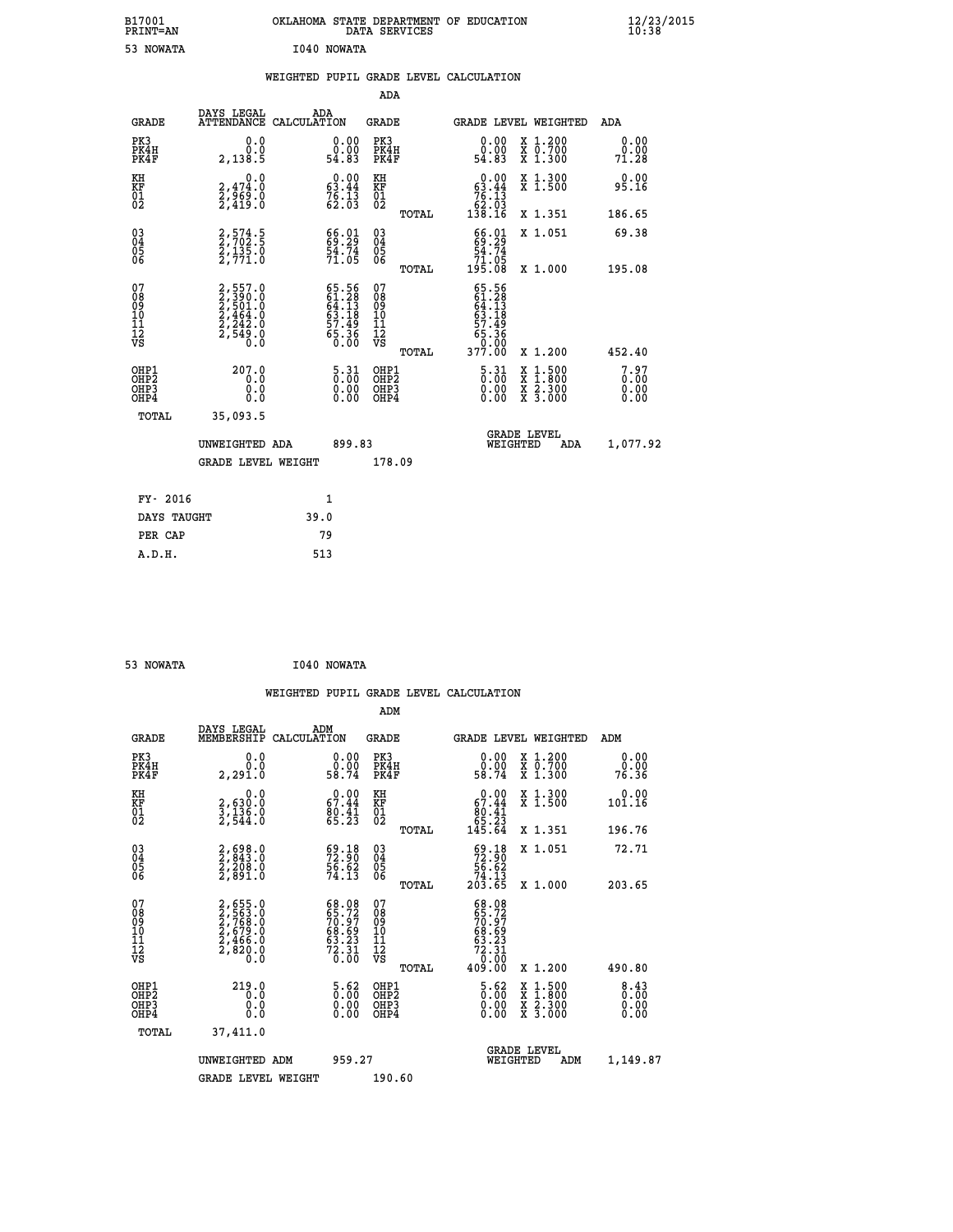| B17001                                       |                                                                                     | OKLAHOMA STATE DEPARTMENT OF EDUCATION<br>DATA SERVICES                 |                                                    |                                                            |                                                                                                  | $\frac{12}{23}$ /2015        |
|----------------------------------------------|-------------------------------------------------------------------------------------|-------------------------------------------------------------------------|----------------------------------------------------|------------------------------------------------------------|--------------------------------------------------------------------------------------------------|------------------------------|
| PRINT=AN<br>53 NOWATA                        |                                                                                     | I040 NOWATA                                                             |                                                    |                                                            |                                                                                                  |                              |
|                                              |                                                                                     |                                                                         |                                                    |                                                            |                                                                                                  |                              |
|                                              |                                                                                     | WEIGHTED PUPIL GRADE LEVEL CALCULATION                                  | <b>ADA</b>                                         |                                                            |                                                                                                  |                              |
| <b>GRADE</b>                                 | DAYS LEGAL                                                                          | ADA<br>ATTENDANCE CALCULATION                                           | GRADE                                              | GRADE LEVEL WEIGHTED                                       |                                                                                                  | ADA                          |
| PK3<br>PK4H<br>PK4F                          | 0.0<br>0.0<br>2,138.5                                                               | 0.00<br>ŏ:ŏŏ<br>54.83                                                   | PK3<br>PK4H<br>PK4F                                | 0.00<br>ăč.<br>54.83                                       | X 1.200<br>X 0.700<br>X 1.300                                                                    | 0.00<br>$\frac{0.00}{71.28}$ |
| KH<br>KF<br>01<br>02                         | 0.0<br>2,474:0<br>2,969:0<br>2,419:0                                                | $\begin{smallmatrix} 0.00\\ 63.44\\ 76.13\\ 62.03 \end{smallmatrix}$    | KH<br>KF<br>01<br>02                               | 0.00<br>63.44                                              | X 1.300<br>X 1.500                                                                               | 0.00<br>95.16                |
|                                              |                                                                                     |                                                                         | TOTAL                                              | $\begin{array}{r} \n76.13 \\ 62.03 \\ 138.16\n\end{array}$ | X 1.351                                                                                          | 186.65                       |
| $03\overline{4}$<br>Ŏ5<br>06                 | 2,574.5<br>2,702.5<br>2,135.0<br>2,771.0                                            | 66.01<br>69.29<br>54.74<br>71.05                                        | $\begin{matrix} 03 \\ 04 \\ 05 \\ 06 \end{matrix}$ | 66.01<br>69.29<br>54.74<br>71.05                           | X 1.051                                                                                          | 69.38                        |
|                                              |                                                                                     |                                                                         | TOTAL                                              | 195.08                                                     | X 1.000                                                                                          | 195.08                       |
| 07<br>08<br>09<br>10<br>11<br>11<br>12<br>VS | $2,557.0$<br>$2,590.0$<br>$2,501.0$<br>$2,464.0$<br>$2,242.0$<br>$2,549.0$<br>$0.0$ | 65.56<br>61.28<br>64.13<br>63.18<br>65.36<br>65.36<br>6.00              | 07<br>08<br>09<br>11<br>11<br>12<br>VS             | $65.56$<br>$61.28$<br>$64.13$<br>63.18<br>57.49<br>65.36   |                                                                                                  |                              |
| OHP1                                         | 207.0                                                                               |                                                                         | TOTAL<br>OHP1                                      | 377.00                                                     | X 1.200                                                                                          | 452.40                       |
| OHP <sub>2</sub><br>OHP3<br>OHP4             | 0.0<br>0.0<br>0.0                                                                   | $\begin{smallmatrix} 5 & 31\ 0 & 00\ 0 & 00\ 0 & 00\ \end{smallmatrix}$ | OHP <sub>2</sub><br>OHP3<br>OHP4                   | $\frac{5 \cdot 31}{0 \cdot 00}$<br>0.00<br>0.00            | $\begin{smallmatrix} x & 1 & 500 \\ x & 1 & 800 \\ x & 2 & 300 \\ x & 3 & 000 \end{smallmatrix}$ | 7.97<br>0.00<br>0.00         |
| <b>TOTAL</b>                                 | 35,093.5                                                                            |                                                                         |                                                    |                                                            |                                                                                                  |                              |
|                                              | UNWEIGHTED ADA                                                                      | 899.83                                                                  |                                                    | WEIGHTED                                                   | <b>GRADE LEVEL</b><br>ADA                                                                        | 1,077.92                     |
|                                              | <b>GRADE LEVEL WEIGHT</b>                                                           |                                                                         | 178.09                                             |                                                            |                                                                                                  |                              |
| FY- 2016                                     |                                                                                     | 1                                                                       |                                                    |                                                            |                                                                                                  |                              |
| DAYS TAUGHT                                  |                                                                                     | 39.0                                                                    |                                                    |                                                            |                                                                                                  |                              |
| PER CAP                                      |                                                                                     | 79                                                                      |                                                    |                                                            |                                                                                                  |                              |

| 53 NOWATA | I040 NOWATA |
|-----------|-------------|
|           |             |

 **WEIGHTED PUPIL GRADE LEVEL CALCULATION ADM DAYS LEGAL ADM GRADE MEMBERSHIP CALCULATION GRADE GRADE LEVEL WEIGHTED ADM PK3 0.0 0.00 PK3 0.00 X 1.200 0.00 PK4H 0.0 0.00 PK4H 0.00 X 0.700 0.00 PK4F 2,291.0 58.74 PK4F 58.74 X 1.300 76.36 KH 0.0 0.00 KH 0.00 X 1.300 0.00 KF 2,630.0 67.44 KF 67.44 X 1.500 101.16 01 3,136.0 80.41 01 80.41 02 2,544.0 65.23 02 65.23 TOTAL 145.64 X 1.351 196.76 03 2,698.0 69.18 03 69.18 X 1.051 72.71 04 2,843.0 72.90 04 72.90 05 2,208.0 56.62 05 56.62 06 2,891.0 74.13 06 74.13 TOTAL 203.65 X 1.000 203.65**  $\begin{array}{cccc} 07 & 2,655.0 & 68.08 & 07 & 68.08 \ 08 & 2,565.0 & 65.72 & 08 & 67.72 \ 09 & 2,768.0 & 70.97 & 09 & 67.12 \ 10 & 2,679.0 & 68.69 & 10 & 68.69 \ 11 & 2,466.0 & 63.23 & 11 & 63.23 \ 12 & 768.0 & 63.69 & 72.31 \ 13 & 2,486.0 & 73.31 & 12 & 72.31 \ 1$ **2,655.0**<br> **2,655.0**<br> **56.00**<br> **56.00**<br> **56.00**<br> **56.00**<br> **56.00**<br> **56.00**<br> **56.00**<br> **56.00**<br> **56.00**<br> **56.00**<br> **56.00**<br> **56.00**<br> **56.00**<br> **56.00**<br> **56.00**<br> **56.00**<br> **56.00**<br> **56.00**<br> **56.00**<br> **56.00**<br> **56.00**<br> **56.00**<br> **5 OHP1 219.0 5.62 OHP1 5.62 X 1.500 8.43 OHP2 0.0 0.00 OHP2 0.00 X 1.800 0.00 OHP3 0.0 0.00 OHP3 0.00 X 2.300 0.00 OHP4 0.0 0.00 OHP4 0.00 X 3.000 0.00 TOTAL 37,411.0 GRADE LEVEL UNWEIGHTED ADM 959.27 WEIGHTED ADM 1,149.87** GRADE LEVEL WEIGHT 190.60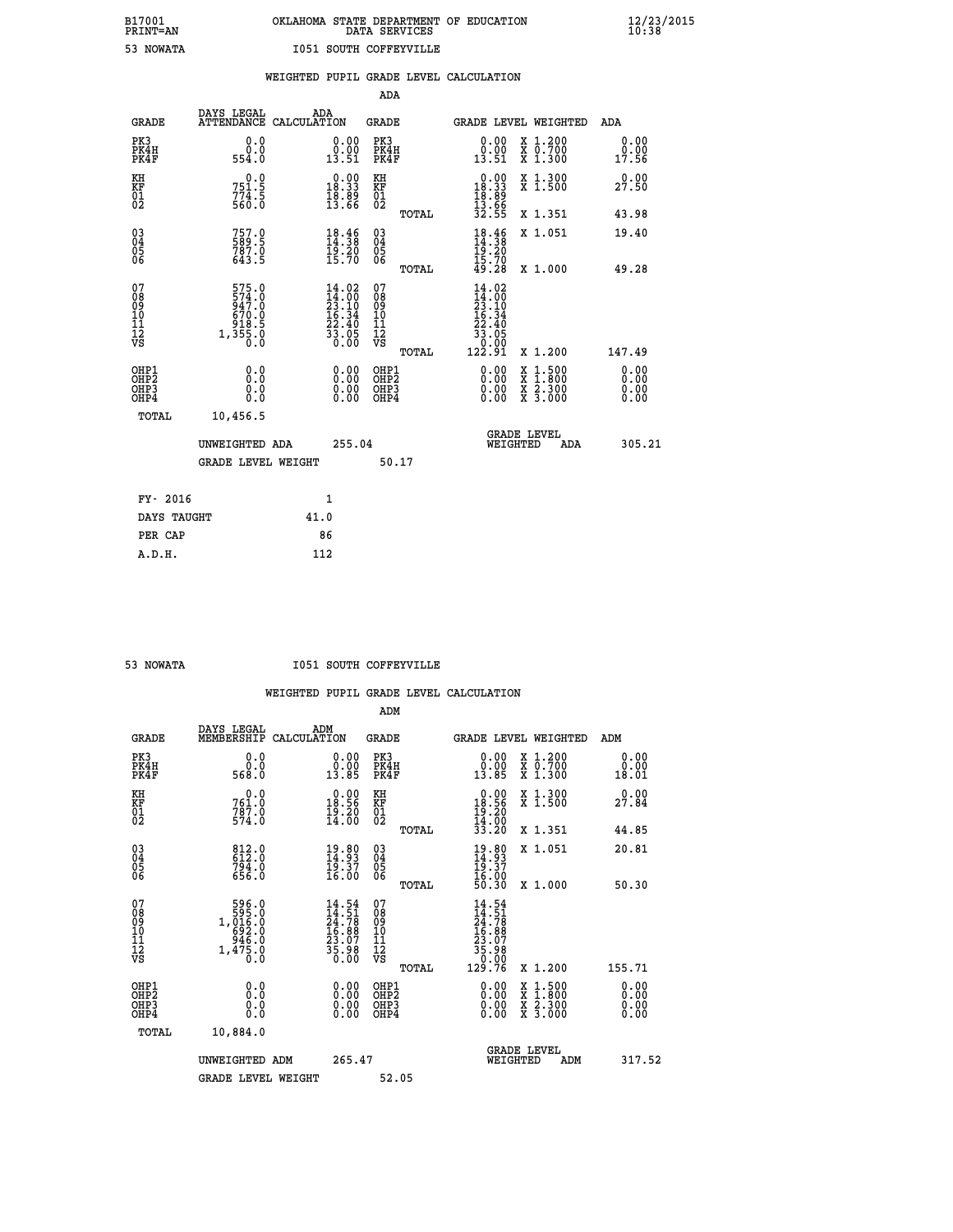# **B17001 OKLAHOMA STATE DEPARTMENT OF EDUCATION 12/23/2015 PRINT=AN DATA SERVICES 10:38 53 NOWATA I051 SOUTH COFFEYVILLE**

|                                                       |                                                              |      |                                                                                                          |                                           |       | WEIGHTED PUPIL GRADE LEVEL CALCULATION                                                                                |                                                                                                                                                               |                              |
|-------------------------------------------------------|--------------------------------------------------------------|------|----------------------------------------------------------------------------------------------------------|-------------------------------------------|-------|-----------------------------------------------------------------------------------------------------------------------|---------------------------------------------------------------------------------------------------------------------------------------------------------------|------------------------------|
|                                                       |                                                              |      |                                                                                                          | ADA                                       |       |                                                                                                                       |                                                                                                                                                               |                              |
| <b>GRADE</b>                                          | DAYS LEGAL<br>ATTENDANCE CALCULATION                         |      | ADA                                                                                                      | GRADE                                     |       | GRADE LEVEL WEIGHTED                                                                                                  |                                                                                                                                                               | ADA                          |
| PK3<br>PK4H<br>PK4F                                   | 0.0<br>0.0<br>554.0                                          |      | 0.00<br>$\frac{0.00}{13.51}$                                                                             | PK3<br>PK4H<br>PK4F                       |       | 0.00<br>$\begin{smallmatrix} 0.00 \ 13.51 \end{smallmatrix}$                                                          | X 1.200<br>X 0.700<br>X 1.300                                                                                                                                 | 0.00<br>0.00<br>17.56        |
| KH<br>KF<br>01<br>02                                  | 751.5<br>$774.5$<br>560.0                                    |      | $0.00$<br>18.33<br>$\frac{18.89}{13.66}$                                                                 | KH<br>KF<br>01<br>02                      |       | $0.00$<br>18.33<br>$\frac{18.89}{13.66}$                                                                              | X 1.300<br>X 1.500                                                                                                                                            | 0.00<br>27.50                |
|                                                       |                                                              |      |                                                                                                          |                                           | TOTAL | 32.55                                                                                                                 | X 1.351                                                                                                                                                       | 43.98                        |
| 03<br>04<br>05<br>06                                  | 757.0<br>589.5<br>787.0<br>643.5                             |      | $18.46\n14.38\n19.20\n15.70$                                                                             | $\substack{03 \\ 04}$<br>05<br>06         |       | $18.46$<br>$14.38$<br>$19.20$<br>$15.70$<br>$49.28$                                                                   | X 1.051                                                                                                                                                       | 19.40                        |
|                                                       |                                                              |      |                                                                                                          |                                           | TOTAL |                                                                                                                       | X 1.000                                                                                                                                                       | 49.28                        |
| 07<br>08<br>09<br>11<br>11<br>12<br>VS                | 575.0<br>$\frac{574}{947}$ :0<br>670.0<br>$318.5$<br>1,355.0 |      | $\begin{array}{l} 14\cdot02\\14\cdot00\\23\cdot10\\16\cdot34\\22\cdot40\\33\cdot05\\0\cdot00\end{array}$ | 07<br>08<br>09<br>11<br>11<br>12<br>VS    | TOTAL | 14.02<br>$\begin{smallmatrix} 14.06 \\ 14.00 \\ 23.10 \\ 16.34 \\ 22.40 \\ 33.05 \\ 0.00 \\ 122.91 \end{smallmatrix}$ | X 1.200                                                                                                                                                       | 147.49                       |
| OH <sub>P1</sub><br>OH <sub>P</sub> 2<br>OHP3<br>OHP4 | 0.0<br>Ō.Ō<br>0.0<br>Ō.Ō                                     |      | $0.00$<br>$0.00$<br>0.00                                                                                 | OHP1<br>OH <sub>P</sub> 2<br>OHP3<br>OHP4 |       | 0.00<br>0.00<br>0.00                                                                                                  | $\frac{1:500}{2:300}$<br>$\begin{smallmatrix} \mathtt{X} & 1 & 500 \\ \mathtt{X} & 1 & 800 \\ \mathtt{X} & 2 & 300 \\ \mathtt{X} & 3 & 000 \end{smallmatrix}$ | 0.00<br>0.00<br>0.00<br>0.00 |
| <b>TOTAL</b>                                          | 10,456.5                                                     |      |                                                                                                          |                                           |       |                                                                                                                       |                                                                                                                                                               |                              |
|                                                       | UNWEIGHTED ADA                                               |      | 255.04                                                                                                   |                                           |       | <b>GRADE LEVEL</b><br>WEIGHTED                                                                                        | ADA                                                                                                                                                           | 305.21                       |
|                                                       | <b>GRADE LEVEL WEIGHT</b>                                    |      |                                                                                                          |                                           | 50.17 |                                                                                                                       |                                                                                                                                                               |                              |
| FY- 2016                                              |                                                              |      | 1                                                                                                        |                                           |       |                                                                                                                       |                                                                                                                                                               |                              |
| DAYS TAUGHT                                           |                                                              | 41.0 |                                                                                                          |                                           |       |                                                                                                                       |                                                                                                                                                               |                              |
| PER CAP                                               |                                                              |      | 86                                                                                                       |                                           |       |                                                                                                                       |                                                                                                                                                               |                              |

| <b>NOWATA</b> |
|---------------|

 **A.D.H. 112**

#### **I051 SOUTH COFFEYVILLE**

|                                                      |                                                                                |                                                                          | ADM                                                 |                                                                                                                                                                                                                                                                                |                                          |                       |
|------------------------------------------------------|--------------------------------------------------------------------------------|--------------------------------------------------------------------------|-----------------------------------------------------|--------------------------------------------------------------------------------------------------------------------------------------------------------------------------------------------------------------------------------------------------------------------------------|------------------------------------------|-----------------------|
| <b>GRADE</b>                                         | DAYS LEGAL<br>MEMBERSHIP                                                       | ADM<br>CALCULATION                                                       | <b>GRADE</b>                                        |                                                                                                                                                                                                                                                                                | <b>GRADE LEVEL WEIGHTED</b>              | ADM                   |
| PK3<br>PK4H<br>PK4F                                  | 0.0<br>ŏ:ŏ<br>568:0                                                            | 0.00<br>13.85                                                            | PK3<br>PK4H<br>PK4F                                 | $\begin{smallmatrix} 0.00\\ 0.00\\ 13.85 \end{smallmatrix}$                                                                                                                                                                                                                    | X 1.200<br>X 0.700<br>X 1.300            | 0.00<br>0.00<br>18.01 |
| KH<br>KF<br>01<br>02                                 | $761.0$<br>$787.0$<br>$574.0$                                                  | $\begin{smallmatrix} 0.00\\ 18.56\\ 19.20\\ 14.00 \end{smallmatrix}$     | KH<br><b>KF</b><br>01<br>02                         | $\begin{smallmatrix} &0.00\\ 18.56\\ 19.20\\ 14.00\\ 33.20 \end{smallmatrix}$                                                                                                                                                                                                  | X 1.300<br>X 1.500                       | 0.00<br>27.84         |
|                                                      |                                                                                |                                                                          | TOTAL                                               |                                                                                                                                                                                                                                                                                | X 1.351                                  | 44.85                 |
| $\begin{matrix} 03 \\ 04 \\ 05 \\ 06 \end{matrix}$   | $812.0$<br>$612.0$<br>$794.0$<br>$656.0$                                       | $\begin{smallmatrix} 19.80\ 14.93\ 19.37\ 16.00 \end{smallmatrix}$       | $\begin{array}{c} 03 \\ 04 \\ 05 \\ 06 \end{array}$ | $19.80$<br>$14.93$<br>$19.37$<br>$16.00$<br>$50.30$                                                                                                                                                                                                                            | X 1.051                                  | 20.81                 |
|                                                      |                                                                                |                                                                          | TOTAL                                               |                                                                                                                                                                                                                                                                                | X 1.000                                  | 50.30                 |
| 07<br>08<br>09<br>101<br>11<br>12<br>VS              | $\begin{array}{r}596.0\\595.0\\1,016.0\\692.0\\946.0\\1,475.0\\0.0\end{array}$ | $14.54$<br>$24.78$<br>$24.78$<br>$16.88$<br>$23.07$<br>$35.98$<br>$0.00$ | 07<br>08<br>09<br>11<br>11<br>12<br>VS<br>TOTAL     | $\begin{smallmatrix} 14.54\ 14.51\ 24.78\ 25.88\ 15.887\ 13.97\ 35.980\ 129.76 \end{smallmatrix}$                                                                                                                                                                              | X 1.200                                  | 155.71                |
| OHP1<br>OHP2<br>OH <sub>P3</sub><br>OH <sub>P4</sub> |                                                                                | $\begin{smallmatrix} 0.00 \ 0.00 \ 0.00 \ 0.00 \end{smallmatrix}$        | OHP1<br>OHP2<br>OHP3<br>OHP4                        | $\begin{smallmatrix} 0.00 & 0.00 & 0.00 & 0.00 & 0.00 & 0.00 & 0.00 & 0.00 & 0.00 & 0.00 & 0.00 & 0.00 & 0.00 & 0.00 & 0.00 & 0.00 & 0.00 & 0.00 & 0.00 & 0.00 & 0.00 & 0.00 & 0.00 & 0.00 & 0.00 & 0.00 & 0.00 & 0.00 & 0.00 & 0.00 & 0.00 & 0.00 & 0.00 & 0.00 & 0.00 & 0.0$ | X 1:500<br>X 1:800<br>X 2:300<br>X 3:000 | 0.00<br>0.00<br>0.00  |
| TOTAL                                                | 10,884.0                                                                       |                                                                          |                                                     |                                                                                                                                                                                                                                                                                |                                          |                       |
|                                                      | UNWEIGHTED ADM                                                                 | 265.47                                                                   |                                                     | WEIGHTED                                                                                                                                                                                                                                                                       | <b>GRADE LEVEL</b><br>ADM                | 317.52                |
|                                                      | <b>GRADE LEVEL WEIGHT</b>                                                      |                                                                          | 52.05                                               |                                                                                                                                                                                                                                                                                |                                          |                       |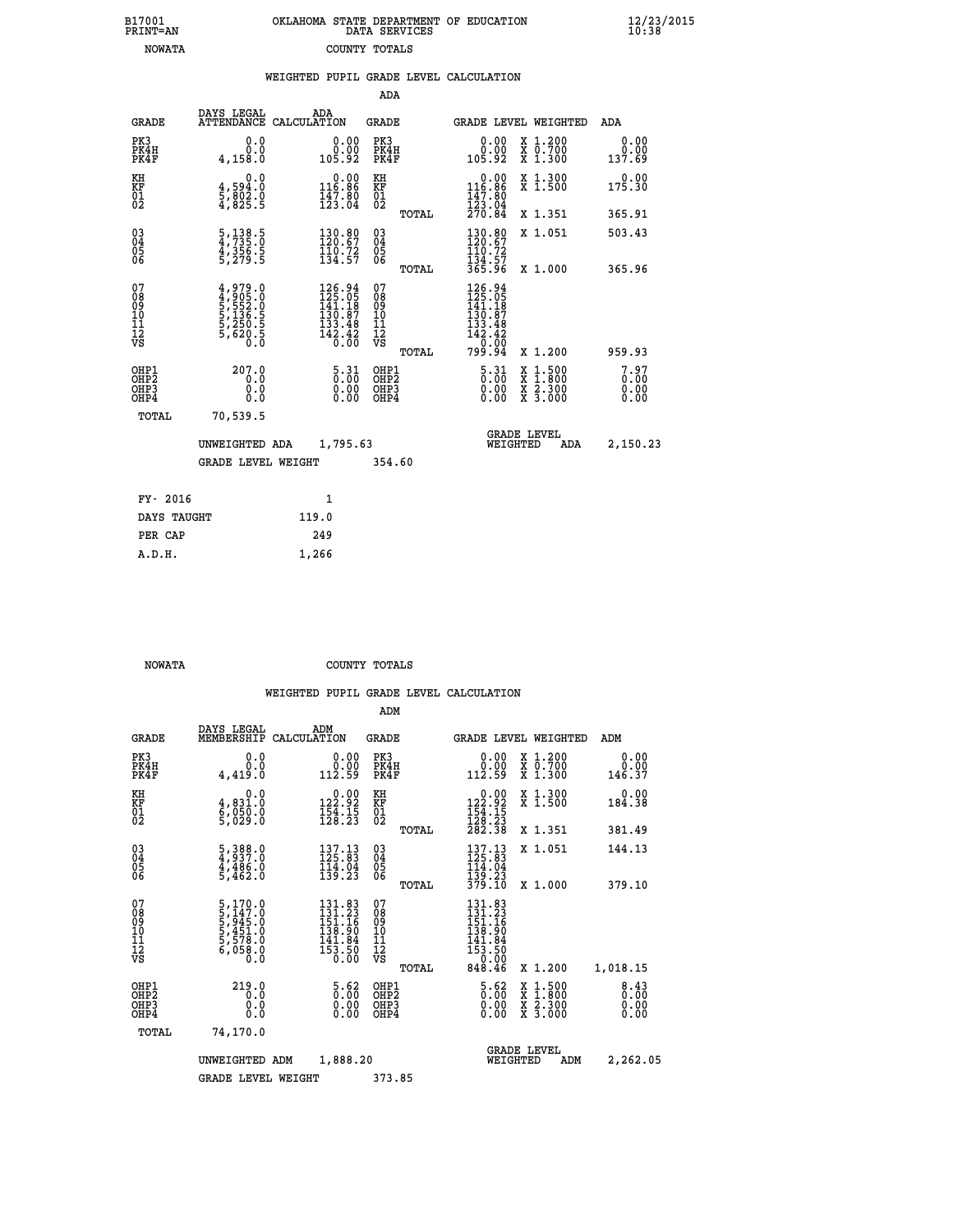|  | OKLAHOMA STATE DEPARTMENT OF EDUCATION<br>DATA SERVICES |  |
|--|---------------------------------------------------------|--|
|  | COUNTY TOTALS                                           |  |

 **B17001<br>PRINT=AN NOWATA**   **B17001 OKLAHOMA STATE DEPARTMENT OF EDUCATION 12/23/2015**

|                                                                    |                                                                       | WEIGHTED PUPIL GRADE LEVEL CALCULATION                                                                                        |                                           |                                                                                            |                                                                                                                                           |                              |
|--------------------------------------------------------------------|-----------------------------------------------------------------------|-------------------------------------------------------------------------------------------------------------------------------|-------------------------------------------|--------------------------------------------------------------------------------------------|-------------------------------------------------------------------------------------------------------------------------------------------|------------------------------|
|                                                                    |                                                                       |                                                                                                                               | ADA                                       |                                                                                            |                                                                                                                                           |                              |
| <b>GRADE</b>                                                       | DAYS LEGAL                                                            | ADA<br>ATTENDANCE CALCULATION                                                                                                 | <b>GRADE</b>                              | <b>GRADE LEVEL WEIGHTED</b>                                                                |                                                                                                                                           | <b>ADA</b>                   |
| PK3<br>PK4H<br>PK4F                                                | 0.0<br>0.0<br>4,158.0                                                 | 0.0000<br>105.92                                                                                                              | PK3<br>PK4H<br>PK4F                       | $\begin{smallmatrix} 0.00\\ 0.00\\ 0.02 \end{smallmatrix}$                                 | X 1.200<br>X 0.700<br>X 1.300                                                                                                             | 0.00<br>0.00<br>137.69       |
| KH<br>KF<br>01<br>02                                               | 0.0<br>$\frac{4}{5}, \frac{594}{802}$ $\cdot \frac{0}{5}$<br>4,825.5  | $0.00$<br>116.86<br>$\frac{1}{12}$ $\frac{7}{3}$ $\cdot$ $\frac{8}{0}$ $\frac{0}{4}$                                          | KH<br><b>KF</b><br>01<br>02               | $\begin{smallmatrix} &0.00\\ 116.86\\ 147.80\\ 123.04\\ 270.84 \end{smallmatrix}$          | X 1.300<br>X 1.500                                                                                                                        | 175.30                       |
|                                                                    |                                                                       |                                                                                                                               | TOTAL                                     |                                                                                            | X 1.351                                                                                                                                   | 365.91                       |
| $\begin{smallmatrix} 03 \\[-4pt] 04 \end{smallmatrix}$<br>Ŏ5<br>06 | 5, 138.5<br>4, 735.0<br>4, 356.5<br>5, 279.5                          | 130.80<br>120.67<br>$\frac{110.72}{134.57}$                                                                                   | $\substack{03 \\ 04}$<br>Ŏ5<br>06         | 130.80<br>120.67<br>110.72                                                                 | X 1.051                                                                                                                                   | 503.43                       |
|                                                                    |                                                                       |                                                                                                                               | TOTAL                                     | 134.57<br>365.96                                                                           | X 1.000                                                                                                                                   | 365.96                       |
| 07<br>08901112<br>1112<br>VS                                       | 4,979.0<br>4,905.0<br>5,552.0<br>5,136.5<br>5,250.5<br>5,620.5<br>0.0 | $\begin{smallmatrix} 126\cdot94\\ 125\cdot05\\ 141\cdot18\\ 130\cdot87\\ 133\cdot48\\ 142\cdot42\\ 0\cdot00\end{smallmatrix}$ | 07<br>089<br>101<br>111<br>VS<br>TOTAL    | 126.94<br>$125.058$<br>$141.187$<br>$130.87$<br>$133.48$<br>$142.42$<br>$0.00$<br>$799.94$ | X 1.200                                                                                                                                   | 959.93                       |
| OHP1<br>OH <sub>P</sub> 2<br>OHP3<br>OHP4                          | 207.0<br>0.0<br>0.0<br>Ō.Ō                                            | $\begin{smallmatrix} 5.31\ 0.00 \ 0.00 \end{smallmatrix}$<br>0.00                                                             | OHP1<br>OH <sub>P</sub> 2<br>OHP3<br>OHP4 | $\frac{5 \cdot 31}{0 \cdot 00}$<br>0.00                                                    | $\begin{smallmatrix} \mathtt{X} & 1\cdot500\\ \mathtt{X} & 1\cdot800\\ \mathtt{X} & 2\cdot300\\ \mathtt{X} & 3\cdot000 \end{smallmatrix}$ | 7.97<br>0.00<br>0.00<br>0.00 |
| TOTAL                                                              | 70,539.5                                                              |                                                                                                                               |                                           |                                                                                            |                                                                                                                                           |                              |
|                                                                    | UNWEIGHTED ADA                                                        |                                                                                                                               | 1,795.63                                  | GRADE LEVEL<br>WEIGHTED                                                                    | 2,150.23                                                                                                                                  |                              |
|                                                                    | <b>GRADE LEVEL WEIGHT</b>                                             |                                                                                                                               | 354.60                                    |                                                                                            |                                                                                                                                           |                              |
| FY- 2016                                                           |                                                                       | $\mathbf{1}$                                                                                                                  |                                           |                                                                                            |                                                                                                                                           |                              |
| DAYS TAUGHT                                                        |                                                                       | 119.0                                                                                                                         |                                           |                                                                                            |                                                                                                                                           |                              |
| PER CAP                                                            |                                                                       | 249                                                                                                                           |                                           |                                                                                            |                                                                                                                                           |                              |

| <b>NOWATA</b> | COUNTY TOTALS |  |
|---------------|---------------|--|

 **A.D.H. 1,266**

|                                                    |                                                                                           |                    |                                                                                             | ADM                                                 |       |                                                                                               |                                |                                          |                                     |  |
|----------------------------------------------------|-------------------------------------------------------------------------------------------|--------------------|---------------------------------------------------------------------------------------------|-----------------------------------------------------|-------|-----------------------------------------------------------------------------------------------|--------------------------------|------------------------------------------|-------------------------------------|--|
| <b>GRADE</b>                                       | DAYS LEGAL<br>MEMBERSHIP                                                                  | ADM<br>CALCULATION |                                                                                             | <b>GRADE</b>                                        |       |                                                                                               |                                | <b>GRADE LEVEL WEIGHTED</b>              | ADM                                 |  |
| PK3<br>PK4H<br>PK4F                                | 0.0<br>0.0<br>4,419.0                                                                     |                    | $\begin{smallmatrix} &0.00\0.00\0.12.59\end{smallmatrix}$                                   | PK3<br>PK4H<br>PK4F                                 |       | $\begin{smallmatrix} &0.00\0.00\0.12.59\end{smallmatrix}$                                     |                                | X 1.200<br>X 0.700<br>X 1.300            | 0.00<br>0.00<br>146.37              |  |
| KH<br>KF<br>01<br>02                               | 0.0<br>4,831.0<br>6,050.0<br>5,029.0                                                      |                    | $0.00$<br>122.92<br>$\frac{154}{128}$ : $\frac{15}{23}$                                     | KH<br>KF<br>01<br>02                                |       | $0.00$<br>122.92<br>$\frac{154}{128}$ : $\frac{15}{23}$<br>$\frac{23}{282}$ : $\frac{38}{28}$ |                                | X 1.300<br>X 1.500                       | 0.00<br>184.38                      |  |
|                                                    |                                                                                           |                    |                                                                                             |                                                     | TOTAL |                                                                                               |                                | X 1.351                                  | 381.49                              |  |
| $\begin{matrix} 03 \\ 04 \\ 05 \\ 06 \end{matrix}$ | $\frac{5}{4}, \frac{388}{937}.0$<br>$\frac{4}{4}, \frac{486}{462}.0$<br>$\frac{5}{462}.0$ |                    | $137.13$<br>$125.83$<br>$\frac{114}{139}$ $\frac{04}{23}$                                   | $\begin{array}{c} 03 \\ 04 \\ 05 \\ 06 \end{array}$ |       | $\begin{array}{c} 137.13 \\ 125.83 \\ 114.04 \end{array}$                                     |                                | X 1.051                                  | 144.13                              |  |
|                                                    |                                                                                           |                    |                                                                                             |                                                     | TOTAL | 139.23<br>379.10                                                                              |                                | X 1.000                                  | 379.10                              |  |
| 07<br>08<br>09<br>01<br>11<br>11<br>12<br>VS       | 5,170.0<br>5,147.0<br>5,945.0<br>5,451.0<br>5,578.0<br>6,058.0<br>6,058.0                 |                    | $\begin{smallmatrix} 131.83\\131.23\\151.16\\158.90\\141.84\\153.50\\0.00\end{smallmatrix}$ | 07<br>08<br>09<br>001<br>11<br>11<br>12<br>VS       | TOTAL | 131.83<br>131.23<br>$151.16$<br>$138.90$<br>$141.84$<br>$153.50$<br>$0.00$<br>$848.46$        |                                | X 1.200                                  | 1,018.15                            |  |
| OHP1<br>OHP2<br>OH <sub>P3</sub><br>OHP4           | 219.0<br>0.0<br>0.000                                                                     |                    | $\substack{5.62 \\ 0.00 \\ 0.00}$                                                           | OHP1<br>OHP2<br>OHP3<br>OHP4                        |       | $\begin{smallmatrix} 5.62\ 0.00\ 0.00 \end{smallmatrix}$                                      |                                | X 1:500<br>X 1:800<br>X 2:300<br>X 3:000 | $\frac{8.43}{0.00}$<br>0.00<br>0.00 |  |
| TOTAL                                              | 74,170.0                                                                                  |                    |                                                                                             |                                                     |       |                                                                                               |                                |                                          |                                     |  |
|                                                    | UNWEIGHTED ADM                                                                            |                    | 1,888.20                                                                                    |                                                     |       |                                                                                               | <b>GRADE LEVEL</b><br>WEIGHTED | ADM                                      | 2,262.05                            |  |
|                                                    | <b>GRADE LEVEL WEIGHT</b>                                                                 |                    |                                                                                             | 373.85                                              |       |                                                                                               |                                |                                          |                                     |  |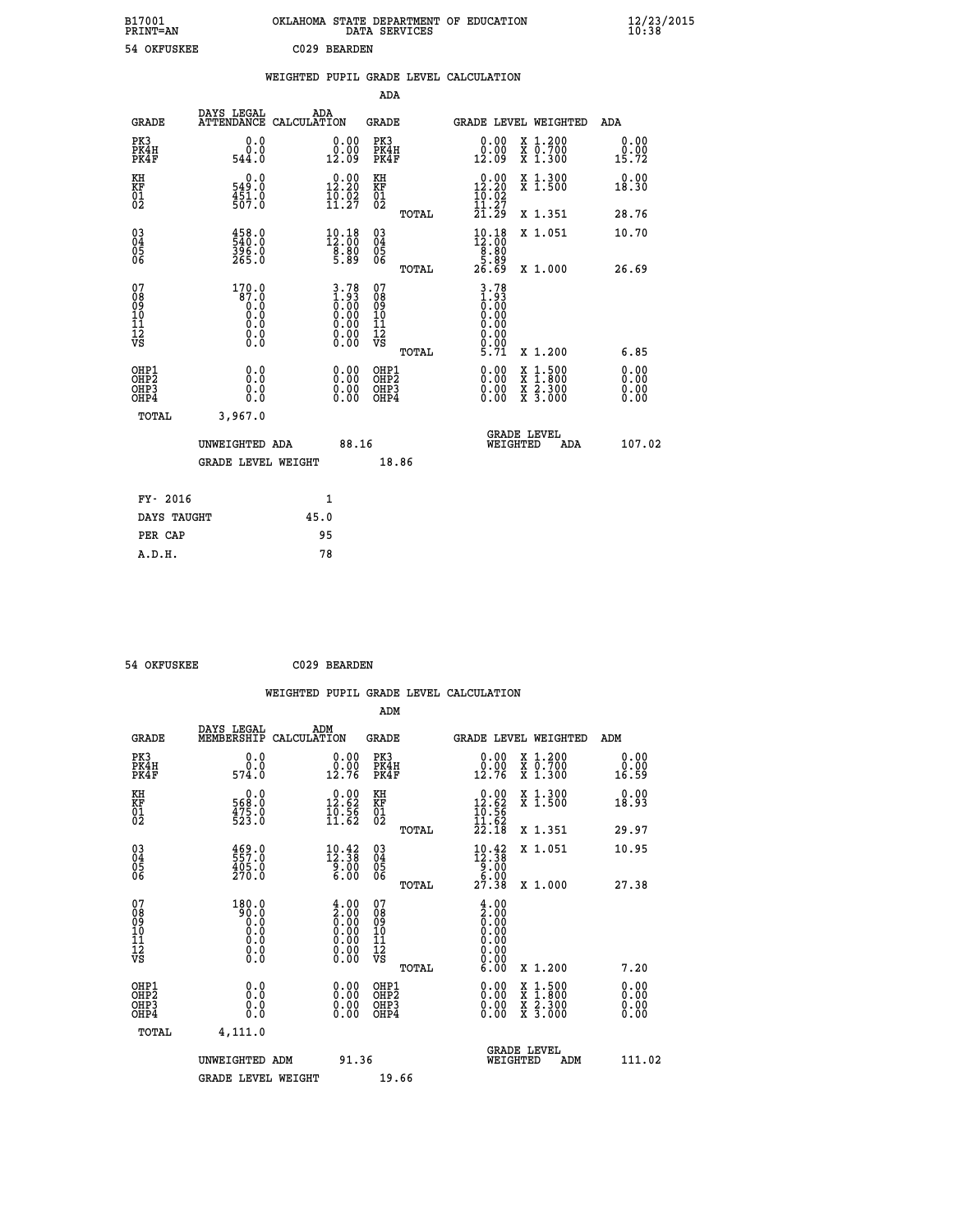| B17001<br><b>PRINT=AN</b> | OKLAHOMA STATE DEPARTMENT OF EDUCATION<br>DATA SERVICES | $\frac{12}{23}$ /2015 |
|---------------------------|---------------------------------------------------------|-----------------------|
| 54 OKFUSKEE               | C029 BEARDEN                                            |                       |

 **ADA**

 **PER CAP 95 A.D.H. 78**

|  |  | WEIGHTED PUPIL GRADE LEVEL CALCULATION |
|--|--|----------------------------------------|
|  |  |                                        |

| <b>GRADE</b>                                       | DAYS LEGAL<br>ATTENDANCE CALCULATION                                                          | ADA  |                                                                                               | <b>GRADE</b>                                  |       | GRADE LEVEL WEIGHTED                                                                                                                                                                                                                                                           |                                                                                                  | ADA                          |  |
|----------------------------------------------------|-----------------------------------------------------------------------------------------------|------|-----------------------------------------------------------------------------------------------|-----------------------------------------------|-------|--------------------------------------------------------------------------------------------------------------------------------------------------------------------------------------------------------------------------------------------------------------------------------|--------------------------------------------------------------------------------------------------|------------------------------|--|
| PK3<br>PK4H<br>PK4F                                | 0.0<br>0.0<br>544.0                                                                           |      | 0.00<br>$\frac{0.00}{12.09}$                                                                  | PK3<br>PK4H<br>PK4F                           |       | 0.00<br>0.00<br>12.09                                                                                                                                                                                                                                                          | X 1.200<br>X 0.700<br>X 1.300                                                                    | 0.00<br>0.00<br>15.72        |  |
| KH<br>KF<br>01<br>02                               | 0.0<br>549.0<br>$\frac{451}{507}$ :0                                                          |      | $0.00$<br>12.20<br>$\frac{1}{11}$ , $\frac{5}{27}$                                            | KH<br>KF<br>$^{01}_{02}$                      |       | $0.00$<br>12.20<br>$\frac{1}{11}$ $\frac{5}{27}$                                                                                                                                                                                                                               | X 1.300<br>X 1.500                                                                               | 0.00<br>18.30                |  |
|                                                    |                                                                                               |      |                                                                                               |                                               | TOTAL | 21.29                                                                                                                                                                                                                                                                          | X 1.351                                                                                          | 28.76                        |  |
| $\begin{matrix} 03 \\ 04 \\ 05 \\ 06 \end{matrix}$ | 458.0<br>540.0<br>396.0<br>265.0                                                              |      | $\begin{smallmatrix} 10.18\\12.00\\8.80\\5.89 \end{smallmatrix}$                              | $\substack{03 \\ 04}$<br>05<br>06             |       | $\begin{smallmatrix} 10\cdot 18\\[-1.2mm] 12\cdot 00\\[-1.2mm] 8\cdot 80\\[-1.2mm] 5\cdot 89\\[-1.2mm] 26\cdot 69\end{smallmatrix}$                                                                                                                                            | X 1.051                                                                                          | 10.70                        |  |
|                                                    |                                                                                               |      |                                                                                               |                                               | TOTAL |                                                                                                                                                                                                                                                                                | X 1.000                                                                                          | 26.69                        |  |
| 07<br>08<br>09<br>101<br>11<br>12<br>VS            | 170.0<br>87.0<br>$\begin{smallmatrix} 0.0 & 0 \ 0.0 & 0 \ 0.0 & 0 \end{smallmatrix}$<br>$\S.$ |      | $\begin{smallmatrix} 3.78\ 1.93\ 0.00\ 0.00\ 0.00\ 0.00\ 0.00\ 0.00\ 0.00\ \end{smallmatrix}$ | 07<br>08<br>09<br>001<br>11<br>11<br>12<br>VS |       | $3.78$<br>$1.93$<br>$0.00$<br>$0.00$<br>$0.00$<br>0.00<br>$\frac{0.00}{5.71}$                                                                                                                                                                                                  |                                                                                                  |                              |  |
|                                                    |                                                                                               |      |                                                                                               |                                               | TOTAL |                                                                                                                                                                                                                                                                                | X 1.200                                                                                          | 6.85                         |  |
| OHP1<br>OHP2<br>OHP3<br>OH <sub>P4</sub>           | 0.0<br>0.000                                                                                  |      | $\begin{smallmatrix} 0.00 \ 0.00 \ 0.00 \ 0.00 \end{smallmatrix}$                             | OHP1<br>OHP2<br>OHP3<br>OHP4                  |       | $\begin{smallmatrix} 0.00 & 0.00 & 0.00 & 0.00 & 0.00 & 0.00 & 0.00 & 0.00 & 0.00 & 0.00 & 0.00 & 0.00 & 0.00 & 0.00 & 0.00 & 0.00 & 0.00 & 0.00 & 0.00 & 0.00 & 0.00 & 0.00 & 0.00 & 0.00 & 0.00 & 0.00 & 0.00 & 0.00 & 0.00 & 0.00 & 0.00 & 0.00 & 0.00 & 0.00 & 0.00 & 0.0$ | $\begin{smallmatrix} x & 1 & 500 \\ x & 1 & 800 \\ x & 2 & 300 \\ x & 3 & 000 \end{smallmatrix}$ | 0.00<br>Ŏ.ŎŎ<br>Q.QQ<br>0.00 |  |
| TOTAL                                              | 3,967.0                                                                                       |      |                                                                                               |                                               |       |                                                                                                                                                                                                                                                                                |                                                                                                  |                              |  |
|                                                    | UNWEIGHTED ADA                                                                                |      | 88.16                                                                                         |                                               |       | WEIGHTED                                                                                                                                                                                                                                                                       | <b>GRADE LEVEL</b><br>ADA                                                                        | 107.02                       |  |
|                                                    | <b>GRADE LEVEL WEIGHT</b>                                                                     |      |                                                                                               | 18.86                                         |       |                                                                                                                                                                                                                                                                                |                                                                                                  |                              |  |
| FY- 2016                                           |                                                                                               |      | 1                                                                                             |                                               |       |                                                                                                                                                                                                                                                                                |                                                                                                  |                              |  |
| DAYS TAUGHT                                        |                                                                                               | 45.0 |                                                                                               |                                               |       |                                                                                                                                                                                                                                                                                |                                                                                                  |                              |  |
|                                                    |                                                                                               |      |                                                                                               |                                               |       |                                                                                                                                                                                                                                                                                |                                                                                                  |                              |  |

 **54 OKFUSKEE C029 BEARDEN WEIGHTED PUPIL GRADE LEVEL CALCULATION ADM DAYS LEGAL ADM GRADE MEMBERSHIP CALCULATION GRADE GRADE LEVEL WEIGHTED ADM PK3 0.0 0.00 PK3 0.00 X 1.200 0.00 PK4H 0.0 0.00 PK4H 0.00 X 0.700 0.00 PK4F 574.0 12.76 PK4F 12.76 X 1.300 16.59 KH 0.0 0.00 KH 0.00 X 1.300 0.00 KF 568.0 12.62 KF 12.62 X 1.500 18.93 01 475.0 10.56 01 10.56**  $02$  523.0 11.62 02  $\frac{11.62}{2}$  **TOTAL 22.18 X 1.351 29.97 03 469.0 10.42 03 10.42 X 1.051 10.95 04 557.0 12.38 04 12.38 02 \$82.0 \$60.00 \$9.00** \$9.00 06 270.0 **6.00 06 میں میں 270.0 TOTAL 27.38 X 1.000 27.38 07 180.0 4.00 07 4.00 08 90.0 2.00 08 2.00 03 0.00 0.00 0.000 0.000 10 0.0 0.00 10 0.00 11 0.0 0.00 11 0.00 12 0.0 0.00 12 0.00 VS** 0.0 0.00 VS 0.00 0.00  **TOTAL 6.00 X 1.200 7.20 OHP1 0.0 0.00 OHP1 0.00 X 1.500 0.00 OHP2 0.0 0.00 OHP2 0.00 X 1.800 0.00 OHP3 0.0 0.00 OHP3 0.00 X 2.300 0.00 OHP4 0.0 0.00 OHP4 0.00 X 3.000 0.00 TOTAL 4,111.0 GRADE LEVEL UNWEIGHTED ADM 91.36 WEIGHTED ADM 111.02** GRADE LEVEL WEIGHT 19.66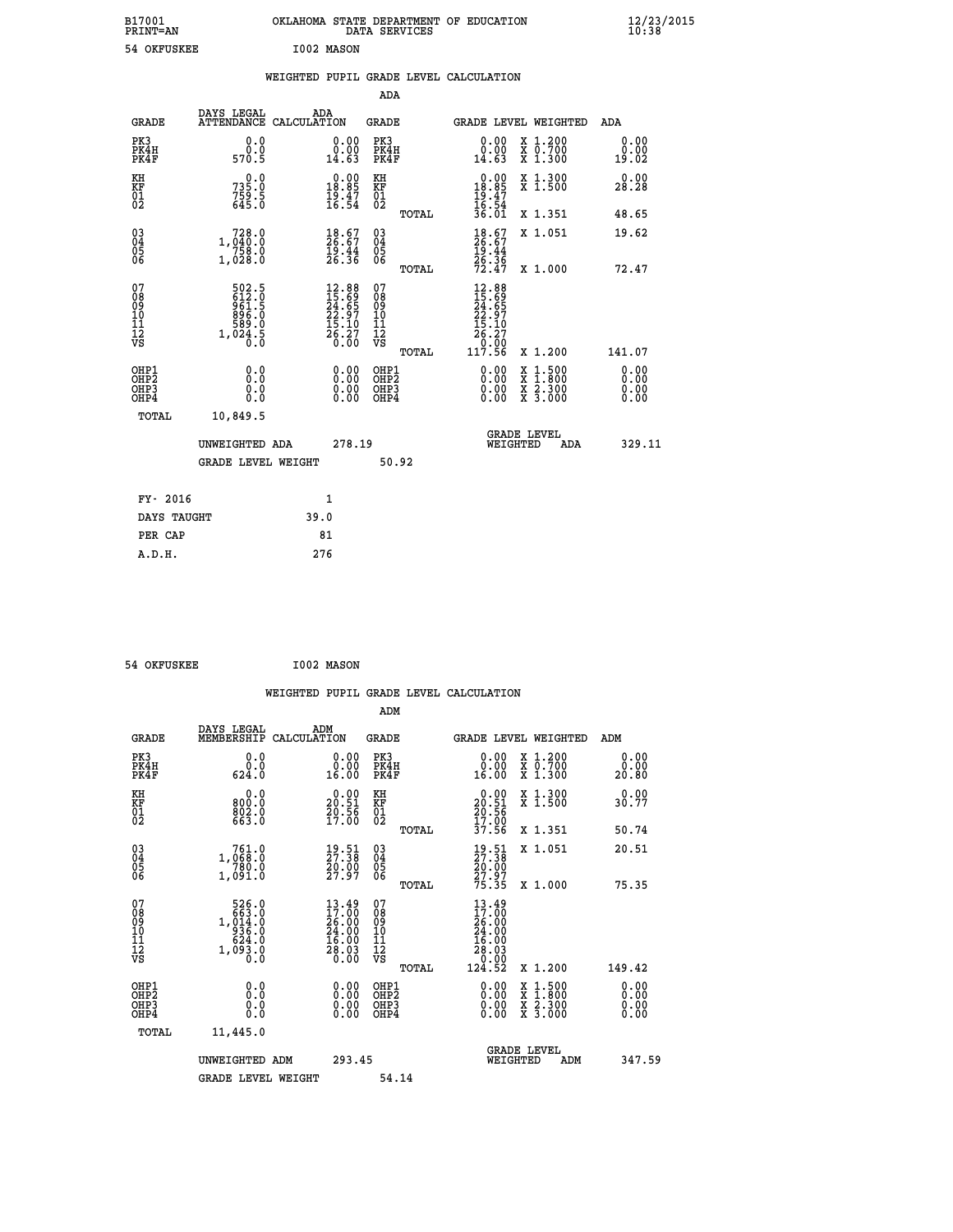| B17001<br>PRINT=AN | OKLAHOMA STATE DEPARTMENT OF EDUCATION<br>DATA SERVICES | $\frac{12}{23}$ /2015 |
|--------------------|---------------------------------------------------------|-----------------------|
| 54 OKFUSKEE        | I002 MASON                                              |                       |

| ⊥∪∪⊥<br>PRINT=AN                                                   |                                                             |      |                                                                             |                                          | DATA SERVICES | ORDANOMA SIAIE DEFARIMENI OF EDUCAIION                                       |                                                                                                  | 16:38                        |
|--------------------------------------------------------------------|-------------------------------------------------------------|------|-----------------------------------------------------------------------------|------------------------------------------|---------------|------------------------------------------------------------------------------|--------------------------------------------------------------------------------------------------|------------------------------|
| 54 OKFUSKEE                                                        |                                                             |      | I002 MASON                                                                  |                                          |               |                                                                              |                                                                                                  |                              |
|                                                                    |                                                             |      |                                                                             |                                          |               | WEIGHTED PUPIL GRADE LEVEL CALCULATION                                       |                                                                                                  |                              |
|                                                                    |                                                             |      |                                                                             | ADA                                      |               |                                                                              |                                                                                                  |                              |
| <b>GRADE</b>                                                       | DAYS LEGAL<br>ATTENDANCE CALCULATION                        |      | ADA                                                                         | GRADE                                    |               |                                                                              | GRADE LEVEL WEIGHTED                                                                             | ADA                          |
| PK3<br>PK4H<br>PK4F                                                | 0.0<br>0.0<br>570.5                                         |      | 0.00<br>$\begin{smallmatrix} 0.00 \ 14.63 \end{smallmatrix}$                | PK3<br>PK4H<br>PK4F                      |               | 0.00<br>$\substack{0.00\\14.63}$                                             | X 1.200<br>X 0.700<br>X 1.300                                                                    | 0.00<br>0.00<br>19.02        |
| KH<br>KF<br>01<br>02                                               | 735.0<br>$759.5$<br>645.0                                   |      | $\begin{smallmatrix} 0.00\\ 18.85\\ 19.47\\ 16.54 \end{smallmatrix}$        | КH<br><b>KF</b><br>01<br>02              |               | $\begin{smallmatrix} 0.00\\ 18.85\\ 19.47\\ 16.54\\ 36.01 \end{smallmatrix}$ | X 1.300<br>X 1.500                                                                               | 0.00<br>28.28                |
|                                                                    |                                                             |      |                                                                             |                                          | TOTAL         |                                                                              | X 1.351                                                                                          | 48.65                        |
| $\begin{smallmatrix} 03 \\[-4pt] 04 \end{smallmatrix}$<br>Ŏ5<br>06 | 1,040:0<br>$\frac{758.0}{1,028.0}$                          |      | $\frac{18.67}{26.67}$<br>$\frac{19.44}{26.36}$                              | $\substack{03 \\ 04}$<br>05<br>06        |               | $\frac{18}{26}$ : 67<br>$\frac{19.44}{26.36}$<br>72.47                       | X 1.051                                                                                          | 19.62                        |
|                                                                    |                                                             |      |                                                                             |                                          | TOTAL         |                                                                              | X 1.000                                                                                          | 72.47                        |
| 07<br>08<br>09<br>11<br>11<br>12<br>VS                             | 502.5<br>612.0<br>961.5<br>$\frac{896.0}{589.0}$<br>1,024.5 |      | $12.88$<br>$15.69$<br>$24.65$<br>$22.97$<br>$15.10$<br>$\frac{26.27}{0.00}$ | 07<br>08<br>09<br>10<br>11<br>12<br>VS   |               | 12.88<br>15.69<br>24.65<br>22.97<br>15.10<br>26.27<br>0:00<br>117.56         |                                                                                                  |                              |
|                                                                    |                                                             |      |                                                                             |                                          | TOTAL         |                                                                              | X 1.200                                                                                          | 141.07                       |
| OHP1<br>OH <sub>P</sub> 2<br>OH <sub>P3</sub><br>OHP4              | 0.0<br>0.0<br>0.0<br>0.0                                    |      | 0.00<br>0.00<br>0.00                                                        | OHP1<br>OHP <sub>2</sub><br>OHP3<br>OHP4 |               | $0.00$<br>$0.00$<br>0.00                                                     | $\begin{smallmatrix} x & 1 & 500 \\ x & 1 & 800 \\ x & 2 & 300 \\ x & 3 & 000 \end{smallmatrix}$ | 0.00<br>0.00<br>0.00<br>0.00 |
| TOTAL                                                              | 10,849.5                                                    |      |                                                                             |                                          |               |                                                                              |                                                                                                  |                              |
|                                                                    | UNWEIGHTED ADA                                              |      | 278.19                                                                      |                                          |               |                                                                              | <b>GRADE LEVEL</b><br>WEIGHTED<br>ADA                                                            | 329.11                       |
|                                                                    | <b>GRADE LEVEL WEIGHT</b>                                   |      |                                                                             | 50.92                                    |               |                                                                              |                                                                                                  |                              |
| FY- 2016                                                           |                                                             |      | 1                                                                           |                                          |               |                                                                              |                                                                                                  |                              |
| DAYS TAUGHT                                                        |                                                             | 39.0 |                                                                             |                                          |               |                                                                              |                                                                                                  |                              |
| PER CAP                                                            |                                                             |      | 81                                                                          |                                          |               |                                                                              |                                                                                                  |                              |
| A.D.H.                                                             |                                                             | 276  |                                                                             |                                          |               |                                                                              |                                                                                                  |                              |
|                                                                    |                                                             |      |                                                                             |                                          |               |                                                                              |                                                                                                  |                              |

```
 54 OKFUSKEE I002 MASON
```

|                                                      |                                                                                                          |                                                                                                                                                     |                                              | WEIGHTED PUPIL GRADE LEVEL CALCULATION                                                        |                                                                        |                              |
|------------------------------------------------------|----------------------------------------------------------------------------------------------------------|-----------------------------------------------------------------------------------------------------------------------------------------------------|----------------------------------------------|-----------------------------------------------------------------------------------------------|------------------------------------------------------------------------|------------------------------|
|                                                      |                                                                                                          |                                                                                                                                                     | ADM                                          |                                                                                               |                                                                        |                              |
| <b>GRADE</b>                                         | DAYS LEGAL<br>MEMBERSHIP                                                                                 | ADM<br>CALCULATION                                                                                                                                  | <b>GRADE</b>                                 | GRADE LEVEL WEIGHTED                                                                          |                                                                        | ADM                          |
| PK3<br>PK4H<br>PK4F                                  | 0.0<br>0.0<br>624.0                                                                                      | 0.00<br>16.00                                                                                                                                       | PK3<br>PK4H<br>PK4F                          | 0.00<br>16.00                                                                                 | X 1.200<br>X 0.700<br>X 1.300                                          | 0.00<br>0.00<br>20.80        |
| KH<br>KF<br>01<br>02                                 | 0.0<br>800:0<br>802:0<br>663:0                                                                           | $\begin{smallmatrix} 0.00\\ 20.51\\ 20.56\\ 17.00 \end{smallmatrix}$                                                                                | KH<br>KF<br>01<br>02                         | $\begin{smallmatrix} 0.00\\ 20.51\\ 20.56\\ 17.00\\ 37.56 \end{smallmatrix}$                  | X 1.300<br>X 1.500                                                     | 0.00<br>30.77                |
|                                                      |                                                                                                          |                                                                                                                                                     | TOTAL                                        |                                                                                               | X 1.351                                                                | 50.74                        |
| $\begin{matrix} 03 \\ 04 \\ 05 \\ 06 \end{matrix}$   | 1,060:0<br>780.0<br>1,091.0                                                                              | $\frac{19}{27}\cdot\frac{51}{38}$<br>$\frac{20}{30}\cdot\frac{00}{97}$                                                                              | 03<br>04<br>05<br>06                         | $\frac{19.51}{27.38}$<br>$\frac{20.00}{27.97}$                                                | X 1.051                                                                | 20.51                        |
|                                                      |                                                                                                          |                                                                                                                                                     | TOTAL                                        | 75.35                                                                                         | X 1.000                                                                | 75.35                        |
| 07<br>08<br>09<br>01<br>11<br>11<br>12<br>VS         | $\begin{smallmatrix} &526.0\\ 663.0\\ 1,014.0\\ 936.0\\ 624.0\\ 624.0\\ 1,093.0\\ 0.0 \end{smallmatrix}$ | 13.49<br>$\begin{smallmatrix} 1 & 7 & 0 & 0 \\ 2 & 6 & 0 & 0 \\ 2 & 4 & 0 & 0 \\ 1 & 6 & 0 & 0 \\ 2 & 8 & 0 & 3 \\ 0 & 0 & 0 & 0 \end{smallmatrix}$ | 07<br>08<br>09<br>01<br>11<br>11<br>12<br>VS | 13.49<br>$\begin{array}{r} 17.700 \\ 26.000 \\ 24.000 \\ 16.000 \\ 28.03 \end{array}$<br>0.00 |                                                                        |                              |
|                                                      |                                                                                                          |                                                                                                                                                     | TOTAL                                        | 124.52                                                                                        | X 1.200                                                                | 149.42                       |
| OHP1<br>OHP2<br>OH <sub>P3</sub><br>OH <sub>P4</sub> | 0.0<br>0.000                                                                                             | 0.00<br>0.00<br>0.00                                                                                                                                | OHP1<br>OHP2<br>OHP3<br>OHP4                 | $0.00$<br>$0.00$<br>0.00                                                                      | $\frac{x}{x}$ $\frac{1.500}{x}$<br>$\frac{x}{x}$ $\frac{5:300}{3:000}$ | 0.00<br>0.00<br>0.00<br>0.00 |
| TOTAL                                                | 11,445.0                                                                                                 |                                                                                                                                                     |                                              |                                                                                               |                                                                        |                              |
|                                                      | UNWEIGHTED ADM                                                                                           | 293.45                                                                                                                                              |                                              | <b>GRADE LEVEL</b><br>WEIGHTED                                                                | ADM                                                                    | 347.59                       |
|                                                      | <b>GRADE LEVEL WEIGHT</b>                                                                                |                                                                                                                                                     | 54.14                                        |                                                                                               |                                                                        |                              |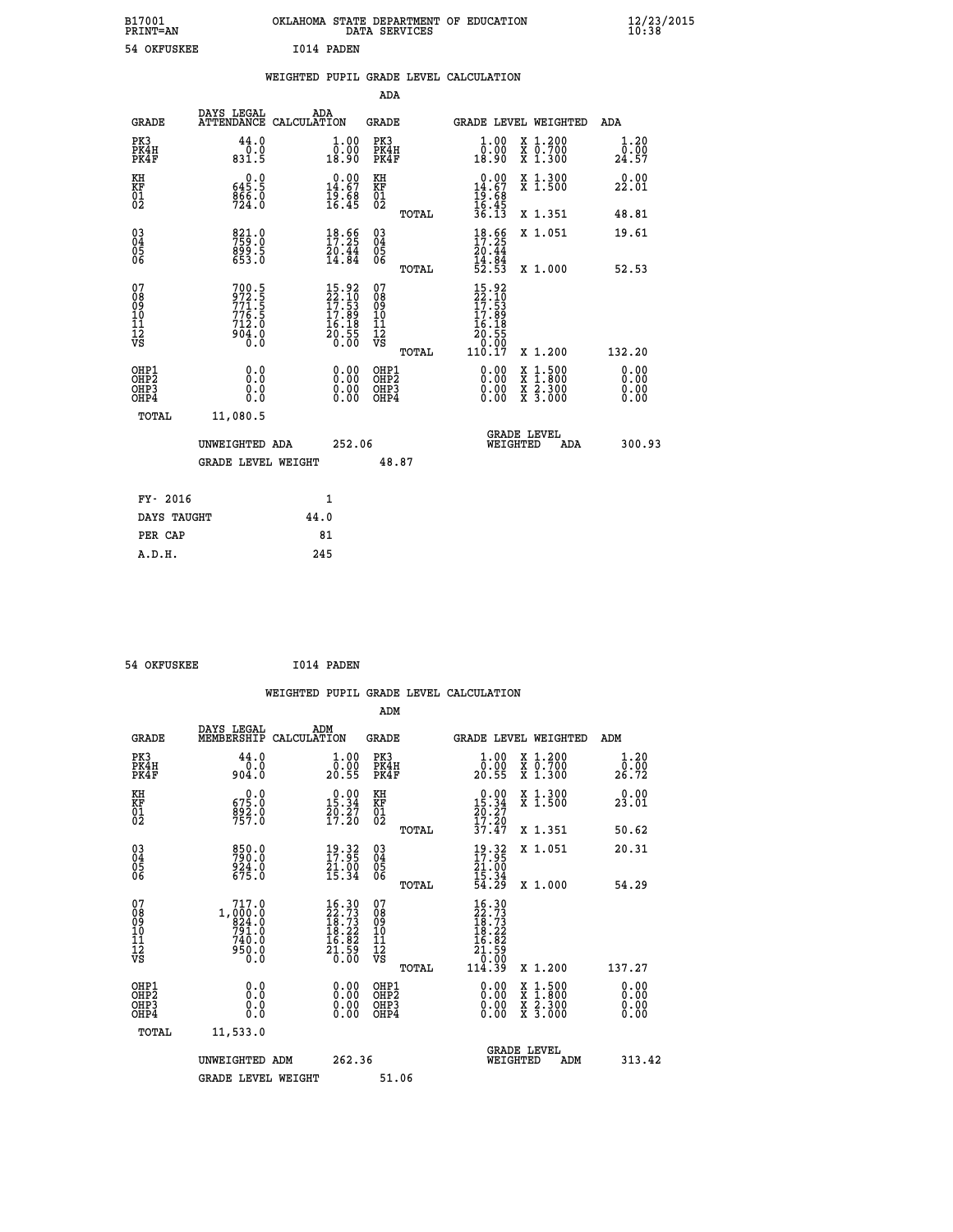| B17001<br>PRINT-AN                                 |                                                                                            |                    |                                                                        |                                                     | DATA SERVICES | OKLAHOMA STATE DEPARTMENT OF EDUCATION                                                             |                               | $\frac{12}{20}$       |  |
|----------------------------------------------------|--------------------------------------------------------------------------------------------|--------------------|------------------------------------------------------------------------|-----------------------------------------------------|---------------|----------------------------------------------------------------------------------------------------|-------------------------------|-----------------------|--|
| 54 OKFUSKEE                                        |                                                                                            | I014 PADEN         |                                                                        |                                                     |               |                                                                                                    |                               |                       |  |
|                                                    |                                                                                            |                    |                                                                        |                                                     |               | WEIGHTED PUPIL GRADE LEVEL CALCULATION                                                             |                               |                       |  |
|                                                    |                                                                                            |                    |                                                                        | ADA                                                 |               |                                                                                                    |                               |                       |  |
| <b>GRADE</b>                                       | DAYS LEGAL<br><b>ATTENDANCE</b>                                                            | ADA<br>CALCULATION |                                                                        | <b>GRADE</b>                                        |               |                                                                                                    | <b>GRADE LEVEL WEIGHTED</b>   | <b>ADA</b>            |  |
| PK3<br>PK4H<br>PK4F                                | 44.0<br>$\begin{smallmatrix} & 0 & . & 0 \\ 0 & . & 0 \\ 0 & 3 & 1 & .5 \end{smallmatrix}$ |                    | $\begin{smallmatrix} 1.00\\ 0.00\\ 18.90 \end{smallmatrix}$            | PK3<br>PK4H<br>PK4F                                 |               | $\begin{smallmatrix} 1.00\\ 0.00\\ 18.90 \end{smallmatrix}$                                        | X 1.200<br>X 0.700<br>X 1.300 | 1.20<br>0.00<br>24.57 |  |
| KH<br>KF<br>01<br>02                               | 645.9<br>$\frac{866}{724}$ :0                                                              |                    | $\begin{smallmatrix} 0.00\\14.67\\19.68\\16.45 \end{smallmatrix}$      | KH<br>KF<br>01<br>02                                |               | $0.00\n14.67\n19.68\n16.45\n36.13$                                                                 | X 1.300<br>X 1.500            | 0.00<br>22.01         |  |
|                                                    |                                                                                            |                    |                                                                        |                                                     | TOTAL         |                                                                                                    | X 1.351                       | 48.81                 |  |
| $\begin{matrix} 03 \\ 04 \\ 05 \\ 06 \end{matrix}$ | 821.0<br>759.0<br>899.5<br>653.0                                                           |                    | $18.66$<br>$17.25$<br>$\frac{20.44}{14.84}$                            | $\begin{array}{c} 03 \\ 04 \\ 05 \\ 06 \end{array}$ |               | $18.66$<br>$17.25$<br>$20.44$<br>$14.84$<br>$52.53$                                                | X 1.051                       | 19.61                 |  |
|                                                    |                                                                                            |                    |                                                                        |                                                     | TOTAL         |                                                                                                    | X 1.000                       | 52.53                 |  |
| 07<br>08<br>09<br>101<br>11<br>12<br>VS            | 700.5<br>972.5<br>771.5<br>776.5<br>712.0<br>904.0<br>904.0                                |                    | $15.92$<br>$22.10$<br>$17.53$<br>$17.89$<br>$16.18$<br>$20.55$<br>0.00 | 07<br>08<br>09<br>01<br>11<br>11<br>17<br>VS        |               | $\begin{smallmatrix} 15.92\ 22.10\ 17.53\ 17.89\ 16.189\ 16.185\ 0.007\ 110.17\ \end{smallmatrix}$ |                               |                       |  |
|                                                    |                                                                                            |                    |                                                                        |                                                     | TOTAL         |                                                                                                    | X 1.200                       | 132.20                |  |
| 27724                                              | $\sim$ $\sim$                                                                              |                    |                                                                        | $0.00$ $0.000$                                      |               |                                                                                                    | $0.00 \times 1.00$            | 0.00                  |  |

 **B17001 OKLAHOMA STATE DEPARTMENT OF EDUCATION 12/23/2015**

| OHP1<br>OHP <sub>2</sub><br>OHP3<br>OHP4<br>TOTAL | 0.0<br>0.0<br>0.0<br>0.0<br>11,080.5 | 0.00<br>0.00<br>0.00 | OHP1<br>OHP <sub>2</sub><br>OHP3<br>OHP4 | 0.00<br>0.00<br>0.00 | 1.500<br>x<br>$\overline{\mathbf{x}}$<br>1.800<br>X 2.300<br>X <sub>3.000</sub> | $\begin{smallmatrix} 0.00 \ 0.00 \ 0.00 \end{smallmatrix}$ |
|---------------------------------------------------|--------------------------------------|----------------------|------------------------------------------|----------------------|---------------------------------------------------------------------------------|------------------------------------------------------------|
|                                                   | UNWEIGHTED ADA<br>GRADE LEVEL WEIGHT | 252.06               | 48.87                                    | WEIGHTED             | <b>GRADE LEVEL</b><br>ADA                                                       | 300.93                                                     |
| FY- 2016                                          |                                      | 1                    |                                          |                      |                                                                                 |                                                            |
| DAYS TAUGHT                                       |                                      | 44.0                 |                                          |                      |                                                                                 |                                                            |
| PER CAP                                           |                                      | 81                   |                                          |                      |                                                                                 |                                                            |

| 54 OKFUSKEE | I014 PADEN |
|-------------|------------|

 **A.D.H. 245**

|                                                    |                                                                                                              |                    |                                                                                                                             |                                  |       | WEIGHTED PUPIL GRADE LEVEL CALCULATION                                                                                                                                                                                                                                         |                                                                                                  |                       |        |
|----------------------------------------------------|--------------------------------------------------------------------------------------------------------------|--------------------|-----------------------------------------------------------------------------------------------------------------------------|----------------------------------|-------|--------------------------------------------------------------------------------------------------------------------------------------------------------------------------------------------------------------------------------------------------------------------------------|--------------------------------------------------------------------------------------------------|-----------------------|--------|
|                                                    |                                                                                                              |                    |                                                                                                                             | ADM                              |       |                                                                                                                                                                                                                                                                                |                                                                                                  |                       |        |
| <b>GRADE</b>                                       | DAYS LEGAL<br>MEMBERSHIP                                                                                     | ADM<br>CALCULATION |                                                                                                                             | <b>GRADE</b>                     |       | GRADE LEVEL WEIGHTED                                                                                                                                                                                                                                                           |                                                                                                  | ADM                   |        |
| PK3<br>PK4H<br>PK4F                                | 44.0<br>0.0<br>904.0                                                                                         |                    | $\begin{smallmatrix} 1.00\\ 0.00\\ 20.55 \end{smallmatrix}$                                                                 | PK3<br>PK4H<br>PK4F              |       | $\begin{smallmatrix} 1.00\\ 0.00\\ 20.55 \end{smallmatrix}$                                                                                                                                                                                                                    | X 1.200<br>X 0.700<br>X 1.300                                                                    | 1.20<br>0.00<br>26.72 |        |
| KH<br>KF<br>01<br>02                               | $675.0$<br>$892.0$<br>$757.0$                                                                                |                    | $\begin{smallmatrix} 0.00\\15.34\\20.27\\17.20 \end{smallmatrix}$                                                           | KH<br>KF<br>01<br>02             |       | $\begin{smallmatrix} 0.00\\ 15.34\\ 20.27\\ 17.20\\ 37.47 \end{smallmatrix}$                                                                                                                                                                                                   | X 1.300<br>X 1.500                                                                               | 0.00<br>23.01         |        |
|                                                    |                                                                                                              |                    |                                                                                                                             |                                  | TOTAL |                                                                                                                                                                                                                                                                                | X 1.351                                                                                          | 50.62                 |        |
| $\begin{matrix} 03 \\ 04 \\ 05 \\ 06 \end{matrix}$ | 850.0<br>790.0<br>924.0<br>675.0                                                                             |                    | $\begin{smallmatrix} 19.32\ 17.95\ 21.00\ 15.34 \end{smallmatrix}$                                                          | $^{03}_{04}$<br>Ŏ5<br>06         |       | $\begin{smallmatrix} 19.32\ 17.95\ 21.00\ 15.34\ 54.29 \end{smallmatrix}$                                                                                                                                                                                                      | X 1.051                                                                                          | 20.31                 |        |
|                                                    |                                                                                                              |                    |                                                                                                                             |                                  | TOTAL |                                                                                                                                                                                                                                                                                | X 1.000                                                                                          | 54.29                 |        |
| 07<br>0890112<br>1112<br>VS                        | $\begin{smallmatrix} 717.0 \\ 1,000.0 \\ 824.0 \\ 791.0 \\ 740.0 \\ 740.0 \end{smallmatrix}$<br>950.0<br>0.0 |                    | $\begin{smallmatrix} 16 & 30 \\ 22 & 73 \\ 18 & 73 \\ 18 & 22 \\ 16 & 82 \\ 21 & 59 \\ 21 & 50 \\ 0 & 00 \end{smallmatrix}$ | 07<br>08901123<br>1112<br>VS     | TOTAL | $\begin{smallmatrix} 16.30\,22.73\,32.73\,18.73\,18.22\,16.82\,11.59\,0.00\,114.39\end{smallmatrix}$                                                                                                                                                                           | X 1.200                                                                                          | 137.27                |        |
|                                                    |                                                                                                              |                    |                                                                                                                             |                                  |       |                                                                                                                                                                                                                                                                                |                                                                                                  |                       |        |
| OHP1<br>OHP2<br>OH <sub>P3</sub><br>OHP4           | 0.0<br>0.000                                                                                                 |                    | $\begin{smallmatrix} 0.00 \ 0.00 \ 0.00 \ 0.00 \end{smallmatrix}$                                                           | OHP1<br>OHP2<br>OHP <sub>3</sub> |       | $\begin{smallmatrix} 0.00 & 0.00 & 0.00 & 0.00 & 0.00 & 0.00 & 0.00 & 0.00 & 0.00 & 0.00 & 0.00 & 0.00 & 0.00 & 0.00 & 0.00 & 0.00 & 0.00 & 0.00 & 0.00 & 0.00 & 0.00 & 0.00 & 0.00 & 0.00 & 0.00 & 0.00 & 0.00 & 0.00 & 0.00 & 0.00 & 0.00 & 0.00 & 0.00 & 0.00 & 0.00 & 0.0$ | $\begin{smallmatrix} x & 1 & 500 \\ x & 1 & 800 \\ x & 2 & 300 \\ x & 3 & 000 \end{smallmatrix}$ | 0.00<br>0.00<br>0.00  |        |
| TOTAL                                              | 11,533.0                                                                                                     |                    |                                                                                                                             |                                  |       |                                                                                                                                                                                                                                                                                |                                                                                                  |                       |        |
|                                                    | UNWEIGHTED ADM                                                                                               |                    | 262.36                                                                                                                      |                                  |       | WEIGHTED                                                                                                                                                                                                                                                                       | <b>GRADE LEVEL</b><br>ADM                                                                        |                       | 313.42 |
|                                                    | <b>GRADE LEVEL WEIGHT</b>                                                                                    |                    |                                                                                                                             | 51.06                            |       |                                                                                                                                                                                                                                                                                |                                                                                                  |                       |        |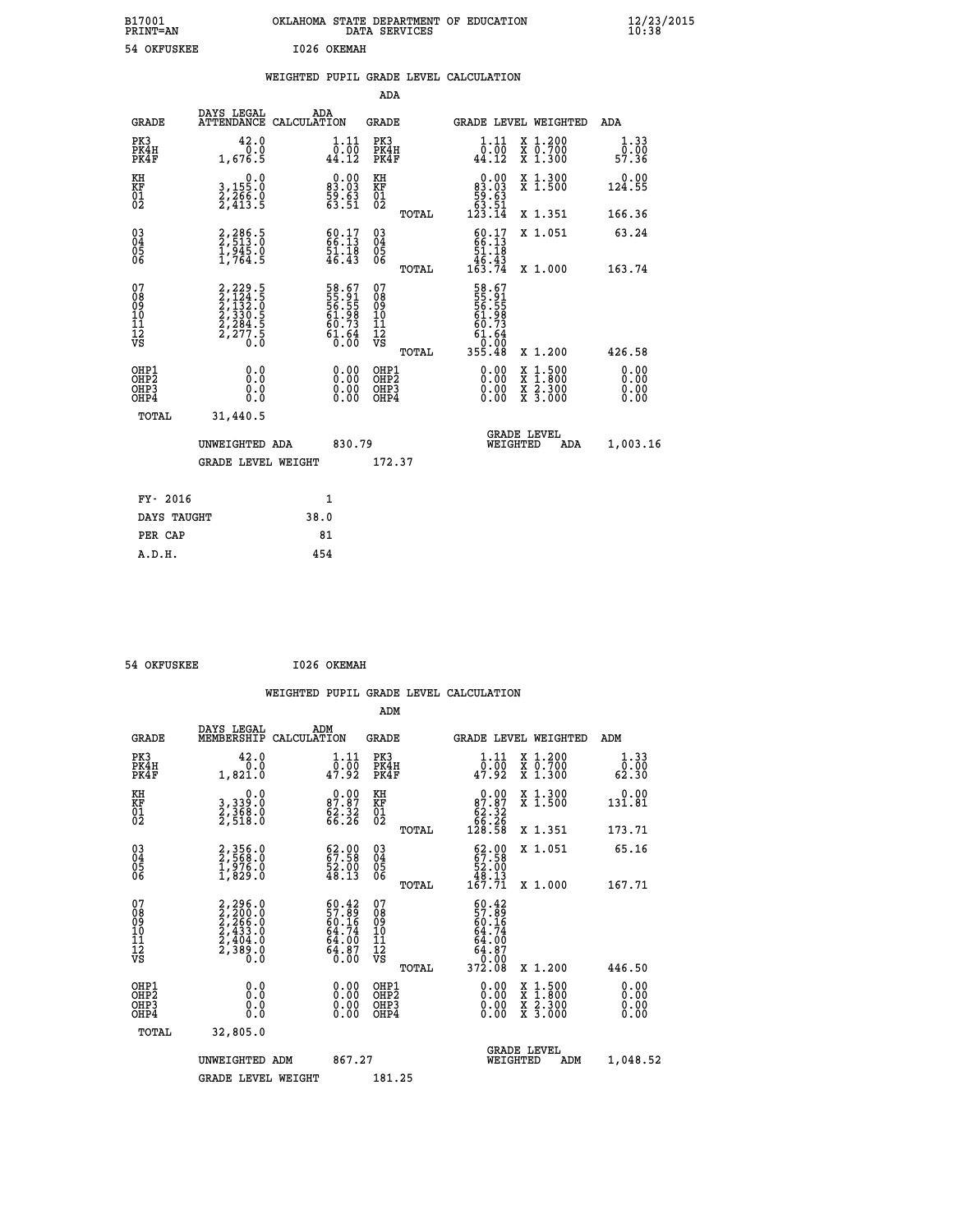| B17001<br><b>PRINT=AN</b> | OKLAHOMA STATE DEPARTMENT OF EDUCATION<br>DATA SERVICES | $\frac{12}{23}$ /2015 |
|---------------------------|---------------------------------------------------------|-----------------------|
| 54 OKFUSKEE               | 1026 OKEMAH                                             |                       |

|  |  | WEIGHTED PUPIL GRADE LEVEL CALCULATION |
|--|--|----------------------------------------|
|  |  |                                        |

|                                                                    |                                                                                                         |              |                                                                          | ADA                                    |       |                                                                          |                                                                                                                                           |                       |
|--------------------------------------------------------------------|---------------------------------------------------------------------------------------------------------|--------------|--------------------------------------------------------------------------|----------------------------------------|-------|--------------------------------------------------------------------------|-------------------------------------------------------------------------------------------------------------------------------------------|-----------------------|
| <b>GRADE</b>                                                       | DAYS LEGAL<br>ATTENDANCE CALCULATION                                                                    | ADA          |                                                                          | <b>GRADE</b>                           |       |                                                                          | <b>GRADE LEVEL WEIGHTED</b>                                                                                                               | ADA                   |
| PK3<br>PK4H<br>PK4F                                                | 42.0<br>0.0<br>1,676.5                                                                                  |              | $\begin{smallmatrix} 1\cdot 11\ 0\cdot 00\ 44\cdot 12 \end{smallmatrix}$ | PK3<br>PK4H<br>PK4F                    |       | 1.11<br>$\frac{0.00}{44.12}$                                             | X 1.200<br>X 0.700<br>X 1.300                                                                                                             | 1.33<br>0.00<br>57.36 |
| KH<br>KF<br>01<br>02                                               | 0.0<br>3,155:0<br>2,266:0<br>2,413:5                                                                    |              | $\begin{smallmatrix} 0.00\\83.03\\59.63\\63.51 \end{smallmatrix}$        | KH<br>KF<br>01<br>02                   |       | $\begin{smallmatrix} &0.00\ 83.03\ 59.63\ 53.51\ 63.14\end{smallmatrix}$ | X 1.300<br>X 1.500                                                                                                                        | 0.00<br>124.55        |
|                                                                    |                                                                                                         |              |                                                                          |                                        | TOTAL |                                                                          | X 1.351                                                                                                                                   | 166.36                |
| $\begin{smallmatrix} 03 \\[-4pt] 04 \end{smallmatrix}$<br>Ŏ5<br>06 | 2,286.5<br>2,513.0<br>1,945.0<br>1,764.5                                                                |              | $\begin{smallmatrix} 60.17\\ 66.13\\ 51.18\\ 46.43 \end{smallmatrix}$    | 03<br>04<br>05<br>06                   |       | $60.17$<br>$66.13$<br>$51.18$<br>$46.43$<br>$163.74$                     | X 1.051                                                                                                                                   | 63.24                 |
|                                                                    |                                                                                                         |              |                                                                          |                                        | TOTAL |                                                                          | X 1.000                                                                                                                                   | 163.74                |
| 07<br>08<br>09<br>01<br>11<br>11<br>12<br>VS                       | $\begin{smallmatrix} 2,229.5\\ 2,124.5\\ 2,132.5\\ 2,330.5\\ 2,284.5\\ 2,277.5\\ 0.0 \end{smallmatrix}$ |              | 58.67<br>55.91<br>56.55<br>561.98<br>61.64<br>61.64<br>0.00              | 07<br>08<br>09<br>11<br>11<br>12<br>VS |       | 58.67<br>55.555<br>56.558<br>56.734<br>61.64<br>61.64<br>355.48          |                                                                                                                                           |                       |
|                                                                    |                                                                                                         |              |                                                                          |                                        | TOTAL |                                                                          | X 1.200                                                                                                                                   | 426.58                |
| OHP1<br>OHP2<br>OH <sub>P3</sub><br>OHP4                           | 0.0<br>0.0<br>0.0                                                                                       |              | $0.00$<br>$0.00$<br>0.00                                                 | OHP1<br>OHP2<br>OHP3<br>OHP4           |       |                                                                          | $\begin{smallmatrix} \mathtt{X} & 1\cdot500\\ \mathtt{X} & 1\cdot800\\ \mathtt{X} & 2\cdot300\\ \mathtt{X} & 3\cdot000 \end{smallmatrix}$ | 0.00<br>0.00<br>0.00  |
| TOTAL                                                              | 31,440.5                                                                                                |              |                                                                          |                                        |       |                                                                          |                                                                                                                                           |                       |
|                                                                    | UNWEIGHTED ADA                                                                                          |              | 830.79                                                                   |                                        |       | WEIGHTED                                                                 | <b>GRADE LEVEL</b><br>ADA                                                                                                                 | 1,003.16              |
|                                                                    | <b>GRADE LEVEL WEIGHT</b>                                                                               |              |                                                                          | 172.37                                 |       |                                                                          |                                                                                                                                           |                       |
| FY- 2016                                                           |                                                                                                         | $\mathbf{1}$ |                                                                          |                                        |       |                                                                          |                                                                                                                                           |                       |
| DAYS TAUGHT                                                        |                                                                                                         | 38.0         |                                                                          |                                        |       |                                                                          |                                                                                                                                           |                       |
| PER CAP                                                            |                                                                                                         | 81           |                                                                          |                                        |       |                                                                          |                                                                                                                                           |                       |

54 OKFUSKEE 1026 OKEMAH  **WEIGHTED PUPIL GRADE LEVEL CALCULATION ADM DAYS LEGAL ADM GRADE MEMBERSHIP CALCULATION GRADE GRADE LEVEL WEIGHTED ADM PK3 42.0 1.11 PK3 1.11 X 1.200 1.33 PK4H 0.0 0.00 PK4H 0.00 X 0.700 0.00 PK4F 1,821.0 47.92 PK4F 47.92 X 1.300 62.30 KH 0.0 0.00 KH 0.00 X 1.300 0.00 KF 3,339.0 87.87 KF 87.87 X 1.500 131.81 01 2,368.0 62.32 01 62.32 02 2,518.0 66.26 02 66.26 TOTAL 128.58 X 1.351 173.71 03 2,356.0 62.00 03 62.00 X 1.051 65.16 04 2,568.0 67.58 04 67.58 05 1,976.0 52.00 05 52.00 06 1,829.0 48.13 06 48.13 TOTAL 167.71 X 1.000 167.71**  $\begin{array}{cccc} 07 & 2,296.0 & 60.42 & 07 & 60.42 \ 08 & 2,200.0 & 57.89 & 08 & 57.89 \ 09 & 2,266.0 & 60.16 & 09 & 60.16 \ 10 & 2,433.0 & 64.74 & 10 & 64.74 \ 11 & 2,438.0 & 64.87 & 12 & 64.87 \ \hline \textrm{vs} & 2,389.0 & 64.00 & 11 & 64.87 \ 12 & 58 & 0.0 & 64.00 &$  **TOTAL 372.08 X 1.200 446.50 OHP1 0.0 0.00 OHP1 0.00 X 1.500 0.00 OHP2 0.0 0.00 OHP2 0.00 X 1.800 0.00 OHP3 0.0 0.00 OHP3 0.00 X 2.300 0.00**  $\begin{array}{cccccccc} \text{OHP1} & & & 0.0 & & & 0.00 & & \text{OHP1} & & & 0.00 & & \text{X} & 1.500 & & & 0.00 \\ \text{OHP2} & & & & 0.0 & & & 0.00 & & \text{OHP2} & & & 0.00 & & \text{X} & 1.500 & & & 0.00 \\ \text{OHP3} & & & & 0.0 & & & 0.00 & & \text{OHP3} & & & 0.00 & & \text{X} & 2.300 & & 0.00 \\ \text{OHP4} & & & & 0.0 & & 0.0 & & \text{$  **TOTAL 32,805.0 GRADE LEVEL UNWEIGHTED ADM 867.27 WEIGHTED ADM 1,048.52** GRADE LEVEL WEIGHT 181.25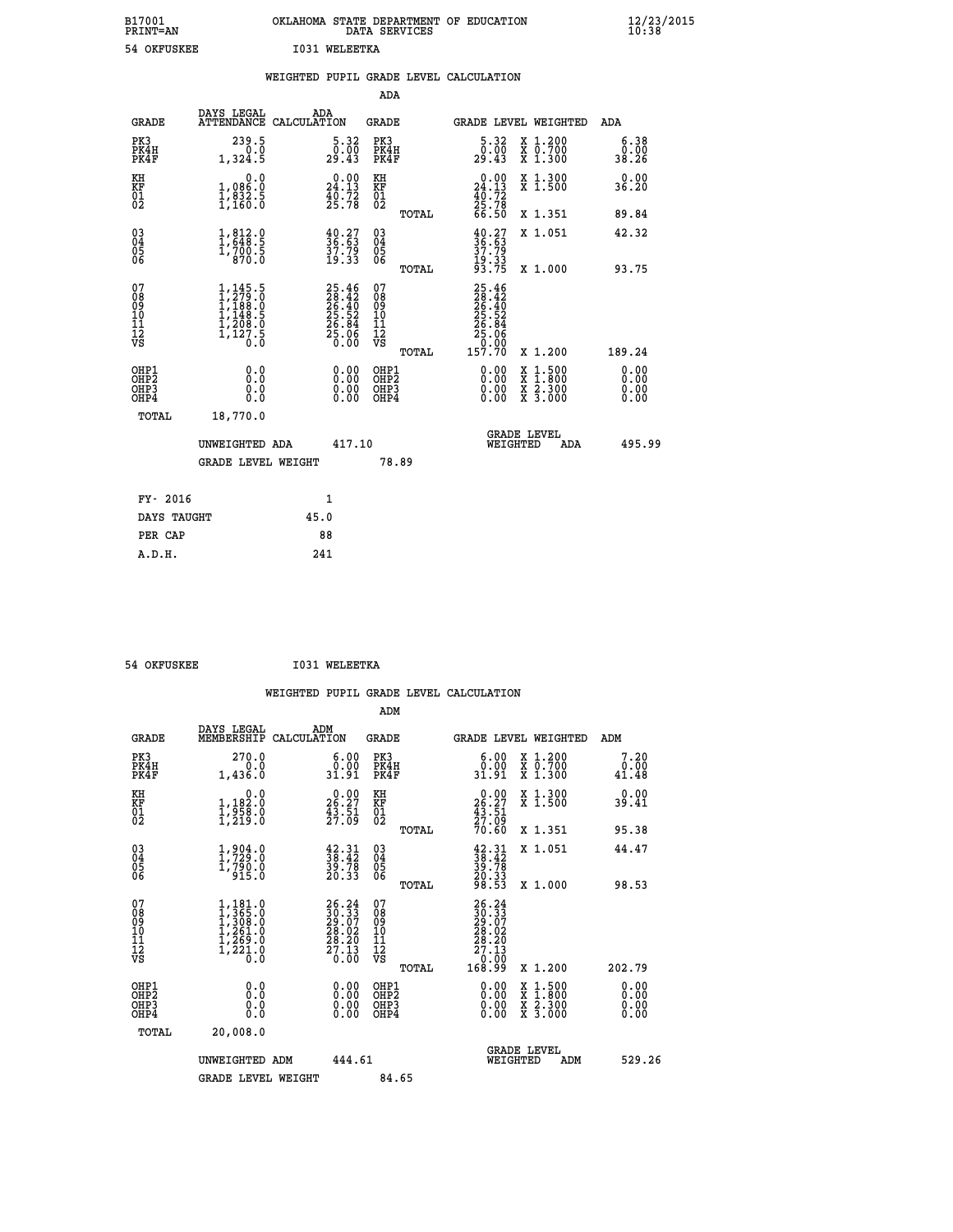| B17001<br><b>PRINT=AN</b> | OKLAHOMA STATE DEPARTMENT OF EDUCATION<br>DATA SERVICES | $\frac{12}{23}$ /2015 |
|---------------------------|---------------------------------------------------------|-----------------------|
| 54 OKFUSKEE               | <b>T031 WELEETKA</b>                                    |                       |

|                                          |                                                                                                                             | WEIGHTED PUPIL GRADE LEVEL CALCULATION                                   |                                                    |                                                                                                                                                                                                                                                                                                                                                                                                                                |                              |
|------------------------------------------|-----------------------------------------------------------------------------------------------------------------------------|--------------------------------------------------------------------------|----------------------------------------------------|--------------------------------------------------------------------------------------------------------------------------------------------------------------------------------------------------------------------------------------------------------------------------------------------------------------------------------------------------------------------------------------------------------------------------------|------------------------------|
|                                          |                                                                                                                             |                                                                          | <b>ADA</b>                                         |                                                                                                                                                                                                                                                                                                                                                                                                                                |                              |
| <b>GRADE</b>                             | DAYS LEGAL<br>ATTENDANCE CALCULATION                                                                                        | ADA                                                                      | GRADE                                              | <b>GRADE LEVEL WEIGHTED</b>                                                                                                                                                                                                                                                                                                                                                                                                    | ADA                          |
| PK3<br>PK4H<br>PK4F                      | 239.5<br>$0.\overline{0}$<br>1,324.5                                                                                        | $\begin{smallmatrix}5.32\0.00\\29.43\end{smallmatrix}$                   | PK3<br>PK4H<br>PK4F                                | $\begin{smallmatrix}5.32\0.00\\29.43\end{smallmatrix}$<br>X 1.200<br>X 0.700<br>X 1.300                                                                                                                                                                                                                                                                                                                                        | 6.38<br>ةة.ة<br>38.26        |
| KH<br>KF<br>01<br>02                     | 0.0<br>1,086:0<br>1,832:5<br>1,160:0                                                                                        | $\begin{smallmatrix} 0.00\\24.13\\40.72\\25.78 \end{smallmatrix}$        | KH<br>KF<br>01<br>02                               | $\begin{smallmatrix} 0.00\\24.13\\40.72\\25.78\\66.50 \end{smallmatrix}$<br>X 1.300<br>X 1.500                                                                                                                                                                                                                                                                                                                                 | 0.00<br>36.20                |
|                                          |                                                                                                                             |                                                                          | TOTAL                                              | X 1.351                                                                                                                                                                                                                                                                                                                                                                                                                        | 89.84                        |
| 030404<br>06                             | $\frac{1}{1}, \frac{812}{648}.5$<br>1,700.5<br>370.0                                                                        | $\begin{smallmatrix} 40.27\ 36.63\ 37.79\ 19.33 \end{smallmatrix}$       | $\begin{matrix} 03 \\ 04 \\ 05 \\ 06 \end{matrix}$ | $40.27$<br>$36.63$<br>$37.79$<br>$19.33$<br>$93.75$<br>X 1.051                                                                                                                                                                                                                                                                                                                                                                 | 42.32                        |
|                                          |                                                                                                                             |                                                                          | TOTAL                                              | X 1.000                                                                                                                                                                                                                                                                                                                                                                                                                        | 93.75                        |
| 07<br>08<br>09<br>11<br>11<br>12<br>VS   | ,145.5<br>$\begin{smallmatrix} 1,145.5\\ 1,279.0\\ 1,188.0\\ 1,148.5\\ 1,208.0\\ 1,220.0\\ 1,127.5\\ 0.0 \end{smallmatrix}$ | $25.46$<br>$28.42$<br>$26.40$<br>$25.52$<br>$26.84$<br>$25.06$<br>$0.00$ | 07<br>08<br>09<br>11<br>11<br>12<br>VS             | 25.46<br>28.42<br>26.40<br>25.52<br>25.06<br>25.06                                                                                                                                                                                                                                                                                                                                                                             |                              |
|                                          |                                                                                                                             |                                                                          | TOTAL                                              | 157.70<br>X 1.200                                                                                                                                                                                                                                                                                                                                                                                                              | 189.24                       |
| OHP1<br>OHP2<br>OHP3<br>OH <sub>P4</sub> | 0.0<br>0.0<br>0.0                                                                                                           | $0.00$<br>$0.00$<br>0.00                                                 | OHP1<br>OHP2<br>OHP3<br>OHP4                       | $\begin{smallmatrix} 0.00 & 0.00 & 0.00 & 0.00 & 0.00 & 0.00 & 0.00 & 0.00 & 0.00 & 0.00 & 0.00 & 0.00 & 0.00 & 0.00 & 0.00 & 0.00 & 0.00 & 0.00 & 0.00 & 0.00 & 0.00 & 0.00 & 0.00 & 0.00 & 0.00 & 0.00 & 0.00 & 0.00 & 0.00 & 0.00 & 0.00 & 0.00 & 0.00 & 0.00 & 0.00 & 0.0$<br>$\begin{smallmatrix} \mathtt{X} & 1\cdot500 \\ \mathtt{X} & 1\cdot800 \\ \mathtt{X} & 2\cdot300 \\ \mathtt{X} & 3\cdot000 \end{smallmatrix}$ | 0.00<br>0.00<br>0.00<br>0.00 |
| TOTAL                                    | 18,770.0                                                                                                                    |                                                                          |                                                    | <b>GRADE LEVEL</b>                                                                                                                                                                                                                                                                                                                                                                                                             |                              |
|                                          | UNWEIGHTED ADA                                                                                                              | 417.10                                                                   |                                                    | WEIGHTED<br>ADA                                                                                                                                                                                                                                                                                                                                                                                                                | 495.99                       |
|                                          | <b>GRADE LEVEL WEIGHT</b>                                                                                                   |                                                                          | 78.89                                              |                                                                                                                                                                                                                                                                                                                                                                                                                                |                              |
| FY- 2016                                 |                                                                                                                             | $\mathbf{1}$                                                             |                                                    |                                                                                                                                                                                                                                                                                                                                                                                                                                |                              |
| DAYS TAUGHT                              |                                                                                                                             | 45.0                                                                     |                                                    |                                                                                                                                                                                                                                                                                                                                                                                                                                |                              |
| PER CAP                                  |                                                                                                                             | 88                                                                       |                                                    |                                                                                                                                                                                                                                                                                                                                                                                                                                |                              |
| A.D.H.                                   |                                                                                                                             | 241                                                                      |                                                    |                                                                                                                                                                                                                                                                                                                                                                                                                                |                              |

 **54 OKFUSKEE I031 WELEETKA**

 **ADM**

| <b>GRADE</b>                                       | DAYS LEGAL<br>MEMBERSHIP                                                                                | ADM<br>CALCULATION                                                                           | <b>GRADE</b>                                       |       | GRADE LEVEL WEIGHTED                                                                     |                                          | ADM                   |  |
|----------------------------------------------------|---------------------------------------------------------------------------------------------------------|----------------------------------------------------------------------------------------------|----------------------------------------------------|-------|------------------------------------------------------------------------------------------|------------------------------------------|-----------------------|--|
| PK3<br>PK4H<br>PK4F                                | 270.0<br>0.0<br>1,436.0                                                                                 | $\begin{smallmatrix} 6.00\\ 0.00\\ 31.91 \end{smallmatrix}$                                  | PK3<br>PK4H<br>PK4F                                |       | 6.00<br>0.00<br>31.91                                                                    | X 1.200<br>X 0.700<br>X 1.300            | 7.20<br>0.00<br>41.48 |  |
| KH<br>KF<br>01<br>02                               | 0.0<br>$\frac{1}{1}, \frac{1}{958}$ .0<br>1,219.0                                                       | $26.27$<br>$43.51$<br>$27.09$                                                                | KH<br>KF<br>01<br>02                               |       | $26.27$<br>$43.51$<br>$27.09$<br>$70.60$                                                 | X 1.300<br>X 1.500                       | 0.00<br>39.41         |  |
|                                                    |                                                                                                         |                                                                                              |                                                    | TOTAL |                                                                                          | X 1.351                                  | 95.38                 |  |
| $\begin{matrix} 03 \\ 04 \\ 05 \\ 06 \end{matrix}$ | $\begin{smallmatrix} 1,904.0\\ 1,729.0\\ 1,790.0\\ 915.0 \end{smallmatrix}$                             | $\begin{smallmatrix} 42.31\ 38.42\ 39.78\ 20.33 \end{smallmatrix}$                           | $\begin{matrix} 03 \\ 04 \\ 05 \\ 06 \end{matrix}$ |       | $38.31$<br>$38.78$<br>$39.78$<br>$20.33$<br>$98.53$                                      | X 1.051                                  | 44.47                 |  |
|                                                    |                                                                                                         |                                                                                              |                                                    | TOTAL |                                                                                          | X 1.000                                  | 98.53                 |  |
| 07<br>089<br>090<br>1112<br>VS                     | $\begin{smallmatrix} 1,181.0\\ 1,365.0\\ 1,308.0\\ 1,261.0\\ 1,269.0\\ 1,221.0\\ 0.0 \end{smallmatrix}$ | $\begin{smallmatrix} 26.24\\ 30.33\\ 29.07\\ 28.02\\ 28.20\\ 27.13\\ 0.00 \end{smallmatrix}$ | 07<br>08901112<br>1112<br>VS                       | TOTAL | $\begin{smallmatrix} 26.24\ 30.33\ 29.07\ 28.02\ 28.20\ 27.13\ 0.009\ \end{smallmatrix}$ | X 1.200                                  | 202.79                |  |
|                                                    |                                                                                                         |                                                                                              |                                                    |       |                                                                                          |                                          |                       |  |
| OHP1<br>OHP2<br>OH <sub>P3</sub><br>OHP4           | 0.0<br>0.000                                                                                            |                                                                                              | OHP1<br>OHP2<br>OHP3<br>OHP4                       |       | 0.00<br>$0.00$<br>0.00                                                                   | X 1:500<br>X 1:800<br>X 2:300<br>X 3:000 | 0.00<br>0.00<br>0.00  |  |
| TOTAL                                              | 20,008.0                                                                                                |                                                                                              |                                                    |       |                                                                                          |                                          |                       |  |
|                                                    | UNWEIGHTED<br>ADM                                                                                       | 444.61                                                                                       |                                                    |       | WEIGHTED                                                                                 | <b>GRADE LEVEL</b><br>ADM                | 529.26                |  |
|                                                    | <b>GRADE LEVEL WEIGHT</b>                                                                               |                                                                                              | 84.65                                              |       |                                                                                          |                                          |                       |  |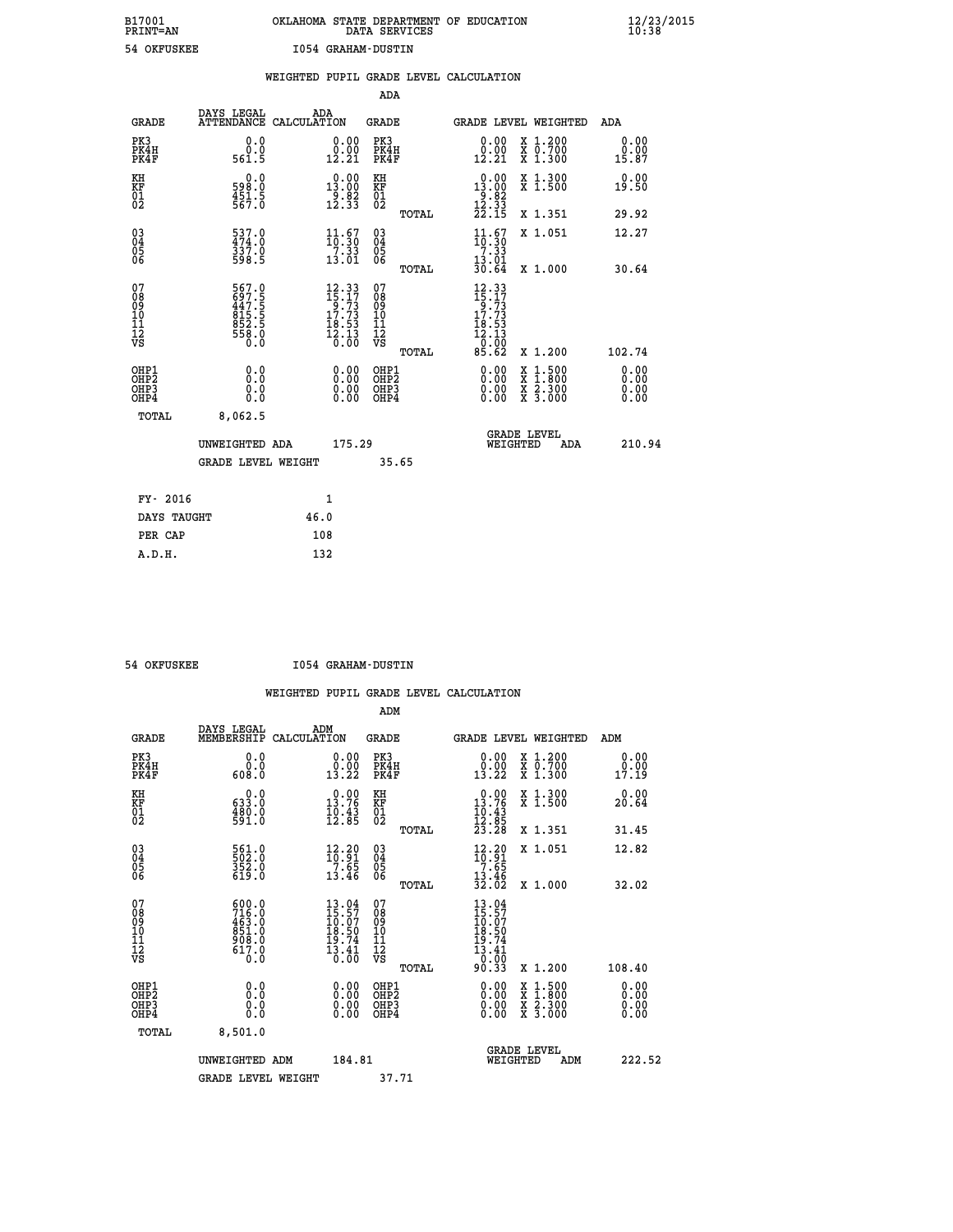# **B17001 OKLAHOMA STATE DEPARTMENT OF EDUCATION 12/23/2015 PRINT=AN DATA SERVICES 10:38 54 OKFUSKEE I054 GRAHAM-DUSTIN**

|                              |                                                         |      |                                                                                                                  |                                                     |       | WEIGHTED PUPIL GRADE LEVEL CALCULATION                                             |                                                                                                                                           |                              |
|------------------------------|---------------------------------------------------------|------|------------------------------------------------------------------------------------------------------------------|-----------------------------------------------------|-------|------------------------------------------------------------------------------------|-------------------------------------------------------------------------------------------------------------------------------------------|------------------------------|
|                              |                                                         |      |                                                                                                                  | <b>ADA</b>                                          |       |                                                                                    |                                                                                                                                           |                              |
| <b>GRADE</b>                 | DAYS LEGAL<br>ATTENDANCE CALCULATION                    |      | ADA                                                                                                              | <b>GRADE</b>                                        |       | GRADE LEVEL WEIGHTED                                                               |                                                                                                                                           | ADA                          |
| PK3<br>PK4H<br>PK4F          | 0.0<br>0.0<br>561.5                                     |      | $\begin{smallmatrix} 0.00\\ 0.00\\ 12.21 \end{smallmatrix}$                                                      | PK3<br>PK4H<br>PK4F                                 |       | 0.00<br>0.00<br>12.21                                                              | X 1.200<br>X 0.700<br>X 1.300                                                                                                             | 0.00<br>0.00<br>15.87        |
| KH<br>KF<br>01<br>02         | 558:0<br>$\frac{451.5}{567.0}$                          |      | $0.00$<br>13.00<br>$\frac{1}{2}$ . $\frac{8}{3}$<br>12. 33                                                       | KH<br>KF<br>01<br>02                                |       | $\begin{smallmatrix} 0.00\\13.00\\9.82\\12.33\\22.15 \end{smallmatrix}$            | X 1.300<br>X 1.500                                                                                                                        | 0.00<br>19.50                |
|                              |                                                         |      |                                                                                                                  |                                                     | TOTAL |                                                                                    | X 1.351                                                                                                                                   | 29.92                        |
| 03<br>04<br>05<br>06         | 537.0<br>474.0<br>337.0<br>598.5                        |      | $\begin{array}{c} 11\cdot 67\\10\cdot 30\\7\cdot 33\\13\cdot 01\end{array}$                                      | $\begin{array}{c} 03 \\ 04 \\ 05 \\ 06 \end{array}$ |       | $\frac{11}{10}$ : $\frac{67}{7}$ . $\frac{30}{3}$                                  | X 1.051                                                                                                                                   | 12.27                        |
|                              |                                                         |      |                                                                                                                  |                                                     | TOTAL | $\frac{13.01}{30.64}$                                                              | X 1.000                                                                                                                                   | 30.64                        |
| 07<br>08901112<br>1112<br>VS | 567.0<br>697.55<br>447.55<br>815.56<br>852.56<br>558.00 |      | $\begin{smallmatrix} 12\cdot33\\15\cdot17\\9\cdot73\\17\cdot73\\18\cdot53\\12\cdot13\\0\cdot00\end{smallmatrix}$ | 07<br>08<br>09<br>11<br>11<br>12<br>VS              | TOTAL | $12.33$<br>$15.17$<br>$9.73$<br>$17.73$<br>$\frac{18.53}{12.13}$<br>-0:00<br>85.62 | X 1.200                                                                                                                                   | 102.74                       |
| OHP1<br>OHP2<br>OHP3<br>OHP4 | 0.0<br>Ō.Ō<br>0.0<br>0.0                                |      | $\begin{smallmatrix} 0.00 \ 0.00 \ 0.00 \ 0.00 \end{smallmatrix}$                                                | OHP1<br>OHP <sub>2</sub><br>OHP3<br>OHP4            |       | 0.00<br>$0.00$<br>0.00                                                             | $\begin{smallmatrix} \mathtt{X} & 1\cdot500\\ \mathtt{X} & 1\cdot800\\ \mathtt{X} & 2\cdot300\\ \mathtt{X} & 3\cdot000 \end{smallmatrix}$ | 0.00<br>0.00<br>0.00<br>0.00 |
| TOTAL                        | 8,062.5                                                 |      |                                                                                                                  |                                                     |       |                                                                                    |                                                                                                                                           |                              |
|                              | UNWEIGHTED ADA                                          |      | 175.29                                                                                                           |                                                     |       | <b>GRADE LEVEL</b><br>WEIGHTED                                                     | <b>ADA</b>                                                                                                                                | 210.94                       |
|                              | <b>GRADE LEVEL WEIGHT</b>                               |      |                                                                                                                  |                                                     | 35.65 |                                                                                    |                                                                                                                                           |                              |
| FY- 2016                     |                                                         |      | 1                                                                                                                |                                                     |       |                                                                                    |                                                                                                                                           |                              |
| DAYS TAUGHT                  |                                                         | 46.0 |                                                                                                                  |                                                     |       |                                                                                    |                                                                                                                                           |                              |
| PER CAP                      |                                                         |      | 108                                                                                                              |                                                     |       |                                                                                    |                                                                                                                                           |                              |

 **A.D.H. 132**

 **54 OKFUSKEE I054 GRAHAM-DUSTIN**

|                                                      |                                                                       |                                                                             | ADM                                                 |                                                                                     |                                          |                              |
|------------------------------------------------------|-----------------------------------------------------------------------|-----------------------------------------------------------------------------|-----------------------------------------------------|-------------------------------------------------------------------------------------|------------------------------------------|------------------------------|
| <b>GRADE</b>                                         | DAYS LEGAL<br>MEMBERSHIP                                              | ADM<br>CALCULATION                                                          | <b>GRADE</b>                                        | GRADE LEVEL WEIGHTED                                                                |                                          | ADM                          |
| PK3<br>PK4H<br>PK4F                                  | 0.0<br>ŏ:ŏ<br>0.80a                                                   | $\begin{smallmatrix} 0.00\\ 0.00\\ 13.22 \end{smallmatrix}$                 | PK3<br>PK4H<br>PK4F                                 | $\begin{smallmatrix} 0.00\\ 0.00\\ 13.22 \end{smallmatrix}$                         | X 1.200<br>X 0.700<br>X 1.300            | 0.00<br>$\frac{0.00}{17.19}$ |
| KH<br>KF<br>01<br>02                                 | 0.0<br>633.0<br>$\frac{480.0}{591.0}$                                 | 13.76<br>$\frac{10.43}{12.85}$                                              | KH<br>KF<br>01<br>02                                | $0.00$<br>13.76<br>$\frac{10.43}{12.85}$<br>$\frac{23.28}{23.28}$                   | X 1.300<br>X 1.500                       | 0.00<br>20.64                |
|                                                      |                                                                       |                                                                             | TOTAL                                               |                                                                                     | X 1.351                                  | 31.45                        |
| 03<br>04<br>05<br>06                                 | 561.0<br>502.0<br>352.0<br>619.0                                      | $\begin{smallmatrix} 12.20 \\ 10.91 \\ 7.65 \\ 13.46 \end{smallmatrix}$     | $\begin{array}{c} 03 \\ 04 \\ 05 \\ 06 \end{array}$ | $\frac{12.20}{7.65}$                                                                | X 1.051                                  | 12.82                        |
|                                                      |                                                                       |                                                                             | TOTAL                                               | $\frac{13.46}{32.02}$                                                               | X 1.000                                  | 32.02                        |
| 07<br>08<br>09<br>101<br>112<br>VS                   | $500.0$<br>$716.0$<br>$463.0$<br>$851.0$<br>$908.0$<br>$617.0$<br>Ö.Ŏ | $13.04$<br>$15.57$<br>$10.07$<br>$18.50$<br>$19.74$<br>$\frac{13.41}{0.00}$ | 07<br>08<br>09<br>11<br>11<br>12<br>VS<br>TOTAL     | $13.94$<br>$15.57$<br>$10.97$<br>$18.50$<br>$19.74$<br>$13.41$<br>$0.00$<br>$90.33$ | X 1.200                                  | 108.40                       |
| OHP1<br>OHP2<br>OH <sub>P3</sub><br>OH <sub>P4</sub> | 0.0<br>0.000                                                          |                                                                             | OHP1<br>OHP2<br>OHP <sub>3</sub>                    | $0.00$<br>$0.00$<br>0.00                                                            | X 1:500<br>X 1:800<br>X 2:300<br>X 3:000 | 0.00<br>0.00<br>0.00         |
| TOTAL                                                | 8,501.0                                                               |                                                                             |                                                     |                                                                                     |                                          |                              |
|                                                      | UNWEIGHTED ADM                                                        | 184.81                                                                      |                                                     |                                                                                     | GRADE LEVEL<br>WEIGHTED<br>ADM           | 222.52                       |
|                                                      | <b>GRADE LEVEL WEIGHT</b>                                             |                                                                             | 37.71                                               |                                                                                     |                                          |                              |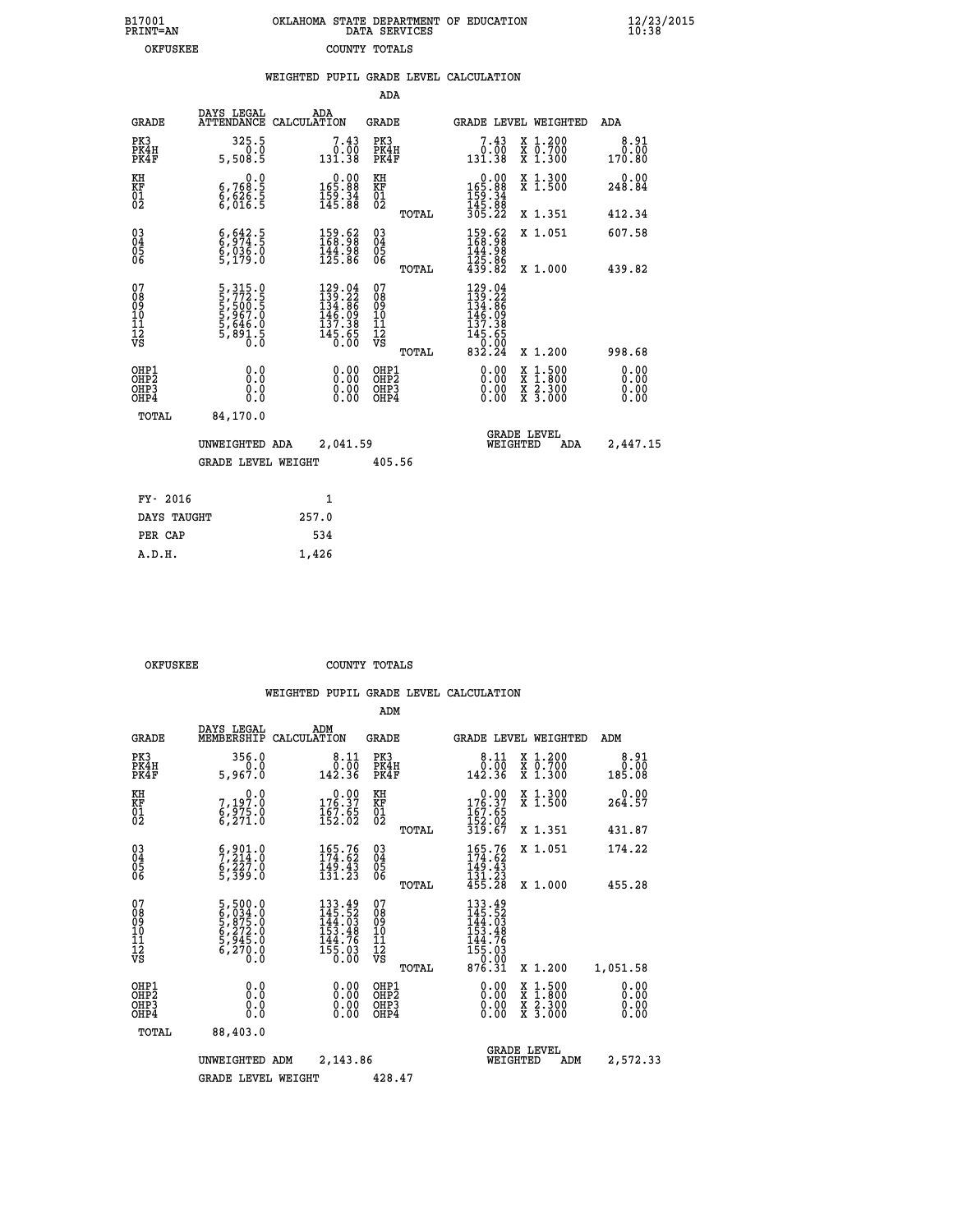| 7001<br>INT=AN |  | OKLAHOMA STATE DEPARTMENT OF EDUCATION<br>DATA SERVICES |  |
|----------------|--|---------------------------------------------------------|--|
| OKFUSKEE       |  | COUNTY TOTALS                                           |  |

 **B17001<br>PRINT=AN** 

 **B17001 OKLAHOMA STATE DEPARTMENT OF EDUCATION 12/23/2015**

|                                                       |                                                                             | WEIGHTED PUPIL GRADE LEVEL CALCULATION                                                                          |                                                     |                                                                                                                                                                                                                                                                                |                                          |                              |
|-------------------------------------------------------|-----------------------------------------------------------------------------|-----------------------------------------------------------------------------------------------------------------|-----------------------------------------------------|--------------------------------------------------------------------------------------------------------------------------------------------------------------------------------------------------------------------------------------------------------------------------------|------------------------------------------|------------------------------|
|                                                       |                                                                             |                                                                                                                 | ADA                                                 |                                                                                                                                                                                                                                                                                |                                          |                              |
| <b>GRADE</b>                                          | DAYS LEGAL                                                                  | ADA<br>ATTENDANCE CALCULATION                                                                                   | GRADE                                               | GRADE LEVEL WEIGHTED                                                                                                                                                                                                                                                           |                                          | ADA                          |
| PK3<br>PK4H<br>PK4F                                   | 325.5<br>õ.ŏ<br>5,508.5                                                     | $7.43\n0.00\n131.38$                                                                                            | PK3<br>PK4H<br>PK4F                                 | $7.43\n0.00\n131.38$                                                                                                                                                                                                                                                           | X 1.200<br>X 0.700<br>X 1.300            | 8.91<br>0.00<br>170.80       |
| KH<br>KF<br>01<br>02                                  | $\begin{smallmatrix}&&&0.0\\ 6,768.5\\6,626.5\\6,016.5\end{smallmatrix}$    | $0.00$<br>165.88<br>$\frac{159}{145.88}$                                                                        | KH<br>KF<br>01<br>02                                | $\begin{smallmatrix} &0.00\\ 165.88\\ 159.34\\ 145.88\\ 305.22 \end{smallmatrix}$                                                                                                                                                                                              | X 1.300<br>X 1.500                       | $0.00$<br>248.84             |
|                                                       |                                                                             |                                                                                                                 | TOTAL                                               |                                                                                                                                                                                                                                                                                | X 1.351                                  | 412.34                       |
| $^{03}_{04}$<br>Ŏ5<br>06                              | $6, 642.5$<br>$6, 974.5$<br>$6, 036.0$<br>$5, 179.0$                        | $\begin{smallmatrix} 159.62\ 168.98\ 144.98\ 125.86 \end{smallmatrix}$                                          | $\begin{array}{c} 03 \\ 04 \\ 05 \\ 06 \end{array}$ | $159.62168.98144.98125.86439.82$                                                                                                                                                                                                                                               | X 1.051                                  | 607.58                       |
|                                                       |                                                                             |                                                                                                                 | TOTAL                                               |                                                                                                                                                                                                                                                                                | X 1.000                                  | 439.82                       |
| 07<br>08<br>09<br>01<br>11<br>11<br>12<br>VS          | 5, 315.0<br>5, 772.5<br>5, 500.5<br>5, 967.0<br>5, 646.0<br>5, 891.5<br>0.0 | $\begin{smallmatrix} 129 & 04\\ 139 & 22\\ 134 & 86\\ 146 & 09\\ 137 & 38\\ 145 & 65\\ 0 & 00\end{smallmatrix}$ | 07<br>08<br>09<br>101<br>11<br>12<br>VS<br>TOTAL    | $\begin{smallmatrix} 129 & .04\\ 139 & .22\\ 134 & .86\\ 146 & .09\\ 137 & .385\\ 145 & .650\\ 0 & .000\\ 832 & .24 \end{smallmatrix}$                                                                                                                                         | X 1.200                                  | 998.68                       |
| OHP1<br>OH <sub>P</sub> 2<br>OH <sub>P3</sub><br>OHP4 | 0.0<br>0.000                                                                | $\begin{smallmatrix} 0.00 \ 0.00 \ 0.00 \ 0.00 \end{smallmatrix}$                                               | OHP1<br>OHP <sub>2</sub><br>OHP <sub>3</sub>        | $\begin{smallmatrix} 0.00 & 0.00 & 0.00 & 0.00 & 0.00 & 0.00 & 0.00 & 0.00 & 0.00 & 0.00 & 0.00 & 0.00 & 0.00 & 0.00 & 0.00 & 0.00 & 0.00 & 0.00 & 0.00 & 0.00 & 0.00 & 0.00 & 0.00 & 0.00 & 0.00 & 0.00 & 0.00 & 0.00 & 0.00 & 0.00 & 0.00 & 0.00 & 0.00 & 0.00 & 0.00 & 0.0$ | X 1:500<br>X 1:800<br>X 2:300<br>X 3:000 | 0.00<br>0.00<br>0.00<br>0.00 |
| TOTAL                                                 | 84,170.0                                                                    |                                                                                                                 |                                                     |                                                                                                                                                                                                                                                                                |                                          |                              |
|                                                       | UNWEIGHTED ADA                                                              | 2,041.59                                                                                                        |                                                     | <b>GRADE LEVEL</b><br>WEIGHTED                                                                                                                                                                                                                                                 | ADA                                      | 2,447.15                     |
|                                                       | <b>GRADE LEVEL WEIGHT</b>                                                   |                                                                                                                 | 405.56                                              |                                                                                                                                                                                                                                                                                |                                          |                              |
| FY- 2016                                              |                                                                             | $\mathbf{1}$                                                                                                    |                                                     |                                                                                                                                                                                                                                                                                |                                          |                              |
| DAYS TAUGHT                                           |                                                                             | 257.0                                                                                                           |                                                     |                                                                                                                                                                                                                                                                                |                                          |                              |
| PER CAP                                               |                                                                             | 534                                                                                                             |                                                     |                                                                                                                                                                                                                                                                                |                                          |                              |

| OKFUSKEE | COUNTY TOTALS |  |
|----------|---------------|--|

 **A.D.H. 1,426**

|                                          |                                                                              |                                                                                                       | ADM                                                 |       |                                                                                                   |                                          |                              |
|------------------------------------------|------------------------------------------------------------------------------|-------------------------------------------------------------------------------------------------------|-----------------------------------------------------|-------|---------------------------------------------------------------------------------------------------|------------------------------------------|------------------------------|
| <b>GRADE</b>                             | DAYS LEGAL<br>MEMBERSHIP                                                     | ADM<br>CALCULATION                                                                                    | <b>GRADE</b>                                        |       |                                                                                                   | GRADE LEVEL WEIGHTED                     | ADM                          |
| PK3<br>PK4H<br>PK4F                      | 356.0<br>0.0<br>5,967.0                                                      | 8.11<br>ةة:≬<br>142.36                                                                                | PK3<br>PK4H<br>PK4F                                 |       | $\begin{smallmatrix}8.11\0.00\0.36\end{smallmatrix}$                                              | X 1.200<br>X 0.700<br>X 1.300            | 8.91<br>0.00<br>185.08       |
| KH<br>KF<br>01<br>02                     | 0.0<br>7,197.0<br>6,975.0<br>6,271.0                                         | $\begin{smallmatrix} &0.00\ 176.37\ 167.65\ 152.02\ \end{smallmatrix}$                                | KH<br>KF<br>01<br>02                                |       | $\begin{smallmatrix} &0.00\\ 176.37\\ 167.65\\ 152.02\\ 319.67\end{smallmatrix}$                  | X 1.300<br>X 1.500                       | 0.00<br>264.57               |
|                                          |                                                                              |                                                                                                       |                                                     | TOTAL |                                                                                                   | X 1.351                                  | 431.87                       |
| 03<br>04<br>05<br>06                     | $\frac{6}{7}, \frac{9}{214}.0$<br>$\frac{6}{7}, \frac{227}{27}.0$<br>5,399.0 | 165.76<br>174.62<br>$\frac{149.43}{131.23}$                                                           | $\begin{array}{c} 03 \\ 04 \\ 05 \\ 06 \end{array}$ |       | $\begin{array}{c} 165\cdot76 \\ 174\cdot62 \\ 149\cdot43 \\ 131\cdot23 \\ 455\cdot28 \end{array}$ | X 1.051                                  | 174.22                       |
|                                          |                                                                              |                                                                                                       |                                                     | TOTAL |                                                                                                   | X 1.000                                  | 455.28                       |
| 07<br>08<br>09<br>101<br>112<br>VS       | 5,500.0<br>6,034.0<br>5,875.0<br>5,272.0<br>5,945.0<br>6,270.0<br>0.0        | 133.49<br>145.52<br>144.03<br>153.48<br>144.76<br>$\overline{155}.\overline{03}$<br>$0.\overline{00}$ | 07<br>08<br>09<br>11<br>11<br>12<br>VS              | TOTAL | 133.49<br>145.52<br>144.03<br>153.48<br>155.03<br>155.03<br>07.03<br>876.31                       | X 1.200                                  | 1,051.58                     |
| OHP1<br>OHP2<br>OH <sub>P3</sub><br>OHP4 | 0.0<br>0.000                                                                 | $0.00$<br>$0.00$<br>0.00                                                                              | OHP1<br>OHP2<br>OHP <sub>3</sub>                    |       | $0.00$<br>$0.00$<br>0.00                                                                          | X 1:500<br>X 1:800<br>X 2:300<br>X 3:000 | 0.00<br>0.00<br>0.00<br>0.00 |
| TOTAL                                    | 88,403.0                                                                     |                                                                                                       |                                                     |       |                                                                                                   |                                          |                              |
|                                          | UNWEIGHTED                                                                   | 2,143.86<br>ADM                                                                                       |                                                     |       | <b>GRADE LEVEL</b><br>WEIGHTED                                                                    | ADM                                      | 2,572.33                     |
|                                          | <b>GRADE LEVEL WEIGHT</b>                                                    |                                                                                                       | 428.47                                              |       |                                                                                                   |                                          |                              |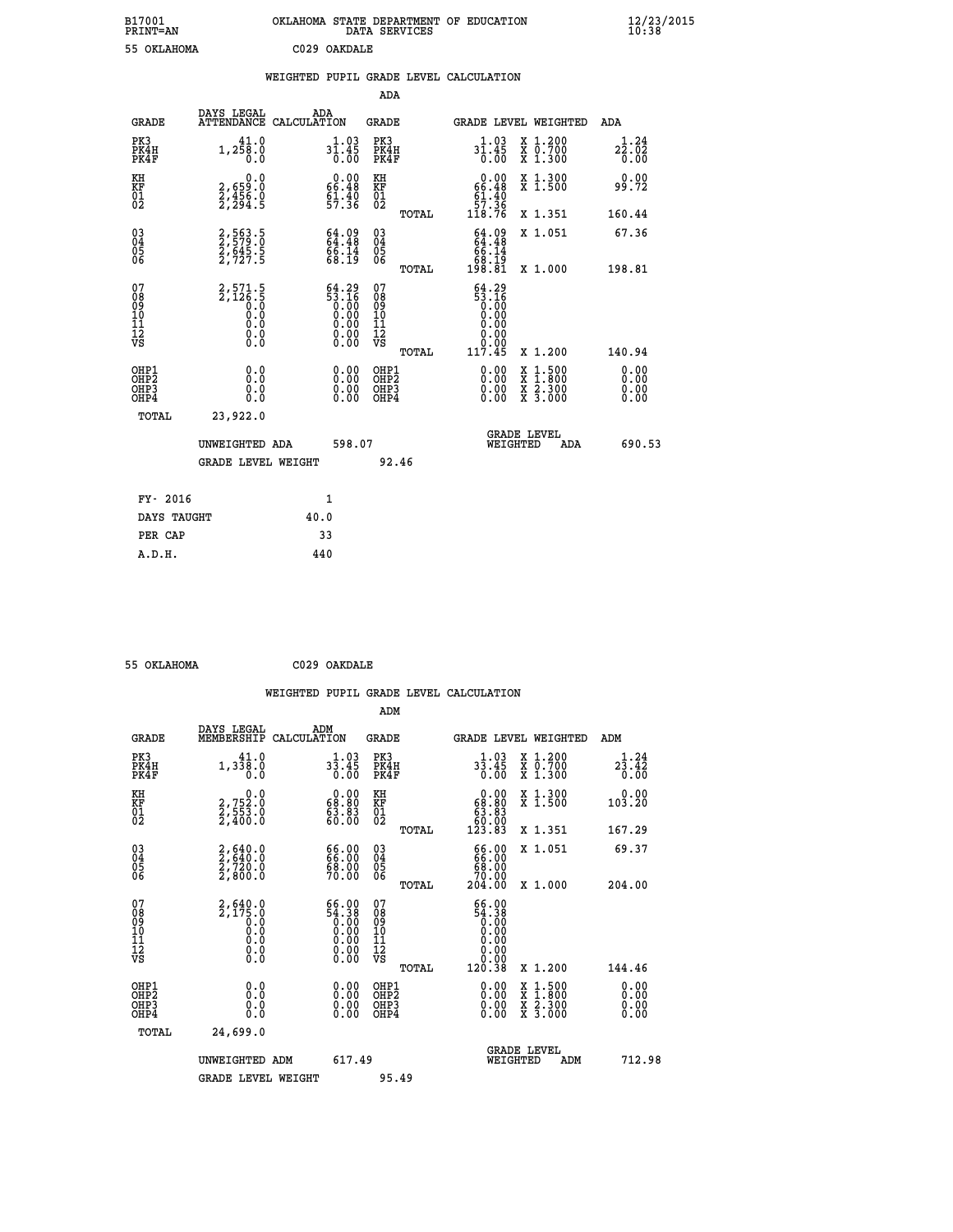| B17001<br><b>PRINT=AN</b> | OKLAHOMA STATE DEPARTMENT OF EDUCATION<br>DATA SERVICES | $\frac{12}{23}$ /2015 |
|---------------------------|---------------------------------------------------------|-----------------------|
| 55 OKLAHOMA               | C029 OAKDALE                                            |                       |

|  |  | WEIGHTED PUPIL GRADE LEVEL CALCULATION |
|--|--|----------------------------------------|
|  |  |                                        |

|                                                                    |                                                                     |                                                                                                 |        | ADA                                    |       |                                                                      |                                          |                              |
|--------------------------------------------------------------------|---------------------------------------------------------------------|-------------------------------------------------------------------------------------------------|--------|----------------------------------------|-------|----------------------------------------------------------------------|------------------------------------------|------------------------------|
| <b>GRADE</b>                                                       | DAYS LEGAL                                                          | ADA<br>ATTENDANCE CALCULATION                                                                   |        | <b>GRADE</b>                           |       | GRADE LEVEL WEIGHTED                                                 |                                          | ADA                          |
| PK3<br>PK4H<br>PK4F                                                | 41.0<br>1,258.0<br>0.0                                              | $3\overline{1}\cdot 45\over 0\cdot 00$                                                          |        | PK3<br>PK4H<br>PK4F                    |       | $3\overline{1}\cdot 45\over 0\cdot 00$                               | X 1.200<br>X 0.700<br>X 1.300            | 1.24<br>22.02<br>0.00        |
| KH<br>KF<br>01<br>02                                               | 0.0<br>2,659:0<br>2,456:0<br>2,294:5                                | $0.00$<br>66.48<br>$51.40$<br>$57.36$                                                           |        | KH<br>KF<br>01<br>02                   |       | $0.00\n66.48\n61.40\n57.36\n118.76$                                  | X 1.300<br>X 1.500                       | 0.00<br>99.72                |
|                                                                    |                                                                     |                                                                                                 |        |                                        | TOTAL |                                                                      | X 1.351                                  | 160.44                       |
| $\begin{smallmatrix} 03 \\[-4pt] 04 \end{smallmatrix}$<br>Ŏ5<br>06 | 2,563.5<br>2,579.0<br>2,645.5<br>2,727.5                            | 64.99<br>64.48<br>66.14<br>68.19                                                                |        | $\substack{03 \\ 04}$<br>Ŏ5<br>06      |       | $64.0964.4866.1468.19198.81$                                         | X 1.051                                  | 67.36                        |
|                                                                    |                                                                     |                                                                                                 |        |                                        | TOTAL |                                                                      | X 1.000                                  | 198.81                       |
| 07<br>08<br>09<br>01<br>11<br>11<br>12<br>VS                       | $2,571.5$<br>$2,126.5$<br>$0.0$<br>$0.0$<br>$0.0$<br>$0.0$<br>$0.0$ | $\begin{smallmatrix} 64.29\ 53.16\ 0.00\ 0.00\ 0.00\ 0.00\ 0.00\ 0.00\ 0.00\ \end{smallmatrix}$ |        | 07<br>08<br>09<br>11<br>11<br>12<br>VS |       | $64.29$<br>$53.16$<br>$0.00$<br>$0.00$<br>$0.00$<br>$0.00$<br>$0.00$ |                                          |                              |
|                                                                    |                                                                     |                                                                                                 |        |                                        | TOTAL | 117.45                                                               | X 1.200                                  | 140.94                       |
| OHP1<br>OHP <sub>2</sub><br>OH <sub>P3</sub><br>OHP4               | 0.0<br>0.000                                                        | 0.00<br>$\begin{smallmatrix} 0.00 \ 0.00 \end{smallmatrix}$                                     |        | OHP1<br>OHP2<br>OHP <sub>3</sub>       |       |                                                                      | X 1:500<br>X 1:800<br>X 2:300<br>X 3:000 | 0.00<br>0.00<br>0.00<br>0.00 |
| TOTAL                                                              | 23,922.0                                                            |                                                                                                 |        |                                        |       |                                                                      |                                          |                              |
|                                                                    | UNWEIGHTED ADA                                                      |                                                                                                 | 598.07 |                                        |       | WEIGHTED                                                             | <b>GRADE LEVEL</b><br>ADA                | 690.53                       |
|                                                                    | <b>GRADE LEVEL WEIGHT</b>                                           |                                                                                                 |        | 92.46                                  |       |                                                                      |                                          |                              |
| FY- 2016                                                           |                                                                     | 1                                                                                               |        |                                        |       |                                                                      |                                          |                              |
| DAYS TAUGHT                                                        |                                                                     | 40.0                                                                                            |        |                                        |       |                                                                      |                                          |                              |
| PER CAP                                                            |                                                                     | 33                                                                                              |        |                                        |       |                                                                      |                                          |                              |

 **55 OKLAHOMA C029 OAKDALE**

 **WEIGHTED PUPIL GRADE LEVEL CALCULATION ADM DAYS LEGAL ADM GRADE MEMBERSHIP CALCULATION GRADE GRADE LEVEL WEIGHTED ADM PK3 41.0 1.03 PK3 1.03 X 1.200 1.24 PK4H 1,338.0 33.45 PK4H 33.45 X 0.700 23.42 PK4F 0.0 0.00 PK4F 0.00 X 1.300 0.00 KH 0.0 0.00 KH 0.00 X 1.300 0.00 KF 2,752.0 68.80 KF 68.80 X 1.500 103.20 01 2,553.0 63.83 01 63.83 02 2,400.0 60.00 02 60.00 TOTAL 123.83 X 1.351 167.29 03 2,640.0 66.00 03 66.00 X 1.051 69.37 04 2,640.0 66.00 04 66.00 05 2,720.0 68.00 05 68.00 06 2,800.0 70.00 06 70.00 TOTAL 204.00 X 1.000 204.00** 07 2,640.0 66.00 07 66.00<br>
08 2,175.0 54.38 08 54.38<br>
10 0.0 0.00 10 0.00<br>
11 0.0 0.00 11 0.00<br>
12 0.00 0.00 12<br>
VS 0.0 0.00 VS 0.00  **TOTAL 120.38 X 1.200 144.46 OHP1 0.0 0.00 OHP1 0.00 X 1.500 0.00 OHP2 0.0 0.00 OHP2 0.00 X 1.800 0.00 OHP3 0.0 0.00 OHP3 0.00 X 2.300 0.00** 0HP1 0.0 0.00 OHP1 0.00 X 1.500 0.00<br>0HP2 0.00 0.000 OHP2 0.000 X 1.800 0.00<br>0HP4 0.00 0.000 OHP4 0.000 X 3.300 0.00<br>0HP4 0.00 0.000 OHP4 0.000 X 3.000 0.00

| TOTAL | 24,699.0           |        |                                       |        |
|-------|--------------------|--------|---------------------------------------|--------|
|       | UNWEIGHTED ADM     | 617.49 | <b>GRADE LEVEL</b><br>ADM<br>WEIGHTED | 712.98 |
|       | GRADE LEVEL WEIGHT | 95.49  |                                       |        |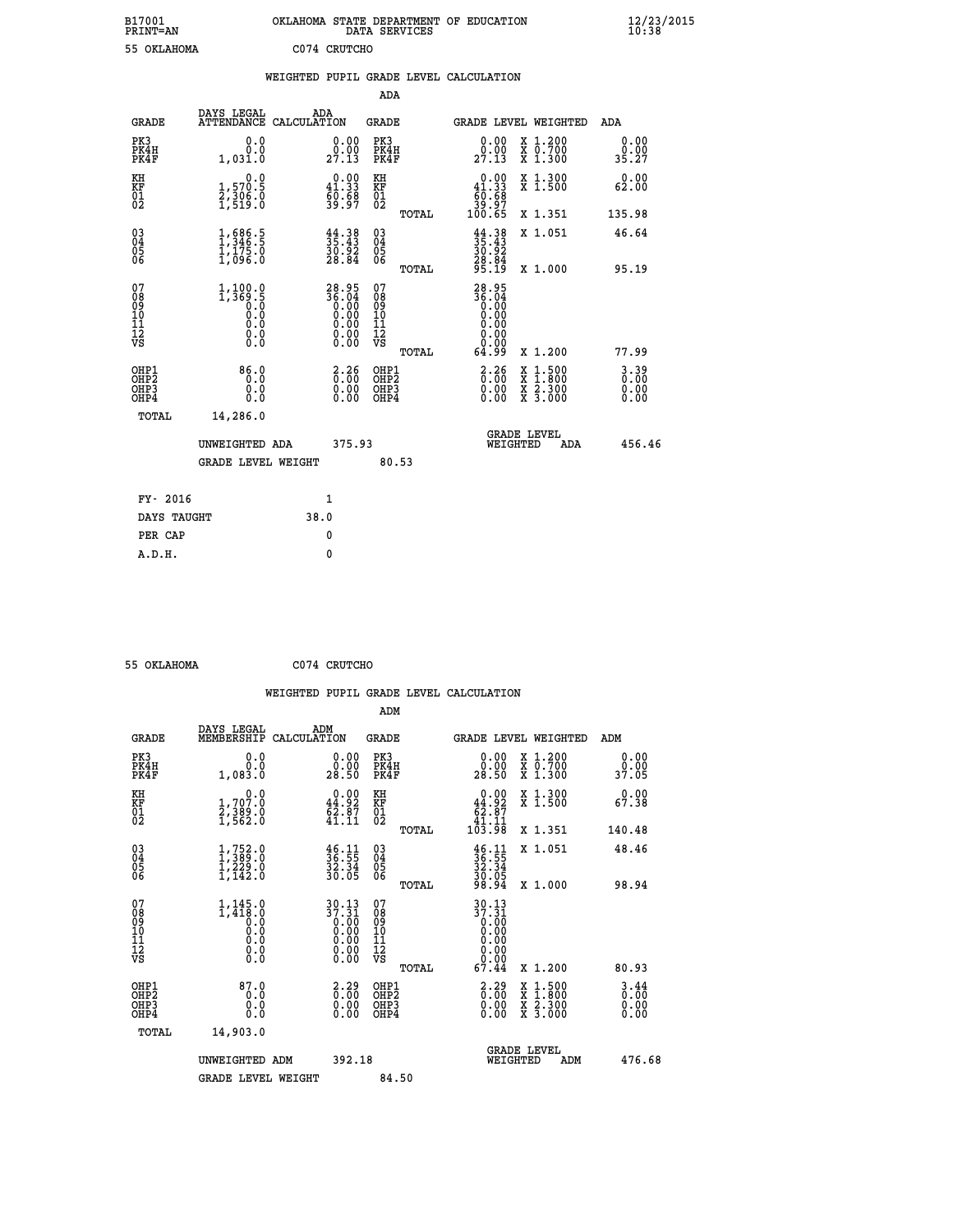| B17001      | OKLAHOMA STATE DEPARTMENT OF EDUCATION |
|-------------|----------------------------------------|
| PRINT=AN    | DATA SERVICES                          |
| 55 OKLAHOMA | C074 CRUTCHO                           |

 **B17001 OKLAHOMA STATE DEPARTMENT OF EDUCATION 12/23/2015**

| 55 OKLAHOMA                                        |                                                                                                 |      | C074 CRUTCHO                                                         |                                                    |       |                                                                             |                                |                                                                                                                                           |                                  |
|----------------------------------------------------|-------------------------------------------------------------------------------------------------|------|----------------------------------------------------------------------|----------------------------------------------------|-------|-----------------------------------------------------------------------------|--------------------------------|-------------------------------------------------------------------------------------------------------------------------------------------|----------------------------------|
|                                                    |                                                                                                 |      |                                                                      |                                                    |       | WEIGHTED PUPIL GRADE LEVEL CALCULATION                                      |                                |                                                                                                                                           |                                  |
|                                                    |                                                                                                 |      |                                                                      | <b>ADA</b>                                         |       |                                                                             |                                |                                                                                                                                           |                                  |
| <b>GRADE</b>                                       | DAYS LEGAL<br>ATTENDANCE CALCULATION                                                            |      | ADA                                                                  | <b>GRADE</b>                                       |       | GRADE LEVEL WEIGHTED                                                        |                                |                                                                                                                                           | ADA                              |
| PK3<br>PK4H<br>PK4F                                | 0.0<br>Ō.Ō<br>1,031.0                                                                           |      | $\begin{smallmatrix} 0.00\\ 0.00\\ 27.13 \end{smallmatrix}$          | PK3<br>PK4H<br>PK4F                                |       | 0.00<br>0.00<br>27.13                                                       |                                | X 1.200<br>X 0.700<br>X 1.300                                                                                                             | 0.00<br>0.00<br>35.27            |
| KH<br>KF<br>01<br>02                               | 0.0<br>1,570.5<br>2,306.0<br>1,519.0                                                            |      | $\begin{smallmatrix} 0.00\\ 41.33\\ 60.68\\ 39.97 \end{smallmatrix}$ | KH<br>KF<br>01<br>02                               |       | $\begin{smallmatrix} &0.00\ 41.33\ 60.68\ 39.97\ 100.65\ \end{smallmatrix}$ |                                | X 1.300<br>X 1.500                                                                                                                        | 0.00<br>62.00                    |
|                                                    |                                                                                                 |      |                                                                      |                                                    | TOTAL |                                                                             |                                | X 1.351                                                                                                                                   | 135.98                           |
| $\begin{matrix} 03 \\ 04 \\ 05 \\ 06 \end{matrix}$ | $\frac{1}{1}, \frac{686}{346}$ .<br>1, 175.0<br>1, 096.0                                        |      | 35.43<br>35.43<br>30.92<br>28.84                                     | $\begin{matrix} 03 \\ 04 \\ 05 \\ 06 \end{matrix}$ |       | $44.38$<br>$35.43$<br>$30.92$<br>$28.84$<br>$95.19$                         |                                | X 1.051                                                                                                                                   | 46.64                            |
|                                                    |                                                                                                 |      |                                                                      |                                                    | TOTAL |                                                                             |                                | X 1.000                                                                                                                                   | 95.19                            |
| 07<br>08<br>09<br>11<br>11<br>12<br>VS             | $1, 100.0$<br>1,369.5<br>0.0<br>0.0<br>$\begin{smallmatrix} 0.16 \ 0.0 \ 0.0 \end{smallmatrix}$ |      | $28.95$<br>$36.04$<br>$0.00$<br>$0.00$<br>$0.00$<br>$0.00$<br>$0.00$ | 07<br>08901112<br>1112<br>VS                       | TOTAL | 28.95<br>36.04<br>0.00<br>0.00<br>0.00<br>0.00<br>0.00<br>64.99             |                                | X 1.200                                                                                                                                   | 77.99                            |
| OHP1<br>OHP2<br>OHP3<br>OHP4                       | $86.0$<br>0.0<br>0.0                                                                            |      | $\begin{smallmatrix} 2.26 \ 0.00 \ 0.00 \end{smallmatrix}$<br>0.00   | OHP1<br>OHP2<br>OHP3<br>OHP4                       |       | $\begin{smallmatrix} 2.26 \ 0.00 \ 0.00 \end{smallmatrix}$<br>0.00          |                                | $\begin{smallmatrix} \mathtt{X} & 1\cdot500\\ \mathtt{X} & 1\cdot800\\ \mathtt{X} & 2\cdot300\\ \mathtt{X} & 3\cdot000 \end{smallmatrix}$ | $3.39$<br>$0.00$<br>0.00<br>0.00 |
| TOTAL                                              | 14,286.0                                                                                        |      |                                                                      |                                                    |       |                                                                             |                                |                                                                                                                                           |                                  |
|                                                    | UNWEIGHTED ADA                                                                                  |      | 375.93                                                               |                                                    |       |                                                                             | <b>GRADE LEVEL</b><br>WEIGHTED | ADA                                                                                                                                       | 456.46                           |
|                                                    | <b>GRADE LEVEL WEIGHT</b>                                                                       |      |                                                                      |                                                    | 80.53 |                                                                             |                                |                                                                                                                                           |                                  |
| FY- 2016                                           |                                                                                                 |      | $\mathbf{1}$                                                         |                                                    |       |                                                                             |                                |                                                                                                                                           |                                  |
| DAYS TAUGHT                                        |                                                                                                 | 38.0 |                                                                      |                                                    |       |                                                                             |                                |                                                                                                                                           |                                  |
| PER CAP                                            |                                                                                                 |      | 0                                                                    |                                                    |       |                                                                             |                                |                                                                                                                                           |                                  |
| A.D.H.                                             |                                                                                                 |      | $\mathbf{0}$                                                         |                                                    |       |                                                                             |                                |                                                                                                                                           |                                  |

 **55 OKLAHOMA C074 CRUTCHO**

|                                                    |                                                                         |                    |                                                                                                        |                                          |       | WEIGHTED PUPIL GRADE LEVEL CALCULATION                                                          |                                          |                                  |        |
|----------------------------------------------------|-------------------------------------------------------------------------|--------------------|--------------------------------------------------------------------------------------------------------|------------------------------------------|-------|-------------------------------------------------------------------------------------------------|------------------------------------------|----------------------------------|--------|
|                                                    |                                                                         |                    |                                                                                                        | ADM                                      |       |                                                                                                 |                                          |                                  |        |
| <b>GRADE</b>                                       | DAYS LEGAL<br>MEMBERSHIP                                                | ADM<br>CALCULATION |                                                                                                        | GRADE                                    |       | GRADE LEVEL WEIGHTED                                                                            |                                          | ADM                              |        |
| PK3<br>PK4H<br>PK4F                                | 0.0<br>0.0<br>1,083.0                                                   |                    | $\begin{smallmatrix} 0.00\\ 0.00\\ 28.50 \end{smallmatrix}$                                            | PK3<br>PK4H<br>PK4F                      |       | $\begin{smallmatrix} 0.00\\ 0.00\\ 28.50 \end{smallmatrix}$                                     | X 1.200<br>X 0.700<br>X 1.300            | 0.00<br>0.00<br>37.05            |        |
| KH<br>KF<br>01<br>02                               | $\begin{smallmatrix}&&&0.0\\1.707.0\\2.389.0\\1.562.0\end{smallmatrix}$ |                    | $\begin{smallmatrix} 0.00\\ 44.92\\ 62.87\\ 41.11\\ \end{smallmatrix}$                                 | KH<br>KF<br>01<br>02                     |       | $0.00\n44.92\n62.87\n41.11\n103.98$                                                             | X 1.300<br>X 1.500                       | 0.00<br>67.38                    |        |
|                                                    |                                                                         |                    |                                                                                                        |                                          | TOTAL |                                                                                                 | X 1.351                                  | 140.48                           |        |
| $\begin{matrix} 03 \\ 04 \\ 05 \\ 06 \end{matrix}$ | $1,389.0$<br>$1,229.0$<br>$1,229.0$<br>$1,142.0$                        |                    | $\frac{46}{36}.\frac{11}{55}$<br>$\frac{32}{30}.\frac{34}{05}$                                         | 03<br>04<br>05<br>06                     |       | $36.11$<br>$36.35$<br>$32.34$<br>$30.05$<br>$98.94$                                             | X 1.051                                  | 48.46                            |        |
|                                                    |                                                                         |                    |                                                                                                        |                                          | TOTAL |                                                                                                 | X 1.000                                  | 98.94                            |        |
| 07<br>08<br>09<br>101<br>112<br>VS                 | $1, 145.0$<br>1,418.0<br>0.0<br>0.0<br>0.0<br>$\S.$ $\S$                |                    | $\begin{smallmatrix} 30.13\\ 37.31\\ 0.00\\ 0.00\\ 0.00\\ 0.00\\ 0.00\\ 0.00\\ 0.00 \end{smallmatrix}$ | 07<br>08<br>09<br>11<br>11<br>12<br>VS   |       | $30.13$<br>$37.31$<br>$\begin{smallmatrix} 0.00 & 0 \ 0.00 & \end{smallmatrix}$<br>0.00<br>0.00 |                                          |                                  |        |
|                                                    |                                                                         |                    |                                                                                                        |                                          | TOTAL | 67.44                                                                                           | X 1.200                                  | 80.93                            |        |
| OHP1<br>OHP2<br>OH <sub>P3</sub><br>OHP4           | 87.0<br>0.0<br>0.0<br>Ō.Ō                                               |                    | $\begin{smallmatrix} 2.29\ 0.00 \ 0.00 \end{smallmatrix}$<br>0.00                                      | OHP1<br>OHP <sub>2</sub><br>OHP3<br>OHP4 |       | $\begin{smallmatrix} 2.29\ 0.00\ 0.00\ 0.00 \end{smallmatrix}$                                  | X 1:500<br>X 1:800<br>X 2:300<br>X 3:000 | $3.44$<br>$0.00$<br>0.00<br>0.00 |        |
| TOTAL                                              | 14,903.0                                                                |                    |                                                                                                        |                                          |       |                                                                                                 |                                          |                                  |        |
|                                                    | UNWEIGHTED ADM                                                          |                    | 392.18                                                                                                 |                                          |       | WEIGHTED                                                                                        | <b>GRADE LEVEL</b><br>ADM                |                                  | 476.68 |
|                                                    | <b>GRADE LEVEL WEIGHT</b>                                               |                    |                                                                                                        | 84.50                                    |       |                                                                                                 |                                          |                                  |        |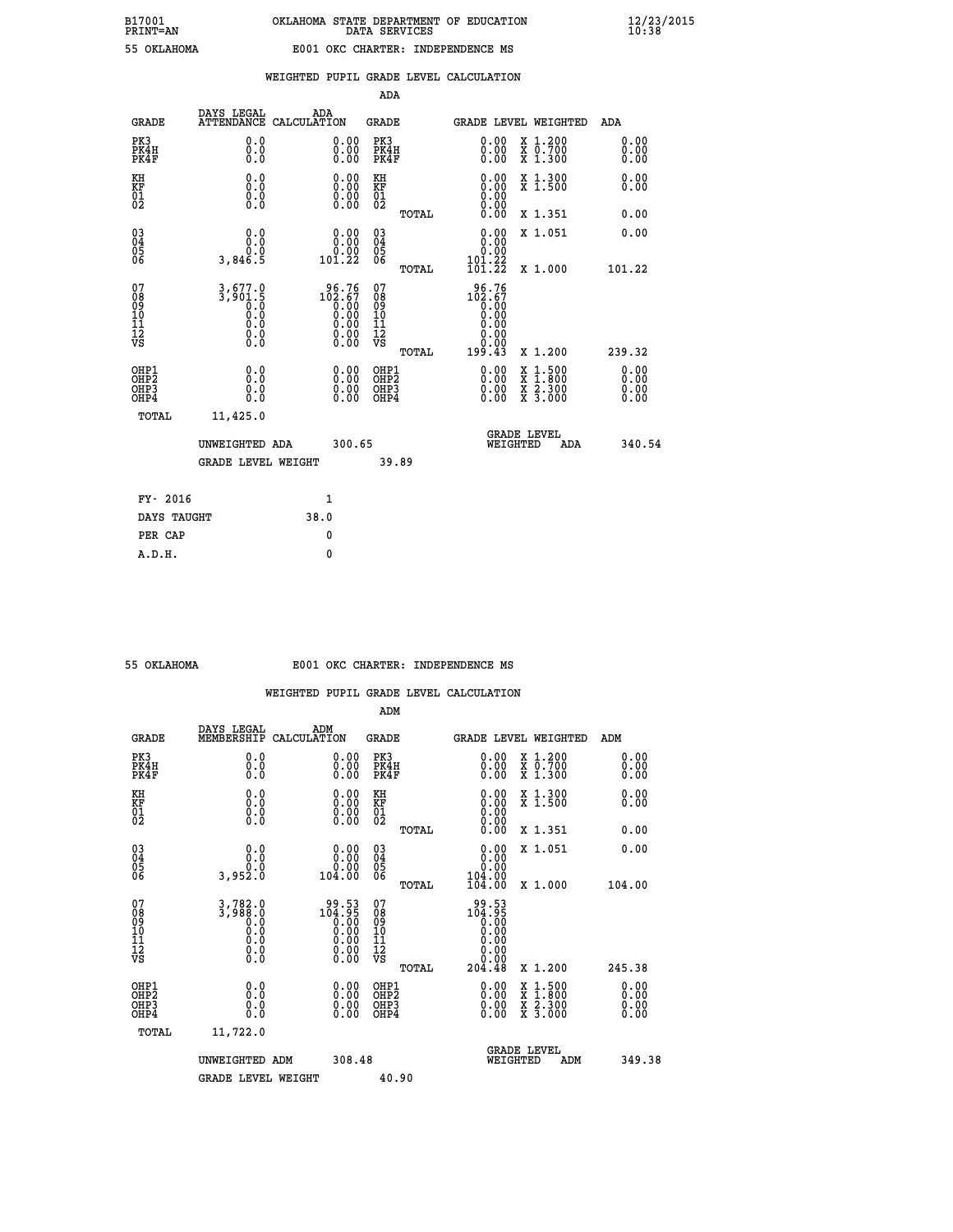|                                                    |                                                                |                    |                                                                                          | ADA                                    |       |                                                                                                           |   |                                          |                              |
|----------------------------------------------------|----------------------------------------------------------------|--------------------|------------------------------------------------------------------------------------------|----------------------------------------|-------|-----------------------------------------------------------------------------------------------------------|---|------------------------------------------|------------------------------|
| <b>GRADE</b>                                       | DAYS LEGAL<br><b>ATTENDANCE</b>                                | ADA<br>CALCULATION |                                                                                          | GRADE                                  |       | GRADE LEVEL WEIGHTED                                                                                      |   |                                          | <b>ADA</b>                   |
| PK3<br>PK4H<br>PK4F                                | 0.0<br>0.0<br>0.0                                              |                    | 0.00<br>$\begin{smallmatrix} 0.00 \ 0.00 \end{smallmatrix}$                              | PK3<br>PK4H<br>PK4F                    |       | 0.00<br>0.00                                                                                              |   | X 1.200<br>X 0.700<br>X 1.300            | 0.00<br>0.00<br>0.00         |
| KH<br><b>KF</b><br>01<br>02                        | 0.0<br>$\begin{smallmatrix} 0.10\ 0.0 \ 0.0 \end{smallmatrix}$ |                    | $\begin{smallmatrix} 0.00 \ 0.00 \ 0.00 \ 0.00 \end{smallmatrix}$                        | KH<br>KF<br>01<br>02                   |       | 0.00                                                                                                      |   | X 1.300<br>X 1.500                       | 0.00<br>0.00                 |
|                                                    |                                                                |                    |                                                                                          |                                        | TOTAL |                                                                                                           |   | X 1.351                                  | 0.00                         |
| $\begin{matrix} 03 \\ 04 \\ 05 \\ 06 \end{matrix}$ | 0.0<br>0.0<br>3,846.5                                          |                    | $\begin{smallmatrix} &0.00\0.00\0.00\0.22\end{smallmatrix}$                              | 03<br>04<br>05<br>06                   |       | 0.00<br>$\begin{smallmatrix} & 0.00\ 101.22\ 101.22 \end{smallmatrix}$                                    |   | X 1.051                                  | 0.00                         |
|                                                    |                                                                |                    |                                                                                          |                                        | TOTAL |                                                                                                           |   | X 1.000                                  | 101.22                       |
| 07<br>08<br>09<br>101<br>11<br>12<br>VS            | $3,677.0$<br>$3,901.5$<br>$0.0$<br>$0.0$<br>$0.0$<br>$\S.$     |                    | $\begin{smallmatrix} 96.76\\102.67\\0.00\\0.00\\0.00\\0.00\\0.00\\0.00\end{smallmatrix}$ | 07<br>08<br>09<br>11<br>11<br>12<br>VS | TOTAL | $\begin{smallmatrix} 96.76 \\ 102.67 \\ 0.00 \\ 0.00 \\ 0.00 \\ 0.00 \end{smallmatrix}$<br>0.00<br>199.43 |   | X 1.200                                  | 239.32                       |
| OHP1<br>OHP2<br>OHP3<br>OHP4                       | 0.0<br>0.0<br>0.0                                              |                    | 0.00<br>$0.00$<br>0.00                                                                   | OHP1<br>OHP2<br>OHP3<br>OHP4           |       | $0.00$<br>$0.00$<br>0.00                                                                                  | X | $1.500$<br>$1.800$<br>X 2.300<br>X 3.000 | 0.00<br>0.00<br>0.00<br>0.00 |
| TOTAL                                              | 11,425.0                                                       |                    |                                                                                          |                                        |       |                                                                                                           |   | <b>GRADE LEVEL</b>                       |                              |
|                                                    | UNWEIGHTED ADA                                                 |                    | 300.65                                                                                   |                                        |       | WEIGHTED                                                                                                  |   | ADA                                      | 340.54                       |
|                                                    | <b>GRADE LEVEL WEIGHT</b>                                      |                    |                                                                                          |                                        | 39.89 |                                                                                                           |   |                                          |                              |
| FY- 2016                                           |                                                                | $\mathbf{1}$       |                                                                                          |                                        |       |                                                                                                           |   |                                          |                              |
| DAYS TAUGHT                                        |                                                                | 38.0               |                                                                                          |                                        |       |                                                                                                           |   |                                          |                              |

| 55 OKTAHOMA |  |
|-------------|--|
|             |  |
|             |  |

**PER CAP** 0  **A.D.H. 0**

## **55 OKLAHOMA E001 OKC CHARTER: INDEPENDENCE MS**

|                                                    |                                                                         |                                                                                                        | ADM                                                 |       |                                                                                                                                                                                                                                                                                |                                          |     |                      |  |
|----------------------------------------------------|-------------------------------------------------------------------------|--------------------------------------------------------------------------------------------------------|-----------------------------------------------------|-------|--------------------------------------------------------------------------------------------------------------------------------------------------------------------------------------------------------------------------------------------------------------------------------|------------------------------------------|-----|----------------------|--|
| <b>GRADE</b>                                       | DAYS LEGAL<br>MEMBERSHIP                                                | ADM<br>CALCULATION                                                                                     | <b>GRADE</b>                                        |       | GRADE LEVEL WEIGHTED                                                                                                                                                                                                                                                           |                                          |     | ADM                  |  |
| PK3<br>PK4H<br>PK4F                                | 0.0<br>0.000                                                            | $\begin{smallmatrix} 0.00 \ 0.00 \ 0.00 \end{smallmatrix}$                                             | PK3<br>PK4H<br>PK4F                                 |       | $\begin{smallmatrix} 0.00 \\ 0.00 \\ 0.00 \end{smallmatrix}$                                                                                                                                                                                                                   | X 1.200<br>X 0.700<br>X 1.300            |     | 0.00<br>0.00<br>0.00 |  |
| KH<br>KF<br>01<br>02                               | 0.0<br>$\begin{smallmatrix} 0.16 \ 0.0 \ 0.0 \end{smallmatrix}$         | $\begin{smallmatrix} 0.00 \ 0.00 \ 0.00 \ 0.00 \end{smallmatrix}$                                      | KH<br><b>KF</b><br>01<br>02                         |       | $\begin{smallmatrix} 0.00 \ 0.00 \ 0.00 \ 0.00 \ 0.00 \ 0.00 \end{smallmatrix}$                                                                                                                                                                                                | X 1.300<br>X 1.500                       |     | 0.00<br>0.00         |  |
|                                                    |                                                                         |                                                                                                        |                                                     | TOTAL |                                                                                                                                                                                                                                                                                | X 1.351                                  |     | 0.00                 |  |
| $\begin{matrix} 03 \\ 04 \\ 05 \\ 06 \end{matrix}$ | $\begin{smallmatrix} 0.0 \ 0.0 \ 0.0 \ 0.0 \ 3.952.0 \end{smallmatrix}$ | $\begin{smallmatrix} &0.00\0.00\0.00\0.00\0.00\end{smallmatrix}$                                       | $\begin{array}{c} 03 \\ 04 \\ 05 \\ 06 \end{array}$ |       | $\begin{smallmatrix} 0.00\\ 0.00\\ 0.00\\ 104.00\\ 104.00\\ \end{smallmatrix}$                                                                                                                                                                                                 | X 1.051                                  |     | 0.00                 |  |
|                                                    |                                                                         |                                                                                                        |                                                     | TOTAL |                                                                                                                                                                                                                                                                                | X 1.000                                  |     | 104.00               |  |
| 07<br>08<br>09<br>101<br>11<br>12<br>VS            | $3,782.0$<br>$3,988.0$<br>$0.0$<br>$0.0$<br>$0.0$<br>$0.0$<br>$0.0$     | $\begin{smallmatrix} 99.53\ 104.95\ 0.00\ 0.00\ 0.00\ 0.00\ 0.00\ 0.00\ 0.00\ 0.00\ \end{smallmatrix}$ | 07<br>08<br>09<br>11<br>11<br>12<br>VS              | TOTAL | $104.95$<br>$0.00$<br>$0.00$<br>0.00<br>$\begin{array}{c} \text{\scriptsize{\begin{array}{c} 0.00\\ 0.00 \end{array}} \ \text{\scriptsize{\begin{array}{c} 0.00 \\ 0.04 \end{array}} \end{array}}$                                                                             | X 1.200                                  |     | 245.38               |  |
| OHP1<br>OHP2<br>OHP3<br>OHP4                       |                                                                         |                                                                                                        | OHP1<br>OHP2<br>OHP3<br>OHP4                        |       | $\begin{smallmatrix} 0.00 & 0.00 & 0.00 & 0.00 & 0.00 & 0.00 & 0.00 & 0.00 & 0.00 & 0.00 & 0.00 & 0.00 & 0.00 & 0.00 & 0.00 & 0.00 & 0.00 & 0.00 & 0.00 & 0.00 & 0.00 & 0.00 & 0.00 & 0.00 & 0.00 & 0.00 & 0.00 & 0.00 & 0.00 & 0.00 & 0.00 & 0.00 & 0.00 & 0.00 & 0.00 & 0.0$ | X 1:500<br>X 1:800<br>X 2:300<br>X 3:000 |     | 0.00<br>0.00<br>0.00 |  |
| TOTAL                                              | 11,722.0                                                                |                                                                                                        |                                                     |       |                                                                                                                                                                                                                                                                                |                                          |     |                      |  |
|                                                    | UNWEIGHTED                                                              | 308.48<br>ADM                                                                                          |                                                     |       | WEIGHTED                                                                                                                                                                                                                                                                       | <b>GRADE LEVEL</b>                       | ADM | 349.38               |  |
|                                                    | <b>GRADE LEVEL WEIGHT</b>                                               |                                                                                                        | 40.90                                               |       |                                                                                                                                                                                                                                                                                |                                          |     |                      |  |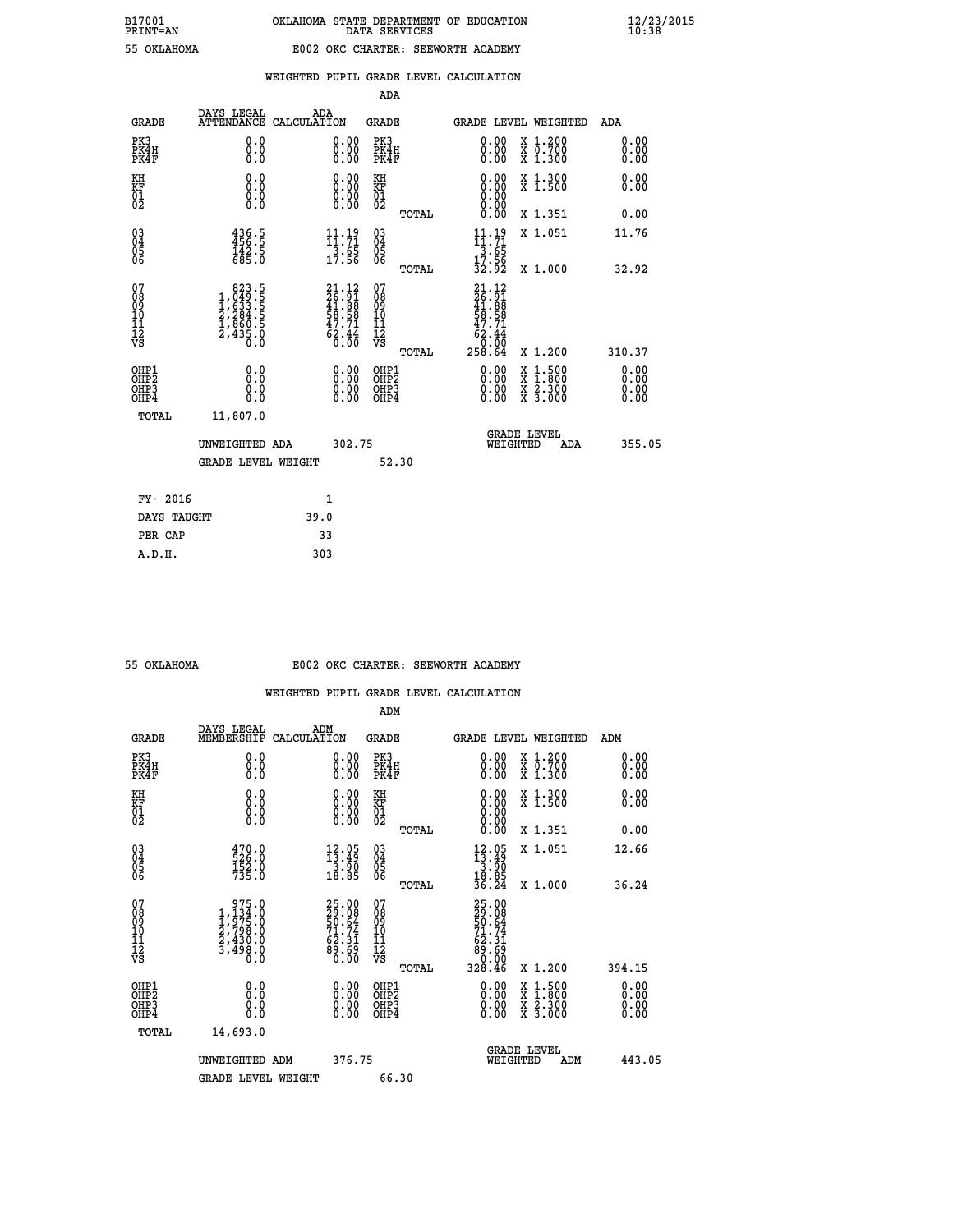| OKT.AHOMA |
|-----------|

## **WEIGHTED PUPIL GRADE LEVEL CALCULATION**

| <b>GRADE</b>                             |                                                                             |                                                                                                                                                                                                                                                         |                                                             |                                                                                                                                                                                                                                                                            |                                                  |                                                                       |                                                                                                                                                                                                                                                                 | <b>ADA</b>                                                                                                                                                                           |
|------------------------------------------|-----------------------------------------------------------------------------|---------------------------------------------------------------------------------------------------------------------------------------------------------------------------------------------------------------------------------------------------------|-------------------------------------------------------------|----------------------------------------------------------------------------------------------------------------------------------------------------------------------------------------------------------------------------------------------------------------------------|--------------------------------------------------|-----------------------------------------------------------------------|-----------------------------------------------------------------------------------------------------------------------------------------------------------------------------------------------------------------------------------------------------------------|--------------------------------------------------------------------------------------------------------------------------------------------------------------------------------------|
| PK3<br>PK4H<br>PK4F                      | 0.0<br>0.0<br>0.0                                                           |                                                                                                                                                                                                                                                         | 0.00<br>$\begin{smallmatrix} 0.00 \ 0.00 \end{smallmatrix}$ | PK3                                                                                                                                                                                                                                                                        |                                                  |                                                                       |                                                                                                                                                                                                                                                                 | 0.00<br>0.00<br>0.00                                                                                                                                                                 |
| KH                                       | 0.0                                                                         |                                                                                                                                                                                                                                                         |                                                             | KH                                                                                                                                                                                                                                                                         |                                                  |                                                                       |                                                                                                                                                                                                                                                                 | 0.00<br>0.00                                                                                                                                                                         |
|                                          |                                                                             |                                                                                                                                                                                                                                                         |                                                             |                                                                                                                                                                                                                                                                            | TOTAL                                            |                                                                       |                                                                                                                                                                                                                                                                 | 0.00                                                                                                                                                                                 |
|                                          |                                                                             |                                                                                                                                                                                                                                                         |                                                             |                                                                                                                                                                                                                                                                            |                                                  |                                                                       |                                                                                                                                                                                                                                                                 | 11.76                                                                                                                                                                                |
|                                          |                                                                             |                                                                                                                                                                                                                                                         |                                                             |                                                                                                                                                                                                                                                                            | TOTAL                                            |                                                                       |                                                                                                                                                                                                                                                                 | 32.92                                                                                                                                                                                |
| 07<br>08<br>09<br>101<br>11<br>12<br>VS  |                                                                             |                                                                                                                                                                                                                                                         |                                                             | 07<br>08<br>09<br>11<br>11<br>12<br>VS                                                                                                                                                                                                                                     | TOTAL                                            |                                                                       |                                                                                                                                                                                                                                                                 | 310.37                                                                                                                                                                               |
| OHP1<br>OHP2<br>OHP3<br>OH <sub>P4</sub> | 0.0<br>0.0<br>0.0                                                           |                                                                                                                                                                                                                                                         | 0.00<br>$0.00$<br>0.00                                      |                                                                                                                                                                                                                                                                            |                                                  |                                                                       | $1.500$<br>$1.800$                                                                                                                                                                                                                                              | 0.00<br>0.00<br>0.00<br>0.00                                                                                                                                                         |
| TOTAL                                    | 11,807.0                                                                    |                                                                                                                                                                                                                                                         |                                                             |                                                                                                                                                                                                                                                                            |                                                  |                                                                       |                                                                                                                                                                                                                                                                 |                                                                                                                                                                                      |
|                                          |                                                                             |                                                                                                                                                                                                                                                         |                                                             |                                                                                                                                                                                                                                                                            |                                                  |                                                                       | ADA                                                                                                                                                                                                                                                             | 355.05                                                                                                                                                                               |
|                                          |                                                                             |                                                                                                                                                                                                                                                         |                                                             |                                                                                                                                                                                                                                                                            |                                                  |                                                                       |                                                                                                                                                                                                                                                                 |                                                                                                                                                                                      |
| FY- 2016                                 |                                                                             |                                                                                                                                                                                                                                                         |                                                             |                                                                                                                                                                                                                                                                            |                                                  |                                                                       |                                                                                                                                                                                                                                                                 |                                                                                                                                                                                      |
|                                          |                                                                             |                                                                                                                                                                                                                                                         |                                                             |                                                                                                                                                                                                                                                                            |                                                  |                                                                       |                                                                                                                                                                                                                                                                 |                                                                                                                                                                                      |
|                                          | <b>KF</b><br>01<br>02<br>$\begin{matrix} 03 \\ 04 \\ 05 \\ 06 \end{matrix}$ | DAYS LEGAL<br><b>ATTENDANCE</b><br>$\begin{smallmatrix} 0.16 \ 0.0 \ 0.0 \end{smallmatrix}$<br>$436.5$<br>$456.5$<br>$142.5$<br>$685.0$<br>$\begin{smallmatrix}823.5\\1,049.5\\1,633.5\\2,284.5\\1,860.5\\2,435.0\\0.0\end{smallmatrix}$<br>DAYS TAUGHT | UNWEIGHTED ADA<br><b>GRADE LEVEL WEIGHT</b>                 | ADA<br>CALCULATION<br>$\begin{smallmatrix} 0.00 \ 0.00 \ 0.00 \ 0.00 \end{smallmatrix}$<br>$\begin{array}{c} 11\cdot 19\\11\cdot 71\\3\cdot 65\\17\cdot 56\end{array}$<br>$21.12$<br>$26.91$<br>$41.88$<br>$58.58$<br>$58.71$<br>$62.44$<br>$0.00$<br>$\mathbf{1}$<br>39.0 | KF<br>01<br>02<br>03<br>04<br>05<br>06<br>302.75 | ADA<br>GRADE<br>PK4H<br>PK4F<br>OHP1<br>OHP2<br>OHP3<br>OHP4<br>52.30 | 0.00<br>0.00<br>0.00<br>$11.71$<br>$3.65$<br>$17.56$<br>$32.92$<br>21.12<br>$\begin{smallmatrix} 21 & 1 & 2 \\ 26 & 9 & 1 \\ 41 & 88 & 8 \\ 58 & 58 & 1 \\ 47 & 71 & 4 \\ 62 & 44 & 0 \\ 0 & 0 & 0 \\ 258 & 64 & \end{smallmatrix}$<br>$0.00$<br>$0.00$<br>0.00 | GRADE LEVEL WEIGHTED<br>X 1.200<br>X 0.700<br>X 1.300<br>X 1.300<br>X 1.500<br>X 1.351<br>X 1.051<br>X 1.000<br>X 1.200<br>X<br>X 2.300<br>X 3.000<br><b>GRADE LEVEL</b><br>WEIGHTED |

| 55 OKLAHOMA |
|-------------|
|             |

 **PER CAP 33 A.D.H. 303**

#### **55 OKLAHOMA E002 OKC CHARTER: SEEWORTH ACADEMY**

|                                                    |                                                                                                                           |                                                                             | ADM                                                 |       |                                                                                                                              |                                          |                              |
|----------------------------------------------------|---------------------------------------------------------------------------------------------------------------------------|-----------------------------------------------------------------------------|-----------------------------------------------------|-------|------------------------------------------------------------------------------------------------------------------------------|------------------------------------------|------------------------------|
| <b>GRADE</b>                                       | DAYS LEGAL<br>MEMBERSHIP                                                                                                  | ADM<br>CALCULATION                                                          | <b>GRADE</b>                                        |       |                                                                                                                              | GRADE LEVEL WEIGHTED                     | ADM                          |
| PK3<br>PK4H<br>PK4F                                | 0.0<br>0.0<br>0.0                                                                                                         | $\begin{smallmatrix} 0.00 \ 0.00 \ 0.00 \end{smallmatrix}$                  | PK3<br>PK4H<br>PK4F                                 |       | $\begin{smallmatrix} 0.00 \\ 0.00 \\ 0.00 \end{smallmatrix}$                                                                 | X 1.200<br>X 0.700<br>X 1.300            | 0.00<br>0.00<br>0.00         |
| KH<br>KF<br>01<br>02                               | 0.0<br>$\begin{smallmatrix} 0.0 & 0 \ 0.0 & 0 \ 0.0 & 0 \end{smallmatrix}$                                                | $\begin{smallmatrix} 0.00 \ 0.00 \ 0.00 \ 0.00 \end{smallmatrix}$           | KH<br>KF<br>01<br>02                                |       | $0.00$<br>$0.00$<br>$0.00$                                                                                                   | X 1.300<br>X 1.500                       | 0.00<br>0.00                 |
|                                                    |                                                                                                                           |                                                                             |                                                     | TOTAL | 0.00                                                                                                                         | X 1.351                                  | 0.00                         |
| $\begin{matrix} 03 \\ 04 \\ 05 \\ 06 \end{matrix}$ | 470.0<br>526.0<br>152.0<br>735.0                                                                                          | $\begin{array}{r} 12\cdot05\\ 13\cdot49\\ 3\cdot90\\ 18\cdot85 \end{array}$ | $\begin{array}{c} 03 \\ 04 \\ 05 \\ 06 \end{array}$ |       | $12.05$<br>$13.49$<br>$3.90$<br>$18.85$<br>$36.24$                                                                           | X 1.051                                  | 12.66                        |
|                                                    |                                                                                                                           |                                                                             |                                                     | TOTAL |                                                                                                                              | X 1.000                                  | 36.24                        |
| 07<br>08<br>09<br>101<br>11<br>12<br>VS            | 975.0<br>$1, \frac{1}{9}$<br>$1, \frac{1}{9}$<br>$2, \frac{798}{90}$<br>$2, \frac{430}{90}$<br>$3, \frac{498}{90}$<br>0.0 | 25.00<br>29.08<br>50.64<br>50.64<br>71.74<br>62.31<br>63.69<br>89.60        | 07<br>08<br>09<br>11<br>11<br>12<br>VS              |       | $\begin{array}{r} 25\cdot00\\ 29\cdot08\\ 50\cdot64\\ 71\cdot74\\ 62\cdot31\\ 89\cdot69\\ 0\cdot00\\ 328\cdot46 \end{array}$ |                                          |                              |
|                                                    |                                                                                                                           |                                                                             |                                                     | TOTAL |                                                                                                                              | X 1.200                                  | 394.15                       |
| OHP1<br>OHP2<br>OH <sub>P3</sub><br>OHP4           | 0.0<br>$\begin{smallmatrix} 0.0 & 0 \ 0.0 & 0 \end{smallmatrix}$                                                          | $\begin{smallmatrix} 0.00 \ 0.00 \ 0.00 \ 0.00 \end{smallmatrix}$           | OHP1<br>OHP2<br>OHP <sub>3</sub>                    |       | $0.00$<br>$0.00$<br>0.00                                                                                                     | X 1:500<br>X 1:800<br>X 2:300<br>X 3:000 | 0.00<br>0.00<br>0.00<br>0.00 |
| TOTAL                                              | 14,693.0                                                                                                                  |                                                                             |                                                     |       |                                                                                                                              |                                          |                              |
|                                                    | UNWEIGHTED ADM                                                                                                            | 376.75                                                                      |                                                     |       | WEIGHTED                                                                                                                     | <b>GRADE LEVEL</b><br>ADM                | 443.05                       |
|                                                    | <b>GRADE LEVEL WEIGHT</b>                                                                                                 |                                                                             | 66.30                                               |       |                                                                                                                              |                                          |                              |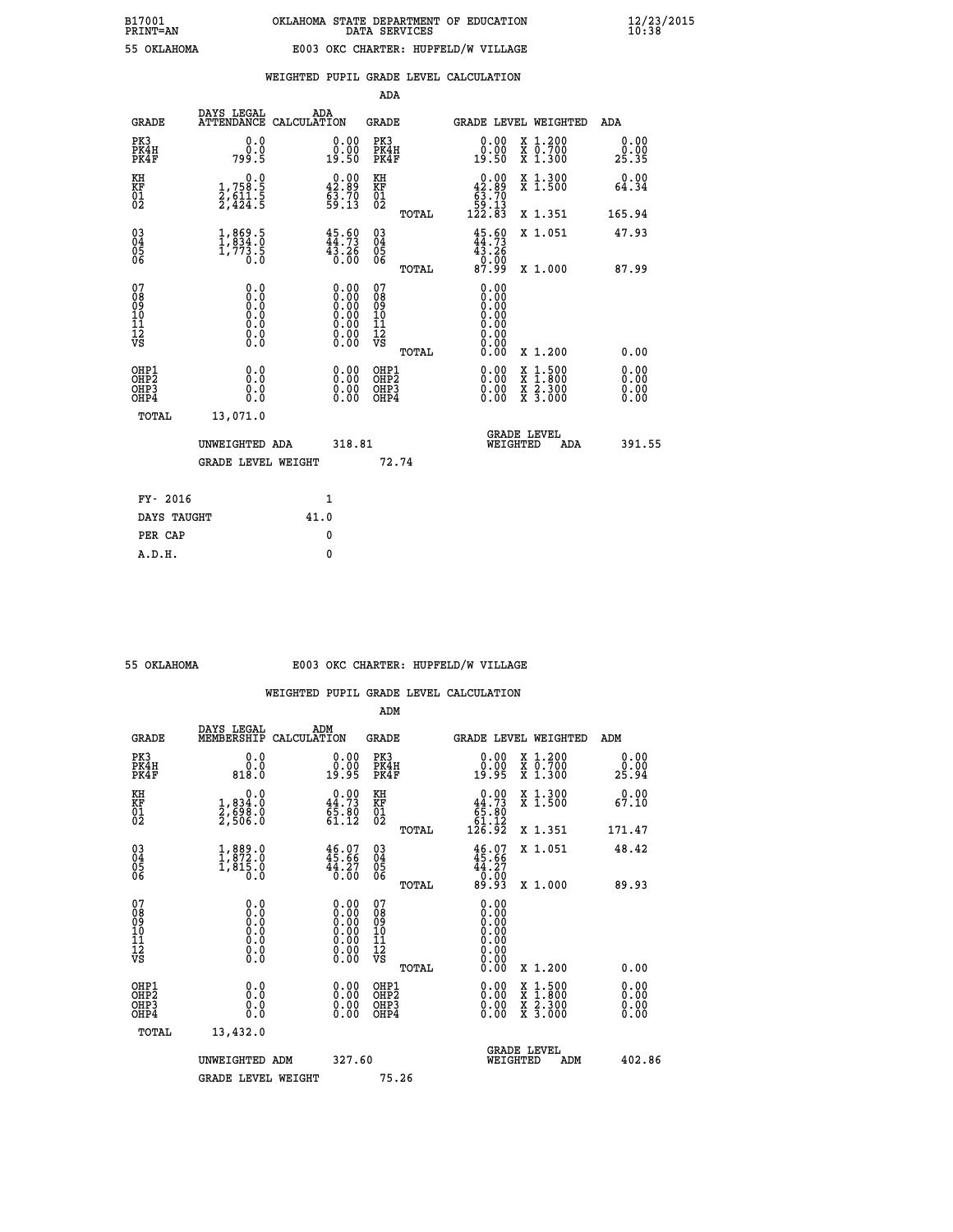|  |  | WEIGHTED PUPIL GRADE LEVEL CALCULATION |
|--|--|----------------------------------------|
|  |  |                                        |

|                                                                    |                                                                                                |                                                                                  |        | ADA                                            |       |                                                                           |                                          |                              |
|--------------------------------------------------------------------|------------------------------------------------------------------------------------------------|----------------------------------------------------------------------------------|--------|------------------------------------------------|-------|---------------------------------------------------------------------------|------------------------------------------|------------------------------|
| <b>GRADE</b>                                                       | DAYS LEGAL<br>ATTENDANCE CALCULATION                                                           | ADA                                                                              |        | <b>GRADE</b>                                   |       | <b>GRADE LEVEL WEIGHTED</b>                                               |                                          | ADA                          |
| PK3<br>PK4H<br>PK4F                                                | 0.0<br>ة:ة<br>799:5                                                                            | $\begin{smallmatrix} 0.00\\ 0.00\\ 19.50 \end{smallmatrix}$                      |        | PK3<br>PK4H<br>PK4F                            |       | $\begin{smallmatrix} 0.00\\ 0.00\\ 19.50 \end{smallmatrix}$               | X 1.200<br>X 0.700<br>X 1.300            | 0.00<br>0.00<br>25.35        |
| KH<br><b>KF</b><br>01<br>02                                        | 0.0<br>1,758.5<br>2,611.5<br>2,424.5                                                           | $0.00$<br>42.89<br>$\frac{63.70}{59.13}$                                         |        | KH<br>KF<br>01<br>02                           |       | $\begin{smallmatrix}&&0.00\\42.89\\63.70\\59.13\\122.83\end{smallmatrix}$ | X 1.300<br>X 1.500                       | 0.00<br>64.34                |
|                                                                    |                                                                                                |                                                                                  |        |                                                | TOTAL |                                                                           | X 1.351                                  | 165.94                       |
| $\begin{smallmatrix} 03 \\[-4pt] 04 \end{smallmatrix}$<br>05<br>06 | $\begin{smallmatrix} 1, & 869 & 5\\ 1, & 834 & 0\\ 1, & 773 & 5\\ 0 & 0 & 0 \end{smallmatrix}$ | $45.60$<br>$44.73$<br>$4\bar{3}\cdot 2\bar{6}$<br>0.00                           |        | $\substack{03 \\ 04}$<br>$\substack{05 \\ 06}$ |       | $45.60$<br>$44.73$<br>$43.26$<br>$0.00$<br>87.99                          | X 1.051                                  | 47.93                        |
| 07                                                                 |                                                                                                |                                                                                  |        | 07                                             | TOTAL | 0.00                                                                      | X 1.000                                  | 87.99                        |
| 08901112<br>1112<br>VS                                             | 0.0<br>$\begin{smallmatrix} 0.0 & 0 \ 0.0 & 0 \ 0.0 & 0 \ 0.0 & 0 \end{smallmatrix}$           | $\begin{smallmatrix} 0.00 \ 0.00 \ 0.00 \ 0.00 \ 0.00 \end{smallmatrix}$<br>0.00 |        | 08<br>09<br>11<br>11<br>12<br>VS               |       | 0.00<br>Ŏ.ŎŎ<br>O.OO<br>0.00<br>0.00                                      |                                          |                              |
|                                                                    |                                                                                                |                                                                                  |        |                                                | TOTAL | 0.00                                                                      | X 1.200                                  | 0.00                         |
| OHP1<br>OH <sub>P</sub> 2<br>OH <sub>P3</sub><br>OH <sub>P4</sub>  | 0.0<br>0.0<br>0.0                                                                              | $\begin{smallmatrix} 0.00 \ 0.00 \ 0.00 \ 0.00 \end{smallmatrix}$                |        | OHP1<br>OH <sub>P</sub> 2<br>OHP3<br>OHP4      |       | 0.00<br>0.00<br>0.00                                                      | X 1:500<br>X 1:800<br>X 2:300<br>X 3:000 | 0.00<br>0.00<br>0.00<br>0.00 |
| TOTAL                                                              | 13,071.0                                                                                       |                                                                                  |        |                                                |       |                                                                           |                                          |                              |
|                                                                    | UNWEIGHTED ADA                                                                                 |                                                                                  | 318.81 |                                                |       |                                                                           | GRADE LEVEL<br>WEIGHTED<br>ADA           | 391.55                       |
|                                                                    | <b>GRADE LEVEL WEIGHT</b>                                                                      |                                                                                  |        |                                                | 72.74 |                                                                           |                                          |                              |
| FY- 2016                                                           |                                                                                                | $\mathbf{1}$                                                                     |        |                                                |       |                                                                           |                                          |                              |
| DAYS TAUGHT                                                        |                                                                                                | 41.0                                                                             |        |                                                |       |                                                                           |                                          |                              |
| PER CAP                                                            |                                                                                                | $\mathbf{0}$                                                                     |        |                                                |       |                                                                           |                                          |                              |

| OKLAHOMA |
|----------|

# **55 OKLAHOMA E003 OKC CHARTER: HUPFELD/W VILLAGE**

|                                                    |                                                                                                               |                                                                                               |        | ADM                                                |       |                                                                                                                                                                                                                                                                                |          |                                                                                                                     |        |                       |
|----------------------------------------------------|---------------------------------------------------------------------------------------------------------------|-----------------------------------------------------------------------------------------------|--------|----------------------------------------------------|-------|--------------------------------------------------------------------------------------------------------------------------------------------------------------------------------------------------------------------------------------------------------------------------------|----------|---------------------------------------------------------------------------------------------------------------------|--------|-----------------------|
| <b>GRADE</b>                                       | DAYS LEGAL<br>MEMBERSHIP                                                                                      | ADM<br>CALCULATION                                                                            |        | <b>GRADE</b>                                       |       |                                                                                                                                                                                                                                                                                |          | GRADE LEVEL WEIGHTED                                                                                                | ADM    |                       |
| PK3<br>PK4H<br>PK4F                                | 0.0<br>ŏ.ŏ<br>818.O                                                                                           | 0.00<br>19.95                                                                                 |        | PK3<br>PK4H<br>PK4F                                |       | $\begin{smallmatrix} 0.00\\ 0.00\\ 19.95 \end{smallmatrix}$                                                                                                                                                                                                                    |          | X 1.200<br>X 0.700<br>X 1.300                                                                                       |        | 0.00<br>ŏ:ŏŏ<br>25:94 |
| KH<br>KF<br>01<br>02                               | 0.0<br>1,834:0<br>2,698:0<br>2,506:0                                                                          | $\begin{smallmatrix} 0.00\\ 44.73\\ 65.80\\ 61.12 \end{smallmatrix}$                          |        | KH<br>KF<br>01<br>02                               |       | $0.00$<br>44.73<br>$\begin{matrix} 65.80 \\ 61.12 \\ 126.92 \end{matrix}$                                                                                                                                                                                                      |          | X 1.300<br>X 1.500                                                                                                  |        | 0.00<br>67.10         |
|                                                    |                                                                                                               |                                                                                               |        |                                                    | TOTAL |                                                                                                                                                                                                                                                                                |          | X 1.351                                                                                                             | 171.47 |                       |
| $\begin{matrix} 03 \\ 04 \\ 05 \\ 06 \end{matrix}$ | $\begin{smallmatrix} 1, & 8 & 9 & 0 \\ 1, & 8 & 72 & 0 \\ 1, & 8 & 15 & 0 \\ 0 & 0 & 0 & 0 \end{smallmatrix}$ | $46.07$<br>$45.66$<br>$44.27$<br>$0.00$                                                       |        | $\begin{matrix} 03 \\ 04 \\ 05 \\ 06 \end{matrix}$ |       | $46.07$<br>$44.27$<br>$0.00$<br>$89.93$                                                                                                                                                                                                                                        |          | X 1.051                                                                                                             |        | 48.42                 |
|                                                    |                                                                                                               |                                                                                               |        |                                                    | TOTAL |                                                                                                                                                                                                                                                                                |          | X 1.000                                                                                                             |        | 89.93                 |
| 07<br>08<br>09<br>10<br>11<br>11<br>12<br>VS       | $\begin{smallmatrix} 0.0 & 0 \ 0.0 & 0 \ 0.0 & 0 \ 0.0 & 0 \ 0.0 & 0 \ 0.0 & 0 \end{smallmatrix}$             | $\begin{smallmatrix} 0.00\ 0.00\ 0.00\ 0.00\ 0.00\ 0.00\ 0.00\ 0.00\ 0.00\ \end{smallmatrix}$ |        | 07<br>08<br>09<br>01<br>11<br>11<br>12<br>VS       | TOTAL | 0.00<br>0.00<br>0:00<br>0:00<br>0:00<br>0:00<br>0.00                                                                                                                                                                                                                           |          | X 1.200                                                                                                             |        | 0.00                  |
| OHP1<br>OHP2<br>OH <sub>P3</sub><br>OHP4           | 0.0<br>0.000                                                                                                  | $\begin{smallmatrix} 0.00 \ 0.00 \ 0.00 \ 0.00 \end{smallmatrix}$                             |        | OHP1<br>OHP2<br>OHP3<br>OHP4                       |       | $\begin{smallmatrix} 0.00 & 0.00 & 0.00 & 0.00 & 0.00 & 0.00 & 0.00 & 0.00 & 0.00 & 0.00 & 0.00 & 0.00 & 0.00 & 0.00 & 0.00 & 0.00 & 0.00 & 0.00 & 0.00 & 0.00 & 0.00 & 0.00 & 0.00 & 0.00 & 0.00 & 0.00 & 0.00 & 0.00 & 0.00 & 0.00 & 0.00 & 0.00 & 0.00 & 0.00 & 0.00 & 0.0$ |          | $\begin{array}{l} \mathtt{X} & 1.500 \\ \mathtt{X} & 1.800 \\ \mathtt{X} & 2.300 \\ \mathtt{X} & 3.000 \end{array}$ |        | 0.00<br>0.00<br>0.00  |
| TOTAL                                              | 13,432.0                                                                                                      |                                                                                               |        |                                                    |       |                                                                                                                                                                                                                                                                                |          |                                                                                                                     |        |                       |
|                                                    | UNWEIGHTED ADM                                                                                                |                                                                                               | 327.60 |                                                    |       |                                                                                                                                                                                                                                                                                | WEIGHTED | <b>GRADE LEVEL</b><br>ADM                                                                                           |        | 402.86                |
|                                                    | <b>GRADE LEVEL WEIGHT</b>                                                                                     |                                                                                               |        | 75.26                                              |       |                                                                                                                                                                                                                                                                                |          |                                                                                                                     |        |                       |
|                                                    |                                                                                                               |                                                                                               |        |                                                    |       |                                                                                                                                                                                                                                                                                |          |                                                                                                                     |        |                       |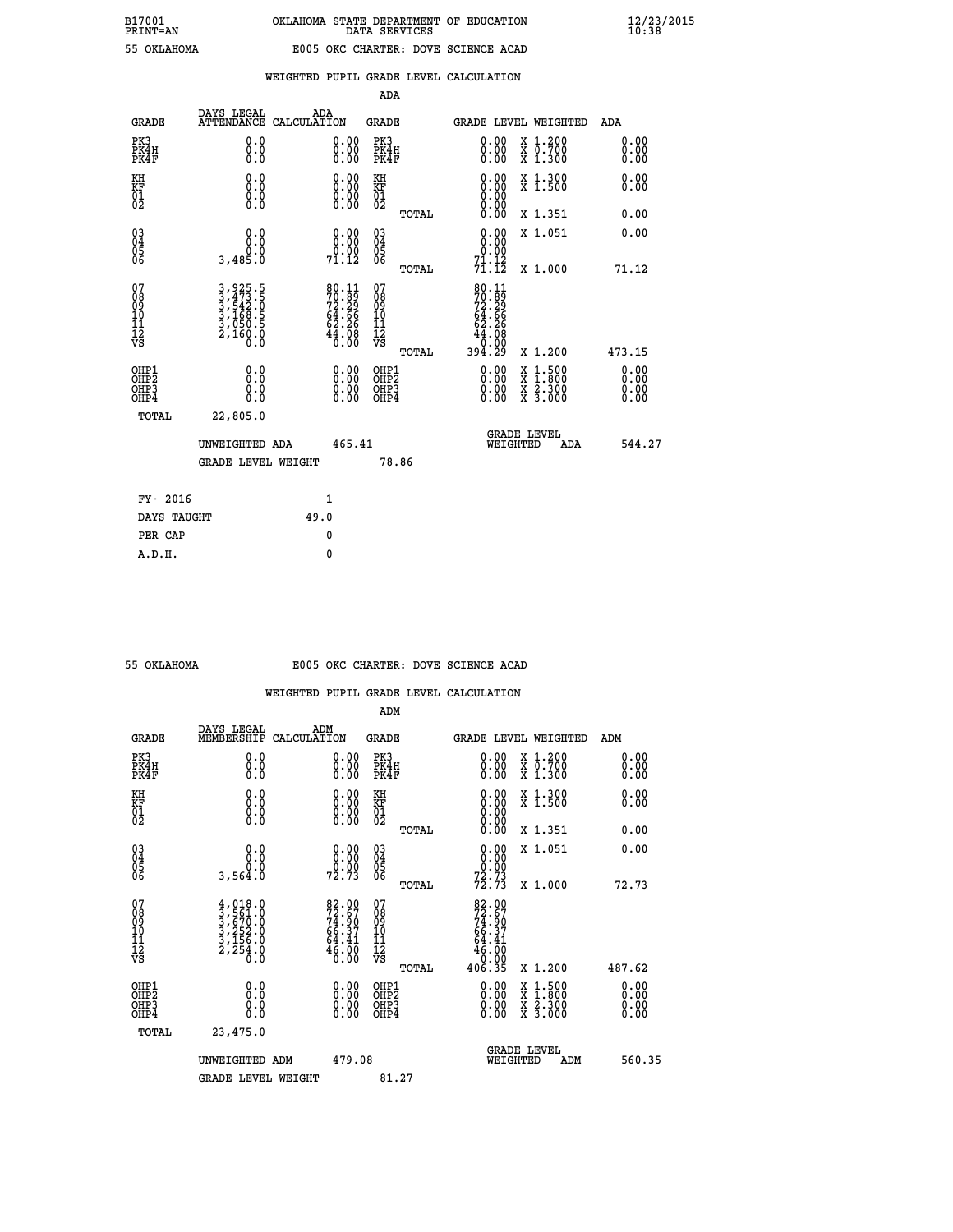| 55 OKLAHOMA |
|-------------|

## **WEIGHTED PUPIL GRADE LEVEL CALCULATION**

|                                                    |                                                                                                                                                                         |                                                                                           | ADA                                    |       |                                                                       |                                          |                              |
|----------------------------------------------------|-------------------------------------------------------------------------------------------------------------------------------------------------------------------------|-------------------------------------------------------------------------------------------|----------------------------------------|-------|-----------------------------------------------------------------------|------------------------------------------|------------------------------|
| <b>GRADE</b>                                       | DAYS LEGAL<br><b>ATTENDANCE</b>                                                                                                                                         | ADA<br>CALCULATION                                                                        | GRADE                                  |       | GRADE LEVEL WEIGHTED                                                  |                                          | <b>ADA</b>                   |
| PK3<br>PK4H<br>PK4F                                | 0.0<br>0.0<br>0.0                                                                                                                                                       | 0.00<br>$0.00$<br>0.00                                                                    | PK3<br>PK4H<br>PK4F                    |       | 0.00<br>0.00                                                          | X 1.200<br>X 0.700<br>X 1.300            | 0.00<br>0.00<br>0.00         |
| KH<br>KF<br>01<br>02                               | 0.0<br>$\begin{smallmatrix} 0.10\ 0.0 \ 0.0 \end{smallmatrix}$                                                                                                          | $\begin{smallmatrix} 0.00 \ 0.00 \ 0.00 \ 0.00 \end{smallmatrix}$                         | KH<br>KF<br>01<br>02                   |       | 0.00                                                                  | X 1.300<br>X 1.500                       | 0.00<br>0.00                 |
|                                                    |                                                                                                                                                                         |                                                                                           |                                        | TOTAL |                                                                       | X 1.351                                  | 0.00                         |
| $\begin{matrix} 03 \\ 04 \\ 05 \\ 06 \end{matrix}$ | 0.0<br>0.0<br>3,485.0                                                                                                                                                   | $\begin{smallmatrix} 0.00\\ 0.00\\ 0.00\\ 71.12 \end{smallmatrix}$                        | 03<br>04<br>05<br>06                   |       | 0.00<br>0.00                                                          | X 1.051                                  | 0.00                         |
|                                                    |                                                                                                                                                                         |                                                                                           |                                        | TOTAL | $7\overline{1}\cdot\overline{1}\cdot\overline{2}\overline{2}$         | X 1.000                                  | 71.12                        |
| 07<br>08<br>09<br>10<br>11<br>11<br>12<br>VS       | $\begin{smallmatrix} 3\,, & 925\,, & 5\\ 3\,, & 473\,, & 5\\ 3\,, & 542\,, & 0\\ 3\,, & 168\,, & 5\\ 3\,, & 050\,, & 5\\ 2\,, & 160\,, & 0\\ 0\,, & 0\end{smallmatrix}$ | $\begin{array}{l} 80.11 \\ 70.89 \\ 72.29 \\ 64.66 \\ 62.26 \\ 44.08 \\ 0.00 \end{array}$ | 07<br>08<br>09<br>11<br>11<br>12<br>VS | TOTAL | 80.11<br>70.89<br>72.29<br>64.66<br>62.26<br>44.080<br>0.00<br>394.29 | X 1.200                                  | 473.15                       |
| OHP1<br>OHP2<br>OHP3<br>OHP4                       | 0.0<br>0.0<br>0.0                                                                                                                                                       | $\begin{smallmatrix} 0.00 \ 0.00 \ 0.00 \ 0.00 \end{smallmatrix}$                         | OHP1<br>OHP2<br>OHP3<br>OHP4           |       | $0.00$<br>$0.00$<br>0.00                                              | X 1:500<br>X 1:800<br>X 2:300<br>X 3:000 | 0.00<br>0.00<br>0.00<br>0.00 |
| TOTAL                                              | 22,805.0                                                                                                                                                                |                                                                                           |                                        |       |                                                                       |                                          |                              |
|                                                    | UNWEIGHTED ADA                                                                                                                                                          | 465.41                                                                                    |                                        |       | <b>GRADE LEVEL</b><br>WEIGHTED                                        | ADA                                      | 544.27                       |
|                                                    | GRADE LEVEL WEIGHT                                                                                                                                                      |                                                                                           |                                        | 78.86 |                                                                       |                                          |                              |
| FY- 2016                                           |                                                                                                                                                                         | 1                                                                                         |                                        |       |                                                                       |                                          |                              |
| DAYS TAUGHT                                        |                                                                                                                                                                         | 49.0                                                                                      |                                        |       |                                                                       |                                          |                              |
|                                                    |                                                                                                                                                                         |                                                                                           |                                        |       |                                                                       |                                          |                              |

| 55 OKTAHOMA |
|-------------|
|             |

**PER CAP** 0  **A.D.H. 0**

## **55 OKLAHOMA E005 OKC CHARTER: DOVE SCIENCE ACAD**

|                                           |                                                                                     |                                                                    | ADM                                                 |       |                                                                                 |                                          |                              |
|-------------------------------------------|-------------------------------------------------------------------------------------|--------------------------------------------------------------------|-----------------------------------------------------|-------|---------------------------------------------------------------------------------|------------------------------------------|------------------------------|
| <b>GRADE</b>                              | DAYS LEGAL<br>MEMBERSHIP                                                            | ADM<br>CALCULATION                                                 | <b>GRADE</b>                                        |       |                                                                                 | GRADE LEVEL WEIGHTED                     | ADM                          |
| PK3<br>PK4H<br>PK4F                       | 0.0<br>0.0<br>0.0                                                                   | 0.00<br>$\begin{smallmatrix} 0.00 \ 0.00 \end{smallmatrix}$        | PK3<br>PK4H<br>PK4F                                 |       | $\begin{smallmatrix} 0.00 \\ 0.00 \\ 0.00 \end{smallmatrix}$                    | X 1.200<br>X 0.700<br>X 1.300            | 0.00<br>0.00<br>0.00         |
| KH<br>KF<br>01<br>02                      | 0.0<br>0.0<br>$\S.$                                                                 | $\begin{smallmatrix} 0.00 \ 0.00 \ 0.00 \ 0.00 \end{smallmatrix}$  | KH<br>KF<br>01<br>02                                |       | $\begin{smallmatrix} 0.00 \ 0.00 \ 0.00 \ 0.00 \ 0.00 \ 0.00 \end{smallmatrix}$ | X 1.300<br>X 1.500                       | 0.00<br>0.00                 |
|                                           |                                                                                     |                                                                    |                                                     | TOTAL |                                                                                 | X 1.351                                  | 0.00                         |
| 03<br>04<br>05<br>06                      | 0.0<br>ة:ة<br>3,564.0                                                               | $\begin{smallmatrix} 0.00\\ 0.00\\ 0.00\\ 72.73 \end{smallmatrix}$ | $\begin{array}{c} 03 \\ 04 \\ 05 \\ 06 \end{array}$ |       | $\begin{smallmatrix} 0.00\\ 0.00\\ 0.00\\ 72.73 \end{smallmatrix}$              | X 1.051                                  | 0.00                         |
|                                           |                                                                                     |                                                                    |                                                     | TOTAL | 72.73                                                                           | X 1.000                                  | 72.73                        |
| 07<br>08<br>09<br>101<br>112<br>VS        | $4,018.0$<br>$3,561.0$<br>$3,670.0$<br>$3,252.0$<br>$3,156.0$<br>$2,254.0$<br>$0.0$ | 82.00<br>72.67<br>74.90<br>66.37<br>64.41<br>$46.00$<br>0.00       | 07<br>08<br>09<br>11<br>11<br>12<br>VS              |       | 82.00<br>72.67<br>74.90<br>66.37<br>64.41<br>64.00<br>46.00                     |                                          |                              |
|                                           |                                                                                     |                                                                    |                                                     | TOTAL | 406.35                                                                          | X 1.200                                  | 487.62                       |
| OHP1<br>OHP2<br>OH <sub>P</sub> 3<br>OHP4 | 0.0<br>0.000                                                                        |                                                                    | OHP1<br>OHP2<br>OHP <sub>3</sub>                    |       | $0.00$<br>$0.00$<br>0.00                                                        | X 1:500<br>X 1:800<br>X 2:300<br>X 3:000 | 0.00<br>0.00<br>0.00<br>0.00 |
| TOTAL                                     | 23,475.0                                                                            |                                                                    |                                                     |       |                                                                                 |                                          |                              |
|                                           | UNWEIGHTED ADM                                                                      | 479.08                                                             |                                                     |       |                                                                                 | GRADE LEVEL<br>WEIGHTED<br>ADM           | 560.35                       |
|                                           | <b>GRADE LEVEL WEIGHT</b>                                                           |                                                                    | 81.27                                               |       |                                                                                 |                                          |                              |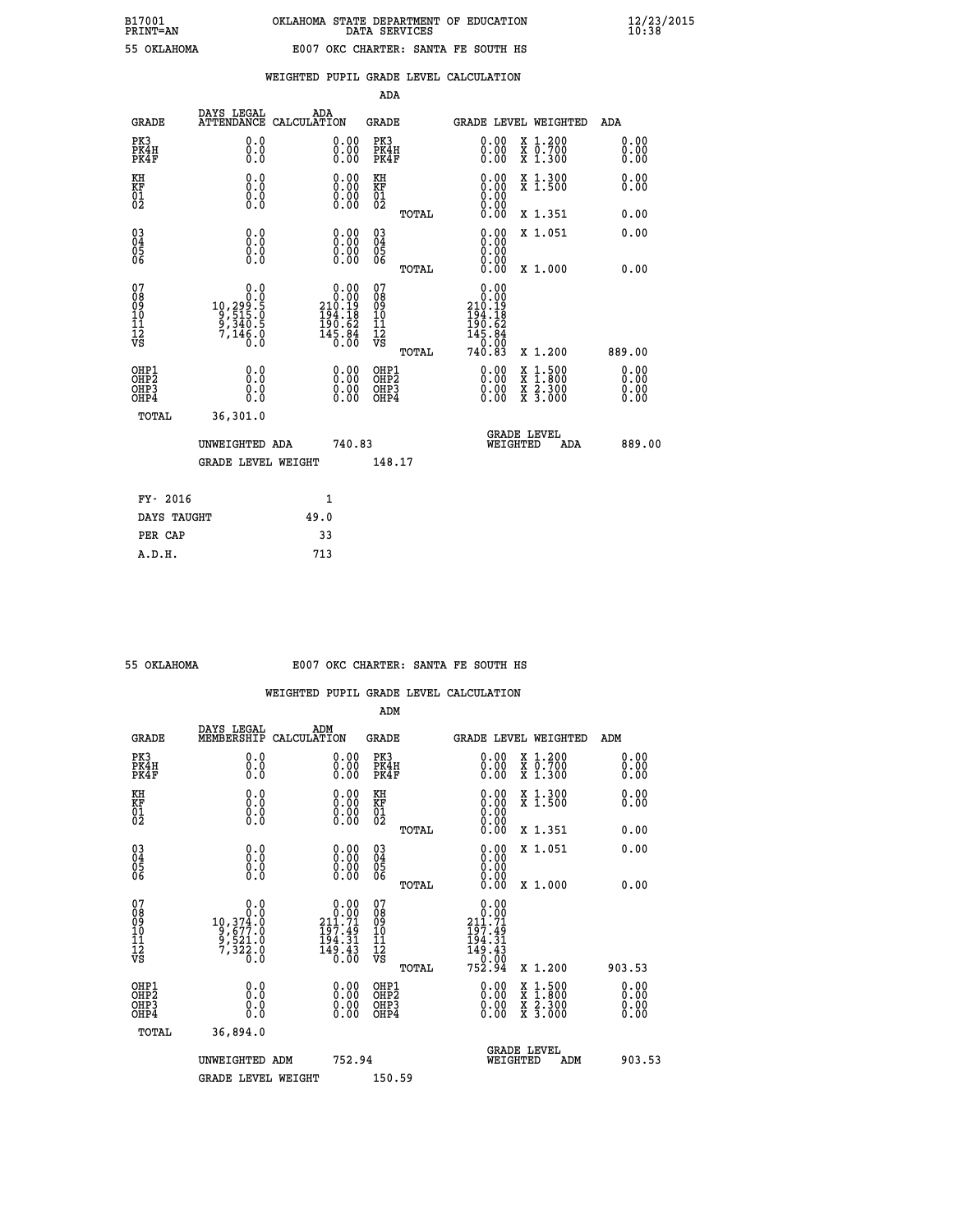|  |  | WEIGHTED PUPIL GRADE LEVEL CALCULATION |
|--|--|----------------------------------------|
|  |  |                                        |

|                                                                    |                                                                       |                                                                                                         | ADA                                           |       |                                                                                                                                                                                                                                                                                                                                                                                                                                                              |                                          |                      |
|--------------------------------------------------------------------|-----------------------------------------------------------------------|---------------------------------------------------------------------------------------------------------|-----------------------------------------------|-------|--------------------------------------------------------------------------------------------------------------------------------------------------------------------------------------------------------------------------------------------------------------------------------------------------------------------------------------------------------------------------------------------------------------------------------------------------------------|------------------------------------------|----------------------|
| <b>GRADE</b>                                                       | DAYS LEGAL<br><b>ATTENDANCE</b>                                       | ADA<br>CALCULATION                                                                                      | <b>GRADE</b>                                  |       |                                                                                                                                                                                                                                                                                                                                                                                                                                                              | <b>GRADE LEVEL WEIGHTED</b>              | ADA                  |
| PK3<br>PK4H<br>PK4F                                                | 0.0<br>0.0<br>0.0                                                     | $\begin{smallmatrix} 0.00 \ 0.00 \ 0.00 \end{smallmatrix}$                                              | PK3<br>PK4H<br>PK4F                           |       | $\begin{smallmatrix} 0.00 \\ 0.00 \\ 0.00 \end{smallmatrix}$                                                                                                                                                                                                                                                                                                                                                                                                 | X 1.200<br>X 0.700<br>X 1.300            | 0.00<br>0.00<br>0.00 |
| KH<br>KF<br>01<br>02                                               | 0.0<br>0.0<br>$\S.$                                                   | $\begin{smallmatrix} 0.00 \ 0.00 \ 0.00 \ 0.00 \end{smallmatrix}$                                       | KH<br>KF<br>01<br>02                          |       |                                                                                                                                                                                                                                                                                                                                                                                                                                                              | X 1.300<br>X 1.500                       | 0.00<br>0.00         |
|                                                                    |                                                                       |                                                                                                         |                                               | TOTAL | 0.00                                                                                                                                                                                                                                                                                                                                                                                                                                                         | X 1.351                                  | 0.00                 |
| $\begin{smallmatrix} 03 \\[-4pt] 04 \end{smallmatrix}$<br>Ŏ5<br>06 | 0.0<br>0.000                                                          | $\begin{smallmatrix} 0.00 \ 0.00 \ 0.00 \ 0.00 \end{smallmatrix}$                                       | $\substack{03 \\ 04}$<br>Ŏ5<br>06             |       | 0.00<br>0.00<br>0.00                                                                                                                                                                                                                                                                                                                                                                                                                                         | X 1.051                                  | 0.00                 |
|                                                                    |                                                                       |                                                                                                         |                                               | TOTAL | 0.00                                                                                                                                                                                                                                                                                                                                                                                                                                                         | X 1.000                                  | 0.00                 |
| 07<br>08<br>09<br>101<br>11<br>12<br>VS                            | 0.0<br>$10, 299.5$<br>$9, 515.0$<br>$9, 340.5$<br>$7, 146.0$<br>$0.0$ | $\begin{smallmatrix} 0.00\\ 0.00\\ 210.19\\ 210.19\\ 194.18\\ 190.62\\ 145.84\\ 0.00 \end{smallmatrix}$ | 07<br>08<br>09<br>001<br>11<br>11<br>12<br>VS | TOTAL | 0.00<br>0.00<br>210.19<br>194.18<br>$\begin{array}{@{}c@{\hspace{1em}}c@{\hspace{1em}}c@{\hspace{1em}}c@{\hspace{1em}}c@{\hspace{1em}}c@{\hspace{1em}}c@{\hspace{1em}}c@{\hspace{1em}}c@{\hspace{1em}}c@{\hspace{1em}}c@{\hspace{1em}}c@{\hspace{1em}}c@{\hspace{1em}}c@{\hspace{1em}}c@{\hspace{1em}}c@{\hspace{1em}}c@{\hspace{1em}}c@{\hspace{1em}}c@{\hspace{1em}}c@{\hspace{1em}}c@{\hspace{1em}}c@{\hspace{1em}}c@{\hspace{1em}}c@{\hspace{$<br>740.83 | X 1.200                                  | 889.00               |
|                                                                    |                                                                       |                                                                                                         |                                               |       |                                                                                                                                                                                                                                                                                                                                                                                                                                                              |                                          | 0.00                 |
| OHP1<br>OHP2<br>OH <sub>P3</sub><br>OHP4                           | 0.0<br>0.0<br>0.0                                                     | 0.00<br>$\begin{smallmatrix} 0.00 \ 0.00 \end{smallmatrix}$                                             | OHP1<br>OHP2<br>OHP <sub>3</sub>              |       | 0.00<br>0.00                                                                                                                                                                                                                                                                                                                                                                                                                                                 | X 1:500<br>X 1:800<br>X 2:300<br>X 3:000 | Ō. ŌŌ<br>0.00        |
| TOTAL                                                              | 36,301.0                                                              |                                                                                                         |                                               |       |                                                                                                                                                                                                                                                                                                                                                                                                                                                              |                                          |                      |
|                                                                    | UNWEIGHTED ADA                                                        | 740.83                                                                                                  |                                               |       |                                                                                                                                                                                                                                                                                                                                                                                                                                                              | <b>GRADE LEVEL</b><br>WEIGHTED<br>ADA    | 889.00               |
|                                                                    | <b>GRADE LEVEL WEIGHT</b>                                             |                                                                                                         | 148.17                                        |       |                                                                                                                                                                                                                                                                                                                                                                                                                                                              |                                          |                      |
| FY- 2016                                                           |                                                                       | $\mathbf{1}$                                                                                            |                                               |       |                                                                                                                                                                                                                                                                                                                                                                                                                                                              |                                          |                      |
| DAYS TAUGHT                                                        |                                                                       | 49.0                                                                                                    |                                               |       |                                                                                                                                                                                                                                                                                                                                                                                                                                                              |                                          |                      |
| PER CAP                                                            |                                                                       | 33                                                                                                      |                                               |       |                                                                                                                                                                                                                                                                                                                                                                                                                                                              |                                          |                      |

## **55 OKLAHOMA E007 OKC CHARTER: SANTA FE SOUTH HS**

|                                          |                                                                   |                                                                                                           | ADM                                                |       |                                                                                               |                                          |                              |
|------------------------------------------|-------------------------------------------------------------------|-----------------------------------------------------------------------------------------------------------|----------------------------------------------------|-------|-----------------------------------------------------------------------------------------------|------------------------------------------|------------------------------|
| <b>GRADE</b>                             | DAYS LEGAL<br>MEMBERSHIP                                          | ADM<br>CALCULATION                                                                                        | <b>GRADE</b>                                       |       |                                                                                               | GRADE LEVEL WEIGHTED                     | ADM                          |
| PK3<br>PK4H<br>PK4F                      | 0.0<br>0.0<br>0.0                                                 | $\begin{smallmatrix} 0.00 \ 0.00 \ 0.00 \end{smallmatrix}$                                                | PK3<br>PK4H<br>PK4F                                |       | $\begin{smallmatrix} 0.00 \\ 0.00 \\ 0.00 \end{smallmatrix}$                                  | X 1.200<br>X 0.700<br>X 1.300            | 0.00<br>0.00<br>0.00         |
| KH<br>KF<br>01<br>02                     | 0.0<br>$\begin{smallmatrix} 0.10\ 0.0 \ 0.0 \end{smallmatrix}$    | $\begin{smallmatrix} 0.00 \ 0.00 \ 0.00 \ 0.00 \end{smallmatrix}$                                         | KH<br>KF<br>01<br>02                               |       | $\begin{smallmatrix} 0.00 \ 0.00 \ 0.00 \ 0.00 \ 0.00 \ 0.00 \end{smallmatrix}$               | X 1.300<br>X 1.500                       | 0.00<br>0.00                 |
|                                          |                                                                   |                                                                                                           |                                                    | TOTAL |                                                                                               | X 1.351                                  | 0.00                         |
| 03<br>04<br>05<br>06                     |                                                                   | $\begin{smallmatrix} 0.00 \ 0.00 \ 0.00 \ 0.00 \end{smallmatrix}$                                         | $\begin{matrix} 03 \\ 04 \\ 05 \\ 06 \end{matrix}$ |       | 0.00<br>0.00<br>0.00                                                                          | X 1.051                                  | 0.00                         |
|                                          |                                                                   |                                                                                                           |                                                    | TOTAL | 0.00                                                                                          | X 1.000                                  | 0.00                         |
| 07<br>08<br>09<br>101<br>112<br>VS       | 0.0<br>$10,374.0$<br>$9,677.0$<br>$9,521.0$<br>$7,322.0$<br>$0.0$ | $\substack{0.00\\0.00\\1.71}$<br>211<br>$\begin{array}{c} 197.45 \\ 194.31 \\ 149.43 \\ 0.00 \end{array}$ | 07<br>08<br>09<br>11<br>11<br>12<br>VS             | TOTAL | 0.00<br>211.71<br>197.49<br>$\begin{array}{r} 194.31 \\ 149.43 \\ 0.00 \\ 752.94 \end{array}$ | X 1.200                                  | 903.53                       |
| OHP1<br>OHP2<br>OHP3<br>OH <sub>P4</sub> | 0.0<br>0.000                                                      |                                                                                                           | OHP1<br>OHP2<br>OHP <sub>3</sub>                   |       | $0.00$<br>$0.00$<br>0.00                                                                      | X 1:500<br>X 1:800<br>X 2:300<br>X 3:000 | 0.00<br>Ŏ.ŎŎ<br>Q.QQ<br>0.00 |
| TOTAL                                    | 36,894.0                                                          |                                                                                                           |                                                    |       |                                                                                               |                                          |                              |
|                                          | UNWEIGHTED ADM                                                    | 752.94                                                                                                    |                                                    |       |                                                                                               | GRADE LEVEL<br>WEIGHTED<br>ADM           | 903.53                       |
|                                          | <b>GRADE LEVEL WEIGHT</b>                                         |                                                                                                           | 150.59                                             |       |                                                                                               |                                          |                              |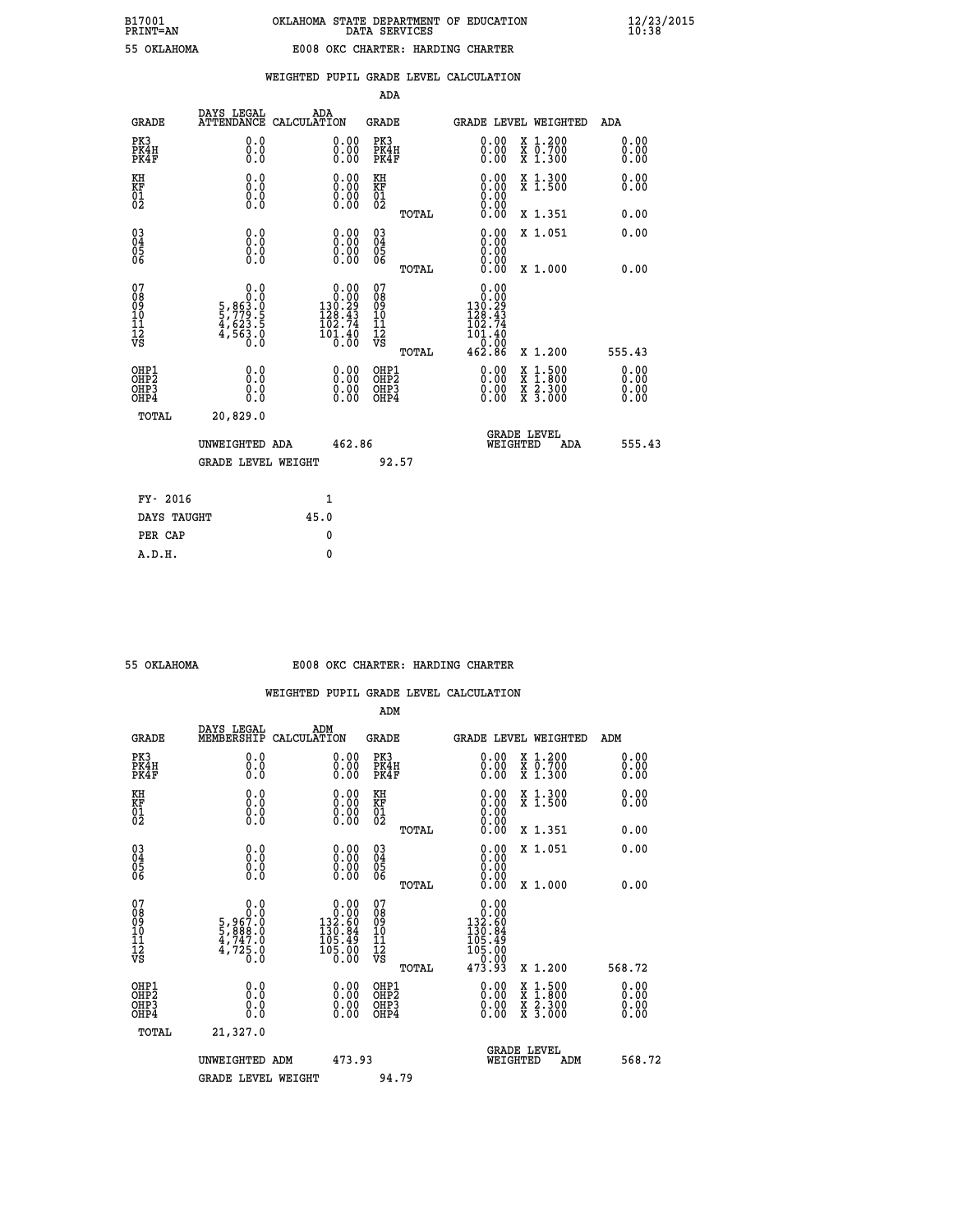## **WEIGHTED PUPIL GRADE LEVEL CALCULATION**

|                                                                    |                                                                  |                                                                                                 | ADA                                           |       |                                                                        |                                                                                                                                           |                           |
|--------------------------------------------------------------------|------------------------------------------------------------------|-------------------------------------------------------------------------------------------------|-----------------------------------------------|-------|------------------------------------------------------------------------|-------------------------------------------------------------------------------------------------------------------------------------------|---------------------------|
| <b>GRADE</b>                                                       | DAYS LEGAL                                                       | ADA<br>ATTENDANCE CALCULATION                                                                   | <b>GRADE</b>                                  |       |                                                                        | <b>GRADE LEVEL WEIGHTED</b>                                                                                                               | ADA                       |
| PK3<br>PK4H<br>PK4F                                                | 0.0<br>0.0<br>Ō.Ō                                                | $\begin{smallmatrix} 0.00 \ 0.00 \ 0.00 \end{smallmatrix}$                                      | PK3<br>PK4H<br>PK4F                           |       | $\begin{smallmatrix} 0.00 \\ 0.00 \\ 0.00 \end{smallmatrix}$           | X 1.200<br>X 0.700<br>X 1.300                                                                                                             | 0.00<br>0.00<br>0.00      |
| KH<br>KF<br>01<br>02                                               | 0.0<br>0.0<br>$\S.$ $\S$                                         | $\begin{smallmatrix} 0.00 \ 0.00 \ 0.00 \ 0.00 \end{smallmatrix}$                               | KH<br>KF<br>01<br>02                          |       |                                                                        | X 1.300<br>X 1.500                                                                                                                        | 0.00<br>0.00              |
|                                                                    |                                                                  |                                                                                                 |                                               | TOTAL | 0.00                                                                   | X 1.351                                                                                                                                   | 0.00                      |
| $\begin{smallmatrix} 03 \\[-4pt] 04 \end{smallmatrix}$<br>Ŏ5<br>06 | 0.0<br>0.000                                                     | $\begin{smallmatrix} 0.00 \ 0.00 \ 0.00 \ 0.00 \end{smallmatrix}$                               | $\substack{03 \\ 04}$<br>Ŏ5<br>06             |       | 0.00<br>0.00<br>0.00                                                   | X 1.051                                                                                                                                   | 0.00                      |
|                                                                    |                                                                  |                                                                                                 |                                               | TOTAL | 0.00                                                                   | X 1.000                                                                                                                                   | 0.00                      |
| 07<br>08<br>09<br>101<br>11<br>12<br>VS                            | 0.0<br>$5,863.0$<br>$5,779.5$<br>$4,623.5$<br>$4,563.0$<br>$0.0$ | $\begin{smallmatrix} &0.00\0.00\130.29\128.43\102.74\end{smallmatrix}$<br>$\frac{101.40}{0.00}$ | 07<br>08<br>09<br>001<br>11<br>11<br>12<br>VS |       | 0.00<br>0.00<br>130:29<br>128.43<br>102.74<br>101.40<br>0.00<br>462.86 | X 1.200                                                                                                                                   | 555.43                    |
| OHP1                                                               |                                                                  |                                                                                                 |                                               | TOTAL |                                                                        |                                                                                                                                           | 0.00                      |
| OHP <sub>2</sub><br>OH <sub>P3</sub><br>OHP4                       | 0.0<br>0.0<br>$0.\overline{0}$                                   | 0.00<br>$\begin{smallmatrix} 0.00 \ 0.00 \end{smallmatrix}$                                     | OHP1<br>OHP2<br>OHP <sub>3</sub>              |       | 0.00<br>0.00                                                           | $\begin{smallmatrix} \mathtt{X} & 1\cdot500\\ \mathtt{X} & 1\cdot800\\ \mathtt{X} & 2\cdot300\\ \mathtt{X} & 3\cdot000 \end{smallmatrix}$ | Ō. ŌŌ<br>$0.00$<br>$0.00$ |
| TOTAL                                                              | 20,829.0                                                         |                                                                                                 |                                               |       |                                                                        |                                                                                                                                           |                           |
|                                                                    | UNWEIGHTED ADA                                                   | 462.86                                                                                          |                                               |       |                                                                        | <b>GRADE LEVEL</b><br>WEIGHTED<br>ADA                                                                                                     | 555.43                    |
|                                                                    | <b>GRADE LEVEL WEIGHT</b>                                        |                                                                                                 |                                               | 92.57 |                                                                        |                                                                                                                                           |                           |
| FY- 2016                                                           |                                                                  | $\mathbf{1}$                                                                                    |                                               |       |                                                                        |                                                                                                                                           |                           |
| DAYS TAUGHT                                                        |                                                                  | 45.0                                                                                            |                                               |       |                                                                        |                                                                                                                                           |                           |
| PER CAP                                                            |                                                                  | 0                                                                                               |                                               |       |                                                                        |                                                                                                                                           |                           |

| OKLAHOMA |  |
|----------|--|
|          |  |

 **A.D.H. 0**

#### **55 OKLAHOMA E008 OKC CHARTER: HARDING CHARTER**

|                                                    |                                                                |                                                                                                         | ADM                                                   |                                                                                                                                                                                                                                                                                |                                          |                      |
|----------------------------------------------------|----------------------------------------------------------------|---------------------------------------------------------------------------------------------------------|-------------------------------------------------------|--------------------------------------------------------------------------------------------------------------------------------------------------------------------------------------------------------------------------------------------------------------------------------|------------------------------------------|----------------------|
| <b>GRADE</b>                                       | DAYS LEGAL<br>MEMBERSHIP                                       | ADM<br>CALCULATION                                                                                      | <b>GRADE</b>                                          |                                                                                                                                                                                                                                                                                | <b>GRADE LEVEL WEIGHTED</b>              | ADM                  |
| PK3<br>PK4H<br>PK4F                                | 0.0<br>0.000                                                   | $\begin{smallmatrix} 0.00 \ 0.00 \ 0.00 \end{smallmatrix}$                                              | PK3<br>PK4H<br>PK4F                                   | $\begin{smallmatrix} 0.00 \\ 0.00 \\ 0.00 \end{smallmatrix}$                                                                                                                                                                                                                   | X 1.200<br>X 0.700<br>X 1.300            | 0.00<br>0.00<br>0.00 |
| KH<br>KF<br>01<br>02                               | 0.0<br>$\begin{smallmatrix} 0.0 \ 0.0 \ 0.0 \end{smallmatrix}$ | $\begin{smallmatrix} 0.00 \ 0.00 \ 0.00 \ 0.00 \end{smallmatrix}$                                       | KH<br><b>KF</b><br>01<br>02                           | $\begin{smallmatrix} 0.00 \ 0.00 \ 0.00 \ 0.00 \ 0.00 \ 0.00 \end{smallmatrix}$                                                                                                                                                                                                | X 1.300<br>X 1.500                       | 0.00<br>0.00         |
|                                                    |                                                                |                                                                                                         | TOTAL                                                 |                                                                                                                                                                                                                                                                                | X 1.351                                  | 0.00                 |
| $\begin{matrix} 03 \\ 04 \\ 05 \\ 06 \end{matrix}$ |                                                                |                                                                                                         | $\begin{array}{c} 03 \\ 04 \\ 05 \\ 06 \end{array}$   | 0.00                                                                                                                                                                                                                                                                           | X 1.051                                  | 0.00                 |
|                                                    |                                                                |                                                                                                         | TOTAL                                                 |                                                                                                                                                                                                                                                                                | X 1.000                                  | 0.00                 |
| 07<br>08<br>09<br>101<br>11<br>12<br>VS            | $0.0$<br>$5,967.0$<br>$5,888.0$<br>$4,747.0$<br>4,725.8        | $\begin{smallmatrix} 0.00\\ 0.00\\ 132.60\\ 130.84\\ 130.84\\ 105.49\\ 105.00\\ 0.00 \end{smallmatrix}$ | 07<br>08<br>09<br>01<br>11<br>11<br>12<br>VS<br>TOTAL | $\begin{array}{c} 0.00 \\ 0.00 \\ 132.60 \\ 130.84 \\ 105.49 \\ 105.00 \\ 0.00 \\ 473.93 \end{array}$                                                                                                                                                                          | X 1.200                                  | 568.72               |
| OHP1<br>OHP2<br>OHP3<br>OHP4                       |                                                                |                                                                                                         | OHP1<br>OHP2<br>OHP3<br>OHP4                          | $\begin{smallmatrix} 0.00 & 0.00 & 0.00 & 0.00 & 0.00 & 0.00 & 0.00 & 0.00 & 0.00 & 0.00 & 0.00 & 0.00 & 0.00 & 0.00 & 0.00 & 0.00 & 0.00 & 0.00 & 0.00 & 0.00 & 0.00 & 0.00 & 0.00 & 0.00 & 0.00 & 0.00 & 0.00 & 0.00 & 0.00 & 0.00 & 0.00 & 0.00 & 0.00 & 0.00 & 0.00 & 0.0$ | X 1:500<br>X 1:800<br>X 2:300<br>X 3:000 | 0.00<br>0.00<br>0.00 |
| TOTAL                                              | 21,327.0                                                       |                                                                                                         |                                                       |                                                                                                                                                                                                                                                                                |                                          |                      |
|                                                    | UNWEIGHTED<br>ADM                                              | 473.93                                                                                                  |                                                       | WEIGHTED                                                                                                                                                                                                                                                                       | <b>GRADE LEVEL</b><br>ADM                | 568.72               |
|                                                    | <b>GRADE LEVEL WEIGHT</b>                                      |                                                                                                         | 94.79                                                 |                                                                                                                                                                                                                                                                                |                                          |                      |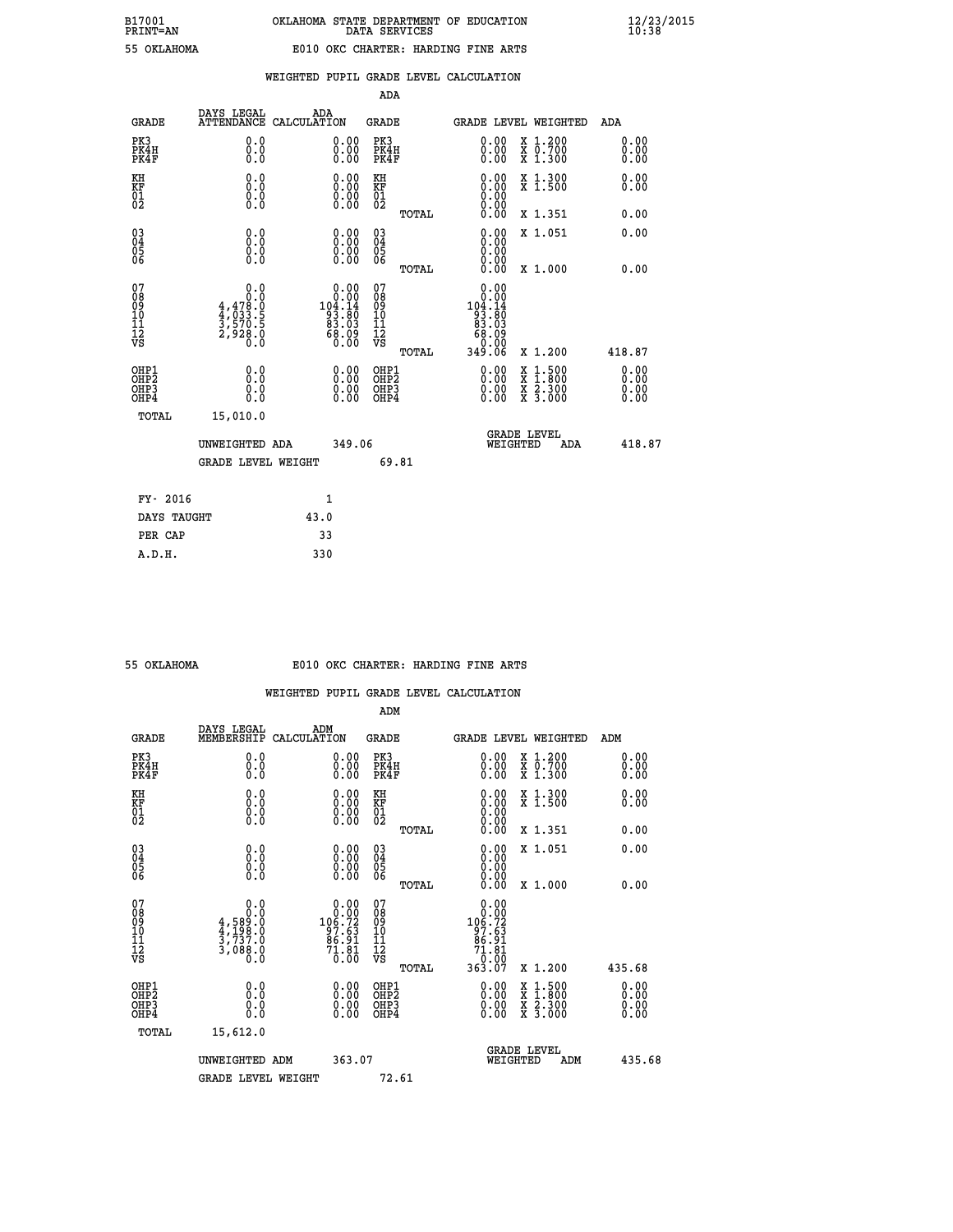|                                                    |                                                                                                       |                    |                                                                                                 | ADA                                    |       |                                                                                    |                                          |                              |
|----------------------------------------------------|-------------------------------------------------------------------------------------------------------|--------------------|-------------------------------------------------------------------------------------------------|----------------------------------------|-------|------------------------------------------------------------------------------------|------------------------------------------|------------------------------|
| <b>GRADE</b>                                       | DAYS LEGAL<br><b>ATTENDANCE</b>                                                                       | ADA<br>CALCULATION |                                                                                                 | GRADE                                  |       |                                                                                    | GRADE LEVEL WEIGHTED                     | <b>ADA</b>                   |
| PK3<br>PK4H<br>PK4F                                | 0.0<br>0.0<br>0.0                                                                                     |                    | 0.00<br>$0.00$<br>0.00                                                                          | PK3<br>PK4H<br>PK4F                    |       | 0.00<br>0.00                                                                       | X 1.200<br>X 0.700<br>X 1.300            | 0.00<br>0.00<br>0.00         |
| KH<br>KF<br>01<br>02                               | 0.0<br>$\begin{smallmatrix} 0.10\ 0.0 \ 0.0 \end{smallmatrix}$                                        |                    | $\begin{smallmatrix} 0.00 \ 0.00 \ 0.00 \ 0.00 \end{smallmatrix}$                               | KH<br>KF<br>01<br>02                   |       | $\begin{smallmatrix} 0.00 \ 0.00 \ 0.00 \ 0.00 \ 0.00 \ 0.00 \end{smallmatrix}$    | X 1.300<br>X 1.500                       | 0.00<br>0.00                 |
|                                                    |                                                                                                       |                    |                                                                                                 |                                        | TOTAL |                                                                                    | X 1.351                                  | 0.00                         |
| $\begin{matrix} 03 \\ 04 \\ 05 \\ 06 \end{matrix}$ | 0.0<br>0.000                                                                                          |                    | $\begin{smallmatrix} 0.00 \ 0.00 \ 0.00 \ 0.00 \end{smallmatrix}$                               | 03<br>04<br>05<br>06                   |       | 0.00<br>0.00<br>0.00                                                               | X 1.051                                  | 0.00                         |
|                                                    |                                                                                                       |                    |                                                                                                 |                                        | TOTAL | 0.00                                                                               | X 1.000                                  | 0.00                         |
| 07<br>08<br>09<br>10<br>11<br>11<br>12<br>VS       | $\begin{smallmatrix}&&&0.0\\1&0.0\\4,478.0\\4,033.5\\4,033.5\\3,570.5\\2,928.0\\0.0\end{smallmatrix}$ |                    | $\begin{smallmatrix} &0.00\ 0.00\ 104.14\ 193.80\ 83.03\ 83.03\ 68.09\ 0.00\ \end{smallmatrix}$ | 07<br>08<br>09<br>11<br>11<br>12<br>VS | TOTAL | 0.00<br>$10000$<br>$104.14$<br>$93.80$<br>$83.03$<br>$68.09$<br>$0.00$<br>$349.06$ | X 1.200                                  | 418.87                       |
| OHP1<br>OHP2<br>OHP3<br>OHP4                       | 0.0<br>0.0<br>0.0                                                                                     |                    | $\begin{smallmatrix} 0.00 \ 0.00 \ 0.00 \ 0.00 \end{smallmatrix}$                               | OHP1<br>OHP2<br>OHP3<br>OHP4           |       | $0.00$<br>$0.00$<br>0.00                                                           | X 1:500<br>X 1:800<br>X 2:300<br>X 3:000 | 0.00<br>0.00<br>0.00<br>0.00 |
| TOTAL                                              | 15,010.0                                                                                              |                    |                                                                                                 |                                        |       |                                                                                    |                                          |                              |
|                                                    | UNWEIGHTED ADA                                                                                        |                    | 349.06                                                                                          |                                        |       | WEIGHTED                                                                           | <b>GRADE LEVEL</b><br>ADA                | 418.87                       |
|                                                    | <b>GRADE LEVEL WEIGHT</b>                                                                             |                    |                                                                                                 |                                        | 69.81 |                                                                                    |                                          |                              |
| FY- 2016                                           |                                                                                                       | 1                  |                                                                                                 |                                        |       |                                                                                    |                                          |                              |
| DAYS TAUGHT                                        |                                                                                                       | 43.0               |                                                                                                 |                                        |       |                                                                                    |                                          |                              |
|                                                    |                                                                                                       |                    |                                                                                                 |                                        |       |                                                                                    |                                          |                              |

| 55 OKTAHOMA |  |
|-------------|--|
|             |  |
|             |  |

 **PER CAP 33 A.D.H. 330**

## **55 OKLAHOMA E010 OKC CHARTER: HARDING FINE ARTS**

|                                          |                                                                                                                                                |                                                                                          | ADM                                                |       |                                                                                                                                                                                                                                                                                |                                          |                              |
|------------------------------------------|------------------------------------------------------------------------------------------------------------------------------------------------|------------------------------------------------------------------------------------------|----------------------------------------------------|-------|--------------------------------------------------------------------------------------------------------------------------------------------------------------------------------------------------------------------------------------------------------------------------------|------------------------------------------|------------------------------|
| <b>GRADE</b>                             | DAYS LEGAL<br>MEMBERSHIP                                                                                                                       | ADM<br>CALCULATION                                                                       | <b>GRADE</b>                                       |       |                                                                                                                                                                                                                                                                                | GRADE LEVEL WEIGHTED                     | ADM                          |
| PK3<br>PK4H<br>PK4F                      | 0.0<br>0.0<br>0.0                                                                                                                              | $\begin{smallmatrix} 0.00 \ 0.00 \ 0.00 \end{smallmatrix}$                               | PK3<br>PK4H<br>PK4F                                |       | $\begin{smallmatrix} 0.00 \\ 0.00 \\ 0.00 \end{smallmatrix}$                                                                                                                                                                                                                   | X 1.200<br>X 0.700<br>X 1.300            | 0.00<br>0.00<br>0.00         |
| KH<br>KF<br>01<br>02                     | 0.0<br>$\begin{smallmatrix} 0.16 \ 0.0 \ 0.0 \end{smallmatrix}$                                                                                | $\begin{smallmatrix} 0.00 \ 0.00 \ 0.00 \ 0.00 \end{smallmatrix}$                        | KH<br>KF<br>01<br>02                               |       | $\begin{smallmatrix} 0.00 \ 0.00 \ 0.00 \ 0.00 \ 0.00 \ 0.00 \end{smallmatrix}$                                                                                                                                                                                                | X 1.300<br>X 1.500                       | 0.00<br>0.00                 |
|                                          |                                                                                                                                                |                                                                                          |                                                    | TOTAL |                                                                                                                                                                                                                                                                                | X 1.351                                  | 0.00                         |
| 03<br>04<br>05<br>06                     |                                                                                                                                                | $\begin{smallmatrix} 0.00 \ 0.00 \ 0.00 \ 0.00 \end{smallmatrix}$                        | $\begin{matrix} 03 \\ 04 \\ 05 \\ 06 \end{matrix}$ |       | $0.00$<br>$0.00$<br>0.00                                                                                                                                                                                                                                                       | X 1.051                                  | 0.00                         |
|                                          |                                                                                                                                                |                                                                                          |                                                    | TOTAL | 0.00                                                                                                                                                                                                                                                                           | X 1.000                                  | 0.00                         |
| 07<br>08<br>09<br>101<br>112<br>VS       | 0.0<br>$\begin{smallmatrix} & & 0.10\ 4\, ,\, 589.0\ 4\, ,\, 198.0\ 4\, ,\, 198.0\ 3\, ,\, 737.0\ 3\, ,\, 088.0\ 0\, .\, 0\ \end{smallmatrix}$ | $\begin{array}{c} 0.00 \\ 0.00 \\ 106.72 \\ 97.63 \\ 86.91 \\ 71.81 \\ 0.00 \end{array}$ | 07<br>08<br>09<br>11<br>11<br>12<br>VS             |       | $\begin{array}{c} 0.00 \\ 0.00 \\ 106.72 \\ 97.63 \\ 97.63 \\ 86.91 \\ 71.81 \\ 0.00 \\ 363.07 \end{array}$                                                                                                                                                                    |                                          |                              |
|                                          |                                                                                                                                                |                                                                                          |                                                    | TOTAL |                                                                                                                                                                                                                                                                                | X 1.200                                  | 435.68                       |
| OHP1<br>OHP2<br>OH <sub>P3</sub><br>OHP4 | 0.0<br>0.000                                                                                                                                   |                                                                                          | OHP1<br>OHP2<br>OHP <sub>3</sub>                   |       | $\begin{smallmatrix} 0.00 & 0.00 & 0.00 & 0.00 & 0.00 & 0.00 & 0.00 & 0.00 & 0.00 & 0.00 & 0.00 & 0.00 & 0.00 & 0.00 & 0.00 & 0.00 & 0.00 & 0.00 & 0.00 & 0.00 & 0.00 & 0.00 & 0.00 & 0.00 & 0.00 & 0.00 & 0.00 & 0.00 & 0.00 & 0.00 & 0.00 & 0.00 & 0.00 & 0.00 & 0.00 & 0.0$ | X 1:500<br>X 1:800<br>X 2:300<br>X 3:000 | 0.00<br>Ŏ.ŎŎ<br>Q.QQ<br>0.00 |
| TOTAL                                    | 15,612.0                                                                                                                                       |                                                                                          |                                                    |       |                                                                                                                                                                                                                                                                                |                                          |                              |
|                                          | UNWEIGHTED ADM                                                                                                                                 |                                                                                          | 363.07                                             |       | GRADE LEVEL<br>WEIGHTED                                                                                                                                                                                                                                                        | ADM                                      | 435.68                       |
|                                          | <b>GRADE LEVEL WEIGHT</b>                                                                                                                      |                                                                                          | 72.61                                              |       |                                                                                                                                                                                                                                                                                |                                          |                              |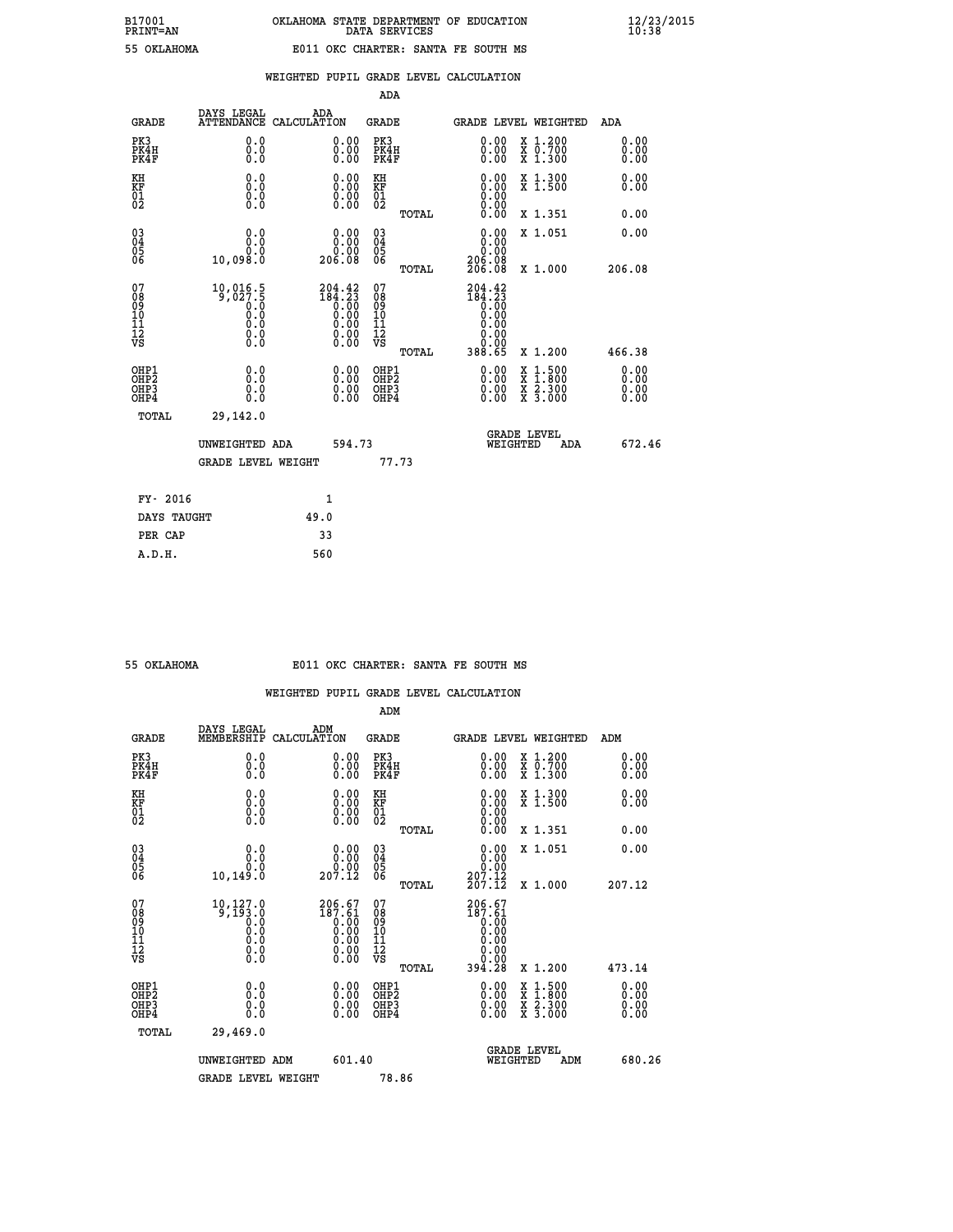| FRINT-AN    |  |
|-------------|--|
| 55 OKTAHOMZ |  |

|  |  | WEIGHTED PUPIL GRADE LEVEL CALCULATION |
|--|--|----------------------------------------|
|  |  |                                        |

|                                                                    |                                                                                                                   |                                                                                                   | ADA                                    |       |                                                                                                                                            |                                                                                                                                           |                              |
|--------------------------------------------------------------------|-------------------------------------------------------------------------------------------------------------------|---------------------------------------------------------------------------------------------------|----------------------------------------|-------|--------------------------------------------------------------------------------------------------------------------------------------------|-------------------------------------------------------------------------------------------------------------------------------------------|------------------------------|
| <b>GRADE</b>                                                       | DAYS LEGAL<br><b>ATTENDANCE</b>                                                                                   | ADA<br>CALCULATION                                                                                | <b>GRADE</b>                           |       |                                                                                                                                            | <b>GRADE LEVEL WEIGHTED</b>                                                                                                               | ADA                          |
| PK3<br>PK4H<br>PK4F                                                | 0.0<br>0.0<br>0.0                                                                                                 | 0.00<br>$0.00$<br>0.00                                                                            | PK3<br>PK4H<br>PK4F                    |       | 0.00<br>0.00                                                                                                                               | X 1.200<br>X 0.700<br>X 1.300                                                                                                             | 0.00<br>0.00<br>0.00         |
| KH<br>KF<br>01<br>02                                               | 0.0<br>0.0<br>$\S.$                                                                                               | 0.0000<br>$\begin{smallmatrix} 0.00 \\ 0.00 \end{smallmatrix}$                                    | KH<br>KF<br>01<br>02                   |       | 0.00                                                                                                                                       | X 1.300<br>X 1.500                                                                                                                        | 0.00<br>0.00                 |
|                                                                    |                                                                                                                   |                                                                                                   |                                        | TOTAL | 0.00                                                                                                                                       | X 1.351                                                                                                                                   | 0.00                         |
| $\begin{smallmatrix} 03 \\[-4pt] 04 \end{smallmatrix}$<br>Ŏ5<br>06 | 0.0<br>0.0<br>10,098.0                                                                                            | $\begin{smallmatrix} &0.00\0.000&0.00\\0.000&0.00\end{smallmatrix}$                               | $\substack{03 \\ 04}$<br>Ŏ5<br>06      |       | 0.00<br>$\begin{smallmatrix} & 0 & . & 0 & 0 \\ 2 & 0 & 0 & . & 0 & 0 \\ 2 & 0 & 6 & . & 0 & 8 \\ 2 & 0 & 6 & . & 0 & 8 \end{smallmatrix}$ | X 1.051                                                                                                                                   | 0.00                         |
|                                                                    |                                                                                                                   |                                                                                                   |                                        | TOTAL |                                                                                                                                            | X 1.000                                                                                                                                   | 206.08                       |
| 07<br>08<br>09<br>101<br>11<br>12<br>VS                            | $\overset{10,016.5}{\underset{9,027.5}{\underset{70.0}{\underset{70.0}{\underset{70.0}}}}}}$<br>Ŏ.Ŏ<br>$\S.$ $\S$ | ${\begin{smallmatrix} 204.42\\184.23\\0.00\\0.00\\0.00\\0.00\\0.00\\0.00\\0.00\end{smallmatrix}}$ | 07<br>08<br>09<br>11<br>11<br>12<br>VS |       | 204.42<br>$184.23$<br>$0.00$<br>$0.00$<br>0.00<br>0.00                                                                                     |                                                                                                                                           |                              |
|                                                                    |                                                                                                                   |                                                                                                   |                                        | TOTAL | 388.65                                                                                                                                     | X 1.200                                                                                                                                   | 466.38                       |
| OHP1<br>OHP <sub>2</sub><br>OH <sub>P3</sub><br>OHP4               | 0.0<br>0.0<br>$0.\overline{0}$                                                                                    | 0.00<br>$\begin{smallmatrix} 0.00 \ 0.00 \end{smallmatrix}$                                       | OHP1<br>OHP2<br>OHP <sub>3</sub>       |       | 0.00<br>0.00                                                                                                                               | $\begin{smallmatrix} \mathtt{X} & 1\cdot500\\ \mathtt{X} & 1\cdot800\\ \mathtt{X} & 2\cdot300\\ \mathtt{X} & 3\cdot000 \end{smallmatrix}$ | 0.00<br>0.00<br>0.00<br>0.00 |
| TOTAL                                                              | 29,142.0                                                                                                          |                                                                                                   |                                        |       |                                                                                                                                            |                                                                                                                                           |                              |
|                                                                    | UNWEIGHTED ADA                                                                                                    | 594.73                                                                                            |                                        |       |                                                                                                                                            | <b>GRADE LEVEL</b><br>WEIGHTED<br>ADA                                                                                                     | 672.46                       |
|                                                                    | <b>GRADE LEVEL WEIGHT</b>                                                                                         |                                                                                                   |                                        | 77.73 |                                                                                                                                            |                                                                                                                                           |                              |
| FY- 2016                                                           |                                                                                                                   | 1                                                                                                 |                                        |       |                                                                                                                                            |                                                                                                                                           |                              |
| DAYS TAUGHT                                                        |                                                                                                                   | 49.0                                                                                              |                                        |       |                                                                                                                                            |                                                                                                                                           |                              |
| PER CAP                                                            |                                                                                                                   | 33                                                                                                |                                        |       |                                                                                                                                            |                                                                                                                                           |                              |

| 55 OKLAHOMA |
|-------------|

## **55 OKLAHOMA E011 OKC CHARTER: SANTA FE SOUTH MS**

|                                                    |                                                                                                   |                                                                                             | ADM                                          |       |                                                                    |                                                                                                  |     |                          |  |
|----------------------------------------------------|---------------------------------------------------------------------------------------------------|---------------------------------------------------------------------------------------------|----------------------------------------------|-------|--------------------------------------------------------------------|--------------------------------------------------------------------------------------------------|-----|--------------------------|--|
| <b>GRADE</b>                                       | DAYS LEGAL<br>MEMBERSHIP                                                                          | ADM<br>CALCULATION                                                                          | <b>GRADE</b>                                 |       | GRADE LEVEL WEIGHTED                                               |                                                                                                  |     | ADM                      |  |
| PK3<br>PK4H<br>PK4F                                | 0.0<br>0.0<br>0.0                                                                                 | 0.00<br>$0.00$<br>0.00                                                                      | PK3<br>PK4H<br>PK4F                          |       | $\begin{smallmatrix} 0.00 \\ 0.00 \\ 0.00 \end{smallmatrix}$       | X 1.200<br>X 0.700<br>X 1.300                                                                    |     | 0.00<br>0.00<br>0.00     |  |
| KH<br>KF<br>01<br>02                               | 0.0<br>$\begin{smallmatrix} 0.0 & 0 \ 0.0 & 0 \ 0.0 & 0 \end{smallmatrix}$                        | $\begin{smallmatrix} 0.00 \ 0.00 \ 0.00 \ 0.00 \end{smallmatrix}$                           | KH<br>KF<br>01<br>02                         |       | $0.00$<br>$0.00$<br>$0.00$                                         | X 1.300<br>X 1.500                                                                               |     | 0.00<br>0.00             |  |
|                                                    |                                                                                                   |                                                                                             |                                              | TOTAL | 0.00                                                               | X 1.351                                                                                          |     | 0.00                     |  |
| $\begin{matrix} 03 \\ 04 \\ 05 \\ 06 \end{matrix}$ | 0.0<br>0.0                                                                                        | $\begin{smallmatrix} 0.00\\ 0.00\\ 0.00\\ 207.12 \end{smallmatrix}$                         | $\substack{03 \\ 04}$<br>Ŏ5<br>06            |       | 0.00<br>ةة.ة<br>207.12                                             | X 1.051                                                                                          |     | 0.00                     |  |
|                                                    | 10, 149.0                                                                                         |                                                                                             |                                              | TOTAL | 207.12                                                             | X 1.000                                                                                          |     | 207.12                   |  |
| 07<br>08<br>09<br>101<br>11<br>12<br>VS            | $\begin{smallmatrix} 10,127,0\\ 9,193,0\\ 0.0\\ 0.0\\ 0.0 \end{smallmatrix}$<br>Ō.Ō<br>$\S.$ $\S$ | ${\begin{smallmatrix} 206.67\\187.61\\0.00\\0.00\\0.00\\0.00\\0.00\\0.00\end{smallmatrix}}$ | 07<br>08<br>09<br>01<br>11<br>11<br>12<br>VS | TOTAL | $206.67$<br>$187.61$<br>$0.00$<br>$0.00$<br>0.00<br>0.00<br>394.28 | X 1.200                                                                                          |     | 473.14                   |  |
| OHP1<br>OHP2<br>OH <sub>P3</sub><br>OHP4           | 0.0<br>0.000                                                                                      | $0.00$<br>$0.00$<br>0.00                                                                    | OHP1<br>OHP2<br>OHP <sub>3</sub><br>OHP4     |       | $0.00$<br>$0.00$<br>0.00                                           | $\begin{smallmatrix} x & 1 & 500 \\ x & 1 & 800 \\ x & 2 & 300 \\ x & 3 & 000 \end{smallmatrix}$ |     | $0.00$<br>$0.00$<br>0.00 |  |
| TOTAL                                              | 29,469.0                                                                                          |                                                                                             |                                              |       |                                                                    |                                                                                                  |     |                          |  |
|                                                    | UNWEIGHTED ADM                                                                                    | 601.40                                                                                      |                                              |       | <b>GRADE LEVEL</b><br>WEIGHTED                                     |                                                                                                  | ADM | 680.26                   |  |
|                                                    | <b>GRADE LEVEL WEIGHT</b>                                                                         |                                                                                             | 78.86                                        |       |                                                                    |                                                                                                  |     |                          |  |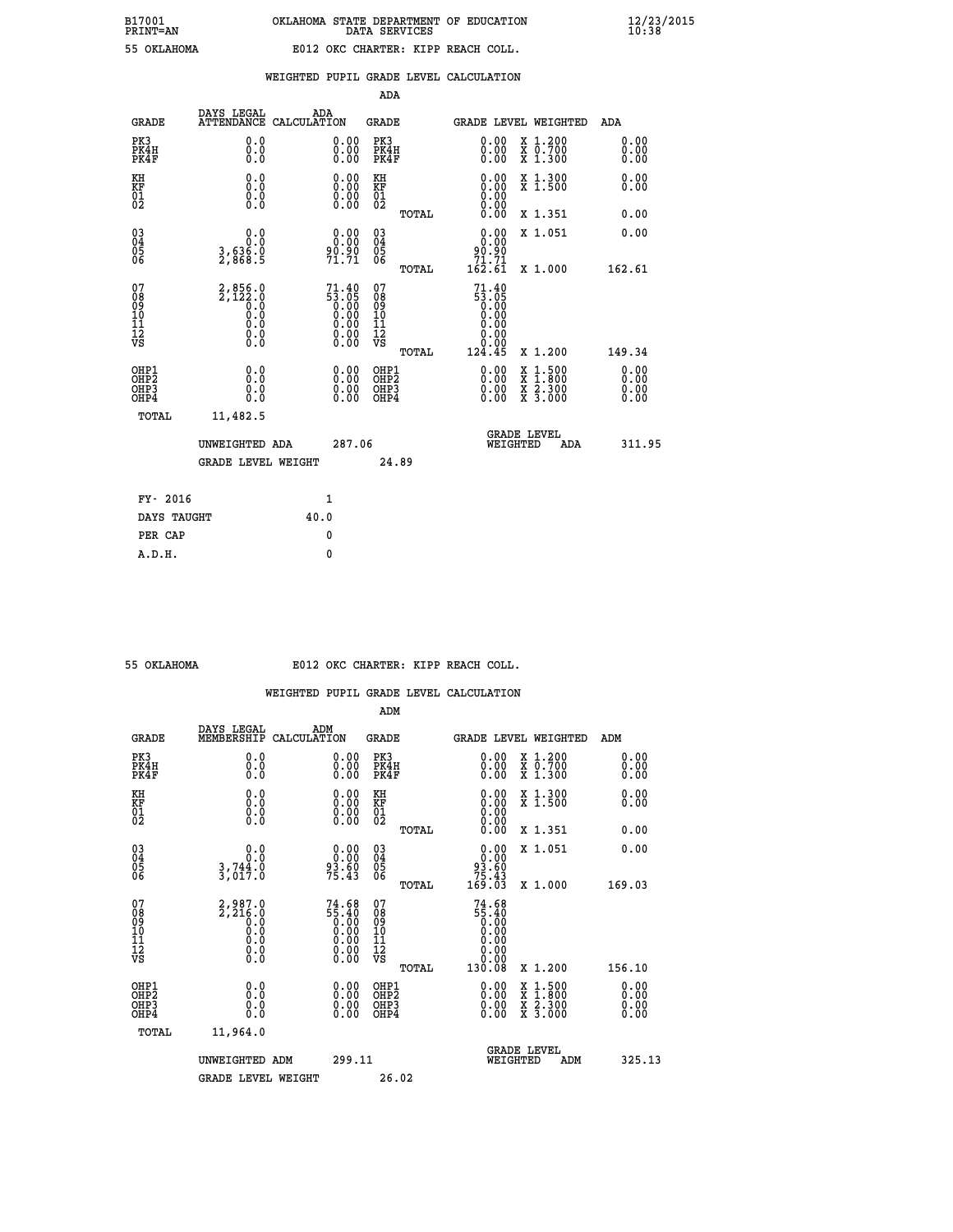# **B17001 OKLAHOMA STATE DEPARTMENT OF EDUCATION 12/23/2015 PRINT=AN DATA SERVICES 10:38 55 OKLAHOMA E012 OKC CHARTER: KIPP REACH COLL.**

|                                                                    |                                                        |                                                                                                                                  |        | ADA                                       |       |                                                                                                                               |                                                                                                  |                              |
|--------------------------------------------------------------------|--------------------------------------------------------|----------------------------------------------------------------------------------------------------------------------------------|--------|-------------------------------------------|-------|-------------------------------------------------------------------------------------------------------------------------------|--------------------------------------------------------------------------------------------------|------------------------------|
| <b>GRADE</b>                                                       | DAYS LEGAL<br><b>ATTENDANCE</b>                        | ADA<br>CALCULATION                                                                                                               |        | <b>GRADE</b>                              |       | <b>GRADE LEVEL WEIGHTED</b>                                                                                                   |                                                                                                  | ADA                          |
| PK3<br>PK4H<br>PK4F                                                | 0.0<br>0.0<br>0.0                                      | $\begin{smallmatrix} 0.00 \ 0.00 \ 0.00 \end{smallmatrix}$                                                                       |        | PK3<br>PK4H<br>PK4F                       |       | $\begin{smallmatrix} 0.00 \\ 0.00 \\ 0.00 \end{smallmatrix}$                                                                  | X 1.200<br>X 0.700<br>X 1.300                                                                    | 0.00<br>0.00<br>0.00         |
| KH<br>KF<br>01<br>02                                               | 0.0<br>0.0<br>$\S.$                                    | 0.0000<br>$\begin{smallmatrix} 0.00 \ 0.00 \end{smallmatrix}$                                                                    |        | KH<br>KF<br>01<br>02                      |       | 0.00<br>0.00                                                                                                                  | X 1.300<br>X 1.500                                                                               | 0.00<br>0.00                 |
|                                                                    |                                                        |                                                                                                                                  |        |                                           | TOTAL |                                                                                                                               | X 1.351                                                                                          | 0.00                         |
| $\begin{smallmatrix} 03 \\[-4pt] 04 \end{smallmatrix}$<br>05<br>06 | 0.0<br>$\frac{3}{2}, \frac{636}{868}$ .5               | 0.00<br>90.90<br>71.71                                                                                                           |        | $\substack{03 \\ 04}$<br>05<br>06         | TOTAL | 0.00<br>90.90<br>$\substack{71.71 \ 162.61}$                                                                                  | X 1.051<br>X 1.000                                                                               | 0.00<br>162.61               |
| 07<br>08<br>09<br>11<br>11<br>12<br>VS                             | $2,856.0$<br>$2,122.0$<br>$0.0$<br>0.0<br>0.0<br>$\S.$ | 71.40<br>$\begin{array}{c} 53.765 \\ 0.00 \\ 0.00 \\ 0.00 \\ \end{array}$<br>$\begin{smallmatrix} 0.00 \ 0.00 \end{smallmatrix}$ |        | 07<br>08<br>09<br>11<br>11<br>12<br>VS    |       | 71.40<br>$\begin{matrix} 53.05 \\ 0.00 \\ 0.00 \end{matrix}$<br>0.00<br>$\begin{array}{c} 0.00 \\ 0.00 \\ 124.45 \end{array}$ |                                                                                                  |                              |
|                                                                    |                                                        |                                                                                                                                  |        |                                           | TOTAL |                                                                                                                               | X 1.200                                                                                          | 149.34                       |
| OHP1<br>OH <sub>P</sub> 2<br>OH <sub>P3</sub><br>OH <sub>P4</sub>  | 0.0<br>0.0<br>0.0                                      | 0.00<br>$\begin{smallmatrix} 0.00 \ 0.00 \end{smallmatrix}$                                                                      |        | OHP1<br>OH <sub>P</sub> 2<br>OHP3<br>OHP4 |       | 0.00<br>0.00<br>0.00                                                                                                          | $\begin{smallmatrix} x & 1 & 500 \\ x & 1 & 800 \\ x & 2 & 300 \\ x & 3 & 000 \end{smallmatrix}$ | 0.00<br>0.00<br>0.00<br>0.00 |
| TOTAL                                                              | 11,482.5                                               |                                                                                                                                  |        |                                           |       |                                                                                                                               |                                                                                                  |                              |
|                                                                    | UNWEIGHTED ADA                                         |                                                                                                                                  | 287.06 |                                           |       |                                                                                                                               | GRADE LEVEL<br>WEIGHTED<br>ADA                                                                   | 311.95                       |
|                                                                    | <b>GRADE LEVEL WEIGHT</b>                              |                                                                                                                                  |        | 24.89                                     |       |                                                                                                                               |                                                                                                  |                              |
| FY- 2016                                                           |                                                        | $\mathbf{1}$                                                                                                                     |        |                                           |       |                                                                                                                               |                                                                                                  |                              |
| DAYS TAUGHT                                                        |                                                        | 40.0                                                                                                                             |        |                                           |       |                                                                                                                               |                                                                                                  |                              |
| PER CAP                                                            |                                                        | $\mathbf{0}$                                                                                                                     |        |                                           |       |                                                                                                                               |                                                                                                  |                              |

 **A.D.H. 0**

 **55 OKLAHOMA E012 OKC CHARTER: KIPP REACH COLL.**

|                                    |                                                        |                                                                   | ADM                                                 |                                                                                                                    |                                          |                              |
|------------------------------------|--------------------------------------------------------|-------------------------------------------------------------------|-----------------------------------------------------|--------------------------------------------------------------------------------------------------------------------|------------------------------------------|------------------------------|
| <b>GRADE</b>                       | DAYS LEGAL<br>MEMBERSHIP                               | ADM<br>CALCULATION                                                | <b>GRADE</b>                                        |                                                                                                                    | <b>GRADE LEVEL WEIGHTED</b>              | ADM                          |
| PK3<br>PK4H<br>PK4F                | 0.0<br>0.0<br>0.0                                      | $\begin{smallmatrix} 0.00 \ 0.00 \ 0.00 \end{smallmatrix}$        | PK3<br>PK4H<br>PK4F                                 | $\begin{smallmatrix} 0.00 \\ 0.00 \\ 0.00 \end{smallmatrix}$                                                       | X 1.200<br>X 0.700<br>X 1.300            | 0.00<br>0.00<br>0.00         |
| KH<br>KF<br>01<br>02               | 0.0<br>0.0<br>$\S.$                                    | $\begin{smallmatrix} 0.00 \ 0.00 \ 0.00 \ 0.00 \end{smallmatrix}$ | KH<br>KF<br>01<br>02                                | $\begin{smallmatrix} 0.00 \ 0.00 \ 0.00 \ 0.00 \ 0.00 \ 0.00 \end{smallmatrix}$                                    | X 1.300<br>X 1.500                       | 0.00<br>0.00                 |
|                                    |                                                        |                                                                   | TOTAL                                               |                                                                                                                    | X 1.351                                  | 0.00                         |
| 03<br>04<br>05<br>06               | 0.0<br>$3,744.0$<br>$3,017.0$                          | $0.00$<br>$93.60$<br>$75.43$                                      | $\begin{array}{c} 03 \\ 04 \\ 05 \\ 06 \end{array}$ | $0.00\n93.60\n75.43\n169.03$                                                                                       | X 1.051                                  | 0.00                         |
|                                    |                                                        |                                                                   | TOTAL                                               |                                                                                                                    | X 1.000                                  | 169.03                       |
| 07<br>08<br>09<br>101<br>112<br>VS | $2,987.0$<br>$2,216.0$<br>$0.0$<br>0.0<br>0.0<br>$\S.$ | $74.6855.400.000.000.000.000.000.00$                              | 07<br>08<br>09<br>11<br>11<br>12<br>VS<br>TOTAL     | 74.68<br>$\begin{array}{r} 55.400 \\ 55.400 \\ 0.000 \\ 0.000 \\ 0.000 \\ 0.000 \\ 0.000 \\ \end{array}$<br>130.08 | X 1.200                                  | 156.10                       |
| OHP1<br>OHP2<br>OHP3<br>OHP4       | 0.0<br>0.000                                           |                                                                   | OHP1<br>OHP2<br>OHP <sub>3</sub>                    | $0.00$<br>$0.00$<br>0.00                                                                                           | X 1:500<br>X 1:800<br>X 2:300<br>X 3:000 | 0.00<br>Ŏ.ŎŎ<br>Q.QQ<br>0.00 |
| TOTAL                              | 11,964.0                                               |                                                                   |                                                     |                                                                                                                    |                                          |                              |
|                                    | UNWEIGHTED ADM                                         | 299.11                                                            |                                                     | <b>GRADE LEVEL</b><br>WEIGHTED                                                                                     | ADM                                      | 325.13                       |
|                                    | <b>GRADE LEVEL WEIGHT</b>                              |                                                                   | 26.02                                               |                                                                                                                    |                                          |                              |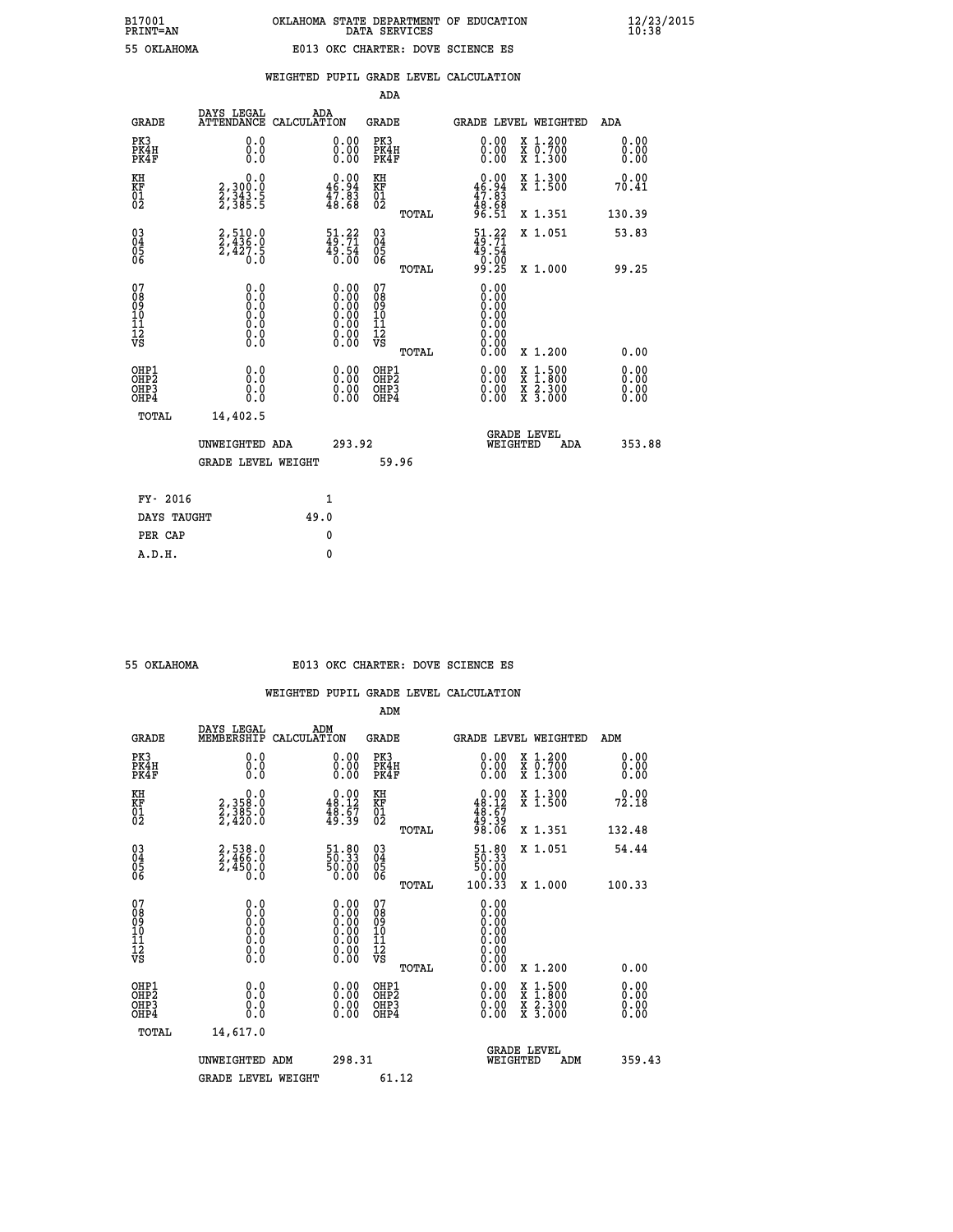# **B17001 OKLAHOMA STATE DEPARTMENT OF EDUCATION 12/23/2015 PRINT=AN DATA SERVICES 10:38 55 OKLAHOMA E013 OKC CHARTER: DOVE SCIENCE ES**

|                                                    |                                                 |                    |                                                                                                      | ADA                                    |       |                                                                              |          |                                          |                              |
|----------------------------------------------------|-------------------------------------------------|--------------------|------------------------------------------------------------------------------------------------------|----------------------------------------|-------|------------------------------------------------------------------------------|----------|------------------------------------------|------------------------------|
| <b>GRADE</b>                                       | DAYS LEGAL<br><b>ATTENDANCE</b>                 | ADA<br>CALCULATION |                                                                                                      | GRADE                                  |       |                                                                              |          | <b>GRADE LEVEL WEIGHTED</b>              | ADA                          |
| PK3<br>PK4H<br>PK4F                                | 0.0<br>0.0<br>0.0                               |                    | 0.00<br>$\begin{smallmatrix} 0.00 \ 0.00 \end{smallmatrix}$                                          | PK3<br>PK4H<br>PK4F                    |       | 0.00<br>0.00                                                                 |          | X 1.200<br>X 0.700<br>X 1.300            | 0.00<br>0.00<br>0.00         |
| KH<br><b>KF</b><br>01<br>02                        | 0.0<br>2,300:0<br>2,343.5<br>2,385:5            |                    | $\begin{smallmatrix} 0.00\\ 46.94\\ 47.83\\ 48.68 \end{smallmatrix}$                                 | KH<br>KF<br>01<br>02                   |       | $\begin{smallmatrix} 0.00\\ 46.94\\ 47.83\\ 48.68\\ 96.51 \end{smallmatrix}$ |          | X 1.300<br>X 1.500                       | 0.00<br>70.41                |
|                                                    |                                                 |                    |                                                                                                      |                                        | TOTAL |                                                                              |          | X 1.351                                  | 130.39                       |
| $\begin{matrix} 03 \\ 04 \\ 05 \\ 06 \end{matrix}$ | $2, 510.0$<br>$2, 436.0$<br>$2, 427.5$<br>$0.0$ |                    | $\frac{51}{49}$ : $\frac{22}{71}$<br>$\frac{45.54}{0.00}$                                            | 03<br>04<br>05<br>06                   |       | $\frac{51}{49}$ : $\frac{22}{71}$<br>$49.54$<br>0.00<br>99.25                |          | X 1.051                                  | 53.83                        |
|                                                    |                                                 |                    |                                                                                                      |                                        | TOTAL |                                                                              |          | X 1.000                                  | 99.25                        |
| 07<br>08<br>09<br>101<br>11<br>12<br>VS            | $\S.$ $\S$                                      |                    | $\begin{smallmatrix} 0.00 \ 0.00 \ 0.00 \ 0.00 \ 0.00 \ 0.00 \ 0.00 \ 0.00 \ 0.00 \end{smallmatrix}$ | 07<br>08<br>09<br>11<br>11<br>12<br>VS |       | 0.00<br>0:00<br>0:00<br>0:00<br>0:00<br>0.00<br>0.00                         |          |                                          |                              |
|                                                    |                                                 |                    |                                                                                                      |                                        | TOTAL | 0.00                                                                         |          | X 1.200                                  | 0.00                         |
| OHP1<br>OHP2<br>OHP3<br>OH <sub>P4</sub>           | 0.0<br>0.000                                    |                    | 0.00<br>$0.00$<br>0.00                                                                               | OHP1<br>OHP2<br>OHP3<br>OHP4           |       | $0.00$<br>$0.00$<br>0.00                                                     | X        | $1.500$<br>$1.800$<br>X 2.300<br>X 3.000 | 0.00<br>0.00<br>0.00<br>0.00 |
| TOTAL                                              | 14,402.5                                        |                    |                                                                                                      |                                        |       |                                                                              |          |                                          |                              |
|                                                    | UNWEIGHTED ADA                                  |                    | 293.92                                                                                               |                                        |       |                                                                              | WEIGHTED | <b>GRADE LEVEL</b><br>ADA                | 353.88                       |
|                                                    | <b>GRADE LEVEL WEIGHT</b>                       |                    |                                                                                                      |                                        | 59.96 |                                                                              |          |                                          |                              |
| FY- 2016                                           |                                                 |                    | $\mathbf{1}$                                                                                         |                                        |       |                                                                              |          |                                          |                              |
| DAYS TAUGHT                                        |                                                 | 49.0               |                                                                                                      |                                        |       |                                                                              |          |                                          |                              |
|                                                    |                                                 |                    |                                                                                                      |                                        |       |                                                                              |          |                                          |                              |

| 55 OKLAHOMA |  |
|-------------|--|
|             |  |
|             |  |

 **PER CAP 0 A.D.H. 0**

## **55 OKLAHOMA E013 OKC CHARTER: DOVE SCIENCE ES**

|                                    |                                                                                                   |                                                                                               | ADM                                                 |       |                                                                                                                                                                                                                                                                                |                                          |                              |
|------------------------------------|---------------------------------------------------------------------------------------------------|-----------------------------------------------------------------------------------------------|-----------------------------------------------------|-------|--------------------------------------------------------------------------------------------------------------------------------------------------------------------------------------------------------------------------------------------------------------------------------|------------------------------------------|------------------------------|
| <b>GRADE</b>                       | DAYS LEGAL<br>MEMBERSHIP                                                                          | ADM<br>CALCULATION                                                                            | <b>GRADE</b>                                        |       |                                                                                                                                                                                                                                                                                | <b>GRADE LEVEL WEIGHTED</b>              | ADM                          |
| PK3<br>PK4H<br>PK4F                | 0.0<br>0.000                                                                                      | $\begin{smallmatrix} 0.00 \ 0.00 \ 0.00 \end{smallmatrix}$                                    | PK3<br>PK4H<br>PK4F                                 |       | $\begin{smallmatrix} 0.00 \\ 0.00 \\ 0.00 \end{smallmatrix}$                                                                                                                                                                                                                   | X 1.200<br>X 0.700<br>X 1.300            | 0.00<br>0.00<br>0.00         |
| KH<br>KF<br>01<br>02               | $\begin{smallmatrix}&&&0.0\2,358.0\2,385.0\2,420.0\end{smallmatrix}$                              | $\begin{smallmatrix} 0.00\\ 48.12\\ 48.57\\ 49.39 \end{smallmatrix}$                          | KH<br>KF<br>01<br>02                                |       | $0.00\n48.12\n48.67\n49.39\n98.06$                                                                                                                                                                                                                                             | X 1.300<br>X 1.500                       | 0.00<br>72.18                |
|                                    |                                                                                                   |                                                                                               |                                                     | TOTAL |                                                                                                                                                                                                                                                                                | X 1.351                                  | 132.48                       |
| 03<br>04<br>05<br>06               | 2,538.0<br>2,466.0<br>2,450.0<br>Ō.Ō                                                              | 51.80<br>50.33<br>50.00<br>0.00                                                               | $\begin{array}{c} 03 \\ 04 \\ 05 \\ 06 \end{array}$ |       | $\begin{smallmatrix} 51.80\\ 50.33\\ 50.00\\ 0.00\\ 0.33 \end{smallmatrix}$                                                                                                                                                                                                    | X 1.051                                  | 54.44                        |
|                                    |                                                                                                   |                                                                                               |                                                     | TOTAL |                                                                                                                                                                                                                                                                                | X 1.000                                  | 100.33                       |
| 07<br>08<br>09<br>101<br>112<br>VS | $\begin{smallmatrix} 0.0 & 0 \ 0.0 & 0 \ 0.0 & 0 \ 0.0 & 0 \ 0.0 & 0 \ 0.0 & 0 \end{smallmatrix}$ | $\begin{smallmatrix} 0.00\ 0.00\ 0.00\ 0.00\ 0.00\ 0.00\ 0.00\ 0.00\ 0.00\ \end{smallmatrix}$ | 07<br>08<br>09<br>11<br>11<br>12<br>VS              |       | $0.00$<br>$0.00$<br>$0.00$<br>0.00<br>0.00                                                                                                                                                                                                                                     |                                          |                              |
|                                    |                                                                                                   |                                                                                               |                                                     | TOTAL | 0.00                                                                                                                                                                                                                                                                           | X 1.200                                  | 0.00                         |
| OHP1<br>OHP2<br>OHP3<br>OHP4       | 0.0<br>0.000                                                                                      | $\begin{smallmatrix} 0.00 \ 0.00 \ 0.00 \ 0.00 \end{smallmatrix}$                             | OHP1<br>OHP2<br>OHP <sub>3</sub>                    |       | $\begin{smallmatrix} 0.00 & 0.00 & 0.00 & 0.00 & 0.00 & 0.00 & 0.00 & 0.00 & 0.00 & 0.00 & 0.00 & 0.00 & 0.00 & 0.00 & 0.00 & 0.00 & 0.00 & 0.00 & 0.00 & 0.00 & 0.00 & 0.00 & 0.00 & 0.00 & 0.00 & 0.00 & 0.00 & 0.00 & 0.00 & 0.00 & 0.00 & 0.00 & 0.00 & 0.00 & 0.00 & 0.0$ | X 1:500<br>X 1:800<br>X 2:300<br>X 3:000 | 0.00<br>Ŏ.ŎŎ<br>Q.QQ<br>0.00 |
| TOTAL                              | 14,617.0                                                                                          |                                                                                               |                                                     |       |                                                                                                                                                                                                                                                                                |                                          |                              |
|                                    | UNWEIGHTED                                                                                        | ADM                                                                                           | 298.31                                              |       |                                                                                                                                                                                                                                                                                | GRADE LEVEL<br>WEIGHTED<br>ADM           | 359.43                       |
|                                    | <b>GRADE LEVEL WEIGHT</b>                                                                         |                                                                                               | 61.12                                               |       |                                                                                                                                                                                                                                                                                |                                          |                              |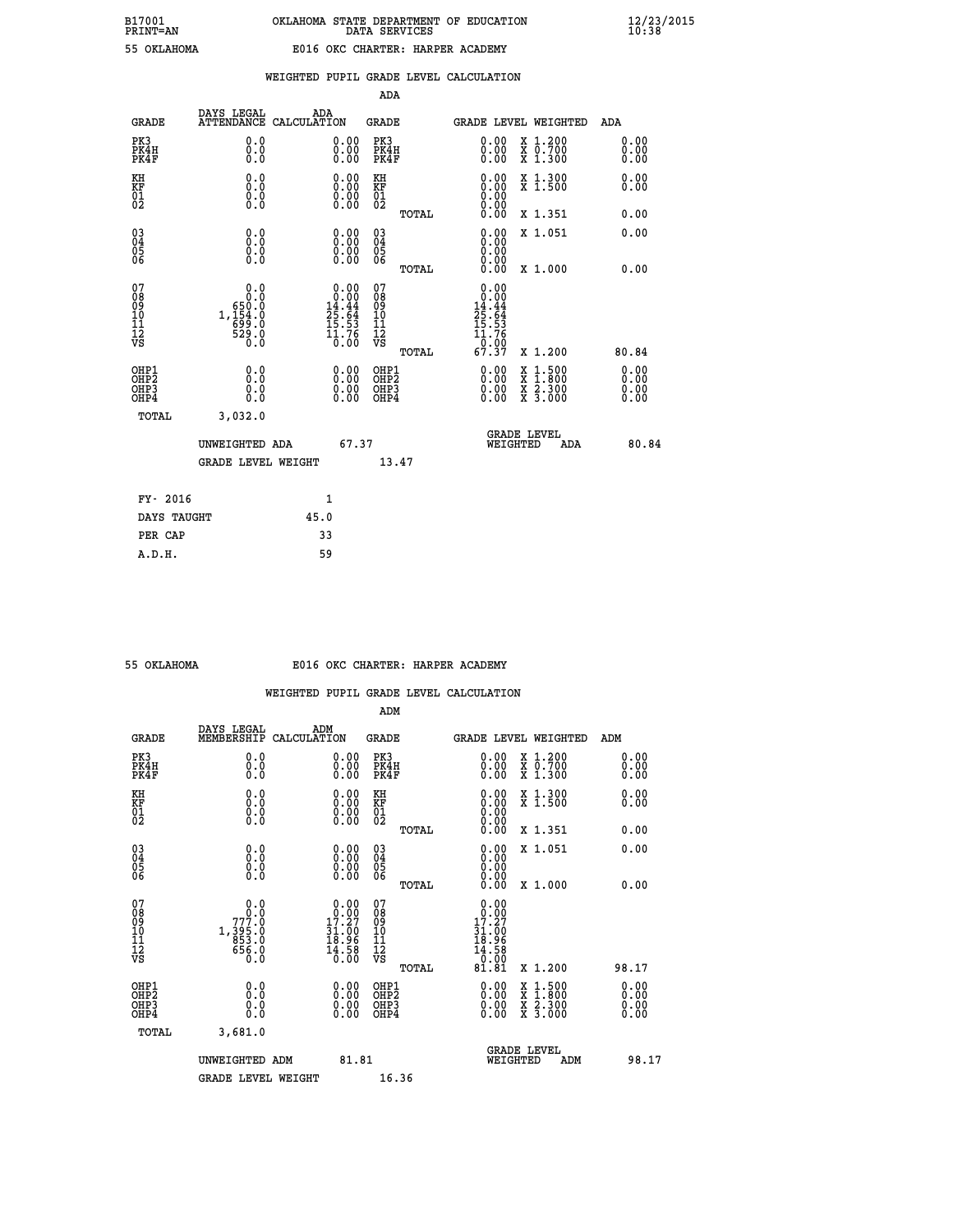|  |  | WEIGHTED PUPIL GRADE LEVEL CALCULATION |
|--|--|----------------------------------------|
|  |  |                                        |

|                                                                    |                                                      |                                                                     |              |                                                                                                                                           | ADA                                     |       |                                                                                 |          |                                                                                                                                              |                      |
|--------------------------------------------------------------------|------------------------------------------------------|---------------------------------------------------------------------|--------------|-------------------------------------------------------------------------------------------------------------------------------------------|-----------------------------------------|-------|---------------------------------------------------------------------------------|----------|----------------------------------------------------------------------------------------------------------------------------------------------|----------------------|
|                                                                    | <b>GRADE</b>                                         | DAYS LEGAL<br>ATTENDANCE CALCULATION                                | ADA          |                                                                                                                                           | <b>GRADE</b>                            |       |                                                                                 |          | <b>GRADE LEVEL WEIGHTED</b>                                                                                                                  | ADA                  |
| PK3                                                                | PK4H<br>PK4F                                         | 0.0<br>0.0<br>0.0                                                   |              | 0.00<br>$0.00$<br>0.00                                                                                                                    | PK3<br>PK4H<br>PK4F                     |       | $\begin{smallmatrix} 0.00 \ 0.00 \ 0.00 \end{smallmatrix}$                      |          | X 1.200<br>X 0.700<br>X 1.300                                                                                                                | 0.00<br>0.00<br>0.00 |
| KH<br>KF<br>01<br>02                                               |                                                      | 0.0<br>0.0<br>$\S.$                                                 |              | 0.0000<br>$\begin{smallmatrix} 0.00 \\ 0.00 \end{smallmatrix}$                                                                            | KH<br>KF<br>01<br>02                    |       | 0.00                                                                            |          | X 1.300<br>X 1.500                                                                                                                           | 0.00<br>0.00         |
|                                                                    |                                                      |                                                                     |              |                                                                                                                                           |                                         | TOTAL | 0.00                                                                            |          | X 1.351                                                                                                                                      | 0.00                 |
| $\begin{smallmatrix} 03 \\[-4pt] 04 \end{smallmatrix}$<br>Ŏ5<br>06 |                                                      | 0.0<br>0.000                                                        |              | $\begin{smallmatrix} 0.00 \ 0.00 \ 0.00 \ 0.00 \end{smallmatrix}$                                                                         | $\substack{03 \\ 04}$<br>Ŏ5<br>06       | TOTAL | 0.00<br>0.00<br>0.00                                                            |          | X 1.051<br>X 1.000                                                                                                                           | 0.00<br>0.00         |
| 07<br>08<br>09<br>101<br>11<br>12<br>VS                            |                                                      | 0.0<br>0.0<br>$1,154.0$<br>$1,154.0$<br>$699.0$<br>$529.0$<br>$0.0$ |              | $\begin{smallmatrix} &0.00\\[-1.2mm] 0.00\\[-1.2mm] 14.44\\[-1.2mm] 25.64\\[-1.2mm] 15.53\\[-1.2mm] 1.76\\[-1.2mm] 0.00\end{smallmatrix}$ | 07<br>08<br>09<br>101<br>11<br>12<br>VS |       | 0.00<br>0.00<br>14.44<br>$\frac{25.64}{15.53}$<br>$\frac{11.76}{11.76}$<br>0.00 |          |                                                                                                                                              |                      |
|                                                                    |                                                      |                                                                     |              |                                                                                                                                           |                                         | TOTAL | 67.37                                                                           |          | X 1.200                                                                                                                                      | 80.84                |
|                                                                    | OHP1<br>OHP <sub>2</sub><br>OH <sub>P3</sub><br>OHP4 | 0.0<br>0.0<br>$0.\overline{0}$                                      |              | 0.00<br>$\begin{smallmatrix} 0.00 \ 0.00 \end{smallmatrix}$                                                                               | OHP1<br>OHP2<br>OHP <sub>3</sub>        |       | 0.00<br>0.00                                                                    |          | $\begin{smallmatrix} \mathtt{X} & 1\cdot500 \\ \mathtt{X} & 1\cdot800 \\ \mathtt{X} & 2\cdot300 \\ \mathtt{X} & 3\cdot000 \end{smallmatrix}$ | 0.00<br>0.00<br>0.00 |
|                                                                    | TOTAL                                                | 3,032.0                                                             |              |                                                                                                                                           |                                         |       |                                                                                 |          |                                                                                                                                              |                      |
|                                                                    |                                                      | UNWEIGHTED ADA                                                      |              | 67.37                                                                                                                                     |                                         |       |                                                                                 | WEIGHTED | <b>GRADE LEVEL</b><br><b>ADA</b>                                                                                                             | 80.84                |
|                                                                    |                                                      | <b>GRADE LEVEL WEIGHT</b>                                           |              |                                                                                                                                           |                                         | 13.47 |                                                                                 |          |                                                                                                                                              |                      |
|                                                                    | FY- 2016                                             |                                                                     | $\mathbf{1}$ |                                                                                                                                           |                                         |       |                                                                                 |          |                                                                                                                                              |                      |
|                                                                    | DAYS TAUGHT                                          |                                                                     | 45.0         |                                                                                                                                           |                                         |       |                                                                                 |          |                                                                                                                                              |                      |
|                                                                    | PER CAP                                              |                                                                     | 33           |                                                                                                                                           |                                         |       |                                                                                 |          |                                                                                                                                              |                      |

| OKLAHOMA |
|----------|
|          |

#### **55 OKLAHOMA E016 OKC CHARTER: HARPER ACADEMY**

|                                                    |                                                                |                                                                                                                                                            | ADM                                                   |                                                                                                                                                                                                                                                                                |                                          |                          |
|----------------------------------------------------|----------------------------------------------------------------|------------------------------------------------------------------------------------------------------------------------------------------------------------|-------------------------------------------------------|--------------------------------------------------------------------------------------------------------------------------------------------------------------------------------------------------------------------------------------------------------------------------------|------------------------------------------|--------------------------|
| <b>GRADE</b>                                       | DAYS LEGAL<br>MEMBERSHIP                                       | ADM<br>CALCULATION                                                                                                                                         | <b>GRADE</b>                                          | <b>GRADE LEVEL WEIGHTED</b>                                                                                                                                                                                                                                                    |                                          | ADM                      |
| PK3<br>PK4H<br>PK4F                                | 0.0<br>0.000                                                   | $\begin{smallmatrix} 0.00 \ 0.00 \ 0.00 \end{smallmatrix}$                                                                                                 | PK3<br>PK4H<br>PK4F                                   | $\begin{smallmatrix} 0.00 \\ 0.00 \\ 0.00 \end{smallmatrix}$                                                                                                                                                                                                                   | X 1.200<br>X 0.700<br>X 1.300            | 0.00<br>0.00<br>0.00     |
| KH<br>KF<br>01<br>02                               | 0.0<br>$\begin{smallmatrix} 0.10\ 0.0 \ 0.0 \end{smallmatrix}$ | $\begin{smallmatrix} 0.00 \ 0.00 \ 0.00 \ 0.00 \end{smallmatrix}$                                                                                          | KH<br><b>KF</b><br>01<br>02                           | $\begin{smallmatrix} 0.00 \ 0.00 \ 0.00 \ 0.00 \ 0.00 \ 0.00 \end{smallmatrix}$                                                                                                                                                                                                | X 1.300<br>X 1.500                       | 0.00<br>0.00             |
|                                                    |                                                                |                                                                                                                                                            | TOTAL                                                 |                                                                                                                                                                                                                                                                                | X 1.351                                  | 0.00                     |
| $\begin{matrix} 03 \\ 04 \\ 05 \\ 06 \end{matrix}$ |                                                                |                                                                                                                                                            | $\begin{array}{c} 03 \\ 04 \\ 05 \\ 06 \end{array}$   | $\begin{smallmatrix} 0.00 & 0.00 & 0.00 & 0.00 & 0.00 & 0.00 & 0.00 & 0.00 & 0.00 & 0.00 & 0.00 & 0.00 & 0.00 & 0.00 & 0.00 & 0.00 & 0.00 & 0.00 & 0.00 & 0.00 & 0.00 & 0.00 & 0.00 & 0.00 & 0.00 & 0.00 & 0.00 & 0.00 & 0.00 & 0.00 & 0.00 & 0.00 & 0.00 & 0.00 & 0.00 & 0.0$ | X 1.051                                  | 0.00                     |
|                                                    |                                                                |                                                                                                                                                            | TOTAL                                                 |                                                                                                                                                                                                                                                                                | X 1.000                                  | 0.00                     |
| 07<br>08<br>09<br>101<br>11<br>12<br>VS            | 0.0<br>779.0<br>777.0<br>1,395.0<br>853.0<br>656.0<br>0.0      | $\begin{smallmatrix} &0.00\\[-1.2mm] 0.00\\[-1.2mm] 17.27\\[-1.2mm] 31.00\\[-1.2mm] 18.96\\[-1.2mm] 18.96\\[-1.2mm] 14.58\\[-1.2mm] 0.00\end{smallmatrix}$ | 07<br>08<br>09<br>01<br>11<br>11<br>12<br>VS<br>TOTAL | 0.00<br>19.99<br>31:00<br>18.96<br>$\frac{14.58}{0.00}$<br>81.81                                                                                                                                                                                                               | X 1.200                                  | 98.17                    |
| OHP1<br>OHP2<br>OHP3<br>OHP4                       |                                                                |                                                                                                                                                            | OHP1<br>OHP2<br>OHP3<br>OHP4                          | $\begin{smallmatrix} 0.00 & 0.00 & 0.00 & 0.00 & 0.00 & 0.00 & 0.00 & 0.00 & 0.00 & 0.00 & 0.00 & 0.00 & 0.00 & 0.00 & 0.00 & 0.00 & 0.00 & 0.00 & 0.00 & 0.00 & 0.00 & 0.00 & 0.00 & 0.00 & 0.00 & 0.00 & 0.00 & 0.00 & 0.00 & 0.00 & 0.00 & 0.00 & 0.00 & 0.00 & 0.00 & 0.0$ | X 1:500<br>X 1:800<br>X 2:300<br>X 3:000 | $0.00$<br>$0.00$<br>0.00 |
| TOTAL                                              | 3,681.0                                                        |                                                                                                                                                            |                                                       |                                                                                                                                                                                                                                                                                |                                          |                          |
|                                                    | UNWEIGHTED<br>ADM                                              | 81.81                                                                                                                                                      |                                                       | WEIGHTED                                                                                                                                                                                                                                                                       | <b>GRADE LEVEL</b><br>ADM                | 98.17                    |
|                                                    | <b>GRADE LEVEL WEIGHT</b>                                      |                                                                                                                                                            | 16.36                                                 |                                                                                                                                                                                                                                                                                |                                          |                          |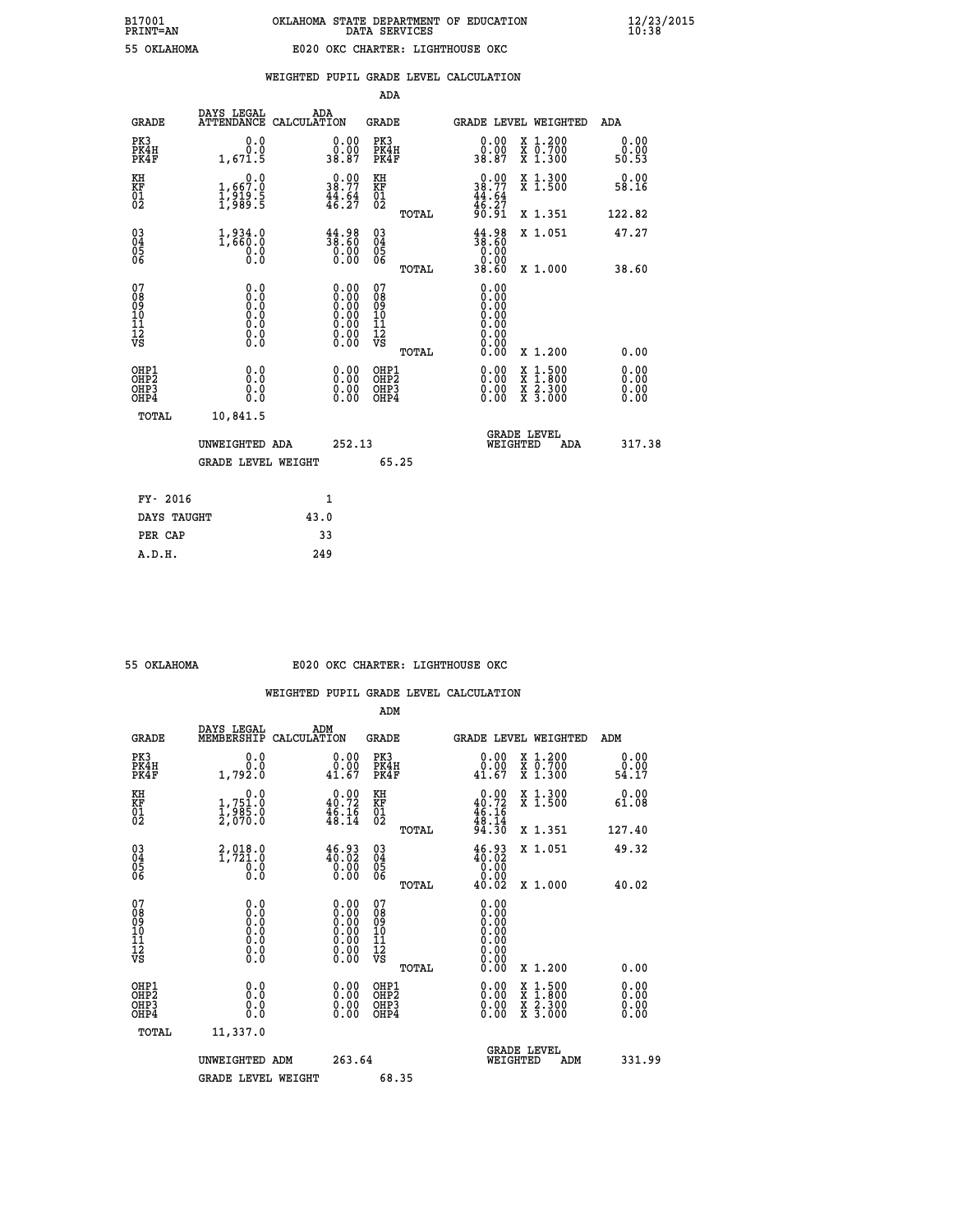|                                                       |                                      |                    |                                                                                                      | ADA                                    |       |                                                      |          |                                          |                              |
|-------------------------------------------------------|--------------------------------------|--------------------|------------------------------------------------------------------------------------------------------|----------------------------------------|-------|------------------------------------------------------|----------|------------------------------------------|------------------------------|
| <b>GRADE</b>                                          | DAYS LEGAL<br><b>ATTENDANCE</b>      | ADA<br>CALCULATION |                                                                                                      | GRADE                                  |       |                                                      |          | <b>GRADE LEVEL WEIGHTED</b>              | <b>ADA</b>                   |
| PK3<br>PK4H<br>PK4F                                   | 0.0<br>0.0<br>1,671.5                |                    | 0.00<br>0.00<br>38.87                                                                                | PK3<br>PK4H<br>PK4F                    |       | 0.00<br>ة.ة.<br>38.87                                |          | X 1.200<br>X 0.700<br>X 1.300            | 0.00<br>0.00<br>50.53        |
| KH<br><b>KF</b><br>01<br>02                           | 0.0<br>1,667:0<br>1,919:5<br>1,989:5 |                    | 38.77<br>$\frac{44}{16}$ : $\frac{64}{27}$                                                           | KH<br>KF<br>01<br>02                   |       | $0.00$<br>$38.77$<br>$44.64$<br>$46.27$<br>$90.91$   |          | X 1.300<br>X 1.500                       | 0.00<br>58.16                |
|                                                       |                                      |                    |                                                                                                      |                                        | TOTAL |                                                      |          | X 1.351                                  | 122.82                       |
| $\begin{matrix} 03 \\ 04 \\ 05 \\ 06 \end{matrix}$    | $1,834.0$<br>$1,660.0$<br>0.000      |                    | 44.98<br>38.60<br>$\begin{smallmatrix} 0.00 & 0 \ 0.00 & 0 \end{smallmatrix}$                        | 03<br>04<br>05<br>06                   |       | 44.98<br>38.60<br>0.00                               |          | X 1.051                                  | 47.27                        |
|                                                       |                                      |                    |                                                                                                      |                                        | TOTAL | 38.60                                                |          | X 1.000                                  | 38.60                        |
| 07<br>08<br>09<br>101<br>11<br>12<br>VS               | $\S.$ $\S$                           |                    | $\begin{smallmatrix} 0.00 \ 0.00 \ 0.00 \ 0.00 \ 0.00 \ 0.00 \ 0.00 \ 0.00 \ 0.00 \end{smallmatrix}$ | 07<br>08<br>09<br>11<br>11<br>12<br>VS |       | 0.00<br>0:00<br>0:00<br>0:00<br>0:00<br>0.00<br>0.00 |          |                                          |                              |
|                                                       |                                      |                    |                                                                                                      |                                        | TOTAL | 0.00                                                 |          | X 1.200                                  | 0.00                         |
| OHP1<br>OHP2<br>OH <sub>P</sub> 3<br>OH <sub>P4</sub> | 0.0<br>0.0<br>Ŏ.Ŏ                    |                    | 0.00<br>$0.00$<br>0.00                                                                               | OHP1<br>OHP2<br>OHP3<br>OHP4           |       | $0.00$<br>$0.00$<br>0.00                             | X        | $1.500$<br>$1.800$<br>X 2.300<br>X 3.000 | 0.00<br>0.00<br>0.00<br>0.00 |
| TOTAL                                                 | 10,841.5                             |                    |                                                                                                      |                                        |       |                                                      |          |                                          |                              |
|                                                       | UNWEIGHTED ADA                       |                    | 252.13                                                                                               |                                        |       |                                                      | WEIGHTED | <b>GRADE LEVEL</b><br>ADA                | 317.38                       |
|                                                       | <b>GRADE LEVEL WEIGHT</b>            |                    |                                                                                                      | 65.25                                  |       |                                                      |          |                                          |                              |
| FY- 2016                                              |                                      | $\mathbf{1}$       |                                                                                                      |                                        |       |                                                      |          |                                          |                              |
| DAYS TAUGHT                                           |                                      | 43.0               |                                                                                                      |                                        |       |                                                      |          |                                          |                              |
|                                                       |                                      |                    |                                                                                                      |                                        |       |                                                      |          |                                          |                              |

| OKLAHOMA |
|----------|
|          |

 **PER CAP 33 A.D.H. 249**

#### **55 OKLAHOMA E020 OKC CHARTER: LIGHTHOUSE OKC**

|                                          |                                                                                                   |                                                                                               | ADM                                                 |       |                                                                                                                                                                                                                                                                                |                                          |                              |  |
|------------------------------------------|---------------------------------------------------------------------------------------------------|-----------------------------------------------------------------------------------------------|-----------------------------------------------------|-------|--------------------------------------------------------------------------------------------------------------------------------------------------------------------------------------------------------------------------------------------------------------------------------|------------------------------------------|------------------------------|--|
| <b>GRADE</b>                             | DAYS LEGAL<br>MEMBERSHIP                                                                          | ADM<br>CALCULATION                                                                            | <b>GRADE</b>                                        |       |                                                                                                                                                                                                                                                                                | <b>GRADE LEVEL WEIGHTED</b>              | ADM                          |  |
| PK3<br>PK4H<br>PK4F                      | 0.0<br>Ō.Ō<br>1,792.0                                                                             | 0.0000<br>41.67                                                                               | PK3<br>PK4H<br>PK4F                                 |       | 0.00<br>41.67                                                                                                                                                                                                                                                                  | X 1.200<br>X 0.700<br>X 1.300            | 0.00<br>0.00<br>54.17        |  |
| KH<br>KF<br>01<br>02                     | 0.0<br>1,751.0<br>1,985.0<br>2,070.0                                                              | $\begin{smallmatrix} 0.00\\ 40.72\\ 46.16\\ 48.14 \end{smallmatrix}$                          | KH<br>KF<br>01<br>02                                |       | $0.00$<br>$40.72$<br>$46.16$<br>$48.14$<br>$94.30$                                                                                                                                                                                                                             | X 1.300<br>X 1.500                       | 0.00<br>61.08                |  |
|                                          |                                                                                                   |                                                                                               |                                                     | TOTAL |                                                                                                                                                                                                                                                                                | X 1.351                                  | 127.40                       |  |
| 03<br>04<br>05<br>06                     | $2,918.0$<br>1,721.0<br>$\overline{0}$ :0                                                         | $46.93$<br>$40.02$<br>$\begin{smallmatrix} 0.0000 0.0000 0.0000 \end{smallmatrix}$            | $\begin{array}{c} 03 \\ 04 \\ 05 \\ 06 \end{array}$ |       | $46.93$<br>$0.02$<br>$0.00$<br>$0.00$                                                                                                                                                                                                                                          | X 1.051                                  | 49.32                        |  |
|                                          |                                                                                                   |                                                                                               |                                                     | TOTAL | 40.02                                                                                                                                                                                                                                                                          | X 1.000                                  | 40.02                        |  |
| 07<br>08<br>09<br>101<br>112<br>VS       | $\begin{smallmatrix} 0.0 & 0 \ 0.0 & 0 \ 0.0 & 0 \ 0.0 & 0 \ 0.0 & 0 \ 0.0 & 0 \end{smallmatrix}$ | $\begin{smallmatrix} 0.00\ 0.00\ 0.00\ 0.00\ 0.00\ 0.00\ 0.00\ 0.00\ 0.00\ \end{smallmatrix}$ | 07<br>08<br>09<br>11<br>11<br>12<br>VS              |       | $0.00$<br>$0.00$<br>$0.00$<br>0.00<br>0.00<br>0.00                                                                                                                                                                                                                             |                                          |                              |  |
|                                          |                                                                                                   |                                                                                               |                                                     | TOTAL | 0.00                                                                                                                                                                                                                                                                           | X 1.200                                  | 0.00                         |  |
| OHP1<br>OHP <sub>2</sub><br>OHP3<br>OHP4 | 0.0<br>0.000                                                                                      | $\begin{smallmatrix} 0.00 \ 0.00 \ 0.00 \ 0.00 \end{smallmatrix}$                             | OHP1<br>OHP2<br>OHP <sub>3</sub>                    |       | $\begin{smallmatrix} 0.00 & 0.00 & 0.00 & 0.00 & 0.00 & 0.00 & 0.00 & 0.00 & 0.00 & 0.00 & 0.00 & 0.00 & 0.00 & 0.00 & 0.00 & 0.00 & 0.00 & 0.00 & 0.00 & 0.00 & 0.00 & 0.00 & 0.00 & 0.00 & 0.00 & 0.00 & 0.00 & 0.00 & 0.00 & 0.00 & 0.00 & 0.00 & 0.00 & 0.00 & 0.00 & 0.0$ | X 1:500<br>X 1:800<br>X 2:300<br>X 3:000 | 0.00<br>Ŏ.ŎŎ<br>Q.QQ<br>0.00 |  |
| TOTAL                                    | 11,337.0                                                                                          |                                                                                               |                                                     |       |                                                                                                                                                                                                                                                                                |                                          |                              |  |
|                                          | UNWEIGHTED                                                                                        | 263.64<br>ADM                                                                                 |                                                     |       | WEIGHTED                                                                                                                                                                                                                                                                       | <b>GRADE LEVEL</b><br>ADM                | 331.99                       |  |
|                                          | <b>GRADE LEVEL WEIGHT</b>                                                                         |                                                                                               | 68.35                                               |       |                                                                                                                                                                                                                                                                                |                                          |                              |  |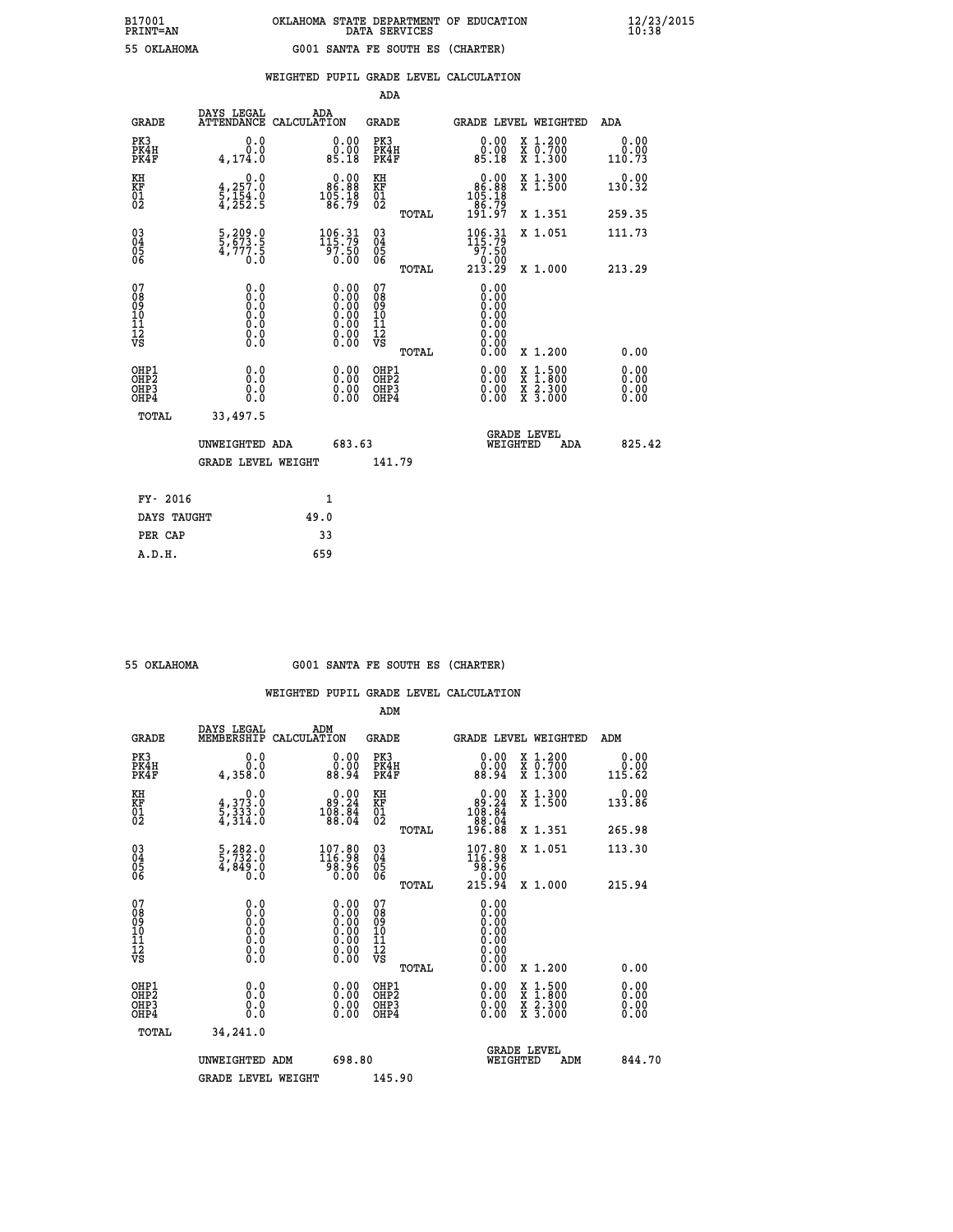| B17001          | OKLAHOMA STATE DEPARTMENT OF EDUCATION |
|-----------------|----------------------------------------|
| <b>PRINT=AN</b> | DATA SERVICES                          |
| 55 OKLAHOMA     | G001 SANTA FE SOUTH ES (CHARTER)       |

 **B17001 OKLAHOMA STATE DEPARTMENT OF EDUCATION 12/23/2015**

|                                                    |                                                                    |                                                                                                      |        | ADA                                                |       |                                                       |   |                                          |                              |
|----------------------------------------------------|--------------------------------------------------------------------|------------------------------------------------------------------------------------------------------|--------|----------------------------------------------------|-------|-------------------------------------------------------|---|------------------------------------------|------------------------------|
| <b>GRADE</b>                                       | DAYS LEGAL<br><b>ATTENDANCE</b>                                    | ADA<br>CALCULATION                                                                                   |        | GRADE                                              |       |                                                       |   | <b>GRADE LEVEL WEIGHTED</b>              | <b>ADA</b>                   |
| PK3<br>PK4H<br>PK4F                                | 0.0<br>0.0<br>4,174.0                                              | 0.00<br>ŏ.ŏŏ<br>85.18                                                                                |        | PK3<br>PK4H<br>PK4F                                |       | 0.00<br>ةة.ة<br>85.18                                 |   | X 1.200<br>X 0.700<br>X 1.300            | 0.00<br>0.00<br>110.73       |
| KH<br><b>KF</b><br>01<br>02                        | 0.0<br>$\frac{4}{5}, \frac{257}{154}$ .0<br>4,252.5                | $\begin{smallmatrix} &0.00\\ 86.88\\ 105.18\\ 6.79\end{smallmatrix}$                                 |        | KH<br>KF<br>01<br>02                               |       | $0.00\n86.88\n105.18\n86.79\n191.97$                  |   | X 1.300<br>X 1.500                       | 0.00<br>130.32               |
|                                                    |                                                                    |                                                                                                      |        |                                                    | TOTAL |                                                       |   | X 1.351                                  | 259.35                       |
| $\begin{matrix} 03 \\ 04 \\ 05 \\ 06 \end{matrix}$ | $\frac{5}{5}, \frac{209}{673}$ .<br>$\frac{5}{4}, \frac{777}{0.0}$ | 106.31<br>57.50<br>0.00                                                                              |        | $\begin{matrix} 03 \\ 04 \\ 05 \\ 06 \end{matrix}$ |       | $106.31$<br>$115.79$<br>97.50                         |   | X 1.051                                  | 111.73                       |
|                                                    |                                                                    |                                                                                                      |        |                                                    | TOTAL | $\begin{smallmatrix} 0.00 \ 213.29 \end{smallmatrix}$ |   | X 1.000                                  | 213.29                       |
| 07<br>08<br>09<br>101<br>11<br>12<br>VS            | $\S.$                                                              | $\begin{smallmatrix} 0.00 \ 0.00 \ 0.00 \ 0.00 \ 0.00 \ 0.00 \ 0.00 \ 0.00 \ 0.00 \end{smallmatrix}$ |        | 07<br>08<br>09<br>11<br>11<br>12<br>VS             |       | 0.00<br>0.00<br>0.00<br>0.00<br>0.00<br>0.00<br>0.00  |   |                                          |                              |
|                                                    |                                                                    |                                                                                                      |        |                                                    | TOTAL | 0.00                                                  |   | X 1.200                                  | 0.00                         |
| OHP1<br>OHP2<br>OH <sub>P</sub> 3<br>OHP4          | 0.0<br>0.0<br>0.0                                                  | 0.00<br>$0.00$<br>0.00                                                                               |        | OHP1<br>OHP2<br>OHP3<br>OHP4                       |       | $0.00$<br>$0.00$<br>0.00                              | X | $1:500$<br>$1:800$<br>X 2.300<br>X 3.000 | 0.00<br>0.00<br>0.00<br>0.00 |
| TOTAL                                              | 33,497.5                                                           |                                                                                                      |        |                                                    |       |                                                       |   |                                          |                              |
|                                                    | UNWEIGHTED ADA                                                     |                                                                                                      | 683.63 |                                                    |       | WEIGHTED                                              |   | <b>GRADE LEVEL</b><br>ADA                | 825.42                       |
|                                                    | <b>GRADE LEVEL WEIGHT</b>                                          |                                                                                                      |        | 141.79                                             |       |                                                       |   |                                          |                              |
| FY- 2016                                           |                                                                    | $\mathbf{1}$                                                                                         |        |                                                    |       |                                                       |   |                                          |                              |
| DAYS TAUGHT                                        |                                                                    | 49.0                                                                                                 |        |                                                    |       |                                                       |   |                                          |                              |
|                                                    |                                                                    |                                                                                                      |        |                                                    |       |                                                       |   |                                          |                              |

| 55 OKTAHOMA |
|-------------|
|             |

 **PER CAP 33 A.D.H. 659**

 **B17001<br>PRINT=AN** 

# **55 OKLAHOMA G001 SANTA FE SOUTH ES (CHARTER)**

|                                                      |                                                                                                   |                                                                                                      | ADM                                                 |       |                                                                                   |          |                                          |        |                              |
|------------------------------------------------------|---------------------------------------------------------------------------------------------------|------------------------------------------------------------------------------------------------------|-----------------------------------------------------|-------|-----------------------------------------------------------------------------------|----------|------------------------------------------|--------|------------------------------|
| <b>GRADE</b>                                         | DAYS LEGAL<br>MEMBERSHIP                                                                          | ADM<br>CALCULATION                                                                                   | <b>GRADE</b>                                        |       |                                                                                   |          | <b>GRADE LEVEL WEIGHTED</b>              | ADM    |                              |
| PK3<br>PK4H<br>PK4F                                  | 0.0<br>0.0<br>4,358.0                                                                             | $\begin{smallmatrix} 0.00\\ 0.00\\ 88.94 \end{smallmatrix}$                                          | PK3<br>PK4H<br>PK4F                                 |       | $\begin{smallmatrix} 0.00\\ 0.00\\ 0.00\\ 88.94 \end{smallmatrix}$                |          | X 1.200<br>X 0.700<br>X 1.300            | 115.62 | 0.00<br>0.00                 |
| KH<br>KF<br>01<br>02                                 | 0.0<br>$\frac{4}{5}, \frac{3}{3}$ $\frac{3}{3}$ $\frac{3}{4}$ $\frac{3}{6}$                       | $\begin{smallmatrix}&&0.00\\89.24\\108.84\\88.04\end{smallmatrix}$                                   | KH<br>KF<br>01<br>02                                |       | $\begin{smallmatrix}&&0.00\\89.24\\108.84\\88.04\\88.04\\196.88\end{smallmatrix}$ |          | X 1.300<br>X 1.500                       | 133.86 | 0.00                         |
|                                                      |                                                                                                   |                                                                                                      |                                                     | TOTAL |                                                                                   |          | X 1.351                                  | 265.98 |                              |
| 03<br>04<br>05<br>06                                 | 5,282.0<br>5,732.0<br>4,849.0<br>0.0                                                              | 107.80<br>116.98<br>98.96<br>0.00                                                                    | $\begin{array}{c} 03 \\ 04 \\ 05 \\ 06 \end{array}$ |       | 107.80<br>116.98<br>99.96                                                         |          | X 1.051                                  | 113.30 |                              |
|                                                      |                                                                                                   |                                                                                                      |                                                     | TOTAL | 0.00.<br>215.94                                                                   |          | X 1.000                                  | 215.94 |                              |
| 07<br>08<br>09<br>101<br>112<br>VS                   | $\begin{smallmatrix} 0.0 & 0 \ 0.0 & 0 \ 0.0 & 0 \ 0.0 & 0 \ 0.0 & 0 \ 0.0 & 0 \end{smallmatrix}$ | $\begin{smallmatrix} 0.00 \ 0.00 \ 0.00 \ 0.00 \ 0.00 \ 0.00 \ 0.00 \ 0.00 \ 0.00 \end{smallmatrix}$ | 07<br>08<br>09<br>11<br>11<br>12<br>VS              |       | 0.00<br>0.00<br>0.00<br>0.00<br>0.00<br>0.00                                      |          |                                          |        |                              |
|                                                      |                                                                                                   |                                                                                                      |                                                     | TOTAL | 0.00                                                                              |          | X 1.200                                  |        | 0.00                         |
| OHP1<br>OHP2<br>OH <sub>P3</sub><br>OH <sub>P4</sub> | 0.0<br>$\begin{smallmatrix} 0.0 & 0 \ 0.0 & 0 \end{smallmatrix}$                                  |                                                                                                      | OHP1<br>OHP2<br>OHP <sub>3</sub>                    |       | $0.00$<br>$0.00$<br>0.00                                                          |          | X 1:500<br>X 1:800<br>X 2:300<br>X 3:000 |        | 0.00<br>Ŏ.ŎŎ<br>Q.QQ<br>0.00 |
| TOTAL                                                | 34,241.0                                                                                          |                                                                                                      |                                                     |       |                                                                                   |          |                                          |        |                              |
|                                                      | UNWEIGHTED                                                                                        | 698.80<br>ADM                                                                                        |                                                     |       |                                                                                   | WEIGHTED | <b>GRADE LEVEL</b><br>ADM                |        | 844.70                       |
|                                                      | <b>GRADE LEVEL WEIGHT</b>                                                                         |                                                                                                      | 145.90                                              |       |                                                                                   |          |                                          |        |                              |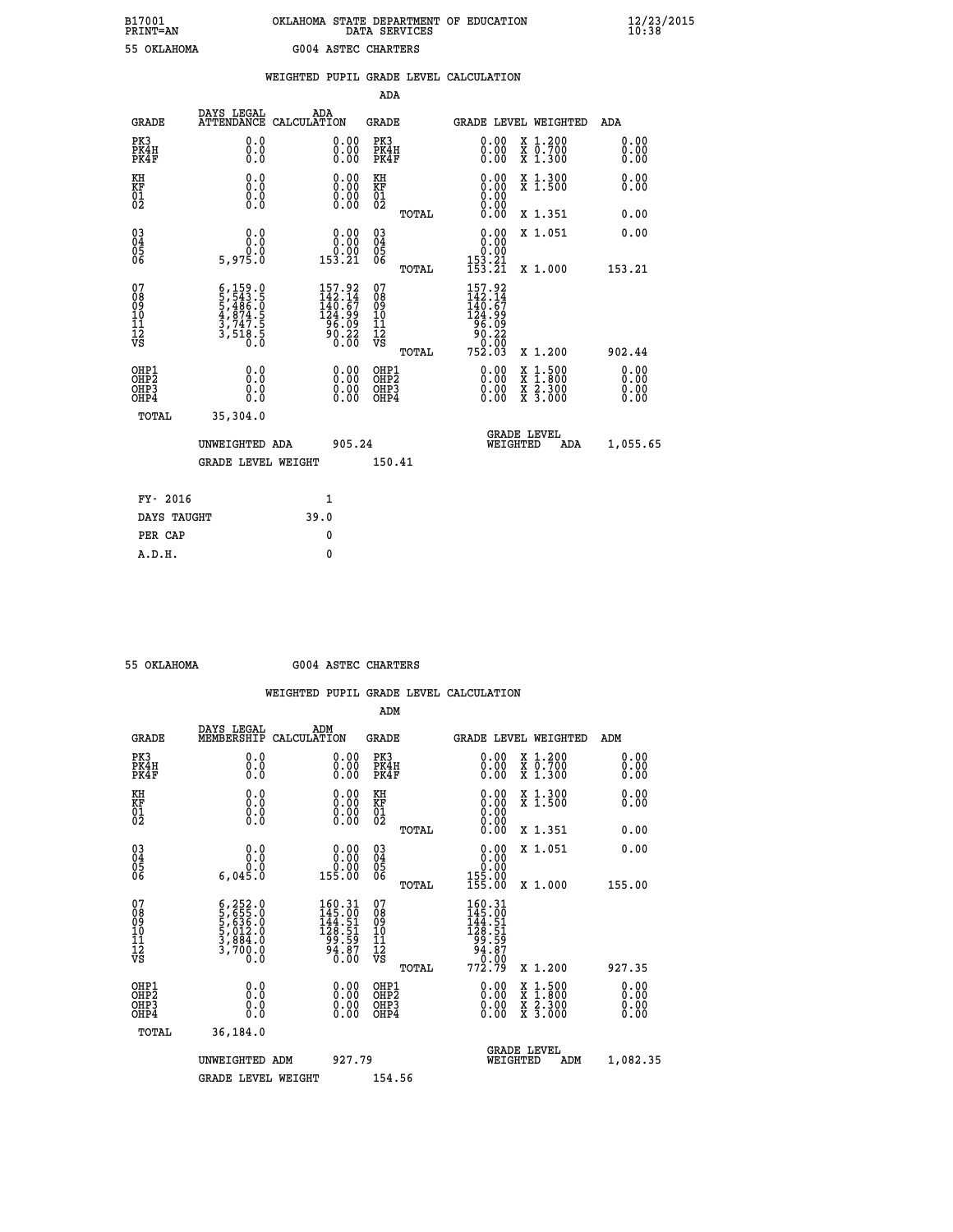# **B17001 OKLAHOMA STATE DEPARTMENT OF EDUCATION 12/23/2015 PRINT=AN DATA SERVICES 10:38 55 OKLAHOMA G004 ASTEC CHARTERS**

|                                                                    |                                           |                                                                                                                                                                    |      |                                                                               |                                                   |       | WEIGHTED PUPIL GRADE LEVEL CALCULATION                                                                                                                                                                                                                                         |  |                                                                                                                                           |  |                              |
|--------------------------------------------------------------------|-------------------------------------------|--------------------------------------------------------------------------------------------------------------------------------------------------------------------|------|-------------------------------------------------------------------------------|---------------------------------------------------|-------|--------------------------------------------------------------------------------------------------------------------------------------------------------------------------------------------------------------------------------------------------------------------------------|--|-------------------------------------------------------------------------------------------------------------------------------------------|--|------------------------------|
|                                                                    |                                           |                                                                                                                                                                    |      |                                                                               | <b>ADA</b>                                        |       |                                                                                                                                                                                                                                                                                |  |                                                                                                                                           |  |                              |
|                                                                    | <b>GRADE</b>                              | DAYS LEGAL<br>ATTENDANCE CALCULATION                                                                                                                               | ADA  |                                                                               | GRADE                                             |       | GRADE LEVEL WEIGHTED                                                                                                                                                                                                                                                           |  |                                                                                                                                           |  | ADA                          |
|                                                                    | PK3<br>PK4H<br>PK4F                       | 0.0<br>0.0<br>0.0                                                                                                                                                  |      | $\begin{smallmatrix} 0.00 \ 0.00 \ 0.00 \end{smallmatrix}$                    | PK3<br>PK4H<br>PK4F                               |       | $\begin{smallmatrix} 0.00 \ 0.00 \ 0.00 \end{smallmatrix}$                                                                                                                                                                                                                     |  | X 1.200<br>X 0.700<br>X 1.300                                                                                                             |  | 0.00<br>0.00<br>0.00         |
| KH<br>KF<br>01<br>02                                               |                                           | 0.0<br>0.0<br>0.0                                                                                                                                                  |      | 0.00<br>$\begin{smallmatrix} 0.00 & 0.00 \\ 0.00 & 0.00 \end{smallmatrix}$    | KH<br>KF<br>$\begin{matrix} 01 \ 02 \end{matrix}$ |       | 0.00<br>$\S. \S$                                                                                                                                                                                                                                                               |  | X 1.300<br>X 1.500                                                                                                                        |  | 0.00<br>0.00                 |
|                                                                    |                                           |                                                                                                                                                                    |      |                                                                               |                                                   | TOTAL | 0.00                                                                                                                                                                                                                                                                           |  | X 1.351                                                                                                                                   |  | 0.00                         |
| $\begin{smallmatrix} 03 \\[-4pt] 04 \end{smallmatrix}$<br>Ŏ5<br>06 |                                           | 0.0<br>0.0                                                                                                                                                         |      | $\begin{smallmatrix} 0.00\\ 0.00\\ 0.00\\ 153.21 \end{smallmatrix}$           | $\substack{03 \\ 04}$<br>$\frac{05}{06}$          |       | 0.00<br>0.00                                                                                                                                                                                                                                                                   |  | X 1.051                                                                                                                                   |  | 0.00                         |
|                                                                    |                                           | 5,975.0                                                                                                                                                            |      |                                                                               |                                                   | TOTAL | $153.21$<br>$153.21$                                                                                                                                                                                                                                                           |  | X 1.000                                                                                                                                   |  | 153.21                       |
| 07<br>08<br>09<br>01<br>11<br>11<br>12<br>VS                       |                                           | $\begin{smallmatrix} 6\,,\,159\,,\,0\\ 5\,,\,543\,,\,5\\ 5\,,\,486\,. \,0\\ 4\,,\,874\,. \,5\\ 3\,,\,747\,. \,5\\ 3\,,\,518\,. \,5\\ 0\,. \,0\\ \end{smallmatrix}$ |      | $157.92$<br>$142.14$<br>$140.67$<br>$124.999$<br>$96.09$<br>$90.22$<br>$0.00$ | 07<br>08<br>09<br>11<br>11<br>12<br>VS            | TOTAL | $\begin{array}{c} 157.92 \\ 142.14 \\ 140.67 \\ 124.99 \\ 96.09 \\ 90.22 \end{array}$<br>15.00<br>752.03                                                                                                                                                                       |  | X 1.200                                                                                                                                   |  | 902.44                       |
|                                                                    | OHP1<br>OH <sub>P</sub> 2<br>OHP3<br>OHP4 | 0.0<br>0.0<br>0.0                                                                                                                                                  |      | $\begin{smallmatrix} 0.00 \ 0.00 \ 0.00 \ 0.00 \end{smallmatrix}$             | OHP1<br>OHP <sub>2</sub><br>OHP3<br>OHP4          |       | $\begin{smallmatrix} 0.00 & 0.00 & 0.00 & 0.00 & 0.00 & 0.00 & 0.00 & 0.00 & 0.00 & 0.00 & 0.00 & 0.00 & 0.00 & 0.00 & 0.00 & 0.00 & 0.00 & 0.00 & 0.00 & 0.00 & 0.00 & 0.00 & 0.00 & 0.00 & 0.00 & 0.00 & 0.00 & 0.00 & 0.00 & 0.00 & 0.00 & 0.00 & 0.00 & 0.00 & 0.00 & 0.0$ |  | $\begin{smallmatrix} \mathtt{X} & 1\cdot500\\ \mathtt{X} & 1\cdot800\\ \mathtt{X} & 2\cdot300\\ \mathtt{X} & 3\cdot000 \end{smallmatrix}$ |  | 0.00<br>0.00<br>0.00<br>0.00 |
|                                                                    | TOTAL                                     | 35,304.0                                                                                                                                                           |      |                                                                               |                                                   |       |                                                                                                                                                                                                                                                                                |  |                                                                                                                                           |  |                              |
|                                                                    | UNWEIGHTED ADA                            |                                                                                                                                                                    |      | 905.24                                                                        |                                                   |       | <b>GRADE LEVEL</b><br>WEIGHTED<br>ADA                                                                                                                                                                                                                                          |  |                                                                                                                                           |  | 1,055.65                     |
|                                                                    |                                           | <b>GRADE LEVEL WEIGHT</b>                                                                                                                                          |      |                                                                               | 150.41                                            |       |                                                                                                                                                                                                                                                                                |  |                                                                                                                                           |  |                              |
|                                                                    | FY- 2016                                  |                                                                                                                                                                    |      | $\mathbf{1}$                                                                  |                                                   |       |                                                                                                                                                                                                                                                                                |  |                                                                                                                                           |  |                              |
|                                                                    | DAYS TAUGHT                               |                                                                                                                                                                    | 39.0 |                                                                               |                                                   |       |                                                                                                                                                                                                                                                                                |  |                                                                                                                                           |  |                              |
|                                                                    | PER CAP                                   |                                                                                                                                                                    |      | 0                                                                             |                                                   |       |                                                                                                                                                                                                                                                                                |  |                                                                                                                                           |  |                              |

 **A.D.H. 0**

 **55 OKLAHOMA G004 ASTEC CHARTERS**

|                                         |                                                                                           |                                                                              | ADM                                                 |       |                                                                                                         |                                          |                              |
|-----------------------------------------|-------------------------------------------------------------------------------------------|------------------------------------------------------------------------------|-----------------------------------------------------|-------|---------------------------------------------------------------------------------------------------------|------------------------------------------|------------------------------|
| <b>GRADE</b>                            | DAYS LEGAL<br>MEMBERSHIP                                                                  | ADM<br>CALCULATION                                                           | <b>GRADE</b>                                        |       |                                                                                                         | <b>GRADE LEVEL WEIGHTED</b>              | ADM                          |
| PK3<br>PK4H<br>PK4F                     | 0.0<br>0.0<br>0.0                                                                         | $\begin{smallmatrix} 0.00 \ 0.00 \ 0.00 \end{smallmatrix}$                   | PK3<br>PK4H<br>PK4F                                 |       | $\begin{smallmatrix} 0.00 \\ 0.00 \\ 0.00 \end{smallmatrix}$                                            | X 1.200<br>X 0.700<br>X 1.300            | 0.00<br>0.00<br>0.00         |
| KH<br>KF<br>01<br>02                    | 0.0<br>0.0<br>$\S.$                                                                       | $\begin{smallmatrix} 0.00 \ 0.00 \ 0.00 \ 0.00 \end{smallmatrix}$            | KH<br>KF<br>01<br>02                                |       | $\begin{smallmatrix} 0.00 \ 0.00 \ 0.00 \ 0.00 \ 0.00 \ 0.00 \end{smallmatrix}$                         | X 1.300<br>X 1.500                       | 0.00<br>0.00                 |
|                                         |                                                                                           |                                                                              |                                                     | TOTAL |                                                                                                         | X 1.351                                  | 0.00                         |
| 03<br>04<br>05<br>06                    | 0.0<br>ة:ة<br>6.045.0                                                                     | $\begin{smallmatrix} 0.00\\ 0.00\\ 0.00\\ 155.00 \end{smallmatrix}$          | $\begin{array}{c} 03 \\ 04 \\ 05 \\ 06 \end{array}$ |       | 0.00<br>$\begin{array}{r} 0.00 \\ 155.00 \\ 155.00 \end{array}$                                         | X 1.051                                  | 0.00                         |
|                                         |                                                                                           |                                                                              |                                                     | TOTAL |                                                                                                         | X 1.000                                  | 155.00                       |
| 07<br>08<br>09<br>101<br>11<br>12<br>VS | $6, 252.0$<br>$5, 655.0$<br>$5, 636.0$<br>$5, 012.0$<br>$3, 884.0$<br>$3, 700.0$<br>$0.0$ | $160.31$<br>$145.00$<br>$144.51$<br>$128.51$<br>$99.59$<br>$94.87$<br>$0.00$ | 07<br>08<br>09<br>11<br>11<br>12<br>VS              | TOTAL | $\begin{array}{r} 160.31 \\ 145.00 \\ 144.51 \\ 128.51 \\ 99.59 \\ 94.87 \\ 0.00 \\ 772.79 \end{array}$ | X 1.200                                  | 927.35                       |
| OHP1<br>OHP2<br>OHP3<br>OHP4            |                                                                                           |                                                                              | OHP1<br>OHP2<br>OHP <sub>3</sub>                    |       | $0.00$<br>$0.00$<br>0.00                                                                                | X 1:500<br>X 1:800<br>X 2:300<br>X 3:000 | 0.00<br>Ŏ.ŎŎ<br>Q.QQ<br>0.00 |
| TOTAL                                   | 36,184.0                                                                                  |                                                                              |                                                     |       |                                                                                                         |                                          |                              |
|                                         | UNWEIGHTED                                                                                | 927.79<br>ADM                                                                |                                                     |       | WEIGHTED                                                                                                | <b>GRADE LEVEL</b><br>ADM                | 1,082.35                     |
|                                         | <b>GRADE LEVEL WEIGHT</b>                                                                 |                                                                              | 154.56                                              |       |                                                                                                         |                                          |                              |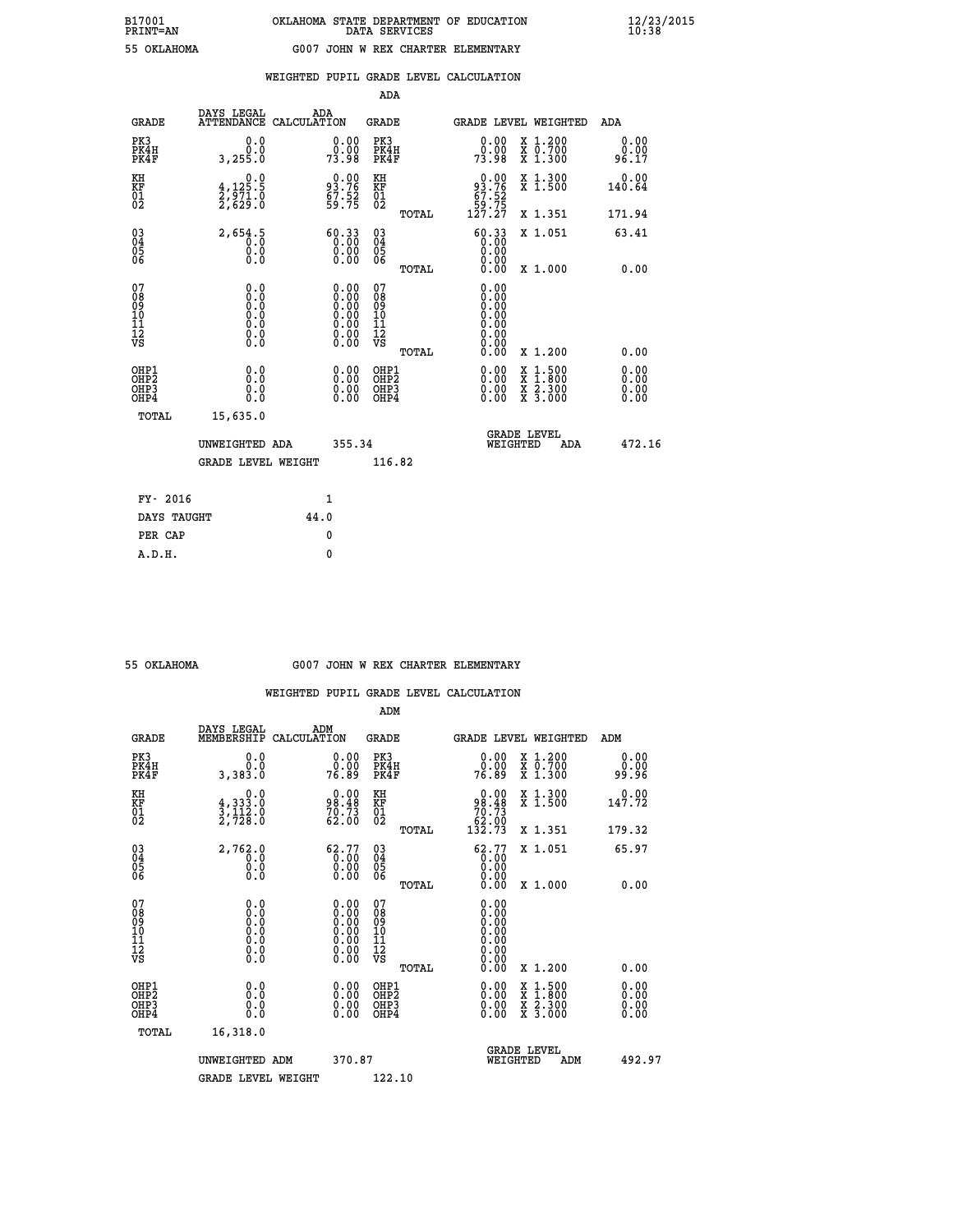| --------        |  |
|-----------------|--|
| <b>OVT AUOM</b> |  |

## **WEIGHTED PUPIL GRADE LEVEL CALCULATION**

|                                                    |                                                                         |                    |                                                                                               | ADA                                                |       |                                                      |   |                                          |                              |
|----------------------------------------------------|-------------------------------------------------------------------------|--------------------|-----------------------------------------------------------------------------------------------|----------------------------------------------------|-------|------------------------------------------------------|---|------------------------------------------|------------------------------|
| <b>GRADE</b>                                       | DAYS LEGAL<br><b>ATTENDANCE</b>                                         | ADA<br>CALCULATION |                                                                                               | GRADE                                              |       |                                                      |   | <b>GRADE LEVEL WEIGHTED</b>              | <b>ADA</b>                   |
| PK3<br>PK4H<br>PK4F                                | 0.0<br>0.0<br>3, 255.0                                                  |                    | 0.00<br>0.00<br>73.98                                                                         | PK3<br>PK4H<br>PK4F                                |       | 0.00<br>ŏ:ŏŏ<br>73:98                                |   | X 1.200<br>X 0.700<br>X 1.300            | 0.00<br>0.00<br>96.17        |
| KH<br><b>KF</b><br>01<br>02                        | $\begin{smallmatrix}&&&0.0\\4,125.5\\2,971.0\\2,629.0\end{smallmatrix}$ |                    | 93.76<br>$\frac{67.52}{59.75}$                                                                | KH<br>KF<br>01<br>02                               |       | $0.00$<br>$93.76$<br>$67.52$<br>$59.75$<br>$127.27$  |   | X 1.300<br>X 1.500                       | 0.00<br>140.64               |
|                                                    |                                                                         |                    |                                                                                               |                                                    | TOTAL |                                                      |   | X 1.351                                  | 171.94                       |
| $\begin{matrix} 03 \\ 04 \\ 05 \\ 06 \end{matrix}$ | 2,654.5<br>0.0<br>0.0                                                   |                    | $\begin{smallmatrix} 60.33\\ 0.00\\ 0.00\\ 0.00\\ 0.00 \end{smallmatrix}$                     | $\begin{matrix} 03 \\ 04 \\ 05 \\ 06 \end{matrix}$ |       | 60.33<br>0.00<br>0.00<br>0.00                        |   | X 1.051                                  | 63.41                        |
|                                                    |                                                                         |                    |                                                                                               |                                                    | TOTAL | 0.00                                                 |   | X 1.000                                  | 0.00                         |
| 07<br>08<br>09<br>101<br>11<br>12<br>VS            | $\S.$ $\S$                                                              |                    | $\begin{smallmatrix} 0.00\ 0.00\ 0.00\ 0.00\ 0.00\ 0.00\ 0.00\ 0.00\ 0.00\ \end{smallmatrix}$ | 07<br>08<br>09<br>11<br>11<br>12<br>VS             |       | 0.00<br>0.00<br>0.00<br>0.00<br>0.00<br>0.00<br>0.00 |   |                                          |                              |
|                                                    |                                                                         |                    |                                                                                               |                                                    | TOTAL | 0.00                                                 |   | X 1.200                                  | 0.00                         |
| OHP1<br>OHP2<br>OH <sub>P</sub> 3<br>OHP4          | 0.0<br>0.0<br>0.0                                                       |                    | 0.00<br>$0.00$<br>0.00                                                                        | OHP1<br>OHP2<br>OHP3<br>OHP4                       |       | $0.00$<br>$0.00$<br>0.00                             | X | $1.500$<br>$1.800$<br>X 2.300<br>X 3.000 | 0.00<br>0.00<br>0.00<br>0.00 |
| TOTAL                                              | 15,635.0                                                                |                    |                                                                                               |                                                    |       |                                                      |   |                                          |                              |
|                                                    | UNWEIGHTED ADA                                                          |                    | 355.34                                                                                        |                                                    |       | WEIGHTED                                             |   | <b>GRADE LEVEL</b><br>ADA                | 472.16                       |
|                                                    | <b>GRADE LEVEL WEIGHT</b>                                               |                    |                                                                                               | 116.82                                             |       |                                                      |   |                                          |                              |
| FY- 2016                                           |                                                                         | $\mathbf{1}$       |                                                                                               |                                                    |       |                                                      |   |                                          |                              |
| DAYS TAUGHT                                        |                                                                         | 44.0               |                                                                                               |                                                    |       |                                                      |   |                                          |                              |
|                                                    |                                                                         |                    |                                                                                               |                                                    |       |                                                      |   |                                          |                              |

| OKLAHOMA |
|----------|
|          |

**PER CAP** 0  **A.D.H. 0**

#### **55 OKLAHOMA G007 JOHN W REX CHARTER ELEMENTARY**

|                                                    |                                                                                                   |                                                                                               | ADM                                                 |       |                                                                               |                                          |                |                              |
|----------------------------------------------------|---------------------------------------------------------------------------------------------------|-----------------------------------------------------------------------------------------------|-----------------------------------------------------|-------|-------------------------------------------------------------------------------|------------------------------------------|----------------|------------------------------|
| <b>GRADE</b>                                       | DAYS LEGAL<br>MEMBERSHIP                                                                          | ADM<br>CALCULATION                                                                            | <b>GRADE</b>                                        |       | <b>GRADE LEVEL WEIGHTED</b>                                                   |                                          | ADM            |                              |
| PK3<br>PK4H<br>PK4F                                | 0.0<br>0.0<br>3,383.0                                                                             | $\begin{smallmatrix} 0.00\\ 0.00\\ 76.89 \end{smallmatrix}$                                   | PK3<br>PK4H<br>PK4F                                 |       | $\begin{smallmatrix} 0.00\\ 0.00\\ 76.89 \end{smallmatrix}$                   | X 1.200<br>X 0.700<br>X 1.300            | ŏÖ.ÖŎ<br>98.96 | 0.00                         |
| KH<br>KF<br>01<br>02                               | 0.0<br>$\frac{4}{3}, \frac{333}{122}$ .0<br>2,728.0                                               | $98.48$<br>$70.73$<br>$62.00$                                                                 | KH<br>KF<br>01<br>02                                |       | $\begin{smallmatrix} &0.00\\ 98.48\\ 70.73\\ 62.00\\ 132.73\end{smallmatrix}$ | X 1.300<br>X 1.500                       | 147.72         | 0.00                         |
|                                                    |                                                                                                   |                                                                                               |                                                     | TOTAL |                                                                               | X 1.351                                  | 179.32         |                              |
| $\begin{matrix} 03 \\ 04 \\ 05 \\ 06 \end{matrix}$ | 2,762.0<br>Ō.Ō<br>$\begin{smallmatrix} 0.5 & 0 \ 0.0 & 0 \end{smallmatrix}$                       | $\begin{smallmatrix} 62.77\ 0.00\ 0.00\ 0.00 \end{smallmatrix}$                               | $\begin{array}{c} 03 \\ 04 \\ 05 \\ 06 \end{array}$ |       | 62.77<br>0.00<br>0.00                                                         | X 1.051                                  | 65.97          |                              |
|                                                    |                                                                                                   |                                                                                               |                                                     | TOTAL | 0.00                                                                          | X 1.000                                  |                | 0.00                         |
| 07<br>08<br>09<br>101<br>11<br>12<br>VS            | $\begin{smallmatrix} 0.0 & 0 \ 0.0 & 0 \ 0.0 & 0 \ 0.0 & 0 \ 0.0 & 0 \ 0.0 & 0 \end{smallmatrix}$ | $\begin{smallmatrix} 0.00\ 0.00\ 0.00\ 0.00\ 0.00\ 0.00\ 0.00\ 0.00\ 0.00\ \end{smallmatrix}$ | 07<br>08<br>09<br>11<br>11<br>12<br>VS              |       | $0.00$<br>$0.00$<br>$0.00$<br>0.00<br>0.00                                    |                                          |                |                              |
|                                                    |                                                                                                   |                                                                                               |                                                     | TOTAL | 0.00                                                                          | X 1.200                                  |                | 0.00                         |
| OHP1<br>OHP2<br>OH <sub>P3</sub><br>OHP4           | 0.0<br>$\begin{smallmatrix} 0.0 & 0 \ 0.0 & 0 \end{smallmatrix}$                                  | $\begin{smallmatrix} 0.00 \ 0.00 \ 0.00 \ 0.00 \end{smallmatrix}$                             | OHP1<br>OHP2<br>OHP <sub>3</sub>                    |       | $0.00$<br>$0.00$<br>0.00                                                      | X 1:500<br>X 1:800<br>X 2:300<br>X 3:000 |                | 0.00<br>Ŏ.ŎŎ<br>Q.QQ<br>0.00 |
| TOTAL                                              | 16,318.0                                                                                          |                                                                                               |                                                     |       |                                                                               |                                          |                |                              |
|                                                    | UNWEIGHTED ADM                                                                                    | 370.87                                                                                        |                                                     |       | WEIGHTED                                                                      | <b>GRADE LEVEL</b><br>ADM                |                | 492.97                       |
|                                                    | <b>GRADE LEVEL WEIGHT</b>                                                                         |                                                                                               | 122.10                                              |       |                                                                               |                                          |                |                              |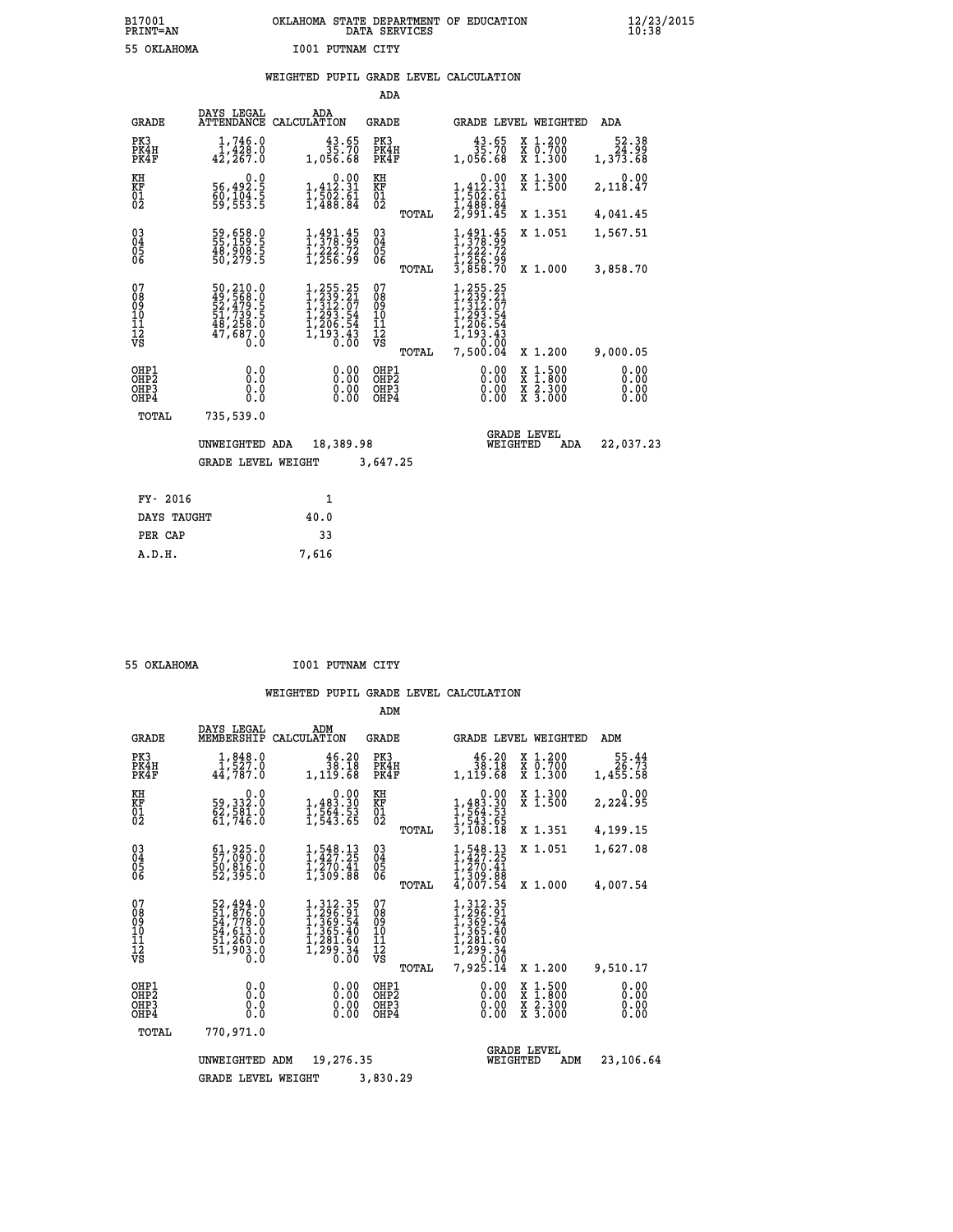## **B17001 OKLAHOMA STATE DEPARTMENT OF EDUCATION 12/23/2015 PRINT=AN DATA SERVICES 10:38 55 OKLAHOMA I001 PUTNAM CITY**

## **WEIGHTED PUPIL GRADE LEVEL CALCULATION**

|                                                                    |                                                                                   |                                                                                                                | ADA                                                               |                                                                                                  |                                                                                                  |                              |
|--------------------------------------------------------------------|-----------------------------------------------------------------------------------|----------------------------------------------------------------------------------------------------------------|-------------------------------------------------------------------|--------------------------------------------------------------------------------------------------|--------------------------------------------------------------------------------------------------|------------------------------|
| <b>GRADE</b>                                                       | DAYS LEGAL                                                                        | ADA<br>ATTENDANCE CALCULATION                                                                                  | <b>GRADE</b>                                                      |                                                                                                  | GRADE LEVEL WEIGHTED                                                                             | ADA                          |
| PK3<br>PK4H<br>PK4F                                                | 1,746.0<br>1,428.0<br>42, 267.0                                                   | $\frac{43.65}{35.70}$<br>1,056.68                                                                              | PK3<br>PK4H<br>PK4F                                               | $43.65$<br>$35.70$<br>1,056.68                                                                   | X 1.200<br>X 0.700<br>X 1.300                                                                    | 52.38<br>24.99<br>1,373.68   |
| KH<br><b>KF</b><br>01<br>02                                        | 0.0<br>56,492.5<br>60,104.5<br>59,553.5                                           | $\begin{smallmatrix}&&0.00\\1,412.31\\1,502.61\\1,488.84\end{smallmatrix}$                                     | KH<br>KF<br>01<br>02                                              | $\begin{smallmatrix}&&0.00\\1,412.31\\1,502.61\\1,508.84\\2,991.45\end{smallmatrix}$             | X 1.300<br>X 1.500                                                                               | 0.00<br>2,118.47             |
|                                                                    |                                                                                   |                                                                                                                | TOTAL                                                             |                                                                                                  | X 1.351                                                                                          | 4,041.45                     |
| $\begin{smallmatrix} 03 \\[-4pt] 04 \end{smallmatrix}$<br>Ŏ5<br>06 | 59,658.0<br>55,159.5<br>48,908.5<br>50,279.5                                      | $1, 491.45$<br>$1, 378.99$<br>$1, 222.72$<br>$1, 256.99$                                                       | $\substack{03 \\ 04}$<br>$\begin{matrix} 0.5 \\ 0.6 \end{matrix}$ | $1,491.45$<br>$1,378.99$<br>$1,222.72$<br>$1,256.99$<br>$3,858.70$                               | X 1.051                                                                                          | 1,567.51                     |
|                                                                    |                                                                                   |                                                                                                                | TOTAL                                                             |                                                                                                  | X 1.000                                                                                          | 3,858.70                     |
| 07<br>08<br>09<br>11<br>11<br>12<br>VS                             | 50, 210.0<br>49, 568.0<br>52, 479.5<br>51, 739.5<br>48, 258.0<br>47, 687.0<br>0.0 | $\begin{smallmatrix} 1,255.25\\ 1,239.21\\ 1,312.07\\ 1,293.54\\ 1,206.54\\ 1,193.43\\ 0.00 \end{smallmatrix}$ | 07<br>08<br>09<br>11<br>11<br>12<br>VS                            | $\begin{smallmatrix} 255.25\ 239.21\ 212.07\ 293.54\ 206.54\ 193.43\ 0&0.004\ \end{smallmatrix}$ |                                                                                                  |                              |
|                                                                    |                                                                                   |                                                                                                                | TOTAL                                                             | 7,500.04                                                                                         | X 1.200                                                                                          | 9,000.05                     |
| OHP1<br>OHP <sub>2</sub><br>OHP3<br>OH <sub>P4</sub>               | 0.0<br>0.0<br>0.0                                                                 | 0.00<br>0.00                                                                                                   | OHP1<br>OHP2<br>OHP3<br>OHP4                                      | 0.00<br>0.00                                                                                     | $\begin{smallmatrix} x & 1 & 500 \\ x & 1 & 800 \\ x & 2 & 300 \\ x & 3 & 000 \end{smallmatrix}$ | 0.00<br>0.00<br>0.00<br>0.00 |
| TOTAL                                                              | 735,539.0                                                                         |                                                                                                                |                                                                   |                                                                                                  |                                                                                                  |                              |
|                                                                    | UNWEIGHTED ADA                                                                    | 18,389.98                                                                                                      |                                                                   | WEIGHTED                                                                                         | <b>GRADE LEVEL</b><br>ADA                                                                        | 22,037.23                    |
|                                                                    | <b>GRADE LEVEL WEIGHT</b>                                                         |                                                                                                                | 3,647.25                                                          |                                                                                                  |                                                                                                  |                              |
| FY- 2016                                                           |                                                                                   | $\mathbf{1}$                                                                                                   |                                                                   |                                                                                                  |                                                                                                  |                              |
| DAYS TAUGHT                                                        |                                                                                   | 40.0                                                                                                           |                                                                   |                                                                                                  |                                                                                                  |                              |
| PER CAP                                                            |                                                                                   | 33                                                                                                             |                                                                   |                                                                                                  |                                                                                                  |                              |

| 55 OFTAHOMA |  |
|-------------|--|

 **A.D.H. 7,616**

 **55 OKLAHOMA I001 PUTNAM CITY**

|                                           |                                                                             |                                                                                           | ADM                                             |                                                                                                            |                                                                                                  |                              |
|-------------------------------------------|-----------------------------------------------------------------------------|-------------------------------------------------------------------------------------------|-------------------------------------------------|------------------------------------------------------------------------------------------------------------|--------------------------------------------------------------------------------------------------|------------------------------|
| <b>GRADE</b>                              | DAYS LEGAL<br>MEMBERSHIP                                                    | ADM<br>CALCULATION                                                                        | <b>GRADE</b>                                    | <b>GRADE LEVEL WEIGHTED</b>                                                                                |                                                                                                  | ADM                          |
| PK3<br>PK4H<br>PK4F                       | $1,848.0$<br>$1,527.0$<br>44,787.0                                          | 46.20<br>38.18<br>1,119.68                                                                | PK3<br>PK4H<br>PK4F                             | 46.20<br>38.18<br>1,119.68                                                                                 | $\begin{smallmatrix} x & 1.200 \\ x & 0.700 \end{smallmatrix}$<br>X 1.300                        | 55.44<br>26.73<br>1,455.58   |
| KH<br>KF<br>01<br>02                      | 0.0<br>59,332.0<br>$\frac{52}{61}$ , 581.0                                  | $\begin{smallmatrix}&&&0.00\\1,483.30\\1,564.53\\1,543.65\end{smallmatrix}$               | KH<br>KF<br>01<br>02                            | 0.00<br>$1,483.30$<br>$1,564.53$<br>$1,543.65$<br>$3,108.18$                                               | X 1.300<br>X 1.500                                                                               | 0.00<br>2,224.95             |
|                                           | $61,925.0$<br>57,090.0<br>50,816.0                                          | 1,548.13<br>1,427.25                                                                      | TOTAL<br>$\substack{03 \\ 04}$                  | 1,548.13<br>1,427.25                                                                                       | X 1.351<br>X 1.051                                                                               | 4,199.15<br>1,627.08         |
| 03<br>04<br>05<br>06                      | 52,395.0                                                                    | $\frac{1}{2}, \frac{2}{309}. \frac{41}{88}$                                               | 05<br>TOTAL                                     | $\frac{1}{2}$ , $\frac{270}{309}$ , $\frac{41}{88}$<br>4, 007.54                                           | X 1.000                                                                                          | 4,007.54                     |
| 07<br>08<br>09<br>11<br>11<br>12<br>VS    | 52,494.0<br>51,876.0<br>54,778.0<br>54,613.0<br>51,260.0<br>51,903.0<br>0.0 | $1, 312.35$<br>$1, 296.91$<br>$1, 369.54$<br>$1, 365.40$<br>1,281.60<br>ī, 299.34<br>0.00 | 07<br>08<br>09<br>11<br>11<br>12<br>VS<br>TOTAL | 1, 312. 35<br>1, 326. 91<br>1, 369. 54<br>1, 365. 40<br>1, 281. 60<br>1, 299. 34<br>7, 290. 90<br>7,925.14 | X 1.200                                                                                          | 9,510.17                     |
| OHP1<br>OH <sub>P</sub> 2<br>OHP3<br>OHP4 | 0.0<br>0.0<br>Ŏ.Ŏ                                                           | 0.00<br>0.00<br>0.00                                                                      | OHP1<br>OHP2<br>OHP3<br>OHP4                    | 0.00<br>0.00<br>0.00                                                                                       | $\begin{smallmatrix} x & 1 & 500 \\ x & 1 & 800 \\ x & 2 & 300 \\ x & 3 & 000 \end{smallmatrix}$ | 0.00<br>0.00<br>0.00<br>0.00 |
| TOTAL                                     | 770,971.0                                                                   |                                                                                           |                                                 |                                                                                                            |                                                                                                  |                              |
|                                           | UNWEIGHTED                                                                  | 19,276.35<br>ADM                                                                          |                                                 | WEIGHTED                                                                                                   | <b>GRADE LEVEL</b><br>ADM                                                                        | 23,106.64                    |
|                                           | <b>GRADE LEVEL WEIGHT</b>                                                   |                                                                                           | 3,830.29                                        |                                                                                                            |                                                                                                  |                              |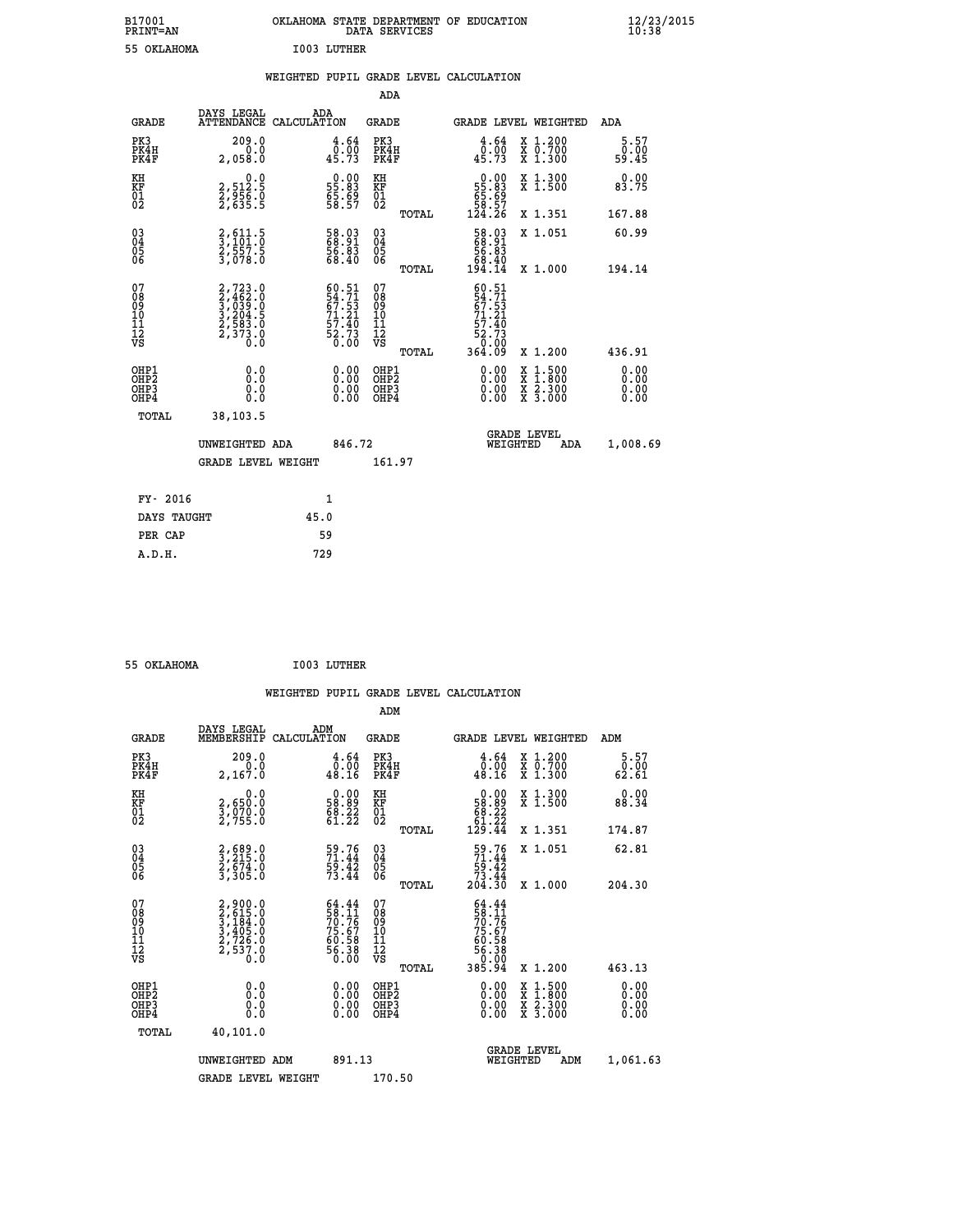| B17001<br><b>PRINT=AN</b> | OKLAHOMA STATE DEPARTMENT OF EDUCATION<br>DATA SERVICES | $\frac{12}{23}$ /2015 |
|---------------------------|---------------------------------------------------------|-----------------------|
| 55 OKLAHOMA               | I003 LUTHER                                             |                       |

|  |  | WEIGHTED PUPIL GRADE LEVEL CALCULATION |
|--|--|----------------------------------------|
|  |  |                                        |

|                                                                    |                                                                            |                                                                      | ADA                                                 |       |                                                                                      |                                          |                              |
|--------------------------------------------------------------------|----------------------------------------------------------------------------|----------------------------------------------------------------------|-----------------------------------------------------|-------|--------------------------------------------------------------------------------------|------------------------------------------|------------------------------|
| <b>GRADE</b>                                                       | DAYS LEGAL<br><b>ATTENDANCE</b>                                            | ADA<br>CALCULATION                                                   | <b>GRADE</b>                                        |       |                                                                                      | <b>GRADE LEVEL WEIGHTED</b>              | ADA                          |
| PK3<br>PK4H<br>PK4F                                                | 209.0<br>0.0<br>2,058.0                                                    | $\begin{smallmatrix} 4.64\ 0.00\ 45.73 \end{smallmatrix}$            | PK3<br>PK4H<br>PK4F                                 |       | 4.64<br>$\frac{6}{45.73}$                                                            | X 1.200<br>X 0.700<br>X 1.300            | 5.57<br>0.00<br>59.45        |
| KH<br>KF<br>01<br>02                                               | 0.0<br>2,512.5<br>2,956.0<br>2,635.5                                       | $\begin{smallmatrix} 0.00\\ 55.83\\ 65.69\\ 58.57 \end{smallmatrix}$ | KH<br>KF<br>01<br>02                                |       | $\begin{smallmatrix} &0.00\,55.83\\ 55.83\\ 65.69\\ 58.57\\ 124.26\end{smallmatrix}$ | X 1.300<br>X 1.500                       | 0.00<br>83.75                |
|                                                                    |                                                                            |                                                                      |                                                     | TOTAL |                                                                                      | X 1.351                                  | 167.88                       |
| $\begin{smallmatrix} 03 \\[-4pt] 04 \end{smallmatrix}$<br>Ŏ5<br>06 | 2,611:5<br>3,101:0<br>2,557:5<br>3,078:0                                   | 58.03<br>68.91<br>56.83<br>68.40                                     | $\begin{array}{c} 03 \\ 04 \\ 05 \\ 06 \end{array}$ |       | $\begin{smallmatrix} 58.03\ 68.91\ 56.83\ 68.40\ 194.14\ \end{smallmatrix}$          | X 1.051                                  | 60.99                        |
|                                                                    |                                                                            |                                                                      |                                                     | TOTAL |                                                                                      | X 1.000                                  | 194.14                       |
| 07<br>08<br>09<br>101<br>11<br>12<br>VS                            | $2,723.0$<br>$3,462.0$<br>$3,039.0$<br>$3,204.5$<br>$2,583.0$<br>$2,373.0$ | $60.51$<br>54.71<br>67.53<br>71.21<br>71.40<br>52.73<br>52.73        | 07<br>08<br>09<br>11<br>11<br>12<br>VS              |       | $\frac{60.51}{54.71}$<br>$71.21$<br>57.40<br>52.73<br>0.00                           |                                          |                              |
|                                                                    |                                                                            |                                                                      |                                                     | TOTAL | 364.Ŏ9                                                                               | X 1.200                                  | 436.91                       |
| OHP1<br>OHP <sub>2</sub><br>OH <sub>P3</sub><br>OHP4               | 0.0<br>0.000                                                               | 0.00<br>$\begin{smallmatrix} 0.00 \ 0.00 \end{smallmatrix}$          | OHP1<br>OHP2<br>OHP <sub>3</sub>                    |       | 0.00<br>0.00                                                                         | X 1:500<br>X 1:800<br>X 2:300<br>X 3:000 | 0.00<br>0.00<br>0.00<br>0.00 |
| TOTAL                                                              | 38,103.5                                                                   |                                                                      |                                                     |       |                                                                                      |                                          |                              |
|                                                                    | UNWEIGHTED ADA                                                             | 846.72                                                               |                                                     |       |                                                                                      | <b>GRADE LEVEL</b><br>WEIGHTED<br>ADA    | 1,008.69                     |
|                                                                    | <b>GRADE LEVEL WEIGHT</b>                                                  |                                                                      | 161.97                                              |       |                                                                                      |                                          |                              |
| FY- 2016                                                           |                                                                            | $\mathbf{1}$                                                         |                                                     |       |                                                                                      |                                          |                              |
| DAYS TAUGHT                                                        |                                                                            | 45.0                                                                 |                                                     |       |                                                                                      |                                          |                              |
| PER CAP                                                            |                                                                            | 59                                                                   |                                                     |       |                                                                                      |                                          |                              |

| 55 OKLAHOMA | I003 LUTHER |
|-------------|-------------|

 **ADM DAYS LEGAL ADM GRADE MEMBERSHIP CALCULATION GRADE GRADE LEVEL WEIGHTED ADM PK3 209.0 4.64 PK3 4.64 X 1.200 5.57 PK4H 0.0 0.00 PK4H 0.00 X 0.700 0.00 PK4F 2,167.0 48.16 PK4F 48.16 X 1.300 62.61** 0.00 KH 0.00 0.00 KH 0.00 X 1.300<br>RF 2,650.0 58.89 KF 58.89 X 1.500 88.34  **01 3,070.0 68.22 01 68.22**

|                                          |       | ŏż                                                                                                                                                                                          |                                                                                                                                                                                                                                                                                                                                                                                                                   |                                   |                                                                                                                                                                                                               |                                                                                                                                                                                                                                                                                |
|------------------------------------------|-------|---------------------------------------------------------------------------------------------------------------------------------------------------------------------------------------------|-------------------------------------------------------------------------------------------------------------------------------------------------------------------------------------------------------------------------------------------------------------------------------------------------------------------------------------------------------------------------------------------------------------------|-----------------------------------|---------------------------------------------------------------------------------------------------------------------------------------------------------------------------------------------------------------|--------------------------------------------------------------------------------------------------------------------------------------------------------------------------------------------------------------------------------------------------------------------------------|
|                                          |       |                                                                                                                                                                                             |                                                                                                                                                                                                                                                                                                                                                                                                                   |                                   |                                                                                                                                                                                                               | 174.87                                                                                                                                                                                                                                                                         |
|                                          |       | $\begin{matrix} 03 \\ 04 \\ 05 \\ 06 \end{matrix}$                                                                                                                                          |                                                                                                                                                                                                                                                                                                                                                                                                                   |                                   |                                                                                                                                                                                                               | 62.81<br>204.30                                                                                                                                                                                                                                                                |
|                                          |       | 078<br>089<br>0011<br>11<br>12<br>VS                                                                                                                                                        |                                                                                                                                                                                                                                                                                                                                                                                                                   |                                   |                                                                                                                                                                                                               | 463.13                                                                                                                                                                                                                                                                         |
| OHP1<br>OHP2<br>OH <sub>P3</sub><br>OHP4 |       | OHP1<br>OHP2<br>OHP3<br>OHP4                                                                                                                                                                |                                                                                                                                                                                                                                                                                                                                                                                                                   |                                   |                                                                                                                                                                                                               | $\begin{smallmatrix} 0.00 & 0.00 & 0.00 & 0.00 & 0.00 & 0.00 & 0.00 & 0.00 & 0.00 & 0.00 & 0.00 & 0.00 & 0.00 & 0.00 & 0.00 & 0.00 & 0.00 & 0.00 & 0.00 & 0.00 & 0.00 & 0.00 & 0.00 & 0.00 & 0.00 & 0.00 & 0.00 & 0.00 & 0.00 & 0.00 & 0.00 & 0.00 & 0.00 & 0.00 & 0.00 & 0.0$ |
|                                          |       |                                                                                                                                                                                             |                                                                                                                                                                                                                                                                                                                                                                                                                   |                                   | ADM                                                                                                                                                                                                           | 1,061.63                                                                                                                                                                                                                                                                       |
|                                          | TOTAL | 2,755.0<br>2,689.0<br>3,215.0<br>2,674.0<br>3,305.0<br>2,900.0<br>3,615.0<br>3,184.0<br>3,184.0<br>3,405.0<br>2,726.0<br>2,537.0<br>40,101.0<br>UNWEIGHTED ADM<br><b>GRADE LEVEL WEIGHT</b> | 61:22<br>59.76<br>71.44<br>59.42<br>73.44<br>$64.44$<br>$58.11$<br>$70.76$<br>$75.67$<br>$60.58$<br>$56.38$<br>$0.00$<br>$\begin{smallmatrix} 0.00 & 0.00 & 0.00 & 0.00 & 0.00 & 0.00 & 0.00 & 0.00 & 0.00 & 0.00 & 0.00 & 0.00 & 0.00 & 0.00 & 0.00 & 0.00 & 0.00 & 0.00 & 0.00 & 0.00 & 0.00 & 0.00 & 0.00 & 0.00 & 0.00 & 0.00 & 0.00 & 0.00 & 0.00 & 0.00 & 0.00 & 0.00 & 0.00 & 0.00 & 0.00 & 0.0$<br>891.13 | TOTAL<br>TOTAL<br>TOTAL<br>170.50 | $\substack{81.22 \\ 129.44}$<br>$\begin{array}{c} 59.76 \\ 71.44 \\ 59.42 \\ 73.44 \\ 204.30 \end{array}$<br>$64.44$<br>$58.11$<br>$70.76$<br>$75.67$<br>$75.67$<br>$60.58$<br>$56.38$<br>$0.000$<br>$385.94$ | X 1.351<br>X 1.051<br>X 1.000<br>X 1.200<br>X 1:500<br>X 1:800<br>X 2:300<br>X 3:000<br><b>GRADE LEVEL</b><br>WEIGHTED                                                                                                                                                         |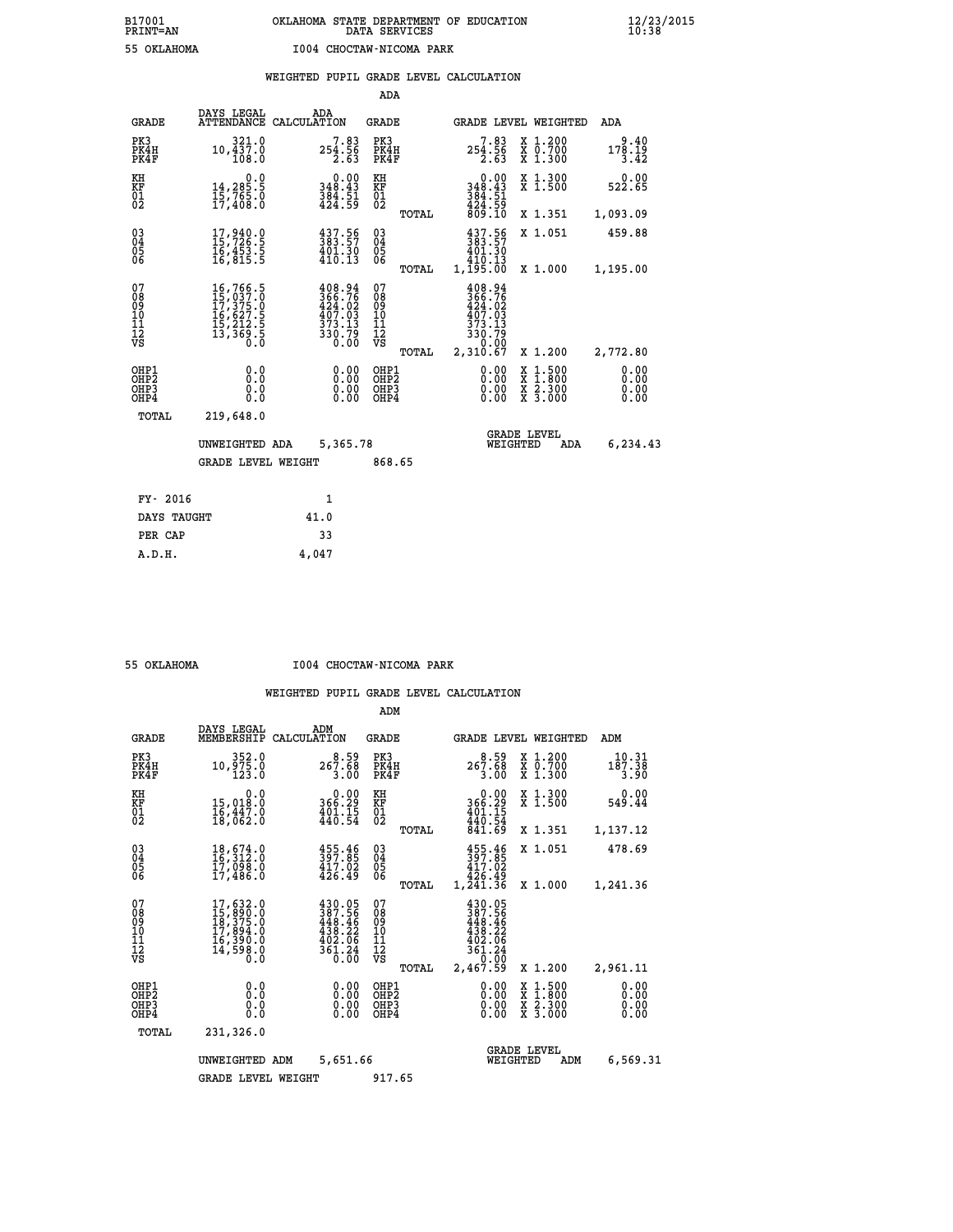|  |  | WEIGHTED PUPIL GRADE LEVEL CALCULATION |
|--|--|----------------------------------------|

|                                                                    |                                                                                                                                                                |                                                                            | ADA                                    |       |                                                                      |                                                                                                                                           |                              |
|--------------------------------------------------------------------|----------------------------------------------------------------------------------------------------------------------------------------------------------------|----------------------------------------------------------------------------|----------------------------------------|-------|----------------------------------------------------------------------|-------------------------------------------------------------------------------------------------------------------------------------------|------------------------------|
| <b>GRADE</b>                                                       | DAYS LEGAL                                                                                                                                                     | ADA<br>ATTENDANCE CALCULATION                                              | <b>GRADE</b>                           |       |                                                                      | GRADE LEVEL WEIGHTED                                                                                                                      | <b>ADA</b>                   |
| PK3<br>PK4H<br>PK4F                                                | 321.0<br>10,437.0<br>108.0                                                                                                                                     | $7.83$<br>254.56<br>2.63                                                   | PK3<br>PK4H<br>PK4F                    |       | 7.83<br>254.56<br>2.63                                               | X 1.200<br>X 0.700<br>X 1.300                                                                                                             | 9.40<br>178.19<br>3.42       |
| KH<br>KF<br>01<br>02                                               | 0.0<br>$14, 285.5$<br>$15, 765.0$<br>$17, 408.0$                                                                                                               | 0.00<br>348.43<br>$\frac{384}{424}.51$                                     | KH<br>KF<br>01<br>02                   |       | 0.00<br>348.43                                                       | X 1.300<br>X 1.500                                                                                                                        | 0.00<br>522.65               |
|                                                                    |                                                                                                                                                                |                                                                            |                                        | TOTAL | $384.51$<br>$424.59$<br>$809.10$                                     | X 1.351                                                                                                                                   | 1,093.09                     |
| $\begin{smallmatrix} 03 \\[-4pt] 04 \end{smallmatrix}$<br>Ŏ5<br>06 | $\begin{smallmatrix} 17,940.0\\ 15,726.5\\ 16,453.5\\ 16,815.5 \end{smallmatrix}$                                                                              | $\begin{smallmatrix} 437.56\\ 383.57\\ 401.30\\ 410.13 \end{smallmatrix}$  | $\substack{03 \\ 04}$<br>Ŏ5<br>06      |       | 437.56<br>383.57<br>401.30<br>110.13<br>1,195.00                     | X 1.051                                                                                                                                   | 459.88                       |
|                                                                    |                                                                                                                                                                |                                                                            |                                        | TOTAL |                                                                      | X 1.000                                                                                                                                   | 1,195.00                     |
| 07<br>08<br>09<br>101<br>11<br>12<br>VS                            | $\begin{smallmatrix} 16\,,\,766\,,\,5\\ 15\,,\,037\,,\,0\\ 17\,,\,375\,,\,0\\ 16\,,\,627\,,\,5\\ 15\,,\,212\,,\,5\\ 13\,,\,369\,,\,5\\ 0\,. \end{smallmatrix}$ | $408.94$<br>$366.76$<br>$424.02$<br>$407.03$<br>$373.13$<br>330.79<br>0.00 | 07<br>08<br>09<br>11<br>11<br>12<br>VS |       | 408.94<br>$\frac{366}{424}.76$<br>407.03<br>373.13<br>330.79<br>0.00 |                                                                                                                                           |                              |
|                                                                    |                                                                                                                                                                |                                                                            |                                        | TOTAL | 2,310.67                                                             | X 1.200                                                                                                                                   | 2,772.80                     |
| OHP1<br>OHP <sub>2</sub><br>OH <sub>P3</sub><br>OHP4               | 0.0<br>0.0<br>$0.\overline{0}$                                                                                                                                 | 0.00<br>$\begin{smallmatrix} 0.00 \ 0.00 \end{smallmatrix}$                | OHP1<br>OHP2<br>OHP <sub>3</sub>       |       | 0.00<br>0.00                                                         | $\begin{smallmatrix} \mathtt{X} & 1\cdot500\\ \mathtt{X} & 1\cdot800\\ \mathtt{X} & 2\cdot300\\ \mathtt{X} & 3\cdot000 \end{smallmatrix}$ | 0.00<br>0.00<br>0.00<br>0.00 |
| TOTAL                                                              | 219,648.0                                                                                                                                                      |                                                                            |                                        |       |                                                                      |                                                                                                                                           |                              |
|                                                                    | UNWEIGHTED ADA                                                                                                                                                 | 5,365.78                                                                   |                                        |       |                                                                      | <b>GRADE LEVEL</b><br>WEIGHTED<br>ADA                                                                                                     | 6,234.43                     |
|                                                                    | <b>GRADE LEVEL WEIGHT</b>                                                                                                                                      |                                                                            | 868.65                                 |       |                                                                      |                                                                                                                                           |                              |
| FY- 2016                                                           |                                                                                                                                                                | 1                                                                          |                                        |       |                                                                      |                                                                                                                                           |                              |
| DAYS TAUGHT                                                        |                                                                                                                                                                | 41.0                                                                       |                                        |       |                                                                      |                                                                                                                                           |                              |
| PER CAP                                                            |                                                                                                                                                                | 33                                                                         |                                        |       |                                                                      |                                                                                                                                           |                              |

 **A.D.H. 4,047**

 **55 OKLAHOMA I004 CHOCTAW-NICOMA PARK**

|                                                      |                                                                                                                     |                                                                                                    | ADM                                             |                                                                                        |                                                                                                  |                              |
|------------------------------------------------------|---------------------------------------------------------------------------------------------------------------------|----------------------------------------------------------------------------------------------------|-------------------------------------------------|----------------------------------------------------------------------------------------|--------------------------------------------------------------------------------------------------|------------------------------|
| <b>GRADE</b>                                         | DAYS LEGAL<br>MEMBERSHIP                                                                                            | ADM<br>CALCULATION                                                                                 | <b>GRADE</b>                                    |                                                                                        | GRADE LEVEL WEIGHTED                                                                             | ADM                          |
| PK3<br>PK4H<br>PK4F                                  | 352.0<br>10,975.0<br>123.0                                                                                          | $8.59$<br>267.68<br>3.00                                                                           | PK3<br>PK4H<br>PK4F                             | $267.68$<br>3.00                                                                       | X 1.200<br>X 0.700<br>X 1.300                                                                    | 10.31<br>187.38<br>3.90      |
| KH<br>KF<br>01<br>02                                 | 0.0<br>15,018:0<br>16,447:0<br>18,062:0                                                                             | $\begin{smallmatrix} &0.00\\ 366.29\\ 401.15\\ 440.54\end{smallmatrix}$                            | KH<br>KF<br>01<br>02                            | $0.00$<br>366.29<br>401.15<br>440.54                                                   | X 1.300<br>X 1.500                                                                               | 0.00<br>549.44               |
|                                                      |                                                                                                                     |                                                                                                    | TOTAL                                           | 841.69                                                                                 | X 1.351                                                                                          | 1,137.12                     |
| 03<br>04<br>05<br>06                                 | 18,674.0<br>16,312.0<br>17,098.0<br>17,486.0                                                                        | $\begin{smallmatrix} 455\cdot\frac{46}{397} \ .\ 85\ 417\cdot\ 02\ 426\cdot\ 49 \end{smallmatrix}$ | $^{03}_{04}$<br>05<br>06                        | $455.46$<br>397.85<br>417.02<br>426.49                                                 | X 1.051                                                                                          | 478.69                       |
|                                                      |                                                                                                                     |                                                                                                    | TOTAL                                           | 1,241.36                                                                               | X 1.000                                                                                          | 1,241.36                     |
| 07<br>08<br>09<br>101<br>112<br>VS                   | $\begin{smallmatrix} 17, 632.0\\ 15, 890.0\\ 18, 375.0\\ 17, 894.0\\ 16, 390.0\\ 14, 598.0\\ 0.0 \end{smallmatrix}$ | $430.05$<br>$387.56$<br>$448.46$<br>$438.22$<br>$\frac{402.06}{361.24}$                            | 07<br>08<br>09<br>11<br>11<br>12<br>VS<br>TOTAL | 430.05<br>387.56<br>$448.46$<br>$438.22$<br>$402.06$<br>$361.24$<br>$0.00$<br>2,467.59 | X 1.200                                                                                          | 2,961.11                     |
| OHP1<br>OHP <sub>2</sub><br>OH <sub>P3</sub><br>OHP4 | 0.0<br>0.000                                                                                                        | $0.00$<br>$0.00$<br>0.00                                                                           | OHP1<br>OHP2<br>OHP3<br>OHP4                    | $0.00$<br>$0.00$<br>0.00                                                               | $\begin{smallmatrix} x & 1 & 500 \\ x & 1 & 800 \\ x & 2 & 300 \\ x & 3 & 000 \end{smallmatrix}$ | 0.00<br>0.00<br>0.00<br>0.00 |
| TOTAL                                                | 231,326.0                                                                                                           |                                                                                                    |                                                 |                                                                                        |                                                                                                  |                              |
|                                                      | UNWEIGHTED                                                                                                          | 5,651.66<br>ADM                                                                                    |                                                 | WEIGHTED                                                                               | <b>GRADE LEVEL</b><br>ADM                                                                        | 6,569.31                     |
|                                                      | <b>GRADE LEVEL WEIGHT</b>                                                                                           |                                                                                                    | 917.65                                          |                                                                                        |                                                                                                  |                              |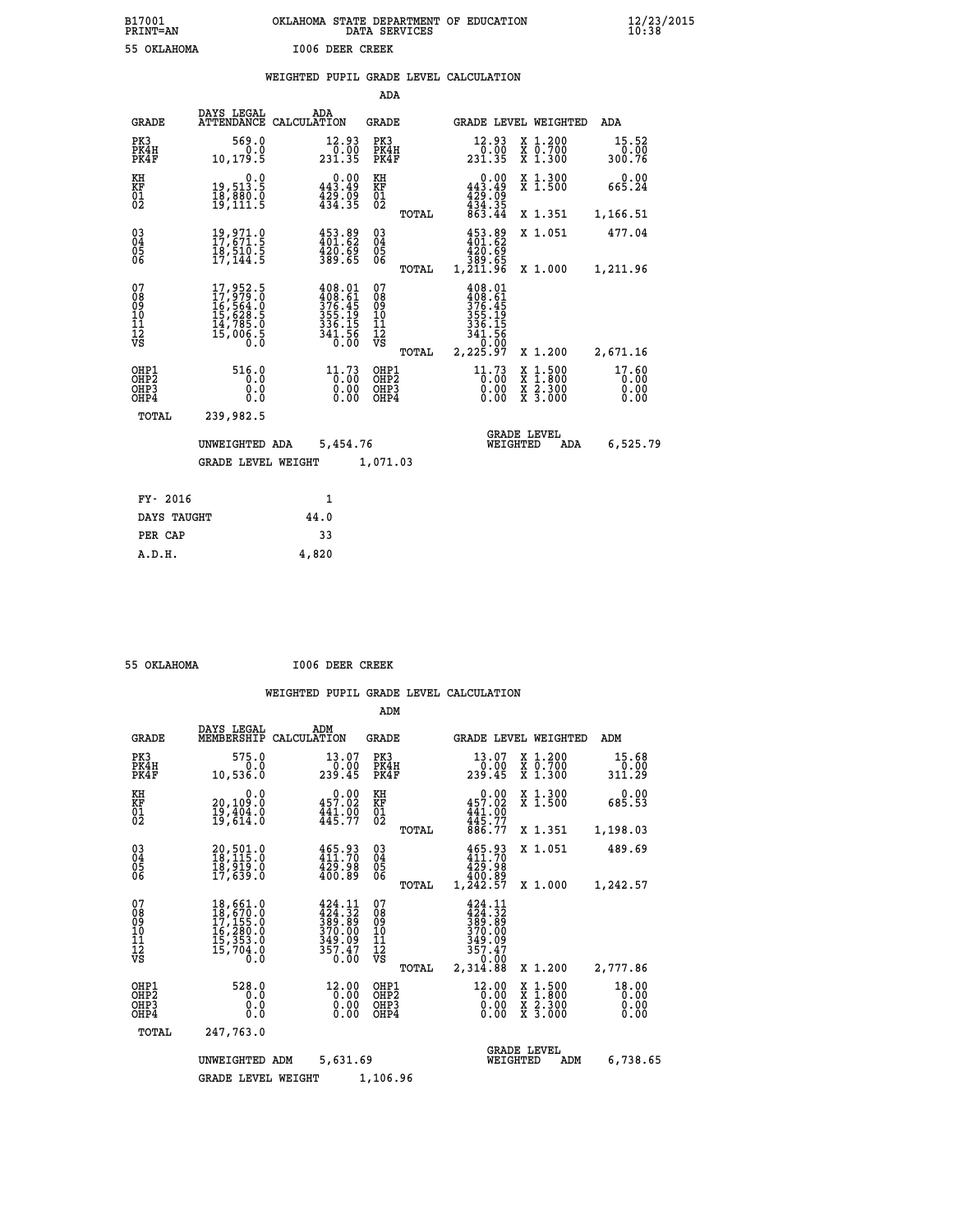| B17001          | OKLAHOMA STATE DEPARTMENT OF EDUCATION |
|-----------------|----------------------------------------|
| <b>PRINT=AN</b> | DATA SERVICES                          |
| 55 OKLAHOMA     | <b>I006 DEER CREEK</b>                 |

 **B17001 OKLAHOMA STATE DEPARTMENT OF EDUCATION 12/23/2015**

|                                                                    |                                                                                                                                                 |                                                                                                                                                                        | ADA                                                  |       |                                                                                     |                                                                                                                                           |                               |
|--------------------------------------------------------------------|-------------------------------------------------------------------------------------------------------------------------------------------------|------------------------------------------------------------------------------------------------------------------------------------------------------------------------|------------------------------------------------------|-------|-------------------------------------------------------------------------------------|-------------------------------------------------------------------------------------------------------------------------------------------|-------------------------------|
| <b>GRADE</b>                                                       | DAYS LEGAL                                                                                                                                      | ADA<br>ATTENDANCE CALCULATION                                                                                                                                          | <b>GRADE</b>                                         |       |                                                                                     | GRADE LEVEL WEIGHTED                                                                                                                      | ADA                           |
| PK3<br>PK4H<br>PK4F                                                | 569.0<br>0.0<br>10,179.5                                                                                                                        | 12.93<br>$\begin{array}{r} \n 0.00 \\  231.35\n \end{array}$                                                                                                           | PK3<br>PK4H<br>PK4F                                  |       | 12.93<br>$\frac{7}{231.35}$                                                         | X 1.200<br>X 0.700<br>X 1.300                                                                                                             | 15.52<br>0.00<br>300.76       |
| KH<br>KF<br>01<br>02                                               | 0.0<br>19,513.5<br>18,880.0<br>19,111.5                                                                                                         | $0.00$<br>443.49<br>$\frac{1}{4}\frac{2}{3}\frac{5}{4}\cdot\frac{5}{3}\frac{5}{5}$                                                                                     | KH<br>KF<br>01<br>02                                 |       | $0.00$<br>443.49<br>$\frac{1}{4}$ $\frac{29}{34}$ $\cdot \frac{79}{35}$<br>$863.44$ | X 1.300<br>X 1.500                                                                                                                        | 0.00<br>665.24                |
|                                                                    |                                                                                                                                                 |                                                                                                                                                                        |                                                      | TOTAL |                                                                                     | X 1.351                                                                                                                                   | 1,166.51                      |
| $\begin{smallmatrix} 03 \\[-4pt] 04 \end{smallmatrix}$<br>Ŏ5<br>06 | $\begin{smallmatrix} 19 \ , \ 971 \ . \ 11 \ 17 \ , \ 671 \ . \ 5 \\ 18 \ , \ 510 \ . \ 5 \\ 17 \ , \ 144 \ . \ 5 \end{smallmatrix}$            | 453.89<br>401.62<br>420.69<br>389.65                                                                                                                                   | $\substack{03 \\ 04}$<br>Ŏ5<br>06                    |       | 453.89<br>83.65<br>89.65<br>89.65,1,211.96                                          | X 1.051                                                                                                                                   | 477.04                        |
|                                                                    |                                                                                                                                                 |                                                                                                                                                                        |                                                      | TOTAL |                                                                                     | X 1.000                                                                                                                                   | 1,211.96                      |
| 07<br>08<br>09<br>101<br>11<br>12<br>VS                            | $\begin{smallmatrix} 17,952\cdot 5\\ 17,979\cdot 0\\ 16,564\cdot 0\\ 15,628\cdot 5\\ 14,785\cdot 0\\ 15,006\cdot 5\\ 0\cdot 0\end{smallmatrix}$ | $\begin{smallmatrix} 4\,0\,8\cdot0\,1\\ 4\,0\,8\cdot6\,1\\ 3\,7\,6\cdot4\,5\\ 3\,5\,5\cdot1\,9\\ 3\,3\,6\cdot1\,5\\ 3\,4\,1\cdot5\,6\\ 0\cdot0\,0\\ \end{smallmatrix}$ | 07<br>08<br>09<br>11<br>11<br>12<br>VS               |       | 408.01<br>408.61<br>376.45<br>355.19<br>336.15<br>341.56<br>0.00                    |                                                                                                                                           |                               |
|                                                                    |                                                                                                                                                 |                                                                                                                                                                        |                                                      | TOTAL | 2,225.97                                                                            | X 1.200                                                                                                                                   | 2,671.16                      |
| OHP1<br>OHP <sub>2</sub><br>OH <sub>P3</sub><br>OHP4               | 516.0<br>0.0<br>0.0<br>0.0                                                                                                                      | 11.73<br>0.00                                                                                                                                                          | OHP1<br>OHP2<br>OHP <sub>3</sub><br>OHP <sub>4</sub> |       | 11.73<br>0.00<br>0.00                                                               | $\begin{smallmatrix} \mathtt{X} & 1\cdot500\\ \mathtt{X} & 1\cdot800\\ \mathtt{X} & 2\cdot300\\ \mathtt{X} & 3\cdot000 \end{smallmatrix}$ | 17.60<br>0.00<br>0.00<br>0.00 |
| TOTAL                                                              | 239,982.5                                                                                                                                       |                                                                                                                                                                        |                                                      |       |                                                                                     |                                                                                                                                           |                               |
|                                                                    | UNWEIGHTED ADA                                                                                                                                  | 5,454.76                                                                                                                                                               |                                                      |       |                                                                                     | <b>GRADE LEVEL</b><br>WEIGHTED<br>ADA                                                                                                     | 6,525.79                      |
|                                                                    | <b>GRADE LEVEL WEIGHT</b>                                                                                                                       |                                                                                                                                                                        | 1,071.03                                             |       |                                                                                     |                                                                                                                                           |                               |
| FY- 2016                                                           |                                                                                                                                                 | $\mathbf{1}$                                                                                                                                                           |                                                      |       |                                                                                     |                                                                                                                                           |                               |
| DAYS TAUGHT                                                        |                                                                                                                                                 | 44.0                                                                                                                                                                   |                                                      |       |                                                                                     |                                                                                                                                           |                               |
| PER CAP                                                            |                                                                                                                                                 | 33                                                                                                                                                                     |                                                      |       |                                                                                     |                                                                                                                                           |                               |

| 55 ОКТАНОМА |  |
|-------------|--|

 **A.D.H. 4,820**

 **55 OKLAHOMA I006 DEER CREEK**

|                                                       |                                                                                                         |                                                                             | ADM                                     |       |                                                                                                          |                                                                                                  |                               |  |
|-------------------------------------------------------|---------------------------------------------------------------------------------------------------------|-----------------------------------------------------------------------------|-----------------------------------------|-------|----------------------------------------------------------------------------------------------------------|--------------------------------------------------------------------------------------------------|-------------------------------|--|
| <b>GRADE</b>                                          | DAYS LEGAL<br>MEMBERSHIP                                                                                | ADM<br>CALCULATION                                                          | <b>GRADE</b>                            |       |                                                                                                          | GRADE LEVEL WEIGHTED                                                                             | ADM                           |  |
| PK3<br>PK4H<br>PK4F                                   | 575.0<br>0.0<br>10,536.0                                                                                | 13.07<br>0.00<br>239.45                                                     | PK3<br>PK4H<br>PK4F                     |       | 13.07<br>0.00<br>239.45                                                                                  | $\begin{array}{c} x & 1.200 \\ x & 0.700 \end{array}$<br>$X$ 1.300                               | 15.68<br>0.00<br>311.29       |  |
| KH<br>KF<br>01<br>02                                  | 0.0<br>20,109:0<br>19,404:0<br>19,614:0                                                                 | $0.00$<br>457.02<br>$\frac{441.00}{445.77}$                                 | KH<br>KF<br>01<br>02                    |       | 0.00<br>457.02<br>$\frac{441.00}{445.77}$                                                                | X 1.300<br>X 1.500                                                                               | 0.00<br>685.53                |  |
|                                                       |                                                                                                         |                                                                             |                                         | TOTAL | 886.77                                                                                                   | X 1.351                                                                                          | 1,198.03                      |  |
| 03<br>04<br>05<br>06                                  | 20,501.0<br>18,115.0<br>10,919.0<br>17,639.0                                                            | 465.93<br>411.70<br>429.98<br>400.89                                        | $\substack{03 \\ 04}$<br>0500           |       | 465.93<br>411.70<br>429.98<br>400.89                                                                     | X 1.051                                                                                          | 489.69                        |  |
|                                                       |                                                                                                         |                                                                             |                                         | TOTAL | 1,242.57                                                                                                 | X 1.000                                                                                          | 1,242.57                      |  |
| 07<br>08<br>09<br>11<br>11<br>12<br>VS                | 18,661.0<br>$\begin{array}{l} 18,670.0\\ 17,155.0\\ 16,280.0\\ 15,353.0 \end{array}$<br>15,704.0<br>Ō.Ō | 424.11<br>$\frac{124}{389}$ : $\frac{32}{39}$<br>370.00<br>349.09<br>357.47 | 07<br>08<br>09<br>101<br>11<br>12<br>VS | TOTAL | 424.11<br>$\frac{1}{389}$ $\frac{1}{389}$ $\frac{1}{370}$ $\frac{1}{90}$<br>349.09<br>357.47<br>2,314.88 | X 1.200                                                                                          | 2,777.86                      |  |
| OHP1<br>OH <sub>P</sub> 2<br>OH <sub>P3</sub><br>OHP4 | 528.0<br>0.0<br>0.0<br>Ŏ.Ŏ                                                                              | $12.00$<br>$0.00$<br>$0.00$<br>0.00                                         | OHP1<br>OHP2<br>OHP3<br>OHP4            |       | 12.00<br>$\overline{0}\cdot\overline{00}$<br>0.00                                                        | $\begin{smallmatrix} x & 1 & 500 \\ x & 1 & 800 \\ x & 2 & 300 \\ x & 3 & 000 \end{smallmatrix}$ | 18.00<br>0.00<br>0.00<br>0.00 |  |
| TOTAL                                                 | 247,763.0                                                                                               |                                                                             |                                         |       |                                                                                                          |                                                                                                  |                               |  |
|                                                       | UNWEIGHTED ADM                                                                                          | 5,631.69                                                                    |                                         |       | WEIGHTED                                                                                                 | <b>GRADE LEVEL</b><br>ADM                                                                        | 6,738.65                      |  |
|                                                       | <b>GRADE LEVEL WEIGHT</b>                                                                               |                                                                             | 1,106.96                                |       |                                                                                                          |                                                                                                  |                               |  |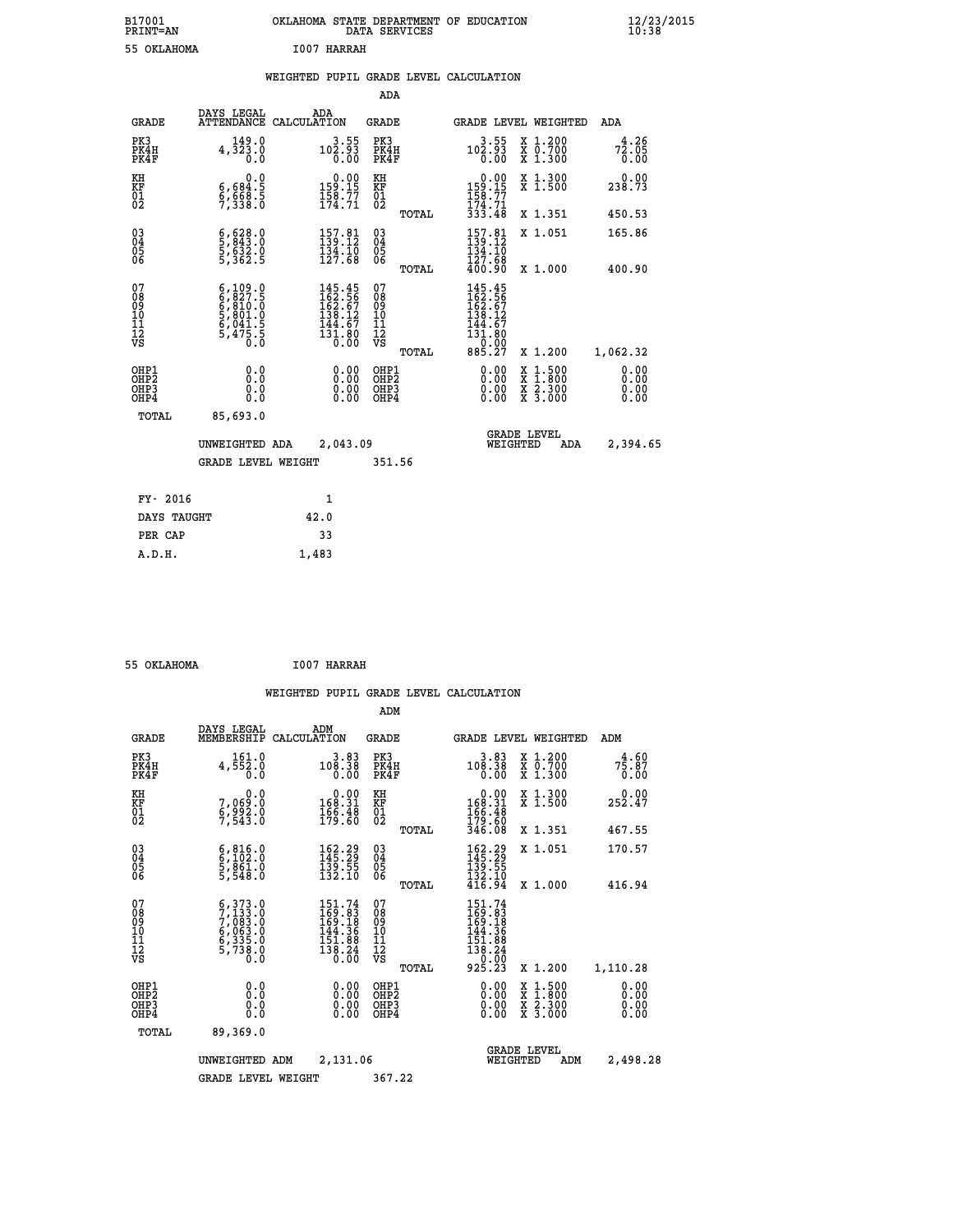| B17001<br><b>PRINT=AN</b> | OKLAHOMA STATE DEPARTMENT OF EDUCATION<br>DATA SERVICES | $\frac{12}{23}$ /2015 |
|---------------------------|---------------------------------------------------------|-----------------------|
| 55 OKLAHOMA               | 1007 HARRAH                                             |                       |

|  |  | WEIGHTED PUPIL GRADE LEVEL CALCULATION |
|--|--|----------------------------------------|
|  |  |                                        |

|                                                                    |                                                                                                    |                                                                                                    | ADA                                       |       |                                                                     |                                          |                              |
|--------------------------------------------------------------------|----------------------------------------------------------------------------------------------------|----------------------------------------------------------------------------------------------------|-------------------------------------------|-------|---------------------------------------------------------------------|------------------------------------------|------------------------------|
| <b>GRADE</b>                                                       | DAYS LEGAL<br><b>ATTENDANCE</b>                                                                    | ADA<br>CALCULATION                                                                                 | <b>GRADE</b>                              |       |                                                                     | <b>GRADE LEVEL WEIGHTED</b>              | ADA                          |
| PK3<br>PK4H<br>PK4F                                                | 149.0<br>4,323.0<br>0.0                                                                            | $3.55$<br>102.93<br>0.00                                                                           | PK3<br>PK4H<br>PK4F                       |       | $3.55$<br>102.93<br>0.00                                            | X 1.200<br>X 0.700<br>X 1.300            | 4.26<br>72.05<br>0.00        |
| KH<br><b>KF</b><br>01<br>02                                        | 0.0<br>$\frac{6}{9}, \frac{684}{998}$ $\frac{3}{8}$                                                | $0.00$<br>159.15<br>$\frac{158}{174}$ : 77                                                         | KH<br>KF<br>01<br>02                      |       | $0.00$<br>$159.15$<br>$158.77$<br>$174.71$<br>$333.48$              | X 1.300<br>X 1.500                       | 0.00<br>238.73               |
|                                                                    |                                                                                                    |                                                                                                    |                                           | TOTAL |                                                                     | X 1.351                                  | 450.53                       |
| $\begin{smallmatrix} 03 \\[-4pt] 04 \end{smallmatrix}$<br>Ŏ5<br>06 | $\frac{6}{5}, \frac{628}{843}.0 \ \frac{5}{5}, \frac{632}{362}.0 \ \frac{5}{5}, \frac{362}{362}.5$ | $\begin{array}{l} 157.81 \\ 139.12 \\ 134.10 \\ 127.68 \end{array}$                                | $\substack{03 \\ 04}$<br>05<br>06         |       | $157.81$<br>$139.12$<br>$134.10$<br>$127.58$                        | X 1.051                                  | 165.86                       |
|                                                                    |                                                                                                    |                                                                                                    |                                           | TOTAL | 400.90                                                              | X 1.000                                  | 400.90                       |
| 07<br>08901112<br>1112<br>VS                                       | $6,109.0$<br>$6,827.5$<br>$6,810.0$<br>$5,801.0$<br>$6,041.5$<br>$5,475.5$<br>$0.0$                | $\begin{smallmatrix} 145.45\\ 162.56\\ 162.67\\ 138.12\\ 144.67\\ 131.80\\ 0.00 \end{smallmatrix}$ | 07<br>08901112<br>1112<br>VS              |       | 145.45<br>162.567<br>162.67<br>138.127<br>144.67<br>131.80<br>0.000 |                                          |                              |
|                                                                    |                                                                                                    |                                                                                                    |                                           | TOTAL | 885.27                                                              | X 1.200                                  | 1,062.32                     |
| OHP1<br>OH <sub>P</sub> 2<br>OH <sub>P3</sub><br>OH <sub>P4</sub>  | 0.0<br>0.0<br>0.0                                                                                  | 0.00<br>0.00<br>0.00                                                                               | OHP1<br>OH <sub>P</sub> 2<br>OHP3<br>OHP4 |       | 0.00<br>0.00<br>0.00                                                | X 1:500<br>X 1:800<br>X 2:300<br>X 3:000 | 0.00<br>0.00<br>0.00<br>0.00 |
| TOTAL                                                              | 85,693.0                                                                                           |                                                                                                    |                                           |       |                                                                     |                                          |                              |
|                                                                    | UNWEIGHTED ADA                                                                                     | 2,043.09                                                                                           |                                           |       |                                                                     | GRADE LEVEL<br>WEIGHTED<br>ADA           | 2,394.65                     |
|                                                                    | <b>GRADE LEVEL WEIGHT</b>                                                                          |                                                                                                    | 351.56                                    |       |                                                                     |                                          |                              |
| FY- 2016                                                           |                                                                                                    | $\mathbf{1}$                                                                                       |                                           |       |                                                                     |                                          |                              |
| DAYS TAUGHT                                                        |                                                                                                    | 42.0                                                                                               |                                           |       |                                                                     |                                          |                              |
| PER CAP                                                            |                                                                                                    | 33                                                                                                 |                                           |       |                                                                     |                                          |                              |

| 55 OKLAHOMA | <b>I007 HARRAH</b> |
|-------------|--------------------|

 **ADM**

 **A.D.H. 1,483**

| <b>GRADE</b>                                       | DAYS LEGAL                                                                                                                                                                         | ADM<br>MEMBERSHIP CALCULATION                                                                        | <b>GRADE</b>                                        | GRADE LEVEL WEIGHTED                                                                                                                                                                                                                                                           |                                          | ADM                                      |
|----------------------------------------------------|------------------------------------------------------------------------------------------------------------------------------------------------------------------------------------|------------------------------------------------------------------------------------------------------|-----------------------------------------------------|--------------------------------------------------------------------------------------------------------------------------------------------------------------------------------------------------------------------------------------------------------------------------------|------------------------------------------|------------------------------------------|
| PK3<br>PK4H<br>PK4F                                | 161.0<br>4,552.0<br>0.0                                                                                                                                                            | $3.83$<br>$108.38$<br>0.00                                                                           | PK3<br>PK4H<br>PK4F                                 | $10\substack{3.83 \\ 0.38 \\ 0.00$                                                                                                                                                                                                                                             | X 1.200<br>X 0.700<br>X 1.300            | $7\frac{4}{5}\cdot\frac{60}{87}$<br>0.00 |
| KH<br>KF<br>01<br>02                               | 0.0<br>7,069:0<br>6,992:0<br>7,543:0                                                                                                                                               | $\begin{smallmatrix}&&0.00\\168.31\\166.48\\199.60\end{smallmatrix}$                                 | KH<br>KF<br>01<br>02                                | $0.00$<br>$168.31$<br>$166.48$<br>$179.60$<br>$346.08$                                                                                                                                                                                                                         | X 1.300<br>X 1.500                       | $0.00$<br>252.47                         |
|                                                    |                                                                                                                                                                                    |                                                                                                      | TOTAL                                               |                                                                                                                                                                                                                                                                                | X 1.351                                  | 467.55                                   |
| $\begin{matrix} 03 \\ 04 \\ 05 \\ 06 \end{matrix}$ | $\begin{smallmatrix} 6 & 816 & 0\\ 6 & 102 & 0\\ 5 & 861 & 0\\ 5 & 548 & 0\\ \end{smallmatrix}$                                                                                    | $\begin{smallmatrix} 162\cdot29\\145\cdot29\\139\cdot55\\132\cdot10\end{smallmatrix}$                | $\begin{array}{c} 03 \\ 04 \\ 05 \\ 06 \end{array}$ | $162.29$<br>$145.29$<br>$139.55$<br>$132.10$<br>$416.94$                                                                                                                                                                                                                       | X 1.051                                  | 170.57                                   |
|                                                    |                                                                                                                                                                                    |                                                                                                      | TOTAL                                               |                                                                                                                                                                                                                                                                                | X 1.000                                  | 416.94                                   |
| 07<br>08<br>09<br>101<br>11<br>12<br>VS            | $\begin{smallmatrix} 6\,, & 373\,. & 0\\ 7\,, & 133\,. & 0\\ 7\,, & 083\,. & 0\\ 6\,, & 063\,. & 0\\ 6\,, & 335\,. & 0\\ 5\,, & 738\,. & 0\\ 0\,. & 0\,. & 0\,. \end{smallmatrix}$ | $\begin{smallmatrix} 151.74\\169.83\\169.18\\144.36\\151.88\\151.88\\138.24\\0.00 \end{smallmatrix}$ | 07<br>08<br>09<br>001<br>11<br>11<br>12<br>VS       | $\begin{smallmatrix} 151.74\\169.83\\169.18\\144.36\\151.88\\151.84\\138.24\\0.00\\925.23 \end{smallmatrix}$                                                                                                                                                                   |                                          |                                          |
|                                                    |                                                                                                                                                                                    |                                                                                                      | TOTAL                                               |                                                                                                                                                                                                                                                                                | X 1.200                                  | 1,110.28                                 |
| OHP1<br>OHP2<br>OHP3<br>OHP4                       |                                                                                                                                                                                    | $\begin{smallmatrix} 0.00 \ 0.00 \ 0.00 \ 0.00 \end{smallmatrix}$                                    | OHP1<br>OHP2<br>OHP3<br>OHP4                        | $\begin{smallmatrix} 0.00 & 0.00 & 0.00 & 0.00 & 0.00 & 0.00 & 0.00 & 0.00 & 0.00 & 0.00 & 0.00 & 0.00 & 0.00 & 0.00 & 0.00 & 0.00 & 0.00 & 0.00 & 0.00 & 0.00 & 0.00 & 0.00 & 0.00 & 0.00 & 0.00 & 0.00 & 0.00 & 0.00 & 0.00 & 0.00 & 0.00 & 0.00 & 0.00 & 0.00 & 0.00 & 0.0$ | X 1:500<br>X 1:800<br>X 2:300<br>X 3:000 | 0.00<br>0.00<br>0.00                     |
| TOTAL                                              | 89,369.0                                                                                                                                                                           |                                                                                                      |                                                     |                                                                                                                                                                                                                                                                                |                                          |                                          |
|                                                    | UNWEIGHTED                                                                                                                                                                         | 2,131.06<br>ADM                                                                                      |                                                     | WEIGHTED                                                                                                                                                                                                                                                                       | <b>GRADE LEVEL</b><br>ADM                | 2,498.28                                 |
|                                                    | <b>GRADE LEVEL WEIGHT</b>                                                                                                                                                          |                                                                                                      | 367.22                                              |                                                                                                                                                                                                                                                                                |                                          |                                          |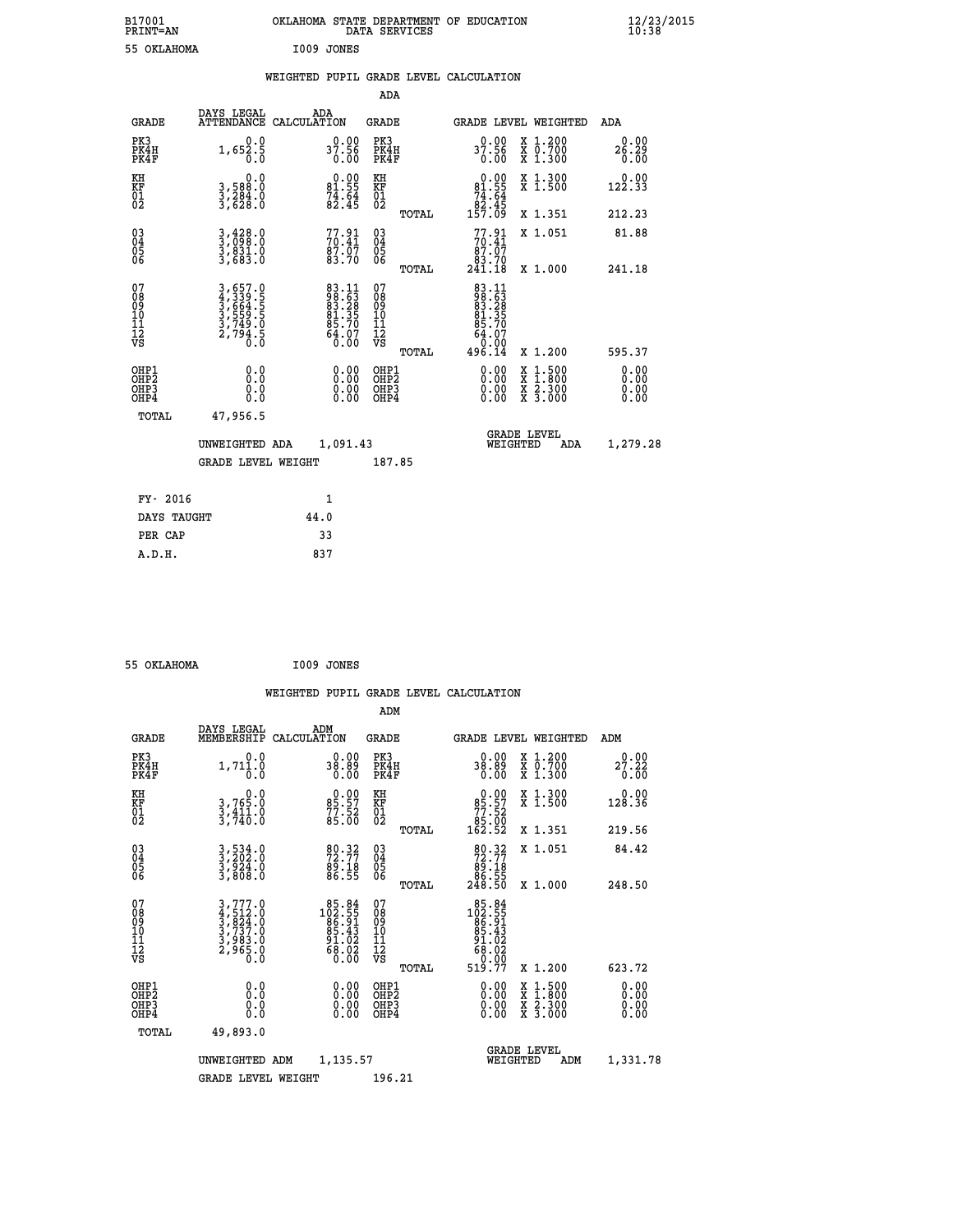| B17001<br>PRINT=AN | <b>OKLAHOMA</b><br>STATE DEPARTMENT OF EDUCATION<br>SERVICES<br>DATA | $\frac{12}{23}$ /2015 |
|--------------------|----------------------------------------------------------------------|-----------------------|
| 55 OKLAHOMA        | I009 JONES                                                           |                       |

## **WEIGHTED PUPIL GRADE LEVEL CALCULATION**

|                                                    |                                                                         |                                                                   | ADA                                                               |       |                                                                |                                              |                              |
|----------------------------------------------------|-------------------------------------------------------------------------|-------------------------------------------------------------------|-------------------------------------------------------------------|-------|----------------------------------------------------------------|----------------------------------------------|------------------------------|
| <b>GRADE</b>                                       | DAYS LEGAL<br><b>ATTENDANCE</b>                                         | ADA<br>CALCULATION                                                | <b>GRADE</b>                                                      |       |                                                                | GRADE LEVEL WEIGHTED                         | ADA                          |
| PK3<br>PK4H<br>PK4F                                | 0.0<br>$1,65\overline{2}\cdot\overline{5}$                              | $37.90$<br>37.56<br>0.00                                          | PK3<br>PK4H<br>PK4F                                               |       | 0.00<br>37.56<br>0.00                                          | X 1.200<br>X 0.700<br>X 1.300                | 0.00<br>26.29<br>0.00        |
| KH<br>KF<br>01<br>02                               | $\begin{smallmatrix}&&&0.0\\3,588.0\\3,284.0\\3,628.0\end{smallmatrix}$ | $\begin{smallmatrix} 0.00\\81.55\\74.64\\82.45 \end{smallmatrix}$ | KH<br>KF<br>01<br>02                                              |       | $0.00\n81.55\n74.64\n82.45\n157.09$                            | X 1.300<br>X 1.500                           | 0.00<br>122.33               |
|                                                    |                                                                         |                                                                   |                                                                   | TOTAL |                                                                | X 1.351                                      | 212.23                       |
| $\begin{matrix} 03 \\ 04 \\ 05 \\ 06 \end{matrix}$ | 3,428.0<br>3,698.0<br>3,831.0<br>3,683.0                                | $77.91$<br>$70.41$<br>$87.07$<br>$83.70$                          | $\begin{matrix} 03 \\ 04 \\ 05 \\ 06 \end{matrix}$                |       | $77.91$<br>$87.91$<br>$87.07$                                  | X 1.051                                      | 81.88                        |
|                                                    |                                                                         |                                                                   |                                                                   | TOTAL | 83.70<br>241.18                                                | X 1.000                                      | 241.18                       |
| 07<br>08<br>09<br>01<br>11<br>11<br>12<br>VS       | 3,657.0<br>4,339.5<br>5,664.5<br>3,559.5<br>3,749.0<br>2,794.5          | 83.11<br>88.28<br>83.28<br>81.35<br>85.70<br>$\frac{64.07}{0.00}$ | 07<br>08901112<br>1112<br>VS                                      | TOTAL | 83.11<br>88.53<br>83.28<br>81.35<br>85.707<br>64.070<br>496.14 | X 1.200                                      | 595.37                       |
| OHP1<br>OH <sub>P</sub> 2<br>OHP3<br>OHP4          | 0.0<br>0.000                                                            | $0.00$<br>$0.00$<br>0.00                                          | OHP1<br>OH <sub>P</sub> 2<br>OHP <sub>3</sub><br>OHP <sub>4</sub> |       | 0.00<br>0.00<br>0.00                                           | X 1:500<br>X 1:800<br>X 2:300<br>X 3:000     | 0.00<br>0.00<br>0.00<br>0.00 |
| TOTAL                                              | 47,956.5                                                                |                                                                   |                                                                   |       |                                                                |                                              |                              |
|                                                    | UNWEIGHTED ADA                                                          | 1,091.43                                                          |                                                                   |       |                                                                | <b>GRADE LEVEL</b><br>WEIGHTED<br><b>ADA</b> | 1,279.28                     |
|                                                    | <b>GRADE LEVEL WEIGHT</b>                                               |                                                                   | 187.85                                                            |       |                                                                |                                              |                              |
| FY- 2016                                           |                                                                         | $\mathbf{1}$                                                      |                                                                   |       |                                                                |                                              |                              |
| DAYS TAUGHT                                        |                                                                         | 44.0                                                              |                                                                   |       |                                                                |                                              |                              |
|                                                    |                                                                         |                                                                   |                                                                   |       |                                                                |                                              |                              |

| 55 OKLAHOMA | I009 JONES |
|-------------|------------|
|             |            |

PER CAP 33  **A.D.H. 837**

 **WEIGHTED PUPIL GRADE LEVEL CALCULATION ADM DAYS LEGAL ADM**

| <b>GRADE</b>                                       | DAIS TRATT<br>MEMBERSHIP                                                                                                                                  | ADM<br>CALCULATION                                                                                   | <b>GRADE</b>                           |       | <b>GRADE LEVEL WEIGHTED</b>                                                                                                      |                                |                                                                                                                     | ADM                      |  |
|----------------------------------------------------|-----------------------------------------------------------------------------------------------------------------------------------------------------------|------------------------------------------------------------------------------------------------------|----------------------------------------|-------|----------------------------------------------------------------------------------------------------------------------------------|--------------------------------|---------------------------------------------------------------------------------------------------------------------|--------------------------|--|
| PK3<br>PK4H<br>PK4F                                | 0.0<br>$1,71\overset{1}{\phantom{}}\,\overset{1}{\phantom{}}\,.\overset{0}{\phantom{}}\,\overset{0}{\phantom{}}\,$                                        | 0.00<br>§8.89<br>0.00                                                                                | PK3<br>PK4H<br>PK4F                    |       | 38.89<br>0.00                                                                                                                    |                                | X 1.200<br>X 0.700<br>X 1.300                                                                                       | 0.00<br>27.22<br>0.00    |  |
| KH<br>KF<br>01<br>02                               | $\begin{smallmatrix}&&&0.0\\3.765.0\\3.411.0\\3.740.0\end{smallmatrix}$                                                                                   | $85.57$<br>$77.52$<br>$85.00$                                                                        | KH<br>KF<br>01<br>02                   |       | $\begin{smallmatrix} &0.00\ 85.57\ 77.52\ 85.00\ 162.52\ \end{smallmatrix}$                                                      |                                | X 1.300<br>X 1.500                                                                                                  | 0.00<br>128.36           |  |
|                                                    |                                                                                                                                                           |                                                                                                      |                                        | TOTAL |                                                                                                                                  |                                | X 1.351                                                                                                             | 219.56                   |  |
| $\begin{matrix} 03 \\ 04 \\ 05 \\ 06 \end{matrix}$ | $3, 534.0$<br>$3, 202.0$<br>$3, 924.0$<br>$3, 808.0$                                                                                                      | $72.77$<br>$73.77$<br>$89.18$<br>$86.55$                                                             | 03<br>04<br>05<br>06                   |       | $\begin{smallmatrix}80.32\\72.77\\89.18\\86.55\\248.50\end{smallmatrix}$                                                         |                                | X 1.051                                                                                                             | 84.42                    |  |
|                                                    |                                                                                                                                                           |                                                                                                      |                                        | TOTAL |                                                                                                                                  |                                | $X_1.000$                                                                                                           | 248.50                   |  |
| 07<br>08<br>09<br>101<br>11<br>12<br>VS            | $\begin{smallmatrix} 3\,,\,777\,.\,0\\ 4\,,\,512\,.\,0\\ 3\,,\,824\,.\,0\\ 3\,,\,737\,.\,0\\ 3\,,\,983\,.\,0\\ 2\,,\,965\,.\,0\\ 0\,.0 \end{smallmatrix}$ | $\begin{smallmatrix} 85.84 \\ 102.55 \\ 86.91 \\ 85.43 \\ 91.02 \\ 68.02 \\ 60.00 \end{smallmatrix}$ | 07<br>08<br>09<br>11<br>11<br>12<br>VS |       | $\begin{array}{r} 85\cdot84\\ 102\cdot55\\ 86\cdot91\\ 85\cdot43\\ 91\cdot02\\ 68\cdot020\\ 60\cdot000\\ 519\cdot77 \end{array}$ |                                |                                                                                                                     |                          |  |
|                                                    |                                                                                                                                                           |                                                                                                      |                                        | TOTAL |                                                                                                                                  |                                | X 1.200                                                                                                             | 623.72                   |  |
| OHP1<br>OHP2<br>OH <sub>P3</sub><br>OHP4           | 0.0<br>0.000                                                                                                                                              |                                                                                                      | OHP1<br>OHP2<br>OHP <sub>3</sub>       |       |                                                                                                                                  |                                | $\begin{array}{l} \mathtt{X} & 1.500 \\ \mathtt{X} & 1.800 \\ \mathtt{X} & 2.300 \\ \mathtt{X} & 3.000 \end{array}$ | $0.00$<br>$0.00$<br>0.00 |  |
| TOTAL                                              | 49,893.0                                                                                                                                                  |                                                                                                      |                                        |       |                                                                                                                                  |                                |                                                                                                                     |                          |  |
|                                                    | UNWEIGHTED ADM                                                                                                                                            | 1,135.57                                                                                             |                                        |       |                                                                                                                                  | <b>GRADE LEVEL</b><br>WEIGHTED | ADM                                                                                                                 | 1,331.78                 |  |
|                                                    | <b>GRADE LEVEL WEIGHT</b>                                                                                                                                 |                                                                                                      | 196.21                                 |       |                                                                                                                                  |                                |                                                                                                                     |                          |  |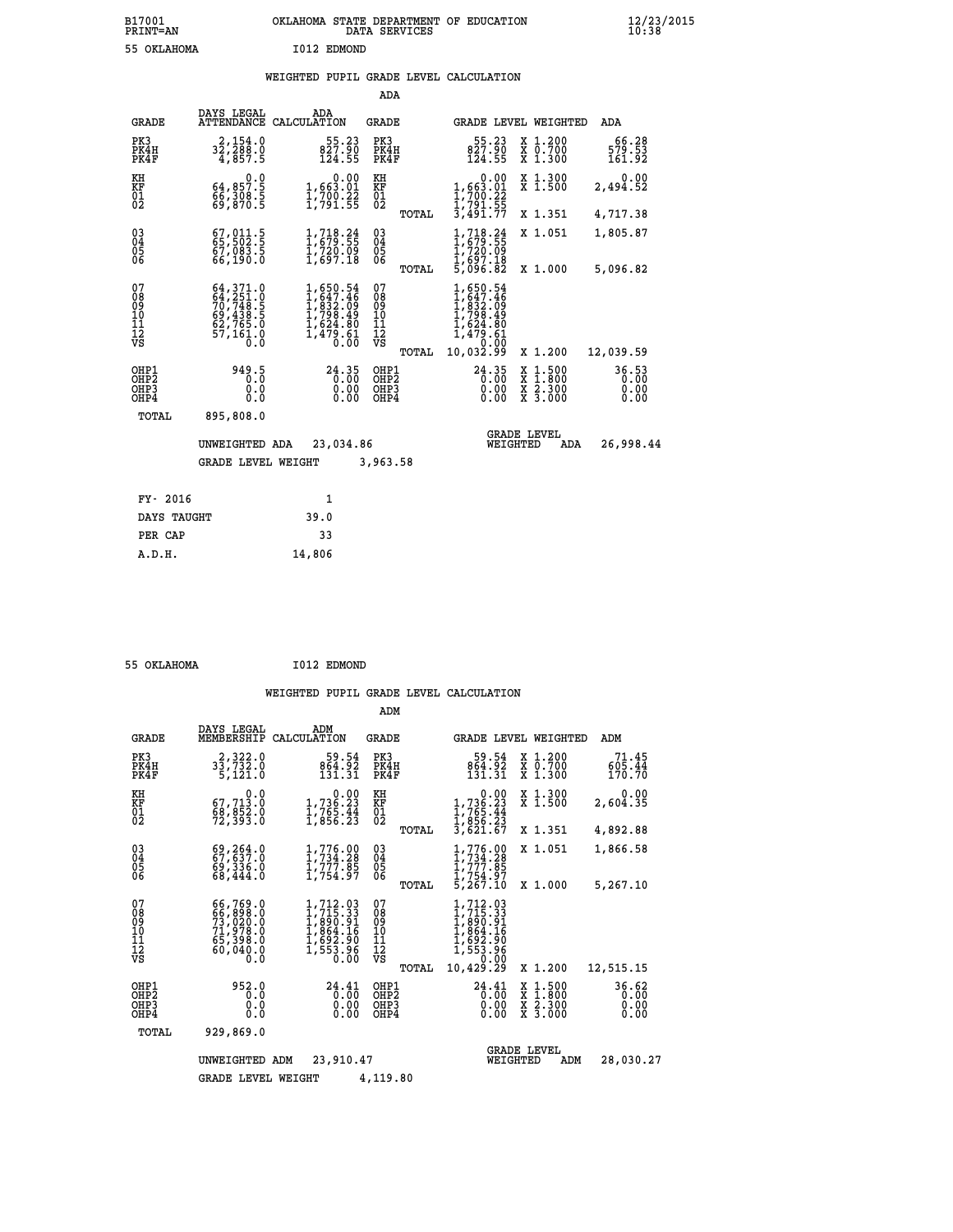## **WEIGHTED PUPIL GRADE LEVEL CALCULATION**

|                                                                  |                                                                                                                                                                                          |                                                                                                                      | ADA                                      |       |                                                                                         |                                                                                                                                      |                               |
|------------------------------------------------------------------|------------------------------------------------------------------------------------------------------------------------------------------------------------------------------------------|----------------------------------------------------------------------------------------------------------------------|------------------------------------------|-------|-----------------------------------------------------------------------------------------|--------------------------------------------------------------------------------------------------------------------------------------|-------------------------------|
| <b>GRADE</b>                                                     | DAYS LEGAL<br>ATTENDANCE                                                                                                                                                                 | ADA<br>CALCULATION                                                                                                   | <b>GRADE</b>                             |       |                                                                                         | GRADE LEVEL WEIGHTED                                                                                                                 | ADA                           |
| PK3<br>PK4H<br>PK4F                                              | 2,154.0<br>32,288.0<br>4,857.5                                                                                                                                                           | $\frac{55.23}{827.90}$<br>124.55                                                                                     | PK3<br>PK4H<br>PK4F                      |       | $55.23$<br>827.90<br>124.55                                                             | X 1.200<br>X 0.700<br>X 1.300                                                                                                        | 66.28<br>579.53<br>161.92     |
| KH<br>KF<br>01<br>02                                             | 0.0<br>64,857.5<br>66,308.5<br>69,870.5                                                                                                                                                  | 0.00<br>1,663.01<br>1,700.22<br>1,791.55                                                                             | KH<br>KF<br>01<br>02                     |       | 0.00<br>1,663.01<br>1,700.22<br>1,791.55<br>3,491.77                                    | X 1.300<br>X 1.500                                                                                                                   | 0.00<br>2,494.52              |
|                                                                  |                                                                                                                                                                                          |                                                                                                                      |                                          | TOTAL |                                                                                         | X 1.351                                                                                                                              | 4,717.38                      |
| $^{03}_{04}$<br>Ŏ5<br>06                                         | 67, 011.5<br>$67,083.5$<br>66,190.0                                                                                                                                                      | 1,718.24<br>1,679.55<br>I,720.09<br>1,697.18                                                                         | $\substack{03 \\ 04}$<br>05              |       | $\frac{1}{1}$ , $\frac{718}{679}$ : $\frac{24}{55}$<br>1,720.09<br>1,697.18<br>5,096.82 | X 1.051                                                                                                                              | 1,805.87                      |
|                                                                  |                                                                                                                                                                                          |                                                                                                                      |                                          | TOTAL |                                                                                         | X 1.000                                                                                                                              | 5,096.82                      |
| 07<br>08<br>09<br>10<br>11<br>12<br>VS                           | $\begin{smallmatrix} 64\,, & 371\,. & 0\\ 64\,, & 251\,. & 0\\ 70\,, & 748\,. & 5\\ 69\,, & 438\,. & 5\\ 62\,, & 765\,. & 0\\ 57\,, & 161\,. & 0\\ 0\,. & 0\,. & 0\,. \end{smallmatrix}$ | $\begin{smallmatrix} 1, 650.54\\ 1, 647.46\\ 1, 832.09\\ 1, 798.49\\ 1, 624.80\\ 1, 479.61\\ 0.00 \end{smallmatrix}$ | 07<br>08<br>09<br>11<br>11<br>12<br>VS   |       | 1,650.54<br>1,647.46<br>1,832.09<br>1,798.49<br>1,624.80<br>1,479.61<br>2,000.000       |                                                                                                                                      |                               |
|                                                                  |                                                                                                                                                                                          |                                                                                                                      |                                          | TOTAL | 10,032.99                                                                               | X 1.200                                                                                                                              | 12,039.59                     |
| OHP1<br>OH <sub>P</sub> <sub>2</sub><br>OH <sub>P3</sub><br>OHP4 | 949.5<br>0.0<br>0.0                                                                                                                                                                      | 24.35<br>0.00<br>0.00<br>0.00                                                                                        | OHP1<br>OHP <sub>2</sub><br>OHP3<br>OHP4 |       | $24.35$<br>$0.00$<br>0.00<br>0.00                                                       | $\begin{smallmatrix} \mathtt{X} & 1 & 500 \\ \mathtt{X} & 1 & 800 \\ \mathtt{X} & 2 & 300 \\ \mathtt{X} & 3 & 000 \end{smallmatrix}$ | 36.53<br>0.00<br>0.00<br>0.00 |
| <b>TOTAL</b>                                                     | 895,808.0                                                                                                                                                                                |                                                                                                                      |                                          |       |                                                                                         |                                                                                                                                      |                               |
|                                                                  | UNWEIGHTED ADA                                                                                                                                                                           | 23,034.86                                                                                                            |                                          |       |                                                                                         | <b>GRADE LEVEL</b><br>WEIGHTED<br>ADA                                                                                                | 26,998.44                     |
|                                                                  | GRADE LEVEL WEIGHT                                                                                                                                                                       |                                                                                                                      | 3,963.58                                 |       |                                                                                         |                                                                                                                                      |                               |
| FY- 2016                                                         |                                                                                                                                                                                          | 1                                                                                                                    |                                          |       |                                                                                         |                                                                                                                                      |                               |
| DAYS TAUGHT                                                      |                                                                                                                                                                                          | 39.0                                                                                                                 |                                          |       |                                                                                         |                                                                                                                                      |                               |
| PER CAP                                                          |                                                                                                                                                                                          | 33                                                                                                                   |                                          |       |                                                                                         |                                                                                                                                      |                               |
|                                                                  |                                                                                                                                                                                          |                                                                                                                      |                                          |       |                                                                                         |                                                                                                                                      |                               |

 **55 OKLAHOMA I012 EDMOND**

 **A.D.H. 14,806**

|                                           |                                                                                                                 |                                                                                                                                   | ADM                                      |                                                                                                     |                                                                                                  |                               |
|-------------------------------------------|-----------------------------------------------------------------------------------------------------------------|-----------------------------------------------------------------------------------------------------------------------------------|------------------------------------------|-----------------------------------------------------------------------------------------------------|--------------------------------------------------------------------------------------------------|-------------------------------|
| <b>GRADE</b>                              | DAYS LEGAL<br>MEMBERSHIP                                                                                        | ADM<br>CALCULATION                                                                                                                | <b>GRADE</b>                             | <b>GRADE LEVEL WEIGHTED</b>                                                                         |                                                                                                  | ADM                           |
| PK3<br>PK4H<br>PK4F                       | 2,322.0<br>33,732.0<br>5,121.0                                                                                  | 59.54<br>864.92<br>131.31                                                                                                         | PK3<br>PK4H<br>PK4F                      | 59.54<br>864.92<br>131.31                                                                           | $\begin{smallmatrix} x & 1.200 \\ x & 0.700 \end{smallmatrix}$<br>X 1.300                        | 71.45<br>605.44<br>170.70     |
| KH<br>KF<br>01<br>02                      | 0.0<br>67, 713.0<br>$\frac{68}{72}$ , $\frac{652}{393}$ .0                                                      | $\begin{smallmatrix}&&0.00\\1,736.23\\1,765.44\\1,856.23\end{smallmatrix}$                                                        | KH<br>KF<br>01<br>02                     | 0.00<br>$1,736.23$<br>$1,765.44$<br>$1,856.23$<br>$3,621.67$                                        | X 1.300<br>X 1.500                                                                               | 0.00<br>2,604.35              |
|                                           |                                                                                                                 |                                                                                                                                   | TOTAL                                    |                                                                                                     | X 1.351                                                                                          | 4,892.88                      |
| 03<br>04<br>05<br>06                      | 69,264.0<br>69,336.0<br>68,444.0                                                                                | $1,776.00$<br>$1,734.28$<br>$1,777.85$<br>$1,754.97$                                                                              | $\substack{03 \\ 04}$<br>05<br>TOTAL     | $1,776.90$<br>$1,734.28$<br>1,777.85<br>$\overline{1}$ , 754.97<br>5,267.10                         | X 1.051<br>X 1.000                                                                               | 1,866.58<br>5,267.10          |
| 07<br>08<br>09<br>11<br>11<br>12<br>VS    | 66,769.0<br>$\begin{smallmatrix}66, 898.0\\73, 020.0\\71, 978.0\\65, 398.0\end{smallmatrix}$<br>60,040.0<br>0.0 | $\begin{smallmatrix} 1,712. & 03\\ 1,715. & 33\\ 1,890. & 91\\ 1,864. & 16\\ 1,692. & 90\\ 1,553. & 96 \end{smallmatrix}$<br>0.00 | 07<br>089<br>101<br>111<br>VS<br>TOTAL   | 1,712.03<br>$1,715.33$<br>$1,890.91$<br>$1,864.16$<br>$1,692.90$<br>$1,553.96$<br>0.00<br>10,429.29 | X 1.200                                                                                          | 12,515.15                     |
| OHP1<br>OH <sub>P</sub> 2<br>OHP3<br>OHP4 | 952.0<br>0.0<br>0.0<br>Ŏ.Ŏ                                                                                      | 24.41<br>0.00<br>0.00<br>0.00                                                                                                     | OHP1<br>OHP <sub>2</sub><br>OHP3<br>OHP4 | 24.41<br>0.00<br>0.00<br>0.00                                                                       | $\begin{smallmatrix} x & 1 & 500 \\ x & 1 & 800 \\ x & 2 & 300 \\ x & 3 & 000 \end{smallmatrix}$ | 36.62<br>0.00<br>0.00<br>0.00 |
| TOTAL                                     | 929,869.0                                                                                                       |                                                                                                                                   |                                          |                                                                                                     |                                                                                                  |                               |
|                                           | UNWEIGHTED                                                                                                      | 23,910.47<br>ADM                                                                                                                  |                                          | WEIGHTED                                                                                            | <b>GRADE LEVEL</b><br>ADM                                                                        | 28,030.27                     |
|                                           | <b>GRADE LEVEL WEIGHT</b>                                                                                       |                                                                                                                                   | 4,119.80                                 |                                                                                                     |                                                                                                  |                               |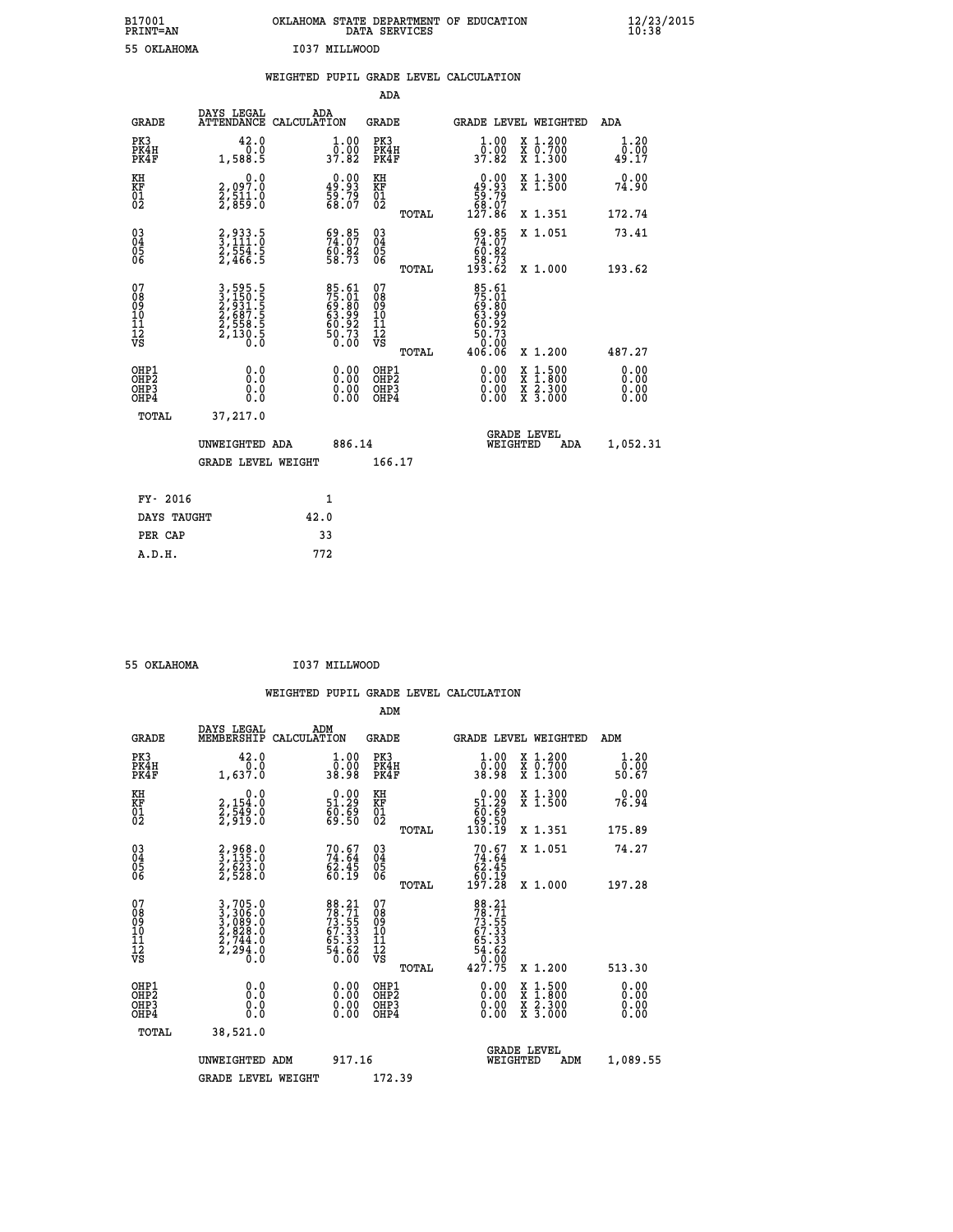| B17001<br><b>PRINT=AN</b> | OKLAHOMA STATE DEPARTMENT OF EDUCATION<br>DATA SERVICES | $\frac{12}{23}$ /2015 |
|---------------------------|---------------------------------------------------------|-----------------------|
| 55 OKLAHOMA               | I037 MILLWOOD                                           |                       |

|                                           |                                                                       | WEIGHTED PUPIL GRADE LEVEL CALCULATION                               |                                                    |                                                                                                        |                       |
|-------------------------------------------|-----------------------------------------------------------------------|----------------------------------------------------------------------|----------------------------------------------------|--------------------------------------------------------------------------------------------------------|-----------------------|
|                                           |                                                                       |                                                                      | ADA                                                |                                                                                                        |                       |
| <b>GRADE</b>                              | DAYS LEGAL                                                            | ADA<br>ATTENDANCE CALCULATION                                        | GRADE                                              | GRADE LEVEL WEIGHTED                                                                                   | ADA                   |
| PK3<br>PK4H<br>PK4F                       | 42.0<br>0.0<br>1,588.5                                                | 1.00                                                                 | PK3<br>PK4H<br>PK4F                                | 1.00<br>X 1.200<br>0.00<br><del>Χ</del> Ō:7ŎŎ<br>Χ 1:300<br>37.82                                      | 1.20<br>0.00<br>49.17 |
| KH<br>KF<br>01<br>02                      | 0.0<br>2,097:0<br>2,511:0<br>2,859:0                                  | $\begin{smallmatrix} 0.00\\ 49.93\\ 59.79\\ 68.07 \end{smallmatrix}$ | KH<br>KF<br>01<br>02                               | X 1.300<br>X 1.500<br>$\begin{smallmatrix} &0.00\ 49.93\ 59.79\ 58.07\ 127.86\ \end{smallmatrix}$      | 0.00<br>74.90         |
|                                           |                                                                       |                                                                      | TOTAL                                              | X 1.351                                                                                                | 172.74                |
| $^{03}_{04}$<br>Ŏ5<br>06                  | 2,933.5<br>3,111.0<br>2,554.5<br>2,466.5                              | $59.85$<br>$74.07$<br>$60.82$<br>$58.73$                             | $\begin{matrix} 03 \\ 04 \\ 05 \\ 06 \end{matrix}$ | $\frac{69.85}{74.07}$<br>X 1.051                                                                       | 73.41                 |
|                                           |                                                                       |                                                                      | TOTAL                                              | 58.73<br>193.62<br>X 1.000                                                                             | 193.62                |
| 07<br>08<br>09<br>11<br>11<br>12<br>VS    | 3,595.5<br>3,150.5<br>2,931.5<br>2,687.5<br>2,558.5<br>2,130.5<br>0.0 | 85.61<br>75.01<br>69.80<br>63.99<br>60.92<br>50.73<br>50.73          | 07<br>08<br>09<br>11<br>11<br>12<br>VS             | 85.61<br>75.01<br>69.80<br>63.92<br>60.73<br>50.73<br>50.02                                            |                       |
|                                           |                                                                       |                                                                      | TOTAL                                              | 406.06<br>X 1.200                                                                                      | 487.27                |
| OHP1<br>OHP2<br>OH <sub>P</sub> 3<br>OHP4 | 0.0<br>0.0<br>0.0                                                     | 0.00<br>$\begin{smallmatrix} 0.00 \ 0.00 \end{smallmatrix}$          | OHP1<br>OHP2<br>OHP3<br>OHP4                       | 0.00<br>$\begin{smallmatrix} 1.500\ 1.800\ 2.300\ 3.000 \end{smallmatrix}$<br>X<br>X<br>X<br>X<br>0.00 | 0.00<br>0.00<br>0.00  |
| <b>TOTAL</b>                              | 37,217.0                                                              |                                                                      |                                                    | <b>GRADE LEVEL</b>                                                                                     |                       |
|                                           | UNWEIGHTED ADA                                                        | 886.14                                                               |                                                    | WEIGHTED<br>ADA                                                                                        | 1,052.31              |
|                                           | <b>GRADE LEVEL WEIGHT</b>                                             |                                                                      | 166.17                                             |                                                                                                        |                       |
| FY- 2016                                  |                                                                       | 1                                                                    |                                                    |                                                                                                        |                       |
| DAYS TAUGHT                               |                                                                       | 42.0                                                                 |                                                    |                                                                                                        |                       |
| PER CAP                                   |                                                                       | 33                                                                   |                                                    |                                                                                                        |                       |
| A.D.H.                                    |                                                                       | 772                                                                  |                                                    |                                                                                                        |                       |

 **55 OKLAHOMA I037 MILLWOOD**

|                                                                                                                                                                                               |                                                                      |                                               | WEIGHTED PUPIL GRADE LEVEL CALCULATION                                                            |                       |
|-----------------------------------------------------------------------------------------------------------------------------------------------------------------------------------------------|----------------------------------------------------------------------|-----------------------------------------------|---------------------------------------------------------------------------------------------------|-----------------------|
|                                                                                                                                                                                               |                                                                      | ADM                                           |                                                                                                   |                       |
| DAYS LEGAL<br><b>GRADE</b><br>MEMBERSHIP                                                                                                                                                      | ADM<br>CALCULATION                                                   | <b>GRADE</b>                                  | <b>GRADE LEVEL WEIGHTED</b>                                                                       | ADM                   |
| PK3<br>42.0<br>PK4H<br>1,637.0<br>PK4F                                                                                                                                                        | $\begin{smallmatrix} 1.00\\ 0.00\\ 38.98 \end{smallmatrix}$          | PK3<br>PK4H<br>PK4F                           | $1.00$<br>$0.00$<br>X 1.200<br>X 0.700<br>X 1.300<br>38.98                                        | 1.20<br>0.00<br>50.67 |
| KH<br>0.0<br>KF<br>01<br>02<br>2,154:0<br>2,549:0<br>2,919:0                                                                                                                                  | $\begin{smallmatrix} 0.00\\ 51.29\\ 60.69\\ 69.50 \end{smallmatrix}$ | KH<br>KF<br>01<br>02                          | X 1.300<br>X 1.500<br>$\begin{smallmatrix} &0.00\ 51.29\ 60.69\ 69.50\ 130.19\ \end{smallmatrix}$ | 0.00<br>76.94         |
|                                                                                                                                                                                               |                                                                      | TOTAL                                         | X 1.351                                                                                           | 175.89                |
| $\begin{matrix} 03 \\ 04 \\ 05 \\ 06 \end{matrix}$<br>2,968.0<br>3,135.0<br>2,623.0<br>2,528.0                                                                                                | $70.67$<br>$74.64$<br>$62.45$<br>$60.19$                             | 03<br>04<br>05<br>06                          | $70.67$<br>$74.64$<br>$62.45$<br>$60.19$<br>$197.28$<br>X 1.051                                   | 74.27                 |
|                                                                                                                                                                                               |                                                                      | TOTAL                                         | X 1.000                                                                                           | 197.28                |
| 07<br>08<br>09<br>01<br>11<br>11<br>12<br>VS<br>$\begin{smallmatrix} 3\,,\,705\,.0\\ 3\,,\,306\,.0\\ 3\,,\,089\,.0\\ 2\,,\,828\,.0\\ 2\,,\,744\,.0\\ 2\,,\,294\,.0\\ 0\,.0 \end{smallmatrix}$ | 88.21<br>78.71<br>73.55<br>67.33<br>65.33<br>65.33<br>54.62<br>50.00 | 07<br>08<br>09<br>001<br>11<br>11<br>12<br>VS | 88.21<br>78.715<br>73.555<br>67.333<br>65.333<br>65.332<br>54.620<br>0.000<br>427.75              |                       |
|                                                                                                                                                                                               |                                                                      | TOTAL                                         | X 1.200                                                                                           | 513.30                |
| OHP1<br>OHP2<br>0.0<br>$\begin{smallmatrix} 0.0 & 0 \ 0.0 & 0 \end{smallmatrix}$<br>OH <sub>P3</sub><br>OH <sub>P4</sub>                                                                      | 0.00<br>$\begin{smallmatrix} 0.00 \ 0.00 \end{smallmatrix}$          | OHP1<br>OHP2<br>OHP3<br>OHP4                  | $0.00$<br>$0.00$<br>$1.500$<br>$1.800$<br>X<br>X<br>$\frac{x}{x}$ $\frac{5:300}{3:000}$<br>0.00   | 0.00<br>0.00<br>0.00  |
| TOTAL<br>38,521.0                                                                                                                                                                             |                                                                      |                                               |                                                                                                   |                       |
| UNWEIGHTED<br>ADM                                                                                                                                                                             | 917.16                                                               |                                               | <b>GRADE LEVEL</b><br>WEIGHTED                                                                    | 1,089.55<br>ADM       |
| <b>GRADE LEVEL WEIGHT</b>                                                                                                                                                                     |                                                                      | 172.39                                        |                                                                                                   |                       |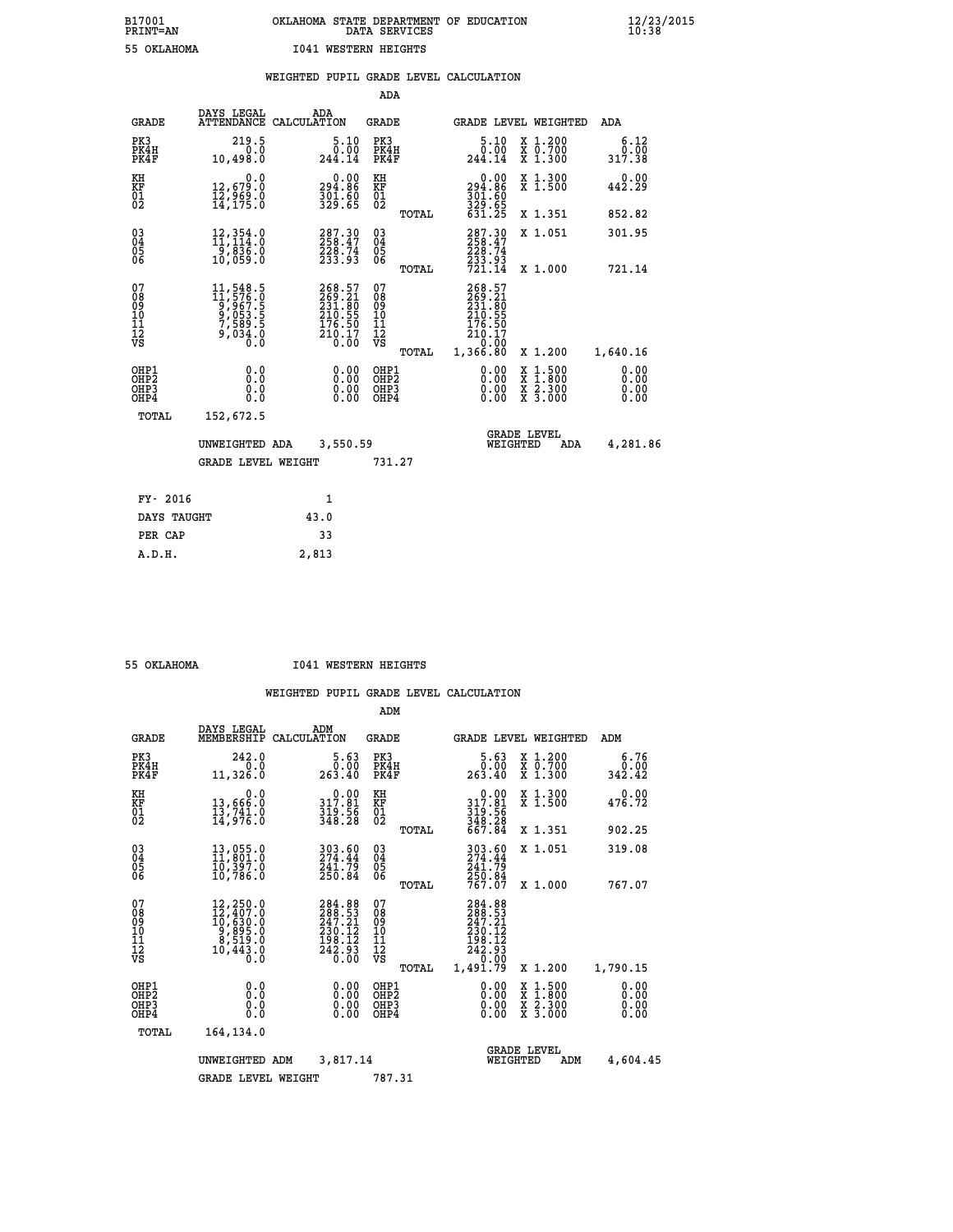|                                                    |                                                                                                                 |                                                                   | ADA                                      |       |                                                                     |                                                                            |                              |
|----------------------------------------------------|-----------------------------------------------------------------------------------------------------------------|-------------------------------------------------------------------|------------------------------------------|-------|---------------------------------------------------------------------|----------------------------------------------------------------------------|------------------------------|
| <b>GRADE</b>                                       | DAYS LEGAL                                                                                                      | ADA<br>ATTENDANCE CALCULATION                                     | <b>GRADE</b>                             |       |                                                                     | GRADE LEVEL WEIGHTED                                                       | <b>ADA</b>                   |
| PK3<br>PK4H<br>PK4F                                | 219.5<br>0.0<br>10,498.0                                                                                        | 5.10<br>0.00<br>244.14                                            | PK3<br>PK4H<br>PK4F                      |       | $\begin{smallmatrix}5.10\0.00\\244.14\end{smallmatrix}$             | X 1.200<br>X 0.700<br>X 1.300                                              | 6.12<br>0.00<br>317.38       |
| KH<br>KF<br>01<br>02                               | 0.0<br>12,679.0<br>12,969.0<br>14,175.0                                                                         | 0.00<br>294.86<br>$\frac{301.60}{329.65}$                         | KH<br>KF<br>01<br>02                     |       | 0.00<br>294.86<br>$\frac{301}{329}$ : 60<br>329 : 65<br>631 : 25    | X 1.300<br>X 1.500                                                         | 0.00<br>442.29               |
|                                                    |                                                                                                                 |                                                                   |                                          | TOTAL |                                                                     | X 1.351                                                                    | 852.82                       |
| $\begin{matrix} 03 \\ 04 \\ 05 \\ 06 \end{matrix}$ | 12, 354.0<br>11, 114.0<br>-5,836.ŏ<br>10,059.O                                                                  | 287.30<br>258.47<br>228.74<br>233.93                              | 03<br>04<br>05<br>06                     |       | 287.30<br>258.47<br>$\frac{228}{233}$ . 93<br>$\frac{74}{721}$ . 14 | X 1.051                                                                    | 301.95                       |
|                                                    |                                                                                                                 |                                                                   |                                          | TOTAL |                                                                     | X 1.000                                                                    | 721.14                       |
| 07<br>08<br>09<br>11<br>11<br>12<br>VS             | $\begin{smallmatrix} 11, 548.5\\ 11, 576.0\\ 9, 967.5\\ 9, 053.5\\ 7, 589.5\\ 9, 034.0\\ 0.0 \end{smallmatrix}$ | 268.57<br>269.21<br>231.805<br>210.55<br>176.50<br>210.17<br>0.00 | 07<br>08<br>09<br>11<br>11<br>12<br>VS   |       | 268.57<br>269:21<br>231:80<br>210:55<br>$\frac{176.50}{210.17}$     |                                                                            |                              |
|                                                    |                                                                                                                 |                                                                   |                                          | TOTAL | 1,366.80                                                            | X 1.200                                                                    | 1,640.16                     |
| OHP1<br>OHP <sub>2</sub><br>OHP3<br>OHP4           | 0.0<br>0.0<br>Ō.Ō                                                                                               | 0.00<br>$\begin{smallmatrix} 0.00 \ 0.00 \end{smallmatrix}$       | OHP1<br>OHP <sub>2</sub><br>OHP3<br>OHP4 |       | 0.00<br>0.00<br>0.00                                                | $1.500$<br>$1.800$<br>X<br>X<br>$\frac{\ddot{x}}{x}$ $\frac{2.300}{3.000}$ | 0.00<br>0.00<br>0.00<br>0.00 |
| TOTAL                                              | 152,672.5                                                                                                       |                                                                   |                                          |       |                                                                     |                                                                            |                              |
|                                                    | UNWEIGHTED ADA                                                                                                  | 3,550.59                                                          |                                          |       |                                                                     | <b>GRADE LEVEL</b><br>WEIGHTED<br>ADA                                      | 4,281.86                     |
|                                                    | <b>GRADE LEVEL WEIGHT</b>                                                                                       |                                                                   | 731.27                                   |       |                                                                     |                                                                            |                              |
| FY- 2016                                           |                                                                                                                 | $\mathbf{1}$                                                      |                                          |       |                                                                     |                                                                            |                              |
| DAYS TAUGHT                                        |                                                                                                                 | 43.0                                                              |                                          |       |                                                                     |                                                                            |                              |
| PER CAP                                            |                                                                                                                 | 33                                                                |                                          |       |                                                                     |                                                                            |                              |
|                                                    |                                                                                                                 |                                                                   |                                          |       |                                                                     |                                                                            |                              |

 **A.D.H. 2,813**

 **55 OKLAHOMA I041 WESTERN HEIGHTS**

|                                                       |                                                                                                                                                              |                                                                                 | ADM                                                |                                                                                            |                                                                                                  |                              |
|-------------------------------------------------------|--------------------------------------------------------------------------------------------------------------------------------------------------------------|---------------------------------------------------------------------------------|----------------------------------------------------|--------------------------------------------------------------------------------------------|--------------------------------------------------------------------------------------------------|------------------------------|
|                                                       | DAYS LEGAL<br><b>GRADE</b><br>MEMBERSHIP                                                                                                                     | ADM<br>CALCULATION                                                              | <b>GRADE</b>                                       | <b>GRADE LEVEL WEIGHTED</b>                                                                |                                                                                                  | ADM                          |
| PK3<br>PK4F                                           | 242.0<br>PK4H<br>11,326.0                                                                                                                                    | 5.63<br>0.00<br>0.0<br>263.40                                                   | PK3<br>PK4H<br>PK4F                                | 5.63<br>00.00<br>263.40                                                                    | X 1.200<br>X 0.700<br>X 1.300                                                                    | 6.76<br>0.00<br>342.42       |
| KH<br>KF<br>01<br>02                                  | 13,666:0<br>13,741.0<br>14,976:0                                                                                                                             | 0.0<br>$\begin{smallmatrix} &0.00\\ 317.81\\ 319.56\\ 348.28 \end{smallmatrix}$ | KH<br>KF<br>01<br>02                               | $0.00$<br>$317.81$<br>$319.56$<br>$348.28$<br>$667.84$                                     | X 1.300<br>X 1.500                                                                               | 0.00<br>476.72               |
|                                                       |                                                                                                                                                              |                                                                                 | TOTAL                                              |                                                                                            | X 1.351                                                                                          | 902.25                       |
| 03<br>04<br>05<br>06                                  | 13,055.0<br>11,801.0<br>10,397.0<br>10,786.0                                                                                                                 | 303.60<br>274.44<br>241.79<br>250.84                                            | $\begin{matrix} 03 \\ 04 \\ 05 \\ 06 \end{matrix}$ | 303.60<br>274.44<br>241.79                                                                 | X 1.051                                                                                          | 319.08                       |
|                                                       |                                                                                                                                                              |                                                                                 | TOTAL                                              | 250.84<br>767.07                                                                           | X 1.000                                                                                          | 767.07                       |
| 07<br>08<br>09<br>101<br>112<br>VS                    | $\begin{smallmatrix} 12,250\cdot 0\\ 12,407\cdot 0\\ 10,630\cdot 0\\ 9,895\cdot 0\\ 8,519\cdot 0\\ 8,519\cdot 0\\ 10,443\cdot 0\\ 0\cdot 0\end{smallmatrix}$ | 284.88<br>288.53<br>247.21<br>230.12<br>$\frac{198.12}{242.93}$                 | 07<br>08<br>09<br>101<br>11<br>12<br>VS<br>TOTAL   | 284.88<br>288.53<br>247.21<br>230.12<br>198.12<br>242.93<br>$\overline{0}$ .00<br>1,491.79 | X 1.200                                                                                          | 1,790.15                     |
| OHP1<br>OH <sub>P</sub> 2<br>OH <sub>P3</sub><br>OHP4 |                                                                                                                                                              | 0.0<br>$0.00$<br>$0.00$<br>0.000<br>0.00                                        | OHP1<br>OHP2<br>OHP3<br>OHP4                       | $0.00$<br>$0.00$<br>0.00                                                                   | $\begin{smallmatrix} x & 1 & 500 \\ x & 1 & 800 \\ x & 2 & 300 \\ x & 3 & 000 \end{smallmatrix}$ | 0.00<br>0.00<br>0.00<br>0.00 |
|                                                       | TOTAL<br>164,134.0                                                                                                                                           |                                                                                 |                                                    |                                                                                            |                                                                                                  |                              |
|                                                       | UNWEIGHTED                                                                                                                                                   | 3,817.14<br>ADM                                                                 |                                                    | <b>GRADE LEVEL</b><br>WEIGHTED                                                             | ADM                                                                                              | 4,604.45                     |
|                                                       |                                                                                                                                                              | <b>GRADE LEVEL WEIGHT</b>                                                       | 787.31                                             |                                                                                            |                                                                                                  |                              |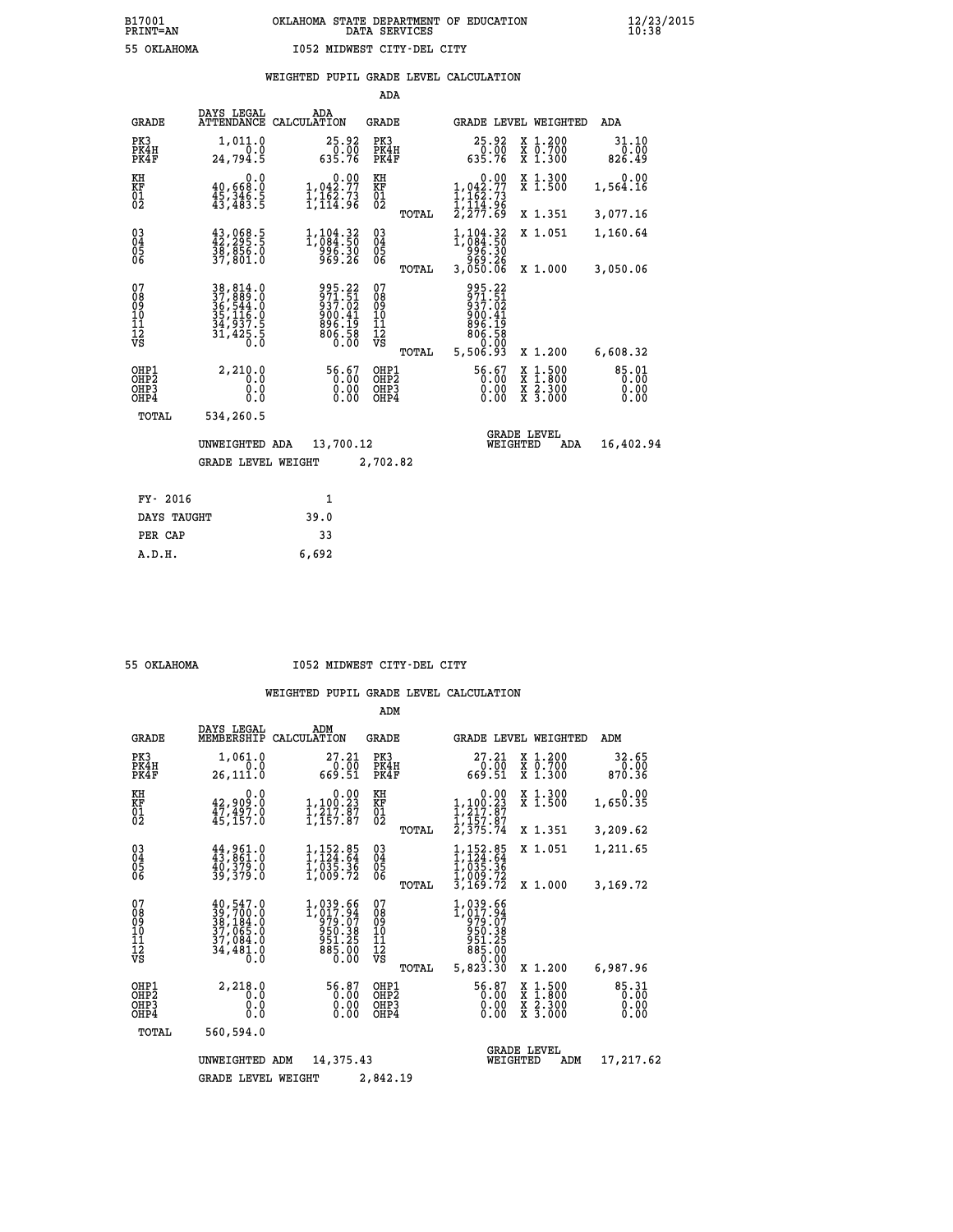|  |  | WEIGHTED PUPIL GRADE LEVEL CALCULATION |
|--|--|----------------------------------------|
|  |  |                                        |

|                                                                    |                                                                      |                                                                             | ADA                                             |                                                                          |                                |                                                                |                                 |
|--------------------------------------------------------------------|----------------------------------------------------------------------|-----------------------------------------------------------------------------|-------------------------------------------------|--------------------------------------------------------------------------|--------------------------------|----------------------------------------------------------------|---------------------------------|
| <b>GRADE</b>                                                       | DAYS LEGAL                                                           | ADA<br>ATTENDANCE CALCULATION                                               | <b>GRADE</b>                                    |                                                                          |                                | GRADE LEVEL WEIGHTED                                           | ADA                             |
| PK3<br>PK4H<br>PK4F                                                | 1,011.0<br>0.0<br>24,794.5                                           | 25.92<br>$\frac{0.00}{635.76}$                                              | PK3<br>PK4H<br>PK4F                             | $25.92\n0.00\n635.76$                                                    |                                | X 1.200<br>X 0.700<br>X 1.300                                  | 31.10<br>0.00<br>826.49         |
| KH<br>KF<br>01<br>02                                               | 0.0<br>40,668:0<br>45,346.5<br>43,483:5                              | $\begin{smallmatrix}&&&0.00\\1,042.77\\1,162.73\\1,114.96\end{smallmatrix}$ | KH<br>KF<br>$\overline{01}$                     | $1,042.77$<br>$1,162.73$<br>$1,114.96$<br>$2,277.69$                     | 0.00                           | X 1.300<br>X 1.500                                             | 0.00<br>1,564.16                |
|                                                                    |                                                                      |                                                                             | TOTAL                                           |                                                                          |                                | X 1.351                                                        | 3,077.16                        |
| $\begin{smallmatrix} 03 \\[-4pt] 04 \end{smallmatrix}$<br>05<br>06 | 43, 068.5<br>$\frac{38}{37}$ , 856.0<br>37, 801.0                    | 1,104.32<br>1,084.50<br>996.30<br>969.26                                    | $\substack{03 \\ 04}$<br>0500                   | 1,104.32<br>996.30<br>969.26                                             |                                | X 1.051                                                        | 1,160.64                        |
|                                                                    |                                                                      |                                                                             | TOTAL                                           | 3,050.06                                                                 |                                | X 1.000                                                        | 3,050.06                        |
| 07<br>08<br>09<br>11<br>11<br>12<br>VS                             | 38,814.0<br>37,889.0<br>36,544.0<br>35,116.0<br>34,937.5<br>31,425.5 | 995.22<br>$\frac{571.51}{937.02}$<br>000:41<br>896:19<br>806:58<br>0.00     | 07<br>08<br>09<br>11<br>11<br>12<br>VS<br>TOTAL | 995.22<br>971.51<br>937.02<br>900.41<br>$\frac{896}{806.58}$<br>5,506.93 | 0.00                           | X 1.200                                                        | 6,608.32                        |
|                                                                    |                                                                      |                                                                             |                                                 |                                                                          |                                |                                                                |                                 |
| OHP1<br>OH <sub>P</sub> 2<br>OHP3<br>OHP4                          | 2,210.0<br>0.0<br>0.0<br>0.0                                         | 56.67<br>0.00<br>0.00                                                       | OHP1<br>OH <sub>P</sub> 2<br>OHP3<br>OHP4       | 56.67                                                                    | X<br>X<br>0.00<br>0.00         | $1:500$<br>1:800<br>$\frac{\ddot{x}}{x}$ $\frac{2.300}{3.000}$ | $85.01$<br>0.00<br>0.00<br>0.00 |
| TOTAL                                                              | 534,260.5                                                            |                                                                             |                                                 |                                                                          |                                |                                                                |                                 |
|                                                                    | UNWEIGHTED ADA                                                       | 13,700.12                                                                   |                                                 |                                                                          | <b>GRADE LEVEL</b><br>WEIGHTED | ADA                                                            | 16,402.94                       |
|                                                                    | <b>GRADE LEVEL WEIGHT</b>                                            |                                                                             | 2,702.82                                        |                                                                          |                                |                                                                |                                 |
|                                                                    |                                                                      |                                                                             |                                                 |                                                                          |                                |                                                                |                                 |
| FY- 2016                                                           |                                                                      | 1                                                                           |                                                 |                                                                          |                                |                                                                |                                 |
| DAYS TAUGHT                                                        |                                                                      | 39.0                                                                        |                                                 |                                                                          |                                |                                                                |                                 |
| PER CAP                                                            |                                                                      | 33                                                                          |                                                 |                                                                          |                                |                                                                |                                 |

 **A.D.H. 6,692**

 **55 OKLAHOMA I052 MIDWEST CITY-DEL CITY**

|                                           |                                                                                                         |                                                                            | ADM                                       |                                                                                  |                                                                                                  |                               |
|-------------------------------------------|---------------------------------------------------------------------------------------------------------|----------------------------------------------------------------------------|-------------------------------------------|----------------------------------------------------------------------------------|--------------------------------------------------------------------------------------------------|-------------------------------|
| <b>GRADE</b>                              | DAYS LEGAL<br>MEMBERSHIP                                                                                | ADM<br>CALCULATION                                                         | <b>GRADE</b>                              | GRADE LEVEL WEIGHTED                                                             |                                                                                                  | ADM                           |
| PK3<br>PK4H<br>PK4F                       | 1,061.0<br>0.0<br>26,111.0                                                                              | 27.21<br>0.00<br>669.51                                                    | PK3<br>PK4H<br>PK4F                       | 27.21<br>0.00<br>669.51                                                          | X 1.200<br>X 0.700<br>X 1.300                                                                    | 32.65<br>0.00<br>870.36       |
| KH<br>KF<br>01<br>02                      | 0.0<br>$42,909.0$<br>$47,497.0$<br>45,157.0                                                             | $\begin{smallmatrix}&&0.00\\1,100.23\\1,217.87\\1,157.87\end{smallmatrix}$ | KH<br>KF<br>01<br>02                      | 0.00<br>$1, 100.23$<br>$1, 217.87$<br>I,I57.07<br>2,375.74                       | X 1.300<br>X 1.500                                                                               | 0.00<br>1,650.35              |
|                                           |                                                                                                         |                                                                            | TOTAL                                     |                                                                                  | X 1.351                                                                                          | 3,209.62                      |
| 03<br>04<br>05<br>06                      | 44,961.0<br>43,861.0<br>40,379.0<br>39,379.0                                                            | $1,152.85$<br>$1,124.64$<br>$1,035.36$<br>1,009.72                         | $\substack{03 \\ 04}$<br>05               | 1,152.85<br>1,124.64<br>$\overline{1}$ , $\overline{0}$ 35.36<br>1,009.72        | X 1.051                                                                                          | 1,211.65                      |
|                                           |                                                                                                         |                                                                            | TOTAL                                     | 3,169.72                                                                         | X 1.000                                                                                          | 3,169.72                      |
| 07<br>08<br>09<br>11<br>11<br>12<br>VS    | 40,547.0<br>$\frac{39}{38}, \frac{700}{184}.0$<br>$\frac{37}{37}, \frac{065}{984}.0$<br>34,481.0<br>0.0 | 1,039.66<br>1,017.94<br>979.07<br>950.38<br>951.25<br>885.00<br>0.00       | 07<br>089<br>101<br>112<br>VS<br>TOTAL    | 1,039.66<br>1,017.94<br>979.07<br>950.38<br>951.25<br>885.00<br>0.00<br>5,823.30 | X 1.200                                                                                          | 6,987.96                      |
| OHP1<br>OH <sub>P</sub> 2<br>OHP3<br>OHP4 | 2,218.0<br>0.0<br>0.0<br>Ŏ.Ŏ                                                                            | 56.87<br>0.00<br>0.00                                                      | OHP1<br>OH <sub>P</sub> 2<br>OHP3<br>OHP4 | 56.87<br>0.00<br>0.00<br>0.00                                                    | $\begin{smallmatrix} x & 1 & 500 \\ x & 1 & 800 \\ x & 2 & 300 \\ x & 3 & 000 \end{smallmatrix}$ | 85.31<br>0.00<br>0.00<br>0.00 |
| TOTAL                                     | 560,594.0                                                                                               |                                                                            |                                           |                                                                                  |                                                                                                  |                               |
|                                           | UNWEIGHTED                                                                                              | 14,375.43<br>ADM                                                           |                                           | WEIGHTED                                                                         | <b>GRADE LEVEL</b><br>ADM                                                                        | 17,217.62                     |
|                                           | <b>GRADE LEVEL WEIGHT</b>                                                                               |                                                                            | 2,842.19                                  |                                                                                  |                                                                                                  |                               |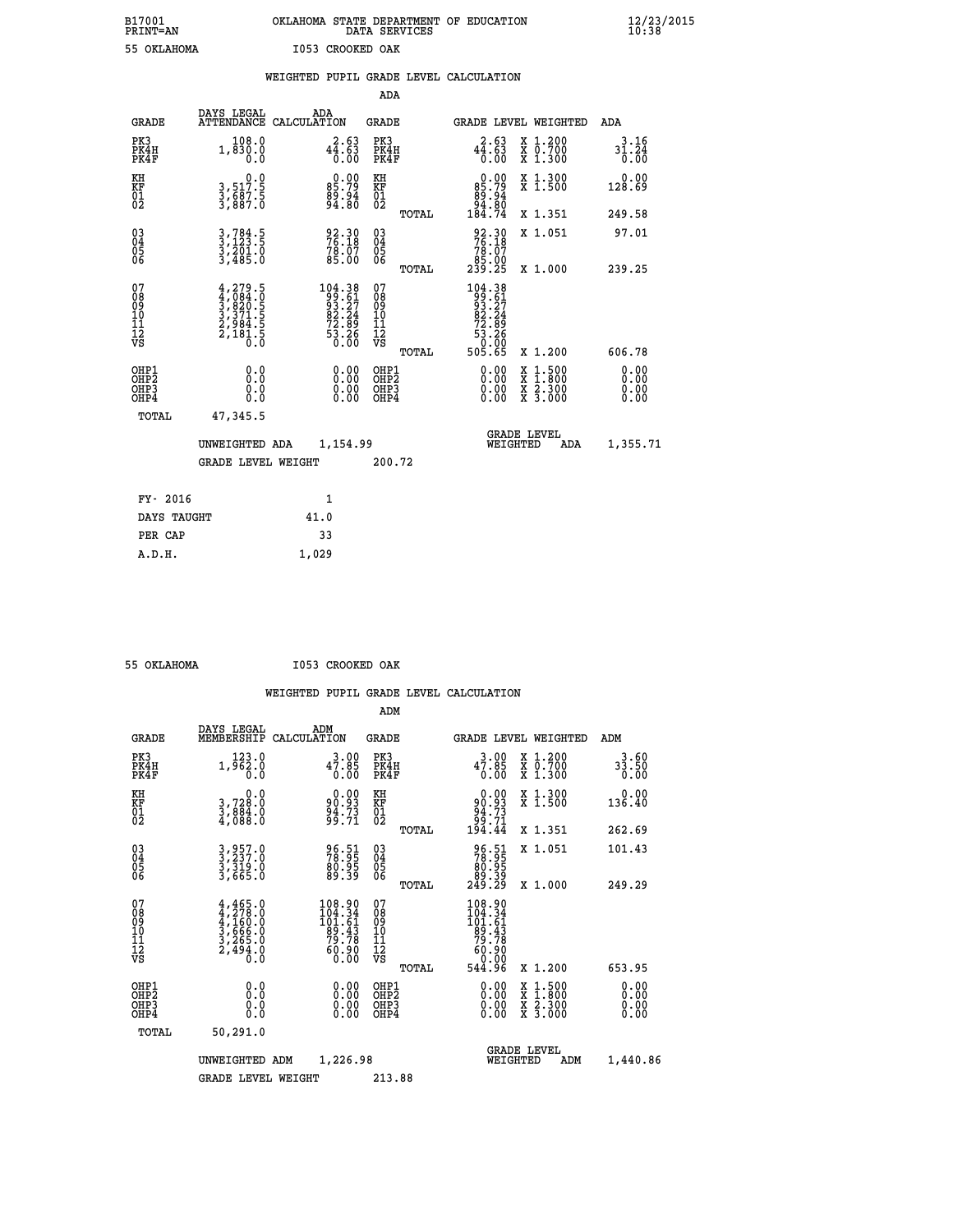## **B17001 OKLAHOMA STATE DEPARTMENT OF EDUCATION 12/23/2015 PRINT=AN DATA SERVICES 10:38 55 OKLAHOMA I053 CROOKED OAK**

|                                                                    |                                                                                           |                                                                                                       | ADA                                       |       |                                                                                                               |                                                                     |                                           |
|--------------------------------------------------------------------|-------------------------------------------------------------------------------------------|-------------------------------------------------------------------------------------------------------|-------------------------------------------|-------|---------------------------------------------------------------------------------------------------------------|---------------------------------------------------------------------|-------------------------------------------|
| <b>GRADE</b>                                                       | DAYS LEGAL                                                                                | ADA<br>ATTENDANCE CALCULATION                                                                         | <b>GRADE</b>                              |       |                                                                                                               | GRADE LEVEL WEIGHTED                                                | <b>ADA</b>                                |
| PK3<br>PK4H<br>PK4F                                                | 108.0<br>1,830.0<br>0.0                                                                   | $44.63$<br>$0.00$                                                                                     | PK3<br>PK4H<br>PK4F                       |       | 44.63<br>0.00                                                                                                 | X 1.200<br>X 0.700<br>X 1.300                                       | 3.16<br>$3\overline{1}\cdot 24\over 0.00$ |
| KH<br>KF<br>01<br>02                                               | $\begin{smallmatrix}&&&0.0\\3,517.5\\3,687.5\\3,887.0\end{smallmatrix}$                   | $\begin{smallmatrix} 0.00\\ 85.79\\ 99.94\\ 94.80 \end{smallmatrix}$                                  | KH<br>KF<br>01<br>02                      |       | 0.00<br>85:79<br>89:94<br>94:80<br>184:74                                                                     | X 1.300<br>X 1.500                                                  | 0.00<br>128.69                            |
|                                                                    |                                                                                           |                                                                                                       |                                           | TOTAL |                                                                                                               | X 1.351                                                             | 249.58                                    |
| $\begin{smallmatrix} 03 \\[-4pt] 04 \end{smallmatrix}$<br>Ŏ5<br>06 | $3, 784.5$<br>$3, 201.0$<br>$3, 485.0$                                                    | 92.30<br>76.18<br>$78.07$<br>$85.00$                                                                  | $\substack{03 \\ 04}$<br>Ŏ5<br>06         | TOTAL | $\begin{smallmatrix} 92.30\\ 76.18\\ 78.07\\ 85.00\\ 239.25 \end{smallmatrix}$                                | X 1.051<br>X 1.000                                                  | 97.01<br>239.25                           |
| 07<br>08<br>09<br>11<br>11<br>12<br>VS                             | $4, 279.5$<br>$4, 084.0$<br>$3, 820.5$<br>$3, 371.5$<br>$2, 984.5$<br>$2, 181.5$<br>$0.0$ | $\begin{smallmatrix} 104.38\\ 99.61\\ 93.27\\ 82.24\\ 72.89\\ 73.89\\ 53.26\\ 0.00 \end{smallmatrix}$ | 07<br>08<br>09<br>11<br>11<br>12<br>VS    |       | $\begin{array}{r} 104.38 \\ 99.61 \\ 93.27 \\ 82.24 \\ 72.89 \\ 73.26 \\ 53.26 \\ 0.00 \\ 505.65 \end{array}$ |                                                                     |                                           |
|                                                                    |                                                                                           |                                                                                                       |                                           | TOTAL |                                                                                                               | X 1.200                                                             | 606.78                                    |
| OHP1<br>OHP <sub>2</sub><br>OHP3<br>OHP4                           | 0.0<br>0.0<br>0.0                                                                         | 0.00<br>$\begin{smallmatrix} 0.00 \ 0.00 \end{smallmatrix}$                                           | OHP1<br>OH <sub>P</sub> 2<br>OHP3<br>OHP4 |       | 0.00<br>0.00<br>0.00                                                                                          | $1:500$<br>$1:800$<br>X<br>X<br>$\frac{x}{x}$ $\frac{5:300}{3:000}$ | 0.00<br>0.00<br>0.00<br>0.00              |
| TOTAL                                                              | 47,345.5                                                                                  |                                                                                                       |                                           |       |                                                                                                               |                                                                     |                                           |
|                                                                    | UNWEIGHTED ADA                                                                            | 1,154.99                                                                                              |                                           |       |                                                                                                               | <b>GRADE LEVEL</b><br>WEIGHTED<br><b>ADA</b>                        | 1,355.71                                  |
|                                                                    | <b>GRADE LEVEL WEIGHT</b>                                                                 |                                                                                                       | 200.72                                    |       |                                                                                                               |                                                                     |                                           |
| FY- 2016                                                           |                                                                                           | 1                                                                                                     |                                           |       |                                                                                                               |                                                                     |                                           |
| DAYS TAUGHT                                                        |                                                                                           | 41.0                                                                                                  |                                           |       |                                                                                                               |                                                                     |                                           |
| PER CAP                                                            |                                                                                           | 33                                                                                                    |                                           |       |                                                                                                               |                                                                     |                                           |
|                                                                    |                                                                                           |                                                                                                       |                                           |       |                                                                                                               |                                                                     |                                           |

 **A.D.H. 1,029**

 **ADM**

 **55 OKLAHOMA I053 CROOKED OAK**

| <b>GRADE</b>                                       | DAYS LEGAL<br>MEMBERSHIP                                                            | ADM<br>CALCULATION                                            | <b>GRADE</b>                                    |                                                                                                                                                                                                                                                                                |                                | <b>GRADE LEVEL WEIGHTED</b>              | ADM                   |
|----------------------------------------------------|-------------------------------------------------------------------------------------|---------------------------------------------------------------|-------------------------------------------------|--------------------------------------------------------------------------------------------------------------------------------------------------------------------------------------------------------------------------------------------------------------------------------|--------------------------------|------------------------------------------|-----------------------|
| PK3<br>PK4H<br>PK4F                                | 123.0<br>$1,\bar{9}\bar{6}\bar{2}\bar{.}\bar{0}$                                    | $3.00$<br>47.85<br>0.00                                       | PK3<br>PK4H<br>PK4F                             | $3.00$<br>47.85<br>0.00                                                                                                                                                                                                                                                        |                                | X 1.200<br>X 0.700<br>X 1.300            | 3.60<br>33.50<br>0.00 |
| KH<br>KF<br>01<br>02                               | 0.0<br>3,728:0<br>3,884:0<br>4,088:0                                                | $90.93$<br>$94.73$<br>$94.73$<br>$99.71$                      | KH<br>KF<br>01<br>02                            | 0.00<br>80:93<br>73.73<br>74.71<br>194.44                                                                                                                                                                                                                                      |                                | X 1.300<br>X 1.500                       | 0.00<br>136.40        |
|                                                    |                                                                                     |                                                               | TOTAL                                           |                                                                                                                                                                                                                                                                                |                                | X 1.351                                  | 262.69                |
| $\begin{matrix} 03 \\ 04 \\ 05 \\ 06 \end{matrix}$ | 3,957.0<br>3,237.0<br>3,319.0<br>3,665.0                                            | 96.51<br>78.95<br>80.95<br>89.39                              | 03<br>04<br>05<br>06                            | 96.51<br>78.95<br>80.95<br>89.39<br>249.29                                                                                                                                                                                                                                     |                                | X 1.051                                  | 101.43                |
|                                                    |                                                                                     |                                                               | TOTAL                                           |                                                                                                                                                                                                                                                                                |                                | X 1.000                                  | 249.29                |
| 07<br>08<br>09<br>101<br>11<br>12<br>VS            | $4,465.0$<br>$4,278.0$<br>$4,160.0$<br>$3,666.0$<br>$3,265.0$<br>$2,494.0$<br>$0.0$ | 108.90<br>104.34<br>101:61<br>89.43<br>79.78<br>ŏŏ:ġŏ<br>0.00 | 07<br>08<br>09<br>11<br>11<br>12<br>VS<br>TOTAL | $\begin{smallmatrix} 108.90\\104.34\\101.61\\ 99.43\\ 79.78\\ 60.90\\ 0.00\\ 544.96 \end{smallmatrix}$                                                                                                                                                                         |                                | X 1.200                                  | 653.95                |
| OHP1<br>OHP2<br>OH <sub>P3</sub><br>OHP4           | 0.0<br>0.000                                                                        | $0.00$<br>$0.00$<br>0.00                                      | OHP1<br>OHP2<br>OHP3<br>OHP4                    | $\begin{smallmatrix} 0.00 & 0.00 & 0.00 & 0.00 & 0.00 & 0.00 & 0.00 & 0.00 & 0.00 & 0.00 & 0.00 & 0.00 & 0.00 & 0.00 & 0.00 & 0.00 & 0.00 & 0.00 & 0.00 & 0.00 & 0.00 & 0.00 & 0.00 & 0.00 & 0.00 & 0.00 & 0.00 & 0.00 & 0.00 & 0.00 & 0.00 & 0.00 & 0.00 & 0.00 & 0.00 & 0.0$ |                                | X 1:500<br>X 1:800<br>X 2:300<br>X 3:000 | 0.00<br>0.00<br>0.00  |
| TOTAL                                              | 50,291.0                                                                            |                                                               |                                                 |                                                                                                                                                                                                                                                                                |                                |                                          |                       |
|                                                    | UNWEIGHTED                                                                          | 1,226.98<br>ADM                                               |                                                 |                                                                                                                                                                                                                                                                                | <b>GRADE LEVEL</b><br>WEIGHTED | ADM                                      | 1,440.86              |
|                                                    | <b>GRADE LEVEL WEIGHT</b>                                                           |                                                               | 213.88                                          |                                                                                                                                                                                                                                                                                |                                |                                          |                       |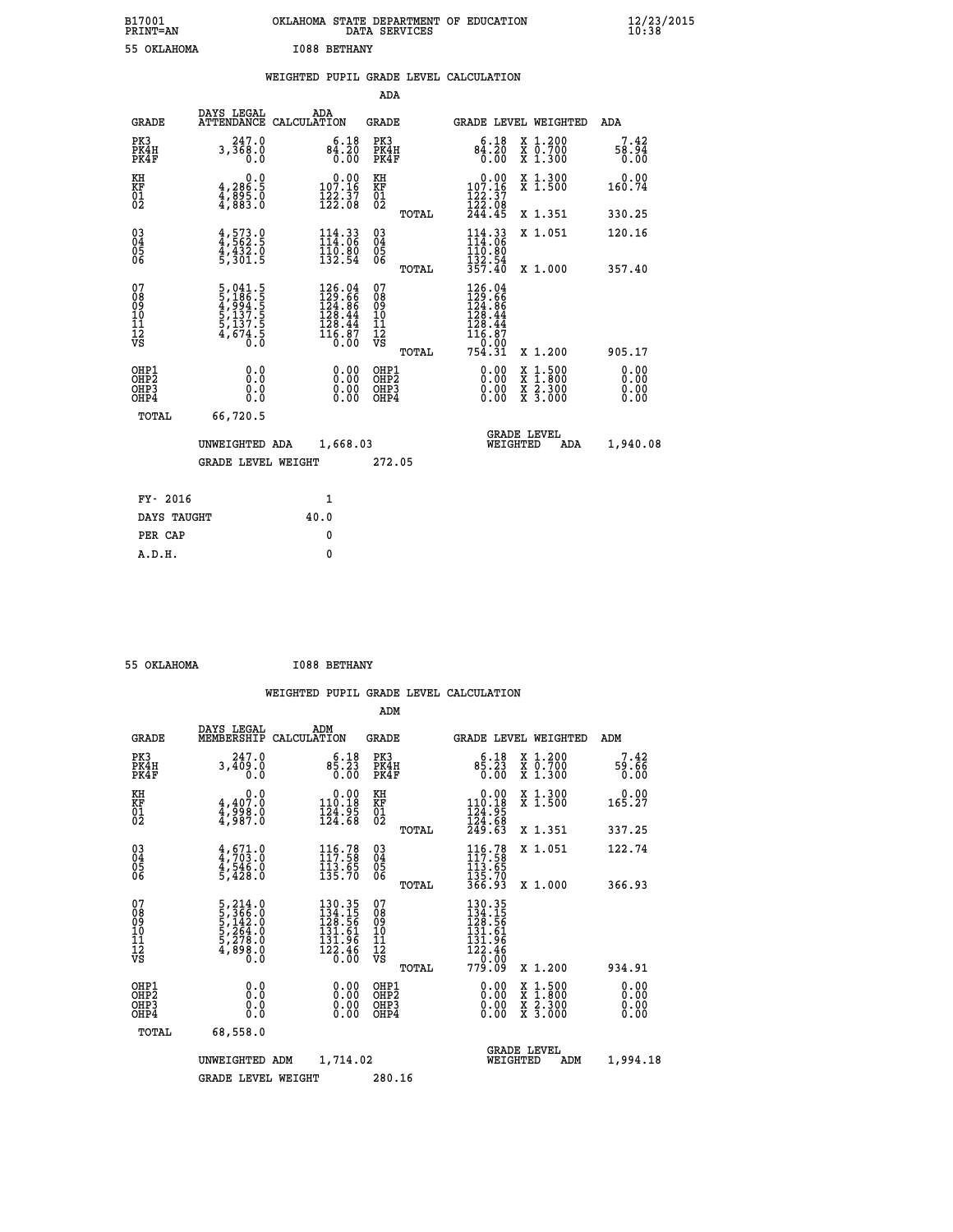# **B17001 OKLAHOMA STATE DEPARTMENT OF EDUCATION 12/23/2015 PRINT=AN DATA SERVICES 10:38 55 OKLAHOMA I088 BETHANY**

|  |  | WEIGHTED PUPIL GRADE LEVEL CALCULATION |
|--|--|----------------------------------------|
|  |  |                                        |

|                                                                    |                                                                                                                                       |                                                                                                                                      | ADA                                       |       |                                                                                                                                              |                                                    |                              |
|--------------------------------------------------------------------|---------------------------------------------------------------------------------------------------------------------------------------|--------------------------------------------------------------------------------------------------------------------------------------|-------------------------------------------|-------|----------------------------------------------------------------------------------------------------------------------------------------------|----------------------------------------------------|------------------------------|
| <b>GRADE</b>                                                       | DAYS LEGAL<br><b>ATTENDANCE</b>                                                                                                       | ADA<br>CALCULATION                                                                                                                   | <b>GRADE</b>                              |       |                                                                                                                                              | GRADE LEVEL WEIGHTED                               | ADA                          |
| PK3<br>PK4H<br>PK4F                                                | 247.0<br>3,368.0<br>0.0                                                                                                               | 6.18<br>$84.20$<br>$0.00$                                                                                                            | PK3<br>PK4H<br>PK4F                       |       | 6.18<br>$8\frac{3}{0}.\overline{20}$                                                                                                         | X 1.200<br>X 0.700<br>X 1.300                      | 7.42<br>58.94<br>0.00        |
| KH<br>KF<br>01<br>02                                               | 0.0<br>4,286:5<br>4,885:0<br>4,883:0                                                                                                  | $0.00$<br>107.16<br>$\frac{1}{2}\frac{2}{2}\cdot\frac{3}{0}\frac{7}{8}$                                                              | KH<br>KF<br>$\overline{01}$               |       | $0.00$<br>107.16<br>$\frac{122}{122}$ : $\frac{37}{08}$<br>$244.45$                                                                          | X 1.300<br>X 1.500                                 | 0.00<br>160.74               |
|                                                                    |                                                                                                                                       |                                                                                                                                      |                                           | TOTAL |                                                                                                                                              | X 1.351                                            | 330.25                       |
| $\begin{smallmatrix} 03 \\[-4pt] 04 \end{smallmatrix}$<br>Ŏ5<br>06 | $4,573.9$<br>$4,562.5$<br>$4,432.0$<br>$5,301.5$                                                                                      | $114.33$<br>$114.06$<br>110.00<br>132.54                                                                                             | $\substack{03 \\ 04}$<br>05               |       | 114.33<br>110:80<br>132:54<br>357:40                                                                                                         | X 1.051                                            | 120.16                       |
| 07                                                                 |                                                                                                                                       |                                                                                                                                      | 07                                        | TOTAL |                                                                                                                                              | X 1.000                                            | 357.40                       |
| 08<br>09<br>11<br>11<br>12<br>VS                                   | $\begin{smallmatrix}5\,,\,041\,.5\\5\,,\,186\,.5\\4\,,\,994\,.5\\5\,,\,137\,.5\\5\,,\,137\,.5\\4\,,\,674\,.5\\0\,.0\end{smallmatrix}$ | $\begin{smallmatrix} 126\cdot 04\\ 129\cdot 66\\ 124\cdot 86\\ 128\cdot 44\\ 128\cdot 44\\ 116\cdot 87\\ 0\cdot 00\end{smallmatrix}$ | 08<br>09<br>11<br>11<br>12<br>VS          |       | $\begin{smallmatrix} 126\cdot04\\ 129\cdot66\\ 124\cdot86\\ 128\cdot44\\ 128\cdot44\\ 116\cdot87\\ 0\cdot000\\ 754\cdot31 \end{smallmatrix}$ |                                                    |                              |
|                                                                    |                                                                                                                                       |                                                                                                                                      |                                           | TOTAL |                                                                                                                                              | X 1.200                                            | 905.17                       |
| OHP1<br>OHP <sub>2</sub><br>OHP3<br>OHP4                           | 0.0<br>0.0<br>Ō.Ō                                                                                                                     | 0.00<br>$\begin{smallmatrix} 0.00 \ 0.00 \end{smallmatrix}$                                                                          | OHP1<br>OH <sub>P</sub> 2<br>OHP3<br>OHP4 |       | 0.00<br>0.00<br>0.00                                                                                                                         | $1:500$<br>$1:800$<br>X<br>X<br>X 2.300<br>X 3.000 | 0.00<br>0.00<br>0.00<br>0.00 |
| TOTAL                                                              | 66,720.5                                                                                                                              |                                                                                                                                      |                                           |       |                                                                                                                                              |                                                    |                              |
|                                                                    | UNWEIGHTED ADA                                                                                                                        | 1,668.03                                                                                                                             |                                           |       |                                                                                                                                              | <b>GRADE LEVEL</b><br>WEIGHTED<br><b>ADA</b>       | 1,940.08                     |
|                                                                    | <b>GRADE LEVEL WEIGHT</b>                                                                                                             |                                                                                                                                      | 272.05                                    |       |                                                                                                                                              |                                                    |                              |
| FY- 2016                                                           |                                                                                                                                       | 1                                                                                                                                    |                                           |       |                                                                                                                                              |                                                    |                              |
| DAYS TAUGHT                                                        |                                                                                                                                       | 40.0                                                                                                                                 |                                           |       |                                                                                                                                              |                                                    |                              |
| PER CAP                                                            |                                                                                                                                       | 0                                                                                                                                    |                                           |       |                                                                                                                                              |                                                    |                              |
|                                                                    |                                                                                                                                       |                                                                                                                                      |                                           |       |                                                                                                                                              |                                                    |                              |

 **55 OKLAHOMA I088 BETHANY**

 **A.D.H. 0**

|                                                      |                                                                                                 |                    |                                                                         | ADM                                                |       |                                                                             |          |                                          |                              |
|------------------------------------------------------|-------------------------------------------------------------------------------------------------|--------------------|-------------------------------------------------------------------------|----------------------------------------------------|-------|-----------------------------------------------------------------------------|----------|------------------------------------------|------------------------------|
| <b>GRADE</b>                                         | DAYS LEGAL<br>MEMBERSHIP                                                                        | ADM<br>CALCULATION |                                                                         | <b>GRADE</b>                                       |       |                                                                             |          | <b>GRADE LEVEL WEIGHTED</b>              | ADM                          |
| PK3<br>PK4H<br>PK4F                                  | 247.0<br>3,409.0<br>0.0                                                                         |                    | 6.18<br>85.23<br>0.00                                                   | PK3<br>PK4H<br>PK4F                                |       | 6.18<br>85.23<br>0.00                                                       |          | X 1.200<br>X 0.700<br>X 1.300            | 7.42<br>59.66<br>0.00        |
| KH<br>KF<br>01<br>02                                 | 0.0<br>4,407.0<br>4,998.0<br>4,987.0                                                            |                    | $\begin{smallmatrix} &0.00\\ 110.18\\ 124.95\\ 124.68\end{smallmatrix}$ | KH<br>KF<br>01<br>02                               |       | $\begin{array}{c} 0.00 \\ 110.18 \\ 124.95 \\ 124.68 \\ 249.63 \end{array}$ |          | X 1.300<br>X 1.500                       | 0.00<br>165.27               |
|                                                      |                                                                                                 |                    |                                                                         |                                                    | TOTAL |                                                                             |          | X 1.351                                  | 337.25                       |
| 03<br>04<br>05<br>06                                 | $4, 671.0$<br>$4, 703.0$<br>$4, 546.0$<br>$5, 428.0$                                            |                    | $116.78$<br>$117.58$<br>$\frac{113}{135}$ . 65                          | $\begin{matrix} 03 \\ 04 \\ 05 \\ 06 \end{matrix}$ |       | $116.78$<br>$117.58$<br>$\frac{113}{135}$ $\frac{13}{135}$ $\frac{70}{366}$ |          | X 1.051                                  | 122.74                       |
|                                                      |                                                                                                 |                    |                                                                         |                                                    | TOTAL |                                                                             |          | X 1.000                                  | 366.93                       |
| 07<br>08<br>09<br>101<br>112<br>VS                   | $\begin{smallmatrix}5,214.0\\5,366.0\\5,142.0\\5,264.0\\5,278.0\\4,898.0\\0.0\end{smallmatrix}$ |                    | 130.35<br>134.15<br>128.56<br>131.61<br>131.96<br>$\frac{122.46}{0.00}$ | 07<br>08<br>09<br>11<br>11<br>12<br>VS             |       | 130.35<br>134.15<br>128.56<br>131.61<br>131:96<br>122:46<br>779:09          |          |                                          |                              |
|                                                      |                                                                                                 |                    |                                                                         |                                                    | TOTAL |                                                                             |          | X 1.200                                  | 934.91                       |
| OHP1<br>OHP2<br>OH <sub>P3</sub><br>OH <sub>P4</sub> | 0.0<br>0.000                                                                                    |                    | $0.00$<br>$0.00$<br>0.00                                                | OHP1<br>OHP2<br>OHP <sub>3</sub>                   |       | $0.00$<br>$0.00$<br>0.00                                                    |          | X 1:500<br>X 1:800<br>X 2:300<br>X 3:000 | 0.00<br>0.00<br>0.00<br>0.00 |
| TOTAL                                                | 68,558.0                                                                                        |                    |                                                                         |                                                    |       |                                                                             |          |                                          |                              |
|                                                      | UNWEIGHTED                                                                                      | ADM                | 1,714.02                                                                |                                                    |       |                                                                             | WEIGHTED | <b>GRADE LEVEL</b><br>ADM                | 1,994.18                     |
|                                                      | <b>GRADE LEVEL WEIGHT</b>                                                                       |                    |                                                                         | 280.16                                             |       |                                                                             |          |                                          |                              |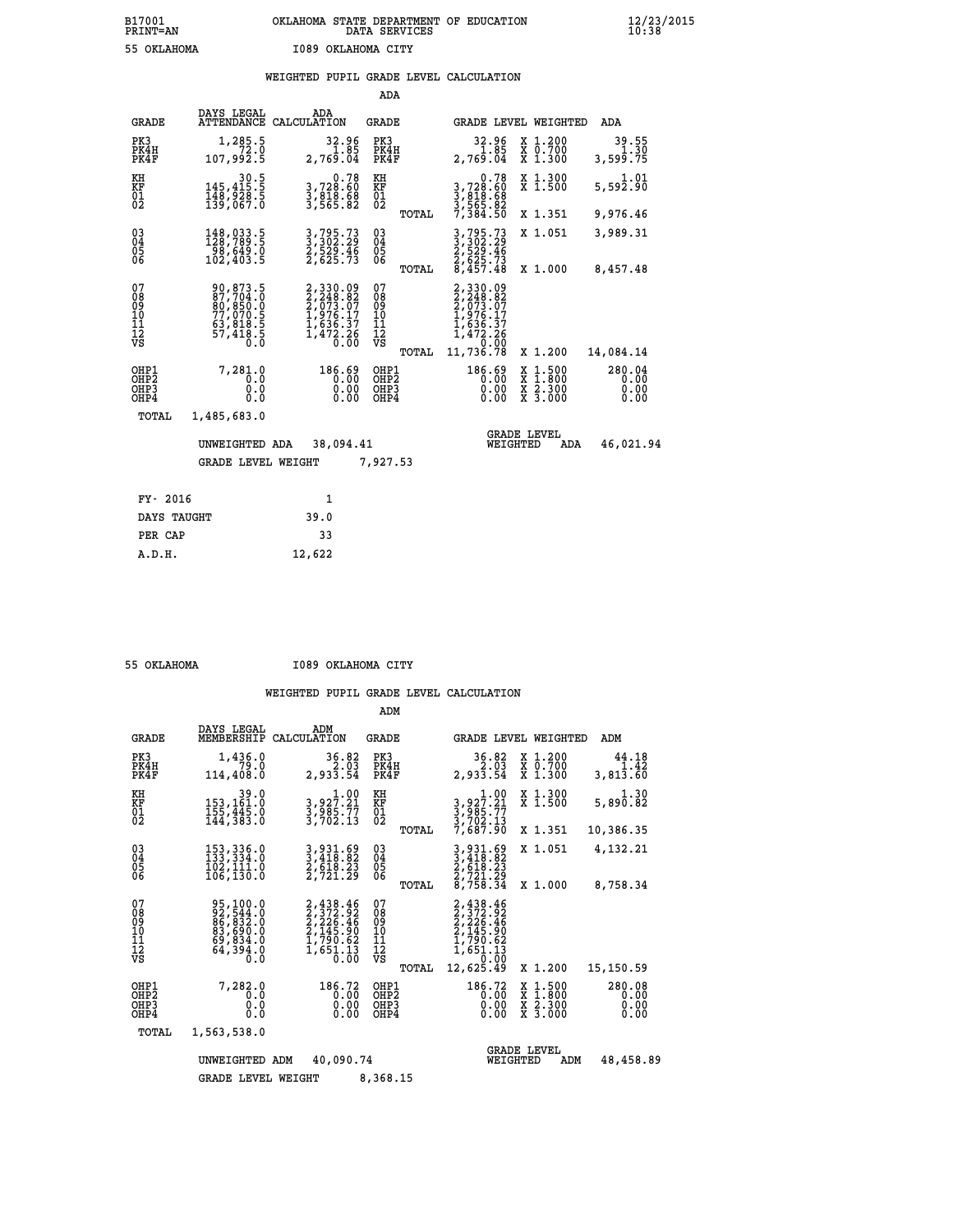## **B17001 OKLAHOMA STATE DEPARTMENT OF EDUCATION 12/23/2015 PRINT=AN DATA SERVICES 10:38 55 OKLAHOMA I089 OKLAHOMA CITY**

## **WEIGHTED PUPIL GRADE LEVEL CALCULATION**

|                                        |                                                                                      |                                                                                            | ADA                                      |       |                                                                                              |        |                                          |                                          |
|----------------------------------------|--------------------------------------------------------------------------------------|--------------------------------------------------------------------------------------------|------------------------------------------|-------|----------------------------------------------------------------------------------------------|--------|------------------------------------------|------------------------------------------|
| <b>GRADE</b>                           | DAYS LEGAL<br><b>ATTENDANCE</b>                                                      | ADA<br>CALCULATION                                                                         | GRADE                                    |       | GRADE LEVEL WEIGHTED                                                                         |        |                                          | ADA                                      |
| PK3<br>PK4H<br>PK4F                    | 1,285.5<br>72.0<br>107,992.5                                                         | $\begin{array}{c} 32.96 \\[-2pt] 1.85 \\[-2pt] 2,769.04 \end{array}$                       | PK3<br>PK4H<br>PK4F                      |       | 32.96<br>2,769.04                                                                            |        | X 1.200<br>X 0.700<br>X 1.300            | 39.55<br>1.30<br>3,599.75                |
| KH<br><b>KF</b><br>01<br>02            | $\begin{smallmatrix} & & 30.5\\ 145,415.5\\ 148,928.5\\ 139,067.0 \end{smallmatrix}$ | 0.78<br>3,728:60<br>3,818.68<br>3,565.82                                                   | KH<br>KF<br>01<br>02                     |       | 0.78<br>3,728.60<br>3,818.68<br>3,565.82<br>7,384.50                                         |        | X 1.300<br>$\overline{x}$ 1.500          | 1.01<br>$5,59\overline{2}.9\overline{0}$ |
|                                        |                                                                                      |                                                                                            |                                          | TOTAL |                                                                                              |        | X 1.351                                  | 9,976.46                                 |
| $^{03}_{04}$<br>05<br>06               | 148,033.5<br>128,789.5<br>$\frac{1}{102}$ , 649.0<br>102, 403.5                      | 3,795.73<br>3,302.29<br>2,529.46<br>2,625.73                                               | $\substack{03 \\ 04}$<br>$\frac{05}{06}$ |       | 3,795.73<br>3,302.29<br>2,529.46<br>2,625.73<br>8,457.48                                     |        | X 1.051                                  | 3,989.31                                 |
|                                        |                                                                                      |                                                                                            |                                          | TOTAL |                                                                                              |        | X 1.000                                  | 8,457.48                                 |
| 07<br>08<br>09<br>11<br>11<br>12<br>VS | 90,873.5<br>87,704.0<br>80,850.0<br>77,070.5<br>63,818.5<br>57,418.5                 | $2,330.09$<br>$2,248.82$<br>$2,673.07$<br>$1,976.17$<br>$1,636.37$<br>$1,472.26$<br>$0.00$ | 07<br>089<br>101<br>111<br>VS            | TOTAL | 2,330.09<br>2,248.82<br>2,073.07<br>1,976.17<br>1,636.37<br>1,472.26<br>1,72.26<br>11,736.78 |        | X 1.200                                  | 14,084.14                                |
|                                        | 7,281.0                                                                              | 186.69                                                                                     |                                          |       | 186.69                                                                                       |        |                                          | 280.04                                   |
| OHP1<br>OHP2<br>OHP3<br>OHP4           | 0.0<br>0.0<br>0.0                                                                    | 0.00<br>0.0000                                                                             | OHP1<br>OHP <sub>2</sub><br>OHP3<br>OHP4 |       | 0.00<br>0.00<br>0.00                                                                         | X<br>X | $1.500$<br>$1.800$<br>X 2.300<br>X 3.000 | 0.00<br>0.00<br>0.00                     |
| TOTAL                                  | 1,485,683.0                                                                          |                                                                                            |                                          |       |                                                                                              |        |                                          |                                          |
|                                        | UNWEIGHTED ADA                                                                       | 38,094.41                                                                                  |                                          |       | WEIGHTED                                                                                     |        | <b>GRADE LEVEL</b><br>ADA                | 46,021.94                                |
|                                        | <b>GRADE LEVEL WEIGHT</b>                                                            |                                                                                            | 7,927.53                                 |       |                                                                                              |        |                                          |                                          |
|                                        |                                                                                      |                                                                                            |                                          |       |                                                                                              |        |                                          |                                          |
| FY- 2016                               |                                                                                      | $\mathbf{1}$                                                                               |                                          |       |                                                                                              |        |                                          |                                          |
| DAYS TAUGHT                            |                                                                                      | 39.0                                                                                       |                                          |       |                                                                                              |        |                                          |                                          |

| 55 OKTAHOMA |  |
|-------------|--|
|             |  |

 **PER CAP 33 A.D.H. 12,622**

 **55 OKLAHOMA I089 OKLAHOMA CITY**

|                                       |                                                    |                                                                                          |                                                                                                                                                                       | ADM                                             |                                                                                              |                                                                                                  |                                                       |
|---------------------------------------|----------------------------------------------------|------------------------------------------------------------------------------------------|-----------------------------------------------------------------------------------------------------------------------------------------------------------------------|-------------------------------------------------|----------------------------------------------------------------------------------------------|--------------------------------------------------------------------------------------------------|-------------------------------------------------------|
|                                       | <b>GRADE</b>                                       | DAYS LEGAL<br>MEMBERSHIP                                                                 | ADM<br>CALCULATION                                                                                                                                                    | GRADE                                           |                                                                                              | <b>GRADE LEVEL WEIGHTED</b>                                                                      | ADM                                                   |
|                                       | PK3<br>PK4H<br>PK4F                                | 1,436.0<br>79.0<br>114,408.0                                                             | 36.82<br>2,933.54                                                                                                                                                     | PK3<br>PK4H<br>PK4F                             | 36.82<br>2,933.54<br>2,933.54                                                                | X 1.200<br>X 0.700<br>X 1.300                                                                    | 44.18<br>1.42<br>$3,81\overline{3}\cdot\overline{60}$ |
|                                       | KH<br><b>KF</b><br>01<br>02                        | 39.0<br>153,161:0<br>155,445.0<br>144,383:0                                              | 1.00<br>3, 927.21<br>3, 985.77<br>3, 702.13                                                                                                                           | KH<br>KF<br>01<br>02                            | 1.00<br>$\begin{array}{c} 3,927.21 \\ 3,985.77 \\ 3,702.13 \end{array}$                      | X 1.300<br>X 1.500                                                                               | 1.30<br>5,890.82                                      |
|                                       |                                                    |                                                                                          |                                                                                                                                                                       | TOTAL                                           | 7,687.90                                                                                     | X 1.351                                                                                          | 10,386.35                                             |
|                                       | $\begin{matrix} 03 \\ 04 \\ 05 \\ 06 \end{matrix}$ | 153, 336.0<br>133, 334.0<br>102,111.0<br>106, 130.0                                      | $\begin{smallmatrix} 3\, ,\, 9\, 3\, 1\, ,\, 6\, 9\\ 3\, ,\, 4\, 1\, 8\, ,\, 8\, 2\\ 2\, ,\, 6\, 1\, 8\, ,\, 2\, 3\\ 2\, ,\, 7\, 2\, 1\, ,\, 2\, 9 \end{smallmatrix}$ | $\substack{03 \\ 04}$<br>$\frac{05}{06}$        | 3,931.69<br>3,418.82<br>2,618.23<br>2,721.29<br>8,758.34                                     | X 1.051                                                                                          | 4,132.21                                              |
|                                       |                                                    |                                                                                          |                                                                                                                                                                       | TOTAL                                           |                                                                                              | X 1.000                                                                                          | 8,758.34                                              |
|                                       | 07<br>08<br>09<br>101<br>11<br>12<br>VS            | 95,100.0<br>92,544.0<br>86,832.0<br>83,690.0<br>69,834.0<br>64,394.0<br>$0.\overline{0}$ | 2, 438.46<br>2, 372.92<br>2, 226.46<br>2, 145.90<br>1, 790.62<br>1, 651.13<br>0.00                                                                                    | 07<br>08<br>09<br>11<br>11<br>12<br>VS<br>TOTAL | 2,438.46<br>2,372.92<br>2,226.46<br>2,145.90<br>1,790.62<br>1,651.13<br>0,60.92<br>12,625.49 | X 1.200                                                                                          | 15,150.59                                             |
|                                       | OHP1<br>OHP2<br>OH <sub>P3</sub><br>OHP4           | 7,282.0<br>0.0<br>0.0<br>0.0                                                             | 186.72<br>0.00<br>0.00<br>0.00                                                                                                                                        | OHP1<br>OHP2<br>OHP3<br>OHP4                    | 186.72<br>0.00<br>0.00<br>0.00                                                               | $\begin{smallmatrix} x & 1 & 500 \\ x & 1 & 800 \\ x & 2 & 300 \\ x & 3 & 000 \end{smallmatrix}$ | 280.08<br>0.00<br>0.00<br>0.00                        |
|                                       | TOTAL                                              | 1,563,538.0                                                                              |                                                                                                                                                                       |                                                 |                                                                                              |                                                                                                  |                                                       |
|                                       |                                                    | UNWEIGHTED                                                                               | 40,090.74<br>ADM                                                                                                                                                      |                                                 | WEIGHTED                                                                                     | <b>GRADE LEVEL</b><br>ADM                                                                        | 48,458.89                                             |
| 8,368.15<br><b>GRADE LEVEL WEIGHT</b> |                                                    |                                                                                          |                                                                                                                                                                       |                                                 |                                                                                              |                                                                                                  |                                                       |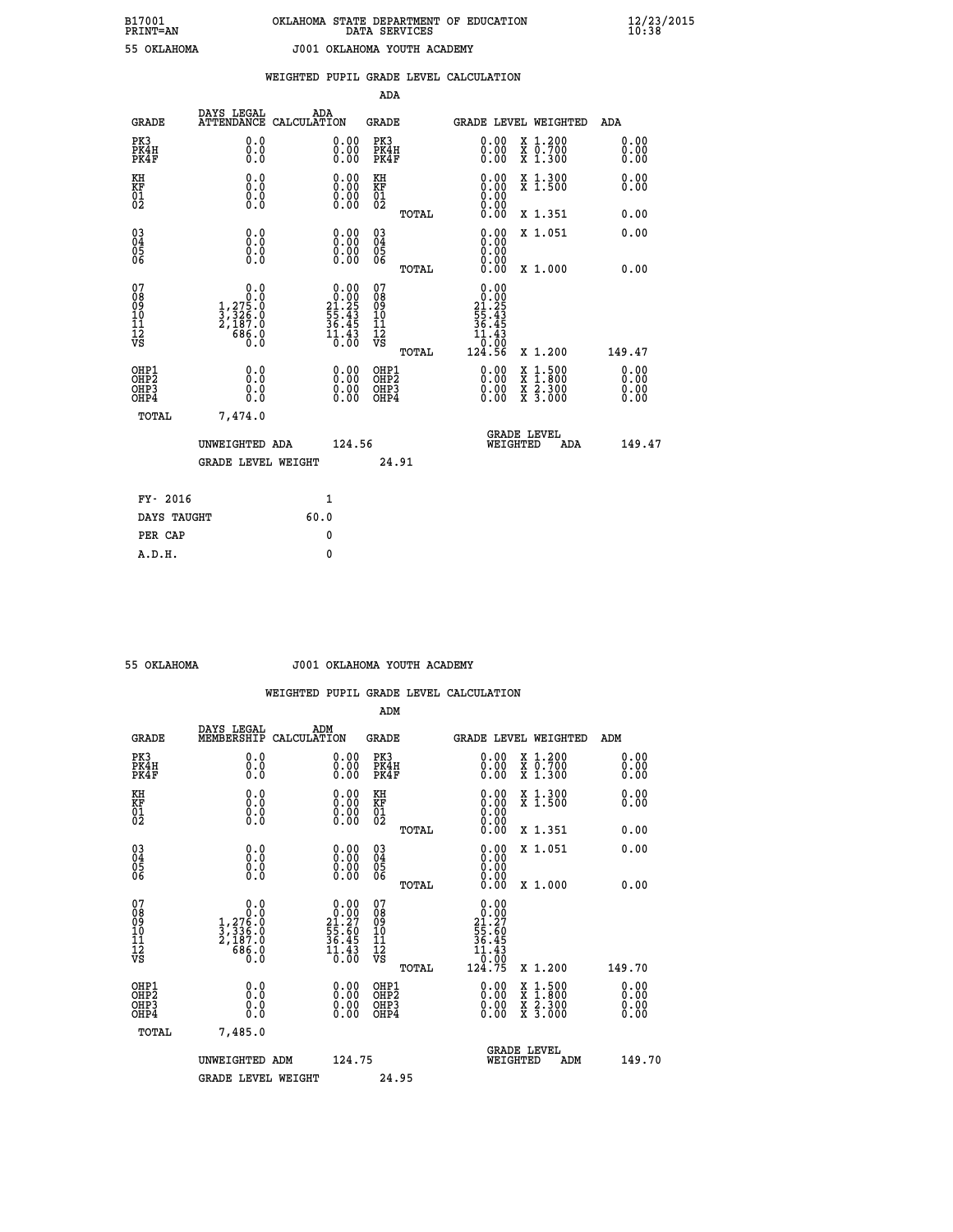|  |  | WEIGHTED PUPIL GRADE LEVEL CALCULATION |
|--|--|----------------------------------------|
|  |  |                                        |

|                                                                    |                                                                                                 |                                                                                                                                |        | ADA                                  |       |                                                                                              |                                          |                                  |
|--------------------------------------------------------------------|-------------------------------------------------------------------------------------------------|--------------------------------------------------------------------------------------------------------------------------------|--------|--------------------------------------|-------|----------------------------------------------------------------------------------------------|------------------------------------------|----------------------------------|
| <b>GRADE</b>                                                       | DAYS LEGAL                                                                                      | ADA<br>ATTENDANCE CALCULATION                                                                                                  |        | <b>GRADE</b>                         |       | <b>GRADE LEVEL WEIGHTED</b>                                                                  |                                          | ADA                              |
| PK3<br>PK4H<br>PK4F                                                | 0.0<br>0.0<br>Ō.Ō                                                                               | $\begin{smallmatrix} 0.00 \ 0.00 \ 0.00 \end{smallmatrix}$                                                                     |        | PK3<br>PK4H<br>PK4F                  |       | $\begin{smallmatrix} 0.00 \\ 0.00 \\ 0.00 \end{smallmatrix}$                                 | X 1.200<br>X 0.700<br>X 1.300            | 0.00<br>0.00<br>0.00             |
| KH<br>KF<br>01<br>02                                               | 0.0<br>0.0<br>$\S.$ $\S$                                                                        | $\begin{smallmatrix} 0.00 \ 0.00 \ 0.00 \ 0.00 \end{smallmatrix}$                                                              |        | KH<br>KF<br>01<br>02                 |       | 0.00<br>0.0000000000                                                                         | X 1.300<br>X 1.500                       | 0.00<br>0.00                     |
|                                                                    |                                                                                                 |                                                                                                                                |        |                                      | TOTAL | 0.00                                                                                         | X 1.351                                  | 0.00                             |
| $\begin{smallmatrix} 03 \\[-4pt] 04 \end{smallmatrix}$<br>Ŏ5<br>06 | 0.0<br>0.000                                                                                    | $\begin{smallmatrix} 0.00 \ 0.00 \ 0.00 \ 0.00 \end{smallmatrix}$                                                              |        | $\substack{03 \\ 04}$<br>Ŏ5<br>06    |       | 0.00<br>0.00<br>0.00                                                                         | X 1.051                                  | 0.00                             |
|                                                                    |                                                                                                 |                                                                                                                                |        |                                      | TOTAL | 0.00                                                                                         | X 1.000                                  | 0.00                             |
| 07<br>08<br>09<br>101<br>11<br>12<br>VS                            | 0.0<br>$\begin{smallmatrix} & & 0.10\ 1,275.0\ 3,326.0\ 2,187.0\ 686.0\ 0.0\ \end{smallmatrix}$ | $\begin{smallmatrix} 0.00\\[-4pt] 0.00\\[-4pt] 21.25\\[-4pt] 55.43\\[-4pt] 36.45\\[-4pt] 11.43\\[-4pt] 0.00 \end{smallmatrix}$ |        | 078<br>089<br>0011<br>11<br>12<br>VS |       | 0.00<br>$\begin{array}{r} 0.000 \\ 21.25 \\ 55.43 \\ 36.45 \end{array}$<br>ĭĭ<br>.43<br>0.00 |                                          |                                  |
|                                                                    |                                                                                                 |                                                                                                                                |        |                                      | TOTAL | 124.56                                                                                       | X 1.200                                  | 149.47                           |
| OHP1<br>OHP <sub>2</sub><br>OH <sub>P3</sub><br>OHP4               | 0.0<br>0.0<br>0.0                                                                               | 0.00<br>$\begin{smallmatrix} 0.00 \ 0.00 \end{smallmatrix}$                                                                    |        | OHP1<br>OHP2<br>OHP <sub>3</sub>     |       | 0.00<br>0.00                                                                                 | X 1:500<br>X 1:800<br>X 2:300<br>X 3:000 | 0.00<br>0.00<br>$0.00$<br>$0.00$ |
| TOTAL                                                              | 7,474.0                                                                                         |                                                                                                                                |        |                                      |       |                                                                                              |                                          |                                  |
|                                                                    | UNWEIGHTED ADA                                                                                  |                                                                                                                                | 124.56 |                                      |       | WEIGHTED                                                                                     | <b>GRADE LEVEL</b><br>ADA                | 149.47                           |
|                                                                    | <b>GRADE LEVEL WEIGHT</b>                                                                       |                                                                                                                                |        |                                      | 24.91 |                                                                                              |                                          |                                  |
| FY- 2016                                                           |                                                                                                 | $\mathbf{1}$                                                                                                                   |        |                                      |       |                                                                                              |                                          |                                  |
| DAYS TAUGHT                                                        |                                                                                                 | 60.0                                                                                                                           |        |                                      |       |                                                                                              |                                          |                                  |
| PER CAP                                                            |                                                                                                 | 0                                                                                                                              |        |                                      |       |                                                                                              |                                          |                                  |

| OKLAHOMA |
|----------|

#### **55 OKLAHOMA J001 OKLAHOMA YOUTH ACADEMY**

 **WEIGHTED PUPIL GRADE LEVEL CALCULATION**

 **ADM**

|                                                    | DAYS LEGAL                                                          | ADM                                                               |                                                    |       |                                                                                                   |                                          |     |                      |
|----------------------------------------------------|---------------------------------------------------------------------|-------------------------------------------------------------------|----------------------------------------------------|-------|---------------------------------------------------------------------------------------------------|------------------------------------------|-----|----------------------|
| <b>GRADE</b>                                       | MEMBERSHIP                                                          | CALCULATION                                                       | <b>GRADE</b>                                       |       | GRADE LEVEL WEIGHTED                                                                              |                                          | ADM |                      |
| PK3<br>PK4H<br>PK4F                                | 0.0<br>0.0<br>0.0                                                   | 0.00<br>0.00                                                      | PK3<br>PK4H<br>PK4F                                |       | 0.00<br>0.00                                                                                      | X 1.200<br>X 0.700<br>X 1.300            |     | 0.00<br>0.00<br>0.00 |
| KH<br>KF<br>01<br>02                               |                                                                     | $\begin{smallmatrix} 0.00\\ 0.00\\ 0.00\\ 0.00 \end{smallmatrix}$ | KH<br>KF<br>01<br>02                               |       | $\begin{smallmatrix} 0.00 \ 0.00 \ 0.00 \ 0.00 \ 0.00 \ 0.00 \end{smallmatrix}$                   | X 1.300<br>X 1.500                       |     | 0.00<br>0.00         |
|                                                    |                                                                     |                                                                   |                                                    | TOTAL |                                                                                                   | X 1.351                                  |     | 0.00                 |
| $\begin{matrix} 03 \\ 04 \\ 05 \\ 06 \end{matrix}$ |                                                                     | $\begin{smallmatrix} 0.00 \ 0.00 \ 0.00 \ 0.00 \end{smallmatrix}$ | $\begin{matrix} 03 \\ 04 \\ 05 \\ 06 \end{matrix}$ |       | $0.00$<br>$0.00$                                                                                  | X 1.051                                  |     | 0.00                 |
|                                                    |                                                                     |                                                                   |                                                    | TOTAL | 0.00                                                                                              | X 1.000                                  |     | 0.00                 |
| 07<br>08<br>09<br>001<br>11<br>11<br>12<br>VS      | 0.000<br>$1, 276.0$<br>$3, 336.0$<br>$2, 187.0$<br>$686.0$<br>$0.0$ | $0.00$<br>$21.27$<br>$55.60$<br>$36.45$<br>$\frac{11.43}{0.00}$   | 078<br>089<br>0011<br>11<br>12<br>VS               |       | $\begin{array}{c} 0.00 \\ 0.00 \\ 21.27 \\ 55.60 \\ 36.45 \\ 11.43 \\ 0.00 \\ 124.75 \end{array}$ |                                          |     |                      |
|                                                    |                                                                     |                                                                   |                                                    | TOTAL |                                                                                                   | X 1.200                                  |     | 149.70               |
| OHP1<br>OHP2<br>OH <sub>P3</sub><br>OHP4           | 0.0<br>0.000                                                        |                                                                   | OHP1<br>OHP2<br>OHP3<br>OHP4                       |       | 0.00<br>$0.00$<br>0.00                                                                            | X 1:500<br>X 1:800<br>X 2:300<br>X 3:000 |     | 0.00<br>0.00<br>0.00 |
| TOTAL                                              | 7,485.0                                                             |                                                                   |                                                    |       |                                                                                                   |                                          |     |                      |
|                                                    | UNWEIGHTED ADM                                                      | 124.75                                                            |                                                    |       | <b>GRADE LEVEL</b><br>WEIGHTED                                                                    | ADM                                      |     | 149.70               |
|                                                    | <b>GRADE LEVEL WEIGHT</b>                                           |                                                                   | 24.95                                              |       |                                                                                                   |                                          |     |                      |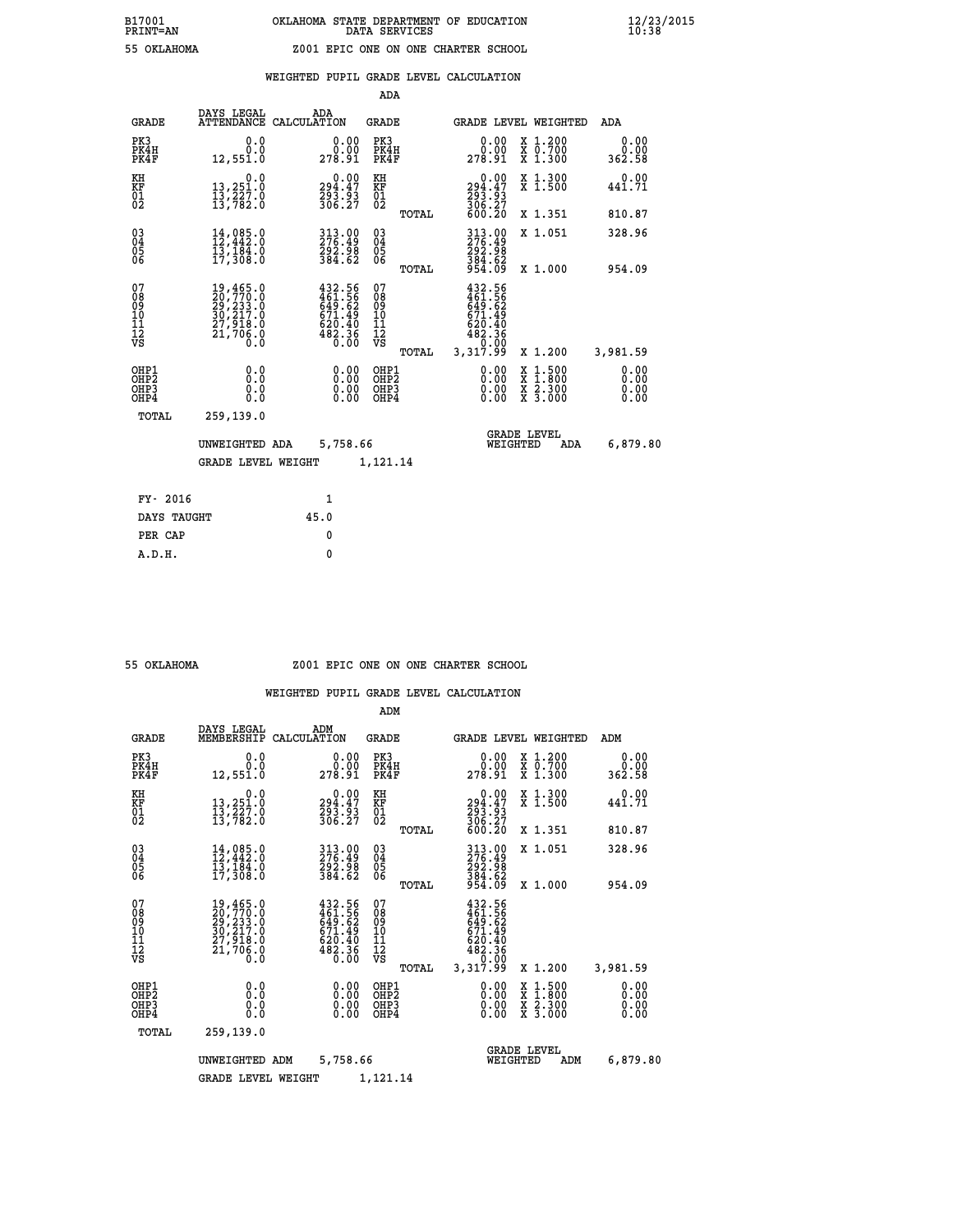|                                                                    |                                                                                     |                                                                            | ADA                                      |       |                                                                             |                                                                                                  |                              |
|--------------------------------------------------------------------|-------------------------------------------------------------------------------------|----------------------------------------------------------------------------|------------------------------------------|-------|-----------------------------------------------------------------------------|--------------------------------------------------------------------------------------------------|------------------------------|
| <b>GRADE</b>                                                       | DAYS LEGAL                                                                          | ADA<br>ATTENDANCE CALCULATION                                              | <b>GRADE</b>                             |       |                                                                             | GRADE LEVEL WEIGHTED                                                                             | ADA                          |
| PK3<br>PK4H<br>PK4F                                                | 0.0<br>0.0<br>12,551.0                                                              | 0.0000<br>278.91                                                           | PK3<br>PK4H<br>PK4F                      |       | 0.00<br>ةة.ة<br>278.91                                                      | X 1.200<br>X 0.700<br>X 1.300                                                                    | 0.00<br>0.00<br>362.58       |
| KH<br><b>KF</b><br>01<br>02                                        | 0.0<br>13,251.0<br>13,227.0<br>13,782.0                                             | 294.47<br>293.93<br>306.27                                                 | KH<br><b>KF</b><br>01<br>02              |       | 0.00<br>$294.47$<br>$293.93$<br>$306.27$                                    | X 1.300<br>X 1.500                                                                               | 0.00<br>441.71               |
|                                                                    |                                                                                     |                                                                            |                                          | TOTAL | 600.20                                                                      | X 1.351                                                                                          | 810.87                       |
| $\begin{smallmatrix} 03 \\[-4pt] 04 \end{smallmatrix}$<br>05<br>06 | $\frac{14}{12}$ , 442:0<br>13,184.0<br>17,308.0                                     | $\frac{313}{276}$ : 49<br>$\frac{292}{384}$ : 98<br>384.62                 | $\substack{03 \\ 04}$<br>05<br>06        |       | 313.00<br>276.49<br>292.98<br>$\frac{384.62}{954.09}$                       | X 1.051                                                                                          | 328.96                       |
|                                                                    |                                                                                     |                                                                            |                                          | TOTAL |                                                                             | X 1.000                                                                                          | 954.09                       |
| 07<br>08<br>09<br>11<br>11<br>12<br>VS                             | 19,465.0<br>20,770.0<br>29,233.0<br>30,217.0<br>27,918.0<br>21,706.0<br>$0.\bar{0}$ | 432.56<br>461.56<br>649.62<br>671.49<br>620.40<br>620.40<br>482.36<br>0.00 | 07<br>08<br>09<br>11<br>11<br>12<br>VS   |       | 432.56<br>$461.562$<br>$649.62$<br>$671.49$<br>$620.40$<br>$482.36$<br>0.00 |                                                                                                  |                              |
|                                                                    |                                                                                     |                                                                            |                                          | TOTAL | 3,317.99                                                                    | X 1.200                                                                                          | 3,981.59                     |
| OHP1<br>OH <sub>P2</sub><br>OH <sub>P3</sub><br>OH <sub>P4</sub>   | 0.0<br>0.0<br>0.0                                                                   | 0.00<br>0.00<br>0.00                                                       | OHP1<br>OHP <sub>2</sub><br>OHP3<br>OHP4 |       | 0.00<br>0.00<br>0.00                                                        | $\begin{smallmatrix} x & 1 & 500 \\ x & 1 & 800 \\ x & 2 & 300 \\ x & 3 & 000 \end{smallmatrix}$ | 0.00<br>0.00<br>0.00<br>0.00 |
| TOTAL                                                              | 259,139.0                                                                           |                                                                            |                                          |       |                                                                             |                                                                                                  |                              |
|                                                                    | UNWEIGHTED ADA                                                                      | 5,758.66                                                                   |                                          |       |                                                                             | <b>GRADE LEVEL</b><br>WEIGHTED<br>ADA                                                            | 6,879.80                     |
|                                                                    | <b>GRADE LEVEL WEIGHT</b>                                                           |                                                                            | 1,121.14                                 |       |                                                                             |                                                                                                  |                              |
| FY- 2016                                                           |                                                                                     | $\mathbf{1}$                                                               |                                          |       |                                                                             |                                                                                                  |                              |
| DAYS TAUGHT                                                        |                                                                                     | 45.0                                                                       |                                          |       |                                                                             |                                                                                                  |                              |
| PER CAP                                                            |                                                                                     | $\mathbf{0}$                                                               |                                          |       |                                                                             |                                                                                                  |                              |

### **55 OKLAHOMA Z001 EPIC ONE ON ONE CHARTER SCHOOL**

|                                                       |                                                                                                                                         |                                                                           | ADM                                             |                                                                                   |                                                                                                  |                              |
|-------------------------------------------------------|-----------------------------------------------------------------------------------------------------------------------------------------|---------------------------------------------------------------------------|-------------------------------------------------|-----------------------------------------------------------------------------------|--------------------------------------------------------------------------------------------------|------------------------------|
| <b>GRADE</b>                                          | DAYS LEGAL<br>MEMBERSHIP                                                                                                                | ADM<br>CALCULATION                                                        | <b>GRADE</b>                                    | <b>GRADE LEVEL WEIGHTED</b>                                                       |                                                                                                  | ADM                          |
| PK3<br>PK4H<br>PK4F                                   | 0.0<br>0.0<br>12,551.0                                                                                                                  | 0.00<br>ŏ:ŏŏ<br>278.91                                                    | PK3<br>PK4H<br>PK4F                             | 0.00<br>278.91                                                                    | X 1.200<br>X 0.700<br>X 1.300                                                                    | 0.00<br>0.00<br>362.58       |
| KH<br>KF<br>01<br>02                                  | 0.0<br>13,251.0<br>13,227.0<br>13,782.0                                                                                                 | $294.47$<br>$293.93$<br>$306.27$                                          | KH<br>KF<br>01<br>02                            | $\begin{smallmatrix} &0.00\\ 294.47\\ 293.93\\ 306.27\\ 600.20 \end{smallmatrix}$ | X 1.300<br>X 1.500                                                                               | 0.00<br>441.71               |
|                                                       |                                                                                                                                         |                                                                           | TOTAL                                           |                                                                                   | X 1.351                                                                                          | 810.87                       |
| 03<br>04<br>05<br>06                                  | $14,085.0$<br>$12,442.0$<br>$13,184.0$<br>17,308.0                                                                                      | $\begin{smallmatrix} 313.00\\ 276.49\\ 292.98\\ 384.62 \end{smallmatrix}$ | $^{03}_{04}$<br>0500                            | 313.00<br>276.49<br>292.98                                                        | X 1.051                                                                                          | 328.96                       |
|                                                       |                                                                                                                                         |                                                                           | TOTAL                                           | $\frac{384.62}{954.09}$                                                           | X 1.000                                                                                          | 954.09                       |
| 07<br>08<br>09<br>101<br>112<br>VS                    | $\begin{smallmatrix} 19\,,465\,.0\\ 20\,,770\,.0\\ 29\,,233\,.0\\ 30\,,217\,.0\\ 27\,,918\,.0\\ 21\,,706\,.0\\ 0\,.0 \end{smallmatrix}$ | 432.56<br>461.56<br>649.62<br>671.49<br>620.40<br>482.36<br>0.00          | 07<br>08<br>09<br>11<br>11<br>12<br>VS<br>TOTAL | 432.56<br>461.56<br>649.62<br>671.49<br>620.40<br>482.36<br>0.00<br>3,317.99      | X 1.200                                                                                          | 3,981.59                     |
| OHP1<br>OH <sub>P</sub> 2<br>OH <sub>P3</sub><br>OHP4 | 0.0<br>0.000                                                                                                                            | $0.00$<br>$0.00$<br>0.00                                                  | OHP1<br>OHP2<br>OHP3<br>OHP4                    | $0.00$<br>$0.00$<br>0.00                                                          | $\begin{smallmatrix} x & 1 & 500 \\ x & 1 & 800 \\ x & 2 & 300 \\ x & 3 & 000 \end{smallmatrix}$ | 0.00<br>0.00<br>0.00<br>0.00 |
| TOTAL                                                 | 259,139.0                                                                                                                               |                                                                           |                                                 |                                                                                   |                                                                                                  |                              |
|                                                       | UNWEIGHTED ADM                                                                                                                          | 5,758.66                                                                  |                                                 | <b>GRADE LEVEL</b><br>WEIGHTED                                                    | ADM                                                                                              | 6,879.80                     |
|                                                       | <b>GRADE LEVEL WEIGHT</b>                                                                                                               |                                                                           | 1,121.14                                        |                                                                                   |                                                                                                  |                              |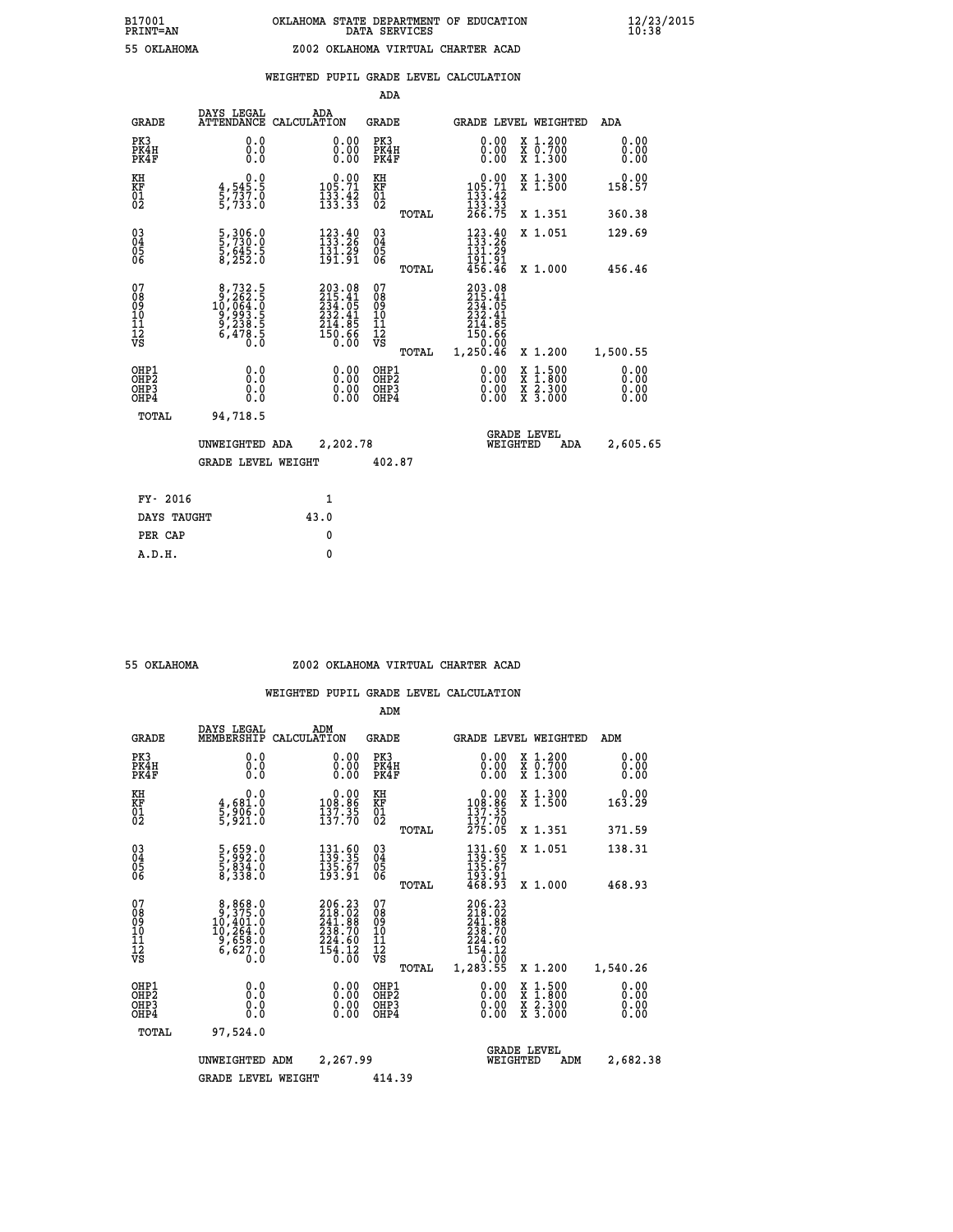| 55 OKLAHOMA |
|-------------|

## **WEIGHTED PUPIL GRADE LEVEL CALCULATION**

|                                                                    |                                                                                                                              |                                                                                      | ADA                                                 |       |                                                                                           |                                                                                                                                              |                               |
|--------------------------------------------------------------------|------------------------------------------------------------------------------------------------------------------------------|--------------------------------------------------------------------------------------|-----------------------------------------------------|-------|-------------------------------------------------------------------------------------------|----------------------------------------------------------------------------------------------------------------------------------------------|-------------------------------|
| <b>GRADE</b>                                                       | DAYS LEGAL<br><b>ATTENDANCE</b>                                                                                              | ADA<br>CALCULATION                                                                   | <b>GRADE</b>                                        |       |                                                                                           | <b>GRADE LEVEL WEIGHTED</b>                                                                                                                  | ADA                           |
| PK3<br>PK4H<br>PK4F                                                | 0.0<br>0.000                                                                                                                 | 0.00<br>$\begin{smallmatrix} 0.00 \ 0.00 \end{smallmatrix}$                          | PK3<br>PK4H<br>PK4F                                 |       | 0.00<br>0.00                                                                              | X 1.200<br>X 0.700<br>X 1.300                                                                                                                | 0.00<br>0.00<br>0.00          |
| KH<br>KF<br>01<br>02                                               | $\begin{smallmatrix}&&&0.0\\4,545.5\\5,737.0\\5,733.0\end{smallmatrix}$                                                      | $0.00$<br>105.71<br>$\frac{133}{133}$ : $\frac{42}{33}$                              | KH<br>KF<br>01<br>02                                |       | $\begin{smallmatrix}&&0.00\\105.71\\133.42\\133.33\\266.75\end{smallmatrix}$              | X 1.300<br>X 1.500                                                                                                                           | 0.00<br>158.57                |
|                                                                    |                                                                                                                              |                                                                                      |                                                     | TOTAL |                                                                                           | X 1.351                                                                                                                                      | 360.38                        |
| $\begin{smallmatrix} 03 \\[-4pt] 04 \end{smallmatrix}$<br>Ŏ5<br>06 | 5,306.0<br>5,730.0<br>5,645.5<br>8,252.0                                                                                     | $\begin{array}{l} 123\cdot 40\\ 133\cdot 26\\ 131\cdot 29\\ 191\cdot 91 \end{array}$ | $\begin{array}{c} 03 \\ 04 \\ 05 \\ 06 \end{array}$ |       | $\begin{array}{c} 123.40 \\[-4pt] 133.26 \\[-4pt] 131.29 \end{array}$<br>191.91<br>456.46 | X 1.051                                                                                                                                      | 129.69                        |
|                                                                    |                                                                                                                              |                                                                                      |                                                     | TOTAL |                                                                                           | X 1.000                                                                                                                                      | 456.46                        |
| 07<br>08<br>09<br>101<br>11<br>12<br>VS                            | $\begin{smallmatrix}8,732\cdot5\\9,262\cdot5\\10,064\cdot0\\9,993\cdot5\\9,238\cdot5\\6,478\cdot5\\0\cdot0\end{smallmatrix}$ | $203.08$<br>$215.41$<br>$234.05$<br>$232.41$<br>$214.85$<br>$150.66$<br>$0.00$       | 07<br>08<br>09<br>11<br>11<br>12<br>VS              |       | 203.08<br>215.41<br>234.05<br>232.41<br>214.85<br>150.66<br>0.00                          |                                                                                                                                              |                               |
|                                                                    |                                                                                                                              |                                                                                      |                                                     | TOTAL | 1,250.46                                                                                  | X 1.200                                                                                                                                      | 1,500.55                      |
| OHP1<br>OHP <sub>2</sub><br>OH <sub>P3</sub><br>OHP4               | 0.0<br>0.000                                                                                                                 | 0.00<br>$\begin{smallmatrix} 0.00 \ 0.00 \end{smallmatrix}$                          | OHP1<br>OHP2<br>OHP <sub>3</sub>                    |       | 0.00<br>0.00                                                                              | $\begin{smallmatrix} \mathtt{X} & 1\cdot500 \\ \mathtt{X} & 1\cdot800 \\ \mathtt{X} & 2\cdot300 \\ \mathtt{X} & 3\cdot000 \end{smallmatrix}$ | 0.00<br>Ō. ŌŌ<br>0.00<br>0.00 |
| TOTAL                                                              | 94,718.5                                                                                                                     |                                                                                      |                                                     |       |                                                                                           |                                                                                                                                              |                               |
|                                                                    | UNWEIGHTED ADA                                                                                                               | 2,202.78                                                                             |                                                     |       |                                                                                           | <b>GRADE LEVEL</b><br>WEIGHTED<br>ADA                                                                                                        | 2,605.65                      |
|                                                                    | <b>GRADE LEVEL WEIGHT</b>                                                                                                    |                                                                                      | 402.87                                              |       |                                                                                           |                                                                                                                                              |                               |
| FY- 2016                                                           |                                                                                                                              | $\mathbf{1}$                                                                         |                                                     |       |                                                                                           |                                                                                                                                              |                               |
| DAYS TAUGHT                                                        |                                                                                                                              | 43.0                                                                                 |                                                     |       |                                                                                           |                                                                                                                                              |                               |
| PER CAP                                                            |                                                                                                                              | 0                                                                                    |                                                     |       |                                                                                           |                                                                                                                                              |                               |

 **A.D.H. 0**

#### **55 OKLAHOMA Z002 OKLAHOMA VIRTUAL CHARTER ACAD**

|                                    |                                                                                                   |                    |                                                                         | ADM                                                |       |                                                                                   |          |                                          |                              |  |
|------------------------------------|---------------------------------------------------------------------------------------------------|--------------------|-------------------------------------------------------------------------|----------------------------------------------------|-------|-----------------------------------------------------------------------------------|----------|------------------------------------------|------------------------------|--|
| <b>GRADE</b>                       | DAYS LEGAL<br>MEMBERSHIP                                                                          | ADM<br>CALCULATION |                                                                         | <b>GRADE</b>                                       |       |                                                                                   |          | <b>GRADE LEVEL WEIGHTED</b>              | ADM                          |  |
| PK3<br>PK4H<br>PK4F                | 0.0<br>0.0<br>0.0                                                                                 |                    | 0.00<br>$\begin{smallmatrix} 0.00 \ 0.00 \end{smallmatrix}$             | PK3<br>PK4H<br>PK4F                                |       | $\begin{smallmatrix} 0.00 \\ 0.00 \\ 0.00 \end{smallmatrix}$                      |          | X 1.200<br>X 0.700<br>X 1.300            | 0.00<br>0.00<br>0.00         |  |
| KH<br>KF<br>01<br>02               | 0.0<br>4,681.0<br>5,906.0<br>5,921.0                                                              |                    | $\begin{smallmatrix} &0.00\\ 108.86\\ 137.35\\ 137.70\end{smallmatrix}$ | KH<br>KF<br>01<br>02                               |       | $\begin{smallmatrix} &0.00\\ 108.86\\ 137.35\\ 137.70\\ 275.05 \end{smallmatrix}$ |          | X 1.300<br>X 1.500                       | 0.00<br>163.29               |  |
|                                    |                                                                                                   |                    |                                                                         |                                                    | TOTAL |                                                                                   |          | X 1.351                                  | 371.59                       |  |
| 03<br>04<br>05<br>06               | 5,659.0<br>5,992.0<br>5,834.0<br>8,338.0                                                          |                    | $\begin{smallmatrix} 131.60\\139.35\\135.67\\193.91 \end{smallmatrix}$  | $\begin{matrix} 03 \\ 04 \\ 05 \\ 06 \end{matrix}$ |       | $131.60$<br>$139.35$<br>$135.67$<br>$193.91$<br>$468.93$                          |          | X 1.051                                  | 138.31                       |  |
|                                    |                                                                                                   |                    |                                                                         |                                                    | TOTAL |                                                                                   |          | X 1.000                                  | 468.93                       |  |
| 07<br>08<br>09<br>101<br>112<br>VS | $\begin{smallmatrix}8,868.0\\9,375.0\\10,401.0\\10,264.0\\9,658.0\\6,627.0\\0.0\end{smallmatrix}$ |                    | 206.23<br>218.02<br>241.88<br>239.70<br>$\frac{224.60}{154.12}$         | 07<br>08<br>09<br>11<br>11<br>12<br>VS             | TOTAL | 206.23<br>218.02<br>241.88<br>239.70<br>$\frac{224.60}{154.12}$<br>1,283.55       |          | X 1.200                                  | 1,540.26                     |  |
| OHP1<br>OHP2<br>OHP3<br>OHP4       | 0.0<br>0.000                                                                                      |                    | $0.00$<br>$0.00$<br>0.00                                                | OHP1<br>OHP2<br>OHP <sub>3</sub>                   |       | $0.00$<br>$0.00$<br>0.00                                                          |          | X 1:500<br>X 1:800<br>X 2:300<br>X 3:000 | 0.00<br>0.00<br>0.00<br>0.00 |  |
| TOTAL                              | 97,524.0                                                                                          |                    |                                                                         |                                                    |       |                                                                                   |          |                                          |                              |  |
|                                    | UNWEIGHTED                                                                                        | ADM                | 2,267.99                                                                |                                                    |       |                                                                                   | WEIGHTED | <b>GRADE LEVEL</b><br>ADM                | 2,682.38                     |  |
|                                    | <b>GRADE LEVEL WEIGHT</b>                                                                         |                    |                                                                         | 414.39                                             |       |                                                                                   |          |                                          |                              |  |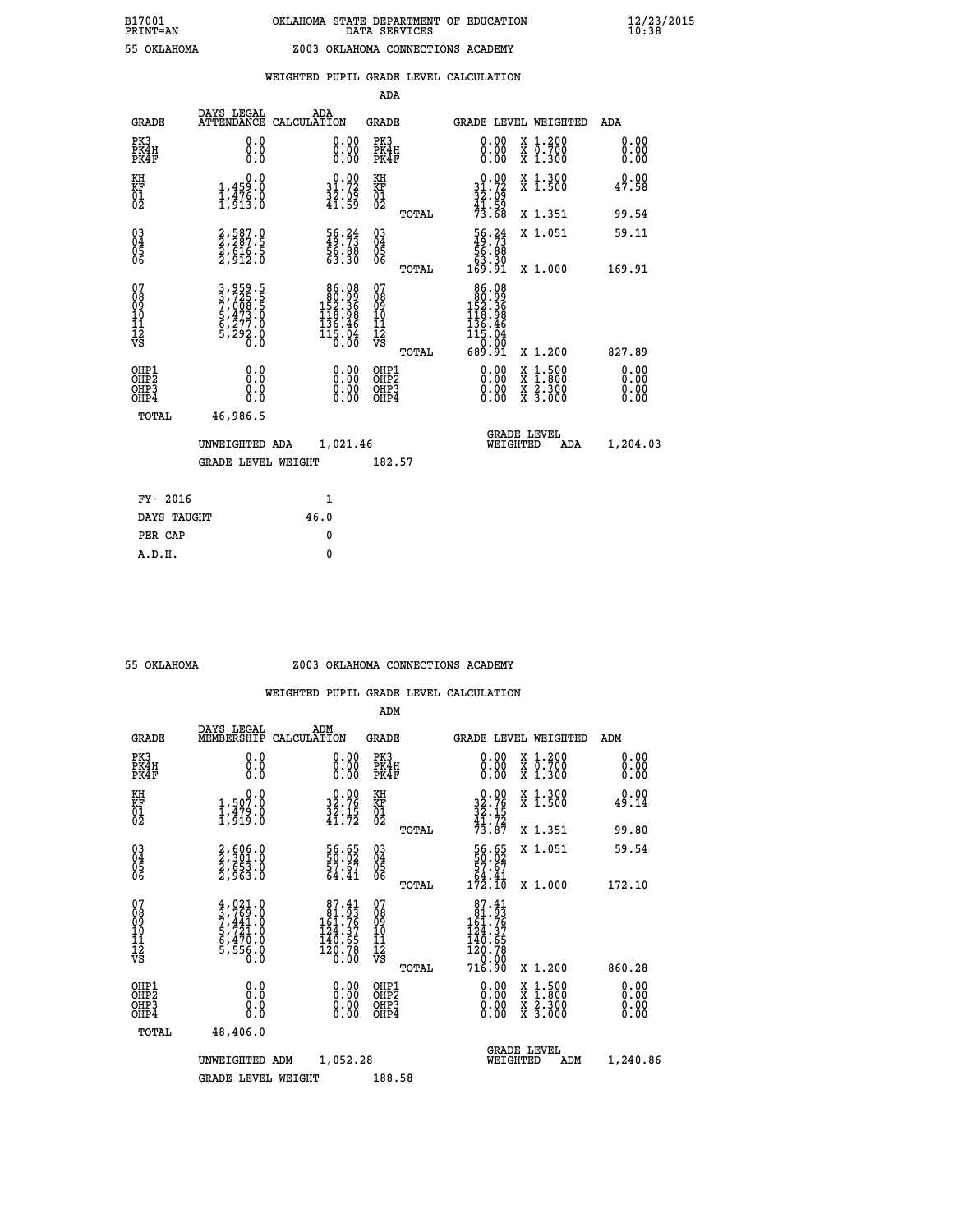|                                                                    |                                                                           |                                                                                                           | ADA                                                 |       |                                                                                                   |                                          |                              |
|--------------------------------------------------------------------|---------------------------------------------------------------------------|-----------------------------------------------------------------------------------------------------------|-----------------------------------------------------|-------|---------------------------------------------------------------------------------------------------|------------------------------------------|------------------------------|
| <b>GRADE</b>                                                       | DAYS LEGAL<br><b>ATTENDANCE</b>                                           | ADA<br>CALCULATION                                                                                        | <b>GRADE</b>                                        |       | <b>GRADE LEVEL WEIGHTED</b>                                                                       |                                          | ADA                          |
| PK3<br>PK4H<br>PK4F                                                | 0.0<br>0.0<br>0.0                                                         | $\begin{smallmatrix} 0.00 \ 0.00 \ 0.00 \end{smallmatrix}$                                                | PK3<br>PK4H<br>PK4F                                 |       | 0.00<br>0.00                                                                                      | X 1.200<br>X 0.700<br>X 1.300            | 0.00<br>0.00<br>0.00         |
| KH<br><b>KF</b><br>01<br>02                                        | 0.0<br>1,459:0<br>1,476:0<br>1,913:0                                      | $\begin{smallmatrix} 0.00\\ 31.72\\ 32.09\\ 41.59 \end{smallmatrix}$                                      | KH<br>KF<br>01<br>02                                |       | $0.00$<br>$31.72$<br>$32.09$<br>$41.59$<br>$73.68$                                                | X 1.300<br>X 1.500                       | 0.00<br>47.58                |
|                                                                    |                                                                           |                                                                                                           |                                                     | TOTAL |                                                                                                   | X 1.351                                  | 99.54                        |
| $\begin{smallmatrix} 03 \\[-4pt] 04 \end{smallmatrix}$<br>Ŏ5<br>06 | 2,587.0<br>2,287.5<br>2,616.5<br>2,912.0                                  | 56.24<br>49.73<br>56.88<br>53.30                                                                          | $\begin{array}{c} 03 \\ 04 \\ 05 \\ 06 \end{array}$ |       | $\begin{smallmatrix} 56.24\ 49.73\ 56.88\ 63.30\ 169.91\ \end{smallmatrix}$                       | X 1.051                                  | 59.11                        |
|                                                                    |                                                                           |                                                                                                           |                                                     | TOTAL |                                                                                                   | X 1.000                                  | 169.91                       |
| 07<br>08901112<br>1112<br>VS                                       | 3,959.5<br>3,725.5<br>7,008.5<br>7,008.5<br>5,473.0<br>6,277.0<br>5,292.0 | $\begin{smallmatrix} 86.08\\ 80.99\\ 152.36\\ 118.98\\ 136.46\\ 136.46\\ 115.04\\ 0.00 \end{smallmatrix}$ | 07<br>08901112<br>1112<br>VS                        |       | $\begin{smallmatrix} 86.08\\ 80.99\\ 152.36\\ 118.98\\ 136.46\\ 115.04\\ 0.001 \end{smallmatrix}$ |                                          |                              |
|                                                                    |                                                                           |                                                                                                           |                                                     | TOTAL | 689.91                                                                                            | X 1.200                                  | 827.89                       |
| OHP1<br>OH <sub>P</sub> 2<br>OH <sub>P3</sub><br>OH <sub>P4</sub>  | 0.0<br>0.0<br>0.0                                                         | 0.00<br>$\begin{smallmatrix} 0.00 \ 0.00 \end{smallmatrix}$                                               | OHP1<br>OH <sub>P</sub> 2<br>OHP3<br>OHP4           |       | 0.00<br>0.00<br>0.00                                                                              | X 1:500<br>X 1:800<br>X 2:300<br>X 3:000 | 0.00<br>0.00<br>0.00<br>0.00 |
| TOTAL                                                              | 46,986.5                                                                  |                                                                                                           |                                                     |       |                                                                                                   |                                          |                              |
|                                                                    | UNWEIGHTED ADA                                                            | 1,021.46                                                                                                  |                                                     |       |                                                                                                   | GRADE LEVEL<br>WEIGHTED<br>ADA           | 1,204.03                     |
|                                                                    | <b>GRADE LEVEL WEIGHT</b>                                                 |                                                                                                           | 182.57                                              |       |                                                                                                   |                                          |                              |
| FY- 2016                                                           |                                                                           | $\mathbf{1}$                                                                                              |                                                     |       |                                                                                                   |                                          |                              |
| DAYS TAUGHT                                                        |                                                                           | 46.0                                                                                                      |                                                     |       |                                                                                                   |                                          |                              |
| PER CAP                                                            |                                                                           | $\mathbf{0}$                                                                                              |                                                     |       |                                                                                                   |                                          |                              |

#### **55 OKLAHOMA Z003 OKLAHOMA CONNECTIONS ACADEMY**

|                                          |                                                                                     |                    |                                                                                                  | ADM                                                |       |                                                                                    |                                          |                              |
|------------------------------------------|-------------------------------------------------------------------------------------|--------------------|--------------------------------------------------------------------------------------------------|----------------------------------------------------|-------|------------------------------------------------------------------------------------|------------------------------------------|------------------------------|
| <b>GRADE</b>                             | DAYS LEGAL<br>MEMBERSHIP                                                            | ADM<br>CALCULATION |                                                                                                  | <b>GRADE</b>                                       |       |                                                                                    | <b>GRADE LEVEL WEIGHTED</b>              | ADM                          |
| PK3<br>PK4H<br>PK4F                      | 0.0<br>0.0<br>0.0                                                                   |                    | 0.00<br>$\begin{smallmatrix} 0.00 \ 0.00 \end{smallmatrix}$                                      | PK3<br>PK4H<br>PK4F                                |       | $\begin{smallmatrix} 0.00 \\ 0.00 \\ 0.00 \end{smallmatrix}$                       | X 1.200<br>X 0.700<br>X 1.300            | 0.00<br>0.00<br>0.00         |
| KH<br>KF<br>01<br>02                     | 0.0<br>1,507.0<br>1,479.0<br>1,919.0                                                |                    | $32.76$<br>$32.76$<br>$32.15$<br>$41.72$                                                         | KH<br>KF<br>01<br>02                               |       | $32.76$<br>$32.75$<br>$32.15$<br>$41.72$<br>$73.87$                                | X 1.300<br>X 1.500                       | 0.00<br>49.14                |
|                                          |                                                                                     |                    |                                                                                                  |                                                    | TOTAL |                                                                                    | X 1.351                                  | 99.80                        |
| 03<br>04<br>05<br>06                     | 2,606.0<br>2,301.0<br>2,653.0<br>2,963.0                                            |                    | 56.65<br>50.02<br>57.67<br>64.41                                                                 | $\begin{matrix} 03 \\ 04 \\ 05 \\ 06 \end{matrix}$ |       | $\begin{smallmatrix} 56.65\\ 50.02\\ 57.67\\ 64.41\\ 172.10 \end{smallmatrix}$     | X 1.051                                  | 59.54                        |
|                                          |                                                                                     |                    |                                                                                                  |                                                    | TOTAL |                                                                                    | X 1.000                                  | 172.10                       |
| 07<br>08<br>09<br>101<br>112<br>VS       | $4,021.0$<br>$7,441.0$<br>$7,441.0$<br>$5,721.0$<br>$6,470.0$<br>$5,556.0$<br>$0.0$ |                    | $\begin{smallmatrix}87.41\\81.93\\161.76\\124.37\\124.37\\140.65\\120.78\\0.00\end{smallmatrix}$ | 07<br>08<br>09<br>11<br>11<br>12<br>VS             | TOTAL | $87.41$<br>$81.93$<br>$161.76$<br>$124.37$<br>140.65<br>120.78<br>--0.00<br>716.90 | X 1.200                                  | 860.28                       |
| OHP1<br>OHP2<br>OH <sub>P3</sub><br>OHP4 | 0.0<br>0.000                                                                        |                    | $0.00$<br>$0.00$<br>0.00                                                                         | OHP1<br>OHP2<br>OHP <sub>3</sub>                   |       | $0.00$<br>$0.00$<br>0.00                                                           | X 1:500<br>X 1:800<br>X 2:300<br>X 3:000 | 0.00<br>0.00<br>0.00<br>0.00 |
| TOTAL                                    | 48,406.0                                                                            |                    |                                                                                                  |                                                    |       |                                                                                    |                                          |                              |
|                                          | UNWEIGHTED ADM                                                                      |                    | 1,052.28                                                                                         |                                                    |       | WEIGHTED                                                                           | <b>GRADE LEVEL</b><br>ADM                | 1,240.86                     |
|                                          | <b>GRADE LEVEL WEIGHT</b>                                                           |                    |                                                                                                  | 188.58                                             |       |                                                                                    |                                          |                              |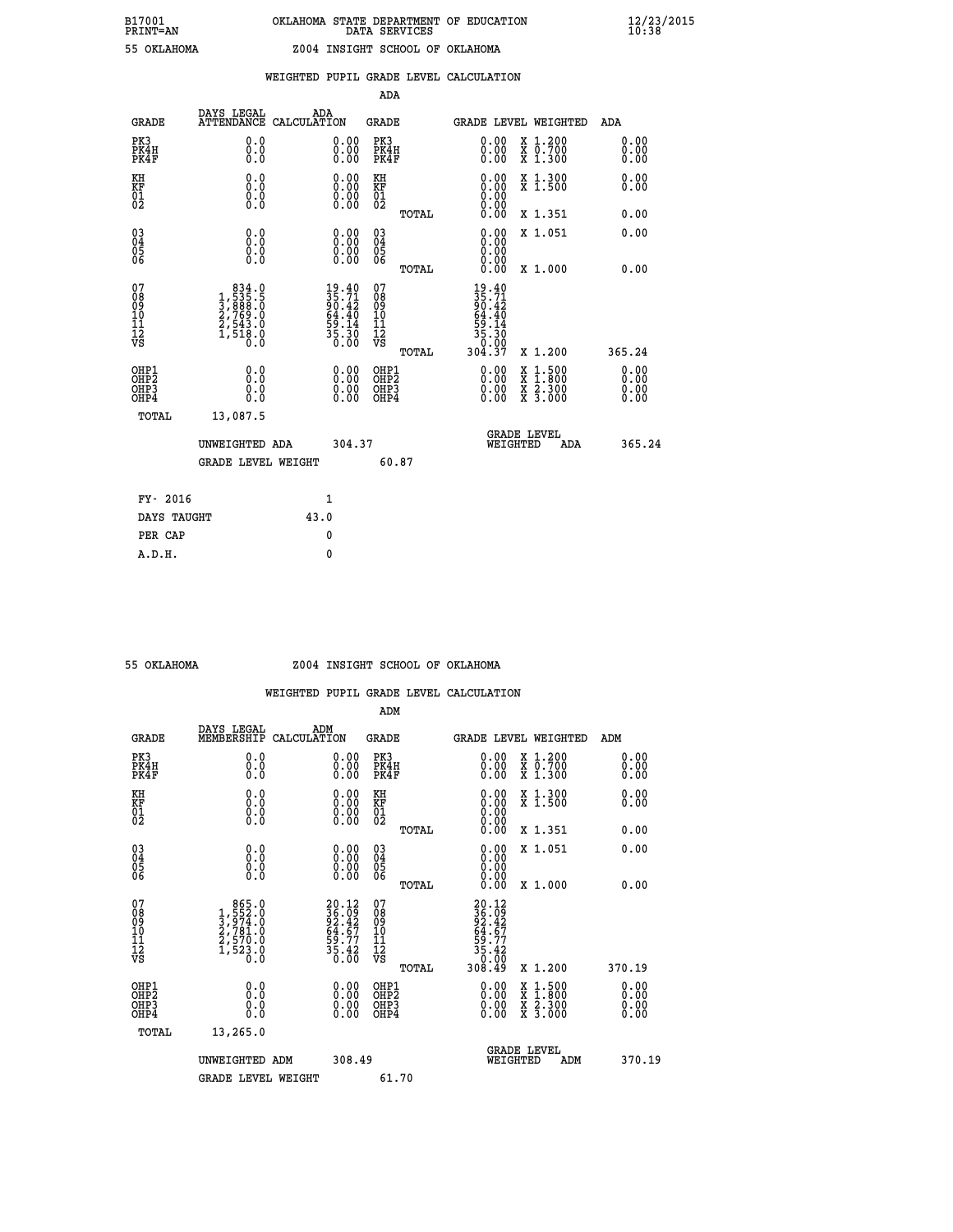|  |  | WEIGHTED PUPIL GRADE LEVEL CALCULATION |
|--|--|----------------------------------------|
|  |  |                                        |

|                                                                    |                                                                                                  |                    |                                                                              | ADA                                       |       |                                                                                                                                              |                                          |                              |
|--------------------------------------------------------------------|--------------------------------------------------------------------------------------------------|--------------------|------------------------------------------------------------------------------|-------------------------------------------|-------|----------------------------------------------------------------------------------------------------------------------------------------------|------------------------------------------|------------------------------|
| <b>GRADE</b>                                                       | DAYS LEGAL<br><b>ATTENDANCE</b>                                                                  | ADA<br>CALCULATION |                                                                              | <b>GRADE</b>                              |       | <b>GRADE LEVEL WEIGHTED</b>                                                                                                                  |                                          | ADA                          |
| PK3<br>PK4H<br>PK4F                                                | 0.0<br>0.0<br>0.0                                                                                |                    | $\begin{smallmatrix} 0.00 \ 0.00 \ 0.00 \end{smallmatrix}$                   | PK3<br>PK4H<br>PK4F                       |       | $\begin{smallmatrix} 0.00 \\ 0.00 \\ 0.00 \end{smallmatrix}$                                                                                 | X 1.200<br>X 0.700<br>X 1.300            | 0.00<br>0.00<br>0.00         |
| KH<br>KF<br>01<br>02                                               | 0.0<br>0.0<br>$\S.$                                                                              |                    | 0.0000<br>$\begin{smallmatrix} 0.00 & 0.00 \\ 0.00 & 0.00 \end{smallmatrix}$ | KH<br>KF<br>01<br>02                      |       | 0.00                                                                                                                                         | X 1.300<br>X 1.500                       | 0.00<br>0.00                 |
|                                                                    |                                                                                                  |                    |                                                                              |                                           | TOTAL |                                                                                                                                              | X 1.351                                  | 0.00                         |
| $\begin{smallmatrix} 03 \\[-4pt] 04 \end{smallmatrix}$<br>05<br>06 | 0.0<br>0.000                                                                                     |                    | 0.00<br>$\begin{smallmatrix} 0.00 \ 0.00 \end{smallmatrix}$                  | $\substack{03 \\ 04}$<br>05<br>06         |       | 0.00<br>0.00<br>0.00                                                                                                                         | X 1.051                                  | 0.00                         |
|                                                                    |                                                                                                  |                    |                                                                              |                                           | TOTAL | 0.00                                                                                                                                         | X 1.000                                  | 0.00                         |
| 07<br>08<br>09<br>11<br>11<br>12<br>VS                             | $\begin{smallmatrix} & 834.0\\1,535.5\\3,888.0\\2,769.0\\2,543.0\\1,518.0\\0.0\end{smallmatrix}$ |                    | $19.40$<br>$35.71$<br>$90.42$<br>$64.40$<br>$59.14$<br>$35.30$<br>$0.00$     | 07<br>08<br>09<br>11<br>11<br>12<br>VS    |       | $\begin{array}{c} 19\cdot 40 \\ 35\cdot 71 \\ 90\cdot 42 \\ 64\cdot 40 \\ 59\cdot 14 \\ 35\cdot 30 \\ 30\cdot 00 \\ 304\cdot 37 \end{array}$ |                                          |                              |
|                                                                    |                                                                                                  |                    |                                                                              |                                           | TOTAL |                                                                                                                                              | X 1.200                                  | 365.24                       |
| OHP1<br>OH <sub>P</sub> 2<br>OH <sub>P3</sub><br>OH <sub>P4</sub>  | 0.0<br>0.0<br>0.0                                                                                |                    | 0.00<br>$\begin{smallmatrix} 0.00 \ 0.00 \end{smallmatrix}$                  | OHP1<br>OH <sub>P</sub> 2<br>OHP3<br>OHP4 |       | 0.00<br>0.00<br>0.00                                                                                                                         | X 1:500<br>X 1:800<br>X 2:300<br>X 3:000 | 0.00<br>0.00<br>0.00<br>0.00 |
| TOTAL                                                              | 13,087.5                                                                                         |                    |                                                                              |                                           |       |                                                                                                                                              |                                          |                              |
|                                                                    | UNWEIGHTED ADA                                                                                   |                    | 304.37                                                                       |                                           |       |                                                                                                                                              | GRADE LEVEL<br>WEIGHTED<br>ADA           | 365.24                       |
|                                                                    | <b>GRADE LEVEL WEIGHT</b>                                                                        |                    |                                                                              |                                           | 60.87 |                                                                                                                                              |                                          |                              |
| FY- 2016                                                           |                                                                                                  |                    | $\mathbf{1}$                                                                 |                                           |       |                                                                                                                                              |                                          |                              |
| DAYS TAUGHT                                                        |                                                                                                  | 43.0               |                                                                              |                                           |       |                                                                                                                                              |                                          |                              |
| PER CAP                                                            |                                                                                                  |                    | $\mathbf{0}$                                                                 |                                           |       |                                                                                                                                              |                                          |                              |

### **55 OKLAHOMA Z004 INSIGHT SCHOOL OF OKLAHOMA**

|                                    |                                                                                                  |                                                                          | ADM                                                |       |                                                                                 |                                          |                      |
|------------------------------------|--------------------------------------------------------------------------------------------------|--------------------------------------------------------------------------|----------------------------------------------------|-------|---------------------------------------------------------------------------------|------------------------------------------|----------------------|
| <b>GRADE</b>                       | DAYS LEGAL<br>MEMBERSHIP                                                                         | ADM<br>CALCULATION                                                       | <b>GRADE</b>                                       |       |                                                                                 | <b>GRADE LEVEL WEIGHTED</b>              | ADM                  |
| PK3<br>PK4H<br>PK4F                | 0.0<br>0.0<br>0.0                                                                                | $\begin{smallmatrix} 0.00 \ 0.00 \ 0.00 \end{smallmatrix}$               | PK3<br>PK4H<br>PK4F                                |       | $\begin{smallmatrix} 0.00 \\ 0.00 \\ 0.00 \end{smallmatrix}$                    | X 1.200<br>X 0.700<br>X 1.300            | 0.00<br>0.00<br>0.00 |
| KH<br>KF<br>01<br>02               | 0.0<br>$\begin{smallmatrix} 0.0 & 0 \ 0.0 & 0 \ 0.0 & 0 \end{smallmatrix}$                       | $\begin{smallmatrix} 0.00 \ 0.00 \ 0.00 \ 0.00 \end{smallmatrix}$        | KH<br>KF<br>01<br>02                               |       | $\begin{smallmatrix} 0.00 \ 0.00 \ 0.00 \ 0.00 \ 0.00 \ 0.00 \end{smallmatrix}$ | X 1.300<br>X 1.500                       | 0.00<br>0.00         |
|                                    |                                                                                                  |                                                                          |                                                    | TOTAL |                                                                                 | X 1.351                                  | 0.00                 |
| 03<br>04<br>05<br>06               |                                                                                                  | $\begin{smallmatrix} 0.00 \ 0.00 \ 0.00 \ 0.00 \end{smallmatrix}$        | $\begin{matrix} 03 \\ 04 \\ 05 \\ 06 \end{matrix}$ |       | $0.00$<br>$0.00$<br>0.00                                                        | X 1.051                                  | 0.00                 |
|                                    |                                                                                                  |                                                                          |                                                    | TOTAL | 0.00                                                                            | X 1.000                                  | 0.00                 |
| 07<br>08<br>09<br>101<br>112<br>VS | $\begin{smallmatrix} & 865.0\\1,552.0\\3,974.0\\2,781.0\\2,570.0\\1,523.0\\0.0\end{smallmatrix}$ | $20.12$<br>$36.09$<br>$92.42$<br>$64.67$<br>$59.77$<br>$35.42$<br>$0.00$ | 07<br>08<br>09<br>11<br>11<br>12<br>VS             | TOTAL | 20.12<br>36.09<br>32.42<br>54.67<br>55.42<br>30.00<br>308.49                    | X 1.200                                  | 370.19               |
|                                    |                                                                                                  |                                                                          |                                                    |       |                                                                                 |                                          | 0.00                 |
| OHP1<br>OHP2<br>OHP3<br>OHP4       | 0.0<br>0.000                                                                                     |                                                                          | OHP1<br>OHP2<br>OHP <sub>3</sub>                   |       | $0.00$<br>$0.00$<br>0.00                                                        | X 1:500<br>X 1:800<br>X 2:300<br>X 3:000 | 0.00<br>0.00         |
| TOTAL                              | 13,265.0                                                                                         |                                                                          |                                                    |       |                                                                                 |                                          |                      |
|                                    | UNWEIGHTED ADM                                                                                   | 308.49                                                                   |                                                    |       |                                                                                 | GRADE LEVEL<br>WEIGHTED<br>ADM           | 370.19               |
|                                    | <b>GRADE LEVEL WEIGHT</b>                                                                        |                                                                          | 61.70                                              |       |                                                                                 |                                          |                      |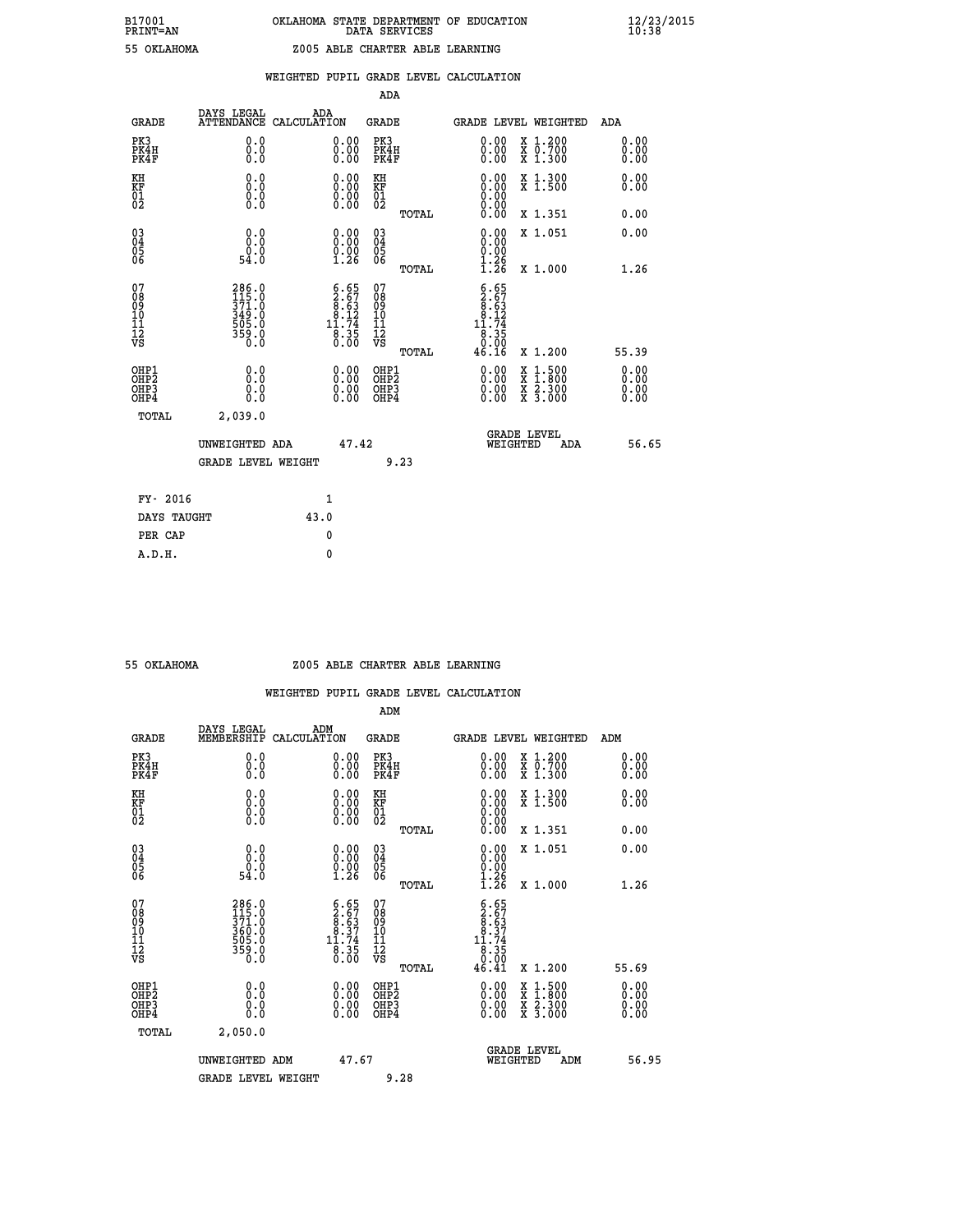# **B17001 OKLAHOMA STATE DEPARTMENT OF EDUCATION 12/23/2015 PRINT=AN DATA SERVICES 10:38 55 OKLAHOMA Z005 ABLE CHARTER ABLE LEARNING**

|  |  | WEIGHTED PUPIL GRADE LEVEL CALCULATION |
|--|--|----------------------------------------|
|  |  |                                        |

|                                                    |                                                             |                                                                                         | ADA                                                  |       |                                                                                                                                                                                                                                                                                |                                          |     |                              |
|----------------------------------------------------|-------------------------------------------------------------|-----------------------------------------------------------------------------------------|------------------------------------------------------|-------|--------------------------------------------------------------------------------------------------------------------------------------------------------------------------------------------------------------------------------------------------------------------------------|------------------------------------------|-----|------------------------------|
| <b>GRADE</b>                                       | DAYS LEGAL<br><b>ATTENDANCE</b>                             | ADA<br>CALCULATION                                                                      | <b>GRADE</b>                                         |       | GRADE LEVEL WEIGHTED                                                                                                                                                                                                                                                           |                                          |     | <b>ADA</b>                   |
| PK3<br>PK4H<br>PK4F                                | 0.0<br>0.0<br>0.0                                           | 0.00<br>$0.00$<br>0.00                                                                  | PK3<br>PK4H<br>PK4F                                  |       | 0.00<br>0.00                                                                                                                                                                                                                                                                   | X 1.200<br>X 0.700<br>X 1.300            |     | 0.00<br>0.00<br>0.00         |
| KH<br>KF<br>01<br>02                               | 0.0<br>0.0<br>$\S.$ $\S$                                    | $\begin{smallmatrix} 0.00 \ 0.00 \ 0.00 \ 0.00 \end{smallmatrix}$                       | KH<br>KF<br>01<br>02                                 |       | $\begin{smallmatrix} 0.00 \ 0.00 \ 0.00 \ 0.00 \ 0.00 \ 0.00 \end{smallmatrix}$                                                                                                                                                                                                | X 1.300<br>X 1.500                       |     | 0.00<br>0.00                 |
|                                                    |                                                             |                                                                                         |                                                      | TOTAL |                                                                                                                                                                                                                                                                                | X 1.351                                  |     | 0.00                         |
| $\begin{matrix} 03 \\ 04 \\ 05 \\ 06 \end{matrix}$ | 0.0<br>Ŏ.Ŏ<br>ة.ۆ<br>54.0                                   | $\begin{smallmatrix} 0.00\\ 0.00\\ 0.00\\ 1.26 \end{smallmatrix}$                       | 03<br>04<br>05<br>06                                 |       | 0.00<br>0.00<br>1.26                                                                                                                                                                                                                                                           | X 1.051                                  |     | 0.00                         |
|                                                    |                                                             |                                                                                         |                                                      | TOTAL | $\overline{1}.\overline{2}6$                                                                                                                                                                                                                                                   | X 1.000                                  |     | 1.26                         |
| 07<br>08<br>09<br>101<br>11<br>12<br>VS            | 286.0<br>115.0<br>371.0<br>349.0<br>505.0<br>559.0<br>359.0 | $\begin{smallmatrix} 6.65\\ 2.67\\ 8.63\\ 8.12\\ 11.74\\ 8.35\\ 0.00 \end{smallmatrix}$ | 078<br>089<br>0011<br>11<br>12<br>VS                 | TOTAL | $\begin{array}{r} 6.65 \\ 2.67 \\ 8.63 \\ 8.12 \\ 11.74 \\ 8.35 \\ 9.99 \end{array}$<br>46.16                                                                                                                                                                                  | X 1.200                                  |     | 55.39                        |
| OHP1<br>OHP2<br>OHP3<br>OHP4                       | 0.0<br>Ŏ.Ŏ<br>0.0<br>0.0                                    | $\begin{smallmatrix} 0.00 \ 0.00 \ 0.00 \ 0.00 \end{smallmatrix}$                       | OHP1<br>OHP2<br>OHP <sub>3</sub><br>OHP <sub>4</sub> |       | $\begin{smallmatrix} 0.00 & 0.00 & 0.00 & 0.00 & 0.00 & 0.00 & 0.00 & 0.00 & 0.00 & 0.00 & 0.00 & 0.00 & 0.00 & 0.00 & 0.00 & 0.00 & 0.00 & 0.00 & 0.00 & 0.00 & 0.00 & 0.00 & 0.00 & 0.00 & 0.00 & 0.00 & 0.00 & 0.00 & 0.00 & 0.00 & 0.00 & 0.00 & 0.00 & 0.00 & 0.00 & 0.0$ | X 1:500<br>X 1:800<br>X 2:300<br>X 3:000 |     | 0.00<br>Ŏ.ŎŎ<br>Q.QQ<br>0.00 |
| TOTAL                                              | 2,039.0                                                     |                                                                                         |                                                      |       |                                                                                                                                                                                                                                                                                |                                          |     |                              |
|                                                    | UNWEIGHTED ADA                                              |                                                                                         | 47.42                                                |       |                                                                                                                                                                                                                                                                                | GRADE LEVEL<br>WEIGHTED                  | ADA | 56.65                        |
|                                                    | <b>GRADE LEVEL WEIGHT</b>                                   |                                                                                         |                                                      | 9.23  |                                                                                                                                                                                                                                                                                |                                          |     |                              |
| FY- 2016                                           |                                                             | $\mathbf{1}$                                                                            |                                                      |       |                                                                                                                                                                                                                                                                                |                                          |     |                              |
| DAYS TAUGHT                                        |                                                             | 43.0                                                                                    |                                                      |       |                                                                                                                                                                                                                                                                                |                                          |     |                              |
|                                                    |                                                             |                                                                                         |                                                      |       |                                                                                                                                                                                                                                                                                |                                          |     |                              |

**PER CAP** 0  **A.D.H. 0**

### **55 OKLAHOMA Z005 ABLE CHARTER ABLE LEARNING**

|                                          |                                                                   |                                                                                         | ADM                                                 |       |                                                                                                                                                                                                                                                                                |                                          |                      |
|------------------------------------------|-------------------------------------------------------------------|-----------------------------------------------------------------------------------------|-----------------------------------------------------|-------|--------------------------------------------------------------------------------------------------------------------------------------------------------------------------------------------------------------------------------------------------------------------------------|------------------------------------------|----------------------|
| <b>GRADE</b>                             | DAYS LEGAL<br>MEMBERSHIP                                          | ADM<br>CALCULATION                                                                      | <b>GRADE</b>                                        |       |                                                                                                                                                                                                                                                                                | GRADE LEVEL WEIGHTED                     | ADM                  |
| PK3<br>PK4H<br>PK4F                      | 0.0<br>0.0<br>0.0                                                 | $\begin{smallmatrix} 0.00 \ 0.00 \ 0.00 \end{smallmatrix}$                              | PK3<br>PK4H<br>PK4F                                 |       | $\begin{smallmatrix} 0.00 \\ 0.00 \\ 0.00 \end{smallmatrix}$                                                                                                                                                                                                                   | X 1.200<br>X 0.700<br>X 1.300            | 0.00<br>0.00<br>0.00 |
| KH<br>KF<br>01<br>02                     | 0.0<br>$\begin{smallmatrix} 0.16 \ 0.0 \ 0.0 \end{smallmatrix}$   | $\begin{smallmatrix} 0.00 \ 0.00 \ 0.00 \ 0.00 \end{smallmatrix}$                       | KH<br>KF<br>01<br>02                                |       | $\begin{smallmatrix} 0.00 \ 0.00 \ 0.00 \ 0.00 \ 0.00 \ 0.00 \end{smallmatrix}$                                                                                                                                                                                                | X 1.300<br>X 1.500                       | 0.00<br>0.00         |
|                                          |                                                                   |                                                                                         |                                                     | TOTAL |                                                                                                                                                                                                                                                                                | X 1.351                                  | 0.00                 |
| 03<br>04<br>05<br>06                     | 0.0<br>$\begin{smallmatrix} 0.0 & 0 \ 54.0 & 0 \end{smallmatrix}$ | $\begin{smallmatrix} 0.00\\ 0.00\\ 0.00\\ 1.26 \end{smallmatrix}$                       | $\begin{array}{c} 03 \\ 04 \\ 05 \\ 06 \end{array}$ |       | $\begin{smallmatrix} 0.00\\ 0.00\\ 0.00\\ 1.26\\ 1.26 \end{smallmatrix}$                                                                                                                                                                                                       | X 1.051                                  | 0.00                 |
|                                          |                                                                   |                                                                                         |                                                     | TOTAL |                                                                                                                                                                                                                                                                                | X 1.000                                  | 1.26                 |
| 07<br>08<br>09<br>101<br>112<br>VS       | 286.0<br>115.0<br>371.0<br>360.0<br>365.0<br>505.0<br>359.0       | $\begin{smallmatrix} 6.65\\ 2.67\\ 8.63\\ 8.37\\ 11.74\\ 8.35\\ 0.00 \end{smallmatrix}$ | 07<br>08<br>09<br>11<br>11<br>12<br>VS              | TOTAL | $\begin{smallmatrix} 6.65\\ 2.67\\ 8.37\\ 8.37\\ 11.74\\ 8.35\\ 0.00\\ 46.41 \end{smallmatrix}$                                                                                                                                                                                | X 1.200                                  | 55.69                |
|                                          |                                                                   |                                                                                         |                                                     |       |                                                                                                                                                                                                                                                                                |                                          | 0.00                 |
| OHP1<br>OHP2<br>OHP3<br>OH <sub>P4</sub> | 0.0<br>0.000                                                      |                                                                                         | OHP1<br>OHP2<br>OHP <sub>3</sub>                    |       | $\begin{smallmatrix} 0.00 & 0.00 & 0.00 & 0.00 & 0.00 & 0.00 & 0.00 & 0.00 & 0.00 & 0.00 & 0.00 & 0.00 & 0.00 & 0.00 & 0.00 & 0.00 & 0.00 & 0.00 & 0.00 & 0.00 & 0.00 & 0.00 & 0.00 & 0.00 & 0.00 & 0.00 & 0.00 & 0.00 & 0.00 & 0.00 & 0.00 & 0.00 & 0.00 & 0.00 & 0.00 & 0.0$ | X 1:500<br>X 1:800<br>X 2:300<br>X 3:000 | Ŏ.ŎŎ<br>Q.QQ<br>0.00 |
| TOTAL                                    | 2,050.0                                                           |                                                                                         |                                                     |       |                                                                                                                                                                                                                                                                                |                                          |                      |
|                                          | UNWEIGHTED ADM                                                    | 47.67                                                                                   |                                                     |       |                                                                                                                                                                                                                                                                                | GRADE LEVEL<br>WEIGHTED<br>ADM           | 56.95                |
|                                          | <b>GRADE LEVEL WEIGHT</b>                                         |                                                                                         | 9.28                                                |       |                                                                                                                                                                                                                                                                                |                                          |                      |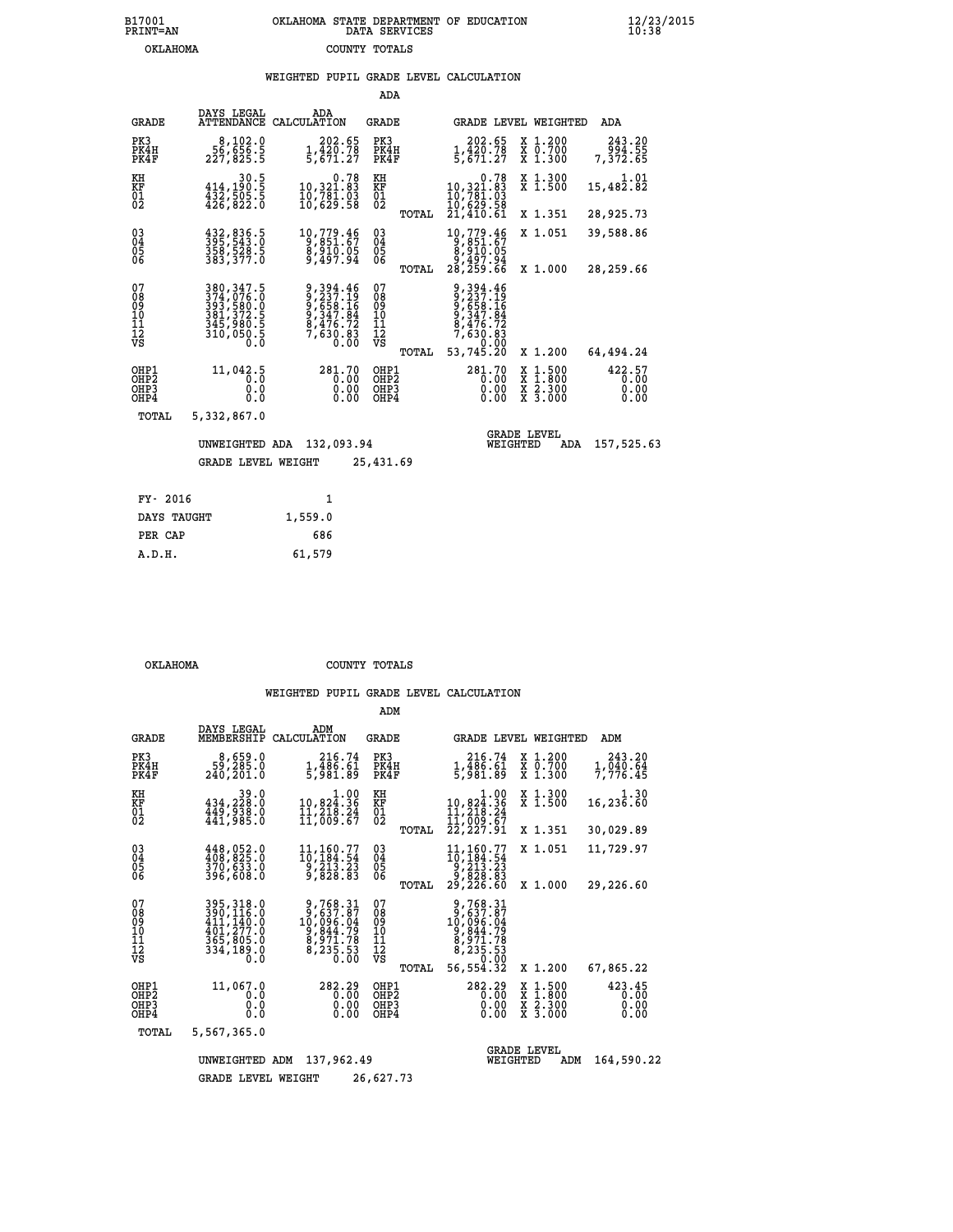## **B17001 OKLAHOMA STATE DEPARTMENT OF EDUCATION 12/23/2015 PRINT=AN DATA SERVICES 10:38 OKLAHOMA COUNTY TOTALS**

## **WEIGHTED PUPIL GRADE LEVEL CALCULATION**

|                                                                  |                                                                                                                          |                                                                                   | ADA                                             |                                                                                        |                                                                                                  |                                |
|------------------------------------------------------------------|--------------------------------------------------------------------------------------------------------------------------|-----------------------------------------------------------------------------------|-------------------------------------------------|----------------------------------------------------------------------------------------|--------------------------------------------------------------------------------------------------|--------------------------------|
| <b>GRADE</b>                                                     | DAYS LEGAL<br>ATTENDANCE CALCULATION                                                                                     | ADA                                                                               | GRADE                                           | GRADE LEVEL WEIGHTED                                                                   |                                                                                                  | ADA                            |
| PK3<br>PK4H<br>PK4F                                              | 8,102.0<br>56,656.5<br>227,825.5                                                                                         | 202.65<br>$\frac{1}{5}, \frac{\bar{4}2\bar{0}.78}{671.27}$                        | PK3<br>PK4H<br>PK4F                             | 202.65<br>1,420.78<br>5,671.27                                                         | X 1.200<br>X 0.700<br>X 1.300                                                                    | 243.20<br>55.200<br>7,372.65   |
| KH<br>KF<br>01<br>02                                             | 30.5<br>414,190.5<br>432,505.5<br>426,822.0                                                                              | 0.78<br>10,321.83<br>10,781.03<br>10,629.58                                       | KH<br>KF<br>01<br>02                            | 0.78<br>10,321.83<br>10,781.03<br>10,629.59                                            | X 1.300<br>$X$ 1.500                                                                             | 1.01<br>15,482.82              |
|                                                                  |                                                                                                                          |                                                                                   | TOTAL                                           | 21,410.61                                                                              | X 1.351                                                                                          | 28,925.73                      |
| $^{03}_{04}$<br>Ŏ5<br>06                                         | 432,836.5<br>395,543.0<br>358,528.5<br>383,377.0                                                                         | 10,779.46<br>9,851.67<br>8,910.05<br>9,497.94                                     | $\substack{03 \\ 04}$<br>$\frac{05}{06}$        | 10,779.46<br>$\begin{array}{r} 6,651.67\ 8,910.05\ 9,497.94\ 28,259.66 \end{array}$    | X 1.051                                                                                          | 39,588.86                      |
|                                                                  |                                                                                                                          |                                                                                   | TOTAL                                           |                                                                                        | X 1.000                                                                                          | 28,259.66                      |
| 07<br>08<br>09<br>11<br>11<br>12<br>VS                           | $\begin{smallmatrix} 380,347.5\\ 374,076.0\\ 393,580.0\\ 381,372.5\\ 345,980.5\\ 310,050.5\\ 0.0\\ 0.0\end{smallmatrix}$ | 9, 394.46<br>9, 237.19<br>9, 658.16<br>9, 347.84<br>8, 476.73<br>7,630.83<br>0.00 | 07<br>08<br>09<br>11<br>11<br>12<br>VS<br>TOTAL | 9, 394.46<br>9, 237.19<br>9, 658.16<br>9, 347.84<br>8, 476.72<br>7,630.83<br>53,745.20 | X 1.200                                                                                          | 64,494.24                      |
| OHP1<br>OH <sub>P</sub> <sub>2</sub><br>OH <sub>P3</sub><br>OHP4 | 11,042.5<br>0.0<br>$0.\overline{0}$                                                                                      | 281.70<br>0.00<br>0.00<br>0.00                                                    | OHP1<br>OHP <sub>2</sub><br>OHP3<br>OHP4        | 281.70<br>0.00<br>0.00<br>0.00                                                         | $\begin{smallmatrix} x & 1 & 500 \\ x & 1 & 800 \\ x & 2 & 300 \\ x & 3 & 000 \end{smallmatrix}$ | 422.57<br>0.00<br>0.00<br>0.00 |
| TOTAL                                                            | 5,332,867.0                                                                                                              |                                                                                   |                                                 |                                                                                        |                                                                                                  |                                |
|                                                                  | UNWEIGHTED ADA                                                                                                           | 132,093.94                                                                        |                                                 | <b>GRADE LEVEL</b><br>WEIGHTED                                                         | ADA                                                                                              | 157,525.63                     |
|                                                                  | <b>GRADE LEVEL WEIGHT</b>                                                                                                |                                                                                   | 25,431.69                                       |                                                                                        |                                                                                                  |                                |
| FY- 2016                                                         |                                                                                                                          | $\mathbf{1}$                                                                      |                                                 |                                                                                        |                                                                                                  |                                |
|                                                                  |                                                                                                                          |                                                                                   |                                                 |                                                                                        |                                                                                                  |                                |

| ri sulo     |         |
|-------------|---------|
| DAYS TAUGHT | 1,559.0 |
| PER CAP     | 686     |
| A.D.H.      | 61,579  |

 **OKLAHOMA COUNTY TOTALS**

 **ADM**

| <b>GRADE</b>                                                       | DAYS LEGAL<br>MEMBERSHIP                                                          | ADM<br>CALCULATION                                                             | <b>GRADE</b>                                     |                                                                                           | GRADE LEVEL WEIGHTED                                                          | ADM                            |
|--------------------------------------------------------------------|-----------------------------------------------------------------------------------|--------------------------------------------------------------------------------|--------------------------------------------------|-------------------------------------------------------------------------------------------|-------------------------------------------------------------------------------|--------------------------------|
| PK3<br>PK4H<br>PK4F                                                | 8,659.0<br>59,285.0<br>240,201.0                                                  | 216.74<br>1,486.61<br>5,981.89                                                 | PK3<br>PK4H<br>PK4F                              | 216.74<br>$\frac{1}{5}$ , $\frac{1}{9}$ , $\frac{1}{9}$ , $\frac{1}{9}$ , $\frac{1}{9}$   | X 1.200<br>X 0.700<br>X 1.300                                                 | 243.20<br>1,040.64<br>7,776.45 |
| KH<br><b>KF</b><br>01<br>02                                        | 39.0<br>434,228.0<br>449,938.0<br>441,985.0                                       | $\begin{smallmatrix}&&&1.00\\10,824.36\\11,218.24\\11,609.67\end{smallmatrix}$ | KH<br><b>KF</b><br>01<br>02                      | $\begin{smallmatrix}&&&1.00\\10,824.36\\11,218.24\\11,209.67\\22,227.91\end{smallmatrix}$ | X 1.300<br>X 1.500                                                            | 1.30<br>16,236.60              |
|                                                                    |                                                                                   |                                                                                | TOTAL                                            |                                                                                           | X 1.351                                                                       | 30,029.89                      |
| $\begin{smallmatrix} 03 \\[-4pt] 04 \end{smallmatrix}$<br>05<br>06 | 448,052.0<br>408,825.0<br>370,633.0<br>396,608.0                                  | 11,160.77<br>10,184.54<br>9,213.23<br>9,828.83                                 | $\substack{03 \\ 04}$<br>$\frac{05}{06}$         | 11,160.77<br>10,184.54<br>9,213.23<br>9,828.83                                            | X 1.051                                                                       | 11,729.97                      |
|                                                                    |                                                                                   |                                                                                | TOTAL                                            | 29,226.60                                                                                 | X 1.000                                                                       | 29,226.60                      |
| 07<br>08<br>09<br>101<br>11<br>12<br>VS                            | 395,318.0<br>390,116.0<br>411,140.0<br>401,277.0<br>365,805.0<br>334,189.0<br>0.0 | 9,768.31<br>9,637.87<br>10,096:04<br>9,844.79<br>9,971.78<br>8,235.53          | 07<br>08<br>09<br>101<br>11<br>12<br>VS<br>TOTAL | 9,768.31<br>9,637.87<br>10,096.04<br>9,844.79<br>9,971.78<br>8,235.53<br>56,554.32        | X 1.200                                                                       | 67,865.22                      |
| OHP1<br>OHP <sub>2</sub><br>OHP3<br>OHP4                           | 11,067.0<br>0.0<br>0.0<br>0.0                                                     | 282.29<br>0.00<br>0.00<br>0.00                                                 | OHP1<br>OH <sub>P</sub> 2<br>OHP3<br>OHP4        | 282.29<br>0.00<br>0.00<br>0.00                                                            | $\begin{array}{c} x & 1.500 \\ x & 1.800 \\ x & 2.300 \end{array}$<br>X 3.000 | 423.45<br>0.00<br>0.00<br>0.00 |
| TOTAL                                                              | 5,567,365.0                                                                       |                                                                                |                                                  |                                                                                           |                                                                               |                                |
|                                                                    | UNWEIGHTED                                                                        | 137,962.49<br>ADM                                                              |                                                  | WEIGHTED                                                                                  | <b>GRADE LEVEL</b><br>ADM                                                     | 164,590.22                     |
|                                                                    | <b>GRADE LEVEL WEIGHT</b>                                                         |                                                                                | 26,627.73                                        |                                                                                           |                                                                               |                                |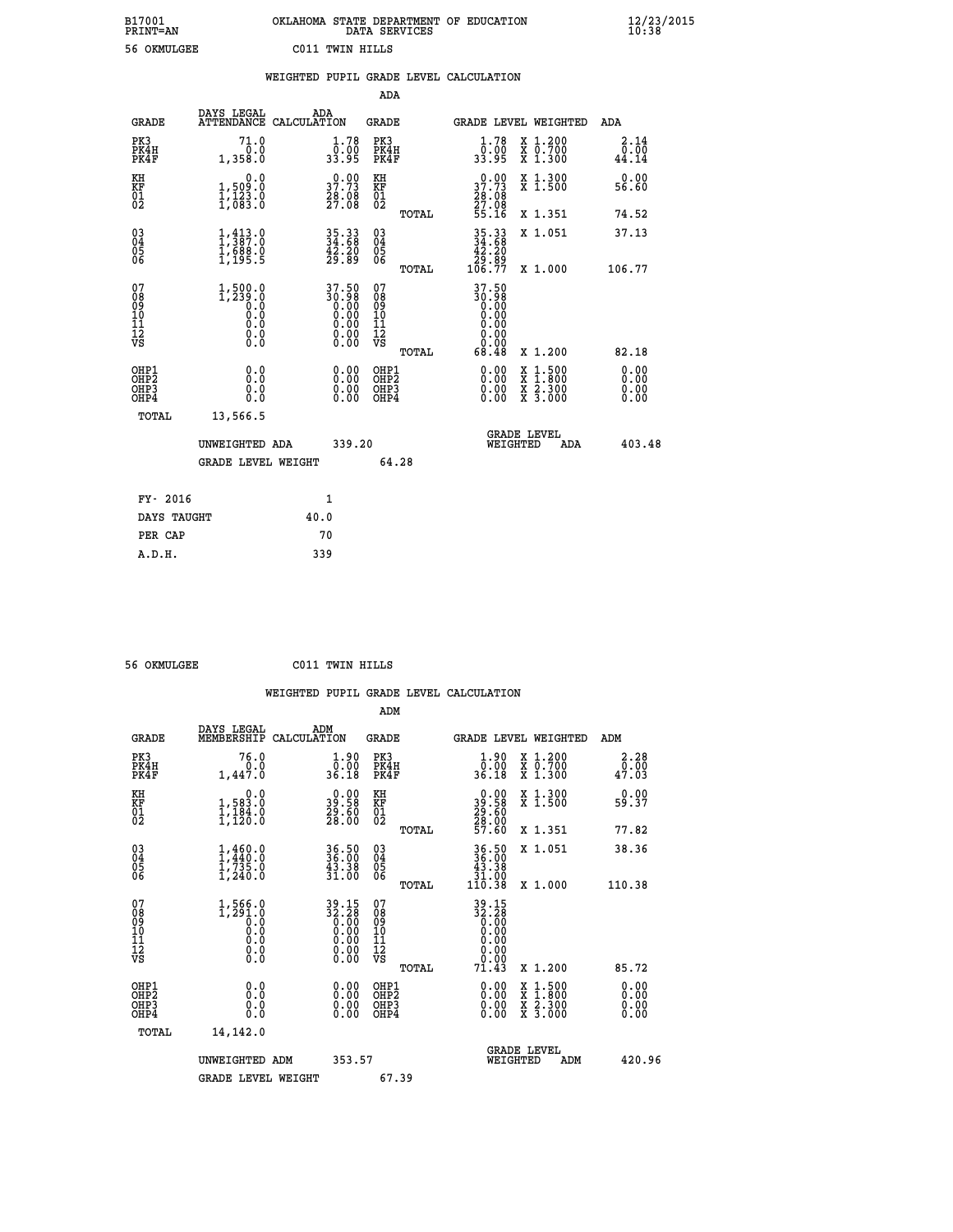| B17001          | OKLAHOMA STATE DEPARTMENT OF EDUCATION |
|-----------------|----------------------------------------|
| <b>PRINT=AN</b> | DATA SERVICES                          |
| 56 OKMULGEE     | C011 TWIN HILLS                        |

 **B17001 OKLAHOMA STATE DEPARTMENT OF EDUCATION 12/23/2015**

|                                          |                                                                     | WEIGHTED PUPIL GRADE LEVEL CALCULATION                               |                                                     |       |                                                                                                    |                                                                                                                                           |                              |
|------------------------------------------|---------------------------------------------------------------------|----------------------------------------------------------------------|-----------------------------------------------------|-------|----------------------------------------------------------------------------------------------------|-------------------------------------------------------------------------------------------------------------------------------------------|------------------------------|
|                                          |                                                                     |                                                                      | <b>ADA</b>                                          |       |                                                                                                    |                                                                                                                                           |                              |
| <b>GRADE</b>                             | DAYS LEGAL<br><b>ATTENDANCE</b>                                     | ADA<br>CALCULATION                                                   | <b>GRADE</b>                                        |       |                                                                                                    | GRADE LEVEL WEIGHTED                                                                                                                      | ADA                          |
| PK3<br>PK4H<br>PK4F                      | 71.0<br>0.0<br>1,358.0                                              | 1.78<br>0:00<br>33:95                                                | PK3<br>PK4H<br>PK4F                                 |       | 1.78<br>0.00<br>33.95                                                                              | X 1.200<br>X 0.700<br>X 1.300                                                                                                             | 2.14<br>0.00<br>44.14        |
| KH<br>KF<br>01<br>02                     | 0.0<br>1,509:0<br>1,123:0<br>1,083:0                                | $\begin{smallmatrix} 0.00\\ 37.73\\ 28.08\\ 27.08 \end{smallmatrix}$ | KH<br>KF<br>01<br>02                                |       | 37.73<br>$\frac{26}{27}$ :08<br>55.16                                                              | X 1.300<br>X 1.500                                                                                                                        | 0.00<br>56.60                |
|                                          |                                                                     |                                                                      |                                                     | TOTAL |                                                                                                    | X 1.351                                                                                                                                   | 74.52                        |
| $\substack{03 \\ 04}$<br>Ŏ5<br>06        | $1, 413.0$<br>$1, 387.0$<br>$1, 688.0$<br>$1, 195.5$                | 35.33<br>34.68<br>42.20<br>29.89                                     | $\begin{array}{c} 03 \\ 04 \\ 05 \\ 06 \end{array}$ |       | $\begin{array}{c} 35\cdot 33 \\ 34\cdot 68 \\ 42\cdot 20 \\ 29\cdot 89 \\ 106\cdot 77 \end{array}$ | X 1.051                                                                                                                                   | 37.13                        |
|                                          |                                                                     |                                                                      |                                                     | TOTAL |                                                                                                    | X 1.000                                                                                                                                   | 106.77                       |
| 07<br>08<br>09<br>11<br>11<br>12<br>VS   | $1,500.0$<br>$1,239.0$<br>$0.0$<br>$0.0$<br>$0.0$<br>$0.0$<br>$0.0$ | 37.50<br>36:38<br>0.00<br>0.00<br>0.00<br>0.00                       | 07<br>08<br>09<br>11<br>11<br>12<br>VS              | TOTAL | 37.50<br>88:08<br>0.00<br>0.00<br>0.00<br>0.00<br>0.00<br>68.48                                    | X 1.200                                                                                                                                   | 82.18                        |
| OHP1<br>OHP2<br>OH <sub>P3</sub><br>OHP4 | 0.0<br>0.0<br>Ŏ.Ŏ                                                   | 0.00<br>$\begin{smallmatrix} 0.00 \ 0.00 \end{smallmatrix}$          | OHP1<br>OHP2<br>OHP3<br>OHP4                        |       |                                                                                                    | $\begin{smallmatrix} \mathtt{X} & 1\cdot500\\ \mathtt{X} & 1\cdot800\\ \mathtt{X} & 2\cdot300\\ \mathtt{X} & 3\cdot000 \end{smallmatrix}$ | 0.00<br>ŏ:ŏŏ<br>0.00<br>0.00 |
| TOTAL                                    | 13,566.5                                                            |                                                                      |                                                     |       |                                                                                                    |                                                                                                                                           |                              |
|                                          | UNWEIGHTED ADA                                                      | 339.20                                                               |                                                     |       | WEIGHTED                                                                                           | <b>GRADE LEVEL</b><br><b>ADA</b>                                                                                                          | 403.48                       |
|                                          | <b>GRADE LEVEL WEIGHT</b>                                           |                                                                      | 64.28                                               |       |                                                                                                    |                                                                                                                                           |                              |
| FY- 2016                                 |                                                                     | 1                                                                    |                                                     |       |                                                                                                    |                                                                                                                                           |                              |
| DAYS TAUGHT                              |                                                                     | 40.0                                                                 |                                                     |       |                                                                                                    |                                                                                                                                           |                              |
| PER CAP                                  |                                                                     | 70                                                                   |                                                     |       |                                                                                                    |                                                                                                                                           |                              |

| 56 OKMULCEE |  |
|-------------|--|

 **A.D.H. 339**

 **B17001<br>PRINT=AN** 

 **56 OKMULGEE C011 TWIN HILLS**

 **ADM DAYS LEGAL ADM GRADE MEMBERSHIP CALCULATION GRADE GRADE LEVEL WEIGHTED ADM PK3 76.0 1.90 PK3 1.90 X 1.200 2.28 PK4H 0.0 0.00 PK4H 0.00 X 0.700 0.00 PK4F 1,447.0 36.18 PK4F 36.18 X 1.300 47.03**

| KH<br>KF<br>01<br>02                               | $\begin{smallmatrix} & & 0.0\ 1.583.0\ 1.184.0\ 1.120.0 \end{smallmatrix}$ | $\begin{smallmatrix} 0.00\\ 39.58\\ 29.50\\ 28.00 \end{smallmatrix}$ | KH<br>KF<br>01<br>02                               |       | $\begin{smallmatrix} 0.00\\ 39.58\\ 29.60\\ 28.00\\ 57.60 \end{smallmatrix}$                     | X 1.300<br>X 1.500                                                                                                  |     | $0.00$<br>59.37                                                                                                                                                                                                                                                                |
|----------------------------------------------------|----------------------------------------------------------------------------|----------------------------------------------------------------------|----------------------------------------------------|-------|--------------------------------------------------------------------------------------------------|---------------------------------------------------------------------------------------------------------------------|-----|--------------------------------------------------------------------------------------------------------------------------------------------------------------------------------------------------------------------------------------------------------------------------------|
|                                                    |                                                                            |                                                                      |                                                    | TOTAL |                                                                                                  | X 1.351                                                                                                             |     | 77.82                                                                                                                                                                                                                                                                          |
| $\begin{matrix} 03 \\ 04 \\ 05 \\ 06 \end{matrix}$ | $1,460.0$<br>$1,735.0$<br>$1,240.0$<br>$1,240.0$                           | 36.50<br>36.00<br>43.38<br>31.00                                     | $\begin{matrix} 03 \\ 04 \\ 05 \\ 06 \end{matrix}$ |       | $\begin{array}{c} 36.50 \\ 36.00 \\ 43.38 \\ 31.00 \\ 110.38 \end{array}$                        | X 1.051                                                                                                             |     | 38.36                                                                                                                                                                                                                                                                          |
|                                                    |                                                                            |                                                                      |                                                    | TOTAL |                                                                                                  | X 1.000                                                                                                             |     | 110.38                                                                                                                                                                                                                                                                         |
| 07<br>08<br>09<br>101<br>11<br>12<br>VS            |                                                                            | $39.15\n32.28\n0.00\n0.00\n0.00\n0.00\n0.00$                         | 07<br>08<br>09<br>11<br>11<br>12<br>VS             | TOTAL | $\begin{array}{@{}ll}39.15\\32.28\\0.00\\0.00\\0.00\\0.00\\0.00\\0.00\\0.00\end{array}$<br>71.43 | X 1.200                                                                                                             |     | 85.72                                                                                                                                                                                                                                                                          |
|                                                    |                                                                            |                                                                      | OHP1                                               |       |                                                                                                  |                                                                                                                     |     |                                                                                                                                                                                                                                                                                |
| OHP1<br>OHP2<br>OH <sub>P3</sub><br>OHP4           |                                                                            | $\begin{smallmatrix} 0.00 \ 0.00 \ 0.00 \ 0.00 \end{smallmatrix}$    | OHP <sub>2</sub><br>OHP3<br>OHP4                   |       |                                                                                                  | $\begin{array}{l} \mathtt{X} & 1.500 \\ \mathtt{X} & 1.800 \\ \mathtt{X} & 2.300 \\ \mathtt{X} & 3.000 \end{array}$ |     | $\begin{smallmatrix} 0.00 & 0.00 & 0.00 & 0.00 & 0.00 & 0.00 & 0.00 & 0.00 & 0.00 & 0.00 & 0.00 & 0.00 & 0.00 & 0.00 & 0.00 & 0.00 & 0.00 & 0.00 & 0.00 & 0.00 & 0.00 & 0.00 & 0.00 & 0.00 & 0.00 & 0.00 & 0.00 & 0.00 & 0.00 & 0.00 & 0.00 & 0.00 & 0.00 & 0.00 & 0.00 & 0.0$ |
| TOTAL                                              | 14,142.0                                                                   |                                                                      |                                                    |       |                                                                                                  |                                                                                                                     |     |                                                                                                                                                                                                                                                                                |
|                                                    | UNWEIGHTED<br>ADM                                                          | 353.57                                                               |                                                    |       | WEIGHTED                                                                                         | <b>GRADE LEVEL</b>                                                                                                  | ADM | 420.96                                                                                                                                                                                                                                                                         |
|                                                    | <b>GRADE LEVEL WEIGHT</b>                                                  |                                                                      | 67.39                                              |       |                                                                                                  |                                                                                                                     |     |                                                                                                                                                                                                                                                                                |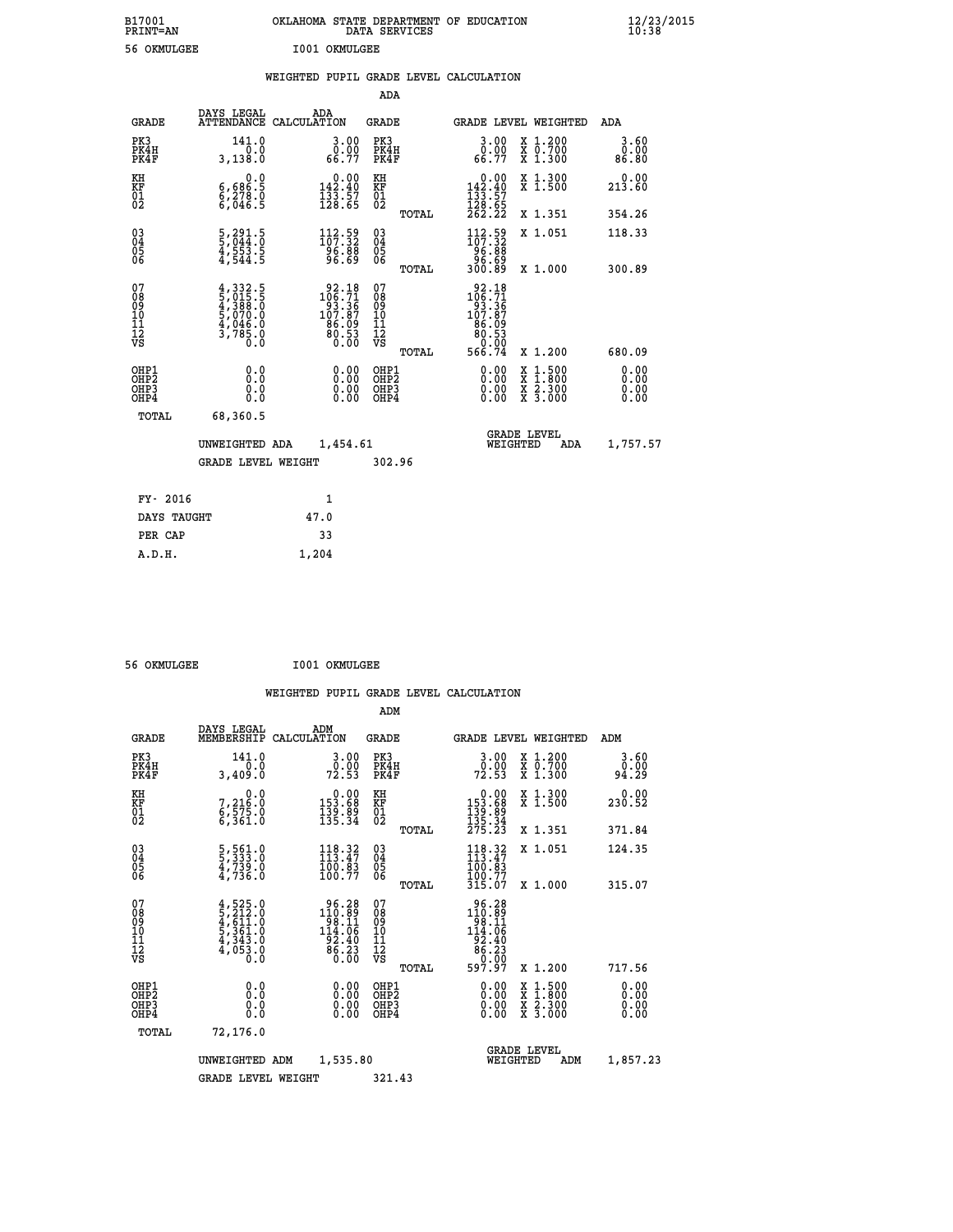| B17001<br>PRINT=AN                       |                                                                                   | OKLAHOMA STATE DEPARTMENT OF EDUCATION                                                  | DATA SERVICES                                              |                                                                              |                                                                                                                                           | $\frac{12}{23}$ /2015        |
|------------------------------------------|-----------------------------------------------------------------------------------|-----------------------------------------------------------------------------------------|------------------------------------------------------------|------------------------------------------------------------------------------|-------------------------------------------------------------------------------------------------------------------------------------------|------------------------------|
| 56 OKMULGEE                              |                                                                                   | I001 OKMULGEE                                                                           |                                                            |                                                                              |                                                                                                                                           |                              |
|                                          |                                                                                   | WEIGHTED PUPIL GRADE LEVEL CALCULATION                                                  |                                                            |                                                                              |                                                                                                                                           |                              |
|                                          |                                                                                   |                                                                                         | ADA                                                        |                                                                              |                                                                                                                                           |                              |
| <b>GRADE</b>                             | DAYS LEGAL                                                                        | ADA<br>ATTENDANCE CALCULATION                                                           | GRADE                                                      |                                                                              | GRADE LEVEL WEIGHTED                                                                                                                      | <b>ADA</b>                   |
| PK3<br>PK4H<br>PK4F                      | 141.0<br>0.0<br>3,138.0                                                           | 3.00<br>0.00<br>66.77                                                                   | PK3<br>PK4H<br>PK4F                                        | 3.00<br>ŏ:ŏŏ<br>66:77                                                        | X 1.200<br>X 0.700<br>X 1.300                                                                                                             | 3.60<br>0.00<br>86.80        |
| KH<br>KF<br>01<br>02                     | 0.0<br>6,686:5<br>6,278:0<br>6,046:5                                              | $\begin{smallmatrix}&&0.00\\142.40\\133.57\\128.65\end{smallmatrix}$                    | KH<br><b>KF</b><br>01<br>02                                | $\begin{smallmatrix}&&0.00\\142.40\\133.57\\128.65\\262.22\end{smallmatrix}$ | X 1.300<br>X 1.500                                                                                                                        | 0.00<br>213.60               |
|                                          |                                                                                   |                                                                                         | TOTAL                                                      |                                                                              | X 1.351                                                                                                                                   | 354.26                       |
| 03<br>04<br>05<br>06                     | 5,291.5<br>5,044.0<br>4,553.5<br>4,544.5                                          | $\frac{112}{107}$ : $\frac{59}{32}$<br>$\frac{96.88}{96.69}$                            | $\begin{matrix} 03 \\ 04 \\ 05 \\ 06 \end{matrix}$         | $112.59$<br>$107.32$<br>88:30<br>88:30<br>89:00                              | X 1.051                                                                                                                                   | 118.33                       |
|                                          |                                                                                   |                                                                                         | <b>TOTAL</b>                                               |                                                                              | X 1.000                                                                                                                                   | 300.89                       |
| 07<br>08<br>09<br>11<br>11<br>12<br>VS   | $4,332.5$<br>5,015.5<br>$4,388.0$<br>$5,070.0$<br>5,046.0<br>$4,046.0$<br>3,785.0 | $\begin{smallmatrix} 92.18\\106.71\\93.36\\107.87\\86.09\\80.53\\0.00\end{smallmatrix}$ | 07<br>08<br>09<br>10<br>$\frac{11}{12}$<br>$\frac{12}{18}$ | $\begin{array}{r} 92.18 \\ 106.71 \\ 93.36 \\ 107.87 \end{array}$<br>86.09   |                                                                                                                                           |                              |
|                                          |                                                                                   |                                                                                         | TOTAL                                                      | $\begin{array}{r} 80.53 \ 60.00 \ 566.74 \end{array}$                        | X 1.200                                                                                                                                   | 680.09                       |
| OHP1<br>OHP2<br>OH <sub>P3</sub><br>OHP4 | 0.0<br>0.0<br>0.0                                                                 | 0.00<br>0.00<br>0.00                                                                    | OHP1<br>OHP2<br>OHP3<br>OHP4                               | 0.00<br>0.00<br>0.00                                                         | $\begin{smallmatrix} \mathtt{X} & 1\cdot500\\ \mathtt{X} & 1\cdot800\\ \mathtt{X} & 2\cdot300\\ \mathtt{X} & 3\cdot000 \end{smallmatrix}$ | 0.00<br>0.00<br>0.00<br>0.00 |
| TOTAL                                    | 68,360.5                                                                          |                                                                                         |                                                            |                                                                              |                                                                                                                                           |                              |
|                                          | UNWEIGHTED ADA                                                                    | 1,454.61                                                                                |                                                            | WEIGHTED                                                                     | <b>GRADE LEVEL</b><br>ADA                                                                                                                 | 1,757.57                     |
|                                          | <b>GRADE LEVEL WEIGHT</b>                                                         |                                                                                         | 302.96                                                     |                                                                              |                                                                                                                                           |                              |
| FY- 2016                                 |                                                                                   | 1                                                                                       |                                                            |                                                                              |                                                                                                                                           |                              |
| DAYS TAUGHT                              |                                                                                   | 47.0                                                                                    |                                                            |                                                                              |                                                                                                                                           |                              |
| PER CAP                                  |                                                                                   | 33                                                                                      |                                                            |                                                                              |                                                                                                                                           |                              |

| 56 OKMULGEE | I001 OKMULGEE |
|-------------|---------------|
|             |               |

 **A.D.H. 1,204**

|                                                    |                                                                                      |                    |                                                                                            |                                               |       | WEIGHTED PUPIL GRADE LEVEL CALCULATION                                                                  |                                                                                                  |                       |
|----------------------------------------------------|--------------------------------------------------------------------------------------|--------------------|--------------------------------------------------------------------------------------------|-----------------------------------------------|-------|---------------------------------------------------------------------------------------------------------|--------------------------------------------------------------------------------------------------|-----------------------|
|                                                    |                                                                                      |                    |                                                                                            | ADM                                           |       |                                                                                                         |                                                                                                  |                       |
| <b>GRADE</b>                                       | DAYS LEGAL<br>MEMBERSHIP                                                             | ADM<br>CALCULATION |                                                                                            | <b>GRADE</b>                                  |       |                                                                                                         | <b>GRADE LEVEL WEIGHTED</b>                                                                      | ADM                   |
| PK3<br>PK4H<br>PK4F                                | 141.0<br>0.0<br>3,409.0                                                              |                    | $\frac{3 \cdot 00}{0 \cdot 00}$<br>72.53                                                   | PK3<br>PK4H<br>PK4F                           |       | $\frac{3 \cdot 00}{0 \cdot 00}$<br>72.53                                                                | X 1.200<br>X 0.700<br>X 1.300                                                                    | 3.60<br>0.00<br>94.29 |
| KH<br>KF<br>01<br>02                               | 7,216.0<br>$6, \overline{5}\,\overline{7}\,\overline{5}\,\overline{1}\,\overline{0}$ |                    | $\begin{smallmatrix} &0.00\\ 153.68\\ 139.89\\ 135.34\end{smallmatrix}$                    | KH<br>KF<br>01<br>02                          |       | $\begin{smallmatrix} &0.00\\ 153.68\\ 139.89\\ 135.34\\ 275.23 \end{smallmatrix}$                       | X 1.300<br>X 1.500                                                                               | $0.00$<br>230.52      |
|                                                    |                                                                                      |                    |                                                                                            |                                               | TOTAL |                                                                                                         | X 1.351                                                                                          | 371.84                |
| $\begin{matrix} 03 \\ 04 \\ 05 \\ 06 \end{matrix}$ | 5,561.0<br>5,333.0<br>4,739.0<br>4,736.0                                             |                    | 118.32<br>$\frac{100}{100}.$ 83                                                            | 03<br>04<br>05<br>06                          |       | $118.32$<br>$113.47$<br>$100.83$<br>$100.77$<br>$315.07$                                                | X 1.051                                                                                          | 124.35                |
|                                                    |                                                                                      |                    |                                                                                            |                                               | TOTAL |                                                                                                         | X 1.000                                                                                          | 315.07                |
| 07<br>0890112<br>1112<br>VS                        | $4,525.0$<br>$5,212.0$<br>$4,611.0$<br>$5,361.0$<br>$4,343.0$<br>$4,053.0$<br>$0.0$  |                    | $\begin{array}{r} 96.28 \\ 110.89 \\ 98.11 \\ 14.06 \\ 92.40 \\ 86.23 \\ 0.00 \end{array}$ | 07<br>08<br>09<br>001<br>11<br>11<br>12<br>VS |       | $\begin{array}{r} 96.28 \\ 110.89 \\ 98.11 \\ 14.06 \\ 92.40 \\ 86.23 \\ 0.00 \\ 597.97 \\ \end{array}$ |                                                                                                  |                       |
|                                                    |                                                                                      |                    |                                                                                            |                                               | TOTAL |                                                                                                         | $X_1.200$                                                                                        | 717.56                |
| OHP1<br>OHP2<br>OH <sub>P3</sub><br>OHP4           | 0.0<br>0.000                                                                         |                    | $\begin{smallmatrix} 0.00 \ 0.00 \ 0.00 \ 0.00 \end{smallmatrix}$                          | OHP1<br>OHP2<br>OHP <sub>3</sub>              |       |                                                                                                         | $\begin{smallmatrix} x & 1 & 500 \\ x & 1 & 800 \\ x & 2 & 300 \\ x & 3 & 000 \end{smallmatrix}$ | 0.00<br>0.00<br>0.00  |
| TOTAL                                              | 72,176.0                                                                             |                    |                                                                                            |                                               |       |                                                                                                         |                                                                                                  |                       |
|                                                    | UNWEIGHTED ADM                                                                       |                    | 1,535.80                                                                                   |                                               |       |                                                                                                         | <b>GRADE LEVEL</b><br>WEIGHTED<br>ADM                                                            | 1,857.23              |
|                                                    | <b>GRADE LEVEL WEIGHT</b>                                                            |                    |                                                                                            | 321.43                                        |       |                                                                                                         |                                                                                                  |                       |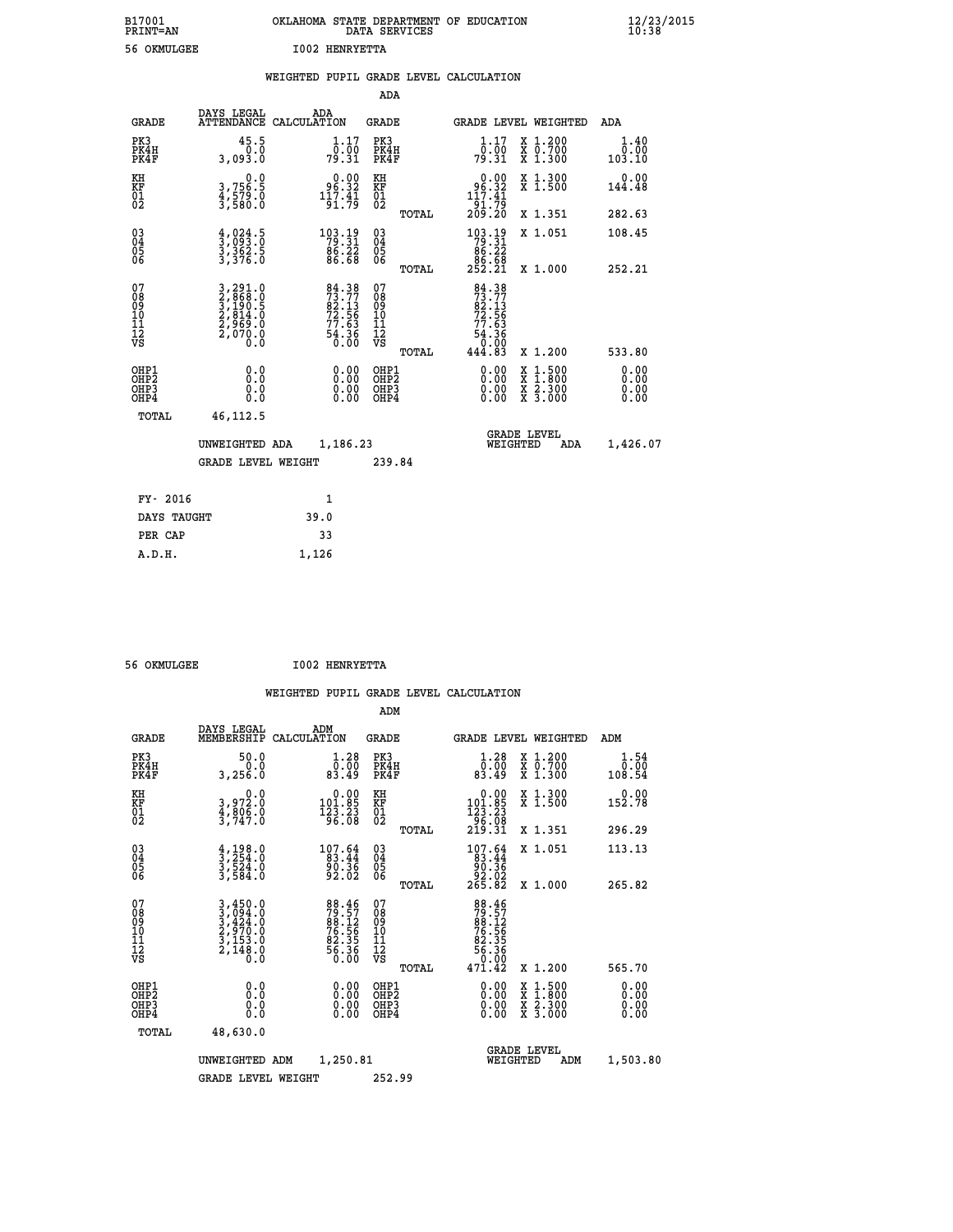| B17001<br><b>PRINT=AN</b> | OKLAHOMA STATE DEPARTMENT OF EDUCATION<br>DATA SERVICES | $\frac{12}{23}$ /2015 |
|---------------------------|---------------------------------------------------------|-----------------------|
| 56 OKMULGEE               | <b>I002 HENRYETTA</b>                                   |                       |

|                                          |                                                                           | WEIGHTED PUPIL GRADE LEVEL CALCULATION                                                                           |                                                    |       |                                                                                                                                   |                                                                |                              |
|------------------------------------------|---------------------------------------------------------------------------|------------------------------------------------------------------------------------------------------------------|----------------------------------------------------|-------|-----------------------------------------------------------------------------------------------------------------------------------|----------------------------------------------------------------|------------------------------|
|                                          |                                                                           |                                                                                                                  | <b>ADA</b>                                         |       |                                                                                                                                   |                                                                |                              |
| <b>GRADE</b>                             | DAYS LEGAL<br><b>ATTENDANCE</b>                                           | ADA<br>CALCULATION                                                                                               | GRADE                                              |       |                                                                                                                                   | GRADE LEVEL WEIGHTED                                           | ADA                          |
| PK3<br>PK4H<br>PK4F                      | 45.5<br>0.0<br>3,093.0                                                    | $\frac{1}{0}$ : $\frac{17}{00}$<br>79.31                                                                         | PK3<br>PK4H<br>PK4F                                |       | 1.17<br>ô:ōó<br>79:31                                                                                                             | X 1.200<br>X 0.700<br>X 1.300                                  | 1.40<br>0.00<br>103.10       |
| KH<br>KF<br>01<br>02                     | 0.0<br>3,756.5<br>4,579.0<br>3,580.0                                      | $\begin{smallmatrix} 0.00\\ 96.32\\ 117.41\\ 91.79 \end{smallmatrix}$                                            | KH<br>KF<br>01<br>02                               |       | $\begin{array}{c} 0.00 \\ 96.32 \\ 117.41 \\ 91.79 \\ 209.20 \end{array}$                                                         | X 1.300<br>X 1.500                                             | 0.00<br>144.48               |
|                                          |                                                                           |                                                                                                                  |                                                    | TOTAL |                                                                                                                                   | X 1.351                                                        | 282.63                       |
| $^{03}_{04}$<br>Ŏ5<br>06                 | $\frac{4}{3}, \frac{024}{093}$ : $\frac{5}{3}$<br>$\frac{362}{376}$ : 5   | $\begin{array}{r} 103.19 \\ 79.31 \\ 86.22 \\ 86.68 \end{array}$                                                 | $\begin{matrix} 03 \\ 04 \\ 05 \\ 06 \end{matrix}$ |       | $\begin{smallmatrix} 1 & 0 & 3 & 1 & 9 \\ 7 & 9 & 3 & 1 \\ 8 & 6 & 2 & 2 \\ 8 & 6 & 2 & 8 \\ 2 & 5 & 2 & 2 & 1 \end{smallmatrix}$ | X 1.051                                                        | 108.45                       |
|                                          |                                                                           |                                                                                                                  |                                                    | TOTAL |                                                                                                                                   | X 1.000                                                        | 252.21                       |
| 07<br>08<br>09<br>11<br>11<br>12<br>VS   | 3,291.0<br>2,868.0<br>3,190.5<br>3,191.5<br>2,814.0<br>2,969.0<br>2,070.0 | $\begin{smallmatrix} 84 & 38 \\ 73 & 77 \\ 82 & 13 \\ 72 & 56 \\ 77 & 63 \\ 54 & 36 \\ 0 & 00 \end{smallmatrix}$ | 07<br>08<br>09<br>11<br>11<br>12<br>VS             | TOTAL | $84.38$<br>$73.77$<br>$82.13$<br>$72.56$<br>63<br>$\frac{54.36}{0.00}$<br>444.83                                                  | X 1.200                                                        | 533.80                       |
| OHP1<br>OHP2<br>OH <sub>P3</sub><br>OHP4 | 0.0<br>Ō.Ō<br>Ō.Ō                                                         | 0.00<br>$\begin{smallmatrix} 0.00 \ 0.00 \end{smallmatrix}$                                                      | OHP1<br>OHP2<br>OHP3<br>OHP4                       |       | 0.00<br>0.00<br>0.00                                                                                                              | $1:500$<br>$1:800$<br>X 1:500<br>X 1:800<br>X 2:300<br>X 3:000 | 0.00<br>0.00<br>0.00<br>0.00 |
| TOTAL                                    | 46,112.5                                                                  |                                                                                                                  |                                                    |       |                                                                                                                                   |                                                                |                              |
|                                          | UNWEIGHTED ADA                                                            | 1,186.23                                                                                                         |                                                    |       | WEIGHTED                                                                                                                          | <b>GRADE LEVEL</b><br>ADA                                      | 1,426.07                     |
|                                          | <b>GRADE LEVEL WEIGHT</b>                                                 |                                                                                                                  | 239.84                                             |       |                                                                                                                                   |                                                                |                              |
| FY- 2016                                 |                                                                           | $\mathbf{1}$                                                                                                     |                                                    |       |                                                                                                                                   |                                                                |                              |
| DAYS TAUGHT                              |                                                                           | 39.0                                                                                                             |                                                    |       |                                                                                                                                   |                                                                |                              |
| PER CAP                                  |                                                                           | 33                                                                                                               |                                                    |       |                                                                                                                                   |                                                                |                              |

 **A.D.H. 1,126**

 **56 OKMULGEE I002 HENRYETTA**

|                                          |                                                                                                                                   |                                                                        | ADM                                                 |                                                                                 |                                          |                              |
|------------------------------------------|-----------------------------------------------------------------------------------------------------------------------------------|------------------------------------------------------------------------|-----------------------------------------------------|---------------------------------------------------------------------------------|------------------------------------------|------------------------------|
| <b>GRADE</b>                             | DAYS LEGAL<br>MEMBERSHIP                                                                                                          | ADM<br>CALCULATION                                                     | <b>GRADE</b>                                        | <b>GRADE LEVEL WEIGHTED</b>                                                     |                                          | ADM                          |
| PK3<br>PK4H<br>PK4F                      | 50.0<br>0.0<br>3,256.0                                                                                                            | $\begin{smallmatrix} 1.28\ 0.00\\ 83.49 \end{smallmatrix}$             | PK3<br>PK4H<br>PK4F                                 | $\begin{smallmatrix} 1.28\ 0.00\\ 83.49 \end{smallmatrix}$                      | X 1.200<br>X 0.700<br>X 1.300            | 1.54<br>ةة:ة<br>108.54       |
| KH<br>KF<br>01<br>02                     | 0.0<br>3,972:0<br>4,806:0<br>3,747:0                                                                                              | $\begin{smallmatrix} &0.00\\ 101.85\\ 123.23\\ 96.08\end{smallmatrix}$ | KH<br>KF<br>01<br>02                                | $\begin{array}{r} 0.00 \\ 101.85 \\ 123.23 \\ 96.08 \\ 219.31 \end{array}$      | X 1.300<br>X 1.500                       | 0.00<br>152.78               |
|                                          |                                                                                                                                   |                                                                        | TOTAL                                               |                                                                                 | X 1.351                                  | 296.29                       |
| 03<br>04<br>05<br>06                     | $\frac{4}{3}, \frac{198}{254}.0$<br>$\frac{524}{3}, \frac{524}{584}.0$                                                            | $\begin{smallmatrix}107.64\\83.44\\90.36\\92.02\end{smallmatrix}$      | $\begin{array}{c} 03 \\ 04 \\ 05 \\ 06 \end{array}$ | $\begin{smallmatrix} 107.64\\ 83.44\\ 90.36\\ 92.02\\ 265.82 \end{smallmatrix}$ | X 1.051                                  | 113.13                       |
|                                          |                                                                                                                                   |                                                                        | TOTAL                                               |                                                                                 | X 1.000                                  | 265.82                       |
| 07<br>08<br>09<br>101<br>11<br>12<br>VS  | $\begin{smallmatrix} 3\,,450\,.0\\ 3\,,094\,.0\\ 3\,,424\,.0\\ 2\,,970\,.0\\ 3\,,153\,.0\\ 2\,,148\,.0\\ 0\,.0 \end{smallmatrix}$ | 88.467<br>79.57<br>88.12<br>76.56<br>76.35<br>82.35<br>56.36<br>50.00  | 07<br>08<br>09<br>11<br>11<br>12<br>VS<br>TOTAL     | 88.46<br>79.57<br>88.12<br>76.56<br>82.35<br>56.36<br>56.36<br>0.00<br>471.42   | X 1.200                                  | 565.70                       |
| OHP1<br>OHP2<br>OHP <sub>3</sub><br>OHP4 |                                                                                                                                   |                                                                        | OHP1<br>OHP2<br>OHP <sub>3</sub>                    | $0.00$<br>$0.00$<br>0.00                                                        | X 1:500<br>X 1:800<br>X 2:300<br>X 3:000 | 0.00<br>0.00<br>0.00<br>0.00 |
| TOTAL                                    | 48,630.0                                                                                                                          |                                                                        |                                                     |                                                                                 |                                          |                              |
|                                          | UNWEIGHTED                                                                                                                        | 1,250.81<br>ADM                                                        |                                                     | WEIGHTED                                                                        | <b>GRADE LEVEL</b><br>ADM                | 1,503.80                     |
|                                          | <b>GRADE LEVEL WEIGHT</b>                                                                                                         |                                                                        | 252.99                                              |                                                                                 |                                          |                              |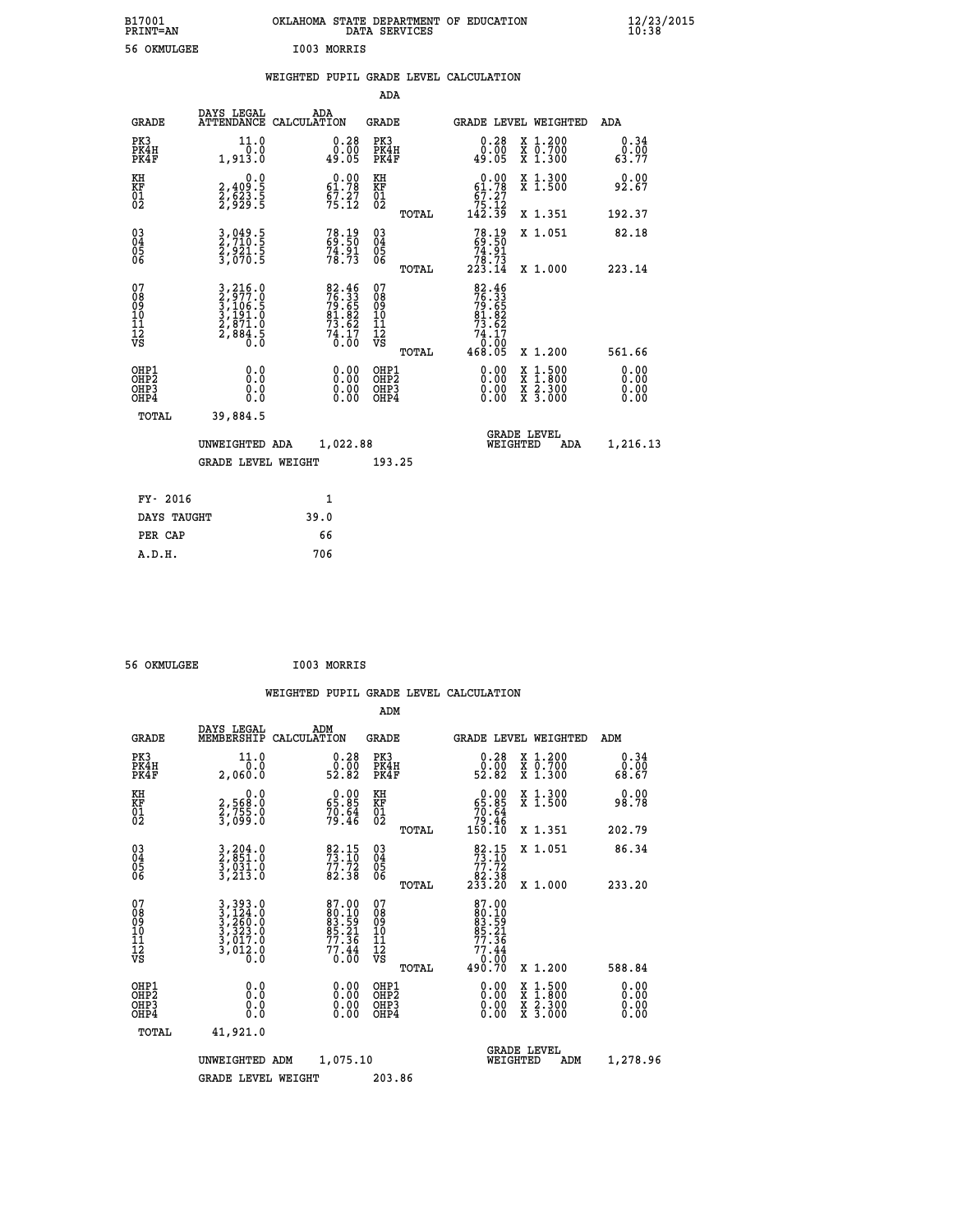| B17001<br><b>PRINT=AN</b> |             | OKLAHOMA STATE DEPARTMENT OF EDUCATION<br>DATA SERVICES |  |
|---------------------------|-------------|---------------------------------------------------------|--|
| 56 OKMULGEE               | I003 MORRIS |                                                         |  |

**EXECUTE:**<br>10:38/2015

|  |  | WEIGHTED PUPIL GRADE LEVEL CALCULATION |
|--|--|----------------------------------------|
|  |  |                                        |

|                                                                    |                                                                |                                                                     | ADA                                       |       |                                                                                                     |                                          |                              |
|--------------------------------------------------------------------|----------------------------------------------------------------|---------------------------------------------------------------------|-------------------------------------------|-------|-----------------------------------------------------------------------------------------------------|------------------------------------------|------------------------------|
| <b>GRADE</b>                                                       | DAYS LEGAL                                                     | ADA<br>ATTENDANCE CALCULATION                                       | <b>GRADE</b>                              |       | GRADE LEVEL WEIGHTED                                                                                |                                          | ADA                          |
| PK3<br>PK4H<br>PK4F                                                | 11.0<br>0.0<br>1,913.0                                         | $\begin{smallmatrix} 0.28\ 0.00\\ -0.00\\ 49.05 \end{smallmatrix}$  | PK3<br>PK4H<br>PK4F                       |       | 0.28<br>0.00<br>49.05                                                                               | X 1.200<br>X 0.700<br>X 1.300            | 0.34<br>0.00<br>63.77        |
| KH<br><b>KF</b><br>01<br>02                                        | 0.0<br>2,409:5<br>2,623:5<br>2,929:5                           | $0.00$<br>61.78<br>$\frac{67.27}{75.12}$                            | KH<br>KF<br>01<br>02                      |       | $0.00$<br>61.78<br>$\begin{array}{r} 67.27 \\ 75.12 \\ 142.39 \end{array}$                          | X 1.300<br>X 1.500                       | 0.00<br>92.67                |
|                                                                    |                                                                |                                                                     |                                           | TOTAL |                                                                                                     | X 1.351                                  | 192.37                       |
| $\begin{smallmatrix} 03 \\[-4pt] 04 \end{smallmatrix}$<br>Ŏ5<br>06 | 3,049.5<br>2,710.5<br>2,921.5<br>3,070.5                       | 78.19<br>69.50<br>$74.91$<br>$78.73$                                | $\substack{03 \\ 04}$<br>Ŏ5<br>06         |       | $78.1969.5074.9178.73223.14$                                                                        | X 1.051                                  | 82.18                        |
|                                                                    |                                                                |                                                                     |                                           | TOTAL |                                                                                                     | X 1.000                                  | 223.14                       |
| 07<br>08901112<br>1112<br>VS                                       | 3,216.0<br>2,977.0<br>3,106.5<br>3,191.0<br>2,871.0<br>2,884.5 | 82.46<br>76.33<br>79.65<br>81.82<br>81.82<br>73.62<br>74.17<br>0.00 | 07<br>08<br>09<br>11<br>11<br>12<br>VS    |       | $\begin{array}{r} 82.46 \\ 76.33 \\ 79.65 \\ 81.82 \\ 73.62 \\ 74.17 \\ 0.00 \\ 468.05 \end{array}$ |                                          |                              |
|                                                                    |                                                                |                                                                     |                                           | TOTAL |                                                                                                     | X 1.200                                  | 561.66                       |
| OHP1<br>OH <sub>P</sub> 2<br>OH <sub>P3</sub><br>OH <sub>P4</sub>  | 0.0<br>0.000                                                   | $\begin{smallmatrix} 0.00 \ 0.00 \ 0.00 \ 0.00 \end{smallmatrix}$   | OHP1<br>OH <sub>P</sub> 2<br>OHP3<br>OHP4 |       | 0.00<br>0.00<br>0.00                                                                                | X 1:500<br>X 1:800<br>X 2:300<br>X 3:000 | 0.00<br>0.00<br>0.00<br>0.00 |
| TOTAL                                                              | 39,884.5                                                       |                                                                     |                                           |       |                                                                                                     |                                          |                              |
|                                                                    | UNWEIGHTED ADA                                                 | 1,022.88                                                            |                                           |       | GRADE LEVEL<br>WEIGHTED                                                                             | ADA                                      | 1,216.13                     |
|                                                                    | <b>GRADE LEVEL WEIGHT</b>                                      |                                                                     | 193.25                                    |       |                                                                                                     |                                          |                              |
| FY- 2016                                                           |                                                                | $\mathbf{1}$                                                        |                                           |       |                                                                                                     |                                          |                              |
| DAYS TAUGHT                                                        |                                                                | 39.0                                                                |                                           |       |                                                                                                     |                                          |                              |
| PER CAP                                                            |                                                                | 66                                                                  |                                           |       |                                                                                                     |                                          |                              |

| 56 OKMULGEE | I003 MORRIS |
|-------------|-------------|

 **A.D.H. 706**

 **ADM**

| <b>GRADE</b>                             | DAYS LEGAL<br>MEMBERSHIP                                              | ADM<br>CALCULATION                                                               | <b>GRADE</b>                                       |       | <b>GRADE LEVEL WEIGHTED</b>                                                                  |                                          | ADM                   |  |
|------------------------------------------|-----------------------------------------------------------------------|----------------------------------------------------------------------------------|----------------------------------------------------|-------|----------------------------------------------------------------------------------------------|------------------------------------------|-----------------------|--|
| PK3<br>PK4H<br>PK4F                      | 11.0<br>0.0<br>2,060.0                                                | $\begin{smallmatrix} 0.28\ 0.00\\ 2.82 \end{smallmatrix}$                        | PK3<br>PK4H<br>PK4F                                |       | $\begin{smallmatrix} 0.28\ 0.00\\ 2.82 \end{smallmatrix}$                                    | X 1.200<br>X 0.700<br>X 1.300            | 0.34<br>0.00<br>68.67 |  |
| KH<br>KF<br>01<br>02                     | $\begin{smallmatrix}&&&0.0\2.568.0\2.755.0\3.099.0\end{smallmatrix}$  | $\begin{smallmatrix} 0.00\\ 65.85\\ 70.64\\ 79.46 \end{smallmatrix}$             | KH<br>KF<br>01<br>02                               |       | $0.00\n65.85\n70.64\n79.46\n150.10$                                                          | X 1.300<br>X 1.500                       | 0.00<br>98.78         |  |
|                                          |                                                                       |                                                                                  |                                                    | TOTAL |                                                                                              | X 1.351                                  | 202.79                |  |
| 03<br>04<br>05<br>06                     | 3,204.0<br>2,851.0<br>3,031.0<br>3,213.0                              | $\begin{array}{l} 82\cdot 15\\ 73\cdot 10\\ 77\cdot 72\\ 82\cdot 38 \end{array}$ | $\begin{matrix} 03 \\ 04 \\ 05 \\ 06 \end{matrix}$ |       | $\begin{smallmatrix}82\cdot15\\73\cdot10\\77\cdot72\\82\cdot38\\233\cdot20\end{smallmatrix}$ | X 1.051                                  | 86.34                 |  |
|                                          |                                                                       |                                                                                  |                                                    | TOTAL |                                                                                              | X 1.000                                  | 233.20                |  |
| 07<br>08<br>09<br>101<br>11<br>12<br>VS  | 3,393.0<br>3,124.0<br>3,260.0<br>3,323.0<br>3,017.0<br>3,012.0<br>0.0 | 87.00<br>80.10<br>83.59<br>85.21<br>77.36<br>77.44<br>77.44                      | 07<br>08<br>09<br>001<br>11<br>11<br>12<br>VS      | TOTAL | 87.00<br>80.10<br>83.591<br>85.21<br>77.36<br>77.44<br>0.00<br>0.00<br>490.70                | X 1.200                                  | 588.84                |  |
| OHP1<br>OHP2<br>OH <sub>P3</sub><br>OHP4 | 0.0<br>0.000                                                          | $\begin{smallmatrix} 0.00 \ 0.00 \ 0.00 \ 0.00 \end{smallmatrix}$                | OHP1<br>OHP2<br>OHP3<br>OHP4                       |       | 0.00<br>$0.00$<br>0.00                                                                       | X 1:500<br>X 1:800<br>X 2:300<br>X 3:000 | 0.00<br>0.00<br>0.00  |  |
| TOTAL                                    | 41,921.0                                                              |                                                                                  |                                                    |       |                                                                                              |                                          |                       |  |
|                                          | UNWEIGHTED                                                            | 1,075.10<br>ADM                                                                  |                                                    |       | WEIGHTED                                                                                     | <b>GRADE LEVEL</b><br>ADM                | 1,278.96              |  |
|                                          | <b>GRADE LEVEL WEIGHT</b>                                             |                                                                                  | 203.86                                             |       |                                                                                              |                                          |                       |  |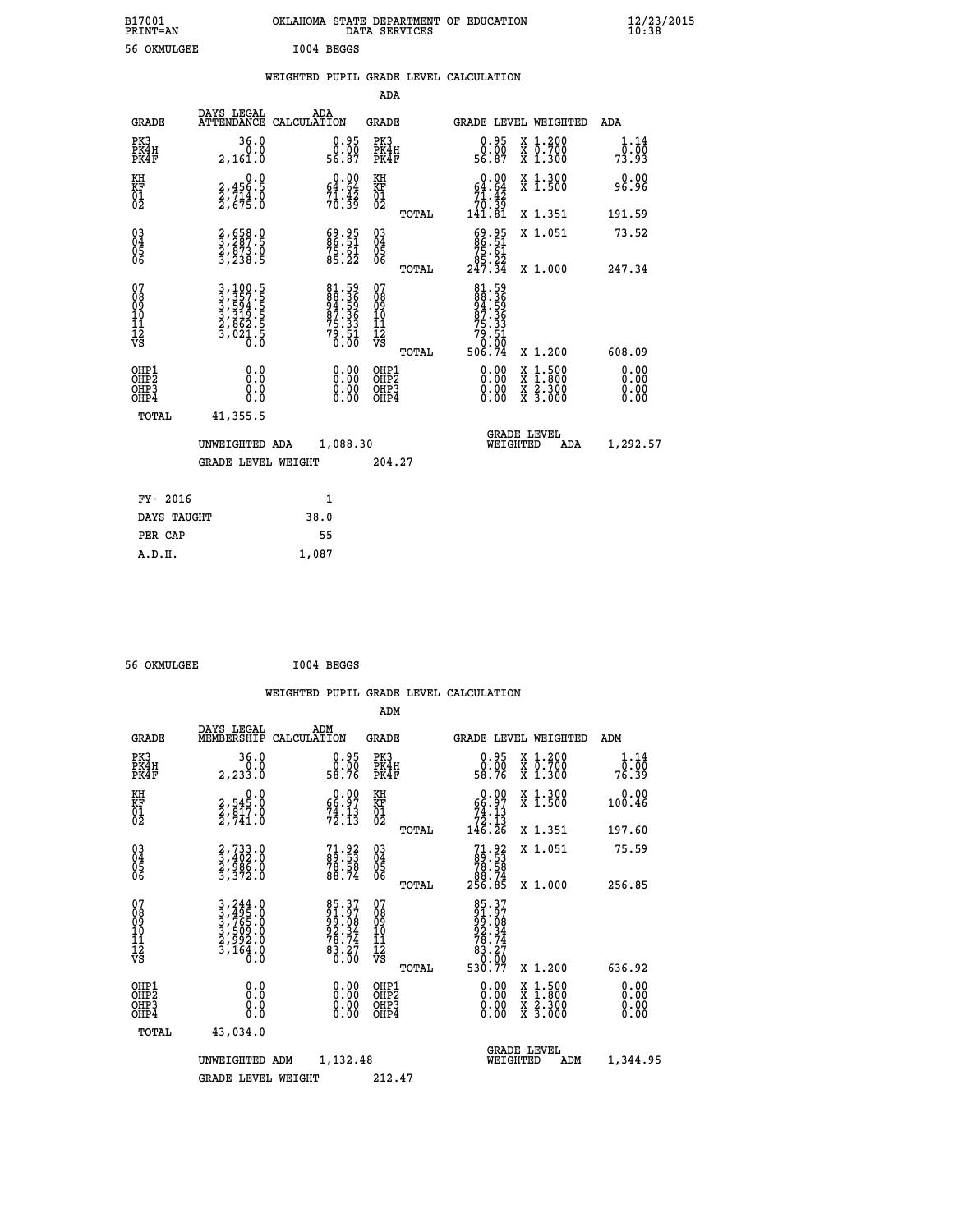| B17001<br>PRINT=AN                                |                                                                             | OKLAHOMA STATE DEPARTMENT OF EDUCATION |                                                                      | DATA SERVICES                                              |              |                                                                        |                                |                                                                                          | $\frac{12}{23}/\frac{23}{2015}$ |  |
|---------------------------------------------------|-----------------------------------------------------------------------------|----------------------------------------|----------------------------------------------------------------------|------------------------------------------------------------|--------------|------------------------------------------------------------------------|--------------------------------|------------------------------------------------------------------------------------------|---------------------------------|--|
| 56 OKMULGEE                                       |                                                                             | I004 BEGGS                             |                                                                      |                                                            |              |                                                                        |                                |                                                                                          |                                 |  |
|                                                   |                                                                             | WEIGHTED PUPIL GRADE LEVEL CALCULATION |                                                                      |                                                            |              |                                                                        |                                |                                                                                          |                                 |  |
|                                                   |                                                                             |                                        |                                                                      | ADA                                                        |              |                                                                        |                                |                                                                                          |                                 |  |
| GRADE                                             | DAYS LEGAL<br>ATTENDANCE CALCULATION                                        | ADA                                    |                                                                      | GRADE                                                      |              | GRADE LEVEL WEIGHTED                                                   |                                |                                                                                          | ADA                             |  |
| PK3<br>PK4H<br>PK4F                               | 36.0<br>0.0<br>2,161.0                                                      |                                        | $0.95$<br>$0.00$<br>56.87                                            | PK3<br>PK4H<br>PK4F                                        |              | $0.95$<br>$0.00$<br>56.87                                              |                                | X 1.200<br>X 0.700<br>X 1.300                                                            | 1.14<br>0.00<br>73.93           |  |
| KH<br>KF<br>$\begin{matrix} 01 \ 02 \end{matrix}$ | 0.0<br>2,456.5<br>2,714.0<br>2,675.0                                        |                                        | $\begin{smallmatrix} 0.00\\ 64.64\\ 71.42\\ 70.39 \end{smallmatrix}$ | KH<br><b>KF</b><br>01<br>02                                |              | $0.00$<br>64.64<br>$\frac{71.42}{70.39}$<br>141.81                     |                                | X 1.300<br>X 1.500                                                                       | 0.00<br>96.96                   |  |
|                                                   |                                                                             |                                        |                                                                      |                                                            | TOTAL        |                                                                        |                                | X 1.351                                                                                  | 191.59                          |  |
| 030404<br>ŎĞ                                      | 2,658.0<br>3,287.5<br>2,873.0<br>3,238.5                                    |                                        | 69.95<br>86.51<br>75.61<br>85.22                                     | $\begin{matrix} 03 \\ 04 \\ 05 \\ 06 \end{matrix}$         |              | $86.51$<br>$75.61$                                                     |                                | X 1.051                                                                                  | 73.52                           |  |
|                                                   |                                                                             |                                        |                                                                      |                                                            | <b>TOTAL</b> | 247.34                                                                 |                                | X 1.000                                                                                  | 247.34                          |  |
| 07<br>08<br>09<br>11<br>11<br>12<br>VS            | 3, 100.5<br>3, 357.5<br>3, 594.5<br>3, 319.5<br>2, 862.5<br>3, 021.5<br>0.0 |                                        | 81.59<br>88.36<br>94.59<br>87.36<br>75.33<br>79.51<br>0.00           | 07<br>08<br>09<br>10<br>$\frac{11}{12}$<br>$\frac{12}{18}$ | TOTAL        | 81.59<br>88.36<br>94.59<br>87.36<br>75.33<br>$79.51$<br>0.00<br>506.74 |                                | X 1.200                                                                                  | 608.09                          |  |
| OHP1                                              |                                                                             |                                        |                                                                      | OHP1                                                       |              |                                                                        |                                |                                                                                          | 0.00                            |  |
| OHP2<br>OHP3<br>OHP4                              | 0.0<br>0.0<br>0.0                                                           |                                        |                                                                      | OHP <sub>2</sub><br>OHP3<br>OHP4                           |              | 0.00<br>0.00                                                           |                                | $\begin{smallmatrix} x & 1.500 \\ x & 1.800 \\ x & 2.300 \\ x & 3.000 \end{smallmatrix}$ | 0.00<br>0.00<br>0.00            |  |
| TOTAL                                             | 41,355.5                                                                    |                                        |                                                                      |                                                            |              |                                                                        |                                |                                                                                          |                                 |  |
|                                                   | UNWEIGHTED ADA                                                              |                                        | 1,088.30                                                             |                                                            |              |                                                                        | <b>GRADE LEVEL</b><br>WEIGHTED | ADA                                                                                      | 1,292.57                        |  |
|                                                   | <b>GRADE LEVEL WEIGHT</b>                                                   |                                        |                                                                      | 204.27                                                     |              |                                                                        |                                |                                                                                          |                                 |  |
| FY- 2016                                          |                                                                             | 1                                      |                                                                      |                                                            |              |                                                                        |                                |                                                                                          |                                 |  |
| DAYS TAUGHT                                       |                                                                             | 38.0                                   |                                                                      |                                                            |              |                                                                        |                                |                                                                                          |                                 |  |
| PER CAP                                           |                                                                             | 55                                     |                                                                      |                                                            |              |                                                                        |                                |                                                                                          |                                 |  |

| 56 OKMULGEE | I004 BEGGS |
|-------------|------------|

 **A.D.H. 1,087**

 **ADM DAYS LEGAL ADM GRADE MEMBERSHIP CALCULATION GRADE GRADE LEVEL WEIGHTED ADM PK3 36.0 0.95 PK3 0.95 X 1.200 1.14 PK4H 0.0 0.00 PK4H 0.00 X 0.700 0.00 PK4F 2,233.0 58.76 PK4F 58.76 X 1.300 76.39 KH 0.0 0.00 KH 0.00 X 1.300 0.00 KF 2,545.0 66.97 KF 66.97 X 1.500 100.46 01 2,817.0 74.13 01 74.13 02 2,741.0 72.13 02 72.13 TOTAL 146.26 X 1.351 197.60 03 2,733.0 71.92 03 71.92 X 1.051 75.59 04 3,402.0 89.53 04 89.53 05 2,986.0 78.58 05 78.58** 06 3,372.0 88.74 06  $\frac{88.74}{2}$  **TOTAL 256.85 X 1.000 256.85**  $\begin{array}{cccc} 07 & 3\, , 244\, . \ 09 & 3\, , 495\, . \ 09 & 3\, , 765\, . \ 0 & 99\, . \ 0 & 3\, , 765\, . \ 0 & 99\, . \ 0 & 3\, , 765\, . \ 0 & 99\, . \ 08 & 3\, , 509\, . \ 0 & 92\, . \ 34\, . \ 10 & 3\, , 509\, . \ 0 & 92\, . \ 34\, . \ 10 & 92\, . \ 34\, . \ 11 & 92\, . \ 12$  **TOTAL 530.77 X 1.200 636.92 OHP1 0.0 0.00 OHP1 0.00 X 1.500 0.00 OHP2 0.0 0.00 OHP2 0.00 X 1.800 0.00 OHP3 0.0 0.00 OHP3 0.00 X 2.300 0.00 OHP4 0.0 0.00 OHP4 0.00 X 3.000 0.00 TOTAL 43,034.0 GRADE LEVEL UNWEIGHTED ADM 1,132.48 WEIGHTED ADM 1,344.95 GRADE LEVEL WEIGHT 212.47**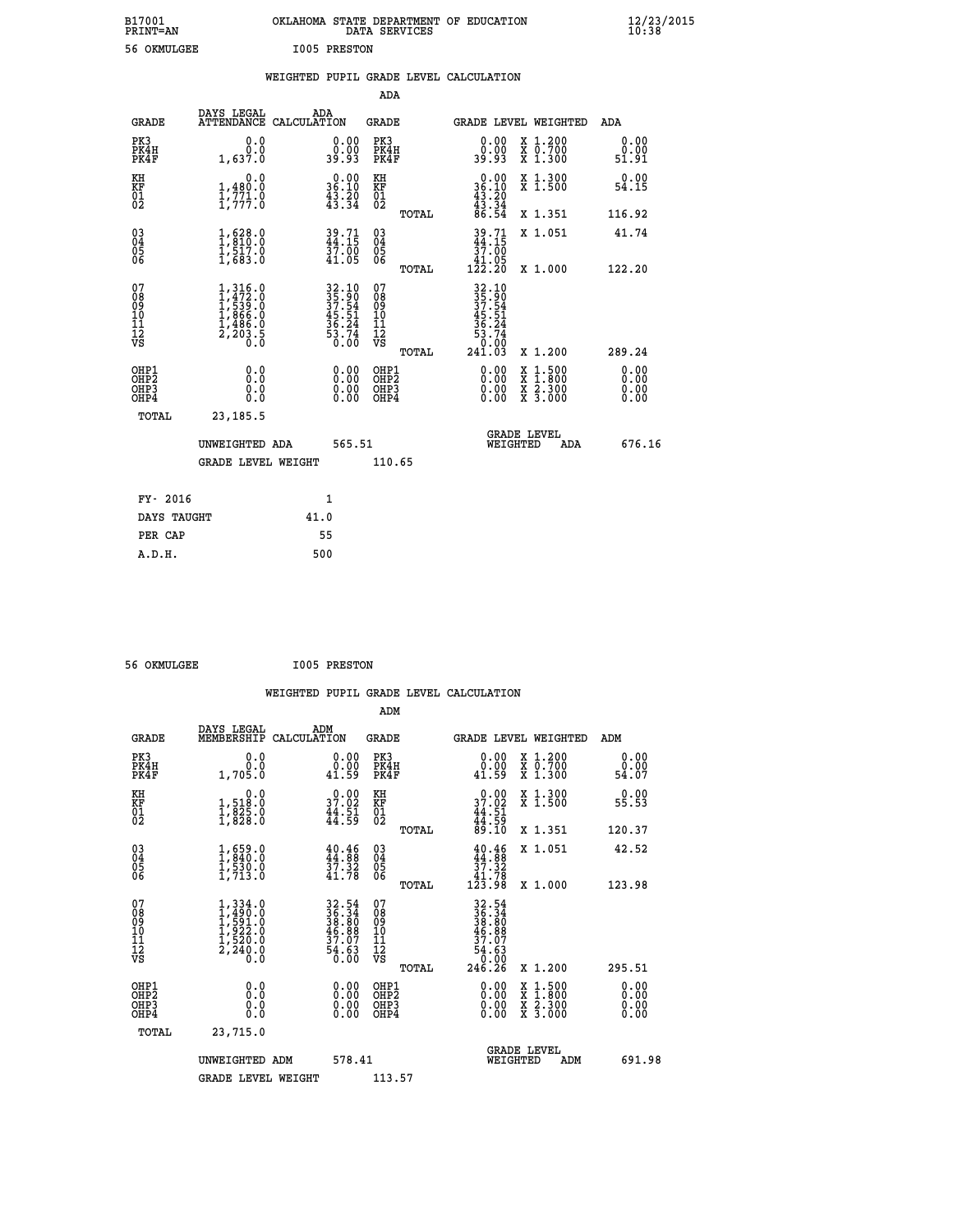| B17001<br><b>PRINT=AN</b> | OKLAHOMA STATE DEPARTMENT OF EDUCATION<br>DATA SERVICES | $\frac{12}{23}$ /2015 |
|---------------------------|---------------------------------------------------------|-----------------------|
| 56 OKMULGEE               | I005 PRESTON                                            |                       |

|  |  | WEIGHTED PUPIL GRADE LEVEL CALCULATION |
|--|--|----------------------------------------|
|  |  |                                        |

|                                                                    |                                                                  |                                                                                   |              |                                                                                            | ADA                                                               |       |                                                                                                    |                                                                                                  |                              |
|--------------------------------------------------------------------|------------------------------------------------------------------|-----------------------------------------------------------------------------------|--------------|--------------------------------------------------------------------------------------------|-------------------------------------------------------------------|-------|----------------------------------------------------------------------------------------------------|--------------------------------------------------------------------------------------------------|------------------------------|
|                                                                    | <b>GRADE</b>                                                     | DAYS LEGAL<br>ATTENDANCE CALCULATION                                              | ADA          |                                                                                            | <b>GRADE</b>                                                      |       |                                                                                                    | GRADE LEVEL WEIGHTED                                                                             | ADA                          |
| PK3                                                                | PK4H<br>PK4F                                                     | 0.0<br>0.0<br>1,637.0                                                             |              | $\begin{smallmatrix} 0.00\\ 0.00\\ 39.93 \end{smallmatrix}$                                | PK3<br>PK4H<br>PK4F                                               |       | 0.00<br>0.00<br>39.93                                                                              | X 1.200<br>X 0.700<br>X 1.300                                                                    | 0.00<br>0.00<br>51.91        |
| KH<br><b>KF</b><br>01<br>02                                        |                                                                  | 0.0<br>$\frac{1}{1}, \frac{480}{771}$ .0<br>1,777.0                               |              | $0.00$<br>36.10<br>$\frac{43.20}{43.34}$                                                   | KH<br>KF<br>01<br>02                                              |       | $\begin{smallmatrix} 0.00\\ 36.10\\ 43.20\\ 43.34\\ 86.54 \end{smallmatrix}$                       | X 1.300<br>X 1.500                                                                               | 0.00<br>54.15                |
|                                                                    |                                                                  |                                                                                   |              |                                                                                            |                                                                   | TOTAL |                                                                                                    | X 1.351                                                                                          | 116.92                       |
| $\begin{smallmatrix} 03 \\[-4pt] 04 \end{smallmatrix}$<br>05<br>06 |                                                                  | $\begin{smallmatrix} 1,628.0\\ 1,810.0\\ 1,517.0\\ 1,683.0 \end{smallmatrix}$     |              | $39.71$<br>$44.15$<br>$37.00$<br>$41.05$                                                   | $\substack{03 \\ 04}$<br>$\begin{matrix} 0.5 \\ 0.6 \end{matrix}$ | TOTAL | $\begin{array}{c} 39\cdot 71 \\ 44\cdot 15 \\ 37\cdot 00 \\ 41\cdot 05 \\ 122\cdot 20 \end{array}$ | X 1.051<br>X 1.000                                                                               | 41.74<br>122.20              |
| 07<br>08<br>09<br>11<br>11<br>12<br>VS                             |                                                                  | $1,316.0$<br>$1,472.0$<br>$1,539.0$<br>$1,866.0$<br>$1,486.0$<br>$2,203.5$<br>0.0 |              | $\begin{array}{r} 32.10 \\ 35.90 \\ 37.54 \\ 45.51 \\ 36.24 \\ 53.74 \\ 50.00 \end{array}$ | 07<br>08<br>09<br>11<br>11<br>12<br>VS                            |       | 32.10<br>35.90<br>37.54<br>37.51<br>45.24<br>36.74<br>53.74                                        |                                                                                                  |                              |
|                                                                    |                                                                  |                                                                                   |              |                                                                                            |                                                                   | TOTAL | 241.03                                                                                             | X 1.200                                                                                          | 289.24                       |
|                                                                    | OHP1<br>OH <sub>P2</sub><br>OH <sub>P3</sub><br>OH <sub>P4</sub> | 0.0<br>0.0<br>0.0                                                                 |              | 0.00<br>0.00<br>0.00                                                                       | OHP1<br>OHP <sub>2</sub><br>OHP3<br>OHP4                          |       | 0.00<br>0.00<br>0.00                                                                               | $\begin{smallmatrix} x & 1 & 500 \\ x & 1 & 800 \\ x & 2 & 300 \\ x & 3 & 000 \end{smallmatrix}$ | 0.00<br>0.00<br>0.00<br>0.00 |
|                                                                    | TOTAL                                                            | 23, 185.5                                                                         |              |                                                                                            |                                                                   |       |                                                                                                    |                                                                                                  |                              |
|                                                                    |                                                                  | UNWEIGHTED ADA                                                                    |              | 565.51                                                                                     |                                                                   |       |                                                                                                    | GRADE LEVEL<br>WEIGHTED<br>ADA                                                                   | 676.16                       |
|                                                                    |                                                                  | <b>GRADE LEVEL WEIGHT</b>                                                         |              |                                                                                            | 110.65                                                            |       |                                                                                                    |                                                                                                  |                              |
|                                                                    | FY- 2016                                                         |                                                                                   | $\mathbf{1}$ |                                                                                            |                                                                   |       |                                                                                                    |                                                                                                  |                              |
|                                                                    | DAYS TAUGHT                                                      |                                                                                   | 41.0         |                                                                                            |                                                                   |       |                                                                                                    |                                                                                                  |                              |
|                                                                    | PER CAP                                                          |                                                                                   | 55           |                                                                                            |                                                                   |       |                                                                                                    |                                                                                                  |                              |

 **56 OKMULGEE I005 PRESTON**

| <b>GRADE</b>                             | DAYS LEGAL<br>MEMBERSHIP                                                          | ADM<br>CALCULATION                                                       | <b>GRADE</b>                                       |       |                                                                                      | <b>GRADE LEVEL WEIGHTED</b>              | ADM                   |  |
|------------------------------------------|-----------------------------------------------------------------------------------|--------------------------------------------------------------------------|----------------------------------------------------|-------|--------------------------------------------------------------------------------------|------------------------------------------|-----------------------|--|
| PK3<br>PK4H<br>PK4F                      | 0.0<br>1,705.0                                                                    | $\begin{smallmatrix} 0.00\\ 0.00\\ 1.59 \end{smallmatrix}$               | PK3<br>PK4H<br>PK4F                                |       | 0.00<br>0.00<br>41.59                                                                | X 1.200<br>X 0.700<br>X 1.300            | 0.00<br>ة.ة.<br>54.07 |  |
| KH<br>KF<br>01<br>02                     | 0.0<br>1,518:0<br>1,825:0<br>1,828:0                                              | $\begin{smallmatrix} 0.00\\ 37.02\\ 44.51\\ 44.59 \end{smallmatrix}$     | KH<br>KF<br>01<br>02                               |       | $0.00$<br>$37.02$<br>$44.51$<br>$44.59$<br>$89.10$                                   | X 1.300<br>X 1.500                       | 0.00<br>55.53         |  |
|                                          |                                                                                   |                                                                          |                                                    | TOTAL |                                                                                      | X 1.351                                  | 120.37                |  |
| 03<br>04<br>05<br>06                     | $\begin{smallmatrix} 1, 659.0\\ 1, 840.0\\ 1, 530.0\\ 1, 713.0 \end{smallmatrix}$ | 40.46<br>44.88<br>37.32<br>41.78                                         | $\begin{matrix} 03 \\ 04 \\ 05 \\ 06 \end{matrix}$ |       | $\begin{smallmatrix} 40.46\\ 44.88\\ 37.32\\ 41.78\\ 123.98 \end{smallmatrix}$       | X 1.051                                  | 42.52                 |  |
|                                          |                                                                                   |                                                                          |                                                    | TOTAL |                                                                                      | X 1.000                                  | 123.98                |  |
| 07<br>089<br>090<br>1112<br>VS           | $1,334.0$<br>$1,490.0$<br>$1,591.0$<br>$1,522.0$<br>$1,520.0$<br>$2,240.0$<br>0.0 | $32.54$<br>$36.34$<br>$38.80$<br>$46.88$<br>$37.07$<br>$54.63$<br>$0.00$ | 07<br>08901112<br>1112<br>VS                       | TOTAL | $32.54$<br>$36.34$<br>$38.80$<br>$46.88$<br>$37.07$<br>$54.63$<br>$0.00$<br>$246.26$ | X 1.200                                  | 295.51                |  |
| OHP1<br>OHP2<br>OH <sub>P3</sub><br>OHP4 | 0.0<br>0.000                                                                      |                                                                          | OHP1<br>OHP2<br>OHP3<br>OHP4                       |       | 0.00<br>0.00                                                                         | X 1:500<br>X 1:800<br>X 2:300<br>X 3:000 | 0.00<br>0.00<br>0.00  |  |
| TOTAL                                    | 23,715.0                                                                          |                                                                          |                                                    |       |                                                                                      |                                          |                       |  |
|                                          | UNWEIGHTED                                                                        | 578.41<br>ADM                                                            |                                                    |       | WEIGHTED                                                                             | <b>GRADE LEVEL</b><br>ADM                | 691.98                |  |
|                                          | <b>GRADE LEVEL WEIGHT</b>                                                         |                                                                          | 113.57                                             |       |                                                                                      |                                          |                       |  |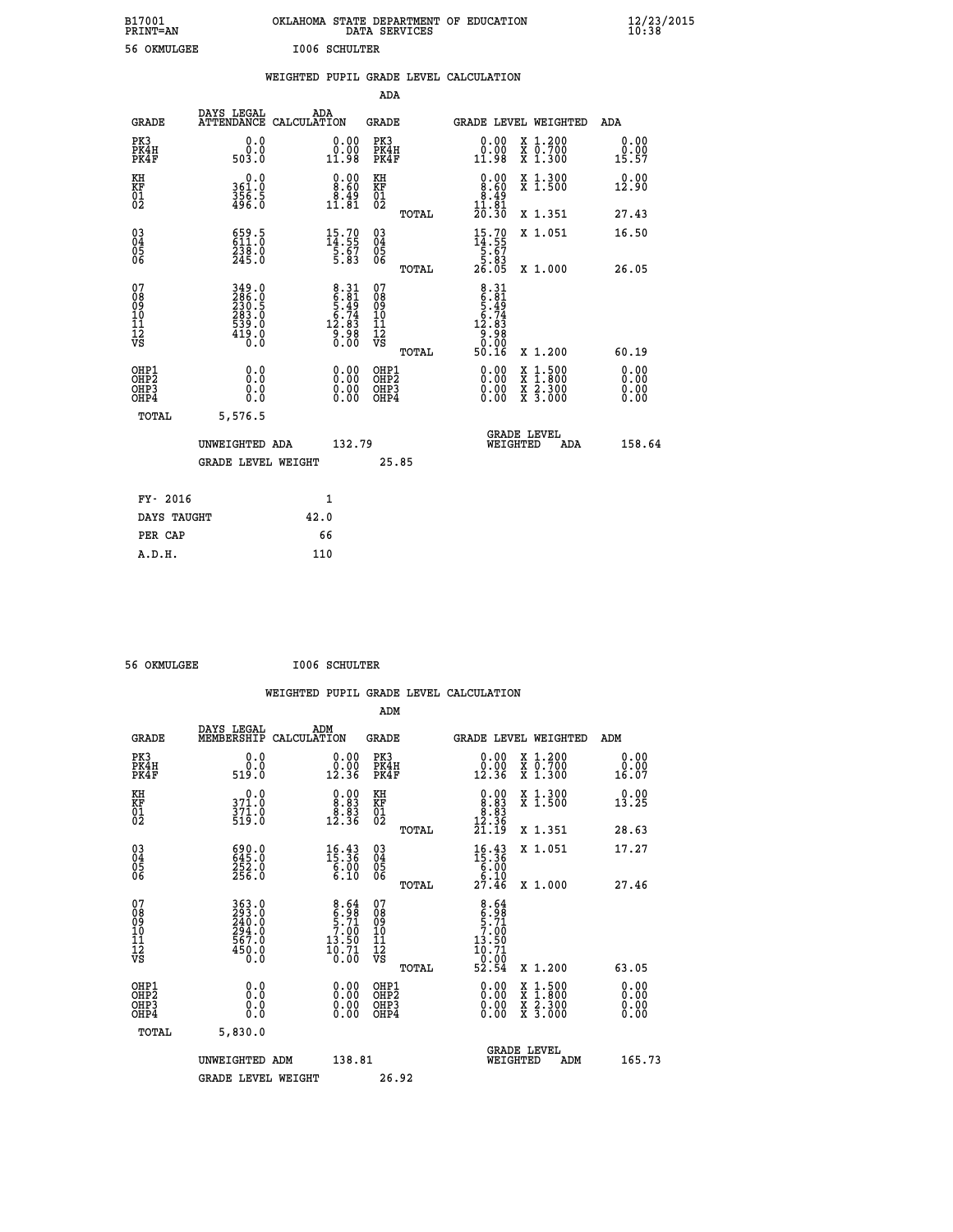| B17001<br>PRINT=AN                                |                                                             |                      |                                                                                                                         |                                                            | DATA SERVICES | OKLAHOMA STATE DEPARTMENT OF EDUCATION                                 |                                          | $\frac{12}{23}$ /2015 |
|---------------------------------------------------|-------------------------------------------------------------|----------------------|-------------------------------------------------------------------------------------------------------------------------|------------------------------------------------------------|---------------|------------------------------------------------------------------------|------------------------------------------|-----------------------|
| 56 OKMULGEE                                       |                                                             | <b>I006 SCHULTER</b> |                                                                                                                         |                                                            |               |                                                                        |                                          |                       |
|                                                   |                                                             |                      |                                                                                                                         | ADA                                                        |               | WEIGHTED PUPIL GRADE LEVEL CALCULATION                                 |                                          |                       |
| GRADE                                             | DAYS LEGAL<br>ATTENDANCE CALCULATION                        | ADA                  |                                                                                                                         | GRADE                                                      |               |                                                                        | GRADE LEVEL WEIGHTED                     | ADA                   |
| PK3<br>PK4H<br>PK4F                               | 0.0<br>0.0<br>503.0                                         |                      | 0.00<br>0.00<br>11.98                                                                                                   | PK3<br>PK4H<br>PK4F                                        |               | 0.00<br>0.00<br>11.98                                                  | X 1.200<br>x 0.700<br>x 1.300            | 0.00<br>0.00<br>15.57 |
| KH<br>KF<br>$\begin{matrix} 01 \ 02 \end{matrix}$ | 0.0<br>361.0<br>$\frac{356}{496}$ . 5                       |                      | $0.00$<br>$8.60$<br>$\begin{smallmatrix} \text{8.49} \ \text{11.81} \end{smallmatrix}$                                  | ΚH<br><b>KF</b><br>01<br>02                                |               | $\begin{smallmatrix} 0.00\\8.60\\8.49\\11.81\\20.30 \end{smallmatrix}$ | X 1.300<br>X 1.500                       | 0.00<br>12.90         |
|                                                   |                                                             |                      |                                                                                                                         |                                                            | TOTAL         |                                                                        | X 1.351                                  | 27.43                 |
| 03<br>04<br>05<br>06                              | 659.5<br>611.0<br>238.0<br>245.0                            |                      | $15.70$<br>$14.55$<br>$5.67$<br>$5.83$                                                                                  | $\begin{matrix} 03 \\ 04 \\ 05 \\ 06 \end{matrix}$         | TOTAL         | $15.70$<br>$14.55$<br>$5.67$<br>$5.83$<br>26.05                        | X 1.051<br>X 1.000                       | 16.50<br>26.05        |
| 07<br>08<br>09<br>11<br>11<br>12<br>VS            | 349.0<br>286.0<br>230.5<br>283.0<br>539.0<br>539.0<br>419.0 |                      | $\begin{array}{c} 8\cdot 31 \\ 6\cdot 81 \\ 5\cdot 49 \\ 5\cdot 74 \\ 12\cdot 83 \\ 9\cdot 98 \\ 0\cdot 00 \end{array}$ | 07<br>08<br>09<br>10<br>$\frac{11}{12}$<br>$\frac{12}{18}$ |               | $8.31$<br>$6.31$<br>$5.49$<br>$5.74$<br>$12.83$<br>$9.98$<br>$0.99$    |                                          |                       |
|                                                   | 0.0                                                         |                      |                                                                                                                         | OHP1                                                       | TOTAL         | 50.16                                                                  | X 1.200                                  | 60.19<br>0.00         |
| OHP1<br>OHP2<br>OHP3<br>OHP4                      | 0.0<br>0.0<br>0.0                                           |                      | 0.00<br>0.00<br>0.00                                                                                                    | OHP <sub>2</sub><br>OHP3<br>OHP4                           |               | 0.00<br>0.00<br>0.00                                                   | X 1:500<br>X 1:800<br>X 2:300<br>X 3:000 | 0.00<br>0.00<br>0.00  |
| <b>TOTAL</b>                                      | 5,576.5                                                     |                      |                                                                                                                         |                                                            |               |                                                                        |                                          |                       |
|                                                   | UNWEIGHTED ADA                                              |                      | 132.79                                                                                                                  |                                                            |               |                                                                        | <b>GRADE LEVEL</b><br>WEIGHTED<br>ADA    | 158.64                |
|                                                   | <b>GRADE LEVEL WEIGHT</b>                                   |                      |                                                                                                                         |                                                            | 25.85         |                                                                        |                                          |                       |
| FY- 2016                                          |                                                             |                      | 1                                                                                                                       |                                                            |               |                                                                        |                                          |                       |
| DAYS TAUGHT                                       |                                                             | 42.0                 |                                                                                                                         |                                                            |               |                                                                        |                                          |                       |
| PER CAP                                           |                                                             | 66                   |                                                                                                                         |                                                            |               |                                                                        |                                          |                       |

 **56 OKMULGEE I006 SCHULTER**

 **A.D.H. 110**

|                                                    |                                                             |                    |                                                                                  |                                  |       | WEIGHTED PUPIL GRADE LEVEL CALCULATION                                            |                                                                                                  |                       |        |
|----------------------------------------------------|-------------------------------------------------------------|--------------------|----------------------------------------------------------------------------------|----------------------------------|-------|-----------------------------------------------------------------------------------|--------------------------------------------------------------------------------------------------|-----------------------|--------|
|                                                    |                                                             |                    |                                                                                  | ADM                              |       |                                                                                   |                                                                                                  |                       |        |
| <b>GRADE</b>                                       | DAYS LEGAL<br>MEMBERSHIP                                    | ADM<br>CALCULATION |                                                                                  | <b>GRADE</b>                     |       | <b>GRADE LEVEL WEIGHTED</b>                                                       |                                                                                                  | ADM                   |        |
| PK3<br>PK4H<br>PK4F                                | 0.0<br>0.0<br>519.0                                         |                    | $\begin{smallmatrix} 0.00\\ 0.00\\ 12.36 \end{smallmatrix}$                      | PK3<br>PK4H<br>PK4F              |       | $\begin{smallmatrix} 0.00\\ 0.00\\ 12.36 \end{smallmatrix}$                       | X 1.200<br>X 0.700<br>X 1.300                                                                    | 0.00<br>0.00<br>16.07 |        |
| KH<br>KF<br>01<br>02                               | 0.0<br>371.0<br>371.0<br>519.0                              |                    | $\begin{smallmatrix} 0.00\\ 8.83\\ 8.83\\ 8.3\\ 12.36 \end{smallmatrix}$         | KH<br>KF<br>01<br>02             |       | $\begin{smallmatrix} 0.00\\ 8.83\\ 8.83\\ 8.83\\ 12.36\\ 21.19 \end{smallmatrix}$ | X 1.300<br>X 1.500                                                                               | 0.00<br>13.25         |        |
|                                                    |                                                             |                    |                                                                                  |                                  | TOTAL |                                                                                   | X 1.351                                                                                          | 28.63                 |        |
| $\begin{matrix} 03 \\ 04 \\ 05 \\ 06 \end{matrix}$ | 690.0<br>645.0<br>252.0<br>256.0                            |                    | $16.43\n15.36\n6.00\n6.10$                                                       | 03<br>04<br>05<br>06             |       | $16.36\n15.36\n6.00\n6.10\n27.46$                                                 | X 1.051                                                                                          | 17.27                 |        |
|                                                    |                                                             |                    |                                                                                  |                                  | TOTAL |                                                                                   | X 1.000                                                                                          | 27.46                 |        |
| 07<br>0890112<br>1112<br>VS                        | 363.0<br>293.0<br>240.0<br>294.0<br>567.0<br>567.0<br>450.0 |                    | $\begin{smallmatrix}8.64\\6.98\\5.71\\7.00\\13.50\\10.71\\0.00\end{smallmatrix}$ | 07<br>08901123<br>1122<br>VS     | TOTAL | $8.64$<br>$6.98$<br>$5.71$<br>$7.00$<br>13.50<br>$\frac{10.71}{0.00}$<br>52.54    | $X_1.200$                                                                                        | 63.05                 |        |
| OHP1<br>OHP2<br>OH <sub>P3</sub><br>OHP4           | 0.0<br>0.000                                                |                    | $\begin{smallmatrix} 0.00 \ 0.00 \ 0.00 \ 0.00 \end{smallmatrix}$                | OHP1<br>OHP2<br>OHP <sub>3</sub> |       |                                                                                   | $\begin{smallmatrix} x & 1 & 500 \\ x & 1 & 800 \\ x & 2 & 300 \\ x & 3 & 000 \end{smallmatrix}$ | 0.00<br>0.00<br>0.00  |        |
| TOTAL                                              | 5,830.0                                                     |                    |                                                                                  |                                  |       |                                                                                   |                                                                                                  |                       |        |
|                                                    | UNWEIGHTED ADM                                              |                    | 138.81                                                                           |                                  |       | WEIGHTED                                                                          | <b>GRADE LEVEL</b><br>ADM                                                                        |                       | 165.73 |
|                                                    | <b>GRADE LEVEL WEIGHT</b>                                   |                    |                                                                                  | 26.92                            |       |                                                                                   |                                                                                                  |                       |        |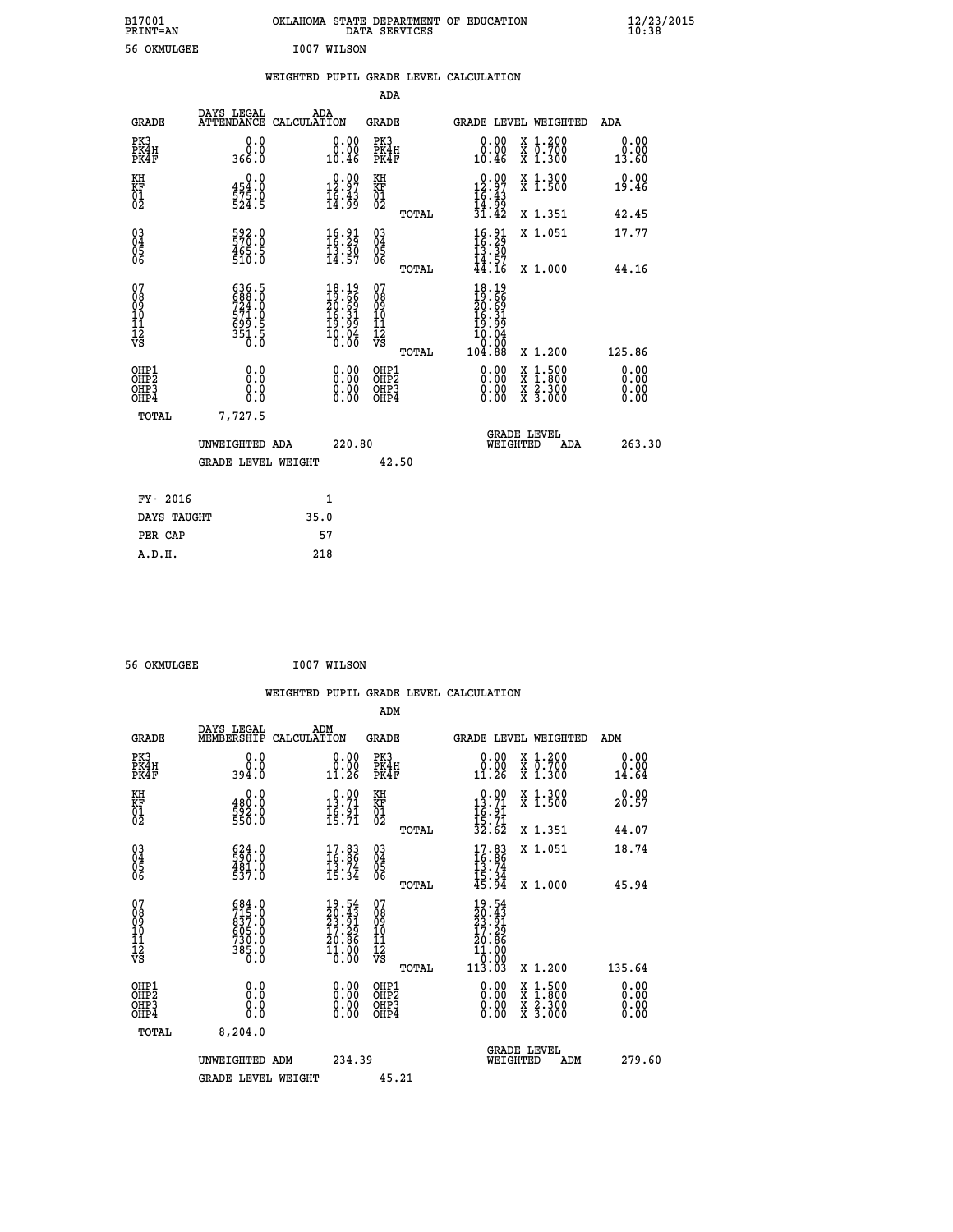| B17001<br><b>PRINT=AN</b> | OKLAHOMA STATE DEPARTMENT OF EDUCATION<br>DATA SERVICES | $\frac{12}{23}$ /2015 |
|---------------------------|---------------------------------------------------------|-----------------------|
| 56 OKMULGEE               | I007 WILSON                                             |                       |

|  |  | WEIGHTED PUPIL GRADE LEVEL CALCULATION |
|--|--|----------------------------------------|
|  |  |                                        |

|                                                                    |                                                                    |                                                                                                    | ADA                                                          |       |                                                                                                                                 |        |                                                                  |                              |
|--------------------------------------------------------------------|--------------------------------------------------------------------|----------------------------------------------------------------------------------------------------|--------------------------------------------------------------|-------|---------------------------------------------------------------------------------------------------------------------------------|--------|------------------------------------------------------------------|------------------------------|
| <b>GRADE</b>                                                       | DAYS LEGAL                                                         | ADA<br>ATTENDANCE CALCULATION                                                                      | <b>GRADE</b>                                                 |       | GRADE LEVEL WEIGHTED                                                                                                            |        |                                                                  | <b>ADA</b>                   |
| PK3<br>PK4H<br>PK4F                                                | 0.0<br>0.0<br>366.0                                                | 0.00<br>10.46                                                                                      | PK3<br>PK4H<br>PK4F                                          |       | 0.00<br>ăč.<br>10.46                                                                                                            |        | X 1.200<br>X 0.700<br>X 1.300                                    | 0.00<br>0.00<br>13.60        |
| KH<br>KF<br>01<br>02                                               | 0.0<br>454.0<br>575.0<br>524.5                                     | 12.97<br>$\frac{1}{6}$ : 43                                                                        | KH<br>KF<br>$\begin{smallmatrix} 0&1\ 0&2 \end{smallmatrix}$ |       | $\begin{smallmatrix} 0.00\\ 12.97\\ 16.43\\ 14.99\\ 31.42 \end{smallmatrix}$                                                    |        | X 1.300<br>X 1.500                                               | 0.00<br>19.46                |
|                                                                    |                                                                    |                                                                                                    |                                                              | TOTAL |                                                                                                                                 |        | X 1.351                                                          | 42.45                        |
| $\begin{smallmatrix} 03 \\[-4pt] 04 \end{smallmatrix}$<br>Ŏ5<br>06 | 592.0<br>465.5<br>510.0                                            | 16.33<br>$\bar{1}\bar{3}\cdot\bar{3}\bar{0}$<br>14.57                                              | $\substack{03 \\ 04}$<br>$\frac{05}{06}$                     |       | $\frac{16.91}{16.29}$<br>$\frac{13.30}{13.30}$<br>$\bar{1}\bar{4}\,\bar{.}\,\bar{5}\,\bar{7}\,\, \bar{4}\,\bar{4}\,\bar{.}\,16$ |        | X 1.051                                                          | 17.77                        |
| 07                                                                 |                                                                    |                                                                                                    | 07                                                           | TOTAL |                                                                                                                                 |        | X 1.000                                                          | 44.16                        |
| 08<br>09<br>11<br>11<br>12<br>VS                                   | 636.5<br>688.0<br>724.0<br>721.0<br>571.0<br>699.5<br>351.5<br>0.0 | $18.19$<br>$19.66$<br>$20.69$<br>$16.31$<br>$\frac{19}{10}$ . $\frac{9}{10}$<br>$\frac{1}{0}$ . 00 | 08<br>09<br>11<br>11<br>12<br>VS                             |       | $18.19$<br>$19.66$<br>$20.69$<br>$16.31$<br>$\frac{19}{10}$ $\frac{19}{0}$ $\frac{19}{0}$                                       |        |                                                                  |                              |
|                                                                    |                                                                    |                                                                                                    |                                                              | TOTAL | 104.88                                                                                                                          |        | X 1.200                                                          | 125.86                       |
| OHP1<br>OH <sub>P</sub> 2<br>OHP3<br>OHP4                          | 0.0<br>Ō.Ō<br>0.0<br>0.0                                           | 0.00<br>$\begin{smallmatrix} 0.00 \ 0.00 \end{smallmatrix}$                                        | OHP1<br>OH <sub>P</sub> 2<br>OHP3<br>OHP4                    |       | 0.00<br>0.00<br>0.00                                                                                                            | X<br>X | $1:500$<br>$1:800$<br>$\frac{\ddot{x}}{x}$ $\frac{2.300}{3.000}$ | 0.00<br>0.00<br>0.00<br>0.00 |
| TOTAL                                                              | 7,727.5                                                            |                                                                                                    |                                                              |       |                                                                                                                                 |        |                                                                  |                              |
|                                                                    | UNWEIGHTED ADA                                                     | 220.80                                                                                             |                                                              |       | WEIGHTED                                                                                                                        |        | <b>GRADE LEVEL</b><br>ADA                                        | 263.30                       |
|                                                                    | <b>GRADE LEVEL WEIGHT</b>                                          |                                                                                                    |                                                              | 42.50 |                                                                                                                                 |        |                                                                  |                              |
| FY- 2016                                                           |                                                                    | 1                                                                                                  |                                                              |       |                                                                                                                                 |        |                                                                  |                              |
| DAYS TAUGHT                                                        |                                                                    | 35.0                                                                                               |                                                              |       |                                                                                                                                 |        |                                                                  |                              |
| PER CAP                                                            |                                                                    | 57                                                                                                 |                                                              |       |                                                                                                                                 |        |                                                                  |                              |
|                                                                    |                                                                    |                                                                                                    |                                                              |       |                                                                                                                                 |        |                                                                  |                              |

 **56 OKMULGEE I007 WILSON**

 **A.D.H. 218**

|                                                    |                                                                                                                                                             |                    |                                                                                                    |                                                     |       | WEIGHTED PUPIL GRADE LEVEL CALCULATION                                                                                                                                                                                                                                         |                                                                                                                                           |                        |
|----------------------------------------------------|-------------------------------------------------------------------------------------------------------------------------------------------------------------|--------------------|----------------------------------------------------------------------------------------------------|-----------------------------------------------------|-------|--------------------------------------------------------------------------------------------------------------------------------------------------------------------------------------------------------------------------------------------------------------------------------|-------------------------------------------------------------------------------------------------------------------------------------------|------------------------|
|                                                    |                                                                                                                                                             |                    |                                                                                                    | ADM                                                 |       |                                                                                                                                                                                                                                                                                |                                                                                                                                           |                        |
| <b>GRADE</b>                                       | DAYS LEGAL<br>MEMBERSHIP                                                                                                                                    | ADM<br>CALCULATION |                                                                                                    | GRADE                                               |       |                                                                                                                                                                                                                                                                                | <b>GRADE LEVEL WEIGHTED</b>                                                                                                               | ADM                    |
| PK3<br>PK4H<br>PK4F                                | 0.0<br>0.0<br>394.0                                                                                                                                         |                    | $\begin{smallmatrix} 0.00\\ 0.00\\ 11.26 \end{smallmatrix}$                                        | PK3<br>PK4H<br>PK4F                                 |       | 0.00<br>11.26                                                                                                                                                                                                                                                                  | X 1.200<br>X 0.700<br>X 1.300                                                                                                             | 0.00<br>0.00<br>14.64  |
| KH<br>KF<br>01<br>02                               | 0.0<br>480:0<br>592:0<br>550:0                                                                                                                              |                    | $0.00$<br>13.71<br>$\frac{16.91}{15.71}$                                                           | KH<br>KF<br>01<br>02                                |       | $\begin{array}{r} 0.00 \\ 13.71 \\ 16.91 \\ 15.71 \\ 32.62 \end{array}$                                                                                                                                                                                                        | X 1.300<br>X 1.500                                                                                                                        | 0.00<br>20.57          |
|                                                    |                                                                                                                                                             |                    |                                                                                                    |                                                     | TOTAL |                                                                                                                                                                                                                                                                                | X 1.351                                                                                                                                   | 44.07                  |
| $\begin{matrix} 03 \\ 04 \\ 05 \\ 06 \end{matrix}$ | $\begin{smallmatrix} 624.0\\ 590.0\\ 481.0\\ 537.0 \end{smallmatrix}$                                                                                       |                    | $\begin{smallmatrix} 17.83\ 16.86\ 13.74\ 15.34 \end{smallmatrix}$                                 | $\begin{array}{c} 03 \\ 04 \\ 05 \\ 06 \end{array}$ |       | $17.83$<br>$16.86$<br>$13.74$<br>$15.34$<br>$15.34$<br>$45.94$                                                                                                                                                                                                                 | X 1.051                                                                                                                                   | 18.74                  |
|                                                    |                                                                                                                                                             |                    |                                                                                                    |                                                     | TOTAL |                                                                                                                                                                                                                                                                                | X 1.000                                                                                                                                   | 45.94                  |
| 07<br>089<br>090<br>1112<br>VS                     | $\begin{smallmatrix} 6 & 8 & 4 & 0 \\ 7 & 1 & 5 & 0 \\ 8 & 3 & 7 & 0 \\ 6 & 0 & 5 & 0 \\ 7 & 3 & 0 & 0 \\ 3 & 8 & 5 & 0 \\ 0 & 0 & 0 & 0 \end{smallmatrix}$ |                    | $\begin{smallmatrix} 19.54 \\ 20.43 \\ 23.91 \\ 17.29 \\ 20.86 \\ 11.00 \\ 0.00 \end{smallmatrix}$ | 07<br>08<br>09<br>11<br>11<br>12<br>VS              |       | $\begin{smallmatrix} 19.54\ 20.43\ 23.91\ 27.29\ 17.29\ 20.86\ 11.000\ 0.001\ 113.03\ \end{smallmatrix}$                                                                                                                                                                       |                                                                                                                                           |                        |
|                                                    |                                                                                                                                                             |                    |                                                                                                    |                                                     | TOTAL |                                                                                                                                                                                                                                                                                | X 1.200                                                                                                                                   | 135.64                 |
| OHP1<br>OHP2<br>OH <sub>P3</sub><br>OHP4           | 0.0<br>0.000                                                                                                                                                |                    | $\begin{smallmatrix} 0.00 \ 0.00 \ 0.00 \ 0.00 \end{smallmatrix}$                                  | OHP1<br>OHP2<br>OHP3<br>OHP4                        |       | $\begin{smallmatrix} 0.00 & 0.00 & 0.00 & 0.00 & 0.00 & 0.00 & 0.00 & 0.00 & 0.00 & 0.00 & 0.00 & 0.00 & 0.00 & 0.00 & 0.00 & 0.00 & 0.00 & 0.00 & 0.00 & 0.00 & 0.00 & 0.00 & 0.00 & 0.00 & 0.00 & 0.00 & 0.00 & 0.00 & 0.00 & 0.00 & 0.00 & 0.00 & 0.00 & 0.00 & 0.00 & 0.0$ | $\begin{smallmatrix} \mathtt{X} & 1\cdot500\\ \mathtt{X} & 1\cdot800\\ \mathtt{X} & 2\cdot300\\ \mathtt{X} & 3\cdot000 \end{smallmatrix}$ | 0.00<br>0.00<br>0.0000 |
| TOTAL                                              | 8,204.0                                                                                                                                                     |                    |                                                                                                    |                                                     |       |                                                                                                                                                                                                                                                                                |                                                                                                                                           |                        |
|                                                    | UNWEIGHTED ADM<br><b>GRADE LEVEL WEIGHT</b>                                                                                                                 |                    | 234.39                                                                                             | 45.21                                               |       |                                                                                                                                                                                                                                                                                | GRADE LEVEL<br>WEIGHTED<br>ADM                                                                                                            | 279.60                 |
|                                                    |                                                                                                                                                             |                    |                                                                                                    |                                                     |       |                                                                                                                                                                                                                                                                                |                                                                                                                                           |                        |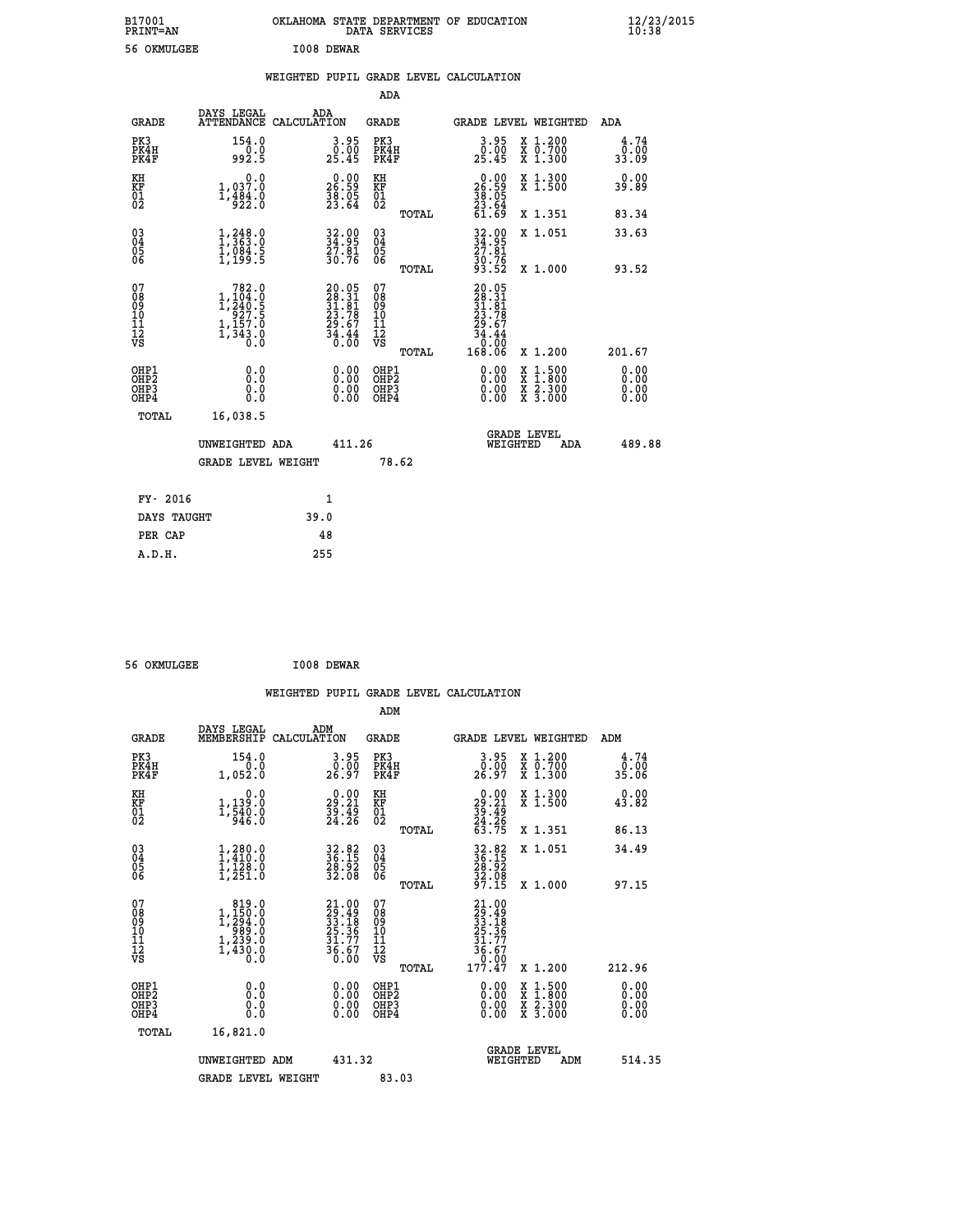| B17001<br>PRINT=AN | OKLAHOMA STATE DEPARTMENT OF EDUCATION<br>DATA SERVICES | $\frac{12}{23}$ /2015 |
|--------------------|---------------------------------------------------------|-----------------------|
| 56 OKMULGEE        | I008 DEWAR                                              |                       |

|  |  | WEIGHTED PUPIL GRADE LEVEL CALCULATION |
|--|--|----------------------------------------|
|  |  |                                        |

|                                                       |                                                                                              |                                                                          | ADA                                       |       |                                                                                                       |                                                                                                                                      |                              |
|-------------------------------------------------------|----------------------------------------------------------------------------------------------|--------------------------------------------------------------------------|-------------------------------------------|-------|-------------------------------------------------------------------------------------------------------|--------------------------------------------------------------------------------------------------------------------------------------|------------------------------|
| <b>GRADE</b>                                          | DAYS LEGAL                                                                                   | ADA<br>ATTENDANCE CALCULATION                                            | GRADE                                     |       |                                                                                                       | <b>GRADE LEVEL WEIGHTED</b>                                                                                                          | ADA                          |
| PK3<br>PK4H<br>PK4F                                   | 154.0<br>992.5                                                                               | $\begin{smallmatrix} 3.95\ 0.00\ 25.45 \end{smallmatrix}$                | PK3<br>PK4H<br>PK4F                       |       | 3.95<br>0.00<br>25.45                                                                                 | X 1.200<br>X 0.700<br>X 1.300                                                                                                        | 4.74<br>0.00<br>33.09        |
| KH<br>KF<br>01<br>02                                  | 0.0<br>$1,037.0$<br>$1,484.0$<br>$922.0$                                                     | $\begin{smallmatrix} 0.00\\ 26.59\\ 38.05\\ 23.64 \end{smallmatrix}$     | KH<br>KF<br>01<br>02                      |       | $\begin{smallmatrix} 0.00\\ 26.59\\ 36.05\\ 38.05\\ 23.64\\ 61.69 \end{smallmatrix}$                  | X 1.300<br>X 1.500                                                                                                                   | 0.00<br>39.89                |
|                                                       |                                                                                              |                                                                          |                                           | TOTAL |                                                                                                       | X 1.351                                                                                                                              | 83.34                        |
| 03<br>04<br>05<br>06                                  | $\frac{1}{2}, \frac{248}{363}$ : 0<br>$\frac{1}{1}$ , $\frac{084}{199}$ . 5                  | 32.00<br>34.95<br>27.81<br>30.76                                         | 03<br>04<br>05<br>06                      |       | 32.95<br>34.95<br>27.81<br>30.76<br>33.52                                                             | X 1.051                                                                                                                              | 33.63                        |
|                                                       |                                                                                              |                                                                          |                                           | TOTAL |                                                                                                       | X 1.000                                                                                                                              | 93.52                        |
| 07<br>08<br>09<br>11<br>11<br>12<br>VS                | 782.0<br>$1, \frac{104}{240}.5$<br>$1, \frac{240}{927}.5$<br>$1, \frac{157}{343}.0$<br>$0.0$ | $20.05$<br>$28.31$<br>$31.81$<br>$23.78$<br>$29.67$<br>$34.44$<br>$0.00$ | 07<br>08<br>09<br>11<br>11<br>12<br>VS    | TOTAL | $\begin{smallmatrix} 20.05\\ 28.31\\ 31.81\\ 23.78\\ 29.67\\ 34.44\\ 0.00\\ 168.06 \end{smallmatrix}$ | X 1.200                                                                                                                              | 201.67                       |
| OHP1<br>OH <sub>P</sub> 2<br>OH <sub>P3</sub><br>OHP4 | 0.0<br>0.0<br>0.0                                                                            | 0.00<br>$\begin{smallmatrix} 0.00 \ 0.00 \end{smallmatrix}$              | OHP1<br>OH <sub>P</sub> 2<br>OHP3<br>OHP4 |       | 0.00<br>0.00<br>0.00                                                                                  | $\begin{smallmatrix} \mathtt{X} & 1 & 500 \\ \mathtt{X} & 1 & 800 \\ \mathtt{X} & 2 & 300 \\ \mathtt{X} & 3 & 000 \end{smallmatrix}$ | 0.00<br>0.00<br>0.00<br>0.00 |
| TOTAL                                                 | 16,038.5                                                                                     |                                                                          |                                           |       |                                                                                                       |                                                                                                                                      |                              |
|                                                       | UNWEIGHTED ADA                                                                               | 411.26                                                                   | 78.62                                     |       | WEIGHTED                                                                                              | <b>GRADE LEVEL</b><br>ADA                                                                                                            | 489.88                       |
|                                                       | GRADE LEVEL WEIGHT                                                                           |                                                                          |                                           |       |                                                                                                       |                                                                                                                                      |                              |
|                                                       | FY- 2016                                                                                     | $\mathbf{1}$                                                             |                                           |       |                                                                                                       |                                                                                                                                      |                              |
|                                                       | DAYS TAUGHT                                                                                  | 39.0                                                                     |                                           |       |                                                                                                       |                                                                                                                                      |                              |
|                                                       | PER CAP                                                                                      | 48                                                                       |                                           |       |                                                                                                       |                                                                                                                                      |                              |
| A.D.H.                                                |                                                                                              | 255                                                                      |                                           |       |                                                                                                       |                                                                                                                                      |                              |

| 56 OKMULGEE | I008 DEWAR |
|-------------|------------|

|                                                      |                                                                                                                        |                                                                      | WEIGHTED PUPIL GRADE LEVEL CALCULATION       |                                                                                                                                |                                                      |
|------------------------------------------------------|------------------------------------------------------------------------------------------------------------------------|----------------------------------------------------------------------|----------------------------------------------|--------------------------------------------------------------------------------------------------------------------------------|------------------------------------------------------|
|                                                      |                                                                                                                        |                                                                      | ADM                                          |                                                                                                                                |                                                      |
| <b>GRADE</b>                                         | DAYS LEGAL<br>MEMBERSHIP<br>CALCULATION                                                                                | ADM                                                                  | GRADE                                        | <b>GRADE LEVEL WEIGHTED</b>                                                                                                    | ADM                                                  |
| PK3<br>PK4H<br>PK4F                                  | 154.0<br>0.0<br>1,052.0                                                                                                | $\begin{smallmatrix} 3.95\ 0.00\ 26.97 \end{smallmatrix}$            | PK3<br>PK4H<br>PK4F                          | 3.95<br>0.00<br>X 1.200<br>X 0.700<br>X 1.300<br>26.97                                                                         | $\begin{array}{c} 4.74 \\ 0.00 \\ 35.06 \end{array}$ |
| KH<br>KF<br>01<br>02                                 | 0.0<br>1,139:0<br>1,540:0<br>946:0                                                                                     | $\begin{smallmatrix} 0.00\\ 29.21\\ 39.49\\ 24.26 \end{smallmatrix}$ | KH<br>KF<br>01<br>02                         | $\begin{smallmatrix} 0.00\\29.21\\39.49\\24.26\\63.75 \end{smallmatrix}$<br>X 1.300<br>X 1.500                                 | 0.00<br>43.82                                        |
|                                                      |                                                                                                                        |                                                                      | TOTAL                                        | X 1.351                                                                                                                        | 86.13                                                |
| $\begin{matrix} 03 \\ 04 \\ 05 \\ 06 \end{matrix}$   | $1, 280.0$<br>$1, 410.0$<br>$1, 128.0$<br>$1, 251.0$                                                                   | 32.82<br>36.15<br>28.92<br>32.08                                     | 03<br>04<br>05<br>06                         | 32.82<br>36.15<br>28.92<br>32.08<br>97.15<br>X 1.051                                                                           | 34.49                                                |
|                                                      |                                                                                                                        |                                                                      | TOTAL                                        | X 1.000                                                                                                                        | 97.15                                                |
| 07<br>08<br>09<br>101<br>11<br>12<br>VS              | 819.0<br>$1, \begin{smallmatrix} 150.0 \\ 294.0 \\ 989.0 \\ 1, 239.0 \\ 1, 239.0 \\ 1, 430.0 \\ 0.0 \end{smallmatrix}$ | $21.0029.4933.1825.3631.7736.670.00$                                 | 07<br>08<br>09<br>01<br>11<br>11<br>12<br>VS | 21.00<br>$\begin{smallmatrix} 21.49 \\ 29.49 \\ 33.18 \\ 25.36 \\ 25.37 \\ 31.77 \\ 36.67 \\ 0.00 \\ 177.47 \end{smallmatrix}$ |                                                      |
|                                                      |                                                                                                                        |                                                                      | TOTAL                                        | X 1.200                                                                                                                        | 212.96                                               |
| OHP1<br>OHP <sub>2</sub><br>OH <sub>P3</sub><br>OHP4 | 0.0<br>0.000                                                                                                           | $\begin{smallmatrix} 0.00 \ 0.00 \ 0.00 \ 0.00 \end{smallmatrix}$    | OHP1<br>OHP2<br>OHP3<br>OHP4                 | $0.00$<br>$0.00$<br>X 1:500<br>X 1:800<br>X 2:300<br>X 3:000<br>0.00                                                           | 0.00<br>0.00<br>0.00                                 |
| TOTAL                                                | 16,821.0                                                                                                               |                                                                      |                                              |                                                                                                                                |                                                      |
|                                                      | UNWEIGHTED ADM                                                                                                         | 431.32                                                               |                                              | <b>GRADE LEVEL</b><br>WEIGHTED<br>ADM                                                                                          | 514.35                                               |
|                                                      | <b>GRADE LEVEL WEIGHT</b>                                                                                              |                                                                      | 83.03                                        |                                                                                                                                |                                                      |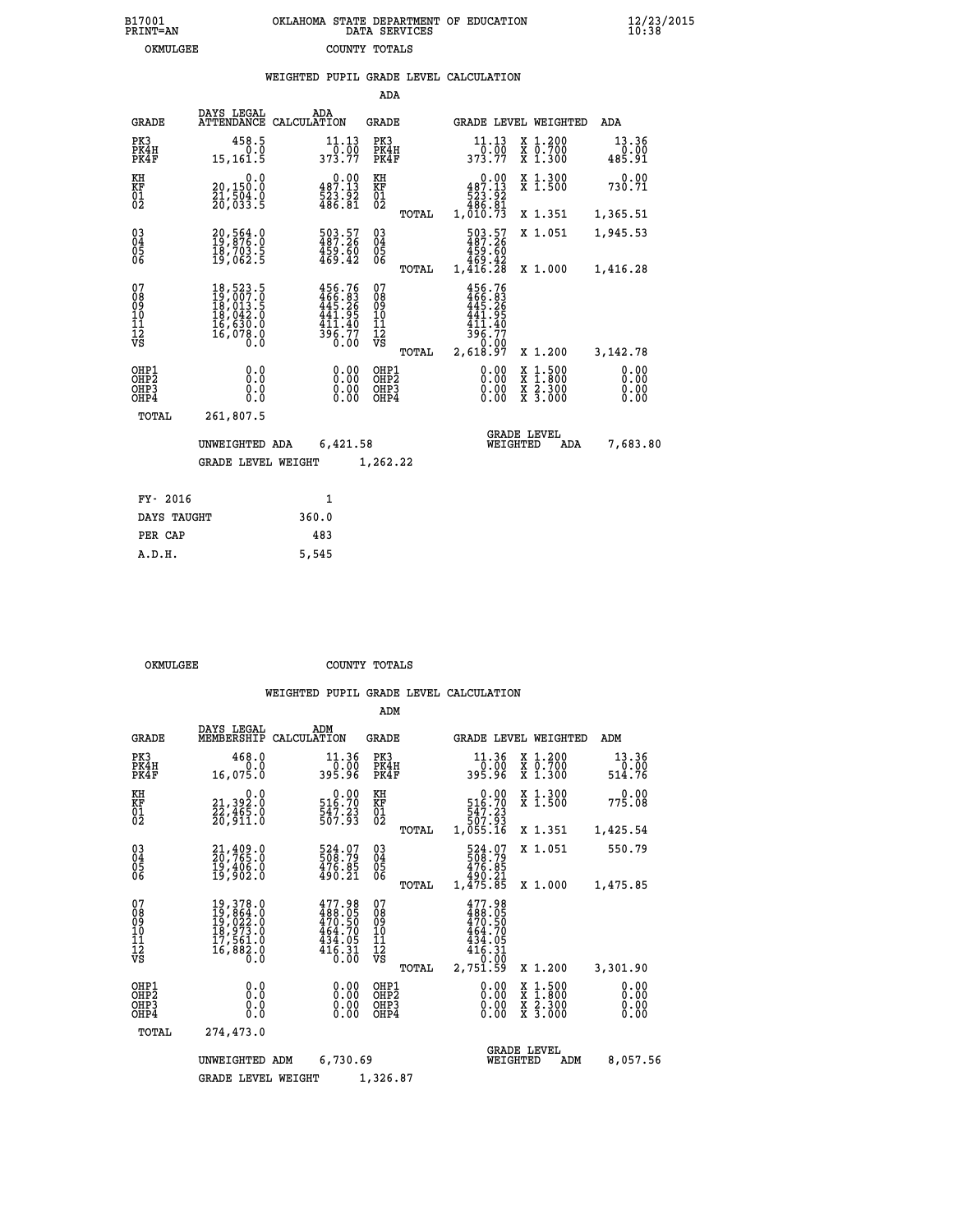|  | OKLAHOMA STATE DEPARTMENT OF EDUCATION<br>DATA SERVICES |  |
|--|---------------------------------------------------------|--|
|  | COUNTY TOTALS                                           |  |

|                                          |                                                                                       |                                                                        | ADA                                    |       |                                                                                         |                                          |                              |
|------------------------------------------|---------------------------------------------------------------------------------------|------------------------------------------------------------------------|----------------------------------------|-------|-----------------------------------------------------------------------------------------|------------------------------------------|------------------------------|
| <b>GRADE</b>                             | DAYS LEGAL                                                                            | ADA<br>ATTENDANCE CALCULATION                                          | <b>GRADE</b>                           |       |                                                                                         | GRADE LEVEL WEIGHTED                     | ADA                          |
| PK3<br>PK4H<br>PK4F                      | 458.5<br>0.0<br>15,161.5                                                              | 11.13<br>0.00<br>373.77                                                | PK3<br>PK4H<br>PK4F                    |       | 11.13<br>0.00<br>373.77                                                                 | X 1.200<br>X 0.700<br>X 1.300            | 13.36<br>0.00<br>485.91      |
| KH<br>KF<br>$\overline{01}$              | 0.0<br>20,150.0<br>21,504.0<br>20,033.5                                               | $0.00$<br>487.13<br>523.92<br>486.81                                   | KH<br>KF<br>$\overline{01}$            |       | 0.00<br>487.13<br>$\begin{array}{c} 523.52 \\ 523.81 \\ 486.81 \\ 1,010.73 \end{array}$ | X 1.300<br>X 1.500                       | 0.00<br>730.71               |
|                                          |                                                                                       |                                                                        |                                        | TOTAL |                                                                                         | X 1.351                                  | 1,365.51                     |
| $\substack{03 \\ 04}$<br>Ŏ5<br>06        | 20,564.0<br>19,876.0<br>ī§,703.5<br>19,062.5                                          | 503.57<br>487.26<br>459.60<br>469.42                                   | $\substack{03 \\ 04}$<br>Ŏ5<br>06      |       | 503.57<br>487.26<br>459.60<br>469.42<br>1,416.28                                        | X 1.051                                  | 1,945.53                     |
|                                          |                                                                                       |                                                                        |                                        | TOTAL |                                                                                         | X 1.000                                  | 1,416.28                     |
| 07<br>08<br>09<br>11<br>11<br>12<br>VS   | 18,523.5<br>$19,007.0$<br>$18,013.5$<br>$18,042.0$<br>$16,630.0$<br>$16,078.0$<br>0.0 | 456.76<br>466.83<br>445.26<br>$441.95$<br>$411.40$<br>$396.77$<br>0.00 | 07<br>08<br>09<br>11<br>11<br>12<br>VS |       | 456.76<br>$\frac{466}{445}.26$<br>441.95<br>411.40<br>396.77<br>0.00                    |                                          |                              |
|                                          |                                                                                       |                                                                        |                                        | TOTAL | 2,618.97                                                                                | X 1.200                                  | 3,142.78                     |
| OHP1<br>OHP <sub>2</sub><br>OHP3<br>OHP4 | 0.0<br>0.0<br>0.0                                                                     | 0.00<br>$\begin{smallmatrix} 0.00 \ 0.00 \end{smallmatrix}$            | OHP1<br>OHP2<br>OHP3<br>OHP4           |       | 0.00<br>0.00                                                                            | X 1:500<br>X 1:800<br>X 2:300<br>X 3:000 | 0.00<br>0.00<br>0.00<br>0.00 |
| <b>TOTAL</b>                             | 261,807.5                                                                             |                                                                        |                                        |       |                                                                                         |                                          |                              |
|                                          | UNWEIGHTED ADA                                                                        | 6,421.58                                                               |                                        |       |                                                                                         | <b>GRADE LEVEL</b><br>WEIGHTED<br>ADA    | 7,683.80                     |
|                                          | <b>GRADE LEVEL WEIGHT</b>                                                             |                                                                        | 1,262.22                               |       |                                                                                         |                                          |                              |
| FY- 2016                                 |                                                                                       | $\mathbf{1}$                                                           |                                        |       |                                                                                         |                                          |                              |
| DAYS TAUGHT                              |                                                                                       | 360.0                                                                  |                                        |       |                                                                                         |                                          |                              |
| PER CAP                                  |                                                                                       | 483                                                                    |                                        |       |                                                                                         |                                          |                              |

 **A.D.H. 5,545**

B17001<br>PRINT=AN<br>OKMULGEE

OKMULGEE COUNTY TOTALS

|                                                       |                                                                                                                                                                        |                                                                      | ADM                                              |                                                                                  |                                                                                                  |                              |
|-------------------------------------------------------|------------------------------------------------------------------------------------------------------------------------------------------------------------------------|----------------------------------------------------------------------|--------------------------------------------------|----------------------------------------------------------------------------------|--------------------------------------------------------------------------------------------------|------------------------------|
| <b>GRADE</b>                                          | DAYS LEGAL<br>MEMBERSHIP                                                                                                                                               | ADM<br>CALCULATION                                                   | <b>GRADE</b>                                     | GRADE LEVEL WEIGHTED                                                             |                                                                                                  | ADM                          |
| PK3<br>PK4H<br>PK4F                                   | 468.0<br>0.0<br>16,075.0                                                                                                                                               | 11.36<br>0.00<br>395.96                                              | PK3<br>PK4H<br>PK4F                              | 11.36<br>ةة:ة<br>395.96                                                          | $\begin{array}{c} x & 1.200 \\ x & 0.700 \end{array}$<br>$X$ 1.300                               | 13.36<br>0.00<br>514.76      |
| KH<br>KF<br>01<br>02                                  | 0.0<br>21,392.0<br>22,465.0<br>20,911.0                                                                                                                                | $\begin{smallmatrix}&&0.00\\516.70\\547.23\\567.93\end{smallmatrix}$ | KH<br>KF<br>01<br>02                             | 0.00<br>516.70<br>547.23<br>507.93<br>1,055.16                                   | X 1.300<br>X 1.500                                                                               | 0.00<br>775.08               |
|                                                       |                                                                                                                                                                        |                                                                      | TOTAL                                            |                                                                                  | X 1.351                                                                                          | 1,425.54                     |
| 03<br>04<br>05<br>06                                  | $21, 409.0$<br>$20, 765.0$<br>$19, 406.0$<br>19,902.0                                                                                                                  | 524.07<br>508.79<br>476.85<br>490.21                                 | $\substack{03 \\ 04}$<br>0500                    | 524.07<br>508.79<br>476.85<br>490.21                                             | X 1.051                                                                                          | 550.79                       |
|                                                       |                                                                                                                                                                        |                                                                      | TOTAL                                            | 1,475.85                                                                         | X 1.000                                                                                          | 1,475.85                     |
| 07<br>08<br>09<br>11<br>11<br>12<br>VS                | $\begin{smallmatrix} 19\,,\,378\,.\,0\\ 19\,,\,864\,. \,0\\ 19\,,\,022\,. \,0\\ 18\,,\,973\,. \,0\\ 17\,,\,561\,. \,0\\ 16\,,\,882\,. \,0\\ 0\,. \,0\end{smallmatrix}$ | 477.98<br>488.05<br>470.50<br>464.70<br>434.05<br>416.31<br>0.00     | 07<br>08<br>09<br>101<br>11<br>12<br>VS<br>TOTAL | 477.98<br>$\frac{488.05}{470.50}$<br>$\frac{434.05}{416.31}$<br>0.00<br>2,751.59 | X 1.200                                                                                          | 3,301.90                     |
| OHP1<br>OH <sub>P</sub> 2<br>OH <sub>P3</sub><br>OHP4 | 0.0<br>0.000                                                                                                                                                           | $0.00$<br>$0.00$<br>0.00                                             | OHP1<br>OHP2<br>OHP3<br>OHP4                     | $0.00$<br>$0.00$<br>0.00                                                         | $\begin{smallmatrix} x & 1 & 500 \\ x & 1 & 800 \\ x & 2 & 300 \\ x & 3 & 000 \end{smallmatrix}$ | 0.00<br>0.00<br>0.00<br>0.00 |
| TOTAL                                                 | 274,473.0                                                                                                                                                              |                                                                      |                                                  |                                                                                  |                                                                                                  |                              |
|                                                       | UNWEIGHTED ADM                                                                                                                                                         | 6,730.69                                                             |                                                  | <b>GRADE LEVEL</b><br>WEIGHTED                                                   | ADM                                                                                              | 8,057.56                     |
|                                                       | <b>GRADE LEVEL WEIGHT</b>                                                                                                                                              |                                                                      | 1,326.87                                         |                                                                                  |                                                                                                  |                              |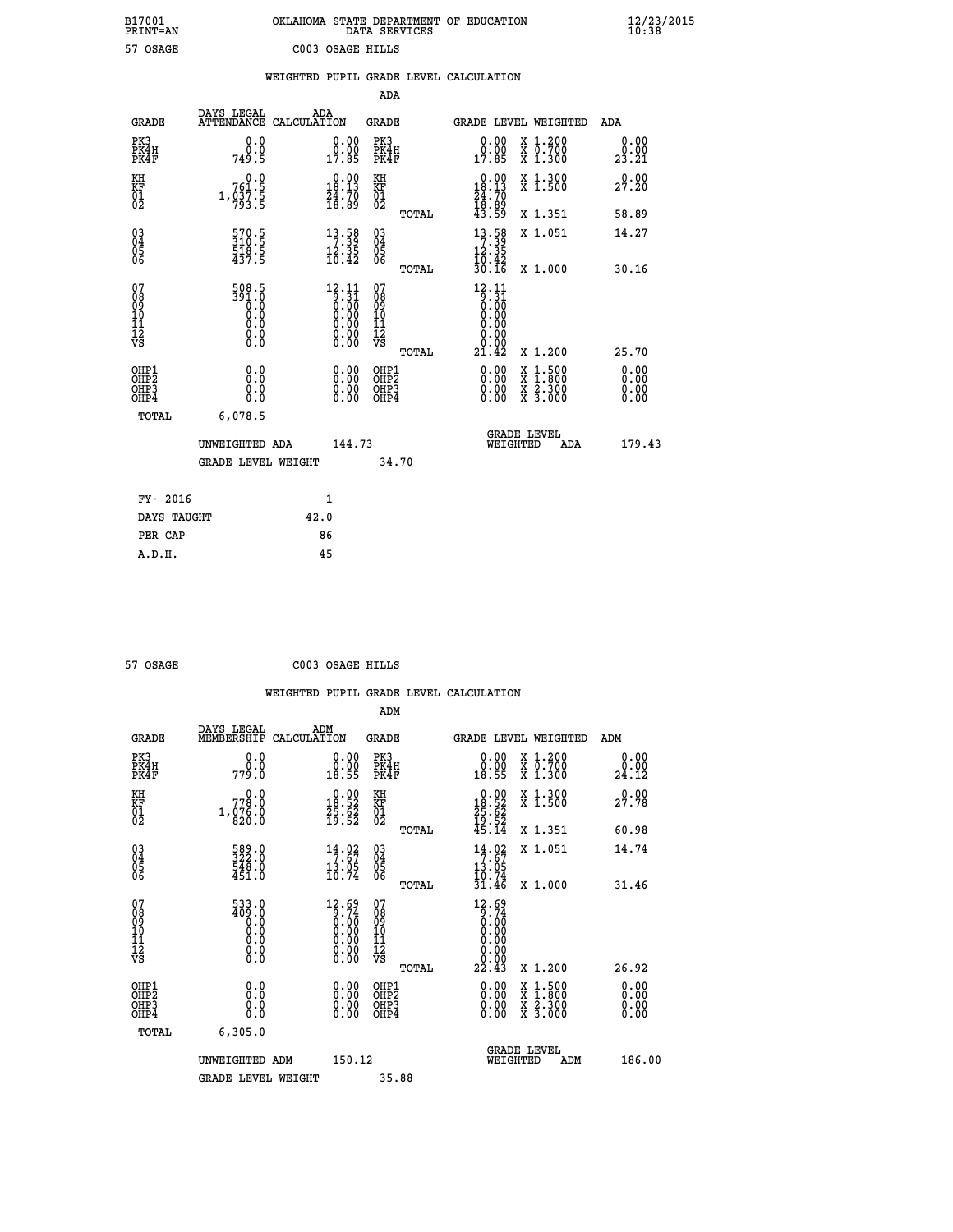| B17001<br><b>PRINT=AN</b> | OKLAHOMA STATE DEPARTMENT OF EDUCATION<br>DATA SERVICES | $\frac{12}{23}$ /2015 |
|---------------------------|---------------------------------------------------------|-----------------------|
| 57 OSAGE                  | C003 OSAGE HILLS                                        |                       |

|                                        |                                                          |                                                                                |      |                                                                                                                                                                                                   |                                                     |       | WEIGHTED PUPIL GRADE LEVEL CALCULATION                                                                |                                          |                       |
|----------------------------------------|----------------------------------------------------------|--------------------------------------------------------------------------------|------|---------------------------------------------------------------------------------------------------------------------------------------------------------------------------------------------------|-----------------------------------------------------|-------|-------------------------------------------------------------------------------------------------------|------------------------------------------|-----------------------|
|                                        |                                                          |                                                                                |      |                                                                                                                                                                                                   | ADA                                                 |       |                                                                                                       |                                          |                       |
|                                        | <b>GRADE</b>                                             | DAYS LEGAL<br>ATTENDANCE CALCULATION                                           |      | ADA                                                                                                                                                                                               | GRADE                                               |       | <b>GRADE LEVEL WEIGHTED</b>                                                                           |                                          | ADA                   |
|                                        | PK3<br>PK4H<br>PK4F                                      | 0.0<br>0.0<br>749.5                                                            |      | $\begin{smallmatrix} 0.00\\ 0.00\\ 17.85 \end{smallmatrix}$                                                                                                                                       | PK3<br>PK4H<br>PK4F                                 |       | $\begin{smallmatrix} 0.00\\ 0.00\\ 17.85 \end{smallmatrix}$                                           | X 1.200<br>X 0.700<br>X 1.300            | 0.00<br>0.00<br>23.21 |
| KH<br>KF<br>01<br>02                   |                                                          | 761.9<br>$1, 0\overline{3}\overline{7}\cdot\overline{5}$                       |      | $\begin{smallmatrix} 0.00\\18.13\\24.70\\18.89 \end{smallmatrix}$                                                                                                                                 | KH<br>KF<br>$\overline{01}$                         |       | $0.00$<br>18.13                                                                                       | X 1.300<br>X 1.500                       | 0.00<br>27.20         |
|                                        |                                                          |                                                                                |      |                                                                                                                                                                                                   |                                                     | TOTAL | $\frac{24}{18}$ : 70<br>43.89                                                                         | X 1.351                                  | 58.89                 |
| 03<br>04<br>05<br>06                   |                                                          | 570.5<br>310.5<br>518.5<br>437.5                                               |      | $\begin{array}{r} 13 \cdot 58 \\ 7 \cdot 39 \\ 12 \cdot 35 \\ 10 \cdot 42 \end{array}$                                                                                                            | $\begin{array}{c} 03 \\ 04 \\ 05 \\ 06 \end{array}$ |       | $\begin{array}{r} 13 \cdot 58 \\ 7 \cdot 39 \\ 12 \cdot 35 \\ 10 \cdot 42 \\ 30 \cdot 16 \end{array}$ | X 1.051                                  | 14.27                 |
|                                        |                                                          |                                                                                |      |                                                                                                                                                                                                   |                                                     | TOTAL |                                                                                                       | X 1.000                                  | 30.16                 |
| 07<br>08<br>09<br>11<br>11<br>12<br>VS |                                                          | 508.5<br>$\begin{array}{c} 391.6 \\ 0.0 \\ 0.0 \\ 0.0 \\ \end{array}$<br>$\S.$ |      | $\begin{smallmatrix} 12\cdot 11\\[-4pt] 9\cdot 31\\[-4pt] 0\cdot 00\\[-4pt] 0\cdot 00\\[-4pt] 0\cdot 00\\[-4pt] 0\cdot 00\\[-4pt] 0\cdot 00\\[-4pt] 0\cdot 00\\[-4pt] 0\cdot 00\end{smallmatrix}$ | 07<br>08<br>09<br>11<br>11<br>12<br>VS              |       | 12.11<br>$\begin{matrix} 0.31\ 0.00\ 0.00 \end{matrix}$<br>0.00<br>0.00                               |                                          |                       |
|                                        | OHP1                                                     |                                                                                |      |                                                                                                                                                                                                   | OHP1                                                | TOTAL | 21.42                                                                                                 | X 1.200                                  | 25.70<br>0.00         |
|                                        | OH <sub>P</sub> <sub>2</sub><br>OH <sub>P3</sub><br>OHP4 | 0.0<br>0.0<br>0.0                                                              |      | $0.00$<br>$0.00$<br>0.00                                                                                                                                                                          | OHP <sub>2</sub><br>OHP3<br>OHP4                    |       | 0.00<br>0.00                                                                                          | X 1:500<br>X 1:800<br>X 2:300<br>X 3:000 | 0.00<br>0.00<br>0.00  |
|                                        | TOTAL                                                    | 6,078.5                                                                        |      |                                                                                                                                                                                                   |                                                     |       |                                                                                                       |                                          |                       |
|                                        |                                                          | UNWEIGHTED ADA                                                                 |      | 144.73                                                                                                                                                                                            |                                                     |       | <b>GRADE LEVEL</b><br>WEIGHTED                                                                        | <b>ADA</b>                               | 179.43                |
|                                        |                                                          | <b>GRADE LEVEL WEIGHT</b>                                                      |      |                                                                                                                                                                                                   |                                                     | 34.70 |                                                                                                       |                                          |                       |
|                                        | FY- 2016                                                 |                                                                                |      | 1                                                                                                                                                                                                 |                                                     |       |                                                                                                       |                                          |                       |
|                                        | DAYS TAUGHT                                              |                                                                                | 42.0 |                                                                                                                                                                                                   |                                                     |       |                                                                                                       |                                          |                       |
|                                        | PER CAP                                                  |                                                                                |      | 86                                                                                                                                                                                                |                                                     |       |                                                                                                       |                                          |                       |

| 57 OSAGE | C003 OSAGE HILLS |  |
|----------|------------------|--|
|          |                  |  |

 **WEIGHTED PUPIL GRADE LEVEL CALCULATION ADM DAYS LEGAL ADM GRADE MEMBERSHIP CALCULATION GRADE GRADE LEVEL WEIGHTED ADM PK3 0.0 0.00 PK3 0.00 X 1.200 0.00 PK4H 0.0 0.00 PK4H 0.00 X 0.700 0.00 PK4F 779.0 18.55 PK4F 18.55 X 1.300 24.12 KH 0.0 0.00 KH 0.00 X 1.300 0.00 KF 778.0 18.52 KF 18.52 X 1.500 27.78**  $\begin{array}{cccc} \text{KH} & \hspace{1.5cm} 0.0 & \hspace{1.5cm} 0.00 & \text{KH} \\ \text{KF} & \hspace{1.5cm} 778.0 & \hspace{1.5cm} 18.52 & \text{KF} \\ 01 & \hspace{1.5cm} 1,076.0 & \hspace{1.5cm} 25.62 & \hspace{1.5cm} 01 \\ \text{02} & \hspace{1.5cm} 32.0.0 & \hspace{1.5cm} 15.52 & \hspace{1.5cm} 02 \\ \end{array}$  $02$  820.0 19.52 02  $_{\text{no}}$  19.52  **TOTAL 45.14 X 1.351 60.98 03 589.0 14.02 03 14.02 X 1.051 14.74 04 322.0 7.67 04 7.67 05 548.0 13.05 05 13.05** 06  $451.0$  10.74 06  $\frac{10.74}{20.74}$  **TOTAL 31.46 X 1.000 31.46 07 533.0 12.69 07 12.69 08 409.0 9.74 08 9.74 03 0.00 0.00 0.000 0.000 10 0.0 0.00 10 0.00 11 0.0 0.00 11 0.00 12 0.0 0.00 12 0.00 VS** 0.0 0.00 VS 0.00 0.00 0.00  $\begin{array}{cccccccc} 533.0 & 12.69 & 07 & 12.69 & 12.69 & 07 & 01.1 & 01.1 & 01.1 & 01.1 & 01.1 & 01.1 & 01.1 & 01.1 & 01.1 & 01.1 & 01.1 & 01.1 & 01.1 & 01.1 & 01.1 & 01.1 & 01.1 & 01.1 & 01.1 & 01.1 & 01.1 & 01.1 & 01.1 & 01.1 & 01.1 & 01.1 & 01.1 & 01.1 & 01.1 & 0$  **OHP1 0.0 0.00 OHP1 0.00 X 1.500 0.00 OHP2 0.0 0.00 OHP2 0.00 X 1.800 0.00 OHP3 0.0 0.00 OHP3 0.00 X 2.300 0.00 OHP4 0.0 0.00 OHP4 0.00 X 3.000 0.00 TOTAL 6,305.0 GRADE LEVEL UNWEIGHTED ADM 150.12 WEIGHTED ADM 186.00 GRADE LEVEL WEIGHT 35.88**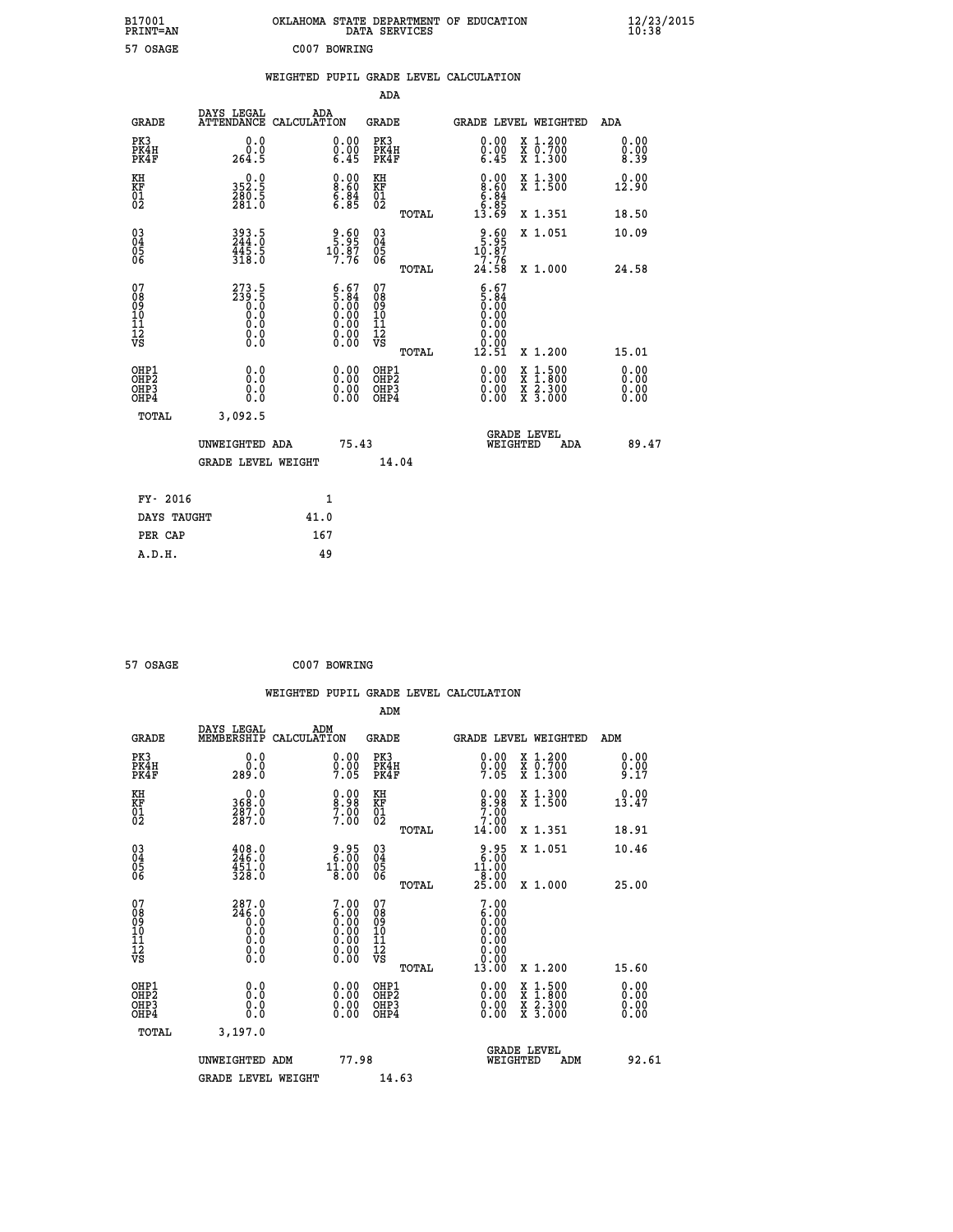| OKLAHOMA STATE DEPARTMENT OF EDUCATION<br>DATA SERVICES |  |
|---------------------------------------------------------|--|
| C007 BOWRING                                            |  |

 **B17001<br>PRINT=AN** 57 OSAGE  **B17001 OKLAHOMA STATE DEPARTMENT OF EDUCATION 12/23/2015**

|  |  | WEIGHTED PUPIL GRADE LEVEL CALCULATION |
|--|--|----------------------------------------|
|  |  |                                        |

|                                                                    |                                                                                                  |                                                                                               | ADA                                                |       |                                                                                             |                                                    |                              |
|--------------------------------------------------------------------|--------------------------------------------------------------------------------------------------|-----------------------------------------------------------------------------------------------|----------------------------------------------------|-------|---------------------------------------------------------------------------------------------|----------------------------------------------------|------------------------------|
| <b>GRADE</b>                                                       | DAYS LEGAL<br>ATTENDANCE CALCULATION                                                             | ADA                                                                                           | <b>GRADE</b>                                       |       |                                                                                             | GRADE LEVEL WEIGHTED                               | <b>ADA</b>                   |
| PK3<br>PK4H<br>PK4F                                                | 0.0<br>$\overset{0.0}{\phantom{00}0.9}$                                                          | $\begin{smallmatrix} 0.00 \ 0.00 \ 6.45 \end{smallmatrix}$                                    | PK3<br>PK4H<br>PK4F                                |       | 0.00<br>$\begin{smallmatrix} 0.00 \\ -0.45 \end{smallmatrix}$                               | X 1.200<br>X 0.700<br>X 1.300                      | 0.00<br>$0.00$<br>8.39       |
| KH<br>KF<br>01<br>02                                               | 352.5<br>$\frac{280.5}{281.0}$                                                                   | $\begin{smallmatrix} 0.00\ 8.60\ 6.84\ 6.85 \end{smallmatrix}$                                | KH<br>KF<br>01<br>02                               |       | $\begin{smallmatrix} 0.00\\ 8.60\\ 6.84\\ 6.85\\ 13.69 \end{smallmatrix}$                   | X 1.300<br>X 1.500                                 | 0.00<br>12.90                |
|                                                                    |                                                                                                  |                                                                                               |                                                    | TOTAL |                                                                                             | X 1.351                                            | 18.50                        |
| $\begin{smallmatrix} 03 \\[-4pt] 04 \end{smallmatrix}$<br>Ŏ5<br>06 | 393.5<br>244:0<br>$\frac{445.5}{318.0}$                                                          | $\begin{array}{c} 9.60 \\ 5.95 \\ 10.87 \\ 7.76 \end{array}$                                  | $\begin{matrix} 03 \\ 04 \\ 05 \\ 06 \end{matrix}$ |       | $\begin{array}{r} 9.60 \\ 5.95 \\ 10.87 \\ 7.76 \end{array}$                                | X 1.051                                            | 10.09                        |
|                                                                    |                                                                                                  |                                                                                               |                                                    | TOTAL | 24.58                                                                                       | X 1.000                                            | 24.58                        |
| 07<br>08<br>09<br>11<br>11<br>12<br>VS                             | $273.5$<br>$239.5$<br>$0.0$<br>$0.0$<br>$\begin{smallmatrix} 0.16 \ 0.0 \ 0.0 \end{smallmatrix}$ | $\begin{smallmatrix} 6.67\ 5.84\ 0.00\ 0.00\ 0.00\ 0.00\ 0.00\ 0.00\ 0.00\ \end{smallmatrix}$ | 07<br>08<br>09<br>11<br>11<br>12<br>VS             |       | $\frac{6.67}{0.00}$<br>0.00<br>0.00<br>$\begin{array}{c} 0.00 \\ 0.00 \\ 12.51 \end{array}$ |                                                    |                              |
|                                                                    |                                                                                                  |                                                                                               |                                                    | TOTAL |                                                                                             | X 1.200                                            | 15.01                        |
| OHP1<br>OH <sub>P</sub> 2<br>OHP3<br>OHP4                          | 0.0<br>Ō.Ō<br>0.0<br>$0.\overline{0}$                                                            | 0.00<br>$\begin{smallmatrix} 0.00 \ 0.00 \end{smallmatrix}$                                   | OHP1<br>OH <sub>P</sub> 2<br>OHP3<br>OHP4          |       | 0.00<br>0.00<br>0.00                                                                        | $1:500$<br>$1:800$<br>X<br>X<br>X 2.300<br>X 3.000 | 0.00<br>0.00<br>0.00<br>0.00 |
| TOTAL                                                              | 3,092.5                                                                                          |                                                                                               |                                                    |       |                                                                                             |                                                    |                              |
|                                                                    | UNWEIGHTED ADA                                                                                   |                                                                                               | 75.43                                              |       |                                                                                             | <b>GRADE LEVEL</b><br>WEIGHTED<br>ADA              | 89.47                        |
|                                                                    | <b>GRADE LEVEL WEIGHT</b>                                                                        |                                                                                               |                                                    | 14.04 |                                                                                             |                                                    |                              |
| FY- 2016                                                           |                                                                                                  | 1                                                                                             |                                                    |       |                                                                                             |                                                    |                              |
| DAYS TAUGHT                                                        |                                                                                                  | 41.0                                                                                          |                                                    |       |                                                                                             |                                                    |                              |
| PER CAP                                                            |                                                                                                  | 167                                                                                           |                                                    |       |                                                                                             |                                                    |                              |

| 57 OSAGE | C007 BOWRING |
|----------|--------------|
|          |              |

 **A.D.H. 49**

|                                  |                                                |                    |                                                                |                                  |       | WEIGHTED PUPIL GRADE LEVEL CALCULATION                                               |                                          |                      |       |
|----------------------------------|------------------------------------------------|--------------------|----------------------------------------------------------------|----------------------------------|-------|--------------------------------------------------------------------------------------|------------------------------------------|----------------------|-------|
|                                  |                                                |                    |                                                                | ADM                              |       |                                                                                      |                                          |                      |       |
| <b>GRADE</b>                     | DAYS LEGAL<br>MEMBERSHIP                       | ADM<br>CALCULATION |                                                                | <b>GRADE</b>                     |       | GRADE LEVEL WEIGHTED                                                                 |                                          | ADM                  |       |
| PK3<br>PK4H<br>PK4F              | 0.0<br>0.0<br>289.0                            |                    | $\substack{0.00\\0.00\\7.05}$                                  | PK3<br>PK4H<br>PK4F              |       | 0.00<br>$0.00$<br>7.05                                                               | X 1.200<br>X 0.700<br>X 1.300            | 0.00<br>0.00<br>9.17 |       |
| KH<br>KF<br>01<br>02             | 0.0<br>368:0<br>287:0<br>287:0                 |                    | $\begin{smallmatrix} 0.00\ 8.98\ 7.00\ 7.00 \end{smallmatrix}$ | KH<br><b>KF</b><br>01<br>02      |       | 0.00<br>$\frac{8.98}{7.00}$                                                          | X 1.300<br>X 1.500                       | 0.00<br>13.47        |       |
|                                  |                                                |                    |                                                                |                                  | TOTAL | 14.00                                                                                | X 1.351                                  | 18.91                |       |
| 03<br>04<br>05<br>06             | $\frac{408.0}{246.0}$<br>$\frac{451.0}{328.0}$ |                    | 2.95<br>$1\overline{1}\cdot\overline{00}$<br>$8.00$            | 03<br>04<br>05<br>06             |       | 8.95<br>11.00<br>$\frac{1}{25}.\overset{1}{00}$                                      | X 1.051                                  | 10.46                |       |
|                                  |                                                |                    |                                                                |                                  | TOTAL |                                                                                      | X 1.000                                  | 25.00                |       |
| 07<br>08901112<br>1112<br>VS     | 287.0<br>$\frac{746.0}{0.0}$<br>0.000<br>0.000 |                    | $7.00 \\ 6.00 \\ 0.00 \\ 0.00 \\ 0.00 \\ 0.00 \\ 0.00$         | 07<br>08901112<br>1112<br>VS     |       | 7.00<br>$\begin{array}{c} 6.00 \\ 0.00 \\ 0.00 \end{array}$<br>0.00<br>0.00<br>13.00 |                                          |                      |       |
| OHP1                             |                                                |                    |                                                                | OHP1                             | TOTAL |                                                                                      | X 1.200                                  | 15.60                |       |
| OHP <sub>2</sub><br>OHP3<br>OHP4 | 0.0<br>0.0<br>Ŏ.Ŏ                              |                    | $0.00$<br>$0.00$<br>0.00                                       | OHP <sub>2</sub><br>OHP3<br>OHP4 |       | 0.00<br>$0.00$<br>0.00                                                               | X 1:500<br>X 1:800<br>X 2:300<br>X 3:000 | 0.00<br>0.00<br>0.00 |       |
| TOTAL                            | 3,197.0                                        |                    |                                                                |                                  |       |                                                                                      |                                          |                      |       |
|                                  | UNWEIGHTED ADM                                 |                    | 77.98                                                          |                                  |       | WEIGHTED                                                                             | <b>GRADE LEVEL</b><br>ADM                |                      | 92.61 |
|                                  | <b>GRADE LEVEL WEIGHT</b>                      |                    |                                                                | 14.63                            |       |                                                                                      |                                          |                      |       |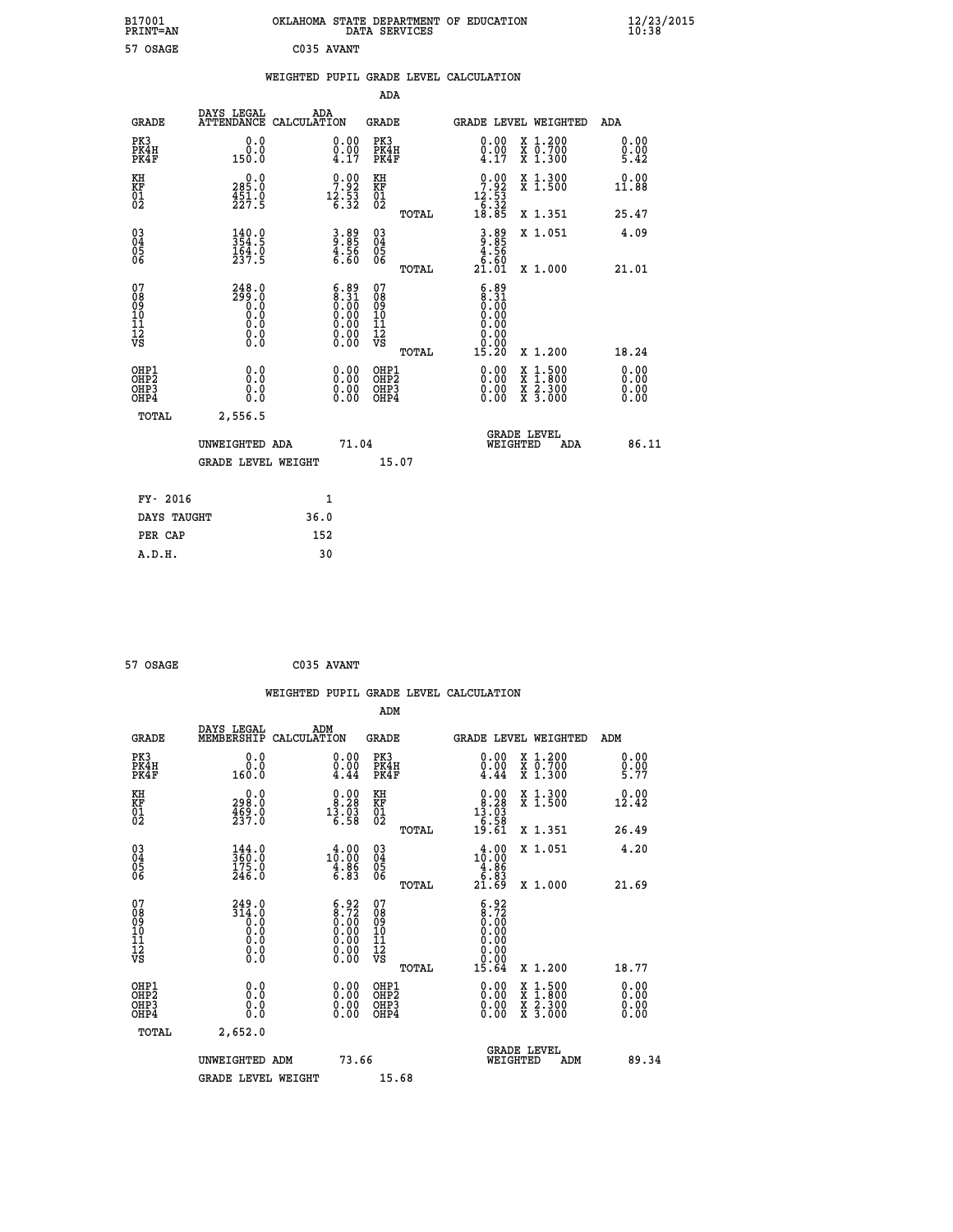| B17001<br>PRINT=AN               |                                                |                                                                                                                                                 |                                                    | OKLAHOMA STATE DEPARTMENT OF EDUCATION DATA SERVICES                               |                                                                                          | $\frac{12}{23}$ /2015 |  |
|----------------------------------|------------------------------------------------|-------------------------------------------------------------------------------------------------------------------------------------------------|----------------------------------------------------|------------------------------------------------------------------------------------|------------------------------------------------------------------------------------------|-----------------------|--|
| 57 OSAGE                         |                                                | C035 AVANT                                                                                                                                      |                                                    |                                                                                    |                                                                                          |                       |  |
|                                  |                                                |                                                                                                                                                 |                                                    | WEIGHTED PUPIL GRADE LEVEL CALCULATION                                             |                                                                                          |                       |  |
|                                  |                                                |                                                                                                                                                 | ADA                                                |                                                                                    |                                                                                          |                       |  |
| <b>GRADE</b>                     | DAYS LEGAL<br>ATTENDANCE CALCULATION           | ADA                                                                                                                                             | GRADE                                              | <b>GRADE LEVEL WEIGHTED</b>                                                        |                                                                                          | ADA                   |  |
| PK3<br>PK4H<br>PK4F              | 0.0<br>0.0<br>150.0                            | 0.00<br>$\frac{0.00}{4.17}$                                                                                                                     | PK3<br>PK4H<br>PK4F                                | $\begin{smallmatrix} 0.00\\ 0.00\\ 4.17 \end{smallmatrix}$                         | X 1.200<br>X 0.700<br>X 1.300                                                            | 0.00<br>0.00<br>5.42  |  |
| KH<br>KF<br>$\overline{01}$      | 0.0<br>$285.0$<br>$451.0$<br>$227.5$           | $\begin{smallmatrix} 0.00\\7.92\\12.53\\6.32 \end{smallmatrix}$                                                                                 | KH<br>KF<br>01<br>02                               | $\begin{smallmatrix} 0.00\\7.92\\12.53\\6.32\\18.85\\ \end{smallmatrix}$           | X 1.300<br>X 1.500                                                                       | 0.00<br>11.88         |  |
|                                  |                                                |                                                                                                                                                 | TOTAL                                              |                                                                                    | X 1.351                                                                                  | 25.47                 |  |
| $03\overline{4}$<br>Ŏ5<br>06     | $\frac{140.0}{354.5}$<br>$\frac{164.0}{237.5}$ | $3.89$<br>$4.56$<br>$6.60$                                                                                                                      | $\begin{matrix} 03 \\ 04 \\ 05 \\ 06 \end{matrix}$ | $3.89$<br>9.85<br>$\begin{array}{r} 4.56 \\[-4pt] 6.60 \\[-4pt] 21.01 \end{array}$ | X 1.051                                                                                  | 4.09                  |  |
| 07                               | 248.0                                          |                                                                                                                                                 | TOTAL<br>07                                        |                                                                                    | X 1.000                                                                                  | 21.01                 |  |
| 08<br>09<br>10<br>11<br>12<br>VS | ā99.0<br>0.0<br>0.0<br>0.0<br>0.0<br>Ŏ.Ŏ       | $\begin{smallmatrix} 6.89 \\ 8.31 \\ 0.00 \\ 0.00 \\ 0.00 \\ 0.00 \\ \end{smallmatrix}$<br>$\begin{smallmatrix} 0.00 \\ 0.00 \end{smallmatrix}$ | 08<br>09<br>10<br>11<br>12<br>VS<br>TOTAL          | $6.89\n8.31\n0.00\n0.00$<br>0.00<br>0.00<br>ة.ة.<br>15.20                          | X 1.200                                                                                  | 18.24                 |  |
|                                  |                                                |                                                                                                                                                 | OHP1                                               |                                                                                    |                                                                                          | 0.00                  |  |
| OHP1<br>OHP2<br>OHP3<br>OHP4     | 0.0<br>0.0<br>0.0                              | 0.00<br>0.00<br>0.00                                                                                                                            | OHP <sub>2</sub><br>OHP3<br>OHP4                   | 0.00<br>0.00<br>0.00                                                               | $\begin{smallmatrix} x & 1.500 \\ x & 1.800 \\ x & 2.300 \\ x & 3.000 \end{smallmatrix}$ | Ŏ.ŎŎ<br>0.00<br>0.00  |  |
| TOTAL                            | 2,556.5                                        |                                                                                                                                                 |                                                    |                                                                                    |                                                                                          |                       |  |
|                                  | UNWEIGHTED ADA                                 | 71.04                                                                                                                                           |                                                    | <b>GRADE LEVEL</b><br>WEIGHTED                                                     | ADA                                                                                      | 86.11                 |  |
|                                  | <b>GRADE LEVEL WEIGHT</b>                      |                                                                                                                                                 | 15.07                                              |                                                                                    |                                                                                          |                       |  |
| FY- 2016                         |                                                | 1                                                                                                                                               |                                                    |                                                                                    |                                                                                          |                       |  |
| DAYS TAUGHT                      |                                                | 36.0                                                                                                                                            |                                                    |                                                                                    |                                                                                          |                       |  |
| PER CAP                          |                                                | 152                                                                                                                                             |                                                    |                                                                                    |                                                                                          |                       |  |

| 57 OSAGE | C035 AVANT |
|----------|------------|

|                                                                  |                                                                                                 |                                                                                               | ADM                                          |       |                                                                                                                                                                                                                                                                                |                                                                                        |                             |       |
|------------------------------------------------------------------|-------------------------------------------------------------------------------------------------|-----------------------------------------------------------------------------------------------|----------------------------------------------|-------|--------------------------------------------------------------------------------------------------------------------------------------------------------------------------------------------------------------------------------------------------------------------------------|----------------------------------------------------------------------------------------|-----------------------------|-------|
| <b>GRADE</b>                                                     | DAYS LEGAL<br>MEMBERSHIP CALCULATION                                                            | ADM                                                                                           | <b>GRADE</b>                                 |       | GRADE LEVEL WEIGHTED                                                                                                                                                                                                                                                           |                                                                                        | ADM                         |       |
| PK3<br>PK4H<br>PK4F                                              | 0.0<br>0.0<br>160.0                                                                             | $\substack{0.00\\0.00\\4.44}$                                                                 | PK3<br>PK4H<br>PK4F                          |       | 0.00<br>$\begin{smallmatrix} \v{0} \ \v{0} \ \v{4} \ \v{4} \end{smallmatrix}$                                                                                                                                                                                                  | $\begin{smallmatrix} x & 1.200 \\ x & 0.700 \end{smallmatrix}$<br>$\overline{x}$ 1.300 | 0.00<br>$\frac{0.00}{5.77}$ |       |
| KH<br>KF<br>01<br>02                                             | $\begin{smallmatrix} &0.0\ 298.0\ 469.0\ 237.0 \end{smallmatrix}$                               | $\begin{smallmatrix} 0.00\\ 8.28\\ 13.03\\ 6.58 \end{smallmatrix}$                            | KH<br>KF<br>01<br>02                         |       | $\begin{smallmatrix} 0.00\\ 8.28\\ 13.03\\ 6.58\\ 19.61 \end{smallmatrix}$                                                                                                                                                                                                     | X 1.300<br>X 1.500                                                                     | 0.00<br>12.42               |       |
|                                                                  |                                                                                                 |                                                                                               |                                              | TOTAL |                                                                                                                                                                                                                                                                                | X 1.351                                                                                | 26.49                       |       |
| $\begin{matrix} 03 \\ 04 \\ 05 \\ 06 \end{matrix}$               | $144.0$<br>$360.0$<br>$175.0$<br>$246.0$                                                        | $\begin{smallmatrix} 4\cdot 00\\10\cdot 00\\4\cdot 86\\6\cdot 83\end{smallmatrix}$            | 03<br>04<br>05<br>06                         |       | $\begin{smallmatrix} 4.00\\10.00\\4.86\\5.83\\21.69 \end{smallmatrix}$                                                                                                                                                                                                         | X 1.051                                                                                | 4.20                        |       |
|                                                                  |                                                                                                 |                                                                                               |                                              | TOTAL |                                                                                                                                                                                                                                                                                | X 1.000                                                                                | 21.69                       |       |
| 07<br>08<br>09<br>10<br>11<br>11<br>12<br>VS                     | $\begin{smallmatrix} 249.0\\ 314.0\\ 0.0\\ 0.0\\ 0.0\\ 0.0\\ 0.0\\ 0.0\\ 0.0 \end{smallmatrix}$ | $\begin{smallmatrix} 6.92\ 8.72\ 0.00\ 0.00\ 0.00\ 0.00\ 0.00\ 0.00\ 0.00\ \end{smallmatrix}$ | 07<br>08<br>09<br>01<br>11<br>11<br>12<br>VS |       | $\begin{smallmatrix} 6.92\ 8.72\ 0.00\ 0.00\ 0.00\ 0.00\ 0.00\ 0.00\ 0.00\ \end{smallmatrix}$                                                                                                                                                                                  |                                                                                        |                             |       |
|                                                                  |                                                                                                 |                                                                                               |                                              | TOTAL | 15.64                                                                                                                                                                                                                                                                          | X 1.200                                                                                | 18.77                       |       |
| OHP1<br>OH <sub>P</sub> <sub>2</sub><br>OH <sub>P3</sub><br>OHP4 |                                                                                                 |                                                                                               | OHP1<br>OHP2<br>OHP3<br>OHP4                 |       | $\begin{smallmatrix} 0.00 & 0.00 & 0.00 & 0.00 & 0.00 & 0.00 & 0.00 & 0.00 & 0.00 & 0.00 & 0.00 & 0.00 & 0.00 & 0.00 & 0.00 & 0.00 & 0.00 & 0.00 & 0.00 & 0.00 & 0.00 & 0.00 & 0.00 & 0.00 & 0.00 & 0.00 & 0.00 & 0.00 & 0.00 & 0.00 & 0.00 & 0.00 & 0.00 & 0.00 & 0.00 & 0.0$ | X 1:500<br>X 1:800<br>X 2:300<br>X 3:000                                               | $0.00$<br>$0.00$<br>0.00    |       |
| TOTAL                                                            | 2,652.0                                                                                         |                                                                                               |                                              |       |                                                                                                                                                                                                                                                                                |                                                                                        |                             |       |
|                                                                  | UNWEIGHTED ADM                                                                                  | 73.66                                                                                         |                                              |       | <b>GRADE LEVEL</b><br>WEIGHTED                                                                                                                                                                                                                                                 | ADM                                                                                    |                             | 89.34 |
|                                                                  | <b>GRADE LEVEL WEIGHT</b>                                                                       |                                                                                               | 15.68                                        |       |                                                                                                                                                                                                                                                                                |                                                                                        |                             |       |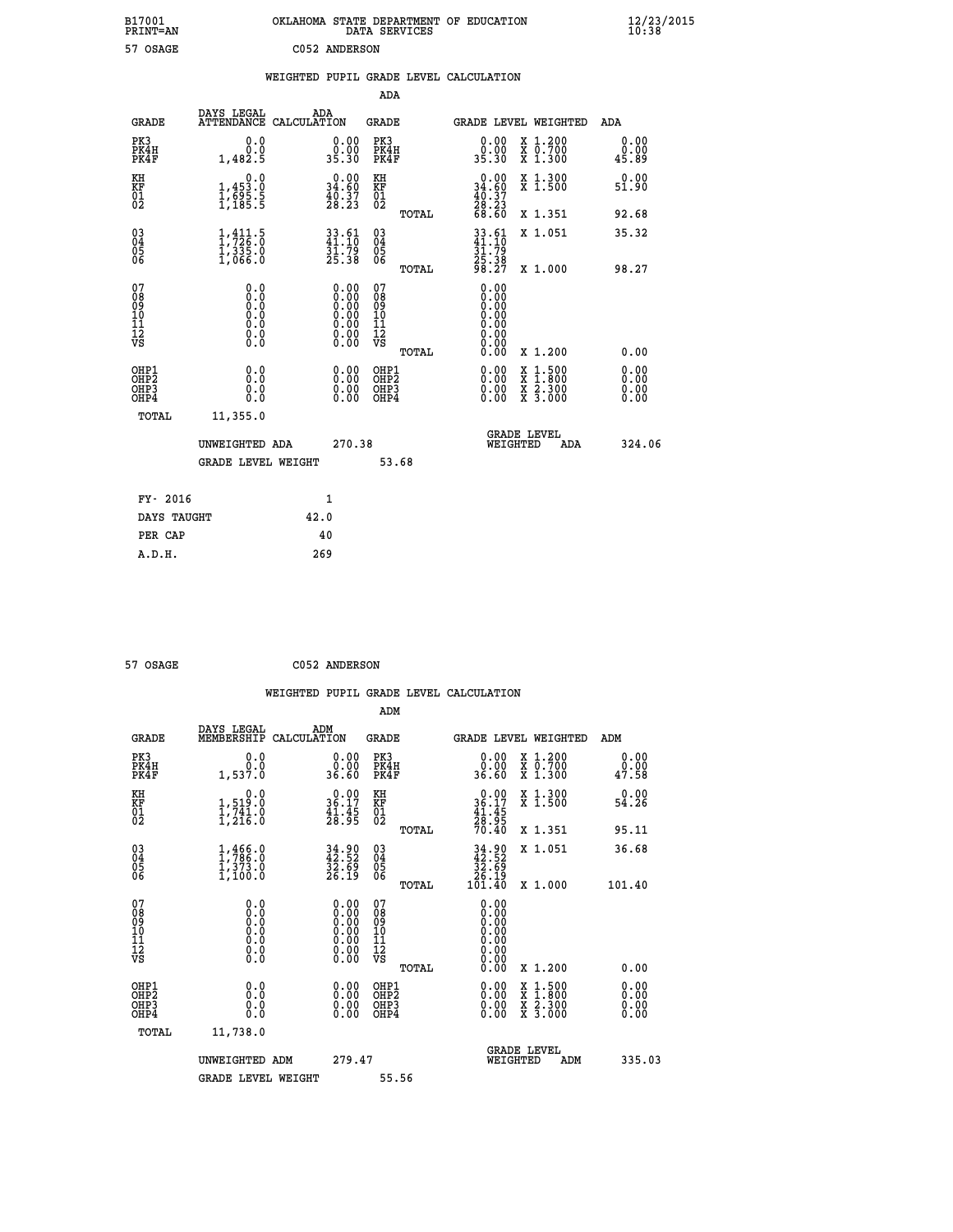| B17001<br>PRINT=AN                     |                                                       | OKLAHOMA STATE DEPARTMENT OF EDUCATION                                                        |                                                    | DATA SERVICES |                                                      |                                                                                                                                           | $\frac{12}{23}$ /2015        |  |
|----------------------------------------|-------------------------------------------------------|-----------------------------------------------------------------------------------------------|----------------------------------------------------|---------------|------------------------------------------------------|-------------------------------------------------------------------------------------------------------------------------------------------|------------------------------|--|
| 57 OSAGE                               |                                                       | C052 ANDERSON                                                                                 |                                                    |               |                                                      |                                                                                                                                           |                              |  |
|                                        |                                                       | WEIGHTED PUPIL GRADE LEVEL CALCULATION                                                        |                                                    |               |                                                      |                                                                                                                                           |                              |  |
|                                        |                                                       |                                                                                               | <b>ADA</b>                                         |               |                                                      |                                                                                                                                           |                              |  |
| GRADE                                  | DAYS LEGAL                                            | ADA<br>ATTENDANCE CALCULATION                                                                 | GRADE                                              |               |                                                      | GRADE LEVEL WEIGHTED                                                                                                                      | ADA                          |  |
| PK3<br>PK4H<br>PK4F                    | 0.0<br>0.0<br>1,482.5                                 | 0.00<br>0.00<br>35.30                                                                         | PK3<br>PK4H<br>PK4F                                |               | 0.00<br>0.00<br>35.30                                | X 1.200<br>X 0.700<br>X 1.300                                                                                                             | 0.00<br>0.00<br>45.89        |  |
| KH<br>KF<br>01<br>02                   | 0.0<br>$\frac{1}{1}, \frac{453}{695}$ . 5<br>1,185. 5 | $0.00$<br>34.60<br>$\frac{40.37}{28.23}$                                                      | KH<br><b>KF</b><br>01<br>02                        |               | $0.00$<br>34.60<br>$\frac{40.37}{28.23}$<br>68.60    | X 1.300<br>X 1.500                                                                                                                        | 0.00<br>51.90                |  |
|                                        |                                                       |                                                                                               |                                                    | TOTAL         |                                                      | X 1.351                                                                                                                                   | 92.68                        |  |
| $^{03}_{04}$<br>Ŏ5<br>06               | $1, 411.5$<br>$1, 726.0$<br>$1, 335.0$<br>1,066.0     | 33.61<br>41.10<br>31.79<br>25.38                                                              | $\begin{matrix} 03 \\ 04 \\ 05 \\ 06 \end{matrix}$ | TOTAL         | $33.61$<br>$41.10$<br>31.79<br>$\frac{25.38}{98.27}$ | X 1.051<br>X 1.000                                                                                                                        | 35.32<br>98.27               |  |
| 07<br>08<br>09<br>11<br>11<br>12<br>VS | 0.0<br>0.0000<br>0.0<br>0.0                           | $\begin{smallmatrix} 0.00\ 0.00\ 0.00\ 0.00\ 0.00\ 0.00\ 0.00\ 0.00\ 0.00\ \end{smallmatrix}$ | 07<br>08<br>09<br>11<br>11<br>12<br>VS             |               | 0.00<br>0.00<br>0.0000                               |                                                                                                                                           |                              |  |
|                                        |                                                       |                                                                                               |                                                    | TOTAL         | 0.00                                                 | X 1.200                                                                                                                                   | 0.00                         |  |
| OHP1<br>OHP2<br>OHP3<br>OHP4           | 0.0<br>0.0<br>0.0<br>0.0                              | 0.00<br>$\begin{smallmatrix} 0.00 \ 0.00 \end{smallmatrix}$                                   | OHP1<br>OH <sub>P</sub> 2<br>OHP3<br>OHP4          |               | 0.00<br>0.00<br>0.00                                 | $\begin{smallmatrix} \mathtt{X} & 1\cdot500\\ \mathtt{X} & 1\cdot800\\ \mathtt{X} & 2\cdot300\\ \mathtt{X} & 3\cdot000 \end{smallmatrix}$ | 0.00<br>0.00<br>0.00<br>0.00 |  |
| <b>TOTAL</b>                           | 11,355.0                                              |                                                                                               |                                                    |               |                                                      |                                                                                                                                           |                              |  |
|                                        | UNWEIGHTED ADA<br><b>GRADE LEVEL WEIGHT</b>           | 270.38                                                                                        |                                                    | 53.68         | WEIGHTED                                             | <b>GRADE LEVEL</b><br>ADA                                                                                                                 | 324.06                       |  |
|                                        |                                                       |                                                                                               |                                                    |               |                                                      |                                                                                                                                           |                              |  |
| FY- 2016<br>DAYS TAUGHT                |                                                       | 1<br>42.0                                                                                     |                                                    |               |                                                      |                                                                                                                                           |                              |  |
| PER CAP                                |                                                       | 40                                                                                            |                                                    |               |                                                      |                                                                                                                                           |                              |  |

| 57 OSAGE | C052 ANDERSON |
|----------|---------------|
|          |               |

 **WEIGHTED PUPIL GRADE LEVEL CALCULATION ADM DAYS LEGAL ADM GRADE MEMBERSHIP CALCULATION GRADE GRADE LEVEL WEIGHTED ADM PK3 0.0 0.00 PK3 0.00 X 1.200 0.00 PK4H 0.0 0.00 PK4H 0.00 X 0.700 0.00 PK4F 1,537.0 36.60 PK4F 36.60 X 1.300 47.58** 0.00 KH 0.00 0.00 KH 0.00 X 1.300<br>24.26 36.17 KF 36.17 X 36.17 X 1.500  **01 1,741.0 41.45 01 41.45 02 1,216.0 28.95 02 28.95 TOTAL 70.40 X 1.351 95.11 03 1,466.0 34.90 03 34.90 X 1.051 36.68 04 1,786.0 42.52 04 42.52 05 1,373.0 32.69 05 32.69 06 1,100.0 26.19 06 26.19 TOTAL 101.40 X 1.000 101.40 07 0.0 0.00 07 0.00 08 0.0 0.00 08 0.00 03 0.00 0.00 0.000 0.000 10 0.0 0.00 10 0.00 11 0.0 0.00 11 0.00 12 0.0 0.00 12 0.00 VS** 0.0 0.00 VS 0.00 0.00  **TOTAL 0.00 X 1.200 0.00 OHP1 0.0 0.00 OHP1 0.00 X 1.500 0.00 OHP2 0.0 0.00 OHP2 0.00 X 1.800 0.00 OHP3 0.0 0.00 OHP3 0.00 X 2.300 0.00 OHP4 0.0 0.00 OHP4 0.00 X 3.000 0.00 TOTAL 11,738.0 GRADE LEVEL UNWEIGHTED ADM 279.47 WEIGHTED ADM 335.03** GRADE LEVEL WEIGHT 55.56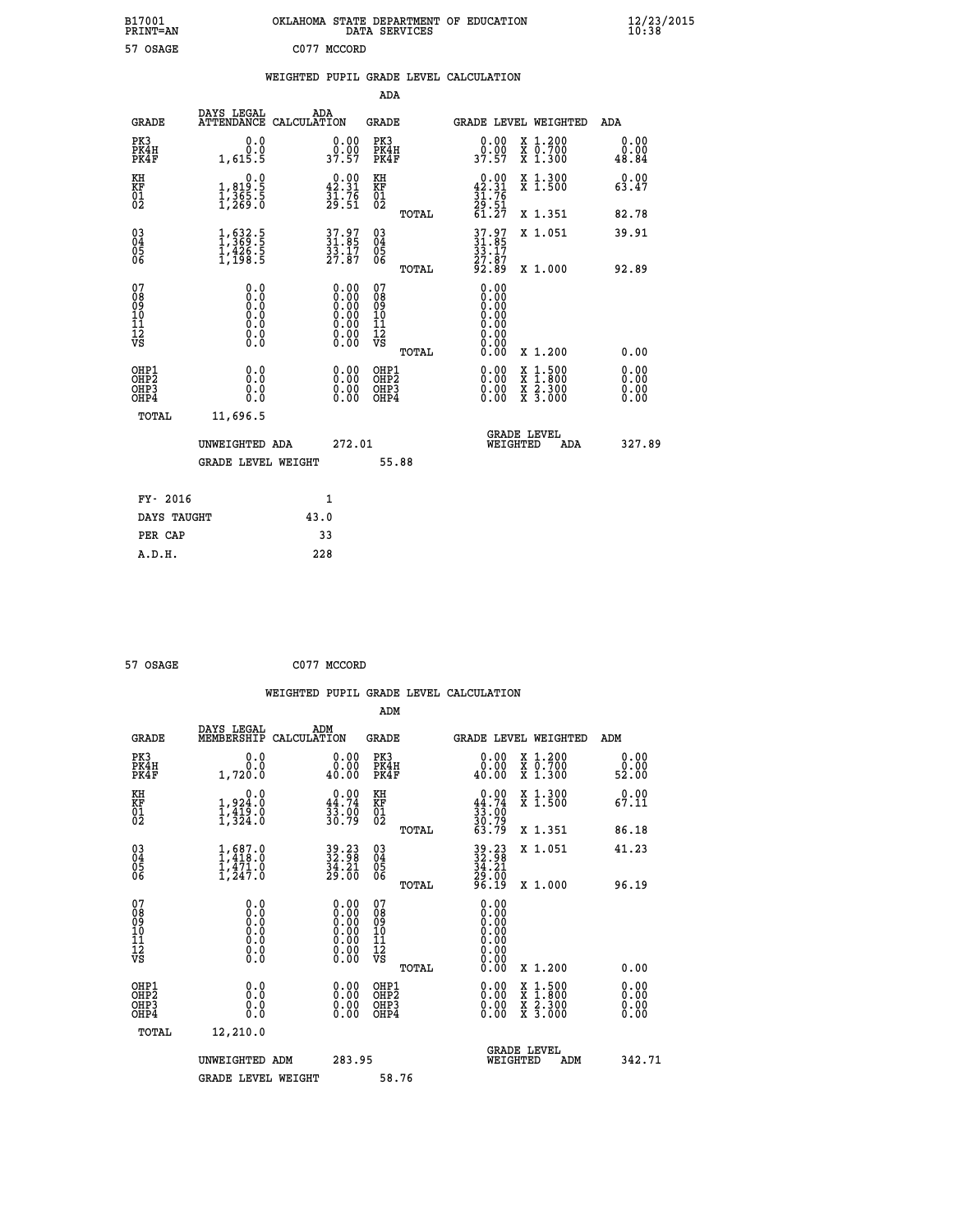| B17001<br>PRINT=AN                                 |                                                                                       | OKLAHOMA STATE DEPARTMENT OF EDUCATION                                                              | DATA SERVICES                                   |                                                              |                                                                        | $\frac{12}{23}$ /2015  |
|----------------------------------------------------|---------------------------------------------------------------------------------------|-----------------------------------------------------------------------------------------------------|-------------------------------------------------|--------------------------------------------------------------|------------------------------------------------------------------------|------------------------|
| 57 OSAGE                                           |                                                                                       | C077 MCCORD                                                                                         |                                                 |                                                              |                                                                        |                        |
|                                                    |                                                                                       | WEIGHTED PUPIL GRADE LEVEL CALCULATION                                                              |                                                 |                                                              |                                                                        |                        |
|                                                    |                                                                                       |                                                                                                     | ADA                                             |                                                              |                                                                        |                        |
| <b>GRADE</b>                                       | DAYS LEGAL                                                                            | ADA<br>ATTENDANCE CALCULATION                                                                       | GRADE                                           | GRADE LEVEL WEIGHTED                                         |                                                                        | <b>ADA</b>             |
| PK3<br>PK4H<br>PK4F                                | 0.0<br>0.0<br>1,615.5                                                                 | 0.00<br>0.00<br>37.57                                                                               | PK3<br>PK4H<br>PK4F                             | 0.00<br>jŎ:ŎŎ<br>37.57                                       | X 1.200<br>X 0.700<br>X 1.300                                          | 0.00<br>0.00<br>48.84  |
| KH<br>KF<br>01<br>02                               | 0.0<br>1,819:5<br>1,365:5<br>1,269:0                                                  | $\begin{smallmatrix} 0.00\\ 42.31\\ 31.76\\ 29.51 \end{smallmatrix}$                                | KH<br>KF<br>01<br>02                            | $0.00\n42.31\n31.76\n29.51\n61.27$                           | X 1.300<br>X 1.500                                                     | 0.00<br>63.47          |
|                                                    |                                                                                       |                                                                                                     | TOTAL                                           |                                                              | X 1.351                                                                | 82.78                  |
| $\begin{matrix} 03 \\ 04 \\ 05 \\ 06 \end{matrix}$ | $\frac{1}{1}, \frac{632}{369}.\frac{5}{5} \ \frac{1}{1}, \frac{426}{198}.\frac{5}{5}$ | 37.97<br>31.85<br>33.17<br>27.87                                                                    | 03<br>04<br>05<br>06<br>TOTAL                   | $37.97$<br>$31.85$<br>33.17<br>27.87<br>92.89                | X 1.051<br>X 1.000                                                     | 39.91<br>92.89         |
| 07<br>08901112<br>1112<br>VS                       | 0.0<br>0.00<br>0.0<br>Ō.Ō<br>$\S.$ $\S$                                               | $\begin{smallmatrix} 0.00\ 0.00\ 0.00\ 0.00\ 0.00\ 0.00\ 0.00\ 0.00\ 0.00\ 0.00\ \end{smallmatrix}$ | 07<br>08<br>09<br>10<br>11<br>12<br>VS<br>TOTAL | 0.00<br>0.00<br>0.00<br>0.00<br>0.00<br>0.00<br>0.00<br>0.00 | X 1.200                                                                | 0.00                   |
| OHP1<br>OHP2<br>OHP3<br>OHP4<br>TOTAL              | 0.0<br>0.0<br>0.0<br>11,696.5                                                         | 0.00<br>0.00<br>0.00                                                                                | OHP1<br>OHP <sub>2</sub><br>OHP3<br>OHP4        | 0.00<br>0.00<br>0.00                                         | $\frac{x}{x}$ 1:500<br>$\frac{x}{x}$ $\frac{2 \cdot 300}{3 \cdot 000}$ | 0.0000<br>0.00<br>0.00 |
|                                                    | UNWEIGHTED ADA<br><b>GRADE LEVEL WEIGHT</b>                                           | 272.01                                                                                              | 55.88                                           | WEIGHTED                                                     | <b>GRADE LEVEL</b><br>ADA                                              | 327.89                 |
| FY- 2016                                           |                                                                                       | 1                                                                                                   |                                                 |                                                              |                                                                        |                        |
| DAYS TAUGHT                                        |                                                                                       | 43.0                                                                                                |                                                 |                                                              |                                                                        |                        |

| 57 OSAGE | C077 MCCORD |
|----------|-------------|
|          |             |

 **PER CAP 33 A.D.H. 228**

 **ADM DAYS LEGAL ADM GRADE MEMBERSHIP CALCULATION GRADE GRADE LEVEL WEIGHTED ADM PK3 0.0 0.00 PK3 0.00 X 1.200 0.00 PK4H 0.0 0.00 PK4H 0.00 X 0.700 0.00 PK4F 1,720.0 40.00 PK4F 40.00 X 1.300 52.00 KH 0.0 0.00 KH 0.00 X 1.300 0.00 KF 1,924.0 44.74 KF 44.74 X 1.500 67.11 01 1,419.0 33.00 01 33.00 02 1,324.0 30.79 02 30.79 TOTAL 63.79 X 1.351 86.18 03 1,687.0 39.23 03 39.23 X 1.051 41.23 04 1,418.0 32.98 04 32.98 05 1,471.0 34.21 05 34.21 06 1,247.0 29.00 06 29.00 TOTAL 96.19 X 1.000 96.19 07 0.0 0.00 07 0.00 08 0.0 0.00 08 0.00 03 0.00 0.00 0.000 0.000 10 0.0 0.00 10 0.00 11 0.0 0.00 11 0.00 12 0.0 0.00 12 0.00 VS** 0.0 0.00 VS 0.00 0.00  **TOTAL 0.00 X 1.200 0.00 OHP1 0.0 0.00 OHP1 0.00 X 1.500 0.00 OHP2 0.0 0.00 OHP2 0.00 X 1.800 0.00 OHP3 0.0 0.00 OHP3 0.00 X 2.300 0.00 OHP4 0.0 0.00 OHP4 0.00 X 3.000 0.00 TOTAL 12,210.0 GRADE LEVEL UNWEIGHTED ADM 283.95 WEIGHTED ADM 342.71** GRADE LEVEL WEIGHT 58.76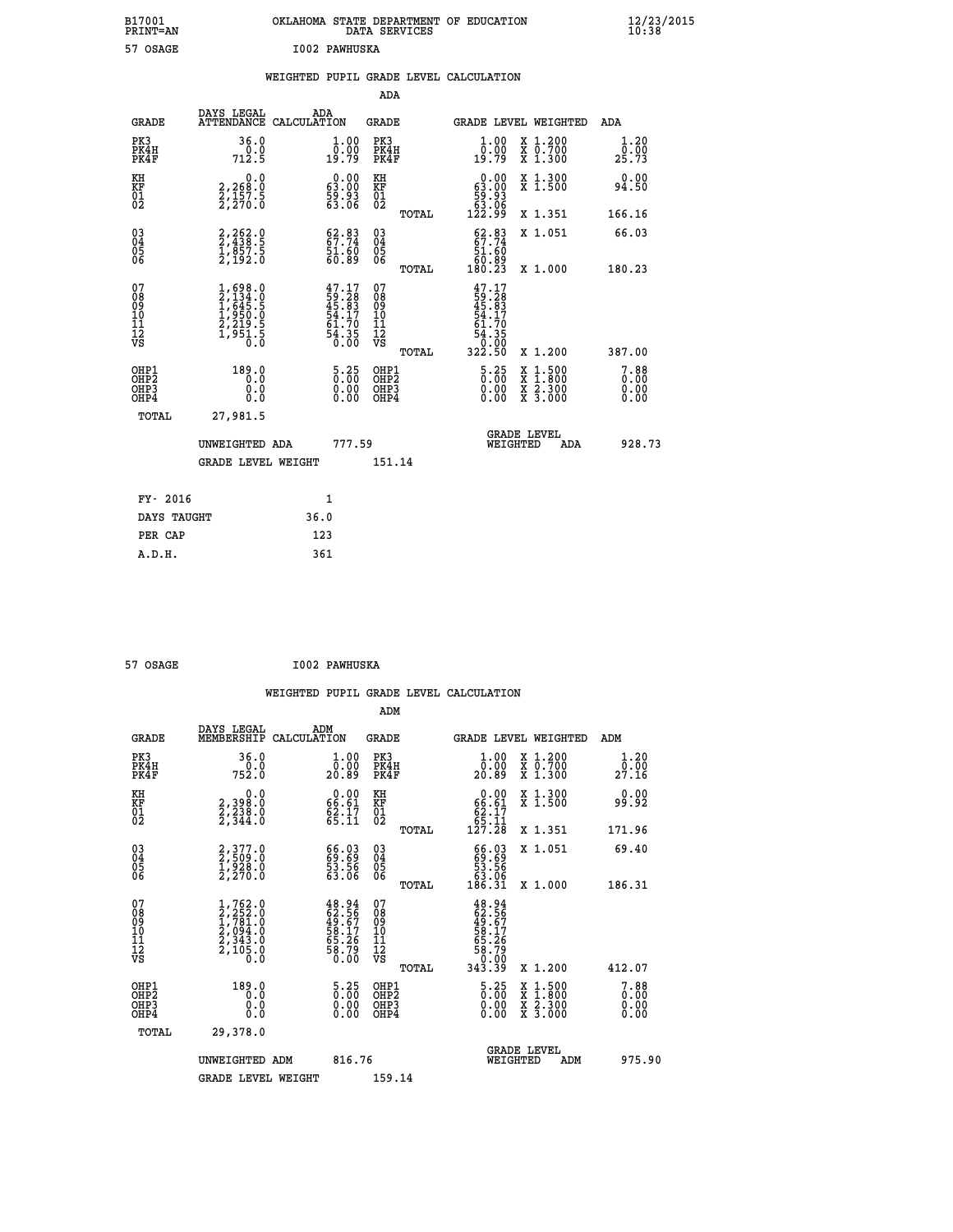| B17001<br>PRINT=AN | OKLAHOMA STATE DEPARTMENT OF EDUCATION<br>DATA SERVICES | $\frac{12}{23}$ /2015 |
|--------------------|---------------------------------------------------------|-----------------------|
| 57 OSAGE           | I002 PAWHUSKA                                           |                       |
|                    | WEIGHTED PUPIL GRADE LEVEL CALCULATION                  |                       |

|                                                    |                                                                                     |                                                                             | ADA                                    |       |                                                                             |   |                                                           |                              |
|----------------------------------------------------|-------------------------------------------------------------------------------------|-----------------------------------------------------------------------------|----------------------------------------|-------|-----------------------------------------------------------------------------|---|-----------------------------------------------------------|------------------------------|
| <b>GRADE</b>                                       | DAYS LEGAL<br><b>ATTENDANCE</b>                                                     | ADA<br>CALCULATION                                                          | GRADE                                  |       | GRADE LEVEL WEIGHTED                                                        |   |                                                           | <b>ADA</b>                   |
| PK3<br>PK4H<br>PK4F                                | 36.0<br>0.0<br>712.5                                                                | 1.00<br>$\bar{0.00}$<br>19.79                                               | PK3<br>PK4H<br>PK4F                    |       | 1.00<br>0.00<br>19.79                                                       |   | X 1.200<br>X 0.700<br>X 1.300                             | 1.20<br>0.00<br>25.73        |
| KH<br><b>KF</b><br>01<br>02                        | $\begin{smallmatrix} 0.0\\2,268.0\\2,157.5\\2,270.0\end{smallmatrix}$               | $\begin{smallmatrix} 0.00\\ 63.00\\ 59.93\\ 63.06 \end{smallmatrix}$        | KH<br>KF<br>01<br>02                   |       | $\begin{smallmatrix} &0.00\ 63.00\ 59.93\ 53.06\ 122.99\ \end{smallmatrix}$ |   | X 1.300<br>X 1.500                                        | 0.00<br>94.50                |
|                                                    |                                                                                     |                                                                             |                                        | TOTAL |                                                                             |   | X 1.351                                                   | 166.16                       |
| $\begin{matrix} 03 \\ 04 \\ 05 \\ 06 \end{matrix}$ | 2,262.0<br>2,438.5<br>1,857.5<br>2,192.0                                            | 62.83<br>67.74<br>51.60<br>60.89                                            | 03<br>04<br>05<br>06                   |       | $62.83\n67.74\n51.60\n60.89\n180.23$                                        |   | X 1.051                                                   | 66.03                        |
|                                                    |                                                                                     |                                                                             |                                        | TOTAL |                                                                             |   | X 1.000                                                   | 180.23                       |
| 07<br>08<br>09<br>101<br>11<br>12<br>VS            | $1,698.0$<br>$2,134.0$<br>$1,645.5$<br>$1,950.0$<br>$2,219.5$<br>$1,951.5$<br>$0.0$ | $47.17$<br>$59.28$<br>$45.83$<br>$54.17$<br>$61.70$<br>$\frac{54.35}{0.00}$ | 07<br>08<br>09<br>11<br>11<br>12<br>VS | TOTAL | $47.17$<br>$59.28$<br>$45.83$<br>$54.170$<br>$54.35$<br>$0.00$<br>$322.50$  |   | X 1.200                                                   | 387.00                       |
| OHP1<br>OHP2<br>OHP3<br>OH <sub>P4</sub>           | 189.0<br>0.0<br>0.000                                                               | $\begin{smallmatrix} 5\cdot 25\0.00\0.00 \end{smallmatrix}$                 | OHP1<br>OHP2<br>OHP3<br>OHP4           |       | $\begin{smallmatrix} 5 & 25 \\ 0 & 0 \\ 0 & 0 \\ 0 & 0 \end{smallmatrix}$   | X | $1.500$<br>$1.800$<br>$\frac{x}{x}$ $\frac{5.300}{3.000}$ | 7.88<br>0.00<br>0.00<br>0.00 |
| TOTAL                                              | 27,981.5                                                                            |                                                                             |                                        |       |                                                                             |   |                                                           |                              |
|                                                    | UNWEIGHTED ADA                                                                      | 777.59                                                                      |                                        |       | WEIGHTED                                                                    |   | <b>GRADE LEVEL</b><br>ADA                                 | 928.73                       |
|                                                    | <b>GRADE LEVEL WEIGHT</b>                                                           |                                                                             | 151.14                                 |       |                                                                             |   |                                                           |                              |
| FY- 2016                                           |                                                                                     | $\mathbf{1}$                                                                |                                        |       |                                                                             |   |                                                           |                              |
| DAYS TAUGHT                                        |                                                                                     | 36.0                                                                        |                                        |       |                                                                             |   |                                                           |                              |
|                                                    |                                                                                     |                                                                             |                                        |       |                                                                             |   |                                                           |                              |

| 57 OSAGE | I002 PAWHUSKA |
|----------|---------------|

**PER CAP** 123<br> **A.D.H.** 361

 **A.D.H. 361**

|                                                      |              |                                                                                                                                           |                    |                                                                      |                                        |       | WEIGHTED PUPIL GRADE LEVEL CALCULATION                                      |          |                                          |     |                                  |
|------------------------------------------------------|--------------|-------------------------------------------------------------------------------------------------------------------------------------------|--------------------|----------------------------------------------------------------------|----------------------------------------|-------|-----------------------------------------------------------------------------|----------|------------------------------------------|-----|----------------------------------|
|                                                      |              |                                                                                                                                           |                    |                                                                      | ADM                                    |       |                                                                             |          |                                          |     |                                  |
|                                                      | <b>GRADE</b> | DAYS LEGAL<br>MEMBERSHIP                                                                                                                  | ADM<br>CALCULATION |                                                                      | GRADE                                  |       |                                                                             |          | GRADE LEVEL WEIGHTED                     | ADM |                                  |
| PK3<br>PK4H<br>PK4F                                  |              | 36.0<br>752.0                                                                                                                             |                    | $\begin{smallmatrix} 1.00\\ 0.00\\ 20.89 \end{smallmatrix}$          | PK3<br>PK4H<br>PK4F                    |       | $\begin{smallmatrix} 1.00\\ 0.00\\ 20.89 \end{smallmatrix}$                 |          | X 1.200<br>X 0.700<br>X 1.300            |     | 1.20<br>0.00<br>27.16            |
| KH<br>KF<br>01<br>02                                 |              | $\begin{smallmatrix} 2,398.0\\ 2,238.0\\ 2,338.0\\ 2,344.0 \end{smallmatrix}$                                                             |                    | $\begin{smallmatrix} 0.00\\ 66.61\\ 62.17\\ 65.11 \end{smallmatrix}$ | KH<br>KF<br>01<br>02                   |       | $\begin{smallmatrix} &0.00\ 66.61\ 62.17\ 65.11\ 127.28\ \end{smallmatrix}$ |          | X 1.300<br>X 1.500                       |     | 0.00<br>99.92                    |
|                                                      |              |                                                                                                                                           |                    |                                                                      |                                        | TOTAL |                                                                             |          | X 1.351                                  |     | 171.96                           |
| 03<br>04<br>05<br>06                                 |              | 2,377.0<br>2,509.0<br>1,928.0<br>2,270.0                                                                                                  |                    | 66.03<br>69.69<br>53.56<br>63.06                                     | 03<br>04<br>05<br>06                   |       | $\begin{smallmatrix} 66.03\ 69.69\ 53.56\ 63.06\ 186.31\ \end{smallmatrix}$ |          | X 1.051                                  |     | 69.40                            |
|                                                      |              |                                                                                                                                           |                    |                                                                      |                                        | TOTAL |                                                                             |          | X 1.000                                  |     | 186.31                           |
| 07<br>08<br>09<br>101<br>112<br>VS                   |              | $\begin{smallmatrix} 1,762\cdot 0\\ 2,252\cdot 0\\ 1,781\cdot 0\\ 2,094\cdot 0\\ 2,343\cdot 0\\ 2,105\cdot 0\\ 0\cdot 0\end{smallmatrix}$ |                    | 48.94<br>62.56<br>49.67<br>58.17<br>55.26<br>58.79<br>58.79          | 07<br>08<br>09<br>11<br>11<br>12<br>VS |       | 48.94<br>62.567<br>49.577<br>58.176<br>58.790<br>58.790<br>343.39           |          |                                          |     |                                  |
|                                                      |              |                                                                                                                                           |                    |                                                                      |                                        | TOTAL |                                                                             |          | X 1.200                                  |     | 412.07                           |
| OHP1<br>OHP <sub>2</sub><br>OH <sub>P3</sub><br>OHP4 |              | 189.0<br>0.0<br>0.0<br>Ō.Ō                                                                                                                |                    | $\begin{smallmatrix} 5.25\ 0.00 \ 0.00 \end{smallmatrix}$<br>0.00    | OHP1<br>OHP2<br>OHP3<br>OHP4           |       | $\begin{smallmatrix} 5 & 25 \\ 0 & 0 \\ 0 & 0 \\ 0 & 0 \end{smallmatrix}$   |          | X 1:500<br>X 1:800<br>X 2:300<br>X 3:000 |     | $7.88$<br>$0.00$<br>0.00<br>0.00 |
|                                                      | TOTAL        | 29,378.0                                                                                                                                  |                    |                                                                      |                                        |       |                                                                             |          |                                          |     |                                  |
|                                                      |              | UNWEIGHTED ADM                                                                                                                            |                    | 816.76                                                               |                                        |       |                                                                             | WEIGHTED | <b>GRADE LEVEL</b><br>ADM                |     | 975.90                           |
|                                                      |              | <b>GRADE LEVEL WEIGHT</b>                                                                                                                 |                    |                                                                      | 159.14                                 |       |                                                                             |          |                                          |     |                                  |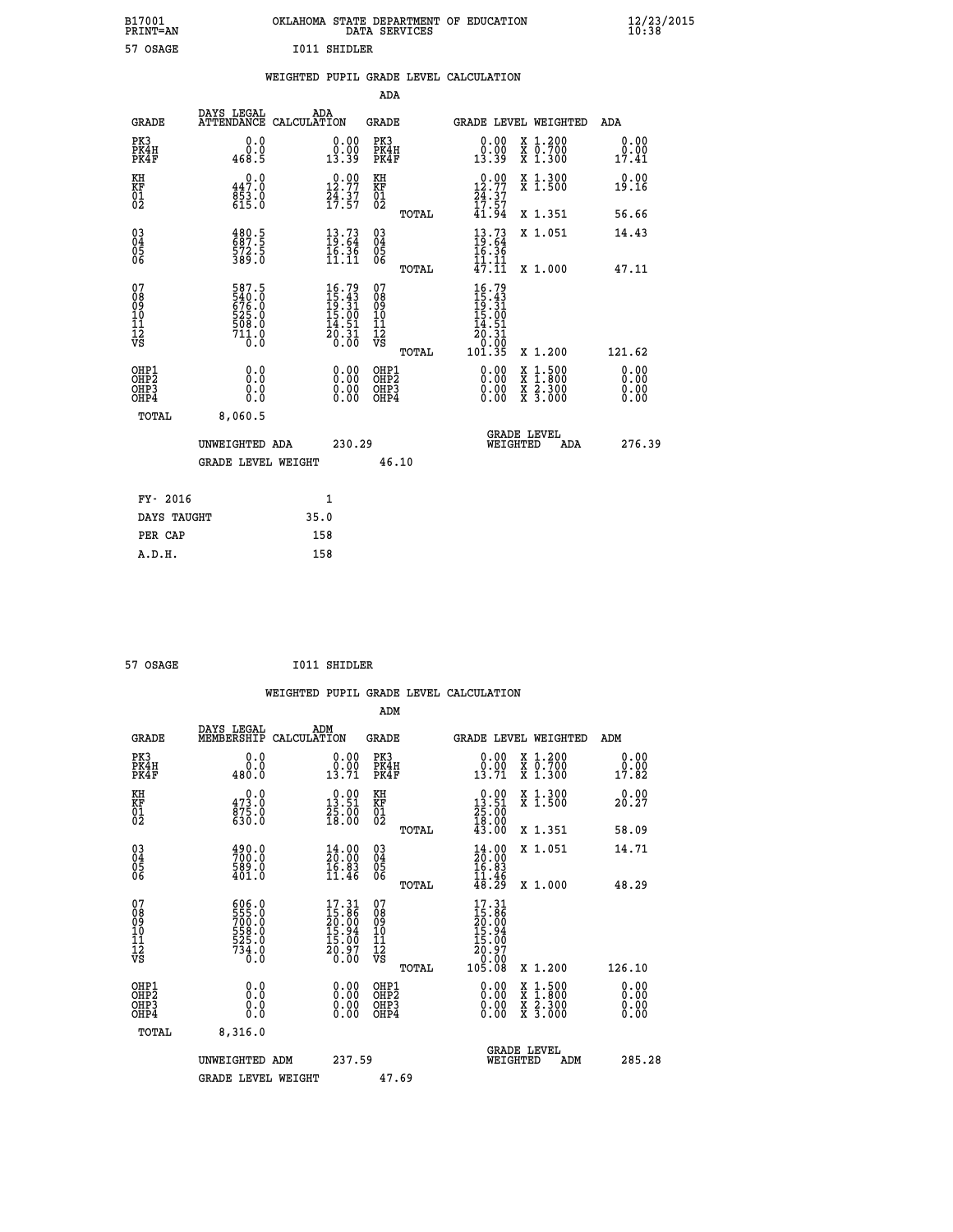| B17001<br><b>PRINT=AN</b> | OKLAHOMA STATE DEPARTMENT OF EDUCATION<br>DATA SERVICES | $\frac{12}{23}$ /2015 |
|---------------------------|---------------------------------------------------------|-----------------------|
| 57 OSAGE                  | <b>I011 SHIDLER</b>                                     |                       |

|  |  | WEIGHTED PUPIL GRADE LEVEL CALCULATION |
|--|--|----------------------------------------|
|  |  |                                        |

|                                                                    |                                                                                  |                                                             |                                                                                | ADA                                          |       |                                                                      |                                          |                              |
|--------------------------------------------------------------------|----------------------------------------------------------------------------------|-------------------------------------------------------------|--------------------------------------------------------------------------------|----------------------------------------------|-------|----------------------------------------------------------------------|------------------------------------------|------------------------------|
| <b>GRADE</b>                                                       | DAYS LEGAL<br>ATTENDANCE CALCULATION                                             | ADA                                                         |                                                                                | <b>GRADE</b>                                 |       | GRADE LEVEL WEIGHTED                                                 |                                          | ADA                          |
| PK3<br>PK4H<br>PK4F                                                | 0.0<br>$\begin{smallmatrix} & 0 & 0 \\ 0 & 0 & 0 \\ 4 & 6 & 8 \end{smallmatrix}$ | $\begin{smallmatrix} 0.00\\ 0.00\\ 13.39 \end{smallmatrix}$ |                                                                                | PK3<br>PK4H<br>PK4F                          |       | 0.00<br>$\substack{0.001339}$                                        | X 1.200<br>X 0.700<br>X 1.300            | 0.00<br>0.00<br>17.41        |
| KH<br>KF<br>01<br>02                                               | 0.0<br>447.0<br>$853.0$<br>615.0                                                 | 12.77<br>$\frac{24}{17}$ : 37                               |                                                                                | KH<br>KF<br>01<br>02                         |       | $12.90$<br>12.77<br>$\frac{24}{17}$ : $\frac{37}{57}$                | X 1.300<br>X 1.500                       | 0.00<br>19.16                |
|                                                                    |                                                                                  |                                                             |                                                                                |                                              | TOTAL | 41.94                                                                | X 1.351                                  | 56.66                        |
| $\begin{smallmatrix} 03 \\[-4pt] 04 \end{smallmatrix}$<br>Ŏ5<br>06 | $\frac{480.5}{687.5}$<br>572.5<br>389.0                                          |                                                             | $\begin{smallmatrix} 13\cdot73\19\cdot64\16\cdot36\11\cdot11\end{smallmatrix}$ | $\substack{03 \\ 04}$<br>Ŏ5<br>06            |       | $13.73$<br>$19.64$<br>$16.36$<br>$11.11$                             | X 1.051                                  | 14.43                        |
|                                                                    |                                                                                  |                                                             |                                                                                |                                              | TOTAL | 47.11                                                                | X 1.000                                  | 47.11                        |
| 07<br>08<br>09<br>101<br>11<br>12<br>VS                            | 587.5<br>$540.0$<br>$676.0$<br>$525.0$<br>$508.0$<br>$711.0$<br>Ō.Ō              | $16.79$<br>$15.43$<br>$19.31$<br>$15.00$<br>$14.51$         | $\frac{20.31}{0.00}$                                                           | 07<br>08<br>09<br>101<br>11<br>12<br>VS      |       | $16.79$<br>$15.43$<br>$19.31$<br>$15.00$<br>$14.51$<br>20.31<br>0.00 |                                          |                              |
|                                                                    |                                                                                  |                                                             |                                                                                |                                              | TOTAL | 101.35                                                               | X 1.200                                  | 121.62                       |
| OHP1<br>OHP <sub>2</sub><br>OH <sub>P3</sub><br>OHP4               | 0.0<br>0.0<br>$0.\overline{0}$                                                   |                                                             | 0.00<br>$\begin{smallmatrix} 0.00 \ 0.00 \end{smallmatrix}$                    | OHP1<br>OHP <sub>2</sub><br>OHP <sub>3</sub> |       | 0.00<br>0.00                                                         | X 1:500<br>X 1:800<br>X 2:300<br>X 3:000 | 0.00<br>0.00<br>0.00<br>0.00 |
| TOTAL                                                              | 8,060.5                                                                          |                                                             |                                                                                |                                              |       |                                                                      |                                          |                              |
|                                                                    | UNWEIGHTED ADA                                                                   |                                                             | 230.29                                                                         |                                              |       | WEIGHTED                                                             | <b>GRADE LEVEL</b><br>ADA                | 276.39                       |
|                                                                    | <b>GRADE LEVEL WEIGHT</b>                                                        |                                                             |                                                                                | 46.10                                        |       |                                                                      |                                          |                              |
| FY- 2016                                                           |                                                                                  | 1                                                           |                                                                                |                                              |       |                                                                      |                                          |                              |
| DAYS TAUGHT                                                        |                                                                                  | 35.0                                                        |                                                                                |                                              |       |                                                                      |                                          |                              |
| PER CAP                                                            |                                                                                  | 158                                                         |                                                                                |                                              |       |                                                                      |                                          |                              |

| 57 OSAGE |  | <b>I011 SHIDLER</b> |
|----------|--|---------------------|
|          |  |                     |

 **WEIGHTED PUPIL GRADE LEVEL CALCULATION ADM DAYS LEGAL ADM GRADE MEMBERSHIP CALCULATION GRADE GRADE LEVEL WEIGHTED ADM PK3 0.0 0.00 PK3 0.00 X 1.200 0.00 PK4H 0.0 0.00 PK4H 0.00 X 0.700 0.00 PK4F 480.0 13.71 PK4F 13.71 X 1.300 17.82 KH 0.0 0.00 KH 0.00 X 1.300 0.00 KF 473.0 13.51 KF 13.51 X 1.500 20.27 01** 875.0 **25.00** 01 25.00 02 630.0 18.00 02 19.00  **TOTAL 43.00 X 1.351 58.09 03 490.0 14.00 03 14.00 X 1.051 14.71 04 700.0 20.00 04 20.00 05 589.0 16.83 05 16.83** 06 401.0 11.46 06 <sub>mome</sub> 11.46  **TOTAL 48.29 X 1.000 48.29** 07 606.0 17.31 07 17.31<br>
08 558.0 15.96 08 15.96<br>
10 558.0 15.94 10 15.94<br>
11 528.0 15.94 10 15.94<br>
12 528.0 15.00 11 15.96<br>
12 734.0 20.97<br>
75 6.0 20.00 VS 0.00  $\begin{matrix} 07 & 606.0 & 17.31 & 07 & 17.31 \\ 08 & 555.0 & 15.86 & 08 & 15.36 \\ 709 & 709.0 & 709.0 & 0 & 0 \\ 10 & 528.0 & 15.94 & 10 & 15.06 \\ 11 & 528.0 & 15.00 & 11 & 15.00 \\ 734.0 & 15.00 & 11 & 15.00 \\ 734.0 & 20.37 & 12 & 20.97 \\ 734.0 & 0.00 & 0.0 & 0.00 \\$  **OHP1 0.0 0.00 OHP1 0.00 X 1.500 0.00 OHP2 0.0 0.00 OHP2 0.00 X 1.800 0.00 OHP3 0.0 0.00 OHP3 0.00 X 2.300 0.00 OHP4 0.0 0.00 OHP4 0.00 X 3.000 0.00**

| TOTAL | 8,316.0            |        |                                       |        |
|-------|--------------------|--------|---------------------------------------|--------|
|       | UNWEIGHTED ADM     | 237.59 | <b>GRADE LEVEL</b><br>ADM<br>WEIGHTED | 285.28 |
|       | GRADE LEVEL WEIGHT | 47.69  |                                       |        |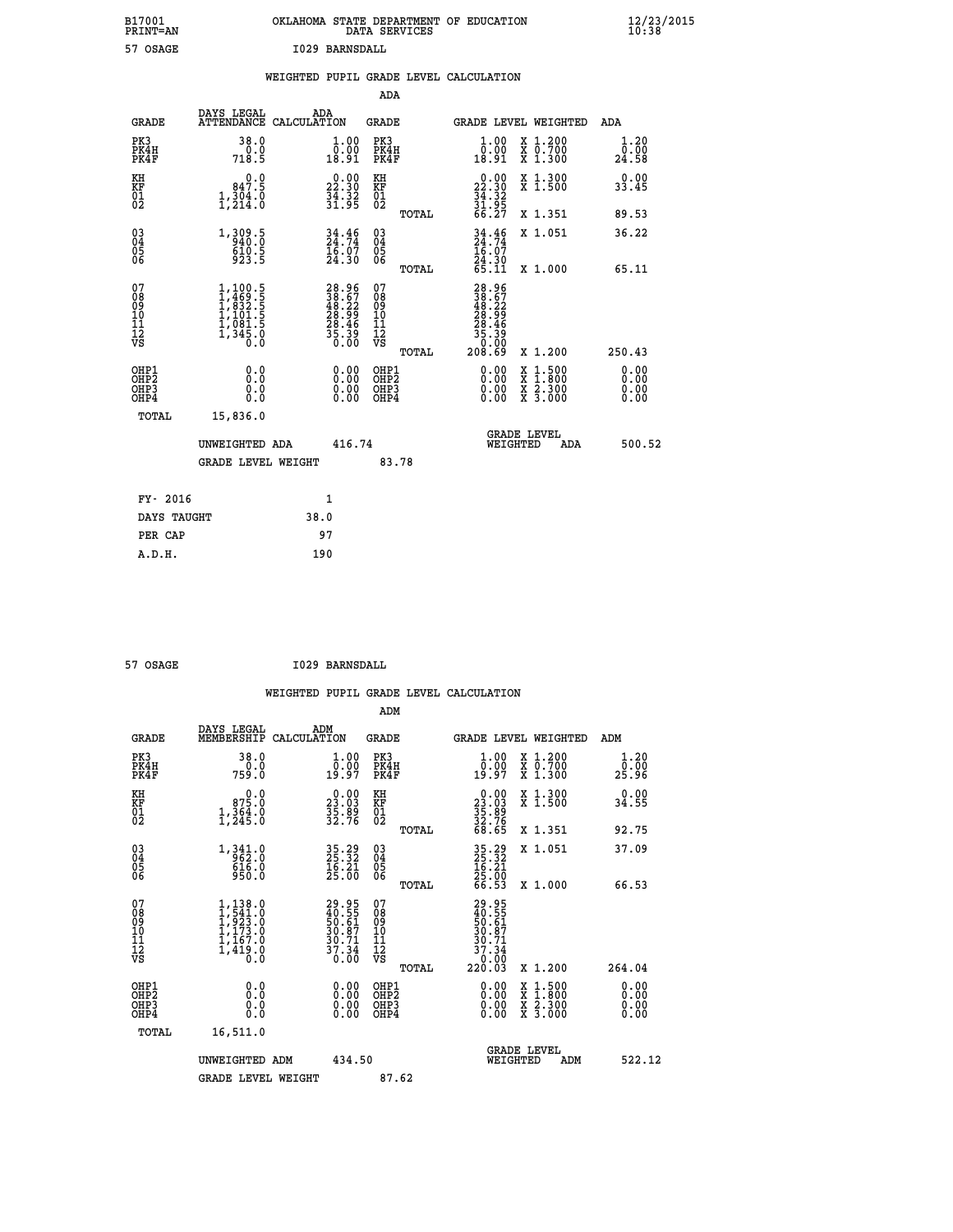| B17001<br><b>PRINT=AN</b> | OKLAHOMA STATE DEPARTMENT OF EDUCATION<br>DATA SERVICES | $\frac{12}{23}$ /2015 |
|---------------------------|---------------------------------------------------------|-----------------------|
| 57 OSAGE                  | I029 BARNSDALL                                          |                       |

|                                                       |                                                                                                          |                                                                      |        | ADA                                      |       |                                                                                                                  |                                          |                              |
|-------------------------------------------------------|----------------------------------------------------------------------------------------------------------|----------------------------------------------------------------------|--------|------------------------------------------|-------|------------------------------------------------------------------------------------------------------------------|------------------------------------------|------------------------------|
| <b>GRADE</b>                                          | DAYS LEGAL                                                                                               | ADA<br>ATTENDANCE CALCULATION                                        |        | GRADE                                    |       |                                                                                                                  | <b>GRADE LEVEL WEIGHTED</b>              | ADA                          |
| PK3<br>PK4H<br>PK4F                                   | 38.0<br>718.5                                                                                            | $\begin{smallmatrix} 1.00\\ 0.00\\ 18.91 \end{smallmatrix}$          |        | PK3<br>PK4H<br>PK4F                      |       | 1.00<br>0.00<br>18.91                                                                                            | X 1.200<br>X 0.700<br>X 1.300            | 1.20<br>0.00<br>24.58        |
| KH<br>KF<br>01<br>02                                  | 847.5<br>1,304.0                                                                                         | $\begin{smallmatrix} 0.00\\ 22.30\\ 34.32\\ 31.92 \end{smallmatrix}$ |        | KH<br>KF<br>01<br>02                     |       | $\begin{smallmatrix} 0.00\\ 22.30\\ 34.32\\ 31.95\\ 66.27 \end{smallmatrix}$                                     | X 1.300<br>X 1.500                       | 0.00<br>33.45                |
|                                                       |                                                                                                          |                                                                      |        |                                          | TOTAL |                                                                                                                  | X 1.351                                  | 89.53                        |
| $\begin{matrix} 03 \\ 04 \\ 05 \\ 06 \end{matrix}$    | 1,309.5<br>610.5<br>923.5                                                                                | $34.46$<br>$24.74$<br>Ī6:07<br>24:30                                 |        | 03<br>04<br>05<br>06                     |       | $34.74$<br>$24.74$<br>$16.07$<br>$24.30$<br>$65.11$                                                              | X 1.051                                  | 36.22                        |
|                                                       |                                                                                                          |                                                                      |        |                                          | TOTAL |                                                                                                                  | X 1.000                                  | 65.11                        |
| 07<br>08<br>09<br>11<br>11<br>12<br>VS                | $\begin{smallmatrix} 1,100.5\\ 1,469.5\\ 1,832.5\\ 1,101.5\\ 1,1081.5\\ 1,345.0\\ 0.0 \end{smallmatrix}$ | 28.967<br>388.67<br>48.22<br>28.99<br>28.46<br>35.39<br>35.390       |        | 07<br>08<br>09<br>11<br>11<br>12<br>VS   | TOTAL | $\begin{smallmatrix} 28.96\\ 38.57\\ 48.52\\ 28.29\\ 28.49\\ 28.46\\ 35.39\\ 0\\ 0\\ 0\\ 0\\ 0\end{smallmatrix}$ | X 1.200                                  | 250.43                       |
| OHP1<br>OH <sub>P</sub> 2<br>OH <sub>P3</sub><br>OHP4 | 0.0<br>0.0<br>0.0                                                                                        | 0.00<br>$\begin{smallmatrix} 0.00 \ 0.00 \end{smallmatrix}$          |        | OHP1<br>OHP <sub>2</sub><br>OHP3<br>OHP4 |       | 0.00<br>0.00<br>0.00                                                                                             | X 1:500<br>X 1:800<br>X 2:300<br>X 3:000 | 0.00<br>0.00<br>0.00<br>0.00 |
| TOTAL                                                 | 15,836.0                                                                                                 |                                                                      |        |                                          |       |                                                                                                                  |                                          |                              |
|                                                       | UNWEIGHTED ADA<br>GRADE LEVEL WEIGHT                                                                     |                                                                      | 416.74 | 83.78                                    |       | WEIGHTED                                                                                                         | <b>GRADE LEVEL</b><br>ADA                | 500.52                       |
|                                                       |                                                                                                          |                                                                      |        |                                          |       |                                                                                                                  |                                          |                              |
| FY- 2016                                              |                                                                                                          | $\mathbf{1}$                                                         |        |                                          |       |                                                                                                                  |                                          |                              |
| DAYS TAUGHT                                           |                                                                                                          | 38.0                                                                 |        |                                          |       |                                                                                                                  |                                          |                              |
| PER CAP                                               |                                                                                                          | 97                                                                   |        |                                          |       |                                                                                                                  |                                          |                              |
| A.D.H.                                                |                                                                                                          | 190                                                                  |        |                                          |       |                                                                                                                  |                                          |                              |

| 57 OSAGE | I029 BARNSDALL |
|----------|----------------|

|                                                      |                                                                               |                                                                      | ADM                                          |                                                                              |                                          |                          |
|------------------------------------------------------|-------------------------------------------------------------------------------|----------------------------------------------------------------------|----------------------------------------------|------------------------------------------------------------------------------|------------------------------------------|--------------------------|
| <b>GRADE</b>                                         | DAYS LEGAL<br>MEMBERSHIP                                                      | ADM<br>CALCULATION                                                   | GRADE                                        | GRADE LEVEL WEIGHTED                                                         |                                          | ADM                      |
| PK3<br>PK4H<br>PK4F                                  | 38.0<br>759.0                                                                 | $\begin{smallmatrix} 1.00\\ 0.00\\ 19.97 \end{smallmatrix}$          | PK3<br>PK4H<br>PK4F                          | 1.00<br>0:00<br>19:97                                                        | X 1.200<br>X 0.700<br>X 1.300            | 1.20<br>ō:ōŏ<br>25.96    |
| KH<br>KF<br>01<br>02                                 | 0.0<br>$\begin{smallmatrix} 875.0\\ 1,364.0\\ 1,245.0 \end{smallmatrix}$      | $\begin{smallmatrix} 0.00\\ 23.03\\ 35.89\\ 32.76 \end{smallmatrix}$ | KH<br>KF<br>01<br>02                         | $\begin{smallmatrix} 0.00\\ 23.03\\ 35.89\\ 32.76\\ 68.65 \end{smallmatrix}$ | X 1.300<br>X 1.500                       | 0.00<br>34.55            |
|                                                      |                                                                               |                                                                      | TOTAL                                        |                                                                              | X 1.351                                  | 92.75                    |
| $\begin{matrix} 03 \\ 04 \\ 05 \\ 06 \end{matrix}$   | $1,341.0$<br>$962.0$<br>$616.0$<br>$950.0$                                    | 35.29<br>25.32<br>16.21<br>25.00                                     | 03<br>04<br>05<br>06                         | $35.32$<br>$16.21$<br>$16.21$<br>$25.00$<br>$66.53$                          | X 1.051                                  | 37.09                    |
|                                                      |                                                                               |                                                                      | TOTAL                                        |                                                                              | X 1.000                                  | 66.53                    |
| 07<br>08<br>09<br>10<br>11<br>11<br>12<br>VS         | $1, 138.0$<br>$1, 541.0$<br>$1, 923.0$<br>$1, 173.0$<br>$1, 167.0$<br>1,419.0 | 29.95<br>40.55<br>50.61<br>50.87<br>30.71<br>37.34<br>0.00           | 07<br>08<br>09<br>01<br>11<br>11<br>12<br>VS | 29.95<br>40.55<br>50.61<br>50.87<br>30.71<br>37.34<br>0.00<br>220.03         |                                          |                          |
|                                                      |                                                                               |                                                                      | TOTAL                                        |                                                                              | X 1.200                                  | 264.04                   |
| OHP1<br>OH <sub>P</sub> <sub>2</sub><br>OHP3<br>OHP4 |                                                                               |                                                                      | OHP1<br>OHP2<br>OHP3<br>OHP4                 | 0.00<br>0.00                                                                 | X 1:500<br>X 1:800<br>X 2:300<br>X 3:000 | $0.00$<br>$0.00$<br>0.00 |
| TOTAL                                                | 16,511.0                                                                      |                                                                      |                                              |                                                                              |                                          |                          |
|                                                      | UNWEIGHTED<br>ADM                                                             | 434.50                                                               |                                              | <b>GRADE LEVEL</b><br>WEIGHTED                                               | ADM                                      | 522.12                   |
|                                                      | <b>GRADE LEVEL WEIGHT</b>                                                     |                                                                      | 87.62                                        |                                                                              |                                          |                          |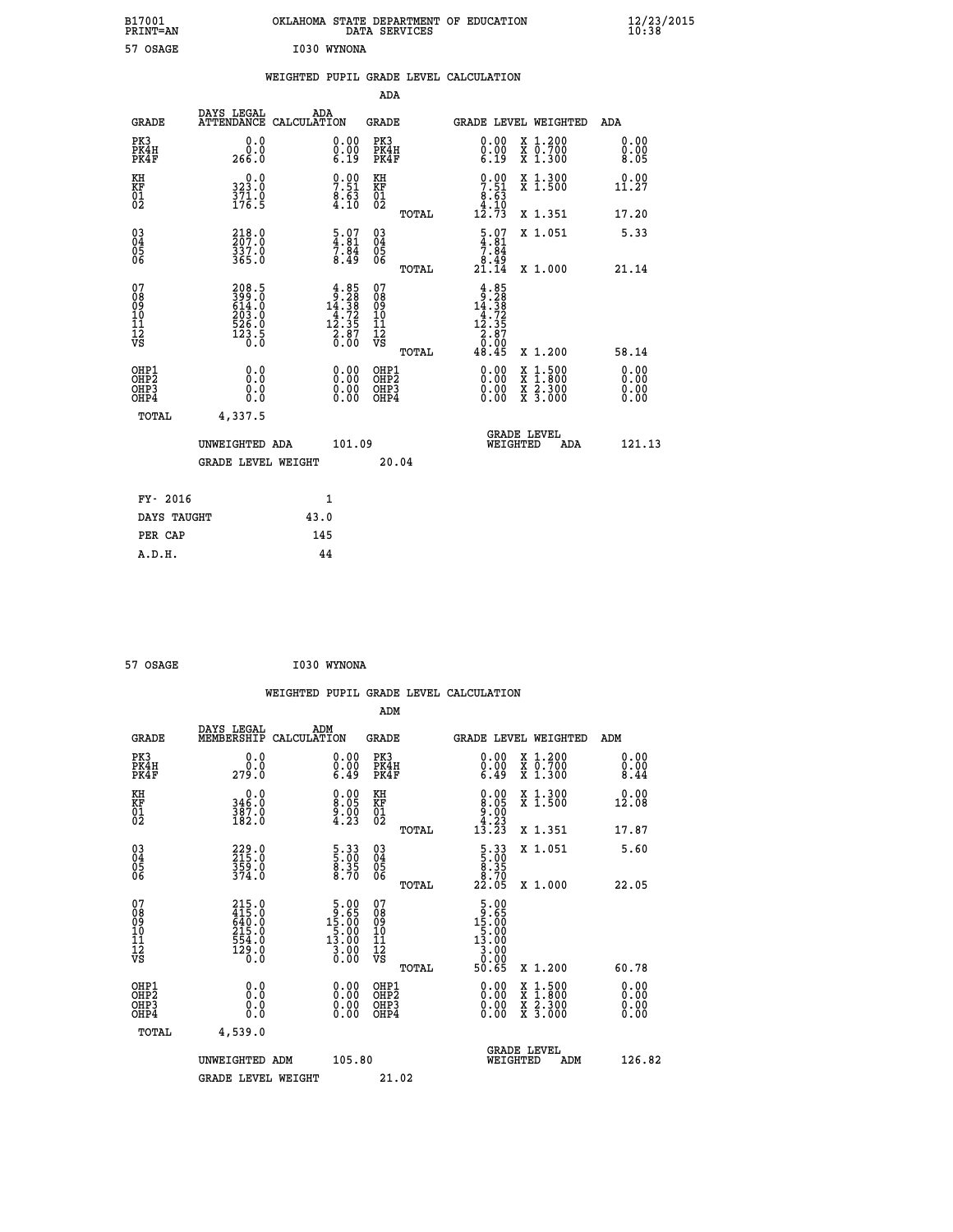| B17001<br>PRINT=AN                     |                                                                      | OKLAHOMA STATE DEPARTMENT OF EDUCATION                                                                                                  | DATA SERVICES                                                       |                                                                                                                                                                                                                                                                                        |                                                                                                                                           | $\frac{12}{23}$ /2015 |
|----------------------------------------|----------------------------------------------------------------------|-----------------------------------------------------------------------------------------------------------------------------------------|---------------------------------------------------------------------|----------------------------------------------------------------------------------------------------------------------------------------------------------------------------------------------------------------------------------------------------------------------------------------|-------------------------------------------------------------------------------------------------------------------------------------------|-----------------------|
| 57 OSAGE                               |                                                                      | I030 WYNONA                                                                                                                             |                                                                     |                                                                                                                                                                                                                                                                                        |                                                                                                                                           |                       |
|                                        |                                                                      | WEIGHTED PUPIL GRADE LEVEL CALCULATION                                                                                                  |                                                                     |                                                                                                                                                                                                                                                                                        |                                                                                                                                           |                       |
|                                        |                                                                      |                                                                                                                                         | ADA                                                                 |                                                                                                                                                                                                                                                                                        |                                                                                                                                           |                       |
| <b>GRADE</b>                           | DAYS LEGAL<br>ATTENDANCE CALCULATION                                 | ADA                                                                                                                                     | <b>GRADE</b>                                                        |                                                                                                                                                                                                                                                                                        | GRADE LEVEL WEIGHTED                                                                                                                      | ADA                   |
| PK3<br>PK4H<br>PK4F                    | 0.0<br>0.0<br>266.0                                                  | 0.00<br>$\begin{smallmatrix} 0.00 \ 6.19 \end{smallmatrix}$                                                                             | PK3<br>PK4H<br>PK4F                                                 | 0.00<br>$\begin{smallmatrix} 0.00 & 0.00 & 0.00 & 0.00 & 0.00 & 0.00 & 0.00 & 0.00 & 0.00 & 0.00 & 0.00 & 0.00 & 0.00 & 0.00 & 0.00 & 0.00 & 0.00 & 0.00 & 0.00 & 0.00 & 0.00 & 0.00 & 0.00 & 0.00 & 0.00 & 0.00 & 0.00 & 0.00 & 0.00 & 0.00 & 0.00 & 0.00 & 0.00 & 0.00 & 0.00 & 0.0$ | X 1.200<br>X 0.700<br>X 1.300                                                                                                             | 0.00<br>0.00<br>8.05  |
| KH<br>KF<br>01<br>02                   | 0.0<br>323.0<br>371.0<br>176.5                                       | $7.51$<br>$8.63$<br>$4.10$                                                                                                              | KH<br><b>KF</b><br>01<br>02                                         | $7.51$<br>$8.63$<br>$4.10$                                                                                                                                                                                                                                                             | X 1.300<br>X 1.500                                                                                                                        | 0.00<br>11.27         |
|                                        |                                                                      |                                                                                                                                         | TOTAL                                                               | 12.73                                                                                                                                                                                                                                                                                  | X 1.351                                                                                                                                   | 17.20                 |
| 03<br>04<br>05<br>06                   | 218.0<br>207.0<br>337.0<br>365.0                                     | $\begin{smallmatrix} 5.07\ 4.81\ 7.84\ 8.49 \end{smallmatrix}$                                                                          | $\begin{matrix} 03 \\ 04 \\ 05 \\ 06 \end{matrix}$                  | $\frac{5.07}{4.81}$<br>$\frac{8.45}{21.14}$                                                                                                                                                                                                                                            | X 1.051                                                                                                                                   | 5.33                  |
|                                        |                                                                      |                                                                                                                                         | <b>TOTAL</b>                                                        |                                                                                                                                                                                                                                                                                        | X 1.000                                                                                                                                   | 21.14                 |
| 07<br>08<br>09<br>11<br>11<br>12<br>VS | 208.5<br>399.0<br>614.0<br>614.0<br>203.0<br>526.0<br>523.5<br>123.5 | $\begin{smallmatrix} 4.85\\[-1.2mm] 9.28\\[-1.2mm] 14.38\\[-1.2mm] 4.72\\[-1.2mm] 12.35\\[-1.2mm] 2.87\\[-1.2mm] 0.00\end{smallmatrix}$ | 07<br>08<br>09<br>10<br>$\frac{11}{12}$<br>$\frac{12}{18}$<br>TOTAL | $\begin{array}{r} 4.85 \\ 9.28 \\ 14.38 \\ 4.72 \\ 12.35 \\ 2.87 \\ 0.90 \\ \end{array}$<br>48.45                                                                                                                                                                                      | X 1.200                                                                                                                                   | 58.14                 |
| OHP1<br>OHP2<br>OH <sub>P3</sub>       | 0.0<br>Ŏ.Ō<br>0.0                                                    | 0.00<br>0.00                                                                                                                            | OHP1<br>OHP2<br>OHP3                                                | 0.00<br>0.00                                                                                                                                                                                                                                                                           | $\begin{smallmatrix} \mathtt{X} & 1\cdot500\\ \mathtt{X} & 1\cdot800\\ \mathtt{X} & 2\cdot300\\ \mathtt{X} & 3\cdot000 \end{smallmatrix}$ | 0.00<br>0.00<br>0.00  |
| OHP4                                   | 0.0                                                                  | 0.00                                                                                                                                    | OHP4                                                                | 0.00                                                                                                                                                                                                                                                                                   |                                                                                                                                           | 0.00                  |
| TOTAL                                  | 4,337.5                                                              |                                                                                                                                         |                                                                     |                                                                                                                                                                                                                                                                                        | <b>GRADE LEVEL</b>                                                                                                                        |                       |
|                                        | UNWEIGHTED ADA                                                       | 101.09                                                                                                                                  |                                                                     | WEIGHTED                                                                                                                                                                                                                                                                               | ADA                                                                                                                                       | 121.13                |
|                                        | <b>GRADE LEVEL WEIGHT</b>                                            |                                                                                                                                         | 20.04                                                               |                                                                                                                                                                                                                                                                                        |                                                                                                                                           |                       |
| FY- 2016                               |                                                                      | 1                                                                                                                                       |                                                                     |                                                                                                                                                                                                                                                                                        |                                                                                                                                           |                       |
| DAYS TAUGHT                            |                                                                      | 43.0                                                                                                                                    |                                                                     |                                                                                                                                                                                                                                                                                        |                                                                                                                                           |                       |
| PER CAP                                |                                                                      | 145                                                                                                                                     |                                                                     |                                                                                                                                                                                                                                                                                        |                                                                                                                                           |                       |

| 57 OSAGE | I030 WYNONA |
|----------|-------------|
|          |             |

|                                                      |                                                                                  |                    |                                                                                              |                                                     |       | WEIGHTED PUPIL GRADE LEVEL CALCULATION                                                     |                                          |                      |
|------------------------------------------------------|----------------------------------------------------------------------------------|--------------------|----------------------------------------------------------------------------------------------|-----------------------------------------------------|-------|--------------------------------------------------------------------------------------------|------------------------------------------|----------------------|
|                                                      |                                                                                  |                    |                                                                                              | ADM                                                 |       |                                                                                            |                                          |                      |
| <b>GRADE</b>                                         | DAYS LEGAL<br>MEMBERSHIP                                                         | ADM<br>CALCULATION |                                                                                              | <b>GRADE</b>                                        |       | <b>GRADE LEVEL WEIGHTED</b>                                                                |                                          | ADM                  |
| PK3<br>PK4H<br>PK4F                                  | 0.0<br>0.0<br>279.0                                                              |                    | $\begin{smallmatrix} 0.00 \ 0.00 \ 6.49 \end{smallmatrix}$                                   | PK3<br>PK4H<br>PK4F                                 |       | $\begin{smallmatrix} 0.00 \\ 0.00 \\ 6.49 \end{smallmatrix}$                               | X 1.200<br>X 0.700<br>X 1.300            | 0.00<br>0.00<br>8.44 |
| KH<br>KF<br>01<br>02                                 | $\begin{smallmatrix}&&0\cdot0\\346\cdot0\\387\cdot0\\182\cdot0\end{smallmatrix}$ |                    | $\begin{smallmatrix} 0.00\\ 8.05\\ 9.00\\ 4.23 \end{smallmatrix}$                            | KH<br>KF<br>01<br>02                                |       | $\begin{smallmatrix} 0.00\\ 8.05\\ 9.00\\ 4.23\\ 13.23 \end{smallmatrix}$                  | X 1.300<br>X 1.500                       | 0.00<br>12.08        |
|                                                      |                                                                                  |                    |                                                                                              |                                                     | TOTAL |                                                                                            | X 1.351                                  | 17.87                |
| $\begin{matrix} 03 \\ 04 \\ 05 \\ 06 \end{matrix}$   | 229.0<br>215.0<br>359.0<br>374.0                                                 |                    | 5:33<br>5:00<br>8:35<br>8:70                                                                 | $\begin{array}{c} 03 \\ 04 \\ 05 \\ 06 \end{array}$ |       | $\begin{smallmatrix}5\cdot33\5\cdot00\8\cdot35\8\cdot70\22\cdot05\end{smallmatrix}$        | X 1.051                                  | 5.60                 |
|                                                      |                                                                                  |                    |                                                                                              |                                                     | TOTAL |                                                                                            | X 1.000                                  | 22.05                |
| 07<br>0890112<br>1112<br>VS                          | 215.0<br>415.0<br>640.0<br>215.0<br>215.0<br>554.0<br>554.0<br>129.0             |                    | $\begin{array}{r} 5.00 \\ 9.65 \\ 15.00 \\ 5.00 \\ 13.00 \end{array}$<br>$\frac{3.00}{0.00}$ | 07<br>08901112<br>1112<br>VS                        | TOTAL | $\begin{smallmatrix}5.00\\19.65\\15.00\\5.00\\13.00\\3.00\\0.90\end{smallmatrix}$<br>50.65 | X 1.200                                  | 60.78                |
| OHP1<br>OHP <sub>2</sub><br>OH <sub>P3</sub><br>OHP4 | 0.0<br>0.000                                                                     |                    | $0.00$<br>$0.00$<br>0.00                                                                     | OHP1<br>OHP2<br>OHP <sub>3</sub>                    |       | 0.00<br>0.00<br>0.00                                                                       | X 1:500<br>X 1:800<br>X 2:300<br>X 3:000 | 0.00<br>0.00<br>0.00 |
| TOTAL                                                | 4,539.0                                                                          |                    |                                                                                              |                                                     |       |                                                                                            |                                          |                      |
|                                                      | UNWEIGHTED ADM                                                                   |                    | 105.80                                                                                       |                                                     |       | WEIGHTED                                                                                   | <b>GRADE LEVEL</b><br>ADM                | 126.82               |
|                                                      | <b>GRADE LEVEL WEIGHT</b>                                                        |                    |                                                                                              | 21.02                                               |       |                                                                                            |                                          |                      |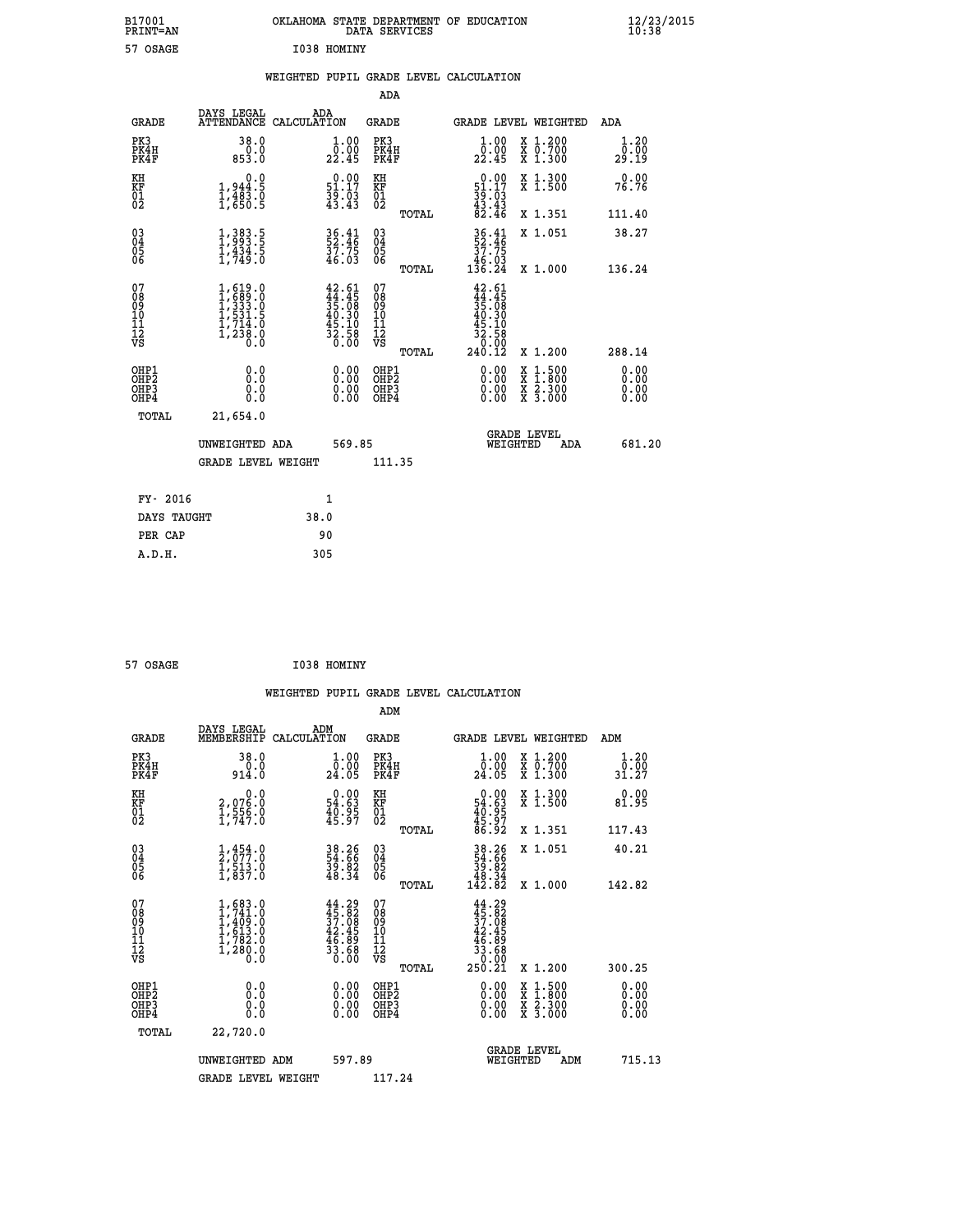| B17001          | OKLAHOMA STATE DEPARTMENT OF EDUCATION |
|-----------------|----------------------------------------|
| <b>PRINT=AN</b> | DATA SERVICES                          |
| 57 OSAGE        | I038 HOMINY                            |

**EXECUTE:**<br> **B12/23/2015**<br> **B138** 

|  |  | WEIGHTED PUPIL GRADE LEVEL CALCULATION |
|--|--|----------------------------------------|
|  |  |                                        |

|                                                                              |                                                                                                                            |                                                                                              | ADA                                                |       |                                                                                                              |                                                                                                                                           |                              |
|------------------------------------------------------------------------------|----------------------------------------------------------------------------------------------------------------------------|----------------------------------------------------------------------------------------------|----------------------------------------------------|-------|--------------------------------------------------------------------------------------------------------------|-------------------------------------------------------------------------------------------------------------------------------------------|------------------------------|
| <b>GRADE</b>                                                                 | DAYS LEGAL                                                                                                                 | ADA<br>ATTENDANCE CALCULATION                                                                | GRADE                                              |       | <b>GRADE LEVEL WEIGHTED</b>                                                                                  |                                                                                                                                           | ADA                          |
| PK3<br>PK4H<br>PK4F                                                          | 38.0<br>$0.0$<br>$0.853.0$                                                                                                 | 1.00<br>0.00<br>22.45                                                                        | PK3<br>PK4H<br>PK4F                                |       | 1.00<br>0.00<br>22.45                                                                                        | X 1.200<br>X 0.700<br>X 1.300                                                                                                             | 1.20<br>0.00<br>29.19        |
| KH<br>KF<br>01<br>02                                                         | 0.0<br>$1,944.5$<br>$1,483.0$<br>$1,650.5$                                                                                 | $\begin{smallmatrix} 0.00\\ 51.17\\ 39.03\\ 43.43 \end{smallmatrix}$                         | KH<br>KF<br>01<br>02                               |       | $0.00$<br>$51.17$<br>$39.03$<br>$43.43$<br>$82.46$                                                           | X 1.300<br>X 1.500                                                                                                                        | 0.00<br>76.76                |
|                                                                              |                                                                                                                            |                                                                                              |                                                    | TOTAL |                                                                                                              | X 1.351                                                                                                                                   | 111.40                       |
| $^{03}_{04}$<br>Ŏ5<br>06                                                     | $1,383.5$<br>$1,993.5$<br>$1,434.5$<br>$1,749.0$                                                                           | 36.41<br>52.46<br>37.75<br>46.03                                                             | $\begin{matrix} 03 \\ 04 \\ 05 \\ 06 \end{matrix}$ |       | $\frac{36}{52}$ : $\frac{41}{46}$<br>$\frac{37}{2}$ : 75<br>$\frac{46.03}{136.24}$                           | X 1.051                                                                                                                                   | 38.27                        |
|                                                                              |                                                                                                                            |                                                                                              |                                                    | TOTAL |                                                                                                              | X 1.000                                                                                                                                   | 136.24                       |
| 07<br>08<br>09<br>11<br>11<br>12<br>VS                                       | $\begin{smallmatrix} 1, 619 & 0\\ 1, 689 & 0\\ 1, 333 & 0\\ 1, 531 & 5\\ 1, 714 & 0\\ 1, 238 & 0\\ 0 & 0\end{smallmatrix}$ | $\begin{smallmatrix} 42.61\\ 44.45\\ 35.08\\ 40.30\\ 45.10\\ 32.58\\ 0.00 \end{smallmatrix}$ | 07<br>08<br>09<br>11<br>11<br>12<br>VS             | TOTAL | $\begin{array}{r} 42.61 \\ 44.45 \\ 35.08 \\ 40.30 \\ 40.30 \\ 45.10 \\ 32.58 \\ 0.00 \\ 240.12 \end{array}$ | X 1.200                                                                                                                                   | 288.14                       |
| OHP1<br>OH <sub>P</sub> <sub>2</sub><br>OH <sub>P3</sub><br>OH <sub>P4</sub> | 0.0<br>Ō.Ō<br>0.0<br>0.0                                                                                                   | 0.00<br>0.00<br>0.00                                                                         | OHP1<br>OHP2<br>OHP3<br>OHP4                       |       | 0.00<br>0.00<br>0.00                                                                                         | $\begin{smallmatrix} \mathtt{X} & 1\cdot500\\ \mathtt{X} & 1\cdot800\\ \mathtt{X} & 2\cdot300\\ \mathtt{X} & 3\cdot000 \end{smallmatrix}$ | 0.00<br>0.00<br>0.00<br>0.00 |
| TOTAL                                                                        | 21,654.0                                                                                                                   |                                                                                              |                                                    |       |                                                                                                              |                                                                                                                                           |                              |
|                                                                              | UNWEIGHTED ADA                                                                                                             | 569.85                                                                                       |                                                    |       | WEIGHTED                                                                                                     | <b>GRADE LEVEL</b><br>ADA                                                                                                                 | 681.20                       |
|                                                                              | <b>GRADE LEVEL WEIGHT</b>                                                                                                  |                                                                                              | 111.35                                             |       |                                                                                                              |                                                                                                                                           |                              |
|                                                                              |                                                                                                                            |                                                                                              |                                                    |       |                                                                                                              |                                                                                                                                           |                              |
| FY- 2016                                                                     |                                                                                                                            | $\mathbf{1}$                                                                                 |                                                    |       |                                                                                                              |                                                                                                                                           |                              |
| DAYS TAUGHT                                                                  |                                                                                                                            | 38.0                                                                                         |                                                    |       |                                                                                                              |                                                                                                                                           |                              |
| PER CAP                                                                      |                                                                                                                            | 90                                                                                           |                                                    |       |                                                                                                              |                                                                                                                                           |                              |
| A.D.H.                                                                       |                                                                                                                            | 305                                                                                          |                                                    |       |                                                                                                              |                                                                                                                                           |                              |

| 57 OSAGE | I038 HOMINY |
|----------|-------------|
|          |             |

 **A.D.H. 305**

|                                                      |                                                                                         |                                                                                              | ADM                                                 |       |                                                                                       |                                          |                              |
|------------------------------------------------------|-----------------------------------------------------------------------------------------|----------------------------------------------------------------------------------------------|-----------------------------------------------------|-------|---------------------------------------------------------------------------------------|------------------------------------------|------------------------------|
| <b>GRADE</b>                                         | DAYS LEGAL<br>MEMBERSHIP                                                                | ADM<br>CALCULATION                                                                           | <b>GRADE</b>                                        |       |                                                                                       | GRADE LEVEL WEIGHTED                     | ADM                          |
| PK3<br>PK4H<br>PK4F                                  | 38.0<br>0.0<br>914.0                                                                    | 1.00<br>0:00<br>24:05                                                                        | PK3<br>PK4H<br>PK4F                                 |       | $\begin{smallmatrix} 1.00\\[-1.2mm] 0.00\\[-1.0mm] 24.05\end{smallmatrix}$            | X 1.200<br>X 0.700<br>X 1.300            | 1.20<br>0.00<br>31.27        |
| KH<br>KF<br>01<br>02                                 | 0.0<br>2,076:0<br>1,556:0<br>1,747:0                                                    | $\begin{smallmatrix} 0.00\\ 54.63\\ 40.95\\ 45.97 \end{smallmatrix}$                         | KH<br>KF<br>01<br>02                                |       | $\begin{smallmatrix} &0.00\ 54.63\ 40.95\ 45.97\ 86.92\ \end{smallmatrix}$            | X 1.300<br>X 1.500                       | 0.00<br>81.95                |
|                                                      |                                                                                         |                                                                                              |                                                     | TOTAL |                                                                                       | X 1.351                                  | 117.43                       |
| 03<br>04<br>05<br>06                                 | $\frac{1}{2}, \frac{454}{077}.0 \\ 1, \frac{513}{037}.0$                                | 38.26<br>54.66<br>39.82<br>48.34                                                             | $\begin{array}{c} 03 \\ 04 \\ 05 \\ 06 \end{array}$ |       | $38.26$<br>$54.66$<br>$39.82$<br>$48.34$<br>$142.82$                                  | X 1.051                                  | 40.21                        |
|                                                      |                                                                                         |                                                                                              |                                                     | TOTAL |                                                                                       | X 1.000                                  | 142.82                       |
| 07<br>08<br>09<br>101<br>112<br>VS                   | $1, 683.0$<br>$1, 741.0$<br>$1, 409.0$<br>$1, 613.0$<br>$1, 782.0$<br>$1, 280.0$<br>0.0 | $\begin{smallmatrix} 44.29\\ 45.82\\ 37.08\\ 42.45\\ 46.89\\ 33.68\\ 0.00 \end{smallmatrix}$ | 07<br>08<br>09<br>11<br>11<br>12<br>VS              | TOTAL | $44.29$<br>$37.82$<br>$37.08$<br>$42.45$<br>$46.89$<br>$33.68$<br>$0.000$<br>$250.21$ | X 1.200                                  | 300.25                       |
| OHP1<br>OHP2<br>OH <sub>P3</sub><br>OH <sub>P4</sub> | 0.0<br>$\begin{smallmatrix} 0.0 & 0 \ 0.0 & 0 \end{smallmatrix}$                        |                                                                                              | OHP1<br>OHP2<br>OHP <sub>3</sub>                    |       | $0.00$<br>$0.00$<br>0.00                                                              | X 1:500<br>X 1:800<br>X 2:300<br>X 3:000 | 0.00<br>0.00<br>0.00<br>0.00 |
| TOTAL                                                | 22,720.0                                                                                |                                                                                              |                                                     |       |                                                                                       |                                          |                              |
|                                                      | UNWEIGHTED ADM                                                                          | 597.89                                                                                       |                                                     |       | WEIGHTED                                                                              | <b>GRADE LEVEL</b><br>ADM                | 715.13                       |
|                                                      | <b>GRADE LEVEL WEIGHT</b>                                                               |                                                                                              | 117.24                                              |       |                                                                                       |                                          |                              |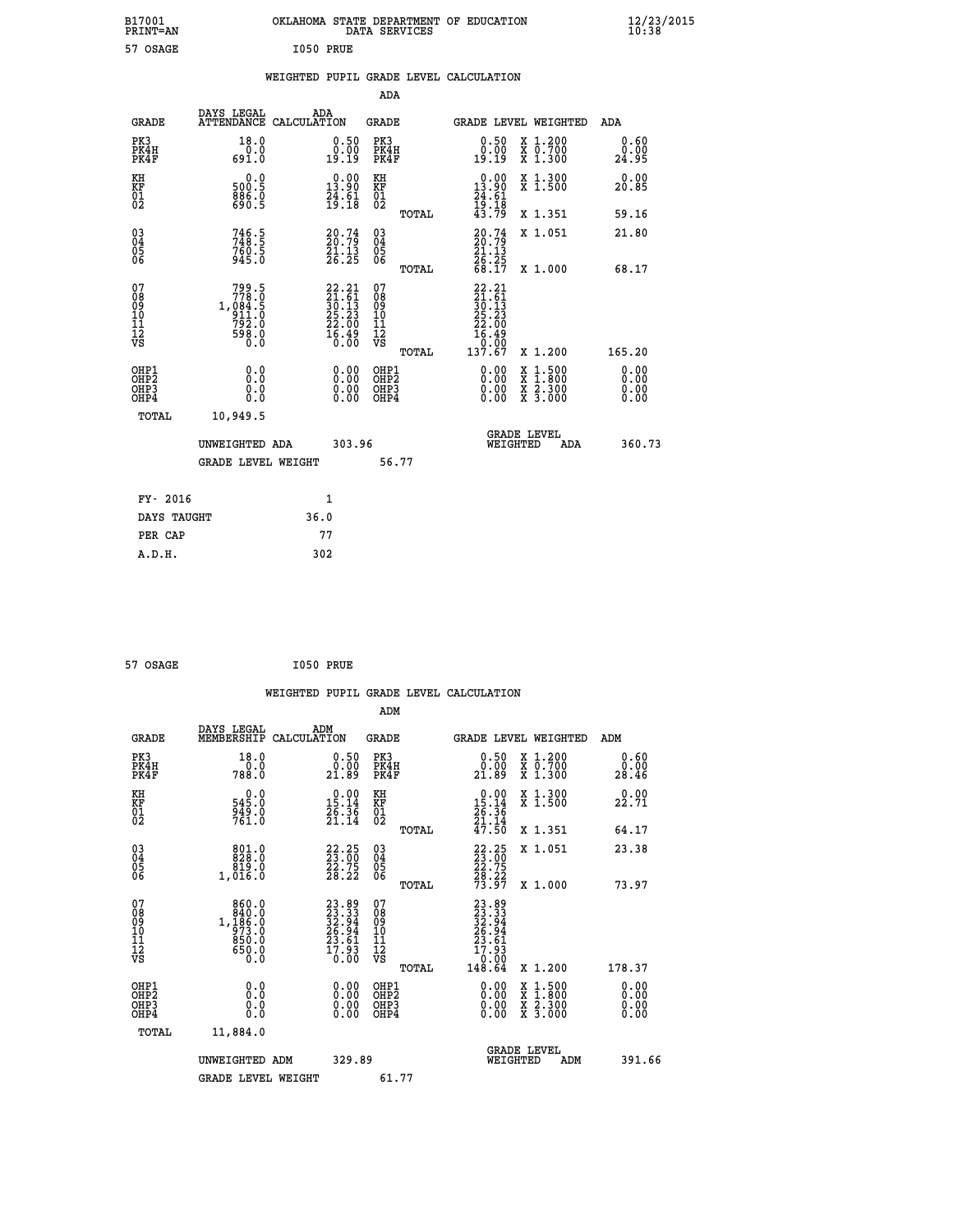| B17001<br>PRINT=AN                     |                                                                    | OKLAHOMA STATE DEPARTMENT OF EDUCATION                                                 | DATA SERVICES                                               |                                                                                      |                                                                                                  | $\frac{12}{23}$ /2015        |  |
|----------------------------------------|--------------------------------------------------------------------|----------------------------------------------------------------------------------------|-------------------------------------------------------------|--------------------------------------------------------------------------------------|--------------------------------------------------------------------------------------------------|------------------------------|--|
| 57 OSAGE                               |                                                                    | I050 PRUE                                                                              |                                                             |                                                                                      |                                                                                                  |                              |  |
|                                        |                                                                    | WEIGHTED PUPIL GRADE LEVEL CALCULATION                                                 |                                                             |                                                                                      |                                                                                                  |                              |  |
|                                        |                                                                    |                                                                                        | <b>ADA</b>                                                  |                                                                                      |                                                                                                  |                              |  |
| GRADE                                  | DAYS LEGAL                                                         | ADA<br>ATTENDANCE CALCULATION                                                          | GRADE                                                       |                                                                                      | GRADE LEVEL WEIGHTED                                                                             | ADA                          |  |
| PK3<br>PK4H<br>PK4F                    | 18.0<br>0.0<br>691.0                                               | 0.50<br>$\begin{smallmatrix} 0.00 \ 19.19 \end{smallmatrix}$                           | PK3<br>PK4H<br>PK4F                                         | 0.50<br>0.00<br>19:19                                                                | X 1.200<br>X 0.700<br>X 1.300                                                                    | 0.60<br>0.00<br>24.95        |  |
| KH<br>KF<br>01<br>02                   | 0.0<br>500.5<br>886.0                                              | $0.00$<br>$13.90$<br>$\frac{51}{19}.$ 61<br>19:18                                      | KH<br><b>KF</b><br>01<br>02                                 | $0.00$<br>$13.90$<br>$\frac{74}{19}$ : $\frac{61}{18}$                               | X 1.300<br>X 1.500                                                                               | 0.00<br>20.85                |  |
|                                        |                                                                    |                                                                                        | TOTAL                                                       | 43.79                                                                                | X 1.351                                                                                          | 59.16                        |  |
| 03<br>04<br>05<br>06                   | 746.5<br>748.5<br>760.5<br>945.0                                   | $\frac{20.74}{21.13}$<br>$\bar{26}.25$                                                 | $\begin{matrix} 03 \\ 04 \\ 05 \\ 06 \end{matrix}$<br>TOTAL | $\frac{20.74}{21.13}$<br>$\frac{26:25}{68:17}$                                       | X 1.051                                                                                          | 21.80                        |  |
| 07<br>08<br>09<br>11<br>11<br>12<br>VS | 799.5<br>$778.0$<br>1,084.5<br>911.0<br>792.0<br>$\frac{555}{0.0}$ | $\begin{smallmatrix} 22.21\ 21.61\ 30.13\ 25.23\ 22.00\ 16.49\ 0.00 \end{smallmatrix}$ | 07<br>08<br>09<br>10<br>$\frac{11}{12}$<br>$\frac{12}{18}$  | 22.21<br>$\frac{21.61}{30.13}$<br>$\frac{25.23}{3}$<br>22.00<br>$\frac{16.49}{0.00}$ | X 1.000                                                                                          | 68.17                        |  |
|                                        |                                                                    |                                                                                        | TOTAL                                                       | 137.67                                                                               | X 1.200                                                                                          | 165.20                       |  |
| OHP1<br>OHP2<br>OHP3<br>OHP4           | 0.0<br>0.0<br>0.0<br>0.0                                           | 0.00<br>$\begin{smallmatrix} 0.00 \ 0.00 \end{smallmatrix}$                            | OHP1<br>OH <sub>P</sub> 2<br>OHP3<br>OHP4                   | 0.00<br>0.00<br>0.00                                                                 | $\begin{smallmatrix} x & 1 & 500 \\ x & 1 & 800 \\ x & 2 & 300 \\ x & 3 & 000 \end{smallmatrix}$ | 0.00<br>0.00<br>0.00<br>0.00 |  |
| <b>TOTAL</b>                           | 10,949.5                                                           |                                                                                        |                                                             |                                                                                      |                                                                                                  |                              |  |
|                                        | UNWEIGHTED ADA                                                     | 303.96                                                                                 |                                                             | WEIGHTED                                                                             | <b>GRADE LEVEL</b><br>ADA                                                                        | 360.73                       |  |
|                                        | <b>GRADE LEVEL WEIGHT</b>                                          |                                                                                        | 56.77                                                       |                                                                                      |                                                                                                  |                              |  |
| FY- 2016                               |                                                                    | 1                                                                                      |                                                             |                                                                                      |                                                                                                  |                              |  |
| DAYS TAUGHT                            |                                                                    | 36.0                                                                                   |                                                             |                                                                                      |                                                                                                  |                              |  |
| PER CAP                                |                                                                    | 77                                                                                     |                                                             |                                                                                      |                                                                                                  |                              |  |

```
 57 OSAGE I050 PRUE
```
 **WEIGHTED PUPIL GRADE LEVEL CALCULATION ADM DAYS LEGAL ADM GRADE MEMBERSHIP CALCULATION GRADE GRADE LEVEL WEIGHTED ADM PK3 18.0 0.50 PK3 0.50 X 1.200 0.60 PK4H 0.0 0.00 PK4H 0.00 X 0.700 0.00 PK4F 788.0 21.89 PK4F 21.89 X 1.300 28.46 KH 0.0 0.00 KH 0.00 X 1.300 0.00 KF 545.0 15.14 KF 15.14 X 1.500 22.71 01 949.0 26.36 01 26.36**  $02$   $761.0$   $21.14$   $02$   $22.14$  **TOTAL 47.50 X 1.351 64.17 03 801.0 22.25 03 22.25 X 1.051 23.38 04 828.0 23.00 04 23.00 05 819.0 22.75 05 22.75 06 1,016.0 28.22 06 28.22 TOTAL 73.97 X 1.000 73.97** 07 860.0 23.89 07 23.89<br>
08 1,186.0 32.94 08 32.94<br>
10 973.0 26.94 10 26.94<br>
11 850.0 23.61 11 23.6.94<br>
12 650.0 10.00 VS 0.93<br>
VS 60.0 10.00 VS 0.000  $\begin{array}{cccc} 23.89 & 07 & 23.89 \ 23.33 & 08 & 23.33 \ 26.94 & 10 & 26.394 \ 25.94 & 11 & 25.94 \ 27.61 & 11 & 27.93 \ 17.93 & 12 & 17.93 \ 0.00 & 08 & 0.00 \ 0.00 & 08 & 0.00 \ 0.00 & 08 & 0.00 \ 0.00 & 08 & 0.00 \ 0.00 & 08 & 0.00 \ 0.00 & 08 & 0.00 \ 0.00 & 0$  **OHP1 0.0 0.00 OHP1 0.00 X 1.500 0.00 OHP2 0.0 0.00 OHP2 0.00 X 1.800 0.00 OHP3 0.0 0.00 OHP3 0.00 X 2.300 0.00 OHP4 0.0 0.00 OHP4 0.00 X 3.000 0.00 TOTAL 11,884.0 GRADE LEVEL UNWEIGHTED ADM 329.89 WEIGHTED ADM 391.66** GRADE LEVEL WEIGHT 61.77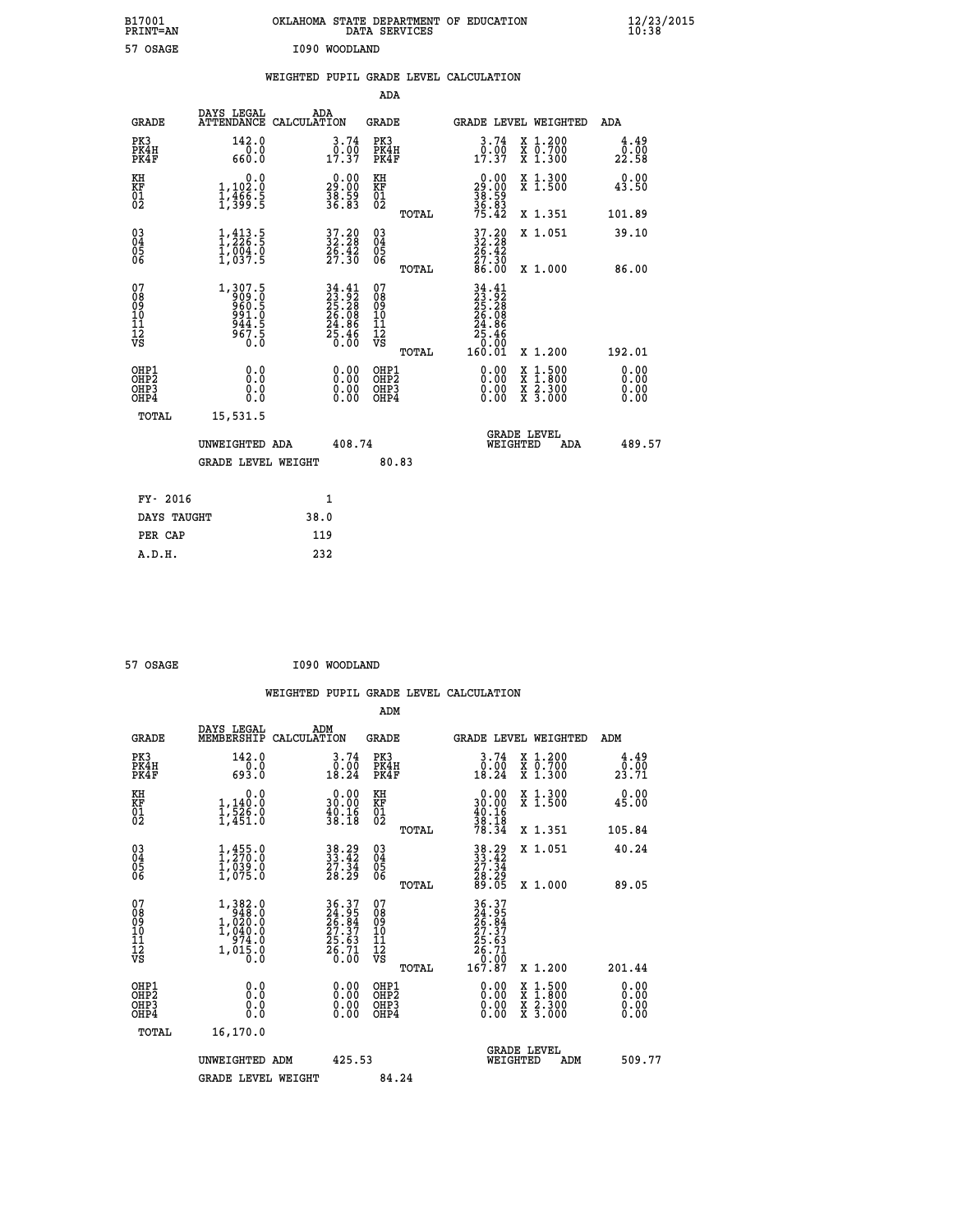| B17001<br>PRINT=AN                            |                                                               | OKLAHOMA STATE DEPARTMENT OF EDUCATION                                   | DATA SERVICES                                      |                                                                         |                                                                                                                                           | $\frac{12}{23}$ /2015 |  |
|-----------------------------------------------|---------------------------------------------------------------|--------------------------------------------------------------------------|----------------------------------------------------|-------------------------------------------------------------------------|-------------------------------------------------------------------------------------------------------------------------------------------|-----------------------|--|
| 57 OSAGE                                      |                                                               | I090 WOODLAND                                                            |                                                    |                                                                         |                                                                                                                                           |                       |  |
|                                               |                                                               | WEIGHTED PUPIL GRADE LEVEL CALCULATION                                   |                                                    |                                                                         |                                                                                                                                           |                       |  |
|                                               |                                                               |                                                                          | ADA                                                |                                                                         |                                                                                                                                           |                       |  |
| GRADE                                         | DAYS LEGAL                                                    | ADA<br>ATTENDANCE CALCULATION                                            | GRADE                                              | GRADE LEVEL WEIGHTED                                                    |                                                                                                                                           | ADA                   |  |
| PK3<br>PK4H<br>PK4F                           | 142.0<br>0.0<br>660.0                                         | 3.74<br>$0.00$<br>17.37                                                  | PK3<br>PK4H<br>PK4F                                | $\begin{smallmatrix} 3.74\ 0.00\ 17.37 \end{smallmatrix}$               | X 1.200<br>X 0.700<br>X 1.300                                                                                                             | 4.49<br>0.00<br>22.58 |  |
| KH<br>KF<br>01<br>02                          | 0.0<br>1,102:0<br>1,466:5<br>1,399:5                          | $\begin{smallmatrix} 0.00\\29.00\\38.99\\36.83 \end{smallmatrix}$        | ΚH<br>KF<br>01<br>02                               | $\begin{smallmatrix} 0.00\\29.00\\38.59\\36.83\\75.42\end{smallmatrix}$ | X 1.300<br>X 1.500                                                                                                                        | 0.00<br>43.50         |  |
|                                               |                                                               |                                                                          | TOTAL                                              |                                                                         | X 1.351                                                                                                                                   | 101.89                |  |
| 030404<br>06                                  | $\frac{1}{2}, \frac{413}{26}$ : 5<br>1,004.0<br>1,037.5       | 37.20<br>32.28<br>26.42<br>27.30                                         | $\begin{matrix} 03 \\ 04 \\ 05 \\ 06 \end{matrix}$ | 37.20<br>32.28<br>26.42<br>27.30<br>86.00                               | X 1.051                                                                                                                                   | 39.10                 |  |
| 07                                            |                                                               |                                                                          | TOTAL<br>07                                        |                                                                         | X 1.000                                                                                                                                   | 86.00                 |  |
| 08<br>09<br>10<br>11<br>Ī2<br>VS              | $1,307.5$<br>909.0<br>960.5<br>961.0<br>944.5<br>967.5<br>0.0 | $34.41$<br>$23.92$<br>$25.28$<br>$26.08$<br>$24.86$<br>$25.46$<br>$0.00$ | 08<br>09<br>10<br>11<br>$\frac{1}{\sqrt{2}}$       | 34.41<br>23.92<br>25.28<br>26.08<br>24.86<br>$\frac{25.46}{0.00}$       |                                                                                                                                           |                       |  |
| OHP1                                          |                                                               |                                                                          | TOTAL<br>OHP1                                      | 160.01                                                                  | X 1.200                                                                                                                                   | 192.01<br>0.00        |  |
| OH <sub>P</sub> 2<br>OH <sub>P3</sub><br>OHP4 | 0.0<br>0.0<br>0.0                                             | 0.00<br>$\begin{smallmatrix} 0.00 \ 0.00 \end{smallmatrix}$              | OHP <sub>2</sub><br>OHP3<br>OHP4                   | 0.00<br>0.00<br>0.00                                                    | $\begin{smallmatrix} \mathtt{X} & 1\cdot500\\ \mathtt{X} & 1\cdot800\\ \mathtt{X} & 2\cdot300\\ \mathtt{X} & 3\cdot000 \end{smallmatrix}$ | 0.00<br>0.00<br>0.00  |  |
| TOTAL                                         | 15,531.5                                                      |                                                                          |                                                    |                                                                         |                                                                                                                                           |                       |  |
|                                               | UNWEIGHTED ADA                                                | 408.74                                                                   |                                                    | WEIGHTED                                                                | <b>GRADE LEVEL</b><br>ADA                                                                                                                 | 489.57                |  |
|                                               | <b>GRADE LEVEL WEIGHT</b>                                     |                                                                          | 80.83                                              |                                                                         |                                                                                                                                           |                       |  |
| FY- 2016                                      |                                                               | 1                                                                        |                                                    |                                                                         |                                                                                                                                           |                       |  |
| DAYS TAUGHT                                   |                                                               | 38.0                                                                     |                                                    |                                                                         |                                                                                                                                           |                       |  |
| PER CAP                                       |                                                               | 119                                                                      |                                                    |                                                                         |                                                                                                                                           |                       |  |

| 57 OSAGE | I090 WOODLAND |
|----------|---------------|

 **WEIGHTED PUPIL GRADE LEVEL CALCULATION ADM DAYS LEGAL ADM GRADE MEMBERSHIP CALCULATION GRADE GRADE LEVEL WEIGHTED ADM PK3 142.0 3.74 PK3 3.74 X 1.200 4.49 PK4H 0.0 0.00 PK4H 0.00 X 0.700 0.00 PK4F 693.0 18.24 PK4F 18.24 X 1.300 23.71 KH 0.0 0.00 KH 0.00 X 1.300 0.00 KF 1,140.0 30.00 KF 30.00 X 1.500 45.00** 01 1,526.0 40.16 01 40.16<br>02 1,451.0 38.18 02 38.19  **TOTAL 78.34 X 1.351 105.84 03 1,455.0 38.29 03 38.29 X 1.051 40.24 04 1,270.0 33.42 04 33.42 05 1,039.0 27.34 05 27.34 06 1,075.0 28.29 06 28.29 TOTAL 89.05 X 1.000 89.05**  $\begin{array}{cccc} 07 & 1,382.0 & 36.37 & 07 & 36.37 \ 08 & 1,020.0 & 24.95 & 08 & 26.84 \ 10 & 1,040.0 & 27.37 & 10 & 27.37 \ 11 & 974.0 & 27.37 & 10 & 27.37 \ 12 & 1,015.0 & 26.71 & 12 & 25.63 \ 1,05.0 & 0.00 & 0.00 & 0.00 & 0.00 & 0.00 \end{array}$ **36.37** 07<br> **24.95** 08<br> **27.37** 10<br> **27.37** 10<br> **27.37** 11<br> **28.56**<br> **27.37**<br> **28.56<br>
27.37**<br> **28.57**<br> **28.57**<br> **28.57**<br> **201.44**<br> **26.77**<br> **26.77**<br> **26.77**<br> **26.77**<br> **26.77**<br> **26.77**<br> **26.77**<br> **26.77**<br> **26.77**<br> **26.77**<br>  **OHP1 0.0 0.00 OHP1 0.00 X 1.500 0.00 OHP2 0.0 0.00 OHP2 0.00 X 1.800 0.00 OHP3 0.0 0.00 OHP3 0.00 X 2.300 0.00 OHP4 0.0 0.00 OHP4 0.00 X 3.000 0.00 TOTAL 16,170.0 GRADE LEVEL UNWEIGHTED ADM 425.53 WEIGHTED ADM 509.77** GRADE LEVEL WEIGHT 84.24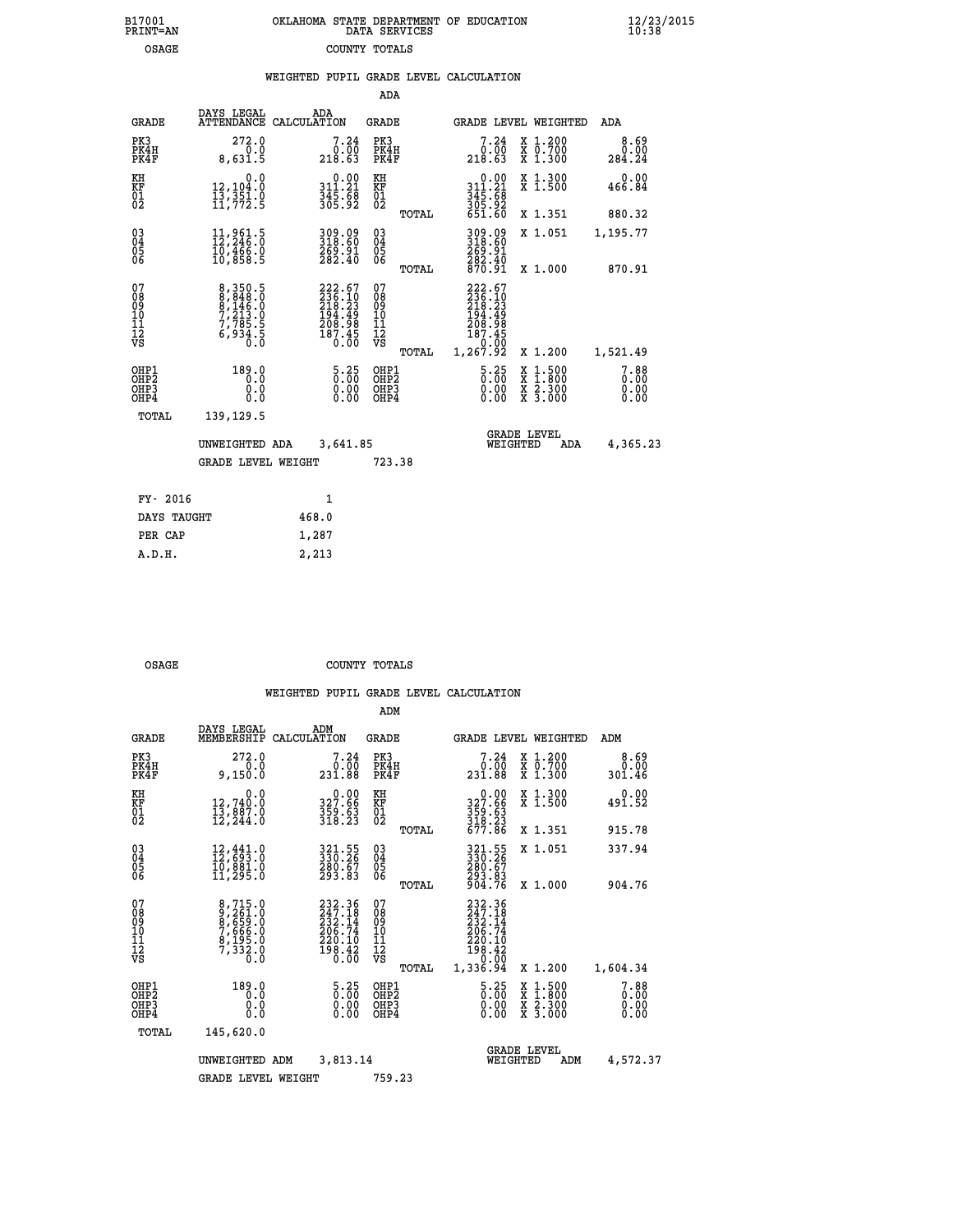| OKLAHOMA STATE DEPARTMENT OF EDUCATION<br>DATA SERVICES |  |
|---------------------------------------------------------|--|
| COUNTY TOTALS                                           |  |

|  |  | WEIGHTED PUPIL GRADE LEVEL CALCULATION |
|--|--|----------------------------------------|
|  |  |                                        |

|                                           |                                                                           |                                                                                  | ADA                                      |       |                                                                              |                                          |                              |
|-------------------------------------------|---------------------------------------------------------------------------|----------------------------------------------------------------------------------|------------------------------------------|-------|------------------------------------------------------------------------------|------------------------------------------|------------------------------|
| <b>GRADE</b>                              | DAYS LEGAL                                                                | ADA<br>ATTENDANCE CALCULATION                                                    | GRADE                                    |       |                                                                              | <b>GRADE LEVEL WEIGHTED</b>              | ADA                          |
| PK3<br>PK4H<br>PK4F                       | 272.0<br>0.0<br>8,631.5                                                   | 7.24<br>0.00<br>218.63                                                           | PK3<br>PK4H<br>PK4F                      |       | 7.24<br>0.00<br>218.63                                                       | X 1.200<br>X 0.700<br>X 1.300            | 8.69<br>0.00<br>284.24       |
| KH<br>KF<br>01<br>02                      | 0.0<br>12,104:0<br>13,351:0<br>11,772:5                                   | $\begin{array}{c} 0.00 \\ 311.21 \\ 345.68 \\ 365.92 \end{array}$                | KH<br>KF<br>01<br>02                     |       | $\begin{array}{r} 0.00 \\ 311.21 \\ 345.68 \\ 305.92 \\ 651.60 \end{array}$  | X 1.300<br>X 1.500                       | 0.00<br>466.84               |
|                                           |                                                                           |                                                                                  |                                          | TOTAL |                                                                              | X 1.351                                  | 880.32                       |
| 03<br>04<br>05<br>06                      | 11,961.5<br>12,246.0<br>10,466.0<br>10,858.5                              | 309.09<br>318.60<br>269.91<br>282.40                                             | 03<br>04<br>05<br>06                     | TOTAL | 309.09<br>318.60<br>269.91<br>282.40<br>870.91                               | X 1.051<br>X 1.000                       | 1,195.77<br>870.91           |
| 07<br>08<br>09<br>11<br>11<br>12<br>VS    | 8,350.5<br>8,848.0<br>8,146.0<br>7,213.0<br>7,785.5<br>6,934.5<br>6,934.5 | $222.67$<br>$236.10$<br>$218.23$<br>$2194.49$<br>$208.985$<br>$187.45$<br>$0.00$ | 07<br>08<br>09<br>11<br>11<br>12<br>VS   | TOTAL | 222.67<br>236.10<br>218.23<br>194.49<br>208.98<br>187.45<br>0.00<br>1,267.92 | X 1.200                                  | 1,521.49                     |
| OHP1<br>OH <sub>P</sub> 2<br>OHP3<br>OHP4 | 189.0<br>0.0<br>0.0<br>0.0                                                | 5.25<br>$\begin{smallmatrix} 0.00 \ 0.00 \end{smallmatrix}$                      | OHP1<br>OHP <sub>2</sub><br>OHP3<br>OHP4 |       | $\frac{5.25}{0.00}$<br>0.00<br>0.00                                          | X 1:500<br>X 1:800<br>X 2:300<br>X 3:000 | 7.88<br>0.00<br>0.00<br>0.00 |
| TOTAL                                     | 139,129.5                                                                 |                                                                                  |                                          |       |                                                                              |                                          |                              |
|                                           | UNWEIGHTED ADA                                                            | 3,641.85                                                                         |                                          |       |                                                                              | <b>GRADE LEVEL</b><br>WEIGHTED<br>ADA    | 4,365.23                     |
|                                           | <b>GRADE LEVEL WEIGHT</b>                                                 |                                                                                  | 723.38                                   |       |                                                                              |                                          |                              |
| FY- 2016                                  |                                                                           | $\mathbf{1}$                                                                     |                                          |       |                                                                              |                                          |                              |
| DAYS TAUGHT                               |                                                                           | 468.0                                                                            |                                          |       |                                                                              |                                          |                              |
| PER CAP                                   |                                                                           | 1,287                                                                            |                                          |       |                                                                              |                                          |                              |
| A.D.H.                                    |                                                                           | 2,213                                                                            |                                          |       |                                                                              |                                          |                              |

B17001<br>PRINT=AN<br>OSAGE

OSAGE COUNTY TOTALS

|                                          |                                                                                                                       |             |                                                                                                                   | ADM                                                |       |                                                                              |                                                                   |                                          |                              |
|------------------------------------------|-----------------------------------------------------------------------------------------------------------------------|-------------|-------------------------------------------------------------------------------------------------------------------|----------------------------------------------------|-------|------------------------------------------------------------------------------|-------------------------------------------------------------------|------------------------------------------|------------------------------|
| <b>GRADE</b>                             | DAYS LEGAL<br>MEMBERSHIP                                                                                              | CALCULATION | ADM                                                                                                               | <b>GRADE</b>                                       |       |                                                                              |                                                                   | GRADE LEVEL WEIGHTED                     | ADM                          |
| PK3<br>PK4H<br>PK4F                      | 272.0<br>0.0<br>9,150.0                                                                                               |             | 7.24<br>0.00<br>231.88                                                                                            | PK3<br>PK4H<br>PK4F                                |       | 231.88                                                                       | 7.24<br>0.00                                                      | X 1.200<br>X 0.700<br>X 1.300            | 8.69<br>0.00<br>301.46       |
| KH<br>KF<br>01<br>02                     | 0.0<br>12,740.0<br>13,887.0<br>12,244.0                                                                               |             | $\begin{smallmatrix} &0.00\\ 327.66\\ 359.63\\ 318.23 \end{smallmatrix}$                                          | KH<br>KF<br>01<br>02                               |       | $0.00$<br>$327.66$<br>$359.63$<br>$318.23$<br>$677.86$                       |                                                                   | X 1.300<br>X 1.500                       | 0.00<br>491.52               |
|                                          |                                                                                                                       |             |                                                                                                                   |                                                    | TOTAL |                                                                              |                                                                   | X 1.351                                  | 915.78                       |
| 03<br>04<br>05<br>06                     | $\begin{smallmatrix} 12\,,\,441\cdot 0\\ 12\,,\,693\cdot 0\\ 10\,,\,881\cdot 0\\ 11\,,\,295\cdot 0 \end{smallmatrix}$ |             | 321.55<br>330.26<br>280.67<br>293.83                                                                              | $\begin{matrix} 03 \\ 04 \\ 05 \\ 06 \end{matrix}$ |       | 321.55<br>330.26<br>280:67<br>293.83<br>904.76                               |                                                                   | X 1.051                                  | 337.94                       |
|                                          |                                                                                                                       |             |                                                                                                                   |                                                    | TOTAL |                                                                              |                                                                   | X 1.000                                  | 904.76                       |
| 07<br>08<br>09<br>101<br>112<br>VS       | 8,715.0<br>9,261.0<br>8,659.0<br>7,666.0<br>8,195.0<br>7,332.0<br>0.0                                                 |             | 232.36<br>247.18<br>232.14<br>206.74<br>220.10<br>$\frac{1}{9}$ $\frac{3}{8}$ $\cdot$ $\frac{4}{9}$ $\frac{5}{9}$ | 07<br>08<br>09<br>11<br>11<br>12<br>VS             | TOTAL | 232.36<br>247.18<br>232.I4<br>206.74<br>220.10<br>198.42<br>0.00<br>1,336.94 |                                                                   | X 1.200                                  | 1,604.34                     |
| OHP1<br>OHP2<br>OH <sub>P3</sub><br>OHP4 | 189.0<br>0.0<br>0.000                                                                                                 |             | 5.25<br>0.00<br>0.00<br>0.00                                                                                      | OHP1<br>OHP2<br>OHP3<br>OHP4                       |       |                                                                              | $\begin{smallmatrix} 5.25\ 0.00 \ 0.00 \end{smallmatrix}$<br>0.00 | X 1:500<br>X 1:800<br>X 2:300<br>X 3:000 | 7.88<br>0.00<br>0.00<br>0.00 |
| TOTAL                                    | 145,620.0                                                                                                             |             |                                                                                                                   |                                                    |       |                                                                              |                                                                   |                                          |                              |
|                                          | UNWEIGHTED                                                                                                            | ADM         | 3,813.14                                                                                                          |                                                    |       |                                                                              | <b>GRADE LEVEL</b><br>WEIGHTED                                    | ADM                                      | 4,572.37                     |
|                                          | <b>GRADE LEVEL WEIGHT</b>                                                                                             |             |                                                                                                                   | 759.23                                             |       |                                                                              |                                                                   |                                          |                              |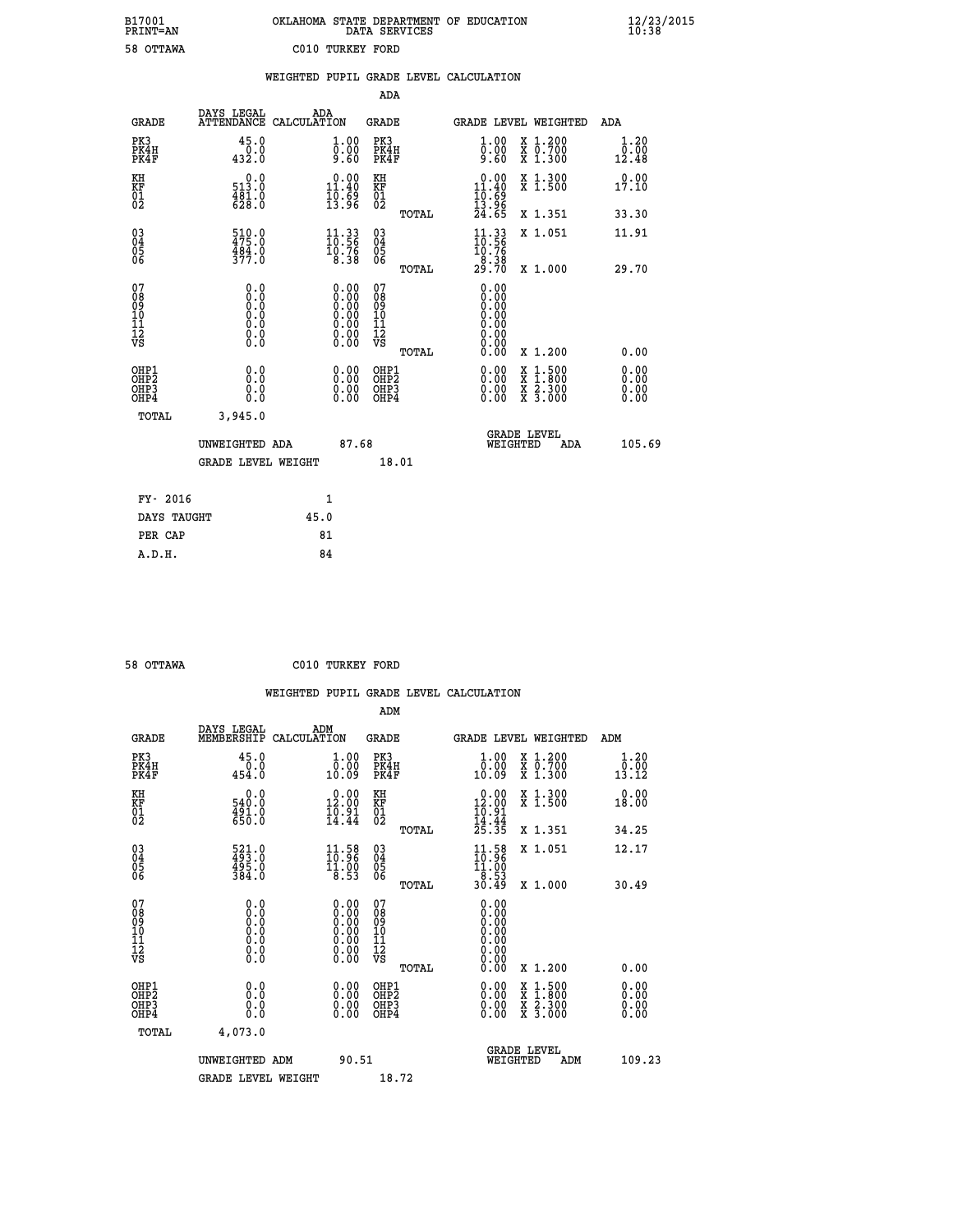| B17001          | OKLAHOMA STATE DEPARTMENT OF EDUCATION |
|-----------------|----------------------------------------|
| <b>PRINT=AN</b> | DATA SERVICES                          |
| 58 OTTAWA       | C010 TURKEY FORD                       |

 **B17001<br>PRINT=AN** 

 **B17001 OKLAHOMA STATE DEPARTMENT OF EDUCATION 12/23/2015**

|                                                    |                                                                                      | WEIGHTED PUPIL GRADE LEVEL CALCULATION                                                   |                                                 |                                                                         |                                          |                              |
|----------------------------------------------------|--------------------------------------------------------------------------------------|------------------------------------------------------------------------------------------|-------------------------------------------------|-------------------------------------------------------------------------|------------------------------------------|------------------------------|
|                                                    |                                                                                      |                                                                                          | ADA                                             |                                                                         |                                          |                              |
| <b>GRADE</b>                                       | DAYS LEGAL                                                                           | ADA<br>ATTENDANCE CALCULATION                                                            | <b>GRADE</b>                                    | GRADE LEVEL WEIGHTED                                                    |                                          | ADA                          |
| PK3<br>PK4H<br>PK4F                                | 45.0<br>0.0<br>432.0                                                                 | $\begin{smallmatrix} 1.00\ 0.00\ 9.60 \end{smallmatrix}$                                 | PK3<br>PK4H<br>PK4F                             | 1.00<br>ŏ:ŏŏ<br>9.60                                                    | X 1.200<br>X 0.700<br>X 1.300            | 1.20<br>0.00<br>12.48        |
| KH<br>KF<br>01<br>02                               | $0.0$<br>513.0<br>$\frac{481.0}{628.0}$                                              | 0.00<br>$\frac{11.40}{19.69}$<br>13.96                                                   | KH<br>KF<br>01<br>02                            | $\begin{array}{r} 0.00 \\ 11.40 \\ 10.69 \\ 13.96 \\ 24.65 \end{array}$ | X 1.300<br>X 1.500                       | 0.00<br>17.10                |
|                                                    |                                                                                      |                                                                                          | TOTAL                                           |                                                                         | X 1.351                                  | 33.30                        |
| $\begin{matrix} 03 \\ 04 \\ 05 \\ 06 \end{matrix}$ | $\frac{510}{175}$ :0<br>$\frac{484.0}{377.0}$                                        | $\frac{11.33}{10.56}$<br>10.76<br>8.38                                                   | $\substack{03 \\ 04}$<br>Ŏ5<br>06               | $11.33$<br>$10.56$<br>$10.76$<br>$8.38$                                 | X 1.051                                  | 11.91                        |
|                                                    |                                                                                      |                                                                                          | TOTAL                                           | 29.70                                                                   | X 1.000                                  | 29.70                        |
| 07<br>08<br>09<br>101<br>112<br>VS                 | 0.0<br>$\begin{smallmatrix} 0.0 & 0 \ 0.0 & 0 \ 0.0 & 0 \ 0.0 & 0 \end{smallmatrix}$ | $\begin{smallmatrix} 0.00 \ 0.00 \ 0.00 \ 0.00 \ 0.00 \end{smallmatrix}$<br>Ŏ.ŎŎ<br>O.OO | 07<br>08<br>09<br>11<br>11<br>12<br>VS<br>TOTAL | 0.00<br>0.00<br>0.00<br>0.00<br>0.00<br>0.00<br>0.00                    | X 1.200                                  | 0.00                         |
| OHP1<br>OHP2<br>OH <sub>P3</sub><br>OHP4           | 0.0<br>0.0<br>0.0                                                                    | $\begin{smallmatrix} 0.00 \ 0.00 \ 0.00 \ 0.00 \end{smallmatrix}$                        | OHP1<br>OHP2<br>OHP3<br>OHP4                    |                                                                         | X 1:500<br>X 1:800<br>X 2:300<br>X 3:000 | 0.00<br>0.00<br>0.00<br>0.00 |
| TOTAL                                              | 3,945.0                                                                              |                                                                                          |                                                 |                                                                         |                                          |                              |
|                                                    | UNWEIGHTED ADA                                                                       | 87.68                                                                                    |                                                 | <b>GRADE LEVEL</b><br>WEIGHTED                                          | ADA                                      | 105.69                       |
|                                                    | <b>GRADE LEVEL WEIGHT</b>                                                            |                                                                                          | 18.01                                           |                                                                         |                                          |                              |
|                                                    | FY- 2016                                                                             | $\mathbf{1}$                                                                             |                                                 |                                                                         |                                          |                              |
|                                                    | DAYS TAUGHT                                                                          | 45.0                                                                                     |                                                 |                                                                         |                                          |                              |
| PER CAP                                            |                                                                                      | 81                                                                                       |                                                 |                                                                         |                                          |                              |

 **58 OTTAWA C010 TURKEY FORD**

 **A.D.H. 84**

|                     |                |                               | ADM                 |                                                                                 |                       |  |  |  |
|---------------------|----------------|-------------------------------|---------------------|---------------------------------------------------------------------------------|-----------------------|--|--|--|
| GRADE               | DAYS LEGAL     | ADM<br>MEMBERSHIP CALCULATION | GRADE               | <b>GRADE LEVEL WEIGHTED</b>                                                     | ADM                   |  |  |  |
| PK3<br>PK4H<br>PK4F | 45.0<br>454.0  | 1.00<br>0.00<br>10.09         | PK3<br>PK4H<br>PK4F | 1,200<br>1.00<br>.00 <sub>1</sub><br>700<br>0<br>x<br>0.<br>10.09<br>x<br>1,300 | 1.20<br>0.00<br>13.12 |  |  |  |
| KH<br>ΚF<br>01      | 540.0<br>491.0 | 0.00<br>12.00<br>10.91        | КH<br>ΚF<br>01      | 0.00<br>X 1.300<br>X <sub>1.500</sub><br>. 00<br>12<br>10.91                    | 0.00<br>18.00         |  |  |  |

|                                                    | <b>GRADE LEVEL WEIGHT</b>                                                                         |                                                                                               | 18.72                                                       |                                                                                                                     |                                                                                                                                                                                                                                                                                |
|----------------------------------------------------|---------------------------------------------------------------------------------------------------|-----------------------------------------------------------------------------------------------|-------------------------------------------------------------|---------------------------------------------------------------------------------------------------------------------|--------------------------------------------------------------------------------------------------------------------------------------------------------------------------------------------------------------------------------------------------------------------------------|
|                                                    | UNWEIGHTED ADM                                                                                    | 90.51                                                                                         |                                                             | <b>GRADE LEVEL</b><br>WEIGHTED<br>ADM                                                                               | 109.23                                                                                                                                                                                                                                                                         |
| TOTAL                                              | 4,073.0                                                                                           |                                                                                               |                                                             |                                                                                                                     |                                                                                                                                                                                                                                                                                |
| OHP1<br>OHP <sub>2</sub><br>OHP3<br>OHP4           | 0.0<br>0.0<br>0.0                                                                                 |                                                                                               | OHP1<br>OHP <sub>2</sub><br>OHP3<br>OHP4                    | $\begin{array}{l} \mathtt{X} & 1.500 \\ \mathtt{X} & 1.800 \\ \mathtt{X} & 2.300 \\ \mathtt{X} & 3.000 \end{array}$ | $\begin{smallmatrix} 0.00 & 0.00 & 0.00 & 0.00 & 0.00 & 0.00 & 0.00 & 0.00 & 0.00 & 0.00 & 0.00 & 0.00 & 0.00 & 0.00 & 0.00 & 0.00 & 0.00 & 0.00 & 0.00 & 0.00 & 0.00 & 0.00 & 0.00 & 0.00 & 0.00 & 0.00 & 0.00 & 0.00 & 0.00 & 0.00 & 0.00 & 0.00 & 0.00 & 0.00 & 0.00 & 0.0$ |
| 07<br>08<br>09<br>101<br>11<br>12<br>VS            | $\begin{smallmatrix} 0.0 & 0 \ 0.0 & 0 \ 0.0 & 0 \ 0.0 & 0 \ 0.0 & 0 \ 0.0 & 0 \end{smallmatrix}$ | $\begin{smallmatrix} 0.00\ 0.00\ 0.00\ 0.00\ 0.00\ 0.00\ 0.00\ 0.00\ 0.00\ \end{smallmatrix}$ | 07<br>08<br>09<br>101<br>11<br>12<br>VS<br>TOTAL            | 0.00<br>X 1.200                                                                                                     | 0.00                                                                                                                                                                                                                                                                           |
| $\begin{matrix} 03 \\ 04 \\ 05 \\ 06 \end{matrix}$ | 521.0<br>493.0<br>495.0<br>384.0                                                                  | $\frac{11.58}{10.96}$<br>$\frac{11.00}{8.53}$                                                 | $\begin{matrix} 03 \\ 04 \\ 05 \\ 06 \end{matrix}$<br>TOTAL | $\frac{11.58}{10.96}$<br>X 1.051<br>$\frac{11.00}{8.53}$<br>30.49<br>X 1.000                                        | 12.17<br>30.49                                                                                                                                                                                                                                                                 |
| $\overline{01\over 02}$                            | 491.0                                                                                             | $\frac{16.91}{14.44}$                                                                         | $\frac{01}{02}$<br>TOTAL                                    | $\frac{16.91}{14.44}$<br>$\frac{14.44}{25.35}$<br>A 1.JUU<br>X 1.351                                                | <b>10.00</b><br>34.25                                                                                                                                                                                                                                                          |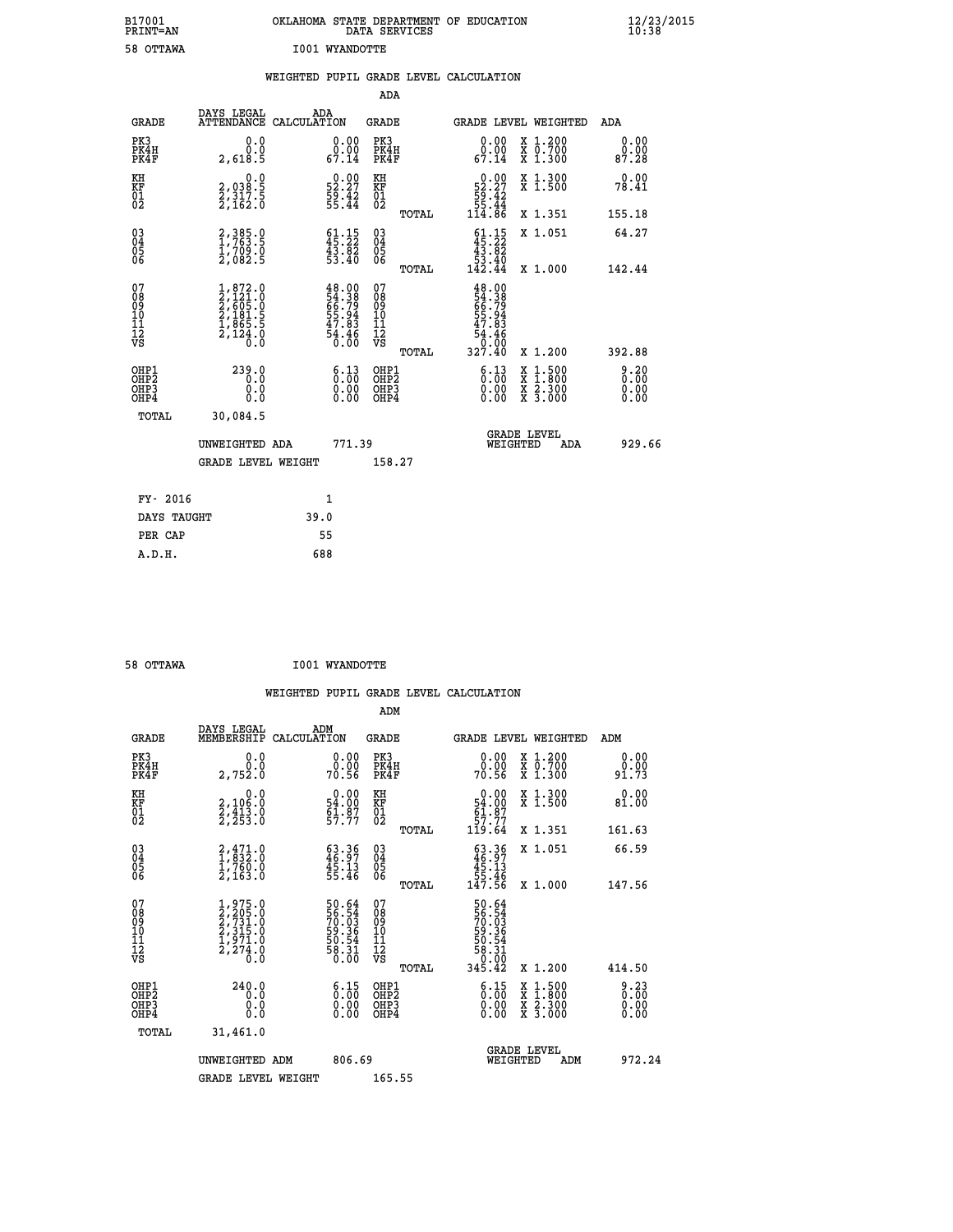| B17001<br>PRINT=AN                     |                                                                                                                            | OKLAHOMA STATE DEPARTMENT OF EDUCATION                                                        | DATA SERVICES                                               |                                                                     |                                                                                          | $\frac{12}{23}$ /2015 |
|----------------------------------------|----------------------------------------------------------------------------------------------------------------------------|-----------------------------------------------------------------------------------------------|-------------------------------------------------------------|---------------------------------------------------------------------|------------------------------------------------------------------------------------------|-----------------------|
| 58 OTTAWA                              |                                                                                                                            | <b>I001 WYANDOTTE</b>                                                                         |                                                             |                                                                     |                                                                                          |                       |
|                                        |                                                                                                                            | WEIGHTED PUPIL GRADE LEVEL CALCULATION                                                        | <b>ADA</b>                                                  |                                                                     |                                                                                          |                       |
| GRADE                                  | DAYS LEGAL                                                                                                                 | ADA<br>ATTENDANCE CALCULATION                                                                 | <b>GRADE</b>                                                |                                                                     | GRADE LEVEL WEIGHTED                                                                     | ADA                   |
| PK3<br>PK4H<br>PK4F                    | 0.0<br>0.0<br>2,618.5                                                                                                      | 0.00<br>$\overset{\text{\rm o}}{0} \cdot \overset{\text{\rm o}}{1} \overset{\text{\rm o}}{1}$ | PK3<br>PK4H<br>PK4F                                         | 0.00<br>$\begin{smallmatrix} 0.00 \ 67.14 \end{smallmatrix}$        | X 1.200<br>X 0.700<br>X 1.300                                                            | 0.00<br>0.00<br>87.28 |
| KH<br>KF<br>01<br>02                   | 0.0<br>2,038.5<br>2,317.5<br>2,162.0                                                                                       | $\begin{smallmatrix} 0.00\\ 52.27\\ 59.42\\ 55.44 \end{smallmatrix}$                          | KH<br>KF<br>01<br>02                                        | $\begin{array}{c} 0.00 \\ 52.27 \\ 59.42 \\ 55.44 \end{array}$      | X 1.300<br>X 1.500                                                                       | 0.00<br>78.41         |
|                                        |                                                                                                                            |                                                                                               | TOTAL                                                       | 114.86                                                              | X 1.351                                                                                  | 155.18                |
| 03<br>04<br>05<br>06                   | $2,385.0$<br>1,763.5<br>ī,709.0<br>2,082.5                                                                                 | $61.15$<br>$45.22$<br>$\frac{43.82}{53.40}$                                                   | $\begin{matrix} 03 \\ 04 \\ 05 \\ 06 \end{matrix}$<br>TOTAL | $\frac{61.15}{45.22}$<br>$\frac{1}{53}$ $\frac{3}{40}$<br>142.44    | X 1.051<br>X 1.000                                                                       | 64.27<br>142.44       |
| 07<br>08<br>09<br>11<br>11<br>12<br>VS | $\begin{smallmatrix} 1, 872 & 0\\ 2, 121 & 0\\ 2, 605 & 0\\ 2, 181 & 5\\ 1, 865 & 5\\ 2, 124 & 0\\ 0 & 0\end{smallmatrix}$ | $48.00$<br>54.38<br>56.79<br>55.94<br>55.94<br>47.83<br>54.46<br>54.80                        | 07<br>08<br>09<br>10<br>$\frac{11}{12}$<br>$\frac{12}{18}$  | 48.00<br>54.38<br>66.79<br>65.94<br>55.94<br>47.83<br>54.46<br>0.00 |                                                                                          |                       |
| OHP1                                   |                                                                                                                            |                                                                                               | TOTAL<br>OHP1                                               | 327.40                                                              | X 1.200                                                                                  | 392.88<br>9.20        |
| OH <sub>P</sub> 2<br>OHP3<br>OHP4      | 239.0<br>0.0<br>0.0                                                                                                        | $\begin{smallmatrix} 6.13\ 0.00\ 0.00 \end{smallmatrix}$                                      | OHP <sub>2</sub><br>OHP3<br>OHP4                            | 6.13<br>$0.00$<br>0.00                                              | $\begin{smallmatrix} x & 1.500 \\ x & 1.800 \\ x & 2.300 \\ x & 3.000 \end{smallmatrix}$ | 0.00<br>0.00<br>0.00  |
| TOTAL                                  | 30,084.5                                                                                                                   |                                                                                               |                                                             |                                                                     |                                                                                          |                       |
|                                        | UNWEIGHTED ADA                                                                                                             | 771.39                                                                                        |                                                             | WEIGHTED                                                            | <b>GRADE LEVEL</b><br>ADA                                                                | 929.66                |
|                                        | <b>GRADE LEVEL WEIGHT</b>                                                                                                  |                                                                                               | 158.27                                                      |                                                                     |                                                                                          |                       |
| FY- 2016                               |                                                                                                                            | 1                                                                                             |                                                             |                                                                     |                                                                                          |                       |
| DAYS TAUGHT                            |                                                                                                                            | 39.0                                                                                          |                                                             |                                                                     |                                                                                          |                       |
| PER CAP                                |                                                                                                                            | 55                                                                                            |                                                             |                                                                     |                                                                                          |                       |

| 58 OTTAWA | <b>I001 WYANDOTTE</b> |
|-----------|-----------------------|

|                                                    |                                                                                     |                    |                                                                       |                                               |       | WEIGHTED PUPIL GRADE LEVEL CALCULATION                                         |                                                                                                  |        |                      |
|----------------------------------------------------|-------------------------------------------------------------------------------------|--------------------|-----------------------------------------------------------------------|-----------------------------------------------|-------|--------------------------------------------------------------------------------|--------------------------------------------------------------------------------------------------|--------|----------------------|
|                                                    |                                                                                     |                    |                                                                       | ADM                                           |       |                                                                                |                                                                                                  |        |                      |
| <b>GRADE</b>                                       | DAYS LEGAL<br>MEMBERSHIP                                                            | ADM<br>CALCULATION |                                                                       | <b>GRADE</b>                                  |       | <b>GRADE LEVEL WEIGHTED</b>                                                    |                                                                                                  | ADM    |                      |
| PK3<br>PK4H<br>PK4F                                | 0.0<br>0.0<br>2,752.0                                                               |                    | $\begin{smallmatrix} 0.00\\ 0.00\\ 70.56 \end{smallmatrix}$           | PK3<br>PK4H<br>PK4F                           |       | $\begin{smallmatrix} 0.00\\ 0.00\\ 70.56 \end{smallmatrix}$                    | X 1.200<br>X 0.700<br>X 1.300                                                                    | 91.73  | 0.00<br>0.00         |
| KH<br>KF<br>01<br>02                               | 0.0<br>2,106:0<br>2,413:0<br>2,253:0                                                |                    | $\begin{smallmatrix} 0.00\\ 54.00\\ 61.87\\ 57.77 \end{smallmatrix}$  | KH<br>KF<br>01<br>02                          |       | $0.00$<br>$54.00$<br>$61.87$<br>$57.77$<br>$119.64$                            | X 1.300<br>X 1.500                                                                               | 81.00  | 0.00                 |
|                                                    |                                                                                     |                    |                                                                       |                                               | TOTAL |                                                                                | X 1.351                                                                                          | 161.63 |                      |
| $\begin{matrix} 03 \\ 04 \\ 05 \\ 06 \end{matrix}$ | $\begin{smallmatrix} 2,471.0\\ 1,832.0\\ 1,760.0\\ 2,163.0 \end{smallmatrix}$       |                    | $\begin{smallmatrix} 63.36\\ 46.97\\ 45.13\\ 55.46 \end{smallmatrix}$ | 03<br>04<br>05<br>06                          |       | $\begin{smallmatrix} 63.36\\ 46.97\\ 45.13\\ 55.46\\ 147.56 \end{smallmatrix}$ | X 1.051                                                                                          | 66.59  |                      |
|                                                    |                                                                                     |                    |                                                                       |                                               | TOTAL |                                                                                | X 1.000                                                                                          | 147.56 |                      |
| 07<br>0890112<br>1112<br>VS                        | $1,975.0$<br>$2,731.0$<br>$2,731.0$<br>$1,971.0$<br>$1,971.0$<br>$2,274.0$<br>$0.0$ |                    | 50.64<br>56.54<br>70.03<br>59.36<br>50.54<br>58.31<br>58.31           | 07<br>08<br>09<br>001<br>11<br>11<br>12<br>VS |       | 50.64<br>56.54<br>50.03<br>50.364<br>50.54<br>58.31<br>58.000<br>345.42        |                                                                                                  |        |                      |
|                                                    |                                                                                     |                    |                                                                       |                                               | TOTAL |                                                                                | $X_1.200$                                                                                        | 414.50 |                      |
| OHP1<br>OHP2<br>OH <sub>P3</sub><br>OHP4           | 240.0<br>0.000                                                                      |                    | $\begin{smallmatrix} 6.15\ 0.00\ 0.00 \end{smallmatrix}$              | OHP1<br>OHP2<br>OHP <sub>3</sub>              |       | $\begin{smallmatrix} 6.15\ 0.00\ 0.00 \end{smallmatrix}$                       | $\begin{smallmatrix} x & 1 & 500 \\ x & 1 & 800 \\ x & 2 & 300 \\ x & 3 & 000 \end{smallmatrix}$ |        | 8.23<br>0.00<br>0.00 |
| TOTAL                                              | 31,461.0                                                                            |                    |                                                                       |                                               |       |                                                                                |                                                                                                  |        |                      |
|                                                    | UNWEIGHTED ADM                                                                      |                    | 806.69                                                                |                                               |       | WEIGHTED                                                                       | <b>GRADE LEVEL</b><br>ADM                                                                        |        | 972.24               |
|                                                    | <b>GRADE LEVEL WEIGHT</b>                                                           |                    |                                                                       | 165.55                                        |       |                                                                                |                                                                                                  |        |                      |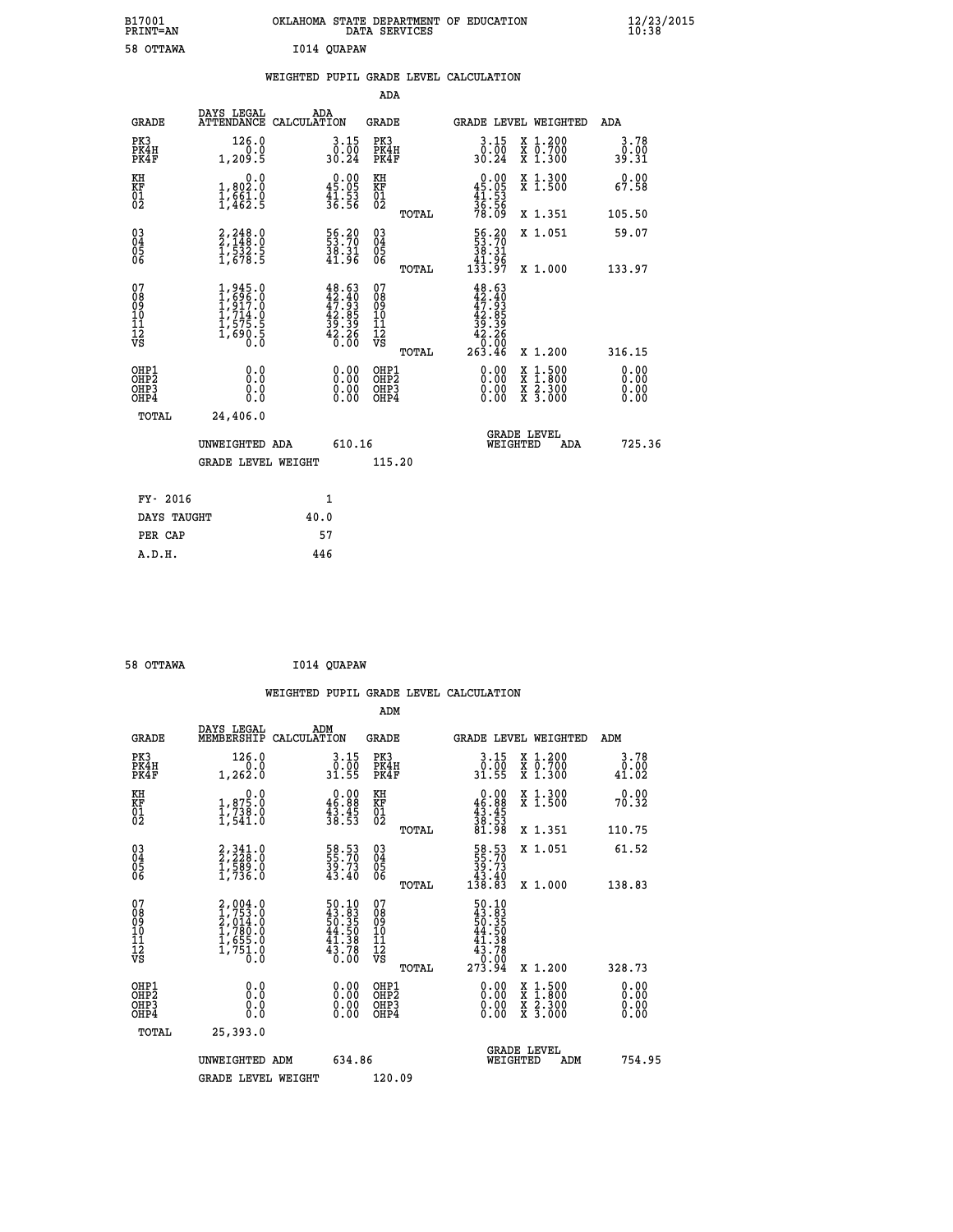| B17001<br>PRINT=AN | OKLAHOMA STATE DEPARTMENT OF EDUCATION<br>DATA SERVICES | $\frac{12}{23}$ /2015 |
|--------------------|---------------------------------------------------------|-----------------------|
| 58 OTTAWA          | I014 QUAPAW                                             |                       |

|  |  | WEIGHTED PUPIL GRADE LEVEL CALCULATION |
|--|--|----------------------------------------|
|  |  |                                        |

|                                                                    |                                                                       |                                                                                                                                                             | ADA                                                |       |                                                                           |        |                                                           |                              |
|--------------------------------------------------------------------|-----------------------------------------------------------------------|-------------------------------------------------------------------------------------------------------------------------------------------------------------|----------------------------------------------------|-------|---------------------------------------------------------------------------|--------|-----------------------------------------------------------|------------------------------|
| <b>GRADE</b>                                                       | DAYS LEGAL<br>ATTENDANCE CALCULATION                                  | ADA                                                                                                                                                         | <b>GRADE</b>                                       |       | GRADE LEVEL WEIGHTED                                                      |        |                                                           | <b>ADA</b>                   |
| PK3<br>PK4H<br>PK4F                                                | 126.0<br>0.0<br>1,209.5                                               | $3 \cdot 15 \over 0 \cdot 00 \over 30 \cdot 24$                                                                                                             | PK3<br>PK4H<br>PK4F                                |       | 3.15<br>ŏً.oo<br>30.24                                                    |        | X 1.200<br>X 0.700<br>X 1.300                             | 3.78<br>0.00<br>39.31        |
| KH<br>KF<br>01<br>02                                               | 0.0<br>1,802:0<br>1,661:0<br>1,462:5                                  | $\begin{smallmatrix} 0.00\\ 45.05\\ 41.53\\ 36.56 \end{smallmatrix}$                                                                                        | KH<br>KF<br>01<br>02                               |       | 0.00<br>$45.05$<br>$41.53$<br>$36.56$<br>$78.09$                          |        | X 1.300<br>X 1.500                                        | 0.00<br>67.58                |
|                                                                    |                                                                       |                                                                                                                                                             |                                                    | TOTAL |                                                                           |        | X 1.351                                                   | 105.50                       |
| $\begin{smallmatrix} 03 \\[-4pt] 04 \end{smallmatrix}$<br>Ŏ5<br>ŌĞ | $2,248.0$<br>$2,148.0$<br>$1,532.5$<br>$1,678.5$                      | 56.20<br>53.70<br>38.31<br>41.96                                                                                                                            | $\begin{matrix} 03 \\ 04 \\ 05 \\ 06 \end{matrix}$ |       | $\begin{array}{r} 56.20 \\ 53.70 \\ 38.31 \\ 41.96 \\ 133.97 \end{array}$ |        | X 1.051                                                   | 59.07                        |
|                                                                    |                                                                       |                                                                                                                                                             |                                                    | TOTAL |                                                                           |        | X 1.000                                                   | 133.97                       |
| 07<br>08<br>09<br>11<br>11<br>12<br>VS                             | 1,945.0<br>1,696.0<br>1,917.0<br>1,714.0<br>1,575.5<br>1,690.5<br>0.0 | $\begin{smallmatrix} 4\,8\cdot 6\,3\\ 4\,2\cdot 4\,0\\ 4\,7\cdot 9\,3\\ 4\,2\cdot 8\,5\\ 3\,9\cdot 3\,9\\ 4\,2\cdot 3\,6\\ 6\cdot 0\,0\\ \end{smallmatrix}$ | 07<br>08<br>09<br>11<br>11<br>12<br>VS             |       | $48.63\n42.40\n47.93\n42.85\n42.39\n42.26\n0.000\n263.46$                 |        |                                                           |                              |
|                                                                    |                                                                       |                                                                                                                                                             |                                                    | TOTAL |                                                                           |        | X 1.200                                                   | 316.15                       |
| OHP1<br>OHP <sub>2</sub><br>OHP3<br>OHP4                           | 0.0<br>Ō.Ō<br>0.0<br>$0.\overline{0}$                                 | 0.00<br>$\begin{smallmatrix} 0.00 \ 0.00 \end{smallmatrix}$                                                                                                 | OHP1<br>OH <sub>P</sub> 2<br>OHP3<br>OHP4          |       | 0.00<br>0.00<br>0.00                                                      | X<br>X | $1:500$<br>$1:800$<br>$\frac{x}{x}$ $\frac{5.300}{3.000}$ | 0.00<br>0.00<br>0.00<br>0.00 |
| TOTAL                                                              | 24,406.0                                                              |                                                                                                                                                             |                                                    |       |                                                                           |        |                                                           |                              |
|                                                                    | UNWEIGHTED ADA                                                        | 610.16                                                                                                                                                      |                                                    |       | <b>GRADE LEVEL</b><br>WEIGHTED                                            |        | ADA                                                       | 725.36                       |
|                                                                    | <b>GRADE LEVEL WEIGHT</b>                                             |                                                                                                                                                             | 115.20                                             |       |                                                                           |        |                                                           |                              |
| FY- 2016                                                           |                                                                       | 1                                                                                                                                                           |                                                    |       |                                                                           |        |                                                           |                              |
| DAYS TAUGHT                                                        |                                                                       | 40.0                                                                                                                                                        |                                                    |       |                                                                           |        |                                                           |                              |
| PER CAP                                                            |                                                                       | 57                                                                                                                                                          |                                                    |       |                                                                           |        |                                                           |                              |
|                                                                    |                                                                       |                                                                                                                                                             |                                                    |       |                                                                           |        |                                                           |                              |

| 58 OTTAWA | I014 QUAPAW |
|-----------|-------------|
|-----------|-------------|

|                                          |                                                                                     |                                                                          | ADM                                                 |       |                                                                                                      |                                          |                              |
|------------------------------------------|-------------------------------------------------------------------------------------|--------------------------------------------------------------------------|-----------------------------------------------------|-------|------------------------------------------------------------------------------------------------------|------------------------------------------|------------------------------|
| <b>GRADE</b>                             | DAYS LEGAL<br>MEMBERSHIP                                                            | ADM<br>CALCULATION                                                       | <b>GRADE</b>                                        |       |                                                                                                      | GRADE LEVEL WEIGHTED                     | ADM                          |
| PK3<br>PK4H<br>PK4F                      | 126.0<br>1,262.0                                                                    | $\begin{array}{c} 3.15 \\ 0.00 \\ 31.55 \end{array}$                     | PK3<br>PK4H<br>PK4F                                 |       | $3 \cdot 15$<br>31.55                                                                                | X 1.200<br>X 0.700<br>X 1.300            | 3.78<br>0:00<br>41:02        |
| KH<br>KF<br>01<br>02                     | 0.0<br>$\frac{1}{1}, \frac{875}{738}$ .0<br>1,541.0                                 | $\begin{smallmatrix} 0.00\\ 46.88\\ 43.45\\ 38.53 \end{smallmatrix}$     | KH<br>KF<br>01<br>02                                |       | $0.00$<br>$46.88$<br>$43.45$<br>$38.53$<br>$38.53$<br>$81.98$                                        | X 1.300<br>X 1.500                       | 0.00<br>70.32                |
|                                          |                                                                                     |                                                                          |                                                     | TOTAL |                                                                                                      | X 1.351                                  | 110.75                       |
| 03<br>04<br>05<br>06                     | $2,341.0$<br>$2,228.0$<br>$1,589.0$<br>$1,736.0$                                    | 58.53<br>55.70<br>39.73<br>43.40                                         | $\begin{array}{c} 03 \\ 04 \\ 05 \\ 06 \end{array}$ |       | $\begin{smallmatrix} 58.53\ 55.70\ 39.73\ 43.40\ 138.83 \end{smallmatrix}$                           | X 1.051                                  | 61.52                        |
|                                          |                                                                                     |                                                                          |                                                     | TOTAL |                                                                                                      | X 1.000                                  | 138.83                       |
| 07<br>08<br>09<br>101<br>112<br>VS       | $2,004.0$<br>$1,753.0$<br>$2,014.0$<br>$1,780.0$<br>$1,655.0$<br>$1,751.0$<br>$0.0$ | $50.10$<br>$43.83$<br>$50.35$<br>$44.50$<br>$41.38$<br>$43.78$<br>$0.00$ | 07<br>08<br>09<br>11<br>11<br>12<br>VS              | TOTAL | $\begin{smallmatrix}50.10\\43.83\\50.35\\50.35\\44.50\\41.38\\43.78\\0.000\\273.94\end{smallmatrix}$ | X 1.200                                  | 328.73                       |
| OHP1<br>OHP2<br>OH <sub>P3</sub><br>OHP4 | 0.0<br>0.000                                                                        |                                                                          | OHP1<br>OHP2<br>OHP <sub>3</sub>                    |       | $0.00$<br>$0.00$<br>0.00                                                                             | X 1:500<br>X 1:800<br>X 2:300<br>X 3:000 | 0.00<br>0.00<br>0.00<br>0.00 |
| TOTAL                                    | 25,393.0                                                                            |                                                                          |                                                     |       |                                                                                                      |                                          |                              |
|                                          | UNWEIGHTED<br>ADM                                                                   | 634.86                                                                   |                                                     |       |                                                                                                      | GRADE LEVEL<br>WEIGHTED<br>ADM           | 754.95                       |
|                                          | <b>GRADE LEVEL WEIGHT</b>                                                           |                                                                          | 120.09                                              |       |                                                                                                      |                                          |                              |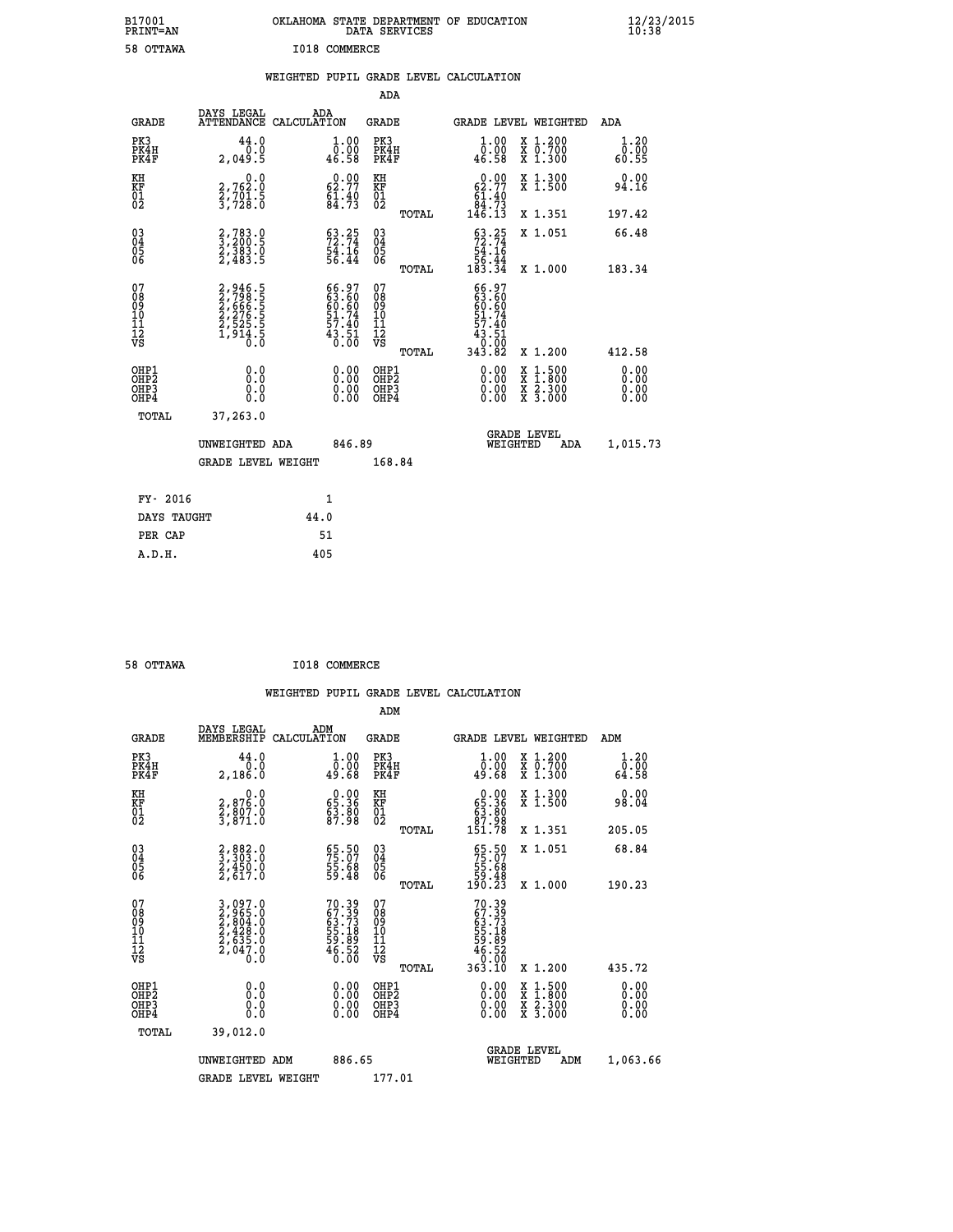| B17001<br>PRINT=AN                     |                                                                               | OKLAHOMA STATE DEPARTMENT OF EDUCATION                             | DATA SERVICES                                              |                                                                           |                                                                                          | $\frac{12}{23}$ /2015 |
|----------------------------------------|-------------------------------------------------------------------------------|--------------------------------------------------------------------|------------------------------------------------------------|---------------------------------------------------------------------------|------------------------------------------------------------------------------------------|-----------------------|
| 58 OTTAWA                              |                                                                               | I018 COMMERCE                                                      |                                                            |                                                                           |                                                                                          |                       |
|                                        |                                                                               | WEIGHTED PUPIL GRADE LEVEL CALCULATION                             |                                                            |                                                                           |                                                                                          |                       |
|                                        |                                                                               |                                                                    | <b>ADA</b>                                                 |                                                                           |                                                                                          |                       |
| GRADE                                  | DAYS LEGAL                                                                    | ADA<br>ATTENDANCE CALCULATION                                      | <b>GRADE</b>                                               |                                                                           | GRADE LEVEL WEIGHTED                                                                     | ADA                   |
| PK3<br>PK4H<br>PK4F                    | 44.0<br>0.0<br>2,049.5                                                        | 1.00<br>0.00<br>46.58                                              | PK3<br>PK4H<br>PK4F                                        | 1.00<br>0.00<br>46.58                                                     | X 1.200<br>X 0.700<br>X 1.300                                                            | 1.20<br>0.00<br>60.55 |
| KH<br>KF<br>01<br>02                   | 0.0<br>2,762:0<br>2,701:5<br>3,728:0                                          | 62.77<br>$\frac{61.40}{84.73}$                                     | KH<br><b>KF</b><br>01<br>02                                | $\begin{smallmatrix} &0.00\ 62.77\ 61.40\ 84.73\ 146.13\end{smallmatrix}$ | X 1.300<br>X 1.500                                                                       | 0.00<br>94.16         |
|                                        |                                                                               |                                                                    | TOTAL                                                      |                                                                           | X 1.351                                                                                  | 197.42                |
| 03<br>04<br>05<br>06                   | $\begin{smallmatrix} 2,783.0\\ 3,200.5\\ 2,383.0\\ 2,483.5 \end{smallmatrix}$ | $\begin{smallmatrix} 63.25\ 72.74\ 54.16\ 56.44 \end{smallmatrix}$ | $\begin{matrix} 03 \\ 04 \\ 05 \\ 06 \end{matrix}$         | $53.25$<br>$72.74$<br>$54.16$<br>$56.44$<br>$183.34$                      | X 1.051                                                                                  | 66.48                 |
|                                        |                                                                               |                                                                    | TOTAL                                                      |                                                                           | X 1.000                                                                                  | 183.34                |
| 07<br>08<br>09<br>11<br>11<br>12<br>VS | 2,946.5<br>2,798.5<br>2,666.5<br>2,276.5<br>2,525.5<br>1,914.5                | 66.97<br>63.60<br>60.60<br>51.74<br>57.40<br>43.51<br>0.00         | 07<br>08<br>09<br>10<br>$\frac{11}{12}$<br>$\frac{12}{18}$ | 66.97<br>63.60<br>60.60<br>51.74<br>57.40<br>43.51<br>0:00<br>343.82      |                                                                                          |                       |
| OHP1                                   |                                                                               |                                                                    | TOTAL<br>OHP1                                              |                                                                           | X 1.200                                                                                  | 412.58<br>0.00        |
| OHP <sub>2</sub><br>OHP3<br>OHP4       | 0.0<br>Ō.Ō<br>0.0<br>0.0                                                      | 0.00<br>$\begin{smallmatrix} 0.00 \\ 0.00 \end{smallmatrix}$       | OHP <sub>2</sub><br>OHP3<br>OHP4                           | 0.00<br>0.00<br>0.00                                                      | $\begin{smallmatrix} x & 1.500 \\ x & 1.800 \\ x & 2.300 \\ x & 3.000 \end{smallmatrix}$ | 0.00<br>0.00<br>0.00  |
| TOTAL                                  | 37,263.0                                                                      |                                                                    |                                                            |                                                                           |                                                                                          |                       |
|                                        | UNWEIGHTED ADA                                                                | 846.89                                                             |                                                            | WEIGHTED                                                                  | <b>GRADE LEVEL</b><br>ADA                                                                | 1,015.73              |
|                                        | <b>GRADE LEVEL WEIGHT</b>                                                     |                                                                    | 168.84                                                     |                                                                           |                                                                                          |                       |
| FY- 2016                               |                                                                               | 1                                                                  |                                                            |                                                                           |                                                                                          |                       |
| DAYS TAUGHT                            |                                                                               | 44.0                                                               |                                                            |                                                                           |                                                                                          |                       |
| PER CAP                                |                                                                               | 51                                                                 |                                                            |                                                                           |                                                                                          |                       |

| 58 OTTAWA | I018 COMMERCE |
|-----------|---------------|
|           |               |

 **WEIGHTED PUPIL GRADE LEVEL CALCULATION ADM DAYS LEGAL ADM GRADE MEMBERSHIP CALCULATION GRADE GRADE LEVEL WEIGHTED ADM PK3 44.0 1.00 PK3 1.00 X 1.200 1.20 PK4H 0.0 0.00 PK4H 0.00 X 0.700 0.00 PK4F 2,186.0 49.68 PK4F 49.68 X 1.300 64.58** 0.00 KH 0.00 RH 0.00 X 1.300<br>RF 2,876.0 65.36 KF 65.36 X 1.500 98.04  **01 2,807.0 63.80 01 63.80 02 3,871.0 87.98 02 87.98 TOTAL 151.78 X 1.351 205.05 03 2,882.0 65.50 03 65.50 X 1.051 68.84 04 3,303.0 75.07 04 75.07 05 2,450.0 55.68 05 55.68 06 2,617.0 59.48 06 59.48 TOTAL 190.23 X 1.000 190.23**  $\begin{array}{cccc} 07 & 3,097.0 & 70.39 & 07 & 70.39 \\ 08 & 2,965.0 & 67.39 & 08 & 67.39 \\ 09 & 2,965.0 & 63.73 & 09 & 63.73 \\ 10 & 2,428.0 & 55.18 & 10 & 55.18 \\ 11 & 2,635.0 & 59.89 & 11 & 59.89 \\ 12 & 2,604.0 & 46.52 & 12 & 59.89 \\ \sqrt{5} & 2,040.0 & 46.50 & \sqrt{5}$  **TOTAL 363.10 X 1.200 435.72 OHP1 0.0 0.00 OHP1 0.00 X 1.500 0.00 OHP2 0.0 0.00 OHP2 0.00 X 1.800 0.00 OHP3 0.0 0.00 OHP3 0.00 X 2.300 0.00 OHP4 0.0 0.00 OHP4 0.00 X 3.000 0.00 TOTAL 39,012.0 GRADE LEVEL UNWEIGHTED ADM 886.65 WEIGHTED ADM 1,063.66** GRADE LEVEL WEIGHT 177.01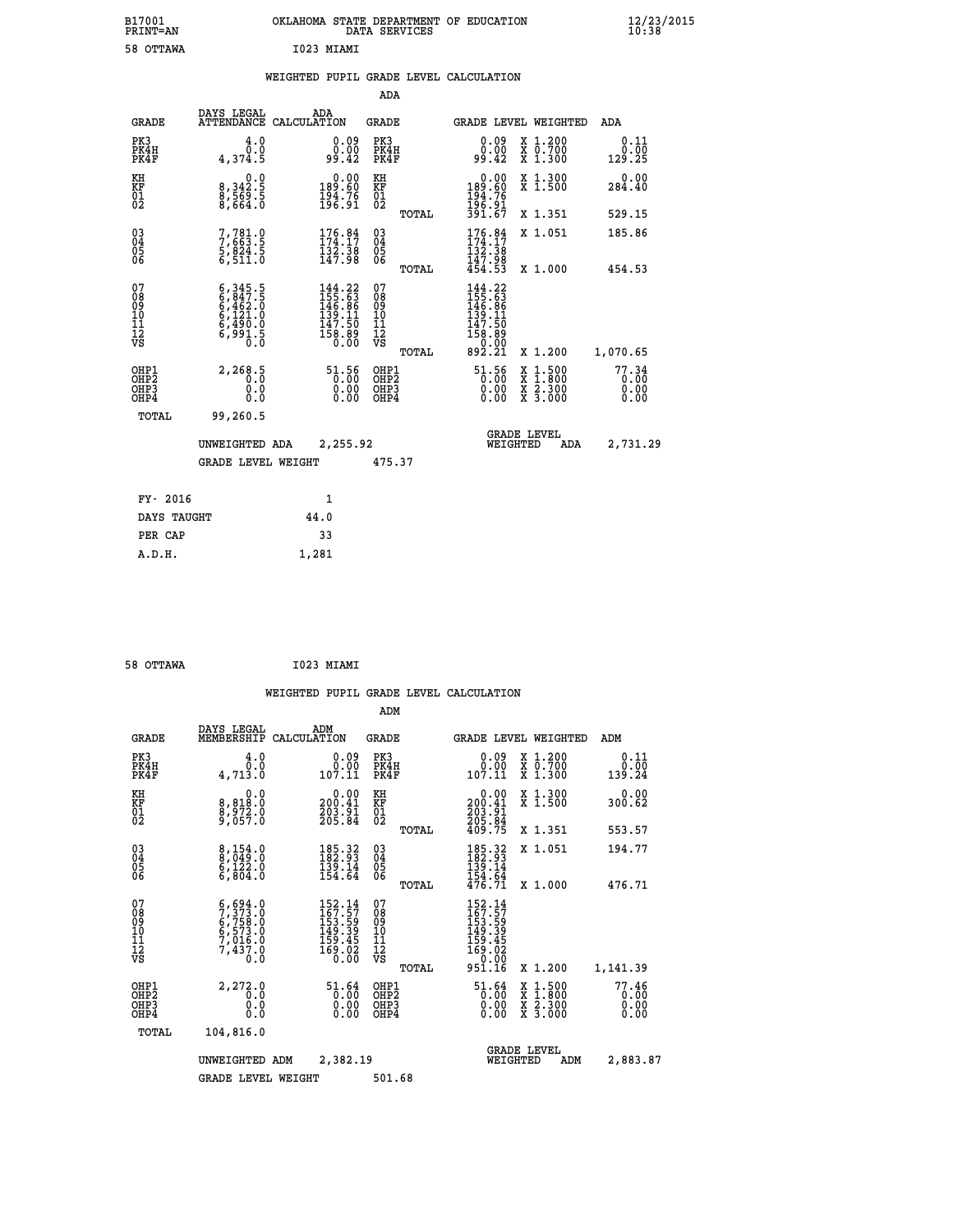| B17001<br>PRINT=AN | OKLAHOMA STATE DEPARTMENT OF EDUCATION<br>DATA SERVICES | $\frac{12}{23}$ /2015 |
|--------------------|---------------------------------------------------------|-----------------------|
| 58 OTTAWA          | I023 MIAMI                                              |                       |
|                    | WEIGHTED PUPIL GRADE LEVEL CALCULATION                  |                       |
|                    | ADA                                                     |                       |

| <b>GRADE</b>                                         | DAYS LEGAL<br><b>ATTENDANCE</b>                                                     | ADA<br>CALCULATION                                                                                                                         | <b>GRADE</b>                                        |       | GRADE LEVEL WEIGHTED                                                                                                                                     |                                                                                                  | <b>ADA</b>             |
|------------------------------------------------------|-------------------------------------------------------------------------------------|--------------------------------------------------------------------------------------------------------------------------------------------|-----------------------------------------------------|-------|----------------------------------------------------------------------------------------------------------------------------------------------------------|--------------------------------------------------------------------------------------------------|------------------------|
| PK3<br>PK4H<br>PK4F                                  | 4.0<br>0.0<br>4,374.5                                                               | $\begin{smallmatrix} 0.09\ 0.00\\ -0.00\\ -9.42 \end{smallmatrix}$                                                                         | PK3<br>PK4H<br>PK4F                                 |       | 0.09<br>0.00<br>99.42                                                                                                                                    | X 1.200<br>X 0.700<br>X 1.300                                                                    | 0.11<br>0.00<br>129.25 |
| KH<br>KF<br>01<br>02                                 | $\begin{smallmatrix} & & 0.0\ 8.342.5\ 8.569.5\ 8.664.0 \end{smallmatrix}$          | $\begin{smallmatrix} &0.00\\189.60\\194.76\\196.91\end{smallmatrix}$                                                                       | KH<br>KF<br>01<br>02                                |       | $0.00$<br>$189.60$<br>$194.76$<br>$196.91$<br>$391.67$                                                                                                   | X 1.300<br>X 1.500                                                                               | 0.00<br>284.40         |
|                                                      |                                                                                     |                                                                                                                                            |                                                     | TOTAL |                                                                                                                                                          | X 1.351                                                                                          | 529.15                 |
| $\begin{matrix} 03 \\ 04 \\ 05 \\ 06 \end{matrix}$   | 7,781.0<br>7,663.5<br>5,824.5<br>6,511.0                                            | $176.84$<br>$174.17$<br>$132.38$<br>$147.98$                                                                                               | $\begin{array}{c} 03 \\ 04 \\ 05 \\ 06 \end{array}$ |       | $\begin{array}{c} 176.84 \\ 174.17 \\ 132.38 \\ 147.98 \\ 454.53 \end{array}$                                                                            | X 1.051                                                                                          | 185.86                 |
|                                                      |                                                                                     |                                                                                                                                            |                                                     | TOTAL |                                                                                                                                                          | X 1.000                                                                                          | 454.53                 |
| 07<br>08<br>09<br>101<br>11<br>12<br>VS              | $6,345.5$<br>$6,462.0$<br>$6,462.0$<br>$6,121.0$<br>$6,490.0$<br>$6,991.5$<br>$0.0$ | $\begin{smallmatrix} 144\cdot22\\ 155\cdot63\\ 146\cdot86\\ 149\cdot11\\ 139\cdot11\\ 147\cdot50\\ 158\cdot89\\ 0\cdot00\end{smallmatrix}$ | 07<br>08<br>09<br>11<br>11<br>12<br>VS              |       | $\begin{smallmatrix} 144\cdot22\\ 155\cdot63\\ 146\cdot86\\ 139\cdot11\\ 139\cdot11\\ 147\cdot50\\ 158\cdot89\\ 0\cdot00\\ 892\cdot21 \end{smallmatrix}$ |                                                                                                  |                        |
|                                                      |                                                                                     |                                                                                                                                            |                                                     | TOTAL |                                                                                                                                                          | X 1.200                                                                                          | 1,070.65               |
| OHP1<br>OHP2<br>OH <sub>P3</sub><br>OH <sub>P4</sub> | 2, 268.5<br>0.000                                                                   | $\frac{51.56}{0.00}$<br>0.00                                                                                                               | OHP1<br>OHP2<br>OHP3<br>OHP4                        |       | $\begin{smallmatrix} 51.56\\ 0.00\\ 0.00\\ 0.00 \end{smallmatrix}$                                                                                       | $\begin{smallmatrix} x & 1 & 500 \\ x & 1 & 800 \\ x & 2 & 300 \\ x & 3 & 000 \end{smallmatrix}$ | 77.34<br>0.00<br>0.00  |
| TOTAL                                                | 99,260.5                                                                            |                                                                                                                                            |                                                     |       |                                                                                                                                                          |                                                                                                  |                        |
|                                                      | UNWEIGHTED ADA                                                                      | 2,255.92                                                                                                                                   |                                                     |       | WEIGHTED                                                                                                                                                 | <b>GRADE LEVEL</b><br>ADA                                                                        | 2,731.29               |
|                                                      | <b>GRADE LEVEL WEIGHT</b>                                                           |                                                                                                                                            | 475.37                                              |       |                                                                                                                                                          |                                                                                                  |                        |
| FY- 2016                                             |                                                                                     | $\mathbf{1}$                                                                                                                               |                                                     |       |                                                                                                                                                          |                                                                                                  |                        |
|                                                      |                                                                                     |                                                                                                                                            |                                                     |       |                                                                                                                                                          |                                                                                                  |                        |

| DAYS TAUGHT | 44.0  |
|-------------|-------|
| PER CAP     | 33    |
| A.D.H.      | 1,281 |
|             |       |

```
 58 OTTAWA I023 MIAMI
```
 **WEIGHTED PUPIL GRADE LEVEL CALCULATION ADM DAYS LEGAL ADM GRADE MEMBERSHIP CALCULATION GRADE GRADE LEVEL WEIGHTED ADM PK3 4.0 0.09 PK3 0.09 X 1.200 0.11 PK4H 0.0 0.00 PK4H 0.00 X 0.700 0.00 PK4F 4,713.0 107.11 PK4F 107.11 X 1.300 139.24 KH 0.0 0.00 KH 0.00 X 1.300 0.00 KF 8,818.0 200.41 KF 200.41 X 1.500 300.62 01 8,972.0 203.91 01 203.91 02 9,057.0 205.84 02 205.84 TOTAL 409.75 X 1.351 553.57 03 8,154.0 185.32 03 185.32 X 1.051 194.77 04 8,049.0 182.93 04 182.93 05 6,122.0 139.14 05 139.14 06 6,804.0 154.64 06 154.64 TOTAL 476.71 X 1.000 476.71**  $\begin{array}{cccc} 07 & 6,694.0 & 152.14 & 07 & 152.14 \ 08 & 7,753.0 & 167.57 & 08 & 167.57 \ 09 & 6,753.0 & 163.59 & 09 & 153.59 \ 10 & 6,573.0 & 149.39 & 10 & 149.39 \ 11 & 7,016.0 & 159.45 & 11 & 159.45 \ 12 & 7,437.0 & 169.02 & 12 & 169.02 \ \hline \textrm{vs} & 7,4$  $\begin{array}{cccccc} 6,694.0 & 152.14 & 07 & 152.14 \\ 7,758.0 & 163.157 & 08 & 163.39 \\ 6,7573.0 & 149.39 & 10 & 149.39 \\ 7,758.0 & 149.39 & 10 & 149.39 \\ 7,437.0 & 159.45 & 11 & 159.45 \\ 7,437.0 & 159.45 & 12 & 159.02 \\ 7,437.0 & 169.02 & 12 & 169.02 \\ 8,159.$  **OHP1 2,272.0 51.64 OHP1 51.64 X 1.500 77.46 OHP2 0.0 0.00 OHP2 0.00 X 1.800 0.00 OHP3 0.0 0.00 OHP3 0.00 X 2.300 0.00 OHP4 0.0 0.00 OHP4 0.00 X 3.000 0.00 TOTAL 104,816.0 GRADE LEVEL UNWEIGHTED ADM 2,382.19 WEIGHTED ADM 2,883.87 GRADE LEVEL WEIGHT 501.68**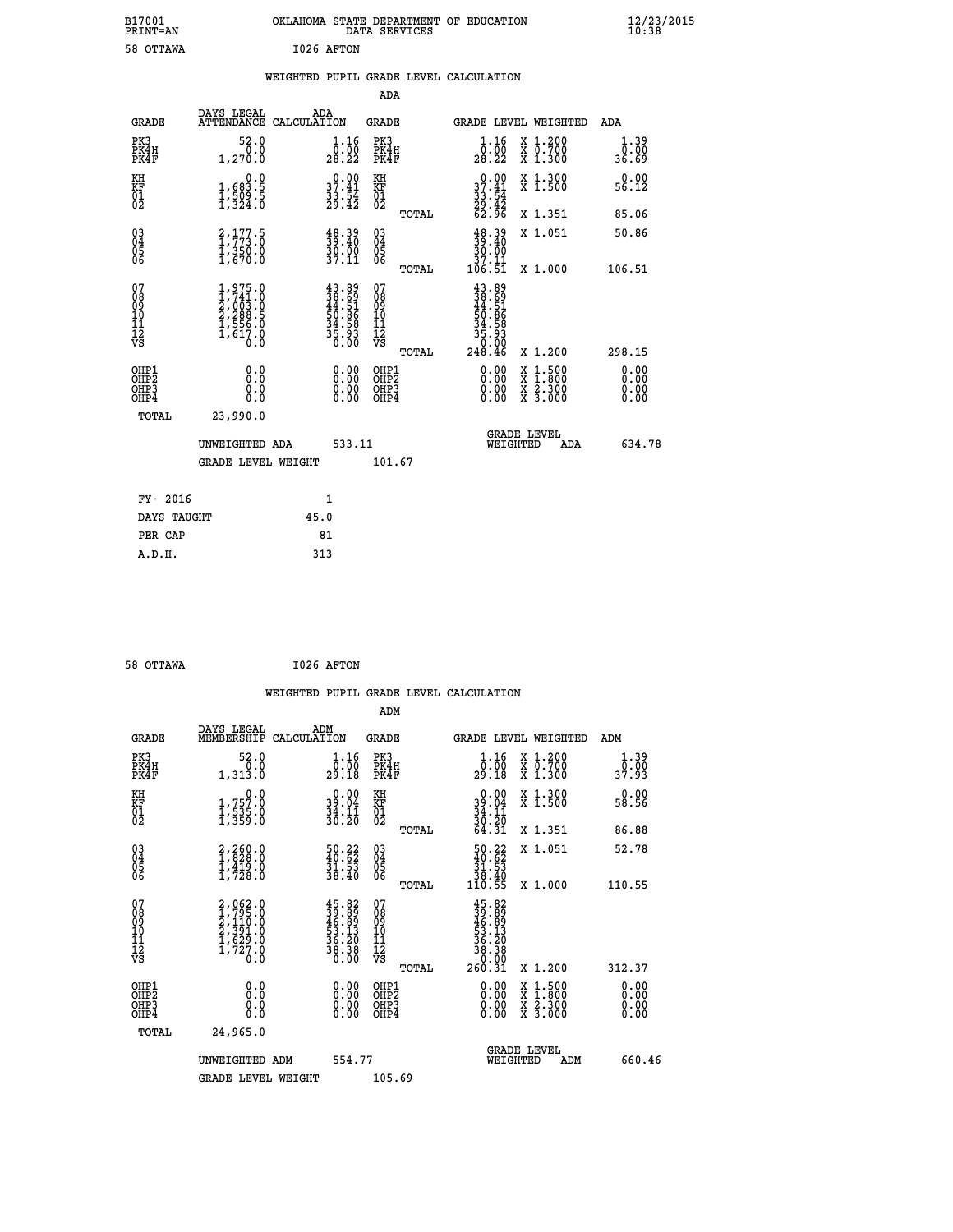| B17001<br>PRINT=AN                                   |                                                                        | OKLAHOMA STATE DEPARTMENT OF EDUCATION                                   | DATA SERVICES                                      |                                                                                |                                                                                                  | $\frac{12}{10}$ :38/2015     |  |
|------------------------------------------------------|------------------------------------------------------------------------|--------------------------------------------------------------------------|----------------------------------------------------|--------------------------------------------------------------------------------|--------------------------------------------------------------------------------------------------|------------------------------|--|
| 58 OTTAWA                                            |                                                                        | I026 AFTON                                                               |                                                    |                                                                                |                                                                                                  |                              |  |
|                                                      |                                                                        | WEIGHTED PUPIL GRADE LEVEL CALCULATION                                   |                                                    |                                                                                |                                                                                                  |                              |  |
|                                                      |                                                                        |                                                                          | <b>ADA</b>                                         |                                                                                |                                                                                                  |                              |  |
| GRADE                                                | DAYS LEGAL<br>ATTENDANCE CALCULATION                                   | ADA                                                                      | GRADE                                              | GRADE LEVEL WEIGHTED                                                           |                                                                                                  | ADA                          |  |
| PK3<br>PK4H<br>PK4F                                  | 52.0<br>0.0<br>1,270.0                                                 | 1.16<br>0.00<br>28.22                                                    | PK3<br>PK4H<br>PK4F                                | 1.16<br>0.00<br>28.22                                                          | X 1.200<br>X 0.700<br>X 1.300                                                                    | 1.39<br>0.00<br>36.69        |  |
| KH<br>KF<br>01<br>02                                 | 0.0<br>$\frac{1}{1}, \frac{683}{509}$ .<br>1, 324.0                    | $\begin{smallmatrix} 0.00\\ 37.41\\ 33.54\\ 29.42 \end{smallmatrix}$     | KH<br>KF<br>01<br>02                               | $\begin{smallmatrix} 0.00\\ 37.41\\ 33.54\\ 29.42\\ 62.96 \end{smallmatrix}$   | X 1.300<br>X 1.500                                                                               | 0.00<br>56.12                |  |
|                                                      |                                                                        |                                                                          | TOTAL                                              |                                                                                | X 1.351                                                                                          | 85.06                        |  |
| $\begin{matrix} 03 \\ 04 \\ 05 \\ 06 \end{matrix}$   | 2,177.5<br>$\frac{1}{3}, \frac{3}{6}, \frac{5}{0}$                     | $\begin{smallmatrix} 48.39\ 39.40\ 30.00\ 37.11\end{smallmatrix}$        | $\begin{matrix} 03 \\ 04 \\ 05 \\ 06 \end{matrix}$ | $\frac{48.39}{39.40}$                                                          | X 1.051                                                                                          | 50.86                        |  |
|                                                      |                                                                        |                                                                          | <b>TOTAL</b>                                       | $\frac{37.11}{106.51}$                                                         | X 1.000                                                                                          | 106.51                       |  |
| 07<br>08<br>09<br>10<br>11<br>Ī2<br>VS               | $1,975.0$<br>$2,003.0$<br>$2,288.5$<br>$1,556.0$<br>$1,617.0$<br>$0.0$ | $43.89$<br>$38.69$<br>$44.51$<br>$50.86$<br>$34.58$<br>$35.93$<br>$0.00$ | 07<br>08<br>09<br>10<br>11<br>ĪŽ<br>VŠ<br>TOTAL    | $43.89$<br>$38.69$<br>$44.51$<br>$50.86$<br>$34.58$<br>35.93<br>0.00<br>248.46 | X 1.200                                                                                          | 298.15                       |  |
| OHP1<br>OHP <sub>2</sub><br>OH <sub>P3</sub><br>OHP4 | 0.0<br>Ō.Ō<br>0.0<br>0.0                                               | 0.00<br>0.00<br>0.00                                                     | OHP1<br>OH <sub>P</sub> 2<br>OHP3<br>OHP4          | 0.00<br>0.00<br>0.00                                                           | $\begin{smallmatrix} x & 1 & 500 \\ x & 1 & 800 \\ x & 2 & 300 \\ x & 3 & 000 \end{smallmatrix}$ | 0.00<br>0.00<br>0.00<br>0.00 |  |
| TOTAL                                                | 23,990.0                                                               |                                                                          |                                                    |                                                                                |                                                                                                  |                              |  |
|                                                      | UNWEIGHTED ADA                                                         | 533.11                                                                   |                                                    | <b>GRADE LEVEL</b><br>WEIGHTED                                                 | ADA                                                                                              | 634.78                       |  |
|                                                      | <b>GRADE LEVEL WEIGHT</b>                                              |                                                                          | 101.67                                             |                                                                                |                                                                                                  |                              |  |
| FY- 2016                                             |                                                                        | 1                                                                        |                                                    |                                                                                |                                                                                                  |                              |  |
| DAYS TAUGHT                                          |                                                                        | 45.0                                                                     |                                                    |                                                                                |                                                                                                  |                              |  |
| PER CAP                                              |                                                                        | 81                                                                       |                                                    |                                                                                |                                                                                                  |                              |  |
| A.D.H.                                               |                                                                        | 313                                                                      |                                                    |                                                                                |                                                                                                  |                              |  |

| 58 OTTAWA | I026 AFTON |
|-----------|------------|
|           |            |

|                                                      |                                                                               |                                                                                                                                                                              |                                                     |       | WEIGHTED PUPIL GRADE LEVEL CALCULATION                                                                                                                                                                                                                                         |                                          |                       |
|------------------------------------------------------|-------------------------------------------------------------------------------|------------------------------------------------------------------------------------------------------------------------------------------------------------------------------|-----------------------------------------------------|-------|--------------------------------------------------------------------------------------------------------------------------------------------------------------------------------------------------------------------------------------------------------------------------------|------------------------------------------|-----------------------|
|                                                      |                                                                               |                                                                                                                                                                              | ADM                                                 |       |                                                                                                                                                                                                                                                                                |                                          |                       |
| <b>GRADE</b>                                         | DAYS LEGAL<br>MEMBERSHIP<br>CALCULATION                                       | ADM                                                                                                                                                                          | <b>GRADE</b>                                        |       |                                                                                                                                                                                                                                                                                | GRADE LEVEL WEIGHTED                     | ADM                   |
| PK3<br>PK4H<br>PK4F                                  | 52.0<br>0.0<br>1,313.0                                                        | $\frac{1}{0}$ : $\frac{16}{00}$<br>29.18                                                                                                                                     | PK3<br>PK4H<br>PK4F                                 |       | 1.16<br>0:00<br>29:18                                                                                                                                                                                                                                                          | X 1.200<br>X 0.700<br>X 1.300            | 1.39<br>0.00<br>37.93 |
| KH<br>KF<br>01<br>02                                 | $\begin{smallmatrix}&&&0\cdot0\\1,757.0\\1,535.0\\1,359.0\end{smallmatrix}$   | $39.04$<br>$34.11$<br>$36.20$                                                                                                                                                | KH<br>KF<br>01<br>02                                |       | $39.04$<br>$34.11$<br>$30.20$<br>$64.31$                                                                                                                                                                                                                                       | X 1.300<br>X 1.500                       | 0.00<br>58.56         |
|                                                      |                                                                               |                                                                                                                                                                              |                                                     | TOTAL |                                                                                                                                                                                                                                                                                | X 1.351                                  | 86.88                 |
| $\begin{matrix} 03 \\ 04 \\ 05 \\ 06 \end{matrix}$   | $\begin{smallmatrix} 2,260.0\\ 1,828.0\\ 1,419.0\\ 1,728.0 \end{smallmatrix}$ | $\begin{smallmatrix} 50.22\ 40.62\ 31.53\ 38.40 \end{smallmatrix}$                                                                                                           | $\begin{array}{c} 03 \\ 04 \\ 05 \\ 06 \end{array}$ |       | $\begin{smallmatrix} 50.22 \\ 40.62 \\ 31.53 \\ 38.40 \\ 110.55 \end{smallmatrix}$                                                                                                                                                                                             | X 1.051                                  | 52.78                 |
|                                                      |                                                                               |                                                                                                                                                                              |                                                     | TOTAL |                                                                                                                                                                                                                                                                                | X 1.000                                  | 110.55                |
| 07<br>08<br>09<br>101<br>112<br>VS                   | 2,062.0<br>1,795.0<br>2,110.0<br>2,391.0<br>1,629.0<br>1,727.0<br>0.0         | $\begin{smallmatrix} 4\,5\cdot 8\,2\\ 3\,9\cdot 8\,9\\ 4\,6\cdot 8\,9\\ 5\,3\cdot 1\,3\\ 5\,4\cdot 2\,0\\ 3\,6\cdot 3\,0\\ 3\,8\cdot 3\,8\\ 0\cdot 0\,0\\ \end{smallmatrix}$ | 07<br>08<br>09<br>11<br>11<br>12<br>VS              |       | $\begin{smallmatrix} 45.82\ 39.899\ 46.899\ 46.130\ 53.130\ 36.308\ 260.31\ \end{smallmatrix}$                                                                                                                                                                                 |                                          |                       |
|                                                      |                                                                               |                                                                                                                                                                              |                                                     | TOTAL |                                                                                                                                                                                                                                                                                | X 1.200                                  | 312.37                |
| OHP1<br>OHP2<br>OH <sub>P3</sub><br>OH <sub>P4</sub> | 0.0<br>0.000                                                                  | $\begin{smallmatrix} 0.00 \ 0.00 \ 0.00 \ 0.00 \end{smallmatrix}$                                                                                                            | OHP1<br>OHP2<br>OHP3<br>OHP4                        |       | $\begin{smallmatrix} 0.00 & 0.00 & 0.00 & 0.00 & 0.00 & 0.00 & 0.00 & 0.00 & 0.00 & 0.00 & 0.00 & 0.00 & 0.00 & 0.00 & 0.00 & 0.00 & 0.00 & 0.00 & 0.00 & 0.00 & 0.00 & 0.00 & 0.00 & 0.00 & 0.00 & 0.00 & 0.00 & 0.00 & 0.00 & 0.00 & 0.00 & 0.00 & 0.00 & 0.00 & 0.00 & 0.0$ | X 1:500<br>X 1:800<br>X 2:300<br>X 3:000 | 0.00<br>0.00<br>0.00  |
| TOTAL                                                | 24,965.0                                                                      |                                                                                                                                                                              |                                                     |       |                                                                                                                                                                                                                                                                                |                                          |                       |
|                                                      | UNWEIGHTED ADM                                                                | 554.77                                                                                                                                                                       |                                                     |       |                                                                                                                                                                                                                                                                                | GRADE LEVEL<br>WEIGHTED<br>ADM           | 660.46                |
|                                                      | <b>GRADE LEVEL WEIGHT</b>                                                     |                                                                                                                                                                              | 105.69                                              |       |                                                                                                                                                                                                                                                                                |                                          |                       |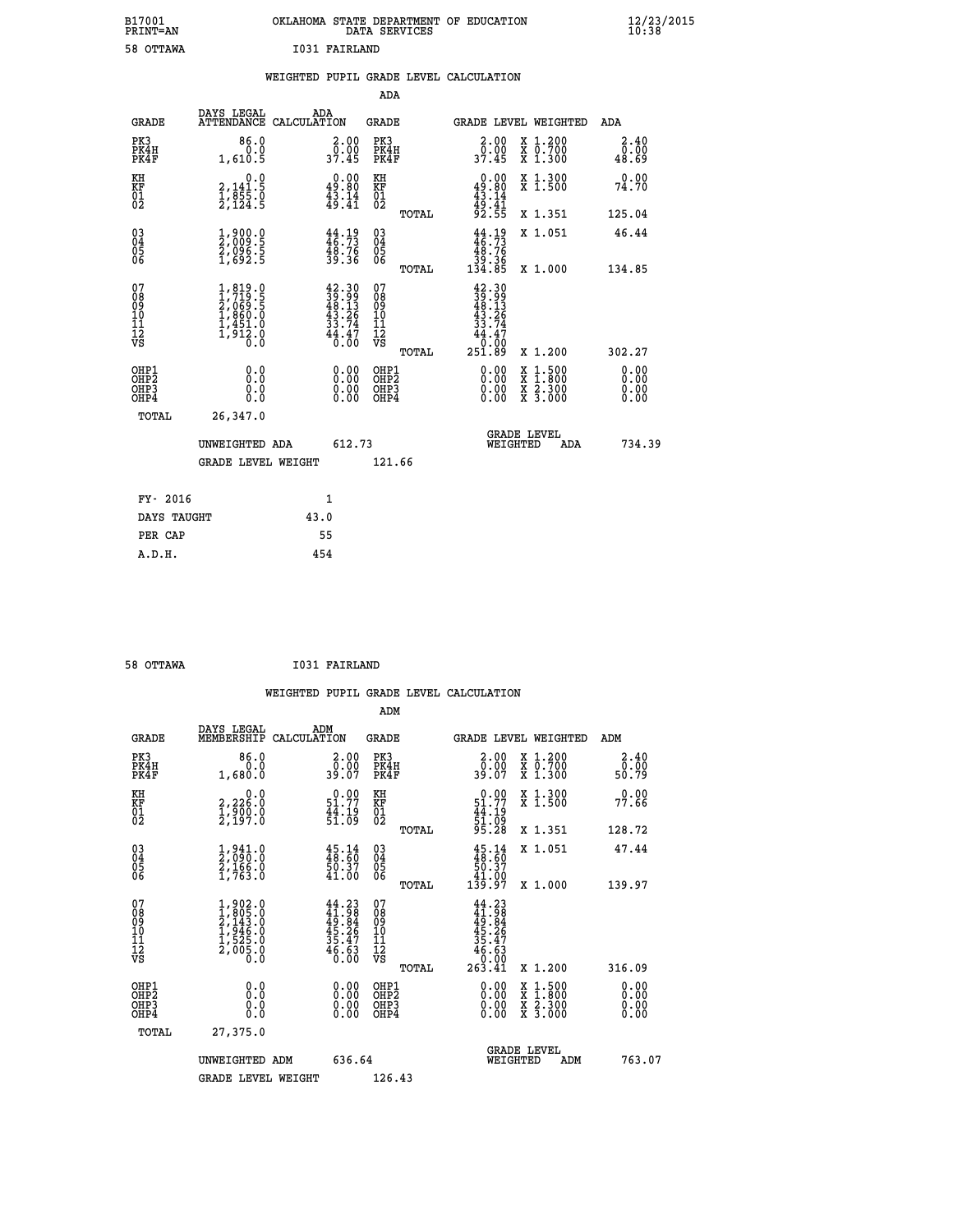| B17001<br>PRINT=AN                       |                                                                                           | OKLAHOMA STATE DEPARTMENT OF EDUCATION                                                       | DATA SERVICES                            |                                                                                              |                                                                                                  | 12/23/2015                   |  |
|------------------------------------------|-------------------------------------------------------------------------------------------|----------------------------------------------------------------------------------------------|------------------------------------------|----------------------------------------------------------------------------------------------|--------------------------------------------------------------------------------------------------|------------------------------|--|
| 58 OTTAWA                                |                                                                                           | 1031 FAIRLAND                                                                                |                                          |                                                                                              |                                                                                                  |                              |  |
|                                          |                                                                                           | WEIGHTED PUPIL GRADE LEVEL CALCULATION                                                       |                                          |                                                                                              |                                                                                                  |                              |  |
|                                          |                                                                                           |                                                                                              | ADA                                      |                                                                                              |                                                                                                  |                              |  |
| <b>GRADE</b>                             | DAYS LEGAL                                                                                | ADA<br>ATTENDANCE CALCULATION                                                                | GRADE                                    |                                                                                              | <b>GRADE LEVEL WEIGHTED</b>                                                                      | ADA                          |  |
| PK3<br>PK4H<br>PK4F                      | 86.0<br>0.0<br>1,610.5                                                                    | 2.00<br>$\frac{0.00}{37.45}$                                                                 | PK3<br>PK4H<br>PK4F                      | 2.00<br>0.00<br>37.45                                                                        | X 1.200<br>X 0.700<br>X 1.300                                                                    | 2.40<br>0.00<br>48.69        |  |
| KH<br>ΚF<br>$^{01}_{02}$                 | $\begin{smallmatrix} & & 0.0\\ 2,141.5\\ 1,855.0\\ 2,124.5 \end{smallmatrix}$             | $\begin{smallmatrix} 0.00\\ 49.80\\ 43.14\\ 49.41 \end{smallmatrix}$                         | KH<br>KF<br>$\overline{01}$              | $0.00$<br>$49.80$<br>$43.14$<br>$49.41$<br>$92.55$                                           | X 1.300<br>X 1.500                                                                               | 0.00<br>74.70                |  |
|                                          |                                                                                           |                                                                                              | TOTAL                                    |                                                                                              | X 1.351                                                                                          | 125.04                       |  |
| 030404<br>06                             | 1,900.0<br>2,009.5<br>2,096.5<br>1,692.5                                                  | $44.19$<br>$46.73$<br>$48.76$<br>$39.36$                                                     | 03<br>04<br>05<br>06<br><b>TOTAL</b>     | $\frac{44}{46}$ : $\frac{19}{73}$<br>$\begin{array}{r} 48.76 \\ 39.36 \\ 134.85 \end{array}$ | X 1.051<br>X 1.000                                                                               | 46.44<br>134.85              |  |
| 07<br>08<br>09<br>11<br>11<br>12<br>VS   | $1, 819.0$<br>$2, 069.5$<br>$2, 069.5$<br>$1, 860.0$<br>$1, 451.0$<br>$1, 912.0$<br>$0.0$ | $\begin{smallmatrix} 42.30\\ 39.99\\ 48.13\\ 43.26\\ 33.74\\ 44.47\\ 0.00 \end{smallmatrix}$ | 07<br>08<br>09<br>11<br>11<br>VS         | $42.30$<br>$39.99$<br>$48.13$<br>$43.26$<br>$33.74$<br>44.47<br>Ō.ŌÓ                         |                                                                                                  |                              |  |
|                                          |                                                                                           |                                                                                              | TOTAL                                    | 251.89                                                                                       | X 1.200                                                                                          | 302.27                       |  |
| OHP1<br>OHP2<br>OH <sub>P3</sub><br>OHP4 | 0.000<br>0.0<br>0.0                                                                       | 0.00<br>0.00<br>0.00                                                                         | OHP1<br>OHP <sub>2</sub><br>OHP3<br>OHP4 | 0.00<br>0.00<br>0.00                                                                         | $\begin{smallmatrix} x & 1 & 500 \\ x & 1 & 800 \\ x & 2 & 300 \\ x & 3 & 000 \end{smallmatrix}$ | 0.00<br>0.00<br>0.00<br>0.00 |  |
| TOTAL                                    | 26,347.0                                                                                  |                                                                                              |                                          |                                                                                              |                                                                                                  |                              |  |
|                                          | UNWEIGHTED ADA                                                                            | 612.73                                                                                       |                                          | WEIGHTED                                                                                     | <b>GRADE LEVEL</b><br>ADA                                                                        | 734.39                       |  |
|                                          | <b>GRADE LEVEL WEIGHT</b>                                                                 |                                                                                              | 121.66                                   |                                                                                              |                                                                                                  |                              |  |
| FY- 2016                                 |                                                                                           | 1                                                                                            |                                          |                                                                                              |                                                                                                  |                              |  |
| DAYS TAUGHT                              |                                                                                           | 43.0                                                                                         |                                          |                                                                                              |                                                                                                  |                              |  |
| PER CAP                                  |                                                                                           | 55                                                                                           |                                          |                                                                                              |                                                                                                  |                              |  |

| 58 OTTAWA | <b>I031 FAIRLAND</b> |
|-----------|----------------------|

|                                                      |                                                                                                    |                    |                                                             |                                  |       | WEIGHTED PUPIL GRADE LEVEL CALCULATION                      |                                                                                                                     |        |                               |
|------------------------------------------------------|----------------------------------------------------------------------------------------------------|--------------------|-------------------------------------------------------------|----------------------------------|-------|-------------------------------------------------------------|---------------------------------------------------------------------------------------------------------------------|--------|-------------------------------|
|                                                      |                                                                                                    |                    |                                                             | ADM                              |       |                                                             |                                                                                                                     |        |                               |
| <b>GRADE</b>                                         | DAYS LEGAL<br>MEMBERSHIP                                                                           | ADM<br>CALCULATION |                                                             | <b>GRADE</b>                     |       | <b>GRADE LEVEL WEIGHTED</b>                                 |                                                                                                                     | ADM    |                               |
| PK3<br>PK4H<br>PK4F                                  | 86.0<br>0.0<br>1,680.0                                                                             |                    | $\begin{smallmatrix} 2.00\\ 0.00\\ 39.07 \end{smallmatrix}$ | PK3<br>PK4H<br>PK4F              |       | $\begin{smallmatrix} 2.00\\ 0.00\\ 39.07 \end{smallmatrix}$ | X 1.200<br>X 0.700<br>X 1.300                                                                                       | 50.79  | 2.40<br>0.00                  |
| KH<br>KF<br>01<br>02                                 | $\begin{smallmatrix} 0.0\\2,226.0\\1,900.0\\2,197.0 \end{smallmatrix}$                             |                    | $0.00$<br>51.77<br>44.19<br>51:09                           | KH<br>KF<br>01<br>02             |       | $0.0051.7744.1951.0995.28$                                  | X 1.300<br>X 1.500                                                                                                  | 77.66  | 0.00                          |
|                                                      |                                                                                                    |                    |                                                             |                                  | TOTAL |                                                             | X 1.351                                                                                                             | 128.72 |                               |
| $\begin{matrix} 03 \\ 04 \\ 05 \\ 06 \end{matrix}$   | $\frac{1}{2}$ , $\frac{941}{090}$<br>$\frac{2}{1}$ , $\frac{166}{16}$ , 0<br>$\frac{1}{1}$ , 763.0 |                    | $45.14$<br>$48.60$<br>$50.37$<br>$41.00$                    | 03<br>04<br>05<br>06             |       | $45.14$<br>$48.60$<br>$50.37$<br>$41.00$<br>$139.97$        | X 1.051                                                                                                             | 47.44  |                               |
|                                                      |                                                                                                    |                    |                                                             |                                  | TOTAL |                                                             | X 1.000                                                                                                             | 139.97 |                               |
| 07<br>0890112<br>1112<br>VS                          | $1,902.0$<br>$2,143.0$<br>$2,143.0$<br>$1,946.0$<br>$1,525.0$<br>$2,005.0$<br>$0.0$                |                    | $44.23\n41.98\n49.84\n45.26\n35.47\n36.63\n46.630$          | 07<br>08901112<br>1112<br>VS     |       | $44.23\n49.984\n45.267\n35.47\n46.63\n0.001\n263.41$        |                                                                                                                     |        |                               |
|                                                      |                                                                                                    |                    |                                                             |                                  | TOTAL |                                                             | X 1.200                                                                                                             | 316.09 |                               |
| OHP1<br>OHP <sub>2</sub><br>OH <sub>P3</sub><br>OHP4 | 0.0<br>0.000                                                                                       |                    | $0.00$<br>$0.00$<br>0.00                                    | OHP1<br>OHP2<br>OHP <sub>3</sub> |       | 0.00<br>0.00<br>0.00                                        | $\begin{array}{l} \mathtt{X} & 1.500 \\ \mathtt{X} & 1.800 \\ \mathtt{X} & 2.300 \\ \mathtt{X} & 3.000 \end{array}$ |        | 0.00<br>Ō. ŌŌ<br>0.00<br>0.00 |
| TOTAL                                                | 27,375.0                                                                                           |                    |                                                             |                                  |       |                                                             |                                                                                                                     |        |                               |
|                                                      | UNWEIGHTED ADM                                                                                     |                    | 636.64                                                      |                                  |       | WEIGHTED                                                    | <b>GRADE LEVEL</b><br>ADM                                                                                           |        | 763.07                        |
|                                                      | <b>GRADE LEVEL WEIGHT</b>                                                                          |                    |                                                             | 126.43                           |       |                                                             |                                                                                                                     |        |                               |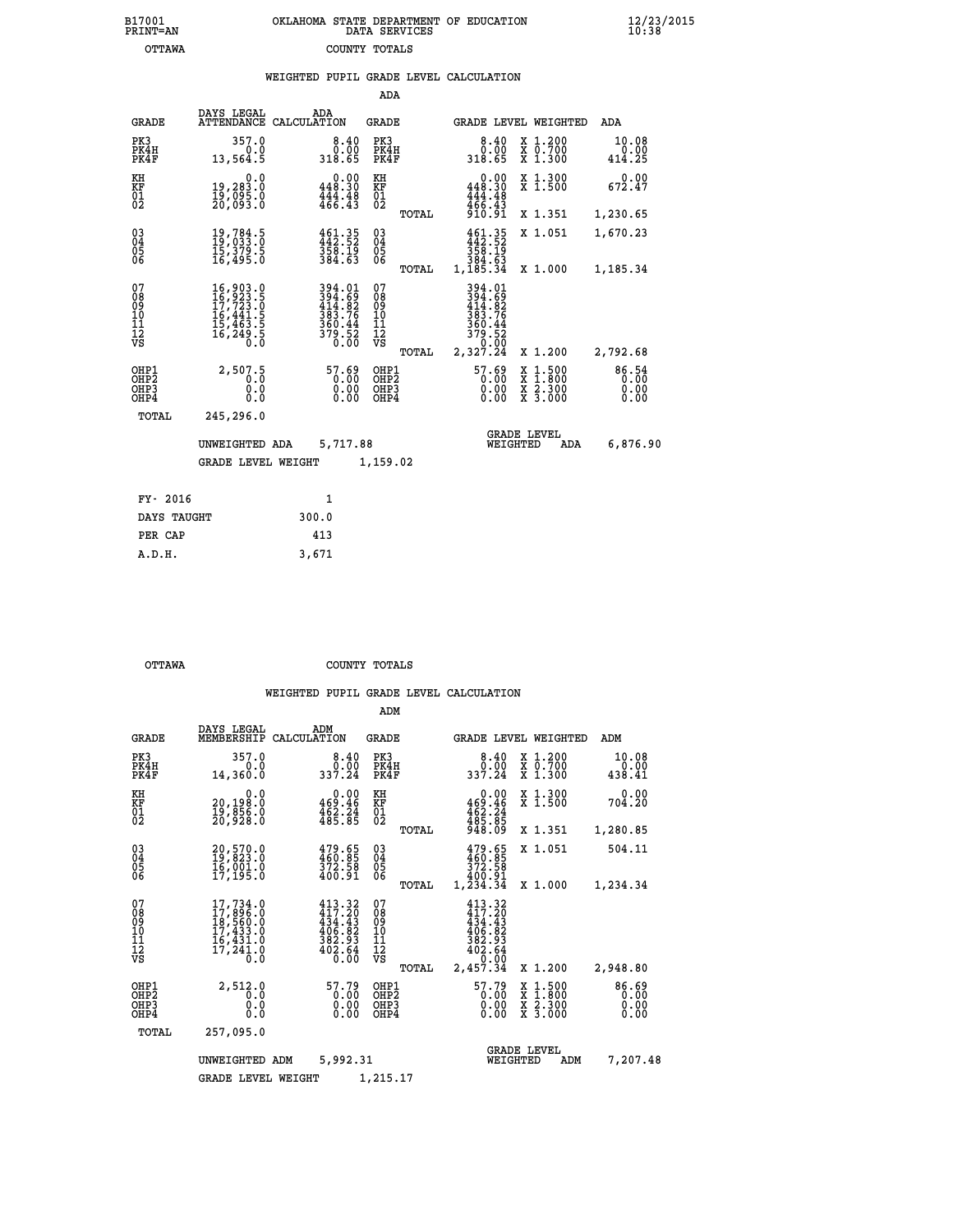| 7001<br>INT=AN | OKLAHOMA STATE DEPARTMENT OF EDUCATION<br>DATA SERVICES |  |
|----------------|---------------------------------------------------------|--|
| OTTAWA         | COUNTY TOTALS                                           |  |

|                                                              |                                                                                                                                                                               | WEIGHTED PUPIL GRADE LEVEL CALCULATION                          |                                                   |                                                                                                             |                                                                                                                                           |                         |
|--------------------------------------------------------------|-------------------------------------------------------------------------------------------------------------------------------------------------------------------------------|-----------------------------------------------------------------|---------------------------------------------------|-------------------------------------------------------------------------------------------------------------|-------------------------------------------------------------------------------------------------------------------------------------------|-------------------------|
|                                                              |                                                                                                                                                                               |                                                                 | ADA                                               |                                                                                                             |                                                                                                                                           |                         |
| <b>GRADE</b>                                                 | DAYS LEGAL                                                                                                                                                                    | ADA<br>ATTENDANCE CALCULATION                                   | <b>GRADE</b>                                      | GRADE LEVEL WEIGHTED                                                                                        |                                                                                                                                           | ADA                     |
| PK3<br>PK4H<br>PK4F                                          | 357.0<br>0.0<br>13,564.5                                                                                                                                                      | $\begin{smallmatrix} 8.40 \ 0.00 \end{smallmatrix}$<br>318.65   | PK3<br>PK4H<br>PK4F                               | $8.40$<br>$0.00$<br>318.65                                                                                  | X 1.200<br>X 0.700<br>X 1.300                                                                                                             | 10.08<br>0.00<br>414.25 |
| KH<br>KF<br>01<br>02                                         | 0.0<br>19,283.0<br>19,095:0<br>20,093:0                                                                                                                                       | $0.00$<br>448.30<br>$\frac{444}{466}$ : $\frac{48}{43}$         | KH<br>KF<br>$\begin{matrix} 01 \ 02 \end{matrix}$ | $0.00$<br>448.30<br>$\frac{444}{466}$ . $\frac{48}{31}$<br>910. 91                                          | X 1.300<br>X 1.500                                                                                                                        | 0.00<br>672.47          |
|                                                              |                                                                                                                                                                               |                                                                 | TOTAL                                             |                                                                                                             | X 1.351                                                                                                                                   | 1,230.65                |
| $\begin{smallmatrix} 03 \\[-4pt] 04 \end{smallmatrix}$<br>05 | 19,784.5<br>19,033.0<br>ī5,379.5<br>16,495.0                                                                                                                                  | 461.35<br>442.52<br>358.19<br>384.63                            | $\substack{03 \\ 04}$<br>05                       | 461.35<br>358.19                                                                                            | X 1.051                                                                                                                                   | 1,670.23                |
| 06                                                           |                                                                                                                                                                               |                                                                 | 06<br>TOTAL                                       | 384.63<br>1,185.34                                                                                          | X 1.000                                                                                                                                   | 1,185.34                |
| 07<br>08<br>09<br>11<br>11<br>12<br>VS                       | $\begin{smallmatrix} 16\,, & 903\,, & 0\\ 16\,, & 923\,, & 5\\ 17\,, & 723\,, & 0\\ 16\,, & 441\,, & 5\\ 15\,, & 463\,, & 5\\ 16\,, & 249\,, & 5\\ 0\,, & 0\end{smallmatrix}$ | 394.01<br>394.69<br>414.82<br>383.76<br>$\frac{360.44}{379.52}$ | 07<br>08<br>09<br>10<br>11<br>12<br>VS<br>TOTAL   | $\begin{array}{r} 394.01 \\ 394.69 \\ 414.82 \\ 383.76 \\ 360.44 \\ 379.52 \\ 0.00 \\ 2,327.24 \end{array}$ | X 1.200                                                                                                                                   | 2,792.68                |
| OHP1<br>OHP2<br>OHP3<br>OHP4                                 | 2,507.5<br>0.0<br>0.0<br>0.0                                                                                                                                                  | $\begin{smallmatrix} 57.69\ 0.00\ 0.00\ 0.00 \end{smallmatrix}$ | OHP1<br>OHP2<br>OHP3<br>OHP4                      | $\begin{smallmatrix} 57.69\ 0.00\ 0.00\ 0.00 \end{smallmatrix}$                                             | $\begin{smallmatrix} \mathtt{X} & 1\cdot500\\ \mathtt{X} & 1\cdot800\\ \mathtt{X} & 2\cdot300\\ \mathtt{X} & 3\cdot000 \end{smallmatrix}$ | 86.54<br>0.00<br>0.00   |
| TOTAL                                                        | 245,296.0                                                                                                                                                                     |                                                                 |                                                   |                                                                                                             |                                                                                                                                           |                         |
|                                                              | UNWEIGHTED ADA                                                                                                                                                                | 5,717.88                                                        |                                                   | <b>GRADE LEVEL</b><br>WEIGHTED                                                                              | ADA                                                                                                                                       | 6,876.90                |
|                                                              | <b>GRADE LEVEL WEIGHT</b>                                                                                                                                                     |                                                                 | 1,159.02                                          |                                                                                                             |                                                                                                                                           |                         |
| FY- 2016                                                     |                                                                                                                                                                               | $\mathbf{1}$                                                    |                                                   |                                                                                                             |                                                                                                                                           |                         |
| DAYS TAUGHT                                                  |                                                                                                                                                                               | 300.0                                                           |                                                   |                                                                                                             |                                                                                                                                           |                         |
| PER CAP                                                      |                                                                                                                                                                               | 413                                                             |                                                   |                                                                                                             |                                                                                                                                           |                         |

| OTTAWA | COUNTY TOTALS |  |
|--------|---------------|--|

 **A.D.H. 3,671**

**B17001<br>PRINT=AN** 

|                                                       |                                                                                                         |                                                                          | ADM                                              |                                                                              |                                                                                                  |                               |
|-------------------------------------------------------|---------------------------------------------------------------------------------------------------------|--------------------------------------------------------------------------|--------------------------------------------------|------------------------------------------------------------------------------|--------------------------------------------------------------------------------------------------|-------------------------------|
| <b>GRADE</b>                                          | DAYS LEGAL<br>MEMBERSHIP                                                                                | ADM<br>CALCULATION                                                       | <b>GRADE</b>                                     | GRADE LEVEL WEIGHTED                                                         |                                                                                                  | ADM                           |
| PK3<br>PK4H<br>PK4F                                   | 357.0<br>0.0<br>14,360.0                                                                                | 8.40<br>$0.\overline{0}0$<br>337.24                                      | PK3<br>PK4H<br>PK4F                              | 8.40<br>ŏ:ōŏ<br>337.24                                                       | $\begin{smallmatrix} x & 1.200 \\ x & 0.700 \end{smallmatrix}$<br>$X$ 1.300                      | 10.08<br>0.00<br>438.41       |
| KH<br>KF<br>01<br>02                                  | 0.0<br>20,198:0<br>19,856:0<br>20,928:0                                                                 | $\begin{smallmatrix} &0.00\\ 469.46\\ 462.24\\ 485.85 \end{smallmatrix}$ | KH<br>KF<br>01<br>02                             | 0.00<br>469:46<br>462:24<br>485:85<br>948:09                                 | X 1.300<br>X 1.500                                                                               | 0.00<br>704.20                |
|                                                       |                                                                                                         |                                                                          | TOTAL                                            |                                                                              | X 1.351                                                                                          | 1,280.85                      |
| 03<br>04<br>05<br>06                                  | 20,570.0<br>19,823.0<br>16,001.0<br>17, 195.0                                                           | $\frac{479}{460}$ : 85<br>$\frac{372}{372}$ : 58<br>400.91               | $^{03}_{04}$<br>0500                             | $479.65$<br>$460.85$<br>$372.58$<br>400.91                                   | X 1.051                                                                                          | 504.11                        |
|                                                       |                                                                                                         |                                                                          | TOTAL                                            | 1,234.34                                                                     | X 1.000                                                                                          | 1,234.34                      |
| 07<br>08<br>09<br>11<br>11<br>12<br>VS                | 17,734.0<br>17,896.0<br>$\frac{18}{17}, \frac{560}{431}.0$<br>$\frac{16}{17}, \frac{431}{241}.0$<br>0.0 | 413.32<br>417.20<br>434.43<br>406.82<br>$\frac{382.95}{402.64}$          | 07<br>08<br>09<br>101<br>11<br>12<br>VS<br>TOTAL | 413.32<br>417.20<br>434.43<br>406.82<br>382.93<br>402.64<br>0.00<br>2,457.34 | X 1.200                                                                                          | 2,948.80                      |
| OHP1<br>OH <sub>P</sub> 2<br>OH <sub>P3</sub><br>OHP4 | 2,512.0<br>0.0<br>0.0<br>Ŏ.Ŏ                                                                            | 57.79<br>0.00<br>0.00                                                    | OHP1<br>OHP2<br>OHP3<br>OHP4                     | 57.79<br>$0.00$<br>0.00<br>0.00                                              | $\begin{smallmatrix} x & 1 & 500 \\ x & 1 & 800 \\ x & 2 & 300 \\ x & 3 & 000 \end{smallmatrix}$ | 86.69<br>0.00<br>0.00<br>0.00 |
|                                                       | TOTAL<br>257,095.0                                                                                      |                                                                          |                                                  |                                                                              |                                                                                                  |                               |
|                                                       | UNWEIGHTED                                                                                              | 5,992.31<br>ADM                                                          |                                                  | <b>GRADE LEVEL</b><br>WEIGHTED                                               | ADM                                                                                              | 7,207.48                      |
|                                                       | <b>GRADE LEVEL WEIGHT</b>                                                                               |                                                                          | 1,215.17                                         |                                                                              |                                                                                                  |                               |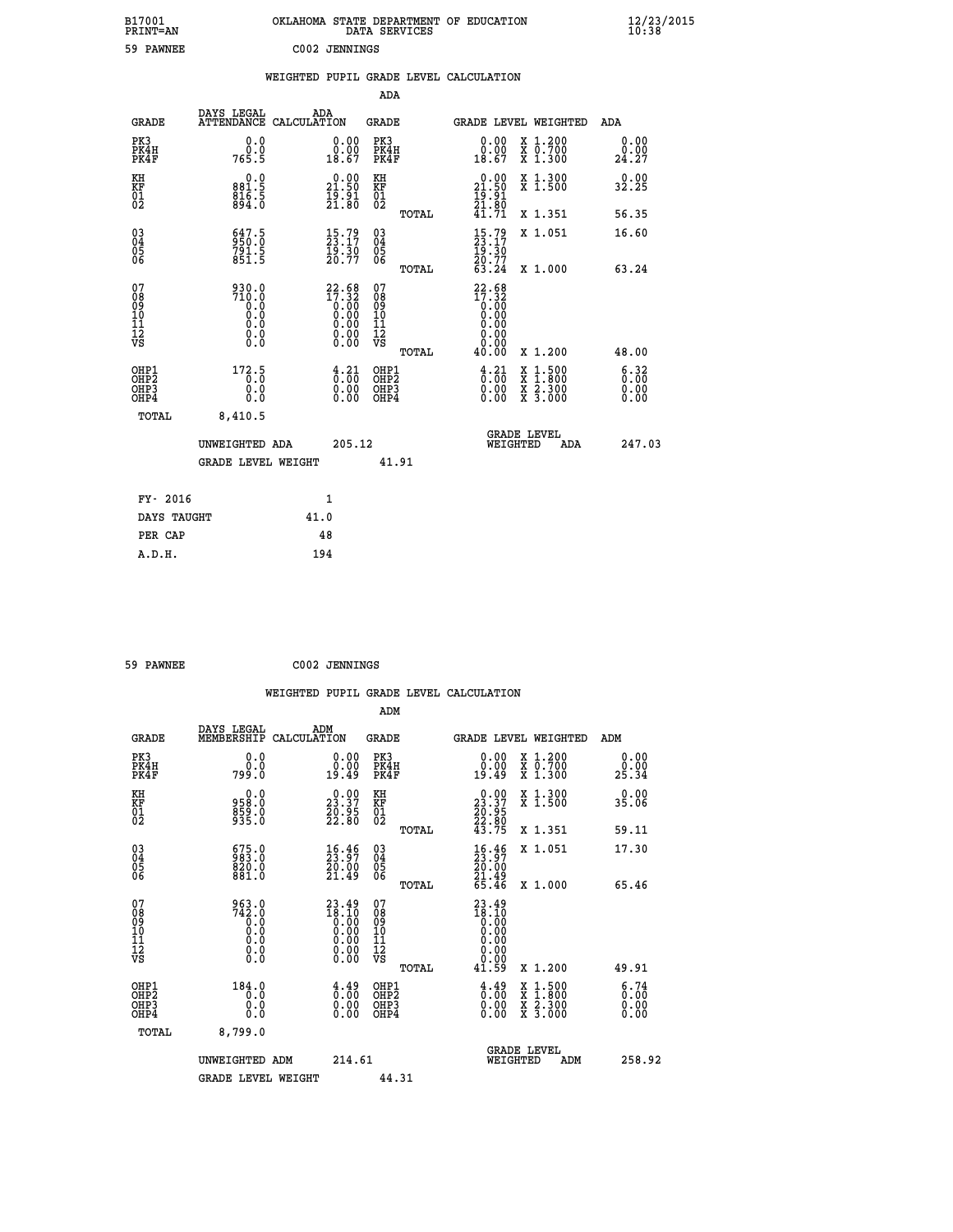| B17001<br>PRINT=AN               |                                    | OKLAHOMA STATE DEPARTMENT OF EDUCATION             | DATA SERVICES                                         |                                                                         |                                                                                          | $\frac{12}{23}$ /2015 |  |
|----------------------------------|------------------------------------|----------------------------------------------------|-------------------------------------------------------|-------------------------------------------------------------------------|------------------------------------------------------------------------------------------|-----------------------|--|
| 59 PAWNEE                        |                                    | C002 JENNINGS                                      |                                                       |                                                                         |                                                                                          |                       |  |
|                                  |                                    | WEIGHTED PUPIL GRADE LEVEL CALCULATION             |                                                       |                                                                         |                                                                                          |                       |  |
|                                  |                                    |                                                    | ADA                                                   |                                                                         |                                                                                          |                       |  |
| GRADE                            | DAYS LEGAL                         | ADA<br>ATTENDANCE CALCULATION                      | GRADE                                                 |                                                                         | GRADE LEVEL WEIGHTED                                                                     | ADA                   |  |
| PK3<br>PK4H<br>PK4F              | 0.0<br>0.0<br>765.5                | 0.00<br>$\substack{0.00\\18.67}$                   | PK3<br>PK4H<br>PK4F                                   | 0.00<br>$\begin{smallmatrix} 0.00 \ 18.67 \end{smallmatrix}$            | X 1.200<br>X 0.700<br>X 1.300                                                            | 0.00<br>24.27         |  |
| KH<br>KF<br>01<br>02             | 0.0<br>881.5<br>$816.5$<br>$894.0$ | 21.50<br>$\frac{1}{2}$ $\frac{5}{3}$ $\frac{1}{6}$ | ΚH<br>KF<br>01<br>02                                  | 21.50<br>$\frac{1}{2}$ $\frac{5}{3}$ $\frac{3}{8}$ $\frac{1}{9}$        | X 1.300<br>X 1.500                                                                       | 0.00<br>32.25         |  |
|                                  |                                    |                                                    | TOTAL                                                 | 41.71                                                                   | X 1.351                                                                                  | 56.35                 |  |
| 030404<br>ŌĞ                     | 647.5<br>950.0<br>791.5<br>851.5   | $15.79$<br>23.17<br>$\frac{19.30}{20.77}$          | $\begin{matrix} 03 \\ 04 \\ 05 \\ 06 \end{matrix}$    | $\frac{15}{23}.79$<br>19.30<br>20.77<br>63.24                           | X 1.051                                                                                  | 16.60                 |  |
| 07                               | 930.0                              |                                                    | <b>TOTAL</b><br>07                                    |                                                                         | X 1.000                                                                                  | 63.24                 |  |
| 08<br>09<br>10<br>11<br>Ī2<br>VS | 710.0<br>0.0<br>0.0<br>0.000       | $22.68\n17.32\n0.00\n0.00\n0.00\n0.00\n0.00\n0.00$ | 08<br>09<br>10<br>īī<br>$\frac{1}{\sqrt{2}}$<br>TOTAL | $22.68$<br>$17.32$<br>$0.00$<br>$0.00$<br>0.00<br>0.00<br>0.00<br>40.00 | X 1.200                                                                                  | 48.00                 |  |
| OHP1                             | 172.5                              |                                                    | OHP1                                                  |                                                                         |                                                                                          |                       |  |
| OHP2<br>OH <sub>P3</sub><br>OHP4 | ō.ŏ<br>0.0<br>0.0                  | $\frac{4}{0}$ : $\frac{21}{00}$<br>0.00            | OHP <sub>2</sub><br>OHP3<br>OHP4                      | $\frac{4}{0}$ : $\frac{21}{00}$<br>0.00<br>0.00                         | $\begin{smallmatrix} x & 1.500 \\ x & 1.800 \\ x & 2.300 \\ x & 3.000 \end{smallmatrix}$ | 6:32<br>0.00<br>0.00  |  |
| TOTAL                            | 8,410.5                            |                                                    |                                                       |                                                                         |                                                                                          |                       |  |
|                                  | UNWEIGHTED ADA                     | 205.12                                             |                                                       | WEIGHTED                                                                | <b>GRADE LEVEL</b><br>ADA                                                                | 247.03                |  |
|                                  | <b>GRADE LEVEL WEIGHT</b>          |                                                    | 41.91                                                 |                                                                         |                                                                                          |                       |  |
| FY- 2016                         |                                    | 1                                                  |                                                       |                                                                         |                                                                                          |                       |  |
| DAYS TAUGHT                      |                                    | 41.0                                               |                                                       |                                                                         |                                                                                          |                       |  |
| PER CAP                          |                                    | 48                                                 |                                                       |                                                                         |                                                                                          |                       |  |

| 59 PAWNEE | C002 JENNINGS |
|-----------|---------------|
|           |               |

 **WEIGHTED PUPIL GRADE LEVEL CALCULATION ADM DAYS LEGAL ADM GRADE MEMBERSHIP CALCULATION GRADE GRADE LEVEL WEIGHTED ADM PK3 0.0 0.00 PK3 0.00 X 1.200 0.00 PK4H 0.0 0.00 PK4H 0.00 X 0.700 0.00 PK4F 799.0 19.49 PK4F 19.49 X 1.300 25.34 KH 0.0 0.00 KH 0.00 X 1.300 0.00 KF 958.0 23.37 KF 23.37 X 1.500 35.06 01 859.0 20.95 01 20.95 02 935.0 22.80 02 22.80 TOTAL 43.75 X 1.351 59.11 03 675.0 16.46 03 16.46 X 1.051 17.30 04 983.0 23.97 04 23.97 02 830.0 830.0** 20.00 02  **06 881.0 21.49 06 21.49 TOTAL 65.46 X 1.000 65.46 07 963.0 23.49 07 23.49 08 742.0 18.10 08 18.10 03 0.00 0.00 0.000 0.000 10 0.0 0.00 10 0.00 11 0.0 0.00 11 0.00 12 0.0 0.00 12 0.00 VS** 0.0 0.00 VS 0.00 0.00 0.00  **TOTAL 41.59 X 1.200 49.91 OHP1 184.0 4.49 OHP1 4.49 X 1.500 6.74 OHP2 0.0 0.00 OHP2 0.00 X 1.800 0.00 OHP3 0.0 0.00 OHP3 0.00 X 2.300 0.00 OHP4 0.0 0.00 OHP4 0.00 X 3.000 0.00 TOTAL 8,799.0 GRADE LEVEL UNWEIGHTED ADM 214.61 WEIGHTED ADM 258.92** GRADE LEVEL WEIGHT 44.31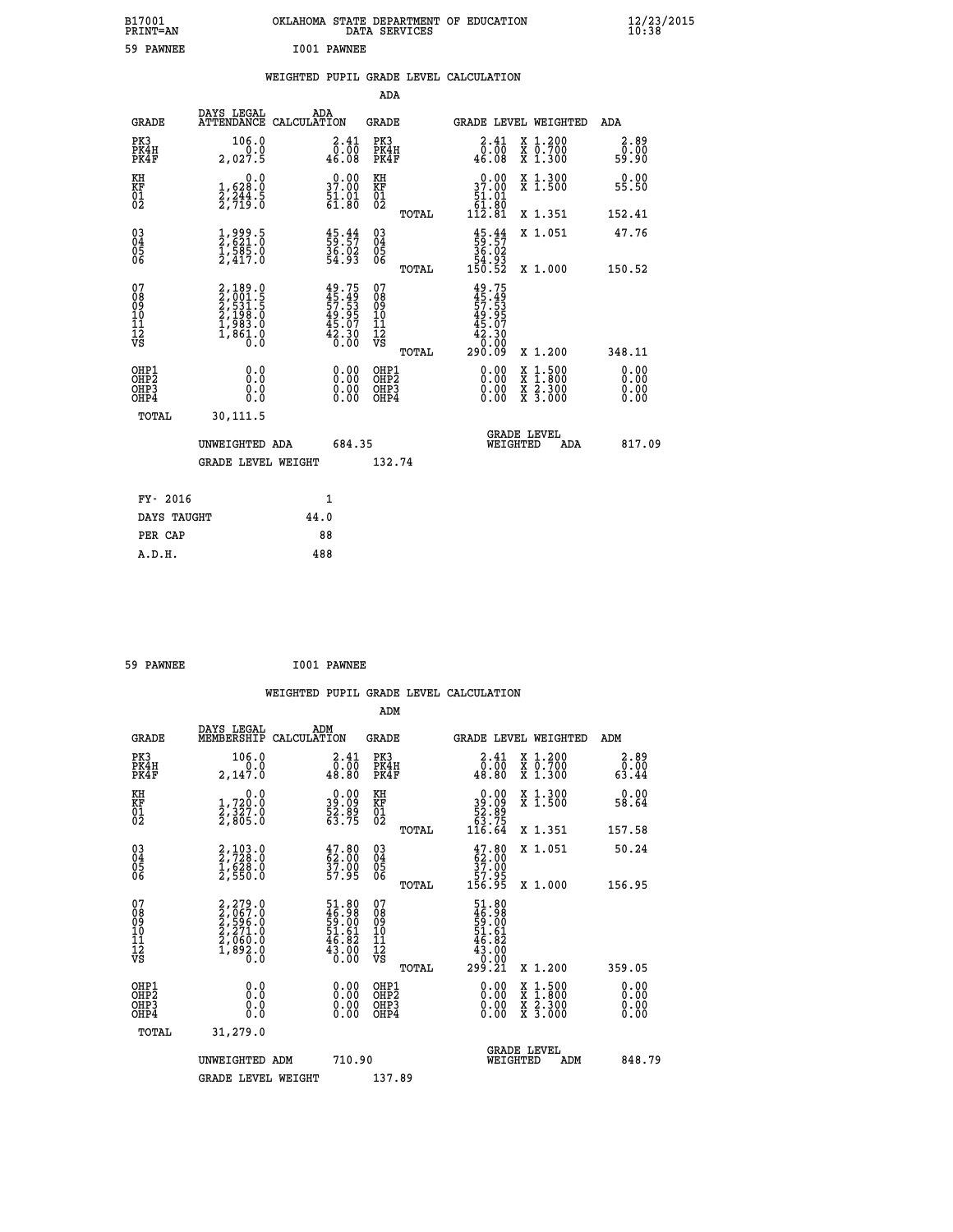| B17001<br>PRINT=AN               |                                                                                     | OKLAHOMA STATE DEPARTMENT OF EDUCATION                             | DATA SERVICES                            |                                                                            |                                                                                                  | $\frac{12}{23}$ /2015        |  |
|----------------------------------|-------------------------------------------------------------------------------------|--------------------------------------------------------------------|------------------------------------------|----------------------------------------------------------------------------|--------------------------------------------------------------------------------------------------|------------------------------|--|
| 59 PAWNEE                        |                                                                                     | I001 PAWNEE                                                        |                                          |                                                                            |                                                                                                  |                              |  |
|                                  |                                                                                     | WEIGHTED PUPIL GRADE LEVEL CALCULATION                             |                                          |                                                                            |                                                                                                  |                              |  |
|                                  |                                                                                     |                                                                    | <b>ADA</b>                               |                                                                            |                                                                                                  |                              |  |
| GRADE                            | DAYS LEGAL                                                                          | ADA<br>ATTENDANCE CALCULATION                                      | GRADE                                    |                                                                            | GRADE LEVEL WEIGHTED                                                                             | ADA                          |  |
| PK3<br>PK4H<br>PK4F              | 106.0<br>0.0<br>2,027.5                                                             | $\begin{smallmatrix} 2\cdot41\0\cdot00\0\cdot00 \end{smallmatrix}$ | PK3<br>PK4H<br>PK4F                      | 2.41<br>0.00<br>46.08                                                      | X 1.200<br>X 0.700<br>X 1.300                                                                    | 2.89<br>0.00<br>59.90        |  |
| KH<br>KF<br>01<br>02             | 0.0<br>$\frac{1}{2}, \frac{628}{244}$ . 5<br>2, 719. 0                              | 37.00<br>$\frac{51.01}{61.80}$                                     | KH<br>KF<br>01<br>02                     | 37.00<br>$\frac{51.01}{61.80}$                                             | X 1.300<br>X 1.500                                                                               | 0.00<br>55.50                |  |
|                                  |                                                                                     |                                                                    | TOTAL                                    | $11\bar{2}.8\bar{1}$                                                       | X 1.351                                                                                          | 152.41                       |  |
| $03\overline{4}$<br>Ŏ5<br>06     | $\frac{1}{2}$ , $\frac{999}{621}$ . 0<br>$\frac{1}{2}, \frac{5}{417}.0$             | $\begin{smallmatrix} 45.44\ 59.57\ 36.02\ 54.93 \end{smallmatrix}$ | 03<br>04<br>05<br>06                     | $\frac{45}{59}:\frac{44}{57}$<br>36.02<br>$\substack{54.95 \\ 150.52}$     | X 1.051                                                                                          | 47.76                        |  |
| 07                               |                                                                                     |                                                                    | TOTAL<br>07                              |                                                                            | X 1.000                                                                                          | 150.52                       |  |
| 08<br>09<br>11<br>11<br>12<br>VS | $2,189.0$<br>$2,001.5$<br>$2,531.5$<br>$2,198.0$<br>$1,983.0$<br>$1,861.0$<br>$0.0$ | 49.75<br>45.49<br>57.53<br>49.95<br>45.07<br>42.30<br>6.00         | 08901112<br>1112<br>VS                   | $49.75$<br>$45.49$<br>$57.53$<br>$49.95$<br>$45.07$<br>$42.300$<br>$0.000$ |                                                                                                  |                              |  |
|                                  |                                                                                     |                                                                    | TOTAL                                    | 290.09                                                                     | X 1.200                                                                                          | 348.11                       |  |
| OHP1<br>OHP2<br>OHP3<br>OHP4     | 0.0<br>0.0<br>0.0<br>0.0                                                            | 0.00<br>$\begin{smallmatrix} 0.00 \ 0.00 \end{smallmatrix}$        | OHP1<br>OHP <sub>2</sub><br>OHP3<br>OHP4 | 0.00<br>0.00<br>0.00                                                       | $\begin{smallmatrix} x & 1 & 500 \\ x & 1 & 800 \\ x & 2 & 300 \\ x & 3 & 000 \end{smallmatrix}$ | 0.00<br>0.00<br>0.00<br>0.00 |  |
| TOTAL                            | 30,111.5                                                                            |                                                                    |                                          |                                                                            |                                                                                                  |                              |  |
|                                  | UNWEIGHTED ADA                                                                      | 684.35                                                             |                                          | WEIGHTED                                                                   | <b>GRADE LEVEL</b><br>ADA                                                                        | 817.09                       |  |
|                                  | <b>GRADE LEVEL WEIGHT</b>                                                           |                                                                    | 132.74                                   |                                                                            |                                                                                                  |                              |  |
| FY- 2016                         |                                                                                     | 1                                                                  |                                          |                                                                            |                                                                                                  |                              |  |
| DAYS TAUGHT                      |                                                                                     | 44.0                                                               |                                          |                                                                            |                                                                                                  |                              |  |
| PER CAP                          |                                                                                     | 88                                                                 |                                          |                                                                            |                                                                                                  |                              |  |

| 59 PAWNEE | I001 PAWNEE |
|-----------|-------------|

 **WEIGHTED PUPIL GRADE LEVEL CALCULATION ADM DAYS LEGAL ADM GRADE MEMBERSHIP CALCULATION GRADE GRADE LEVEL WEIGHTED ADM PK3 106.0 2.41 PK3 2.41 X 1.200 2.89 PK4H 0.0 0.00 PK4H 0.00 X 0.700 0.00 PK4F 2,147.0 48.80 PK4F 48.80 X 1.300 63.44 KH 0.0 0.00 KH 0.00 X 1.300 0.00 KF 1,720.0 39.09 KF 39.09 X 1.500 58.64 01 2,327.0 52.89 01 52.89 02 2,805.0 63.75 02 63.75 TOTAL 116.64 X 1.351 157.58 03 2,103.0 47.80 03 47.80 X 1.051 50.24 04 2,728.0 62.00 04 62.00 05 1,628.0 37.00 05 37.00 06 2,550.0 57.95 06 57.95 TOTAL 156.95 X 1.000 156.95**  $\begin{array}{cccc} 07 & 2,279.0 & 51.80 & 07 & 51.80 \cr 08 & 2,057.0 & 46.98 & 08 & 49.9 \cr 09 & 2,595.0 & 59.00 & 09 & 59.00 \cr 10 & 2,271.0 & 51.61 & 10 & 51.61 \cr 11 & 2,060.0 & 46.82 & 11 & 46.82 \cr \nabla\mathbf{S} & 1,893.0 & 43.00 & 12 & 43.00 \cr \nabla\mathbf{S} & 0 &$  $\begin{array}{cccc} 51.80 & 07 & 51.80 & 07 \\ 46.98 & 08 & 59.00 & 59.00 \\ 51.61 & 10 & 51.61 & 50.00 \\ 46.82 & 11 & 46.82 & 43.00 \\ 43.00 & 12 & 43.00 & 0 \\ 0.00 & 0 \text{HPP1} & 299.21 & \text{X } 1.200 & 359.05 \\ 0.00 & 0 \text{HPP2} & 0.00 & \text{X } 1.500 & 0.00 \\ 0.00 & 0.00$  **OHP1 0.0 0.00 OHP1 0.00 X 1.500 0.00 OHP2 0.0 0.00 OHP2 0.00 X 1.800 0.00 OHP3 0.0 0.00 OHP3 0.00 X 2.300 0.00 OHP4 0.0 0.00 OHP4 0.00 X 3.000 0.00 TOTAL 31,279.0 GRADE LEVEL UNWEIGHTED ADM 710.90 WEIGHTED ADM 848.79** GRADE LEVEL WEIGHT 137.89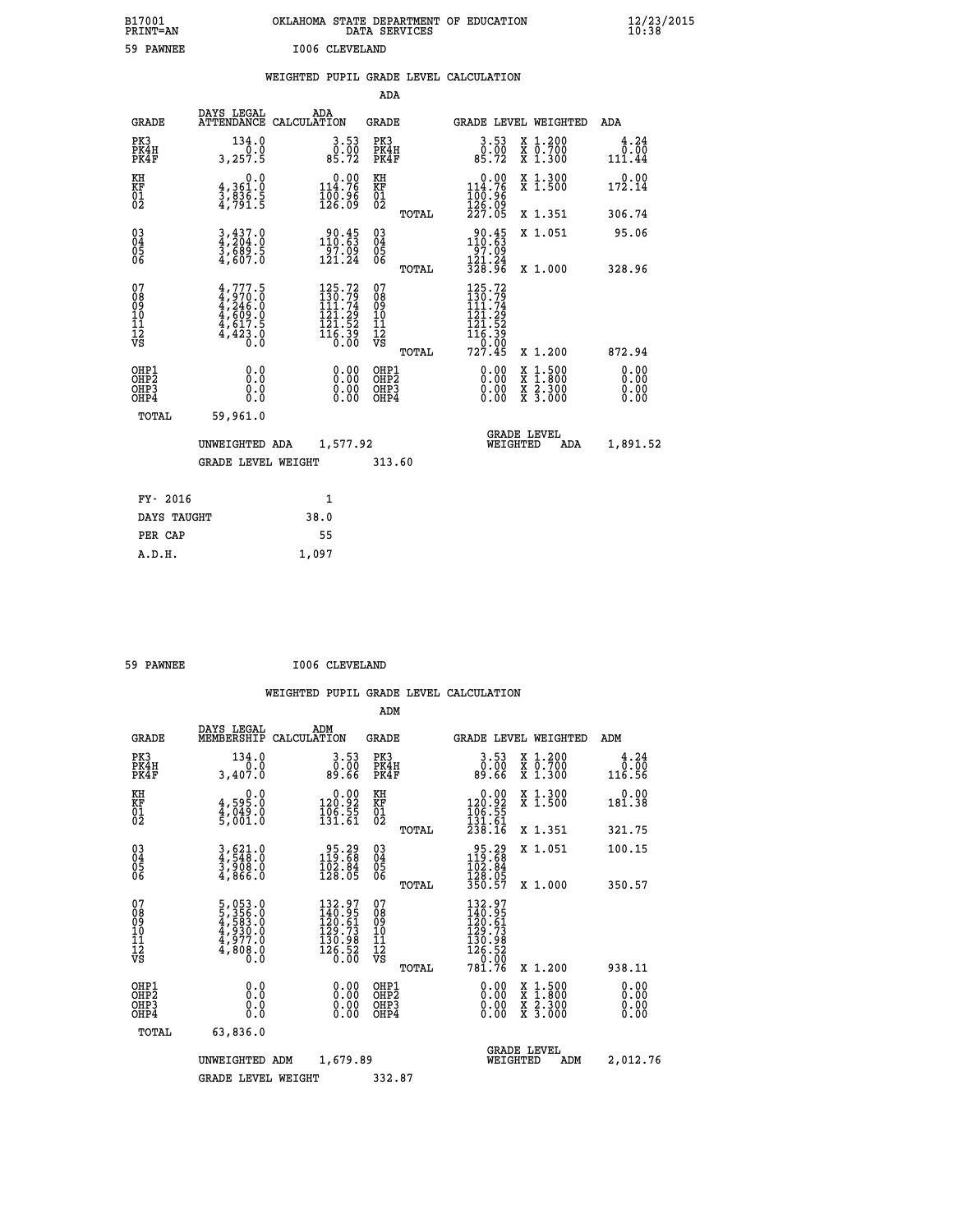| B17001<br><b>PRINT=AN</b> | OKLAHOMA STATE DEPARTMENT OF EDUCATION<br>DATA SERVICES | $\frac{12}{23}$ /2015 |
|---------------------------|---------------------------------------------------------|-----------------------|
| 59<br>PAWNEE              | 1006 CLEVELAND                                          |                       |

|  |  | WEIGHTED PUPIL GRADE LEVEL CALCULATION |
|--|--|----------------------------------------|
|  |  |                                        |

|                                                                    |                                                                                     |                                                                              | ADA                                       |       |                                                                                                                                                                                                                                                             |                                                                                                  |                              |
|--------------------------------------------------------------------|-------------------------------------------------------------------------------------|------------------------------------------------------------------------------|-------------------------------------------|-------|-------------------------------------------------------------------------------------------------------------------------------------------------------------------------------------------------------------------------------------------------------------|--------------------------------------------------------------------------------------------------|------------------------------|
| <b>GRADE</b>                                                       | DAYS LEGAL                                                                          | ADA<br>ATTENDANCE CALCULATION                                                | <b>GRADE</b>                              |       | <b>GRADE LEVEL WEIGHTED</b>                                                                                                                                                                                                                                 |                                                                                                  | ADA                          |
| PK3<br>PK4H<br>PK4F                                                | 134.0<br>0.0<br>3,257.5                                                             | $\begin{smallmatrix} 3.53\ 0.00\ 85.72 \end{smallmatrix}$                    | PK3<br>PK4H<br>PK4F                       |       | $\begin{smallmatrix} 3.53\ 0.00\ 85.72 \end{smallmatrix}$                                                                                                                                                                                                   | X 1.200<br>X 0.700<br>X 1.300                                                                    | 4.24<br>0.00<br>111.44       |
| KH<br><b>KF</b><br>01<br>02                                        | 0.0<br>4,361.0<br>3,836.5<br>4,791.5                                                | $0.00$<br>114.76<br>100∶96<br>126∶09                                         | KH<br>KF<br>01<br>02                      |       | $0.00$<br>114.76<br>$\frac{100.96}{126.09}$<br>$\frac{227.05}{5}$                                                                                                                                                                                           | X 1.300<br>X 1.500                                                                               | 0.00<br>172.14               |
|                                                                    |                                                                                     |                                                                              |                                           | TOTAL |                                                                                                                                                                                                                                                             | X 1.351                                                                                          | 306.74                       |
| $\begin{smallmatrix} 03 \\[-4pt] 04 \end{smallmatrix}$<br>Ŏ5<br>06 | $3,437.0$<br>$3,689.5$<br>$3,607.0$                                                 | $\frac{90.45}{110.63}$<br>$\frac{55}{121}$ .09<br>121.24                     | $\substack{03 \\ 04}$<br>05<br>06         |       | $30.45$<br>$110.63$<br>$\frac{1}{2}$<br>$\frac{1}{2}$<br>$\frac{1}{2}$<br>$\frac{1}{2}$<br>$\frac{1}{2}$<br>$\frac{1}{2}$<br>$\frac{1}{2}$<br><br>$\frac{1}{2}$<br><br><br><br><br><br><br><br><br><br><br><br><br><br><br><br><br><br><br><br><br><br><br> | X 1.051                                                                                          | 95.06                        |
|                                                                    |                                                                                     |                                                                              |                                           | TOTAL |                                                                                                                                                                                                                                                             | X 1.000                                                                                          | 328.96                       |
| 07<br>08901112<br>1112<br>VS                                       | $4,777.5$<br>$4,970.0$<br>$4,246.0$<br>$4,609.0$<br>$4,617.5$<br>$4,423.0$<br>$0.0$ | 125.72<br>$130.79$<br>$111.74$<br>$121.29$<br>$121.52$<br>$116.39$<br>$0.00$ | 07<br>08901112<br>1112<br>VS              |       | 125.72<br>$\frac{1}{1}\overline{\frac{3}{1}}\overline{\frac{0}{1}}\cdot\overline{\frac{7}{1}}\overline{\frac{9}{1}}$<br>$\begin{array}{c} 121.29 \\ 121.52 \\ 116.39 \\ -9.99 \end{array}$                                                                  |                                                                                                  |                              |
|                                                                    |                                                                                     |                                                                              |                                           | TOTAL | 727.45                                                                                                                                                                                                                                                      | X 1.200                                                                                          | 872.94                       |
| OHP1<br>OH <sub>P2</sub><br>OH <sub>P3</sub><br>OH <sub>P4</sub>   | 0.0<br>0.0<br>0.0                                                                   | 0.00<br>0.00<br>0.00                                                         | OHP1<br>OH <sub>P</sub> 2<br>OHP3<br>OHP4 |       | 0.00<br>0.00<br>0.00                                                                                                                                                                                                                                        | $\begin{smallmatrix} x & 1 & 500 \\ x & 1 & 800 \\ x & 2 & 300 \\ x & 3 & 000 \end{smallmatrix}$ | 0.00<br>0.00<br>0.00<br>0.00 |
| TOTAL                                                              | 59,961.0                                                                            |                                                                              |                                           |       |                                                                                                                                                                                                                                                             |                                                                                                  |                              |
|                                                                    | UNWEIGHTED ADA                                                                      | 1,577.92                                                                     |                                           |       |                                                                                                                                                                                                                                                             | GRADE LEVEL<br>WEIGHTED<br>ADA                                                                   | 1,891.52                     |
|                                                                    | <b>GRADE LEVEL WEIGHT</b>                                                           |                                                                              | 313.60                                    |       |                                                                                                                                                                                                                                                             |                                                                                                  |                              |
| FY- 2016                                                           |                                                                                     | $\mathbf{1}$                                                                 |                                           |       |                                                                                                                                                                                                                                                             |                                                                                                  |                              |
| DAYS TAUGHT                                                        |                                                                                     | 38.0                                                                         |                                           |       |                                                                                                                                                                                                                                                             |                                                                                                  |                              |
| PER CAP                                                            |                                                                                     | 55                                                                           |                                           |       |                                                                                                                                                                                                                                                             |                                                                                                  |                              |

 **ADM**

 **A.D.H. 1,097**

59 PAWNEE **I006 CLEVELAND** 

| <b>GRADE</b>                                 | DAYS LEGAL<br>MEMBERSHIP                                                                                | ADM<br>CALCULATION                                                                         | <b>GRADE</b>                                       |       | <b>GRADE LEVEL WEIGHTED</b>                                                                                 |                                          | ADM                    |
|----------------------------------------------|---------------------------------------------------------------------------------------------------------|--------------------------------------------------------------------------------------------|----------------------------------------------------|-------|-------------------------------------------------------------------------------------------------------------|------------------------------------------|------------------------|
| PK3<br>PK4H<br>PK4F                          | 134.0<br>3,407.0                                                                                        | $\begin{smallmatrix} 3.53\ 0.00\ 89.66 \end{smallmatrix}$                                  | PK3<br>PK4H<br>PK4F                                |       | $\begin{smallmatrix} 3.53\ 0.00\ 89.66 \end{smallmatrix}$                                                   | X 1.200<br>X 0.700<br>X 1.300            | 4.24<br>0.00<br>116.56 |
| KH<br>KF<br>01<br>02                         | $4,595.0$<br>$4,049.0$<br>$5,001.0$                                                                     | $\begin{smallmatrix} 0.00\\ 120.92 \end{smallmatrix}$<br>$\frac{106.55}{131.61}$           | KH<br>KF<br>$\overline{01}$                        |       | $0.00$<br>120.92<br>$\frac{166}{131}$ $\frac{55}{61}$<br>$238.16$                                           | X 1.300<br>X 1.500                       | 0.00<br>181.38         |
|                                              |                                                                                                         |                                                                                            |                                                    | TOTAL |                                                                                                             | X 1.351                                  | 321.75                 |
| 03<br>04<br>05<br>06                         | $3,621.0$<br>$4,548.0$<br>$3,908.0$<br>$4,866.0$                                                        | $\begin{smallmatrix} 95.29 \\ 119.68 \\ 102.84 \\ 128.05 \end{smallmatrix}$                | $\begin{matrix} 03 \\ 04 \\ 05 \\ 06 \end{matrix}$ |       | $\begin{array}{r} 95.29 \\ 119.68 \\ 102.84 \\ 128.05 \\ 350.57 \end{array}$                                | X 1.051                                  | 100.15                 |
|                                              |                                                                                                         |                                                                                            |                                                    | TOTAL |                                                                                                             | X 1.000                                  | 350.57                 |
| 07<br>08<br>09<br>101<br>11<br>12<br>VS      | $\begin{smallmatrix} 5,053.0\\ 5,356.0\\ 4,583.0\\ 4,930.0\\ 4,977.0\\ 4,808.0\\ 0.0 \end{smallmatrix}$ | $\begin{smallmatrix} 132.97\\140.95\\120.61\\29.73\\130.98\\126.52\\0.00\end{smallmatrix}$ | 07<br>08<br>09<br>01<br>11<br>11<br>12<br>VS       |       | $\begin{smallmatrix} 132.97\\ 140.95\\ 120.61\\ 129.73\\ 130.98\\ 126.52\\ 0.00\\ 781.76 \end{smallmatrix}$ |                                          |                        |
| OHP1                                         |                                                                                                         |                                                                                            |                                                    | TOTAL |                                                                                                             | X 1.200                                  | 938.11                 |
| OHP <sub>2</sub><br>OH <sub>P3</sub><br>OHP4 | 0.0<br>0.000                                                                                            |                                                                                            | OHP1<br>OHP2<br>OHP3<br>OHP4                       |       | 0.00<br>0.00                                                                                                | X 1:500<br>X 1:800<br>X 2:300<br>X 3:000 | 0.00<br>0.00<br>0.00   |
| TOTAL                                        | 63,836.0                                                                                                |                                                                                            |                                                    |       |                                                                                                             |                                          |                        |
|                                              | UNWEIGHTED                                                                                              | 1,679.89<br>ADM                                                                            |                                                    |       | WEIGHTED                                                                                                    | <b>GRADE LEVEL</b><br>ADM                | 2,012.76               |
|                                              | <b>GRADE LEVEL WEIGHT</b>                                                                               |                                                                                            | 332.87                                             |       |                                                                                                             |                                          |                        |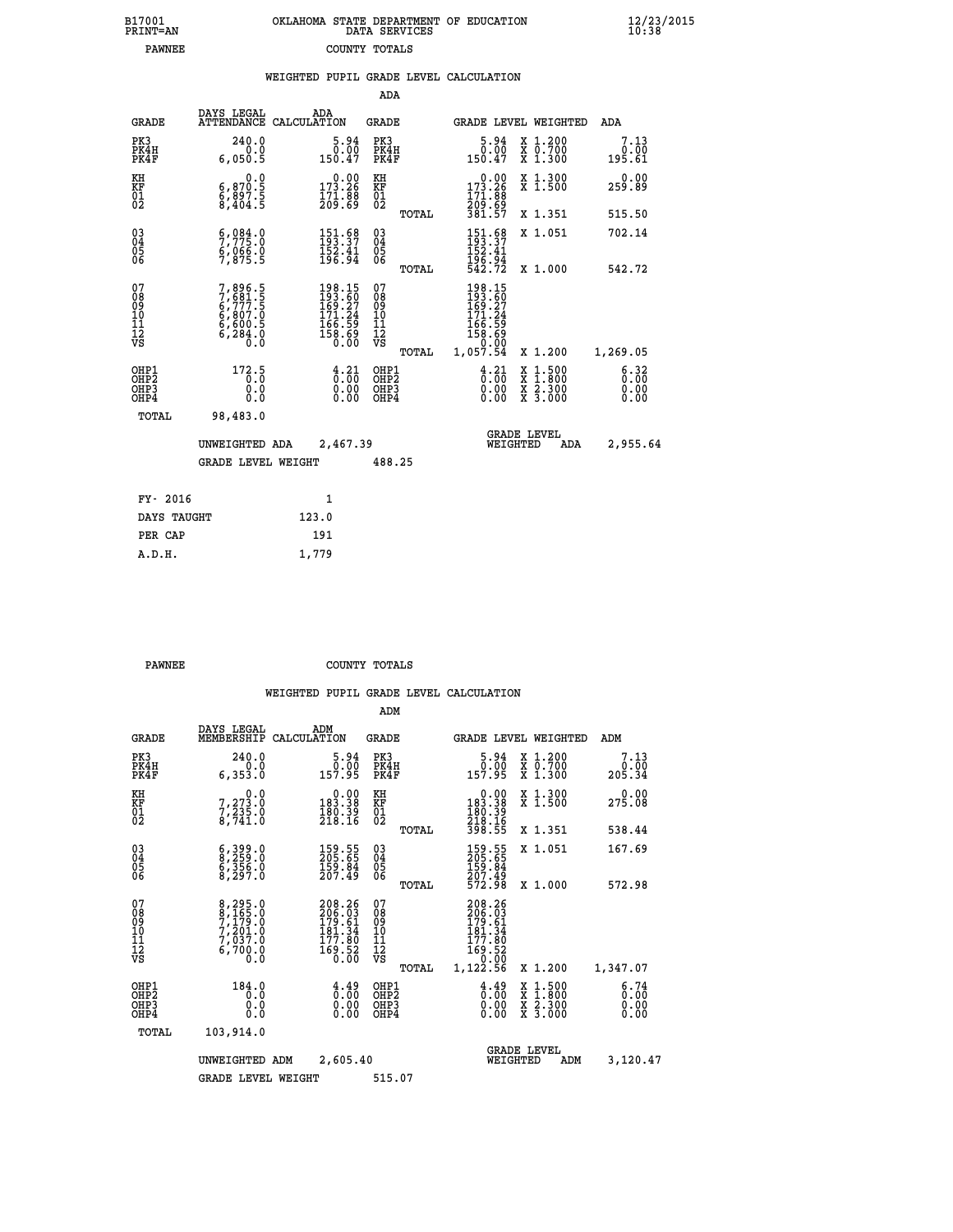| 7001<br>INT=AN | OKLAHOMA STATE DEPARTMENT OF EDUCATION<br>DATA SERVICES |  |
|----------------|---------------------------------------------------------|--|
| <b>PAWNEE</b>  | COUNTY TOTALS                                           |  |

 **B17001<br>PRINT=AN** 

 **B17001 OKLAHOMA STATE DEPARTMENT OF EDUCATION 12/23/2015**

|                                                                    |                                                                       |                                                                                             | ADA                                                               |       |                                                                                            |                                          |                              |
|--------------------------------------------------------------------|-----------------------------------------------------------------------|---------------------------------------------------------------------------------------------|-------------------------------------------------------------------|-------|--------------------------------------------------------------------------------------------|------------------------------------------|------------------------------|
| <b>GRADE</b>                                                       | DAYS LEGAL                                                            | ADA<br>ATTENDANCE CALCULATION                                                               | <b>GRADE</b>                                                      |       |                                                                                            | GRADE LEVEL WEIGHTED                     | <b>ADA</b>                   |
| PK3<br>PK4H<br>PK4F                                                | 240.0<br>0.0<br>6,050.5                                               | $\begin{smallmatrix}5.94\0.00\\0.00\\150.47\end{smallmatrix}$                               | PK3<br>PK4H<br>PK4F                                               |       | $\begin{smallmatrix}5.94\0.00\\0.00\\150.47\end{smallmatrix}$                              | X 1.200<br>X 0.700<br>X 1.300            | 7.13<br>0.00<br>195.61       |
| KH<br><b>KF</b><br>01<br>02                                        | 0.0<br>$\substack{6,870.5\\6,897.5\\8,404.5}$                         | $0.00$<br>173.26<br>$\frac{171.88}{209.69}$                                                 | KH<br>KF<br>01<br>02                                              |       | 173.26<br>171:88<br>209:69<br>381:57                                                       | X 1.300<br>X 1.500                       | 0.00<br>259.89               |
|                                                                    |                                                                       |                                                                                             |                                                                   | TOTAL |                                                                                            | X 1.351                                  | 515.50                       |
| $\begin{smallmatrix} 03 \\[-4pt] 04 \end{smallmatrix}$<br>05<br>06 | 5,984.0<br>$\frac{6}{7}$ , $\frac{666}{875}$ . 5                      | $151.68$<br>$193.37$<br>$152.41$<br>$196.94$                                                | $\substack{03 \\ 04}$<br>$\begin{matrix} 0.5 \\ 0.6 \end{matrix}$ |       | $151.68$<br>$193.37$<br>$152.41$<br>$196.94$<br>$542.72$                                   | X 1.051                                  | 702.14                       |
|                                                                    |                                                                       |                                                                                             |                                                                   | TOTAL |                                                                                            | X 1.000                                  | 542.72                       |
| 07<br>08901112<br>1112<br>VS                                       | 7,896.5<br>7,681.5<br>6,777.5<br>6,807.0<br>6,600.5<br>6,284.0<br>0.0 | $\begin{smallmatrix} 198.15\\193.60\\169.27\\171.24\\166.59\\158.69\\0.00\end{smallmatrix}$ | 07<br>08<br>09<br>11<br>11<br>12<br>VS                            |       | 198.15<br>$\frac{193}{169}$ : $\frac{50}{27}$<br>171.24<br>$\frac{166.59}{158.69}$<br>0.00 |                                          |                              |
|                                                                    |                                                                       |                                                                                             |                                                                   | TOTAL | 1,057.54                                                                                   | X 1.200                                  | 1,269.05                     |
| OHP1<br>OH <sub>P</sub> 2<br>OH <sub>P3</sub><br>OH <sub>P4</sub>  | 172.5<br>0.0<br>0.0                                                   | $\frac{4}{0}$ : $\frac{21}{00}$<br>0.00<br>0.00                                             | OHP1<br>OH <sub>P</sub> 2<br>OHP3<br>OHP4                         |       | $\frac{4}{9}$ : $\frac{21}{90}$<br>0.00<br>0.00                                            | X 1:500<br>X 1:800<br>X 2:300<br>X 3:000 | 6.32<br>0.00<br>0.00<br>0.00 |
| TOTAL                                                              | 98,483.0                                                              |                                                                                             |                                                                   |       |                                                                                            |                                          |                              |
|                                                                    | UNWEIGHTED ADA                                                        | 2,467.39                                                                                    |                                                                   |       |                                                                                            | GRADE LEVEL<br>WEIGHTED<br>ADA           | 2,955.64                     |
|                                                                    | <b>GRADE LEVEL WEIGHT</b>                                             |                                                                                             | 488.25                                                            |       |                                                                                            |                                          |                              |
| FY- 2016                                                           |                                                                       | $\mathbf{1}$                                                                                |                                                                   |       |                                                                                            |                                          |                              |
| DAYS TAUGHT                                                        |                                                                       | 123.0                                                                                       |                                                                   |       |                                                                                            |                                          |                              |
| PER CAP                                                            |                                                                       | 191                                                                                         |                                                                   |       |                                                                                            |                                          |                              |

| PAWNEE | COUNTY TOTALS |  |
|--------|---------------|--|

 **A.D.H. 1,779**

|                                          |                                                                |                                                                                                 | ADM                                                 |                                                                              |                                          |                              |
|------------------------------------------|----------------------------------------------------------------|-------------------------------------------------------------------------------------------------|-----------------------------------------------------|------------------------------------------------------------------------------|------------------------------------------|------------------------------|
| <b>GRADE</b>                             | DAYS LEGAL<br>MEMBERSHIP                                       | ADM<br>CALCULATION                                                                              | <b>GRADE</b>                                        | GRADE LEVEL WEIGHTED                                                         |                                          | ADM                          |
| PK3<br>PK4H<br>PK4F                      | 240.0<br>0.0<br>6,353.0                                        | 5.94<br>0.00<br>157.95                                                                          | PK3<br>PK4H<br>PK4F                                 | $\begin{smallmatrix}5.94\0.00\\0.00\\157.95\end{smallmatrix}$                | X 1.200<br>X 0.700<br>X 1.300            | 7.13<br>0.00<br>205.34       |
| KH<br>KF<br>01<br>02                     | 0.0<br>$7,273.0$<br>$7,235.0$<br>8,741.0                       | $0.00$<br>183.38<br>$\frac{180.39}{218.16}$                                                     | KH<br>KF<br>01<br>02                                | 0.00<br>183:38<br>180:39<br>218:16<br>398:55                                 | X 1.300<br>X 1.500                       | 0.00<br>275.08               |
|                                          |                                                                |                                                                                                 | TOTAL                                               |                                                                              | X 1.351                                  | 538.44                       |
| 03<br>04<br>05<br>06                     | 6,399.0<br>8,259.0<br>6,356.0<br>8,297.0                       | $\frac{159}{205}$ . 55<br>$\frac{159}{159}$ . 84<br>$\frac{207}{49}$                            | $\begin{array}{c} 03 \\ 04 \\ 05 \\ 06 \end{array}$ | 159.55<br>205.65<br>159.84<br>207.49                                         | X 1.051                                  | 167.69                       |
|                                          |                                                                |                                                                                                 | TOTAL                                               | 572.98                                                                       | X 1.000                                  | 572.98                       |
| 07<br>08<br>09<br>101<br>112<br>VS       | 8,295.0<br>8,165.0<br>7,179.0<br>7,201.0<br>7,037.0<br>6,700.0 | 208.26<br>206.03<br>179.61<br>$\begin{array}{r} 161.34 \\ 177.80 \\ 169.52 \\ 0.00 \end{array}$ | 07<br>08<br>09<br>11<br>11<br>12<br>VS<br>TOTAL     | 208.26<br>206.03<br>179.61<br>181.34<br>177.80<br>169.52<br>0.00<br>1,122.56 | X 1.200                                  | 1,347.07                     |
| OHP1<br>OHP2<br>OH <sub>P3</sub><br>OHP4 | 184.0<br>0.0<br>0.000                                          | $\begin{smallmatrix} 4.49\ 0.00 \ 0.00 \end{smallmatrix}$<br>0.00                               | OHP1<br>OHP2<br>OHP3<br>OHP4                        | $\begin{smallmatrix} 4.49 \ 0.00 \ 0.00 \end{smallmatrix}$<br>0.00           | X 1:500<br>X 1:800<br>X 2:300<br>X 3:000 | 6.74<br>0.00<br>0.00<br>0.00 |
| TOTAL                                    | 103,914.0                                                      |                                                                                                 |                                                     |                                                                              |                                          |                              |
|                                          | UNWEIGHTED                                                     | 2,605.40<br>ADM                                                                                 |                                                     | WEIGHTED                                                                     | <b>GRADE LEVEL</b><br>ADM                | 3,120.47                     |
|                                          | <b>GRADE LEVEL WEIGHT</b>                                      |                                                                                                 | 515.07                                              |                                                                              |                                          |                              |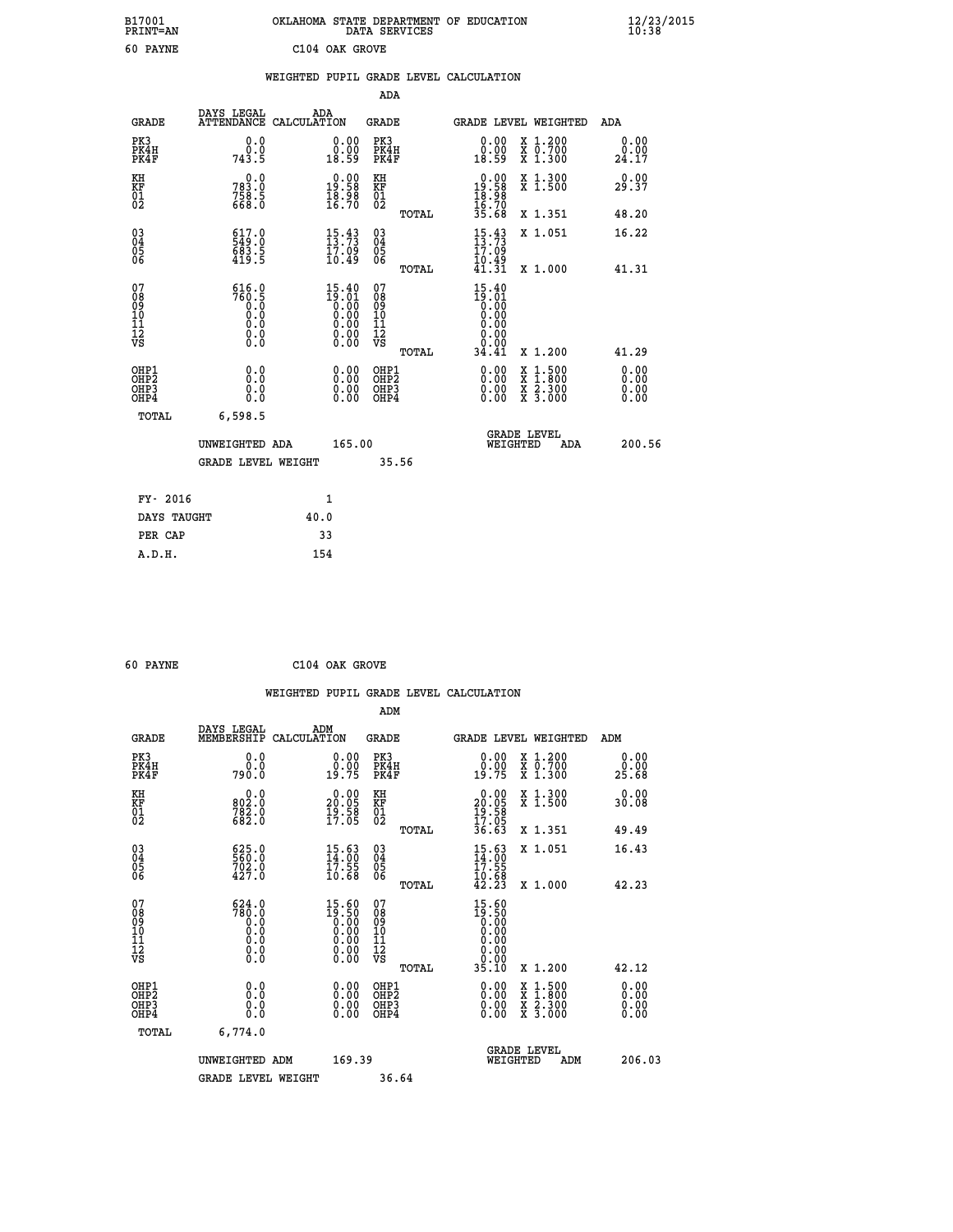| OKLAHOMA STATE DEPARTMENT OF EDUCATION<br>DATA SERVICES |  |
|---------------------------------------------------------|--|
| C104 OAK GROVE                                          |  |

|                                                    |                                                                                                           |                                                                                                       | ADA                                    |       |                                                                                         |        |                                                           |                              |
|----------------------------------------------------|-----------------------------------------------------------------------------------------------------------|-------------------------------------------------------------------------------------------------------|----------------------------------------|-------|-----------------------------------------------------------------------------------------|--------|-----------------------------------------------------------|------------------------------|
| <b>GRADE</b>                                       | DAYS LEGAL<br><b>ATTENDANCE</b>                                                                           | ADA<br>CALCULATION                                                                                    | GRADE                                  |       | GRADE LEVEL WEIGHTED                                                                    |        |                                                           | <b>ADA</b>                   |
| PK3<br>PK4H<br>PK4F                                | 0.0<br>0.0<br>743.5                                                                                       | 0.00<br>0.00<br>18.59                                                                                 | PK3<br>PK4H<br>PK4F                    |       | 0.00<br>ŏ:ŏŏ<br>18:59                                                                   |        | X 1.200<br>X 0.700<br>X 1.300                             | 0.00<br>0.00<br>24.17        |
| KH<br><b>KF</b><br>01<br>02                        | 0.0<br>783.0<br>758.5<br>668.0                                                                            | $\begin{smallmatrix} 0.00\\19.58\\18.98\\16.70 \end{smallmatrix}$                                     | KH<br>KF<br>01<br>02                   |       | $\begin{smallmatrix} 0.00\\ 19.58\\ 18.98\\ 16.70\\ 35.68 \end{smallmatrix}$            |        | X 1.300<br>X 1.500                                        | 0.00<br>29.37                |
|                                                    |                                                                                                           |                                                                                                       |                                        | TOTAL |                                                                                         |        | X 1.351                                                   | 48.20                        |
| $\begin{matrix} 03 \\ 04 \\ 05 \\ 06 \end{matrix}$ | $\begin{smallmatrix} 6 & 1 & 7 & 0 \\ 5 & 4 & 9 & 0 \\ 6 & 8 & 3 & 5 \\ 4 & 19 & 5 & 5 \end{smallmatrix}$ | $15.43$<br>$13.73$<br>17.09<br>10.49                                                                  | 03<br>04<br>05<br>06                   |       | $\frac{15}{13}$ : $\frac{43}{73}$<br>$\frac{17}{17}$ : 09                               |        | X 1.051                                                   | 16.22                        |
|                                                    |                                                                                                           |                                                                                                       |                                        | TOTAL | tó:49<br>41:31                                                                          |        | X 1.000                                                   | 41.31                        |
| 07<br>08<br>09<br>101<br>11<br>12<br>VS            | $760.5$<br>$760.5$<br>$0.0$<br>$0.0$<br>$0.0$<br>$\S.$                                                    | $\begin{smallmatrix} 15.40\ 19.01\ 0.00\ 0.00\ 0.00\ 0.00\ 0.00\ 0.00\ 0.00\ 0.00\ \end{smallmatrix}$ | 07<br>08<br>09<br>11<br>11<br>12<br>VS |       | 15.40<br>$\begin{smallmatrix} 19.701 \ 0.000 \ 0.000 \ 0.000 \end{smallmatrix}$<br>0.00 |        |                                                           |                              |
|                                                    |                                                                                                           |                                                                                                       |                                        | TOTAL | 34.41                                                                                   |        | X 1.200                                                   | 41.29                        |
| OHP1<br>OHP2<br>OHP3<br>OHP4                       | 0.0<br>0.0<br>0.0                                                                                         | 0.00<br>$0.00$<br>0.00                                                                                | OHP1<br>OHP2<br>OHP3<br>OHP4           |       | $0.00$<br>$0.00$<br>0.00                                                                | X<br>X | $1.500$<br>$1.800$<br>$\frac{x}{x}$ $\frac{5.300}{3.000}$ | 0.00<br>0.00<br>0.00<br>0.00 |
| TOTAL                                              | 6,598.5                                                                                                   |                                                                                                       |                                        |       |                                                                                         |        |                                                           |                              |
|                                                    | UNWEIGHTED ADA                                                                                            | 165.00                                                                                                |                                        |       | <b>GRADE LEVEL</b><br>WEIGHTED                                                          |        | ADA                                                       | 200.56                       |
|                                                    | <b>GRADE LEVEL WEIGHT</b>                                                                                 |                                                                                                       |                                        | 35.56 |                                                                                         |        |                                                           |                              |
| FY- 2016                                           |                                                                                                           | $\mathbf{1}$                                                                                          |                                        |       |                                                                                         |        |                                                           |                              |
| DAYS TAUGHT                                        |                                                                                                           | 40.0                                                                                                  |                                        |       |                                                                                         |        |                                                           |                              |
|                                                    |                                                                                                           |                                                                                                       |                                        |       |                                                                                         |        |                                                           |                              |

| 60 PAYNE |  | C104 OAK GROVE |
|----------|--|----------------|
|          |  |                |

PER CAP 33

 **A.D.H. 154**

 **B17001<br>PRINT=AN 60 PAYNE** 

 **WEIGHTED PUPIL GRADE LEVEL CALCULATION ADM DAYS LEGAL ADM**

| <b>GRADE</b>                                       | <b>MEMBERSHIP</b>                                                  | בערים<br>CALCULATION                                                              | GRADE                                              |       |                                                                              |          | <b>GRADE LEVEL WEIGHTED</b>                                                                                         | ADM                   |
|----------------------------------------------------|--------------------------------------------------------------------|-----------------------------------------------------------------------------------|----------------------------------------------------|-------|------------------------------------------------------------------------------|----------|---------------------------------------------------------------------------------------------------------------------|-----------------------|
| PK3<br>PK4H<br>PK4F                                | 0.000<br>790.0                                                     | $\begin{smallmatrix} 0.00\\ 0.00\\ 19.75 \end{smallmatrix}$                       | PK3<br>PK4H<br>PK4F                                |       | $\begin{smallmatrix} 0.00\\ 0.00\\ 19.75 \end{smallmatrix}$                  |          | X 1.200<br>X 0.700<br>X 1.300                                                                                       | 0.00<br>ŏ:ŏŏ<br>25.68 |
| KH<br>KF<br>01<br>02                               | $\begin{smallmatrix} & 0.0\ 802.0\ 782.0\ 682.0 \end{smallmatrix}$ | $\begin{smallmatrix} 0.00\\ 20.05\\ 19.58\\ 17.05 \end{smallmatrix}$              | KH<br>KF<br>01<br>02                               |       | $\begin{smallmatrix} 0.00\\ 20.05\\ 19.58\\ 17.05\\ 36.63 \end{smallmatrix}$ |          | X 1.300<br>X 1.500                                                                                                  | 0.00<br>30.08         |
|                                                    |                                                                    |                                                                                   |                                                    | TOTAL |                                                                              |          | X 1.351                                                                                                             | 49.49                 |
| $\begin{matrix} 03 \\ 04 \\ 05 \\ 06 \end{matrix}$ | 625.0<br>560.0<br>702.0<br>427.0                                   | $\begin{smallmatrix} 15.63\ 14.00\ 17.55\ 10.68 \end{smallmatrix}$                | $\begin{matrix} 03 \\ 04 \\ 05 \\ 06 \end{matrix}$ |       | $15.63$<br>$14.00$<br>$17.55$<br>$10.68$<br>$42.23$                          |          | X 1.051                                                                                                             | 16.43                 |
|                                                    |                                                                    |                                                                                   |                                                    | TOTAL |                                                                              |          | $X_1.000$                                                                                                           | 42.23                 |
| 07<br>08<br>09<br>101<br>11<br>12<br>VS            | 624.0<br>$780.0$<br>0.0<br>0.0<br>0.0<br>0.0                       | $\begin{smallmatrix} 15.60\\19.50\\0.00\\0.00\\0.00\\0.00\\0.00\end{smallmatrix}$ | 07<br>08<br>09<br>11<br>11<br>12<br>VS             |       | $15.60$<br>$0.00$<br>$0.00$<br>$0.00$<br>$0.00$<br>$0.00$<br>$0.00$          |          |                                                                                                                     |                       |
|                                                    |                                                                    |                                                                                   |                                                    | TOTAL | 35.10                                                                        |          | X 1.200                                                                                                             | 42.12                 |
| OHP1<br>OHP2<br>OH <sub>P3</sub><br>OHP4           | 0.0<br>0.000                                                       | $\begin{smallmatrix} 0.00 \ 0.00 \ 0.00 \ 0.00 \end{smallmatrix}$                 | OHP1<br>OHP2<br>OHP3<br>OHP4                       |       |                                                                              |          | $\begin{array}{l} \mathtt{X} & 1.500 \\ \mathtt{X} & 1.800 \\ \mathtt{X} & 2.300 \\ \mathtt{X} & 3.000 \end{array}$ | 0.00                  |
| TOTAL                                              | 6,774.0                                                            |                                                                                   |                                                    |       |                                                                              |          |                                                                                                                     |                       |
|                                                    | UNWEIGHTED ADM                                                     | 169.39                                                                            |                                                    |       |                                                                              | WEIGHTED | <b>GRADE LEVEL</b><br>ADM                                                                                           | 206.03                |
|                                                    | <b>GRADE LEVEL WEIGHT</b>                                          |                                                                                   | 36.64                                              |       |                                                                              |          |                                                                                                                     |                       |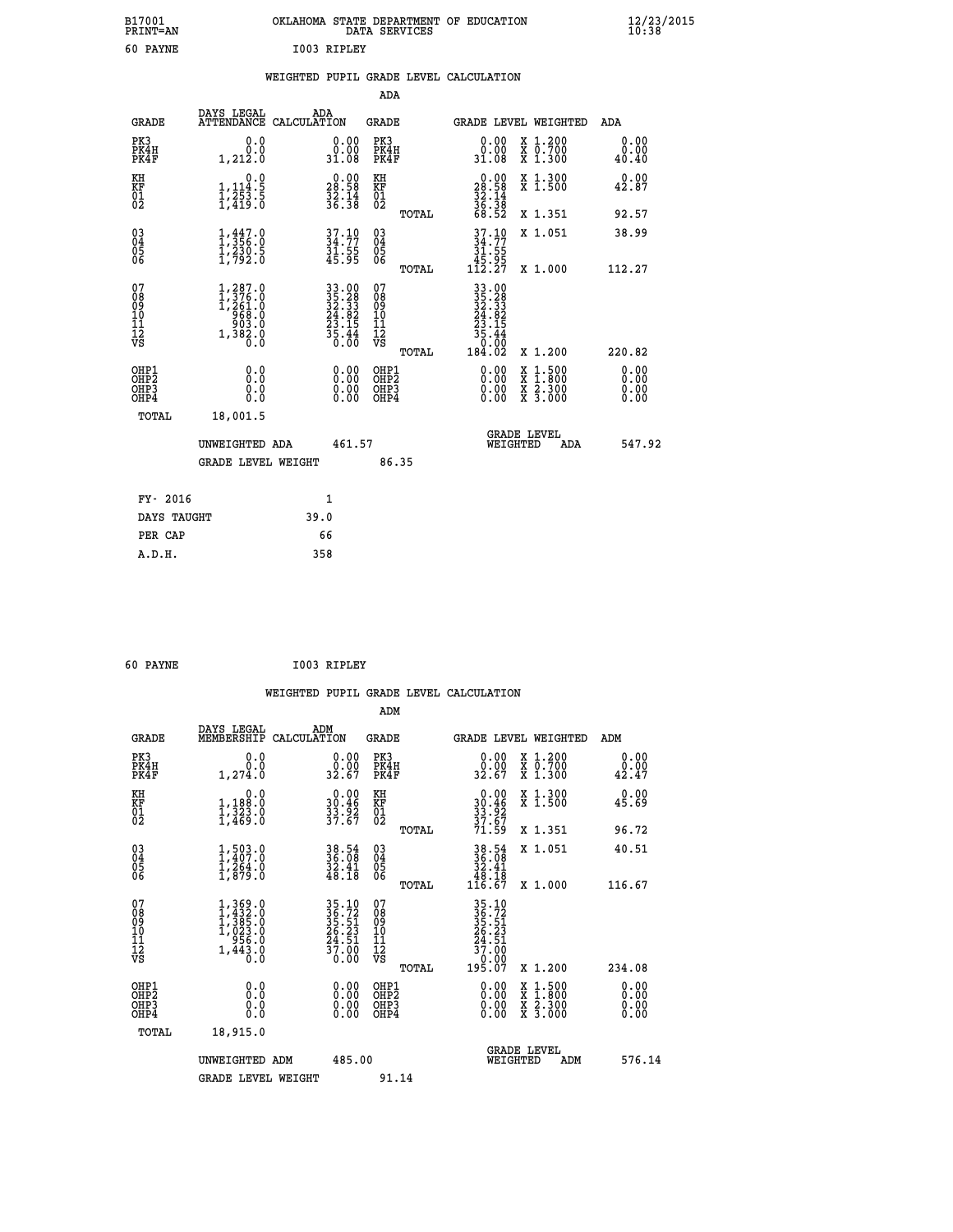| B17001          | OKLAHOMA STATE DEPARTMENT OF EDUCATION |
|-----------------|----------------------------------------|
| <b>PRINT=AN</b> | DATA SERVICES                          |
| 60 PAYNE        | I003 RIPLEY                            |

## **WEIGHTED PUPIL GRADE LEVEL CALCULATION**

|                                                                    |                                                                  |                                                                                                     |      |                                                                                            | ADA                                       |       |                                                                                     |                                                                                                  |                              |
|--------------------------------------------------------------------|------------------------------------------------------------------|-----------------------------------------------------------------------------------------------------|------|--------------------------------------------------------------------------------------------|-------------------------------------------|-------|-------------------------------------------------------------------------------------|--------------------------------------------------------------------------------------------------|------------------------------|
|                                                                    | <b>GRADE</b>                                                     | DAYS LEGAL<br>ATTENDANCE CALCULATION                                                                | ADA  |                                                                                            | <b>GRADE</b>                              |       |                                                                                     | GRADE LEVEL WEIGHTED                                                                             | <b>ADA</b>                   |
|                                                                    | PK3<br>PK4H<br>PK4F                                              | 0.0<br>0.0<br>1,212.0                                                                               |      | 0.00<br>31.08                                                                              | PK3<br>PK4H<br>PK4F                       |       | 0.00<br>ةة.ة<br>31.08                                                               | X 1.200<br>X 0.700<br>X 1.300                                                                    | 0.00<br>0.00<br>40.40        |
| KH<br><b>KF</b><br>01<br>02                                        |                                                                  | 0.0<br>$1, 114.5$<br>$1, 253.5$<br>$1, 419.0$                                                       |      | $\begin{smallmatrix} 0.00\\ 28.58\\ 32.14\\ 36.38 \end{smallmatrix}$                       | KH<br>KF<br>01<br>02                      |       | $\begin{smallmatrix} 0.00\\ 28.58\\ 32.14\\ 36.38\\ 68.52 \end{smallmatrix}$        | X 1.300<br>X 1.500                                                                               | 0.00<br>42.87                |
|                                                                    |                                                                  |                                                                                                     |      |                                                                                            |                                           | TOTAL |                                                                                     | X 1.351                                                                                          | 92.57                        |
| $\begin{smallmatrix} 03 \\[-4pt] 04 \end{smallmatrix}$<br>Ŏ5<br>06 |                                                                  | $\frac{1}{3}, \frac{447}{356}$ .0<br>$\frac{1}{2}, \frac{2}{2}, \frac{3}{2}, \frac{5}{0}$           |      | $37.10$<br>$34.77$<br>$31.55$<br>$45.95$                                                   | $\substack{03 \\ 04}$<br>05<br>06         | TOTAL | $37.1034.7731.5545.95112.27$                                                        | X 1.051<br>X 1.000                                                                               | 38.99<br>112.27              |
| 07<br>08<br>09<br>11<br>11<br>12<br>VS                             |                                                                  | $\begin{smallmatrix} 1,287.0\\ 1,376.0\\ 1,261.0\\ 968.0\\ 903.0\\ 1,382.0\\ 0.0 \end{smallmatrix}$ |      | $\begin{array}{r} 33.00 \\ 35.28 \\ 32.33 \\ 24.82 \\ 23.15 \\ 35.44 \\ 36.00 \end{array}$ | 07<br>08<br>09<br>11<br>11<br>12<br>VS    |       | $\begin{array}{@{}ll}33.00\\35.28\\32.33\\24.82\\23.15\\35.44\\36.00\\ \end{array}$ |                                                                                                  |                              |
|                                                                    |                                                                  |                                                                                                     |      |                                                                                            |                                           | TOTAL | 184.02                                                                              | X 1.200                                                                                          | 220.82                       |
|                                                                    | OHP1<br>OH <sub>P2</sub><br>OH <sub>P3</sub><br>OH <sub>P4</sub> | 0.0<br>0.0<br>0.0                                                                                   |      | 0.00<br>0.00<br>0.00                                                                       | OHP1<br>OH <sub>P</sub> 2<br>OHP3<br>OHP4 |       | 0.00<br>0.00<br>0.00                                                                | $\begin{smallmatrix} x & 1 & 500 \\ x & 1 & 800 \\ x & 2 & 300 \\ x & 3 & 000 \end{smallmatrix}$ | 0.00<br>0.00<br>0.00<br>0.00 |
|                                                                    | TOTAL                                                            | 18,001.5                                                                                            |      |                                                                                            |                                           |       |                                                                                     |                                                                                                  |                              |
|                                                                    |                                                                  | UNWEIGHTED ADA                                                                                      |      | 461.57                                                                                     |                                           |       |                                                                                     | GRADE LEVEL<br>WEIGHTED<br>ADA                                                                   | 547.92                       |
|                                                                    |                                                                  | <b>GRADE LEVEL WEIGHT</b>                                                                           |      |                                                                                            | 86.35                                     |       |                                                                                     |                                                                                                  |                              |
|                                                                    | FY- 2016                                                         |                                                                                                     |      | $\mathbf{1}$                                                                               |                                           |       |                                                                                     |                                                                                                  |                              |
|                                                                    | DAYS TAUGHT                                                      |                                                                                                     | 39.0 |                                                                                            |                                           |       |                                                                                     |                                                                                                  |                              |
|                                                                    | PER CAP                                                          |                                                                                                     | 66   |                                                                                            |                                           |       |                                                                                     |                                                                                                  |                              |

 **A.D.H. 358**

 **60 PAYNE I003 RIPLEY**

| <b>GRADE</b>                                                     | DAYS LEGAL<br>MEMBERSHIP                                               | ADM<br>CALCULATION                                                   | <b>GRADE</b>                                        |       |                                                                                                                                      |          | <b>GRADE LEVEL WEIGHTED</b>              | ADM                          |  |
|------------------------------------------------------------------|------------------------------------------------------------------------|----------------------------------------------------------------------|-----------------------------------------------------|-------|--------------------------------------------------------------------------------------------------------------------------------------|----------|------------------------------------------|------------------------------|--|
| PK3<br>PK4H<br>PK4F                                              | 0.0<br>$0.0$<br>1,274.0                                                | $\begin{smallmatrix} 0.00\\ 0.00\\ 32.67 \end{smallmatrix}$          | PK3<br>PK4H<br>PK4F                                 |       | 0.00<br>0.00<br>32.67                                                                                                                |          | X 1.200<br>X 0.700<br>X 1.300            | 0.00<br>$\frac{0.00}{42.47}$ |  |
| KH<br>KF<br>01<br>02                                             | 0.0<br>$1,188.0$<br>$1,323.0$<br>$1,469.0$                             | $\begin{smallmatrix} 0.00\\ 30.46\\ 33.92\\ 37.67 \end{smallmatrix}$ | KH<br>KF<br>01<br>02                                |       | $0.00$<br>$30.46$<br>$33.92$<br>$37.67$<br>$71.59$                                                                                   |          | X 1.300<br>X 1.500                       | 0.00<br>45.69                |  |
|                                                                  |                                                                        |                                                                      |                                                     | TOTAL |                                                                                                                                      |          | X 1.351                                  | 96.72                        |  |
| $\begin{matrix} 03 \\ 04 \\ 05 \\ 06 \end{matrix}$               | $1, 503.0$<br>$1, 407.0$<br>$1, 264.0$<br>$1, 879.0$                   | $38.54$<br>$36.08$<br>$32.41$<br>$48.18$                             | $\begin{array}{c} 03 \\ 04 \\ 05 \\ 06 \end{array}$ |       | $\begin{array}{r} 38.54 \\ 36.08 \\ 32.41 \\ 48.18 \\ 116.67 \end{array}$                                                            |          | X 1.051                                  | 40.51                        |  |
|                                                                  |                                                                        |                                                                      |                                                     | TOTAL |                                                                                                                                      |          | X 1.000                                  | 116.67                       |  |
| 07<br>08<br>09<br>11<br>11<br>12<br>VS                           | $1,369.0$<br>$1,432.0$<br>$1,385.0$<br>$1,023.0$<br>$956.0$<br>1,443.0 | 35.10<br>36.72<br>35.51<br>35.23<br>24.51<br>37.00<br>37.00          | 07<br>08<br>09<br>11<br>11<br>12<br>VS              | TOTAL | $\begin{array}{r} 35\cdot 10\\ 36\cdot 72\\ 35\cdot 51\\ 26\cdot 23\\ 24\cdot 51\\ 37\cdot 00\\ 0\cdot 00\\ 195\cdot 07 \end{array}$ |          | X 1.200                                  | 234.08                       |  |
|                                                                  |                                                                        |                                                                      |                                                     |       |                                                                                                                                      |          |                                          |                              |  |
| OHP1<br>OH <sub>P</sub> <sub>2</sub><br>OH <sub>P3</sub><br>OHP4 | 0.0<br>0.0<br>Ŏ.Ŏ                                                      |                                                                      | OHP1<br>OHP <sub>2</sub><br>OHP3<br>OHP4            |       |                                                                                                                                      |          | X 1:500<br>X 1:800<br>X 2:300<br>X 3:000 | 0.00<br>0.00<br>0.00<br>0.00 |  |
| TOTAL                                                            | 18,915.0                                                               |                                                                      |                                                     |       |                                                                                                                                      |          |                                          |                              |  |
|                                                                  | UNWEIGHTED ADM                                                         | 485.00                                                               |                                                     |       |                                                                                                                                      | WEIGHTED | <b>GRADE LEVEL</b><br>ADM                | 576.14                       |  |
|                                                                  | <b>GRADE LEVEL WEIGHT</b>                                              |                                                                      | 91.14                                               |       |                                                                                                                                      |          |                                          |                              |  |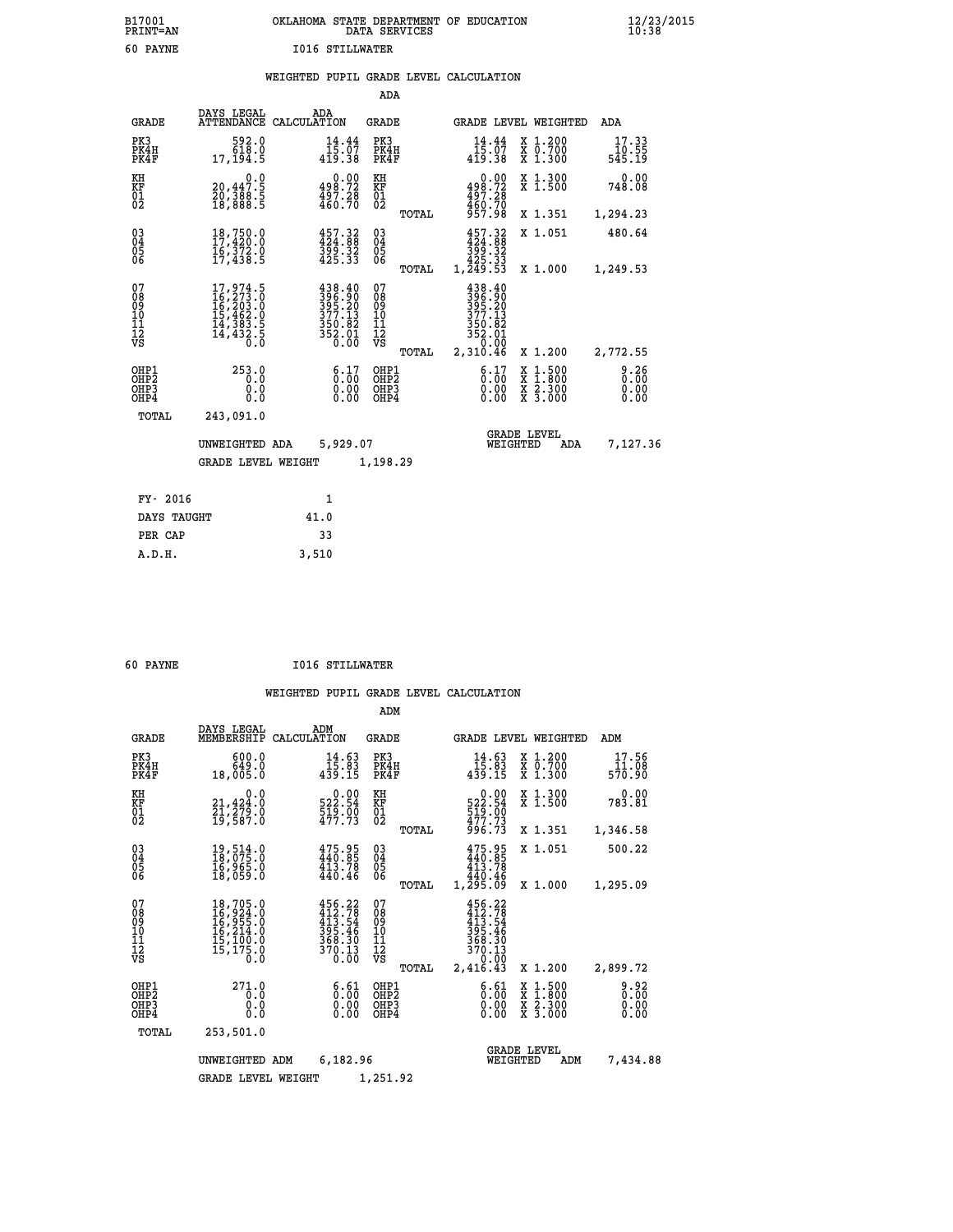| B17001          | OKLAHOMA STATE DEPARTMENT OF EDUCATION |
|-----------------|----------------------------------------|
| <b>PRINT=AN</b> | DATA SERVICES                          |
| 60 PAYNE        | <b>I016 STILLWATER</b>                 |

## **WEIGHTED PUPIL GRADE LEVEL CALCULATION**

|                                                    |                                                                                                       |                    |                                                                                                                                                                     | ADA                                       |       |                                                                                                                                                                                                 |                                                                    |                                          |                          |
|----------------------------------------------------|-------------------------------------------------------------------------------------------------------|--------------------|---------------------------------------------------------------------------------------------------------------------------------------------------------------------|-------------------------------------------|-------|-------------------------------------------------------------------------------------------------------------------------------------------------------------------------------------------------|--------------------------------------------------------------------|------------------------------------------|--------------------------|
| <b>GRADE</b>                                       | DAYS LEGAL<br><b>ATTENDANCE</b>                                                                       | ADA<br>CALCULATION |                                                                                                                                                                     | GRADE                                     |       |                                                                                                                                                                                                 |                                                                    | GRADE LEVEL WEIGHTED                     | ADA                      |
| PK3<br>PK4H<br>PK4F                                | 592.0<br>618.0<br>17,194.5                                                                            |                    | 14.44<br>$\frac{15.07}{419.38}$                                                                                                                                     | PK3<br>PK4H<br>PK4F                       |       | 14.44<br>15.07<br>$4\bar{1}\bar{9}.\bar{3}8$                                                                                                                                                    |                                                                    | X 1.200<br>X 0.700<br>X 1.300            | 17.33<br>10.55<br>545.19 |
| KH<br><b>KF</b><br>01<br>02                        | $\begin{smallmatrix} & & 0.0\ 20,447.5\ 20,388.5\ 18,888.5 \end{smallmatrix}$                         |                    | $0.00$<br>498.72<br>$\frac{497.28}{460.70}$                                                                                                                         | KH<br>KF<br>$\overline{01}$               |       | 498.72<br>497.28<br>460.70<br>957.98                                                                                                                                                            | 0.00                                                               | X 1.300<br>X 1.500                       | 0.00<br>748.08           |
|                                                    |                                                                                                       |                    |                                                                                                                                                                     |                                           | TOTAL |                                                                                                                                                                                                 |                                                                    | X 1.351                                  | 1,294.23                 |
| $\begin{matrix} 03 \\ 04 \\ 05 \\ 06 \end{matrix}$ | $18,750.0$<br>$17,420.0$<br>$16,372.0$<br>$17,438.5$                                                  |                    | $457.32$<br>$424.88$<br>$\frac{399}{425}.32$                                                                                                                        | 03<br>04<br>05<br>06                      |       | $457.32\n424.38\n399.32\n425.33\n425.33\n1,249.53$                                                                                                                                              |                                                                    | X 1.051                                  | 480.64                   |
|                                                    |                                                                                                       |                    |                                                                                                                                                                     |                                           | TOTAL |                                                                                                                                                                                                 |                                                                    | X 1.000                                  | 1,249.53                 |
| 07<br>08<br>09<br>10<br>11<br>11<br>12<br>VS       | $\begin{smallmatrix}17,974.5\\16,273.0\\16,203.0\\15,462.0\\14,383.5\\14,432.5\\0.0\end{smallmatrix}$ |                    | $\begin{smallmatrix} 4\,3\,8\cdot4\,0\\ 3\,9\,6\cdot9\,0\\ 3\,9\,5\cdot2\,0\\ 3\,7\,7\cdot1\,3\\ 3\,5\,0\cdot8\,2\\ 3\,5\,2\cdot0\,1\\ 0\cdot0\,0\end{smallmatrix}$ | 07<br>08<br>09<br>11<br>11<br>12<br>VS    | TOTAL | 438.40<br>$\begin{smallmatrix} 1 & 3 & 6 & 1 & 6 \ 3 & 9 & 6 & 1 & 6 \ 3 & 9 & 5 & 1 & 6 \ 3 & 9 & 5 & 1 & 6 \ 3 & 7 & 7 & 1 & 3 \ 3 & 5 & 0 & 1 & 6 \ 2 & 3 & 1 & 0 & 4 & 6 \end{smallmatrix}$ |                                                                    | X 1.200                                  | 2,772.55                 |
| OHP1<br>OH <sub>P</sub> 2<br>OHP3<br>OHP4          | 253.0<br>0.0<br>0.0<br>0.0                                                                            |                    | $\begin{smallmatrix} 6.17\ 0.00\ 0.00\ 0.00 \end{smallmatrix}$                                                                                                      | OHP1<br>OH <sub>P</sub> 2<br>OHP3<br>OHP4 |       |                                                                                                                                                                                                 | $\begin{smallmatrix} 6.17 \ 0.00 \ 0.00 \end{smallmatrix}$<br>0.00 | X 1:500<br>X 1:800<br>X 2:300<br>X 3:000 | 0.26<br>0.00<br>0.00     |
| TOTAL                                              | 243,091.0                                                                                             |                    |                                                                                                                                                                     |                                           |       |                                                                                                                                                                                                 |                                                                    |                                          |                          |
|                                                    | UNWEIGHTED ADA                                                                                        |                    | 5,929.07                                                                                                                                                            |                                           |       |                                                                                                                                                                                                 | <b>GRADE LEVEL</b><br>WEIGHTED                                     | ADA                                      | 7,127.36                 |
|                                                    | <b>GRADE LEVEL WEIGHT</b>                                                                             |                    |                                                                                                                                                                     | 1,198.29                                  |       |                                                                                                                                                                                                 |                                                                    |                                          |                          |
| FY- 2016                                           |                                                                                                       |                    | 1                                                                                                                                                                   |                                           |       |                                                                                                                                                                                                 |                                                                    |                                          |                          |
|                                                    |                                                                                                       | 41.0               |                                                                                                                                                                     |                                           |       |                                                                                                                                                                                                 |                                                                    |                                          |                          |
| DAYS TAUGHT                                        |                                                                                                       |                    |                                                                                                                                                                     |                                           |       |                                                                                                                                                                                                 |                                                                    |                                          |                          |

 **PER CAP 33 A.D.H. 3,510**

 **B17001<br>PRINT=AN** 

 **60 PAYNE I016 STILLWATER**

|                                                       |                                                                             |                                                                         | ADM                                             |                                                                                        |                                                                             |                          |
|-------------------------------------------------------|-----------------------------------------------------------------------------|-------------------------------------------------------------------------|-------------------------------------------------|----------------------------------------------------------------------------------------|-----------------------------------------------------------------------------|--------------------------|
| <b>GRADE</b>                                          | DAYS LEGAL<br>MEMBERSHIP                                                    | ADM<br>CALCULATION                                                      | <b>GRADE</b>                                    | GRADE LEVEL WEIGHTED                                                                   |                                                                             | ADM                      |
| PK3<br>PK4H<br>PK4F                                   | 600.0<br>649.0<br>18,005.0                                                  | $14.63$<br>$15.83$<br>$439.15$                                          | PK3<br>PK4H<br>PK4F                             | 14.63<br>15.03<br>439.15                                                               | $\begin{smallmatrix} x & 1.200 \\ x & 0.700 \end{smallmatrix}$<br>$X$ 1.300 | 17.56<br>11.08<br>570.90 |
| KH<br>KF<br>01<br>02                                  | 0.0<br>21,424:0<br>21,279:0<br>19,587:0                                     | $\begin{smallmatrix} 0.00\\ 522.54\\ 519.00\\ 477.73 \end{smallmatrix}$ | KH<br>KF<br>01<br>02                            | $522.54$<br>$519.00$<br>$472.73$                                                       | X 1.300<br>X 1.500                                                          | 0.00<br>783.81           |
|                                                       |                                                                             |                                                                         | TOTAL                                           | 996.73                                                                                 | X 1.351                                                                     | 1,346.58                 |
| 03<br>04<br>05<br>06                                  | 19,514.0<br>18,075.0<br>16,965.0<br>18,059.0                                | 475.95<br>440.85<br>413.78<br>440.46                                    | $\substack{03 \\ 04}$<br>0500                   | 475.95<br>440.85<br>413.78<br>440.46                                                   | X 1.051                                                                     | 500.22                   |
|                                                       |                                                                             |                                                                         | TOTAL                                           | 1,295.09                                                                               | X 1.000                                                                     | 1,295.09                 |
| 07<br>08<br>09<br>11<br>11<br>12<br>VS                | 18,705.0<br>16,924.0<br>16,955.0<br>16,214.0<br>15,100.0<br>15,175.0<br>Ŏ.Ŏ | $456.22$<br>$412.78$<br>$413.54$<br>395.46<br>368.30<br>370.13<br>0.00  | 07<br>08<br>09<br>11<br>11<br>12<br>VS<br>TOTAL | $456.22$<br>$412.78$<br>$413.54$<br>$395.46$<br>$368.30$<br>370.13<br>0.00<br>2,416.43 | X 1.200                                                                     | 2,899.72                 |
| OHP1<br>OH <sub>P</sub> 2<br>OH <sub>P3</sub><br>OHP4 | 271.0<br>0.0<br>0.0<br>Ŏ.Ŏ                                                  | $\begin{smallmatrix} 6.61\ 0.00 \ 0.00 \end{smallmatrix}$<br>0.00       | OHP1<br>OHP2<br>OHP3<br>OHP4                    | $\begin{smallmatrix} 6.61\ 0.00 \ 0.00 \end{smallmatrix}$<br>0.00                      | X 1:500<br>X 1:800<br>X 2:300<br>X 3:000                                    | 0.92<br>0.00<br>0.00     |
| TOTAL                                                 | 253,501.0                                                                   |                                                                         |                                                 |                                                                                        |                                                                             |                          |
|                                                       | UNWEIGHTED                                                                  | 6,182.96<br>ADM                                                         |                                                 | <b>GRADE LEVEL</b><br>WEIGHTED                                                         | ADM                                                                         | 7,434.88                 |
|                                                       | <b>GRADE LEVEL WEIGHT</b>                                                   |                                                                         | 1,251.92                                        |                                                                                        |                                                                             |                          |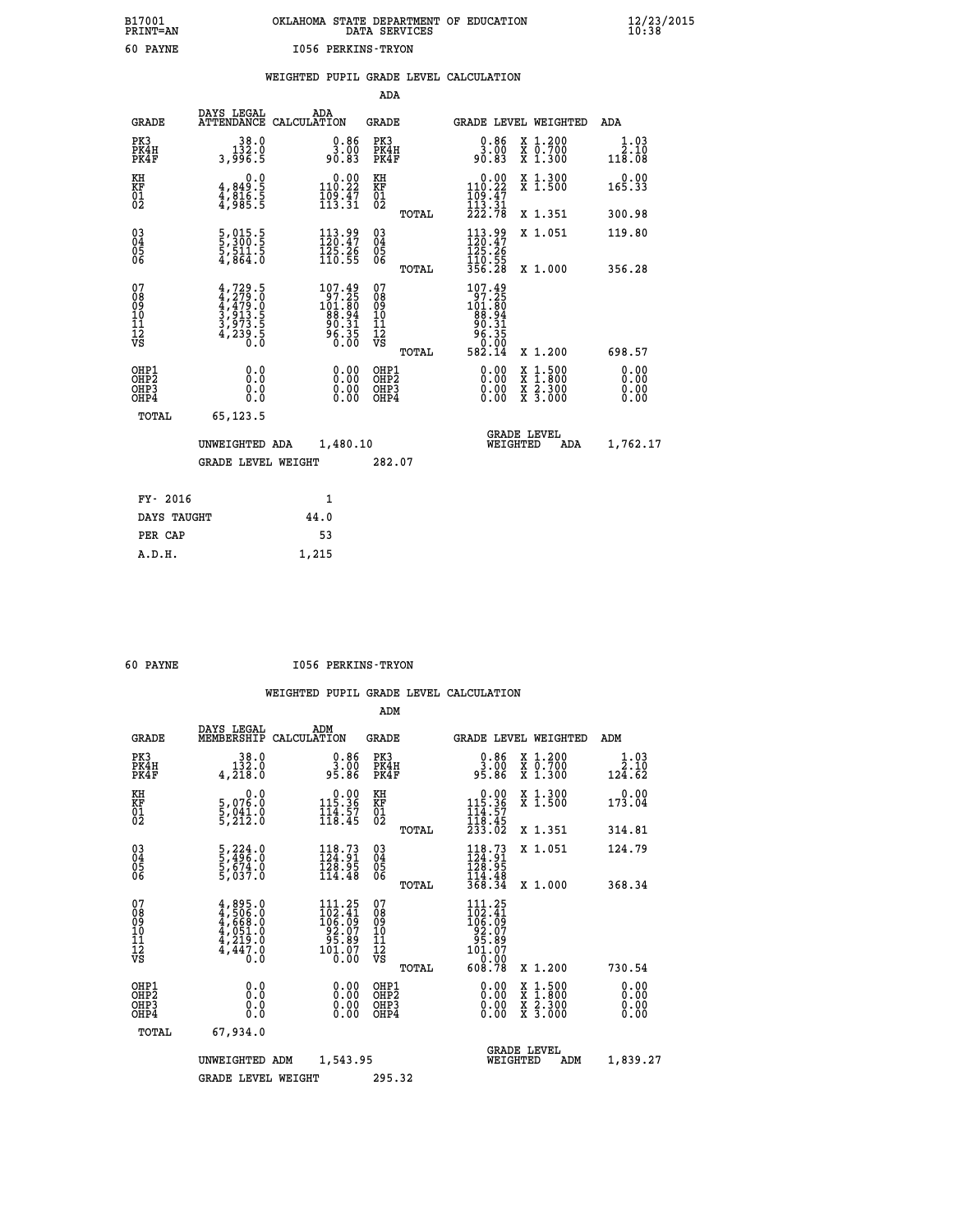## **B17001 OKLAHOMA STATE DEPARTMENT OF EDUCATION 12/23/2015 PRINT=AN DATA SERVICES 10:38 60 PAYNE I056 PERKINS-TRYON**

|  |  | WEIGHTED PUPIL GRADE LEVEL CALCULATION |
|--|--|----------------------------------------|
|  |  |                                        |

|                                                                    |                                                                                                 |                                                                             | ADA                                    |       |                                                                                                                |                                                                                                                                           |                               |
|--------------------------------------------------------------------|-------------------------------------------------------------------------------------------------|-----------------------------------------------------------------------------|----------------------------------------|-------|----------------------------------------------------------------------------------------------------------------|-------------------------------------------------------------------------------------------------------------------------------------------|-------------------------------|
| <b>GRADE</b>                                                       | DAYS LEGAL                                                                                      | ADA<br>ATTENDANCE CALCULATION                                               | <b>GRADE</b>                           |       |                                                                                                                | GRADE LEVEL WEIGHTED                                                                                                                      | <b>ADA</b>                    |
| PK3<br>PK4H<br>PK4F                                                | $\begin{smallmatrix}&&38.0\\132.0\\3,996.5\end{smallmatrix}$                                    | $\begin{smallmatrix} 0.86\ 3.00\ 90.83 \end{smallmatrix}$                   | PK3<br>PK4H<br>PK4F                    |       | 0.86<br>ŏŏ.ĕ<br>90.83                                                                                          | X 1.200<br>X 0.700<br>X 1.300                                                                                                             | 1.03<br>2.10<br>118.08        |
| KH<br>KF<br>01<br>02                                               | 0.0<br>$\frac{4}{3}, \frac{849}{816}$ . 5<br>$\frac{4}{3}, \frac{816}{985}$ . 5                 | $\begin{array}{c} 0.00 \\ 110.22 \\ 109.47 \\ 113.31 \end{array}$           | KH<br>KF<br>01<br>02                   |       | $\begin{array}{c} 0.00 \\ 110.22 \\ 109.47 \\ 113.31 \\ 222.78 \end{array}$                                    | X 1.300<br>X 1.500                                                                                                                        | 0.00<br>165.33                |
|                                                                    |                                                                                                 |                                                                             |                                        | TOTAL |                                                                                                                | X 1.351                                                                                                                                   | 300.98                        |
| $\begin{smallmatrix} 03 \\[-4pt] 04 \end{smallmatrix}$<br>Ŏ5<br>06 | $\frac{5}{5}, \frac{015}{300}.\frac{5}{5} \nonumber\\ \frac{5}{4}, \frac{511}{864}.\frac{5}{0}$ | $\begin{smallmatrix} 113.99\\120.47\\125.26\\110.55 \end{smallmatrix}$      | $\substack{03 \\ 04}$<br>Ŏ5<br>06      |       | $113.99$<br>$120.47$<br>$125.26$<br>$110.55$<br>$356.28$                                                       | X 1.051                                                                                                                                   | 119.80                        |
|                                                                    |                                                                                                 |                                                                             |                                        | TOTAL |                                                                                                                | X 1.000                                                                                                                                   | 356.28                        |
| 07<br>08<br>09<br>01<br>11<br>11<br>12<br>VS                       | $4,729.5$<br>$4,279.0$<br>$4,479.0$<br>$3,913.5$<br>$3,973.5$<br>$4,239.5$                      | $107.49$<br>$101.80$<br>$101.80$<br>$88.94$<br>$90.31$<br>$96.35$<br>$0.00$ | 07<br>08<br>09<br>11<br>11<br>12<br>VS |       | $\begin{smallmatrix} 107.49\\ 97.25\\ 101.80\\ 88.94\\ 90.31\\ 96.35\\ 96.35\\ 96.10\\ 98.14\end{smallmatrix}$ |                                                                                                                                           |                               |
|                                                                    |                                                                                                 |                                                                             |                                        | TOTAL |                                                                                                                | X 1.200                                                                                                                                   | 698.57                        |
| OHP1<br>OHP <sub>2</sub><br>OH <sub>P3</sub><br>OHP4               | 0.0<br>0.000                                                                                    | 0.00<br>$\begin{smallmatrix} 0.00 \ 0.00 \end{smallmatrix}$                 | OHP1<br>OHP2<br>OHP <sub>3</sub>       |       | 0.00<br>0.00                                                                                                   | $\begin{smallmatrix} \mathtt{X} & 1\cdot500\\ \mathtt{X} & 1\cdot800\\ \mathtt{X} & 2\cdot300\\ \mathtt{X} & 3\cdot000 \end{smallmatrix}$ | 0.00<br>Ō. ŌŌ<br>0.00<br>0.00 |
| TOTAL                                                              | 65,123.5                                                                                        |                                                                             |                                        |       |                                                                                                                |                                                                                                                                           |                               |
|                                                                    | UNWEIGHTED ADA                                                                                  | 1,480.10                                                                    |                                        |       |                                                                                                                | <b>GRADE LEVEL</b><br>WEIGHTED<br>ADA                                                                                                     | 1,762.17                      |
|                                                                    | <b>GRADE LEVEL WEIGHT</b>                                                                       |                                                                             | 282.07                                 |       |                                                                                                                |                                                                                                                                           |                               |
| FY- 2016                                                           |                                                                                                 | 1                                                                           |                                        |       |                                                                                                                |                                                                                                                                           |                               |
| DAYS TAUGHT                                                        |                                                                                                 | 44.0                                                                        |                                        |       |                                                                                                                |                                                                                                                                           |                               |
| PER CAP                                                            |                                                                                                 | 53                                                                          |                                        |       |                                                                                                                |                                                                                                                                           |                               |

 **A.D.H. 1,215**

 **60 PAYNE I056 PERKINS-TRYON**

|                                          |                                                                                     |                                                                                           | ADM                                                 |                                                                                      |                                          |                              |
|------------------------------------------|-------------------------------------------------------------------------------------|-------------------------------------------------------------------------------------------|-----------------------------------------------------|--------------------------------------------------------------------------------------|------------------------------------------|------------------------------|
| <b>GRADE</b>                             | DAYS LEGAL<br>MEMBERSHIP                                                            | ADM<br>CALCULATION                                                                        | <b>GRADE</b>                                        |                                                                                      | GRADE LEVEL WEIGHTED                     | ADM                          |
| PK3<br>PK4H<br>PK4F                      | 38.0<br>132.0<br>4,218.0                                                            | $\begin{smallmatrix} 0.86\ 3.00\ 95.86 \end{smallmatrix}$                                 | PK3<br>PK4H<br>PK4F                                 | $\begin{smallmatrix} 0.86\ 3.00\ 95.86 \end{smallmatrix}$                            | X 1.200<br>X 0.700<br>X 1.300            | 1.03<br>2.10<br>124.62       |
| KH<br>KF<br>01<br>02                     | 0.0<br>5,076:0<br>5,041:0<br>5,212:0                                                | $\begin{smallmatrix} &0.00\\ 115.36\\ 144.57\\ 118.45 \end{smallmatrix}$                  | KH<br>KF<br>01<br>02                                | $\begin{array}{c} 0.00 \\ 115.36 \\ 114.57 \\ 118.45 \\ 233.02 \end{array}$          | X 1.300<br>X 1.500                       | 0.00<br>173.04               |
|                                          |                                                                                     |                                                                                           | TOTAL                                               |                                                                                      | X 1.351                                  | 314.81                       |
| 03<br>04<br>05<br>06                     | 5,224.0<br>5,496.0<br>5,674.0<br>5,037.0                                            | 118.73<br>124.91<br>128.95<br>114.48                                                      | $\begin{array}{c} 03 \\ 04 \\ 05 \\ 06 \end{array}$ | $\frac{118.73}{124.91}$<br>$\frac{1}{368}$ $\frac{1}{34}$                            | X 1.051                                  | 124.79                       |
|                                          |                                                                                     |                                                                                           | TOTAL                                               |                                                                                      | X 1.000                                  | 368.34                       |
| 07<br>08<br>09<br>101<br>112<br>VS       | $4,895.0$<br>$4,506.0$<br>$4,668.0$<br>$4,051.0$<br>$4,219.0$<br>$4,447.0$<br>$0.0$ | $\begin{smallmatrix} 111.25\\102.41\\106.09\\92.07\\95.89\\101.07\\0.00\end{smallmatrix}$ | 07<br>08<br>09<br>11<br>11<br>12<br>VS<br>TOTAL     | 111.25<br>$102.41$<br>$106.09$<br>$92.07$<br>$95.89$<br>$101.07$<br>$0.00$<br>608.78 | X 1.200                                  | 730.54                       |
| OHP1<br>OHP2<br>OH <sub>P3</sub><br>OHP4 | 0.0<br>0.000                                                                        | $0.00$<br>$0.00$<br>0.00                                                                  | OHP1<br>OHP2<br>OHP <sub>3</sub>                    | $0.00$<br>$0.00$<br>0.00                                                             | X 1:500<br>X 1:800<br>X 2:300<br>X 3:000 | 0.00<br>0.00<br>0.00<br>0.00 |
| TOTAL                                    | 67,934.0                                                                            |                                                                                           |                                                     |                                                                                      |                                          |                              |
|                                          |                                                                                     |                                                                                           |                                                     |                                                                                      | <b>GRADE LEVEL</b>                       |                              |
|                                          | UNWEIGHTED<br>ADM                                                                   | 1,543.95                                                                                  |                                                     | WEIGHTED                                                                             | ADM                                      | 1,839.27                     |
|                                          | <b>GRADE LEVEL WEIGHT</b>                                                           |                                                                                           | 295.32                                              |                                                                                      |                                          |                              |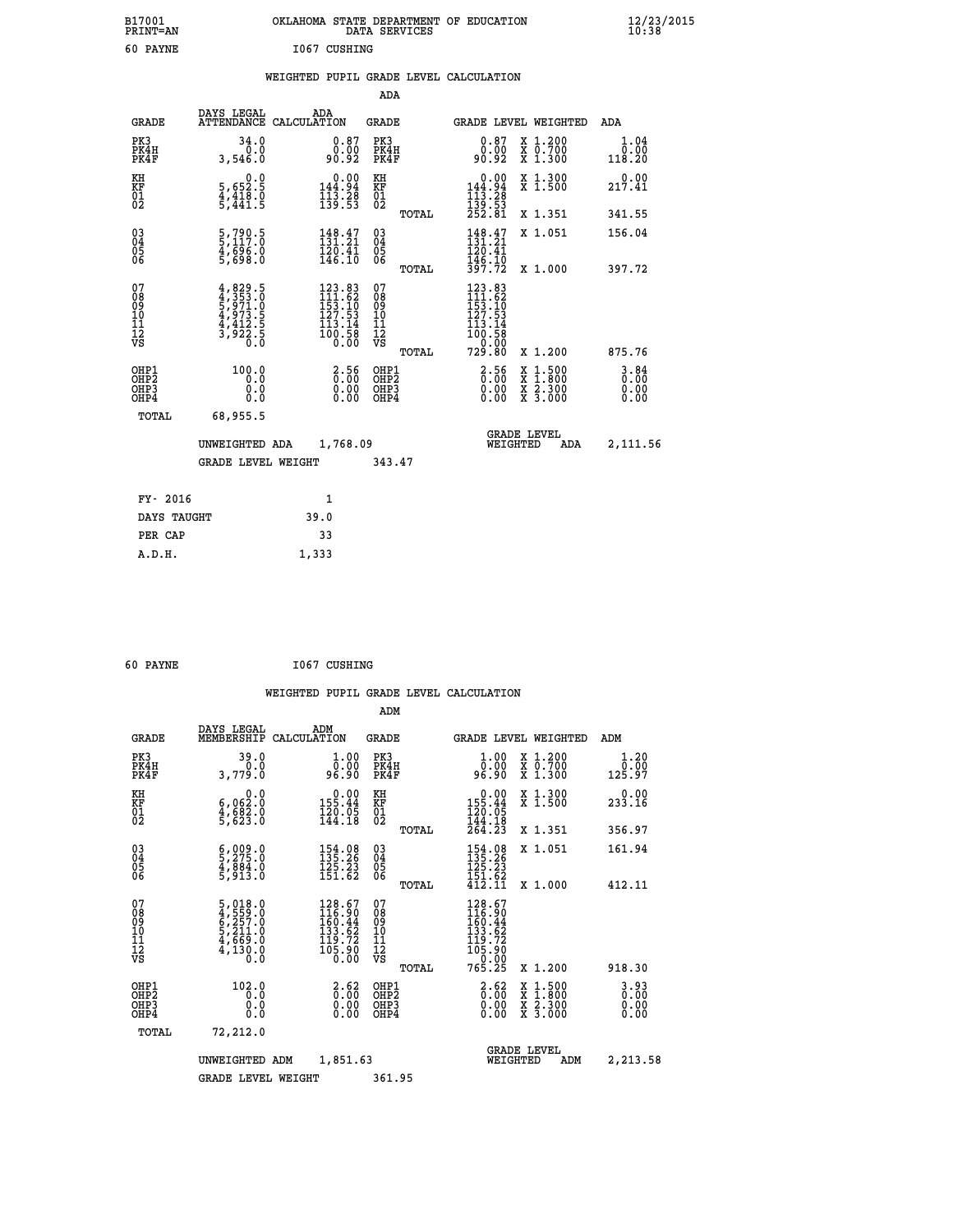| B17001<br><b>PRINT=AN</b> | OKLAHOMA<br>. STATE DEPARTMENT OF EDUCATION<br>DATA SERVICES | $\frac{12}{23}$ /2015 |
|---------------------------|--------------------------------------------------------------|-----------------------|
| 60<br>PAYNE               | 1067 CUSHING                                                 |                       |

|  |  | WEIGHTED PUPIL GRADE LEVEL CALCULATION |
|--|--|----------------------------------------|
|  |  |                                        |

|                                        |                                                                                   |                                                                                                                             | ADA                                    |       |                                                                                                                           |                                                                                                  |                                  |
|----------------------------------------|-----------------------------------------------------------------------------------|-----------------------------------------------------------------------------------------------------------------------------|----------------------------------------|-------|---------------------------------------------------------------------------------------------------------------------------|--------------------------------------------------------------------------------------------------|----------------------------------|
| <b>GRADE</b>                           | DAYS LEGAL                                                                        | ADA<br>ATTENDANCE CALCULATION                                                                                               | GRADE                                  |       | <b>GRADE LEVEL WEIGHTED</b>                                                                                               |                                                                                                  | ADA                              |
| PK3<br>PK4H<br>PK4F                    | 34.0<br>0.0<br>3,546.0                                                            | $\substack{0.87 \\ 0.00 \\ 90.92}$                                                                                          | PK3<br>PK4H<br>PK4F                    |       | 0.87<br>0.00<br>90.92                                                                                                     | X 1.200<br>X 0.700<br>X 1.300                                                                    | 1.04<br>0.00<br>118.20           |
| KH<br>KF<br>01<br>02                   | 0.0<br>5,652:5<br>4,418.0<br>5,441:5                                              | $\begin{smallmatrix}&&0.00\\144.94\\113.28\\139.53\end{smallmatrix}$                                                        | KH<br>KF<br>01<br>02                   |       | $\begin{smallmatrix} &0.00\\ 144.94\\ 113.28\\ 139.53\\ 252.81 \end{smallmatrix}$                                         | X 1.300<br>X 1.500                                                                               | 0.00<br>217.41                   |
|                                        |                                                                                   |                                                                                                                             |                                        | TOTAL |                                                                                                                           | X 1.351                                                                                          | 341.55                           |
| 03<br>04<br>05<br>06                   | $\frac{5}{5}$ , $\frac{790}{117}$ : 0<br>$\frac{4}{5}$ , $\frac{696}{698}$ .0     | $148.47$<br>$131.21$<br>$\frac{120.41}{146.10}$                                                                             | 03<br>04<br>05<br>06                   |       | $148.47$<br>$131.21$<br>120.41<br>146.10                                                                                  | X 1.051                                                                                          | 156.04                           |
|                                        |                                                                                   |                                                                                                                             |                                        | TOTAL | 397.72                                                                                                                    | X 1.000                                                                                          | 397.72                           |
| 07<br>08<br>09<br>11<br>11<br>12<br>VS | $4,829.5$<br>$5,973.0$<br>$5,973.5$<br>$4,973.5$<br>$4,412.5$<br>$3,922.5$<br>0.0 | $\begin{smallmatrix} 123 & 83\\ 111 & 62\\ 153 & 10\\ 127 & 53\\ 127 & 53\\ 113 & 14\\ 100 & 58\\ 0 & 00 \end{smallmatrix}$ | 07<br>08<br>09<br>11<br>11<br>12<br>VS | TOTAL | $\begin{array}{c} 123.83 \\[-2pt] 111.62 \\[-2pt] 153.10 \\[-2pt] 127.53 \\[-2pt] 113.14 \end{array}$<br>100:50<br>729:80 | X 1.200                                                                                          | 875.76                           |
| OHP1                                   | 100.0                                                                             |                                                                                                                             | OHP1                                   |       |                                                                                                                           |                                                                                                  |                                  |
| OH <sub>P</sub> 2<br>OHP3<br>OHP4      | 0.0<br>0.0<br>0.0                                                                 | 3:56<br>$\begin{smallmatrix} 0.00 \ 0.00 \end{smallmatrix}$                                                                 | OHP <sub>2</sub><br>OHP3<br>OHP4       |       | $\begin{smallmatrix} 2.56\ 0.00 \end{smallmatrix}$<br>0.00                                                                | $\begin{smallmatrix} x & 1 & 500 \\ x & 1 & 800 \\ x & 2 & 300 \\ x & 3 & 000 \end{smallmatrix}$ | $3.84$<br>$0.00$<br>0.00<br>0.00 |
| TOTAL                                  | 68,955.5                                                                          |                                                                                                                             |                                        |       |                                                                                                                           |                                                                                                  |                                  |
|                                        | UNWEIGHTED ADA                                                                    | 1,768.09                                                                                                                    |                                        |       | WEIGHTED                                                                                                                  | <b>GRADE LEVEL</b><br>ADA                                                                        | 2,111.56                         |
|                                        | <b>GRADE LEVEL WEIGHT</b>                                                         |                                                                                                                             | 343.47                                 |       |                                                                                                                           |                                                                                                  |                                  |
|                                        |                                                                                   |                                                                                                                             |                                        |       |                                                                                                                           |                                                                                                  |                                  |
| FY- 2016                               |                                                                                   | $\mathbf{1}$                                                                                                                |                                        |       |                                                                                                                           |                                                                                                  |                                  |
| DAYS TAUGHT                            |                                                                                   | 39.0                                                                                                                        |                                        |       |                                                                                                                           |                                                                                                  |                                  |
| PER CAP                                |                                                                                   | 33                                                                                                                          |                                        |       |                                                                                                                           |                                                                                                  |                                  |
| A.D.H.                                 |                                                                                   | 1,333                                                                                                                       |                                        |       |                                                                                                                           |                                                                                                  |                                  |

| 60 PAYNE | 1067 CUSHING |
|----------|--------------|
|          |              |

| -------                                            |                                                                       |                    |                                                                                                |                                        |       |                                                                                                                    |                                                                                                                                           |                                  |
|----------------------------------------------------|-----------------------------------------------------------------------|--------------------|------------------------------------------------------------------------------------------------|----------------------------------------|-------|--------------------------------------------------------------------------------------------------------------------|-------------------------------------------------------------------------------------------------------------------------------------------|----------------------------------|
|                                                    |                                                                       |                    |                                                                                                |                                        |       | WEIGHTED PUPIL GRADE LEVEL CALCULATION                                                                             |                                                                                                                                           |                                  |
|                                                    |                                                                       |                    |                                                                                                | ADM                                    |       |                                                                                                                    |                                                                                                                                           |                                  |
| <b>GRADE</b>                                       | DAYS LEGAL<br>MEMBERSHIP                                              | ADM<br>CALCULATION |                                                                                                | <b>GRADE</b>                           |       |                                                                                                                    | GRADE LEVEL WEIGHTED                                                                                                                      | ADM                              |
| PK3<br>PK4H<br>PK4F                                | 39.0<br>0.0<br>3,779.0                                                |                    | 1.00<br>$\overline{0}$ .00<br>96.90                                                            | PK3<br>PK4H<br>PK4F                    |       | 1.00<br>0.00<br>96.90                                                                                              | X 1.200<br>X 0.700<br>X 1.300                                                                                                             | 1.20<br>0.00<br>125.97           |
| KH<br>KF<br>01<br>02                               | 0.0<br>6,062:0<br>4,682:0<br>5,623:0                                  |                    | $\begin{array}{r} 0.00 \\ 155.44 \\ 120.05 \\ 144.18 \end{array}$                              | KH<br>KF<br>01<br>02                   |       | $\begin{smallmatrix} &0.00\\ 155.44\\ 120.05\\ 144.18\\ 264.23\end{smallmatrix}$                                   | X 1.300<br>X 1.500                                                                                                                        | 0.00<br>233.16                   |
|                                                    |                                                                       |                    |                                                                                                |                                        | TOTAL |                                                                                                                    | X 1.351                                                                                                                                   | 356.97                           |
| $\begin{matrix} 03 \\ 04 \\ 05 \\ 06 \end{matrix}$ | 5,275.0<br>$\frac{4}{5}$ , $\frac{884}{913}$ .0                       |                    | $\begin{smallmatrix} 154.08\\135.26\\125.23\\151.62 \end{smallmatrix}$                         | $\substack{03 \\ 04}$<br>05<br>06      |       | $\begin{array}{c} 154.08 \\ 135.26 \\ 125.23 \\ 151.62 \\ 412.11 \end{array}$                                      | X 1.051                                                                                                                                   | 161.94                           |
|                                                    |                                                                       |                    |                                                                                                |                                        | TOTAL |                                                                                                                    | X 1.000                                                                                                                                   | 412.11                           |
| 07<br>08<br>09<br>11<br>11<br>12<br>VS             | 5,018.0<br>4,559.0<br>6,257.0<br>5,211.0<br>4,669.0<br>4,130.0<br>0.0 |                    | $\begin{array}{c} 128.67 \\ 116.90 \\ 160.44 \\ 133.62 \\ 119.72 \end{array}$<br>00.00<br>0.00 | 07<br>08<br>09<br>11<br>11<br>12<br>VS | TOTAL | 128.67<br>$\begin{smallmatrix} 116.90 \\ 160.44 \\ 133.62 \\ 119.72 \\ 105.90 \\ 0.00 \end{smallmatrix}$<br>765.25 | X 1.200                                                                                                                                   | 918.30                           |
| OHP1                                               | 102.0                                                                 |                    |                                                                                                |                                        |       |                                                                                                                    |                                                                                                                                           |                                  |
| OHP2<br>OHP3<br>OHP4                               | 0.0<br>0.0<br>0.0                                                     |                    | $\begin{smallmatrix} 2.62 \ 0.00 \ 0.00 \end{smallmatrix}$<br>0.00                             | OHP1<br>OHP2<br>OHP3<br>OHP4           |       | 3.62<br>0.00<br>0.00                                                                                               | $\begin{smallmatrix} \mathtt{X} & 1\cdot500\\ \mathtt{X} & 1\cdot800\\ \mathtt{X} & 2\cdot300\\ \mathtt{X} & 3\cdot000 \end{smallmatrix}$ | $3.93$<br>$0.00$<br>0.00<br>0.00 |
| TOTAL                                              | 72,212.0                                                              |                    |                                                                                                |                                        |       |                                                                                                                    |                                                                                                                                           |                                  |
|                                                    | UNWEIGHTED ADM                                                        |                    | 1,851.63                                                                                       |                                        |       | WEIGHTED                                                                                                           | <b>GRADE LEVEL</b><br>ADM                                                                                                                 | 2,213.58                         |
|                                                    | <b>GRADE LEVEL WEIGHT</b>                                             |                    |                                                                                                | 361.95                                 |       |                                                                                                                    |                                                                                                                                           |                                  |
|                                                    |                                                                       |                    |                                                                                                |                                        |       |                                                                                                                    |                                                                                                                                           |                                  |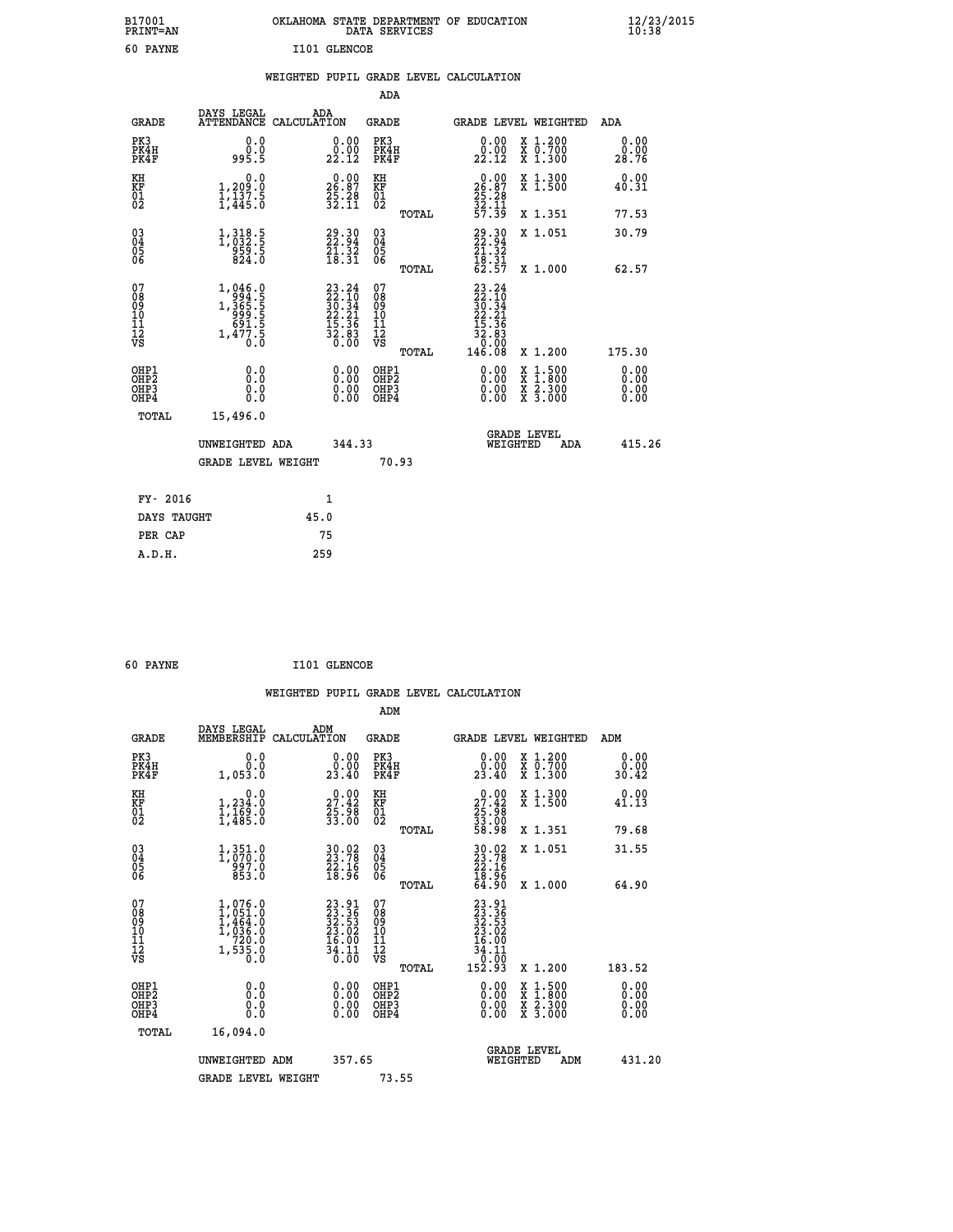| B17001<br><b>PRINT=AN</b> | OKLAHOMA STATE DEPARTMENT OF EDUCATION<br>DATA SERVICES | $\frac{12}{23}$ /2015 |
|---------------------------|---------------------------------------------------------|-----------------------|
| 60<br><b>PAYNE</b>        | I101 GLENCOE                                            |                       |

|  |  | WEIGHTED PUPIL GRADE LEVEL CALCULATION |
|--|--|----------------------------------------|
|  |  |                                        |

|                                                                    |                                                                                                                                                  |                                                                                                                     |                                                | ADA                          |                                                                          |                                                                                                                                           |                       |
|--------------------------------------------------------------------|--------------------------------------------------------------------------------------------------------------------------------------------------|---------------------------------------------------------------------------------------------------------------------|------------------------------------------------|------------------------------|--------------------------------------------------------------------------|-------------------------------------------------------------------------------------------------------------------------------------------|-----------------------|
| <b>GRADE</b>                                                       | DAYS LEGAL<br>ATTENDANCE CALCULATION                                                                                                             | ADA                                                                                                                 |                                                | <b>GRADE</b>                 |                                                                          | GRADE LEVEL WEIGHTED                                                                                                                      | ADA                   |
| PK3<br>PK4H<br>PK4F                                                | 0.0<br>0.0<br>995.5                                                                                                                              | 0.00<br>$22.00$<br>$22.12$                                                                                          | PK3                                            | PK4H<br>PK4F                 | 0.00<br>22.12                                                            | X 1.200<br>X 0.700<br>X 1.300                                                                                                             | 0.00<br>0.00<br>28.76 |
| KH<br>KF<br>$\begin{matrix} 0 \\ 2 \end{matrix}$                   | 0.0<br>1,209:0<br>1,137:5<br>1,445:0                                                                                                             | $26.87$<br>$25.28$<br>$32.11$                                                                                       | KH<br>KF<br>01<br>02                           |                              | 0.00<br>26:87<br>25:28<br>32:11<br>57:39                                 | X 1.300<br>X 1.500                                                                                                                        | 0.00<br>40.31         |
|                                                                    |                                                                                                                                                  |                                                                                                                     |                                                | TOTAL                        |                                                                          | X 1.351                                                                                                                                   | 77.53                 |
| $\begin{smallmatrix} 03 \\[-4pt] 04 \end{smallmatrix}$<br>Ŏ5<br>06 | $1,318.5$<br>$1,032.5$<br>$959.5$<br>$824.0$                                                                                                     | $\begin{smallmatrix} 29.30\\ 22.94\\ 21.32\\ 18.31 \end{smallmatrix}$                                               | $\substack{03 \\ 04}$<br>$\substack{05 \\ 06}$ |                              | $29.30$<br>$22.94$<br>$21.32$<br>$18.31$<br>$62.57$                      | X 1.051                                                                                                                                   | 30.79                 |
|                                                                    |                                                                                                                                                  |                                                                                                                     |                                                | TOTAL                        |                                                                          | X 1.000                                                                                                                                   | 62.57                 |
| 07<br>08<br>09<br>11<br>11<br>12<br>VS                             | $\begin{smallmatrix} 1,046\cdot 0\\ 994\cdot 5\\ 1,365\cdot 5\\ 999\cdot 5\\ 691\cdot 5\\ 691\cdot 5\\ 1,477\cdot 5\\ 0\cdot 0\end{smallmatrix}$ | $\begin{smallmatrix} 23\cdot24\ 22\cdot10\ 30\cdot34\ 22\cdot21\ 15\cdot36\ 32\cdot83\ 32\cdot80 \end{smallmatrix}$ | 07<br>08<br>09<br>11<br>11<br>12<br>VS         |                              | $23.24$<br>$22.10$<br>$30.34$<br>$22.21$<br>$15.36$<br>$32.83$<br>$0.90$ |                                                                                                                                           |                       |
|                                                                    |                                                                                                                                                  |                                                                                                                     |                                                | TOTAL                        | 146.08                                                                   | X 1.200                                                                                                                                   | 175.30                |
| OHP1<br>OHP2<br>OH <sub>P3</sub><br>OHP4                           | 0.0<br>0.0<br>0.0                                                                                                                                | 0.00<br>0.00<br>0.00                                                                                                |                                                | OHP1<br>OHP2<br>OHP3<br>OHP4 | 0.00<br>0.00                                                             | $\begin{smallmatrix} \mathtt{X} & 1\cdot500\\ \mathtt{X} & 1\cdot800\\ \mathtt{X} & 2\cdot300\\ \mathtt{X} & 3\cdot000 \end{smallmatrix}$ | 0.00<br>0.00<br>0.00  |
| TOTAL                                                              | 15,496.0                                                                                                                                         |                                                                                                                     |                                                |                              |                                                                          |                                                                                                                                           |                       |
|                                                                    | UNWEIGHTED ADA                                                                                                                                   |                                                                                                                     | 344.33                                         |                              |                                                                          | <b>GRADE LEVEL</b><br>WEIGHTED<br>ADA                                                                                                     | 415.26                |
|                                                                    | <b>GRADE LEVEL WEIGHT</b>                                                                                                                        |                                                                                                                     |                                                | 70.93                        |                                                                          |                                                                                                                                           |                       |
| FY- 2016                                                           |                                                                                                                                                  | 1                                                                                                                   |                                                |                              |                                                                          |                                                                                                                                           |                       |
| DAYS TAUGHT                                                        |                                                                                                                                                  | 45.0                                                                                                                |                                                |                              |                                                                          |                                                                                                                                           |                       |
| PER CAP                                                            |                                                                                                                                                  | 75                                                                                                                  |                                                |                              |                                                                          |                                                                                                                                           |                       |

| 60 PAYNE | I101 GLENCOE |
|----------|--------------|
|          |              |

 **WEIGHTED PUPIL GRADE LEVEL CALCULATION ADM DAYS LEGAL ADM GRADE MEMBERSHIP CALCULATION GRADE GRADE LEVEL WEIGHTED ADM PK3 0.0 0.00 PK3 0.00 X 1.200 0.00 PK4H 0.0 0.00 PK4H 0.00 X 0.700 0.00 PK4F 1,053.0 23.40 PK4F 23.40 X 1.300 30.42 KH 0.0 0.00 KH 0.00 X 1.300 0.00 KF 1,234.0 27.42 KF 27.42 X 1.500 41.13 01 1,169.0 25.98 01 25.98 02 1,485.0 33.00 02 33.00 TOTAL 58.98 X 1.351 79.68 03 1,351.0 30.02 03 30.02 X 1.051 31.55 04 1,070.0 23.78 04 23.78 05 997.0 22.16 05 22.16** 06 853.0 18.96 06 <sub>memas</sub> 18.96  **TOTAL 64.90 X 1.000 64.90**  $\begin{array}{cccc} 07 & 1,076.0 & 23.91 & 07 & 23.91 \ 08 & 1,051.0 & 23.93 & 08 & 23.91 \ 09 & 1,464.0 & 32.53 & 08 & 22.53 \ 10 & 1,036.0 & 23.02 & 10 & 23.02 \ 11 & 720.0 & 16.00 & 11 & 16.00 \ \hline \texttt{vs} & 1,535.0 & 34.11 & 2 & 4.11 \ \hline \texttt{vs} & 1,535.0 & 36.0 &$  **TOTAL 152.93 X 1.200 183.52 OHP1 0.0 0.00 OHP1 0.00 X 1.500 0.00 OHP2 0.0 0.00 OHP2 0.00 X 1.800 0.00 OHP3 0.0 0.00 OHP3 0.00 X 2.300 0.00 OHP4 0.0 0.00 OHP4 0.00 X 3.000 0.00 TOTAL 16,094.0 GRADE LEVEL UNWEIGHTED ADM 357.65 WEIGHTED ADM 431.20** GRADE LEVEL WEIGHT 73.55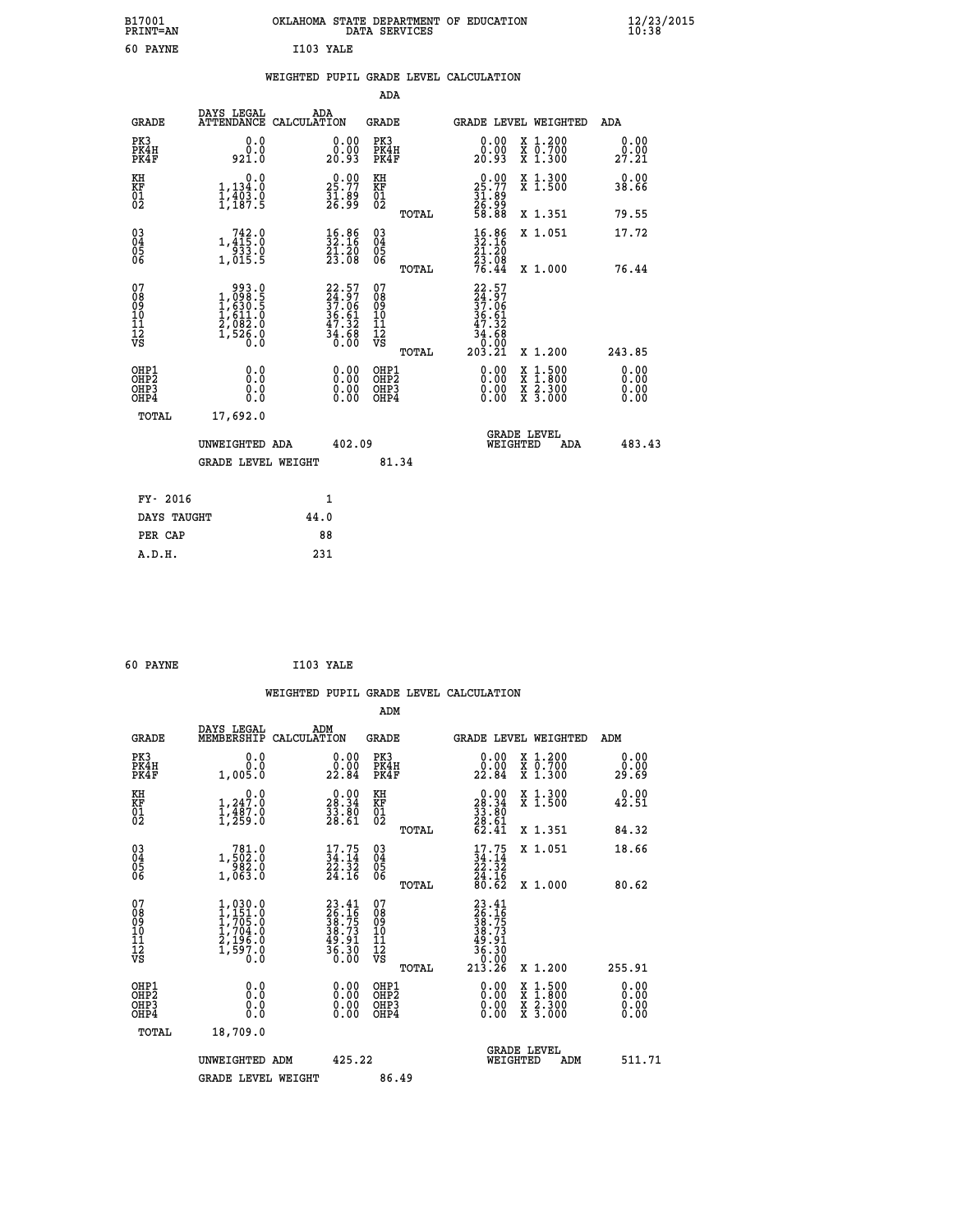| B17001<br>PRINT=AN                             |                                                                                 | OKLAHOMA STATE DEPARTMENT OF EDUCATION                                   | DATA SERVICES                                   |                                                                                           |                                                                                          | 12/23/2015            |
|------------------------------------------------|---------------------------------------------------------------------------------|--------------------------------------------------------------------------|-------------------------------------------------|-------------------------------------------------------------------------------------------|------------------------------------------------------------------------------------------|-----------------------|
| 60 PAYNE                                       |                                                                                 | I103 YALE                                                                |                                                 |                                                                                           |                                                                                          |                       |
|                                                |                                                                                 | WEIGHTED PUPIL GRADE LEVEL CALCULATION                                   |                                                 |                                                                                           |                                                                                          |                       |
|                                                |                                                                                 |                                                                          | ADA                                             |                                                                                           |                                                                                          |                       |
| <b>GRADE</b>                                   | DAYS LEGAL                                                                      | ADA<br>ATTENDANCE CALCULATION                                            | GRADE                                           | GRADE LEVEL WEIGHTED                                                                      |                                                                                          | ADA                   |
| PK3<br>PK4H<br>PK4F                            | 0.0<br>0.0<br>921.0                                                             | 0.00<br>0.00<br>20.93                                                    | PK3<br>PK4H<br>PK4F                             | 0.00<br>0.00<br>20.93                                                                     | X 1.200<br>X 0.700<br>X 1.300                                                            | 0.00<br>0.00<br>27.21 |
| KH<br>KF<br>01<br>02                           | 0.0<br>1,134.0<br>$\frac{1}{1}$ , $\frac{1}{1}$ , $\frac{3}{1}$ , $\frac{3}{1}$ | $2\frac{0.00}{25.77}$<br>31.89<br>26.99                                  | KH<br>KF<br>$\overline{01}$                     | $\begin{smallmatrix} 0.00\\ 25.77\\ 31.89\\ 26.99\\ 58.88 \end{smallmatrix}$              | X 1.300<br>X 1.500                                                                       | 0.00<br>38.66         |
|                                                |                                                                                 |                                                                          | TOTAL                                           |                                                                                           | X 1.351                                                                                  | 79.55                 |
| $\substack{03 \\ 04}$<br>$\substack{05 \\ 06}$ | 1,413:0<br>$\begin{array}{c} 7.7533.0 \\ 1,015.5 \end{array}$                   | $\frac{16.86}{32.16}$<br>$\frac{21.20}{23.08}$                           | 03<br>04<br>05<br>06                            | $\frac{16}{32}$ : 16<br>21.20                                                             | X 1.051                                                                                  | 17.72                 |
|                                                |                                                                                 |                                                                          | TOTAL                                           | $\frac{2\bar{3}\cdot\bar{0}\check{8}}{76.44}$                                             | X 1.000                                                                                  | 76.44                 |
| 07<br>08<br>09<br>11<br>11<br>12<br>VS         | 0.099<br>5.800,4<br>5.059,5<br>1,611.0<br>2,082.0<br>1,526.0<br>0.0             | $22.57$<br>$24.97$<br>$37.06$<br>$36.61$<br>$47.32$<br>$34.68$<br>$0.00$ | 07<br>08<br>09<br>10<br>11<br>12<br>VS<br>TOTAL | 22.57<br>$\frac{24.97}{37.06}$<br>$\frac{36.61}{47.32}$<br>$\frac{34.68}{0.00}$<br>203.21 | X 1.200                                                                                  | 243.85                |
| OHP1<br>OHP <sub>2</sub><br>OHP3<br>OHP4       | 0.0<br>Ō.Ō<br>0.0<br>0.0                                                        | 0.00<br>$\begin{smallmatrix} 0.00 \ 0.00 \end{smallmatrix}$              | OHP1<br>OHP2<br>OHP3<br>OHP4                    | 0.00<br>0.00<br>0.00                                                                      | $\begin{smallmatrix} x & 1.500 \\ x & 1.800 \\ x & 2.300 \\ x & 3.000 \end{smallmatrix}$ | 0.00<br>0.00<br>0.00  |
| TOTAL                                          | 17,692.0                                                                        |                                                                          |                                                 |                                                                                           |                                                                                          |                       |
|                                                | UNWEIGHTED ADA                                                                  | 402.09                                                                   |                                                 | <b>GRADE LEVEL</b><br>WEIGHTED                                                            | ADA                                                                                      | 483.43                |
|                                                | <b>GRADE LEVEL WEIGHT</b>                                                       |                                                                          | 81.34                                           |                                                                                           |                                                                                          |                       |
| FY- 2016                                       |                                                                                 | 1                                                                        |                                                 |                                                                                           |                                                                                          |                       |
| DAYS TAUGHT                                    |                                                                                 | 44.0                                                                     |                                                 |                                                                                           |                                                                                          |                       |
| PER CAP                                        |                                                                                 | 88                                                                       |                                                 |                                                                                           |                                                                                          |                       |
| A.D.H.                                         |                                                                                 | 231                                                                      |                                                 |                                                                                           |                                                                                          |                       |

| 60 PAYNE | I103 YALE |  |
|----------|-----------|--|
|          |           |  |

|                                              |                                                    |                                                                                     |                    |                                                                          |                                              |       | WEIGHTED PUPIL GRADE LEVEL CALCULATION                                                                 |                                          |        |                              |
|----------------------------------------------|----------------------------------------------------|-------------------------------------------------------------------------------------|--------------------|--------------------------------------------------------------------------|----------------------------------------------|-------|--------------------------------------------------------------------------------------------------------|------------------------------------------|--------|------------------------------|
|                                              |                                                    |                                                                                     |                    |                                                                          | ADM                                          |       |                                                                                                        |                                          |        |                              |
|                                              | <b>GRADE</b>                                       | DAYS LEGAL<br>MEMBERSHIP                                                            | ADM<br>CALCULATION |                                                                          | <b>GRADE</b>                                 |       |                                                                                                        | GRADE LEVEL WEIGHTED                     | ADM    |                              |
|                                              | PK3<br>PK4H<br>PK4F                                | 0.0<br>0.0<br>1,005.0                                                               |                    | $\begin{smallmatrix} 0.00\\ 0.00\\ 22.84 \end{smallmatrix}$              | PK3<br>PK4H<br>PK4F                          |       | $\begin{smallmatrix} 0.00\\ 0.00\\ 22.84 \end{smallmatrix}$                                            | X 1.200<br>X 0.700<br>X 1.300            |        | 0.00<br>0.00<br>29.69        |
| KH                                           | KF<br>01<br>02                                     | 0.0<br>$1,247.0$<br>$1,487.0$<br>$\overline{1}$ , $\overline{2}$ 59.0               |                    | $\begin{smallmatrix} 0.00\\ 28.34\\ 33.80\\ 28.61 \end{smallmatrix}$     | KH<br>KF<br>01<br>02                         |       | 0.00<br>28:34<br>33:80<br>28:61<br>62:41                                                               | X 1.300<br>X 1.500                       |        | 0.00<br>42.51                |
|                                              |                                                    |                                                                                     |                    |                                                                          |                                              | TOTAL |                                                                                                        | X 1.351                                  |        | 84.32                        |
|                                              | $\begin{matrix} 03 \\ 04 \\ 05 \\ 06 \end{matrix}$ | 1,502:0<br>1,502:0<br>982:0<br>1,063.0                                              |                    | $\frac{17.75}{34.14}$<br>$\frac{22.32}{24.16}$                           | 030404<br>ŎĞ                                 |       | $17.75$<br>$34.14$<br>$22.32$<br>$24.16$<br>$80.62$                                                    | X 1.051                                  |        | 18.66                        |
|                                              |                                                    |                                                                                     |                    |                                                                          |                                              | TOTAL |                                                                                                        | X 1.000                                  |        | 80.62                        |
| 07<br>08<br>09<br>10<br>11<br>11<br>12<br>VS |                                                    | $1,030.0$<br>$1,751.0$<br>$1,705.0$<br>$1,704.0$<br>$2,196.0$<br>$1,597.0$<br>$0.0$ |                    | $23.41$<br>$26.16$<br>$38.75$<br>$38.73$<br>$49.91$<br>$36.30$<br>$0.00$ | 07<br>08<br>09<br>01<br>11<br>11<br>12<br>VS | TOTAL | $\begin{smallmatrix} 23.41\ 26.16\ 38.75\ 38.73\ 38.73\ 49.91\ 49.30\ 0.00\ 213.26\ \end{smallmatrix}$ | X 1.200                                  | 255.91 |                              |
|                                              | OHP1<br>OHP2<br>OHP3<br>OH <sub>P4</sub>           | 0.000000<br>Ō.Ō                                                                     |                    | $\begin{smallmatrix} 0.00 \ 0.00 \ 0.00 \ 0.00 \end{smallmatrix}$        | OHP1<br>OHP <sub>2</sub><br>OHP3<br>OHP4     |       | 0.00<br>0.00<br>0.00                                                                                   | X 1:500<br>X 1:800<br>X 2:300<br>X 3:000 |        | 0.00<br>0.00<br>0.00<br>0.00 |
|                                              | TOTAL                                              | 18,709.0                                                                            |                    |                                                                          |                                              |       |                                                                                                        |                                          |        |                              |
|                                              |                                                    | UNWEIGHTED ADM<br><b>GRADE LEVEL WEIGHT</b>                                         |                    | 425.22                                                                   | 86.49                                        |       | WEIGHTED                                                                                               | <b>GRADE LEVEL</b><br>ADM                |        | 511.71                       |
|                                              |                                                    |                                                                                     |                    |                                                                          |                                              |       |                                                                                                        |                                          |        |                              |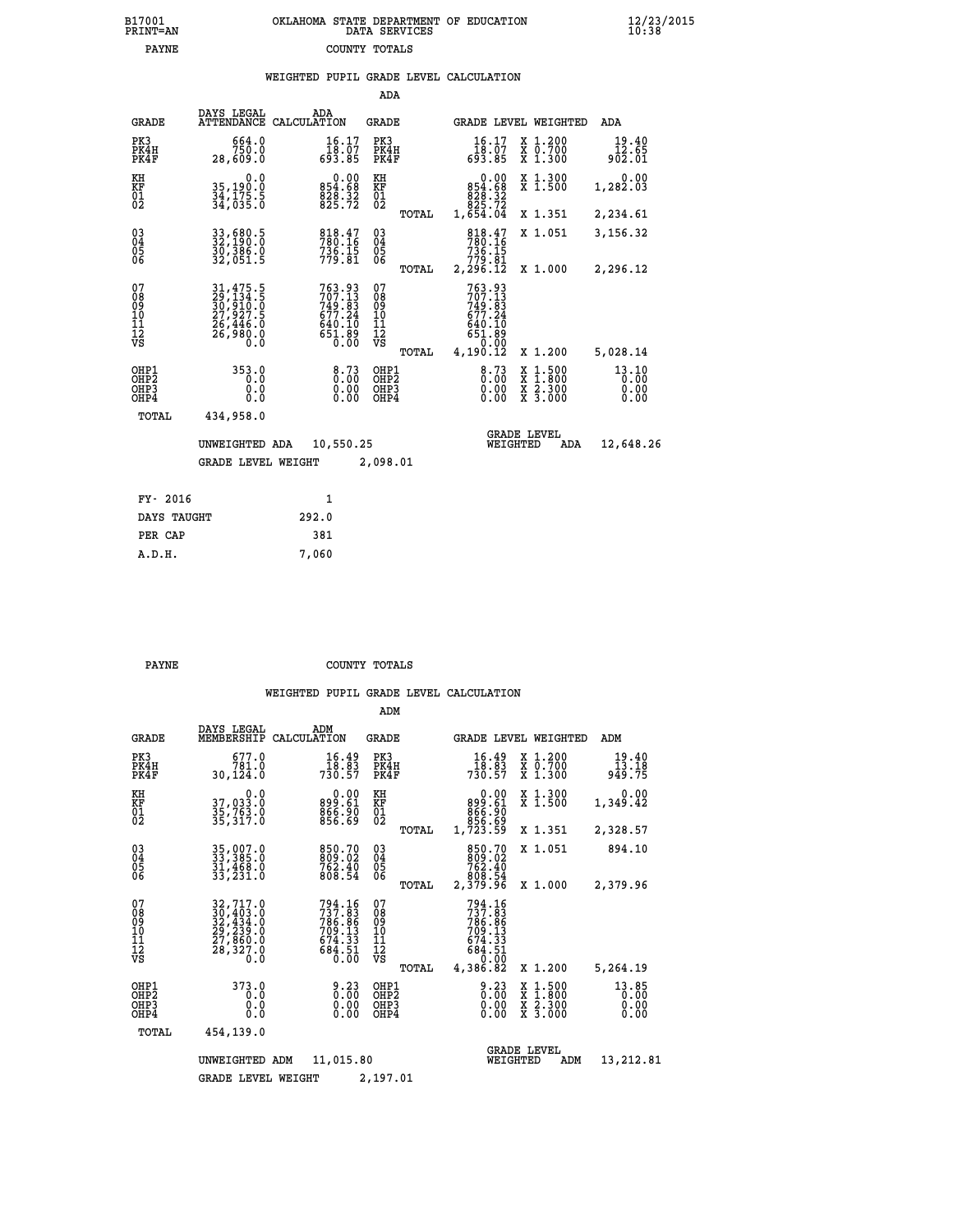|  | OKLAHOMA STATE DEPARTMENT OF EDUCATION<br>DATA SERVICES |  |
|--|---------------------------------------------------------|--|
|  | COUNTY TOTALS                                           |  |

|  |  | WEIGHTED PUPIL GRADE LEVEL CALCULATION |
|--|--|----------------------------------------|

|                                        |                                           |                                                                      |                                                                                | ADA                                      |       |                                                                                        |                                |                                                                                                  |                                                       |
|----------------------------------------|-------------------------------------------|----------------------------------------------------------------------|--------------------------------------------------------------------------------|------------------------------------------|-------|----------------------------------------------------------------------------------------|--------------------------------|--------------------------------------------------------------------------------------------------|-------------------------------------------------------|
|                                        | <b>GRADE</b>                              | DAYS LEGAL                                                           | ADA<br>ATTENDANCE CALCULATION                                                  | GRADE                                    |       |                                                                                        |                                | <b>GRADE LEVEL WEIGHTED</b>                                                                      | ADA                                                   |
| PK3                                    | PK4H<br>PK4F                              | 664.0<br>750.0<br>28,609.0                                           | $16.17$<br>$18.07$<br>693.85                                                   | PK3<br>PK4H<br>PK4F                      |       | 16.17<br>tõ: قَدَّة<br>693.85                                                          |                                | X 1.200<br>X 0.700<br>X 1.300                                                                    | 19.40<br>$\frac{\bar{1}\bar{2}\cdot\bar{6}5}{902.01}$ |
| KH<br>KF<br>01<br>02                   |                                           | 0.0<br>35,190.0<br>34,175.5<br>34,035.0                              | 854.68<br>828.32<br>825.72                                                     | KH<br>KF<br>01<br>02                     |       | $\begin{smallmatrix}&&0.00\\854.68\\828.32\\825.72\\825.72\\1,654.04\end{smallmatrix}$ |                                | X 1.300<br>X 1.500                                                                               | 0.00<br>1,282.03                                      |
|                                        |                                           |                                                                      |                                                                                |                                          | TOTAL |                                                                                        |                                | X 1.351                                                                                          | 2,234.61                                              |
| 03<br>04<br>05<br>06                   |                                           | 33,680.5<br>32,190.0<br>30,386.0<br>32,051.5                         | 818.47<br>780.16<br>$736.15$<br>$779.81$                                       | $\substack{03 \\ 04}$<br>05<br>06        |       | 818.47<br>780.16<br>736:15<br>779.81                                                   |                                | X 1.051                                                                                          | 3,156.32                                              |
|                                        |                                           |                                                                      |                                                                                |                                          | TOTAL | 2,296.12                                                                               |                                | X 1.000                                                                                          | 2,296.12                                              |
| 07<br>08<br>09<br>10<br>11<br>12<br>VS |                                           | 31,475.5<br>29,134.5<br>30,910.0<br>27,927.5<br>26,446.0<br>26,980.0 | $763.93$<br>$707.13$<br>$749.83$<br>$677.24$<br>$640.10$<br>$651.89$<br>$0.00$ | 07<br>08<br>09<br>11<br>11<br>12<br>VS   |       | 763.93<br>707.13<br>749.83<br>677.24<br>640.10<br>651.89<br>0.00                       |                                |                                                                                                  |                                                       |
|                                        |                                           |                                                                      |                                                                                |                                          | TOTAL | 4,190.12                                                                               |                                | X 1.200                                                                                          | 5,028.14                                              |
|                                        | OHP1<br>OH <sub>P</sub> 2<br>OHP3<br>OHP4 | 353.0<br>0.0<br>0.0<br>0.0                                           | $8:73$<br>0:00<br>0.00<br>0.00                                                 | OHP1<br>OHP <sub>2</sub><br>OHP3<br>OHP4 |       | 0.73<br>0.00<br>0.00                                                                   |                                | $\begin{smallmatrix} x & 1 & 500 \\ x & 1 & 800 \\ x & 2 & 300 \\ x & 3 & 000 \end{smallmatrix}$ | 13.10<br>0.00<br>0.00<br>0.00                         |
|                                        | TOTAL                                     | 434,958.0                                                            |                                                                                |                                          |       |                                                                                        |                                |                                                                                                  |                                                       |
|                                        |                                           | UNWEIGHTED ADA<br><b>GRADE LEVEL WEIGHT</b>                          | 10,550.25                                                                      | 2,098.01                                 |       |                                                                                        | <b>GRADE LEVEL</b><br>WEIGHTED | ADA                                                                                              | 12,648.26                                             |
|                                        |                                           |                                                                      |                                                                                |                                          |       |                                                                                        |                                |                                                                                                  |                                                       |
|                                        | FY- 2016                                  |                                                                      | $\mathbf{1}$                                                                   |                                          |       |                                                                                        |                                |                                                                                                  |                                                       |
|                                        | DAYS TAUGHT                               |                                                                      | 292.0                                                                          |                                          |       |                                                                                        |                                |                                                                                                  |                                                       |
|                                        | PER CAP                                   |                                                                      | 381                                                                            |                                          |       |                                                                                        |                                |                                                                                                  |                                                       |
|                                        | A.D.H.                                    |                                                                      | 7,060                                                                          |                                          |       |                                                                                        |                                |                                                                                                  |                                                       |

| ᇧ |  |  |
|---|--|--|

B17001<br>PRINT=AN<br>PAYNE

**PAYNE COUNTY TOTALS** 

|                                                       |                                                                                         |                                                                        | ADM                                              |                                                                                                          |                                                                    |                               |
|-------------------------------------------------------|-----------------------------------------------------------------------------------------|------------------------------------------------------------------------|--------------------------------------------------|----------------------------------------------------------------------------------------------------------|--------------------------------------------------------------------|-------------------------------|
| <b>GRADE</b>                                          | DAYS LEGAL<br>MEMBERSHIP                                                                | ADM<br>CALCULATION                                                     | <b>GRADE</b>                                     | GRADE LEVEL WEIGHTED                                                                                     |                                                                    | ADM                           |
| PK3<br>PK4H<br>PK4F                                   | 677.0<br>781.0<br>30,124.0                                                              | 16.49<br>18.83<br>730.57                                               | PK3<br>PK4H<br>PK4F                              | 16.49<br>18:83<br>730:57                                                                                 | $\begin{array}{c} x & 1.200 \\ x & 0.700 \end{array}$<br>$X$ 1.300 | 19.40<br>13.18<br>949.75      |
| KH<br>KF<br>01<br>02                                  | 0.0<br>37,033.0<br>35,763.0<br>35,317.0                                                 | $\begin{smallmatrix} 0.00\ 899.61\ 866.90\ 856.69 \end{smallmatrix}$   | KH<br>KF<br>01<br>02                             | 0.00<br>899.61<br>866.90<br>856.69<br>1,723.59                                                           | X 1.300<br>X 1.500                                                 | 0.00<br>1,349.42              |
|                                                       |                                                                                         |                                                                        | TOTAL                                            |                                                                                                          | X 1.351                                                            | 2,328.57                      |
| 03<br>04<br>05<br>06                                  | 35,007.0<br>33,385.0<br>31,469.0<br>33,231.0                                            | 850.70<br>809.02<br>762.40<br>808.54                                   | $\substack{03 \\ 04}$<br>0500                    | 850.70<br>809.02<br>762.40<br>808.54                                                                     | X 1.051                                                            | 894.10                        |
|                                                       |                                                                                         |                                                                        | TOTAL                                            | 2,379.96                                                                                                 | X 1.000                                                            | 2,379.96                      |
| 07<br>08<br>09<br>11<br>11<br>12<br>VS                | 32,717.0<br>30,403.0<br>32,434.0<br>32,434.0<br>29,239.0<br>27,860.0<br>28,327.0<br>0.0 | 794.16<br>737.83<br>786.86<br>709.13<br>$674.33$<br>$684.51$<br>$0.00$ | 07<br>08<br>09<br>101<br>11<br>12<br>VS<br>TOTAL | 794.16<br>737.83<br>786.86<br>7 <u>0</u> 9.13<br>$\frac{674}{684}\cdot\frac{33}{51}$<br>0.00<br>4,386.82 | X 1.200                                                            | 5,264.19                      |
| OHP1<br>OH <sub>P</sub> 2<br>OH <sub>P3</sub><br>OHP4 | 373.0<br>0.0<br>0.000                                                                   | $0.23\n0.00$<br>0.00                                                   | OHP1<br>OHP2<br>OHP3<br>OHP4                     | 0.23<br>0.00<br>0.00                                                                                     | X 1:500<br>X 1:800<br>X 2:300<br>X 3:000                           | 13.85<br>0.00<br>0.00<br>0.00 |
| TOTAL                                                 | 454,139.0                                                                               |                                                                        |                                                  |                                                                                                          |                                                                    |                               |
|                                                       | UNWEIGHTED                                                                              | 11,015.80<br>ADM                                                       |                                                  | WEIGHTED                                                                                                 | <b>GRADE LEVEL</b><br>ADM                                          | 13,212.81                     |
|                                                       | <b>GRADE LEVEL WEIGHT</b>                                                               |                                                                        | 2,197.01                                         |                                                                                                          |                                                                    |                               |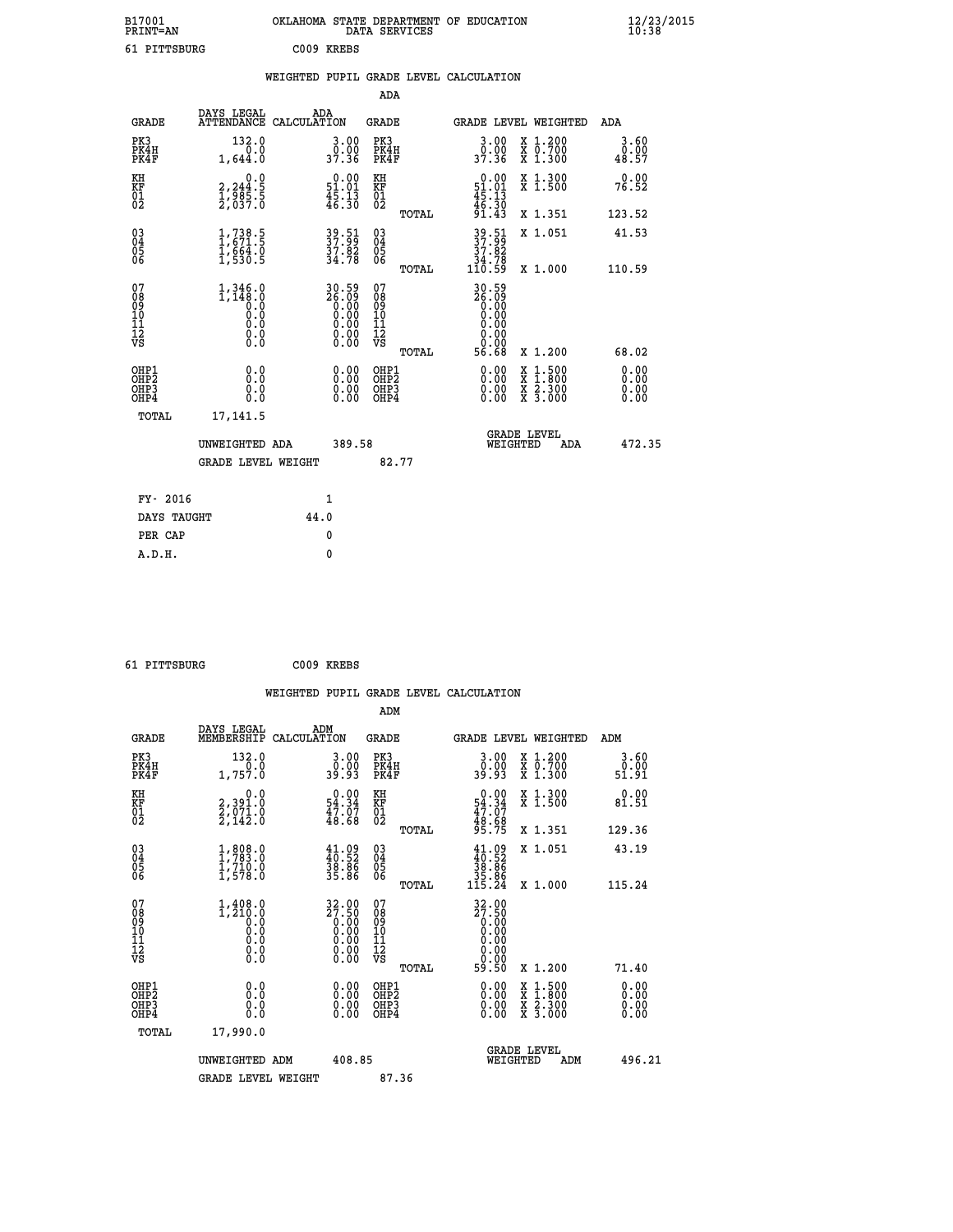| B17001<br><b>PRINT=AN</b>                          |                                                                                    | OKLAHOMA STATE DEPARTMENT OF EDUCATION                               | DATA SERVICES                                      |                                                 |                                                                                    | $\frac{12}{10}$ :38/2015     |  |
|----------------------------------------------------|------------------------------------------------------------------------------------|----------------------------------------------------------------------|----------------------------------------------------|-------------------------------------------------|------------------------------------------------------------------------------------|------------------------------|--|
| 61 PITTSBURG                                       |                                                                                    | C009 KREBS                                                           |                                                    |                                                 |                                                                                    |                              |  |
|                                                    |                                                                                    | WEIGHTED PUPIL GRADE LEVEL CALCULATION                               |                                                    |                                                 |                                                                                    |                              |  |
|                                                    |                                                                                    |                                                                      | ADA                                                |                                                 |                                                                                    |                              |  |
| <b>GRADE</b>                                       | DAYS LEGAL<br>ATTENDANCE CALCULATION                                               | ADA                                                                  | <b>GRADE</b>                                       | GRADE LEVEL WEIGHTED                            |                                                                                    | ADA                          |  |
| PK3<br>PK4H<br>PK4F                                | 132.0<br>0.0<br>1,644.0                                                            | 3.00<br>0.00<br>37.36                                                | PK3<br>PK4H<br>PK4F                                | 3.00<br>0.00<br>37.36                           | X 1.200<br>X 0.700<br>X 1.300                                                      | 3.60<br>0.00<br>48.57        |  |
| KH<br>KF<br>01<br>02                               | 0.0<br>2,244:5<br>1,985:5<br>2,037:0                                               | $\begin{smallmatrix} 0.00\\ 51.01\\ 45.13\\ 46.30 \end{smallmatrix}$ | КH<br><b>KF</b><br>01<br>02                        | $0.00$<br>$51.01$<br>$45.13$<br>$46.30$         | X 1.300<br>X 1.500                                                                 | 0.00<br>76.52                |  |
|                                                    |                                                                                    |                                                                      | TOTAL                                              | 91.43                                           | X 1.351                                                                            | 123.52                       |  |
| $\begin{matrix} 03 \\ 04 \\ 05 \\ 06 \end{matrix}$ | $1,738.5$<br>$1,671.5$<br>$\frac{1}{1}, \frac{6}{5} \frac{6}{3} \cdot \frac{1}{5}$ | 39.51<br>37.82<br>37.82<br>34.78                                     | $\begin{matrix} 03 \\ 04 \\ 05 \\ 06 \end{matrix}$ | $\frac{39.51}{37.82}$<br>34.78                  | X 1.051                                                                            | 41.53                        |  |
|                                                    |                                                                                    |                                                                      | TOTAL                                              | 110.59                                          | X 1.000                                                                            | 110.59                       |  |
| 07<br>08901112<br>1112<br>VS                       | $1,346.0$<br>1,148.0<br>0.0<br>0.0<br>0.0<br>0.000                                 | 30.59<br>26.09<br>0.00<br>0.00                                       | 07<br>08<br>09<br>10<br>11<br>12<br>VS<br>TOTAL    | 30.59<br>2ğ.ğg<br>0.00<br>0.00<br>0.00<br>56.68 | X 1.200                                                                            | 68.02                        |  |
| OHP1<br>OHP2<br>OHP3<br>OHP4<br>TOTAL              | Q.Q<br>Ŏ.Ŏ<br>0.0<br>0.0<br>17,141.5                                               | 0.00<br>0.00<br>0.00                                                 | OHP1<br>OHP2<br>OHP3<br>OHP4                       | 0.00<br>0.00<br>0.00                            | $\frac{x}{x}$ $\frac{1.500}{x}$<br>$\frac{x}{x}$ $\frac{2 \cdot 300}{3 \cdot 000}$ | 0.00<br>Ŏ.ŎŎ<br>0.00<br>0.00 |  |
|                                                    |                                                                                    |                                                                      |                                                    | <b>GRADE LEVEL</b>                              |                                                                                    |                              |  |
|                                                    | UNWEIGHTED ADA                                                                     | 389.58                                                               |                                                    | WEIGHTED                                        | ADA                                                                                | 472.35                       |  |
|                                                    | <b>GRADE LEVEL WEIGHT</b>                                                          |                                                                      | 82.77                                              |                                                 |                                                                                    |                              |  |
| FY- 2016                                           |                                                                                    | 1                                                                    |                                                    |                                                 |                                                                                    |                              |  |
| DAYS TAUGHT                                        |                                                                                    | 44.0                                                                 |                                                    |                                                 |                                                                                    |                              |  |
| PER CAP                                            |                                                                                    | 0                                                                    |                                                    |                                                 |                                                                                    |                              |  |
| A.D.H.                                             |                                                                                    | 0                                                                    |                                                    |                                                 |                                                                                    |                              |  |

 **61 PITTSBURG C009 KREBS**

 **A.D.H. 0**

| <b>GRADE</b>                                       | DAYS LEGAL<br>MEMBERSHIP                                              | ADM<br>CALCULATION                                                    | <b>GRADE</b>                           |       | <b>GRADE LEVEL WEIGHTED</b>                                                                                    |                                          | ADM                   |  |
|----------------------------------------------------|-----------------------------------------------------------------------|-----------------------------------------------------------------------|----------------------------------------|-------|----------------------------------------------------------------------------------------------------------------|------------------------------------------|-----------------------|--|
| PK3<br>PK4H<br>PK4F                                | 132.0<br>1,757.0                                                      | 3.00<br>0.00<br>39.93                                                 | PK3<br>PK4H<br>PK4F                    |       | 3.00<br>0.00<br>39.93                                                                                          | X 1.200<br>X 0.700<br>X 1.300            | 3.60<br>0.00<br>51.91 |  |
| KH<br>KF<br>01<br>02                               | 0.0<br>2,391.0<br>2,071.0<br>2,142.0                                  | $\begin{smallmatrix} 0.00\\ 54.34\\ 47.07\\ 48.68 \end{smallmatrix}$  | KH<br>KF<br>01<br>02                   |       | $0.00$<br>$54.34$<br>$47.07$<br>$48.68$<br>$95.75$                                                             | X 1.300<br>X 1.500                       | 0.00<br>81.51         |  |
|                                                    |                                                                       |                                                                       |                                        | TOTAL |                                                                                                                | X 1.351                                  | 129.36                |  |
| $\begin{matrix} 03 \\ 04 \\ 05 \\ 06 \end{matrix}$ | $1, 808.0$<br>$1, 783.0$<br>$1, 710.0$<br>$1, 578.0$                  | $\begin{smallmatrix} 41.09\\ 40.52\\ 38.86\\ 35.86 \end{smallmatrix}$ | 03<br>04<br>05<br>06                   |       | $41.09\n40.52\n38.86\n35.86\n115.24$                                                                           | X 1.051                                  | 43.19                 |  |
|                                                    |                                                                       |                                                                       |                                        | TOTAL |                                                                                                                | X 1.000                                  | 115.24                |  |
| 07<br>08<br>09<br>101<br>112<br>VS                 | $1, 408.0$<br>$1, 210.0$<br>$0.0$<br>$0.0$<br>$0.0$<br>$0.0$<br>$0.0$ | 32.00<br>27.50<br>0.00<br>0.00                                        | 07<br>08<br>09<br>11<br>11<br>12<br>VS |       | $\begin{smallmatrix} 32.00\\ 27.50\\ 0.00\\ 0.00\\ 0.00\\ 0.00\\ 0.00\\ 0.00\\ 0.00\\ 59.50 \end{smallmatrix}$ |                                          |                       |  |
|                                                    |                                                                       |                                                                       |                                        | TOTAL |                                                                                                                | X 1.200                                  | 71.40                 |  |
| OHP1<br>OHP2<br>OHP3<br>OHP4                       | 0.0<br>Ō.Ō<br>Ŏ.Ŏ                                                     |                                                                       | OHP1<br>OHP2<br>OHP3<br>OHP4           |       |                                                                                                                | X 1:500<br>X 1:800<br>X 2:300<br>X 3:000 | 0.00<br>0.00<br>0.00  |  |
| TOTAL                                              | 17,990.0                                                              |                                                                       |                                        |       |                                                                                                                |                                          |                       |  |
|                                                    | UNWEIGHTED ADM                                                        | 408.85                                                                |                                        |       | WEIGHTED                                                                                                       | <b>GRADE LEVEL</b><br>ADM                | 496.21                |  |
|                                                    | <b>GRADE LEVEL WEIGHT</b>                                             |                                                                       | 87.36                                  |       |                                                                                                                |                                          |                       |  |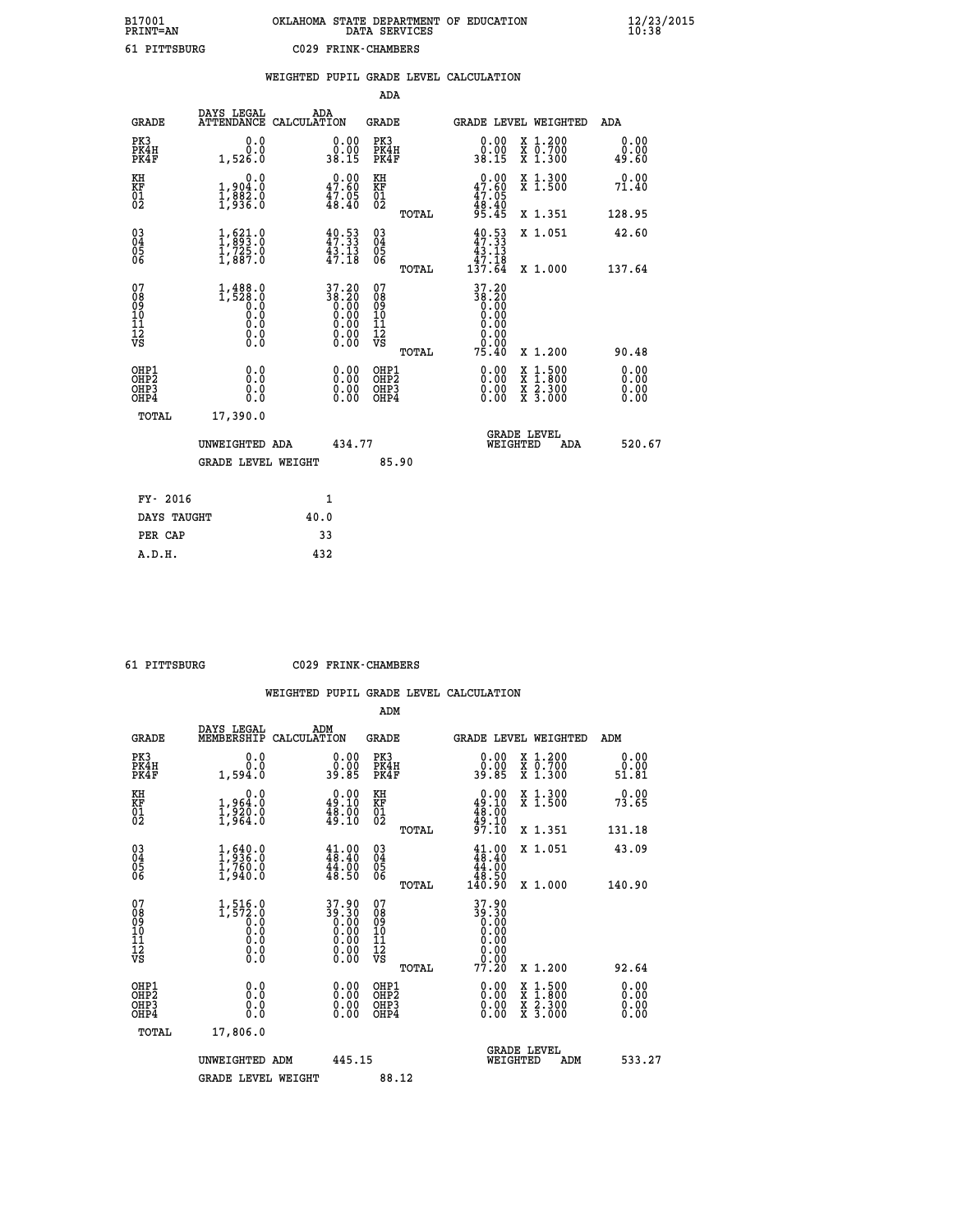## **B17001 OKLAHOMA STATE DEPARTMENT OF EDUCATION 12/23/2015 PRINT=AN DATA SERVICES 10:38 61 PITTSBURG C029 FRINK-CHAMBERS**

|                                        |                                                                                    |      |                                                                    |                                                     |       | WEIGHTED PUPIL GRADE LEVEL CALCULATION                                                                  |                                          |                              |
|----------------------------------------|------------------------------------------------------------------------------------|------|--------------------------------------------------------------------|-----------------------------------------------------|-------|---------------------------------------------------------------------------------------------------------|------------------------------------------|------------------------------|
|                                        |                                                                                    |      |                                                                    | ADA                                                 |       |                                                                                                         |                                          |                              |
| <b>GRADE</b>                           | DAYS LEGAL<br>ATTENDANCE CALCULATION                                               |      | ADA                                                                | <b>GRADE</b>                                        |       | GRADE LEVEL WEIGHTED                                                                                    |                                          | ADA                          |
| PK3<br>PK4H<br>PK4F                    | 0.0<br>0.0<br>1,526.0                                                              |      | $\begin{smallmatrix} 0.00\\ 0.00\\ 38.15 \end{smallmatrix}$        | PK3<br>PK4H<br>PK4F                                 |       | 0.00<br>0.00<br>38.15                                                                                   | X 1.200<br>X 0.700<br>X 1.300            | 0.00<br>0.00<br>49.60        |
| KH<br>KF<br>01<br>02                   | 0.0<br>1,904:0<br>1,882:0<br>1,936:0                                               |      | 47.60<br>$\frac{47.05}{48.40}$                                     | KH<br>KF<br>01<br>02                                |       | $\begin{smallmatrix} 0.00\\ 47.60\\ 47.05\\ 48.40 \end{smallmatrix}$                                    | X 1.300<br>X 1.500                       | 0.00<br>71.40                |
|                                        |                                                                                    |      |                                                                    |                                                     | TOTAL | 95.45                                                                                                   | X 1.351                                  | 128.95                       |
| 03<br>04<br>05<br>06                   | $\frac{1}{1}$ , $\begin{matrix} 621.0 \\ 993.0 \\ 1,725.0 \\ 1,887.0 \end{matrix}$ |      | $40.53$<br>$47.33$<br>$43.13$<br>$47.18$                           | $\begin{array}{c} 03 \\ 04 \\ 05 \\ 06 \end{array}$ |       | $49.53$<br>$47.33$<br>$43.13$                                                                           | X 1.051                                  | 42.60                        |
|                                        |                                                                                    |      |                                                                    |                                                     | TOTAL | 47.18<br>137.64                                                                                         | X 1.000                                  | 137.64                       |
| 07<br>08<br>09<br>11<br>11<br>12<br>VS | $1, 488.0$<br>1,528.0<br>0.0<br>0.0<br>0.0<br>$\S.$ $\S$                           |      | $37.20$<br>$38.20$<br>$0.00$<br>$0.00$<br>$0.00$<br>$0.00$<br>Ō.ŎŎ | 07<br>08<br>09<br>11<br>11<br>12<br>VS              | TOTAL | 37.20<br>$\begin{array}{c}\n 38.20 \\  0.00 \\  \hline\n 0.00\n \end{array}$<br>0.00<br>0.0000<br>75.40 | X 1.200                                  | 90.48                        |
| OHP1<br>OHP2<br>OHP3<br>OHP4           | 0.0<br>Ō.Ō<br>0.0<br>0.0                                                           |      | $\begin{smallmatrix} 0.00 \ 0.00 \ 0.00 \ 0.00 \end{smallmatrix}$  | OHP1<br>OHP <sub>2</sub><br>OHP3<br>OHP4            |       | 0.00<br>$0.00$<br>0.00                                                                                  | X 1:500<br>X 1:800<br>X 2:300<br>X 3:000 | 0.00<br>0.00<br>0.00<br>0.00 |
| TOTAL                                  | 17,390.0                                                                           |      |                                                                    |                                                     |       |                                                                                                         |                                          |                              |
|                                        | UNWEIGHTED ADA                                                                     |      | 434.77                                                             |                                                     |       | WEIGHTED                                                                                                | <b>GRADE LEVEL</b><br>ADA                | 520.67                       |
|                                        | <b>GRADE LEVEL WEIGHT</b>                                                          |      |                                                                    |                                                     | 85.90 |                                                                                                         |                                          |                              |
| FY- 2016                               |                                                                                    |      | 1                                                                  |                                                     |       |                                                                                                         |                                          |                              |
| DAYS TAUGHT                            |                                                                                    | 40.0 |                                                                    |                                                     |       |                                                                                                         |                                          |                              |
| PER CAP                                |                                                                                    |      | 33                                                                 |                                                     |       |                                                                                                         |                                          |                              |

 **A.D.H. 432**

 **61 PITTSBURG C029 FRINK-CHAMBERS**

|                                                       |                                                                             |                                                             | ADM                                                |                                                                                       |                                |                                          |                       |
|-------------------------------------------------------|-----------------------------------------------------------------------------|-------------------------------------------------------------|----------------------------------------------------|---------------------------------------------------------------------------------------|--------------------------------|------------------------------------------|-----------------------|
| <b>GRADE</b>                                          | DAYS LEGAL<br>MEMBERSHIP                                                    | ADM<br>CALCULATION                                          | <b>GRADE</b>                                       |                                                                                       |                                | <b>GRADE LEVEL WEIGHTED</b>              | ADM                   |
| PK3<br>PK4H<br>PK4F                                   | 0.0<br>0.0<br>1,594.0                                                       | $\begin{smallmatrix} 0.00\\ 0.00\\ 39.85 \end{smallmatrix}$ | PK3<br>PK4H<br>PK4F                                | $\begin{smallmatrix} 0.00\\ 0.00\\ 0.00\\ 0.85 \end{smallmatrix}$                     |                                | X 1.200<br>X 0.700<br>X 1.300            | 0.00<br>0.00<br>51.81 |
| KH<br>KF<br>01<br>02                                  | 0.0<br>1,964:0<br>1,920:0<br>1,964:0                                        | $0.00$<br>49.10<br>$\frac{1}{49}.00$                        | KH<br>KF<br>01<br>02                               | $\begin{smallmatrix} 0.00\\ 49.10\\ 48.00\\ 49.10\\ 97.10 \end{smallmatrix}$          |                                | X 1.300<br>X 1.500                       | 0.00<br>73.65         |
|                                                       |                                                                             |                                                             | TOTAL                                              |                                                                                       |                                | X 1.351                                  | 131.18                |
| 03<br>04<br>05<br>06                                  | $\frac{1}{1}$ , $\frac{640}{36}$ .0<br>$\frac{1}{1}$ , 760.0<br>$1$ , 940.0 | $41.00$<br>$48.40$<br>44.00<br>48.50                        | $\begin{matrix} 03 \\ 04 \\ 05 \\ 06 \end{matrix}$ | $41.00$<br>$48.40$<br>$\begin{smallmatrix} 14.700\\ 48.50\\ 140.90 \end{smallmatrix}$ |                                | X 1.051                                  | 43.09                 |
|                                                       |                                                                             |                                                             | TOTAL                                              |                                                                                       |                                | X 1.000                                  | 140.90                |
| 07<br>08<br>09<br>101<br>112<br>VS                    | $1, 516.0$<br>$0.572.0$<br>$0.0$<br>0.0<br>0.0<br>$\S.$                     | $37.9039.300.000.000.000.000.00$                            | 07<br>08<br>09<br>101<br>11<br>12<br>VS            | 37.90<br>39.30                                                                        |                                |                                          |                       |
|                                                       |                                                                             |                                                             | TOTAL                                              |                                                                                       |                                | X 1.200                                  | 92.64                 |
| OHP1<br>OHP2<br>OH <sub>P</sub> 3<br>OH <sub>P4</sub> | 0.0<br>0.000                                                                | $0.00$<br>$0.00$<br>0.00                                    | OHP1<br>OHP2<br>OHP <sub>3</sub>                   | $0.00$<br>$0.00$<br>0.00                                                              |                                | X 1:500<br>X 1:800<br>X 2:300<br>X 3:000 | 0.00<br>0.00<br>0.00  |
| TOTAL                                                 | 17,806.0                                                                    |                                                             |                                                    |                                                                                       |                                |                                          |                       |
|                                                       | UNWEIGHTED ADM                                                              | 445.15                                                      |                                                    |                                                                                       | <b>GRADE LEVEL</b><br>WEIGHTED | ADM                                      | 533.27                |
|                                                       | <b>GRADE LEVEL WEIGHT</b>                                                   |                                                             | 88.12                                              |                                                                                       |                                |                                          |                       |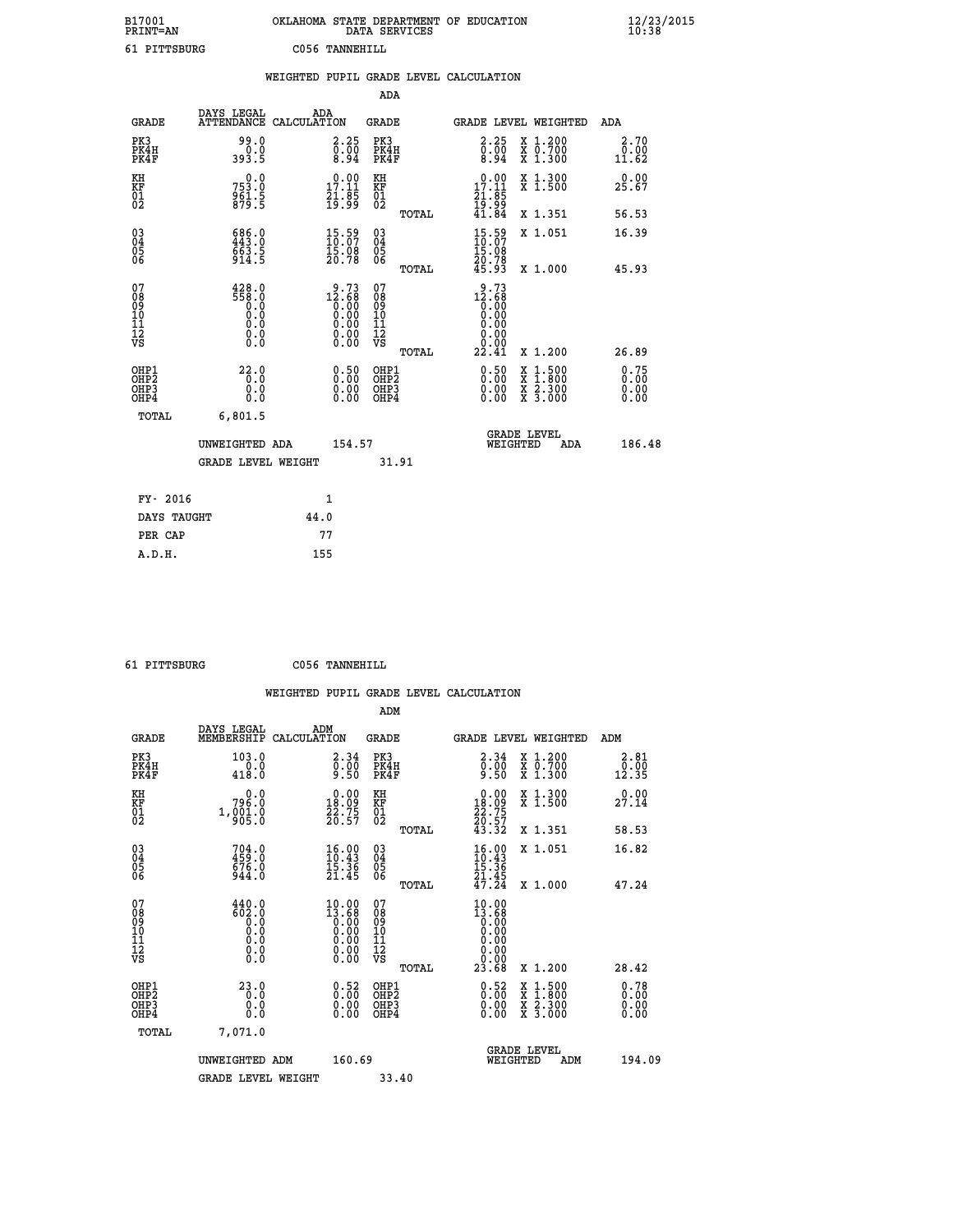| B17001<br><b>PRINT=AN</b> | OKLAHOMA STATE DEPARTMENT OF EDUCATION<br>DATA SERVICES | $\frac{12}{23}$ /2015 |
|---------------------------|---------------------------------------------------------|-----------------------|
| 61 PITTSBURG              | C056 TANNEHILL                                          |                       |

|                                                                    |                                                                                                                                                  |                    |                                                                                                                                             |                                        |       | WEIGHTED PUPIL GRADE LEVEL CALCULATION                                       |                                                                                                                                           |                       |
|--------------------------------------------------------------------|--------------------------------------------------------------------------------------------------------------------------------------------------|--------------------|---------------------------------------------------------------------------------------------------------------------------------------------|----------------------------------------|-------|------------------------------------------------------------------------------|-------------------------------------------------------------------------------------------------------------------------------------------|-----------------------|
|                                                                    |                                                                                                                                                  |                    |                                                                                                                                             | <b>ADA</b>                             |       |                                                                              |                                                                                                                                           |                       |
| <b>GRADE</b>                                                       | DAYS LEGAL<br><b>ATTENDANCE</b>                                                                                                                  | ADA<br>CALCULATION |                                                                                                                                             | <b>GRADE</b>                           |       |                                                                              | GRADE LEVEL WEIGHTED                                                                                                                      | ADA                   |
| PK3<br>PK4H<br>PK4F                                                | 99.0<br>393.5                                                                                                                                    |                    | $\begin{smallmatrix} 2.25\ 0.00\ 8.94 \end{smallmatrix}$                                                                                    | PK3<br>PK4H<br>PK4F                    |       | 2.25<br>$\begin{smallmatrix} 0.00 \\ 0.94 \end{smallmatrix}$                 | X 1.200<br>X 0.700<br>X 1.300                                                                                                             | 2.70<br>0.00<br>11.62 |
| KH<br>KF<br>01<br>02                                               | 0.0<br>753.0<br>961.5<br>879.5                                                                                                                   |                    | $\begin{smallmatrix} 0.00\\ 17.11\\ 21.85\\ 19.99 \end{smallmatrix}$                                                                        | KH<br>KF<br>01<br>02                   |       | $\begin{smallmatrix} 0.00\\ 17.11\\ 21.85\\ 19.99\\ 41.84 \end{smallmatrix}$ | X 1.300<br>X 1.500                                                                                                                        | 0.00<br>25.67         |
|                                                                    |                                                                                                                                                  |                    |                                                                                                                                             |                                        | TOTAL |                                                                              | X 1.351                                                                                                                                   | 56.53                 |
| $\begin{smallmatrix} 03 \\[-4pt] 04 \end{smallmatrix}$<br>Ŏ5<br>06 | $686.0$<br>$443.0$<br>$\frac{663.5}{914.5}$                                                                                                      |                    | $\begin{smallmatrix} 15.59\ 10.07\ 15.08\ 20.78 \end{smallmatrix}$                                                                          | $\substack{03 \\ 04}$<br>Ŏ5<br>06      |       | $15:59$<br>$10:07$<br>$\frac{15.08}{20.78}$<br>45.93                         | X 1.051                                                                                                                                   | 16.39                 |
|                                                                    |                                                                                                                                                  |                    |                                                                                                                                             |                                        | TOTAL |                                                                              | X 1.000                                                                                                                                   | 45.93                 |
| 07<br>0890112<br>1112<br>VS                                        | $\begin{smallmatrix} 4\,2\,8\cdot\,0\\ 5\,5\,8\cdot\,0\\ 0\cdot\,0\\ 0\cdot\,0\\ 0\cdot\,0\\ 0\cdot\,0\\ 0\cdot\,0\\ 0\cdot\,0\end{smallmatrix}$ |                    | $\begin{smallmatrix} 9 & .73 \\ 12 & .68 \\ 0 & .00 \\ 0 & .00 \\ 0 & .00 \\ 0 & .00 \\ 0 & .00 \\ 0 & .00 \\ 0 & .00 \\ \end{smallmatrix}$ | 07<br>08<br>09<br>11<br>11<br>12<br>VS | TOTAL | $12.68$<br>$0.00$<br>$0.00$<br>0.00<br>0.00<br>22.41                         | X 1.200                                                                                                                                   | 26.89                 |
| OHP1<br>OHP2<br>OH <sub>P3</sub><br>OH <sub>P4</sub>               | 22.0<br>0.0<br>0.0<br>0.0                                                                                                                        |                    | 0.50<br>$\begin{smallmatrix} 0.00 \ 0.00 \end{smallmatrix}$                                                                                 | OHP1<br>OHP2<br>OHP3<br>OHP4           |       | $\begin{smallmatrix} 0.50 \ 0.00 \ 0.00 \end{smallmatrix}$                   | $\begin{smallmatrix} \mathtt{X} & 1\cdot500\\ \mathtt{X} & 1\cdot800\\ \mathtt{X} & 2\cdot300\\ \mathtt{X} & 3\cdot000 \end{smallmatrix}$ | 0.75<br>0.00<br>0.00  |
| TOTAL                                                              | 6,801.5                                                                                                                                          |                    |                                                                                                                                             |                                        |       |                                                                              |                                                                                                                                           |                       |
|                                                                    | UNWEIGHTED ADA                                                                                                                                   |                    | 154.57                                                                                                                                      |                                        |       | WEIGHTED                                                                     | <b>GRADE LEVEL</b><br>ADA                                                                                                                 | 186.48                |
|                                                                    | <b>GRADE LEVEL WEIGHT</b>                                                                                                                        |                    |                                                                                                                                             | 31.91                                  |       |                                                                              |                                                                                                                                           |                       |
| FY- 2016                                                           |                                                                                                                                                  | $\mathbf{1}$       |                                                                                                                                             |                                        |       |                                                                              |                                                                                                                                           |                       |
| DAYS TAUGHT                                                        |                                                                                                                                                  | 44.0               |                                                                                                                                             |                                        |       |                                                                              |                                                                                                                                           |                       |
| PER CAP                                                            |                                                                                                                                                  | 77                 |                                                                                                                                             |                                        |       |                                                                              |                                                                                                                                           |                       |

 **61 PITTSBURG C056 TANNEHILL**

|                                                                      |                                                                                                  |                                                                        |                                                     | WEIGHTED PUPIL GRADE LEVEL CALCULATION                                                       |                                          |                                              |
|----------------------------------------------------------------------|--------------------------------------------------------------------------------------------------|------------------------------------------------------------------------|-----------------------------------------------------|----------------------------------------------------------------------------------------------|------------------------------------------|----------------------------------------------|
|                                                                      |                                                                                                  |                                                                        | ADM                                                 |                                                                                              |                                          |                                              |
| <b>GRADE</b>                                                         | DAYS LEGAL<br>MEMBERSHIP                                                                         | ADM<br>CALCULATION                                                     | <b>GRADE</b>                                        | <b>GRADE LEVEL WEIGHTED</b>                                                                  |                                          | ADM                                          |
| PK3<br>PK4H<br>PK4F                                                  | 103.0<br>$\frac{0.0}{418.0}$                                                                     | $\begin{smallmatrix} 2.34\ 0.00\ 9.50 \end{smallmatrix}$               | PK3<br>PK4H<br>PK4F                                 | 2.34<br>$\frac{0.00}{9.50}$                                                                  | X 1.200<br>X 0.700<br>X 1.300            | 2.81<br>$\bar{0}.\bar{0}\bar{0}\overline{1}$ |
| KH<br>KF<br>01<br>02                                                 | 796.0<br>1, 001.0                                                                                | $\begin{smallmatrix} 0.00\\18.09\\22.75\\20.57 \end{smallmatrix}$      | KH<br>KF<br>01<br>02                                | $\begin{smallmatrix} 0.00\\18.09\\22.75\\20.57\\43.32 \end{smallmatrix}$                     | X 1.300<br>X 1.500                       | 0.00<br>27.14                                |
|                                                                      |                                                                                                  |                                                                        | TOTAL                                               |                                                                                              | X 1.351                                  | 58.53                                        |
| $\begin{matrix} 03 \\ 04 \\ 05 \\ 06 \end{matrix}$                   | $704.0$<br>$459.0$<br>$676.0$<br>$944.0$                                                         | $\frac{16.00}{10.43}$<br>$\frac{15.36}{15.36}$<br>21.45                | $\begin{array}{c} 03 \\ 04 \\ 05 \\ 06 \end{array}$ | $\frac{16.00}{10.43}$<br>$\frac{15.36}{21.45}$<br>$\frac{45}{47.24}$                         | X 1.051                                  | 16.82                                        |
|                                                                      |                                                                                                  |                                                                        | TOTAL                                               |                                                                                              | X 1.000                                  | 47.24                                        |
| 07<br>08<br>09<br>11<br>11<br>12<br>VS                               | $440.0$<br>$602.0$<br>$0.0$<br>$0.0$<br>$\begin{smallmatrix} 0.16 \ 0.0 \ 0.0 \end{smallmatrix}$ | $\begin{smallmatrix} 10.00 \\ 13.68 \\ 0.00 \\ 0.00 \end{smallmatrix}$ | 07<br>08<br>09<br>11<br>11<br>12<br>VS<br>TOTAL     | 10.00<br>$\begin{smallmatrix} 13.68 \\[-4pt] 0.00\end{smallmatrix}$<br>0.00<br>0.00<br>23.68 | X 1.200                                  | 28.42                                        |
| OHP1                                                                 | 23.0                                                                                             |                                                                        |                                                     |                                                                                              |                                          |                                              |
| OH <sub>P</sub> <sub>2</sub><br>OH <sub>P3</sub><br>OH <sub>P4</sub> | 0.0<br>0.0<br>0.0                                                                                | $\begin{smallmatrix} 0.52\ 0.00\ 0.00 \end{smallmatrix}$               | OHP1<br>OHP2<br>OHP3<br>OHP4                        | $\begin{smallmatrix} 0.52\ 0.00\ 0.00 \end{smallmatrix}$                                     | X 1:500<br>X 1:800<br>X 2:300<br>X 3:000 | $0.78$<br>$0.00$<br>0.00<br>0.00             |
| TOTAL                                                                | 7,071.0                                                                                          |                                                                        |                                                     |                                                                                              |                                          |                                              |
|                                                                      | UNWEIGHTED ADM                                                                                   | 160.69                                                                 |                                                     | <b>GRADE LEVEL</b><br>WEIGHTED                                                               | ADM                                      | 194.09                                       |
|                                                                      | <b>GRADE LEVEL WEIGHT</b>                                                                        |                                                                        | 33.40                                               |                                                                                              |                                          |                                              |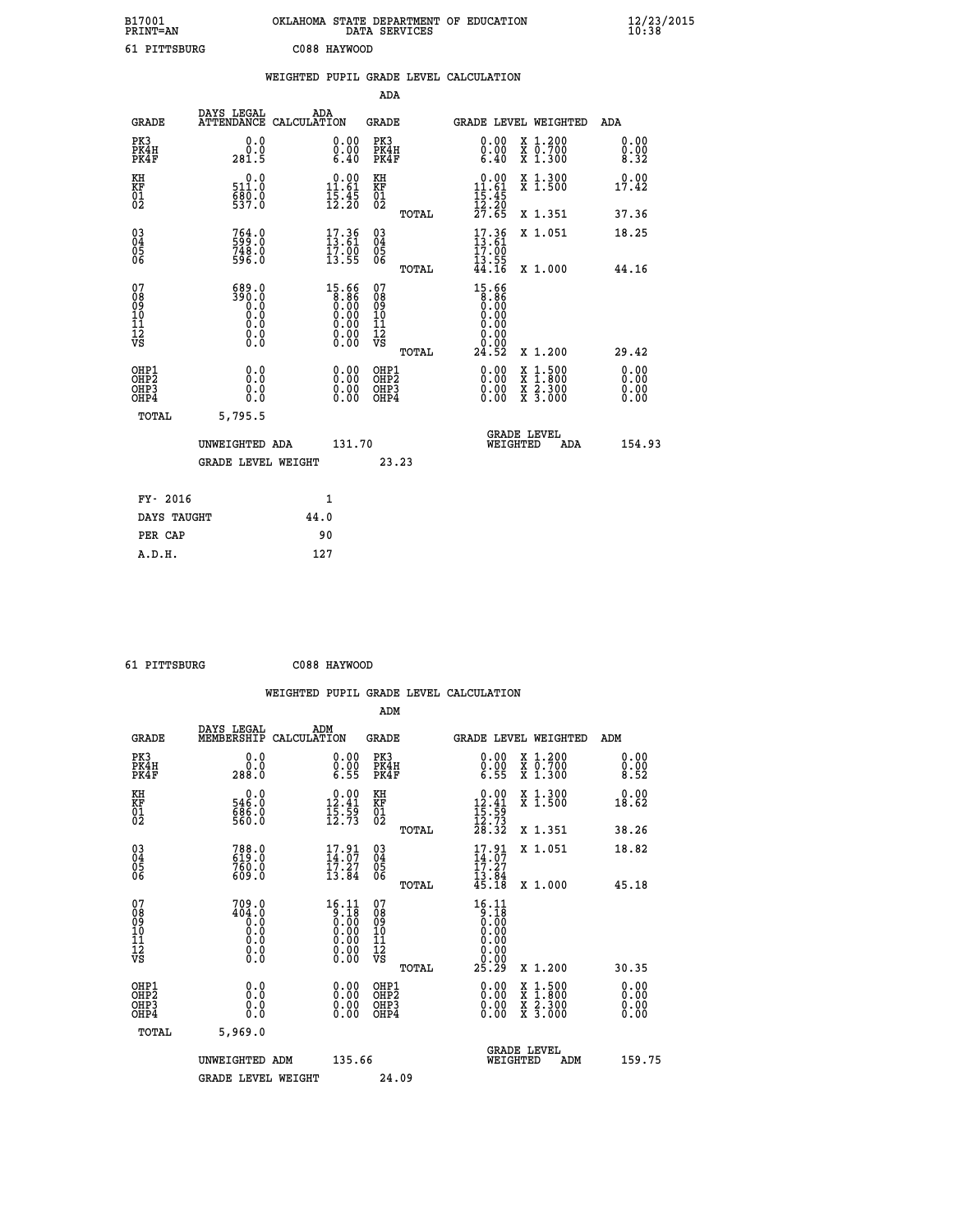| B17001<br><b>PRINT=AN</b> | OKLAHOMA STATE DEPARTMENT OF EDUCATION<br>DATA SERVICES |  |
|---------------------------|---------------------------------------------------------|--|
| 61 PITTSBURG              | C088 HAYWOOD                                            |  |

|                                                    |                                                | WEIGHTED PUPIL GRADE LEVEL CALCULATION                               |                                                 |                                                                        |                                                                                                  |                      |
|----------------------------------------------------|------------------------------------------------|----------------------------------------------------------------------|-------------------------------------------------|------------------------------------------------------------------------|--------------------------------------------------------------------------------------------------|----------------------|
|                                                    |                                                |                                                                      | ADA                                             |                                                                        |                                                                                                  |                      |
| <b>GRADE</b>                                       | DAYS LEGAL                                     | ADA<br>ATTENDANCE CALCULATION                                        | <b>GRADE</b>                                    |                                                                        | GRADE LEVEL WEIGHTED                                                                             | ADA                  |
| PK3<br>PK4H<br>PK4F                                | 0.0<br>0.0<br>281.5                            | 0.00<br>$\begin{smallmatrix} 0.00 \ 6.40 \end{smallmatrix}$          | PK3<br>PK4H<br>PK4F                             | 0.00<br>0.00<br>6.40                                                   | X 1.200<br>X 0.700<br>X 1.300                                                                    | 0.00<br>0.00<br>8.32 |
| KH<br>KF<br>01<br>02                               | 0.0<br>511.0<br>680.0                          | $\begin{smallmatrix} 0.00\\ 11.61\\ 15.45\\ 12.20 \end{smallmatrix}$ | KH<br>KF<br>01<br>02                            | $\frac{0.00}{11.61}$<br>$\frac{15.45}{12.20}$<br>$\frac{27.65}{27.65}$ | X 1.300<br>X 1.500                                                                               | 0.00<br>17.42        |
|                                                    |                                                |                                                                      | TOTAL                                           |                                                                        | X 1.351                                                                                          | 37.36                |
| $\begin{matrix} 03 \\ 04 \\ 05 \\ 06 \end{matrix}$ | 764.0<br>599.0<br>748.0<br>596.0               | $17.36$<br>$13.61$<br>$\frac{17.00}{13.55}$                          | $\substack{03 \\ 04}$<br>05<br>06               | 17.36<br>13.61<br>17.00<br>13.55                                       | X 1.051                                                                                          | 18.25                |
|                                                    |                                                |                                                                      | TOTAL                                           | 44.16                                                                  | X 1.000                                                                                          | 44.16                |
| 07<br>08<br>09<br>101<br>112<br>VS                 | 689.0<br>$\frac{390.0}{0.0}$<br>0.000<br>$\S.$ | $15.66\n8.86\n0.00\n0.00\n0.00\n0.00\n0.00$                          | 07<br>08<br>09<br>11<br>11<br>12<br>VS<br>TOTAL | 15.66<br>8.86<br>0.00<br>0.00<br>0.00<br>0.00<br>Ŏ.ŌŌ<br>24.52         | X 1.200                                                                                          | 29.42                |
| OHP1<br>OHP2<br>OHP3<br>OHP4                       | 0.0<br>0.0<br>0.0                              | 0.00<br>0.00                                                         | OHP1<br>OHP2<br>OHP3<br>OHP4                    | 0.00<br>0.00<br>0.00                                                   | $\begin{smallmatrix} x & 1 & 500 \\ x & 1 & 800 \\ x & 2 & 300 \\ x & 3 & 000 \end{smallmatrix}$ | 0.00<br>0.00<br>0.00 |
| <b>TOTAL</b>                                       | 5,795.5                                        |                                                                      |                                                 |                                                                        |                                                                                                  |                      |
|                                                    | UNWEIGHTED ADA                                 | 131.70                                                               |                                                 |                                                                        | <b>GRADE LEVEL</b><br>WEIGHTED<br>ADA                                                            | 154.93               |
|                                                    | GRADE LEVEL WEIGHT                             |                                                                      | 23.23                                           |                                                                        |                                                                                                  |                      |
| FY- 2016                                           |                                                | 1                                                                    |                                                 |                                                                        |                                                                                                  |                      |
| DAYS TAUGHT                                        |                                                | 44.0                                                                 |                                                 |                                                                        |                                                                                                  |                      |
| PER CAP                                            |                                                | 90                                                                   |                                                 |                                                                        |                                                                                                  |                      |

| - - | -------- |
|-----|----------|

 **A.D.H. 127**

 **61 PITTSBURG C088 HAYWOOD**

|                                                      |                                                                                                                              |                    |                                                                                                                       |                                                     |       | WEIGHTED PUPIL GRADE LEVEL CALCULATION                                  |                                          |                              |  |
|------------------------------------------------------|------------------------------------------------------------------------------------------------------------------------------|--------------------|-----------------------------------------------------------------------------------------------------------------------|-----------------------------------------------------|-------|-------------------------------------------------------------------------|------------------------------------------|------------------------------|--|
|                                                      |                                                                                                                              |                    |                                                                                                                       | ADM                                                 |       |                                                                         |                                          |                              |  |
| <b>GRADE</b>                                         | DAYS LEGAL<br>MEMBERSHIP                                                                                                     | ADM<br>CALCULATION |                                                                                                                       | <b>GRADE</b>                                        |       | GRADE LEVEL WEIGHTED                                                    |                                          | ADM                          |  |
| PK3<br>PK4H<br>PK4F                                  | 0.0<br>0.0<br>288.0                                                                                                          |                    | $0.00$<br>$0.00$<br>$6.55$                                                                                            | PK3<br>PK4H<br>PK4F                                 |       | $0.00$<br>$0.00$<br>$6.55$                                              | X 1.200<br>X 0.700<br>X 1.300            | 0.00<br>$\frac{0.00}{8.52}$  |  |
| KH<br>KF<br>01<br>02                                 | $\begin{smallmatrix} &0.0\546.0\686.0\560.0\end{smallmatrix}$                                                                |                    | $\begin{array}{c} 0.00 \\[-4pt] 12.41 \\[-4pt] 15.59 \\[-4pt] 12.73 \end{array}$                                      | KH<br>KF<br>01<br>02                                |       | $\begin{array}{r} 0.00 \\ 12.41 \\ 15.59 \\ 12.73 \\ 28.32 \end{array}$ | X 1.300<br>X 1.500                       | 0.00<br>18.62                |  |
|                                                      |                                                                                                                              |                    |                                                                                                                       |                                                     | TOTAL |                                                                         | X 1.351                                  | 38.26                        |  |
| $\begin{matrix} 03 \\ 04 \\ 05 \\ 06 \end{matrix}$   | 788.0<br>619.0<br>760.0<br>609.0                                                                                             |                    | $17.91$<br>$14.07$<br>$17.27$<br>$13.84$                                                                              | $\begin{array}{c} 03 \\ 04 \\ 05 \\ 06 \end{array}$ |       | $17.91$<br>$14.07$<br>$17.27$<br>$13.84$<br>$45.18$                     | X 1.051                                  | 18.82                        |  |
|                                                      |                                                                                                                              |                    |                                                                                                                       |                                                     | TOTAL |                                                                         | X 1.000                                  | 45.18                        |  |
| 07<br>0890112<br>1112<br>VS                          | 709.0<br>404.0<br>$\begin{smallmatrix} \vec{0} \ \vec{0} \ \vec{0} \ \vec{0} \ \vec{0} \ \vec{0} \end{smallmatrix}$<br>$\S.$ |                    | $16.11$<br>$0.18$<br>$0.00$<br>$0.00$<br>$0.00$<br>$\begin{smallmatrix} 0.00 & 0.00 \\ 0.00 & 0.00 \end{smallmatrix}$ | 07<br>08<br>09<br>11<br>11<br>12<br>VS              |       | $16.11$<br>$0.18$<br>$0.00$<br>$0.00$<br>$0.00$<br>0.00<br>25.29        | X 1.200                                  | 30.35                        |  |
|                                                      |                                                                                                                              |                    |                                                                                                                       |                                                     | TOTAL |                                                                         |                                          |                              |  |
| OHP1<br>OHP <sub>2</sub><br>OH <sub>P3</sub><br>OHP4 | 0.0<br>0.000                                                                                                                 |                    | $0.00$<br>$0.00$<br>0.00                                                                                              | OHP1<br>OHP <sub>2</sub><br>OHP <sub>3</sub>        |       | 0.00<br>0.00<br>0.00                                                    | X 1:500<br>X 1:800<br>X 2:300<br>X 3:000 | 0.00<br>0.00<br>0.00<br>0.00 |  |
| TOTAL                                                | 5,969.0                                                                                                                      |                    |                                                                                                                       |                                                     |       |                                                                         |                                          |                              |  |
|                                                      | UNWEIGHTED ADM                                                                                                               |                    | 135.66                                                                                                                |                                                     |       | WEIGHTED                                                                | <b>GRADE LEVEL</b><br>ADM                | 159.75                       |  |
|                                                      | <b>GRADE LEVEL WEIGHT</b>                                                                                                    |                    |                                                                                                                       | 24.09                                               |       |                                                                         |                                          |                              |  |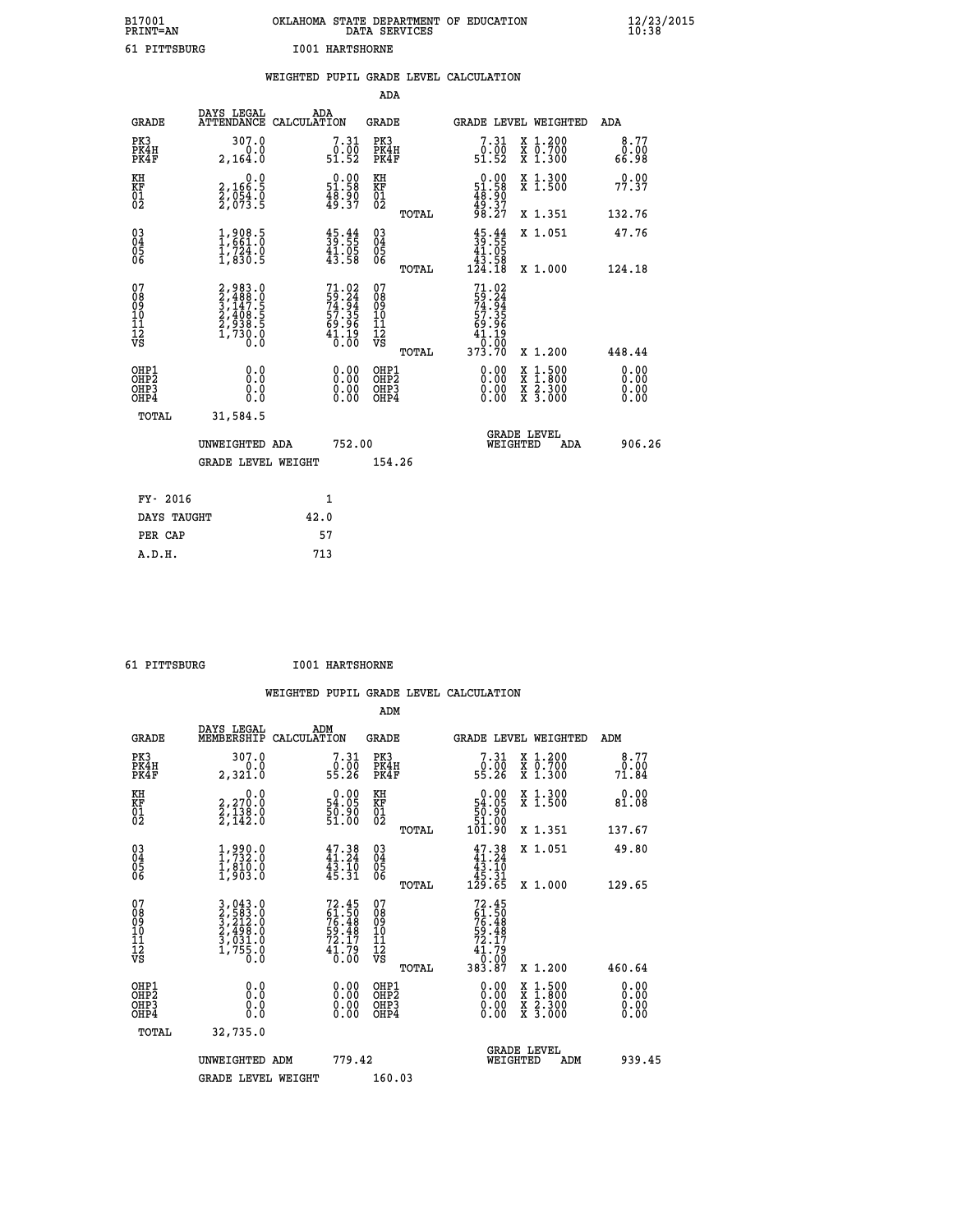| B17001<br><b>PRINT=AN</b> | OKLAHOMA STATE DEPARTMENT OF EDUCATION<br>DATA SERVICES | $\frac{12}{23}$ /2015 |
|---------------------------|---------------------------------------------------------|-----------------------|
| 61 PITTSBURG              | <b>I001 HARTSHORNE</b>                                  |                       |

|                                           |                                                                                                                   | WEIGHTED PUPIL GRADE LEVEL CALCULATION                                 |                                                     |                                                                                                    |                              |
|-------------------------------------------|-------------------------------------------------------------------------------------------------------------------|------------------------------------------------------------------------|-----------------------------------------------------|----------------------------------------------------------------------------------------------------|------------------------------|
|                                           |                                                                                                                   |                                                                        | ADA                                                 |                                                                                                    |                              |
| <b>GRADE</b>                              | DAYS LEGAL                                                                                                        | ADA<br>ATTENDANCE CALCULATION                                          | <b>GRADE</b>                                        | GRADE LEVEL WEIGHTED                                                                               | ADA                          |
| PK3<br>PK4H<br>PK4F                       | 307.0<br>0.0<br>2,164.0                                                                                           | 7.31<br>$\begin{smallmatrix}0.00\0.51.52\end{smallmatrix}$             | PK3<br>PK4H<br>PK4F                                 | 7.31<br>X 1.200<br>X 0.700<br>X 1.300                                                              | 8.77<br>0.00<br>66.98        |
| KH<br><b>KF</b><br>01<br>02               | $\begin{smallmatrix}&&&0.0\\2,166.5\\2,054.0\\2,073.5\end{smallmatrix}$                                           | $\begin{smallmatrix} 0.00\\ 51.58\\ 48.90\\ 49.37 \end{smallmatrix}$   | KH<br>KF<br>01<br>02                                | X 1.300<br>X 1.500<br>$\begin{smallmatrix} 0.00\\ 51.58\\ 48.90\\ 49.37\\ 98.27 \end{smallmatrix}$ | 0.00<br>77.37                |
|                                           |                                                                                                                   |                                                                        | TOTAL                                               | X 1.351                                                                                            | 132.76                       |
| 03<br>04<br>05<br>06                      | 1,908.5<br>$\frac{1}{2}, \frac{7}{2}\frac{3}{4}\frac{3}{5}$                                                       | $\begin{smallmatrix} 45.44\ 39.55\ 41.05\ 43.58 \end{smallmatrix}$     | $\begin{array}{c} 03 \\ 04 \\ 05 \\ 06 \end{array}$ | $45.44$<br>$39.55$<br>$41.05$<br>$43.58$<br>X 1.051                                                | 47.76                        |
|                                           |                                                                                                                   |                                                                        | TOTAL                                               | 124.18<br>X 1.000                                                                                  | 124.18                       |
| 07<br>08<br>09<br>101<br>11<br>12<br>VS   | $\begin{smallmatrix} 2,983.0\\ 2,488.0\\ 3,147.5\\ 3,147.5\\ 2,408.5\\ 2,938.5\\ 1,730.0\\ 0.0 \end{smallmatrix}$ | $71.02$<br>59.24<br>74.94<br>77.35<br>57.35<br>69.96<br>41.19<br>40.00 | 07<br>08<br>09<br>101<br>11<br>12<br>VS<br>TOTAL    | $71.02$<br>$59.24$<br>$74.94$<br>$57.35$<br>$69.96$<br>$41.19$<br>10:00<br>373.70<br>X 1.200       | 448.44                       |
| OHP1<br>OH <sub>P</sub> 2<br>OHP3<br>OHP4 | 0.0<br>0.0<br>0.0                                                                                                 | 0.00<br>$0.00$<br>0.00                                                 | OHP1<br>OHP2<br>OHP3<br>OHP4                        | 0.00<br>$1:500$<br>$1:800$<br>X<br>X<br>$\frac{x}{x}$ $\frac{5:300}{3:000}$<br>0.00<br>0.00        | 0.00<br>0.00<br>0.00<br>0.00 |
| <b>TOTAL</b>                              | 31,584.5                                                                                                          |                                                                        |                                                     |                                                                                                    |                              |
|                                           | UNWEIGHTED ADA                                                                                                    | 752.00                                                                 |                                                     | <b>GRADE LEVEL</b><br>WEIGHTED<br><b>ADA</b>                                                       | 906.26                       |
|                                           | <b>GRADE LEVEL WEIGHT</b>                                                                                         |                                                                        | 154.26                                              |                                                                                                    |                              |
| FY- 2016                                  |                                                                                                                   | $\mathbf{1}$                                                           |                                                     |                                                                                                    |                              |
|                                           | DAYS TAUGHT                                                                                                       | 42.0                                                                   |                                                     |                                                                                                    |                              |
| PER CAP                                   |                                                                                                                   | 57                                                                     |                                                     |                                                                                                    |                              |

 **61 PITTSBURG I001 HARTSHORNE**

 **WEIGHTED PUPIL GRADE LEVEL CALCULATION ADM DAYS LEGAL ADM GRADE MEMBERSHIP CALCULATION GRADE GRADE LEVEL WEIGHTED ADM PK3 307.0 7.31 PK3 7.31 X 1.200 8.77 PK4H 0.0 0.00 PK4H 0.00 X 0.700 0.00 PK4F 2,321.0 55.26 PK4F 55.26 X 1.300 71.84 KH 0.0 0.00 KH 0.00 X 1.300 0.00 KF 2,270.0 54.05 KF 54.05 X 1.500 81.08 01 2,138.0 50.90 01 50.90 02 2,142.0 51.00 02 51.00 TOTAL 101.90 X 1.351 137.67 03 1,990.0 47.38 03 47.38 X 1.051 49.80 04 1,732.0 41.24 04 41.24 05 1,810.0 43.10 05 43.10 06 1,903.0 45.31 06 45.31 TOTAL 129.65 X 1.000 129.65**  $\begin{array}{cccc} 07 & 3\,, 043\,.0 & 72\,.45 & 07 & 72\,.45\,08 & 2\,, 583\,.0 & 61\,.50 & 61\,.09 & 76\,.48 & 09 & 61\,.48\,.09 & 76\,.498\,.0 & 59\,.48 & 10 & 59\,.48\,.0 & 76\,.48 & 10 & 59\,.48\,.0 & 76\,.48 & 10 & 59\,.48\,.0 & 72\,.17\,.17\,.17\,.17\,.17\,.17\,.17\,.17\,.17\$  $\begin{array}{cccc} 72.45 & 07 & 72.45 & 102.45 & 07 & 72.45 & 08 & 61.50 & 76.48 & 09 & 76.48 & 01 & 76.48 & 01 & 76.48 & 01 & 76.48 & 01 & 76.48 & 01 & 76.48 & 01 & 72.41 & 79 & 41.79 & 41.79 & 41.79 & 41.79 & 41.79 & 0.00 & 01 & 0 & 01 & 0 & 01 & 01 & 01 & 01 & 01 & 0$  **OHP1 0.0 0.00 OHP1 0.00 X 1.500 0.00 OHP2 0.0 0.00 OHP2 0.00 X 1.800 0.00 OHP3 0.0 0.00 OHP3 0.00 X 2.300 0.00 OHP4 0.0 0.00 OHP4 0.00 X 3.000 0.00 TOTAL 32,735.0** UNWEIGHTED ADM 779.42  **UNWEIGHTED ADM 779.42 WEIGHTED ADM 939.45 GRADE LEVEL WEIGHT 160.03**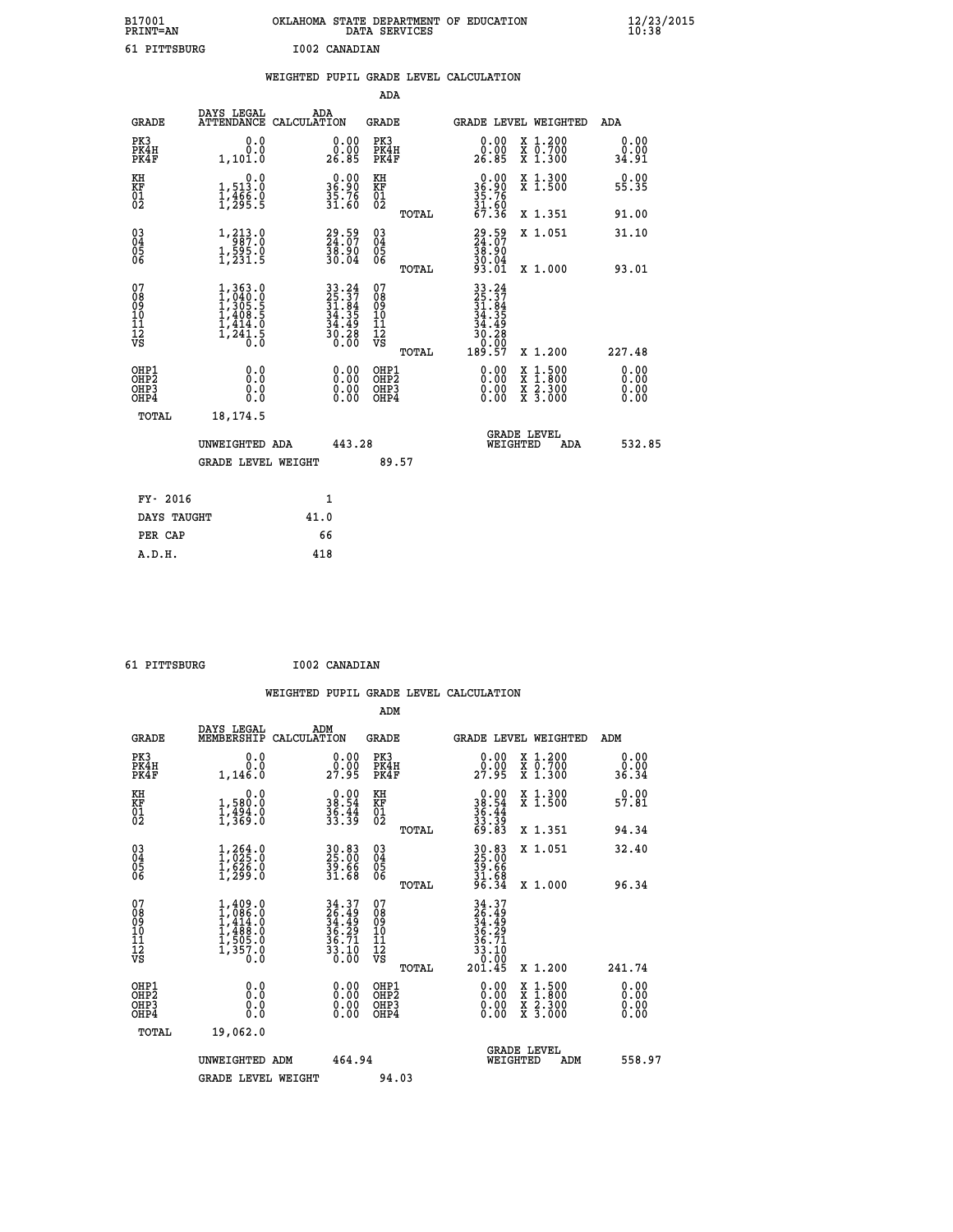| B17001          | OKLAHOMA STATE DEPARTMENT OF EDUCATION |
|-----------------|----------------------------------------|
| <b>PRINT=AN</b> | DATA SERVICES                          |
| 61 PITTSBURG    | I002 CANADIAN                          |

|                                          |                                                                                                         | WEIGHTED PUPIL GRADE LEVEL CALCULATION                                   |                                         |       |                                                                                                                        |                                                                                                                                      |                       |
|------------------------------------------|---------------------------------------------------------------------------------------------------------|--------------------------------------------------------------------------|-----------------------------------------|-------|------------------------------------------------------------------------------------------------------------------------|--------------------------------------------------------------------------------------------------------------------------------------|-----------------------|
|                                          |                                                                                                         |                                                                          | <b>ADA</b>                              |       |                                                                                                                        |                                                                                                                                      |                       |
| <b>GRADE</b>                             | DAYS LEGAL<br><b>ATTENDANCE</b>                                                                         | ADA<br>CALCULATION                                                       | <b>GRADE</b>                            |       |                                                                                                                        | GRADE LEVEL WEIGHTED                                                                                                                 | ADA                   |
| PK3<br>PK4H<br>PK4F                      | 0.0<br>0.0<br>1,101.0                                                                                   | $\begin{smallmatrix} 0.00\\ 0.00\\ 26.85 \end{smallmatrix}$              | PK3<br>PK4H<br>PK4F                     |       | 0.00<br>ŏ:ŏŏ<br>26.85                                                                                                  | X 1.200<br>X 0.700<br>X 1.300                                                                                                        | 0.00<br>0.00<br>34.91 |
| KH<br>KF<br>01<br>02                     | 0.0<br>1,513.0<br>1,466.0<br>1,295.5                                                                    | $36.90$<br>$35.76$<br>$31.60$                                            | KH<br>KF<br>01<br>02                    |       | $36.90$<br>$35.76$<br>$31.60$<br>$67.36$                                                                               | X 1.300<br>X 1.500                                                                                                                   | 0.00<br>55.35         |
|                                          |                                                                                                         |                                                                          |                                         | TOTAL |                                                                                                                        | X 1.351                                                                                                                              | 91.00                 |
| $^{03}_{04}$<br>Ŏ5<br>06                 | 1, 213.0<br>$1, \frac{5}{9}$ $\frac{5}{1}$ $\frac{5}{2}$ $\frac{3}{1}$ $\frac{5}{5}$                    | $\begin{smallmatrix} 29.59\ 24.07\ 38.90\ 30.04\ \end{smallmatrix}$      | $\substack{03 \\ 04}$<br>Ŏ5<br>06       |       | 29.59<br>24.07<br>38.90<br>30.04<br>30.04<br>93.01                                                                     | X 1.051                                                                                                                              | 31.10                 |
|                                          |                                                                                                         |                                                                          |                                         | TOTAL |                                                                                                                        | X 1.000                                                                                                                              | 93.01                 |
| 07<br>08<br>09<br>11<br>11<br>12<br>VS   | $\begin{smallmatrix} 1,363.0\\ 1,040.0\\ 1,305.5\\ 1,408.5\\ 1,414.0\\ 1,241.5\\ 0.0 \end{smallmatrix}$ | $33.24$<br>$25.37$<br>$31.84$<br>$34.35$<br>$34.49$<br>$30.28$<br>$0.00$ | 07<br>08<br>09<br>101<br>11<br>12<br>VS | TOTAL | $\begin{smallmatrix} 33 & 24 \\ 25 & 37 \\ 31 & 84 \\ 34 & 359 \\ 34 & 498 \\ 30 & 280 \\ 0 & 0 & 0 \end{smallmatrix}$ | X 1.200                                                                                                                              | 227.48                |
| OHP1<br>OHP2<br>OH <sub>P3</sub><br>OHP4 | 0.0<br>0.0<br>Ō.Ō                                                                                       | 0.00<br>$\begin{smallmatrix} 0.00 \ 0.00 \end{smallmatrix}$              | OHP1<br>OHP2<br>OHP3<br>OHP4            |       | 0.00<br>0.00<br>0.00                                                                                                   | $\begin{smallmatrix} \mathtt{X} & 1 & 500 \\ \mathtt{X} & 1 & 800 \\ \mathtt{X} & 2 & 300 \\ \mathtt{X} & 3 & 000 \end{smallmatrix}$ | 0.00<br>0.00<br>0.00  |
| TOTAL                                    | 18, 174.5                                                                                               |                                                                          |                                         |       |                                                                                                                        |                                                                                                                                      |                       |
|                                          | UNWEIGHTED ADA                                                                                          | 443.28                                                                   |                                         |       | WEIGHTED                                                                                                               | <b>GRADE LEVEL</b><br>ADA                                                                                                            | 532.85                |
|                                          | <b>GRADE LEVEL WEIGHT</b>                                                                               |                                                                          | 89.57                                   |       |                                                                                                                        |                                                                                                                                      |                       |
| FY- 2016                                 |                                                                                                         | $\mathbf{1}$                                                             |                                         |       |                                                                                                                        |                                                                                                                                      |                       |
| DAYS TAUGHT                              |                                                                                                         | 41.0                                                                     |                                         |       |                                                                                                                        |                                                                                                                                      |                       |
| PER CAP                                  |                                                                                                         | 66                                                                       |                                         |       |                                                                                                                        |                                                                                                                                      |                       |

 **61 PITTSBURG I002 CANADIAN**

 **A.D.H. 418**

| AT PILLRRANG                                         |                                                                                     |             | <b>IUUZ CANADIAN</b>                                                 |                                                     |       |                                                                                                                                                                                                                                                                                |                                          |                              |  |
|------------------------------------------------------|-------------------------------------------------------------------------------------|-------------|----------------------------------------------------------------------|-----------------------------------------------------|-------|--------------------------------------------------------------------------------------------------------------------------------------------------------------------------------------------------------------------------------------------------------------------------------|------------------------------------------|------------------------------|--|
|                                                      |                                                                                     |             |                                                                      |                                                     |       | WEIGHTED PUPIL GRADE LEVEL CALCULATION                                                                                                                                                                                                                                         |                                          |                              |  |
|                                                      |                                                                                     |             |                                                                      | ADM                                                 |       |                                                                                                                                                                                                                                                                                |                                          |                              |  |
| <b>GRADE</b>                                         | DAYS LEGAL<br>MEMBERSHIP                                                            | CALCULATION | ADM                                                                  | <b>GRADE</b>                                        |       | <b>GRADE LEVEL WEIGHTED</b>                                                                                                                                                                                                                                                    |                                          | ADM                          |  |
| PK3<br>PK4H<br>PK4F                                  | 0.0<br>0.0<br>1,146.0                                                               |             | $\begin{smallmatrix} 0.00\\ 0.00\\ 27.95 \end{smallmatrix}$          | PK3<br>PK4H<br>PK4F                                 |       | 0.00<br>29.95                                                                                                                                                                                                                                                                  | X 1.200<br>X 0.700<br>X 1.300            | 0.00<br>0.00<br>36.34        |  |
| KH<br>KF<br>01<br>02                                 | 0.0<br>1,580.0<br>$\frac{1}{3}$ , $\frac{3}{3}$ , $\frac{3}{5}$ , $\frac{3}{5}$     |             | $\begin{smallmatrix} 0.00\\ 38.54\\ 36.44\\ 33.39 \end{smallmatrix}$ | KH<br>KF<br>01<br>02                                |       | $\begin{array}{r} 0.00 \\ 38.54 \\ 36.44 \\ 33.39 \\ 33.39 \\ 69.83 \end{array}$                                                                                                                                                                                               | X 1.300<br>X 1.500                       | 0.00<br>57.81                |  |
|                                                      |                                                                                     |             |                                                                      |                                                     | TOTAL |                                                                                                                                                                                                                                                                                | X 1.351                                  | 94.34                        |  |
| $\begin{matrix} 03 \\ 04 \\ 05 \\ 06 \end{matrix}$   | $1,264.0$<br>$1,625.0$<br>$1,626.0$<br>$1,299.0$                                    |             | 30.83<br>25.00<br>39.66<br>31.68                                     | $\begin{array}{c} 03 \\ 04 \\ 05 \\ 06 \end{array}$ |       | 30.83<br>25.00<br>39.66<br>31.68<br>31.58                                                                                                                                                                                                                                      | X 1.051                                  | 32.40                        |  |
|                                                      |                                                                                     |             |                                                                      |                                                     | TOTAL |                                                                                                                                                                                                                                                                                | X 1.000                                  | 96.34                        |  |
| 07<br>08<br>09<br>101<br>11<br>12<br>VS              | $1,409.0$<br>$1,086.0$<br>$1,414.0$<br>$1,488.0$<br>$1,505.0$<br>$1,357.0$<br>$0.0$ |             | 34.37<br>26.49<br>34.49<br>36.29<br>36.71<br>33.10<br>33.10          | 07<br>08<br>09<br>11<br>11<br>12<br>VS              | TOTAL | 34.37<br>26.49<br>34.49<br>36.29<br>36.71<br>33.10<br>0.00<br>201.45                                                                                                                                                                                                           | X 1.200                                  | 241.74                       |  |
| OHP1<br>OHP2<br>OH <sub>P3</sub><br>OH <sub>P4</sub> | 0.0<br>0.000                                                                        |             | 0.00<br>$\begin{smallmatrix} 0.00 \ 0.00 \end{smallmatrix}$          | OHP1<br>OHP2<br>OHP3<br>OHP4                        |       | $\begin{smallmatrix} 0.00 & 0.00 & 0.00 & 0.00 & 0.00 & 0.00 & 0.00 & 0.00 & 0.00 & 0.00 & 0.00 & 0.00 & 0.00 & 0.00 & 0.00 & 0.00 & 0.00 & 0.00 & 0.00 & 0.00 & 0.00 & 0.00 & 0.00 & 0.00 & 0.00 & 0.00 & 0.00 & 0.00 & 0.00 & 0.00 & 0.00 & 0.00 & 0.00 & 0.00 & 0.00 & 0.0$ | X 1:500<br>X 1:800<br>X 2:300<br>X 3:000 | 0.00<br>0.00<br>0.00<br>0.00 |  |
| <b>TOTAL</b>                                         | 19,062.0                                                                            |             |                                                                      |                                                     |       |                                                                                                                                                                                                                                                                                |                                          |                              |  |
|                                                      | UNWEIGHTED ADM<br><b>GRADE LEVEL WEIGHT</b>                                         |             | 464.94                                                               | 94.03                                               |       | WEIGHTED                                                                                                                                                                                                                                                                       | <b>GRADE LEVEL</b><br>ADM                | 558.97                       |  |
|                                                      |                                                                                     |             |                                                                      |                                                     |       |                                                                                                                                                                                                                                                                                |                                          |                              |  |
|                                                      |                                                                                     |             |                                                                      |                                                     |       |                                                                                                                                                                                                                                                                                |                                          |                              |  |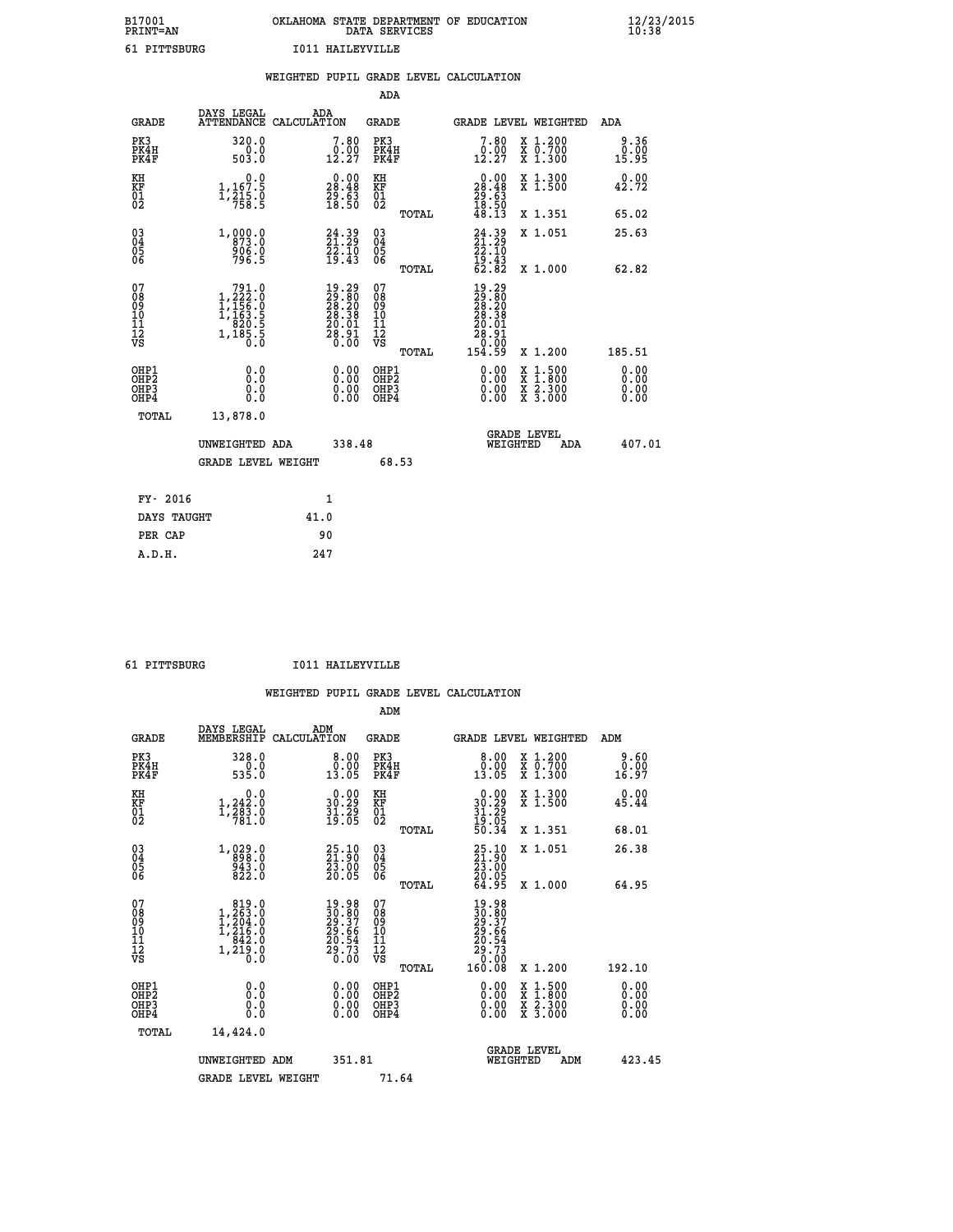| B17001          | OKLAHOMA STATE DEPARTMENT OF EDUCATION |
|-----------------|----------------------------------------|
| <b>PRINT=AN</b> | DATA SERVICES                          |
| 61 PITTSBURG    | T011 HATLEYVILLE                       |

|                                    |                                                                                                                 | WEIGHTED PUPIL GRADE LEVEL CALCULATION                                                        |                                        |       |                                                                                                      |                                                |                              |
|------------------------------------|-----------------------------------------------------------------------------------------------------------------|-----------------------------------------------------------------------------------------------|----------------------------------------|-------|------------------------------------------------------------------------------------------------------|------------------------------------------------|------------------------------|
|                                    |                                                                                                                 |                                                                                               | ADA                                    |       |                                                                                                      |                                                |                              |
| <b>GRADE</b>                       | DAYS LEGAL                                                                                                      | ADA<br>ATTENDANCE CALCULATION                                                                 | GRADE                                  |       |                                                                                                      | GRADE LEVEL WEIGHTED                           | ADA                          |
| PK3<br>PK4H<br>PK4F                | 320.0<br>503.0                                                                                                  | 7.80                                                                                          | PK3<br>PK4H<br>PK4F                    |       | 7.80<br>$0.00$<br>12.27                                                                              | X 1.200<br>X 0.700<br>X 1.300                  | 9.36<br>0.00<br>15.95        |
| KH<br>KF<br>01<br>02               | 0.0<br>$1, 167.5$<br>$1, 215.0$<br>$758.5$                                                                      | $\begin{smallmatrix} 0.00\\ 28.48\\ 29.63\\ 18.50 \end{smallmatrix}$                          | KH<br>KF<br>01<br>02                   |       | $\begin{smallmatrix} 0.00\\ 28.48\\ 29.63\\ 18.50\\ 48.13 \end{smallmatrix}$                         | X 1.300<br>X 1.500                             | 0.00<br>42.72                |
|                                    |                                                                                                                 |                                                                                               |                                        | TOTAL |                                                                                                      | X 1.351                                        | 65.02                        |
| 03<br>04<br>05<br>06               | 1,000.0<br>906.0<br>796.5                                                                                       | $24.39$<br>21.29<br>$\frac{7}{2}$ , $\frac{7}{4}$ , $\frac{7}{4}$                             | 03<br>04<br>05<br>06                   |       | $24.39$<br>$21.29$<br>$22.10$<br>$19.43$<br>$62.82$                                                  | X 1.051                                        | 25.63                        |
|                                    |                                                                                                                 |                                                                                               |                                        | TOTAL |                                                                                                      | X 1.000                                        | 62.82                        |
| 07<br>08<br>09<br>101<br>112<br>VS | $\begin{smallmatrix} & 791.0\\ 1,222.0\\ 1,156.0\\ 1,156.5\\ 1,163.5\\ 820.5\\ 1,185.5\\ 0.0 \end{smallmatrix}$ | $\begin{smallmatrix} 19.29\\29.80\\28.20\\28.38\\20.01\\20.01\\28.91\\0.00 \end{smallmatrix}$ | 07<br>08<br>09<br>11<br>11<br>12<br>VS | TOTAL | $\begin{smallmatrix} 19.29\\29.80\\28.20\\28.38\\20.01 \end{smallmatrix}$<br>28.91<br>0.00<br>154.59 | X 1.200                                        | 185.51                       |
| OHP1<br>OHP2<br>OHP3<br>OHP4       | 0.0<br>0.0<br>0.0                                                                                               | 0.00<br>$\begin{smallmatrix} 0.00 \ 0.00 \end{smallmatrix}$                                   | OHP1<br>OHP2<br>OHP3<br>OHP4           |       | 0.00<br>0.00<br>0.00                                                                                 | X 1:500<br>$\frac{x}{x}$ $\frac{5:300}{3:000}$ | 0.00<br>Ŏ.ŎŎ<br>0.00<br>0.00 |
| TOTAL                              | 13,878.0                                                                                                        |                                                                                               |                                        |       |                                                                                                      |                                                |                              |
|                                    | UNWEIGHTED ADA                                                                                                  | 338.48                                                                                        |                                        |       | WEIGHTED                                                                                             | <b>GRADE LEVEL</b><br>ADA                      | 407.01                       |
|                                    | <b>GRADE LEVEL WEIGHT</b>                                                                                       |                                                                                               |                                        | 68.53 |                                                                                                      |                                                |                              |
| FY- 2016                           |                                                                                                                 | $\mathbf{1}$                                                                                  |                                        |       |                                                                                                      |                                                |                              |
| DAYS TAUGHT                        |                                                                                                                 | 41.0                                                                                          |                                        |       |                                                                                                      |                                                |                              |
| PER CAP                            |                                                                                                                 | 90                                                                                            |                                        |       |                                                                                                      |                                                |                              |

 **A.D.H. 247**

 **61 PITTSBURG I011 HAILEYVILLE**

|                                                      |                                                                                                       |                                                                       | ADM                                                 |                                                                              |                                          |                       |
|------------------------------------------------------|-------------------------------------------------------------------------------------------------------|-----------------------------------------------------------------------|-----------------------------------------------------|------------------------------------------------------------------------------|------------------------------------------|-----------------------|
| <b>GRADE</b>                                         | DAYS LEGAL<br>MEMBERSHIP                                                                              | ADM<br>CALCULATION                                                    | <b>GRADE</b>                                        | GRADE LEVEL WEIGHTED                                                         |                                          | ADM                   |
| PK3<br>PK4H<br>PK4F                                  | 328.0<br>535.0                                                                                        | 8.00<br>0.00<br>13.05                                                 | PK3<br>PK4H<br>PK4F                                 | 0.00<br>13.05                                                                | X 1.200<br>X 0.700<br>X 1.300            | 9.60<br>0.00<br>16.97 |
| KH<br>KF<br>01<br>02                                 | 0.0<br>$1,242.0$<br>$1,283.0$<br>$781.0$                                                              | $\begin{smallmatrix} 0.00\\ 30.29\\ 31.29\\ 19.05 \end{smallmatrix}$  | KH<br>KF<br>01<br>02                                | $\begin{smallmatrix} 0.00\\ 30.29\\ 31.29\\ 19.05\\ 50.34 \end{smallmatrix}$ | X 1.300<br>X 1.500                       | 0.00<br>45.44         |
|                                                      |                                                                                                       |                                                                       | TOTAL                                               |                                                                              | X 1.351                                  | 68.01                 |
| 03<br>04<br>05<br>06                                 | $1, 029.0$<br>$898.0$<br>$943.0$<br>$822.0$                                                           | $\begin{smallmatrix} 25.10\\ 21.90\\ 23.00\\ 20.05 \end{smallmatrix}$ | $\begin{array}{c} 03 \\ 04 \\ 05 \\ 06 \end{array}$ | 25.10<br>21.90<br>23.00<br>20.05                                             | X 1.051                                  | 26.38                 |
|                                                      |                                                                                                       |                                                                       | TOTAL                                               | 64.95                                                                        | X 1.000                                  | 64.95                 |
| 07<br>08<br>09<br>101<br>112<br>VS                   | $\begin{smallmatrix} & 819.0\\ 1,263.0\\ 1,204.0\\ 1,216.0\\ 842.0\\ 1,219.0\\ 0.0 \end{smallmatrix}$ | $19.9830.8029.3729.6620.5429.730.00$                                  | 07<br>08<br>09<br>11<br>11<br>12<br>VS<br>TOTAL     | $19.98$<br>$29.37$<br>$29.66$<br>$20.54$<br>$20.73$<br>$0.08$<br>160.08      | X 1.200                                  | 192.10                |
|                                                      |                                                                                                       |                                                                       |                                                     |                                                                              |                                          | 0.00                  |
| OHP1<br>OHP2<br>OH <sub>P3</sub><br>OH <sub>P4</sub> | 0.0<br>0.000                                                                                          | $0.00$<br>$0.00$<br>0.00                                              | OHP1<br>OHP2<br>OHP <sub>3</sub>                    | $0.00$<br>$0.00$<br>0.00                                                     | X 1:500<br>X 1:800<br>X 2:300<br>X 3:000 | 0.00<br>0.00<br>0.00  |
| TOTAL                                                | 14,424.0                                                                                              |                                                                       |                                                     |                                                                              |                                          |                       |
|                                                      | UNWEIGHTED ADM                                                                                        | 351.81                                                                |                                                     | WEIGHTED                                                                     | <b>GRADE LEVEL</b><br>ADM                | 423.45                |
|                                                      | <b>GRADE LEVEL WEIGHT</b>                                                                             |                                                                       | 71.64                                               |                                                                              |                                          |                       |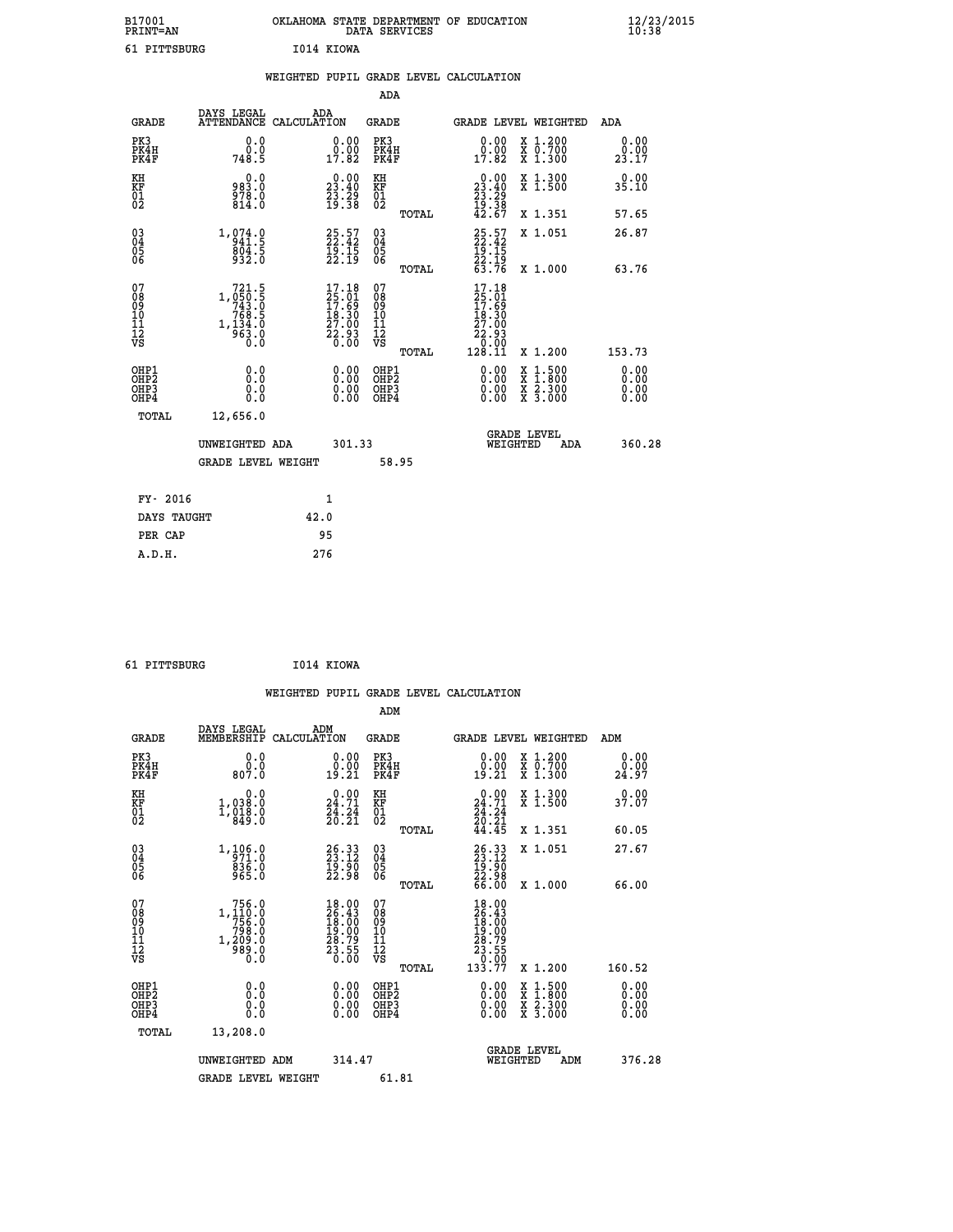| B17001<br><b>PRINT=AN</b> |            | OKLAHOMA STATE DEPARTMENT OF EDUCATION<br>DATA SERVICES |  |
|---------------------------|------------|---------------------------------------------------------|--|
| 61 PITTSBURG              | I014 KIOWA |                                                         |  |

|                                                                    |              |                                                                                                |      |                                                                                                                          |                                        |       | WEIGHTED PUPIL GRADE LEVEL CALCULATION                                                                                                                                                                                                                                         |                                          |                       |
|--------------------------------------------------------------------|--------------|------------------------------------------------------------------------------------------------|------|--------------------------------------------------------------------------------------------------------------------------|----------------------------------------|-------|--------------------------------------------------------------------------------------------------------------------------------------------------------------------------------------------------------------------------------------------------------------------------------|------------------------------------------|-----------------------|
|                                                                    |              |                                                                                                |      |                                                                                                                          | <b>ADA</b>                             |       |                                                                                                                                                                                                                                                                                |                                          |                       |
|                                                                    | <b>GRADE</b> | DAYS LEGAL<br>ATTENDANCE CALCULATION                                                           | ADA  |                                                                                                                          | GRADE                                  |       |                                                                                                                                                                                                                                                                                | GRADE LEVEL WEIGHTED                     | ADA                   |
| PK3<br>PK4H<br>PK4F                                                |              | 0.0<br>0.0<br>748.5                                                                            |      | $\begin{smallmatrix} 0.00\\ 0.00\\ 17.82 \end{smallmatrix}$                                                              | PK3<br>PK4H<br>PK4F                    |       | $\begin{smallmatrix} 0.00\\ 0.00\\ 17.82 \end{smallmatrix}$                                                                                                                                                                                                                    | X 1.200<br>X 0.700<br>X 1.300            | 0.00<br>0.00<br>23.17 |
| KH<br>KF<br>01<br>02                                               |              | $0.0$<br>$0.889$<br>978.0<br>814.0                                                             |      | 23.40<br>$\frac{73.29}{19.38}$                                                                                           | KH<br>KF<br>01<br>02                   |       | $\begin{smallmatrix} 0.00\\23.40\\23.29\\19.38\\42.67\end{smallmatrix}$                                                                                                                                                                                                        | X 1.300<br>X 1.500                       | 0.00<br>35.10         |
|                                                                    |              |                                                                                                |      |                                                                                                                          |                                        | TOTAL |                                                                                                                                                                                                                                                                                | X 1.351                                  | 57.65                 |
| $\begin{smallmatrix} 03 \\[-4pt] 04 \end{smallmatrix}$<br>Ŏ5<br>06 |              | 1,974.9<br>$804.5$<br>932.0                                                                    |      | $25.57$<br>22.42<br>$\frac{1}{2}$ $\frac{5}{2}$ $\frac{1}{1}$ $\frac{1}{9}$                                              | $\substack{03 \\ 04}$<br>Ŏ5<br>06      |       | $25.57$<br>$22.42$                                                                                                                                                                                                                                                             | X 1.051                                  | 26.87                 |
|                                                                    |              |                                                                                                |      |                                                                                                                          |                                        | TOTAL | $\frac{19}{22}. \frac{15}{19}$<br>$\frac{22}{63}.76$                                                                                                                                                                                                                           | X 1.000                                  | 63.76                 |
| 07<br>08<br>09<br>01<br>11<br>11<br>12<br>VS                       |              | $\begin{smallmatrix}721.5\\1,050.5\\743.0\\768.5\\768.5\\1,134.0\\963.0\\0.0\end{smallmatrix}$ |      | $\begin{smallmatrix} 17\cdot 18\\25\cdot 01\\17\cdot 69\\18\cdot 30\\27\cdot 00\\22\cdot 93\\0\cdot 00\end{smallmatrix}$ | 07<br>08<br>09<br>11<br>11<br>12<br>VS | TOTAL | 17.18<br>$\frac{25}{17}$ : 61<br>17: 69<br>18: 30<br>$\begin{smallmatrix} 27.00\ 22.93\ 2.03\ 0.00\ 128.11\end{smallmatrix}$                                                                                                                                                   | X 1.200                                  | 153.73                |
| OHP1<br>OHP2<br>OHP3<br>OHP4                                       |              | 0.0<br>0.0<br>0.0                                                                              |      | $\begin{smallmatrix} 0.00 \ 0.00 \ 0.00 \ 0.00 \end{smallmatrix}$                                                        | OHP1<br>OHP2<br>OHP3<br>OHP4           |       | $\begin{smallmatrix} 0.00 & 0.00 & 0.00 & 0.00 & 0.00 & 0.00 & 0.00 & 0.00 & 0.00 & 0.00 & 0.00 & 0.00 & 0.00 & 0.00 & 0.00 & 0.00 & 0.00 & 0.00 & 0.00 & 0.00 & 0.00 & 0.00 & 0.00 & 0.00 & 0.00 & 0.00 & 0.00 & 0.00 & 0.00 & 0.00 & 0.00 & 0.00 & 0.00 & 0.00 & 0.00 & 0.0$ | X 1:500<br>X 1:800<br>X 2:300<br>X 3:000 | 0.00<br>Ō. ŌŌ<br>0.00 |
|                                                                    | TOTAL        | 12,656.0                                                                                       |      |                                                                                                                          |                                        |       |                                                                                                                                                                                                                                                                                |                                          |                       |
|                                                                    |              | UNWEIGHTED ADA                                                                                 |      | 301.33                                                                                                                   |                                        |       | WEIGHTED                                                                                                                                                                                                                                                                       | <b>GRADE LEVEL</b><br>ADA                | 360.28                |
|                                                                    |              | <b>GRADE LEVEL WEIGHT</b>                                                                      |      |                                                                                                                          |                                        | 58.95 |                                                                                                                                                                                                                                                                                |                                          |                       |
|                                                                    | FY- 2016     |                                                                                                |      | $\mathbf{1}$                                                                                                             |                                        |       |                                                                                                                                                                                                                                                                                |                                          |                       |
|                                                                    | DAYS TAUGHT  |                                                                                                | 42.0 |                                                                                                                          |                                        |       |                                                                                                                                                                                                                                                                                |                                          |                       |
|                                                                    | PER CAP      |                                                                                                |      | 95                                                                                                                       |                                        |       |                                                                                                                                                                                                                                                                                |                                          |                       |

 **B17001<br>PRINT=AN** 

 **61 PITTSBURG I014 KIOWA**

|                                                    |                                                                               |                    |                                                                                              |                                                    |       | WEIGHTED PUPIL GRADE LEVEL CALCULATION                                                              |                                          |                       |        |
|----------------------------------------------------|-------------------------------------------------------------------------------|--------------------|----------------------------------------------------------------------------------------------|----------------------------------------------------|-------|-----------------------------------------------------------------------------------------------------|------------------------------------------|-----------------------|--------|
|                                                    |                                                                               |                    |                                                                                              | ADM                                                |       |                                                                                                     |                                          |                       |        |
| <b>GRADE</b>                                       | DAYS LEGAL<br>MEMBERSHIP                                                      | ADM<br>CALCULATION |                                                                                              | <b>GRADE</b>                                       |       | GRADE LEVEL WEIGHTED                                                                                |                                          | ADM                   |        |
| PK3<br>PK4H<br>PK4F                                | 0.0<br>ŏ:ŏ<br>807:0                                                           |                    | $\begin{smallmatrix} 0.00\\ 0.00\\ 19.21 \end{smallmatrix}$                                  | PK3<br>PK4H<br>PK4F                                |       | 0.00<br>19.21                                                                                       | X 1.200<br>X 0.700<br>X 1.300            | 0.00<br>0.00<br>24.97 |        |
| KH<br>KF<br>01<br>02                               | 0.0<br>1,038:0<br>1,018:0<br>849:0                                            |                    | $\begin{smallmatrix} 0.00\\24.71\\24.24\\26.21 \end{smallmatrix}$                            | KH<br>KF<br>01<br>02                               |       | 0.00<br>$24.71$<br>$24.24$<br>$20.21$<br>$44.45$                                                    | X 1.300<br>X 1.500                       | 0.00<br>37.07         |        |
|                                                    |                                                                               |                    |                                                                                              |                                                    | TOTAL |                                                                                                     | X 1.351                                  | 60.05                 |        |
| $\begin{matrix} 03 \\ 04 \\ 05 \\ 06 \end{matrix}$ | 1,106.0<br>971.0<br>836.0<br>965.0                                            |                    | 26.33<br>$\frac{19}{22}$ $\frac{50}{98}$                                                     | $\begin{matrix} 03 \\ 04 \\ 05 \\ 06 \end{matrix}$ |       | $26.3323.1219.9022.9866.00$                                                                         | X 1.051                                  | 27.67                 |        |
|                                                    |                                                                               |                    |                                                                                              |                                                    | TOTAL |                                                                                                     | X 1.000                                  | 66.00                 |        |
| 07<br>08<br>09<br>001<br>11<br>11<br>12<br>VS      | 756.0<br>$1, \frac{110}{756}.0$<br>$798.0$<br>$1, \frac{209}{989}.0$<br>$0.0$ |                    | $\begin{smallmatrix} 18.00\\ 26.43\\ 18.00\\ 19.00\\ 28.79\\ 23.55\\ 0.00 \end{smallmatrix}$ | 07<br>08<br>09<br>11<br>11<br>12<br>VS             | TOTAL | $\begin{array}{r} 18.00 \\ 26.43 \\ 18.00 \\ 19.00 \\ 28.79 \\ 23.55 \\ 0.00 \\ 133.77 \end{array}$ | X 1.200                                  | 160.52                |        |
| OHP1                                               |                                                                               |                    |                                                                                              | OHP1                                               |       |                                                                                                     |                                          | 0.00                  |        |
| OHP <sub>2</sub><br>OHP3<br>OH <sub>P4</sub>       | 0.0<br>0.0<br>0.0                                                             |                    |                                                                                              | OH <sub>P</sub> 2<br>OHP3<br>OHP4                  |       | 0.00<br>0.00<br>0.00                                                                                | X 1:500<br>X 1:800<br>X 2:300<br>X 3:000 | 0.00<br>0.00<br>0.00  |        |
| TOTAL                                              | 13,208.0                                                                      |                    |                                                                                              |                                                    |       |                                                                                                     |                                          |                       |        |
|                                                    | UNWEIGHTED ADM<br><b>GRADE LEVEL WEIGHT</b>                                   |                    | 314.47                                                                                       | 61.81                                              |       | WEIGHTED                                                                                            | <b>GRADE LEVEL</b><br>ADM                |                       | 376.28 |
|                                                    |                                                                               |                    |                                                                                              |                                                    |       |                                                                                                     |                                          |                       |        |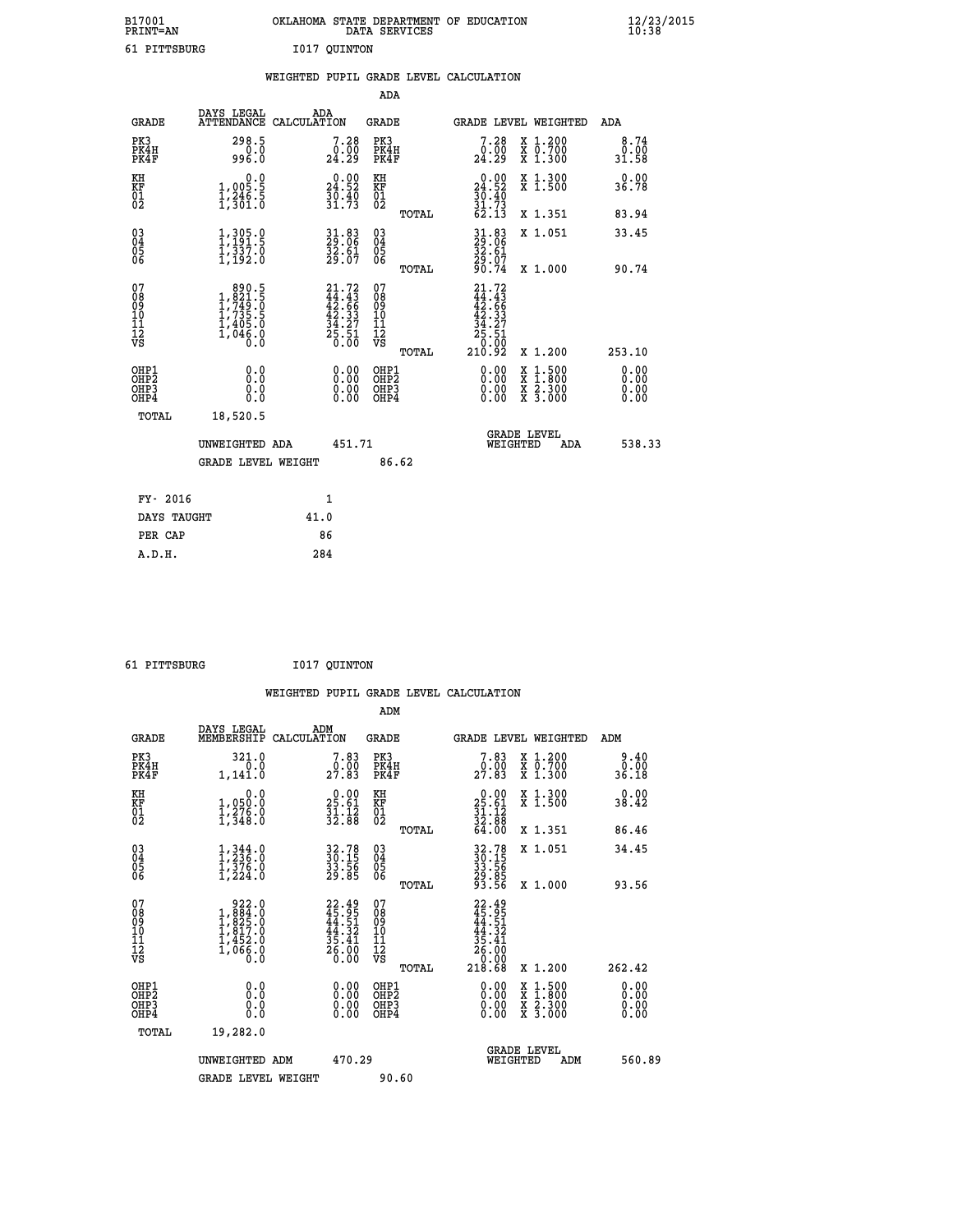| B17001          | OKLAHOMA STATE DEPARTMENT OF EDUCATION |
|-----------------|----------------------------------------|
| <b>PRINT=AN</b> | DATA SERVICES                          |
| 61 PITTSBURG    | I017 OUINTON                           |

|                                                      |                                                                                                  | WEIGHTED PUPIL GRADE LEVEL CALCULATION                                   |                                                     |       |                                                                                                                      |                                                                                                                                      |                              |
|------------------------------------------------------|--------------------------------------------------------------------------------------------------|--------------------------------------------------------------------------|-----------------------------------------------------|-------|----------------------------------------------------------------------------------------------------------------------|--------------------------------------------------------------------------------------------------------------------------------------|------------------------------|
|                                                      |                                                                                                  |                                                                          | <b>ADA</b>                                          |       |                                                                                                                      |                                                                                                                                      |                              |
| <b>GRADE</b>                                         | DAYS LEGAL<br><b>ATTENDANCE</b>                                                                  | ADA<br>CALCULATION                                                       | <b>GRADE</b>                                        |       |                                                                                                                      | GRADE LEVEL WEIGHTED                                                                                                                 | ADA                          |
| PK3<br>PK4H<br>PK4F                                  | 298.5<br>$0.0$<br>996.0                                                                          | 7.28<br>$\frac{0.00}{24.29}$                                             | PK3<br>PK4H<br>PK4F                                 |       | 7.28<br>ةة:≬<br>24:29                                                                                                | X 1.200<br>X 0.700<br>X 1.300                                                                                                        | 8.74<br>0.00<br>31.58        |
| KH<br>KF<br>01<br>02                                 | $\begin{smallmatrix} 0.0 \\ 1,005.5 \\ 1,246.5 \\ 1,301.0 \end{smallmatrix}$                     | $\begin{smallmatrix} 0.00\\24.52\\30.40\\31.73 \end{smallmatrix}$        | KH<br>KF<br>01<br>02                                |       | $0.00$<br>$24.52$<br>$30.40$<br>$31.73$<br>$62.13$                                                                   | X 1.300<br>X 1.500                                                                                                                   | 0.00<br>36.78                |
|                                                      |                                                                                                  |                                                                          |                                                     | TOTAL |                                                                                                                      | X 1.351                                                                                                                              | 83.94                        |
| $03\overline{4}$<br>Ŏ5<br>06                         | $1,305.0$<br>$1,391.5$<br>$1,337.0$<br>$1,192.0$                                                 | 31.83<br>29.06<br>32.61<br>29.07                                         | $\begin{array}{c} 03 \\ 04 \\ 05 \\ 06 \end{array}$ |       | 31.83<br>29.06<br>32.61<br>29.07<br>90.74                                                                            | X 1.051                                                                                                                              | 33.45                        |
|                                                      |                                                                                                  |                                                                          |                                                     | TOTAL |                                                                                                                      | X 1.000                                                                                                                              | 90.74                        |
| 07<br>08<br>09<br>101<br>112<br>VS                   | $\begin{smallmatrix} & 890.5\\1,821.5\\1,749.0\\1,735.5\\1,405.0\\1,046.0\\0.0\end{smallmatrix}$ | $21.72$<br>$44.43$<br>$42.66$<br>$42.33$<br>$34.27$<br>$25.51$<br>$0.00$ | 07<br>08<br>09<br>101<br>11<br>12<br>VS             | TOTAL | $\begin{smallmatrix} 21\cdot72\44\cdot43\42\cdot66\42\cdot34\2\cdot34\21\cdot37\25\cdot51\0\cdot92\end{smallmatrix}$ | X 1.200                                                                                                                              | 253.10                       |
| OHP1<br>OHP <sub>2</sub><br>OH <sub>P3</sub><br>OHP4 | 0.0<br>0.0<br>Ō.Ō                                                                                | 0.00<br>$\begin{smallmatrix} 0.00 \ 0.00 \end{smallmatrix}$              | OHP1<br>OHP2<br>OHP3<br>OHP4                        |       | 0.00<br>0.00<br>0.00                                                                                                 | $\begin{smallmatrix} \mathtt{X} & 1 & 500 \\ \mathtt{X} & 1 & 800 \\ \mathtt{X} & 2 & 300 \\ \mathtt{X} & 3 & 000 \end{smallmatrix}$ | 0.00<br>0.00<br>0.00<br>0.00 |
| TOTAL                                                | 18,520.5                                                                                         |                                                                          |                                                     |       |                                                                                                                      |                                                                                                                                      |                              |
|                                                      | UNWEIGHTED ADA                                                                                   | 451.71                                                                   |                                                     |       | WEIGHTED                                                                                                             | <b>GRADE LEVEL</b><br>ADA                                                                                                            | 538.33                       |
|                                                      | <b>GRADE LEVEL WEIGHT</b>                                                                        |                                                                          | 86.62                                               |       |                                                                                                                      |                                                                                                                                      |                              |
| FY- 2016                                             |                                                                                                  | $\mathbf{1}$                                                             |                                                     |       |                                                                                                                      |                                                                                                                                      |                              |
| DAYS TAUGHT                                          |                                                                                                  | 41.0                                                                     |                                                     |       |                                                                                                                      |                                                                                                                                      |                              |
| PER CAP                                              |                                                                                                  | 86                                                                       |                                                     |       |                                                                                                                      |                                                                                                                                      |                              |

 **61 PITTSBURG I017 QUINTON**

 **A.D.H. 284**

|                                        |                                                                                                                                                                                  | WEIGHTED PUPIL GRADE LEVEL CALCULATION                                   |                                                                         |                                                                              |                                                                                                                                           |                              |
|----------------------------------------|----------------------------------------------------------------------------------------------------------------------------------------------------------------------------------|--------------------------------------------------------------------------|-------------------------------------------------------------------------|------------------------------------------------------------------------------|-------------------------------------------------------------------------------------------------------------------------------------------|------------------------------|
|                                        |                                                                                                                                                                                  |                                                                          | ADM                                                                     |                                                                              |                                                                                                                                           |                              |
| <b>GRADE</b>                           | DAYS LEGAL<br>MEMBERSHIP CALCULATION                                                                                                                                             | ADM                                                                      | <b>GRADE</b>                                                            |                                                                              | GRADE LEVEL WEIGHTED                                                                                                                      | ADM                          |
| PK3<br>PK4H<br>PK4F                    | 321.0<br>0.0<br>1,141.0                                                                                                                                                          | 7.83<br>0.00<br>27.83                                                    | PK3<br>PK4H<br>PK4F                                                     | 7.83<br>$\frac{0.00}{27.83}$                                                 | X 1.200<br>X 0.700<br>$\overline{x}$ 1.300                                                                                                | $0.40$<br>$0.00$<br>36.18    |
| KH<br>KF<br>01<br>02                   | 0.0<br>$\frac{1}{1}, \frac{0}{2}, \frac{5}{6}$<br>$\frac{1}{1}, \frac{2}{3}$<br>$\frac{6}{3}$<br>$\frac{1}{6}$                                                                   | $25.61$<br>$31.12$<br>$32.88$                                            | KH<br>KF<br>$\overline{\begin{smallmatrix} 0&1\ 0&2 \end{smallmatrix}}$ | $\begin{smallmatrix} 0.00\\ 25.61\\ 31.12\\ 32.88\\ 64.00 \end{smallmatrix}$ | X 1.300<br>X 1.500                                                                                                                        | 0.00<br>38.42                |
|                                        |                                                                                                                                                                                  |                                                                          | TOTAL                                                                   |                                                                              | X 1.351                                                                                                                                   | 86.46                        |
| $^{03}_{04}$<br>Ŏ5<br>06               | $1,344.0$<br>$1,336.0$<br>$1,376.0$<br>$1,224.0$                                                                                                                                 | 32.78<br>30.15<br>33.56<br>29.85                                         | $^{03}_{04}$<br>05<br>06                                                | 32.78<br>30.15<br>33.56<br>29.85<br>29.56                                    | X 1.051                                                                                                                                   | 34.45                        |
|                                        |                                                                                                                                                                                  |                                                                          | TOTAL                                                                   |                                                                              | X 1.000                                                                                                                                   | 93.56                        |
| 07<br>08<br>09<br>11<br>11<br>12<br>VS | $\begin{smallmatrix} & 922 & . & 0\\ 1\,, & 884 & . & 0\\ 1\,, & 825 & . & 0\\ 1\,, & 817 & . & 0\\ 1\,, & 452 & . & 0\\ 1\,, & 066 & . & 0\\ 0\,, & 0 & . & 0\end{smallmatrix}$ | $22.49$<br>$45.95$<br>$44.51$<br>$44.32$<br>$35.41$<br>$26.00$<br>$0.00$ | 07<br>08<br>09<br>11<br>11<br>12<br>VS<br>TOTAL                         | $22.49$<br>$44.51$<br>$44.51$<br>$44.32$<br>$35.41$<br>$26.00$<br>$218.68$   | X 1.200                                                                                                                                   | 262.42                       |
| OHP1<br>OHP2<br>OHP3<br>OHP4           | 0.0<br>0.0<br>0.0                                                                                                                                                                | 0.00<br>$\begin{smallmatrix} 0.00 \ 0.00 \end{smallmatrix}$              | OHP1<br>OHP2<br>OHP3<br>OHP4                                            |                                                                              | $\begin{smallmatrix} \mathtt{X} & 1\cdot500\\ \mathtt{X} & 1\cdot800\\ \mathtt{X} & 2\cdot300\\ \mathtt{X} & 3\cdot000 \end{smallmatrix}$ | 0.00<br>0.00<br>0.00<br>0.00 |
| TOTAL                                  | 19,282.0                                                                                                                                                                         |                                                                          |                                                                         |                                                                              |                                                                                                                                           |                              |
|                                        | UNWEIGHTED ADM                                                                                                                                                                   | 470.29                                                                   |                                                                         | WEIGHTED                                                                     | <b>GRADE LEVEL</b><br>ADM                                                                                                                 | 560.89                       |
|                                        | <b>GRADE LEVEL WEIGHT</b>                                                                                                                                                        |                                                                          | 90.60                                                                   |                                                                              |                                                                                                                                           |                              |
|                                        |                                                                                                                                                                                  |                                                                          |                                                                         |                                                                              |                                                                                                                                           |                              |
|                                        |                                                                                                                                                                                  |                                                                          |                                                                         |                                                                              |                                                                                                                                           |                              |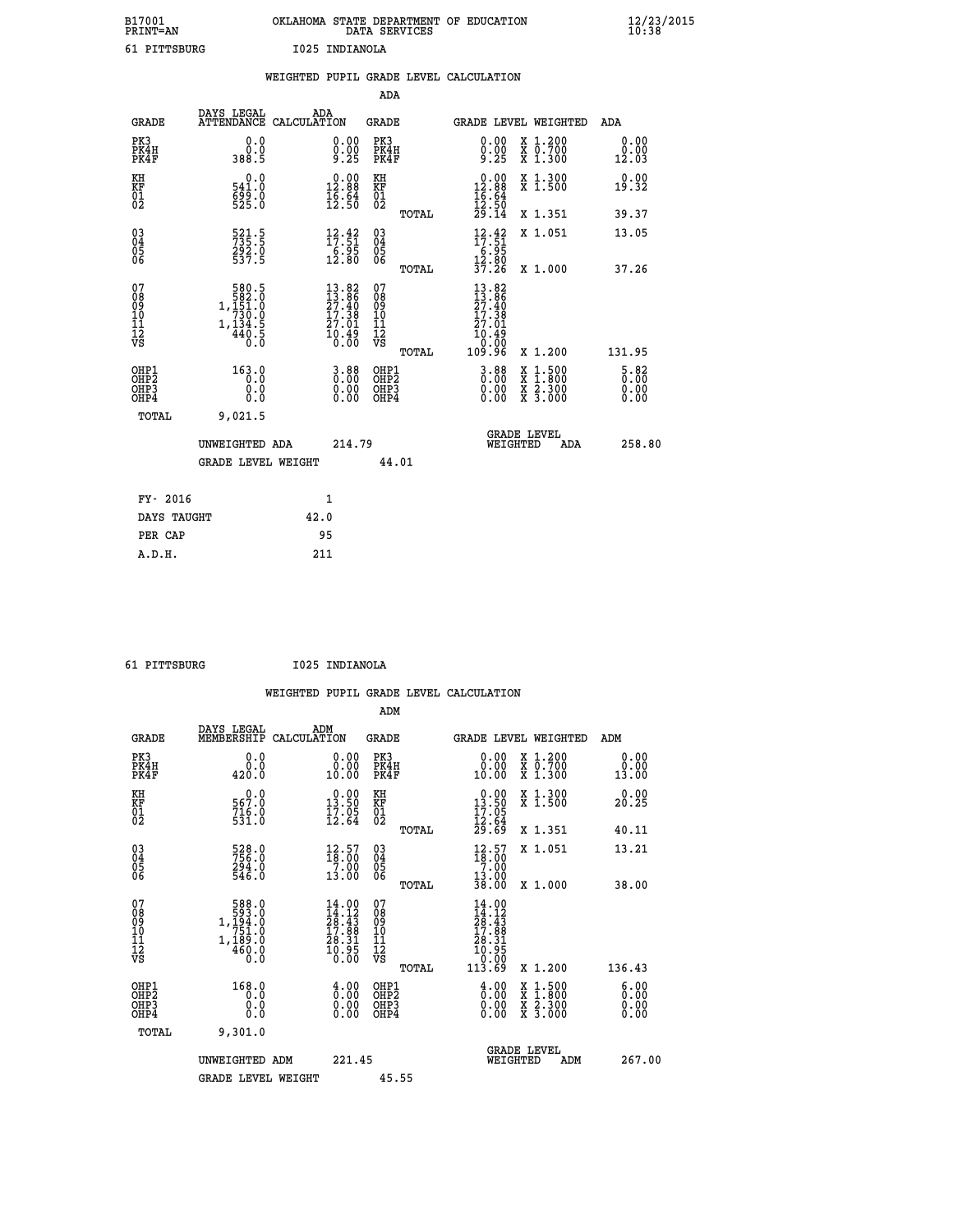| B17001          | OKLAHOMA STATE DEPARTMENT OF EDUCATION |
|-----------------|----------------------------------------|
| <b>PRINT=AN</b> | DATA SERVICES                          |
| 61 PITTSBURG    | I025 INDIANOLA                         |

|                                           |                                                                                              |      |                                                                                    |                                          |       | WEIGHTED PUPIL GRADE LEVEL CALCULATION                                                                           |                                          |                                                         |
|-------------------------------------------|----------------------------------------------------------------------------------------------|------|------------------------------------------------------------------------------------|------------------------------------------|-------|------------------------------------------------------------------------------------------------------------------|------------------------------------------|---------------------------------------------------------|
|                                           |                                                                                              |      |                                                                                    | <b>ADA</b>                               |       |                                                                                                                  |                                          |                                                         |
| <b>GRADE</b>                              | DAYS LEGAL<br>ATTENDANCE CALCULATION                                                         |      | ADA                                                                                | <b>GRADE</b>                             |       | GRADE LEVEL WEIGHTED                                                                                             |                                          | ADA                                                     |
| PK3<br>PK4H<br>PK4F                       | 0.0<br>0.0<br>388.5                                                                          |      | 0.00<br>$0.00$<br>9.25                                                             | PK3<br>PK4H<br>PK4F                      |       | 0.00<br>0.00<br><b>9.25</b>                                                                                      | X 1.200<br>X 0.700<br>X 1.300            | 0.00<br>0.00<br>12.03                                   |
| KH<br>KF<br>01<br>02                      | 0.0<br>541.0<br>699.0                                                                        |      | $\begin{smallmatrix} 0.00\\ 12.88\\ 16.84\\ 15.50 \end{smallmatrix}$               | KH<br>KF<br>01<br>02                     |       | $0.00$<br>12.88                                                                                                  | X 1.300<br>X 1.500                       | 0.00<br>19.32                                           |
|                                           |                                                                                              |      |                                                                                    |                                          | TOTAL | $\frac{16.64}{12.50}$<br>$\frac{29.14}{14}$                                                                      | X 1.351                                  | 39.37                                                   |
| 03<br>04<br>05<br>06                      | 521.5<br>735.5<br>292.0<br>537.5                                                             |      | $\begin{array}{c} 12\cdot 42 \\ 17\cdot 51 \\ 6\cdot 95 \\ 12\cdot 80 \end{array}$ | $^{03}_{04}$<br>Ŏ5<br>06                 |       | $12.42$<br>$17.51$<br>$6.95$<br>$12.80$<br>$37.26$                                                               | X 1.051                                  | 13.05                                                   |
|                                           |                                                                                              |      |                                                                                    |                                          | TOTAL |                                                                                                                  | X 1.000                                  | 37.26                                                   |
| 07<br>08<br>09<br>10<br>11<br>12<br>VS    | $\begin{array}{r} 580.5 \\ 582.0 \\ 1,151.0 \\ 730.0 \\ 1,134.5 \\ 440.5 \\ 0.0 \end{array}$ |      | $13.82$<br>$13.86$<br>$27.40$<br>$17.38$<br>$27.01$<br>$10.49$<br>$0.00$           | 07<br>089<br>101<br>111<br>VS            | TOTAL | 13.82<br>$\begin{array}{r} 13.86 \\ 27.40 \\ 17.38 \\ 27.01 \\ 10.49 \end{array}$<br>00.0 <sup>1</sup><br>96.901 | X 1.200                                  | 131.95                                                  |
| OHP1<br>OH <sub>P</sub> 2<br>OHP3<br>OHP4 | 163.0<br>0.0<br>0.0<br>0.0                                                                   |      | $\begin{smallmatrix} 3.88\ 0.00\ 0.00 \end{smallmatrix}$                           | OHP1<br>OHP <sub>2</sub><br>OHP3<br>OHP4 |       | $3.88$<br>$0.00$<br>0.00                                                                                         | X 1:500<br>X 1:800<br>X 2:300<br>X 3:000 | 5.82<br>$\overline{0}$ . $\overline{0}$<br>0.00<br>0.00 |
| <b>TOTAL</b>                              | 9,021.5                                                                                      |      |                                                                                    |                                          |       |                                                                                                                  |                                          |                                                         |
|                                           | UNWEIGHTED ADA                                                                               |      | 214.79                                                                             |                                          |       | WEIGHTED                                                                                                         | <b>GRADE LEVEL</b><br>ADA                | 258.80                                                  |
|                                           | <b>GRADE LEVEL WEIGHT</b>                                                                    |      |                                                                                    |                                          | 44.01 |                                                                                                                  |                                          |                                                         |
| FY- 2016                                  |                                                                                              |      | 1                                                                                  |                                          |       |                                                                                                                  |                                          |                                                         |
| DAYS TAUGHT                               |                                                                                              | 42.0 |                                                                                    |                                          |       |                                                                                                                  |                                          |                                                         |
| PER CAP                                   |                                                                                              |      | 95                                                                                 |                                          |       |                                                                                                                  |                                          |                                                         |

| A.D.H. | 211 |
|--------|-----|
|        |     |
|        |     |

 **61 PITTSBURG I025 INDIANOLA**

 **WEIGHTED PUPIL GRADE LEVEL CALCULATION ADM DAYS LEGAL ADM**

| <b>GRADE</b>                                       | DAIS LEGAL<br>MEMBERSHIP                                                                                                                                          | ADM<br>CALCULATION                                                                                                                         | <b>GRADE</b>                                       |       | <b>GRADE LEVEL WEIGHTED</b>                                                                                                                          |                                                                                                                                           | ADM                   |  |
|----------------------------------------------------|-------------------------------------------------------------------------------------------------------------------------------------------------------------------|--------------------------------------------------------------------------------------------------------------------------------------------|----------------------------------------------------|-------|------------------------------------------------------------------------------------------------------------------------------------------------------|-------------------------------------------------------------------------------------------------------------------------------------------|-----------------------|--|
| PK3<br>PK4H<br>PK4F                                | 0.0000<br>420.0                                                                                                                                                   | $\begin{smallmatrix} 0.00\\ 0.00\\ 10.00 \end{smallmatrix}$                                                                                | PK3<br>PK4H<br>PK4F                                |       | 0.0000<br>10.00                                                                                                                                      | X 1.200<br>X 0.700<br>X 1.300                                                                                                             | 0.00<br>0.00<br>13.00 |  |
| KH<br>KF<br>01<br>02                               | 0.0<br>567.0<br>$716.0$<br>531.0                                                                                                                                  | $\begin{smallmatrix} 0.00\\13.50\\17.05\\12.64 \end{smallmatrix}$                                                                          | KH<br>KF<br>01<br>02                               |       | $\begin{smallmatrix} 0.00\\13.50\\17.05\\12.64\\29.69 \end{smallmatrix}$                                                                             | X 1.300<br>X 1.500                                                                                                                        | 0.00<br>20.25         |  |
|                                                    |                                                                                                                                                                   |                                                                                                                                            |                                                    | TOTAL |                                                                                                                                                      | X 1.351                                                                                                                                   | 40.11                 |  |
| $\begin{matrix} 03 \\ 04 \\ 05 \\ 06 \end{matrix}$ | 528.0<br>756.0<br>294.0<br>546.0                                                                                                                                  | $\frac{12.57}{7.00}$                                                                                                                       | $\begin{matrix} 03 \\ 04 \\ 05 \\ 06 \end{matrix}$ |       | $\begin{smallmatrix} 12.57\ 18.00\ 7.00\ 13.00\ 38.00 \end{smallmatrix}$                                                                             | X 1.051                                                                                                                                   | 13.21                 |  |
|                                                    |                                                                                                                                                                   | 13.00                                                                                                                                      |                                                    | TOTAL |                                                                                                                                                      | $X_1.000$                                                                                                                                 | 38.00                 |  |
| 07<br>08<br>09<br>11<br>11<br>12<br>VS             | $\begin{smallmatrix}5 & 8 & 8 & 0\\5 & 9 & 3 & 0\\1 & 1 & 9 & 4 & 0\\7 & 5 & 1 & 0\\1 & 1 & 8 & 9 & 0\\1 & 1 & 8 & 9 & 0\end{smallmatrix}$<br>$\frac{460.0}{0.0}$ | $\begin{smallmatrix} 14\cdot 00\\ 14\cdot 12\\ 28\cdot 43\\ 17\cdot 88\\ 28\cdot 31\\ 29\cdot 31\\ 0\cdot 95\\ 0\cdot 00\end{smallmatrix}$ | 07<br>08<br>09<br>11<br>11<br>12<br>VS             |       | $\begin{smallmatrix} 14\cdot 00\ 14\cdot 12\ 28\cdot 43\ 17\cdot 88\ 17\cdot 89\ 18\cdot 31\ 10\cdot 95\ 0\cdot 000\ 113\cdot 69\ \end{smallmatrix}$ |                                                                                                                                           |                       |  |
|                                                    |                                                                                                                                                                   |                                                                                                                                            |                                                    | TOTAL |                                                                                                                                                      | X 1.200                                                                                                                                   | 136.43                |  |
| OHP1<br>OHP2<br>OH <sub>P3</sub><br>OHP4           | 168.0<br>0.0<br>0.0<br>0.0                                                                                                                                        | $\begin{smallmatrix} 4.00\ 0.00\ 0.00 \end{smallmatrix}$                                                                                   | OHP1<br>OHP <sub>2</sub><br>OHP3<br>OHP4           |       | $\begin{smallmatrix} 4.00\ 0.00\ 0.00 \end{smallmatrix}$                                                                                             | $\begin{smallmatrix} \mathtt{X} & 1\cdot500\\ \mathtt{X} & 1\cdot800\\ \mathtt{X} & 2\cdot300\\ \mathtt{X} & 3\cdot000 \end{smallmatrix}$ | 6.00<br>0.00<br>0.00  |  |
| TOTAL                                              | 9,301.0                                                                                                                                                           |                                                                                                                                            |                                                    |       |                                                                                                                                                      |                                                                                                                                           |                       |  |
|                                                    | UNWEIGHTED ADM                                                                                                                                                    | 221.45                                                                                                                                     |                                                    |       | WEIGHTED                                                                                                                                             | <b>GRADE LEVEL</b><br>ADM                                                                                                                 | 267.00                |  |
|                                                    | <b>GRADE LEVEL WEIGHT</b>                                                                                                                                         |                                                                                                                                            | 45.55                                              |       |                                                                                                                                                      |                                                                                                                                           |                       |  |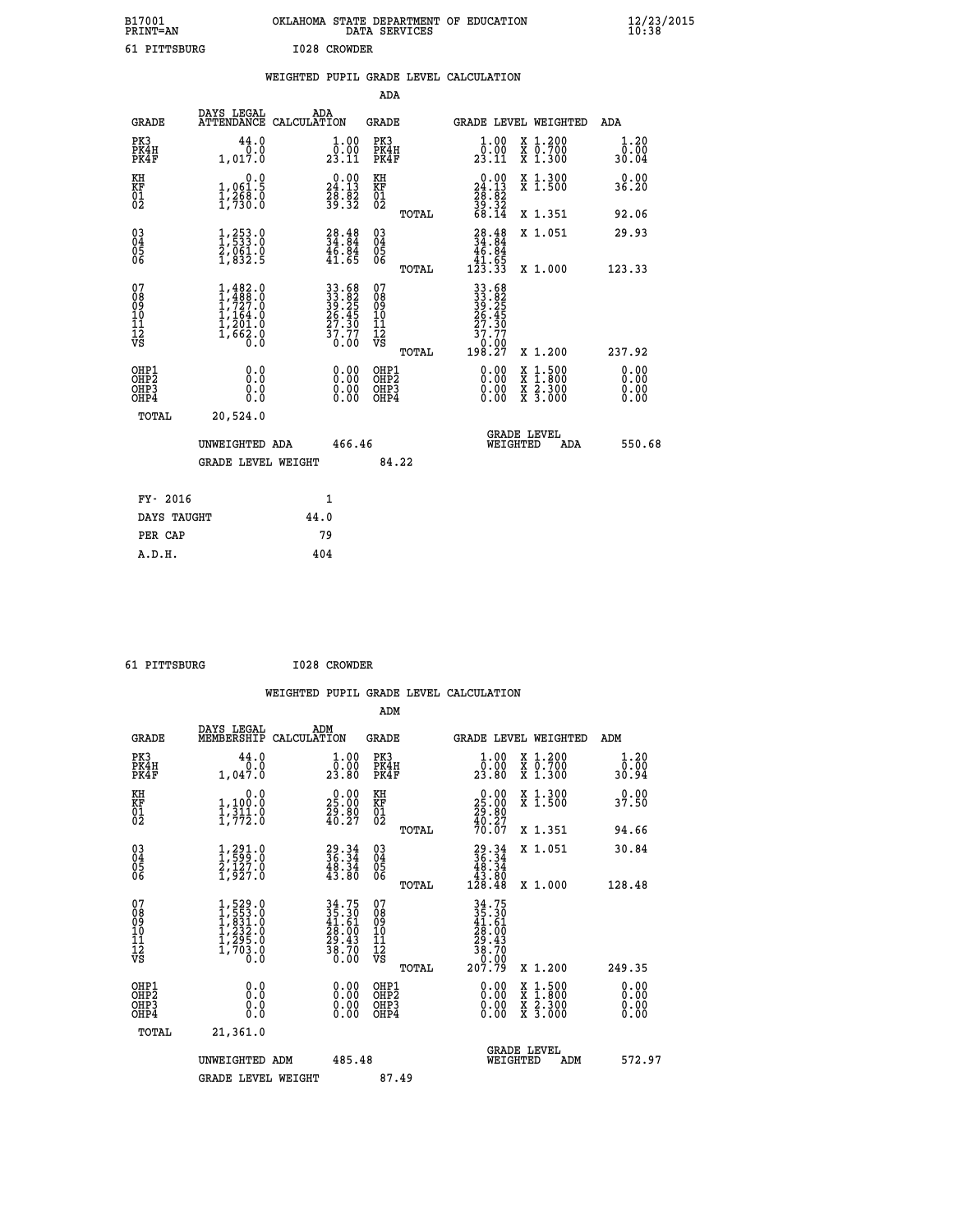| B17001<br><b>PRINT=AN</b> |           |      | OKLAHOMA STATE DEPARTMENT OF EDUCATION<br>DATA SERVICES |  | $\frac{12}{23}$ /2015 |
|---------------------------|-----------|------|---------------------------------------------------------|--|-----------------------|
|                           | PITTSBURG | 1028 | CROWDER                                                 |  |                       |

| 61 PITTSBURG                           |                                                                                                         |      | I028 CROWDER                                                           |                                                    |       |                                                                                                                                                                                                                                                                                |                                                                                                                                              |                       |
|----------------------------------------|---------------------------------------------------------------------------------------------------------|------|------------------------------------------------------------------------|----------------------------------------------------|-------|--------------------------------------------------------------------------------------------------------------------------------------------------------------------------------------------------------------------------------------------------------------------------------|----------------------------------------------------------------------------------------------------------------------------------------------|-----------------------|
|                                        |                                                                                                         |      |                                                                        |                                                    |       | WEIGHTED PUPIL GRADE LEVEL CALCULATION                                                                                                                                                                                                                                         |                                                                                                                                              |                       |
|                                        |                                                                                                         |      |                                                                        | <b>ADA</b>                                         |       |                                                                                                                                                                                                                                                                                |                                                                                                                                              |                       |
| <b>GRADE</b>                           | DAYS LEGAL<br>ATTENDANCE CALCULATION                                                                    |      | ADA                                                                    | <b>GRADE</b>                                       |       |                                                                                                                                                                                                                                                                                | <b>GRADE LEVEL WEIGHTED</b>                                                                                                                  | ADA                   |
| PK3<br>PK4H<br>PK4F                    | 44.0<br>0.0<br>1,017.0                                                                                  |      | $\begin{smallmatrix} 1.00\\[-1mm] 0.00\\[-1mm] 23.11\end{smallmatrix}$ | PK3<br>PK4H<br>PK4F                                |       | $\begin{smallmatrix} 1.00\\[-1.2mm] 0.00\\[-1.2mm] 23.11\end{smallmatrix}$                                                                                                                                                                                                     | X 1.200<br>X 0.700<br>X 1.300                                                                                                                | 1.20<br>0.00<br>30.04 |
| KH<br>KF<br>01<br>02                   | $\begin{smallmatrix}&&&0.0\\1,061.5\\1,268.0\\1,730.0\end{smallmatrix}$                                 |      | $\begin{smallmatrix} 0.00\\24.13\\28.32\\39.32 \end{smallmatrix}$      | KH<br>KF<br>01<br>02                               |       | $\begin{smallmatrix} 0.00\\24.13\\28.82\\39.32\\68.14\end{smallmatrix}$                                                                                                                                                                                                        | X 1.300<br>X 1.500                                                                                                                           | 0.00<br>36.20         |
|                                        |                                                                                                         |      |                                                                        |                                                    | TOTAL |                                                                                                                                                                                                                                                                                | X 1.351                                                                                                                                      | 92.06                 |
| 03<br>04<br>05<br>06                   | $\frac{1}{2}, \frac{253}{533} . 0 \\ \frac{2}{2}, \frac{061}{952} . 0 \\ \frac{1}{1}, \frac{832}{5}$    |      | $\begin{smallmatrix} 28.48\\ 34.84\\ 46.84\\ 41.65 \end{smallmatrix}$  | $\begin{matrix} 03 \\ 04 \\ 05 \\ 06 \end{matrix}$ |       | $\begin{smallmatrix} 28.48\\ 34.84\\ 46.84\\ 41.65\\ 123.33 \end{smallmatrix}$                                                                                                                                                                                                 | X 1.051                                                                                                                                      | 29.93                 |
|                                        |                                                                                                         |      |                                                                        |                                                    | TOTAL |                                                                                                                                                                                                                                                                                | X 1.000                                                                                                                                      | 123.33                |
| 07<br>08<br>09<br>11<br>11<br>12<br>VS | $\begin{smallmatrix} 1,482.0\\ 1,488.0\\ 1,727.0\\ 1,164.0\\ 1,201.0\\ 1,662.0\\ 0.0 \end{smallmatrix}$ |      | 33.68<br>33.82<br>39.25<br>26.45<br>27.30<br>37.77<br>0.00             | 07<br>08<br>09<br>11<br>11<br>12<br>VS             | TOTAL | $\begin{array}{r} 33.68\\ 33.82\\ 39.25\\ 26.45\\ 27.30\\ 77.77\\ 0.007\\ 198.27 \end{array}$                                                                                                                                                                                  | X 1.200                                                                                                                                      | 237.92                |
| OHP1<br>OHP2<br>OHP3<br>OHP4           | 0.0<br>0.0<br>0.0                                                                                       |      |                                                                        | OHP1<br>OHP2<br>OHP3<br>OHP4                       |       | $\begin{smallmatrix} 0.00 & 0.00 & 0.00 & 0.00 & 0.00 & 0.00 & 0.00 & 0.00 & 0.00 & 0.00 & 0.00 & 0.00 & 0.00 & 0.00 & 0.00 & 0.00 & 0.00 & 0.00 & 0.00 & 0.00 & 0.00 & 0.00 & 0.00 & 0.00 & 0.00 & 0.00 & 0.00 & 0.00 & 0.00 & 0.00 & 0.00 & 0.00 & 0.00 & 0.00 & 0.00 & 0.0$ | $\begin{smallmatrix} \mathtt{X} & 1\cdot500 \\ \mathtt{X} & 1\cdot800 \\ \mathtt{X} & 2\cdot300 \\ \mathtt{X} & 3\cdot000 \end{smallmatrix}$ | 0.00<br>0.00          |
| TOTAL                                  | 20,524.0                                                                                                |      |                                                                        |                                                    |       |                                                                                                                                                                                                                                                                                |                                                                                                                                              |                       |
|                                        | UNWEIGHTED ADA                                                                                          |      | 466.46                                                                 |                                                    |       |                                                                                                                                                                                                                                                                                | <b>GRADE LEVEL</b><br>WEIGHTED<br>ADA                                                                                                        | 550.68                |
|                                        | <b>GRADE LEVEL WEIGHT</b>                                                                               |      |                                                                        |                                                    | 84.22 |                                                                                                                                                                                                                                                                                |                                                                                                                                              |                       |
| FY- 2016                               |                                                                                                         |      | $\mathbf{1}$                                                           |                                                    |       |                                                                                                                                                                                                                                                                                |                                                                                                                                              |                       |
| DAYS TAUGHT                            |                                                                                                         | 44.0 |                                                                        |                                                    |       |                                                                                                                                                                                                                                                                                |                                                                                                                                              |                       |
| PER CAP                                |                                                                                                         |      | 79                                                                     |                                                    |       |                                                                                                                                                                                                                                                                                |                                                                                                                                              |                       |
| A.D.H.                                 |                                                                                                         |      | 404                                                                    |                                                    |       |                                                                                                                                                                                                                                                                                |                                                                                                                                              |                       |

 **61 PITTSBURG I028 CROWDER**

| <b>GRADE</b>                                       | DAYS LEGAL<br>MEMBERSHIP                                                            | ADM<br>CALCULATION                                                    | <b>GRADE</b>                           |       | GRADE LEVEL WEIGHTED                                                                                                                                                                                                                                                           |                                          | ADM           |                      |
|----------------------------------------------------|-------------------------------------------------------------------------------------|-----------------------------------------------------------------------|----------------------------------------|-------|--------------------------------------------------------------------------------------------------------------------------------------------------------------------------------------------------------------------------------------------------------------------------------|------------------------------------------|---------------|----------------------|
| PK3<br>PK4H<br>PK4F                                | 44.0<br>1,047.0                                                                     | 1.00<br>0.00<br>23.80                                                 | PK3<br>PK4H<br>PK4F                    |       | $\begin{smallmatrix} 1.00\\ 0.00\\ 23.80 \end{smallmatrix}$                                                                                                                                                                                                                    | X 1.200<br>X 0.700<br>X 1.300            | 0.00<br>30.94 | 1.20                 |
| KH<br>KF<br>01<br>02                               | 0.0<br>$1, 100.0$<br>$1, 311.0$<br>$1, 772.0$                                       | $\begin{smallmatrix} 0.00\\ 25.00\\ 29.80\\ 40.27 \end{smallmatrix}$  | KH<br>KF<br>01<br>02                   |       | $\begin{smallmatrix} 0.00\\ 25.00\\ 29.80\\ 40.27\\ 70.07 \end{smallmatrix}$                                                                                                                                                                                                   | X 1.300<br>X 1.500                       | 37.50         | 0.00                 |
|                                                    |                                                                                     |                                                                       |                                        | TOTAL |                                                                                                                                                                                                                                                                                | X 1.351                                  | 94.66         |                      |
| $\begin{matrix} 03 \\ 04 \\ 05 \\ 06 \end{matrix}$ | $\frac{1}{2}, \frac{291}{599}.0$<br>$\frac{2}{1}, \frac{127}{927}.0$                | $\begin{smallmatrix} 29.34\\ 36.34\\ 48.34\\ 43.80 \end{smallmatrix}$ | $\substack{03 \\ 04}$<br>05<br>06      |       | $\begin{smallmatrix} 29.34\\ 36.34\\ 48.34\\ 43.80\\ 128.48 \end{smallmatrix}$                                                                                                                                                                                                 | X 1.051                                  | 30.84         |                      |
|                                                    |                                                                                     |                                                                       |                                        | TOTAL |                                                                                                                                                                                                                                                                                | X 1.000                                  | 128.48        |                      |
| 07<br>08<br>09<br>101<br>112<br>VS                 | $1,529.0$<br>$1,553.0$<br>$1,831.0$<br>$1,232.0$<br>$1,295.0$<br>$1,703.0$<br>$0.0$ | 34.75<br>35.30<br>41.61<br>28.00<br>29.43<br>38.70<br>0.00            | 07<br>08<br>09<br>11<br>11<br>12<br>VS | TOTAL | $34.75$<br>$35.30$<br>$41.61$<br>$28.00$<br>$29.43$<br>$38.70$<br>$30.00$<br>$207.79$                                                                                                                                                                                          | X 1.200                                  | 249.35        |                      |
| OHP1<br>OHP2<br>OHP3<br>OHP4                       | 0.0<br>Ō.Ō<br>Ŏ.Ŏ                                                                   |                                                                       | OHP1<br>OHP2<br>OHP3<br>OHP4           |       | $\begin{smallmatrix} 0.00 & 0.00 & 0.00 & 0.00 & 0.00 & 0.00 & 0.00 & 0.00 & 0.00 & 0.00 & 0.00 & 0.00 & 0.00 & 0.00 & 0.00 & 0.00 & 0.00 & 0.00 & 0.00 & 0.00 & 0.00 & 0.00 & 0.00 & 0.00 & 0.00 & 0.00 & 0.00 & 0.00 & 0.00 & 0.00 & 0.00 & 0.00 & 0.00 & 0.00 & 0.00 & 0.0$ | X 1:500<br>X 1:800<br>X 2:300<br>X 3:000 |               | 0.00<br>0.00<br>0.00 |
| TOTAL                                              | 21,361.0                                                                            |                                                                       |                                        |       |                                                                                                                                                                                                                                                                                |                                          |               |                      |
|                                                    | UNWEIGHTED ADM                                                                      | 485.48                                                                |                                        |       | <b>GRADE LEVEL</b><br>WEIGHTED                                                                                                                                                                                                                                                 | ADM                                      |               | 572.97               |
|                                                    | <b>GRADE LEVEL WEIGHT</b>                                                           |                                                                       | 87.49                                  |       |                                                                                                                                                                                                                                                                                |                                          |               |                      |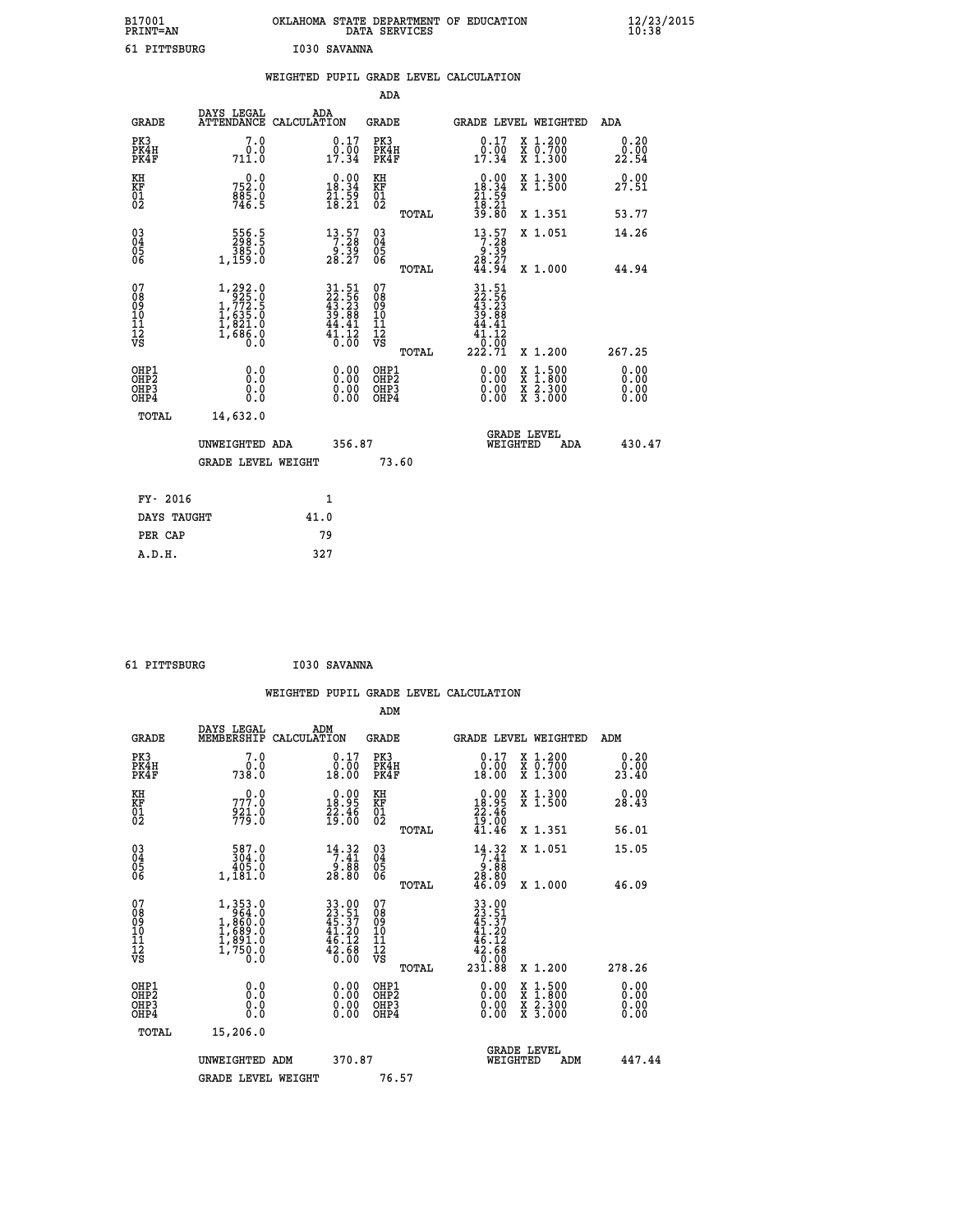| B17001<br><b>PRINT=AN</b> | OKLAHOMA<br>. STATE DEPARTMENT OF EDUCATION<br>DATA SERVICES | $\frac{12}{23}$ /2015 |
|---------------------------|--------------------------------------------------------------|-----------------------|
| 61 PITTSBURG              | I030 SAVANNA                                                 |                       |

|                                                                    |                                                                                                       |      |                                                                                       |                                                    |       | WEIGHTED PUPIL GRADE LEVEL CALCULATION                                            |                                          |                              |
|--------------------------------------------------------------------|-------------------------------------------------------------------------------------------------------|------|---------------------------------------------------------------------------------------|----------------------------------------------------|-------|-----------------------------------------------------------------------------------|------------------------------------------|------------------------------|
|                                                                    |                                                                                                       |      |                                                                                       | <b>ADA</b>                                         |       |                                                                                   |                                          |                              |
| <b>GRADE</b>                                                       | DAYS LEGAL<br>ATTENDANCE CALCULATION                                                                  | ADA  |                                                                                       | <b>GRADE</b>                                       |       |                                                                                   | GRADE LEVEL WEIGHTED                     | ADA                          |
| PK3<br>PK4H<br>PK4F                                                | 7.0<br>0.0<br>711.0                                                                                   |      | $\begin{smallmatrix} 0.17\\ 0.00\\ 17.34 \end{smallmatrix}$                           | PK3<br>PK4H<br>PK4F                                |       | 0.17                                                                              | X 1.200<br>X 0.700<br>X 1.300            | 0.20<br>0.00<br>22.54        |
| KH<br>KF<br>01<br>02                                               | 0.0<br>752:0<br>885:0<br>746:5                                                                        |      | $\begin{array}{c} 0.00 \\ 18.34 \\ 21.59 \\ 18.21 \end{array}$                        | KH<br>KF<br>01<br>02                               |       | $\begin{smallmatrix}&&0.00\\18.34\\21.59\\18.21\\39.80\end{smallmatrix}$          | X 1.300<br>X 1.500                       | 0.00<br>27.51                |
|                                                                    |                                                                                                       |      |                                                                                       |                                                    | TOTAL |                                                                                   | X 1.351                                  | 53.77                        |
| $\begin{smallmatrix} 03 \\[-4pt] 04 \end{smallmatrix}$<br>05<br>06 | 556.5<br>298.5<br>385.0<br>1,159.0                                                                    |      | $\begin{array}{c} 13 \cdot 57 \\ 7 \cdot 28 \\ 9 \cdot 39 \\ 28 \cdot 27 \end{array}$ | $\begin{matrix} 03 \\ 04 \\ 05 \\ 06 \end{matrix}$ |       | 13.57<br>$\begin{array}{r} 7.28 \\ 9.39 \\ 28.27 \\ 44.94 \end{array}$            | X 1.051                                  | 14.26                        |
|                                                                    |                                                                                                       |      |                                                                                       |                                                    | TOTAL |                                                                                   | X 1.000                                  | 44.94                        |
| 07<br>08<br>09<br>11<br>11<br>12<br>VS                             | $\begin{smallmatrix} 1,292.0\\ 925.0\\ 1,772.5\\ 1,635.0\\ 1,821.0\\ 1,686.0\\ 0.0 \end{smallmatrix}$ |      | 31.51<br>22.56<br>43.23<br>39.88<br>44.41<br>$\frac{4}{0}$ : $\frac{1}{0}$            | 07<br>08<br>09<br>11<br>11<br>12<br>VS             | TOTAL | $\begin{smallmatrix} 31.51\ 22.56\ 43.23\ 39.89 \end{smallmatrix}$<br>41<br>41.12 | X 1.200                                  | 267.25                       |
| OHP1<br>OHP2<br>OH <sub>P3</sub><br>OH <sub>P4</sub>               | 0.0<br>Ŏ.Ŏ<br>0.0<br>0.0                                                                              |      | 0.00<br>$\begin{smallmatrix} 0.00 \ 0.00 \end{smallmatrix}$                           | OHP1<br>OHP2<br>OHP3<br>OHP4                       |       | 0.00<br>0.00                                                                      | X 1:500<br>X 1:800<br>X 2:300<br>X 3:000 | 0.00<br>ŏ:ŏŏ<br>0.00<br>0.00 |
| TOTAL                                                              | 14,632.0                                                                                              |      |                                                                                       |                                                    |       |                                                                                   |                                          |                              |
|                                                                    | UNWEIGHTED ADA                                                                                        |      | 356.87                                                                                |                                                    |       | WEIGHTED                                                                          | <b>GRADE LEVEL</b><br>ADA                | 430.47                       |
|                                                                    | <b>GRADE LEVEL WEIGHT</b>                                                                             |      |                                                                                       |                                                    | 73.60 |                                                                                   |                                          |                              |
| FY- 2016                                                           |                                                                                                       |      | $\mathbf{1}$                                                                          |                                                    |       |                                                                                   |                                          |                              |
| DAYS TAUGHT                                                        |                                                                                                       | 41.0 |                                                                                       |                                                    |       |                                                                                   |                                          |                              |
| PER CAP                                                            |                                                                                                       |      | 79                                                                                    |                                                    |       |                                                                                   |                                          |                              |

 **61 PITTSBURG I030 SAVANNA**

|                                                    |                                                                                                                                         |                    |                                                                                   |                                                     |       | WEIGHTED PUPIL GRADE LEVEL CALCULATION                                                                                                              |                                          |     |                               |  |
|----------------------------------------------------|-----------------------------------------------------------------------------------------------------------------------------------------|--------------------|-----------------------------------------------------------------------------------|-----------------------------------------------------|-------|-----------------------------------------------------------------------------------------------------------------------------------------------------|------------------------------------------|-----|-------------------------------|--|
|                                                    |                                                                                                                                         |                    |                                                                                   | ADM                                                 |       |                                                                                                                                                     |                                          |     |                               |  |
| <b>GRADE</b>                                       | DAYS LEGAL<br>MEMBERSHIP                                                                                                                | ADM<br>CALCULATION |                                                                                   | <b>GRADE</b>                                        |       | GRADE LEVEL WEIGHTED                                                                                                                                |                                          |     | ADM                           |  |
| PK3<br>PK4H<br>PK4F                                | 7.0<br>ة:ف<br>738:0                                                                                                                     |                    | $0.17$<br>$0.00$<br>18.00                                                         | PK3<br>PK4H<br>PK4F                                 |       | $0.17$<br>$0.00$<br>18.00                                                                                                                           | X 1.200<br>X 0.700<br>X 1.300            |     | 0.20<br>0.00<br>23.40         |  |
| KH<br>KF<br>01<br>02                               | 777.0<br>$\frac{921.0}{779.0}$                                                                                                          |                    | $0.00$<br>18.95<br>$\frac{22.46}{19.00}$                                          | KH<br>KF<br>01<br>02                                |       | $\begin{smallmatrix} 0.00\\18.95\\22.46\\19.00\\41.46\end{smallmatrix}$                                                                             | X 1.300<br>X 1.500                       |     | 0.00<br>28.43                 |  |
|                                                    |                                                                                                                                         |                    |                                                                                   |                                                     | TOTAL |                                                                                                                                                     | X 1.351                                  |     | 56.01                         |  |
| $\begin{matrix} 03 \\ 04 \\ 05 \\ 06 \end{matrix}$ | $\frac{587}{304}$ :0<br>405.0<br>1,181.0                                                                                                |                    | $\begin{array}{c} 14\cdot 32 \\ 7\cdot 41 \\ 9\cdot 88 \\ 28\cdot 80 \end{array}$ | $\begin{array}{c} 03 \\ 04 \\ 05 \\ 06 \end{array}$ | TOTAL | $\begin{array}{r} 14 \cdot 32 \\ 7 \cdot 41 \\ 9 \cdot 88 \\ 28 \cdot 80 \\ 46 \cdot 09 \end{array}$                                                | X 1.051<br>X 1.000                       |     | 15.05<br>46.09                |  |
| 07<br>0890112<br>1112<br>VS                        | $\begin{smallmatrix} 1,353\cdot 0\\ 964\cdot 0\\ 1,860\cdot 0\\ 1,689\cdot 0\\ 1,891\cdot 0\\ 1,750\cdot 0\\ 0\cdot 0\end{smallmatrix}$ |                    | $33.00$<br>$23.51$<br>$45.37$<br>$41.20$<br>46.12<br>$\frac{42.68}{0.00}$         | 07<br>08901112<br>1112<br>VS                        | TOTAL | $\begin{array}{r} 33 \cdot 00 \\ 23 \cdot 51 \\ 45 \cdot 37 \\ 41 \cdot 20 \\ 46 \cdot 12 \\ 42 \cdot 68 \\ 0 \cdot 00 \\ 231 \cdot 88 \end{array}$ | X 1.200                                  |     | 278.26                        |  |
| OHP1<br>OHP <sub>2</sub><br>OHP3<br>OHP4           | 0.0<br>0.000                                                                                                                            |                    | $0.00$<br>$0.00$<br>0.00                                                          | OHP1<br>OHP <sub>2</sub><br>OHP <sub>3</sub>        |       | 0.00<br>0.00<br>0.00                                                                                                                                | X 1:500<br>X 1:800<br>X 2:300<br>X 3:000 |     | 0.00<br>Ō. ŌŌ<br>0.00<br>0.00 |  |
| TOTAL                                              | 15,206.0<br>UNWEIGHTED ADM                                                                                                              |                    | 370.87                                                                            |                                                     |       | WEIGHTED                                                                                                                                            | <b>GRADE LEVEL</b>                       | ADM | 447.44                        |  |
|                                                    | <b>GRADE LEVEL WEIGHT</b>                                                                                                               |                    |                                                                                   | 76.57                                               |       |                                                                                                                                                     |                                          |     |                               |  |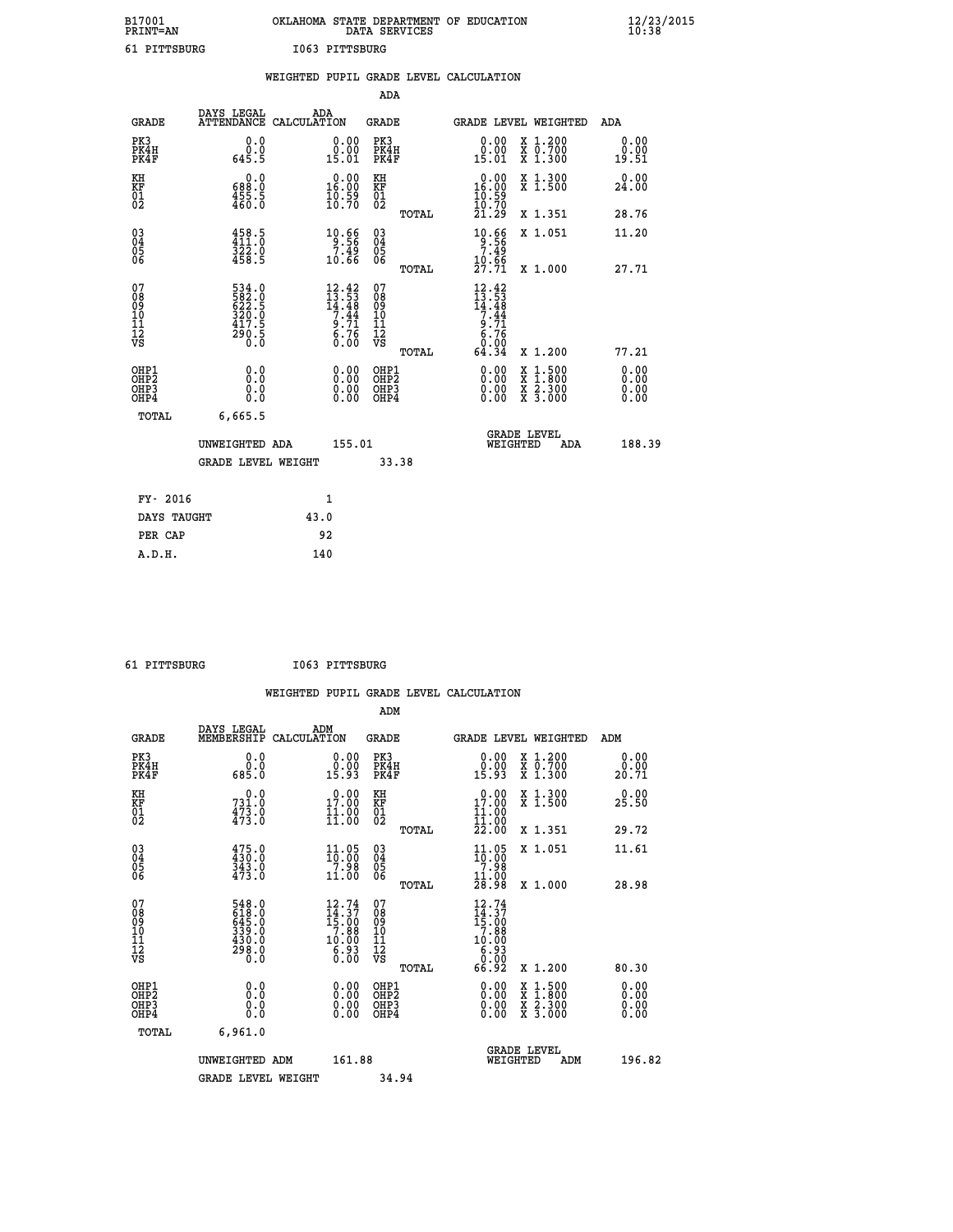| B17001          | OKLAHOMA STATE DEPARTMENT OF EDUCATION |
|-----------------|----------------------------------------|
| <b>PRINT=AN</b> | DATA SERVICES                          |
| 61 PITTSBURG    | I063 PITTSBURG                         |

|                                    |                                                             | WEIGHTED PUPIL GRADE LEVEL CALCULATION                                                                                         |                                                 |                                                                                                                                                                                                                                                                                                                                                                                                                                    |                                                    |
|------------------------------------|-------------------------------------------------------------|--------------------------------------------------------------------------------------------------------------------------------|-------------------------------------------------|------------------------------------------------------------------------------------------------------------------------------------------------------------------------------------------------------------------------------------------------------------------------------------------------------------------------------------------------------------------------------------------------------------------------------------|----------------------------------------------------|
|                                    |                                                             |                                                                                                                                | <b>ADA</b>                                      |                                                                                                                                                                                                                                                                                                                                                                                                                                    |                                                    |
| <b>GRADE</b>                       | DAYS LEGAL                                                  | ADA<br>ATTENDANCE CALCULATION                                                                                                  | <b>GRADE</b>                                    | GRADE LEVEL WEIGHTED                                                                                                                                                                                                                                                                                                                                                                                                               | ADA                                                |
| PK3<br>PK4H<br>PK4F                | 0.0<br>$0.0$<br>5.5                                         | 0.00<br>15.01                                                                                                                  | PK3<br>PK4H<br>PK4F                             | 0.00<br>X 1.200<br>X 0.700<br>X 1.300<br>0.00<br>15.01                                                                                                                                                                                                                                                                                                                                                                             | 0.00<br>0.00<br>19.51                              |
| KH<br>KF<br>01<br>02               | 0.0<br>$\frac{688}{455}$ $\frac{3}{5}$                      | $\begin{smallmatrix} 0.00\\ 16.00\\ 10.59\\ 10.70 \end{smallmatrix}$                                                           | KH<br>KF<br>01<br>02                            | X 1.300<br>X 1.500<br>$\begin{smallmatrix} 0.00\\ 16.00\\ 10.59\\ 10.70 \end{smallmatrix}$                                                                                                                                                                                                                                                                                                                                         | 0.00<br>24.00                                      |
|                                    |                                                             |                                                                                                                                | TOTAL                                           | 21.29<br>X 1.351                                                                                                                                                                                                                                                                                                                                                                                                                   | 28.76                                              |
| $^{03}_{04}$<br>Ŏ5<br>06           | $458.5$<br>$411.0$<br>$\frac{322.0}{458.5}$                 | $10.66$<br>$9.56$<br>ۆ4:7<br>10.66                                                                                             | $\substack{03 \\ 04}$<br>Ŏ5<br>06               | $10.66$<br>$7.49$<br>X 1.051                                                                                                                                                                                                                                                                                                                                                                                                       | 11.20                                              |
|                                    |                                                             |                                                                                                                                | TOTAL                                           | 10.66<br>27.71<br>X 1.000                                                                                                                                                                                                                                                                                                                                                                                                          | 27.71                                              |
| 07<br>08<br>09<br>101<br>112<br>VS | 534.0<br>582.5<br>622.5<br>620.0<br>320.0<br>417.5<br>290.5 | $\begin{smallmatrix} 12\cdot 42\\ 13\cdot 53\\ 14\cdot 48\\ 7\cdot 44\\ 9\cdot 71\\ 6\cdot 76\\ 0\cdot 00\\ \end{smallmatrix}$ | 07<br>08<br>09<br>11<br>11<br>12<br>VS<br>TOTAL | $\begin{array}{@{}c@{\hspace{1em}}c@{\hspace{1em}}c@{\hspace{1em}}c@{\hspace{1em}}c@{\hspace{1em}}c@{\hspace{1em}}c@{\hspace{1em}}c@{\hspace{1em}}c@{\hspace{1em}}c@{\hspace{1em}}c@{\hspace{1em}}c@{\hspace{1em}}c@{\hspace{1em}}c@{\hspace{1em}}c@{\hspace{1em}}c@{\hspace{1em}}c@{\hspace{1em}}c@{\hspace{1em}}c@{\hspace{1em}}c@{\hspace{1em}}c@{\hspace{1em}}c@{\hspace{1em}}c@{\hspace{1em}}c@{\hspace{$<br>64.34<br>X 1.200 | 77.21                                              |
| OHP1<br>OHP2<br>OHP3<br>OHP4       | 0.0<br>$0.\overline{0}$<br>Ō.Ō                              | 0.00<br>$\begin{smallmatrix} 0.00 \ 0.00 \end{smallmatrix}$                                                                    | OHP1<br>OHP2<br>OHP3<br>OHP4                    | 0.00<br>X<br>X<br>0.00<br>X 2.300<br>X 3.000<br>0.00                                                                                                                                                                                                                                                                                                                                                                               | $1:500$<br>$1:800$<br>0.00<br>Ō.ŎŎ<br>0.00<br>0.00 |
| <b>TOTAL</b>                       | 6,665.5                                                     |                                                                                                                                |                                                 |                                                                                                                                                                                                                                                                                                                                                                                                                                    |                                                    |
|                                    | UNWEIGHTED ADA                                              | 155.01                                                                                                                         |                                                 | GRADE LEVEL<br>WEIGHTED                                                                                                                                                                                                                                                                                                                                                                                                            | 188.39<br>ADA                                      |
|                                    | <b>GRADE LEVEL WEIGHT</b>                                   |                                                                                                                                | 33.38                                           |                                                                                                                                                                                                                                                                                                                                                                                                                                    |                                                    |
| FY- 2016                           |                                                             | $\mathbf{1}$                                                                                                                   |                                                 |                                                                                                                                                                                                                                                                                                                                                                                                                                    |                                                    |
| DAYS TAUGHT                        |                                                             | 43.0                                                                                                                           |                                                 |                                                                                                                                                                                                                                                                                                                                                                                                                                    |                                                    |
| PER CAP                            |                                                             | 92                                                                                                                             |                                                 |                                                                                                                                                                                                                                                                                                                                                                                                                                    |                                                    |

 **61 PITTSBURG I063 PITTSBURG**

 **A.D.H. 140**

|                                              |                                                                                             | WEIGHTED PUPIL GRADE LEVEL CALCULATION                               |                                                 |                                                                                        |                                          |                          |
|----------------------------------------------|---------------------------------------------------------------------------------------------|----------------------------------------------------------------------|-------------------------------------------------|----------------------------------------------------------------------------------------|------------------------------------------|--------------------------|
|                                              |                                                                                             |                                                                      | ADM                                             |                                                                                        |                                          |                          |
|                                              | DAYS LEGAL<br>MEMBERSHIP<br><b>GRADE</b>                                                    | ADM<br>CALCULATION                                                   | <b>GRADE</b>                                    | GRADE LEVEL WEIGHTED                                                                   |                                          | ADM                      |
| PK3<br>PK4H<br>PK4F                          | $\begin{smallmatrix} 0.0 \ 0.0 \ 0.85.0 \end{smallmatrix}$                                  | $\begin{smallmatrix} 0.00\\ 0.00\\ 15.93 \end{smallmatrix}$          | PK3<br>PK4H<br>PK4F                             | $\begin{smallmatrix} 0.00\\ 0.00\\ 15.93 \end{smallmatrix}$                            | X 1.200<br>X 0.700<br>X 1.300            | 0.00<br>0.00<br>20.71    |
| KH<br>KF<br>01<br>02                         | 0.0<br>731.0<br>$\frac{473.0}{473.0}$                                                       | 0.00<br>17.00<br>$\frac{1}{11}$ $\frac{5}{00}$                       | KH<br>KF<br>01<br>02                            | 17.00<br>$\frac{11}{11}$ :00<br>22:00                                                  | X 1.300<br>X 1.500                       | 0.00<br>25.50            |
|                                              |                                                                                             |                                                                      | TOTAL                                           |                                                                                        | X 1.351                                  | 29.72                    |
| 030404<br>06                                 | $475.0$<br>$430.0$<br>$343.0$<br>$473.0$                                                    | $\frac{11.05}{10.00}$<br>$\frac{71.98}{11.00}$                       | 030404<br>06                                    | $\frac{11.05}{10.00}$<br>$\frac{7.98}{11.00}$<br>$28.98$                               | X 1.051                                  | 11.61                    |
|                                              |                                                                                             |                                                                      | TOTAL                                           |                                                                                        | X 1.000                                  | 28.98                    |
| 07<br>08<br>09<br>101<br>11<br>12<br>VS      | $\begin{smallmatrix} 548.0\\ 618.0\\ 645.0\\ 339.0\\ 430.0\\ 298.0\\ 0.0 \end{smallmatrix}$ | 12.74<br>$14.37$<br>$15.00$<br>$7.88$<br>$10.00$<br>$6.93$<br>$0.00$ | 07<br>08<br>09<br>11<br>11<br>12<br>VS<br>TOTAL | 12.74<br>$\frac{14}{15}$ : $\frac{37}{7}$ . 88<br>$10.00$<br>$6.93$<br>$0.00$<br>66.92 | X 1.200                                  | 80.30                    |
| OHP1                                         |                                                                                             |                                                                      |                                                 |                                                                                        |                                          |                          |
| OHP <sub>2</sub><br>OH <sub>P3</sub><br>OHP4 | 0.0<br>0.0<br>Ŏ.Ŏ                                                                           |                                                                      | OHP1<br>OHP2<br>OHP3<br>OHP4                    | $0.00$<br>$0.00$<br>0.00                                                               | X 1:500<br>X 1:800<br>X 2:300<br>X 3:000 | $0.00$<br>$0.00$<br>0.00 |
|                                              | 6.961.0<br>TOTAL                                                                            |                                                                      |                                                 |                                                                                        |                                          |                          |
|                                              | UNWEIGHTED ADM<br><b>GRADE LEVEL WEIGHT</b>                                                 | 161.88                                                               |                                                 | <b>GRADE LEVEL</b><br>WEIGHTED                                                         | ADM                                      | 196.82                   |
|                                              |                                                                                             |                                                                      | 34.94                                           |                                                                                        |                                          |                          |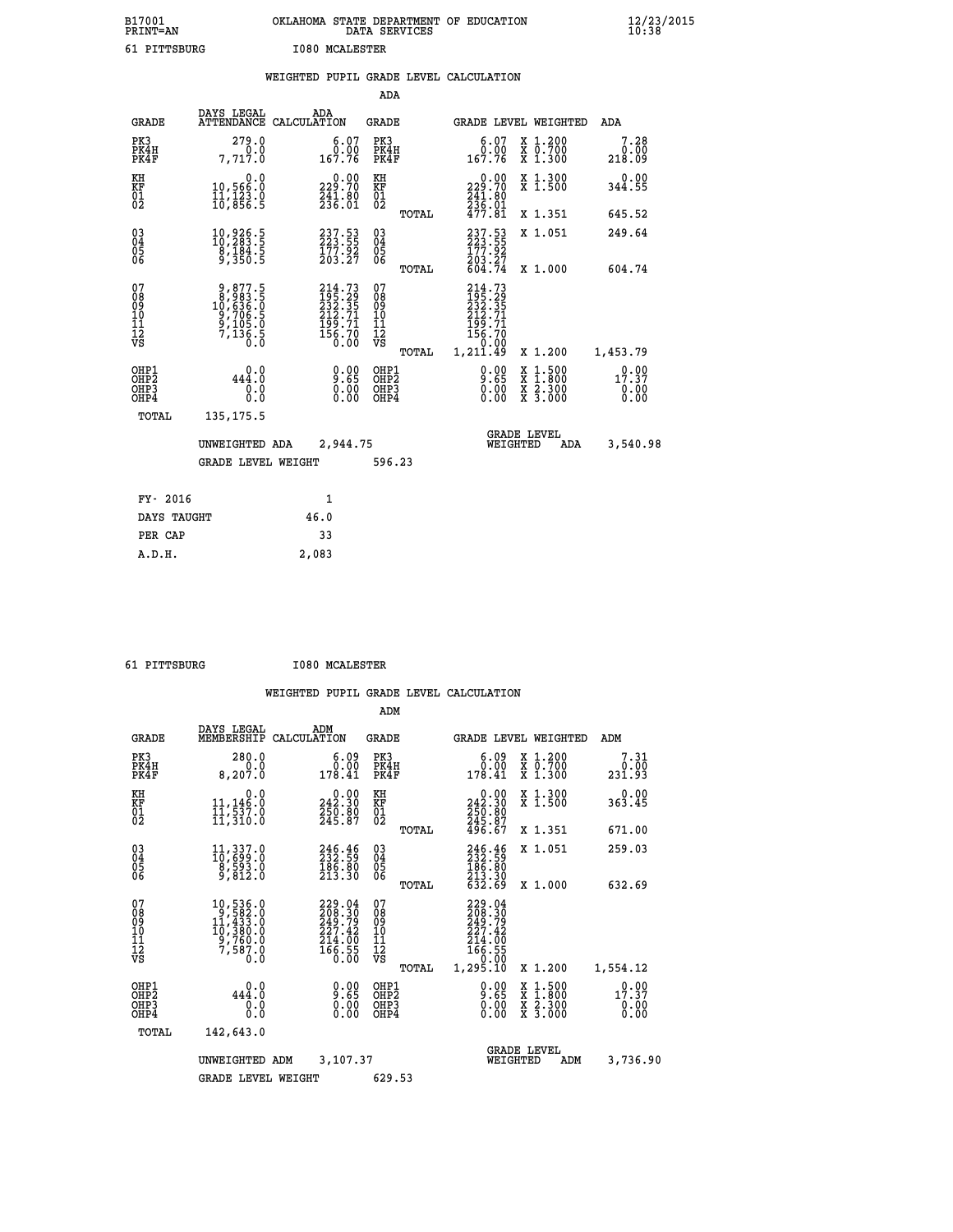| B17001<br>PRINT=AN                     |                                                                 | OKLAHOMA STATE DEPARTMENT OF EDUCATION                                                    | DATA SERVICES                                                       |                                                                                                 |                                          | $\frac{12}{23}$ /2015  |
|----------------------------------------|-----------------------------------------------------------------|-------------------------------------------------------------------------------------------|---------------------------------------------------------------------|-------------------------------------------------------------------------------------------------|------------------------------------------|------------------------|
| 61 PITTSBURG                           |                                                                 | <b>I080 MCALESTER</b>                                                                     |                                                                     |                                                                                                 |                                          |                        |
|                                        |                                                                 | WEIGHTED PUPIL GRADE LEVEL CALCULATION                                                    |                                                                     |                                                                                                 |                                          |                        |
|                                        |                                                                 |                                                                                           | ADA                                                                 |                                                                                                 |                                          |                        |
| <b>GRADE</b>                           | DAYS LEGAL                                                      | ADA<br>ATTENDANCE CALCULATION                                                             | GRADE                                                               |                                                                                                 | GRADE LEVEL WEIGHTED                     | ADA                    |
| PK3<br>PK4H<br>PK4F                    | 279.0<br>0.0<br>7,717.0                                         | 6.07<br>0.00<br>167.76                                                                    | PK3<br>PK4H<br>PK4F                                                 | 6.07<br>0.00<br>167.76                                                                          | X 1.200<br>X 0.700<br>X 1.300            | 7.28<br>0.00<br>218.09 |
| KH<br>KF<br>01<br>02                   | 0.0<br>10,566.0<br>11,123.0<br>10,856.5                         | $\begin{smallmatrix} &0.00\\ 229.70\\ 241.80\\ 236.01\end{smallmatrix}$                   | KH<br>KF<br>$\overline{01}$                                         | 0.00<br>229.70<br>$\frac{241.80}{236.01}$                                                       | X 1.300<br>X 1.500                       | 0.00<br>344.55         |
|                                        |                                                                 |                                                                                           | TOTAL                                                               | 477.81                                                                                          | X 1.351                                  | 645.52                 |
| 030404<br>ŌĞ                           | 10,926.5<br>10,283.5<br>$\frac{8}{3}, \frac{184}{350}$ .5       | $\begin{smallmatrix} 237\cdot53\\ 223\cdot55\\ 177\cdot92\\ 203\cdot27 \end{smallmatrix}$ | 03<br>04<br>05<br>06                                                | 237.53<br>177.92<br>203.27<br>604.74                                                            | X 1.051                                  | 249.64                 |
|                                        |                                                                 |                                                                                           | <b>TOTAL</b>                                                        |                                                                                                 | X 1.000                                  | 604.74                 |
| 07<br>08<br>09<br>11<br>11<br>12<br>VS | 9,877.5<br>8,983.5<br>10,636.0<br>9,706.5<br>9,105.0<br>7,136.5 | 214.73<br>195.29<br>232.35<br>212.71<br>2199.71<br>196.70<br>156.70                       | 07<br>ŏġ<br>09<br>ĭõ<br>$\frac{11}{12}$<br>$\frac{12}{18}$<br>TOTAL | 214.73<br>195.29<br>232.35<br>$21\bar{2}.\bar{7}\bar{1}$<br>$\frac{199.71}{156.70}$<br>1,211.49 | X 1.200                                  | 1,453.79               |
| OHP1                                   |                                                                 |                                                                                           | OHP1                                                                |                                                                                                 |                                          |                        |
| OHP <sub>2</sub><br>OHP3<br>OHP4       | 444.0<br>0.0<br>0.0                                             | 9.00<br>$\begin{smallmatrix} 0.00 \\ 0.00 \end{smallmatrix}$                              | OHP <sub>2</sub><br>OHP3<br>OHP4                                    | 9.00<br>0.00<br>0.00                                                                            | X 1:500<br>X 1:800<br>X 2:300<br>X 3:000 | 17.37<br>0.00<br>0.00  |
| <b>TOTAL</b>                           | 135, 175.5                                                      |                                                                                           |                                                                     |                                                                                                 |                                          |                        |
|                                        | UNWEIGHTED ADA                                                  | 2,944.75                                                                                  |                                                                     |                                                                                                 | <b>GRADE LEVEL</b><br>WEIGHTED<br>ADA    | 3,540.98               |
|                                        | <b>GRADE LEVEL WEIGHT</b>                                       |                                                                                           | 596.23                                                              |                                                                                                 |                                          |                        |
| FY- 2016                               |                                                                 | 1                                                                                         |                                                                     |                                                                                                 |                                          |                        |
| DAYS TAUGHT                            |                                                                 | 46.0                                                                                      |                                                                     |                                                                                                 |                                          |                        |
| PER CAP                                |                                                                 | 33                                                                                        |                                                                     |                                                                                                 |                                          |                        |

| 61 PITTSBURG | <b>I080 MCALESTER</b> |
|--------------|-----------------------|
|              |                       |

 **A.D.H. 2,083**

|                                                       |                                                                                                                                                        |             |                                                                         | ADM                                                 |       |                                                                                   |                                |                                          |                        |
|-------------------------------------------------------|--------------------------------------------------------------------------------------------------------------------------------------------------------|-------------|-------------------------------------------------------------------------|-----------------------------------------------------|-------|-----------------------------------------------------------------------------------|--------------------------------|------------------------------------------|------------------------|
| <b>GRADE</b>                                          | DAYS LEGAL<br>MEMBERSHIP                                                                                                                               | CALCULATION | ADM                                                                     | <b>GRADE</b>                                        |       |                                                                                   |                                | GRADE LEVEL WEIGHTED                     | ADM                    |
| PK3<br>PK4H<br>PK4F                                   | 280.0<br>0.0<br>8,207.0                                                                                                                                |             | 6.09<br>0.00<br>178.41                                                  | PK3<br>PK4H<br>PK4F                                 |       | $\begin{smallmatrix} 6.09\ 0.00\ 178.41\ \end{smallmatrix}$                       |                                | X 1.200<br>X 0.700<br>X 1.300            | 7.31<br>0.00<br>231.93 |
| KH<br>KF<br>01<br>02                                  | 0.0<br>11,146.0<br>11,537.0<br>11,310.0                                                                                                                |             | $\begin{smallmatrix} &0.00\\ 242.30\\ 250.80\\ 245.87\end{smallmatrix}$ | KH<br>KF<br>01<br>02                                |       | $\begin{smallmatrix} &0.00\\ 242.30\\ 250.80\\ 245.87\\ 496.67 \end{smallmatrix}$ |                                | X 1.300<br>X 1.500                       | 0.00<br>363.45         |
|                                                       |                                                                                                                                                        |             |                                                                         |                                                     | TOTAL |                                                                                   |                                | X 1.351                                  | 671.00                 |
| 03<br>04<br>05<br>06                                  | $\begin{smallmatrix} 11, 337.0\\ 10, 699.0\\ 8, 593.0\\ 9, 812.0 \end{smallmatrix}$                                                                    |             | 246.46<br>232.59<br>186.80<br>213.30                                    | $\begin{array}{c} 03 \\ 04 \\ 05 \\ 06 \end{array}$ |       | 246.46<br>232.59<br>186.80<br>213.30<br>632.69                                    |                                | X 1.051                                  | 259.03                 |
|                                                       |                                                                                                                                                        |             |                                                                         |                                                     | TOTAL |                                                                                   |                                | X 1.000                                  | 632.69                 |
| 07<br>08<br>09<br>101<br>112<br>VS                    | $\begin{smallmatrix} 10, 536\, . \ 9\\ 9, 582\, . \ 0\\ 11, 433\, . \ 0\\ 10, 380\, . \ 0\\ 9, 760\, . \ 0\\ 7, 587\, . \ 0\\ 0\, . \end{smallmatrix}$ |             | 229.04<br>208.30<br>249.79<br>227.42<br>$\frac{214.00}{166.55}$         | 07<br>08<br>09<br>11<br>11<br>12<br>VS              | TOTAL | 229.04<br>208.30<br>249.79<br>227.42<br>214.00<br>166.55<br>0.00<br>1,295.10      |                                | X 1.200                                  |                        |
|                                                       |                                                                                                                                                        |             |                                                                         |                                                     |       |                                                                                   |                                |                                          | 1,554.12               |
| OHP1<br>OH <sub>P</sub> 2<br>OH <sub>P3</sub><br>OHP4 | 0.0<br>444.0<br>0.0<br>Ŏ.Ŏ                                                                                                                             |             | $0.00$<br>$0.00$<br>0.00                                                | OHP1<br>OHP2<br>OHP3<br>OHP4                        |       | $0.00$<br>$0.00$<br>0.00                                                          |                                | X 1:500<br>X 1:800<br>X 2:300<br>X 3:000 | 17:37<br>0.00<br>0.00  |
| TOTAL                                                 | 142,643.0                                                                                                                                              |             |                                                                         |                                                     |       |                                                                                   |                                |                                          |                        |
|                                                       | UNWEIGHTED                                                                                                                                             | ADM         | 3,107.37                                                                |                                                     |       |                                                                                   | <b>GRADE LEVEL</b><br>WEIGHTED | ADM                                      | 3,736.90               |
|                                                       | <b>GRADE LEVEL WEIGHT</b>                                                                                                                              |             |                                                                         | 629.53                                              |       |                                                                                   |                                |                                          |                        |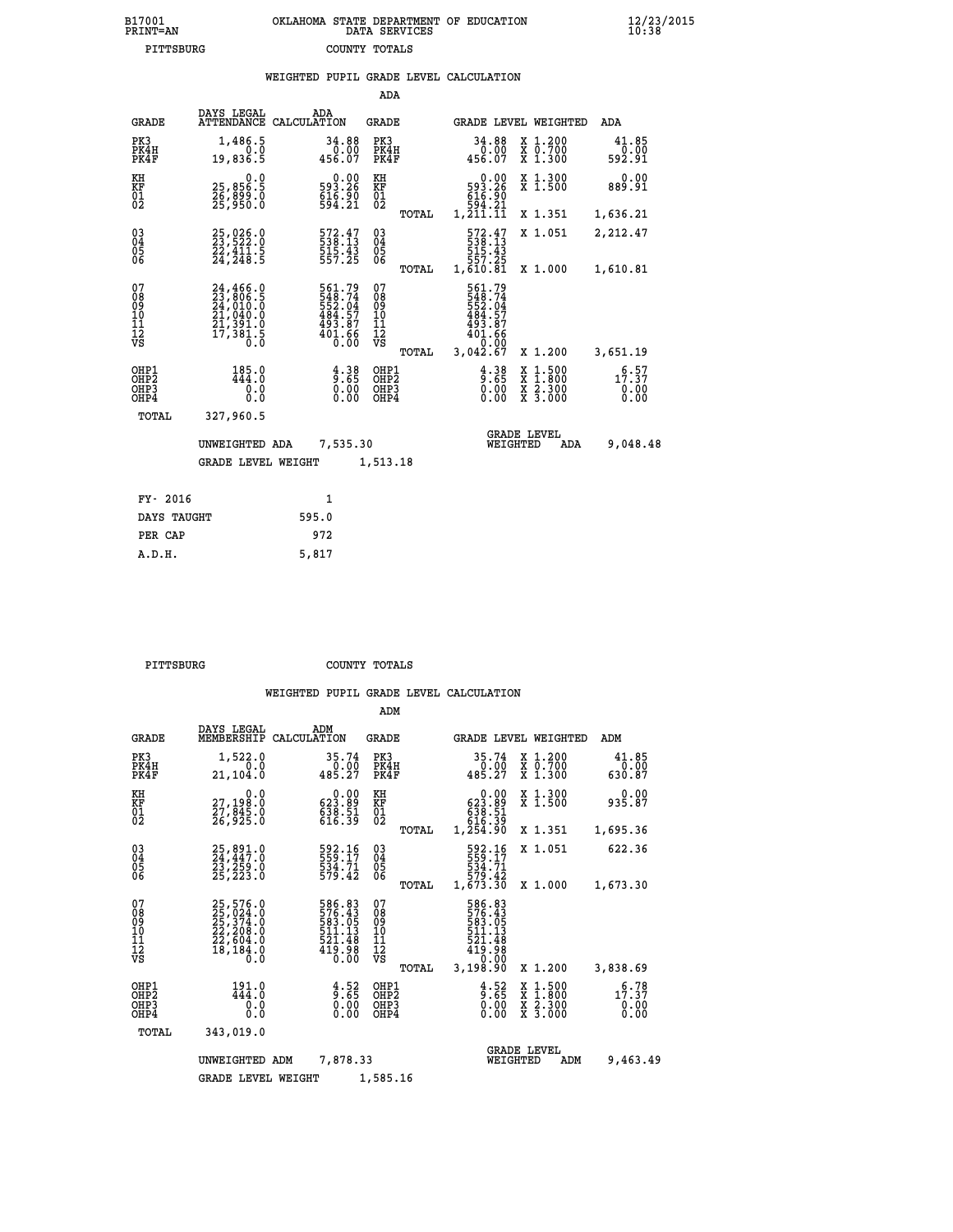| B17001          | OKLAHOMA STATE DEPARTMENT OF EDUCATION |
|-----------------|----------------------------------------|
| <b>PRINT=AN</b> | DATA SERVICES                          |
| PITTSBURG       | COUNTY TOTALS                          |

|                                                                    |                                          |                                                                                                                                                                                      |       |                                                                         |                                                   |       | WEIGHTED PUPIL GRADE LEVEL CALCULATION                                                                                            |          |                                                                                                  |                                      |
|--------------------------------------------------------------------|------------------------------------------|--------------------------------------------------------------------------------------------------------------------------------------------------------------------------------------|-------|-------------------------------------------------------------------------|---------------------------------------------------|-------|-----------------------------------------------------------------------------------------------------------------------------------|----------|--------------------------------------------------------------------------------------------------|--------------------------------------|
|                                                                    |                                          |                                                                                                                                                                                      |       |                                                                         | ADA                                               |       |                                                                                                                                   |          |                                                                                                  |                                      |
|                                                                    | <b>GRADE</b>                             | DAYS LEGAL<br>ATTENDANCE CALCULATION                                                                                                                                                 | ADA   |                                                                         | GRADE                                             |       |                                                                                                                                   |          | GRADE LEVEL WEIGHTED                                                                             | ADA                                  |
|                                                                    | PK3<br>PK4H<br>PK4F                      | 1,486.5<br>0.0<br>19,836.5                                                                                                                                                           |       | 34.88<br>0.00<br>456.07                                                 | PK3<br>PK4H<br>PK4F                               |       | 34.88<br>$0.00$<br>456.07                                                                                                         |          | X 1.200<br>X 0.700<br>X 1.300                                                                    | 41.85<br>0.00<br>592.91              |
| KH<br>KF<br>$\frac{01}{02}$                                        |                                          | 0.0<br>25,856.5<br>26,899.0<br>25,950.0                                                                                                                                              |       | $\begin{smallmatrix} &0.00\\ 593.26\\ 616.90\\ 594.21\end{smallmatrix}$ | KH<br>KF<br>$\begin{matrix} 01 \ 02 \end{matrix}$ |       | $\begin{smallmatrix} 0.00\\593.26\\616.90\\994.21 \end{smallmatrix}$                                                              |          | X 1.300<br>X 1.500                                                                               | 0.00<br>889.91                       |
|                                                                    |                                          |                                                                                                                                                                                      |       |                                                                         |                                                   | TOTAL | 1,211.11                                                                                                                          |          | X 1.351                                                                                          | 1,636.21                             |
| $\begin{smallmatrix} 03 \\[-4pt] 04 \end{smallmatrix}$<br>Ŏ5<br>ŌĞ |                                          | 25,026.0<br>23,522.0<br>22,411.5<br>24,248.5                                                                                                                                         |       | 572.47<br>$\frac{515}{557}. \frac{43}{25}$                              | $\substack{03 \\ 04}$<br>05<br>06                 |       | $\begin{smallmatrix}572.47\phantom{0}538.13\phantom{0}51.43\phantom{0}51.43\phantom{0}557.25\phantom{0}1,610.81\end{smallmatrix}$ |          | X 1.051                                                                                          | 2,212.47                             |
|                                                                    |                                          |                                                                                                                                                                                      |       |                                                                         |                                                   | TOTAL |                                                                                                                                   |          | X 1.000                                                                                          | 1,610.81                             |
| 07<br>08<br>09<br>11<br>11<br>12<br>VS                             |                                          | $\begin{smallmatrix} 24\,,\,466\,. \ 23\,,\,806\,. \ 5\\ 24\,,\,010\,. \ 0\\ 24\,,\,040\,. \ 0\\ 21\,,\,391\,. \ 0\\ 21\,,\,381\,. \ 5\\ 17\,,\,381\,. \ 5\\ 0\,. \end{smallmatrix}$ |       | 561.79<br>548.74<br>552.04<br>484.57<br>493.87<br>401.66<br>0.00        | 07<br>08<br>09<br>11<br>11<br>12<br>VS            | TOTAL | 561.79<br>$548.74$<br>$552.04$<br>$484.57$<br>$493.87$<br>$401.66$<br>0.00<br>3,042.67                                            |          | X 1.200                                                                                          | 3,651.19                             |
|                                                                    | OHP1<br>OHP <sub>2</sub><br>OHP3<br>OHP4 | 185.0<br>444.0<br>0.0<br>0.0                                                                                                                                                         |       | $\begin{smallmatrix} 4.38\ 9.65\ 0.00\ 0.00 \end{smallmatrix}$          | OHP1<br>OHP <sub>2</sub><br>OHP3<br>OHP4          |       | $\frac{4}{9}$ : $\frac{38}{65}$<br>0.00                                                                                           |          | $\begin{smallmatrix} x & 1 & 500 \\ x & 1 & 800 \\ x & 2 & 300 \\ x & 3 & 000 \end{smallmatrix}$ | $1\overline{7} : 57$<br>0.00<br>0.00 |
|                                                                    | TOTAL                                    | 327,960.5                                                                                                                                                                            |       |                                                                         |                                                   |       |                                                                                                                                   |          |                                                                                                  |                                      |
|                                                                    |                                          | UNWEIGHTED ADA                                                                                                                                                                       |       | 7,535.30                                                                |                                                   |       |                                                                                                                                   | WEIGHTED | <b>GRADE LEVEL</b><br>ADA                                                                        | 9,048.48                             |
|                                                                    |                                          | <b>GRADE LEVEL WEIGHT</b>                                                                                                                                                            |       |                                                                         | 1,513.18                                          |       |                                                                                                                                   |          |                                                                                                  |                                      |
|                                                                    | FY- 2016                                 |                                                                                                                                                                                      |       | $\mathbf{1}$                                                            |                                                   |       |                                                                                                                                   |          |                                                                                                  |                                      |
|                                                                    | DAYS TAUGHT                              |                                                                                                                                                                                      | 595.0 |                                                                         |                                                   |       |                                                                                                                                   |          |                                                                                                  |                                      |
|                                                                    | PER CAP                                  |                                                                                                                                                                                      | 972   |                                                                         |                                                   |       |                                                                                                                                   |          |                                                                                                  |                                      |

| PITTSBURG | COUNTY TOTALS |  |
|-----------|---------------|--|

 **A.D.H. 5,817**

|                                                       |                                                                                  |                                                                                                                                       | ADM                                              |                                                                                 |                                          |                                                   |
|-------------------------------------------------------|----------------------------------------------------------------------------------|---------------------------------------------------------------------------------------------------------------------------------------|--------------------------------------------------|---------------------------------------------------------------------------------|------------------------------------------|---------------------------------------------------|
| <b>GRADE</b>                                          | DAYS LEGAL<br>MEMBERSHIP                                                         | ADM<br>CALCULATION                                                                                                                    | <b>GRADE</b>                                     |                                                                                 | GRADE LEVEL WEIGHTED                     | ADM                                               |
| PK3<br>PK4H<br>PK4F                                   | 1,522.0<br>0.0<br>21,104.0                                                       | 35.74<br>0.00<br>485.27                                                                                                               | PK3<br>PK4H<br>PK4F                              | 35.74<br>$\frac{0.00}{485.27}$                                                  | X 1.200<br>X 0.700<br>X 1.300            | 41.85<br>0.00<br>630.87                           |
| KH<br>KF<br>01<br>02                                  | 0.0<br>27,198.0<br>27,845.0<br>26,925.0                                          | $\begin{smallmatrix} &0.00\ 623.89\ 638.51\ 616.39\ \end{smallmatrix}$                                                                | KH<br>KF<br>01<br>02                             | $\begin{smallmatrix} &0.00\ 623.89\ 638.51\ 616.39\ 1,254.90 \end{smallmatrix}$ | X 1.300<br>X 1.500                       | 0.00<br>935.87                                    |
|                                                       |                                                                                  |                                                                                                                                       | TOTAL                                            |                                                                                 | X 1.351                                  | 1,695.36                                          |
| 03<br>04<br>05<br>06                                  | 25,891.0<br>24,447.0<br>23,259.0<br>25, 223.0                                    | 592.16<br>534.71<br>579.42                                                                                                            | $\substack{03 \\ 04}$<br>05<br>06                | 592.16<br>534:71<br>579.42<br>1,673.30                                          | X 1.051                                  | 622.36                                            |
|                                                       |                                                                                  |                                                                                                                                       | TOTAL                                            |                                                                                 | X 1.000                                  | 1,673.30                                          |
| 07<br>08<br>09<br>11<br>11<br>12<br>VS                | 25,576.0<br>25,024.0<br>25,374.0<br>22,208.0<br>22,604.0<br>32,604.0<br>18,184.0 | 586.83<br>576.43<br>583.05<br>511<br>$.1\bar{3}$<br>$\frac{5\bar{2}\bar{1}\cdot\bar{4}\bar{8}}{41\bar{9}\cdot\bar{9}\bar{8}}$<br>0.00 | 07<br>08<br>09<br>101<br>11<br>12<br>VS<br>TOTAL | 586.83<br>576.43<br>583.05<br>511.13<br>$\frac{521.48}{419.98}$<br>3,198.90     | X 1.200                                  | 3,838.69                                          |
| OHP1<br>OH <sub>P</sub> 2<br>OH <sub>P3</sub><br>OHP4 | 191.0<br>0.0<br>Ŏ.Ŏ                                                              | $\frac{4.52}{9.65}$<br>0.00                                                                                                           | OHP1<br>OHP2<br>OHP3<br>OHP4                     | $\frac{4.52}{9.65}$<br>0.00                                                     | X 1:500<br>X 1:800<br>X 2:300<br>X 3:000 | $1\overline{7}$ : $3\overline{7}$<br>0.00<br>0.00 |
| TOTAL                                                 | 343,019.0                                                                        |                                                                                                                                       |                                                  |                                                                                 |                                          |                                                   |
|                                                       | UNWEIGHTED                                                                       | 7,878.33<br>ADM                                                                                                                       |                                                  | WEIGHTED                                                                        | <b>GRADE LEVEL</b><br>ADM                | 9,463.49                                          |
|                                                       | <b>GRADE LEVEL WEIGHT</b>                                                        |                                                                                                                                       | 1,585.16                                         |                                                                                 |                                          |                                                   |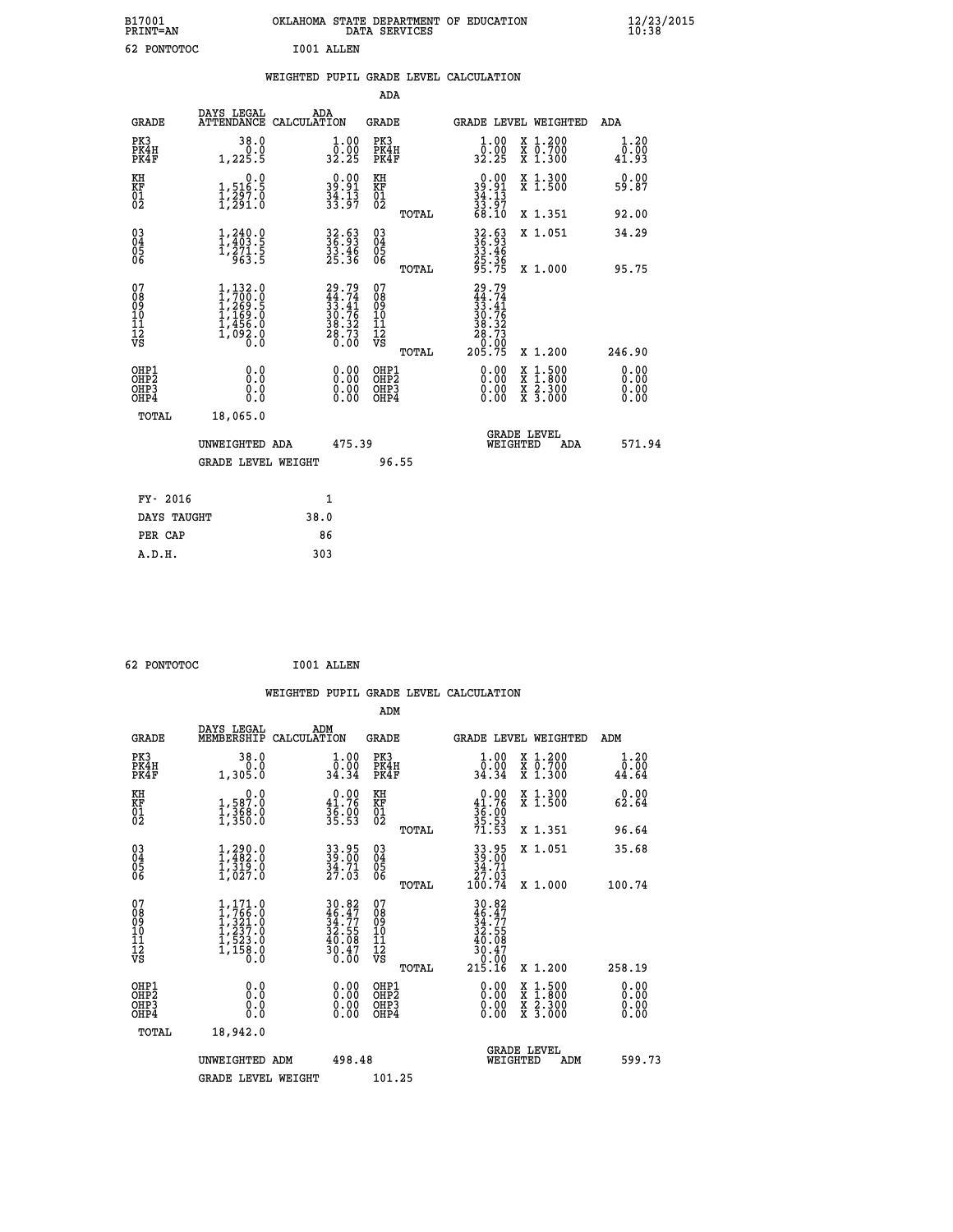| B17001<br><b>PRINT=AN</b> | OKLAHOMA STATE DEPARTMENT OF EDUCATION<br>DATA SERVICES | $\frac{12}{23}$ /2015 |
|---------------------------|---------------------------------------------------------|-----------------------|
| 62<br>PONTOTOC            | I001 ALLEN                                              |                       |

|  |     | WEIGHTED PUPIL GRADE LEVEL CALCULATION |  |
|--|-----|----------------------------------------|--|
|  | ADA |                                        |  |

| <b>GRADE</b>                                         | DAYS LEGAL                                                                              | ADA<br>ATTENDANCE CALCULATION                                            | <b>GRADE</b>                                       |       | <b>GRADE LEVEL WEIGHTED</b>                                                           |                                          | ADA                   |
|------------------------------------------------------|-----------------------------------------------------------------------------------------|--------------------------------------------------------------------------|----------------------------------------------------|-------|---------------------------------------------------------------------------------------|------------------------------------------|-----------------------|
| PK3<br>PK4H<br>PK4F                                  | 38.0<br>0.0<br>1,225.5                                                                  | $\begin{smallmatrix} 1.00\\ 0.00\\ 32.25 \end{smallmatrix}$              | PK3<br>PK4H<br>PK4F                                |       | $\begin{smallmatrix} 1.00\\ 0.00\\ 32.25 \end{smallmatrix}$                           | X 1.200<br>X 0.700<br>X 1.300            | 1.20<br>0.00<br>41.93 |
| KH<br>KF<br>01<br>02                                 | $\begin{smallmatrix}&&&0.0\\1,516.5\\1,297.0\\1,291.0\end{smallmatrix}$                 | $39.91$<br>$34.13$<br>$33.97$                                            | KH<br>KF<br>01<br>02                               |       | $39.91$<br>$34.13$<br>$33.97$<br>$68.10$                                              | X 1.300<br>X 1.500                       | 0.00<br>59.87         |
|                                                      |                                                                                         |                                                                          |                                                    | TOTAL |                                                                                       | X 1.351                                  | 92.00                 |
| 030404<br>ŌĞ                                         | $1, 240.0$<br>$1, 403.5$<br>$1, 271.5$<br>$963.5$                                       | 32.63<br>36.93<br>33.46<br>25.36                                         | $\begin{matrix} 03 \\ 04 \\ 05 \\ 06 \end{matrix}$ |       | 32.63<br>36.93<br>33.46<br>25.36<br>25.75                                             | X 1.051                                  | 34.29                 |
|                                                      |                                                                                         |                                                                          |                                                    | TOTAL |                                                                                       | X 1.000                                  | 95.75                 |
| 07<br>08<br>09<br>101<br>11<br>12<br>VS              | $1, 132.0$<br>$1, 700.0$<br>$1, 269.5$<br>$1, 169.0$<br>$1, 456.0$<br>$1, 092.0$<br>0.0 | $29.79$<br>$44.74$<br>$33.41$<br>$30.76$<br>$38.32$<br>$28.73$<br>$0.00$ | 07<br>08901112<br>1112<br>VS                       | TOTAL | $29.79$<br>$44.74$<br>$33.41$<br>$30.76$<br>$38.32$<br>$28.73$<br>$20.00$<br>$205.75$ | X 1.200                                  | 246.90                |
|                                                      |                                                                                         |                                                                          |                                                    |       |                                                                                       |                                          | 0.00                  |
| OHP1<br>OHP2<br>OH <sub>P3</sub><br>OH <sub>P4</sub> | 0.0<br>0.000                                                                            | $\begin{smallmatrix} 0.00 \ 0.00 \ 0.00 \ 0.00 \end{smallmatrix}$        | OHP1<br>OHP2<br>OHP3<br>OHP4                       |       |                                                                                       | X 1:500<br>X 1:800<br>X 2:300<br>X 3:000 | 0.00<br>0.0000        |
| TOTAL                                                | 18,065.0                                                                                |                                                                          |                                                    |       |                                                                                       |                                          |                       |
|                                                      | UNWEIGHTED ADA                                                                          | 475.39                                                                   |                                                    |       | WEIGHTED                                                                              | <b>GRADE LEVEL</b><br>ADA                | 571.94                |
|                                                      | <b>GRADE LEVEL WEIGHT</b>                                                               |                                                                          |                                                    | 96.55 |                                                                                       |                                          |                       |
| FY- 2016                                             |                                                                                         | 1                                                                        |                                                    |       |                                                                                       |                                          |                       |
|                                                      |                                                                                         |                                                                          |                                                    |       |                                                                                       |                                          |                       |
| DAYS TAUGHT                                          |                                                                                         | 38.0                                                                     |                                                    |       |                                                                                       |                                          |                       |

| $\sim$ nowmomore |  |
|------------------|--|

**PER CAP** 86  **A.D.H. 303**

 **62 PONTOTOC I001 ALLEN WEIGHTED PUPIL GRADE LEVEL CALCULATION ADM DAYS LEGAL ADM GRADE MEMBERSHIP CALCULATION GRADE GRADE LEVEL WEIGHTED ADM PK3 38.0 1.00 PK3 1.00 X 1.200 1.20 PK4H 0.0 0.00 PK4H 0.00 X 0.700 0.00 PK4F 1,305.0 34.34 PK4F 34.34 X 1.300 44.64 KH 0.0 0.00 KH 0.00 X 1.300 0.00 KF 1,587.0 41.76 KF 41.76 X 1.500 62.64 01 1,368.0 36.00 01 36.00 02 1,350.0 35.53 02 35.53 TOTAL 71.53 X 1.351 96.64 03 1,290.0 33.95 03 33.95 X 1.051 35.68 04 1,482.0 39.00 04 39.00 05 1,319.0 34.71 05 34.71 06 1,027.0 27.03 06 27.03 TOTAL 100.74 X 1.000 100.74**  $\begin{array}{cccc} 07 & 1,171.0 & 30.82 & 07 & 30.82, 0.82, 0.82, 0.82, 0.82, 0.82, 0.82, 0.82, 0.82, 0.82, 0.82, 0.82, 0.82, 0.82, 0.82, 0.82, 0.82, 0.82, 0.82, 0.82, 0.82, 0.82, 0.82, 0.82, 0.82, 0.82, 0.82, 0.82, 0.82, 0.82, 0.82, 0$  **TOTAL 215.16 X 1.200 258.19 OHP1 0.0 0.00 OHP1 0.00 X 1.500 0.00 OHP2 0.0 0.00 OHP2 0.00 X 1.800 0.00 OHP3 0.0 0.00 OHP3 0.00 X 2.300 0.00 OHP4 0.0 0.00 OHP4 0.00 X 3.000 0.00 TOTAL 18,942.0 GRADE LEVEL UNWEIGHTED ADM 498.48 WEIGHTED ADM 599.73** GRADE LEVEL WEIGHT 101.25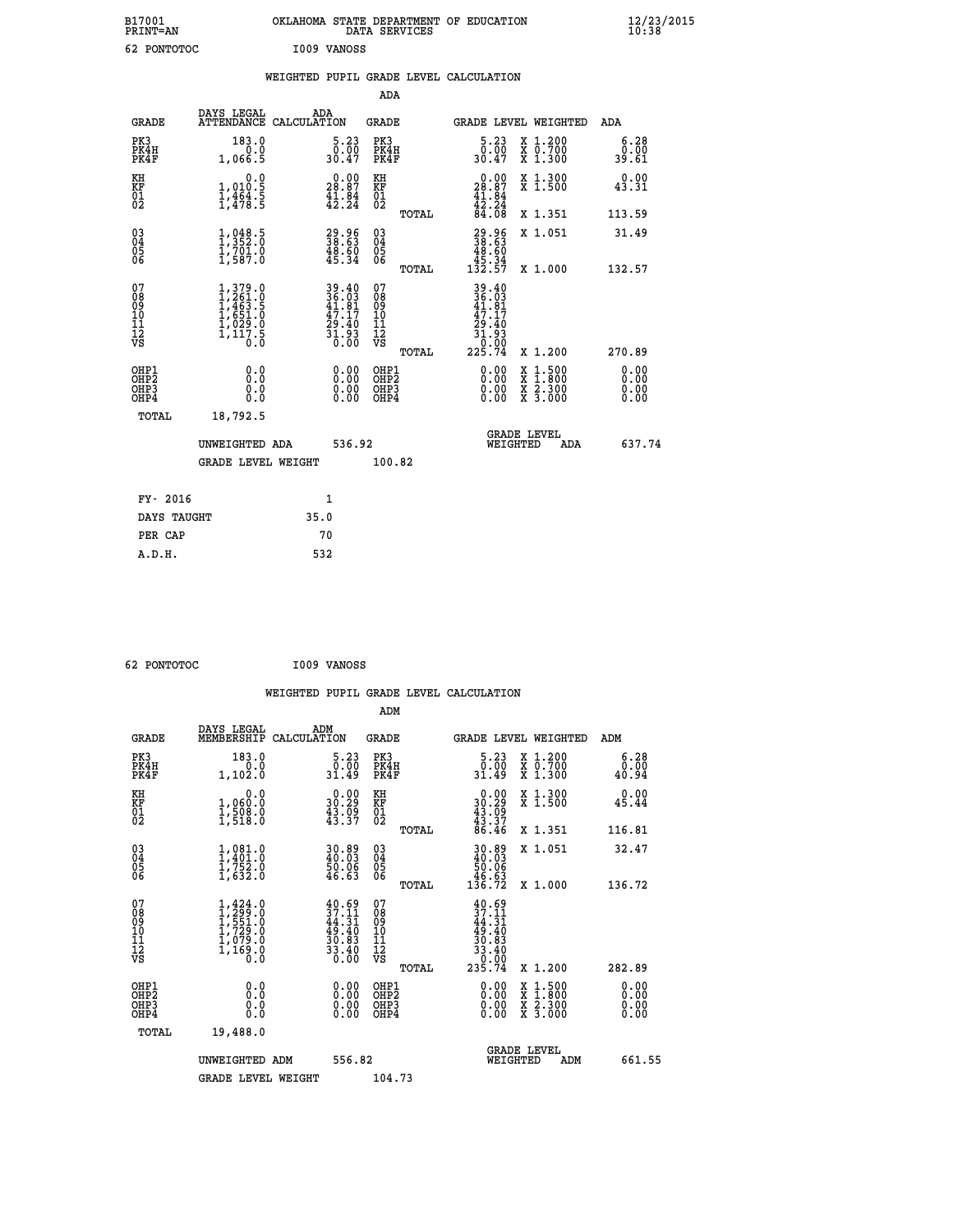| B17001<br><b>PRINT=AN</b> | OKLAHOMA STATE DEPARTMENT OF EDUCATION<br>DATA SERVICES | $\frac{12}{23}$ /2015 |
|---------------------------|---------------------------------------------------------|-----------------------|
| 62<br>PONTOTOC            | I009 VANOSS                                             |                       |

|  |  | WEIGHTED PUPIL GRADE LEVEL CALCULATION |
|--|--|----------------------------------------|
|  |  |                                        |

|                                                                    |                                                                                                                       |                                                                          | ADA                                    |       |                                                                                      |                                          |                       |
|--------------------------------------------------------------------|-----------------------------------------------------------------------------------------------------------------------|--------------------------------------------------------------------------|----------------------------------------|-------|--------------------------------------------------------------------------------------|------------------------------------------|-----------------------|
| <b>GRADE</b>                                                       | DAYS LEGAL<br>ATTENDANCE CALCULATION                                                                                  | ADA                                                                      | <b>GRADE</b>                           |       |                                                                                      | <b>GRADE LEVEL WEIGHTED</b>              | ADA                   |
| PK3<br>PK4H<br>PK4F                                                | 183.0<br>0.0<br>1,066.5                                                                                               | 5.23<br>0.00<br>30.47                                                    | PK3<br>PK4H<br>PK4F                    |       | 5.23<br>ة: ة<br>30.47                                                                | X 1.200<br>X 0.700<br>X 1.300            | 6.28<br>0.00<br>39.61 |
| KH<br>KF<br>01<br>02                                               | 0.0<br>$1,010.5$<br>$1,464.5$<br>$1,478.5$                                                                            | $\begin{smallmatrix} 0.00\\ 28.87\\ 41.84\\ 42.24 \end{smallmatrix}$     | KH<br>KF<br>01<br>02                   |       | 0.00<br>$28.87$<br>$41.84$<br>$42.24$<br>$84.08$                                     | X 1.300<br>X 1.500                       | 0.00<br>43.31         |
|                                                                    |                                                                                                                       |                                                                          |                                        | TOTAL |                                                                                      | X 1.351                                  | 113.59                |
| $\begin{smallmatrix} 03 \\[-4pt] 04 \end{smallmatrix}$<br>Ŏ5<br>06 | $\frac{1}{1}, \frac{048}{352}.\overset{5}{0} \\ 1, \frac{701}{701}.\overset{0}{0} \\ 1, \frac{587}{0}.\overset{0}{0}$ | $\begin{smallmatrix} 29.96 \\ 38.63 \\ 48.60 \\ 45.34 \end{smallmatrix}$ | 03<br>04<br>05<br>06                   |       | $\begin{smallmatrix} 29.96\\ 38.63\\ 48.60\\ 45.34\\ 132.57 \end{smallmatrix}$       | X 1.051                                  | 31.49                 |
|                                                                    |                                                                                                                       |                                                                          |                                        | TOTAL |                                                                                      | X 1.000                                  | 132.57                |
| 07<br>08<br>09<br>01<br>11<br>11<br>12<br>VS                       | $\begin{smallmatrix} 1,379.0\\ 1,261.0\\ 1,463.5\\ 1,651.0\\ 1,029.0\\ 1,117.5\\ 0.0 \end{smallmatrix}$               | 39.40<br>36.03<br>41.81<br>$\frac{47.17}{29.40}$<br>$\frac{31.93}{0.00}$ | 07<br>08<br>09<br>11<br>11<br>12<br>VS |       | $39.40$<br>$36.03$<br>$41.81$<br>$47.17$<br>$29.40$<br>$31.93$<br>$0.00$<br>$225.74$ |                                          |                       |
|                                                                    |                                                                                                                       |                                                                          |                                        | TOTAL |                                                                                      | X 1.200                                  | 270.89                |
| OHP1<br><b>OHP2</b><br>OH <sub>P3</sub><br>OHP4                    | 0.0<br>0.0<br>0.0                                                                                                     | $0.00$<br>$0.00$<br>0.00                                                 | OHP1<br>OHP2<br>OHP3<br>OHP4           |       | 0.00<br>0.00                                                                         | X 1:500<br>X 1:800<br>X 2:300<br>X 3:000 | 0.00<br>0.00<br>0.00  |
| TOTAL                                                              | 18,792.5                                                                                                              |                                                                          |                                        |       |                                                                                      |                                          |                       |
|                                                                    | UNWEIGHTED ADA                                                                                                        | 536.92                                                                   |                                        |       |                                                                                      | <b>GRADE LEVEL</b><br>WEIGHTED<br>ADA    | 637.74                |
|                                                                    | <b>GRADE LEVEL WEIGHT</b>                                                                                             |                                                                          | 100.82                                 |       |                                                                                      |                                          |                       |
| FY- 2016                                                           |                                                                                                                       | $\mathbf{1}$                                                             |                                        |       |                                                                                      |                                          |                       |
| DAYS TAUGHT                                                        |                                                                                                                       | 35.0                                                                     |                                        |       |                                                                                      |                                          |                       |
| PER CAP                                                            |                                                                                                                       | 70                                                                       |                                        |       |                                                                                      |                                          |                       |

| 62 PONTOTOC |  |
|-------------|--|

 **62 PONTOTOC I009 VANOSS WEIGHTED PUPIL GRADE LEVEL CALCULATION ADM DAYS LEGAL ADM GRADE MEMBERSHIP CALCULATION GRADE GRADE LEVEL WEIGHTED ADM PK3 183.0 5.23 PK3 5.23 X 1.200 6.28 PK4H 0.0 0.00 PK4H 0.00 X 0.700 0.00 PK4F 1,102.0 31.49 PK4F 31.49 X 1.300 40.94 KH 0.0 0.00 KH 0.00 X 1.300 0.00 KF 1,060.0 30.29 KF 30.29 X 1.500 45.44 01 1,508.0 43.09 01 43.09 02 1,518.0 43.37 02 43.37 TOTAL 86.46 X 1.351 116.81 03 1,081.0 30.89 03 30.89 X 1.051 32.47 04 1,401.0 40.03 04 40.03 05 1,752.0 50.06 05 50.06** 06 1,632.0 46.63 06 <sub>momas</sub> 46.63  **TOTAL 136.72 X 1.000 136.72**  $\begin{array}{cccc} 07 & 1,424.0 & 40.69 & 07 & 40.69 \ 08 & 1,591.0 & 37.11 & 08 & 37.11 \ 09 & 1,729.0 & 49.40 & 10 & 49.11 \ 10 & 1,729.0 & 49.40 & 10 & 49.40 \ 11 & 1,079.0 & 30.83 & 11 & 30.83 \ 12 & 0.83 & 1,169.0 & 36.8 & 12 & 33.40 \ 13 & 0.8 & 0.8 & 0.8 & 0.$  $\begin{array}{cccc} 40.69 & 07 & 40.69 \\ 37.11 & 08 & 37.11 \\ 44.31 & 09 & 44.31 \\ 49.40 & 10 & 49.40 \\ 30.63 & 11 & 30.63 \\ 33.40 & 12 & 33.40 \\ 0.00 & 0 \text{H}\text{P2} & 0.00 & \text{X } 1.500 \\ 0.00 & 0 \text{H}\text{P2} & 0.00 & \text{X } 1.500 & 0.00 \\ 0.00 & 0 \text{H}\text{P2} & 0.00 &$  **OHP1 0.0 0.00 OHP1 0.00 X 1.500 0.00 OHP2 0.0 0.00 OHP2 0.00 X 1.800 0.00 OHP3 0.0 0.00 OHP3 0.00 X 2.300 0.00 OHP4 0.0 0.00 OHP4 0.00 X 3.000 0.00 TOTAL 19,488.0 GRADE LEVEL UNWEIGHTED ADM 556.82 WEIGHTED ADM 661.55** GRADE LEVEL WEIGHT 104.73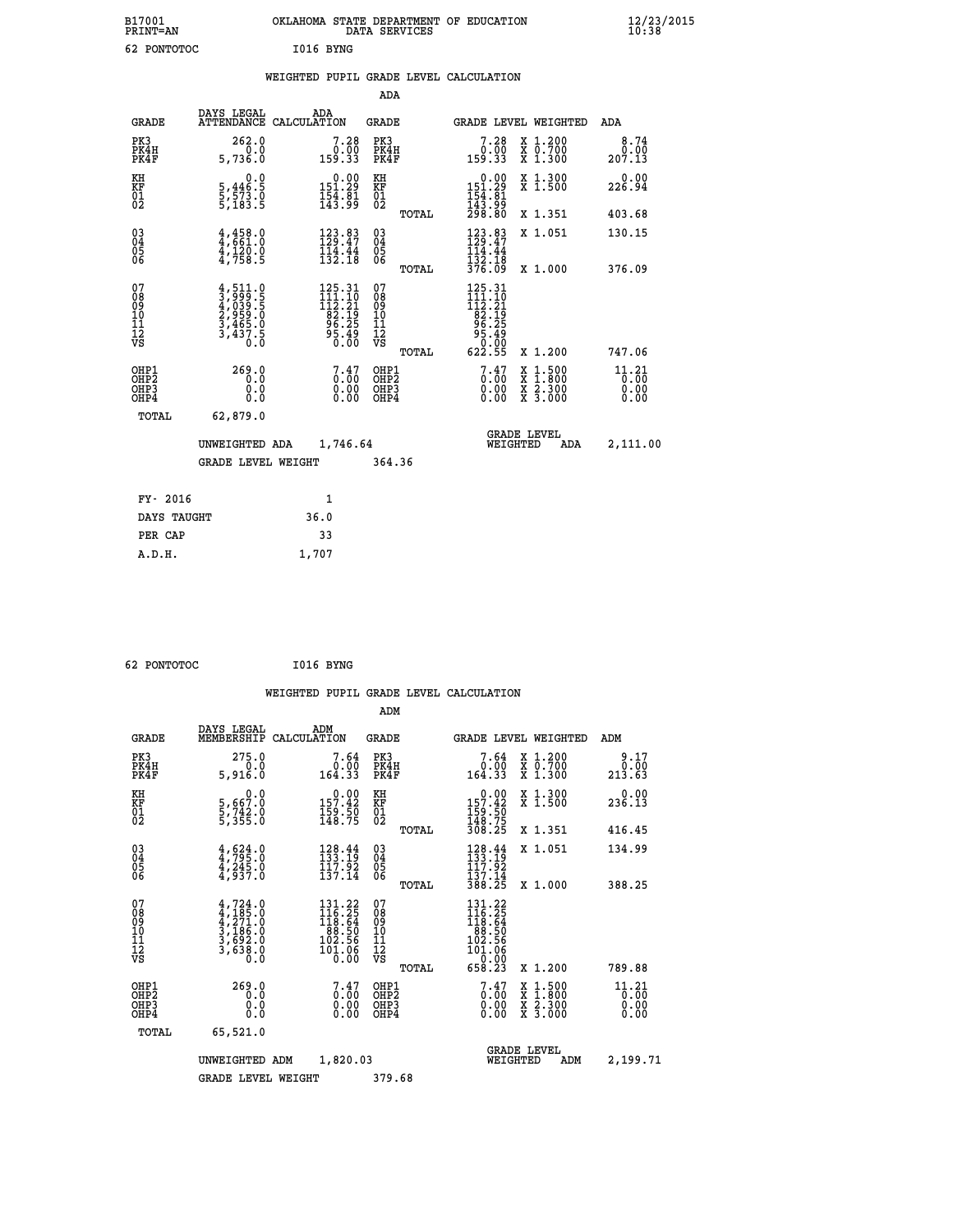| B17001<br><b>PRINT=AN</b> | OKLAHOMA STATE DEPARTMENT OF EDUCATION<br>DATA SERVICES | $\frac{12}{23}$ /2015 |
|---------------------------|---------------------------------------------------------|-----------------------|
| 62<br>PONTOTOC            | I016 BYNG                                               |                       |

|  |  | WEIGHTED PUPIL GRADE LEVEL CALCULATION |
|--|--|----------------------------------------|
|  |  |                                        |

|                                                                    |                                                                                   |                                                                                                       | ADA                                       |       |                                                                                                      |                                          |                               |
|--------------------------------------------------------------------|-----------------------------------------------------------------------------------|-------------------------------------------------------------------------------------------------------|-------------------------------------------|-------|------------------------------------------------------------------------------------------------------|------------------------------------------|-------------------------------|
| <b>GRADE</b>                                                       | DAYS LEGAL                                                                        | ADA<br>ATTENDANCE CALCULATION                                                                         | <b>GRADE</b>                              |       | GRADE LEVEL WEIGHTED                                                                                 |                                          | ADA                           |
| PK3<br>PK4H<br>PK4F                                                | 262.0<br>0.0<br>5,736.0                                                           | $7.28\n0.00\n159.33$                                                                                  | PK3<br>PK4H<br>PK4F                       |       | 7.28<br>ةة: 0<br>33.33                                                                               | X 1.200<br>X 0.700<br>X 1.300            | 8.74<br>0.00<br>207.13        |
| KH<br><b>KF</b><br>01<br>02                                        | 0.0<br>5,446.5<br>5,573.0<br>5,183.5                                              | $\begin{array}{c} 0.00\\151.29\\154.81\\143.99 \end{array}$                                           | KH<br>KF<br>01<br>02                      |       | $\begin{array}{c} 0.00 \\ 151.29 \\ 154.81 \\ 143.99 \\ 298.80 \end{array}$                          | X 1.300<br>X 1.500                       | 0.00<br>226.94                |
|                                                                    |                                                                                   |                                                                                                       |                                           | TOTAL |                                                                                                      | X 1.351                                  | 403.68                        |
| $\begin{smallmatrix} 03 \\[-4pt] 04 \end{smallmatrix}$<br>05<br>06 | $4,458.0$<br>$4,661.0$<br>$\frac{1}{4}, \frac{1}{758}$ . 9                        | 123.83<br>129.47<br>$\frac{114}{132}.$ $\frac{44}{18}$                                                | $\substack{03 \\ 04}$<br>05<br>06         |       | $123.83$<br>$129.47$<br>$114.44$<br>$132.18$<br>376.09                                               | X 1.051                                  | 130.15                        |
|                                                                    |                                                                                   |                                                                                                       |                                           | TOTAL |                                                                                                      | X 1.000                                  | 376.09                        |
| 07<br>08901112<br>1112<br>VS                                       | $4,511.0$<br>$4,039.5$<br>$4,039.5$<br>$2,959.0$<br>$3,465.0$<br>$3,437.5$<br>0.0 | 125.31<br>$\begin{smallmatrix} 111.10 \\ 112.21 \\ 82.19 \\ 96.25 \\ 96.49 \\ 0.00 \end{smallmatrix}$ | 07<br>08<br>09<br>11<br>11<br>12<br>VS    |       | 125.31<br>111.10<br>$\begin{array}{c}\n 112.21 \\  82.19 \\  96.25 \\  95.49 \\  0.09\n \end{array}$ |                                          |                               |
|                                                                    |                                                                                   |                                                                                                       |                                           | TOTAL | 622.55                                                                                               | X 1.200                                  | 747.06                        |
| OHP1<br>OH <sub>P2</sub><br>OH <sub>P3</sub><br>OH <sub>P4</sub>   | 269.0<br>0.0<br>0.0<br>0.0                                                        | $\begin{smallmatrix} 7.47 \ 0.00 \ 0.00 \end{smallmatrix}$<br>0.00                                    | OHP1<br>OH <sub>P</sub> 2<br>OHP3<br>OHP4 |       | $\begin{smallmatrix} 7.47 \ 0.00 \ 0.00 \end{smallmatrix}$<br>0.00                                   | X 1:500<br>X 1:800<br>X 2:300<br>X 3:000 | 11.21<br>0.00<br>0.00<br>0.00 |
| TOTAL                                                              | 62,879.0                                                                          |                                                                                                       |                                           |       |                                                                                                      |                                          |                               |
|                                                                    | UNWEIGHTED ADA                                                                    | 1,746.64                                                                                              |                                           |       |                                                                                                      | GRADE LEVEL<br>WEIGHTED<br>ADA           | 2,111.00                      |
|                                                                    | <b>GRADE LEVEL WEIGHT</b>                                                         |                                                                                                       | 364.36                                    |       |                                                                                                      |                                          |                               |
| FY- 2016                                                           |                                                                                   | $\mathbf{1}$                                                                                          |                                           |       |                                                                                                      |                                          |                               |
| DAYS TAUGHT                                                        |                                                                                   | 36.0                                                                                                  |                                           |       |                                                                                                      |                                          |                               |
| PER CAP                                                            |                                                                                   | 33                                                                                                    |                                           |       |                                                                                                      |                                          |                               |

| -------- |  |
|----------|--|

 **A.D.H. 1,707**

 **62 PONTOTOC I016 BYNG WEIGHTED PUPIL GRADE LEVEL CALCULATION ADM DAYS LEGAL ADM GRADE MEMBERSHIP CALCULATION GRADE GRADE LEVEL WEIGHTED ADM PK3 275.0 7.64 PK3 7.64 X 1.200 9.17 PK4H 0.0 0.00 PK4H 0.00 X 0.700 0.00 PK4F 5,916.0 164.33 PK4F 164.33 X 1.300 213.63 KH 0.0 0.00 KH 0.00 X 1.300 0.00 KF 5,667.0 157.42 KF 157.42 X 1.500 236.13**  $\begin{array}{cccc} \text{KH} & \hspace{1.5cm} 0.0 & \hspace{1.5cm} 0.00 & \text{KH} \\ \text{KF} & \hspace{1.5cm} 5,667.0 & \hspace{1.5cm} 157.42 & \text{KF} \\ 01 & \hspace{1.5cm} 5,735.0 & \hspace{1.5cm} 149.75 & \hspace{1.5cm} 02 \\ \end{array}$  **02 5,355.0 148.75 02 148.75 TOTAL 308.25 X 1.351 416.45 03 4,624.0 128.44 03 128.44 X 1.051 134.99 04 4,795.0 133.19 04 133.19 05 4,245.0 117.92 05 117.92 06 4,937.0 137.14 06 137.14 TOTAL 388.25 X 1.000 388.25**  $\begin{array}{cccc} 07 & 4,724.0 & 131.22 & 07 & 131.22 \ 08 & 4,185.0 & 116.25 & 08 & 116.25 \ 09 & 4,271.0 & 118.64 & 09 & 118.64 \ 10 & 3,186.0 & 88.50 & 10 & 88.50 \ 11 & 3,692.0 & 102.56 & 11 & 102.56 \ 12 & 5,638.0 & 102.56 & 12 & 101.06 \ 12 & 103.66 & 0.0 &$  **TOTAL 658.23 X 1.200 789.88** OHP1 269.0 7.47 OHP2 7.47 - 0.00 X 1.500 11.21<br>OHP2 0.00 0.00 0HP2 0.00 X 1.500 11.21<br>OHP3 0.00 0.00 OHP3 0.000 X 2.300 0.00  **OHP4 0.0 0.00 OHP4 0.00 X 3.000 0.00 TOTAL 65,521.0 GRADE LEVEL UNWEIGHTED ADM 1,820.03 WEIGHTED ADM 2,199.71 GRADE LEVEL WEIGHT 379.68**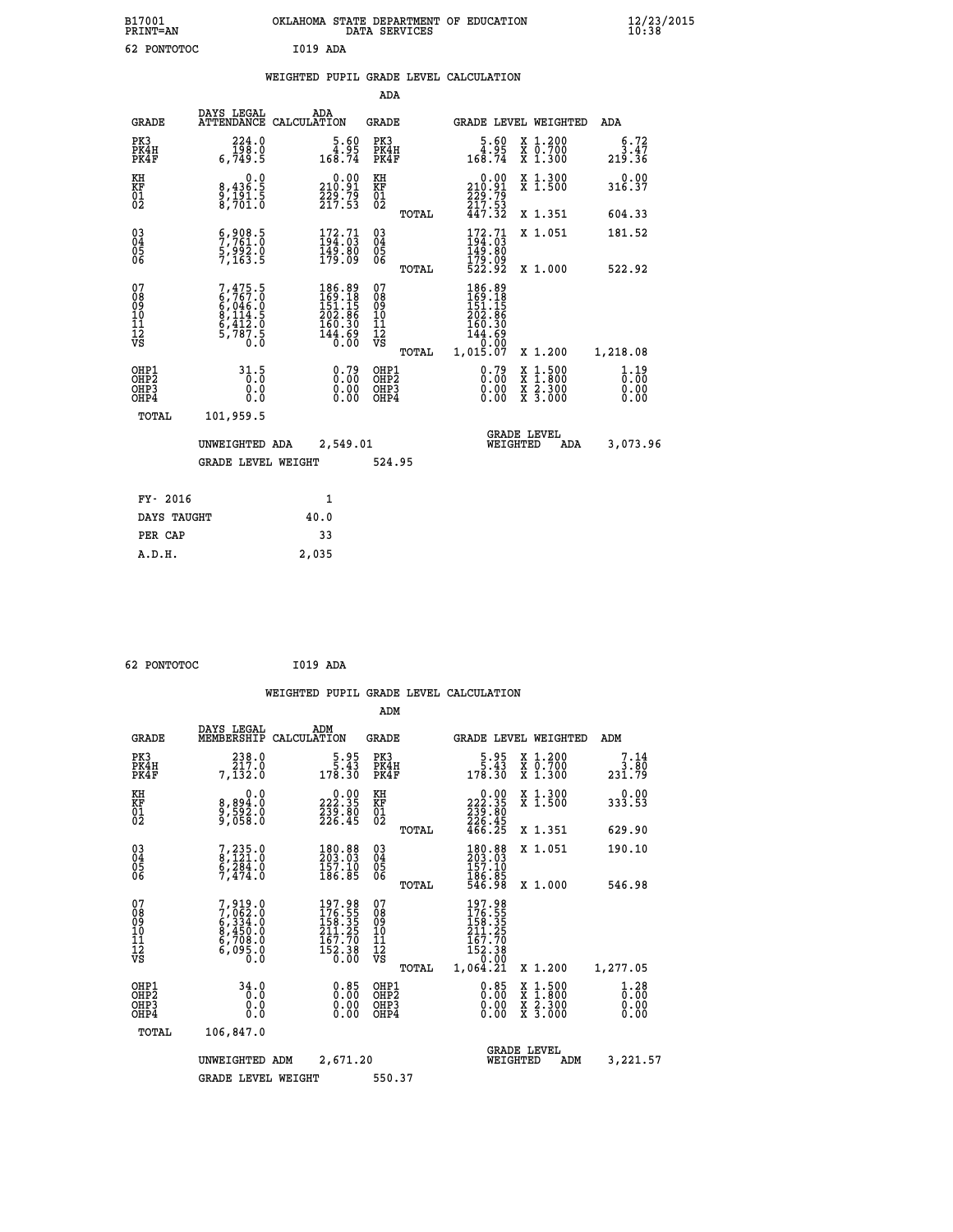| B17001<br><b>PRINT=AN</b> | OKLAHOMA STATE DEPARTMENT OF EDUCATION<br>DATA SERVICES |  |
|---------------------------|---------------------------------------------------------|--|
| 62 PONTOTOC               | <b>I019 ADA</b>                                         |  |

|  |  | WEIGHTED PUPIL GRADE LEVEL CALCULATION |
|--|--|----------------------------------------|
|  |  |                                        |

|                                           |                                                                                                                          |                                                                                | ADA                                      |       |                                                                                   |                                                                                                  |                                            |
|-------------------------------------------|--------------------------------------------------------------------------------------------------------------------------|--------------------------------------------------------------------------------|------------------------------------------|-------|-----------------------------------------------------------------------------------|--------------------------------------------------------------------------------------------------|--------------------------------------------|
| <b>GRADE</b>                              | DAYS LEGAL                                                                                                               | ADA<br>ATTENDANCE CALCULATION                                                  | GRADE                                    |       | <b>GRADE LEVEL WEIGHTED</b>                                                       |                                                                                                  | ADA                                        |
| PK3<br>PK4H<br>PK4F                       | 224.0<br>ة: 198<br>5. 6,749                                                                                              | $5.60$<br>4.95<br>168.74                                                       | PK3<br>PK4H<br>PK4F                      |       | $5.60$<br>4.95<br>168.74                                                          | X 1.200<br>X 0.700<br>X 1.300                                                                    | $5.72$<br>3.47<br>219.36                   |
| KH<br>KF<br>01<br>02                      | 0.0<br>8,436:5<br>9,191:5<br>8,701:0                                                                                     | $\substack{ \phantom{0}0.00\\210.91\\229.79\\217.53 }$                         | KH<br>KF<br>01<br>02                     |       | $\begin{smallmatrix} &0.00\\ 210.91\\ 229.79\\ 217.53\\ 447.32 \end{smallmatrix}$ | X 1.300<br>X 1.500                                                                               | 0.00<br>316.37                             |
|                                           |                                                                                                                          |                                                                                |                                          | TOTAL |                                                                                   | X 1.351                                                                                          | 604.33                                     |
| 03<br>04<br>05<br>06                      | $\begin{smallmatrix} 6 & 9 & 0 & 8 & 5 \\ 7 & 7 & 6 & 1 & 0 \\ 5 & 9 & 9 & 2 & 0 \\ 7 & 1 & 6 & 3 & 5 \end{smallmatrix}$ | $172.71$<br>$194.03$<br>149.00<br>179.09                                       | 03<br>04<br>05<br>06                     |       | 172.71<br>194.03<br>149.80<br>179.09<br>522.92                                    | X 1.051                                                                                          | 181.52                                     |
|                                           |                                                                                                                          |                                                                                |                                          | TOTAL |                                                                                   | X 1.000                                                                                          | 522.92                                     |
| 07<br>08<br>09<br>11<br>11<br>12<br>VS    | 7,475.5<br>6,767.0<br>6,046.0<br>6,412.0<br>6,412.0<br>5,787.5                                                           | $186.89$<br>$169.18$<br>$151.15$<br>$202.86$<br>$160.30$<br>$144.69$<br>$0.00$ | 07<br>08<br>09<br>11<br>11<br>12<br>VS   | TOTAL | $186.89$<br>$169.18$<br>$151.15$<br>$202.86$<br>$160.30$<br>144.69<br>1,015.07    | X 1.200                                                                                          | 1,218.08                                   |
| OHP1<br>OH <sub>P</sub> 2<br>OHP3<br>OHP4 | 31.5<br>0.0<br>Ō.Ō                                                                                                       | 0.79<br>$\begin{smallmatrix} 0.00 \ 0.00 \end{smallmatrix}$                    | OHP1<br>OHP <sub>2</sub><br>OHP3<br>OHP4 |       | $0.79$<br>$0.00$<br>0.00<br>0.00                                                  | $\begin{smallmatrix} x & 1 & 500 \\ x & 1 & 800 \\ x & 2 & 300 \\ x & 3 & 000 \end{smallmatrix}$ | 1.19<br>$\overline{0}$ .00<br>0.00<br>0.00 |
| TOTAL                                     | 101,959.5                                                                                                                |                                                                                |                                          |       |                                                                                   |                                                                                                  |                                            |
|                                           | UNWEIGHTED ADA                                                                                                           | 2,549.01                                                                       |                                          |       | WEIGHTED                                                                          | <b>GRADE LEVEL</b><br>ADA                                                                        | 3,073.96                                   |
|                                           | <b>GRADE LEVEL WEIGHT</b>                                                                                                |                                                                                | 524.95                                   |       |                                                                                   |                                                                                                  |                                            |
| FY- 2016                                  |                                                                                                                          | $\mathbf{1}$                                                                   |                                          |       |                                                                                   |                                                                                                  |                                            |
| DAYS TAUGHT                               |                                                                                                                          | 40.0                                                                           |                                          |       |                                                                                   |                                                                                                  |                                            |
| PER CAP                                   |                                                                                                                          | 33                                                                             |                                          |       |                                                                                   |                                                                                                  |                                            |
| A.D.H.                                    |                                                                                                                          | 2,035                                                                          |                                          |       |                                                                                   |                                                                                                  |                                            |
|                                           |                                                                                                                          |                                                                                |                                          |       |                                                                                   |                                                                                                  |                                            |

| 62 PONTOTOC | <b>I019 ADA</b> |  |
|-------------|-----------------|--|
|             |                 |  |

|                                                      |                                                                                     |                    |                                                                                                             |                                                    |       | WEIGHTED PUPIL GRADE LEVEL CALCULATION                                                        |                                               |                    |                                     |  |
|------------------------------------------------------|-------------------------------------------------------------------------------------|--------------------|-------------------------------------------------------------------------------------------------------------|----------------------------------------------------|-------|-----------------------------------------------------------------------------------------------|-----------------------------------------------|--------------------|-------------------------------------|--|
|                                                      |                                                                                     |                    |                                                                                                             | ADM                                                |       |                                                                                               |                                               |                    |                                     |  |
| <b>GRADE</b>                                         | DAYS LEGAL<br>MEMBERSHIP                                                            | ADM<br>CALCULATION |                                                                                                             | <b>GRADE</b>                                       |       | <b>GRADE LEVEL WEIGHTED</b>                                                                   |                                               |                    | ADM                                 |  |
| PK3<br>PK4H<br>PK4F                                  | 238.0<br>217.0<br>7,132.0                                                           |                    | $\begin{smallmatrix}5.95\5.43\178.30\end{smallmatrix}$                                                      | PK3<br>PK4H<br>PK4F                                |       | $\begin{smallmatrix}5.95\5.43\178.30\end{smallmatrix}$                                        | X 1.200<br>X 0.700<br>X 1.300                 |                    | 7.14<br>$3.\overline{80}$<br>231.79 |  |
| KH<br>KF<br>01<br>02                                 | 0.0<br>8,894:0<br>9,592:0<br>9,058:0                                                |                    | $\begin{smallmatrix} 0.00\\ 222.35\\ 239.80\\ 226.45 \end{smallmatrix}$                                     | KH<br>KF<br>01<br>02                               |       | $\begin{smallmatrix} &0.00\\ 222.35\\ 239.80\\ 226.45\\ 466.25 \end{smallmatrix}$             | X 1.300<br>X 1.500                            |                    | $0.00$<br>333.53                    |  |
|                                                      |                                                                                     |                    |                                                                                                             |                                                    | TOTAL |                                                                                               | X 1.351                                       |                    | 629.90                              |  |
| $\begin{matrix} 03 \\ 04 \\ 05 \\ 06 \end{matrix}$   | $7, 235.0$<br>8,121.0<br>6,284.0<br>7,474.0                                         |                    | $\begin{smallmatrix} 180.88\\ 203.03\\ 157.10\\ 186.85 \end{smallmatrix}$                                   | $\begin{matrix} 03 \\ 04 \\ 05 \\ 06 \end{matrix}$ |       | $180.88$<br>$203.03$<br>$157.10$<br>$186.85$<br>$546.98$                                      | X 1.051                                       |                    | 190.10                              |  |
|                                                      |                                                                                     |                    |                                                                                                             |                                                    | TOTAL |                                                                                               | X 1.000                                       |                    | 546.98                              |  |
| 07<br>08<br>09<br>01<br>11<br>11<br>12<br>VS         | $7,919.0$<br>$7,062.0$<br>$6,334.0$<br>$8,450.0$<br>$6,708.0$<br>$6,095.0$<br>$0.0$ |                    | $\begin{smallmatrix} 197.98\\ 176.55\\ 158.35\\ 211.25\\ 211.25\\ 167.70\\ 152.38\\ 0.00 \end{smallmatrix}$ | 07<br>08<br>09<br>001<br>11<br>11<br>12<br>VS      |       | 197.98<br>$\frac{176}{158}\cdot\frac{55}{35}$<br>$\frac{211}{25}$<br>167.70<br>152.38<br>0.00 |                                               |                    |                                     |  |
|                                                      |                                                                                     |                    |                                                                                                             |                                                    | TOTAL | 1,064.21                                                                                      | X 1.200                                       |                    | 1,277.05                            |  |
| OHP1<br>OHP2<br>OH <sub>P3</sub><br>OH <sub>P4</sub> | 34.0<br>0.0<br>0.000                                                                |                    | 0.85<br>0.00<br>0.00                                                                                        | OHP1<br>OHP2<br>OHP3<br>OHP4                       |       | $0.85$<br>$0.00$<br>$0.00$<br>0.00                                                            | X<br>X<br>$\frac{x}{x}$ $\frac{5:300}{3:000}$ | $1.500$<br>$1.800$ | $1.28$<br>$0.00$<br>0.00<br>0.00    |  |
| TOTAL                                                | 106,847.0                                                                           |                    |                                                                                                             |                                                    |       |                                                                                               |                                               |                    |                                     |  |
|                                                      | UNWEIGHTED                                                                          | ADM                | 2,671.20                                                                                                    |                                                    |       | WEIGHTED                                                                                      | <b>GRADE LEVEL</b>                            | ADM                | 3,221.57                            |  |
|                                                      | <b>GRADE LEVEL WEIGHT</b>                                                           |                    |                                                                                                             | 550.37                                             |       |                                                                                               |                                               |                    |                                     |  |
|                                                      |                                                                                     |                    |                                                                                                             |                                                    |       |                                                                                               |                                               |                    |                                     |  |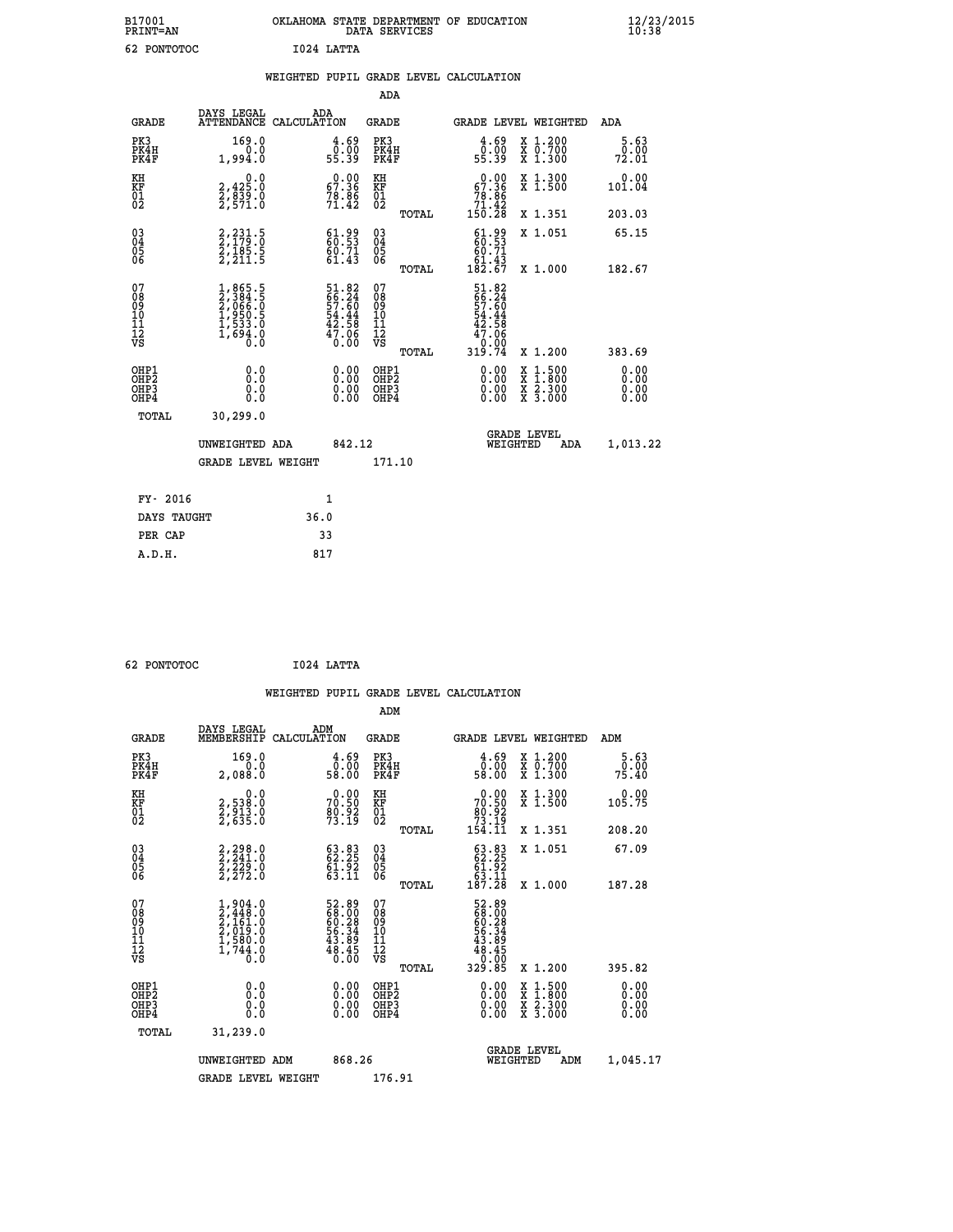| B17001<br><b>PRINT=AN</b> | OKLAHOMA STATE DEPARTMENT OF EDUCATION<br>DATA SERVICES | $\frac{12}{23}$ /2015 |
|---------------------------|---------------------------------------------------------|-----------------------|
| 62<br>PONTOTOC            | I024 LATTA                                              |                       |

|  |     | WEIGHTED PUPIL GRADE LEVEL CALCULATION |  |
|--|-----|----------------------------------------|--|
|  | ADA |                                        |  |

| <b>GRADE</b>                                       | DAYS LEGAL<br><b>ATTENDANCE</b>                                                     | ADA<br>CALCULATION |                                                                         | GRADE                                               |       |                                                                               |          | GRADE LEVEL WEIGHTED                                                                             | ADA                          |
|----------------------------------------------------|-------------------------------------------------------------------------------------|--------------------|-------------------------------------------------------------------------|-----------------------------------------------------|-------|-------------------------------------------------------------------------------|----------|--------------------------------------------------------------------------------------------------|------------------------------|
| PK3<br>PK4H<br>PK4F                                | 169.0<br>0.0<br>1,994.0                                                             |                    | $\begin{smallmatrix} 4.69\0.00\\55.39\end{smallmatrix}$                 | PK3<br>PK4H<br>PK4F                                 |       | $\begin{smallmatrix} 4.69\0.00\\55.39\end{smallmatrix}$                       |          | X 1.200<br>X 0.700<br>X 1.300                                                                    | 5.63<br>0.00<br>72.01        |
| KH<br>KF<br>01<br>02                               | 0.0<br>2,425:0<br>2,839:0<br>2,571:0                                                |                    | $\begin{smallmatrix} 0.00\\ 57.36\\ 78.86\\ 71.42 \end{smallmatrix}$    | KH<br>KF<br>01<br>02                                |       | $\begin{smallmatrix} &0.00\\ 67.36\\ 78.86\\ 71.42\\ 150.28\end{smallmatrix}$ |          | X 1.300<br>X 1.500                                                                               | 0.00<br>101.04               |
|                                                    |                                                                                     |                    |                                                                         |                                                     | TOTAL |                                                                               |          | X 1.351                                                                                          | 203.03                       |
| $\begin{matrix} 03 \\ 04 \\ 05 \\ 06 \end{matrix}$ | 2, 231 : 5<br>2, 179 : 0<br>2, 185 : 5<br>2, 211 : 5                                |                    | $\begin{smallmatrix} 61.99\\ 60.53\\ 60.71\\ 61.43\\ \end{smallmatrix}$ | $\begin{array}{c} 03 \\ 04 \\ 05 \\ 06 \end{array}$ |       | $61.99$<br>$60.53$<br>60.71<br>$\frac{61.43}{182.67}$                         |          | X 1.051                                                                                          | 65.15                        |
| 07                                                 |                                                                                     |                    |                                                                         | 07                                                  | TOTAL |                                                                               |          | X 1.000                                                                                          | 182.67                       |
| 08<br>09<br>11<br>11<br>12<br>VS                   | $1,865.5$<br>$2,384.5$<br>$2,066.0$<br>$1,950.5$<br>$1,533.0$<br>$1,694.0$<br>$0.0$ |                    | 51.82<br>66.24<br>57.60<br>54.44<br>54.58<br>47.06<br>0.00              | 08<br>09<br>11<br>11<br>12<br>VS                    |       | 51.82<br>66.24<br>57.60<br>54.44<br>42.58<br>47.06<br>0.00                    |          |                                                                                                  |                              |
|                                                    |                                                                                     |                    |                                                                         |                                                     | TOTAL | 319.74                                                                        |          | X 1.200                                                                                          | 383.69                       |
| OHP1<br>OHP2<br>OHP3<br>OHP4                       | 0.0<br>0.000                                                                        |                    | $\begin{smallmatrix} 0.00 \ 0.00 \ 0.00 \ 0.00 \end{smallmatrix}$       | OHP1<br>OHP2<br>OHP3<br>OHP4                        |       |                                                                               |          | $\begin{smallmatrix} x & 1 & 500 \\ x & 1 & 800 \\ x & 2 & 300 \\ x & 3 & 000 \end{smallmatrix}$ | 0.00<br>0.00<br>0.00<br>0.00 |
| TOTAL                                              | 30,299.0                                                                            |                    |                                                                         |                                                     |       |                                                                               |          |                                                                                                  |                              |
|                                                    | UNWEIGHTED ADA                                                                      |                    | 842.12                                                                  |                                                     |       |                                                                               | WEIGHTED | <b>GRADE LEVEL</b><br>ADA                                                                        | 1,013.22                     |
|                                                    | <b>GRADE LEVEL WEIGHT</b>                                                           |                    |                                                                         | 171.10                                              |       |                                                                               |          |                                                                                                  |                              |
| FY- 2016                                           |                                                                                     |                    | $\mathbf{1}$                                                            |                                                     |       |                                                                               |          |                                                                                                  |                              |
| DAYS TAUGHT                                        |                                                                                     | 36.0               |                                                                         |                                                     |       |                                                                               |          |                                                                                                  |                              |
|                                                    |                                                                                     |                    |                                                                         |                                                     |       |                                                                               |          |                                                                                                  |                              |

| 62 PONTOTOC | I024 LATTA |
|-------------|------------|

 **PER CAP 33 A.D.H. 817**

 **WEIGHTED PUPIL GRADE LEVEL CALCULATION ADM DAYS LEGAL ADM GRADE MEMBERSHIP CALCULATION GRADE GRADE LEVEL WEIGHTED ADM PK3 169.0 4.69 PK3 4.69 X 1.200 5.63 PK4H 0.0 0.00 PK4H 0.00 X 0.700 0.00 PK4F 2,088.0 58.00 PK4F 58.00 X 1.300 75.40 KH 0.0 0.00 KH 0.00 X 1.300 0.00 KF 2,538.0 70.50 KF 70.50 X 1.500 105.75 01 2,913.0 80.92 01 80.92 02 2,635.0 73.19 02 73.19 TOTAL 154.11 X 1.351 208.20 03 2,298.0 63.83 03 63.83 X 1.051 67.09 04 2,241.0 62.25 04 62.25 05 2,229.0 61.92 05 61.92 06 2,272.0 63.11 06 63.11 TOTAL 187.28 X 1.000 187.28**  $\begin{array}{cccc} 07 & 1,904.0 & 52.89 & 07 & 52.89 \ 08 & 2,448.0 & 68.00 & 08 & 60.28 \ 09 & 2,161.0 & 60.28 & 09 & 60.28 \ 10 & 2,019.0 & 56.34 & 10 & 56.34 \ 11 & 1,580.0 & 43.89 & 11 & 43.89 \ \hline \textrm{vs} & 1,744.0 & 48.45 & 12 & 48.45 \ \hline \textrm{vs} & 1,744.0 &$  $\begin{array}{cccc} 52.89 & 07 & 52.89\ 68.920 & 08 & 68.920\ 66.328 & 09 & 60.232\ 43.39 & 11 & 43.39\ 48.45 & 11 & 43.45\ 40.00 & 08112 & 43.45\ 0.00 & 08112 & 0.000\ 0.00 & 08112 & 0.000\ 0.00 & 0.000\ 0.00 & 0.000\ 0.00 & 0.000\ 0.000 & 0.000\ 0.00$  **OHP1 0.0 0.00 OHP1 0.00 X 1.500 0.00 OHP2 0.0 0.00 OHP2 0.00 X 1.800 0.00 OHP3 0.0 0.00 OHP3 0.00 X 2.300 0.00 OHP4 0.0 0.00 OHP4 0.00 X 3.000 0.00 TOTAL 31,239.0** UNWEIGHTED ADM 868.26 GRADE LEVEL<br>WEIGHTED ADM 1,045.17 GRADE LEVEL WEIGHT 176.91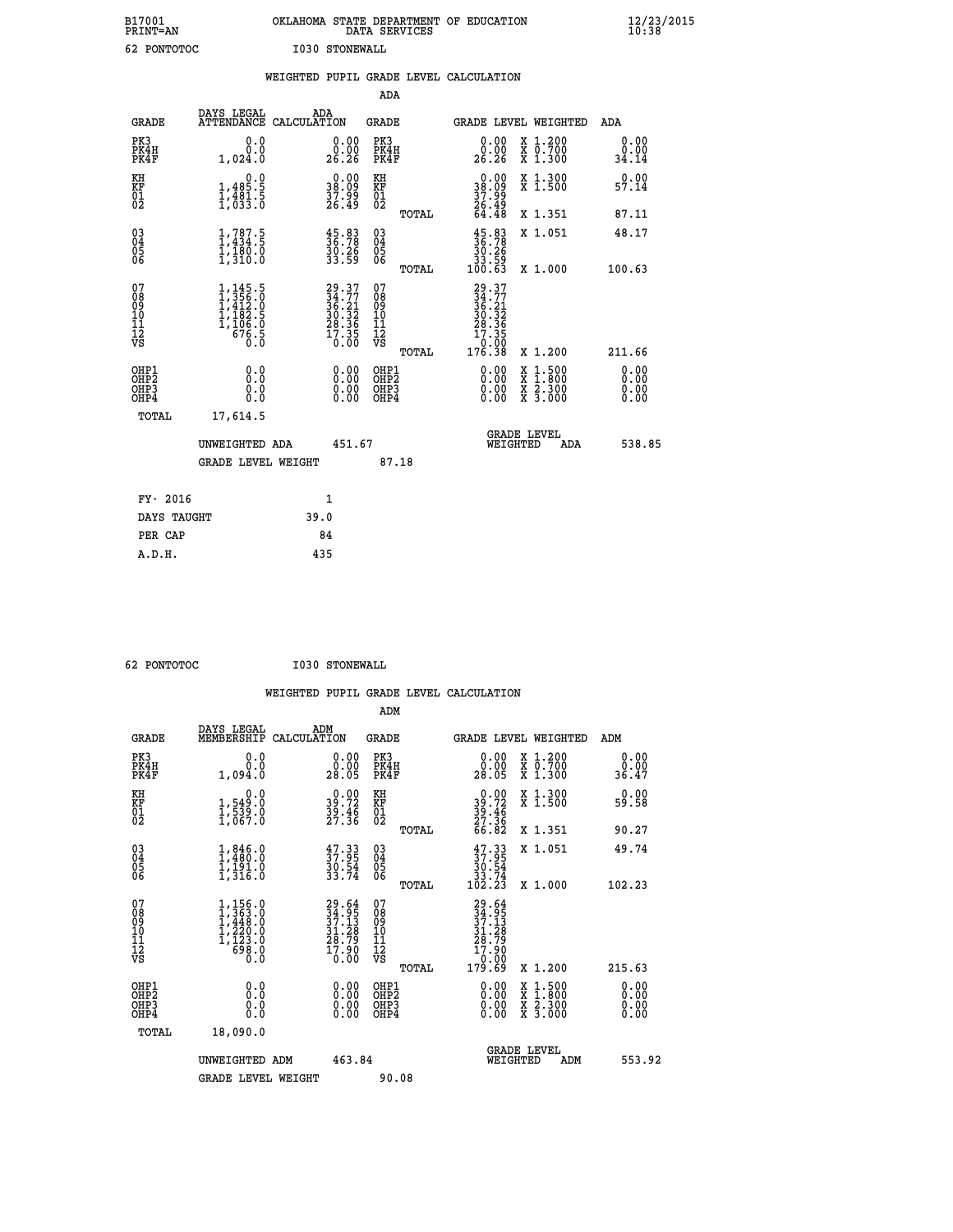| B17001<br>PRINT=AN | OKLAHOMA STATE DEPARTMENT OF EDUCATION<br>DATA SERVICES | $\frac{12}{23}$ /2015 |
|--------------------|---------------------------------------------------------|-----------------------|
| 62 PONTOTOC        | <b>I030 STONEWALL</b>                                   |                       |

|                                                    |                                                                                                       | WEIGHTED PUPIL GRADE LEVEL CALCULATION                                   |                                                      |       |                                                                                                   |                                                                                                                                      |                       |
|----------------------------------------------------|-------------------------------------------------------------------------------------------------------|--------------------------------------------------------------------------|------------------------------------------------------|-------|---------------------------------------------------------------------------------------------------|--------------------------------------------------------------------------------------------------------------------------------------|-----------------------|
|                                                    |                                                                                                       |                                                                          | ADA                                                  |       |                                                                                                   |                                                                                                                                      |                       |
| <b>GRADE</b>                                       | DAYS LEGAL                                                                                            | ADA<br>ATTENDANCE CALCULATION                                            | <b>GRADE</b>                                         |       |                                                                                                   | GRADE LEVEL WEIGHTED                                                                                                                 | ADA                   |
| PK3<br>PK4H<br>PK4F                                | 0.0<br>0.0<br>1,024.0                                                                                 | $\substack{0.00\\0.00\\26.26}$                                           | PK3<br>PK4H<br>PK4F                                  |       | 0.00<br>0.00<br>26.26                                                                             | X 1.200<br>X 0.700<br>X 1.300                                                                                                        | 0.00<br>0.00<br>34.14 |
| KH<br>KF<br>01<br>02                               | 0.0<br>$1,485.5$<br>$1,481.5$<br>$1,633.0$                                                            | $\begin{smallmatrix} 0.00\\ 38.09\\ 37.99\\ 26.49 \end{smallmatrix}$     | KH<br>KF<br>01<br>02                                 |       | $\begin{smallmatrix} 0.00\\ 38.09\\ 37.99\\ 26.49\\ 64.48 \end{smallmatrix}$                      | X 1.300<br>X 1.500                                                                                                                   | 0.00<br>57.14         |
|                                                    |                                                                                                       |                                                                          |                                                      | TOTAL |                                                                                                   | X 1.351                                                                                                                              | 87.11                 |
| $\begin{matrix} 03 \\ 04 \\ 05 \\ 06 \end{matrix}$ | $1,787.5$<br>$1,434.5$<br>$\frac{1}{1}, \frac{1}{3}$ $\frac{8}{0}$ $\frac{0}{0}$                      | $\begin{smallmatrix} 45.83\ 36.78\ 30.26\ 33.59 \end{smallmatrix}$       | 03<br>04<br>05<br>06                                 |       | $\begin{smallmatrix} 45.83\ 36.78\ 30.26\ 33.59\ 100.63 \end{smallmatrix}$                        | X 1.051                                                                                                                              | 48.17                 |
|                                                    |                                                                                                       |                                                                          |                                                      | TOTAL |                                                                                                   | X 1.000                                                                                                                              | 100.63                |
| 07<br>089<br>090<br>1112<br>VS                     | $\begin{smallmatrix} 1,145.5\\ 1,356.0\\ 1,412.0\\ 1,182.5\\ 1,106.0\\ 676.5\\ 0.0 \end{smallmatrix}$ | $29.37$<br>$34.77$<br>$36.21$<br>$30.32$<br>$28.36$<br>$17.35$<br>$0.00$ | 07<br>08<br>09<br>10<br>11<br>12<br>VS               | TOTAL | $\begin{smallmatrix} 29.37\ 34.77\ 36.21\ 30.32\ 30.32\ 28.36\ 17.350\ 176.38\ \end{smallmatrix}$ | X 1.200                                                                                                                              | 211.66                |
| OHP1<br>OHP2<br>OHP3<br>OHP4                       | 0.0<br>Ŏ.Ŏ<br>0.0<br>0.0                                                                              | 0.00<br>$0.00$<br>0.00                                                   | OHP1<br>OHP2<br>OHP <sub>3</sub><br>OHP <sub>4</sub> |       | 0.00<br>0.00<br>0.00                                                                              | $\begin{smallmatrix} \mathtt{X} & 1 & 500 \\ \mathtt{X} & 1 & 800 \\ \mathtt{X} & 2 & 300 \\ \mathtt{X} & 3 & 000 \end{smallmatrix}$ | 0.00<br>0.00<br>0.00  |
| TOTAL                                              | 17,614.5                                                                                              |                                                                          |                                                      |       |                                                                                                   |                                                                                                                                      |                       |
|                                                    | UNWEIGHTED ADA                                                                                        | 451.67                                                                   |                                                      |       | WEIGHTED                                                                                          | <b>GRADE LEVEL</b><br>ADA                                                                                                            | 538.85                |
|                                                    | <b>GRADE LEVEL WEIGHT</b>                                                                             |                                                                          | 87.18                                                |       |                                                                                                   |                                                                                                                                      |                       |
| FY- 2016                                           |                                                                                                       | $\mathbf{1}$                                                             |                                                      |       |                                                                                                   |                                                                                                                                      |                       |
| DAYS TAUGHT                                        |                                                                                                       | 39.0                                                                     |                                                      |       |                                                                                                   |                                                                                                                                      |                       |
| PER CAP                                            |                                                                                                       | 84                                                                       |                                                      |       |                                                                                                   |                                                                                                                                      |                       |

 **62 PONTOTOC I030 STONEWALL**

 **WEIGHTED PUPIL GRADE LEVEL CALCULATION ADM DAYS LEGAL ADM GRADE MEMBERSHIP CALCULATION GRADE GRADE LEVEL WEIGHTED ADM**

| GRADE                                                | MEMBERSHIP CALCULATION                                                                                |                                                                          | GRADE                                               | GRADE PRART METGHIED                                                                                                                                                                                                                                                           |                                          | ADM                                                                                                                                                                                                                                                                            |
|------------------------------------------------------|-------------------------------------------------------------------------------------------------------|--------------------------------------------------------------------------|-----------------------------------------------------|--------------------------------------------------------------------------------------------------------------------------------------------------------------------------------------------------------------------------------------------------------------------------------|------------------------------------------|--------------------------------------------------------------------------------------------------------------------------------------------------------------------------------------------------------------------------------------------------------------------------------|
| PK3<br>PK4H<br>PK4F                                  | 0.000<br>1,094.0                                                                                      | $\begin{smallmatrix} 0.00\\ 0.00\\ 28.05 \end{smallmatrix}$              | PK3<br>PK4H<br>PK4F                                 | 0.00<br>0.00<br>28.05                                                                                                                                                                                                                                                          | X 1.200<br>X 0.700<br>X 1.300            | 0.00<br>0.00<br>36.47                                                                                                                                                                                                                                                          |
| KH<br>KF<br>01<br>02                                 | 0.0<br>1,549:0<br>1,539:0<br>1,067:0                                                                  | $39.72$<br>$39.72$<br>$39.46$<br>$27.36$                                 | KH<br>KF<br>01<br>02                                | $39.72$<br>$39.46$<br>$27.36$<br>$66.82$                                                                                                                                                                                                                                       | X 1.300<br>X 1.500                       | 0.00<br>59.58                                                                                                                                                                                                                                                                  |
|                                                      |                                                                                                       |                                                                          | TOTAL                                               |                                                                                                                                                                                                                                                                                | X 1.351                                  | 90.27                                                                                                                                                                                                                                                                          |
| $\begin{matrix} 03 \\ 04 \\ 05 \\ 06 \end{matrix}$   | $1, 486.0$<br>$1, 480.0$<br>$1, 191.0$<br>$1, 316.0$                                                  | $\frac{47.33}{37.95}$<br>$\frac{30.54}{33.74}$                           | $\begin{array}{c} 03 \\ 04 \\ 05 \\ 06 \end{array}$ | $37.3337.9530.5433.74102.23$                                                                                                                                                                                                                                                   | X 1.051                                  | 49.74                                                                                                                                                                                                                                                                          |
|                                                      |                                                                                                       |                                                                          | TOTAL                                               |                                                                                                                                                                                                                                                                                | X 1.000                                  | 102.23                                                                                                                                                                                                                                                                         |
| 07<br>08<br>09<br>101<br>11<br>12<br>VS              | $\begin{smallmatrix} 1,156.0\\ 1,363.0\\ 1,448.0\\ 1,220.0\\ 1,123.0\\ 698.0\\ 0.0 \end{smallmatrix}$ | $29.64$<br>$34.95$<br>$37.13$<br>$31.28$<br>$28.79$<br>$17.90$<br>$0.00$ | 07<br>08<br>09<br>11<br>11<br>12<br>VS              | $\begin{smallmatrix} 29.64\ 34.95\ 37.13\ 37.138\ 31.289\ 28.790\ 17.900\ 179.69\ \end{smallmatrix}$                                                                                                                                                                           |                                          |                                                                                                                                                                                                                                                                                |
|                                                      |                                                                                                       |                                                                          | <b>TOTAL</b>                                        |                                                                                                                                                                                                                                                                                | X 1.200                                  | 215.63                                                                                                                                                                                                                                                                         |
| OHP1<br>OHP <sub>2</sub><br>OH <sub>P3</sub><br>OHP4 |                                                                                                       | $0.00$<br>$0.00$<br>0.00                                                 | OHP1<br>OHP <sub>2</sub><br>OHP3<br>OHP4            | $\begin{smallmatrix} 0.00 & 0.00 & 0.00 & 0.00 & 0.00 & 0.00 & 0.00 & 0.00 & 0.00 & 0.00 & 0.00 & 0.00 & 0.00 & 0.00 & 0.00 & 0.00 & 0.00 & 0.00 & 0.00 & 0.00 & 0.00 & 0.00 & 0.00 & 0.00 & 0.00 & 0.00 & 0.00 & 0.00 & 0.00 & 0.00 & 0.00 & 0.00 & 0.00 & 0.00 & 0.00 & 0.0$ | X 1:500<br>X 1:800<br>X 2:300<br>X 3:000 | $\begin{smallmatrix} 0.00 & 0.00 & 0.00 & 0.00 & 0.00 & 0.00 & 0.00 & 0.00 & 0.00 & 0.00 & 0.00 & 0.00 & 0.00 & 0.00 & 0.00 & 0.00 & 0.00 & 0.00 & 0.00 & 0.00 & 0.00 & 0.00 & 0.00 & 0.00 & 0.00 & 0.00 & 0.00 & 0.00 & 0.00 & 0.00 & 0.00 & 0.00 & 0.00 & 0.00 & 0.00 & 0.0$ |
| TOTAL                                                | 18,090.0                                                                                              |                                                                          |                                                     |                                                                                                                                                                                                                                                                                |                                          |                                                                                                                                                                                                                                                                                |
|                                                      | UNWEIGHTED ADM                                                                                        | 463.84                                                                   |                                                     | <b>GRADE LEVEL</b><br>WEIGHTED                                                                                                                                                                                                                                                 | ADM                                      | 553.92                                                                                                                                                                                                                                                                         |
|                                                      | <b>GRADE LEVEL WEIGHT</b>                                                                             |                                                                          | 90.08                                               |                                                                                                                                                                                                                                                                                |                                          |                                                                                                                                                                                                                                                                                |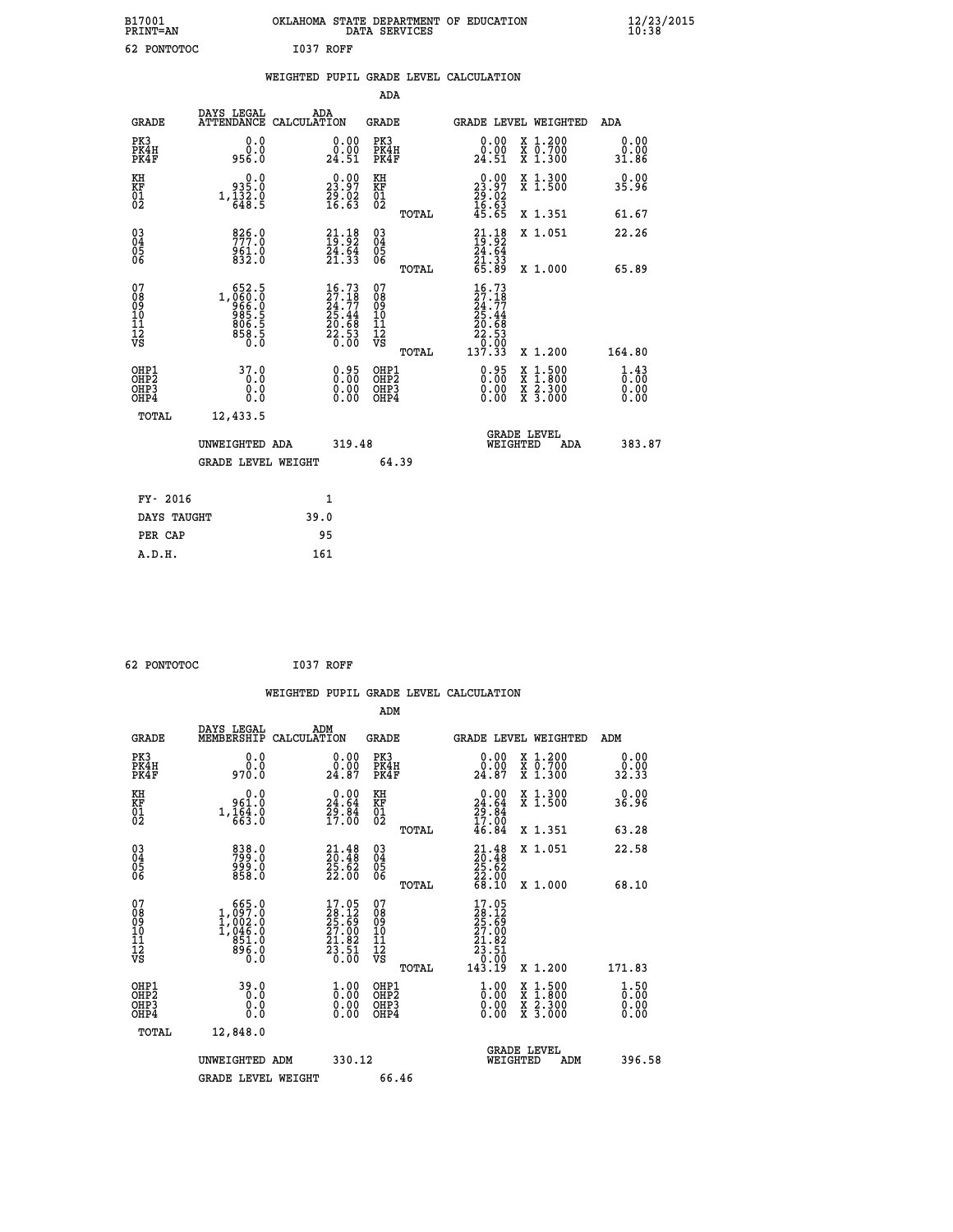| B17001<br><b>PRINT=AN</b> |           | OKLAHOMA STATE DEPARTMENT OF EDUCATION<br>DATA SERVICES |  |
|---------------------------|-----------|---------------------------------------------------------|--|
| 62 PONTOTOC               | I037 ROFF |                                                         |  |

|                                                                    |                                                                           |      |                                                             | ADA                                          |       |                                                                                             |                                          |                              |
|--------------------------------------------------------------------|---------------------------------------------------------------------------|------|-------------------------------------------------------------|----------------------------------------------|-------|---------------------------------------------------------------------------------------------|------------------------------------------|------------------------------|
| <b>GRADE</b>                                                       | DAYS LEGAL<br>ATTENDANCE CALCULATION                                      | ADA  |                                                             | <b>GRADE</b>                                 |       | GRADE LEVEL WEIGHTED                                                                        |                                          | ADA                          |
| PK3<br>PK4H<br>PK4F                                                | 0.0<br>0.0<br>956.0                                                       |      | $\begin{smallmatrix} 0.00\\ 0.00\\ 24.51 \end{smallmatrix}$ | PK3<br>PK4H<br>PK4F                          |       | 0.00<br>ă:ŏŏ<br>24.51                                                                       | X 1.200<br>X 0.700<br>X 1.300            | 0.00<br>0.00<br>31.86        |
| KH<br>KF<br>01<br>02                                               | 935.0<br>$1,\frac{1}{648}.\frac{3}{5}$                                    |      | 23.97<br>$\frac{55}{16}$ $\frac{62}{63}$                    | KH<br>KF<br>01<br>02                         |       | $\begin{smallmatrix} 0.00\\ 23.97\\ 29.02\\ 16.63\\ 45.65 \end{smallmatrix}$                | X 1.300<br>X 1.500                       | 0.00<br>35.96                |
|                                                                    |                                                                           |      |                                                             |                                              | TOTAL |                                                                                             | X 1.351                                  | 61.67                        |
| $\begin{smallmatrix} 03 \\[-4pt] 04 \end{smallmatrix}$<br>Ŏ5<br>06 | 826.0<br>$\frac{961.0}{832.0}$                                            |      | $21.18$<br>$19.92$<br>$\frac{24.64}{21.33}$                 | $\substack{03 \\ 04}$<br>Ŏ5<br>06            |       | $21.1819.9224.6421.3365.89$                                                                 | X 1.051                                  | 22.26                        |
|                                                                    |                                                                           |      |                                                             |                                              | TOTAL |                                                                                             | X 1.000                                  | 65.89                        |
| 07<br>08<br>09<br>101<br>11<br>12<br>VS                            | $1,060.5$<br>$966.0$<br>$966.5$<br>$985.5$<br>$806.5$<br>$858.5$<br>$0.0$ |      | $16.7327.1824.7725.4420.6822.530.00$                        | 07<br>08<br>09<br>101<br>11<br>12<br>VS      |       | 16.73<br>$\begin{array}{r} 27.18 \\ 24.77 \\ 25.44 \\ 20.68 \\ 20.53 \\ 2.0.93 \end{array}$ |                                          |                              |
|                                                                    |                                                                           |      |                                                             |                                              | TOTAL | 137.33                                                                                      | X 1.200                                  | 164.80                       |
| OHP1<br>OHP <sub>2</sub><br>OH <sub>P3</sub><br>OHP4               | 37.0<br>0.0<br>0.0<br>$0.\overline{0}$                                    |      | 0.95<br>$\begin{smallmatrix} 0.00 \ 0.00 \end{smallmatrix}$ | OHP1<br>OHP <sub>2</sub><br>OHP <sub>3</sub> |       | 0.95<br>0.00                                                                                | X 1:500<br>X 1:800<br>X 2:300<br>X 3:000 | 1.43<br>0.00<br>0.00<br>0.00 |
| TOTAL                                                              | 12,433.5                                                                  |      |                                                             |                                              |       |                                                                                             |                                          |                              |
|                                                                    | UNWEIGHTED ADA                                                            |      | 319.48                                                      |                                              |       | WEIGHTED                                                                                    | <b>GRADE LEVEL</b><br>ADA                | 383.87                       |
|                                                                    | <b>GRADE LEVEL WEIGHT</b>                                                 |      |                                                             |                                              | 64.39 |                                                                                             |                                          |                              |
| FY- 2016                                                           |                                                                           | 1    |                                                             |                                              |       |                                                                                             |                                          |                              |
| DAYS TAUGHT                                                        |                                                                           | 39.0 |                                                             |                                              |       |                                                                                             |                                          |                              |
| PER CAP                                                            |                                                                           | 95   |                                                             |                                              |       |                                                                                             |                                          |                              |

 **62 PONTOTOC I037 ROFF**

 **A.D.H. 161**

 **B17001<br>PRINT=AN** 

|                                                    |                                                                                                   | WEIGHTED PUPIL GRADE LEVEL CALCULATION                                                       |                                               |                                                  |                                          |                              |
|----------------------------------------------------|---------------------------------------------------------------------------------------------------|----------------------------------------------------------------------------------------------|-----------------------------------------------|--------------------------------------------------|------------------------------------------|------------------------------|
|                                                    |                                                                                                   |                                                                                              | ADM                                           |                                                  |                                          |                              |
| <b>GRADE</b>                                       | DAYS LEGAL<br>MEMBERSHIP                                                                          | ADM<br>CALCULATION                                                                           | GRADE                                         | GRADE LEVEL WEIGHTED                             |                                          | ADM                          |
| PK3<br>PK4H<br>PK4F                                | 0.0<br>0.0<br>970.0                                                                               | $\begin{smallmatrix} 0.00\\ 0.00\\ 24.87 \end{smallmatrix}$                                  | PK3<br>PK4H<br>PK4F                           | 0.00<br>24.87                                    | X 1.200<br>X 0.700<br>X 1.300            | 0.00<br>0.00<br>32.33        |
| KH<br>KF<br>01<br>02                               | 0.0<br>961.0<br>$1,\frac{1}{663}\cdot 0$                                                          | $\begin{smallmatrix} 0.00\\24.64\\29.84\\17.00 \end{smallmatrix}$                            | KH<br>KF<br>01<br>02                          | 0.00<br>$24.64$<br>$29.84$<br>$17.00$<br>$46.84$ | X 1.300<br>X 1.500                       | 0.00<br>36.96                |
|                                                    |                                                                                                   |                                                                                              | TOTAL                                         |                                                  | X 1.351                                  | 63.28                        |
| $\begin{matrix} 03 \\ 04 \\ 05 \\ 06 \end{matrix}$ | 838.0<br>799.0<br>999.0<br>858.0                                                                  | $\begin{smallmatrix} 21\cdot 48\\ 20\cdot 48\\ 25\cdot 62\\ 22\cdot 00 \end{smallmatrix}$    | 03<br>04<br>05<br>06                          | $21.4820.4825.6222.0068.10$                      | X 1.051                                  | 22.58                        |
|                                                    |                                                                                                   |                                                                                              | TOTAL                                         |                                                  | X 1.000                                  | 68.10                        |
| 07<br>08<br>09<br>101<br>11<br>12<br>VS            | $\begin{smallmatrix} 665.0\\ 1,097.0\\ 1,002.0\\ 1,046.0\\ 851.0\\ 896.0\\ 0.0 \end{smallmatrix}$ | $\begin{smallmatrix} 17.05\\ 28.12\\ 25.69\\ 27.00\\ 21.82\\ 23.51\\ 0.00 \end{smallmatrix}$ | 07<br>08<br>09<br>001<br>11<br>11<br>12<br>VS | 17.05                                            |                                          |                              |
|                                                    |                                                                                                   |                                                                                              | TOTAL                                         |                                                  | X 1.200                                  | 171.83                       |
| OHP1<br>OHP2<br>OH <sub>P3</sub><br>OHP4           | 39.0<br>0.0<br>0.000                                                                              | $\begin{smallmatrix} 1.00\ 0.00\ 0.00 \end{smallmatrix}$                                     | OHP1<br>OHP2<br>OHP3<br>OHP4                  | $0.00$<br>$0.00$<br>0.00                         | X 1:500<br>X 1:800<br>X 2:300<br>X 3:000 | 1.50<br>0.00<br>0.00<br>0.00 |
| TOTAL                                              | 12,848.0                                                                                          |                                                                                              |                                               |                                                  |                                          |                              |
|                                                    | UNWEIGHTED ADM                                                                                    | 330.12                                                                                       |                                               | <b>GRADE LEVEL</b><br>WEIGHTED                   | ADM                                      | 396.58                       |
|                                                    | <b>GRADE LEVEL WEIGHT</b>                                                                         |                                                                                              | 66.46                                         |                                                  |                                          |                              |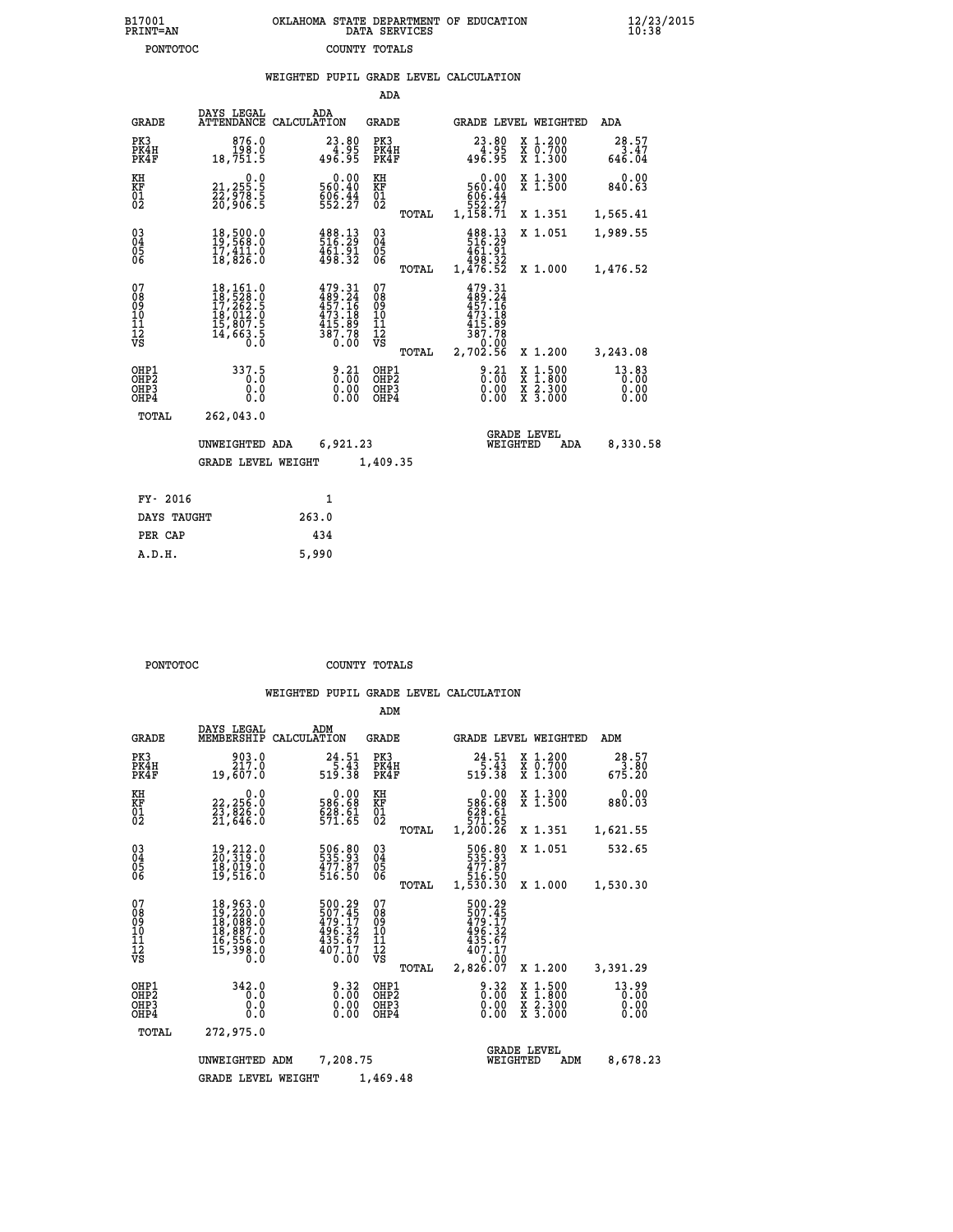| B17001          | OKLAHOMA STATE DEPARTMENT OF EDUCATION |
|-----------------|----------------------------------------|
| <b>PRINT=AN</b> | DATA SERVICES                          |
| PONTOTOC        | COUNTY TOTALS                          |

|                                                                    |                                                                                                               | WEIGHTED PUPIL GRADE LEVEL CALCULATION                                          |                                                 |                                                                                          |                                                                                                                                              |                               |
|--------------------------------------------------------------------|---------------------------------------------------------------------------------------------------------------|---------------------------------------------------------------------------------|-------------------------------------------------|------------------------------------------------------------------------------------------|----------------------------------------------------------------------------------------------------------------------------------------------|-------------------------------|
|                                                                    |                                                                                                               |                                                                                 | ADA                                             |                                                                                          |                                                                                                                                              |                               |
| <b>GRADE</b>                                                       | DAYS LEGAL                                                                                                    | ADA<br>ATTENDANCE CALCULATION                                                   | <b>GRADE</b>                                    | GRADE LEVEL WEIGHTED                                                                     |                                                                                                                                              | ADA                           |
| PK3<br>PK4H<br>PK4F                                                | 876.0<br>198.0<br>18,751.5                                                                                    | 23.80<br>ةِقِ:4ٌ<br>496.95                                                      | PK3<br>PK4H<br>PK4F                             | 23.80<br>88. 44<br>496. 95                                                               | X 1.200<br>X 0.700<br>X 1.300                                                                                                                | 28.57<br>3.47<br>646.04       |
| KH<br>ΚF<br>$\overline{01}$                                        | $\substack{21,255.5\\22,978.5\\26,906.5}$                                                                     | $0.00$<br>560.40<br>$606.44$<br>552.27                                          | KH<br>KF<br>$\overline{01}$                     | $0.00$<br>560.40<br>$\begin{array}{r} 606.44 \\ 552.27 \\ 1,158.71 \end{array}$          | X 1.300<br>X 1.500                                                                                                                           | 0.00<br>840.63                |
|                                                                    |                                                                                                               |                                                                                 | TOTAL                                           |                                                                                          | X 1.351                                                                                                                                      | 1,565.41                      |
| $\begin{smallmatrix} 03 \\[-4pt] 04 \end{smallmatrix}$<br>05<br>06 | 18,500.0<br>19,569.0<br>ī7,411.0<br>18,826.0                                                                  | 488.13<br>516.29<br>$\frac{461.91}{498.32}$                                     | $^{03}_{04}$<br>05<br>06                        | 488.13<br>516.29<br>461.91                                                               | X 1.051                                                                                                                                      | 1,989.55                      |
|                                                                    |                                                                                                               |                                                                                 | TOTAL                                           | 32.395<br>1,476.52                                                                       | X 1.000                                                                                                                                      | 1,476.52                      |
| 07<br>ŏġ<br>09<br>10<br>īĭ<br>12<br>νs                             | $\begin{smallmatrix} 18,161.0\\ 18,528.0\\ 17,262.5\\ 18,012.0\\ 15,807.5\\ 14,663.5\\ 0.0 \end{smallmatrix}$ | $479.31$<br>$489.24$<br>$457.16$<br>$473.189$<br>$415.89$<br>$387.78$<br>$0.00$ | 07<br>08<br>09<br>10<br>11<br>12<br>VS<br>TOTAL | $479.31$<br>$489.24$<br>$457.16$<br>$473.18$<br>$415.89$<br>$387.78$<br>0:00<br>2,702.56 | X 1.200                                                                                                                                      | 3,243.08                      |
| OHP1<br>OHP2<br>OHP3<br>OHP4                                       | 337.5<br>0.0<br>0.0<br>0.0                                                                                    | $\begin{smallmatrix} 9.21\ 0.00\ 0.00\ 0.00 \end{smallmatrix}$                  | OHP1<br>OHP2<br>OHP3<br>OHP4                    | $8.21$<br>$0.00$<br>0.00                                                                 | $\begin{smallmatrix} \mathtt{X} & 1\cdot500 \\ \mathtt{X} & 1\cdot800 \\ \mathtt{X} & 2\cdot300 \\ \mathtt{X} & 3\cdot000 \end{smallmatrix}$ | 13.83<br>0.00<br>0.00<br>0.00 |
| TOTAL                                                              | 262,043.0                                                                                                     |                                                                                 |                                                 |                                                                                          |                                                                                                                                              |                               |
|                                                                    | UNWEIGHTED ADA                                                                                                | 6,921.23                                                                        |                                                 | <b>GRADE LEVEL</b><br>WEIGHTED                                                           | ADA                                                                                                                                          | 8,330.58                      |
|                                                                    | <b>GRADE LEVEL WEIGHT</b>                                                                                     |                                                                                 | 1,409.35                                        |                                                                                          |                                                                                                                                              |                               |
| FY- 2016                                                           |                                                                                                               | $\mathbf{1}$                                                                    |                                                 |                                                                                          |                                                                                                                                              |                               |
| DAYS TAUGHT                                                        |                                                                                                               | 263.0                                                                           |                                                 |                                                                                          |                                                                                                                                              |                               |
| PER CAP                                                            |                                                                                                               | 434                                                                             |                                                 |                                                                                          |                                                                                                                                              |                               |

 **A.D.H. 5,990**

**PONTOTOC** COUNTY TOTALS

|                                                       |                                                                      |                                                                         | ADM                                             |                                                                              |                                          |                               |
|-------------------------------------------------------|----------------------------------------------------------------------|-------------------------------------------------------------------------|-------------------------------------------------|------------------------------------------------------------------------------|------------------------------------------|-------------------------------|
| <b>GRADE</b>                                          | DAYS LEGAL<br>MEMBERSHIP                                             | ADM<br>CALCULATION                                                      | <b>GRADE</b>                                    | GRADE LEVEL WEIGHTED                                                         |                                          | ADM                           |
| PK3<br>PK4H<br>PK4F                                   | 903.0<br>217.0<br>19,607.0                                           | 24.51<br>$\frac{5.43}{519.38}$                                          | PK3<br>PK4H<br>PK4F                             | 24.51<br>$\frac{5}{5}$ :43<br>519:38                                         | X 1.200<br>X 0.700<br>$X$ 1.300          | 28.57<br>3.80<br>675.20       |
| KH<br>KF<br>01<br>02                                  | 0.0<br>22,256:0<br>23,826:0<br>21,646:0                              | $\begin{smallmatrix} &0.00\ 586.68\ 628.61\ 571.65\ \end{smallmatrix}$  | KH<br>KF<br>01<br>02                            | 0.00<br>586.68<br>628.61<br>571.65<br>1,200.26                               | X 1.300<br>X 1.500                       | 0.00<br>880.03                |
|                                                       |                                                                      |                                                                         | TOTAL                                           |                                                                              | X 1.351                                  | 1,621.55                      |
| 03<br>04<br>05<br>06                                  | 19,212.0<br>20,319.0<br>10,019.0<br>19,516.0                         | 506.80<br>535.93<br>477.87<br>516.50                                    | $^{03}_{04}$<br>0500                            | 506.80<br>535.93<br>477.87<br>4516.50<br>1,530.30                            | X 1.051                                  | 532.65                        |
|                                                       |                                                                      |                                                                         | TOTAL                                           |                                                                              | X 1.000                                  | 1,530.30                      |
| 07<br>08<br>09<br>101<br>112<br>VS                    | 18,963.0<br>19,220.0<br>18,088.0<br>18,887.0<br>16,556.0<br>15,398.0 | 500.29<br>507.45<br>479.17<br>496.32<br>435.67<br>$\frac{407.17}{0.00}$ | 07<br>08<br>09<br>11<br>11<br>12<br>VS<br>TOTAL | 500.29<br>507.45<br>479.17<br>496.32<br>435.67<br>407.17<br>0.00<br>2,826.07 | X 1.200                                  | 3,391.29                      |
| OHP1<br>OH <sub>P</sub> 2<br>OH <sub>P3</sub><br>OHP4 | 342.0<br>0.0<br>0.000                                                | $0.32\n0.00$<br>0.00                                                    | OHP1<br>OHP2<br>OHP3<br>OHP4                    | 0.32<br>0.00<br>0.00                                                         | X 1:500<br>X 1:800<br>X 2:300<br>X 3:000 | 13.99<br>0.00<br>0.00<br>0.00 |
| TOTAL                                                 | 272,975.0                                                            |                                                                         |                                                 |                                                                              |                                          |                               |
|                                                       | UNWEIGHTED                                                           | 7,208.75<br>ADM                                                         |                                                 | WEIGHTED                                                                     | <b>GRADE LEVEL</b><br>ADM                | 8,678.23                      |
|                                                       | <b>GRADE LEVEL WEIGHT</b>                                            |                                                                         | 1,469.48                                        |                                                                              |                                          |                               |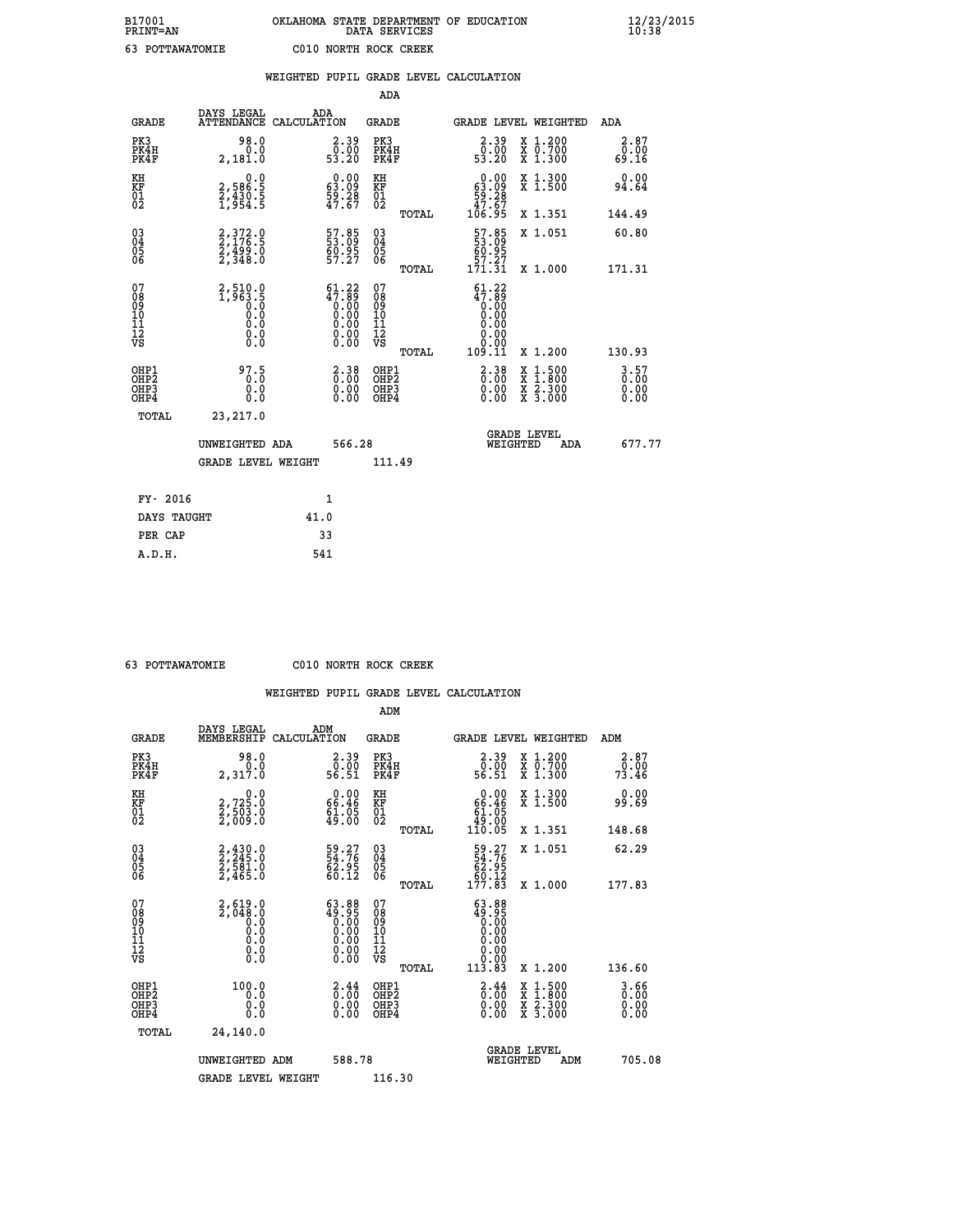| B17001<br><b>PRINT=AN</b> | OKLAHOMA STATE DEPARTMENT OF EDUCATION<br>DATA SERVICES | $\frac{12}{23}$ /2015 |
|---------------------------|---------------------------------------------------------|-----------------------|
| 63<br>POTTAWATOMIE        | C010 NORTH ROCK CREEK                                   |                       |

|                                                    |                                          |                                                         |      |                                                                                |                                        |       | WEIGHTED PUPIL GRADE LEVEL CALCULATION                                      |          |                                                                                                                                           |                                |
|----------------------------------------------------|------------------------------------------|---------------------------------------------------------|------|--------------------------------------------------------------------------------|----------------------------------------|-------|-----------------------------------------------------------------------------|----------|-------------------------------------------------------------------------------------------------------------------------------------------|--------------------------------|
|                                                    |                                          |                                                         |      |                                                                                | ADA                                    |       |                                                                             |          |                                                                                                                                           |                                |
|                                                    | <b>GRADE</b>                             | DAYS LEGAL<br>ATTENDANCE CALCULATION                    | ADA  |                                                                                | <b>GRADE</b>                           |       |                                                                             |          | GRADE LEVEL WEIGHTED                                                                                                                      | ADA                            |
| PK3                                                | PK4H<br>PK4F                             | 98.0<br>0.0<br>2,181.0                                  |      | $\begin{smallmatrix} 2.39\0.00\\0.00\\53.20\end{smallmatrix}$                  | PK3<br>PK4H<br>PK4F                    |       | $\begin{smallmatrix} 2.39 \\ 0.00 \\ 53.20 \end{smallmatrix}$               |          | X 1.200<br>X 0.700<br>X 1.300                                                                                                             | 2.87<br>0.00<br>69.16          |
| KH<br>KF<br>01<br>02                               |                                          | 0.0<br>2,586:5<br>2,430:5<br>1,954:5                    |      | $\begin{smallmatrix} 0.00\\ 63.09\\ 59.28\\ 47.67 \end{smallmatrix}$           | KH<br>KF<br>01<br>02                   |       | $\begin{smallmatrix} &0.00\ 63.09\ 59.28\ 47.67\ 106.95\ \end{smallmatrix}$ |          | X 1.300<br>X 1.500                                                                                                                        | 0.00<br>94.64                  |
|                                                    |                                          |                                                         |      |                                                                                |                                        | TOTAL |                                                                             |          | X 1.351                                                                                                                                   | 144.49                         |
| $\begin{matrix} 03 \\ 04 \\ 05 \\ 06 \end{matrix}$ |                                          | $2,372.9$<br>2,176.5<br>2,499.0<br>2,348.0              |      | 57.85<br>$\frac{60.95}{57.27}$                                                 | 03<br>04<br>05<br>06                   |       | 57.85<br>60.95                                                              |          | X 1.051                                                                                                                                   | 60.80                          |
|                                                    |                                          |                                                         |      |                                                                                |                                        | TOTAL | 57.27<br>171.31                                                             |          | X 1.000                                                                                                                                   | 171.31                         |
| 07<br>08<br>09<br>101<br>112<br>VS                 |                                          | $2,510.0$<br>1,963.5<br>0.0<br>0.0<br>0.0<br>$\S.$ $\S$ |      | $61.22$<br>$47.89$<br>$0.00$<br>$0.00$<br>$0.00$<br>Ŏ.ŎŎ<br>O.OO               | 07<br>08<br>09<br>11<br>11<br>12<br>VS | TOTAL | $61.22$<br>$47.89$<br>$0.00$<br>0.00<br>0.00<br>0.00<br>109.11              |          | X 1.200                                                                                                                                   | 130.93                         |
|                                                    | OHP1<br>OHP2<br>OH <sub>P3</sub><br>OHP4 | 97.5<br>0.0<br>0.0                                      |      | $\begin{smallmatrix} 2\cdot 38\0\cdot 00\0\cdot 00\0\cdot 00\end{smallmatrix}$ | OHP1<br>OHP2<br>OHP3<br>OHP4           |       | $\begin{smallmatrix} 2\cdot 38\0.00\0.00 \end{smallmatrix}$                 |          | $\begin{smallmatrix} \mathtt{X} & 1\cdot500\\ \mathtt{X} & 1\cdot800\\ \mathtt{X} & 2\cdot300\\ \mathtt{X} & 3\cdot000 \end{smallmatrix}$ | $3.57$<br>0.00<br>0.00<br>0.00 |
|                                                    | TOTAL                                    | 23,217.0                                                |      |                                                                                |                                        |       |                                                                             |          |                                                                                                                                           |                                |
|                                                    |                                          | UNWEIGHTED ADA                                          |      | 566.28                                                                         |                                        |       |                                                                             | WEIGHTED | <b>GRADE LEVEL</b><br>ADA                                                                                                                 | 677.77                         |
|                                                    |                                          | <b>GRADE LEVEL WEIGHT</b>                               |      |                                                                                | 111.49                                 |       |                                                                             |          |                                                                                                                                           |                                |
|                                                    | FY- 2016                                 |                                                         |      | $\mathbf{1}$                                                                   |                                        |       |                                                                             |          |                                                                                                                                           |                                |
|                                                    | DAYS TAUGHT                              |                                                         | 41.0 |                                                                                |                                        |       |                                                                             |          |                                                                                                                                           |                                |
|                                                    | PER CAP                                  |                                                         |      | 33                                                                             |                                        |       |                                                                             |          |                                                                                                                                           |                                |

 **63 POTTAWATOMIE C010 NORTH ROCK CREEK**

|                                          |                                                          |                                                                                                        | ADM                                                 |       |                                                                             |                                          |                      |                          |
|------------------------------------------|----------------------------------------------------------|--------------------------------------------------------------------------------------------------------|-----------------------------------------------------|-------|-----------------------------------------------------------------------------|------------------------------------------|----------------------|--------------------------|
| <b>GRADE</b>                             | DAYS LEGAL<br>MEMBERSHIP                                 | ADM<br>CALCULATION                                                                                     | <b>GRADE</b>                                        |       |                                                                             | GRADE LEVEL WEIGHTED                     | ADM                  |                          |
| PK3<br>PK4H<br>PK4F                      | 98.0<br>2,317.0                                          | $\begin{smallmatrix} 2.39\0.00\56.51\ \end{smallmatrix}$                                               | PK3<br>PK4H<br>PK4F                                 |       | $\begin{smallmatrix} 2.39\0.00\\0.00\\56.51\end{smallmatrix}$               | X 1.200<br>X 0.700<br>X 1.300            | $\frac{5.00}{73.46}$ | 2.87                     |
| KH<br>KF<br>01<br>02                     | 0.0<br>2,725:0<br>2,503:0<br>2,009:0                     | $0.00$<br>66.46<br>$\frac{51}{49}$ :05                                                                 | KH<br>KF<br>01<br>02                                |       | $\begin{smallmatrix} &0.00\ 66.46\ 61.05\ 49.00\ 110.05\ \end{smallmatrix}$ | X 1.300<br>X 1.500                       | 99.69                | 0.00                     |
|                                          |                                                          |                                                                                                        |                                                     | TOTAL |                                                                             | X 1.351                                  | 148.68               |                          |
| 03<br>04<br>05<br>06                     | 2,430.0<br>2,245.0<br>2,581.0<br>2,465.0                 | 59.27<br>54.76<br>62.95<br>60.12                                                                       | $\begin{array}{c} 03 \\ 04 \\ 05 \\ 06 \end{array}$ |       | $\begin{smallmatrix}59.27\54.76\62.95\60.12\177.83\end{smallmatrix}$        | X 1.051                                  | 62.29                |                          |
|                                          |                                                          |                                                                                                        |                                                     | TOTAL |                                                                             | X 1.000                                  | 177.83               |                          |
| 07<br>08<br>09<br>101<br>112<br>VS       | $2,619.0$<br>$2,048.0$<br>$0.0$<br>$0.0$<br>0.0<br>$\S.$ | $\begin{smallmatrix} 63.88\\ 49.95\\ 0.00\\ 0.00\\ 0.00\\ 0.00\\ 0.00\\ 0.00\\ 0.00 \end{smallmatrix}$ | 07<br>08<br>09<br>11<br>11<br>12<br>VS              |       | $\begin{smallmatrix} 63.88\\ 49.95\\ 0.00\\ 0.00 \end{smallmatrix}$         |                                          |                      |                          |
|                                          |                                                          |                                                                                                        |                                                     | TOTAL | $11\overline{3}.\overline{8}\overline{3}$                                   | X 1.200                                  | 136.60               |                          |
| OHP1<br>OHP2<br>OHP <sub>3</sub><br>OHP4 | 100.0<br>0.000                                           | $\begin{smallmatrix} 2.44\ 0.00 \ 0.00 \end{smallmatrix}$<br>0.00                                      | OHP1<br>OHP2<br>OHP <sub>3</sub>                    |       | $\begin{smallmatrix} 2.44\ 0.00 \ 0.00 \end{smallmatrix}$<br>0.00           | X 1:500<br>X 1:800<br>X 2:300<br>X 3:000 |                      | $3.66$<br>$0.00$<br>0.00 |
| TOTAL                                    | 24,140.0                                                 |                                                                                                        |                                                     |       |                                                                             |                                          |                      |                          |
|                                          | UNWEIGHTED ADM                                           | 588.78                                                                                                 |                                                     |       | WEIGHTED                                                                    | <b>GRADE LEVEL</b><br>ADM                |                      | 705.08                   |
|                                          | <b>GRADE LEVEL WEIGHT</b>                                |                                                                                                        | 116.30                                              |       |                                                                             |                                          |                      |                          |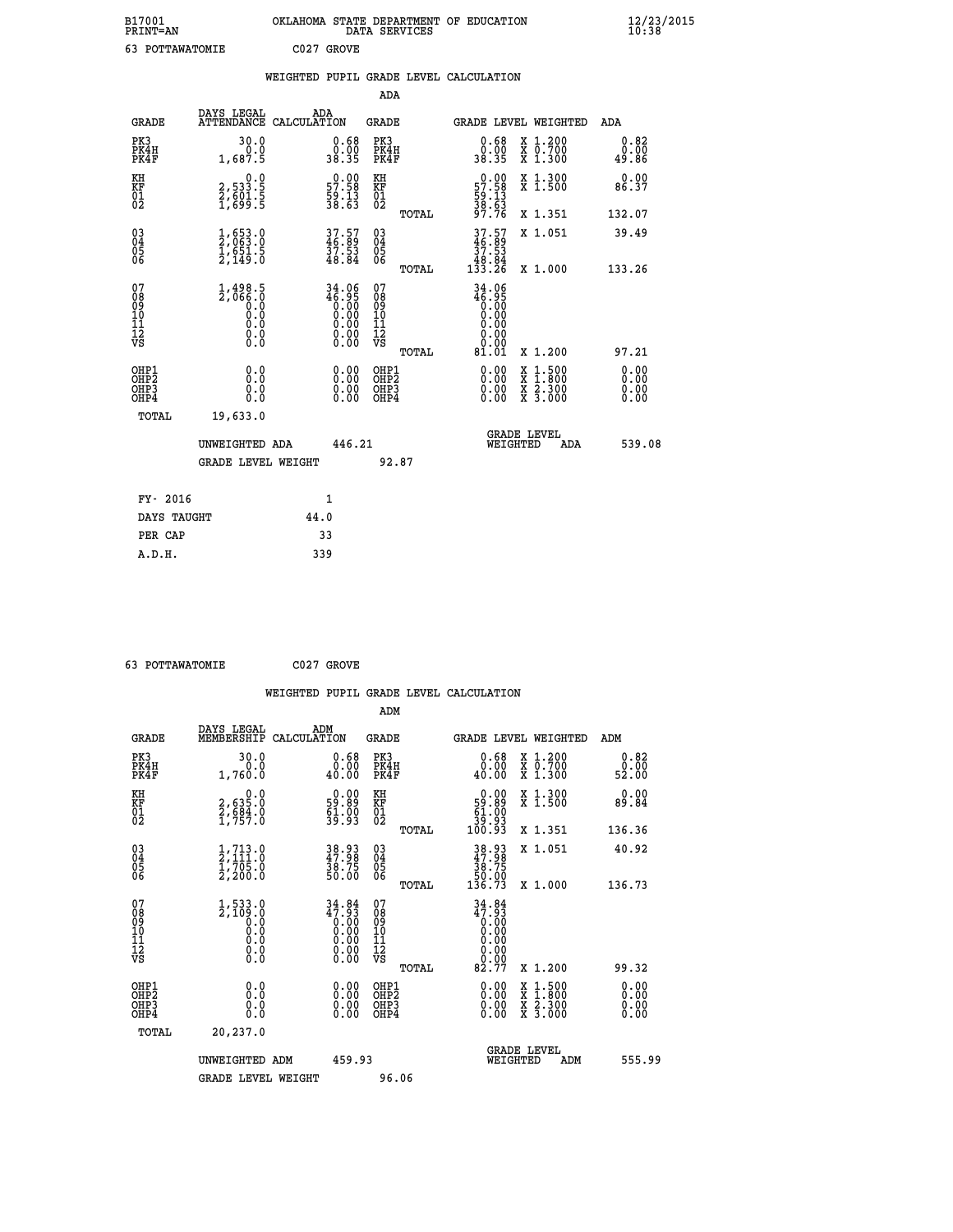| B17001<br>PRINT=AN | . STATE DEPARTMENT OF EDUCATION<br><b>OKLAHOMA</b><br>DATA SERVICES | $\frac{12}{23}$ /2015 |
|--------------------|---------------------------------------------------------------------|-----------------------|
| 63<br>POTTAWATOMIE | C027 GROVE                                                          |                       |

|                                                      |                                                                      | WEIGHTED PUPIL GRADE LEVEL CALCULATION                               |                                                  |                                                                                               |                              |
|------------------------------------------------------|----------------------------------------------------------------------|----------------------------------------------------------------------|--------------------------------------------------|-----------------------------------------------------------------------------------------------|------------------------------|
|                                                      |                                                                      |                                                                      | <b>ADA</b>                                       |                                                                                               |                              |
| <b>GRADE</b>                                         | DAYS LEGAL<br><b>ATTENDANCE</b>                                      | ADA<br>CALCULATION                                                   | <b>GRADE</b>                                     | <b>GRADE LEVEL WEIGHTED</b>                                                                   | ADA                          |
| PK3<br>PK4H<br>PK4F                                  | 30.0<br>1,687.5                                                      | $\begin{smallmatrix} 0.68\ 0.00\\ 38.35 \end{smallmatrix}$           | PK3<br>PK4H<br>PK4F                              | 0.68<br>X 1.200<br>X 0.700<br>X 1.300<br>0.00<br>38.35                                        | 0.82<br>0.00<br>49.86        |
| KH<br>KF<br>01<br>02                                 | $\begin{smallmatrix}&&&0.0\2,533.5\2,601.5\1,699.5\end{smallmatrix}$ | $\begin{smallmatrix} 0.00\\ 57.58\\ 59.13\\ 38.63 \end{smallmatrix}$ | KH<br>KF<br>01<br>02                             | X 1.300<br>X 1.500<br>$\begin{array}{r} 0.00 \\ 57.58 \\ 59.13 \\ 38.63 \\ 97.76 \end{array}$ | 0.00<br>86.37                |
|                                                      |                                                                      |                                                                      | TOTAL                                            | X 1.351                                                                                       | 132.07                       |
| $^{03}_{04}$<br>Ŏ5<br>06                             | $\frac{1}{2}, \substack{653 \\ 063 \\ 1 \\ 651 \\ 5 \\ 2,149 \\ 0$   | $37.57$<br>$46.89$<br>$37.53$<br>$48.84$                             | 03<br>04<br>05<br>06                             | $37.57$<br>$37.53$<br>$37.53$<br>$48.84$<br>$133.26$<br>X 1.051                               | 39.49                        |
|                                                      |                                                                      |                                                                      | TOTAL                                            | X 1.000                                                                                       | 133.26                       |
| 07<br>08<br>09<br>11<br>11<br>12<br>VS               | $1,498.5$<br>$2,066.0$<br>$0.0$<br>0.0<br>0.0<br>$\S.$ $\S$          | 34.06<br>46.95                                                       | 07<br>08<br>09<br>101<br>11<br>12<br>VS<br>TOTAL | 34.06<br>46.95<br>0.00<br>0.00<br>0.00<br>0.00<br>81.01<br>X 1.200                            | 97.21                        |
| OHP1<br>OHP <sub>2</sub><br>OH <sub>P3</sub><br>OHP4 | 0.0<br>0.0<br>Ō.Ō                                                    | 0.00<br>$\begin{smallmatrix} 0.00 \ 0.00 \end{smallmatrix}$          | OHP1<br>OHP2<br>OHP3<br>OHP4                     | 0.00<br>X 1:500<br>X 1:800<br>X 2:300<br>X 3:000<br>0.00<br>0.00                              | 0.00<br>0.00<br>0.00<br>0.00 |
| TOTAL                                                | 19,633.0<br>UNWEIGHTED ADA<br><b>GRADE LEVEL WEIGHT</b>              | 446.21                                                               | 92.87                                            | <b>GRADE LEVEL</b><br>WEIGHTED<br>ADA                                                         | 539.08                       |
|                                                      |                                                                      |                                                                      |                                                  |                                                                                               |                              |
| FY- 2016                                             |                                                                      | $\mathbf{1}$                                                         |                                                  |                                                                                               |                              |
| DAYS TAUGHT                                          |                                                                      | 44.0                                                                 |                                                  |                                                                                               |                              |
| PER CAP                                              |                                                                      | 33                                                                   |                                                  |                                                                                               |                              |

| 63 POTTAWATOMIE | C027 GROVE |
|-----------------|------------|

|                                                    |                                                                                                   |                    |                                                                   |                                  |       | WEIGHTED PUPIL GRADE LEVEL CALCULATION                                                                                                                                                                                                                                         |                                                                                                  |                       |  |
|----------------------------------------------------|---------------------------------------------------------------------------------------------------|--------------------|-------------------------------------------------------------------|----------------------------------|-------|--------------------------------------------------------------------------------------------------------------------------------------------------------------------------------------------------------------------------------------------------------------------------------|--------------------------------------------------------------------------------------------------|-----------------------|--|
|                                                    |                                                                                                   |                    |                                                                   | ADM                              |       |                                                                                                                                                                                                                                                                                |                                                                                                  |                       |  |
| <b>GRADE</b>                                       | DAYS LEGAL<br>MEMBERSHIP                                                                          | ADM<br>CALCULATION |                                                                   | <b>GRADE</b>                     |       |                                                                                                                                                                                                                                                                                | GRADE LEVEL WEIGHTED                                                                             | ADM                   |  |
| PK3<br>PK4H<br>PK4F                                | 30.0<br>0.0<br>1,760.0                                                                            |                    | $0.68$<br>$0.00$<br>40.00                                         | PK3<br>PK4H<br>PK4F              |       | $\begin{smallmatrix} 0.68\ 0.00\\ 0.00 \end{smallmatrix}$                                                                                                                                                                                                                      | X 1.200<br>X 0.700<br>X 1.300                                                                    | 0.82<br>0.00<br>52.00 |  |
| KH<br>KF<br>01<br>02                               | $\begin{smallmatrix} & & 0.0\ 2.635.0\ 2.684.0\ 1.757.0 \end{smallmatrix}$                        |                    | $\begin{smallmatrix} 0.00\\59.89\\61.00\\39.93 \end{smallmatrix}$ | KH<br>KF<br>01<br>02             |       | $\begin{smallmatrix} &0.00\ 59.89\ 61.00\ 39.93\ 100.93 \end{smallmatrix}$                                                                                                                                                                                                     | X 1.300<br>X 1.500                                                                               | 0.00<br>89.84         |  |
|                                                    |                                                                                                   |                    |                                                                   |                                  | TOTAL |                                                                                                                                                                                                                                                                                | X 1.351                                                                                          | 136.36                |  |
| $\begin{matrix} 03 \\ 04 \\ 05 \\ 06 \end{matrix}$ | $\frac{1}{2}, \frac{713}{111}.0$<br>$\frac{705}{2}, \frac{705}{200}.0$                            |                    | 38.93<br>47.98<br>38.75<br>50.00                                  | 03<br>04<br>05<br>06             |       | $38.93\n37.98\n38.75\n50.00\n136.73$                                                                                                                                                                                                                                           | X 1.051                                                                                          | 40.92                 |  |
|                                                    |                                                                                                   |                    |                                                                   |                                  | TOTAL |                                                                                                                                                                                                                                                                                | X 1.000                                                                                          | 136.73                |  |
| 07<br>0890112<br>1112<br>VS                        | $1,533.0$<br>$2,109.0$<br>$0.0$<br>0.0<br>$\begin{smallmatrix} 0.10\ 0.0 \ 0.0 \end{smallmatrix}$ |                    | $34.84$<br>$47.93$                                                | 07<br>08901112<br>1112<br>VS     |       | 34.84<br>47.93<br>0.00<br>$\begin{array}{c} 0.00 \\ 0.00 \\ 82.77 \end{array}$                                                                                                                                                                                                 |                                                                                                  |                       |  |
|                                                    |                                                                                                   |                    |                                                                   |                                  | TOTAL |                                                                                                                                                                                                                                                                                | $X_1.200$                                                                                        | 99.32                 |  |
| OHP1<br>OHP2<br>OH <sub>P3</sub><br>OHP4           | 0.0<br>0.000                                                                                      |                    | $\begin{smallmatrix} 0.00 \ 0.00 \ 0.00 \ 0.00 \end{smallmatrix}$ | OHP1<br>OHP2<br>OHP <sub>3</sub> |       | $\begin{smallmatrix} 0.00 & 0.00 & 0.00 & 0.00 & 0.00 & 0.00 & 0.00 & 0.00 & 0.00 & 0.00 & 0.00 & 0.00 & 0.00 & 0.00 & 0.00 & 0.00 & 0.00 & 0.00 & 0.00 & 0.00 & 0.00 & 0.00 & 0.00 & 0.00 & 0.00 & 0.00 & 0.00 & 0.00 & 0.00 & 0.00 & 0.00 & 0.00 & 0.00 & 0.00 & 0.00 & 0.0$ | $\begin{smallmatrix} x & 1 & 500 \\ x & 1 & 800 \\ x & 2 & 300 \\ x & 3 & 000 \end{smallmatrix}$ | 0.00<br>0.00<br>0.00  |  |
| TOTAL                                              | 20,237.0                                                                                          |                    |                                                                   |                                  |       |                                                                                                                                                                                                                                                                                |                                                                                                  |                       |  |
|                                                    | UNWEIGHTED ADM                                                                                    |                    | 459.93                                                            |                                  |       | WEIGHTED                                                                                                                                                                                                                                                                       | <b>GRADE LEVEL</b><br>ADM                                                                        | 555.99                |  |
|                                                    | <b>GRADE LEVEL WEIGHT</b>                                                                         |                    |                                                                   | 96.06                            |       |                                                                                                                                                                                                                                                                                |                                                                                                  |                       |  |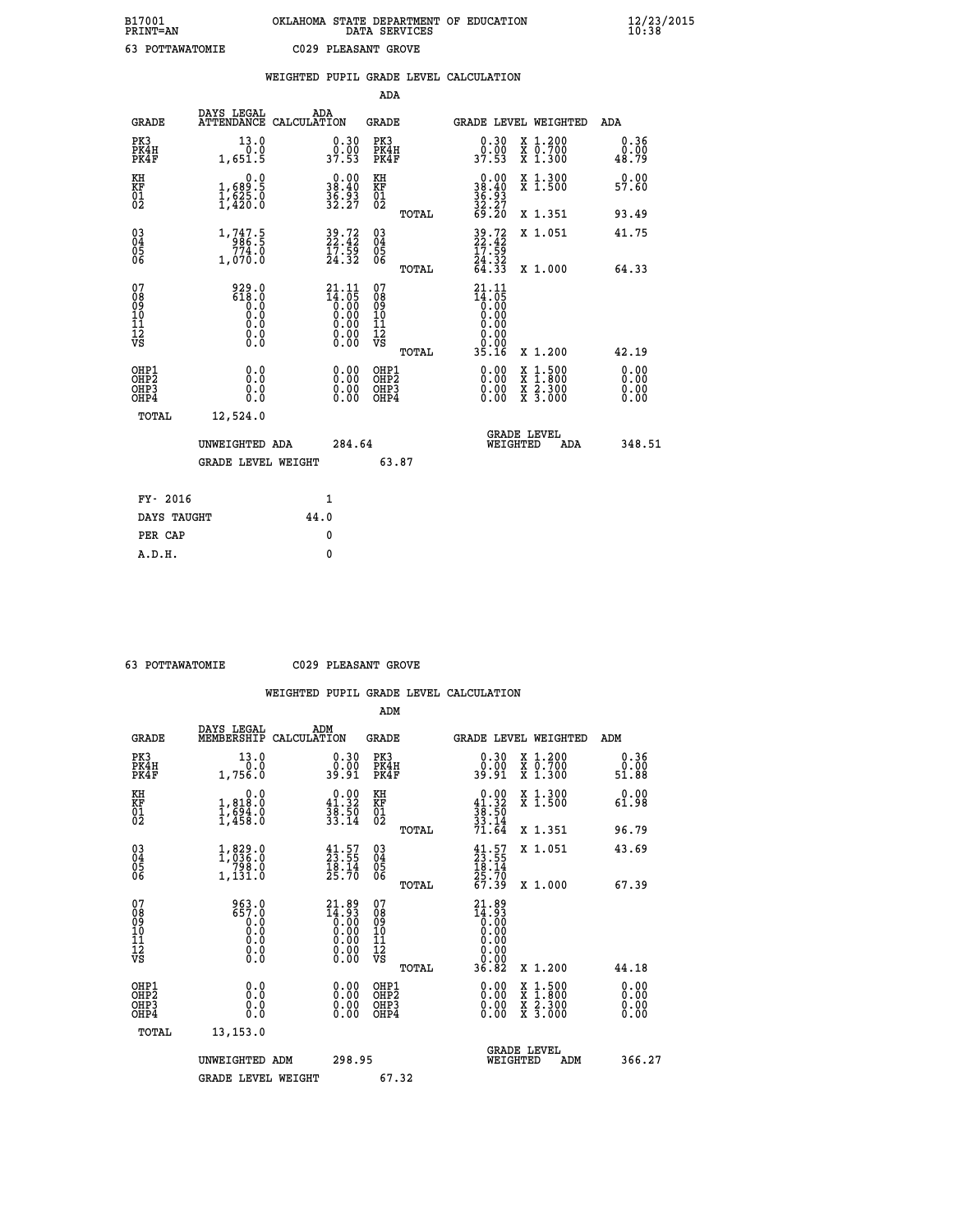|                                                                    |                                                                                                                                                                     | WEIGHTED PUPIL GRADE LEVEL CALCULATION |                                                                    |                                                     |       |                                                                 |                                |                                                                                                                                           |                              |
|--------------------------------------------------------------------|---------------------------------------------------------------------------------------------------------------------------------------------------------------------|----------------------------------------|--------------------------------------------------------------------|-----------------------------------------------------|-------|-----------------------------------------------------------------|--------------------------------|-------------------------------------------------------------------------------------------------------------------------------------------|------------------------------|
|                                                                    |                                                                                                                                                                     |                                        |                                                                    | <b>ADA</b>                                          |       |                                                                 |                                |                                                                                                                                           |                              |
| <b>GRADE</b>                                                       | DAYS LEGAL<br><b>ATTENDANCE</b>                                                                                                                                     | ADA<br>CALCULATION                     |                                                                    | <b>GRADE</b>                                        |       |                                                                 |                                | GRADE LEVEL WEIGHTED                                                                                                                      | ADA                          |
| PK3<br>PK4H<br>PK4F                                                | 13.0<br>$0.0$<br>1,651.5                                                                                                                                            |                                        | $\begin{smallmatrix} 0.30\\ 0.00\\ 37.53 \end{smallmatrix}$        | PK3<br>PK4H<br>PK4F                                 |       | $\begin{smallmatrix} 0.30\\ 0.00\\ 37.53 \end{smallmatrix}$     |                                | X 1.200<br>X 0.700<br>X 1.300                                                                                                             | 0.36<br>0.00<br>48.79        |
| KH<br>KF<br>01<br>02                                               | 0.0<br>$\frac{1}{1}, \frac{689}{625}$ .0<br>1,420.0                                                                                                                 |                                        | 38.40<br>$\frac{36}{32}$ $\frac{53}{27}$                           | KH<br>KF<br>01<br>02                                |       | 0.00<br>$38.40$<br>$36.93$<br>$32.27$<br>$69.20$                |                                | X 1.300<br>X 1.500                                                                                                                        | 0.00<br>57.60                |
|                                                                    |                                                                                                                                                                     |                                        |                                                                    |                                                     | TOTAL |                                                                 |                                | X 1.351                                                                                                                                   | 93.49                        |
| $\begin{smallmatrix} 03 \\[-4pt] 04 \end{smallmatrix}$<br>Ŏ5<br>06 | 1, 747.5<br>0.274<br>1,070.0                                                                                                                                        |                                        | $\begin{smallmatrix} 39.72\ 22.42\ 17.59\ 24.32 \end{smallmatrix}$ | $\begin{array}{c} 03 \\ 04 \\ 05 \\ 06 \end{array}$ |       | 39.72<br>22.42<br>17.59<br>24.32<br>64.33                       |                                | X 1.051                                                                                                                                   | 41.75                        |
|                                                                    |                                                                                                                                                                     |                                        |                                                                    |                                                     | TOTAL |                                                                 |                                | X 1.000                                                                                                                                   | 64.33                        |
| 07<br>08<br>09<br>11<br>11<br>12<br>VS                             | $\begin{smallmatrix} 9 & 2 & 9 & . & 0 \\ 6 & 1 & 8 & . & 0 \\ 0 & 0 & . & 0 \\ 0 & 0 & . & 0 \\ 0 & 0 & . & 0 \\ 0 & 0 & . & 0 \\ 0 & 0 & . & 0 \end{smallmatrix}$ |                                        | 21.11                                                              | 07<br>08<br>09<br>11<br>11<br>12<br>VS              | TOTAL | 21.11<br>14:05<br>0.00<br>0.00<br>0.00<br>0.00<br>Ŏ.ŌŌ<br>35.16 |                                | X 1.200                                                                                                                                   | 42.19                        |
| OHP1<br>OHP2<br>OH <sub>P3</sub><br>OHP4                           | 0.0<br>Ŏ.Ŏ<br>0.0<br>0.0                                                                                                                                            |                                        | 0.00<br>$0.00$<br>0.00                                             | OHP1<br>OHP2<br>OHP3<br>OHP4                        |       |                                                                 |                                | $\begin{smallmatrix} \mathtt{X} & 1\cdot500\\ \mathtt{X} & 1\cdot800\\ \mathtt{X} & 2\cdot300\\ \mathtt{X} & 3\cdot000 \end{smallmatrix}$ | 0.00<br>ŏ:ŏŏ<br>0.00<br>0.00 |
| TOTAL                                                              | 12,524.0                                                                                                                                                            |                                        |                                                                    |                                                     |       |                                                                 |                                |                                                                                                                                           |                              |
|                                                                    | UNWEIGHTED ADA                                                                                                                                                      |                                        | 284.64                                                             |                                                     |       |                                                                 | <b>GRADE LEVEL</b><br>WEIGHTED | ADA                                                                                                                                       | 348.51                       |
|                                                                    | <b>GRADE LEVEL WEIGHT</b>                                                                                                                                           |                                        |                                                                    | 63.87                                               |       |                                                                 |                                |                                                                                                                                           |                              |
| FY- 2016                                                           |                                                                                                                                                                     | 1                                      |                                                                    |                                                     |       |                                                                 |                                |                                                                                                                                           |                              |
| DAYS TAUGHT                                                        |                                                                                                                                                                     | 44.0                                   |                                                                    |                                                     |       |                                                                 |                                |                                                                                                                                           |                              |
| PER CAP                                                            |                                                                                                                                                                     | 0                                      |                                                                    |                                                     |       |                                                                 |                                |                                                                                                                                           |                              |

 **63 POTTAWATOMIE C029 PLEASANT GROVE**

|                                                      |                                                                                                |                                                                                         | ADM                                                 |       |                                                                           |                                          |                       |
|------------------------------------------------------|------------------------------------------------------------------------------------------------|-----------------------------------------------------------------------------------------|-----------------------------------------------------|-------|---------------------------------------------------------------------------|------------------------------------------|-----------------------|
| <b>GRADE</b>                                         | DAYS LEGAL<br>MEMBERSHIP                                                                       | ADM<br>CALCULATION                                                                      | <b>GRADE</b>                                        |       |                                                                           | GRADE LEVEL WEIGHTED                     | ADM                   |
| PK3<br>PK4H<br>PK4F                                  | 13.0<br>0.0<br>1,756.0                                                                         | $\begin{smallmatrix} 0.30\ 0.00\ 39.91 \end{smallmatrix}$                               | PK3<br>PK4H<br>PK4F                                 |       | $\begin{smallmatrix} 0.30\ 0.00\ 39.91 \end{smallmatrix}$                 | X 1.200<br>X 0.700<br>X 1.300            | 0.36<br>0.00<br>51.88 |
| KH<br>KF<br>01<br>02                                 | 0.0<br>1,818:0<br>1,694:0<br>1,458:0                                                           | $\begin{smallmatrix} 0.00\\ 41.32\\ 38.50\\ 33.14 \end{smallmatrix}$                    | KH<br>KF<br>01<br>02                                |       | $0.00$<br>$41.32$<br>$38.50$<br>$33.14$<br>$71.64$                        | X 1.300<br>X 1.500                       | 0.00<br>61.98         |
|                                                      |                                                                                                |                                                                                         |                                                     | TOTAL |                                                                           | X 1.351                                  | 96.79                 |
| 03<br>04<br>05<br>06                                 | 1,829.0<br>1,036.0<br>799.0<br>1,131.0                                                         | $\begin{smallmatrix} 41.57\ 23.55\ 18.14\ 25.70 \end{smallmatrix}$                      | $\begin{array}{c} 03 \\ 04 \\ 05 \\ 06 \end{array}$ |       | $\begin{smallmatrix} 41.57\ 23.55\ 18.14\ 25.70\ 67.39 \end{smallmatrix}$ | X 1.051                                  | 43.69                 |
|                                                      |                                                                                                |                                                                                         |                                                     | TOTAL |                                                                           | X 1.000                                  | 67.39                 |
| 07<br>08<br>09<br>101<br>112<br>VS                   | 963.0<br>657.0<br>$\begin{smallmatrix} 0.0 & 0 \ 0.0 & 0 \ 0.0 & 0 \end{smallmatrix}$<br>$\S.$ | $\begin{smallmatrix} 21.89\\14.93\\0.00\\0.00\\0.00\\0.00\\0.00\\0.00\end{smallmatrix}$ | 07<br>08<br>09<br>11<br>11<br>12<br>VS              |       | $21.89$<br>$14.93$<br>$0.00$<br>$0.00$<br>$0.00$<br>$0.00$<br>$0.00$      |                                          |                       |
|                                                      |                                                                                                |                                                                                         |                                                     | TOTAL | 36.82                                                                     | X 1.200                                  | 44.18                 |
| OHP1<br>OHP2<br>OH <sub>P3</sub><br>OH <sub>P4</sub> | 0.0<br>0.000                                                                                   | $0.00$<br>$0.00$<br>0.00                                                                | OHP1<br>OHP2<br>OHP <sub>3</sub>                    |       | $0.00$<br>$0.00$<br>0.00                                                  | X 1:500<br>X 1:800<br>X 2:300<br>X 3:000 | 0.00<br>0.00<br>0.00  |
| TOTAL                                                | 13, 153.0                                                                                      |                                                                                         |                                                     |       |                                                                           |                                          |                       |
|                                                      | UNWEIGHTED ADM                                                                                 | 298.95                                                                                  |                                                     |       | WEIGHTED                                                                  | <b>GRADE LEVEL</b><br>ADM                | 366.27                |
|                                                      | <b>GRADE LEVEL WEIGHT</b>                                                                      |                                                                                         | 67.32                                               |       |                                                                           |                                          |                       |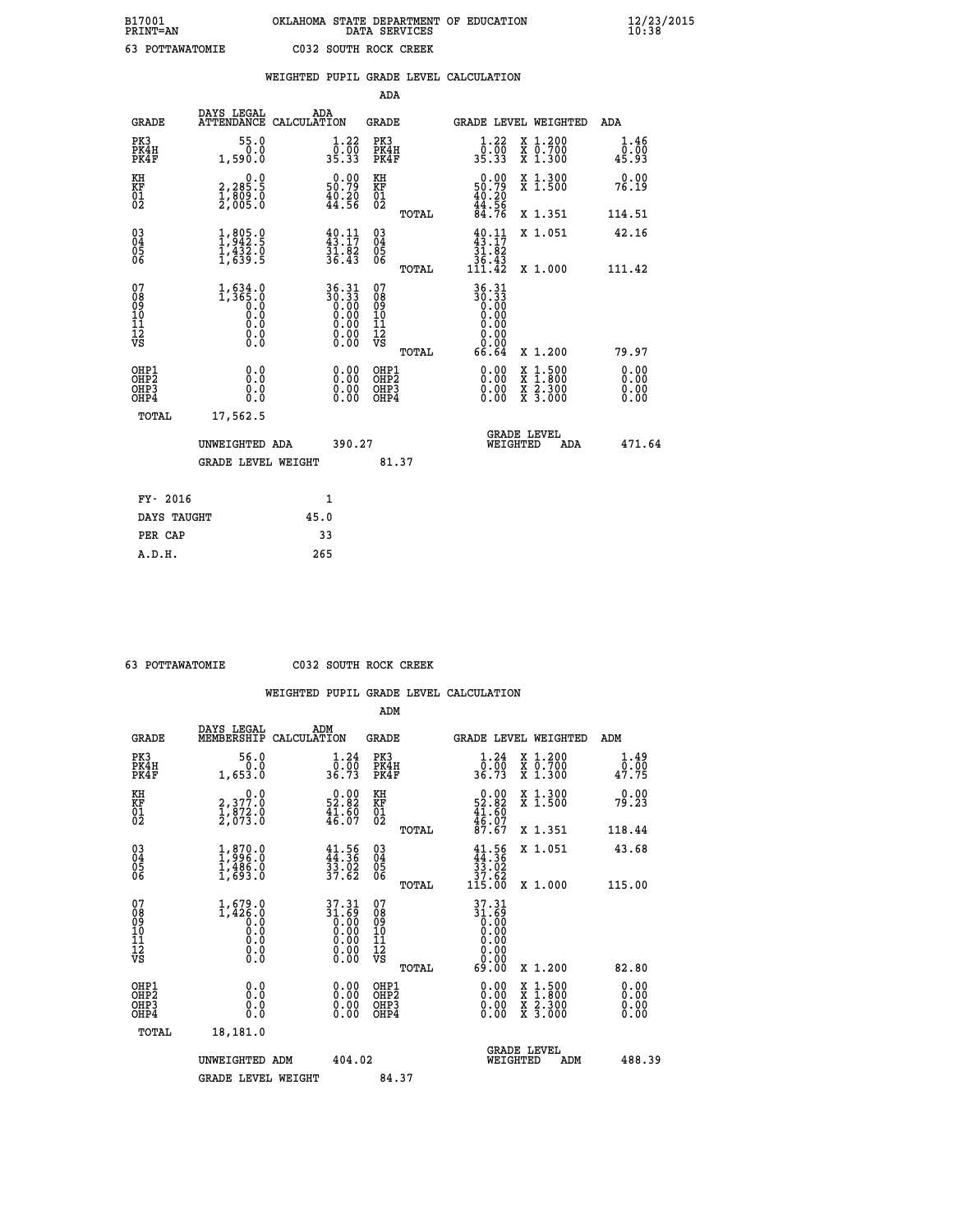| B17001<br><b>PRINT=AN</b> | OKLAHOMA STATE DEPARTMENT OF EDUCATION<br>DATA SERVICES | $\frac{12}{23}$ /2015 |
|---------------------------|---------------------------------------------------------|-----------------------|
| 63<br>POTTAWATOMIE        | C032 SOUTH ROCK CREEK                                   |                       |

|                                                                    |                                                                                       | WEIGHTED PUPIL GRADE LEVEL CALCULATION                                                         |                                                 |                                                                              |                               |                              |
|--------------------------------------------------------------------|---------------------------------------------------------------------------------------|------------------------------------------------------------------------------------------------|-------------------------------------------------|------------------------------------------------------------------------------|-------------------------------|------------------------------|
|                                                                    |                                                                                       |                                                                                                | ADA                                             |                                                                              |                               |                              |
| <b>GRADE</b>                                                       | DAYS LEGAL                                                                            | ADA<br>ATTENDANCE CALCULATION                                                                  | <b>GRADE</b>                                    | GRADE LEVEL WEIGHTED                                                         |                               | ADA                          |
| PK3<br>PK4H<br>PK4F                                                | 55.0<br>0.0<br>1,590.0                                                                | $\begin{smallmatrix} 1.22\ 0.00 \ 35.33 \end{smallmatrix}$                                     | PK3<br>PK4H<br>PK4F                             | $\begin{smallmatrix} 1.22\ 0.00\ 35.33 \end{smallmatrix}$                    | X 1.200<br>X 0.700<br>X 1.300 | 1.46<br>0.00<br>45.93        |
| KH<br>KF<br>01<br>02                                               | 0.0<br>$\frac{2}{1}, \frac{2}{809}$ $\frac{5}{809}$<br>$\frac{1}{2}, \frac{809}{805}$ | $\begin{smallmatrix} 0.00\\ 50.79\\ 40.20\\ 44.56 \end{smallmatrix}$                           | KH<br>KF<br>01<br>02                            | $\begin{smallmatrix} 0.00\\ 50.79\\ 40.20\\ 44.56\\ 84.76 \end{smallmatrix}$ | X 1.300<br>X 1.500            | 0.00<br>76.19                |
|                                                                    |                                                                                       |                                                                                                | TOTAL                                           |                                                                              | X 1.351                       | 114.51                       |
| $\begin{smallmatrix} 03 \\[-4pt] 04 \end{smallmatrix}$<br>Ŏ5<br>06 | 1,805.9<br>$\frac{1}{4}$ , $\frac{1}{6}$ , $\frac{3}{8}$ , $\frac{5}{5}$              | $\frac{40}{43}:17$<br>$\frac{31}{36}$ $\frac{82}{43}$                                          | $\substack{03 \\ 04}$<br>05<br>06               | $\frac{40}{43}:\frac{11}{17}$<br>$\frac{31.82}{36.43}$<br>111.42             | X 1.051                       | 42.16                        |
|                                                                    |                                                                                       |                                                                                                | TOTAL                                           |                                                                              | X 1.000                       | 111.42                       |
| 07<br>08<br>09<br>101<br>112<br>VS                                 | $1, 634.0$<br>1, 365.0<br>0.0<br>Ŏ.Ŏ<br>$\S.$ $\S$                                    | 36.31<br>30.33<br>0.00<br>0.00<br>0.00<br>$\begin{smallmatrix} 0.00 \\ 0.00 \end{smallmatrix}$ | 07<br>08<br>09<br>11<br>11<br>12<br>VS<br>TOTAL | 36.31<br>30.33<br>0.00<br>0.00<br>0.00<br>0.00<br>66.64                      | X 1.200                       | 79.97                        |
| OHP1<br>OHP2<br>OHP3<br>OHP4                                       | 0.0<br>0.0<br>0.0                                                                     | 0.00<br>$\begin{smallmatrix} 0.00 \ 0.00 \end{smallmatrix}$                                    | OHP1<br>OHP2<br>OHP3<br>OHP4                    | 0.00<br>0.00<br>0.00                                                         | X 1:500<br>X 2.300<br>X 3.000 | 0.00<br>Ō.ŎŎ<br>0.00<br>0.00 |
| <b>TOTAL</b>                                                       | 17,562.5                                                                              |                                                                                                |                                                 |                                                                              |                               |                              |
|                                                                    | UNWEIGHTED ADA                                                                        | 390.27                                                                                         |                                                 | <b>GRADE LEVEL</b><br>WEIGHTED                                               | ADA                           | 471.64                       |
|                                                                    | <b>GRADE LEVEL WEIGHT</b>                                                             |                                                                                                | 81.37                                           |                                                                              |                               |                              |
| FY- 2016                                                           |                                                                                       | $\mathbf{1}$                                                                                   |                                                 |                                                                              |                               |                              |
|                                                                    | DAYS TAUGHT                                                                           | 45.0                                                                                           |                                                 |                                                                              |                               |                              |
| PER CAP                                                            |                                                                                       | 33                                                                                             |                                                 |                                                                              |                               |                              |

 **ADM**

 **63 POTTAWATOMIE C032 SOUTH ROCK CREEK**

| <b>GRADE</b>                                       | DAYS LEGAL<br>MEMBERSHIP                                                                        | ADM<br>CALCULATION                                                   | <b>GRADE</b>                                       |       |                                                                                                  |          | GRADE LEVEL WEIGHTED                     | ADM                                      |
|----------------------------------------------------|-------------------------------------------------------------------------------------------------|----------------------------------------------------------------------|----------------------------------------------------|-------|--------------------------------------------------------------------------------------------------|----------|------------------------------------------|------------------------------------------|
| PK3<br>PK4H<br>PK4F                                | 56.0<br>0.0<br>1,653.0                                                                          | 1.24<br>ō:ōō<br>36.73                                                | PK3<br>PK4H<br>PK4F                                |       | 1.24<br>$\frac{0.00}{36.73}$                                                                     |          | X 1.200<br>X 0.700<br>X 1.300            | $\frac{1}{0}$ : $\frac{49}{00}$<br>47.75 |
| KH<br>KF<br>01<br>02                               | $\begin{smallmatrix} & & 0.0\ 2,377.0\ 1,872.0\ 2,073.0 \end{smallmatrix}$                      | $0.00$<br>52.82<br>$\frac{41.60}{46.07}$                             | KH<br>KF<br>01<br>02                               |       | $\begin{smallmatrix} 0.00\\ 52.82\\ 41.60\\ 46.07\\ 87.67 \end{smallmatrix}$                     |          | X 1.300<br>X 1.500                       | 0.00<br>79.23                            |
|                                                    |                                                                                                 |                                                                      |                                                    | TOTAL |                                                                                                  |          | X 1.351                                  | 118.44                                   |
| $\begin{matrix} 03 \\ 04 \\ 05 \\ 06 \end{matrix}$ | $\begin{smallmatrix} 1, 870.0\\ 1, 996.0\\ 1, 486.0\\ 1, 693.0 \end{smallmatrix}$               | $41.56$<br>$44.36$<br>$33.02$<br>$37.62$                             | $\begin{matrix} 03 \\ 04 \\ 05 \\ 06 \end{matrix}$ |       | $\begin{array}{c} 41.56 \\ 44.36 \\ 33.02 \\ 37.62 \\ 115.00 \end{array}$                        |          | X 1.051                                  | 43.68                                    |
|                                                    |                                                                                                 |                                                                      |                                                    | TOTAL |                                                                                                  |          | X 1.000                                  | 115.00                                   |
| 07<br>089<br>090<br>1112<br>VS                     | $1, 679.0$<br>$1, 426.0$<br>$\begin{smallmatrix} 0.1 & 0 \ 0.0 & 0 \ 0.0 & 0 \end{smallmatrix}$ | $37.31$<br>$31.69$<br>$0.00$<br>$0.00$<br>$0.00$<br>$0.00$<br>$0.00$ | 07<br>08<br>09<br>001<br>11<br>11<br>12<br>VS      |       | 37.31<br>$\begin{array}{c} 31.69 \\ 0.00 \\ 0.00 \\ 0.00 \\ 0.00 \\ 0.00 \\ 0.00 \\ \end{array}$ |          |                                          |                                          |
|                                                    |                                                                                                 |                                                                      |                                                    | TOTAL | 69.00                                                                                            |          | X 1.200                                  | 82.80                                    |
| OHP1<br>OHP2<br>OH <sub>P3</sub><br>OHP4           | 0.0<br>0.000                                                                                    |                                                                      | OHP1<br>OHP2<br>OHP3<br>OHP4                       |       | 0.00<br>$0.00$<br>0.00                                                                           |          | X 1:500<br>X 1:800<br>X 2:300<br>X 3:000 | 0.00<br>0.00<br>0.00                     |
| TOTAL                                              | 18,181.0                                                                                        |                                                                      |                                                    |       |                                                                                                  |          |                                          |                                          |
|                                                    | UNWEIGHTED                                                                                      | 404.02<br>ADM                                                        |                                                    |       |                                                                                                  | WEIGHTED | <b>GRADE LEVEL</b><br>ADM                | 488.39                                   |
|                                                    | <b>GRADE LEVEL WEIGHT</b>                                                                       |                                                                      | 84.37                                              |       |                                                                                                  |          |                                          |                                          |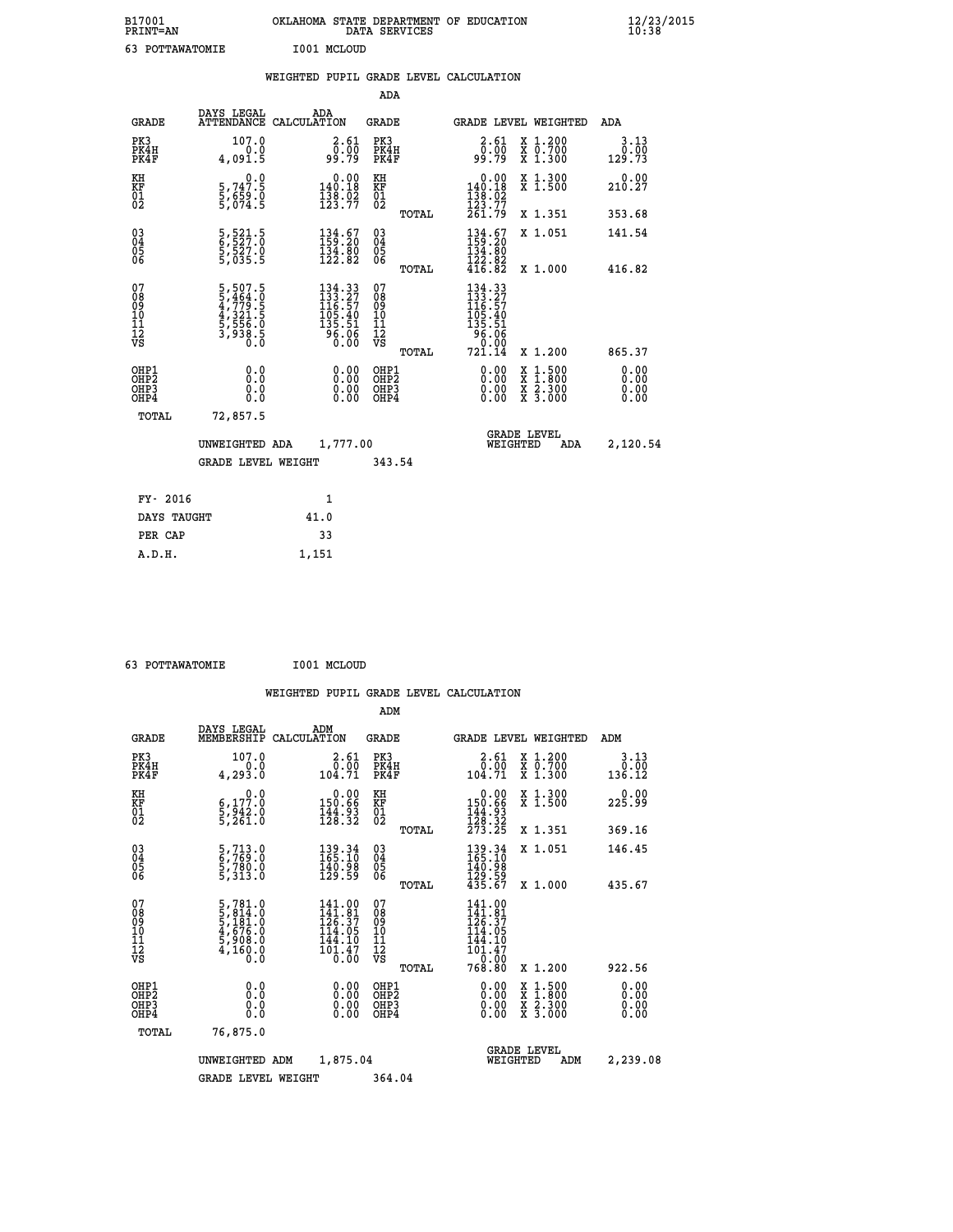| B17001<br><b>PRINT=AN</b>                |                                                                           | OKLAHOMA STATE DEPARTMENT OF EDUCATION                                                     | DATA SERVICES                                          |                                                                                  |                                                                                                  | 12/23/2015<br>10:38    |  |
|------------------------------------------|---------------------------------------------------------------------------|--------------------------------------------------------------------------------------------|--------------------------------------------------------|----------------------------------------------------------------------------------|--------------------------------------------------------------------------------------------------|------------------------|--|
| 63 POTTAWATOMIE                          |                                                                           | I001 MCLOUD                                                                                |                                                        |                                                                                  |                                                                                                  |                        |  |
|                                          |                                                                           | WEIGHTED PUPIL GRADE LEVEL CALCULATION                                                     |                                                        |                                                                                  |                                                                                                  |                        |  |
|                                          |                                                                           |                                                                                            | ADA                                                    |                                                                                  |                                                                                                  |                        |  |
| GRADE                                    | DAYS LEGAL                                                                | ADA<br>ATTENDANCE CALCULATION                                                              | GRADE                                                  | <b>GRADE LEVEL WEIGHTED</b>                                                      |                                                                                                  | ADA                    |  |
| PK3<br>PK4H<br>PK4F                      | 107.0<br>4,091.5                                                          | 2.61<br>__5.00<br>99.79                                                                    | PK3<br>PK4H<br>PK4F                                    | 2.61<br>ō:ŏō<br>9:79                                                             | X 1.200<br>X 0.700<br>X 1.300                                                                    | 3.13<br>0.00<br>129.73 |  |
| KH<br>KF<br>01<br>02                     | 0.0<br>5,747.5<br>5,659.0<br>5,074.5                                      | $0.00$<br>140.18<br>$\frac{138}{123}.$ $\frac{52}{77}$                                     | KH<br>KF<br>01<br>02                                   | $\begin{smallmatrix} &0.00\\ 140.18\\ 138.02\\ 123.77\\ 261.79\end{smallmatrix}$ | X 1.300<br>X 1.500                                                                               | 0.00<br>210.27         |  |
|                                          |                                                                           |                                                                                            | TOTAL                                                  |                                                                                  | X 1.351                                                                                          | 353.68                 |  |
| $03\overline{4}$<br>$\frac{05}{06}$      | 5,521.5<br>6,527.0<br>5,527.0<br>5,035.5                                  | $\begin{smallmatrix} 134.67\\159.20\\134.80\\122.82 \end{smallmatrix}$                     | 03<br>04<br>05<br>06                                   | $134.67$<br>$134.80$<br>$134.80$<br>$122.82$                                     | X 1.051                                                                                          | 141.54                 |  |
|                                          |                                                                           |                                                                                            | TOTAL                                                  | 416.82                                                                           | X 1,000                                                                                          | 416.82                 |  |
| 07<br>08901112<br>1112<br>VS             | 5,507.5<br>5,464.0<br>4,779.5<br>4,321.5<br>5,556.0<br>5,556.0<br>3,938.5 | $\begin{smallmatrix} 134.33\\133.27\\116.57\\105.40\\135.51\\96.06\\0.00\end{smallmatrix}$ | 07<br>08<br>09<br>11<br>11<br>12<br>VS<br><b>TOTAL</b> | 134.33<br>133.27<br>116.57<br>105.40<br>135.51<br>96.06<br>0.00<br>721.14        | X 1.200                                                                                          | 865.37                 |  |
| OHP1<br>OHP <sub>2</sub><br>OHP3<br>OHP4 | 0.0<br>0.0<br>0.0<br>0.0                                                  |                                                                                            | OHP1<br>OHP2<br>OHP3<br>OHP4                           | 0.00<br>0.00<br>0.00                                                             | $\begin{smallmatrix} x & 1 & 500 \\ x & 1 & 800 \\ x & 2 & 300 \\ x & 3 & 000 \end{smallmatrix}$ | 0.00<br>0.00<br>0.00   |  |
| TOTAL                                    | 72,857.5                                                                  |                                                                                            |                                                        |                                                                                  |                                                                                                  |                        |  |
|                                          | UNWEIGHTED ADA                                                            | 1,777.00<br>GRADE LEVEL WEIGHT                                                             | 343.54                                                 | <b>GRADE LEVEL</b><br>WEIGHTED                                                   | ADA                                                                                              | 2,120.54               |  |
|                                          |                                                                           |                                                                                            |                                                        |                                                                                  |                                                                                                  |                        |  |
| FY- 2016                                 |                                                                           | 1                                                                                          |                                                        |                                                                                  |                                                                                                  |                        |  |
| DAYS TAUGHT                              |                                                                           | 41.0                                                                                       |                                                        |                                                                                  |                                                                                                  |                        |  |
| PER CAP                                  |                                                                           | 33                                                                                         |                                                        |                                                                                  |                                                                                                  |                        |  |
| <b>צה</b>                                |                                                                           | 1 151                                                                                      |                                                        |                                                                                  |                                                                                                  |                        |  |

 **63 POTTAWATOMIE I001 MCLOUD**

 **A.D.H. 1,151**

 **ADM**

| <b>GRADE</b>                                       | DAYS LEGAL                                                                          | ADM<br>MEMBERSHIP CALCULATION                                              | <b>GRADE</b>                                        |                                                                                                            | GRADE LEVEL WEIGHTED                     | ADM                    |
|----------------------------------------------------|-------------------------------------------------------------------------------------|----------------------------------------------------------------------------|-----------------------------------------------------|------------------------------------------------------------------------------------------------------------|------------------------------------------|------------------------|
| PK3<br>PK4H<br>PK4F                                | 107.0<br>0.0<br>4,293.0                                                             | 2.61<br>0.00<br>104.71                                                     | PK3<br>PK4H<br>PK4F                                 | 2.61<br>ō:ŏō<br>104.71                                                                                     | X 1.200<br>X 0.700<br>X 1.300            | 3.13<br>0.00<br>136.12 |
| KH<br>KF<br>01<br>02                               | 0.0<br>$\frac{6}{5}, \frac{177}{942}$ .0<br>5,261.0                                 | $\begin{smallmatrix} &0.00\\ 150.66\\ 144.93\\ 128.32\end{smallmatrix}$    | KH<br>KF<br>01<br>02                                | $\begin{smallmatrix}&&0.00\\150.66\\144.93\\128.32\\273.25\end{smallmatrix}$                               | X 1.300<br>X 1.500                       | 0.00<br>225.99         |
|                                                    |                                                                                     |                                                                            | TOTAL                                               |                                                                                                            | X 1.351                                  | 369.16                 |
| $\begin{matrix} 03 \\ 04 \\ 05 \\ 06 \end{matrix}$ | 5,713.0<br>6,769.0<br>5,780.0<br>5,313.0                                            | $\begin{smallmatrix} 139.34\ 165.10\ 140.98\ 129.59 \end{smallmatrix}$     | $\begin{array}{c} 03 \\ 04 \\ 05 \\ 06 \end{array}$ | $139.34$<br>$165.10$<br>$140.98$<br>$129.59$<br>$435.67$                                                   | X 1.051                                  | 146.45                 |
|                                                    |                                                                                     |                                                                            | TOTAL                                               |                                                                                                            | X 1.000                                  | 435.67                 |
| 07<br>08<br>09<br>101<br>11<br>12<br>VS            | $5,781.0$<br>$5,814.0$<br>$5,181.0$<br>$4,676.0$<br>$5,908.0$<br>$4,160.0$<br>$0.0$ | $141.00$<br>$141.81$<br>$126.37$<br>114.05<br>144.10<br>$101.47$<br>$0.00$ | 078<br>089<br>0011<br>11<br>12<br>VS<br>TOTAL       | 141.00<br>141.81<br>126.37<br>114.05<br>144.10<br>$\overline{101}\cdot\overline{47}\overline{0}$<br>768.80 | X 1.200                                  | 922.56                 |
|                                                    |                                                                                     |                                                                            |                                                     |                                                                                                            |                                          |                        |
| OHP1<br>OHP2<br>OHP3<br>OHP4                       | 0.0<br>0.000                                                                        |                                                                            | OHP1<br>OHP2<br>OHP3<br>OHP4                        | $0.00$<br>$0.00$<br>0.00                                                                                   | X 1:500<br>X 1:800<br>X 2:300<br>X 3:000 | 0.00<br>0.00<br>0.00   |
| TOTAL                                              | 76,875.0                                                                            |                                                                            |                                                     |                                                                                                            |                                          |                        |
|                                                    | UNWEIGHTED                                                                          | 1,875.04<br>ADM                                                            |                                                     | WEIGHTED                                                                                                   | <b>GRADE LEVEL</b><br>ADM                | 2,239.08               |
|                                                    | <b>GRADE LEVEL WEIGHT</b>                                                           |                                                                            | 364.04                                              |                                                                                                            |                                          |                        |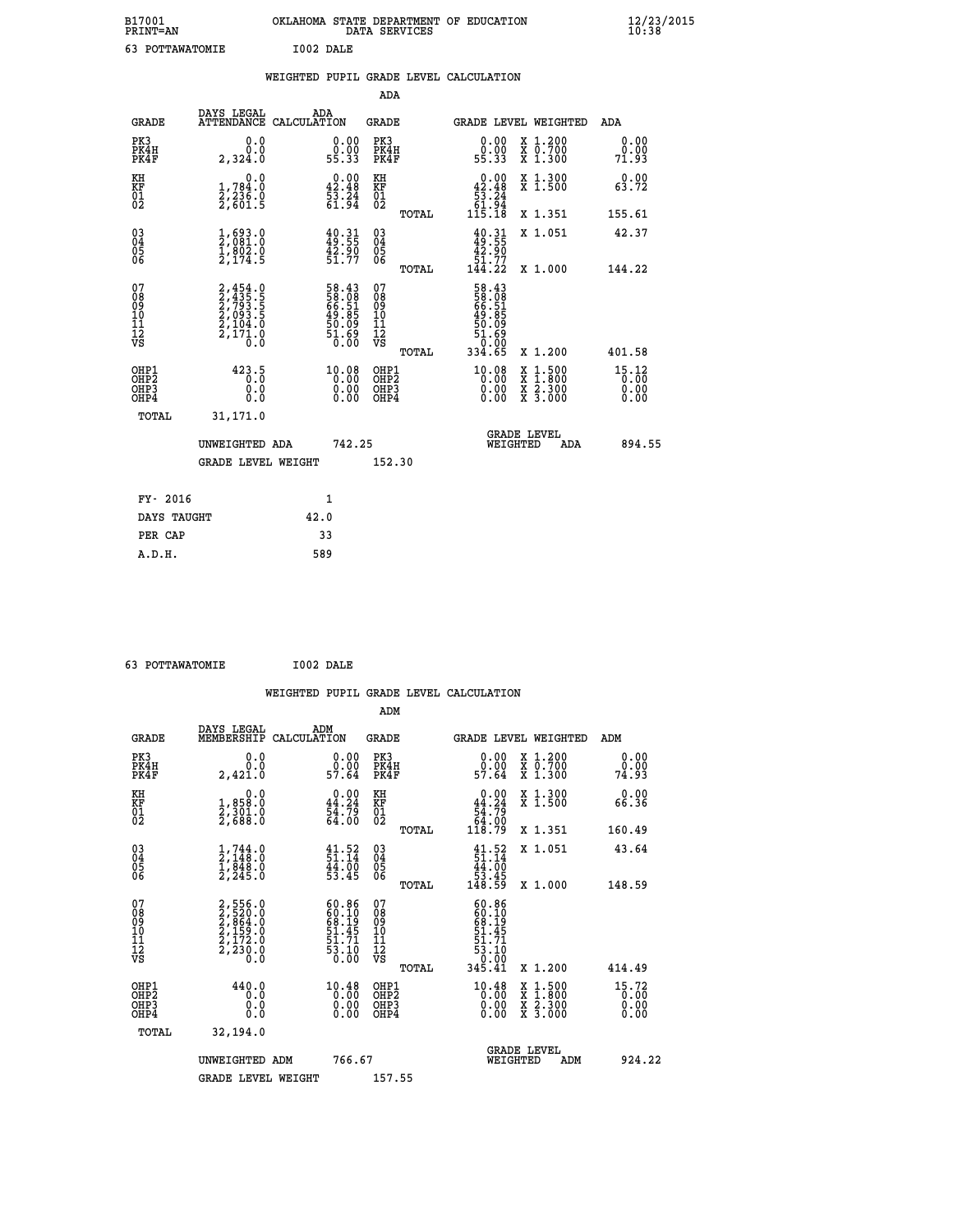| B17001<br><b>PRINT=AN</b> | OKLAHOMA STATE DEPARTMENT OF EDUCATION<br>DATA SERVICES | $\frac{12}{23}$ /2015 |
|---------------------------|---------------------------------------------------------|-----------------------|
| 63<br>POTTAWATOMIE        | I002 DALE                                               |                       |

|                                                                    |                                                                                             |      |                                                                           |                                                     |       | WEIGHTED PUPIL GRADE LEVEL CALCULATION                                   |          |                                                                                                                                           |                               |
|--------------------------------------------------------------------|---------------------------------------------------------------------------------------------|------|---------------------------------------------------------------------------|-----------------------------------------------------|-------|--------------------------------------------------------------------------|----------|-------------------------------------------------------------------------------------------------------------------------------------------|-------------------------------|
|                                                                    |                                                                                             |      |                                                                           | ADA                                                 |       |                                                                          |          |                                                                                                                                           |                               |
| <b>GRADE</b>                                                       | DAYS LEGAL<br>ATTENDANCE CALCULATION                                                        | ADA  |                                                                           | <b>GRADE</b>                                        |       |                                                                          |          | GRADE LEVEL WEIGHTED                                                                                                                      | ADA                           |
| PK3<br>PK4H<br>PK4F                                                | 0.0<br>0.0<br>2,324.0                                                                       |      | 0.00<br>ŏ:ŏŏ<br>55:33                                                     | PK3<br>PK4H<br>PK4F                                 |       | 0.00<br>ŏ:ŏŏ<br>55:33                                                    |          | X 1.200<br>X 0.700<br>X 1.300                                                                                                             | 0.00<br>0.00<br>71.93         |
| KH<br>KF<br>01<br>02                                               | 0.0<br>1,784:0<br>2,236.0<br>2,601:5                                                        |      | $\begin{smallmatrix} 0.00\\ 42.48\\ 53.24\\ 61.94 \end{smallmatrix}$      | KH<br>KF<br>01<br>02                                |       | $\begin{array}{r} 0.00 \\ 42.48 \\ 53.24 \\ 61.94 \\ 115.18 \end{array}$ |          | X 1.300<br>X 1.500                                                                                                                        | 0.00<br>63.72                 |
|                                                                    |                                                                                             |      |                                                                           |                                                     | TOTAL |                                                                          |          | X 1.351                                                                                                                                   | 155.61                        |
| $\begin{smallmatrix} 03 \\[-4pt] 04 \end{smallmatrix}$<br>Ŏ5<br>06 | $\frac{1}{2}$ , $\begin{smallmatrix} 693.0\\ 2,081.0\\ 1,802.0\\ 2,174.5 \end{smallmatrix}$ |      | $40.31$<br>$49.55$<br>$42.90$<br>$51.77$                                  | $\begin{array}{c} 03 \\ 04 \\ 05 \\ 06 \end{array}$ |       | $40.31$<br>$49.55$<br>$42.90$<br>$51.77$<br>$144.22$                     |          | X 1.051                                                                                                                                   | 42.37                         |
|                                                                    |                                                                                             |      |                                                                           |                                                     | TOTAL |                                                                          |          | X 1.000                                                                                                                                   | 144.22                        |
| 07<br>08<br>09<br>11<br>11<br>12<br>VS                             | 2,454.0<br>2,435.5<br>2,793.5<br>2,093.5<br>2,104.0<br>2,171.0                              |      | 58.43<br>58.08<br>66.51<br>66.85<br>49.09<br>51.69<br>50.00               | 07<br>08<br>09<br>101<br>11<br>12<br>VS             | TOTAL | 58.43<br>58.081<br>56.515<br>69.85<br>50.090<br>51.690<br>334.65         |          | X 1.200                                                                                                                                   | 401.58                        |
| OHP1<br>OH <sub>P</sub><br>OHP3<br>OH <sub>P4</sub>                | 423.5<br>0.0<br>0.0                                                                         |      | $\begin{smallmatrix} 10.08\\ 0.00\\ 0.00\\ 0.00\\ 0.00 \end{smallmatrix}$ | OHP1<br>OHP <sub>2</sub><br>OHP3<br>OHP4            |       | $\begin{smallmatrix} 10.08\\ 0.00\\ 0.00\\ 0.00 \end{smallmatrix}$       |          | $\begin{smallmatrix} \mathtt{X} & 1\cdot500\\ \mathtt{X} & 1\cdot800\\ \mathtt{X} & 2\cdot300\\ \mathtt{X} & 3\cdot000 \end{smallmatrix}$ | 15.12<br>0.00<br>0.00<br>0.00 |
| TOTAL                                                              | 31,171.0                                                                                    |      |                                                                           |                                                     |       |                                                                          |          |                                                                                                                                           |                               |
|                                                                    | UNWEIGHTED ADA                                                                              |      | 742.25                                                                    |                                                     |       |                                                                          | WEIGHTED | <b>GRADE LEVEL</b><br>ADA                                                                                                                 | 894.55                        |
|                                                                    | <b>GRADE LEVEL WEIGHT</b>                                                                   |      |                                                                           | 152.30                                              |       |                                                                          |          |                                                                                                                                           |                               |
| FY- 2016                                                           |                                                                                             |      | 1                                                                         |                                                     |       |                                                                          |          |                                                                                                                                           |                               |
| DAYS TAUGHT                                                        |                                                                                             | 42.0 |                                                                           |                                                     |       |                                                                          |          |                                                                                                                                           |                               |
| PER CAP                                                            |                                                                                             |      | 33                                                                        |                                                     |       |                                                                          |          |                                                                                                                                           |                               |

| $\sim$ | ------------- |
|--------|---------------|
|        |               |
|        |               |
|        |               |

 **63 POTTAWATOMIE I002 DALE WEIGHTED PUPIL GRADE LEVEL CALCULATION ADM DAYS LEGAL ADM GRADE MEMBERSHIP CALCULATION GRADE GRADE LEVEL WEIGHTED ADM PK3 0.0 0.00 PK3 0.00 X 1.200 0.00 PK4H 0.0 0.00 PK4H 0.00 X 0.700 0.00 PK4F 2,421.0 57.64 PK4F 57.64 X 1.300 74.93 KH 0.0 0.00 KH 0.00 X 1.300 0.00 KF 1,858.0 44.24 KF 44.24 X 1.500 66.36 01 2,301.0 54.79 01 54.79 02 2,688.0 64.00 02 64.00 TOTAL 118.79 X 1.351 160.49 03 1,744.0 41.52 03 41.52 X 1.051 43.64 04 2,148.0 51.14 04 51.14 05 1,848.0 44.00 05 44.00 06 2,245.0 53.45 06 53.45 TOTAL 148.59 X 1.000 148.59**  $\begin{array}{cccc} 07 & 2,556.0 & 60.86 & 07 & 60.86 \ 08 & 2,526.0 & 60.90 & 60.19 \ 09 & 2,586.0 & 68.19 & 08 & 68.19 \ 10 & 2,159.0 & 51.45 & 10 & 51.45 \ 11 & 2,172.0 & 51.14 & 11 & 51.71 \ 12 & 2,230.0 & 53.10 & 12 & 53.10 \ 13 & 53.10 & 54.19 & 11 & 55.10 \ \h$ 1556.0<br>
520.0<br>
520.0<br>
160.86<br>
80.10<br>
53.0<br>
159.0<br>
51.45 10<br>
51.45 10<br>
53.10<br>
53.10<br>
7320.0<br>
53.10<br>
7320.0<br>
53.10<br>
53.10<br>
730.0<br>
53.10<br>
752.10<br>
752.10<br>
752.10<br>
752.10<br>
752.10<br>
752.10<br>
752.10<br>
752.10<br>
762.12<br>
751.45<br>
53.1  **OHP1 440.0 10.48 OHP1 10.48 X 1.500 15.72 OHP2 0.0 0.00 OHP2 0.00 X 1.800 0.00 OHP3 0.0 0.00 OHP3 0.00 X 2.300 0.00 OHP4 0.0 0.00 OHP4 0.00 X 3.000 0.00 TOTAL 32,194.0 GRADE LEVEL UNWEIGHTED ADM 766.67 WEIGHTED ADM 924.22** GRADE LEVEL WEIGHT 157.55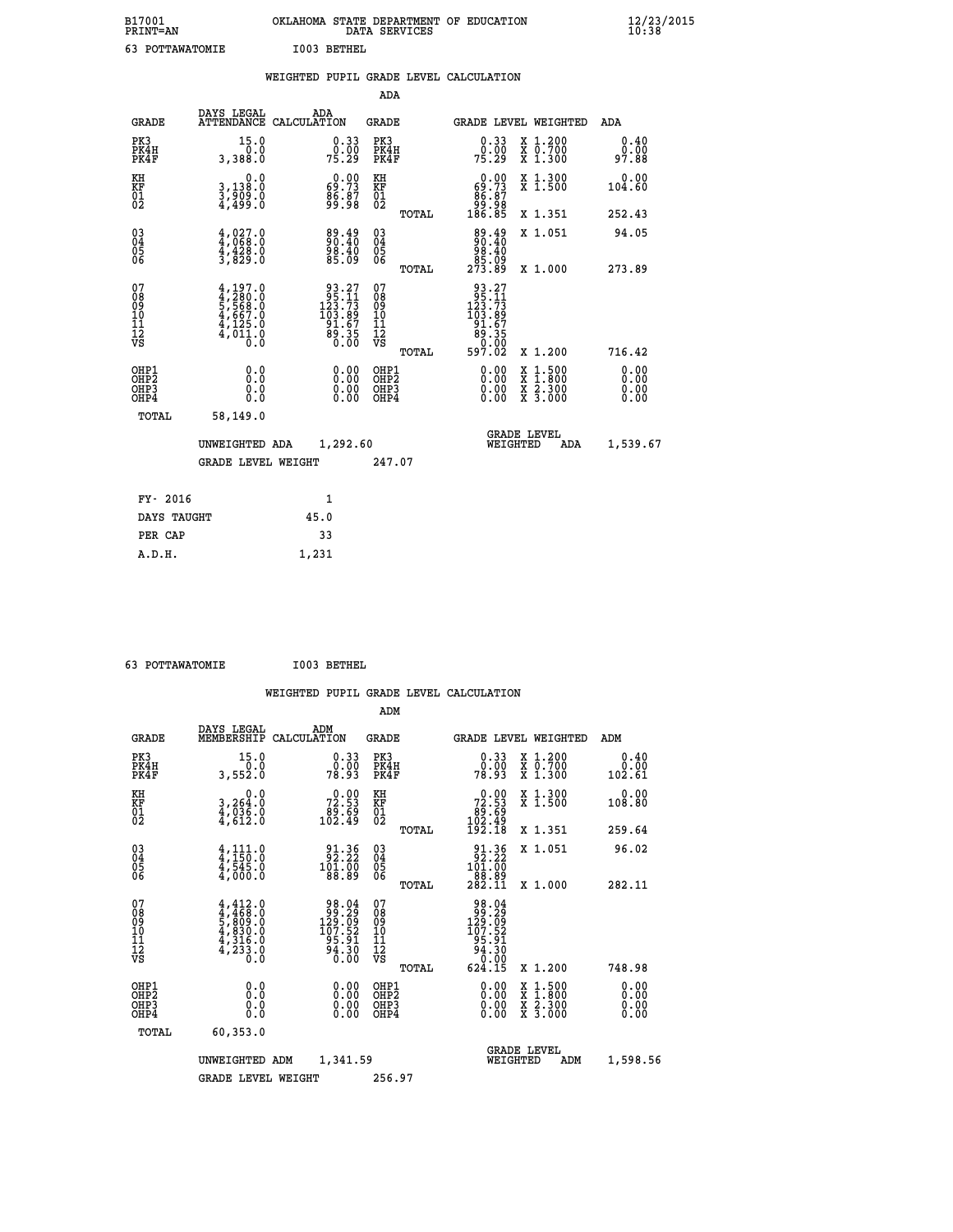| 01          | OKLAHOMA STATE DEPARTMENT OF EDUCATION |
|-------------|----------------------------------------|
| T=AN        | DATA SERVICES                          |
| OTTAWATOMIE | I003 BETHEL                            |

| B17001<br>PRINT=AN                     |                                                                                     |      |                                                                                                                           |                                        | DATA SERVICES | OKLAHOMA STATE DEPARTMENT OF EDUCATION                                                                                                   |                                |                                                                                                                                      | $\frac{12}{23}$       |  |
|----------------------------------------|-------------------------------------------------------------------------------------|------|---------------------------------------------------------------------------------------------------------------------------|----------------------------------------|---------------|------------------------------------------------------------------------------------------------------------------------------------------|--------------------------------|--------------------------------------------------------------------------------------------------------------------------------------|-----------------------|--|
| 63 POTTAWATOMIE                        |                                                                                     |      | I003 BETHEL                                                                                                               |                                        |               |                                                                                                                                          |                                |                                                                                                                                      |                       |  |
|                                        |                                                                                     |      |                                                                                                                           |                                        |               | WEIGHTED PUPIL GRADE LEVEL CALCULATION                                                                                                   |                                |                                                                                                                                      |                       |  |
|                                        |                                                                                     |      |                                                                                                                           | ADA                                    |               |                                                                                                                                          |                                |                                                                                                                                      |                       |  |
| <b>GRADE</b>                           | DAYS LEGAL<br>ATTENDANCE CALCULATION                                                | ADA  |                                                                                                                           | GRADE                                  |               | GRADE LEVEL WEIGHTED                                                                                                                     |                                |                                                                                                                                      | ADA                   |  |
| PK3<br>PK4H<br>PK4F                    | 15.0<br>0.0<br>3,388.0                                                              |      | $\begin{smallmatrix} 0.33\ 0.00\ 75.29 \end{smallmatrix}$                                                                 | PK3<br>PK4H<br>PK4F                    |               | $\begin{smallmatrix} 0.33\ 0.00 \ 75.29 \end{smallmatrix}$                                                                               |                                | X 1.200<br>X 0.700<br>X 1.300                                                                                                        | 0.40<br>ةة.ة<br>97.88 |  |
| KH<br>KF<br>01<br>02                   | 0.0<br>3,138:0<br>3,909:0<br>4,499:0                                                |      | $\begin{smallmatrix} 0.00\\ 69.73\\ 86.87\\ 99.98 \end{smallmatrix}$                                                      | KH<br>KF<br>01<br>02                   |               | $0.00$<br>$59.73$                                                                                                                        |                                | X 1.300<br>X 1.500                                                                                                                   | 0.00<br>104.60        |  |
|                                        |                                                                                     |      |                                                                                                                           |                                        | TOTAL         | 78: 88<br>88: 88<br>186: 85                                                                                                              |                                | X 1.351                                                                                                                              | 252.43                |  |
| 03<br>04<br>05<br>06                   | $4,027.0$<br>$4,068.0$<br>$4,428.0$<br>$3,829.0$                                    |      | 89.49<br>00.40<br>88.40<br>85.09                                                                                          | 030404                                 |               | 89.49<br>00:40<br>98.40                                                                                                                  |                                | X 1.051                                                                                                                              | 94.05                 |  |
|                                        |                                                                                     |      |                                                                                                                           | ŌĞ                                     | TOTAL         | ۆة: 85<br>273.89                                                                                                                         |                                | X 1.000                                                                                                                              | 273.89                |  |
| 07<br>08<br>09<br>11<br>11<br>12<br>VS | $4,197.0$<br>$5,568.0$<br>$5,568.0$<br>$4,667.0$<br>$4,125.0$<br>$4,011.0$<br>$0.0$ |      | $\begin{smallmatrix} 93 & .27 \\ 95 & .11 \\ 123 & .73 \\ 103 & .89 \\ 91 & .67 \\ 89 & .35 \\ 0 & .00 \end{smallmatrix}$ | 07<br>08<br>09<br>11<br>11<br>12<br>VS | TOTAL         | 93.27<br>$\begin{smallmatrix} 95 & 21 \\ 123 & 73 \\ 123 & 89 \\ 103 & 89 \\ 91 & 67 \\ 89 & 35 \\ 0 & 00 \\ 597 & 02 \end{smallmatrix}$ |                                | X 1.200                                                                                                                              | 716.42                |  |
| OHP1<br>OHP2                           | 0.0                                                                                 |      | 0.00                                                                                                                      | OHP1<br>OHP2                           |               |                                                                                                                                          |                                |                                                                                                                                      | 0.00                  |  |
| OHP3<br>OHP4                           | Ŏ.Ŏ<br>0.0<br>0.0                                                                   |      | 0.00<br>0.00                                                                                                              | OHP3<br>OHP4                           |               | 0.00<br>0.00<br>0.00                                                                                                                     |                                | $\begin{smallmatrix} \mathtt{X} & 1 & 500 \\ \mathtt{X} & 1 & 800 \\ \mathtt{X} & 2 & 300 \\ \mathtt{X} & 3 & 000 \end{smallmatrix}$ | 0.00<br>0.00          |  |
| TOTAL                                  | 58,149.0                                                                            |      |                                                                                                                           |                                        |               |                                                                                                                                          |                                |                                                                                                                                      |                       |  |
|                                        | UNWEIGHTED ADA                                                                      |      | 1,292.60                                                                                                                  |                                        |               |                                                                                                                                          | <b>GRADE LEVEL</b><br>WEIGHTED | ADA                                                                                                                                  | 1,539.67              |  |
|                                        | <b>GRADE LEVEL WEIGHT</b>                                                           |      |                                                                                                                           | 247.07                                 |               |                                                                                                                                          |                                |                                                                                                                                      |                       |  |
|                                        |                                                                                     |      |                                                                                                                           |                                        |               |                                                                                                                                          |                                |                                                                                                                                      |                       |  |
| FY- 2016                               |                                                                                     |      | $\mathbf{1}$                                                                                                              |                                        |               |                                                                                                                                          |                                |                                                                                                                                      |                       |  |
| DAYS TAUGHT                            |                                                                                     | 45.0 |                                                                                                                           |                                        |               |                                                                                                                                          |                                |                                                                                                                                      |                       |  |

| 63 POTTAWATOMIE | I003 BETHEL |
|-----------------|-------------|

 **A.D.H. 1,231**

PER CAP 33<br>A.D.H. 1,231

|                                                    |                                                                                     |                                                                                             |                                                       | WEIGHTED PUPIL GRADE LEVEL CALCULATION                                                                                                                                                                                                                                         |                                          |                          |
|----------------------------------------------------|-------------------------------------------------------------------------------------|---------------------------------------------------------------------------------------------|-------------------------------------------------------|--------------------------------------------------------------------------------------------------------------------------------------------------------------------------------------------------------------------------------------------------------------------------------|------------------------------------------|--------------------------|
|                                                    |                                                                                     |                                                                                             | ADM                                                   |                                                                                                                                                                                                                                                                                |                                          |                          |
| <b>GRADE</b>                                       | DAYS LEGAL<br>MEMBERSHIP<br>CALCULATION                                             | ADM                                                                                         | <b>GRADE</b>                                          | GRADE LEVEL WEIGHTED                                                                                                                                                                                                                                                           |                                          | ADM                      |
| PK3<br>PK4H<br>PK4F                                | 15.0<br>0.0<br>3,552.0                                                              | $\begin{smallmatrix} 0.33\ 0.00\\ 78.93 \end{smallmatrix}$                                  | PK3<br>PK4H<br>PK4F                                   | $0.33$<br>$0.00$<br>78.93                                                                                                                                                                                                                                                      | X 1.200<br>X 0.700<br>X 1.300            | 0.40<br>0.00<br>102.61   |
| KH<br>KF<br>01<br>02                               | 0.0<br>3,264:0<br>4,036:0<br>4,612:0                                                | 72.53<br>89.69<br>102.49                                                                    | KH<br>KF<br>01<br>02                                  | $\begin{smallmatrix} &0.00\ 72.53\ 89.69\ 102.49\ 192.18\ \end{smallmatrix}$                                                                                                                                                                                                   | X 1.300<br>X 1.500                       | 0.00<br>108.80           |
|                                                    |                                                                                     |                                                                                             | TOTAL                                                 |                                                                                                                                                                                                                                                                                | X 1.351                                  | 259.64                   |
| $\begin{matrix} 03 \\ 04 \\ 05 \\ 06 \end{matrix}$ | $\frac{4}{4}, \frac{111}{150} . 0 \\ \frac{4}{4}, \frac{545}{900} . 0$              | $\begin{array}{c} 91.36 \\ 92.22 \\ 101.00 \\ 88.89 \end{array}$                            | $\begin{matrix} 03 \\ 04 \\ 05 \\ 06 \end{matrix}$    | $\begin{smallmatrix} 91.36 \\ 92.22 \\ 101.00 \\ 88.89 \\ 282.11 \end{smallmatrix}$                                                                                                                                                                                            | X 1.051                                  | 96.02                    |
|                                                    |                                                                                     |                                                                                             | TOTAL                                                 |                                                                                                                                                                                                                                                                                | X 1.000                                  | 282.11                   |
| 07<br>08<br>09<br>101<br>11<br>12<br>VS            | $4,412.0$<br>$4,468.0$<br>$5,809.0$<br>$4,830.0$<br>$4,316.0$<br>$4,233.0$<br>$0.0$ | $\begin{array}{r} 98.04 \\ 99.29 \\ 129.09 \\ 107.52 \\ 95.91 \\ 94.30 \\ 0.00 \end{array}$ | 07<br>08<br>09<br>01<br>11<br>11<br>12<br>VS<br>TOTAL | 98.04<br>129.29<br>129.52<br>107.52<br>$\begin{array}{r} 186.36 \\ 94.30 \\ 0.00 \\ 624.15 \end{array}$                                                                                                                                                                        | X 1.200                                  | 748.98                   |
|                                                    |                                                                                     |                                                                                             |                                                       |                                                                                                                                                                                                                                                                                |                                          |                          |
| OHP1<br>OHP2<br>OHP3<br>OHP4                       | 0.0<br>0.000                                                                        | $\begin{smallmatrix} 0.00 \ 0.00 \ 0.00 \ 0.00 \end{smallmatrix}$                           | OHP1<br>OHP2<br>OHP3<br>OHP4                          | $\begin{smallmatrix} 0.00 & 0.00 & 0.00 & 0.00 & 0.00 & 0.00 & 0.00 & 0.00 & 0.00 & 0.00 & 0.00 & 0.00 & 0.00 & 0.00 & 0.00 & 0.00 & 0.00 & 0.00 & 0.00 & 0.00 & 0.00 & 0.00 & 0.00 & 0.00 & 0.00 & 0.00 & 0.00 & 0.00 & 0.00 & 0.00 & 0.00 & 0.00 & 0.00 & 0.00 & 0.00 & 0.0$ | X 1:500<br>X 1:800<br>X 2:300<br>X 3:000 | $0.00$<br>$0.00$<br>0.00 |
| TOTAL                                              | 60,353.0                                                                            |                                                                                             |                                                       |                                                                                                                                                                                                                                                                                |                                          |                          |
|                                                    | UNWEIGHTED ADM                                                                      | 1,341.59                                                                                    |                                                       | WEIGHTED                                                                                                                                                                                                                                                                       | <b>GRADE LEVEL</b><br>ADM                | 1,598.56                 |
|                                                    | <b>GRADE LEVEL WEIGHT</b>                                                           |                                                                                             | 256.97                                                |                                                                                                                                                                                                                                                                                |                                          |                          |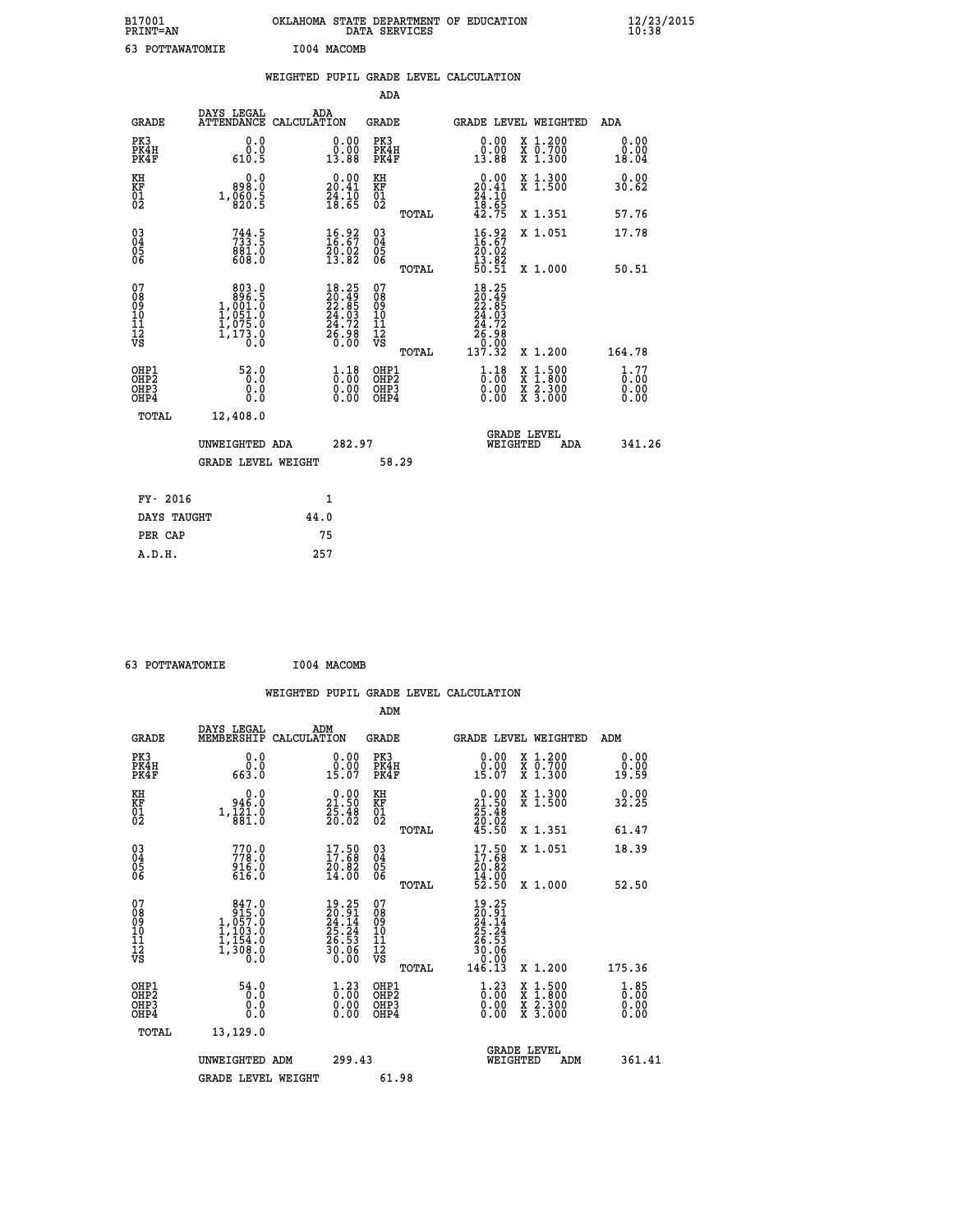| B17001<br>PRINT=AN                                |                                                                                                    | OKLAHOMA STATE DEPARTMENT OF EDUCATION                             | DATA SERVICES                                              |                                                                                                                                                                                              |                                                                                                                                           | $\frac{12}{23}$ /2015        |
|---------------------------------------------------|----------------------------------------------------------------------------------------------------|--------------------------------------------------------------------|------------------------------------------------------------|----------------------------------------------------------------------------------------------------------------------------------------------------------------------------------------------|-------------------------------------------------------------------------------------------------------------------------------------------|------------------------------|
| 63 POTTAWATOMIE                                   |                                                                                                    | I004 MACOMB                                                        |                                                            |                                                                                                                                                                                              |                                                                                                                                           |                              |
|                                                   |                                                                                                    | WEIGHTED PUPIL GRADE LEVEL CALCULATION                             |                                                            |                                                                                                                                                                                              |                                                                                                                                           |                              |
|                                                   |                                                                                                    |                                                                    | ADA                                                        |                                                                                                                                                                                              |                                                                                                                                           |                              |
| GRADE                                             | DAYS LEGAL                                                                                         | ADA<br>ATTENDANCE CALCULATION                                      | GRADE                                                      |                                                                                                                                                                                              | GRADE LEVEL WEIGHTED                                                                                                                      | ADA                          |
| PK3<br>PK4H<br>PK4F                               | 0.0<br>0.0<br>610.5                                                                                | 0.00<br>0.00<br>13.88                                              | PK3<br>PK4H<br>PK4F                                        | 0.00<br>0.00<br>13.88                                                                                                                                                                        | X 1.200<br>x 0.700<br>x 1.300                                                                                                             | 0.00<br>0.00<br>18.04        |
| KH<br>KF<br>$\begin{matrix} 01 \ 02 \end{matrix}$ | 0.0<br>898.0<br>$1, \frac{860}{820}$ : 5                                                           | $20.00$<br>20.41<br>$\frac{54}{18}$ : $\frac{10}{65}$              | KH<br><b>KF</b><br>01<br>02                                | $0.00 \\ 20.41 \\ 24.10 \\ 18.65 \\ 42.75$                                                                                                                                                   | X 1.300<br>X 1.500                                                                                                                        | 0.00<br>30.62                |
|                                                   |                                                                                                    |                                                                    | TOTAL                                                      |                                                                                                                                                                                              | X 1.351                                                                                                                                   | 57.76                        |
| 03<br>04<br>05<br>06                              | $733.5$<br>$881.0$<br>608.0                                                                        | $\begin{smallmatrix} 16.92\ 16.67\ 20.02\ 13.82 \end{smallmatrix}$ | $\begin{matrix} 03 \\ 04 \\ 05 \\ 06 \end{matrix}$         | $\frac{16.92}{16.67}$<br>20.02                                                                                                                                                               | X 1.051                                                                                                                                   | 17.78                        |
|                                                   |                                                                                                    |                                                                    | TOTAL                                                      | $\frac{13.82}{50.51}$                                                                                                                                                                        | X 1.000                                                                                                                                   | 50.51                        |
| 07<br>08<br>09<br>11<br>11<br>12<br>VS            | 803.0<br>$\begin{smallmatrix} & 896.15\ 1,001.0\ 1,051.0\ 1,075.0\ 1,173.0\ 0.0 \end{smallmatrix}$ | $18.25$<br>$20.49$<br>$22.85$<br>$24.03$<br>$24.72$<br>$26.98$     | 07<br>08<br>09<br>10<br>$\frac{11}{12}$<br>$\frac{12}{18}$ | $18.25$<br>$20.49$<br>$22.85$<br>$24.03$<br>$24.72$<br>$\begin{array}{c} 2\overline{6}\cdot 9\overline{8}\ -3\overline{7}\cdot 3\overline{2}\ 13\overline{7}\cdot 3\overline{2} \end{array}$ |                                                                                                                                           |                              |
|                                                   |                                                                                                    |                                                                    | TOTAL                                                      |                                                                                                                                                                                              | X 1.200                                                                                                                                   | 164.78                       |
| OHP1<br>OHP2<br>OHP3<br>OHP4                      | 52.0<br>0.0<br>0.0<br>0.0                                                                          | $\frac{1}{0}$ : $\frac{18}{00}$<br>0.00<br>0.00                    | OHP1<br>OHP <sub>2</sub><br>OHP3<br>OHP4                   | $1.18$<br>$0.00$<br>0.00<br>0.00                                                                                                                                                             | $\begin{smallmatrix} \mathtt{X} & 1\cdot500\\ \mathtt{X} & 1\cdot800\\ \mathtt{X} & 2\cdot300\\ \mathtt{X} & 3\cdot000 \end{smallmatrix}$ | 1.77<br>0.00<br>0.00<br>0.00 |
| <b>TOTAL</b>                                      | 12,408.0                                                                                           |                                                                    |                                                            |                                                                                                                                                                                              |                                                                                                                                           |                              |
|                                                   | UNWEIGHTED ADA                                                                                     | 282.97                                                             |                                                            |                                                                                                                                                                                              | <b>GRADE LEVEL</b><br>WEIGHTED<br>ADA                                                                                                     | 341.26                       |
|                                                   | <b>GRADE LEVEL WEIGHT</b>                                                                          |                                                                    | 58.29                                                      |                                                                                                                                                                                              |                                                                                                                                           |                              |
| FY- 2016                                          |                                                                                                    | 1                                                                  |                                                            |                                                                                                                                                                                              |                                                                                                                                           |                              |
| DAYS TAUGHT                                       |                                                                                                    | 44.0                                                               |                                                            |                                                                                                                                                                                              |                                                                                                                                           |                              |
| PER CAP                                           |                                                                                                    | 75                                                                 |                                                            |                                                                                                                                                                                              |                                                                                                                                           |                              |

 **63 POTTAWATOMIE I004 MACOMB**

|                                                      |                                                                                              |                                                                          |                                              | WEIGHTED PUPIL GRADE LEVEL CALCULATION                                                                         |                                  |
|------------------------------------------------------|----------------------------------------------------------------------------------------------|--------------------------------------------------------------------------|----------------------------------------------|----------------------------------------------------------------------------------------------------------------|----------------------------------|
|                                                      |                                                                                              |                                                                          | ADM                                          |                                                                                                                |                                  |
| <b>GRADE</b>                                         | DAYS LEGAL<br>MEMBERSHIP<br>CALCULATION                                                      | ADM                                                                      | <b>GRADE</b>                                 | GRADE LEVEL WEIGHTED                                                                                           | ADM                              |
| PK3<br>PK4H<br>PK4F                                  | 0.0<br>0.0<br>663.0                                                                          | $0.00$<br>$0.00$<br>15.07                                                | PK3<br>PK4H<br>PK4F                          | $\begin{smallmatrix} 0.00\\ 0.00\\ 15.07 \end{smallmatrix}$<br>X 1.200<br>X 0.700<br>X 1.300                   | 0.00<br>0.00<br>19.59            |
| KH<br>KF<br>01<br>02                                 | $0.0$<br>0.046.0<br>0.121.081.0                                                              | $\begin{smallmatrix} 0.00\\ 21.50\\ 25.48\\ 20.02 \end{smallmatrix}$     | KH<br>KF<br>01<br>02                         | X 1.300<br>X 1.500<br>$\begin{smallmatrix} 0.00\\21.50\\25.48\\20.02\\45.50 \end{smallmatrix}$                 | 0.00<br>32.25                    |
|                                                      |                                                                                              |                                                                          | TOTAL                                        | X 1.351                                                                                                        | 61.47                            |
| $\begin{matrix} 03 \\ 04 \\ 05 \\ 06 \end{matrix}$   | $770.0$<br>$778.0$<br>$916.0$<br>$616.0$                                                     | $\begin{smallmatrix} 17.50\\ 17.68\\ 20.82\\ 14.00 \end{smallmatrix}$    | 03<br>04<br>05<br>06                         | $\begin{smallmatrix} 17.50\\ 17.68\\ 20.82\\ 14.00\\ 52.50 \end{smallmatrix}$<br>X 1.051                       | 18.39                            |
|                                                      |                                                                                              |                                                                          | TOTAL                                        | X 1.000                                                                                                        | 52.50                            |
| 07<br>08<br>09<br>101<br>11<br>12<br>VS              | 847.0<br>$\begin{array}{c} 915.0 \\ 1,057.0 \\ 1,103.0 \\ 1,154.0 \\ \end{array}$<br>1,308.8 | $19.25$<br>$20.91$<br>$24.14$<br>$25.24$<br>$26.53$<br>$30.06$<br>$0.00$ | 07<br>08<br>09<br>01<br>11<br>11<br>12<br>VS | 19.25<br>$\begin{array}{r} 20.91 \\ 24.14 \\ 25.24 \\ 26.53 \\ 30.06 \\ 0.00 \end{array}$                      |                                  |
|                                                      |                                                                                              |                                                                          | TOTAL                                        | 146.13<br>X 1.200                                                                                              | 175.36                           |
| OHP1<br>OHP2<br>OH <sub>P3</sub><br>OH <sub>P4</sub> | 54.0<br>0.0<br>0.000                                                                         | $\frac{1}{0}$ : $\frac{23}{00}$<br>0.00                                  | OHP1<br>OHP2<br>OHP3<br>OHP4                 | $\frac{1}{0}$ : $\frac{23}{00}$<br>$1.500$<br>$1.800$<br>X<br>X<br>$\frac{x}{x}$ $\frac{5:300}{3:000}$<br>0.00 | $1.85$<br>$0.00$<br>0.00<br>0.00 |
| TOTAL                                                | 13,129.0                                                                                     |                                                                          |                                              |                                                                                                                |                                  |
|                                                      | UNWEIGHTED ADM                                                                               | 299.43                                                                   |                                              | <b>GRADE LEVEL</b><br>WEIGHTED                                                                                 | 361.41<br>ADM                    |
|                                                      | <b>GRADE LEVEL WEIGHT</b>                                                                    |                                                                          | 61.98                                        |                                                                                                                |                                  |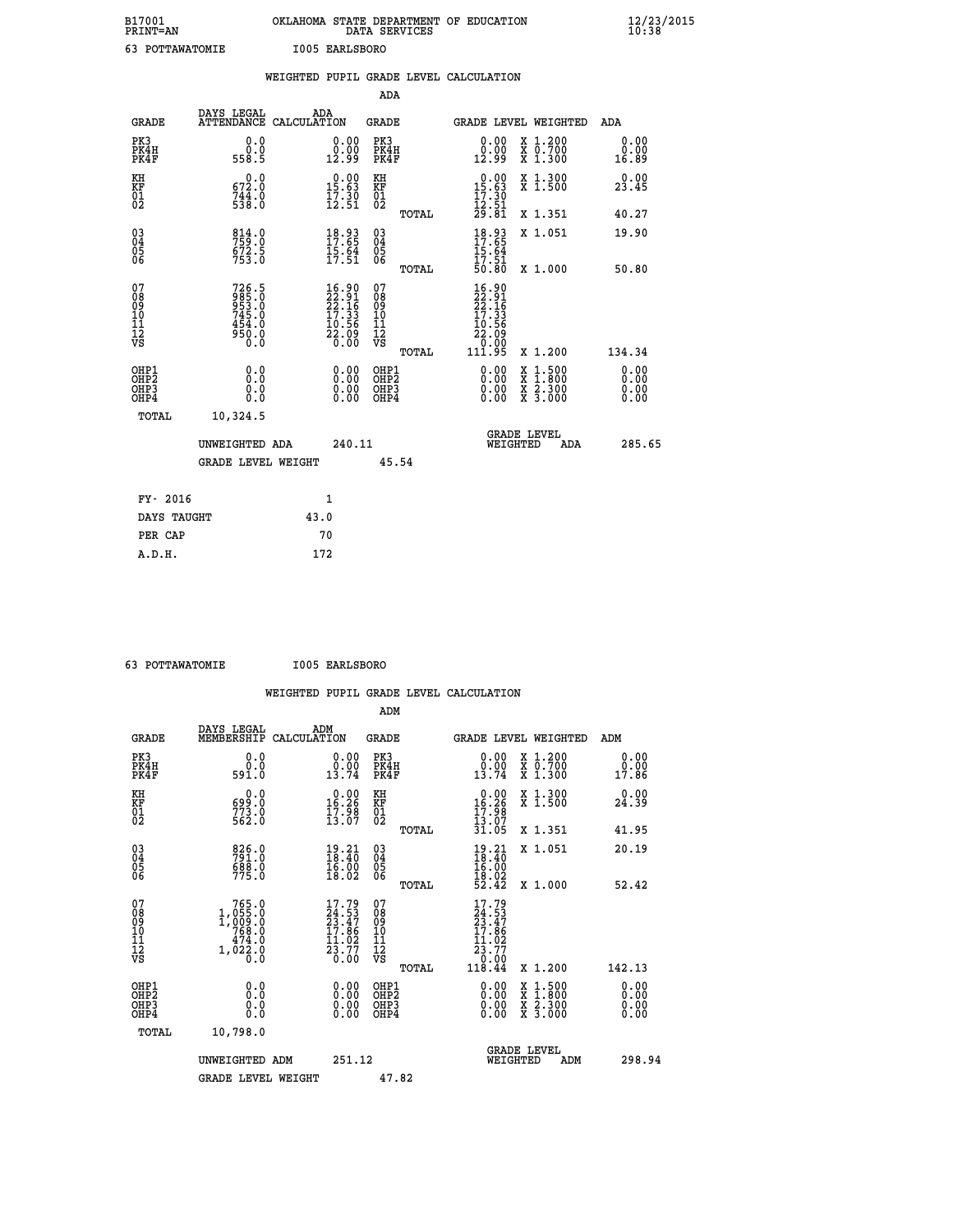| B17001<br><b>PRINT=AN</b> | OKLAHOMA STATE DEPARTMENT OF EDUCATION<br>DATA SERVICES | $\frac{12}{23}$ /2015 |
|---------------------------|---------------------------------------------------------|-----------------------|
| 63<br>POTTAWATOMIE        | I005 EARLSBORO                                          |                       |

|                                        |                                                                  |      |                                                                                                    |                                          |       | WEIGHTED PUPIL GRADE LEVEL CALCULATION                                       |                                                                                                                                           |                              |
|----------------------------------------|------------------------------------------------------------------|------|----------------------------------------------------------------------------------------------------|------------------------------------------|-------|------------------------------------------------------------------------------|-------------------------------------------------------------------------------------------------------------------------------------------|------------------------------|
|                                        |                                                                  |      |                                                                                                    | <b>ADA</b>                               |       |                                                                              |                                                                                                                                           |                              |
| <b>GRADE</b>                           | DAYS LEGAL<br>ATTENDANCE CALCULATION                             |      | ADA                                                                                                | <b>GRADE</b>                             |       | GRADE LEVEL WEIGHTED                                                         |                                                                                                                                           | ADA                          |
| PK3<br>PK4H<br>PK4F                    | 0.0<br>0.0<br>558.5                                              |      | $\begin{smallmatrix} 0.00\\ 0.00\\ 12.99 \end{smallmatrix}$                                        | PK3<br>PK4H<br>PK4F                      |       | 0.00<br>0.00<br>12.99                                                        | X 1.200<br>X 0.700<br>X 1.300                                                                                                             | 0.00<br>0.00<br>16.89        |
| KH<br>KF<br>01<br>02                   | $\begin{smallmatrix} &0.0\ 672.0\ 744.0\ 538.0\end{smallmatrix}$ |      | $0.00$<br>15.63<br>$\frac{17.30}{12.51}$                                                           | KH<br>KF<br>01<br>02                     |       | $\begin{array}{r} 0.00 \\ 15.63 \\ 17.30 \\ 12.51 \\ 29.81 \end{array}$      | X 1.300<br>X 1.500                                                                                                                        | 0.00<br>23.45                |
|                                        |                                                                  |      |                                                                                                    |                                          | TOTAL |                                                                              | X 1.351                                                                                                                                   | 40.27                        |
| 03<br>04<br>05<br>06                   | 814.0<br>759.0<br>672.5<br>753.0                                 |      | $18.93$<br>$17.65$<br>$\frac{15.64}{17.51}$                                                        | $\substack{03 \\ 04}$<br>05<br>06        |       | 18.93<br>17.65<br>$\frac{15.64}{17.51}$<br>50.80                             | X 1.051                                                                                                                                   | 19.90                        |
|                                        |                                                                  |      |                                                                                                    |                                          | TOTAL |                                                                              | X 1.000                                                                                                                                   | 50.80                        |
| 07<br>08<br>09<br>10<br>11<br>12<br>VS | 726.5<br>985.0<br>953.0<br>745.0<br>454.0<br>950.0<br>0.0        |      | $\begin{smallmatrix} 16.90 \\ 22.91 \\ 22.16 \\ 17.33 \\ 10.56 \\ 22.09 \\ 0.00 \end{smallmatrix}$ | 07<br>089<br>101<br>111<br>VS            | TOTAL | 16.90<br>$\frac{22.91}{22.16}$<br>$\frac{7}{27.33}$<br>$\frac{10.56}{22.09}$ | X 1.200                                                                                                                                   | 134.34                       |
| OHP1<br>OHP2<br>OHP3<br>OHP4           | 0.0<br>Ō.Ō<br>0.0<br>0.0                                         |      | 0.00<br>$\begin{smallmatrix} 0.00 \ 0.00 \end{smallmatrix}$                                        | OHP1<br>OHP <sub>2</sub><br>OHP3<br>OHP4 |       | 0.00<br>$0.00$<br>0.00                                                       | $\begin{smallmatrix} \mathtt{X} & 1\cdot500\\ \mathtt{X} & 1\cdot800\\ \mathtt{X} & 2\cdot300\\ \mathtt{X} & 3\cdot000 \end{smallmatrix}$ | 0.00<br>0.00<br>0.00<br>0.00 |
| <b>TOTAL</b>                           | 10,324.5                                                         |      |                                                                                                    |                                          |       |                                                                              |                                                                                                                                           |                              |
|                                        | UNWEIGHTED ADA                                                   |      | 240.11                                                                                             |                                          |       | WEIGHTED                                                                     | <b>GRADE LEVEL</b><br>ADA                                                                                                                 | 285.65                       |
|                                        | <b>GRADE LEVEL WEIGHT</b>                                        |      |                                                                                                    |                                          | 45.54 |                                                                              |                                                                                                                                           |                              |
| FY- 2016                               |                                                                  |      | 1                                                                                                  |                                          |       |                                                                              |                                                                                                                                           |                              |
| DAYS TAUGHT                            |                                                                  | 43.0 |                                                                                                    |                                          |       |                                                                              |                                                                                                                                           |                              |
| PER CAP                                |                                                                  |      | 70                                                                                                 |                                          |       |                                                                              |                                                                                                                                           |                              |

 **63 POTTAWATOMIE I005 EARLSBORO**

|                                                      |                                                                                |                    |                                                                                  |                                              |       | WEIGHTED PUPIL GRADE LEVEL CALCULATION                                                                        |                                          |     |                               |
|------------------------------------------------------|--------------------------------------------------------------------------------|--------------------|----------------------------------------------------------------------------------|----------------------------------------------|-------|---------------------------------------------------------------------------------------------------------------|------------------------------------------|-----|-------------------------------|
|                                                      |                                                                                |                    |                                                                                  | ADM                                          |       |                                                                                                               |                                          |     |                               |
| <b>GRADE</b>                                         | DAYS LEGAL<br>MEMBERSHIP                                                       | ADM<br>CALCULATION |                                                                                  | <b>GRADE</b>                                 |       |                                                                                                               | GRADE LEVEL WEIGHTED                     | ADM |                               |
| PK3<br>PK4H<br>PK4F                                  | 0.0<br>0.0<br>591.0                                                            |                    | $\begin{smallmatrix} 0.00\\ 0.00\\ 13.74 \end{smallmatrix}$                      | PK3<br>PK4H<br>PK4F                          |       | $\begin{smallmatrix} 0.00\\ 0.00\\ 13.74 \end{smallmatrix}$                                                   | X 1.200<br>X 0.700<br>X 1.300            |     | 0.00<br>0.00<br>17.86         |
| KH<br>KF<br>01<br>02                                 | 0.0<br>699:0<br>773:0<br>562:0                                                 |                    | $\begin{array}{c} 0.00 \\[-4pt] 16.26 \\[-4pt] 17.98 \\[-4pt] 13.07 \end{array}$ | KH<br>KF<br>01<br>02                         |       | $\begin{array}{r} 0.00 \\ 16.26 \\ 17.98 \\ 13.07 \\ 31.05 \end{array}$                                       | X 1.300<br>X 1.500                       |     | 0.00<br>24.39                 |
|                                                      |                                                                                |                    |                                                                                  |                                              | TOTAL |                                                                                                               | X 1.351                                  |     | 41.95                         |
| $\begin{matrix} 03 \\ 04 \\ 05 \\ 06 \end{matrix}$   | 826.0<br>791.0<br>688.0<br>775.0                                               |                    | $\frac{19.21}{18.40}$<br>$\frac{16.00}{18.02}$                                   | 03<br>04<br>05<br>06                         |       | $19.21$<br>$16.40$<br>$16.00$<br>$18.02$<br>$52.42$                                                           | X 1.051                                  |     | 20.19                         |
|                                                      |                                                                                |                    |                                                                                  |                                              | TOTAL |                                                                                                               | X 1.000                                  |     | 52.42                         |
| 07<br>089<br>090<br>1112<br>VS                       | $765.0$<br>$1,055.0$<br>$1,009.0$<br>$768.0$<br>$474.0$<br>$1,03.0$<br>1,022.0 |                    | $17.79$<br>$24.53$<br>$23.47$<br>$17.86$<br>$11.02$<br>$23.77$<br>$0.00$         | 07<br>08<br>09<br>11<br>11<br>12<br>VS       |       | 17.79<br>$\frac{24.53}{23.47}$<br>17.86<br>$\begin{smallmatrix} 11.02\ 23.77\ 0.00\ 118.44 \end{smallmatrix}$ |                                          |     |                               |
|                                                      |                                                                                |                    |                                                                                  |                                              | TOTAL |                                                                                                               | X 1.200                                  |     | 142.13                        |
| OHP1<br>OHP <sub>2</sub><br>OH <sub>P3</sub><br>OHP4 | 0.0<br>0.000                                                                   |                    |                                                                                  | OHP1<br>OHP <sub>2</sub><br>OHP <sub>3</sub> |       | 0.00<br>0.00<br>0.00                                                                                          | X 1:500<br>X 1:800<br>X 2:300<br>X 3:000 |     | 0.00<br>Ō. ŌŌ<br>0.00<br>0.00 |
| TOTAL                                                | 10,798.0                                                                       |                    |                                                                                  |                                              |       |                                                                                                               |                                          |     |                               |
|                                                      | UNWEIGHTED ADM<br><b>GRADE LEVEL WEIGHT</b>                                    |                    | 251.12                                                                           | 47.82                                        |       | WEIGHTED                                                                                                      | <b>GRADE LEVEL</b><br>ADM                |     | 298.94                        |
|                                                      |                                                                                |                    |                                                                                  |                                              |       |                                                                                                               |                                          |     |                               |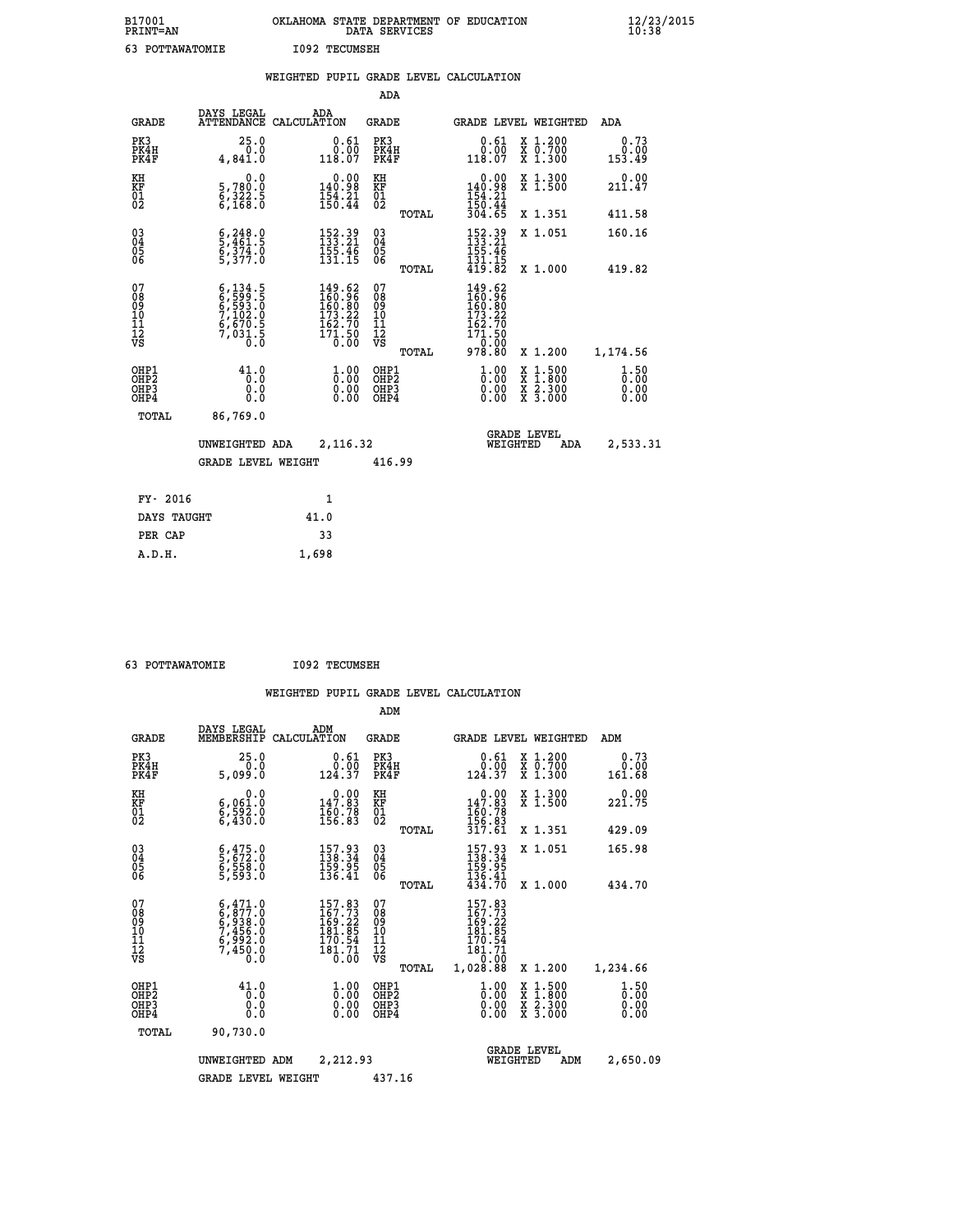| B17001<br>PRINT=AN                                    |                                                                                     | OKLAHOMA STATE DEPARTMENT OF EDUCATION                                                             | DATA SERVICES                                   |                                                                                      |                                                                                                  | 12/23/2015<br>10:38    |  |
|-------------------------------------------------------|-------------------------------------------------------------------------------------|----------------------------------------------------------------------------------------------------|-------------------------------------------------|--------------------------------------------------------------------------------------|--------------------------------------------------------------------------------------------------|------------------------|--|
| 63 POTTAWATOMIE                                       |                                                                                     | <b>I092 TECUMSEH</b>                                                                               |                                                 |                                                                                      |                                                                                                  |                        |  |
|                                                       |                                                                                     | WEIGHTED PUPIL GRADE LEVEL CALCULATION                                                             |                                                 |                                                                                      |                                                                                                  |                        |  |
|                                                       |                                                                                     |                                                                                                    | <b>ADA</b>                                      |                                                                                      |                                                                                                  |                        |  |
| GRADE                                                 | DAYS LEGAL                                                                          | ADA<br>ATTENDANCE CALCULATION                                                                      | GRADE                                           | GRADE LEVEL WEIGHTED                                                                 |                                                                                                  | ADA                    |  |
| PK3<br>PK4H<br>PK4F                                   | 25.0<br>0.0<br>4,841.0                                                              | 0.61<br>0.00<br>118.07                                                                             | PK3<br>PK4H<br>PK4F                             | 0.61<br>0.00<br>118.07                                                               | X 1.200<br>X 0.700<br>X 1.300                                                                    | 0.73<br>0.00<br>153.49 |  |
| KH<br>KF<br>$\overline{01}$                           | 0.0<br>5,780:0<br>6,322:5<br>6,168:0                                                | $\begin{smallmatrix} &0.00\\ 140.98\\ 154.21\\ 156.44\end{smallmatrix}$                            | КH<br>KF<br>01<br>02                            | 0.00<br>140.98<br>$\frac{154}{150}$ : 44<br>$\frac{304}{304}$ : 65                   | X 1.300<br>X 1.500                                                                               | 0.00<br>211.47         |  |
|                                                       |                                                                                     |                                                                                                    | TOTAL                                           |                                                                                      | X 1.351                                                                                          | 411.58                 |  |
| $\substack{03 \\ 04}$<br>$\frac{05}{06}$              | $\frac{6}{2}, \frac{248}{461}$ .<br>$\frac{6}{5}$ , $\frac{374}{377}$ .0            | 152.39<br>133.21<br>$\frac{155}{131}.$ $\frac{76}{15}$                                             | $\substack{03 \\ 04}$<br>$\substack{05 \\ 06}$  | 152.39<br>133.21<br>$\frac{155.46}{131.15}$<br>$419.82$                              | X 1.051                                                                                          | 160.16                 |  |
|                                                       |                                                                                     |                                                                                                    | TOTAL                                           |                                                                                      | X 1.000                                                                                          | 419.82                 |  |
| 07<br>08<br>09<br>10<br>11<br>Ī2<br>VS                | $6,134.5$<br>$6,599.5$<br>$6,593.0$<br>$7,102.0$<br>$6,670.5$<br>$7,031.5$<br>$0.0$ | $\begin{smallmatrix} 149.62\\ 160.96\\ 160.80\\ 173.22\\ 162.70\\ 171.50\\ 0.00 \end{smallmatrix}$ | 07<br>08<br>09<br>10<br>11<br>12<br>VS<br>TOTAL | 149.62<br>160.96<br>160.80<br>$^{22}$<br>173.<br>162.70<br>171.50<br>10:00<br>978.80 | X 1.200                                                                                          | 1,174.56               |  |
| OHP1<br>OH <sub>P</sub> 2<br>OH <sub>P3</sub><br>OHP4 | 41.0<br>0.0<br>0.0<br>0.0                                                           | $\frac{1}{0}$ :00<br>0.00<br>0.00                                                                  | OHP1<br>OH <sub>P</sub> 2<br>OHP3<br>OHP4       | 1.0000<br>0.00<br>0.00                                                               | $\begin{smallmatrix} x & 1 & 500 \\ x & 1 & 800 \\ x & 2 & 300 \\ x & 3 & 000 \end{smallmatrix}$ | 1.50<br>0.00<br>0.00   |  |
| TOTAL                                                 | 86,769.0                                                                            |                                                                                                    |                                                 |                                                                                      |                                                                                                  |                        |  |
|                                                       | UNWEIGHTED ADA                                                                      | 2,116.32                                                                                           |                                                 | <b>GRADE LEVEL</b><br>WEIGHTED                                                       | ADA                                                                                              | 2,533.31               |  |
|                                                       | <b>GRADE LEVEL WEIGHT</b>                                                           |                                                                                                    | 416.99                                          |                                                                                      |                                                                                                  |                        |  |
| FY- 2016                                              |                                                                                     | 1                                                                                                  |                                                 |                                                                                      |                                                                                                  |                        |  |
| DAYS TAUGHT                                           |                                                                                     | 41.0                                                                                               |                                                 |                                                                                      |                                                                                                  |                        |  |
| PER CAP                                               |                                                                                     | 33                                                                                                 |                                                 |                                                                                      |                                                                                                  |                        |  |

| 63 POTTAWATOMIE | <b>I092 TECUMSEH</b> |
|-----------------|----------------------|

 **A.D.H. 1,698**

 **ADM**

| <b>GRADE</b>                                         | DAYS LEGAL<br>MEMBERSHIP                                                            | ADM<br>CALCULATION                                                                                          | <b>GRADE</b>                                        |                                                                                     |                                | <b>GRADE LEVEL WEIGHTED</b>              | ADM                                |
|------------------------------------------------------|-------------------------------------------------------------------------------------|-------------------------------------------------------------------------------------------------------------|-----------------------------------------------------|-------------------------------------------------------------------------------------|--------------------------------|------------------------------------------|------------------------------------|
| PK3<br>PK4H<br>PK4F                                  | 25.0<br>0.0<br>5,099.0                                                              | 0.61<br>0.00<br>124.37                                                                                      | PK3<br>PK4H<br>PK4F                                 | $0.61$<br>$0.00$<br>124.37                                                          |                                | X 1.200<br>X 0.700<br>X 1.300            | 0.73<br>0.00<br>161.68             |
| KH<br>KF<br>01<br>02                                 | 0.0<br>6,061:0<br>6,592:0<br>6,430:0                                                | $\begin{smallmatrix} &0.00\\ 147.83\\ 160.78\\ 156.83\end{smallmatrix}$                                     | KH<br>KF<br>01<br>02                                | $\begin{smallmatrix} &0.00\\ 147.83\\ 160.78\\ 156.83\\ 317.61 \end{smallmatrix}$   |                                | X 1.300<br>X 1.500                       | 221.75                             |
|                                                      |                                                                                     |                                                                                                             | TOTAL                                               |                                                                                     |                                | X 1.351                                  | 429.09                             |
| $\begin{matrix} 03 \\ 04 \\ 05 \\ 06 \end{matrix}$   | 6,475.0<br>5,672.0<br>6,558.0<br>5,593.0                                            | 157.93<br>138.34<br>159.95<br>136.41                                                                        | $\begin{array}{c} 03 \\ 04 \\ 05 \\ 06 \end{array}$ | $157.93$<br>$138.34$<br>$159.95$<br>$136.41$<br>$434.70$                            |                                | X 1.051                                  | 165.98                             |
|                                                      |                                                                                     |                                                                                                             | TOTAL                                               |                                                                                     |                                | X 1.000                                  | 434.70                             |
| 07<br>08<br>09<br>101<br>11<br>12<br>VS              | $6,471.0$<br>$6,877.0$<br>$6,938.0$<br>$7,456.0$<br>$6,992.0$<br>$7,450.0$<br>$0.0$ | $\begin{smallmatrix} 157.83\\ 167.73\\ 169.22\\ 181.85\\ 170.54\\ 170.54\\ 181.71\\ 0.00 \end{smallmatrix}$ | 07<br>08<br>09<br>001<br>11<br>11<br>12<br>VS       | 157.83<br>167.73<br>169.22<br>181.85<br>170.54<br>$\frac{181.71}{0.00}$             |                                |                                          |                                    |
|                                                      |                                                                                     |                                                                                                             | TOTAL                                               | 1,028.88                                                                            |                                | X 1.200                                  | 1,234.66                           |
| OHP1<br>OHP <sub>2</sub><br>OH <sub>P3</sub><br>OHP4 | 41.0<br>0.0<br>0.000                                                                | $\begin{smallmatrix} 1.00\ 0.00\ 0.00 \end{smallmatrix}$                                                    | OHP1<br>OHP2<br>OHP3<br>OHP4                        | $\begin{smallmatrix} 1.00 \\[-4pt] 0.00\\[-4pt] 0.00\\[-4pt] 0.00\end{smallmatrix}$ |                                | X 1:500<br>X 1:800<br>X 2:300<br>X 3:000 | $\frac{1}{0}$ : 50<br>0.00<br>0.00 |
| TOTAL                                                | 90,730.0                                                                            |                                                                                                             |                                                     |                                                                                     |                                |                                          |                                    |
|                                                      | UNWEIGHTED                                                                          | 2,212.93<br>ADM                                                                                             |                                                     |                                                                                     | <b>GRADE LEVEL</b><br>WEIGHTED | ADM                                      | 2,650.09                           |
|                                                      | <b>GRADE LEVEL WEIGHT</b>                                                           |                                                                                                             | 437.16                                              |                                                                                     |                                |                                          |                                    |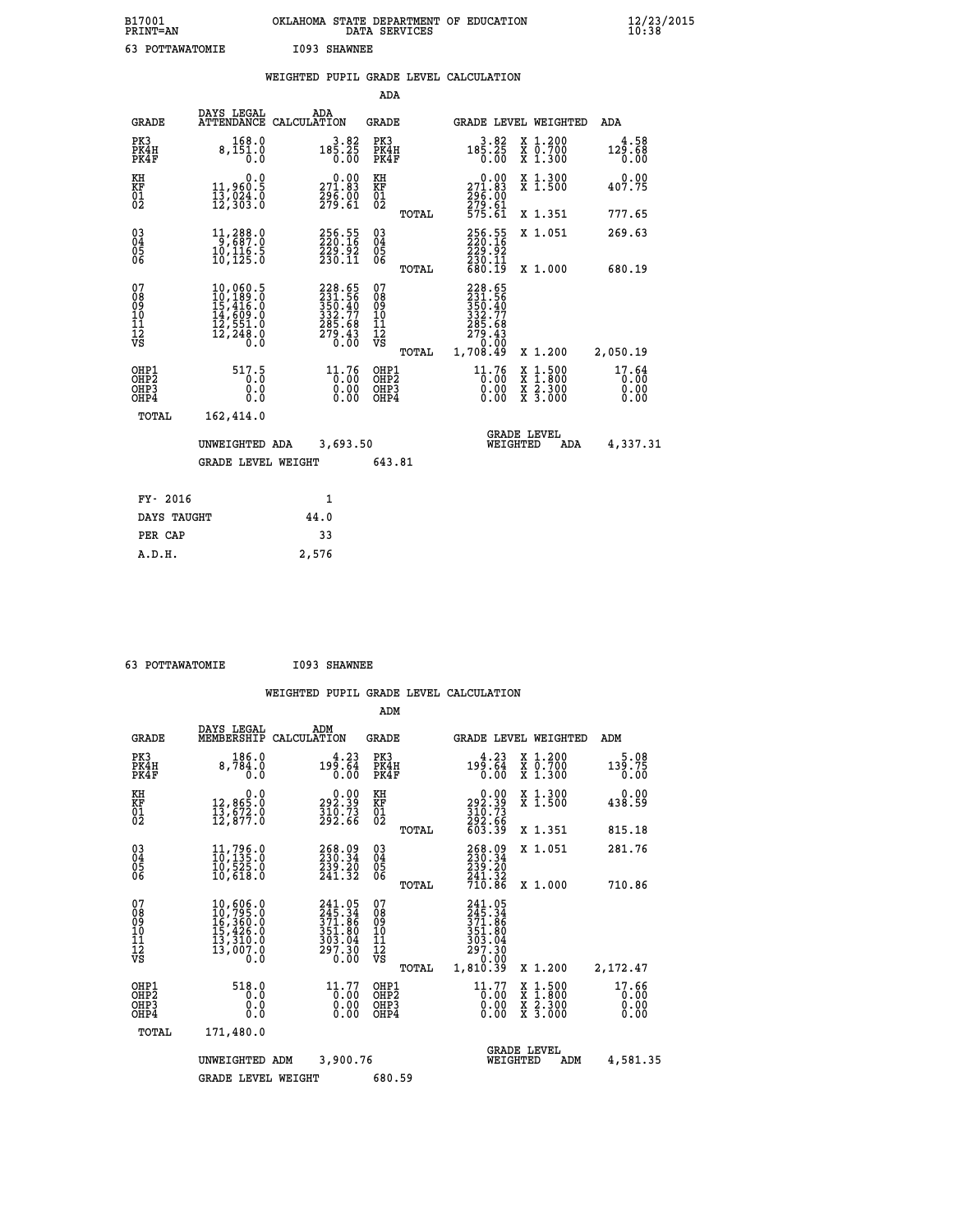| B17001<br>PRINT=AN | OKLAHOMA STATE DEPARTMENT OF EDUCATION<br>DATA SERVICES | $\frac{12}{23}$ /2015 |
|--------------------|---------------------------------------------------------|-----------------------|
| 63<br>POTTAWATOMIE | I093 SHAWNEE                                            |                       |

|  |  | WEIGHTED PUPIL GRADE LEVEL CALCULATION |
|--|--|----------------------------------------|
|  |  |                                        |

|                                                      |                                                                                         |                                                                                       | ADA                                            |       |                                                                               |                                                                                                  |                               |
|------------------------------------------------------|-----------------------------------------------------------------------------------------|---------------------------------------------------------------------------------------|------------------------------------------------|-------|-------------------------------------------------------------------------------|--------------------------------------------------------------------------------------------------|-------------------------------|
| <b>GRADE</b>                                         | DAYS LEGAL                                                                              | ADA<br>ATTENDANCE CALCULATION                                                         | <b>GRADE</b>                                   |       |                                                                               | GRADE LEVEL WEIGHTED                                                                             | ADA                           |
| PK3<br>PK4H<br>PK4F                                  | 168.0<br>8,151.0<br>0.0                                                                 | 3.82<br>185.25<br>0.00                                                                | PK3<br>PK4H<br>PK4F                            |       | 3.82<br>$18\overline{5}\cdot 2\overline{5}\over 0.00$                         | X 1.200<br>X 0.700<br>X 1.300                                                                    | 4.58<br>129.68<br>0.00        |
| KH<br>KF<br>01<br>02                                 | 0.0<br>11,960.5<br>13,024.0<br>12,303.0                                                 | $\substack{271.83 \\ 296.00 \\ 299.61}$                                               | KH<br>KF<br>01<br>02                           |       | 0.00<br>271.83<br>296.00<br>279.61<br>575.61                                  | X 1.300<br>X 1.500                                                                               | 0.00<br>407.75                |
|                                                      |                                                                                         |                                                                                       |                                                | TOTAL |                                                                               | X 1.351                                                                                          | 777.65                        |
| $\begin{matrix} 03 \\ 04 \\ 05 \\ 06 \end{matrix}$   | $11,288.0$<br>9,687.0<br>10,116.5<br>10,125.0                                           | 256.55<br>220.16<br>229.92<br>230.11                                                  | $\substack{03 \\ 04}$<br>$\substack{05 \\ 06}$ |       | 256.55<br>$\frac{229.92}{230.11}$<br>680.11                                   | X 1.051                                                                                          | 269.63                        |
|                                                      |                                                                                         |                                                                                       |                                                | TOTAL |                                                                               | X 1.000                                                                                          | 680.19                        |
| 07<br>08<br>09<br>10<br>11<br>12<br>VS               | 10,060.5<br>$10,189.0$<br>$15,416.0$<br>$14,609.0$<br>$12,551.0$<br>$12,248.0$<br>$0.0$ | 228.65<br>231.56<br>$\frac{255}{332}.77$<br>$\frac{285}{279}.43$<br>$\frac{279}{0}.0$ | 07<br>08<br>09<br>101<br>112<br>VS             |       | 228.65<br>$231.56$<br>$350.40$<br>$332.77$<br>$285.68$<br>$279.43$<br>$-0.02$ |                                                                                                  |                               |
|                                                      |                                                                                         |                                                                                       |                                                | TOTAL | 1,708.49                                                                      | X 1.200                                                                                          | 2,050.19                      |
| OHP1<br>OH <sub>P</sub> <sub>2</sub><br>OHP3<br>OHP4 | 517.5<br>0.0<br>0.0                                                                     | $^{11.76}_{0.00}$<br>0.00                                                             | OHP1<br>OHP <sub>2</sub><br>OHP3<br>OHP4       |       | $^{11.76}_{0.00}$<br>0.00                                                     | $\begin{smallmatrix} x & 1 & 500 \\ x & 1 & 800 \\ x & 2 & 300 \\ x & 3 & 000 \end{smallmatrix}$ | 17.64<br>0.00<br>0.00<br>0.00 |
| <b>TOTAL</b>                                         | 162,414.0                                                                               |                                                                                       |                                                |       |                                                                               |                                                                                                  |                               |
|                                                      | UNWEIGHTED ADA                                                                          | 3,693.50                                                                              |                                                |       |                                                                               | <b>GRADE LEVEL</b><br>WEIGHTED<br>ADA                                                            | 4,337.31                      |
|                                                      | <b>GRADE LEVEL WEIGHT</b>                                                               |                                                                                       | 643.81                                         |       |                                                                               |                                                                                                  |                               |
|                                                      |                                                                                         |                                                                                       |                                                |       |                                                                               |                                                                                                  |                               |
| FY- 2016                                             |                                                                                         | 1                                                                                     |                                                |       |                                                                               |                                                                                                  |                               |
| DAYS TAUGHT                                          |                                                                                         | 44.0                                                                                  |                                                |       |                                                                               |                                                                                                  |                               |
| PER CAP                                              |                                                                                         | 33                                                                                    |                                                |       |                                                                               |                                                                                                  |                               |

| 63 POTTAWATOMIE | I093 SHAWNEE |
|-----------------|--------------|

 **A.D.H. 2,576**

|                                                       |                                                                                                                                                      |                                                                      | ADM                                             |                                                                                                                   |                                |                                                                                                  |                               |
|-------------------------------------------------------|------------------------------------------------------------------------------------------------------------------------------------------------------|----------------------------------------------------------------------|-------------------------------------------------|-------------------------------------------------------------------------------------------------------------------|--------------------------------|--------------------------------------------------------------------------------------------------|-------------------------------|
| <b>GRADE</b>                                          | DAYS LEGAL<br>MEMBERSHIP                                                                                                                             | ADM<br>CALCULATION                                                   | <b>GRADE</b>                                    |                                                                                                                   |                                | GRADE LEVEL WEIGHTED                                                                             | ADM                           |
| PK3<br>PK4H<br>PK4F                                   | 186.0<br>8,784.0<br>0.0                                                                                                                              | 4.23<br>199.64<br>0.00                                               | PK3<br>PK4H<br>PK4F                             | 4.23<br>199.64<br>0.00                                                                                            |                                | $\begin{smallmatrix} x & 1.200 \\ x & 0.700 \end{smallmatrix}$<br>X 1.300                        | 5.08<br>139.75<br>0.00        |
| KH<br>KF<br>01<br>02                                  | 0.0<br>12,865.0<br>13,672.0<br>12,877.0                                                                                                              | $\begin{smallmatrix} 0.00\\292.39\\310.73\\292.66 \end{smallmatrix}$ | KH<br>KF<br>01<br>02                            | $\begin{smallmatrix} &0.00\,292.39\,310.73\,310.73\,292.66\,603.39\end{smallmatrix}$                              |                                | X 1.300<br>X 1.500                                                                               | 0.00<br>438.59                |
|                                                       |                                                                                                                                                      |                                                                      | TOTAL                                           |                                                                                                                   |                                | X 1.351                                                                                          | 815.18                        |
| 03<br>04<br>05<br>06                                  | 11,796.0<br>10,135.0<br>10,525.0<br>10,618.0                                                                                                         | 268.09<br>230.34<br>239.20<br>241.32                                 | $^{03}_{04}$<br>05<br>06                        | 268.09<br>230.34<br>239.20                                                                                        |                                | X 1.051                                                                                          | 281.76                        |
|                                                       |                                                                                                                                                      |                                                                      | TOTAL                                           | 241.32<br>710.86                                                                                                  |                                | X 1.000                                                                                          | 710.86                        |
| 07<br>08<br>09<br>101<br>112<br>VS                    | $\begin{smallmatrix} 10, 606\cdot 0\\ 10, 795\cdot 0\\ 16, 360\cdot 0\\ 15, 426\cdot 0\\ 13, 310\cdot 0\\ 13, 007\cdot 0\\ \end{smallmatrix}$<br>0.0 | 241.05<br>245.34<br>371.86<br>351.80<br>303.04<br>297.30<br>0.00     | 07<br>08<br>09<br>11<br>11<br>12<br>VS<br>TOTAL | 241.05<br>245.34<br>$\frac{371.86}{351.80}$<br>$\frac{351.80}{303.04}$<br>$\frac{297.30}{30}$<br>0.00<br>1,810.39 |                                | X 1.200                                                                                          | 2,172.47                      |
| OHP1<br>OH <sub>P</sub> 2<br>OH <sub>P3</sub><br>OHP4 | 518.0<br>0.0<br>0.000                                                                                                                                | 11.77<br>$\overline{0}$ :00<br>0.00<br>0.00                          | OHP1<br>OHP2<br>OHP3<br>OHP4                    | $^{11}_{0.00}$<br>0.00                                                                                            |                                | $\begin{smallmatrix} x & 1 & 500 \\ x & 1 & 800 \\ x & 2 & 300 \\ x & 3 & 000 \end{smallmatrix}$ | 17.66<br>0.00<br>0.00<br>0.00 |
| TOTAL                                                 | 171,480.0                                                                                                                                            |                                                                      |                                                 |                                                                                                                   |                                |                                                                                                  |                               |
|                                                       | UNWEIGHTED ADM                                                                                                                                       | 3,900.76                                                             |                                                 |                                                                                                                   | <b>GRADE LEVEL</b><br>WEIGHTED | ADM                                                                                              | 4,581.35                      |
|                                                       | <b>GRADE LEVEL WEIGHT</b>                                                                                                                            |                                                                      | 680.59                                          |                                                                                                                   |                                |                                                                                                  |                               |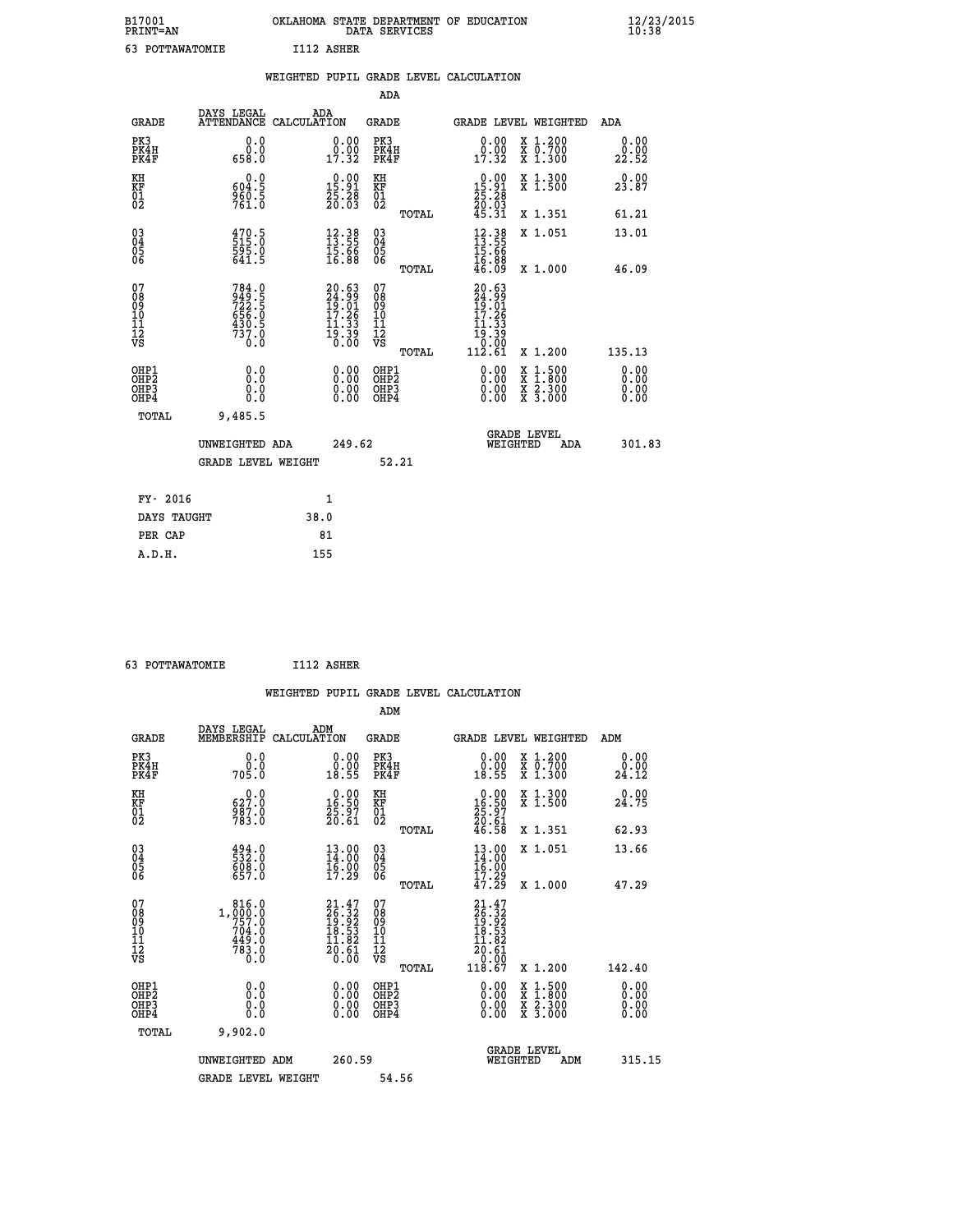| B17001<br><b>PRINT=AN</b> | OKLAHOMA STATE DEPARTMENT OF EDUCATION<br>DATA SERVICES | $\frac{12}{23}$ /2015 |
|---------------------------|---------------------------------------------------------|-----------------------|
| 63<br>POTTAWATOMIE        | I112 ASHER                                              |                       |

|                                                                    |                                                             |                                                                                              |                                                             |                                                     |       | WEIGHTED PUPIL GRADE LEVEL CALCULATION                                               |                                                                                                                                           |                              |
|--------------------------------------------------------------------|-------------------------------------------------------------|----------------------------------------------------------------------------------------------|-------------------------------------------------------------|-----------------------------------------------------|-------|--------------------------------------------------------------------------------------|-------------------------------------------------------------------------------------------------------------------------------------------|------------------------------|
|                                                                    |                                                             |                                                                                              |                                                             | <b>ADA</b>                                          |       |                                                                                      |                                                                                                                                           |                              |
| <b>GRADE</b>                                                       | DAYS LEGAL<br>ATTENDANCE CALCULATION                        | ADA                                                                                          |                                                             | <b>GRADE</b>                                        |       |                                                                                      | GRADE LEVEL WEIGHTED                                                                                                                      | <b>ADA</b>                   |
| PK3<br>PK4H<br>PK4F                                                | 0.0<br>ŏ.ŏ<br>658.O                                         |                                                                                              | $\begin{smallmatrix} 0.00\\ 0.00\\ 17.32 \end{smallmatrix}$ | PK3<br>PK4H<br>PK4F                                 |       | 0.00<br>$\frac{0.00}{17.32}$                                                         | X 1.200<br>X 0.700<br>X 1.300                                                                                                             | 0.00<br>22.52                |
| KH<br>KF<br>01<br>02                                               | 0.0<br>$\frac{604.5}{960.5}$                                | $\begin{smallmatrix} 0.00\\15.91\\25.28\\20.03 \end{smallmatrix}$                            |                                                             | KH<br>KF<br>01<br>02                                |       | 0.00<br>$\begin{smallmatrix} 15.91\ 25.28\ 20.63\ 45.31 \end{smallmatrix}$           | X 1.300<br>X 1.500                                                                                                                        | 0.00<br>23.87                |
|                                                                    |                                                             |                                                                                              |                                                             |                                                     | TOTAL |                                                                                      | X 1.351                                                                                                                                   | 61.21                        |
| $\begin{smallmatrix} 03 \\[-4pt] 04 \end{smallmatrix}$<br>Ŏ5<br>06 | 470.5<br>515.0<br>595.0<br>641.5                            | $\begin{smallmatrix} 12.38\\ 13.55\\ 15.66\\ 16.88 \end{smallmatrix}$                        |                                                             | $\begin{array}{c} 03 \\ 04 \\ 05 \\ 06 \end{array}$ |       | $12.3813.5515.6616.8846.09$                                                          | X 1.051                                                                                                                                   | 13.01                        |
|                                                                    |                                                             |                                                                                              |                                                             |                                                     | TOTAL |                                                                                      | X 1.000                                                                                                                                   | 46.09                        |
| 07<br>0890112<br>1112<br>VS                                        | 784.0<br>949.5<br>722.5<br>656.0<br>656.0<br>430.5<br>737.0 | $\begin{smallmatrix} 20.63\\ 24.99\\ 19.01\\ 17.26\\ 11.33\\ 19.39\\ 0.00 \end{smallmatrix}$ |                                                             | 07<br>08<br>09<br>11<br>11<br>12<br>VS              | TOTAL | 20.63<br>$\frac{24.99}{19.01}$<br>$\frac{17.26}{}$<br>.33<br>19:39<br>0:00<br>112:61 | X 1.200                                                                                                                                   | 135.13                       |
| OHP1<br>OHP2<br>OH <sub>P3</sub><br>OH <sub>P4</sub>               | 0.0<br>Ō.Ō<br>0.0<br>0.0                                    |                                                                                              | 0.00<br>$\begin{smallmatrix} 0.00 \ 0.00 \end{smallmatrix}$ | OHP1<br>OHP2<br>OHP3<br>OHP4                        |       | $0.00$<br>$0.00$<br>0.00                                                             | $\begin{smallmatrix} \mathtt{X} & 1\cdot500\\ \mathtt{X} & 1\cdot800\\ \mathtt{X} & 2\cdot300\\ \mathtt{X} & 3\cdot000 \end{smallmatrix}$ | 0.00<br>0.00<br>0.00<br>0.00 |
| TOTAL                                                              | 9,485.5                                                     |                                                                                              |                                                             |                                                     |       |                                                                                      |                                                                                                                                           |                              |
|                                                                    | UNWEIGHTED ADA                                              |                                                                                              | 249.62                                                      |                                                     |       | WEIGHTED                                                                             | <b>GRADE LEVEL</b><br>ADA                                                                                                                 | 301.83                       |
|                                                                    | GRADE LEVEL WEIGHT                                          |                                                                                              |                                                             | 52.21                                               |       |                                                                                      |                                                                                                                                           |                              |
| FY- 2016                                                           |                                                             | $\mathbf{1}$                                                                                 |                                                             |                                                     |       |                                                                                      |                                                                                                                                           |                              |
| DAYS TAUGHT                                                        |                                                             | 38.0                                                                                         |                                                             |                                                     |       |                                                                                      |                                                                                                                                           |                              |
| PER CAP                                                            |                                                             | 81                                                                                           |                                                             |                                                     |       |                                                                                      |                                                                                                                                           |                              |

 **63 POTTAWATOMIE I112 ASHER**

 **WEIGHTED PUPIL GRADE LEVEL CALCULATION ADM DAYS LEGAL ADM**

| <b>GRADE</b>                                       | nure mpann<br>MEMBERSHIP                                              | שעת<br>CALCULATION                                                                  | GRADE                                              |       | GRADE LEVEL WEIGHTED                                                                  |                                                                                                                                           | ADM                          |  |
|----------------------------------------------------|-----------------------------------------------------------------------|-------------------------------------------------------------------------------------|----------------------------------------------------|-------|---------------------------------------------------------------------------------------|-------------------------------------------------------------------------------------------------------------------------------------------|------------------------------|--|
| PK3<br>PK4H<br>PK4F                                | 0.000<br>705.0                                                        | $\begin{smallmatrix} 0.00\\ 0.00\\ 18.55 \end{smallmatrix}$                         | PK3<br>PK4H<br>PK4F                                |       | $\begin{smallmatrix} 0.00\\ 0.00\\ 18.55 \end{smallmatrix}$                           | X 1.200<br>X 0.700<br>X 1.300                                                                                                             | 0.00<br>0.00<br>24.12        |  |
| KH<br>KF<br>01<br>02                               | $627.0$<br>987.0<br>783.0                                             | $\begin{smallmatrix} 0.00\\16.50\\25.97\\20.61 \end{smallmatrix}$                   | KH<br>KF<br>01<br>02                               |       | $\begin{smallmatrix} 0.00\\16.50\\25.97\\20.61\\46.58 \end{smallmatrix}$              | X 1.300<br>X 1.500                                                                                                                        | 0.00<br>24.75                |  |
|                                                    |                                                                       |                                                                                     |                                                    | TOTAL |                                                                                       | X 1.351                                                                                                                                   | 62.93                        |  |
| $\begin{matrix} 03 \\ 04 \\ 05 \\ 06 \end{matrix}$ | $\begin{smallmatrix} 494.0\\ 532.0\\ 608.0\\ 657.0 \end{smallmatrix}$ | $\begin{smallmatrix} 13.00\\14.00\\16.00\\17.29 \end{smallmatrix}$                  | $\begin{matrix} 03 \\ 04 \\ 05 \\ 06 \end{matrix}$ |       | $13.00$<br>$14.00$<br>$16.00$<br>$17.29$<br>$47.29$                                   | X 1.051                                                                                                                                   | 13.66                        |  |
|                                                    |                                                                       |                                                                                     |                                                    | TOTAL |                                                                                       | $X_1.000$                                                                                                                                 | 47.29                        |  |
| 07<br>08<br>09<br>101<br>11<br>12<br>VS            | 816.0                                                                 | 21.47<br>26.32<br>19.92<br>18.53<br>11.82<br>$\frac{2}{0}.\overline{6}\overline{1}$ | 07<br>08<br>09<br>01<br>11<br>11<br>12<br>VS       |       | $21.47$<br>$26.32$<br>$19.52$<br>$18.53$<br>$11.82$<br>$\frac{20.61}{0.00}$<br>118.67 |                                                                                                                                           |                              |  |
|                                                    |                                                                       |                                                                                     |                                                    | TOTAL |                                                                                       | X 1.200                                                                                                                                   | 142.40                       |  |
| OHP1<br>OHP2<br>OH <sub>P3</sub><br>OHP4           | 0.0<br>0.000                                                          |                                                                                     | OHP1<br>OHP2<br>OHP3<br>OHP4                       |       |                                                                                       | $\begin{smallmatrix} \mathtt{X} & 1\cdot500\\ \mathtt{X} & 1\cdot800\\ \mathtt{X} & 2\cdot300\\ \mathtt{X} & 3\cdot000 \end{smallmatrix}$ | 0.00<br>0.00<br>0.00<br>0.00 |  |
| TOTAL                                              | 9,902.0                                                               |                                                                                     |                                                    |       |                                                                                       |                                                                                                                                           |                              |  |
|                                                    | UNWEIGHTED ADM                                                        | 260.59                                                                              |                                                    |       | WEIGHTED                                                                              | <b>GRADE LEVEL</b><br>ADM                                                                                                                 | 315.15                       |  |
|                                                    | <b>GRADE LEVEL WEIGHT</b>                                             |                                                                                     | 54.56                                              |       |                                                                                       |                                                                                                                                           |                              |  |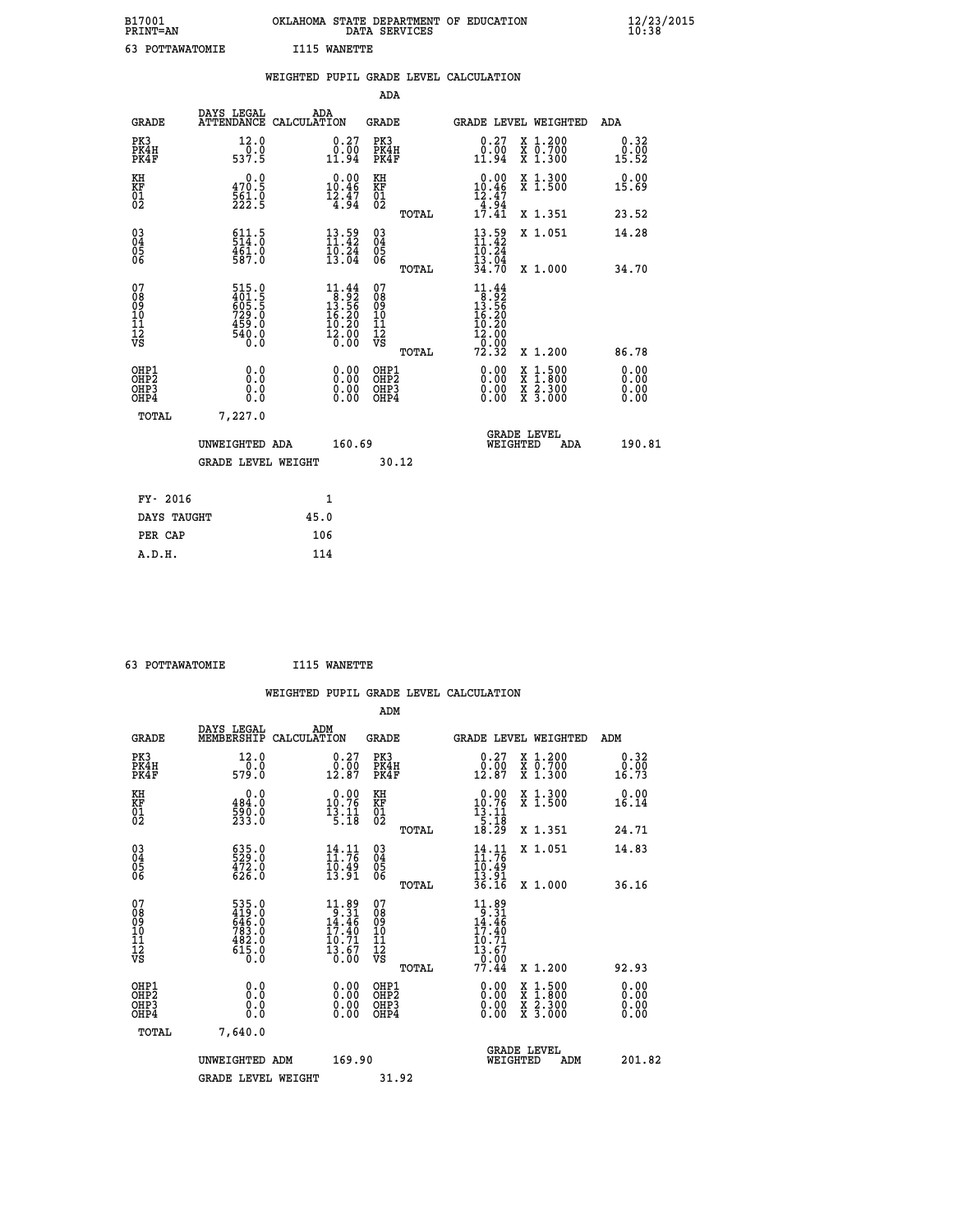| B17001<br><b>PRINT=AN</b> | OKLAHOMA STATE DEPARTMENT OF EDUCATION<br>DATA SERVICES | $\frac{12}{23}$ /2015 |
|---------------------------|---------------------------------------------------------|-----------------------|
| 63<br>POTTAWATOMIE        | I115 WANETTE                                            |                       |

|                                           |                                                              | WEIGHTED PUPIL GRADE LEVEL CALCULATION                                                                                        |                                        |       |                                                                                         |                                                            |                       |
|-------------------------------------------|--------------------------------------------------------------|-------------------------------------------------------------------------------------------------------------------------------|----------------------------------------|-------|-----------------------------------------------------------------------------------------|------------------------------------------------------------|-----------------------|
|                                           |                                                              |                                                                                                                               | <b>ADA</b>                             |       |                                                                                         |                                                            |                       |
| <b>GRADE</b>                              |                                                              | DAYS LEGAL ADA ATTENDANCE CALCULATION                                                                                         | <b>GRADE</b>                           |       |                                                                                         | GRADE LEVEL WEIGHTED                                       | ADA                   |
| PK3<br>PK4H<br>PK4F                       | 12.0<br>$\frac{1}{537.5}$                                    | $\begin{smallmatrix} 0.27\ 0.00\ 11.94 \end{smallmatrix}$                                                                     | PK3<br>PK4H<br>PK4F                    |       | 0.27<br>0.00<br>11.94                                                                   | X 1.200<br>X 0.700<br>X 1.300                              | 0.32<br>0.00<br>15.52 |
| KH<br>KF<br>01<br>02                      | 0.0<br>470.5<br>561.0<br>222.5                               | 0.00<br>10.46<br>$\frac{12.47}{4.94}$                                                                                         | KH<br><b>KF</b><br>01<br>02            |       | $\begin{smallmatrix} 0.00\\ 10.46\\ 12.47\\ 4.94\\ 17.41 \end{smallmatrix}$             | X 1.300<br>X 1.500                                         | 0.00<br>15.69         |
|                                           |                                                              |                                                                                                                               |                                        | TOTAL |                                                                                         | X 1.351                                                    | 23.52                 |
| $^{03}_{04}$<br>05<br>06                  | 511.5<br>$\frac{461.0}{587.0}$                               | $13.59$<br>$11.42$<br>$\frac{10.24}{13.04}$                                                                                   | $\substack{03 \\ 04}$<br>0500          |       | $13.59$<br>$11.42$<br>10.24<br>13.04                                                    | X 1.051                                                    | 14.28                 |
|                                           |                                                              |                                                                                                                               |                                        | TOTAL | 34.70                                                                                   | X 1.000                                                    | 34.70                 |
| 07<br>08<br>09<br>11<br>11<br>12<br>VS    | 515.0<br>401.5<br>605.5<br>729.0<br>729.0<br>459.0<br>4540.0 | $\begin{array}{r} 11 \cdot 44 \\ 8 \cdot 92 \\ 13 \cdot 56 \\ 16 \cdot 20 \\ 19 \cdot 29 \end{array}$<br>$\frac{12.00}{0.00}$ | 07<br>08<br>09<br>11<br>11<br>12<br>VS | TOTAL | $11.44$<br>$8.92$<br>$13.56$<br><b>16.20</b><br><b>10.20</b><br>12.00<br>-0:00<br>72.32 | X 1.200                                                    | 86.78                 |
| OHP1<br>OH <sub>P</sub> 2<br>OHP3<br>OHP4 | 0.0<br>0.0<br>0.0                                            | 0.0000<br>$\begin{smallmatrix} 0.00 \ 0.00 \end{smallmatrix}$                                                                 | OHP1<br>OHP2<br>OHP3<br>OHP4           |       | 0.00<br>0.00<br>0.00                                                                    | X 1:500<br>$\frac{x}{x}$ $\frac{2 \cdot 300}{3 \cdot 000}$ | 0.00<br>0.00<br>0.00  |
| <b>TOTAL</b>                              | 7,227.0                                                      |                                                                                                                               |                                        |       |                                                                                         |                                                            |                       |
|                                           | UNWEIGHTED ADA                                               | 160.69                                                                                                                        |                                        |       |                                                                                         | GRADE LEVEL<br>WEIGHTED<br>ADA                             | 190.81                |
|                                           | <b>GRADE LEVEL WEIGHT</b>                                    |                                                                                                                               |                                        | 30.12 |                                                                                         |                                                            |                       |
| FY- 2016                                  |                                                              | $\mathbf{1}$                                                                                                                  |                                        |       |                                                                                         |                                                            |                       |
| DAYS TAUGHT                               |                                                              | 45.0                                                                                                                          |                                        |       |                                                                                         |                                                            |                       |
| PER CAP                                   |                                                              | 106                                                                                                                           |                                        |       |                                                                                         |                                                            |                       |

| 63 POTTAWATOMIE | I115 WANETTE |
|-----------------|--------------|

|                                                      |                                                                      |                                                                                                                                            |                          |                                              |       | WEIGHTED PUPIL GRADE LEVEL CALCULATION                                                            |                                          |                              |  |
|------------------------------------------------------|----------------------------------------------------------------------|--------------------------------------------------------------------------------------------------------------------------------------------|--------------------------|----------------------------------------------|-------|---------------------------------------------------------------------------------------------------|------------------------------------------|------------------------------|--|
|                                                      |                                                                      |                                                                                                                                            |                          | ADM                                          |       |                                                                                                   |                                          |                              |  |
| <b>GRADE</b>                                         | DAYS LEGAL<br>MEMBERSHIP                                             | ADM<br>CALCULATION                                                                                                                         |                          | <b>GRADE</b>                                 |       | GRADE LEVEL WEIGHTED                                                                              |                                          | ADM                          |  |
| PK3<br>PK4H<br>PK4F                                  | 12.0<br>579.0                                                        | $\begin{smallmatrix} 0.27\ 0.00\ 12.87 \end{smallmatrix}$                                                                                  |                          | PK3<br>PK4H<br>PK4F                          |       | $\begin{smallmatrix} 0.27\\ 0.00\\ 12.87 \end{smallmatrix}$                                       | X 1.200<br>X 0.700<br>X 1.300            | 0.32<br>0.00<br>16.73        |  |
| KH<br>KF<br>01<br>02                                 | 0.0<br>484.0<br>590.0<br>233.0                                       | $\begin{smallmatrix} 0.00\\ 10.76\\ 13.11\\ 5.18 \end{smallmatrix}$                                                                        |                          | KH<br>KF<br>01<br>02                         |       | $\begin{smallmatrix} 0.00\\ 10.76\\ 13.11\\ 5.18\\ 18.29 \end{smallmatrix}$                       | X 1.300<br>X 1.500                       | 0.00<br>16.14                |  |
|                                                      |                                                                      |                                                                                                                                            |                          |                                              | TOTAL |                                                                                                   | X 1.351                                  | 24.71                        |  |
| $\begin{matrix} 03 \\ 04 \\ 05 \\ 06 \end{matrix}$   | 635.0<br>529.0<br>472.0<br>626.0                                     | $\frac{14}{11}$ : 72<br>$\bar{1}\bar{0}\,\dot{3}\,\dot{9}\,\dot{1}$                                                                        |                          | 03<br>04<br>05<br>06                         |       | $\frac{14}{11}$ : 76<br>$\frac{10.49}{13.91}$<br>$\frac{13.91}{36.16}$                            | X 1.051                                  | 14.83                        |  |
|                                                      |                                                                      |                                                                                                                                            |                          |                                              | TOTAL |                                                                                                   | X 1.000                                  | 36.16                        |  |
| 07<br>0890112<br>1112<br>VS                          | 535.0<br>419.0<br>646.0<br>646.0<br>783.0<br>482.0<br>615.0<br>615.0 | $\begin{smallmatrix} 11.89\\[-1.2mm] 9.31\\[-1.2mm] 14.46\\[-1.2mm] 17.40\\[-1.2mm] 10.71\\[-1.2mm] 13.67\\[-1.2mm] 0.00\end{smallmatrix}$ |                          | 07<br>08901112<br>1112<br>VS                 | TOTAL | $\begin{array}{c} 11.89 \\ 9.31 \\ 14.46 \\ 17.40 \\ 10.71 \\ 13.67 \\ 9.99 \end{array}$<br>77.44 | X 1.200                                  | 92.93                        |  |
| OHP1<br>OHP <sub>2</sub><br>OH <sub>P3</sub><br>OHP4 | 0.0<br>0.000                                                         |                                                                                                                                            | $0.00$<br>$0.00$<br>0.00 | OHP1<br>OHP <sub>2</sub><br>OHP <sub>3</sub> |       | 0.00<br>0.00<br>0.00                                                                              | X 1:500<br>X 1:800<br>X 2:300<br>X 3:000 | 0.00<br>0.00<br>0.00<br>0.00 |  |
| TOTAL                                                | 7,640.0                                                              |                                                                                                                                            |                          |                                              |       |                                                                                                   |                                          |                              |  |
|                                                      | UNWEIGHTED ADM                                                       |                                                                                                                                            | 169.90                   |                                              |       | WEIGHTED                                                                                          | <b>GRADE LEVEL</b><br>ADM                | 201.82                       |  |
|                                                      | GRADE LEVEL WEIGHT                                                   |                                                                                                                                            |                          | 31.92                                        |       |                                                                                                   |                                          |                              |  |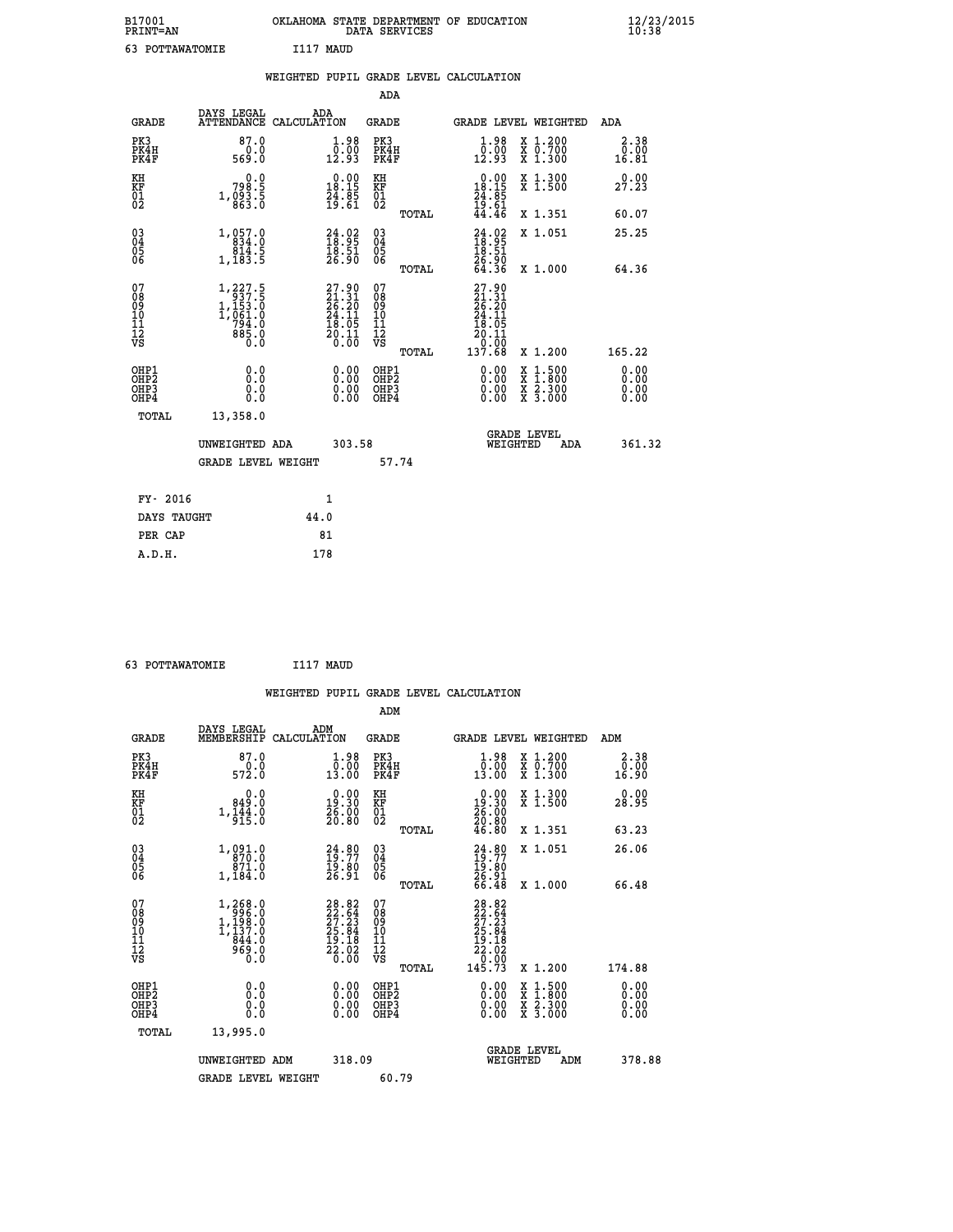| B17001<br><b>PRINT=AN</b> |                 |            | OKLAHOMA STATE DEPARTMENT OF EDUCATION<br>DATA SERVICES |  |
|---------------------------|-----------------|------------|---------------------------------------------------------|--|
|                           | 63 POTTAWATOMIE | T117 MAIID |                                                         |  |

|                                                      |                                                                                                   | WEIGHTED PUPIL GRADE LEVEL CALCULATION                                                             |                                                     |       |                                                                                                       |                                                                                                                                      |                              |
|------------------------------------------------------|---------------------------------------------------------------------------------------------------|----------------------------------------------------------------------------------------------------|-----------------------------------------------------|-------|-------------------------------------------------------------------------------------------------------|--------------------------------------------------------------------------------------------------------------------------------------|------------------------------|
|                                                      |                                                                                                   |                                                                                                    | <b>ADA</b>                                          |       |                                                                                                       |                                                                                                                                      |                              |
| <b>GRADE</b>                                         | DAYS LEGAL<br><b>ATTENDANCE</b>                                                                   | ADA<br>CALCULATION                                                                                 | <b>GRADE</b>                                        |       |                                                                                                       | GRADE LEVEL WEIGHTED                                                                                                                 | ADA                          |
| PK3<br>PK4H<br>PK4F                                  | 87.0<br>$0.0$<br>$0.95$                                                                           | $\begin{smallmatrix} 1.98 \\[-4pt] 0.00\\[-4pt] 12.93\end{smallmatrix}$                            | PK3<br>PK4H<br>PK4F                                 |       | $\begin{smallmatrix} 1.98 \\ 0.00 \\ 12.93 \end{smallmatrix}$                                         | X 1.200<br>X 0.700<br>X 1.300                                                                                                        | 2.38<br>0.00<br>16.81        |
| KH<br>KF<br>01<br>02                                 | 0.0<br>3: 798<br>5: 7983<br>6: 863                                                                | $\begin{smallmatrix} 0.00\\18.15\\24.85\\19.61 \end{smallmatrix}$                                  | KH<br>KF<br>01<br>02                                |       | $\begin{smallmatrix} 0.00\\ 18.15\\ 24.85\\ 19.61\\ 44.46 \end{smallmatrix}$                          | X 1.300<br>X 1.500                                                                                                                   | 0.00<br>27.23                |
|                                                      |                                                                                                   |                                                                                                    |                                                     | TOTAL |                                                                                                       | X 1.351                                                                                                                              | 60.07                        |
| $03\overline{4}$<br>Ŏ5<br>06                         | 1, 057.0<br>ă.i4<br>1,183.5                                                                       | $\begin{smallmatrix} 24.02\ 18.95\ 18.51\ 26.90 \end{smallmatrix}$                                 | $\begin{array}{c} 03 \\ 04 \\ 05 \\ 06 \end{array}$ |       | $24.92$<br>$18.95$<br>$18.51$<br>$26.90$<br>$64.36$                                                   | X 1.051                                                                                                                              | 25.25                        |
|                                                      |                                                                                                   |                                                                                                    |                                                     | TOTAL |                                                                                                       | X 1.000                                                                                                                              | 64.36                        |
| 07<br>08<br>09<br>11<br>11<br>12<br>VS               | $\begin{smallmatrix} 1,227.5\\ 937.5\\ 1,153.0\\ 1,061.0\\ 794.0\\ 885.0\\ 0.0 \end{smallmatrix}$ | $\begin{smallmatrix} 27.90 \\ 21.31 \\ 26.20 \\ 24.11 \\ 18.05 \\ 20.11 \\ 0.00 \end{smallmatrix}$ | 07<br>08<br>09<br>101<br>11<br>12<br>VS             | TOTAL | $\begin{smallmatrix} 27.90\\21.31\\26.20\\24.11\\24.11\\18.05\\20.11\\0.00\\137.68 \end{smallmatrix}$ | X 1.200                                                                                                                              | 165.22                       |
| OHP1<br>OHP <sub>2</sub><br>OH <sub>P3</sub><br>OHP4 | 0.0<br>0.0<br>Ō.Ō                                                                                 | 0.00<br>$\begin{smallmatrix} 0.00 \ 0.00 \end{smallmatrix}$                                        | OHP1<br>OHP2<br>OHP3<br>OHP4                        |       | 0.00<br>0.00<br>0.00                                                                                  | $\begin{smallmatrix} \mathtt{X} & 1 & 500 \\ \mathtt{X} & 1 & 800 \\ \mathtt{X} & 2 & 300 \\ \mathtt{X} & 3 & 000 \end{smallmatrix}$ | 0.00<br>0.00<br>0.00<br>0.00 |
| TOTAL                                                | 13,358.0                                                                                          |                                                                                                    |                                                     |       |                                                                                                       |                                                                                                                                      |                              |
|                                                      | UNWEIGHTED ADA                                                                                    | 303.58                                                                                             |                                                     |       | WEIGHTED                                                                                              | <b>GRADE LEVEL</b><br>ADA                                                                                                            | 361.32                       |
|                                                      | <b>GRADE LEVEL WEIGHT</b>                                                                         |                                                                                                    | 57.74                                               |       |                                                                                                       |                                                                                                                                      |                              |
| FY- 2016                                             |                                                                                                   | $\mathbf{1}$                                                                                       |                                                     |       |                                                                                                       |                                                                                                                                      |                              |
| DAYS TAUGHT                                          |                                                                                                   | 44.0                                                                                               |                                                     |       |                                                                                                       |                                                                                                                                      |                              |
| PER CAP                                              |                                                                                                   | 81                                                                                                 |                                                     |       |                                                                                                       |                                                                                                                                      |                              |

| 63 POTTAWATOMIE | I117 MAUD |  |
|-----------------|-----------|--|
|                 |           |  |

 **B17001<br>PRINT=AN** 

|                                                      |              |                                                                                                  |                    |                                                                   |                                          |       | WEIGHTED PUPIL GRADE LEVEL CALCULATION                                                                                                                                                                                                                                         |          |                                          |     |                              |
|------------------------------------------------------|--------------|--------------------------------------------------------------------------------------------------|--------------------|-------------------------------------------------------------------|------------------------------------------|-------|--------------------------------------------------------------------------------------------------------------------------------------------------------------------------------------------------------------------------------------------------------------------------------|----------|------------------------------------------|-----|------------------------------|
|                                                      |              |                                                                                                  |                    |                                                                   | ADM                                      |       |                                                                                                                                                                                                                                                                                |          |                                          |     |                              |
|                                                      | <b>GRADE</b> | DAYS LEGAL<br>MEMBERSHIP                                                                         | ADM<br>CALCULATION |                                                                   | GRADE                                    |       |                                                                                                                                                                                                                                                                                |          | <b>GRADE LEVEL WEIGHTED</b>              | ADM |                              |
| PK3<br>PK4F                                          | PK4H         | 87.0<br>$\frac{0.0}{572.0}$                                                                      |                    | $1.98$<br>$0.00$<br>13.00                                         | PK3<br>PK4H<br>PK4F                      |       | $\begin{smallmatrix} 1.98 \\ 0.00 \\ 13.00 \end{smallmatrix}$                                                                                                                                                                                                                  |          | X 1.200<br>X 0.700<br>X 1.300            |     | 2.38<br>0.00<br>16.90        |
| KH<br>KF<br>01<br>02                                 |              | 0.0<br>849.0<br>$1,\frac{1}{9}\frac{44}{15}\cdot 0$                                              |                    | $\begin{smallmatrix} 0.00\\19.30\\26.00\\20.80 \end{smallmatrix}$ | KH<br>KF<br>01<br>02                     |       | $\begin{smallmatrix} 0.00\\19.30\\26.00\\20.80\\46.80 \end{smallmatrix}$                                                                                                                                                                                                       |          | X 1.300<br>X 1.500                       |     | 0.00<br>28.95                |
|                                                      |              |                                                                                                  |                    |                                                                   |                                          | TOTAL |                                                                                                                                                                                                                                                                                |          | X 1.351                                  |     | 63.23                        |
| 03<br>04<br>05<br>06                                 |              | 1,091.0<br>870.0<br>971.0<br>1,184.0                                                             |                    | $24.80$<br>$19.77$<br>19:80<br>26:91                              | 03<br>04<br>05<br>06                     |       | $24.80$<br>$19.77$<br>$19.80$<br>$26.91$<br>$66.48$                                                                                                                                                                                                                            |          | X 1.051                                  |     | 26.06                        |
|                                                      |              |                                                                                                  |                    |                                                                   |                                          | TOTAL |                                                                                                                                                                                                                                                                                |          | X 1.000                                  |     | 66.48                        |
| 07<br>08<br>09<br>101<br>112<br>VS                   |              | $\begin{smallmatrix} 1,268.0\\ 996.0\\ 1,198.0\\ 1,137.0\\ 844.0 \end{smallmatrix}$<br>Ŏ.<br>Ŏ.Ő |                    | 28.82<br>22.64<br>27.23<br>25.84<br>29.18<br>$\frac{22.02}{0.00}$ | 07<br>08<br>09<br>11<br>11<br>12<br>VS   |       | $\begin{smallmatrix} 28.82\\ 22.64\\ 27.23\\ 25.84\\ 25.84\\ 19.18\\ 22.02\\ 0.00\\ 145.73 \end{smallmatrix}$                                                                                                                                                                  |          |                                          |     |                              |
|                                                      |              |                                                                                                  |                    |                                                                   |                                          | TOTAL |                                                                                                                                                                                                                                                                                |          | X 1.200                                  |     | 174.88                       |
| OHP1<br>OHP <sub>2</sub><br>OH <sub>P3</sub><br>OHP4 |              | 0.0<br>0.000                                                                                     |                    | 0.00<br>0.00<br>0.00                                              | OHP1<br>OHP <sub>2</sub><br>OHP3<br>OHP4 |       | $\begin{smallmatrix} 0.00 & 0.00 & 0.00 & 0.00 & 0.00 & 0.00 & 0.00 & 0.00 & 0.00 & 0.00 & 0.00 & 0.00 & 0.00 & 0.00 & 0.00 & 0.00 & 0.00 & 0.00 & 0.00 & 0.00 & 0.00 & 0.00 & 0.00 & 0.00 & 0.00 & 0.00 & 0.00 & 0.00 & 0.00 & 0.00 & 0.00 & 0.00 & 0.00 & 0.00 & 0.00 & 0.0$ |          | X 1:500<br>X 1:800<br>X 2:300<br>X 3:000 |     | 0.00<br>0.00<br>0.00<br>0.00 |
|                                                      | TOTAL        | 13,995.0                                                                                         |                    |                                                                   |                                          |       |                                                                                                                                                                                                                                                                                |          |                                          |     |                              |
|                                                      |              | UNWEIGHTED ADM                                                                                   |                    | 318.09                                                            |                                          |       |                                                                                                                                                                                                                                                                                | WEIGHTED | <b>GRADE LEVEL</b><br>ADM                |     | 378.88                       |
|                                                      |              | <b>GRADE LEVEL WEIGHT</b>                                                                        |                    |                                                                   | 60.79                                    |       |                                                                                                                                                                                                                                                                                |          |                                          |     |                              |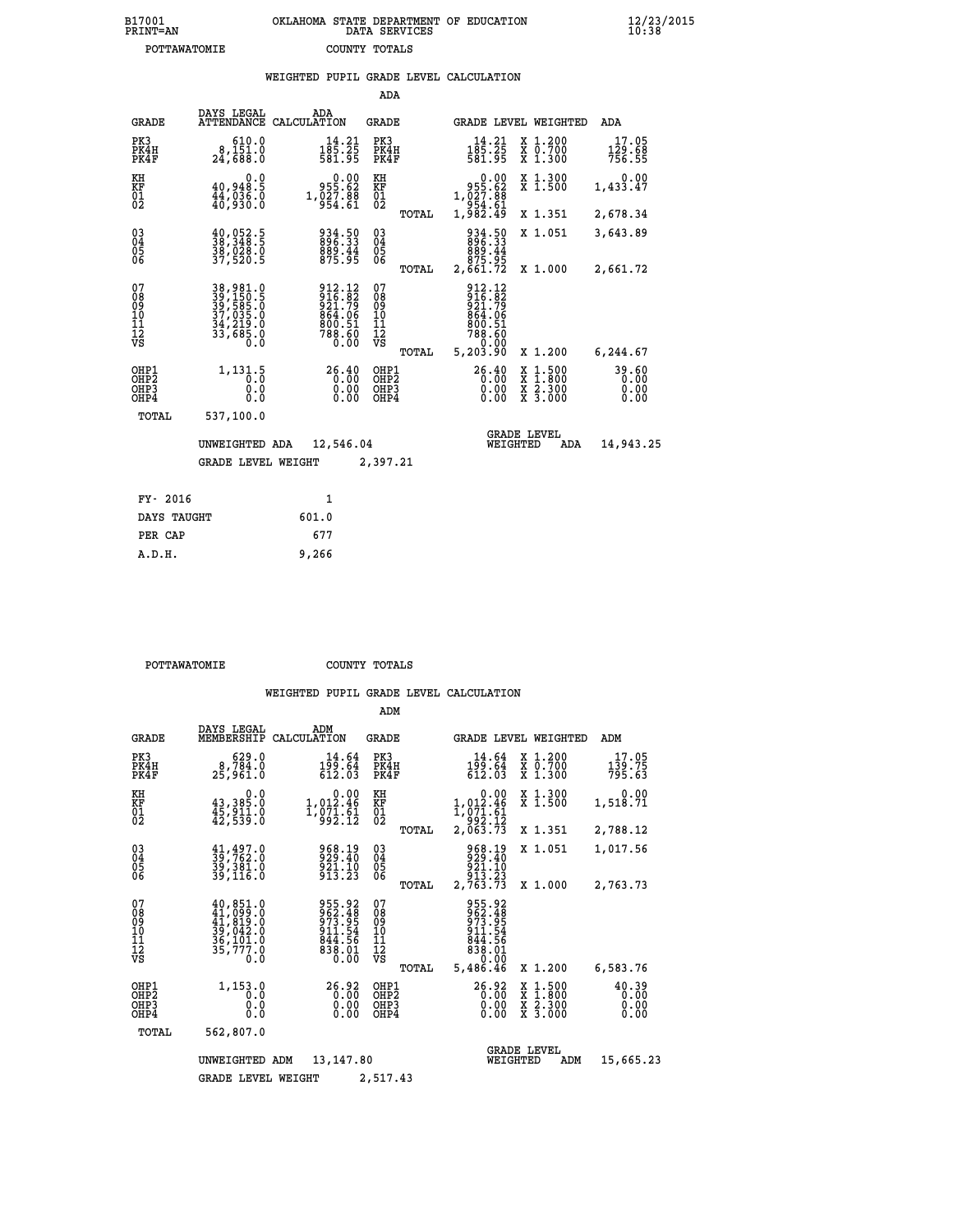| B17001<br>PRINT=AN | OKLAHOMA STATE DEPARTMENT OF EDUCATION<br>DATA SERVICES | $\frac{12}{23}$ /2015 |
|--------------------|---------------------------------------------------------|-----------------------|
| POTTAWATOMIE       | COUNTY TOTALS                                           |                       |

|                                              |                                                                      | WEIGHTED PUPIL GRADE LEVEL CALCULATION                                       |                                         |                                                                                         |                                                                                                                                      |                                                              |
|----------------------------------------------|----------------------------------------------------------------------|------------------------------------------------------------------------------|-----------------------------------------|-----------------------------------------------------------------------------------------|--------------------------------------------------------------------------------------------------------------------------------------|--------------------------------------------------------------|
|                                              |                                                                      |                                                                              | ADA                                     |                                                                                         |                                                                                                                                      |                                                              |
| <b>GRADE</b>                                 | DAYS LEGAL<br><b>ATTENDANCE</b>                                      | ADA<br>CALCULATION                                                           | <b>GRADE</b>                            | GRADE LEVEL WEIGHTED                                                                    |                                                                                                                                      | ADA                                                          |
| PK3<br>PK4H<br>PK4F                          | 610.0<br>8,151.0<br>24,688.0                                         | $14.21$<br>$185.25$<br>$581.95$                                              | PK3<br>PK4H<br>PK4F                     | $14.21$<br>$185.25$<br>$581.95$                                                         | X 1.200<br>X 0.700<br>X 1.300                                                                                                        | 17.05<br>$\frac{1\bar{2}\dot{9}\cdot\dot{6}\bar{8}}{756.55}$ |
| KH<br>KF<br>01<br>02                         | 0.0<br>40,948.5<br>44,036.0<br>40,930.0                              | $0.00$<br>955.62<br>1,027.88<br>954.61                                       | KH<br>KF<br>01<br>02                    | 0.00<br>§9.§§§                                                                          | X 1.300<br>X 1.500                                                                                                                   | 0.00<br>1,433.47                                             |
|                                              |                                                                      |                                                                              | TOTAL                                   | 1,027.88<br>954.61<br>1,982.49                                                          | X 1.351                                                                                                                              | 2,678.34                                                     |
| $\substack{03 \\ 04}$<br>Ŏ5<br>06            | $\frac{40}{38}, \frac{052}{348}$ .<br>38,028.0<br>37,520.5           | 934.50<br>896.33<br>889.44<br>875.95                                         | $\substack{03 \\ 04}$<br>Ŏ5<br>06       | 934.50<br>896.33                                                                        | X 1.051                                                                                                                              | 3,643.89                                                     |
|                                              |                                                                      |                                                                              | TOTAL                                   | 44.888<br>875.95<br>2,661.72                                                            | X 1.000                                                                                                                              | 2,661.72                                                     |
| 07<br>08<br>09<br>11<br>11<br>12<br>VS       | 38,981.0<br>39,150.5<br>39,585.0<br>37,035.0<br>34,219.0<br>33,685.0 | 912.12<br>916.82<br>921.79<br>921.79<br>864.06<br>800.51<br>788.60<br>788.60 | 07<br>08<br>09<br>101<br>11<br>12<br>VS | 912.12<br>916.82<br>921.79<br>864.06<br>800.51<br>88.60<br>788.60<br>788.60<br>5,203.90 |                                                                                                                                      |                                                              |
| OHP1                                         |                                                                      |                                                                              | TOTAL                                   |                                                                                         | X 1.200                                                                                                                              | 6,244.67                                                     |
| OH <sub>P</sub> <sub>2</sub><br>OHP3<br>OHP4 | 1, 131.5<br>0.0<br>0.0                                               | 26.40<br>$0.00$<br>$0.00$                                                    | OHP1<br>OHP2<br>OHP3<br>OHP4            | 26.40<br>0.00<br>0.00                                                                   | $\begin{smallmatrix} \mathtt{X} & 1 & 500 \\ \mathtt{X} & 1 & 800 \\ \mathtt{X} & 2 & 300 \\ \mathtt{X} & 3 & 000 \end{smallmatrix}$ | 39.60<br>0.00<br>0.00                                        |
| TOTAL                                        | 537,100.0                                                            |                                                                              |                                         |                                                                                         |                                                                                                                                      |                                                              |
|                                              | UNWEIGHTED ADA                                                       | 12,546.04                                                                    |                                         | <b>GRADE LEVEL</b><br>WEIGHTED                                                          | ADA                                                                                                                                  | 14,943.25                                                    |
|                                              | <b>GRADE LEVEL WEIGHT</b>                                            |                                                                              | 2,397.21                                |                                                                                         |                                                                                                                                      |                                                              |
| FY- 2016                                     |                                                                      | $\mathbf{1}$                                                                 |                                         |                                                                                         |                                                                                                                                      |                                                              |
| DAYS TAUGHT                                  |                                                                      | 601.0                                                                        |                                         |                                                                                         |                                                                                                                                      |                                                              |
| PER CAP                                      |                                                                      | 677                                                                          |                                         |                                                                                         |                                                                                                                                      |                                                              |

| POTTAWATOMIE | COUNTY TOTALS |  |
|--------------|---------------|--|

 **A.D.H. 9,266**

|                                                       |                                                                                       |                                                                          | ADM                                              |                                                                                                         |                                                                                                  |                               |
|-------------------------------------------------------|---------------------------------------------------------------------------------------|--------------------------------------------------------------------------|--------------------------------------------------|---------------------------------------------------------------------------------------------------------|--------------------------------------------------------------------------------------------------|-------------------------------|
| <b>GRADE</b>                                          | DAYS LEGAL<br>MEMBERSHIP                                                              | ADM<br>CALCULATION                                                       | <b>GRADE</b>                                     | GRADE LEVEL WEIGHTED                                                                                    |                                                                                                  | ADM                           |
| PK3<br>PK4H<br>PK4F                                   | 629.0<br>8,784.0<br>25,961.0                                                          | 14.64<br>199.64<br>612.03                                                | PK3<br>PK4H<br>PK4F                              | 14.64<br>199.64<br>612.03                                                                               | X 1.200<br>X 0.700<br>X 1.300                                                                    | 17.05<br>139.75<br>795.63     |
| KH<br>KF<br>01<br>02                                  | 0.0<br>43,385.0<br>$\frac{45}{12}, \frac{511}{539}.0$                                 | $\begin{smallmatrix}&&0.00\\1,012.46\\1,071.61\\992.12\end{smallmatrix}$ | KH<br>KF<br>01<br>02                             | $\begin{smallmatrix}&&0.00\\1,012.46\\1,071.61\\992.12\\2,063.73\end{smallmatrix}$                      | X 1.300<br>X 1.500                                                                               | 0.00<br>1,518.71              |
|                                                       |                                                                                       |                                                                          | TOTAL                                            |                                                                                                         | X 1.351                                                                                          | 2,788.12                      |
| 03<br>04<br>05<br>06                                  | $\frac{41}{39}, \frac{497}{762}$ .0<br>39,391.0<br>39,116.0                           | 968.19<br>929.40<br>921.10<br>913.23                                     | $\substack{03 \\ 04}$<br>05                      | 968.19<br>929.40<br>921.10<br>913.23                                                                    | X 1.051                                                                                          | 1,017.56                      |
|                                                       |                                                                                       |                                                                          | TOTAL                                            | 2,763.73                                                                                                | X 1.000                                                                                          | 2,763.73                      |
| 07<br>08<br>09<br>11<br>11<br>12<br>VS                | $40,851.0$<br>$41,899.0$<br>$41,819.0$<br>$39,042.0$<br>$36,191.0$<br>35,777.0<br>0.0 | 955.92<br>962.48<br>973.95<br>911.54<br>844.56<br>838.01<br>0.00         | 07<br>08<br>09<br>101<br>11<br>12<br>VS<br>TOTAL | 955.92<br>962.48<br>973.95<br>911.54<br>$\frac{8\bar{4}\bar{4}}{83\bar{8}\cdot 01}$<br>0.00<br>5,486.46 | X 1.200                                                                                          | 6,583.76                      |
| OHP1<br>OH <sub>P</sub> 2<br>OHP <sub>3</sub><br>OHP4 | 1,153.0<br>0.0<br>0.0<br>Ŏ.Ŏ                                                          | 26.92<br>0.00<br>0.00<br>0.00                                            | OHP1<br>OHP2<br>OHP3<br>OHP4                     | 26.92<br>0.00<br>0.00                                                                                   | $\begin{smallmatrix} x & 1 & 500 \\ x & 1 & 800 \\ x & 2 & 300 \\ x & 3 & 000 \end{smallmatrix}$ | 40.39<br>0.00<br>0.00<br>0.00 |
| TOTAL                                                 | 562,807.0                                                                             |                                                                          |                                                  |                                                                                                         |                                                                                                  |                               |
|                                                       | UNWEIGHTED                                                                            | 13, 147.80<br>ADM                                                        |                                                  | WEIGHTED                                                                                                | <b>GRADE LEVEL</b><br>ADM                                                                        | 15,665.23                     |
|                                                       | <b>GRADE LEVEL WEIGHT</b>                                                             |                                                                          | 2,517.43                                         |                                                                                                         |                                                                                                  |                               |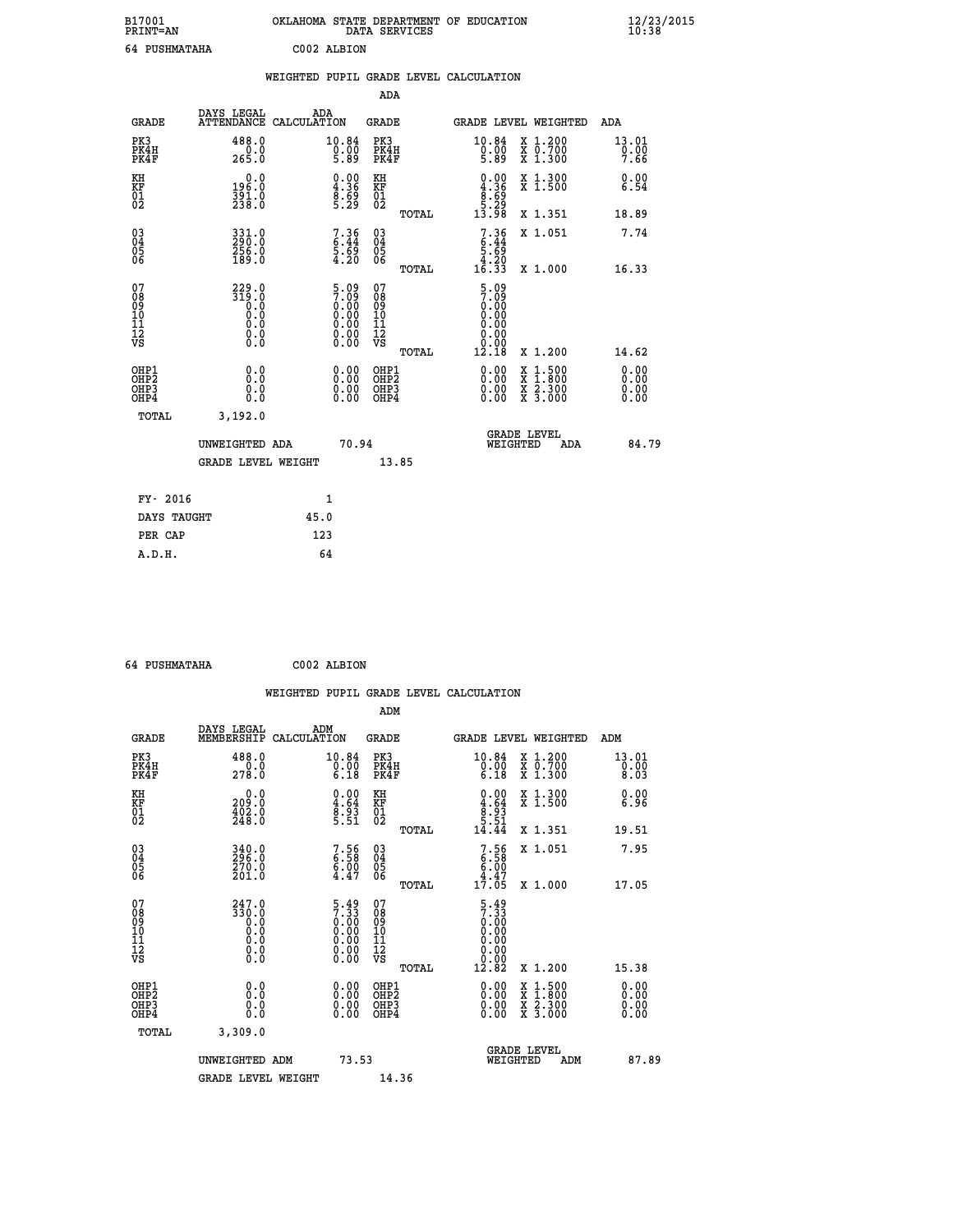| B17001<br><b>PRINT=AN</b> | OKLAHOMA STATE DEPARTMENT OF EDUCATION<br>DATA SERVICES |  |
|---------------------------|---------------------------------------------------------|--|
| 64 PUSHMATAHA             | C002 ALBION                                             |  |

|                                                                    |                                                                                                 |              |                                                                                               |                                                    |       | WEIGHTED PUPIL GRADE LEVEL CALCULATION                                                                                                                                                                                                                                                                                                                                                                            |                                                                                                                                           |                              |
|--------------------------------------------------------------------|-------------------------------------------------------------------------------------------------|--------------|-----------------------------------------------------------------------------------------------|----------------------------------------------------|-------|-------------------------------------------------------------------------------------------------------------------------------------------------------------------------------------------------------------------------------------------------------------------------------------------------------------------------------------------------------------------------------------------------------------------|-------------------------------------------------------------------------------------------------------------------------------------------|------------------------------|
|                                                                    |                                                                                                 |              |                                                                                               | <b>ADA</b>                                         |       |                                                                                                                                                                                                                                                                                                                                                                                                                   |                                                                                                                                           |                              |
| <b>GRADE</b>                                                       | DAYS LEGAL<br>ATTENDANCE CALCULATION                                                            | ADA          |                                                                                               | GRADE                                              |       |                                                                                                                                                                                                                                                                                                                                                                                                                   | GRADE LEVEL WEIGHTED                                                                                                                      | ADA                          |
| PK3<br>PK4H<br>PK4F                                                | 488.0<br>0.0<br>265.0                                                                           |              | 10.84<br>$\begin{smallmatrix}0.00\0.89\end{smallmatrix}$                                      | PK3<br>PK4H<br>PK4F                                |       | 10.84<br>$\begin{array}{c} \vspace{.8cm} \vspace{.8cm} \vspace{.8cm} \vspace{.8cm} \vspace{.8cm} \vspace{.8cm} \vspace{.8cm} \vspace{.8cm} \vspace{.8cm} \vspace{.8cm} \vspace{.8cm} \vspace{.8cm} \vspace{.8cm} \vspace{.8cm} \vspace{.8cm} \vspace{.8cm} \vspace{.8cm} \vspace{.8cm} \vspace{.8cm} \vspace{.8cm} \vspace{.8cm} \vspace{.8cm} \vspace{.8cm} \vspace{.8cm} \vspace{.8cm} \vspace{.8cm} \vspace{.$ | X 1.200<br>X 0.700<br>X 1.300                                                                                                             | 13.01<br>0.00<br>7.66        |
| KH<br>KF<br>01<br>02                                               | 0.0<br>196:0<br>391:0<br>238:0                                                                  |              | $\begin{smallmatrix} 0.00\ 4.36\ 8.69\ 5.29 \end{smallmatrix}$                                | KH<br>KF<br>01<br>02                               |       | $\begin{smallmatrix} 0.00\\ 4.36\\ 8.69\\ 5.29\\ 13.98 \end{smallmatrix}$                                                                                                                                                                                                                                                                                                                                         | X 1.300<br>X 1.500                                                                                                                        | 0.00<br>6.54                 |
|                                                                    |                                                                                                 |              |                                                                                               |                                                    | TOTAL |                                                                                                                                                                                                                                                                                                                                                                                                                   | X 1.351                                                                                                                                   | 18.89                        |
| $\begin{smallmatrix} 03 \\[-4pt] 04 \end{smallmatrix}$<br>Ŏ5<br>06 | 331.0<br>290:0<br>256:0<br>189:0                                                                |              | 7.36<br>6.44<br>5.69<br>4.20                                                                  | $\begin{matrix} 03 \\ 04 \\ 05 \\ 06 \end{matrix}$ |       | $7.36$<br>$6.44$<br>$5.69$<br>$4.20$<br>$16.33$                                                                                                                                                                                                                                                                                                                                                                   | X 1.051                                                                                                                                   | 7.74                         |
|                                                                    |                                                                                                 |              |                                                                                               |                                                    | TOTAL |                                                                                                                                                                                                                                                                                                                                                                                                                   | X 1.000                                                                                                                                   | 16.33                        |
| 07<br>08<br>09<br>11<br>11<br>12<br>VS                             | $\begin{smallmatrix} 229.0\\ 319.0\\ 0.0\\ 0.0\\ 0.0\\ 0.0\\ 0.0\\ 0.0\\ 0.0 \end{smallmatrix}$ |              | $\begin{smallmatrix} 5.09\ 7.09\ 0.00\ 0.00\ 0.00\ 0.00\ 0.00\ 0.00\ 0.00\ \end{smallmatrix}$ | 07<br>08<br>09<br>11<br>11<br>12<br>VS             | TOTAL | $\frac{5.09}{7.09}$<br>$0.00$<br>0.00<br>0.00<br>0.00<br>0.00<br>12.18                                                                                                                                                                                                                                                                                                                                            | X 1.200                                                                                                                                   | 14.62                        |
| OHP1<br>OHP <sub>2</sub><br>OH <sub>P3</sub><br>OH <sub>P4</sub>   | 0.0<br>Ŏ.Ŏ<br>0.0<br>0.0                                                                        |              | $\begin{smallmatrix} 0.00 \ 0.00 \ 0.00 \ 0.00 \end{smallmatrix}$                             | OHP1<br>OHP2<br>OHP3<br>OHP4                       |       | $\begin{smallmatrix} 0.00 & 0.00 & 0.00 & 0.00 & 0.00 & 0.00 & 0.00 & 0.00 & 0.00 & 0.00 & 0.00 & 0.00 & 0.00 & 0.00 & 0.00 & 0.00 & 0.00 & 0.00 & 0.00 & 0.00 & 0.00 & 0.00 & 0.00 & 0.00 & 0.00 & 0.00 & 0.00 & 0.00 & 0.00 & 0.00 & 0.00 & 0.00 & 0.00 & 0.00 & 0.00 & 0.0$                                                                                                                                    | $\begin{smallmatrix} \mathtt{X} & 1\cdot500\\ \mathtt{X} & 1\cdot800\\ \mathtt{X} & 2\cdot300\\ \mathtt{X} & 3\cdot000 \end{smallmatrix}$ | 0.00<br>0.00<br>0.00<br>0.00 |
| <b>TOTAL</b>                                                       | 3,192.0                                                                                         |              |                                                                                               |                                                    |       |                                                                                                                                                                                                                                                                                                                                                                                                                   |                                                                                                                                           |                              |
|                                                                    | UNWEIGHTED ADA                                                                                  |              | 70.94                                                                                         |                                                    |       | WEIGHTED                                                                                                                                                                                                                                                                                                                                                                                                          | <b>GRADE LEVEL</b><br>ADA                                                                                                                 | 84.79                        |
|                                                                    | <b>GRADE LEVEL WEIGHT</b>                                                                       |              |                                                                                               |                                                    | 13.85 |                                                                                                                                                                                                                                                                                                                                                                                                                   |                                                                                                                                           |                              |
| FY- 2016                                                           |                                                                                                 | $\mathbf{1}$ |                                                                                               |                                                    |       |                                                                                                                                                                                                                                                                                                                                                                                                                   |                                                                                                                                           |                              |
| DAYS TAUGHT                                                        |                                                                                                 | 45.0         |                                                                                               |                                                    |       |                                                                                                                                                                                                                                                                                                                                                                                                                   |                                                                                                                                           |                              |
| PER CAP                                                            |                                                                                                 | 123          |                                                                                               |                                                    |       |                                                                                                                                                                                                                                                                                                                                                                                                                   |                                                                                                                                           |                              |

| 64 PUSHMATAHA | C002 ALBION |
|---------------|-------------|

|                                                      |                                                                                                             |                    |                                                                    |                              |       | WEIGHTED PUPIL GRADE LEVEL CALCULATION                                                                                                                                                                                                                                         |                                                                                                  |                       |       |
|------------------------------------------------------|-------------------------------------------------------------------------------------------------------------|--------------------|--------------------------------------------------------------------|------------------------------|-------|--------------------------------------------------------------------------------------------------------------------------------------------------------------------------------------------------------------------------------------------------------------------------------|--------------------------------------------------------------------------------------------------|-----------------------|-------|
|                                                      |                                                                                                             |                    |                                                                    | ADM                          |       |                                                                                                                                                                                                                                                                                |                                                                                                  |                       |       |
| <b>GRADE</b>                                         | DAYS LEGAL<br>MEMBERSHIP                                                                                    | ADM<br>CALCULATION |                                                                    | <b>GRADE</b>                 |       | <b>GRADE LEVEL WEIGHTED</b>                                                                                                                                                                                                                                                    |                                                                                                  | ADM                   |       |
| PK3<br>PK4H<br>PK4F                                  | 488.0<br>278.0                                                                                              |                    | 10.84<br>$\begin{smallmatrix} 0.00 & 0 \ 0.18 & \end{smallmatrix}$ | PK3<br>PK4H<br>PK4F          |       | 10.84<br>$\begin{smallmatrix} 0.00 & 0 \ 6.18 & \end{smallmatrix}$                                                                                                                                                                                                             | X 1.200<br>X 0.700<br>X 1.300                                                                    | 13.01<br>0.00<br>8.03 |       |
| KH<br>KF<br>01<br>02                                 | $\begin{smallmatrix} 0.0\\ 209.0\\ 402.0\\ 248.0 \end{smallmatrix}$                                         |                    | $\begin{smallmatrix} 0.00\ 4.64\ 8.93\ 5.51 \end{smallmatrix}$     | KH<br>KF<br>01<br>02         |       | $\begin{smallmatrix} 0.00\\ 4.64\\ 8.93\\ 5.51\\ 14.44 \end{smallmatrix}$                                                                                                                                                                                                      | X 1.300<br>X 1.500                                                                               | 0.00<br>6.96          |       |
|                                                      |                                                                                                             |                    |                                                                    |                              | TOTAL |                                                                                                                                                                                                                                                                                | X 1.351                                                                                          | 19.51                 |       |
| $\begin{matrix} 03 \\ 04 \\ 05 \\ 06 \end{matrix}$   | 340.0<br>296.0<br>270.0<br>201.0                                                                            |                    | 7.58<br>6.58<br>6.00<br>4.47                                       | $^{03}_{04}$<br>Ŏ5<br>06     |       | $7.56$<br>6.58<br>6.00<br>6.47<br>4.47<br>17.05                                                                                                                                                                                                                                | X 1.051                                                                                          | 7.95                  |       |
|                                                      |                                                                                                             |                    |                                                                    |                              | TOTAL |                                                                                                                                                                                                                                                                                | X 1.000                                                                                          | 17.05                 |       |
| 07<br>0890112<br>1112<br>VS                          | $247.0$<br>$330.0$<br>$0.0$<br>$0.0$<br>$\begin{smallmatrix} 0.0 & 0 \ 0.0 & 0 \ 0.0 & 0 \end{smallmatrix}$ |                    | $5.497.330.000.000.000.000.000.00$                                 | 07<br>08901123<br>1112<br>VS | TOTAL | $\frac{5.49}{7.33}$<br>0.00<br>0.00<br>0.00<br>12.82                                                                                                                                                                                                                           | $X_1.200$                                                                                        | 15.38                 |       |
|                                                      |                                                                                                             |                    |                                                                    |                              |       |                                                                                                                                                                                                                                                                                |                                                                                                  |                       |       |
| OHP1<br>OHP2<br>OH <sub>P3</sub><br>OH <sub>P4</sub> | 0.0<br>0.000                                                                                                |                    | $\begin{smallmatrix} 0.00 \ 0.00 \ 0.00 \ 0.00 \end{smallmatrix}$  | OHP1<br>OHP2<br>OHP3<br>OHP4 |       | $\begin{smallmatrix} 0.00 & 0.00 & 0.00 & 0.00 & 0.00 & 0.00 & 0.00 & 0.00 & 0.00 & 0.00 & 0.00 & 0.00 & 0.00 & 0.00 & 0.00 & 0.00 & 0.00 & 0.00 & 0.00 & 0.00 & 0.00 & 0.00 & 0.00 & 0.00 & 0.00 & 0.00 & 0.00 & 0.00 & 0.00 & 0.00 & 0.00 & 0.00 & 0.00 & 0.00 & 0.00 & 0.0$ | $\begin{smallmatrix} x & 1 & 500 \\ x & 1 & 800 \\ x & 2 & 300 \\ x & 3 & 000 \end{smallmatrix}$ | 0.00<br>0.00<br>0.00  |       |
| TOTAL                                                | 3,309.0                                                                                                     |                    |                                                                    |                              |       |                                                                                                                                                                                                                                                                                |                                                                                                  |                       |       |
|                                                      | UNWEIGHTED ADM                                                                                              |                    | 73.53                                                              |                              |       | WEIGHTED                                                                                                                                                                                                                                                                       | <b>GRADE LEVEL</b><br>ADM                                                                        |                       | 87.89 |
|                                                      | <b>GRADE LEVEL WEIGHT</b>                                                                                   |                    |                                                                    | 14.36                        |       |                                                                                                                                                                                                                                                                                |                                                                                                  |                       |       |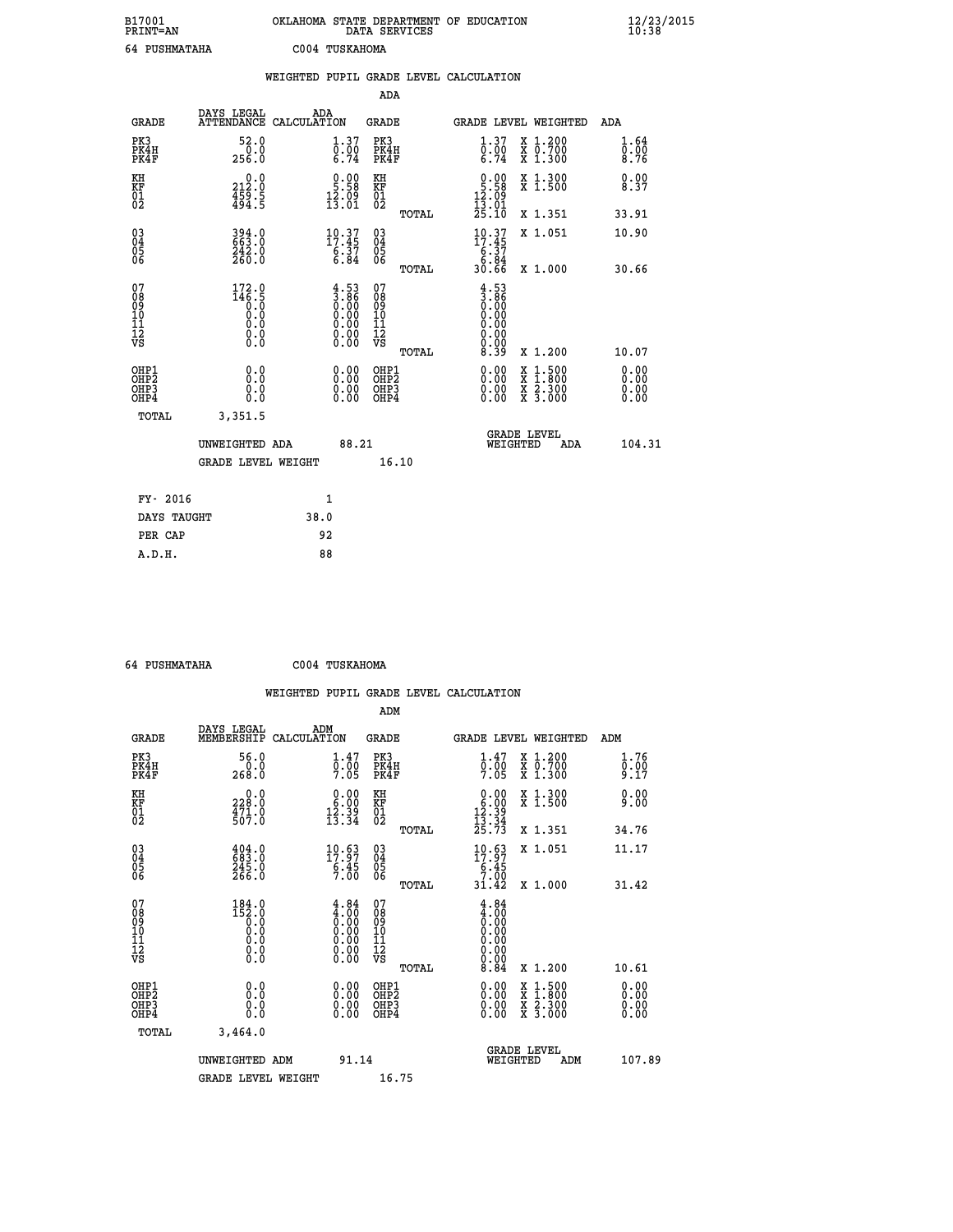| B17001<br>PRINT=AN                     |                                                                 | OKLAHOMA STATE DEPARTMENT OF EDUCATION                                                  | DATA SERVICES                                      |                                                                                    |                                                                                                                                           | $\frac{12}{23}$ /2015        |  |
|----------------------------------------|-----------------------------------------------------------------|-----------------------------------------------------------------------------------------|----------------------------------------------------|------------------------------------------------------------------------------------|-------------------------------------------------------------------------------------------------------------------------------------------|------------------------------|--|
|                                        | 64 PUSHMATAHA                                                   | C004 TUSKAHOMA                                                                          |                                                    |                                                                                    |                                                                                                                                           |                              |  |
|                                        |                                                                 | WEIGHTED PUPIL GRADE LEVEL CALCULATION                                                  |                                                    |                                                                                    |                                                                                                                                           |                              |  |
|                                        |                                                                 |                                                                                         | <b>ADA</b>                                         |                                                                                    |                                                                                                                                           |                              |  |
| <b>GRADE</b>                           | DAYS LEGAL                                                      | ADA<br>ATTENDANCE CALCULATION                                                           | <b>GRADE</b>                                       |                                                                                    | GRADE LEVEL WEIGHTED                                                                                                                      | ADA                          |  |
| PK3<br>PK4H<br>PK4F                    | 52.0<br>0.0<br>256.0                                            | 1.37<br>$\overline{0}$ : 00<br>6.74                                                     | PK3<br>PK4H<br>PK4F                                | 1.37<br>$\frac{0.00}{6.74}$                                                        | X 1.200<br>X 0.700<br>X 1.300                                                                                                             | 1.64<br>0.00<br>8.76         |  |
| KH<br>KF<br>$\frac{01}{02}$            | 212.0<br>$\frac{459}{494}$ : 5                                  | $\begin{smallmatrix} 0.00\\ 5.58\\ 12.09\\ 13.01 \end{smallmatrix}$                     | КH<br><b>KF</b><br>01<br>02                        | $0.00$<br>5.58<br>$\frac{15.09}{13.01}$                                            | X 1.300<br>X 1.500                                                                                                                        | 0.00<br>8.37                 |  |
|                                        |                                                                 |                                                                                         | TOTAL                                              | 25.10                                                                              | X 1.351                                                                                                                                   | 33.91                        |  |
| 03<br>04<br>05<br>06                   | 394.0<br>663.0<br>242.0<br>260.0                                | $\begin{smallmatrix} 10.37\\ 17.45\\ 6.37\\ 6.84 \end{smallmatrix}$                     | $\begin{matrix} 03 \\ 04 \\ 05 \\ 06 \end{matrix}$ | $10.37$<br>$17.45$<br>$6.37$<br>$6.84$<br>$30.66$                                  | X 1.051                                                                                                                                   | 10.90                        |  |
|                                        |                                                                 |                                                                                         | TOTAL                                              |                                                                                    | X 1.000                                                                                                                                   | 30.66                        |  |
| 07<br>08<br>09<br>11<br>11<br>12<br>VS | 172.0<br>$14\overline{6}\cdot\overline{5}$<br>Ŏ.Ŏ<br>Ŏ.Ŏ<br>0.0 | $\begin{smallmatrix} 4.53\ 3.86\ 0.00\ 0.00\ 0.00\ 0.00\ 0.00\ 0.00\ \end{smallmatrix}$ | 07<br>08<br>09<br>101<br>11<br>12<br>VS            | 4.53<br>$\begin{matrix} 1.86 \\ 0.00 \\ 0.00 \end{matrix}$<br>0.00<br>0.00<br>0.00 |                                                                                                                                           |                              |  |
|                                        |                                                                 |                                                                                         | TOTAL                                              | 8.39                                                                               | X 1.200                                                                                                                                   | 10.07                        |  |
| OHP1<br>OHP2<br>OHP3<br>OHP4           | 0.000<br>0.0<br>0.0                                             | 0.00<br>$\begin{smallmatrix} 0.00 \ 0.00 \end{smallmatrix}$                             | OHP1<br>OHP <sub>2</sub><br>OHP3<br>OHP4           | 0.00<br>0.00<br>0.00                                                               | $\begin{smallmatrix} \mathtt{X} & 1\cdot500\\ \mathtt{X} & 1\cdot800\\ \mathtt{X} & 2\cdot300\\ \mathtt{X} & 3\cdot000 \end{smallmatrix}$ | 0.00<br>0.00<br>0.00<br>0.00 |  |
| TOTAL                                  | 3,351.5                                                         |                                                                                         |                                                    |                                                                                    |                                                                                                                                           |                              |  |
|                                        | UNWEIGHTED ADA                                                  | 88.21                                                                                   |                                                    | WEIGHTED                                                                           | <b>GRADE LEVEL</b><br>ADA                                                                                                                 | 104.31                       |  |
|                                        | <b>GRADE LEVEL WEIGHT</b>                                       |                                                                                         | 16.10                                              |                                                                                    |                                                                                                                                           |                              |  |
| FY- 2016                               |                                                                 | 1                                                                                       |                                                    |                                                                                    |                                                                                                                                           |                              |  |
|                                        | DAYS TAUGHT                                                     | 38.0                                                                                    |                                                    |                                                                                    |                                                                                                                                           |                              |  |
| PER CAP                                |                                                                 | 92                                                                                      |                                                    |                                                                                    |                                                                                                                                           |                              |  |

|  | _____________ |  |  |
|--|---------------|--|--|

 **64 PUSHMATAHA C004 TUSKAHOMA**

|                                                    |                                                                                                             |                    |                                                                                              |                              |       | WEIGHTED PUPIL GRADE LEVEL CALCULATION                                                                                                                                                                                                                                         |                                                                                                  |                      |  |
|----------------------------------------------------|-------------------------------------------------------------------------------------------------------------|--------------------|----------------------------------------------------------------------------------------------|------------------------------|-------|--------------------------------------------------------------------------------------------------------------------------------------------------------------------------------------------------------------------------------------------------------------------------------|--------------------------------------------------------------------------------------------------|----------------------|--|
|                                                    |                                                                                                             |                    |                                                                                              | ADM                          |       |                                                                                                                                                                                                                                                                                |                                                                                                  |                      |  |
| <b>GRADE</b>                                       | DAYS LEGAL<br>MEMBERSHIP                                                                                    | ADM<br>CALCULATION |                                                                                              | <b>GRADE</b>                 |       | <b>GRADE LEVEL WEIGHTED</b>                                                                                                                                                                                                                                                    |                                                                                                  | ADM                  |  |
| PK3<br>PK4H<br>PK4F                                | 56.0<br>$\frac{0.0}{268.0}$                                                                                 |                    | $\frac{1.47}{0.00}$<br>7.05                                                                  | PK3<br>PK4H<br>PK4F          |       | $\begin{smallmatrix} 1.47\ 0.00\ 7.05 \end{smallmatrix}$                                                                                                                                                                                                                       | X 1.200<br>X 0.700<br>X 1.300                                                                    | 1.76<br>0.00<br>9.17 |  |
| KH<br>KF<br>01<br>02                               | $\begin{smallmatrix} 0.0\\ 228.0\\ 471.0\\ 507.0 \end{smallmatrix}$                                         |                    | $\begin{smallmatrix} 0.00\\ 6.00\\ 12.39\\ 13.34 \end{smallmatrix}$                          | KH<br>KF<br>01<br>02         |       | $\begin{smallmatrix} 0.00\\ 6.00\\ 12.39\\ 13.34\\ 25.73 \end{smallmatrix}$                                                                                                                                                                                                    | X 1.300<br>X 1.500                                                                               | 0.00<br>9.00         |  |
|                                                    |                                                                                                             |                    |                                                                                              |                              | TOTAL |                                                                                                                                                                                                                                                                                | X 1.351                                                                                          | 34.76                |  |
| $\begin{matrix} 03 \\ 04 \\ 05 \\ 06 \end{matrix}$ | $\begin{smallmatrix} 4\,04\,.\,0\\ 6\,8\,3\,. \,0\\ 2\,4\,5\,. \,0\\ 2\,6\,6\,. \,0 \end{smallmatrix}$      |                    | $10.63$<br>$17.97$<br>$\frac{6.45}{7.00}$                                                    | $^{03}_{04}$<br>Ŏ5<br>06     |       | $10.63$<br>$17.97$<br>$6.45$<br>$7.00$                                                                                                                                                                                                                                         | X 1.051                                                                                          | 11.17                |  |
|                                                    |                                                                                                             |                    |                                                                                              |                              | TOTAL | 31.42                                                                                                                                                                                                                                                                          | X 1.000                                                                                          | 31.42                |  |
| 07<br>0890112<br>1112<br>VS                        | $184.0$<br>$152.0$<br>$0.0$<br>$0.0$<br>$\begin{smallmatrix} 0.0 & 0 \ 0.0 & 0 \ 0.0 & 0 \end{smallmatrix}$ |                    | $\begin{smallmatrix} 4.84\ -00\ 0.00\ 0.00\ 0.00\ 0.00\ 0.00\ 0.00\ 0.00\ \end{smallmatrix}$ | 07<br>08901123<br>1112<br>VS | TOTAL | $\frac{4.84}{4.00}$<br>0.00<br>0.00<br>0.00<br>8.84                                                                                                                                                                                                                            | $X_1.200$                                                                                        | 10.61                |  |
| OHP1<br>OHP2<br>OH <sub>P3</sub><br>OHP4           | 0.0<br>0.000                                                                                                |                    | $\begin{smallmatrix} 0.00 \ 0.00 \ 0.00 \ 0.00 \end{smallmatrix}$                            | OHP1<br>OHP2<br>OHP3<br>OHP4 |       | $\begin{smallmatrix} 0.00 & 0.00 & 0.00 & 0.00 & 0.00 & 0.00 & 0.00 & 0.00 & 0.00 & 0.00 & 0.00 & 0.00 & 0.00 & 0.00 & 0.00 & 0.00 & 0.00 & 0.00 & 0.00 & 0.00 & 0.00 & 0.00 & 0.00 & 0.00 & 0.00 & 0.00 & 0.00 & 0.00 & 0.00 & 0.00 & 0.00 & 0.00 & 0.00 & 0.00 & 0.00 & 0.0$ | $\begin{smallmatrix} x & 1 & 500 \\ x & 1 & 800 \\ x & 2 & 300 \\ x & 3 & 000 \end{smallmatrix}$ | 0.00<br>0.00<br>0.00 |  |
| TOTAL                                              | 3,464.0                                                                                                     |                    |                                                                                              |                              |       |                                                                                                                                                                                                                                                                                |                                                                                                  |                      |  |
|                                                    | UNWEIGHTED ADM                                                                                              |                    | 91.14                                                                                        |                              |       | WEIGHTED                                                                                                                                                                                                                                                                       | <b>GRADE LEVEL</b><br>ADM                                                                        | 107.89               |  |
|                                                    | <b>GRADE LEVEL WEIGHT</b>                                                                                   |                    |                                                                                              | 16.75                        |       |                                                                                                                                                                                                                                                                                |                                                                                                  |                      |  |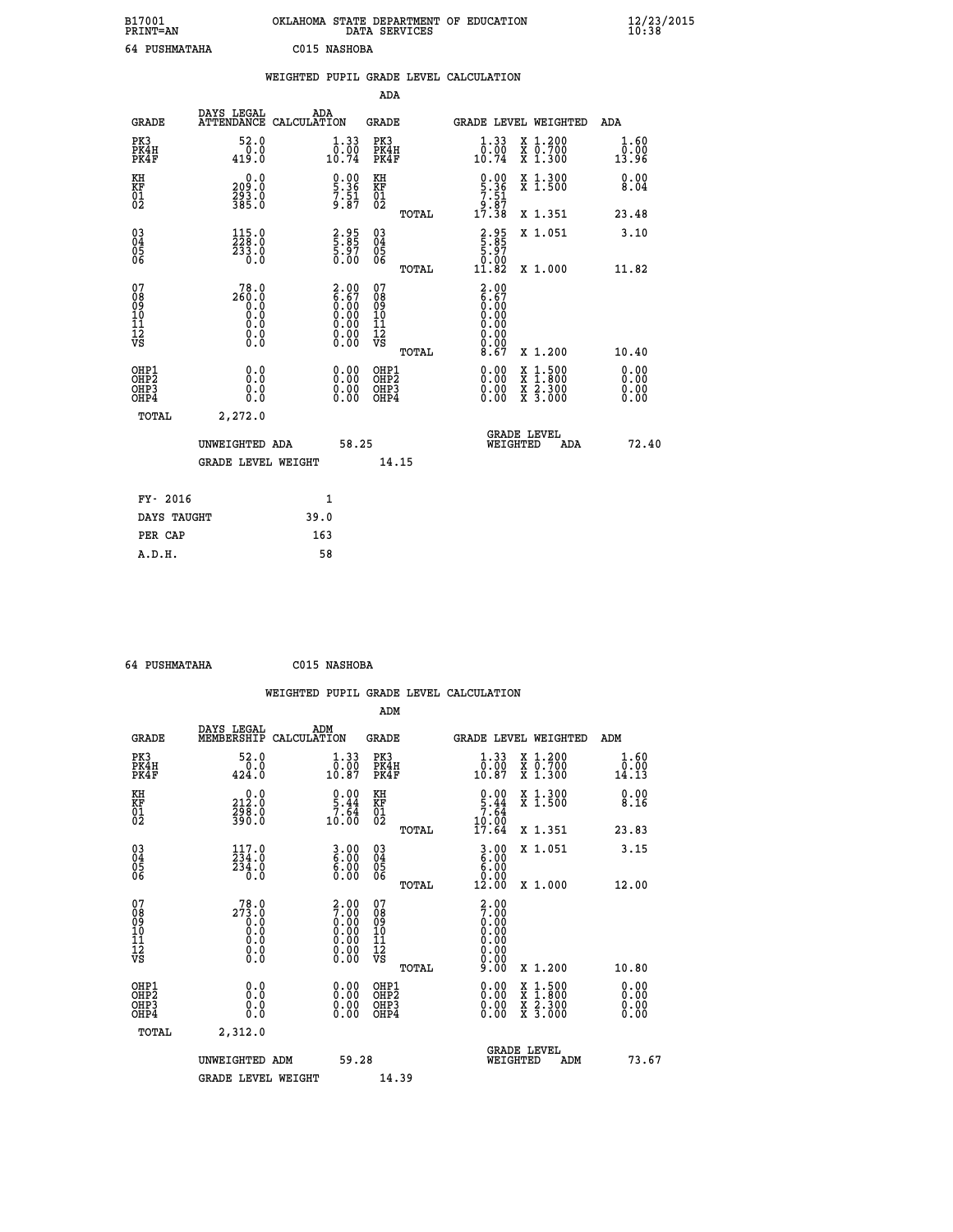| B17001<br>PRINT=AN       |                                | OKLAHOMA                                   | STATE DEPARTMENT<br>DATA SERVICES |       | ОF<br><b>EDUCATION</b>              |                               | 12/23/2015<br>10:38          |  |
|--------------------------|--------------------------------|--------------------------------------------|-----------------------------------|-------|-------------------------------------|-------------------------------|------------------------------|--|
| <b>PUSHMATAHA</b><br>64. |                                | C015 NASHOBA                               |                                   |       |                                     |                               |                              |  |
|                          |                                | WEIGHTED PUPIL GRADE LEVEL CALCULATION     |                                   |       |                                     |                               |                              |  |
|                          |                                |                                            | ADA                               |       |                                     |                               |                              |  |
| GRADE                    | DAYS LEGAL                     | ADA<br>ATTENDANCE CALCULATION              | GRADE                             |       | GRADE LEVEL WEIGHTED                |                               | ADA                          |  |
| PK3<br>PK4H<br>PK4F      | 52.0<br>0.0<br>419.0           | $\frac{1}{0}$ : 33<br>10.74                | PK3<br>PK4H<br>PK4F               |       | 1.33<br>$\overline{0}$ .00<br>10.74 | X 1.200<br>X 0.700<br>X 1.300 | $\frac{1.60}{0.00}$<br>13.96 |  |
| KH<br>KF<br>01<br>02     | 0.0<br>209.0<br>293.0<br>385.0 | $\frac{0.00}{5.36}$<br>$\frac{7.51}{9.87}$ | КH<br><b>KF</b><br>01<br>02       |       | 0.00<br>5.36<br>$7.51$<br>9.87      | X 1.300<br>X <sub>1.500</sub> | 0.00<br>8.04                 |  |
|                          |                                |                                            |                                   | TOTAL | .38<br>17                           | X 1.351                       | 23.48                        |  |

 **03 115.0 2.95 03 2.95 X 1.051 3.10**

 **TOTAL 11.82 X 1.000 11.82**

 **04 228.0 5.85 04 5.85 05 233.0 5.97 05 5.97** 06 0.0 0.00 06 <sub>memaa</sub> 0.00 06 0.00 06 memaa

| 078<br>089<br>0910<br>111<br>12<br>VS                | 78.0<br>260.0<br>$\begin{smallmatrix} 0.0 & 0 \ 0.0 & 0 \ 0.0 & 0 \ 0.0 & 0 \end{smallmatrix}$ | 2.00<br>6.67<br>0.00<br>0.00<br>Ŏ:ŎŎ<br>O:OO<br>O:OO              | 07<br>08<br>09<br>11<br>11<br>12<br>VS<br>TOTAL       | $2.00$<br>$6.67$<br>$0.00$<br>$0.00$<br>$0.00$<br>$0.00$<br>$0.00$<br>8.67<br>X 1.200                                                                                                                                                                                                                                      | 10.40                                                                                                                                                                                                                                                                          |
|------------------------------------------------------|------------------------------------------------------------------------------------------------|-------------------------------------------------------------------|-------------------------------------------------------|----------------------------------------------------------------------------------------------------------------------------------------------------------------------------------------------------------------------------------------------------------------------------------------------------------------------------|--------------------------------------------------------------------------------------------------------------------------------------------------------------------------------------------------------------------------------------------------------------------------------|
| OHP1<br>OHP <sub>2</sub><br>OH <sub>P3</sub><br>OHP4 | 0.0<br>0.0<br>Ō.Ō                                                                              | $\begin{smallmatrix} 0.00 \ 0.00 \ 0.00 \ 0.00 \end{smallmatrix}$ | OHP1<br>OHP <sub>2</sub><br>OH <sub>P</sub> 3<br>OHP4 | $\begin{smallmatrix} 0.00 & 0.00 & 0.00 & 0.00 & 0.00 & 0.00 & 0.00 & 0.00 & 0.00 & 0.00 & 0.00 & 0.00 & 0.00 & 0.00 & 0.00 & 0.00 & 0.00 & 0.00 & 0.00 & 0.00 & 0.00 & 0.00 & 0.00 & 0.00 & 0.00 & 0.00 & 0.00 & 0.00 & 0.00 & 0.00 & 0.00 & 0.00 & 0.00 & 0.00 & 0.00 & 0.0$<br>X 1:500<br>X 1:800<br>X 2:300<br>X 3:000 | $\begin{smallmatrix} 0.00 & 0.00 & 0.00 & 0.00 & 0.00 & 0.00 & 0.00 & 0.00 & 0.00 & 0.00 & 0.00 & 0.00 & 0.00 & 0.00 & 0.00 & 0.00 & 0.00 & 0.00 & 0.00 & 0.00 & 0.00 & 0.00 & 0.00 & 0.00 & 0.00 & 0.00 & 0.00 & 0.00 & 0.00 & 0.00 & 0.00 & 0.00 & 0.00 & 0.00 & 0.00 & 0.0$ |
| TOTAL                                                | 2,272.0                                                                                        |                                                                   |                                                       |                                                                                                                                                                                                                                                                                                                            |                                                                                                                                                                                                                                                                                |
|                                                      | UNWEIGHTED ADA                                                                                 | 58.25                                                             |                                                       | <b>GRADE LEVEL</b><br>WEIGHTED<br>ADA                                                                                                                                                                                                                                                                                      | 72.40                                                                                                                                                                                                                                                                          |
|                                                      | <b>GRADE LEVEL WEIGHT</b>                                                                      |                                                                   | 14.15                                                 |                                                                                                                                                                                                                                                                                                                            |                                                                                                                                                                                                                                                                                |
| FY- 2016                                             |                                                                                                | $\mathbf{1}$                                                      |                                                       |                                                                                                                                                                                                                                                                                                                            |                                                                                                                                                                                                                                                                                |
| DAYS TAUGHT                                          |                                                                                                | 39.0                                                              |                                                       |                                                                                                                                                                                                                                                                                                                            |                                                                                                                                                                                                                                                                                |
| PER CAP                                              |                                                                                                | 163                                                               |                                                       |                                                                                                                                                                                                                                                                                                                            |                                                                                                                                                                                                                                                                                |

| 64 PUSHMATAHA | C015 NASHOBA |
|---------------|--------------|
|               |              |

|                                                    |                                                                     |                                                                                                     |                                                 | WEIGHTED PUPIL GRADE LEVEL CALCULATION                                                                                                                                                                                                                                         |                                                                                          |                                    |
|----------------------------------------------------|---------------------------------------------------------------------|-----------------------------------------------------------------------------------------------------|-------------------------------------------------|--------------------------------------------------------------------------------------------------------------------------------------------------------------------------------------------------------------------------------------------------------------------------------|------------------------------------------------------------------------------------------|------------------------------------|
|                                                    |                                                                     |                                                                                                     | ADM                                             |                                                                                                                                                                                                                                                                                |                                                                                          |                                    |
| <b>GRADE</b>                                       | DAYS LEGAL<br>MEMBERSHIP                                            | ADM<br>CALCULATION                                                                                  | <b>GRADE</b>                                    | GRADE LEVEL WEIGHTED                                                                                                                                                                                                                                                           |                                                                                          | ADM                                |
| PK3<br>PK4H<br>PK4F                                | 52.0<br>0.0<br>424.0                                                | $\begin{smallmatrix} 1.33\ 0.00\\ 10.87 \end{smallmatrix}$                                          | PK3<br>PK4H<br>PK4F                             | $\begin{smallmatrix} 1.33\ 0.00\\ 10.87 \end{smallmatrix}$                                                                                                                                                                                                                     | X 1.200<br>X 0.700<br>X 1.300                                                            | 1.60<br>$\overline{0.00}$<br>14.13 |
| KH<br>KF<br>01<br>02                               | $\begin{smallmatrix} 0.0\\ 212.0\\ 298.0\\ 390.0 \end{smallmatrix}$ | $\begin{smallmatrix} 0.00\\ 5.44\\ 7.64\\ 10.00 \end{smallmatrix}$                                  | KH<br>KF<br>01<br>02                            | $0.00$<br>$5.44$<br>$7.64$                                                                                                                                                                                                                                                     | X 1.300<br>X 1.500                                                                       | 0.00<br>8.16                       |
|                                                    |                                                                     |                                                                                                     | TOTAL                                           | 10.00<br>17.64                                                                                                                                                                                                                                                                 | X 1.351                                                                                  | 23.83                              |
| $\begin{matrix} 03 \\ 04 \\ 05 \\ 06 \end{matrix}$ | $117.0$<br>234.0<br>234.0<br>0.0                                    | $\begin{smallmatrix} 3 & 0 & 0 \\ 6 & 0 & 0 \\ 6 & 0 & 0 \\ 0 & 0 & 0 \end{smallmatrix}$            | 03<br>04<br>05<br>06                            | $\frac{3}{6}$ .00<br>$\frac{5}{6}$ .00<br>0.00                                                                                                                                                                                                                                 | X 1.051                                                                                  | 3.15                               |
|                                                    |                                                                     |                                                                                                     | TOTAL                                           | 12.00                                                                                                                                                                                                                                                                          | X 1.000                                                                                  | 12.00                              |
| 07<br>08<br>09<br>11<br>11<br>12<br>VS             | $78.0$<br>$273.0$<br>0:0<br>0:0<br>0:0<br>0:0                       | $\begin{smallmatrix} 2.00\ 7.00\ 0.00\ 0.00\ 0.00\ 0.00\ 0.00\ 0.00\ 0.00\ 0.00\ \end{smallmatrix}$ | 07<br>08<br>09<br>11<br>11<br>12<br>VS<br>TOTAL | $\frac{2.00}{7.00}$<br>0.00<br>0.00<br>0.00<br>9.00                                                                                                                                                                                                                            | X 1.200                                                                                  | 10.80                              |
| OHP1<br>OHP2<br>OH <sub>P3</sub>                   | 0.0                                                                 | $0.00$<br>$0.00$                                                                                    | OHP1<br>OHP2<br>OHP3                            | $\begin{smallmatrix} 0.00 & 0.00 & 0.00 & 0.00 & 0.00 & 0.00 & 0.00 & 0.00 & 0.00 & 0.00 & 0.00 & 0.00 & 0.00 & 0.00 & 0.00 & 0.00 & 0.00 & 0.00 & 0.00 & 0.00 & 0.00 & 0.00 & 0.00 & 0.00 & 0.00 & 0.00 & 0.00 & 0.00 & 0.00 & 0.00 & 0.00 & 0.00 & 0.00 & 0.00 & 0.00 & 0.0$ | $\begin{smallmatrix} x & 1.500 \\ x & 1.800 \\ x & 2.300 \\ x & 3.000 \end{smallmatrix}$ | 0.00<br>0.00<br>0.00               |
| OH <sub>P4</sub>                                   | 0.000                                                               | 0.00                                                                                                | OHP4                                            |                                                                                                                                                                                                                                                                                |                                                                                          | 0.00                               |
| TOTAL                                              | 2,312.0                                                             |                                                                                                     |                                                 |                                                                                                                                                                                                                                                                                |                                                                                          |                                    |
|                                                    | UNWEIGHTED ADM                                                      | 59.28                                                                                               |                                                 | <b>GRADE LEVEL</b><br>WEIGHTED                                                                                                                                                                                                                                                 | ADM                                                                                      | 73.67                              |
|                                                    | <b>GRADE LEVEL WEIGHT</b>                                           |                                                                                                     | 14.39                                           |                                                                                                                                                                                                                                                                                |                                                                                          |                                    |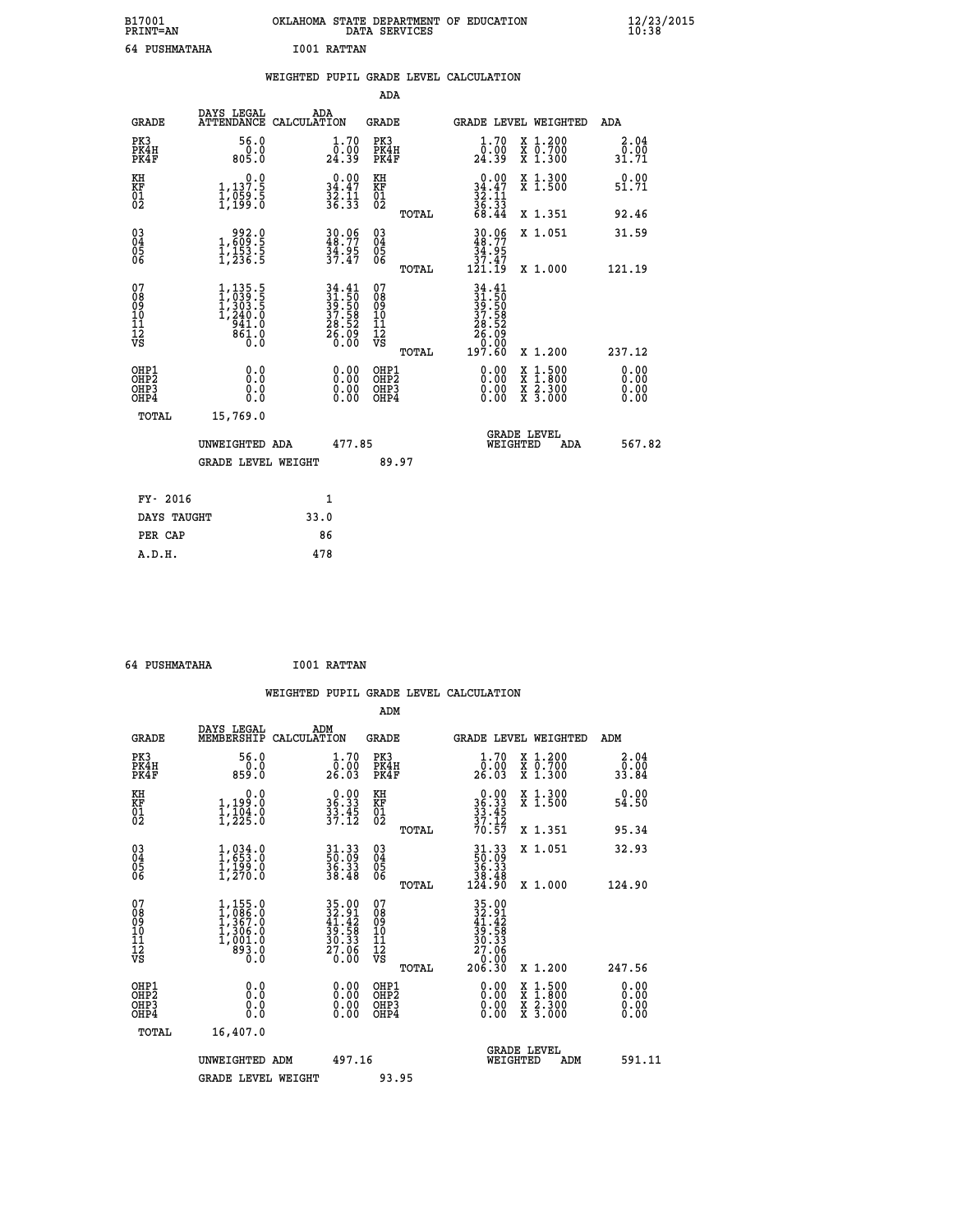| B17001<br><b>PRINT=AN</b> | OKLAHOMA STATE DEPARTMENT OF EDUCATION<br>DATA SERVICES | $\frac{12}{23}$ /2015 |
|---------------------------|---------------------------------------------------------|-----------------------|
| 64 PUSHMATAHA             | I001 RATTAN                                             |                       |

| <b>PRINT=AN</b>                                            |                                                                                                                        |      |                                                                |                                          | DATA SERVICES |                                                                       |                                                                                                  | 10:38                 |
|------------------------------------------------------------|------------------------------------------------------------------------------------------------------------------------|------|----------------------------------------------------------------|------------------------------------------|---------------|-----------------------------------------------------------------------|--------------------------------------------------------------------------------------------------|-----------------------|
| 64 PUSHMATAHA                                              |                                                                                                                        |      | I001 RATTAN                                                    |                                          |               |                                                                       |                                                                                                  |                       |
|                                                            |                                                                                                                        |      |                                                                |                                          |               | WEIGHTED PUPIL GRADE LEVEL CALCULATION                                |                                                                                                  |                       |
|                                                            |                                                                                                                        |      |                                                                | <b>ADA</b>                               |               |                                                                       |                                                                                                  |                       |
| <b>GRADE</b>                                               | DAYS LEGAL<br>ATTENDANCE CALCULATION                                                                                   |      | ADA                                                            | <b>GRADE</b>                             |               |                                                                       | GRADE LEVEL WEIGHTED                                                                             | ADA                   |
| PK3<br>PK4H<br>PK4F                                        | 56.0<br>0.0<br>805.0                                                                                                   |      | 1.70<br>0:00<br>24:39                                          | PK3<br>PK4H<br>PK4F                      |               | 1.70<br>0:00<br>24:39                                                 | X 1.200<br>X 0.700<br>X 1.300                                                                    | 2.04<br>0.00<br>31.71 |
| KH<br>KF<br>$\frac{01}{02}$                                | 0.0<br>1,137.5<br>1,059.5<br>1,199.0                                                                                   |      | $\begin{array}{c} 0.00 \\ 34.47 \\ 32.11 \\ 36.33 \end{array}$ | KH<br>KF<br>01<br>02                     |               | 0.00<br>$34.47$<br>$32.11$<br>$36.33$<br>$68.44$                      | X 1.300<br>X 1.500                                                                               | 0.00<br>51.71         |
|                                                            |                                                                                                                        |      |                                                                |                                          | TOTAL         |                                                                       | X 1.351                                                                                          | 92.46                 |
| $^{03}_{04}$<br>Ŏ5<br>06                                   | $\begin{smallmatrix} & 9 & 9 & 2 & 0 \\ 1 & 6 & 0 & 9 & 5 \\ 1 & 1 & 5 & 3 & 5 \\ 1 & 2 & 3 & 6 & 5 \end{smallmatrix}$ |      | 30.06<br>48.77<br>34.95<br>37.47                               | $^{03}_{04}$<br>Ŏ5<br>ŎĞ                 |               | 30.06<br>48.77<br>34.95                                               | X 1.051                                                                                          | 31.59                 |
|                                                            |                                                                                                                        |      |                                                                |                                          | TOTAL         | $\frac{37.47}{121.19}$                                                | X 1.000                                                                                          | 121.19                |
| 07<br>Ŏ8<br>09<br>10<br>$\frac{11}{12}$<br>$\frac{12}{95}$ | $1,135.5$<br>$1,039.5$<br>$1,303.5$<br>$1,240.0$<br>$941.0$<br>$861.0$<br>$0.0$                                        |      | 34.41<br>31.50<br>39.50<br>37.58<br>37.58<br>28.52<br>26.09    | 07<br>08<br>09<br>10<br>11<br>12<br>νs   |               | 34.41<br>31.50<br>39.50<br>37.58<br>28.52<br>86.05<br>00.00<br>197.60 |                                                                                                  |                       |
|                                                            |                                                                                                                        |      |                                                                |                                          | TOTAL         |                                                                       | X 1.200                                                                                          | 237.12                |
| OHP1<br>OH <sub>P</sub> 2<br>OHP3<br>OHP4                  | 0.0<br>0.0<br>0.0                                                                                                      |      | 0.00<br>0.00<br>0.00                                           | OHP1<br>OHP <sub>2</sub><br>OHP3<br>OHP4 |               | $0.00$<br>$0.00$<br>0.00                                              | $\begin{smallmatrix} x & 1 & 500 \\ x & 1 & 800 \\ x & 2 & 300 \\ x & 3 & 000 \end{smallmatrix}$ | 0.00<br>0.00<br>0.00  |
| <b>TOTAL</b>                                               | 15,769.0                                                                                                               |      |                                                                |                                          |               |                                                                       |                                                                                                  |                       |
|                                                            | UNWEIGHTED ADA                                                                                                         |      | 477.85                                                         |                                          |               |                                                                       | <b>GRADE LEVEL</b><br>WEIGHTED<br>ADA                                                            | 567.82                |
|                                                            | <b>GRADE LEVEL WEIGHT</b>                                                                                              |      |                                                                | 89.97                                    |               |                                                                       |                                                                                                  |                       |
| FY- 2016                                                   |                                                                                                                        |      | 1                                                              |                                          |               |                                                                       |                                                                                                  |                       |
| DAYS TAUGHT                                                |                                                                                                                        | 33.0 |                                                                |                                          |               |                                                                       |                                                                                                  |                       |
| PER CAP                                                    |                                                                                                                        |      | 86                                                             |                                          |               |                                                                       |                                                                                                  |                       |
| A.D.H.                                                     |                                                                                                                        |      | 478                                                            |                                          |               |                                                                       |                                                                                                  |                       |

 **64 PUSHMATAHA I001 RATTAN**

 **WEIGHTED PUPIL GRADE LEVEL CALCULATION ADM DAYS LEGAL ADM GRADE MEMBERSHIP CALCULATION GRADE GRADE LEVEL WEIGHTED ADM PK3 56.0 1.70 PK3 1.70 X 1.200 2.04 PK4H 0.0 0.00 PK4H 0.00 X 0.700 0.00 PK4F 859.0 26.03 PK4F 26.03 X 1.300 33.84** 0.00 KH 0.00 NH 0.00 X 1.300<br>RF 34.39.0 36.33 KF 36.33 X 1.500 54.50  **01 1,104.0 33.45 01 33.45 02 1,225.0 37.12 02 37.12 TOTAL 70.57 X 1.351 95.34 03 1,034.0 31.33 03 31.33 X 1.051 32.93 04 1,653.0 50.09 04 50.09 05 1,199.0 36.33 05 36.33 06 1,270.0 38.48 06 38.48 TOTAL 124.90 X 1.000 124.90**  $\begin{array}{cccc} 07 & 1,155.0 & 35.00 & 07 & 35.00 \ 08 & 1,986.0 & 32.91 & 08 & 32.91 \ 09 & 1,367.0 & 41.42 & 09 & 41.42 \ 10 & 1,306.0 & 39.58 & 10 & 39.58 \ 11 & 1,001.0 & 30.30 & 11 & 30.33 \ 12 & 893.0 & 27.06 & 12 & 27.06 \ \nabla S & 893.0 & 20.00 & \nabla S & 0.$ **35.00 07**<br> **34.942 08**<br> **34.942** 08<br> **35.00**<br> **34.942**<br> **39.58 10**<br> **34.942**<br> **39.58**<br> **36.90**<br> **34.942**<br> **39.58**<br> **30.30**<br> **39.58**<br> **30.58**<br> **30.58**<br> **30.58**<br> **27.06**<br> **27.06**<br> **206.30**<br> **x** 1.200<br> **247.56**<br> **0.00**<br> **0.0 OHP1 0.0 0.00 OHP1 0.00 X 1.500 0.00 OHP2 0.0 0.00 OHP2 0.00 X 1.800 0.00 OHP3 0.0 0.00 OHP3 0.00 X 2.300 0.00 OHP4 0.0 0.00 OHP4 0.00 X 3.000 0.00 TOTAL 16,407.0 GRADE LEVEL UNWEIGHTED ADM 497.16 WEIGHTED ADM 591.11** GRADE LEVEL WEIGHT 93.95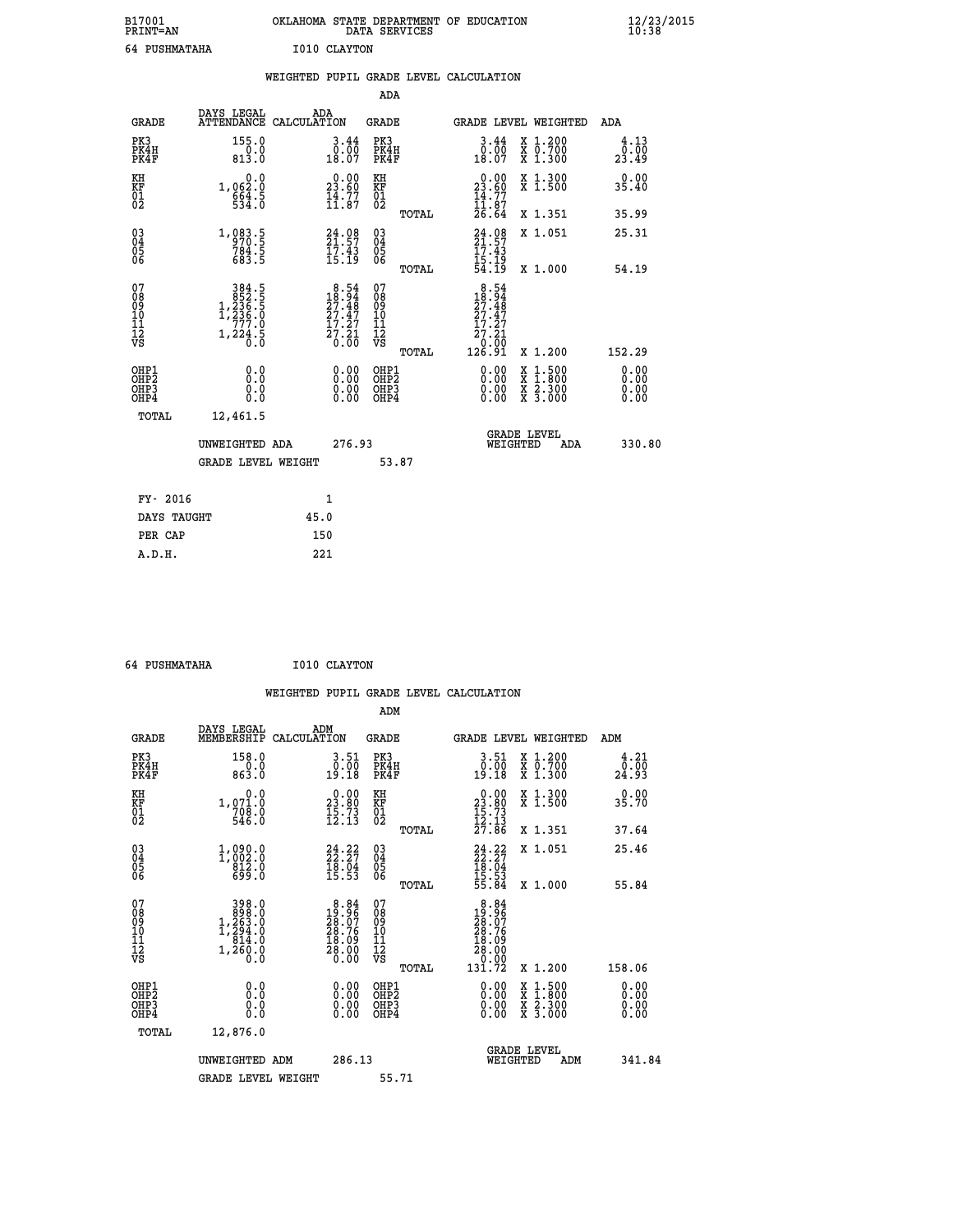| B17001<br><b>PRINT=AN</b> | OKLAHOMA STATE DEPARTMENT OF EDUCATION<br>DATA SERVICES | $\frac{12}{23}$ /2015 |
|---------------------------|---------------------------------------------------------|-----------------------|
| 64 PUSHMATAHA             | I010 CLAYTON                                            |                       |

|                                          |                                                                                         | WEIGHTED PUPIL GRADE LEVEL CALCULATION                                     |                                                     |                                                                                                                                                                                                                                                                                                                                                                            |                              |
|------------------------------------------|-----------------------------------------------------------------------------------------|----------------------------------------------------------------------------|-----------------------------------------------------|----------------------------------------------------------------------------------------------------------------------------------------------------------------------------------------------------------------------------------------------------------------------------------------------------------------------------------------------------------------------------|------------------------------|
|                                          |                                                                                         |                                                                            | <b>ADA</b>                                          |                                                                                                                                                                                                                                                                                                                                                                            |                              |
| <b>GRADE</b>                             | DAYS LEGAL<br><b>ATTENDANCE</b>                                                         | ADA<br>CALCULATION                                                         | <b>GRADE</b>                                        | GRADE LEVEL WEIGHTED                                                                                                                                                                                                                                                                                                                                                       | ADA                          |
| PK3<br>PK4H<br>PK4F                      | 155.0<br>$\frac{0.0}{813.0}$                                                            | $\begin{smallmatrix} 3.44\ 0.00\ 18.07 \end{smallmatrix}$                  | PK3<br>PK4H<br>PK4F                                 | X 1.200<br>X 0.700<br>X 1.300<br>$3.44$<br>$0.00$<br>18.07                                                                                                                                                                                                                                                                                                                 | 4.13<br>0.00<br>23.49        |
| KH<br>KF<br>01<br>02                     | 0.0<br>1,062.0<br>664.5                                                                 | 23.60<br>$\frac{1}{11}$ $\frac{3}{17}$                                     | KH<br>KF<br>01<br>02                                | 0.00<br>X 1.300<br>X 1.500<br>$23.60$<br>$14.77$<br>$11.87$<br>$26.64$                                                                                                                                                                                                                                                                                                     | 0.00<br>35.40                |
|                                          |                                                                                         |                                                                            | TOTAL                                               | X 1.351                                                                                                                                                                                                                                                                                                                                                                    | 35.99                        |
| 03<br>04<br>05<br>06                     | 1,083.5<br>970.5<br>784.5<br>683.5                                                      | $24.08$<br>$21.57$<br>$17.43$<br>$15.19$                                   | $\begin{array}{c} 03 \\ 04 \\ 05 \\ 06 \end{array}$ | $24.98$<br>$21.57$<br>$17.43$<br>X 1.051                                                                                                                                                                                                                                                                                                                                   | 25.31                        |
|                                          |                                                                                         |                                                                            | TOTAL                                               | 15:19<br>54:19<br>X 1.000                                                                                                                                                                                                                                                                                                                                                  | 54.19                        |
| 07<br>08<br>09<br>11<br>11<br>12<br>VS   | $\begin{smallmatrix}&&384\\3852.5\\1,236.5\\1,236.0\\777.0\end{smallmatrix}$<br>1,224.5 | $8.54$<br>$18.94$<br>$27.48$<br>$27.47$<br>$\frac{17.27}{27.21}$<br>$0.00$ | 07<br>08<br>09<br>11<br>11<br>12<br>VS<br>TOTAL     | $8.54$<br>$18.94$<br>$27.48$<br>$27.47$<br>17.27<br>$\bar{2}7.21$<br>10:00<br>126.91<br>X 1.200                                                                                                                                                                                                                                                                            | 152.29                       |
| OHP1<br>OHP <sub>2</sub><br>OHP3<br>OHP4 | 0.0<br>0.0<br>0.0                                                                       | $\begin{smallmatrix} 0.00 \ 0.00 \ 0.00 \ 0.00 \end{smallmatrix}$          | OHP1<br>OHP2<br>OHP <sub>3</sub>                    | $\begin{smallmatrix} 0.00 & 0.00 & 0.00 & 0.00 & 0.00 & 0.00 & 0.00 & 0.00 & 0.00 & 0.00 & 0.00 & 0.00 & 0.00 & 0.00 & 0.00 & 0.00 & 0.00 & 0.00 & 0.00 & 0.00 & 0.00 & 0.00 & 0.00 & 0.00 & 0.00 & 0.00 & 0.00 & 0.00 & 0.00 & 0.00 & 0.00 & 0.00 & 0.00 & 0.00 & 0.00 & 0.0$<br>$\begin{smallmatrix} x & 1.500 \\ x & 1.800 \\ x & 2.300 \\ x & 3.000 \end{smallmatrix}$ | 0.00<br>0.00<br>0.00<br>0.00 |
| <b>TOTAL</b>                             | 12,461.5                                                                                |                                                                            |                                                     |                                                                                                                                                                                                                                                                                                                                                                            |                              |
|                                          | UNWEIGHTED ADA                                                                          | 276.93                                                                     |                                                     | <b>GRADE LEVEL</b><br>WEIGHTED<br>ADA                                                                                                                                                                                                                                                                                                                                      | 330.80                       |
|                                          | <b>GRADE LEVEL WEIGHT</b>                                                               |                                                                            | 53.87                                               |                                                                                                                                                                                                                                                                                                                                                                            |                              |
| FY- 2016                                 |                                                                                         | $\mathbf{1}$                                                               |                                                     |                                                                                                                                                                                                                                                                                                                                                                            |                              |
|                                          | DAYS TAUGHT                                                                             | 45.0                                                                       |                                                     |                                                                                                                                                                                                                                                                                                                                                                            |                              |
| PER CAP                                  |                                                                                         | 150                                                                        |                                                     |                                                                                                                                                                                                                                                                                                                                                                            |                              |

 **64 PUSHMATAHA I010 CLAYTON**

 **WEIGHTED PUPIL GRADE LEVEL CALCULATION ADM DAYS LEGAL ADM GRADE MEMBERSHIP CALCULATION GRADE GRADE LEVEL WEIGHTED ADM PK3 158.0 3.51 PK3 3.51 X 1.200 4.21 PK4H 0.0 0.00 PK4H 0.00 X 0.700 0.00 PK4F 863.0 19.18 PK4F 19.18 X 1.300 24.93 KH 0.0 0.00 KH 0.00 X 1.300 0.00 KF 1,071.0 23.80 KF 23.80 X 1.500 35.70 01 708.0 15.73 01 15.73 02 546.0 12.13 02 12.13 TOTAL 27.86 X 1.351 37.64 03 1,090.0 24.22 03 24.22 X 1.051 25.46 04 1,002.0 22.27 04 22.27 05 812.0 18.04 05 18.04** 06 699.0 15.53 06 <sub>memax</sub> 15.53<sup>3</sup>  **TOTAL 55.84 X 1.000 55.84 07 398.0 8.84 07 8.84 08 898.0 19.96 08 19.96 09 1,263.0 28.07 09 28.07 10 1,294.0 28.76 10 28.76 11 814.0 18.09 11 18.09 12 1,260.0 28.00 12 28.00 VS 0.0 0.00 VS 0.00 EXAMPLE 131.72**<br> **EXAMPLE 13.84**<br> **EXAMPLE 13.95**<br> **EXAMPLE 14.88.76**<br> **EXAMPLE 14.88.76**<br> **EXAMPLE 131.72**<br> **EXAMPLE 131.72**<br> **EXAMPLE 131.72**<br> **EXAMPLE 131.72**<br> **EXAMPLE 131.72**<br> **EXAMPLE 15.06**<br> **EXAMPLE 14.200**<br> **EXAM OHP1 0.0 0.00 OHP1 0.00 X 1.500 0.00 OHP2 0.0 0.00 OHP2 0.00 X 1.800 0.00 OHP3 0.0 0.00 OHP3 0.00 X 2.300 0.00 OHP4 0.0 0.00 OHP4 0.00 X 3.000 0.00 TOTAL 12,876.0 GRADE LEVEL UNWEIGHTED ADM 286.13 WEIGHTED ADM 341.84** GRADE LEVEL WEIGHT 55.71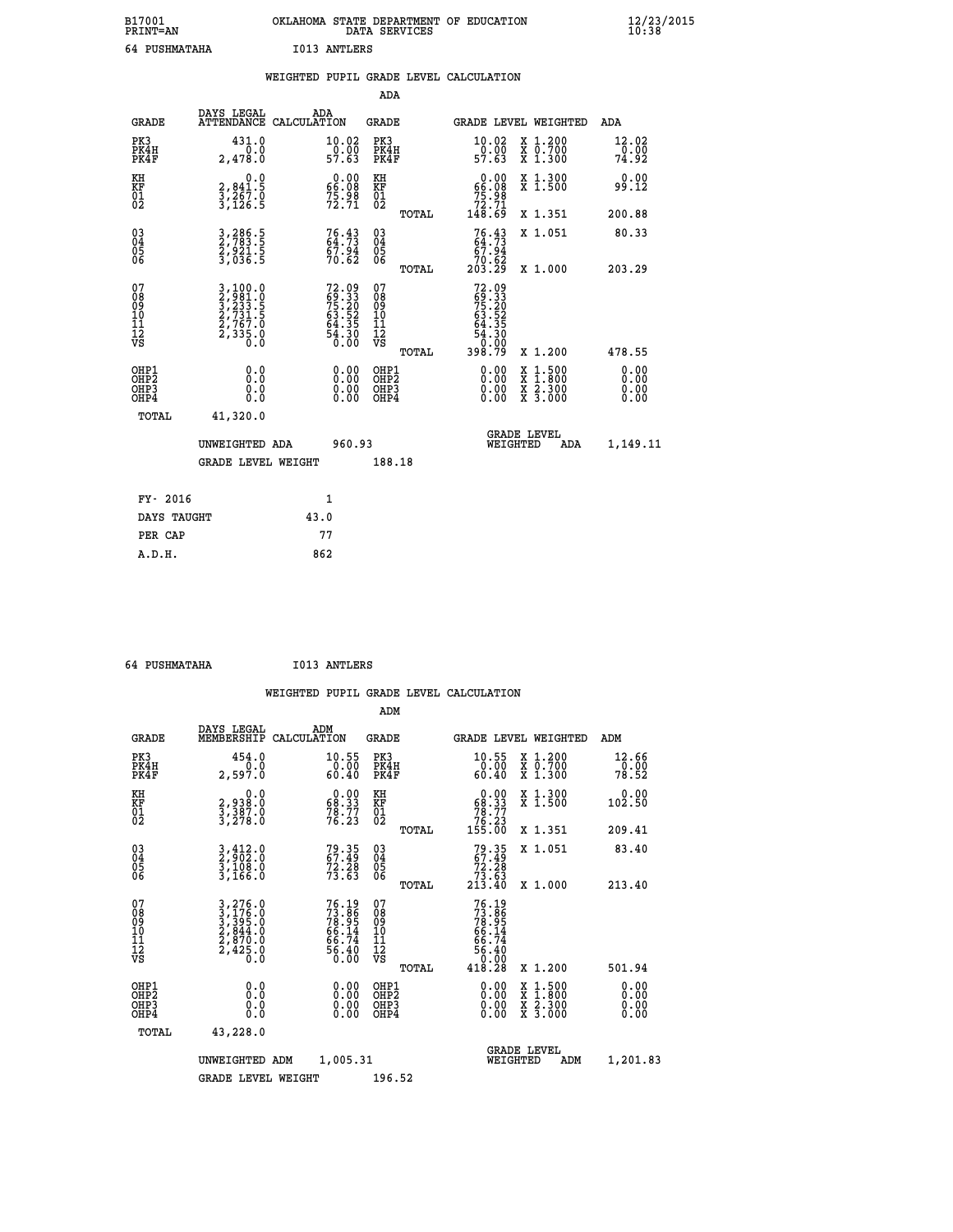| B17001<br><b>PRINT=AN</b> | OKLAHOMA | . STATE DEPARTMENT OF EDUCATION<br>DATA SERVICES | $\frac{12}{23}$ /2015 |
|---------------------------|----------|--------------------------------------------------|-----------------------|
| 64 PUSHMATAHA             | IO13     | ANTLERS                                          |                       |

|                                         |                                                                                                                                                             | WEIGHTED PUPIL GRADE LEVEL CALCULATION                               |                                                     |       |                                                                                                               |                                                                   |                                       |
|-----------------------------------------|-------------------------------------------------------------------------------------------------------------------------------------------------------------|----------------------------------------------------------------------|-----------------------------------------------------|-------|---------------------------------------------------------------------------------------------------------------|-------------------------------------------------------------------|---------------------------------------|
|                                         |                                                                                                                                                             |                                                                      | ADA                                                 |       |                                                                                                               |                                                                   |                                       |
| <b>GRADE</b>                            | DAYS LEGAL                                                                                                                                                  | ADA<br>ATTENDANCE CALCULATION                                        | <b>GRADE</b>                                        |       |                                                                                                               | GRADE LEVEL WEIGHTED                                              | ADA                                   |
| PK3<br>PK4H<br>PK4F                     | 431.0<br>2,478.0                                                                                                                                            | 10.02<br>$\frac{50.00}{57.63}$                                       | PK3<br>PK4H<br>PK4F                                 |       | 10.02<br>$\frac{50.00}{57.63}$                                                                                | X 1.200<br>X 0.700<br>X 1.300                                     | 12.02<br>$\frac{1}{79}.\overline{90}$ |
| KH<br><b>KF</b><br>01<br>02             | 0.0<br>2,841.5<br>3,267.0<br>3,126.5                                                                                                                        | $\begin{smallmatrix} 0.00\\ 66.08\\ 75.98\\ 72.71 \end{smallmatrix}$ | KH<br>KF<br>01<br>02                                |       | $0.00\n66.08\n75.98\n72.71\n148.69$                                                                           | X 1.300<br>X 1.500                                                | 0.00<br>99.12                         |
|                                         |                                                                                                                                                             |                                                                      |                                                     | TOTAL |                                                                                                               | X 1.351                                                           | 200.88                                |
| 03<br>04<br>05<br>06                    | 3,286.5<br>2,783.5<br>2,921.5<br>3,036.5                                                                                                                    | 76.43<br>67.94<br>70.62                                              | $\begin{array}{c} 03 \\ 04 \\ 05 \\ 06 \end{array}$ |       | $76.43$<br>64.73<br>67.94                                                                                     | X 1.051                                                           | 80.33                                 |
|                                         |                                                                                                                                                             |                                                                      |                                                     | TOTAL | 70.62<br>203.29                                                                                               | X 1.000                                                           | 203.29                                |
| 07<br>08<br>09<br>101<br>11<br>12<br>VS | $\begin{smallmatrix} 3\,,\,100\,.\,0\\ 2\,,\,981\,.\,0\\ 3\,,\,233\,.\,5\\ 2\,,\,731\,.\,5\\ 2\,,\,767\,.\,0\\ 2\,,\,335\,.\,0\\ 0\,.\,0 \end{smallmatrix}$ | $72.0969.3375.2063.5264.3554.307.00$                                 | 07<br>08<br>09<br>101<br>11<br>12<br>VS             | TOTAL | $72.09$<br>$59.33$<br>$75.20$<br>$63.52$<br>$64.35$<br>$\begin{array}{r} 54.30 \\ 0.00 \\ 398.79 \end{array}$ | X 1.200                                                           | 478.55                                |
| OHP1<br>OHP2<br>OHP3<br>OHP4            | 0.0<br>0.0<br>0.0                                                                                                                                           | 0.00<br>$0.00$<br>0.00                                               | OHP1<br>OHP2<br>OHP3<br>OHP4                        |       | 0.00<br>0.00<br>0.00                                                                                          | $1:500$<br>1:800<br>X<br>X<br>$\frac{x}{x}$ $\frac{5:300}{3:000}$ | 0.00<br>0.00<br>0.00<br>0.00          |
| <b>TOTAL</b>                            | 41,320.0                                                                                                                                                    |                                                                      |                                                     |       |                                                                                                               |                                                                   |                                       |
|                                         | UNWEIGHTED ADA                                                                                                                                              | 960.93                                                               |                                                     |       | WEIGHTED                                                                                                      | <b>GRADE LEVEL</b><br>ADA                                         | 1,149.11                              |
|                                         | <b>GRADE LEVEL WEIGHT</b>                                                                                                                                   |                                                                      | 188.18                                              |       |                                                                                                               |                                                                   |                                       |
| FY- 2016                                |                                                                                                                                                             | $\mathbf{1}$                                                         |                                                     |       |                                                                                                               |                                                                   |                                       |
| DAYS TAUGHT                             |                                                                                                                                                             | 43.0                                                                 |                                                     |       |                                                                                                               |                                                                   |                                       |
| PER CAP                                 |                                                                                                                                                             | 77                                                                   |                                                     |       |                                                                                                               |                                                                   |                                       |

 **ADM**

 **64 PUSHMATAHA I013 ANTLERS**

| <b>GRADE</b>                                         | DAYS LEGAL<br>MEMBERSHIP                                                                                                                      | ADM<br>CALCULATION                                                   | <b>GRADE</b>                                           |                                                                                                                                                                                                                                                                                | GRADE LEVEL WEIGHTED                     | ADM                           |
|------------------------------------------------------|-----------------------------------------------------------------------------------------------------------------------------------------------|----------------------------------------------------------------------|--------------------------------------------------------|--------------------------------------------------------------------------------------------------------------------------------------------------------------------------------------------------------------------------------------------------------------------------------|------------------------------------------|-------------------------------|
| PK3<br>PK4H<br>PK4F                                  | 454.0<br>2,597.0                                                                                                                              | 10.55<br>0.00<br>60.40                                               | PK3<br>PK4H<br>PK4F                                    | 10.55<br>0.00<br>60.40                                                                                                                                                                                                                                                         | X 1.200<br>X 0.700<br>X 1.300            | $\frac{12.66}{0.00}$<br>78.52 |
| KH<br>KF<br>01<br>02                                 | 0.0<br>2,938:0<br>3,387:0<br>3,278:0                                                                                                          | $\begin{smallmatrix} 0.00\\ 68.33\\ 78.77\\ 76.23 \end{smallmatrix}$ | KH<br>KF<br>01<br>02                                   | $\begin{smallmatrix} &0.00\ 68.33\ 78.77\ 76.23\ 155.00\ \end{smallmatrix}$                                                                                                                                                                                                    | X 1.300<br>X 1.500                       | 0.00<br>102.50                |
|                                                      |                                                                                                                                               |                                                                      | TOTAL                                                  |                                                                                                                                                                                                                                                                                | X 1.351                                  | 209.41                        |
| $\begin{matrix} 03 \\ 04 \\ 05 \\ 06 \end{matrix}$   | $3,412.0$<br>$3,108.0$<br>$3,166.0$                                                                                                           | 79.35<br>67.49<br>72.28<br>73.63                                     | $\begin{array}{c} 03 \\ 04 \\ 05 \\ 06 \end{array}$    | $79.35$<br>$67.49$<br>$72.28$<br>$73.63$<br>$213.40$                                                                                                                                                                                                                           | X 1.051                                  | 83.40                         |
|                                                      |                                                                                                                                               |                                                                      | TOTAL                                                  |                                                                                                                                                                                                                                                                                | X 1.000                                  | 213.40                        |
| 07<br>08<br>09<br>101<br>11<br>12<br>VS              | $\begin{smallmatrix} 3\,,\,276\,.0\\ 3\,,\,176\,.0\\ 3\,,\,395\,.0\\ 2\,,\,844\,.0\\ 2\,,\,870\,.0\\ 2\,,\,425\,.0\\ 0\,.0 \end{smallmatrix}$ | 76.19<br>73.86<br>78.95<br>66.14<br>66.74<br>56.40<br>56.40          | 07<br>08<br>09<br>001<br>11<br>11<br>12<br>VS<br>TOTAL | $73.86$<br>$73.86$<br>$78.95$<br>$66.14$<br>$66.74$<br>$56.40$<br>$18.28$                                                                                                                                                                                                      | X 1.200                                  | 501.94                        |
| OHP1<br>OHP <sub>2</sub><br>OH <sub>P3</sub><br>OHP4 |                                                                                                                                               | $\begin{smallmatrix} 0.00 \ 0.00 \ 0.00 \ 0.00 \end{smallmatrix}$    | OHP1<br>OHP2<br>OHP3<br>OHP4                           | $\begin{smallmatrix} 0.00 & 0.00 & 0.00 & 0.00 & 0.00 & 0.00 & 0.00 & 0.00 & 0.00 & 0.00 & 0.00 & 0.00 & 0.00 & 0.00 & 0.00 & 0.00 & 0.00 & 0.00 & 0.00 & 0.00 & 0.00 & 0.00 & 0.00 & 0.00 & 0.00 & 0.00 & 0.00 & 0.00 & 0.00 & 0.00 & 0.00 & 0.00 & 0.00 & 0.00 & 0.00 & 0.0$ | X 1:500<br>X 1:800<br>X 2:300<br>X 3:000 | 0.00<br>0.00<br>0.00          |
| TOTAL                                                | 43,228.0                                                                                                                                      |                                                                      |                                                        |                                                                                                                                                                                                                                                                                |                                          |                               |
|                                                      | UNWEIGHTED                                                                                                                                    | 1,005.31<br>ADM                                                      |                                                        | WEIGHTED                                                                                                                                                                                                                                                                       | <b>GRADE LEVEL</b><br>ADM                | 1,201.83                      |
|                                                      | <b>GRADE LEVEL WEIGHT</b>                                                                                                                     |                                                                      | 196.52                                                 |                                                                                                                                                                                                                                                                                |                                          |                               |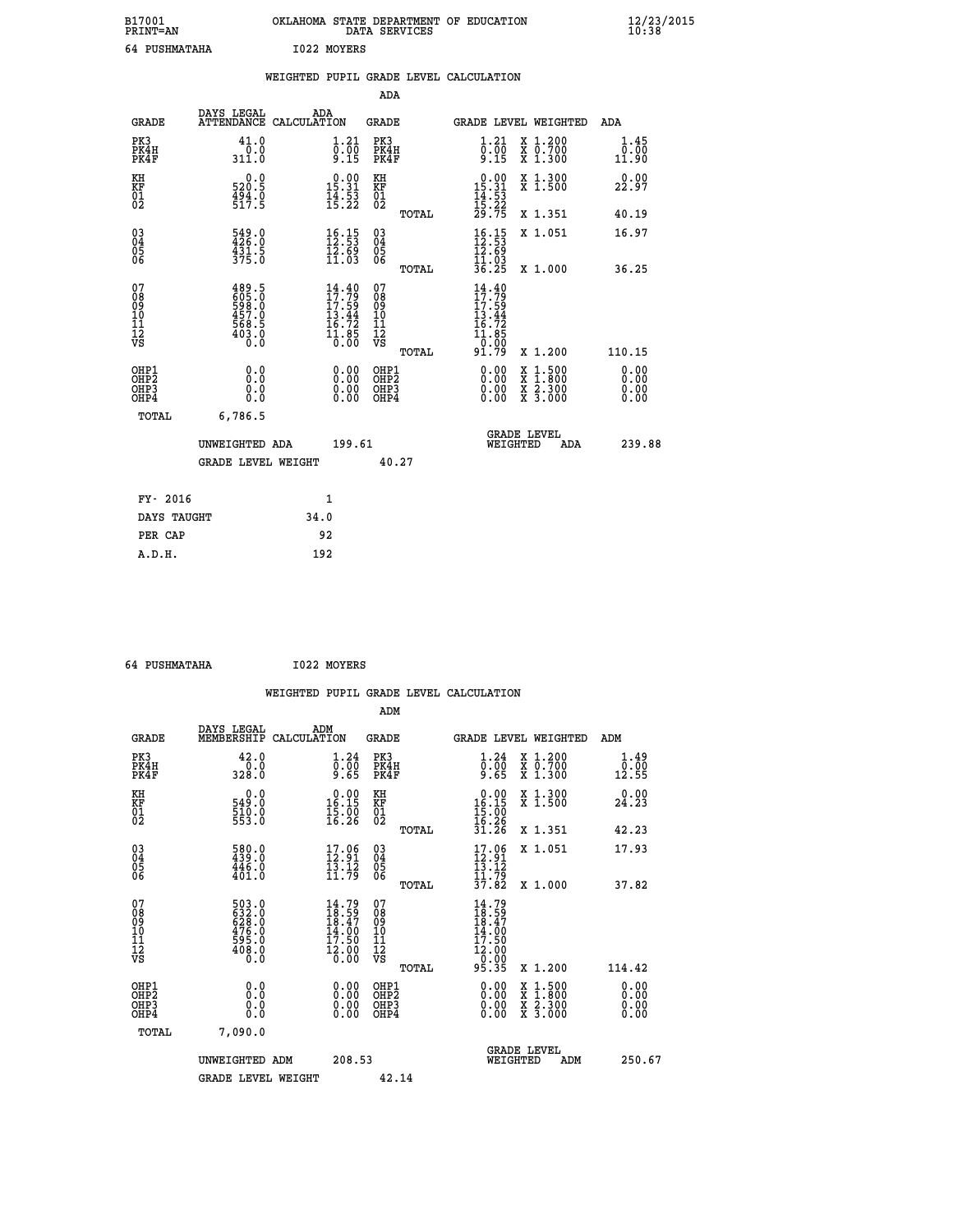| B17001<br><b>PRINT=AN</b> | OKLAHOMA STATE DEPARTMENT OF EDUCATION<br>DATA SERVICES | $\frac{12}{23}$ /2015 |
|---------------------------|---------------------------------------------------------|-----------------------|
| 64 PUSHMATAHA             | 1022 MOYERS                                             |                       |

|                                                                    |                                                                                                                             |              |                                                                                  |                                                     |       | WEIGHTED PUPIL GRADE LEVEL CALCULATION                                                                |                                                                                          |                               |
|--------------------------------------------------------------------|-----------------------------------------------------------------------------------------------------------------------------|--------------|----------------------------------------------------------------------------------|-----------------------------------------------------|-------|-------------------------------------------------------------------------------------------------------|------------------------------------------------------------------------------------------|-------------------------------|
|                                                                    |                                                                                                                             |              |                                                                                  | <b>ADA</b>                                          |       |                                                                                                       |                                                                                          |                               |
| <b>GRADE</b>                                                       | DAYS LEGAL<br>ATTENDANCE CALCULATION                                                                                        | ADA          |                                                                                  | GRADE                                               |       |                                                                                                       | GRADE LEVEL WEIGHTED                                                                     | ADA                           |
| PK3<br>PK4H<br>PK4F                                                | 41.0<br>$\frac{0.0}{311.0}$                                                                                                 |              | $\begin{smallmatrix} 1.21\ 0.00\ 9.15 \end{smallmatrix}$                         | PK3<br>PK4H<br>PK4F                                 |       | $\begin{smallmatrix} 1.21\ 0.00\ 9.15 \end{smallmatrix}$                                              | X 1.200<br>X 0.700<br>X 1.300                                                            | 1.45<br>0.00<br>11.90         |
| KH<br>KF<br>01<br>02                                               | 0.0<br>520.5<br>$\frac{454}{517}$ : 5                                                                                       |              | $\begin{array}{c} 0.00 \\ 15.31 \\ 14.53 \\ 15.22 \end{array}$                   | KH<br>KF<br>01<br>02                                |       | $\begin{array}{r} 0.00 \\ 15.31 \\ 14.53 \\ 15.22 \\ 29.75 \end{array}$                               | X 1.300<br>X 1.500                                                                       | 0.00<br>22.97                 |
|                                                                    |                                                                                                                             |              |                                                                                  |                                                     | TOTAL |                                                                                                       | X 1.351                                                                                  | 40.19                         |
| $\begin{smallmatrix} 03 \\[-4pt] 04 \end{smallmatrix}$<br>Ŏ5<br>06 | 549.0<br>426.0<br>$\frac{1}{3}\overline{3}\overline{1}\cdot\overline{5}$<br>375.0                                           |              | $\begin{array}{l} 16\cdot 15\\ 12\cdot 53\\ 12\cdot 69\\ 11\cdot 03 \end{array}$ | $\begin{array}{c} 03 \\ 04 \\ 05 \\ 06 \end{array}$ |       | $16.15$<br>$12.53$<br>$12.69$<br>$11.03$<br>$36.25$                                                   | X 1.051                                                                                  | 16.97                         |
|                                                                    |                                                                                                                             |              |                                                                                  |                                                     | TOTAL |                                                                                                       | X 1.000                                                                                  | 36.25                         |
| 07<br>08<br>09<br>11<br>11<br>12<br>VS                             | 489.5<br>605.0<br>598.0<br>457.0<br>$\frac{1}{268}$<br>$\frac{1}{68}$<br>$\frac{1}{68}$<br>$\frac{1}{68}$<br>$\frac{1}{68}$ |              | $14.40$<br>$17.79$<br>$17:59$<br>$13.44$<br>$16.72$<br>$11.85$<br>$0.00$         | 07<br>08<br>09<br>11<br>11<br>12<br>VS              | TOTAL | $\frac{14}{17}$ : 40<br>$\frac{17:59}{13.44}$<br>$\frac{16.72}{11.85}$<br>$\overline{0}$ :00<br>91.79 | X 1.200                                                                                  | 110.15                        |
| OHP1<br>OHP2<br>OH <sub>P3</sub><br>OHP4                           | 0.0<br>0.0<br>0.0                                                                                                           |              | $\begin{smallmatrix} 0.00 \ 0.00 \ 0.00 \ 0.00 \end{smallmatrix}$                | OHP1<br>OHP2<br>OHP3<br>OHP4                        |       | 0.00<br>0.00<br>0.00                                                                                  | $\begin{smallmatrix} x & 1.500 \\ x & 1.800 \\ x & 2.300 \\ x & 3.000 \end{smallmatrix}$ | 0.00<br>Ō. ŌŌ<br>0.00<br>0.00 |
| TOTAL                                                              | 6,786.5                                                                                                                     |              |                                                                                  |                                                     |       |                                                                                                       |                                                                                          |                               |
|                                                                    | UNWEIGHTED ADA                                                                                                              |              | 199.61                                                                           |                                                     |       | WEIGHTED                                                                                              | <b>GRADE LEVEL</b><br>ADA                                                                | 239.88                        |
|                                                                    | <b>GRADE LEVEL WEIGHT</b>                                                                                                   |              |                                                                                  | 40.27                                               |       |                                                                                                       |                                                                                          |                               |
| FY- 2016                                                           |                                                                                                                             | $\mathbf{1}$ |                                                                                  |                                                     |       |                                                                                                       |                                                                                          |                               |
| DAYS TAUGHT                                                        |                                                                                                                             | 34.0         |                                                                                  |                                                     |       |                                                                                                       |                                                                                          |                               |
| PER CAP                                                            |                                                                                                                             | 92           |                                                                                  |                                                     |       |                                                                                                       |                                                                                          |                               |

 **64 PUSHMATAHA I022 MOYERS**

|                                                    |                                                                    |                    |                                                                             |                                          |       | WEIGHTED PUPIL GRADE LEVEL CALCULATION                                                                                                                                                                                                                                         |                                          |                                                                               |                      |
|----------------------------------------------------|--------------------------------------------------------------------|--------------------|-----------------------------------------------------------------------------|------------------------------------------|-------|--------------------------------------------------------------------------------------------------------------------------------------------------------------------------------------------------------------------------------------------------------------------------------|------------------------------------------|-------------------------------------------------------------------------------|----------------------|
|                                                    |                                                                    |                    |                                                                             | ADM                                      |       |                                                                                                                                                                                                                                                                                |                                          |                                                                               |                      |
| <b>GRADE</b>                                       | DAYS LEGAL<br>MEMBERSHIP                                           | ADM<br>CALCULATION |                                                                             | GRADE                                    |       | GRADE LEVEL WEIGHTED                                                                                                                                                                                                                                                           |                                          | ADM                                                                           |                      |
| PK3<br>PK4H<br>PK4F                                | 42.0<br>$\frac{0.0}{328.0}$                                        |                    | $\begin{smallmatrix} 1.24\ 0.00\ 9.65 \end{smallmatrix}$                    | PK3<br>PK4H<br>PK4F                      |       | 1.24<br>ō:ōō<br>8.65                                                                                                                                                                                                                                                           | X 1.200<br>X 0.700<br>X 1.300            | $\begin{smallmatrix} \bar{0} \cdot \bar{0} \bar{0} \ 12.55 \end{smallmatrix}$ | 1.49                 |
| KH<br>KF<br>01<br>02                               | 0.0<br>549.0<br>$\frac{510.0}{553.0}$                              |                    | $\begin{smallmatrix} 0.00\\ 16.15\\ 15.00\\ 16.26 \end{smallmatrix}$        | KH<br>KF<br>01<br>02                     |       | $0.00$<br>$16.15$<br>$15.00$<br>$16.26$<br>$31.26$                                                                                                                                                                                                                             | X 1.300<br>X 1.500                       | 24.23                                                                         | 0.00                 |
|                                                    |                                                                    |                    |                                                                             |                                          | TOTAL |                                                                                                                                                                                                                                                                                | X 1.351                                  | 42.23                                                                         |                      |
| $\begin{matrix} 03 \\ 04 \\ 05 \\ 06 \end{matrix}$ | 580.0<br>439.0<br>446.0<br>401.0                                   |                    | $\begin{smallmatrix} 17.06 \\ 12.91 \\ 13.12 \\ 11.79 \end{smallmatrix}$    | 03<br>04<br>05<br>06                     |       | $\begin{array}{c} 17\cdot 96 \\[-4pt] 12\cdot 91 \\[-4pt] 13\cdot 12 \\[-4pt] 11\cdot 79 \\[-4pt] 37\cdot 82 \end{array}$                                                                                                                                                      | X 1.051                                  | 17.93                                                                         |                      |
| 07<br>08<br>09<br>101<br>112<br>VS                 | 503.0<br>632.0<br>628.0<br>628.0<br>476.0<br>595.0<br>508.0<br>0.0 |                    | $14.79$<br>$18.59$<br>$18.47$<br>$14.00$<br>$17.50$<br>$\frac{12.00}{0.00}$ | 07<br>08<br>09<br>11<br>11<br>12<br>VS   | TOTAL | $14.79$<br>$18.59$<br>$18.47$<br>$14.00$<br>$17.50$                                                                                                                                                                                                                            | X 1.000                                  | 37.82                                                                         |                      |
|                                                    |                                                                    |                    |                                                                             |                                          | TOTAL | $\frac{12.00}{0.00}$<br>95.35                                                                                                                                                                                                                                                  | X 1.200                                  | 114.42                                                                        |                      |
| OHP1<br>OHP <sub>2</sub><br>OHP3<br>OHP4           | 0.0<br>0.000                                                       |                    | $0.00$<br>$0.00$<br>0.00                                                    | OHP1<br>OHP <sub>2</sub><br>OHP3<br>OHP4 |       | $\begin{smallmatrix} 0.00 & 0.00 & 0.00 & 0.00 & 0.00 & 0.00 & 0.00 & 0.00 & 0.00 & 0.00 & 0.00 & 0.00 & 0.00 & 0.00 & 0.00 & 0.00 & 0.00 & 0.00 & 0.00 & 0.00 & 0.00 & 0.00 & 0.00 & 0.00 & 0.00 & 0.00 & 0.00 & 0.00 & 0.00 & 0.00 & 0.00 & 0.00 & 0.00 & 0.00 & 0.00 & 0.0$ | X 1:500<br>X 1:800<br>X 2:300<br>X 3:000 |                                                                               | 0.00<br>0.00<br>0.00 |
| TOTAL                                              | 7,090.0                                                            |                    |                                                                             |                                          |       |                                                                                                                                                                                                                                                                                |                                          |                                                                               |                      |
|                                                    | UNWEIGHTED ADM                                                     |                    | 208.53                                                                      |                                          |       | WEIGHTED                                                                                                                                                                                                                                                                       | <b>GRADE LEVEL</b><br>ADM                |                                                                               | 250.67               |
|                                                    | <b>GRADE LEVEL WEIGHT</b>                                          |                    |                                                                             | 42.14                                    |       |                                                                                                                                                                                                                                                                                |                                          |                                                                               |                      |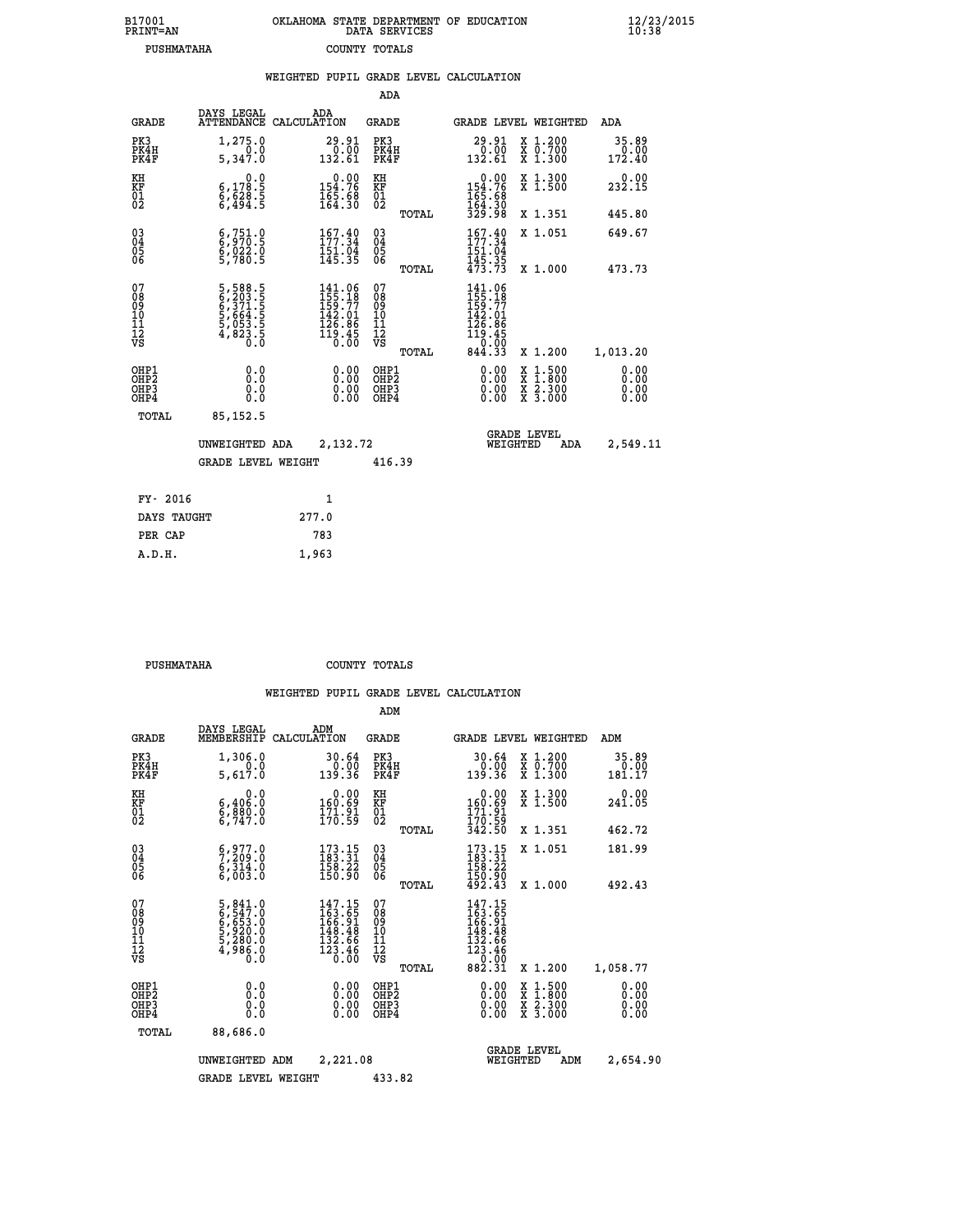| B17001<br><b>PRINT=AN</b> | OKLAHOMA STATE DEPARTMENT OF EDUCATION<br>DATA SERVICES | $\frac{12}{23}$ /2015 |
|---------------------------|---------------------------------------------------------|-----------------------|
| PUSHMATAHA                | COUNTY TOTALS                                           |                       |

|                                                                    |                                                                                                  |       |                                                                                                    |                                          |       | WEIGHTED PUPIL GRADE LEVEL CALCULATION                                                                                                                                                                                                                                         |                                                                                          |                              |
|--------------------------------------------------------------------|--------------------------------------------------------------------------------------------------|-------|----------------------------------------------------------------------------------------------------|------------------------------------------|-------|--------------------------------------------------------------------------------------------------------------------------------------------------------------------------------------------------------------------------------------------------------------------------------|------------------------------------------------------------------------------------------|------------------------------|
|                                                                    |                                                                                                  |       |                                                                                                    | <b>ADA</b>                               |       |                                                                                                                                                                                                                                                                                |                                                                                          |                              |
| <b>GRADE</b>                                                       | DAYS LEGAL<br>ATTENDANCE CALCULATION                                                             |       | ADA                                                                                                | GRADE                                    |       |                                                                                                                                                                                                                                                                                | GRADE LEVEL WEIGHTED                                                                     | ADA                          |
| PK3<br>PK4H<br>PK4F                                                | 1,275.0<br>5,347.0                                                                               |       | $\substack{29.91 \\ 0.00 \\ 132.61}$                                                               | PK3<br>PK4H<br>PK4F                      |       | $\begin{smallmatrix} 29.91\ 0.00 \ 132.61 \end{smallmatrix}$                                                                                                                                                                                                                   | X 1.200<br>X 0.700<br>X 1.300                                                            | 35.89<br>0.00<br>172.40      |
| KH<br>KF<br>01<br>02                                               | 0.0<br>$\begin{smallmatrix} 6,178.5\ 6,628.5\ 6,494.5 \end{smallmatrix}$                         |       | $\begin{array}{c} 0.00\\154.76\\165.68\\164.30 \end{array}$                                        | KH<br>KF<br>01<br>02                     |       | $154.76$<br>$165.68$<br>$164.30$                                                                                                                                                                                                                                               | X 1.300<br>X 1.500                                                                       | 232.15                       |
|                                                                    |                                                                                                  |       |                                                                                                    |                                          | TOTAL | 329.98                                                                                                                                                                                                                                                                         | X 1.351                                                                                  | 445.80                       |
| $\begin{smallmatrix} 03 \\[-4pt] 04 \end{smallmatrix}$<br>Ŏ5<br>06 | $\begin{smallmatrix} 6 & 751 & 0 \\ 6 & 970 & 5 \\ 6 & 022 & 0 \\ 5 & 780 & 5 \end{smallmatrix}$ |       | $167.40$<br>$177.34$<br>151.04<br>145.35                                                           | $\substack{03 \\ 04}$<br>$\frac{05}{06}$ |       | 157.34<br>151.04                                                                                                                                                                                                                                                               | X 1.051                                                                                  | 649.67                       |
|                                                                    |                                                                                                  |       |                                                                                                    |                                          | TOTAL | $\frac{145.35}{473.73}$                                                                                                                                                                                                                                                        | X 1.000                                                                                  | 473.73                       |
| 07<br>08<br>09<br>01<br>11<br>11<br>12<br>VS                       | 5,588.5<br>6,203.5<br>6,371.5<br>5,664.5<br>5,053.5<br>4,823.5<br>0.0                            |       | $\begin{smallmatrix} 141.06\\ 155.18\\ 159.77\\ 142.01\\ 126.86\\ 119.45\\ 0.00 \end{smallmatrix}$ | 07<br>08<br>09<br>11<br>11<br>12<br>VS   | TOTAL | 141.06<br>155.18<br>159.77<br>142.01<br>$126.86$<br>$119.45$<br>$0.00$<br>$844.33$                                                                                                                                                                                             | X 1.200                                                                                  | 1,013.20                     |
| OHP1<br>OHP2<br>OHP3<br>OHP4                                       | 0.0<br>0.0<br>0.0                                                                                |       | $\begin{smallmatrix} 0.00 \ 0.00 \ 0.00 \ 0.00 \end{smallmatrix}$                                  | OHP1<br>OHP2<br>OHP3<br>OHP4             |       | $\begin{smallmatrix} 0.00 & 0.00 & 0.00 & 0.00 & 0.00 & 0.00 & 0.00 & 0.00 & 0.00 & 0.00 & 0.00 & 0.00 & 0.00 & 0.00 & 0.00 & 0.00 & 0.00 & 0.00 & 0.00 & 0.00 & 0.00 & 0.00 & 0.00 & 0.00 & 0.00 & 0.00 & 0.00 & 0.00 & 0.00 & 0.00 & 0.00 & 0.00 & 0.00 & 0.00 & 0.00 & 0.0$ | $\begin{smallmatrix} x & 1.500 \\ x & 1.800 \\ x & 2.300 \\ x & 3.000 \end{smallmatrix}$ | 0.00<br>0.00<br>0.00<br>0.00 |
| TOTAL                                                              | 85, 152.5                                                                                        |       |                                                                                                    |                                          |       |                                                                                                                                                                                                                                                                                |                                                                                          |                              |
|                                                                    | UNWEIGHTED ADA                                                                                   |       | 2,132.72                                                                                           |                                          |       | WEIGHTED                                                                                                                                                                                                                                                                       | <b>GRADE LEVEL</b><br>ADA                                                                | 2,549.11                     |
|                                                                    | <b>GRADE LEVEL WEIGHT</b>                                                                        |       |                                                                                                    | 416.39                                   |       |                                                                                                                                                                                                                                                                                |                                                                                          |                              |
| FY- 2016                                                           |                                                                                                  |       | $\mathbf{1}$                                                                                       |                                          |       |                                                                                                                                                                                                                                                                                |                                                                                          |                              |
| DAYS TAUGHT                                                        |                                                                                                  | 277.0 |                                                                                                    |                                          |       |                                                                                                                                                                                                                                                                                |                                                                                          |                              |
| PER CAP                                                            |                                                                                                  | 783   |                                                                                                    |                                          |       |                                                                                                                                                                                                                                                                                |                                                                                          |                              |

 **A.D.H. 1,963**

 **PUSHMATAHA COUNTY TOTALS**

|                                          |                                                                         |                                                                              | ADM                                                |       |                                                                                   |                                          |                              |
|------------------------------------------|-------------------------------------------------------------------------|------------------------------------------------------------------------------|----------------------------------------------------|-------|-----------------------------------------------------------------------------------|------------------------------------------|------------------------------|
| <b>GRADE</b>                             | DAYS LEGAL<br>MEMBERSHIP                                                | ADM<br>CALCULATION                                                           | <b>GRADE</b>                                       |       |                                                                                   | <b>GRADE LEVEL WEIGHTED</b>              | ADM                          |
| PK3<br>PK4H<br>PK4F                      | 1,306.0<br>5,617.0                                                      | 30.64<br>0.00<br>139.36                                                      | PK3<br>PK4H<br>PK4F                                |       | 30.64<br>0.00<br>139.36                                                           | X 1.200<br>X 0.700<br>X 1.300            | 35.89<br>0.00<br>181.17      |
| KH<br>KF<br>01<br>02                     | 0.0<br>6,406:0<br>6,880:0<br>6,747:0                                    | $\begin{smallmatrix} &0.00\\ 160.69\\ 171.91\\ 170.59\end{smallmatrix}$      | KH<br>KF<br>01<br>02                               |       | $\begin{smallmatrix} &0.00\\ 160.69\\ 171.91\\ 170.59\\ 342.50 \end{smallmatrix}$ | X 1.300<br>X 1.500                       | 0.00<br>241.05               |
|                                          |                                                                         |                                                                              |                                                    | TOTAL |                                                                                   | X 1.351                                  | 462.72                       |
| 03<br>04<br>05<br>06                     | $\begin{array}{c} 6,977.0 \\ 7,209.0 \\ 6,314.0 \end{array}$<br>6,003.0 | $\begin{smallmatrix} 173.15\\183.31\\158.22\\150.90 \end{smallmatrix}$       | $\begin{matrix} 03 \\ 04 \\ 05 \\ 06 \end{matrix}$ |       | $\frac{173.15}{183.31}$<br>$\frac{158.22}{158.22}$                                | X 1.051                                  | 181.99                       |
|                                          |                                                                         |                                                                              |                                                    | TOTAL | $\frac{150.90}{492.43}$                                                           | X 1.000                                  | 492.43                       |
| 07<br>08<br>09<br>101<br>112<br>VS       | 5,841.0<br>6,547.0<br>6,653.0<br>5,920.0<br>5,280.0<br>4,986.0<br>0.0   | $147.15$<br>$163.65$<br>$166.91$<br>$148.48$<br>$132.66$<br>$123.46$<br>ŏ:ōŏ | 07<br>08<br>09<br>11<br>11<br>12<br>VS             | TOTAL | 147.15<br>163.651<br>166.91<br>148.48<br>132.66<br>123.46<br>20.00<br>882.31      | X 1.200                                  | 1,058.77                     |
| OHP1<br>OHP2<br>OH <sub>P3</sub><br>OHP4 | 0.0<br>0.000                                                            | $0.00$<br>$0.00$<br>0.00                                                     | OHP1<br>OHP2<br>OHP3<br>OHP4                       |       | $0.00$<br>$0.00$<br>0.00                                                          | X 1:500<br>X 1:800<br>X 2:300<br>X 3:000 | 0.00<br>0.00<br>0.00<br>0.00 |
| TOTAL                                    | 88,686.0                                                                |                                                                              |                                                    |       |                                                                                   |                                          |                              |
|                                          | UNWEIGHTED                                                              | 2,221.08<br>ADM                                                              |                                                    |       | WEIGHTED                                                                          | <b>GRADE LEVEL</b><br>ADM                | 2,654.90                     |
|                                          | <b>GRADE LEVEL WEIGHT</b>                                               |                                                                              | 433.82                                             |       |                                                                                   |                                          |                              |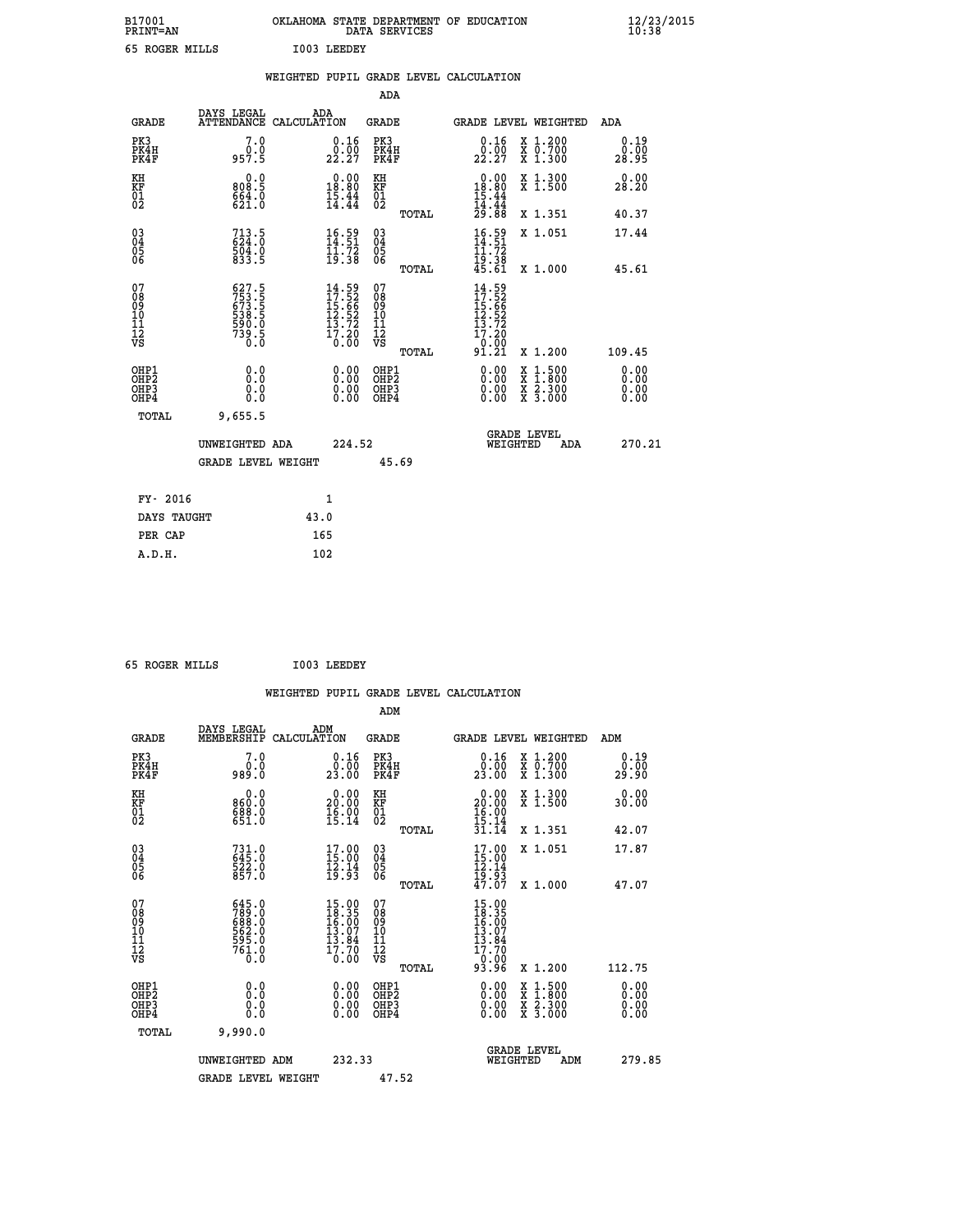| B17001<br><b>PRINT=AN</b> | OKLAHOMA STATE DEPARTMENT OF EDUCATION<br>DATA SERVICES | $\frac{12}{23}$ /2015 |
|---------------------------|---------------------------------------------------------|-----------------------|
| 65 ROGER MILLS            | I003 LEEDEY                                             |                       |

|  |     | WEIGHTED PUPIL GRADE LEVEL CALCULATION |
|--|-----|----------------------------------------|
|  | ADA |                                        |

| <b>GRADE</b>                                       | DAYS LEGAL<br>ATTENDANCE CALCULATION                                 | ADA                                                                      | <b>GRADE</b>                           |       |                                                                                                                                                                                                                                                                                | GRADE LEVEL WEIGHTED                                                                                                                      | ADA                    |
|----------------------------------------------------|----------------------------------------------------------------------|--------------------------------------------------------------------------|----------------------------------------|-------|--------------------------------------------------------------------------------------------------------------------------------------------------------------------------------------------------------------------------------------------------------------------------------|-------------------------------------------------------------------------------------------------------------------------------------------|------------------------|
| PK3<br>PK4H<br>PK4F                                | 7.0<br>0.0<br>957.5                                                  | $0.16$<br>$0.00$<br>22.27                                                | PK3<br>PK4H<br>PK4F                    |       | 0.16<br>22.27                                                                                                                                                                                                                                                                  | X 1.200<br>X 0.700<br>X 1.300                                                                                                             | 0.19<br>0.00<br>28.95  |
| KH<br>KF<br>01<br>02                               | 0.0<br>808.5<br>$664.0$<br>$621.0$                                   | $\begin{smallmatrix} 0.00\\ 18.80\\ 15.44\\ 14.44 \end{smallmatrix}$     | KH<br>KF<br>01<br>02                   |       | $\begin{array}{r} 0.00 \\ 18.80 \\ 15.44 \\ 14.44 \\ 29.88 \end{array}$                                                                                                                                                                                                        | X 1.300<br>X 1.500                                                                                                                        | 0.00<br>28.20          |
|                                                    |                                                                      |                                                                          |                                        | TOTAL |                                                                                                                                                                                                                                                                                | X 1.351                                                                                                                                   | 40.37                  |
| $\begin{matrix} 03 \\ 04 \\ 05 \\ 06 \end{matrix}$ | $713.5$<br>$624.0$<br>$504.0$<br>$833.5$                             | $16.59$<br>$14.51$<br>$11.72$<br>$19.38$                                 | 03<br>04<br>05<br>06                   |       | $\frac{16.59}{14.51}$                                                                                                                                                                                                                                                          | X 1.051                                                                                                                                   | 17.44                  |
|                                                    |                                                                      |                                                                          |                                        | TOTAL | 19:38<br>45.61                                                                                                                                                                                                                                                                 | X 1.000                                                                                                                                   | 45.61                  |
| 07<br>08<br>09<br>11<br>11<br>12<br>VS             | 627.5<br>753.5<br>673.5<br>673.5<br>538.5<br>590.0<br>739.5<br>739.5 | $14.59$<br>$17.52$<br>$15.66$<br>$12.52$<br>$13.72$<br>$17.20$<br>$0.00$ | 07<br>08<br>09<br>11<br>11<br>12<br>VS |       | $14.52$<br>$17.52$<br>$15.66$<br>$12.52$<br>$13.720$<br>$17.20$<br>-0:00<br>91:21                                                                                                                                                                                              |                                                                                                                                           |                        |
|                                                    |                                                                      |                                                                          |                                        | TOTAL |                                                                                                                                                                                                                                                                                | X 1.200                                                                                                                                   | 109.45                 |
| OHP1<br>OHP2<br>OH <sub>P3</sub><br>OHP4           | 0.0<br>Ŏ.Ŏ<br>0.000                                                  | $\begin{smallmatrix} 0.00 \ 0.00 \ 0.00 \ 0.00 \end{smallmatrix}$        | OHP1<br>OHP2<br>OHP3<br>OHP4           |       | $\begin{smallmatrix} 0.00 & 0.00 & 0.00 & 0.00 & 0.00 & 0.00 & 0.00 & 0.00 & 0.00 & 0.00 & 0.00 & 0.00 & 0.00 & 0.00 & 0.00 & 0.00 & 0.00 & 0.00 & 0.00 & 0.00 & 0.00 & 0.00 & 0.00 & 0.00 & 0.00 & 0.00 & 0.00 & 0.00 & 0.00 & 0.00 & 0.00 & 0.00 & 0.00 & 0.00 & 0.00 & 0.0$ | $\begin{smallmatrix} \mathtt{X} & 1\cdot500\\ \mathtt{X} & 1\cdot800\\ \mathtt{X} & 2\cdot300\\ \mathtt{X} & 3\cdot000 \end{smallmatrix}$ | 0.00<br>0.00<br>0.0000 |
| TOTAL                                              | 9,655.5                                                              |                                                                          |                                        |       |                                                                                                                                                                                                                                                                                |                                                                                                                                           |                        |
|                                                    | UNWEIGHTED ADA                                                       | 224.52                                                                   |                                        |       | WEIGHTED                                                                                                                                                                                                                                                                       | <b>GRADE LEVEL</b><br>ADA                                                                                                                 | 270.21                 |
|                                                    | <b>GRADE LEVEL WEIGHT</b>                                            |                                                                          |                                        | 45.69 |                                                                                                                                                                                                                                                                                |                                                                                                                                           |                        |
| FY- 2016                                           |                                                                      | 1                                                                        |                                        |       |                                                                                                                                                                                                                                                                                |                                                                                                                                           |                        |
| DAYS TAUGHT                                        |                                                                      | 43.0                                                                     |                                        |       |                                                                                                                                                                                                                                                                                |                                                                                                                                           |                        |
|                                                    |                                                                      |                                                                          |                                        |       |                                                                                                                                                                                                                                                                                |                                                                                                                                           |                        |

| 65 ROGER MILLS |  | I003 LEEDEY |
|----------------|--|-------------|

 **PER CAP 165 A.D.H. 102**

 **WEIGHTED PUPIL GRADE LEVEL CALCULATION ADM DAYS LEGAL ADM GRADE MEMBERSHIP CALCULATION GRADE GRADE LEVEL WEIGHTED ADM PK3 7.0 0.16 PK3 0.16 X 1.200 0.19 PK4H 0.0 0.00 PK4H 0.00 X 0.700 0.00 PK4F 989.0 23.00 PK4F 23.00 X 1.300 29.90 KH 0.0 0.00 KH 0.00 X 1.300 0.00 KF 860.0 20.00 KF 20.00 X 1.500 30.00 01 688.0 16.00 01 16.00**  $02 \t\t 651.0 \t\t 15.14 \t 02 \t\t \t 15.14$  **TOTAL 31.14 X 1.351 42.07 03 731.0 17.00 03 17.00 X 1.051 17.87 04 645.0 15.00 04 15.00 05 522.0 12.14 05 12.14** 06 857.0 19.93 06 <sub>memas</sub> 19.93  **TOTAL 47.07 X 1.000 47.07 07 645.0 15.00 07 15.00 08 789.0 18.35 08 18.35 09 688.0 16.00 09 16.00 10 562.0 13.07 10 13.07** 11 595.0 13.84 11 13.84 **12** 17.70 **17.70** 17.70 **12 VS** 0.0 0.00 VS 0.00 0.00  **TOTAL 93.96 X 1.200 112.75 OHP1 0.0 0.00 OHP1 0.00 X 1.500 0.00 OHP2 0.0 0.00 OHP2 0.00 X 1.800 0.00 OHP3 0.0 0.00 OHP3 0.00 X 2.300 0.00 OHP4 0.0 0.00 OHP4 0.00 X 3.000 0.00 TOTAL 9,990.0 GRADE LEVEL UNWEIGHTED ADM 232.33 WEIGHTED ADM 279.85** GRADE LEVEL WEIGHT 47.52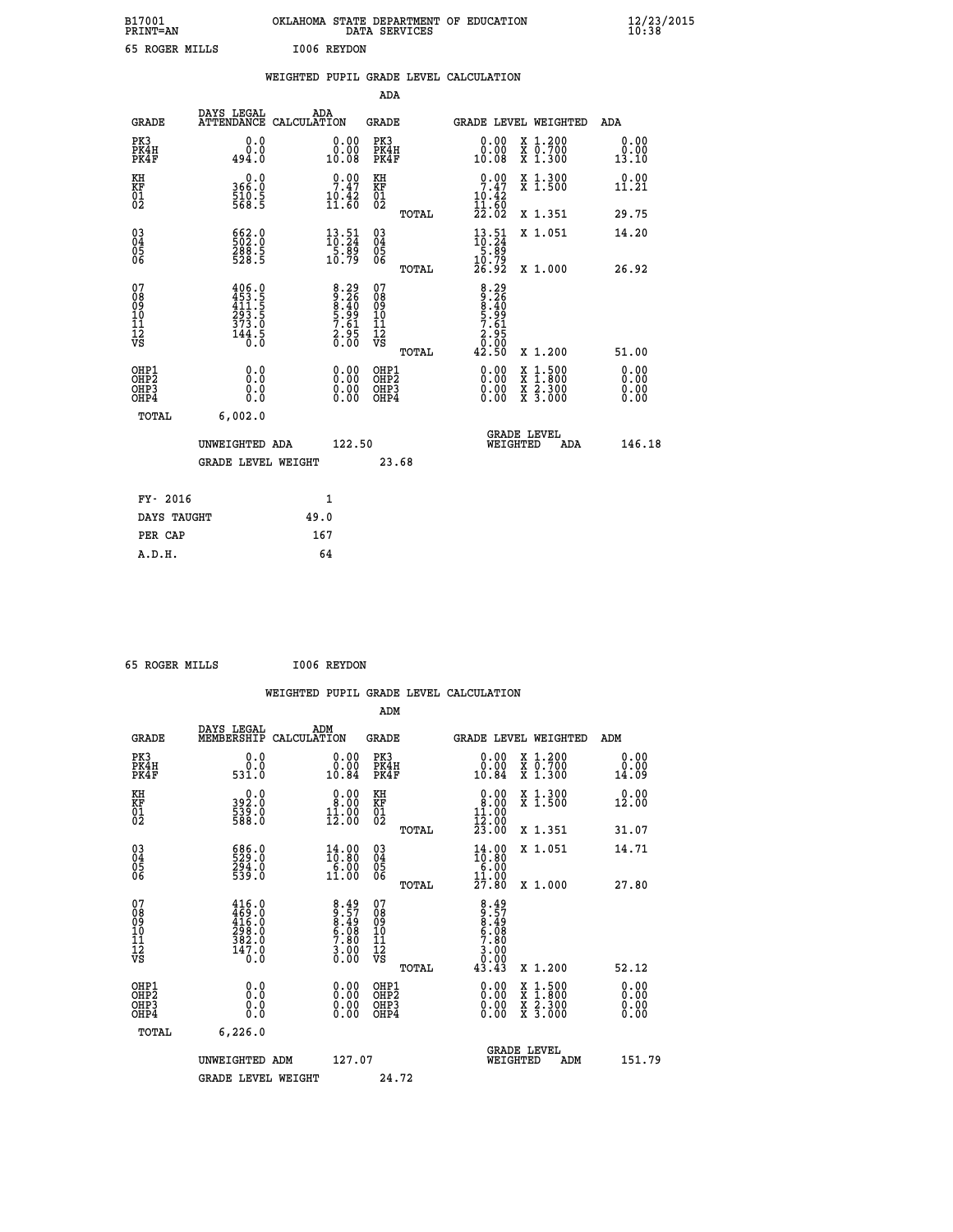| B17001<br>PRINT=AN |             | DATA SERVICES | OKLAHOMA STATE DEPARTMENT OF EDUCATION | $\frac{12}{23}$ /2015 |  |
|--------------------|-------------|---------------|----------------------------------------|-----------------------|--|
| 65 ROGER MILLS     | I006 REYDON |               |                                        |                       |  |
|                    |             |               | WEIGHTED PUPIL GRADE LEVEL CALCULATION |                       |  |
|                    |             | ADA           |                                        |                       |  |

|                                                       |                                                                                                                                                             |                                                                   |                                                              | ADA                                     |       |                                                                                                                                              |          |                                          |                              |
|-------------------------------------------------------|-------------------------------------------------------------------------------------------------------------------------------------------------------------|-------------------------------------------------------------------|--------------------------------------------------------------|-----------------------------------------|-------|----------------------------------------------------------------------------------------------------------------------------------------------|----------|------------------------------------------|------------------------------|
| <b>GRADE</b>                                          | DAYS LEGAL<br><b>ATTENDANCE</b>                                                                                                                             | ADA<br>CALCULATION                                                |                                                              | GRADE                                   |       |                                                                                                                                              |          | GRADE LEVEL WEIGHTED                     | <b>ADA</b>                   |
| PK3<br>PK4H<br>PK4F                                   | 0.0<br>0.0<br>494.0                                                                                                                                         | 10.08                                                             | 0.00<br>0.00                                                 | PK3<br>PK4H<br>PK4F                     |       | 0.00<br>0.00<br>10.08                                                                                                                        |          | X 1.200<br>X 0.700<br>X 1.300            | 0.00<br>0.00<br>13.10        |
| KH<br><b>KF</b><br>01<br>02                           | $366.0$<br>510.5<br>568.5                                                                                                                                   | $\frac{10.42}{11.60}$                                             | $\frac{0.00}{7.47}$                                          | KH<br>KF<br>01<br>02                    |       | $0.00$<br>$7.47$<br>$10.42$<br>$11.60$<br>$22.02$                                                                                            |          | X 1.300<br>X 1.500                       | 0.00<br>11.21                |
|                                                       |                                                                                                                                                             |                                                                   |                                                              |                                         | TOTAL |                                                                                                                                              |          | X 1.351                                  | 29.75                        |
| $\begin{matrix} 03 \\ 04 \\ 05 \\ 06 \end{matrix}$    | 662.0<br>502.0<br>288.5<br>528.5                                                                                                                            | $\begin{smallmatrix} 13.51\ 10.24\ 5.89\ 10.79 \end{smallmatrix}$ |                                                              | 03<br>04<br>05<br>06                    |       | $13.51$<br>$10.24$<br>$5.89$<br>$10.79$<br>$26.92$                                                                                           |          | X 1.051                                  | 14.20                        |
|                                                       |                                                                                                                                                             |                                                                   |                                                              |                                         | TOTAL |                                                                                                                                              |          | X 1.000                                  | 26.92                        |
| 07<br>08<br>09<br>101<br>11<br>12<br>VS               | $\begin{smallmatrix} 4 & 0 & 6 & 0 \\ 4 & 5 & 3 & 5 \\ 4 & 1 & 1 & 5 \\ 2 & 9 & 3 & 5 \\ 3 & 7 & 3 & 0 \\ 1 & 4 & 4 & 5 \\ 0 & 0 & 0 & 0 \end{smallmatrix}$ |                                                                   | 8.29<br>8.26<br>8.40<br>8.99<br>5.61<br>7.61<br>2.95<br>0.00 | 07<br>08<br>09<br>101<br>11<br>12<br>VS | TOTAL | $\begin{array}{r} 8\cdot 29 \\ 9\cdot 26 \\ 8\cdot 40 \\ 5\cdot 99 \\ 7\cdot 61 \\ 2\cdot 95 \\ 2\cdot 00 \\ 0.00 \\ 42\cdot 50 \end{array}$ |          | X 1.200                                  | 51.00                        |
| OHP1<br>OHP2<br>OH <sub>P</sub> 3<br>OH <sub>P4</sub> | 0.0<br>0.0<br>0.0                                                                                                                                           |                                                                   | 0.00<br>$\begin{smallmatrix} 0.00 \ 0.00 \end{smallmatrix}$  | OHP1<br>OHP2<br>OHP3<br>OHP4            |       | $0.00$<br>$0.00$<br>0.00                                                                                                                     | X        | $1.500$<br>$1.800$<br>X 2.300<br>X 3.000 | 0.00<br>0.00<br>0.00<br>0.00 |
| TOTAL                                                 | 6,002.0                                                                                                                                                     |                                                                   |                                                              |                                         |       |                                                                                                                                              |          |                                          |                              |
|                                                       | UNWEIGHTED ADA                                                                                                                                              |                                                                   | 122.50                                                       |                                         |       |                                                                                                                                              | WEIGHTED | <b>GRADE LEVEL</b><br>ADA                | 146.18                       |
|                                                       | <b>GRADE LEVEL WEIGHT</b>                                                                                                                                   |                                                                   |                                                              | 23.68                                   |       |                                                                                                                                              |          |                                          |                              |
| FY- 2016                                              |                                                                                                                                                             | $\mathbf{1}$                                                      |                                                              |                                         |       |                                                                                                                                              |          |                                          |                              |
| DAYS TAUGHT                                           |                                                                                                                                                             | 49.0                                                              |                                                              |                                         |       |                                                                                                                                              |          |                                          |                              |
|                                                       |                                                                                                                                                             |                                                                   |                                                              |                                         |       |                                                                                                                                              |          |                                          |                              |

|  | 65 ROGER MILLS | I006 REYDON |
|--|----------------|-------------|
|  |                |             |

 **PER CAP 167 A.D.H. 64**

|                                                      |                                                                                             |                                                                         |                                                     |       | WEIGHTED PUPIL GRADE LEVEL CALCULATION                                                                                                                                                                                                                                         |                                                                                          |                              |
|------------------------------------------------------|---------------------------------------------------------------------------------------------|-------------------------------------------------------------------------|-----------------------------------------------------|-------|--------------------------------------------------------------------------------------------------------------------------------------------------------------------------------------------------------------------------------------------------------------------------------|------------------------------------------------------------------------------------------|------------------------------|
|                                                      |                                                                                             |                                                                         | ADM                                                 |       |                                                                                                                                                                                                                                                                                |                                                                                          |                              |
| <b>GRADE</b>                                         | DAYS LEGAL<br>MEMBERSHIP                                                                    | ADM<br>CALCULATION                                                      | <b>GRADE</b>                                        |       |                                                                                                                                                                                                                                                                                | GRADE LEVEL WEIGHTED                                                                     | ADM                          |
| PK3<br>PK4H<br>PK4F                                  | 0.0<br>0.0<br>531.0                                                                         | 0.00<br>10.84                                                           | PK3<br>PK4H<br>PK4F                                 |       | 0.00<br>10.84                                                                                                                                                                                                                                                                  | X 1.200<br>X 0.700<br>X 1.300                                                            | 0.00<br>0.00<br>14.09        |
| KH<br>KF<br>01<br>02                                 | $392.0$<br>$539.0$<br>$588.0$                                                               | $\begin{smallmatrix} 0.00\\ 8.00\\ 11.00\\ 12.00 \end{smallmatrix}$     | KH<br>KF<br>01<br>02                                |       | $\begin{smallmatrix} 0.00\\ 8.00\\ 11.00\\ 12.00\\ 23.00 \end{smallmatrix}$                                                                                                                                                                                                    | X 1.300<br>X 1.500                                                                       | 0.00<br>12.00                |
|                                                      |                                                                                             |                                                                         |                                                     | TOTAL |                                                                                                                                                                                                                                                                                | X 1.351                                                                                  | 31.07                        |
| $\begin{matrix} 03 \\ 04 \\ 05 \\ 06 \end{matrix}$   | 686.0<br>529.0<br>294.0<br>539.0                                                            | $\begin{smallmatrix} 14.00 \\ 10.80 \\ 6.00 \\ 11.00 \end{smallmatrix}$ | $\begin{array}{c} 03 \\ 04 \\ 05 \\ 06 \end{array}$ |       | $14.00$<br>$16.80$<br>$6.00$<br>$11.00$                                                                                                                                                                                                                                        | X 1.051                                                                                  | 14.71                        |
|                                                      |                                                                                             |                                                                         |                                                     | TOTAL | 27.80                                                                                                                                                                                                                                                                          | X 1.000                                                                                  | 27.80                        |
| 07<br>08<br>09<br>101<br>112<br>VS                   | $\begin{smallmatrix} 416.0\\ 469.0\\ 416.0\\ 298.0\\ 382.0\\ 147.0\\ 0.0 \end{smallmatrix}$ | $8.49$<br>$8.57$<br>$8.49$<br>$6.08$<br>$7.80$<br>$3.00$<br>$0.00$      | 07<br>08<br>09<br>11<br>11<br>12<br>VS              | TOTAL | $8.49$<br>$8.49$<br>$6.08$<br>$7.80$<br>$\frac{3.00}{0.00}$<br>43.43                                                                                                                                                                                                           | X 1.200                                                                                  | 52.12                        |
| OHP1<br>OHP2<br>OH <sub>P3</sub><br>OH <sub>P4</sub> | 0.0<br>0.000                                                                                | $\begin{smallmatrix} 0.00 \ 0.00 \ 0.00 \ 0.00 \end{smallmatrix}$       | OHP1<br>OHP2<br>OHP3<br>OHP4                        |       | $\begin{smallmatrix} 0.00 & 0.00 & 0.00 & 0.00 & 0.00 & 0.00 & 0.00 & 0.00 & 0.00 & 0.00 & 0.00 & 0.00 & 0.00 & 0.00 & 0.00 & 0.00 & 0.00 & 0.00 & 0.00 & 0.00 & 0.00 & 0.00 & 0.00 & 0.00 & 0.00 & 0.00 & 0.00 & 0.00 & 0.00 & 0.00 & 0.00 & 0.00 & 0.00 & 0.00 & 0.00 & 0.0$ | $\begin{smallmatrix} x & 1.500 \\ x & 1.800 \\ x & 2.300 \\ x & 3.000 \end{smallmatrix}$ | 0.00<br>0.00<br>0.00<br>0.00 |
| TOTAL                                                | 6,226.0                                                                                     |                                                                         |                                                     |       |                                                                                                                                                                                                                                                                                |                                                                                          |                              |
|                                                      | UNWEIGHTED ADM                                                                              |                                                                         | 127.07                                              |       |                                                                                                                                                                                                                                                                                | GRADE LEVEL<br>WEIGHTED<br>ADM                                                           | 151.79                       |
|                                                      | <b>GRADE LEVEL WEIGHT</b>                                                                   |                                                                         |                                                     | 24.72 |                                                                                                                                                                                                                                                                                |                                                                                          |                              |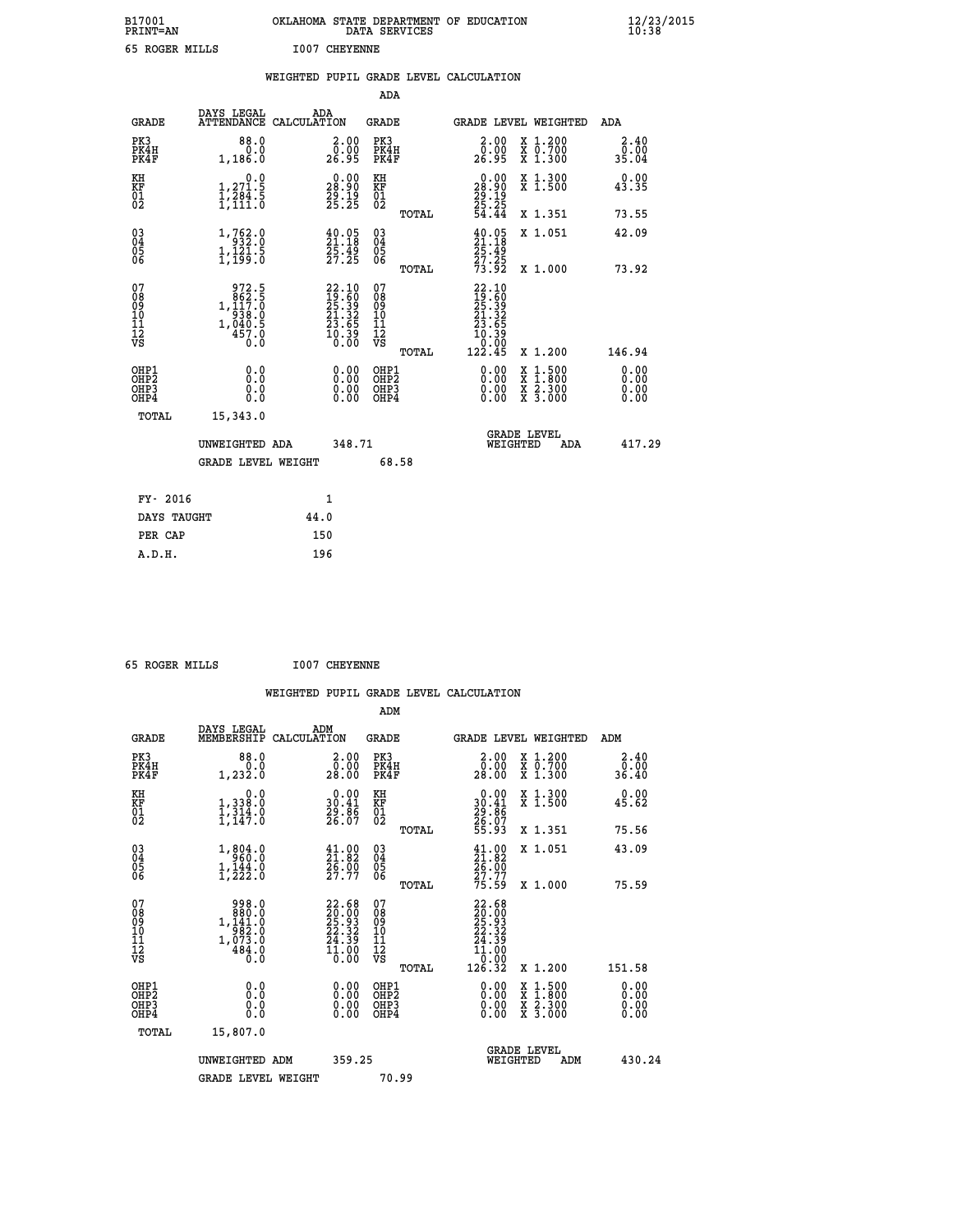| B17001<br>PRINT=AN                     |                                                                                                                 | OKLAHOMA STATE DEPARTMENT OF EDUCATION                                                                                          | DATA SERVICES                                      |                                                                              |                                                                                          | $\frac{12}{23}$ /2015 |
|----------------------------------------|-----------------------------------------------------------------------------------------------------------------|---------------------------------------------------------------------------------------------------------------------------------|----------------------------------------------------|------------------------------------------------------------------------------|------------------------------------------------------------------------------------------|-----------------------|
| 65 ROGER MILLS                         |                                                                                                                 | <b>I007 CHEYENNE</b>                                                                                                            |                                                    |                                                                              |                                                                                          |                       |
|                                        |                                                                                                                 | WEIGHTED PUPIL GRADE LEVEL CALCULATION                                                                                          |                                                    |                                                                              |                                                                                          |                       |
|                                        |                                                                                                                 |                                                                                                                                 | ADA                                                |                                                                              |                                                                                          |                       |
| <b>GRADE</b>                           | DAYS LEGAL                                                                                                      | ADA<br>ATTENDANCE CALCULATION                                                                                                   | <b>GRADE</b>                                       | GRADE LEVEL WEIGHTED                                                         |                                                                                          | ADA                   |
| PK3<br>PK4H<br>PK4F                    | 88.0<br>0.0<br>1,186.0                                                                                          | 2.00<br>0.00<br>26.95                                                                                                           | PK3<br>PK4H<br>PK4F                                | 2.00<br>0.00<br>26.95                                                        | X 1.200<br>$\begin{smallmatrix} 7 & 0.700 \\ 7 & 1.300 \end{smallmatrix}$                | 2.40<br>0.00<br>35.04 |
| KH<br>KF<br>$\overline{01}$            | 0.0<br>$\frac{1}{1}, \frac{2}{1}, \frac{3}{1}, \frac{4}{1}, \frac{5}{11}, \frac{6}{10}$                         | $\begin{smallmatrix} 0.00\\ 28.90\\ 29.19\\ 25.25 \end{smallmatrix}$                                                            | KH<br>KF<br>$\overline{01}$                        | 0.00<br>28.90<br>$\frac{29}{25}. \frac{19}{25}$                              | X 1.300<br>X 1.500                                                                       | 0.00<br>43.35         |
|                                        |                                                                                                                 |                                                                                                                                 | TOTAL                                              | 54.44                                                                        | X 1.351                                                                                  | 73.55                 |
| $03\overline{4}$<br>05<br>06           | $\begin{smallmatrix} 1\,,\,762\cdot 0\\-\,932\cdot 0\\1\,,\,121\cdot 5\\1\,,\,199\cdot 0\end{smallmatrix}$      | $\begin{smallmatrix} 40.05\\21.18\\25.49\\27.25 \end{smallmatrix}$                                                              | $\begin{matrix} 03 \\ 04 \\ 05 \\ 06 \end{matrix}$ | $\frac{40.05}{21.18}$<br>$\frac{25.49}{27.25}$<br>$\frac{73.92}{73.92}$      | X 1.051                                                                                  | 42.09                 |
|                                        |                                                                                                                 |                                                                                                                                 | <b>TOTAL</b>                                       |                                                                              | X 1.000                                                                                  | 73.92                 |
| 07<br>08<br>09<br>10<br>11<br>12<br>VS | 972.5<br>$\begin{array}{r} 372.3 \\ 862.5 \\ 1,117.0 \\ 938.0 \\ 1,040.5 \\ 457.0 \end{array}$<br>$0.\check{0}$ | $\begin{smallmatrix} 22\cdot 10\\ 19\cdot 60\\ 25\cdot 39\\ 21\cdot 32\\ 23\cdot 65\\ 10\cdot 39\\ 0\cdot 00 \end{smallmatrix}$ | 07<br>08<br>09<br>10<br>īĭ<br>12<br>VS<br>TOTAL    | $22.10$<br>$19.60$<br>$25.39$<br>$21.32$<br>23.65<br>10.39<br>0.00<br>122.45 | X 1.200                                                                                  | 146.94                |
| OHP1                                   | 0.0                                                                                                             | 0.00                                                                                                                            | OHP1                                               | 0.00                                                                         |                                                                                          | 0.00                  |
| OH <sub>P</sub> 2<br>OHP3<br>OHP4      | Ŏ.Ŏ<br>0.0<br>0.0                                                                                               | 0.00                                                                                                                            | OHP <sub>2</sub><br>OHP3<br>OHP4                   | 0.00<br>0.00                                                                 | $\begin{smallmatrix} x & 1.500 \\ x & 1.800 \\ x & 2.300 \\ x & 3.000 \end{smallmatrix}$ | 0.00<br>0.00<br>0.00  |
| TOTAL                                  | 15,343.0                                                                                                        |                                                                                                                                 |                                                    |                                                                              |                                                                                          |                       |
|                                        | UNWEIGHTED ADA                                                                                                  | 348.71                                                                                                                          |                                                    | <b>GRADE LEVEL</b><br>WEIGHTED                                               | ADA                                                                                      | 417.29                |
|                                        | GRADE LEVEL WEIGHT                                                                                              |                                                                                                                                 | 68.58                                              |                                                                              |                                                                                          |                       |
| FY- 2016                               |                                                                                                                 | 1                                                                                                                               |                                                    |                                                                              |                                                                                          |                       |
| DAYS TAUGHT                            |                                                                                                                 | 44.0                                                                                                                            |                                                    |                                                                              |                                                                                          |                       |
| PER CAP                                |                                                                                                                 | 150                                                                                                                             |                                                    |                                                                              |                                                                                          |                       |

 **65 ROGER MILLS I007 CHEYENNE**

|                                                                              |                                                                                           |                                                                                              |                                                     | WEIGHTED PUPIL GRADE LEVEL CALCULATION                                                                                                                                                                                                                                         |                                                                                          |                              |
|------------------------------------------------------------------------------|-------------------------------------------------------------------------------------------|----------------------------------------------------------------------------------------------|-----------------------------------------------------|--------------------------------------------------------------------------------------------------------------------------------------------------------------------------------------------------------------------------------------------------------------------------------|------------------------------------------------------------------------------------------|------------------------------|
|                                                                              |                                                                                           |                                                                                              | ADM                                                 |                                                                                                                                                                                                                                                                                |                                                                                          |                              |
| <b>GRADE</b>                                                                 | DAYS LEGAL<br>MEMBERSHIP                                                                  | ADM<br>CALCULATION                                                                           | <b>GRADE</b>                                        | GRADE LEVEL WEIGHTED                                                                                                                                                                                                                                                           |                                                                                          | ADM                          |
| PK3<br>PK4H<br>PK4F                                                          | 88.0<br>0.0<br>1,232.0                                                                    | $2.00$<br>$0.00$<br>28.00                                                                    | PK3<br>PK4H<br>PK4F                                 | 2.00<br>0.00<br>28.00                                                                                                                                                                                                                                                          | X 1.200<br>X 0.700<br>X 1.300                                                            | 2.40<br>0.00<br>36.40        |
| KH<br>KF<br>01<br>02                                                         | 0.0<br>1, 338:0<br>1, 314:0<br>1, 147:0                                                   | $\begin{smallmatrix} 0.00\\ 30.41\\ 29.86\\ 26.07 \end{smallmatrix}$                         | KH<br>KF<br>01<br>02                                | $0.00$<br>$30.41$<br>$29.86$<br>$26.07$<br>$55.93$                                                                                                                                                                                                                             | X 1.300<br>X 1.500                                                                       | 0.00<br>45.62                |
|                                                                              |                                                                                           |                                                                                              | TOTAL                                               |                                                                                                                                                                                                                                                                                | X 1.351                                                                                  | 75.56                        |
| $\begin{matrix} 03 \\ 04 \\ 05 \\ 06 \end{matrix}$                           | 1,804.0<br>$1, \frac{1}{4}, \frac{1}{2}, \frac{1}{2}$                                     | $\begin{smallmatrix} 41.00\\21.82\\26.00\\27.77 \end{smallmatrix}$                           | $\begin{array}{c} 03 \\ 04 \\ 05 \\ 06 \end{array}$ | $\begin{smallmatrix} 41.00\\21.82\\26.00\\27.77 \end{smallmatrix}$                                                                                                                                                                                                             | X 1.051                                                                                  | 43.09                        |
|                                                                              |                                                                                           |                                                                                              | TOTAL                                               | 75.59                                                                                                                                                                                                                                                                          | X 1.000                                                                                  | 75.59                        |
| 07<br>08<br>09<br>101<br>112<br>VS                                           | 998.0<br>$1, \frac{380.0}{982.0}$<br>1, $\frac{141.0}{982.0}$<br>1, $\frac{073.0}{484.0}$ | $\begin{smallmatrix} 22.68\\ 20.00\\ 25.93\\ 22.32\\ 24.39\\ 11.00\\ 0.00 \end{smallmatrix}$ | 07<br>08<br>09<br>11<br>11<br>12<br>VS<br>TOTAL     | 22.68<br>20.00<br>25.93<br>22.32<br>24.39<br>11.00<br>10.00<br>126.32                                                                                                                                                                                                          | X 1.200                                                                                  | 151.58                       |
|                                                                              |                                                                                           |                                                                                              |                                                     |                                                                                                                                                                                                                                                                                |                                                                                          |                              |
| OHP1<br>OH <sub>P</sub> <sub>2</sub><br>OH <sub>P3</sub><br>OH <sub>P4</sub> | 0.0<br>0.000                                                                              | 0.00<br>0.00<br>0.00                                                                         | OHP1<br>OH <sub>P</sub> 2<br>OHP3<br>OHP4           | $\begin{smallmatrix} 0.00 & 0.00 & 0.00 & 0.00 & 0.00 & 0.00 & 0.00 & 0.00 & 0.00 & 0.00 & 0.00 & 0.00 & 0.00 & 0.00 & 0.00 & 0.00 & 0.00 & 0.00 & 0.00 & 0.00 & 0.00 & 0.00 & 0.00 & 0.00 & 0.00 & 0.00 & 0.00 & 0.00 & 0.00 & 0.00 & 0.00 & 0.00 & 0.00 & 0.00 & 0.00 & 0.0$ | $\begin{smallmatrix} x & 1.500 \\ x & 1.800 \\ x & 2.300 \\ x & 3.000 \end{smallmatrix}$ | 0.00<br>0.00<br>0.00<br>0.00 |
| TOTAL                                                                        | 15,807.0                                                                                  |                                                                                              |                                                     |                                                                                                                                                                                                                                                                                |                                                                                          |                              |
|                                                                              | UNWEIGHTED ADM                                                                            | 359.25                                                                                       |                                                     | <b>GRADE LEVEL</b><br>WEIGHTED                                                                                                                                                                                                                                                 | ADM                                                                                      | 430.24                       |
|                                                                              | <b>GRADE LEVEL WEIGHT</b>                                                                 |                                                                                              | 70.99                                               |                                                                                                                                                                                                                                                                                |                                                                                          |                              |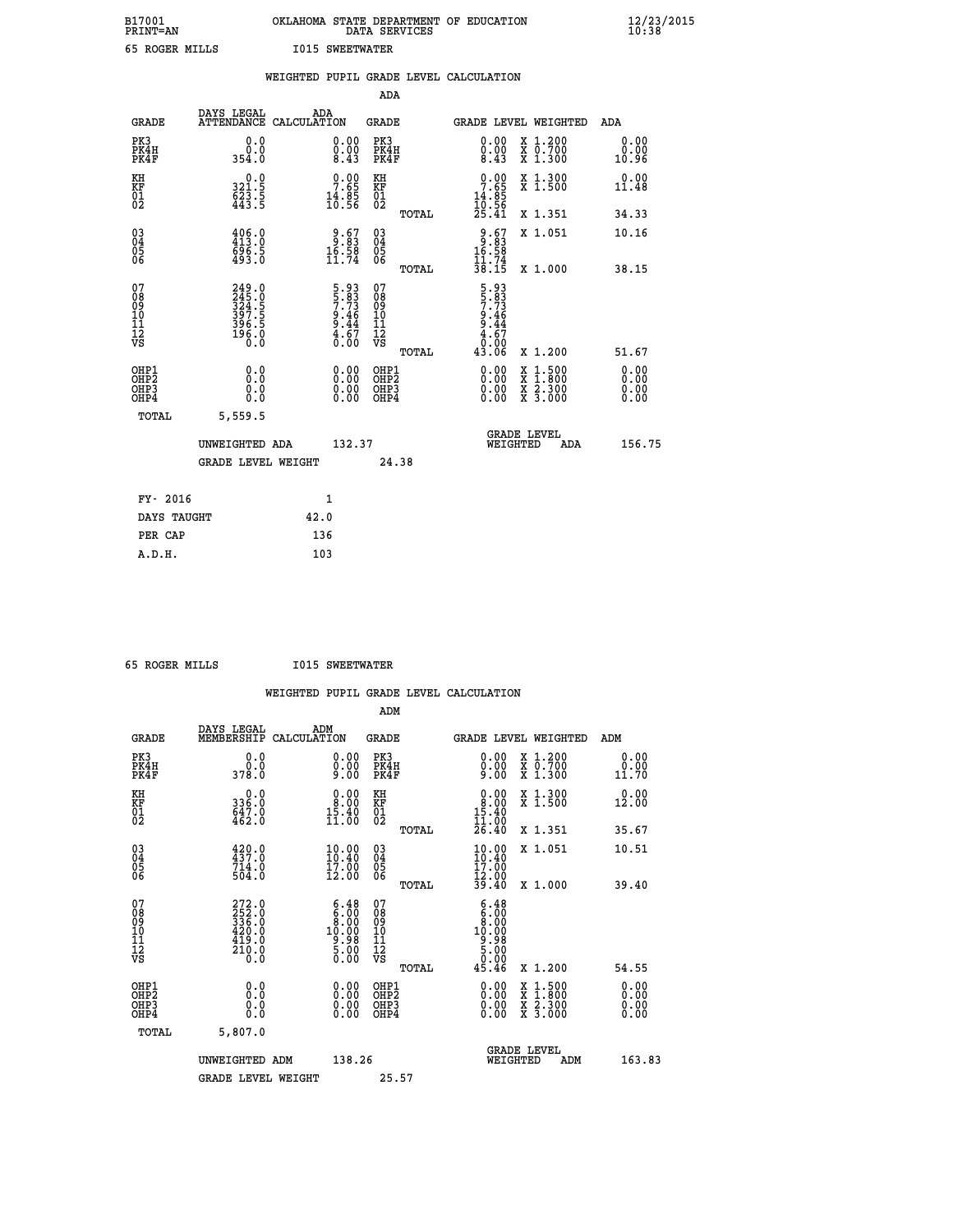| B17001<br><b>PRINT=AN</b> | OKLAHOMA STATE DEPARTMENT OF EDUCATION<br>DATA SERVICES | $\frac{12}{23}$ /2015 |
|---------------------------|---------------------------------------------------------|-----------------------|
| 65 ROGER MILLS            | <b>I015 SWEETWATER</b>                                  |                       |

|                                                                    |                                                             | WEIGHTED PUPIL GRADE LEVEL CALCULATION                              |                                                                    |                                                     |       |                                                            |                                                                                                                                           |                              |
|--------------------------------------------------------------------|-------------------------------------------------------------|---------------------------------------------------------------------|--------------------------------------------------------------------|-----------------------------------------------------|-------|------------------------------------------------------------|-------------------------------------------------------------------------------------------------------------------------------------------|------------------------------|
|                                                                    |                                                             |                                                                     |                                                                    | <b>ADA</b>                                          |       |                                                            |                                                                                                                                           |                              |
| <b>GRADE</b>                                                       | DAYS LEGAL<br><b>ATTENDANCE</b>                             | ADA<br>CALCULATION                                                  |                                                                    | <b>GRADE</b>                                        |       |                                                            | GRADE LEVEL WEIGHTED                                                                                                                      | ADA                          |
| PK3<br>PK4H<br>PK4F                                                | 0.0<br>ة:ة<br>354:0                                         |                                                                     | $\begin{smallmatrix} 0.00 \ 0.00 \ 8.43 \end{smallmatrix}$         | PK3<br>PK4H<br>PK4F                                 |       | $\begin{smallmatrix} 0.00\\ 0.00\\ 8.43 \end{smallmatrix}$ | X 1.200<br>X 0.700<br>X 1.300                                                                                                             | 0.00<br>0.00<br>10.96        |
| KH<br>KF<br>01<br>02                                               | 0.0<br>$\frac{321.5}{623.5}$                                | $\begin{smallmatrix} 0.00\\ 7.65\\ 14.85\\ 10.56 \end{smallmatrix}$ |                                                                    | KH<br>KF<br>01<br>02                                |       | $0.00\n7.65\n14.85\n10.56\n25.41$                          | X 1.300<br>X 1.500                                                                                                                        | 0.00<br>11.48                |
|                                                                    |                                                             |                                                                     |                                                                    |                                                     | TOTAL |                                                            | X 1.351                                                                                                                                   | 34.33                        |
| $\begin{smallmatrix} 03 \\[-4pt] 04 \end{smallmatrix}$<br>Ŏ5<br>06 | $406.0$<br>$413.0$<br>696.5<br>493.0                        | $\begin{array}{r} 9.67 \\ 3.83 \\ 16.58 \\ 11.74 \end{array}$       |                                                                    | $\begin{array}{c} 03 \\ 04 \\ 05 \\ 06 \end{array}$ |       | $9.67$<br>16.58<br>16.58<br>11.74<br>38.15                 | X 1.051                                                                                                                                   | 10.16                        |
|                                                                    |                                                             |                                                                     |                                                                    |                                                     | TOTAL |                                                            | X 1.000                                                                                                                                   | 38.15                        |
| 07<br>0890112<br>1112<br>VS                                        | 249.0<br>245.0<br>324.5<br>397.5<br>396.5<br>396.0<br>196.0 |                                                                     | $5.93$<br>$5.73$<br>$7.46$<br>$9.46$<br>$9.44$<br>$4.67$<br>$0.00$ | 07<br>08<br>09<br>11<br>11<br>12<br>VS              | TOTAL | 5.93<br>57.83<br>7.446<br>9.44<br>9.67<br>0.00<br>43.06    | X 1.200                                                                                                                                   | 51.67                        |
| OHP1<br>OHP2<br>OH <sub>P3</sub><br>OH <sub>P4</sub>               | 0.0<br>Ō.Ō<br>0.0<br>0.0                                    |                                                                     | $\begin{smallmatrix} 0.00 \ 0.00 \ 0.00 \ 0.00 \end{smallmatrix}$  | OHP1<br>OHP2<br>OHP3<br>OHP4                        |       |                                                            | $\begin{smallmatrix} \mathtt{X} & 1\cdot500\\ \mathtt{X} & 1\cdot800\\ \mathtt{X} & 2\cdot300\\ \mathtt{X} & 3\cdot000 \end{smallmatrix}$ | 0.00<br>0.00<br>0.00<br>0.00 |
| TOTAL                                                              | 5,559.5                                                     |                                                                     |                                                                    |                                                     |       |                                                            |                                                                                                                                           |                              |
|                                                                    | UNWEIGHTED ADA                                              |                                                                     | 132.37                                                             |                                                     |       | WEIGHTED                                                   | <b>GRADE LEVEL</b><br>ADA                                                                                                                 | 156.75                       |
|                                                                    | <b>GRADE LEVEL WEIGHT</b>                                   |                                                                     |                                                                    | 24.38                                               |       |                                                            |                                                                                                                                           |                              |
| FY- 2016                                                           |                                                             | $\mathbf{1}$                                                        |                                                                    |                                                     |       |                                                            |                                                                                                                                           |                              |
| DAYS TAUGHT                                                        |                                                             | 42.0                                                                |                                                                    |                                                     |       |                                                            |                                                                                                                                           |                              |
| PER CAP                                                            |                                                             | 136                                                                 |                                                                    |                                                     |       |                                                            |                                                                                                                                           |                              |

 **65 ROGER MILLS I015 SWEETWATER**

|                                                    |                                                               | WEIGHTED PUPIL GRADE LEVEL CALCULATION                                                                                                |                                                 |                                                                                                                                                                                                                                                                                |                                          |                       |
|----------------------------------------------------|---------------------------------------------------------------|---------------------------------------------------------------------------------------------------------------------------------------|-------------------------------------------------|--------------------------------------------------------------------------------------------------------------------------------------------------------------------------------------------------------------------------------------------------------------------------------|------------------------------------------|-----------------------|
|                                                    |                                                               |                                                                                                                                       | ADM                                             |                                                                                                                                                                                                                                                                                |                                          |                       |
| <b>GRADE</b>                                       | DAYS LEGAL<br>MEMBERSHIP                                      | ADM<br>CALCULATION                                                                                                                    | GRADE                                           | <b>GRADE LEVEL WEIGHTED</b>                                                                                                                                                                                                                                                    |                                          | ADM                   |
| PK3<br>PK4H<br>PK4F                                | 0.0<br>0.0<br>378.0                                           | $\begin{smallmatrix} 0.00 \ 0.00 \ 9.00 \end{smallmatrix}$                                                                            | PK3<br>PK4H<br>PK4F                             | $0.00\n0.00\n9.00$                                                                                                                                                                                                                                                             | X 1.200<br>X 0.700<br>X 1.300            | 0.00<br>0.00<br>11.70 |
| KH<br>KF<br>01<br>02                               | $336.0$<br>$647.0$<br>$462.0$                                 | $\begin{smallmatrix} 0.00\\ 8.00\\ 15.40\\ 11.00 \end{smallmatrix}$                                                                   | KH<br>KF<br>01<br>02                            | $\begin{smallmatrix} 0.00\\ 8.00\\ 15.40\\ 11.00\\ 26.40 \end{smallmatrix}$                                                                                                                                                                                                    | X 1.300<br>X 1.500                       | 0.00<br>12.00         |
|                                                    |                                                               |                                                                                                                                       | TOTAL                                           |                                                                                                                                                                                                                                                                                | X 1.351                                  | 35.67                 |
| $\begin{matrix} 03 \\ 04 \\ 05 \\ 06 \end{matrix}$ | 439.0<br>714.0<br>504.0                                       | $\begin{smallmatrix} 10.00\\ 10.40\\ 17.00\\ 12.00 \end{smallmatrix}$                                                                 | 03<br>04<br>05<br>06                            | 10.00<br>10.40<br>17:00<br>12:00<br>39:40                                                                                                                                                                                                                                      | X 1.051                                  | 10.51                 |
|                                                    |                                                               |                                                                                                                                       | TOTAL                                           |                                                                                                                                                                                                                                                                                | X 1.000                                  | 39.40                 |
| 07<br>08<br>09<br>101<br>112<br>VS                 | 272.0<br>252.0<br>336.0<br>420.0<br>419.0<br><sup>210:0</sup> | $\begin{smallmatrix} 6\cdot 48\\ 6\cdot 00\\ 8\cdot 00\\ 10\cdot 00\\ 9\cdot 98\\ 5\cdot 00\\ 0\cdot 00\\ 0\cdot 00\end{smallmatrix}$ | 07<br>08<br>09<br>11<br>11<br>12<br>VS<br>TOTAL | $\begin{smallmatrix} 6.48 \\ 6.00 \\ 8.00 \\ 10.00 \\ 9.98 \\ 5.00 \\ 0.00 \\ 0.00 \\ \end{smallmatrix}$<br>45.46                                                                                                                                                              | X 1.200                                  | 54.55                 |
| OHP1                                               |                                                               |                                                                                                                                       | OHP1                                            |                                                                                                                                                                                                                                                                                |                                          | 0.00                  |
| OHP <sub>2</sub><br>OH <sub>P3</sub><br>OHP4       | 0.0<br>0.000                                                  | $0.00$<br>$0.00$<br>0.00                                                                                                              | OHP <sub>2</sub><br>OHP3<br>OHP4                | $\begin{smallmatrix} 0.00 & 0.00 & 0.00 & 0.00 & 0.00 & 0.00 & 0.00 & 0.00 & 0.00 & 0.00 & 0.00 & 0.00 & 0.00 & 0.00 & 0.00 & 0.00 & 0.00 & 0.00 & 0.00 & 0.00 & 0.00 & 0.00 & 0.00 & 0.00 & 0.00 & 0.00 & 0.00 & 0.00 & 0.00 & 0.00 & 0.00 & 0.00 & 0.00 & 0.00 & 0.00 & 0.0$ | X 1:500<br>X 1:800<br>X 2:300<br>X 3:000 | 0.00<br>0.00<br>0.00  |
| TOTAL                                              | 5,807.0                                                       |                                                                                                                                       |                                                 |                                                                                                                                                                                                                                                                                |                                          |                       |
|                                                    | UNWEIGHTED ADM                                                | 138.26                                                                                                                                |                                                 | <b>GRADE LEVEL</b><br>WEIGHTED                                                                                                                                                                                                                                                 | ADM                                      | 163.83                |
|                                                    | <b>GRADE LEVEL WEIGHT</b>                                     |                                                                                                                                       | 25.57                                           |                                                                                                                                                                                                                                                                                |                                          |                       |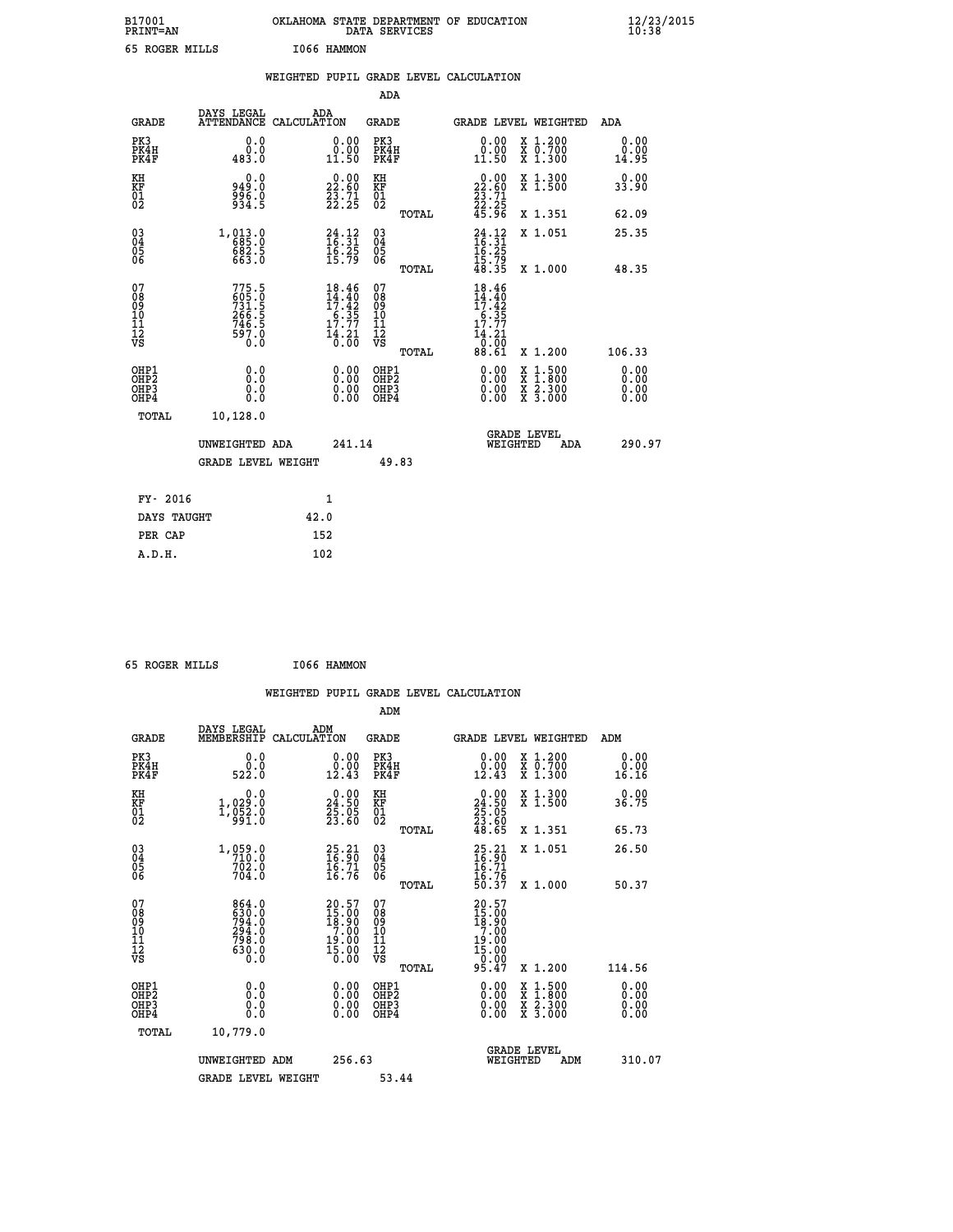| B17001<br>PRINT=AN | OKLAHOMA STATE DEPARTMENT OF EDUCATION<br>DATA SERVICES | $\frac{12}{23}$ /2015 |
|--------------------|---------------------------------------------------------|-----------------------|
| 65 ROGER MILLS     | 1066 HAMMON                                             |                       |

|                                                                    |                                                                      |              |                                                                            |                                        |       | WEIGHTED PUPIL GRADE LEVEL CALCULATION                                           |                               |                              |
|--------------------------------------------------------------------|----------------------------------------------------------------------|--------------|----------------------------------------------------------------------------|----------------------------------------|-------|----------------------------------------------------------------------------------|-------------------------------|------------------------------|
|                                                                    |                                                                      |              |                                                                            | <b>ADA</b>                             |       |                                                                                  |                               |                              |
| <b>GRADE</b>                                                       | DAYS LEGAL<br>ATTENDANCE CALCULATION                                 | ADA          |                                                                            | <b>GRADE</b>                           |       |                                                                                  | GRADE LEVEL WEIGHTED          | ADA                          |
| PK3<br>PK4H<br>PK4F                                                | 0.0<br>0.0<br>483.0                                                  |              | $\begin{smallmatrix} 0.00\\ 0.00\\ 11.50 \end{smallmatrix}$                | PK3<br>PK4H<br>PK4F                    |       | 0.00<br>0.00<br>11.50                                                            | X 1.200<br>X 0.700<br>X 1.300 | 0.00<br>0.00<br>14.95        |
| KH<br>KF<br>01<br>02                                               | 0.0<br>949.0<br>996.0<br>934.5                                       |              | $\begin{smallmatrix} 0.00\\ 22.60\\ 23.71\\ 22.25 \end{smallmatrix}$       | KH<br>KF<br>01<br>02                   |       | $\begin{smallmatrix} 0.00\\ 22.60\\ 23.71\\ 22.25\\ 45.96 \end{smallmatrix}$     | X 1.300<br>X 1.500            | 0.00<br>33.90                |
|                                                                    |                                                                      |              |                                                                            |                                        | TOTAL |                                                                                  | X 1.351                       | 62.09                        |
| $\begin{smallmatrix} 03 \\[-4pt] 04 \end{smallmatrix}$<br>Ŏ5<br>06 | 1, 013.0<br>682.5<br>663.0                                           |              | $24.12$<br>$16.31$<br>$\frac{16.25}{15.79}$                                | $\substack{03 \\ 04}$<br>Ŏ5<br>06      |       | $\frac{24}{16}:\frac{12}{31}$<br>$\frac{16.25}{15.79}$<br>48.35                  | X 1.051                       | 25.35                        |
|                                                                    |                                                                      |              |                                                                            |                                        | TOTAL |                                                                                  | X 1.000                       | 48.35                        |
| 07<br>08<br>09<br>101<br>112<br>VS                                 | 775.5<br>605.0<br>731.5<br>731.5<br>266.5<br>746.5<br>746.5<br>797.0 |              | $18.46$<br>$14.40$<br>$17.42$<br>$6.35$<br>$17.77$<br>$\frac{14.21}{0.00}$ | 07<br>08<br>09<br>11<br>11<br>12<br>VS | TOTAL | $18.46$<br>$14.40$<br>$17.42$<br>$\frac{16.35}{17.77}$<br>14.21<br>0.00<br>88.61 | X 1.200                       | 106.33                       |
| OHP1<br>OHP2<br>OHP3<br>OHP4                                       | 0.0<br>0.0<br>0.0                                                    |              | 0.00<br>$\begin{smallmatrix} 0.00 \ 0.00 \end{smallmatrix}$                | OHP1<br>OHP2<br>OHP3<br>OHP4           |       | 0.00<br>0.00<br>0.00                                                             | X 1:500<br>X 2.300<br>X 3.000 | 0.00<br>Ō.ŎŎ<br>0.00<br>0.00 |
| <b>TOTAL</b>                                                       | 10,128.0                                                             |              |                                                                            |                                        |       |                                                                                  |                               |                              |
|                                                                    | UNWEIGHTED ADA                                                       |              | 241.14                                                                     |                                        |       | WEIGHTED                                                                         | <b>GRADE LEVEL</b><br>ADA     | 290.97                       |
|                                                                    | <b>GRADE LEVEL WEIGHT</b>                                            |              |                                                                            | 49.83                                  |       |                                                                                  |                               |                              |
| FY- 2016                                                           |                                                                      | $\mathbf{1}$ |                                                                            |                                        |       |                                                                                  |                               |                              |
| DAYS TAUGHT                                                        |                                                                      | 42.0         |                                                                            |                                        |       |                                                                                  |                               |                              |
| PER CAP                                                            |                                                                      | 152          |                                                                            |                                        |       |                                                                                  |                               |                              |

| 65 ROGER MILLS |  | I066 HAMMON |
|----------------|--|-------------|
|                |  |             |

|                                                    |                                                             | WEIGHTED PUPIL GRADE LEVEL CALCULATION                                              |                                              |       |                                                                                                     |                                                                                                  |                       |
|----------------------------------------------------|-------------------------------------------------------------|-------------------------------------------------------------------------------------|----------------------------------------------|-------|-----------------------------------------------------------------------------------------------------|--------------------------------------------------------------------------------------------------|-----------------------|
|                                                    |                                                             |                                                                                     | ADM                                          |       |                                                                                                     |                                                                                                  |                       |
| <b>GRADE</b>                                       | DAYS LEGAL<br>MEMBERSHIP                                    | ADM<br>CALCULATION                                                                  | <b>GRADE</b>                                 |       |                                                                                                     | GRADE LEVEL WEIGHTED                                                                             | ADM                   |
| PK3<br>PK4H<br>PK4F                                | 0.0<br>0.0<br>522.0                                         | 0.00<br>$\begin{smallmatrix} 0.00 \ 12.43 \end{smallmatrix}$                        | PK3<br>PK4H<br>PK4F                          |       | 0.00<br>0.00<br>12.43                                                                               | X 1.200<br>X 0.700<br>X 1.300                                                                    | 0.00<br>0.00<br>16.16 |
| KH<br>KF<br>01<br>02                               | 0.0<br>1,029:0<br>1,052:0<br>991:0                          | $\begin{smallmatrix} 0.00\\24.50\\25.05\\23.60 \end{smallmatrix}$                   | KH<br>KF<br>01<br>02                         |       | $\begin{smallmatrix} 0.00\\24.50\\25.05\\23.60\\48.65 \end{smallmatrix}$                            | X 1.300<br>X 1.500                                                                               | 0.00<br>36.75         |
|                                                    |                                                             |                                                                                     |                                              | TOTAL |                                                                                                     | X 1.351                                                                                          | 65.73                 |
| $\begin{matrix} 03 \\ 04 \\ 05 \\ 06 \end{matrix}$ | $1,059.0$<br>710.0<br>702.0<br>704.0                        | $\begin{smallmatrix} 25.21\ 16.90\ 16.71\ 16.76 \end{smallmatrix}$                  | 03<br>04<br>05<br>06                         |       | $25.21$<br>$16.71$<br>$16.71$<br>$16.76$<br>$50.37$                                                 | X 1.051                                                                                          | 26.50                 |
|                                                    |                                                             |                                                                                     |                                              | TOTAL |                                                                                                     | X 1.000                                                                                          | 50.37                 |
| 07<br>08<br>09<br>101<br>11<br>12<br>VS            | 864.0<br>630.0<br>794.0<br>294.0<br>798.0<br>630.0<br>630.0 | $20.57$<br>$15.00$<br>$18.90$<br>$7.00$<br>$19.00$<br>$\overline{15}.\overline{00}$ | 07<br>08<br>09<br>01<br>11<br>11<br>12<br>VS |       | $\begin{smallmatrix} 20.57\\ 15.00\\ 18.90\\ 7.00\\ 19.00\\ 15.00\\ 0.00\\ 95.47 \end{smallmatrix}$ |                                                                                                  |                       |
|                                                    |                                                             |                                                                                     |                                              | TOTAL |                                                                                                     | X 1.200                                                                                          | 114.56                |
| OHP1<br>OHP2<br>OH <sub>P3</sub><br>OHP4           | 0.0<br>0.000                                                | $\begin{smallmatrix} 0.00 \ 0.00 \ 0.00 \ 0.00 \end{smallmatrix}$                   | OHP1<br>OHP2<br>OHP3<br>OHP4                 |       |                                                                                                     | $\begin{smallmatrix} x & 1 & 500 \\ x & 1 & 800 \\ x & 2 & 300 \\ x & 3 & 000 \end{smallmatrix}$ | 0.00<br>0.00<br>0.00  |
| TOTAL                                              | 10,779.0                                                    |                                                                                     |                                              |       |                                                                                                     |                                                                                                  |                       |
|                                                    | UNWEIGHTED ADM<br><b>GRADE LEVEL WEIGHT</b>                 | 256.63                                                                              | 53.44                                        |       | WEIGHTED                                                                                            | <b>GRADE LEVEL</b><br>ADM                                                                        | 310.07                |
|                                                    |                                                             |                                                                                     |                                              |       |                                                                                                     |                                                                                                  |                       |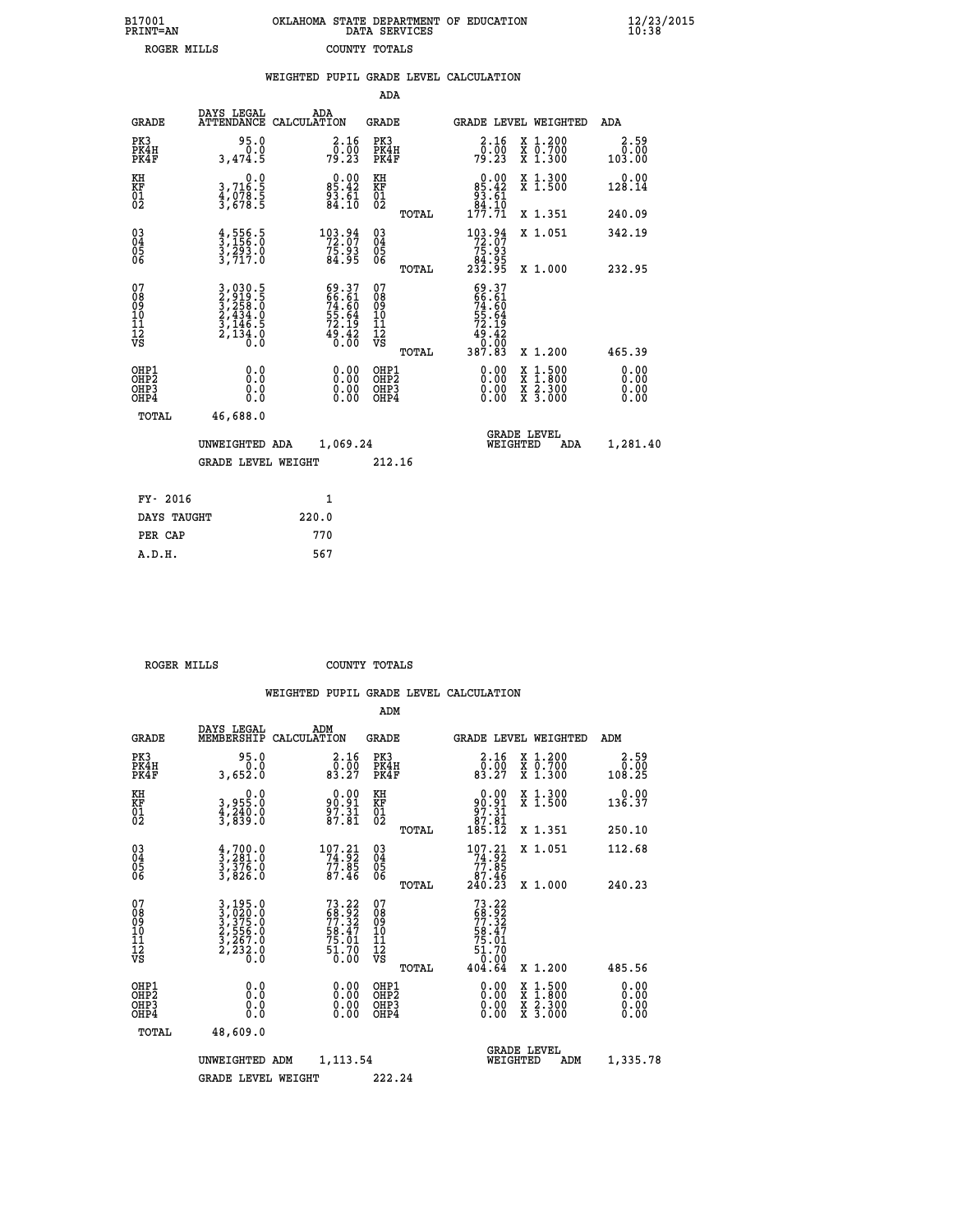| B17001<br><b>PRINT=AN</b> | OKLAHOMA STATE DEPARTMENT OF EDUCATION<br>DATA SERVICES | $\frac{12}{23}$ /2015 |
|---------------------------|---------------------------------------------------------|-----------------------|
| ROGER MILLS               | COUNTY TOTALS                                           |                       |

|                                          |                                                                                                                                                          |       |                                                                     |                                          |       | WEIGHTED PUPIL GRADE LEVEL CALCULATION                                                                                                                |                                                                                          |                              |
|------------------------------------------|----------------------------------------------------------------------------------------------------------------------------------------------------------|-------|---------------------------------------------------------------------|------------------------------------------|-------|-------------------------------------------------------------------------------------------------------------------------------------------------------|------------------------------------------------------------------------------------------|------------------------------|
|                                          |                                                                                                                                                          |       |                                                                     | ADA                                      |       |                                                                                                                                                       |                                                                                          |                              |
| <b>GRADE</b>                             | DAYS LEGAL<br>ATTENDANCE CALCULATION                                                                                                                     |       | ADA                                                                 | <b>GRADE</b>                             |       | GRADE LEVEL WEIGHTED                                                                                                                                  |                                                                                          | ADA                          |
| PK3<br>PK4H<br>PK4F                      | 95.0<br>0.0<br>3,474.5                                                                                                                                   |       | $\begin{smallmatrix} 2.16 \\ 0.00 \\ 79.23 \end{smallmatrix}$       | PK3<br>PK4H<br>PK4F                      |       | $\frac{2.16}{0.00}$<br>79.23                                                                                                                          | X 1.200<br>X 0.700<br>X 1.300                                                            | 2.59<br>0.00<br>103.00       |
| KH<br>KF<br>01<br>02                     | $\begin{smallmatrix}&&&0.0\\3.716.5\\4.078.5\\3.678.5\end{smallmatrix}$                                                                                  |       | $0.00$<br>85.42<br>$\frac{5}{8}\cdot\frac{5}{10}$                   | KH<br>KF<br>01<br>02                     |       | $0.00$<br>$85.42$<br>$93.61$<br>$84.10$                                                                                                               | X 1.300<br>X 1.500                                                                       | 0.00<br>128.14               |
|                                          |                                                                                                                                                          |       |                                                                     |                                          | TOTAL | 177.71                                                                                                                                                | X 1.351                                                                                  | 240.09                       |
| 03<br>04<br>05<br>06                     | $\frac{4}{3}, \frac{556}{156}. \frac{5}{0}$<br>$\frac{3}{2}, \frac{293}{717}. \frac{0}{0}$                                                               |       | $103.94$<br>72.07<br>75.93<br>84.95                                 | $\substack{03 \\ 04}$<br>Ŏ5<br>06        |       | $\begin{smallmatrix} 1 & 0 & 3 & 0 & 9 & 4 \\ 7 & 2 & 0 & 7 & 7 \\ 7 & 5 & 0 & 9 & 3 \\ 8 & 4 & 0 & 9 & 5 \\ 2 & 3 & 2 & 0 & 9 & 5 \end{smallmatrix}$ | X 1.051                                                                                  | 342.19                       |
|                                          |                                                                                                                                                          |       |                                                                     |                                          | TOTAL |                                                                                                                                                       | X 1.000                                                                                  | 232.95                       |
| 07<br>08<br>09<br>11<br>11<br>12<br>VS   | $\begin{smallmatrix} 3\,,\,030\,,\,5\\ 2\,,\,919\,,\,5\\ 3\,,\,258\,,\,0\\ 2\,,\,434\,,\,0\\ 3\,,\,146\,,\,5\\ 2\,,\,134\,,\,0\\ 0\,. \end{smallmatrix}$ |       | 69.37<br>66.61<br>74.60<br>74.64<br>55.64<br>72.19<br>49.42<br>0.00 | 07<br>08<br>09<br>11<br>11<br>12<br>VS   | TOTAL | 69.37<br>66.61<br>$74.60$<br>$55.64$<br>$72.19$<br>$49.42$<br>$0.00$<br>$387.83$                                                                      | X 1.200                                                                                  | 465.39                       |
| OHP1<br>OHP <sub>2</sub><br>OHP3<br>OHP4 | 0.0<br>Ō.Ō<br>0.0<br>0.0                                                                                                                                 |       | $\begin{smallmatrix} 0.00 \ 0.00 \ 0.00 \ 0.00 \end{smallmatrix}$   | OHP1<br>OHP <sub>2</sub><br>OHP3<br>OHP4 |       | 0.00<br>0.00                                                                                                                                          | $\begin{smallmatrix} x & 1.500 \\ x & 1.800 \\ x & 2.300 \\ x & 3.000 \end{smallmatrix}$ | 0.00<br>0.00<br>0.00<br>0.00 |
| TOTAL                                    | 46,688.0                                                                                                                                                 |       |                                                                     |                                          |       |                                                                                                                                                       |                                                                                          |                              |
|                                          | UNWEIGHTED ADA                                                                                                                                           |       | 1,069.24                                                            |                                          |       | WEIGHTED                                                                                                                                              | <b>GRADE LEVEL</b><br>ADA                                                                | 1,281.40                     |
|                                          | <b>GRADE LEVEL WEIGHT</b>                                                                                                                                |       |                                                                     | 212.16                                   |       |                                                                                                                                                       |                                                                                          |                              |
| FY- 2016                                 |                                                                                                                                                          |       | $\mathbf{1}$                                                        |                                          |       |                                                                                                                                                       |                                                                                          |                              |
| DAYS TAUGHT                              |                                                                                                                                                          | 220.0 |                                                                     |                                          |       |                                                                                                                                                       |                                                                                          |                              |
| PER CAP                                  |                                                                                                                                                          | 770   |                                                                     |                                          |       |                                                                                                                                                       |                                                                                          |                              |

| ROGER MILLS | COUNTY TOTALS |  |
|-------------|---------------|--|

|                                         |                                  |                                                                                                       |                    |                                                                                                                                                                                                                                                                                                                                              | ADM                                                 |       |                                                                                     |          |                                          |                                                        |  |
|-----------------------------------------|----------------------------------|-------------------------------------------------------------------------------------------------------|--------------------|----------------------------------------------------------------------------------------------------------------------------------------------------------------------------------------------------------------------------------------------------------------------------------------------------------------------------------------------|-----------------------------------------------------|-------|-------------------------------------------------------------------------------------|----------|------------------------------------------|--------------------------------------------------------|--|
|                                         | <b>GRADE</b>                     | DAYS LEGAL<br>MEMBERSHIP                                                                              | ADM<br>CALCULATION |                                                                                                                                                                                                                                                                                                                                              | <b>GRADE</b>                                        |       |                                                                                     |          | <b>GRADE LEVEL WEIGHTED</b>              | ADM                                                    |  |
|                                         | PK3<br>PK4H<br>PK4F              | 95.0<br>0.0<br>3,652.0                                                                                |                    | 2.16<br>$\begin{smallmatrix} & 0 & 0 & 0 \\ 0 & 0 & 0 & 0 \\ 0 & 0 & 0 & 0 \\ 0 & 0 & 0 & 0 \\ 0 & 0 & 0 & 0 \\ 0 & 0 & 0 & 0 \\ 0 & 0 & 0 & 0 \\ 0 & 0 & 0 & 0 \\ 0 & 0 & 0 & 0 \\ 0 & 0 & 0 & 0 \\ 0 & 0 & 0 & 0 \\ 0 & 0 & 0 & 0 \\ 0 & 0 & 0 & 0 \\ 0 & 0 & 0 & 0 \\ 0 & 0 & 0 & 0 & 0 \\ 0 & 0 & 0 & 0 & 0 \\ 0 & 0 & 0 & 0 & 0 \\ 0 &$ | PK3<br>PK4H<br>PK4F                                 |       | $\begin{smallmatrix} 2.16 \\ 0.00 \\ 83.27 \end{smallmatrix}$                       |          | X 1.200<br>X 0.700<br>X 1.300            | 2.59<br>$\frac{\bar{0} \cdot \bar{0} \bar{0}}{108.25}$ |  |
| KH<br>KF<br>01<br>02                    |                                  | 0.0<br>3,955.0<br>4,240.0<br>3,839.0                                                                  |                    | $90.91$<br>$97.31$<br>$87.81$                                                                                                                                                                                                                                                                                                                | KH<br>KF<br>01<br>02                                |       | $\begin{smallmatrix} 0.00\\ 90.91\\ 97.31\\ 87.81\\ 185.12 \end{smallmatrix}$       |          | X 1.300<br>X 1.500                       | 0.00<br>136.37                                         |  |
|                                         |                                  |                                                                                                       |                    |                                                                                                                                                                                                                                                                                                                                              |                                                     | TOTAL |                                                                                     |          | X 1.351                                  | 250.10                                                 |  |
| 03<br>04<br>05<br>06                    |                                  | $\frac{4}{3}, \frac{700}{281}.0$<br>$\frac{3}{3}, \frac{376}{826}.0$<br>$\frac{3}{3}, \frac{826}{80}$ |                    | $\begin{array}{r} 107.21 \\ 74.92 \\ 77.85 \\ 87.46 \end{array}$                                                                                                                                                                                                                                                                             | $\begin{array}{c} 03 \\ 04 \\ 05 \\ 06 \end{array}$ |       | $\begin{smallmatrix} 107.21 \\ 74.92 \\ 77.85 \\ 87.46 \\ 240.23 \end{smallmatrix}$ |          | X 1.051                                  | 112.68                                                 |  |
|                                         |                                  |                                                                                                       |                    |                                                                                                                                                                                                                                                                                                                                              |                                                     | TOTAL |                                                                                     |          | X 1.000                                  | 240.23                                                 |  |
| 07<br>08<br>09<br>101<br>11<br>12<br>VS |                                  | 3, 195.0<br>3, 020.0<br>3, 375.0<br>2, 556.0<br>3, 267.0<br>2, 232.0<br>0.0                           |                    | $73.22$<br>$68.92$<br>$77.32$<br>$58.47$<br>$75.01$<br>$51.70$<br>$0.00$                                                                                                                                                                                                                                                                     | 07<br>08<br>09<br>11<br>11<br>12<br>VS              | TOTAL | 73.22<br>68.92<br>77.32<br>75.47<br>54.75<br>51.70<br>54.99<br>404.64               |          | X 1.200                                  | 485.56                                                 |  |
|                                         | OHP1<br>OHP2<br>OH <sub>P3</sub> | 0.0                                                                                                   |                    |                                                                                                                                                                                                                                                                                                                                              | OHP1<br>OHP2                                        |       | $0.00$<br>$0.00$                                                                    |          | X 1:500<br>X 1:800<br>X 2:300<br>X 3:000 | 0.00<br>0.00<br>0.00                                   |  |
|                                         | OHP4                             | 0.000                                                                                                 |                    |                                                                                                                                                                                                                                                                                                                                              | OHP <sub>3</sub>                                    |       | 0.00                                                                                |          |                                          | 0.00                                                   |  |
|                                         | TOTAL                            | 48,609.0                                                                                              |                    |                                                                                                                                                                                                                                                                                                                                              |                                                     |       |                                                                                     |          |                                          |                                                        |  |
|                                         |                                  | UNWEIGHTED                                                                                            | ADM                | 1,113.54                                                                                                                                                                                                                                                                                                                                     |                                                     |       |                                                                                     | WEIGHTED | <b>GRADE LEVEL</b><br>ADM                | 1,335.78                                               |  |
|                                         |                                  | <b>GRADE LEVEL WEIGHT</b>                                                                             |                    |                                                                                                                                                                                                                                                                                                                                              | 222.24                                              |       |                                                                                     |          |                                          |                                                        |  |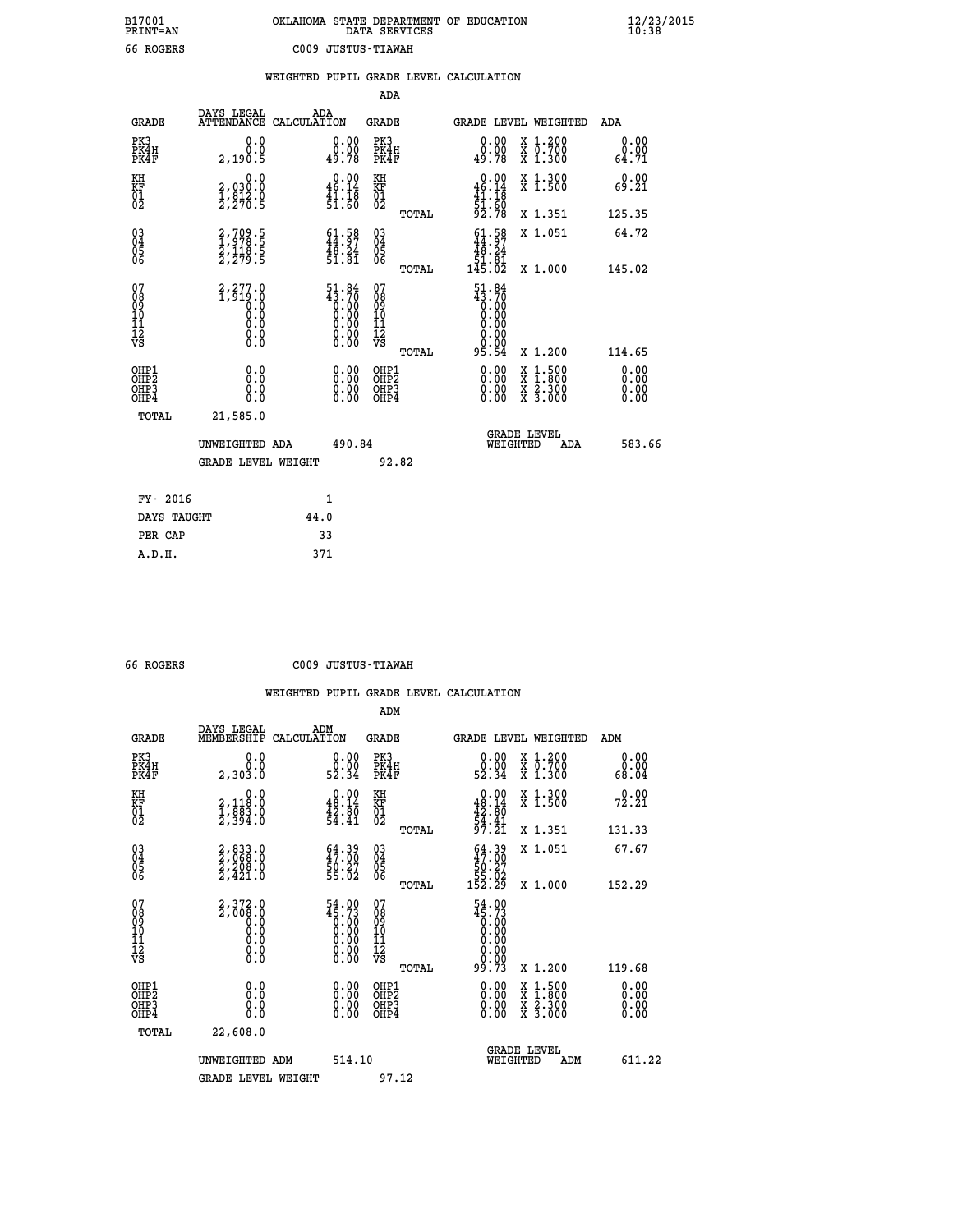| OKLAHOMA STATE DEPARTMENT OF EDUCATION<br>DATA SERVICES |  |
|---------------------------------------------------------|--|
| C009 JUSTUS-TIAWAH                                      |  |

 **B17001 OKLAHOMA STATE DEPARTMENT OF EDUCATION 12/23/2015**

|                                                                              |                                                            |                                                                       | ADA                                             |                                                                                                                                                                   |                              |
|------------------------------------------------------------------------------|------------------------------------------------------------|-----------------------------------------------------------------------|-------------------------------------------------|-------------------------------------------------------------------------------------------------------------------------------------------------------------------|------------------------------|
| <b>GRADE</b>                                                                 | DAYS LEGAL                                                 | ADA<br>ATTENDANCE CALCULATION                                         | GRADE                                           | <b>GRADE LEVEL WEIGHTED</b>                                                                                                                                       | ADA                          |
| PK3<br>PK4H<br>PK4F                                                          | 0.0<br>0.0<br>2,190.5                                      | 0.00<br>0.00<br>49.78                                                 | PK3<br>PK4H<br>PK4F                             | X 1.200<br>X 0.700<br>X 1.300<br>0.00<br>0.00<br>49.78                                                                                                            | 0.00<br>0.00<br>64.71        |
| KH<br>KF<br>01<br>02                                                         | 0.0<br>2,030:0<br>1,812.0<br>2,270:5                       | $\begin{smallmatrix} 0.00\\ 46.14\\ 41.18\\ 51.60 \end{smallmatrix}$  | KH<br>KF<br>01<br>02                            | $0.00$<br>46.14<br>X 1.300<br>X 1.500<br>$\frac{41}{51}$ : $\frac{13}{50}$<br>92.78                                                                               | 0.00<br>69.21                |
|                                                                              |                                                            |                                                                       | TOTAL                                           | X 1.351                                                                                                                                                           | 125.35                       |
| $^{03}_{04}$<br>Ŏ5<br>06                                                     | 2,709.5<br>1,978.5<br>2,118.5<br>2,279.5                   | $\begin{smallmatrix} 61.58\\ 44.97\\ 48.24\\ 51.81 \end{smallmatrix}$ | $^{03}_{04}$<br>$\frac{05}{06}$<br>TOTAL        | $\begin{smallmatrix} 61.58\\ 44.97\\ 48.24\\ 51.81\\ 145.02 \end{smallmatrix}$<br>X 1.051<br>X 1.000                                                              | 64.72<br>145.02              |
| 07<br>08<br>09<br>11<br>11<br>12<br>VS                                       | 2,277.0<br>$\overline{1}$ , 919.0<br>0.0<br>0.000<br>$\S.$ | $\frac{51.84}{43.70}$                                                 | 07<br>08<br>09<br>11<br>11<br>12<br>VS<br>TOTAL | $\frac{51.84}{43.70}$<br>0.00<br>0.00<br>95.54<br>X 1.200                                                                                                         | 114.65                       |
| OHP1<br>OH <sub>P</sub> <sub>2</sub><br>OH <sub>P3</sub><br>OH <sub>P4</sub> | 0.0<br>Ō.Ō<br>0.0<br>0.0                                   | 0.00<br>0.00<br>0.00                                                  | OHP1<br>OHP <sub>2</sub><br>OHP3<br>OHP4        | 0.00<br>$\begin{smallmatrix} \mathtt{X} & 1\cdot500\\ \mathtt{X} & 1\cdot800\\ \mathtt{X} & 2\cdot300\\ \mathtt{X} & 3\cdot000 \end{smallmatrix}$<br>0.00<br>0.00 | 0.00<br>0.00<br>0.00<br>0.00 |
| TOTAL                                                                        | 21,585.0<br>UNWEIGHTED ADA<br><b>GRADE LEVEL WEIGHT</b>    | 490.84                                                                | 92.82                                           | <b>GRADE LEVEL</b><br>WEIGHTED<br>ADA                                                                                                                             | 583.66                       |
|                                                                              | FY- 2016                                                   | 1                                                                     |                                                 |                                                                                                                                                                   |                              |
|                                                                              | DAYS TAUGHT                                                | 44.0                                                                  |                                                 |                                                                                                                                                                   |                              |
|                                                                              | PER CAP                                                    | 33                                                                    |                                                 |                                                                                                                                                                   |                              |
| A.D.H.                                                                       |                                                            | 371                                                                   |                                                 |                                                                                                                                                                   |                              |

| 66 | <b>ROGERS</b> |
|----|---------------|
|    |               |

 **A.D.H. 371**

B17001<br>PRINT=AN<br>66 ROGERS

 **66 ROGERS C009 JUSTUS-TIAWAH**

|                                          |                                                        |                                                                                               | ADM                                                |       |                                                                                              |                                          |                                                      |
|------------------------------------------|--------------------------------------------------------|-----------------------------------------------------------------------------------------------|----------------------------------------------------|-------|----------------------------------------------------------------------------------------------|------------------------------------------|------------------------------------------------------|
| <b>GRADE</b>                             | DAYS LEGAL<br>MEMBERSHIP                               | ADM<br>CALCULATION                                                                            | <b>GRADE</b>                                       |       |                                                                                              | <b>GRADE LEVEL WEIGHTED</b>              | ADM                                                  |
| PK3<br>PK4H<br>PK4F                      | 0.0<br>0.0<br>2,303.Ŏ                                  | $\begin{smallmatrix} 0.00\\ 0.00\\ 52.34 \end{smallmatrix}$                                   | PK3<br>PK4H<br>PK4F                                |       | $\begin{smallmatrix} 0.00\\ 0.00\\ 52.34 \end{smallmatrix}$                                  | X 1.200<br>X 0.700<br>X 1.300            | 0.00<br>$\begin{array}{c} 0.00 \\ 68.04 \end{array}$ |
| KH<br>KF<br>01<br>02                     | 0.0<br>2,118:0<br>1,883:0<br>2,394:0                   | $\begin{smallmatrix} 0.00\\ 48.14\\ 42.80\\ 54.41 \end{smallmatrix}$                          | KH<br>KF<br>01<br>02                               |       | $0.00$<br>$48.14$<br>$42.80$<br>$54.41$<br>$97.21$                                           | X 1.300<br>X 1.500                       | 72.21                                                |
|                                          |                                                        |                                                                                               |                                                    | TOTAL |                                                                                              | X 1.351                                  | 131.33                                               |
| 03<br>04<br>05<br>06                     | $2,833.0$<br>$2,208.0$<br>$2,208.0$<br>$2,421.0$       | 64.39<br>47.00<br>50.27<br>55.02                                                              | $\begin{matrix} 03 \\ 04 \\ 05 \\ 06 \end{matrix}$ |       | $\begin{smallmatrix} 64 & 39 \\ 47 & 00 \\ 50 & 27 \\ 55 & 02 \\ 152 & 29 \end{smallmatrix}$ | X 1.051                                  | 67.67                                                |
|                                          |                                                        |                                                                                               |                                                    | TOTAL |                                                                                              | X 1.000                                  | 152.29                                               |
| 07<br>08<br>09<br>101<br>112<br>VS       | $2,372.0$<br>$2,008.0$<br>$0.0$<br>0.0<br>0.0<br>$\S.$ | 54.00<br>45.73<br>$\begin{smallmatrix} 0.160 0.000 0.000 0.000 0.000 0.000 \end{smallmatrix}$ | 07<br>08<br>09<br>101<br>11<br>12<br>VS            |       | 54.00<br>$4\overline{5}\cdot73$<br>0.00<br>0.00<br>0.00<br>0.00<br>0.00                      |                                          |                                                      |
|                                          |                                                        |                                                                                               |                                                    | TOTAL | 99.73                                                                                        | X 1.200                                  | 119.68                                               |
| OHP1<br>OHP2<br>OH <sub>P3</sub><br>OHP4 | 0.0<br>0.000                                           | $0.00$<br>$0.00$<br>0.00                                                                      | OHP1<br>OHP2<br>OHP <sub>3</sub>                   |       | $0.00$<br>$0.00$<br>0.00                                                                     | X 1:500<br>X 1:800<br>X 2:300<br>X 3:000 | 0.00<br>0.00<br>0.00<br>0.00                         |
| TOTAL                                    | 22,608.0                                               |                                                                                               |                                                    |       |                                                                                              |                                          |                                                      |
|                                          | UNWEIGHTED ADM                                         | 514.10                                                                                        |                                                    |       | WEIGHTED                                                                                     | <b>GRADE LEVEL</b><br>ADM                | 611.22                                               |
|                                          | <b>GRADE LEVEL WEIGHT</b>                              |                                                                                               | 97.12                                              |       |                                                                                              |                                          |                                                      |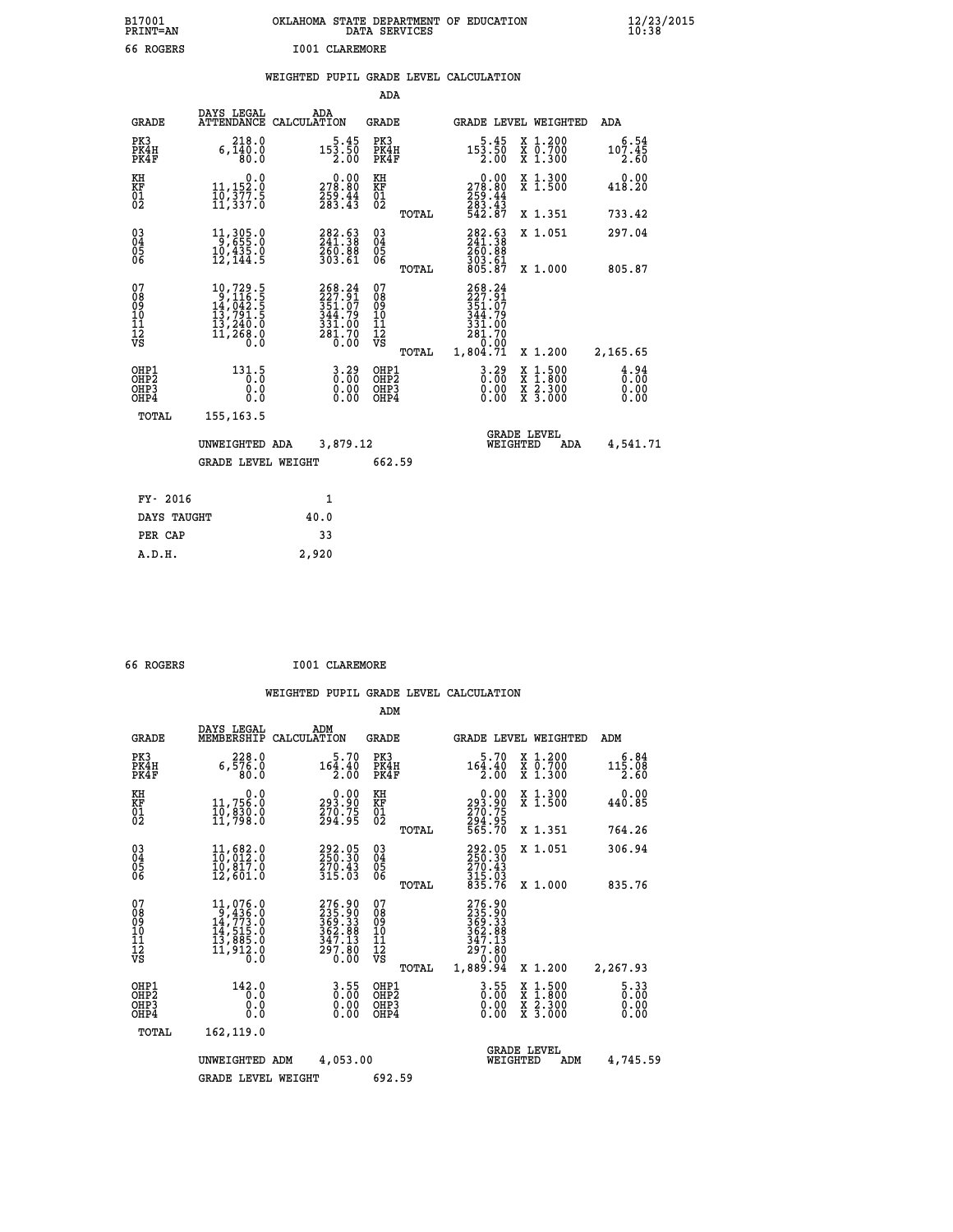| B17001          | OKLAHOMA STATE DEPARTMENT OF EDUCATION |
|-----------------|----------------------------------------|
| <b>PRINT=AN</b> | DATA SERVICES                          |
| 66 ROGERS       | I001 CLAREMORE                         |

 **B17001<br>PRINT=AN** 

 **B17001 OKLAHOMA STATE DEPARTMENT OF EDUCATION 12/23/2015**

|  |  | WEIGHTED PUPIL GRADE LEVEL CALCULATION |
|--|--|----------------------------------------|
|  |  |                                        |

|                                                                    |                                                                                                        |                                                                  | ADA                                       |       |                                                                                      |                                                                |                              |
|--------------------------------------------------------------------|--------------------------------------------------------------------------------------------------------|------------------------------------------------------------------|-------------------------------------------|-------|--------------------------------------------------------------------------------------|----------------------------------------------------------------|------------------------------|
| <b>GRADE</b>                                                       | DAYS LEGAL                                                                                             | ADA<br>ATTENDANCE CALCULATION                                    | GRADE                                     |       | <b>GRADE LEVEL WEIGHTED</b>                                                          |                                                                | ADA                          |
| PK3<br>PK4H<br>PK4F                                                | 218.0<br>6,140.0<br>80.0                                                                               | $5.45$<br>153.50<br>2.00                                         | PK3<br>PK4H<br>PK4F                       |       | $\begin{smallmatrix}5\cdot45\\153\cdot50\\2.00\end{smallmatrix}$                     | X 1.200<br>X 0.700<br>X 1.300                                  | 6.54<br>107.45<br>2.60       |
| KH<br>KF<br>01<br>02                                               | $\begin{smallmatrix}&&&0.0\\11,152.0\\10,377.5\\11,337.0\end{smallmatrix}$                             | 278.80<br>259.44<br>283.43                                       | KH<br>KF<br>01<br>02                      |       | $\begin{smallmatrix} &0.00\\ 278.80\\ 259.44\\ 283.43\\ 284.3\end{smallmatrix}$      | X 1.300<br>X 1.500                                             | 0.00<br>418.20               |
|                                                                    |                                                                                                        |                                                                  |                                           | TOTAL |                                                                                      | X 1.351                                                        | 733.42                       |
| $\begin{smallmatrix} 03 \\[-4pt] 04 \end{smallmatrix}$<br>Ŏ5<br>06 | 11,305.0<br>$10,435.0$<br>$12,144.5$                                                                   | 282.63<br>241.38<br>260.00<br>303.61                             | $\substack{03 \\ 04}$<br>05<br>06         |       | 282.63<br>241.38<br>260:88<br>303:61<br>805:87                                       | X 1.051                                                        | 297.04                       |
|                                                                    |                                                                                                        |                                                                  |                                           | TOTAL |                                                                                      | X 1.000                                                        | 805.87                       |
| 07<br>08<br>09<br>11<br>11<br>12<br>VS                             | $\begin{smallmatrix}10,729.5\\9,116.5\\14,042.5\\13,791.5\\13,240.0\\11,268.0\end{smallmatrix}$<br>0.0 | 268.24<br>227.91<br>351.07<br>344.79<br>331.00<br>281.70<br>0.00 | 07<br>08<br>09<br>10<br>11<br>īā<br>VŠ    | TOTAL | $268.24$<br>$227.91$<br>$351.07$<br>$344.72$<br>331.00<br>281.70<br>0.00<br>1,804.71 | X 1.200                                                        | 2,165.65                     |
| OHP1<br>OH <sub>P</sub> 2<br>OHP3<br>OHP4                          | 131.5<br>0.0<br>0.0                                                                                    | $3.29$<br>$0.00$<br>0.00<br>0.00                                 | OHP1<br>OH <sub>P</sub> 2<br>OHP3<br>OHP4 |       | $3.29$<br>$0.00$<br>0.00<br>0.00                                                     | $1.500$<br>$1.800$<br>X 1:500<br>X 1:800<br>X 2:300<br>X 3:000 | 4.94<br>0.00<br>0.00<br>0.00 |
| TOTAL                                                              | 155, 163.5                                                                                             |                                                                  |                                           |       |                                                                                      |                                                                |                              |
|                                                                    | UNWEIGHTED ADA<br><b>GRADE LEVEL WEIGHT</b>                                                            | 3,879.12                                                         | 662.59                                    |       | WEIGHTED                                                                             | <b>GRADE LEVEL</b><br>ADA                                      | 4,541.71                     |
|                                                                    |                                                                                                        |                                                                  |                                           |       |                                                                                      |                                                                |                              |
| FY- 2016                                                           |                                                                                                        | $\mathbf{1}$                                                     |                                           |       |                                                                                      |                                                                |                              |
| DAYS TAUGHT                                                        |                                                                                                        | 40.0                                                             |                                           |       |                                                                                      |                                                                |                              |
| PER CAP                                                            |                                                                                                        | 33                                                               |                                           |       |                                                                                      |                                                                |                              |
| A.D.H.                                                             |                                                                                                        | 2,920                                                            |                                           |       |                                                                                      |                                                                |                              |
|                                                                    |                                                                                                        |                                                                  |                                           |       |                                                                                      |                                                                |                              |

| 66 ROGERS |  | I001 CLAREMORE |
|-----------|--|----------------|
|           |  |                |

|                                                       |                                                                                                                                                |                    |                                                                   | ADM                                     |       |                                                                                |          |                                                                  |                                     |
|-------------------------------------------------------|------------------------------------------------------------------------------------------------------------------------------------------------|--------------------|-------------------------------------------------------------------|-----------------------------------------|-------|--------------------------------------------------------------------------------|----------|------------------------------------------------------------------|-------------------------------------|
| <b>GRADE</b>                                          | DAYS LEGAL<br>MEMBERSHIP                                                                                                                       | ADM<br>CALCULATION |                                                                   | <b>GRADE</b>                            |       |                                                                                |          | <b>GRADE LEVEL WEIGHTED</b>                                      | ADM                                 |
| PK3<br>PK4H<br>PK4F                                   | 228.0<br>6,576.0<br>80.0                                                                                                                       |                    | 5.70<br>164.40<br>2.00                                            | PK3<br>PK4H<br>PK4F                     |       | 5.70<br>164.40<br>2.00                                                         |          | $\begin{array}{c} x & 1.200 \\ x & 0.700 \end{array}$<br>X 1.300 | 6.84<br>115.08<br>2.60              |
| KH<br>KF<br>01<br>02                                  | 0.0<br>11,756.0<br>10,830.0<br>11,798.0                                                                                                        |                    | $\substack{293.90\\293.90\\270.75\\294.95}$                       | KH<br>KF<br>01<br>02                    |       | $\begin{smallmatrix} &0.00\ 293.90\ 270.75\ 294.95\ 565.70\ \end{smallmatrix}$ |          | X 1.300<br>X 1.500                                               | 0.00<br>440.85                      |
|                                                       |                                                                                                                                                |                    |                                                                   |                                         | TOTAL |                                                                                |          | X 1.351                                                          | 764.26                              |
| 03<br>04<br>05<br>06                                  | 11,682.0<br>10,012.0<br>10,817.0<br>12,601.0                                                                                                   |                    | 292.05<br>250.30<br>270.43<br>315.03                              | $\substack{03 \\ 04}$<br>0500           |       | 292.05<br>250.30<br>$\frac{270.43}{315.03}$<br>835.76                          |          | X 1.051                                                          | 306.94                              |
|                                                       |                                                                                                                                                |                    |                                                                   |                                         | TOTAL |                                                                                |          | X 1.000                                                          | 835.76                              |
| 07<br>08<br>09<br>101<br>112<br>VS                    | $\begin{smallmatrix} 11,076\cdot 0\\ 9,436\cdot 0\\ 14,773\cdot 0\\ 14,515\cdot 0\\ 13,885\cdot 0\\ 11,912\cdot 0\\ 0\cdot 0\end{smallmatrix}$ |                    | 276.90<br>235.90<br>369.33<br>362.98<br>347.13<br>297.80<br>0.00  | 07<br>08<br>09<br>101<br>11<br>12<br>VS | TOTAL | 276.90<br>235.90<br>369.33<br>362.88<br>347.13<br>297.80<br>0.00<br>1,889.94   |          | X 1.200                                                          | 2,267.93                            |
| OHP1<br>OH <sub>P</sub> 2<br>OH <sub>P3</sub><br>OHP4 | 142.0<br>0.0<br>0.000                                                                                                                          |                    | $\begin{smallmatrix} 3.55\ 0.00 \ 0.00 \end{smallmatrix}$<br>0.00 | OHP1<br>OHP2<br>OHP3<br>OHP4            |       | $3.55$<br>$0.00$<br>$0.00$<br>0.00                                             |          | X 1:500<br>X 1:800<br>X 2:300<br>X 3:000                         | $\frac{5.33}{0.00}$<br>0.00<br>0.00 |
| TOTAL                                                 | 162,119.0                                                                                                                                      |                    |                                                                   |                                         |       |                                                                                |          |                                                                  |                                     |
|                                                       | UNWEIGHTED                                                                                                                                     | ADM                | 4,053.00                                                          |                                         |       |                                                                                | WEIGHTED | <b>GRADE LEVEL</b><br>ADM                                        | 4,745.59                            |
|                                                       | <b>GRADE LEVEL WEIGHT</b>                                                                                                                      |                    |                                                                   | 692.59                                  |       |                                                                                |          |                                                                  |                                     |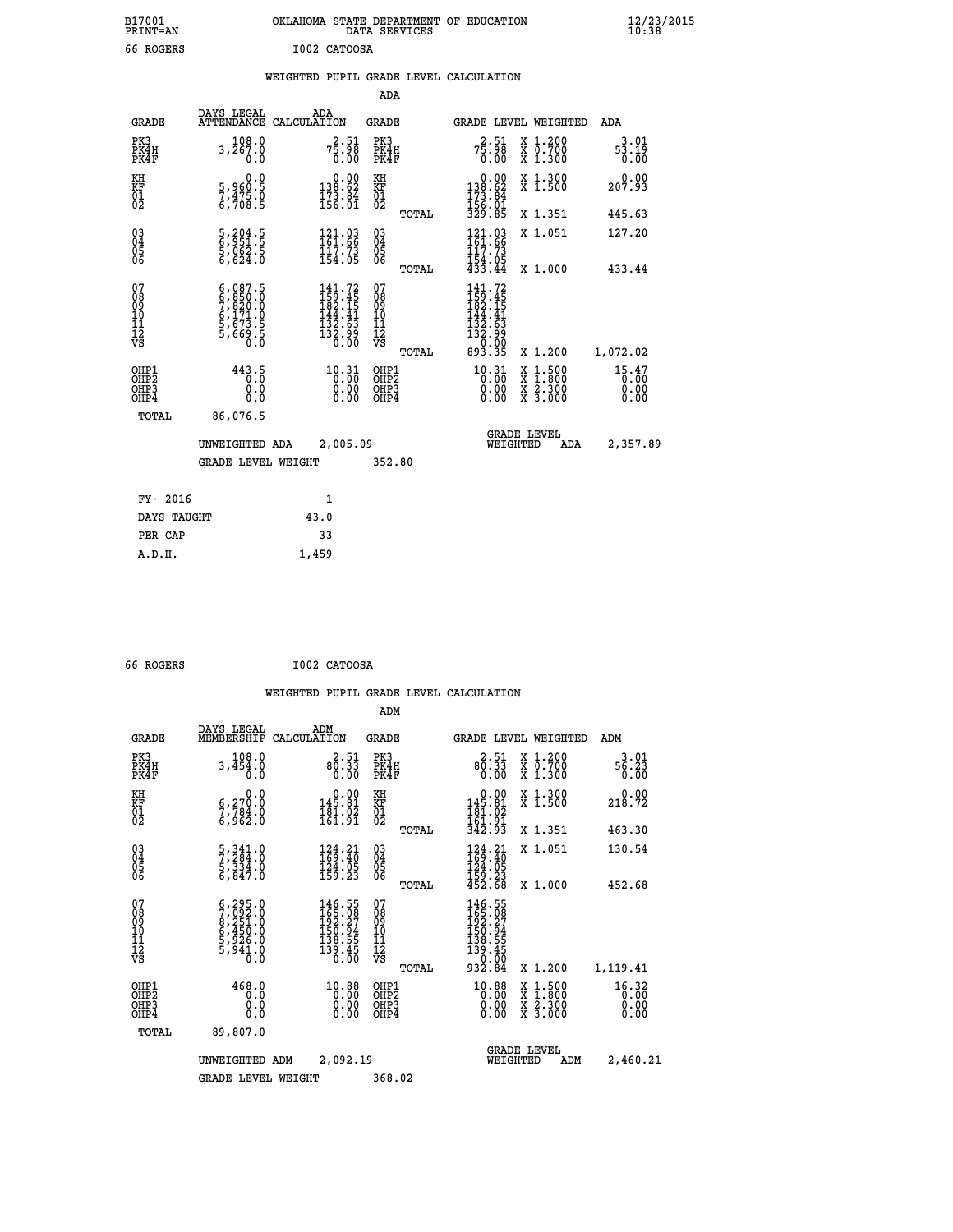|              | OKLAHOMA STATE DEPARTMENT OF EDUCATION<br>DATA SERVICES |  |
|--------------|---------------------------------------------------------|--|
| T002 CATOOSA |                                                         |  |

 **B17001 OKLAHOMA STATE DEPARTMENT OF EDUCATION 12/23/2015**

## **WEIGHTED PUPIL GRADE LEVEL CALCULATION**

|                                                                    |                                                                                     |                                                                                                                                                                         | ADA                                                               |                                                                                                                                                                                                                             |                               |
|--------------------------------------------------------------------|-------------------------------------------------------------------------------------|-------------------------------------------------------------------------------------------------------------------------------------------------------------------------|-------------------------------------------------------------------|-----------------------------------------------------------------------------------------------------------------------------------------------------------------------------------------------------------------------------|-------------------------------|
| <b>GRADE</b>                                                       | DAYS LEGAL<br><b>ATTENDANCE</b>                                                     | ADA<br>CALCULATION                                                                                                                                                      | <b>GRADE</b>                                                      | GRADE LEVEL WEIGHTED                                                                                                                                                                                                        | ADA                           |
| PK3<br>PK4H<br>PK4F                                                | 108.0<br>3,267.0<br>0.0                                                             | $7\frac{2}{5}\cdot\frac{51}{98}$<br>0.00                                                                                                                                | PK3<br>PK4H<br>PK4F                                               | $7\frac{2}{5}\cdot\frac{51}{98}$<br>0.00<br>X 1.200<br>X 0.700<br>X 1.300                                                                                                                                                   | 3.01<br>53.19<br>0.00         |
| KH<br>KF<br>01<br>02                                               | 0.0<br>5,960:5<br>7,475.0<br>6,708:5                                                | $\begin{smallmatrix} &0.00\\ 138.62\\ 173.84\\ 156.01\end{smallmatrix}$                                                                                                 | KH<br>KF<br>01<br>02                                              | 0.00<br>X 1.300<br>X 1.500<br>138.62<br>173.84<br>156.01<br>329.85                                                                                                                                                          | 0.00<br>207.93                |
|                                                                    |                                                                                     |                                                                                                                                                                         | TOTAL                                                             | X 1.351                                                                                                                                                                                                                     | 445.63                        |
| $\begin{smallmatrix} 03 \\[-4pt] 04 \end{smallmatrix}$<br>Ŏ5<br>06 | 5,204.5<br>6,951.5<br>5,062.5<br>6,624.0                                            | 121.03<br>161.66<br>$\frac{117.73}{154.05}$                                                                                                                             | $\substack{03 \\ 04}$<br>$\begin{matrix} 0.5 \\ 0.6 \end{matrix}$ | 121.03<br>161.66<br>X 1.051<br>$\frac{117.73}{154.05}$<br>$433.44$                                                                                                                                                          | 127.20                        |
|                                                                    |                                                                                     |                                                                                                                                                                         | TOTAL                                                             | X 1.000                                                                                                                                                                                                                     | 433.44                        |
| 07<br>08<br>09<br>11<br>11<br>12<br>VS                             | $6,087.5$<br>$6,850.0$<br>$7,820.0$<br>$6,171.0$<br>$5,673.5$<br>$5,669.5$<br>$0.0$ | $141.72$<br>$159.45$<br>$182.15$<br>41<br>144<br>$\begin{smallmatrix} 1\bar{3}\bar{2} & \bar{6} \bar{3} \ 1\bar{3}\bar{2} & 9 \ 3\bar{6} & 0 \ 0 & 0 \end{smallmatrix}$ | 07<br>08<br>09<br>11<br>11<br>12<br>VS                            | 141.72<br>159.45<br>182.15<br>144.41<br>$\begin{array}{@{}c@{\hspace{1em}}c@{\hspace{1em}}}\n \begin{array}{c}\n 1 & 3 & 2 & 5 & 3 \\  1 & 3 & 2 & 9 & 9 \\  0 & 0 & 0 & 0 & 0 \\  0 & 9 & 3 & 0 & 3\n \end{array} & 0.908$ |                               |
|                                                                    |                                                                                     |                                                                                                                                                                         | TOTAL                                                             | X 1.200                                                                                                                                                                                                                     | 1,072.02                      |
| OHP1<br>OHP <sub>2</sub><br>OHP3<br>OHP4                           | 443.5<br>0.0<br>Ō.Ō                                                                 | $10.31$<br>$0.00$<br>$\begin{smallmatrix} 0.00 \ 0.00 \end{smallmatrix}$                                                                                                | OHP1<br>OH <sub>P</sub> 2<br>OHP3<br>OHP4                         | $10.31$<br>$0.00$<br>$1:500$<br>$1:800$<br>X<br>X<br>$\frac{x}{x}$ $\frac{5:300}{3:000}$<br>0.00<br>0.00                                                                                                                    | 15.47<br>0.00<br>0.00<br>0.00 |
| TOTAL                                                              | 86,076.5                                                                            |                                                                                                                                                                         |                                                                   |                                                                                                                                                                                                                             |                               |
|                                                                    | UNWEIGHTED ADA                                                                      | 2,005.09                                                                                                                                                                |                                                                   | <b>GRADE LEVEL</b><br>WEIGHTED<br><b>ADA</b>                                                                                                                                                                                | 2,357.89                      |
|                                                                    | <b>GRADE LEVEL WEIGHT</b>                                                           |                                                                                                                                                                         | 352.80                                                            |                                                                                                                                                                                                                             |                               |
|                                                                    | FY- 2016                                                                            | 1                                                                                                                                                                       |                                                                   |                                                                                                                                                                                                                             |                               |
|                                                                    | DAYS TAUGHT                                                                         | 43.0                                                                                                                                                                    |                                                                   |                                                                                                                                                                                                                             |                               |
| PER CAP                                                            |                                                                                     | 33                                                                                                                                                                      |                                                                   |                                                                                                                                                                                                                             |                               |

 **66 ROGERS I002 CATOOSA**

 **ADM**

 **A.D.H. 1,459**

 **B17001<br>PRINT=AN** 66 ROGERS

| <b>GRADE</b>                                       | DAYS LEGAL                                                                                | ADM<br>MEMBERSHIP CALCULATION                                                                               | <b>GRADE</b>                                  |       |                                                                                                                      | GRADE LEVEL WEIGHTED                                                                                                | ADM                           |
|----------------------------------------------------|-------------------------------------------------------------------------------------------|-------------------------------------------------------------------------------------------------------------|-----------------------------------------------|-------|----------------------------------------------------------------------------------------------------------------------|---------------------------------------------------------------------------------------------------------------------|-------------------------------|
| PK3<br>PK4H<br>PK4F                                | 108.0<br>3,454.0<br>0.0                                                                   | 2.51<br>$80.33$<br>0.00                                                                                     | PK3<br>PK4H<br>PK4F                           |       | 2.51<br>80.33                                                                                                        | X 1.200<br>X 0.700<br>X 1.300                                                                                       | 3.01<br>56.23<br>0.00         |
| KH<br>KF<br>01<br>02                               | 0.0<br>6,270:0<br>7,784:0<br>6,962:0                                                      | $0.00$<br>145.81<br>$\frac{181.02}{161.91}$                                                                 | KH<br>KF<br>01<br>02                          |       | $0.00$<br>145.81<br>$\frac{181.02}{161.91}$<br>$\frac{342.92}{342.93}$                                               | X 1.300<br>X 1.500                                                                                                  | 0.00<br>218.72                |
|                                                    |                                                                                           |                                                                                                             |                                               | TOTAL |                                                                                                                      | X 1.351                                                                                                             | 463.30                        |
| $\begin{matrix} 03 \\ 04 \\ 05 \\ 06 \end{matrix}$ | $\frac{5}{2}, \frac{341}{294}$ :0<br>$\frac{5}{6}$ , $\frac{334}{847}$ .0                 | 124.21<br>169.40<br>$\frac{124}{159}$ .23                                                                   | $\substack{03 \\ 04}$<br>05<br>06             |       | $\begin{array}{c} 124\cdot 21 \\ 169\cdot 40 \\ 124\cdot 05 \\ 159\cdot 23 \\ 452\cdot 68 \end{array}$               | X 1.051                                                                                                             | 130.54                        |
|                                                    |                                                                                           |                                                                                                             |                                               | TOTAL |                                                                                                                      | X 1.000                                                                                                             | 452.68                        |
| 07<br>08<br>09<br>101<br>11<br>12<br>VS            | $5, 295.0$<br>$7, 092.0$<br>$8, 251.0$<br>$6, 450.0$<br>$5, 926.0$<br>$5, 941.0$<br>$0.0$ | $\begin{smallmatrix} 146.55\\ 165.08\\ 192.27\\ 150.94\\ 156.94\\ 138.55\\ 139.45\\ 0.00 \end{smallmatrix}$ | 07<br>08<br>09<br>001<br>11<br>11<br>12<br>VS | TOTAL | $\begin{smallmatrix} 146.55\\ 165.08\\ 192.27\\ 150.94\\ 156.94\\ 138.55\\ 139.45\\ 0.00\\ 932.84 \end{smallmatrix}$ | X 1.200                                                                                                             | 1,119.41                      |
| OHP1<br>OHP2<br>OHP3<br>OHP4                       | 468.0<br>0.0<br>0.0<br>0.0                                                                | $^{10.88}_{0.00}$<br>0.00                                                                                   | OHP1<br>OHP <sub>2</sub><br>OHP3<br>OHP4      |       | $10.88$<br>$0.00$<br>0.00<br>0.00                                                                                    | $\begin{array}{l} \mathtt{X} & 1.500 \\ \mathtt{X} & 1.800 \\ \mathtt{X} & 2.300 \\ \mathtt{X} & 3.000 \end{array}$ | 16.32<br>0.00<br>0.00<br>0.00 |
| TOTAL                                              | 89,807.0                                                                                  |                                                                                                             |                                               |       |                                                                                                                      |                                                                                                                     |                               |
|                                                    | UNWEIGHTED                                                                                | 2,092.19<br>ADM                                                                                             |                                               |       | WEIGHTED                                                                                                             | <b>GRADE LEVEL</b><br>ADM                                                                                           | 2,460.21                      |
|                                                    | <b>GRADE LEVEL WEIGHT</b>                                                                 |                                                                                                             | 368.02                                        |       |                                                                                                                      |                                                                                                                     |                               |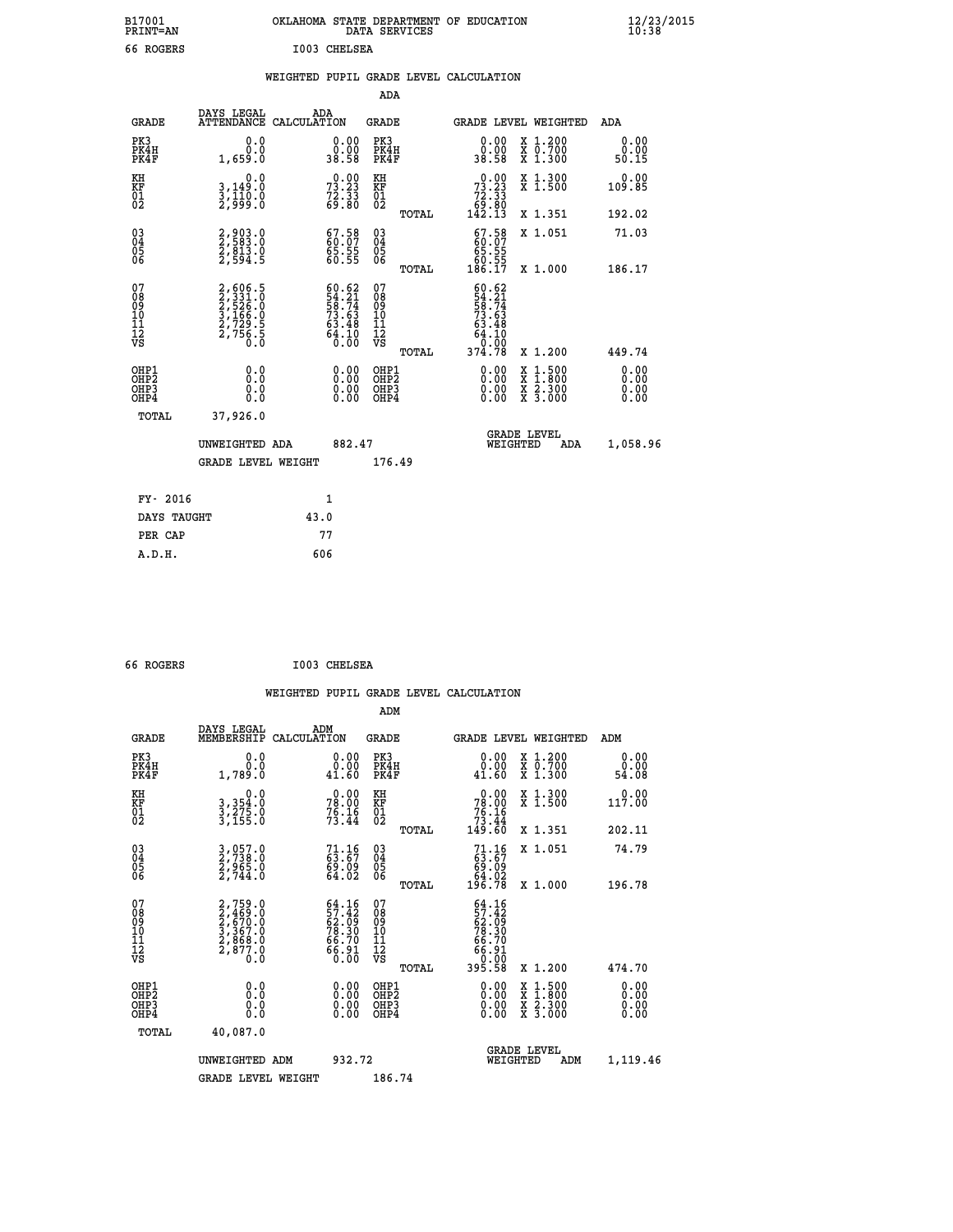| B17001<br><b>PRINT=AN</b> | OKLAHOMA<br>. STATE DEPARTMENT OF EDUCATION<br>DATA SERVICES | $\frac{12}{23}$ /2015 |
|---------------------------|--------------------------------------------------------------|-----------------------|
| 66 ROGERS                 | I003 CHELSEA                                                 |                       |

|  |  | WEIGHTED PUPIL GRADE LEVEL CALCULATION |
|--|--|----------------------------------------|
|  |  |                                        |

|                                                                    |                                                                         |                                                                          | ADA                                       |                                                                                                          |                              |
|--------------------------------------------------------------------|-------------------------------------------------------------------------|--------------------------------------------------------------------------|-------------------------------------------|----------------------------------------------------------------------------------------------------------|------------------------------|
| <b>GRADE</b>                                                       | DAYS LEGAL<br><b>ATTENDANCE</b>                                         | ADA<br>CALCULATION                                                       | <b>GRADE</b>                              | GRADE LEVEL WEIGHTED                                                                                     | <b>ADA</b>                   |
| PK3<br>PK4H<br>PK4F                                                | 0.0<br>0.0<br>1,659.0                                                   | $\begin{smallmatrix} 0.00\\ 0.00\\ 38.58 \end{smallmatrix}$              | PK3<br>PK4H<br>PK4F                       | $\begin{smallmatrix} 0.00\\ 0.00\\ 38.58 \end{smallmatrix}$<br>X 1.200<br>X 0.700<br>X 1.300             | 0.00<br>0.00<br>50.15        |
| KH<br>KF<br>01<br>02                                               | 0.0<br>3,149:0<br>3,110:0<br>2,999:0                                    | 73.23<br>73.33<br>72.33<br>69.80                                         | KH<br>KF<br>01<br>02                      | $\begin{smallmatrix} &0.00\\73.23\\72.33\\69.80\\142.13\end{smallmatrix}$<br>X 1.300<br>X 1.500          | 0.00<br>109.85               |
|                                                                    |                                                                         |                                                                          | TOTAL                                     | X 1.351                                                                                                  | 192.02                       |
| $\begin{smallmatrix} 03 \\[-4pt] 04 \end{smallmatrix}$<br>Ŏ5<br>06 | 2,903.0<br>2,583.0<br>2,813.0<br>2,594.5                                | $\begin{smallmatrix} 67.58\ 60.07\ 65.55\ 60.55 \end{smallmatrix}$       | 03<br>04<br>05<br>06<br>TOTAL             | $\begin{smallmatrix} 67.58\ 60.07\ 65.55\ 60.55\ 60.57\ 186.17\ \end{smallmatrix}$<br>X 1.051<br>X 1.000 | 71.03<br>186.17              |
| 07<br>08<br>09<br>11<br>11<br>12<br>VS                             | 2,606.5<br>2,331.0<br>2,526.0<br>3,166.0<br>3,1729.5<br>2,7756.5<br>0.0 | $60.62$<br>$54.21$<br>$58.74$<br>$73.63$<br>$63.48$<br>$64.10$<br>$0.00$ | 07<br>08<br>09<br>11<br>11<br>12<br>VS    | 60.62<br>54.214<br>58.743<br>58.48<br>64.10<br>64.10<br>64.78                                            |                              |
|                                                                    |                                                                         |                                                                          | TOTAL                                     | X 1.200                                                                                                  | 449.74                       |
| OHP1<br>OHP <sub>2</sub><br>OHP3<br>OHP4                           | 0.0<br>0.0<br>0.0                                                       | 0.00<br>$\begin{smallmatrix} 0.00 \ 0.00 \end{smallmatrix}$              | OHP1<br>OH <sub>P</sub> 2<br>OHP3<br>OHP4 | 0.00<br>$1:500$<br>$1:800$<br>X<br>X<br>0.00<br>X 2.300<br>X 3.000<br>0.00                               | 0.00<br>0.00<br>0.00<br>0.00 |
| TOTAL                                                              | 37,926.0                                                                |                                                                          |                                           |                                                                                                          |                              |
|                                                                    | UNWEIGHTED ADA                                                          | 882.47                                                                   |                                           | <b>GRADE LEVEL</b><br>WEIGHTED<br><b>ADA</b>                                                             | 1,058.96                     |
|                                                                    | <b>GRADE LEVEL WEIGHT</b>                                               |                                                                          | 176.49                                    |                                                                                                          |                              |
| FY- 2016                                                           |                                                                         | 1                                                                        |                                           |                                                                                                          |                              |
|                                                                    | DAYS TAUGHT                                                             | 43.0                                                                     |                                           |                                                                                                          |                              |
| PER CAP                                                            |                                                                         | 77                                                                       |                                           |                                                                                                          |                              |

| 66 ROGERS                                          |                                                                       | I003 CHELSEA                                                         |                                                    |       |                                                                                    |                                                                                                  |                       |
|----------------------------------------------------|-----------------------------------------------------------------------|----------------------------------------------------------------------|----------------------------------------------------|-------|------------------------------------------------------------------------------------|--------------------------------------------------------------------------------------------------|-----------------------|
|                                                    |                                                                       |                                                                      | ADM                                                |       | WEIGHTED PUPIL GRADE LEVEL CALCULATION                                             |                                                                                                  |                       |
| <b>GRADE</b>                                       | DAYS LEGAL<br>MEMBERSHIP CALCULATION                                  | ADM                                                                  | GRADE                                              |       |                                                                                    | <b>GRADE LEVEL WEIGHTED</b>                                                                      | ADM                   |
| PK3<br>PK4H<br>PK4F                                | 0.0<br>0.0<br>1,789.0                                                 | 0.00<br>0.00<br>41.60                                                | PK3<br>PK4H<br>PK4F                                |       | 0.00<br>0.00<br>41.60                                                              | X 1.200<br>X 0.700<br>X 1.300                                                                    | 0.00<br>0.00<br>54.08 |
| KH<br>KF<br>01<br>02                               | 0.0<br>3, 354:0<br>3, 275:0<br>3, 155:0                               | $78.00$<br>$78.00$<br>$76.16$<br>$73.44$                             | KH<br>KF<br>01<br>02                               |       | $\begin{smallmatrix} &0.00\\ 78.00\\ 76.16\\ 73.44\\ 149.60\end{smallmatrix}$      | X 1.300<br>X 1.500                                                                               | 0.00<br>117.00        |
|                                                    |                                                                       |                                                                      |                                                    | TOTAL |                                                                                    | X 1.351                                                                                          | 202.11                |
| $\begin{matrix} 03 \\ 04 \\ 05 \\ 06 \end{matrix}$ | 3,057.0<br>2,738.0<br>2,965.0<br>2,744.0                              | $71.16$<br>63.67<br>69.09<br>64.02                                   | $\begin{matrix} 03 \\ 04 \\ 05 \\ 06 \end{matrix}$ | TOTAL | $71.16$<br>63.67<br>69.09<br>64.02<br>196.78                                       | X 1.051<br>X 1.000                                                                               | 74.79<br>196.78       |
| 07<br>08<br>09<br>101<br>11<br>12<br>VS            | 2,759.0<br>2,469.0<br>2,670.0<br>3,367.0<br>3,368.0<br>2,877.0<br>0.0 | $64.16$<br>$57.42$<br>$62.09$<br>$78.30$<br>$66.70$<br>66.91<br>0.00 | 07<br>08<br>09<br>11<br>11<br>12<br>VS             | TOTAL | 64.16<br>$\frac{57.42}{62.09}$<br>$\frac{78.30}{66.70}$<br>18:38<br>00:00<br>85:58 | X 1.200                                                                                          | 474.70                |
| OHP1<br>OHP2<br>OHP3<br>OHP4                       | 0.0<br>0.000                                                          | $\begin{smallmatrix} 0.00 \ 0.00 \ 0.00 \ 0.00 \end{smallmatrix}$    | OHP1<br>OHP2<br>OHP3<br>OHP4                       |       |                                                                                    | $\begin{smallmatrix} x & 1 & 500 \\ x & 1 & 800 \\ x & 2 & 300 \\ x & 3 & 000 \end{smallmatrix}$ | 0.00<br>0.00<br>0.00  |
| <b>TOTAL</b>                                       | 40,087.0                                                              |                                                                      |                                                    |       |                                                                                    |                                                                                                  |                       |
|                                                    | UNWEIGHTED ADM                                                        | 932.72                                                               |                                                    |       | WEIGHTED                                                                           | <b>GRADE LEVEL</b><br>ADM                                                                        | 1,119.46              |
|                                                    | <b>GRADE LEVEL WEIGHT</b>                                             |                                                                      | 186.74                                             |       |                                                                                    |                                                                                                  |                       |
|                                                    |                                                                       |                                                                      |                                                    |       |                                                                                    |                                                                                                  |                       |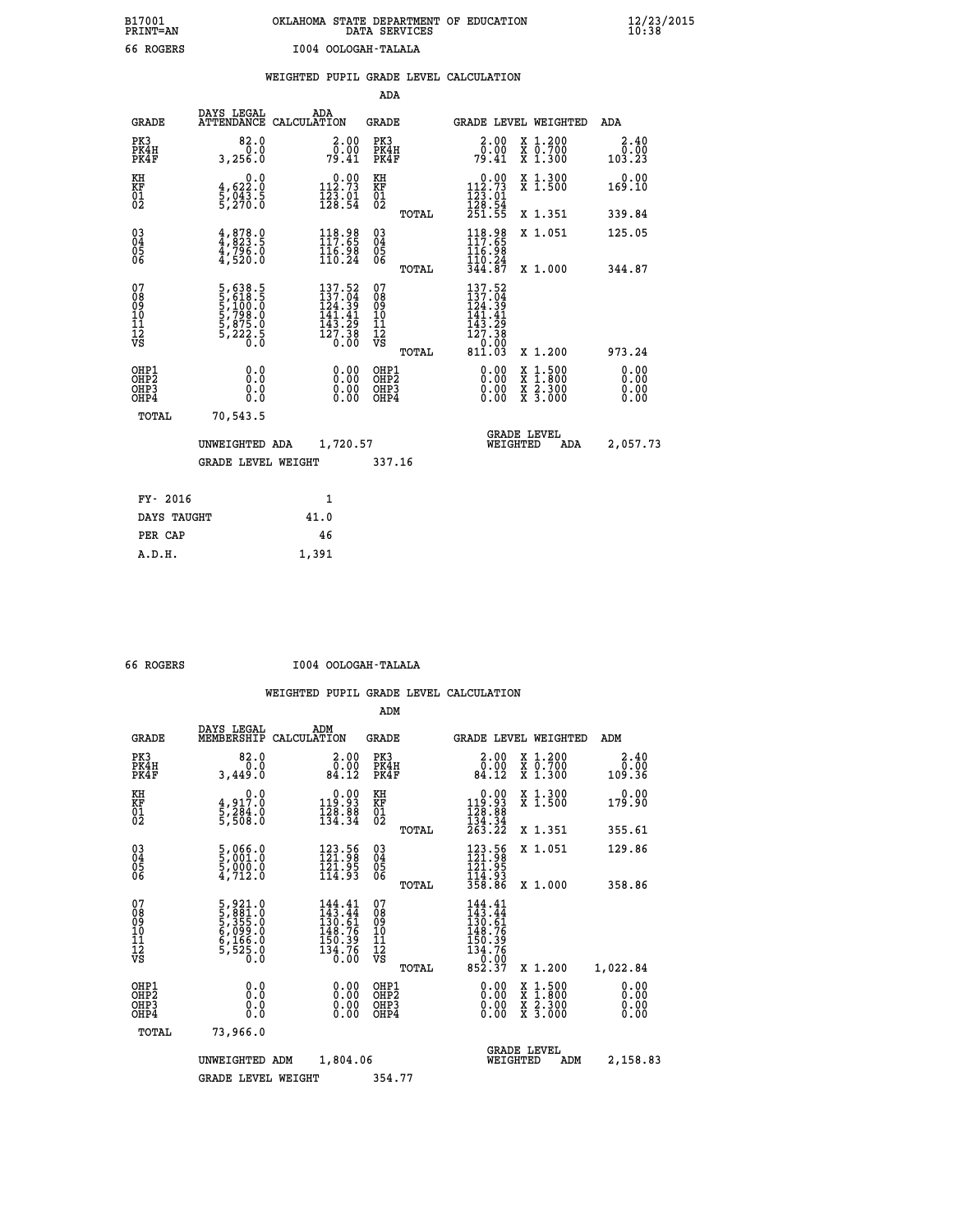## **B17001 OKLAHOMA STATE DEPARTMENT OF EDUCATION 12/23/2015 PRINT=AN DATA SERVICES 10:38 66 ROGERS I004 OOLOGAH-TALALA**

|  |  | WEIGHTED PUPIL GRADE LEVEL CALCULATION |
|--|--|----------------------------------------|
|  |  |                                        |

|                                                                    |                                                                |                                                                                                                                                                     |                                                             | ADA                                                               |       |                                                                          |        |                                          |                              |
|--------------------------------------------------------------------|----------------------------------------------------------------|---------------------------------------------------------------------------------------------------------------------------------------------------------------------|-------------------------------------------------------------|-------------------------------------------------------------------|-------|--------------------------------------------------------------------------|--------|------------------------------------------|------------------------------|
| <b>GRADE</b>                                                       | DAYS LEGAL                                                     | ADA<br>ATTENDANCE CALCULATION                                                                                                                                       |                                                             | <b>GRADE</b>                                                      |       |                                                                          |        | GRADE LEVEL WEIGHTED                     | <b>ADA</b>                   |
| PK3<br>PK4H<br>PK4F                                                | 82.0<br>0.0<br>3,256.0                                         | $\begin{smallmatrix} 2.00\0.00\\ -0.00\\ 79.41\end{smallmatrix}$                                                                                                    |                                                             | PK3<br>PK4H<br>PK4F                                               |       | 2.00<br>$\frac{0.00}{79.41}$                                             |        | X 1.200<br>X 0.700<br>X 1.300            | 2.40<br>0.00<br>103.23       |
| KH<br>KF<br>01<br>02                                               | 0.0<br>$\frac{4}{5}, \frac{622}{943}$ . 5<br>5,270. 0          | $\begin{smallmatrix} 0.00\\ 112.73\\ 123.01\\ 128.54 \end{smallmatrix}$                                                                                             |                                                             | KH<br>KF<br>$\overline{01}$                                       |       | 0.00<br>$112.73$<br>$123.01$<br>$128.54$<br>$251.55$                     |        | X 1.300<br>X 1.500                       | 0.00<br>169.10               |
|                                                                    |                                                                |                                                                                                                                                                     |                                                             |                                                                   | TOTAL |                                                                          |        | X 1.351                                  | 339.84                       |
| $\begin{smallmatrix} 03 \\[-4pt] 04 \end{smallmatrix}$<br>Ŏ5<br>06 | 4,878.9<br>$\frac{4796.0}{47520.0}$                            | 118.98<br>$\frac{116.98}{110.24}$                                                                                                                                   |                                                             | $\substack{03 \\ 04}$<br>$\begin{matrix} 0.5 \\ 0.6 \end{matrix}$ | TOTAL | 118.98<br>117.65<br>116.98<br>110.24<br>344.87                           |        | X 1.051<br>X 1.000                       | 125.05<br>344.87             |
| 07<br>08<br>09<br>11<br>11<br>12<br>VS                             | 5,638.5<br>5,618.5<br>5,100.0<br>5,798.0<br>5,875.0<br>5,222.5 | 137.52<br>$\frac{137.04}{124.39}$<br>141.<br>$\begin{array}{c} 1\bar{4}\bar{3}\cdot\bar{2}\bar{9}\\ 12\bar{7}\cdot\bar{3}\bar{8}\\ 0\cdot\bar{0}\bar{0}\end{array}$ | 41                                                          | 07<br>08<br>09<br>11<br>11<br>12<br>VS                            |       | 137.52<br>137.04<br>124.39<br>141.41<br>$\frac{143}{127}. \frac{29}{38}$ |        |                                          |                              |
|                                                                    |                                                                |                                                                                                                                                                     |                                                             |                                                                   | TOTAL | $\frac{10000}{811.03}$                                                   |        | X 1.200                                  | 973.24                       |
| OHP1<br>OHP <sub>2</sub><br>OHP3<br>OHP4                           | 0.0<br>0.0<br>Ŏ.Ŏ                                              |                                                                                                                                                                     | 0.00<br>$\begin{smallmatrix} 0.00 \ 0.00 \end{smallmatrix}$ | OHP1<br>OH <sub>P</sub> 2<br>OHP3<br>OHP4                         |       | 0.00<br>0.00<br>0.00                                                     | X<br>X | $1:500$<br>$1:800$<br>X 2.300<br>X 3.000 | 0.00<br>0.00<br>0.00<br>0.00 |
| TOTAL                                                              | 70,543.5                                                       |                                                                                                                                                                     |                                                             |                                                                   |       |                                                                          |        |                                          |                              |
|                                                                    | UNWEIGHTED ADA                                                 | 1,720.57                                                                                                                                                            |                                                             |                                                                   |       | WEIGHTED                                                                 |        | <b>GRADE LEVEL</b><br><b>ADA</b>         | 2,057.73                     |
|                                                                    | <b>GRADE LEVEL WEIGHT</b>                                      |                                                                                                                                                                     |                                                             | 337.16                                                            |       |                                                                          |        |                                          |                              |
| FY- 2016                                                           |                                                                | 1                                                                                                                                                                   |                                                             |                                                                   |       |                                                                          |        |                                          |                              |
| DAYS TAUGHT                                                        |                                                                | 41.0                                                                                                                                                                |                                                             |                                                                   |       |                                                                          |        |                                          |                              |
| PER CAP                                                            |                                                                | 46                                                                                                                                                                  |                                                             |                                                                   |       |                                                                          |        |                                          |                              |

 **A.D.H. 1,391**

 **66 ROGERS I004 OOLOGAH-TALALA**

|                                          |                                                                                  |                                                                                                                                    | ADM                                                 |       |                                                                                                                   |                                          |                              |
|------------------------------------------|----------------------------------------------------------------------------------|------------------------------------------------------------------------------------------------------------------------------------|-----------------------------------------------------|-------|-------------------------------------------------------------------------------------------------------------------|------------------------------------------|------------------------------|
| <b>GRADE</b>                             | DAYS LEGAL<br>MEMBERSHIP                                                         | ADM<br>CALCULATION                                                                                                                 | <b>GRADE</b>                                        |       |                                                                                                                   | <b>GRADE LEVEL WEIGHTED</b>              | ADM                          |
| PK3<br>PK4H<br>PK4F                      | 82.0<br>0.0<br>3,449.0                                                           | $\begin{smallmatrix} 2.00\\ 0.00\\ 84.12 \end{smallmatrix}$                                                                        | PK3<br>PK4H<br>PK4F                                 |       | $\begin{smallmatrix} 2.00\\ 0.00\\ 84.12 \end{smallmatrix}$                                                       | X 1.200<br>X 0.700<br>X 1.300            | 2.40<br>ŏō:ōŏ<br>36.901      |
| KH<br>KF<br>01<br>02                     | 0.0<br>4,917.0<br>5,284.0<br>5,508.0                                             | $\begin{smallmatrix}&&0.00\\119.93\\128.88\\134.34\end{smallmatrix}$                                                               | KH<br>KF<br>01<br>02                                |       | $\begin{smallmatrix}&&0.00\\119.93\\128.88\\134.34\\263.22\end{smallmatrix}$                                      | X 1.300<br>X 1.500                       | 0.00<br>179.90               |
|                                          |                                                                                  |                                                                                                                                    |                                                     | TOTAL |                                                                                                                   | X 1.351                                  | 355.61                       |
| 03<br>04<br>05<br>06                     | 5,066.0<br>5,001.0<br>5,000.0<br>4,712.0                                         | 123.56<br>121.98<br>$\frac{1}{2}\overline{1}\cdot\overline{9}\cdot\overline{9}\cdot\overline{1}\cdot\overline{9}\cdot\overline{3}$ | $\begin{array}{c} 03 \\ 04 \\ 05 \\ 06 \end{array}$ |       | 123.56<br>121.98<br>121.95<br>114.93<br>358.86                                                                    | X 1.051                                  | 129.86                       |
|                                          |                                                                                  |                                                                                                                                    |                                                     | TOTAL |                                                                                                                   | X 1.000                                  | 358.86                       |
| 07<br>08<br>09<br>101<br>11<br>12<br>VS  | 5, 921.0<br>5, 881.0<br>5, 355.0<br>5, 355.0<br>6, 166.0<br>6, 166.0<br>5, 525.0 | 144.41<br>143.44<br>$\begin{array}{r} 130.61 \\ 148.76 \\ 150.39 \\ 134.76 \\ 0.00 \end{array}$                                    | 07<br>08<br>09<br>11<br>11<br>12<br>VS              | TOTAL | $144.41$<br>$143.44$<br>$130.61$<br>$149.76$<br>$\begin{array}{c} 150.39 \\ 134.76 \\ 0.00 \\ 852.37 \end{array}$ | X 1.200                                  | 1,022.84                     |
| OHP1<br>OHP2<br>OH <sub>P3</sub><br>OHP4 | 0.0<br>0.000                                                                     |                                                                                                                                    | OHP1<br>OHP2<br>OHP <sub>3</sub>                    |       | $0.00$<br>$0.00$<br>0.00                                                                                          | X 1:500<br>X 1:800<br>X 2:300<br>X 3:000 | 0.00<br>0.00<br>0.00<br>0.00 |
| TOTAL                                    | 73,966.0                                                                         |                                                                                                                                    |                                                     |       |                                                                                                                   |                                          |                              |
|                                          | UNWEIGHTED                                                                       | 1,804.06<br>ADM                                                                                                                    |                                                     |       | WEIGHTED                                                                                                          | <b>GRADE LEVEL</b><br>ADM                | 2,158.83                     |
|                                          | <b>GRADE LEVEL WEIGHT</b>                                                        |                                                                                                                                    | 354.77                                              |       |                                                                                                                   |                                          |                              |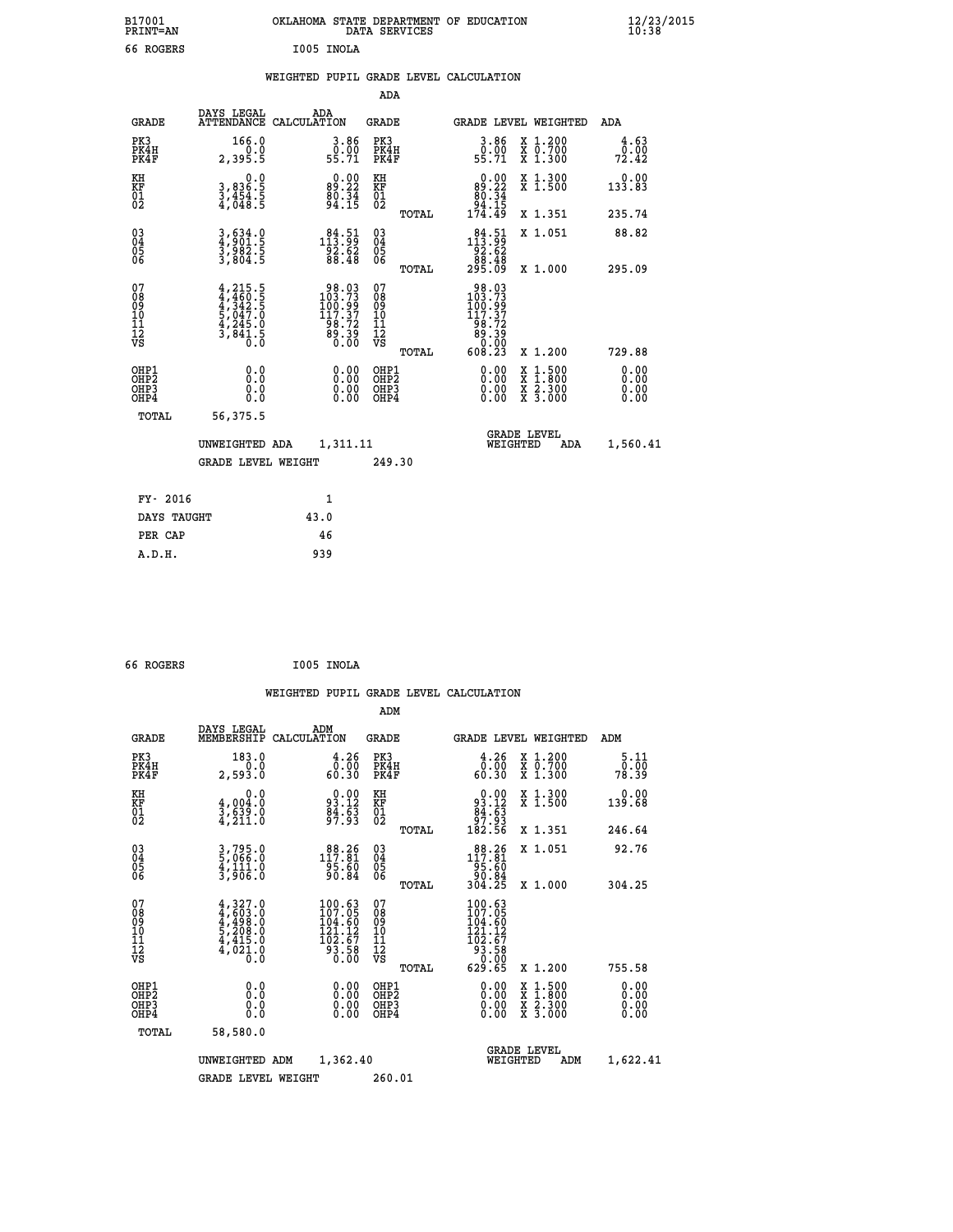| B17001<br>PRINT=AN                             |                                                                                           | OKLAHOMA STATE DEPARTMENT OF EDUCATION                                                   | DATA SERVICES                                   |                                                                                   |                                                                                          | 12/23/2015            |
|------------------------------------------------|-------------------------------------------------------------------------------------------|------------------------------------------------------------------------------------------|-------------------------------------------------|-----------------------------------------------------------------------------------|------------------------------------------------------------------------------------------|-----------------------|
| 66 ROGERS                                      |                                                                                           | I005 INOLA                                                                               |                                                 |                                                                                   |                                                                                          |                       |
|                                                |                                                                                           | WEIGHTED PUPIL GRADE LEVEL CALCULATION                                                   |                                                 |                                                                                   |                                                                                          |                       |
|                                                |                                                                                           |                                                                                          | ADA                                             |                                                                                   |                                                                                          |                       |
| <b>GRADE</b>                                   | DAYS LEGAL                                                                                | ADA<br>ATTENDANCE CALCULATION                                                            | GRADE                                           | GRADE LEVEL WEIGHTED                                                              |                                                                                          | ADA                   |
| PK3<br>PK4H<br>PK4F                            | 166.0<br>0.0<br>2,395.5                                                                   | 3.86<br>$0.00$<br>55.71                                                                  | PK3<br>PK4H<br>PK4F                             | $\begin{smallmatrix} 3.86\ 0.00 \ 55.71 \end{smallmatrix}$                        | X 1.200<br>X 0.700<br>X 1.300                                                            | 4.63<br>0.00<br>72.42 |
| KH<br>KF<br>01<br>02                           | 0.0<br>3,836:5<br>3,454:5<br>4,048:5                                                      | $89.22$<br>$80.34$<br>$94.15$                                                            | KH<br>KF<br>$^{01}_{02}$                        | $\begin{smallmatrix} &0.00\\ &89.22\\ &80.34\\ &94.15\\ &174.49\end{smallmatrix}$ | X 1.300<br>X 1.500                                                                       | 0.00<br>133.83        |
|                                                |                                                                                           |                                                                                          | TOTAL                                           |                                                                                   | X 1.351                                                                                  | 235.74                |
| $\substack{03 \\ 04}$<br>$\substack{05 \\ 06}$ | 3,634.0<br>4,901.5<br>3,982.5<br>3,804.5                                                  | $\substack{1\,8\,4\,:\,\,5\,1\,\\1\,9\,2\,:\,\,6\,2\\9\,8\,:\,\,4\,8}$                   | 03<br>04<br>05<br>06                            | $1\frac{84}{13}\cdot\frac{51}{99}$<br>$92.62$                                     | X 1.051                                                                                  | 88.82                 |
|                                                |                                                                                           |                                                                                          | TOTAL                                           | 88.88<br>295.09                                                                   | X 1.000                                                                                  | 295.09                |
| 07<br>08<br>09<br>11<br>11<br>12<br>VS         | $4, 215.5$<br>$4, 460.5$<br>$4, 342.5$<br>$5, 047.0$<br>$4, 245.0$<br>$3, 841.5$<br>$0.0$ | $\begin{smallmatrix} 98.03\\103.73\\100.99\\117.37\\98.72\\89.39\\0.00\end{smallmatrix}$ | 07<br>08<br>09<br>10<br>11<br>12<br>VS<br>TOTAL | 98.03<br>103.73<br>₫ŏŏ:ġğ<br>$\frac{117.37}{98.72}$<br>ēċ:ĕĕ<br>ÖÖ:Ö<br>608.23    | X 1.200                                                                                  | 729.88                |
| OHP1<br>OHP <sub>2</sub>                       | 0.0<br>Ō.Ō                                                                                | 0.00                                                                                     | OHP1<br>OHP2                                    | 0.00                                                                              |                                                                                          | 0.00                  |
| OHP3<br>OHP4                                   | 0.0<br>0.0                                                                                | 0.00                                                                                     | OHP3<br>OHP4                                    | 0.00<br>0.00                                                                      | $\begin{smallmatrix} x & 1.500 \\ x & 1.800 \\ x & 2.300 \\ x & 3.000 \end{smallmatrix}$ | 0.00<br>0.00          |
| TOTAL                                          | 56,375.5                                                                                  |                                                                                          |                                                 |                                                                                   |                                                                                          |                       |
|                                                | UNWEIGHTED ADA                                                                            | 1,311.11                                                                                 |                                                 | WEIGHTED                                                                          | <b>GRADE LEVEL</b><br>ADA                                                                | 1,560.41              |
|                                                | GRADE LEVEL WEIGHT                                                                        |                                                                                          | 249.30                                          |                                                                                   |                                                                                          |                       |
| FY- 2016                                       |                                                                                           | 1                                                                                        |                                                 |                                                                                   |                                                                                          |                       |
| DAYS TAUGHT                                    |                                                                                           | 43.0                                                                                     |                                                 |                                                                                   |                                                                                          |                       |
| PER CAP                                        |                                                                                           | 46                                                                                       |                                                 |                                                                                   |                                                                                          |                       |
| A.D.H.                                         |                                                                                           | 939                                                                                      |                                                 |                                                                                   |                                                                                          |                       |

| 66 ROGERS | I005 INOLA |
|-----------|------------|
|           |            |

|                                                    |                                                                                     |                    |                                                                      |                                               |       | WEIGHTED PUPIL GRADE LEVEL CALCULATION                                               |                                                                                                  |                       |
|----------------------------------------------------|-------------------------------------------------------------------------------------|--------------------|----------------------------------------------------------------------|-----------------------------------------------|-------|--------------------------------------------------------------------------------------|--------------------------------------------------------------------------------------------------|-----------------------|
|                                                    |                                                                                     |                    |                                                                      | ADM                                           |       |                                                                                      |                                                                                                  |                       |
| <b>GRADE</b>                                       | DAYS LEGAL<br>MEMBERSHIP                                                            | ADM<br>CALCULATION |                                                                      | <b>GRADE</b>                                  |       |                                                                                      | <b>GRADE LEVEL WEIGHTED</b>                                                                      | ADM                   |
| PK3<br>PK4H<br>PK4F                                | 183.0<br>0.0<br>2,593.0                                                             |                    | $\begin{smallmatrix} 4.26\ 0.00\ 60.30 \end{smallmatrix}$            | PK3<br>PK4H<br>PK4F                           |       | $\begin{smallmatrix} 4.26\ 0.00\ 60.30 \end{smallmatrix}$                            | X 1.200<br>X 0.700<br>X 1.300                                                                    | 5.11<br>0.00<br>78.39 |
| KH<br>KF<br>01<br>02                               | 0.0<br>$\frac{4}{3}, \frac{004}{639}$ .0<br>4,211.0                                 |                    | $93.12$<br>$84.63$<br>$97.93$                                        | KH<br>KF<br>01<br>02                          |       | $0.00\n93.12\n84.63\n97.93\n182.56$                                                  | X 1.300<br>X 1.500                                                                               | $0.00$<br>139.68      |
|                                                    |                                                                                     |                    |                                                                      |                                               | TOTAL |                                                                                      | X 1.351                                                                                          | 246.64                |
| $\begin{matrix} 03 \\ 04 \\ 05 \\ 06 \end{matrix}$ | 3,795.0<br>5,066.0<br>4,111.0<br>3,906.0                                            |                    | $88.26$<br>117.81<br>95.60<br>90.84                                  | 03<br>04<br>05<br>06                          |       | $\begin{array}{r} 88.26 \\ 117.81 \\ 95.60 \\ 90.84 \\ 304.25 \end{array}$           | X 1.051                                                                                          | 92.76                 |
|                                                    |                                                                                     |                    |                                                                      |                                               | TOTAL |                                                                                      | X 1.000                                                                                          | 304.25                |
| 07<br>0890112<br>1112<br>VS                        | $4,327.0$<br>$4,603.0$<br>$4,498.0$<br>$5,208.0$<br>$4,415.0$<br>$4,021.0$<br>$0.0$ |                    | 100.63<br>107.05<br>104.60<br>.12<br>121.<br>102:67<br>93:58<br>0.00 | 07<br>08<br>09<br>001<br>11<br>11<br>12<br>VS |       | 100.63<br>107.05<br>104.60<br>121.12<br>$162.67$<br>93.58<br>93.58<br>0.00<br>629.65 |                                                                                                  |                       |
|                                                    |                                                                                     |                    |                                                                      |                                               | TOTAL |                                                                                      | $X_1.200$                                                                                        | 755.58                |
| OHP1<br>OHP2<br>OH <sub>P3</sub><br>OHP4           | 0.0<br>0.000                                                                        |                    | $\begin{smallmatrix} 0.00 \ 0.00 \ 0.00 \ 0.00 \end{smallmatrix}$    | OHP1<br>OHP2<br>OHP <sub>3</sub>              |       |                                                                                      | $\begin{smallmatrix} x & 1 & 500 \\ x & 1 & 800 \\ x & 2 & 300 \\ x & 3 & 000 \end{smallmatrix}$ | 0.00<br>0.00<br>0.00  |
| TOTAL                                              | 58,580.0                                                                            |                    |                                                                      |                                               |       |                                                                                      |                                                                                                  |                       |
|                                                    | UNWEIGHTED ADM                                                                      |                    | 1,362.40                                                             |                                               |       | WEIGHTED                                                                             | <b>GRADE LEVEL</b><br>ADM                                                                        | 1,622.41              |
|                                                    | <b>GRADE LEVEL WEIGHT</b>                                                           |                    |                                                                      | 260.01                                        |       |                                                                                      |                                                                                                  |                       |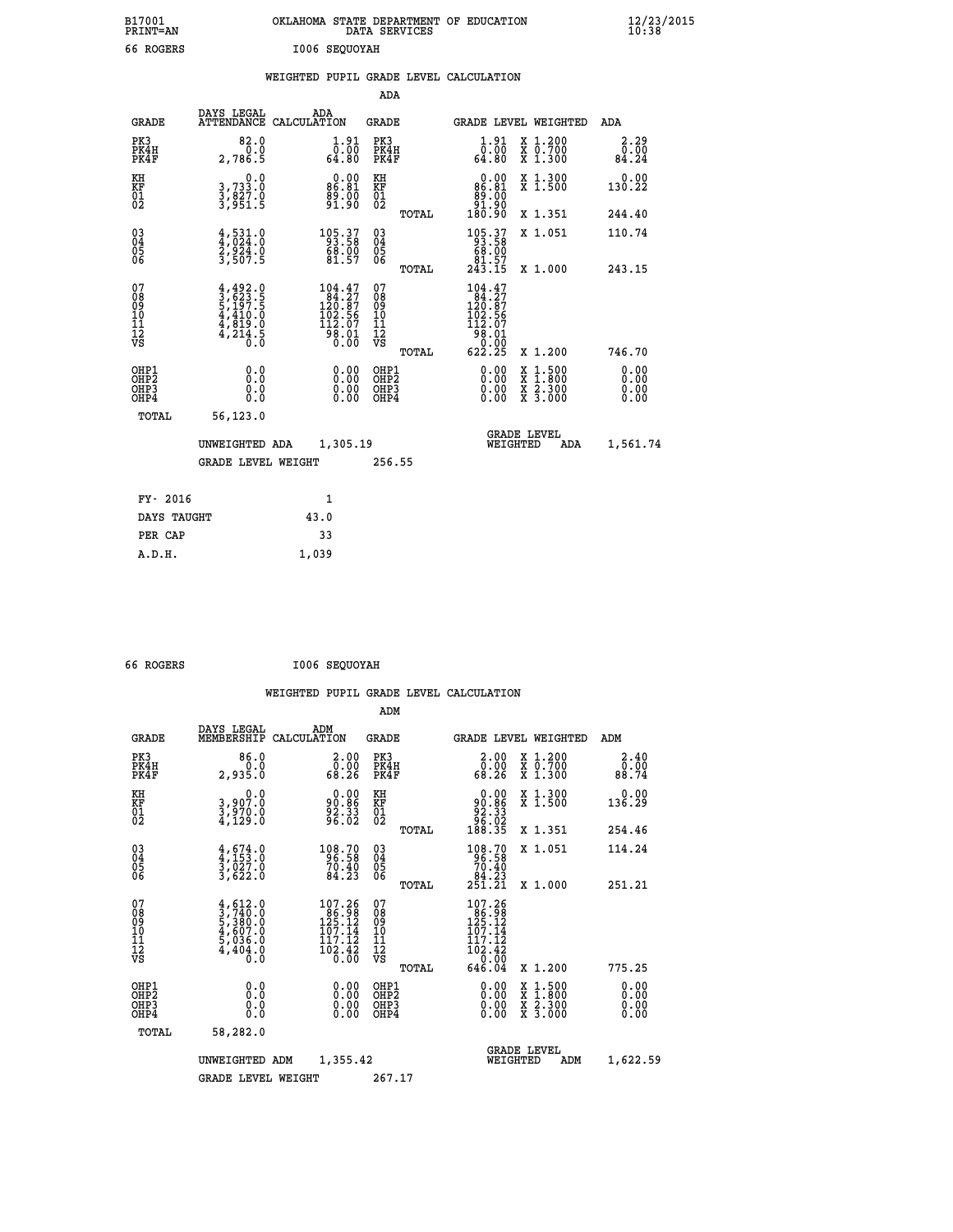| B17001<br>PRINT=AN                       |                                                                                                          | OKLAHOMA STATE DEPARTMENT OF EDUCATION                                                           | DATA SERVICES                                   |                                                                                                                  | $\frac{12}{23}$ /2015        |
|------------------------------------------|----------------------------------------------------------------------------------------------------------|--------------------------------------------------------------------------------------------------|-------------------------------------------------|------------------------------------------------------------------------------------------------------------------|------------------------------|
| 66 ROGERS                                |                                                                                                          | 1006 SEQUOYAH                                                                                    |                                                 |                                                                                                                  |                              |
|                                          |                                                                                                          | WEIGHTED PUPIL GRADE LEVEL CALCULATION                                                           | ADA                                             |                                                                                                                  |                              |
|                                          | DAYS LEGAL                                                                                               | ADA                                                                                              |                                                 |                                                                                                                  |                              |
| <b>GRADE</b>                             |                                                                                                          | ATTENDANCE CALCULATION                                                                           | GRADE                                           | <b>GRADE LEVEL WEIGHTED</b>                                                                                      | ADA                          |
| PK3<br>PK4H<br>PK4F                      | 82.0<br>0.0<br>2,786.5                                                                                   | $1.91$<br>$0.00$<br>64.80                                                                        | PK3<br>PK4H<br>PK4F                             | 1.91<br>X 1.200<br>X 0.700<br>X 1.300<br>0.00<br>64.80                                                           | 2.29<br>0.00<br>84.24        |
| KH<br>KF<br>$\overline{01}$              | 0.0<br>3,733:0<br>3,827:0<br>3,951:5                                                                     | $\begin{smallmatrix} 0.00\\ 86.81\\ 99.00\\ 91.90 \end{smallmatrix}$                             | KH<br>KF<br>$\overline{01\over 2}$              | $0.00$<br>86.81<br>X 1.300<br>X 1.500<br>$\frac{89}{91}. \frac{00}{90}$                                          | 0.00<br>130.22               |
|                                          |                                                                                                          |                                                                                                  | TOTAL                                           | 180.90<br>X 1.351                                                                                                | 244.40                       |
| $03\overline{4}$<br>0500                 | $\frac{4}{4}, \frac{531}{024}$ $\cdot \frac{0}{2}$<br>$\frac{2}{3}, \frac{924}{507}$ $\cdot \frac{0}{5}$ | $105.37$<br>93.58<br>68.00<br>61.57                                                              | 03<br>04<br>05<br>06                            | 105.37<br>93.58<br>69.00<br>X 1.051<br>81.57                                                                     | 110.74                       |
|                                          |                                                                                                          |                                                                                                  | TOTAL                                           | 243.15<br>X 1.000                                                                                                | 243.15                       |
| 07<br>08<br>09<br>10<br>11<br>12<br>VS   | $4,492.0$<br>$3,623.5$<br>$5,197.5$<br>$4,410.0$<br>$4,819.0$<br>$4,214.5$<br>$0.0$                      | $\begin{smallmatrix} 104.47\\ 84.27\\ 120.87\\ 102.56\\ 112.07\\ 98.01\\ 0.00 \end{smallmatrix}$ | 07<br>08<br>09<br>10<br>11<br>12<br>VS<br>TOTAL | 104.47<br>84.27<br>120.87<br>102.56<br>112.07<br>98.01<br>0.00<br>X 1.200<br>622.25                              | 746.70                       |
| OHP1<br>OHP2<br>OH <sub>P3</sub><br>OHP4 | 0.0<br>0.0<br>0.0                                                                                        | 0.00<br>0.00                                                                                     | OHP1<br>OH <sub>P</sub> 2<br>OHP3<br>OHP4       | 0.00<br>$\begin{smallmatrix} x & 1.500 \\ x & 1.800 \\ x & 2.300 \\ x & 3.000 \end{smallmatrix}$<br>0.00<br>0.00 | 0.00<br>0.00<br>0.00<br>0.00 |
| TOTAL                                    | 56,123.0                                                                                                 |                                                                                                  |                                                 |                                                                                                                  |                              |
|                                          | UNWEIGHTED ADA<br><b>GRADE LEVEL WEIGHT</b>                                                              | 1,305.19                                                                                         | 256.55                                          | <b>GRADE LEVEL</b><br>WEIGHTED<br>ADA                                                                            | 1,561.74                     |
| FY- 2016                                 |                                                                                                          | 1                                                                                                |                                                 |                                                                                                                  |                              |
| DAYS TAUGHT                              |                                                                                                          | 43.0                                                                                             |                                                 |                                                                                                                  |                              |

| DAYS TAUGHT | 43.0  |
|-------------|-------|
| PER CAP     | 33    |
| A.D.H.      | 1,039 |
|             |       |

| 66 ROGERS |  | I006 SEQUOYAH |
|-----------|--|---------------|
|-----------|--|---------------|

 **WEIGHTED PUPIL GRADE LEVEL CALCULATION ADM DAYS LEGAL ADM GRADE MEMBERSHIP CALCULATION GRADE GRADE LEVEL WEIGHTED ADM PK3 86.0 2.00 PK3 2.00 X 1.200 2.40 PK4H 0.0 0.00 PK4H 0.00 X 0.700 0.00 PK4F 2,935.0 68.26 PK4F 68.26 X 1.300 88.74 KH 0.0 0.00 KH 0.00 X 1.300 0.00 KF 3,907.0 90.86 KF 90.86 X 1.500 136.29** لي 1,000 0.0 0.0 EXE<br>1,970.0 90.86 EXE<br>02 4,129.0 96.33 02  **02 4,129.0 96.02 02 96.02 TOTAL 188.35 X 1.351 254.46 03 4,674.0 108.70 03 108.70 X 1.051 114.24 04 4,153.0 96.58 04 96.58 05 3,027.0 70.40 05 70.40** 03 4,674.0 108.70 03<br>04 4,153.0 96.58 04<br>05 3,027.0 70.40 05<br>06 3,622.0 84.23 06 TOTAL  **TOTAL 251.21 X 1.000 251.21 07 4,612.0 107.26 07 107.26 08 3,740.0 86.98 08 86.98 09 5,380.0 125.12 09 125.12 10 4,607.0 107.14 10 107.14 11 5,036.0 117.12 11 117.12 12 4,404.0 102.42 12 102.42 VS 0.0 0.00 VS 0.00 TOTAL 646.04 X 1.200 775.25 OHP1 0.0 0.00 OHP1 0.00 X 1.500 0.00 OHP2 0.0 0.00 OHP2 0.00 X 1.800 0.00 OHP3 0.0 0.00 OHP3 0.00 X 2.300 0.00 OHP4 0.0 0.00 OHP4 0.00 X 3.000 0.00 TOTAL 58,282.0 GRADE LEVEL UNWEIGHTED ADM 1,355.42 WEIGHTED ADM 1,622.59** GRADE LEVEL WEIGHT 267.17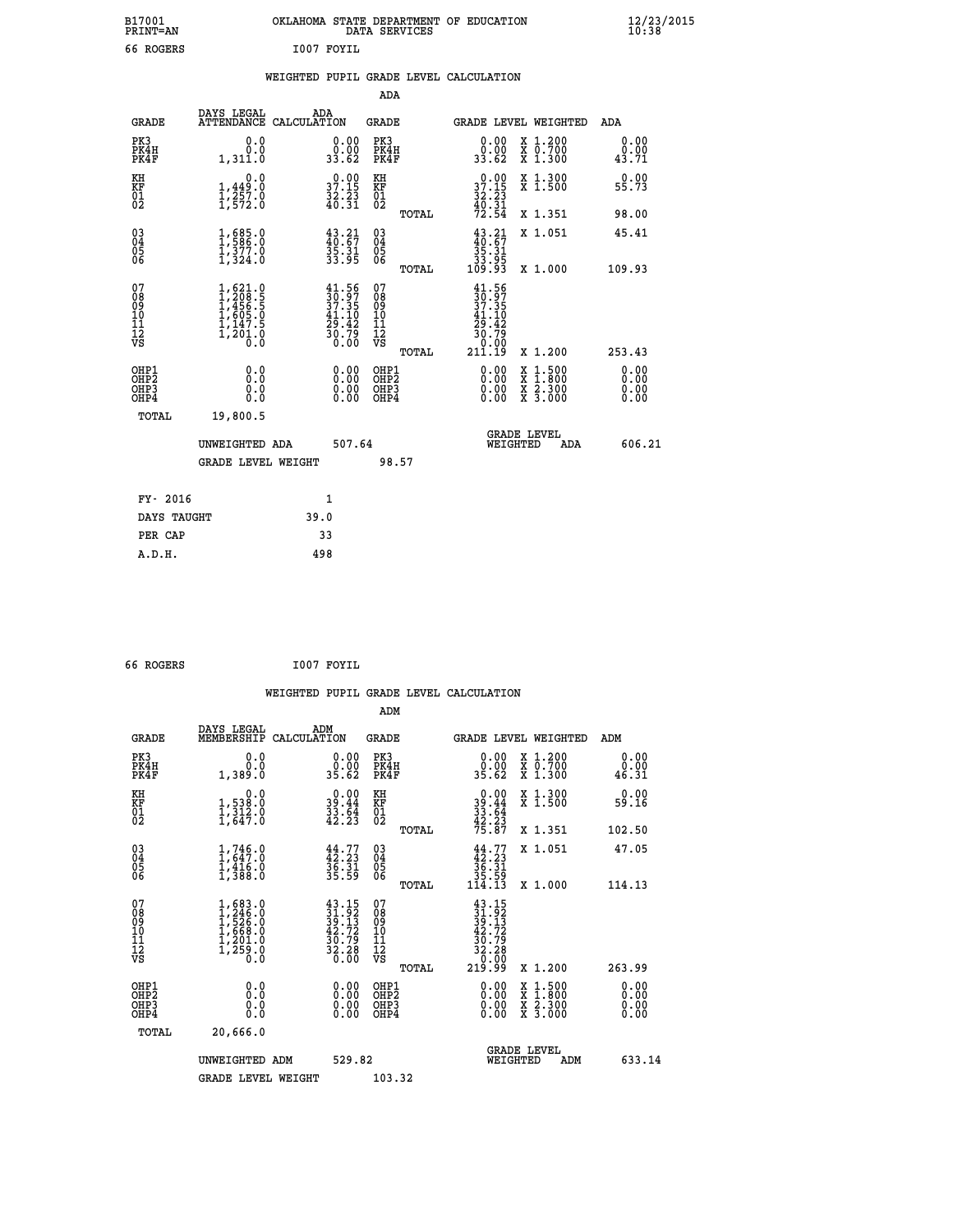| B17001<br><b>PRINT=AN</b> | OKLAHOMA STATE DEPARTMENT OF EDUCATION<br>DATA SERVICES | $\frac{12}{23}$ /2015 |
|---------------------------|---------------------------------------------------------|-----------------------|
| 66 ROGERS                 | I007 FOYIL                                              |                       |

|  |  | WEIGHTED PUPIL GRADE LEVEL CALCULATION |
|--|--|----------------------------------------|
|  |  |                                        |

|                                                                    |                                                                                                                            |                                                                      | ADA                                          |       |                                                                                          |                                                                                          |                               |
|--------------------------------------------------------------------|----------------------------------------------------------------------------------------------------------------------------|----------------------------------------------------------------------|----------------------------------------------|-------|------------------------------------------------------------------------------------------|------------------------------------------------------------------------------------------|-------------------------------|
| <b>GRADE</b>                                                       | DAYS LEGAL                                                                                                                 | ADA<br>ATTENDANCE CALCULATION                                        | <b>GRADE</b>                                 |       |                                                                                          | GRADE LEVEL WEIGHTED                                                                     | ADA                           |
| PK3<br>PK4H<br>PK4F                                                | 0.0<br>0.0<br>1,311.0                                                                                                      | $\begin{smallmatrix} 0.00\\ 0.00\\ 33.62 \end{smallmatrix}$          | PK3<br>PK4H<br>PK4F                          |       | 0.00<br>ۆة:ۆ<br>33.62                                                                    | X 1.200<br>X 0.700<br>X 1.300                                                            | 0.00<br>0.00<br>43.71         |
| KH<br>KF<br>01<br>02                                               | 0.0<br>$\frac{1}{1}, \frac{449}{257}$ .0<br>1,572.0                                                                        | $\begin{smallmatrix} 0.00\\ 37.15\\ 32.23\\ 40.31 \end{smallmatrix}$ | KH<br>KF<br>01<br>02                         |       | 37.15<br>$\frac{32.23}{40.31}$<br>$\frac{40.31}{72.54}$                                  | X 1.300<br>X 1.500                                                                       | 0.00<br>55.73                 |
|                                                                    |                                                                                                                            |                                                                      |                                              | TOTAL |                                                                                          | X 1.351                                                                                  | 98.00                         |
| $\begin{smallmatrix} 03 \\[-4pt] 04 \end{smallmatrix}$<br>Ŏ5<br>06 | $1,586.0$<br>$1,377.0$<br>$1,324.0$                                                                                        | $43.21$<br>$40.67$<br>$35.31$<br>$33.95$                             | $\substack{03 \\ 04}$<br>Ŏ5<br>06            |       | $43.21$<br>$40.67$<br>$35.31$<br>$33.95$<br>$109.93$                                     | X 1.051                                                                                  | 45.41                         |
|                                                                    |                                                                                                                            |                                                                      |                                              | TOTAL |                                                                                          | X 1.000                                                                                  | 109.93                        |
| 07<br>08<br>09<br>101<br>11<br>12<br>VS                            | $\begin{smallmatrix} 1, 621 & 0\\ 1, 208 & 5\\ 1, 456 & 5\\ 1, 605 & 0\\ 1, 147 & 5\\ 1, 201 & 0\\ 0 & 0\end{smallmatrix}$ | $30.56$<br>$37.35$<br>$41.10$<br>$29.42$<br>$\frac{30.75}{0.00}$     | 07<br>08<br>09<br>11<br>11<br>12<br>VS       |       | $\begin{array}{c} 41.56 \\ 30.97 \\ 37.35 \\ 41.10 \end{array}$<br>$\frac{25.42}{30.79}$ |                                                                                          |                               |
|                                                                    |                                                                                                                            |                                                                      |                                              | TOTAL | 211.19                                                                                   | X 1.200                                                                                  | 253.43                        |
| OHP1<br>OHP <sub>2</sub><br>OH <sub>P3</sub><br>OHP4               | 0.0<br>0.0<br>$0.\overline{0}$                                                                                             | 0.00<br>$\begin{smallmatrix} 0.00 \ 0.00 \end{smallmatrix}$          | OHP1<br>OHP <sub>2</sub><br>OHP <sub>3</sub> |       | 0.00<br>0.00                                                                             | $\begin{smallmatrix} x & 1.500 \\ x & 1.800 \\ x & 2.300 \\ x & 3.000 \end{smallmatrix}$ | 0.00<br>Ō. ŌŌ<br>0.00<br>0.00 |
| TOTAL                                                              | 19,800.5                                                                                                                   |                                                                      |                                              |       |                                                                                          |                                                                                          |                               |
|                                                                    | UNWEIGHTED ADA                                                                                                             | 507.64                                                               |                                              |       |                                                                                          | <b>GRADE LEVEL</b><br>WEIGHTED<br>ADA                                                    | 606.21                        |
|                                                                    | <b>GRADE LEVEL WEIGHT</b>                                                                                                  |                                                                      |                                              | 98.57 |                                                                                          |                                                                                          |                               |
| FY- 2016                                                           |                                                                                                                            | 1                                                                    |                                              |       |                                                                                          |                                                                                          |                               |
| DAYS TAUGHT                                                        |                                                                                                                            | 39.0                                                                 |                                              |       |                                                                                          |                                                                                          |                               |
| PER CAP                                                            |                                                                                                                            | 33                                                                   |                                              |       |                                                                                          |                                                                                          |                               |

 **66 ROGERS I007 FOYIL WEIGHTED PUPIL GRADE LEVEL CALCULATION ADM DAYS LEGAL ADM GRADE MEMBERSHIP CALCULATION GRADE GRADE LEVEL WEIGHTED ADM PK3 0.0 0.00 PK3 0.00 X 1.200 0.00 PK4H 0.0 0.00 PK4H 0.00 X 0.700 0.00 PK4F 1,389.0 35.62 PK4F 35.62 X 1.300 46.31 KH 0.0 0.00 KH 0.00 X 1.300 0.00 KF 1,538.0 39.44 KF 39.44 X 1.500 59.16 KH**  $\begin{array}{cccc} 0.0 & 0.00 & \text{KH} \\ \text{KF} & 1,538.0 & 39.44 & \text{KF} \\ 01 & 1,534.0 & 33.64 & 39.44 \\ 02 & 1,647.0 & 42.23 & 02 \end{array}$  $02 \hspace{1.5cm} 1,647.0 \hspace{1.5cm} 42.23 \hspace{1.5cm} 02 \hspace{1.5cm} \overbrace{2 \cdot 23}$  **TOTAL 75.87 X 1.351 102.50 03 1,746.0 44.77 03 44.77 X 1.051 47.05 04 1,647.0 42.23 04 42.23 05 1,416.0 36.31 05 36.31 06 1,388.0 35.59 06 35.59 TOTAL 114.13 X 1.000 114.13**  $\begin{array}{cccc} 07 & 1,683.0 & 43.15 & 07 & 43.15 \ 08 & 1,286.0 & 39.13 & 08 & 39.13 \ 09 & 1,526.0 & 39.13 & 08 & 39.13 \ 10 & 1,668.0 & 42.72 & 10 & 42.72 \ 11 & 1,201.0 & 30.79 & 11 & 30.79 \ \hline \textrm{vs} & 1,258.0 & 32.38 & 12 & 32.79 \ 12 & 50.0 & 36.0 & 75 &$  **TOTAL 219.99 X 1.200 263.99 OHP1 0.0 0.00 OHP1 0.00 X 1.500 0.00 OHP2 0.0 0.00 OHP2 0.00 X 1.800 0.00 OHP3 0.0 0.00 OHP3 0.00 X 2.300 0.00 OHP4 0.0 0.00 OHP4 0.00 X 3.000 0.00 TOTAL 20,666.0 GRADE LEVEL UNWEIGHTED ADM 529.82 WEIGHTED ADM 633.14 GRADE LEVEL WEIGHT 103.32**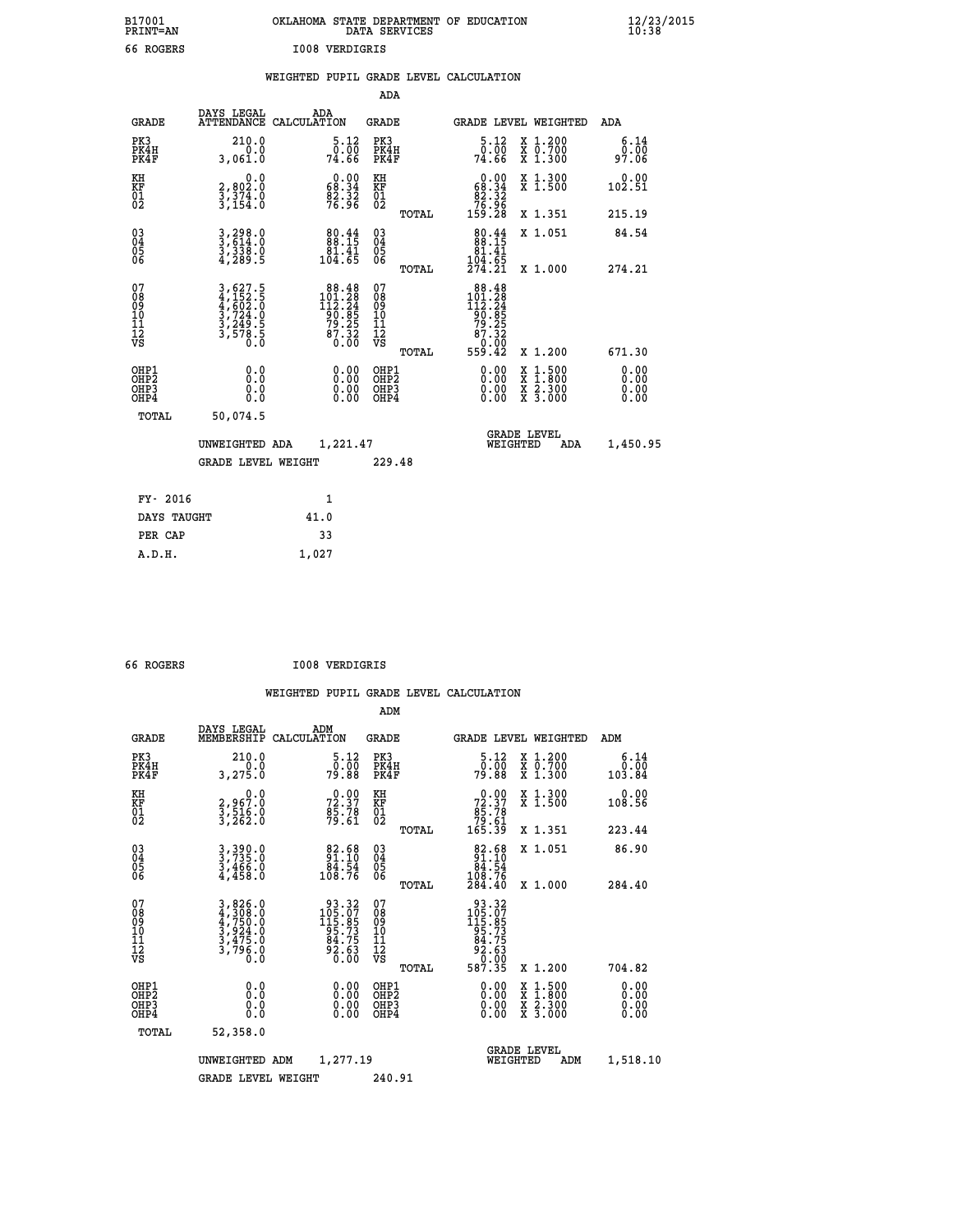| B17001          | OKLAHOMA STATE DEPARTMENT OF EDUCATION |
|-----------------|----------------------------------------|
| <b>PRINT=AN</b> | DATA SERVICES                          |
| 66 ROGERS       | 1008 VERDIGRIS                         |

 **B17001 OKLAHOMA STATE DEPARTMENT OF EDUCATION 12/23/2015**

| 66 ROGERS                                            |                                                                                                                                               |       | <b>I008 VERDIGRIS</b>                                                                       |                                                    |       |                                                                                                        |                                                                                                                                      |                              |
|------------------------------------------------------|-----------------------------------------------------------------------------------------------------------------------------------------------|-------|---------------------------------------------------------------------------------------------|----------------------------------------------------|-------|--------------------------------------------------------------------------------------------------------|--------------------------------------------------------------------------------------------------------------------------------------|------------------------------|
|                                                      |                                                                                                                                               |       |                                                                                             |                                                    |       | WEIGHTED PUPIL GRADE LEVEL CALCULATION                                                                 |                                                                                                                                      |                              |
|                                                      |                                                                                                                                               |       |                                                                                             | <b>ADA</b>                                         |       |                                                                                                        |                                                                                                                                      |                              |
| GRADE                                                | DAYS LEGAL<br>ATTENDANCE CALCULATION                                                                                                          |       | ADA                                                                                         | <b>GRADE</b>                                       |       |                                                                                                        | GRADE LEVEL WEIGHTED                                                                                                                 | ADA                          |
| PK3<br>PK4H<br>PK4F                                  | 210.0<br>0.0<br>3,061.0                                                                                                                       |       | 5.12<br>10:00<br>74∶66                                                                      | PK3<br>PK4H<br>PK4F                                |       | $5.12$<br>$0.00$<br>74.66                                                                              | X 1.200<br>X 0.700<br>X 1.300                                                                                                        | 6.14<br>0.00<br>97.06        |
| KH<br>KF<br>01<br>02                                 | 0.0<br>2,802:0<br>3,374:0<br>3,154:0                                                                                                          |       | $\begin{smallmatrix} 0.00\\ 68.34\\ 82.32\\ 76.96 \end{smallmatrix}$                        | KH<br>KF<br>01<br>02                               |       | $\begin{smallmatrix} &0.00\\ &68.34\\ &82.32\\ &76.96\\ 159.28\end{smallmatrix}$                       | X 1.300<br>X 1.500                                                                                                                   | 0.00<br>102.51               |
|                                                      |                                                                                                                                               |       |                                                                                             |                                                    | TOTAL |                                                                                                        | X 1.351                                                                                                                              | 215.19                       |
| $\begin{matrix} 03 \\ 04 \\ 05 \\ 06 \end{matrix}$   | 3,298.0<br>3,614.0<br>3,338.0<br>4,289.5                                                                                                      |       | $\begin{smallmatrix}80.44\\88.15\\81.41\\104.65\end{smallmatrix}$                           | $\begin{matrix} 03 \\ 04 \\ 05 \\ 06 \end{matrix}$ |       | 80.44<br>$\begin{array}{r} 81.41 \\ 104.65 \\ 274.21 \end{array}$                                      | X 1.051                                                                                                                              | 84.54                        |
|                                                      |                                                                                                                                               |       |                                                                                             |                                                    | TOTAL |                                                                                                        | X 1.000                                                                                                                              | 274.21                       |
| 07<br>08901112<br>1112<br>VS                         | $\begin{smallmatrix} 3\,,\,627\,.5\\ 4\,,\,152\,.5\\ 4\,,\,602\,.0\\ 3\,,\,724\,.0\\ 3\,,\,249\,.5\\ 3\,,\,578\,.5\\ 0\,.0 \end{smallmatrix}$ |       | $\begin{array}{r} 88.48 \\ 101.28 \\ 112.24 \\ 90.85 \\ 79.25 \\ 87.32 \\ 0.00 \end{array}$ | 07<br>08<br>09<br>001<br>11<br>11<br>12<br>VS      | TOTAL | $\begin{array}{r} 88.48 \\ 101.28 \\ 112.24 \\ 90.85 \\ 79.25 \\ 87.32 \\ 60.00 \\ 559.42 \end{array}$ | X 1.200                                                                                                                              | 671.30                       |
| OHP1<br>OHP <sub>2</sub><br>OH <sub>P3</sub><br>OHP4 | 0.0<br>0.0<br>0.0                                                                                                                             |       | $\begin{smallmatrix} 0.00 \ 0.00 \ 0.00 \ 0.00 \end{smallmatrix}$                           | OHP1<br>OHP2<br>OHP3<br>OHP4                       |       | 0.00<br>0.00                                                                                           | $\begin{smallmatrix} \mathtt{X} & 1 & 500 \\ \mathtt{X} & 1 & 800 \\ \mathtt{X} & 2 & 300 \\ \mathtt{X} & 3 & 000 \end{smallmatrix}$ | 0.00<br>0.00<br>0.00<br>0.00 |
| TOTAL                                                | 50,074.5                                                                                                                                      |       |                                                                                             |                                                    |       |                                                                                                        |                                                                                                                                      |                              |
|                                                      | UNWEIGHTED ADA                                                                                                                                |       | 1,221.47                                                                                    |                                                    |       | WEIGHTED                                                                                               | <b>GRADE LEVEL</b><br>ADA                                                                                                            | 1,450.95                     |
|                                                      | <b>GRADE LEVEL WEIGHT</b>                                                                                                                     |       |                                                                                             | 229.48                                             |       |                                                                                                        |                                                                                                                                      |                              |
| FY- 2016                                             |                                                                                                                                               |       | 1                                                                                           |                                                    |       |                                                                                                        |                                                                                                                                      |                              |
| DAYS TAUGHT                                          |                                                                                                                                               | 41.0  |                                                                                             |                                                    |       |                                                                                                        |                                                                                                                                      |                              |
| PER CAP                                              |                                                                                                                                               |       | 33                                                                                          |                                                    |       |                                                                                                        |                                                                                                                                      |                              |
| A.D.H.                                               |                                                                                                                                               | 1,027 |                                                                                             |                                                    |       |                                                                                                        |                                                                                                                                      |                              |
|                                                      |                                                                                                                                               |       |                                                                                             |                                                    |       |                                                                                                        |                                                                                                                                      |                              |

 **66 ROGERS I008 VERDIGRIS**

|                                          |                                                                |                                                                                             | ADM                                                 |                                                                                                        |                                          |                       |
|------------------------------------------|----------------------------------------------------------------|---------------------------------------------------------------------------------------------|-----------------------------------------------------|--------------------------------------------------------------------------------------------------------|------------------------------------------|-----------------------|
| <b>GRADE</b>                             | DAYS LEGAL<br>MEMBERSHIP                                       | ADM<br>CALCULATION                                                                          | <b>GRADE</b>                                        | <b>GRADE LEVEL WEIGHTED</b>                                                                            |                                          | ADM                   |
| PK3<br>PK4H<br>PK4F                      | 210.0<br>3,275.0                                               | 5.12<br>ōō:ŏō<br>79.88                                                                      | PK3<br>PK4H<br>PK4F                                 | $\begin{smallmatrix}5.12\0.00\\79.88\end{smallmatrix}$                                                 | X 1.200<br>X 0.700<br>X 1.300            | 6.14<br>0.00<br>84.84 |
| KH<br>KF<br>01<br>02                     | 0.0<br>2,967.0<br>3,516.0<br>3,262.0                           | $72.37$<br>$85.78$<br>$79.61$                                                               | KH<br>KF<br>01<br>02                                | $\begin{smallmatrix} &0.00\ 72.37\ 85.78\ 79.61\ 165.39\ \end{smallmatrix}$                            | X 1.300<br>X 1.500                       | 0.00<br>108.56        |
|                                          |                                                                |                                                                                             | TOTAL                                               |                                                                                                        | X 1.351                                  | 223.44                |
| 03<br>04<br>05<br>06                     | 3,390.0<br>3,735.0<br>3,466.0<br>4,458.0                       | $\begin{smallmatrix}82.68\\91.10\\84.54\\108.76\end{smallmatrix}$                           | $\begin{array}{c} 03 \\ 04 \\ 05 \\ 06 \end{array}$ | $\begin{smallmatrix}82.68\\91.10\\84.54\\108.76\\284.40\end{smallmatrix}$                              | X 1.051                                  | 86.90                 |
|                                          |                                                                |                                                                                             | TOTAL                                               |                                                                                                        | X 1.000                                  | 284.40                |
| 07<br>08<br>09<br>101<br>112<br>VS       | 3,826.0<br>4,308.0<br>4,750.0<br>3,924.0<br>3,475.0<br>3,796.0 | $\begin{array}{r} 93.32 \\ 105.07 \\ 115.85 \\ 95.73 \\ 84.75 \\ 92.63 \\ 0.00 \end{array}$ | 07<br>08<br>09<br>11<br>11<br>12<br>VS              | $\begin{array}{r} 93.32 \\ 105.07 \\ 115.85 \\ 95.735 \\ 84.75 \\ 92.63 \\ 0.00 \\ 587.35 \end{array}$ |                                          |                       |
|                                          |                                                                |                                                                                             | TOTAL                                               |                                                                                                        | X 1.200                                  | 704.82                |
| OHP1<br>OHP2<br>OHP <sub>3</sub><br>OHP4 |                                                                |                                                                                             | OHP1<br>OHP2<br>OHP <sub>3</sub>                    | $0.00$<br>$0.00$<br>0.00                                                                               | X 1:500<br>X 1:800<br>X 2:300<br>X 3:000 | 0.00<br>0.00<br>0.00  |
| TOTAL                                    | 52,358.0                                                       |                                                                                             |                                                     |                                                                                                        |                                          |                       |
|                                          | UNWEIGHTED                                                     | 1,277.19<br>ADM                                                                             |                                                     | <b>GRADE LEVEL</b><br>WEIGHTED                                                                         | ADM                                      | 1,518.10              |
|                                          | <b>GRADE LEVEL WEIGHT</b>                                      |                                                                                             | 240.91                                              |                                                                                                        |                                          |                       |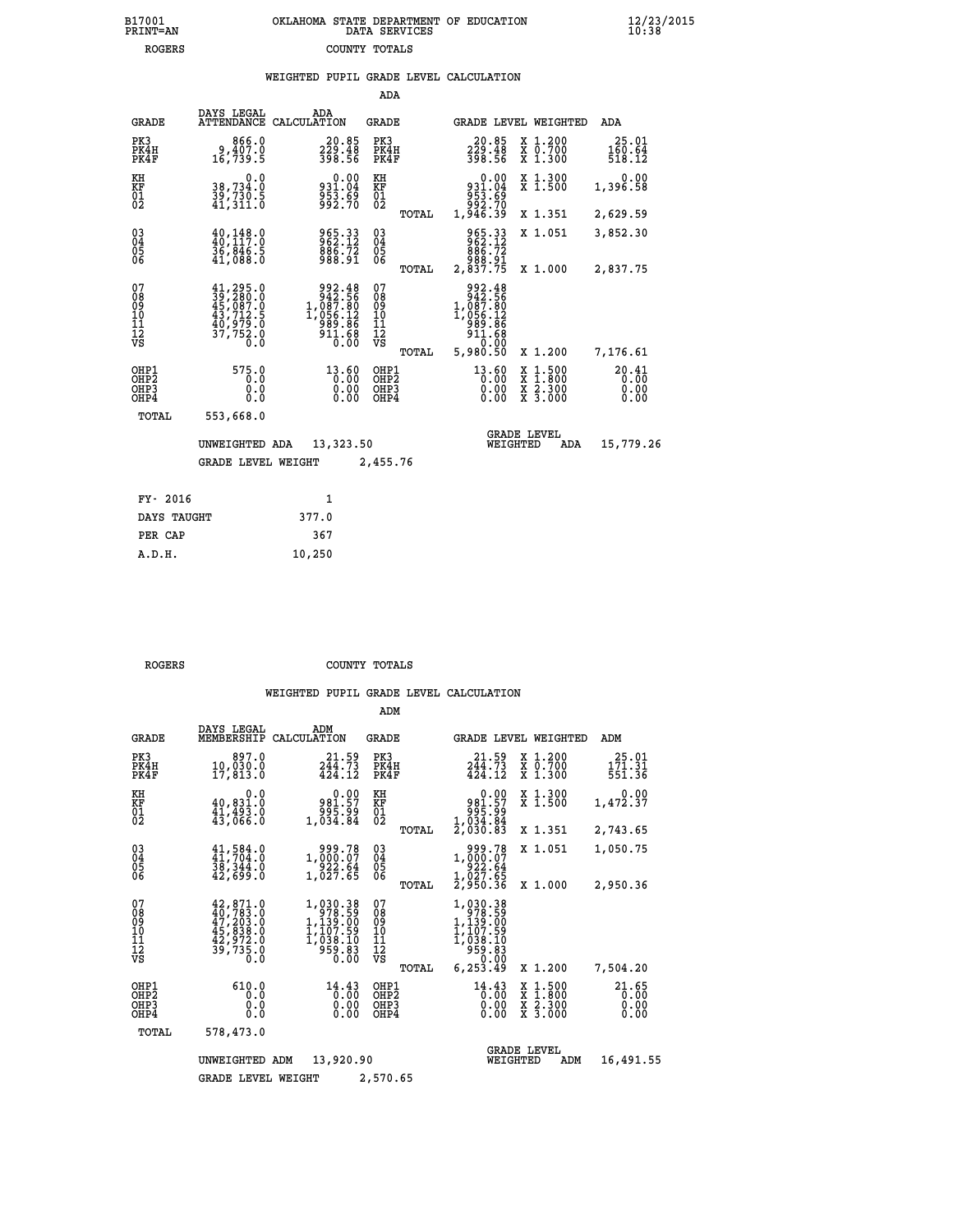| OKLAHOMA STATE DEPARTMENT OF EDUCATION<br>DATA SERVICES |  |
|---------------------------------------------------------|--|
| COUNTY TOTALS                                           |  |

 **B17001 OKLAHOMA STATE DEPARTMENT OF EDUCATION 12/23/2015**

|  |  | WEIGHTED PUPIL GRADE LEVEL CALCULATION |
|--|--|----------------------------------------|
|  |  |                                        |

|                                                                    |                                                                                                               |                                                                                                     | ADA                                                               |                                                                                                     |                                                                                                  |                               |
|--------------------------------------------------------------------|---------------------------------------------------------------------------------------------------------------|-----------------------------------------------------------------------------------------------------|-------------------------------------------------------------------|-----------------------------------------------------------------------------------------------------|--------------------------------------------------------------------------------------------------|-------------------------------|
| <b>GRADE</b>                                                       | DAYS LEGAL                                                                                                    | ADA<br>ATTENDANCE CALCULATION                                                                       | <b>GRADE</b>                                                      |                                                                                                     | GRADE LEVEL WEIGHTED                                                                             | ADA                           |
| PK3<br>PK4H<br>PK4F                                                | 866.0<br>9,407.0<br>16,739.5                                                                                  | $20.85$<br>$229.48$<br>$398.56$                                                                     | PK3<br>PK4H<br>PK4F                                               | 20.85<br>229.48<br>398.56                                                                           | X 1.200<br>X 0.700<br>X 1.300                                                                    | 25.01<br>160.64<br>518.12     |
| KH<br>KF<br>01<br>02                                               | 0.0<br>38,734.0<br>39,730.5<br>41,311.0                                                                       | 0.00<br>931.04<br>953.69<br>992.70                                                                  | KH<br>KF<br>01<br>02                                              | 0.00<br>931.04<br>953.69<br>953.69<br>946.39<br>1,946.39                                            | X 1.300<br>X 1.500                                                                               | 0.00<br>1,396.58              |
|                                                                    |                                                                                                               |                                                                                                     | TOTAL                                                             |                                                                                                     | X 1.351                                                                                          | 2,629.59                      |
| $\begin{smallmatrix} 03 \\[-4pt] 04 \end{smallmatrix}$<br>Ŏ5<br>06 | $\begin{smallmatrix} 40,148.0\\ 40,117.0\\ 36,846.5\\ 41,088.0 \end{smallmatrix}$                             | 965.33<br>962.12<br>$\frac{886.72}{988.91}$                                                         | $\substack{03 \\ 04}$<br>$\begin{matrix} 0.5 \\ 0.6 \end{matrix}$ | 965.33<br>962.12<br>886.72<br>988.91<br>2,837.75                                                    | X 1.051                                                                                          | 3,852.30                      |
|                                                                    |                                                                                                               |                                                                                                     | TOTAL                                                             |                                                                                                     | X 1.000                                                                                          | 2,837.75                      |
| 07<br>08<br>09<br>101<br>11<br>12<br>VS                            | $\begin{smallmatrix} 41,295.0\\ 39,280.0\\ 45,087.0\\ 43,712.5\\ 40,979.0\\ 37,752.0\\ 0.0 \end{smallmatrix}$ | $\begin{array}{r} 992.48 \\ 942.56 \\ 1,087.80 \\ 1,056.12 \\ 989.86 \\ 911.68 \\ 0.00 \end{array}$ | 07<br>08<br>09<br>101<br>11<br>12<br>VS                           | $\begin{array}{c} 992.48 \\ 942.56 \\ 1,087.80 \\ 1,056.12 \\ 989.86 \\ 911.68 \end{array}$<br>0.00 |                                                                                                  |                               |
|                                                                    |                                                                                                               |                                                                                                     | TOTAL                                                             | 5,980.50                                                                                            | X 1.200                                                                                          | 7,176.61                      |
| OHP1<br>OHP <sub>2</sub><br>OHP3<br>OH <sub>P4</sub>               | 575.0<br>0.0<br>0.0<br>0.0                                                                                    | 13.60<br>0.00                                                                                       | OHP1<br>OHP2<br>OHP3<br>OHP4                                      | 13.60<br>0.00                                                                                       | $\begin{smallmatrix} x & 1 & 500 \\ x & 1 & 800 \\ x & 2 & 300 \\ x & 3 & 000 \end{smallmatrix}$ | 20.41<br>0.00<br>0.00<br>0.00 |
| TOTAL                                                              | 553,668.0                                                                                                     |                                                                                                     |                                                                   |                                                                                                     |                                                                                                  |                               |
|                                                                    | UNWEIGHTED ADA                                                                                                | 13,323.50                                                                                           |                                                                   | WEIGHTED                                                                                            | <b>GRADE LEVEL</b><br>ADA                                                                        | 15,779.26                     |
|                                                                    | <b>GRADE LEVEL WEIGHT</b>                                                                                     |                                                                                                     | 2,455.76                                                          |                                                                                                     |                                                                                                  |                               |
| FY- 2016                                                           |                                                                                                               | $\mathbf{1}$                                                                                        |                                                                   |                                                                                                     |                                                                                                  |                               |
| DAYS TAUGHT                                                        |                                                                                                               | 377.0                                                                                               |                                                                   |                                                                                                     |                                                                                                  |                               |
| PER CAP                                                            |                                                                                                               | 367                                                                                                 |                                                                   |                                                                                                     |                                                                                                  |                               |

| ۷  |  |  |  |
|----|--|--|--|
| s. |  |  |  |

 **A.D.H. 10,250**

B17001<br>PRINT=AN<br>ROGERS

 **ROGERS COUNTY TOTALS**

|                                           |                                                                                                                  |                                                                          | ADM                                             |                                                                                                       |                                                                                                  |                               |
|-------------------------------------------|------------------------------------------------------------------------------------------------------------------|--------------------------------------------------------------------------|-------------------------------------------------|-------------------------------------------------------------------------------------------------------|--------------------------------------------------------------------------------------------------|-------------------------------|
| <b>GRADE</b>                              | DAYS LEGAL<br>MEMBERSHIP                                                                                         | ADM<br>CALCULATION                                                       | <b>GRADE</b>                                    | <b>GRADE LEVEL WEIGHTED</b>                                                                           |                                                                                                  | ADM                           |
| PK3<br>PK4H<br>PK4F                       | 897.0<br>10,030.0<br>17,813.0                                                                                    | 21.59<br>244.73<br>424.12                                                | PK3<br>PK4H<br>PK4F                             | 21.59<br>244.73<br>424.12                                                                             | $\begin{smallmatrix} x & 1.200 \\ x & 0.700 \end{smallmatrix}$<br>X 1.300                        | 25.01<br>171.31<br>551.36     |
| KH<br>KF<br>01<br>02                      | 0.0<br>40,831.0<br>$\frac{41,493.0}{43,066.0}$                                                                   | $\begin{smallmatrix} &0.00\981.57\995.99\1.84\end{smallmatrix}$          | KH<br>KF<br>01<br>02                            | 0.00<br>981.57<br>995.99<br>995.84<br>1,034.84<br>2,030.83                                            | X 1.300<br>X 1.500                                                                               | 0.00<br>1,472.37              |
|                                           |                                                                                                                  |                                                                          | TOTAL                                           |                                                                                                       | X 1.351                                                                                          | 2,743.65                      |
| 03<br>04<br>05<br>06                      | $41,584.0$<br>$41,704.0$<br>38, 344.0<br>42,699.0                                                                | 1,000.07<br>1,000.07<br>922.64<br>1,027.65                               | $\substack{03 \\ 04}$<br>05                     | 1,000:07<br>1,000:07<br>22.64<br>1,027.65                                                             | X 1.051                                                                                          | 1,050.75                      |
|                                           |                                                                                                                  |                                                                          | TOTAL                                           | 2,950.36                                                                                              | X 1.000                                                                                          | 2,950.36                      |
| 07<br>08<br>09<br>11<br>11<br>12<br>VS    | $\begin{smallmatrix} 42, 871.0\\ 40, 783.0\\ 47, 203.0\\ 45, 838.0\\ 42, 972.0\\ 39, 735.0\\ 0\end{smallmatrix}$ | 1,030.38<br>978.59<br>1,132.00<br>1,107.59<br>1,038.10<br>959.83<br>0.00 | 07<br>08<br>09<br>11<br>11<br>12<br>VS<br>TOTAL | 1,030.38<br>$1,139.59$<br>$1,139.00$<br>$1,107.59$<br>$1,038.10$<br>$959.83$<br>$959.00$<br>6, 253.49 | X 1.200                                                                                          | 7,504.20                      |
| OHP1<br>OH <sub>P</sub> 2<br>OHP3<br>OHP4 | 610.0<br>0.0<br>0.0<br>Ŏ.Ŏ                                                                                       | 14.43<br>0.00<br>0.00<br>0.00                                            | OHP1<br>OHP <sub>2</sub><br>OHP3<br>OHP4        | 14.43<br>0.00<br>0.00<br>0.00                                                                         | $\begin{smallmatrix} x & 1 & 500 \\ x & 1 & 800 \\ x & 2 & 300 \\ x & 3 & 000 \end{smallmatrix}$ | 21.65<br>0.00<br>0.00<br>0.00 |
| TOTAL                                     | 578,473.0                                                                                                        |                                                                          |                                                 |                                                                                                       |                                                                                                  |                               |
|                                           | UNWEIGHTED                                                                                                       | 13,920.90<br>ADM                                                         |                                                 | WEIGHTED                                                                                              | <b>GRADE LEVEL</b><br>ADM                                                                        | 16,491.55                     |
|                                           | <b>GRADE LEVEL WEIGHT</b>                                                                                        |                                                                          | 2,570.65                                        |                                                                                                       |                                                                                                  |                               |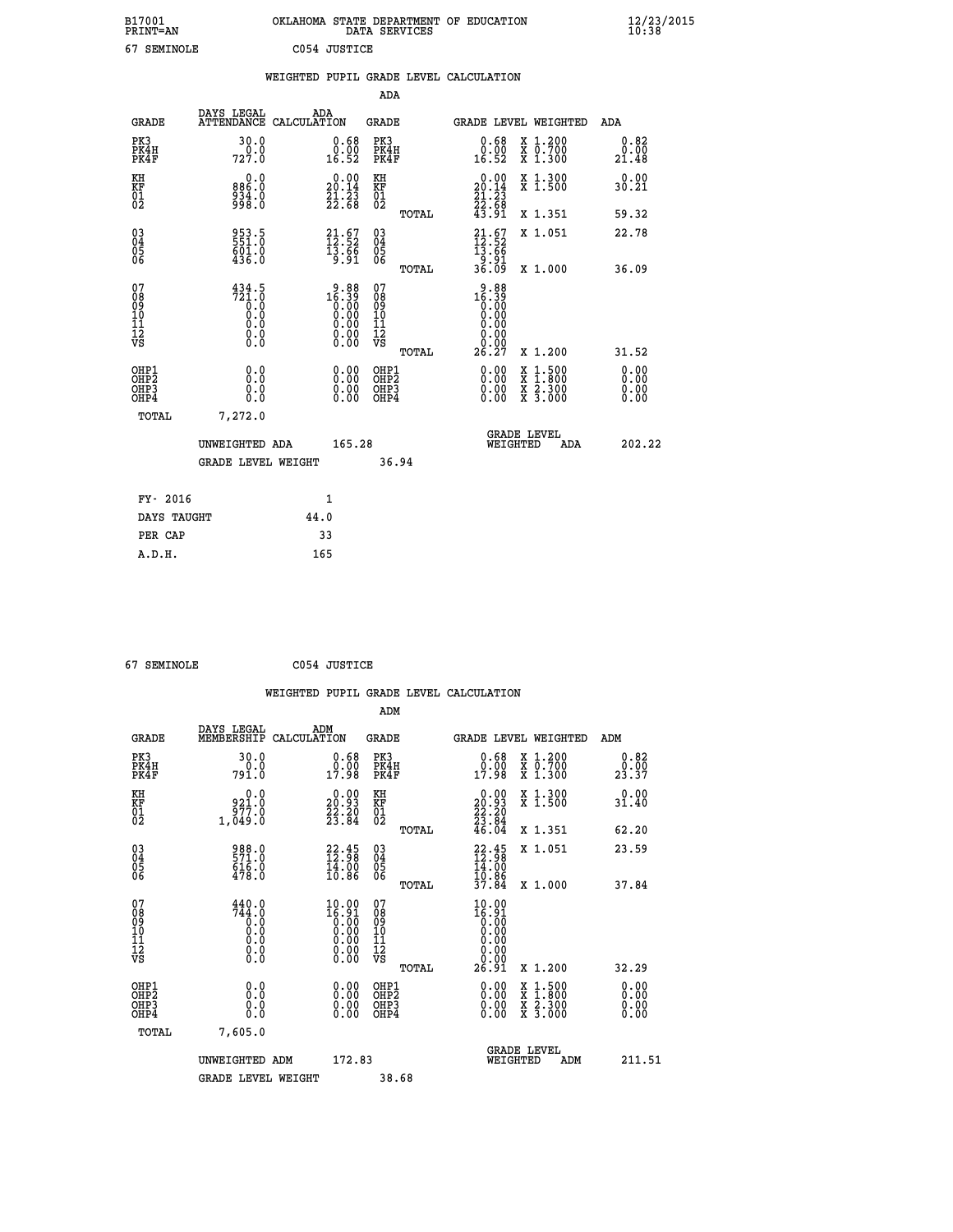| B17001<br><b>PRINT=AN</b> | OKLAHOMA STATE DEPARTMENT OF EDUCATION<br>DATA SERVICES | $\frac{12}{23}$ /2015 |
|---------------------------|---------------------------------------------------------|-----------------------|
| 67<br>SEMINOLE            | C054 JUSTICE                                            |                       |

|                                        |                                                                                                                                  |      |                                                                                        |                                                     |       | WEIGHTED PUPIL GRADE LEVEL CALCULATION                                                                                    |                                                                                                                                           |                              |
|----------------------------------------|----------------------------------------------------------------------------------------------------------------------------------|------|----------------------------------------------------------------------------------------|-----------------------------------------------------|-------|---------------------------------------------------------------------------------------------------------------------------|-------------------------------------------------------------------------------------------------------------------------------------------|------------------------------|
|                                        |                                                                                                                                  |      |                                                                                        | <b>ADA</b>                                          |       |                                                                                                                           |                                                                                                                                           |                              |
| <b>GRADE</b>                           | DAYS LEGAL<br>ATTENDANCE CALCULATION                                                                                             | ADA  |                                                                                        | GRADE                                               |       | GRADE LEVEL WEIGHTED                                                                                                      |                                                                                                                                           | ADA                          |
| PK3<br>PK4H<br>PK4F                    | 30.0<br>727.0                                                                                                                    |      | $\substack{0.68 \\ 0.00 \\ 16.52}$                                                     | PK3<br>PK4H<br>PK4F                                 |       | 0.68<br>0.00<br>16.52                                                                                                     | X 1.200<br>X 0.700<br>X 1.300                                                                                                             | 0.82<br>0.00<br>21.48        |
| KH<br>KF<br>01<br>02                   | 0.0<br>886.0<br>934.0<br>998.0                                                                                                   |      | $\begin{smallmatrix} 0.00\\ 20.14\\ 21.23\\ 22.68 \end{smallmatrix}$                   | KH<br>KF<br>01<br>02                                |       | $\begin{smallmatrix} 0.00\\ 20.14\\ 21.23\\ 22.68\\ 43.91 \end{smallmatrix}$                                              | X 1.300<br>X 1.500                                                                                                                        | 0.00<br>30.21                |
|                                        |                                                                                                                                  |      |                                                                                        |                                                     | TOTAL |                                                                                                                           | X 1.351                                                                                                                                   | 59.32                        |
| 03<br>04<br>05<br>06                   | 953.5<br>551.0<br>601.0<br>436.0                                                                                                 |      | $\begin{smallmatrix} 21.67\ 12.52\ 13.66\ 19.91 \end{smallmatrix}$                     | $\begin{array}{c} 03 \\ 04 \\ 05 \\ 06 \end{array}$ |       | $21.67$<br>$12.52$<br>$13.66$<br>$9.91$<br>$36.09$                                                                        | X 1.051                                                                                                                                   | 22.78                        |
|                                        |                                                                                                                                  |      |                                                                                        |                                                     | TOTAL |                                                                                                                           | X 1.000                                                                                                                                   | 36.09                        |
| 07<br>08<br>09<br>11<br>11<br>12<br>VS | $\begin{smallmatrix} 4\,3\,4\cdot5\\ 7\,2\,1\cdot0\\ 0\cdot0\\ 0\cdot0\\ 0\cdot0\\ 0\cdot0\\ 0\cdot0\\ 0\cdot0\end{smallmatrix}$ |      | $\begin{smallmatrix} 9.88\\16.39\\0.00\\0.00\\0.00\\0.00\\0.00\\0.00\end{smallmatrix}$ | 07<br>08<br>09<br>101<br>11<br>12<br>VS             | TOTAL | $\begin{smallmatrix} 9.88 \\ 16.39 \\ 0.00 \\ 0.00 \\ 0.00 \\ 0.00 \\ 0.00 \\ 0.00 \\ \end{smallmatrix}$<br>0.00<br>26.27 | X 1.200                                                                                                                                   | 31.52                        |
| OHP1<br>OHP2<br>OHP3<br>OHP4           | 0.0<br>0.0<br>Ŏ.Ŏ                                                                                                                |      | $\begin{smallmatrix} 0.00 \ 0.00 \ 0.00 \ 0.00 \end{smallmatrix}$                      | OHP1<br>OHP2<br>OHP3<br>OHP4                        |       |                                                                                                                           | $\begin{smallmatrix} \mathtt{X} & 1\cdot500\\ \mathtt{X} & 1\cdot800\\ \mathtt{X} & 2\cdot300\\ \mathtt{X} & 3\cdot000 \end{smallmatrix}$ | 0.00<br>0.00<br>0.00<br>0.00 |
| TOTAL                                  | 7,272.0                                                                                                                          |      |                                                                                        |                                                     |       |                                                                                                                           |                                                                                                                                           |                              |
|                                        | UNWEIGHTED ADA                                                                                                                   |      | 165.28                                                                                 |                                                     |       | WEIGHTED                                                                                                                  | <b>GRADE LEVEL</b><br><b>ADA</b>                                                                                                          | 202.22                       |
|                                        | <b>GRADE LEVEL WEIGHT</b>                                                                                                        |      |                                                                                        |                                                     | 36.94 |                                                                                                                           |                                                                                                                                           |                              |
| FY- 2016                               |                                                                                                                                  |      | 1                                                                                      |                                                     |       |                                                                                                                           |                                                                                                                                           |                              |
| DAYS TAUGHT                            |                                                                                                                                  | 44.0 |                                                                                        |                                                     |       |                                                                                                                           |                                                                                                                                           |                              |
| PER CAP                                |                                                                                                                                  | 33   |                                                                                        |                                                     |       |                                                                                                                           |                                                                                                                                           |                              |

| -- | ---------- |  |
|----|------------|--|

 **67 SEMINOLE C054 JUSTICE WEIGHTED PUPIL GRADE LEVEL CALCULATION ADM DAYS LEGAL ADM GRADE MEMBERSHIP CALCULATION GRADE GRADE LEVEL WEIGHTED ADM PK3 30.0 0.68 PK3 0.68 X 1.200 0.82 PK4H 0.0 0.00 PK4H 0.00 X 0.700 0.00 PK4F 791.0 17.98 PK4F 17.98 X 1.300 23.37 KH 0.0 0.00 KH 0.00 X 1.300 0.00 KF 921.0 20.93 KF 20.93 X 1.500 31.40 01 977.0 22.20 01 22.20 02 1,049.0 23.84 02 23.84 TOTAL 46.04 X 1.351 62.20 03 988.0 22.45 03 22.45 X 1.051 23.59 04 571.0 12.98 04 12.98 05 616.0 14.00 05 14.00** 06 478.0 10.86 06 <sub>momas</sub> 10.86  **TOTAL 37.84 X 1.000 37.84 07 440.0 10.00 07 10.00 08 744.0 16.91 08 16.91 03 0.00 0.00 0.000 0.000 10 0.0 0.00 10 0.00 11 0.0 0.00 11 0.00 12 0.0 0.00 12 0.00 VS 0.0 0.00 VS 0.00**  $\begin{array}{cccc} 440.0 & 10.00 & 07 \ \hline 744.0 & 16.91 & 08 \ 0.0 & 0.00 & 10 \ 0.0 & 0.00 & 11 \ 0.00 & 0.00 & 11 \ 0.00 & 0.00 & 11 \ 0.00 & 0.00 & 12 \ 0.0 & 0.00 & 12 \ 0.0 & 0.00 & 12 \ 0.00 & 0.00 & 12 \ 0.00 & 0.00 & 12 \ 0.00 & 0.00 & 0.01 & 26.91 \times 1.200 \$  **OHP1 0.0 0.00 OHP1 0.00 X 1.500 0.00 OHP2 0.0 0.00 OHP2 0.00 X 1.800 0.00 OHP3 0.0 0.00 OHP3 0.00 X 2.300 0.00 OHP4 0.0 0.00 OHP4 0.00 X 3.000 0.00 TOTAL 7,605.0 GRADE LEVEL UNWEIGHTED ADM 172.83 WEIGHTED ADM 211.51 GRADE LEVEL WEIGHT 38.68**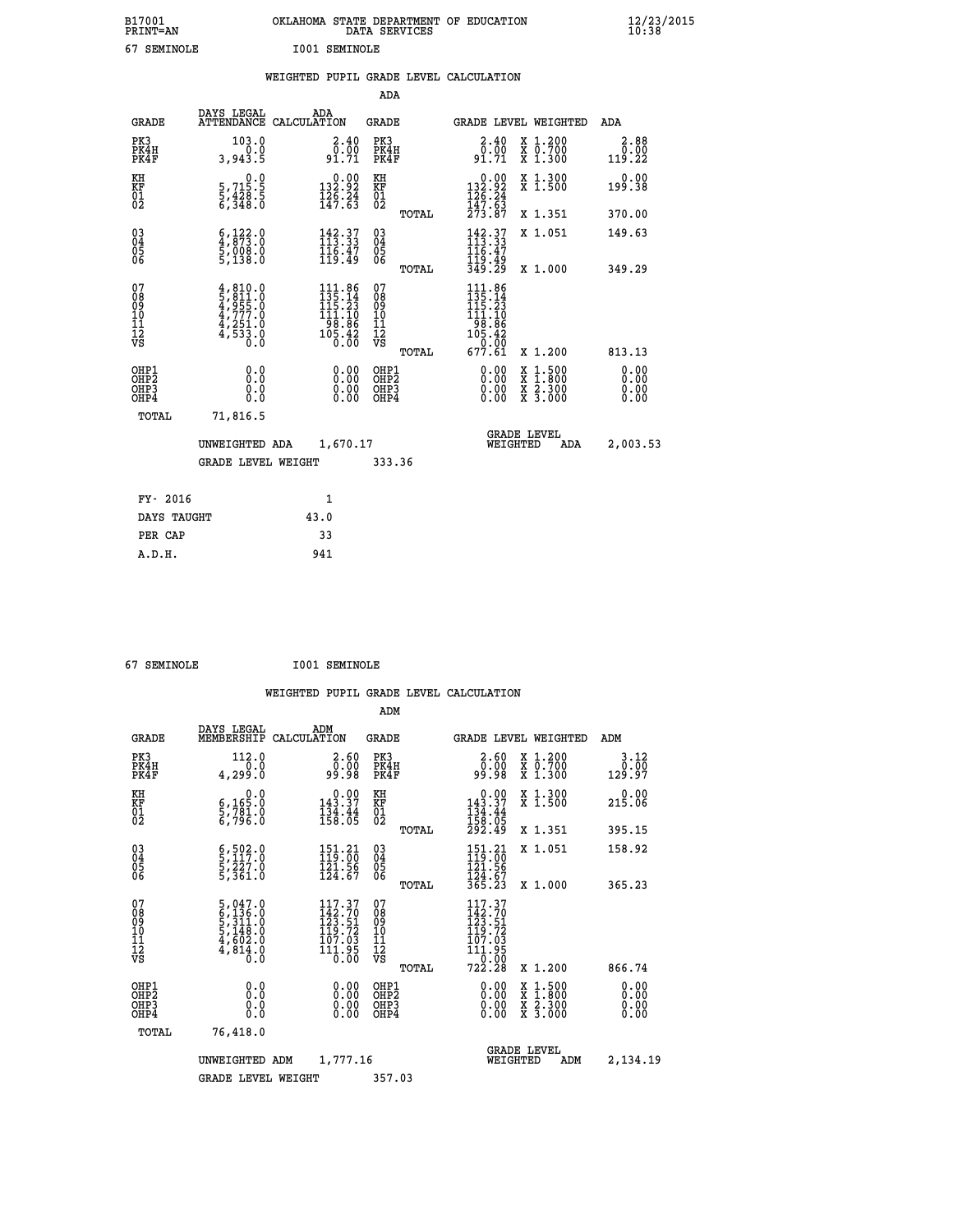| B17001<br><b>PRINT=AN</b> | OKLAHOMA<br>STATE DEPARTMENT OF EDUCATION<br>SERVICES<br>DATA | $\frac{12}{23}$ /2015 |
|---------------------------|---------------------------------------------------------------|-----------------------|
| c -<br>SEMINOLE           | I001<br>SEMINOLE                                              |                       |

| 67 SEMINOLE                             |                                                                                                  |      | <b>I001 SEMINOLE</b>                                                                           |                                                     |       |                                                                                                                                                                                                                              |                                                                                                                                              |                        |
|-----------------------------------------|--------------------------------------------------------------------------------------------------|------|------------------------------------------------------------------------------------------------|-----------------------------------------------------|-------|------------------------------------------------------------------------------------------------------------------------------------------------------------------------------------------------------------------------------|----------------------------------------------------------------------------------------------------------------------------------------------|------------------------|
|                                         |                                                                                                  |      |                                                                                                |                                                     |       | WEIGHTED PUPIL GRADE LEVEL CALCULATION                                                                                                                                                                                       |                                                                                                                                              |                        |
|                                         |                                                                                                  |      |                                                                                                | <b>ADA</b>                                          |       |                                                                                                                                                                                                                              |                                                                                                                                              |                        |
| <b>GRADE</b>                            | DAYS LEGAL<br>ATTENDANCE CALCULATION                                                             |      | ADA                                                                                            | <b>GRADE</b>                                        |       |                                                                                                                                                                                                                              | <b>GRADE LEVEL WEIGHTED</b>                                                                                                                  | ADA                    |
| PK3<br>PK4H<br>PK4F                     | 103.0<br>0.0<br>3,943.5                                                                          |      | $\begin{smallmatrix} 2.40\0.00\91.71\end{smallmatrix}$                                         | PK3<br>PK4H<br>PK4F                                 |       | $\begin{smallmatrix} 2.40\\ 0.00\\ 91.71 \end{smallmatrix}$                                                                                                                                                                  | X 1.200<br>X 0.700<br>X 1.300                                                                                                                | 2.88<br>0.00<br>119.22 |
| KH<br>KF<br>01<br>02                    | $\begin{smallmatrix}&&&0.0\\5,715.5\\5,428.5\\6,348.0\end{smallmatrix}$                          |      | $\begin{array}{c} 0.00 \\ 132.92 \\ 126.24 \\ 147.63 \end{array}$                              | KH<br>KF<br>01<br>02                                |       | $\begin{array}{c} 0.00 \\ 132.92 \\ 126.24 \\ 147.63 \\ 273.87 \end{array}$                                                                                                                                                  | X 1.300<br>X 1.500                                                                                                                           | 0.00<br>199.38         |
|                                         |                                                                                                  |      |                                                                                                |                                                     | TOTAL |                                                                                                                                                                                                                              | X 1.351                                                                                                                                      | 370.00                 |
| 03<br>04<br>05<br>06                    | $\begin{smallmatrix} 6 & 122 & 0 \\ 4 & 873 & 0 \\ 5 & 008 & 0 \\ 5 & 138 & 0 \end{smallmatrix}$ |      | $\begin{array}{l} 142\cdot 37\\ 113\cdot 33\\ 116\cdot 47\\ 119\cdot 49 \end{array}$           | $\begin{array}{c} 03 \\ 04 \\ 05 \\ 06 \end{array}$ |       | 142.37<br>113.33<br>116:47<br>119:49<br>349:29                                                                                                                                                                               | X 1.051                                                                                                                                      | 149.63                 |
|                                         |                                                                                                  |      |                                                                                                |                                                     | TOTAL |                                                                                                                                                                                                                              | X 1.000                                                                                                                                      | 349.29                 |
| 07<br>08<br>09<br>101<br>11<br>12<br>VS | $4,810.0$<br>$5,811.0$<br>$4,955.0$<br>$4,777.0$<br>$4,251.0$<br>$4,533.0$<br>$0.0$              |      | $\begin{array}{r} 111.86 \\ 135.14 \\ 115.23 \\ 111.10 \\ 98.86 \\ 105.42 \\ 0.00 \end{array}$ | 07<br>08<br>09<br>11<br>11<br>12<br>VS              |       | 111.86<br>$\frac{1}{1}$ $\frac{1}{2}$ $\frac{1}{2}$ $\frac{1}{3}$ $\frac{1}{1}$ $\frac{1}{1}$ $\frac{1}{1}$ $\frac{1}{1}$<br>$\begin{array}{r} 1\overline{56} : \overline{86} \\ 105 : 42 \\ 0 : 00 \\ 677 : 61 \end{array}$ |                                                                                                                                              |                        |
|                                         |                                                                                                  |      |                                                                                                |                                                     | TOTAL |                                                                                                                                                                                                                              | X 1.200                                                                                                                                      | 813.13                 |
| OHP1<br>OHP2<br>OHP3<br>OHP4            | 0.0<br>0.0<br>$0.\overline{0}$                                                                   |      | 0.00<br>0.00<br>0.00                                                                           | OHP1<br>OHP2<br>OHP <sub>3</sub>                    |       | 0.00<br>0.00<br>0.00                                                                                                                                                                                                         | $\begin{smallmatrix} \mathtt{X} & 1\cdot500 \\ \mathtt{X} & 1\cdot800 \\ \mathtt{X} & 2\cdot300 \\ \mathtt{X} & 3\cdot000 \end{smallmatrix}$ | 0.00<br>0.00<br>0.00   |
| TOTAL                                   | 71,816.5                                                                                         |      |                                                                                                |                                                     |       |                                                                                                                                                                                                                              |                                                                                                                                              |                        |
|                                         | UNWEIGHTED ADA                                                                                   |      | 1,670.17                                                                                       |                                                     |       | WEIGHTED                                                                                                                                                                                                                     | <b>GRADE LEVEL</b><br>ADA                                                                                                                    | 2,003.53               |
|                                         | <b>GRADE LEVEL WEIGHT</b>                                                                        |      |                                                                                                | 333.36                                              |       |                                                                                                                                                                                                                              |                                                                                                                                              |                        |
| FY- 2016                                |                                                                                                  |      | 1                                                                                              |                                                     |       |                                                                                                                                                                                                                              |                                                                                                                                              |                        |
| DAYS TAUGHT                             |                                                                                                  | 43.0 |                                                                                                |                                                     |       |                                                                                                                                                                                                                              |                                                                                                                                              |                        |
| PER CAP                                 |                                                                                                  |      | 33                                                                                             |                                                     |       |                                                                                                                                                                                                                              |                                                                                                                                              |                        |

 **67 SEMINOLE I001 SEMINOLE**

 **A.D.H. 941**

 **ADM**

| <b>GRADE</b>                                       | DAYS LEGAL                                                                                             | ADM<br>MEMBERSHIP CALCULATION                                                               | <b>GRADE</b>                                           | GRADE LEVEL WEIGHTED                                                                                                                                                                                                                                                           |                                          |     | ADM                           |
|----------------------------------------------------|--------------------------------------------------------------------------------------------------------|---------------------------------------------------------------------------------------------|--------------------------------------------------------|--------------------------------------------------------------------------------------------------------------------------------------------------------------------------------------------------------------------------------------------------------------------------------|------------------------------------------|-----|-------------------------------|
| PK3<br>PK4H<br>PK4F                                | 112.0<br>0.0<br>4,299.0                                                                                | $2.60$<br>$0.00$<br>99.98                                                                   | PK3<br>PK4H<br>PK4F                                    | $2.60$<br>$0.00$<br>99.98                                                                                                                                                                                                                                                      | X 1.200<br>X 0.700<br>X 1.300            |     | 3.12<br>$\frac{0.00}{129.97}$ |
| KH<br>KF<br>01<br>02                               | $\begin{smallmatrix}&&&0\cdot0\\ 6\,,\,165\cdot0\\ 5\,,\,781\cdot0\\ 6\,,\,796\cdot0\end{smallmatrix}$ | $\begin{array}{c} 0.00 \\ 143.37 \\ 134.44 \\ 158.05 \end{array}$                           | KH<br>KF<br>01<br>02                                   | $0.00$<br>$143.37$<br>$134.44$<br>$158.05$<br>$292.49$                                                                                                                                                                                                                         | X 1.300<br>X 1.500                       |     | 0.00<br>215.06                |
|                                                    |                                                                                                        |                                                                                             | TOTAL                                                  |                                                                                                                                                                                                                                                                                | X 1.351                                  |     | 395.15                        |
| $\begin{matrix} 03 \\ 04 \\ 05 \\ 06 \end{matrix}$ | $\frac{6}{5}, \frac{502}{117}.0$<br>$\frac{5}{5}, \frac{227}{361}.0$                                   | $151.21$<br>$129.60$<br>$121.56$<br>124.67                                                  | $\begin{array}{c} 03 \\ 04 \\ 05 \\ 06 \end{array}$    | $151.21$<br>$119.00$<br>$121.56$<br>$124.67$<br>$365.23$                                                                                                                                                                                                                       | X 1.051                                  |     | 158.92                        |
|                                                    |                                                                                                        |                                                                                             | TOTAL                                                  |                                                                                                                                                                                                                                                                                | X 1.000                                  |     | 365.23                        |
| 07<br>08<br>09<br>101<br>11<br>12<br>VS            | $\begin{smallmatrix}5,047.0\\6,136.0\\5,311.0\\5,148.0\\4,602.0\\4,814.0\\0.0\end{smallmatrix}$        | $\begin{smallmatrix} 117.37\\142.70\\123.51\\119.72\\107.03\\111.95\\0.00\end{smallmatrix}$ | 07<br>08<br>09<br>001<br>11<br>11<br>12<br>VS<br>TOTAL | 117.37<br>$\frac{142.70}{123.51}$<br>$\frac{129.72}{119.72}$<br>107.03<br>111.95<br>722.28                                                                                                                                                                                     | X 1.200                                  |     | 866.74                        |
| OHP1<br>OHP2<br>OHP3<br>OHP4                       |                                                                                                        | $\begin{smallmatrix} 0.00 \ 0.00 \ 0.00 \ 0.00 \end{smallmatrix}$                           | OHP1<br>OHP2<br>OHP3<br>OHP4                           | $\begin{smallmatrix} 0.00 & 0.00 & 0.00 & 0.00 & 0.00 & 0.00 & 0.00 & 0.00 & 0.00 & 0.00 & 0.00 & 0.00 & 0.00 & 0.00 & 0.00 & 0.00 & 0.00 & 0.00 & 0.00 & 0.00 & 0.00 & 0.00 & 0.00 & 0.00 & 0.00 & 0.00 & 0.00 & 0.00 & 0.00 & 0.00 & 0.00 & 0.00 & 0.00 & 0.00 & 0.00 & 0.0$ | X 1:500<br>X 1:800<br>X 2:300<br>X 3:000 |     | 0.00<br>0.00<br>0.00          |
| TOTAL                                              | 76,418.0                                                                                               |                                                                                             |                                                        |                                                                                                                                                                                                                                                                                |                                          |     |                               |
|                                                    | UNWEIGHTED                                                                                             | 1,777.16<br>ADM                                                                             |                                                        |                                                                                                                                                                                                                                                                                | <b>GRADE LEVEL</b><br>WEIGHTED           | ADM | 2,134.19                      |
|                                                    | <b>GRADE LEVEL WEIGHT</b>                                                                              |                                                                                             | 357.03                                                 |                                                                                                                                                                                                                                                                                |                                          |     |                               |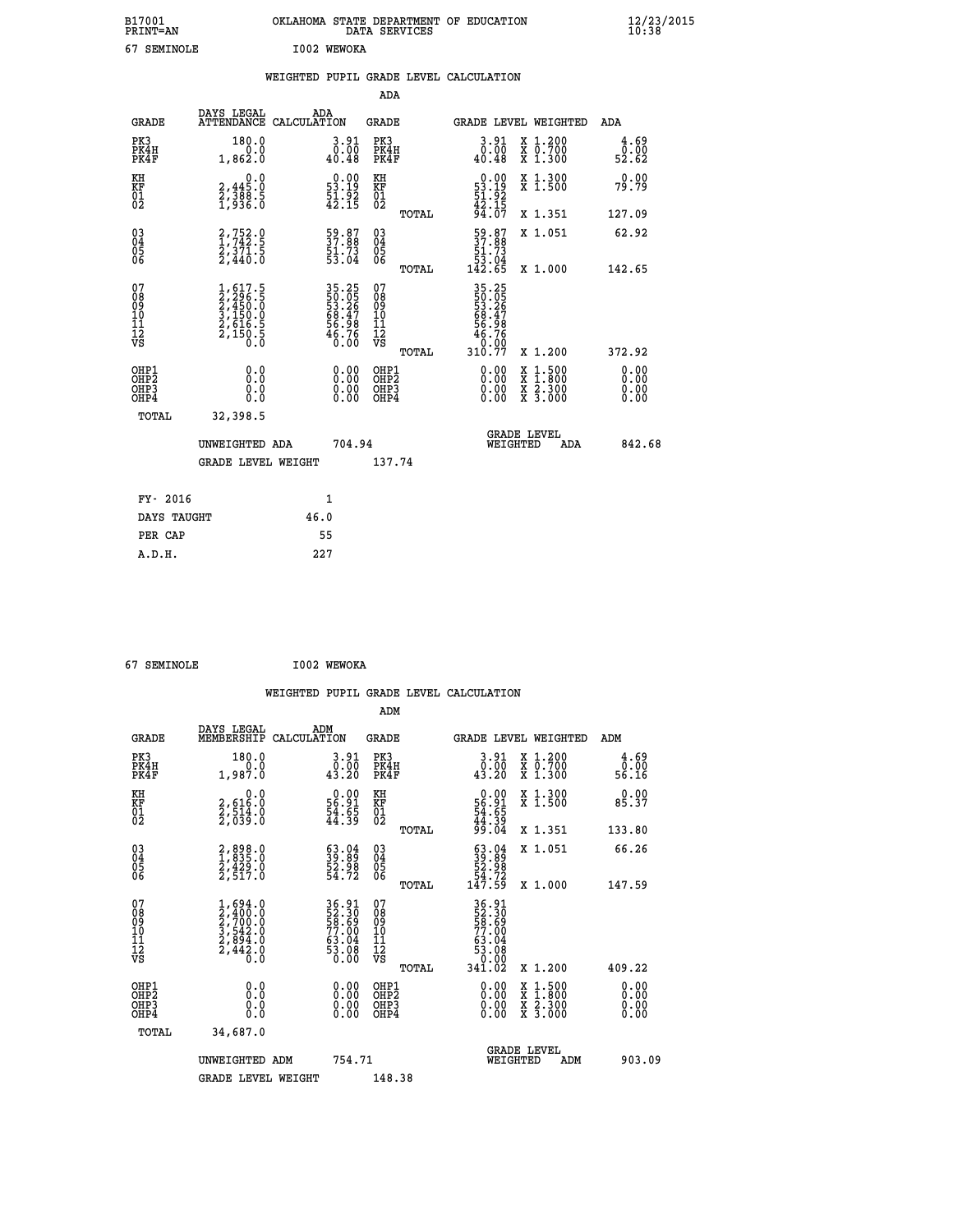| B17001<br><b>PRINT=AN</b> | OKLAHOMA STATE DEPARTMENT OF EDUCATION<br>DATA SERVICES | $\frac{12}{23}$ /2015 |
|---------------------------|---------------------------------------------------------|-----------------------|
| 67<br>SEMINOLE            | I002 WEWOKA                                             |                       |

|  |  | WEIGHTED PUPIL GRADE LEVEL CALCULATION |
|--|--|----------------------------------------|
|  |  |                                        |

|                                                                    |                                                                                     |                                                                                           | ADA                                                 |       |                                                                            |                                                                                                                                           |                               |
|--------------------------------------------------------------------|-------------------------------------------------------------------------------------|-------------------------------------------------------------------------------------------|-----------------------------------------------------|-------|----------------------------------------------------------------------------|-------------------------------------------------------------------------------------------------------------------------------------------|-------------------------------|
| <b>GRADE</b>                                                       | DAYS LEGAL                                                                          | ADA<br>ATTENDANCE CALCULATION                                                             | <b>GRADE</b>                                        |       |                                                                            | GRADE LEVEL WEIGHTED                                                                                                                      | <b>ADA</b>                    |
| PK3<br>PK4H<br>PK4F                                                | 180.0<br>0.0<br>1,862.0                                                             | 3.91<br>$\begin{smallmatrix} \bar{0} & \bar{0} & \bar{0} \\ 0 & 0 & 48 \end{smallmatrix}$ | PK3<br>PK4H<br>PK4F                                 |       | $\begin{smallmatrix} 3.91\ 0.00\ 40.48 \end{smallmatrix}$                  | X 1.200<br>X 0.700<br>X 1.300                                                                                                             | $\frac{4.69}{0.00}$<br>52.62  |
| KH<br>KF<br>01<br>02                                               | 0.0<br>$2,388.5$<br>$2,388.5$<br>$1,936.0$                                          | $\begin{smallmatrix} 0.00\\ 53.19\\ 51.92\\ 42.15 \end{smallmatrix}$                      | KH<br>KF<br>01<br>02                                |       | $\begin{smallmatrix} 0.00\\53.19\\51.92\\42.15\\94.07 \end{smallmatrix}$   | X 1.300<br>X 1.500                                                                                                                        | 0.00<br>79.79                 |
|                                                                    |                                                                                     |                                                                                           |                                                     | TOTAL |                                                                            | X 1.351                                                                                                                                   | 127.09                        |
| $\begin{smallmatrix} 03 \\[-4pt] 04 \end{smallmatrix}$<br>Ŏ5<br>06 | $\begin{smallmatrix} 2,752.0\\ 1,742.5\\ 2,371.5\\ 2,440.0 \end{smallmatrix}$       | 59.87<br>37.88<br>51.73<br>53.04                                                          | $\begin{array}{c} 03 \\ 04 \\ 05 \\ 06 \end{array}$ |       | $\begin{smallmatrix} 59.87\ 37.88\ 51.73\ 53.04\ 142.65 \end{smallmatrix}$ | X 1.051                                                                                                                                   | 62.92                         |
|                                                                    |                                                                                     |                                                                                           |                                                     | TOTAL |                                                                            | X 1.000                                                                                                                                   | 142.65                        |
| 07<br>08<br>09<br>01<br>11<br>11<br>12<br>VS                       | $1,617.5$<br>$2,296.5$<br>$2,450.0$<br>$3,150.0$<br>$2,616.5$<br>$2,150.5$<br>$0.0$ | 35.25<br>53.26<br>53.26<br>68.47<br>68.98<br>56.76<br>46.76                               | 07<br>08<br>09<br>11<br>11<br>12<br>VS              |       | 35.25<br>53.26<br>53.26<br>68.47<br>56.98<br>56.760                        |                                                                                                                                           |                               |
|                                                                    |                                                                                     |                                                                                           |                                                     | TOTAL | 310.77                                                                     | X 1.200                                                                                                                                   | 372.92                        |
| OHP1<br>OHP <sub>2</sub><br>OH <sub>P3</sub><br>OHP4               | 0.0<br>0.000                                                                        | 0.00<br>$\begin{smallmatrix} 0.00 \ 0.00 \end{smallmatrix}$                               | OHP1<br>OHP2<br>OHP <sub>3</sub>                    |       | 0.00<br>0.00                                                               | $\begin{smallmatrix} \mathtt{X} & 1\cdot500\\ \mathtt{X} & 1\cdot800\\ \mathtt{X} & 2\cdot300\\ \mathtt{X} & 3\cdot000 \end{smallmatrix}$ | 0.00<br>Ō. ŌŌ<br>0.00<br>0.00 |
| TOTAL                                                              | 32,398.5                                                                            |                                                                                           |                                                     |       |                                                                            |                                                                                                                                           |                               |
|                                                                    | UNWEIGHTED ADA                                                                      | 704.94                                                                                    |                                                     |       |                                                                            | <b>GRADE LEVEL</b><br>WEIGHTED<br>ADA                                                                                                     | 842.68                        |
|                                                                    | <b>GRADE LEVEL WEIGHT</b>                                                           |                                                                                           | 137.74                                              |       |                                                                            |                                                                                                                                           |                               |
| FY- 2016                                                           |                                                                                     | $\mathbf{1}$                                                                              |                                                     |       |                                                                            |                                                                                                                                           |                               |
| DAYS TAUGHT                                                        |                                                                                     | 46.0                                                                                      |                                                     |       |                                                                            |                                                                                                                                           |                               |
| PER CAP                                                            |                                                                                     | 55                                                                                        |                                                     |       |                                                                            |                                                                                                                                           |                               |

| 67 SEMINOLE |  |
|-------------|--|

 **67 SEMINOLE I002 WEWOKA WEIGHTED PUPIL GRADE LEVEL CALCULATION ADM DAYS LEGAL ADM GRADE MEMBERSHIP CALCULATION GRADE GRADE LEVEL WEIGHTED ADM PK3 180.0 3.91 PK3 3.91 X 1.200 4.69 PK4H 0.0 0.00 PK4H 0.00 X 0.700 0.00 PK4F 1,987.0 43.20 PK4F 43.20 X 1.300 56.16 KH 0.0 0.00 KH 0.00 X 1.300 0.00 KF 2,616.0 56.91 KF 56.91 X 1.500 85.37 01 2,514.0 54.65 01 54.65 02 2,039.0 44.39 02 44.39 TOTAL 99.04 X 1.351 133.80 03 2,898.0 63.04 03 63.04 X 1.051 66.26 04 1,835.0 39.89 04 39.89 05 2,429.0 52.98 05 52.98 06 2,517.0 54.72 06 54.72 TOTAL 147.59 X 1.000 147.59**  $\begin{array}{cccc} 07 & 1,694.0 & 36.91 & 07 & 36.91 \ 08 & 2,400.0 & 52.30 & 08 & 52.30 \ 09 & 2,700.0 & 58.69 & 09 & 58.69 \ 10 & 3,542.0 & 77.00 & 10 & 77.00 \ 11 & 2,894.0 & 63.04 & 11 & 63.08 \ \hline \textrm{vs} & 2,442.0 & 53.08 & 12 & 53.08 \ 12 & 53.08 & 52.44 & 0$  **TOTAL 341.02 X 1.200 409.22 OHP1 0.0 0.00 OHP1 0.00 X 1.500 0.00 OHP2 0.0 0.00 OHP2 0.00 X 1.800 0.00 OHP3 0.0 0.00 OHP3 0.00 X 2.300 0.00 OHP4 0.0 0.00 OHP4 0.00 X 3.000 0.00 TOTAL 34,687.0 GRADE LEVEL UNWEIGHTED ADM 754.71 WEIGHTED ADM 903.09 GRADE LEVEL WEIGHT 148.38**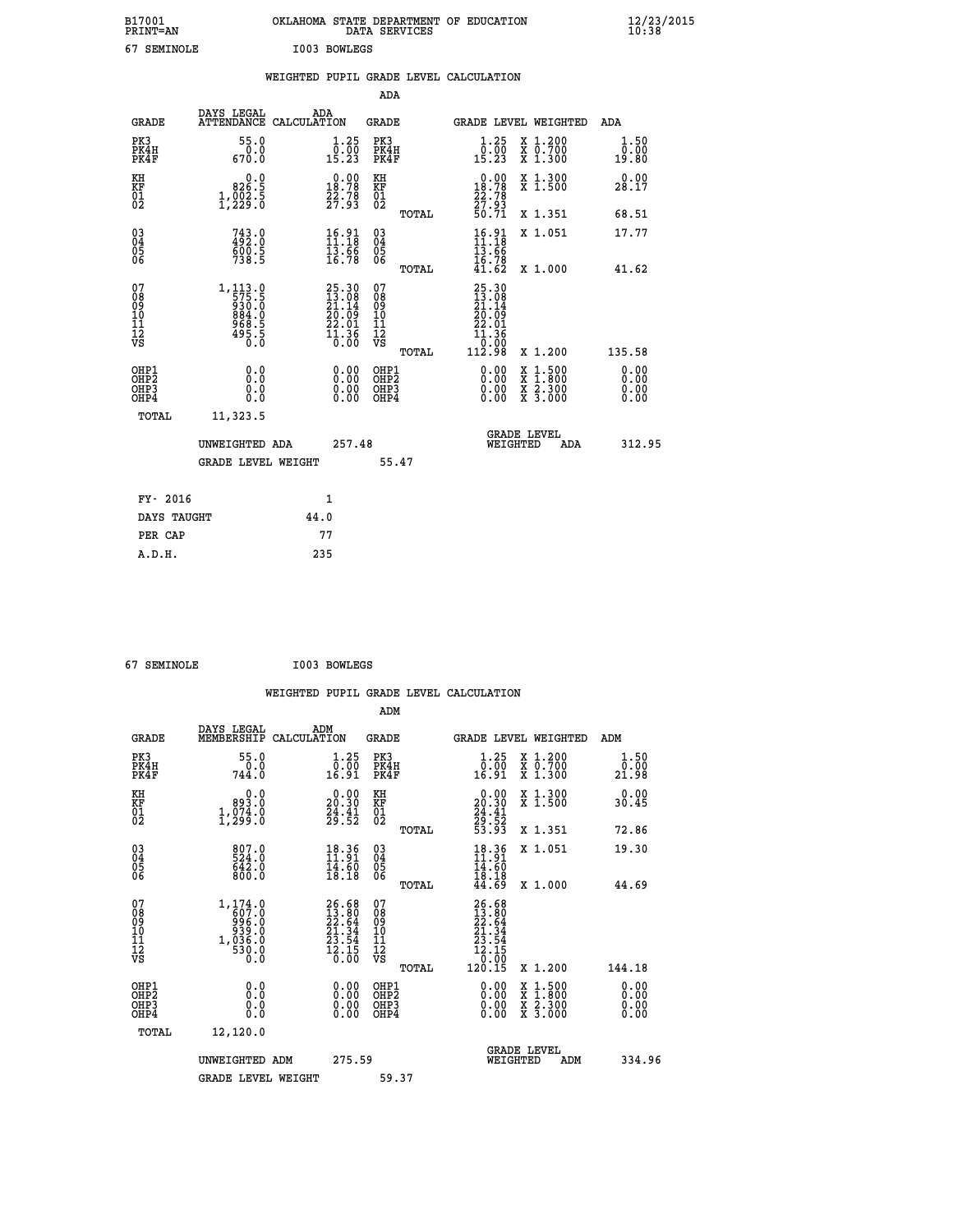| B17001<br><b>PRINT=AN</b> | OKLAHOMA STATE DEPARTMENT OF EDUCATION<br>DATA SERVICES | $\frac{12}{23}$ /2015 |
|---------------------------|---------------------------------------------------------|-----------------------|
| 67<br>SEMINOLE            | I003 BOWLEGS                                            |                       |

|                                                       |                                                                            |      |                                                                                                                                   |                                          |              | WEIGHTED PUPIL GRADE LEVEL CALCULATION                                                                     |                                          |                              |
|-------------------------------------------------------|----------------------------------------------------------------------------|------|-----------------------------------------------------------------------------------------------------------------------------------|------------------------------------------|--------------|------------------------------------------------------------------------------------------------------------|------------------------------------------|------------------------------|
|                                                       |                                                                            |      |                                                                                                                                   | ADA                                      |              |                                                                                                            |                                          |                              |
| <b>GRADE</b>                                          | DAYS LEGAL<br>ATTENDANCE CALCULATION                                       |      | ADA                                                                                                                               | <b>GRADE</b>                             |              |                                                                                                            | GRADE LEVEL WEIGHTED                     | <b>ADA</b>                   |
| PK3<br>PK4H<br>PK4F                                   | 55.0<br>0.0<br>670.0                                                       |      | $\begin{smallmatrix} 1.25\ 0.00\\ 15.23 \end{smallmatrix}$                                                                        | PK3<br>PK4H<br>PK4F                      |              | $\begin{smallmatrix} 1.25 \\ 0.00 \\ 15.23 \end{smallmatrix}$                                              | X 1.200<br>X 0.700<br>X 1.300            | 1.50<br>0.00<br>19.80        |
| KH<br>KF<br>01<br>02                                  | 0.0<br>826.5<br>1, 229.5                                                   |      | $\begin{smallmatrix} 0.00\\18.78\\22.78\\27.93 \end{smallmatrix}$                                                                 | KH<br>KF<br>01<br>02                     |              | 0.00<br>$\frac{18.78}{22.78}$<br>$\frac{27.78}{27.93}$<br>$\frac{50.71}{20.71}$                            | X 1.300<br>X 1.500                       | 0.00<br>28.17                |
|                                                       |                                                                            |      |                                                                                                                                   |                                          | TOTAL        |                                                                                                            | X 1.351                                  | 68.51                        |
| 030404<br>ŎĞ                                          | $743.0$<br>$492.0$<br>$600.5$<br>$738.5$                                   |      | $\begin{smallmatrix} 16.91\ 11.18\ 13.66\ 16.78 \end{smallmatrix}$                                                                | 03<br>04<br>05<br>06                     |              | $16.91$<br>$11.18$<br>13.66<br>16.78                                                                       | X 1.051                                  | 17.77                        |
|                                                       |                                                                            |      |                                                                                                                                   |                                          | <b>TOTAL</b> | 41.62                                                                                                      | X 1.000                                  | 41.62                        |
| 07<br>08<br>09<br>101<br>11<br>12<br>VS               | $1, 113.0$<br>$575.5$<br>$930.0$<br>$884.0$<br>$968.5$<br>$495.5$<br>$0.0$ |      | $\begin{smallmatrix} 25.30\ 13.08\ 21.14 \end{smallmatrix}$<br>$\begin{smallmatrix} 20.109\\22.01\\11.36\\0.00 \end{smallmatrix}$ | 07<br>08<br>09<br>11<br>11<br>12<br>VS   |              | 25.30<br>13.08<br>21.14<br>20.09<br>$\begin{smallmatrix} 22.01 \ 11.36 \ 10.00 \ 112.98 \end{smallmatrix}$ |                                          |                              |
|                                                       |                                                                            |      |                                                                                                                                   |                                          | TOTAL        |                                                                                                            | X 1.200                                  | 135.58                       |
| OHP1<br>OH <sub>P</sub> 2<br>OH <sub>P3</sub><br>OHP4 | 0.0<br>0.0<br>0.0                                                          |      | 0.00<br>0.00<br>0.00                                                                                                              | OHP1<br>OHP <sub>2</sub><br>OHP3<br>OHP4 |              | $0.00$<br>$0.00$<br>0.00                                                                                   | X 1:500<br>X 1:800<br>X 2:300<br>X 3:000 | 0.00<br>0.00<br>0.00<br>0.00 |
| TOTAL                                                 | 11,323.5                                                                   |      |                                                                                                                                   |                                          |              |                                                                                                            |                                          |                              |
|                                                       | UNWEIGHTED ADA                                                             |      | 257.48                                                                                                                            |                                          |              | WEIGHTED                                                                                                   | <b>GRADE LEVEL</b><br><b>ADA</b>         | 312.95                       |
|                                                       | <b>GRADE LEVEL WEIGHT</b>                                                  |      |                                                                                                                                   |                                          | 55.47        |                                                                                                            |                                          |                              |
| FY- 2016                                              |                                                                            |      | 1                                                                                                                                 |                                          |              |                                                                                                            |                                          |                              |
| DAYS TAUGHT                                           |                                                                            | 44.0 |                                                                                                                                   |                                          |              |                                                                                                            |                                          |                              |
| PER CAP                                               |                                                                            |      | 77                                                                                                                                |                                          |              |                                                                                                            |                                          |                              |
| A.D.H.                                                |                                                                            | 235  |                                                                                                                                   |                                          |              |                                                                                                            |                                          |                              |

 **67 SEMINOLE I003 BOWLEGS**

 **WEIGHTED PUPIL GRADE LEVEL CALCULATION ADM DAYS LEGAL ADM GRADE MEMBERSHIP CALCULATION GRADE GRADE LEVEL WEIGHTED ADM PK3 55.0 1.25 PK3 1.25 X 1.200 1.50 PK4H 0.0 0.00 PK4H 0.00 X 0.700 0.00 PK4F 744.0 16.91 PK4F 16.91 X 1.300 21.98** 0.00 KH 0.00 RH 0.00 X 1.300<br>RF 993.0 20.30 KF 20.30 X 1.500 30.45  **01 1,074.0 24.41 01 24.41 02 1,299.0 29.52 02 29.52 TOTAL 53.93 X 1.351 72.86 03 807.0 18.36 03 18.36 X 1.051 19.30 04 524.0 11.91 04 11.91 05 642.0 14.60 05 14.60** 06 800.0 18.18 06 <sub>memas</sub> 18.18  **TOTAL 44.69 X 1.000 44.69** 07 1,174.0 26.68 07<br>
08 607.0 13.80 08 13.668<br>
09 996.0 22.64 09<br>
10 939.0 21.34 10 21.34<br>
11 1,036.0 23.54 11 23.54<br>
12 530.0 12.15 12<br>
VS 0.0 16.00 VS 0.000 **26.68 07**<br> **12.80** 08<br> **27.34 08**<br> **27.34 10**<br> **27.34 10**<br> **27.34 11**<br> **27.34 11**<br> **27.34 12**<br> **27.34 12**<br> **27.34 12**<br> **27.34**<br> **27.34**<br> **12.15**<br> **12.15**<br> **12.15**<br> **2.1.34**<br> **12.15**<br> **12.15**<br> **12.15**<br> **2.1.50**<br> **12.15**<br>  **OHP1 0.0 0.00 OHP1 0.00 X 1.500 0.00 OHP2 0.0 0.00 OHP2 0.00 X 1.800 0.00 OHP3 0.0 0.00 OHP3 0.00 X 2.300 0.00 OHP4 0.0 0.00 OHP4 0.00 X 3.000 0.00 TOTAL 12,120.0 GRADE LEVEL UNWEIGHTED ADM 275.59 WEIGHTED ADM 334.96** GRADE LEVEL WEIGHT 59.37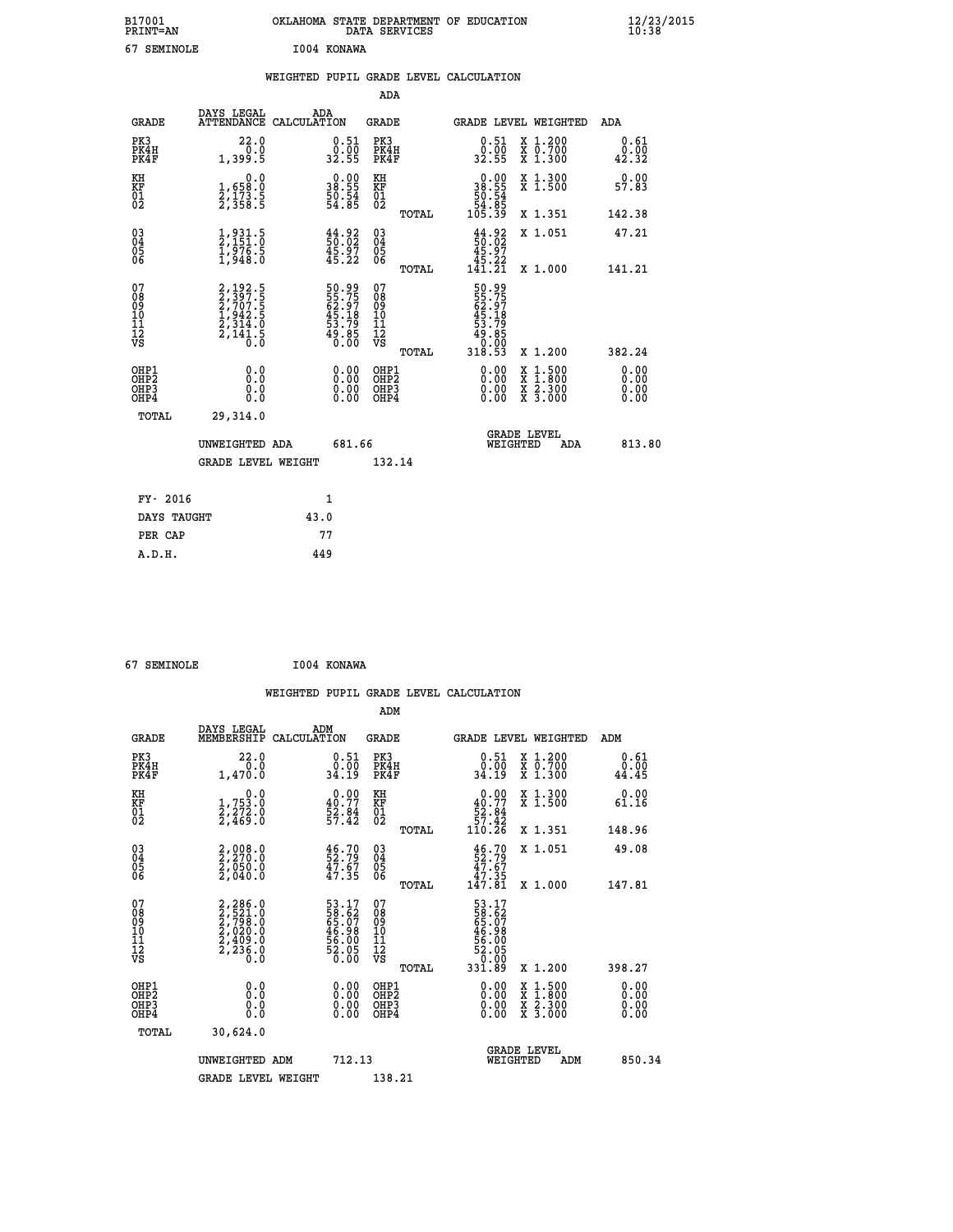| B17001<br><b>PRINT=AN</b> | OKLAHOMA STATE DEPARTMENT OF EDUCATION<br>DATA SERVICES | $\frac{12}{23}$ /2015 |
|---------------------------|---------------------------------------------------------|-----------------------|
| 67<br>SEMINOLE            | 1004 KONAWA                                             |                       |

|  |     | WEIGHTED PUPIL GRADE LEVEL CALCULATION |  |
|--|-----|----------------------------------------|--|
|  | ADA |                                        |  |

| <b>GRADE</b>                                       | DAYS LEGAL<br><b>ATTENDANCE</b>                                                                      | ADA<br>CALCULATION                                                   | GRADE                                               |       |                                                                                               | <b>GRADE LEVEL WEIGHTED</b>              | ADA                          |
|----------------------------------------------------|------------------------------------------------------------------------------------------------------|----------------------------------------------------------------------|-----------------------------------------------------|-------|-----------------------------------------------------------------------------------------------|------------------------------------------|------------------------------|
| PK3<br>PK4H<br>PK4F                                | 22.0<br>0.0<br>1,399.5                                                                               | $\begin{smallmatrix} 0.51\ 0.00\ 32.55 \end{smallmatrix}$            | PK3<br>PK4H<br>PK4F                                 |       | 0.51<br>0:00<br>32.55                                                                         | X 1.200<br>X 0.700<br>X 1.300            | 0.61<br>0.00<br>42.32        |
| KH<br>KF<br>01<br>02                               | $\begin{smallmatrix}&&&0.0\\1,658.0\\2,173.5\\2,358.5\end{smallmatrix}$                              | $\begin{smallmatrix} 0.00\\ 38.55\\ 50.54\\ 54.85 \end{smallmatrix}$ | KH<br>KF<br>01<br>02                                |       | $\begin{smallmatrix} &0.00\\ 38.55\\ 50.54\\ 54.85\\ 105.39\end{smallmatrix}$                 | X 1.300<br>X 1.500                       | 0.00<br>57.83                |
|                                                    |                                                                                                      |                                                                      |                                                     | TOTAL |                                                                                               | X 1.351                                  | 142.38                       |
| $\begin{matrix} 03 \\ 04 \\ 05 \\ 06 \end{matrix}$ | $\frac{1}{2}$ , $\frac{931}{151}$ .<br>$\frac{1}{976}$ .<br>$\frac{1}{1}$ , $\frac{976}{948}$ .<br>0 | $\frac{44}{50}$ .02<br>$\frac{45}{45}$ .97<br>$\frac{45}{45}$ .22    | $\begin{array}{c} 03 \\ 04 \\ 05 \\ 06 \end{array}$ |       | $\frac{44}{50}$ :02<br>$\begin{smallmatrix} 45.97\\ 45.22\\ 45.22\\ 141.21 \end{smallmatrix}$ | X 1.051                                  | 47.21                        |
|                                                    |                                                                                                      |                                                                      |                                                     | TOTAL |                                                                                               | X 1.000                                  | 141.21                       |
| 07<br>08<br>09<br>01<br>11<br>11<br>12<br>VS       | 2, 192.5<br>2, 397.5<br>2, 707.5<br>1, 942.5<br>2, 314.0<br>2, 141.5                                 | 50.99<br>55.75<br>62.97<br>62.18<br>45.79<br>53.79<br>50.85          | 07<br>08<br>09<br>11<br>11<br>12<br>VS              |       | 50.99<br>55.75<br>62.97<br>45.18<br>53.79<br>53.85<br>0:00<br>318.53                          |                                          |                              |
|                                                    |                                                                                                      |                                                                      |                                                     | TOTAL |                                                                                               | X 1.200                                  | 382.24                       |
| OHP1<br>OHP2<br>OH <sub>P3</sub><br>OHP4           | 0.0<br>0.0<br>0.0                                                                                    | $\begin{smallmatrix} 0.00 \ 0.00 \ 0.00 \ 0.00 \end{smallmatrix}$    | OHP1<br>OHP2<br>OHP3<br>OHP4                        |       | 0.00<br>0.00                                                                                  | X 1:500<br>X 1:800<br>X 2:300<br>X 3:000 | 0.00<br>0.00<br>0.00<br>0.00 |
| TOTAL                                              | 29,314.0                                                                                             |                                                                      |                                                     |       |                                                                                               |                                          |                              |
|                                                    | UNWEIGHTED ADA                                                                                       | 681.66                                                               |                                                     |       |                                                                                               | GRADE LEVEL<br>WEIGHTED<br><b>ADA</b>    | 813.80                       |
|                                                    | <b>GRADE LEVEL WEIGHT</b>                                                                            |                                                                      | 132.14                                              |       |                                                                                               |                                          |                              |
| FY- 2016                                           |                                                                                                      | 1                                                                    |                                                     |       |                                                                                               |                                          |                              |
| DAYS TAUGHT                                        |                                                                                                      | 43.0                                                                 |                                                     |       |                                                                                               |                                          |                              |
| PER CAP                                            |                                                                                                      | 77                                                                   |                                                     |       |                                                                                               |                                          |                              |
| A.D.H.                                             |                                                                                                      | 449                                                                  |                                                     |       |                                                                                               |                                          |                              |

| 67 SEMINOLE | I004 KONAWA |
|-------------|-------------|
|             |             |

 **WEIGHTED PUPIL GRADE LEVEL CALCULATION ADM DAYS LEGAL ADM GRADE MEMBERSHIP CALCULATION GRADE GRADE LEVEL WEIGHTED ADM PK3 22.0 0.51 PK3 0.51 X 1.200 0.61 PK4H 0.0 0.00 PK4H 0.00 X 0.700 0.00**

| PK4F                                                 | 1,470.0                                                                                        | 34.19                                                                | PK4F                                               | 34.19                                                                                      | X 1.300                                                                                                             | 44.45                    |
|------------------------------------------------------|------------------------------------------------------------------------------------------------|----------------------------------------------------------------------|----------------------------------------------------|--------------------------------------------------------------------------------------------|---------------------------------------------------------------------------------------------------------------------|--------------------------|
| KH<br>KF<br>01<br>02                                 | $\begin{smallmatrix}&&&0\cdot0\\1,753\cdot0\\2,272\cdot0\\2,469\cdot0\end{smallmatrix}$        | $\begin{smallmatrix} 0.00\\ 40.77\\ 52.84\\ 57.42 \end{smallmatrix}$ | KH<br>KF<br>01<br>02                               | 0.00<br>$\begin{array}{r} 40.77 \\[-4pt] 52.84 \\[-4pt] 57.42 \\[-4pt] 110.26 \end{array}$ | X 1.300<br>X 1.500                                                                                                  | 0.00<br>61.16            |
|                                                      |                                                                                                |                                                                      | TOTAL                                              |                                                                                            | X 1.351                                                                                                             | 148.96                   |
| $\begin{matrix} 03 \\ 04 \\ 05 \\ 06 \end{matrix}$   | $2,008.0$<br>$2,270.0$<br>$2,050.0$<br>$2,040.0$                                               | $\frac{46.70}{52.79}$<br>$\frac{47.67}{47.35}$                       | $\begin{matrix} 03 \\ 04 \\ 05 \\ 06 \end{matrix}$ | $46.70$<br>52.79<br>47.67<br>47.35<br>147.81                                               | X 1.051                                                                                                             | 49.08                    |
|                                                      |                                                                                                |                                                                      | TOTAL                                              |                                                                                            | X 1.000                                                                                                             | 147.81                   |
| 07<br>08<br>09<br>101<br>11<br>12<br>VS              | 2,286.0<br>2,521.0<br>2,798.0<br>2,020.0<br>2,409.0<br>$\frac{5}{2}, \frac{5}{2}, \frac{5}{6}$ | 53.17<br>58.62<br>65.07<br>65.98<br>56.00<br>52.05<br>52.05          | 07<br>08<br>09<br>101<br>11<br>12<br>VS<br>TOTAL   | 53.17<br>58.627<br>65.98<br>46.98<br>52.05<br>52.05<br>52.05<br>331.89                     | X 1.200                                                                                                             | 398.27                   |
| OHP1<br>OHP <sub>2</sub><br>OH <sub>P3</sub><br>OHP4 | 0.00000<br>0.0                                                                                 | $0.00$<br>$0.00$<br>0.00                                             | OHP1<br>OHP <sub>2</sub><br>OHP3<br>OHP4           | $0.00$<br>$0.00$<br>0.00                                                                   | $\begin{array}{l} \mathtt{X} & 1.500 \\ \mathtt{X} & 1.800 \\ \mathtt{X} & 2.300 \\ \mathtt{X} & 3.000 \end{array}$ | $0.00$<br>$0.00$<br>0.00 |
| TOTAL                                                | 30,624.0                                                                                       |                                                                      |                                                    |                                                                                            |                                                                                                                     |                          |
|                                                      | UNWEIGHTED ADM                                                                                 | 712.13                                                               |                                                    |                                                                                            | <b>GRADE LEVEL</b><br>WEIGHTED<br>ADM                                                                               | 850.34                   |
|                                                      | <b>GRADE LEVEL WEIGHT</b>                                                                      |                                                                      | 138.21                                             |                                                                                            |                                                                                                                     |                          |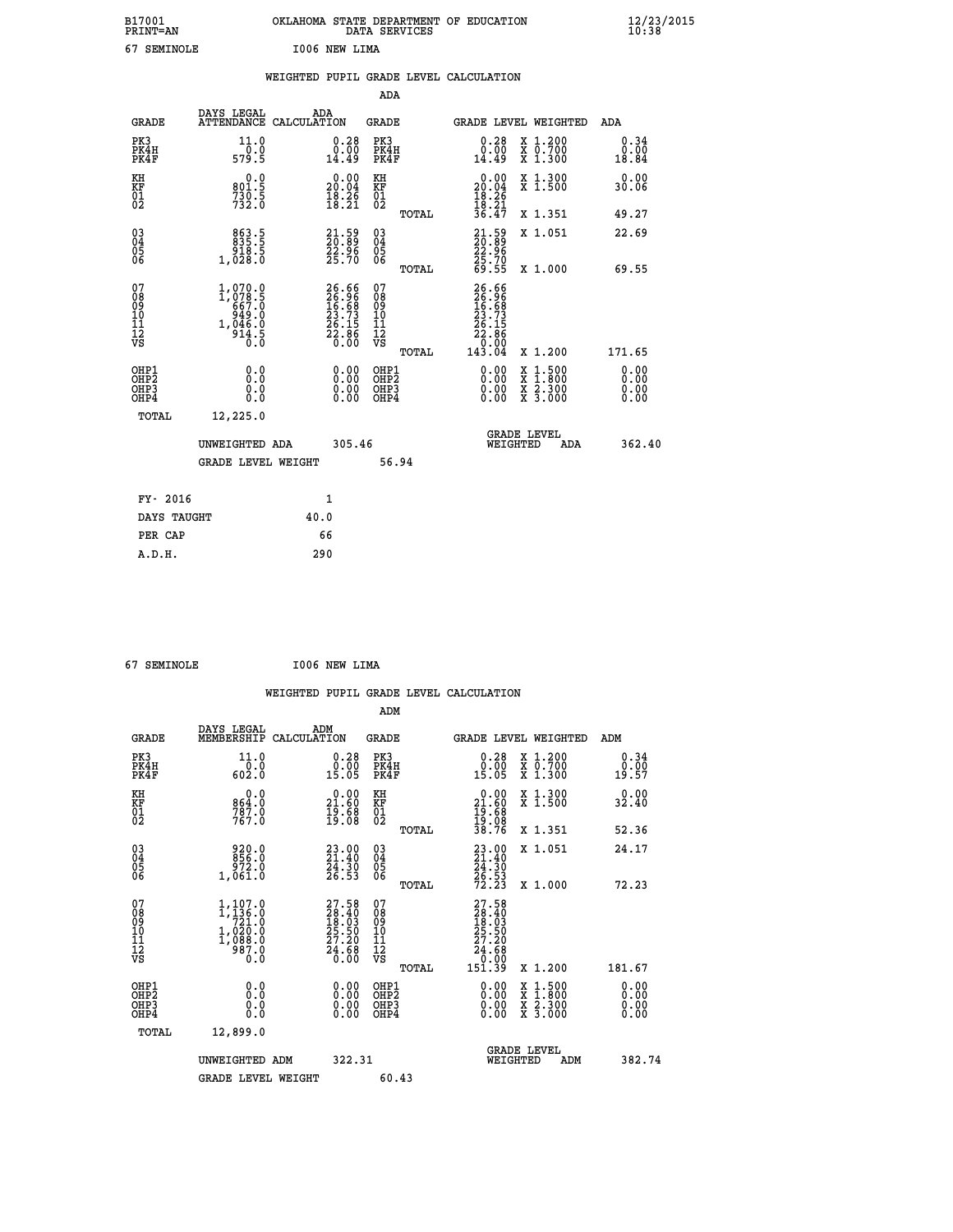|    | B17001<br><b>PRINT=AN</b> |      | OKLAHOMA STATE DEPARTMENT OF EDUCATION<br>DATA SERVICES |  | $\frac{12}{23}$ /2015 |
|----|---------------------------|------|---------------------------------------------------------|--|-----------------------|
| 67 | SEMINOLE                  | I006 | NEW LIMA                                                |  |                       |

|                                                                    |                                                              | WEIGHTED PUPIL GRADE LEVEL CALCULATION                               |                                        |       |                                                                                                        |                                                                   |                              |
|--------------------------------------------------------------------|--------------------------------------------------------------|----------------------------------------------------------------------|----------------------------------------|-------|--------------------------------------------------------------------------------------------------------|-------------------------------------------------------------------|------------------------------|
|                                                                    |                                                              |                                                                      | <b>ADA</b>                             |       |                                                                                                        |                                                                   |                              |
| <b>GRADE</b>                                                       |                                                              | DAYS LEGAL ADA ATTENDANCE CALCULATION                                | <b>GRADE</b>                           |       |                                                                                                        | GRADE LEVEL WEIGHTED                                              | ADA                          |
| PK3<br>PK4H<br>PK4F                                                | 11.0<br>579.5                                                | $\substack{0.28 \\ 0.00 \\ 14.49}$                                   | PK3<br>PK4H<br>PK4F                    |       | 0.28<br>0.00<br>14.49                                                                                  | X 1.200<br>X 0.700<br>X 1.300                                     | 0.34<br>0.00<br>18.84        |
| KH<br>KF<br>01<br>02                                               | 0.0<br>801:5<br>730:5<br>732:0                               | $\begin{smallmatrix} 0.00\\ 20.04\\ 18.26\\ 18.21 \end{smallmatrix}$ | KH<br>KF<br>01<br>02                   |       | 0.00<br>$20.04$<br>$18.26$<br>$18.21$<br>$36.47$                                                       | X 1.300<br>X 1.500                                                | 0.00<br>30.06                |
|                                                                    |                                                              |                                                                      |                                        | TOTAL |                                                                                                        | X 1.351                                                           | 49.27                        |
| $\begin{smallmatrix} 03 \\[-4pt] 04 \end{smallmatrix}$<br>05<br>06 | 863.5<br>835.5<br>918.5<br>1,028.0                           | $\begin{smallmatrix} 21.59\ 20.89\ 22.96\ 25.70 \end{smallmatrix}$   | $\substack{03 \\ 04}$<br>05<br>06      |       | 21.59<br>22.96<br>22.96<br>25.70<br>69.55                                                              | X 1.051                                                           | 22.69                        |
|                                                                    |                                                              |                                                                      |                                        | TOTAL |                                                                                                        | X 1.000                                                           | 69.55                        |
| 07<br>08<br>09<br>11<br>11<br>12<br>VS                             | 1,070.0<br>1,078.5<br>667.0<br>949.0<br>1,046.0<br>,¤<br>∂:ס | 26.66<br>26.96<br>16.68<br>23.73<br>26.15<br>22.86<br>22.86          | 07<br>08<br>09<br>11<br>11<br>12<br>VS | TOTAL | $\begin{smallmatrix} 26.66\\ 26.96\\ 16.88\\ 13.73\\ 22.15\\ 22.86\\ 0.000\\ 143.04 \end{smallmatrix}$ | X 1.200                                                           | 171.65                       |
| OHP1<br>OH <sub>P</sub> 2<br>OHP3<br>OHP4                          | 0.0<br>0.0<br>Ō.Ō                                            | 0.0000<br>$\begin{smallmatrix} 0.00 \ 0.00 \end{smallmatrix}$        | OHP1<br>OHP2<br>OHP3<br>OHP4           |       | 0.00<br>0.00<br>0.00                                                                                   | $1:500$<br>1:800<br>X<br>X<br>$\frac{x}{x}$ $\frac{5:300}{3:000}$ | 0.00<br>0.00<br>0.00<br>0.00 |
| <b>TOTAL</b>                                                       | 12,225.0                                                     |                                                                      |                                        |       |                                                                                                        |                                                                   |                              |
|                                                                    | UNWEIGHTED ADA                                               | 305.46                                                               |                                        |       |                                                                                                        | GRADE LEVEL<br>WEIGHTED<br>ADA                                    | 362.40                       |
|                                                                    | <b>GRADE LEVEL WEIGHT</b>                                    |                                                                      | 56.94                                  |       |                                                                                                        |                                                                   |                              |
| FY- 2016                                                           |                                                              | $\mathbf{1}$                                                         |                                        |       |                                                                                                        |                                                                   |                              |
| DAYS TAUGHT                                                        |                                                              | 40.0                                                                 |                                        |       |                                                                                                        |                                                                   |                              |
| PER CAP                                                            |                                                              | 66                                                                   |                                        |       |                                                                                                        |                                                                   |                              |

 **67 SEMINOLE I006 NEW LIMA**

 **A.D.H. 290**

 **WEIGHTED PUPIL GRADE LEVEL CALCULATION ADM DAYS LEGAL ADM**

| <b>GRADE</b>                                       | MEMBERSHIP CALCULATION                                                                  |                                                                      | GRADE                                                              |       |                                                                                                 |          | GRADE LEVEL WEIGHTED                                                                                                                 | ADM                          |  |
|----------------------------------------------------|-----------------------------------------------------------------------------------------|----------------------------------------------------------------------|--------------------------------------------------------------------|-------|-------------------------------------------------------------------------------------------------|----------|--------------------------------------------------------------------------------------------------------------------------------------|------------------------------|--|
| PK3<br>PK4H<br>PK4F                                | 11.0<br>$\frac{0.0}{602.0}$                                                             | 0.28<br>0.00<br>15.05                                                | PK3<br>PK4H<br>PK4F                                                |       | 0.28<br>$\frac{0.00}{15.05}$                                                                    |          | $\begin{smallmatrix} x & 1.200 \\ x & 0.700 \end{smallmatrix}$<br>$X_1.300$                                                          | 0.34<br>0.00<br>19.57        |  |
| KH<br>KF<br>01<br>02                               | 0.0<br>864.0<br>787.0<br>767.0                                                          | $\begin{smallmatrix} 0.00\\ 21.60\\ 19.68\\ 19.08 \end{smallmatrix}$ | KH<br>KF<br>01<br>02                                               |       | $\begin{smallmatrix} 0.00\\ 21.60\\ 19.68\\ 19.08\\ 38.76 \end{smallmatrix}$                    |          | X 1.300<br>X 1.500                                                                                                                   | 0.00<br>32.40                |  |
|                                                    |                                                                                         |                                                                      |                                                                    | TOTAL |                                                                                                 |          | X 1.351                                                                                                                              | 52.36                        |  |
| $\begin{matrix} 03 \\ 04 \\ 05 \\ 06 \end{matrix}$ | 920.0<br>856.0<br>972.0<br>1,061.0                                                      | 23.00<br>21.40<br>$\frac{24}{26}$ : $\frac{30}{53}$                  | $\begin{smallmatrix} 03 \\[-4pt] 04 \end{smallmatrix}$<br>05<br>06 |       | $23.00$<br>21.40<br>$\frac{24}{26}$ . $\frac{30}{53}$<br>72.23                                  |          | X 1.051                                                                                                                              | 24.17                        |  |
|                                                    |                                                                                         |                                                                      |                                                                    | TOTAL |                                                                                                 |          | X 1.000                                                                                                                              | 72.23                        |  |
| 07<br>08<br>09<br>101<br>11<br>12<br>VS            | 1,107.0<br>$\frac{1}{7}\frac{136}{21}\frac{6}{9}$<br>1,020:0<br>1,088:0<br>987:0<br>0.0 | 27.58<br>28.40<br>18.03<br>25.50<br>27.20<br>24.68<br>0.00           | 07<br>08901123<br>1112<br>VS                                       |       | $\begin{smallmatrix} 27.58\ 28.40\ 18.03\ 25.50\ 27.20\ 24.68\ 0.009\ 151.39 \end{smallmatrix}$ |          |                                                                                                                                      |                              |  |
|                                                    |                                                                                         |                                                                      |                                                                    | TOTAL |                                                                                                 |          | X 1.200                                                                                                                              | 181.67                       |  |
| OHP1<br>OHP2<br>OH <sub>P3</sub><br>OHP4           | 0.0<br>0.0<br>Ŏ.Ŏ                                                                       | 0.00<br>0.00<br>0.00                                                 | OHP1<br>OHP2<br>OHP3<br>OHP4                                       |       | $0.00$<br>$0.00$<br>0.00                                                                        |          | $\begin{smallmatrix} \mathtt{X} & 1 & 500 \\ \mathtt{X} & 1 & 800 \\ \mathtt{X} & 2 & 300 \\ \mathtt{X} & 3 & 000 \end{smallmatrix}$ | 0.00<br>0.00<br>0.00<br>0.00 |  |
| TOTAL                                              | 12,899.0                                                                                |                                                                      |                                                                    |       |                                                                                                 |          |                                                                                                                                      |                              |  |
|                                                    | UNWEIGHTED ADM                                                                          | 322.31                                                               |                                                                    |       |                                                                                                 | WEIGHTED | <b>GRADE LEVEL</b><br>ADM                                                                                                            | 382.74                       |  |
|                                                    | <b>GRADE LEVEL WEIGHT</b>                                                               |                                                                      | 60.43                                                              |       |                                                                                                 |          |                                                                                                                                      |                              |  |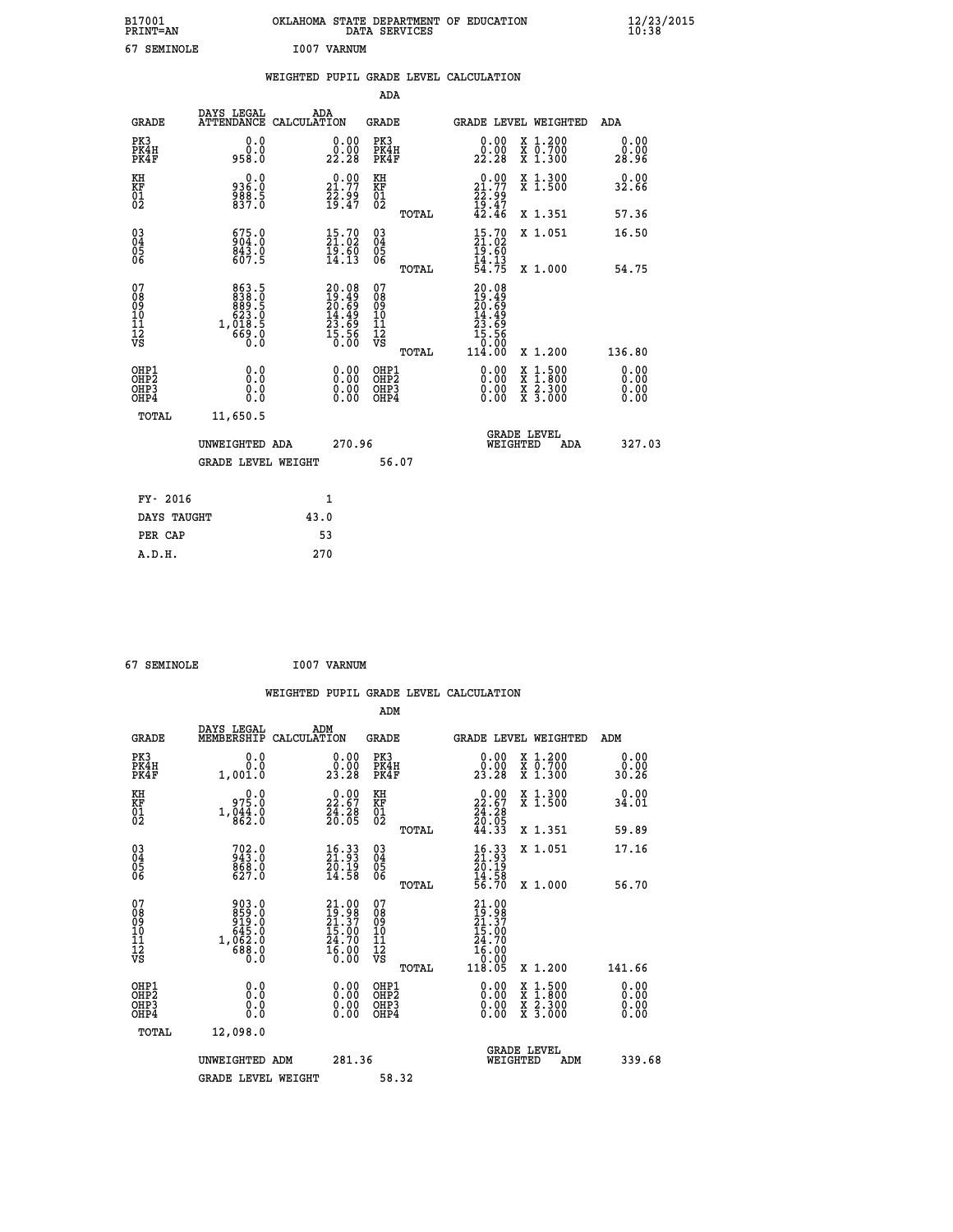| B17001<br><b>PRINT=AN</b> | OKLAHOMA<br>STATE DEPARTMENT OF EDUCATION<br>SERVICES<br>DATA | $\frac{12}{23}$ /2015 |
|---------------------------|---------------------------------------------------------------|-----------------------|
| 67<br>SEMINOLE            | I007<br>VARNUM                                                |                       |

|  |  | WEIGHTED PUPIL GRADE LEVEL CALCULATION |
|--|--|----------------------------------------|
|  |  |                                        |

|                                                       |                                                                                              |                                                                    | ADA                                             |                                                                                                    |                              |
|-------------------------------------------------------|----------------------------------------------------------------------------------------------|--------------------------------------------------------------------|-------------------------------------------------|----------------------------------------------------------------------------------------------------|------------------------------|
| <b>GRADE</b>                                          | DAYS LEGAL                                                                                   | ADA<br>ATTENDANCE CALCULATION                                      | GRADE                                           | <b>GRADE LEVEL WEIGHTED</b>                                                                        | ADA                          |
| PK3<br>PK4H<br>PK4F                                   | 0.0<br>0.0<br>958.0                                                                          | $\substack{0.00\\0.00\\22.28}$                                     | PK3<br>PK4H<br>PK4F                             | X 1.200<br>X 0.700<br>X 1.300<br>0.00<br>0.00<br>22.28                                             | 0.00<br>0.00<br>28.96        |
| KH<br>KF<br>01<br>02                                  | 936.0<br>$\frac{588}{837.0}$                                                                 | $21.77$<br>$22.99$<br>$19.47$                                      | KH<br>KF<br>01<br>02                            | $\begin{smallmatrix} 0.00\\ 21.77\\ 22.99\\ 19.47\\ 42.46 \end{smallmatrix}$<br>X 1.300<br>X 1.500 | 0.00<br>32.66                |
|                                                       |                                                                                              |                                                                    | TOTAL                                           | X 1.351                                                                                            | 57.36                        |
| $\begin{matrix} 03 \\ 04 \\ 05 \\ 06 \end{matrix}$    | 675.0<br>904.0<br>$\frac{843.0}{607.5}$                                                      | $\begin{smallmatrix} 15.70\ 21.02\ 19.60\ 14.13 \end{smallmatrix}$ | 03<br>04<br>05<br>06                            | $15.70$<br>$21.02$<br>$19.60$<br>$14.13$<br>$54.75$<br>X 1.051                                     | 16.50                        |
|                                                       |                                                                                              |                                                                    | TOTAL                                           | X 1.000                                                                                            | 54.75                        |
| 07<br>08<br>09<br>11<br>11<br>12<br>VS                | $\begin{smallmatrix}863.5\\838.0\\889.5\\623.5\\623.5\\1,018.5\\669.0\\0.0\end{smallmatrix}$ | $20.0819.4920.6914.4923.6925.5615.560.00$                          | 07<br>08<br>09<br>11<br>11<br>12<br>VS<br>TOTAL | $20.08$<br>$19.49$<br>$20.69$<br>$14.49$<br>$23.69$<br>$15.56$<br>$0.00$<br>$114.00$<br>X 1.200    | 136.80                       |
| OHP1<br>OH <sub>P</sub> 2<br>OH <sub>P3</sub><br>OHP4 | 0.0<br>0.0<br>0.0                                                                            | 0.00<br>$\begin{smallmatrix} 0.00 \ 0.00 \end{smallmatrix}$        | OHP1<br>OH <sub>P</sub> 2<br>OHP3<br>OHP4       | 0.00<br>X 1:500<br>X 1:800<br>X 2:300<br>X 3:000<br>0.00<br>0.00                                   | 0.00<br>0.00<br>0.00<br>0.00 |
| TOTAL                                                 | 11,650.5                                                                                     |                                                                    |                                                 |                                                                                                    |                              |
|                                                       | UNWEIGHTED ADA                                                                               | 270.96                                                             |                                                 | <b>GRADE LEVEL</b><br>WEIGHTED<br>ADA                                                              | 327.03                       |
|                                                       | GRADE LEVEL WEIGHT                                                                           |                                                                    | 56.07                                           |                                                                                                    |                              |
|                                                       | FY- 2016                                                                                     | $\mathbf{1}$                                                       |                                                 |                                                                                                    |                              |
|                                                       | DAYS TAUGHT                                                                                  | 43.0                                                               |                                                 |                                                                                                    |                              |
|                                                       | PER CAP                                                                                      | 53                                                                 |                                                 |                                                                                                    |                              |
| A.D.H.                                                |                                                                                              | 270                                                                |                                                 |                                                                                                    |                              |

| 67 SEMINOLE | I007 VARNUM |
|-------------|-------------|
|-------------|-------------|

|                                                      |                                                                      | WEIGHTED PUPIL GRADE LEVEL CALCULATION                               |                                                       |                                                                             |                                          |                              |
|------------------------------------------------------|----------------------------------------------------------------------|----------------------------------------------------------------------|-------------------------------------------------------|-----------------------------------------------------------------------------|------------------------------------------|------------------------------|
|                                                      |                                                                      |                                                                      | ADM                                                   |                                                                             |                                          |                              |
| <b>GRADE</b>                                         | DAYS LEGAL<br>MEMBERSHIP                                             | ADM<br>CALCULATION                                                   | <b>GRADE</b>                                          | <b>GRADE LEVEL WEIGHTED</b>                                                 |                                          | ADM                          |
| PK3<br>PK4H<br>PK4F                                  | 0.0<br>0.0<br>1,001.0                                                | $\begin{smallmatrix} 0.00\\ 0.00\\ 23.28 \end{smallmatrix}$          | PK3<br>PK4H<br>PK4F                                   | 0.00<br>0.00<br>$2\bar{3}$ . 28                                             | X 1.200<br>X 0.700<br>X 1.300            | 0.00<br>0.00<br>30.26        |
| KH<br>KF<br>01<br>02                                 | 0.0<br>975.0<br>$1, \frac{644}{862}$ : 0                             | $\begin{smallmatrix} 0.00\\ 22.67\\ 24.28\\ 26.05 \end{smallmatrix}$ | KH<br>KF<br>01<br>02                                  | 0.00<br>$22.67$<br>$24.28$<br>$20.05$<br>$44.33$                            | X 1.300<br>X 1.500                       | 0.00<br>34.01                |
|                                                      |                                                                      |                                                                      | TOTAL                                                 |                                                                             | X 1.351                                  | 59.89                        |
| $\begin{matrix} 03 \\ 04 \\ 05 \\ 06 \end{matrix}$   | $702.0$<br>943.0<br>$868.0$<br>627.0                                 | 16.33<br>21.93<br>$\frac{2\bar{0}\cdot 1\bar{9}}{14.58}$             | $\begin{array}{c} 03 \\ 04 \\ 05 \\ 06 \end{array}$   | $\frac{16}{21}$ : $\frac{33}{3}$<br>$\bar{20}.19$                           | X 1.051                                  | 17.16                        |
|                                                      |                                                                      |                                                                      | TOTAL                                                 | $\frac{14.58}{56.70}$                                                       | X 1.000                                  | 56.70                        |
| 07<br>08<br>09<br>101<br>11<br>17<br>VS              | 903.0<br>859.0<br>919.0<br>919.0<br>645.0<br>1,062.0<br>688.0<br>0.0 | 21.00<br>19.98<br>21.37<br>15.00<br>24.70<br>$\frac{16.00}{0.00}$    | 07<br>08<br>09<br>01<br>11<br>11<br>12<br>VS<br>TOTAL | 21.00<br>19.98<br>21.37<br>15.00<br>24.70<br>$\frac{16.00}{0.00}$<br>118.05 | X 1.200                                  | 141.66                       |
| OHP1<br>OHP <sub>2</sub><br>OHP3<br>OH <sub>P4</sub> | 0.0<br>0.0<br>0.0                                                    | $\begin{smallmatrix} 0.00 \ 0.00 \ 0.00 \ 0.00 \end{smallmatrix}$    | OHP1<br>OHP2<br>OHP3<br>OHP4                          | 0.00<br>0.00<br>0.00                                                        | X 1:500<br>X 1:800<br>X 2:300<br>X 3:000 | 0.00<br>0.00<br>0.00<br>0.00 |
| TOTAL                                                | 12,098.0                                                             |                                                                      |                                                       |                                                                             |                                          |                              |
|                                                      | UNWEIGHTED ADM                                                       | 281.36                                                               |                                                       | <b>GRADE LEVEL</b><br>WEIGHTED                                              | ADM                                      | 339.68                       |
|                                                      | <b>GRADE LEVEL WEIGHT</b>                                            |                                                                      | 58.32                                                 |                                                                             |                                          |                              |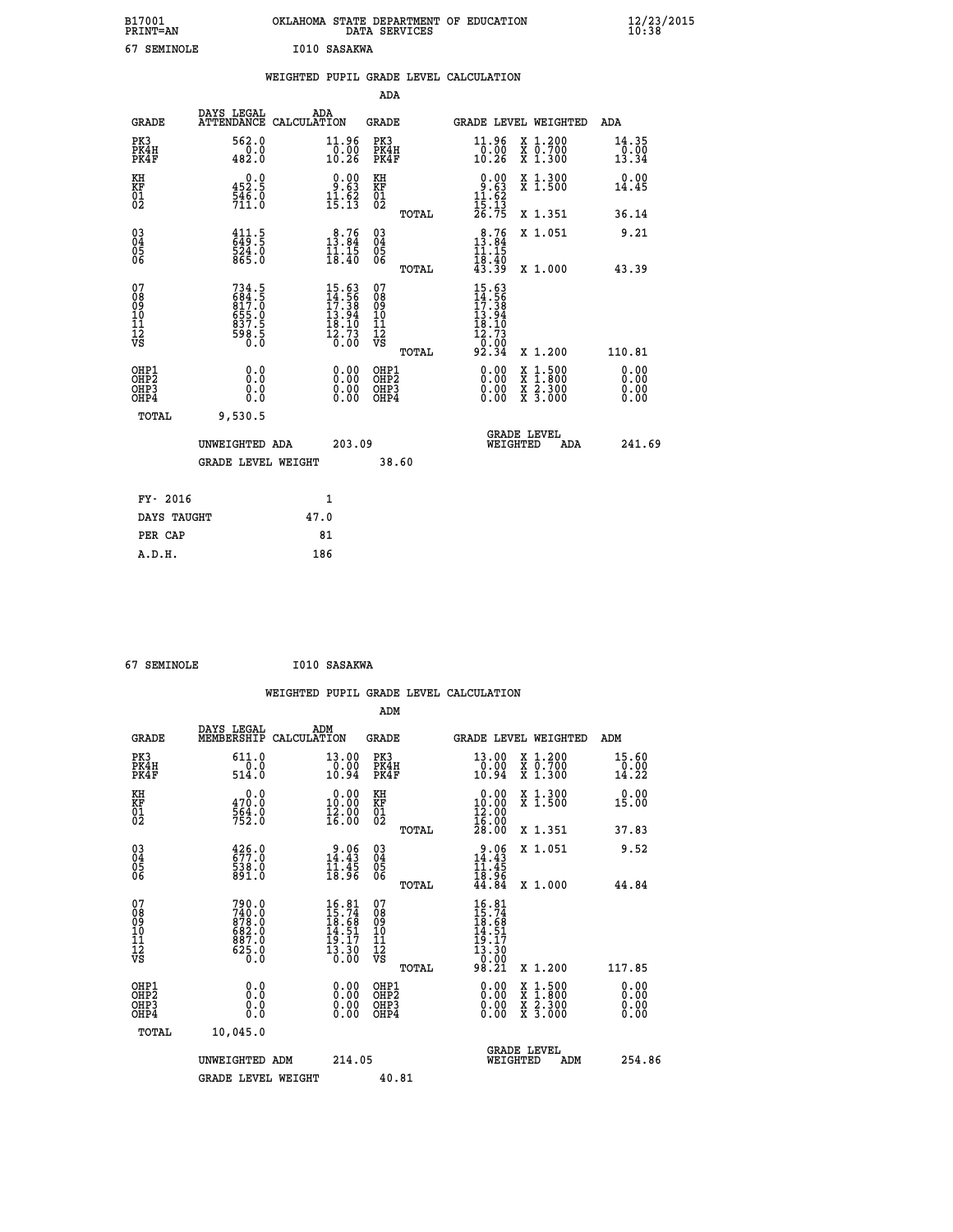|    | B17001<br><b>PRINT=AN</b> | OKLAHOMA STATE DEPARTMENT OF EDUCATION<br>DATA SERVICES |  | $\frac{12}{23}$ /2015 |
|----|---------------------------|---------------------------------------------------------|--|-----------------------|
| 67 | SEMINOLE                  | I010 SASAKWA                                            |  |                       |

|                                                                    |                                                                     | WEIGHTED PUPIL GRADE LEVEL CALCULATION                                                                                        |                                                    |                                                                                                                                                                       |                               |
|--------------------------------------------------------------------|---------------------------------------------------------------------|-------------------------------------------------------------------------------------------------------------------------------|----------------------------------------------------|-----------------------------------------------------------------------------------------------------------------------------------------------------------------------|-------------------------------|
|                                                                    |                                                                     |                                                                                                                               | <b>ADA</b>                                         |                                                                                                                                                                       |                               |
| <b>GRADE</b>                                                       | DAYS LEGAL                                                          | ADA<br>ATTENDANCE CALCULATION                                                                                                 | GRADE                                              | GRADE LEVEL WEIGHTED                                                                                                                                                  | ADA                           |
| PK3<br>PK4H<br>PK4F                                                | 562.0<br>$\frac{0.0}{482.0}$                                        | 11.96<br>$\frac{1}{10.26}$                                                                                                    | PK3<br>PK4H<br>PK4F                                | 11.96<br>X 1.200<br>X 0.700<br>X 1.300<br>$\frac{0.00}{10.26}$                                                                                                        | 14.35<br>$\frac{0.00}{13.34}$ |
| KH<br>KF<br>01<br>02                                               | $\begin{smallmatrix} 0.0\\ 452.5\\ 546.0\\ 711.0 \end{smallmatrix}$ | $\begin{smallmatrix} 0.00\\ 9.63\\ 11.62\\ 15.13 \end{smallmatrix}$                                                           | KH<br>KF<br>01<br>02                               | $0.00$<br>$1.63$<br>$11.62$<br>$15.13$<br>$26.75$<br>X 1.300<br>X 1.500                                                                                               | 0.00<br>14.45                 |
|                                                                    |                                                                     |                                                                                                                               | TOTAL                                              | X 1.351                                                                                                                                                               | 36.14                         |
| $\begin{smallmatrix} 03 \\[-4pt] 04 \end{smallmatrix}$<br>Ŏ5<br>06 | $\frac{411.5}{649.5}$<br>524.0<br>865.0                             | $\begin{smallmatrix}8.76\\13.84\\11.15\\18.40\end{smallmatrix}$                                                               | $\begin{matrix} 03 \\ 04 \\ 05 \\ 06 \end{matrix}$ | $13.76$<br>$13.84$<br>X 1.051                                                                                                                                         | 9.21                          |
|                                                                    |                                                                     |                                                                                                                               | TOTAL                                              | $\frac{11.15}{18.40}$<br>$\frac{43.39}{}$<br>X 1.000                                                                                                                  | 43.39                         |
| 07<br>08<br>09<br>11<br>11<br>12<br>VS                             | 734.5<br>684.5<br>817.0<br>855.0<br>655.5<br>837.5<br>98.5          | $\begin{array}{r} 15.63 \\[-4pt] 14.56 \\[-4pt] 17.38 \\[-4pt] 13.94 \\[-4pt] 18.10 \\[-4pt] 12.73 \\[-4pt] 0.00 \end{array}$ | 07<br>08<br>09<br>11<br>11<br>12<br>VS<br>TOTAL    | $15.63$<br>$14.56$<br>$17.38$<br>$13.94$<br>$18.10$<br>$12.73$<br>$0.99$<br>92.34<br>X 1.200                                                                          | 110.81                        |
| OHP1<br>OHP2<br>OH <sub>P3</sub><br>OHP4                           | 0.0<br>0.0<br>0.0                                                   | $\begin{smallmatrix} 0.00 \ 0.00 \ 0.00 \ 0.00 \end{smallmatrix}$                                                             | OHP1<br>OHP2<br>OHP3<br>OHP4                       | $0.00$<br>$0.00$<br>$\begin{smallmatrix} \mathtt{X} & 1\cdot500\\ \mathtt{X} & 1\cdot800\\ \mathtt{X} & 2\cdot300\\ \mathtt{X} & 3\cdot000 \end{smallmatrix}$<br>0.00 | 0.00<br>0.00<br>0.00<br>0.00  |
| TOTAL                                                              | 9,530.5                                                             |                                                                                                                               |                                                    |                                                                                                                                                                       |                               |
|                                                                    | UNWEIGHTED ADA                                                      | 203.09                                                                                                                        |                                                    | <b>GRADE LEVEL</b><br>WEIGHTED<br>ADA                                                                                                                                 | 241.69                        |
|                                                                    | <b>GRADE LEVEL WEIGHT</b>                                           |                                                                                                                               | 38.60                                              |                                                                                                                                                                       |                               |
| FY- 2016                                                           |                                                                     | $\mathbf{1}$                                                                                                                  |                                                    |                                                                                                                                                                       |                               |
| DAYS TAUGHT                                                        |                                                                     | 47.0                                                                                                                          |                                                    |                                                                                                                                                                       |                               |
| PER CAP                                                            |                                                                     | 81                                                                                                                            |                                                    |                                                                                                                                                                       |                               |

 **67 SEMINOLE I010 SASAKWA**

 **A.D.H. 186**

 **WEIGHTED PUPIL GRADE LEVEL CALCULATION ADM DAYS LEGAL ADM GRADE MEMBERSHIP CALCULATION GRADE GRADE LEVEL WEIGHTED ADM**

| ם שמא                                              | MEMBERGHIF CADCODATION                                                |                                                                        | ם שמע                                         | GRADE DEVED WEIGHTED                                                                                                                            |                                                                                                                                      | שעם א                        |
|----------------------------------------------------|-----------------------------------------------------------------------|------------------------------------------------------------------------|-----------------------------------------------|-------------------------------------------------------------------------------------------------------------------------------------------------|--------------------------------------------------------------------------------------------------------------------------------------|------------------------------|
| PK3<br>PK4H<br>PK4F                                | $611.0$<br>$0.0$<br>514.0                                             | $\begin{smallmatrix} 13.00\\ 0.00\\ 10.94 \end{smallmatrix}$           | PK3<br>PK4H<br>PK4F                           | 13.00<br>0.00<br>10.94                                                                                                                          | X 1.200<br>X 0.700<br>X 1.300                                                                                                        | 15.60<br>0.00<br>14.22       |
| KH<br>KF<br>01<br>02                               | 0.0<br>470.0<br>564.0<br>752.0                                        | $\begin{smallmatrix} 0.00\\ 10.00\\ 12.00\\ 16.00 \end{smallmatrix}$   | KH<br>KF<br>01<br>02                          | $\begin{smallmatrix} 0.00\\ 10.00\\ 12.00\\ 16.00\\ 28.00 \end{smallmatrix}$                                                                    | X 1.300<br>X 1.500                                                                                                                   | 0.00<br>15.00                |
|                                                    |                                                                       |                                                                        | TOTAL                                         |                                                                                                                                                 | X 1.351                                                                                                                              | 37.83                        |
| $\begin{matrix} 03 \\ 04 \\ 05 \\ 06 \end{matrix}$ | $\begin{smallmatrix} 426.0\\ 677.0\\ 538.0\\ 891.0 \end{smallmatrix}$ | $3.06$<br>14:43<br>$\frac{11.45}{18.96}$                               | 03<br>04<br>05<br>06                          | 9.06<br>14.43<br>11.45<br>18.96                                                                                                                 | X 1.051                                                                                                                              | 9.52                         |
|                                                    |                                                                       |                                                                        | TOTAL                                         | 44.84                                                                                                                                           | X 1.000                                                                                                                              | 44.84                        |
| 07<br>08<br>09<br>101<br>11<br>12<br>VS            | 790.0<br>740.0<br>878.0<br>682.0<br>687.0<br>$\frac{525.0}{0.0}$      | $16.81$<br>$15.74$<br>$18.68$<br>$14.51$<br>$19.17$<br>$13.30$<br>0.00 | 07<br>08<br>09<br>001<br>11<br>11<br>17<br>VS | $\begin{smallmatrix} 16 & 8 & 1\\ 15 & 74 & 8\\ 18 & 6 & 8\\ 14 & 5 & 1\\ 14 & 5 & 1\\ 13 & 3 & 0\\ 0 & 0 & 0\\ 9 & 8 & 0 & 2\end{smallmatrix}$ |                                                                                                                                      |                              |
|                                                    |                                                                       |                                                                        | TOTAL                                         |                                                                                                                                                 | X 1.200                                                                                                                              | 117.85                       |
| OHP1<br>OHP2<br>OH <sub>P3</sub><br>OHP4           | 0.0<br>0.0<br>0.0                                                     | $\begin{smallmatrix} 0.00 \ 0.00 \ 0.00 \ 0.00 \end{smallmatrix}$      | OHP1<br>OHP2<br>OHP3<br>OHP4                  |                                                                                                                                                 | $\begin{smallmatrix} \mathtt{X} & 1 & 500 \\ \mathtt{X} & 1 & 800 \\ \mathtt{X} & 2 & 300 \\ \mathtt{X} & 3 & 000 \end{smallmatrix}$ | 0.00<br>Ŏ.ŎŎ<br>Q.QQ<br>0.00 |
| TOTAL                                              | 10,045.0                                                              |                                                                        |                                               |                                                                                                                                                 |                                                                                                                                      |                              |
|                                                    | UNWEIGHTED ADM                                                        | 214.05                                                                 |                                               | WEIGHTED                                                                                                                                        | <b>GRADE LEVEL</b><br>ADM                                                                                                            | 254.86                       |
|                                                    | <b>GRADE LEVEL WEIGHT</b>                                             |                                                                        | 40.81                                         |                                                                                                                                                 |                                                                                                                                      |                              |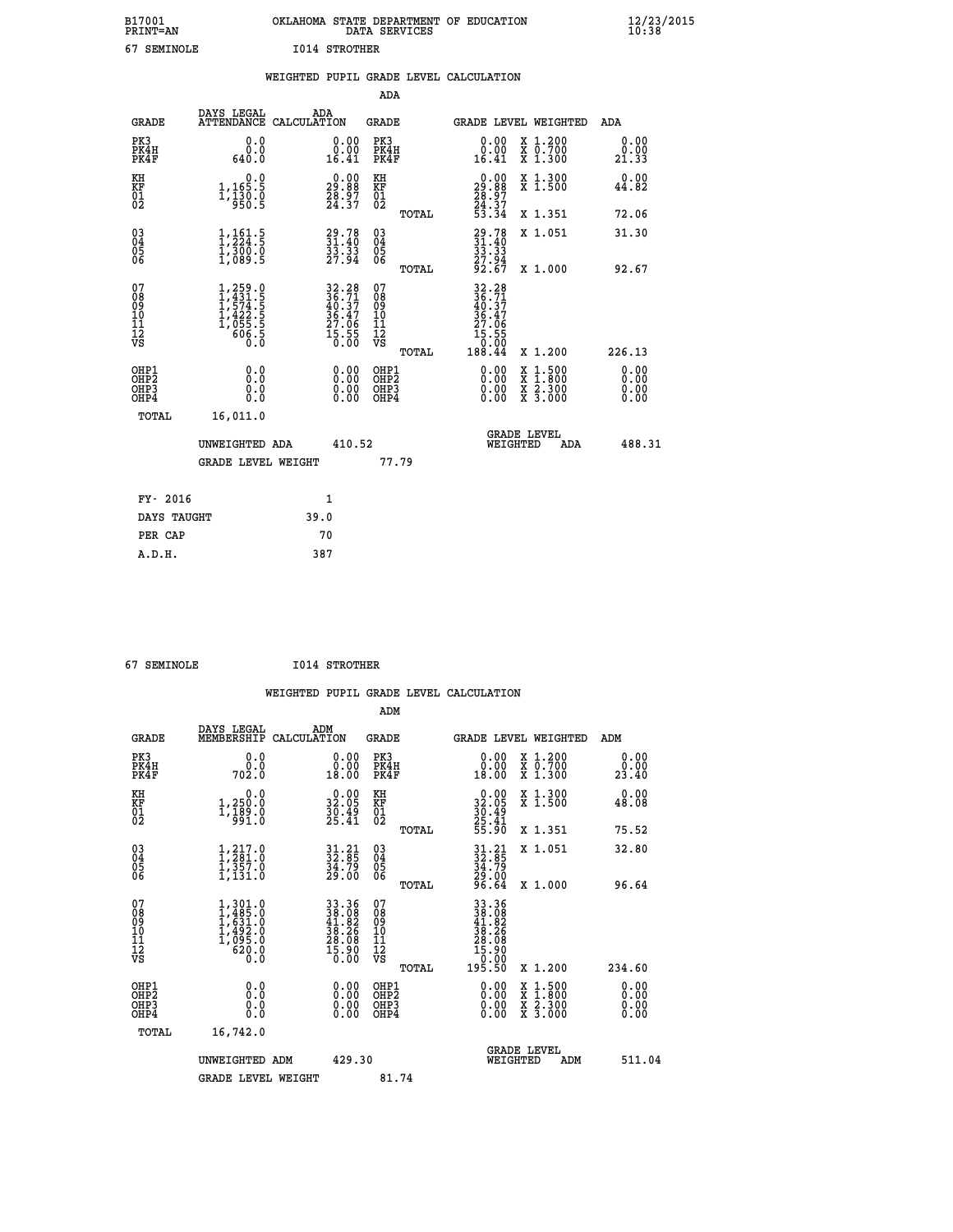|    | B17001<br><b>PRINT=AN</b> | OKLAHOMA STATE DEPARTMENT OF EDUCATION<br>DATA SERVICES |  | $\frac{12}{23}$ /2015 |
|----|---------------------------|---------------------------------------------------------|--|-----------------------|
| 67 | SEMINOLE                  | 1014 STROTHER                                           |  |                       |

|                                          |                                                                                        | WEIGHTED PUPIL GRADE LEVEL CALCULATION                                                    |                                                     |                                                                                                                                                                                                                                                                                                                                                                                                                                |                                  |
|------------------------------------------|----------------------------------------------------------------------------------------|-------------------------------------------------------------------------------------------|-----------------------------------------------------|--------------------------------------------------------------------------------------------------------------------------------------------------------------------------------------------------------------------------------------------------------------------------------------------------------------------------------------------------------------------------------------------------------------------------------|----------------------------------|
|                                          |                                                                                        |                                                                                           | ADA                                                 |                                                                                                                                                                                                                                                                                                                                                                                                                                |                                  |
| <b>GRADE</b>                             | <b>DAYS LEGAL<br/>ATTENDANCE</b>                                                       | ADA<br>CALCULATION                                                                        | <b>GRADE</b>                                        | GRADE LEVEL WEIGHTED                                                                                                                                                                                                                                                                                                                                                                                                           | ADA                              |
| PK3<br>PK4H<br>PK4F                      | 0.0<br>0.0<br>640.0                                                                    | 0.00<br>$\substack{0.001 \ 16.41}$                                                        | PK3<br>PK4H<br>PK4F                                 | 0.00<br>X 1.200<br>X 0.700<br>X 1.300<br>0.00<br>16.41                                                                                                                                                                                                                                                                                                                                                                         | 0.00<br>0.00<br>21.33            |
| KH<br>KF<br>01<br>02                     | 0.0<br>1,165.5<br>1,130.0<br>950.5                                                     | $\begin{smallmatrix} 0.00\\ 29.88\\ 28.97\\ 24.37 \end{smallmatrix}$                      | KH<br>KF<br>01<br>02                                | $\begin{smallmatrix} 0.00\\29.88\\28.97\\24.37\\53.34 \end{smallmatrix}$<br>X 1.300<br>X 1.500                                                                                                                                                                                                                                                                                                                                 | 0.00<br>44.82                    |
|                                          |                                                                                        |                                                                                           | TOTAL                                               | X 1.351                                                                                                                                                                                                                                                                                                                                                                                                                        | 72.06                            |
| 03<br>04<br>05<br>06                     | $1, 161.5$<br>$1, 224.5$<br>$1, 300.0$<br>$1, 089.5$                                   | 29.78<br>31.40<br>33.33<br>27.94                                                          | $\begin{array}{c} 03 \\ 04 \\ 05 \\ 06 \end{array}$ | $29.7831.4033.3327.9492.67$<br>X 1.051                                                                                                                                                                                                                                                                                                                                                                                         | 31.30                            |
|                                          |                                                                                        |                                                                                           | TOTAL                                               | X 1.000                                                                                                                                                                                                                                                                                                                                                                                                                        | 92.67                            |
| 07<br>08<br>09<br>11<br>11<br>12<br>VS   | $1, 259.0$<br>$1, 431.5$<br>$1, 574.5$<br>$1, 422.5$<br>$1, 055.5$<br>$606.5$<br>$0.0$ | $\begin{array}{r} 32.28 \\ 36.71 \\ 40.37 \\ 36.47 \\ 27.06 \\ 15.55 \\ 0.00 \end{array}$ | 07<br>08901112<br>1112<br>VS                        | $32.28$<br>$36.71$<br>$40.37$<br>$36.47$<br>27.06<br>$\begin{smallmatrix} 15.55\ 10.00\ 188.44 \end{smallmatrix}$                                                                                                                                                                                                                                                                                                              |                                  |
|                                          |                                                                                        |                                                                                           | TOTAL                                               | X 1.200                                                                                                                                                                                                                                                                                                                                                                                                                        | 226.13                           |
| OHP1<br>OHP <sub>2</sub><br>OHP3<br>OHP4 | 0.0<br>0.0<br>Ō.Ō                                                                      | $\begin{smallmatrix} 0.00 \ 0.00 \ 0.00 \ 0.00 \end{smallmatrix}$                         | OHP1<br>OHP <sub>2</sub><br>OHP3<br>OHP4            | $\begin{smallmatrix} 0.00 & 0.00 & 0.00 & 0.00 & 0.00 & 0.00 & 0.00 & 0.00 & 0.00 & 0.00 & 0.00 & 0.00 & 0.00 & 0.00 & 0.00 & 0.00 & 0.00 & 0.00 & 0.00 & 0.00 & 0.00 & 0.00 & 0.00 & 0.00 & 0.00 & 0.00 & 0.00 & 0.00 & 0.00 & 0.00 & 0.00 & 0.00 & 0.00 & 0.00 & 0.00 & 0.0$<br>$\begin{smallmatrix} \mathtt{X} & 1\cdot500 \\ \mathtt{X} & 1\cdot800 \\ \mathtt{X} & 2\cdot300 \\ \mathtt{X} & 3\cdot000 \end{smallmatrix}$ | 0.00<br>0.00<br>$0.00$<br>$0.00$ |
| TOTAL                                    | 16,011.0                                                                               |                                                                                           |                                                     |                                                                                                                                                                                                                                                                                                                                                                                                                                |                                  |
|                                          | UNWEIGHTED ADA                                                                         | 410.52                                                                                    |                                                     | GRADE LEVEL<br>WEIGHTED<br>ADA                                                                                                                                                                                                                                                                                                                                                                                                 | 488.31                           |
|                                          | GRADE LEVEL WEIGHT                                                                     |                                                                                           | 77.79                                               |                                                                                                                                                                                                                                                                                                                                                                                                                                |                                  |
| FY- 2016                                 |                                                                                        | 1                                                                                         |                                                     |                                                                                                                                                                                                                                                                                                                                                                                                                                |                                  |
| DAYS TAUGHT                              |                                                                                        | 39.0                                                                                      |                                                     |                                                                                                                                                                                                                                                                                                                                                                                                                                |                                  |
| PER CAP                                  |                                                                                        | 70                                                                                        |                                                     |                                                                                                                                                                                                                                                                                                                                                                                                                                |                                  |
| A.D.H.                                   |                                                                                        | 387                                                                                       |                                                     |                                                                                                                                                                                                                                                                                                                                                                                                                                |                                  |

 **67 SEMINOLE I014 STROTHER**

|                                                    |                                                                                                             |                                                                                           |                                                    |       | WEIGHTED PUPIL GRADE LEVEL CALCULATION                                                                                                                                                                                                                                         |                                          |                       |
|----------------------------------------------------|-------------------------------------------------------------------------------------------------------------|-------------------------------------------------------------------------------------------|----------------------------------------------------|-------|--------------------------------------------------------------------------------------------------------------------------------------------------------------------------------------------------------------------------------------------------------------------------------|------------------------------------------|-----------------------|
|                                                    |                                                                                                             |                                                                                           | ADM                                                |       |                                                                                                                                                                                                                                                                                |                                          |                       |
| <b>GRADE</b>                                       | DAYS LEGAL ADM<br>MEMBERSHIP CALCULATION                                                                    |                                                                                           | <b>GRADE</b>                                       |       |                                                                                                                                                                                                                                                                                | GRADE LEVEL WEIGHTED                     | ADM                   |
| PK3<br>PK4H<br>PK4F                                | 0.0<br>ة:ة<br>702:0                                                                                         | $\begin{smallmatrix} 0.00\\ 0.00\\ 18.00 \end{smallmatrix}$                               | PK3<br>PK4H<br>PK4F                                |       | $\begin{smallmatrix} 0.00\\ 0.00\\ 18.00 \end{smallmatrix}$                                                                                                                                                                                                                    | X 1.200<br>X 0.700<br>X 1.300            | 0.00<br>0.00<br>23.40 |
| KH<br>KF<br>01<br>02                               | 0.0<br>1,250:0<br>1,189:0<br>91:0                                                                           | $\begin{smallmatrix} 0.00\\ 32.05\\ 30.49\\ 25.41 \end{smallmatrix}$                      | KH<br>KF<br>01<br>02                               |       | $\begin{smallmatrix} 0.00\\ 32.05\\ 30.49\\ 25.41\\ 55.90 \end{smallmatrix}$                                                                                                                                                                                                   | X 1.300<br>X 1.500                       | 0.00<br>48.08         |
|                                                    |                                                                                                             |                                                                                           |                                                    | TOTAL |                                                                                                                                                                                                                                                                                | X 1.351                                  | 75.52                 |
| $\begin{matrix} 03 \\ 04 \\ 05 \\ 06 \end{matrix}$ | 1,217.0<br>$\frac{1}{1}, \frac{357}{131}$ .0                                                                | $31.21$<br>$32.85$<br>$34.79$<br>$29.00$                                                  | $\begin{matrix} 03 \\ 04 \\ 05 \\ 06 \end{matrix}$ |       | $31.21$<br>$32.85$<br>$34.79$<br>$29.00$<br>$29.64$                                                                                                                                                                                                                            | X 1.051                                  | 32.80                 |
|                                                    |                                                                                                             |                                                                                           |                                                    | TOTAL |                                                                                                                                                                                                                                                                                | X 1.000                                  | 96.64                 |
| 07<br>08<br>09<br>11<br>11<br>12<br>VS             | $\begin{smallmatrix} 1,301.0\\ 1,485.0\\ 1,631.0\\ 1,631.0\\ 1,492.0\\ 0.0\\ 620.0\\ 0.0 \end{smallmatrix}$ | $\begin{array}{r} 33.36 \\ 38.08 \\ 41.82 \\ 38.26 \\ 28.08 \\ 15.90 \\ 0.00 \end{array}$ | 07<br>08<br>09<br>11<br>11<br>12<br>VS             | TOTAL | $\begin{smallmatrix} 33 & 36 \\ 38 & 08 \\ 41 & 82 \\ 58 & 26 \\ 28 & 08 \\ 15 & 90 \\ 195 & 50 \\ \end{smallmatrix}$                                                                                                                                                          | X 1.200                                  | 234.60                |
| OHP1<br>OHP2<br>OHP3<br>OHP4                       | 0.0<br>0.000                                                                                                | $\begin{smallmatrix} 0.00 \ 0.00 \ 0.00 \ 0.00 \end{smallmatrix}$                         | OHP1<br>OHP2<br>OHP <sub>3</sub>                   |       | $\begin{smallmatrix} 0.00 & 0.00 & 0.00 & 0.00 & 0.00 & 0.00 & 0.00 & 0.00 & 0.00 & 0.00 & 0.00 & 0.00 & 0.00 & 0.00 & 0.00 & 0.00 & 0.00 & 0.00 & 0.00 & 0.00 & 0.00 & 0.00 & 0.00 & 0.00 & 0.00 & 0.00 & 0.00 & 0.00 & 0.00 & 0.00 & 0.00 & 0.00 & 0.00 & 0.00 & 0.00 & 0.0$ | X 1:500<br>X 1:800<br>X 2:300<br>X 3:000 | 0.00<br>0.00          |
| TOTAL                                              | 16,742.0                                                                                                    |                                                                                           |                                                    |       |                                                                                                                                                                                                                                                                                |                                          |                       |
|                                                    | UNWEIGHTED ADM<br><b>GRADE LEVEL WEIGHT</b>                                                                 | 429.30                                                                                    | 81.74                                              |       |                                                                                                                                                                                                                                                                                | GRADE LEVEL<br>WEIGHTED<br>ADM           | 511.04                |
|                                                    |                                                                                                             |                                                                                           |                                                    |       |                                                                                                                                                                                                                                                                                |                                          |                       |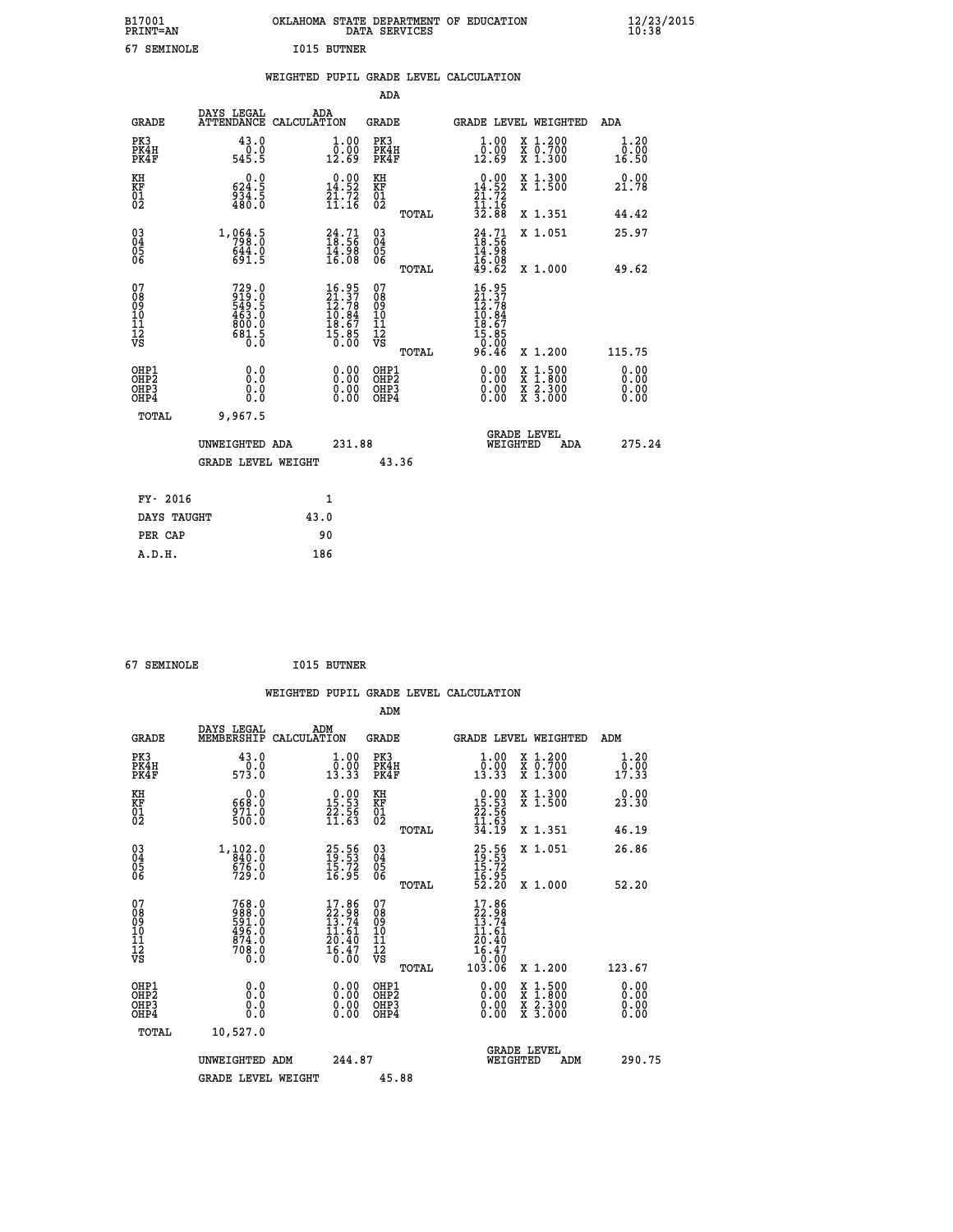| B17001<br><b>PRINT=AN</b> | OKLAHOMA STATE DEPARTMENT OF EDUCATION<br>DATA SERVICES | $\frac{12}{23}$ /2015 |
|---------------------------|---------------------------------------------------------|-----------------------|
| 67<br>SEMINOLE            | <b>I015 BUTNER</b>                                      |                       |

|  |     | WEIGHTED PUPIL GRADE LEVEL CALCULATION |  |
|--|-----|----------------------------------------|--|
|  | ADA |                                        |  |

| <b>GRADE</b>                                                       | DAYS LEGAL                                                               | ADA<br>ATTENDANCE CALCULATION                                            | <b>GRADE</b>                           | GRADE LEVEL WEIGHTED                                                                                                                                              | ADA                          |
|--------------------------------------------------------------------|--------------------------------------------------------------------------|--------------------------------------------------------------------------|----------------------------------------|-------------------------------------------------------------------------------------------------------------------------------------------------------------------|------------------------------|
| PK3<br>PK4H<br>PK4F                                                | 43.0<br>$0.0$<br>545.5                                                   | $\begin{smallmatrix} 1.00\\ 0.00\\ 12.69 \end{smallmatrix}$              | PK3<br>PK4H<br>PK4F                    | $\begin{smallmatrix} 1.00\\ 0.00\\ 12.69 \end{smallmatrix}$<br>X 1.200<br>X 0.700<br>X 1.300                                                                      | 1.20<br>0.00<br>16.50        |
| KH<br>KF<br>01<br>02                                               | 624.5<br>$\frac{5}{480}$ .<br>$\frac{5}{80}$ .                           | $\begin{smallmatrix} 0.00\\14.52\\21.72\\11.16 \end{smallmatrix}$        | KH<br>KF<br>01<br>02                   | 0.00<br>X 1.300<br>X 1.500<br>14.52<br>$\frac{71.72}{11.16}$                                                                                                      | 0.00<br>21.78                |
|                                                                    |                                                                          |                                                                          | TOTAL                                  | 32.88<br>X 1.351                                                                                                                                                  | 44.42                        |
| $\begin{smallmatrix} 03 \\[-4pt] 04 \end{smallmatrix}$<br>Ŏ5<br>06 | 1,064.5<br>$644.0$<br>$691.5$                                            | $\begin{smallmatrix} 24.71\ 18.56\ 14.98\ 16.08 \end{smallmatrix}$       | $\substack{03 \\ 04}$<br>Ŏ5<br>06      | $24.71$<br>$18.56$<br>$14.98$<br>$16.08$<br>$49.62$<br>X 1.051                                                                                                    | 25.97                        |
|                                                                    |                                                                          |                                                                          | TOTAL                                  | X 1.000                                                                                                                                                           | 49.62                        |
| 07<br>08<br>09<br>11<br>11<br>12<br>VS                             | $729.0$<br>$919.0$<br>$549.5$<br>$463.0$<br>$800.0$<br>$80.5$<br>$681.5$ | $16.95$<br>$21.37$<br>$12.78$<br>$10.84$<br>$18.67$<br>$15.85$<br>$0.00$ | 07<br>08<br>09<br>11<br>11<br>12<br>VS | $16.95$<br>$21.37$<br>$12.78$<br>$10.84$<br>$18.67$<br>$15.85$<br>$0.90$                                                                                          |                              |
|                                                                    |                                                                          |                                                                          | TOTAL                                  | 96.46<br>X 1.200                                                                                                                                                  | 115.75                       |
| OHP1<br>OHP <sub>2</sub><br>OHP3<br>OHP4                           | 0.0<br>0.0<br>0.0                                                        | $0.00$<br>$0.00$<br>0.00                                                 | OHP1<br>OHP2<br>OHP3<br>OHP4           | 0.00<br>$\begin{smallmatrix} \mathtt{X} & 1\cdot500\\ \mathtt{X} & 1\cdot800\\ \mathtt{X} & 2\cdot300\\ \mathtt{X} & 3\cdot000 \end{smallmatrix}$<br>0.00<br>0.00 | 0.00<br>0.00<br>0.00<br>0.00 |
| TOTAL                                                              | 9,967.5                                                                  |                                                                          |                                        |                                                                                                                                                                   |                              |
|                                                                    | UNWEIGHTED ADA                                                           | 231.88                                                                   |                                        | <b>GRADE LEVEL</b><br>WEIGHTED<br>ADA                                                                                                                             | 275.24                       |
|                                                                    | <b>GRADE LEVEL WEIGHT</b>                                                |                                                                          | 43.36                                  |                                                                                                                                                                   |                              |
| FY- 2016                                                           |                                                                          | $\mathbf{1}$                                                             |                                        |                                                                                                                                                                   |                              |
| DAYS TAUGHT                                                        |                                                                          | 43.0                                                                     |                                        |                                                                                                                                                                   |                              |
| PER CAP                                                            |                                                                          | 90                                                                       |                                        |                                                                                                                                                                   |                              |

 **67 SEMINOLE I015 BUTNER WEIGHTED PUPIL GRADE LEVEL CALCULATION ADM DAYS LEGAL ADM GRADE MEMBERSHIP CALCULATION GRADE GRADE LEVEL WEIGHTED ADM PK3 43.0 1.00 PK3 1.00 X 1.200 1.20 PK4H 0.0 0.00 PK4H 0.00 X 0.700 0.00 PK4F 573.0 13.33 PK4F 13.33 X 1.300 17.33 KH 0.0 0.00 KH 0.00 X 1.300 0.00 KF 668.0 15.53 KF 15.53 X 1.500 23.30 01 22.56 01 22.56**  $02$  500.0 11.63 02  $\frac{11.63}{2}$  **TOTAL 34.19 X 1.351 46.19 03 1,102.0 25.56 03 25.56 X 1.051 26.86 04 840.0 19.53 04 19.53 05 676.0 15.72 05 15.72** 06 729.0 16.95 06 <sub>memas</sub> 16.95  **TOTAL 52.20 X 1.000 52.20** 07 768.0 17.86 07 17.86<br>
08 988.0 22.98 08 22.98<br>
10 496.0 11.61 10 11.61<br>
11 874.0 20.40 11<br>
12 708.0 16.47 12 20.40<br>
VS 0.0 <sup>16.47</sup><br>
12 8.00 **768.0**<br> **17.86** 07<br> **17.86** 07<br> **17.86**<br> **198.0**<br> **198.0**<br> **11.61**<br> **10**<br> **11.61**<br> **11.61**<br> **11.61**<br> **11.61**<br> **11.61**<br> **11.61**<br> **11.61**<br> **11.61**<br> **11.61**<br> **11.61**<br> **11.61**<br> **11.61**<br> **11.61**<br> **11.61**<br> **11.61**<br> **11.61**<br> **11 OHP1 0.0 0.00 OHP1 0.00 X 1.500 0.00 OHP2 0.0 0.00 OHP2 0.00 X 1.800 0.00 OHP3 0.0 0.00 OHP3 0.00 X 2.300 0.00 OHP4 0.0 0.00 OHP4 0.00 X 3.000 0.00 TOTAL 10,527.0 GRADE LEVEL UNWEIGHTED ADM 244.87 WEIGHTED ADM 290.75 GRADE LEVEL WEIGHT 45.88**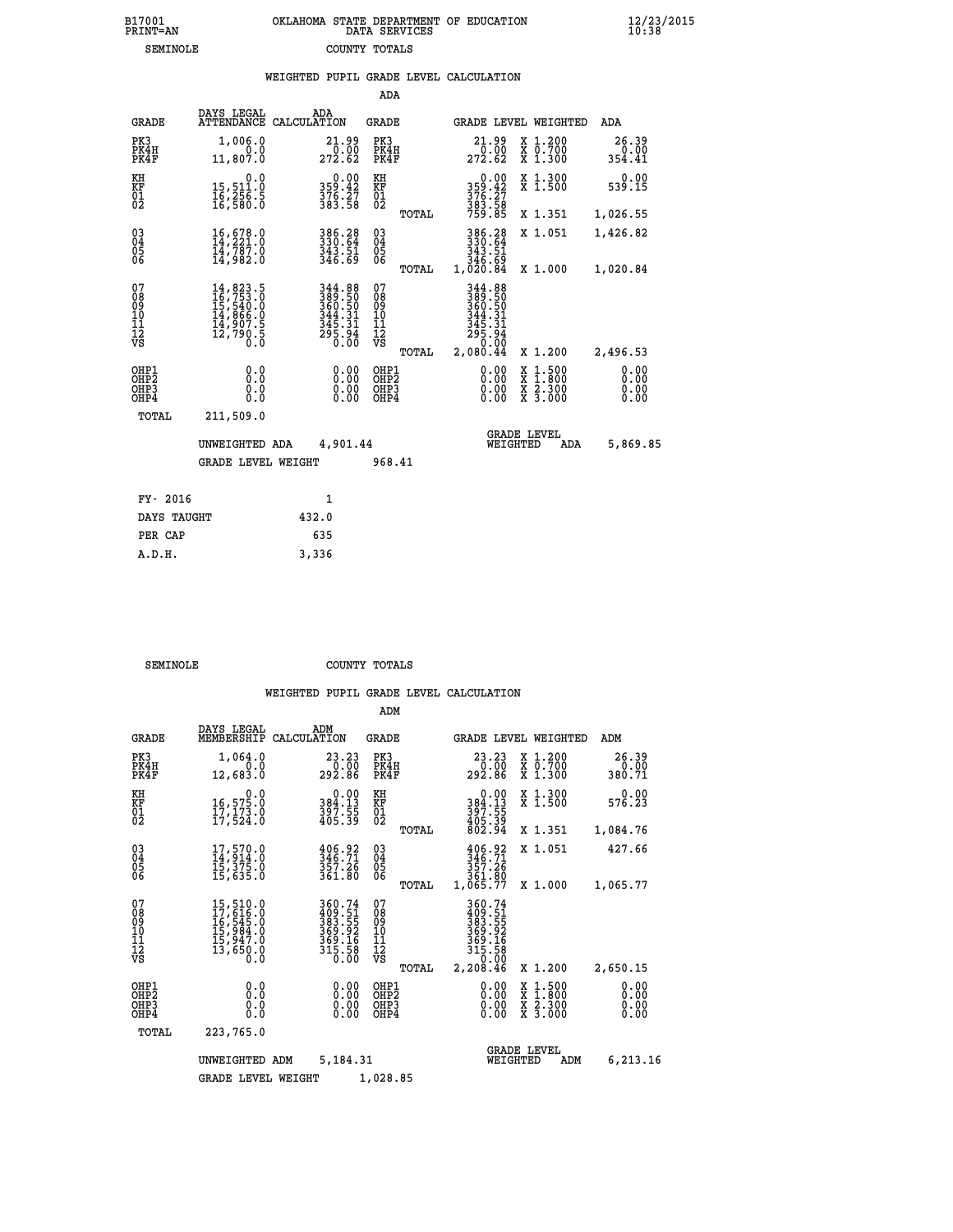| B17001          | OKLAHOMA STATE DEPARTMENT OF EDUCATION |
|-----------------|----------------------------------------|
| <b>PRINT=AN</b> | DATA SERVICES                          |
| SEMINOLE        | COUNTY TOTALS                          |

 **B17001 OKLAHOMA STATE DEPARTMENT OF EDUCATION 12/23/2015**

|                                                              |                                                                                                                                                                                          | WEIGHTED PUPIL GRADE LEVEL CALCULATION                                             |                                                 |                                                                                                                                                                                                                                                                                |                                                                                                                                              |                              |
|--------------------------------------------------------------|------------------------------------------------------------------------------------------------------------------------------------------------------------------------------------------|------------------------------------------------------------------------------------|-------------------------------------------------|--------------------------------------------------------------------------------------------------------------------------------------------------------------------------------------------------------------------------------------------------------------------------------|----------------------------------------------------------------------------------------------------------------------------------------------|------------------------------|
|                                                              |                                                                                                                                                                                          |                                                                                    | ADA                                             |                                                                                                                                                                                                                                                                                |                                                                                                                                              |                              |
| <b>GRADE</b>                                                 | DAYS LEGAL                                                                                                                                                                               | ADA<br>ATTENDANCE CALCULATION                                                      | <b>GRADE</b>                                    | GRADE LEVEL WEIGHTED                                                                                                                                                                                                                                                           |                                                                                                                                              | ADA                          |
| PK3<br>PK4H<br>PK4F                                          | 1,006.0<br>0.0<br>11,807.0                                                                                                                                                               | $\substack{21.99 \\ 0.00 \\ 272.62}$                                               | PK3<br>PK4H<br>PK4F                             | $\substack{21.99 \\ 0.00 \\ 272.62}$                                                                                                                                                                                                                                           | X 1.200<br>X 0.700<br>X 1.300                                                                                                                | 26.39<br>0.00<br>354.41      |
| KH<br>ΚF<br>$\overline{01}$                                  | 0.0<br>15,511.0<br>1ĕ, 25ē: š<br>16, 580: o                                                                                                                                              | $0.00$<br>359.42<br>$\frac{376}{383}$ $\frac{27}{58}$                              | KH<br>KF<br>01<br>02                            | $0.00$<br>359.42<br>$\frac{376}{383}$ $\frac{27}{58}$<br>$\frac{75}{759}$ $\frac{85}{58}$                                                                                                                                                                                      | X 1.300<br>X 1.500                                                                                                                           | 0.00<br>539.15               |
|                                                              |                                                                                                                                                                                          |                                                                                    | TOTAL                                           |                                                                                                                                                                                                                                                                                | X 1.351                                                                                                                                      | 1,026.55                     |
| $\begin{smallmatrix} 03 \\[-4pt] 04 \end{smallmatrix}$<br>05 | 16,678.0<br>14,221.0<br>14,787.0                                                                                                                                                         | 386.28<br>330.64<br>343.51<br>346.69                                               | $^{03}_{04}$<br>05                              | 386.28<br>330.64<br>343.51                                                                                                                                                                                                                                                     | X 1.051                                                                                                                                      | 1,426.82                     |
| 06                                                           | 14,982.0                                                                                                                                                                                 |                                                                                    | 06<br>TOTAL                                     | 346.69<br>1,020.84                                                                                                                                                                                                                                                             | X 1.000                                                                                                                                      | 1,020.84                     |
| 07<br>ŏġ<br>09<br>10<br>Īľ<br>12<br>VS                       | $\begin{smallmatrix} 14\,, & 823\,, & 5\\ 16\,, & 753\,, & 0\\ 15\,, & 540\,, & 0\\ 14\,, & 866\,, & 0\\ 14\,, & 907\,, & 5\\ 12\,, & 790\,, & 5\\ 0\,. & 0\,. & 0\,. \end{smallmatrix}$ | 344.88<br>389.50<br>360.50<br>344.31<br>$344.31$<br>$345.31$<br>$295.94$<br>$0.00$ | 07<br>08<br>09<br>10<br>11<br>12<br>VS<br>TOTAL | 344.88<br>389.50<br>360.50<br>344.31<br>$345.31$<br>$295.94$<br>$0.00$<br>2,080.44                                                                                                                                                                                             | X 1.200                                                                                                                                      | 2,496.53                     |
| OHP1<br>OHP2<br>OHP3<br>OHP4                                 | 0.0<br>0.0<br>0.0                                                                                                                                                                        |                                                                                    | OHP1<br>OHP2<br>OHP3<br>OHP4                    | $\begin{smallmatrix} 0.00 & 0.00 & 0.00 & 0.00 & 0.00 & 0.00 & 0.00 & 0.00 & 0.00 & 0.00 & 0.00 & 0.00 & 0.00 & 0.00 & 0.00 & 0.00 & 0.00 & 0.00 & 0.00 & 0.00 & 0.00 & 0.00 & 0.00 & 0.00 & 0.00 & 0.00 & 0.00 & 0.00 & 0.00 & 0.00 & 0.00 & 0.00 & 0.00 & 0.00 & 0.00 & 0.0$ | $\begin{smallmatrix} \mathtt{X} & 1\cdot500 \\ \mathtt{X} & 1\cdot800 \\ \mathtt{X} & 2\cdot300 \\ \mathtt{X} & 3\cdot000 \end{smallmatrix}$ | 0.00<br>0.00<br>0.00<br>0.00 |
| TOTAL                                                        | 211,509.0                                                                                                                                                                                |                                                                                    |                                                 |                                                                                                                                                                                                                                                                                |                                                                                                                                              |                              |
|                                                              | UNWEIGHTED ADA                                                                                                                                                                           | 4,901.44                                                                           |                                                 | <b>GRADE LEVEL</b><br>WEIGHTED                                                                                                                                                                                                                                                 | ADA                                                                                                                                          | 5,869.85                     |
|                                                              | <b>GRADE LEVEL WEIGHT</b>                                                                                                                                                                |                                                                                    | 968.41                                          |                                                                                                                                                                                                                                                                                |                                                                                                                                              |                              |
| FY- 2016                                                     |                                                                                                                                                                                          | $\mathbf{1}$                                                                       |                                                 |                                                                                                                                                                                                                                                                                |                                                                                                                                              |                              |
| DAYS TAUGHT                                                  |                                                                                                                                                                                          | 432.0                                                                              |                                                 |                                                                                                                                                                                                                                                                                |                                                                                                                                              |                              |
| PER CAP                                                      |                                                                                                                                                                                          | 635                                                                                |                                                 |                                                                                                                                                                                                                                                                                |                                                                                                                                              |                              |

| SEMINOLE | COUNTY TOTALS |  |
|----------|---------------|--|

 **A.D.H. 3,336**

|                                       |                                                       |                                                                                                       |                                                                         | ADM                                              |                                                                                  |                                                                  |                              |
|---------------------------------------|-------------------------------------------------------|-------------------------------------------------------------------------------------------------------|-------------------------------------------------------------------------|--------------------------------------------------|----------------------------------------------------------------------------------|------------------------------------------------------------------|------------------------------|
|                                       | <b>GRADE</b>                                          | DAYS LEGAL<br>MEMBERSHIP                                                                              | ADM<br>CALCULATION                                                      | <b>GRADE</b>                                     | <b>GRADE LEVEL WEIGHTED</b>                                                      |                                                                  | ADM                          |
|                                       | PK3<br>PK4H<br>PK4F                                   | 1,064.0<br>0.0<br>12,683.0                                                                            | 23.23<br>0.00<br>292.86                                                 | PK3<br>PK4H<br>PK4F                              | 23.23<br>00.00<br>292.86                                                         | $\begin{array}{c} x & 1.200 \\ x & 0.700 \end{array}$<br>X 1.300 | 26.39<br>0.00<br>380.71      |
|                                       | KH<br>KF<br>01<br>02                                  | 0.0<br>16,575.0<br>17,173.0<br>17,524.0                                                               | $\begin{smallmatrix} 0.00\\ 384.13\\ 397.55\\ 405.39 \end{smallmatrix}$ | KH<br>KF<br>01<br>02                             | $\begin{smallmatrix} &0.00\\ 384.13\\ 397.55\\ 405.39\\ 802.94\end{smallmatrix}$ | X 1.300<br>X 1.500                                               | 0.00<br>576.23               |
|                                       |                                                       |                                                                                                       |                                                                         | TOTAL                                            |                                                                                  | X 1.351                                                          | 1,084.76                     |
|                                       | 03<br>04<br>05<br>06                                  | $17,570.0$<br>$14,914.0$<br>$15,375.0$<br>$15,635.0$                                                  | 406.92<br>346.71<br>357.26<br>361.80                                    | $^{03}_{04}$<br>0500                             | 406.92<br>346.71<br>357.26<br>361.80                                             | X 1.051                                                          | 427.66                       |
|                                       |                                                       |                                                                                                       |                                                                         | TOTAL                                            | 1,065.77                                                                         | X 1.000                                                          | 1,065.77                     |
|                                       | 07<br>08<br>09<br>11<br>11<br>12<br>VS                | $\begin{smallmatrix}15,510.0\\17,616.0\\16,545.0\\15,984.0\\15,947.0\\13,650.0\\0.0\end{smallmatrix}$ | 360.74<br>409.51<br>383.55<br>369.92<br>369.16<br>315.58<br>0.00        | 07<br>08<br>09<br>101<br>11<br>12<br>VS<br>TOTAL | 360.74<br>409.51<br>383.55<br>369.92<br>369.16<br>315.58<br>0.00<br>2, 208.46    | X 1.200                                                          | 2,650.15                     |
|                                       | OHP1<br>OH <sub>P</sub> 2<br>OH <sub>P3</sub><br>OHP4 | 0.0<br>0.000                                                                                          | $0.00$<br>$0.00$<br>0.00                                                | OHP1<br>OHP2<br>OHP3<br>OHP4                     | $0.00$<br>$0.00$<br>0.00                                                         | X 1:500<br>X 1:800<br>X 2:300<br>X 3:000                         | 0.00<br>0.00<br>0.00<br>0.00 |
|                                       | TOTAL                                                 | 223,765.0                                                                                             |                                                                         |                                                  |                                                                                  |                                                                  |                              |
|                                       |                                                       | UNWEIGHTED ADM                                                                                        | 5,184.31                                                                |                                                  | <b>GRADE LEVEL</b><br>WEIGHTED                                                   | ADM                                                              | 6,213.16                     |
| 1,028.85<br><b>GRADE LEVEL WEIGHT</b> |                                                       |                                                                                                       |                                                                         |                                                  |                                                                                  |                                                                  |                              |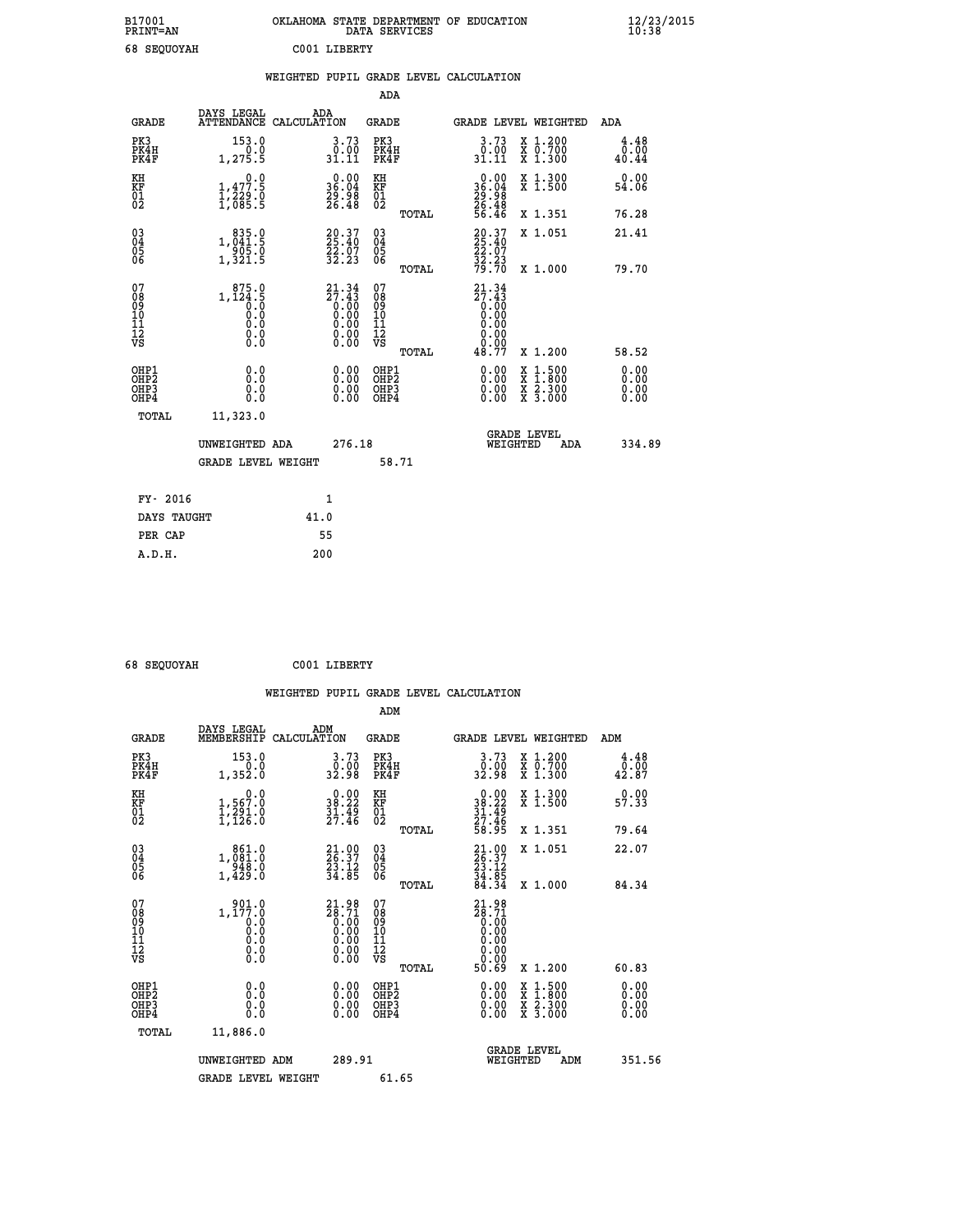| B17001<br><b>PRINT=AN</b> | OKLAHOMA STATE DEPARTMENT OF EDUCATION<br>DATA SERVICES | $\frac{12}{23}$ /2015 |
|---------------------------|---------------------------------------------------------|-----------------------|
| 68<br><b>SEOUOYAH</b>     | C001<br>LIBERTY                                         |                       |

|                                                                    |                                                                                                        | WEIGHTED PUPIL GRADE LEVEL CALCULATION                                                                            |                                          |       |                                                                              |                                                                                          |                              |
|--------------------------------------------------------------------|--------------------------------------------------------------------------------------------------------|-------------------------------------------------------------------------------------------------------------------|------------------------------------------|-------|------------------------------------------------------------------------------|------------------------------------------------------------------------------------------|------------------------------|
|                                                                    |                                                                                                        |                                                                                                                   | ADA                                      |       |                                                                              |                                                                                          |                              |
| <b>GRADE</b>                                                       |                                                                                                        | DAYS LEGAL ADA ATTENDANCE CALCULATION                                                                             | GRADE                                    |       |                                                                              | GRADE LEVEL WEIGHTED                                                                     | ADA                          |
| PK3<br>PK4H<br>PK4F                                                | 153.0<br>0.0<br>1,275.5                                                                                | 3.73<br>$\frac{0.00}{31.11}$                                                                                      | PK3<br>PK4H<br>PK4F                      |       | $3 \cdot 73$<br>$31 \cdot 90$<br>$31 \cdot 11$                               | X 1.200<br>X 0.700<br>X 1.300                                                            | 4.48<br>0.00<br>40.44        |
| KH<br>KF<br>01<br>02                                               | 1,477.9<br>$\frac{1}{2}$ , $\frac{2}{2}$ , $\frac{5}{2}$ , $\frac{5}{2}$                               | $\begin{smallmatrix} 0.00\\ 36.04\\ 29.98\\ 26.48 \end{smallmatrix}$                                              | KH<br>KF<br>01<br>02                     |       | $\begin{smallmatrix} 0.00\\ 36.04\\ 29.98\\ 26.48\\ 56.46 \end{smallmatrix}$ | X 1.300<br>X 1.500                                                                       | 0.00<br>54.06                |
|                                                                    |                                                                                                        |                                                                                                                   |                                          | TOTAL |                                                                              | X 1.351                                                                                  | 76.28                        |
| $\begin{smallmatrix} 03 \\[-4pt] 04 \end{smallmatrix}$<br>05<br>06 | 1,041.9<br>$\frac{1}{3}$ , $\frac{3}{3}$ , $\frac{5}{5}$                                               | $20.37$<br>$25.40$<br>22.07<br>32.23                                                                              | $\substack{03 \\ 04}$<br>05<br>ŎĞ        |       | 20.37<br>25.40<br>22.07<br>32.23<br>79.70                                    | X 1.051                                                                                  | 21.41                        |
|                                                                    |                                                                                                        |                                                                                                                   |                                          | TOTAL |                                                                              | X 1.000                                                                                  | 79.70                        |
| 07<br>08<br>09<br>10<br>11<br>11<br>12<br>VS                       | $1, 124.5$<br>0.0<br>0.0<br>0.0<br>$\begin{smallmatrix} 0.0 & 0 \ 0.0 & 0 \ 0.0 & 0 \end{smallmatrix}$ | ${\begin{smallmatrix} 21.34\\ 27.43\\ 0.00\\ 0.00\\ 0.00\\ 0.00\\ 0.00\\ 0.00\\ 0.00\\ 0.00\\ \end{smallmatrix}}$ | 07<br>08<br>09<br>11<br>11<br>12<br>VS   | TOTAL | $21.34$<br>$27.43$<br>$0.00$<br>$0.00$<br>48.77                              | X 1.200                                                                                  | 58.52                        |
| OHP1<br>OH <sub>P</sub> 2<br>OHP3<br>OHP4                          | 0.0<br>0.0<br>Ŏ.Ŏ                                                                                      | $0.00$<br>$0.00$<br>0.00                                                                                          | OHP1<br>OHP <sub>2</sub><br>OHP3<br>OHP4 |       | 0.00<br>0.00                                                                 | $\begin{smallmatrix} x & 1.500 \\ x & 1.800 \\ x & 2.300 \\ x & 3.000 \end{smallmatrix}$ | 0.00<br>0.00<br>0.00<br>0.00 |
| TOTAL                                                              | 11,323.0                                                                                               |                                                                                                                   |                                          |       |                                                                              |                                                                                          |                              |
|                                                                    | UNWEIGHTED ADA                                                                                         |                                                                                                                   | 276.18                                   |       | WEIGHTED                                                                     | <b>GRADE LEVEL</b><br><b>ADA</b>                                                         | 334.89                       |
|                                                                    | <b>GRADE LEVEL WEIGHT</b>                                                                              |                                                                                                                   |                                          | 58.71 |                                                                              |                                                                                          |                              |
| FY- 2016                                                           |                                                                                                        | $\mathbf{1}$                                                                                                      |                                          |       |                                                                              |                                                                                          |                              |
| DAYS TAUGHT                                                        |                                                                                                        | 41.0                                                                                                              |                                          |       |                                                                              |                                                                                          |                              |
| PER CAP                                                            |                                                                                                        | 55                                                                                                                |                                          |       |                                                                              |                                                                                          |                              |

 **68 SEQUOYAH C001 LIBERTY WEIGHTED PUPIL GRADE LEVEL CALCULATION ADM DAYS LEGAL ADM GRADE MEMBERSHIP CALCULATION GRADE GRADE LEVEL WEIGHTED ADM PK3 153.0 3.73 PK3 3.73 X 1.200 4.48 PK4H 0.0 0.00 PK4H 0.00 X 0.700 0.00 PK4F 1,352.0 32.98 PK4F 32.98 X 1.300 42.87** 0.00 KH 0.00 KH 0.00 KH<br>RF 1,567.0 38.22 KF 38.22 X 1.500 57.33  **01 1,291.0 31.49 01 31.49 02 1,126.0 27.46 02 27.46 TOTAL 58.95 X 1.351 79.64 03 861.0 21.00 03 21.00 X 1.051 22.07 04 1,081.0 26.37 04 26.37 05 948.0 23.12 05 23.12 06 1,429.0 34.85 06 34.85 TOTAL 84.34 X 1.000 84.34** 07 901.0 21.98 07 21.98<br>
08 1,177.0 28.71 08 28.71<br>
09 0.00 0.00 10 0.00<br>
11 0.0 0.00 10 0.00<br>
12 0.00 0.00 12 0.00<br>
VS 0.0 0.00 VS 0.00  $\begin{array}{cccc} 21.98 & 07 & 21.98 \ 26.71 & 089 & 28.71 \ 0.000 & 10 & 0.000 \ 0.00 & 11 & 0.000 \ 0.00 & 12 & 0.000 \ 0.00 & 0.83 & 0.00 \ 0.00 & 0.83 & 0.00 \ 0.00 & 0.00 & 0.00 & 0.00 \ 0.00 & 0.00 & 0.00 & 0.00 \ 0.00 & 0.00 & 0.00 & 0.00 \ 0.00 & 0.00 & 0.0$  **OHP1 0.0 0.00 OHP1 0.00 X 1.500 0.00 OHP2 0.0 0.00 OHP2 0.00 X 1.800 0.00 OHP3 0.0 0.00 OHP3 0.00 X 2.300 0.00 OHP4 0.0 0.00 OHP4 0.00 X 3.000 0.00 TOTAL 11,886.0 GRADE LEVEL UNWEIGHTED ADM 289.91 WEIGHTED ADM 351.56** GRADE LEVEL WEIGHT 61.65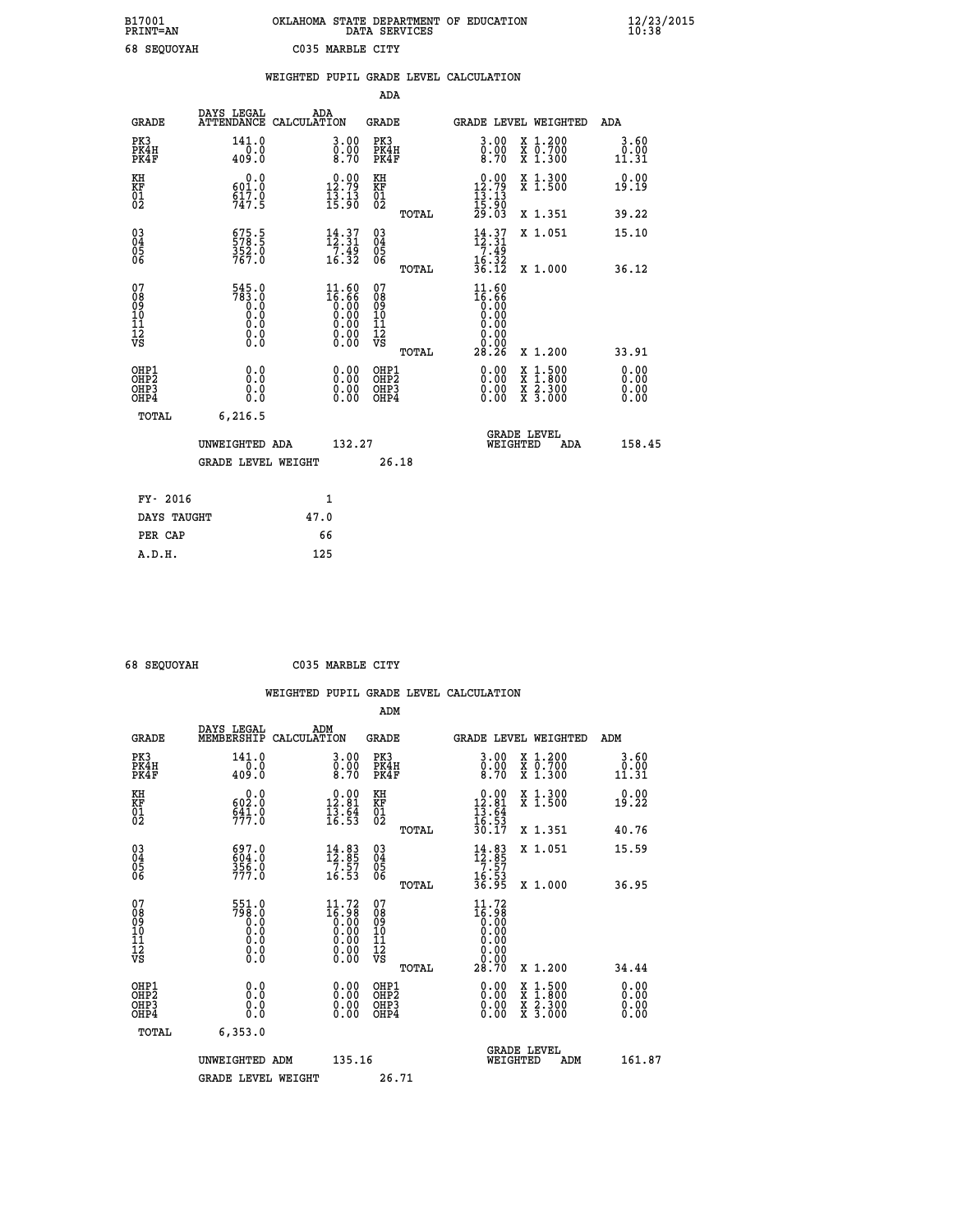| B17001             | OKLAHOMA STATE DEPARTMENT OF EDUCATION |
|--------------------|----------------------------------------|
| <b>PRINT=AN</b>    | DATA SERVICES                          |
| <b>68 SEOUOYAH</b> | C035 MARBLE CITY                       |

|                                           |                                                                          | WEIGHTED PUPIL GRADE LEVEL CALCULATION                                                                 |                                                       |                                                                                                                                                                                                                                                                                                                                                                                                                             |                                  |
|-------------------------------------------|--------------------------------------------------------------------------|--------------------------------------------------------------------------------------------------------|-------------------------------------------------------|-----------------------------------------------------------------------------------------------------------------------------------------------------------------------------------------------------------------------------------------------------------------------------------------------------------------------------------------------------------------------------------------------------------------------------|----------------------------------|
|                                           |                                                                          |                                                                                                        | ADA                                                   |                                                                                                                                                                                                                                                                                                                                                                                                                             |                                  |
| <b>GRADE</b>                              | DAYS LEGAL                                                               | ADA<br>ATTENDANCE CALCULATION                                                                          | GRADE                                                 | GRADE LEVEL WEIGHTED                                                                                                                                                                                                                                                                                                                                                                                                        | ADA                              |
| PK3<br>PK4H<br>PK4F                       | 141.0<br>0.0<br>409.Ŏ                                                    | $\begin{smallmatrix} 3.00\ 0.00\ 8.70 \end{smallmatrix}$                                               | PK3<br>PK4H<br>PK4F                                   | 3.00<br>X 1.200<br>X 0.700<br>X 1.300<br>$\frac{0}{8}.00$                                                                                                                                                                                                                                                                                                                                                                   | 3.60<br>0.00<br>11.31            |
| KH<br>KF<br>01<br>02                      | 0.0<br>601.0<br>$\frac{517.0}{747.5}$                                    | $\begin{smallmatrix} 0.00\\ 12.79\\ 13.13\\ 15.90 \end{smallmatrix}$                                   | KH<br>KF<br>01<br>02                                  | $\begin{smallmatrix} 0.00\\ 12.79\\ 13.13\\ 15.90\\ 29.03 \end{smallmatrix}$<br>X 1.300<br>X 1.500                                                                                                                                                                                                                                                                                                                          | 0.00<br>19.19                    |
|                                           |                                                                          |                                                                                                        | TOTAL                                                 | X 1.351                                                                                                                                                                                                                                                                                                                                                                                                                     | 39.22                            |
| 03<br>04<br>05<br>06                      | 675.5<br>578.5<br>352.0<br>767.0                                         | $\begin{array}{c} 14\cdot 37\\12\cdot 31\\7\cdot 49\\16\cdot 32\end{array}$                            | $\begin{array}{c} 03 \\ 04 \\ 05 \\ 06 \end{array}$   | $\begin{array}{c} 14\cdot 37\\[-4pt] 12\cdot 31\\[-4pt] 7\cdot 49\\[-4pt] 16\cdot 32\\[-4pt] 36\cdot 12\end{array}$<br>X 1.051                                                                                                                                                                                                                                                                                              | 15.10                            |
|                                           |                                                                          |                                                                                                        | TOTAL                                                 | X 1.000                                                                                                                                                                                                                                                                                                                                                                                                                     | 36.12                            |
| 07<br>08901112<br>1112<br>VS              | $545.0$<br>$783.0$<br>$0.0$<br>$0.0$<br>$0.0$<br>$0.0$<br>$0.0$<br>$0.0$ | $\begin{smallmatrix} 11.60 \\ 16.66 \\ 0.00 \\ 0.00 \\ 0.00 \\ 0.00 \\ 0.00 \\ 0.00 \end{smallmatrix}$ | 07<br>08<br>09<br>01<br>11<br>11<br>12<br>VS<br>TOTAL | $11.60$<br>$16.66$<br>$0.00$<br>$0.00$<br>0.00<br>0.00<br>28.26<br>X 1.200                                                                                                                                                                                                                                                                                                                                                  | 33.91                            |
| OHP1<br>OH <sub>P</sub> 2<br>OHP3<br>OHP4 | 0.0<br>0.0<br>Ō.Ō                                                        | $\begin{smallmatrix} 0.00 \ 0.00 \ 0.00 \ 0.00 \end{smallmatrix}$                                      | OHP1<br>OHP <sub>2</sub><br>OHP3<br>OHP4              | $\begin{smallmatrix} 0.00 & 0.00 & 0.00 & 0.00 & 0.00 & 0.00 & 0.00 & 0.00 & 0.00 & 0.00 & 0.00 & 0.00 & 0.00 & 0.00 & 0.00 & 0.00 & 0.00 & 0.00 & 0.00 & 0.00 & 0.00 & 0.00 & 0.00 & 0.00 & 0.00 & 0.00 & 0.00 & 0.00 & 0.00 & 0.00 & 0.00 & 0.00 & 0.00 & 0.00 & 0.00 & 0.0$<br>$\begin{smallmatrix} \mathtt{X} & 1\cdot500\\ \mathtt{X} & 1\cdot800\\ \mathtt{X} & 2\cdot300\\ \mathtt{X} & 3\cdot000 \end{smallmatrix}$ | 0.00<br>0.00<br>$0.00$<br>$0.00$ |
| TOTAL                                     | 6,216.5<br>UNWEIGHTED ADA                                                | 132.27                                                                                                 |                                                       | <b>GRADE LEVEL</b><br>WEIGHTED<br>ADA                                                                                                                                                                                                                                                                                                                                                                                       | 158.45                           |
|                                           | GRADE LEVEL WEIGHT                                                       |                                                                                                        | 26.18                                                 |                                                                                                                                                                                                                                                                                                                                                                                                                             |                                  |
| FY- 2016                                  |                                                                          | 1                                                                                                      |                                                       |                                                                                                                                                                                                                                                                                                                                                                                                                             |                                  |
| DAYS TAUGHT                               |                                                                          | 47.0                                                                                                   |                                                       |                                                                                                                                                                                                                                                                                                                                                                                                                             |                                  |
| PER CAP                                   |                                                                          | 66                                                                                                     |                                                       |                                                                                                                                                                                                                                                                                                                                                                                                                             |                                  |
| A.D.H.                                    |                                                                          | 125                                                                                                    |                                                       |                                                                                                                                                                                                                                                                                                                                                                                                                             |                                  |

| <b>68 CROUDVAH</b> |
|--------------------|

 **68 SEQUOYAH C035 MARBLE CITY**

| uo pryuunn                                         |                                                   | COJJ MARDIE CIII                                                                                                        |                                                    |       |                                                                                                 |                                                                                                  |                              |
|----------------------------------------------------|---------------------------------------------------|-------------------------------------------------------------------------------------------------------------------------|----------------------------------------------------|-------|-------------------------------------------------------------------------------------------------|--------------------------------------------------------------------------------------------------|------------------------------|
|                                                    |                                                   |                                                                                                                         |                                                    |       | WEIGHTED PUPIL GRADE LEVEL CALCULATION                                                          |                                                                                                  |                              |
|                                                    |                                                   |                                                                                                                         | ADM                                                |       |                                                                                                 |                                                                                                  |                              |
| <b>GRADE</b>                                       | DAYS LEGAL<br>MEMBERSHIP CALCULATION              | ADM                                                                                                                     | <b>GRADE</b>                                       |       |                                                                                                 | GRADE LEVEL WEIGHTED                                                                             | ADM                          |
| PK3<br>PK4H<br>PK4F                                | 141.0<br>0.0<br>409.0                             | 3.00<br>$\begin{smallmatrix} 0.00 \ 8.70 \end{smallmatrix}$                                                             | PK3<br>PK4H<br>PK4F                                |       | $\begin{smallmatrix} 3 & 0 & 0 \\ 0 & 0 & 0 \\ 8 & 7 & 0 \end{smallmatrix}$                     | X 1.200<br>X 0.700<br>X 1.300                                                                    | 3.60<br>0.00<br>11.31        |
| KH<br>KF<br>01<br>02                               | 0.0<br>602.0<br>$\frac{641}{77}$ : 0              | $\begin{smallmatrix} 0.00\\ 12.81\\ 13.84\\ 13.64\\ 16.53 \end{smallmatrix}$                                            | KH<br>KF<br>01<br>02                               |       | $\begin{array}{r} 0.00 \\[-4pt] 12.81 \\[-4pt] 13.64 \\[-4pt] 16.53 \\[-4pt] 30.17 \end{array}$ | X 1.300<br>X 1.500                                                                               | 0.00<br>19.22                |
|                                                    |                                                   |                                                                                                                         |                                                    | TOTAL |                                                                                                 | X 1.351                                                                                          | 40.76                        |
| $\begin{matrix} 03 \\ 04 \\ 05 \\ 06 \end{matrix}$ | 697.0<br>$\frac{604}{356}$ .0<br>777.0            | $\begin{array}{c} 14\cdot83\\12\cdot85\\7\cdot57\\16\cdot53 \end{array}$                                                | $\begin{matrix} 03 \\ 04 \\ 05 \\ 06 \end{matrix}$ |       | $14.83$<br>$7.57$<br>$7.57$<br>$16.53$<br>$36.95$                                               | X 1.051                                                                                          | 15.59                        |
|                                                    |                                                   |                                                                                                                         |                                                    | TOTAL |                                                                                                 | X 1.000                                                                                          | 36.95                        |
| 07<br>08<br>09<br>101<br>112<br>VS                 | 551.0<br>798.0<br>0.0<br>0.0<br>0.0<br>$\S.$ $\S$ | $\begin{smallmatrix} 11\cdot72\\16\cdot98\\0\cdot00\\0\cdot00\\0\cdot00\\0\cdot00\\0\cdot00\\0\cdot00\end{smallmatrix}$ | 07<br>08<br>09<br>11<br>11<br>12<br>VS             | TOTAL | 11.72<br><b>8é∶§</b><br>00:00<br>0∶0<br>0.00<br>0.00<br>28.70                                   | X 1.200                                                                                          | 34.44                        |
| OHP1<br>OHP2<br>OHP3<br>OHP4                       | 0.0<br>0.0<br>Ŏ.Ŏ                                 | $\begin{smallmatrix} 0.00 \ 0.00 \ 0.00 \ 0.00 \end{smallmatrix}$                                                       | OHP1<br>OHP2<br>OHP <sub>3</sub>                   |       |                                                                                                 | $\begin{smallmatrix} x & 1 & 500 \\ x & 1 & 800 \\ x & 2 & 300 \\ x & 3 & 000 \end{smallmatrix}$ | 0.00<br>Ŏ.ŎŎ<br>Q.QQ<br>0.00 |
| TOTAL                                              | 6,353.0                                           |                                                                                                                         |                                                    |       |                                                                                                 |                                                                                                  |                              |
|                                                    | UNWEIGHTED ADM                                    | 135.16                                                                                                                  |                                                    |       | WEIGHTED                                                                                        | <b>GRADE LEVEL</b><br>ADM                                                                        | 161.87                       |
|                                                    | <b>GRADE LEVEL WEIGHT</b>                         |                                                                                                                         | 26.71                                              |       |                                                                                                 |                                                                                                  |                              |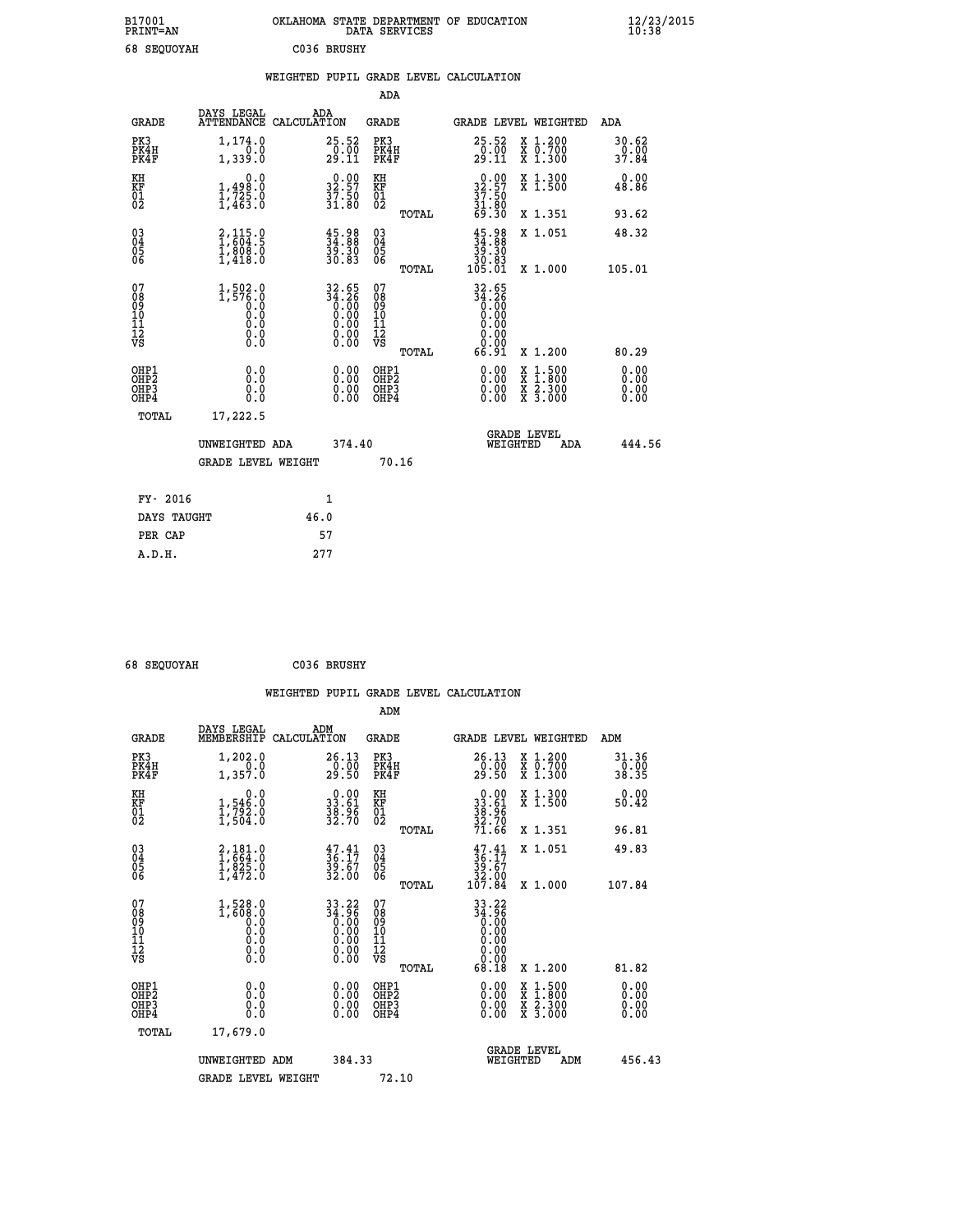| B17001<br>PRINT=AN | OKLAHOMA STATE DEPARTMENT OF EDUCATION<br>DATA SERVICES | $\frac{12}{23}$ /2015 |
|--------------------|---------------------------------------------------------|-----------------------|
| 68 SEOUOYAH        | C036 BRUSHY                                             |                       |

|                                                                              |                                                                        |                                                                                                                                                                                                  | ADA                                                         |                                                                                |                                                                                                                                           |                              |
|------------------------------------------------------------------------------|------------------------------------------------------------------------|--------------------------------------------------------------------------------------------------------------------------------------------------------------------------------------------------|-------------------------------------------------------------|--------------------------------------------------------------------------------|-------------------------------------------------------------------------------------------------------------------------------------------|------------------------------|
|                                                                              | DAYS LEGAL<br><b>GRADE</b>                                             | ADA<br>ATTENDANCE CALCULATION                                                                                                                                                                    | GRADE                                                       | GRADE LEVEL WEIGHTED                                                           |                                                                                                                                           | ADA                          |
| PK3<br>PK4H<br>PK4F                                                          | 1,174.0<br>1,339.0                                                     | 25.52<br>$\frac{0.00}{29.11}$                                                                                                                                                                    | PK3<br>PK4H<br>PK4F                                         | 25.52<br>$\frac{0.00}{29.11}$                                                  | X 1.200<br>X 0.700<br>X 1.300                                                                                                             | 30.62<br>0.00<br>37.84       |
| KH<br>KF<br>01<br>02                                                         | 0.0<br>$\frac{1}{1}$ , $\frac{498}{725}$ .0<br>1, $\frac{725}{463}$ .0 | $32.57$<br>$37.50$<br>$31.80$                                                                                                                                                                    | KH<br><b>KF</b><br>01<br>02                                 | $32.57$<br>$37.50$<br>$31.80$<br>$69.30$                                       | X 1.300<br>X 1.500                                                                                                                        | 0.00<br>48.86                |
|                                                                              |                                                                        |                                                                                                                                                                                                  | TOTAL                                                       |                                                                                | X 1.351                                                                                                                                   | 93.62                        |
| $^{03}_{04}$<br>Ŏ5<br>06                                                     | $2,115.0$<br>1,604.5<br>ī,ĕŏē:ŏ<br>1,418.0                             | $45.98$<br>$34.88$<br>$39.30$<br>30.83                                                                                                                                                           | $\begin{matrix} 03 \\ 04 \\ 05 \\ 06 \end{matrix}$<br>TOTAL | $\begin{smallmatrix} 45.98\\ 34.88\\ 39.30\\ 30.83\\ 105.01 \end{smallmatrix}$ | X 1.051<br>X 1.000                                                                                                                        | 48.32<br>105.01              |
| 07<br>08<br>09<br>11<br>11<br>12<br>VS                                       | 1,502.0<br>1,576.0<br>0.0<br>0.000<br>$\S.$                            | $\begin{array}{@{}c@{\hspace{1em}}c@{\hspace{1em}}}\n 32.65 \\  34.26 \\  0.00 \\  0.00 \\  0.00 \\  0.00 \\  \end{array}$<br>$\begin{smallmatrix} 0.00 & 0.00 \\ 0.00 & 0.00 \end{smallmatrix}$ | 07<br>08<br>09<br>101<br>11<br>12<br>VS<br>TOTAL            | $32.65$<br>$34.26$<br>$0.00$<br>$0.00$<br>0.00<br>0.00<br>66.91                | X 1.200                                                                                                                                   | 80.29                        |
| OHP1<br>OH <sub>P</sub> <sub>2</sub><br>OH <sub>P3</sub><br>OH <sub>P4</sub> | 0.0<br>0.0<br>0.0                                                      | 0.00<br>0.00<br>0.00                                                                                                                                                                             | OHP1<br>OHP <sub>2</sub><br>OHP3<br>OHP4                    | 0.00<br>0.00<br>0.00                                                           | $\begin{smallmatrix} \mathtt{X} & 1\cdot500\\ \mathtt{X} & 1\cdot800\\ \mathtt{X} & 2\cdot300\\ \mathtt{X} & 3\cdot000 \end{smallmatrix}$ | 0.00<br>0.00<br>0.00<br>0.00 |
|                                                                              | TOTAL<br>17,222.5<br>UNWEIGHTED ADA<br><b>GRADE LEVEL WEIGHT</b>       | 374.40                                                                                                                                                                                           | 70.16                                                       | <b>GRADE LEVEL</b><br>WEIGHTED                                                 | ADA                                                                                                                                       | 444.56                       |
|                                                                              | FY- 2016                                                               | $\mathbf{1}$                                                                                                                                                                                     |                                                             |                                                                                |                                                                                                                                           |                              |
|                                                                              | DAYS TAUGHT                                                            | 46.0                                                                                                                                                                                             |                                                             |                                                                                |                                                                                                                                           |                              |
|                                                                              | PER CAP                                                                | 57                                                                                                                                                                                               |                                                             |                                                                                |                                                                                                                                           |                              |
|                                                                              | A.D.H.                                                                 | 277                                                                                                                                                                                              |                                                             |                                                                                |                                                                                                                                           |                              |

| 68 SEQUOYAH | C036 BRUSHY |
|-------------|-------------|
|             |             |

| <b>GRADE</b>                                         | DAYS LEGAL<br>MEMBERSHIP                                            | ADM<br>CALCULATION                                                   | <b>GRADE</b>                             |       |                                                                                                                                                                                                             |          | GRADE LEVEL WEIGHTED                                                                                                                      | ADM                           |  |
|------------------------------------------------------|---------------------------------------------------------------------|----------------------------------------------------------------------|------------------------------------------|-------|-------------------------------------------------------------------------------------------------------------------------------------------------------------------------------------------------------------|----------|-------------------------------------------------------------------------------------------------------------------------------------------|-------------------------------|--|
| PK3<br>PK4H<br>PK4F                                  | 1,202.0<br>1,357.0                                                  | 26.13<br>$\frac{0}{29}.00$                                           | PK3<br>PK4H<br>PK4F                      |       | 26.13<br>$\frac{0.00}{29.50}$                                                                                                                                                                               |          | $\begin{smallmatrix} x & 1.200 \\ x & 0.700 \end{smallmatrix}$<br>X 1.300                                                                 | 31.36<br>$\frac{0.00}{38.35}$ |  |
| KH<br>KF<br>01<br>02                                 | 0.0<br>$\frac{1}{1}, \frac{546}{792}$ .0<br>1,504.0                 | $\begin{smallmatrix} 0.00\\ 33.61\\ 38.96\\ 32.70 \end{smallmatrix}$ | KH<br>KF<br>01<br>02                     |       | $\begin{smallmatrix} 0.00\\ 33.61\\ 38.96\\ 32.70\\ 71.66 \end{smallmatrix}$                                                                                                                                |          | X 1.300<br>X 1.500                                                                                                                        | 0.00<br>50.42                 |  |
|                                                      |                                                                     |                                                                      |                                          | TOTAL |                                                                                                                                                                                                             |          | X 1.351                                                                                                                                   | 96.81                         |  |
| $\begin{matrix} 03 \\ 04 \\ 05 \\ 06 \end{matrix}$   | 2,181.0<br>1,664.0<br>1,825.0                                       | $\begin{smallmatrix} 47.41\ 36.17\ 39.67\ 32.00 \end{smallmatrix}$   | 03<br>04<br>05<br>06                     |       | $\begin{smallmatrix} 47.41\\ 36.17\\ 39.67\\ 32.00\\ 107.84 \end{smallmatrix}$                                                                                                                              |          | X 1.051                                                                                                                                   | 49.83                         |  |
|                                                      | 1,472.0                                                             |                                                                      |                                          | TOTAL |                                                                                                                                                                                                             |          | X 1.000                                                                                                                                   | 107.84                        |  |
| 07<br>08<br>09<br>101<br>112<br>VS                   | $1,528.0$<br>$1,608.0$<br>$0.0$<br>$0.0$<br>$0.0$<br>$0.0$<br>$0.0$ | $33.22\n34.96\n0.00\n0.00\n0.00\n0.00\n0.00$                         | 07<br>08<br>09<br>11<br>11<br>12<br>VS   |       | $\begin{array}{@{}ll} \mathbf{33.22} \\ \mathbf{34.96} \\ \mathbf{0.00} \\ \mathbf{0.00} \\ \mathbf{0.00} \\ \mathbf{0.00} \\ \mathbf{0.00} \\ \mathbf{0.00} \\ \mathbf{0.00} \\ \mathbf{0.00} \end{array}$ |          |                                                                                                                                           |                               |  |
|                                                      |                                                                     |                                                                      |                                          | TOTAL | 68.18                                                                                                                                                                                                       |          | X 1.200                                                                                                                                   | 81.82                         |  |
| OHP1<br>OHP <sub>2</sub><br>OH <sub>P3</sub><br>OHP4 | 0.0<br>0.0<br>0.0                                                   | $0.00$<br>$0.00$<br>0.00                                             | OHP1<br>OHP <sub>2</sub><br>OHP3<br>OHP4 |       |                                                                                                                                                                                                             |          | $\begin{smallmatrix} \mathtt{X} & 1\cdot500\\ \mathtt{X} & 1\cdot800\\ \mathtt{X} & 2\cdot300\\ \mathtt{X} & 3\cdot000 \end{smallmatrix}$ | 0.00<br>0.00<br>0.00<br>0.00  |  |
| TOTAL                                                | 17,679.0                                                            |                                                                      |                                          |       |                                                                                                                                                                                                             |          |                                                                                                                                           |                               |  |
|                                                      | UNWEIGHTED ADM                                                      | 384.33                                                               |                                          |       |                                                                                                                                                                                                             | WEIGHTED | <b>GRADE LEVEL</b><br>ADM                                                                                                                 | 456.43                        |  |
|                                                      | <b>GRADE LEVEL WEIGHT</b>                                           |                                                                      | 72.10                                    |       |                                                                                                                                                                                                             |          |                                                                                                                                           |                               |  |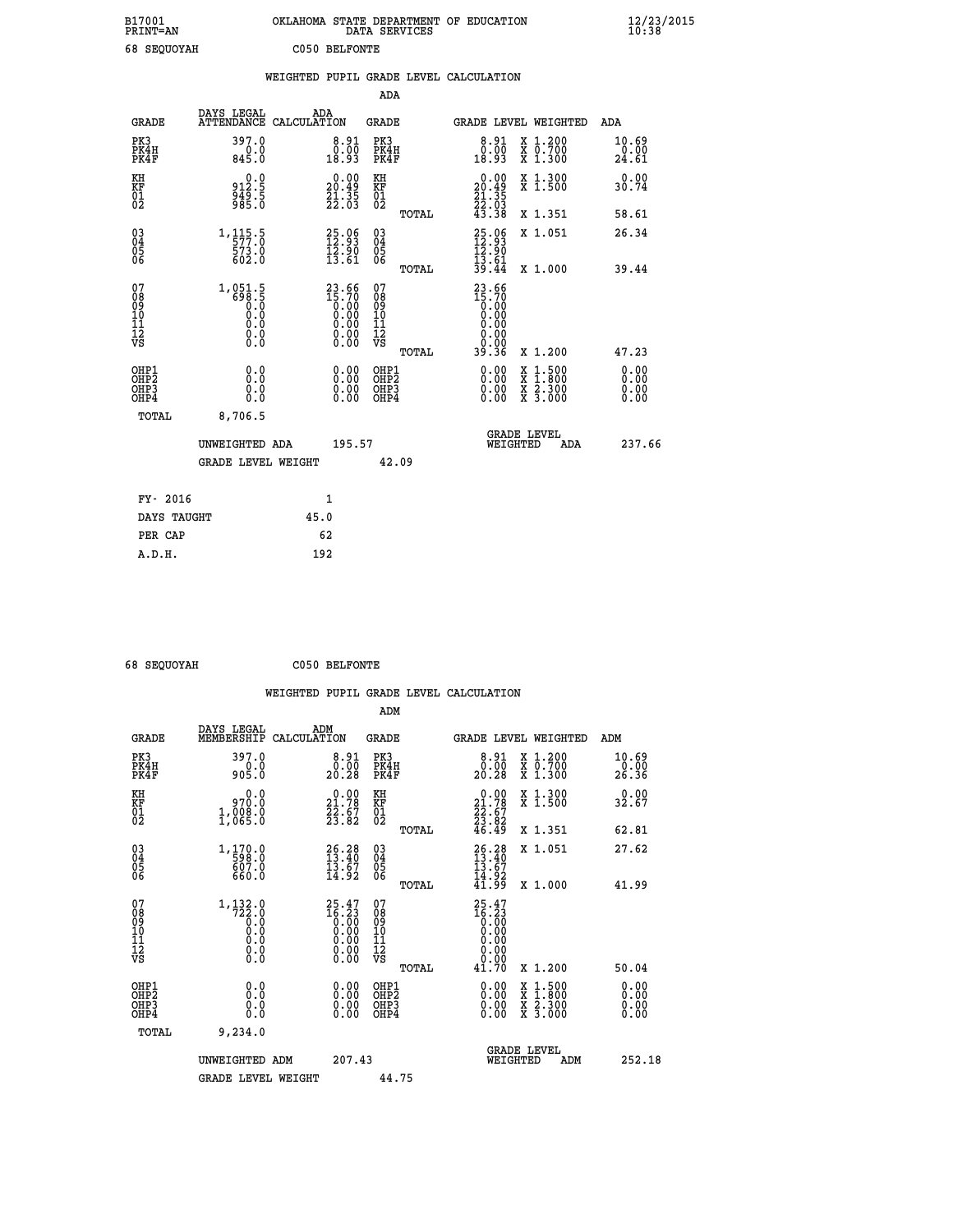| B17001<br><b>PRINT=AN</b>        |                                                                                                                                    | OKLAHOMA STATE DEPARTMENT OF EDUCATION                                | DATA SERVICES                                      |                                                                              |                                                                                          | $\frac{12}{23}$ /2015  |
|----------------------------------|------------------------------------------------------------------------------------------------------------------------------------|-----------------------------------------------------------------------|----------------------------------------------------|------------------------------------------------------------------------------|------------------------------------------------------------------------------------------|------------------------|
| 68 SEQUOYAH                      |                                                                                                                                    | C050 BELFONTE                                                         |                                                    |                                                                              |                                                                                          |                        |
|                                  |                                                                                                                                    | WEIGHTED PUPIL GRADE LEVEL CALCULATION                                |                                                    |                                                                              |                                                                                          |                        |
|                                  |                                                                                                                                    |                                                                       | ADA                                                |                                                                              |                                                                                          |                        |
| <b>GRADE</b>                     | DAYS LEGAL                                                                                                                         | ADA<br>ATTENDANCE CALCULATION                                         | GRADE                                              |                                                                              | GRADE LEVEL WEIGHTED                                                                     | ADA                    |
| PK3<br>PK4H<br>PK4F              | 397.0<br>0.0<br>845.0                                                                                                              | 8.91<br>0.00<br>18.93                                                 | PK3<br>PK4H<br>PK4F                                | $8.91$<br>$0.00$<br>18.93                                                    | X 1.200<br>X 0.700<br>X 1.300                                                            | 10.69<br>0.00<br>24.61 |
| KH<br>KF<br>01<br>02             | 0.0<br>912.5<br>$\frac{5}{9}$ $\frac{1}{8}$ $\frac{5}{5}$                                                                          | $\begin{smallmatrix} 0.00\\ 20.49\\ 21.35\\ 22.03 \end{smallmatrix}$  | KH<br>KF<br>01<br>02                               | $\begin{smallmatrix} 0.00\\ 20.49\\ 21.35\\ 22.03\\ 43.38 \end{smallmatrix}$ | X 1.300<br>X 1.500                                                                       | 0.00<br>30.74          |
|                                  |                                                                                                                                    |                                                                       | TOTAL                                              |                                                                              | X 1.351                                                                                  | 58.61                  |
| 03<br>04<br>05<br>06             | $\begin{smallmatrix} 1\,,\,115\,,\,5\\[-1.2mm] 5\,7\,7\,. \,0\\[-1.2mm] 5\,7\,3\,. \,0\\[-1.2mm] 6\,0\,2\,. \,0 \end{smallmatrix}$ | $\begin{smallmatrix} 25.06\\ 12.93\\ 12.90\\ 13.61 \end{smallmatrix}$ | $\begin{matrix} 03 \\ 04 \\ 05 \\ 06 \end{matrix}$ | $25.96$<br>$12.93$<br>12.90<br>13.61                                         | X 1.051                                                                                  | 26.34                  |
| 07                               |                                                                                                                                    |                                                                       | TOTAL<br>07                                        | 39.44<br>23.66                                                               | X 1.000                                                                                  | 39.44                  |
| 08<br>09<br>10<br>11<br>12<br>VS | 1,051.5<br>ត <u>្តី ខ</u> ុំ ខុំ<br>ត្<br>0.0<br>0.0<br>0.000                                                                      | $23.66$<br>$15.70$<br>$0.00$<br>$0.00$<br>$0.00$<br>$0.00$<br>$0.00$  | 08<br>09<br>101<br>11<br>12<br>VS<br>TOTAL         | 15.70<br>0.00<br>0.00<br>0.00<br>0.0000<br>39.36                             | X 1.200                                                                                  | 47.23                  |
| OHP1                             |                                                                                                                                    |                                                                       |                                                    |                                                                              |                                                                                          |                        |
| OHP <sub>2</sub><br>OHP3<br>OHP4 | 0.0<br>0.0<br>0.0                                                                                                                  |                                                                       | OHP1<br>OHP2<br>OHP3<br>OHP4                       | 0.00<br>$0.\overline{0}0$<br>0.00                                            | $\begin{smallmatrix} x & 1.500 \\ x & 1.800 \\ x & 2.300 \\ x & 3.000 \end{smallmatrix}$ | 0.00<br>0.00<br>0.00   |
| <b>TOTAL</b>                     | 8,706.5                                                                                                                            |                                                                       |                                                    |                                                                              |                                                                                          |                        |
|                                  | UNWEIGHTED ADA                                                                                                                     | 195.57                                                                |                                                    | WEIGHTED                                                                     | <b>GRADE LEVEL</b><br>ADA                                                                | 237.66                 |
|                                  | <b>GRADE LEVEL WEIGHT</b>                                                                                                          |                                                                       | 42.09                                              |                                                                              |                                                                                          |                        |
| FY- 2016                         |                                                                                                                                    | 1                                                                     |                                                    |                                                                              |                                                                                          |                        |
| DAYS TAUGHT                      |                                                                                                                                    | 45.0                                                                  |                                                    |                                                                              |                                                                                          |                        |
| PER CAP                          |                                                                                                                                    | 62                                                                    |                                                    |                                                                              |                                                                                          |                        |
| A.D.H.                           |                                                                                                                                    | 192                                                                   |                                                    |                                                                              |                                                                                          |                        |

| $\epsilon$ <sup>0</sup> $\alpha$ $\alpha$ <sup><math>\alpha</math></sup> $\alpha$ $\alpha$ $\alpha$ $\alpha$ $\alpha$ |  |
|-----------------------------------------------------------------------------------------------------------------------|--|

 **68 SEQUOYAH C050 BELFONTE**

|                                                      |                                                      |                    |                                                                                               |                                              |       | WEIGHTED PUPIL GRADE LEVEL CALCULATION                                       |          |                                          |                               |        |
|------------------------------------------------------|------------------------------------------------------|--------------------|-----------------------------------------------------------------------------------------------|----------------------------------------------|-------|------------------------------------------------------------------------------|----------|------------------------------------------|-------------------------------|--------|
|                                                      |                                                      |                    |                                                                                               | ADM                                          |       |                                                                              |          |                                          |                               |        |
| <b>GRADE</b>                                         | DAYS LEGAL<br>MEMBERSHIP                             | ADM<br>CALCULATION |                                                                                               | <b>GRADE</b>                                 |       |                                                                              |          | GRADE LEVEL WEIGHTED                     | ADM                           |        |
| PK3<br>PK4H<br>PK4F                                  | 397.0<br>905.0                                       |                    | 8.91<br>$\begin{smallmatrix} \text{0.00} \ \text{0.28} \end{smallmatrix}$                     | PK3<br>PK4H<br>PK4F                          |       | $\begin{smallmatrix}8.91\0.00\\20.28\end{smallmatrix}$                       |          | X 1.200<br>X 0.700<br>X 1.300            | 10.69<br>-ŏ:ŏō<br>26.36       |        |
| KH<br>KF<br>01<br>02                                 | 0.0<br>970.0<br>1,008.0                              |                    | $\begin{smallmatrix} 0.00\\ 21.78\\ 22.67\\ 23.82 \end{smallmatrix}$                          | KH<br>KF<br>01<br>02                         |       | $\begin{smallmatrix} 0.00\\ 21.78\\ 22.67\\ 23.82\\ 46.49 \end{smallmatrix}$ |          | X 1.300<br>X 1.500                       | 0.00<br>32.67                 |        |
|                                                      |                                                      |                    |                                                                                               |                                              | TOTAL |                                                                              |          | X 1.351                                  | 62.81                         |        |
| $\begin{matrix} 03 \\ 04 \\ 05 \\ 06 \end{matrix}$   | 1,170.0<br>598.0<br>607.0<br>660.0                   |                    | $26.28$<br>$13.40$<br>$13.67$<br>$14.92$                                                      | 03<br>04<br>05<br>06                         |       | $26.28$<br>$13.40$<br>$13.67$<br>$14.92$<br>$41.99$                          |          | X 1.051                                  | 27.62                         |        |
| 07<br>0890112<br>1112<br>VS                          | $\substack{1,132.0\\722.0\\0.0\\0.0$<br>Ŏ.Ō<br>$\S.$ |                    | $25.47$<br>$16.23$<br>$0.00$<br>$0.00$<br>$\begin{smallmatrix} 0.00 \ 0.00 \end{smallmatrix}$ | 07<br>08<br>09<br>11<br>11<br>12<br>VS       | TOTAL | $25.47$<br>$16.23$<br>$0.00$<br>$0.00$<br>0.00<br>0.00                       |          | X 1.000                                  | 41.99                         |        |
|                                                      |                                                      |                    |                                                                                               |                                              | TOTAL | 41.70                                                                        |          | X 1.200                                  | 50.04                         |        |
| OHP1<br>OHP <sub>2</sub><br>OH <sub>P3</sub><br>OHP4 | 0.0<br>0.000                                         |                    | $0.00$<br>$0.00$<br>0.00                                                                      | OHP1<br>OHP <sub>2</sub><br>OHP <sub>3</sub> |       | 0.00<br>0.00<br>0.00                                                         |          | X 1:500<br>X 1:800<br>X 2:300<br>X 3:000 | 0.00<br>Ō. ŌŌ<br>0.00<br>0.00 |        |
| TOTAL                                                | 9,234.0                                              |                    |                                                                                               |                                              |       |                                                                              |          |                                          |                               |        |
|                                                      | UNWEIGHTED ADM                                       |                    | 207.43                                                                                        |                                              |       |                                                                              | WEIGHTED | <b>GRADE LEVEL</b><br>ADM                |                               | 252.18 |
|                                                      | GRADE LEVEL WEIGHT                                   |                    |                                                                                               | 44.75                                        |       |                                                                              |          |                                          |                               |        |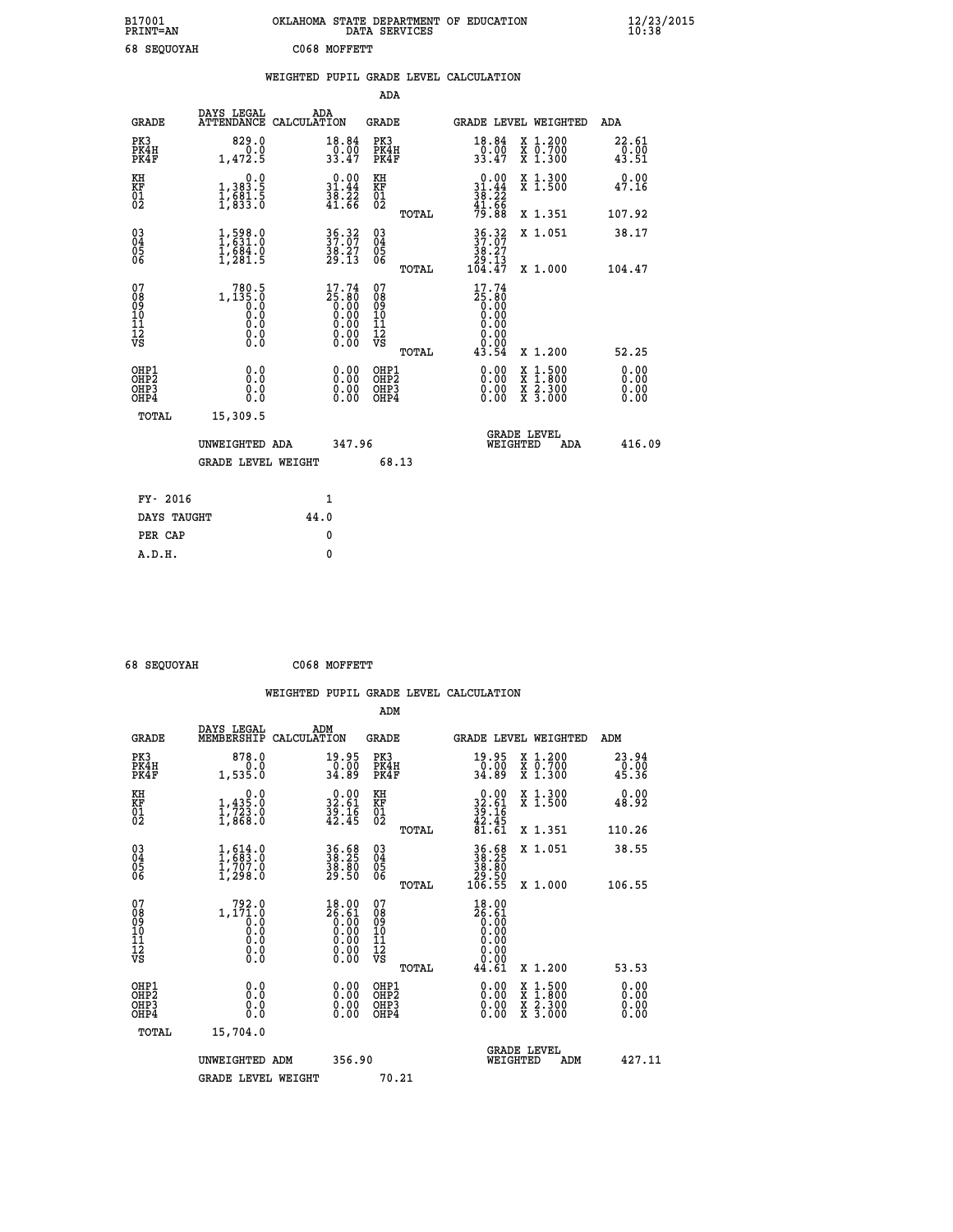| B17001<br><b>PRINT=AN</b> | OKLAHOMA STATE DEPARTMENT OF EDUCATION<br>DATA SERVICES | $\frac{12}{23}$ /2015 |
|---------------------------|---------------------------------------------------------|-----------------------|
| 68 SEQUOYAH               | C068 MOFFETT                                            |                       |

|                                                                              |                                                         |                                                                                                        | ADA                                                         |                                                                                                                                                                   |                              |
|------------------------------------------------------------------------------|---------------------------------------------------------|--------------------------------------------------------------------------------------------------------|-------------------------------------------------------------|-------------------------------------------------------------------------------------------------------------------------------------------------------------------|------------------------------|
| <b>GRADE</b>                                                                 | DAYS LEGAL                                              | ADA<br>ATTENDANCE CALCULATION                                                                          | GRADE                                                       | GRADE LEVEL WEIGHTED                                                                                                                                              | ADA                          |
| PK3<br>PK4H<br>PK4F                                                          | 829.0<br>0.0<br>1,472.5                                 | 18.84<br>$\frac{0.00}{33.47}$                                                                          | PK3<br>PK4H<br>PK4F                                         | X 1.200<br>X 0.700<br>X 1.300<br>18.84<br>$\frac{0.00}{33.47}$                                                                                                    | 22.61<br>$0.00$<br>43.51     |
| KH<br>KF<br>01<br>02                                                         | 0.0<br>1,383.5<br>1,681.5<br>1,833.0                    | $\begin{array}{r} 0.00 \\ 31.44 \\ 38.22 \\ 41.66 \end{array}$                                         | KH<br>KF<br>01<br>02                                        | $0.00$<br>$31.44$<br>$38.22$<br>$41.66$<br>$79.88$<br>X 1.300<br>X 1.500                                                                                          | 0.00<br>47.16                |
|                                                                              |                                                         |                                                                                                        | TOTAL                                                       | X 1.351                                                                                                                                                           | 107.92                       |
| $\begin{matrix} 03 \\ 04 \\ 05 \\ 06 \end{matrix}$                           | 1,598.0<br>$\frac{1}{2}$ , $\frac{884}{281}$ . 5        | 36.32<br>37.07<br>38.27<br>29.13                                                                       | $\begin{matrix} 03 \\ 04 \\ 05 \\ 06 \end{matrix}$<br>TOTAL | $\begin{array}{c} 36\cdot 32 \\ 37\cdot 07 \\ 38\cdot 27 \\ 29\cdot 13 \\ 104\cdot 47 \end{array}$<br>X 1.051<br>X 1.000                                          | 38.17<br>104.47              |
| 07<br>08<br>09<br>11<br>11<br>12<br>VS                                       | 1,135.0<br>0:0<br>0:0<br>0.0<br>$\S.$                   | $\begin{smallmatrix} 17.74 \\ 25.80 \\ 0.00 \\ 0.00 \\ 0.00 \\ 0.00 \\ 0.00 \\ 0.00 \end{smallmatrix}$ | 07<br>08<br>09<br>11<br>11<br>12<br>VS<br>TOTAL             | 17.74<br>25:80<br>0.00<br>0.00<br>0.00<br>0.00<br>43.54<br>X 1.200                                                                                                | 52.25                        |
| OHP1<br>OH <sub>P</sub> <sub>2</sub><br>OH <sub>P3</sub><br>OH <sub>P4</sub> | 0.0<br>0.0<br>0.0                                       | 0.00<br>0.00<br>0.00                                                                                   | OHP1<br>OHP <sub>2</sub><br>OHP3<br>OHP4                    | 0.00<br>$\begin{smallmatrix} \mathtt{X} & 1\cdot500\\ \mathtt{X} & 1\cdot800\\ \mathtt{X} & 2\cdot300\\ \mathtt{X} & 3\cdot000 \end{smallmatrix}$<br>0.00<br>0.00 | 0.00<br>0.00<br>0.00<br>0.00 |
| TOTAL                                                                        | 15,309.5<br>UNWEIGHTED ADA<br><b>GRADE LEVEL WEIGHT</b> | 347.96                                                                                                 | 68.13                                                       | <b>GRADE LEVEL</b><br>WEIGHTED<br>ADA                                                                                                                             | 416.09                       |
| FY- 2016                                                                     |                                                         | $\mathbf{1}$                                                                                           |                                                             |                                                                                                                                                                   |                              |
| DAYS TAUGHT                                                                  |                                                         | 44.0                                                                                                   |                                                             |                                                                                                                                                                   |                              |
| PER CAP                                                                      |                                                         | 0                                                                                                      |                                                             |                                                                                                                                                                   |                              |
| A.D.H.                                                                       |                                                         | $\mathbf{0}$                                                                                           |                                                             |                                                                                                                                                                   |                              |

| 68 SEOUOVAH |
|-------------|
|             |

 **68 SEQUOYAH C068 MOFFETT**

|                                                      |                                                                                   |                                                                                                       | ADM                                                 |                                                                                                         |                                |                                          |                      |
|------------------------------------------------------|-----------------------------------------------------------------------------------|-------------------------------------------------------------------------------------------------------|-----------------------------------------------------|---------------------------------------------------------------------------------------------------------|--------------------------------|------------------------------------------|----------------------|
| <b>GRADE</b>                                         | DAYS LEGAL<br>MEMBERSHIP                                                          | ADM<br>CALCULATION                                                                                    | <b>GRADE</b>                                        |                                                                                                         |                                | GRADE LEVEL WEIGHTED                     | ADM                  |
| PK3<br>PK4H<br>PK4F                                  | 878.0<br>1,535.0                                                                  | 19.95<br>$\frac{0.00}{34.89}$                                                                         | PK3<br>PK4H<br>PK4F                                 | $\frac{19.95}{0.00}$<br>34.89                                                                           |                                | X 1.200<br>X 0.700<br>X 1.300            | $23.94\n0.00\n45.36$ |
| KH<br>KF<br>01<br>02                                 | 0.0<br>$1,435.0$<br>$1,723.0$<br>$1,868.0$                                        | $\begin{smallmatrix} 0.00\\ 32.61\\ 39.16\\ 42.45 \end{smallmatrix}$                                  | KH<br>KF<br>01<br>02                                | $0.00$<br>$32.61$<br>$39.16$<br>$42.45$<br>$81.61$                                                      |                                | X 1.300<br>X 1.500                       | 0.00<br>48.92        |
|                                                      |                                                                                   |                                                                                                       | TOTAL                                               |                                                                                                         |                                | X 1.351                                  | 110.26               |
| 03<br>04<br>05<br>06                                 | $\begin{smallmatrix} 1, 614 \ 1, 683 \ 1, 707 \ 0 \ 1, 298 \ 0 \end{smallmatrix}$ | 36.68<br>38.25<br>38.80<br>29.50                                                                      | $\begin{array}{c} 03 \\ 04 \\ 05 \\ 06 \end{array}$ | 36.68<br>38.25<br>38.80<br>29.50<br>106.55                                                              |                                | X 1.051                                  | 38.55                |
|                                                      |                                                                                   |                                                                                                       | TOTAL                                               |                                                                                                         |                                | X 1.000                                  | 106.55               |
| 07<br>08<br>09<br>101<br>112<br>VS                   | $1, 171.0$<br>0.0<br>0.0<br>0.0<br>0.0<br>$\S.$ $\S$                              | $\begin{smallmatrix} 18.00\ 26.61\ 0.00\ 0.00\ 0.00\ 0.00\ 0.00\ 0.00\ 0.00\ 0.00\ \end{smallmatrix}$ | 07<br>08<br>09<br>11<br>11<br>12<br>VS              | 18.00<br>$\begin{smallmatrix} 26.81\ 6.00\ 0.00\ 0.00\ 0.00\ 0.00\ 0.00\ 0.00\ 0.00\ \end{smallmatrix}$ |                                |                                          |                      |
|                                                      |                                                                                   |                                                                                                       | TOTAL                                               | 44.61                                                                                                   |                                | X 1.200                                  | 53.53                |
| OHP1<br>OHP2<br>OH <sub>P3</sub><br>OH <sub>P4</sub> | 0.0<br>0.000                                                                      | $0.00$<br>$0.00$<br>0.00                                                                              | OHP1<br>OHP2<br>OHP <sub>3</sub>                    | $0.00$<br>$0.00$<br>0.00                                                                                |                                | X 1:500<br>X 1:800<br>X 2:300<br>X 3:000 | 0.00<br>0.00<br>0.00 |
| TOTAL                                                | 15,704.0                                                                          |                                                                                                       |                                                     |                                                                                                         |                                |                                          |                      |
|                                                      | UNWEIGHTED ADM                                                                    | 356.90                                                                                                |                                                     |                                                                                                         | <b>GRADE LEVEL</b><br>WEIGHTED | ADM                                      | 427.11               |
|                                                      | <b>GRADE LEVEL WEIGHT</b>                                                         |                                                                                                       | 70.21                                               |                                                                                                         |                                |                                          |                      |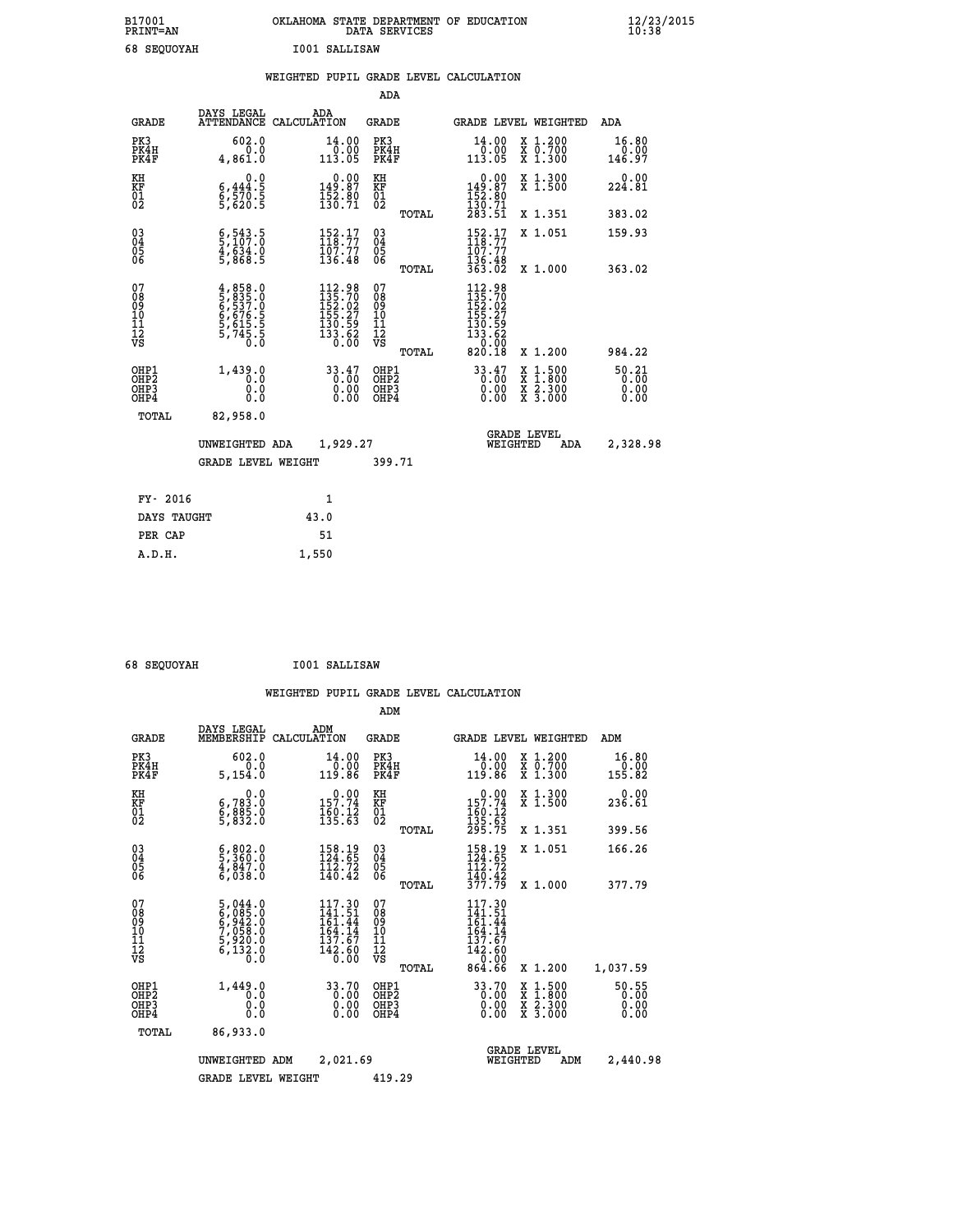| B17001<br><b>PRINT=AN</b> | OKLAHOMA STATE DEPARTMENT OF EDUCATION<br>DATA SERVICES |  |
|---------------------------|---------------------------------------------------------|--|
| 68 SEOUOYAH               | I001 SALLISAW                                           |  |

|  |  | WEIGHTED PUPIL GRADE LEVEL CALCULATION |
|--|--|----------------------------------------|
|  |  |                                        |

|                                                                    |                                                                                            |                                                                                                                                        | ADA                                    |       |                                                                                                                                        |                                          |                               |
|--------------------------------------------------------------------|--------------------------------------------------------------------------------------------|----------------------------------------------------------------------------------------------------------------------------------------|----------------------------------------|-------|----------------------------------------------------------------------------------------------------------------------------------------|------------------------------------------|-------------------------------|
| <b>GRADE</b>                                                       | DAYS LEGAL                                                                                 | ADA<br>ATTENDANCE CALCULATION                                                                                                          | <b>GRADE</b>                           |       |                                                                                                                                        | GRADE LEVEL WEIGHTED                     | <b>ADA</b>                    |
| PK3<br>PK4H<br>PK4F                                                | 602.0<br>0.0<br>4,861.0                                                                    | 14.00<br>0.00<br>113.05                                                                                                                | PK3<br>PK4H<br>PK4F                    |       | 14.00<br>0.00<br>113.05                                                                                                                | X 1.200<br>X 0.700<br>X 1.300            | 16.80<br>0.00<br>146.97       |
| KH<br>KF<br>01<br>02                                               | 0.0<br>$\frac{6}{5}, \frac{444}{570}$ . 5<br>5,620. 5                                      | $0.00$<br>149.87<br>$\frac{1}{3}$ $\frac{5}{2}$ $\cdot$ $\frac{8}{7}$ $\frac{0}{1}$                                                    | KH<br>KF<br>01<br>02                   |       | $\begin{smallmatrix} &0.00\\ 149.87\\ 152.80\\ 130.71\\ 283.51 \end{smallmatrix}$                                                      | X 1.300<br>X 1.500                       | 0.00<br>224.81                |
|                                                                    |                                                                                            |                                                                                                                                        |                                        | TOTAL |                                                                                                                                        | X 1.351                                  | 383.02                        |
| $\begin{smallmatrix} 03 \\[-4pt] 04 \end{smallmatrix}$<br>Ŏ5<br>06 | $\frac{6}{5}, \frac{543}{107}. \frac{5}{0}$<br>$\frac{4}{5}, \frac{634}{636}. \frac{0}{5}$ | $\begin{array}{c} 152.17 \\[-4pt] 118.77 \\[-4pt] 107.77 \\[-4pt] 136.48 \end{array}$                                                  | $\substack{03 \\ 04}$<br>Ŏ5<br>06      |       | $\frac{152}{118}\cdot\frac{17}{77}$<br>$\frac{107}{77}$                                                                                | X 1.051                                  | 159.93                        |
|                                                                    |                                                                                            |                                                                                                                                        |                                        | TOTAL | 136.48<br>363.02                                                                                                                       | X 1.000                                  | 363.02                        |
| 07<br>08<br>09<br>101<br>11<br>12<br>VS                            | 4,858.0<br>5,835.0<br>6,537.0<br>6,676.5<br>6,615.5<br>5,745.5<br>5,745.5                  | $\begin{smallmatrix} 112\cdot 98\\ 135\cdot 702\\ 152\cdot 027\\ 155\cdot 27\\ 130\cdot 59\\ 133\cdot 62\\ 0\cdot 00\end{smallmatrix}$ | 07<br>08<br>09<br>11<br>11<br>12<br>VS |       | $\begin{smallmatrix} 112\cdot 98\\135\cdot 702\\152\cdot 027\\155\cdot 27\\130\cdot 59\\133\cdot 62\\0\cdot 0\cdot 0\end{smallmatrix}$ |                                          |                               |
|                                                                    |                                                                                            |                                                                                                                                        |                                        | TOTAL | 820.18                                                                                                                                 | X 1.200                                  | 984.22                        |
| OHP1<br>OHP <sub>2</sub><br>OH <sub>P3</sub><br>OHP4               | 1,439.0<br>0.0<br>$0.\overline{0}$                                                         | 33.47<br>0.00                                                                                                                          | OHP1<br>OHP2<br>OHP <sub>3</sub>       |       | 33.47<br>0.00                                                                                                                          | X 1:500<br>X 1:800<br>X 2:300<br>X 3:000 | 50.21<br>0.00<br>0.00<br>0.00 |
| TOTAL                                                              | 82,958.0                                                                                   |                                                                                                                                        |                                        |       |                                                                                                                                        |                                          |                               |
|                                                                    | UNWEIGHTED ADA                                                                             | 1,929.27                                                                                                                               |                                        |       |                                                                                                                                        | <b>GRADE LEVEL</b><br>WEIGHTED<br>ADA    | 2,328.98                      |
|                                                                    | <b>GRADE LEVEL WEIGHT</b>                                                                  |                                                                                                                                        | 399.71                                 |       |                                                                                                                                        |                                          |                               |
| FY- 2016                                                           |                                                                                            | $\mathbf{1}$                                                                                                                           |                                        |       |                                                                                                                                        |                                          |                               |
| DAYS TAUGHT                                                        |                                                                                            | 43.0                                                                                                                                   |                                        |       |                                                                                                                                        |                                          |                               |
| PER CAP                                                            |                                                                                            | 51                                                                                                                                     |                                        |       |                                                                                                                                        |                                          |                               |

| <b>68 SEOUOVAH</b> |
|--------------------|

 **A.D.H. 1,550**

 **68 SEQUOYAH I001 SALLISAW**

|                                                       |                                                                           |                                                                         | ADM                                                 |                                                                             |                                          |                                |
|-------------------------------------------------------|---------------------------------------------------------------------------|-------------------------------------------------------------------------|-----------------------------------------------------|-----------------------------------------------------------------------------|------------------------------------------|--------------------------------|
| <b>GRADE</b>                                          | DAYS LEGAL<br>MEMBERSHIP                                                  | ADM<br>CALCULATION                                                      | <b>GRADE</b>                                        | GRADE LEVEL WEIGHTED                                                        |                                          | ADM                            |
| PK3<br>PK4H<br>PK4F                                   | 602.0<br>0.0<br>5,154.0                                                   | 14.00<br>0.00<br>119.86                                                 | PK3<br>PK4H<br>PK4F                                 | 14.00<br>00.0⊤<br>119.86                                                    | X 1.200<br>X 0.700<br>X 1.300            | 16.80<br>$\frac{0.00}{155.82}$ |
| KH<br>KF<br>01<br>02                                  | 0.0<br>6,783.0<br>6,885.0<br>5,832.0                                      | $0.00$<br>157.74<br>$\frac{160}{135.63}$                                | KH<br>KF<br>01<br>02                                | $\begin{array}{c} 0.00 \\ 157.74 \\ 160.12 \\ 135.63 \\ 295.75 \end{array}$ | X 1.300<br>X 1.500                       | 0.00<br>236.61                 |
|                                                       |                                                                           |                                                                         | TOTAL                                               |                                                                             | X 1.351                                  | 399.56                         |
| 03<br>04<br>05<br>06                                  | $\frac{6}{5}$ , $\frac{802}{360}$ . 0<br>4, 847. 0<br>6,038.0             | 158.19<br>124.65<br>$\frac{112.72}{140.42}$                             | $\begin{array}{c} 03 \\ 04 \\ 05 \\ 06 \end{array}$ | 158.19<br>124.65<br>112.72                                                  | X 1.051                                  | 166.26                         |
|                                                       |                                                                           |                                                                         | TOTAL                                               | $\frac{140.42}{377.79}$                                                     | X 1.000                                  | 377.79                         |
| 07<br>08<br>09<br>101<br>112<br>VS                    | 5,044.0<br>6,085.0<br>6,942.0<br>7,058.0<br>7,058.0<br>5,920.0<br>6,132.0 | 117.30<br>141.51<br>161.44<br>164.14<br>137.67<br>$\frac{142.60}{0.00}$ | 07<br>08<br>09<br>11<br>11<br>12<br>VS<br>TOTAL     | 117.30<br>141.51<br>161.44<br>164.14<br>137.67<br>142.60<br>0.00<br>864.66  | X 1.200                                  | 1,037.59                       |
| OHP1<br>OH <sub>P</sub> 2<br>OH <sub>P3</sub><br>OHP4 | 1,449.0<br>0.0<br>0.000                                                   | 33.70<br>0.00<br>0.00                                                   | OHP1<br>OHP2<br>OHP3<br>OHP4                        | $33.70$<br>0.00<br>0.00                                                     | X 1:500<br>X 1:800<br>X 2:300<br>X 3:000 | 50.55<br>0.00<br>0.00<br>0.00  |
| TOTAL                                                 | 86,933.0                                                                  |                                                                         |                                                     |                                                                             |                                          |                                |
|                                                       | UNWEIGHTED<br>ADM                                                         | 2,021.69                                                                |                                                     | WEIGHTED                                                                    | <b>GRADE LEVEL</b><br>ADM                | 2,440.98                       |
|                                                       | <b>GRADE LEVEL WEIGHT</b>                                                 |                                                                         | 419.29                                              |                                                                             |                                          |                                |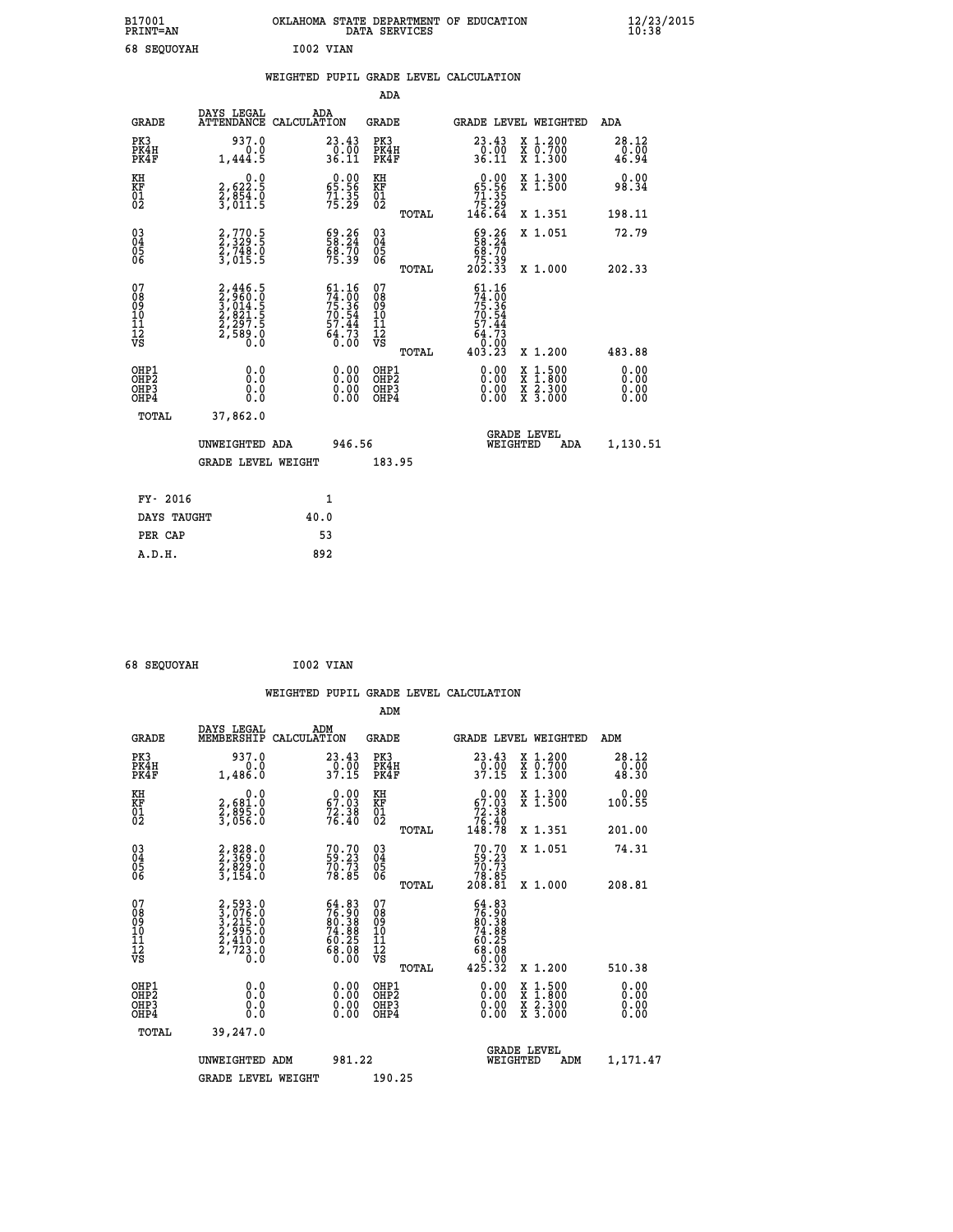| B17001<br><b>PRINT=AN</b> |           | OKLAHOMA STATE DEPARTMENT OF EDUCATION<br>DATA SERVICES |  |
|---------------------------|-----------|---------------------------------------------------------|--|
| <b>68 SEOUOYAH</b>        | I002 VIAN |                                                         |  |

|                                              |                                                                                                         | WEIGHTED PUPIL GRADE LEVEL CALCULATION                                   |                                                        |                                                                                                                                                                                                                                                                                                                            |                        |
|----------------------------------------------|---------------------------------------------------------------------------------------------------------|--------------------------------------------------------------------------|--------------------------------------------------------|----------------------------------------------------------------------------------------------------------------------------------------------------------------------------------------------------------------------------------------------------------------------------------------------------------------------------|------------------------|
|                                              |                                                                                                         |                                                                          | <b>ADA</b>                                             |                                                                                                                                                                                                                                                                                                                            |                        |
| <b>GRADE</b>                                 | DAYS LEGAL                                                                                              | ADA<br>ATTENDANCE CALCULATION                                            | GRADE                                                  | GRADE LEVEL WEIGHTED                                                                                                                                                                                                                                                                                                       | ADA                    |
| PK3<br>PK4H<br>PK4F                          | 937.0<br>0.0<br>1,444.5                                                                                 | 23.43<br>$\frac{0.00}{36.11}$                                            | PK3<br>PK4H<br>PK4F                                    | 23.43<br>X 1.200<br>X 0.700<br>X 1.300<br>$\frac{0.00}{36.11}$                                                                                                                                                                                                                                                             | 28.12<br>0.00<br>46.94 |
| KH<br>KF<br>01<br>02                         | 2,622.5<br>$\frac{5}{3}, \frac{854}{011}$ : 5                                                           | $0.00$<br>65.56<br>$7\overline{1}\cdot 3\overline{5}$<br>75.29           | KH<br>KF<br>01<br>02                                   | $\begin{smallmatrix} &0.00\ 65.56\ 71.35\ 75.29\ 146.64\end{smallmatrix}$<br>X 1.300<br>X 1.500                                                                                                                                                                                                                            | 0.00<br>98.34          |
|                                              |                                                                                                         |                                                                          | TOTAL                                                  | X 1.351                                                                                                                                                                                                                                                                                                                    | 198.11                 |
| $^{03}_{04}$<br>05<br>06                     | 2,770.5<br>2,329.5<br>2,748.0<br>3,015.5                                                                | $\begin{smallmatrix} 69.26\\ 58.24\\ 68.70\\ 75.39 \end{smallmatrix}$    | $\begin{matrix} 03 \\ 04 \\ 05 \\ 06 \end{matrix}$     | $\frac{69.26}{68.70}$<br>X 1.051                                                                                                                                                                                                                                                                                           | 72.79                  |
|                                              |                                                                                                         |                                                                          | TOTAL                                                  | 25.39<br>202.33<br>X 1.000                                                                                                                                                                                                                                                                                                 | 202.33                 |
| 07<br>08<br>09<br>10<br>11<br>11<br>12<br>VS | $\begin{smallmatrix} 2,446.5\\ 2,960.0\\ 3,014.5\\ 2,821.5\\ 2,297.5\\ 2,589.0\\ 0.0 \end{smallmatrix}$ | $61.16$<br>$74.00$<br>$75.36$<br>$70.54$<br>$57.44$<br>$64.73$<br>$0.00$ | 07<br>08<br>09<br>001<br>11<br>11<br>12<br>VS<br>TOTAL | $61.16$<br>$74.00$<br>$75.36$<br>$70.54$<br>$73.44$<br>$64.73$<br>$0.003$<br>$403.23$<br>X 1.200                                                                                                                                                                                                                           | 483.88                 |
| OHP1<br>OHP2<br>OHP3<br>OH <sub>P4</sub>     | 0.0<br>0.0<br>0.0                                                                                       | $\begin{smallmatrix} 0.00 \ 0.00 \ 0.00 \ 0.00 \end{smallmatrix}$        | OHP1<br>OHP2<br>OHP3<br>OHP4                           | $\begin{smallmatrix} 0.00 & 0.00 & 0.00 & 0.00 & 0.00 & 0.00 & 0.00 & 0.00 & 0.00 & 0.00 & 0.00 & 0.00 & 0.00 & 0.00 & 0.00 & 0.00 & 0.00 & 0.00 & 0.00 & 0.00 & 0.00 & 0.00 & 0.00 & 0.00 & 0.00 & 0.00 & 0.00 & 0.00 & 0.00 & 0.00 & 0.00 & 0.00 & 0.00 & 0.00 & 0.00 & 0.0$<br>X 1:500<br>X 1:800<br>X 2:300<br>X 3:000 | 0.00<br>0.00<br>0.00   |
| TOTAL                                        | 37,862.0                                                                                                |                                                                          |                                                        |                                                                                                                                                                                                                                                                                                                            |                        |
|                                              | UNWEIGHTED ADA                                                                                          | 946.56                                                                   |                                                        | <b>GRADE LEVEL</b><br>WEIGHTED<br>ADA                                                                                                                                                                                                                                                                                      | 1,130.51               |
|                                              | <b>GRADE LEVEL WEIGHT</b>                                                                               |                                                                          | 183.95                                                 |                                                                                                                                                                                                                                                                                                                            |                        |
| FY- 2016                                     |                                                                                                         | 1                                                                        |                                                        |                                                                                                                                                                                                                                                                                                                            |                        |
|                                              | DAYS TAUGHT                                                                                             | 40.0                                                                     |                                                        |                                                                                                                                                                                                                                                                                                                            |                        |
| PER CAP                                      |                                                                                                         | 53                                                                       |                                                        |                                                                                                                                                                                                                                                                                                                            |                        |

 **68 SEQUOYAH I002 VIAN**

 **A.D.H. 892**

 **B17001<br>PRINT=AN** 

|                                                    |                                                                |                                                                      | ADM                                          |       |                                                                                                                  |                                          |                                     |  |
|----------------------------------------------------|----------------------------------------------------------------|----------------------------------------------------------------------|----------------------------------------------|-------|------------------------------------------------------------------------------------------------------------------|------------------------------------------|-------------------------------------|--|
| <b>GRADE</b>                                       | DAYS LEGAL<br>MEMBERSHIP                                       | ADM<br>CALCULATION                                                   | <b>GRADE</b>                                 |       | GRADE LEVEL WEIGHTED                                                                                             |                                          | ADM                                 |  |
| PK3<br>PK4H<br>PK4F                                | 937.0<br>1,486.0                                               | 23.43<br>$\frac{0.00}{37.15}$                                        | PK3<br>PK4H<br>PK4F                          |       | 23.43<br>$\frac{5}{37.15}$                                                                                       | X 1.200<br>X 0.700<br>X 1.300            | $\substack{28.12 \\ 0.00 \\ 48.30}$ |  |
| KH<br>KF<br>01<br>02                               | 0.0<br>2,681:0<br>2,895:0<br>3,056:0                           | $\begin{smallmatrix} 0.00\\ 67.03\\ 72.38\\ 76.40 \end{smallmatrix}$ | KH<br>KF<br>01<br>02                         |       | $\begin{smallmatrix} &0.00\ 67.03\ 72.38\ 76.40\ 148.78\ \end{smallmatrix}$                                      | X 1.300<br>X 1.500                       | 0.00<br>100.55                      |  |
|                                                    |                                                                |                                                                      |                                              | TOTAL |                                                                                                                  | X 1.351                                  | 201.00                              |  |
| $\begin{matrix} 03 \\ 04 \\ 05 \\ 06 \end{matrix}$ | 2,828.0<br>2,369.0<br>2,829.0<br>3,154.0                       | 70.70<br>59.23<br>70.73<br>78.85                                     | 03<br>04<br>05<br>06                         |       | $70.7059.2370.7378.85208.81$                                                                                     | X 1.051                                  | 74.31                               |  |
|                                                    |                                                                |                                                                      |                                              | TOTAL |                                                                                                                  | X 1.000                                  | 208.81                              |  |
| 07<br>08<br>09<br>101<br>11<br>12<br>VS            | 2,593.0<br>3,076.0<br>3,215.0<br>2,995.0<br>2,410.0<br>2,723.0 | $54.8376.9080.3874.8874.8860.2568.0868.00$                           | 07<br>08<br>09<br>01<br>11<br>11<br>12<br>VS |       | $\begin{smallmatrix} 64.83\\ 76.90\\ 80.388\\ 94.388\\ 74.88\\ 60.25\\ 68.08\\ 0.000\\ 425.32 \end{smallmatrix}$ |                                          |                                     |  |
|                                                    |                                                                |                                                                      |                                              | TOTAL |                                                                                                                  | X 1.200                                  | 510.38                              |  |
| OHP1<br>OHP2<br>OHP3<br>OHP4                       | 0.0<br>$\begin{smallmatrix} 0.5 \ 0.0 \end{smallmatrix}$       |                                                                      | OHP1<br>OHP2<br>OHP <sub>3</sub>             |       | 0.00<br>0.00<br>0.00                                                                                             | X 1:500<br>X 1:800<br>X 2:300<br>X 3:000 | 0.00<br>Ŏ.ŎŎ<br>Q.QQ<br>0.00        |  |
| TOTAL                                              | 39,247.0                                                       |                                                                      |                                              |       |                                                                                                                  |                                          |                                     |  |
|                                                    | UNWEIGHTED                                                     | 981.22<br>ADM                                                        |                                              |       | WEIGHTED                                                                                                         | <b>GRADE LEVEL</b><br>ADM                | 1,171.47                            |  |
|                                                    | <b>GRADE LEVEL WEIGHT</b>                                      |                                                                      | 190.25                                       |       |                                                                                                                  |                                          |                                     |  |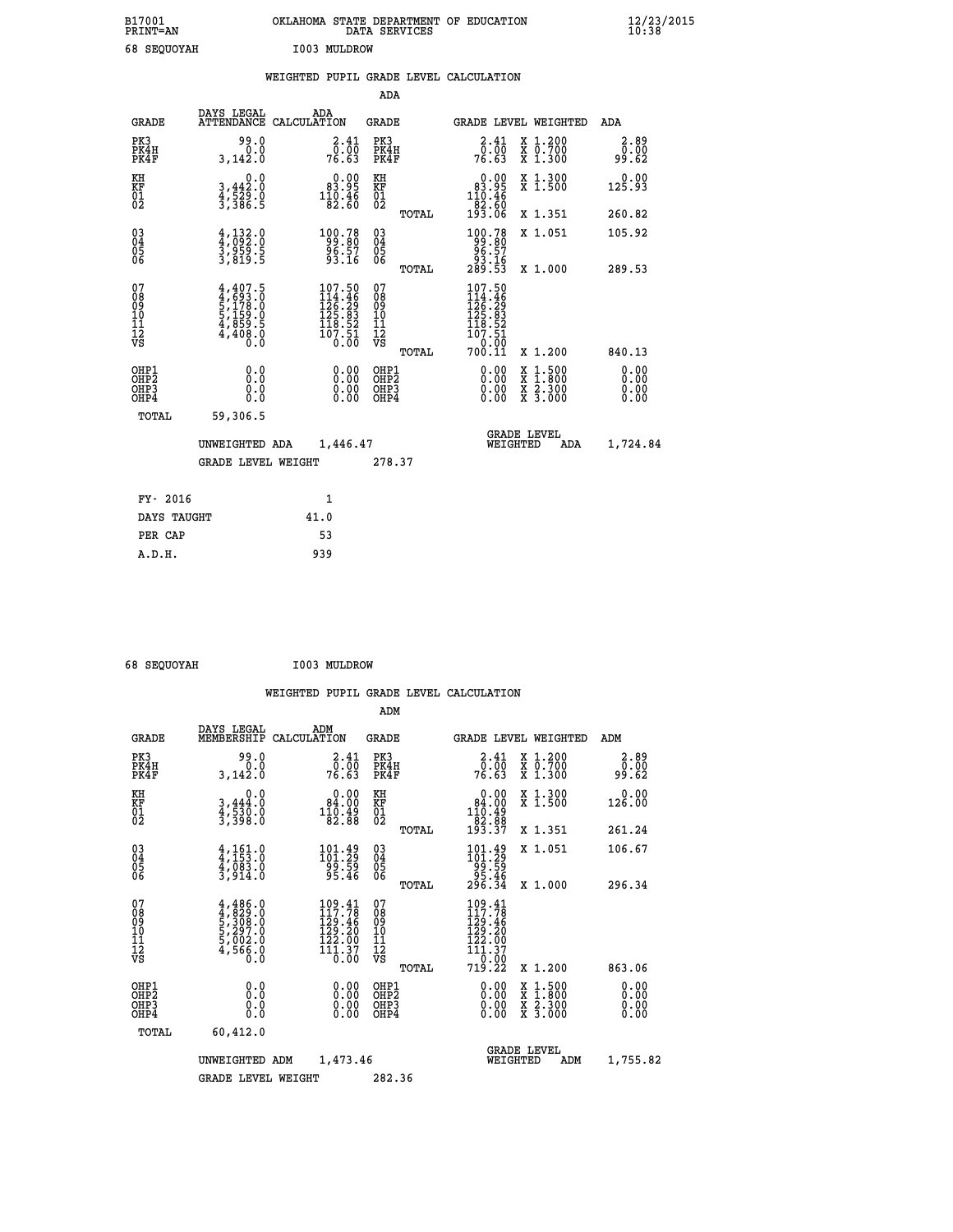| B17001<br><b>PRINT=AN</b> | OKLAHOMA STATE DEPARTMENT OF EDUCATION<br>DATA SERVICES | $\frac{12}{23}$ /2015 |
|---------------------------|---------------------------------------------------------|-----------------------|
| 68 SEQUOYAH               | I003 MULDROW                                            |                       |

|                                                    |                                                                                     |                                                                                              | ADA                                      |       |                                                                                                      |   |                                                                       |                              |
|----------------------------------------------------|-------------------------------------------------------------------------------------|----------------------------------------------------------------------------------------------|------------------------------------------|-------|------------------------------------------------------------------------------------------------------|---|-----------------------------------------------------------------------|------------------------------|
| <b>GRADE</b>                                       | DAYS LEGAL                                                                          | ADA<br>ATTENDANCE CALCULATION                                                                | <b>GRADE</b>                             |       | GRADE LEVEL WEIGHTED                                                                                 |   |                                                                       | <b>ADA</b>                   |
| PK3<br>PK4H<br>PK4F                                | 99.0<br>0.0<br>3,142.0                                                              | $\frac{2 \cdot 41}{0 \cdot 00}$<br>76.63                                                     | PK3<br>PK4H<br>PK4F                      |       | $\begin{smallmatrix} 2.41\ 0.00 \ 76.63 \end{smallmatrix}$                                           |   | X 1.200<br>X 0.700<br>X 1.300                                         | 2.89<br>0.00<br>99.62        |
| KH<br>KF<br>01<br>02                               | 0.0<br>3,442:0<br>4,529:0<br>3,386:5                                                | $\begin{smallmatrix}&&0.00\\83.95\\110.46\\82.60\end{smallmatrix}$                           | KH<br>KF<br>01<br>02                     |       | $\begin{smallmatrix} &0.00\\ 83.95\\ 110.46\\ 82.60\\ 193.06\end{smallmatrix}$                       |   | X 1.300<br>X 1.500                                                    | 0.00<br>125.93               |
|                                                    |                                                                                     |                                                                                              |                                          | TOTAL |                                                                                                      |   | X 1.351                                                               | 260.82                       |
| $\begin{matrix} 03 \\ 04 \\ 05 \\ 06 \end{matrix}$ | $\frac{4}{3}, \frac{132}{959} . \frac{0}{5}$<br>3,959.5<br>3,819.5                  | $\begin{smallmatrix} 100.78\\ -99.80\\ 96.57\\ 93.16 \end{smallmatrix}$                      | 03<br>04<br>05<br>06                     |       | $\begin{smallmatrix} 100.78\\ 99.80\\ 96.57\\ 93.16\\ 289.53 \end{smallmatrix}$                      |   | X 1.051                                                               | 105.92                       |
|                                                    |                                                                                     |                                                                                              |                                          | TOTAL |                                                                                                      |   | X 1.000                                                               | 289.53                       |
| 07<br>08<br>09<br>11<br>11<br>12<br>VS             | $4,407.5$<br>$4,693.0$<br>$5,178.0$<br>$5,159.0$<br>$4,859.5$<br>$4,408.0$<br>$0.0$ | $\begin{smallmatrix} 107.50\\114.46\\126.29\\125.83\\118.52\\107.51\\0.00 \end{smallmatrix}$ | 07<br>08<br>09<br>11<br>11<br>12<br>VS   |       | 107.50<br>$114.36$<br>$126.29$<br>$125.83$<br>$125.83$<br>$118.52$<br>$107.51$<br>$0.00$<br>$700.11$ |   |                                                                       |                              |
|                                                    |                                                                                     |                                                                                              |                                          | TOTAL |                                                                                                      |   | X 1.200                                                               | 840.13                       |
| OHP1<br>OHP <sub>2</sub><br>OHP3<br>OHP4           | 0.0<br>0.0<br>Ō.Ō                                                                   | 0.00<br>$\begin{smallmatrix} 0.00 \ 0.00 \end{smallmatrix}$                                  | OHP1<br>OHP <sub>2</sub><br>OHP3<br>OHP4 |       | $0.00$<br>$0.00$<br>0.00                                                                             | X | $1.500$<br>$1.800$<br>$\frac{x}{x}$ $\frac{5}{3}$ : $\frac{500}{000}$ | 0.00<br>0.00<br>0.00<br>0.00 |
| <b>TOTAL</b>                                       | 59,306.5                                                                            |                                                                                              |                                          |       |                                                                                                      |   |                                                                       |                              |
|                                                    | UNWEIGHTED ADA                                                                      | 1,446.47                                                                                     |                                          |       | WEIGHTED                                                                                             |   | <b>GRADE LEVEL</b><br><b>ADA</b>                                      | 1,724.84                     |
|                                                    | <b>GRADE LEVEL WEIGHT</b>                                                           |                                                                                              | 278.37                                   |       |                                                                                                      |   |                                                                       |                              |
| FY- 2016                                           |                                                                                     | $\mathbf{1}$                                                                                 |                                          |       |                                                                                                      |   |                                                                       |                              |
| DAYS TAUGHT                                        |                                                                                     | 41.0                                                                                         |                                          |       |                                                                                                      |   |                                                                       |                              |
| PER CAP                                            |                                                                                     | 53                                                                                           |                                          |       |                                                                                                      |   |                                                                       |                              |
|                                                    |                                                                                     |                                                                                              |                                          |       |                                                                                                      |   |                                                                       |                              |

| 68 SEQUOYAH | I003 MULDROW |
|-------------|--------------|
|             |              |

 **WEIGHTED PUPIL GRADE LEVEL CALCULATION ADM DAYS LEGAL ADM**

| <b>GRADE</b>                                       | unio ununu<br>MEMBERSHIP                                                   | בערים<br>CALCULATION                                                                                   | <b>GRADE</b>                                       |       |                                                                                                  |          | GRADE LEVEL WEIGHTED                                                                                                | ADM                          |
|----------------------------------------------------|----------------------------------------------------------------------------|--------------------------------------------------------------------------------------------------------|----------------------------------------------------|-------|--------------------------------------------------------------------------------------------------|----------|---------------------------------------------------------------------------------------------------------------------|------------------------------|
| PK3<br>PK4H<br>PK4F                                | 99.0<br>0.0<br>3,142.0                                                     | 2.41<br>_0.00<br>76.63                                                                                 | PK3<br>PK4H<br>PK4F                                |       | $\begin{smallmatrix} 2.41\0.00\0.63 \end{smallmatrix}$                                           |          | X 1.200<br>X 0.700<br>X 1.300                                                                                       | 2.89<br>00.00<br>99.62       |
| KH<br>KF<br>01<br>02                               | 0.0<br>$3,444.0$<br>$4,530.0$<br>$3,398.0$                                 | 0.00<br>$\begin{smallmatrix} 84.00 \\ 110.49 \\ 82.88 \end{smallmatrix}$                               | KH<br>KF<br>01<br>02                               |       | 0.00<br>$\begin{array}{r} 84.00 \\ 110.49 \\ 82.88 \\ 193.37 \end{array}$                        |          | X 1.300<br>$\bar{x}$ 1.500                                                                                          | 0.00<br>126.00               |
|                                                    |                                                                            |                                                                                                        |                                                    | TOTAL |                                                                                                  |          | X 1.351                                                                                                             | 261.24                       |
| $\begin{matrix} 03 \\ 04 \\ 05 \\ 06 \end{matrix}$ | $4,161.0$<br>$4,083.0$<br>$4,083.0$<br>$3,914.0$                           | $\begin{smallmatrix} 101\cdot 49\\101\cdot 29\\99\cdot 59\\95\cdot 46\end{smallmatrix}$                | $\begin{matrix} 03 \\ 04 \\ 05 \\ 06 \end{matrix}$ |       | $\begin{smallmatrix} 101.49\\101.29\\99.59\\95.46\\296.34 \end{smallmatrix}$                     |          | X 1.051                                                                                                             | 106.67                       |
|                                                    |                                                                            |                                                                                                        |                                                    | TOTAL |                                                                                                  |          | $X_1.000$                                                                                                           | 296.34                       |
| 07<br>08<br>09<br>101<br>11<br>12<br>VS            | $4,486.0$<br>$4,829.0$<br>$5,308.0$<br>$5,297.0$<br>$5,002.0$<br>$4,566.0$ | 109.41<br>$\frac{117}{129}\cdot\frac{76}{46}$<br>$\frac{129}{122}\cdot\frac{20}{90}$<br>111.37<br>0.00 | 07<br>08<br>09<br>001<br>11<br>11<br>12<br>VS      |       | 109.41<br>$\begin{array}{c} 1199.46 \\ 129.20 \\ 122.00 \\ 111.37 \\ 0.00 \\ 719.22 \end{array}$ |          |                                                                                                                     |                              |
|                                                    |                                                                            |                                                                                                        |                                                    | TOTAL |                                                                                                  |          | X 1.200                                                                                                             | 863.06                       |
| OHP1<br>OHP2<br>OH <sub>P3</sub><br>OHP4           | 0.0<br>0.0<br>Ŏ.Ŏ                                                          | $0.00$<br>$0.00$<br>0.00                                                                               | OHP1<br>OHP2<br>OHP3<br>OHP4                       |       | $0.00$<br>$0.00$<br>0.00                                                                         |          | $\begin{array}{l} \mathtt{X} & 1.500 \\ \mathtt{X} & 1.800 \\ \mathtt{X} & 2.300 \\ \mathtt{X} & 3.000 \end{array}$ | 0.00<br>0.00<br>0.00<br>0.00 |
| TOTAL                                              | 60,412.0                                                                   |                                                                                                        |                                                    |       |                                                                                                  |          |                                                                                                                     |                              |
|                                                    | UNWEIGHTED ADM                                                             | 1,473.46                                                                                               |                                                    |       |                                                                                                  | WEIGHTED | <b>GRADE LEVEL</b><br>ADM                                                                                           | 1,755.82                     |
|                                                    | <b>GRADE LEVEL WEIGHT</b>                                                  |                                                                                                        | 282.36                                             |       |                                                                                                  |          |                                                                                                                     |                              |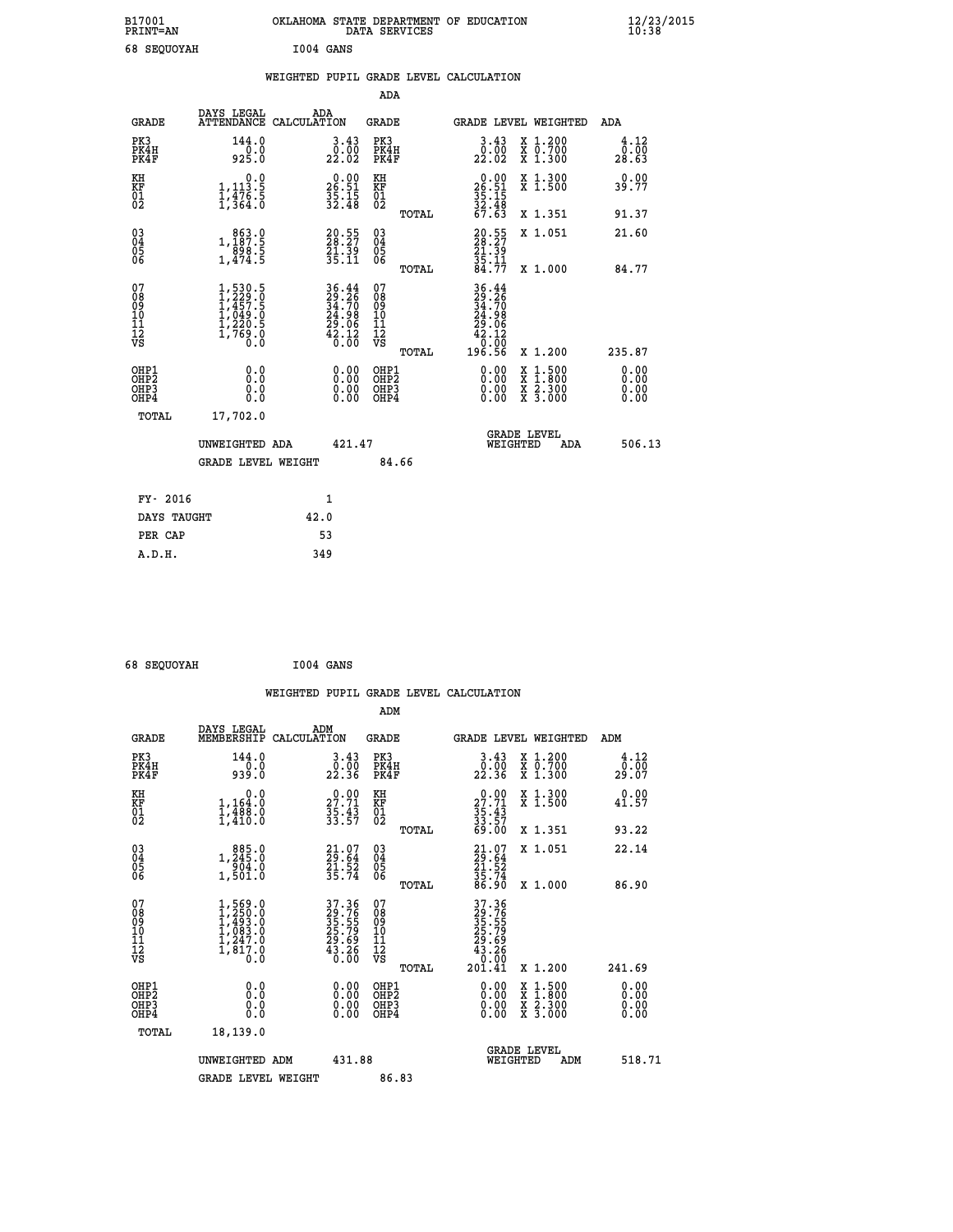| B17001<br>PRINT=AN | OKLAHOMA STATE DEPARTMENT OF EDUCATION<br>DATA SERVICES | $\frac{12}{23}$ /2015 |
|--------------------|---------------------------------------------------------|-----------------------|
| 68 SEOUOYAH        | I004 GANS                                               |                       |

|  |  | WEIGHTED PUPIL GRADE LEVEL CALCULATION |
|--|--|----------------------------------------|
|  |  |                                        |

|                                                                    |                                                                                         |                                                                                                                              |                      | ADA                                      |       |                                                                                      |                                                                                                  |                              |
|--------------------------------------------------------------------|-----------------------------------------------------------------------------------------|------------------------------------------------------------------------------------------------------------------------------|----------------------|------------------------------------------|-------|--------------------------------------------------------------------------------------|--------------------------------------------------------------------------------------------------|------------------------------|
| <b>GRADE</b>                                                       | DAYS LEGAL                                                                              | ADA<br>ATTENDANCE CALCULATION                                                                                                |                      | <b>GRADE</b>                             |       |                                                                                      | GRADE LEVEL WEIGHTED                                                                             | ADA                          |
| PK3<br>PK4H<br>PK4F                                                | 144.0<br>925.0                                                                          | 3.43<br>22.02                                                                                                                |                      | PK3<br>PK4H<br>PK4F                      |       | $\frac{3 \cdot 43}{0 \cdot 00}$<br>22.02                                             | X 1.200<br>X 0.700<br>X 1.300                                                                    | 4.12<br>0.00<br>28.63        |
| KH<br><b>KF</b><br>01<br>02                                        | 0.0<br>$1,113.5$<br>$1,476.5$<br>$1,364.0$                                              | $26.51$<br>$35.15$<br>$32.48$                                                                                                |                      | KH<br>KF<br>01<br>02                     |       | $26.51$<br>$35.15$<br>$32.48$<br>$67.63$                                             | X 1.300<br>X 1.500                                                                               | 0.00<br>39.77                |
|                                                                    |                                                                                         |                                                                                                                              |                      |                                          | TOTAL |                                                                                      | X 1.351                                                                                          | 91.37                        |
| $\begin{smallmatrix} 03 \\[-4pt] 04 \end{smallmatrix}$<br>05<br>06 | $\begin{array}{r} 863.0 \\ 1,187.5 \\ 898.5 \\ 1,474.5 \end{array}$                     | $20.55$<br>$29.27$<br>21.39<br>35.11                                                                                         |                      | $\substack{03 \\ 04}$<br>05<br>06        | TOTAL | $20.55$<br>$28.27$<br>$21.39$<br>$35.11$<br>$84.77$                                  | X 1.051<br>X 1.000                                                                               | 21.60<br>84.77               |
| 07<br>08<br>09<br>11<br>11<br>12<br>VS                             | $1, 530.5$<br>$1, 229.0$<br>$1, 457.5$<br>$1, 049.0$<br>$1, 220.5$<br>$1, 769.0$<br>0.0 | $\begin{array}{l} 36\cdot 44 \\ 29\cdot 26 \\ 34\cdot 70 \\ 24\cdot 98 \\ 29\cdot 06 \\ 42\cdot 12 \\ 6\cdot 00 \end{array}$ |                      | 07<br>08<br>09<br>11<br>11<br>12<br>VS   |       | $36.44$<br>$29.26$<br>$34.70$<br>$24.98$<br>$29.06$<br>$42.12$<br>$0.00$<br>$196.56$ |                                                                                                  |                              |
|                                                                    |                                                                                         |                                                                                                                              |                      |                                          | TOTAL |                                                                                      | X 1.200                                                                                          | 235.87                       |
| OHP1<br>OH <sub>P2</sub><br>OH <sub>P3</sub><br>OH <sub>P4</sub>   | 0.0<br>0.0<br>0.0                                                                       |                                                                                                                              | 0.00<br>0.00<br>0.00 | OHP1<br>OHP <sub>2</sub><br>OHP3<br>OHP4 |       | 0.00<br>0.00<br>0.00                                                                 | $\begin{smallmatrix} x & 1 & 500 \\ x & 1 & 800 \\ x & 2 & 300 \\ x & 3 & 000 \end{smallmatrix}$ | 0.00<br>0.00<br>0.00<br>0.00 |
| TOTAL                                                              | 17,702.0                                                                                |                                                                                                                              |                      |                                          |       |                                                                                      |                                                                                                  |                              |
|                                                                    | UNWEIGHTED ADA                                                                          |                                                                                                                              | 421.47               |                                          |       |                                                                                      | GRADE LEVEL<br>WEIGHTED<br>ADA                                                                   | 506.13                       |
|                                                                    | <b>GRADE LEVEL WEIGHT</b>                                                               |                                                                                                                              |                      | 84.66                                    |       |                                                                                      |                                                                                                  |                              |
| FY- 2016                                                           |                                                                                         | $\mathbf{1}$                                                                                                                 |                      |                                          |       |                                                                                      |                                                                                                  |                              |
| DAYS TAUGHT                                                        |                                                                                         | 42.0                                                                                                                         |                      |                                          |       |                                                                                      |                                                                                                  |                              |
| PER CAP                                                            |                                                                                         | 53                                                                                                                           |                      |                                          |       |                                                                                      |                                                                                                  |                              |

| 68 SEQUOYAH | I004 GANS |  |
|-------------|-----------|--|
|             |           |  |

|                                                    |                                                                                           |                    |                                                                   |                                               |       | WEIGHTED PUPIL GRADE LEVEL CALCULATION                              |                                          |        |                              |
|----------------------------------------------------|-------------------------------------------------------------------------------------------|--------------------|-------------------------------------------------------------------|-----------------------------------------------|-------|---------------------------------------------------------------------|------------------------------------------|--------|------------------------------|
|                                                    |                                                                                           |                    |                                                                   | ADM                                           |       |                                                                     |                                          |        |                              |
| <b>GRADE</b>                                       | DAYS LEGAL<br>MEMBERSHIP                                                                  | ADM<br>CALCULATION |                                                                   | <b>GRADE</b>                                  |       | GRADE LEVEL WEIGHTED                                                |                                          | ADM    |                              |
| PK3<br>PK4H<br>PK4F                                | 144.0<br>$0.00$<br>0.939                                                                  |                    | $\frac{3 \cdot 43}{0 \cdot 00}$<br>22.36                          | PK3<br>PK4H<br>PK4F                           |       | $\begin{smallmatrix} 3.43\ 0.00\ 22.36 \end{smallmatrix}$           | X 1.200<br>X 0.700<br>X 1.300            |        | 4.12<br>0.00<br>29.07        |
| KH<br>KF<br>01<br>02                               | 0.0<br>$1,164.0$<br>$1,488.0$<br>$1,410.0$                                                |                    | $27.71$<br>$35.43$<br>$33.57$                                     | KH<br>KF<br>01<br>02                          |       | $27.71$<br>$35.43$<br>$33.57$<br>$69.00$                            | X 1.300<br>X 1.500                       |        | 0.00<br>41.57                |
|                                                    |                                                                                           |                    |                                                                   |                                               | TOTAL |                                                                     | X 1.351                                  |        | 93.22                        |
| $\begin{matrix} 03 \\ 04 \\ 05 \\ 06 \end{matrix}$ | 1,245.0<br>904.0<br>1,501.0                                                               |                    | $21.07$<br>$29.64$<br>$21.52$<br>$35.74$                          | 030404<br>ŎĞ                                  |       | $21.07$<br>$29.64$<br>$21.52$<br>$35.74$<br>$86.90$                 | X 1.051                                  |        | 22.14                        |
|                                                    |                                                                                           |                    |                                                                   |                                               | TOTAL |                                                                     | X 1.000                                  |        | 86.90                        |
| 07<br>08<br>09<br>10<br>11<br>11<br>12<br>VS       | $1, 250.0$<br>$1, 250.0$<br>$1, 493.0$<br>$1, 083.0$<br>$1, 247.0$<br>$1, 817.0$<br>$0.0$ |                    | 37.36<br>29.76<br>35.55<br>25.79<br>29.69<br>29.86<br>43.260      | 07<br>08<br>09<br>001<br>11<br>11<br>12<br>VS | TOTAL | 37.36<br>29.765<br>35.559<br>35.799<br>29.696<br>43.266<br>0.001.41 | X 1.200                                  | 241.69 |                              |
| OHP1<br>OHP2<br>OHP3<br>OH <sub>P4</sub>           | 0.000000<br>Ŏ.Ŏ                                                                           |                    | $\begin{smallmatrix} 0.00 \ 0.00 \ 0.00 \ 0.00 \end{smallmatrix}$ | OHP1<br>OHP <sub>2</sub><br>OHP3<br>OHP4      |       | 0.00<br>0.00<br>0.00                                                | X 1:500<br>X 1:800<br>X 2:300<br>X 3:000 |        | 0.00<br>0.00<br>0.00<br>0.00 |
| TOTAL                                              | 18,139.0                                                                                  |                    |                                                                   |                                               |       |                                                                     |                                          |        |                              |
|                                                    | UNWEIGHTED ADM<br><b>GRADE LEVEL WEIGHT</b>                                               |                    | 431.88                                                            | 86.83                                         |       | WEIGHTED                                                            | <b>GRADE LEVEL</b><br>ADM                |        | 518.71                       |
|                                                    |                                                                                           |                    |                                                                   |                                               |       |                                                                     |                                          |        |                              |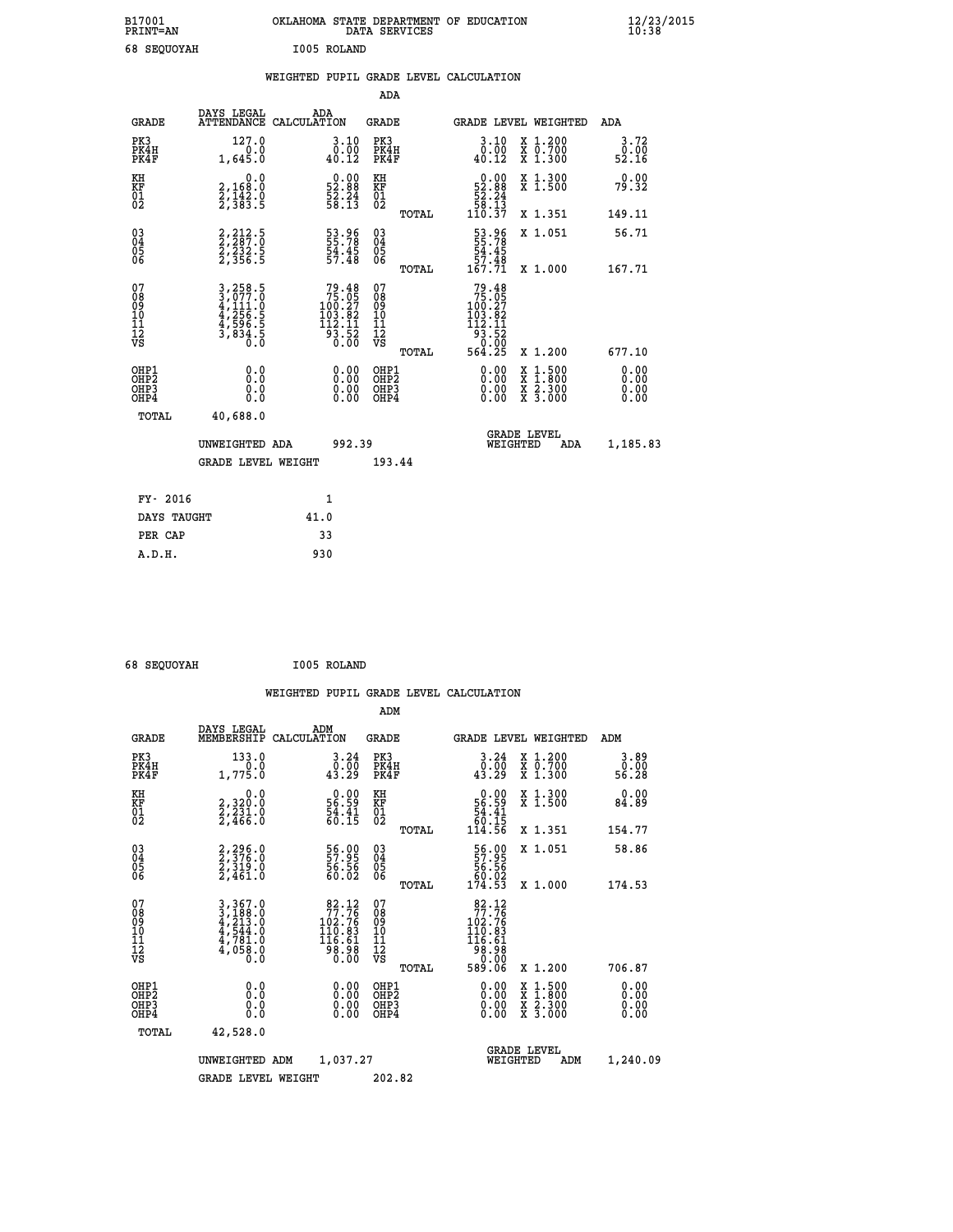| B17001<br><b>PRINT=AN</b> | OKLAHOMA STATE DEPARTMENT OF EDUCATION<br>DATA SERVICES | $\frac{12}{23}$ /2015 |
|---------------------------|---------------------------------------------------------|-----------------------|
| 68 SEQUOYAH               | I005 ROLAND                                             |                       |

|  |  | WEIGHTED PUPIL GRADE LEVEL CALCULATION |
|--|--|----------------------------------------|
|  |  |                                        |

|                                                                              |                                                                |                                                                                         | ADA                              |       |                                                                                                                                         |                                                                                                                                           |                              |
|------------------------------------------------------------------------------|----------------------------------------------------------------|-----------------------------------------------------------------------------------------|----------------------------------|-------|-----------------------------------------------------------------------------------------------------------------------------------------|-------------------------------------------------------------------------------------------------------------------------------------------|------------------------------|
| <b>GRADE</b>                                                                 | DAYS LEGAL                                                     | ADA<br>ATTENDANCE CALCULATION                                                           | GRADE                            |       | <b>GRADE LEVEL WEIGHTED</b>                                                                                                             |                                                                                                                                           | ADA                          |
| PK3<br>PK4H<br>PK4F                                                          | 127.0<br>1,645.0                                               | $\substack{3\cdot10\\0\cdot00\\40\cdot12}$                                              | PK3<br>PK4H<br>PK4F              |       | 3.10<br>0.00<br>40.12                                                                                                                   | X 1.200<br>X 0.700<br>X 1.300                                                                                                             | 3.72<br>0.00<br>52.16        |
| KH<br>KF<br>01<br>02                                                         | 0.0<br>2,168:0<br>2,142:0<br>2,383:5                           | $\begin{smallmatrix} 0.00\\ 52.88\\ 52.24\\ 58.13 \end{smallmatrix}$                    | KH<br>KF<br>01<br>02             |       | $\begin{smallmatrix}&&0.00\\52.88\\52.24\\58.13\\110.37\end{smallmatrix}$                                                               | X 1.300<br>X 1.500                                                                                                                        | 0.00<br>79.32                |
|                                                                              |                                                                |                                                                                         |                                  | TOTAL |                                                                                                                                         | X 1.351                                                                                                                                   | 149.11                       |
| $\begin{matrix} 03 \\ 04 \\ 05 \\ 06 \end{matrix}$                           | $2, 212.5$<br>$2, 287.0$<br>$2, 232.5$<br>$2, 356.5$           | 53.96<br>55.78<br>54.45<br>57.48                                                        | 03<br>04<br>05<br>06             | TOTAL | 53.96<br>55.78<br>54.45<br>57.48<br>167.7ĭ                                                                                              | X 1.051<br>X 1.000                                                                                                                        | 56.71<br>167.71              |
| 07                                                                           |                                                                |                                                                                         | 07                               |       |                                                                                                                                         |                                                                                                                                           |                              |
| 08<br>09<br>11<br>11<br>12<br>VS                                             | 3,258.5<br>3,077.0<br>4,111.0<br>4,256.5<br>4,596.5<br>3,834.5 | $\begin{smallmatrix}79.48\\75.05\\100.27\\103.82\\112.11\\93.52\\0.00\end{smallmatrix}$ | 08<br>09<br>11<br>11<br>12<br>VS |       | $\begin{array}{r} 79\cdot 48\\ 75\cdot 05\\ 100\cdot 27\\ 103\cdot 82\\ 112\cdot 11\\ 93\cdot 52\\ 0\cdot 00\\ 564\cdot 25 \end{array}$ |                                                                                                                                           |                              |
|                                                                              |                                                                |                                                                                         |                                  | TOTAL |                                                                                                                                         | X 1.200                                                                                                                                   | 677.10                       |
| OHP1<br>OH <sub>P</sub> <sub>2</sub><br>OH <sub>P3</sub><br>OH <sub>P4</sub> | 0.0<br>Ō.Ō<br>0.0<br>0.0                                       | 0.00<br>$0.00$<br>0.00                                                                  | OHP1<br>OHP2<br>OHP3<br>OHP4     |       | 0.00<br>0.00<br>0.00                                                                                                                    | $\begin{smallmatrix} \mathtt{X} & 1\cdot500\\ \mathtt{X} & 1\cdot800\\ \mathtt{X} & 2\cdot300\\ \mathtt{X} & 3\cdot000 \end{smallmatrix}$ | 0.00<br>0.00<br>0.00<br>0.00 |
| TOTAL                                                                        | 40,688.0                                                       |                                                                                         |                                  |       |                                                                                                                                         |                                                                                                                                           |                              |
|                                                                              | UNWEIGHTED ADA                                                 | 992.39                                                                                  |                                  |       | WEIGHTED                                                                                                                                | <b>GRADE LEVEL</b><br>ADA                                                                                                                 | 1,185.83                     |
|                                                                              | <b>GRADE LEVEL WEIGHT</b>                                      |                                                                                         | 193.44                           |       |                                                                                                                                         |                                                                                                                                           |                              |
|                                                                              |                                                                |                                                                                         |                                  |       |                                                                                                                                         |                                                                                                                                           |                              |
| FY- 2016                                                                     |                                                                | 1                                                                                       |                                  |       |                                                                                                                                         |                                                                                                                                           |                              |
| DAYS TAUGHT                                                                  |                                                                | 41.0                                                                                    |                                  |       |                                                                                                                                         |                                                                                                                                           |                              |
| PER CAP                                                                      |                                                                | 33                                                                                      |                                  |       |                                                                                                                                         |                                                                                                                                           |                              |
| A.D.H.                                                                       |                                                                | 930                                                                                     |                                  |       |                                                                                                                                         |                                                                                                                                           |                              |

| 68 SEQUOYAH | I005 ROLAND |
|-------------|-------------|
|             |             |

| <b>GRADE</b>                                       | DAYS LEGAL<br>MEMBERSHIP                                                                                                                                                       | ADM<br>CALCULATION                                                                      | <b>GRADE</b>                           |       |                                                                                                                                 | GRADE LEVEL WEIGHTED                                                                                                                      | ADM                          |
|----------------------------------------------------|--------------------------------------------------------------------------------------------------------------------------------------------------------------------------------|-----------------------------------------------------------------------------------------|----------------------------------------|-------|---------------------------------------------------------------------------------------------------------------------------------|-------------------------------------------------------------------------------------------------------------------------------------------|------------------------------|
| PK3<br>PK4H<br>PK4F                                | 133.0<br>1,775.0                                                                                                                                                               | 3.24<br>0.00<br>43.29                                                                   | PK3<br>PK4H<br>PK4F                    |       | 3.24<br>$\frac{0}{43.29}$                                                                                                       | X 1.200<br>X 0.700<br>X 1.300                                                                                                             | 3.89<br>0.00<br>56.28        |
| KH<br>KF<br>01<br>02                               | 0.0<br>2,320:0<br>2,231:0<br>2,466:0                                                                                                                                           | $\begin{smallmatrix} 0.00\\ 56.59\\ 54.41\\ 60.15 \end{smallmatrix}$                    | KH<br>KF<br>01<br>02                   |       | $\begin{smallmatrix} &0.00\ 56.59\ 54.41\ 60.15\ 114.56\ \end{smallmatrix}$                                                     | X 1.300<br>X 1.500                                                                                                                        | 0.00<br>84.89                |
|                                                    |                                                                                                                                                                                |                                                                                         |                                        | TOTAL |                                                                                                                                 | X 1.351                                                                                                                                   | 154.77                       |
| $\begin{matrix} 03 \\ 04 \\ 05 \\ 06 \end{matrix}$ | 2, 296.0<br>2, 376.0<br>2, 319.0                                                                                                                                               | 56.00<br>57.95<br>56.56<br>60.02                                                        | 03<br>04<br>05<br>06                   |       | 56.00<br>57.95<br>56.56<br>60.02<br>174.53                                                                                      | X 1.051                                                                                                                                   | 58.86                        |
|                                                    | 2,461.0                                                                                                                                                                        |                                                                                         |                                        | TOTAL |                                                                                                                                 | X 1.000                                                                                                                                   | 174.53                       |
| 07<br>08<br>09<br>101<br>11<br>12<br>VS            | $\begin{smallmatrix} 3\,, & 367\,. & 0\\ 3\,, & 188\,. & 0\\ 4\,, & 213\,. & 0\\ 4\,, & 544\,. & 0\\ 4\,, & 781\,. & 0\\ 4\,, & 058\,. & 0\\ 0\,. & 0\,. & 0\end{smallmatrix}$ | $\begin{smallmatrix}82.12\\77.76\\102.76\\110.83\\116.61\\98.98\\0.00\end{smallmatrix}$ | 07<br>08<br>09<br>11<br>11<br>12<br>VS |       | $\begin{array}{r} 82\cdot 12\\77\cdot 76\\102\cdot 76\\110\cdot 83\\116\cdot 61\\98\cdot 98\\0\cdot 00\\589\cdot 06\end{array}$ |                                                                                                                                           |                              |
|                                                    |                                                                                                                                                                                |                                                                                         |                                        | TOTAL |                                                                                                                                 | X 1.200                                                                                                                                   | 706.87                       |
| OHP1<br>OHP2<br>OHP3<br>OHP4                       | 0.0<br>0.000                                                                                                                                                                   | $0.00$<br>$0.00$<br>0.00                                                                | OHP1<br>OHP2<br>OHP3<br>OHP4           |       | $0.00$<br>$0.00$<br>0.00                                                                                                        | $\begin{smallmatrix} \mathtt{X} & 1\cdot500\\ \mathtt{X} & 1\cdot800\\ \mathtt{X} & 2\cdot300\\ \mathtt{X} & 3\cdot000 \end{smallmatrix}$ | 0.00<br>0.00<br>0.00<br>0.00 |
| TOTAL                                              | 42,528.0                                                                                                                                                                       |                                                                                         |                                        |       |                                                                                                                                 |                                                                                                                                           |                              |
|                                                    | UNWEIGHTED ADM                                                                                                                                                                 | 1,037.27                                                                                |                                        |       | WEIGHTED                                                                                                                        | <b>GRADE LEVEL</b><br>ADM                                                                                                                 | 1,240.09                     |
|                                                    | <b>GRADE LEVEL WEIGHT</b>                                                                                                                                                      |                                                                                         | 202.82                                 |       |                                                                                                                                 |                                                                                                                                           |                              |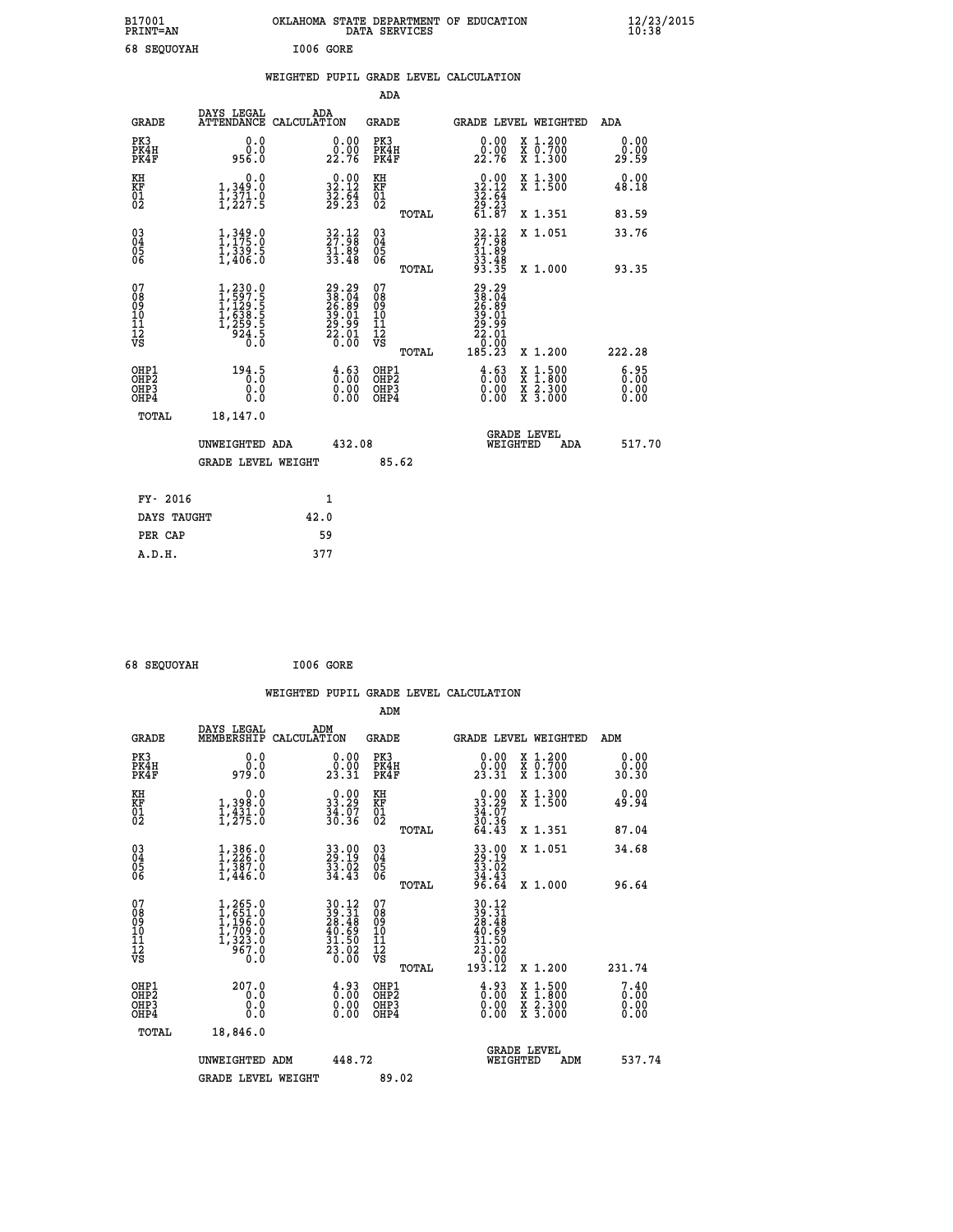| B17001<br><b>PRINT=AN</b> | OKLAHOMA STATE DEPARTMENT OF EDUCATION<br>DATA SERVICES | $\frac{12}{23}$ /2015 |
|---------------------------|---------------------------------------------------------|-----------------------|
| 68 SEQUOYAH               | I006 GORE                                               |                       |

|  |  | WEIGHTED PUPIL GRADE LEVEL CALCULATION |
|--|--|----------------------------------------|

|                                                                    |                                                                                           |              |                                                                                           | ADA                                                 |       |                                                                              |                                          |                       |
|--------------------------------------------------------------------|-------------------------------------------------------------------------------------------|--------------|-------------------------------------------------------------------------------------------|-----------------------------------------------------|-------|------------------------------------------------------------------------------|------------------------------------------|-----------------------|
| <b>GRADE</b>                                                       | DAYS LEGAL<br>ATTENDANCE CALCULATION                                                      | ADA          |                                                                                           | <b>GRADE</b>                                        |       |                                                                              | GRADE LEVEL WEIGHTED                     | ADA                   |
| PK3<br>PK4H<br>PK4F                                                | 0.0<br>ة:ة<br>956.0                                                                       |              | $\begin{smallmatrix} 0.00\\ 0.00\\ 22.76 \end{smallmatrix}$                               | PK3<br>PK4H<br>PK4F                                 |       | $\begin{smallmatrix} 0.00\\ 0.00\\ 22.76 \end{smallmatrix}$                  | X 1.200<br>X 0.700<br>X 1.300            | 0.00<br>0.00<br>29.59 |
| KH<br><b>KF</b><br>01<br>02                                        | 0.0<br>1,349:0<br>1,371.0<br>1,227:5                                                      |              | $\begin{smallmatrix} 0.00\\ 32.12\\ 32.64\\ 29.23 \end{smallmatrix}$                      | KH<br>KF<br>01<br>02                                |       | $\begin{smallmatrix} 0.00\\ 32.12\\ 32.64\\ 29.23\\ 61.87 \end{smallmatrix}$ | X 1.300<br>X 1.500                       | 0.00<br>48.18         |
|                                                                    |                                                                                           |              |                                                                                           |                                                     | TOTAL |                                                                              | X 1.351                                  | 83.59                 |
| $\begin{smallmatrix} 03 \\[-4pt] 04 \end{smallmatrix}$<br>Ŏ5<br>06 | $\frac{1}{1}, \frac{349}{175} .0 \\ 1, \frac{339}{339} .5 \\ 1, 406.0$                    |              | $\begin{smallmatrix} 32\cdot 12\\ 27\cdot 98\\ 31\cdot 89\\ 33\cdot 48 \end{smallmatrix}$ | $\begin{array}{c} 03 \\ 04 \\ 05 \\ 06 \end{array}$ |       | $32.12$<br>$31.89$<br>$33.48$<br>$33.35$                                     | X 1.051                                  | 33.76                 |
|                                                                    |                                                                                           |              |                                                                                           |                                                     | TOTAL |                                                                              | X 1.000                                  | 93.35                 |
| 07<br>08901112<br>1112<br>VS                                       | $1, 230.0$<br>$1, 597.5$<br>$1, 129.5$<br>$1, 638.5$<br>$1, 259.5$<br>$1, 259.5$<br>$0.0$ |              | 29.29<br>38.04<br>26.89<br>39.01<br>29.01<br>22.01                                        | 07<br>08<br>09<br>11<br>11<br>12<br>VS              |       | 29.29<br>38.049<br>26.89<br>39.01<br>22.01<br>22.01<br>00.00                 |                                          |                       |
|                                                                    |                                                                                           |              |                                                                                           |                                                     | TOTAL | 185.23                                                                       | X 1.200                                  | 222.28                |
| OHP1<br>OH <sub>P2</sub><br>OH <sub>P3</sub><br>OH <sub>P4</sub>   | 194.5<br>0.0<br>0.0                                                                       |              | $\begin{smallmatrix} 4.63\ 0.00\ 0.00 \end{smallmatrix}$                                  | OHP1<br>OH <sub>P</sub> 2<br>OHP3<br>OHP4           |       | $\begin{smallmatrix} 4.63\ 0.00\ 0.00 \end{smallmatrix}$                     | X 1:500<br>X 1:800<br>X 2:300<br>X 3:000 | 6:35<br>0.00<br>0.00  |
| TOTAL                                                              | 18,147.0                                                                                  |              |                                                                                           |                                                     |       |                                                                              |                                          |                       |
|                                                                    | UNWEIGHTED ADA                                                                            |              | 432.08                                                                                    |                                                     |       |                                                                              | GRADE LEVEL<br>WEIGHTED<br>ADA           | 517.70                |
|                                                                    | <b>GRADE LEVEL WEIGHT</b>                                                                 |              |                                                                                           | 85.62                                               |       |                                                                              |                                          |                       |
| FY- 2016                                                           |                                                                                           | $\mathbf{1}$ |                                                                                           |                                                     |       |                                                                              |                                          |                       |
| DAYS TAUGHT                                                        |                                                                                           | 42.0         |                                                                                           |                                                     |       |                                                                              |                                          |                       |
| PER CAP                                                            |                                                                                           | 59           |                                                                                           |                                                     |       |                                                                              |                                          |                       |

| 68 SEQUOYAH | I006 GORE |
|-------------|-----------|
|             |           |

|                                                      |                                                                                                                       |                                                                                                                              | WEIGHTED PUPIL GRADE LEVEL CALCULATION              |                                                                                                                                                        |                                        |
|------------------------------------------------------|-----------------------------------------------------------------------------------------------------------------------|------------------------------------------------------------------------------------------------------------------------------|-----------------------------------------------------|--------------------------------------------------------------------------------------------------------------------------------------------------------|----------------------------------------|
|                                                      |                                                                                                                       |                                                                                                                              | ADM                                                 |                                                                                                                                                        |                                        |
| <b>GRADE</b>                                         | DAYS LEGAL<br>MEMBERSHIP                                                                                              | ADM<br>CALCULATION                                                                                                           | <b>GRADE</b>                                        | GRADE LEVEL WEIGHTED                                                                                                                                   | ADM                                    |
| PK3<br>PK4H<br>PK4F                                  | 0.0<br>0.0<br>979.0                                                                                                   | $\begin{smallmatrix} 0.00\\ 0.00\\ 23.31 \end{smallmatrix}$                                                                  | PK3<br>PK4H<br>PK4F                                 | $\begin{smallmatrix} 0.00\\ 0.00\\ 23.31 \end{smallmatrix}$<br>X 1.200<br>X 0.700<br>X 1.300                                                           | 0.00<br>0.00<br>30.30                  |
| KH<br>KF<br>01<br>02                                 | 0.0<br>1,398:0<br>1,431:0<br>1,275:0                                                                                  | $\begin{smallmatrix} 0.00\\ 33.29\\ 34.07\\ 36.36 \end{smallmatrix}$                                                         | KH<br>KF<br>01<br>02                                | $\begin{smallmatrix} 0.00\\ 33.29\\ 34.07\\ 36.36\\ 64.43 \end{smallmatrix}$<br>X 1.300<br>X 1.500                                                     | 0.00<br>49.94                          |
|                                                      |                                                                                                                       |                                                                                                                              | TOTAL                                               | X 1.351                                                                                                                                                | 87.04                                  |
| $\begin{matrix} 03 \\ 04 \\ 05 \\ 06 \end{matrix}$   | $\begin{smallmatrix} 1\,, & 386\,. & 0\\ 1\,, & 226\,. & 0\\ 1\,, & 387\,. & 0\\ 1\,, & 446\,. & 0 \end{smallmatrix}$ | 33.00<br>29.19<br>33.02<br>34.43                                                                                             | $\begin{array}{c} 03 \\ 04 \\ 05 \\ 06 \end{array}$ | X 1.051<br>33.00<br>29.19<br>33.02<br>34.43<br>96.64                                                                                                   | 34.68                                  |
| 07<br>08<br>09<br>101<br>112<br>VS                   | $1, 265.0$<br>$1, 651.0$<br>$1, 196.0$<br>$1, 709.0$<br>$1, 323.0$<br>$\frac{557.0}{0.0}$                             | $\begin{array}{l} 30\cdot 12 \\ 39\cdot 31 \\ 28\cdot 48 \\ 40\cdot 69 \\ 31\cdot 50 \\ 23\cdot 02 \\ 0\cdot 00 \end{array}$ | TOTAL<br>07<br>08<br>09<br>11<br>11<br>12<br>VS     | X 1.000<br>$\begin{array}{r} 30\cdot 12 \\ 39\cdot 31 \\ 28\cdot 48 \\ 40\cdot 69 \\ 31\cdot 50 \\ 23\cdot 02 \\ 0\cdot 00 \\ 193\cdot 12 \end{array}$ | 96.64                                  |
| OHP1<br>OHP2<br>OH <sub>P3</sub><br>OH <sub>P4</sub> | 207.0<br>0.0<br>0.0<br>0.0                                                                                            | $\begin{smallmatrix} 4.93\ 0.00\ 0.00\ 0.00 \end{smallmatrix}$                                                               | TOTAL<br>OHP1<br>OH <sub>P</sub> 2<br>OHP3<br>OHP4  | X 1.200<br>$\begin{smallmatrix} 4.93\ 0.00\ 0.00 \end{smallmatrix}$<br>X 1:500<br>X 1:800<br>X 2:300<br>X 3:000                                        | 231.74<br>7.40<br>0.00<br>0.00<br>0.00 |
| TOTAL                                                | 18,846.0<br>UNWEIGHTED ADM                                                                                            | 448.72                                                                                                                       |                                                     | <b>GRADE LEVEL</b><br>WEIGHTED                                                                                                                         | 537.74<br>ADM                          |
|                                                      | <b>GRADE LEVEL WEIGHT</b>                                                                                             |                                                                                                                              | 89.02                                               |                                                                                                                                                        |                                        |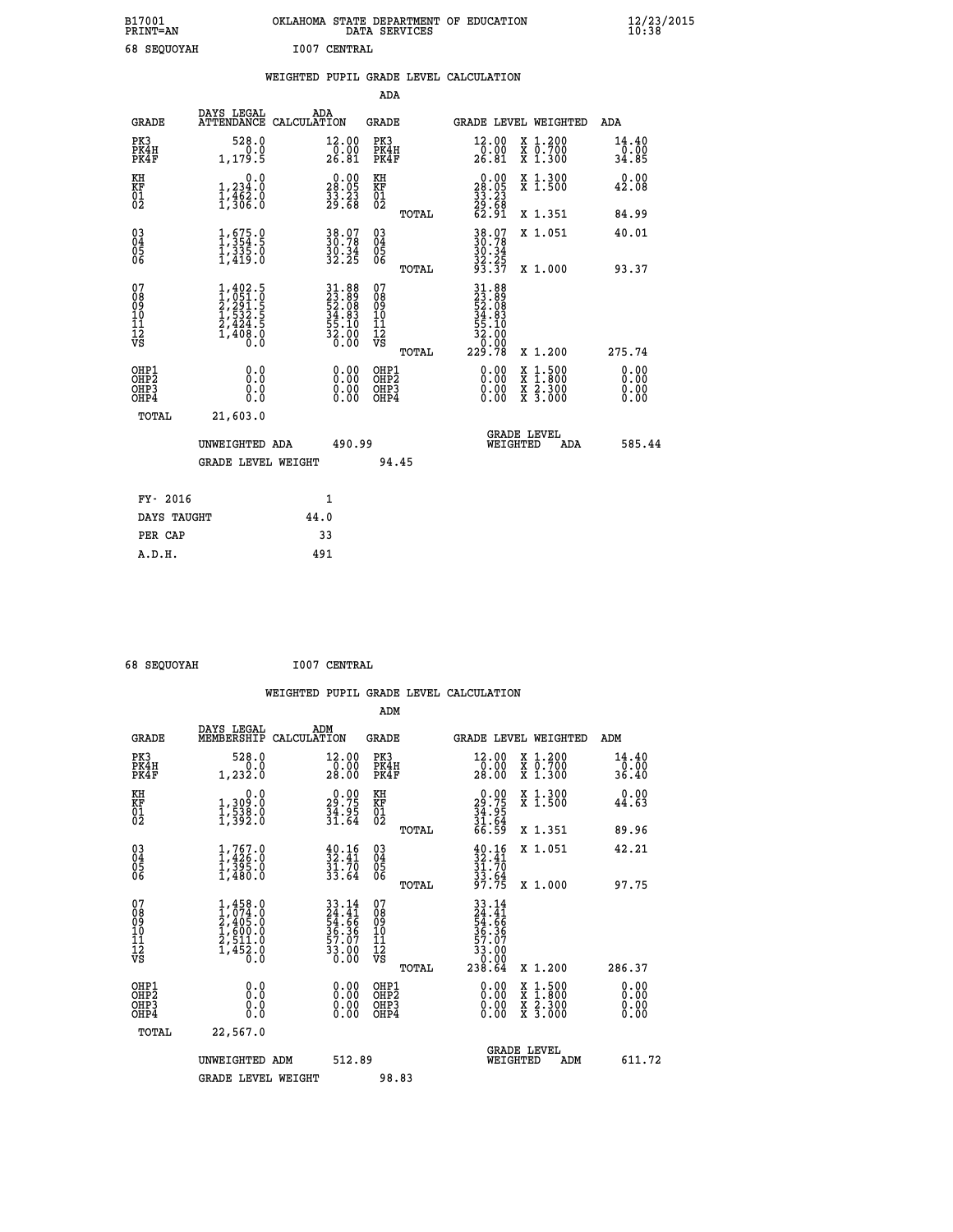| B17001<br><b>PRINT=AN</b> | OKLAHOMA STATE DEPARTMENT OF EDUCATION<br>DATA SERVICES |  |
|---------------------------|---------------------------------------------------------|--|
| <b>68 SEOUOYAH</b>        | <b>I007 CENTRAL</b>                                     |  |

|                                                                    |                                                                                                                                           |      |                                                                   |                                        |       | WEIGHTED PUPIL GRADE LEVEL CALCULATION                                                                                                                                                                                                                                         |                                          |                                  |
|--------------------------------------------------------------------|-------------------------------------------------------------------------------------------------------------------------------------------|------|-------------------------------------------------------------------|----------------------------------------|-------|--------------------------------------------------------------------------------------------------------------------------------------------------------------------------------------------------------------------------------------------------------------------------------|------------------------------------------|----------------------------------|
|                                                                    |                                                                                                                                           |      |                                                                   | <b>ADA</b>                             |       |                                                                                                                                                                                                                                                                                |                                          |                                  |
| <b>GRADE</b>                                                       | DAYS LEGAL<br>ATTENDANCE CALCULATION                                                                                                      | ADA  |                                                                   | GRADE                                  |       | GRADE LEVEL WEIGHTED                                                                                                                                                                                                                                                           |                                          | ADA                              |
| PK3<br>PK4H<br>PK4F                                                | 528.0<br>0.0<br>1,179.5                                                                                                                   |      | $\substack{12.00\\0.00\\26.81}$                                   | PK3<br>PK4H<br>PK4F                    |       | $\substack{12.00\\0.00\\26.81}$                                                                                                                                                                                                                                                | X 1.200<br>X 0.700<br>X 1.300            | 14.40<br>0.00<br>34.85           |
| KH<br>KF<br>01<br>02                                               | 0.0<br>1,234.0<br>$\frac{1}{3}, \frac{1}{3}, \frac{1}{6}, \frac{1}{6}$                                                                    |      | 28.09<br>$\frac{3}{29}. \frac{23}{68}$                            | KH<br>KF<br>01<br>02                   |       | $\begin{smallmatrix} 0.00\\28.05\\33.23\\29.68\\62.91 \end{smallmatrix}$                                                                                                                                                                                                       | X 1.300<br>X 1.500                       | 0.00<br>42.08                    |
|                                                                    |                                                                                                                                           |      |                                                                   |                                        | TOTAL |                                                                                                                                                                                                                                                                                | X 1.351                                  | 84.99                            |
| $\begin{smallmatrix} 03 \\[-4pt] 04 \end{smallmatrix}$<br>Ŏ5<br>06 | $\begin{smallmatrix} 1, 675.0\\ 1, 354.5\\ 1, 335.0\\ 1, 419.0 \end{smallmatrix}$                                                         |      | 38.07<br>30.78<br>30.34<br>32.25                                  | $\substack{03 \\ 04}$<br>Ŏ5<br>06      |       | 38.07<br>30.78<br>30.34<br>32.25<br>33.37                                                                                                                                                                                                                                      | X 1.051                                  | 40.01                            |
|                                                                    |                                                                                                                                           |      |                                                                   |                                        | TOTAL |                                                                                                                                                                                                                                                                                | X 1.000                                  | 93.37                            |
| 07<br>08<br>09<br>01<br>11<br>11<br>12<br>VS                       | $\begin{smallmatrix} 1,402\cdot 5\\ 1,051\cdot 0\\ 2,291\cdot 5\\ 1,532\cdot 5\\ 2,424\cdot 5\\ 1,408\cdot 0\\ 0\cdot 0\end{smallmatrix}$ |      | $31.8823.8952.0834.8355.1032.000.00$                              | 07<br>08<br>09<br>11<br>11<br>12<br>VS | TOTAL | $\begin{smallmatrix} 31.88\\ 23.89\\ 52.089\\ 52.08\\ 34.83\\ 55.10\\ 32.00\\ 0.00\\ 229.78 \end{smallmatrix}$                                                                                                                                                                 | X 1.200                                  | 275.74                           |
| OHP1<br>OHP2<br>OHP3<br>OH <sub>P4</sub>                           | 0.0<br>0.0<br>$0.\overline{0}$                                                                                                            |      | $\begin{smallmatrix} 0.00 \ 0.00 \ 0.00 \ 0.00 \end{smallmatrix}$ | OHP1<br>OHP2<br>OHP3<br>OHP4           |       | $\begin{smallmatrix} 0.00 & 0.00 & 0.00 & 0.00 & 0.00 & 0.00 & 0.00 & 0.00 & 0.00 & 0.00 & 0.00 & 0.00 & 0.00 & 0.00 & 0.00 & 0.00 & 0.00 & 0.00 & 0.00 & 0.00 & 0.00 & 0.00 & 0.00 & 0.00 & 0.00 & 0.00 & 0.00 & 0.00 & 0.00 & 0.00 & 0.00 & 0.00 & 0.00 & 0.00 & 0.00 & 0.0$ | X 1:500<br>X 1:800<br>X 2:300<br>X 3:000 | 0.00<br>0.00<br>$0.00$<br>$0.00$ |
| TOTAL                                                              | 21,603.0                                                                                                                                  |      |                                                                   |                                        |       |                                                                                                                                                                                                                                                                                |                                          |                                  |
|                                                                    | UNWEIGHTED ADA                                                                                                                            |      | 490.99                                                            |                                        |       | <b>GRADE LEVEL</b><br>WEIGHTED                                                                                                                                                                                                                                                 | ADA                                      | 585.44                           |
|                                                                    | <b>GRADE LEVEL WEIGHT</b>                                                                                                                 |      |                                                                   |                                        | 94.45 |                                                                                                                                                                                                                                                                                |                                          |                                  |
| FY- 2016                                                           |                                                                                                                                           |      | $\mathbf{1}$                                                      |                                        |       |                                                                                                                                                                                                                                                                                |                                          |                                  |
| DAYS TAUGHT                                                        |                                                                                                                                           | 44.0 |                                                                   |                                        |       |                                                                                                                                                                                                                                                                                |                                          |                                  |
| PER CAP                                                            |                                                                                                                                           |      | 33                                                                |                                        |       |                                                                                                                                                                                                                                                                                |                                          |                                  |

 **A.D.H. 491**

 **ADM**

 **68 SEQUOYAH I007 CENTRAL**

| <b>GRADE</b>                                         | DAYS LEGAL<br>MEMBERSHIP                                                            | ADM<br>CALCULATION                                                       | <b>GRADE</b>                                 |       |                                                                                                                                 | GRADE LEVEL WEIGHTED                     | ADM                           |        |
|------------------------------------------------------|-------------------------------------------------------------------------------------|--------------------------------------------------------------------------|----------------------------------------------|-------|---------------------------------------------------------------------------------------------------------------------------------|------------------------------------------|-------------------------------|--------|
| PK3<br>PK4H<br>PK4F                                  | 528.0<br>1, 232.0                                                                   | 12.00<br>0.00<br>28.00                                                   | PK3<br>PK4H<br>PK4F                          |       | 12.00<br>$\frac{1}{28}.00$                                                                                                      | X 1.200<br>X 0.700<br>X 1.300            | 14.40<br>$\frac{0.00}{36.40}$ |        |
| KH<br>KF<br>01<br>02                                 | 0.0<br>1,309:0<br>1,538:0<br>1,392:0                                                | $\begin{smallmatrix} 0.00\\ 29.75\\ 34.95\\ 31.64 \end{smallmatrix}$     | KH<br>KF<br>$\overline{01}$                  |       | $\begin{smallmatrix} 0.00\\29.75\\34.95\\31.64\\66.59 \end{smallmatrix}$                                                        | X 1.300<br>X 1.500                       | 0.00<br>44.63                 |        |
|                                                      |                                                                                     |                                                                          |                                              | TOTAL |                                                                                                                                 | X 1.351                                  | 89.96                         |        |
| $\begin{matrix} 03 \\ 04 \\ 05 \\ 06 \end{matrix}$   | $1, 767.0$<br>$1, 426.0$<br>$1, 395.0$<br>$1, 480.0$                                | $\begin{smallmatrix} 40.16\\ 32.41\\ 31.70\\ 33.64 \end{smallmatrix}$    | 030404<br>06                                 |       | $32.41$<br>$31.70$<br>$33.64$<br>$97.75$                                                                                        | X 1.051                                  | 42.21                         |        |
|                                                      |                                                                                     |                                                                          |                                              | TOTAL |                                                                                                                                 | X 1.000                                  | 97.75                         |        |
| 07<br>089<br>090<br>1112<br>VS                       | $1,458.0$<br>$2,405.0$<br>$2,405.0$<br>$1,600.0$<br>$2,511.0$<br>$1,452.0$<br>$0.0$ | $33.14$<br>$24.41$<br>$54.66$<br>$36.36$<br>$57.07$<br>$33.00$<br>$0.00$ | 07<br>08<br>09<br>01<br>11<br>11<br>12<br>VS | TOTAL | $\begin{array}{r} 33\cdot14 \\ 24\cdot41 \\ 54\cdot66 \\ 56\cdot36 \\ 37\cdot07 \\ 33\cdot00 \\ 0.00 \\ 238\cdot64 \end{array}$ | X 1.200                                  | 286.37                        |        |
| OHP1<br>OHP <sub>2</sub><br>OH <sub>P3</sub><br>OHP4 | 0.0<br>0.000                                                                        |                                                                          | OHP1<br>OHP2<br>OHP3<br>OHP4                 |       | 0.00<br>0.00                                                                                                                    | X 1:500<br>X 1:800<br>X 2:300<br>X 3:000 | 0.00<br>0.00<br>0.00          |        |
| TOTAL                                                | 22,567.0                                                                            |                                                                          |                                              |       |                                                                                                                                 |                                          |                               |        |
|                                                      | UNWEIGHTED<br>ADM                                                                   | 512.89                                                                   |                                              |       | WEIGHTED                                                                                                                        | <b>GRADE LEVEL</b><br>ADM                |                               | 611.72 |
|                                                      | <b>GRADE LEVEL WEIGHT</b>                                                           |                                                                          | 98.83                                        |       |                                                                                                                                 |                                          |                               |        |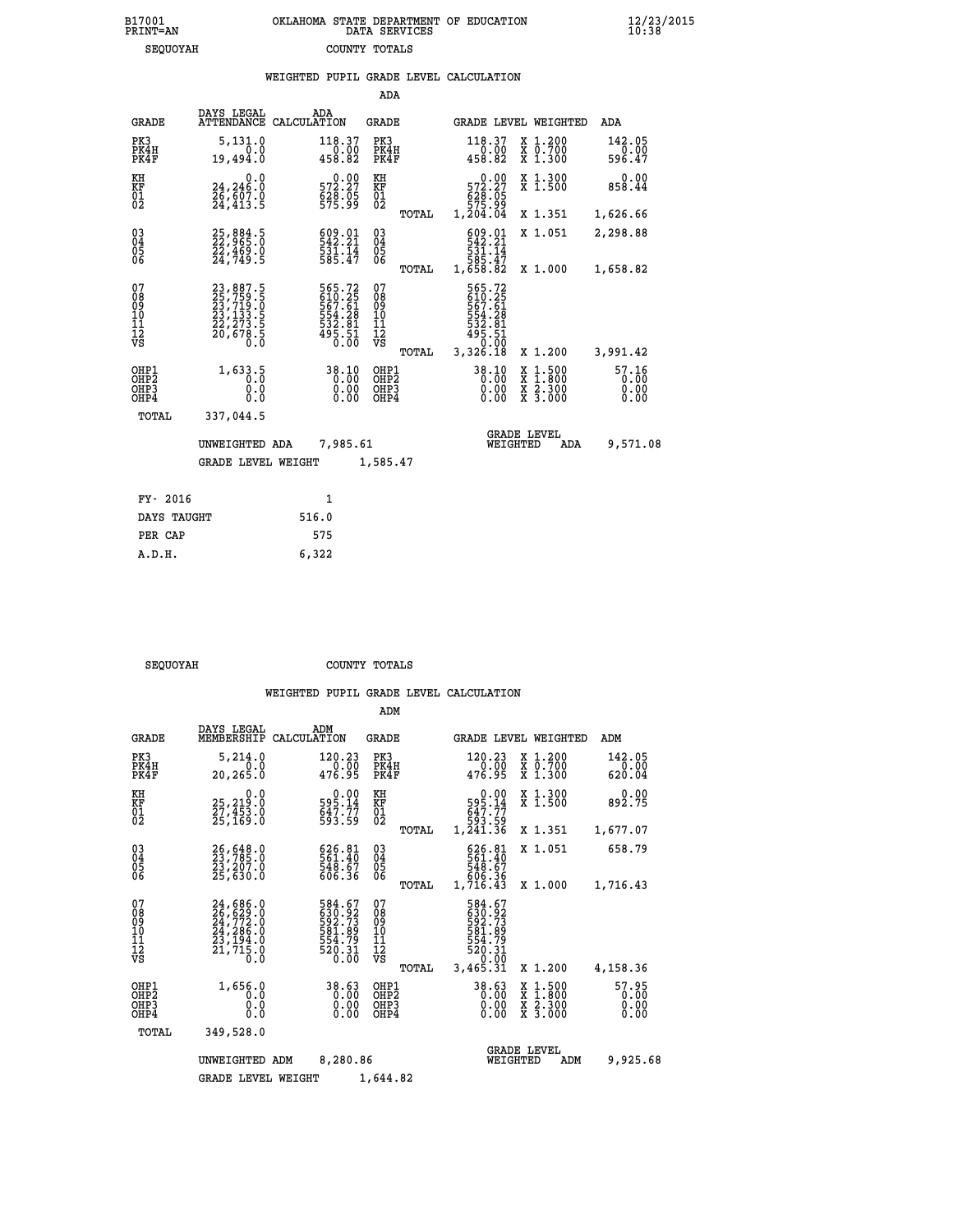|                                                              |                                                                                                                                                                                                    | WEIGHTED PUPIL GRADE LEVEL CALCULATION                                     |                                        |       |                                                                                  |                               |                               |
|--------------------------------------------------------------|----------------------------------------------------------------------------------------------------------------------------------------------------------------------------------------------------|----------------------------------------------------------------------------|----------------------------------------|-------|----------------------------------------------------------------------------------|-------------------------------|-------------------------------|
|                                                              |                                                                                                                                                                                                    |                                                                            | ADA                                    |       |                                                                                  |                               |                               |
| <b>GRADE</b>                                                 | DAYS LEGAL                                                                                                                                                                                         | ADA<br>ATTENDANCE CALCULATION                                              | <b>GRADE</b>                           |       |                                                                                  | GRADE LEVEL WEIGHTED          | ADA                           |
| PK3<br>PK4H<br>PK4F                                          | 5,131.0<br>0.0<br>19,494.0                                                                                                                                                                         | 118.37<br>$\frac{1}{458.82}$                                               | PK3<br>PK4H<br>PK4F                    |       | 118.37<br>$\frac{1}{458.82}$                                                     | X 1.200<br>X 0.700<br>X 1.300 | 142.05<br>0.00<br>596.47      |
| KH<br>KF<br>01<br>02                                         | $\begin{smallmatrix} & & 0.0\ 24,246.0\ 26,607.0\ 24,413.5 \end{smallmatrix}$                                                                                                                      | $\begin{smallmatrix} &0.00\\ 572.27\\ 628.05\\ 575.99\end{smallmatrix}$    | KH<br>KF<br>01<br>02                   |       | $\begin{smallmatrix}&&0.00\\572.27\\628.05\\675.99\\1,204.04\end{smallmatrix}$   | X 1.300<br>X 1.500            | 0.00<br>858.44                |
|                                                              |                                                                                                                                                                                                    |                                                                            |                                        | TOTAL |                                                                                  | X 1.351                       | 1,626.66                      |
| $\begin{smallmatrix} 03 \\[-4pt] 04 \end{smallmatrix}$<br>05 | 25,884.5<br>22,965.0<br>22,469.0<br>24,749.5                                                                                                                                                       | 609.01<br>542.21<br>531.14<br>585.47                                       | $\substack{03 \\ 04}$<br>05            |       | 609.01<br>531.14<br>585.47                                                       | X 1.051                       | 2,298.88                      |
| ŎĞ                                                           |                                                                                                                                                                                                    |                                                                            |                                        | TOTAL | 1,658.82                                                                         | X 1.000                       | 1,658.82                      |
| 07<br>08<br>09<br>10<br>11<br>12<br>VS                       | $\begin{smallmatrix} 23\, , & 887\, . & 5\\ 25\, , & 759\, . & 5\\ 23\, , & 719\, . & 0\\ 23\, , & 133\, . & 5\\ 22\, , & 273\, . & 5\\ 20\, , & 678\, . & 5\\ 0\, . & 0\, . & 0\end{smallmatrix}$ | 565.72<br>610.25<br>657.61<br>554.28<br>532.81<br>532.81<br>495.51<br>0.00 | 07<br>08<br>09<br>11<br>11<br>12<br>VS | TOTAL | 565.72<br>610.25<br>567.61<br>554.28<br>532.81<br>$495.51$<br>$0.00$<br>3,326.18 | X 1.200                       | 3,991.42                      |
| OHP1<br>OH <sub>P</sub> 2<br>OHP3<br>OHP4                    | 1,633.5<br>Ō.O<br>0.0<br>0.0                                                                                                                                                                       | 38.10<br>0.00                                                              | OHP1<br>OHP2<br>OHP3<br>OHP4           |       | $38.10$<br>0.00<br>0.00<br>0.00                                                  | X 1:500<br>X 2.300<br>X 3.000 | 57.16<br>0.00<br>0.00<br>0.00 |
| <b>TOTAL</b>                                                 | 337,044.5                                                                                                                                                                                          |                                                                            |                                        |       |                                                                                  |                               |                               |
|                                                              | UNWEIGHTED ADA                                                                                                                                                                                     | 7,985.61                                                                   |                                        |       | WEIGHTED                                                                         | <b>GRADE LEVEL</b><br>ADA     | 9,571.08                      |
|                                                              | <b>GRADE LEVEL WEIGHT</b>                                                                                                                                                                          |                                                                            | 1,585.47                               |       |                                                                                  |                               |                               |
| FY- 2016                                                     |                                                                                                                                                                                                    | $\mathbf{1}$                                                               |                                        |       |                                                                                  |                               |                               |
| DAYS TAUGHT                                                  |                                                                                                                                                                                                    | 516.0                                                                      |                                        |       |                                                                                  |                               |                               |
| PER CAP                                                      |                                                                                                                                                                                                    | 575                                                                        |                                        |       |                                                                                  |                               |                               |

SEQUOYAH COUNTY TOTALS

 **A.D.H. 6,322**

|                                                       |                                                                             |                                                                  | ADM                                              |                                                                           |                                                                                                  |                               |
|-------------------------------------------------------|-----------------------------------------------------------------------------|------------------------------------------------------------------|--------------------------------------------------|---------------------------------------------------------------------------|--------------------------------------------------------------------------------------------------|-------------------------------|
| <b>GRADE</b>                                          | DAYS LEGAL<br>MEMBERSHIP                                                    | ADM<br>CALCULATION                                               | <b>GRADE</b>                                     |                                                                           | GRADE LEVEL WEIGHTED                                                                             | ADM                           |
| PK3<br>PK4H<br>PK4F                                   | 5,214.0<br>0.0<br>20,265.0                                                  | 120.23<br>0.00<br>476.95                                         | PK3<br>PK4H<br>PK4F                              | 120.23<br>0.00<br>476.95                                                  | X 1.200<br>X 0.700<br>X 1.300                                                                    | 142.05<br>0.00<br>620.04      |
| KH<br>KF<br>01<br>02                                  | 0.0<br>25,219:0<br>27,453:0<br>25,169:0                                     | $595.14$<br>$647.77$<br>$593.59$                                 | KH<br>KF<br>01<br>02                             | 0.00<br>595.14<br>647.77<br>647.77<br>593.59<br>1,241.36                  | X 1.300<br>X 1.500                                                                               | 0.00<br>892.75                |
|                                                       |                                                                             |                                                                  | TOTAL                                            |                                                                           | X 1.351                                                                                          | 1,677.07                      |
| 03<br>04<br>05<br>06                                  | 26,648.0<br>23,785.0<br>23,207.0<br>25,630.0                                | 626.81<br>561.40<br>548.67<br>606.36                             | $\substack{03 \\ 04}$<br>0500                    | 626.81<br>561.40<br>548.67<br>606.36                                      | X 1.051                                                                                          | 658.79                        |
|                                                       |                                                                             |                                                                  | TOTAL                                            | 1,716.43                                                                  | X 1.000                                                                                          | 1,716.43                      |
| 07<br>08<br>09<br>11<br>11<br>12<br>VS                | 24,686.0<br>26,629.0<br>24,772.0<br>24,286.0<br>23,194.0<br>21,715.0<br>Ŏ.Ŏ | 584.67<br>630.92<br>592.73<br>581.89<br>554.79<br>520.31<br>0.00 | 07<br>08<br>09<br>101<br>11<br>12<br>VS<br>TOTAL | 584.67<br>$\frac{630.92}{592.73}$<br>554.79<br>520.31<br>0.00<br>3,465.31 | X 1.200                                                                                          | 4,158.36                      |
| OHP1<br>OH <sub>P</sub> 2<br>OH <sub>P3</sub><br>OHP4 | 1,656.0<br>0.0<br>0.0<br>Ŏ.Ŏ                                                | 38.63<br>0.00<br>0.00                                            | OHP1<br>OHP2<br>OHP3<br>OHP4                     | 38.63<br>0.00<br>0.00<br>0.00                                             | $\begin{smallmatrix} x & 1 & 500 \\ x & 1 & 800 \\ x & 2 & 300 \\ x & 3 & 000 \end{smallmatrix}$ | 57.95<br>0.00<br>0.00<br>0.00 |
| TOTAL                                                 | 349,528.0                                                                   |                                                                  |                                                  |                                                                           |                                                                                                  |                               |
|                                                       | UNWEIGHTED ADM                                                              | 8,280.86                                                         | 1,644.82                                         | WEIGHTED                                                                  | <b>GRADE LEVEL</b><br>ADM                                                                        | 9,925.68                      |
|                                                       | <b>GRADE LEVEL WEIGHT</b>                                                   |                                                                  |                                                  |                                                                           |                                                                                                  |                               |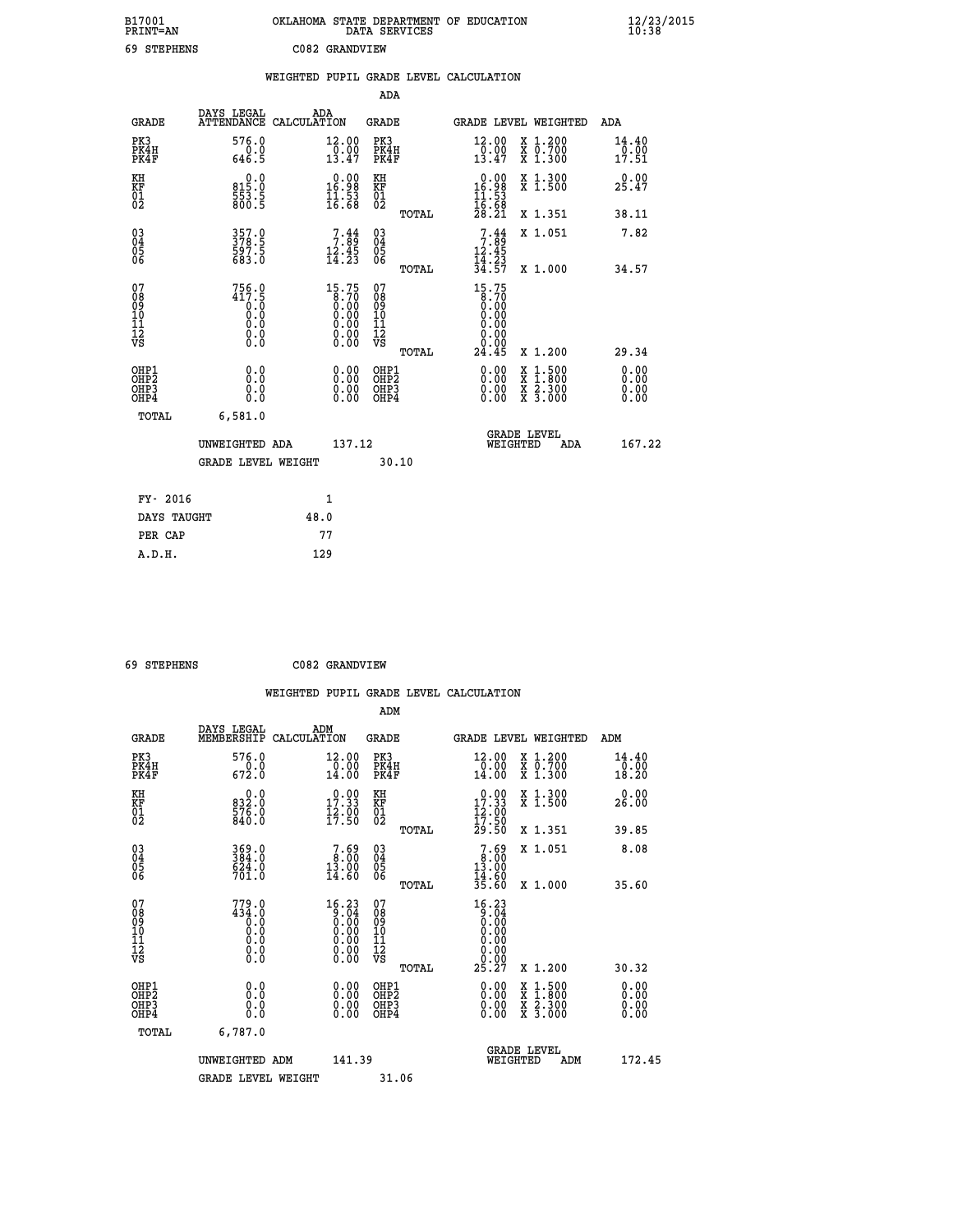| B17001<br>PRINT=AN<br>69 STEPHENS |                                       | OKLAHOMA STATE DEPARTMENT OF EDUCATION<br>DATA SERVICES | C082 GRANDVIEW                                                              |                                   |       |                                                                         |                                      |                                                                                                                                           | 12/23/2015             |  |
|-----------------------------------|---------------------------------------|---------------------------------------------------------|-----------------------------------------------------------------------------|-----------------------------------|-------|-------------------------------------------------------------------------|--------------------------------------|-------------------------------------------------------------------------------------------------------------------------------------------|------------------------|--|
|                                   |                                       | WEIGHTED PUPIL GRADE LEVEL CALCULATION                  |                                                                             | ADA                               |       |                                                                         |                                      |                                                                                                                                           |                        |  |
| <b>GRADE</b>                      | DAYS LEGAL ADA ATTENDANCE CALCULATION |                                                         |                                                                             | <b>GRADE</b>                      |       |                                                                         |                                      | GRADE LEVEL WEIGHTED                                                                                                                      | ADA                    |  |
| PK3<br>PK4H<br>PK4F               | 576.0<br>0.0<br>646.5                 |                                                         | 12.00<br>$\frac{1}{13.47}$                                                  | PK3<br>PK4H<br>PK4F               |       | 12.00<br>$\frac{1}{13}.00$<br>13.47                                     |                                      | X 1.200<br>X 0.700<br>X 1.300                                                                                                             | 14.40<br>0.00<br>17.51 |  |
| KH<br>KF<br>01<br>02              | 0.0<br>815.0<br>553.5<br>800.5        |                                                         | $\begin{array}{r} 0.00 \\ 16.98 \\ 11.53 \\ 16.68 \end{array}$              | KH<br>KF<br>01<br>02              |       | $\begin{array}{r} 0.00 \\ 16.98 \\ 11.53 \\ 16.68 \\ 28.21 \end{array}$ |                                      | X 1.300<br>X 1.500                                                                                                                        | 0.00<br>25.47          |  |
|                                   |                                       |                                                         |                                                                             |                                   | TOTAL |                                                                         |                                      | X 1.351                                                                                                                                   | 38.11                  |  |
| 03<br>04<br>05<br>06              | 357.0<br>378.5<br>597.5<br>683.0      |                                                         | $7.89$<br>$12.45$<br>$14.23$                                                | 03<br>04<br>05<br>06              |       | $7:89$<br>$12:45$<br>$14:23$<br>$34:57$                                 |                                      | X 1.051                                                                                                                                   | 7.82                   |  |
| 07                                | $756.0$<br>417.5                      |                                                         | 15.75                                                                       | 07                                | TOTAL | 15.75                                                                   | 8.70                                 | X 1.000                                                                                                                                   | 34.57                  |  |
| 08<br>09<br>10<br>11<br>12<br>VS  | 0.0<br>0.0<br>0.0<br>0.0              |                                                         | $\begin{array}{c} 0.70 \\ 0.00 \\ 0.00 \\ 0.00 \\ 0.00 \\ 0.00 \end{array}$ | 08<br>09<br>101<br>11<br>12<br>VS |       |                                                                         | Ŏ.ÓŎ<br>0.00<br>0.00<br>0.00<br>0.00 |                                                                                                                                           |                        |  |
|                                   | 0.0                                   |                                                         |                                                                             |                                   | TOTAL | 24.45                                                                   |                                      | X 1.200                                                                                                                                   | 29.34<br>0.00          |  |
| OHP1<br>OHP2<br>OHP3<br>OHP4      | 0.0<br>0.0<br>0.0                     |                                                         | $\begin{smallmatrix} 0.00\\ 0.00\\ 0.00\\ 0.00 \end{smallmatrix}$           | OHP1<br>OHP2<br>OHP3<br>OHP4      |       |                                                                         | 0.00<br>0.00<br>0.00                 | $\begin{smallmatrix} \mathtt{X} & 1\cdot500\\ \mathtt{X} & 1\cdot800\\ \mathtt{X} & 2\cdot300\\ \mathtt{X} & 3\cdot000 \end{smallmatrix}$ | 0.00<br>0.00<br>0.00   |  |
| <b>TOTAL</b>                      | 6,581.0                               |                                                         |                                                                             |                                   |       |                                                                         |                                      |                                                                                                                                           |                        |  |
|                                   | UNWEIGHTED ADA                        |                                                         | 137.12                                                                      |                                   |       |                                                                         | WEIGHTED                             | <b>GRADE LEVEL</b><br>ADA                                                                                                                 | 167.22                 |  |
|                                   | <b>GRADE LEVEL WEIGHT</b>             |                                                         |                                                                             | 30.10                             |       |                                                                         |                                      |                                                                                                                                           |                        |  |

| FY- 2016    | 1    |  |
|-------------|------|--|
| DAYS TAUGHT | 48.0 |  |
| PER CAP     | 77   |  |
| A.D.H.      | 129  |  |
|             |      |  |

 **69 STEPHENS C082 GRANDVIEW**

 **ADM DAYS LEGAL ADM GRADE MEMBERSHIP CALCULATION GRADE GRADE LEVEL WEIGHTED ADM PK3 576.0 12.00 PK3 12.00 X 1.200 14.40 PK4H 0.0 0.00 PK4H 0.00 X 0.700 0.00 PK4F 672.0 14.00 PK4F 14.00 X 1.300 18.20 KH 0.0 0.00 KH 0.00 X 1.300 0.00 KF 832.0 17.33 KF 17.33 X 1.500 26.00 01 576.0 12.00 01 12.00** 02 840.0 17.50 02 <sub>noman</sub> 17.50  **TOTAL 29.50 X 1.351 39.85**

| $\begin{matrix} 03 \\ 04 \\ 05 \\ 06 \end{matrix}$            | 369.0<br>384.0<br>624.0<br>701.0                                                             | $\begin{smallmatrix}7.69\ 8.00\ 13.00\ 14.60\end{smallmatrix}$ | $\begin{matrix} 03 \\ 04 \\ 05 \\ 06 \end{matrix}$              | $7.69\n13.00\n14.60\n35.60$                                                                                                                                                                                                                                                                      | X 1.051                                              | 8.08                                                                                                                                                                                                                                                                           |
|---------------------------------------------------------------|----------------------------------------------------------------------------------------------|----------------------------------------------------------------|-----------------------------------------------------------------|--------------------------------------------------------------------------------------------------------------------------------------------------------------------------------------------------------------------------------------------------------------------------------------------------|------------------------------------------------------|--------------------------------------------------------------------------------------------------------------------------------------------------------------------------------------------------------------------------------------------------------------------------------|
| 07<br>08<br>09<br>101<br>11<br>12<br>VS                       | 779.0<br>434.0<br>Ŏ.Ŏ<br>$\begin{smallmatrix} 0.0 & 0 \ 0.0 & 0 \ 0.0 & 0 \end{smallmatrix}$ | 16.23<br>$\frac{5}{0}$ . $\frac{5}{0}$                         | TOTAL<br>07<br>08<br>09<br>001<br>11<br>11<br>12<br>VS<br>TOTAL | 16.23<br>$\begin{smallmatrix} 0.75 & 0.75 & 0.75 & 0.75 & 0.75 & 0.75 & 0.75 & 0.75 & 0.75 & 0.75 & 0.75 & 0.75 & 0.75 & 0.75 & 0.75 & 0.75 & 0.75 & 0.75 & 0.75 & 0.75 & 0.75 & 0.75 & 0.75 & 0.75 & 0.75 & 0.75 & 0.75 & 0.75 & 0.75 & 0.75 & 0.75 & 0.75 & 0.75 & 0.75 & 0.75 & 0.7$<br>25.27 | X 1.000<br>X 1.200                                   | 35.60<br>30.32                                                                                                                                                                                                                                                                 |
| OHP1<br>OHP <sub>2</sub><br>OH <sub>P3</sub><br>OHP4<br>TOTAL | 0.0<br>0.0<br>0.0<br>6,787.0                                                                 | 0.00<br>0.00<br>0.00                                           | OHP1<br>OHP <sub>2</sub><br>OHP3<br>OHP4                        | $\begin{smallmatrix} 0.00 & 0.00 & 0.00 & 0.00 & 0.00 & 0.00 & 0.00 & 0.00 & 0.00 & 0.00 & 0.00 & 0.00 & 0.00 & 0.00 & 0.00 & 0.00 & 0.00 & 0.00 & 0.00 & 0.00 & 0.00 & 0.00 & 0.00 & 0.00 & 0.00 & 0.00 & 0.00 & 0.00 & 0.00 & 0.00 & 0.00 & 0.00 & 0.00 & 0.00 & 0.00 & 0.0$                   | X 1:500<br>X 1:800<br>X 2:300<br>$X\overline{3.000}$ | $\begin{smallmatrix} 0.00 & 0.00 & 0.00 & 0.00 & 0.00 & 0.00 & 0.00 & 0.00 & 0.00 & 0.00 & 0.00 & 0.00 & 0.00 & 0.00 & 0.00 & 0.00 & 0.00 & 0.00 & 0.00 & 0.00 & 0.00 & 0.00 & 0.00 & 0.00 & 0.00 & 0.00 & 0.00 & 0.00 & 0.00 & 0.00 & 0.00 & 0.00 & 0.00 & 0.00 & 0.00 & 0.0$ |
|                                                               | UNWEIGHTED ADM<br><b>GRADE LEVEL WEIGHT</b>                                                  | 141.39                                                         | 31.06                                                           | WEIGHTED                                                                                                                                                                                                                                                                                         | <b>GRADE LEVEL</b><br>ADM                            | 172.45                                                                                                                                                                                                                                                                         |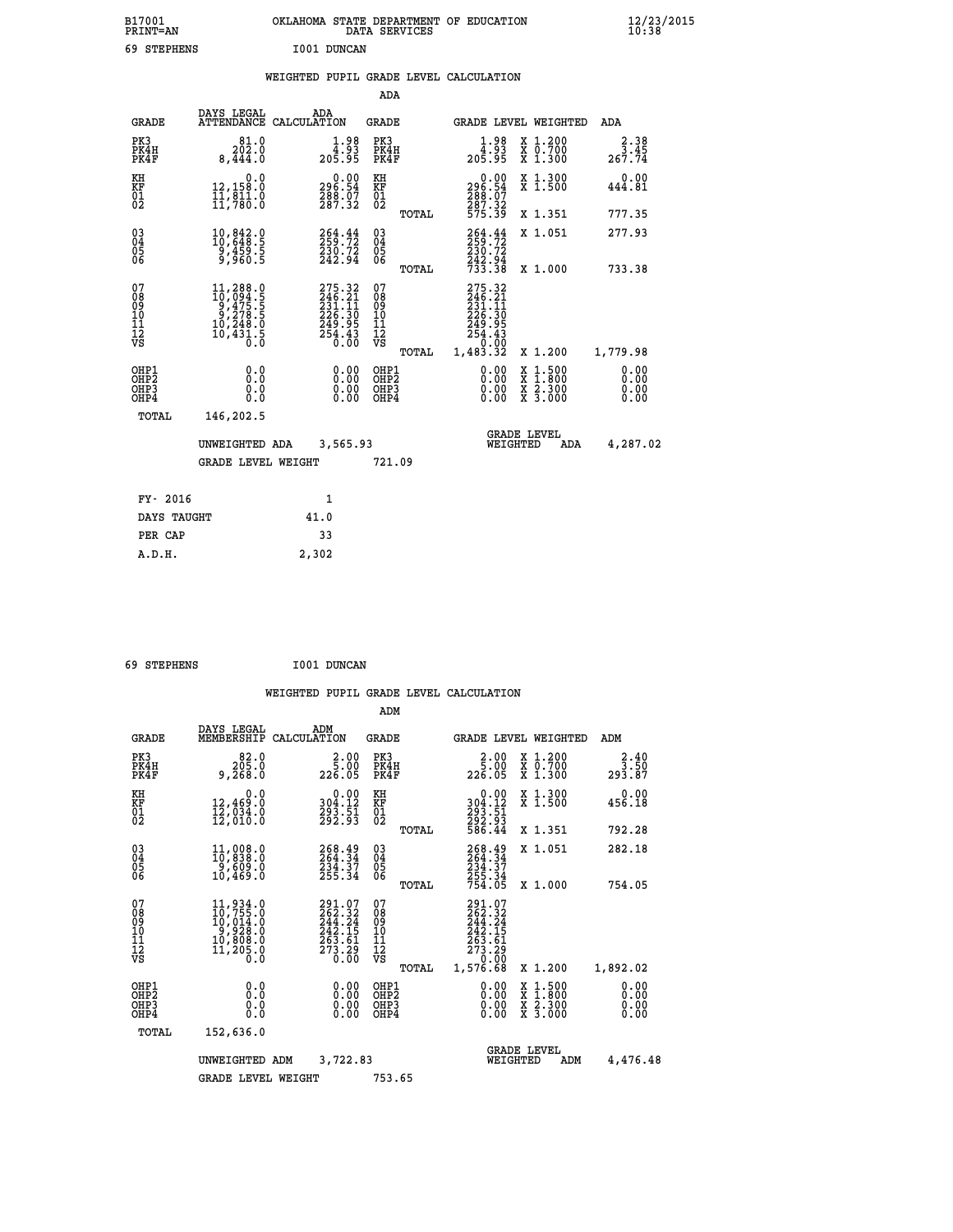| B17001<br><b>PRINT=AN</b> | OKLAHOMA STATE DEPARTMENT OF EDUCATION<br>DATA SERVICES | $\frac{12}{23}$ /2015 |
|---------------------------|---------------------------------------------------------|-----------------------|
| 69<br>STEPHENS            | I001 DUNCAN                                             |                       |

|  |  | WEIGHTED PUPIL GRADE LEVEL CALCULATION |
|--|--|----------------------------------------|
|  |  |                                        |

|                                                      |                                                                                                                                               |                                                                                              | ADA                                      |       |                                                                                  |                                                                                                  |                                     |
|------------------------------------------------------|-----------------------------------------------------------------------------------------------------------------------------------------------|----------------------------------------------------------------------------------------------|------------------------------------------|-------|----------------------------------------------------------------------------------|--------------------------------------------------------------------------------------------------|-------------------------------------|
| <b>GRADE</b>                                         | DAYS LEGAL                                                                                                                                    | ADA<br>ATTENDANCE CALCULATION                                                                | <b>GRADE</b>                             |       |                                                                                  | GRADE LEVEL WEIGHTED                                                                             | ADA                                 |
| PK3<br>PK4H<br>PK4F                                  | 81.0<br>$20\overline{2}$ .0<br>8,444.0                                                                                                        | $1.98$<br>$4.93$<br>$205.95$                                                                 | PK3<br>PK4H<br>PK4F                      |       | $1.98$<br>$4.93$<br>$205.95$                                                     | X 1.200<br>X 0.700<br>X 1.300                                                                    | 2.38<br>$\overline{3.45}$<br>267.74 |
| KH<br>KF<br>01<br>02                                 | 0.0<br>12,158.0<br>11,811.0<br>11,780.0                                                                                                       | 296.54<br>288.07<br>287.32                                                                   | KH<br>KF<br>01<br>02                     |       | $\begin{smallmatrix} 0.00\\ 296.54\\ 288.07\\ 287.32\\ 575.39 \end{smallmatrix}$ | X 1.300<br>X 1.500                                                                               | 0.00<br>444.81                      |
|                                                      |                                                                                                                                               |                                                                                              |                                          | TOTAL |                                                                                  | X 1.351                                                                                          | 777.35                              |
| $\begin{matrix} 03 \\ 04 \\ 05 \\ 06 \end{matrix}$   | 10,842.0<br>10,648.5<br>$\frac{9}{9}, \frac{459}{960}.5$                                                                                      | 264.44<br>230.72<br>242.94                                                                   | $\substack{03 \\ 04}$<br>$\frac{05}{06}$ |       | 264.44<br>$\frac{230.72}{242.94}$<br>733.38                                      | X 1.051                                                                                          | 277.93                              |
|                                                      |                                                                                                                                               |                                                                                              |                                          | TOTAL |                                                                                  | X 1.000                                                                                          | 733.38                              |
| 07<br>08<br>09<br>10<br>11<br>12<br>VS               | $\begin{smallmatrix} 11,288\cdot 0\\ 10,094\cdot 5\\ 9,475\cdot 5\\ 9,278\cdot 5\\ 10,248\cdot 0\\ 10,431\cdot 5\\ 0\cdot 0\end{smallmatrix}$ | $\begin{smallmatrix} 275.32\ 246.21\ 231.11\ 226.30\ 249.95\ 254.43\ 0.00 \end{smallmatrix}$ | 07<br>08<br>09<br>101<br>112<br>VS       |       | 275.32<br>246.21<br>231.11<br>226.305<br>249.95<br>254.430<br>0.000              |                                                                                                  |                                     |
|                                                      |                                                                                                                                               |                                                                                              |                                          | TOTAL | 1,483.32                                                                         | X 1.200                                                                                          | 1,779.98                            |
| OHP1<br>OH <sub>P</sub> <sub>2</sub><br>OHP3<br>OHP4 | 0.0<br>0.0<br>0.0                                                                                                                             | $\begin{smallmatrix} 0.00 \ 0.00 \ 0.00 \ 0.00 \end{smallmatrix}$                            | OHP1<br>OHP <sub>2</sub><br>OHP3<br>OHP4 |       | $0.00$<br>$0.00$<br>0.00                                                         | $\begin{smallmatrix} x & 1 & 500 \\ x & 1 & 800 \\ x & 2 & 300 \\ x & 3 & 000 \end{smallmatrix}$ | 0.00<br>0.00<br>0.00<br>0.00        |
| <b>TOTAL</b>                                         | 146,202.5                                                                                                                                     |                                                                                              |                                          |       |                                                                                  |                                                                                                  |                                     |
|                                                      | UNWEIGHTED ADA                                                                                                                                | 3,565.93                                                                                     |                                          |       |                                                                                  | <b>GRADE LEVEL</b><br>WEIGHTED<br>ADA                                                            | 4,287.02                            |
|                                                      | <b>GRADE LEVEL WEIGHT</b>                                                                                                                     |                                                                                              | 721.09                                   |       |                                                                                  |                                                                                                  |                                     |
| FY- 2016                                             |                                                                                                                                               | 1                                                                                            |                                          |       |                                                                                  |                                                                                                  |                                     |
| DAYS TAUGHT                                          |                                                                                                                                               | 41.0                                                                                         |                                          |       |                                                                                  |                                                                                                  |                                     |
|                                                      |                                                                                                                                               |                                                                                              |                                          |       |                                                                                  |                                                                                                  |                                     |
| PER CAP                                              |                                                                                                                                               | 33                                                                                           |                                          |       |                                                                                  |                                                                                                  |                                     |

| 69 STEPHENS | I001 DUNCAN |
|-------------|-------------|
|-------------|-------------|

 **A.D.H. 2,302**

|                                                       |                                                                                                                                                |                                                                                             |                          | ADM                                     |       |                                                                                                                                                                                                                                                                                                                                                                                                                                                                                                            |          |                                          |                                                              |
|-------------------------------------------------------|------------------------------------------------------------------------------------------------------------------------------------------------|---------------------------------------------------------------------------------------------|--------------------------|-----------------------------------------|-------|------------------------------------------------------------------------------------------------------------------------------------------------------------------------------------------------------------------------------------------------------------------------------------------------------------------------------------------------------------------------------------------------------------------------------------------------------------------------------------------------------------|----------|------------------------------------------|--------------------------------------------------------------|
| <b>GRADE</b>                                          | DAYS LEGAL<br>MEMBERSHIP                                                                                                                       | ADM<br>CALCULATION                                                                          |                          | <b>GRADE</b>                            |       |                                                                                                                                                                                                                                                                                                                                                                                                                                                                                                            |          | GRADE LEVEL WEIGHTED                     | ADM                                                          |
| PK3<br>PK4H<br>PK4F                                   | 82.0<br>205.0<br>9,268.0                                                                                                                       | 226.05                                                                                      | 2.00<br>5.00             | PK3<br>PK4H<br>PK4F                     |       | $2.00$<br>5.00<br>226.05                                                                                                                                                                                                                                                                                                                                                                                                                                                                                   |          | X 1.200<br>X 0.700<br>X 1.300            | $\begin{smallmatrix} 2.40\\ 3.50\\ 293.87 \end{smallmatrix}$ |
| KH<br>KF<br>01<br>02                                  | 0.0<br>12,469.0<br>12,034.0<br>12,010.0                                                                                                        | $\begin{smallmatrix} &0.00\\ 304.12\\ 293.51\\ 292.93 \end{smallmatrix}$                    |                          | KH<br>KF<br>01<br>02                    |       | 0.00<br>304:12<br>293:51<br>292:93<br>586:44                                                                                                                                                                                                                                                                                                                                                                                                                                                               |          | X 1.300<br>X 1.500                       | 0.00<br>456.18                                               |
|                                                       |                                                                                                                                                |                                                                                             |                          |                                         | TOTAL |                                                                                                                                                                                                                                                                                                                                                                                                                                                                                                            |          | X 1.351                                  | 792.28                                                       |
| 03<br>04<br>05<br>06                                  | 11,008.0<br>10,838.0<br>9,609.0<br>10,469.0                                                                                                    | 268.49<br>264.34<br>234.37<br>255.34                                                        |                          | $\substack{03 \\ 04}$<br>0500           |       | 268.49<br>264.34<br>$\frac{234}{255}$ . $\frac{37}{34}$<br>754.05                                                                                                                                                                                                                                                                                                                                                                                                                                          |          | X 1.051                                  | 282.18                                                       |
|                                                       |                                                                                                                                                |                                                                                             |                          |                                         | TOTAL |                                                                                                                                                                                                                                                                                                                                                                                                                                                                                                            |          | X 1.000                                  | 754.05                                                       |
| 07<br>08<br>09<br>101<br>112<br>VS                    | $\begin{smallmatrix} 11,934\cdot 0\\ 10,755\cdot 0\\ 10,014\cdot 0\\ 9,928\cdot 0\\ 10,808\cdot 0\\ 11,205\cdot 0\\ 0\cdot 0\end{smallmatrix}$ | 291.07<br>262.32<br>244.24<br>242.15<br>263.61<br>$\frac{1}{2}\frac{7}{3}\cdot\frac{2}{30}$ |                          | 07<br>08<br>09<br>101<br>11<br>12<br>VS | TOTAL | 291.07<br>262.32<br>244.24<br>$\begin{array}{@{}c@{\hspace{1em}}c@{\hspace{1em}}}\n\overline{242} & \overline{15} \\ \overline{263} & \overline{61} \\ \overline{273} & \overline{29} \\ \overline{273} & \overline{29} \\ \overline{29} & \overline{29} \\ \overline{29} & \overline{29} \\ \overline{29} & \overline{29} \\ \overline{29} & \overline{29} \\ \overline{29} & \overline{29} \\ \overline{29} & \overline{29} \\ \overline{29} & \overline{29} \\ \overline{29} & \overline{2$<br>1,576.68 |          | X 1.200                                  | 1,892.02                                                     |
| OHP1<br>OH <sub>P</sub> 2<br>OH <sub>P3</sub><br>OHP4 | 0.0<br>0.000                                                                                                                                   |                                                                                             | $0.00$<br>$0.00$<br>0.00 | OHP1<br>OHP2<br>OHP3<br>OHP4            |       | $0.00$<br>$0.00$<br>0.00                                                                                                                                                                                                                                                                                                                                                                                                                                                                                   |          | X 1:500<br>X 1:800<br>X 2:300<br>X 3:000 | 0.00<br>0.00<br>0.00<br>0.00                                 |
| TOTAL                                                 | 152,636.0                                                                                                                                      |                                                                                             |                          |                                         |       |                                                                                                                                                                                                                                                                                                                                                                                                                                                                                                            |          |                                          |                                                              |
|                                                       | 3,722.83<br>UNWEIGHTED<br>ADM                                                                                                                  |                                                                                             |                          |                                         |       |                                                                                                                                                                                                                                                                                                                                                                                                                                                                                                            | WEIGHTED | <b>GRADE LEVEL</b><br>ADM                | 4,476.48                                                     |
|                                                       | <b>GRADE LEVEL WEIGHT</b>                                                                                                                      |                                                                                             |                          | 753.65                                  |       |                                                                                                                                                                                                                                                                                                                                                                                                                                                                                                            |          |                                          |                                                              |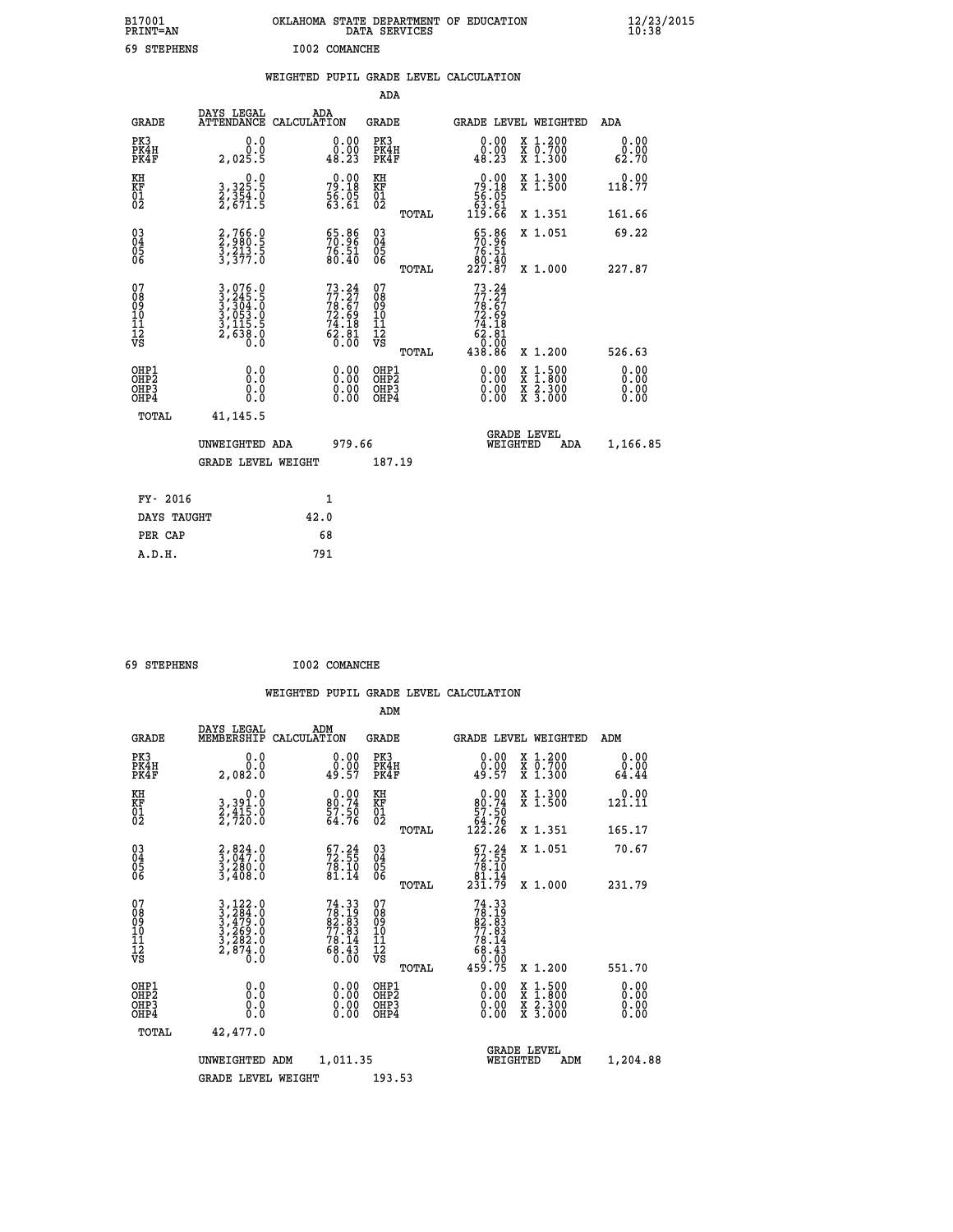| B17001<br><b>PRINT=AN</b> | OKLAHOMA STATE DEPARTMENT OF EDUCATION<br>DATA SERVICES | $\frac{12}{23}$ /2015 |
|---------------------------|---------------------------------------------------------|-----------------------|
| 69<br><b>STEPHENS</b>     | I002 COMANCHE                                           |                       |

|                                                          |                           |                                                                                                                                               |                                                                          |                        | ADA                                                |       |                                                                                      |          |                                                                                                                                              |                              |
|----------------------------------------------------------|---------------------------|-----------------------------------------------------------------------------------------------------------------------------------------------|--------------------------------------------------------------------------|------------------------|----------------------------------------------------|-------|--------------------------------------------------------------------------------------|----------|----------------------------------------------------------------------------------------------------------------------------------------------|------------------------------|
|                                                          | <b>GRADE</b>              | DAYS LEGAL                                                                                                                                    | ADA<br>ATTENDANCE CALCULATION                                            |                        | GRADE                                              |       |                                                                                      |          | <b>GRADE LEVEL WEIGHTED</b>                                                                                                                  | ADA                          |
| PK3                                                      | PK4H<br>PK4F              | 0.0<br>Ō.Ō<br>2,025.5                                                                                                                         | 48.23                                                                    | 0.00                   | PK3<br>PK4H<br>PK4F                                |       | 0.00<br>0.00<br>48.23                                                                |          | X 1.200<br>X 0.700<br>X 1.300                                                                                                                | 0.00<br>0.00<br>62.70        |
| KH<br>KF<br>01<br>02                                     |                           | $\begin{smallmatrix}&&&0.0\\3,325.5\\2,354.0\\2,671.5\end{smallmatrix}$                                                                       | $79.18$<br>$56.05$<br>$53.61$                                            |                        | KH<br>KF<br>01<br>02                               |       | $\begin{smallmatrix} &0.00\\79.18\\56.05\\63.61\\119.66\end{smallmatrix}$            |          | X 1.300<br>X 1.500                                                                                                                           | 0.00<br>118.77               |
|                                                          |                           |                                                                                                                                               |                                                                          |                        |                                                    | TOTAL |                                                                                      |          | X 1.351                                                                                                                                      | 161.66                       |
| $\begin{matrix} 03 \\ 04 \\ 05 \\ 06 \end{matrix}$       |                           | 2,766.0<br>2,980.5<br>3,213.5<br>3,377.0                                                                                                      | $\begin{smallmatrix} 65.86\\ 70.96\\ 76.51\\ 80.40 \end{smallmatrix}$    |                        | $\begin{matrix} 03 \\ 04 \\ 05 \\ 06 \end{matrix}$ | TOTAL | $\frac{65.86}{70.96}$<br>80.40<br>227.87                                             |          | X 1.051<br>X 1.000                                                                                                                           | 69.22<br>227.87              |
| 07<br>08<br>09<br>11<br>11<br>12<br>VS                   |                           | $\begin{smallmatrix} 3\,,\,076\,.0\\ 3\,,\,245\,.5\\ 3\,,\,304\,.0\\ 3\,,\,053\,.0\\ 3\,,\,115\,.5\\ 2\,,\,638\,.0\\ 0\,.0 \end{smallmatrix}$ | $73.24$<br>$77.27$<br>$78.67$<br>$72.69$<br>$74.18$<br>$62.81$<br>$0.00$ |                        | 07<br>08<br>09<br>11<br>11<br>12<br>VS             |       | $73.24$<br>$77.27$<br>$78.67$<br>$72.69$<br>$74.18$<br>$62.81$<br>$0.00$<br>$438.86$ |          | X 1.200                                                                                                                                      | 526.63                       |
| OHP1<br>OH <sub>P</sub> <sub>2</sub><br>OH <sub>P3</sub> | OH <sub>P4</sub><br>TOTAL | 0.0<br>Ō.Ō<br>0.0<br>0.0<br>41, 145.5                                                                                                         |                                                                          | 0.00<br>$0.00$<br>0.00 | OHP1<br>OHP2<br>OHP3<br>OHP4                       | TOTAL | 0.00<br>0.00<br>0.00                                                                 |          | $\begin{smallmatrix} \mathtt{X} & 1\cdot500 \\ \mathtt{X} & 1\cdot800 \\ \mathtt{X} & 2\cdot300 \\ \mathtt{X} & 3\cdot000 \end{smallmatrix}$ | 0.00<br>0.00<br>0.00<br>0.00 |
|                                                          |                           | UNWEIGHTED ADA<br><b>GRADE LEVEL WEIGHT</b>                                                                                                   |                                                                          | 979.66                 | 187.19                                             |       |                                                                                      | WEIGHTED | <b>GRADE LEVEL</b><br>ADA                                                                                                                    | 1,166.85                     |
|                                                          | FY- 2016                  |                                                                                                                                               | 1                                                                        |                        |                                                    |       |                                                                                      |          |                                                                                                                                              |                              |
|                                                          | DAYS TAUGHT               |                                                                                                                                               | 42.0                                                                     |                        |                                                    |       |                                                                                      |          |                                                                                                                                              |                              |
|                                                          | PER CAP                   |                                                                                                                                               | 68                                                                       |                        |                                                    |       |                                                                                      |          |                                                                                                                                              |                              |
|                                                          | A.D.H.                    |                                                                                                                                               | 791                                                                      |                        |                                                    |       |                                                                                      |          |                                                                                                                                              |                              |

| 69 STEPHENS | I002 COMANCHE |
|-------------|---------------|
|             |               |

| <b>GRADE</b>                                         | DAYS LEGAL<br>MEMBERSHIP                                                                                                                                  | ADM<br>CALCULATION                                                       | <b>GRADE</b>                                        |       | GRADE LEVEL WEIGHTED                                                                                                                                                                                                                                                           |                                          | ADM                   |  |
|------------------------------------------------------|-----------------------------------------------------------------------------------------------------------------------------------------------------------|--------------------------------------------------------------------------|-----------------------------------------------------|-------|--------------------------------------------------------------------------------------------------------------------------------------------------------------------------------------------------------------------------------------------------------------------------------|------------------------------------------|-----------------------|--|
| PK3<br>PK4H<br>PK4F                                  | 0.0<br><sup>0.0</sup> 2,082                                                                                                                               | $\begin{smallmatrix} 0.00\\ 0.00\\ 49.57 \end{smallmatrix}$              | PK3<br>PK4H<br>PK4F                                 |       | $\begin{smallmatrix} 0.00\\ 0.00\\ 49.57 \end{smallmatrix}$                                                                                                                                                                                                                    | X 1.200<br>X 0.700<br>X 1.300            | 0.00<br>0.00<br>64.44 |  |
| KH<br>KF<br>01<br>02                                 | 0.0<br>3,391.0<br>2,415.0<br>2,720.0                                                                                                                      | $\begin{smallmatrix} 0.00\\ 80.74\\ 57.50\\ 64.76 \end{smallmatrix}$     | KH<br>KF<br>01<br>02                                |       | 0.00<br>$\begin{array}{r} 80.74 \\ 57.50 \\ 64.76 \\ 122.26 \end{array}$                                                                                                                                                                                                       | X 1.300<br>X 1.500                       | 0.00<br>121.11        |  |
|                                                      |                                                                                                                                                           |                                                                          |                                                     | TOTAL |                                                                                                                                                                                                                                                                                | X 1.351                                  | 165.17                |  |
| 03<br>04<br>05<br>06                                 | $\begin{smallmatrix} 2, 824.0\\ 3, 047.0\\ 3, 280.0\\ 3, 408.0 \end{smallmatrix}$                                                                         | $\begin{smallmatrix} 67.24 \\ 72.55 \\ 78.10 \\ 81.14 \end{smallmatrix}$ | $\begin{array}{c} 03 \\ 04 \\ 05 \\ 06 \end{array}$ |       | $\begin{smallmatrix} 67.24 \\ 72.55 \\ 78.10 \\ 81.14 \\ 231.79 \end{smallmatrix}$                                                                                                                                                                                             | X 1.051                                  | 70.67                 |  |
|                                                      |                                                                                                                                                           |                                                                          |                                                     | TOTAL |                                                                                                                                                                                                                                                                                | X 1.000                                  | 231.79                |  |
| 07<br>08<br>09<br>11<br>11<br>12<br>VS               | $\begin{smallmatrix} 3\,,\,122\,.\,0\\ 3\,,\,284\,.\,0\\ 3\,,\,479\,.\,0\\ 3\,,\,269\,.\,0\\ 3\,,\,282\,.\,0\\ 2\,,\,874\,.\,0\\ 0\,.0 \end{smallmatrix}$ | $74.33\n78.19\n82.83\n77.83\n78.14\n78.43\n68.43\n0.00$                  | 07<br>08<br>09<br>11<br>11<br>12<br>VS              | TOTAL | $74.33$<br>$78.19$<br>$82.83$<br>$77.83$<br>$78.14$<br>$68.43$<br>$0.00$<br>$459.75$                                                                                                                                                                                           | X 1.200                                  | 551.70                |  |
| OHP1<br>OHP <sub>2</sub><br>OH <sub>P3</sub><br>OHP4 | 0.0<br>0.000                                                                                                                                              |                                                                          | OHP1<br>OHP <sub>2</sub><br>OHP <sub>3</sub>        |       | $\begin{smallmatrix} 0.00 & 0.00 & 0.00 & 0.00 & 0.00 & 0.00 & 0.00 & 0.00 & 0.00 & 0.00 & 0.00 & 0.00 & 0.00 & 0.00 & 0.00 & 0.00 & 0.00 & 0.00 & 0.00 & 0.00 & 0.00 & 0.00 & 0.00 & 0.00 & 0.00 & 0.00 & 0.00 & 0.00 & 0.00 & 0.00 & 0.00 & 0.00 & 0.00 & 0.00 & 0.00 & 0.0$ | X 1:500<br>X 1:800<br>X 2:300<br>X 3:000 | 0.00<br>0.00<br>0.00  |  |
| TOTAL                                                | 42,477.0                                                                                                                                                  |                                                                          |                                                     |       |                                                                                                                                                                                                                                                                                |                                          |                       |  |
|                                                      | UNWEIGHTED                                                                                                                                                | 1,011.35<br>ADM                                                          |                                                     |       | WEIGHTED                                                                                                                                                                                                                                                                       | <b>GRADE LEVEL</b><br>ADM                | 1,204.88              |  |
|                                                      | <b>GRADE LEVEL WEIGHT</b>                                                                                                                                 |                                                                          | 193.53                                              |       |                                                                                                                                                                                                                                                                                |                                          |                       |  |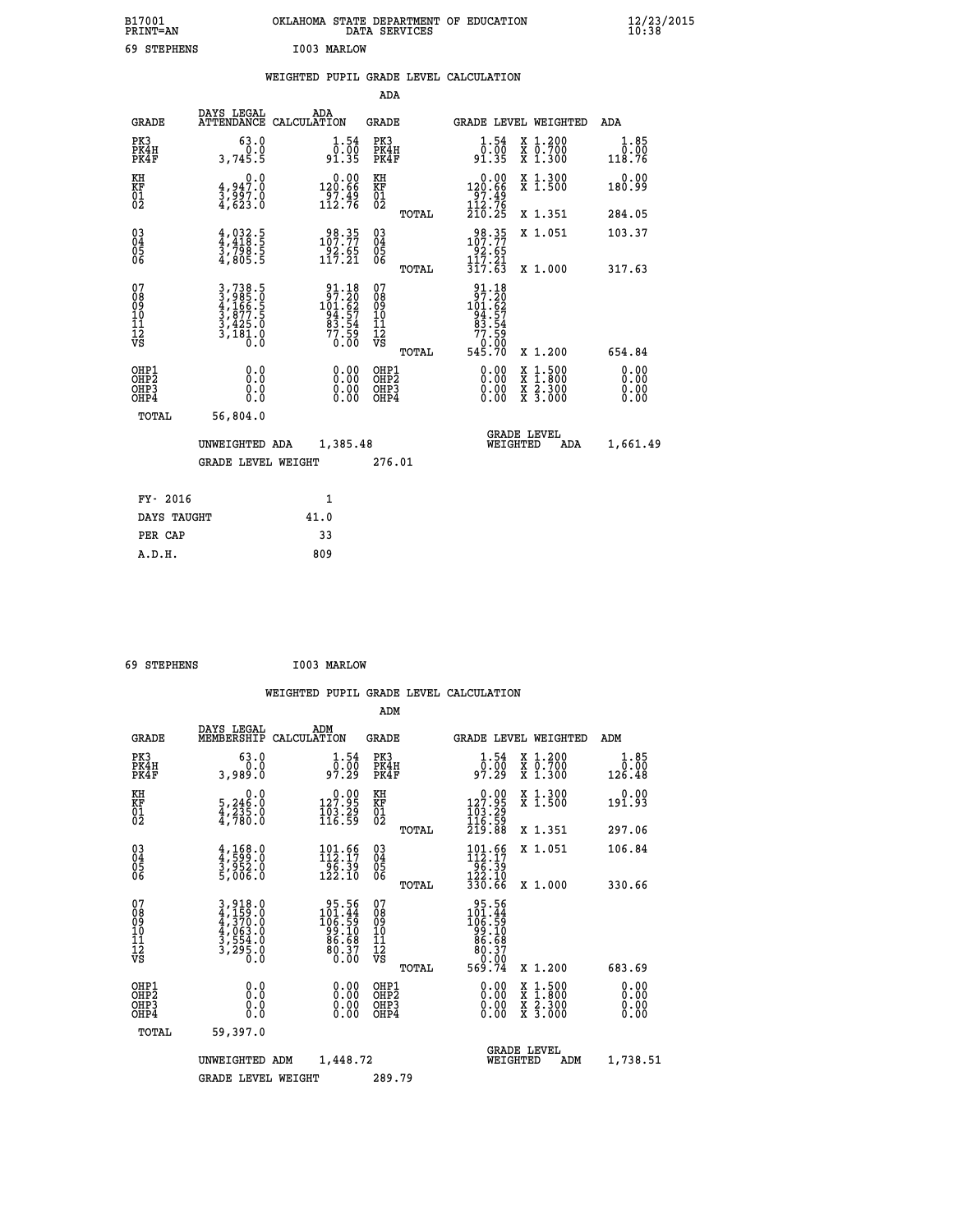| B17001<br><b>PRINT=AN</b> | OKLAHOMA STATE DEPARTMENT OF EDUCATION<br>DATA SERVICES | $\frac{12}{23}$ /2015 |
|---------------------------|---------------------------------------------------------|-----------------------|
| 69<br><b>STEPHENS</b>     | I003 MARLOW                                             |                       |

|  |  | WEIGHTED PUPIL GRADE LEVEL CALCULATION |
|--|--|----------------------------------------|
|  |  |                                        |

|                                                                              |                                                                                                                                               |                                                                     | ADA                                                 |       |                                                                                  |                                                                                                                                              |                              |
|------------------------------------------------------------------------------|-----------------------------------------------------------------------------------------------------------------------------------------------|---------------------------------------------------------------------|-----------------------------------------------------|-------|----------------------------------------------------------------------------------|----------------------------------------------------------------------------------------------------------------------------------------------|------------------------------|
| <b>GRADE</b>                                                                 | DAYS LEGAL                                                                                                                                    | ADA<br>ATTENDANCE CALCULATION                                       | GRADE                                               |       | <b>GRADE LEVEL WEIGHTED</b>                                                      |                                                                                                                                              | ADA                          |
| PK3<br>PK4H<br>PK4F                                                          | 63.0<br>0.0<br>3,745.5                                                                                                                        | $\begin{smallmatrix} 1.54\ 0.00 \ 91.35 \end{smallmatrix}$          | PK3<br>PK4H<br>PK4F                                 |       | 1.54<br>ō:ŏō<br>91:35                                                            | X 1.200<br>X 0.700<br>X 1.300                                                                                                                | 1.85<br>0.00<br>118.76       |
| KH<br>KF<br>01<br>02                                                         | 0.0<br>4,947.0<br>3,997.0<br>4,623.0                                                                                                          | $\begin{smallmatrix} &0.00\\120.66\\97.49\\112.76\end{smallmatrix}$ | KH<br>KF<br>01<br>02                                |       | $\begin{smallmatrix} &0.00\\ 120.66\\ 97.49\\ 112.76\\ 210.25 \end{smallmatrix}$ | X 1.300<br>X 1.500                                                                                                                           | 0.00<br>180.99               |
|                                                                              |                                                                                                                                               |                                                                     |                                                     | TOTAL |                                                                                  | X 1.351                                                                                                                                      | 284.05                       |
| $\begin{matrix} 03 \\ 04 \\ 05 \\ 06 \end{matrix}$                           | $\frac{4}{4}, \frac{032}{418}$ .<br>$\frac{5}{3}, \frac{798}{798}$ .<br>$\frac{5}{4}, \frac{805}{5}$                                          | 98.35<br>107.77<br>$\frac{92.65}{117.21}$                           | $\begin{array}{c} 03 \\ 04 \\ 05 \\ 06 \end{array}$ |       | 107.35<br>$\frac{52.65}{117.21}$                                                 | X 1.051                                                                                                                                      | 103.37                       |
|                                                                              |                                                                                                                                               |                                                                     |                                                     | TOTAL | 317.63                                                                           | X 1.000                                                                                                                                      | 317.63                       |
| 07<br>08<br>09<br>11<br>11<br>12<br>VS                                       | $\begin{smallmatrix} 3\,,\,738\,.5\\ 3\,,\,985\,.0\\ 4\,,\,166\,.5\\ 3\,,\,877\,.5\\ 3\,,\,425\,.0\\ 3\,,\,181\,.0\\ 0\,.0 \end{smallmatrix}$ | 91.18<br>97.20<br>101.62<br>94.57<br>83.54<br>77.59<br>0.00         | 07<br>08<br>09<br>11<br>11<br>12<br>VS              | TOTAL | 91.18<br>97.20<br>101.62<br>101.57<br>93.54<br>77.59<br>545.70                   | X 1.200                                                                                                                                      | 654.84                       |
| OHP1<br>OH <sub>P</sub> <sub>2</sub><br>OH <sub>P3</sub><br>OH <sub>P4</sub> | 0.0<br>Ō.Ō<br>0.0<br>0.0                                                                                                                      | 0.00<br>0.00<br>0.00                                                | OHP1<br>OHP2<br>OHP3<br>OHP4                        |       | 0.00<br>0.00<br>0.00                                                             | $\begin{smallmatrix} \mathtt{X} & 1\cdot500 \\ \mathtt{X} & 1\cdot800 \\ \mathtt{X} & 2\cdot300 \\ \mathtt{X} & 3\cdot000 \end{smallmatrix}$ | 0.00<br>0.00<br>0.00<br>0.00 |
| TOTAL                                                                        | 56,804.0                                                                                                                                      |                                                                     |                                                     |       |                                                                                  |                                                                                                                                              |                              |
|                                                                              | UNWEIGHTED ADA                                                                                                                                | 1,385.48                                                            |                                                     |       | WEIGHTED                                                                         | <b>GRADE LEVEL</b><br>ADA                                                                                                                    | 1,661.49                     |
|                                                                              | <b>GRADE LEVEL WEIGHT</b>                                                                                                                     |                                                                     | 276.01                                              |       |                                                                                  |                                                                                                                                              |                              |
| FY- 2016                                                                     |                                                                                                                                               | 1                                                                   |                                                     |       |                                                                                  |                                                                                                                                              |                              |
| DAYS TAUGHT                                                                  |                                                                                                                                               | 41.0                                                                |                                                     |       |                                                                                  |                                                                                                                                              |                              |
| PER CAP                                                                      |                                                                                                                                               | 33                                                                  |                                                     |       |                                                                                  |                                                                                                                                              |                              |
| A.D.H.                                                                       |                                                                                                                                               | 809                                                                 |                                                     |       |                                                                                  |                                                                                                                                              |                              |

| 69 STEPHENS | I003 MARLOW |
|-------------|-------------|
|             |             |

 **ADM**

 **A.D.H. 809**

| <b>GRADE</b>                                       | DAYS LEGAL<br>MEMBERSHIP                                                | ADM<br>CALCULATION |                                                                                             | <b>GRADE</b>                                       |       |                                                                                                                                                                                                                                                                                |                                | <b>GRADE LEVEL WEIGHTED</b>              | ADM                    |
|----------------------------------------------------|-------------------------------------------------------------------------|--------------------|---------------------------------------------------------------------------------------------|----------------------------------------------------|-------|--------------------------------------------------------------------------------------------------------------------------------------------------------------------------------------------------------------------------------------------------------------------------------|--------------------------------|------------------------------------------|------------------------|
| PK3<br>PK4H<br>PK4F                                | 63.0<br>0.0<br>3,989.0                                                  |                    | 1.54<br>____<br>97.29                                                                       | PK3<br>PK4H<br>PK4F                                |       | $\begin{smallmatrix}1.54\0.00\\97.29\end{smallmatrix}$                                                                                                                                                                                                                         |                                | X 1.200<br>X 0.700<br>X 1.300            | 1.85<br>0.00<br>126.48 |
| KH<br>KF<br>01<br>02                               | $\begin{smallmatrix}&&&0.0\\5,246.0\\4,235.0\\4,780.0\end{smallmatrix}$ |                    | $\begin{smallmatrix} &0.00\\ 127.95\\ 103.29\\ 116.59\end{smallmatrix}$                     | KH<br>KF<br>01<br>02                               |       | $\begin{array}{c} 0.00 \\ 127.95 \\ 103.29 \\ 116.59 \\ 219.88 \end{array}$                                                                                                                                                                                                    |                                | X 1.300<br>X 1.500                       | 0.00<br>191.93         |
|                                                    |                                                                         |                    |                                                                                             |                                                    | TOTAL |                                                                                                                                                                                                                                                                                |                                | X 1.351                                  | 297.06                 |
| $\begin{matrix} 03 \\ 04 \\ 05 \\ 06 \end{matrix}$ | $\frac{4}{3}, \frac{168}{599}.0$<br>$\frac{3}{5}, \frac{952}{06}.0$     |                    | 101.66<br>112.17<br>$\frac{1}{122}. \frac{1}{10}$                                           | $\begin{matrix} 03 \\ 04 \\ 05 \\ 06 \end{matrix}$ |       | $\begin{array}{l} 101.66 \\ 112.17 \\ 96.39 \\ 122.10 \\ 330.66 \end{array}$                                                                                                                                                                                                   |                                | X 1.051                                  | 106.84                 |
|                                                    |                                                                         |                    |                                                                                             |                                                    | TOTAL |                                                                                                                                                                                                                                                                                |                                | X 1.000                                  | 330.66                 |
| 07<br>08<br>09<br>101<br>11<br>12<br>VS            | 3,918.0<br>4,159.0<br>4,370.0<br>4,063.0<br>3,554.0<br>3,295.0<br>0.0   |                    | $\begin{array}{r} 95.56 \\ 101.44 \\ 106.59 \\ 99.10 \\ 86.68 \\ 80.37 \\ 0.00 \end{array}$ | 07<br>08<br>09<br>001<br>11<br>11<br>12<br>VS      | TOTAL | $\begin{array}{r} 95.56 \\ 101.44 \\ 106.59 \\ 99.10 \\ 86.68 \\ 80.37 \\ 0.00 \\ 569.74 \end{array}$                                                                                                                                                                          |                                | X 1.200                                  | 683.69                 |
| OHP1<br>OHP2<br>OH <sub>P3</sub><br>OHP4           |                                                                         |                    | $\begin{smallmatrix} 0.00 \ 0.00 \ 0.00 \ 0.00 \end{smallmatrix}$                           | OHP1<br>OHP2<br>OHP3<br>OHP4                       |       | $\begin{smallmatrix} 0.00 & 0.00 & 0.00 & 0.00 & 0.00 & 0.00 & 0.00 & 0.00 & 0.00 & 0.00 & 0.00 & 0.00 & 0.00 & 0.00 & 0.00 & 0.00 & 0.00 & 0.00 & 0.00 & 0.00 & 0.00 & 0.00 & 0.00 & 0.00 & 0.00 & 0.00 & 0.00 & 0.00 & 0.00 & 0.00 & 0.00 & 0.00 & 0.00 & 0.00 & 0.00 & 0.0$ |                                | X 1:500<br>X 1:800<br>X 2:300<br>X 3:000 | 0.00<br>0.00<br>0.00   |
| TOTAL                                              | 59,397.0                                                                |                    |                                                                                             |                                                    |       |                                                                                                                                                                                                                                                                                |                                |                                          |                        |
|                                                    | UNWEIGHTED                                                              | ADM                | 1,448.72                                                                                    |                                                    |       |                                                                                                                                                                                                                                                                                | <b>GRADE LEVEL</b><br>WEIGHTED | ADM                                      | 1,738.51               |
|                                                    | <b>GRADE LEVEL WEIGHT</b>                                               |                    |                                                                                             | 289.79                                             |       |                                                                                                                                                                                                                                                                                |                                |                                          |                        |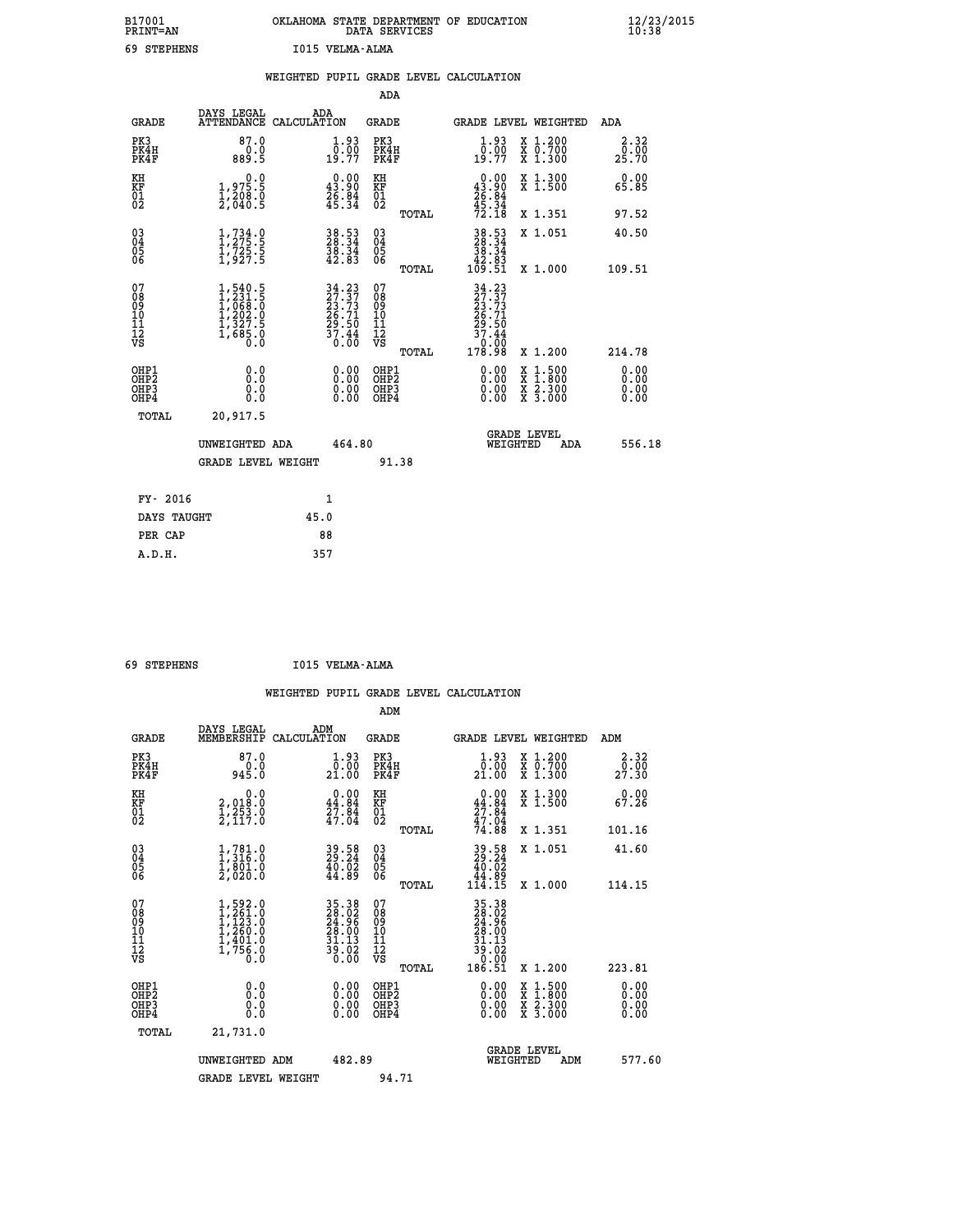| B17001<br><b>PRINT=AN</b> | OKLAHOMA STATE DEPARTMENT OF EDUCATION<br>DATA SERVICES |  |
|---------------------------|---------------------------------------------------------|--|
| 69 STEPHENS               | I015 VELMA-ALMA                                         |  |

|                                           |                                                                                         | WEIGHTED PUPIL GRADE LEVEL CALCULATION                                                                                       |                                                     |       |                                                                                                                                         |                                                                   |                              |
|-------------------------------------------|-----------------------------------------------------------------------------------------|------------------------------------------------------------------------------------------------------------------------------|-----------------------------------------------------|-------|-----------------------------------------------------------------------------------------------------------------------------------------|-------------------------------------------------------------------|------------------------------|
|                                           |                                                                                         |                                                                                                                              | ADA                                                 |       |                                                                                                                                         |                                                                   |                              |
| <b>GRADE</b>                              | DAYS LEGAL                                                                              | ADA<br>ATTENDANCE CALCULATION                                                                                                | <b>GRADE</b>                                        |       |                                                                                                                                         | GRADE LEVEL WEIGHTED                                              | ADA                          |
| PK3<br>PK4H<br>PK4F                       | 87.0<br>$0.0$<br>5.889                                                                  | 1.93<br>$\frac{0.00}{19.77}$                                                                                                 | PK3<br>PK4H<br>PK4F                                 |       | 1.93<br>0.00<br>19.77                                                                                                                   | X 1.200<br>X 0.700<br>X 1.300                                     | 2.32<br>0.00<br>25.70        |
| KH<br><b>KF</b><br>01<br>02               | $\begin{smallmatrix} 0.0\\ 1.975.5\\ 1.208.0\\ 2.040.5 \end{smallmatrix}$               | $\begin{smallmatrix} 0.00\\ 43.90\\ 26.84\\ 45.34 \end{smallmatrix}$                                                         | KH<br>KF<br>01<br>02                                |       | $\begin{smallmatrix} 0.00\\ 43.90\\ 26.84\\ 45.34\\ 72.18 \end{smallmatrix}$                                                            | X 1.300<br>X 1.500                                                | 0.00<br>65.85                |
|                                           |                                                                                         |                                                                                                                              |                                                     | TOTAL |                                                                                                                                         | X 1.351                                                           | 97.52                        |
| 03<br>04<br>05<br>06                      | $\frac{1}{1}, \frac{734}{275}$ .<br>1,725.5<br>1,927.5                                  | 38.53<br>28.34<br>38.34<br>42.83                                                                                             | $\begin{array}{c} 03 \\ 04 \\ 05 \\ 06 \end{array}$ |       | $\begin{array}{r} 38.53 \\ 28.34 \\ 38.34 \\ 42.83 \\ 42.83 \\ 109.51 \end{array}$                                                      | X 1.051                                                           | 40.50                        |
|                                           |                                                                                         |                                                                                                                              |                                                     | TOTAL |                                                                                                                                         | X 1.000                                                           | 109.51                       |
| 07<br>089<br>090<br>1112<br>VS            | $1, 540.5$<br>$1, 231.5$<br>$1, 068.0$<br>$1, 202.0$<br>$1, 327.5$<br>$1, 685.0$<br>0.0 | $\begin{array}{c} 34\cdot 23 \\ 27\cdot 37 \\ 23\cdot 73 \\ 26\cdot 71 \\ 29\cdot 50 \\ 37\cdot 44 \\ 0\cdot 00 \end{array}$ | 07<br>08<br>09<br>10<br>11<br>12<br>VS              | TOTAL | $\begin{smallmatrix} 34 & 23 \\ 27 & 37 \\ 23 & 73 \\ 26 & 71 \\ 26 & 71 \\ 29 & 50 \\ 37 & 44 \\ 0 & 00 \\ 178 & 98 \end{smallmatrix}$ | X 1.200                                                           | 214.78                       |
| OHP1<br>OH <sub>P</sub> 2<br>OHP3<br>OHP4 | 0.0<br>0.0<br>0.0                                                                       | 0.00<br>$0.00$<br>0.00                                                                                                       | OHP1<br>OHP2<br>OHP3<br>OHP4                        |       | 0.00<br>0.00<br>0.00                                                                                                                    | $1:500$<br>1:800<br>X<br>X<br>$\frac{x}{x}$ $\frac{5:300}{3:000}$ | 0.00<br>0.00<br>0.00<br>0.00 |
| <b>TOTAL</b>                              | 20,917.5                                                                                |                                                                                                                              |                                                     |       |                                                                                                                                         |                                                                   |                              |
|                                           | UNWEIGHTED ADA                                                                          | 464.80                                                                                                                       |                                                     |       | WEIGHTED                                                                                                                                | <b>GRADE LEVEL</b><br><b>ADA</b>                                  | 556.18                       |
|                                           | <b>GRADE LEVEL WEIGHT</b>                                                               |                                                                                                                              |                                                     | 91.38 |                                                                                                                                         |                                                                   |                              |
| FY- 2016                                  |                                                                                         | $\mathbf{1}$                                                                                                                 |                                                     |       |                                                                                                                                         |                                                                   |                              |
| DAYS TAUGHT                               |                                                                                         | 45.0                                                                                                                         |                                                     |       |                                                                                                                                         |                                                                   |                              |
| PER CAP                                   |                                                                                         | 88                                                                                                                           |                                                     |       |                                                                                                                                         |                                                                   |                              |

| co empoupne |  |
|-------------|--|

 **A.D.H. 357**

 **ADM**

 **69 STEPHENS I015 VELMA-ALMA**

| <b>GRADE</b>                                       | DAYS LEGAL<br>MEMBERSHIP CALCULATION                                                      | ADM                                                                   | <b>GRADE</b>                                           | GRADE LEVEL WEIGHTED                                                                                                                 |                                                                                                                     | ADM                   |
|----------------------------------------------------|-------------------------------------------------------------------------------------------|-----------------------------------------------------------------------|--------------------------------------------------------|--------------------------------------------------------------------------------------------------------------------------------------|---------------------------------------------------------------------------------------------------------------------|-----------------------|
| PK3<br>PK4H<br>PK4F                                | 87.0<br>0.0<br>945.0                                                                      | 1.93<br>$\frac{0.00}{21.00}$                                          | PK3<br>PK4H<br>PK4F                                    | 1.93<br>0.00<br>21.00                                                                                                                | X 1.200<br>X 0.700<br>X 1.300                                                                                       | 2.32<br>0.00<br>27.30 |
| KH<br>KF<br>01<br>02                               | 0.0<br>2,018:0<br>1,253:0<br>2,117:0                                                      | $\begin{smallmatrix} 0.00\\ 44.84\\ 27.84\\ 47.04 \end{smallmatrix}$  | KH<br>KF<br>01<br>02                                   | $\begin{smallmatrix} 0.00\\ 44.84\\ 27.84\\ 47.04\\ 47.04\\ 74.88 \end{smallmatrix}$                                                 | X 1.300<br>X 1.500                                                                                                  | 0.00<br>67.26         |
|                                                    |                                                                                           |                                                                       | TOTAL                                                  |                                                                                                                                      | X 1.351                                                                                                             | 101.16                |
| $\begin{matrix} 03 \\ 04 \\ 05 \\ 06 \end{matrix}$ | $\begin{smallmatrix} 1.781.0\\ 1.316.0\\ 1.801.0\\ 2.020.0 \end{smallmatrix}$             | $\begin{smallmatrix} 39.58\\ 29.24\\ 40.02\\ 44.89 \end{smallmatrix}$ | $\begin{matrix} 03 \\ 04 \\ 05 \\ 06 \end{matrix}$     | $39.58$<br>$29.24$<br>$40.02$<br>$44.89$<br>$114.15$                                                                                 | X 1.051                                                                                                             | 41.60                 |
|                                                    |                                                                                           |                                                                       | TOTAL                                                  |                                                                                                                                      | X 1.000                                                                                                             | 114.15                |
| 07<br>08<br>09<br>101<br>11<br>12<br>VS            | $1, 592.0$<br>$1, 261.0$<br>$1, 123.0$<br>$1, 260.0$<br>$1, 401.0$<br>$1, 756.0$<br>$0.0$ | 35.38<br>28.02<br>24.96<br>28.00<br>31.13<br>39.02<br>39.02           | 07<br>08<br>09<br>001<br>11<br>11<br>12<br>VS<br>TOTAL | $\begin{array}{r} 35\cdot 38\\ 28\cdot 02\\ 24\cdot 96\\ 28\cdot 00\\ 31\cdot 13\\ 39\cdot 02\\ 0\cdot 00\\ 186\cdot 51 \end{array}$ | X 1.200                                                                                                             | 223.81                |
| OHP1<br>OHP2<br>OHP3<br>OHP4                       | 0.0<br>0.0<br>Ŏ.Ŏ                                                                         | $0.00$<br>$0.00$<br>0.00                                              | OHP1<br>OHP2<br>OHP3<br>OHP4                           | $0.00$<br>$0.00$<br>0.00                                                                                                             | $\begin{array}{l} \mathtt{X} & 1.500 \\ \mathtt{X} & 1.800 \\ \mathtt{X} & 2.300 \\ \mathtt{X} & 3.000 \end{array}$ | 0.00<br>0.00<br>0.00  |
| TOTAL                                              | 21,731.0                                                                                  |                                                                       |                                                        |                                                                                                                                      |                                                                                                                     |                       |
|                                                    | UNWEIGHTED<br>ADM                                                                         | 482.89                                                                |                                                        | WEIGHTED                                                                                                                             | <b>GRADE LEVEL</b><br>ADM                                                                                           | 577.60                |
|                                                    | <b>GRADE LEVEL WEIGHT</b>                                                                 |                                                                       | 94.71                                                  |                                                                                                                                      |                                                                                                                     |                       |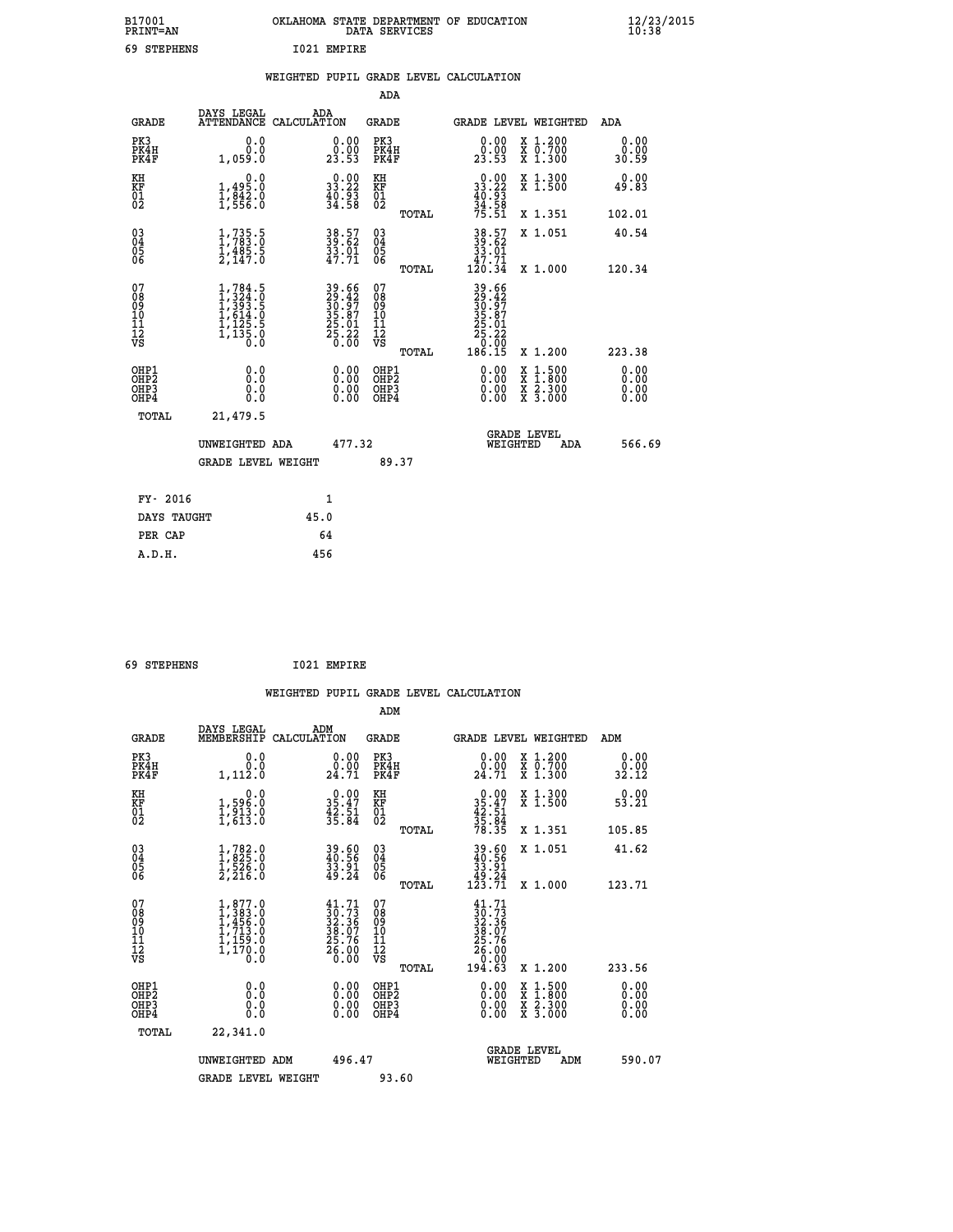| B17001<br><b>PRINT=AN</b> | OKLAHOMA STATE DEPARTMENT OF EDUCATION<br>DATA SERVICES | $\frac{12}{23}$ /2015 |
|---------------------------|---------------------------------------------------------|-----------------------|
| 69<br><b>STEPHENS</b>     | 1021 EMPIRE                                             |                       |

|  |  | WEIGHTED PUPIL GRADE LEVEL CALCULATION |
|--|--|----------------------------------------|
|  |  |                                        |

|                                                       |                                                                                                                       |                                                                      | ADA                                      |       |                                                                              |                                                                                                                                      |                              |
|-------------------------------------------------------|-----------------------------------------------------------------------------------------------------------------------|----------------------------------------------------------------------|------------------------------------------|-------|------------------------------------------------------------------------------|--------------------------------------------------------------------------------------------------------------------------------------|------------------------------|
| <b>GRADE</b>                                          | DAYS LEGAL<br>ATTENDANCE CALCULATION                                                                                  | ADA                                                                  | GRADE                                    |       |                                                                              | <b>GRADE LEVEL WEIGHTED</b>                                                                                                          | ADA                          |
| PK3<br>PK4H<br>PK4F                                   | 0.0<br>0.0<br>1,059.0                                                                                                 | $\begin{smallmatrix} 0.00\\ 0.00\\ 23.53 \end{smallmatrix}$          | PK3<br>PK4H<br>PK4F                      |       | 0.00<br>0.00<br>23.53                                                        | X 1.200<br>X 0.700<br>X 1.300                                                                                                        | 0.00<br>0.00<br>30.59        |
| KH<br>KF<br>01<br>02                                  | 0.0<br>1,495:0<br>1,842:0<br>1,556:0                                                                                  | $\begin{smallmatrix} 0.00\\ 33.22\\ 40.93\\ 34.58 \end{smallmatrix}$ | KH<br>KF<br>01<br>02                     |       | $\begin{smallmatrix} 0.00\\ 33.22\\ 40.93\\ 34.58\\ 75.51 \end{smallmatrix}$ | X 1.300<br>X 1.500                                                                                                                   | 0.00<br>49.83                |
|                                                       |                                                                                                                       |                                                                      |                                          | TOTAL |                                                                              | X 1.351                                                                                                                              | 102.01                       |
| 03<br>04<br>05<br>06                                  | $\frac{1}{1}, \frac{735}{783}$ .<br>1,485.5<br>2,147.0                                                                | 38.57<br>39.62<br>33.01<br>47.71                                     | 03<br>04<br>05<br>06                     |       | $38.57$<br>$39.62$<br>$33.01$<br>$47.71$<br>$120.34$                         | X 1.051                                                                                                                              | 40.54                        |
|                                                       |                                                                                                                       |                                                                      |                                          | TOTAL |                                                                              | X 1.000                                                                                                                              | 120.34                       |
| 07<br>08<br>09<br>11<br>11<br>12<br>VS                | $\begin{smallmatrix} 1,784\ .5\\ 1,324\ .0\\ 1,393\ .5\\ 1,614\ .0\\ 1,125\ .5\\ 1,135\ .0\\ 0\ .0 \end{smallmatrix}$ | 39.66<br>29.42<br>30.97<br>35.87<br>25.01<br>25.22<br>0.00           | 07<br>08<br>09<br>11<br>11<br>12<br>VS   | TOTAL | 39.66<br>29.427<br>30.977<br>35.87<br>25.22<br>26.22<br>186.15               | X 1.200                                                                                                                              | 223.38                       |
| OHP1<br>OH <sub>P</sub> 2<br>OH <sub>P3</sub><br>OHP4 | 0.0<br>0.0<br>0.0                                                                                                     | 0.00<br>$\begin{smallmatrix} 0.00 \ 0.00 \end{smallmatrix}$          | OHP1<br>OHP <sub>2</sub><br>OHP3<br>OHP4 |       | 0.00<br>0.00<br>0.00                                                         | $\begin{smallmatrix} \mathtt{X} & 1 & 500 \\ \mathtt{X} & 1 & 800 \\ \mathtt{X} & 2 & 300 \\ \mathtt{X} & 3 & 000 \end{smallmatrix}$ | 0.00<br>0.00<br>0.00<br>0.00 |
| TOTAL                                                 | 21,479.5                                                                                                              |                                                                      |                                          |       |                                                                              |                                                                                                                                      |                              |
|                                                       | UNWEIGHTED ADA                                                                                                        | 477.32                                                               |                                          |       |                                                                              | <b>GRADE LEVEL</b><br>WEIGHTED<br>ADA                                                                                                | 566.69                       |
|                                                       | <b>GRADE LEVEL WEIGHT</b>                                                                                             |                                                                      | 89.37                                    |       |                                                                              |                                                                                                                                      |                              |
| FY- 2016                                              |                                                                                                                       | $\mathbf{1}$                                                         |                                          |       |                                                                              |                                                                                                                                      |                              |
| DAYS TAUGHT                                           |                                                                                                                       | 45.0                                                                 |                                          |       |                                                                              |                                                                                                                                      |                              |
| PER CAP                                               |                                                                                                                       | 64                                                                   |                                          |       |                                                                              |                                                                                                                                      |                              |
| A.D.H.                                                |                                                                                                                       | 456                                                                  |                                          |       |                                                                              |                                                                                                                                      |                              |

| 69 STEPHENS | 1021 EMPIRE |
|-------------|-------------|

| <b>GRADE</b>                                                     | DAYS LEGAL<br>MEMBERSHIP                                                            | ADM<br>CALCULATION                                                          | <b>GRADE</b>                                        |       |                                                                                           | <b>GRADE LEVEL WEIGHTED</b>              | ADM                          |  |
|------------------------------------------------------------------|-------------------------------------------------------------------------------------|-----------------------------------------------------------------------------|-----------------------------------------------------|-------|-------------------------------------------------------------------------------------------|------------------------------------------|------------------------------|--|
| PK3<br>PK4H<br>PK4F                                              | 0.0<br>0.0<br>1,112.0                                                               | 0.0000<br>24.71                                                             | PK3<br>PK4H<br>PK4F                                 |       | 0.00<br>$\frac{0.00}{24.71}$                                                              | X 1.200<br>X 0.700<br>X 1.300            | 0.00<br>$\frac{0.00}{32.12}$ |  |
| KH<br>KF<br>01<br>02                                             | 0.0<br>1,596.0<br>1,913.0<br>1,613.0                                                | $\begin{smallmatrix} 0.00\\ 35.47\\ 42.51\\ 35.84 \end{smallmatrix}$        | KH<br>KF<br>01<br>02                                |       | $0.00$<br>$35.47$<br>$42.51$<br>$35.84$<br>$78.35$                                        | X 1.300<br>X 1.500                       | 0.00<br>53.21                |  |
|                                                                  |                                                                                     |                                                                             |                                                     | TOTAL |                                                                                           | X 1.351                                  | 105.85                       |  |
| $\begin{matrix} 03 \\ 04 \\ 05 \\ 06 \end{matrix}$               | $1, 782.0$<br>$1, 825.0$<br>$1, 526.0$<br>$2, 216.0$                                | $39.56$<br>$40.56$<br>$33.91$<br>$49.24$                                    | $\begin{array}{c} 03 \\ 04 \\ 05 \\ 06 \end{array}$ |       | $39.60$<br>$33.91$<br>$49.24$<br>$123.71$                                                 | X 1.051                                  | 41.62                        |  |
|                                                                  |                                                                                     |                                                                             |                                                     | TOTAL |                                                                                           | X 1.000                                  | 123.71                       |  |
| 07<br>08<br>09<br>11<br>11<br>12<br>VS                           | $1,877.0$<br>$1,383.0$<br>$1,456.0$<br>$1,713.0$<br>$1,159.0$<br>$1,170.0$<br>$0.0$ | $41.71$<br>$30.73$<br>$32.36$<br>$38.07$<br>$25.76$<br>$\frac{26.00}{0.00}$ | 07<br>08<br>09<br>11<br>11<br>12<br>VS              |       | $\begin{smallmatrix} 41.71\ 30.73\ 32.36\ 38.07\ 25.76\ 26.000\ 194.63 \end{smallmatrix}$ |                                          |                              |  |
|                                                                  |                                                                                     |                                                                             |                                                     | TOTAL |                                                                                           | X 1.200                                  | 233.56                       |  |
| OHP1<br>OH <sub>P</sub> <sub>2</sub><br>OH <sub>P3</sub><br>OHP4 | 0.0<br>0.0<br>Ŏ.Ŏ                                                                   |                                                                             | OHP1<br>OHP <sub>2</sub><br>OHP3<br>OHP4            |       |                                                                                           | X 1:500<br>X 1:800<br>X 2:300<br>X 3:000 | 0.00<br>0.00<br>0.00<br>0.00 |  |
| TOTAL                                                            | 22,341.0                                                                            |                                                                             |                                                     |       |                                                                                           |                                          |                              |  |
|                                                                  | UNWEIGHTED ADM                                                                      | 496.47                                                                      |                                                     |       | WEIGHTED                                                                                  | <b>GRADE LEVEL</b><br>ADM                | 590.07                       |  |
|                                                                  | <b>GRADE LEVEL WEIGHT</b>                                                           |                                                                             | 93.60                                               |       |                                                                                           |                                          |                              |  |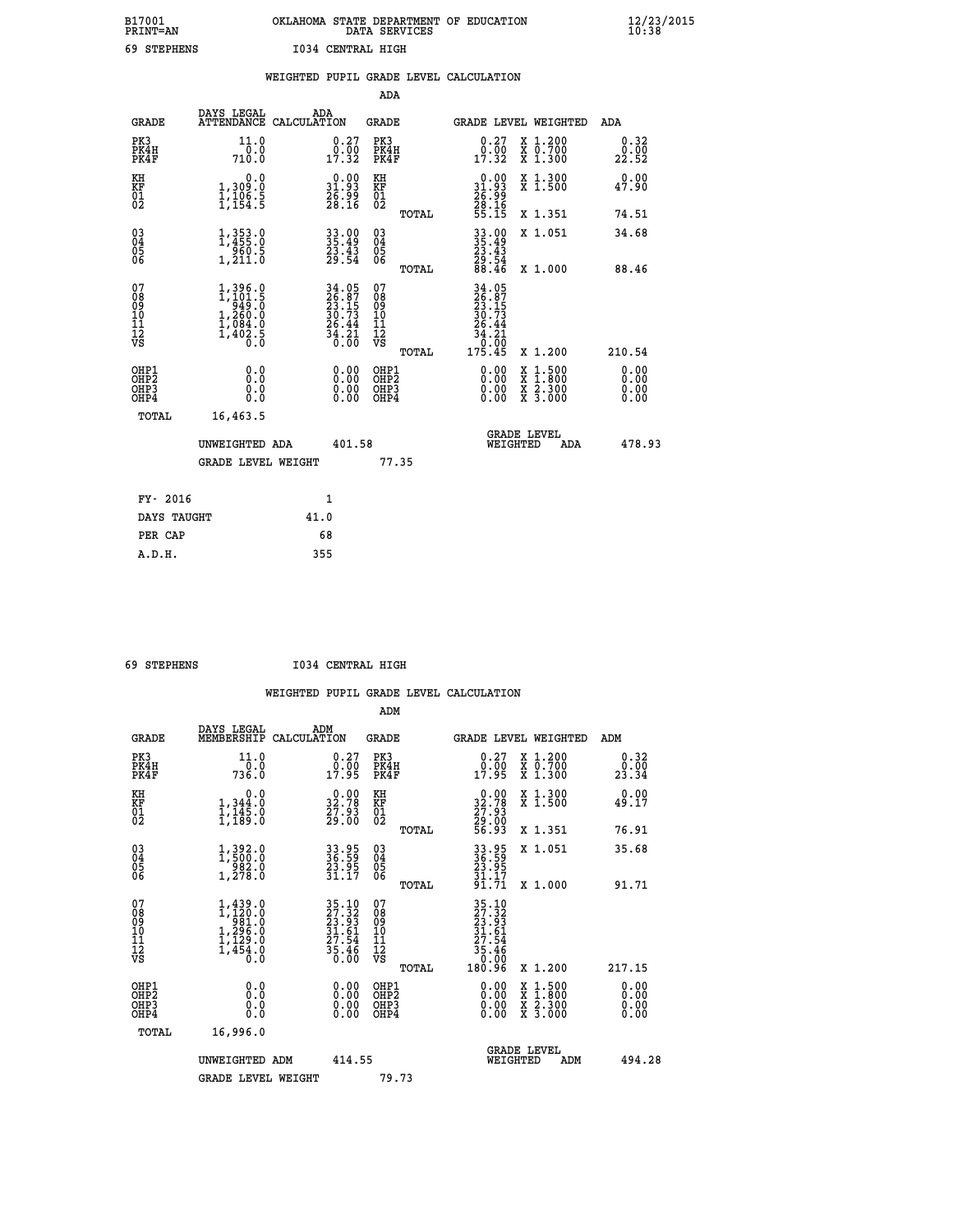## **B17001 OKLAHOMA STATE DEPARTMENT OF EDUCATION 12/23/2015 PRINT=AN DATA SERVICES 10:38 69 STEPHENS I034 CENTRAL HIGH**

|                                              |                                          |                                                                                                       |      |                                                                                           |                                                     |       | WEIGHTED PUPIL GRADE LEVEL CALCULATION                                                                                                                                                                                                                                         |                                          |                                  |
|----------------------------------------------|------------------------------------------|-------------------------------------------------------------------------------------------------------|------|-------------------------------------------------------------------------------------------|-----------------------------------------------------|-------|--------------------------------------------------------------------------------------------------------------------------------------------------------------------------------------------------------------------------------------------------------------------------------|------------------------------------------|----------------------------------|
|                                              |                                          |                                                                                                       |      |                                                                                           | <b>ADA</b>                                          |       |                                                                                                                                                                                                                                                                                |                                          |                                  |
|                                              | <b>GRADE</b>                             | DAYS LEGAL<br>ATTENDANCE CALCULATION                                                                  | ADA  |                                                                                           | GRADE                                               |       | GRADE LEVEL WEIGHTED                                                                                                                                                                                                                                                           |                                          | ADA                              |
|                                              | PK3<br>PK4H<br>PK4F                      | 11.0<br>710.0                                                                                         |      | $\begin{smallmatrix} 0.27\ 0.00\ 17.32 \end{smallmatrix}$                                 | PK3<br>PK4H<br>PK4F                                 |       | $\begin{smallmatrix} 0.27\\ 0.00\\ 17.32 \end{smallmatrix}$                                                                                                                                                                                                                    | X 1.200<br>X 0.700<br>X 1.300            | 0.32<br>0.00<br>22.52            |
| KH<br>KF<br>01<br>02                         |                                          | 0.0<br>1,309.0<br>$\frac{1}{1}, \frac{1}{154}$ $\frac{5}{5}$                                          |      | 31.93<br>$\frac{2}{6}$ $\frac{5}{3}$ $\frac{5}{6}$ $\frac{5}{16}$                         | KH<br>KF<br>01<br>02                                |       | $\begin{smallmatrix} 0.00\\ 31.93\\ 26.99\\ 28.16\\ 55.15 \end{smallmatrix}$                                                                                                                                                                                                   | X 1.300<br>X 1.500                       | 0.00<br>47.90                    |
|                                              |                                          |                                                                                                       |      |                                                                                           |                                                     | TOTAL |                                                                                                                                                                                                                                                                                | X 1.351                                  | 74.51                            |
| 03<br>04<br>05<br>06                         |                                          | $1,353.0$<br>$1,455.0$<br>$960.5$<br>$1,211.0$                                                        |      | 33.00<br>35.49<br>23.43<br>29.54                                                          | $\begin{array}{c} 03 \\ 04 \\ 05 \\ 06 \end{array}$ |       | $33.49$<br>$35.49$<br>$23.43$<br>$29.54$<br>$88.46$                                                                                                                                                                                                                            | X 1.051                                  | 34.68                            |
|                                              |                                          |                                                                                                       |      |                                                                                           |                                                     | TOTAL |                                                                                                                                                                                                                                                                                | X 1.000                                  | 88.46                            |
| 07<br>08<br>09<br>01<br>11<br>11<br>12<br>VS |                                          | $\begin{smallmatrix} 1,396.0\\ 1,101.5\\ 949.5\\ 1,260.0\\ 1,084.0\\ 1,402.5\\ 0.0 \end{smallmatrix}$ |      | $\begin{array}{r} 34.05 \\ 26.87 \\ 23.15 \\ 30.73 \\ 26.44 \\ 34.21 \\ 0.00 \end{array}$ | 07<br>08<br>09<br>11<br>11<br>12<br>VS              | TOTAL | 34.05<br>26.87<br>23.15<br>30.73<br>26.44<br>$\begin{array}{r} 34.21 \\ 0.00 \\ 175.45 \end{array}$                                                                                                                                                                            | X 1.200                                  | 210.54                           |
|                                              | OHP1<br>OHP2<br>OH <sub>P3</sub><br>OHP4 | 0.0<br>0.0<br>0.0                                                                                     |      | $\begin{smallmatrix} 0.00 \ 0.00 \ 0.00 \ 0.00 \end{smallmatrix}$                         | OHP1<br>OHP2<br>OHP3<br>OHP4                        |       | $\begin{smallmatrix} 0.00 & 0.00 & 0.00 & 0.00 & 0.00 & 0.00 & 0.00 & 0.00 & 0.00 & 0.00 & 0.00 & 0.00 & 0.00 & 0.00 & 0.00 & 0.00 & 0.00 & 0.00 & 0.00 & 0.00 & 0.00 & 0.00 & 0.00 & 0.00 & 0.00 & 0.00 & 0.00 & 0.00 & 0.00 & 0.00 & 0.00 & 0.00 & 0.00 & 0.00 & 0.00 & 0.0$ | X 1:500<br>X 1:800<br>X 2:300<br>X 3:000 | 0.00<br>0.00<br>$0.00$<br>$0.00$ |
|                                              | TOTAL                                    | 16,463.5                                                                                              |      |                                                                                           |                                                     |       |                                                                                                                                                                                                                                                                                |                                          |                                  |
|                                              |                                          | UNWEIGHTED ADA                                                                                        |      | 401.58                                                                                    |                                                     |       | WEIGHTED                                                                                                                                                                                                                                                                       | <b>GRADE LEVEL</b><br>ADA                | 478.93                           |
|                                              |                                          | <b>GRADE LEVEL WEIGHT</b>                                                                             |      |                                                                                           |                                                     | 77.35 |                                                                                                                                                                                                                                                                                |                                          |                                  |
|                                              | FY- 2016                                 |                                                                                                       |      | $\mathbf{1}$                                                                              |                                                     |       |                                                                                                                                                                                                                                                                                |                                          |                                  |
|                                              | DAYS TAUGHT                              |                                                                                                       | 41.0 |                                                                                           |                                                     |       |                                                                                                                                                                                                                                                                                |                                          |                                  |
|                                              | PER CAP                                  |                                                                                                       |      | 68                                                                                        |                                                     |       |                                                                                                                                                                                                                                                                                |                                          |                                  |

 **A.D.H. 355**

 **69 STEPHENS I034 CENTRAL HIGH**

|                                                      |                                                                                                       |                                                                                                                                                                    | ADM                                                 |                                                                                                                              |                                          |                        |
|------------------------------------------------------|-------------------------------------------------------------------------------------------------------|--------------------------------------------------------------------------------------------------------------------------------------------------------------------|-----------------------------------------------------|------------------------------------------------------------------------------------------------------------------------------|------------------------------------------|------------------------|
| <b>GRADE</b>                                         | DAYS LEGAL<br>MEMBERSHIP                                                                              | ADM<br>CALCULATION                                                                                                                                                 | <b>GRADE</b>                                        | GRADE LEVEL WEIGHTED                                                                                                         |                                          | ADM                    |
| PK3<br>PK4H<br>PK4F                                  | 11.0<br>736.0                                                                                         | $\begin{smallmatrix} 0.27\ 0.00\ 17.95 \end{smallmatrix}$                                                                                                          | PK3<br>PK4H<br>PK4F                                 | $\begin{smallmatrix} 0.27\ 0.00\ 17.95 \end{smallmatrix}$                                                                    | X 1.200<br>X 0.700<br>X 1.300            | 0.32<br>_0.00<br>23.34 |
| KH<br>KF<br>01<br>02                                 | 0.0<br>$1,344.0$<br>$1,145.0$<br>$1,189.0$                                                            | $\begin{smallmatrix} 0.00\\ 32.78\\ 27.93\\ 29.00 \end{smallmatrix}$                                                                                               | KH<br>KF<br>01<br>02                                | $\begin{smallmatrix} 0.00\\ 32.78\\ 27.93\\ 29.00\\ 56.93 \end{smallmatrix}$                                                 | X 1.300<br>X 1.500                       | 0.00<br>49.17          |
|                                                      |                                                                                                       |                                                                                                                                                                    | TOTAL                                               |                                                                                                                              | X 1.351                                  | 76.91                  |
| 03<br>04<br>05<br>06                                 | $1,392.0$<br>$1,500.0$<br>$982.0$<br>$1,278.0$                                                        | 33.95<br>36.59<br>23.95<br>31.17                                                                                                                                   | $\begin{array}{c} 03 \\ 04 \\ 05 \\ 06 \end{array}$ | 33.95<br>36.59<br>23.95<br>31.17<br>91.71                                                                                    | X 1.051                                  | 35.68                  |
|                                                      |                                                                                                       |                                                                                                                                                                    | TOTAL                                               |                                                                                                                              | X 1.000                                  | 91.71                  |
| 07<br>08<br>09<br>101<br>11<br>12<br>VS              | $\begin{smallmatrix} 1,439.0\\ 1,120.0\\ 981.0\\ 1,296.0\\ 1,129.0\\ 1,454.0\\ 0.0 \end{smallmatrix}$ | $\begin{smallmatrix} 3\,5\cdot\,10\\ 2\,7\cdot\,32\\ 2\,3\cdot\,93\\ 3\,1\cdot\,61\\ 2\,7\cdot\,54\\ 2\,7\cdot\,54\\ 3\,5\cdot\,46\\ 0\cdot\,00 \end{smallmatrix}$ | 07<br>08<br>09<br>11<br>11<br>12<br>VS              | $\begin{array}{r} 35\cdot 10\\27\cdot 32\\23\cdot 93\\31\cdot 61\\27\cdot 54\\35\cdot 46\\0\cdot 00\\180\cdot 96\end{array}$ |                                          |                        |
|                                                      |                                                                                                       |                                                                                                                                                                    | TOTAL                                               |                                                                                                                              | X 1.200                                  | 217.15                 |
| OHP1<br>OHP2<br>OHP <sub>3</sub><br>OH <sub>P4</sub> |                                                                                                       |                                                                                                                                                                    | OHP1<br>OHP2<br>OHP <sub>3</sub>                    | $0.00$<br>$0.00$<br>0.00                                                                                                     | X 1:500<br>X 1:800<br>X 2:300<br>X 3:000 | 0.00<br>0.00<br>0.00   |
| TOTAL                                                | 16,996.0                                                                                              |                                                                                                                                                                    |                                                     |                                                                                                                              |                                          |                        |
|                                                      | UNWEIGHTED ADM                                                                                        | 414.55                                                                                                                                                             |                                                     | GRADE LEVEL<br>WEIGHTED                                                                                                      | ADM                                      | 494.28                 |
|                                                      | <b>GRADE LEVEL WEIGHT</b>                                                                             |                                                                                                                                                                    | 79.73                                               |                                                                                                                              |                                          |                        |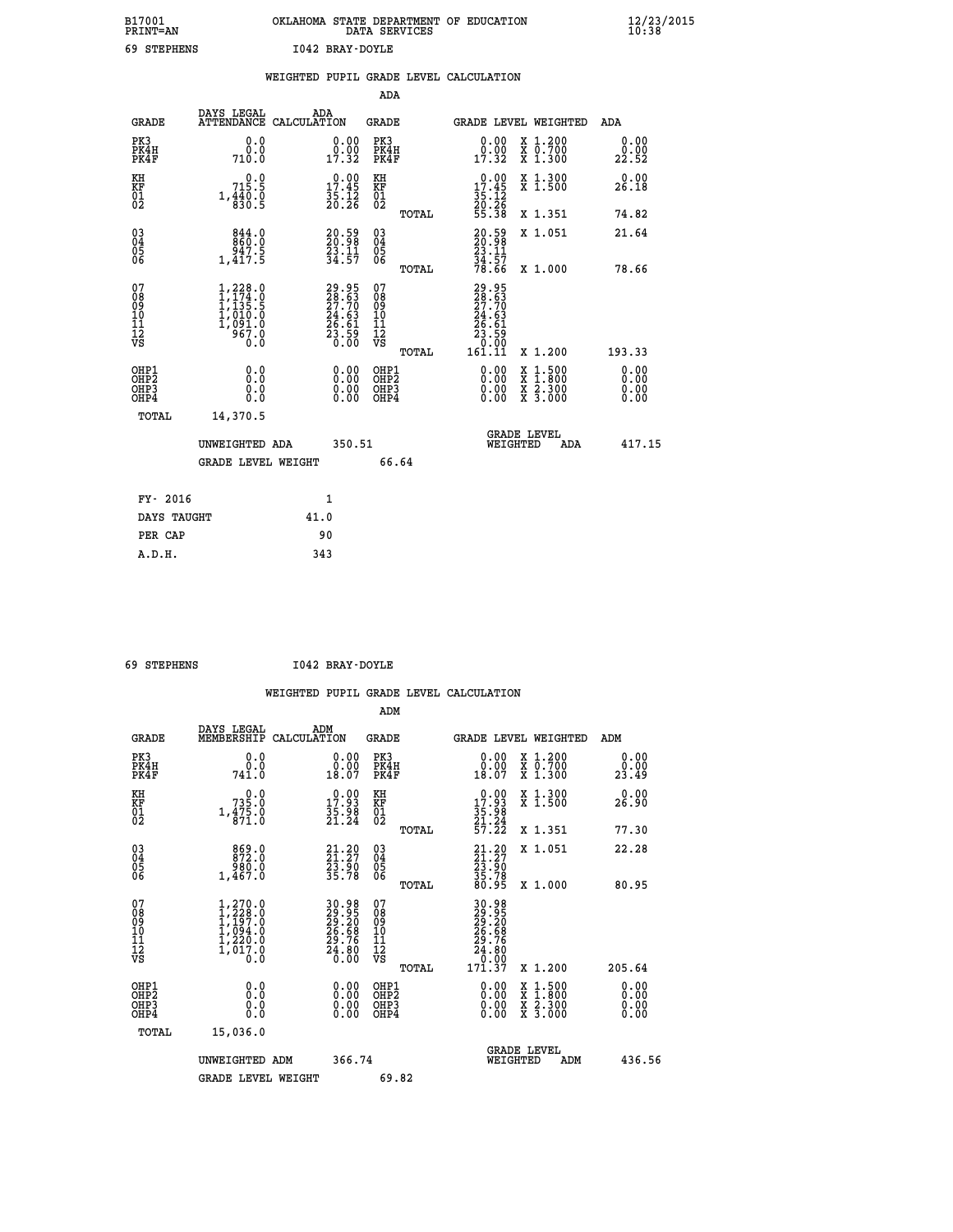| B17001<br><b>PRINT=AN</b> |             | OKLAHOMA STATE DEPARTMENT OF EDUCATION<br>DATA SERVICES |  |
|---------------------------|-------------|---------------------------------------------------------|--|
|                           | 69 STEPHENS | I042 BRAY-DOYLE                                         |  |

|                                                                    |                                                                                                                                         | WEIGHTED PUPIL GRADE LEVEL CALCULATION                               |                                                     |       |                                                                                                                                        |                                          |                               |
|--------------------------------------------------------------------|-----------------------------------------------------------------------------------------------------------------------------------------|----------------------------------------------------------------------|-----------------------------------------------------|-------|----------------------------------------------------------------------------------------------------------------------------------------|------------------------------------------|-------------------------------|
|                                                                    |                                                                                                                                         |                                                                      | ADA                                                 |       |                                                                                                                                        |                                          |                               |
| <b>GRADE</b>                                                       | DAYS LEGAL<br><b>ATTENDANCE</b>                                                                                                         | ADA<br>CALCULATION                                                   | <b>GRADE</b>                                        |       |                                                                                                                                        | GRADE LEVEL WEIGHTED                     | ADA                           |
| PK3<br>PK4H<br>PK4F                                                | 0.0<br>0.0<br>710.0                                                                                                                     | $\begin{smallmatrix} 0.00\\ 0.00\\ 17.32 \end{smallmatrix}$          | PK3<br>PK4H<br>PK4F                                 |       | 0.00<br>$\frac{0.000}{17.32}$                                                                                                          | X 1.200<br>X 0.700<br>X 1.300            | 0.00<br>0.00<br>22.52         |
| KH<br>KF<br>01<br>02                                               | 0.0<br>715.5<br>$1, \frac{4}{8}$ $\frac{3}{8}$ $\frac{6}{5}$                                                                            | $\begin{smallmatrix} 0.00\\ 17.45\\ 35.12\\ 20.26 \end{smallmatrix}$ | KH<br>KF<br>01<br>02                                |       | 0.00<br>$17.45$<br>$35.12$<br>$20.26$<br>$55.38$                                                                                       | X 1.300<br>X 1.500                       | 0.00<br>26.18                 |
|                                                                    |                                                                                                                                         |                                                                      |                                                     | TOTAL |                                                                                                                                        | X 1.351                                  | 74.82                         |
| $\begin{smallmatrix} 03 \\[-4pt] 04 \end{smallmatrix}$<br>Ŏ5<br>06 | 844.0<br>ۆ.44<br>1,417.5                                                                                                                | 20.59<br>20.98<br>23.11<br>34.57                                     | $\begin{array}{c} 03 \\ 04 \\ 05 \\ 06 \end{array}$ |       | 20.59<br>20.98<br>23.11<br>34.57<br>78.66                                                                                              | X 1.051                                  | 21.64                         |
|                                                                    |                                                                                                                                         |                                                                      |                                                     | TOTAL |                                                                                                                                        | X 1.000                                  | 78.66                         |
| 07<br>0890112<br>1112<br>VS                                        | $\begin{smallmatrix} 1,228\cdot 0\\ 1,174\cdot 0\\ 1,135\cdot 5\\ 1,010\cdot 0\\ 1,091\cdot 0\\ 967\cdot 0\\ 0\cdot 0\end{smallmatrix}$ | 29.95<br>28.63<br>27.70<br>24.63<br>26.61<br>28.59<br>23.59          | 07<br>08<br>09<br>11<br>11<br>12<br>VS              | TOTAL | 29.95<br>28.63<br>$\frac{27.70}{24.63}$<br>$\frac{26.61}{26.61}$<br>$\begin{smallmatrix} 23.55\ 3.00\ 0.00\ 161.11\ \end{smallmatrix}$ | X 1.200                                  | 193.33                        |
| OHP1<br>OHP2<br>OH <sub>P3</sub><br>OHP4                           | 0.0<br>0.0<br>0.0                                                                                                                       | $\begin{smallmatrix} 0.00 \ 0.00 \ 0.00 \ 0.00 \end{smallmatrix}$    | OHP1<br>OHP2<br>OHP3<br>OHP4                        |       | 0.00<br>0.00<br>0.00                                                                                                                   | X 1:500<br>X 1:800<br>X 2:300<br>X 3:000 | 0.00<br>Ō. ŌŌ<br>0.00<br>0.00 |
| TOTAL                                                              | 14,370.5                                                                                                                                |                                                                      |                                                     |       |                                                                                                                                        |                                          |                               |
|                                                                    | UNWEIGHTED ADA                                                                                                                          | 350.51                                                               |                                                     |       | WEIGHTED                                                                                                                               | <b>GRADE LEVEL</b><br>ADA                | 417.15                        |
|                                                                    | <b>GRADE LEVEL WEIGHT</b>                                                                                                               |                                                                      | 66.64                                               |       |                                                                                                                                        |                                          |                               |
| FY- 2016                                                           |                                                                                                                                         | $\mathbf{1}$                                                         |                                                     |       |                                                                                                                                        |                                          |                               |
| DAYS TAUGHT                                                        |                                                                                                                                         | 41.0                                                                 |                                                     |       |                                                                                                                                        |                                          |                               |
| PER CAP                                                            |                                                                                                                                         | 90                                                                   |                                                     |       |                                                                                                                                        |                                          |                               |

 **A.D.H. 343**

 **69 STEPHENS I042 BRAY-DOYLE**

| <b>GRADE</b>                             | DAYS LEGAL<br>MEMBERSHIP                                                                                | ADM<br>CALCULATION                                                   | <b>GRADE</b>                                        |       |                                                                                                                                                                                                                                                                                | <b>GRADE LEVEL WEIGHTED</b>              | ADM                  |  |
|------------------------------------------|---------------------------------------------------------------------------------------------------------|----------------------------------------------------------------------|-----------------------------------------------------|-------|--------------------------------------------------------------------------------------------------------------------------------------------------------------------------------------------------------------------------------------------------------------------------------|------------------------------------------|----------------------|--|
| PK3<br>PK4H<br>PK4F                      | 0.0<br>741.0                                                                                            | $\begin{smallmatrix} 0.00\\ 0.00\\ 18.07 \end{smallmatrix}$          | PK3<br>PK4H<br>PK4F                                 |       | $\begin{smallmatrix} 0.00\\ 0.00\\ 18.07 \end{smallmatrix}$                                                                                                                                                                                                                    | X 1.200<br>X 0.700<br>X 1.300            | 0.00<br>23.49        |  |
| KH<br>KF<br>01<br>02                     | 735.0<br>$1, \frac{475}{871}$ : 0                                                                       | $\begin{smallmatrix} 0.00\\ 17.93\\ 35.98\\ 21.24 \end{smallmatrix}$ | KH<br>KF<br>01<br>02                                |       | $\begin{smallmatrix} 0.00\\ 17.93\\ 35.98\\ 21.24\\ 57.22 \end{smallmatrix}$                                                                                                                                                                                                   | X 1.300<br>X 1.500                       | 0.00<br>26.90        |  |
|                                          |                                                                                                         |                                                                      |                                                     | TOTAL |                                                                                                                                                                                                                                                                                | X 1.351                                  | 77.30                |  |
| 03<br>04<br>05<br>06                     | 869.0<br>872.0<br>980.0<br>1,467.0                                                                      | $21.20$<br>$21.27$<br>$23.90$<br>$35.78$                             | $\begin{array}{c} 03 \\ 04 \\ 05 \\ 06 \end{array}$ |       | $21.27$<br>$23.90$<br>$35.78$<br>$80.95$                                                                                                                                                                                                                                       | X 1.051                                  | 22.28                |  |
|                                          |                                                                                                         |                                                                      |                                                     | TOTAL |                                                                                                                                                                                                                                                                                | X 1.000                                  | 80.95                |  |
| 07<br>08<br>09<br>101<br>112<br>VS       | $\begin{smallmatrix} 1,270.0\\ 1,228.0\\ 1,197.0\\ 1,094.0\\ 1,220.0\\ 1,017.0\\ 0.0 \end{smallmatrix}$ | 30.98<br>29.20<br>29.20<br>26.68<br>29.76<br>24.80<br>24.80          | 07<br>08901112<br>1112<br>VS                        | TOTAL | $\begin{smallmatrix} 30.98\\ 29.35\\ 29.26\\ 26.68\\ 29.76\\ 24.80\\ 0.00\\ 171.37 \end{smallmatrix}$                                                                                                                                                                          | X 1.200                                  | 205.64               |  |
| OHP1<br>OHP2<br>OH <sub>P3</sub><br>OHP4 | 0.0<br>0.000                                                                                            | $\begin{smallmatrix} 0.00 \ 0.00 \ 0.00 \ 0.00 \end{smallmatrix}$    | OHP1<br>OHP2<br>OHP3<br>OHP4                        |       | $\begin{smallmatrix} 0.00 & 0.00 & 0.00 & 0.00 & 0.00 & 0.00 & 0.00 & 0.00 & 0.00 & 0.00 & 0.00 & 0.00 & 0.00 & 0.00 & 0.00 & 0.00 & 0.00 & 0.00 & 0.00 & 0.00 & 0.00 & 0.00 & 0.00 & 0.00 & 0.00 & 0.00 & 0.00 & 0.00 & 0.00 & 0.00 & 0.00 & 0.00 & 0.00 & 0.00 & 0.00 & 0.0$ | X 1:500<br>X 1:800<br>X 2:300<br>X 3:000 | 0.00<br>0.00<br>0.00 |  |
| TOTAL                                    | 15,036.0                                                                                                |                                                                      |                                                     |       |                                                                                                                                                                                                                                                                                |                                          |                      |  |
|                                          | UNWEIGHTED                                                                                              | 366.74<br>ADM                                                        |                                                     |       | WEIGHTED                                                                                                                                                                                                                                                                       | <b>GRADE LEVEL</b><br>ADM                | 436.56               |  |
|                                          | <b>GRADE LEVEL WEIGHT</b>                                                                               |                                                                      | 69.82                                               |       |                                                                                                                                                                                                                                                                                |                                          |                      |  |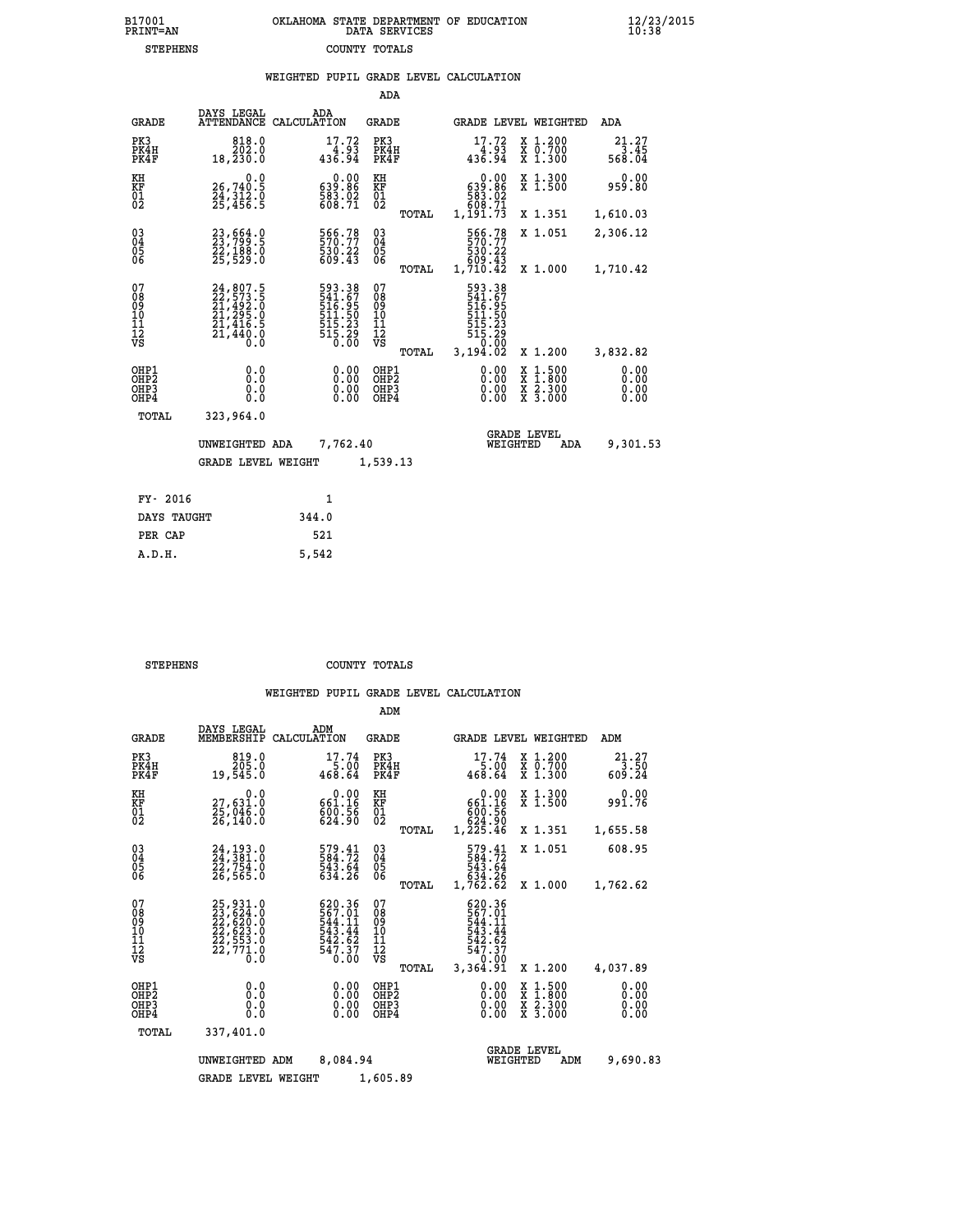|                                                                    |                                                                                   |                                                                            | ADA                                       |       |                                                                           |                                                                                                  |                              |
|--------------------------------------------------------------------|-----------------------------------------------------------------------------------|----------------------------------------------------------------------------|-------------------------------------------|-------|---------------------------------------------------------------------------|--------------------------------------------------------------------------------------------------|------------------------------|
| <b>GRADE</b>                                                       | DAYS LEGAL                                                                        | ADA<br>ATTENDANCE CALCULATION                                              | <b>GRADE</b>                              |       |                                                                           | GRADE LEVEL WEIGHTED                                                                             | ADA                          |
| PK3<br>PK4H<br>PK4F                                                | 818.0<br>202.0<br>18,230.0                                                        | $17.72$<br>$4.93$<br>$436.94$                                              | PK3<br>PK4H<br>PK4F                       |       | $17.72$<br>4.93<br>436.94                                                 | X 1.200<br>X 0.700<br>X 1.300                                                                    | $21.27$<br>$3.45$<br>568.04  |
| KH<br><b>KF</b><br>01<br>02                                        | 0.0<br>26,740.5<br>24,312.0<br>25,456.5                                           | 0.00<br>08.059<br>583.02<br>608.71                                         | KH<br><b>KF</b><br>01<br>02               |       | 0.00<br>639.86<br>583.02<br>609.71                                        | X 1.300<br>X 1.500                                                                               | 0.00<br>959.80               |
|                                                                    |                                                                                   |                                                                            |                                           | TOTAL | 1,191.73                                                                  | X 1.351                                                                                          | 1,610.03                     |
| $\begin{smallmatrix} 03 \\[-4pt] 04 \end{smallmatrix}$<br>05<br>06 | 23, 564.9<br>22,188.0<br>25,529.0                                                 | 566.78<br>530.22<br>609.43                                                 | $\substack{03 \\ 04}$<br>05<br>06         |       | 566.78<br>570.77<br>530.22<br>5809.43<br>1,710.42                         | X 1.051                                                                                          | 2,306.12                     |
|                                                                    |                                                                                   |                                                                            |                                           | TOTAL |                                                                           | X 1.000                                                                                          | 1,710.42                     |
| 07<br>08<br>09<br>11<br>11<br>12<br>VS                             | 24, 807.5<br>22, 573.5<br>21, 492.0<br>21, 295.0<br>21, 416.5<br>21, 440.0<br>Ō.Ŏ | 593.38<br>541.67<br>516.95<br>511.50<br>515.23<br>515.23<br>515.29<br>0.00 | 07<br>08<br>09<br>11<br>11<br>12<br>VS    |       | 593.38<br>541.67<br>516.95<br>511.50<br>$\frac{515}{515}$ $\frac{23}{50}$ |                                                                                                  |                              |
|                                                                    |                                                                                   |                                                                            |                                           | TOTAL | 3,194.02                                                                  | X 1.200                                                                                          | 3,832.82                     |
| OHP1<br>OH <sub>P</sub> 2<br>OH <sub>P3</sub><br>OH <sub>P4</sub>  | 0.0<br>0.0<br>0.0                                                                 | 0.00<br>0.00<br>0.00                                                       | OHP1<br>OH <sub>P</sub> 2<br>OHP3<br>OHP4 |       | 0.00<br>0.00<br>0.00                                                      | $\begin{smallmatrix} x & 1 & 500 \\ x & 1 & 800 \\ x & 2 & 300 \\ x & 3 & 000 \end{smallmatrix}$ | 0.00<br>0.00<br>0.00<br>0.00 |
| TOTAL                                                              | 323,964.0                                                                         |                                                                            |                                           |       |                                                                           |                                                                                                  |                              |
|                                                                    | UNWEIGHTED ADA                                                                    | 7,762.40                                                                   |                                           |       |                                                                           | <b>GRADE LEVEL</b><br>WEIGHTED<br>ADA                                                            | 9,301.53                     |
|                                                                    | <b>GRADE LEVEL WEIGHT</b>                                                         |                                                                            | 1,539.13                                  |       |                                                                           |                                                                                                  |                              |
| FY- 2016                                                           |                                                                                   | $\mathbf{1}$                                                               |                                           |       |                                                                           |                                                                                                  |                              |
| DAYS TAUGHT                                                        |                                                                                   | 344.0                                                                      |                                           |       |                                                                           |                                                                                                  |                              |
| PER CAP                                                            |                                                                                   | 521                                                                        |                                           |       |                                                                           |                                                                                                  |                              |

| STEPHENS | COUNTY TOTALS |  |
|----------|---------------|--|

 **A.D.H. 5,542**

|                                                       |                                                                      |                                                                          | ADM                                              |                                                                              |                                          |                              |
|-------------------------------------------------------|----------------------------------------------------------------------|--------------------------------------------------------------------------|--------------------------------------------------|------------------------------------------------------------------------------|------------------------------------------|------------------------------|
| <b>GRADE</b>                                          | DAYS LEGAL<br>MEMBERSHIP                                             | ADM<br>CALCULATION                                                       | <b>GRADE</b>                                     | GRADE LEVEL WEIGHTED                                                         |                                          | ADM                          |
| PK3<br>PK4H<br>PK4F                                   | 819.0<br>205.0<br>19,545.0                                           | 17.74<br>5.00<br>468.64                                                  | PK3<br>PK4H<br>PK4F                              | 17.74<br>5.00<br>468.64                                                      | X 1.200<br>X 0.700<br>$X$ 1.300          | 21.27<br>3.50<br>609.24      |
| KH<br>KF<br>01<br>02                                  | 0.0<br>27,631.0<br>25,046.0<br>26,140.0                              | $\begin{smallmatrix} &0.00\\ 661.16\\ 600.56\\ 624.90 \end{smallmatrix}$ | KH<br>KF<br>01<br>02                             | 0.00<br>661.16<br>600.56<br>624.90                                           | X 1.300<br>X 1.500                       | 0.00<br>991.76               |
|                                                       |                                                                      |                                                                          | TOTAL                                            | $1,2\overline{25}.46$                                                        | X 1.351                                  | 1,655.58                     |
| 03<br>04<br>05<br>06                                  | 24, 193.0<br>24, 381.0<br>22, 754.0<br>26,565.0                      | 579.41<br>584.72<br>543.64<br>634.26                                     | $\substack{03 \\ 04}$<br>05<br>06                | 579.41<br>584:72<br>543.64<br>634.26                                         | X 1.051                                  | 608.95                       |
|                                                       |                                                                      |                                                                          | TOTAL                                            | 1,762.62                                                                     | X 1.000                                  | 1,762.62                     |
| 07<br>08<br>09<br>101<br>112<br>VS                    | 25,931.0<br>23,624.0<br>22,620.0<br>22,623.0<br>22,771.0<br>22,771.0 | 620.36<br>567.01<br>544.11<br>543.44<br>542.62<br>$547.37$<br>$0.00$     | 07<br>08<br>09<br>101<br>11<br>12<br>VS<br>TOTAL | 620.36<br>567.01<br>544.11<br>543.44<br>542.62<br>547.37<br>0.00<br>3,364.91 | X 1.200                                  | 4,037.89                     |
| OHP1<br>OH <sub>P</sub> 2<br>OH <sub>P3</sub><br>OHP4 | 0.0<br>0.000                                                         | 0.00<br>0.00<br>0.00                                                     | OHP1<br>OHP2<br>OHP3<br>OHP4                     | $0.00$<br>$0.00$<br>0.00                                                     | X 1:500<br>X 1:800<br>X 2:300<br>X 3:000 | 0.00<br>0.00<br>0.00<br>0.00 |
| TOTAL                                                 | 337,401.0                                                            |                                                                          |                                                  |                                                                              |                                          |                              |
|                                                       | UNWEIGHTED                                                           | 8,084.94<br>ADM                                                          |                                                  | WEIGHTED                                                                     | <b>GRADE LEVEL</b><br>ADM                | 9,690.83                     |
|                                                       | <b>GRADE LEVEL WEIGHT</b>                                            |                                                                          | 1,605.89                                         |                                                                              |                                          |                              |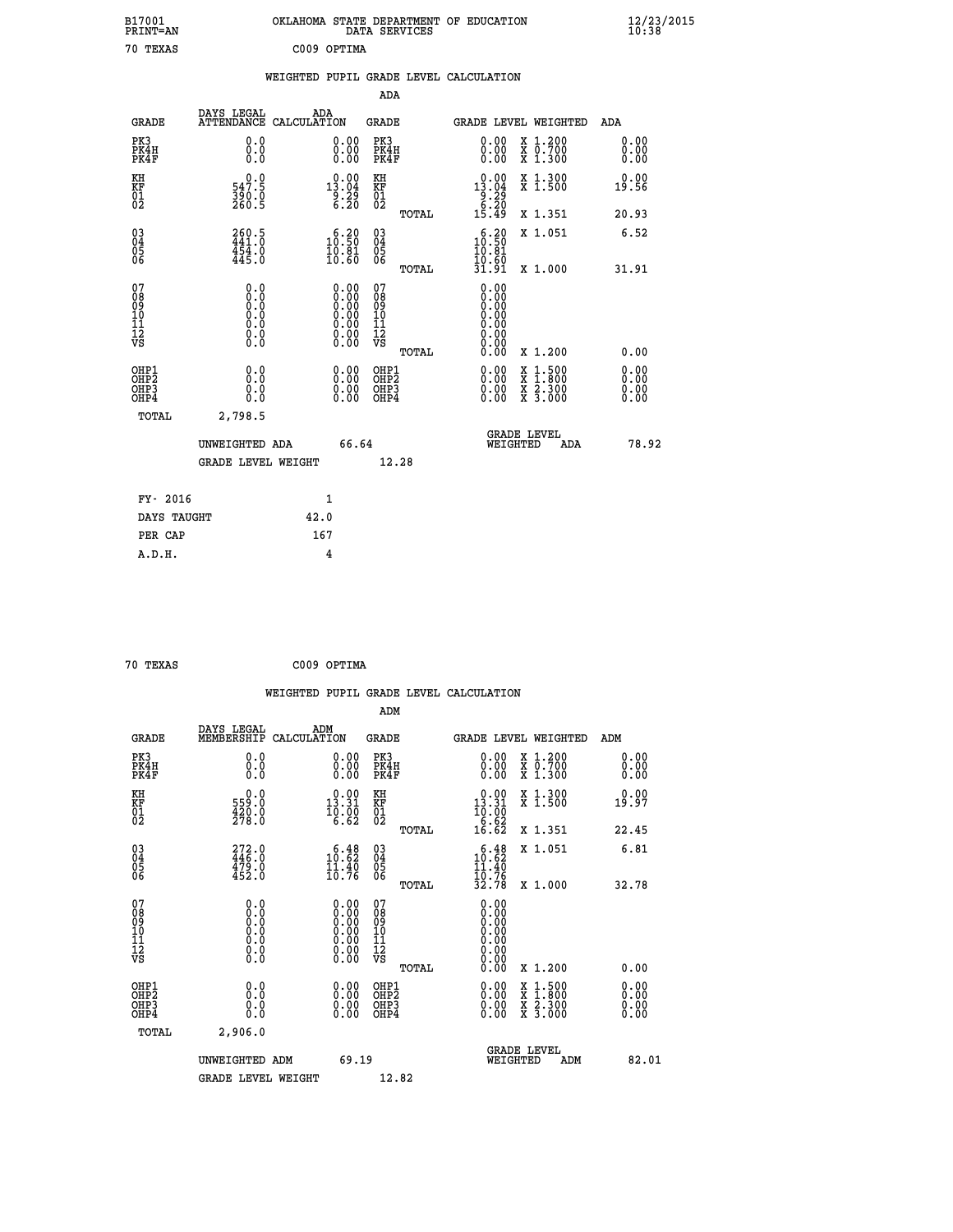| B17001<br>PRINT=AN                                 |                                                                                           | OKLAHOMA STATE DEPARTMENT OF EDUCATION                                                     | DATA SERVICES                                               |                                                                             |                                                                        | $\frac{12}{23}$ /2015        |  |
|----------------------------------------------------|-------------------------------------------------------------------------------------------|--------------------------------------------------------------------------------------------|-------------------------------------------------------------|-----------------------------------------------------------------------------|------------------------------------------------------------------------|------------------------------|--|
| 70 TEXAS                                           |                                                                                           | C009 OPTIMA                                                                                |                                                             |                                                                             |                                                                        |                              |  |
|                                                    |                                                                                           | WEIGHTED PUPIL GRADE LEVEL CALCULATION                                                     |                                                             |                                                                             |                                                                        |                              |  |
|                                                    |                                                                                           |                                                                                            | ADA                                                         |                                                                             |                                                                        |                              |  |
| <b>GRADE</b>                                       | DAYS LEGAL                                                                                | ADA<br>ATTENDANCE CALCULATION                                                              | GRADE                                                       | <b>GRADE LEVEL WEIGHTED</b>                                                 |                                                                        | ADA                          |  |
| PK3<br>PK4H<br>PK4F                                | 0.0<br>0.0<br>0.0                                                                         | 0.00<br>0.00                                                                               | PK3<br>PK4H<br>PK4F                                         | $\begin{smallmatrix} 0.00 \\ 0.00 \\ 0.00 \end{smallmatrix}$                | X 1.200<br>X 0.700<br>X 1.300                                          | 0.00<br>0.00<br>0.00         |  |
| KH<br>KF<br>01<br>02                               | 547.9<br>$\frac{390.0}{260.5}$                                                            | $13.00$<br>13.04<br>$\frac{5}{6}$ : 29<br>6.20                                             | KH<br>KF<br>01<br>02                                        | 0.00<br>13.04<br>$\begin{array}{c} 25 \\ 8.20 \\ 6.20 \\ 15.49 \end{array}$ | X 1.300<br>X 1.500                                                     | 0.00<br>19.56                |  |
|                                                    |                                                                                           |                                                                                            | TOTAL                                                       |                                                                             | X 1.351                                                                | 20.93                        |  |
| $\begin{matrix} 03 \\ 04 \\ 05 \\ 06 \end{matrix}$ | 260.5<br>441.0<br>454.0<br>445.0                                                          | $\begin{smallmatrix} 6.20\\ 10.50\\ 10.81\\ 10.60 \end{smallmatrix}$                       | $\begin{matrix} 03 \\ 04 \\ 05 \\ 06 \end{matrix}$<br>TOTAL | 10.20<br>10.81<br>$\frac{10.60}{31.91}$                                     | X 1.051<br>X 1.000                                                     | 6.52<br>31.91                |  |
| 07<br>08<br>09<br>10<br>11<br>12<br>VS             | 0.0<br>$\begin{smallmatrix} 0.0 & 0 \ 0.0 & 0 \ 0.0 & 0 \end{smallmatrix}$<br>Ŏ.Ŏ<br>0.00 | $0.00$<br>$0.00$<br>$0.00$<br>0.00<br>$\begin{smallmatrix} 0.00 \\ 0.00 \end{smallmatrix}$ | 07<br>08<br>09<br>10<br>11<br>ĪŽ<br>VŠ<br>TOTAL             | 0.00<br>0.00<br>0.00<br>0.00<br>0.00                                        | X 1.200                                                                | 0.00                         |  |
| OHP1<br>OHP2<br>OHP3<br>OHP4                       | 0.000<br>0.0<br>0.0                                                                       | 0.00<br>0.00<br>0.00                                                                       | OHP1<br>OHP <sub>2</sub><br>OHP3<br>OHP4                    | 0.00<br>0.00<br>0.00                                                        | $\frac{x}{x}$ 1:500<br>$\frac{x}{x}$ $\frac{2 \cdot 300}{3 \cdot 000}$ | 0.00<br>0.00<br>0.00<br>0.00 |  |
| TOTAL                                              | 2,798.5                                                                                   |                                                                                            |                                                             |                                                                             |                                                                        |                              |  |
|                                                    | UNWEIGHTED ADA<br><b>GRADE LEVEL WEIGHT</b>                                               | 66.64                                                                                      | 12.28                                                       | WEIGHTED                                                                    | <b>GRADE LEVEL</b><br>ADA                                              | 78.92                        |  |
| FY- 2016                                           |                                                                                           | 1                                                                                          |                                                             |                                                                             |                                                                        |                              |  |
| DAYS TAUGHT                                        |                                                                                           | 42.0                                                                                       |                                                             |                                                                             |                                                                        |                              |  |
| PER CAP                                            |                                                                                           | 167                                                                                        |                                                             |                                                                             |                                                                        |                              |  |

| 70 TEXAS | C009 OPTIMA |
|----------|-------------|
|          |             |

|                                                    |                                                                                      |                    |                                                                                                                                                |                                              |       | WEIGHTED PUPIL GRADE LEVEL CALCULATION                                       |                                          |                      |       |
|----------------------------------------------------|--------------------------------------------------------------------------------------|--------------------|------------------------------------------------------------------------------------------------------------------------------------------------|----------------------------------------------|-------|------------------------------------------------------------------------------|------------------------------------------|----------------------|-------|
|                                                    |                                                                                      |                    |                                                                                                                                                | ADM                                          |       |                                                                              |                                          |                      |       |
| <b>GRADE</b>                                       | DAYS LEGAL<br>MEMBERSHIP                                                             | ADM<br>CALCULATION |                                                                                                                                                | <b>GRADE</b>                                 |       | GRADE LEVEL WEIGHTED                                                         |                                          | ADM                  |       |
| PK3<br>PK4H<br>PK4F                                | 0.0<br>0.0<br>0.0                                                                    |                    | 0.00<br>$\begin{smallmatrix} 0.00 \ 0.00 \end{smallmatrix}$                                                                                    | PK3<br>PK4H<br>PK4F                          |       | $\begin{smallmatrix} 0.00 \\ 0.00 \\ 0.00 \end{smallmatrix}$                 | X 1.200<br>X 0.700<br>X 1.300            | 0.00<br>0.00<br>0.00 |       |
| KH<br>KF<br>01<br>02                               | $\begin{smallmatrix} 0.0\\ 559.0\\ 420.0\\ 278.0 \end{smallmatrix}$                  |                    | $\begin{smallmatrix} 0.00\\ 13.31\\ 10.00\\ 6.62 \end{smallmatrix}$                                                                            | KH<br>KF<br>01<br>02                         |       | $\begin{smallmatrix} &0.00\\ 13.31\\ 10.00\\ 6.62\\ 16.62 \end{smallmatrix}$ | X 1.300<br>X 1.500                       | 0.00<br>19.97        |       |
|                                                    |                                                                                      |                    |                                                                                                                                                |                                              | TOTAL |                                                                              | X 1.351                                  | 22.45                |       |
| $\begin{matrix} 03 \\ 04 \\ 05 \\ 06 \end{matrix}$ | $272.0$<br>$446.0$<br>$479.0$<br>$452.0$                                             |                    | $\begin{smallmatrix} 6\cdot\frac{4}{6} \\ 10\cdot\frac{6}{6} \\ 11\cdot\frac{4}{6} \\ 10\cdot\frac{7}{6} \end{smallmatrix}$                    | $^{03}_{04}$<br>05<br>06                     |       | $10.48$<br>$11.40$<br>10.76<br>32.78                                         | X 1.051                                  | 6.81                 |       |
|                                                    |                                                                                      |                    |                                                                                                                                                |                                              | TOTAL |                                                                              | X 1.000                                  | 32.78                |       |
| 07<br>0890112<br>1112<br>VS                        | 0.0<br>$\begin{smallmatrix} 0.0 & 0 \ 0.0 & 0 \ 0.0 & 0 \ 0.0 & 0 \end{smallmatrix}$ |                    | $\begin{smallmatrix} 0.00 \ 0.00 \ 0.00 \ 0.00 \ 0.00 \end{smallmatrix}$<br>$\begin{smallmatrix} 0.00 & 0.00 \\ 0.00 & 0.00 \end{smallmatrix}$ | 07<br>08<br>09<br>11<br>11<br>12<br>VS       | TOTAL | 0.00<br>0.00<br>0.00<br>0.00<br>0.00<br>0.00                                 | X 1.200                                  | 0.00                 |       |
| OHP1<br>OHP <sub>2</sub><br>OHP3<br>OHP4           | 0.0<br>0.000                                                                         |                    | $0.00$<br>$0.00$<br>0.00                                                                                                                       | OHP1<br>OHP <sub>2</sub><br>OHP <sub>3</sub> |       | 0.00<br>0.00<br>0.00                                                         | X 1:500<br>X 1:800<br>X 2:300<br>X 3:000 | 0.00<br>0.00<br>0.00 |       |
| TOTAL                                              | 2,906.0                                                                              |                    |                                                                                                                                                |                                              |       |                                                                              |                                          |                      |       |
|                                                    | UNWEIGHTED ADM                                                                       |                    | 69.19                                                                                                                                          |                                              |       | WEIGHTED                                                                     | <b>GRADE LEVEL</b><br>ADM                |                      | 82.01 |
|                                                    | <b>GRADE LEVEL WEIGHT</b>                                                            |                    |                                                                                                                                                | 12.82                                        |       |                                                                              |                                          |                      |       |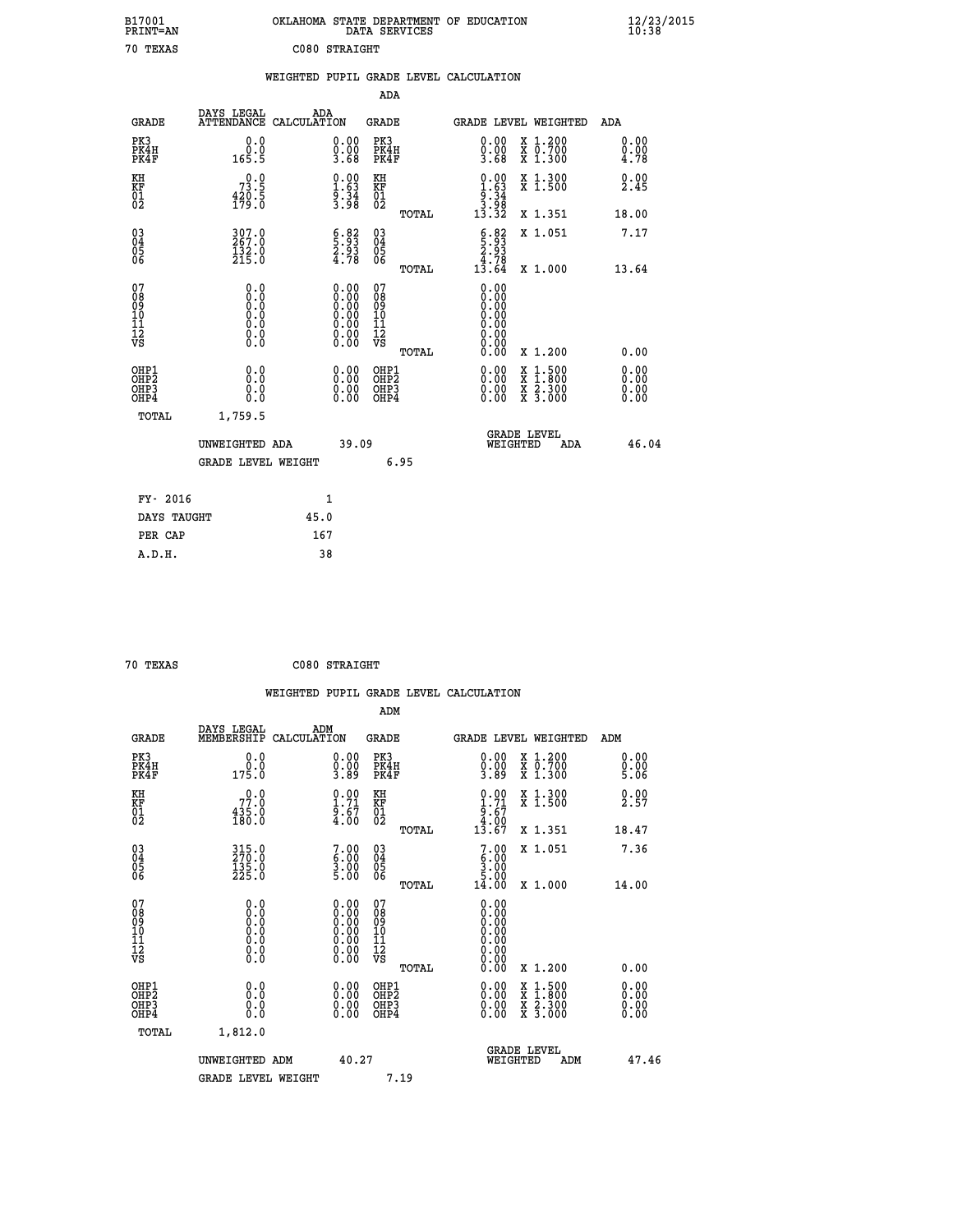| B17001<br>PRINT=AN                       |                                                                                          | OKLAHOMA STATE DEPARTMENT OF EDUCATION                                                        | DATA SERVICES                                                      |                                                                      |                                                                                                                                                      | $\frac{12}{23}$ /2015                |  |
|------------------------------------------|------------------------------------------------------------------------------------------|-----------------------------------------------------------------------------------------------|--------------------------------------------------------------------|----------------------------------------------------------------------|------------------------------------------------------------------------------------------------------------------------------------------------------|--------------------------------------|--|
| 70 TEXAS                                 |                                                                                          | C080 STRAIGHT                                                                                 |                                                                    |                                                                      |                                                                                                                                                      |                                      |  |
|                                          |                                                                                          | WEIGHTED PUPIL GRADE LEVEL CALCULATION                                                        |                                                                    |                                                                      |                                                                                                                                                      |                                      |  |
|                                          |                                                                                          |                                                                                               | ADA                                                                |                                                                      |                                                                                                                                                      |                                      |  |
| <b>GRADE</b>                             | DAYS LEGAL                                                                               | ADA<br>ATTENDANCE CALCULATION                                                                 | GRADE                                                              |                                                                      | GRADE LEVEL WEIGHTED                                                                                                                                 | ADA                                  |  |
| PK3<br>PK4H<br>PK4F                      | 0.0<br>0.0<br>165.5                                                                      | 0.00<br>$\frac{0}{3}.00$<br>3.68                                                              | PK3<br>PK4H<br>PK4F                                                | 0.00<br>0.00<br>3.68                                                 | X 1.200<br>X 0.700<br>X 1.300                                                                                                                        | 0.00<br>0.00<br>4.78                 |  |
| KH<br>KF<br>$\frac{01}{02}$              | $7^{0.0}_{3.5}$<br>$\frac{420.5}{179.0}$                                                 | $\begin{smallmatrix} 0.00\\ 1.63\\ 9.34\\ 3.98 \end{smallmatrix}$                             | KH<br><b>KF</b><br>01<br>02                                        | $\begin{array}{c} 0.00 \\ 1.63 \\ 9.34 \\ 3.98 \\ 13.32 \end{array}$ | X 1.300<br>X 1.500                                                                                                                                   | 0.00<br>2.45                         |  |
|                                          |                                                                                          |                                                                                               | TOTAL                                                              |                                                                      | X 1.351                                                                                                                                              | 18.00                                |  |
| 03<br>04<br>05<br>06                     | $307.0$<br>267.0<br>$\frac{132.0}{215.0}$                                                | $\begin{smallmatrix} 6.82\ 5.93\ 2.93\ 4.78 \end{smallmatrix}$                                | $\begin{matrix} 03 \\ 04 \\ 05 \\ 06 \end{matrix}$<br><b>TOTAL</b> | $\frac{6.83}{2.93}$<br>$1\overline{3}\cdot 78$<br>13.64              | X 1.051                                                                                                                                              | 7.17<br>13.64                        |  |
| 07<br>08<br>09<br>10<br>11<br>12<br>VS   | 0.0<br>0.0<br>Ŏ.Ŏ<br>$\begin{smallmatrix} 0.0 & 0 \ 0.0 & 0 \ 0.0 & 0 \end{smallmatrix}$ | $\begin{smallmatrix} 0.00\ 0.00\ 0.00\ 0.00\ 0.00\ 0.00\ 0.00\ 0.00\ 0.00\ \end{smallmatrix}$ | 07<br>08<br>09<br>10<br>$\frac{11}{12}$<br>$\frac{12}{18}$         | 0.00<br>0.00<br>0.00<br>0.00<br>0.00<br>0.00<br>0.00                 | X 1.000                                                                                                                                              |                                      |  |
| OHP1<br>OHP <sub>2</sub><br>OHP3<br>OHP4 | 0.0<br>0.0<br>0.0                                                                        | 0.00<br>$\begin{smallmatrix} 0.00 \ 0.00 \end{smallmatrix}$                                   | TOTAL<br>OHP1<br>OH <sub>P</sub> 2<br>OHP3<br>OHP4                 | 0.00<br>0.00<br>0.00                                                 | X 1.200<br>$\begin{smallmatrix} \mathtt{X} & 1\cdot500\\ \mathtt{X} & 1\cdot800\\ \mathtt{X} & 2\cdot300\\ \mathtt{X} & 3\cdot000 \end{smallmatrix}$ | 0.00<br>0.00<br>0.00<br>0.00<br>0.00 |  |
| TOTAL                                    | 1,759.5                                                                                  |                                                                                               |                                                                    |                                                                      |                                                                                                                                                      |                                      |  |
|                                          | UNWEIGHTED ADA<br><b>GRADE LEVEL WEIGHT</b>                                              | 39.09                                                                                         | 6.95                                                               | WEIGHTED                                                             | <b>GRADE LEVEL</b><br>ADA                                                                                                                            | 46.04                                |  |
| FY- 2016                                 |                                                                                          | 1                                                                                             |                                                                    |                                                                      |                                                                                                                                                      |                                      |  |
| DAYS TAUGHT                              |                                                                                          | 45.0                                                                                          |                                                                    |                                                                      |                                                                                                                                                      |                                      |  |
| PER CAP                                  |                                                                                          | 167                                                                                           |                                                                    |                                                                      |                                                                                                                                                      |                                      |  |

| 70 TEXAS | C080 STRAIGHT |
|----------|---------------|
|          |               |

 **WEIGHTED PUPIL GRADE LEVEL CALCULATION ADM DAYS LEGAL ADM GRADE MEMBERSHIP CALCULATION GRADE GRADE LEVEL WEIGHTED ADM PK3 0.0 0.00 PK3 0.00 X 1.200 0.00 PK4H 0.0 0.00 PK4H 0.00 X 0.700 0.00 PK4F 175.0 3.89 PK4F 3.89 X 1.300 5.06 KH 0.0 0.00 KH 0.00 X 1.300 0.00 KF 77.0 1.71 KF 1.71 X 1.500 2.57 01 435.0 9.67 01 9.67** 02 180.0 4.00 02 4.0<u>0</u>  **TOTAL 13.67 X 1.351 18.47 03 315.0 7.00 03 7.00 X 1.051 7.36 04 270.0 6.00 04 6.00 05 135.0 3.00 05 3.00 06 225.0 5.00 06 5.00 TOTAL 14.00 X 1.000 14.00 07 0.0 0.00 07 0.00 08 0.0 0.00 08 0.00 03 0.00 0.00 0.000 0.000 10 0.0 0.00 10 0.00 11 0.0 0.00 11 0.00 12 0.0 0.00 12 0.00 VS** 0.0 0.00 VS 0.00 0.00  **TOTAL 0.00 X 1.200 0.00 OHP1 0.0 0.00 OHP1 0.00 X 1.500 0.00 OHP2 0.0 0.00 OHP2 0.00 X 1.800 0.00 OHP3 0.0 0.00 OHP3 0.00 X 2.300 0.00 OHP4 0.0 0.00 OHP4 0.00 X 3.000 0.00 TOTAL 1,812.0 GRADE LEVEL UNWEIGHTED ADM 40.27 WEIGHTED ADM 47.46** GRADE LEVEL WEIGHT 7.19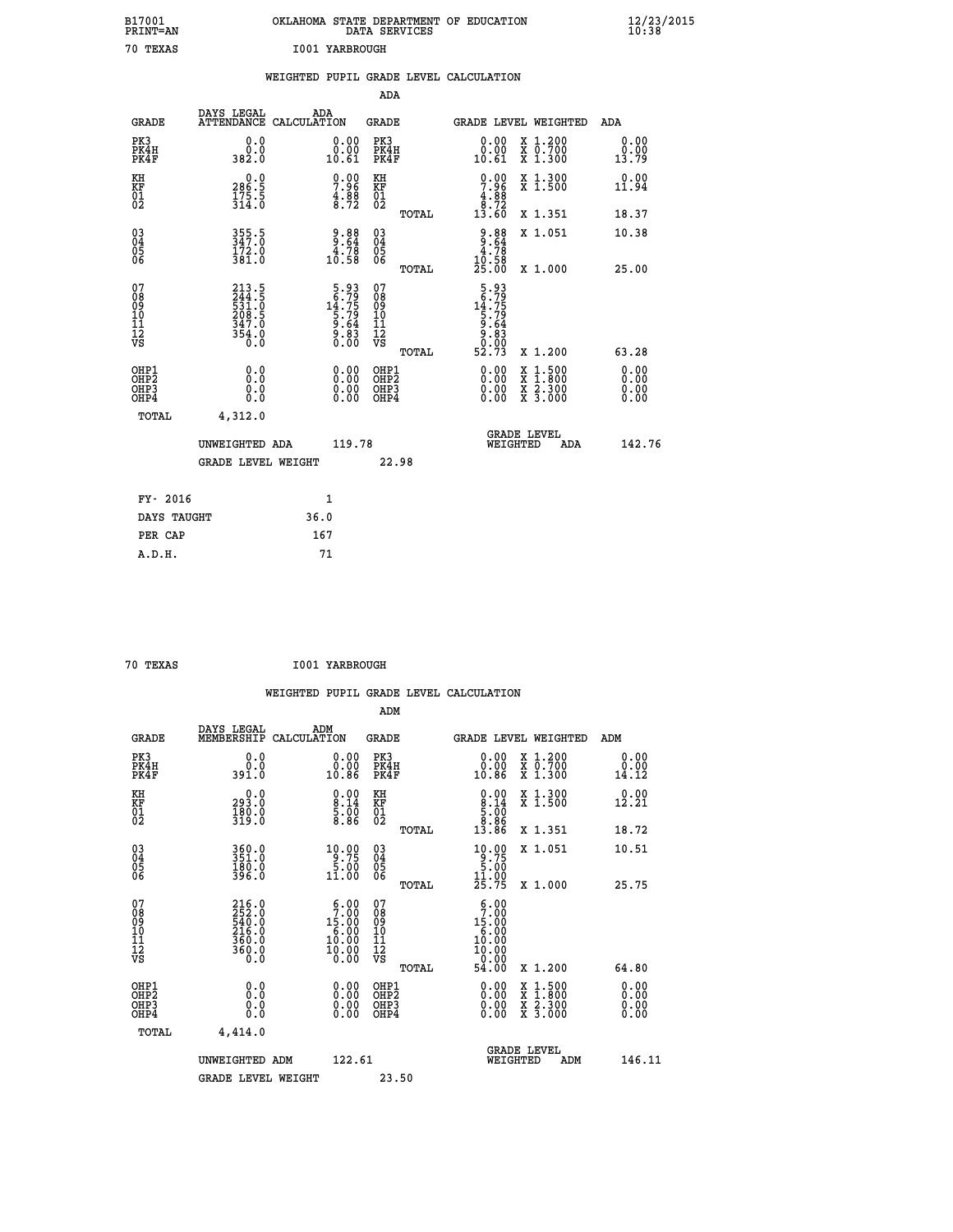| B17001<br>PRINT=AN           |                                                                    | OKLAHOMA STATE DEPARTMENT OF EDUCATION                                                                                                                              | DATA SERVICES                                               |                                                                                |                                          | $\frac{12}{23}$ /2015        |  |
|------------------------------|--------------------------------------------------------------------|---------------------------------------------------------------------------------------------------------------------------------------------------------------------|-------------------------------------------------------------|--------------------------------------------------------------------------------|------------------------------------------|------------------------------|--|
| 70 TEXAS                     |                                                                    | 1001 YARBROUGH                                                                                                                                                      |                                                             |                                                                                |                                          |                              |  |
|                              |                                                                    | WEIGHTED PUPIL GRADE LEVEL CALCULATION                                                                                                                              |                                                             |                                                                                |                                          |                              |  |
|                              |                                                                    |                                                                                                                                                                     | ADA                                                         |                                                                                |                                          |                              |  |
| <b>GRADE</b>                 | DAYS LEGAL                                                         | ADA<br>ATTENDANCE CALCULATION                                                                                                                                       | GRADE                                                       |                                                                                | GRADE LEVEL WEIGHTED                     | ADA                          |  |
| PK3<br>PK4H<br>PK4F          | 0.0<br>0.0<br>382.0                                                | 0.00<br>$\begin{smallmatrix} 0.00 \ 0.61 \end{smallmatrix}$                                                                                                         | PK3<br>PK4H<br>PK4F                                         | 0.00<br>$\substack{0.001 \ 10.61}$                                             | X 1.200<br>X 0.700<br>X 1.300            | 0.00<br>0.00<br>13.79        |  |
| KH<br>KF<br>$\frac{01}{02}$  | 0.0<br>286.5<br>$\frac{175.5}{314.0}$                              | $7.96$<br>$4.88$<br>$8.72$                                                                                                                                          | KH<br>KF<br>01<br>02                                        | $7.96$<br>$4.96$<br>$4.98$<br>$8.72$                                           | X 1.300<br>X 1.500                       | 0.00<br>11.94                |  |
|                              |                                                                    |                                                                                                                                                                     | TOTAL                                                       | 13.60                                                                          | X 1.351                                  | 18.37                        |  |
| 03<br>04<br>05<br>06         | 355.5<br>347.0<br>172.0<br>381.0                                   | $\begin{array}{c} 9.88 \\ 9.64 \\ 4.78 \\ 10.58 \end{array}$                                                                                                        | $\begin{matrix} 03 \\ 04 \\ 05 \\ 06 \end{matrix}$<br>TOTAL | $9.88$<br>$9.64$<br>$4.78$<br>10.58<br>25.00                                   | X 1.051<br>X 1.000                       | 10.38<br>25.00               |  |
| 078901112<br>00010112<br>VS  | 213.5<br>244.5<br>531.0<br>531.0<br>208.5<br>347.0<br>354.0<br>6.0 | $\begin{smallmatrix}5.93\\[-1.2mm] 5.79\\[-1.2mm] 14.75\\[-1.2mm] 5.79\\[-1.2mm] 5.79\\[-1.2mm] 9.64\\[-1.2mm] 9.64\\[-1.2mm] 0.83\\[-1.2mm] 0.00\end{smallmatrix}$ | 07<br>$\frac{11}{12}$<br>$\frac{12}{18}$<br>TOTAL           | $5.93$<br>$16.75$<br>$14.75$<br>$5.79$<br>$5.64$<br>$9.643$<br>$0.93$<br>52.73 | X 1.200                                  | 63.28                        |  |
| OHP1<br>OHP2<br>OHP3<br>OHP4 | 0.0<br>0.0<br>0.0<br>0.0                                           | 0.00<br>$\begin{smallmatrix} 0.00 \ 0.00 \end{smallmatrix}$                                                                                                         | OHP1<br>OH <sub>P</sub> 2<br>OHP3<br>OHP4                   | 0.00<br>0.00<br>0.00                                                           | X 1:500<br>X 1:800<br>X 2:300<br>X 3:000 | 0.00<br>0.00<br>0.00<br>0.00 |  |
| TOTAL                        | 4,312.0                                                            |                                                                                                                                                                     |                                                             |                                                                                |                                          |                              |  |
|                              | UNWEIGHTED ADA<br><b>GRADE LEVEL WEIGHT</b>                        | 119.78                                                                                                                                                              | 22.98                                                       | WEIGHTED                                                                       | <b>GRADE LEVEL</b><br>ADA                | 142.76                       |  |
| FY- 2016                     |                                                                    | 1                                                                                                                                                                   |                                                             |                                                                                |                                          |                              |  |
| DAYS TAUGHT                  |                                                                    | 36.0                                                                                                                                                                |                                                             |                                                                                |                                          |                              |  |
| PER CAP                      |                                                                    | 167                                                                                                                                                                 |                                                             |                                                                                |                                          |                              |  |

| 70 TEXAS | I001 YARBROUGH |
|----------|----------------|
|          |                |

 **WEIGHTED PUPIL GRADE LEVEL CALCULATION ADM DAYS LEGAL ADM GRADE MEMBERSHIP CALCULATION GRADE GRADE LEVEL WEIGHTED ADM PK3 0.0 0.00 PK3 0.00 X 1.200 0.00 PK4H 0.0 0.00 PK4H 0.00 X 0.700 0.00 PK4F 391.0 10.86 PK4F 10.86 X 1.300 14.12 KH 0.0 0.00 KH 0.00 X 1.300 0.00 KF 293.0 8.14 KF 8.14 X 1.500 12.21 01 180.0 5.00 01 5.00 02** 319.0 8.86 02 8.8<sub>6</sub>  **TOTAL 13.86 X 1.351 18.72 03 360.0 10.00 03 10.00 X 1.051 10.51 04 351.0 9.75 04 9.75 02 580.0 58.00 5.000 5.000 5.000 06 396.0 11.00 06 11.00 TOTAL 25.75 X 1.000 25.75 07 216.0 6.00 07 6.00 08 252.0 7.00 08 7.00 09 540.0 15.00 09 15.00 10 216.0 6.00 10 6.00 11 360.0 10.00 11 10.00 12** 360.0 **10.00 12** 10.00  **VS 0.0 0.00 VS 0.00 TOTAL 54.00 X 1.200 64.80 OHE1 0.00 0.00 0.000 OHE1 0.00 X 1.500 0.00 OHES 0.0 0.0 0.00 OHES 0.00 X 1.800 0.00 OHP3 0.0 0.00 OHP3 0.00 X 2.300 0.00 OHP4 0.0 0.00 OHP4 0.00 X 3.000 0.00 TOTAL 4,414.0 GRADE LEVEL UNWEIGHTED ADM 122.61 WEIGHTED ADM 146.11** GRADE LEVEL WEIGHT 23.50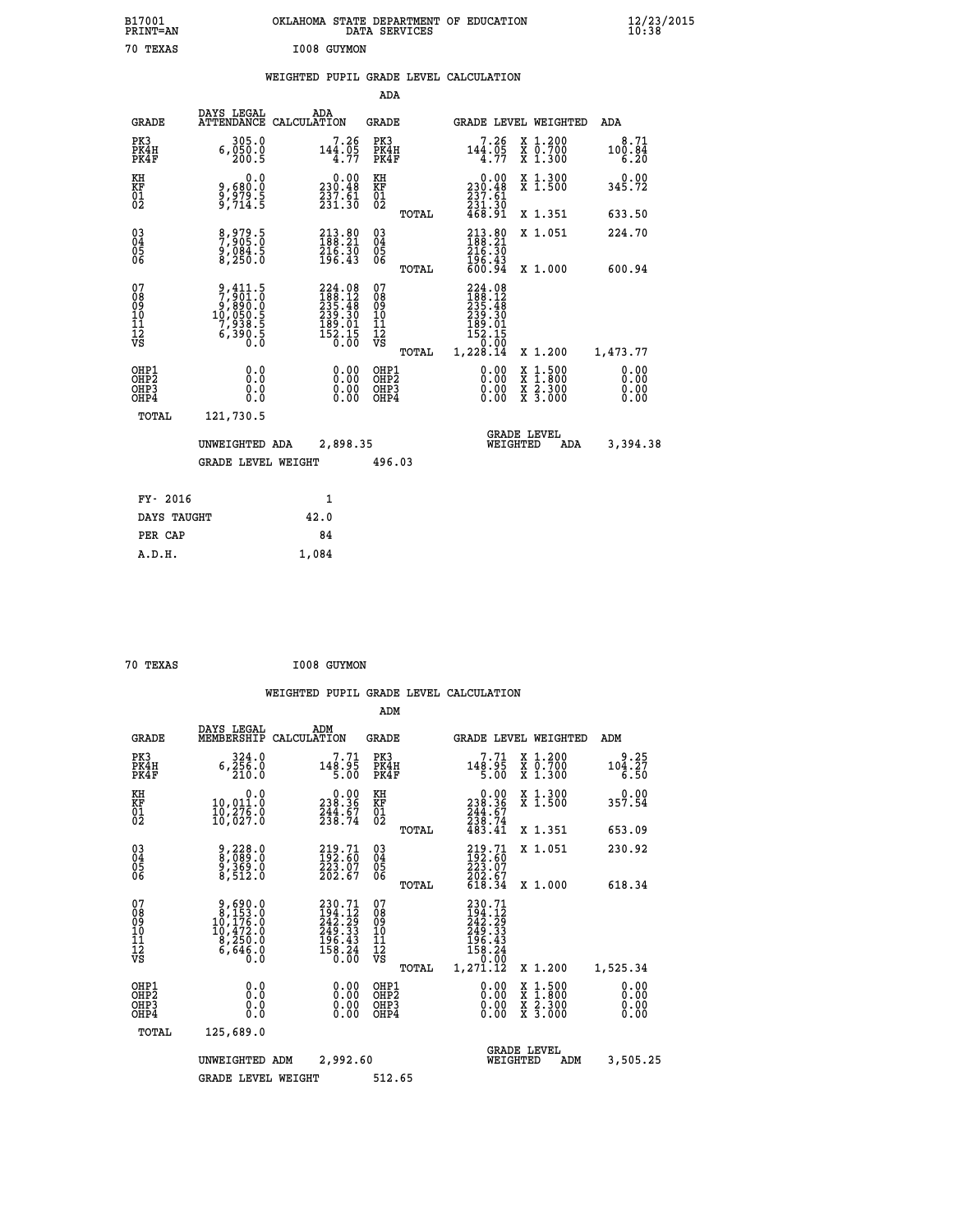| B17001<br>PRINT=AN          |                                      | OKLAHOMA                                                                | STATE DEPARTMENT<br>DATA SERVICES |       | OF<br><b>EDUCATION</b>             |                                                           | 12/23/2015<br>10:38    |  |
|-----------------------------|--------------------------------------|-------------------------------------------------------------------------|-----------------------------------|-------|------------------------------------|-----------------------------------------------------------|------------------------|--|
| TEXAS<br>70                 |                                      | I008<br>GUYMON                                                          |                                   |       |                                    |                                                           |                        |  |
|                             |                                      | WEIGHTED                                                                |                                   |       | PUPIL GRADE LEVEL CALCULATION      |                                                           |                        |  |
|                             |                                      |                                                                         | ADA                               |       |                                    |                                                           |                        |  |
| GRADE                       | DAYS LEGAL                           | ADA<br>ATTENDANCE CALCULATION                                           | GRADE                             |       |                                    | GRADE LEVEL WEIGHTED                                      | ADA                    |  |
| PK3<br>PK4H<br>PK4F         | 305.0<br>6,050.0<br>200.5            | 7.26<br>144.05<br>4.77                                                  | PK3<br>PK4H<br>PK4F               |       | $7.26$<br>144.05<br>4.77           | X 1.200<br>$\overline{x}$ $\overline{0.700}$<br>$X$ 1.300 | 8.71<br>100.84<br>6.20 |  |
| KH<br><b>KF</b><br>01<br>02 | 0.0<br>9,680.0<br>9,979.5<br>9,714.5 | $\begin{smallmatrix} &0.00\\ 230.48\\ 237.61\\ 231.30\end{smallmatrix}$ | KH<br><b>KF</b><br>01<br>02       |       | 0.00<br>230.48<br>237.61<br>231.30 | X 1.300<br>X 1.500                                        | 0.00<br>345.72         |  |
|                             |                                      |                                                                         |                                   | TOTAL | 468.91                             | X 1.351                                                   | 633.50                 |  |

| 03<br>04<br>05<br>06                     | 8,979.5<br>7,905.0<br>9,084.5<br>8,250.0                                   | $\begin{smallmatrix} 213.80\ 188.21\ 216.30\ 196.43 \end{smallmatrix}$                              | 03<br>04<br>05<br>06<br>TOTAL            | $\begin{smallmatrix} 213.80\188.21\216.30\196.43\00.94 \end{smallmatrix}$                             | X 1.051<br>X 1.000                                                                               | 224.70<br>600.94                                                                                                                                                                                                                                                               |
|------------------------------------------|----------------------------------------------------------------------------|-----------------------------------------------------------------------------------------------------|------------------------------------------|-------------------------------------------------------------------------------------------------------|--------------------------------------------------------------------------------------------------|--------------------------------------------------------------------------------------------------------------------------------------------------------------------------------------------------------------------------------------------------------------------------------|
| 07<br>08<br>09<br>101<br>11<br>12<br>VS  | 9,411.5<br>7,901.0<br>9,890.0<br>10,050.5<br>7,938.5<br>6,390.5<br>6,390.5 | $\begin{smallmatrix} 224.08\\188.12\\235.48\\239.30\\239.30\\189.01\\152.15\\0.00\end{smallmatrix}$ | 078901112<br>111112<br>VS<br>TOTAL       | $\begin{smallmatrix} 224.08\\188.12\\235.48\\239.30\\189.01\\152.15\\0.00\\1.228.14\end{smallmatrix}$ | X 1.200                                                                                          | 1,473.77                                                                                                                                                                                                                                                                       |
| OHP1<br>OHP <sub>2</sub><br>OHP3<br>OHP4 |                                                                            |                                                                                                     | OHP1<br>OHP <sub>2</sub><br>OHP3<br>OHP4 |                                                                                                       | $\begin{smallmatrix} x & 1 & 500 \\ x & 1 & 800 \\ x & 2 & 300 \\ x & 3 & 000 \end{smallmatrix}$ | $\begin{smallmatrix} 0.00 & 0.00 & 0.00 & 0.00 & 0.00 & 0.00 & 0.00 & 0.00 & 0.00 & 0.00 & 0.00 & 0.00 & 0.00 & 0.00 & 0.00 & 0.00 & 0.00 & 0.00 & 0.00 & 0.00 & 0.00 & 0.00 & 0.00 & 0.00 & 0.00 & 0.00 & 0.00 & 0.00 & 0.00 & 0.00 & 0.00 & 0.00 & 0.00 & 0.00 & 0.00 & 0.0$ |
| TOTAL                                    | 121,730.5<br>UNWEIGHTED ADA<br><b>GRADE LEVEL WEIGHT</b>                   | 2,898.35                                                                                            | 496.03                                   |                                                                                                       | <b>GRADE LEVEL</b><br>WEIGHTED<br>ADA                                                            | 3,394.38                                                                                                                                                                                                                                                                       |
| FY- 2016                                 |                                                                            | 1                                                                                                   |                                          |                                                                                                       |                                                                                                  |                                                                                                                                                                                                                                                                                |

| ri zulu     |       |
|-------------|-------|
| DAYS TAUGHT | 42.0  |
| PER CAP     | 84    |
| A.D.H.      | 1,084 |
|             |       |

| 70 TEXAS |  | I008 GUYMON |
|----------|--|-------------|
|----------|--|-------------|

|                                          |                                                                                                   |                    |                                                                                                    | ADM                                                 |       |                                                                                  |                                |                                                                                                  |                              |
|------------------------------------------|---------------------------------------------------------------------------------------------------|--------------------|----------------------------------------------------------------------------------------------------|-----------------------------------------------------|-------|----------------------------------------------------------------------------------|--------------------------------|--------------------------------------------------------------------------------------------------|------------------------------|
| <b>GRADE</b>                             | DAYS LEGAL<br>MEMBERSHIP                                                                          | ADM<br>CALCULATION |                                                                                                    | <b>GRADE</b>                                        |       |                                                                                  |                                | GRADE LEVEL WEIGHTED                                                                             | ADM                          |
| PK3<br>PK4H<br>PK4F                      | 324.0<br>6, 256.0<br>210.0                                                                        |                    | 7.71<br>148.95<br>5.00                                                                             | PK3<br>PK4H<br>PK4F                                 |       | 148.95<br>5.00                                                                   | 7.71                           | $\begin{array}{c} x & 1.200 \\ x & 0.700 \end{array}$<br>X 1.300                                 | 9.25<br>104.27<br>6.50       |
| KH<br>KF<br>01<br>02                     | 0.0<br>10,011:0<br>10,276:0<br>10,027:0                                                           |                    | $\begin{smallmatrix} &0.00\\ 238.36\\ 244.67\\ 238.74\end{smallmatrix}$                            | KH<br>KF<br>01<br>02                                |       | $\begin{smallmatrix} &0.00\\ 238.36\\ 244.67\\ 238.74\\ 238.41\end{smallmatrix}$ |                                | X 1.300<br>X 1.500                                                                               | 0.00<br>357.54               |
|                                          |                                                                                                   |                    |                                                                                                    |                                                     | TOTAL |                                                                                  |                                | X 1.351                                                                                          | 653.09                       |
| 03<br>04<br>05<br>06                     | 9,228.0<br>8,089.0<br>9,369.0<br>8,512.0                                                          |                    | $\begin{smallmatrix} 219.71\ 192.60\ 223.07\ 202.67 \end{smallmatrix}$                             | $\begin{array}{c} 03 \\ 04 \\ 05 \\ 06 \end{array}$ |       | $219.71$<br>$192.60$<br>$223.07$<br>$202.67$<br>$618.34$                         |                                | X 1.051                                                                                          | 230.92                       |
|                                          |                                                                                                   |                    |                                                                                                    |                                                     | TOTAL |                                                                                  |                                | X 1.000                                                                                          | 618.34                       |
| 07<br>08<br>09<br>101<br>112<br>VS       | $\begin{smallmatrix}9,690.0\\8,153.0\\10,176.0\\10,472.0\\8,250.0\\6,646.0\\0.0\end{smallmatrix}$ |                    | 230.71<br>194.12<br>242.29<br>$\begin{smallmatrix} 249.33\ 196.43\ 158.24\ 0.00 \end{smallmatrix}$ | 07<br>08<br>09<br>11<br>11<br>12<br>VS              | TOTAL | 230.71<br>194.12<br>242.29<br>249.33<br>196.43<br>158.24<br>1,271.12             | 0.00                           | X 1.200                                                                                          | 1,525.34                     |
| OHP1<br>OHP2<br>OH <sub>P3</sub><br>OHP4 | 0.0<br>0.000                                                                                      |                    | $0.00$<br>$0.00$<br>0.00                                                                           | OHP1<br>OHP2<br>OHP <sub>3</sub><br>OHP4            |       |                                                                                  | $0.00$<br>$0.00$<br>0.00       | $\begin{smallmatrix} x & 1 & 500 \\ x & 1 & 800 \\ x & 2 & 300 \\ x & 3 & 000 \end{smallmatrix}$ | 0.00<br>0.00<br>0.00<br>0.00 |
| TOTAL                                    | 125,689.0                                                                                         |                    |                                                                                                    |                                                     |       |                                                                                  |                                |                                                                                                  |                              |
|                                          | UNWEIGHTED                                                                                        | ADM                | 2,992.60                                                                                           |                                                     |       |                                                                                  | <b>GRADE LEVEL</b><br>WEIGHTED | ADM                                                                                              | 3,505.25                     |
|                                          | <b>GRADE LEVEL WEIGHT</b>                                                                         |                    |                                                                                                    | 512.65                                              |       |                                                                                  |                                |                                                                                                  |                              |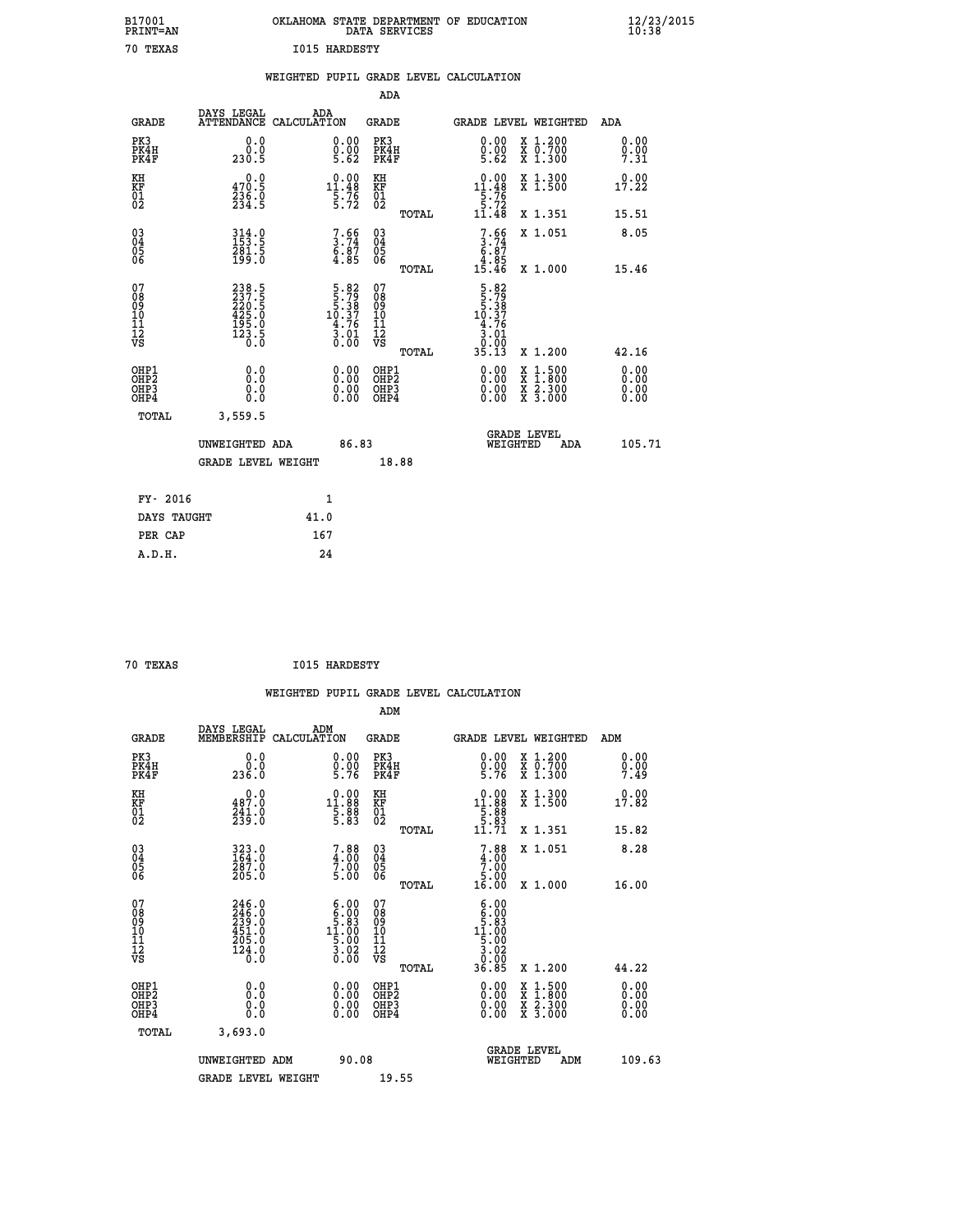| B17001<br>PRINT=AN                     |                                                             | OKLAHOMA STATE DEPARTMENT OF EDUCATION                                                                                  | DATA SERVICES                                                      |                                                                                                                                       |                                                                                                                                           | $\frac{12}{23}$ /2015        |  |
|----------------------------------------|-------------------------------------------------------------|-------------------------------------------------------------------------------------------------------------------------|--------------------------------------------------------------------|---------------------------------------------------------------------------------------------------------------------------------------|-------------------------------------------------------------------------------------------------------------------------------------------|------------------------------|--|
| 70 TEXAS                               |                                                             | <b>I015 HARDESTY</b>                                                                                                    |                                                                    |                                                                                                                                       |                                                                                                                                           |                              |  |
|                                        |                                                             | WEIGHTED PUPIL GRADE LEVEL CALCULATION                                                                                  |                                                                    |                                                                                                                                       |                                                                                                                                           |                              |  |
|                                        |                                                             |                                                                                                                         | <b>ADA</b>                                                         |                                                                                                                                       |                                                                                                                                           |                              |  |
| GRADE                                  | DAYS LEGAL                                                  | ADA<br>ATTENDANCE CALCULATION                                                                                           | GRADE                                                              |                                                                                                                                       | GRADE LEVEL WEIGHTED                                                                                                                      | ADA                          |  |
| PK3<br>PK4H<br>PK4F                    | 0.0<br>0.0<br>230.5                                         | 0.00<br>$\frac{0}{5}$ . $\frac{0}{62}$                                                                                  | PK3<br>PK4H<br>PK4F                                                | 0.00<br>$\frac{0}{5}$ . $\frac{0}{6}$                                                                                                 | X 1.200<br>X 0.700<br>X 1.300                                                                                                             | 0.00<br>0.00<br>7.31         |  |
| KH<br>KF<br>01<br>02                   | 0.0<br>470.5<br>$\frac{236}{234}$ . 9                       | $0.00$<br>11.48<br>$\frac{5}{5}$ : 76                                                                                   | KH<br><b>KF</b><br>01<br>02                                        | $0.00$<br>11.48<br>$\frac{1}{5}$ : 76<br>11.48                                                                                        | X 1.300<br>X 1.500                                                                                                                        | 0.00<br>17.22                |  |
|                                        |                                                             |                                                                                                                         | TOTAL                                                              |                                                                                                                                       | X 1.351                                                                                                                                   | 15.51                        |  |
| 03<br>04<br>05<br>06                   | $314.0$<br>$153.5$<br>281.5<br>199.0                        | $7.56$<br>$3.74$<br>$6.87$<br>$4.85$                                                                                    | $\begin{matrix} 03 \\ 04 \\ 05 \\ 06 \end{matrix}$<br><b>TOTAL</b> | $7.66$<br>$3.74$<br>$6.87$<br>$3.85$<br>15.46                                                                                         | X 1.051<br>X 1.000                                                                                                                        | 8.05<br>15.46                |  |
| 07<br>08<br>09<br>11<br>11<br>12<br>VS | 238.5<br>237.5<br>220.5<br>425.0<br>425.0<br>195.0<br>123.5 | $\begin{array}{r} 5\cdot 82 \\ 5\cdot 79 \\ 5\cdot 38 \\ 10\cdot 37 \\ 4\cdot 76 \\ 3\cdot 01 \\ 0\cdot 00 \end{array}$ | 07<br>08901112<br>1112<br>VS<br>TOTAL                              | $\begin{array}{r} 5\cdot 82 \\ 5\cdot 79 \\ 5\cdot 38 \\ 10\cdot 37 \\ 4\cdot 76 \\ 3\cdot 01 \\ 0\cdot 00 \\ 35\cdot 13 \end{array}$ | X 1.200                                                                                                                                   | 42.16                        |  |
| OHP1<br>OHP2<br>OHP3<br>OHP4           | 0.0<br>0.0<br>0.0<br>0.0                                    | 0.00<br>$\begin{smallmatrix} 0.00 \ 0.00 \end{smallmatrix}$                                                             | OHP1<br>OH <sub>P</sub> 2<br>OHP3<br>OHP4                          | 0.00<br>0.00<br>0.00                                                                                                                  | $\begin{smallmatrix} \mathtt{X} & 1\cdot500\\ \mathtt{X} & 1\cdot800\\ \mathtt{X} & 2\cdot300\\ \mathtt{X} & 3\cdot000 \end{smallmatrix}$ | 0.00<br>0.00<br>0.00<br>0.00 |  |
| <b>TOTAL</b>                           | 3,559.5                                                     |                                                                                                                         |                                                                    |                                                                                                                                       |                                                                                                                                           |                              |  |
|                                        | UNWEIGHTED ADA<br><b>GRADE LEVEL WEIGHT</b>                 | 86.83                                                                                                                   | 18.88                                                              | WEIGHTED                                                                                                                              | <b>GRADE LEVEL</b><br>ADA                                                                                                                 | 105.71                       |  |
| FY- 2016                               |                                                             | 1                                                                                                                       |                                                                    |                                                                                                                                       |                                                                                                                                           |                              |  |
| DAYS TAUGHT                            |                                                             | 41.0                                                                                                                    |                                                                    |                                                                                                                                       |                                                                                                                                           |                              |  |
| PER CAP                                |                                                             | 167                                                                                                                     |                                                                    |                                                                                                                                       |                                                                                                                                           |                              |  |

| 70 TEXAS | I015 HARDESTY |
|----------|---------------|
|          |               |

 **WEIGHTED PUPIL GRADE LEVEL CALCULATION ADM DAYS LEGAL ADM GRADE MEMBERSHIP CALCULATION GRADE GRADE LEVEL WEIGHTED ADM PK3 0.0 0.00 PK3 0.00 X 1.200 0.00 PK4H 0.0 0.00 PK4H 0.00 X 0.700 0.00 PK4F 236.0 5.76 PK4F 5.76 X 1.300 7.49 KH 0.0 0.00 KH 0.00 X 1.300 0.00 KF 487.0 11.88 KF 11.88 X 1.500 17.82 01 241.0 5.88 01 5.88 02 239.0 5.83 02 5.83 TOTAL 11.71 X 1.351 15.82 03 323.0 7.88 03 7.88 X 1.051 8.28 04 164.0 4.00 04 4.00 05 287.0 7.00 05 7.00 06 205.0 5.00 06 5.00 TOTAL 16.00 X 1.000 16.00 07 246.0 6.00 07 6.00 08 246.0 6.00 08 6.00 09 239.0 5.83 09 5.83 10 451.0 11.00 10 11.00 11 205.0 5.00 11 5.00 12** 124.0 **3.02** 124.0  **VS 0.0 0.00 VS 0.00 TOTAL 36.85 X 1.200 44.22 OHP1 0.0 0.00 OHP1 0.00 X 1.500 0.00 OHP2 0.0 0.00 OHP2 0.00 X 1.800 0.00 OHP3 0.0 0.00 OHP3 0.00 X 2.300 0.00 OHP4 0.0 0.00 OHP4 0.00 X 3.000 0.00 TOTAL 3,693.0 GRADE LEVEL UNWEIGHTED ADM 90.08 WEIGHTED ADM 109.63** GRADE LEVEL WEIGHT 19.55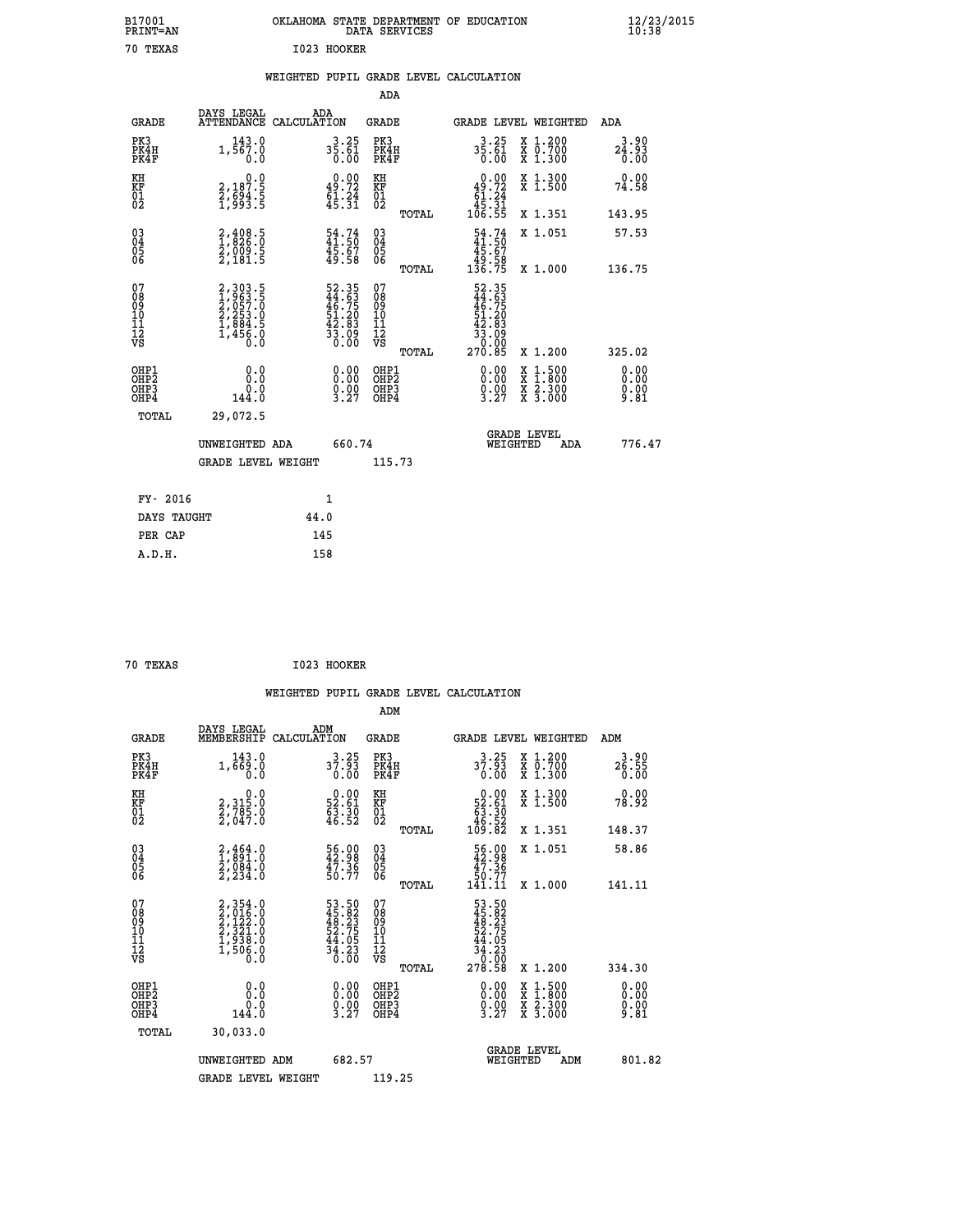| B17001<br><b>PRINT=AN</b> | OKLAHOMA STATE DEPARTMENT OF EDUCATION<br>DATA SERVICES | $\frac{12}{23}$ /2015 |
|---------------------------|---------------------------------------------------------|-----------------------|
| 70<br>TEXAS               | I023 HOOKER                                             |                       |

## **WEIGHTED PUPIL GRADE LEVEL CALCULATION**

| <b>GRADE</b>                                         | DAYS LEGAL<br>ATTENDANCE CALCULATION                                    | ADA                                                                 |                                                                   | <b>GRADE</b>                                  |       |                                                                            |          | GRADE LEVEL WEIGHTED                     | ADA                    |
|------------------------------------------------------|-------------------------------------------------------------------------|---------------------------------------------------------------------|-------------------------------------------------------------------|-----------------------------------------------|-------|----------------------------------------------------------------------------|----------|------------------------------------------|------------------------|
| PK3<br>PK4H<br>PK4F                                  | 143.0<br>1,567.0<br>0.0                                                 | $3\frac{3}{5}\cdot\frac{25}{61}$<br>0.00                            |                                                                   | PK3<br>PK4H<br>PK4F                           |       | $3.25$<br>35.61<br>0.00                                                    |          | X 1.200<br>X 0.700<br>X 1.300            | 3.90<br>24.93<br>0.00  |
| KH<br>KF<br>01<br>02                                 | $\begin{smallmatrix}&&&0.0\\2,187.5\\2,694.5\\1,993.5\end{smallmatrix}$ | $0.00$<br>49.72<br>$\frac{51.24}{45.31}$                            |                                                                   | KH<br>KF<br>$\overline{01}$                   |       | $0.00$<br>$49.72$<br>$61.24$<br>$45.31$<br>$106.55$                        |          | X 1.300<br>X 1.500                       | 0.00<br>74.58          |
|                                                      |                                                                         |                                                                     |                                                                   |                                               | TOTAL |                                                                            |          | X 1.351                                  | 143.95                 |
| $\begin{matrix} 03 \\ 04 \\ 05 \\ 06 \end{matrix}$   | $2,408.5$<br>$1,826.0$<br>$2,009.5$<br>$2,181.5$                        | $54.74$<br>$41.50$<br>$45.67$<br>$49.58$                            |                                                                   | $^{03}_{04}$<br>$\frac{05}{06}$               |       | $\begin{smallmatrix} 54.74\ 41.50\ 45.67\ 49.58\ 136.75 \end{smallmatrix}$ |          | X 1.051                                  | 57.53                  |
|                                                      |                                                                         |                                                                     |                                                                   |                                               | TOTAL |                                                                            |          | X 1.000                                  | 136.75                 |
| 07<br>08<br>09<br>101<br>11<br>12<br>VS              | 2,303.5<br>1,963.5<br>2,057.0<br>2,253.0<br>1,884.5<br>1,456.0          | 52.35<br>44.63<br>46.75<br>51.20<br>51.20<br>53.83<br>33.09<br>0.00 |                                                                   | 07<br>08<br>09<br>001<br>11<br>11<br>12<br>VS | TOTAL | $52.35$<br>$44.63$<br>$46.75$<br>$51.20$<br>$42.83$<br>$33.09$<br>$270.85$ |          | X 1.200                                  | 325.02                 |
|                                                      |                                                                         |                                                                     |                                                                   |                                               |       |                                                                            |          |                                          | 0.00                   |
| OHP1<br>OHP2<br>OH <sub>P3</sub><br>OH <sub>P4</sub> | 0.0<br>0.0<br>144.0                                                     |                                                                     | $\begin{smallmatrix} 0.00\\ 0.00\\ 0.00\\ 3.27 \end{smallmatrix}$ | OHP1<br>OHP2<br>OHP3<br>OHP4                  |       | $\begin{smallmatrix} 0.00\\ 0.00\\ 0.00\\ 3.27 \end{smallmatrix}$          |          | X 1:500<br>X 1:800<br>X 2:300<br>X 3:000 | 0.00<br>$0.00$<br>9.81 |
| TOTAL                                                | 29,072.5                                                                |                                                                     |                                                                   |                                               |       |                                                                            |          |                                          |                        |
|                                                      | UNWEIGHTED ADA                                                          |                                                                     | 660.74                                                            |                                               |       |                                                                            | WEIGHTED | <b>GRADE LEVEL</b><br>ADA                | 776.47                 |
|                                                      | <b>GRADE LEVEL WEIGHT</b>                                               |                                                                     |                                                                   | 115.73                                        |       |                                                                            |          |                                          |                        |
| FY- 2016                                             |                                                                         | 1                                                                   |                                                                   |                                               |       |                                                                            |          |                                          |                        |
| DAYS TAUGHT                                          |                                                                         | 44.0                                                                |                                                                   |                                               |       |                                                                            |          |                                          |                        |
|                                                      |                                                                         |                                                                     |                                                                   |                                               |       |                                                                            |          |                                          |                        |

| 70 TEXAS<br>$\sim$ $\sim$ | I023 HOOKER |
|---------------------------|-------------|
|---------------------------|-------------|

 **PER CAP 145 A.D.H. 158**

 **ADA**

|                                          |                                                                        |                                                                      | ADM                                                 |       |                                                                                                              |                                          |                       |
|------------------------------------------|------------------------------------------------------------------------|----------------------------------------------------------------------|-----------------------------------------------------|-------|--------------------------------------------------------------------------------------------------------------|------------------------------------------|-----------------------|
| <b>GRADE</b>                             | DAYS LEGAL<br>MEMBERSHIP                                               | ADM<br>CALCULATION                                                   | <b>GRADE</b>                                        |       |                                                                                                              | GRADE LEVEL WEIGHTED                     | ADM                   |
| PK3<br>PK4H<br>PK4F                      | 143.0<br>1,669.0<br>0.0                                                | $3^{3.25}_{7.93}$<br>0.00                                            | PK3<br>PK4H<br>PK4F                                 |       | $3.25$<br>37.93<br>0.00                                                                                      | X 1.200<br>X 0.700<br>X 1.300            | 3.90<br>26.55<br>0.00 |
| KH<br>KF<br>01<br>02                     | $\begin{smallmatrix} 0.0\\2,315.0\\2,785.0\\2,047.0 \end{smallmatrix}$ | $\begin{smallmatrix} 0.00\\ 52.61\\ 63.30\\ 46.52 \end{smallmatrix}$ | KH<br>KF<br>01<br>02                                |       | $\begin{smallmatrix} &0.00\,52.61\,63.30\,46.52\,109.82\end{smallmatrix}$                                    | X 1.300<br>X 1.500                       | 0.00<br>78.92         |
|                                          |                                                                        |                                                                      |                                                     | TOTAL |                                                                                                              | X 1.351                                  | 148.37                |
| 03<br>04<br>05<br>06                     | $2,464.0$<br>$1,891.0$<br>$2,084.0$<br>$2,234.0$                       | 56.00<br>42.98<br>47.36<br>50.77                                     | $\begin{array}{c} 03 \\ 04 \\ 05 \\ 06 \end{array}$ |       | $\begin{smallmatrix} 56.00\\ 42.98\\ 47.36\\ 50.77\\ 141.11\\ \end{smallmatrix}$                             | X 1.051                                  | 58.86                 |
|                                          |                                                                        |                                                                      |                                                     | TOTAL |                                                                                                              | X 1.000                                  | 141.11                |
| 07<br>08<br>09<br>101<br>112<br>VS       | $2,354.0$<br>$2,122.0$<br>$2,321.0$<br>$1,938.0$<br>$1,506.0$<br>$0.0$ | 53.50<br>45.823<br>48.23<br>52.75<br>54.05<br>44.23<br>34.230        | 07<br>08<br>09<br>11<br>11<br>12<br>VS              |       | $\begin{array}{r} 53.50 \\ 45.82 \\ 48.23 \\ 52.75 \\ 54.05 \\ 44.05 \\ 34.23 \\ 0.00 \\ 278.58 \end{array}$ |                                          |                       |
|                                          |                                                                        |                                                                      |                                                     | TOTAL |                                                                                                              | X 1.200                                  | 334.30                |
| OHP1<br>OHP2<br>OH <sub>P3</sub><br>OHP4 | 0.0<br>0.0<br>144.0                                                    | $\begin{smallmatrix} 0.00\ 0.00\ 0.00\ 3.27 \end{smallmatrix}$       | OHP1<br>OHP2<br>OHP <sub>3</sub>                    |       | $\begin{smallmatrix} 0.00\\ 0.00\\ 0.00\\ 3.27 \end{smallmatrix}$                                            | X 1:500<br>X 1:800<br>X 2:300<br>X 3:000 | 0.00<br>0.00<br>9.81  |
| TOTAL                                    | 30,033.0                                                               |                                                                      |                                                     |       |                                                                                                              |                                          |                       |
|                                          | UNWEIGHTED ADM                                                         | 682.57                                                               |                                                     |       |                                                                                                              | <b>GRADE LEVEL</b><br>WEIGHTED<br>ADM    | 801.82                |
|                                          | <b>GRADE LEVEL WEIGHT</b>                                              |                                                                      | 119.25                                              |       |                                                                                                              |                                          |                       |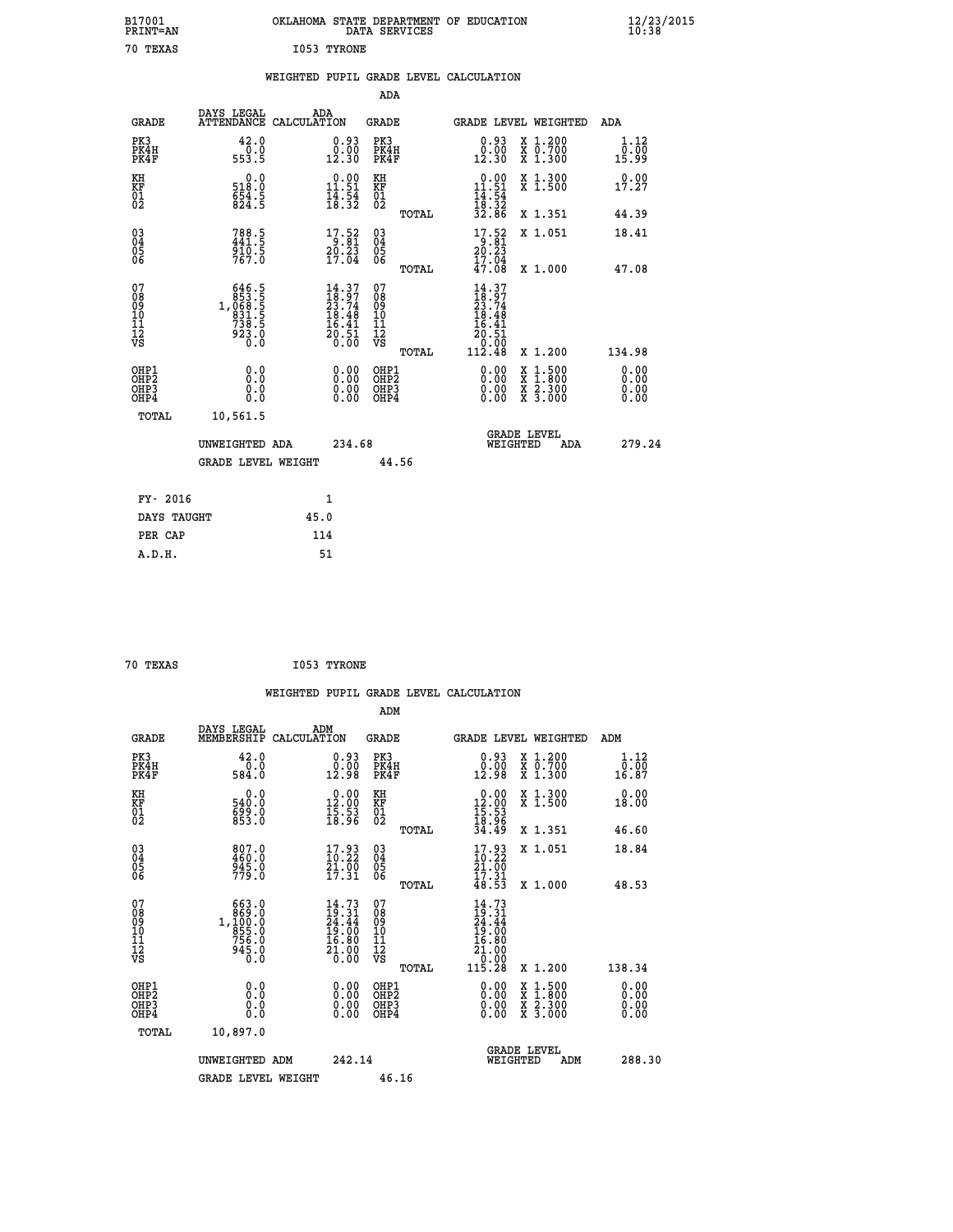| B17001<br>PRINT=AN                       |                                                                                                     |             |                                                                          |                                                    | DATA SERVICES  | OKLAHOMA STATE DEPARTMENT OF EDUCATION                                                                                      |                                                                                                                                      | $\frac{12}{23}$ /2015        |  |
|------------------------------------------|-----------------------------------------------------------------------------------------------------|-------------|--------------------------------------------------------------------------|----------------------------------------------------|----------------|-----------------------------------------------------------------------------------------------------------------------------|--------------------------------------------------------------------------------------------------------------------------------------|------------------------------|--|
| 70 TEXAS                                 |                                                                                                     | I053 TYRONE |                                                                          |                                                    |                |                                                                                                                             |                                                                                                                                      |                              |  |
|                                          |                                                                                                     |             |                                                                          | ADA                                                |                | WEIGHTED PUPIL GRADE LEVEL CALCULATION                                                                                      |                                                                                                                                      |                              |  |
| <b>GRADE</b>                             | DAYS LEGAL<br>ATTENDANCE CALCULATION                                                                | ADA         |                                                                          | GRADE                                              |                | GRADE LEVEL WEIGHTED                                                                                                        |                                                                                                                                      | ADA                          |  |
| PK3<br>PK4H<br>PK4F                      | 42.0<br>0.0<br>553.5                                                                                |             | 0.93<br>0.00<br>12.30                                                    | PK3<br>PK4H<br>PK4F                                |                | 0.93<br>$\begin{smallmatrix} 0.00 \ 12.30 \end{smallmatrix}$                                                                | X 1.200<br>X 0.700<br>X 1.300                                                                                                        | 1.12<br>0.00<br>15.99        |  |
| KH<br>KF<br>01<br>02                     | 0.0<br>518:0<br>654:5<br>824:5                                                                      |             | $\begin{array}{c} 0.00 \\ 11.51 \\ 14.54 \\ 18.32 \end{array}$           | KH<br>KF<br>$\overline{01}$                        |                | $\begin{array}{r} 0.00 \\[-4pt] 11.51 \\[-4pt] 14.54 \\[-4pt] 18.32 \\[-4pt] 32.86 \end{array}$                             | X 1.300<br>X 1.500                                                                                                                   | 0.00<br>17.27                |  |
|                                          |                                                                                                     |             |                                                                          |                                                    | TOTAL          |                                                                                                                             | X 1.351                                                                                                                              | 44.39                        |  |
| $03\overline{4}$<br>0500                 | $788.5$<br>$441.5$<br>$910.5$<br>767.0                                                              |             | $\begin{array}{c} 17.52 \\ 9.81 \\ 20.23 \\ 17.04 \end{array}$           | $\begin{matrix} 03 \\ 04 \\ 05 \\ 06 \end{matrix}$ |                | $\frac{17.52}{20.23}$<br>17.04                                                                                              | X 1.051                                                                                                                              | 18.41                        |  |
| 07<br>08<br>09<br>10<br>11<br>12<br>VS   | $\begin{smallmatrix} 646.5\\ 853.5\\ 068.5\\ 068.5\\ 831.5\\ 738.5\\ 923.0\\ 0.0 \end{smallmatrix}$ |             | $14.37$<br>$23.74$<br>$23.74$<br>$18.48$<br>$16.41$<br>$20.51$<br>$0.00$ | 07<br>08<br>09<br>10<br>11<br>12<br>VS             | TOTAL<br>TOTAL | 47.08<br>14.37<br>$\frac{1}{2}$ $\frac{1}{3}$ $\cdot\frac{9}{7}$ $\frac{7}{4}$<br>18.48<br>16.41<br>20.51<br>Ŏ.ŎŌ<br>112.48 | X 1,000<br>X 1.200                                                                                                                   | 47.08<br>134.98              |  |
| OHP1<br>OHP <sub>2</sub><br>OHP3<br>OHP4 | 0.000<br>0.0<br>0.0                                                                                 |             | 0.00<br>0.00                                                             | OHP1<br>OHP <sub>2</sub><br>OHP3<br>OHP4           |                | 0.00<br>0.00<br>0.00                                                                                                        | $\begin{smallmatrix} \mathtt{X} & 1 & 500 \\ \mathtt{X} & 1 & 800 \\ \mathtt{X} & 2 & 300 \\ \mathtt{X} & 3 & 000 \end{smallmatrix}$ | 0.00<br>0.00<br>0.00<br>0.00 |  |
| TOTAL                                    | 10,561.5                                                                                            |             |                                                                          |                                                    |                |                                                                                                                             |                                                                                                                                      |                              |  |
|                                          | UNWEIGHTED ADA                                                                                      |             | 234.68                                                                   |                                                    |                | WEIGHTED                                                                                                                    | <b>GRADE LEVEL</b><br>ADA                                                                                                            | 279.24                       |  |
|                                          | <b>GRADE LEVEL WEIGHT</b>                                                                           |             |                                                                          |                                                    | 44.56          |                                                                                                                             |                                                                                                                                      |                              |  |
| FY- 2016                                 |                                                                                                     |             | 1                                                                        |                                                    |                |                                                                                                                             |                                                                                                                                      |                              |  |
| DAYS TAUGHT                              |                                                                                                     | 45.0        |                                                                          |                                                    |                |                                                                                                                             |                                                                                                                                      |                              |  |
| PER CAP                                  |                                                                                                     | 114         |                                                                          |                                                    |                |                                                                                                                             |                                                                                                                                      |                              |  |

| 70 TEXAS |  |  | I053 TYRONE |
|----------|--|--|-------------|

 **WEIGHTED PUPIL GRADE LEVEL CALCULATION ADM DAYS LEGAL ADM GRADE MEMBERSHIP CALCULATION GRADE GRADE LEVEL WEIGHTED ADM PK3 42.0 0.93 PK3 0.93 X 1.200 1.12 PK4H 0.0 0.00 PK4H 0.00 X 0.700 0.00 PK4F 584.0 12.98 PK4F 12.98 X 1.300 16.87 KH 0.0 0.00 KH 0.00 X 1.300 0.00 KF 540.0 12.00 KF 12.00 X 1.500 18.00 01 699.0 15.53 01 15.53** 02 853.0 18.96 02 <sub>noman</sub> 18.96  **TOTAL 34.49 X 1.351 46.60 03 807.0 17.93 03 17.93 X 1.051 18.84 04 460.0 10.22 04 10.22 05 945.0 21.00 05 21.00** 06 779.0 17.31 06 <sub>nomai</sub> 17.31  **TOTAL 48.53 X 1.000 48.53** 07 663.0 14.73 07 14.73<br>
08 869.0 19.31 08 19.31<br>
10 1,100.0 24.44 09 24.44<br>
10 756.0 16.80 10 16.00<br>
12 945.0 21.00 12 16.80<br>
VS 945.0 20.000 12<br>
12 0.00  **TOTAL 115.28 X 1.200 138.34 OHP1 0.0 0.00 OHP1 0.00 X 1.500 0.00 OHP2 0.0 0.00 OHP2 0.00 X 1.800 0.00 OHP3 0.0 0.00 OHP3 0.00 X 2.300 0.00 OHP4 0.0 0.00 OHP4 0.00 X 3.000 0.00 TOTAL 10,897.0 GRADE LEVEL UNWEIGHTED ADM 242.14 WEIGHTED ADM 288.30** GRADE LEVEL WEIGHT 46.16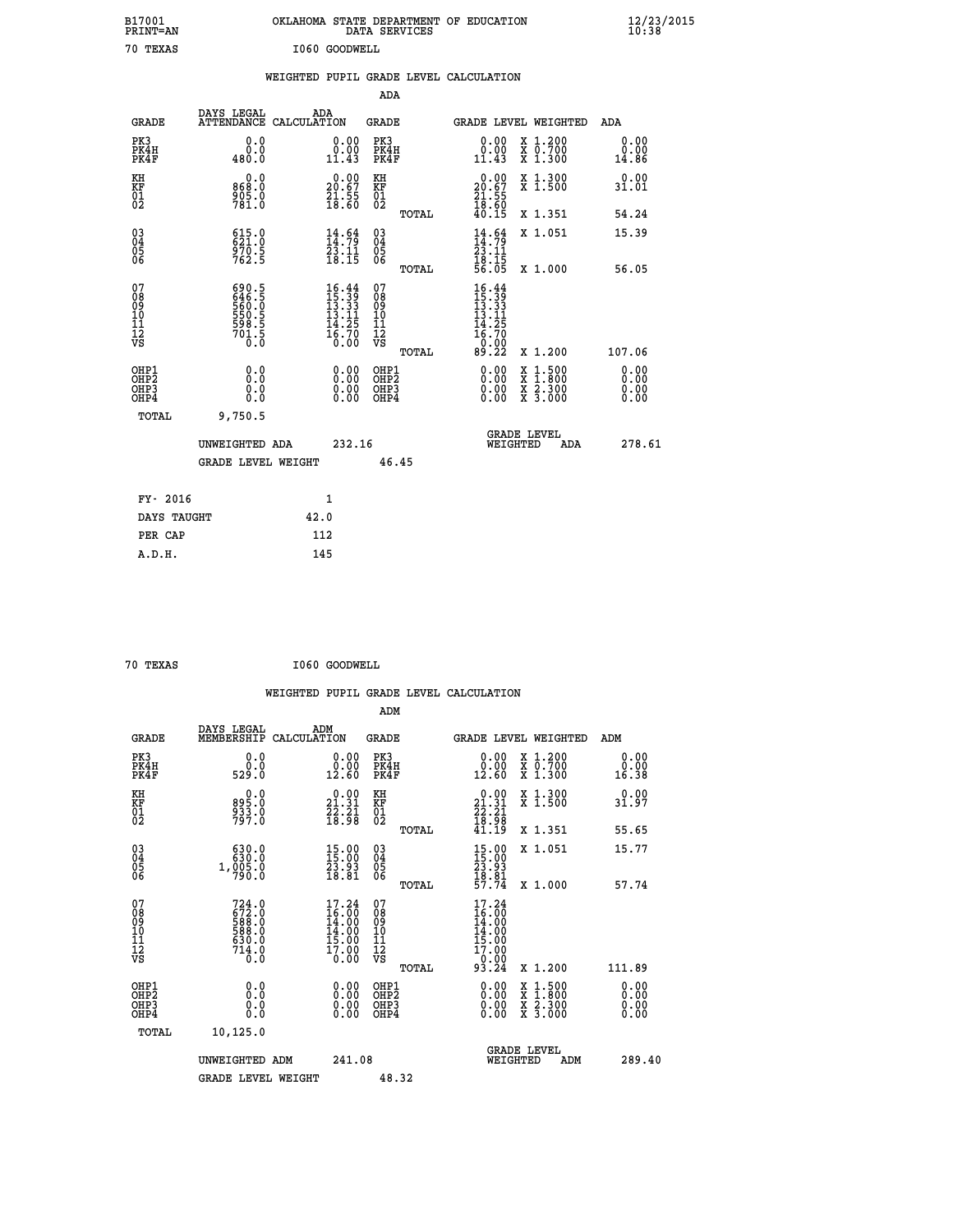| B17001<br>PRINT=AN                           |                                                             | OKLAHOMA STATE DEPARTMENT OF EDUCATION                               | DATA SERVICES                                        |                                                                    |                                          | $\frac{12}{23}$ /2015        |  |
|----------------------------------------------|-------------------------------------------------------------|----------------------------------------------------------------------|------------------------------------------------------|--------------------------------------------------------------------|------------------------------------------|------------------------------|--|
| 70 TEXAS                                     |                                                             | I060 GOODWELL                                                        |                                                      |                                                                    |                                          |                              |  |
|                                              |                                                             | WEIGHTED PUPIL GRADE LEVEL CALCULATION                               |                                                      |                                                                    |                                          |                              |  |
|                                              |                                                             |                                                                      | ADA                                                  |                                                                    |                                          |                              |  |
| <b>GRADE</b>                                 | DAYS LEGAL                                                  | ADA<br>ATTENDANCE CALCULATION                                        | GRADE                                                |                                                                    | GRADE LEVEL WEIGHTED                     | ADA                          |  |
| PK3<br>PK4H<br>PK4F                          | 0.0<br>0.0<br>480.0                                         | 0.00<br>0.00<br>11.43                                                | PK3<br>PK4H<br>PK4F                                  | 0.00<br>$\begin{smallmatrix} 0.00 \ 11.43 \end{smallmatrix}$       | X 1.200<br>X 0.700<br>X 1.300            | 0.00<br>0.00<br>14.86        |  |
| KH<br>ΚF<br>$\frac{01}{02}$                  | 0.0<br>868.0<br>905.0<br>781.0                              | $\begin{smallmatrix} 0.00\\ 20.67\\ 21.55\\ 18.60 \end{smallmatrix}$ | KH<br>KF<br>01<br>02                                 | $20.00$<br>20.67<br>$\frac{21}{18}$ $\frac{55}{60}$                | X 1.300<br>X 1.500                       | 0.00<br>31.01                |  |
|                                              |                                                             |                                                                      | TOTAL                                                | 40.15                                                              | X 1.351                                  | 54.24                        |  |
| 03<br>04<br>05<br>06                         | $621.0$<br>$621.0$<br>$970.5$<br>$762.5$                    | $\begin{smallmatrix} 14.64\ 14.79\ 23.11\ 18.15 \end{smallmatrix}$   | $\begin{matrix} 03 \\ 04 \\ 05 \\ 06 \end{matrix}$   | $14.99$<br>$14.79$<br>$23.11$<br>$18.15$                           | X 1.051                                  | 15.39                        |  |
|                                              |                                                             |                                                                      | TOTAL<br>07                                          | 56.05                                                              | X 1.000                                  | 56.05                        |  |
| 07<br>08<br>09<br>10<br>11<br>11<br>12<br>VS | 690.5<br>646.5<br>560.0<br>550.5<br>598.5<br>591.5<br>701.5 | $16.44$<br>$15.39$<br>$13.33$<br>$13.11$<br>$\frac{14.25}{16.70}$    | 08<br>09<br>10<br>$\frac{11}{12}$<br>$\frac{12}{18}$ | $16.44$<br>$15.39$<br>$13.33$<br>$13.11$<br>14.25<br>16.70<br>0:00 |                                          |                              |  |
|                                              |                                                             |                                                                      | TOTAL                                                | 89.22                                                              | X 1.200                                  | 107.06                       |  |
| OHP1<br>OHP2<br>OHP3<br>OHP4                 | 0.0<br>0.0<br>0.0<br>0.0                                    | 0.00<br>$\begin{smallmatrix} 0.00 \ 0.00 \end{smallmatrix}$          | OHP1<br>OH <sub>P</sub> 2<br>OHP3<br>OHP4            | 0.00<br>0.00<br>0.00                                               | X 1:500<br>X 1:800<br>X 2:300<br>X 3:000 | 0.00<br>0.00<br>0.00<br>0.00 |  |
| TOTAL                                        | 9,750.5                                                     |                                                                      |                                                      |                                                                    |                                          |                              |  |
|                                              | UNWEIGHTED ADA                                              | 232.16                                                               |                                                      | WEIGHTED                                                           | <b>GRADE LEVEL</b><br>ADA                | 278.61                       |  |
|                                              | <b>GRADE LEVEL WEIGHT</b>                                   |                                                                      | 46.45                                                |                                                                    |                                          |                              |  |
| FY- 2016                                     |                                                             | 1                                                                    |                                                      |                                                                    |                                          |                              |  |
| DAYS TAUGHT                                  |                                                             | 42.0                                                                 |                                                      |                                                                    |                                          |                              |  |
| PER CAP                                      |                                                             | 112                                                                  |                                                      |                                                                    |                                          |                              |  |

| 70 TEXAS | I060 GOODWELL |
|----------|---------------|

 **WEIGHTED PUPIL GRADE LEVEL CALCULATION ADM DAYS LEGAL ADM GRADE MEMBERSHIP CALCULATION GRADE GRADE LEVEL WEIGHTED ADM PK3 0.0 0.00 PK3 0.00 X 1.200 0.00 PK4H 0.0 0.00 PK4H 0.00 X 0.700 0.00 PK4F 529.0 12.60 PK4F 12.60 X 1.300 16.38 KH 0.0 0.00 KH 0.00 X 1.300 0.00 KF 895.0 21.31 KF 21.31 X 1.500 31.97 01 231.0 23.21 01 22.21 02 797.0 18.98 02 18.98 TOTAL 41.19 X 1.351 55.65 03 630.0 15.00 03 15.00 X 1.051 15.77 04 630.0 15.00 04 15.00 05 1,005.0 23.93 05 23.93** 06 790.0 18.81 06 <sub>memas</sub> 1<u>8</u>.81  **TOTAL 57.74 X 1.000 57.74 07 724.0 17.24 07 17.24 08 672.0 16.00 08 16.00 09 588.0 14.00 09 14.00 10 588.0 14.00 10 14.00 11 630.0 15.00 11 15.00 12** 17.90 **17.90 17.90 12 VS** 0.0 0.00 VS 0.00 0.00  **TOTAL 93.24 X 1.200 111.89 OHE1 0.00 0.00 0.000 OHE1 0.00 X 1.500 0.00 OHES 0.0 0.0 0.00 OHES 0.00 X 1.800 0.00 OHP3 0.0 0.00 OHP3 0.00 X 2.300 0.00 OHP4 0.0 0.00 OHP4 0.00 X 3.000 0.00 TOTAL 10,125.0 GRADE LEVEL UNWEIGHTED ADM 241.08 WEIGHTED ADM 289.40** GRADE LEVEL WEIGHT 48.32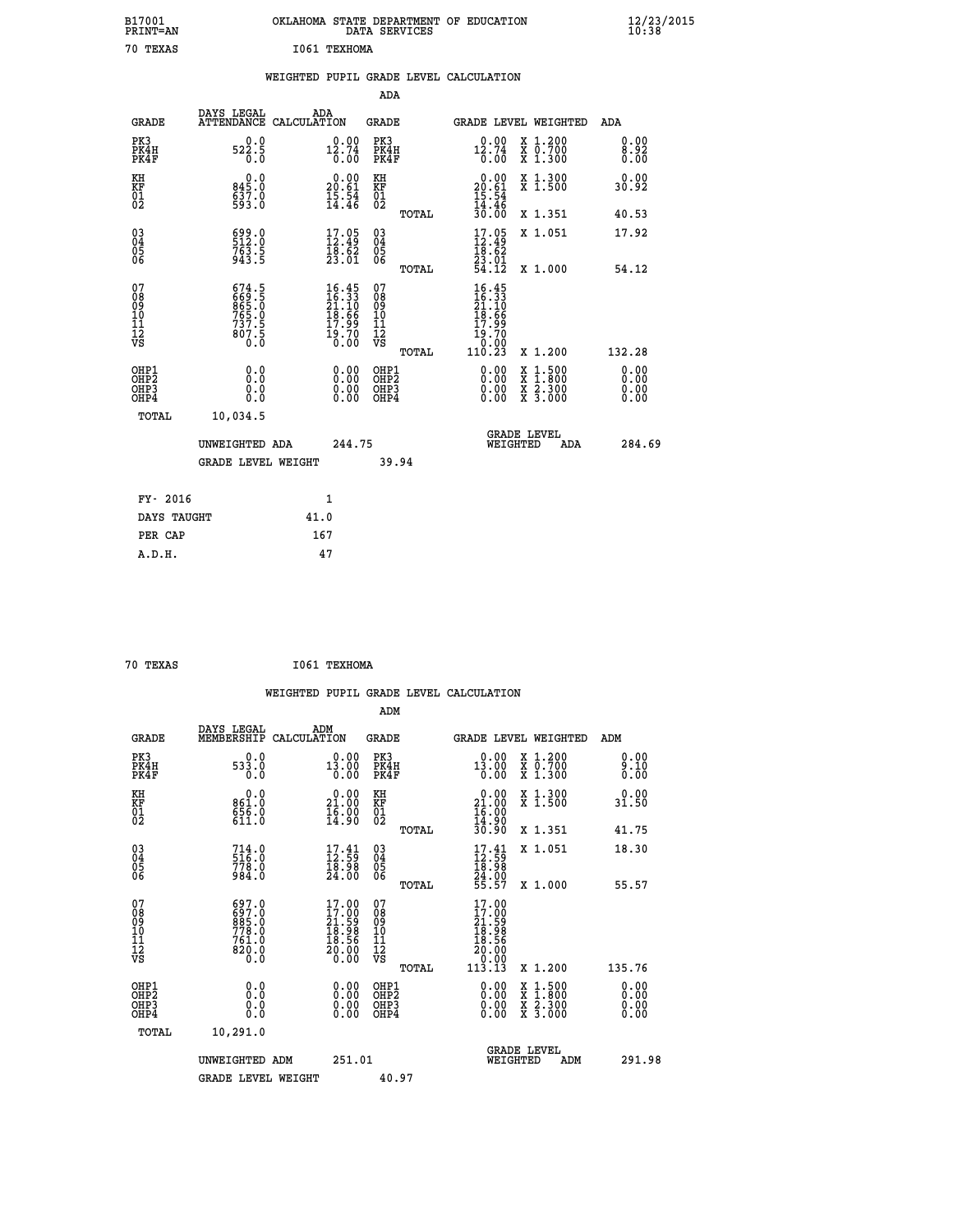| B17001<br>PRINT=AN                                 |                                                              | OKLAHOMA STATE DEPARTMENT OF EDUCATION                                                | DATA SERVICES                                      |                                                                             |                                                                                                                                      | $\frac{12}{23}$ /2015 |  |
|----------------------------------------------------|--------------------------------------------------------------|---------------------------------------------------------------------------------------|----------------------------------------------------|-----------------------------------------------------------------------------|--------------------------------------------------------------------------------------------------------------------------------------|-----------------------|--|
| 70 TEXAS                                           |                                                              | I061 TEXHOMA                                                                          |                                                    |                                                                             |                                                                                                                                      |                       |  |
|                                                    |                                                              | WEIGHTED PUPIL GRADE LEVEL CALCULATION                                                |                                                    |                                                                             |                                                                                                                                      |                       |  |
|                                                    |                                                              |                                                                                       | ADA                                                |                                                                             |                                                                                                                                      |                       |  |
| <b>GRADE</b>                                       | DAYS LEGAL<br>ATTENDANCE CALCULATION                         | ADA                                                                                   | GRADE                                              | GRADE LEVEL WEIGHTED                                                        |                                                                                                                                      | ADA                   |  |
| PK3<br>PK4H<br>PK4F                                | 0.0<br>522.5<br>0.0                                          | 0.00<br>12.74<br>0.00                                                                 | PK3<br>PK4H<br>PK4F                                | 0.00<br>$^{12.74}_{0.00}$                                                   | X 1.200<br>X 0.700<br>X 1.300                                                                                                        | 0.00<br>8.92<br>0.00  |  |
| KH<br>KF<br>$\overline{01}$                        | 0.0<br>845.0<br>593.0                                        | $20.00$<br>20.61<br>$\frac{15.54}{14.46}$                                             | KH<br>KF<br>01<br>02                               | $20.00$<br>20.61<br>$\frac{15}{14}$ $\cdot\frac{54}{46}$<br>$\frac{30}{10}$ | X 1.300<br>X 1.500                                                                                                                   | 0.00<br>30.92         |  |
|                                                    |                                                              |                                                                                       | TOTAL                                              |                                                                             | X 1.351                                                                                                                              | 40.53                 |  |
| $\begin{matrix} 03 \\ 04 \\ 05 \\ 06 \end{matrix}$ | 512.0<br>$763.5$<br>943.5                                    | $\begin{smallmatrix} 17.05\\ 12.49\\ 18.62\\ 23.01 \end{smallmatrix}$                 | $\begin{matrix} 03 \\ 04 \\ 05 \\ 06 \end{matrix}$ | $17.05$<br>12.49<br>18.62<br>$\frac{23.01}{54.12}$                          | X 1.051                                                                                                                              | 17.92                 |  |
| 07                                                 |                                                              |                                                                                       | TOTAL<br>07                                        |                                                                             | X 1.000                                                                                                                              | 54.12                 |  |
| 08<br>09<br>11<br>11<br>12<br>VS                   | $674.5$<br>$669.5$<br>$865.0$<br>$765.0$<br>$737.5$<br>807.5 | $\begin{smallmatrix} 16.45\\16.33\\21.10\\18.66\\17.99\\19.70\\0.00\end{smallmatrix}$ | 08<br>09<br>10<br>11<br>12<br>VS                   | $16.45$<br>$16.33$<br>$21.10$<br>$18.66$<br>17.99<br>19.70<br>0.00          |                                                                                                                                      |                       |  |
|                                                    | 0.0                                                          |                                                                                       | TOTAL<br>OHP1                                      | 110.23                                                                      | X 1.200                                                                                                                              | 132.28<br>0.00        |  |
| OHP1<br>OHP2<br>OHP3<br>OHP4                       | 0.0<br>0.0<br>0.0                                            | 0.00<br>0.00<br>0.00                                                                  | OH <sub>P</sub> 2<br>OHP3<br>OHP4                  | 0.00<br>0.00<br>0.00                                                        | $\begin{smallmatrix} \mathtt{X} & 1 & 500 \\ \mathtt{X} & 1 & 800 \\ \mathtt{X} & 2 & 300 \\ \mathtt{X} & 3 & 000 \end{smallmatrix}$ | 0.00<br>0.00<br>0.00  |  |
| TOTAL                                              | 10,034.5                                                     |                                                                                       |                                                    |                                                                             |                                                                                                                                      |                       |  |
|                                                    | UNWEIGHTED ADA                                               | 244.75                                                                                |                                                    | WEIGHTED                                                                    | <b>GRADE LEVEL</b><br>ADA                                                                                                            | 284.69                |  |
|                                                    | <b>GRADE LEVEL WEIGHT</b>                                    |                                                                                       | 39.94                                              |                                                                             |                                                                                                                                      |                       |  |
| FY- 2016                                           |                                                              | 1                                                                                     |                                                    |                                                                             |                                                                                                                                      |                       |  |
| DAYS TAUGHT                                        |                                                              | 41.0                                                                                  |                                                    |                                                                             |                                                                                                                                      |                       |  |
| PER CAP                                            |                                                              | 167                                                                                   |                                                    |                                                                             |                                                                                                                                      |                       |  |

| 70 TEXAS | I061 TEXHOMA |
|----------|--------------|

 **WEIGHTED PUPIL GRADE LEVEL CALCULATION ADM DAYS LEGAL ADM GRADE MEMBERSHIP CALCULATION GRADE GRADE LEVEL WEIGHTED ADM PK3 0.0 0.00 PK3 0.00 X 1.200 0.00 PK4H 533.0 13.00 PK4H 13.00 X 0.700 9.10 PK4F 0.0 0.00 PK4F 0.00 X 1.300 0.00 KH 0.0 0.00 KH 0.00 X 1.300 0.00 KF 861.0 21.00 KF 21.00 X 1.500 31.50 01 656.0 16.00 01 16.00** 02 611.0 14.90 02 <sub>noman</sub> 14.90  **TOTAL 30.90 X 1.351 41.75 03 714.0 17.41 03 17.41 X 1.051 18.30 04 516.0 12.59 04 12.59 05 778.0 18.98 05 18.98 06 984.0 24.00 06 24.00 TOTAL 55.57 X 1.000 55.57 07 697.0 17.00 07 17.00 08 697.0 17.00 08 17.00 09 885.0 21.59 09 21.59 10 778.0 18.98 10 18.98 11** 761.0 **18.56 11** 18.56  **12 820.0 20.00 12 20.00 VS** 0.0 0.00 VS 0.00 0.00 1, 0.00  **TOTAL 113.13 X 1.200 135.76 OHP1 0.0 0.00 OHP1 0.00 X 1.500 0.00 OHP2 0.0 0.00 OHP2 0.00 X 1.800 0.00 OHP3 0.0 0.00 OHP3 0.00 X 2.300 0.00 OHP4 0.0 0.00 OHP4 0.00 X 3.000 0.00 TOTAL 10,291.0 GRADE LEVEL UNWEIGHTED ADM 251.01 WEIGHTED ADM 291.98** GRADE LEVEL WEIGHT 40.97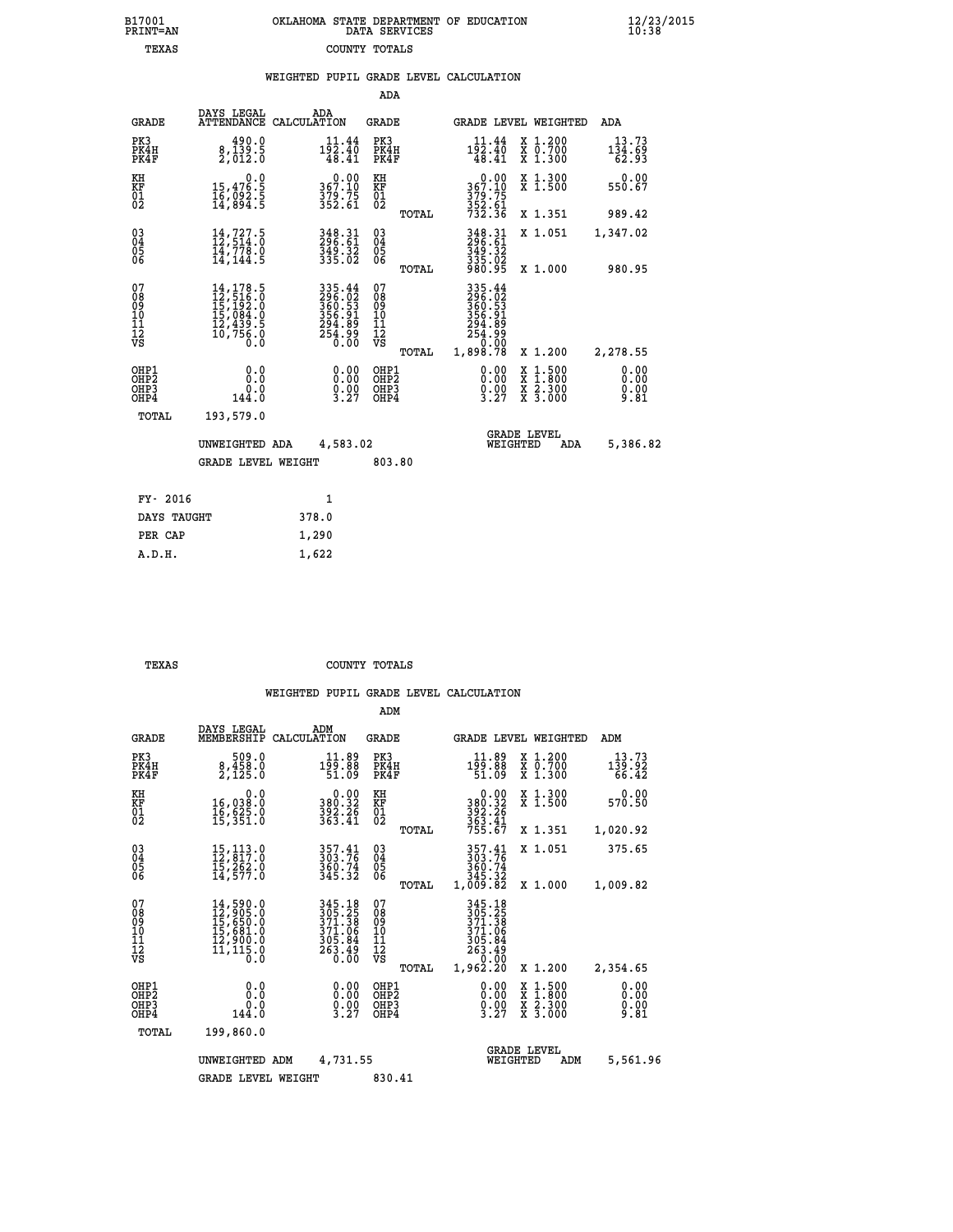|  | OKLAHOMA STATE DEPARTMENT OF EDUCATION<br>DATA SERVICES |  |
|--|---------------------------------------------------------|--|
|  | COUNTY TOTALS                                           |  |

|  |  | WEIGHTED PUPIL GRADE LEVEL CALCULATION |
|--|--|----------------------------------------|
|  |  |                                        |

| <b>GRADE</b>                              |                                              | ADA                                                                                                                                                                                                          |                                                                                                                                                                                                                                 |                                                                                              |                                                                                                      |                                                                                                                                                                                                                        |     | ADA                                                                                                                                                                                                   |
|-------------------------------------------|----------------------------------------------|--------------------------------------------------------------------------------------------------------------------------------------------------------------------------------------------------------------|---------------------------------------------------------------------------------------------------------------------------------------------------------------------------------------------------------------------------------|----------------------------------------------------------------------------------------------|------------------------------------------------------------------------------------------------------|------------------------------------------------------------------------------------------------------------------------------------------------------------------------------------------------------------------------|-----|-------------------------------------------------------------------------------------------------------------------------------------------------------------------------------------------------------|
| PK3<br>PK4H<br>PK4F                       | 490.0<br>8,139.5<br>2,012.0                  | $11.44$<br>$192.40$<br>48.41                                                                                                                                                                                 | PK3                                                                                                                                                                                                                             |                                                                                              | $1\frac{11\cdot 44}{2\cdot 40}$<br>48.41                                                             |                                                                                                                                                                                                                        |     | 13.73<br>$1\bar{3}\bar{4}\cdot\bar{6}\bar{9}\over 62.93$                                                                                                                                              |
| KH                                        | 0.0                                          |                                                                                                                                                                                                              |                                                                                                                                                                                                                                 |                                                                                              |                                                                                                      |                                                                                                                                                                                                                        |     | 0.00<br>550.67                                                                                                                                                                                        |
|                                           |                                              |                                                                                                                                                                                                              |                                                                                                                                                                                                                                 | TOTAL                                                                                        |                                                                                                      |                                                                                                                                                                                                                        |     | 989.42                                                                                                                                                                                                |
| 03<br>04<br>05<br>06                      | 14,727.5<br>12,514.0<br>14,778.0<br>14,144.5 |                                                                                                                                                                                                              |                                                                                                                                                                                                                                 |                                                                                              |                                                                                                      |                                                                                                                                                                                                                        |     | 1,347.02                                                                                                                                                                                              |
|                                           |                                              |                                                                                                                                                                                                              |                                                                                                                                                                                                                                 |                                                                                              |                                                                                                      |                                                                                                                                                                                                                        |     | 980.95                                                                                                                                                                                                |
| 07<br>08<br>09<br>11<br>11<br>12<br>VS    | Ō.Ō                                          |                                                                                                                                                                                                              | 08<br>09<br>11<br>11<br>12<br>VS                                                                                                                                                                                                |                                                                                              |                                                                                                      |                                                                                                                                                                                                                        |     | 2,278.55                                                                                                                                                                                              |
| OHP1<br>OH <sub>P</sub> 2<br>OHP3<br>OHP4 | 0.0<br>0.0<br>144.0                          | 0.00<br>$\frac{0.00}{3.27}$                                                                                                                                                                                  |                                                                                                                                                                                                                                 |                                                                                              | 0.00<br>$\frac{0.00}{3.27}$                                                                          |                                                                                                                                                                                                                        |     | 0.00<br>0.00<br>0.00<br>9.81                                                                                                                                                                          |
| TOTAL                                     | 193,579.0                                    |                                                                                                                                                                                                              |                                                                                                                                                                                                                                 |                                                                                              |                                                                                                      |                                                                                                                                                                                                                        |     |                                                                                                                                                                                                       |
|                                           |                                              |                                                                                                                                                                                                              |                                                                                                                                                                                                                                 |                                                                                              |                                                                                                      |                                                                                                                                                                                                                        | ADA | 5,386.82                                                                                                                                                                                              |
|                                           |                                              |                                                                                                                                                                                                              |                                                                                                                                                                                                                                 |                                                                                              |                                                                                                      |                                                                                                                                                                                                                        |     |                                                                                                                                                                                                       |
| FY- 2016                                  |                                              | $\mathbf{1}$                                                                                                                                                                                                 |                                                                                                                                                                                                                                 |                                                                                              |                                                                                                      |                                                                                                                                                                                                                        |     |                                                                                                                                                                                                       |
|                                           |                                              | 378.0                                                                                                                                                                                                        |                                                                                                                                                                                                                                 |                                                                                              |                                                                                                      |                                                                                                                                                                                                                        |     |                                                                                                                                                                                                       |
| PER CAP                                   |                                              | 1,290                                                                                                                                                                                                        |                                                                                                                                                                                                                                 |                                                                                              |                                                                                                      |                                                                                                                                                                                                                        |     |                                                                                                                                                                                                       |
| A.D.H.                                    |                                              | 1,622                                                                                                                                                                                                        |                                                                                                                                                                                                                                 |                                                                                              |                                                                                                      |                                                                                                                                                                                                                        |     |                                                                                                                                                                                                       |
|                                           | KF<br>01<br>02                               | DAYS LEGAL<br>15,476:5<br>16,092:5<br>14,894:5<br>$\begin{smallmatrix} 14\,,\,178\,.5\\ 12\,,\,516\,.0\\ 15\,,\,192\,.0\\ 15\,,\,084\,.0\\ 12\,,\,439\,.5\\ 10\,,\,756\,.0 \end{smallmatrix}$<br>DAYS TAUGHT | ATTENDANCE CALCULATION<br>$367.10$<br>$379.75$<br>$352.61$<br>348.31<br>296.61<br>349.32<br>335.02<br>335.44<br>296.02<br>360.53<br>356.91<br>356.91<br>294.89<br>254.99<br>0.00<br>UNWEIGHTED ADA<br><b>GRADE LEVEL WEIGHT</b> | KH<br>KF<br>01<br>02<br>$\begin{matrix} 03 \\ 04 \\ 05 \\ 06 \end{matrix}$<br>07<br>4,583.02 | ADA<br>GRADE<br>PK4H<br>PK4F<br>TOTAL<br>TOTAL<br>OHP1<br>OHP <sub>2</sub><br>OHP3<br>OHP4<br>803.80 | $\begin{smallmatrix} &0.00\\ 367.10\\ 379.75\\ 352.61\\ 732.36\end{smallmatrix}$<br>348.31<br>296.61<br>349.32<br>335.02<br>980.95<br>335.44<br>296.023<br>360.531<br>356.91<br>294.89<br>254.990<br>0.000<br>1,898.78 |     | GRADE LEVEL WEIGHTED<br>X 1.200<br>X 0.700<br>X 1.300<br>X 1.300<br>X 1.500<br>X 1.351<br>X 1.051<br>X 1.000<br>X 1.200<br>X 1:500<br>X 1:800<br>X 2:300<br>X 3:000<br><b>GRADE LEVEL</b><br>WEIGHTED |

| <u>~</u><br>א פי |
|------------------|

B17001<br>PRINT=AN<br>TEXAS

 **TEXAS COUNTY TOTALS**

|                                          |                                                                                                                                                     |                                                                  | ADM                                             |                                                                                 |                                          |                                              |
|------------------------------------------|-----------------------------------------------------------------------------------------------------------------------------------------------------|------------------------------------------------------------------|-------------------------------------------------|---------------------------------------------------------------------------------|------------------------------------------|----------------------------------------------|
| <b>GRADE</b>                             | DAYS LEGAL<br>MEMBERSHIP                                                                                                                            | ADM<br>CALCULATION                                               | <b>GRADE</b>                                    | GRADE LEVEL WEIGHTED                                                            |                                          | ADM                                          |
| PK3<br>PK4H<br>PK4F                      | 509.0<br>$\frac{8}{2}, \frac{458}{125}$ .0                                                                                                          | $1\frac{11.89}{99.88}$<br>51.09                                  | PK3<br>PK4H<br>PK4F                             | $1\frac{11.89}{99.88}$<br>51.09                                                 | X 1.200<br>X 0.700<br>X 1.300            | 13.73<br>$1\bar{3}\bar{9}.9\bar{2}$<br>66.42 |
| KH<br>KF<br>01<br>02                     | 0.0<br>16,038.0<br>16,625.0<br>15,351.0                                                                                                             | $380.32$<br>$392.26$<br>$363.41$                                 | KH<br>KF<br>01<br>02                            | $0.00$<br>$380.32$<br>$392.26$<br>$363.41$<br>$755.67$                          | X 1.300<br>X 1.500                       | 0.00<br>570.50                               |
|                                          |                                                                                                                                                     |                                                                  | TOTAL                                           |                                                                                 | X 1.351                                  | 1,020.92                                     |
| 03<br>04<br>05<br>06                     | $\begin{smallmatrix} 15\,,\,113\cdot 0\\ 12\,,\,817\cdot 0\\ 15\,,\,262\cdot 0\\ 14\,,\,577\cdot 0 \end{smallmatrix}$                               | 357.41<br>303.76<br>360.74<br>345.32                             | $^{03}_{04}$<br>05<br>06                        | $357.41$<br>$303.76$<br>360.74<br>345.32                                        | X 1.051                                  | 375.65                                       |
|                                          |                                                                                                                                                     |                                                                  | TOTAL                                           | 1,009.82                                                                        | X 1.000                                  | 1,009.82                                     |
| 07<br>08<br>09<br>101<br>112<br>VS       | $\begin{smallmatrix} 14\,,\,590\,.0\\ 12\,,\,905\,.0\\ 15\,,\,650\,.0\\ 15\,,\,681\,.0\\ 12\,,\,900\,.0\\ 11\,,\,115\,.0\\ 0\,.0 \end{smallmatrix}$ | 345.18<br>305.25<br>371.38<br>371.06<br>305.84<br>263.49<br>0.00 | 07<br>08<br>09<br>11<br>11<br>12<br>VS<br>TOTAL | 345.18<br>305.258<br>371.386<br>371.066<br>305.84<br>263.49<br>0.00<br>1,962.20 | X 1.200                                  | 2,354.65                                     |
| OHP1<br>OHP2<br>OH <sub>P3</sub><br>OHP4 | 0.0<br>0.0<br>144.0                                                                                                                                 | $\begin{smallmatrix} 0.00\ 0.00\ 0.00\ 3.27 \end{smallmatrix}$   | OHP1<br>OHP2<br>OHP <sub>3</sub>                | $\begin{smallmatrix} 0.00\\ 0.00\\ 0.00\\ 3.27 \end{smallmatrix}$               | X 1:500<br>X 1:800<br>X 2:300<br>X 3:000 | 0.00<br>0.00<br>0.00<br>9.81                 |
| TOTAL                                    | 199,860.0                                                                                                                                           |                                                                  |                                                 |                                                                                 |                                          |                                              |
|                                          | UNWEIGHTED                                                                                                                                          | 4,731.55<br>ADM                                                  |                                                 | <b>GRADE LEVEL</b><br>WEIGHTED                                                  | ADM                                      | 5,561.96                                     |
|                                          | <b>GRADE LEVEL WEIGHT</b>                                                                                                                           |                                                                  | 830.41                                          |                                                                                 |                                          |                                              |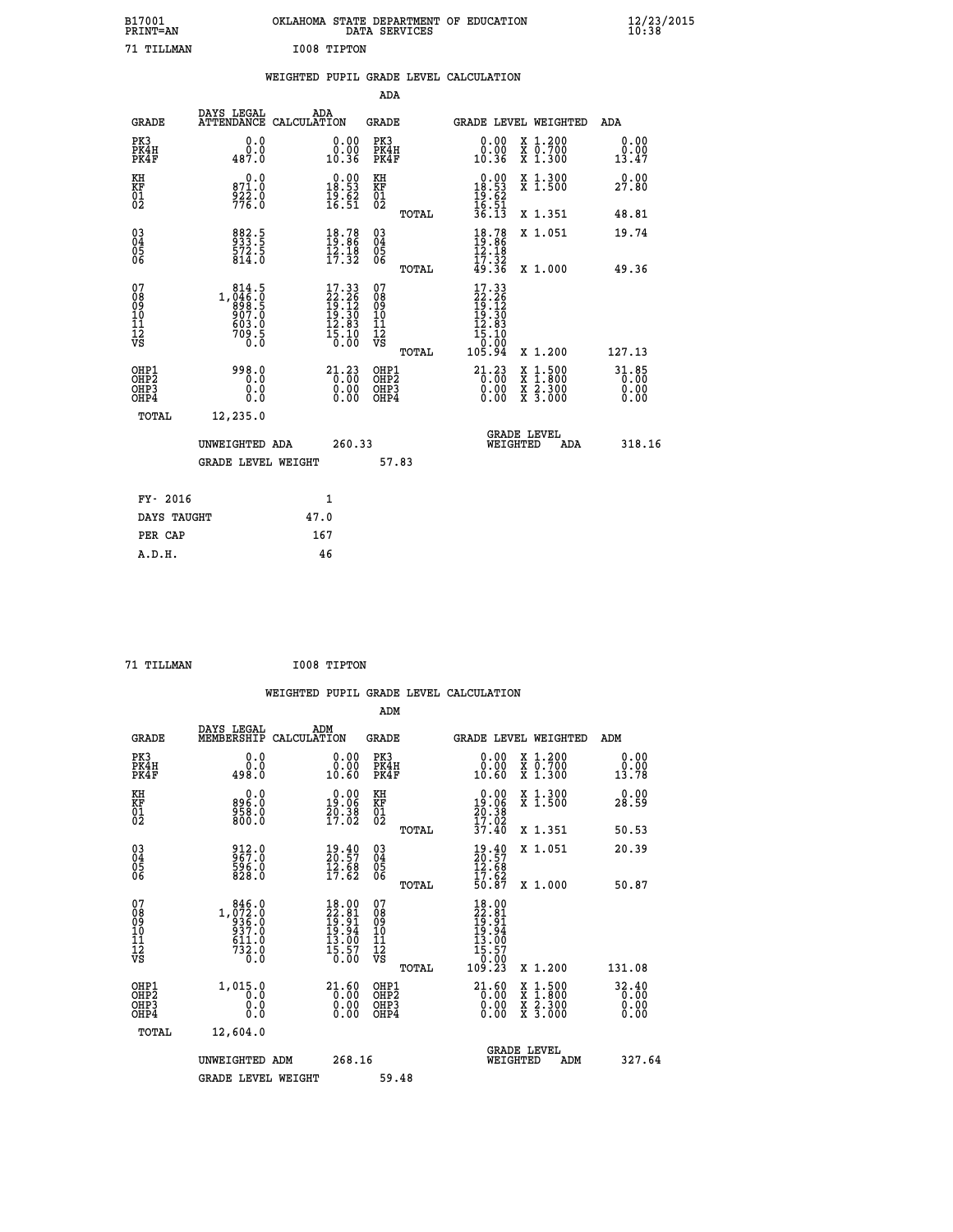| B17001<br><b>PRINT=AN</b> | OKLAHOMA STATE DEPARTMENT OF EDUCATION<br>DATA SERVICES | $\frac{12}{23}$ /2015 |
|---------------------------|---------------------------------------------------------|-----------------------|
| 71 TILLMAN                | I008 TIPTON                                             |                       |

|  |  | WEIGHTED PUPIL GRADE LEVEL CALCULATION |
|--|--|----------------------------------------|
|  |  |                                        |

|                                                                    |                                                                                                                                       |                                                                                                                                 | ADA                                       |       |                                                                                       |                                          |                                             |
|--------------------------------------------------------------------|---------------------------------------------------------------------------------------------------------------------------------------|---------------------------------------------------------------------------------------------------------------------------------|-------------------------------------------|-------|---------------------------------------------------------------------------------------|------------------------------------------|---------------------------------------------|
| <b>GRADE</b>                                                       | DAYS LEGAL<br>ATTENDANCE CALCULATION                                                                                                  | ADA                                                                                                                             | <b>GRADE</b>                              |       |                                                                                       | GRADE LEVEL WEIGHTED                     | ADA                                         |
| PK3<br>PK4H<br>PK4F                                                | 0.0<br>$0.06$<br>487.0                                                                                                                | $\begin{smallmatrix} 0.00\\ 0.00\\ 10.36 \end{smallmatrix}$                                                                     | PK3<br>PK4H<br>PK4F                       |       | 0.00<br>ŏ:ŏŏ<br>10:36                                                                 | X 1.200<br>X 0.700<br>X 1.300            | 0.00<br>0.00<br>13.47                       |
| KH<br>KF<br>01<br>02                                               | 0.0<br>871.0<br>922.0<br>776.0                                                                                                        | $0.00$<br>18.53<br>$\frac{19.62}{16.51}$                                                                                        | KH<br>KF<br>01<br>02                      |       | $\begin{array}{r} 0.00 \\ 18.53 \\ 19.62 \\ 16.51 \\ 36.13 \end{array}$               | X 1.300<br>X 1.500                       | 0.00<br>27.80                               |
|                                                                    |                                                                                                                                       |                                                                                                                                 |                                           | TOTAL |                                                                                       | X 1.351                                  | 48.81                                       |
| $\begin{smallmatrix} 03 \\[-4pt] 04 \end{smallmatrix}$<br>05<br>06 | 882.5<br>933.5<br>572.5<br>814.0                                                                                                      | $18.78$<br>$19.86$<br>$12.18$<br>$17.32$                                                                                        | $\substack{03 \\ 04}$<br>05<br>06         | TOTAL | $18.78$<br>$19.86$<br>$12.18$<br>$17.32$<br>49.36                                     | X 1.051<br>X 1.000                       | 19.74<br>49.36                              |
| 07                                                                 |                                                                                                                                       |                                                                                                                                 | 07                                        |       |                                                                                       |                                          |                                             |
| 08<br>09<br>11<br>11<br>12<br>VS                                   | $\begin{smallmatrix} 8 & 14 & 5 \\ 1 & 046 & 0 \\ 8 & 98 & 5 \\ 9 & 07 & 0 \\ 9 & 03 & 0 \\ 9 & 03 & 0 \\ \end{smallmatrix}$<br>709.5 | $\begin{smallmatrix} 17\cdot 33\\ 22\cdot 26\\ 19\cdot 12\\ 19\cdot 30\\ 12\cdot 83\\ 15\cdot 10\\ 0\cdot 00 \end{smallmatrix}$ | 08<br>09<br>11<br>11<br>12<br>VS          |       | $\begin{smallmatrix} 17.33\\22.26\\19.12\\19.30\\12.83\\15.10\\0\\0\end{smallmatrix}$ |                                          |                                             |
|                                                                    |                                                                                                                                       |                                                                                                                                 |                                           | TOTAL | 105.94                                                                                | X 1.200                                  | 127.13                                      |
| OHP1<br>OH <sub>P2</sub><br>OH <sub>P3</sub><br>OH <sub>P4</sub>   | 998.0<br>0.0<br>0.0<br>0.0                                                                                                            | 21.23<br>0.00<br>0.00<br>0.00                                                                                                   | OHP1<br>OH <sub>P</sub> 2<br>OHP3<br>OHP4 |       | $21.23$<br>$0.00$<br>0.00<br>0.00                                                     | X 1:500<br>X 1:800<br>X 2:300<br>X 3:000 | 31.85<br>$\overline{0}$ .00<br>0.00<br>0.00 |
| TOTAL                                                              | 12,235.0                                                                                                                              |                                                                                                                                 |                                           |       |                                                                                       |                                          |                                             |
|                                                                    | UNWEIGHTED ADA                                                                                                                        | 260.33                                                                                                                          |                                           |       |                                                                                       | GRADE LEVEL<br>WEIGHTED<br>ADA           | 318.16                                      |
|                                                                    | <b>GRADE LEVEL WEIGHT</b>                                                                                                             |                                                                                                                                 |                                           | 57.83 |                                                                                       |                                          |                                             |
| FY- 2016                                                           |                                                                                                                                       | $\mathbf{1}$                                                                                                                    |                                           |       |                                                                                       |                                          |                                             |
| DAYS TAUGHT                                                        |                                                                                                                                       | 47.0                                                                                                                            |                                           |       |                                                                                       |                                          |                                             |
| PER CAP                                                            |                                                                                                                                       | 167                                                                                                                             |                                           |       |                                                                                       |                                          |                                             |

 **71 TILLMAN I008 TIPTON WEIGHTED PUPIL GRADE LEVEL CALCULATION ADM DAYS LEGAL ADM GRADE MEMBERSHIP CALCULATION GRADE GRADE LEVEL WEIGHTED ADM PK3 0.0 0.00 PK3 0.00 X 1.200 0.00 PK4H 0.0 0.00 PK4H 0.00 X 0.700 0.00 PK4F 498.0 10.60 PK4F 10.60 X 1.300 13.78 KH 0.0 0.00 KH 0.00 X 1.300 0.00 KF 896.0 19.06 KF 19.06 X 1.500 28.59 01 958.0 20.38 01 20.38**  $02$  800.0 17.02 02  $_{\text{norm}}$  17.0<sub>2</sub>  **TOTAL 37.40 X 1.351 50.53 03 912.0 19.40 03 19.40 X 1.051 20.39 04 967.0 20.57 04 20.57 05 596.0 12.68 05 12.68** 06 828.0 17.62 06 <sub>memax</sub> 17.62  **TOTAL 50.87 X 1.000 50.87 07 846.0 18.00 07 18.00 08 1,072.0 22.81 08 22.81 09 936.0 19.91 09 19.91 10 937.0 19.94 10 19.94 11 611.0 13.00 11 13.00 12 732.0 15.57 12 15.57 VS 0.0 0.00 VS 0.00 TOTAL 109.23 X 1.200 131.08 OHP1 1,015.0 21.60 OHP1 21.60 X 1.500 32.40 OHP2 0.0 0.00 OHP2 0.00 X 1.800 0.00 OHP3 0.0 0.00 OHP3 0.00 X 2.300 0.00 OHP4 0.0 0.00 OHP4 0.00 X 3.000 0.00 TOTAL 12,604.0** UNWEIGHTED ADM 268.16 GRADE LEVEL<br>WEIGHTED ADM 327.64  **GRADE LEVEL WEIGHT 59.48**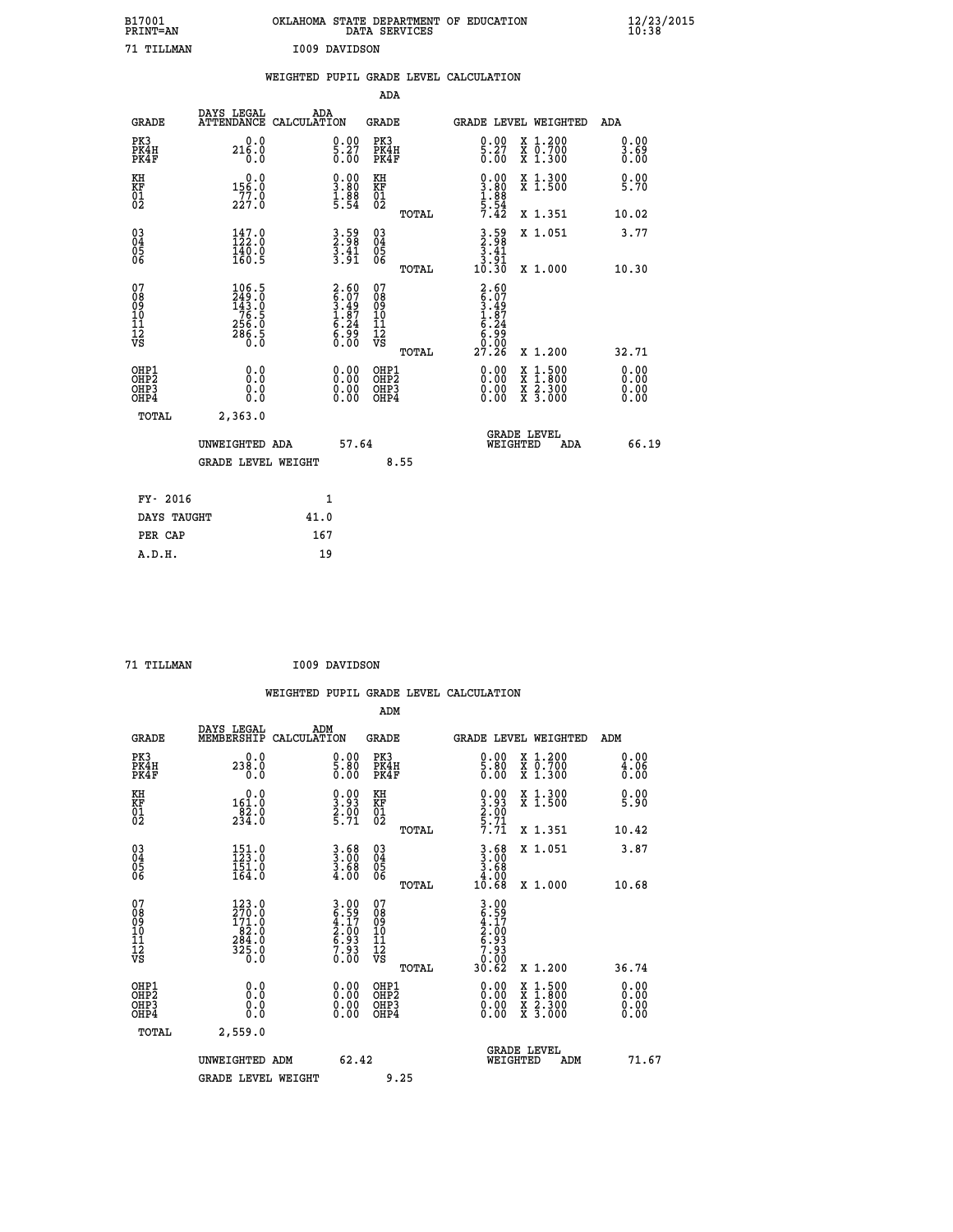| B17001<br><b>PRINT=AN</b>                          |                                                                               | OKLAHOMA STATE DEPARTMENT OF EDUCATION                             | DATA SERVICES                                   |                                                                                                |                                                                                          | 12/23/2015<br>10:38          |  |
|----------------------------------------------------|-------------------------------------------------------------------------------|--------------------------------------------------------------------|-------------------------------------------------|------------------------------------------------------------------------------------------------|------------------------------------------------------------------------------------------|------------------------------|--|
| 71 TILLMAN                                         |                                                                               | I009 DAVIDSON                                                      |                                                 |                                                                                                |                                                                                          |                              |  |
|                                                    |                                                                               | WEIGHTED PUPIL GRADE LEVEL CALCULATION                             |                                                 |                                                                                                |                                                                                          |                              |  |
|                                                    |                                                                               |                                                                    | ADA                                             |                                                                                                |                                                                                          |                              |  |
| <b>GRADE</b>                                       | DAYS LEGAL                                                                    | ADA<br>ATTENDANCE CALCULATION                                      | GRADE                                           | GRADE LEVEL WEIGHTED                                                                           |                                                                                          | ADA                          |  |
| PK3<br>PK4H<br>PK4F                                | 0.0<br>216.0<br>0.0                                                           | $\begin{smallmatrix} 0.00\\ 5.27\\ 0.00 \end{smallmatrix}$         | PK3<br>PK4H<br>PK4F                             | $\begin{smallmatrix} 0.00\\ 5.27\\ 0.00 \end{smallmatrix}$                                     | X 1.200<br>X 0.700<br>X 1.300                                                            | 0.00<br>3.69<br>0.00         |  |
| KH<br>KF<br>01<br>02                               | 0.0<br>156.0<br>227.0                                                         | $\begin{smallmatrix} 0.00\\ 3.80\\ 1.88\\ 5.54 \end{smallmatrix}$  | KH<br>KF<br>01<br>02                            | $\begin{smallmatrix} 0.00\\ 3.80\\ 1.88\\ 1.88\\ 5.54\\ 7.42 \end{smallmatrix}$                | X 1.300<br>X 1.500                                                                       | 0.00<br>5.70                 |  |
|                                                    |                                                                               |                                                                    | TOTAL                                           |                                                                                                | X 1.351                                                                                  | 10.02                        |  |
| $\begin{matrix} 03 \\ 04 \\ 05 \\ 06 \end{matrix}$ | $147.0$<br>$122.0$<br>140.0<br>160.5                                          | $3.59$<br>$3.41$<br>$3.91$                                         | 03<br>04<br>05<br>ŎĞ                            | $3.59$<br>2.98<br>3.41<br>$3.\overline{9}\overline{1}$<br>10.30                                | X 1.051                                                                                  | 3.77                         |  |
|                                                    |                                                                               |                                                                    | TOTAL                                           |                                                                                                | X 1.000                                                                                  | 10.30                        |  |
| 07<br>08<br>09<br>11<br>11<br>12<br>VS             | 106.5<br>249.0<br>$143.0$<br>$76.5$<br>$256.0$<br>$\frac{5}{6}$ $\frac{5}{6}$ | $2.60$<br>$6.07$<br>$3.49$<br>$1.87$<br>$6.24$<br>$6.99$<br>$0.00$ | 07<br>08<br>09<br>10<br>11<br>12<br>VS<br>TOTAL | 2.60<br>$\begin{array}{c} 6.07 \\ 3.49 \\ 1.87 \\ 6.24 \end{array}$<br>$\frac{55}{6}$<br>27.26 | X 1.200                                                                                  | 32.71                        |  |
| OHP1<br>OHP2<br>OHP3<br>OHP4                       | 0.0<br>0.0<br>0.0<br>0.0                                                      | $0.00$<br>$0.00$<br>0.00                                           | OHP1<br>OHP2<br>OHP3<br>OHP4                    | 0.00<br>0.00<br>0.00                                                                           | $\begin{smallmatrix} x & 1.500 \\ x & 1.800 \\ x & 2.300 \\ x & 3.000 \end{smallmatrix}$ | 0.00<br>0.00<br>0.00<br>0.00 |  |
| TOTAL                                              | 2,363.0                                                                       |                                                                    |                                                 |                                                                                                |                                                                                          |                              |  |
|                                                    | UNWEIGHTED ADA<br><b>GRADE LEVEL WEIGHT</b>                                   | 57.64                                                              | 8.55                                            | <b>GRADE LEVEL</b><br>WEIGHTED                                                                 | ADA                                                                                      | 66.19                        |  |
| FY- 2016                                           |                                                                               | $\mathbf{1}$                                                       |                                                 |                                                                                                |                                                                                          |                              |  |
| DAYS TAUGHT                                        |                                                                               | 41.0                                                               |                                                 |                                                                                                |                                                                                          |                              |  |
| PER CAP                                            |                                                                               | 167                                                                |                                                 |                                                                                                |                                                                                          |                              |  |

| 71 TILLMAN | I009 DAVIDSON |
|------------|---------------|
|            |               |

|                                                    |                                                                                               |                    |                                                                    |                              |       | WEIGHTED PUPIL GRADE LEVEL CALCULATION                                                                                                                                                                                                                                         |                                                                                                  |                      |       |
|----------------------------------------------------|-----------------------------------------------------------------------------------------------|--------------------|--------------------------------------------------------------------|------------------------------|-------|--------------------------------------------------------------------------------------------------------------------------------------------------------------------------------------------------------------------------------------------------------------------------------|--------------------------------------------------------------------------------------------------|----------------------|-------|
|                                                    |                                                                                               |                    |                                                                    | ADM                          |       |                                                                                                                                                                                                                                                                                |                                                                                                  |                      |       |
| <b>GRADE</b>                                       | DAYS LEGAL<br>MEMBERSHIP                                                                      | ADM<br>CALCULATION |                                                                    | <b>GRADE</b>                 |       | GRADE LEVEL WEIGHTED                                                                                                                                                                                                                                                           |                                                                                                  | ADM                  |       |
| PK3<br>PK4H<br>PK4F                                | 0.0<br>238.0<br>0.0                                                                           |                    | $\begin{smallmatrix} 0.00\ 5.80\ 0.00 \end{smallmatrix}$           | PK3<br>PK4H<br>PK4F          |       | $\begin{smallmatrix} 0.00\\ 5.80\\ 0.00 \end{smallmatrix}$                                                                                                                                                                                                                     | X 1.200<br>X 0.700<br>X 1.300                                                                    | 0.00<br>4.06<br>0.00 |       |
| KH<br>KF<br>01<br>02                               | 0.0<br>$\frac{161.0}{82.0}$<br>234.0                                                          |                    | $\begin{smallmatrix} 0.00\\ 3.93\\ 2.00\\ 5.71 \end{smallmatrix}$  | KH<br>KF<br>01<br>02         |       | $\begin{smallmatrix} 0.00\\ 3.93\\ 2.00\\ 5.71\\ 7.71 \end{smallmatrix}$                                                                                                                                                                                                       | X 1.300<br>X 1.500                                                                               | 0.00<br>5.90         |       |
|                                                    |                                                                                               |                    |                                                                    |                              | TOTAL |                                                                                                                                                                                                                                                                                | X 1.351                                                                                          | 10.42                |       |
| $\begin{matrix} 03 \\ 04 \\ 05 \\ 06 \end{matrix}$ | $151.0$<br>$123.0$<br>$\frac{1}{164}$ .0                                                      |                    | $\frac{3}{3}:\substack{68\\3.68\\4.00$                             | 03<br>04<br>05<br>06         |       | $3.68$<br>$3.68$<br>$4.00$                                                                                                                                                                                                                                                     | X 1.051                                                                                          | 3.87                 |       |
|                                                    |                                                                                               |                    |                                                                    |                              | TOTAL | 10.68                                                                                                                                                                                                                                                                          | X 1.000                                                                                          | 10.68                |       |
| 07<br>0890112<br>1112<br>VS                        | $\frac{123}{270}$ :0<br>171.0<br>$\begin{array}{r} 62.0 \\ 284.0 \\ 325.0 \\ 0.0 \end{array}$ |                    | $3.00$<br>$6.59$<br>$4.17$<br>$2.00$<br>$6.93$<br>$7.93$<br>$0.00$ | 07<br>08901123<br>1112<br>VS | TOTAL | $3.99$<br>$6.59$<br>$2.00$<br>$6.93$<br>$7.93$<br>$0.90$<br>30.62                                                                                                                                                                                                              | $X_1.200$                                                                                        | 36.74                |       |
| OHP1<br>OHP2<br>OH <sub>P3</sub><br>OHP4           | 0.0<br>0.000                                                                                  |                    | $\begin{smallmatrix} 0.00 \ 0.00 \ 0.00 \ 0.00 \end{smallmatrix}$  | OHP1<br>OHP2<br>OHP3<br>OHP4 |       | $\begin{smallmatrix} 0.00 & 0.00 & 0.00 & 0.00 & 0.00 & 0.00 & 0.00 & 0.00 & 0.00 & 0.00 & 0.00 & 0.00 & 0.00 & 0.00 & 0.00 & 0.00 & 0.00 & 0.00 & 0.00 & 0.00 & 0.00 & 0.00 & 0.00 & 0.00 & 0.00 & 0.00 & 0.00 & 0.00 & 0.00 & 0.00 & 0.00 & 0.00 & 0.00 & 0.00 & 0.00 & 0.0$ | $\begin{smallmatrix} x & 1 & 500 \\ x & 1 & 800 \\ x & 2 & 300 \\ x & 3 & 000 \end{smallmatrix}$ | 0.00<br>0.00<br>0.00 |       |
| TOTAL                                              | 2,559.0                                                                                       |                    |                                                                    |                              |       |                                                                                                                                                                                                                                                                                |                                                                                                  |                      |       |
|                                                    | UNWEIGHTED ADM                                                                                |                    | 62.42                                                              |                              |       | WEIGHTED                                                                                                                                                                                                                                                                       | <b>GRADE LEVEL</b><br>ADM                                                                        |                      | 71.67 |
|                                                    | <b>GRADE LEVEL WEIGHT</b>                                                                     |                    |                                                                    |                              | 9.25  |                                                                                                                                                                                                                                                                                |                                                                                                  |                      |       |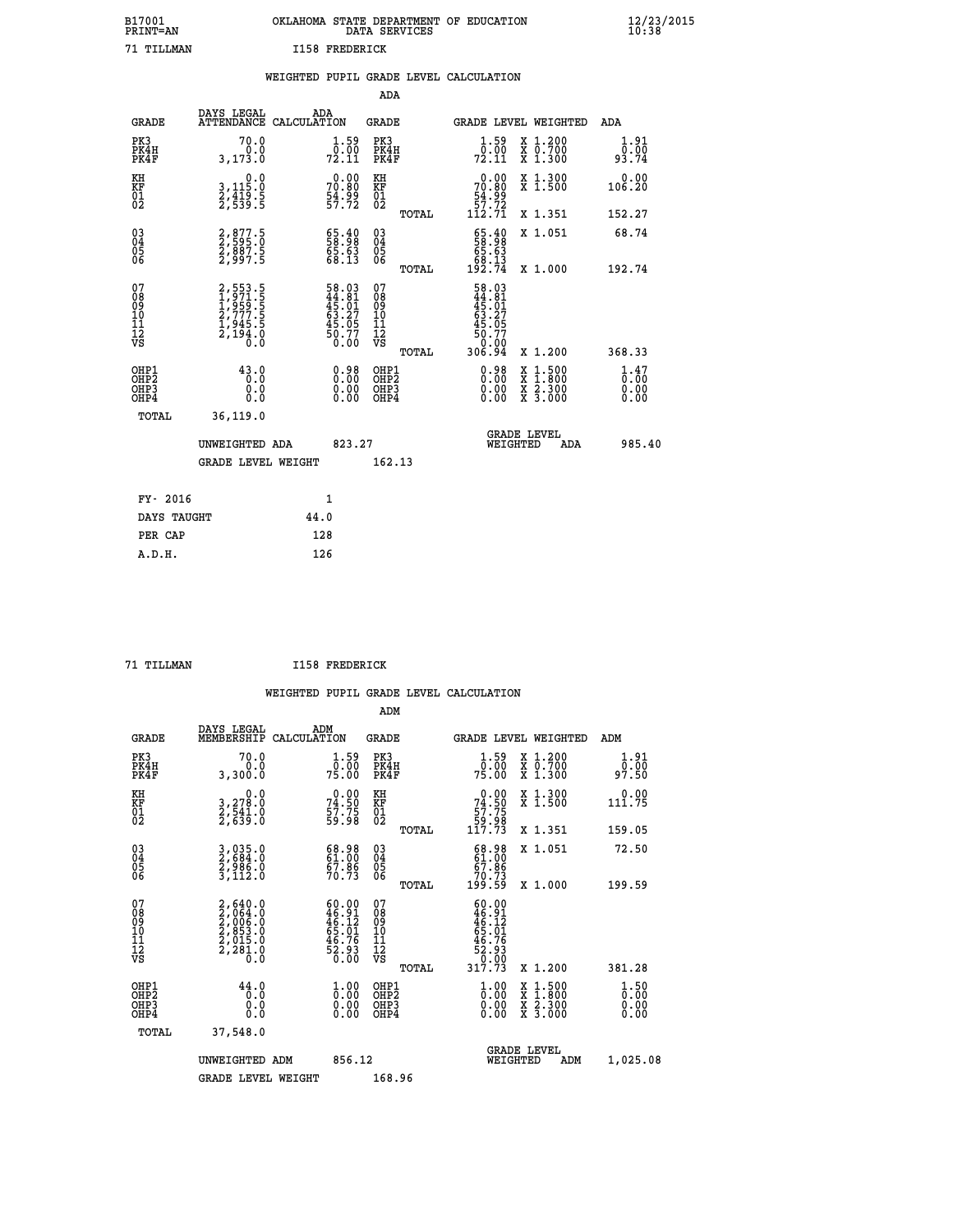|    |                | OKLAHOMA STATE DEPARTMENT OF EDUCATION<br>DATA SERVICES |  |
|----|----------------|---------------------------------------------------------|--|
| NT | T158 FREDERTOK |                                                         |  |

| 71 TILLMAN                              |                                                                 |      | <b>I158 FREDERICK</b>                                              |                                              |       |                                                                                |                                                                                                                                           |                          |
|-----------------------------------------|-----------------------------------------------------------------|------|--------------------------------------------------------------------|----------------------------------------------|-------|--------------------------------------------------------------------------------|-------------------------------------------------------------------------------------------------------------------------------------------|--------------------------|
|                                         |                                                                 |      |                                                                    |                                              |       | WEIGHTED PUPIL GRADE LEVEL CALCULATION                                         |                                                                                                                                           |                          |
|                                         |                                                                 |      |                                                                    | <b>ADA</b>                                   |       |                                                                                |                                                                                                                                           |                          |
| <b>GRADE</b>                            | DAYS LEGAL<br>ATTENDANCE CALCULATION                            |      | ADA                                                                | <b>GRADE</b>                                 |       |                                                                                | GRADE LEVEL WEIGHTED                                                                                                                      | ADA                      |
| PK3<br>PK4H<br>PK4F                     | 70.0<br>0.0<br>3, 173.0                                         |      | $\frac{1}{0}$ : 59<br>72.11                                        | PK3<br>PK4H<br>PK4F                          |       | $\frac{1}{0}$ : 59<br>72.11                                                    | X 1.200<br>X 0.700<br>X 1.300                                                                                                             | 1.91<br>0.00<br>93.74    |
| KH<br>KF<br>01<br>02                    | 0.0<br>3,115:0<br>2,419:5<br>2,539:5                            |      | $70.80$<br>$54.99$<br>$57.72$                                      | KH<br>KF<br>01<br>02                         |       | $\begin{smallmatrix} &0.00\\ 70.80\\ 54.99\\ 57.72\\ 112.71 \end{smallmatrix}$ | X 1.300<br>X 1.500                                                                                                                        | 0.00<br>106.20           |
|                                         |                                                                 |      |                                                                    |                                              | TOTAL |                                                                                | X 1.351                                                                                                                                   | 152.27                   |
| $^{03}_{04}$<br>Ŏ5<br>06                | 2,877.5<br>2,595.0<br>2,887.5<br>2,997.5                        |      | $\begin{smallmatrix} 65.40\ 58.98\ 65.63\ 68.13 \end{smallmatrix}$ | 03<br>04<br>05<br>06                         |       | $\begin{smallmatrix} 65.40\\ 58.98\\ 65.63\\ 68.13\\ 192.74 \end{smallmatrix}$ | X 1.051                                                                                                                                   | 68.74                    |
|                                         |                                                                 |      |                                                                    |                                              | TOTAL |                                                                                | X 1.000                                                                                                                                   | 192.74                   |
| 07<br>08<br>09<br>101<br>11<br>12<br>VS | 2,553.5<br>1,971.5<br>1,959.5<br>2,777.5<br>2,1945.5<br>2,194.0 |      | 58.03<br>44.81<br>45.01<br>63.27<br>63.05<br>50.77<br>50.00        | 07<br>08<br>09<br>01<br>11<br>11<br>12<br>VS |       | 58.03<br>44.81<br>45.01<br>63.27<br>63.05<br>50.77<br>50.00<br>306.94          | X 1.200                                                                                                                                   |                          |
|                                         |                                                                 |      |                                                                    |                                              | TOTAL |                                                                                |                                                                                                                                           | 368.33                   |
| OHP1<br>OHP2<br>OHP3<br>OHP4            | 43.0<br>0.0<br>0.0                                              |      | $\begin{smallmatrix} 0.98\ 0.00\ 0.00 \end{smallmatrix}$           | OHP1<br>OHP2<br>OHP3<br>OHP4                 |       | 0.98<br>0.00                                                                   | $\begin{smallmatrix} \mathtt{X} & 1\cdot500\\ \mathtt{X} & 1\cdot800\\ \mathtt{X} & 2\cdot300\\ \mathtt{X} & 3\cdot000 \end{smallmatrix}$ | $1.47$<br>$0.00$<br>0.00 |
| TOTAL                                   | 36,119.0                                                        |      |                                                                    |                                              |       |                                                                                |                                                                                                                                           |                          |
|                                         | UNWEIGHTED ADA                                                  |      | 823.27                                                             |                                              |       | WEIGHTED                                                                       | <b>GRADE LEVEL</b><br><b>ADA</b>                                                                                                          | 985.40                   |
|                                         | <b>GRADE LEVEL WEIGHT</b>                                       |      |                                                                    | 162.13                                       |       |                                                                                |                                                                                                                                           |                          |
| FY- 2016                                |                                                                 |      | $\mathbf{1}$                                                       |                                              |       |                                                                                |                                                                                                                                           |                          |
| DAYS TAUGHT                             |                                                                 | 44.0 |                                                                    |                                              |       |                                                                                |                                                                                                                                           |                          |
| PER CAP                                 |                                                                 |      | 128                                                                |                                              |       |                                                                                |                                                                                                                                           |                          |

 **A.D.H. 126**

**B17001<br>PRINT=AN** 

 **71 TILLMAN I158 FREDERICK**

|                                           |                                                                                     |                                                                                     |        | ADM                                                 |       |                                                                                                     |                                |                                          |                              |  |
|-------------------------------------------|-------------------------------------------------------------------------------------|-------------------------------------------------------------------------------------|--------|-----------------------------------------------------|-------|-----------------------------------------------------------------------------------------------------|--------------------------------|------------------------------------------|------------------------------|--|
| <b>GRADE</b>                              | DAYS LEGAL<br>MEMBERSHIP                                                            | ADM<br>CALCULATION                                                                  |        | <b>GRADE</b>                                        |       |                                                                                                     |                                | GRADE LEVEL WEIGHTED                     | ADM                          |  |
| PK3<br>PK4H<br>PK4F                       | 70.0<br>0.0<br>3,300.0                                                              | $\frac{1}{0}$ : 59<br>75.00                                                         |        | PK3<br>PK4H<br>PK4F                                 |       | $\frac{1}{0}$ : 59<br>75.00                                                                         |                                | X 1.200<br>X 0.700<br>X 1.300            | 1.91<br>___<br>97.50         |  |
| KH<br>KF<br>01<br>02                      | 0.0<br>3,278.0<br>2,541.0<br>2,639.0                                                | $74.50$<br>$57.75$<br>$59.98$                                                       |        | KH<br>KF<br>01<br>02                                |       | $\begin{smallmatrix} &0.00\ 74.50\ 57.75\ 59.98\ 117.73\ \end{smallmatrix}$                         |                                | X 1.300<br>X 1.500                       | 0.00<br>111.75               |  |
|                                           |                                                                                     |                                                                                     |        |                                                     | TOTAL |                                                                                                     |                                | X 1.351                                  | 159.05                       |  |
| 03<br>04<br>05<br>06                      | 3,035.0<br>2,684.0<br>2,986.0<br>3,112.0                                            | 68.98<br>61.00<br>67.86<br>70.73                                                    |        | $\begin{array}{c} 03 \\ 04 \\ 05 \\ 06 \end{array}$ |       | $\begin{smallmatrix} 68.98\ 61.00\ 67.86\ 70.73\ 199.59 \end{smallmatrix}$                          |                                | X 1.051                                  | 72.50                        |  |
|                                           |                                                                                     |                                                                                     |        |                                                     | TOTAL |                                                                                                     |                                | X 1.000                                  | 199.59                       |  |
| 07<br>08<br>09<br>101<br>11<br>12<br>VS   | $2,640.0$<br>$2,064.0$<br>$2,006.0$<br>$2,853.0$<br>$2,015.0$<br>$2,281.0$<br>$0.0$ | $60.00$<br>$46.91$<br>$46.12$<br>$65.01$<br>$65.76$<br>$46.76$<br>$52.93$<br>$0.00$ |        | 07<br>08<br>09<br>11<br>11<br>12<br>VS              | TOTAL | $\begin{array}{l} 60.00 \\ 46.91 \\ 46.12 \\ 55.01 \\ 46.76 \\ 52.93 \\ 9.93 \end{array}$<br>317.73 |                                | X 1.200                                  | 381.28                       |  |
| OHP1<br>OHP2<br>OH <sub>P</sub> 3<br>OHP4 | 44.0<br>0.000                                                                       | $\begin{smallmatrix} 1.00\ 0.00\ 0.00 \end{smallmatrix}$                            |        | OHP1<br>OHP2<br>OHP <sub>3</sub>                    |       | $\frac{1}{0}$ :00<br>0.00<br>0.00                                                                   |                                | X 1:500<br>X 1:800<br>X 2:300<br>X 3:000 | 1.50<br>0.00<br>0.00<br>0.00 |  |
| TOTAL                                     | 37,548.0                                                                            |                                                                                     |        |                                                     |       |                                                                                                     |                                |                                          |                              |  |
|                                           | UNWEIGHTED                                                                          | ADM                                                                                 | 856.12 |                                                     |       |                                                                                                     | <b>GRADE LEVEL</b><br>WEIGHTED | ADM                                      | 1,025.08                     |  |
|                                           | <b>GRADE LEVEL WEIGHT</b>                                                           |                                                                                     |        | 168.96                                              |       |                                                                                                     |                                |                                          |                              |  |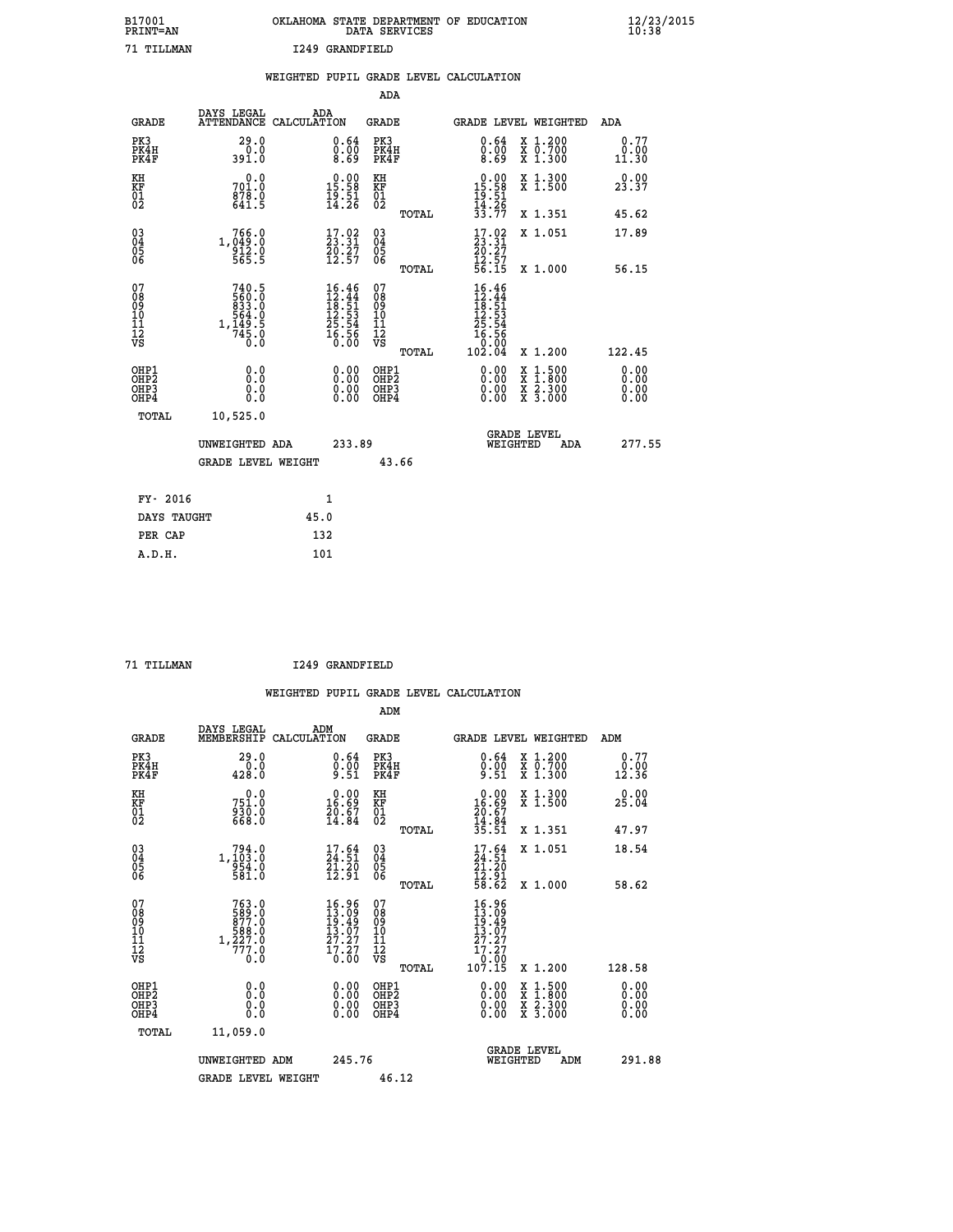| B17001          | OKLAHOMA STATE DEPARTMENT OF EDUCATION |
|-----------------|----------------------------------------|
| <b>PRINT=AN</b> | DATA SERVICES                          |
| 71 TTT.T.MAN    | 1249 GRANDFIELD                        |

|                                         |                                       | WEIGHTED PUPIL GRADE LEVEL CALCULATION                                                                                                     |                                        |       |                                                                                                              |                               |                              |
|-----------------------------------------|---------------------------------------|--------------------------------------------------------------------------------------------------------------------------------------------|----------------------------------------|-------|--------------------------------------------------------------------------------------------------------------|-------------------------------|------------------------------|
|                                         |                                       |                                                                                                                                            | ADA                                    |       |                                                                                                              |                               |                              |
| <b>GRADE</b>                            | DAYS LEGAL                            | ADA<br>ATTENDANCE CALCULATION                                                                                                              | GRADE                                  |       |                                                                                                              | GRADE LEVEL WEIGHTED          | ADA                          |
| PK3<br>PK4H<br>PK4F                     | 29.0<br>0.0<br>391.0                  | $\substack{0.64 \\ 0.00 \\ 8.69}$                                                                                                          | PK3<br>PK4H<br>PK4F                    |       | 0.64<br>0.00<br>8.69                                                                                         | X 1.200<br>X 0.700<br>X 1.300 | 0.77<br>0.00<br>11.30        |
| KH<br><b>KF</b><br>01<br>02             | 0.0<br>701.0<br>$\frac{878.0}{641.5}$ | $\begin{smallmatrix} 0.00\\ 15.58\\ 19.51\\ 14.26 \end{smallmatrix}$                                                                       | KH<br>KF<br>01<br>02                   |       | $0.00\n15.58\n19.51\n14.26\n33.77$                                                                           | X 1.300<br>X 1.500            | 0.00<br>23.37                |
|                                         |                                       |                                                                                                                                            |                                        | TOTAL |                                                                                                              | X 1.351                       | 45.62                        |
| 03<br>04<br>05<br>06                    | 1,049:0<br>0.049:0<br>5.55:5          | $\frac{17.02}{23.31}$<br>$\frac{50.27}{12.57}$                                                                                             | 03<br>04<br>05<br>06                   |       | $\frac{17.02}{23.31}$<br>20.27                                                                               | X 1.051                       | 17.89                        |
|                                         |                                       |                                                                                                                                            |                                        | TOTAL | $\frac{12.57}{56.15}$                                                                                        | X 1.000                       | 56.15                        |
| 07<br>08<br>09<br>101<br>11<br>12<br>VS | 740.5                                 | $\begin{array}{r} 16\cdot 46 \\ 12\cdot 44 \\ 18\cdot 51 \\ 12\cdot 53 \\ 25\cdot 54 \\ 25\cdot 56 \\ 16\cdot 56 \\ 0\cdot 00 \end{array}$ | 07<br>08<br>09<br>11<br>11<br>12<br>VS | TOTAL | $16.46$<br>$12.44$<br>$18.51$<br>$12.53$<br>$25.54$<br>$\begin{matrix} 16.56 \\ 0.00 \\ 102.04 \end{matrix}$ | X 1.200                       | 122.45                       |
| OHP1<br>OHP2<br>OHP3<br>OHP4            | 0.0<br>$0.\overline{0}$<br>0.0        | 0.00<br>$\begin{smallmatrix} 0.00 \ 0.00 \end{smallmatrix}$                                                                                | OHP1<br>OHP2<br>OHP3<br>OHP4           |       | 0.00<br>0.00<br>0.00                                                                                         | X 1:500<br>X 2.300<br>X 3.000 | 0.00<br>0.00<br>0.00<br>0.00 |
| TOTAL                                   | 10,525.0                              |                                                                                                                                            |                                        |       |                                                                                                              |                               |                              |
|                                         | UNWEIGHTED ADA                        | 233.89                                                                                                                                     |                                        |       | WEIGHTED                                                                                                     | <b>GRADE LEVEL</b><br>ADA     | 277.55                       |
|                                         | <b>GRADE LEVEL WEIGHT</b>             |                                                                                                                                            |                                        | 43.66 |                                                                                                              |                               |                              |
| FY- 2016                                |                                       | $\mathbf{1}$                                                                                                                               |                                        |       |                                                                                                              |                               |                              |
| DAYS TAUGHT                             |                                       | 45.0                                                                                                                                       |                                        |       |                                                                                                              |                               |                              |
| PER CAP                                 |                                       | 132                                                                                                                                        |                                        |       |                                                                                                              |                               |                              |

 **A.D.H. 101**

 **71 TILLMAN I249 GRANDFIELD**

|                                                    |                                                                          |                    |                                                                                                    |                                                     |       | WEIGHTED PUPIL GRADE LEVEL CALCULATION                                      |                                                                           |                       |
|----------------------------------------------------|--------------------------------------------------------------------------|--------------------|----------------------------------------------------------------------------------------------------|-----------------------------------------------------|-------|-----------------------------------------------------------------------------|---------------------------------------------------------------------------|-----------------------|
|                                                    |                                                                          |                    |                                                                                                    | ADM                                                 |       |                                                                             |                                                                           |                       |
| <b>GRADE</b>                                       | DAYS LEGAL<br>MEMBERSHIP                                                 | ADM<br>CALCULATION |                                                                                                    | <b>GRADE</b>                                        |       |                                                                             | <b>GRADE LEVEL WEIGHTED</b>                                               | ADM                   |
| PK3<br>PK4H<br>PK4F                                | 29.0<br>0.0<br>428.0                                                     |                    | $\substack{0.64 \\ 0.00 \\ 9.51}$                                                                  | PK3<br>PK4H<br>PK4F                                 |       | $\begin{smallmatrix} 0.64\ 0.00\\ 9.51 \end{smallmatrix}$                   | $\begin{smallmatrix} x & 1.200 \\ x & 0.700 \end{smallmatrix}$<br>X 1.300 | 0.77<br>0.00<br>12.36 |
| KH<br>KF<br>01<br>02                               | 0.0<br>751.0<br>930.0<br>668.0                                           |                    | $\begin{smallmatrix} 0.00\\ 16.69\\ 20.67\\ 14.84 \end{smallmatrix}$                               | KH<br>KF<br>01<br>02                                |       | $0.00\n16.69\n20.67\n14.84\n35.51$                                          | X 1.300<br>X 1.500                                                        | 0.00<br>25.04         |
|                                                    |                                                                          |                    |                                                                                                    |                                                     | TOTAL |                                                                             | X 1.351                                                                   | 47.97                 |
| $\begin{matrix} 03 \\ 04 \\ 05 \\ 06 \end{matrix}$ | $1, \begin{smallmatrix} 794.0\\ 103.0\\ 954.0\\ 581.0 \end{smallmatrix}$ |                    | $\begin{smallmatrix} 17.64\ 24.51\ 21.20\ 12.91 \end{smallmatrix}$                                 | $\begin{array}{c} 03 \\ 04 \\ 05 \\ 06 \end{array}$ |       | $17.64$<br>$24.51$<br>$21.20$<br>$12.91$<br>$58.62$                         | X 1.051                                                                   | 18.54                 |
|                                                    |                                                                          |                    |                                                                                                    |                                                     | TOTAL |                                                                             | X 1.000                                                                   | 58.62                 |
| 07<br>08<br>09<br>101<br>11<br>12<br>VS            | 763.0<br>589.0<br>877.0<br>$1, \frac{566}{277}.0$<br>0.0                 |                    | $\begin{smallmatrix} 16.96 \\ 13.09 \\ 19.49 \\ 13.07 \\ 27.27 \\ 17.27 \\ 0.00 \end{smallmatrix}$ | 07<br>08<br>09<br>101<br>11<br>12<br>VS             |       | 16.96<br>13.09<br>19.49<br>13.07<br>27.27<br>17.27<br>$\frac{0.00}{107.15}$ |                                                                           |                       |
|                                                    |                                                                          |                    |                                                                                                    |                                                     | TOTAL |                                                                             | X 1.200                                                                   | 128.58                |
| OHP1<br>OHP2<br>OH <sub>P3</sub><br>OHP4           | 0.0<br>0.000                                                             |                    |                                                                                                    | OHP1<br>OHP2<br>OHP <sub>3</sub>                    |       | 0.00<br>0.00<br>0.00                                                        | X 1:500<br>X 1:800<br>X 2:300<br>X 3:000                                  | 0.00<br>0.00<br>0.00  |
| TOTAL                                              | 11,059.0                                                                 |                    |                                                                                                    |                                                     |       |                                                                             |                                                                           |                       |
|                                                    | UNWEIGHTED ADM                                                           |                    | 245.76                                                                                             |                                                     |       |                                                                             | <b>GRADE LEVEL</b><br>WEIGHTED<br>ADM                                     | 291.88                |

GRADE LEVEL WEIGHT 46.12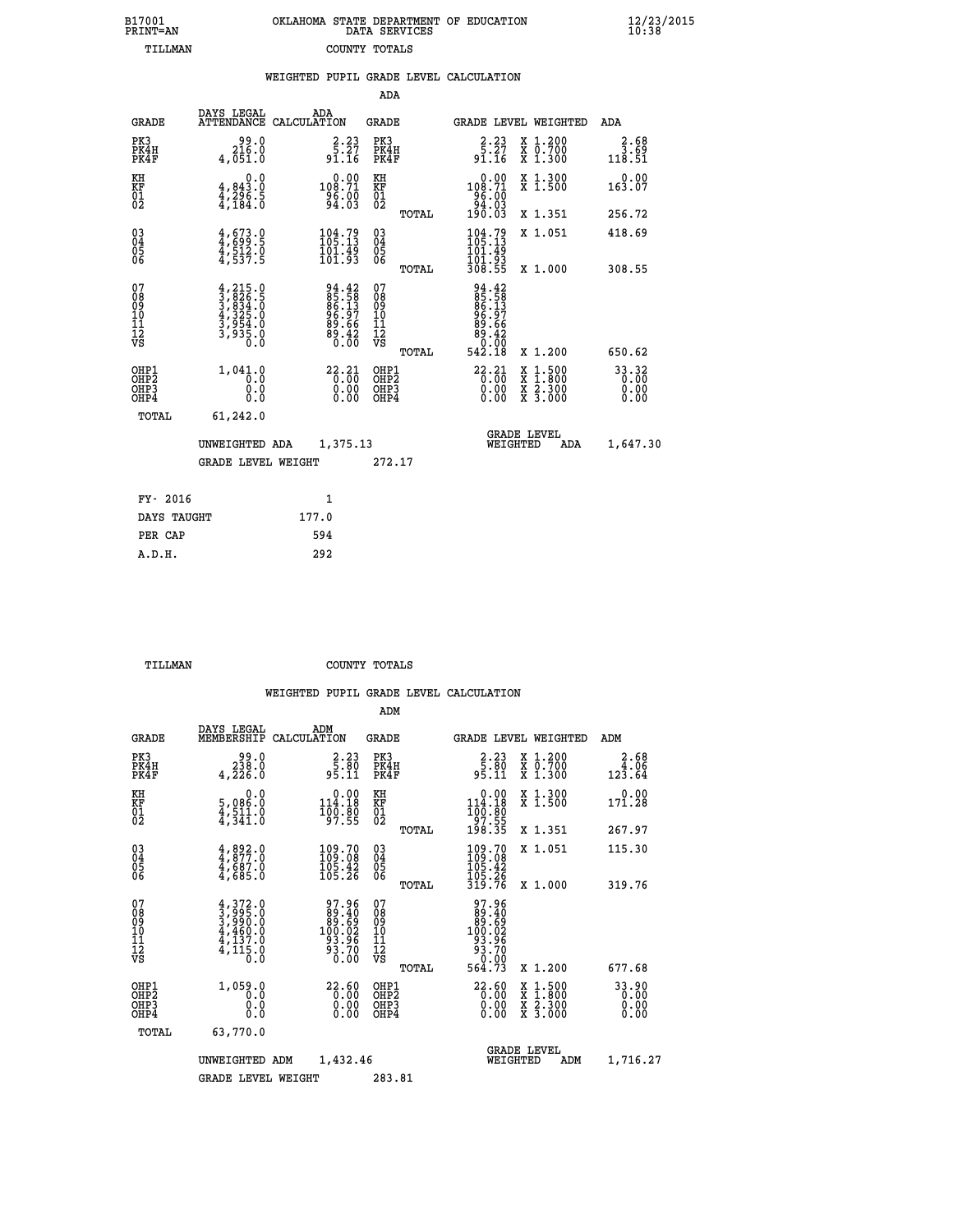| 7001<br>INT=AN |  | OKLAHOMA STATE DEPARTMENT OF EDUCATION<br>DATA SERVICES |  |
|----------------|--|---------------------------------------------------------|--|
| TILLMAN        |  | COUNTY TOTALS                                           |  |

|                                                     |                                                                                                                                                          | WEIGHTED PUPIL GRADE LEVEL CALCULATION                      |                                                    |       |                                                                               |                                          |                               |
|-----------------------------------------------------|----------------------------------------------------------------------------------------------------------------------------------------------------------|-------------------------------------------------------------|----------------------------------------------------|-------|-------------------------------------------------------------------------------|------------------------------------------|-------------------------------|
|                                                     |                                                                                                                                                          |                                                             | ADA                                                |       |                                                                               |                                          |                               |
| <b>GRADE</b>                                        | DAYS LEGAL                                                                                                                                               | ADA<br>ATTENDANCE CALCULATION                               | <b>GRADE</b>                                       |       |                                                                               | <b>GRADE LEVEL WEIGHTED</b>              | ADA                           |
| PK3<br>PK4H<br>PK4F                                 | 216.0<br>4,051.0                                                                                                                                         | $\begin{array}{c} 2.23 \\ 5.27 \\ 91.16 \end{array}$        | PK3<br>PK4H<br>PK4F                                |       | $\begin{array}{c} 2.23 \\ 5.27 \\ 91.16 \end{array}$                          | X 1.200<br>X 0.700<br>X 1.300            | $3.68$<br>3.69<br>118.51      |
| KH<br>KF<br>01<br>02                                | $\begin{smallmatrix} 0.0\\ 4,843.0\\ 4,296.5\\ 4,184.0 \end{smallmatrix}$                                                                                | $0.00$<br>108.71<br>$\frac{96.00}{94.03}$                   | KH<br>KF<br>01<br>02                               |       | $0.00$<br>108.71<br>$\begin{array}{r} 186.00 \\ -84.03 \\ 190.03 \end{array}$ | X 1.300<br>X 1.500                       | $0.00$<br>163.07              |
|                                                     |                                                                                                                                                          |                                                             |                                                    | TOTAL |                                                                               | X 1.351                                  | 256.72                        |
| $^{03}_{04}$<br>Ŏ5<br>06                            | $4,673.9$<br>$4,699.5$<br>$4,512.0$<br>$4,537.5$                                                                                                         | 104.79<br>$\frac{101.49}{101.93}$                           | $\begin{matrix} 03 \\ 04 \\ 05 \\ 06 \end{matrix}$ |       | $\frac{104.79}{105.13}$                                                       | X 1.051                                  | 418.69                        |
|                                                     |                                                                                                                                                          |                                                             |                                                    | TOTAL | 101.93<br>308.55                                                              | X 1.000                                  | 308.55                        |
| 07<br>08<br>09<br>01<br>11<br>11<br>12<br>VS        | $\begin{smallmatrix} 4,215\cdot 0\\ 3,826\cdot 5\\ 3,834\cdot 0\\ 4,325\cdot 0\\ 4,325\cdot 0\\ 3,954\cdot 0\\ 3,935\cdot 0\\ 0\cdot 0\end{smallmatrix}$ | 94.42<br>85.58<br>86.13<br>86.97<br>89.66<br>89.42<br>80.00 | 07<br>08<br>09<br>101<br>11<br>12<br>VS            | TOTAL | 94.42<br>85.583<br>86.137<br>86.966<br>89.662<br>80.000<br>542.18             | X 1.200                                  | 650.62                        |
| OHP1<br>OH <sub>P</sub><br>OH <sub>P3</sub><br>OHP4 | 1,041.0<br>0.0<br>0.0<br>0.0                                                                                                                             | $\overset{22.21}{\underset{0.00}{\scriptstyle 0.00}}\,\,$   | OHP1<br>OHP <sub>2</sub><br>OHP <sub>3</sub>       |       | $\begin{smallmatrix} 22.21\ 0.00\ 0.00\ 0.00 \end{smallmatrix}$               | X 1:500<br>X 1:800<br>X 2:300<br>X 3:000 | 33.32<br>0.00<br>0.00<br>0.00 |
| TOTAL                                               | 61,242.0                                                                                                                                                 |                                                             |                                                    |       |                                                                               |                                          |                               |
|                                                     | UNWEIGHTED ADA                                                                                                                                           | 1,375.13                                                    |                                                    |       | WEIGHTED                                                                      | <b>GRADE LEVEL</b><br>ADA                | 1,647.30                      |
|                                                     | <b>GRADE LEVEL WEIGHT</b>                                                                                                                                |                                                             | 272.17                                             |       |                                                                               |                                          |                               |
| FY- 2016                                            |                                                                                                                                                          | $\mathbf{1}$                                                |                                                    |       |                                                                               |                                          |                               |
| DAYS TAUGHT                                         |                                                                                                                                                          | 177.0                                                       |                                                    |       |                                                                               |                                          |                               |
| PER CAP                                             |                                                                                                                                                          | 594                                                         |                                                    |       |                                                                               |                                          |                               |

 **A.D.H. 292**

 **B17001<br>PRINT=AN** 

 **TILLMAN COUNTY TOTALS**

|                                                    |                                                                                     |                                                                           | ADM                                                |        |                                                                                    |                                          |  |                               |  |
|----------------------------------------------------|-------------------------------------------------------------------------------------|---------------------------------------------------------------------------|----------------------------------------------------|--------|------------------------------------------------------------------------------------|------------------------------------------|--|-------------------------------|--|
| <b>GRADE</b>                                       | DAYS LEGAL<br>MEMBERSHIP                                                            | ADM<br>CALCULATION                                                        | <b>GRADE</b>                                       |        | GRADE LEVEL WEIGHTED                                                               |                                          |  | ADM                           |  |
| PK3<br>PK4H<br>PK4F                                | 0.0<br>0.838<br>4,226.0                                                             | $\begin{array}{c} 2.23 \\ 5.80 \\ 95.11 \end{array}$                      | PK3<br>PK4H<br>PK4F                                |        | $\begin{array}{c} 2.23 \\ 5.80 \\ 95.11 \end{array}$                               | X 1.200<br>X 0.700<br>X 1.300            |  | 2.68<br>$\frac{4.06}{123.64}$ |  |
| KH<br>KF<br>01<br>02                               | 0.0<br>5,086:0<br>4,511:0<br>4,341:0                                                | $0.00$<br>114.18<br>$\frac{100.80}{97.55}$                                | KH<br>KF<br>01<br>02                               |        | 0.00<br>114.18<br>100:80<br>97:55<br>198:35                                        | X 1.300<br>X 1.500                       |  | 0.00<br>171.28                |  |
|                                                    |                                                                                     |                                                                           |                                                    | TOTAL  |                                                                                    | X 1.351                                  |  | 267.97                        |  |
| $\begin{matrix} 03 \\ 04 \\ 05 \\ 06 \end{matrix}$ | $4,892.0$<br>$4,877.0$<br>$4,687.0$<br>4,685.0                                      | $\begin{smallmatrix} 109.70\\ 109.08\\ 105.42\\ 105.26 \end{smallmatrix}$ | $\begin{matrix} 03 \\ 04 \\ 05 \\ 06 \end{matrix}$ |        | $\begin{smallmatrix} 109.70\\ 109.08\\ 105.42\\ 105.26\\ 319.76 \end{smallmatrix}$ | X 1.051                                  |  | 115.30                        |  |
|                                                    |                                                                                     |                                                                           |                                                    | TOTAL  |                                                                                    | X 1.000                                  |  | 319.76                        |  |
| 07<br>08<br>09<br>10<br>11<br>11<br>12<br>VS       | $4,372.0$<br>$3,995.0$<br>$3,990.0$<br>$4,460.0$<br>$4,137.0$<br>$4,115.0$<br>$0.0$ | 97.96<br>89.40<br>89.69<br>100.02<br>93.96<br>93.70<br>0.00               | 07<br>08<br>09<br>01<br>11<br>11<br>12<br>VS       | TOTAL  | 97.96<br>89.409<br>89.692<br>100.02<br>93.70<br>93.70<br>0.00<br>564.73            | X 1.200                                  |  | 677.68                        |  |
| OHP1<br>OHP2<br>OH <sub>P3</sub><br>OHP4           | 1,059.0<br>0.0<br>0.000                                                             | $\begin{smallmatrix} 22.60\ 0.00\ 0.00\ 0.00 \end{smallmatrix}$           | OHP1<br>OHP2<br>OHP3<br>OHP4                       |        | $\begin{smallmatrix} 22.60\\ 0.00\\ 0.00\\ 0.00 \end{smallmatrix}$                 | X 1:500<br>X 1:800<br>X 2:300<br>X 3:000 |  | 33.90<br>0.00<br>0.00         |  |
| TOTAL                                              | 63,770.0                                                                            |                                                                           |                                                    |        |                                                                                    |                                          |  |                               |  |
|                                                    | UNWEIGHTED ADM                                                                      | 1,432.46                                                                  |                                                    |        | <b>GRADE LEVEL</b><br>WEIGHTED<br>ADM                                              |                                          |  | 1,716.27                      |  |
|                                                    | <b>GRADE LEVEL WEIGHT</b>                                                           |                                                                           |                                                    | 283.81 |                                                                                    |                                          |  |                               |  |
|                                                    |                                                                                     |                                                                           |                                                    |        |                                                                                    |                                          |  |                               |  |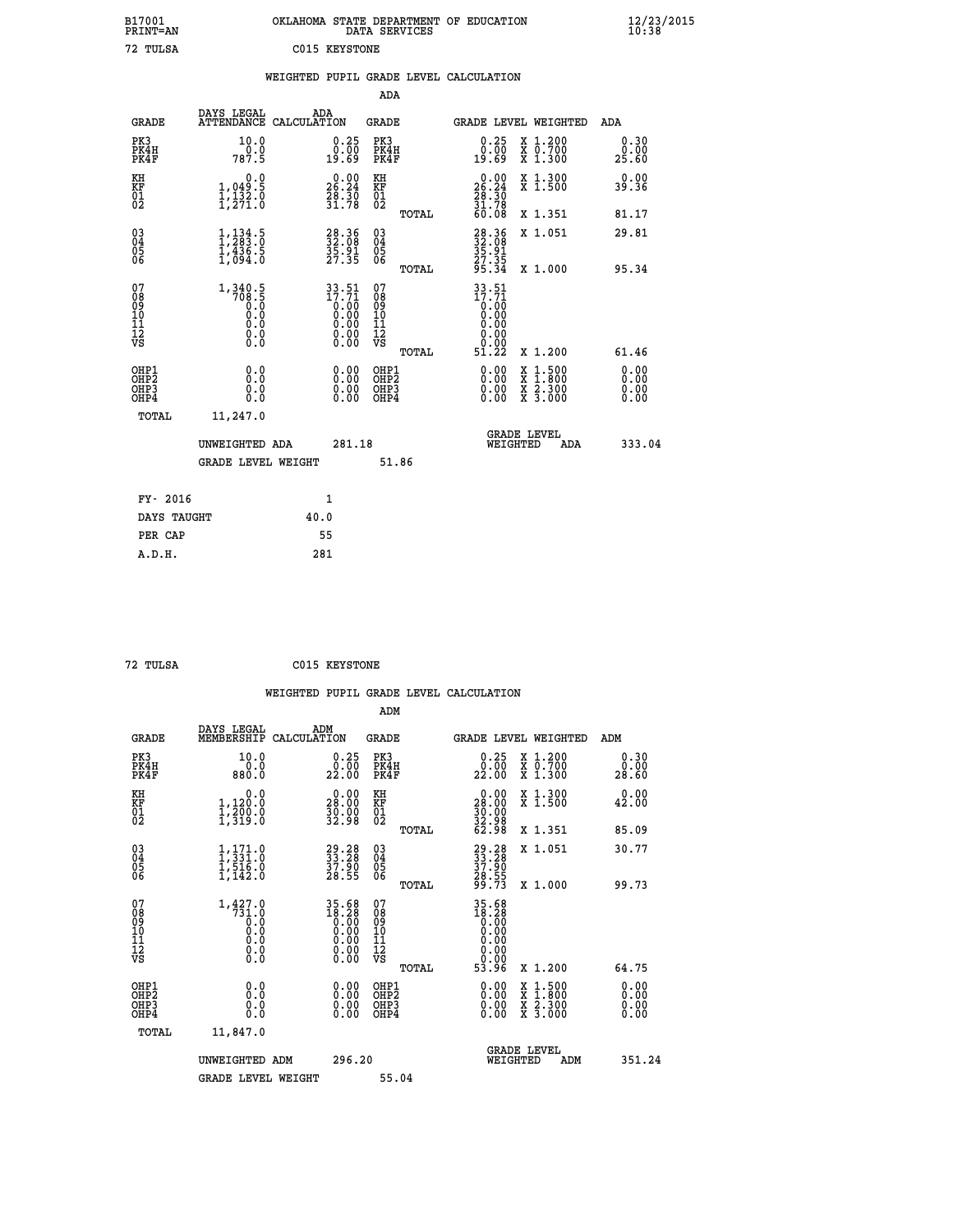| B17001<br>PRINT=AN                     |                                                          | OKLAHOMA STATE DEPARTMENT OF EDUCATION                                                | DATA SERVICES                                               |                                                                                                                  |                                                                                                                                                      | $\frac{12}{23}$ /2015         |  |
|----------------------------------------|----------------------------------------------------------|---------------------------------------------------------------------------------------|-------------------------------------------------------------|------------------------------------------------------------------------------------------------------------------|------------------------------------------------------------------------------------------------------------------------------------------------------|-------------------------------|--|
| 72 TULSA                               |                                                          | C015 KEYSTONE                                                                         |                                                             |                                                                                                                  |                                                                                                                                                      |                               |  |
|                                        |                                                          | WEIGHTED PUPIL GRADE LEVEL CALCULATION                                                |                                                             |                                                                                                                  |                                                                                                                                                      |                               |  |
|                                        |                                                          |                                                                                       | <b>ADA</b>                                                  |                                                                                                                  |                                                                                                                                                      |                               |  |
| GRADE                                  | DAYS LEGAL                                               | ADA<br>ATTENDANCE CALCULATION                                                         | GRADE                                                       | GRADE LEVEL WEIGHTED                                                                                             |                                                                                                                                                      | ADA                           |  |
| PK3<br>PK4H<br>PK4F                    | 10.0<br>0.0<br>787.5                                     | 0.25<br>0.00<br>49.69                                                                 | PK3<br>PK4H<br>PK4F                                         | $\begin{smallmatrix} 0.25\ 0.00 \ 19.69 \end{smallmatrix}$                                                       | X 1.200<br>X 0.700<br>X 1.300                                                                                                                        | 0.30<br>0.00<br>25.60         |  |
| KH<br>KF<br>01<br>02                   | 0.0<br>$1,049.5$<br>$1,132.0$<br>$1,271.0$               | 26.24<br>$\frac{28.50}{31.78}$                                                        | KH<br><b>KF</b><br>01<br>02                                 | $\begin{smallmatrix} 0.00\\ 26.24\\ 28.30\\ 31.78\\ 60.08 \end{smallmatrix}$                                     | X 1.300<br>X 1.500                                                                                                                                   | 0.00<br>39.36                 |  |
|                                        |                                                          |                                                                                       | TOTAL                                                       |                                                                                                                  | X 1.351                                                                                                                                              | 81.17                         |  |
| 03<br>04<br>05<br>06                   | $\frac{1}{2}, \frac{134}{283}$ : 0<br>1,436.5<br>1.094.0 | 28.36<br>32.08<br>35.91<br>27.35                                                      | $\begin{matrix} 03 \\ 04 \\ 05 \\ 06 \end{matrix}$<br>TOTAL | $38.36$<br>$32.08$<br>35.91<br>27.35<br>95.34                                                                    | X 1.051                                                                                                                                              | 29.81<br>95.34                |  |
| 07<br>08<br>09<br>11<br>11<br>12<br>VS | $\substack{1,340.5\\708.5\\0.0\\0.0$<br>0.0<br>0.0       | $\begin{array}{r} 33.51 \\ 17.71 \\ 0.00 \\ 0.00 \\ 0.00 \\ 0.00 \end{array}$<br>0.00 | 07<br>08<br>09<br>11<br>11<br>12<br>VS                      | $33.51$<br>$17.71$<br>$\begin{smallmatrix} 0.00 & 0 \ 0.00 & \end{smallmatrix}$<br>0.00<br>0.00<br>ŏ:ŏŏ<br>5ĭ.22 | X 1.000                                                                                                                                              |                               |  |
| OHP1<br>OHP2<br>OHP3                   | 0.0<br>0.0<br>0.0                                        | 0.00<br>$\begin{smallmatrix} 0.00 \ 0.00 \end{smallmatrix}$                           | TOTAL<br>OHP1<br>OH <sub>P</sub> 2<br>OHP3                  | 0.00<br>0.00                                                                                                     | X 1.200<br>$\begin{smallmatrix} \mathtt{X} & 1\cdot500\\ \mathtt{X} & 1\cdot800\\ \mathtt{X} & 2\cdot300\\ \mathtt{X} & 3\cdot000 \end{smallmatrix}$ | 61.46<br>0.00<br>0.00<br>0.00 |  |
| OHP4<br><b>TOTAL</b>                   | 0.0                                                      |                                                                                       | OHP4                                                        | 0.00                                                                                                             |                                                                                                                                                      | 0.00                          |  |
|                                        | 11,247.0<br>UNWEIGHTED ADA<br><b>GRADE LEVEL WEIGHT</b>  | 281.18                                                                                | 51.86                                                       | WEIGHTED                                                                                                         | <b>GRADE LEVEL</b><br>ADA                                                                                                                            | 333.04                        |  |
| FY- 2016                               |                                                          | 1                                                                                     |                                                             |                                                                                                                  |                                                                                                                                                      |                               |  |
| DAYS TAUGHT                            |                                                          | 40.0                                                                                  |                                                             |                                                                                                                  |                                                                                                                                                      |                               |  |
| PER CAP                                |                                                          | 55                                                                                    |                                                             |                                                                                                                  |                                                                                                                                                      |                               |  |

| 72 TULSA | C015 KEYSTONE |
|----------|---------------|

 **WEIGHTED PUPIL GRADE LEVEL CALCULATION ADM DAYS LEGAL ADM GRADE MEMBERSHIP CALCULATION GRADE GRADE LEVEL WEIGHTED ADM PK3 10.0 0.25 PK3 0.25 X 1.200 0.30 PK4H 0.0 0.00 PK4H 0.00 X 0.700 0.00 PK4F 880.0 22.00 PK4F 22.00 X 1.300 28.60 KH 0.0 0.00 KH 0.00 X 1.300 0.00 KF 1,120.0 28.00 KF 28.00 X 1.500 42.00 01 1,200.0 30.00 01 30.00 02 1,319.0 32.98 02 32.98 TOTAL 62.98 X 1.351 85.09 03 1,171.0 29.28 03 29.28 X 1.051 30.77 04 1,331.0 33.28 04 33.28 05 1,516.0 37.90 05 37.90 06 1,142.0 28.55 06 28.55 TOTAL 99.73 X 1.000 99.73** 1,427.0 35.68 07<br>
08 <sup>1,3</sup>73.0 18.28 08 18.28<br>
09 0.0 0.00 10 0.00<br>
10 0.0 0.00 10 0.00<br>
11 0.0 0.00 11 0.00<br>
12<br>
VS 0.0 0.00 VS 0.00  **TOTAL 53.96 X 1.200 64.75 OHP1 0.0 0.00 OHP1 0.00 X 1.500 0.00 OHP2 0.0 0.00 OHP2 0.00 X 1.800 0.00 OHP3 0.0 0.00 OHP3 0.00 X 2.300 0.00 OHP4 0.0 0.00 OHP4 0.00 X 3.000 0.00 TOTAL 11,847.0 GRADE LEVEL UNWEIGHTED ADM 296.20 WEIGHTED ADM 351.24 GRADE LEVEL WEIGHT 55.04**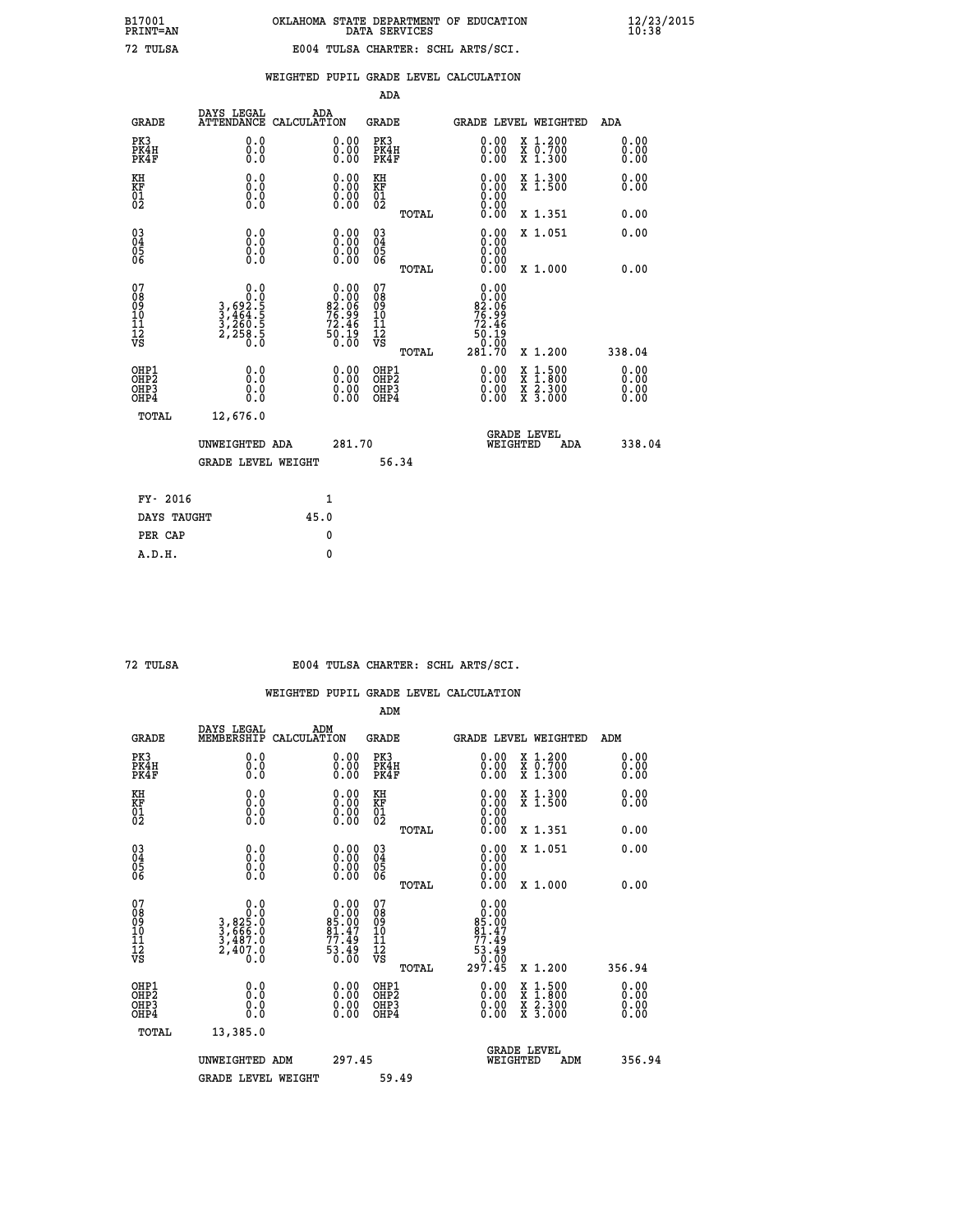|  |  | WEIGHTED PUPIL GRADE LEVEL CALCULATION |
|--|--|----------------------------------------|
|  |  |                                        |

|                                                                    |                                                                                                   |                    |                                                                              | ADA                                       |       |                                                                                         |                                                                                                                                                                                                                     |                              |
|--------------------------------------------------------------------|---------------------------------------------------------------------------------------------------|--------------------|------------------------------------------------------------------------------|-------------------------------------------|-------|-----------------------------------------------------------------------------------------|---------------------------------------------------------------------------------------------------------------------------------------------------------------------------------------------------------------------|------------------------------|
| <b>GRADE</b>                                                       | DAYS LEGAL<br><b>ATTENDANCE</b>                                                                   | ADA<br>CALCULATION |                                                                              | <b>GRADE</b>                              |       |                                                                                         | <b>GRADE LEVEL WEIGHTED</b>                                                                                                                                                                                         | ADA                          |
| PK3<br>PK4H<br>PK4F                                                | 0.0<br>0.0<br>Ō.Ō                                                                                 |                    | $\begin{smallmatrix} 0.00 \ 0.00 \ 0.00 \end{smallmatrix}$                   | PK3<br>PK4H<br>PK4F                       |       | $\begin{smallmatrix} 0.00 \\ 0.00 \\ 0.00 \end{smallmatrix}$                            | X 1.200<br>X 0.700<br>X 1.300                                                                                                                                                                                       | 0.00<br>0.00<br>0.00         |
| KH<br>KF<br>01<br>02                                               | 0.0<br>0.0<br>$\S.$                                                                               |                    | 0.0000<br>$\begin{smallmatrix} 0.00 & 0.00 \\ 0.00 & 0.00 \end{smallmatrix}$ | KH<br>KF<br>01<br>02                      |       | 0.00                                                                                    | X 1.300<br>X 1.500                                                                                                                                                                                                  | 0.00<br>0.00                 |
|                                                                    |                                                                                                   |                    |                                                                              |                                           | TOTAL |                                                                                         | X 1.351                                                                                                                                                                                                             | 0.00                         |
| $\begin{smallmatrix} 03 \\[-4pt] 04 \end{smallmatrix}$<br>05<br>06 | 0.0<br>0.000                                                                                      |                    | 0.00<br>$0.00$<br>0.00                                                       | $\substack{03 \\ 04}$<br>05<br>06         |       | 0.00<br>0.00<br>0.00<br>0.00                                                            | X 1.051                                                                                                                                                                                                             | 0.00                         |
| 07                                                                 |                                                                                                   |                    |                                                                              | 07                                        | TOTAL |                                                                                         | X 1.000                                                                                                                                                                                                             | 0.00                         |
| 08901112<br>1112<br>VS                                             | $\begin{array}{c} 0.0 \\ 0.0 \\ 3,69 \\ 3,464 \\ 3,464 \\ 3,260 \\ 2,258 \\ 5 \\ 0.0 \end{array}$ |                    | $0.00$<br>$82.06$<br>$76.99$<br>$72.46$<br>60.19<br>0.00                     | 08901112<br>1112<br>VS                    |       | 0.00<br>0.00<br>$\begin{array}{c} 82.06 \\ 76.99 \\ 72.46 \\ 50.19 \end{array}$<br>0.00 |                                                                                                                                                                                                                     |                              |
|                                                                    |                                                                                                   |                    |                                                                              |                                           | TOTAL | 281.70                                                                                  | X 1.200                                                                                                                                                                                                             | 338.04                       |
| OHP1<br>OH <sub>P</sub> 2<br>OH <sub>P3</sub><br>OH <sub>P4</sub>  | 0.0<br>0.0<br>0.0                                                                                 |                    | $\begin{smallmatrix} 0.00 \ 0.00 \ 0.00 \ 0.00 \end{smallmatrix}$            | OHP1<br>OH <sub>P</sub> 2<br>OHP3<br>OHP4 |       | 0.00<br>0.00<br>0.00                                                                    | $\begin{array}{l} \mathtt{x} \ \mathtt{1} \cdot \mathtt{500} \\ \mathtt{x} \ \mathtt{1} \cdot \mathtt{800} \\ \mathtt{x} \ \mathtt{2} \cdot \mathtt{300} \\ \mathtt{x} \ \mathtt{3} \cdot \mathtt{000} \end{array}$ | 0.00<br>0.00<br>0.00<br>0.00 |
| TOTAL                                                              | 12,676.0                                                                                          |                    |                                                                              |                                           |       |                                                                                         |                                                                                                                                                                                                                     |                              |
|                                                                    | UNWEIGHTED ADA                                                                                    |                    | 281.70                                                                       |                                           |       |                                                                                         | GRADE LEVEL<br>WEIGHTED<br>ADA                                                                                                                                                                                      | 338.04                       |
|                                                                    | <b>GRADE LEVEL WEIGHT</b>                                                                         |                    |                                                                              |                                           | 56.34 |                                                                                         |                                                                                                                                                                                                                     |                              |
| FY- 2016                                                           |                                                                                                   |                    | $\mathbf{1}$                                                                 |                                           |       |                                                                                         |                                                                                                                                                                                                                     |                              |
| DAYS TAUGHT                                                        |                                                                                                   | 45.0               |                                                                              |                                           |       |                                                                                         |                                                                                                                                                                                                                     |                              |
| PER CAP                                                            |                                                                                                   |                    | $\mathbf{0}$                                                                 |                                           |       |                                                                                         |                                                                                                                                                                                                                     |                              |

| TIT<br>Τ<br>$\overline{\phantom{a}}$ |
|--------------------------------------|
|                                      |

### **72 TULSA E004 TULSA CHARTER: SCHL ARTS/SCI.**

|                                    |                                                                  |                                                                   | ADM                                                |                                                                                                   |                                                                                 |                                          |                              |
|------------------------------------|------------------------------------------------------------------|-------------------------------------------------------------------|----------------------------------------------------|---------------------------------------------------------------------------------------------------|---------------------------------------------------------------------------------|------------------------------------------|------------------------------|
| <b>GRADE</b>                       | DAYS LEGAL<br>MEMBERSHIP                                         | ADM<br>CALCULATION                                                | <b>GRADE</b>                                       |                                                                                                   |                                                                                 | <b>GRADE LEVEL WEIGHTED</b>              | ADM                          |
| PK3<br>PK4H<br>PK4F                | 0.0<br>0.0<br>0.0                                                | $\begin{smallmatrix} 0.00 \ 0.00 \ 0.00 \end{smallmatrix}$        | PK3<br>PK4H<br>PK4F                                |                                                                                                   | $\begin{smallmatrix} 0.00 \\ 0.00 \\ 0.00 \end{smallmatrix}$                    | X 1.200<br>X 0.700<br>X 1.300            | 0.00<br>0.00<br>0.00         |
| KH<br>KF<br>01<br>02               | 0.0<br>$\begin{smallmatrix} 0.16 \ 0.0 \ 0.0 \end{smallmatrix}$  | $\begin{smallmatrix} 0.00 \ 0.00 \ 0.00 \ 0.00 \end{smallmatrix}$ | KH<br>KF<br>01<br>02                               |                                                                                                   | $\begin{smallmatrix} 0.00 \ 0.00 \ 0.00 \ 0.00 \ 0.00 \ 0.00 \end{smallmatrix}$ | X 1.300<br>X 1.500                       | 0.00<br>0.00                 |
|                                    |                                                                  |                                                                   | TOTAL                                              |                                                                                                   |                                                                                 | X 1.351                                  | 0.00                         |
| 03<br>04<br>05<br>06               |                                                                  | $\begin{smallmatrix} 0.00 \ 0.00 \ 0.00 \ 0.00 \end{smallmatrix}$ | $\begin{matrix} 03 \\ 04 \\ 05 \\ 06 \end{matrix}$ |                                                                                                   | 0.00<br>0.00<br>0.00                                                            | X 1.051                                  | 0.00                         |
|                                    |                                                                  |                                                                   | TOTAL                                              |                                                                                                   | 0.00                                                                            | X 1.000                                  | 0.00                         |
| 07<br>08<br>09<br>101<br>112<br>VS | 0.0<br>$3,825.0$<br>$3,666.0$<br>$3,487.0$<br>$2,407.0$<br>$0.0$ | $0.00\n85.00\n81.47\n77.49\n53.49\n0.00$                          | 07<br>08<br>09<br>11<br>11<br>12<br>VS<br>TOTAL    | $\begin{array}{c} 0.00 \\ 0.00 \\ 85.00 \\ 81.47 \\ 77.49 \\ 53.49 \\ 0.00 \\ 297.45 \end{array}$ |                                                                                 | X 1.200                                  | 356.94                       |
| OHP1<br>OHP2<br>OHP3<br>OHP4       | 0.0<br>0.000                                                     |                                                                   | OHP1<br>OHP2<br>OHP <sub>3</sub>                   |                                                                                                   | $0.00$<br>$0.00$<br>0.00                                                        | X 1:500<br>X 1:800<br>X 2:300<br>X 3:000 | 0.00<br>Ŏ.ŎŎ<br>Q.QQ<br>0.00 |
| TOTAL                              | 13,385.0                                                         |                                                                   |                                                    |                                                                                                   |                                                                                 |                                          |                              |
|                                    | UNWEIGHTED ADM                                                   | 297.45                                                            |                                                    |                                                                                                   | GRADE LEVEL<br>WEIGHTED                                                         | ADM                                      | 356.94                       |
|                                    | <b>GRADE LEVEL WEIGHT</b>                                        |                                                                   | 59.49                                              |                                                                                                   |                                                                                 |                                          |                              |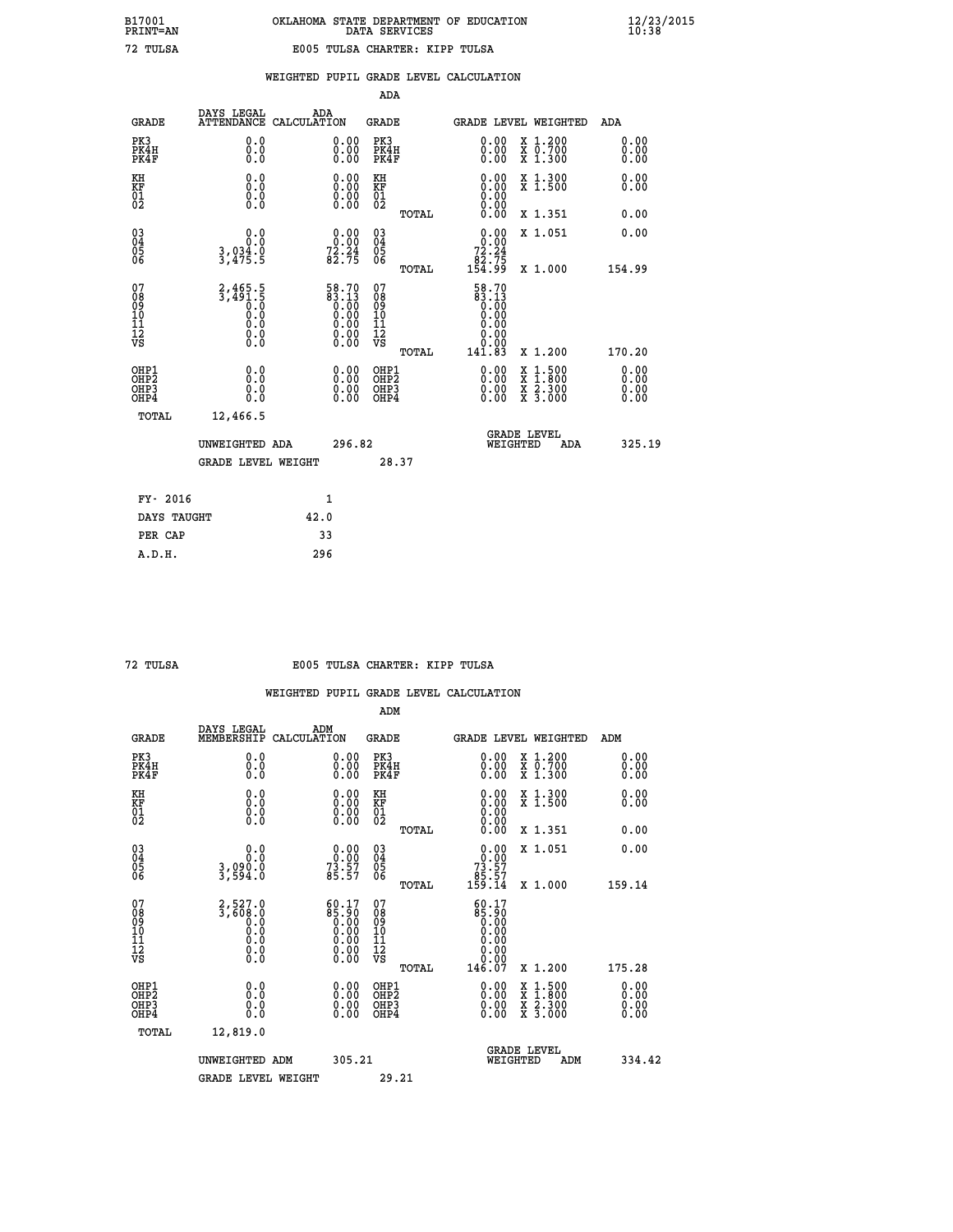|  |  | WEIGHTED PUPIL GRADE LEVEL CALCULATION |
|--|--|----------------------------------------|
|  |  |                                        |

|                                                                    |                                                                     |                                                                                                 |                                                                   | ADA                                    |       |                                                              |                                                                                                                                              |                               |
|--------------------------------------------------------------------|---------------------------------------------------------------------|-------------------------------------------------------------------------------------------------|-------------------------------------------------------------------|----------------------------------------|-------|--------------------------------------------------------------|----------------------------------------------------------------------------------------------------------------------------------------------|-------------------------------|
| <b>GRADE</b>                                                       | DAYS LEGAL                                                          | ADA<br>ATTENDANCE CALCULATION                                                                   |                                                                   | <b>GRADE</b>                           |       | <b>GRADE LEVEL WEIGHTED</b>                                  |                                                                                                                                              | ADA                           |
| PK3<br>PK4H<br>PK4F                                                | 0.0<br>0.0<br>Ō.Ō                                                   |                                                                                                 | $\begin{smallmatrix} 0.00 \ 0.00 \ 0.00 \end{smallmatrix}$        | PK3<br>PK4H<br>PK4F                    |       | $\begin{smallmatrix} 0.00 \\ 0.00 \\ 0.00 \end{smallmatrix}$ | X 1.200<br>X 0.700<br>X 1.300                                                                                                                | 0.00<br>0.00<br>0.00          |
| KH<br>KF<br>01<br>02                                               | 0.0<br>0.0<br>$\S.$                                                 |                                                                                                 | $\begin{smallmatrix} 0.00 \ 0.00 \ 0.00 \ 0.00 \end{smallmatrix}$ | KH<br>KF<br>01<br>02                   |       | 0.00<br>0.0000000000                                         | X 1.300<br>X 1.500                                                                                                                           | 0.00<br>0.00                  |
|                                                                    |                                                                     |                                                                                                 |                                                                   |                                        | TOTAL | 0.00                                                         | X 1.351                                                                                                                                      | 0.00                          |
| $\begin{smallmatrix} 03 \\[-4pt] 04 \end{smallmatrix}$<br>Ŏ5<br>06 | 0.0<br>$3,934.0$<br>$3,475.5$                                       | $\begin{smallmatrix} 0.00\\ 0.00\\ 72.24\\ 82.75 \end{smallmatrix}$                             |                                                                   | $\substack{03 \\ 04}$<br>Ŏ5<br>06      |       | 0.00<br>$72.24$<br>$82.75$<br>$154.99$                       | X 1.051                                                                                                                                      | 0.00                          |
|                                                                    |                                                                     |                                                                                                 |                                                                   |                                        | TOTAL |                                                              | X 1.000                                                                                                                                      | 154.99                        |
| 07<br>08<br>09<br>101<br>11<br>12<br>VS                            | $2,465.5$<br>$3,491.5$<br>$0.0$<br>$0.0$<br>$0.0$<br>$0.0$<br>$0.0$ | $\begin{smallmatrix} 58.70\ 83.13\ 0.00\ 0.00\ 0.00\ 0.00\ 0.00\ 0.00\ 0.00\ \end{smallmatrix}$ |                                                                   | 07<br>08<br>09<br>11<br>11<br>12<br>VS |       | 58.70<br>83.13<br>0.00<br>0.00<br>0.00<br>0.00               |                                                                                                                                              |                               |
|                                                                    |                                                                     |                                                                                                 |                                                                   |                                        | TOTAL | 141.83                                                       | X 1.200                                                                                                                                      | 170.20                        |
| OHP1<br>OHP <sub>2</sub><br>OH <sub>P3</sub><br>OHP4               | 0.0<br>0.0<br>0.0                                                   |                                                                                                 | 0.00<br>$\begin{smallmatrix} 0.00 \ 0.00 \end{smallmatrix}$       | OHP1<br>OHP2<br>OHP <sub>3</sub>       |       | 0.00<br>0.00                                                 | $\begin{smallmatrix} \mathtt{X} & 1\cdot500 \\ \mathtt{X} & 1\cdot800 \\ \mathtt{X} & 2\cdot300 \\ \mathtt{X} & 3\cdot000 \end{smallmatrix}$ | 0.00<br>Ō. ŌŌ<br>0.00<br>0.00 |
| TOTAL                                                              | 12,466.5                                                            |                                                                                                 |                                                                   |                                        |       |                                                              |                                                                                                                                              |                               |
|                                                                    | UNWEIGHTED ADA                                                      |                                                                                                 | 296.82                                                            |                                        |       | WEIGHTED                                                     | <b>GRADE LEVEL</b><br>ADA                                                                                                                    | 325.19                        |
|                                                                    | <b>GRADE LEVEL WEIGHT</b>                                           |                                                                                                 |                                                                   |                                        | 28.37 |                                                              |                                                                                                                                              |                               |
| FY- 2016                                                           |                                                                     | 1                                                                                               |                                                                   |                                        |       |                                                              |                                                                                                                                              |                               |
| DAYS TAUGHT                                                        |                                                                     | 42.0                                                                                            |                                                                   |                                        |       |                                                              |                                                                                                                                              |                               |
| PER CAP                                                            |                                                                     | 33                                                                                              |                                                                   |                                        |       |                                                              |                                                                                                                                              |                               |

### **72 TULSA E005 TULSA CHARTER: KIPP TULSA**

|                                    |                                                        |                                                                                                       | ADM                                                |       |                                                                                 |                                          |                      |
|------------------------------------|--------------------------------------------------------|-------------------------------------------------------------------------------------------------------|----------------------------------------------------|-------|---------------------------------------------------------------------------------|------------------------------------------|----------------------|
| <b>GRADE</b>                       | DAYS LEGAL<br>MEMBERSHIP                               | ADM<br>CALCULATION                                                                                    | <b>GRADE</b>                                       |       |                                                                                 | <b>GRADE LEVEL WEIGHTED</b>              | ADM                  |
| PK3<br>PK4H<br>PK4F                | 0.0<br>0.0<br>0.0                                      | 0.00<br>$\begin{smallmatrix} 0.00 \ 0.00 \end{smallmatrix}$                                           | PK3<br>PK4H<br>PK4F                                |       | $\begin{smallmatrix} 0.00 \\ 0.00 \\ 0.00 \end{smallmatrix}$                    | X 1.200<br>X 0.700<br>X 1.300            | 0.00<br>0.00<br>0.00 |
| KH<br>KF<br>01<br>02               | 0.0<br>0.0<br>$\S.$                                    | $\begin{smallmatrix} 0.00 \ 0.00 \ 0.00 \ 0.00 \end{smallmatrix}$                                     | KH<br>KF<br>01<br>02                               |       | $\begin{smallmatrix} 0.00 \ 0.00 \ 0.00 \ 0.00 \ 0.00 \ 0.00 \end{smallmatrix}$ | X 1.300<br>X 1.500                       | 0.00<br>0.00         |
|                                    |                                                        |                                                                                                       |                                                    | TOTAL |                                                                                 | X 1.351                                  | 0.00                 |
| 03<br>04<br>05<br>06               | 0.0<br>3,090.0<br>3,594.0                              | $\begin{smallmatrix} 0.00\\ 0.00\\ 73.57\\ 85.57 \end{smallmatrix}$                                   | $\begin{matrix} 03 \\ 04 \\ 05 \\ 06 \end{matrix}$ |       | $0.00\n73.57\n85.57\n159.14$                                                    | X 1.051                                  | 0.00                 |
|                                    |                                                        |                                                                                                       |                                                    | TOTAL |                                                                                 | X 1.000                                  | 159.14               |
| 07<br>08<br>09<br>101<br>112<br>VS | $2,527.0$<br>$3,608.0$<br>$0.0$<br>0.0<br>0.0<br>$\S.$ | $\begin{smallmatrix} 60.17\ 85.90\ 0.00\ 0.00\ 0.00\ 0.00\ 0.00\ 0.00\ 0.00\ 0.00\ \end{smallmatrix}$ | 07<br>08<br>09<br>11<br>11<br>12<br>VS             | TOTAL | 60.17<br>06:36<br>00:00<br>00:00<br>00:00<br>00:00<br>146.07                    | X 1.200                                  | 175.28               |
|                                    |                                                        |                                                                                                       |                                                    |       |                                                                                 |                                          |                      |
| OHP1<br>OHP2<br>OHP3<br>OHP4       | 0.0<br>0.000                                           |                                                                                                       | OHP1<br>OHP2<br>OHP <sub>3</sub>                   |       | $0.00$<br>$0.00$<br>0.00                                                        | X 1:500<br>X 1:800<br>X 2:300<br>X 3:000 | 0.00<br>0.00<br>0.00 |
| TOTAL                              | 12,819.0                                               |                                                                                                       |                                                    |       |                                                                                 |                                          |                      |
|                                    | UNWEIGHTED                                             | 305.21<br>ADM                                                                                         |                                                    |       | WEIGHTED                                                                        | <b>GRADE LEVEL</b><br>ADM                | 334.42               |
|                                    | <b>GRADE LEVEL WEIGHT</b>                              |                                                                                                       | 29.21                                              |       |                                                                                 |                                          |                      |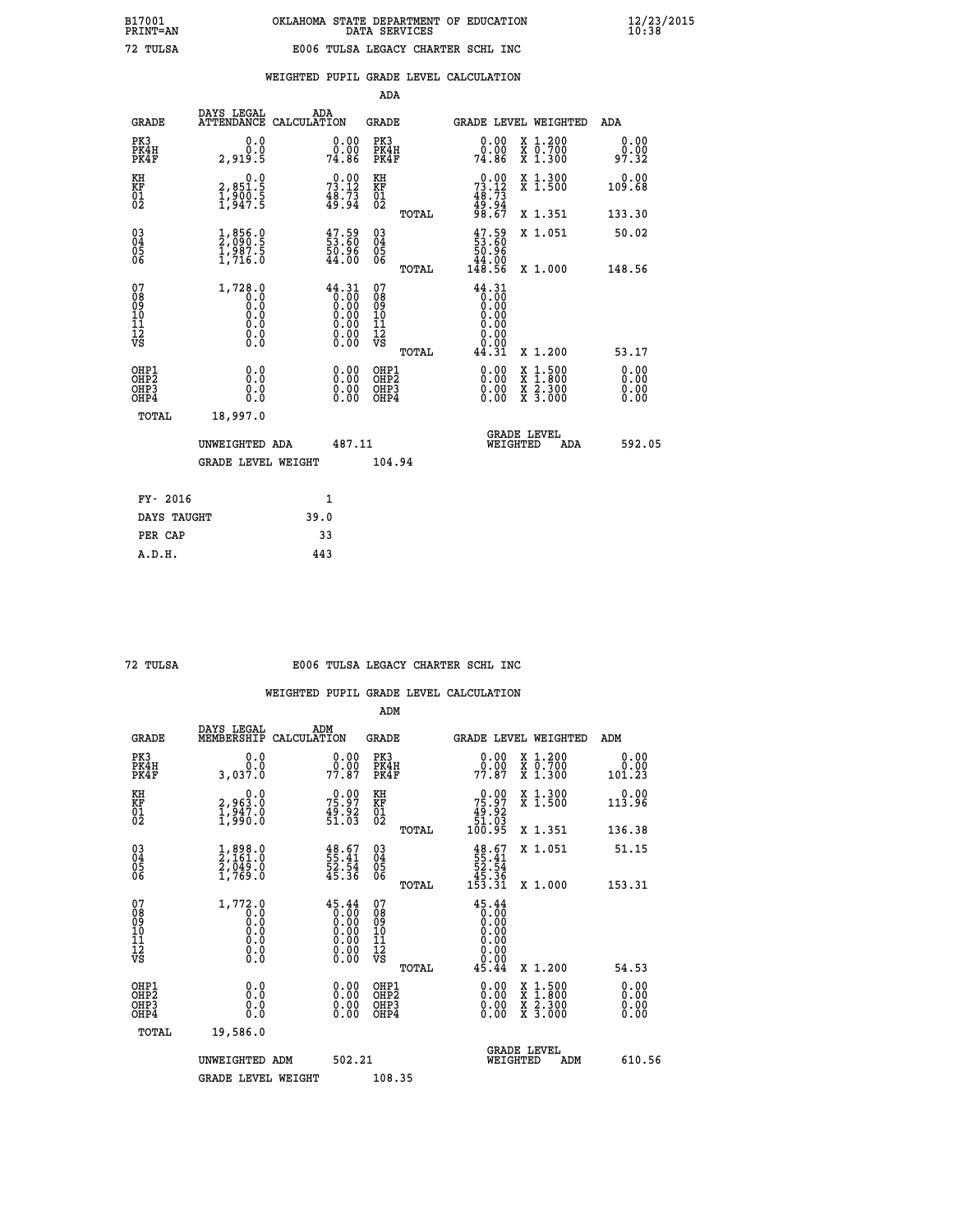|                                                    |                                                                                         |                                                                                                                                                     |        | ADA                                    |       |                                                                                |   |                                                           |                              |
|----------------------------------------------------|-----------------------------------------------------------------------------------------|-----------------------------------------------------------------------------------------------------------------------------------------------------|--------|----------------------------------------|-------|--------------------------------------------------------------------------------|---|-----------------------------------------------------------|------------------------------|
| <b>GRADE</b>                                       | DAYS LEGAL<br><b>ATTENDANCE</b>                                                         | ADA<br>CALCULATION                                                                                                                                  |        | GRADE                                  |       |                                                                                |   | <b>GRADE LEVEL WEIGHTED</b>                               | <b>ADA</b>                   |
| PK3<br>PK4H<br>PK4F                                | 0.0<br>0.0<br>2,919.5                                                                   | 0.00<br>0.00<br>74.86                                                                                                                               |        | PK3<br>PK4H<br>PK4F                    |       | 0.00<br>0.00<br>74.86                                                          |   | X 1.200<br>X 0.700<br>X 1.300                             | 0.00<br>0.00<br>97.32        |
| KH<br><b>KF</b><br>01<br>02                        | $\begin{smallmatrix} & & 0.0\ 2.851.5\ 1.900.5\ 1.947.5 \end{smallmatrix}$              | $73.12$<br>$48.73$<br>$49.94$                                                                                                                       |        | KH<br>KF<br>01<br>02                   |       | $73.12$<br>$48.73$<br>$49.94$<br>$98.67$                                       |   | X 1.300<br>X 1.500                                        | 0.00<br>109.68               |
|                                                    |                                                                                         |                                                                                                                                                     |        |                                        | TOTAL |                                                                                |   | X 1.351                                                   | 133.30                       |
| $\begin{matrix} 03 \\ 04 \\ 05 \\ 06 \end{matrix}$ | $\frac{1}{2}, \begin{smallmatrix} 856.0 \ 990.5 \ 1,987.5 \ 1,716.0 \end{smallmatrix}$  | $\begin{smallmatrix} 47.59\ 53.60\ 50.96\ 44.00 \end{smallmatrix}$                                                                                  |        | 03<br>04<br>05<br>06                   |       | $\begin{smallmatrix} 47.59\\ 53.60\\ 50.96\\ 44.00\\ 148.56 \end{smallmatrix}$ |   | X 1.051                                                   | 50.02                        |
|                                                    |                                                                                         |                                                                                                                                                     |        |                                        | TOTAL |                                                                                |   | X 1.000                                                   | 148.56                       |
| 07<br>08<br>09<br>101<br>11<br>12<br>VS            | 1,728.0<br>$\begin{smallmatrix} 0.0 & 0 \ 0.0 & 0 \ 0.0 & 0 \end{smallmatrix}$<br>$\S.$ | 44.31<br>$\begin{smallmatrix} 1 & 1 & 1 & 1 \\ 0 & 0 & 0 & 0 \\ 0 & 0 & 0 & 0 \\ 0 & 0 & 0 & 0 \\ 0 & 0 & 0 & 0 \\ 0 & 0 & 0 & 0 \end{smallmatrix}$ |        | 07<br>08<br>09<br>11<br>11<br>12<br>VS | TOTAL | 44.31<br>0.00<br>44.31                                                         |   | X 1.200                                                   | 53.17                        |
| OHP1<br>OHP2<br>OH <sub>P</sub> 3<br>OHP4          | 0.0<br>0.0<br>ŏ.ŏ                                                                       | 0.00<br>$0.00$<br>0.00                                                                                                                              |        | OHP1<br>OHP2<br>OHP3<br>OHP4           |       | $0.00$<br>$0.00$<br>0.00                                                       | X | $1.500$<br>$1.800$<br>$\frac{x}{x}$ $\frac{5.300}{3.000}$ | 0.00<br>0.00<br>0.00<br>0.00 |
| TOTAL                                              | 18,997.0                                                                                |                                                                                                                                                     |        |                                        |       |                                                                                |   |                                                           |                              |
|                                                    | UNWEIGHTED ADA                                                                          |                                                                                                                                                     | 487.11 |                                        |       | WEIGHTED                                                                       |   | <b>GRADE LEVEL</b><br>ADA                                 | 592.05                       |
|                                                    | <b>GRADE LEVEL WEIGHT</b>                                                               |                                                                                                                                                     |        | 104.94                                 |       |                                                                                |   |                                                           |                              |
| FY- 2016                                           |                                                                                         | $\mathbf{1}$                                                                                                                                        |        |                                        |       |                                                                                |   |                                                           |                              |
| DAYS TAUGHT                                        |                                                                                         | 39.0                                                                                                                                                |        |                                        |       |                                                                                |   |                                                           |                              |
|                                                    |                                                                                         |                                                                                                                                                     |        |                                        |       |                                                                                |   |                                                           |                              |

| ۰ |
|---|
|   |
|   |

 **PER CAP 33 A.D.H. 443**

#### **72 TULSA E006 TULSA LEGACY CHARTER SCHL INC**

|                                                    |                                                                                                    |                                                                                                                                                                                                                                                                               | ADM                                                |       |                                                                             |                                                                           |                              |  |
|----------------------------------------------------|----------------------------------------------------------------------------------------------------|-------------------------------------------------------------------------------------------------------------------------------------------------------------------------------------------------------------------------------------------------------------------------------|----------------------------------------------------|-------|-----------------------------------------------------------------------------|---------------------------------------------------------------------------|------------------------------|--|
| <b>GRADE</b>                                       | DAYS LEGAL<br>MEMBERSHIP                                                                           | ADM<br>CALCULATION                                                                                                                                                                                                                                                            | <b>GRADE</b>                                       |       | <b>GRADE LEVEL WEIGHTED</b>                                                 |                                                                           | ADM                          |  |
| PK3<br>PK4H<br>PK4F                                | 0.000<br>3,037.0                                                                                   | $\begin{smallmatrix} 0.00\\ 0.00\\ 77.87 \end{smallmatrix}$                                                                                                                                                                                                                   | PK3<br>PK4H<br>PK4F                                |       | $\begin{smallmatrix} 0.00\\ 0.00\\ 77.87 \end{smallmatrix}$                 | $\begin{smallmatrix} x & 1.200 \\ x & 0.700 \end{smallmatrix}$<br>X 1.300 | 0.00<br>0.00<br>101.23       |  |
| KH<br>KF<br>01<br>02                               | 0.0<br>2,963.0<br>1,947.0<br>1,990.0                                                               | $75.97$<br>$49.92$<br>$51.03$                                                                                                                                                                                                                                                 | KH<br>KF<br>01<br>02                               |       | $\begin{smallmatrix} &0.00\ 75.97\ 49.92\ 51.03\ 100.95\ \end{smallmatrix}$ | X 1.300<br>X 1.500                                                        | 0.00<br>113.96               |  |
|                                                    |                                                                                                    |                                                                                                                                                                                                                                                                               |                                                    | TOTAL |                                                                             | X 1.351                                                                   | 136.38                       |  |
| $\begin{matrix} 03 \\ 04 \\ 05 \\ 06 \end{matrix}$ | $\frac{1}{2}$ , $\frac{898}{161}$ .<br>$\frac{2}{1}$ , $\frac{049}{06}$ .<br>$\frac{0}{1}$ , 769.0 | $\begin{smallmatrix} 48.67\,55.41\,52.54\,52.54\,53.6 \end{smallmatrix}$                                                                                                                                                                                                      | $\begin{matrix} 03 \\ 04 \\ 05 \\ 06 \end{matrix}$ |       | $48.67$<br>55.41<br>52.54<br>52.36<br>45.36<br>153.31                       | X 1.051                                                                   | 51.15                        |  |
|                                                    |                                                                                                    |                                                                                                                                                                                                                                                                               |                                                    | TOTAL |                                                                             | X 1.000                                                                   | 153.31                       |  |
| 07<br>08<br>09<br>101<br>112<br>VS                 | 1,772.0<br>$\begin{smallmatrix} 0.0 & 0 \ 0.0 & 0 \ 0.0 & 0 \ 0.0 & 0 \end{smallmatrix}$           | 45.44<br>$\begin{smallmatrix} 0.750000 & 0.000000 & 0.000000 & 0.000000 & 0.000000 & 0.00000 & 0.00000 & 0.0000 & 0.0000 & 0.0000 & 0.0000 & 0.0000 & 0.0000 & 0.0000 & 0.0000 & 0.0000 & 0.0000 & 0.0000 & 0.0000 & 0.0000 & 0.0000 & 0.0000 & 0.0000 & 0.0000 & 0.0000 & 0$ | 07<br>08<br>09<br>11<br>11<br>12<br>VS             |       | 45.44<br>10:00<br>00:00<br>00:00<br>00:00<br>00:00                          |                                                                           |                              |  |
|                                                    |                                                                                                    |                                                                                                                                                                                                                                                                               |                                                    | TOTAL | 45.44                                                                       | X 1.200                                                                   | 54.53                        |  |
| OHP1<br>OHP2<br>OH <sub>P3</sub><br>OHP4           | 0.0<br>0.000                                                                                       | $\begin{smallmatrix} 0.00 \ 0.00 \ 0.00 \ 0.00 \end{smallmatrix}$                                                                                                                                                                                                             | OHP1<br>OHP2<br>OHP <sub>3</sub>                   |       | $0.00$<br>$0.00$<br>0.00                                                    | X 1:500<br>X 1:800<br>X 2:300<br>X 3:000                                  | 0.00<br>Ŏ.ŎŎ<br>Q.QQ<br>0.00 |  |
| TOTAL                                              | 19,586.0                                                                                           |                                                                                                                                                                                                                                                                               |                                                    |       |                                                                             |                                                                           |                              |  |
|                                                    | UNWEIGHTED ADM                                                                                     | 502.21                                                                                                                                                                                                                                                                        |                                                    |       |                                                                             | GRADE LEVEL<br>WEIGHTED<br>ADM                                            | 610.56                       |  |
|                                                    | <b>GRADE LEVEL WEIGHT</b>                                                                          |                                                                                                                                                                                                                                                                               | 108.35                                             |       |                                                                             |                                                                           |                              |  |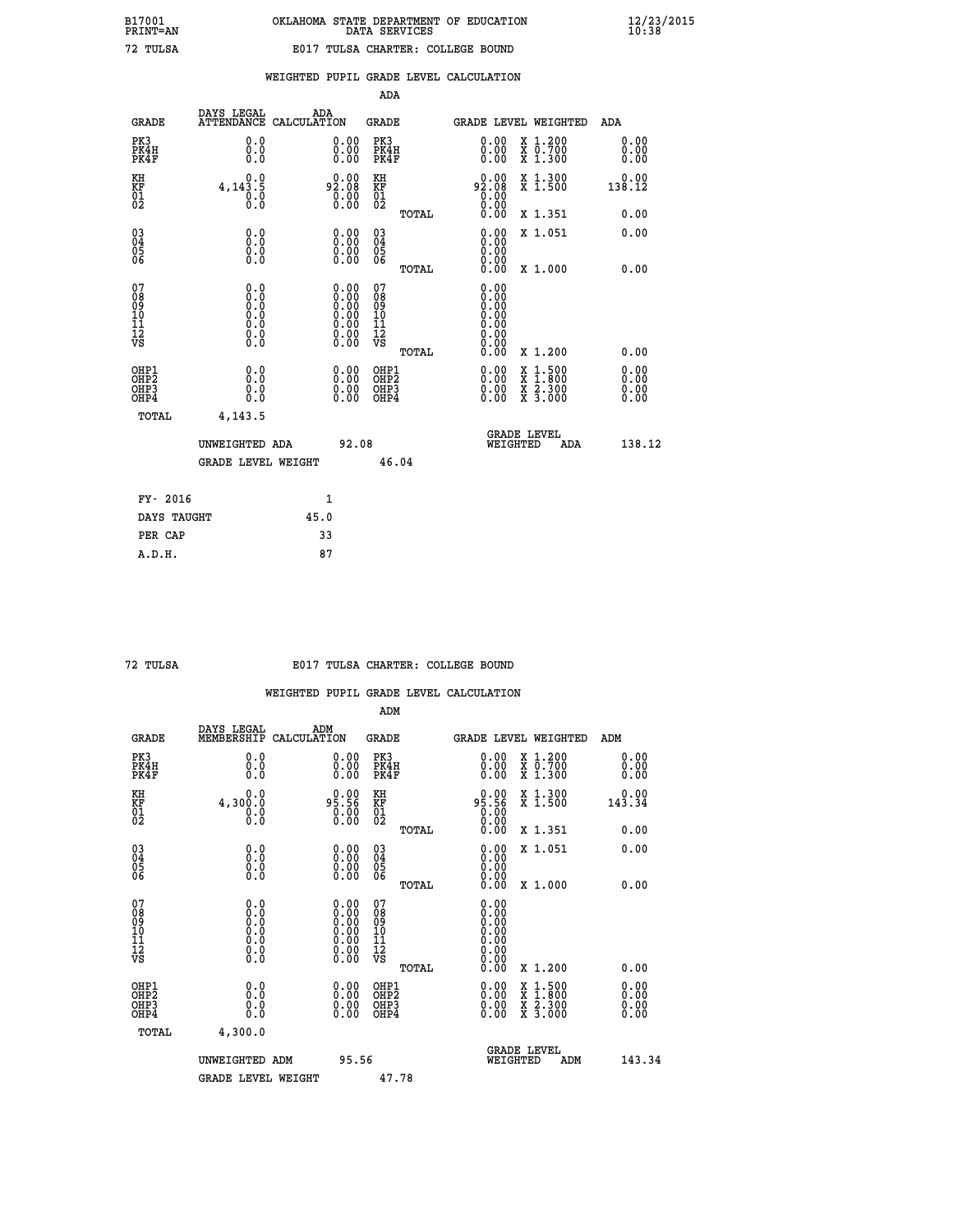|                                                    |                                                                                                   |                    |                                                                                               | ADA                                                |       |                                                      |          |                                          |                              |
|----------------------------------------------------|---------------------------------------------------------------------------------------------------|--------------------|-----------------------------------------------------------------------------------------------|----------------------------------------------------|-------|------------------------------------------------------|----------|------------------------------------------|------------------------------|
| <b>GRADE</b>                                       | DAYS LEGAL<br><b>ATTENDANCE</b>                                                                   | ADA<br>CALCULATION |                                                                                               | GRADE                                              |       |                                                      |          | GRADE LEVEL WEIGHTED                     | <b>ADA</b>                   |
| PK3<br>PK4H<br>PK4F                                | 0.0<br>0.0<br>0.0                                                                                 |                    | 0.00<br>$\begin{smallmatrix} 0.00 \ 0.00 \end{smallmatrix}$                                   | PK3<br>PK4H<br>PK4F                                |       | 0.00<br>0.00                                         |          | X 1.200<br>X 0.700<br>X 1.300            | 0.00<br>0.00<br>0.00         |
| KH<br><b>KF</b><br>01<br>02                        | 0.0<br>$4,143.\5$<br>0.0                                                                          |                    | 92.08<br>$\overline{0}$ :00                                                                   | KH<br>KF<br>01<br>02                               |       | 92.08                                                |          | X 1.300<br>X 1.500                       | 0.00<br>138.12               |
|                                                    |                                                                                                   |                    |                                                                                               |                                                    | TOTAL |                                                      |          | X 1.351                                  | 0.00                         |
| $\begin{matrix} 03 \\ 04 \\ 05 \\ 06 \end{matrix}$ | 0.0<br>0.000                                                                                      |                    | $\begin{smallmatrix} 0.00 \ 0.00 \ 0.00 \ 0.00 \end{smallmatrix}$                             | $\begin{matrix} 03 \\ 04 \\ 05 \\ 06 \end{matrix}$ |       | 0.00<br>0.00<br>0.00                                 |          | X 1.051                                  | 0.00                         |
|                                                    |                                                                                                   |                    |                                                                                               |                                                    | TOTAL | 0.00                                                 |          | X 1.000                                  | 0.00                         |
| 07<br>08<br>09<br>101<br>11<br>12<br>VS            | $\begin{smallmatrix} 0.0 & 0 \ 0.0 & 0 \ 0.0 & 0 \ 0.0 & 0 \ 0.0 & 0 \ 0.0 & 0 \end{smallmatrix}$ |                    | $\begin{smallmatrix} 0.00\ 0.00\ 0.00\ 0.00\ 0.00\ 0.00\ 0.00\ 0.00\ 0.00\ \end{smallmatrix}$ | 07<br>08<br>09<br>11<br>11<br>12<br>VS             |       | 0.00<br>0.00<br>0.00<br>0.00<br>0.00<br>0.00<br>0.00 |          |                                          |                              |
|                                                    |                                                                                                   |                    |                                                                                               |                                                    | TOTAL | 0.00                                                 |          | X 1.200                                  | 0.00                         |
| OHP1<br>OHP2<br>OHP3<br>OHP4                       | 0.0<br>0.0<br>0.0                                                                                 |                    | 0.00<br>$0.00$<br>0.00                                                                        | OHP1<br>OHP2<br>OHP3<br>OHP4                       |       | $0.00$<br>$0.00$<br>0.00                             | X<br>X   | $1.500$<br>$1.800$<br>X 2.300<br>X 3.000 | 0.00<br>0.00<br>0.00<br>0.00 |
| TOTAL                                              | 4,143.5                                                                                           |                    |                                                                                               |                                                    |       |                                                      |          |                                          |                              |
|                                                    | UNWEIGHTED ADA                                                                                    |                    | 92.08                                                                                         |                                                    |       |                                                      | WEIGHTED | <b>GRADE LEVEL</b><br>ADA                | 138.12                       |
|                                                    | <b>GRADE LEVEL WEIGHT</b>                                                                         |                    |                                                                                               | 46.04                                              |       |                                                      |          |                                          |                              |
| FY- 2016                                           |                                                                                                   |                    | $\mathbf{1}$                                                                                  |                                                    |       |                                                      |          |                                          |                              |
| DAYS TAUGHT                                        |                                                                                                   | 45.0               |                                                                                               |                                                    |       |                                                      |          |                                          |                              |
|                                                    |                                                                                                   |                    |                                                                                               |                                                    |       |                                                      |          |                                          |                              |

| т.<br>mr |
|----------|
| ∼        |

 **PER CAP 33 A.D.H. 87**

### **72 TULSA E017 TULSA CHARTER: COLLEGE BOUND**

|                                          |                                                                                                   |                                                                                               | ADM                                                |       |                                                                                                                                                                                                                                                                                |                                          |                      |  |
|------------------------------------------|---------------------------------------------------------------------------------------------------|-----------------------------------------------------------------------------------------------|----------------------------------------------------|-------|--------------------------------------------------------------------------------------------------------------------------------------------------------------------------------------------------------------------------------------------------------------------------------|------------------------------------------|----------------------|--|
| <b>GRADE</b>                             | DAYS LEGAL<br>MEMBERSHIP                                                                          | ADM<br>CALCULATION                                                                            | <b>GRADE</b>                                       |       |                                                                                                                                                                                                                                                                                | <b>GRADE LEVEL WEIGHTED</b>              | ADM                  |  |
| PK3<br>PK4H<br>PK4F                      | 0.0<br>0.0<br>0.0                                                                                 | $\begin{smallmatrix} 0.00 \ 0.00 \ 0.00 \end{smallmatrix}$                                    | PK3<br>PK4H<br>PK4F                                |       | $\begin{smallmatrix} 0.00 \\ 0.00 \\ 0.00 \end{smallmatrix}$                                                                                                                                                                                                                   | X 1.200<br>X 0.700<br>X 1.300            | 0.00<br>0.00<br>0.00 |  |
| KH<br>KF<br>01<br>02                     | 0.0<br>4,300.0<br>0.000                                                                           | 95.90<br>0.00                                                                                 | KH<br>KF<br>01<br>02                               |       | 95.56<br>95.56<br>0.00<br>0.00                                                                                                                                                                                                                                                 | X 1.300<br>X 1.500                       | 0.00<br>143.34       |  |
|                                          |                                                                                                   |                                                                                               |                                                    | TOTAL |                                                                                                                                                                                                                                                                                | X 1.351                                  | 0.00                 |  |
| 03<br>04<br>05<br>06                     |                                                                                                   | $\begin{smallmatrix} 0.00 \ 0.00 \ 0.00 \ 0.00 \end{smallmatrix}$                             | $\begin{matrix} 03 \\ 04 \\ 05 \\ 06 \end{matrix}$ |       | $0.00$<br>$0.00$<br>0.00                                                                                                                                                                                                                                                       | X 1.051                                  | 0.00                 |  |
|                                          |                                                                                                   |                                                                                               |                                                    | TOTAL | 0.00                                                                                                                                                                                                                                                                           | X 1.000                                  | 0.00                 |  |
| 07<br>08<br>09<br>101<br>112<br>VS       | $\begin{smallmatrix} 0.0 & 0 \ 0.0 & 0 \ 0.0 & 0 \ 0.0 & 0 \ 0.0 & 0 \ 0.0 & 0 \end{smallmatrix}$ | $\begin{smallmatrix} 0.00\ 0.00\ 0.00\ 0.00\ 0.00\ 0.00\ 0.00\ 0.00\ 0.00\ \end{smallmatrix}$ | 07<br>08<br>09<br>11<br>11<br>12<br>VS             |       | 0.00<br>0.00<br>0.00                                                                                                                                                                                                                                                           |                                          |                      |  |
|                                          |                                                                                                   |                                                                                               |                                                    | TOTAL | 0.00                                                                                                                                                                                                                                                                           | X 1.200                                  | 0.00                 |  |
| OHP1<br>OHP2<br>OHP3<br>OH <sub>P4</sub> | 0.0<br>0.000                                                                                      |                                                                                               | OHP1<br>OHP2<br>OHP <sub>3</sub>                   |       | $\begin{smallmatrix} 0.00 & 0.00 & 0.00 & 0.00 & 0.00 & 0.00 & 0.00 & 0.00 & 0.00 & 0.00 & 0.00 & 0.00 & 0.00 & 0.00 & 0.00 & 0.00 & 0.00 & 0.00 & 0.00 & 0.00 & 0.00 & 0.00 & 0.00 & 0.00 & 0.00 & 0.00 & 0.00 & 0.00 & 0.00 & 0.00 & 0.00 & 0.00 & 0.00 & 0.00 & 0.00 & 0.0$ | X 1:500<br>X 1:800<br>X 2:300<br>X 3:000 | 0.00                 |  |
| TOTAL                                    | 4,300.0                                                                                           |                                                                                               |                                                    |       |                                                                                                                                                                                                                                                                                |                                          |                      |  |
|                                          | UNWEIGHTED ADM                                                                                    | 95.56                                                                                         |                                                    |       |                                                                                                                                                                                                                                                                                | GRADE LEVEL<br>WEIGHTED<br>ADM           | 143.34               |  |
|                                          | <b>GRADE LEVEL WEIGHT</b>                                                                         |                                                                                               | 47.78                                              |       |                                                                                                                                                                                                                                                                                |                                          |                      |  |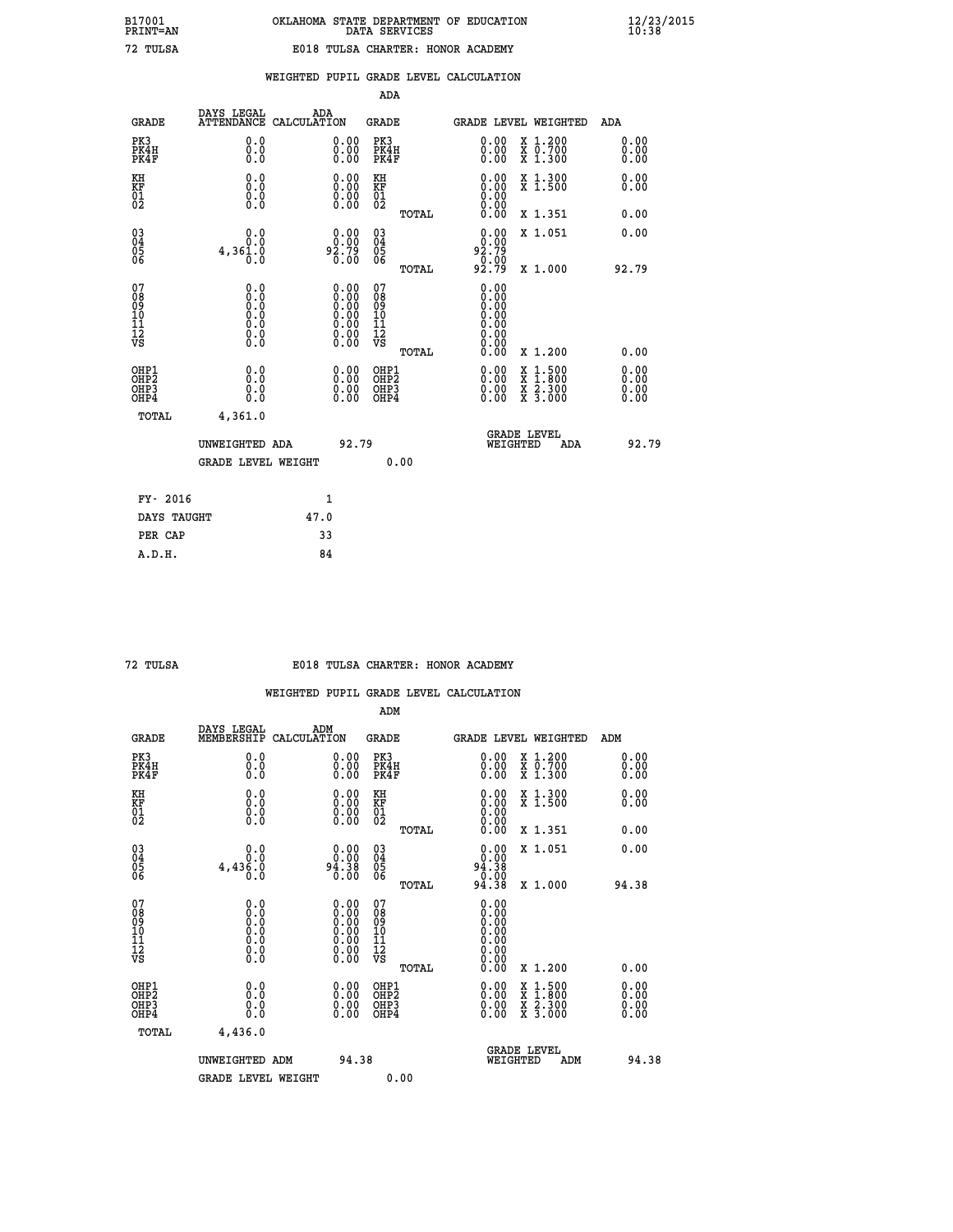|  | DATA SERVICES                     | OKLAHOMA STATE DEPARTMENT OF EDUCATION |
|--|-----------------------------------|----------------------------------------|
|  | E018 TULSA CHARTER: HONOR ACADEMY |                                        |

|                                                                    |                                                                                                   |                                                                                               |       | ADA                                                |       |                                                                                                                                                                                                                                                                                |                                                                                                                                              |                                  |
|--------------------------------------------------------------------|---------------------------------------------------------------------------------------------------|-----------------------------------------------------------------------------------------------|-------|----------------------------------------------------|-------|--------------------------------------------------------------------------------------------------------------------------------------------------------------------------------------------------------------------------------------------------------------------------------|----------------------------------------------------------------------------------------------------------------------------------------------|----------------------------------|
| <b>GRADE</b>                                                       | DAYS LEGAL                                                                                        | ADA<br>ATTENDANCE CALCULATION                                                                 |       | <b>GRADE</b>                                       |       | <b>GRADE LEVEL WEIGHTED</b>                                                                                                                                                                                                                                                    |                                                                                                                                              | ADA                              |
| PK3<br>PK4H<br>PK4F                                                | 0.0<br>0.0<br>0.0                                                                                 | $\begin{smallmatrix} 0.00 \ 0.00 \ 0.00 \end{smallmatrix}$                                    |       | PK3<br>PK4H<br>PK4F                                |       | $\begin{smallmatrix} 0.00 \\ 0.00 \\ 0.00 \end{smallmatrix}$                                                                                                                                                                                                                   | X 1.200<br>X 0.700<br>X 1.300                                                                                                                | 0.00<br>0.00<br>0.00             |
| KH<br>KF<br>01<br>02                                               | 0.0<br>0.0<br>$\S.$                                                                               | $\begin{smallmatrix} 0.00 \ 0.00 \ 0.00 \ 0.00 \end{smallmatrix}$                             |       | KH<br>KF<br>01<br>02                               |       |                                                                                                                                                                                                                                                                                | X 1.300<br>X 1.500                                                                                                                           | 0.00<br>0.00                     |
|                                                                    |                                                                                                   |                                                                                               |       |                                                    | TOTAL | 0.00                                                                                                                                                                                                                                                                           | X 1.351                                                                                                                                      | 0.00                             |
| $\begin{smallmatrix} 03 \\[-4pt] 04 \end{smallmatrix}$<br>Ŏ5<br>06 | 0.0<br>4,361.0<br>0.0                                                                             | $0.00$<br>$0.00$<br>$0.79$<br>0.00                                                            |       | $\begin{matrix} 03 \\ 04 \\ 05 \\ 06 \end{matrix}$ |       | 0.00<br>92.79<br>$\frac{0.00}{92.79}$                                                                                                                                                                                                                                          | X 1.051                                                                                                                                      | 0.00                             |
|                                                                    |                                                                                                   |                                                                                               |       | 07                                                 | TOTAL | 0.00                                                                                                                                                                                                                                                                           | X 1.000                                                                                                                                      | 92.79                            |
| 07<br>08<br>09<br>101<br>11<br>12<br>VS                            | $\begin{smallmatrix} 0.0 & 0 \ 0.0 & 0 \ 0.0 & 0 \ 0.0 & 0 \ 0.0 & 0 \ 0.0 & 0 \end{smallmatrix}$ | $\begin{smallmatrix} 0.00\ 0.00\ 0.00\ 0.00\ 0.00\ 0.00\ 0.00\ 0.00\ 0.00\ \end{smallmatrix}$ |       | 08<br>09<br>11<br>11<br>12<br>VS                   |       | 0.00<br>0.00<br>0.00<br>0.00                                                                                                                                                                                                                                                   |                                                                                                                                              |                                  |
|                                                                    |                                                                                                   |                                                                                               |       |                                                    | TOTAL | 0.00                                                                                                                                                                                                                                                                           | X 1.200                                                                                                                                      | 0.00                             |
| OHP1<br>OHP <sub>2</sub><br>OH <sub>P3</sub><br>OHP4               | 0.0<br>0.000                                                                                      | 0.00<br>$\begin{smallmatrix} 0.00 \ 0.00 \end{smallmatrix}$                                   |       | OHP1<br>OHP2<br>OHP <sub>3</sub>                   |       | $\begin{smallmatrix} 0.00 & 0.00 & 0.00 & 0.00 & 0.00 & 0.00 & 0.00 & 0.00 & 0.00 & 0.00 & 0.00 & 0.00 & 0.00 & 0.00 & 0.00 & 0.00 & 0.00 & 0.00 & 0.00 & 0.00 & 0.00 & 0.00 & 0.00 & 0.00 & 0.00 & 0.00 & 0.00 & 0.00 & 0.00 & 0.00 & 0.00 & 0.00 & 0.00 & 0.00 & 0.00 & 0.0$ | $\begin{smallmatrix} \mathtt{X} & 1\cdot500 \\ \mathtt{X} & 1\cdot800 \\ \mathtt{X} & 2\cdot300 \\ \mathtt{X} & 3\cdot000 \end{smallmatrix}$ | 0.00<br>0.00<br>$0.00$<br>$0.00$ |
| TOTAL                                                              | 4,361.0                                                                                           |                                                                                               |       |                                                    |       |                                                                                                                                                                                                                                                                                |                                                                                                                                              |                                  |
|                                                                    | UNWEIGHTED ADA                                                                                    |                                                                                               | 92.79 |                                                    |       | WEIGHTED                                                                                                                                                                                                                                                                       | <b>GRADE LEVEL</b><br><b>ADA</b>                                                                                                             | 92.79                            |
|                                                                    | <b>GRADE LEVEL WEIGHT</b>                                                                         |                                                                                               |       |                                                    | 0.00  |                                                                                                                                                                                                                                                                                |                                                                                                                                              |                                  |
| FY- 2016                                                           |                                                                                                   | 1                                                                                             |       |                                                    |       |                                                                                                                                                                                                                                                                                |                                                                                                                                              |                                  |
| DAYS TAUGHT                                                        |                                                                                                   | 47.0                                                                                          |       |                                                    |       |                                                                                                                                                                                                                                                                                |                                                                                                                                              |                                  |
| PER CAP                                                            |                                                                                                   | 33                                                                                            |       |                                                    |       |                                                                                                                                                                                                                                                                                |                                                                                                                                              |                                  |

| mт<br>т |
|---------|
|         |

 **A.D.H. 84**

 **B17001<br>PRINT=AN<br>72 TULSA** 

### **72 TULSA E018 TULSA CHARTER: HONOR ACADEMY**

|                                          |                                                                                                   |                                                                                               | ADM                                                 |       |                                                                                                                                                                                                                                                                                |                                          |                      |
|------------------------------------------|---------------------------------------------------------------------------------------------------|-----------------------------------------------------------------------------------------------|-----------------------------------------------------|-------|--------------------------------------------------------------------------------------------------------------------------------------------------------------------------------------------------------------------------------------------------------------------------------|------------------------------------------|----------------------|
| <b>GRADE</b>                             | DAYS LEGAL<br>MEMBERSHIP                                                                          | ADM<br>CALCULATION                                                                            | <b>GRADE</b>                                        |       |                                                                                                                                                                                                                                                                                | GRADE LEVEL WEIGHTED                     | ADM                  |
| PK3<br>PK4H<br>PK4F                      | 0.0<br>0.0<br>0.0                                                                                 | $\begin{smallmatrix} 0.00 \ 0.00 \ 0.00 \end{smallmatrix}$                                    | PK3<br>PK4H<br>PK4F                                 |       | $\begin{smallmatrix} 0.00 \\ 0.00 \\ 0.00 \end{smallmatrix}$                                                                                                                                                                                                                   | X 1.200<br>X 0.700<br>X 1.300            | 0.00<br>0.00<br>0.00 |
| KH<br>KF<br>01<br>02                     | 0.0<br>0.0<br>$\S.$                                                                               | $\begin{smallmatrix} 0.00 \ 0.00 \ 0.00 \ 0.00 \end{smallmatrix}$                             | KH<br>KF<br>01<br>02                                |       | $\begin{smallmatrix} 0.00 \ 0.00 \ 0.00 \ 0.00 \ 0.00 \ 0.00 \end{smallmatrix}$                                                                                                                                                                                                | X 1.300<br>X 1.500                       | 0.00<br>0.00         |
|                                          |                                                                                                   |                                                                                               |                                                     | TOTAL |                                                                                                                                                                                                                                                                                | X 1.351                                  | 0.00                 |
| 03<br>04<br>05<br>06                     | 0.0<br>4,436.0<br>Ŏ.Ŏ                                                                             | $0.00$<br>94.38<br>0.00                                                                       | $\begin{array}{c} 03 \\ 04 \\ 05 \\ 06 \end{array}$ |       | $0.00$<br>94.38<br>50.00<br>94.38                                                                                                                                                                                                                                              | X 1.051                                  | 0.00                 |
|                                          |                                                                                                   |                                                                                               |                                                     | TOTAL |                                                                                                                                                                                                                                                                                | X 1.000                                  | 94.38                |
| 07<br>08<br>09<br>101<br>112<br>VS       | $\begin{smallmatrix} 0.0 & 0 \ 0.0 & 0 \ 0.0 & 0 \ 0.0 & 0 \ 0.0 & 0 \ 0.0 & 0 \end{smallmatrix}$ | $\begin{smallmatrix} 0.00\ 0.00\ 0.00\ 0.00\ 0.00\ 0.00\ 0.00\ 0.00\ 0.00\ \end{smallmatrix}$ | 07<br>08<br>09<br>11<br>11<br>12<br>VS              |       | 0.00<br>0.000000000<br>0.00<br>$\begin{smallmatrix} 0.00 \\ 0.00 \end{smallmatrix}$                                                                                                                                                                                            |                                          |                      |
|                                          |                                                                                                   |                                                                                               |                                                     | TOTAL | 0.00                                                                                                                                                                                                                                                                           | X 1.200                                  | 0.00                 |
| OHP1<br>OHP2<br>OHP3<br>OH <sub>P4</sub> | 0.0<br>0.000                                                                                      |                                                                                               | OHP1<br>OHP2<br>OHP <sub>3</sub>                    |       | $\begin{smallmatrix} 0.00 & 0.00 & 0.00 & 0.00 & 0.00 & 0.00 & 0.00 & 0.00 & 0.00 & 0.00 & 0.00 & 0.00 & 0.00 & 0.00 & 0.00 & 0.00 & 0.00 & 0.00 & 0.00 & 0.00 & 0.00 & 0.00 & 0.00 & 0.00 & 0.00 & 0.00 & 0.00 & 0.00 & 0.00 & 0.00 & 0.00 & 0.00 & 0.00 & 0.00 & 0.00 & 0.0$ | X 1:500<br>X 1:800<br>X 2:300<br>X 3:000 | 0.00                 |
| TOTAL                                    | 4,436.0                                                                                           |                                                                                               |                                                     |       |                                                                                                                                                                                                                                                                                |                                          |                      |
|                                          | UNWEIGHTED ADM                                                                                    |                                                                                               | 94.38                                               |       |                                                                                                                                                                                                                                                                                | GRADE LEVEL<br>WEIGHTED<br>ADM           | 94.38                |
|                                          | <b>GRADE LEVEL WEIGHT</b>                                                                         |                                                                                               |                                                     | 0.00  |                                                                                                                                                                                                                                                                                |                                          |                      |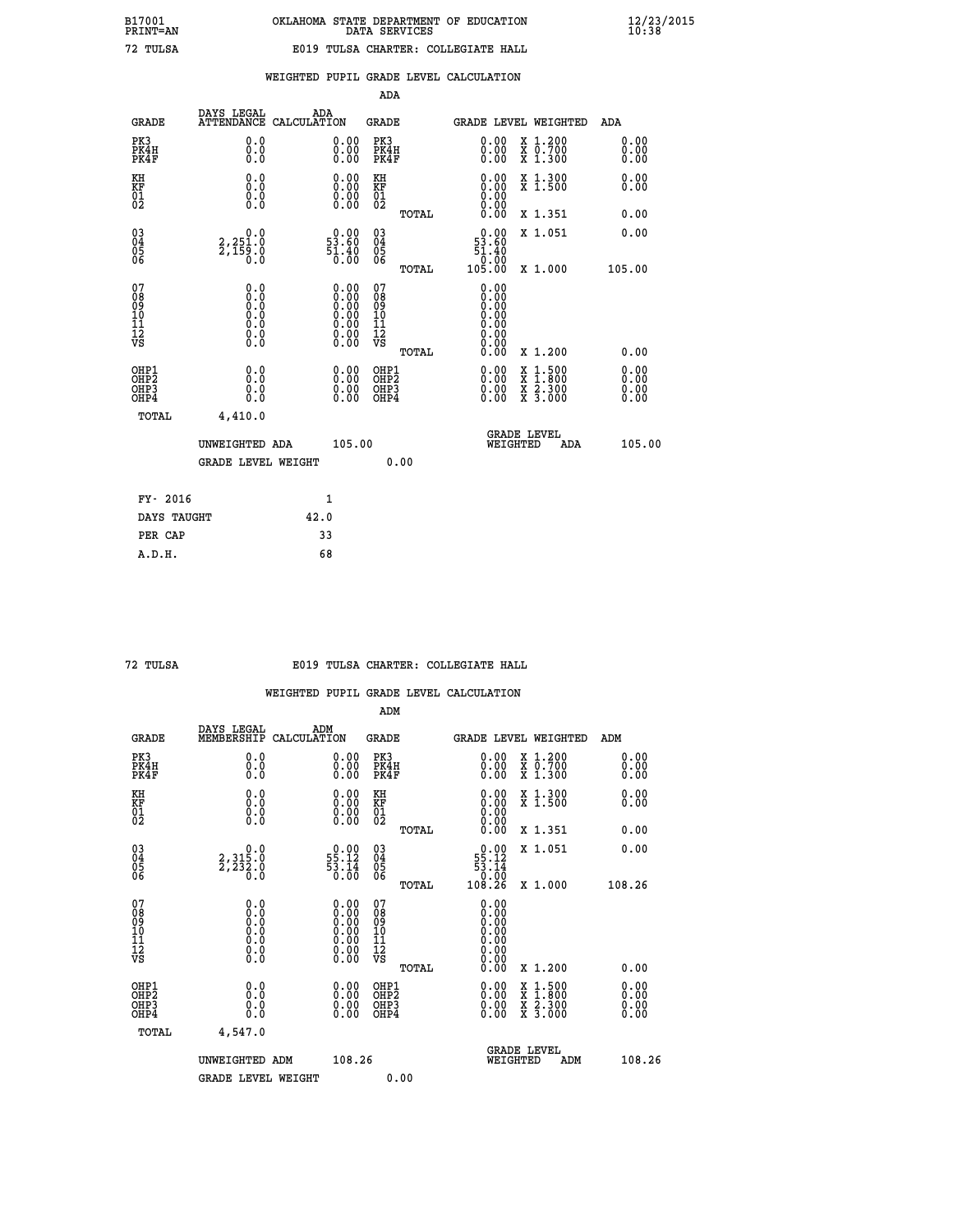|                                                                                                                        |                   |                                                                                                                                                                                                                                                               |                                                             | ADA                                                                                                                                                                                                                                      |                                                                                                                          |                                                               |                                                                                                                                                                                                                                   |                                                                                                                                                                                           |                                                                                                                                          |
|------------------------------------------------------------------------------------------------------------------------|-------------------|---------------------------------------------------------------------------------------------------------------------------------------------------------------------------------------------------------------------------------------------------------------|-------------------------------------------------------------|------------------------------------------------------------------------------------------------------------------------------------------------------------------------------------------------------------------------------------------|--------------------------------------------------------------------------------------------------------------------------|---------------------------------------------------------------|-----------------------------------------------------------------------------------------------------------------------------------------------------------------------------------------------------------------------------------|-------------------------------------------------------------------------------------------------------------------------------------------------------------------------------------------|------------------------------------------------------------------------------------------------------------------------------------------|
| <b>GRADE</b>                                                                                                           |                   |                                                                                                                                                                                                                                                               |                                                             |                                                                                                                                                                                                                                          |                                                                                                                          |                                                               |                                                                                                                                                                                                                                   | <b>ADA</b>                                                                                                                                                                                |                                                                                                                                          |
| PK3<br>PK4H<br>PK4F                                                                                                    | 0.0<br>0.0<br>0.0 |                                                                                                                                                                                                                                                               | 0.00<br>$\begin{smallmatrix} 0.00 \ 0.00 \end{smallmatrix}$ | PK3                                                                                                                                                                                                                                      |                                                                                                                          |                                                               |                                                                                                                                                                                                                                   |                                                                                                                                                                                           |                                                                                                                                          |
| KH                                                                                                                     | 0.0               |                                                                                                                                                                                                                                                               |                                                             | KH                                                                                                                                                                                                                                       |                                                                                                                          |                                                               |                                                                                                                                                                                                                                   |                                                                                                                                                                                           |                                                                                                                                          |
|                                                                                                                        |                   |                                                                                                                                                                                                                                                               |                                                             |                                                                                                                                                                                                                                          | TOTAL                                                                                                                    |                                                               |                                                                                                                                                                                                                                   |                                                                                                                                                                                           |                                                                                                                                          |
|                                                                                                                        |                   |                                                                                                                                                                                                                                                               | $0.00$<br>53.60                                             |                                                                                                                                                                                                                                          |                                                                                                                          |                                                               |                                                                                                                                                                                                                                   |                                                                                                                                                                                           |                                                                                                                                          |
|                                                                                                                        |                   |                                                                                                                                                                                                                                                               |                                                             |                                                                                                                                                                                                                                          | TOTAL                                                                                                                    |                                                               |                                                                                                                                                                                                                                   |                                                                                                                                                                                           |                                                                                                                                          |
|                                                                                                                        |                   |                                                                                                                                                                                                                                                               |                                                             |                                                                                                                                                                                                                                          |                                                                                                                          |                                                               |                                                                                                                                                                                                                                   |                                                                                                                                                                                           |                                                                                                                                          |
|                                                                                                                        |                   |                                                                                                                                                                                                                                                               |                                                             |                                                                                                                                                                                                                                          | TOTAL                                                                                                                    |                                                               |                                                                                                                                                                                                                                   |                                                                                                                                                                                           |                                                                                                                                          |
| OHP1<br>OHP2<br>OHP3<br>OH <sub>P4</sub>                                                                               | 0.0<br>0.0<br>0.0 |                                                                                                                                                                                                                                                               | 0.00<br>$0.00$<br>0.00                                      |                                                                                                                                                                                                                                          |                                                                                                                          |                                                               | $1.500$<br>$1.800$                                                                                                                                                                                                                |                                                                                                                                                                                           |                                                                                                                                          |
| TOTAL                                                                                                                  | 4,410.0           |                                                                                                                                                                                                                                                               |                                                             |                                                                                                                                                                                                                                          |                                                                                                                          |                                                               |                                                                                                                                                                                                                                   |                                                                                                                                                                                           |                                                                                                                                          |
|                                                                                                                        |                   |                                                                                                                                                                                                                                                               |                                                             |                                                                                                                                                                                                                                          |                                                                                                                          |                                                               | ADA                                                                                                                                                                                                                               |                                                                                                                                                                                           |                                                                                                                                          |
|                                                                                                                        |                   |                                                                                                                                                                                                                                                               |                                                             |                                                                                                                                                                                                                                          |                                                                                                                          |                                                               |                                                                                                                                                                                                                                   |                                                                                                                                                                                           |                                                                                                                                          |
| FY- 2016                                                                                                               |                   |                                                                                                                                                                                                                                                               |                                                             |                                                                                                                                                                                                                                          |                                                                                                                          |                                                               |                                                                                                                                                                                                                                   |                                                                                                                                                                                           |                                                                                                                                          |
|                                                                                                                        |                   |                                                                                                                                                                                                                                                               |                                                             |                                                                                                                                                                                                                                          |                                                                                                                          |                                                               |                                                                                                                                                                                                                                   |                                                                                                                                                                                           |                                                                                                                                          |
| <b>KF</b><br>01<br>02<br>$\begin{matrix} 03 \\ 04 \\ 05 \\ 06 \end{matrix}$<br>07<br>08<br>09<br>101<br>11<br>12<br>VS |                   | DAYS LEGAL<br><b>ATTENDANCE</b><br>$\begin{smallmatrix} 0.0 & 0 \ 0.0 & 0 \ 0.0 & 0 \end{smallmatrix}$<br>$2,251.0$<br>$2,159.0$<br>$0.0$<br>$\begin{smallmatrix} 0.0 & 0 \ 0.0 & 0 \ 0.0 & 0 \ 0.0 & 0 \ 0.0 & 0 \ 0.0 & 0 \end{smallmatrix}$<br>DAYS TAUGHT | UNWEIGHTED ADA<br><b>GRADE LEVEL WEIGHT</b>                 | ADA<br>CALCULATION<br>$\begin{smallmatrix} 0.00 \ 0.00 \ 0.00 \ 0.00 \end{smallmatrix}$<br>$\frac{51.40}{0.00}$<br>$\begin{smallmatrix} 0.00\ 0.00\ 0.00\ 0.00\ 0.00\ 0.00\ 0.00\ 0.00\ 0.00\ \end{smallmatrix}$<br>$\mathbf{1}$<br>42.0 | KF<br>01<br>02<br>$\begin{matrix} 03 \\ 04 \\ 05 \\ 06 \end{matrix}$<br>07<br>08<br>09<br>11<br>11<br>12<br>VS<br>105.00 | GRADE<br>PK4H<br>PK4F<br>OHP1<br>OHP2<br>OHP3<br>OHP4<br>0.00 | 0.00<br>0.00<br>$\begin{smallmatrix} 0.00 \ 0.00 \ 0.00 \ 0.00 \ 0.00 \ 0.00 \end{smallmatrix}$<br>53.60<br>$51.40$<br>0.00<br>105.00<br>0.00<br>0:00<br>0:00<br>0:00<br>0:00<br>0.00<br>0.00<br>0.00<br>$0.00$<br>$0.00$<br>0.00 | X 1.200<br>X 0.700<br>X 1.300<br>X 1.300<br>X 1.500<br>X 1.351<br>X 1.051<br>X 1.000<br>X 1.200<br>X<br>X<br>$\frac{\ddot{x}}{x}$ $\frac{5.300}{3.000}$<br><b>GRADE LEVEL</b><br>WEIGHTED | GRADE LEVEL WEIGHTED<br>0.00<br>0.00<br>0.00<br>0.00<br>0.00<br>0.00<br>0.00<br>105.00<br>0.00<br>0.00<br>0.00<br>0.00<br>0.00<br>105.00 |

 **PER CAP 33 A.D.H. 68**

### **72 TULSA E019 TULSA CHARTER: COLLEGIATE HALL**

|                                                    |                                                                                                   |                                                                                               | ADM                                                |       |                                                                                 |                                          |                                                                                                                                                                                                                                                                                |
|----------------------------------------------------|---------------------------------------------------------------------------------------------------|-----------------------------------------------------------------------------------------------|----------------------------------------------------|-------|---------------------------------------------------------------------------------|------------------------------------------|--------------------------------------------------------------------------------------------------------------------------------------------------------------------------------------------------------------------------------------------------------------------------------|
| <b>GRADE</b>                                       | DAYS LEGAL<br>MEMBERSHIP                                                                          | ADM<br>CALCULATION                                                                            | <b>GRADE</b>                                       |       |                                                                                 | GRADE LEVEL WEIGHTED                     | ADM                                                                                                                                                                                                                                                                            |
| PK3<br>PK4H<br>PK4F                                | 0.0<br>0.000                                                                                      | $\begin{smallmatrix} 0.00 \ 0.00 \ 0.00 \end{smallmatrix}$                                    | PK3<br>PK4H<br>PK4F                                |       | $\begin{smallmatrix} 0.00 \\ 0.00 \\ 0.00 \end{smallmatrix}$                    | X 1.200<br>X 0.700<br>X 1.300            | 0.00<br>0.00<br>0.00                                                                                                                                                                                                                                                           |
| KH<br>KF<br>01<br>02                               | 0.0<br>$\begin{smallmatrix} 0.0 & 0 \ 0.0 & 0 \ 0.0 & 0 \end{smallmatrix}$                        | $\begin{smallmatrix} 0.00 \ 0.00 \ 0.00 \ 0.00 \end{smallmatrix}$                             | KH<br>KF<br>01<br>02                               |       | $\begin{smallmatrix} 0.00 \ 0.00 \ 0.00 \ 0.00 \ 0.00 \ 0.00 \end{smallmatrix}$ | X 1.300<br>X 1.500                       | 0.00<br>0.00                                                                                                                                                                                                                                                                   |
|                                                    |                                                                                                   |                                                                                               |                                                    | TOTAL |                                                                                 | X 1.351                                  | 0.00                                                                                                                                                                                                                                                                           |
| $\begin{matrix} 03 \\ 04 \\ 05 \\ 06 \end{matrix}$ | $2,315.0$<br>$2,232.0$<br>$0.0$                                                                   | $\begin{smallmatrix} 0.00\\ 55.12\\ 53.14\\ 0.00 \end{smallmatrix}$                           | $\begin{matrix} 03 \\ 04 \\ 05 \\ 06 \end{matrix}$ |       | $\begin{smallmatrix}&&0.00\\55.12\\53.14\\0.00\\108.26\end{smallmatrix}$        | X 1.051                                  | 0.00                                                                                                                                                                                                                                                                           |
|                                                    |                                                                                                   |                                                                                               |                                                    | TOTAL |                                                                                 | X 1.000                                  | 108.26                                                                                                                                                                                                                                                                         |
| 07<br>08<br>09<br>001<br>11<br>11<br>12<br>VS      | $\begin{smallmatrix} 0.0 & 0 \ 0.0 & 0 \ 0.0 & 0 \ 0.0 & 0 \ 0.0 & 0 \ 0.0 & 0 \end{smallmatrix}$ | $\begin{smallmatrix} 0.00\ 0.00\ 0.00\ 0.00\ 0.00\ 0.00\ 0.00\ 0.00\ 0.00\ \end{smallmatrix}$ | 07<br>08<br>09<br>001<br>11<br>11<br>12<br>VS      | TOTAL | 0.00<br>000:00<br>000:00<br>00:00<br>00:00<br>0.00                              | X 1.200                                  | 0.00                                                                                                                                                                                                                                                                           |
| OHP1<br>OHP2<br>OH <sub>P3</sub><br>OHP4           | 0.0<br>0.000                                                                                      | $\begin{smallmatrix} 0.00 \ 0.00 \ 0.00 \ 0.00 \end{smallmatrix}$                             | OHP1<br>OHP2<br>OHP3<br>OHP4                       |       |                                                                                 | X 1:500<br>X 1:800<br>X 2:300<br>X 3:000 | $\begin{smallmatrix} 0.00 & 0.00 & 0.00 & 0.00 & 0.00 & 0.00 & 0.00 & 0.00 & 0.00 & 0.00 & 0.00 & 0.00 & 0.00 & 0.00 & 0.00 & 0.00 & 0.00 & 0.00 & 0.00 & 0.00 & 0.00 & 0.00 & 0.00 & 0.00 & 0.00 & 0.00 & 0.00 & 0.00 & 0.00 & 0.00 & 0.00 & 0.00 & 0.00 & 0.00 & 0.00 & 0.0$ |
| TOTAL                                              | 4,547.0                                                                                           |                                                                                               |                                                    |       |                                                                                 |                                          |                                                                                                                                                                                                                                                                                |
|                                                    | UNWEIGHTED ADM                                                                                    | 108.26                                                                                        |                                                    |       | WEIGHTED                                                                        | <b>GRADE LEVEL</b><br>ADM                | 108.26                                                                                                                                                                                                                                                                         |
|                                                    | <b>GRADE LEVEL WEIGHT</b>                                                                         |                                                                                               |                                                    | 0.00  |                                                                                 |                                          |                                                                                                                                                                                                                                                                                |
|                                                    |                                                                                                   |                                                                                               |                                                    |       |                                                                                 |                                          |                                                                                                                                                                                                                                                                                |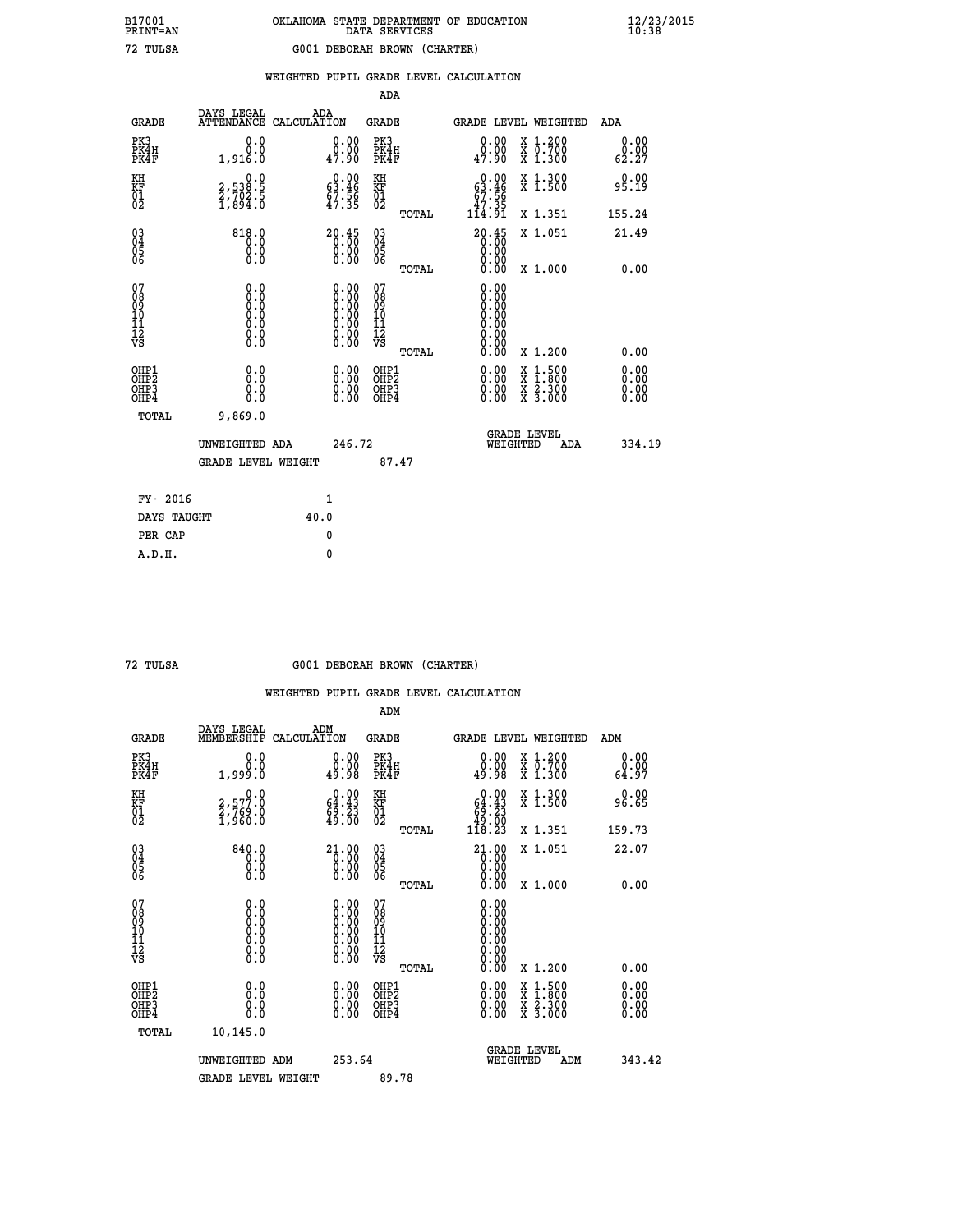|                                                    |                                                                        |                    |                                                                                                      | ADA                                                |       |                                                                           |   |                                                                  |                              |
|----------------------------------------------------|------------------------------------------------------------------------|--------------------|------------------------------------------------------------------------------------------------------|----------------------------------------------------|-------|---------------------------------------------------------------------------|---|------------------------------------------------------------------|------------------------------|
| <b>GRADE</b>                                       | DAYS LEGAL<br><b>ATTENDANCE</b>                                        | ADA<br>CALCULATION |                                                                                                      | GRADE                                              |       |                                                                           |   | GRADE LEVEL WEIGHTED                                             | <b>ADA</b>                   |
| PK3<br>PK4H<br>PK4F                                | 0.0<br>0.0<br>1,916.0                                                  |                    | 0.00<br>ăČ.<br>47.90                                                                                 | PK3<br>PK4H<br>PK4F                                |       | 0.00<br>0.00<br>47.90                                                     |   | X 1.200<br>X 0.700<br>X 1.300                                    | 0.00<br>0.00<br>62.27        |
| KH<br><b>KF</b><br>01<br>02                        | $\begin{smallmatrix} 0.0\\2,538.5\\2,702.5\\1,894.0 \end{smallmatrix}$ |                    | $\begin{smallmatrix} 0.00\\ 63.46\\ 67.56\\ 47.35 \end{smallmatrix}$                                 | KH<br>KF<br>01<br>02                               |       | $\begin{smallmatrix} &0.00\ 63.46\ 67.56\ 47.35\ 114.91\end{smallmatrix}$ |   | X 1.300<br>X 1.500                                               | 0.00<br>95.19                |
|                                                    |                                                                        |                    |                                                                                                      |                                                    | TOTAL |                                                                           |   | X 1.351                                                          | 155.24                       |
| $\begin{matrix} 03 \\ 04 \\ 05 \\ 06 \end{matrix}$ | 818.0<br>0.0<br>0.0<br>Ō.Ō                                             |                    | $\overset{20.45}{\underset{0.00}{\scriptstyle 0.00}}$                                                | $\begin{matrix} 03 \\ 04 \\ 05 \\ 06 \end{matrix}$ |       | 20.45<br>0.00<br>0.00                                                     |   | X 1.051                                                          | 21.49                        |
|                                                    |                                                                        |                    |                                                                                                      |                                                    | TOTAL | 0.00                                                                      |   | X 1.000                                                          | 0.00                         |
| 07<br>08<br>09<br>101<br>11<br>12<br>VS            | $\S.$ $\S$                                                             |                    | $\begin{smallmatrix} 0.00 \ 0.00 \ 0.00 \ 0.00 \ 0.00 \ 0.00 \ 0.00 \ 0.00 \ 0.00 \end{smallmatrix}$ | 07<br>08<br>09<br>11<br>11<br>12<br>VS             |       | 0.00<br>0.00<br>0.00<br>0.00                                              |   |                                                                  |                              |
|                                                    |                                                                        |                    |                                                                                                      |                                                    | TOTAL | 0.00                                                                      |   | X 1.200                                                          | 0.00                         |
| OHP1<br>OHP2<br>OH <sub>P</sub> 3<br>OHP4          | 0.0<br>0.0<br>0.0                                                      |                    | 0.00<br>$0.00$<br>0.00                                                                               | OHP1<br>OHP2<br>OHP3<br>OHP4                       |       | $0.00$<br>$0.00$<br>0.00                                                  | X | $1.500$<br>$1.800$<br>$\frac{\ddot{x}}{x}$ $\frac{5.300}{3.000}$ | 0.00<br>0.00<br>0.00<br>0.00 |
| TOTAL                                              | 9,869.0                                                                |                    |                                                                                                      |                                                    |       |                                                                           |   |                                                                  |                              |
|                                                    | UNWEIGHTED ADA                                                         |                    | 246.72                                                                                               |                                                    |       | WEIGHTED                                                                  |   | <b>GRADE LEVEL</b><br>ADA                                        | 334.19                       |
|                                                    | <b>GRADE LEVEL WEIGHT</b>                                              |                    |                                                                                                      | 87.47                                              |       |                                                                           |   |                                                                  |                              |
| FY- 2016                                           |                                                                        | $\mathbf{1}$       |                                                                                                      |                                                    |       |                                                                           |   |                                                                  |                              |
| DAYS TAUGHT                                        |                                                                        | 40.0               |                                                                                                      |                                                    |       |                                                                           |   |                                                                  |                              |
|                                                    |                                                                        |                    |                                                                                                      |                                                    |       |                                                                           |   |                                                                  |                              |

 **PER CAP 0 A.D.H. 0**

 **72 TULSA G001 DEBORAH BROWN (CHARTER)**

|                                          |                                                                                      |                                                                                               | ADM                                                |       |                                                                             |                                          |                              |
|------------------------------------------|--------------------------------------------------------------------------------------|-----------------------------------------------------------------------------------------------|----------------------------------------------------|-------|-----------------------------------------------------------------------------|------------------------------------------|------------------------------|
| <b>GRADE</b>                             | DAYS LEGAL<br>MEMBERSHIP                                                             | ADM<br>CALCULATION                                                                            | <b>GRADE</b>                                       |       |                                                                             | <b>GRADE LEVEL WEIGHTED</b>              | ADM                          |
| PK3<br>PK4H<br>PK4F                      | 0.0<br>0.0<br>1,999.0                                                                | $\begin{smallmatrix} 0.00\\ 0.00\\ 0.98 \end{smallmatrix}$                                    | PK3<br>PK4H<br>PK4F                                |       | $\begin{smallmatrix} 0.00\\ 0.00\\ 0.98 \end{smallmatrix}$                  | X 1.200<br>X 0.700<br>X 1.300            | 0.00<br>ة.ة.<br>64.97        |
| KH<br>KF<br>01<br>02                     | 0.0<br>2,577.0<br>2,769.0<br>1,960.0                                                 | $0.00$<br>64.43<br>$\frac{59}{49}. \frac{23}{00}$                                             | KH<br>KF<br>01<br>02                               |       | $\begin{smallmatrix} &0.00\ 64.43\ 69.23\ 49.00\ 118.23\ \end{smallmatrix}$ | X 1.300<br>X 1.500                       | 0.00<br>96.65                |
|                                          |                                                                                      |                                                                                               |                                                    | TOTAL |                                                                             | X 1.351                                  | 159.73                       |
| 03<br>04<br>05<br>06                     | 840.0<br>0.0<br>0.000                                                                | $\begin{smallmatrix} 21.00\\[-1mm] 0.00\\[-1mm] 0.00\\[-1mm] 0.00\end{smallmatrix}$           | $\begin{matrix} 03 \\ 04 \\ 05 \\ 06 \end{matrix}$ |       | 21.00<br>0.00<br>0.00                                                       | X 1.051                                  | 22.07                        |
|                                          |                                                                                      |                                                                                               |                                                    | TOTAL | 0.00                                                                        | X 1.000                                  | 0.00                         |
| 07<br>08<br>09<br>101<br>112<br>VS       | 0.0<br>$\begin{smallmatrix} 0.0 & 0 \ 0.0 & 0 \ 0.0 & 0 \ 0.0 & 0 \end{smallmatrix}$ | $\begin{smallmatrix} 0.00\ 0.00\ 0.00\ 0.00\ 0.00\ 0.00\ 0.00\ 0.00\ 0.00\ \end{smallmatrix}$ | 07<br>08<br>09<br>11<br>11<br>12<br>VS             |       | $0.00$<br>$0.00$<br>$0.00$<br>0.00<br>0.00                                  |                                          |                              |
|                                          |                                                                                      |                                                                                               |                                                    | TOTAL | 0.00                                                                        | X 1.200                                  | 0.00                         |
| OHP1<br>OHP2<br>OHP <sub>3</sub><br>OHP4 | 0.0<br>0.000                                                                         |                                                                                               | OHP1<br>OHP2<br>OHP <sub>3</sub>                   |       | $0.00$<br>$0.00$<br>0.00                                                    | X 1:500<br>X 1:800<br>X 2:300<br>X 3:000 | 0.00<br>Ŏ.ŎŎ<br>Q.QQ<br>0.00 |
| TOTAL                                    | 10,145.0                                                                             |                                                                                               |                                                    |       |                                                                             |                                          |                              |
|                                          | UNWEIGHTED ADM                                                                       | 253.64                                                                                        |                                                    |       | WEIGHTED                                                                    | <b>GRADE LEVEL</b><br>ADM                | 343.42                       |
|                                          | <b>GRADE LEVEL WEIGHT</b>                                                            |                                                                                               | 89.78                                              |       |                                                                             |                                          |                              |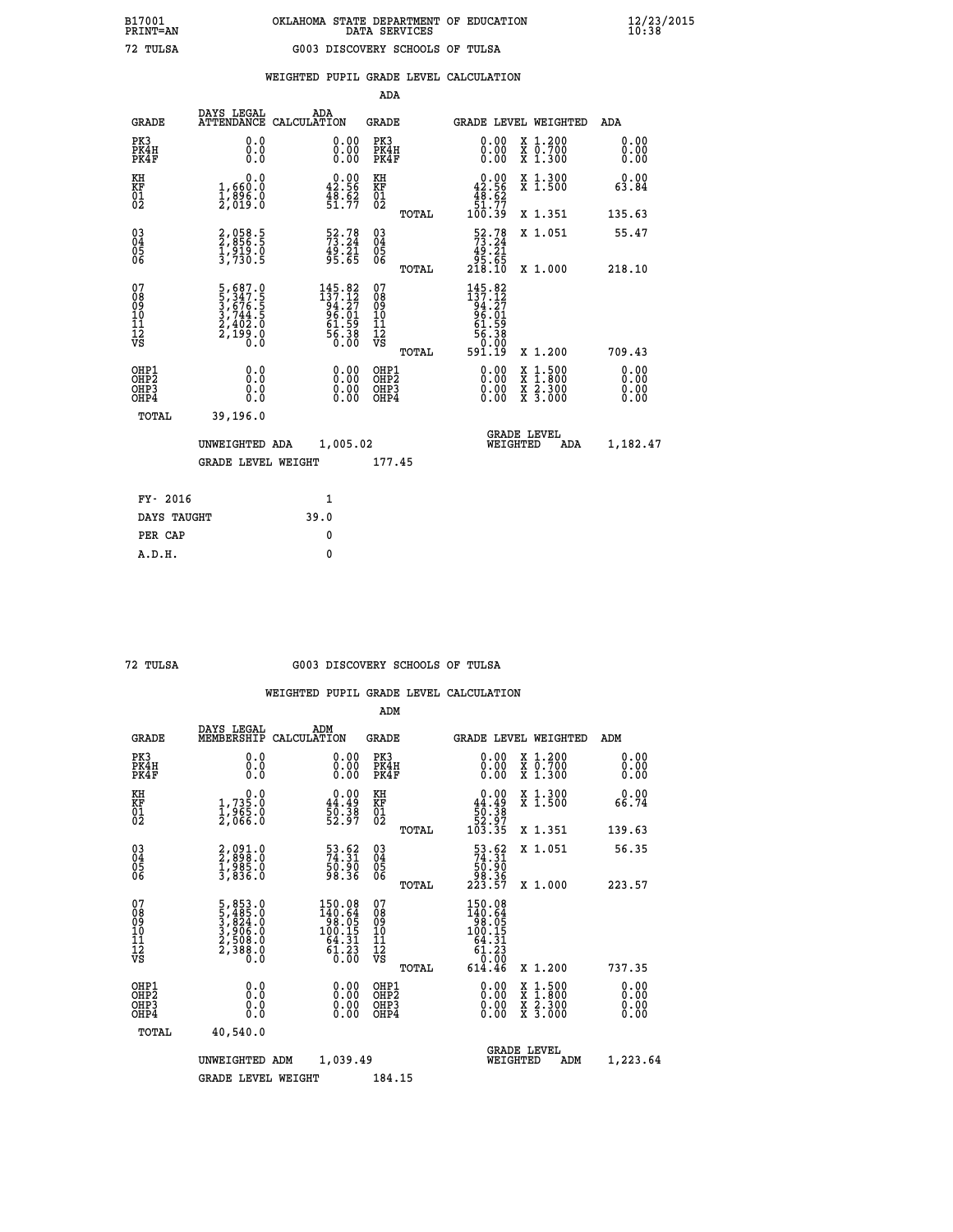|  |  | WEIGHTED PUPIL GRADE LEVEL CALCULATION |
|--|--|----------------------------------------|
|  |  |                                        |

|                                                                              |                                                                                                 |                                                                          | ADA                                                 |       |                                                                                             |                                          |                              |
|------------------------------------------------------------------------------|-------------------------------------------------------------------------------------------------|--------------------------------------------------------------------------|-----------------------------------------------------|-------|---------------------------------------------------------------------------------------------|------------------------------------------|------------------------------|
| <b>GRADE</b>                                                                 | DAYS LEGAL<br><b>ATTENDANCE</b>                                                                 | ADA<br>CALCULATION                                                       | <b>GRADE</b>                                        |       | <b>GRADE LEVEL WEIGHTED</b>                                                                 |                                          | ADA                          |
| PK3<br>PK4H<br>PK4F                                                          | 0.0<br>0.0<br>0.0                                                                               | $\begin{smallmatrix} 0.00 \ 0.00 \ 0.00 \end{smallmatrix}$               | PK3<br>PK4H<br>PK4F                                 |       | 0.00<br>0.00                                                                                | X 1.200<br>X 0.700<br>X 1.300            | 0.00<br>0.00<br>0.00         |
| KH<br>KF<br>01<br>02                                                         | 0.0<br>$\frac{1}{2}, \frac{660}{896}$ .0<br>2,019:0                                             | $0.00$<br>42.56<br>$\frac{48.62}{51.77}$                                 | KH<br>KF<br>01<br>02                                |       | $0.00\n42.56\n48.62\n51.77\n100.39$                                                         | X 1.300<br>X 1.500                       | 0.00<br>63.84                |
|                                                                              |                                                                                                 |                                                                          |                                                     | TOTAL |                                                                                             | X 1.351                                  | 135.63                       |
| $^{03}_{04}$<br>Ŏ5<br>06                                                     | 2,058.5<br>2,856.5<br>1,919.0<br>3,730.5                                                        | $\begin{array}{c} 52.78 \\ 73.24 \\ 49.21 \\ 95.65 \end{array}$          | $\begin{array}{c} 03 \\ 04 \\ 05 \\ 06 \end{array}$ | TOTAL | $\begin{array}{r} 52.78 \\ 73.24 \\ 49.21 \\ 95.65 \\ 218.10 \end{array}$                   | X 1.051<br>X 1.000                       | 55.47<br>218.10              |
| 07<br>08901112<br>1112<br>VS                                                 | $\begin{smallmatrix}5,687.0\\5,347.5\\3,676.5\\3,744.5\\2,402.0\\2,199.0\\0.0\end{smallmatrix}$ | 145.82<br>$137.12$<br>$94.27$<br>$96.01$<br>$61.59$<br>$56.38$<br>$0.00$ | 07<br>08901112<br>1112<br>VS                        |       | $\begin{array}{r} 145.82 \\ 137.12 \\ 94.27 \\ 96.01 \\ 61.59 \\ 56.38 \end{array}$<br>0.00 |                                          |                              |
|                                                                              |                                                                                                 |                                                                          |                                                     | TOTAL | 591.19                                                                                      | X 1.200                                  | 709.43                       |
| OHP1<br>OH <sub>P</sub> <sub>2</sub><br>OH <sub>P3</sub><br>OH <sub>P4</sub> | 0.0<br>0.0<br>0.0                                                                               | $\begin{smallmatrix} 0.00 \ 0.00 \ 0.00 \ 0.00 \end{smallmatrix}$        | OHP1<br>OHP <sub>2</sub><br>OHP3<br>OHP4            |       | 0.00<br>0.00<br>0.00                                                                        | X 1:500<br>X 1:800<br>X 2:300<br>X 3:000 | 0.00<br>0.00<br>0.00<br>0.00 |
| TOTAL                                                                        | 39,196.0                                                                                        |                                                                          |                                                     |       |                                                                                             |                                          |                              |
|                                                                              | UNWEIGHTED ADA                                                                                  | 1,005.02                                                                 |                                                     |       |                                                                                             | GRADE LEVEL<br>WEIGHTED<br>ADA           | 1,182.47                     |
|                                                                              | <b>GRADE LEVEL WEIGHT</b>                                                                       |                                                                          | 177.45                                              |       |                                                                                             |                                          |                              |
| FY- 2016                                                                     |                                                                                                 | $\mathbf{1}$                                                             |                                                     |       |                                                                                             |                                          |                              |
| DAYS TAUGHT                                                                  |                                                                                                 | 39.0                                                                     |                                                     |       |                                                                                             |                                          |                              |
| PER CAP                                                                      |                                                                                                 | $\mathbf{0}$                                                             |                                                     |       |                                                                                             |                                          |                              |

### **72 TULSA G003 DISCOVERY SCHOOLS OF TULSA**

|                                         |                                           |                                                                                                                                       |                                                                                              | ADM                                                 |       |                                                                                                                                    |                                          |                      |
|-----------------------------------------|-------------------------------------------|---------------------------------------------------------------------------------------------------------------------------------------|----------------------------------------------------------------------------------------------|-----------------------------------------------------|-------|------------------------------------------------------------------------------------------------------------------------------------|------------------------------------------|----------------------|
|                                         | <b>GRADE</b>                              | DAYS LEGAL<br>MEMBERSHIP<br>CALCULATION                                                                                               | ADM                                                                                          | <b>GRADE</b>                                        |       |                                                                                                                                    | <b>GRADE LEVEL WEIGHTED</b>              | ADM                  |
| PK3                                     | PK4H<br>PK4F                              | 0.0<br>0.0<br>0.0                                                                                                                     | $\begin{smallmatrix} 0.00 \ 0.00 \ 0.00 \end{smallmatrix}$                                   | PK3<br>PK4H<br>PK4F                                 |       | $\begin{smallmatrix} 0.00 \\ 0.00 \\ 0.00 \end{smallmatrix}$                                                                       | X 1.200<br>X 0.700<br>X 1.300            | 0.00<br>0.00<br>0.00 |
| KH<br>KF<br>01<br>02                    |                                           | $1,735.0$<br>$1,965.0$<br>$2,066.0$                                                                                                   | $0.00$<br>44.49<br>50.38<br>52.97                                                            | KH<br>KF<br>01<br>02                                |       | $\begin{smallmatrix} &0.00\ 44.49\ \phantom{0}50.38\ 52.97\ 103.35\ \end{smallmatrix}$                                             | X 1.300<br>X 1.500                       | 0.00<br>66.74        |
|                                         |                                           |                                                                                                                                       |                                                                                              |                                                     | TOTAL |                                                                                                                                    | X 1.351                                  | 139.63               |
| 03<br>04<br>05<br>06                    |                                           | 2,091.0<br>2,898.0<br>1,985.0<br>3,836.0                                                                                              | $\begin{smallmatrix} 53.62\ 74.31\ 50.90\ 98.36 \end{smallmatrix}$                           | $\begin{array}{c} 03 \\ 04 \\ 05 \\ 06 \end{array}$ |       | $\begin{smallmatrix} 53.62\\74.31\\50.90\\98.36\\223.57 \end{smallmatrix}$                                                         | X 1.051                                  | 56.35                |
|                                         |                                           |                                                                                                                                       |                                                                                              |                                                     | TOTAL |                                                                                                                                    | X 1.000                                  | 223.57               |
| 07<br>08<br>09<br>101<br>11<br>12<br>VS |                                           | $\begin{smallmatrix}5\,,\,853\,.0\\5\,,\,485\,.0\\3\,,\,824\,.0\\3\,,\,906\,.0\\2\,,\,508\,.0\\2\,,\,388\,.0\\0\,.0\end{smallmatrix}$ | $\begin{array}{r} 150.08 \\ 140.64 \\ 98.05 \\ 100.15 \\ 64.31 \\ 61.23 \\ 0.00 \end{array}$ | 07<br>08<br>09<br>11<br>11<br>12<br>VS              | TOTAL | $\begin{array}{r} 150\cdot 08\\ 140\cdot 64\\ 98\cdot 05\\ 100\cdot 15\\ 64\cdot 31\\ 61\cdot 23\\ 0\\ \cdot\end{array}$<br>614.46 | X 1.200                                  | 737.35               |
|                                         | OHP1<br>OHP2<br>OH <sub>P</sub> 3<br>OHP4 | 0.0<br>$\begin{smallmatrix} 0.16 \ 0.0 \end{smallmatrix}$                                                                             |                                                                                              | OHP1<br>OHP2<br>OHP <sub>3</sub>                    |       | $0.00$<br>$0.00$<br>0.00                                                                                                           | X 1:500<br>X 1:800<br>X 2:300<br>X 3:000 | 0.00<br>0.00<br>0.00 |
|                                         | TOTAL                                     | 40,540.0                                                                                                                              |                                                                                              |                                                     |       |                                                                                                                                    |                                          |                      |
|                                         |                                           | UNWEIGHTED<br>ADM                                                                                                                     | 1,039.49                                                                                     |                                                     |       | WEIGHTED                                                                                                                           | <b>GRADE LEVEL</b><br>ADM                | 1,223.64             |
|                                         |                                           | <b>GRADE LEVEL WEIGHT</b>                                                                                                             |                                                                                              | 184.15                                              |       |                                                                                                                                    |                                          |                      |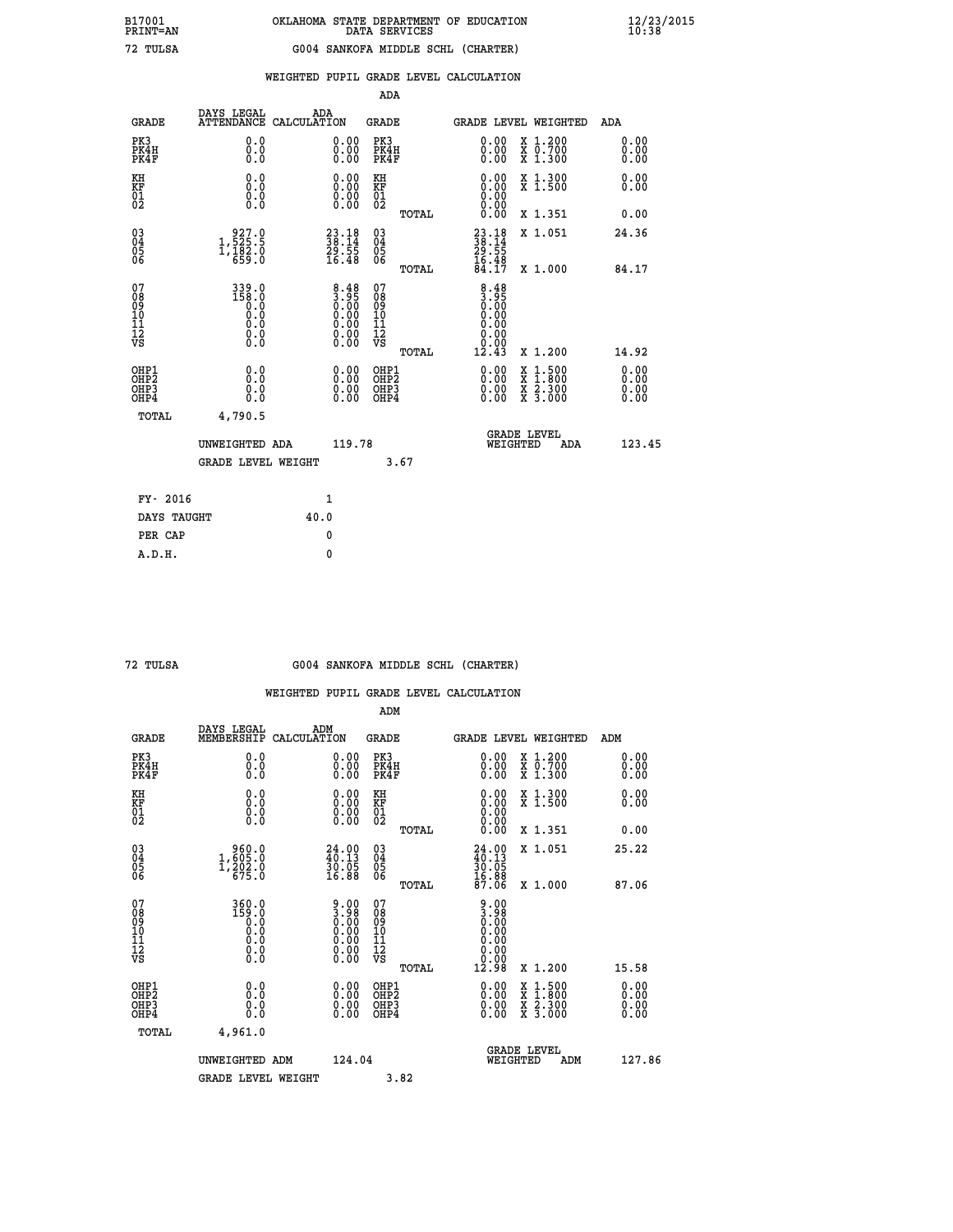|                                                    |                                                                                                |                    |                                                                                               | ADA                                    |       |                                                             |   |                                          |                              |
|----------------------------------------------------|------------------------------------------------------------------------------------------------|--------------------|-----------------------------------------------------------------------------------------------|----------------------------------------|-------|-------------------------------------------------------------|---|------------------------------------------|------------------------------|
| <b>GRADE</b>                                       | DAYS LEGAL<br><b>ATTENDANCE</b>                                                                | ADA<br>CALCULATION |                                                                                               | GRADE                                  |       |                                                             |   | GRADE LEVEL WEIGHTED                     | <b>ADA</b>                   |
| PK3<br>PK4H<br>PK4F                                | 0.0<br>0.0<br>0.0                                                                              |                    | 0.00<br>$\begin{smallmatrix} 0.00 \ 0.00 \end{smallmatrix}$                                   | PK3<br>PK4H<br>PK4F                    |       | 0.00<br>0.00                                                |   | X 1.200<br>X 0.700<br>X 1.300            | 0.00<br>0.00<br>0.00         |
| KH<br><b>KF</b><br>01<br>02                        | 0.0<br>$\begin{smallmatrix} 0.0 & 0 \ 0.0 & 0 \ 0.0 & 0 \end{smallmatrix}$                     |                    | $\begin{smallmatrix} 0.00 \ 0.00 \ 0.00 \ 0.00 \end{smallmatrix}$                             | KH<br>KF<br>01<br>02                   |       | 0.00                                                        |   | X 1.300<br>X 1.500                       | 0.00<br>0.00                 |
|                                                    |                                                                                                |                    |                                                                                               |                                        | TOTAL |                                                             |   | X 1.351                                  | 0.00                         |
| $\begin{matrix} 03 \\ 04 \\ 05 \\ 06 \end{matrix}$ | $\begin{smallmatrix} 9 & 27 & 0 \\ 1 & 525 & 5 \\ 1 & 182 & 0 \\ 6 & 59 & 0 \end{smallmatrix}$ |                    | $\begin{smallmatrix} 23\cdot 18\\ 38\cdot 14\\ 29\cdot 55\\ 16\cdot 48 \end{smallmatrix}$     | 03<br>04<br>05<br>06                   |       | $23.18$<br>$38.14$<br>$29.55$<br>$16.48$<br>$84.17$         |   | X 1.051                                  | 24.36                        |
|                                                    |                                                                                                |                    |                                                                                               |                                        | TOTAL |                                                             |   | X 1.000                                  | 84.17                        |
| 07<br>08<br>09<br>101<br>11<br>12<br>VS            | $339.0$<br>$158.0$<br>$0.0$<br>$\begin{smallmatrix} 0.5 \ 0.0 \end{smallmatrix}$<br>$\S.$      |                    | $\begin{smallmatrix} 8.48\\ 3.95\\ 0.00\\ 0.00\\ 0.00\\ 0.00\\ 0.00\\ 0.00 \end{smallmatrix}$ | 07<br>08<br>09<br>11<br>11<br>12<br>VS | TOTAL | $3.38$<br>$3.95$<br>$0.00$<br>0.00<br>0.00<br>0.00<br>12.43 |   | X 1.200                                  | 14.92                        |
| OHP1<br>OHP2<br>OH <sub>P</sub> 3<br>OHP4          | 0.0<br>0.0<br>0.0                                                                              |                    | 0.00<br>$0.00$<br>0.00                                                                        | OHP1<br>OHP2<br>OHP3<br>OHP4           |       | $0.00$<br>$0.00$<br>0.00                                    | X | $1.500$<br>$1.800$<br>X 2.300<br>X 3.000 | 0.00<br>0.00<br>0.00<br>0.00 |
| TOTAL                                              | 4,790.5                                                                                        |                    |                                                                                               |                                        |       |                                                             |   | <b>GRADE LEVEL</b>                       |                              |
|                                                    | UNWEIGHTED ADA<br><b>GRADE LEVEL WEIGHT</b>                                                    |                    | 119.78                                                                                        |                                        | 3.67  | WEIGHTED                                                    |   | ADA                                      | 123.45                       |
| FY- 2016                                           |                                                                                                | $\mathbf{1}$       |                                                                                               |                                        |       |                                                             |   |                                          |                              |
| DAYS TAUGHT                                        |                                                                                                | 40.0               |                                                                                               |                                        |       |                                                             |   |                                          |                              |

|  | TULSA |
|--|-------|
|--|-------|

 **PER CAP 0 A.D.H. 0**

### **72 TULSA G004 SANKOFA MIDDLE SCHL (CHARTER)**

|                                                    |                                                                            |                    |                                                                                               | ADM                                                 |       |                                                              |          |                                          |     |                              |
|----------------------------------------------------|----------------------------------------------------------------------------|--------------------|-----------------------------------------------------------------------------------------------|-----------------------------------------------------|-------|--------------------------------------------------------------|----------|------------------------------------------|-----|------------------------------|
| <b>GRADE</b>                                       | DAYS LEGAL<br>MEMBERSHIP                                                   | ADM<br>CALCULATION |                                                                                               | <b>GRADE</b>                                        |       |                                                              |          | GRADE LEVEL WEIGHTED                     | ADM |                              |
| PK3<br>PK4H<br>PK4F                                | 0.0<br>0.0<br>0.0                                                          |                    | $\begin{smallmatrix} 0.00 \ 0.00 \ 0.00 \end{smallmatrix}$                                    | PK3<br>PK4H<br>PK4F                                 |       | $\begin{smallmatrix} 0.00 \\ 0.00 \\ 0.00 \end{smallmatrix}$ |          | X 1.200<br>X 0.700<br>X 1.300            |     | 0.00<br>0.00<br>0.00         |
| KH<br>KF<br>01<br>02                               | 0.0<br>$\begin{smallmatrix} 0.0 & 0 \ 0.0 & 0 \ 0.0 & 0 \end{smallmatrix}$ |                    | $\begin{smallmatrix} 0.00 \ 0.00 \ 0.00 \ 0.00 \end{smallmatrix}$                             | KH<br>KF<br>01<br>02                                |       |                                                              |          | X 1.300<br>X 1.500                       |     | 0.00<br>0.00                 |
|                                                    |                                                                            |                    |                                                                                               |                                                     | TOTAL | 0.00                                                         |          | X 1.351                                  |     | 0.00                         |
| $\begin{matrix} 03 \\ 04 \\ 05 \\ 06 \end{matrix}$ | $\begin{smallmatrix} 960.0\\ 1,605.0\\ 1,202.0\\ 675.0 \end{smallmatrix}$  |                    | $\begin{smallmatrix} 24.00\\ 40.13\\ 30.05\\ 16.88 \end{smallmatrix}$                         | $\begin{array}{c} 03 \\ 04 \\ 05 \\ 06 \end{array}$ |       | $24.0040.1330.0516.8816.8887.06$                             |          | X 1.051                                  |     | 25.22                        |
|                                                    |                                                                            |                    |                                                                                               |                                                     | TOTAL |                                                              |          | X 1.000                                  |     | 87.06                        |
| 07<br>08<br>09<br>101<br>11<br>12<br>VS            | $360.0$<br>$159.0$<br>$0.0$<br>$0.0$<br>$0.0$<br>$\S.$                     |                    | $\begin{smallmatrix} 9.00\ 3.98\ 0.00\ 0.00\ 0.00\ 0.00\ 0.00\ 0.00\ 0.00\ \end{smallmatrix}$ | 07<br>08<br>09<br>11<br>11<br>12<br>VS              |       | $0.000$<br>$0.000$<br>$0.000$<br>$0.000$<br>0.00<br>12.98    |          |                                          |     |                              |
|                                                    |                                                                            |                    |                                                                                               |                                                     | TOTAL |                                                              |          | X 1.200                                  |     | 15.58                        |
| OHP1<br>OHP2<br>OH <sub>P3</sub><br>OHP4           | 0.0<br>$\begin{smallmatrix} 0.0 & 0 \ 0.0 & 0 \end{smallmatrix}$           |                    | $\begin{smallmatrix} 0.00 \ 0.00 \ 0.00 \ 0.00 \end{smallmatrix}$                             | OHP1<br>OHP2<br>OHP <sub>3</sub>                    |       | $0.00$<br>$0.00$<br>0.00                                     |          | X 1:500<br>X 1:800<br>X 2:300<br>X 3:000 |     | 0.00<br>Ŏ.ŎŎ<br>Q.QQ<br>0.00 |
| TOTAL                                              | 4,961.0                                                                    |                    |                                                                                               |                                                     |       |                                                              |          |                                          |     |                              |
|                                                    | UNWEIGHTED ADM                                                             |                    |                                                                                               | 124.04                                              |       |                                                              | WEIGHTED | <b>GRADE LEVEL</b><br>ADM                |     | 127.86                       |
|                                                    | <b>GRADE LEVEL WEIGHT</b>                                                  |                    |                                                                                               |                                                     | 3.82  |                                                              |          |                                          |     |                              |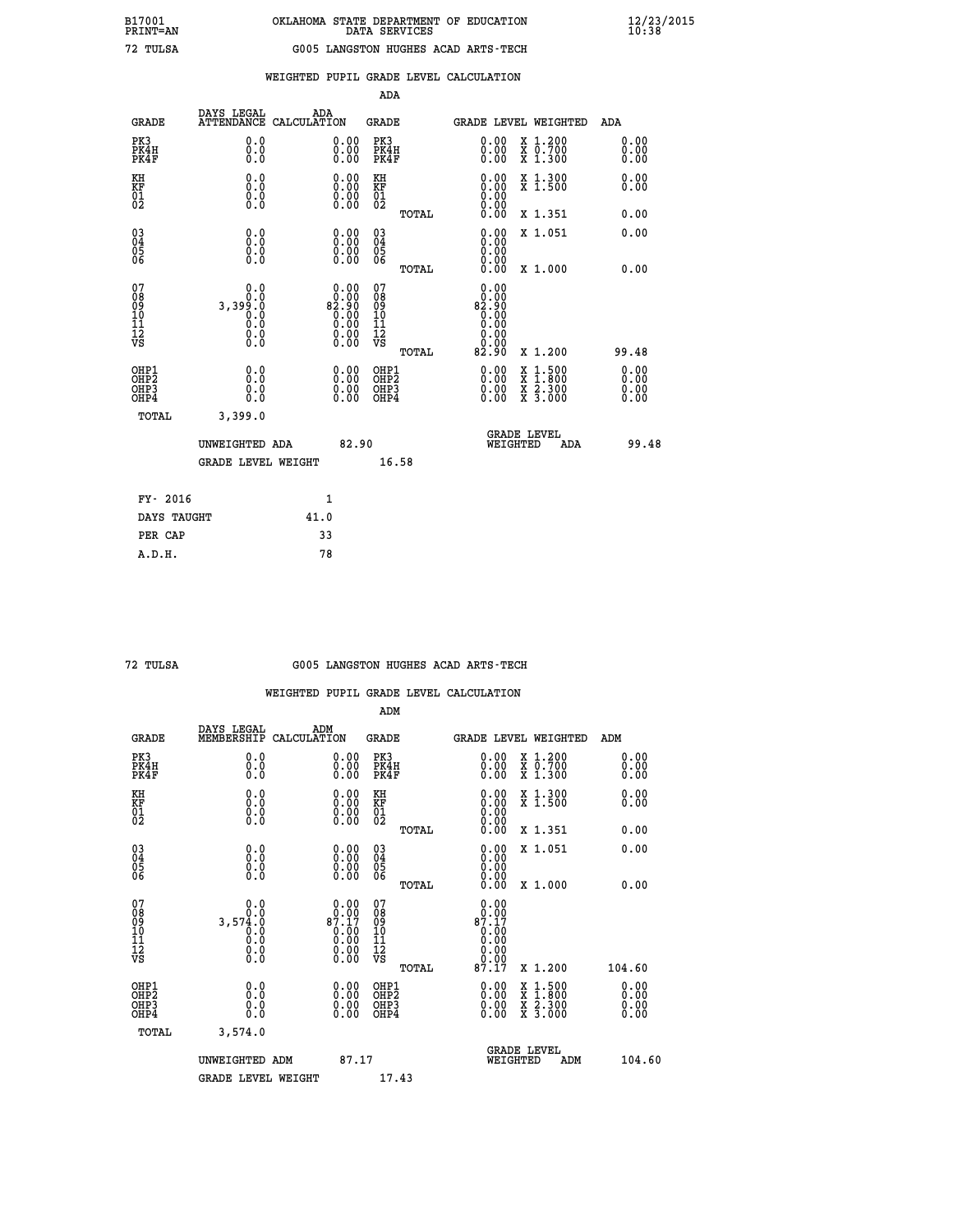## **WEIGHTED PUPIL GRADE LEVEL CALCULATION**

|                                                                    |                                                |                                                                                                                                          | ADA                                    |       |                                                              |                                                                                                                                              |                      |
|--------------------------------------------------------------------|------------------------------------------------|------------------------------------------------------------------------------------------------------------------------------------------|----------------------------------------|-------|--------------------------------------------------------------|----------------------------------------------------------------------------------------------------------------------------------------------|----------------------|
| <b>GRADE</b>                                                       | DAYS LEGAL                                     | ADA<br>ATTENDANCE CALCULATION                                                                                                            | <b>GRADE</b>                           |       |                                                              | <b>GRADE LEVEL WEIGHTED</b>                                                                                                                  | ADA                  |
| PK3<br>PK4H<br>PK4F                                                | 0.0<br>0.0<br>0.0                              | 0.00<br>$\begin{smallmatrix} 0.00 \ 0.00 \end{smallmatrix}$                                                                              | PK3<br>PK4H<br>PK4F                    |       | $\begin{smallmatrix} 0.00 \\ 0.00 \\ 0.00 \end{smallmatrix}$ | X 1.200<br>X 0.700<br>X 1.300                                                                                                                | 0.00<br>0.00<br>0.00 |
| KH<br>KF<br>01<br>02                                               | 0.0<br>0.0<br>$\S.$                            | 0.0000<br>$\begin{smallmatrix} 0.00 \\ 0.00 \end{smallmatrix}$                                                                           | KH<br>KF<br>01<br>02                   |       | 0.00<br>0:00<br>0:00<br>0:00                                 | X 1.300<br>X 1.500                                                                                                                           | 0.00<br>0.00         |
|                                                                    |                                                |                                                                                                                                          |                                        | TOTAL | 0.00                                                         | X 1.351                                                                                                                                      | 0.00                 |
| $\begin{smallmatrix} 03 \\[-4pt] 04 \end{smallmatrix}$<br>Ŏ5<br>06 | 0.0<br>0.000                                   | $\begin{smallmatrix} 0.00 \ 0.00 \ 0.00 \ 0.00 \end{smallmatrix}$                                                                        | $\substack{03 \\ 04}$<br>Ŏ5<br>06      | TOTAL | 0.00<br>0.00<br>0.00<br>0.00                                 | X 1.051<br>X 1.000                                                                                                                           | 0.00<br>0.00         |
| 07<br>08<br>09<br>101<br>11<br>12<br>VS                            | 0.0<br>8:0<br>8:09:0<br>0:0<br>0:0<br>$\S. \S$ | $\begin{smallmatrix} 0.00\\ 0.00\\ 0.00 \end{smallmatrix}$<br>$\overline{0}$ .00<br>$\begin{smallmatrix} 0.00 \\ 0.00 \end{smallmatrix}$ | 07<br>08<br>09<br>11<br>11<br>12<br>VS |       | 0.00<br>00.0<br>00.28<br>$\bar{0}.\bar{0}0$<br>0.00<br>0.00  |                                                                                                                                              |                      |
|                                                                    |                                                |                                                                                                                                          |                                        | TOTAL | 82.90                                                        | X 1.200                                                                                                                                      | 99.48                |
| OHP1<br>OHP <sub>2</sub><br>OH <sub>P3</sub><br>OHP4               | 0.0<br>0.0<br>0.0                              | 0.00<br>$\begin{smallmatrix} 0.00 \ 0.00 \end{smallmatrix}$                                                                              | OHP1<br>OHP2<br>OHP <sub>3</sub>       |       | 0.00<br>0.00                                                 | $\begin{smallmatrix} \mathtt{X} & 1\cdot500 \\ \mathtt{X} & 1\cdot800 \\ \mathtt{X} & 2\cdot300 \\ \mathtt{X} & 3\cdot000 \end{smallmatrix}$ | 0.00<br>0.00<br>0.00 |
| TOTAL                                                              | 3,399.0                                        |                                                                                                                                          |                                        |       |                                                              |                                                                                                                                              |                      |
|                                                                    | UNWEIGHTED ADA                                 | 82.90                                                                                                                                    |                                        |       |                                                              | <b>GRADE LEVEL</b><br>WEIGHTED<br>ADA                                                                                                        | 99.48                |
|                                                                    | <b>GRADE LEVEL WEIGHT</b>                      |                                                                                                                                          |                                        | 16.58 |                                                              |                                                                                                                                              |                      |
| FY- 2016                                                           |                                                | 1                                                                                                                                        |                                        |       |                                                              |                                                                                                                                              |                      |
| DAYS TAUGHT                                                        |                                                | 41.0                                                                                                                                     |                                        |       |                                                              |                                                                                                                                              |                      |
| PER CAP                                                            |                                                | 33                                                                                                                                       |                                        |       |                                                              |                                                                                                                                              |                      |

|  | TULSA |
|--|-------|
|--|-------|

 **A.D.H. 78**

#### **72 TULSA G005 LANGSTON HUGHES ACAD ARTS-TECH**

|                                          |                                                                            |                                                                                                                                | ADM                                                |                                                                                 |                                          |                              |
|------------------------------------------|----------------------------------------------------------------------------|--------------------------------------------------------------------------------------------------------------------------------|----------------------------------------------------|---------------------------------------------------------------------------------|------------------------------------------|------------------------------|
| <b>GRADE</b>                             | DAYS LEGAL<br>MEMBERSHIP                                                   | ADM<br>CALCULATION                                                                                                             | <b>GRADE</b>                                       |                                                                                 | GRADE LEVEL WEIGHTED                     | ADM                          |
| PK3<br>PK4H<br>PK4F                      | 0.0<br>0.0<br>0.0                                                          | $\begin{smallmatrix} 0.00 \ 0.00 \ 0.00 \end{smallmatrix}$                                                                     | PK3<br>PK4H<br>PK4F                                | $\begin{smallmatrix} 0.00 \\ 0.00 \\ 0.00 \end{smallmatrix}$                    | X 1.200<br>X 0.700<br>X 1.300            | 0.00<br>0.00<br>0.00         |
| KH<br>KF<br>01<br>02                     | 0.0<br>$\begin{smallmatrix} 0.0 & 0 \ 0.0 & 0 \ 0.0 & 0 \end{smallmatrix}$ | $\begin{smallmatrix} 0.00 \ 0.00 \ 0.00 \ 0.00 \end{smallmatrix}$                                                              | KH<br>KF<br>01<br>02                               | $\begin{smallmatrix} 0.00 \ 0.00 \ 0.00 \ 0.00 \ 0.00 \ 0.00 \end{smallmatrix}$ | X 1.300<br>X 1.500                       | 0.00<br>0.00                 |
|                                          |                                                                            |                                                                                                                                | TOTAL                                              |                                                                                 | X 1.351                                  | 0.00                         |
| 03<br>04<br>05<br>06                     |                                                                            | $\begin{smallmatrix} 0.00 \ 0.00 \ 0.00 \ 0.00 \end{smallmatrix}$                                                              | $\begin{matrix} 03 \\ 04 \\ 05 \\ 06 \end{matrix}$ | $0.00$<br>$0.00$<br>0.00                                                        | X 1.051                                  | 0.00                         |
|                                          |                                                                            |                                                                                                                                | TOTAL                                              | 0.00                                                                            | X 1.000                                  | 0.00                         |
| 07<br>08<br>09<br>101<br>112<br>VS       | 0.0<br>3,574.0<br>$\overline{0}$ :0<br>$\S.$                               | $\begin{smallmatrix} 0.00\\ 0.00\\ 87.17 \end{smallmatrix}$<br>$\begin{smallmatrix} 0.100\ 0.00\ 0.00\ 0.00 \end{smallmatrix}$ | 07<br>08<br>09<br>11<br>11<br>12<br>VS             | 0.00<br>$_8$ $\substack{0.05 \\ 87.17}$                                         |                                          |                              |
|                                          |                                                                            |                                                                                                                                | TOTAL                                              |                                                                                 | X 1.200                                  | 104.60                       |
| OHP1<br>OHP2<br>OHP3<br>OH <sub>P4</sub> | 0.0<br>0.000                                                               |                                                                                                                                | OHP1<br>OHP2<br>OHP <sub>3</sub>                   | $0.00$<br>$0.00$<br>0.00                                                        | X 1:500<br>X 1:800<br>X 2:300<br>X 3:000 | 0.00<br>Ŏ.ŎŎ<br>Q.QQ<br>0.00 |
| TOTAL                                    | 3,574.0                                                                    |                                                                                                                                |                                                    |                                                                                 |                                          |                              |
|                                          | UNWEIGHTED ADM                                                             | 87.17                                                                                                                          |                                                    | GRADE LEVEL<br>WEIGHTED                                                         | ADM                                      | 104.60                       |
|                                          | <b>GRADE LEVEL WEIGHT</b>                                                  |                                                                                                                                | 17.43                                              |                                                                                 |                                          |                              |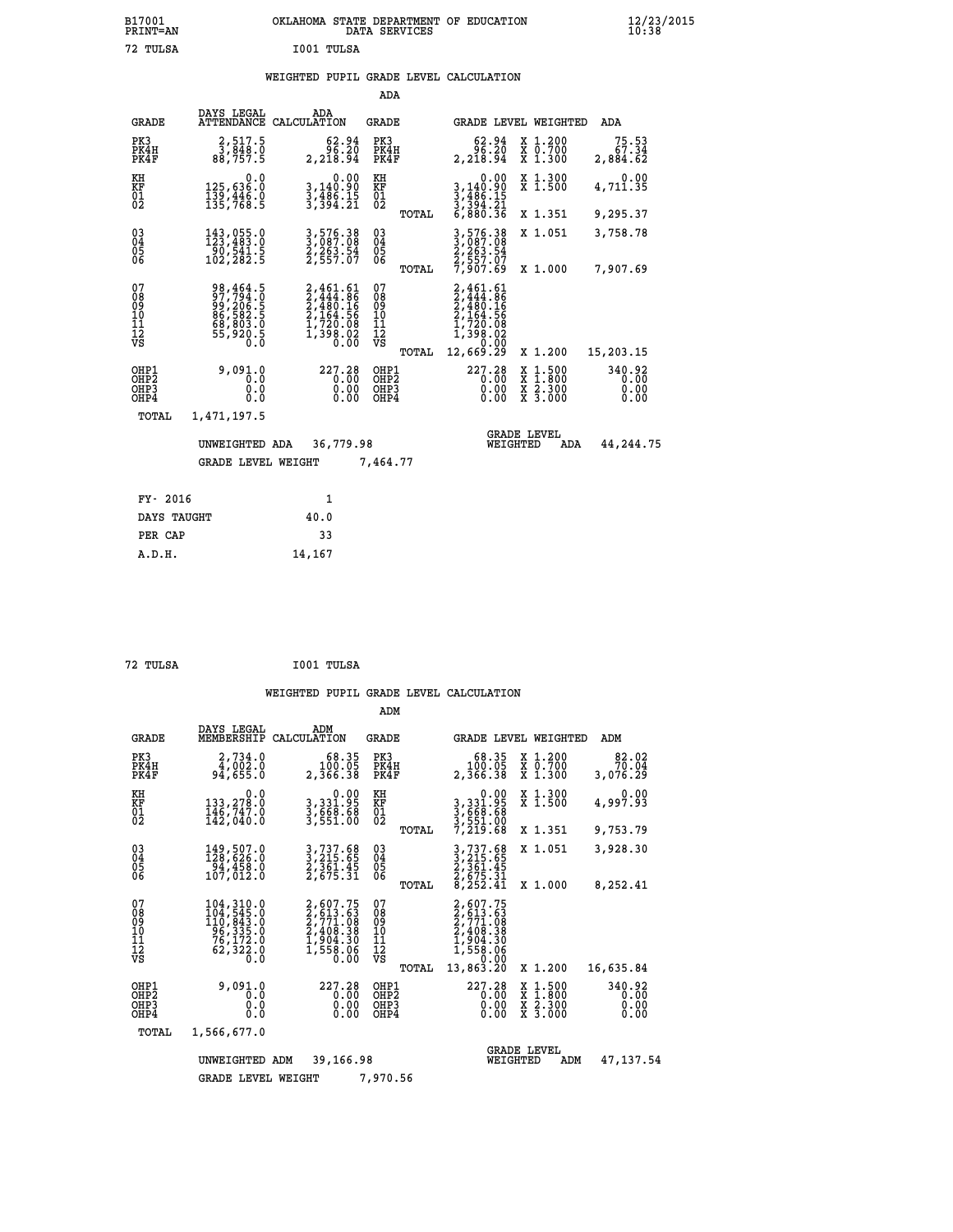| OKLAHOMA STATE DEPARTMENT OF EDUCATION<br>DATA SERVICES |  |
|---------------------------------------------------------|--|
| I001 TULSA                                              |  |

 **B17001<br>PRINT=AN<br>72 TULSA** 

# **WEIGHTED PUPIL GRADE LEVEL CALCULATION**

|                                                       |                                                                                  |                                                                                            | ADA                                                |       |                                                                               |                                          |                                |
|-------------------------------------------------------|----------------------------------------------------------------------------------|--------------------------------------------------------------------------------------------|----------------------------------------------------|-------|-------------------------------------------------------------------------------|------------------------------------------|--------------------------------|
| <b>GRADE</b>                                          | DAYS LEGAL<br><b>ATTENDANCE</b>                                                  | ADA<br>CALCULATION                                                                         | GRADE                                              |       | <b>GRADE LEVEL WEIGHTED</b>                                                   |                                          | ADA                            |
| PK3<br>PK4H<br>PK4F                                   | 2,517.5<br>3,848.0<br>88,757.5                                                   | 62.94<br>96.20<br>2,218.94                                                                 | PK3<br>PK4H<br>PK4F                                |       | 62.94<br>96.20<br>2,218.94                                                    | X 1.200<br>X 0.700<br>X 1.300            | 75.53<br>67.34<br>2,884.62     |
| KH<br><b>KF</b><br>01<br>02                           | 0.0<br>125,636:0<br>139,446.0<br>135,768:5                                       | 0.00<br>3,140.90<br>3,486.15<br>3,394.21                                                   | KH<br>KF<br>01<br>02                               |       | 0.00<br>3, 140.90<br>3, 486.15<br>3, 394.21<br>6, 880.36                      | X 1.300<br>X 1.500                       | 0.00<br>4,711.35               |
|                                                       |                                                                                  |                                                                                            |                                                    | TOTAL |                                                                               | X 1.351                                  | 9,295.37                       |
| $\begin{matrix} 03 \\ 04 \\ 05 \\ 06 \end{matrix}$    | 143,055.0<br>123,483.0<br>$\frac{50}{102}$ , 541.5                               | 3,576.38<br>3,087.08<br>2,263.54<br>2,557.07                                               | $\begin{matrix} 03 \\ 04 \\ 05 \\ 06 \end{matrix}$ |       | 3,576.38<br>3,087.08<br>2,263.54<br>2,557.07<br>7,907.69                      | X 1.051                                  | 3,758.78                       |
|                                                       |                                                                                  |                                                                                            |                                                    | TOTAL |                                                                               | X 1.000                                  | 7,907.69                       |
| 07<br>08<br>09<br>101<br>11<br>12<br>VS               | 98,464.5<br>97,794.0<br>99,206.5<br>86,582.5<br>68,803.0<br>68,803.0<br>55,920.5 | $2,461.61$<br>$2,444.86$<br>$2,480.16$<br>$2,164.56$<br>$1,720.08$<br>$1,398.02$<br>$0.00$ | 07<br>08<br>09<br>101<br>11<br>12<br>VS            |       | 2,461.61<br>2,444.86<br>2,480.16<br>2,164.56<br>1,720.08<br>1,398.02<br>0,000 |                                          |                                |
|                                                       |                                                                                  |                                                                                            |                                                    | TOTAL | 12,669.29                                                                     | X 1.200                                  | 15,203.15                      |
| OHP1<br>OH <sub>P</sub> 2<br>OH <sub>P3</sub><br>OHP4 | 9,091.0<br>0.0<br>0.0<br>0.0                                                     | 227.28<br>0.00<br>0.00<br>0.00                                                             | OHP1<br>OHP <sub>2</sub><br>OHP3<br>OHP4           |       | 227.28<br>0.00<br>0.00<br>0.00                                                | X 1:500<br>X 1:800<br>X 2:300<br>X 3:000 | 340.92<br>0.00<br>0.00<br>0.00 |
| TOTAL                                                 | 1,471,197.5                                                                      |                                                                                            |                                                    |       |                                                                               |                                          |                                |
|                                                       | UNWEIGHTED ADA                                                                   | 36,779.98                                                                                  |                                                    |       | WEIGHTED                                                                      | <b>GRADE LEVEL</b><br>ADA                | 44,244.75                      |
|                                                       | <b>GRADE LEVEL WEIGHT</b>                                                        |                                                                                            | 7,464.77                                           |       |                                                                               |                                          |                                |
| FY- 2016                                              |                                                                                  | $\mathbf{1}$                                                                               |                                                    |       |                                                                               |                                          |                                |
| DAYS TAUGHT                                           |                                                                                  | 40.0                                                                                       |                                                    |       |                                                                               |                                          |                                |
|                                                       |                                                                                  |                                                                                            |                                                    |       |                                                                               |                                          |                                |

| 72 TULSA | I001 TULSA |
|----------|------------|

 **PER CAP 33 A.D.H. 14,167**

|                                                                  |                                                                                                                                                                                                  |                                                                              | ADM                                                |                                                                                                          |                                          |                                |
|------------------------------------------------------------------|--------------------------------------------------------------------------------------------------------------------------------------------------------------------------------------------------|------------------------------------------------------------------------------|----------------------------------------------------|----------------------------------------------------------------------------------------------------------|------------------------------------------|--------------------------------|
| <b>GRADE</b>                                                     | DAYS LEGAL<br>MEMBERSHIP                                                                                                                                                                         | ADM<br>CALCULATION                                                           | GRADE                                              | GRADE LEVEL WEIGHTED                                                                                     |                                          | ADM                            |
| PK3<br>PK4H<br>PK4F                                              | 2,734.0<br>4,002.0<br>94,655.0                                                                                                                                                                   | 68.35<br>100.05<br>2,366.38                                                  | PK3<br>PK4H<br>PK4F                                | 68.35<br>100.05<br>2,366.38                                                                              | X 1.200<br>X 0.700<br>X 1.300            | 82.02<br>70.04<br>3,076.29     |
| KH<br>KF<br>01<br>02                                             | 0.0<br>133,278.0<br>146,747.0<br>142,040.0                                                                                                                                                       | $3,331.95$<br>$3,668.68$<br>$3,551.00$                                       | KH<br>KF<br>01<br>02                               | 0.00<br>3, 331.95<br>3, 668.68<br>3, 551.00<br>7, 219.68                                                 | X 1.300<br>X 1.500                       | 0.00<br>4,997.93               |
|                                                                  |                                                                                                                                                                                                  |                                                                              | TOTAL                                              |                                                                                                          | X 1.351                                  | 9,753.79                       |
| $\begin{matrix} 03 \\ 04 \\ 05 \\ 06 \end{matrix}$               | 149,507.0<br>128,626.0<br>94,458.0<br>107,012.0                                                                                                                                                  | 3,737.68<br>3,215.65<br>2,361.45<br>2,675.31                                 | $\begin{matrix} 03 \\ 04 \\ 05 \\ 06 \end{matrix}$ | 3,737.68<br>3,215.65<br>2,361.45<br>2,675.31<br>8,252.41                                                 | X 1.051                                  | 3,928.30                       |
|                                                                  |                                                                                                                                                                                                  |                                                                              | TOTAL                                              |                                                                                                          | X 1.000                                  | 8,252.41                       |
| 07<br>08<br>09<br>11<br>11<br>12<br>VS                           | $\begin{smallmatrix} 104\,, & 310\, . \ 104\,, & 545\,. \ 110\,, & 843\,. \ 0 \\ 110\,, & 843\,. \ 0 \\ 96\,, & 335\,. \ 0 \\ 76\,, & 172\,. \ 0 \\ 62\,, & 322\,. \ 0 \end{smallmatrix}$<br>Ō.Ō | 2,607.75<br>2,613.63<br>2,771.08<br>2,408.38<br>1,904.30<br>1,558.06<br>0.00 | 07<br>089<br>101<br>111<br>VS<br>TOTAL             | 2,607.75<br>$2, 613.63$<br>$2, 771.08$<br>$2, 408.38$<br>$1, 904.30$<br>$1, 558.06$<br>0.00<br>13,863.20 | X 1.200                                  | 16,635.84                      |
| OHP1<br>OH <sub>P</sub> <sub>2</sub><br>OH <sub>P3</sub><br>OHP4 | 9,091.0<br>0.0<br>0.0<br>0.0                                                                                                                                                                     | 227.28<br>0.00<br>0.00<br>0.00                                               | OHP1<br>OH <sub>P</sub> 2<br>OHP3<br>OHP4          | 227.28<br>0.00<br>0.00<br>0.00                                                                           | X 1:500<br>X 1:800<br>X 2:300<br>X 3:000 | 340.92<br>0.00<br>0.00<br>0.00 |
| TOTAL                                                            | 1,566,677.0                                                                                                                                                                                      |                                                                              |                                                    |                                                                                                          |                                          |                                |
|                                                                  | UNWEIGHTED<br><b>GRADE LEVEL WEIGHT</b>                                                                                                                                                          | 39,166.98<br>ADM                                                             | 7,970.56                                           | WEIGHTED                                                                                                 | <b>GRADE LEVEL</b><br>ADM                | 47, 137.54                     |
|                                                                  |                                                                                                                                                                                                  |                                                                              |                                                    |                                                                                                          |                                          |                                |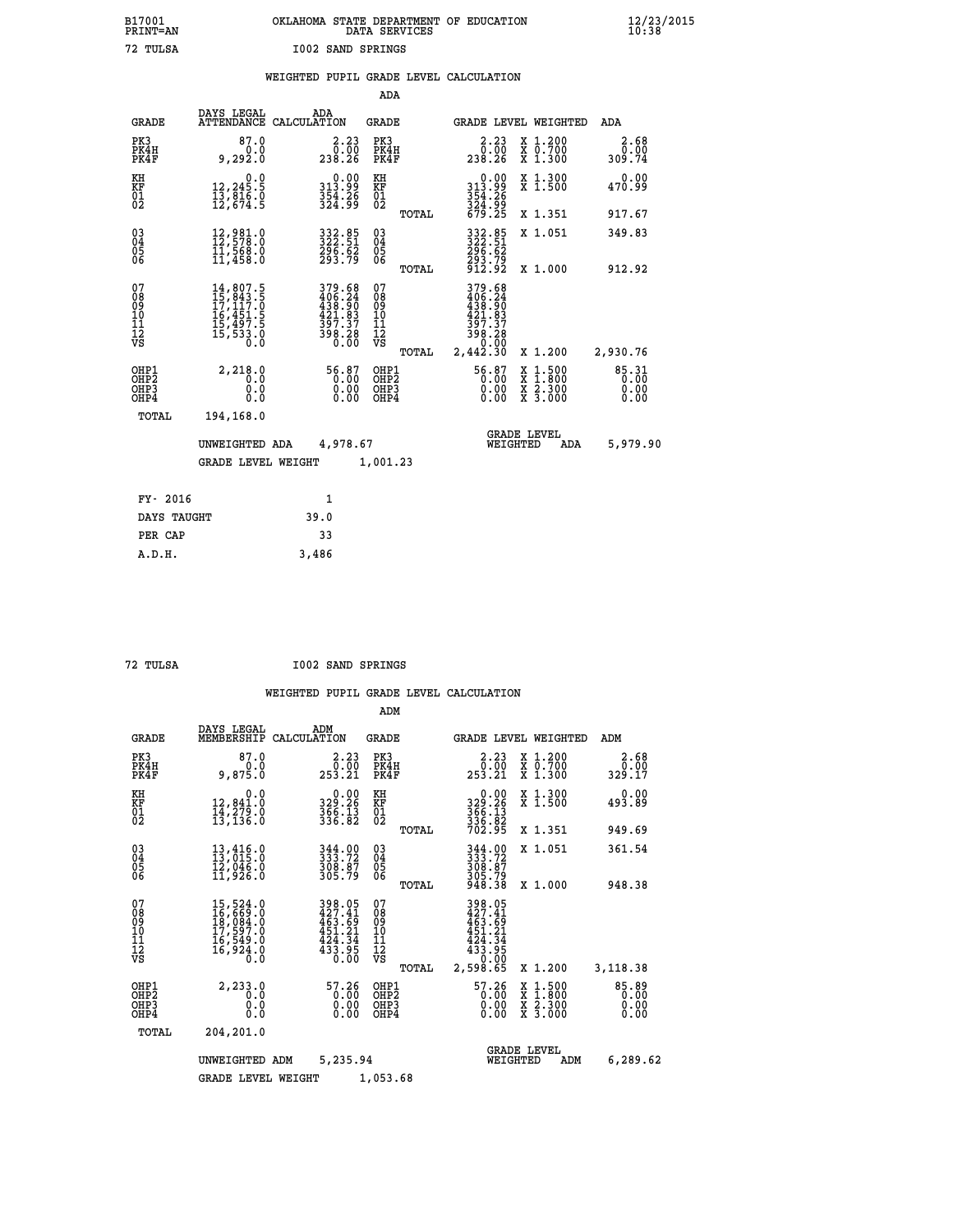|                          | OKLAHOMA STATE DEPARTMENT OF EDUCATION<br>DATA SERVICES |  |
|--------------------------|---------------------------------------------------------|--|
| <b>I002 SAND SPRINGS</b> |                                                         |  |

|  |  | WEIGHTED PUPIL GRADE LEVEL CALCULATION |
|--|--|----------------------------------------|
|  |  |                                        |

|                                                                    |                                                                                                                                                              |                                                                                                             | ADA                                       |       |                                                                                                             |                                                                          |                               |
|--------------------------------------------------------------------|--------------------------------------------------------------------------------------------------------------------------------------------------------------|-------------------------------------------------------------------------------------------------------------|-------------------------------------------|-------|-------------------------------------------------------------------------------------------------------------|--------------------------------------------------------------------------|-------------------------------|
| <b>GRADE</b>                                                       | DAYS LEGAL                                                                                                                                                   | ADA<br>ATTENDANCE CALCULATION                                                                               | <b>GRADE</b>                              |       |                                                                                                             | GRADE LEVEL WEIGHTED                                                     | <b>ADA</b>                    |
| PK3<br>PK4H<br>PK4F                                                | 87.0<br>0.0<br>9,292.0                                                                                                                                       | 2.23<br>0.00<br>238.26                                                                                      | PK3<br>PK4H<br>PK4F                       |       | 2.23<br>$\begin{smallmatrix} & 0 & 0 & 0 \\ 2 & 3 & 8 & 0 & 26 \end{smallmatrix}$                           | X 1.200<br>X 0.700<br>X 1.300                                            | 2.68<br>0.00<br>309.74        |
| KH<br>KF<br>01<br>02                                               | 0.0<br>12,245.5<br>13,816.0<br>12,674.5                                                                                                                      | $\begin{smallmatrix} 0.00\\ 313.99\\ 354.26\\ 324.99 \end{smallmatrix}$                                     | KH<br>KF<br>01<br>02                      |       | $0.00$<br>313.99<br>354.26<br>324.99<br>679.25                                                              | X 1.300<br>X 1.500                                                       | 0.00<br>470.99                |
|                                                                    |                                                                                                                                                              |                                                                                                             |                                           | TOTAL |                                                                                                             | X 1.351                                                                  | 917.67                        |
| $\begin{smallmatrix} 03 \\[-4pt] 04 \end{smallmatrix}$<br>05<br>ŌĞ | $12,981.0$<br>$12,578.0$<br>$11,568.0$<br>$11,458.0$                                                                                                         | 332.85<br>322.51<br>$\frac{296}{293.79}$                                                                    | $\substack{03 \\ 04}$<br>$\frac{05}{06}$  |       | 332.85<br>322.51<br>296.62<br>293.79<br>912.92                                                              | X 1.051                                                                  | 349.83                        |
| 07                                                                 |                                                                                                                                                              |                                                                                                             |                                           | TOTAL |                                                                                                             | X 1.000                                                                  | 912.92                        |
| 08<br>09<br>11<br>11<br>12<br>VS                                   | $\begin{smallmatrix} 14\,,\,807\,. \ 15\,,\,843\,. \ 17\,,\,117\,. \ 0\\ 16\,,\,451\,. \ 5\\ 15\,,\,497\,. \ 5\\ 15\,,\,533\,. \ 0\\ 0\,. \end{smallmatrix}$ | $\begin{smallmatrix} 379.68\\ 406.24\\ 438.90\\ 431.83\\ 421.83\\ 397.37\\ 398.28\\ 0.00 \end{smallmatrix}$ | 07<br>08<br>09<br>11<br>11<br>12<br>VS    |       | $\begin{array}{r} 379.68 \\ 406.24 \\ 438.90 \\ 421.83 \\ 397.37 \\ 398.28 \\ 0.00 \\ 2,442.30 \end{array}$ |                                                                          |                               |
|                                                                    |                                                                                                                                                              |                                                                                                             |                                           | TOTAL |                                                                                                             | X 1.200                                                                  | 2,930.76                      |
| OHP1<br>OHP <sub>2</sub><br>OHP3<br>OHP4                           | 2,218.0<br>0.0<br>0.0<br>0.0                                                                                                                                 | 56.87<br>$\begin{smallmatrix} 0.00 \ 0.00 \end{smallmatrix}$                                                | OHP1<br>OH <sub>P</sub> 2<br>OHP3<br>OHP4 |       | 56.87<br>0.00<br>0.00                                                                                       | $1:500$<br>1:800<br>X<br>X<br>$\frac{\ddot{x}}{x}$ $\frac{2.300}{3.000}$ | 85.31<br>0.00<br>0.00<br>0.00 |
| TOTAL                                                              | 194,168.0                                                                                                                                                    |                                                                                                             |                                           |       |                                                                                                             |                                                                          |                               |
|                                                                    | UNWEIGHTED ADA                                                                                                                                               | 4,978.67                                                                                                    |                                           |       |                                                                                                             | <b>GRADE LEVEL</b><br>WEIGHTED<br><b>ADA</b>                             | 5,979.90                      |
|                                                                    | <b>GRADE LEVEL WEIGHT</b>                                                                                                                                    |                                                                                                             | 1,001.23                                  |       |                                                                                                             |                                                                          |                               |
| FY- 2016                                                           |                                                                                                                                                              | 1                                                                                                           |                                           |       |                                                                                                             |                                                                          |                               |
| DAYS TAUGHT                                                        |                                                                                                                                                              | 39.0                                                                                                        |                                           |       |                                                                                                             |                                                                          |                               |
| PER CAP                                                            |                                                                                                                                                              | 33                                                                                                          |                                           |       |                                                                                                             |                                                                          |                               |
|                                                                    |                                                                                                                                                              |                                                                                                             |                                           |       |                                                                                                             |                                                                          |                               |

 **A.D.H. 3,486**

 **B17001<br>PRINT=AN<br>72 TULSA** 

 **72 TULSA I002 SAND SPRINGS**

|                                                       |                                                                                                                     |                                                                                    | ADM                                                |                                                                                     |                                          |                                 |
|-------------------------------------------------------|---------------------------------------------------------------------------------------------------------------------|------------------------------------------------------------------------------------|----------------------------------------------------|-------------------------------------------------------------------------------------|------------------------------------------|---------------------------------|
| <b>GRADE</b>                                          | DAYS LEGAL<br>MEMBERSHIP                                                                                            | ADM<br>CALCULATION                                                                 | <b>GRADE</b>                                       | <b>GRADE LEVEL WEIGHTED</b>                                                         |                                          | ADM                             |
| PK3<br>PK4H<br>PK4F                                   | 87.0<br>0.0<br>9,875.0                                                                                              | 2.23<br>$\begin{smallmatrix} & 0 & . & 0 \\ 253 & . & 21 \end{smallmatrix}$        | PK3<br>PK4H<br>PK4F                                | 2.23<br>0.00<br>253.21                                                              | X 1.200<br>X 0.700<br>X 1.300            | 2.68<br>0.00<br>329.17          |
| KH<br>KF<br>01<br>02                                  | 0.0<br>12,841.0<br>14,279.0<br>13,136.0                                                                             | 0.00<br>329.26<br>$\frac{366}{336}$ : $\frac{13}{82}$                              | KH<br>KF<br>01<br>02                               | 0.00<br>329:26<br>366:13<br>336:82<br>702:95                                        | X 1.300<br>X 1.500                       | 0.00<br>493.89                  |
|                                                       |                                                                                                                     |                                                                                    | TOTAL                                              |                                                                                     | X 1.351                                  | 949.69                          |
| 03<br>04<br>05<br>06                                  | 13,416.0<br>13,015.0<br>12,046.0<br>11,926.0                                                                        | 344.00<br>333.72<br>308.87<br>305.79                                               | $\begin{matrix} 03 \\ 04 \\ 05 \\ 06 \end{matrix}$ | 344.00<br>333.72<br>308.87<br>305.79<br>948.38                                      | X 1.051                                  | 361.54                          |
|                                                       |                                                                                                                     |                                                                                    | TOTAL                                              |                                                                                     | X 1.000                                  | 948.38                          |
| 07<br>08<br>09<br>101<br>112<br>VS                    | $\begin{smallmatrix} 15, 524.0\\ 16, 669.0\\ 18, 084.0\\ 17, 597.0\\ 16, 549.0\\ 16, 924.0\\ 0.0 \end{smallmatrix}$ | 398.05<br>427.41<br>463.69<br>451.21<br>$451.21$<br>$424.34$<br>$433.95$<br>$0.00$ | 07<br>08<br>09<br>101<br>11<br>12<br>VS<br>TOTAL   | 398.05<br>427.41<br>463.69<br>451.21<br>$434.34$<br>$433.95$<br>$-0.00$<br>2,598.65 | X 1.200                                  | 3,118.38                        |
| OHP1<br>OH <sub>P</sub> 2<br>OH <sub>P3</sub><br>OHP4 | 2,233.0<br>0.0<br>0.000                                                                                             | 57.26<br>0.00<br>0.00                                                              | OHP1<br>OHP2<br>OHP3<br>OHP4                       | $\begin{smallmatrix} 57.26 \\ 0.00 \\ 0.00 \end{smallmatrix}$<br>0.00               | X 1:500<br>X 1:800<br>X 2:300<br>X 3:000 | $85.89$<br>0.00<br>0.00<br>0.00 |
| TOTAL                                                 | 204,201.0                                                                                                           |                                                                                    |                                                    |                                                                                     |                                          |                                 |
|                                                       | UNWEIGHTED                                                                                                          | 5,235.94<br>ADM                                                                    |                                                    | <b>GRADE LEVEL</b><br>WEIGHTED                                                      | ADM                                      | 6,289.62                        |
|                                                       | <b>GRADE LEVEL WEIGHT</b>                                                                                           |                                                                                    | 1,053.68                                           |                                                                                     |                                          |                                 |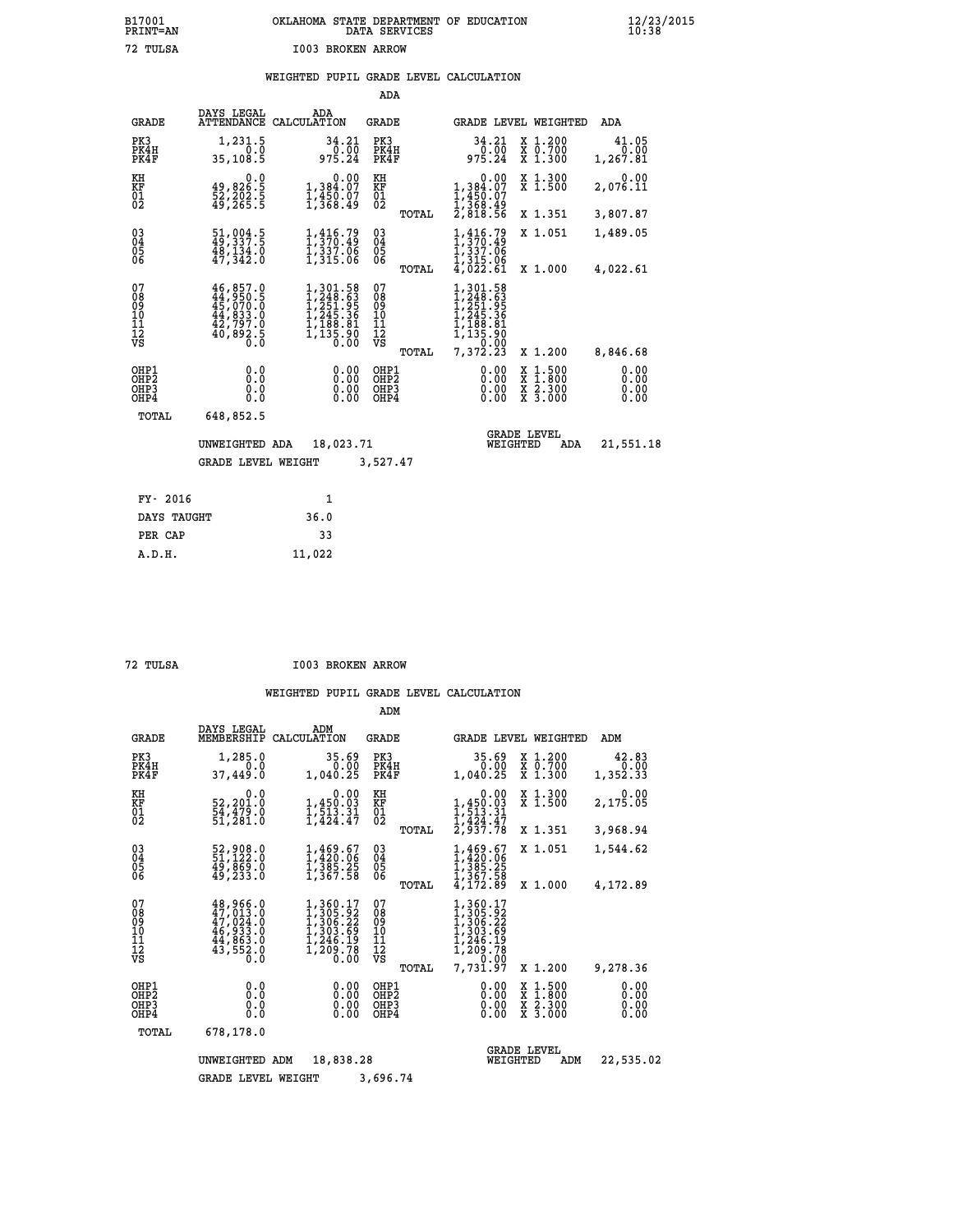# **B17001 OKLAHOMA STATE DEPARTMENT OF EDUCATION 12/23/2015 PRINT=AN DATA SERVICES 10:38 72 TULSA I003 BROKEN ARROW**

|  |  | WEIGHTED PUPIL GRADE LEVEL CALCULATION |
|--|--|----------------------------------------|
|  |  |                                        |

|                                                                    |                                                                                   |                                                                                                                | ADA                                                                        |                                                                                                    |                                                                                                  |                              |
|--------------------------------------------------------------------|-----------------------------------------------------------------------------------|----------------------------------------------------------------------------------------------------------------|----------------------------------------------------------------------------|----------------------------------------------------------------------------------------------------|--------------------------------------------------------------------------------------------------|------------------------------|
| <b>GRADE</b>                                                       | DAYS LEGAL                                                                        | ADA<br>ATTENDANCE CALCULATION                                                                                  | <b>GRADE</b>                                                               |                                                                                                    | GRADE LEVEL WEIGHTED                                                                             | ADA                          |
| PK3<br>PK4H<br>PK4F                                                | 1,231.5<br>0.0<br>35,108.5                                                        | 34.21<br>$\frac{0.00}{975.24}$                                                                                 | PK3<br>PK4H<br>PK4F                                                        | 34.21<br>$\frac{0.00}{975.24}$                                                                     | X 1.200<br>X 0.700<br>X 1.300                                                                    | 41.05<br>0.00<br>1,267.81    |
| KH<br>KF<br>01<br>02                                               | 0.0<br>49,826:5<br>52,202:5<br>49,265:5                                           | 0.00<br>$1,384.07$<br>$1,450.07$<br>$1,368.49$                                                                 | KH<br>KF<br>01<br>02                                                       | 0.00<br>$1,384.07$<br>$1,450.07$<br>$1,368.49$<br>$2,818.56$                                       | X 1.300<br>X 1.500                                                                               | 0.00<br>2,076.11             |
|                                                                    |                                                                                   |                                                                                                                | TOTAL                                                                      |                                                                                                    | X 1.351                                                                                          | 3,807.87                     |
| $\begin{smallmatrix} 03 \\[-4pt] 04 \end{smallmatrix}$<br>Ŏ5<br>06 | $\begin{smallmatrix} 51,004.5\\ 49,337.5\\ 48,134.0\\ 47,342.0 \end{smallmatrix}$ | $1, 416.79$<br>$1, 370.49$<br>$1, 337.06$<br>$1, 315.06$                                                       | $\substack{03 \\ 04}$<br>$\begin{matrix} 0.5 \\ 0.6 \end{matrix}$<br>TOTAL | $1, 416.79$<br>$1, 370.49$<br>$1, 337.06$<br>$1, 315.06$<br>$4, 022.61$                            | X 1.051<br>X 1.000                                                                               | 1,489.05<br>4,022.61         |
| 07<br>08<br>09<br>101<br>11<br>12<br>VS                            | 46,857.0<br>$44,950.5$<br>$45,070.0$<br>$44,833.0$<br>$42,797.0$<br>$40,892.5$    | $\begin{smallmatrix} 1,301.58\\ 1,248.63\\ 1,251.95\\ 1,245.36\\ 1,188.81\\ 1,135.90\\ 0.00 \end{smallmatrix}$ | 07<br>08<br>09<br>11<br>11<br>12<br>VS                                     | 301.58<br>248.63<br>251.95<br>245.36<br>188.81<br>1,<br>$\overline{135}\overline{5}\overline{.90}$ |                                                                                                  |                              |
|                                                                    |                                                                                   |                                                                                                                | TOTAL                                                                      | 7,372.23                                                                                           | X 1.200                                                                                          | 8,846.68                     |
| OHP1<br>OHP <sub>2</sub><br>OH <sub>P3</sub><br>OH <sub>P4</sub>   | 0.000<br>0.0<br>$0.\overline{0}$                                                  | 0.00<br>0.00                                                                                                   | OHP1<br>OHP2<br>OHP3<br>OHP4                                               | 0.00<br>0.00                                                                                       | $\begin{smallmatrix} x & 1 & 500 \\ x & 1 & 800 \\ x & 2 & 300 \\ x & 3 & 000 \end{smallmatrix}$ | 0.00<br>0.00<br>0.00<br>0.00 |
| TOTAL                                                              | 648,852.5                                                                         |                                                                                                                |                                                                            |                                                                                                    |                                                                                                  |                              |
|                                                                    | UNWEIGHTED ADA                                                                    | 18,023.71                                                                                                      |                                                                            | WEIGHTED                                                                                           | <b>GRADE LEVEL</b><br>ADA                                                                        | 21,551.18                    |
|                                                                    | <b>GRADE LEVEL WEIGHT</b>                                                         |                                                                                                                | 3,527.47                                                                   |                                                                                                    |                                                                                                  |                              |
| FY- 2016                                                           |                                                                                   | $\mathbf{1}$                                                                                                   |                                                                            |                                                                                                    |                                                                                                  |                              |
| DAYS TAUGHT                                                        |                                                                                   | 36.0                                                                                                           |                                                                            |                                                                                                    |                                                                                                  |                              |
| PER CAP                                                            |                                                                                   | 33                                                                                                             |                                                                            |                                                                                                    |                                                                                                  |                              |

 **A.D.H. 11,022**

 **72 TULSA I003 BROKEN ARROW**

|                                           |                                                                                                       |                                                                              | ADM                                    |                                                                                                          |                                                                                                  |                              |
|-------------------------------------------|-------------------------------------------------------------------------------------------------------|------------------------------------------------------------------------------|----------------------------------------|----------------------------------------------------------------------------------------------------------|--------------------------------------------------------------------------------------------------|------------------------------|
| <b>GRADE</b>                              | DAYS LEGAL<br>MEMBERSHIP                                                                              | ADM<br>CALCULATION                                                           | <b>GRADE</b>                           | GRADE LEVEL WEIGHTED                                                                                     |                                                                                                  | ADM                          |
| PK3<br>PK4H<br>PK4F                       | 1,285.0<br>0.0<br>37,449.0                                                                            | 35.69<br>0.00<br>1,040.25                                                    | PK3<br>PK4H<br>PK4F                    | 35.69<br>0.00<br>1,040.25                                                                                | $\begin{smallmatrix} x & 1.200 \\ x & 0.700 \end{smallmatrix}$<br>X 1.300                        | 42.83<br>0.00<br>1,352.33    |
| KH<br>KF<br>01<br>02                      | 0.0<br>52,201.0<br>54,479.0<br>51,281.0                                                               | 0.00<br>1,450.03<br>1,513.31<br>1,424.47                                     | KH<br>KF<br>01<br>02                   | 0.00<br>$1,450.03$<br>$1,513.31$<br>$1,424.47$<br>$2,937.78$                                             | X 1.300<br>X 1.500                                                                               | 0.00<br>2,175.05             |
|                                           |                                                                                                       |                                                                              | TOTAL                                  |                                                                                                          | X 1.351                                                                                          | 3,968.94                     |
| 03<br>04<br>05<br>06                      | 52,908.0<br>51,122.0<br>49,869.0<br>49, 233.0                                                         | 1,469.67<br>1,420.06<br>1,385.25<br>1,367.58                                 | $\substack{03 \\ 04}$<br>05            | 1,469.67<br>1,420.06<br>$\frac{1}{3}$ , $\frac{3}{8}$ 5.25<br>1, 367.58                                  | X 1.051                                                                                          | 1,544.62                     |
|                                           |                                                                                                       |                                                                              | TOTAL                                  | 4,172.89                                                                                                 | X 1.000                                                                                          | 4,172.89                     |
| 07<br>08<br>09<br>11<br>11<br>12<br>VS    | $48,966.0$<br>$47,013.0$<br>$47,024.0$<br>$46,933.0$<br>$44,863.0$<br>$43,552.0$<br>$\overline{0}$ .0 | 1,360.17<br>1,305.92<br>1,306.22<br>1,303.69<br>1,246.19<br>1,209.78<br>0.00 | 07<br>089<br>101<br>112<br>VS<br>TOTAL | 1, 360.17<br>1, 305.92<br>1, 306.22<br>1, 303.69<br>1, 246.19<br>1, 209.78<br>7, 7, 2, 0, 00<br>7,731.97 | X 1.200                                                                                          | 9,278.36                     |
| OHP1<br>OH <sub>P</sub> 2<br>OHP3<br>OHP4 | 0.0<br>0.0<br>Ŏ.Ŏ                                                                                     | 0.00<br>0.00<br>0.00                                                         | OHP1<br>OHP2<br>OHP3<br>OHP4           | 0.00<br>0.00<br>0.00                                                                                     | $\begin{smallmatrix} x & 1 & 500 \\ x & 1 & 800 \\ x & 2 & 300 \\ x & 3 & 000 \end{smallmatrix}$ | 0.00<br>0.00<br>0.00<br>0.00 |
| TOTAL                                     | 678,178.0                                                                                             |                                                                              |                                        |                                                                                                          |                                                                                                  |                              |
|                                           | UNWEIGHTED                                                                                            | 18,838.28<br>ADM                                                             |                                        | WEIGHTED                                                                                                 | <b>GRADE LEVEL</b><br>ADM                                                                        | 22,535.02                    |
|                                           | <b>GRADE LEVEL WEIGHT</b>                                                                             |                                                                              | 3,696.74                               |                                                                                                          |                                                                                                  |                              |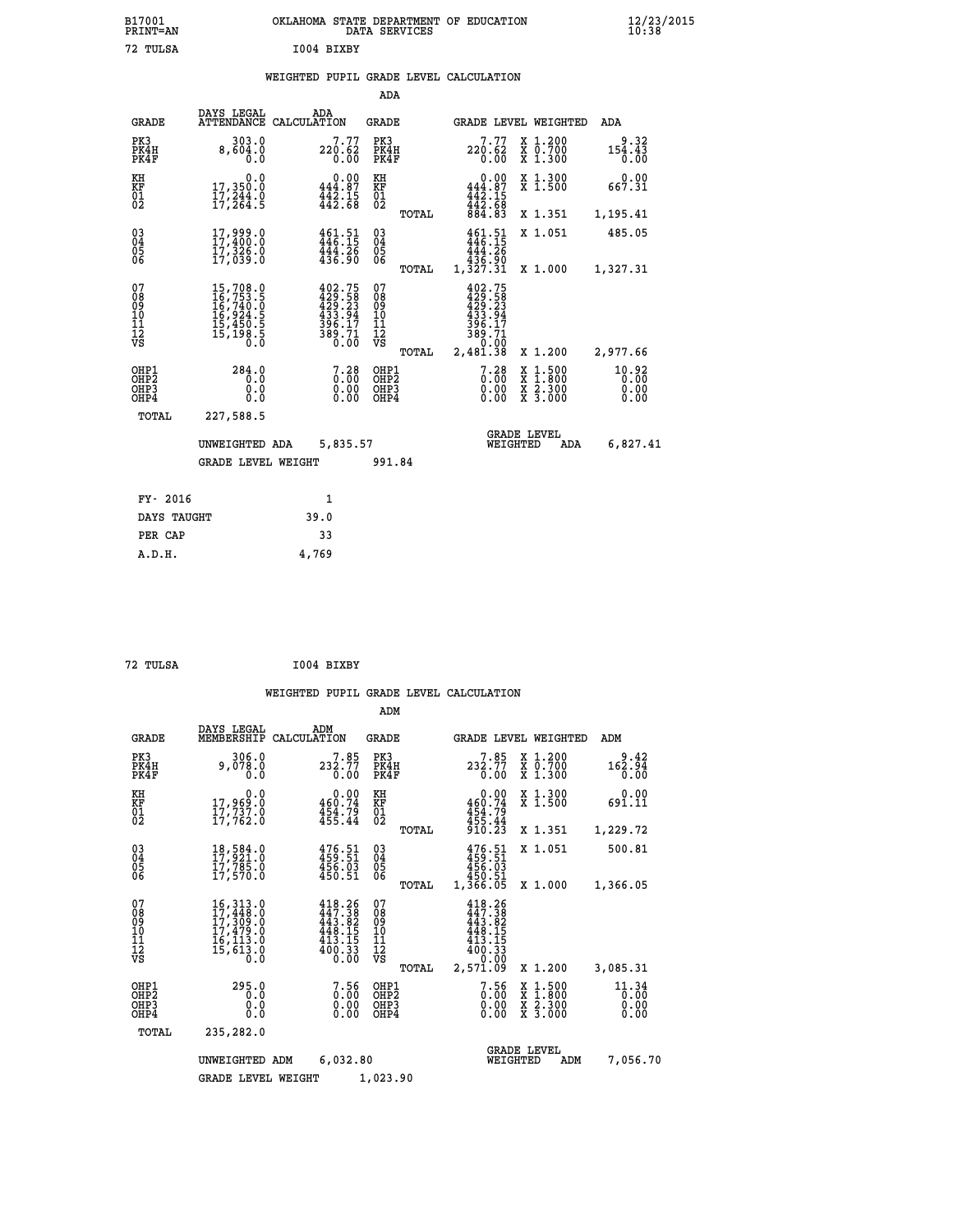| B17001          | OKLAHOMA STATE DEPARTMENT OF EDUCATION |
|-----------------|----------------------------------------|
| <b>PRINT=AN</b> | DATA SERVICES                          |
| 72 TULSA        | I004 BIXBY                             |

# **WEIGHTED PUPIL GRADE LEVEL CALCULATION**

|                                                                    |                                                                  |                                                                                                                                                                                     |                                                                                | ADA                                       |       |                                                                        |                                                                                                  |                               |
|--------------------------------------------------------------------|------------------------------------------------------------------|-------------------------------------------------------------------------------------------------------------------------------------------------------------------------------------|--------------------------------------------------------------------------------|-------------------------------------------|-------|------------------------------------------------------------------------|--------------------------------------------------------------------------------------------------|-------------------------------|
|                                                                    | <b>GRADE</b>                                                     | DAYS LEGAL                                                                                                                                                                          | ADA<br>ATTENDANCE CALCULATION                                                  | <b>GRADE</b>                              |       | GRADE LEVEL WEIGHTED                                                   |                                                                                                  | ADA                           |
| PK3                                                                | PK4H<br>PK4F                                                     | 303.0<br>8,604.0<br>0.0                                                                                                                                                             | 7.77<br>220.62<br>0.00                                                         | PK3<br>PK4H<br>PK4F                       |       | 7.77<br>220.62<br>0.00                                                 | X 1.200<br>X 0.700<br>X 1.300                                                                    | 9.32<br>154.43<br>0.00        |
| KH<br><b>KF</b><br>01<br>02                                        |                                                                  | 0.0<br>17,350.0<br>17,244.0<br>17,264.5                                                                                                                                             | 0.00<br>444.87<br>$\frac{1}{442}$ : 15<br>442: 68                              | KH<br><b>KF</b><br>01<br>02               |       | 0.00<br>444.87<br>$\frac{442.15}{442.68}$                              | X 1.300<br>X 1.500                                                                               | 0.00<br>667.31                |
|                                                                    |                                                                  |                                                                                                                                                                                     |                                                                                |                                           | TOTAL | 884.83                                                                 | X 1.351                                                                                          | 1,195.41                      |
| $\begin{smallmatrix} 03 \\[-4pt] 04 \end{smallmatrix}$<br>05<br>06 |                                                                  | 17,999.0<br>17,326.0<br>17,039.0                                                                                                                                                    | 461.51<br>446.15<br>444.26<br>436.90                                           | $\substack{03 \\ 04}$<br>0500             |       | $461.51$<br>$446.15$<br>444.26<br>436.90                               | X 1.051                                                                                          | 485.05                        |
|                                                                    |                                                                  |                                                                                                                                                                                     |                                                                                |                                           | TOTAL | 1,327.31                                                               | X 1.000                                                                                          | 1,327.31                      |
| 07<br>08<br>09<br>11<br>11<br>12<br>VS                             |                                                                  | $\begin{smallmatrix} 15 \,,\, 708\cdot 0\\ 16 \,,\, 753\cdot 5\\ 16 \,,\, 740\cdot 0\\ 16 \,,\, 924\cdot 5\\ 15 \,,\, 450\cdot 5\\ 15 \,,\, 198\cdot 5\\ 0\cdot 0\end{smallmatrix}$ | $402.75$<br>$429.58$<br>$429.23$<br>$433.94$<br>$396.17$<br>$389.71$<br>$0.00$ | 07<br>08<br>09<br>11<br>11<br>12<br>VS    |       | 402.75<br>$429.58$<br>$429.23$<br>$433.94$<br>396.17<br>389.71<br>0.00 |                                                                                                  |                               |
|                                                                    |                                                                  |                                                                                                                                                                                     |                                                                                |                                           | TOTAL | 2,481.38                                                               | X 1.200                                                                                          | 2,977.66                      |
|                                                                    | OHP1<br>OH <sub>P2</sub><br>OH <sub>P3</sub><br>OH <sub>P4</sub> | 284.0<br>0.0<br>0.0<br>0.0                                                                                                                                                          | 7.28<br>0.00<br>0.00<br>0.00                                                   | OHP1<br>OH <sub>P</sub> 2<br>OHP3<br>OHP4 |       | 7.28<br>0.00<br>0.00<br>0.00                                           | $\begin{smallmatrix} x & 1 & 500 \\ x & 1 & 800 \\ x & 2 & 300 \\ x & 3 & 000 \end{smallmatrix}$ | 10.92<br>0.00<br>0.00<br>0.00 |
|                                                                    | TOTAL                                                            | 227,588.5                                                                                                                                                                           |                                                                                |                                           |       |                                                                        |                                                                                                  |                               |
|                                                                    |                                                                  | UNWEIGHTED ADA                                                                                                                                                                      | 5,835.57                                                                       |                                           |       | WEIGHTED                                                               | <b>GRADE LEVEL</b><br>ADA                                                                        | 6,827.41                      |
|                                                                    |                                                                  | <b>GRADE LEVEL WEIGHT</b>                                                                                                                                                           |                                                                                | 991.84                                    |       |                                                                        |                                                                                                  |                               |
|                                                                    | FY- 2016                                                         |                                                                                                                                                                                     | $\mathbf{1}$                                                                   |                                           |       |                                                                        |                                                                                                  |                               |
|                                                                    | DAYS TAUGHT                                                      |                                                                                                                                                                                     | 39.0                                                                           |                                           |       |                                                                        |                                                                                                  |                               |
|                                                                    | PER CAP                                                          |                                                                                                                                                                                     | 33                                                                             |                                           |       |                                                                        |                                                                                                  |                               |

| 72 TULSA | I004 BIXBY |
|----------|------------|

 **A.D.H. 4,769**

|                                                        |                                                                                                                                                                                          |                                                                          | ADM                                                |                                                                          |                                          |                               |
|--------------------------------------------------------|------------------------------------------------------------------------------------------------------------------------------------------------------------------------------------------|--------------------------------------------------------------------------|----------------------------------------------------|--------------------------------------------------------------------------|------------------------------------------|-------------------------------|
| <b>GRADE</b>                                           | DAYS LEGAL<br>MEMBERSHIP                                                                                                                                                                 | ADM<br>CALCULATION                                                       | GRADE                                              | <b>GRADE LEVEL WEIGHTED</b>                                              |                                          | ADM                           |
| PK3<br>PK4H<br>PK4F                                    | 306.0<br>9,078.0<br>0.0                                                                                                                                                                  | $7.85$<br>$232.77$<br>0.00                                               | PK3<br>PK4H<br>PK4F                                | 7.85<br>232.77<br>0.00                                                   | X 1.200<br>X 0.700<br>X 1.300            | 9.42<br>162.94<br>0.00        |
| KH<br>KF<br>01<br>02                                   | 0.0<br>17,969:0<br>17,737:0<br>17,762:0                                                                                                                                                  | 0.00<br>460.74<br>$454.79$<br>$455.44$                                   | KH<br>KF<br>01<br>02                               | 0.00<br>460.74<br>454.79<br>455.44<br>910.23                             | X 1.300<br>X 1.500                       | 0.00<br>691.11                |
|                                                        |                                                                                                                                                                                          |                                                                          | TOTAL                                              |                                                                          | X 1.351                                  | 1,229.72                      |
| $\begin{matrix} 03 \\ 04 \\ 05 \\ 06 \end{matrix}$     | 18,584.0<br>17,921.0<br>17,785.0<br>17,570.0                                                                                                                                             | $476.51$<br>$459.51$<br>$456.03$<br>$450.51$                             | $\begin{matrix} 03 \\ 04 \\ 05 \\ 06 \end{matrix}$ | 476.51<br>459.51<br>456.03<br>450.51                                     | X 1.051                                  | 500.81                        |
|                                                        |                                                                                                                                                                                          |                                                                          | TOTAL                                              | 1,366.05                                                                 | X 1.000                                  | 1,366.05                      |
| 07<br>08<br>09<br>101<br>112<br>VS                     | $\begin{smallmatrix} 16\,, & 313\,, & 0\\ 17\,, & 448\,, & 0\\ 17\,, & 309\,, & 0\\ 17\,, & 479\,, & 0\\ 16\,, & 113\,, & 0\\ 15\,, & 613\,, & 0\\ 0\,. & 0\,. & 0\,. \end{smallmatrix}$ | $447.38$<br>$447.38$<br>$443.82$<br>448.15<br>413.15<br>$400.33$<br>0.00 | 07<br>08<br>09<br>11<br>11<br>12<br>VS             | $448.26$<br>$447.38$<br>$443.82$<br>$448.15$<br>413.15<br>400.33<br>0.00 |                                          |                               |
|                                                        |                                                                                                                                                                                          |                                                                          | TOTAL                                              | 2,571.09                                                                 | X 1.200                                  | 3,085.31                      |
| OHP1<br>OH <sub>P</sub> 2<br>OH <sub>P</sub> 3<br>OHP4 | 295.0<br>0.0<br>0.000                                                                                                                                                                    | $\begin{smallmatrix} 7.56\ 0.00\ 0.00 \end{smallmatrix}$                 | OHP1<br>OHP <sub>2</sub><br>OHP3<br>OHP4           | 7.56<br>0.00<br>0.00                                                     | X 1:500<br>X 1:800<br>X 2:300<br>X 3:000 | 11.34<br>0.00<br>0.00<br>0.00 |
| TOTAL                                                  | 235,282.0                                                                                                                                                                                |                                                                          |                                                    |                                                                          |                                          |                               |
|                                                        | UNWEIGHTED ADM                                                                                                                                                                           | 6,032.80                                                                 |                                                    | WEIGHTED                                                                 | <b>GRADE LEVEL</b><br>ADM                | 7,056.70                      |
|                                                        | <b>GRADE LEVEL WEIGHT</b>                                                                                                                                                                |                                                                          | 1,023.90                                           |                                                                          |                                          |                               |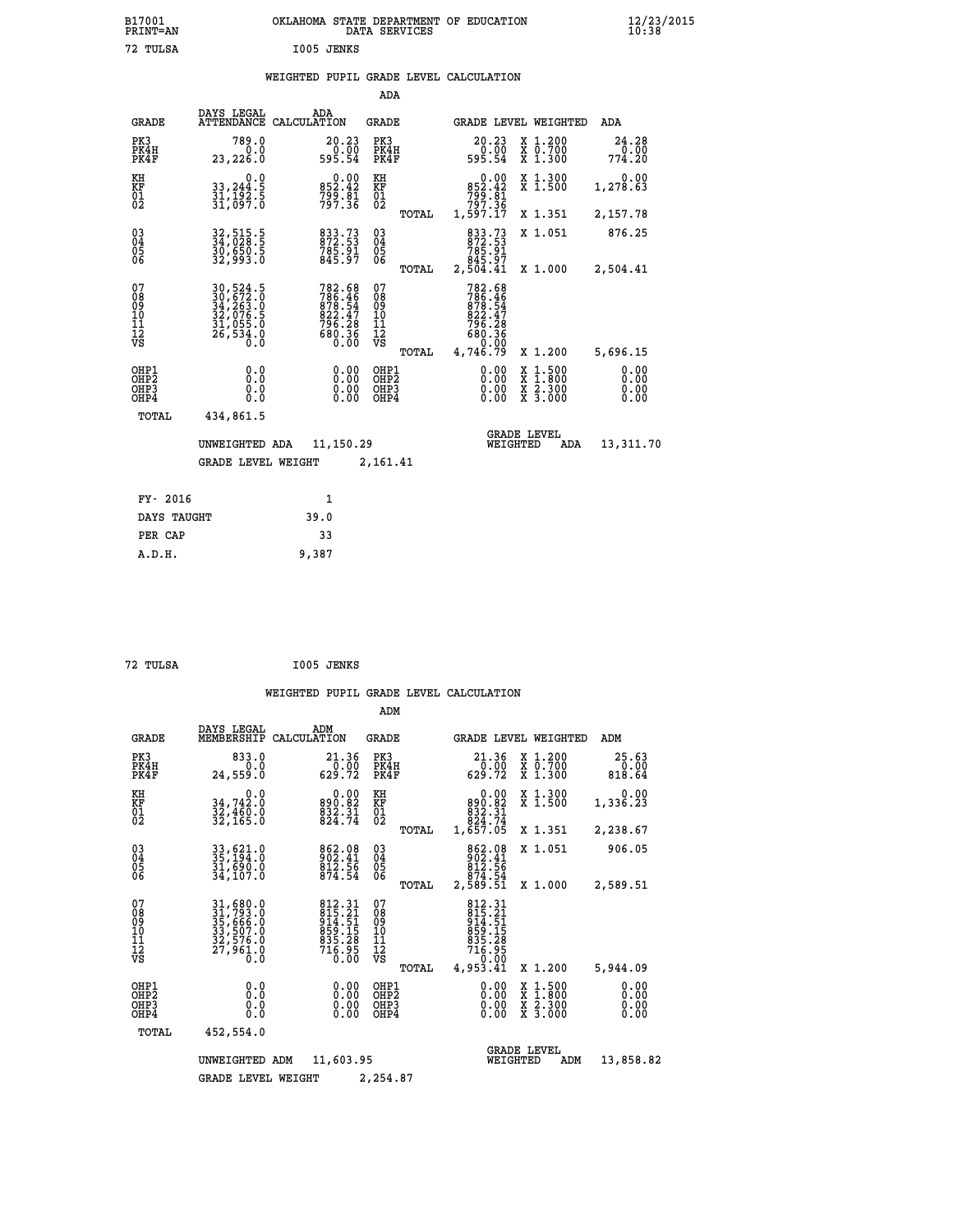| B17001<br>PRINT=AN               |                                                                             | OKLAHOMA STATE DEPARTMENT OF EDUCATION                                 | DATA SERVICES                                      |                                                         |                                          | $\frac{12}{23}$ /2015        |
|----------------------------------|-----------------------------------------------------------------------------|------------------------------------------------------------------------|----------------------------------------------------|---------------------------------------------------------|------------------------------------------|------------------------------|
| 72 TULSA                         |                                                                             | I005 JENKS                                                             |                                                    |                                                         |                                          |                              |
|                                  |                                                                             | WEIGHTED PUPIL GRADE LEVEL CALCULATION                                 |                                                    |                                                         |                                          |                              |
|                                  |                                                                             |                                                                        | ADA                                                |                                                         |                                          |                              |
| <b>GRADE</b>                     | DAYS LEGAL                                                                  | ADA<br>ATTENDANCE CALCULATION                                          | GRADE                                              | GRADE LEVEL WEIGHTED                                    |                                          | ADA                          |
| PK3<br>PK4H<br>PK4F              | 789.0<br>0.0<br>23,226.0                                                    | 20.23<br>0.00<br>595.54                                                | PK3<br>PK4H<br>PK4F                                | 20.23<br>0.00<br>595.54                                 | X 1.200<br>X 0.700<br>X 1.300            | 24.28<br>0.00<br>774.20      |
| KH<br>KF<br>01<br>02             | 0.0<br>33,244:5<br>31,192:5<br>31,097:0                                     | $0.00$<br>852.42<br>799.81<br>797.36                                   | KH<br>KF<br>01<br>02                               | $0.00$<br>42.43<br>$799.81$<br>$797.36$                 | X 1.300<br>X 1.500                       | 0.00<br>1,278.63             |
|                                  |                                                                             |                                                                        | TOTAL                                              | 1,597.17                                                | X 1.351                                  | 2,157.78                     |
| 030404<br>ŎĞ                     | 32,515.5<br>34,028.5<br>30,650.5<br>32,993.0                                | 833.73<br>872.53<br>785.91<br>845.97                                   | $\begin{matrix} 03 \\ 04 \\ 05 \\ 06 \end{matrix}$ | 833.73<br>872.53<br>785.91<br>845.97<br>2,504.41        | X 1.051                                  | 876.25                       |
| 07                               |                                                                             |                                                                        | TOTAL<br>07                                        | 782.68                                                  | X 1,000                                  | 2,504.41                     |
| 08<br>09<br>11<br>11<br>12<br>VS | 30,524.5<br>30,672.0<br>34,263.0<br>32,076.5<br>31,055.0<br>26,534.0<br>0.0 | 782.68<br>786.46<br>878.54<br>822.47<br>$796.28$<br>$680.36$<br>$0.00$ | 08<br>09<br>101<br>11<br>12<br>VS                  | 786.46<br>878.54<br>822.47<br>796.28<br>880.36<br>00.00 |                                          |                              |
|                                  |                                                                             |                                                                        | TOTAL                                              | 4,746.79                                                | X 1.200                                  | 5,696.15                     |
| OHP1<br>OHP2<br>OHP3<br>OHP4     | 0.000<br>0.0<br>0.0                                                         | 0.00<br>0.00<br>0.00                                                   | OHP1<br>OHP2<br>OHP3<br>OHP4                       | 0.00<br>0.00<br>0.00                                    | X 1:500<br>X 1:800<br>X 2:300<br>X 3:000 | 0.00<br>0.00<br>0.00<br>0.00 |
| TOTAL                            | 434,861.5                                                                   |                                                                        |                                                    |                                                         |                                          |                              |
|                                  | UNWEIGHTED ADA                                                              | 11,150.29                                                              |                                                    | <b>GRADE LEVEL</b><br>WEIGHTED                          | ADA                                      | 13,311.70                    |
|                                  | <b>GRADE LEVEL WEIGHT</b>                                                   |                                                                        | 2,161.41                                           |                                                         |                                          |                              |
| FY- 2016                         |                                                                             | $\mathbf{1}$                                                           |                                                    |                                                         |                                          |                              |
| DAYS TAUGHT                      |                                                                             | 39.0                                                                   |                                                    |                                                         |                                          |                              |
| PER CAP                          |                                                                             | 33                                                                     |                                                    |                                                         |                                          |                              |

| 72 TULSA | I005 JENKS |
|----------|------------|
|          |            |

 **A.D.H. 9,387**

|                                                       |                                                                             |                                                                            | ADM                                             |                                                                                                                                                                                         |                                                                                                  |                              |
|-------------------------------------------------------|-----------------------------------------------------------------------------|----------------------------------------------------------------------------|-------------------------------------------------|-----------------------------------------------------------------------------------------------------------------------------------------------------------------------------------------|--------------------------------------------------------------------------------------------------|------------------------------|
| <b>GRADE</b>                                          | DAYS LEGAL<br>MEMBERSHIP                                                    | ADM<br>CALCULATION                                                         | <b>GRADE</b>                                    | GRADE LEVEL WEIGHTED                                                                                                                                                                    |                                                                                                  | ADM                          |
| PK3<br>PK4H<br>PK4F                                   | 833.0<br>0.0<br>24,559.0                                                    | 21.36<br>0.00<br>629.72                                                    | PK3<br>PK4H<br>PK4F                             | 21.36<br>0.00<br>629.72                                                                                                                                                                 | X 1.200<br>X 0.700<br>X 1.300                                                                    | 25.63<br>0.00<br>818.64      |
| KH<br>KF<br>01<br>02                                  | 0.0<br>34,742:0<br>32,460:0<br>32,165:0                                     | $890.82$<br>$832.31$<br>$824.74$                                           | KH<br>KF<br>01<br>02                            | 0.00<br>$890.82$<br>$832.31$<br>$824.74$<br>$1,657.05$                                                                                                                                  | X 1.300<br>X 1.500                                                                               | 0.00<br>1,336.23             |
|                                                       |                                                                             |                                                                            | TOTAL                                           |                                                                                                                                                                                         | X 1.351                                                                                          | 2,238.67                     |
| 03<br>04<br>05<br>06                                  | 33,621.0<br>35,194.0<br>31,690.0<br>34,107.0                                | 862.08<br>902.41<br>812.56<br>874.54                                       | $^{03}_{04}$<br>0500                            | 862.08<br>902.41<br>812.56                                                                                                                                                              | X 1.051                                                                                          | 906.05                       |
|                                                       |                                                                             |                                                                            | TOTAL                                           | 874.54<br>2,589.51                                                                                                                                                                      | X 1.000                                                                                          | 2,589.51                     |
| 07<br>08<br>09<br>11<br>11<br>12<br>VS                | 31,680.0<br>31,793.0<br>35,666.0<br>33,507.0<br>32,576.0<br>27,961.0<br>0.0 | 812.31<br>815.21<br>814.51<br>959.15<br>855.28<br>835.28<br>716.95<br>0.00 | 07<br>08<br>09<br>11<br>11<br>12<br>VS<br>TOTAL | 812.31<br>815.21<br>914.51<br>$\begin{array}{l} 8\bar{5}\bar{9}\cdot\bar{1}\bar{5}\\ 8\bar{3}\bar{5}\cdot\bar{2}\bar{8}\\ 71\bar{6}\cdot\bar{9}\bar{5} \end{array}$<br>0.00<br>4,953.41 | X 1.200                                                                                          | 5,944.09                     |
| OHP1<br>OH <sub>P</sub> 2<br>OH <sub>P3</sub><br>OHP4 | 0.0<br>0.000                                                                | $0.00$<br>$0.00$<br>0.00                                                   | OHP1<br>OHP2<br>OHP3<br>OHP4                    | $0.00$<br>$0.00$<br>0.00                                                                                                                                                                | $\begin{smallmatrix} x & 1 & 500 \\ x & 1 & 800 \\ x & 2 & 300 \\ x & 3 & 000 \end{smallmatrix}$ | 0.00<br>0.00<br>0.00<br>0.00 |
| TOTAL                                                 | 452,554.0                                                                   |                                                                            |                                                 |                                                                                                                                                                                         |                                                                                                  |                              |
|                                                       | UNWEIGHTED                                                                  | 11,603.95<br>ADM                                                           |                                                 | WEIGHTED                                                                                                                                                                                | <b>GRADE LEVEL</b><br>ADM                                                                        | 13,858.82                    |
|                                                       | <b>GRADE LEVEL WEIGHT</b>                                                   |                                                                            | 2,254.87                                        |                                                                                                                                                                                         |                                                                                                  |                              |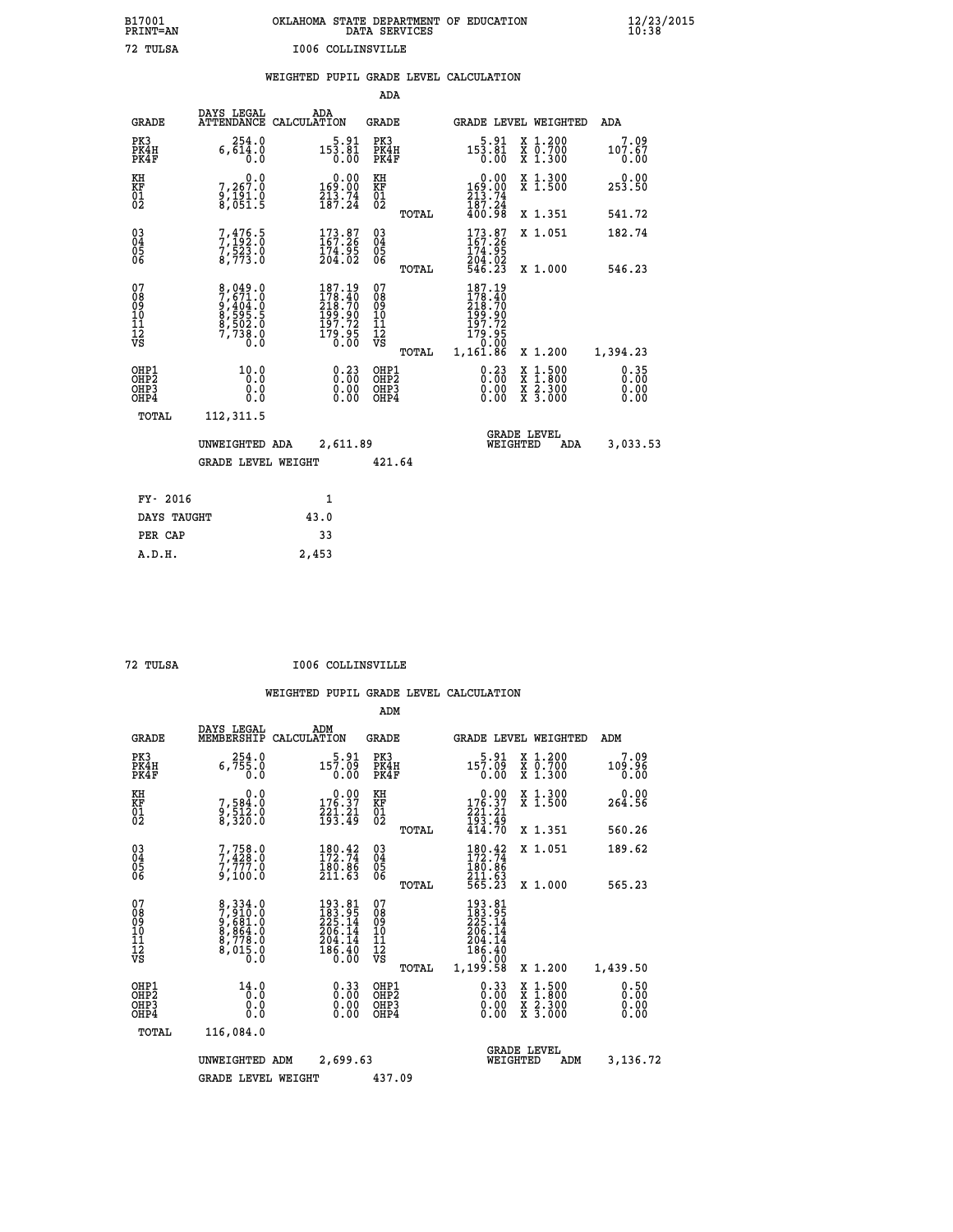| OKLAHOMA STATE DEPARTMENT OF EDUCATION<br>DATA SERVICES |  |
|---------------------------------------------------------|--|
| 1006 COLLINSVILLE                                       |  |

|  |  | WEIGHTED PUPIL GRADE LEVEL CALCULATION |
|--|--|----------------------------------------|
|  |  |                                        |

|                |                                                                                                                         | ADA                                                                                                                                                                                                                                                                                                  |                                                                                                                                                                                                                                                                                                                                                                                                         |                                                                                                                                                                                                                                                                      |
|----------------|-------------------------------------------------------------------------------------------------------------------------|------------------------------------------------------------------------------------------------------------------------------------------------------------------------------------------------------------------------------------------------------------------------------------------------------|---------------------------------------------------------------------------------------------------------------------------------------------------------------------------------------------------------------------------------------------------------------------------------------------------------------------------------------------------------------------------------------------------------|----------------------------------------------------------------------------------------------------------------------------------------------------------------------------------------------------------------------------------------------------------------------|
|                | ADA                                                                                                                     | <b>GRADE</b>                                                                                                                                                                                                                                                                                         | GRADE LEVEL WEIGHTED                                                                                                                                                                                                                                                                                                                                                                                    | <b>ADA</b>                                                                                                                                                                                                                                                           |
| 254.0<br>0.0   |                                                                                                                         | PK3<br>PK4H<br>PK4F                                                                                                                                                                                                                                                                                  | $153.81$<br>0.00<br>X 1.200<br>X 0.700<br>X 1.300                                                                                                                                                                                                                                                                                                                                                       | 7.09<br>107.67<br>0.00                                                                                                                                                                                                                                               |
| 0.0<br>7,267.0 |                                                                                                                         | KH<br>KF                                                                                                                                                                                                                                                                                             | X 1.300<br>X 1.500                                                                                                                                                                                                                                                                                                                                                                                      | 0.00<br>253.50                                                                                                                                                                                                                                                       |
|                |                                                                                                                         | TOTAL                                                                                                                                                                                                                                                                                                | X 1.351                                                                                                                                                                                                                                                                                                                                                                                                 | 541.72                                                                                                                                                                                                                                                               |
|                |                                                                                                                         | $\substack{03 \\ 04}$<br>05<br>06                                                                                                                                                                                                                                                                    | 173.87<br>X 1.051                                                                                                                                                                                                                                                                                                                                                                                       | 182.74                                                                                                                                                                                                                                                               |
|                |                                                                                                                         |                                                                                                                                                                                                                                                                                                      |                                                                                                                                                                                                                                                                                                                                                                                                         | 546.23                                                                                                                                                                                                                                                               |
|                |                                                                                                                         |                                                                                                                                                                                                                                                                                                      |                                                                                                                                                                                                                                                                                                                                                                                                         |                                                                                                                                                                                                                                                                      |
|                |                                                                                                                         | TOTAL                                                                                                                                                                                                                                                                                                | X 1.200                                                                                                                                                                                                                                                                                                                                                                                                 | 1,394.23                                                                                                                                                                                                                                                             |
| 10.0           |                                                                                                                         | OHP1<br>OH <sub>P</sub> 2<br>OHP3<br>OHP4                                                                                                                                                                                                                                                            | $1:500$<br>$1:800$<br>X<br>X<br>0.00<br>$\frac{x}{x}$ $\frac{5:300}{3:000}$<br>0.00                                                                                                                                                                                                                                                                                                                     | 0.35<br>0.00<br>0.00<br>0.00                                                                                                                                                                                                                                         |
|                |                                                                                                                         |                                                                                                                                                                                                                                                                                                      |                                                                                                                                                                                                                                                                                                                                                                                                         |                                                                                                                                                                                                                                                                      |
|                |                                                                                                                         |                                                                                                                                                                                                                                                                                                      | <b>GRADE LEVEL</b><br>WEIGHTED<br><b>ADA</b>                                                                                                                                                                                                                                                                                                                                                            | 3,033.53                                                                                                                                                                                                                                                             |
|                |                                                                                                                         | 421.64                                                                                                                                                                                                                                                                                               |                                                                                                                                                                                                                                                                                                                                                                                                         |                                                                                                                                                                                                                                                                      |
|                | 1                                                                                                                       |                                                                                                                                                                                                                                                                                                      |                                                                                                                                                                                                                                                                                                                                                                                                         |                                                                                                                                                                                                                                                                      |
|                | 43.0                                                                                                                    |                                                                                                                                                                                                                                                                                                      |                                                                                                                                                                                                                                                                                                                                                                                                         |                                                                                                                                                                                                                                                                      |
|                | 33                                                                                                                      |                                                                                                                                                                                                                                                                                                      |                                                                                                                                                                                                                                                                                                                                                                                                         |                                                                                                                                                                                                                                                                      |
|                | <b>GRADE</b><br>PK4H<br>PK4F<br>OHP1<br>OHP <sub>2</sub><br>OHP3<br>OHP4<br>TOTAL<br>FY- 2016<br>DAYS TAUGHT<br>PER CAP | DAYS LEGAL<br>ATTENDANCE CALCULATION<br>6,614.0<br>$\frac{9}{8}, \frac{18}{051}$ : 9<br>7,476.5<br>7,192.0<br>7,523.0<br>8,773.0<br>187.19<br>8,049.0<br>7,671.0<br>9,404.0<br>8,595.5<br>8,502.0<br>7,738.0<br>0.0<br>0.0<br>0.0<br>Ō.Ō<br>112,311.5<br>UNWEIGHTED ADA<br><b>GRADE LEVEL WEIGHT</b> | $5.91$<br>$153.81$<br>0.00<br>$\begin{smallmatrix} &0.00\\169.00\\213.74\\187.24\end{smallmatrix}$<br>$\begin{matrix} 01 \ 02 \end{matrix}$<br>$173.87$<br>$167.26$<br>174.95<br>204.02<br>TOTAL<br>07<br>$178.40$<br>$218.70$<br>$199.90$<br>$197.72$<br>$179.95$<br>$0.00$<br>08<br>09<br>11<br>11<br>12<br>VS<br>$0.23$<br>$0.00$<br>$\begin{smallmatrix} 0.00 \ 0.00 \end{smallmatrix}$<br>2,611.89 | $\begin{smallmatrix} &0.00\\ 169.00\\ 213.74\\ 187.24\\ 400.98 \end{smallmatrix}$<br>$\frac{174.95}{204.02}$<br>546.23<br>X 1.000<br>187.19<br>$\begin{smallmatrix} 176.11\ 178.40\ 218.70\ 199.90\ 197.72\ 179.95\ 1.161.86\ \end{smallmatrix}$<br>$0.23$<br>$0.00$ |

 **A.D.H. 2,453**

 **B17001<br>PRINT=AN<br>72 TULSA** 

 **72 TULSA I006 COLLINSVILLE**

|                                          |                                                                       |                                                                         | ADM                                                 |                                                                                   |                                          |                              |
|------------------------------------------|-----------------------------------------------------------------------|-------------------------------------------------------------------------|-----------------------------------------------------|-----------------------------------------------------------------------------------|------------------------------------------|------------------------------|
| <b>GRADE</b>                             | DAYS LEGAL<br>MEMBERSHIP                                              | ADM<br>CALCULATION                                                      | <b>GRADE</b>                                        |                                                                                   | <b>GRADE LEVEL WEIGHTED</b>              | ADM                          |
| PK3<br>PK4H<br>PK4F                      | 254.0<br>6,755.0<br>0.0                                               | $5.91$<br>157.09<br>0.00                                                | PK3<br>PK4H<br>PK4F                                 | 5.91<br>157.09<br>0.00                                                            | X 1.200<br>X 0.700<br>X 1.300            | 7.09<br>109.96<br>0.00       |
| KH<br>KF<br>01<br>02                     | 0.0<br>7,584:0<br>9,512:0<br>8,320:0                                  | $\begin{smallmatrix} 0.00\\ 176.37\\ 221.21\\ 193.49 \end{smallmatrix}$ | KH<br>KF<br>01<br>02                                | $\begin{smallmatrix} &0.00\\ 176.37\\ 221.21\\ 193.49\\ 414.70 \end{smallmatrix}$ | X 1.300<br>X 1.500                       | 0.00<br>264.56               |
|                                          |                                                                       |                                                                         | TOTAL                                               |                                                                                   | X 1.351                                  | 560.26                       |
| 03<br>04<br>05<br>06                     | $7,758.0$<br>$7,777.0$<br>9,100.0                                     | $\frac{180.42}{172.74}$<br>211.63                                       | $\begin{array}{c} 03 \\ 04 \\ 05 \\ 06 \end{array}$ | 180.42<br>180.86<br>211.63<br>565.23                                              | X 1.051                                  | 189.62                       |
|                                          |                                                                       |                                                                         | TOTAL                                               |                                                                                   | X 1.000                                  | 565.23                       |
| 07<br>08<br>09<br>101<br>11<br>12<br>VS  | 8,334.0<br>7,910.0<br>9,681.0<br>8,864.0<br>8,778.0<br>8,015.0<br>0.0 | 193.81<br>183.95<br>225.14<br>206.14<br>204.14<br>$\frac{186.40}{0.00}$ | 07<br>08<br>09<br>11<br>11<br>12<br>VS<br>TOTAL     | 193.81<br>183.95<br>225.14<br>206.14<br>204.14<br>186.40<br>0.00<br>1,199.58      | X 1.200                                  | 1,439.50                     |
| OHP1<br>OHP2<br>OH <sub>P3</sub><br>OHP4 | 14.0<br>0.0<br>0.000                                                  | $\begin{smallmatrix} 0.33\ 0.00\ 0.00\ 0.00 \end{smallmatrix}$          | OHP1<br>OHP2<br>OHP <sub>3</sub>                    | $0.33\n0.00\n0.00$<br>0.00                                                        | X 1:500<br>X 1:800<br>X 2:300<br>X 3:000 | 0.50<br>0.00<br>0.00<br>0.00 |
| TOTAL                                    | 116,084.0                                                             |                                                                         |                                                     |                                                                                   |                                          |                              |
|                                          | UNWEIGHTED<br>ADM                                                     | 2,699.63                                                                |                                                     | WEIGHTED                                                                          | <b>GRADE LEVEL</b><br>ADM                | 3,136.72                     |
|                                          | <b>GRADE LEVEL WEIGHT</b>                                             |                                                                         | 437.09                                              |                                                                                   |                                          |                              |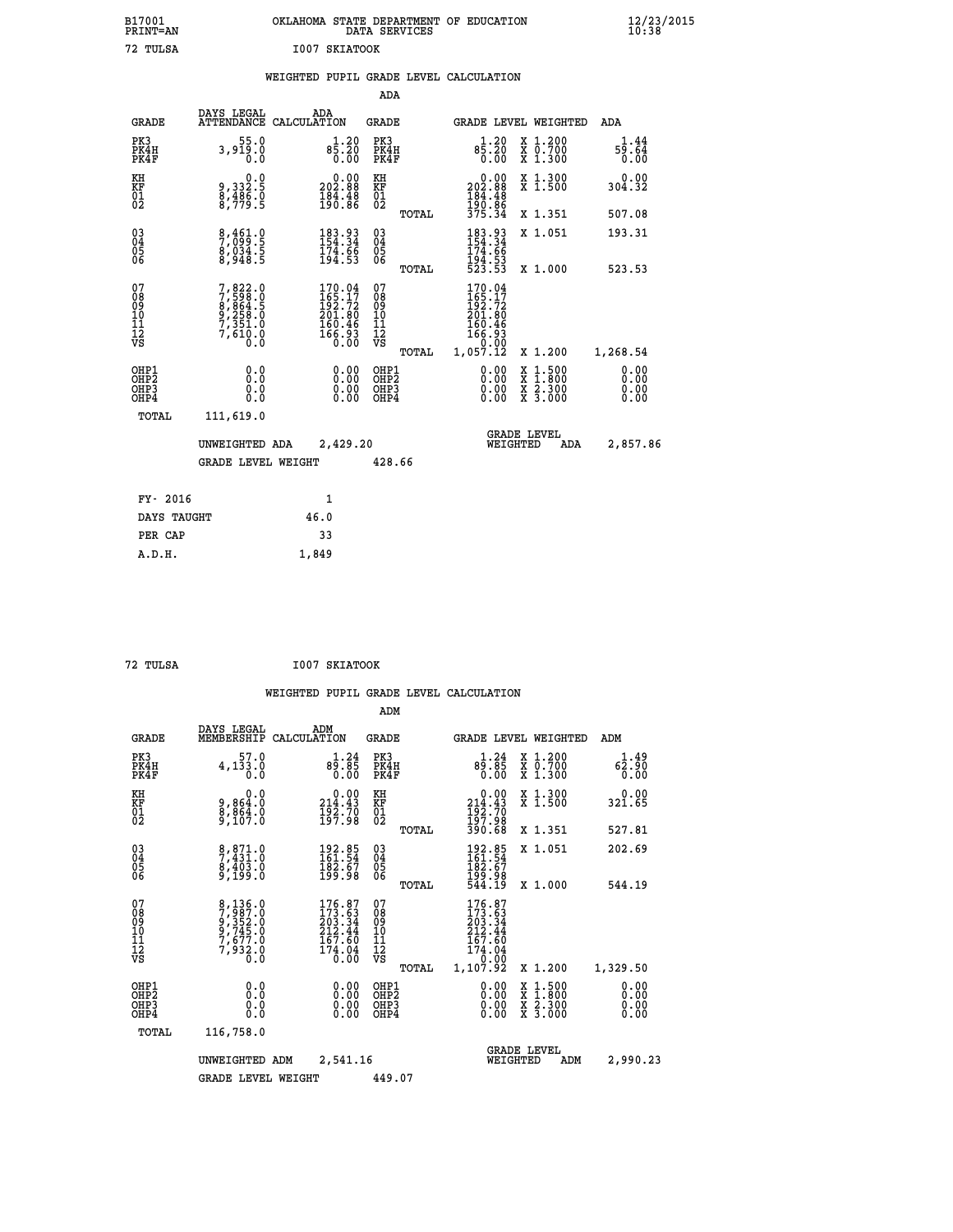|               | OKLAHOMA STATE DEPARTMENT OF EDUCATION<br>DATA SERVICES |  |
|---------------|---------------------------------------------------------|--|
| T007 SKTATOOK |                                                         |  |

## **WEIGHTED PUPIL GRADE LEVEL CALCULATION**

|                                                                    |                                                                                     |                                                                                | ADA                                       |       |                                                                            |                                          |                              |
|--------------------------------------------------------------------|-------------------------------------------------------------------------------------|--------------------------------------------------------------------------------|-------------------------------------------|-------|----------------------------------------------------------------------------|------------------------------------------|------------------------------|
| <b>GRADE</b>                                                       | DAYS LEGAL<br><b>ATTENDANCE</b>                                                     | ADA<br>CALCULATION                                                             | <b>GRADE</b>                              |       | <b>GRADE LEVEL WEIGHTED</b>                                                |                                          | ADA                          |
| PK3<br>PK4H<br>PK4F                                                | 55.0<br>3,919.0<br>0.0                                                              | $8\frac{1}{5}\cdot\frac{20}{20}$<br>0.00                                       | PK3<br>PK4H<br>PK4F                       |       | $1.20$<br>85.20<br>0.00                                                    | X 1.200<br>X 0.700<br>X 1.300            | 1.44<br>59.64<br>0.00        |
| KH<br><b>KF</b><br>01<br>02                                        | 0.0<br>9,332:5<br>8,486:0<br>8,779:5                                                | $\begin{smallmatrix} &0.00\\ 202.88\\ 184.48\\ 190.86\end{smallmatrix}$        | KH<br>KF<br>01<br>02                      |       | 0.00<br>202.88<br>$184.48$<br>$190.86$<br>$375.34$                         | X 1.300<br>X 1.500                       | 0.00<br>304.32               |
|                                                                    |                                                                                     |                                                                                |                                           | TOTAL |                                                                            | X 1.351                                  | 507.08                       |
| $\begin{smallmatrix} 03 \\[-4pt] 04 \end{smallmatrix}$<br>05<br>06 | 8,461.0<br>7,099.5<br>8,034.5<br>8,948.5                                            | 183.93<br>154.34<br>174.66<br>194.53                                           | $\substack{03 \\ 04}$<br>05<br>06         |       | 183.93<br>154.34<br>174.66<br>194.53<br>523.53                             | X 1.051                                  | 193.31                       |
|                                                                    |                                                                                     |                                                                                |                                           | TOTAL |                                                                            | X 1.000                                  | 523.53                       |
| 07<br>08901112<br>1112<br>VS                                       | $7,822.0$<br>$7,598.0$<br>$8,864.5$<br>$9,258.0$<br>$7,351.0$<br>$7,610.0$<br>$0.0$ | $170.04$<br>$165.17$<br>$192.72$<br>$201.80$<br>$160.46$<br>$166.93$<br>$0.00$ | 07<br>08<br>09<br>11<br>11<br>12<br>VS    |       | 170.04<br>$165.17$<br>$192.72$<br>$201.80$<br>$160.46$<br>$166.93$<br>0.00 |                                          |                              |
|                                                                    |                                                                                     |                                                                                |                                           | TOTAL | 1,057.12                                                                   | X 1.200                                  | 1,268.54                     |
| OHP1<br>OH <sub>P</sub> 2<br>OH <sub>P3</sub><br>OH <sub>P4</sub>  | 0.0<br>0.0<br>0.0                                                                   | 0.00<br>$\begin{smallmatrix} 0.00 \ 0.00 \end{smallmatrix}$                    | OHP1<br>OH <sub>P</sub> 2<br>OHP3<br>OHP4 |       | 0.00<br>0.00<br>0.00                                                       | X 1:500<br>X 1:800<br>X 2:300<br>X 3:000 | 0.00<br>0.00<br>0.00<br>0.00 |
| TOTAL                                                              | 111,619.0                                                                           |                                                                                |                                           |       |                                                                            |                                          |                              |
|                                                                    | UNWEIGHTED ADA                                                                      | 2,429.20                                                                       |                                           |       |                                                                            | GRADE LEVEL<br>WEIGHTED<br>ADA           | 2,857.86                     |
|                                                                    | <b>GRADE LEVEL WEIGHT</b>                                                           |                                                                                | 428.66                                    |       |                                                                            |                                          |                              |
| FY- 2016                                                           |                                                                                     | $\mathbf{1}$                                                                   |                                           |       |                                                                            |                                          |                              |
| DAYS TAUGHT                                                        |                                                                                     | 46.0                                                                           |                                           |       |                                                                            |                                          |                              |
| PER CAP                                                            |                                                                                     | 33                                                                             |                                           |       |                                                                            |                                          |                              |

 **A.D.H. 1,849**

 **B17001<br>PRINT=AN** 72 TULSA

 **72 TULSA I007 SKIATOOK**

|                                          |                                                                       |                                                                                                       | ADM                                                |                                                                                            |                                          |                              |
|------------------------------------------|-----------------------------------------------------------------------|-------------------------------------------------------------------------------------------------------|----------------------------------------------------|--------------------------------------------------------------------------------------------|------------------------------------------|------------------------------|
| <b>GRADE</b>                             | DAYS LEGAL<br>MEMBERSHIP                                              | ADM<br>CALCULATION                                                                                    | <b>GRADE</b>                                       | <b>GRADE LEVEL WEIGHTED</b>                                                                |                                          | ADM                          |
| PK3<br>PK4H<br>PK4F                      | 57.0<br>4,133.0<br>0.0                                                | $3.24$<br>$89.85$<br>0.00                                                                             | PK3<br>PK4H<br>PK4F                                | $3.24$<br>$89.85$<br>0.00                                                                  | X 1.200<br>X 0.700<br>X 1.300            | 1.49<br>62.90<br>0.00        |
| KH<br>KF<br>01<br>02                     | 0.0<br>9,864:0<br>8,864:0<br>9,107:0                                  | $\begin{smallmatrix}&&0.00\\214.43\\192.70\\197.98\end{smallmatrix}$                                  | KH<br>KF<br>01<br>02                               | $0.00$<br>$214.43$<br>$192.70$<br>$197.98$<br>$390.68$                                     | X 1.300<br>X 1.500                       | $0.00$<br>321.65             |
|                                          |                                                                       |                                                                                                       | TOTAL                                              |                                                                                            | X 1.351                                  | 527.81                       |
| 03<br>04<br>05<br>06                     | 8,871.0<br>7,431.0<br>8,403.0<br>9,199.0                              | $\begin{smallmatrix} 192.85\ 161.54\ 182.67\ 199.98 \end{smallmatrix}$                                | $\begin{matrix} 03 \\ 04 \\ 05 \\ 06 \end{matrix}$ | 192.85<br>161.54<br>182.67<br>199.98<br>544.19                                             | X 1.051                                  | 202.69                       |
|                                          |                                                                       |                                                                                                       | TOTAL                                              |                                                                                            | X 1.000                                  | 544.19                       |
| 07<br>08<br>09<br>101<br>11<br>12<br>VS  | 8,136.0<br>7,987.0<br>9,352.0<br>9,745.0<br>7,677.0<br>7,932.0<br>0.0 | $176.87$<br>$173.63$<br>$203.34$<br>$\begin{array}{r} 212.44 \\ 167.60 \\ 174.04 \\ 0.00 \end{array}$ | 07<br>08<br>09<br>11<br>11<br>12<br>VS<br>TOTAL    | $176.87$<br>$173.63$<br>$203.34$<br>$212.44$<br>$167.60$<br>$174.04$<br>$0.00$<br>1,107.92 | X 1.200                                  | 1,329.50                     |
| OHP1<br>OHP2<br>OH <sub>P3</sub><br>OHP4 | 0.0<br>0.000                                                          | $0.00$<br>$0.00$<br>0.00                                                                              | OHP1<br>OHP2<br>OHP <sub>3</sub>                   | $0.00$<br>$0.00$<br>0.00                                                                   | X 1:500<br>X 1:800<br>X 2:300<br>X 3:000 | 0.00<br>0.00<br>0.00<br>0.00 |
| TOTAL                                    | 116,758.0                                                             |                                                                                                       |                                                    |                                                                                            |                                          |                              |
|                                          | UNWEIGHTED                                                            | 2,541.16<br>ADM                                                                                       |                                                    | <b>GRADE LEVEL</b><br>WEIGHTED                                                             | ADM                                      | 2,990.23                     |
|                                          | <b>GRADE LEVEL WEIGHT</b>                                             |                                                                                                       | 449.07                                             |                                                                                            |                                          |                              |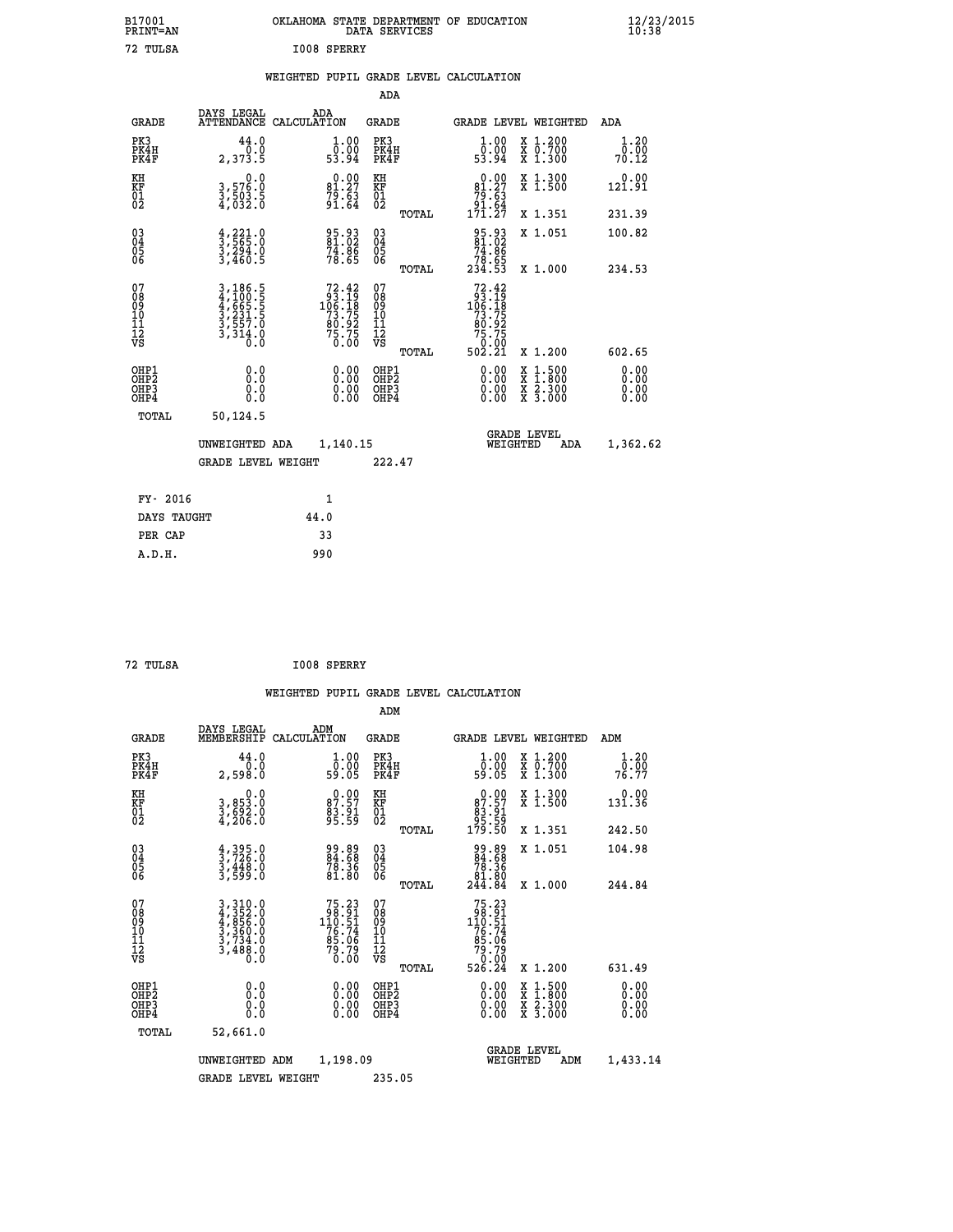| B17001<br>PRINT=AN                       |                                                                | OKLAHOMA STATE DEPARTMENT OF EDUCATION                                                | DATA SERVICES                                      |                                                                                                                                                                                                                                                                                                                                              |                                                                                          | $\frac{12}{23}$ /2015 |
|------------------------------------------|----------------------------------------------------------------|---------------------------------------------------------------------------------------|----------------------------------------------------|----------------------------------------------------------------------------------------------------------------------------------------------------------------------------------------------------------------------------------------------------------------------------------------------------------------------------------------------|------------------------------------------------------------------------------------------|-----------------------|
| 72 TULSA                                 |                                                                | I008 SPERRY                                                                           |                                                    |                                                                                                                                                                                                                                                                                                                                              |                                                                                          |                       |
|                                          |                                                                | WEIGHTED PUPIL GRADE LEVEL CALCULATION                                                |                                                    |                                                                                                                                                                                                                                                                                                                                              |                                                                                          |                       |
|                                          |                                                                |                                                                                       | ADA                                                |                                                                                                                                                                                                                                                                                                                                              |                                                                                          |                       |
| <b>GRADE</b>                             | DAYS LEGAL                                                     | ADA<br>ATTENDANCE CALCULATION                                                         | GRADE                                              |                                                                                                                                                                                                                                                                                                                                              | GRADE LEVEL WEIGHTED                                                                     | ADA                   |
| PK3<br>PK4H<br>PK4F                      | 44.0<br>0.0<br>2,373.5                                         | 1.00<br>0.00<br>53.94                                                                 | PK3<br>PK4H<br>PK4F                                | 1.00<br>$\overline{0}$ .00<br>53.94                                                                                                                                                                                                                                                                                                          | X 1.200<br>X 0.700<br>X 1.300                                                            | 1.20<br>0.00<br>70.12 |
| KH<br>KF<br>01<br>02                     | 0.0<br>3,576.0<br>3,503.5<br>4,032.0                           | $81.27$<br>$79.63$<br>$91.64$                                                         | KH<br>KF<br>01<br>02                               | $\begin{smallmatrix} &0.00\\ &81.27\\ &79.63\\ &91.64\\ &171.27\end{smallmatrix}$                                                                                                                                                                                                                                                            | X 1.300<br>X 1.500                                                                       | 0.00<br>121.91        |
|                                          |                                                                |                                                                                       | <b>TOTAL</b>                                       |                                                                                                                                                                                                                                                                                                                                              | X 1.351                                                                                  | 231.39                |
| 03<br>04<br>05<br>06                     | $\frac{4}{3}, \frac{221}{565}$ .0<br>3,294.0<br>3,460.5        | 95.93<br>81.02<br>74.86<br>78.65                                                      | $\begin{matrix} 03 \\ 04 \\ 05 \\ 06 \end{matrix}$ | 95.93<br>81.02<br>74.86<br>78.65<br>234.53                                                                                                                                                                                                                                                                                                   | X 1.051                                                                                  | 100.82                |
|                                          |                                                                |                                                                                       | TOTAL                                              |                                                                                                                                                                                                                                                                                                                                              | X 1.000                                                                                  | 234.53                |
| 07<br>08<br>09<br>10<br>11<br>12<br>VS   | 3,186.5<br>4,100.5<br>4,665.5<br>3,231.5<br>3,557.0<br>3,314.0 | $\begin{smallmatrix}72.42\\93.19\\106.18\\73.75\\80.92\\75.75\\0.00\end{smallmatrix}$ | 07<br>08<br>09<br>101<br>11<br>12<br>VS            | 72.42<br>$\begin{smallmatrix} 6 & 3 & 1 & 2 \\ 9 & 3 & 1 & 9 \\ 10 & 6 & 1 & 8 \\ 7 & 3 & 7 & 5 \\ 8 & 0 & 9 & 2 \\ 7 & 5 & 7 & 5 \\ 9 & 0 & 0 & 0 \\ 1 & 0 & 0 & 0 \\ 2 & 0 & 0 & 0 \\ 3 & 0 & 0 & 0 \\ 4 & 0 & 0 & 0 \\ 5 & 0 & 0 & 0 \\ 6 & 0 & 0 & 0 \\ 7 & 0 & 0 & 0 \\ 8 & 0 & 0 & 0 \\ 9 & 0 & 0 & 0 \\ 1 & 0 & 0 & 0 \\ 1 & 0 & 0 &$ |                                                                                          |                       |
|                                          |                                                                |                                                                                       | TOTAL                                              | 502.21                                                                                                                                                                                                                                                                                                                                       | X 1.200                                                                                  | 602.65                |
| OHP1<br>OHP <sub>2</sub><br>OHP3<br>OHP4 | 0.0<br>0.0<br>0.0                                              |                                                                                       | OHP1<br>OHP2<br>OHP3<br>OHP4                       | 0.00<br>0.00<br>0.00                                                                                                                                                                                                                                                                                                                         | $\begin{smallmatrix} x & 1.500 \\ x & 1.800 \\ x & 2.300 \\ x & 3.000 \end{smallmatrix}$ | 0.00<br>0.00<br>0.00  |
| <b>TOTAL</b>                             | 50,124.5                                                       |                                                                                       |                                                    |                                                                                                                                                                                                                                                                                                                                              |                                                                                          |                       |
|                                          | UNWEIGHTED ADA                                                 | 1,140.15                                                                              |                                                    | WEIGHTED                                                                                                                                                                                                                                                                                                                                     | <b>GRADE LEVEL</b><br>ADA                                                                | 1,362.62              |
|                                          | <b>GRADE LEVEL WEIGHT</b>                                      |                                                                                       | 222.47                                             |                                                                                                                                                                                                                                                                                                                                              |                                                                                          |                       |
| FY- 2016                                 |                                                                | 1                                                                                     |                                                    |                                                                                                                                                                                                                                                                                                                                              |                                                                                          |                       |
| DAYS TAUGHT                              |                                                                | 44.0                                                                                  |                                                    |                                                                                                                                                                                                                                                                                                                                              |                                                                                          |                       |
| PER CAP                                  |                                                                | 33                                                                                    |                                                    |                                                                                                                                                                                                                                                                                                                                              |                                                                                          |                       |
| A.D.H.                                   |                                                                | 990                                                                                   |                                                    |                                                                                                                                                                                                                                                                                                                                              |                                                                                          |                       |

| 72 TULSA | I008 SPERRY |
|----------|-------------|

| <b>GRADE</b>                                         | DAYS LEGAL<br>MEMBERSHIP                                                                                                                                                      | ADM<br>CALCULATION                                                                                                    | <b>GRADE</b>                                        |       | <b>GRADE LEVEL WEIGHTED</b>                                                                                                                  |                                          | ADM                          |  |
|------------------------------------------------------|-------------------------------------------------------------------------------------------------------------------------------------------------------------------------------|-----------------------------------------------------------------------------------------------------------------------|-----------------------------------------------------|-------|----------------------------------------------------------------------------------------------------------------------------------------------|------------------------------------------|------------------------------|--|
| PK3<br>PK4H<br>PK4F                                  | 44.0<br>2,598.0                                                                                                                                                               | $\begin{smallmatrix} 1.00\\ 0.00\\ 59.05 \end{smallmatrix}$                                                           | PK3<br>PK4H<br>PK4F                                 |       | 1.00<br>ŏ:ŏŏ<br>59:05                                                                                                                        | X 1.200<br>X 0.700<br>X 1.300            | 1.20<br>0.00<br>76.77        |  |
| KH<br>KF<br>01<br>02                                 | 0.0<br>3,853.0<br>3,692.0<br>4,206.0                                                                                                                                          | $87.57$<br>$83.91$<br>$95.59$                                                                                         | KH<br>KF<br>01<br>02                                |       | $0.00\n87.57\n83.91\n95.59\n179.50$                                                                                                          | X 1.300<br>X 1.500                       | 0.00<br>131.36               |  |
|                                                      |                                                                                                                                                                               |                                                                                                                       |                                                     | TOTAL |                                                                                                                                              | X 1.351                                  | 242.50                       |  |
| $\begin{matrix} 03 \\ 04 \\ 05 \\ 06 \end{matrix}$   | $\frac{4}{3}, \frac{395}{726}$ .0<br>3,448.0<br>3,599.0                                                                                                                       | 99.89<br>84.68<br>78.36<br>81.80                                                                                      | $\begin{array}{c} 03 \\ 04 \\ 05 \\ 06 \end{array}$ |       | $\begin{smallmatrix} 99.89\\ 84.68\\ 78.36\\ 81.80\\ 244.84 \end{smallmatrix}$                                                               | X 1.051                                  | 104.98                       |  |
|                                                      |                                                                                                                                                                               |                                                                                                                       |                                                     | TOTAL |                                                                                                                                              | X 1.000                                  | 244.84                       |  |
| 07<br>08<br>09<br>11<br>11<br>12<br>VS               | $\begin{smallmatrix} 3\,, & 310\, . & 0\\ 4\,, & 352\, . & 0\\ 4\,, & 856\, . & 0\\ 3\,, & 360\, . & 0\\ 3\,, & 734\, . & 0\\ 3\,, & 488\, . & 0\\ 0\,. & 0\end{smallmatrix}$ | $\begin{array}{r} 75\cdot23 \\ 98\cdot91 \\ 10\cdot51 \\ 76\cdot74 \\ 85\cdot06 \\ 79\cdot79 \\ 0\cdot00 \end{array}$ | 07<br>08<br>09<br>11<br>11<br>12<br>VS              | TOTAL | $\begin{array}{r} 75\cdot23 \\ 98\cdot91 \\ 10\cdot51 \\ 76\cdot74 \\ 76\cdot06 \\ 85\cdot06 \\ 79\cdot09 \\ 0.00 \\ 526\cdot24 \end{array}$ | X 1.200                                  | 631.49                       |  |
| OHP1<br>OHP <sub>2</sub><br>OH <sub>P3</sub><br>OHP4 | 0.0<br>0.000                                                                                                                                                                  |                                                                                                                       | OHP1<br>OHP <sub>2</sub><br>OHP3<br>OHP4            |       |                                                                                                                                              | X 1:500<br>X 1:800<br>X 2:300<br>X 3:000 | 0.00<br>0.00<br>0.00<br>0.00 |  |
| TOTAL                                                | 52,661.0                                                                                                                                                                      |                                                                                                                       |                                                     |       |                                                                                                                                              |                                          |                              |  |
|                                                      | UNWEIGHTED                                                                                                                                                                    | 1,198.09<br>ADM                                                                                                       |                                                     |       | WEIGHTED                                                                                                                                     | <b>GRADE LEVEL</b><br>ADM                | 1,433.14                     |  |
|                                                      | <b>GRADE LEVEL WEIGHT</b>                                                                                                                                                     |                                                                                                                       | 235.05                                              |       |                                                                                                                                              |                                          |                              |  |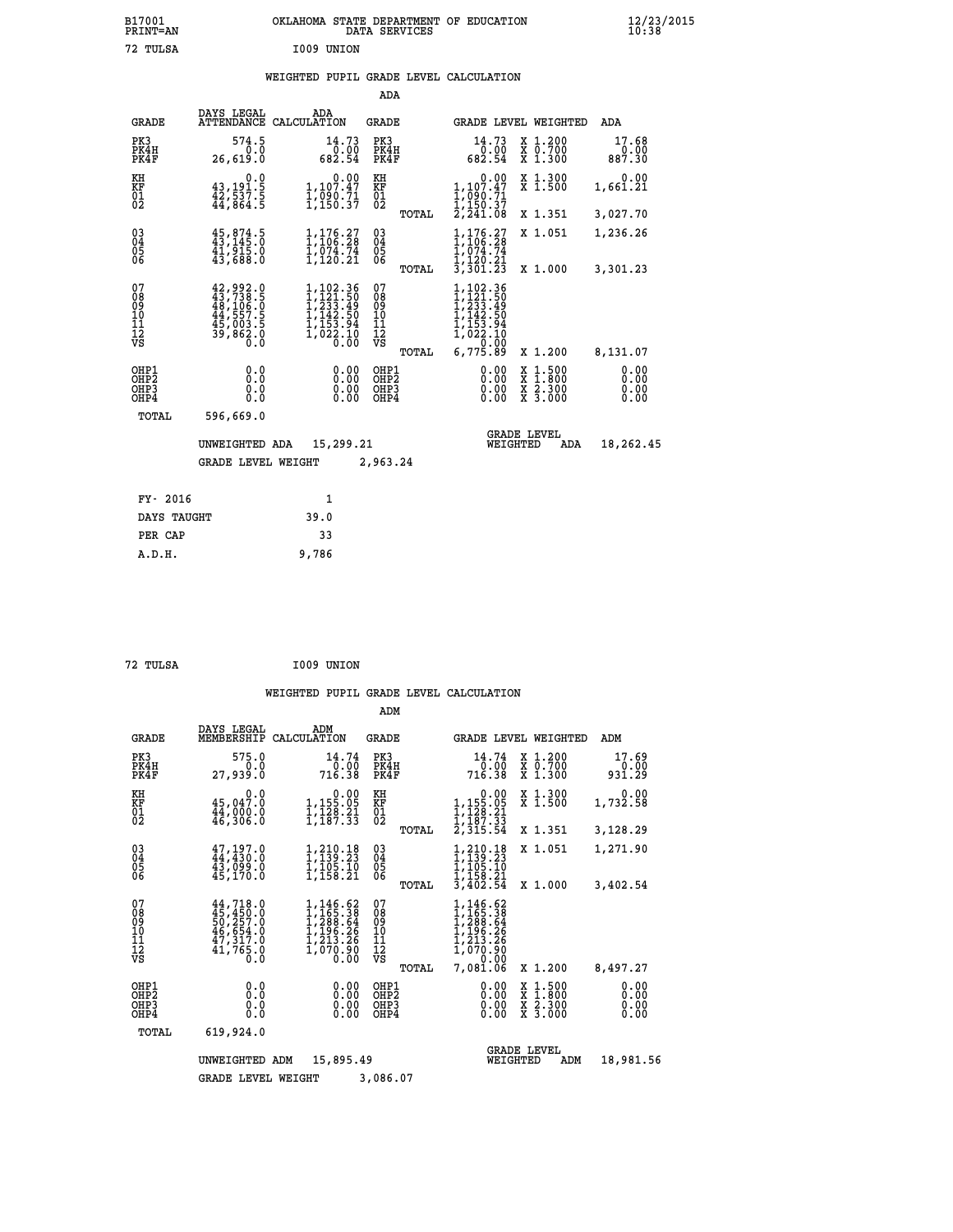| B17001<br>PRINT=AN | OKLAHOMA STATE DEPARTMENT OF EDUCATION<br>DATA SERVICES | $\frac{12}{23}$ /2015 |
|--------------------|---------------------------------------------------------|-----------------------|
| 72 TULSA           | I009 UNION                                              |                       |

# **WEIGHTED PUPIL GRADE LEVEL CALCULATION**

|                                                                    |                                                                                                               |                                                                                         | ADA                                                        |       |                                                                                            |                                                                  |                         |
|--------------------------------------------------------------------|---------------------------------------------------------------------------------------------------------------|-----------------------------------------------------------------------------------------|------------------------------------------------------------|-------|--------------------------------------------------------------------------------------------|------------------------------------------------------------------|-------------------------|
| <b>GRADE</b>                                                       | DAYS LEGAL<br><b>ATTENDANCE</b>                                                                               | ADA<br>CALCULATION                                                                      | <b>GRADE</b>                                               |       |                                                                                            | GRADE LEVEL WEIGHTED                                             | ADA                     |
| PK3<br>PK4H<br>PK4F                                                | 574.5<br>0.0<br>26,619.0                                                                                      | 14.73<br>0.00<br>682.54                                                                 | PK3<br>PK4H<br>PK4F                                        |       | 14.73<br>0.00<br>682.54                                                                    | $\begin{array}{c} x & 1.200 \\ x & 0.700 \end{array}$<br>X 1.300 | 17.68<br>0.00<br>887.30 |
| KH<br>KF<br>01<br>02                                               | 0.0<br>$43,191.5$<br>$42,537.5$<br>$44,864.5$                                                                 | 0.00<br>1,107.47<br>1,090.71<br>1,150.37                                                | KH<br>KF<br>01<br>02                                       |       | $1,107.47$<br>$1,990.71$                                                                   | X 1.300<br>X 1.500                                               | 0.00<br>1,661.21        |
|                                                                    |                                                                                                               |                                                                                         |                                                            | TOTAL | I,150.37<br>2,241.08                                                                       | X 1.351                                                          | 3,027.70                |
| $\begin{smallmatrix} 03 \\[-4pt] 04 \end{smallmatrix}$<br>Ŏ5<br>06 | $45,874.5$<br>$43,145.0$<br>$41,915.0$<br>$43,688.0$                                                          | $1,176.27$<br>$1,106.28$<br>$1,074.74$<br>$1,120.21$                                    | $\substack{03 \\ 04}$<br>05                                |       | ,176.27<br>1,106.28<br>$\overline{1}$ , $\overline{0}$ 74.74<br>1,120.21                   | X 1.051                                                          | 1,236.26                |
|                                                                    |                                                                                                               |                                                                                         |                                                            | TOTAL | 3,301.23                                                                                   | X 1.000                                                          | 3,301.23                |
| 07<br>08<br>09<br>11<br>11<br>12<br>VS                             | $\begin{smallmatrix} 42,992.0\\ 43,738.5\\ 48,106.5\\ 44,557.5\\ 45,003.5\\ 39,862.0\\ 0.0 \end{smallmatrix}$ | 1,102.36<br>1,121.50<br>1,233.49<br>$1, 142.50$<br>$1, 153.94$<br>$1, 022.10$<br>$0.00$ | 07<br>08<br>09<br>10<br>$\frac{11}{12}$<br>$\frac{12}{18}$ | TOTAL | 1,102.36<br>1,121.50<br>$1,233.49$<br>$1,142.50$<br>$1,153.94$<br>$1,022.10$<br>$6,775.89$ | X 1.200                                                          | 8,131.07                |
| OHP1                                                               |                                                                                                               |                                                                                         | OHP1                                                       |       |                                                                                            |                                                                  | 0.00                    |
| OHP <sub>2</sub><br>OHP3<br>OHP4                                   | 0.0<br>0.0<br>0.0                                                                                             | 0.00<br>0.00<br>0.00                                                                    | OHP <sub>2</sub><br>OHP3<br>OHP4                           |       | 0.00<br>0.00                                                                               | X 1:500<br>X 1:800<br>X 2:300<br>X 3:000                         | 0.00<br>0.00<br>0.00    |
| TOTAL                                                              | 596,669.0                                                                                                     |                                                                                         |                                                            |       |                                                                                            |                                                                  |                         |
|                                                                    | UNWEIGHTED ADA                                                                                                | 15,299.21                                                                               |                                                            |       |                                                                                            | <b>GRADE LEVEL</b><br>WEIGHTED<br>ADA                            | 18,262.45               |
|                                                                    | <b>GRADE LEVEL WEIGHT</b>                                                                                     |                                                                                         | 2,963.24                                                   |       |                                                                                            |                                                                  |                         |
| FY- 2016                                                           |                                                                                                               | $\mathbf{1}$                                                                            |                                                            |       |                                                                                            |                                                                  |                         |
| DAYS TAUGHT                                                        |                                                                                                               | 39.0                                                                                    |                                                            |       |                                                                                            |                                                                  |                         |
|                                                                    |                                                                                                               |                                                                                         |                                                            |       |                                                                                            |                                                                  |                         |

| 72 TULSA | I009 UNION |
|----------|------------|
|          |            |

PER CAP 33  **A.D.H. 9,786**

|                                           |                                                                                               |                                                                                   | ADM                                    |                                                                                                |                                                                                                  |                              |
|-------------------------------------------|-----------------------------------------------------------------------------------------------|-----------------------------------------------------------------------------------|----------------------------------------|------------------------------------------------------------------------------------------------|--------------------------------------------------------------------------------------------------|------------------------------|
| <b>GRADE</b>                              | DAYS LEGAL<br>MEMBERSHIP                                                                      | ADM<br>CALCULATION                                                                | <b>GRADE</b>                           | GRADE LEVEL WEIGHTED                                                                           |                                                                                                  | ADM                          |
| PK3<br>PK4H<br>PK4F                       | 575.0<br>0.0<br>27,939.0                                                                      | 14.74<br>0.00<br>716.38                                                           | PK3<br>PK4H<br>PK4F                    | 14.74<br>0.00<br>716.38                                                                        | X 1.200<br>X 0.700<br>X 1.300                                                                    | 17.69<br>0.00<br>931.29      |
| KH<br>KF<br>01<br>02                      | 0.0<br>45,047.0<br>44,000.0<br>46,306.0                                                       | $\begin{smallmatrix}&&0.00\\1,155.05\\1,128.21\\1,187.33\end{smallmatrix}$        | KH<br>KF<br>01<br>02                   | 0.00<br>$1,155.05$<br>$1,128.21$<br>$1,187.33$<br>$2,315.54$                                   | X 1.300<br>X 1.500                                                                               | 0.00<br>1,732.58             |
|                                           |                                                                                               |                                                                                   | TOTAL                                  |                                                                                                | X 1.351                                                                                          | 3,128.29                     |
| 03<br>04<br>05<br>06                      | $47, 197.0$<br>$44, 430.0$<br>43,099.0<br>45,170.0                                            | 1,210.18<br>1,139.23<br>1,105.10<br>1,158.21                                      | $\substack{03 \\ 04}$<br>05            | 1,210.18<br>1,139.23<br>1,105.10<br>$\overline{1}$ , $\overline{1}$ 58.21                      | X 1.051                                                                                          | 1,271.90                     |
|                                           |                                                                                               |                                                                                   | TOTAL                                  | 3,402.54                                                                                       | X 1.000                                                                                          | 3,402.54                     |
| 07<br>08<br>09<br>11<br>11<br>12<br>VS    | $44, 718.0$<br>$45, 450.0$<br>$50, 257.0$<br>$46, 654.0$<br>$47, 317.0$<br>$41, 765.0$<br>Ŏ.Ŏ | 1, 146.62<br>1, 165.38<br>1, 288.64<br>1, 196.26<br>1, 213.26<br>1,070.90<br>0.00 | 07<br>089<br>101<br>112<br>VS<br>TOTAL | 1,146.62<br>1,165.38<br>$1,288.64$<br>$1,196.26$<br>$1,213.26$<br>1,070.90<br>0.00<br>7,081.06 | X 1.200                                                                                          | 8,497.27                     |
| OHP1<br>OH <sub>P</sub> 2<br>OHP3<br>OHP4 | 0.0<br>0.0<br>Ŏ.Ŏ                                                                             | 0.00<br>0.00<br>0.00                                                              | OHP1<br>OHP2<br>OHP3<br>OHP4           | 0.00<br>0.00<br>0.00                                                                           | $\begin{smallmatrix} x & 1 & 500 \\ x & 1 & 800 \\ x & 2 & 300 \\ x & 3 & 000 \end{smallmatrix}$ | 0.00<br>0.00<br>0.00<br>0.00 |
| TOTAL                                     | 619,924.0                                                                                     |                                                                                   |                                        |                                                                                                |                                                                                                  |                              |
|                                           | UNWEIGHTED                                                                                    | 15,895.49<br>ADM                                                                  |                                        | WEIGHTED                                                                                       | <b>GRADE LEVEL</b><br>ADM                                                                        | 18,981.56                    |
|                                           | <b>GRADE LEVEL WEIGHT</b>                                                                     |                                                                                   | 3,086.07                               |                                                                                                |                                                                                                  |                              |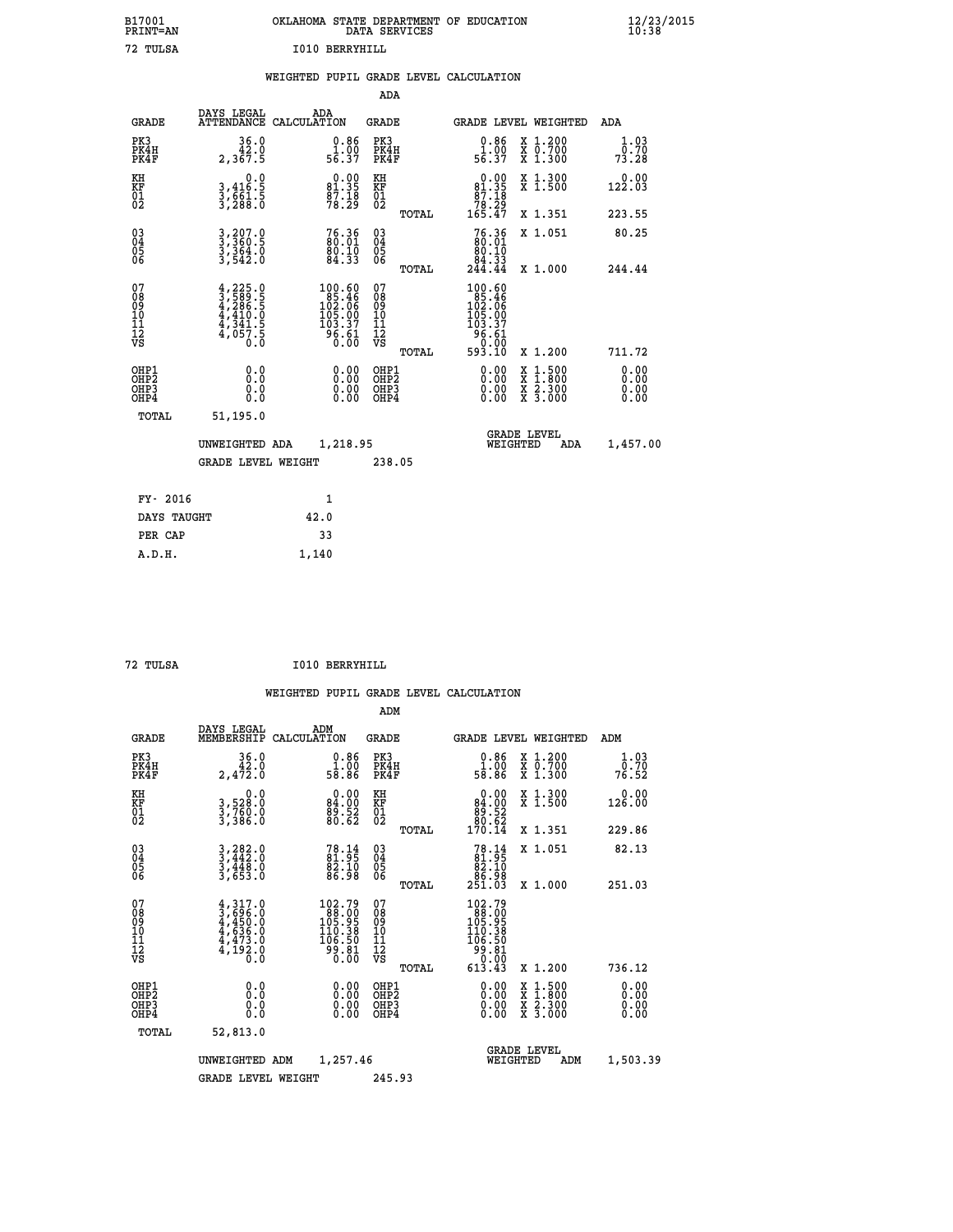| B17001<br>PRINT=AN | OKLAHOMA STATE DEPARTMENT OF EDUCATION<br>DATA SERVICES | $\frac{12}{23}$ /2015 |
|--------------------|---------------------------------------------------------|-----------------------|
| 72<br>TULSA        | I010<br>BERRYHILL                                       |                       |

|  |  | WEIGHTED PUPIL GRADE LEVEL CALCULATION |
|--|--|----------------------------------------|
|  |  |                                        |

|                                                                    |                                                                                                                                                            |                                                                                                  | ADA                                          |       |                                                                                                    |                                          |                               |
|--------------------------------------------------------------------|------------------------------------------------------------------------------------------------------------------------------------------------------------|--------------------------------------------------------------------------------------------------|----------------------------------------------|-------|----------------------------------------------------------------------------------------------------|------------------------------------------|-------------------------------|
| <b>GRADE</b>                                                       | DAYS LEGAL                                                                                                                                                 | ADA<br>ATTENDANCE CALCULATION                                                                    | <b>GRADE</b>                                 |       |                                                                                                    | <b>GRADE LEVEL WEIGHTED</b>              | <b>ADA</b>                    |
| PK3<br>PK4H<br>PK4F                                                | 36.0<br>42.0<br>2,367.5                                                                                                                                    | $\begin{array}{c} 0.86 \\ 1.00 \\ 56.37 \end{array}$                                             | PK3<br>PK4H<br>PK4F                          |       | 0.86<br>$\frac{1}{56}$ $\frac{500}{37}$                                                            | X 1.200<br>X 0.700<br>X 1.300            | 1.03<br>0.70<br>73.28         |
| KH<br>KF<br>01<br>02                                               | 0.0<br>3,416:5<br>3,661:5<br>3,288:0                                                                                                                       | $\begin{smallmatrix} 0.00\\81.35\\87.18\\78.29 \end{smallmatrix}$                                | KH<br>KF<br>01<br>02                         |       | $\begin{smallmatrix}&&0.00\\81.35\\87.18\\78.29\\165.47\end{smallmatrix}$                          | X 1.300<br>X 1.500                       | 0.00<br>122.03                |
|                                                                    |                                                                                                                                                            |                                                                                                  |                                              | TOTAL |                                                                                                    | X 1.351                                  | 223.55                        |
| $\begin{smallmatrix} 03 \\[-4pt] 04 \end{smallmatrix}$<br>Ŏ5<br>06 | $3,360.5$<br>$3,364.0$<br>$3,364.0$<br>$3,542.0$                                                                                                           | 76.36<br>80.01<br>80.10<br>84.33                                                                 | $\substack{03 \\ 04}$<br>Ŏ5<br>06            |       | 76.36<br>80.01<br>$\begin{array}{r} 80.10 \\ 84.33 \\ 244.44 \end{array}$                          | X 1.051                                  | 80.25                         |
|                                                                    |                                                                                                                                                            |                                                                                                  |                                              | TOTAL |                                                                                                    | X 1.000                                  | 244.44                        |
| 07<br>08<br>09<br>101<br>11<br>12<br>VS                            | $\begin{smallmatrix} 4\,,\,225\,,\,0\\ 3\,,\,589\,,\,5\\ 4\,,\,286\,,\,5\\ 4\,,\,410\,,\,0\\ 4\,,\,341\,,\,5\\ 4\,,\,057\,,\,5\\ 0\,,\,0\end{smallmatrix}$ | $\begin{smallmatrix}100.60\\85.46\\102.06\\105.00\\105.00\\103.37\\96.61\\0.00\end{smallmatrix}$ | 07<br>08<br>09<br>11<br>11<br>12<br>VS       |       | $\begin{smallmatrix} 100.60\\ 85.46\\ 102.06\\ 105.00\\ 103.37\\ 96.61\\ 0&0.00 \end{smallmatrix}$ |                                          |                               |
|                                                                    |                                                                                                                                                            |                                                                                                  |                                              | TOTAL | 593.10                                                                                             | X 1.200                                  | 711.72                        |
| OHP1<br>OHP <sub>2</sub><br>OH <sub>P3</sub><br>OHP4               | 0.0<br>0.0<br>$0.\overline{0}$                                                                                                                             | 0.00<br>$\begin{smallmatrix} 0.00 \ 0.00 \end{smallmatrix}$                                      | OHP1<br>OHP <sub>2</sub><br>OHP <sub>3</sub> |       | 0.00<br>0.00                                                                                       | X 1:500<br>X 1:800<br>X 2:300<br>X 3:000 | 0.00<br>Ō. ŌŌ<br>0.00<br>0.00 |
| TOTAL                                                              | 51,195.0                                                                                                                                                   |                                                                                                  |                                              |       |                                                                                                    |                                          |                               |
|                                                                    | UNWEIGHTED ADA                                                                                                                                             | 1,218.95                                                                                         |                                              |       |                                                                                                    | <b>GRADE LEVEL</b><br>WEIGHTED<br>ADA    | 1,457.00                      |
|                                                                    | <b>GRADE LEVEL WEIGHT</b>                                                                                                                                  |                                                                                                  | 238.05                                       |       |                                                                                                    |                                          |                               |
| FY- 2016                                                           |                                                                                                                                                            | 1                                                                                                |                                              |       |                                                                                                    |                                          |                               |
| DAYS TAUGHT                                                        |                                                                                                                                                            | 42.0                                                                                             |                                              |       |                                                                                                    |                                          |                               |
| PER CAP                                                            |                                                                                                                                                            | 33                                                                                               |                                              |       |                                                                                                    |                                          |                               |

| TITT. |  |
|-------|--|
|       |  |

 **A.D.H. 1,140**

 **ADM**

**TO10 BERRYHILL** 

| <b>GRADE</b>                                         | DAYS LEGAL<br>MEMBERSHIP                                                            | ADM<br>CALCULATION                                                                               | <b>GRADE</b>                                        |       | <b>GRADE LEVEL WEIGHTED</b>                                                                                                                                                                                                                                                    |                                          | ADM                   |
|------------------------------------------------------|-------------------------------------------------------------------------------------|--------------------------------------------------------------------------------------------------|-----------------------------------------------------|-------|--------------------------------------------------------------------------------------------------------------------------------------------------------------------------------------------------------------------------------------------------------------------------------|------------------------------------------|-----------------------|
| PK3<br>PK4H<br>PK4F                                  | $\begin{smallmatrix}&&36.0\\42.0\\2.472.0\end{smallmatrix}$                         | $\begin{smallmatrix} 0.86\ 1.00\ 58.86 \end{smallmatrix}$                                        | PK3<br>PK4H<br>PK4F                                 |       | $\begin{smallmatrix} 0.86 \\[-4pt] 1.00\\[-4pt] 58.86\end{smallmatrix}$                                                                                                                                                                                                        | X 1.200<br>X 0.700<br>X 1.300            | 1.03<br>0.70<br>76.52 |
| KH<br>KF<br>01<br>02                                 | 0.0<br>3,528:0<br>3,760:0<br>3,386:0                                                | $\begin{smallmatrix} 0.00\\84.00\\89.52\\80.62 \end{smallmatrix}$                                | KH<br>KF<br>01<br>02                                |       | $\begin{smallmatrix} &0.00\ 84.00\ 89.52\ 80.62\ 170.14\end{smallmatrix}$                                                                                                                                                                                                      | X 1.300<br>X 1.500                       | 0.00<br>126.00        |
|                                                      |                                                                                     |                                                                                                  |                                                     | TOTAL |                                                                                                                                                                                                                                                                                | X 1.351                                  | 229.86                |
| $\begin{matrix} 03 \\ 04 \\ 05 \\ 06 \end{matrix}$   | $3, 282.0$<br>$3, 442.0$<br>$3, 448.0$<br>$3, 653.0$                                | 78.14<br>81.95<br>82.10<br>86.98                                                                 | $\begin{array}{c} 03 \\ 04 \\ 05 \\ 06 \end{array}$ |       | $78.1481.9582.1086.98251.03$                                                                                                                                                                                                                                                   | X 1.051                                  | 82.13                 |
|                                                      |                                                                                     |                                                                                                  |                                                     | TOTAL |                                                                                                                                                                                                                                                                                | X 1.000                                  | 251.03                |
| 07<br>08<br>09<br>101<br>11<br>12<br>VS              | $4,317.0$<br>$3,696.0$<br>$4,450.0$<br>$4,636.0$<br>$4,473.0$<br>$4,192.0$<br>$0.0$ | $\begin{smallmatrix} 102.79\\ 88.00\\ 105.95\\ 110.38\\ 106.50\\ 99.81\\ 0.00 \end{smallmatrix}$ | 07<br>08<br>09<br>001<br>11<br>11<br>12<br>VS       | TOTAL | $\begin{smallmatrix} 102\cdot79\\188\cdot90\\105\cdot95\\110\cdot38\\106\cdot50\\99\cdot81\\0\cdot00\\613\cdot43\end{smallmatrix}$                                                                                                                                             | X 1.200                                  | 736.12                |
| OHP1<br>OHP <sub>2</sub><br>OH <sub>P3</sub><br>OHP4 |                                                                                     | $\begin{smallmatrix} 0.00 \ 0.00 \ 0.00 \ 0.00 \end{smallmatrix}$                                | OHP1<br>OHP2<br>OHP3<br>OHP4                        |       | $\begin{smallmatrix} 0.00 & 0.00 & 0.00 & 0.00 & 0.00 & 0.00 & 0.00 & 0.00 & 0.00 & 0.00 & 0.00 & 0.00 & 0.00 & 0.00 & 0.00 & 0.00 & 0.00 & 0.00 & 0.00 & 0.00 & 0.00 & 0.00 & 0.00 & 0.00 & 0.00 & 0.00 & 0.00 & 0.00 & 0.00 & 0.00 & 0.00 & 0.00 & 0.00 & 0.00 & 0.00 & 0.0$ | X 1:500<br>X 1:800<br>X 2:300<br>X 3:000 | 0.00<br>0.00<br>0.00  |
| TOTAL                                                | 52,813.0                                                                            |                                                                                                  |                                                     |       |                                                                                                                                                                                                                                                                                |                                          |                       |
|                                                      | UNWEIGHTED                                                                          | 1,257.46<br>ADM                                                                                  |                                                     |       | WEIGHTED                                                                                                                                                                                                                                                                       | <b>GRADE LEVEL</b><br>ADM                | 1,503.39              |
|                                                      | <b>GRADE LEVEL WEIGHT</b>                                                           |                                                                                                  | 245.93                                              |       |                                                                                                                                                                                                                                                                                |                                          |                       |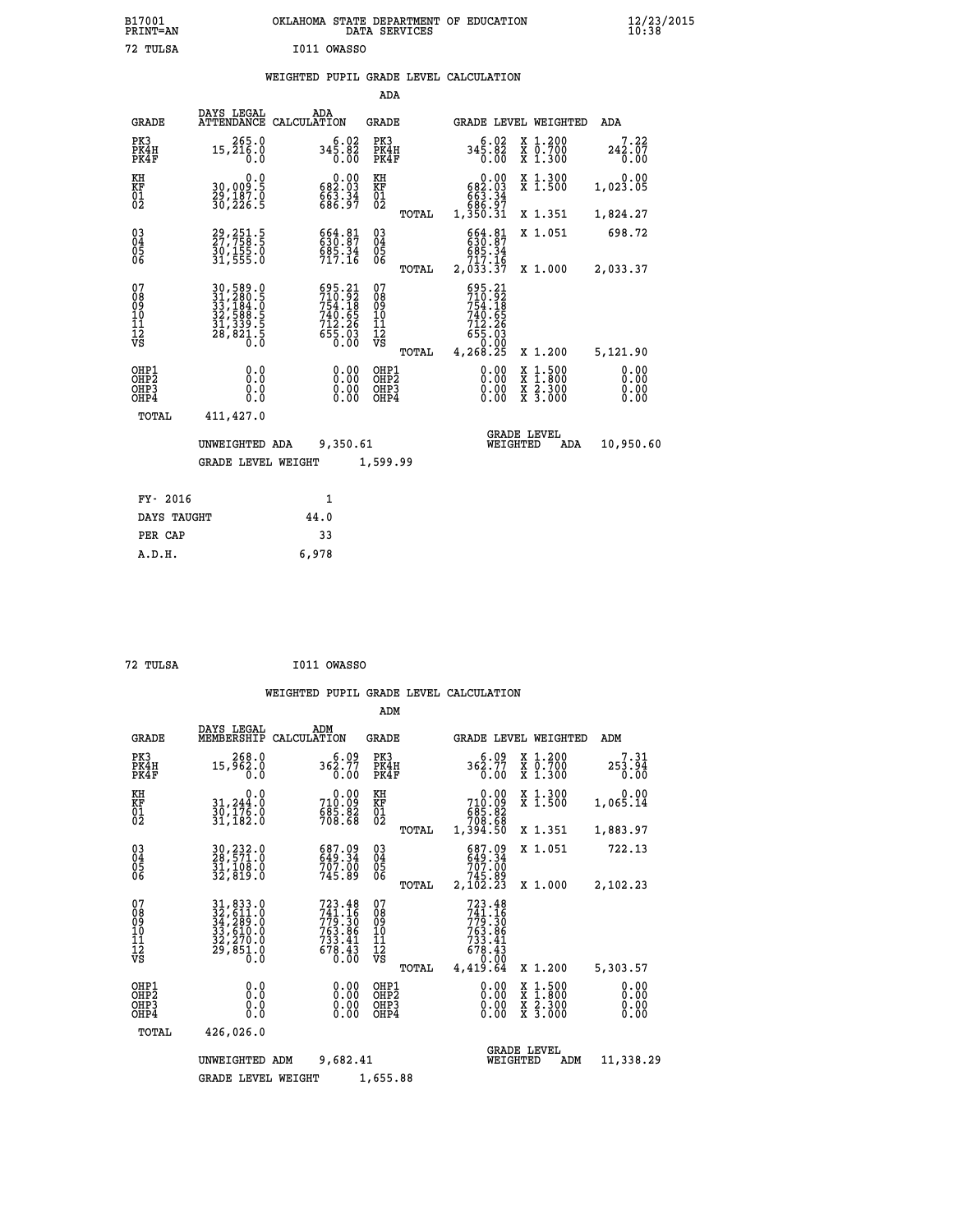| OKLAHOMA STATE DEPARTMENT OF EDUCATION<br>DATA SERVICES |  |
|---------------------------------------------------------|--|
| T011 OWASSO                                             |  |

## **WEIGHTED PUPIL GRADE LEVEL CALCULATION**

|                                                                    |                                                                                                                                                     |                                                                                             | ADA                                    |       |                                                                                                |                                                                                                                                           |                              |
|--------------------------------------------------------------------|-----------------------------------------------------------------------------------------------------------------------------------------------------|---------------------------------------------------------------------------------------------|----------------------------------------|-------|------------------------------------------------------------------------------------------------|-------------------------------------------------------------------------------------------------------------------------------------------|------------------------------|
| <b>GRADE</b>                                                       | DAYS LEGAL                                                                                                                                          | ADA<br>ATTENDANCE CALCULATION                                                               | <b>GRADE</b>                           |       |                                                                                                | <b>GRADE LEVEL WEIGHTED</b>                                                                                                               | ADA                          |
| PK3<br>PK4H<br>PK4F                                                | 265.0<br>15,216.0<br>0.0                                                                                                                            | 345.82<br>0.00                                                                              | PK3<br>PK4H<br>PK4F                    |       | 6.02<br>345.82<br>0.00                                                                         | X 1.200<br>X 0.700<br>X 1.300                                                                                                             | 7.22<br>242.07<br>0.00       |
| KH<br>KF<br>01<br>02                                               | 0.0<br>30,009.5<br>29,187.0<br>30,226.5                                                                                                             | $\begin{smallmatrix} &0.00\\ 682.03\\ 663.34\\ 686.97\end{smallmatrix}$                     | KH<br>KF<br>01<br>02                   |       | $\begin{smallmatrix} &0.00\\ 682.03\\ 663.34\\ 663.34\\ 686.97\\ 1,350.31\\ \end{smallmatrix}$ | X 1.300<br>X 1.500                                                                                                                        | 0.00<br>1,023.05             |
|                                                                    |                                                                                                                                                     |                                                                                             |                                        | TOTAL |                                                                                                | X 1.351                                                                                                                                   | 1,824.27                     |
| $\begin{smallmatrix} 03 \\[-4pt] 04 \end{smallmatrix}$<br>Ŏ5<br>06 | 29, 251.5<br>27, 758.5<br>30, 155.0<br>31, 555.0                                                                                                    | 664.81<br>630.87<br>685.34<br>717.16                                                        | $\substack{03 \\ 04}$<br>Ŏ5<br>06      |       | 664.81<br>630.87<br>685.34<br>717.16                                                           | X 1.051                                                                                                                                   | 698.72                       |
|                                                                    |                                                                                                                                                     |                                                                                             |                                        | TOTAL | 2,033.37                                                                                       | X 1.000                                                                                                                                   | 2,033.37                     |
| 07<br>08<br>09<br>101<br>11<br>12<br>VS                            | $\begin{smallmatrix} 30\,,\,589\,.0\\ 31\,,\,280\,.5\\ 33\,,\,184\,.0\\ 32\,,\,588\,.5\\ 31\,,\,339\,.5\\ 28\,,\,821\,.5\\ 0\,.0 \end{smallmatrix}$ | $\begin{smallmatrix} 695.21\\710.92\\754.18\\740.65\\712.26\\655.03\\0.00\end{smallmatrix}$ | 07<br>08<br>09<br>11<br>11<br>12<br>VS |       | $595.21$<br>$710.92$<br>$754.18$<br>740.65<br>712.26<br>655.03                                 |                                                                                                                                           |                              |
|                                                                    |                                                                                                                                                     |                                                                                             |                                        | TOTAL | 4,268.25                                                                                       | X 1.200                                                                                                                                   | 5,121.90                     |
| OHP1<br>OHP <sub>2</sub><br>OH <sub>P3</sub><br>OHP4               | 0.0<br>0.0<br>$0.\overline{0}$                                                                                                                      | 0.00<br>$\begin{smallmatrix} 0.00 \ 0.00 \end{smallmatrix}$                                 | OHP1<br>OHP2<br>OHP <sub>3</sub>       |       | 0.00<br>0.00                                                                                   | $\begin{smallmatrix} \mathtt{X} & 1\cdot500\\ \mathtt{X} & 1\cdot800\\ \mathtt{X} & 2\cdot300\\ \mathtt{X} & 3\cdot000 \end{smallmatrix}$ | 0.00<br>0.00<br>0.00<br>0.00 |
| TOTAL                                                              | 411,427.0                                                                                                                                           |                                                                                             |                                        |       |                                                                                                |                                                                                                                                           |                              |
|                                                                    | UNWEIGHTED ADA                                                                                                                                      | 9,350.61                                                                                    |                                        |       |                                                                                                | <b>GRADE LEVEL</b><br>WEIGHTED<br>ADA                                                                                                     | 10,950.60                    |
|                                                                    | <b>GRADE LEVEL WEIGHT</b>                                                                                                                           |                                                                                             | 1,599.99                               |       |                                                                                                |                                                                                                                                           |                              |
| FY- 2016                                                           |                                                                                                                                                     | $\mathbf{1}$                                                                                |                                        |       |                                                                                                |                                                                                                                                           |                              |
| DAYS TAUGHT                                                        |                                                                                                                                                     | 44.0                                                                                        |                                        |       |                                                                                                |                                                                                                                                           |                              |
| PER CAP                                                            |                                                                                                                                                     | 33                                                                                          |                                        |       |                                                                                                |                                                                                                                                           |                              |

| 72 TULSA | I011 OWASSO |
|----------|-------------|

 **A.D.H. 6,978**

 **B17001<br>PRINT=AN 72 TULSA I011 OWASSO**

|                                                    |                                                                                   |                                                                              | ADM                                                 |                                                                                                                  |                                          |                              |
|----------------------------------------------------|-----------------------------------------------------------------------------------|------------------------------------------------------------------------------|-----------------------------------------------------|------------------------------------------------------------------------------------------------------------------|------------------------------------------|------------------------------|
| <b>GRADE</b>                                       | DAYS LEGAL<br>MEMBERSHIP                                                          | ADM<br>CALCULATION                                                           | <b>GRADE</b>                                        | <b>GRADE LEVEL WEIGHTED</b>                                                                                      |                                          | ADM                          |
| PK3<br>PK4H<br>PK4F                                | 268.0<br>15,962.0<br>0.0                                                          | 362.77<br>0.00                                                               | PK3<br>PK4H<br>PK4F                                 | 6.09<br>362.77<br>0.00                                                                                           | X 1.200<br>X 0.700<br>X 1.300            | 7.31<br>253.94<br>0.00       |
| KH<br>KF<br>01<br>02                               | 0.0<br>31,244.0<br>30,176.0<br>31,182.0                                           | 710.09<br>685.82<br>708.68                                                   | KH<br><b>KF</b><br>01<br>02                         | 0.00<br>710:09<br>685:82<br>708:68                                                                               | X 1.300<br>X 1.500                       | 0.00<br>1,065.14             |
|                                                    |                                                                                   |                                                                              | TOTAL                                               | 1,394.50                                                                                                         | X 1.351                                  | 1,883.97                     |
| $\begin{matrix} 03 \\ 04 \\ 05 \\ 06 \end{matrix}$ | 30,232.0<br>28,571.0<br>31,108.0<br>32,819.0                                      | 687.09<br>649.34<br>707.00<br>745.89                                         | $\begin{array}{c} 03 \\ 04 \\ 05 \\ 06 \end{array}$ | 687.09<br>649.34<br>707.00                                                                                       | X 1.051                                  | 722.13                       |
|                                                    |                                                                                   |                                                                              | TOTAL                                               | 89.245<br>2,102.23                                                                                               | X 1.000                                  | 2,102.23                     |
| 07<br>08<br>09<br>101<br>11<br>12<br>VS            | 31, 833.0<br>32, 611.0<br>34, 289.0<br>33, 610.0<br>32, 270.0<br>29, 851.0<br>0.0 | 723.48<br>$741.16$<br>$779.30$<br>$763.86$<br>$733.41$<br>$678.43$<br>$0.00$ | 07<br>08901112<br>1112<br>VS<br>TOTAL               | 723.48<br>$\begin{smallmatrix}741.16\\779.30\\779.30\\763.86\\733.41\\678.43\\678.43\\4.419.64\end{smallmatrix}$ | X 1.200                                  | 5,303.57                     |
| OHP1<br>OHP2<br>OH <sub>P3</sub><br>OHP4           | 0.0<br>0.000                                                                      |                                                                              | OHP1<br>OHP2<br>OHP3<br>OHP4                        | 0.00<br>$0.00$<br>0.00                                                                                           | X 1:500<br>X 1:800<br>X 2:300<br>X 3:000 | 0.00<br>0.00<br>0.00<br>0.00 |
| TOTAL                                              | 426,026.0                                                                         |                                                                              |                                                     |                                                                                                                  |                                          |                              |
|                                                    | UNWEIGHTED<br><b>GRADE LEVEL WEIGHT</b>                                           | 9,682.41<br>ADM                                                              | 1,655.88                                            | WEIGHTED                                                                                                         | <b>GRADE LEVEL</b><br>ADM                | 11,338.29                    |
|                                                    |                                                                                   |                                                                              |                                                     |                                                                                                                  |                                          |                              |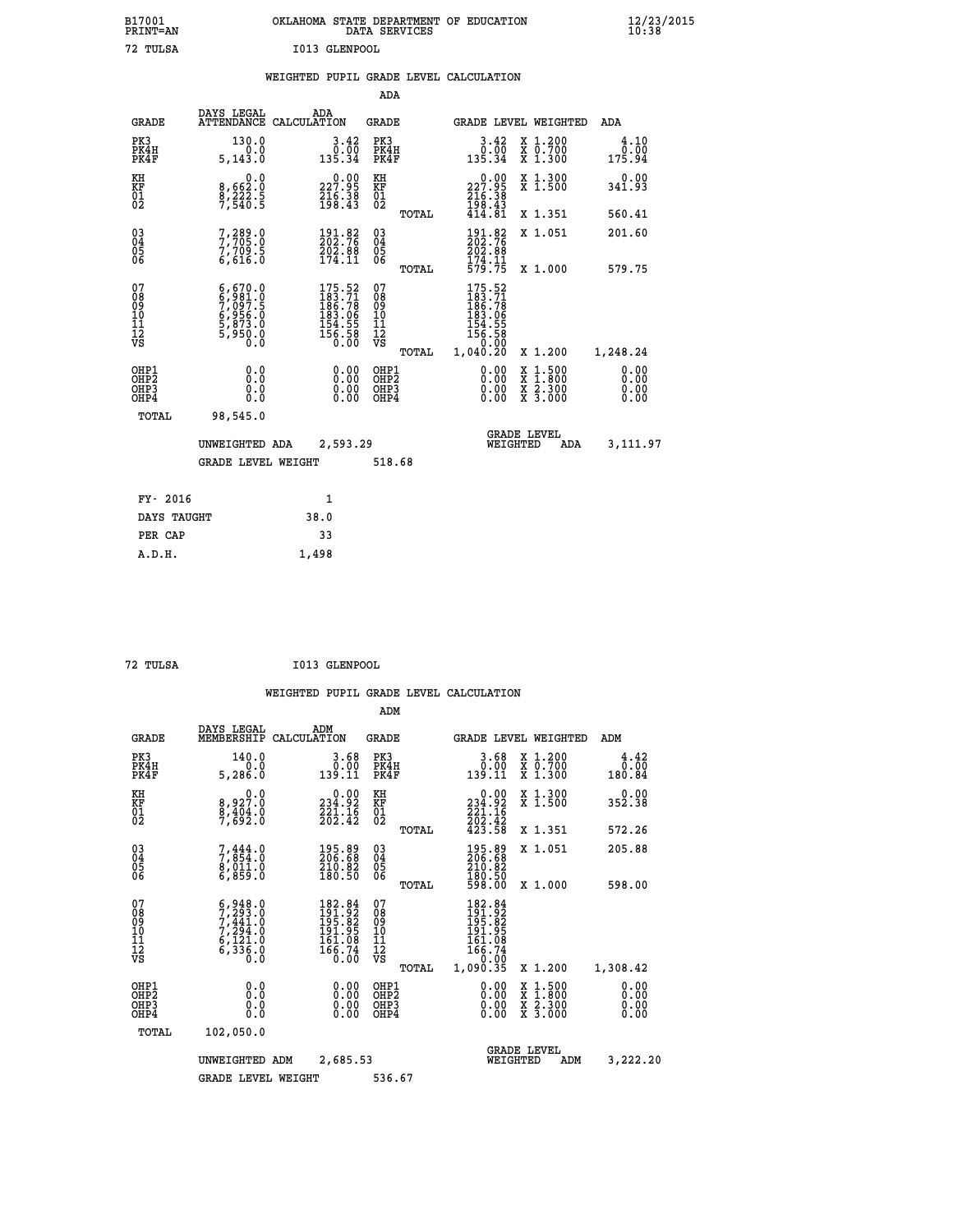| B17001<br>PRINT=AN | OKLAHOMA STATE DEPARTMENT OF EDUCATION<br>DATA SERVICES | $\frac{12}{23}$ /2015 |
|--------------------|---------------------------------------------------------|-----------------------|
| 72 TULSA           | I013 GLENPOOL                                           |                       |
|                    | WEIGHTED PUPIL GRADE LEVEL CALCULATION                  |                       |

|                                              |                                                                                               |                                                                                                             | ADA                                           |       |                                                                                     |                                                                                          |                              |
|----------------------------------------------|-----------------------------------------------------------------------------------------------|-------------------------------------------------------------------------------------------------------------|-----------------------------------------------|-------|-------------------------------------------------------------------------------------|------------------------------------------------------------------------------------------|------------------------------|
| <b>GRADE</b>                                 | DAYS LEGAL                                                                                    | ADA<br>ATTENDANCE CALCULATION                                                                               | GRADE                                         |       | GRADE LEVEL WEIGHTED                                                                |                                                                                          | ADA                          |
| PK3<br>PK4H<br>PK4F                          | 130.0<br>5,143.0                                                                              | 3.42<br>0:00<br>135.34                                                                                      | PK3<br>PK4H<br>PK4F                           |       | 3.42<br>$\begin{smallmatrix} &0.0\0.34\end{smallmatrix}$                            | X 1.200<br>X 0.700<br>X 1.300                                                            | 4.10<br>$0.00$<br>175.94     |
| KH<br>KF<br>01<br>02                         | $\begin{smallmatrix}&&&0\cdot0\\8\,,662\cdot0\\8\,,222\cdot5\\7\,,540\cdot5\end{smallmatrix}$ | $\begin{smallmatrix} 0.00\\ 227.95\\ 216.38\\ 198.43 \end{smallmatrix}$                                     | KH<br>KF<br>01<br>02                          |       | $\begin{smallmatrix} &0.00\\ 227.95\\ 216.38\\ 198.43\\ 414.81\\ \end{smallmatrix}$ | X 1.300<br>X 1.500                                                                       | $0.00$<br>341.93             |
|                                              |                                                                                               |                                                                                                             |                                               | TOTAL |                                                                                     | X 1.351                                                                                  | 560.41                       |
| 03<br>04<br>05<br>06                         | 7,289.0<br>7,705.0<br>7,709.5<br>6,616.0                                                      | $\begin{smallmatrix} 191.82\ 202.76\ 202.88\ 174.11 \end{smallmatrix}$                                      | 03<br>04<br>05<br>06                          |       | 191.82<br>202.76<br>202.88<br>174.11<br>579.75                                      | X 1.051                                                                                  | 201.60                       |
|                                              |                                                                                               |                                                                                                             |                                               | TOTAL |                                                                                     | X 1.000                                                                                  | 579.75                       |
| 07<br>08<br>09<br>10<br>11<br>11<br>17<br>VS | $6,670.0$<br>$7,097.5$<br>$7,097.5$<br>$6,956.0$<br>$5,873.0$<br>$5,950.0$<br>$0.0$           | $\begin{smallmatrix} 175.52\\ 183.71\\ 186.78\\ 186.78\\ 183.06\\ 154.55\\ 156.58\\ 0.00 \end{smallmatrix}$ | 07<br>08<br>09<br>001<br>11<br>11<br>12<br>VS |       | 175.52<br>183.71<br>186.78<br>183.065<br>154.55<br>156.58<br>156.580                |                                                                                          |                              |
|                                              |                                                                                               |                                                                                                             |                                               | TOTAL | 1,040.20                                                                            | X 1.200                                                                                  | 1,248.24                     |
| OHP1<br>OHP2<br>OH <sub>P3</sub><br>OHP4     | 0.0<br>0.000                                                                                  | $\begin{smallmatrix} 0.00 \ 0.00 \ 0.00 \ 0.00 \end{smallmatrix}$                                           | OHP1<br>OHP2<br>OHP3<br>OHP4                  |       | $0.00$<br>$0.00$<br>0.00                                                            | $\begin{smallmatrix} x & 1.500 \\ x & 1.800 \\ x & 2.300 \\ x & 3.000 \end{smallmatrix}$ | 0.00<br>0.00<br>0.00<br>0.00 |
| TOTAL                                        | 98,545.0                                                                                      |                                                                                                             |                                               |       |                                                                                     |                                                                                          |                              |
|                                              | UNWEIGHTED ADA                                                                                | 2,593.29                                                                                                    |                                               |       | WEIGHTED                                                                            | <b>GRADE LEVEL</b><br>ADA                                                                | 3,111.97                     |
|                                              | <b>GRADE LEVEL WEIGHT</b>                                                                     |                                                                                                             | 518.68                                        |       |                                                                                     |                                                                                          |                              |
| FY- 2016                                     |                                                                                               | 1                                                                                                           |                                               |       |                                                                                     |                                                                                          |                              |
|                                              |                                                                                               |                                                                                                             |                                               |       |                                                                                     |                                                                                          |                              |

| FY- 2016    |       |
|-------------|-------|
| DAYS TAUGHT | 38.0  |
| PER CAP     | 33    |
| A.D.H.      | 1,498 |
|             |       |

| 72 TULSA | I013 GLENPOOL |
|----------|---------------|

|                                          |                                                                                           |                                                                           |                                                     | ADM    |                                                                                      |                                                                                          |                                      |
|------------------------------------------|-------------------------------------------------------------------------------------------|---------------------------------------------------------------------------|-----------------------------------------------------|--------|--------------------------------------------------------------------------------------|------------------------------------------------------------------------------------------|--------------------------------------|
| <b>GRADE</b>                             | DAYS LEGAL<br>MEMBERSHIP                                                                  | ADM<br>CALCULATION                                                        | <b>GRADE</b>                                        |        |                                                                                      | <b>GRADE LEVEL WEIGHTED</b>                                                              | ADM                                  |
| PK3<br>PK4H<br>PK4F                      | 140.0<br>0.0<br>5,286.0                                                                   | 3.68<br>0.00<br>139.11                                                    | PK3<br>PK4H<br>PK4F                                 |        | $\begin{smallmatrix} 3.68\ 0.001 \ 139.11 \end{smallmatrix}$                         | X 1.200<br>X 0.700<br>X 1.300                                                            | 4.42<br>$0.\bar{0}\bar{0}$<br>180.84 |
| KH<br>KF<br>01<br>02                     | 0.0<br>8,927.0<br>$\frac{8}{7}$ , $\frac{4}{6}$ , $\frac{4}{2}$ ; $\frac{8}{6}$           | $\begin{smallmatrix} &0.00\\ 234.92\\ 241.16\\ 262.42\end{smallmatrix}$   | KH<br>KF<br>01<br>02                                |        | $\begin{smallmatrix}&&0.00\\234.92\\221.16\\202.42\\423.58\end{smallmatrix}$         | X 1.300<br>X 1.500                                                                       | 0.00<br>352.38                       |
|                                          |                                                                                           |                                                                           |                                                     | TOTAL  |                                                                                      | X 1.351                                                                                  | 572.26                               |
| 03<br>04<br>05<br>06                     | $7,854.0$<br>$8,011.0$<br>$6,859.0$                                                       | $\begin{smallmatrix} 195.89\\ 206.68\\ 210.82\\ 180.50 \end{smallmatrix}$ | $\begin{array}{c} 03 \\ 04 \\ 05 \\ 06 \end{array}$ |        | 195.89<br>206.68<br>210.82                                                           | X 1.051                                                                                  | 205.88                               |
|                                          |                                                                                           |                                                                           |                                                     | TOTAL  | $\frac{180.50}{598.00}$                                                              | X 1.000                                                                                  | 598.00                               |
| 07<br>08<br>09<br>101<br>112<br>VS       | $5, 293.0$<br>$7, 293.0$<br>$7, 441.0$<br>$7, 294.0$<br>$6, 121.0$<br>$6, 336.0$<br>$0.0$ | $182.84$<br>$191.92$<br>$195.82$<br>$191.95$<br>161.08<br>166.74<br>0.00  | 07<br>08<br>09<br>11<br>11<br>12<br>VS              | TOTAL  | $182.84$<br>$191.92$<br>$195.82$<br>$191.95$<br>161.08<br>166.74<br>0.00<br>1,090.35 | X 1.200                                                                                  | 1,308.42                             |
| OHP1<br>OHP2<br>OH <sub>P3</sub><br>OHP4 | 0.0<br>0.000                                                                              | $0.00$<br>$0.00$<br>0.00                                                  | OHP1<br>OHP2<br>OHP <sub>3</sub>                    |        | $0.00$<br>$0.00$<br>0.00                                                             | $\begin{smallmatrix} x & 1.500 \\ x & 1.800 \\ x & 2.300 \\ x & 3.000 \end{smallmatrix}$ | 0.00<br>0.00<br>0.00<br>0.00         |
| TOTAL                                    | 102,050.0                                                                                 |                                                                           |                                                     |        |                                                                                      |                                                                                          |                                      |
|                                          | UNWEIGHTED                                                                                | 2,685.53<br>ADM                                                           |                                                     |        | WEIGHTED                                                                             | <b>GRADE LEVEL</b><br>ADM                                                                | 3,222.20                             |
|                                          | <b>GRADE LEVEL WEIGHT</b>                                                                 |                                                                           |                                                     | 536.67 |                                                                                      |                                                                                          |                                      |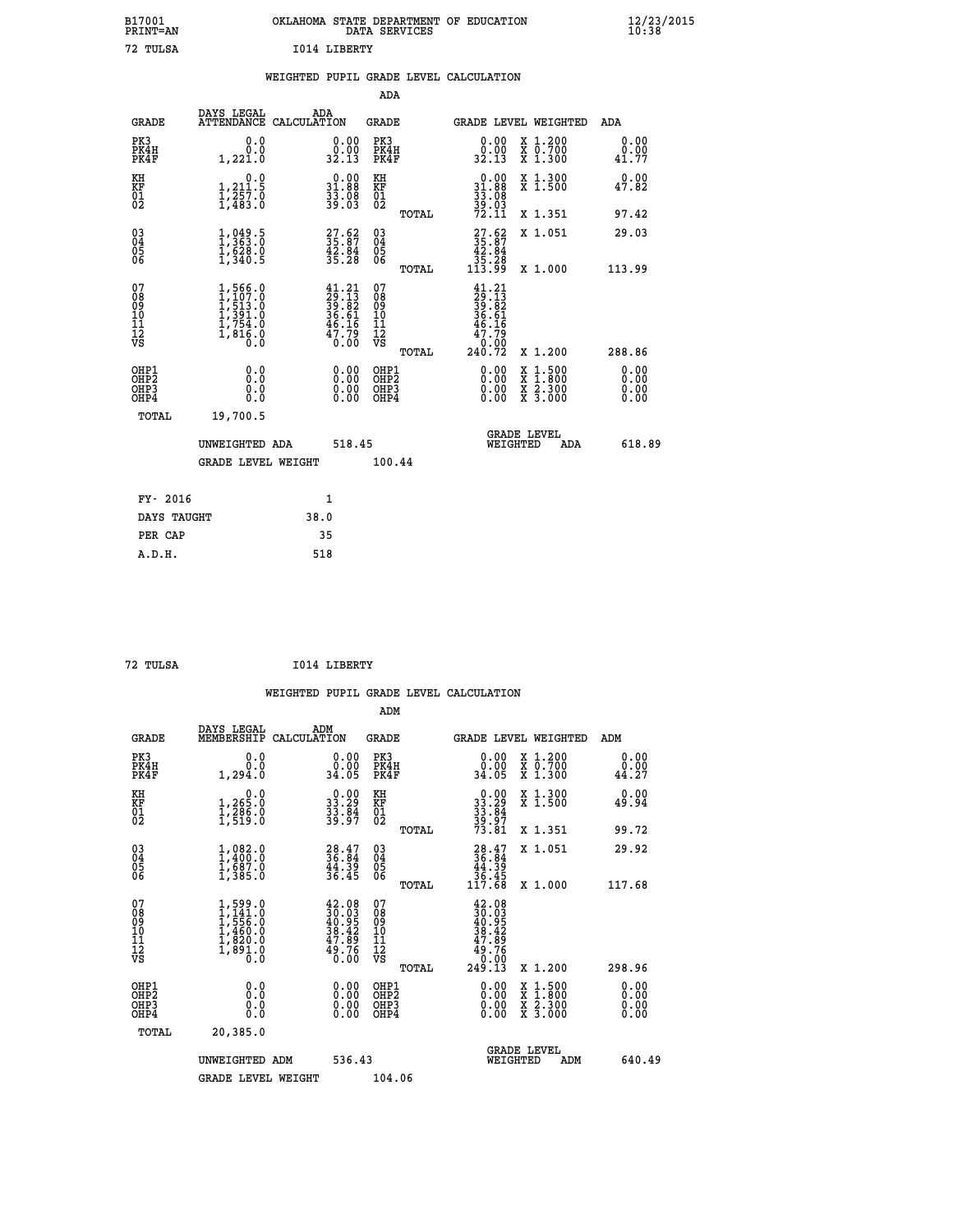| OKLAHOMA STATE DEPARTMENT OF EDUCATION | DATA SERVICES |  |
|----------------------------------------|---------------|--|
| T014 LIBERTY                           |               |  |

|  |  | WEIGHTED PUPIL GRADE LEVEL CALCULATION |
|--|--|----------------------------------------|
|  |  |                                        |

|                                                                    |                                                                                     |              |                                                                              | ADA                                       |       |                                                                                                                                   |                                          |                              |
|--------------------------------------------------------------------|-------------------------------------------------------------------------------------|--------------|------------------------------------------------------------------------------|-------------------------------------------|-------|-----------------------------------------------------------------------------------------------------------------------------------|------------------------------------------|------------------------------|
| <b>GRADE</b>                                                       | DAYS LEGAL<br>ATTENDANCE CALCULATION                                                | ADA          |                                                                              | <b>GRADE</b>                              |       |                                                                                                                                   | <b>GRADE LEVEL WEIGHTED</b>              | ADA                          |
| PK3<br>PK4H<br>PK4F                                                | 0.0<br>0.0<br>1,221.0                                                               |              | $\begin{smallmatrix} 0.00\\ 0.00\\ 32.13 \end{smallmatrix}$                  | PK3<br>PK4H<br>PK4F                       |       | 0.00<br>0:00<br>32.13                                                                                                             | X 1.200<br>X 0.700<br>X 1.300            | 0.00<br>0.00<br>41.77        |
| KH<br><b>KF</b><br>01<br>02                                        | 0.0<br>1,211.5<br>$\frac{1}{2}, \frac{2}{483}.$ $\frac{5}{8}$                       |              | $\begin{smallmatrix} 0.00\\ 31.88\\ 33.88\\ 33.08\\ 39.03 \end{smallmatrix}$ | KH<br>KF<br>01<br>02                      |       | $\begin{smallmatrix} 0.00\\ 31.88\\ 33.08\\ 39.03\\ 72.11 \end{smallmatrix}$                                                      | X 1.300<br>X 1.500                       | 0.00<br>47.82                |
|                                                                    |                                                                                     |              |                                                                              |                                           | TOTAL |                                                                                                                                   | X 1.351                                  | 97.42                        |
| $\begin{smallmatrix} 03 \\[-4pt] 04 \end{smallmatrix}$<br>05<br>06 | $\frac{1}{3}$ , $\frac{049}{00}$ ; $\frac{5}{0}$<br>$\frac{1}{628}$ .0<br>1,340.5   |              | $\begin{smallmatrix} 27.62\ 35.87\ 42.84\ 35.28 \end{smallmatrix}$           | $\substack{03 \\ 04}$<br>05<br>06         |       | $\begin{smallmatrix} 27.62\\ 35.87\\ 42.84\\ 35.28\\ 113.99 \end{smallmatrix}$                                                    | X 1.051                                  | 29.03                        |
|                                                                    |                                                                                     |              |                                                                              |                                           | TOTAL |                                                                                                                                   | X 1.000                                  | 113.99                       |
| 07<br>08<br>09<br>11<br>11<br>12<br>VS                             | $1,566.0$<br>$1,507.0$<br>$1,513.0$<br>$1,391.0$<br>$1,754.0$<br>$1,816.0$<br>$0.0$ |              | $41.21$<br>$29.13$<br>$39.82$<br>$36.61$<br>$46.16$<br>$47.79$<br>$0.00$     | 07<br>08<br>09<br>11<br>11<br>12<br>VS    |       | 41.21<br>$\frac{29}{39} \cdot \frac{13}{82}$<br>$\frac{36}{36} \cdot \frac{61}{16}$<br>$\frac{46}{7} \cdot \frac{16}{79}$<br>0.00 |                                          |                              |
|                                                                    |                                                                                     |              |                                                                              |                                           | TOTAL | 240.72                                                                                                                            | X 1.200                                  | 288.86                       |
| OHP1<br>OH <sub>P</sub> 2<br>OH <sub>P3</sub><br>OH <sub>P4</sub>  | 0.0<br>0.0<br>0.0                                                                   |              | 0.00<br>$\begin{smallmatrix} 0.00 \ 0.00 \end{smallmatrix}$                  | OHP1<br>OH <sub>P</sub> 2<br>OHP3<br>OHP4 |       | 0.00<br>0.00<br>0.00                                                                                                              | X 1:500<br>X 1:800<br>X 2:300<br>X 3:000 | 0.00<br>0.00<br>0.00<br>0.00 |
| TOTAL                                                              | 19,700.5                                                                            |              |                                                                              |                                           |       |                                                                                                                                   |                                          |                              |
|                                                                    | UNWEIGHTED ADA                                                                      |              | 518.45                                                                       |                                           |       |                                                                                                                                   | GRADE LEVEL<br>WEIGHTED<br>ADA           | 618.89                       |
|                                                                    | <b>GRADE LEVEL WEIGHT</b>                                                           |              |                                                                              | 100.44                                    |       |                                                                                                                                   |                                          |                              |
| FY- 2016                                                           |                                                                                     | $\mathbf{1}$ |                                                                              |                                           |       |                                                                                                                                   |                                          |                              |
| DAYS TAUGHT                                                        |                                                                                     | 38.0         |                                                                              |                                           |       |                                                                                                                                   |                                          |                              |
| PER CAP                                                            |                                                                                     | 35           |                                                                              |                                           |       |                                                                                                                                   |                                          |                              |

| TULSA |  |
|-------|--|
|       |  |

 **A.D.H. 518**

 **ADM**

 **B17001<br>PRINT=AN 72 TULSA I014 LIBERTY**

**TO14 LIBERTY** 

| <b>GRADE</b>                                       | DAYS LEGAL<br>MEMBERSHIP                                                            | ADM<br>CALCULATION                                                                           | <b>GRADE</b>                                           |                                                                                      | GRADE LEVEL WEIGHTED                     | ADM                   |
|----------------------------------------------------|-------------------------------------------------------------------------------------|----------------------------------------------------------------------------------------------|--------------------------------------------------------|--------------------------------------------------------------------------------------|------------------------------------------|-----------------------|
| PK3<br>PK4H<br>PK4F                                | 0.0<br>0.0<br>1,294.0                                                               | 0.00<br>34.05                                                                                | PK3<br>PK4H<br>PK4F                                    | $\begin{smallmatrix} 0.00\\ 0.00\\ 34.05 \end{smallmatrix}$                          | X 1.200<br>X 0.700<br>X 1.300            | 0.00<br>0.00<br>44.27 |
| KH<br>KF<br>01<br>02                               | 0.0<br>$1,265.0$<br>$1,286.0$<br>$1,519.0$                                          | $\begin{smallmatrix} 0.00\\ 33.29\\ 33.84\\ 33.84\\ 39.97 \end{smallmatrix}$                 | KH<br>KF<br>01<br>02                                   | $\begin{array}{r} 0.00 \\ 33.29 \\ 33.84 \\ 39.97 \\ 73.81 \end{array}$              | X 1.300<br>X 1.500                       | 0.00<br>49.94         |
|                                                    |                                                                                     |                                                                                              | TOTAL                                                  |                                                                                      | X 1.351                                  | 99.72                 |
| $\begin{matrix} 03 \\ 04 \\ 05 \\ 06 \end{matrix}$ | $1, 082.0$<br>$1, 400.0$<br>$1, 687.0$<br>$1, 385.0$                                | $28.47$<br>$36.84$<br>$44.39$<br>$36.45$                                                     | $\begin{array}{c} 03 \\ 04 \\ 05 \\ 06 \end{array}$    | $\begin{smallmatrix} 28.47\\ 36.84\\ 44.39\\ 36.45\\ 117.68 \end{smallmatrix}$       | X 1.051                                  | 29.92                 |
|                                                    |                                                                                     |                                                                                              | TOTAL                                                  |                                                                                      | X 1.000                                  | 117.68                |
| 07<br>08<br>09<br>101<br>11<br>12<br>VS            | $1,599.0$<br>$1,141.0$<br>$1,556.0$<br>$1,460.0$<br>$1,820.0$<br>$1,891.0$<br>$0.0$ | $\begin{smallmatrix} 42.08\\ 30.03\\ 40.95\\ 38.42\\ 47.89\\ 49.76\\ 0.00 \end{smallmatrix}$ | 07<br>08<br>09<br>001<br>11<br>11<br>12<br>VS<br>TOTAL | $42.08$<br>$30.03$<br>$40.95$<br>$38.42$<br>$47.89$<br>$49.76$<br>$0.00$<br>$249.13$ | X 1.200                                  | 298.96                |
| OHP1<br>OHP2<br>OHP3<br>OHP4                       | $\begin{smallmatrix} 0.0 \ 0.0 \ 0.0 \end{smallmatrix}$                             | $\begin{smallmatrix} 0.00 \ 0.00 \ 0.00 \ 0.00 \end{smallmatrix}$                            | OHP1<br>OHP2<br>OHP3<br>OHP4                           |                                                                                      | X 1:500<br>X 1:800<br>X 2:300<br>X 3:000 | 0.00<br>0.00<br>0.00  |
| TOTAL                                              | 20,385.0                                                                            |                                                                                              |                                                        |                                                                                      |                                          |                       |
|                                                    | UNWEIGHTED<br>ADM                                                                   | 536.43                                                                                       |                                                        | WEIGHTED                                                                             | <b>GRADE LEVEL</b><br>ADM                | 640.49                |
|                                                    | <b>GRADE LEVEL WEIGHT</b>                                                           |                                                                                              | 104.06                                                 |                                                                                      |                                          |                       |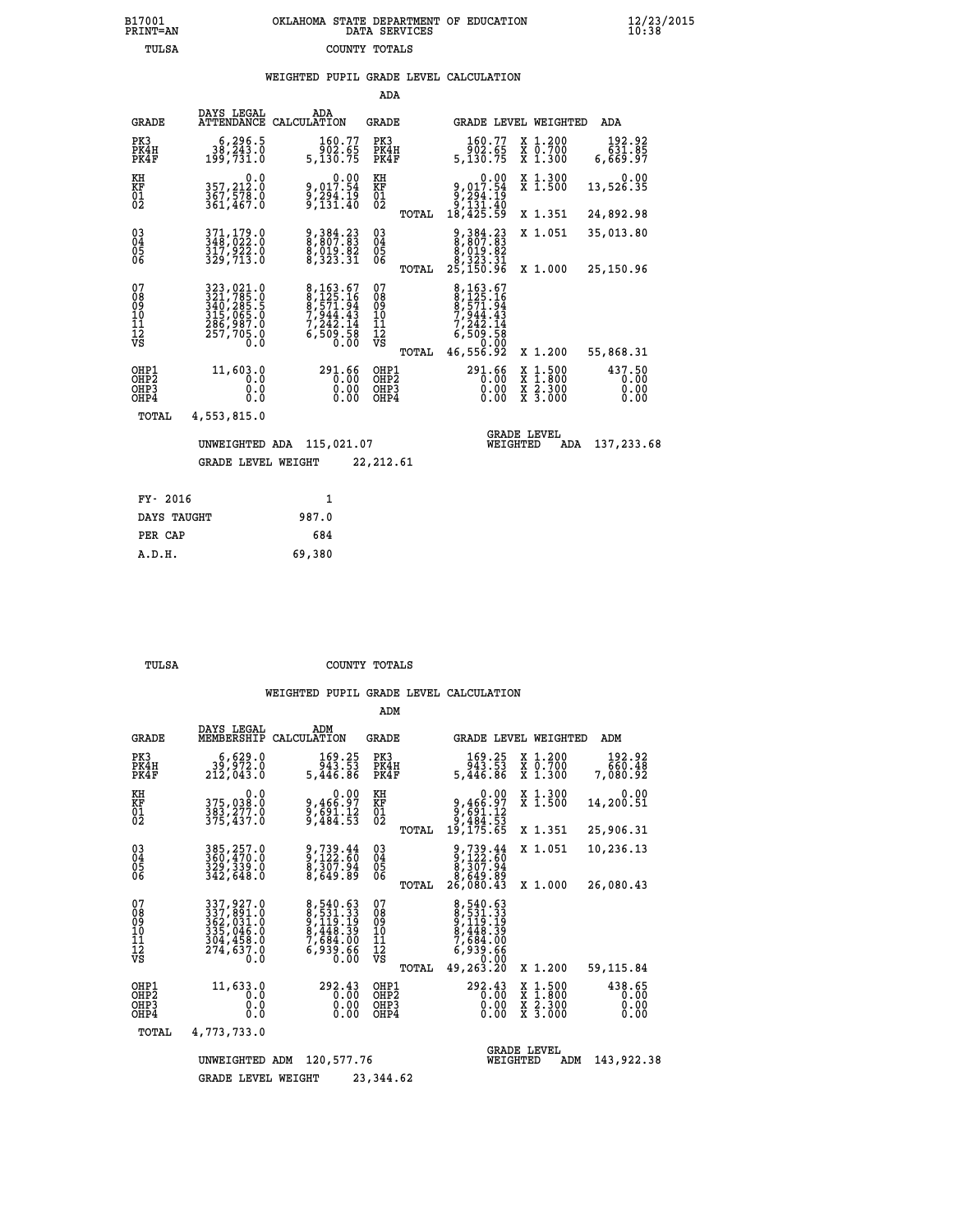# **B17001 OKLAHOMA STATE DEPARTMENT OF EDUCATION 12/23/2015 PRINT=AN DATA SERVICES 10:38 TULSA COUNTY TOTALS**

## **WEIGHTED PUPIL GRADE LEVEL CALCULATION**

|                                                    |                                                                                                    |                                                                           | ADA                                             |                                                                                                                           |                                                                                                  |                                |
|----------------------------------------------------|----------------------------------------------------------------------------------------------------|---------------------------------------------------------------------------|-------------------------------------------------|---------------------------------------------------------------------------------------------------------------------------|--------------------------------------------------------------------------------------------------|--------------------------------|
| <b>GRADE</b>                                       | DAYS LEGAL                                                                                         | ADA<br>ATTENDANCE CALCULATION                                             | GRADE                                           | GRADE LEVEL WEIGHTED                                                                                                      |                                                                                                  | ADA                            |
| PK3<br>PK4H<br>PK4F                                | 6,296.5<br>38,243.0<br>199,731.0                                                                   | 160.77<br>ةُ: 902<br>5,130.75                                             | PK3<br>PK4H<br>PK4F                             | 160.77<br>86.800<br>5,130.75                                                                                              | X 1.200<br>x 0.700<br>x 1.300                                                                    | 192.92<br>85.165<br>97.669,6   |
| KH<br>KF<br>01<br>02                               | $0.0$<br>357,212.0<br>367,578.0<br>361,467.0                                                       | 0.00<br>017.54 و<br>ă, žãi.19<br>9,131.40                                 | KH<br>KF<br>$\overline{01}$                     | $\begin{smallmatrix}&&&0.00\\9,017.54\\9,294.19\\9,131.40\\18,425.59\end{smallmatrix}$                                    | X 1.300<br>X 1.500                                                                               | 0.00<br>13,526.35              |
|                                                    |                                                                                                    |                                                                           | TOTAL                                           |                                                                                                                           | X 1.351                                                                                          | 24,892.98                      |
| $\begin{matrix} 03 \\ 04 \\ 05 \\ 06 \end{matrix}$ | 371,179.0<br>348,022.0<br>317,922.0<br>329,713.0                                                   | 9,384.23<br>8,807.83<br>8,019.82<br>8,323.31                              | 03<br>04<br>05<br>06                            | $\begin{smallmatrix}9,384.23\\8,807.83\\8,019.82\\8,193.81\\8,323.31\\25,150.96\end{smallmatrix}$                         | X 1.051                                                                                          | 35,013.80                      |
|                                                    |                                                                                                    |                                                                           | TOTAL                                           |                                                                                                                           | X 1.000                                                                                          | 25,150.96                      |
| 07<br>08<br>09<br>11<br>11<br>12<br>VS             | 323,021.0<br>321,785.0<br>340,285.5<br>315,065.0<br>315,065.0<br>285,987.0<br>$\frac{257}{705}$ .0 | 8, 163.67<br>8, 125.16<br>8, 571.94<br>7, 242.14<br>$6,50\overline{0}.50$ | 07<br>08<br>09<br>11<br>11<br>12<br>VS<br>TOTAL | 8,163.67<br>$\begin{array}{r} 8,125.16 \\ 8,571.94 \\ 7,944.43 \\ 7,242.14 \end{array}$<br>88.808,8<br>00.00<br>92.855,84 | X 1.200                                                                                          | 55,868.31                      |
| OHP1<br>OHP2<br>OH <sub>P3</sub><br>OHP4           | 11,603.0<br>0.0<br>0.0<br>Ō.Ō                                                                      | 291.66<br>0.00<br>0.00<br>0.00                                            | OHP1<br>OHP2<br>OHP3<br>OHP4                    | 291.66<br>0.00<br>0.00                                                                                                    | $\begin{smallmatrix} x & 1 & 500 \\ x & 1 & 800 \\ x & 2 & 300 \\ x & 3 & 000 \end{smallmatrix}$ | 437.50<br>0.00<br>0.00<br>0.00 |
| TOTAL                                              | 4,553,815.0                                                                                        |                                                                           |                                                 |                                                                                                                           |                                                                                                  |                                |
|                                                    | UNWEIGHTED ADA                                                                                     | 115,021.07                                                                |                                                 | WEIGHTED                                                                                                                  | <b>GRADE LEVEL</b><br>ADA                                                                        | 137,233.68                     |
|                                                    | <b>GRADE LEVEL WEIGHT</b>                                                                          |                                                                           | 22,212.61                                       |                                                                                                                           |                                                                                                  |                                |
| FY- 2016                                           |                                                                                                    | $\mathbf{1}$                                                              |                                                 |                                                                                                                           |                                                                                                  |                                |

| DAYS TAUGHT | 987.0  |
|-------------|--------|
| PER CAP     | 684    |
| A.D.H.      | 69,380 |
|             |        |

 **ADM**

 **TULSA COUNTY TOTALS**

| <b>GRADE</b>                                                       | DAYS LEGAL<br>MEMBERSHIP                                                               | ADM<br>CALCULATION                                                                              | <b>GRADE</b>                                    | GRADE LEVEL WEIGHTED                                      |                                                                                                  | ADM                            |
|--------------------------------------------------------------------|----------------------------------------------------------------------------------------|-------------------------------------------------------------------------------------------------|-------------------------------------------------|-----------------------------------------------------------|--------------------------------------------------------------------------------------------------|--------------------------------|
| PK3<br>PK4H<br>PK4F                                                | 6,629.0<br>39,972.0<br>212,043.0                                                       | 169.25<br>943.53<br>5,446.86                                                                    | PK3<br>PK4H<br>PK4F                             | 169.25<br>943.53<br>5,446.86                              | X 1.200<br>X 0.700<br>X 1.300                                                                    | 192.92<br>660.48<br>7,080.92   |
| KH<br><b>KF</b><br>01<br>02                                        | 0.0<br>375,038:0<br>383,277.0<br>375,437:0                                             | $9,466.97$<br>$9,691.12$<br>$9,484.53$                                                          | KH<br>KF<br>01<br>02                            | 0.00<br>9,466.97<br>9,691.12<br>9,484.53                  | X 1.300<br>X 1.500                                                                               | 0.00<br>14,200.51              |
|                                                                    |                                                                                        |                                                                                                 | TOTAL                                           | 19,175.65                                                 | X 1.351                                                                                          | 25,906.31                      |
| $\begin{smallmatrix} 03 \\[-4pt] 04 \end{smallmatrix}$<br>Ŏ5<br>06 | 385,257.0<br>360,470.0<br>329,339.0<br>342,648.0                                       | 9,739.44<br>9,122.60<br>8,307.94<br>8,649.89                                                    | $\substack{03 \\ 04}$<br>$\frac{05}{06}$        | 9,739.44<br>9,122.60<br>8,307.94                          | X 1.051                                                                                          | 10,236.13                      |
|                                                                    |                                                                                        |                                                                                                 | TOTAL                                           | 8,649.89<br>26,080.43                                     | X 1.000                                                                                          | 26,080.43                      |
| 07<br>08<br>09<br>01<br>11<br>11<br>12<br>VS                       | 337, 927.0<br>337, 891.0<br>362, 031.0<br>335, 046.0<br>304, 459.0<br>274,637.0<br>0.0 | 8,540.63<br>8, 531.333<br>9, 119.19<br>9, 448.39<br>8, 448.39<br>7, 684.00<br>6, 939.66<br>0.00 | 07<br>08<br>09<br>11<br>11<br>12<br>VS<br>TOTAL | 8,540.63<br>8,531.33<br>9,119.19<br>8,448.39<br>49,263.20 | X 1.200                                                                                          | 59,115.84                      |
| OHP1<br>OHP <sub>2</sub><br>OHP3<br>OHP4                           | 11,633.0<br>0.0<br>$\cdot$ 0<br>0<br>0.0                                               | 292.43<br>0.00<br>0.00<br>0.00                                                                  | OHP1<br>OH <sub>P</sub> 2<br>OHP3<br>OHP4       | 292.43<br>0.00<br>0.00<br>0.00                            | $\begin{smallmatrix} x & 1 & 500 \\ x & 1 & 800 \\ x & 2 & 300 \\ x & 3 & 000 \end{smallmatrix}$ | 438.65<br>0.00<br>0.00<br>0.00 |
| TOTAL                                                              | 4,773,733.0                                                                            |                                                                                                 |                                                 |                                                           |                                                                                                  |                                |
|                                                                    | UNWEIGHTED                                                                             | 120,577.76<br>ADM                                                                               |                                                 | WEIGHTED                                                  | <b>GRADE LEVEL</b><br>ADM                                                                        | 143,922.38                     |
|                                                                    | <b>GRADE LEVEL WEIGHT</b>                                                              |                                                                                                 | 23,344.62                                       |                                                           |                                                                                                  |                                |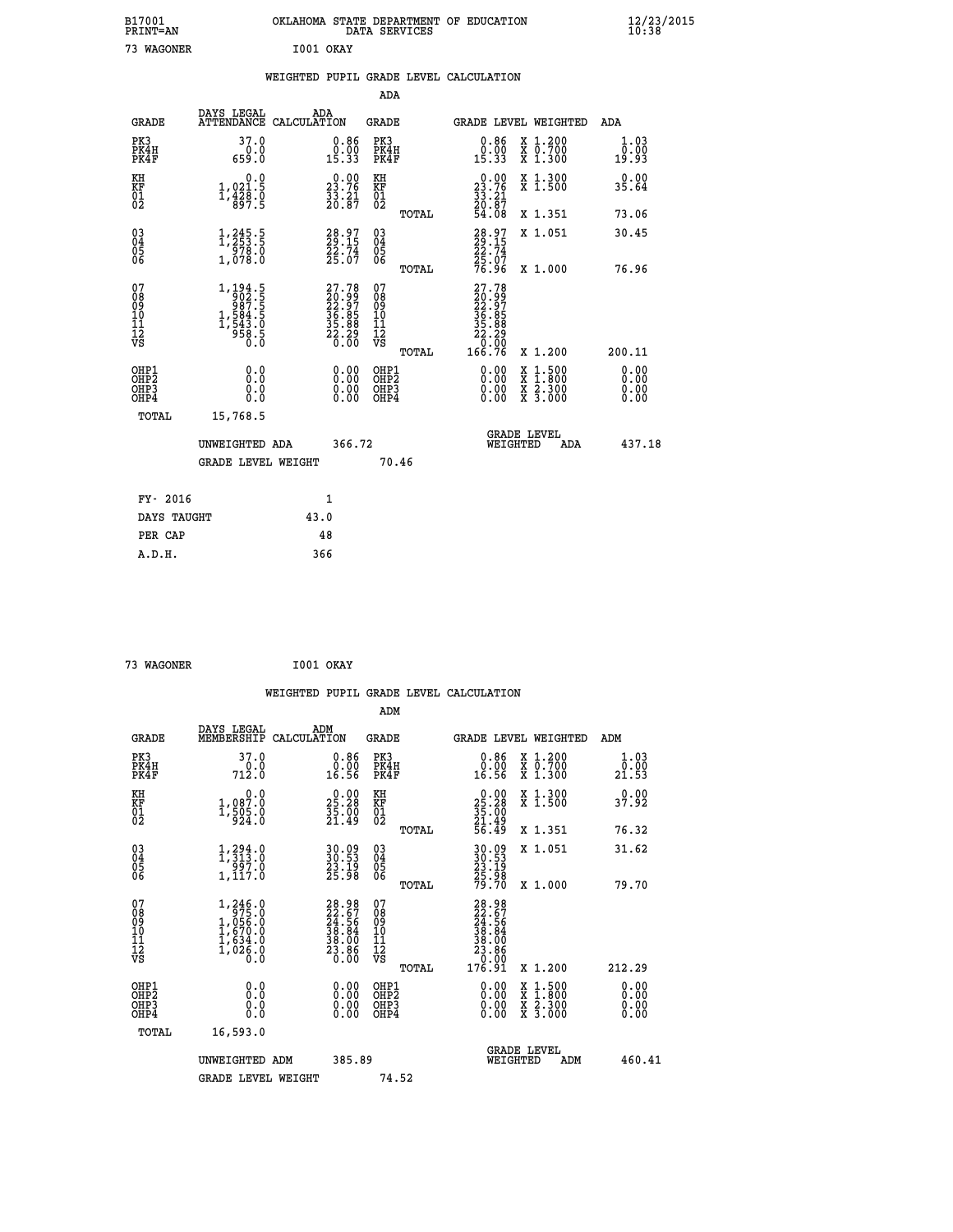| B17001          | OKLAHOMA STATE DEPARTMENT OF EDUCATION |
|-----------------|----------------------------------------|
| <b>PRINT=AN</b> | DATA SERVICES                          |
| 73 WAGONER      | I001 OKAY                              |

|                                                                    |                                                                                                   |      |                                                                          | ADA                                       |       |                                                                              |                                          |                              |
|--------------------------------------------------------------------|---------------------------------------------------------------------------------------------------|------|--------------------------------------------------------------------------|-------------------------------------------|-------|------------------------------------------------------------------------------|------------------------------------------|------------------------------|
| <b>GRADE</b>                                                       | DAYS LEGAL<br>ATTENDANCE CALCULATION                                                              | ADA  |                                                                          | <b>GRADE</b>                              |       |                                                                              | <b>GRADE LEVEL WEIGHTED</b>              | ADA                          |
| PK3<br>PK4H<br>PK4F                                                | 37.0<br>$0.0$<br>$0.659.0$                                                                        |      | $\begin{smallmatrix} 0.86\\ 0.00\\ 15.33 \end{smallmatrix}$              | PK3<br>PK4H<br>PK4F                       |       | $\begin{smallmatrix} 0.86 \\ 0.00 \\ 15.33 \end{smallmatrix}$                | X 1.200<br>X 0.700<br>X 1.300            | 1.03<br>0.00<br>19.93        |
| KH<br><b>KF</b><br>01<br>02                                        | 0.0<br>1,021.5<br>1,428.0<br>897.5                                                                |      | 23.76<br>$\frac{33.21}{20.87}$                                           | KH<br>KF<br>01<br>02                      |       | $\begin{smallmatrix} 0.00\\ 23.76\\ 33.21\\ 20.87\\ 54.08 \end{smallmatrix}$ | X 1.300<br>X 1.500                       | 0.00<br>35.64                |
|                                                                    |                                                                                                   |      |                                                                          |                                           | TOTAL |                                                                              | X 1.351                                  | 73.06                        |
| $\begin{smallmatrix} 03 \\[-4pt] 04 \end{smallmatrix}$<br>Ŏ5<br>06 | 1,245.5<br>$\frac{578.0}{1,078.0}$                                                                |      | 28.97<br>29.15<br>22.74<br>25.07                                         | $\substack{03 \\ 04}$<br>05<br>06         | TOTAL | 28.97<br>29.15<br>22.74<br>25.07<br>76.96                                    | X 1.051<br>X 1.000                       | 30.45<br>76.96               |
| 07<br>08901112<br>1112<br>VS                                       | $\begin{smallmatrix} 1,194.5\\ 902.5\\ 987.5\\ 1,584.5\\ 1,543.0\\ 958.5\\ 0.0 \end{smallmatrix}$ |      | $27.78$<br>$20.99$<br>$22.97$<br>$36.85$<br>$35.88$<br>$22.20$<br>$0.00$ | 07<br>08<br>09<br>11<br>11<br>12<br>VS    |       | 27.78<br>$20.997$<br>$36.85$<br>$35.88$<br>$22.20$<br>$0.99$                 |                                          |                              |
|                                                                    |                                                                                                   |      |                                                                          |                                           | TOTAL | 166.76                                                                       | X 1.200                                  | 200.11                       |
| OHP1<br>OH <sub>P</sub> 2<br>OH <sub>P3</sub><br>OH <sub>P4</sub>  | 0.0<br>0.0<br>0.0                                                                                 |      | 0.00<br>$\begin{smallmatrix} 0.00 \ 0.00 \end{smallmatrix}$              | OHP1<br>OH <sub>P</sub> 2<br>OHP3<br>OHP4 |       | 0.00<br>0.00<br>0.00                                                         | X 1:500<br>X 1:800<br>X 2:300<br>X 3:000 | 0.00<br>0.00<br>0.00<br>0.00 |
| TOTAL                                                              | 15,768.5                                                                                          |      |                                                                          |                                           |       |                                                                              |                                          |                              |
|                                                                    | UNWEIGHTED ADA                                                                                    |      | 366.72                                                                   |                                           |       |                                                                              | GRADE LEVEL<br>WEIGHTED<br>ADA           | 437.18                       |
|                                                                    | <b>GRADE LEVEL WEIGHT</b>                                                                         |      |                                                                          |                                           | 70.46 |                                                                              |                                          |                              |
| FY- 2016                                                           |                                                                                                   |      | $\mathbf{1}$                                                             |                                           |       |                                                                              |                                          |                              |
| DAYS TAUGHT                                                        |                                                                                                   | 43.0 |                                                                          |                                           |       |                                                                              |                                          |                              |
| PER CAP                                                            |                                                                                                   | 48   |                                                                          |                                           |       |                                                                              |                                          |                              |

| 73 WAGONER | I001 OKAY |  |
|------------|-----------|--|

 **B17001<br>PRINT=AN** 

|                                                    |                                                                                                                                  |                    |                                                                                              |                                                     |       | WEIGHTED PUPIL GRADE LEVEL CALCULATION                                                                         |                                          |        |                       |
|----------------------------------------------------|----------------------------------------------------------------------------------------------------------------------------------|--------------------|----------------------------------------------------------------------------------------------|-----------------------------------------------------|-------|----------------------------------------------------------------------------------------------------------------|------------------------------------------|--------|-----------------------|
|                                                    |                                                                                                                                  |                    |                                                                                              | ADM                                                 |       |                                                                                                                |                                          |        |                       |
| <b>GRADE</b>                                       | DAYS LEGAL<br>MEMBERSHIP                                                                                                         | ADM<br>CALCULATION |                                                                                              | <b>GRADE</b>                                        |       | <b>GRADE LEVEL WEIGHTED</b>                                                                                    |                                          | ADM    |                       |
| PK3<br>PK4H<br>PK4F                                | 37.0<br>712.0                                                                                                                    |                    | $\begin{smallmatrix} 0.86 \\ 0.00 \\ 16.56 \end{smallmatrix}$                                | PK3<br>PK4H<br>PK4F                                 |       | $\begin{smallmatrix} 0.86 \\ 0.00 \\ 16.56 \end{smallmatrix}$                                                  | X 1.200<br>X 0.700<br>X 1.300            | 21.53  | 1.03<br>0.00          |
| KH<br>KF<br>01<br>02                               | $\begin{smallmatrix}&&&0.0\\1,087.0\\1,505.0\\924.0\end{smallmatrix}$                                                            |                    | 25.28<br>$\frac{35}{21}$ : $\frac{70}{49}$                                                   | KH<br>KF<br>01<br>02                                |       | $\begin{smallmatrix} 0.00\\ 25.28\\ 35.00\\ 21.49\\ 56.49 \end{smallmatrix}$                                   | X 1.300<br>X 1.500                       | 37.92  |                       |
|                                                    |                                                                                                                                  |                    |                                                                                              |                                                     | TOTAL |                                                                                                                | X 1.351                                  | 76.32  |                       |
| $\begin{matrix} 03 \\ 04 \\ 05 \\ 06 \end{matrix}$ | $\begin{smallmatrix} 1,294\cdot 0\\ 1,313\cdot 0\\ 997\cdot 0\\ 1,117\cdot 0 \end{smallmatrix}$                                  |                    | 30.09<br>30.53<br>23.19<br>25.98                                                             | $\begin{array}{c} 03 \\ 04 \\ 05 \\ 06 \end{array}$ |       | 30.93<br>33.53<br>23.19<br>25.98<br>79.70                                                                      | X 1.051                                  | 31.62  |                       |
|                                                    |                                                                                                                                  |                    |                                                                                              |                                                     | TOTAL |                                                                                                                | X 1.000                                  | 79.70  |                       |
| 07<br>0890112<br>1112<br>VS                        | $\begin{smallmatrix} 1,246\cdot0\\ 975\cdot0\\ 1,056\cdot0\\ 1,670\cdot0\\ 1,634\cdot0\\ 1,026\cdot0\\ 0\cdot0\end{smallmatrix}$ |                    | $\begin{smallmatrix} 28.98\\ 22.67\\ 24.56\\ 38.84\\ 38.00\\ 23.86\\ 0.00 \end{smallmatrix}$ | 07<br>08<br>09<br>01<br>11<br>11<br>12<br>VS        | TOTAL | $\begin{smallmatrix} 28.98\ 22.67\ 24.56\ 38.84\ 38.00\ 23.86\ 24.90\ 23.86\ 25.91\ 176.91\ \end{smallmatrix}$ | X 1.200                                  | 212.29 |                       |
| OHP1                                               |                                                                                                                                  |                    |                                                                                              |                                                     |       |                                                                                                                |                                          |        | 0.00                  |
| OHP <sub>2</sub><br>OH <sub>P3</sub><br>OHP4       | 0.0<br>0.000                                                                                                                     |                    | $0.00$<br>$0.00$<br>0.00                                                                     | OHP1<br>OHP2<br>OHP <sub>3</sub>                    |       | 0.00<br>0.00<br>0.00                                                                                           | X 1:500<br>X 1:800<br>X 2:300<br>X 3:000 |        | Ō. ŌŌ<br>0.00<br>0.00 |
| TOTAL                                              | 16,593.0                                                                                                                         |                    |                                                                                              |                                                     |       |                                                                                                                |                                          |        |                       |
|                                                    | UNWEIGHTED ADM                                                                                                                   |                    | 385.89                                                                                       |                                                     |       | WEIGHTED                                                                                                       | <b>GRADE LEVEL</b><br>ADM                |        | 460.41                |
|                                                    | <b>GRADE LEVEL WEIGHT</b>                                                                                                        |                    |                                                                                              | 74.52                                               |       |                                                                                                                |                                          |        |                       |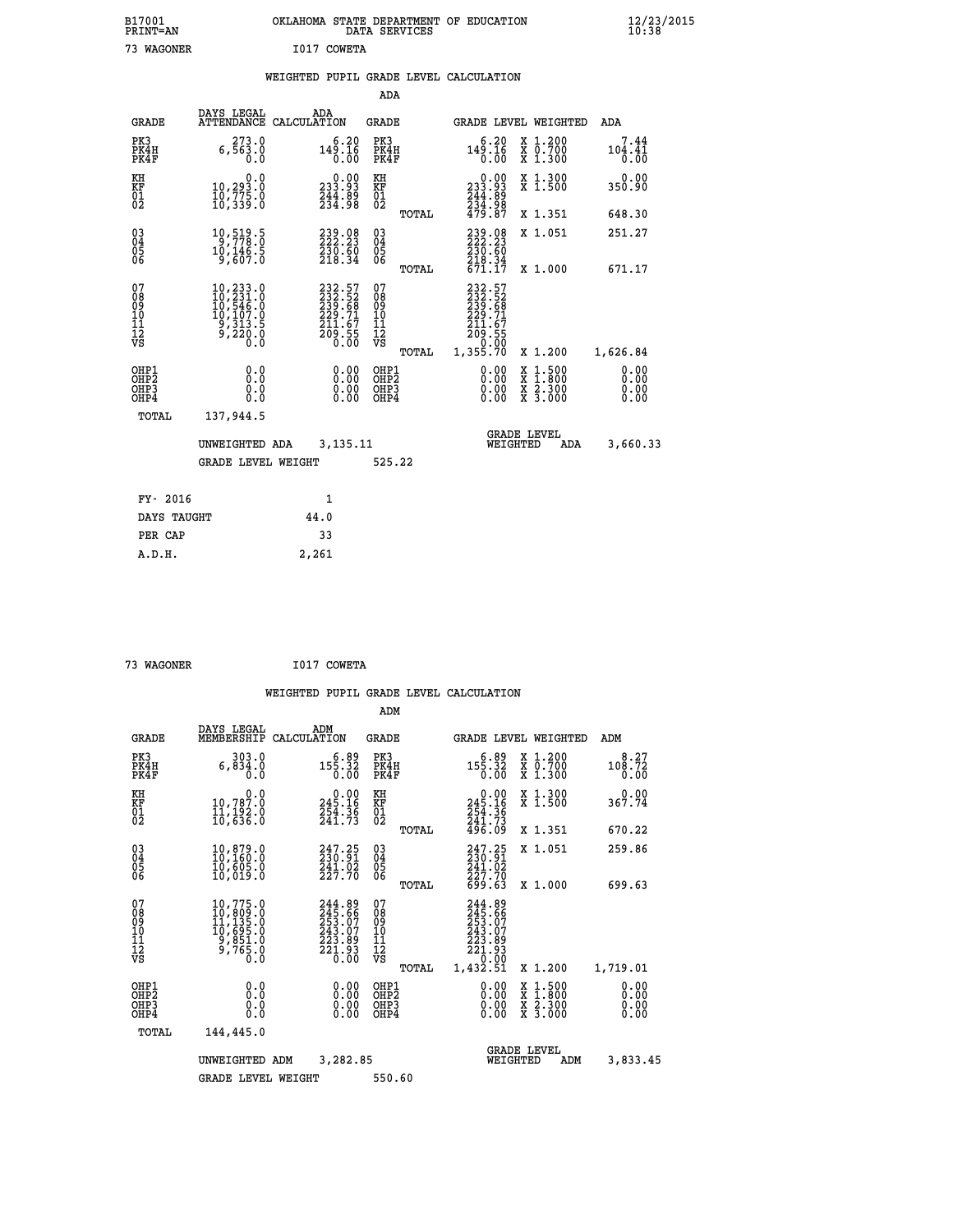|             | OKLAHOMA STATE DEPARTMENT OF EDUCATION<br>DATA SERVICES |  |
|-------------|---------------------------------------------------------|--|
| I017 COWETA |                                                         |  |

|  |  | WEIGHTED PUPIL GRADE LEVEL CALCULATION |
|--|--|----------------------------------------|
|  |  |                                        |

|                                                      |                                                                                                                                                     |                                                                         | ADA                                      |       |                                                                                            |                                                                                                  |                              |
|------------------------------------------------------|-----------------------------------------------------------------------------------------------------------------------------------------------------|-------------------------------------------------------------------------|------------------------------------------|-------|--------------------------------------------------------------------------------------------|--------------------------------------------------------------------------------------------------|------------------------------|
| <b>GRADE</b>                                         | DAYS LEGAL                                                                                                                                          | ADA<br>ATTENDANCE CALCULATION                                           | <b>GRADE</b>                             |       |                                                                                            | GRADE LEVEL WEIGHTED                                                                             | ADA                          |
| PK3<br>PK4H<br>PK4F                                  | 273.0<br>6,563.0<br>0.0                                                                                                                             | 6.20<br>$149.16$<br>$0.00$                                              | PK3<br>PK4H<br>PK4F                      |       | 6.20<br>$14\frac{5}{0}.\overline{16}$<br>0.00                                              | X 1.200<br>X 0.700<br>X 1.300                                                                    | 7.44<br>104.41<br>0.00       |
| KH<br>KF<br>01<br>02                                 | 0.0<br>10,293.0<br>10,775.0<br>10,339.0                                                                                                             | $\begin{smallmatrix} 0.00\\ 233.93\\ 244.89\\ 234.98 \end{smallmatrix}$ | KH<br>KF<br>01<br>02                     |       | $\begin{smallmatrix} &0.00\\ 233.93\\ 244.89\\ 234.98\\ 234.98\\ 479.87 \end{smallmatrix}$ | X 1.300<br>X 1.500                                                                               | 0.00<br>350.90               |
|                                                      |                                                                                                                                                     |                                                                         |                                          | TOTAL |                                                                                            | X 1.351                                                                                          | 648.30                       |
| $\begin{matrix} 03 \\ 04 \\ 05 \\ 06 \end{matrix}$   | 10,519.5<br>10,146.5<br>9,607.0                                                                                                                     | 239.08<br>222.23<br>230.60<br>218.34                                    | $\substack{03 \\ 04}$<br>05<br>06        |       | 239.98<br>$\frac{230.60}{218.34}$<br>671.17                                                | X 1.051                                                                                          | 251.27                       |
|                                                      |                                                                                                                                                     |                                                                         |                                          | TOTAL |                                                                                            | X 1.000                                                                                          | 671.17                       |
| 07<br>08<br>09<br>11<br>11<br>12<br>VS               | $\begin{smallmatrix} 10, 233\cdot 0\\ 10, 231\cdot 0\\ 10, 546\cdot 0\\ 10, 107\cdot 0\\ 9, 313\cdot 5\\ 9, 220\cdot 0\\ 0\cdot 0\end{smallmatrix}$ | 232.57<br>2332.52<br>2339.68<br>229.71<br>211.67<br>209.55<br>0.00      | 07<br>08<br>09<br>101<br>112<br>VS       |       | 232.57<br>2332.52<br>2339.681<br>229.71<br>211.67<br>209.550<br>0.02                       |                                                                                                  |                              |
|                                                      |                                                                                                                                                     |                                                                         |                                          | TOTAL | 1,355.70                                                                                   | X 1.200                                                                                          | 1,626.84                     |
| OHP1<br>OH <sub>P</sub> <sub>2</sub><br>OHP3<br>OHP4 | 0.0<br>0.0<br>0.0                                                                                                                                   | $0.00$<br>$0.00$<br>0.00                                                | OHP1<br>OHP <sub>2</sub><br>OHP3<br>OHP4 |       | $0.00$<br>$0.00$<br>0.00                                                                   | $\begin{smallmatrix} x & 1 & 500 \\ x & 1 & 800 \\ x & 2 & 300 \\ x & 3 & 000 \end{smallmatrix}$ | 0.00<br>0.00<br>0.00<br>0.00 |
| <b>TOTAL</b>                                         | 137,944.5                                                                                                                                           |                                                                         |                                          |       |                                                                                            |                                                                                                  |                              |
|                                                      | UNWEIGHTED ADA                                                                                                                                      | 3,135.11                                                                |                                          |       |                                                                                            | <b>GRADE LEVEL</b><br>WEIGHTED<br>ADA                                                            | 3,660.33                     |
|                                                      | <b>GRADE LEVEL WEIGHT</b>                                                                                                                           |                                                                         | 525.22                                   |       |                                                                                            |                                                                                                  |                              |
|                                                      |                                                                                                                                                     |                                                                         |                                          |       |                                                                                            |                                                                                                  |                              |
| FY- 2016                                             |                                                                                                                                                     | 1                                                                       |                                          |       |                                                                                            |                                                                                                  |                              |
| DAYS TAUGHT                                          |                                                                                                                                                     | 44.0                                                                    |                                          |       |                                                                                            |                                                                                                  |                              |
| PER CAP                                              |                                                                                                                                                     | 33                                                                      |                                          |       |                                                                                            |                                                                                                  |                              |

| 73 WAGONER | I017 COWETA |
|------------|-------------|
|            |             |

 **A.D.H. 2,261**

B17001<br>PRINT=AN<br>73 WAGONER

|                                                       |                                                                                                                                                                                                         |                                                                         | ADM                                                 |                                                                             |                                                                           |                              |
|-------------------------------------------------------|---------------------------------------------------------------------------------------------------------------------------------------------------------------------------------------------------------|-------------------------------------------------------------------------|-----------------------------------------------------|-----------------------------------------------------------------------------|---------------------------------------------------------------------------|------------------------------|
| <b>GRADE</b>                                          | DAYS LEGAL<br>MEMBERSHIP                                                                                                                                                                                | ADM<br>CALCULATION                                                      | <b>GRADE</b>                                        | <b>GRADE LEVEL WEIGHTED</b>                                                 |                                                                           | ADM                          |
| PK3<br>PK4H<br>PK4F                                   | 303.0<br>6,834.0<br>0.0                                                                                                                                                                                 | 6.89<br>155.32<br>0.00                                                  | PK3<br>PK4H<br>PK4F                                 | $6.89$<br>155.32<br>0.00                                                    | $\begin{smallmatrix} x & 1.200 \\ x & 0.700 \end{smallmatrix}$<br>X 1.300 | 8.27<br>108.72<br>0.00       |
| KH<br>KF<br>01<br>02                                  | 0.0<br>10,787.0<br>11,192.0<br>10,636.0                                                                                                                                                                 | $0.00$<br>245.16<br>254.36<br>241.73                                    | KH<br>KF<br>01<br>02                                | $0.00$<br>$245.16$<br>$254.36$<br>$241.73$<br>$496.09$                      | X 1.300<br>X 1.500                                                        | 0.00<br>367.74               |
|                                                       |                                                                                                                                                                                                         |                                                                         | TOTAL                                               |                                                                             | X 1.351                                                                   | 670.22                       |
| 03<br>04<br>05<br>06                                  | 10,879.0<br>10,160.0<br>10,605.0<br>10,019.0                                                                                                                                                            | $247.25$<br>$230.91$<br>241.02<br>227.70                                | $\begin{array}{c} 03 \\ 04 \\ 05 \\ 06 \end{array}$ | 247.25<br>230.91<br>$\frac{241.02}{227.70}$<br>699.63                       | X 1.051                                                                   | 259.86                       |
|                                                       |                                                                                                                                                                                                         |                                                                         | TOTAL                                               |                                                                             | X 1.000                                                                   | 699.63                       |
| 07<br>08<br>09<br>101<br>112<br>VS                    | $\begin{smallmatrix} 10\, , 775\, . \ 10\, , 809\, . \ 0 \\ 11\, , 135\, . \ 0 \\ 11\, , 135\, . \ 0 \\ 10\, , 695\, . \ 0 \\ 9\, , 851\, . \ 0 \\ 9\, , 765\, . \ 0 \\ 0\, . \ 0 \\ \end{smallmatrix}$ | 244.89<br>245.66<br>253:07<br>243:07<br>223:89<br>$\frac{221.93}{0.00}$ | 07<br>08<br>09<br>101<br>11<br>12<br>VS<br>TOTAL    | 244.89<br>245.666<br>253.07<br>243.07<br>223.89<br>221.93<br>00<br>1,432.51 | X 1.200                                                                   | 1,719.01                     |
| OHP1<br>OH <sub>P</sub> 2<br>OH <sub>P3</sub><br>OHP4 | 0.0<br>0.000                                                                                                                                                                                            | $0.00$<br>$0.00$<br>0.00                                                | OHP1<br>OHP2<br>OHP3<br>OHP4                        | $0.00$<br>$0.00$<br>0.00                                                    | X 1:500<br>X 1:800<br>X 2:300<br>X 3:000                                  | 0.00<br>0.00<br>0.00<br>0.00 |
|                                                       | TOTAL<br>144,445.0                                                                                                                                                                                      |                                                                         |                                                     |                                                                             |                                                                           |                              |
|                                                       | UNWEIGHTED                                                                                                                                                                                              | 3,282.85<br>ADM                                                         |                                                     | <b>GRADE LEVEL</b><br>WEIGHTED                                              | ADM                                                                       | 3,833.45                     |
|                                                       | <b>GRADE LEVEL WEIGHT</b>                                                                                                                                                                               |                                                                         | 550.60                                              |                                                                             |                                                                           |                              |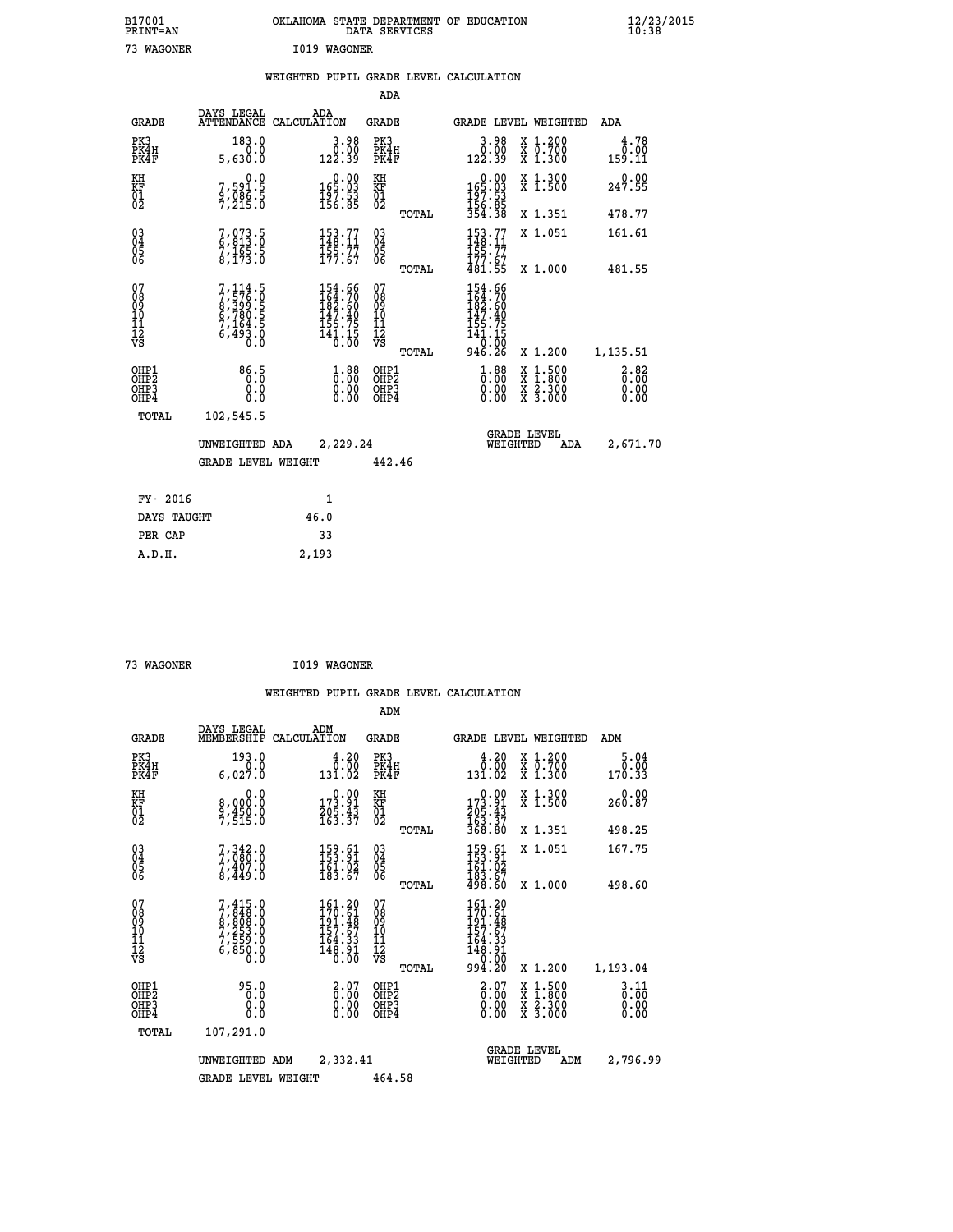| B17001<br>PRINT=AN                       |                                                                           | OKLAHOMA STATE DEPARTMENT OF EDUCATION                                                      | DATA SERVICES                                   |                                                                                                                                                                                |                                                                                                  | 12/23/2015<br>10:38    |  |
|------------------------------------------|---------------------------------------------------------------------------|---------------------------------------------------------------------------------------------|-------------------------------------------------|--------------------------------------------------------------------------------------------------------------------------------------------------------------------------------|--------------------------------------------------------------------------------------------------|------------------------|--|
| 73 WAGONER                               |                                                                           | I019 WAGONER<br>WEIGHTED PUPIL GRADE LEVEL CALCULATION                                      | ADA                                             |                                                                                                                                                                                |                                                                                                  |                        |  |
|                                          | DAYS LEGAL                                                                | ADA                                                                                         |                                                 |                                                                                                                                                                                |                                                                                                  |                        |  |
| <b>GRADE</b>                             |                                                                           | ATTENDANCE CALCULATION                                                                      | GRADE                                           |                                                                                                                                                                                | GRADE LEVEL WEIGHTED                                                                             | ADA                    |  |
| PK3<br>PK4H<br>PK4F                      | 183.0<br>0.0<br>5,630.0                                                   | 3.98<br>ةة:ة<br>122.39                                                                      | PK3<br>PK4H<br>PK4F                             | 3.98<br>0.00<br>122.39                                                                                                                                                         | X 1.200<br>$\overline{x}$ $\overline{0.700}$<br>$\overline{x}$ 1.300                             | 4.78<br>0.00<br>159.11 |  |
| KH<br>KF<br>$^{01}_{02}$                 | 0.0<br>7,591.5<br>9,086.5<br>7,215.0                                      | $\begin{smallmatrix}&&0&.00\\165&.03\\197&.53\\156&.85\end{smallmatrix}$                    | KH<br>KF<br>$\overline{01}$                     | 0.00<br>165.03<br>$\frac{197.53}{156.85}$                                                                                                                                      | X 1.300<br>X 1.500                                                                               | 0.00<br>247.55         |  |
|                                          |                                                                           |                                                                                             | TOTAL                                           | 354.38                                                                                                                                                                         | X 1.351                                                                                          | 478.77                 |  |
| $\substack{03 \\ 04}$<br>$\frac{05}{06}$ | $\frac{7}{9}, \frac{073}{913}$ : 0<br>$7,165.5$<br>8,173.0                | $\frac{153}{148}.77$<br>$\frac{155}{177.67}$                                                | $03\overline{4}$<br>Ŏ5<br>06                    | $\frac{153}{148}.77$<br>155.77<br>177.67                                                                                                                                       | X 1.051                                                                                          | 161.61                 |  |
|                                          |                                                                           |                                                                                             | TOTAL                                           | 481.55                                                                                                                                                                         | X 1,000                                                                                          | 481.55                 |  |
| 07<br>08<br>09<br>11<br>11<br>12<br>VS   | 7,114.5<br>7,576.0<br>8,399.5<br>6,780.5<br>6,780.5<br>7,164.5<br>6,493.0 | $\begin{smallmatrix} 154.66\\164.70\\182.60\\147.40\\155.75\\141.15\\0.00\end{smallmatrix}$ | 07<br>08<br>09<br>10<br>Īľ<br>12<br>VS<br>TOTAL | 154.66<br>164.70<br>182.60<br>147.40<br>155.75<br>$\overline{1}\overline{4}\overline{1}\cdot\overline{1}\overline{5}$<br>$\overline{0}\cdot\overline{0}\overline{0}$<br>946.26 | X 1.200                                                                                          | 1,135.51               |  |
| OHP1<br>OHP2<br>OHP3<br>OHP4             | 86.5<br>0.0<br>0.0                                                        | $1.88$<br>$0.00$<br>0.00                                                                    | OHP1<br>OHP2<br>OHP3<br>OHP4                    | $1.88$<br>$0.00$<br>0.00<br>0.00                                                                                                                                               | $\begin{smallmatrix} x & 1 & 500 \\ x & 1 & 800 \\ x & 2 & 300 \\ x & 3 & 000 \end{smallmatrix}$ | 3.82<br>0.00<br>0.00   |  |
| TOTAL                                    | 102,545.5                                                                 |                                                                                             |                                                 |                                                                                                                                                                                |                                                                                                  |                        |  |
|                                          | UNWEIGHTED ADA                                                            | 2,229.24                                                                                    |                                                 | WEIGHTED                                                                                                                                                                       | <b>GRADE LEVEL</b><br>ADA                                                                        | 2,671.70               |  |
|                                          | GRADE LEVEL WEIGHT                                                        |                                                                                             | 442.46                                          |                                                                                                                                                                                |                                                                                                  |                        |  |
|                                          |                                                                           |                                                                                             |                                                 |                                                                                                                                                                                |                                                                                                  |                        |  |
| FY- 2016                                 |                                                                           | 1<br>46.0                                                                                   |                                                 |                                                                                                                                                                                |                                                                                                  |                        |  |
| DAYS TAUGHT<br>PER CAP                   |                                                                           | 33                                                                                          |                                                 |                                                                                                                                                                                |                                                                                                  |                        |  |
| A.D.H.                                   |                                                                           | 2,193                                                                                       |                                                 |                                                                                                                                                                                |                                                                                                  |                        |  |

| 73 WAGONER |  | I019 WAGONER |
|------------|--|--------------|
|            |  |              |

 **ADM**

| <b>GRADE</b>                                       | DAYS LEGAL<br>MEMBERSHIP                                                            | ADM<br>CALCULATION                                                                          | <b>GRADE</b>                                       |       | <b>GRADE LEVEL WEIGHTED</b>                                                 |                                          | ADM                    |
|----------------------------------------------------|-------------------------------------------------------------------------------------|---------------------------------------------------------------------------------------------|----------------------------------------------------|-------|-----------------------------------------------------------------------------|------------------------------------------|------------------------|
| PK3<br>PK4H<br>PK4F                                | 193.0<br>0.0<br>6,027.0                                                             | 4.20<br>0.00<br>131.02                                                                      | PK3<br>PK4H<br>PK4F                                |       | 0.20<br>131.02                                                              | X 1.200<br>X 0.700<br>X 1.300            | 5.04<br>0.00<br>170.33 |
| KH<br>KF<br>01<br>02                               | 0.0<br>8,000:0<br>9,450:0<br>7,515:0                                                | $\begin{smallmatrix} &0.00\ 173.91\ 205.43\ 163.37\end{smallmatrix}$                        | KH<br>KF<br>01<br>02                               |       | $\begin{array}{c} 0.00 \\ 173.91 \\ 205.43 \\ 163.37 \\ 368.80 \end{array}$ | X 1.300<br>X 1.500                       | 0.00<br>260.87         |
|                                                    |                                                                                     |                                                                                             |                                                    | TOTAL |                                                                             | X 1.351                                  | 498.25                 |
| $\begin{matrix} 03 \\ 04 \\ 05 \\ 06 \end{matrix}$ | $7,342.0$<br>$7,080.0$<br>$7,407.0$<br>$8,449.0$                                    | 159.61<br>153.91<br>$\frac{161.02}{183.67}$                                                 | $\begin{matrix} 03 \\ 04 \\ 05 \\ 06 \end{matrix}$ |       | $159.61$<br>$153.91$<br>$161.02$<br>$183.67$<br>$498.60$                    | X 1.051                                  | 167.75                 |
|                                                    |                                                                                     |                                                                                             |                                                    | TOTAL |                                                                             | X 1.000                                  | 498.60                 |
| 07<br>08<br>09<br>101<br>11<br>12<br>VS            | $7,415.0$<br>$7,848.0$<br>$8,808.0$<br>$7,253.0$<br>$7,559.0$<br>$6,850.0$<br>$0.0$ | $\begin{smallmatrix} 161.20\\170.61\\191.48\\157.67\\164.33\\148.91\\0.00\end{smallmatrix}$ | 07<br>08<br>09<br>001<br>11<br>11<br>12<br>VS      | TOTAL | 161.20<br>170.61<br>191.48<br>157.67<br>164.33<br>148.91<br>0.000<br>994.20 | X 1.200                                  | 1,193.04               |
| OHP1                                               | 95.0                                                                                |                                                                                             | OHP1                                               |       |                                                                             |                                          | 3.11                   |
| OHP <sub>2</sub><br>OH <sub>P3</sub><br>OHP4       | 0.0<br>0.000                                                                        | $\begin{smallmatrix} 2.07 \ 0.00 \ 0.00 \end{smallmatrix}$<br>0.00                          | OHP <sub>2</sub><br>OHP3<br>OHP4                   |       | $\begin{smallmatrix} 2.07\0.00\0.00 \end{smallmatrix}$                      | X 1:500<br>X 1:800<br>X 2:300<br>X 3:000 | 0.00<br>0.00<br>0.00   |
| TOTAL                                              | 107,291.0                                                                           |                                                                                             |                                                    |       |                                                                             |                                          |                        |
|                                                    | UNWEIGHTED                                                                          | 2,332.41<br>ADM                                                                             |                                                    |       | WEIGHTED                                                                    | <b>GRADE LEVEL</b><br>ADM                | 2,796.99               |
|                                                    | <b>GRADE LEVEL WEIGHT</b>                                                           |                                                                                             | 464.58                                             |       |                                                                             |                                          |                        |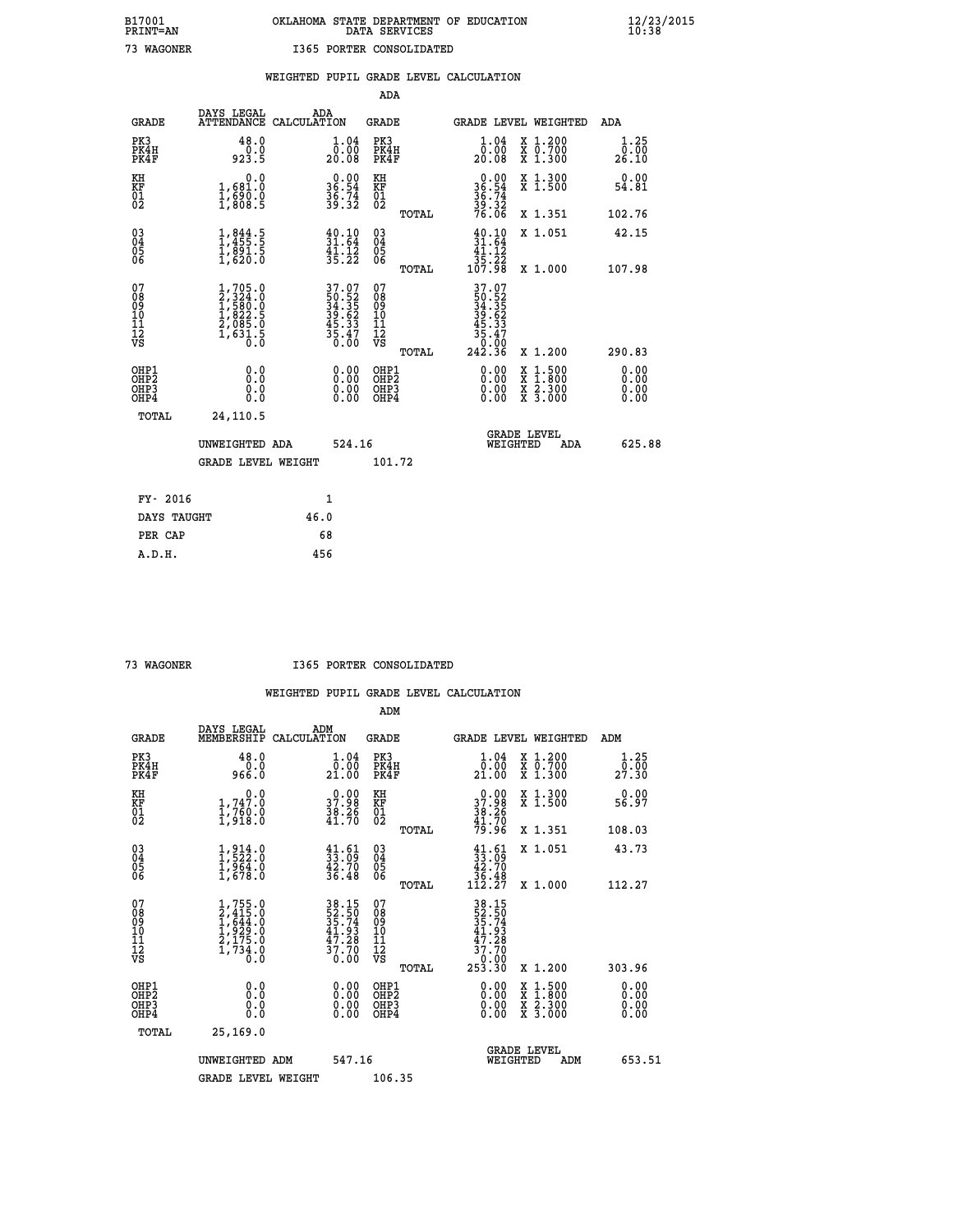# **B17001 OKLAHOMA STATE DEPARTMENT OF EDUCATION 12/23/2015 PRINT=AN DATA SERVICES 10:38 73 WAGONER I365 PORTER CONSOLIDATED**

|                                                                    |                                                                                     |      |                                                                 | ADA                                                 |       |                                                                                                    |                                          |                              |
|--------------------------------------------------------------------|-------------------------------------------------------------------------------------|------|-----------------------------------------------------------------|-----------------------------------------------------|-------|----------------------------------------------------------------------------------------------------|------------------------------------------|------------------------------|
| <b>GRADE</b>                                                       | DAYS LEGAL<br>ATTENDANCE CALCULATION                                                | ADA  |                                                                 | <b>GRADE</b>                                        |       |                                                                                                    | GRADE LEVEL WEIGHTED                     | ADA                          |
| PK3<br>PK4H<br>PK4F                                                | 48.0<br>0.0<br>923.5                                                                |      | $\begin{smallmatrix} 1.04\ 0.00\\ 20.08 \end{smallmatrix}$      | PK3<br>PK4H<br>PK4F                                 |       | 1.04<br>ō:ŏō<br>20:08                                                                              | X 1.200<br>X 0.700<br>X 1.300            | 1.25<br>0.00<br>26.10        |
| KH<br>KF<br>01<br>02                                               | 0.0<br>1,681:0<br>1,690:0<br>1,808:5                                                |      | $36.54$<br>$36.74$<br>$39.32$                                   | KH<br>KF<br>01<br>02                                |       | $36.54$<br>$36.74$<br>$39.32$<br>$76.06$                                                           | X 1.300<br>X 1.500                       | 0.00<br>54.81                |
|                                                                    |                                                                                     |      |                                                                 |                                                     | TOTAL |                                                                                                    | X 1.351                                  | 102.76                       |
| $\begin{smallmatrix} 03 \\[-4pt] 04 \end{smallmatrix}$<br>Ŏ5<br>06 | $1,844.5$<br>$1,455.5$<br>$1,891.5$<br>$1,620.0$                                    |      | $\begin{array}{l} 40.10 \\ 31.64 \\ 41.12 \\ 35.22 \end{array}$ | $\begin{array}{c} 03 \\ 04 \\ 05 \\ 06 \end{array}$ |       | $\frac{40.10}{31.64}$<br>$\frac{41.12}{31.12}$<br>35.22<br>107.98                                  | X 1.051                                  | 42.15                        |
|                                                                    |                                                                                     |      |                                                                 |                                                     | TOTAL |                                                                                                    | X 1.000                                  | 107.98                       |
| 07<br>08<br>09<br>101<br>11<br>12<br>VS                            | $1,705.0$<br>$2,324.0$<br>$1,580.0$<br>$1,822.5$<br>$2,085.0$<br>$1,631.5$<br>$0.0$ |      | 37.07<br>50.52<br>34.35<br>39.62<br>35.33<br>5.47<br>35.47      | 07<br>08<br>09<br>11<br>11<br>12<br>VS              |       | $\begin{array}{r} 37.07 \\ 50.52 \\ 34.35 \\ 34.35 \\ 45.33 \\ 5.47 \\ 0.00 \\ 242.36 \end{array}$ |                                          |                              |
|                                                                    |                                                                                     |      |                                                                 |                                                     | TOTAL |                                                                                                    | X 1.200                                  | 290.83                       |
| OHP1<br>OHP <sub>2</sub><br>OH <sub>P3</sub><br>OHP4               | 0.0<br>0.000                                                                        |      | 0.00<br>$\begin{smallmatrix} 0.00 \ 0.00 \end{smallmatrix}$     | OHP1<br>OHP2<br>OHP <sub>3</sub>                    |       | 0.00<br>0.00                                                                                       | X 1:500<br>X 1:800<br>X 2:300<br>X 3:000 | 0.00<br>0.00<br>0.00<br>0.00 |
| TOTAL                                                              | 24,110.5                                                                            |      |                                                                 |                                                     |       |                                                                                                    |                                          |                              |
|                                                                    | UNWEIGHTED ADA                                                                      |      | 524.16                                                          |                                                     |       | WEIGHTED                                                                                           | <b>GRADE LEVEL</b><br>ADA                | 625.88                       |
|                                                                    | <b>GRADE LEVEL WEIGHT</b>                                                           |      |                                                                 | 101.72                                              |       |                                                                                                    |                                          |                              |
| FY- 2016                                                           |                                                                                     | 1    |                                                                 |                                                     |       |                                                                                                    |                                          |                              |
| DAYS TAUGHT                                                        |                                                                                     | 46.0 |                                                                 |                                                     |       |                                                                                                    |                                          |                              |
| PER CAP                                                            |                                                                                     | 68   |                                                                 |                                                     |       |                                                                                                    |                                          |                              |

 **A.D.H. 456**

 **73 WAGONER I365 PORTER CONSOLIDATED**

|                                                      |                                                                                     |                                                                      | ADM                                                 |       |                                                                                                                                             |                                          |                                 |
|------------------------------------------------------|-------------------------------------------------------------------------------------|----------------------------------------------------------------------|-----------------------------------------------------|-------|---------------------------------------------------------------------------------------------------------------------------------------------|------------------------------------------|---------------------------------|
| <b>GRADE</b>                                         | DAYS LEGAL<br>MEMBERSHIP                                                            | ADM<br>CALCULATION                                                   | <b>GRADE</b>                                        |       |                                                                                                                                             | <b>GRADE LEVEL WEIGHTED</b>              | ADM                             |
| PK3<br>PK4H<br>PK4F                                  | 48.0<br>Ŏ.Ŏ<br>0.∂∂9                                                                | 1.04<br>0.00<br>21.00                                                | PK3<br>PK4H<br>PK4F                                 |       | $\begin{smallmatrix} 1.04\ 0.00\\ 21.00 \end{smallmatrix}$                                                                                  | X 1.200<br>X 0.700<br>X 1.300            | 1.25<br>$2\bar{7}\cdot\bar{30}$ |
| KH<br>KF<br>01<br>02                                 | 0.0<br>$1,747.0$<br>$1,760.0$<br>$1,918.0$                                          | $\begin{smallmatrix} 0.00\\ 37.98\\ 38.26\\ 41.70 \end{smallmatrix}$ | KH<br>KF<br>01<br>02                                |       | $37.98$<br>$38.26$<br>$38.26$<br>$41.70$<br>$79.96$                                                                                         | X 1.300<br>X 1.500                       | 0.00<br>56.97                   |
|                                                      |                                                                                     |                                                                      |                                                     | TOTAL |                                                                                                                                             | X 1.351                                  | 108.03                          |
| 03<br>04<br>05<br>06                                 | $1, 914.0$<br>$1, 522.0$<br>$1, 964.0$<br>$1, 678.0$                                | $\begin{smallmatrix} 41.61\ 33.09\ 42.70\ 36.48 \end{smallmatrix}$   | $\begin{array}{c} 03 \\ 04 \\ 05 \\ 06 \end{array}$ |       | $\begin{smallmatrix} 41.61\ 33.09\ 42.70\ 36.48\ 112.27 \end{smallmatrix}$                                                                  | X 1.051                                  | 43.73                           |
|                                                      |                                                                                     |                                                                      |                                                     | TOTAL |                                                                                                                                             | X 1.000                                  | 112.27                          |
| 07<br>08<br>09<br>101<br>112<br>VS                   | $1,755.0$<br>$2,415.0$<br>$1,644.0$<br>$1,929.0$<br>$2,175.0$<br>$1,734.0$<br>$0.0$ | 38.15<br>52.50<br>35.74<br>41.93<br>47.28<br>37.70<br>Ó.ÓŎ           | 07<br>08<br>09<br>11<br>11<br>12<br>VS              |       | $\begin{array}{r} 38\cdot 15 \\ 52\cdot 50 \\ 35\cdot 74 \\ 41\cdot 93 \\ 47\cdot 28 \\ 37\cdot 70 \\ 0\cdot 00 \\ 253\cdot 30 \end{array}$ |                                          |                                 |
|                                                      |                                                                                     |                                                                      |                                                     | TOTAL |                                                                                                                                             | X 1.200                                  | 303.96                          |
| OHP1<br>OHP2<br>OH <sub>P3</sub><br>OH <sub>P4</sub> | 0.0<br>0.000                                                                        |                                                                      | OHP1<br>OHP2<br>OHP <sub>3</sub>                    |       | $0.00$<br>$0.00$<br>0.00                                                                                                                    | X 1:500<br>X 1:800<br>X 2:300<br>X 3:000 | 0.00<br>0.00<br>0.00<br>0.00    |
| TOTAL                                                | 25, 169.0                                                                           |                                                                      |                                                     |       |                                                                                                                                             |                                          |                                 |
|                                                      | UNWEIGHTED ADM                                                                      | 547.16                                                               |                                                     |       |                                                                                                                                             | <b>GRADE LEVEL</b><br>WEIGHTED<br>ADM    | 653.51                          |
|                                                      | <b>GRADE LEVEL WEIGHT</b>                                                           |                                                                      | 106.35                                              |       |                                                                                                                                             |                                          |                                 |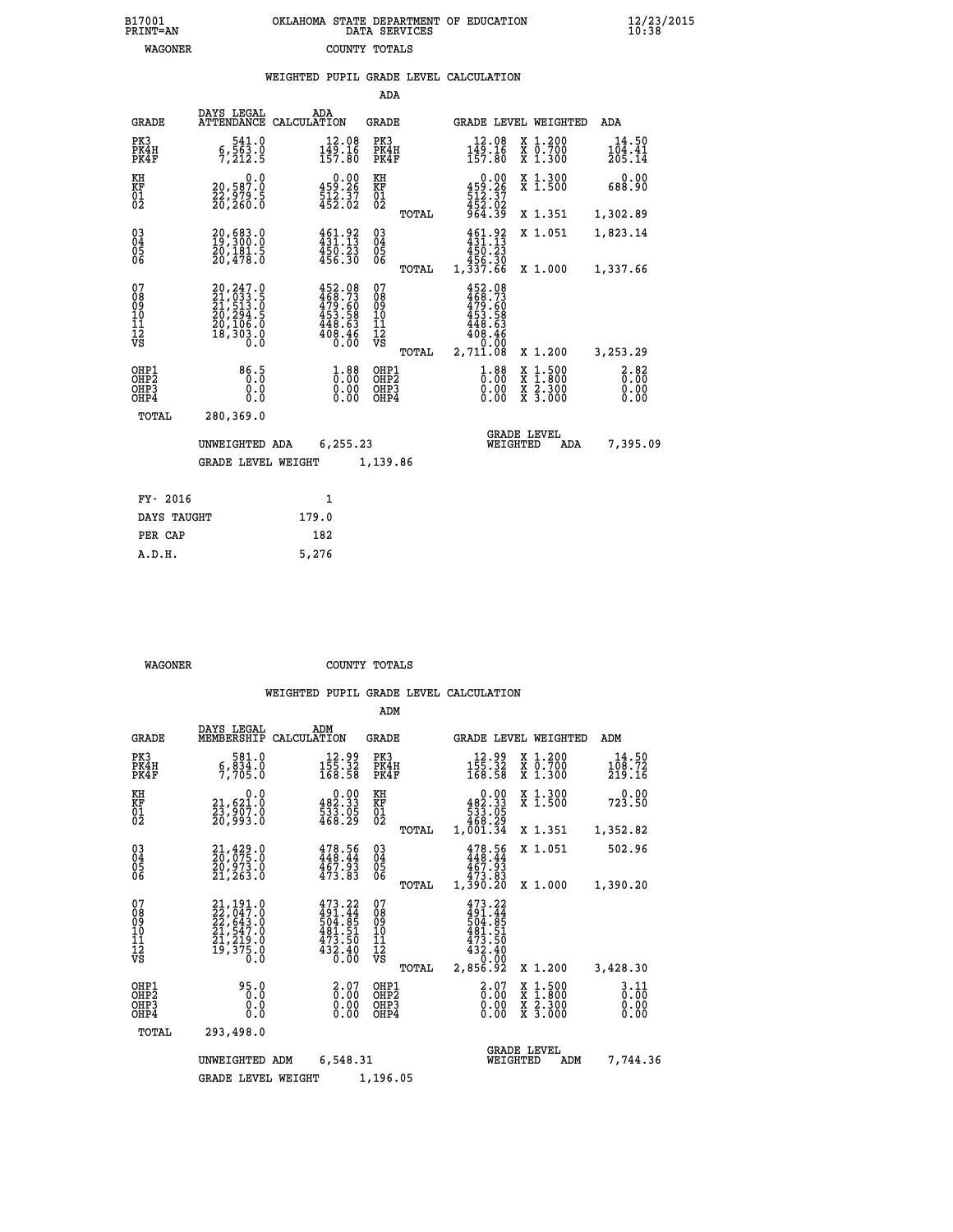| 7001<br>INT=AN | OKLAHOMA STATE DEPARTMENT OF EDUCATION<br>DATA SERVICES |  |
|----------------|---------------------------------------------------------|--|
| WAGONER        | COUNTY TOTALS                                           |  |

 **B17001<br>PRINT=AN** 

 **B17001 OKLAHOMA STATE DEPARTMENT OF EDUCATION 12/23/2015**

|                                                                    |                                                                                                 | WEIGHTED PUPIL GRADE LEVEL CALCULATION                                         |                                                 |                                                                                          |                                                                                                  |                           |
|--------------------------------------------------------------------|-------------------------------------------------------------------------------------------------|--------------------------------------------------------------------------------|-------------------------------------------------|------------------------------------------------------------------------------------------|--------------------------------------------------------------------------------------------------|---------------------------|
|                                                                    |                                                                                                 |                                                                                | <b>ADA</b>                                      |                                                                                          |                                                                                                  |                           |
| <b>GRADE</b>                                                       | DAYS LEGAL                                                                                      | ADA<br>ATTENDANCE CALCULATION                                                  | GRADE                                           | GRADE LEVEL WEIGHTED                                                                     |                                                                                                  | ADA                       |
| PK3<br>PK4H<br>PK4F                                                | 541.0<br>$\frac{6}{7}, \frac{5}{212}$ .9                                                        | 12.08<br>149.16<br>157.80                                                      | PK3<br>PK4H<br>PK4F                             | 12.08<br>$149.16$<br>$157.80$                                                            | X 1.200<br>X 0.700<br>X 1.300                                                                    | 14.50<br>104.41<br>205.14 |
| KH<br><b>KF</b><br>01<br>02                                        | 0.0<br>20,587.0<br>22,979.5<br>20,260.0                                                         | $\begin{smallmatrix} 0.00\\ 459.26\\ 512.37\\ 452.02 \end{smallmatrix}$        | KH<br><b>KF</b><br>01<br>02                     | $\begin{smallmatrix}&&0.00\\4\,59.26\\512.37\\4\,52.02\\9\,64.39\end{smallmatrix}$       | X 1.300<br>X 1.500                                                                               | 0.00<br>688.90            |
|                                                                    |                                                                                                 |                                                                                | TOTAL                                           |                                                                                          | X 1.351                                                                                          | 1,302.89                  |
| $\begin{smallmatrix} 03 \\[-4pt] 04 \end{smallmatrix}$<br>Ŏ5<br>ŌĞ | 20,683.0<br>19,300.0<br>20,181.5<br>20,478.0                                                    | 461.92<br>$450.23$<br>$456.30$                                                 | $\substack{03 \\ 04}$<br>$\frac{05}{06}$        | $461.92$<br>$431.13$<br>450.23                                                           | X 1.051                                                                                          | 1,823.14                  |
|                                                                    |                                                                                                 |                                                                                | TOTAL                                           | 30.345<br>1,337.66                                                                       | X 1.000                                                                                          | 1,337.66                  |
| 07<br>08<br>09<br>11<br>11<br>12<br>VS                             | $20, 247.0$<br>$21, 033.5$<br>$21, 513.0$<br>$20, 294.5$<br>$20, 106.0$<br>$18, 303.0$<br>$0.0$ | $452.08$<br>$468.73$<br>$479.60$<br>$453.58$<br>$448.63$<br>$408.46$<br>$0.00$ | 07<br>08<br>09<br>11<br>11<br>12<br>VS<br>TOTAL | $452.08$<br>$468.73$<br>$479.60$<br>$453.58$<br>$448.63$<br>$408.46$<br>0.00<br>2,711.08 | X 1.200                                                                                          | 3,253.29                  |
| OHP1                                                               |                                                                                                 |                                                                                | OHP1                                            |                                                                                          |                                                                                                  |                           |
| OH <sub>P</sub> 2<br>OHP3<br>OHP4                                  | 86.5<br>0.0<br>0.0                                                                              | $1.88$<br>$0.00$<br>0.00<br>0.00                                               | OH <sub>P</sub> 2<br>OHP3<br>OHP4               | $1.88$<br>$0.00$<br>0.00<br>0.00                                                         | $\begin{smallmatrix} x & 1 & 500 \\ x & 1 & 800 \\ x & 2 & 300 \\ x & 3 & 000 \end{smallmatrix}$ | 3.82<br>0.00<br>0.00      |
| TOTAL                                                              | 280,369.0                                                                                       |                                                                                |                                                 |                                                                                          |                                                                                                  |                           |
|                                                                    | UNWEIGHTED ADA                                                                                  | 6,255.23                                                                       |                                                 | <b>GRADE LEVEL</b><br>WEIGHTED                                                           | ADA                                                                                              | 7,395.09                  |
|                                                                    | <b>GRADE LEVEL WEIGHT</b>                                                                       |                                                                                | 1,139.86                                        |                                                                                          |                                                                                                  |                           |
| FY- 2016                                                           |                                                                                                 | 1                                                                              |                                                 |                                                                                          |                                                                                                  |                           |
| DAYS TAUGHT                                                        |                                                                                                 | 179.0                                                                          |                                                 |                                                                                          |                                                                                                  |                           |
| PER CAP                                                            |                                                                                                 | 182                                                                            |                                                 |                                                                                          |                                                                                                  |                           |

 **WAGONER COUNTY TOTALS**

 **A.D.H. 5,276**

|                                                       |                                                                                                            |                                                                         | ADM                                              |                                                                                                                                                           |                                                                                                  |                              |
|-------------------------------------------------------|------------------------------------------------------------------------------------------------------------|-------------------------------------------------------------------------|--------------------------------------------------|-----------------------------------------------------------------------------------------------------------------------------------------------------------|--------------------------------------------------------------------------------------------------|------------------------------|
| <b>GRADE</b>                                          | DAYS LEGAL<br>MEMBERSHIP                                                                                   | ADM<br>CALCULATION                                                      | <b>GRADE</b>                                     | <b>GRADE LEVEL WEIGHTED</b>                                                                                                                               |                                                                                                  | ADM                          |
| PK3<br>PK4H<br>PK4F                                   | 581.0<br>5,834.0                                                                                           | 12.99<br>$\frac{155}{168}\cdot\frac{52}{58}$                            | PK3<br>PK4H<br>PK4F                              | $12.99$<br>$155.32$<br>$168.58$                                                                                                                           | $\begin{smallmatrix} x & 1.200 \\ x & 0.700 \end{smallmatrix}$<br>X 1.300                        | 14.50<br>108.72<br>219.16    |
| KH<br>KF<br>01<br>02                                  | 0.0<br>21,621.0<br>23,907.0<br>20,993.0                                                                    | $\begin{smallmatrix} &0.00\\ 482.33\\ 533.05\\ 468.29\end{smallmatrix}$ | KH<br>KF<br>01<br>02                             | 0.00<br>$\begin{smallmatrix} 4 & 8 & 2 & 3 & 3 \\ 5 & 3 & 3 & 0 & 5 \\ 5 & 3 & 3 & 0 & 5 \\ 4 & 6 & 8 & 2 & 9 \\ 1 & 0 & 0 & 1 & 3 & 4 \end{smallmatrix}$ | X 1.300<br>X 1.500                                                                               | 0.00<br>723.50               |
|                                                       |                                                                                                            |                                                                         | TOTAL                                            |                                                                                                                                                           | X 1.351                                                                                          | 1,352.82                     |
| 03<br>04<br>05<br>06                                  | 21,429.0<br>20,075.0<br>20,973.0<br>21, 263.0                                                              | 478.56<br>448.44<br>467.93<br>473.83                                    | $\substack{03 \\ 04}$<br>05                      | 478.56<br>448.44<br>467.93<br>473.83                                                                                                                      | X 1.051                                                                                          | 502.96                       |
|                                                       |                                                                                                            |                                                                         | TOTAL                                            | 1,390.20                                                                                                                                                  | X 1.000                                                                                          | 1,390.20                     |
| 07<br>08<br>09<br>11<br>11<br>12<br>VS                | $\begin{smallmatrix} 21,191.0\\ 22,047.0\\ 22,643.0\\ 21,547.0\\ 21,219.0\\ 19,375.0\\ 0\end{smallmatrix}$ | 473.22<br>$\frac{491.77}{504.85}$<br>481.51<br>473.50<br>432.40<br>0.00 | 07<br>08<br>09<br>101<br>11<br>12<br>VS<br>TOTAL | 473.22<br>491.44<br>504.85<br>481.51<br>473.50<br>432.40<br>0.00<br>2,856.92                                                                              | X 1.200                                                                                          | 3,428.30                     |
| OHP1<br>OH <sub>P</sub> 2<br>OH <sub>P3</sub><br>OHP4 | 95.0<br>0.0<br>0.0<br>Ŏ.Ŏ                                                                                  | $\begin{smallmatrix} 2.07 \ 0.00 \ 0.00 \end{smallmatrix}$<br>0.00      | OHP1<br>OHP2<br>OHP3<br>OHP4                     | $\begin{smallmatrix} 2.07 \ 0.00 \ 0.00 \end{smallmatrix}$<br>0.00                                                                                        | $\begin{smallmatrix} x & 1 & 500 \\ x & 1 & 800 \\ x & 2 & 300 \\ x & 3 & 000 \end{smallmatrix}$ | 3.11<br>0.00<br>0.00<br>0.00 |
| TOTAL                                                 | 293,498.0                                                                                                  |                                                                         |                                                  |                                                                                                                                                           |                                                                                                  |                              |
|                                                       | UNWEIGHTED ADM                                                                                             | 6,548.31                                                                |                                                  | WEIGHTED                                                                                                                                                  | <b>GRADE LEVEL</b><br>ADM                                                                        | 7,744.36                     |
|                                                       | <b>GRADE LEVEL WEIGHT</b>                                                                                  |                                                                         | 1,196.05                                         |                                                                                                                                                           |                                                                                                  |                              |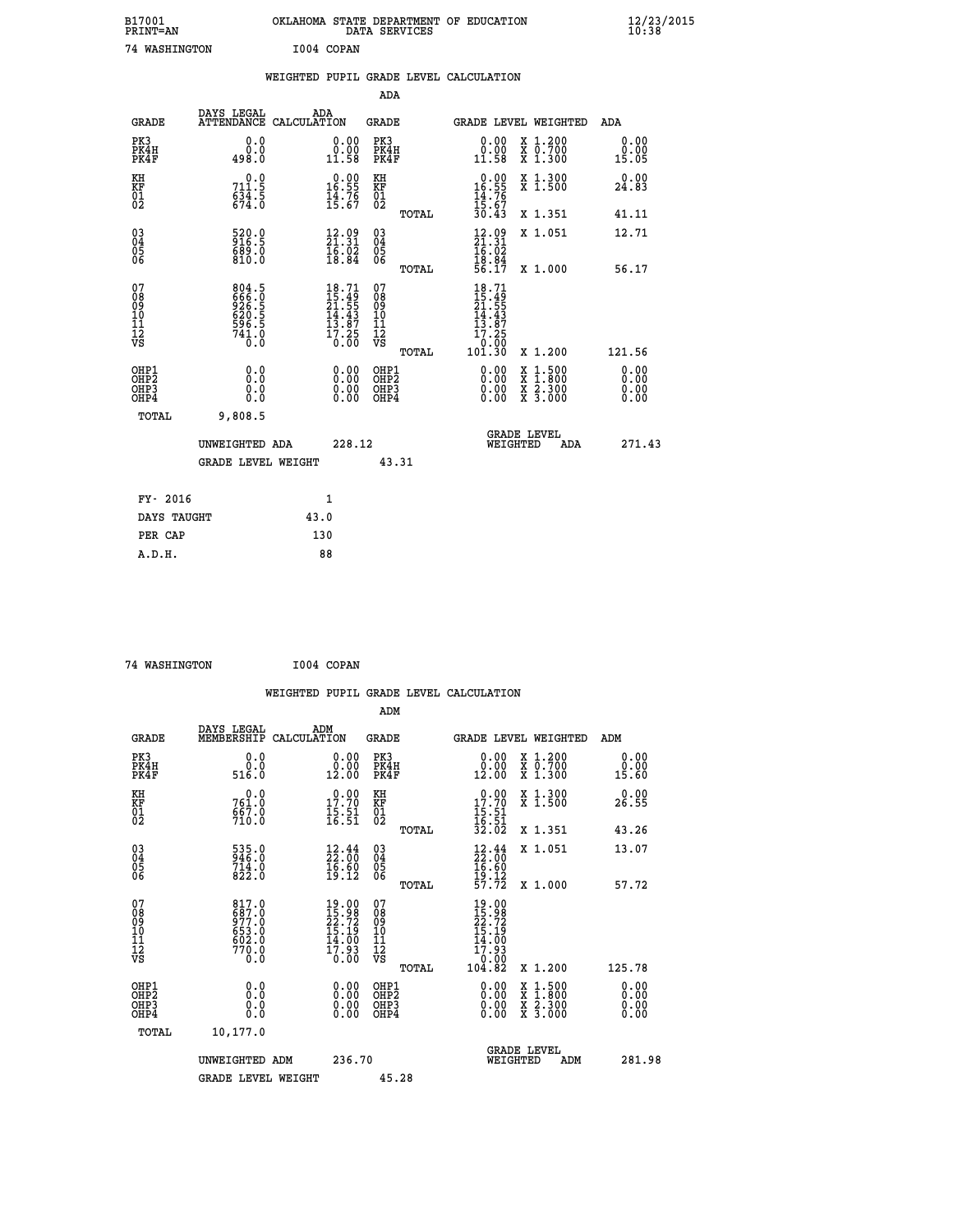| B17001<br>PRINT=AN                                |                                                           | OKLAHOMA STATE DEPARTMENT OF EDUCATION DATA SERVICES                     |                                                            |       |                                                                                                                  |                                                                                                  | $\frac{12}{23}$ /2015        |
|---------------------------------------------------|-----------------------------------------------------------|--------------------------------------------------------------------------|------------------------------------------------------------|-------|------------------------------------------------------------------------------------------------------------------|--------------------------------------------------------------------------------------------------|------------------------------|
| 74 WASHINGTON                                     |                                                           | I004 COPAN                                                               |                                                            |       |                                                                                                                  |                                                                                                  |                              |
|                                                   |                                                           | WEIGHTED PUPIL GRADE LEVEL CALCULATION                                   |                                                            |       |                                                                                                                  |                                                                                                  |                              |
|                                                   |                                                           |                                                                          | <b>ADA</b>                                                 |       |                                                                                                                  |                                                                                                  |                              |
| <b>GRADE</b>                                      | DAYS LEGAL                                                | ADA<br>ATTENDANCE CALCULATION                                            | GRADE                                                      |       |                                                                                                                  | <b>GRADE LEVEL WEIGHTED</b>                                                                      | ADA                          |
| PK3<br>PK4H<br>PK4F                               | 0.0<br>0.0<br>498.0                                       | 0.00<br>$\substack{0.001 \ 11.58}$                                       | PK3<br>PK4H<br>PK4F                                        |       | $\begin{smallmatrix} 0.00\\ 0.00\\ 11.58 \end{smallmatrix}$                                                      | X 1.200<br>X 0.700<br>X 1.300                                                                    | 0.00<br>0.00<br>15.05        |
| KH<br>KF<br>$\begin{matrix} 01 \ 02 \end{matrix}$ | 0.0<br>$711.5$<br>$634.5$<br>$674.0$                      | $\begin{smallmatrix} 0.00\\ 16.55\\ 14.76\\ 15.67 \end{smallmatrix}$     | ΚH<br>KF<br>01<br>02                                       |       | $\begin{array}{r} 0.00 \\ 16.55 \\ 14.76 \\ 15.67 \\ 30.43 \end{array}$                                          | X 1.300<br>X 1.500                                                                               | 0.00<br>24.83                |
|                                                   |                                                           |                                                                          |                                                            | TOTAL |                                                                                                                  | X 1.351                                                                                          | 41.11                        |
| 03<br>04<br>05<br>06                              | 520.0<br>916.5<br>689.0                                   | 12.09<br>21.31<br>16.02                                                  | $\begin{matrix} 03 \\ 04 \\ 05 \\ 06 \end{matrix}$         |       | $\frac{12.09}{21.31}$<br>16.02                                                                                   | X 1.051                                                                                          | 12.71                        |
|                                                   | 810.0                                                     | 18.84                                                                    |                                                            | TOTAL | $\frac{18.84}{56.17}$                                                                                            | X 1.000                                                                                          | 56.17                        |
| 07<br>08<br>09<br>11<br>11<br>12<br>VS            | 804.5<br>666.0<br>926.5<br>620.5<br>596.5<br>741.0<br>ō.ŏ | $18.71$<br>$21.55$<br>$21.55$<br>$14.43$<br>$13.87$<br>$17.25$<br>$0.00$ | 07<br>08<br>09<br>10<br>$\frac{11}{12}$<br>$\frac{12}{18}$ |       | 18.71<br>$\frac{15}{21}$ : $\frac{45}{55}$<br>$\frac{14}{15}$ : $\frac{43}{15}$<br>13.87<br>$\frac{17.25}{0.00}$ |                                                                                                  |                              |
|                                                   |                                                           |                                                                          |                                                            | TOTAL | 101.30                                                                                                           | X 1.200                                                                                          | 121.56                       |
| OHP1<br>OHP2<br>OH <sub>P3</sub><br>OHP4          | 0.0<br>0.0<br>0.0<br>0.0                                  | 0.00<br>0.00                                                             | OHP1<br>OH <sub>P</sub> 2<br>OHP3<br>OHP4                  |       | 0.00<br>0.00<br>0.00                                                                                             | $\begin{smallmatrix} x & 1 & 500 \\ x & 1 & 800 \\ x & 2 & 300 \\ x & 3 & 000 \end{smallmatrix}$ | 0.00<br>0.00<br>0.00<br>0.00 |
| <b>TOTAL</b>                                      | 9,808.5                                                   |                                                                          |                                                            |       |                                                                                                                  |                                                                                                  |                              |
|                                                   | UNWEIGHTED ADA                                            | 228.12                                                                   |                                                            |       |                                                                                                                  | <b>GRADE LEVEL</b><br>WEIGHTED<br>ADA                                                            | 271.43                       |
|                                                   | <b>GRADE LEVEL WEIGHT</b>                                 |                                                                          |                                                            | 43.31 |                                                                                                                  |                                                                                                  |                              |
| FY- 2016                                          |                                                           | 1                                                                        |                                                            |       |                                                                                                                  |                                                                                                  |                              |
| DAYS TAUGHT                                       |                                                           | 43.0                                                                     |                                                            |       |                                                                                                                  |                                                                                                  |                              |
|                                                   |                                                           |                                                                          |                                                            |       |                                                                                                                  |                                                                                                  |                              |

| DAYS TAUGHT | 43.0 |
|-------------|------|
| PER CAP     | 130  |
| A.D.H.      | 88   |
|             |      |

```
 74 WASHINGTON I004 COPAN
```

|                                                                              |                                                             |                                                                                                                               |                                                 | WEIGHTED PUPIL GRADE LEVEL CALCULATION                                                                                                                                                                                                                                                                                     |                              |
|------------------------------------------------------------------------------|-------------------------------------------------------------|-------------------------------------------------------------------------------------------------------------------------------|-------------------------------------------------|----------------------------------------------------------------------------------------------------------------------------------------------------------------------------------------------------------------------------------------------------------------------------------------------------------------------------|------------------------------|
|                                                                              |                                                             |                                                                                                                               | ADM                                             |                                                                                                                                                                                                                                                                                                                            |                              |
| <b>GRADE</b>                                                                 | DAYS LEGAL<br>MEMBERSHIP                                    | ADM<br>CALCULATION                                                                                                            | <b>GRADE</b>                                    | GRADE LEVEL WEIGHTED                                                                                                                                                                                                                                                                                                       | ADM                          |
| PK3<br>PK4H<br>PK4F                                                          | 0.0<br>ŏ:ŏ<br>516:0                                         | 0.00<br>0.00<br>12.00                                                                                                         | PK3<br>PK4H<br>PK4F                             | 0.00<br>X 1.200<br>X 0.700<br>X 1.300<br>0.00<br>12.00                                                                                                                                                                                                                                                                     | 0.00<br>0.00<br>15.60        |
| KH<br>KF<br>01<br>02                                                         | 0.0<br>$761.0$<br>$667.0$<br>710.0                          | 17.70<br>$\frac{15.51}{16.51}$                                                                                                | KH<br>KF<br>01<br>02                            | $\begin{array}{r} 0.00 \\ 17.70 \\ 15.51 \\ 16.51 \\ 32.02 \end{array}$<br>X 1.300<br>X 1.500                                                                                                                                                                                                                              | 0.00<br>26.55                |
|                                                                              |                                                             |                                                                                                                               | TOTAL                                           | X 1.351                                                                                                                                                                                                                                                                                                                    | 43.26                        |
| 030404<br>ŌĞ                                                                 | $\frac{535.0}{246.0}$<br>$714.0$<br>822.0                   | $\begin{smallmatrix} 12\cdot\frac{44}{30} \ 22\cdot\frac{00}{30} \ 16\cdot\frac{60}{30} \ 19\cdot\frac{12} \end{smallmatrix}$ | $\substack{03 \\ 04}$<br>05<br>ŌĞ               | X 1.051<br>$\frac{12}{22}$ : $\frac{44}{00}$<br>$\frac{16.60}{19.12}$<br>57.72                                                                                                                                                                                                                                             | 13.07                        |
|                                                                              |                                                             |                                                                                                                               | TOTAL                                           | X 1.000                                                                                                                                                                                                                                                                                                                    | 57.72                        |
| 07<br>08<br>09<br>101<br>112<br>VS                                           | 817.0<br>687.0<br>977:0<br>653:0<br>602:0<br>770:0<br>770:0 | $19.00$<br>$15.98$<br>$22.72$<br>$15.19$<br>$14.00$<br>$\frac{17.93}{0.00}$                                                   | 07<br>08<br>09<br>11<br>11<br>12<br>VS<br>TOTAL | 19.00<br>15.98<br>22.72<br>15.19<br>14.00<br>ī7.93<br>00.0 <sup>1</sup><br>82.01<br>X 1.200                                                                                                                                                                                                                                | 125.78                       |
| OHP1<br>OH <sub>P</sub> <sub>2</sub><br>OH <sub>P3</sub><br>OH <sub>P4</sub> | 0.0<br>0.000                                                | 0.00<br>0.00<br>0.00                                                                                                          | OHP1<br>OH <sub>P</sub> 2<br>OHP3<br>OHP4       | $\begin{smallmatrix} 0.00 & 0.00 & 0.00 & 0.00 & 0.00 & 0.00 & 0.00 & 0.00 & 0.00 & 0.00 & 0.00 & 0.00 & 0.00 & 0.00 & 0.00 & 0.00 & 0.00 & 0.00 & 0.00 & 0.00 & 0.00 & 0.00 & 0.00 & 0.00 & 0.00 & 0.00 & 0.00 & 0.00 & 0.00 & 0.00 & 0.00 & 0.00 & 0.00 & 0.00 & 0.00 & 0.0$<br>X 1:500<br>X 1:800<br>X 2:300<br>X 3:000 | 0.00<br>0.00<br>0.00<br>0.00 |
| TOTAL                                                                        | 10,177.0                                                    |                                                                                                                               |                                                 |                                                                                                                                                                                                                                                                                                                            |                              |
|                                                                              | UNWEIGHTED ADM                                              | 236.70                                                                                                                        |                                                 | <b>GRADE LEVEL</b><br>WEIGHTED<br>ADM                                                                                                                                                                                                                                                                                      | 281.98                       |
|                                                                              | <b>GRADE LEVEL WEIGHT</b>                                   |                                                                                                                               | 45.28                                           |                                                                                                                                                                                                                                                                                                                            |                              |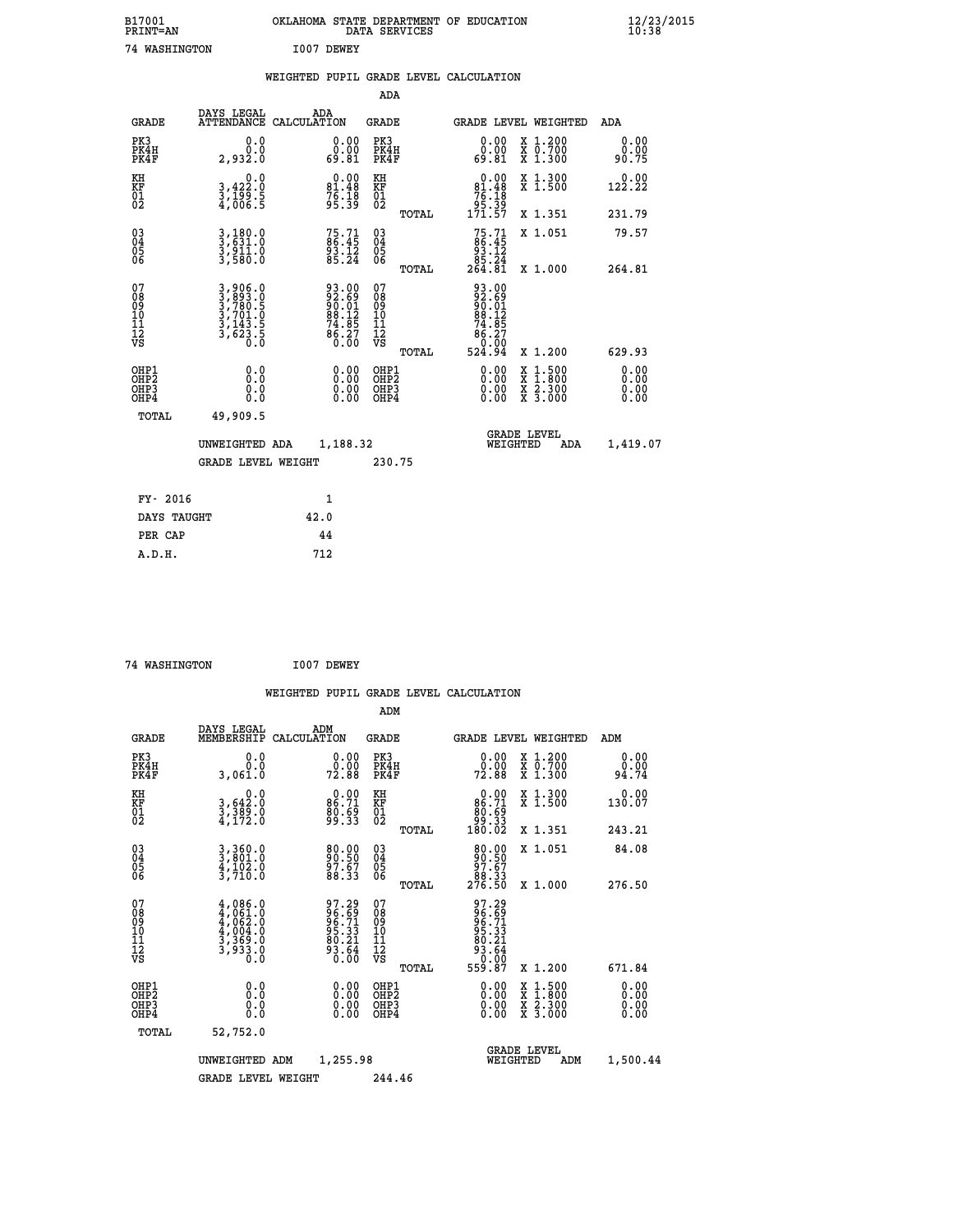| B17001<br>PRINT=AN                                                    |                                                                       | OKLAHOMA STATE DEPARTMENT OF EDUCATION DATA SERVICES         |                                                    |                                                                          |                                          | $\frac{12}{23}$ /2015        |
|-----------------------------------------------------------------------|-----------------------------------------------------------------------|--------------------------------------------------------------|----------------------------------------------------|--------------------------------------------------------------------------|------------------------------------------|------------------------------|
| 74 WASHINGTON                                                         |                                                                       | I007 DEWEY                                                   |                                                    |                                                                          |                                          |                              |
|                                                                       |                                                                       | WEIGHTED PUPIL GRADE LEVEL CALCULATION                       |                                                    |                                                                          |                                          |                              |
|                                                                       |                                                                       |                                                              | <b>ADA</b>                                         |                                                                          |                                          |                              |
| <b>GRADE</b>                                                          | DAYS LEGAL<br>ATTENDANCE CALCULATION                                  | ADA                                                          | GRADE                                              |                                                                          | GRADE LEVEL WEIGHTED                     | <b>ADA</b>                   |
| PK3<br>PK4H<br>PK4F                                                   | 0.0<br>0.0<br>2,932.0                                                 | 0.00<br>ةة.ة<br>81.81                                        | PK3<br>PK4H<br>PK4F                                | $\begin{smallmatrix} 0.00\\ 0.00\\ 69.81 \end{smallmatrix}$              | X 1.200<br>X 0.700<br>X 1.300            | 0.00<br>ةة.ة<br>90.75        |
| KH<br>KF<br>$\begin{matrix} 01 \ 02 \end{matrix}$                     | 0.0<br>3,422:0<br>3,199:5<br>4,006:5                                  | $0.00\n81.48\n76.18\n95.39$                                  | ΚH<br>KF<br>01<br>02                               | $\begin{array}{c} 0.00 \\ 81.48 \\ 76.18 \\ 95.39 \\ 171.57 \end{array}$ | X 1.300<br>X 1.500                       | 0.00<br>122.22               |
|                                                                       |                                                                       |                                                              | TOTAL                                              |                                                                          | X 1.351                                  | 231.79                       |
| $\substack{03 \ 04}$<br>Ŏ5<br>06                                      | 3,180.0<br>3,631.0<br>3,911.0<br>3,580.0                              | $75.71$<br>86.45<br>$\frac{93.12}{85.24}$                    | $\begin{matrix} 03 \\ 04 \\ 05 \\ 06 \end{matrix}$ | $75.71$<br>$86.45$<br>$93.12$                                            | X 1.051                                  | 79.57                        |
|                                                                       |                                                                       |                                                              | TOTAL                                              | 85.24<br>264.81                                                          | X 1.000                                  | 264.81                       |
| 07<br>08<br>09<br>10<br>11<br>Ī2<br>VS                                | 3,906.0<br>3,893.0<br>3,780.5<br>3,701.0<br>3,143.5<br>3,623.5<br>0.0 | 93.00<br>92.69<br>90.01<br>88.12<br>74.85<br>86.27<br>86.270 | 07<br>08901112<br>1112<br>VS<br>TOTAL              | 93.00<br>92.69<br>90.01<br>89.12<br>$74.85$<br>$86.27$<br>0.00<br>524.94 | X 1.200                                  | 629.93                       |
| OHP1<br>OH <sub>P</sub> 2<br>OH <sub>P3</sub><br>OHP4<br><b>TOTAL</b> | 0.0<br>0.0<br>0.0<br>49,909.5                                         | 0.00<br>0.00                                                 | OHP1<br>OHP <sub>2</sub><br>OHP3<br>OHP4           | 0.00<br>0.00<br>0.00                                                     | X 1:500<br>X 1:800<br>X 2:300<br>X 3:000 | 0.00<br>0.00<br>0.00<br>0.00 |
|                                                                       | UNWEIGHTED ADA<br>GRADE LEVEL WEIGHT                                  | 1,188.32                                                     | 230.75                                             | WEIGHTED                                                                 | <b>GRADE LEVEL</b><br>ADA                | 1,419.07                     |
| FY- 2016<br>DAYS TAUGHT                                               |                                                                       | 1<br>42.0                                                    |                                                    |                                                                          |                                          |                              |

| FY- 2016    |      |
|-------------|------|
| DAYS TAUGHT | 42.0 |
| PER CAP     | 44   |
| A.D.H.      | 712  |
|             |      |

| 74 WASHINGTON | I007 DEWEY |
|---------------|------------|
|               |            |

|                                    |                                                      |                                                                                   |                    |                                                             |                                        |       | WEIGHTED PUPIL GRADE LEVEL CALCULATION                                                                                                                                                                                                                                         |                                          |                       |  |
|------------------------------------|------------------------------------------------------|-----------------------------------------------------------------------------------|--------------------|-------------------------------------------------------------|----------------------------------------|-------|--------------------------------------------------------------------------------------------------------------------------------------------------------------------------------------------------------------------------------------------------------------------------------|------------------------------------------|-----------------------|--|
|                                    |                                                      |                                                                                   |                    |                                                             | ADM                                    |       |                                                                                                                                                                                                                                                                                |                                          |                       |  |
|                                    | <b>GRADE</b>                                         | DAYS LEGAL<br>MEMBERSHIP                                                          | ADM<br>CALCULATION |                                                             | GRADE                                  |       |                                                                                                                                                                                                                                                                                | <b>GRADE LEVEL WEIGHTED</b>              | ADM                   |  |
| PK3                                | PK4H<br>PK4F                                         | 0.0<br>0.0<br>3,061.0                                                             |                    | $\begin{smallmatrix} 0.00\\ 0.00\\ 72.88 \end{smallmatrix}$ | PK3<br>PK4H<br>PK4F                    |       | $\begin{smallmatrix} 0.00\\ 0.00\\ 72.88 \end{smallmatrix}$                                                                                                                                                                                                                    | X 1.200<br>X 0.700<br>X 1.300            | 0.00<br>0.00<br>94.74 |  |
| KH<br>KF<br>01<br>02               |                                                      | 0.0<br>3,642:0<br>3,389:0<br>4,172:0                                              |                    | $0.00$<br>$86.71$<br>$\frac{80.69}{99.33}$                  | KH<br>KF<br>01<br>02                   |       | $\begin{smallmatrix} &0.00\ 86.71\ 80.69\ 99.33\ 180.02\ \end{smallmatrix}$                                                                                                                                                                                                    | X 1.300<br>X 1.500                       | 0.00<br>130.07        |  |
|                                    |                                                      |                                                                                   |                    |                                                             |                                        | TOTAL |                                                                                                                                                                                                                                                                                | X 1.351                                  | 243.21                |  |
| 03<br>04<br>05<br>06               |                                                      | 3,360.0<br>3,801.0<br>4,102.0<br>3,710.0                                          |                    | 80.00<br>90.50<br>97.67<br>88.33                            | 03<br>04<br>05<br>06                   |       | $\begin{smallmatrix}80.00\\90.50\\97.67\\88.33\\276.50\end{smallmatrix}$                                                                                                                                                                                                       | X 1.051                                  | 84.08                 |  |
|                                    |                                                      |                                                                                   |                    |                                                             |                                        | TOTAL |                                                                                                                                                                                                                                                                                | X 1.000                                  | 276.50                |  |
| 07<br>08<br>09<br>101<br>112<br>VS |                                                      | $4,086.0$<br>$4,061.0$<br>$4,062.0$<br>$4,004.0$<br>$3,369.0$<br>$3,933.0$<br>0.0 |                    | 97.29<br>96.71<br>96.71<br>96.33<br>80.21<br>83.64<br>0.00  | 07<br>08<br>09<br>11<br>11<br>12<br>VS |       | 97.29<br>96.691<br>96.713<br>98.331<br>89.214<br>93.640<br>559.87                                                                                                                                                                                                              |                                          |                       |  |
|                                    |                                                      |                                                                                   |                    |                                                             |                                        | TOTAL |                                                                                                                                                                                                                                                                                | X 1.200                                  | 671.84                |  |
|                                    | OHP1<br>OHP <sub>2</sub><br>OH <sub>P3</sub><br>OHP4 | 0.0<br>0.000                                                                      |                    | $0.00$<br>$0.00$<br>0.00                                    | OHP1<br>OHP2<br>OHP3<br>OHP4           |       | $\begin{smallmatrix} 0.00 & 0.00 & 0.00 & 0.00 & 0.00 & 0.00 & 0.00 & 0.00 & 0.00 & 0.00 & 0.00 & 0.00 & 0.00 & 0.00 & 0.00 & 0.00 & 0.00 & 0.00 & 0.00 & 0.00 & 0.00 & 0.00 & 0.00 & 0.00 & 0.00 & 0.00 & 0.00 & 0.00 & 0.00 & 0.00 & 0.00 & 0.00 & 0.00 & 0.00 & 0.00 & 0.0$ | X 1:500<br>X 1:800<br>X 2:300<br>X 3:000 | 0.00<br>0.00<br>0.00  |  |
|                                    | TOTAL                                                | 52,752.0                                                                          |                    |                                                             |                                        |       |                                                                                                                                                                                                                                                                                |                                          |                       |  |
|                                    |                                                      | UNWEIGHTED ADM                                                                    |                    | 1,255.98                                                    |                                        |       | WEIGHTED                                                                                                                                                                                                                                                                       | <b>GRADE LEVEL</b><br>ADM                | 1,500.44              |  |
|                                    |                                                      | <b>GRADE LEVEL WEIGHT</b>                                                         |                    |                                                             | 244.46                                 |       |                                                                                                                                                                                                                                                                                |                                          |                       |  |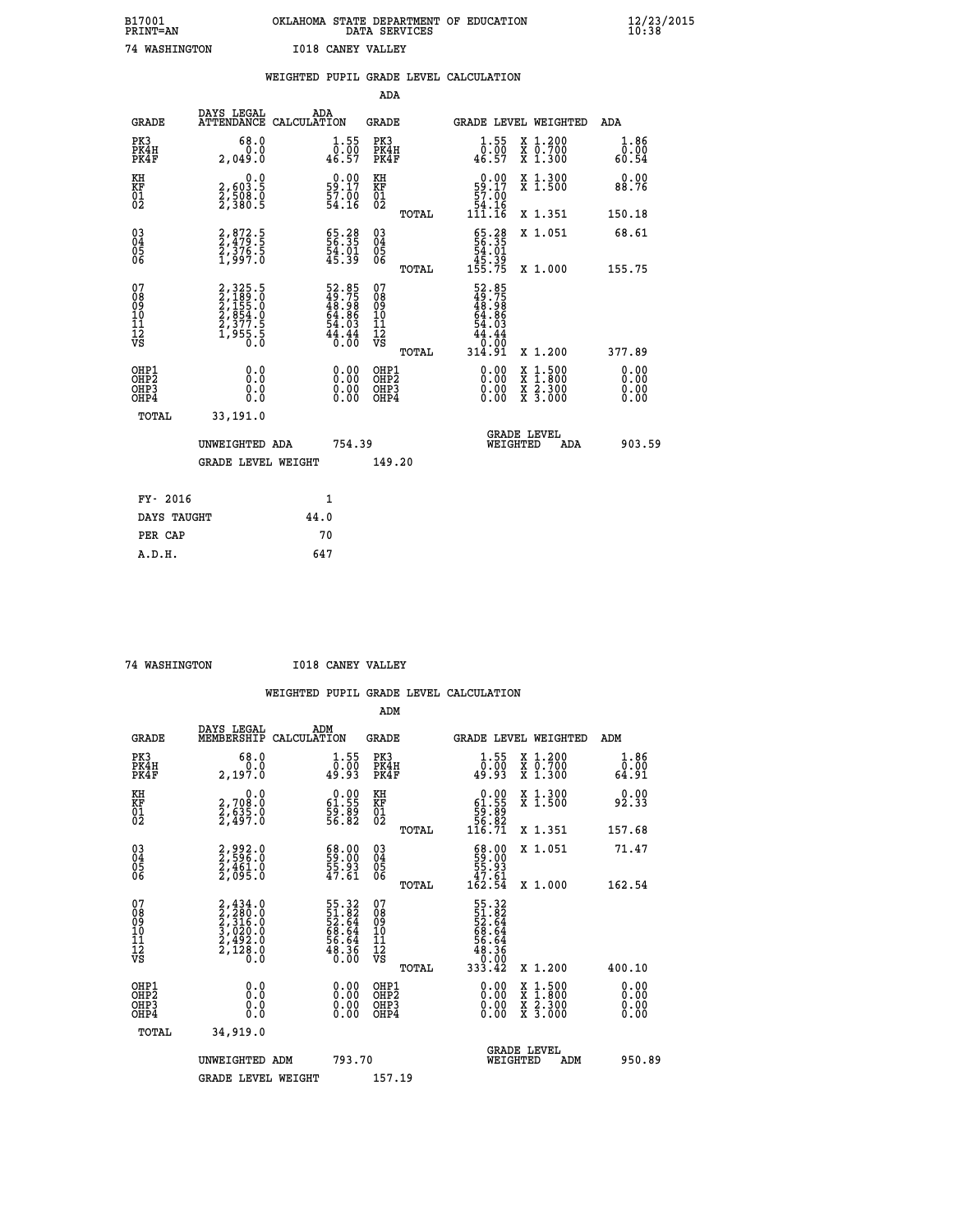| B17001<br><b>PRINT=AN</b> | OKLAHOMA STATE DEPARTMENT OF EDUCATION<br>DATA SERVICES | $\frac{12}{23}$ /2015 |
|---------------------------|---------------------------------------------------------|-----------------------|
| 74 WASHINGTON             | <b>I018 CANEY VALLEY</b>                                |                       |

|                                                                    |                                                                              | WEIGHTED PUPIL GRADE LEVEL CALCULATION                                   |                                                     |       |                                                                                                                                         |                                                                                                                                               |                               |
|--------------------------------------------------------------------|------------------------------------------------------------------------------|--------------------------------------------------------------------------|-----------------------------------------------------|-------|-----------------------------------------------------------------------------------------------------------------------------------------|-----------------------------------------------------------------------------------------------------------------------------------------------|-------------------------------|
|                                                                    |                                                                              |                                                                          | <b>ADA</b>                                          |       |                                                                                                                                         |                                                                                                                                               |                               |
| <b>GRADE</b>                                                       | DAYS LEGAL<br><b>ATTENDANCE</b>                                              | ADA<br>CALCULATION                                                       | <b>GRADE</b>                                        |       |                                                                                                                                         | GRADE LEVEL WEIGHTED                                                                                                                          | ADA                           |
| PK3<br>PK4H<br>PK4F                                                | 68.0<br>0.0<br>2,049.0                                                       | $\begin{smallmatrix} 1.55\\ 0.00\\ 46.57 \end{smallmatrix}$              | PK3<br>PK4H<br>PK4F                                 |       | $\frac{1}{0}$ : 55<br>46.57                                                                                                             | X 1.200<br>X 0.700<br>X 1.300                                                                                                                 | 1.86<br>$\bar{0.00}$<br>54.60 |
| KH<br>KF<br>01<br>02                                               | $\begin{smallmatrix} 0.0 \\ 2,603.5 \\ 2,508.0 \\ 2,380.5 \end{smallmatrix}$ | $\begin{smallmatrix} 0.00\\ 59.17\\ 57.00\\ 54.16 \end{smallmatrix}$     | KH<br>KF<br>01<br>02                                |       | $\begin{smallmatrix} &0.00\\ 59.17\\ 57.00\\ 54.16\\ 111.16\end{smallmatrix}$                                                           | X 1.300<br>X 1.500                                                                                                                            | 0.00<br>88.76                 |
|                                                                    |                                                                              |                                                                          |                                                     | TOTAL |                                                                                                                                         | X 1.351                                                                                                                                       | 150.18                        |
| $\begin{smallmatrix} 03 \\[-4pt] 04 \end{smallmatrix}$<br>Ŏ5<br>06 | 2,872.5<br>2,479.5<br>2,376.5<br>1,997.0                                     | 65.28<br>56.35<br>54.01<br>45.39                                         | $\begin{array}{c} 03 \\ 04 \\ 05 \\ 06 \end{array}$ |       | $\begin{array}{r} 65.28 \\ 56.35 \\ 54.01 \\ 45.39 \\ 155.75 \end{array}$                                                               | X 1.051                                                                                                                                       | 68.61                         |
|                                                                    |                                                                              |                                                                          |                                                     | TOTAL |                                                                                                                                         | X 1.000                                                                                                                                       | 155.75                        |
| 07<br>08901112<br>1112<br>VS                                       | 2,325.5<br>2,189.0<br>2,155.0<br>2,354.0<br>2,377.5<br>1,955.5<br>0.0        | $52.85$<br>$49.75$<br>$48.98$<br>$64.86$<br>$54.03$<br>$44.44$<br>$0.00$ | 07<br>08901112<br>1112<br>VS                        | TOTAL | 52.85<br>49.75<br>$\frac{18}{64}$ . 86<br>54. 86<br>54. 03<br>$\begin{array}{c}\n 4\overline{4} : 44 \\  0.00 \\  314.91\n \end{array}$ | X 1.200                                                                                                                                       | 377.89                        |
| OHP1<br>OHP2<br>OHP3<br>OHP4                                       | 0.0<br>0.0<br>0.0                                                            | 0.0000<br>$\begin{smallmatrix} 0.00 \ 0.00 \end{smallmatrix}$            | OHP1<br>OHP2<br>OHP3<br>OHP4                        |       | 0.00<br>0.00                                                                                                                            | 1:500<br>$\begin{smallmatrix} \mathtt{X} & 1 & 500 \\ \mathtt{X} & 1 & 800 \\ \mathtt{X} & 2 & 300 \\ \mathtt{X} & 3 & 000 \end{smallmatrix}$ | 0.00<br>0.00<br>0.00<br>0.00  |
| <b>TOTAL</b>                                                       | 33,191.0                                                                     |                                                                          |                                                     |       |                                                                                                                                         |                                                                                                                                               |                               |
|                                                                    | UNWEIGHTED ADA                                                               | 754.39                                                                   |                                                     |       | WEIGHTED                                                                                                                                | <b>GRADE LEVEL</b><br>ADA                                                                                                                     | 903.59                        |
|                                                                    | <b>GRADE LEVEL WEIGHT</b>                                                    |                                                                          | 149.20                                              |       |                                                                                                                                         |                                                                                                                                               |                               |
| FY- 2016                                                           |                                                                              | $\mathbf{1}$                                                             |                                                     |       |                                                                                                                                         |                                                                                                                                               |                               |
| DAYS TAUGHT                                                        |                                                                              | 44.0                                                                     |                                                     |       |                                                                                                                                         |                                                                                                                                               |                               |
| PER CAP                                                            |                                                                              | 70                                                                       |                                                     |       |                                                                                                                                         |                                                                                                                                               |                               |

 **74 WASHINGTON I018 CANEY VALLEY**

 **A.D.H. 647**

|                                          |                                                                                     |                                                                       | ADM                                                 |       |                                                                               |                                          |                       |
|------------------------------------------|-------------------------------------------------------------------------------------|-----------------------------------------------------------------------|-----------------------------------------------------|-------|-------------------------------------------------------------------------------|------------------------------------------|-----------------------|
| <b>GRADE</b>                             | DAYS LEGAL<br>MEMBERSHIP                                                            | ADM<br>CALCULATION                                                    | <b>GRADE</b>                                        |       |                                                                               | <b>GRADE LEVEL WEIGHTED</b>              | ADM                   |
| PK3<br>PK4H<br>PK4F                      | 68.0<br>ة:ة<br>2,197.0                                                              | $\begin{smallmatrix} 1.55\\ 0.00\\ 49.93 \end{smallmatrix}$           | PK3<br>PK4H<br>PK4F                                 |       | $\begin{smallmatrix} 1.55\\ 0.00\\ 49.93 \end{smallmatrix}$                   | X 1.200<br>X 0.700<br>X 1.300            | 1.86<br>ۆة:≬<br>64:91 |
| KH<br>KF<br>01<br>02                     | 0.0<br>2,708:0<br>2,635:0<br>2,497:0                                                | $\begin{smallmatrix} 0.00\\ 61.55\\ 59.89\\ 56.82 \end{smallmatrix}$  | KH<br>KF<br>01<br>02                                |       | $\begin{smallmatrix} &0.00\ 61.55\ 59.89\ 56.82\ 116.71\ \end{smallmatrix}$   | X 1.300<br>X 1.500                       | 0.00<br>92.33         |
|                                          |                                                                                     |                                                                       |                                                     | TOTAL |                                                                               | X 1.351                                  | 157.68                |
| 03<br>04<br>05<br>06                     | 2,992.0<br>2,596.0<br>2,461.0<br>2,095.0                                            | $\begin{smallmatrix} 68.00\\ 59.00\\ 55.93\\ 47.61 \end{smallmatrix}$ | $\begin{array}{c} 03 \\ 04 \\ 05 \\ 06 \end{array}$ |       | $\begin{smallmatrix} 68.00\\ 59.00\\ 55.93\\ 47.61\\ 42.54 \end{smallmatrix}$ | X 1.051                                  | 71.47                 |
|                                          |                                                                                     |                                                                       |                                                     | TOTAL |                                                                               | X 1.000                                  | 162.54                |
| 07<br>08<br>09<br>101<br>11<br>12<br>VS  | $2,434.0$<br>$2,280.0$<br>$2,316.0$<br>$3,020.0$<br>$2,492.0$<br>$2,128.0$<br>$0.0$ | 55.32<br>52.64<br>52.64<br>68.64<br>56.64<br>56.36<br>0.00            | 07<br>08<br>09<br>01<br>11<br>11<br>12<br>VS        | TOTAL | 55.32<br>52.82<br>52.644<br>68.64<br>56.64<br>53.33.42                        | X 1.200                                  | 400.10                |
|                                          |                                                                                     |                                                                       |                                                     |       |                                                                               |                                          | 0.00                  |
| OHP1<br>OHP2<br>OH <sub>P3</sub><br>OHP4 |                                                                                     |                                                                       | OHP1<br>OHP2<br>OHP <sub>3</sub>                    |       | $0.00$<br>$0.00$<br>0.00                                                      | X 1:500<br>X 1:800<br>X 2:300<br>X 3:000 | 0.00<br>0.00          |
| TOTAL                                    | 34,919.0                                                                            |                                                                       |                                                     |       |                                                                               |                                          |                       |
|                                          | UNWEIGHTED<br>ADM                                                                   | 793.70                                                                |                                                     |       |                                                                               | GRADE LEVEL<br>WEIGHTED<br>ADM           | 950.89                |
|                                          | <b>GRADE LEVEL WEIGHT</b>                                                           |                                                                       | 157.19                                              |       |                                                                               |                                          |                       |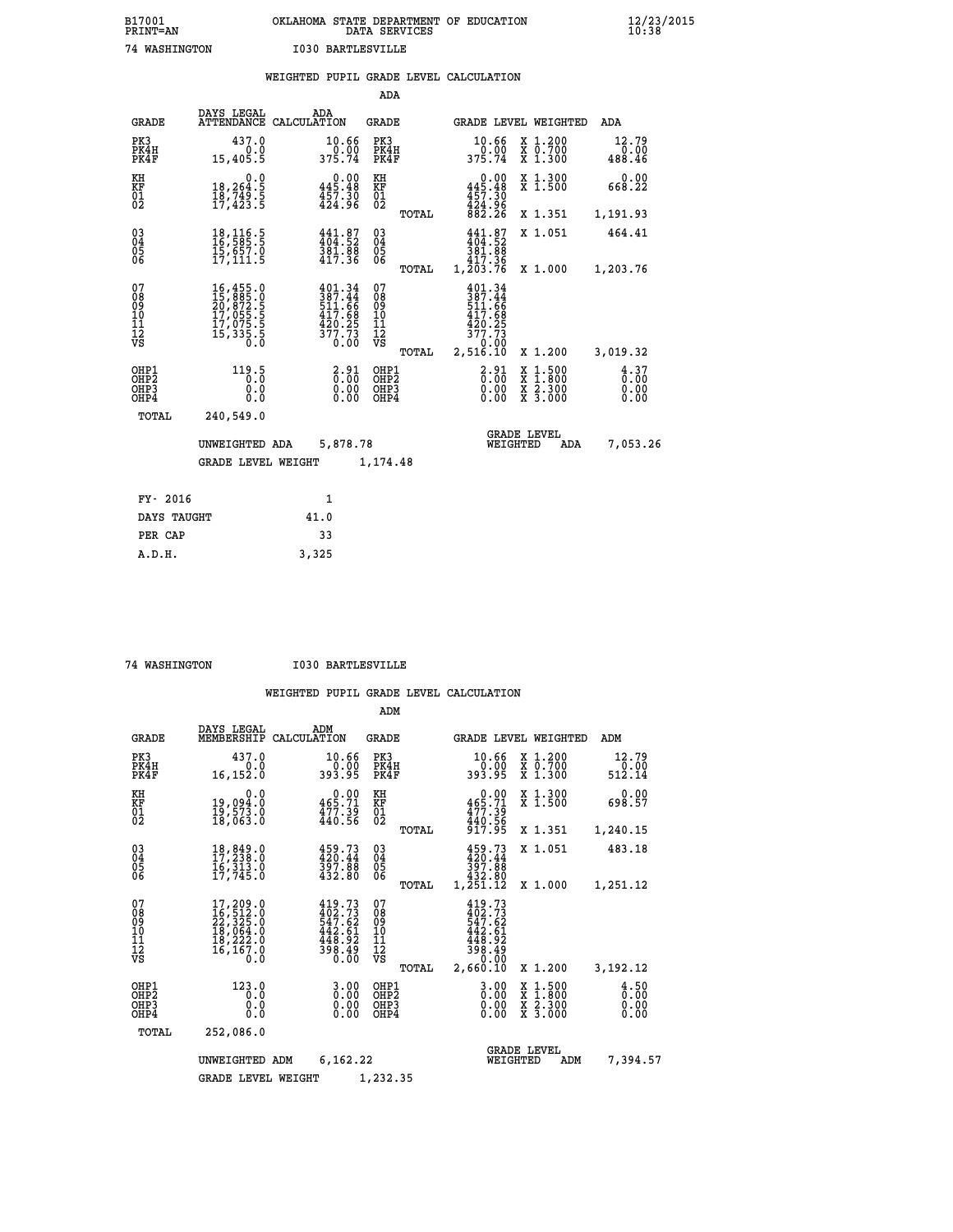| B17001          | OKLAHOMA STATE DEPARTMENT OF EDUCATION |
|-----------------|----------------------------------------|
| <b>PRINT=AN</b> | DATA SERVICES                          |
| 74 WASHINGTON   | <b>I030 BARTLESVILLE</b>               |

|                                                                    |                                                                                                                                                                                                               | WEIGHTED PUPIL GRADE LEVEL CALCULATION                                            |                                   |       |                                                                                                             |                                                                                                                                           |                                    |
|--------------------------------------------------------------------|---------------------------------------------------------------------------------------------------------------------------------------------------------------------------------------------------------------|-----------------------------------------------------------------------------------|-----------------------------------|-------|-------------------------------------------------------------------------------------------------------------|-------------------------------------------------------------------------------------------------------------------------------------------|------------------------------------|
|                                                                    |                                                                                                                                                                                                               |                                                                                   | ADA                               |       |                                                                                                             |                                                                                                                                           |                                    |
| <b>GRADE</b>                                                       |                                                                                                                                                                                                               | DAYS LEGAL ADA ADA ATTENDANCE CALCULATION                                         | GRADE                             |       |                                                                                                             | GRADE LEVEL WEIGHTED                                                                                                                      | ADA                                |
| PK3<br>PK4H<br>PK4F                                                | 437.0<br>0.0<br>15,405.5                                                                                                                                                                                      | 10.66<br>0.00<br>375.74                                                           | PK3<br>PK4H<br>PK4F               |       | 10.66<br>0.00<br>375.74                                                                                     | X 1.200<br>X 0.700<br>X 1.300                                                                                                             | 12.79<br>0.00<br>488.46            |
| KH<br>KF<br>01<br>02                                               | 0.0<br>18,264:5<br>18,749:5<br>17,423:5                                                                                                                                                                       | $0.00$<br>445.48<br>457.30<br>424.96                                              | KH<br>KF<br>01<br>02              |       | 0.00<br>$445.48$<br>$457.30$<br>$424.96$<br>$882.26$                                                        | X 1.300<br>X 1.500                                                                                                                        | 0.00<br>668.22                     |
|                                                                    |                                                                                                                                                                                                               |                                                                                   |                                   | TOTAL |                                                                                                             | X 1.351                                                                                                                                   | 1,191.93                           |
| $\begin{smallmatrix} 03 \\[-4pt] 04 \end{smallmatrix}$<br>Ŏ5<br>ŌĞ | $\begin{smallmatrix} 18,116.5\\ 16,585.5\\ 15,657.0\\ 17,111.5 \end{smallmatrix}$                                                                                                                             | $\begin{smallmatrix} 441.87\\ 404.52\\ 381.88\\ 417.36 \end{smallmatrix}$         | $\substack{03 \\ 04}$<br>05<br>06 |       | $441.87$<br>$404.52$<br>$\begin{array}{r} 381.88 \\ 381.88 \\ 417.36 \\ 1,203.76 \end{array}$               | X 1.051                                                                                                                                   | 464.41                             |
|                                                                    |                                                                                                                                                                                                               |                                                                                   |                                   | TOTAL |                                                                                                             | X 1.000                                                                                                                                   | 1,203.76                           |
| 07<br>08901112<br>1112<br>VS                                       | $\begin{smallmatrix} 16\,, & 455\,, & 0\\ 15\,, & 885\,, & 0\\ 20\,, & 872\,, & 5\\ 17\,, & 055\,, & 5\\ 17\,, & 075\,, & 5\\ 17\,, & 335\,, & 5\\ 15\,, & 335\,, & 5\\ 0\,. & 0\,. & 0\,. \end{smallmatrix}$ | $401.34$<br>$387.44$<br>$511.66$<br>$417.68$<br>$429.25$<br>$\frac{377.73}{0.00}$ | 07<br>08901112<br>1112<br>VS      | TOTAL | 401.34<br>387.44<br>511.66<br>417.68<br>$\begin{array}{r} 420.25 \\ 377.73 \\ 0.00 \\ 2,516.10 \end{array}$ | X 1.200                                                                                                                                   | 3,019.32                           |
| OHP1<br>OHP <sub>2</sub><br>OH <sub>P3</sub><br>OHP4               | 119.5<br>0.0<br>0.0                                                                                                                                                                                           | $\frac{2.91}{0.00}$<br>$0.00$<br>0.00                                             | OHP1<br>OHP2<br>OHP3<br>OHP4      |       | $2.91$<br>$0.00$<br>0.00<br>0.00                                                                            | $\begin{smallmatrix} \mathtt{X} & 1\cdot500\\ \mathtt{X} & 1\cdot800\\ \mathtt{X} & 2\cdot300\\ \mathtt{X} & 3\cdot000 \end{smallmatrix}$ | $\frac{4}{0}$ : 37<br>0.00<br>0.00 |
| TOTAL                                                              | 240,549.0                                                                                                                                                                                                     |                                                                                   |                                   |       |                                                                                                             |                                                                                                                                           |                                    |
|                                                                    | UNWEIGHTED ADA                                                                                                                                                                                                | 5,878.78                                                                          |                                   |       | WEIGHTED                                                                                                    | <b>GRADE LEVEL</b><br>ADA                                                                                                                 | 7,053.26                           |
|                                                                    | <b>GRADE LEVEL WEIGHT</b>                                                                                                                                                                                     |                                                                                   | 1,174.48                          |       |                                                                                                             |                                                                                                                                           |                                    |
| FY- 2016                                                           |                                                                                                                                                                                                               | 1                                                                                 |                                   |       |                                                                                                             |                                                                                                                                           |                                    |
| DAYS TAUGHT                                                        |                                                                                                                                                                                                               | 41.0                                                                              |                                   |       |                                                                                                             |                                                                                                                                           |                                    |
| PER CAP                                                            |                                                                                                                                                                                                               | 33                                                                                |                                   |       |                                                                                                             |                                                                                                                                           |                                    |
| A.D.H.                                                             |                                                                                                                                                                                                               | 3,325                                                                             |                                   |       |                                                                                                             |                                                                                                                                           |                                    |

 **74 WASHINGTON I030 BARTLESVILLE**

|                                                       |                                                                                       |                                                                                               | ADM                                              |                                                                                      |                                                                                                  |                              |
|-------------------------------------------------------|---------------------------------------------------------------------------------------|-----------------------------------------------------------------------------------------------|--------------------------------------------------|--------------------------------------------------------------------------------------|--------------------------------------------------------------------------------------------------|------------------------------|
| <b>GRADE</b>                                          | DAYS LEGAL<br>MEMBERSHIP                                                              | ADM<br>CALCULATION                                                                            | <b>GRADE</b>                                     | GRADE LEVEL WEIGHTED                                                                 |                                                                                                  | ADM                          |
| PK3<br>PK4H<br>PK4F                                   | 437.0<br>0.0<br>16,152.0                                                              | 10.66<br>0.00<br>393.95                                                                       | PK3<br>PK4H<br>PK4F                              | 10.66<br>ةة:ة־<br>393.95                                                             | $\begin{array}{c} x & 1.200 \\ x & 0.700 \end{array}$<br>$X$ 1.300                               | 12.79<br>0.00<br>512.14      |
| KH<br>KF<br>01<br>02                                  | 0.0<br>19,094.0<br>19,573.0<br>18,063.0                                               | $\begin{smallmatrix} &0.00\\ 465.71\\ 477.39\\ 440.56\end{smallmatrix}$                       | KH<br>KF<br>01<br>02                             | 0.00<br>465.71<br>477.39<br>440.56<br>917.95                                         | X 1.300<br>X 1.500                                                                               | 0.00<br>698.57               |
|                                                       |                                                                                       |                                                                                               | TOTAL                                            |                                                                                      | X 1.351                                                                                          | 1,240.15                     |
| 03<br>04<br>05<br>06                                  | 18,849.0<br>17,238.0<br>16,313.0<br>17,745.0                                          | $\begin{smallmatrix} 459.73\\ 420.44\\ 397.88\\ 432.80 \end{smallmatrix}$                     | $^{03}_{04}$<br>0500                             | 459.73<br>420.44<br>397.88                                                           | X 1.051                                                                                          | 483.18                       |
|                                                       |                                                                                       |                                                                                               | TOTAL                                            | 432.80<br>1,251.12                                                                   | X 1.000                                                                                          | 1,251.12                     |
| 07<br>08<br>09<br>11<br>11<br>12<br>VS                | 17,209.0<br>16,512.0<br>22,325.0<br>18,064.0<br>18,222.0<br>$\bar{16}$ , 167.0<br>Ó.Ŏ | $419.73$<br>$402.73$<br>$547.62$<br>$442.61$<br>$\frac{118}{398}\cdot\frac{92}{49}$<br>$0.60$ | 07<br>08<br>09<br>101<br>11<br>12<br>VS<br>TOTAL | 419.73<br>$402.73$<br>547.62<br>$442.61$<br>$448.92$<br>$398.49$<br>0.00<br>2,660.10 | X 1.200                                                                                          | 3,192.12                     |
| OHP1<br>OH <sub>P</sub> 2<br>OH <sub>P3</sub><br>OHP4 | 123.0<br>0.0<br>0.000                                                                 | $0.00$<br>$0.00$<br>0.00                                                                      | OHP1<br>OHP2<br>OHP3<br>OHP4                     | $0.00$<br>$0.00$<br>0.00                                                             | $\begin{smallmatrix} x & 1 & 500 \\ x & 1 & 800 \\ x & 2 & 300 \\ x & 3 & 000 \end{smallmatrix}$ | 4.50<br>0.00<br>0.00<br>0.00 |
| TOTAL                                                 | 252,086.0                                                                             |                                                                                               |                                                  |                                                                                      |                                                                                                  |                              |
|                                                       | UNWEIGHTED ADM                                                                        | 6,162.22                                                                                      |                                                  | WEIGHTED                                                                             | <b>GRADE LEVEL</b><br>ADM                                                                        | 7,394.57                     |
|                                                       | <b>GRADE LEVEL WEIGHT</b>                                                             |                                                                                               | 1,232.35                                         |                                                                                      |                                                                                                  |                              |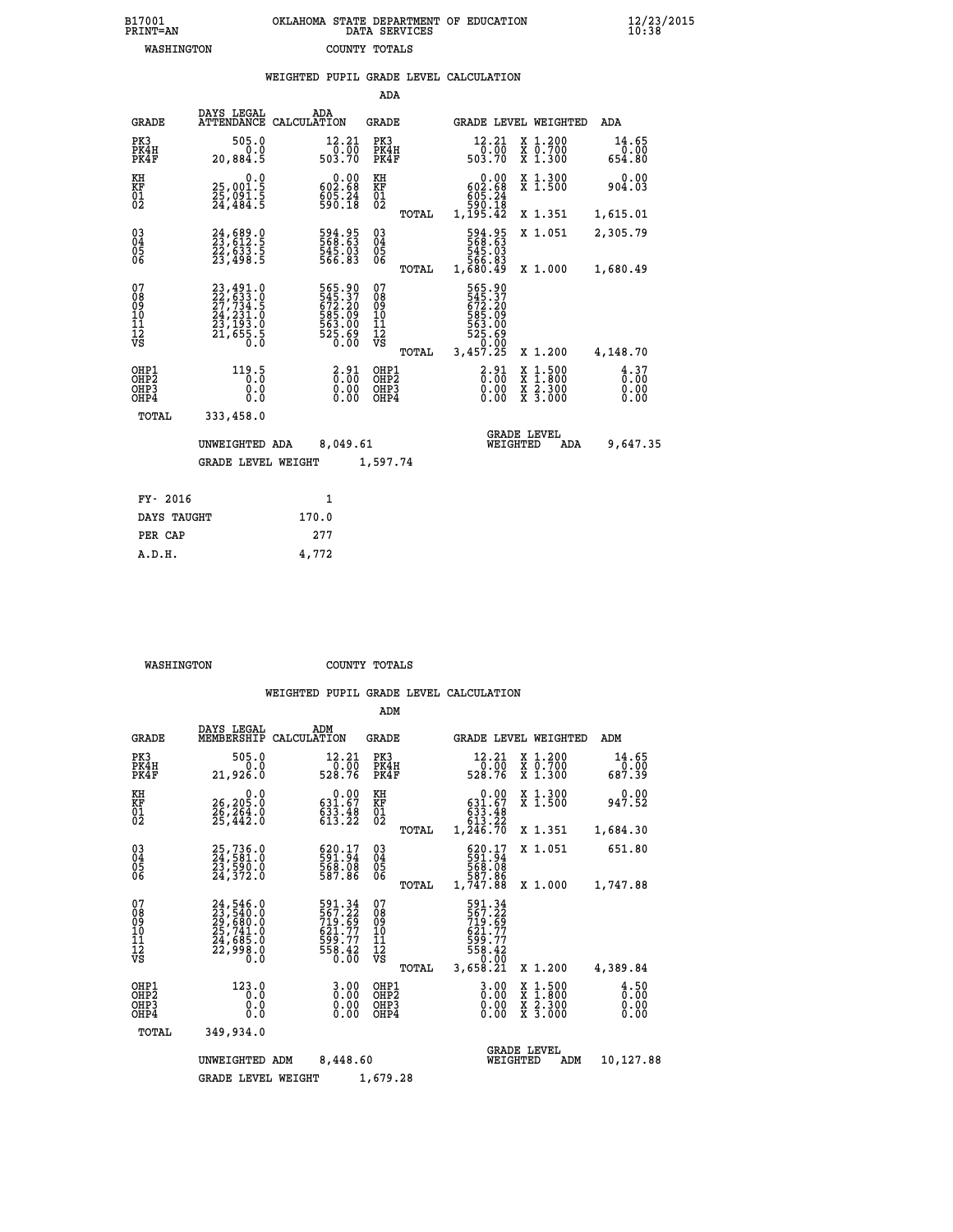| B17001          | OKLAHOMA STATE DEPARTMENT OF EDUCATION |
|-----------------|----------------------------------------|
| <b>PRINT=AN</b> | DATA SERVICES                          |
| WASHINGTON      | COUNTY TOTALS                          |

|                                                                    |                                                                                                                                         | WEIGHTED PUPIL GRADE LEVEL CALCULATION                                     |                                        |       |                                                                                  |                                                                                                                                           |                              |
|--------------------------------------------------------------------|-----------------------------------------------------------------------------------------------------------------------------------------|----------------------------------------------------------------------------|----------------------------------------|-------|----------------------------------------------------------------------------------|-------------------------------------------------------------------------------------------------------------------------------------------|------------------------------|
|                                                                    |                                                                                                                                         |                                                                            | <b>ADA</b>                             |       |                                                                                  |                                                                                                                                           |                              |
| <b>GRADE</b>                                                       |                                                                                                                                         | DAYS LEGAL ADA ATTENDANCE CALCULATION                                      | <b>GRADE</b>                           |       | GRADE LEVEL WEIGHTED                                                             |                                                                                                                                           | ADA                          |
| PK3<br>PK4H<br>PK4F                                                | 505.0<br>0.0<br>20,884.5                                                                                                                | 12.21<br>$\frac{7}{0}$ . $\frac{7}{0}$ . 70                                | PK3<br>PK4H<br>PK4F                    |       | 12.21                                                                            | X 1.200<br>X 0.700<br>X 1.300                                                                                                             | 14.65<br>0.00<br>654.80      |
| KH<br>KF<br>01<br>02                                               | 0.0<br>25,001.5<br>25,091.5<br>24,484.5                                                                                                 | $\begin{smallmatrix} &0.00\ 602.68\ 605.24\ 590.18\ \end{smallmatrix}$     | KH<br>KF<br>01<br>02                   |       | 0.00<br>$\begin{smallmatrix} 602.68\ 605.24\ 590.18\ 1,195.42 \end{smallmatrix}$ | X 1.300<br>X 1.500                                                                                                                        | 0.00<br>904.03               |
|                                                                    |                                                                                                                                         |                                                                            |                                        | TOTAL |                                                                                  | X 1.351                                                                                                                                   | 1,615.01                     |
| $\begin{smallmatrix} 03 \\[-4pt] 04 \end{smallmatrix}$<br>Ŏ5<br>06 | 24,689.0<br>23,612.5<br>22,633.5<br>23,498.5                                                                                            | 594.95<br>568.63<br>$\frac{545.03}{566.83}$                                | $\substack{03 \\ 04}$<br>05<br>06      |       | 594.95<br>568.63<br>545.03<br>566.83<br>1,680.49                                 | X 1.051                                                                                                                                   | 2,305.79                     |
|                                                                    |                                                                                                                                         |                                                                            |                                        | TOTAL |                                                                                  | X 1.000                                                                                                                                   | 1,680.49                     |
| 07<br>08<br>09<br>11<br>11<br>12<br>VS                             | $\begin{smallmatrix} 23\,,491\,.0\\ 22\,,633\,.0\\ 27\,,734\,.5\\ 24\,,231\,.0\\ 23\,,193\,.0\\ 21\,,655\,.5\\ 0\,.0 \end{smallmatrix}$ | 565.90<br>545.37<br>572.20<br>585.09<br>563.00<br>563.00<br>525.69<br>0.00 | 07<br>08<br>09<br>11<br>11<br>12<br>VS | TOTAL | 565.90<br>572.20<br>572.20<br>585.00<br>563.00<br>525.69<br>525.690<br>3,457.25  | X 1.200                                                                                                                                   | 4,148.70                     |
| OHP1<br>OHP2<br>OHP3<br>OHP4                                       | 119.5<br>0.0<br>0.0                                                                                                                     | $\frac{2.91}{0.00}$<br>$\begin{smallmatrix} 0.00 \ 0.00 \end{smallmatrix}$ | OHP1<br>OHP2<br>OHP3<br>OHP4           |       | $2.91$<br>$0.00$<br>0.00                                                         | $\begin{smallmatrix} \mathtt{X} & 1\cdot500\\ \mathtt{X} & 1\cdot800\\ \mathtt{X} & 2\cdot300\\ \mathtt{X} & 3\cdot000 \end{smallmatrix}$ | 4.37<br>0.00<br>0.00<br>0.00 |
| TOTAL                                                              | 333,458.0                                                                                                                               |                                                                            |                                        |       |                                                                                  |                                                                                                                                           |                              |
|                                                                    | UNWEIGHTED ADA                                                                                                                          | 8,049.61                                                                   |                                        |       | WEIGHTED                                                                         | <b>GRADE LEVEL</b><br>ADA                                                                                                                 | 9,647.35                     |
|                                                                    | <b>GRADE LEVEL WEIGHT</b>                                                                                                               |                                                                            | 1,597.74                               |       |                                                                                  |                                                                                                                                           |                              |
| FY- 2016                                                           |                                                                                                                                         | $\mathbf{1}$                                                               |                                        |       |                                                                                  |                                                                                                                                           |                              |
| DAYS TAUGHT                                                        |                                                                                                                                         | 170.0                                                                      |                                        |       |                                                                                  |                                                                                                                                           |                              |
| PER CAP                                                            |                                                                                                                                         | 277                                                                        |                                        |       |                                                                                  |                                                                                                                                           |                              |
| A.D.H.                                                             |                                                                                                                                         | 4,772                                                                      |                                        |       |                                                                                  |                                                                                                                                           |                              |

 **WASHINGTON COUNTY TOTALS**

|                                                    |                                                                                   |                                                                            | ADM                                                 |                                                                                    |                                          |                                |
|----------------------------------------------------|-----------------------------------------------------------------------------------|----------------------------------------------------------------------------|-----------------------------------------------------|------------------------------------------------------------------------------------|------------------------------------------|--------------------------------|
| <b>GRADE</b>                                       | DAYS LEGAL<br>MEMBERSHIP                                                          | ADM<br>CALCULATION                                                         | <b>GRADE</b>                                        | <b>GRADE LEVEL WEIGHTED</b>                                                        |                                          | ADM                            |
| PK3<br>PK4H<br>PK4F                                | 505.0<br>0.0<br>21,926.0                                                          | 12.21<br>$\frac{7}{528.76}$                                                | PK3<br>PK4H<br>PK4F                                 | 12.21                                                                              | X 1.200<br>X 0.700<br>X 1.300            | 14.65<br>$\frac{0.00}{687.39}$ |
| KH<br>KF<br>01<br>02                               | 0.0<br>26, 205.0<br>26,264.0<br>25,442.0                                          | $\begin{smallmatrix} &0.00\\ 631.67\\ 633.48\\ 613.22 \end{smallmatrix}$   | KH<br><b>KF</b><br>01<br>02                         | $\begin{smallmatrix}&&0.00\\ 631.67\\ 633.48\\ 613.22\\ 1.246.70\end{smallmatrix}$ | X 1.300<br>X 1.500                       | 0.00<br>947.52                 |
|                                                    |                                                                                   |                                                                            | TOTAL                                               |                                                                                    | X 1.351                                  | 1,684.30                       |
| $\begin{matrix} 03 \\ 04 \\ 05 \\ 06 \end{matrix}$ | 25,736.0<br>24,581.0<br>23,590.0<br>24,372.0                                      | $\begin{smallmatrix} 620.17\\ 591.94\\ 568.08\\ 587.86 \end{smallmatrix}$  | $\begin{array}{c} 03 \\ 04 \\ 05 \\ 06 \end{array}$ | 620.17<br>591.94<br>568.08                                                         | X 1.051                                  | 651.80                         |
|                                                    |                                                                                   |                                                                            | TOTAL                                               | 587.86<br>1,747.88                                                                 | X 1.000                                  | 1,747.88                       |
| 07<br>08<br>09<br>101<br>11<br>12<br>VS            | 24, 546.0<br>23, 540.0<br>29, 680.0<br>25, 741.0<br>24, 685.0<br>22, 998.0<br>Ō.Ō | 591.34<br>567.22<br>719.69<br>710.67<br>621.77<br>599.77<br>558.42<br>0.00 | 07<br>08<br>09<br>11<br>11<br>12<br>VS<br>TOTAL     | 591.34<br>567.22<br>719.69<br>719.69<br>621.77<br>558.42<br>58.42<br>3,658.21      | X 1.200                                  | 4,389.84                       |
| OHP1<br>OHP2<br>OHP3<br>OHP4                       | 123.0<br>0.0<br>0.000                                                             | $\begin{smallmatrix} 3.00\ 0.00\ 0.00 \end{smallmatrix}$                   | OHP1<br>OHP2<br>OHP3<br>OHP4                        | 3.00<br>$0.00$<br>0.00                                                             | X 1:500<br>X 1:800<br>X 2:300<br>X 3:000 | 4.50<br>0.00<br>0.00<br>0.00   |
| TOTAL                                              | 349,934.0                                                                         |                                                                            |                                                     |                                                                                    |                                          |                                |
|                                                    | UNWEIGHTED<br><b>GRADE LEVEL WEIGHT</b>                                           | 8,448.60<br>ADM                                                            | 1,679.28                                            | WEIGHTED                                                                           | <b>GRADE LEVEL</b><br>ADM                | 10,127.88                      |
|                                                    |                                                                                   |                                                                            |                                                     |                                                                                    |                                          |                                |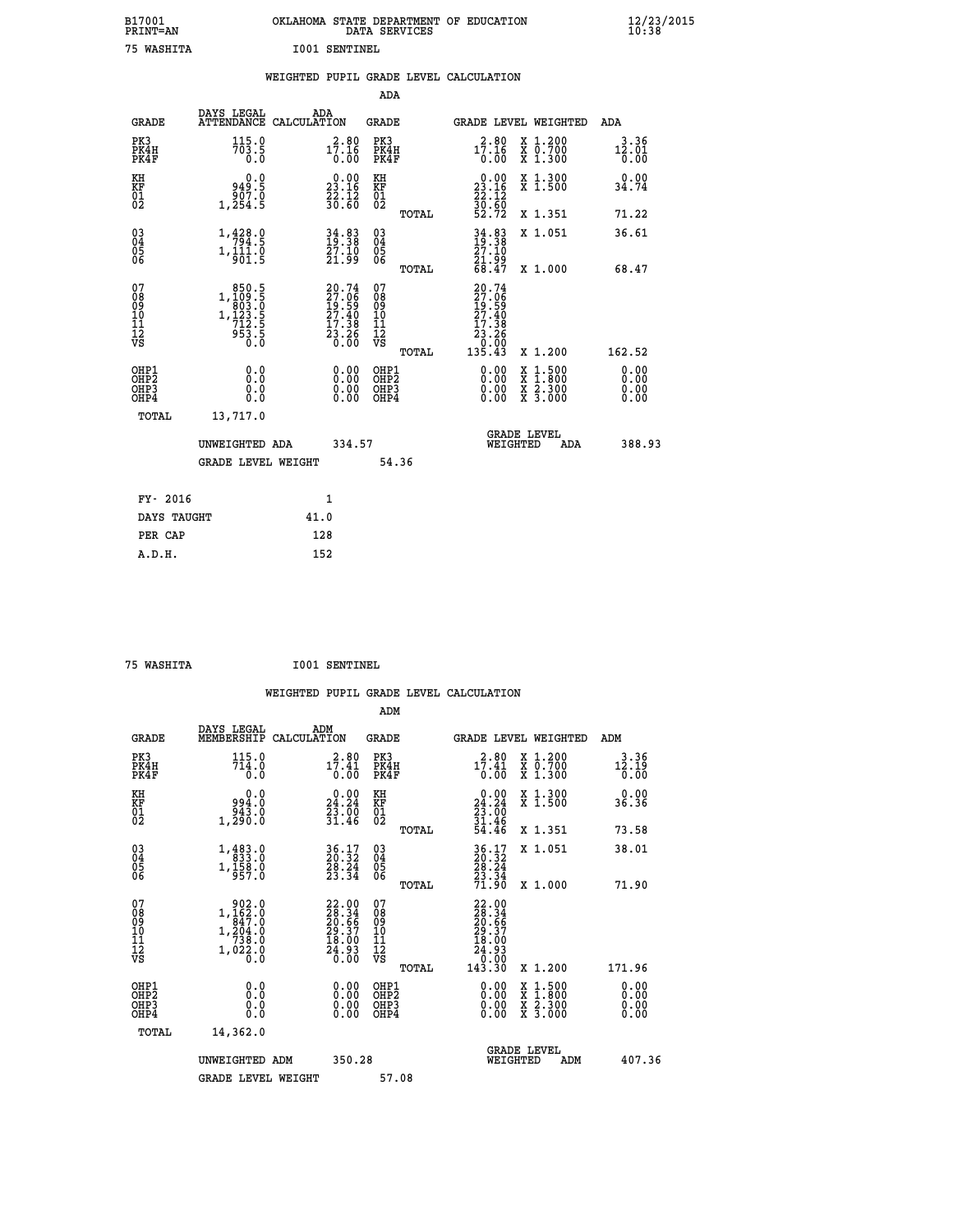| B17001<br>PRINT=AN | OKLAHOMA STATE DEPARTMENT OF EDUCATION<br>DATA SERVICES | $\frac{12}{23}$ /2015 |
|--------------------|---------------------------------------------------------|-----------------------|
| 75 WASHITA         | <b>I001 SENTINEL</b>                                    |                       |

|  |     | WEIGHTED PUPIL GRADE LEVEL CALCULATION |  |
|--|-----|----------------------------------------|--|
|  | ADA |                                        |  |

| <b>GRADE</b>                                         | DAYS LEGAL<br>ATTENDANCE CALCULATION                                                                                                                                           | ADA  |                                                                          | <b>GRADE</b>                                       |       | <b>GRADE LEVEL WEIGHTED</b>                                                                                 |                                          | ADA                          |  |
|------------------------------------------------------|--------------------------------------------------------------------------------------------------------------------------------------------------------------------------------|------|--------------------------------------------------------------------------|----------------------------------------------------|-------|-------------------------------------------------------------------------------------------------------------|------------------------------------------|------------------------------|--|
| PK3<br>PK4H<br>PK4F                                  | 115.0<br>703.5<br>0.0                                                                                                                                                          |      | $17.16$<br>$0.00$                                                        | PK3<br>PK4H<br>PK4F                                |       | $17.16$<br>$0.00$                                                                                           | X 1.200<br>X 0.700<br>X 1.300            | 3.36<br>12.01<br>0.00        |  |
| KH<br>KF<br>01<br>02                                 | 0.0<br>3: 49<br>907: 9<br>1, 254: 5                                                                                                                                            |      | $\begin{smallmatrix} 0.00\\ 23.16\\ 22.12\\ 36.60 \end{smallmatrix}$     | KH<br>KF<br>01<br>02                               |       | $\begin{smallmatrix} 0.00\\ 23.16\\ 22.12\\ 30.60\\ 52.72 \end{smallmatrix}$                                | X 1.300<br>X 1.500                       | 0.00<br>34.74                |  |
|                                                      |                                                                                                                                                                                |      |                                                                          |                                                    | TOTAL |                                                                                                             | X 1.351                                  | 71.22                        |  |
| $\begin{matrix} 03 \\ 04 \\ 05 \\ 06 \end{matrix}$   | 1,428.9<br>$1, \frac{1}{9} \overline{0} \overline{1} \cdot \overline{0}$                                                                                                       |      | $34.83$<br>$19.38$<br>$27.10$<br>$21.99$                                 | $\begin{matrix} 03 \\ 04 \\ 05 \\ 06 \end{matrix}$ |       | $34.83$<br>$19.38$<br>$27.10$<br>$21.99$<br>$68.47$                                                         | X 1.051                                  | 36.61                        |  |
|                                                      |                                                                                                                                                                                |      |                                                                          |                                                    | TOTAL |                                                                                                             | X 1.000                                  | 68.47                        |  |
| 07<br>08901112<br>1112<br>VS                         | 850.5<br>$1, \begin{smallmatrix} 1 & 0 & 0 & 0 & 0 \\ 0 & 0 & 0 & 0 & 0 \\ 1 & 1 & 0 & 0 & 0 \\ 7 & 1 & 0 & 0 & 0 \\ 9 & 5 & 0 & 0 & 0 \\ 0 & 0 & 0 & 0 & 0 \end{smallmatrix}$ |      | $20.74$<br>$27.06$<br>$19.59$<br>$27.40$<br>$17.38$<br>$23.26$<br>$0.00$ | 07<br>08<br>09<br>11<br>11<br>12<br>VS             |       | 20.74<br>$\begin{smallmatrix} 27.06 \ 19.590 \ 27.408 \ 27.380 \ 17.386 \ 0.000 \ 135.43 \end{smallmatrix}$ |                                          |                              |  |
|                                                      |                                                                                                                                                                                |      |                                                                          |                                                    | TOTAL |                                                                                                             | X 1.200                                  | 162.52                       |  |
| OHP1<br>OHP2<br>OH <sub>P3</sub><br>OH <sub>P4</sub> | 0.0<br>0.000                                                                                                                                                                   |      | 0.00<br>$\begin{smallmatrix} 0.00 \ 0.00 \end{smallmatrix}$              | OHP1<br>OHP2<br>OHP3<br>OHP4                       |       |                                                                                                             | X 1:500<br>X 1:800<br>X 2:300<br>X 3:000 | 0.00<br>0.00<br>0.00<br>0.00 |  |
| TOTAL                                                | 13,717.0                                                                                                                                                                       |      |                                                                          |                                                    |       |                                                                                                             |                                          |                              |  |
|                                                      | UNWEIGHTED ADA                                                                                                                                                                 |      | 334.57                                                                   |                                                    |       | WEIGHTED                                                                                                    | <b>GRADE LEVEL</b><br>ADA                | 388.93                       |  |
|                                                      | <b>GRADE LEVEL WEIGHT</b>                                                                                                                                                      |      |                                                                          | 54.36                                              |       |                                                                                                             |                                          |                              |  |
| FY- 2016                                             |                                                                                                                                                                                |      | 1                                                                        |                                                    |       |                                                                                                             |                                          |                              |  |
| DAYS TAUGHT                                          |                                                                                                                                                                                | 41.0 |                                                                          |                                                    |       |                                                                                                             |                                          |                              |  |
|                                                      |                                                                                                                                                                                |      |                                                                          |                                                    |       |                                                                                                             |                                          |                              |  |

| 75 MACUTEA |  |
|------------|--|

 **PER CAP 128 A.D.H. 152**

 **75 WASHITA I001 SENTINEL WEIGHTED PUPIL GRADE LEVEL CALCULATION ADM DAYS LEGAL ADM GRADE MEMBERSHIP CALCULATION GRADE GRADE LEVEL WEIGHTED ADM PK3 115.0 2.80 PK3 2.80 X 1.200 3.36 PK4H 714.0 17.41 PK4H 17.41 X 0.700 12.19 PK4F 0.0 0.00 PK4F 0.00 X 1.300 0.00 KH 0.0 0.00 KH 0.00 X 1.300 0.00 KF 994.0 24.24 KF 24.24 X 1.500 36.36 01 943.0 23.00 01 23.00 02 1,290.0 31.46 02 31.46 TOTAL 54.46 X 1.351 73.58 03 1,483.0 36.17 03 36.17 X 1.051 38.01 04 833.0 20.32 04 20.32 05 1,158.0 28.24 05 28.24 06 957.0 23.34 06 23.34 TOTAL 71.90 X 1.000 71.90**  $\begin{array}{cccc} 07 & 902.0 & 22.00 & 07 & 22.00 \cr 08 & 1,162.0 & 28.34 & 08 & 28.34 \cr 09 & 1,204.0 & 20.66 & 09 & 20.66 \cr 10 & 1,204.0 & 29.37 & 10 & 29.37 \cr 11 & 738.0 & 18.00 & 11 & 18.00 \cr 12 & 738.0 & 24.93 & 12 & 4.93 \cr \nabla S & 1,022.0 & 26.3 & 22.0 \cr$  **TOTAL 143.30 X 1.200 171.96 OHP1 0.0 0.00 OHP1 0.00 X 1.500 0.00 OHP2 0.0 0.00 OHP2 0.00 X 1.800 0.00 OHP3 0.0 0.00 OHP3 0.00 X 2.300 0.00 OHP4 0.0 0.00 OHP4 0.00 X 3.000 0.00 TOTAL 14,362.0** UNWEIGHTED ADM 350.28 GRADE LEVEL<br>WEIGHTED ADM 407.36 GRADE LEVEL WEIGHT 57.08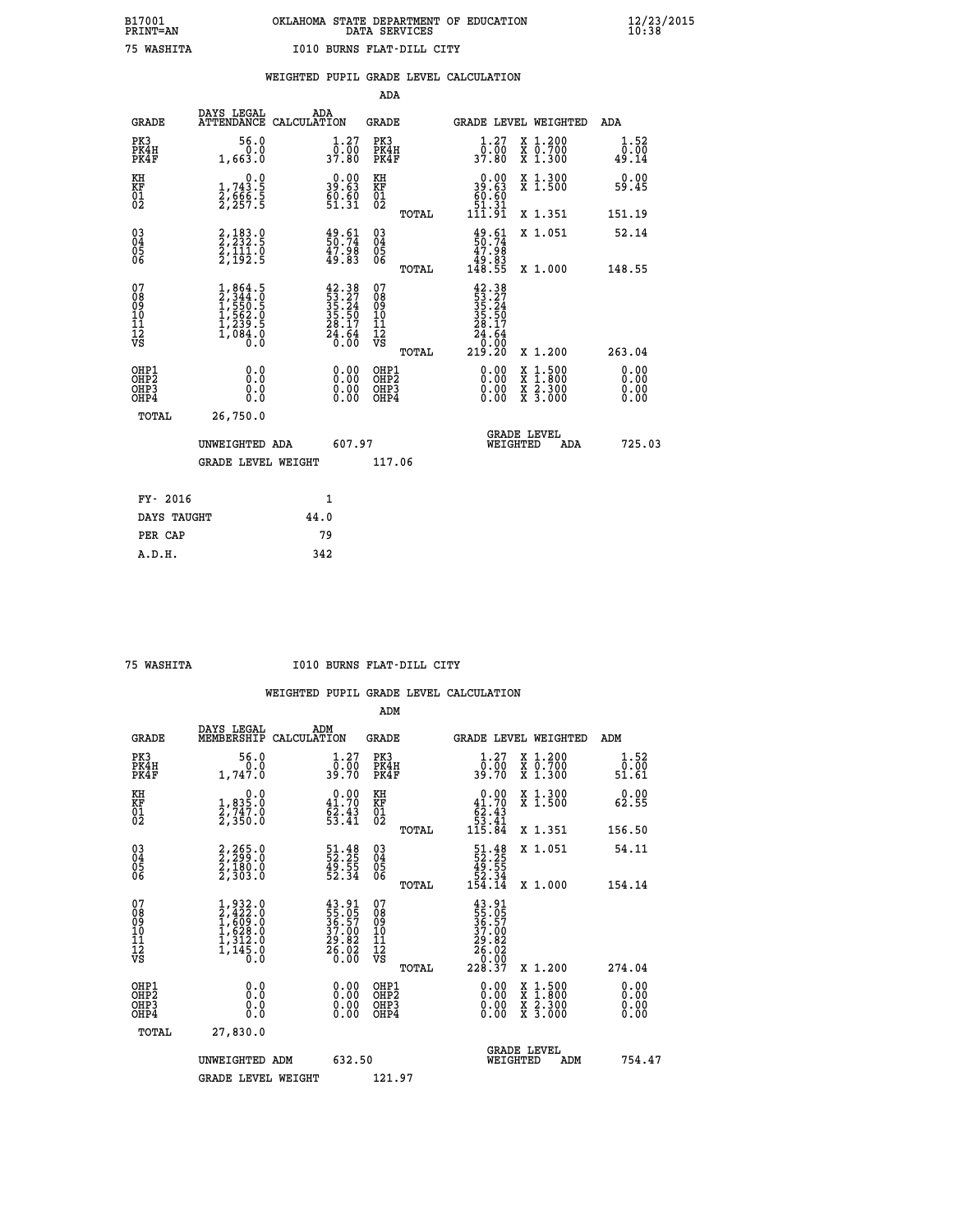|                                                                    |                                                                                     |      |                                                                                                                                | ADA                                                 |       |                                                                            |                                                                                                                                           |                              |
|--------------------------------------------------------------------|-------------------------------------------------------------------------------------|------|--------------------------------------------------------------------------------------------------------------------------------|-----------------------------------------------------|-------|----------------------------------------------------------------------------|-------------------------------------------------------------------------------------------------------------------------------------------|------------------------------|
| <b>GRADE</b>                                                       | DAYS LEGAL<br>ATTENDANCE CALCULATION                                                | ADA  |                                                                                                                                | <b>GRADE</b>                                        |       |                                                                            | GRADE LEVEL WEIGHTED                                                                                                                      | ADA                          |
| PK3<br>PK4H<br>PK4F                                                | 56.0<br>0.0<br>1,663.0                                                              |      | $\begin{smallmatrix} 1.27\ 0.00\\ 37.80 \end{smallmatrix}$                                                                     | PK3<br>PK4H<br>PK4F                                 |       | $\frac{1}{0}$ : $\frac{27}{00}$<br>37.80                                   | X 1.200<br>X 0.700<br>X 1.300                                                                                                             | 1.52<br>0.00<br>49.14        |
| KH<br>KF<br>01<br>02                                               | 0.0<br>$\frac{1}{2}, \frac{743}{666}$ . 5<br>2, 559. 5                              |      | $\begin{smallmatrix} 0.00\\ 39.63\\ 60.60\\ 51.31 \end{smallmatrix}$                                                           | KH<br>KF<br>01<br>02                                |       | 0.00<br>$\frac{39.63}{69.69}$                                              | X 1.300<br>X 1.500                                                                                                                        | 0.00<br>59.45                |
|                                                                    |                                                                                     |      |                                                                                                                                |                                                     | TOTAL | 1ĭī.9ī                                                                     | X 1.351                                                                                                                                   | 151.19                       |
| $\begin{smallmatrix} 03 \\[-4pt] 04 \end{smallmatrix}$<br>Ŏ5<br>06 | 2,183.0<br>2,232.5<br>2,111.0<br>2,192.5                                            |      | $\begin{smallmatrix} 49.61\ 50.74\ 47.98\ 49.83 \end{smallmatrix}$                                                             | $\begin{array}{c} 03 \\ 04 \\ 05 \\ 06 \end{array}$ |       | $\begin{smallmatrix} 49.61\ 50.74\ 47.98\ 49.83\ 148.55 \end{smallmatrix}$ | X 1.051                                                                                                                                   | 52.14                        |
|                                                                    |                                                                                     |      |                                                                                                                                |                                                     | TOTAL |                                                                            | X 1.000                                                                                                                                   | 148.55                       |
| 07<br>08<br>09<br>01<br>11<br>11<br>12<br>VS                       | $1,864.5$<br>$2,344.0$<br>$1,550.5$<br>$1,562.0$<br>$1,239.5$<br>$1,084.0$<br>$0.0$ |      | $\begin{smallmatrix} 42\cdot 38\\ 53\cdot 27\\ 35\cdot 24\\ 35\cdot 50\\ 28\cdot 17\\ 24\cdot 64\\ 0\cdot 00\end{smallmatrix}$ | 07<br>08<br>09<br>11<br>11<br>12<br>VS              |       | $42.38$<br>$53.27$<br>$35.24$<br>$35.50$<br>$28.17$<br>$24.64$<br>$0.90$   |                                                                                                                                           |                              |
|                                                                    |                                                                                     |      |                                                                                                                                |                                                     | TOTAL | 219.20                                                                     | X 1.200                                                                                                                                   | 263.04                       |
| OHP1<br>OHP <sub>2</sub><br>OH <sub>P3</sub><br>OHP4               | 0.0<br>0.000                                                                        |      | 0.00<br>$\begin{smallmatrix} 0.00 \ 0.00 \end{smallmatrix}$                                                                    | OHP1<br>OHP2<br>OHP <sub>3</sub>                    |       | 0.00<br>0.00                                                               | $\begin{smallmatrix} \mathtt{X} & 1\cdot500\\ \mathtt{X} & 1\cdot800\\ \mathtt{X} & 2\cdot300\\ \mathtt{X} & 3\cdot000 \end{smallmatrix}$ | 0.00<br>0.00<br>0.00<br>0.00 |
| TOTAL                                                              | 26,750.0                                                                            |      |                                                                                                                                |                                                     |       |                                                                            |                                                                                                                                           |                              |
|                                                                    | UNWEIGHTED ADA                                                                      |      | 607.97                                                                                                                         |                                                     |       | WEIGHTED                                                                   | <b>GRADE LEVEL</b><br>ADA                                                                                                                 | 725.03                       |
|                                                                    | <b>GRADE LEVEL WEIGHT</b>                                                           |      |                                                                                                                                | 117.06                                              |       |                                                                            |                                                                                                                                           |                              |
| FY- 2016                                                           |                                                                                     | 1    |                                                                                                                                |                                                     |       |                                                                            |                                                                                                                                           |                              |
| DAYS TAUGHT                                                        |                                                                                     | 44.0 |                                                                                                                                |                                                     |       |                                                                            |                                                                                                                                           |                              |
| PER CAP                                                            |                                                                                     | 79   |                                                                                                                                |                                                     |       |                                                                            |                                                                                                                                           |                              |

 **75 WASHITA I010 BURNS FLAT-DILL CITY**

|                                          |                                                                                           |                                                                                                                                                             | ADM                                                 |       |                                                                                          |                                          |                       |
|------------------------------------------|-------------------------------------------------------------------------------------------|-------------------------------------------------------------------------------------------------------------------------------------------------------------|-----------------------------------------------------|-------|------------------------------------------------------------------------------------------|------------------------------------------|-----------------------|
| <b>GRADE</b>                             | DAYS LEGAL<br>MEMBERSHIP                                                                  | ADM<br>CALCULATION                                                                                                                                          | <b>GRADE</b>                                        |       |                                                                                          | <b>GRADE LEVEL WEIGHTED</b>              | ADM                   |
| PK3<br>PK4H<br>PK4F                      | 56.0<br>1,747.0                                                                           | $\frac{1}{0}$ : $\frac{27}{00}$<br>39.70                                                                                                                    | PK3<br>PK4H<br>PK4F                                 |       | $\begin{smallmatrix} 1.27 \\ 0.00 \\ 39.70 \end{smallmatrix}$                            | X 1.200<br>X 0.700<br>X 1.300            | 1.52<br>ō:ŏō<br>51.61 |
| KH<br>KF<br>01<br>02                     | 0.0<br>$\frac{1}{2}, \frac{835}{747}$ .0<br>2,350.0                                       | $0.00$<br>41.70<br>$\frac{6}{53}$ : $\frac{43}{41}$                                                                                                         | KH<br>KF<br>01<br>02                                |       | $\begin{smallmatrix}&&0.00\\41.70\\62.43\\53.41\\115.84\end{smallmatrix}$                | X 1.300<br>X 1.500                       | 0.00<br>62.55         |
|                                          |                                                                                           |                                                                                                                                                             |                                                     | TOTAL |                                                                                          | X 1.351                                  | 156.50                |
| 03<br>04<br>05<br>06                     | 2,265.0<br>2,299.0<br>2,180.0<br>2,303.0                                                  | 51.48<br>52.25<br>49.55<br>52.34                                                                                                                            | $\begin{array}{c} 03 \\ 04 \\ 05 \\ 06 \end{array}$ |       | $\begin{smallmatrix} 51.48\\ 52.25\\ 49.55\\ 52.34\\ 54.14 \end{smallmatrix}$            | X 1.051                                  | 54.11                 |
|                                          |                                                                                           |                                                                                                                                                             |                                                     | TOTAL |                                                                                          | X 1.000                                  | 154.14                |
| 07<br>08<br>09<br>101<br>112<br>VS       | $1, 932.0$<br>$2, 422.0$<br>$1, 609.0$<br>$1, 628.0$<br>$1, 312.0$<br>$1, 145.0$<br>$0.0$ | $\begin{smallmatrix} 4 & 3 & 0 & 1 \\ 5 & 5 & 0 & 5 \\ 3 & 6 & 0 & 5 \\ 3 & 7 & 0 & 0 \\ 2 & 9 & 0 & 8 \\ 2 & 6 & 0 & 0 \\ 0 & 0 & 0 & 0 \end{smallmatrix}$ | 07<br>08<br>09<br>11<br>11<br>12<br>VS              | TOTAL | $\begin{smallmatrix} 43.91\ 55.05\ 36.57\ 37.00\ 29.82\ 6.020\ 28.37\ \end{smallmatrix}$ | X 1.200                                  | 274.04                |
|                                          |                                                                                           |                                                                                                                                                             |                                                     |       |                                                                                          |                                          | 0.00                  |
| OHP1<br>OHP2<br>OH <sub>P3</sub><br>OHP4 | 0.0<br>0.000                                                                              |                                                                                                                                                             | OHP1<br>OHP2<br>OHP <sub>3</sub>                    |       | $0.00$<br>$0.00$<br>0.00                                                                 | X 1:500<br>X 1:800<br>X 2:300<br>X 3:000 | 0.00<br>0.00<br>0.00  |
| TOTAL                                    | 27,830.0                                                                                  |                                                                                                                                                             |                                                     |       |                                                                                          |                                          |                       |
|                                          | UNWEIGHTED ADM                                                                            | 632.50                                                                                                                                                      |                                                     |       |                                                                                          | <b>GRADE LEVEL</b><br>WEIGHTED<br>ADM    | 754.47                |
|                                          | <b>GRADE LEVEL WEIGHT</b>                                                                 |                                                                                                                                                             | 121.97                                              |       |                                                                                          |                                          |                       |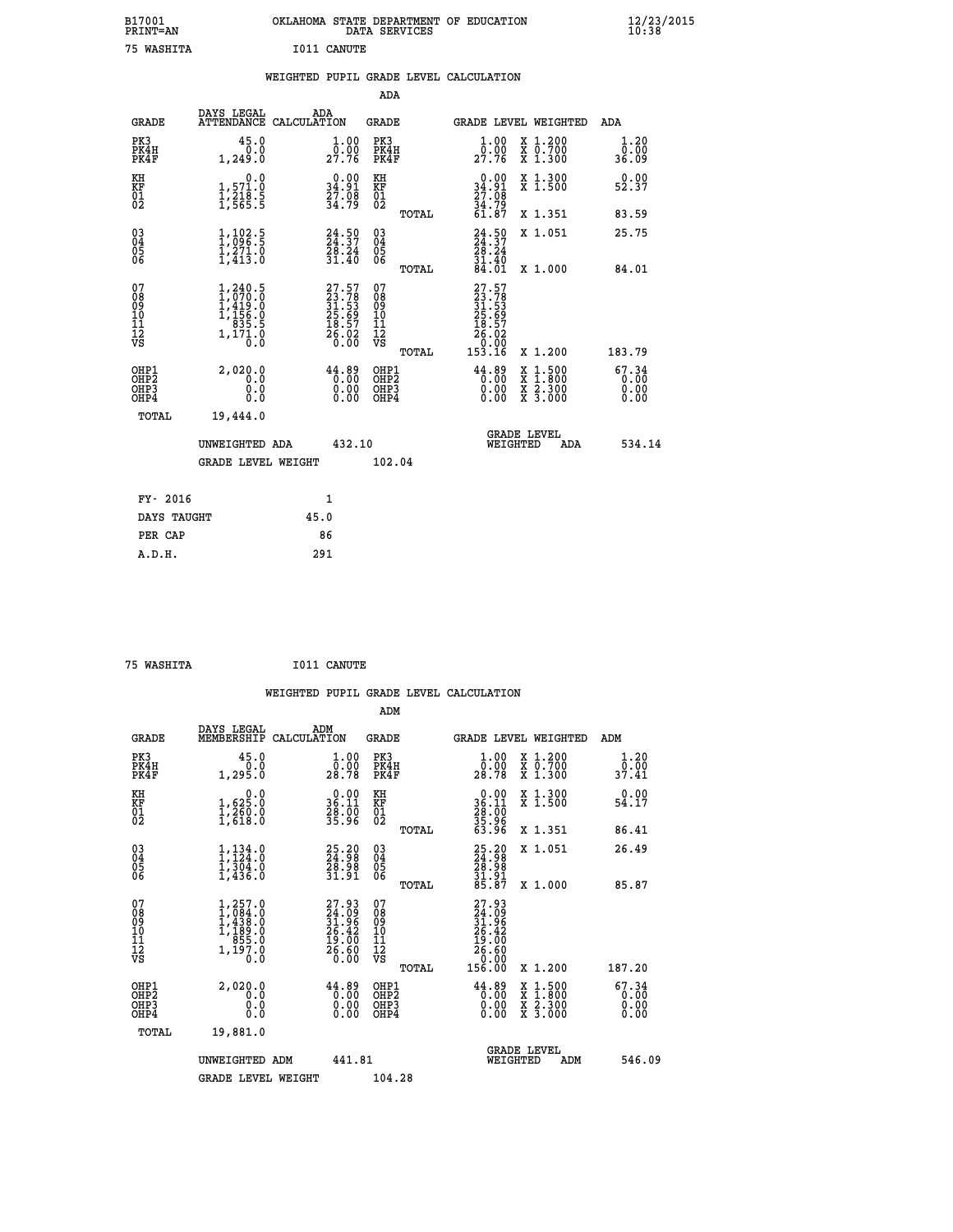| B17001<br><b>PRINT=AN</b> |             | OKLAHOMA STATE DEPARTMENT OF EDUCATION<br>DATA SERVICES |  |
|---------------------------|-------------|---------------------------------------------------------|--|
| 75 WASHITA                | I011 CANUTE |                                                         |  |

 **B17001 OKLAHOMA STATE DEPARTMENT OF EDUCATION 12/23/2015**

|                                                                  |                                                                                                       |                                                                                              | ADA                                      |       |                                                                      |                                                                                                  |                               |
|------------------------------------------------------------------|-------------------------------------------------------------------------------------------------------|----------------------------------------------------------------------------------------------|------------------------------------------|-------|----------------------------------------------------------------------|--------------------------------------------------------------------------------------------------|-------------------------------|
| <b>GRADE</b>                                                     | DAYS LEGAL<br>ATTENDANCE CALCULATION                                                                  | ADA                                                                                          | <b>GRADE</b>                             |       |                                                                      | GRADE LEVEL WEIGHTED                                                                             | ADA                           |
| PK3<br>PK4H<br>PK4F                                              | 45.0<br>0.0<br>1,249.0                                                                                | 1.00<br>$2\overline{7}\cdot\overline{7}6$                                                    | PK3<br>PK4H<br>PK4F                      |       | 1.00<br>0.00<br>27.76                                                | X 1.200<br>X 0.700<br>X 1.300                                                                    | 1.20<br>0.00<br>36.09         |
| KH<br>KF<br>01<br>02                                             | 0.0<br>1,571.0<br>1,218.5<br>1,565.5                                                                  | $\begin{smallmatrix} 0.00\\ 34.91\\ 27.08\\ 34.79 \end{smallmatrix}$                         | KH<br>KF<br>01<br>02                     |       | $\begin{array}{c} 0.00 \\ 34.91 \\ 27.08 \end{array}$                | X 1.300<br>X 1.500                                                                               | 0.00<br>52.37                 |
|                                                                  |                                                                                                       |                                                                                              |                                          | TOTAL | 34.79<br>61.87                                                       | X 1.351                                                                                          | 83.59                         |
| $\begin{matrix} 03 \\ 04 \\ 05 \\ 06 \end{matrix}$               | 1,002.5<br>$\frac{1}{2}, \frac{2}{4}$<br>1,413.0                                                      | $24.50$<br>$24.37$<br>$28.24$<br>$31.40$                                                     | $\substack{03 \\ 04}$<br>05<br>06        |       | $24.50$<br>$24.37$<br>$28.24$<br>$31.40$                             | X 1.051                                                                                          | 25.75                         |
|                                                                  |                                                                                                       |                                                                                              |                                          | TOTAL | 84.01                                                                | X 1.000                                                                                          | 84.01                         |
| 07<br>08<br>09<br>11<br>11<br>12<br>VS                           | $\begin{smallmatrix} 1,240.5\\ 1,070.0\\ 1,419.0\\ 1,456.0\\ 835.5\\ 1,171.0\\ 0.0 \end{smallmatrix}$ | $\begin{smallmatrix} 27.57\\ 23.78\\ 31.53\\ 25.69\\ 18.57\\ 26.02\\ 0.00 \end{smallmatrix}$ | 07<br>08<br>09<br>101<br>11<br>12<br>VS  | TOTAL | 27.57<br>23.78<br>31.53<br>25.69<br>28.57<br>26.02<br>0.00<br>153.16 | X 1.200                                                                                          | 183.79                        |
| OHP1<br>OHP <sub>2</sub><br>OH <sub>P3</sub><br>OH <sub>P4</sub> | 2,020.0<br>0.0<br>0.0<br>0.0                                                                          | $44.89$<br>$0.00$<br>0.00<br>0.00                                                            | OHP1<br>OHP <sub>2</sub><br>OHP3<br>OHP4 |       |                                                                      | $\begin{smallmatrix} x & 1 & 500 \\ x & 1 & 800 \\ x & 2 & 300 \\ x & 3 & 000 \end{smallmatrix}$ | 67.34<br>0.00<br>0.00<br>0.00 |
| TOTAL                                                            | 19,444.0                                                                                              |                                                                                              |                                          |       |                                                                      |                                                                                                  |                               |
|                                                                  | UNWEIGHTED ADA                                                                                        | 432.10                                                                                       |                                          |       | WEIGHTED                                                             | <b>GRADE LEVEL</b><br>ADA                                                                        | 534.14                        |
|                                                                  | <b>GRADE LEVEL WEIGHT</b>                                                                             |                                                                                              | 102.04                                   |       |                                                                      |                                                                                                  |                               |
| FY- 2016                                                         |                                                                                                       | $\mathbf{1}$                                                                                 |                                          |       |                                                                      |                                                                                                  |                               |
| DAYS TAUGHT                                                      |                                                                                                       | 45.0                                                                                         |                                          |       |                                                                      |                                                                                                  |                               |
|                                                                  |                                                                                                       |                                                                                              |                                          |       |                                                                      |                                                                                                  |                               |

 **75 WASHITA I011 CANUTE**

PER CAP 86

 **A.D.H. 291**

 **WEIGHTED PUPIL GRADE LEVEL CALCULATION ADM DAYS LEGAL ADM GRADE MEMBERSHIP CALCULATION GRADE GRADE LEVEL WEIGHTED ADM**

| PK3<br>PK4H<br>PK4F                                  | 45.0<br>1, 295.0                                                                | $\begin{smallmatrix}1.00\0.00\\28.78\end{smallmatrix}$                | PK3<br>PK4H<br>PK4F                                              | $\begin{smallmatrix}1.00\0.00\\28.78\end{smallmatrix}$<br>X 1.200<br>X 0.700<br>X 1.300                                                          | $\begin{smallmatrix}1.20\\0.00\\37.41\end{smallmatrix}$ |
|------------------------------------------------------|---------------------------------------------------------------------------------|-----------------------------------------------------------------------|------------------------------------------------------------------|--------------------------------------------------------------------------------------------------------------------------------------------------|---------------------------------------------------------|
| KH<br>KF<br>01<br>02                                 | 0.0<br>$\frac{1}{1}, \frac{625}{260}$ .0<br>1,618.0                             | $\begin{smallmatrix} 0.00\\ 36.11\\ 28.00\\ 35.96 \end{smallmatrix}$  | KH<br>KF<br>01<br>02                                             | $\begin{smallmatrix} 0.00\\ 36.11\\ 28.00\\ 35.96\\ 53.96 \end{smallmatrix}$<br>X 1.300<br>X 1.500                                               | 0.00<br>54.17                                           |
|                                                      |                                                                                 |                                                                       | TOTAL                                                            | X 1.351                                                                                                                                          | 86.41                                                   |
| $\begin{matrix} 03 \\ 04 \\ 05 \\ 06 \end{matrix}$   | $1, 134.0$<br>$1, 304.0$<br>$1, 304.0$<br>$1, 436.0$                            | $\begin{smallmatrix} 25.20\\ 24.98\\ 28.98\\ 31.91 \end{smallmatrix}$ | $\begin{matrix} 03 \\ 04 \\ 05 \\ 06 \end{matrix}$               | 25.20<br>24.98<br>28.98<br>31.91<br>35.87<br>X 1.051                                                                                             | 26.49                                                   |
|                                                      |                                                                                 |                                                                       | TOTAL                                                            | X 1.000                                                                                                                                          | 85.87                                                   |
| 07<br>089<br>090<br>1112<br>VS                       | $1,257.0$<br>$1,084.0$<br>$1,438.0$<br>$1,189.0$<br>$855.0$<br>$1,197.0$<br>0.0 | $27.93\n24.09\n31.96\n26.42\n19.00\n26.60\n0.00$                      | 07<br>08<br>09<br>10<br>11<br>12<br>νs<br>TOTAL                  | $\begin{smallmatrix} 27.93 \\ 24.09 \\ 31.96 \\ 26.42 \\ 26.42 \\ 19.00 \\ 26.60 \\ 0.00 \\ 156.00 \end{smallmatrix}$<br>X 1.200                 | 187.20                                                  |
| OHP1<br>OHP <sub>2</sub><br>OH <sub>P3</sub><br>OHP4 | 2,020.0<br>0.0<br>0.000                                                         | 44.89<br>$\begin{smallmatrix} 0.00\ 0.00 \end{smallmatrix}$<br>0.00   | OHP1<br>OHP <sub>2</sub><br>OHP <sub>3</sub><br>OHP <sub>4</sub> | $\overset{44}{\,\,\,\,\,0.00}^{0.89}_{0.00}$<br>$\begin{smallmatrix} x & 1 & 500 \\ x & 1 & 800 \\ x & 2 & 300 \\ x & 3 & 000 \end{smallmatrix}$ | 67.34<br>0.00<br>0.00                                   |
| TOTAL                                                | 19,881.0                                                                        |                                                                       |                                                                  |                                                                                                                                                  |                                                         |
|                                                      | UNWEIGHTED ADM                                                                  | 441.81                                                                |                                                                  | <b>GRADE LEVEL</b><br>WEIGHTED<br>ADM                                                                                                            | 546.09                                                  |
|                                                      | <b>GRADE LEVEL WEIGHT</b>                                                       |                                                                       | 104.28                                                           |                                                                                                                                                  |                                                         |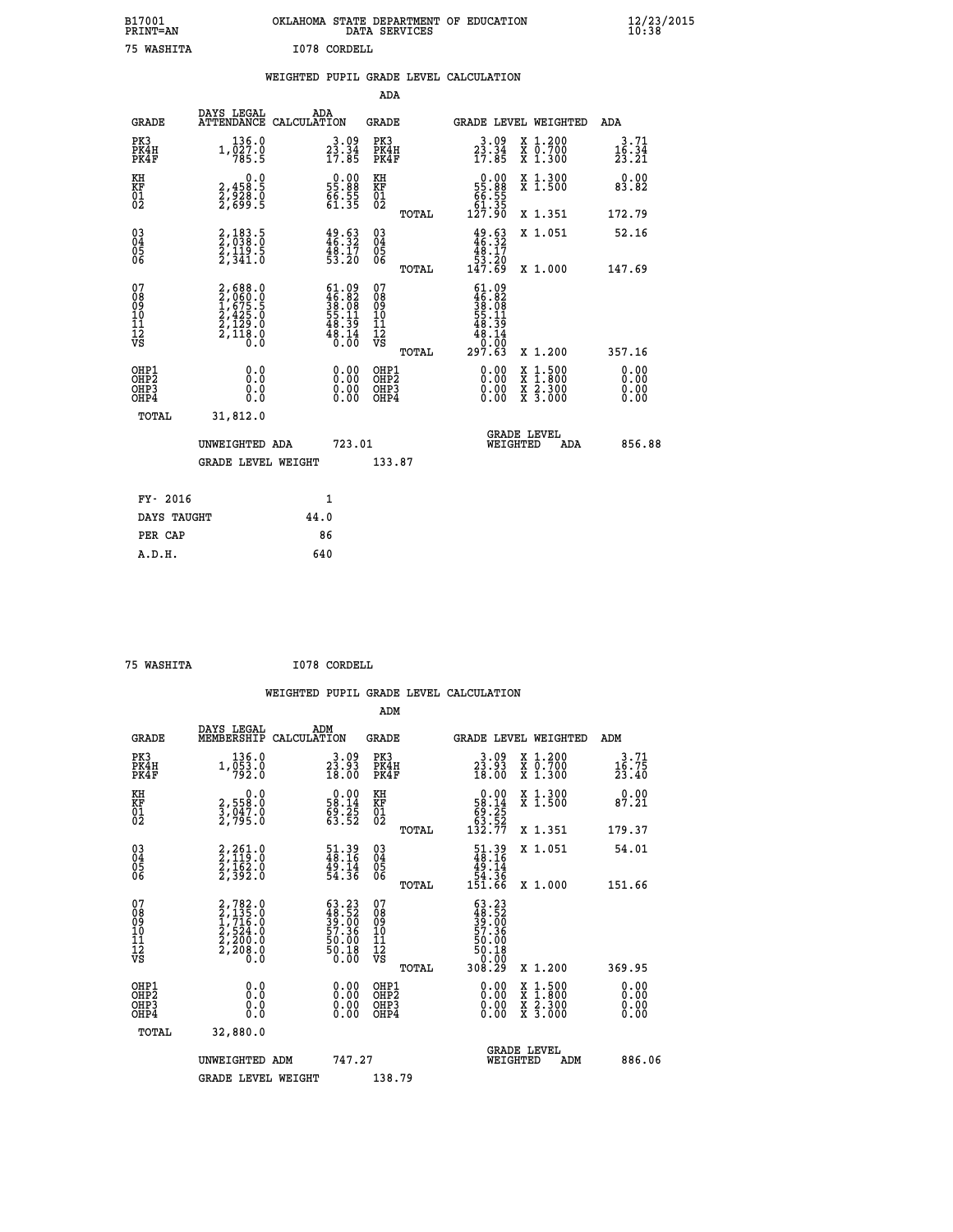| B17001<br><b>PRINT=AN</b> | OKLAHOMA STATE DEPARTMENT OF EDUCATION<br>DATA SERVICES |  |
|---------------------------|---------------------------------------------------------|--|
| 75 WASHITA                | I078 CORDELL                                            |  |

 **B17001 OKLAHOMA STATE DEPARTMENT OF EDUCATION 12/23/2015**

|                                                                              |              |                                                                                     |      |                                                                      | ADA                                       |       |                                                                             |                                          |                               |
|------------------------------------------------------------------------------|--------------|-------------------------------------------------------------------------------------|------|----------------------------------------------------------------------|-------------------------------------------|-------|-----------------------------------------------------------------------------|------------------------------------------|-------------------------------|
|                                                                              | <b>GRADE</b> | DAYS LEGAL<br>ATTENDANCE CALCULATION                                                | ADA  |                                                                      | <b>GRADE</b>                              |       |                                                                             | GRADE LEVEL WEIGHTED                     | ADA                           |
| PK3<br>PK4H<br>PK4F                                                          |              | 136.0<br>$1,\overline{0}\,\overline{2}\,\overline{7}\,\cdot\overline{0}$<br>785.5   |      | $3.09$<br>$23.34$<br>$17.85$                                         | PK3<br>PK4H<br>PK4F                       |       | $3.09$<br>$23.34$<br>$17.85$                                                | X 1.200<br>X 0.700<br>X 1.300            | 3.71<br>$\frac{16.34}{23.21}$ |
| KH<br><b>KF</b><br>01<br>02                                                  |              | 0.0<br>2,458:5<br>2,828:0<br>2,699:5                                                |      | $\begin{smallmatrix} 0.00\\ 55.88\\ 66.55\\ 61.35 \end{smallmatrix}$ | KH<br>KF<br>01<br>02                      |       | $\begin{smallmatrix} &0.00\ 55.88\ 66.55\ 61.35\ 127.90\ \end{smallmatrix}$ | X 1.300<br>X 1.500                       | 0.00<br>83.82                 |
|                                                                              |              |                                                                                     |      |                                                                      |                                           | TOTAL |                                                                             | X 1.351                                  | 172.79                        |
| $\begin{smallmatrix} 03 \\[-4pt] 04 \end{smallmatrix}$<br>Ŏ5<br>06           |              | 2,183.5<br>2,038.0<br>2,119.5<br>2,341.0                                            |      | $49.53$<br>$46.32$<br>$48.17$<br>$53.20$                             | 03<br>04<br>05<br>06                      |       | $49.63$<br>$46.32$<br>$48.17$<br>$53.20$<br>$147.69$                        | X 1.051                                  | 52.16                         |
|                                                                              |              |                                                                                     |      |                                                                      |                                           | TOTAL |                                                                             | X 1.000                                  | 147.69                        |
| 07<br>08901112<br>1112<br>VS                                                 |              | $2,688.0$<br>$2,060.0$<br>$1,675.5$<br>$2,425.0$<br>$2,129.0$<br>$2,118.0$<br>$0.0$ |      | $61.0946.8238.0855.1148.3948.140.00$                                 | 07<br>08<br>09<br>11<br>11<br>12<br>VS    |       | $61.09$<br>$36.08$<br>$38.08$<br>$55.11$<br>$48.39$<br>$48.14$<br>0.00      |                                          |                               |
|                                                                              |              |                                                                                     |      |                                                                      |                                           | TOTAL | 297.63                                                                      | X 1.200                                  | 357.16                        |
| OHP1<br>OH <sub>P</sub> <sub>2</sub><br>OH <sub>P3</sub><br>OH <sub>P4</sub> |              | 0.0<br>0.0<br>0.0                                                                   |      |                                                                      | OHP1<br>OH <sub>P</sub> 2<br>OHP3<br>OHP4 |       | $0.00$<br>$0.00$<br>0.00                                                    | X 1:500<br>X 1:800<br>X 2:300<br>X 3:000 | 0.00<br>0.00<br>0.00<br>0.00  |
|                                                                              | TOTAL        | 31,812.0                                                                            |      |                                                                      |                                           |       |                                                                             |                                          |                               |
|                                                                              |              | UNWEIGHTED ADA                                                                      |      | 723.01                                                               |                                           |       |                                                                             | GRADE LEVEL<br>WEIGHTED<br>ADA           | 856.88                        |
|                                                                              |              | <b>GRADE LEVEL WEIGHT</b>                                                           |      |                                                                      | 133.87                                    |       |                                                                             |                                          |                               |
|                                                                              | FY- 2016     |                                                                                     |      | $\mathbf{1}$                                                         |                                           |       |                                                                             |                                          |                               |
|                                                                              | DAYS TAUGHT  |                                                                                     | 44.0 |                                                                      |                                           |       |                                                                             |                                          |                               |
|                                                                              | PER CAP      |                                                                                     |      | 86                                                                   |                                           |       |                                                                             |                                          |                               |

| ΤͲΆ   |  |
|-------|--|
| WASH. |  |

 **A.D.H. 640**

 **ADM**

 **B17001<br>PRINT=AN** 

 **75 WASHITA I078 CORDELL**

| <b>GRADE</b>                                       | DAYS LEGAL<br>MEMBERSHIP CALCULATION                                                | ADM                                                                      | <b>GRADE</b>                                           |                                                                                                                                                   |                                | GRADE LEVEL WEIGHTED                     | ADM                        |
|----------------------------------------------------|-------------------------------------------------------------------------------------|--------------------------------------------------------------------------|--------------------------------------------------------|---------------------------------------------------------------------------------------------------------------------------------------------------|--------------------------------|------------------------------------------|----------------------------|
| PK3<br>PK4H<br>PK4F                                | 136.0<br>$1,\overline{0}\overline{5}\overline{3}\cdot 0$<br>792.0                   | 3.09<br>$\frac{2\bar{3}\cdot\bar{9}\bar{3}}{18.00}$                      | PK3<br>PK4H<br>PK4F                                    | $\begin{smallmatrix} 3 & 09 \\ 23 & 93 \\ 18 & 00 \end{smallmatrix}$                                                                              |                                | X 1.200<br>X 0.700<br>X 1.300            | $3.71$<br>$16.75$<br>23.40 |
| KH<br>KF<br>01<br>02                               | 0.0<br>2,558:0<br>3,047:0<br>2,795:0                                                | $\begin{smallmatrix} 0.00\\ 58.14\\ 69.25\\ 63.52 \end{smallmatrix}$     | KH<br>KF<br>01<br>02                                   | $\begin{smallmatrix} &0.00\\ 58.14\\ 69.25\\ 63.52\\ 132.77\end{smallmatrix}$                                                                     |                                | X 1.300<br>X 1.500                       | 0.00<br>87.21              |
|                                                    |                                                                                     |                                                                          | TOTAL                                                  |                                                                                                                                                   |                                | X 1.351                                  | 179.37                     |
| $\begin{matrix} 03 \\ 04 \\ 05 \\ 06 \end{matrix}$ | $2, 261.0$<br>$2, 119.0$<br>$2, 162.0$<br>$2, 392.0$                                | $\begin{smallmatrix} 51.39 \\ 48.16 \\ 49.14 \\ 54.36 \end{smallmatrix}$ | $\begin{matrix} 03 \\ 04 \\ 05 \\ 06 \end{matrix}$     | $\begin{smallmatrix} 51.39 \\ 48.16 \\ 49.14 \\ 54.36 \\ 151.66 \end{smallmatrix}$                                                                |                                | X 1.051                                  | 54.01                      |
|                                                    |                                                                                     |                                                                          | TOTAL                                                  |                                                                                                                                                   |                                | X 1.000                                  | 151.66                     |
| 07<br>08<br>09<br>101<br>11<br>12<br>VS            | $2,782.0$<br>$2,735.0$<br>$1,716.0$<br>$2,524.0$<br>$2,200.0$<br>$2,208.0$<br>$0.0$ | $63.2348.5239.0057.3650.0050.180.00$                                     | 07<br>08<br>09<br>001<br>11<br>11<br>12<br>VS<br>TOTAL | $\begin{smallmatrix} 63 & 23\ 48 & 52\ 39 & 00\ 57 & 36\ 50 & 00\ 50 & 18\ 9 & 0 & 18\ 9 & 0 & 0 & 0\ 10 & 0 & 0 & 0\ 30 & 29\ \end{smallmatrix}$ |                                | X 1.200                                  | 369.95                     |
| OHP1<br>OHP2<br>OHP3<br>OHP4                       | 0.0<br>0.000                                                                        |                                                                          | OHP1<br>OHP2<br>OHP3<br>OHP4                           |                                                                                                                                                   | $0.00$<br>$0.00$<br>0.00       | X 1:500<br>X 1:800<br>X 2:300<br>X 3:000 | 0.00<br>0.00<br>0.00       |
| TOTAL                                              | 32,880.0                                                                            |                                                                          |                                                        |                                                                                                                                                   |                                |                                          |                            |
|                                                    | UNWEIGHTED<br>ADM                                                                   | 747.27                                                                   |                                                        |                                                                                                                                                   | <b>GRADE LEVEL</b><br>WEIGHTED | ADM                                      | 886.06                     |
|                                                    | <b>GRADE LEVEL WEIGHT</b>                                                           |                                                                          | 138.79                                                 |                                                                                                                                                   |                                |                                          |                            |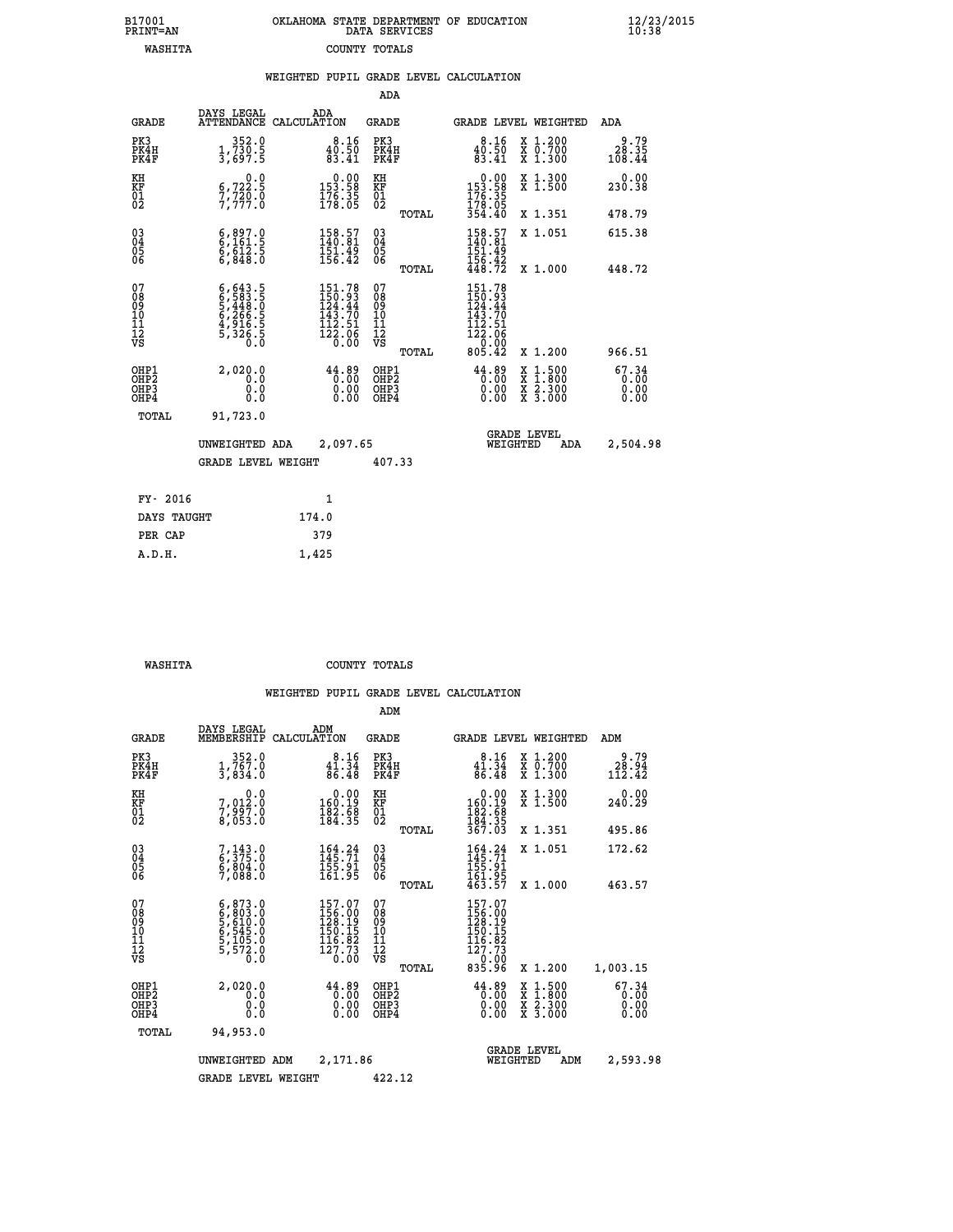| OKLAHOMA STATE DEPARTMENT OF EDUCATION<br>DATA SERVICES |  |
|---------------------------------------------------------|--|
| COUNTY TOTALS                                           |  |

 **B17001 OKLAHOMA STATE DEPARTMENT OF EDUCATION 12/23/2015**

|                                                                    |                                                                                                |                                                                                | ADA                                     |       |                                                                                       |                                                                                          |                               |
|--------------------------------------------------------------------|------------------------------------------------------------------------------------------------|--------------------------------------------------------------------------------|-----------------------------------------|-------|---------------------------------------------------------------------------------------|------------------------------------------------------------------------------------------|-------------------------------|
| <b>GRADE</b>                                                       | DAYS LEGAL                                                                                     | ADA<br>ATTENDANCE CALCULATION                                                  | <b>GRADE</b>                            |       |                                                                                       | GRADE LEVEL WEIGHTED                                                                     | ADA                           |
| PK3<br>PK4H<br>PK4F                                                | 352.0<br>$\frac{1}{3}, \frac{73}{697}$ : 5                                                     | $\substack{8.16 \\ 40.50 \\ 83.41}$                                            | PK3<br>PK4H<br>PK4F                     |       | 8.16<br>$\frac{40.50}{83.41}$                                                         | X 1.200<br>X 0.700<br>X 1.300                                                            | 9.79<br>28.35<br>108.44       |
| KH<br>KF<br>01<br>02                                               | 0.0<br>$\frac{6}{7}, \frac{722}{79}$<br>$\frac{20}{7}$                                         | $\begin{array}{c} 0.00 \\ 153.58 \\ 176.35 \\ 178.05 \end{array}$              | KH<br>KF<br>01<br>02                    |       | $\begin{smallmatrix} &0.00\\ 153.58\\ 176.35\\ 178.05\\ 354.40\end{smallmatrix}$      | X 1.300<br>X 1.500                                                                       | 0.00<br>230.38                |
|                                                                    |                                                                                                |                                                                                |                                         | TOTAL |                                                                                       | X 1.351                                                                                  | 478.79                        |
| $\begin{smallmatrix} 03 \\[-4pt] 04 \end{smallmatrix}$<br>Ŏ5<br>06 | $6,897.0$<br>$6,161.5$<br>$6,612.5$<br>$6,848.0$                                               | 158.57<br>140.81<br>$\frac{151.49}{156.42}$                                    | $\substack{03 \\ 04}$<br>Ŏ5<br>06       |       | $158.57$<br>$140.81$<br>$151.49$<br>$156.42$<br>$448.72$                              | X 1.051                                                                                  | 615.38                        |
|                                                                    |                                                                                                |                                                                                |                                         | TOTAL |                                                                                       | X 1.000                                                                                  | 448.72                        |
| 07<br>08<br>09<br>101<br>11<br>12<br>VS                            | $6, 643.5$<br>$6, 583.5$<br>$5, 448.0$<br>$5, 266.5$<br>$6, 266.5$<br>$4, 916.5$<br>$5, 326.5$ | 151.78<br>150.93<br>124.44<br>$\frac{143.70}{112.51}$<br>$\frac{123.51}{0.06}$ | 07<br>08<br>09<br>101<br>11<br>12<br>VS |       | $151.78$<br>$150.93$<br>$124.44$<br>$\frac{143.70}{112.51}$<br>$\frac{123.51}{20.00}$ |                                                                                          |                               |
|                                                                    |                                                                                                |                                                                                |                                         | TOTAL | 805.42                                                                                | X 1.200                                                                                  | 966.51                        |
| OHP1<br>OHP <sub>2</sub><br>OH <sub>P3</sub><br>OHP4               | 2,020.0<br>0.0<br>0.0<br>$0.\overline{0}$                                                      | $44.89$<br>$0.00$<br>$\begin{smallmatrix} 0.00 \ 0.00 \end{smallmatrix}$       | OHP1<br>OHP2<br>OHP <sub>3</sub>        |       | $44.89$<br>$0.00$<br>0.00                                                             | $\begin{smallmatrix} x & 1.500 \\ x & 1.800 \\ x & 2.300 \\ x & 3.000 \end{smallmatrix}$ | 67.34<br>0.00<br>0.00<br>0.00 |
| TOTAL                                                              | 91,723.0                                                                                       |                                                                                |                                         |       |                                                                                       |                                                                                          |                               |
|                                                                    | UNWEIGHTED ADA                                                                                 | 2,097.65                                                                       |                                         |       |                                                                                       | <b>GRADE LEVEL</b><br>WEIGHTED<br>ADA                                                    | 2,504.98                      |
|                                                                    | <b>GRADE LEVEL WEIGHT</b>                                                                      |                                                                                | 407.33                                  |       |                                                                                       |                                                                                          |                               |
| FY- 2016                                                           |                                                                                                | $\mathbf{1}$                                                                   |                                         |       |                                                                                       |                                                                                          |                               |
| DAYS TAUGHT                                                        |                                                                                                | 174.0                                                                          |                                         |       |                                                                                       |                                                                                          |                               |
| PER CAP                                                            |                                                                                                | 379                                                                            |                                         |       |                                                                                       |                                                                                          |                               |

 **A.D.H. 1,425**

B17001<br>PRINT=AN<br>WASHITA

 **WASHITA COUNTY TOTALS**

|                                                       |                                                                                         |                                                                                                      | ADM                                                 |                                                                                                           |                                                                                          |                               |
|-------------------------------------------------------|-----------------------------------------------------------------------------------------|------------------------------------------------------------------------------------------------------|-----------------------------------------------------|-----------------------------------------------------------------------------------------------------------|------------------------------------------------------------------------------------------|-------------------------------|
| <b>GRADE</b>                                          | DAYS LEGAL<br>MEMBERSHIP                                                                | ADM<br>CALCULATION                                                                                   | <b>GRADE</b>                                        | <b>GRADE LEVEL WEIGHTED</b>                                                                               |                                                                                          | ADM                           |
| PK3<br>PK4H<br>PK4F                                   | 352.0<br>1,767.0<br>3,834.0                                                             | 8.16<br>41.34<br>86.48                                                                               | PK3<br>PK4H<br>PK4F                                 | 8.16<br>41.34<br>86.48                                                                                    | X 1.200<br>X 0.700<br>X 1.300                                                            | 9.79<br>28.94<br>112.42       |
| KH<br>KF<br>01<br>02                                  | 0.0<br>7,012:0<br>7,997:0<br>8,053:0                                                    | $\begin{smallmatrix} &0.00\\ 160.19\\ 182.58\\ 184.35 \end{smallmatrix}$                             | KH<br>KF<br>01<br>02                                | 0.00<br>160:19<br>182:58<br>184:35<br>367:03                                                              | X 1.300<br>X 1.500                                                                       | 0.00<br>240.29                |
|                                                       |                                                                                         |                                                                                                      | TOTAL                                               |                                                                                                           | X 1.351                                                                                  | 495.86                        |
| 03<br>04<br>05<br>06                                  | $7,143.0$<br>6,375.0<br>6,804.0<br>7,088.0                                              | $164.24$<br>$145.71$<br>155.91<br>161.95                                                             | $\begin{array}{c} 03 \\ 04 \\ 05 \\ 06 \end{array}$ | $164.24$<br>$145.71$<br>$155.91$<br>$161.95$<br>$463.57$                                                  | X 1.051                                                                                  | 172.62                        |
|                                                       |                                                                                         |                                                                                                      | TOTAL                                               |                                                                                                           | X 1.000                                                                                  | 463.57                        |
| 07<br>08<br>09<br>101<br>11<br>12<br>VS               | $6,873.0$<br>$6,803.0$<br>$5,610.0$<br>$6,545.0$<br>$6,105.0$<br>$5,105.0$<br>$5,572.0$ | $\begin{smallmatrix} 157.07\\156.00\\128.19\\150.15\\150.15\\116.82\\127.73\\0.00 \end{smallmatrix}$ | 07<br>08<br>09<br>11<br>11<br>12<br>VS<br>TOTAL     | 157.07<br>156.00<br>128.19<br>150.15<br>$\begin{array}{r} 116.82 \\ 127.73 \\ 0.00 \\ 835.96 \end{array}$ | X 1.200                                                                                  | 1,003.15                      |
| OHP1<br>OH <sub>P</sub> 2<br>OH <sub>P3</sub><br>OHP4 | 2,020.0<br>0.0<br>0.000                                                                 | $44.89$<br>0.00<br>0.00<br>0.00                                                                      | OHP1<br>OHP2<br>OHP3<br>OHP4                        | $44.89$<br>0.00<br>0.00<br>0.00                                                                           | $\begin{smallmatrix} x & 1.500 \\ x & 1.800 \\ x & 2.300 \\ x & 3.000 \end{smallmatrix}$ | 67.34<br>0.00<br>0.00<br>0.00 |
| TOTAL                                                 | 94,953.0                                                                                |                                                                                                      |                                                     |                                                                                                           |                                                                                          |                               |
|                                                       | UNWEIGHTED                                                                              | 2,171.86<br>ADM                                                                                      |                                                     | <b>GRADE LEVEL</b><br>WEIGHTED                                                                            | ADM                                                                                      | 2,593.98                      |
|                                                       | <b>GRADE LEVEL WEIGHT</b>                                                               |                                                                                                      | 422.12                                              |                                                                                                           |                                                                                          |                               |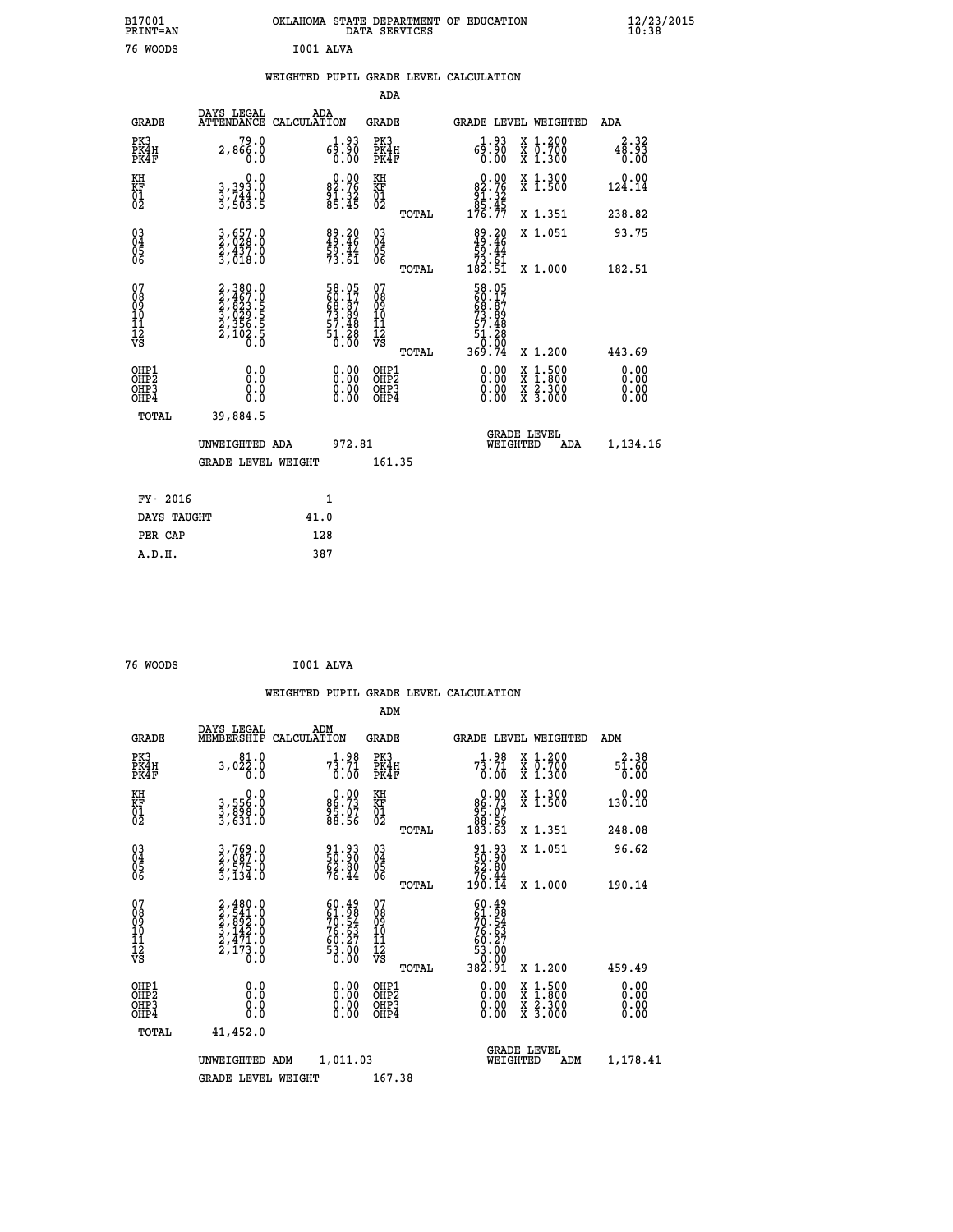| B17001<br>PRINT=AN                        |                                                                           | OKLAHOMA STATE DEPARTMENT OF EDUCATION DATA SERVICES                |                                                    |                                                                  |                                                                                                  | 12/23/2015                   |  |
|-------------------------------------------|---------------------------------------------------------------------------|---------------------------------------------------------------------|----------------------------------------------------|------------------------------------------------------------------|--------------------------------------------------------------------------------------------------|------------------------------|--|
| 76 WOODS                                  |                                                                           | I001 ALVA                                                           |                                                    |                                                                  |                                                                                                  |                              |  |
|                                           |                                                                           | WEIGHTED PUPIL GRADE LEVEL CALCULATION                              |                                                    |                                                                  |                                                                                                  |                              |  |
|                                           |                                                                           |                                                                     | ADA                                                |                                                                  |                                                                                                  |                              |  |
| <b>GRADE</b>                              | DAYS LEGAL                                                                | ADA<br>ATTENDANCE CALCULATION                                       | GRADE                                              |                                                                  | <b>GRADE LEVEL WEIGHTED</b>                                                                      | ADA                          |  |
| PK3<br>PK4H<br>PK4F                       | 79.0<br>2,866.0<br>0.0                                                    | 1.93<br>00.00<br>00.00                                              | PK3<br>PK4H<br>PK4F                                | $6^{1.93}_{0.90}$                                                | X 1.200<br>X 0.700<br>X 1.300                                                                    | 2.32<br>48.93<br>0.00        |  |
| KH<br>KF<br>01<br>02                      | 0.0<br>3,393.0<br>3,744.0<br>3,503.5                                      | $82.76$<br>$91.32$<br>$85.45$                                       | KH<br>KF<br>01<br>02                               | 82.76<br>$\begin{array}{r} 81.32 \\ 85.45 \\ 176.77 \end{array}$ | X 1.300<br>X 1.500                                                                               | 0.00<br>124.14               |  |
|                                           |                                                                           |                                                                     | TOTAL                                              |                                                                  | X 1.351                                                                                          | 238.82                       |  |
| $03\overline{4}$<br>$\substack{05 \\ 06}$ | $\frac{3}{2}, \frac{657}{028}.0\\ \frac{2}{3}, \frac{437}{018}.0$         | 89.20<br>49.46<br>59.44<br>73.61                                    | $\begin{matrix} 03 \\ 04 \\ 05 \\ 06 \end{matrix}$ | $89.20$<br>$49.46$<br>$59.44$<br>73.61<br>182.51                 | X 1.051                                                                                          | 93.75                        |  |
|                                           |                                                                           |                                                                     | TOTAL                                              |                                                                  | X 1.000                                                                                          | 182.51                       |  |
| 07<br>08901112<br>1112<br>VS              | 2,380.0<br>2,467.0<br>2,823.5<br>3,029.5<br>3,029.5<br>2,356.5<br>2,102.5 | 58.05<br>60.17<br>68.87<br>73.89<br>73.48<br>57.48<br>51.28<br>0.00 | 07<br>08<br>09<br>11<br>11<br>VS<br>TOTAL          | 58.05<br>60.17<br>68.87<br>73.89<br>57.48<br>51.28<br>369.74     | X 1.200                                                                                          | 443.69                       |  |
| OHP1<br>OHP2<br>OH <sub>P3</sub><br>OHP4  | 0.0<br>Ō.Ō<br>0.0<br>0.0                                                  | $0.00$<br>$0.00$<br>0.00                                            | OHP1<br>OH <sub>P</sub> 2<br>OHP3<br>OHP4          | 0.00<br>0.00<br>0.00                                             | $\begin{smallmatrix} x & 1 & 500 \\ x & 1 & 800 \\ x & 2 & 300 \\ x & 3 & 000 \end{smallmatrix}$ | 0.00<br>0.00<br>0.00<br>0.00 |  |
| TOTAL                                     | 39,884.5                                                                  |                                                                     |                                                    |                                                                  |                                                                                                  |                              |  |
|                                           | UNWEIGHTED ADA                                                            | 972.81                                                              |                                                    | WEIGHTED                                                         | <b>GRADE LEVEL</b><br>ADA                                                                        | 1,134.16                     |  |
|                                           | <b>GRADE LEVEL WEIGHT</b>                                                 |                                                                     | 161.35                                             |                                                                  |                                                                                                  |                              |  |
| FY- 2016                                  |                                                                           | 1                                                                   |                                                    |                                                                  |                                                                                                  |                              |  |
| DAYS TAUGHT                               |                                                                           | 41.0                                                                |                                                    |                                                                  |                                                                                                  |                              |  |
| PER CAP                                   |                                                                           | 128                                                                 |                                                    |                                                                  |                                                                                                  |                              |  |

```
 76 WOODS I001 ALVA
```

|                                                    |                                                                                     |                    |                                                                          |                                               |       | WEIGHTED PUPIL GRADE LEVEL CALCULATION                                      |                                          |                              |  |
|----------------------------------------------------|-------------------------------------------------------------------------------------|--------------------|--------------------------------------------------------------------------|-----------------------------------------------|-------|-----------------------------------------------------------------------------|------------------------------------------|------------------------------|--|
|                                                    |                                                                                     |                    |                                                                          | ADM                                           |       |                                                                             |                                          |                              |  |
| <b>GRADE</b>                                       | DAYS LEGAL<br>MEMBERSHIP                                                            | ADM<br>CALCULATION |                                                                          | <b>GRADE</b>                                  |       | <b>GRADE LEVEL WEIGHTED</b>                                                 |                                          | ADM                          |  |
| PK3<br>PK4H<br>PK4F                                | 81.0<br>3,022.0<br>0.0                                                              |                    | $7\frac{1}{3}\cdot\frac{98}{71}$<br>0.00                                 | PK3<br>PK4H<br>PK4F                           |       | $7\frac{1}{3}\cdot7\frac{9}{1}\cdot7\frac{1}{0}\cdot0$                      | X 1.200<br>X 0.700<br>X 1.300            | 2.38<br>$\frac{51.60}{0.00}$ |  |
| KH<br>KF<br>01<br>02                               | 0.0<br>3,556:0<br>3,898:0<br>3,631:0                                                |                    | $86.73$<br>$95.07$<br>$88.56$                                            | KH<br>KF<br>01<br>02                          |       | 0.00<br>$\begin{array}{c} 86.73 \\ 95.07 \\ 88.56 \\ 183.63 \end{array}$    | X 1.300<br>X 1.500                       | 0.00<br>130.10               |  |
|                                                    |                                                                                     |                    |                                                                          |                                               | TOTAL |                                                                             | X 1.351                                  | 248.08                       |  |
| $\begin{matrix} 03 \\ 04 \\ 05 \\ 06 \end{matrix}$ | 3,769.0<br>2,087.0<br>2,575.0<br>3,134.0                                            |                    | 91.93<br>50.90<br>62.80<br>76.44                                         | 030404<br>ŎĞ                                  |       | $\begin{smallmatrix} 91.93\ 50.90\ 62.80\ 76.44\ 190.14 \end{smallmatrix}$  | X 1.051                                  | 96.62                        |  |
|                                                    |                                                                                     |                    |                                                                          |                                               | TOTAL |                                                                             | X 1.000                                  | 190.14                       |  |
| 07<br>08<br>09<br>001<br>11<br>11<br>12<br>VS      | $2,480.0$<br>$2,541.0$<br>$2,892.0$<br>$3,142.0$<br>$2,471.0$<br>$2,173.0$<br>$0.0$ |                    | $60.49$<br>$61.98$<br>$70.54$<br>$76.63$<br>$60.27$<br>$53.00$<br>$0.00$ | 07<br>08<br>09<br>001<br>11<br>11<br>12<br>VS | TOTAL | $60.49$<br>$61.98$<br>$70.54$<br>$76.63$<br>$76.637$<br>$53.00$<br>$382.91$ | X 1.200                                  | 459.49                       |  |
| OHP1                                               |                                                                                     |                    |                                                                          | OHP1                                          |       |                                                                             |                                          | 0.00                         |  |
| OHP2<br>OHP3<br>OH <sub>P4</sub>                   |                                                                                     |                    |                                                                          | OHP <sub>2</sub><br>OHP <sub>3</sub>          |       | 0.00<br>0.00<br>0.00                                                        | X 1:500<br>X 1:800<br>X 2:300<br>X 3:000 | 0.00<br>0.00<br>0.00         |  |
| TOTAL                                              | 41,452.0                                                                            |                    |                                                                          |                                               |       |                                                                             |                                          |                              |  |
|                                                    | UNWEIGHTED ADM                                                                      |                    | 1,011.03                                                                 |                                               |       | WEIGHTED                                                                    | <b>GRADE LEVEL</b><br>ADM                | 1,178.41                     |  |
|                                                    | <b>GRADE LEVEL WEIGHT</b>                                                           |                    |                                                                          | 167.38                                        |       |                                                                             |                                          |                              |  |
|                                                    |                                                                                     |                    |                                                                          |                                               |       |                                                                             |                                          |                              |  |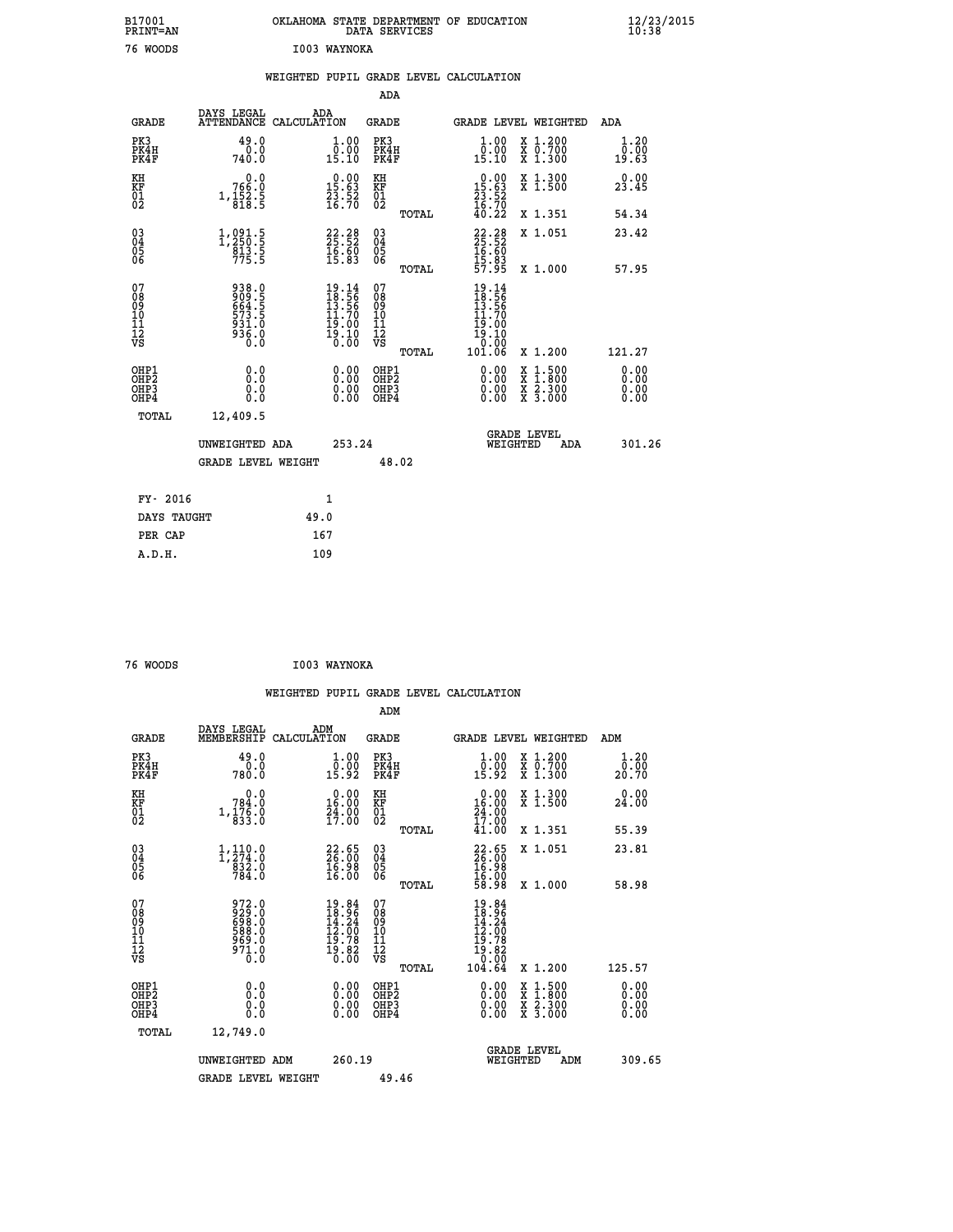| B17001<br>PRINT=AN                                 |                                                             | OKLAHOMA STATE DEPARTMENT OF EDUCATION                                   | DATA SERVICES                          |                                                                                                  |                                                                                                                                           | $\frac{12}{23}$ /2015 |
|----------------------------------------------------|-------------------------------------------------------------|--------------------------------------------------------------------------|----------------------------------------|--------------------------------------------------------------------------------------------------|-------------------------------------------------------------------------------------------------------------------------------------------|-----------------------|
| 76 WOODS                                           |                                                             | I003 WAYNOKA                                                             |                                        |                                                                                                  |                                                                                                                                           |                       |
|                                                    |                                                             | WEIGHTED PUPIL GRADE LEVEL CALCULATION                                   |                                        |                                                                                                  |                                                                                                                                           |                       |
|                                                    |                                                             |                                                                          | ADA                                    |                                                                                                  |                                                                                                                                           |                       |
| <b>GRADE</b>                                       | DAYS LEGAL<br>ATTENDANCE CALCULATION                        | ADA                                                                      | GRADE                                  |                                                                                                  | GRADE LEVEL WEIGHTED                                                                                                                      | ADA                   |
| PK3<br>PK4H<br>PK4F                                | 49.0<br>0.0<br>740.0                                        | $\begin{smallmatrix} 1.00\\[-1mm] 0.00\\[-1mm] 15.10\end{smallmatrix}$   | PK3<br>PK4H<br>PK4F                    | 1.00<br>$\frac{0.00}{15.10}$                                                                     | X 1.200<br>X 0.700<br>X 1.300                                                                                                             | 1.20<br>0.00<br>19.63 |
| KH<br>ΚF                                           | 0.0<br>766.0                                                | $\begin{smallmatrix} 0.00\\ 15.63\\ 23.52\\ 16.70 \end{smallmatrix}$     | KH                                     |                                                                                                  | X 1.300<br>X 1.500                                                                                                                        | 0.00<br>23.45         |
| $\begin{matrix} 01 \ 02 \end{matrix}$              | $1, \frac{152}{818}$ . 5                                    |                                                                          | KF<br>01<br>02<br>TOTAL                | $\begin{smallmatrix} 0.00\\ 15.63\\ 23.52\\ 16.70\\ 40.22 \end{smallmatrix}$                     | X 1.351                                                                                                                                   | 54.34                 |
| $\begin{matrix} 03 \\ 04 \\ 05 \\ 06 \end{matrix}$ | $\substack{1,091.5 \\ 1,250.5 \\ 813.5 \\ 775.5}$           | 22.28<br>25.52<br>16.60<br>15.83                                         | 03<br>04<br>05<br>06                   | $22.28$<br>$25.52$<br>$16.60$                                                                    | X 1.051                                                                                                                                   | 23.42                 |
|                                                    |                                                             |                                                                          | TOTAL                                  | $\frac{15.83}{57.95}$                                                                            | X 1.000                                                                                                                                   | 57.95                 |
| 07<br>08<br>09<br>11<br>11<br>12<br>VS             | 938.0<br>909.5<br>664.5<br>573.5<br>931.0<br>936.0<br>936.0 | $19.14$<br>$18.56$<br>$13.56$<br>$11.70$<br>$19.00$<br>$19.10$<br>$0.00$ | 07<br>ŏġ<br>09<br>10<br>11<br>12<br>VS | $\frac{19.14}{18.56}$<br>$\begin{smallmatrix} 11.70 \\ 19.00 \\ 19.10 \\ 0.00 \end{smallmatrix}$ |                                                                                                                                           |                       |
|                                                    |                                                             |                                                                          | TOTAL                                  | 10ľ.ŎĞ                                                                                           | X 1.200                                                                                                                                   | 121.27                |
| OHP1<br>OHP <sub>2</sub><br>OHP3<br>OHP4           | 0.0<br>0.0<br>0.0                                           | 0.00<br>0.00<br>0.00                                                     | OHP1<br>OHP2<br>OHP3<br>OHP4           | 0.00<br>0.00<br>0.00                                                                             | $\begin{smallmatrix} \mathtt{X} & 1\cdot500\\ \mathtt{X} & 1\cdot800\\ \mathtt{X} & 2\cdot300\\ \mathtt{X} & 3\cdot000 \end{smallmatrix}$ | 0.00<br>0.00<br>0.00  |
| TOTAL                                              | 12,409.5                                                    |                                                                          |                                        |                                                                                                  |                                                                                                                                           |                       |
|                                                    | UNWEIGHTED ADA                                              | 253.24                                                                   |                                        | WEIGHTED                                                                                         | <b>GRADE LEVEL</b><br>ADA                                                                                                                 | 301.26                |
|                                                    | <b>GRADE LEVEL WEIGHT</b>                                   |                                                                          | 48.02                                  |                                                                                                  |                                                                                                                                           |                       |
|                                                    |                                                             |                                                                          |                                        |                                                                                                  |                                                                                                                                           |                       |
| FY- 2016                                           |                                                             | 1                                                                        |                                        |                                                                                                  |                                                                                                                                           |                       |
| DAYS TAUGHT<br>PER CAP                             |                                                             | 49.0<br>167                                                              |                                        |                                                                                                  |                                                                                                                                           |                       |
| A.D.H.                                             |                                                             | 109                                                                      |                                        |                                                                                                  |                                                                                                                                           |                       |

| 76 WOODS                                     |                                                             | I003 WAYNOKA                                                                                       |                                  |                |                                                                                                                         |                                                                                                                                           |                              |
|----------------------------------------------|-------------------------------------------------------------|----------------------------------------------------------------------------------------------------|----------------------------------|----------------|-------------------------------------------------------------------------------------------------------------------------|-------------------------------------------------------------------------------------------------------------------------------------------|------------------------------|
|                                              |                                                             |                                                                                                    |                                  |                | WEIGHTED PUPIL GRADE LEVEL CALCULATION                                                                                  |                                                                                                                                           |                              |
|                                              |                                                             |                                                                                                    | ADM                              |                |                                                                                                                         |                                                                                                                                           |                              |
| <b>GRADE</b>                                 | DAYS LEGAL ADM<br>MEMBERSHIP CALCULATION                    |                                                                                                    | <b>GRADE</b>                     |                | <b>GRADE LEVEL WEIGHTED</b>                                                                                             |                                                                                                                                           | ADM                          |
| PK3<br>PK4H<br>PK4F                          | 49.0<br>0.0<br>780.0                                        | 1.00<br>$\overline{0}$ .00<br>15.92                                                                | PK3<br>PK4H<br>PK4F              |                | 1.00<br>$\frac{0.00}{15.92}$                                                                                            | X 1.200<br>X 0.700<br>X 1.300                                                                                                             | 1.20<br>0.00<br>20.70        |
| KH<br>KF<br>01<br>02                         | 0.0<br>$78\frac{3}{1}, \frac{78}{176}$<br>0. 833.0          | $\begin{smallmatrix} 0.00\\16.00\\24.00\\17.00 \end{smallmatrix}$                                  | KH<br>KF<br>01<br>02             |                | 0.00<br>$\begin{smallmatrix} 16.00 \\ 24.00 \\ 17.00 \\ 41.00 \end{smallmatrix}$                                        | X 1.300<br>X 1.500                                                                                                                        | 0.00<br>24.00                |
|                                              |                                                             |                                                                                                    |                                  | TOTAL          |                                                                                                                         | X 1.351                                                                                                                                   | 55.39                        |
| 03<br>04<br>05<br>06                         | $\substack{1,110.0\\1,274.0\\832.0\\784.0}$                 | $\begin{smallmatrix} 22.65\\ 26.00\\ 16.98\\ 16.00 \end{smallmatrix}$                              | 03<br>04<br>05<br>06             |                | 22.65<br>16.98<br>16:00<br>58:98                                                                                        | X 1.051                                                                                                                                   | 23.81                        |
| 07<br>08<br>09<br>10<br>11<br>11<br>12<br>VS | 972.0<br>929.0<br>698.0<br>588.0<br>589.0<br>971.0<br>971.0 | $\begin{smallmatrix} 19.84 \\ 18.96 \\ 14.24 \\ 12.00 \\ 19.78 \\ 19.82 \\ 0.00 \end{smallmatrix}$ | 07<br>08901112<br>1112<br>VS     | TOTAL<br>TOTAL | 19.84<br>$\begin{smallmatrix} 13 & 34 \ 14 & 24 \ 12 & 00 \ 19 & 78 \ 19 & 82 \ 0 & 0 & 0 \ 104 & 64 \end{smallmatrix}$ | X 1.000<br>X 1.200                                                                                                                        | 58.98<br>125.57              |
| OHP1<br>OHP2<br>OH <sub>P3</sub><br>OHP4     | 0.0<br>0.000                                                | $\begin{smallmatrix} 0.00 \ 0.00 \ 0.00 \ 0.00 \end{smallmatrix}$                                  | OHP1<br>OHP2<br>OHP <sub>3</sub> |                | 0.00<br>0.00                                                                                                            | $\begin{smallmatrix} \mathtt{X} & 1\cdot500\\ \mathtt{X} & 1\cdot800\\ \mathtt{X} & 2\cdot300\\ \mathtt{X} & 3\cdot000 \end{smallmatrix}$ | 0.00<br>0.00<br>0.00<br>0.00 |
| TOTAL                                        | 12,749.0                                                    |                                                                                                    |                                  |                |                                                                                                                         |                                                                                                                                           |                              |
|                                              | UNWEIGHTED ADM<br><b>GRADE LEVEL WEIGHT</b>                 | 260.19                                                                                             | 49.46                            |                | WEIGHTED                                                                                                                | <b>GRADE LEVEL</b><br>ADM                                                                                                                 | 309.65                       |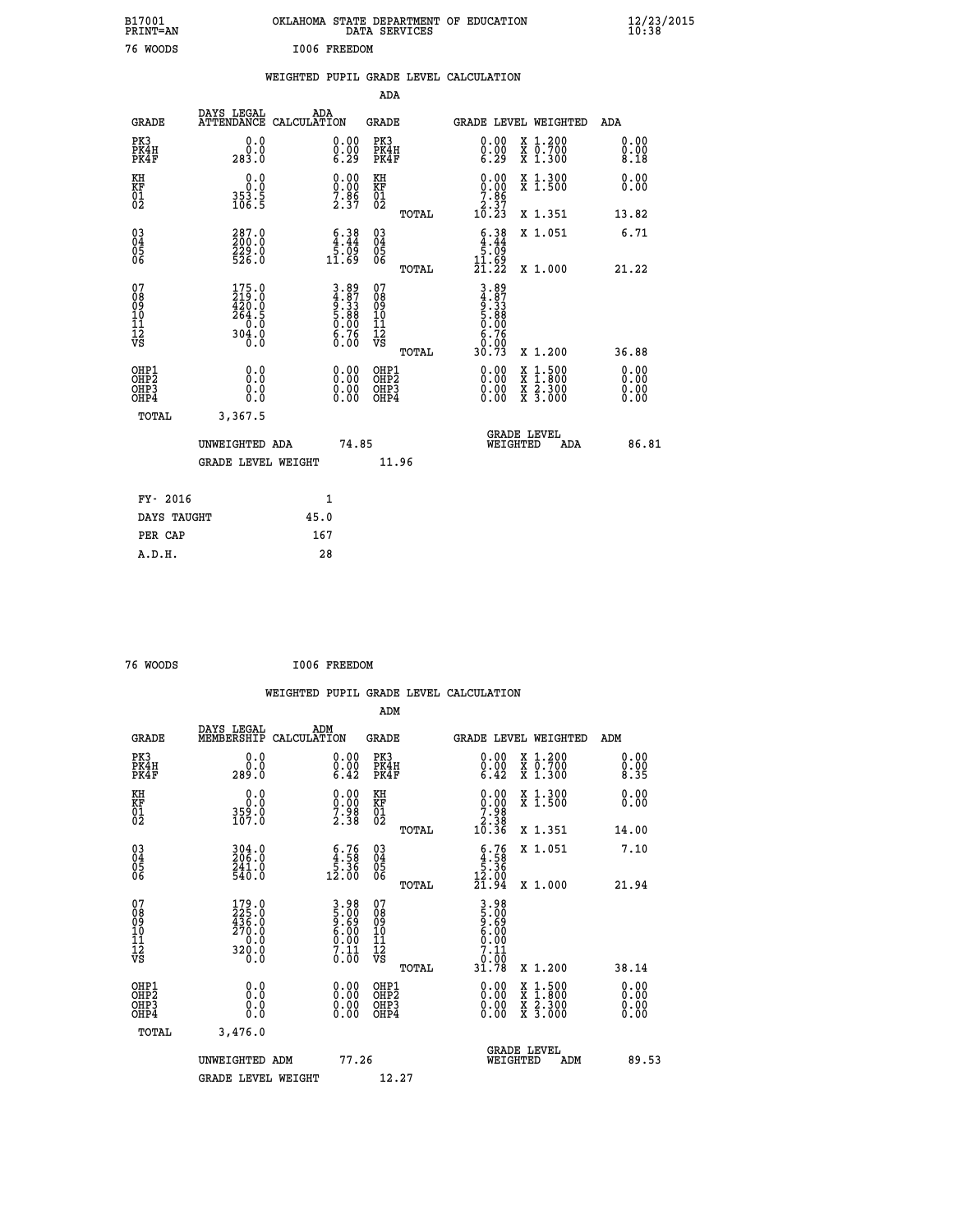| B17001<br>PRINT=AN                       |                                                                                                |      |                                                                   |                                                            | DATA SERVICES | OKLAHOMA STATE DEPARTMENT OF EDUCATION                                                                                                                                                                                                                                                 |                                                                                                                                           |     |                      | $\frac{12}{23}/\frac{23}{2015}$ |
|------------------------------------------|------------------------------------------------------------------------------------------------|------|-------------------------------------------------------------------|------------------------------------------------------------|---------------|----------------------------------------------------------------------------------------------------------------------------------------------------------------------------------------------------------------------------------------------------------------------------------------|-------------------------------------------------------------------------------------------------------------------------------------------|-----|----------------------|---------------------------------|
| 76 WOODS                                 |                                                                                                |      | I006 FREEDOM                                                      |                                                            |               |                                                                                                                                                                                                                                                                                        |                                                                                                                                           |     |                      |                                 |
|                                          |                                                                                                |      |                                                                   |                                                            |               | WEIGHTED PUPIL GRADE LEVEL CALCULATION                                                                                                                                                                                                                                                 |                                                                                                                                           |     |                      |                                 |
|                                          |                                                                                                |      |                                                                   | ADA                                                        |               |                                                                                                                                                                                                                                                                                        |                                                                                                                                           |     |                      |                                 |
| <b>GRADE</b>                             | DAYS LEGAL<br>ATTENDANCE CALCULATION                                                           | ADA  |                                                                   | GRADE                                                      |               | GRADE LEVEL WEIGHTED                                                                                                                                                                                                                                                                   |                                                                                                                                           |     | ADA                  |                                 |
| PK3<br>PK4H<br>PK4F                      | 0.0<br>0.0<br>283.0                                                                            |      | 0.00<br>$\begin{smallmatrix} 0.00 \ 6.29 \end{smallmatrix}$       | PK3<br>PK4H<br>PK4F                                        |               | 0.00<br>$\begin{smallmatrix} 0.00 & 0.00 & 0.00 & 0.00 & 0.00 & 0.00 & 0.00 & 0.00 & 0.00 & 0.00 & 0.00 & 0.00 & 0.00 & 0.00 & 0.00 & 0.00 & 0.00 & 0.00 & 0.00 & 0.00 & 0.00 & 0.00 & 0.00 & 0.00 & 0.00 & 0.00 & 0.00 & 0.00 & 0.00 & 0.00 & 0.00 & 0.00 & 0.00 & 0.00 & 0.00 & 0.0$ | X 1.200<br>X 0.700<br>X 1.300                                                                                                             |     | 0.00<br>0.00<br>8.18 |                                 |
| KH<br>KF<br>01<br>02                     | 0.0<br>0.0<br>$353.5$<br>$106.5$                                                               |      | $\begin{smallmatrix} 0.00\\ 0.00\\ 7.86\\ 2.37 \end{smallmatrix}$ | KH<br><b>KF</b><br>01<br>02                                |               | $\begin{smallmatrix} 0.00\\ 0.00\\ 7.86\\ 2.37\\ 10.23 \end{smallmatrix}$                                                                                                                                                                                                              | X 1.300<br>X 1.500                                                                                                                        |     | 0.00<br>0.00         |                                 |
|                                          |                                                                                                |      |                                                                   |                                                            | TOTAL         |                                                                                                                                                                                                                                                                                        | X 1.351                                                                                                                                   |     | 13.82                |                                 |
| 03<br>04<br>05<br>06                     | 287.0<br>200.0<br>229.0<br>526.0                                                               |      | $\begin{smallmatrix} 6.38\ 4.44\ 5.09\ 11.69\end{smallmatrix}$    | $\begin{matrix} 03 \\ 04 \\ 05 \\ 06 \end{matrix}$         |               | $6.38\n4.44\n5.09\n11.69\n21.22$                                                                                                                                                                                                                                                       | X 1.051                                                                                                                                   |     | 6.71                 |                                 |
|                                          |                                                                                                |      |                                                                   |                                                            | <b>TOTAL</b>  |                                                                                                                                                                                                                                                                                        | X 1.000                                                                                                                                   |     | 21.22                |                                 |
| 07<br>08<br>09<br>11<br>11<br>12<br>VS   | $175.0$<br>$219.0$<br>$420.0$<br>$264.5$<br>$\begin{array}{c} 0.0 \\ 304.0 \\ 0.0 \end{array}$ |      | $3.89$<br>$4.87$<br>$9.33$<br>$5.88$<br>$5.00$<br>$6.76$<br>0.00  | 07<br>08<br>09<br>10<br>$\frac{11}{12}$<br>$\frac{12}{18}$ | TOTAL         | 3.89<br>4.87<br>9.33<br>5.88<br>0.00<br>$\begin{array}{c} 8.76 \\ 0.00 \\ 30.73 \end{array}$                                                                                                                                                                                           | X 1.200                                                                                                                                   |     | 36.88                |                                 |
|                                          | 0.0                                                                                            |      |                                                                   |                                                            |               |                                                                                                                                                                                                                                                                                        |                                                                                                                                           |     | 0.00                 |                                 |
| OHP1<br>OHP2<br>OH <sub>P3</sub><br>OHP4 | Ŏ.Ō<br>0.0<br>0.0                                                                              |      | 0.00<br>0.00<br>0.00                                              | OHP1<br>OHP2<br>OHP3<br>OHP4                               |               | 0.00<br>0.00<br>0.00                                                                                                                                                                                                                                                                   | $\begin{smallmatrix} \mathtt{X} & 1\cdot500\\ \mathtt{X} & 1\cdot800\\ \mathtt{X} & 2\cdot300\\ \mathtt{X} & 3\cdot000 \end{smallmatrix}$ |     | 0.00<br>0.00<br>0.00 |                                 |
| TOTAL                                    | 3,367.5                                                                                        |      |                                                                   |                                                            |               |                                                                                                                                                                                                                                                                                        |                                                                                                                                           |     |                      |                                 |
|                                          | UNWEIGHTED ADA                                                                                 |      | 74.85                                                             |                                                            |               |                                                                                                                                                                                                                                                                                        | <b>GRADE LEVEL</b><br>WEIGHTED                                                                                                            | ADA | 86.81                |                                 |
|                                          | <b>GRADE LEVEL WEIGHT</b>                                                                      |      |                                                                   |                                                            | 11.96         |                                                                                                                                                                                                                                                                                        |                                                                                                                                           |     |                      |                                 |
| FY- 2016                                 |                                                                                                |      | 1                                                                 |                                                            |               |                                                                                                                                                                                                                                                                                        |                                                                                                                                           |     |                      |                                 |
| DAYS TAUGHT                              |                                                                                                | 45.0 |                                                                   |                                                            |               |                                                                                                                                                                                                                                                                                        |                                                                                                                                           |     |                      |                                 |
| PER CAP                                  |                                                                                                | 167  |                                                                   |                                                            |               |                                                                                                                                                                                                                                                                                        |                                                                                                                                           |     |                      |                                 |

| 76 WOODS |  | I006 FREEDOM |
|----------|--|--------------|
|          |  |              |

|                                                    |                                                  |                    |                                                                    |                              |       | WEIGHTED PUPIL GRADE LEVEL CALCULATION                                                                                                                                                                                                                                         |                                                                                                  |                      |       |
|----------------------------------------------------|--------------------------------------------------|--------------------|--------------------------------------------------------------------|------------------------------|-------|--------------------------------------------------------------------------------------------------------------------------------------------------------------------------------------------------------------------------------------------------------------------------------|--------------------------------------------------------------------------------------------------|----------------------|-------|
|                                                    |                                                  |                    |                                                                    | ADM                          |       |                                                                                                                                                                                                                                                                                |                                                                                                  |                      |       |
| <b>GRADE</b>                                       | DAYS LEGAL<br>MEMBERSHIP                         | ADM<br>CALCULATION |                                                                    | <b>GRADE</b>                 |       | <b>GRADE LEVEL WEIGHTED</b>                                                                                                                                                                                                                                                    |                                                                                                  | ADM                  |       |
| PK3<br>PK4H<br>PK4F                                | 0.0<br>0.0<br>289.0                              |                    | $\substack{0.00\\0.00\\6.42}$                                      | PK3<br>PK4H<br>PK4F          |       | $\begin{smallmatrix} 0.00\\ 0.00\\ 6.42 \end{smallmatrix}$                                                                                                                                                                                                                     | X 1.200<br>X 0.700<br>X 1.300                                                                    | 0.00<br>0.00<br>8.35 |       |
| KH<br>KF<br>01<br>02                               | 0.0<br>0.0<br>359.0<br>107.0                     |                    | $\begin{smallmatrix} 0.00\ 0.00\ 7.98\ 2.38 \end{smallmatrix}$     | KH<br>KF<br>01<br>02         |       | $\begin{array}{c} 0.00 \\ 0.00 \\ 7.98 \\ 2.38 \\ 10.36 \end{array}$                                                                                                                                                                                                           | X 1.300<br>X 1.500                                                                               | 0.00<br>0.00         |       |
|                                                    |                                                  |                    |                                                                    |                              | TOTAL |                                                                                                                                                                                                                                                                                | X 1.351                                                                                          | 14.00                |       |
| $\begin{matrix} 03 \\ 04 \\ 05 \\ 06 \end{matrix}$ | 304.0<br>206.0<br>241.0<br>540.0                 |                    | $\begin{smallmatrix} 6.76\ 4.58\ 5.36\ 12.00 \end{smallmatrix}$    | 03<br>04<br>05<br>06         |       | $\begin{smallmatrix} 6.76\ 4.58\ 5.36\ 12.00\ 21.94 \end{smallmatrix}$                                                                                                                                                                                                         | X 1.051                                                                                          | 7.10                 |       |
|                                                    |                                                  |                    |                                                                    |                              | TOTAL |                                                                                                                                                                                                                                                                                | X 1.000                                                                                          | 21.94                |       |
| 07<br>0890112<br>1112<br>VS                        | 179.0<br>225.0<br>436.0<br>270.0<br>0.0<br>320.0 |                    | $3.98$<br>$5.00$<br>$9.69$<br>$6.00$<br>$6.00$<br>$7.11$<br>$0.00$ | 07<br>0890112<br>1112<br>VS  | TOTAL | 3.98<br>5.009<br>6.000<br>6.000<br>7.11<br>7.100<br>31.78                                                                                                                                                                                                                      | $X_1.200$                                                                                        | 38.14                |       |
| OHP1<br>OHP2<br>OHP <sub>3</sub><br>OHP4           | 0.0<br>0.000                                     |                    | $\begin{smallmatrix} 0.00 \ 0.00 \ 0.00 \ 0.00 \end{smallmatrix}$  | OHP1<br>OHP2<br>OHP3<br>OHP4 |       | $\begin{smallmatrix} 0.00 & 0.00 & 0.00 & 0.00 & 0.00 & 0.00 & 0.00 & 0.00 & 0.00 & 0.00 & 0.00 & 0.00 & 0.00 & 0.00 & 0.00 & 0.00 & 0.00 & 0.00 & 0.00 & 0.00 & 0.00 & 0.00 & 0.00 & 0.00 & 0.00 & 0.00 & 0.00 & 0.00 & 0.00 & 0.00 & 0.00 & 0.00 & 0.00 & 0.00 & 0.00 & 0.0$ | $\begin{smallmatrix} x & 1 & 500 \\ x & 1 & 800 \\ x & 2 & 300 \\ x & 3 & 000 \end{smallmatrix}$ | 0.00<br>0.00<br>0.00 |       |
| TOTAL                                              | 3,476.0                                          |                    |                                                                    |                              |       |                                                                                                                                                                                                                                                                                |                                                                                                  |                      |       |
|                                                    | UNWEIGHTED ADM                                   |                    | 77.26                                                              |                              |       | WEIGHTED                                                                                                                                                                                                                                                                       | <b>GRADE LEVEL</b><br>ADM                                                                        |                      | 89.53 |
|                                                    | <b>GRADE LEVEL WEIGHT</b>                        |                    |                                                                    | 12.27                        |       |                                                                                                                                                                                                                                                                                |                                                                                                  |                      |       |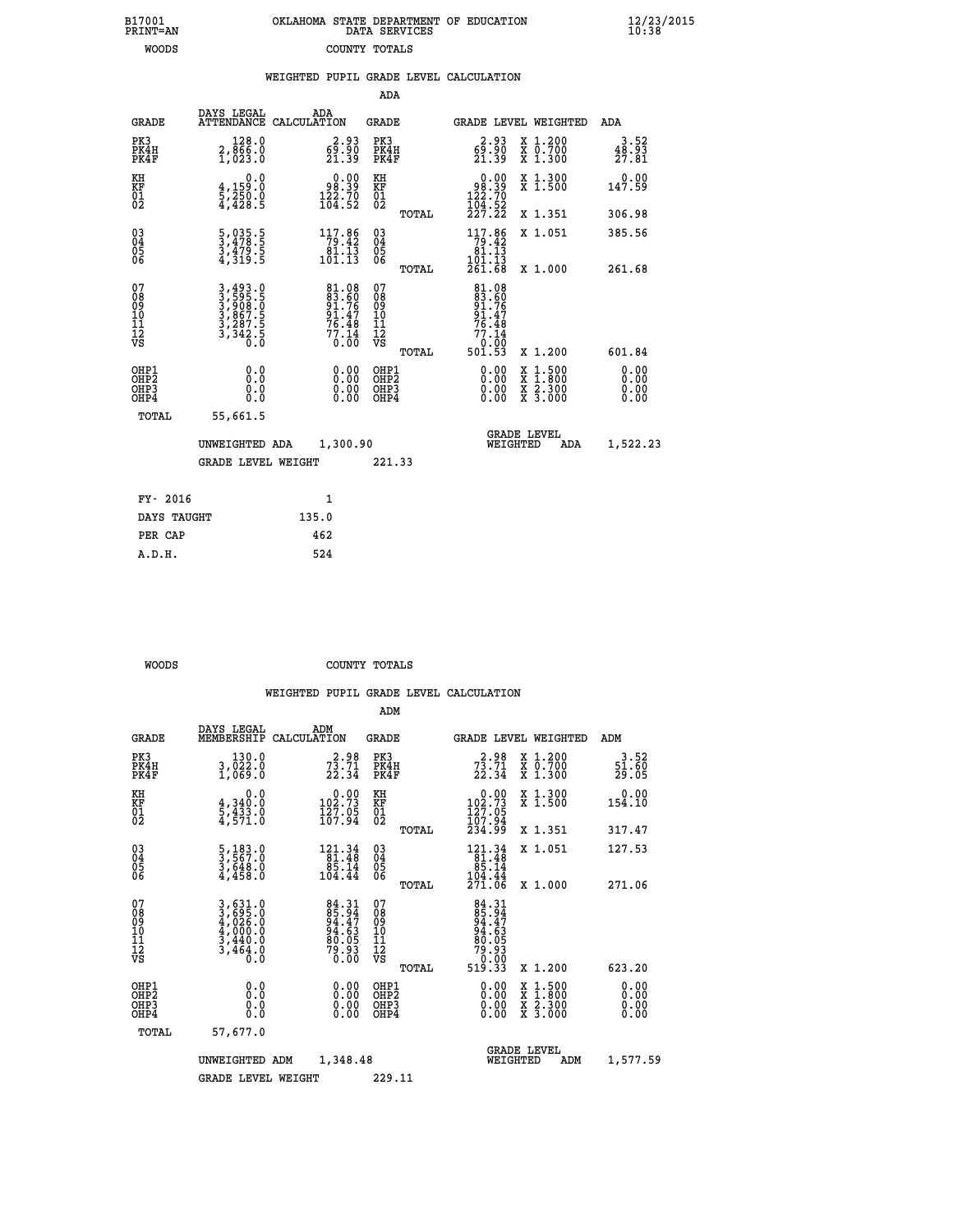|  | OKLAHOMA STATE DEPARTMENT OF EDUCATION<br>DATA SERVICES |  |
|--|---------------------------------------------------------|--|
|  | COUNTY TOTALS                                           |  |

B17001<br>PRINT=AN<br>WOODS

 **B17001 OKLAHOMA STATE DEPARTMENT OF EDUCATION 12/23/2015**

|  |  | WEIGHTED PUPIL GRADE LEVEL CALCULATION |
|--|--|----------------------------------------|
|  |  |                                        |

|                                                                              |                                                                |                                                                   | ADA                                                |       |                                                                               |                                                                                                                                              |                               |
|------------------------------------------------------------------------------|----------------------------------------------------------------|-------------------------------------------------------------------|----------------------------------------------------|-------|-------------------------------------------------------------------------------|----------------------------------------------------------------------------------------------------------------------------------------------|-------------------------------|
| <b>GRADE</b>                                                                 | DAYS LEGAL                                                     | ADA<br>ATTENDANCE CALCULATION                                     | GRADE                                              |       | <b>GRADE LEVEL WEIGHTED</b>                                                   |                                                                                                                                              | ADA                           |
| PK3<br>PK4H<br>PK4F                                                          | 128.0<br>2,866.0<br>1,023.0                                    | 2.93<br>$\frac{6\bar{9}\cdot\bar{9}\bar{0}}{21\cdot39}$           | PK3<br>PK4H<br>PK4F                                |       | 2.93<br>$\frac{6\bar{9}\,.\,5\,\tilde{0}}{21\,.\,39}$                         | X 1.200<br>X 0.700<br>X 1.300                                                                                                                | 3.52<br>$\frac{48.93}{27.81}$ |
| KH<br>KF<br>01<br>02                                                         | 0.0<br>$\frac{4}{5}, \frac{159}{250}$ .0<br>4,428.5            | $\begin{smallmatrix} &0.00\98.39\122.70\164.52\end{smallmatrix}$  | KH<br>KF<br>01<br>02                               |       | $\begin{smallmatrix} &0.00\ 98.39\ 122.70\ 104.52\ 227.22\ \end{smallmatrix}$ | X 1.300<br>X 1.500                                                                                                                           | 0.00<br>147.59                |
|                                                                              |                                                                |                                                                   |                                                    | TOTAL |                                                                               | X 1.351                                                                                                                                      | 306.98                        |
| $\begin{matrix} 03 \\ 04 \\ 05 \\ 06 \end{matrix}$                           | 5,035.5<br>3,478.5<br>3,479.5<br>4,319.5                       | $\begin{array}{r} 117.86 \\ 79.42 \\ 81.13 \\ 101.13 \end{array}$ | $\begin{matrix} 03 \\ 04 \\ 05 \\ 06 \end{matrix}$ |       | 117.86<br>$\begin{array}{r} 79.42 \\ 81.13 \\ 101.13 \end{array}$<br>261.68   | X 1.051                                                                                                                                      | 385.56<br>261.68              |
|                                                                              |                                                                |                                                                   |                                                    | TOTAL |                                                                               | X 1.000                                                                                                                                      |                               |
| 07<br>08<br>09<br>11<br>11<br>12<br>VS                                       | 3,493.0<br>3,595.5<br>3,908.0<br>3,867.5<br>3,287.5<br>3,342.5 | 81.08<br>83.60<br>91.76<br>91.47<br>76.48<br>77.14<br>77.14       | 07<br>08<br>09<br>11<br>11<br>12<br>VS             | TOTAL | 81.08<br>83.606<br>91.767<br>91.47<br>76.48<br>77.14<br>0.000<br>501.53       | X 1.200                                                                                                                                      | 601.84                        |
| OHP1<br>OH <sub>P</sub> <sub>2</sub><br>OH <sub>P3</sub><br>OH <sub>P4</sub> | 0.0<br>Ō.Ō<br>0.0<br>0.0                                       | 0.00<br>0.00<br>0.00                                              | OHP1<br>OHP2<br>OHP3<br>OHP4                       |       | 0.00<br>0.00<br>0.00                                                          | $\begin{smallmatrix} \mathtt{X} & 1\cdot500 \\ \mathtt{X} & 1\cdot800 \\ \mathtt{X} & 2\cdot300 \\ \mathtt{X} & 3\cdot000 \end{smallmatrix}$ | 0.00<br>0.00<br>0.00<br>0.00  |
| TOTAL                                                                        | 55,661.5                                                       |                                                                   |                                                    |       |                                                                               |                                                                                                                                              |                               |
|                                                                              | UNWEIGHTED ADA                                                 | 1,300.90                                                          |                                                    |       | WEIGHTED                                                                      | <b>GRADE LEVEL</b><br>ADA                                                                                                                    | 1,522.23                      |
|                                                                              | <b>GRADE LEVEL WEIGHT</b>                                      |                                                                   | 221.33                                             |       |                                                                               |                                                                                                                                              |                               |
| FY- 2016                                                                     |                                                                | $\mathbf{1}$                                                      |                                                    |       |                                                                               |                                                                                                                                              |                               |
| DAYS TAUGHT                                                                  |                                                                | 135.0                                                             |                                                    |       |                                                                               |                                                                                                                                              |                               |
| PER CAP                                                                      |                                                                | 462                                                               |                                                    |       |                                                                               |                                                                                                                                              |                               |
| A.D.H.                                                                       |                                                                | 524                                                               |                                                    |       |                                                                               |                                                                                                                                              |                               |
|                                                                              |                                                                |                                                                   |                                                    |       |                                                                               |                                                                                                                                              |                               |

| WOODS | COUNTY TOTALS |  |
|-------|---------------|--|

|                                          |                                                                                                                                                           |                                                                                    | ADM                                                 |                                                                                                  |                                          |                               |
|------------------------------------------|-----------------------------------------------------------------------------------------------------------------------------------------------------------|------------------------------------------------------------------------------------|-----------------------------------------------------|--------------------------------------------------------------------------------------------------|------------------------------------------|-------------------------------|
| <b>GRADE</b>                             | DAYS LEGAL<br>MEMBERSHIP                                                                                                                                  | ADM<br>CALCULATION                                                                 | <b>GRADE</b>                                        | <b>GRADE LEVEL WEIGHTED</b>                                                                      |                                          | ADM                           |
| PK3<br>PK4H<br>PK4F                      | 130.0<br>3,ŌŽŽ.Ŏ<br>1,O69.O                                                                                                                               | $73.71$<br>$22.34$                                                                 | PK3<br>PK4H<br>PK4F                                 | $73.71$<br>$22.34$                                                                               | X 1.200<br>X 0.700<br>X 1.300            | 3.52<br>$\frac{51.60}{29.05}$ |
| KH<br>KF<br>01<br>02                     | 0.0<br>$\frac{4}{5}, \frac{340}{433}$ .0<br>4,571.0                                                                                                       | $\begin{smallmatrix} &0.00\\ 102.73\\ 127.05\\ 167.94\end{smallmatrix}$            | KH<br>KF<br>01<br>02                                | $\begin{smallmatrix} &0.00\\ 102.73\\ 127.05\\ 107.94\\ 234.99\end{smallmatrix}$                 | X 1.300<br>X 1.500                       | 0.00<br>154.10                |
|                                          |                                                                                                                                                           |                                                                                    | TOTAL                                               |                                                                                                  | X 1.351                                  | 317.47                        |
| 03<br>04<br>05<br>06                     | $\frac{5}{3}, \frac{183}{567}.0$<br>$\frac{3}{648}.0$<br>$\frac{4}{4}, \frac{458}{60}$                                                                    | $\begin{array}{r} 121\cdot 34\\ 81\cdot 48\\ 85\cdot 14\\ 104\cdot 44 \end{array}$ | $\begin{array}{c} 03 \\ 04 \\ 05 \\ 06 \end{array}$ | $\begin{array}{r} 121\cdot 34\\ 81\cdot 48\\ 85\cdot 14\\ 104\cdot 44\\ 271\cdot 06 \end{array}$ | X 1.051                                  | 127.53                        |
|                                          |                                                                                                                                                           |                                                                                    | TOTAL                                               |                                                                                                  | X 1.000                                  | 271.06                        |
| 07<br>08<br>09<br>101<br>11<br>12<br>VS  | $\begin{smallmatrix} 3\,,\,631\,.\,0\\ 3\,,\,695\,.\,0\\ 4\,,\,026\,.\,0\\ 4\,,\,000\,.\,0\\ 3\,,\,440\,.\,0\\ 3\,,\,464\,.\,0\\ 0\,.0 \end{smallmatrix}$ | 84.31<br>85.94<br>94.47<br>94.63<br>80.05<br>79.93<br>70.00                        | 07<br>08<br>09<br>11<br>11<br>12<br>VS<br>TOTAL     | 84.31<br>85.94<br>94.47<br>94.63<br>90.05<br>79.93<br>70.00<br>519.33                            | X 1.200                                  | 623.20                        |
| OHP1<br>OHP2<br>OHP <sub>3</sub><br>OHP4 | 0.0<br>$\begin{smallmatrix} 0.16 \ 0.0 \end{smallmatrix}$                                                                                                 |                                                                                    | OHP1<br>OHP2<br>OHP <sub>3</sub>                    | $0.00$<br>$0.00$<br>0.00                                                                         | X 1:500<br>X 1:800<br>X 2:300<br>X 3:000 | 0.00<br>0.00<br>0.00<br>0.00  |
| TOTAL                                    | 57,677.0                                                                                                                                                  |                                                                                    |                                                     |                                                                                                  |                                          |                               |
|                                          | UNWEIGHTED ADM                                                                                                                                            | 1,348.48                                                                           |                                                     | <b>GRADE LEVEL</b><br>WEIGHTED                                                                   | ADM                                      | 1,577.59                      |
|                                          | <b>GRADE LEVEL WEIGHT</b>                                                                                                                                 |                                                                                    | 229.11                                              |                                                                                                  |                                          |                               |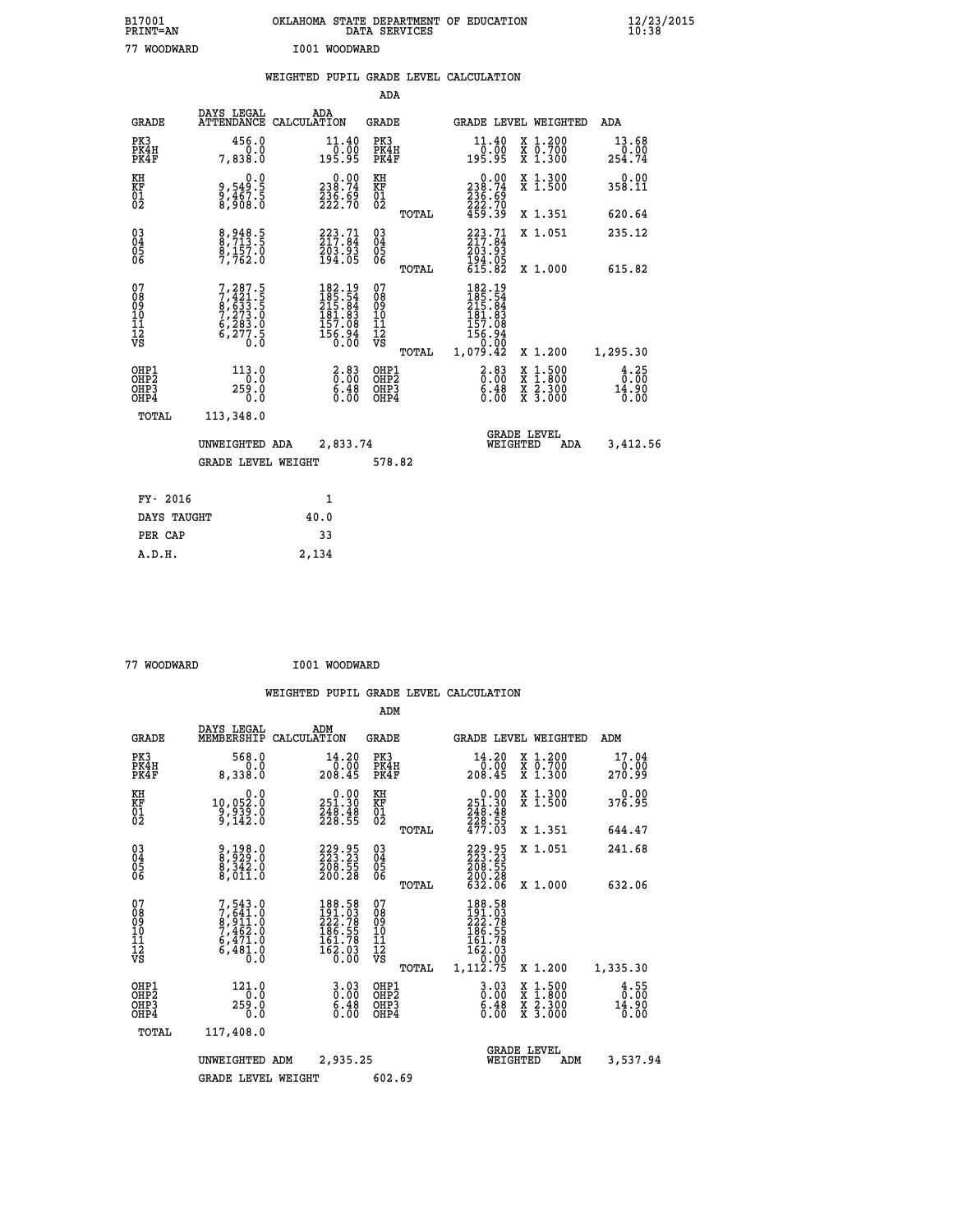| B17001<br><b>PRINT=AN</b> | OKLAHOMA STATE DEPARTMENT OF EDUCATION<br>DATA<br>SERVICES | $\frac{12}{23}$ /2015 |
|---------------------------|------------------------------------------------------------|-----------------------|
| 77<br>WOODWARD            | I001<br>WOODWARD                                           |                       |

| <b>INTIAL-UTA</b>                                    |                                                                                                 |       |                                                                                | שפט בית הפנים המומש                    |       |                                                                                     |                                                                                                                                      | <b>10.90</b>                                     |
|------------------------------------------------------|-------------------------------------------------------------------------------------------------|-------|--------------------------------------------------------------------------------|----------------------------------------|-------|-------------------------------------------------------------------------------------|--------------------------------------------------------------------------------------------------------------------------------------|--------------------------------------------------|
| 77 WOODWARD                                          |                                                                                                 |       | I001 WOODWARD                                                                  |                                        |       |                                                                                     |                                                                                                                                      |                                                  |
|                                                      |                                                                                                 |       |                                                                                |                                        |       | WEIGHTED PUPIL GRADE LEVEL CALCULATION                                              |                                                                                                                                      |                                                  |
|                                                      |                                                                                                 |       |                                                                                | <b>ADA</b>                             |       |                                                                                     |                                                                                                                                      |                                                  |
| GRADE                                                | DAYS LEGAL<br>ATTENDANCE CALCULATION                                                            | ADA   |                                                                                | GRADE                                  |       |                                                                                     | GRADE LEVEL WEIGHTED                                                                                                                 | ADA                                              |
| PK3<br>PK4H<br>PK4F                                  | 456.0<br>7,838.0                                                                                |       | $\mathop{11\cdot 40}_{10\cdot 00}$<br>195.95                                   | PK3<br>PK4H<br>PK4F                    |       | $\begin{smallmatrix} 11.40\\[-1.2mm] 0.00\\[-1.2mm] 195.95\end{smallmatrix}$        | X 1.200<br>X 0.700<br>X 1.300                                                                                                        | 13.68<br>254.74                                  |
| KH<br>KF<br>01<br>02                                 | 0.0<br>9,549:5<br>9,467:5<br>8,908:0                                                            |       | $\begin{smallmatrix} &0.00\\ 238.74\\ 236.69\\ 222.70\end{smallmatrix}$        | KH<br>KF<br>01<br>02                   |       | $\begin{smallmatrix} &0.00\\ 238.74\\ 236.69\\ 222.70\\ 459.39 \end{smallmatrix}$   | X 1.300<br>$\overline{x}$ 1.500                                                                                                      | 0.00<br>358.11                                   |
|                                                      |                                                                                                 |       |                                                                                |                                        | TOTAL |                                                                                     | X 1.351                                                                                                                              | 620.64                                           |
| $^{03}_{04}$<br>Ŏ5<br>06                             | 8,948.5<br>8,713.5<br>8,157.0<br>7,762.0                                                        |       | $223.71$<br>$217.84$<br>$203.93$<br>$194.05$                                   | $\substack{03 \\ 04}$<br>05<br>06      |       | 223.71<br>217.84<br>203.93                                                          | X 1.051                                                                                                                              | 235.12                                           |
|                                                      |                                                                                                 |       |                                                                                |                                        | TOTAL | $\frac{1}{9}\,\frac{3}{4}\,\frac{5}{8}\,\frac{5}{8}\,$                              | X 1.000                                                                                                                              | 615.82                                           |
| 07<br>08<br>09<br>11<br>11<br>12<br>VS               | $\begin{smallmatrix}7,287.5\\7,421.5\\8,633.5\\7,273.0\\6,283.0\\6,277.5\\0.0\end{smallmatrix}$ |       | $182.19$<br>$185.54$<br>$215.84$<br>$181.83$<br>$157.08$<br>$156.94$<br>$0.00$ | 07<br>08<br>09<br>10<br>11<br>12<br>VS | TOTAL | 182.19<br>185.54<br>215.84<br>181.83<br>$157.08$<br>$156.94$<br>$-0.00$<br>1,079.42 | X 1.200                                                                                                                              | 1,295.30                                         |
| OHP1<br>OHP <sub>2</sub><br>OH <sub>P3</sub><br>OHP4 | 113.0<br>0.0<br>259.0<br>0.0                                                                    |       | $\frac{2.83}{0.00}$<br>$\frac{6.48}{0.00}$                                     | OHP1<br>OHP2<br>OHP3<br>OHP4           |       | $2.83$<br>$0.00$<br>$\frac{6.48}{0.00}$                                             | $\begin{smallmatrix} \mathtt{X} & 1 & 500 \\ \mathtt{X} & 1 & 800 \\ \mathtt{X} & 2 & 300 \\ \mathtt{X} & 3 & 000 \end{smallmatrix}$ | $\frac{4}{0}$ : $\frac{25}{00}$<br>14.90<br>0.00 |
| TOTAL                                                | 113,348.0                                                                                       |       |                                                                                |                                        |       |                                                                                     |                                                                                                                                      |                                                  |
|                                                      | UNWEIGHTED ADA                                                                                  |       | 2,833.74                                                                       |                                        |       |                                                                                     | <b>GRADE LEVEL</b><br>WEIGHTED<br>ADA                                                                                                | 3,412.56                                         |
|                                                      | GRADE LEVEL WEIGHT                                                                              |       |                                                                                | 578.82                                 |       |                                                                                     |                                                                                                                                      |                                                  |
| FY- 2016                                             |                                                                                                 |       | $\mathbf{1}$                                                                   |                                        |       |                                                                                     |                                                                                                                                      |                                                  |
| DAYS TAUGHT                                          |                                                                                                 | 40.0  |                                                                                |                                        |       |                                                                                     |                                                                                                                                      |                                                  |
| PER CAP                                              |                                                                                                 |       | 33                                                                             |                                        |       |                                                                                     |                                                                                                                                      |                                                  |
| A.D.H.                                               |                                                                                                 | 2,134 |                                                                                |                                        |       |                                                                                     |                                                                                                                                      |                                                  |

 **77 WOODWARD I001 WOODWARD**

|                                                    |                                                                                     |                                                                                             | ADM                                                 |                                                                                          |                                          |                                     |
|----------------------------------------------------|-------------------------------------------------------------------------------------|---------------------------------------------------------------------------------------------|-----------------------------------------------------|------------------------------------------------------------------------------------------|------------------------------------------|-------------------------------------|
| <b>GRADE</b>                                       | DAYS LEGAL<br>MEMBERSHIP                                                            | ADM<br>CALCULATION                                                                          | <b>GRADE</b>                                        | <b>GRADE LEVEL WEIGHTED</b>                                                              |                                          | ADM                                 |
| PK3<br>PK4H<br>PK4F                                | 568.0<br>0.0<br>8,338.0                                                             | 14.20<br>$\frac{0.00}{208.45}$                                                              | PK3<br>PK4H<br>PK4F                                 | 14.20<br>ةة:ة <sup>∸</sup><br>208.45                                                     | X 1.200<br>X 0.700<br>X 1.300            | 17.04<br>0.00<br>270.99             |
| KH<br>KF<br>01<br>02                               | 0.0<br>10,052:0<br>9,939:0<br>9,142:0                                               | $\begin{smallmatrix} &0.00\\ 251.30\\ 248.48\\ 228.55\end{smallmatrix}$                     | KH<br>KF<br>01<br>02                                | $\begin{array}{c} 0.00 \\ 251.30 \\ 248.48 \\ 228.55 \\ 477.03 \end{array}$              | X 1.300<br>X 1.500                       | 0.00<br>376.95                      |
|                                                    |                                                                                     |                                                                                             | TOTAL                                               |                                                                                          | X 1.351                                  | 644.47                              |
| $\begin{matrix} 03 \\ 04 \\ 05 \\ 06 \end{matrix}$ | 9,198.0<br>8,929.0<br>8,342.0<br>8,011.0                                            | $\begin{smallmatrix} 229.95\\ 223.23\\ 208.55\\ 200.28 \end{smallmatrix}$                   | $\begin{array}{c} 03 \\ 04 \\ 05 \\ 06 \end{array}$ | 229.95<br>223.23<br>208.55<br>200.28<br>632.06                                           | X 1.051                                  | 241.68                              |
|                                                    |                                                                                     |                                                                                             | TOTAL                                               |                                                                                          | X 1.000                                  | 632.06                              |
| 07<br>08<br>09<br>101<br>11<br>12<br>VS            | $7,543.0$<br>$8,911.0$<br>$8,911.0$<br>$7,462.0$<br>$6,471.0$<br>$6,481.0$<br>$0.0$ | $\begin{smallmatrix} 188.58\\191.03\\222.78\\186.55\\161.78\\162.03\\0.00\end{smallmatrix}$ | 07<br>08<br>09<br>11<br>11<br>12<br>VS<br>TOTAL     | 188.58<br>191.03<br>222.78<br>266.55<br>161.78<br>162.03<br>162.03<br>10.00<br>1,112.75  | X 1.200                                  | 1,335.30                            |
| OHP1<br>OHP2<br>OH <sub>P3</sub><br>OHP4           | 121.0<br>0.0<br>259.0<br>0.0                                                        | $3.03\n0.00\n6.48$<br>0.00                                                                  | OHP1<br>OHP2<br>OHP3<br>OHP4                        | $\begin{smallmatrix} 3 & 0 & 3 \\ 0 & 0 & 0 \\ 6 & 4 & 8 \\ 0 & 0 & 0 \end{smallmatrix}$ | X 1:500<br>X 1:800<br>X 2:300<br>X 3:000 | $\frac{4}{0}$ : 55<br>14.90<br>0.00 |
|                                                    | TOTAL<br>117,408.0                                                                  |                                                                                             |                                                     |                                                                                          |                                          |                                     |
|                                                    | UNWEIGHTED                                                                          | 2,935.25<br>ADM                                                                             |                                                     | <b>GRADE LEVEL</b><br>WEIGHTED                                                           | ADM                                      | 3,537.94                            |
|                                                    | <b>GRADE LEVEL WEIGHT</b>                                                           |                                                                                             | 602.69                                              |                                                                                          |                                          |                                     |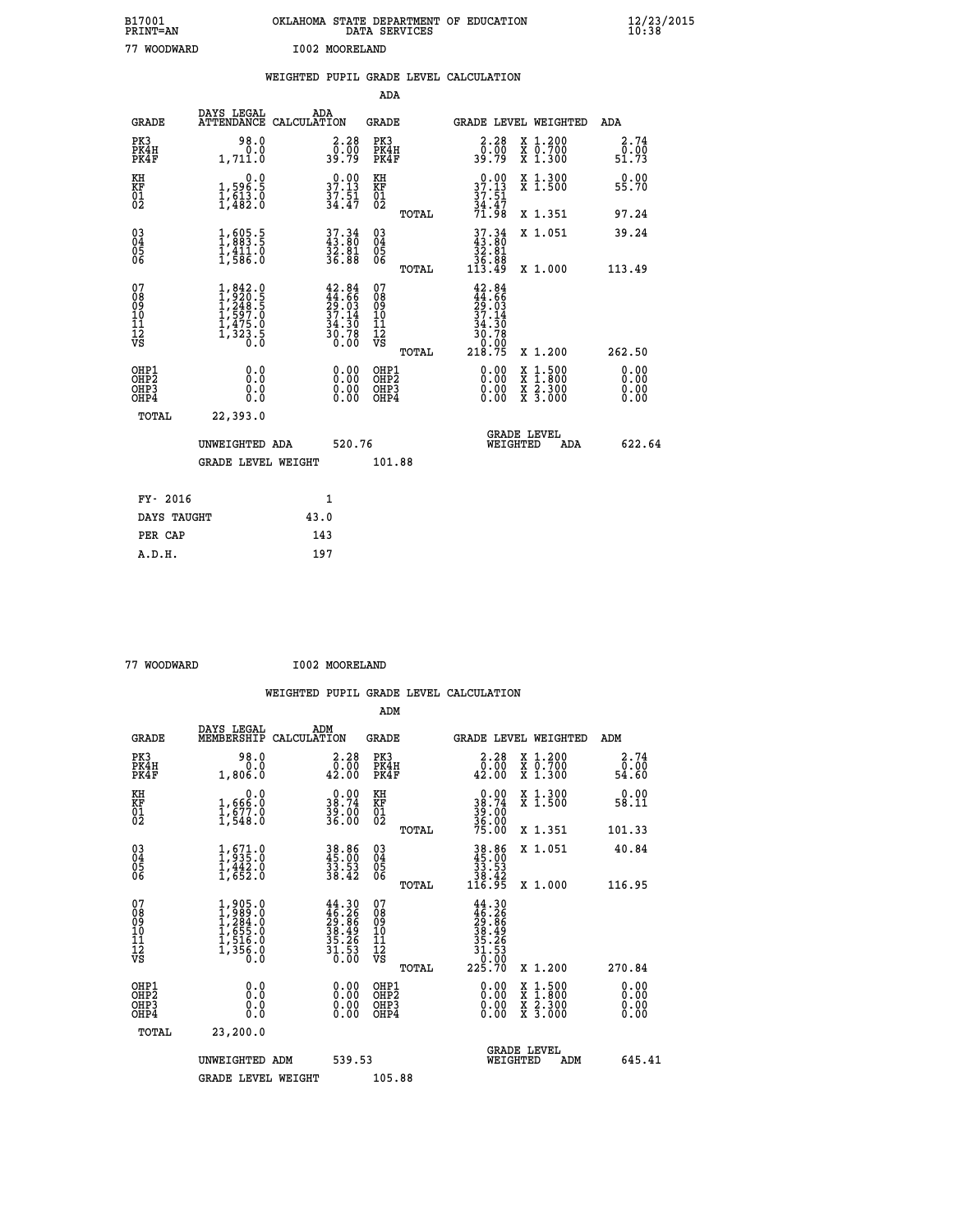| B17001<br>PRINT=AN | OKLAHOMA STATE DEPARTMENT OF EDUCATION<br>DATA SERVICES | $\frac{12}{23}$ /2015 |  |
|--------------------|---------------------------------------------------------|-----------------------|--|
| 77<br>WOODWARD     | I002 MOORELAND                                          |                       |  |

|                                          |                                                                                                               |      |                                                                        |                                          |       | WEIGHTED PUPIL GRADE LEVEL CALCULATION                                                    |                                                                                                                                           |                              |  |
|------------------------------------------|---------------------------------------------------------------------------------------------------------------|------|------------------------------------------------------------------------|------------------------------------------|-------|-------------------------------------------------------------------------------------------|-------------------------------------------------------------------------------------------------------------------------------------------|------------------------------|--|
|                                          |                                                                                                               |      |                                                                        | ADA                                      |       |                                                                                           |                                                                                                                                           |                              |  |
| <b>GRADE</b>                             | DAYS LEGAL<br>ATTENDANCE CALCULATION                                                                          |      | ADA                                                                    | <b>GRADE</b>                             |       | GRADE LEVEL WEIGHTED                                                                      |                                                                                                                                           | ADA                          |  |
| PK3<br>PK4H<br>PK4F                      | 98.0<br>0.0<br>1,711.0                                                                                        |      | $\begin{smallmatrix} 2.28\ 0.00\\ 39.79 \end{smallmatrix}$             | PK3<br>PK4H<br>PK4F                      |       | $2.28$<br>$0.00$<br>39.79                                                                 | X 1.200<br>X 0.700<br>X 1.300                                                                                                             | 2.74<br>0.00<br>51.73        |  |
| KH<br>KF<br>01<br>02                     | $\begin{smallmatrix}&&&0.0\\1,596.5\\1,613.0\\1,482.0\end{smallmatrix}$                                       |      | 37.13<br>$\frac{37.51}{34.47}$                                         | KH<br>KF<br>01<br>02                     |       | $37.13$<br>$37.51$<br>$34.47$                                                             | X 1.300<br>X 1.500                                                                                                                        | 0.00<br>55.70                |  |
|                                          |                                                                                                               |      |                                                                        |                                          | TOTAL | 71.98                                                                                     | X 1.351                                                                                                                                   | 97.24                        |  |
| 03<br>04<br>05<br>06                     | 1,605.5<br>$\frac{1}{4}$ , $\frac{1}{5}$ , $\frac{1}{6}$                                                      |      | 37.34<br>43.80<br>32.81<br>36.88                                       | $\substack{03 \\ 04}$<br>Ŏ5<br>06        |       | $37.34$<br>$33.80$<br>$32.81$                                                             | X 1.051                                                                                                                                   | 39.24                        |  |
|                                          |                                                                                                               |      |                                                                        |                                          | TOTAL | 36.88<br>113.49                                                                           | X 1.000                                                                                                                                   | 113.49                       |  |
| 07<br>08<br>09<br>11<br>11<br>12<br>VS   | $\begin{smallmatrix} 1, 842.0\\ 1, 920.5\\ 1, 248.5\\ 1, 597.0\\ 1, 475.0\\ 1, 323.5\\ 0.0 \end{smallmatrix}$ |      | $42.84$<br>$44.66$<br>$29.03$<br>$37.14$<br>$34.30$<br>$30.78$<br>0.00 | 07<br>08<br>09<br>11<br>11<br>12<br>VS   | TOTAL | 42.84<br>$\frac{44}{29}$ : $\frac{66}{37}$<br>37.14<br>$34.30$<br>30.78<br>0.00<br>218.75 | X 1.200                                                                                                                                   | 262.50                       |  |
| OHP1<br>OHP <sub>2</sub><br>OHP3<br>OHP4 | 0.0<br>Ō.Ō<br>0.0<br>0.0                                                                                      |      | $\begin{smallmatrix} 0.00 \ 0.00 \ 0.00 \ 0.00 \end{smallmatrix}$      | OHP1<br>OHP <sub>2</sub><br>OHP3<br>OHP4 |       | 0.00<br>0.00                                                                              | $\begin{smallmatrix} \mathtt{X} & 1\cdot500\\ \mathtt{X} & 1\cdot800\\ \mathtt{X} & 2\cdot300\\ \mathtt{X} & 3\cdot000 \end{smallmatrix}$ | 0.00<br>0.00<br>0.00<br>0.00 |  |
| TOTAL                                    | 22,393.0                                                                                                      |      |                                                                        |                                          |       |                                                                                           |                                                                                                                                           |                              |  |
|                                          | UNWEIGHTED ADA                                                                                                |      | 520.76                                                                 |                                          |       | WEIGHTED                                                                                  | <b>GRADE LEVEL</b><br>ADA                                                                                                                 | 622.64                       |  |
|                                          | <b>GRADE LEVEL WEIGHT</b>                                                                                     |      |                                                                        | 101.88                                   |       |                                                                                           |                                                                                                                                           |                              |  |
| FY- 2016                                 |                                                                                                               |      | 1                                                                      |                                          |       |                                                                                           |                                                                                                                                           |                              |  |
| DAYS TAUGHT                              |                                                                                                               | 43.0 |                                                                        |                                          |       |                                                                                           |                                                                                                                                           |                              |  |
| PER CAP                                  |                                                                                                               |      | 143                                                                    |                                          |       |                                                                                           |                                                                                                                                           |                              |  |

| 77 WOODWARD | I002 MOORELAND |
|-------------|----------------|
|             |                |

| <b>GRADE</b>                                       | DAYS LEGAL<br>MEMBERSHIP                                                            | ADM<br>CALCULATION                                                                           | <b>GRADE</b>                           |       |                                                                                                                                                                                                                                                                                | GRADE LEVEL WEIGHTED                     | ADM                   |  |
|----------------------------------------------------|-------------------------------------------------------------------------------------|----------------------------------------------------------------------------------------------|----------------------------------------|-------|--------------------------------------------------------------------------------------------------------------------------------------------------------------------------------------------------------------------------------------------------------------------------------|------------------------------------------|-----------------------|--|
| PK3<br>PK4H<br>PK4F                                | 98.0<br>0.0<br>1,806.0                                                              | 2.28<br>$\frac{\overline{0} \cdot \overline{0} \overline{0}}{42.00}$                         | PK3<br>PK4H<br>PK4F                    |       | 2.28<br>$\begin{smallmatrix} \bar{0} & \bar{0} & \bar{0} \\ 42 & 0 & 0 \end{smallmatrix}$                                                                                                                                                                                      | X 1.200<br>X 0.700<br>X 1.300            | 2.74<br>ō:óō<br>54.60 |  |
| KH<br>KF<br>01<br>02                               | 0.0<br>1,666.0<br>1,677.0<br>1,548.0                                                | $\begin{smallmatrix} 0.00\\ 38.74\\ 39.00\\ 36.00 \end{smallmatrix}$                         | KH<br>KF<br>01<br>02                   |       | $38.74$<br>$39.00$<br>$36.00$<br>$36.00$<br>$75.00$                                                                                                                                                                                                                            | X 1.300<br>X 1.500                       | 0.00<br>58.11         |  |
|                                                    |                                                                                     |                                                                                              |                                        | TOTAL |                                                                                                                                                                                                                                                                                | X 1.351                                  | 101.33                |  |
| $\begin{matrix} 03 \\ 04 \\ 05 \\ 06 \end{matrix}$ | $1, 671.0$<br>$1, 935.0$<br>$1, 442.0$<br>$1, 652.0$                                | 38.86<br>45.00<br>33.53<br>38.42                                                             | $\substack{03 \\ 04}$<br>Ŏ5<br>06      |       | $38.86$<br>$33.53$<br>$38.42$<br>$116.95$                                                                                                                                                                                                                                      | X 1.051                                  | 40.84                 |  |
|                                                    |                                                                                     |                                                                                              |                                        | TOTAL |                                                                                                                                                                                                                                                                                | X 1.000                                  | 116.95                |  |
| 07<br>08<br>09<br>101<br>112<br>VS                 | $1,905.0$<br>$1,989.0$<br>$1,284.0$<br>$1,655.0$<br>$1,516.0$<br>$1,356.0$<br>$0.0$ | $\begin{smallmatrix} 44.30\\ 46.26\\ 29.86\\ 38.49\\ 35.26\\ 31.53\\ 0.00 \end{smallmatrix}$ | 07<br>08<br>09<br>11<br>11<br>12<br>VS | TOTAL | $\begin{array}{r} 44.30 \\ 46.26 \\ 29.86 \\ 38.49 \\ 35.26 \\ 31.53 \\ 1.53 \\ 0.00 \\ 225.70 \end{array}$                                                                                                                                                                    | X 1.200                                  | 270.84                |  |
| OHP1<br>OHP2<br>OHP3<br>OHP4                       | 0.0<br>Ō.Ō<br>Ŏ.Ŏ                                                                   |                                                                                              | OHP1<br>OHP2<br>OHP3<br>OHP4           |       | $\begin{smallmatrix} 0.00 & 0.00 & 0.00 & 0.00 & 0.00 & 0.00 & 0.00 & 0.00 & 0.00 & 0.00 & 0.00 & 0.00 & 0.00 & 0.00 & 0.00 & 0.00 & 0.00 & 0.00 & 0.00 & 0.00 & 0.00 & 0.00 & 0.00 & 0.00 & 0.00 & 0.00 & 0.00 & 0.00 & 0.00 & 0.00 & 0.00 & 0.00 & 0.00 & 0.00 & 0.00 & 0.0$ | X 1:500<br>X 1:800<br>X 2:300<br>X 3:000 | 0.00<br>0.00<br>0.00  |  |
| TOTAL                                              | 23,200.0                                                                            |                                                                                              |                                        |       |                                                                                                                                                                                                                                                                                |                                          |                       |  |
|                                                    | UNWEIGHTED ADM                                                                      | 539.53                                                                                       |                                        |       | WEIGHTED                                                                                                                                                                                                                                                                       | <b>GRADE LEVEL</b><br>ADM                | 645.41                |  |
|                                                    | <b>GRADE LEVEL WEIGHT</b>                                                           |                                                                                              | 105.88                                 |       |                                                                                                                                                                                                                                                                                |                                          |                       |  |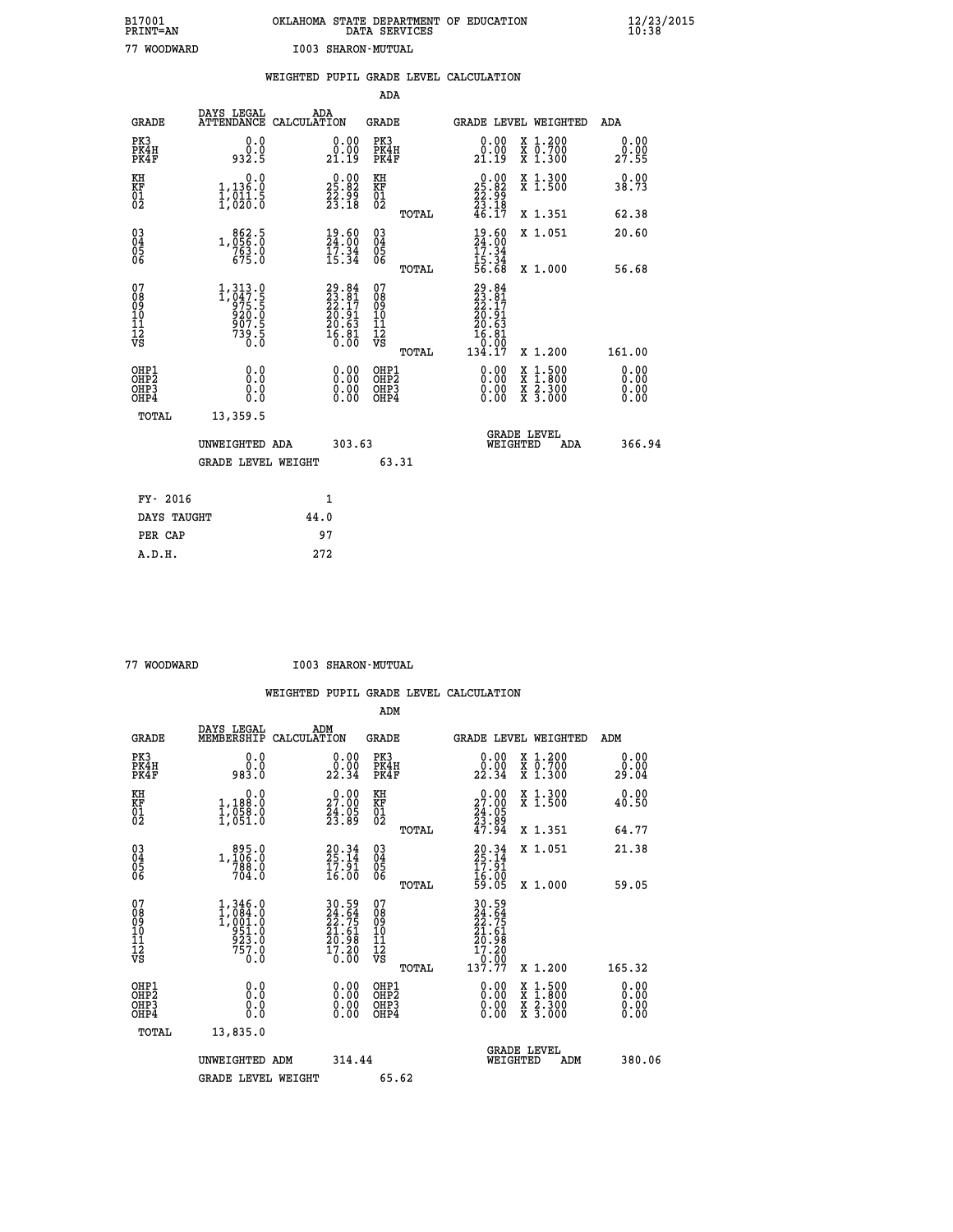## **B17001 OKLAHOMA STATE DEPARTMENT OF EDUCATION 12/23/2015 PRINT=AN DATA SERVICES 10:38 77 WOODWARD I003 SHARON-MUTUAL**

|                                                                    |                                                                                                                                   |      |                                                                          |                                          |       | WEIGHTED PUPIL GRADE LEVEL CALCULATION                                                                                                                                                                                                                                         |                                                                                                                                           |                              |
|--------------------------------------------------------------------|-----------------------------------------------------------------------------------------------------------------------------------|------|--------------------------------------------------------------------------|------------------------------------------|-------|--------------------------------------------------------------------------------------------------------------------------------------------------------------------------------------------------------------------------------------------------------------------------------|-------------------------------------------------------------------------------------------------------------------------------------------|------------------------------|
|                                                                    |                                                                                                                                   |      |                                                                          | <b>ADA</b>                               |       |                                                                                                                                                                                                                                                                                |                                                                                                                                           |                              |
| <b>GRADE</b>                                                       | DAYS LEGAL<br>ATTENDANCE CALCULATION                                                                                              | ADA  |                                                                          | GRADE                                    |       | GRADE LEVEL WEIGHTED                                                                                                                                                                                                                                                           |                                                                                                                                           | ADA                          |
| PK3<br>PK4H<br>PK4F                                                | 0.0<br>0.0<br>932.5                                                                                                               |      | $\begin{smallmatrix} 0.00\\ 0.00\\ 21.19 \end{smallmatrix}$              | PK3<br>PK4H<br>PK4F                      |       | 0.00<br>0.00<br>21.19                                                                                                                                                                                                                                                          | X 1.200<br>X 0.700<br>X 1.300                                                                                                             | 0.00<br>0.00<br>27.55        |
| KH<br>KF<br>01<br>02                                               | 1,136.0<br>$\frac{1}{2}, \frac{1}{20}$ $\frac{1}{20}$ $\frac{5}{0}$                                                               |      | 25.82<br>$\frac{55}{23}. \frac{95}{18}$                                  | KH<br>KF<br>01<br>02                     |       | $\begin{smallmatrix} 0.00\\ 25.82\\ 22.99\\ 23.18\\ 46.17 \end{smallmatrix}$                                                                                                                                                                                                   | X 1.300<br>X 1.500                                                                                                                        | 0.00<br>38.73                |
|                                                                    |                                                                                                                                   |      |                                                                          |                                          | TOTAL |                                                                                                                                                                                                                                                                                | X 1.351                                                                                                                                   | 62.38                        |
| $\begin{smallmatrix} 03 \\[-4pt] 04 \end{smallmatrix}$<br>Ŏ5<br>06 | 1, 056: 0<br>1, 056: 0<br>263: 0                                                                                                  |      | 19.60<br>24.00<br>$\frac{17.34}{15.34}$                                  | $\substack{03 \\ 04}$<br>05<br>06        |       | $\frac{19}{24}$ : $\begin{matrix} 60 \\ 7 \\ 34 \end{matrix}$                                                                                                                                                                                                                  | X 1.051                                                                                                                                   | 20.60                        |
|                                                                    | 675.0                                                                                                                             |      |                                                                          |                                          | TOTAL | $\frac{15:34}{56:68}$                                                                                                                                                                                                                                                          | X 1.000                                                                                                                                   | 56.68                        |
| 07<br>08<br>09<br>11<br>11<br>12<br>VS                             | $\begin{smallmatrix} 1,313\cdot 0\\ 1,047\cdot 5\\ 975\cdot 5\\ 920\cdot 0\\ 907\cdot 5\\ 739\cdot 5\\ 0\cdot 0\end{smallmatrix}$ |      | $29.84$<br>$23.17$<br>$22.17$<br>$20.91$<br>$20.63$<br>$16.81$<br>$0.00$ | 07<br>08<br>09<br>11<br>11<br>12<br>VS   | TOTAL | $29.84$<br>$23.81$<br>$22.17$<br>$20.91$<br>20.63<br>16.81<br>ةة:ة<br>134.17                                                                                                                                                                                                   | X 1.200                                                                                                                                   | 161.00                       |
| OHP1<br>OH <sub>P</sub> 2<br>OHP3<br>OHP4                          | 0.0<br>0.0<br>0.0                                                                                                                 |      | $\begin{smallmatrix} 0.00 \ 0.00 \ 0.00 \ 0.00 \end{smallmatrix}$        | OHP1<br>OHP <sub>2</sub><br>OHP3<br>OHP4 |       | $\begin{smallmatrix} 0.00 & 0.00 & 0.00 & 0.00 & 0.00 & 0.00 & 0.00 & 0.00 & 0.00 & 0.00 & 0.00 & 0.00 & 0.00 & 0.00 & 0.00 & 0.00 & 0.00 & 0.00 & 0.00 & 0.00 & 0.00 & 0.00 & 0.00 & 0.00 & 0.00 & 0.00 & 0.00 & 0.00 & 0.00 & 0.00 & 0.00 & 0.00 & 0.00 & 0.00 & 0.00 & 0.0$ | $\begin{smallmatrix} \mathtt{X} & 1\cdot500\\ \mathtt{X} & 1\cdot800\\ \mathtt{X} & 2\cdot300\\ \mathtt{X} & 3\cdot000 \end{smallmatrix}$ | 0.00<br>0.00<br>0.00<br>0.00 |
| TOTAL                                                              | 13,359.5                                                                                                                          |      |                                                                          |                                          |       |                                                                                                                                                                                                                                                                                |                                                                                                                                           |                              |
|                                                                    | UNWEIGHTED ADA                                                                                                                    |      | 303.63                                                                   |                                          |       | WEIGHTED                                                                                                                                                                                                                                                                       | <b>GRADE LEVEL</b><br><b>ADA</b>                                                                                                          | 366.94                       |
|                                                                    | <b>GRADE LEVEL WEIGHT</b>                                                                                                         |      |                                                                          |                                          | 63.31 |                                                                                                                                                                                                                                                                                |                                                                                                                                           |                              |
| FY- 2016                                                           |                                                                                                                                   |      | 1                                                                        |                                          |       |                                                                                                                                                                                                                                                                                |                                                                                                                                           |                              |
| DAYS TAUGHT                                                        |                                                                                                                                   | 44.0 |                                                                          |                                          |       |                                                                                                                                                                                                                                                                                |                                                                                                                                           |                              |
| PER CAP                                                            |                                                                                                                                   |      | 97                                                                       |                                          |       |                                                                                                                                                                                                                                                                                |                                                                                                                                           |                              |

 **A.D.H. 272**

 **77 WOODWARD I003 SHARON-MUTUAL**

|                                                    |                                                                             |                                                            | ADM                                                   |                                                              |                                          |                       |
|----------------------------------------------------|-----------------------------------------------------------------------------|------------------------------------------------------------|-------------------------------------------------------|--------------------------------------------------------------|------------------------------------------|-----------------------|
| <b>GRADE</b>                                       | DAYS LEGAL<br>MEMBERSHIP                                                    | ADM<br>CALCULATION                                         | <b>GRADE</b>                                          |                                                              | GRADE LEVEL WEIGHTED                     | ADM                   |
| PK3<br>PK4H<br>PK4F                                | 0.0<br>0.0<br>983.0                                                         | 0.00<br>22.34                                              | PK3<br>PK4H<br>PK4F                                   | $\begin{smallmatrix} 0.00\\ 0.00\\ 22.34 \end{smallmatrix}$  | X 1.200<br>X 0.700<br>X 1.300            | 0.00<br>0.00<br>29.04 |
| KH<br>KF<br>01<br>02                               | 0.0<br>1,188:0<br>1,058.0<br>1,051:0                                        | 29.00<br>$\frac{54}{23}.85$                                | KH<br>KF<br>01<br>02                                  | 27.00<br>$\frac{24}{23}$ : $\frac{85}{47}$ . 94              | X 1.300<br>X 1.500                       | 0.00<br>40.50         |
|                                                    |                                                                             |                                                            | TOTAL                                                 |                                                              | X 1.351                                  | 64.77                 |
| $\begin{matrix} 03 \\ 04 \\ 05 \\ 06 \end{matrix}$ | 1,106.0<br>1,106.0<br>789.0<br>704.0                                        | $20.34$<br>$25.14$<br>$17.91$<br>$16.00$                   | $\begin{matrix} 03 \\ 04 \\ 05 \\ 06 \end{matrix}$    | $20.34$<br>$25.14$<br>$17.91$<br>$16.00$<br>$59.05$          | X 1.051                                  | 21.38                 |
|                                                    |                                                                             |                                                            | TOTAL                                                 |                                                              | X 1.000                                  | 59.05                 |
| 07<br>08<br>09<br>10<br>11<br>11<br>12<br>VS       | 1,346.0<br>$1, 084.0$<br>$1, 001.0$<br>$951.0$<br>$923.0$<br>$757.0$<br>Ò.Ō | 30.59<br>24.64<br>22.75<br>21.61<br>20.98<br>17.20<br>0.00 | 07<br>08<br>09<br>01<br>11<br>11<br>12<br>VS<br>TOTAL | 30.59<br>22.64<br>22.75<br>21.61<br>20.98<br>17.20<br>137.77 | X 1.200                                  | 165.32                |
| OHP1<br>OHP2<br>OH <sub>P3</sub><br>OHP4           | 0.0<br>0.000                                                                | $0.00$<br>$0.00$<br>0.00                                   | OHP1<br>OHP2<br>OHP3<br>OHP4                          |                                                              | X 1:500<br>X 1:800<br>X 2:300<br>X 3:000 | 0.00<br>0.00<br>0.00  |
| TOTAL                                              | 13,835.0                                                                    |                                                            |                                                       |                                                              |                                          |                       |
|                                                    | UNWEIGHTED ADM                                                              | 314.44                                                     |                                                       | WEIGHTED                                                     | <b>GRADE LEVEL</b><br>ADM                | 380.06                |
|                                                    | <b>GRADE LEVEL WEIGHT</b>                                                   |                                                            | 65.62                                                 |                                                              |                                          |                       |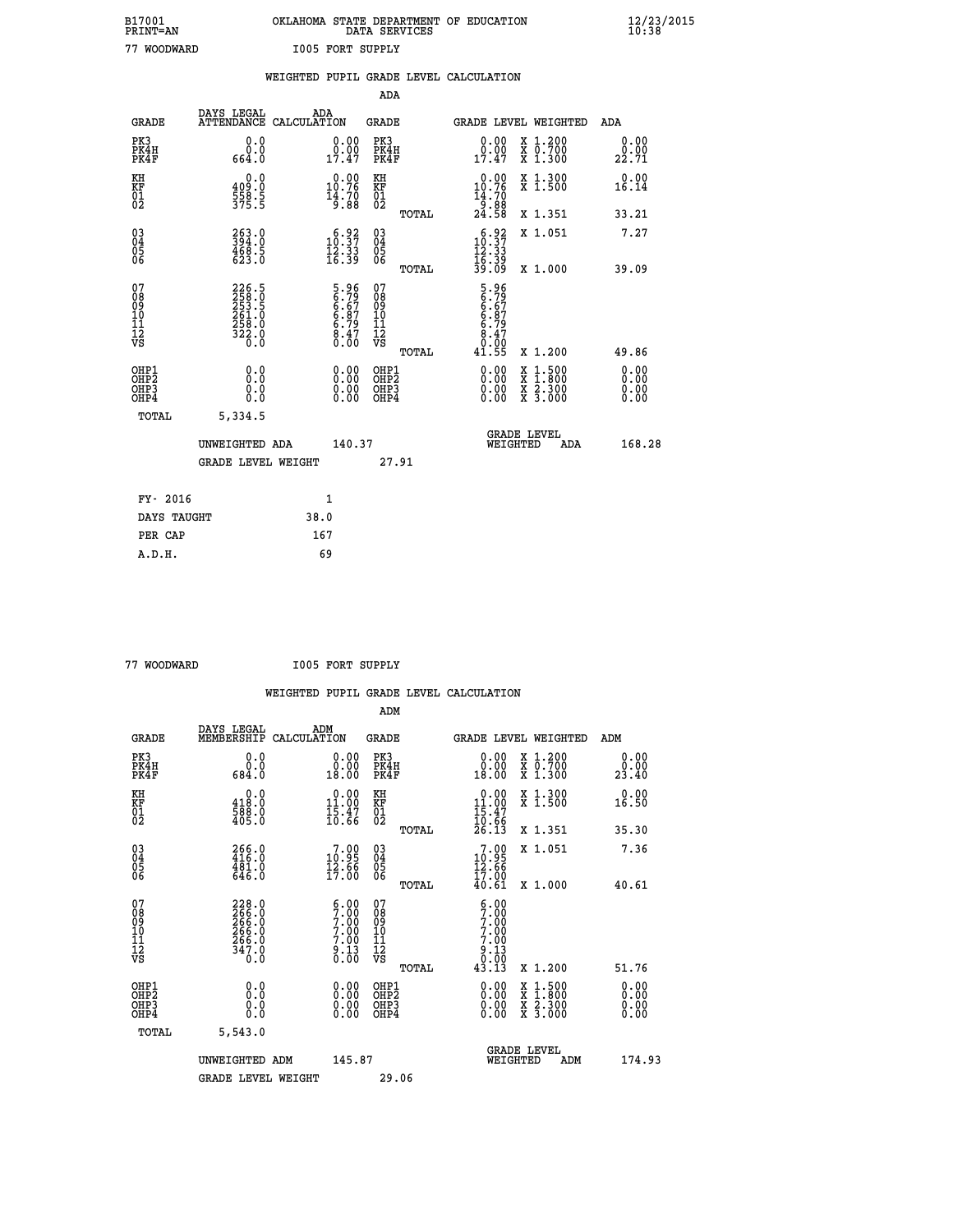| B17001          | OKLAHOMA STATE DEPARTMENT OF EDUCATION |
|-----------------|----------------------------------------|
| <b>PRINT=AN</b> | DATA SERVICES                          |
| 77 WOODWARD     | <b>I005 FORT SUPPLY</b>                |

|                                          |                                                             | WEIGHTED PUPIL GRADE LEVEL CALCULATION                            |                                                 |                                                                                                                                                           |                              |
|------------------------------------------|-------------------------------------------------------------|-------------------------------------------------------------------|-------------------------------------------------|-----------------------------------------------------------------------------------------------------------------------------------------------------------|------------------------------|
|                                          |                                                             |                                                                   | <b>ADA</b>                                      |                                                                                                                                                           |                              |
| <b>GRADE</b>                             | DAYS LEGAL                                                  | ADA<br>ATTENDANCE CALCULATION                                     | <b>GRADE</b>                                    | <b>GRADE LEVEL WEIGHTED</b>                                                                                                                               | ADA                          |
| PK3<br>PK4H<br>PK4F                      | 0.0<br>0.0<br>664.0                                         | 0.00<br>$0.00$<br>$17.47$                                         | PK3<br>PK4H<br>PK4F                             | X 1.200<br>X 0.700<br>X 1.300<br>0.00<br>0.00<br>17.47                                                                                                    | 0.00<br>0.00<br>22.71        |
| KH<br>KF<br>01<br>02                     | 0.0<br>409.0<br>$\frac{558}{375}$ : 5                       | $10.00$<br>$10.76$<br>$\frac{14.70}{9.88}$                        | KH<br>KF<br>01<br>02                            | $10.00$<br>10.76<br>X 1.300<br>X 1.500<br>$\frac{14.70}{9.88}$<br>24.58                                                                                   | 0.00<br>16.14                |
|                                          |                                                             |                                                                   | TOTAL                                           | X 1.351                                                                                                                                                   | 33.21                        |
| 03<br>04<br>05<br>06                     | 263.0<br>394.0<br>468.5<br>623.0                            | $\begin{smallmatrix} 6.92\ 10.37\ 12.33\ 16.39 \end{smallmatrix}$ | 03<br>04<br>05<br>06                            | $10.37$<br>$12.33$<br>X 1.051                                                                                                                             | 7.27                         |
|                                          |                                                             |                                                                   | TOTAL                                           | $\frac{15.39}{39.09}$<br>X 1.000                                                                                                                          | 39.09                        |
| 07<br>08<br>09<br>10<br>11<br>12<br>VS   | 226.5<br>258.5<br>253.5<br>261.0<br>268.0<br>322.0<br>322.0 | 5.96<br>6.79<br>6.67<br>6.87<br>6.79<br>8.47<br>0.00              | 07<br>08<br>09<br>11<br>11<br>12<br>VS<br>TOTAL | 5.96<br>6.79<br>6.87<br>6.79<br>6.79<br>8.47<br>0.00<br>41.55<br>X 1.200                                                                                  | 49.86                        |
| OHP1<br>OHP <sub>2</sub><br>OHP3<br>OHP4 | 0.0<br>0.0<br>0.0                                           |                                                                   | OHP1<br>OHP <sub>2</sub><br>OHP3<br>OHP4        | 0.00<br>$\begin{smallmatrix} \mathtt{X} & 1\cdot500\\ \mathtt{X} & 1\cdot800\\ \mathtt{X} & 2\cdot300\\ \mathtt{X} & 3\cdot000 \end{smallmatrix}$<br>0.00 | 0.00<br>0.00<br>0.00<br>0.00 |
|                                          | TOTAL<br>5,334.5                                            |                                                                   |                                                 |                                                                                                                                                           |                              |
|                                          | UNWEIGHTED ADA                                              | 140.37                                                            |                                                 | <b>GRADE LEVEL</b><br>WEIGHTED                                                                                                                            | 168.28<br>ADA                |
|                                          | <b>GRADE LEVEL WEIGHT</b>                                   |                                                                   | 27.91                                           |                                                                                                                                                           |                              |
|                                          | FY- 2016                                                    | 1                                                                 |                                                 |                                                                                                                                                           |                              |
|                                          | DAYS TAUGHT                                                 | 38.0                                                              |                                                 |                                                                                                                                                           |                              |
|                                          | PER CAP                                                     | 167                                                               |                                                 |                                                                                                                                                           |                              |

| 77 WOODWARD |
|-------------|

 **77 WOODWARD I005 FORT SUPPLY**

| שמשעטטאווי                                                       |                                                             |                    | TAAN LAWI DALLAT                                                                       |                                              |       |                                                                                           |                                                                                                                                           |                              |  |
|------------------------------------------------------------------|-------------------------------------------------------------|--------------------|----------------------------------------------------------------------------------------|----------------------------------------------|-------|-------------------------------------------------------------------------------------------|-------------------------------------------------------------------------------------------------------------------------------------------|------------------------------|--|
|                                                                  |                                                             |                    |                                                                                        |                                              |       | WEIGHTED PUPIL GRADE LEVEL CALCULATION                                                    |                                                                                                                                           |                              |  |
|                                                                  |                                                             |                    |                                                                                        | ADM                                          |       |                                                                                           |                                                                                                                                           |                              |  |
| <b>GRADE</b>                                                     | DAYS LEGAL<br>MEMBERSHIP                                    | ADM<br>CALCULATION |                                                                                        | <b>GRADE</b>                                 |       | <b>GRADE LEVEL WEIGHTED</b>                                                               |                                                                                                                                           | ADM                          |  |
| PK3<br>PK4H<br>PK4F                                              | 0.0<br>0.0<br>684.0                                         |                    | 0.0000<br>18.00                                                                        | PK3<br>PK4H<br>PK4F                          |       | 0.00<br>18.00                                                                             | X 1.200<br>X 0.700<br>X 1.300                                                                                                             | 0.00<br>0.00<br>23.40        |  |
| KH<br>KF<br>01<br>02                                             | 0.0<br>418.0<br>588.0<br>405.0                              |                    | $0.00$<br>11.00<br>$\frac{15.47}{10.66}$                                               | KH<br>KF<br>01<br>02                         |       | $\begin{array}{r} 0.00 \\ 11.00 \\ 15.47 \\ 10.66 \\ 26.13 \end{array}$                   | X 1.300<br>X 1.500                                                                                                                        | 0.00<br>16.50                |  |
|                                                                  |                                                             |                    |                                                                                        |                                              | TOTAL |                                                                                           | X 1.351                                                                                                                                   | 35.30                        |  |
| $\begin{matrix} 03 \\ 04 \\ 05 \\ 06 \end{matrix}$               | $266.0$<br>416.0<br>$\frac{481.0}{646.0}$                   |                    | $\frac{7.99}{12.95}$<br>$\overline{1}\overline{7}$ .00                                 | $^{03}_{04}$<br>05<br>06                     |       | $\begin{smallmatrix}7.00\\10.95\\12.66\\17.00\end{smallmatrix}$                           | X 1.051                                                                                                                                   | 7.36                         |  |
|                                                                  |                                                             |                    |                                                                                        |                                              | TOTAL | 40.61                                                                                     | X 1.000                                                                                                                                   | 40.61                        |  |
| 07<br>08<br>09<br>10<br>11<br>11<br>17<br>VS                     | 228.0<br>266.0<br>266.0<br>266.0<br>266.0<br>347.0<br>347.0 |                    | $\begin{smallmatrix} 6.00\ 7.00\ 7.00\ 7.00\ 7.00\ 7.00\ 9.13\ 0.00 \end{smallmatrix}$ | 07<br>08<br>09<br>01<br>11<br>11<br>12<br>VS |       | $\begin{smallmatrix} 6.00\ 7.00\ 7.00\ 7.00\ 7.00\ \end{smallmatrix}$<br>$0.13$<br>$0.00$ |                                                                                                                                           |                              |  |
|                                                                  |                                                             |                    |                                                                                        |                                              | TOTAL | 43.13                                                                                     | X 1.200                                                                                                                                   | 51.76                        |  |
| OHP1<br>OH <sub>P2</sub><br>OH <sub>P3</sub><br>OH <sub>P4</sub> | 0.0<br>0.0<br>0.0                                           |                    | $0.00$<br>$0.00$<br>0.00                                                               | OHP1<br>OH <sub>P</sub> 2<br>OHP3<br>OHP4    |       | 0.00<br>0.00                                                                              | $\begin{smallmatrix} \mathtt{X} & 1\cdot500\\ \mathtt{X} & 1\cdot800\\ \mathtt{X} & 2\cdot300\\ \mathtt{X} & 3\cdot000 \end{smallmatrix}$ | 0.00<br>0.00<br>0.00<br>0.00 |  |
| TOTAL                                                            | 5,543.0                                                     |                    |                                                                                        |                                              |       |                                                                                           |                                                                                                                                           |                              |  |
|                                                                  | UNWEIGHTED ADM<br><b>GRADE LEVEL WEIGHT</b>                 |                    | 145.87                                                                                 | 29.06                                        |       |                                                                                           | GRADE LEVEL<br>WEIGHTED<br>ADM                                                                                                            | 174.93                       |  |
|                                                                  |                                                             |                    |                                                                                        |                                              |       |                                                                                           |                                                                                                                                           |                              |  |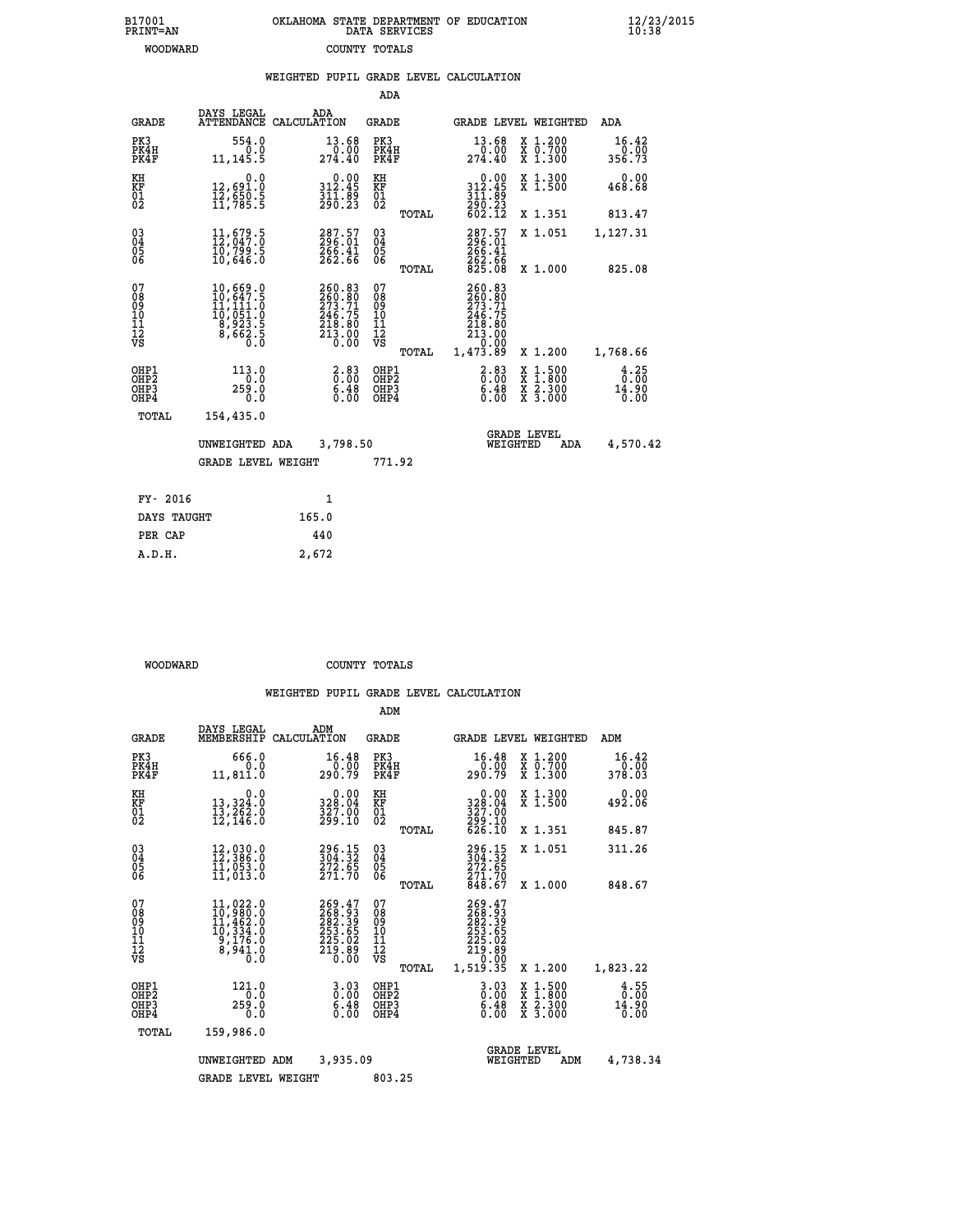| 7001<br>INT=AN |  | OKLAHOMA STATE DEPARTMENT OF EDUCATION<br>DATA SERVICES |  |
|----------------|--|---------------------------------------------------------|--|
| WOODWARD       |  | COUNTY TOTALS                                           |  |

 **B17001<br>PRINT=AN** 

 **B17001 OKLAHOMA STATE DEPARTMENT OF EDUCATION 12/23/2015**

|                                                              |                                                                                                                   | WEIGHTED PUPIL GRADE LEVEL CALCULATION                                                                                          |                                                              |                                                                                                                        |                                          |                                                  |
|--------------------------------------------------------------|-------------------------------------------------------------------------------------------------------------------|---------------------------------------------------------------------------------------------------------------------------------|--------------------------------------------------------------|------------------------------------------------------------------------------------------------------------------------|------------------------------------------|--------------------------------------------------|
|                                                              |                                                                                                                   |                                                                                                                                 | <b>ADA</b>                                                   |                                                                                                                        |                                          |                                                  |
| <b>GRADE</b>                                                 | DAYS LEGAL                                                                                                        | ADA<br>ATTENDANCE CALCULATION                                                                                                   | GRADE                                                        | GRADE LEVEL WEIGHTED                                                                                                   |                                          | ADA                                              |
| PK3<br>PK4H<br>PK4F                                          | 554.0<br>0.0<br>11, 145.5                                                                                         | 13.68<br>0.00<br>274.40                                                                                                         | PK3<br>PK4H<br>PK4F                                          | 13.68                                                                                                                  | X 1.200<br>X 0.700<br>X 1.300            | 16.42<br>0.00<br>356.73                          |
| KH<br>KF<br>$\frac{01}{02}$                                  | 0.0<br>12,691.0<br>12,650.5<br>11,785.5                                                                           | $0.00$<br>312.45<br>$\frac{3}{2}$ $\frac{1}{9}$ $\frac{1}{6}$ $\frac{5}{2}$ $\frac{5}{3}$                                       | KH<br>KF<br>01<br>02                                         | 0.00<br>312.45                                                                                                         | X 1.300<br>X 1.500                       | 0.00<br>468.68                                   |
|                                                              |                                                                                                                   |                                                                                                                                 | TOTAL                                                        | 311:89<br>290:23<br>602.12                                                                                             | X 1.351                                  | 813.47                                           |
| $\begin{smallmatrix} 03 \\[-4pt] 04 \end{smallmatrix}$<br>05 | $11,679.5$<br>$12,047.0$<br>$\bar{10}$ ,799.5<br>10,646.0                                                         | 287.57<br>296.01<br>266.41<br>262.66                                                                                            | $\begin{smallmatrix} 03 \\[-4pt] 04 \end{smallmatrix}$<br>05 | 287.57<br>296.01<br>266.41<br>262.66<br>825.08                                                                         | X 1.051                                  | 1,127.31                                         |
| 06                                                           |                                                                                                                   |                                                                                                                                 | 06<br>TOTAL                                                  |                                                                                                                        | X 1.000                                  | 825.08                                           |
| 07<br>08<br>09<br>101<br>11<br>12<br>VS                      | $\begin{smallmatrix} 10, 669.0\\ 10, 647.5\\ 11, 111.0\\ 10, 051.0\\ 8, 923.5\\ 8, 662.5\\ 0.0 \end{smallmatrix}$ | 260.83<br>260.80<br>273.71<br>246.75<br>$\begin{array}{c} 2\overline{18}\cdot 8\overline{0} \\ 213\cdot 00 \\ 0.00 \end{array}$ | 07<br>089<br>101<br>111<br>VS                                | 260.83<br>260.80<br>273.71<br>246.75<br>$\begin{smallmatrix} 218.80\ 213.00\ 213.00\ 0.00\ 1,473.89 \end{smallmatrix}$ |                                          |                                                  |
|                                                              |                                                                                                                   |                                                                                                                                 | TOTAL                                                        |                                                                                                                        | X 1.200                                  | 1,768.66                                         |
| OHP1<br>OH <sub>P</sub> 2<br>OH <sub>P3</sub><br>OHP4        | 113.0<br>0.0<br>259.0<br>0.0                                                                                      | $\begin{array}{c} 2.83 \\ 0.00 \\ 6.48 \end{array}$<br>0.00                                                                     | OHP1<br>OHP <sub>2</sub><br>OHP3<br>OHP4                     | $\begin{smallmatrix} 2.83\0.008.48\0.00 \end{smallmatrix}$                                                             | X 1:500<br>X 1:800<br>X 2:300<br>X 3:000 | $\frac{4}{0}$ : $\frac{25}{00}$<br>14.90<br>0.00 |
| TOTAL                                                        | 154,435.0                                                                                                         |                                                                                                                                 |                                                              |                                                                                                                        |                                          |                                                  |
|                                                              | UNWEIGHTED ADA                                                                                                    | 3,798.50                                                                                                                        |                                                              | <b>GRADE LEVEL</b><br>WEIGHTED                                                                                         | ADA                                      | 4,570.42                                         |
|                                                              | <b>GRADE LEVEL WEIGHT</b>                                                                                         |                                                                                                                                 | 771.92                                                       |                                                                                                                        |                                          |                                                  |
| FY- 2016                                                     |                                                                                                                   | 1                                                                                                                               |                                                              |                                                                                                                        |                                          |                                                  |
| DAYS TAUGHT                                                  |                                                                                                                   | 165.0                                                                                                                           |                                                              |                                                                                                                        |                                          |                                                  |
| PER CAP                                                      |                                                                                                                   | 440                                                                                                                             |                                                              |                                                                                                                        |                                          |                                                  |
| A.D.H.                                                       |                                                                                                                   | 2,672                                                                                                                           |                                                              |                                                                                                                        |                                          |                                                  |

 **WOODWARD COUNTY TOTALS**

|                                                       |                                                                                                                                               |                                                                         | ADM                                                 |       |                                                                                          |          |                                          |                               |
|-------------------------------------------------------|-----------------------------------------------------------------------------------------------------------------------------------------------|-------------------------------------------------------------------------|-----------------------------------------------------|-------|------------------------------------------------------------------------------------------|----------|------------------------------------------|-------------------------------|
| <b>GRADE</b>                                          | DAYS LEGAL<br>MEMBERSHIP                                                                                                                      | ADM<br>CALCULATION                                                      | <b>GRADE</b>                                        |       |                                                                                          |          | <b>GRADE LEVEL WEIGHTED</b>              | ADM                           |
| PK3<br>PK4H<br>PK4F                                   | 666.0<br>0.0<br>11,811.0                                                                                                                      | 16.48<br>0.00<br>290.79                                                 | PK3<br>PK4H<br>PK4F                                 |       | 16.48<br>0.00<br>290.79                                                                  |          | X 1.200<br>X 0.700<br>X 1.300            | 16.42<br>0.00<br>378.03       |
| KH<br>KF<br>01<br>02                                  | 0.0<br>13,324:0<br>13,262:0<br>12,146:0                                                                                                       | $\begin{smallmatrix} 0.00\\ 328.04\\ 327.00\\ 299.10 \end{smallmatrix}$ | KH<br>KF<br>01<br>02                                |       | 0.00<br>328:04<br>327:00<br>299:10<br>626:10                                             |          | X 1.300<br>X 1.500                       | 0.00<br>492.06                |
|                                                       |                                                                                                                                               |                                                                         |                                                     | TOTAL |                                                                                          |          | X 1.351                                  | 845.87                        |
| 03<br>04<br>05<br>06                                  | 12,030.0<br>12,386.0<br>11,053.0<br>11,013.0                                                                                                  | 296.15<br>304.32<br>272.65<br>271.70                                    | $\begin{array}{c} 03 \\ 04 \\ 05 \\ 06 \end{array}$ |       | 296.15<br>304.32<br>272.65<br>271.70<br>848.67                                           |          | X 1.051                                  | 311.26                        |
|                                                       |                                                                                                                                               |                                                                         |                                                     | TOTAL |                                                                                          |          | X 1.000                                  | 848.67                        |
| 07<br>08<br>09<br>101<br>112<br>VS                    | $\begin{smallmatrix} 11,022\cdot 0\\ 10,980\cdot 0\\ 11,462\cdot 0\\ 10,334\cdot 0\\ 9,176\cdot 0\\ 8,941\cdot 0\\ 0\cdot 0\end{smallmatrix}$ | 269.47<br>268.93<br>282.395<br>283.65<br>255.02<br>219.89<br>0.00       | 07<br>08<br>09<br>101<br>11<br>12<br>VS             | TOTAL | 269.47<br>2682.33<br>282.395<br>253.65<br>225.02<br>219.89<br>210.00<br>1,519.35         |          | X 1.200                                  | 1,823.22                      |
| OHP1<br>OH <sub>P</sub> 2<br>OH <sub>P3</sub><br>OHP4 | $^{121.0}_{0.0}$<br>259.0<br>0.0                                                                                                              | $\begin{smallmatrix} 3.03\ 0.00\ 6.48 \end{smallmatrix}$<br>0.00        | OHP1<br>OHP2<br>OHP3<br>OHP4                        |       | $\begin{smallmatrix} 3 & 0 & 3 \\ 0 & 0 & 0 \\ 6 & 4 & 8 \\ 0 & 0 & 0 \end{smallmatrix}$ |          | X 1:500<br>X 1:800<br>X 2:300<br>X 3:000 | 4.55<br>0.00<br>14.90<br>0.00 |
| TOTAL                                                 | 159,986.0                                                                                                                                     |                                                                         |                                                     |       |                                                                                          |          |                                          |                               |
|                                                       | UNWEIGHTED                                                                                                                                    | 3,935.09<br>ADM                                                         |                                                     |       |                                                                                          | WEIGHTED | <b>GRADE LEVEL</b><br>ADM                | 4,738.34                      |
|                                                       | <b>GRADE LEVEL WEIGHT</b>                                                                                                                     |                                                                         | 803.25                                              |       |                                                                                          |          |                                          |                               |